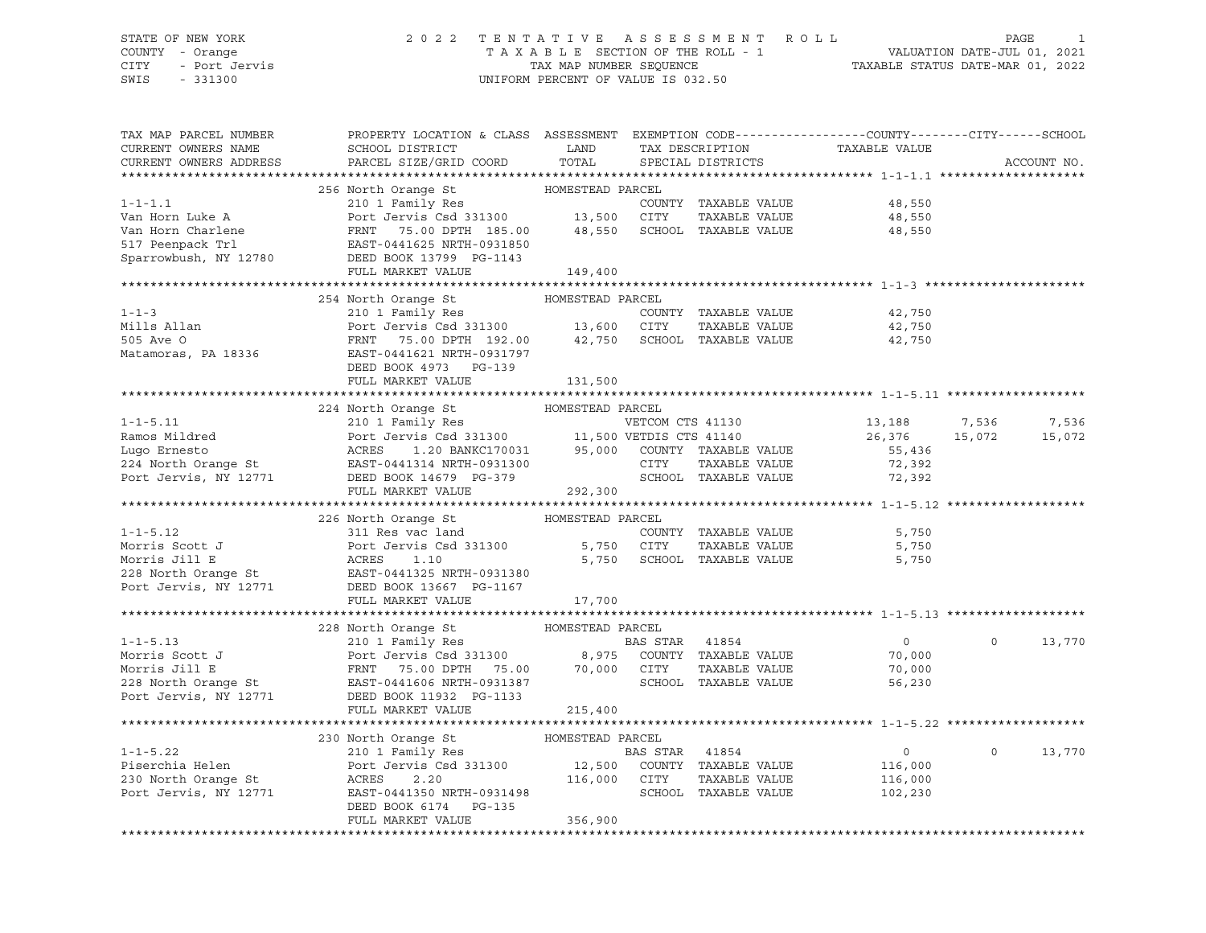CITY - Port Jervis TAX MAP NUMBER SEQUENCE TAXABLE STATUS DATE-MAR 01, 2022 SWIS - 331300 UNIFORM PERCENT OF VALUE IS 032.50

# STATE OF NEW YORK 2 0 2 2 T E N T A T I V E A S S E S S M E N T R O L L PAGE 1 COUNTY - Orange T A X A B L E SECTION OF THE ROLL - 1 VALUATION DATE-JUL 01, 2021

| TAX MAP PARCEL NUMBER  | PROPERTY LOCATION & CLASS ASSESSMENT EXEMPTION CODE---------------COUNTY-------CITY------SCHOOL                                                                                                                                                                                                                                                                                                                         |         |                      |                                                         |                |             |
|------------------------|-------------------------------------------------------------------------------------------------------------------------------------------------------------------------------------------------------------------------------------------------------------------------------------------------------------------------------------------------------------------------------------------------------------------------|---------|----------------------|---------------------------------------------------------|----------------|-------------|
| CURRENT OWNERS NAME    | SCHOOL DISTRICT $\hfill\textsc{LAND}$ TAX DESCRIPTION TAXABLE VALUE                                                                                                                                                                                                                                                                                                                                                     |         |                      |                                                         |                |             |
| CURRENT OWNERS ADDRESS | PARCEL SIZE/GRID COORD TOTAL SPECIAL DISTRICTS                                                                                                                                                                                                                                                                                                                                                                          |         |                      |                                                         |                | ACCOUNT NO. |
|                        | $\begin{tabular}{lllllllllll} \multicolumn{3}{c}{\mbox{1--1.1}} & \multicolumn{3}{c}{\mbox{1--1.1}} & \multicolumn{3}{c}{\mbox{1--1.1}} & \multicolumn{3}{c}{\mbox{1--1.1}} & \multicolumn{3}{c}{\mbox{1--1.1}} & \multicolumn{3}{c}{\mbox{1--1.1}} & \multicolumn{3}{c}{\mbox{1--1.1}} & \multicolumn{3}{c}{\mbox{1--1.1}} & \multicolumn{3}{c}{\mbox{1--1.1}} & \multicolumn{3}{c}{\mbox{1--1.1}} & \multicolumn{3}{$ |         |                      |                                                         |                |             |
|                        |                                                                                                                                                                                                                                                                                                                                                                                                                         |         |                      |                                                         |                |             |
|                        |                                                                                                                                                                                                                                                                                                                                                                                                                         |         |                      |                                                         |                |             |
|                        |                                                                                                                                                                                                                                                                                                                                                                                                                         |         |                      |                                                         |                |             |
|                        |                                                                                                                                                                                                                                                                                                                                                                                                                         |         |                      |                                                         |                |             |
|                        |                                                                                                                                                                                                                                                                                                                                                                                                                         |         |                      |                                                         |                |             |
|                        |                                                                                                                                                                                                                                                                                                                                                                                                                         |         |                      |                                                         |                |             |
|                        |                                                                                                                                                                                                                                                                                                                                                                                                                         |         |                      |                                                         |                |             |
|                        |                                                                                                                                                                                                                                                                                                                                                                                                                         |         |                      |                                                         |                |             |
|                        |                                                                                                                                                                                                                                                                                                                                                                                                                         |         |                      |                                                         |                |             |
|                        |                                                                                                                                                                                                                                                                                                                                                                                                                         |         |                      |                                                         |                |             |
|                        |                                                                                                                                                                                                                                                                                                                                                                                                                         |         |                      |                                                         |                |             |
|                        |                                                                                                                                                                                                                                                                                                                                                                                                                         |         |                      |                                                         |                |             |
|                        |                                                                                                                                                                                                                                                                                                                                                                                                                         |         |                      |                                                         |                |             |
|                        |                                                                                                                                                                                                                                                                                                                                                                                                                         |         |                      |                                                         |                |             |
|                        |                                                                                                                                                                                                                                                                                                                                                                                                                         |         |                      |                                                         |                |             |
|                        |                                                                                                                                                                                                                                                                                                                                                                                                                         |         |                      |                                                         |                |             |
|                        | 224 North Orange St MOMESTEAD PARCEL                                                                                                                                                                                                                                                                                                                                                                                    |         |                      |                                                         |                |             |
|                        |                                                                                                                                                                                                                                                                                                                                                                                                                         |         |                      |                                                         |                |             |
|                        |                                                                                                                                                                                                                                                                                                                                                                                                                         |         |                      |                                                         |                |             |
|                        |                                                                                                                                                                                                                                                                                                                                                                                                                         |         |                      |                                                         |                |             |
|                        |                                                                                                                                                                                                                                                                                                                                                                                                                         |         |                      |                                                         |                |             |
|                        |                                                                                                                                                                                                                                                                                                                                                                                                                         |         |                      |                                                         |                |             |
|                        | 1-1-5.11 210 1 Family Res<br>Ramos Mildred Port Jerus Csd 331300 11,500 VETDIS CTS 41130 26,376 15,072 15,072<br>Lugo Ernesto ACRES 1.20 BANKC170031 95,000 COUNTY TAXABLE VALUE 55,436 15,072 15,072<br>Port Jervis Csd 3131300 11,                                                                                                                                                                                    |         |                      |                                                         |                |             |
|                        |                                                                                                                                                                                                                                                                                                                                                                                                                         |         |                      |                                                         |                |             |
|                        | 226 North Orange St MOMESTEAD PARCEL<br>1-1-5.12<br>Momester HOMESTEAD PARCEL<br>Morris Scott J<br>Morris Jill E<br>228 North Orange St<br>Port Jervis Csd 331300 5,750 CITY<br>228 North Orange St<br>Port Jervis, NY 12771 DEED BOOK 13667 PG-1167<br>FULL MARKET VALUE                                                                                                                                               |         |                      |                                                         |                |             |
|                        |                                                                                                                                                                                                                                                                                                                                                                                                                         |         | COUNTY TAXABLE VALUE |                                                         |                |             |
|                        |                                                                                                                                                                                                                                                                                                                                                                                                                         |         | TAXABLE VALUE        | 5,750<br>5,750                                          |                |             |
|                        |                                                                                                                                                                                                                                                                                                                                                                                                                         |         |                      | 5,750 SCHOOL TAXABLE VALUE 5,750                        |                |             |
|                        |                                                                                                                                                                                                                                                                                                                                                                                                                         |         |                      |                                                         |                |             |
|                        |                                                                                                                                                                                                                                                                                                                                                                                                                         |         |                      |                                                         |                |             |
|                        |                                                                                                                                                                                                                                                                                                                                                                                                                         |         |                      |                                                         |                |             |
|                        |                                                                                                                                                                                                                                                                                                                                                                                                                         |         |                      |                                                         |                |             |
|                        |                                                                                                                                                                                                                                                                                                                                                                                                                         |         |                      |                                                         |                |             |
|                        |                                                                                                                                                                                                                                                                                                                                                                                                                         |         | BAS STAR 41854       |                                                         | $\overline{0}$ | 13,770      |
|                        |                                                                                                                                                                                                                                                                                                                                                                                                                         |         |                      | $\begin{smallmatrix}&&0\0&\t&70\t&000\end{smallmatrix}$ |                |             |
|                        |                                                                                                                                                                                                                                                                                                                                                                                                                         |         | TAXABLE VALUE        |                                                         |                |             |
|                        |                                                                                                                                                                                                                                                                                                                                                                                                                         |         |                      | ,<br>56,230                                             |                |             |
|                        |                                                                                                                                                                                                                                                                                                                                                                                                                         |         |                      |                                                         |                |             |
|                        | FULL MARKET VALUE                                                                                                                                                                                                                                                                                                                                                                                                       | 215,400 |                      |                                                         |                |             |
|                        |                                                                                                                                                                                                                                                                                                                                                                                                                         |         |                      |                                                         |                |             |
|                        |                                                                                                                                                                                                                                                                                                                                                                                                                         |         |                      |                                                         |                |             |
|                        |                                                                                                                                                                                                                                                                                                                                                                                                                         |         |                      |                                                         | $\circ$        | 13,770      |
|                        |                                                                                                                                                                                                                                                                                                                                                                                                                         |         |                      |                                                         |                |             |
|                        |                                                                                                                                                                                                                                                                                                                                                                                                                         |         |                      |                                                         |                |             |
|                        |                                                                                                                                                                                                                                                                                                                                                                                                                         |         |                      |                                                         |                |             |
|                        | 230 North Orange St<br>230 North Orange St<br>210 1 Family Res<br>Piserchia Helen<br>230 North Orange St<br>230 North Orange St<br>230 North Orange St<br>230 North Orange St<br>2.20<br>230 North Orange St<br>2.20<br>230 North Orange St<br>2.20<br>2                                                                                                                                                                |         |                      |                                                         |                |             |
|                        |                                                                                                                                                                                                                                                                                                                                                                                                                         |         |                      |                                                         |                |             |
|                        | FULL MARKET VALUE                                                                                                                                                                                                                                                                                                                                                                                                       | 356,900 |                      |                                                         |                |             |
|                        |                                                                                                                                                                                                                                                                                                                                                                                                                         |         |                      |                                                         |                |             |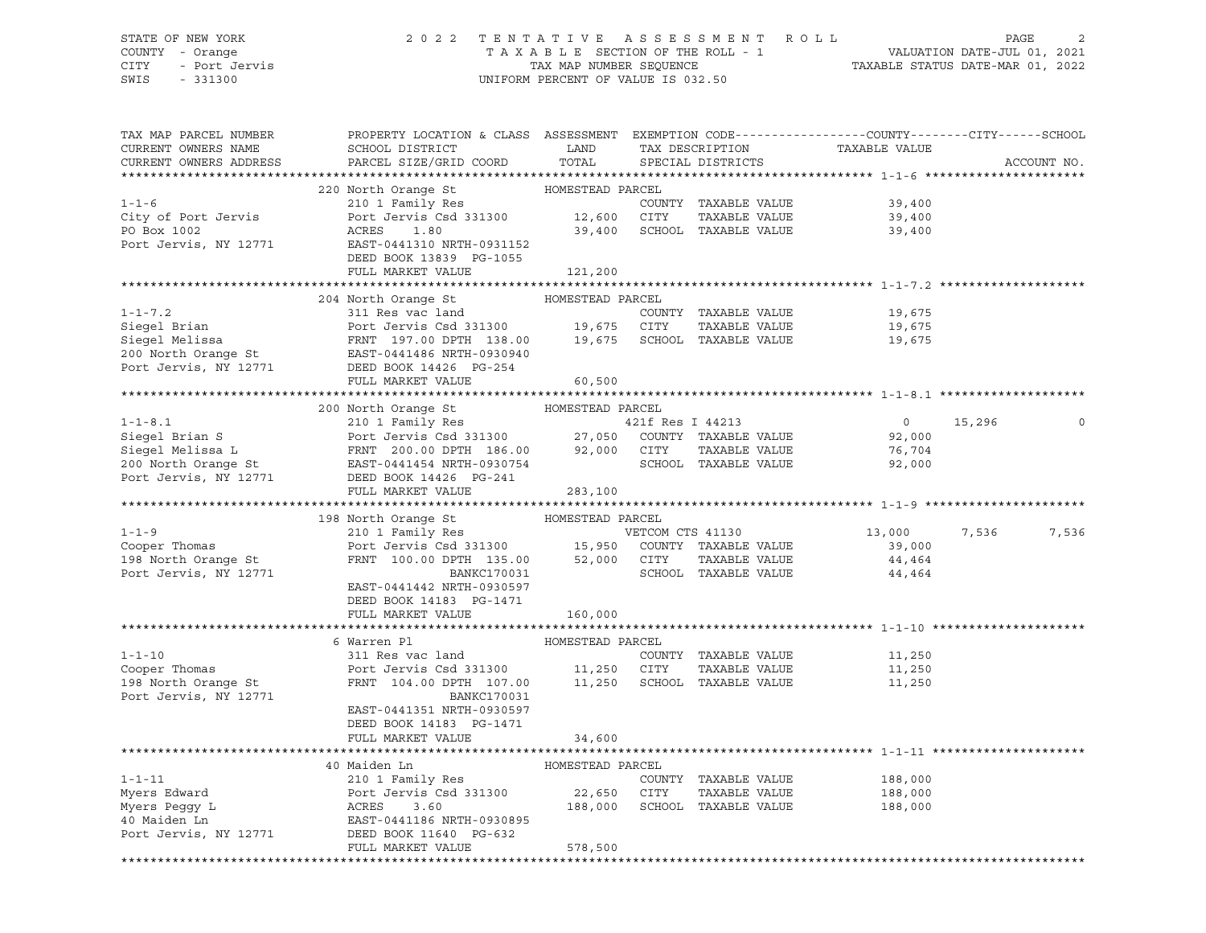# STATE OF NEW YORK 2 0 2 2 T E N T A T I V E A S S E S S M E N T R O L L PAGE 2 COUNTY - Orange T A X A B L E SECTION OF THE ROLL - 1 VALUATION DATE-JUL 01, 2021

SWIS - 331300 UNIFORM PERCENT OF VALUE IS 032.50

CITY - Port Jervis TAX MAP NUMBER SEQUENCE TAXABLE STATUS DATE-MAR 01, 2022

| TAX MAP PARCEL NUMBER                         | PROPERTY LOCATION & CLASS ASSESSMENT EXEMPTION CODE---------------COUNTY-------CITY------SCHOOL                                                                                                                                                                                     |                  |                      | TAXABLE VALUE    |        |             |
|-----------------------------------------------|-------------------------------------------------------------------------------------------------------------------------------------------------------------------------------------------------------------------------------------------------------------------------------------|------------------|----------------------|------------------|--------|-------------|
| CURRENT OWNERS NAME<br>CURRENT OWNERS ADDRESS | SCHOOL DISTRICT<br><b>EXAMPLE STATE SERVICE STATE</b><br>PARCEL SIZE/GRID COORD TOTAL                                                                                                                                                                                               |                  | TAX DESCRIPTION      |                  |        | ACCOUNT NO. |
|                                               |                                                                                                                                                                                                                                                                                     |                  | SPECIAL DISTRICTS    |                  |        |             |
|                                               | 220 North Orange St                                                                                                                                                                                                                                                                 | HOMESTEAD PARCEL |                      |                  |        |             |
| $1 - 1 - 6$                                   |                                                                                                                                                                                                                                                                                     |                  |                      | 39,400           |        |             |
|                                               |                                                                                                                                                                                                                                                                                     |                  |                      |                  |        |             |
| City of Port Jervis                           |                                                                                                                                                                                                                                                                                     |                  |                      | 39,400           |        |             |
|                                               | PO Box 1002<br>Port Jervis, NY 12771<br>EAST-0441310 NRTH-0931152                                                                                                                                                                                                                   |                  |                      | 39,400           |        |             |
|                                               |                                                                                                                                                                                                                                                                                     |                  |                      |                  |        |             |
|                                               | DEED BOOK 13839 PG-1055                                                                                                                                                                                                                                                             |                  |                      |                  |        |             |
|                                               | FULL MARKET VALUE                                                                                                                                                                                                                                                                   | 121,200          |                      |                  |        |             |
|                                               | 204 North Orange St MOMESTEAD PARCEL                                                                                                                                                                                                                                                |                  |                      |                  |        |             |
| $1 - 1 - 7.2$                                 | 311 Res vac land                                                                                                                                                                                                                                                                    |                  | COUNTY TAXABLE VALUE |                  |        |             |
|                                               |                                                                                                                                                                                                                                                                                     |                  |                      | 19,675           |        |             |
|                                               |                                                                                                                                                                                                                                                                                     |                  | TAXABLE VALUE        | 19,675<br>19,675 |        |             |
|                                               |                                                                                                                                                                                                                                                                                     |                  |                      |                  |        |             |
|                                               |                                                                                                                                                                                                                                                                                     |                  |                      |                  |        |             |
|                                               | Siegel Brian and Port Jervis Csd 331300 19,675 CITY TAXABLE VALUE<br>Siegel Melissa FRNT 197.00 DPTH 138.00 19,675 SCHOOL TAXABLE VALUE<br>200 North Orange St EAST-0441486 NRTH-0930940<br>Port Jervis, NY 12771 DEED BOOK 144426 N                                                |                  |                      |                  |        |             |
|                                               | FULL MARKET VALUE                                                                                                                                                                                                                                                                   | 60,500           |                      |                  |        |             |
|                                               |                                                                                                                                                                                                                                                                                     |                  |                      |                  |        |             |
|                                               | 200 North Orange St MOMESTEAD PARCEL                                                                                                                                                                                                                                                |                  |                      |                  |        |             |
|                                               |                                                                                                                                                                                                                                                                                     |                  |                      | $\overline{0}$   | 15,296 | 0           |
|                                               |                                                                                                                                                                                                                                                                                     |                  |                      | 92,000           |        |             |
|                                               |                                                                                                                                                                                                                                                                                     |                  |                      | 76,704           |        |             |
|                                               | 1-1-8.1<br>Siegel Brian S<br>Siegel Melissa L<br>Siegel Melissa L<br>Siegel Melissa L<br>PRNT 200.00 DPTH 186.00<br>200 North Orange St<br>POTT EAST-0441454 NRTH-0930754<br>POTT JERS BOOK 14426 PG-241<br>POTT SCHOOL TAXABLE VALUE<br>SCHOOL TA                                  |                  |                      | 92,000           |        |             |
|                                               |                                                                                                                                                                                                                                                                                     |                  |                      |                  |        |             |
|                                               | FULL MARKET VALUE 283,100                                                                                                                                                                                                                                                           |                  |                      |                  |        |             |
|                                               |                                                                                                                                                                                                                                                                                     |                  |                      |                  |        |             |
|                                               |                                                                                                                                                                                                                                                                                     |                  |                      |                  |        |             |
|                                               | 198 North Orange St MOMESTEAD PARCEL                                                                                                                                                                                                                                                |                  |                      |                  |        |             |
|                                               |                                                                                                                                                                                                                                                                                     |                  |                      | 13,000           | 7,536  | 7,536       |
|                                               |                                                                                                                                                                                                                                                                                     |                  |                      |                  |        |             |
|                                               |                                                                                                                                                                                                                                                                                     |                  |                      |                  |        |             |
|                                               |                                                                                                                                                                                                                                                                                     |                  |                      |                  |        |             |
|                                               | 1-1-9<br>Cooper Thomas<br>210 1 Family Res<br>Port Jervis Csd 331300<br>Port Jervis Csd 331300<br>FRNT 100.00 DPTH 135.00<br>2210 1 Family Res<br>210 1 Family Res<br>210 1 Family Res<br>210 1 Family Res<br>210 1 Family Res<br>210 1 Family Res<br><br>EAST-0441442 NRTH-0930597 |                  |                      |                  |        |             |
|                                               | DEED BOOK 14183 PG-1471                                                                                                                                                                                                                                                             |                  |                      |                  |        |             |
|                                               | FULL MARKET VALUE                                                                                                                                                                                                                                                                   | 160,000          |                      |                  |        |             |
|                                               |                                                                                                                                                                                                                                                                                     |                  |                      |                  |        |             |
|                                               | 6 Warren Pl                                                                                                                                                                                                                                                                         | HOMESTEAD PARCEL |                      |                  |        |             |
| $1 - 1 - 10$                                  |                                                                                                                                                                                                                                                                                     |                  |                      | 11,250           |        |             |
| Cooper Thomas                                 |                                                                                                                                                                                                                                                                                     |                  |                      | 11,250           |        |             |
| 198 North Orange St                           | 311 Res vac land<br>Port Jervis Csd 331300<br>FRNT 104.00 DPTH 107.00 11,250 SCHOOL TAXABLE VALUE                                                                                                                                                                                   |                  |                      | 11,250           |        |             |
| Port Jervis, NY 12771                         | BANKC170031                                                                                                                                                                                                                                                                         |                  |                      |                  |        |             |
|                                               | EAST-0441351 NRTH-0930597                                                                                                                                                                                                                                                           |                  |                      |                  |        |             |
|                                               | DEED BOOK 14183 PG-1471                                                                                                                                                                                                                                                             |                  |                      |                  |        |             |
|                                               | FULL MARKET VALUE                                                                                                                                                                                                                                                                   | 34,600           |                      |                  |        |             |
|                                               |                                                                                                                                                                                                                                                                                     |                  |                      |                  |        |             |
|                                               | 40 Maiden Ln                                                                                                                                                                                                                                                                        | HOMESTEAD PARCEL |                      |                  |        |             |
| $1 - 1 - 11$                                  | 210 1 Family Res                                                                                                                                                                                                                                                                    |                  | COUNTY TAXABLE VALUE | 188,000          |        |             |
|                                               |                                                                                                                                                                                                                                                                                     |                  | TAXABLE VALUE        | 188,000          |        |             |
|                                               |                                                                                                                                                                                                                                                                                     |                  |                      | 188,000          |        |             |
|                                               |                                                                                                                                                                                                                                                                                     |                  |                      |                  |        |             |
|                                               |                                                                                                                                                                                                                                                                                     |                  |                      |                  |        |             |
|                                               | Myers Edward<br>Myers Peggy L<br>Myers Peggy L<br>ACRES 3.60<br>22,650 CITY TAXABLE VALUE<br>22,650 CITY TAXABLE VALUE<br>22,650 CITY TAXABLE VALUE<br>22,650 CITY TAXABLE VALUE<br>22,650 CITY TAXABLE VALUE<br>22,650 CITY TAXABLE VALUE<br>22,6<br>FULL MARKET VALUE             | 578,500          |                      |                  |        |             |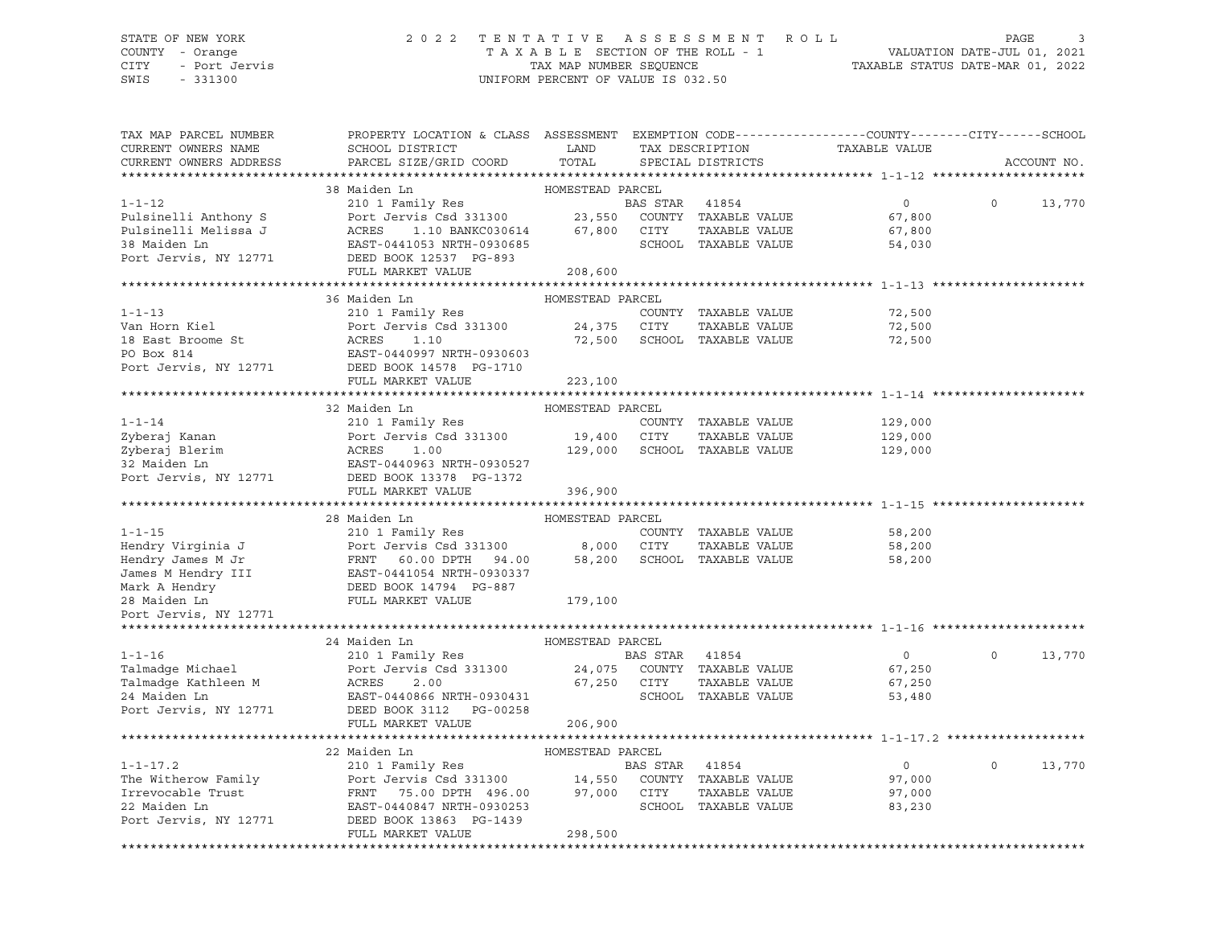#### STATE OF NEW YORK 2 0 2 2 T E N T A T I V E A S S E S S M E N T R O L L PAGE 3 COUNTY - Orange T A X A B L E SECTION OF THE ROLL - 1 VALUATION DATE-JUL 01, 2021 CITY - Port Jervis TAX MAP NUMBER SEQUENCE TAXABLE STATUS DATE-MAR 01, 2022

| TAX MAP PARCEL NUMBER  | PROPERTY LOCATION & CLASS ASSESSMENT EXEMPTION CODE---------------COUNTY-------CITY------SCHOOL                                                                                                                                                                                                                                                                                                                                            |                  |                              |                                                 |          |             |
|------------------------|--------------------------------------------------------------------------------------------------------------------------------------------------------------------------------------------------------------------------------------------------------------------------------------------------------------------------------------------------------------------------------------------------------------------------------------------|------------------|------------------------------|-------------------------------------------------|----------|-------------|
| CURRENT OWNERS NAME    | SCHOOL DISTRICT LAND                                                                                                                                                                                                                                                                                                                                                                                                                       |                  |                              |                                                 |          |             |
| CURRENT OWNERS ADDRESS | PARCEL SIZE/GRID COORD                                                                                                                                                                                                                                                                                                                                                                                                                     | TOTAL            |                              | TAX DESCRIPTION TAXABLE VALUE SPECIAL DISTRICTS |          | ACCOUNT NO. |
|                        |                                                                                                                                                                                                                                                                                                                                                                                                                                            |                  |                              |                                                 |          |             |
|                        | 38 Maiden Ln                                                                                                                                                                                                                                                                                                                                                                                                                               |                  |                              |                                                 |          |             |
| $1 - 1 - 12$           | Maiden Ln<br>210 1 Family Res<br>Port Jervis Csd 331300<br>23,550 COUNTY TAXABLE VALUE<br>ACRES 1.10 BANKC030614 67,800 CITY TAXABLE VALUE<br>SCHOOL TAXABLE VALUE                                                                                                                                                                                                                                                                         |                  |                              | $\overline{0}$                                  | $\Omega$ | 13,770      |
|                        |                                                                                                                                                                                                                                                                                                                                                                                                                                            |                  |                              | 67,800                                          |          |             |
|                        |                                                                                                                                                                                                                                                                                                                                                                                                                                            |                  |                              |                                                 |          |             |
|                        |                                                                                                                                                                                                                                                                                                                                                                                                                                            |                  | TAXABLE VALUE                | 67,800                                          |          |             |
|                        |                                                                                                                                                                                                                                                                                                                                                                                                                                            |                  | SCHOOL TAXABLE VALUE         | 54,030                                          |          |             |
|                        | Pulsinelli Anthony S<br>Port Jervis Csd 331300 23,550<br>Pulsinelli Melissa J<br>38 Maiden Ln<br>Port Jervis, NY 12771 DEED BOOK 12537 PG-893<br>Port Jervis, NY 12771 DEED BOOK 12537 PG-893<br>PULLI MAPATT VALUE                                                                                                                                                                                                                        |                  |                              |                                                 |          |             |
|                        | FULL MARKET VALUE                                                                                                                                                                                                                                                                                                                                                                                                                          | 208,600          |                              |                                                 |          |             |
|                        | 36 Maiden Ln                                                                                                                                                                                                                                                                                                                                                                                                                               |                  |                              |                                                 |          |             |
|                        |                                                                                                                                                                                                                                                                                                                                                                                                                                            | HOMESTEAD PARCEL |                              |                                                 |          |             |
| $1 - 1 - 13$           | 210 1 Family Res<br>1-1-13 210 1 Family Res COUNTY<br>Van Horn Kiel Port Jervis Csd 331300 24,375 CITY<br>18 East Broome St ACRES 1.10 72,500 SCHOOL<br>PO Box 814 EAST-0440997 NRTH-0930603<br>Port Jervis, NY 12771 DEED BOOK 14578 PG-1710                                                                                                                                                                                              |                  | COUNTY TAXABLE VALUE         | 72,500                                          |          |             |
|                        |                                                                                                                                                                                                                                                                                                                                                                                                                                            |                  | TAXABLE VALUE                | 72,500                                          |          |             |
|                        |                                                                                                                                                                                                                                                                                                                                                                                                                                            |                  | 72,500 SCHOOL TAXABLE VALUE  | 72,500                                          |          |             |
|                        |                                                                                                                                                                                                                                                                                                                                                                                                                                            |                  |                              |                                                 |          |             |
|                        |                                                                                                                                                                                                                                                                                                                                                                                                                                            |                  |                              |                                                 |          |             |
|                        | FULL MARKET VALUE                                                                                                                                                                                                                                                                                                                                                                                                                          | 223,100          |                              |                                                 |          |             |
|                        |                                                                                                                                                                                                                                                                                                                                                                                                                                            |                  |                              |                                                 |          |             |
|                        | 32 Maiden Ln                                                                                                                                                                                                                                                                                                                                                                                                                               | HOMESTEAD PARCEL |                              |                                                 |          |             |
|                        |                                                                                                                                                                                                                                                                                                                                                                                                                                            |                  | COUNTY TAXABLE VALUE         | 129,000                                         |          |             |
|                        |                                                                                                                                                                                                                                                                                                                                                                                                                                            |                  | TAXABLE VALUE                | 129,000                                         |          |             |
|                        |                                                                                                                                                                                                                                                                                                                                                                                                                                            |                  | 129,000 SCHOOL TAXABLE VALUE | 129,000                                         |          |             |
|                        |                                                                                                                                                                                                                                                                                                                                                                                                                                            |                  |                              |                                                 |          |             |
|                        | 1-1-14<br>210 1 Family Res<br>210 1 Family Res<br>210 1 Family Res<br>210 1 Family Res<br>210 1 Family Res<br>210 1 Family Res<br>210 1 Family Res<br>210 1 Family Res<br>210 19,400 19,400 CITY<br>29,000 SCHOO<br>22 Maiden Ln<br>22 Maiden Ln<br>22 M                                                                                                                                                                                   |                  |                              |                                                 |          |             |
|                        | FULL MARKET VALUE                                                                                                                                                                                                                                                                                                                                                                                                                          | 396,900          |                              |                                                 |          |             |
|                        |                                                                                                                                                                                                                                                                                                                                                                                                                                            |                  |                              |                                                 |          |             |
|                        |                                                                                                                                                                                                                                                                                                                                                                                                                                            |                  |                              |                                                 |          |             |
|                        |                                                                                                                                                                                                                                                                                                                                                                                                                                            |                  |                              | COUNTY TAXABLE VALUE 58,200                     |          |             |
|                        |                                                                                                                                                                                                                                                                                                                                                                                                                                            |                  |                              | 58,200                                          |          |             |
|                        |                                                                                                                                                                                                                                                                                                                                                                                                                                            |                  |                              | 58,200                                          |          |             |
|                        |                                                                                                                                                                                                                                                                                                                                                                                                                                            |                  |                              |                                                 |          |             |
|                        |                                                                                                                                                                                                                                                                                                                                                                                                                                            |                  |                              |                                                 |          |             |
|                        |                                                                                                                                                                                                                                                                                                                                                                                                                                            |                  |                              |                                                 |          |             |
|                        | $\begin{tabular}{lllllllllll} 1-1-15 & \multicolumn{3}{c}{210} & \multicolumn{3}{c}{1-1-15} & \multicolumn{3}{c}{1-1-15} & \multicolumn{3}{c}{1-1-15} & \multicolumn{3}{c}{210} & \multicolumn{3}{c}{1-1-15} & \multicolumn{3}{c}{210} & \multicolumn{3}{c}{1-1-15} & \multicolumn{3}{c}{210} & \multicolumn{3}{c}{1-1-15} & \multicolumn{3}{c}{1-1-15} & \multicolumn{3}{c}{1-1-15} & \multicolumn{3}{$                                   |                  |                              |                                                 |          |             |
|                        | $\begin{tabular}{lcccccc} 1-1-16 & 24 \text{ Maiden In} & 1-1-16 & 101 \text{ Family Res} & \text{BAS STAR} & 41854 \\ \text{Talmadge Michael} & 210 1 \text{ Family Res} & \text{BAS STAR} & 41854 \\ \text{Partmadge Kathleen M} & \text{ACRES} & 2.00 & 67,250 \text{ CITY} & \text{TAXABLE VALUE} \\ \text{24 Maiden In} & \text{EAST-0440866 NRTH-0930431} & 67,250 \text{ CITY} & \text{TAXABLE VALUE} \\ \text{Port Jervis, NY} & $ |                  |                              |                                                 |          |             |
|                        |                                                                                                                                                                                                                                                                                                                                                                                                                                            |                  |                              |                                                 |          |             |
|                        |                                                                                                                                                                                                                                                                                                                                                                                                                                            |                  |                              | $\overline{0}$                                  | $\Omega$ | 13,770      |
|                        |                                                                                                                                                                                                                                                                                                                                                                                                                                            |                  |                              | 67,250                                          |          |             |
|                        |                                                                                                                                                                                                                                                                                                                                                                                                                                            |                  |                              | 67,250                                          |          |             |
|                        |                                                                                                                                                                                                                                                                                                                                                                                                                                            |                  |                              | 53,480                                          |          |             |
|                        |                                                                                                                                                                                                                                                                                                                                                                                                                                            |                  |                              |                                                 |          |             |
|                        | FULL MARKET VALUE                                                                                                                                                                                                                                                                                                                                                                                                                          | 206,900          |                              |                                                 |          |             |
|                        |                                                                                                                                                                                                                                                                                                                                                                                                                                            |                  |                              |                                                 |          |             |
|                        |                                                                                                                                                                                                                                                                                                                                                                                                                                            |                  |                              |                                                 |          |             |
|                        |                                                                                                                                                                                                                                                                                                                                                                                                                                            |                  |                              | $\overline{0}$                                  | $\circ$  | 13,770      |
|                        | 1-1-17.2<br>22 Maiden Ln<br>22 Maiden Ln<br>22 Maiden Ln<br>22 Maiden Ln<br>22 Maiden Ln<br>22 Maiden Ln<br>22 Main Port Jervis Csd 331300<br>22 Maiden Ln<br>22 Maiden Ln<br>22 Maiden Ln<br>22 Maiden Ln<br>22 Maiden Ln<br>22 Maiden Ln<br>22 Maiden Ln                                                                                                                                                                                 |                  |                              | 97,000                                          |          |             |
|                        |                                                                                                                                                                                                                                                                                                                                                                                                                                            |                  |                              | 97,000                                          |          |             |
|                        |                                                                                                                                                                                                                                                                                                                                                                                                                                            |                  |                              | 83,230                                          |          |             |
| Port Jervis, NY 12771  | DEED BOOK 13863 PG-1439                                                                                                                                                                                                                                                                                                                                                                                                                    |                  |                              |                                                 |          |             |
|                        | FULL MARKET VALUE                                                                                                                                                                                                                                                                                                                                                                                                                          | 298,500          |                              |                                                 |          |             |
|                        |                                                                                                                                                                                                                                                                                                                                                                                                                                            |                  |                              |                                                 |          |             |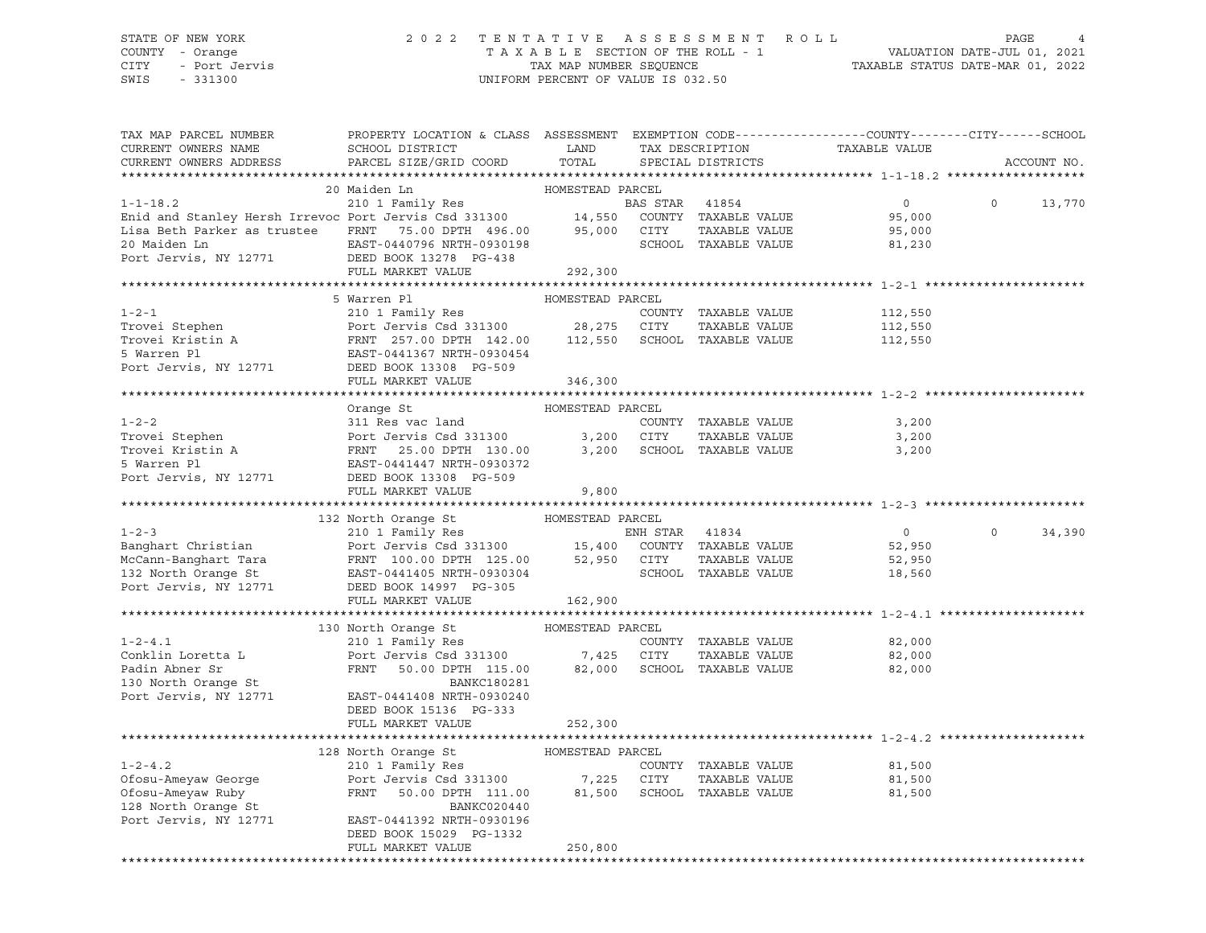# STATE OF NEW YORK 2 0 2 2 T E N T A T I V E A S S E S S M E N T R O L L PAGE 4 COUNTY - Orange T A X A B L E SECTION OF THE ROLL - 1 VALUATION DATE-JUL 01, 2021 CITY - Port Jervis TAX MAP NUMBER SEQUENCE TAXABLE STATUS DATE-MAR 01, 2022

UNIFORM PERCENT OF VALUE IS 032.50

| TAX MAP PARCEL NUMBER<br>CURRENT OWNERS NAME                                                                                                                                                                                                                                                                                                                                                                                                                                            | PROPERTY LOCATION & CLASS ASSESSMENT EXEMPTION CODE----------------COUNTY-------CITY------SCHOOL |         |  | TAX DESCRIPTION TAXABLE VALUE<br>SPECIAL DISTRICTS |         |             |
|-----------------------------------------------------------------------------------------------------------------------------------------------------------------------------------------------------------------------------------------------------------------------------------------------------------------------------------------------------------------------------------------------------------------------------------------------------------------------------------------|--------------------------------------------------------------------------------------------------|---------|--|----------------------------------------------------|---------|-------------|
| CURRENT OWNERS ADDRESS                                                                                                                                                                                                                                                                                                                                                                                                                                                                  | SCHOOL DISTRICT LAND<br>PARCEL SIZE/GRID COORD TOTAL                                             |         |  |                                                    |         | ACCOUNT NO. |
| $\begin{tabular}{lllllllllllllllllll} \multicolumn{3}{c c c c c} \multicolumn{3}{c c c c} \multicolumn{3}{c c c c} \multicolumn{3}{c c c} \multicolumn{3}{c c c} \multicolumn{3}{c c c} \multicolumn{3}{c c c} \multicolumn{3}{c c c} \multicolumn{3}{c c c} \multicolumn{3}{c c c} \multicolumn{3}{c c c} \multicolumn{3}{c c c} \multicolumn{3}{c c c} \multicolumn{3}{c c c} \multicolumn{3}{c c c}$                                                                                 |                                                                                                  |         |  |                                                    |         |             |
|                                                                                                                                                                                                                                                                                                                                                                                                                                                                                         |                                                                                                  |         |  |                                                    |         |             |
|                                                                                                                                                                                                                                                                                                                                                                                                                                                                                         |                                                                                                  |         |  |                                                    |         |             |
|                                                                                                                                                                                                                                                                                                                                                                                                                                                                                         |                                                                                                  |         |  |                                                    |         |             |
|                                                                                                                                                                                                                                                                                                                                                                                                                                                                                         |                                                                                                  |         |  |                                                    |         |             |
|                                                                                                                                                                                                                                                                                                                                                                                                                                                                                         |                                                                                                  |         |  |                                                    |         |             |
|                                                                                                                                                                                                                                                                                                                                                                                                                                                                                         |                                                                                                  |         |  |                                                    |         |             |
|                                                                                                                                                                                                                                                                                                                                                                                                                                                                                         |                                                                                                  |         |  |                                                    |         |             |
| $\begin{tabular}{lllllllllllllllllll} \multicolumn{3}{c}{\begin{tabular}{l} \multicolumn{3}{c}{\multicolumn{3}{c}{\multicolumn{3}{c}{\multicolumn{3}{c}{\multicolumn{3}{c}{\multicolumn{3}{c}{\multicolumn{3}{c}{\multicolumn{3}{c}{\multicolumn{3}{c}{\multicolumn{3}{c}{\multicolumn{3}{c}{\multicolumn{3}{c}{\multicolumn{3}{c}{\multicolumn{3}{c}{\multicolumn{3}{c}{\multicolumn{3}{c}{\multicolumn{3}{c}{\multicolumn{3}{c}{\multicolumn{3}{c}{\multicolumn{3}{c}{\multicolumn{3$ |                                                                                                  |         |  |                                                    |         |             |
|                                                                                                                                                                                                                                                                                                                                                                                                                                                                                         |                                                                                                  |         |  |                                                    |         |             |
|                                                                                                                                                                                                                                                                                                                                                                                                                                                                                         |                                                                                                  |         |  |                                                    |         |             |
|                                                                                                                                                                                                                                                                                                                                                                                                                                                                                         |                                                                                                  |         |  |                                                    |         |             |
|                                                                                                                                                                                                                                                                                                                                                                                                                                                                                         |                                                                                                  |         |  |                                                    |         |             |
|                                                                                                                                                                                                                                                                                                                                                                                                                                                                                         |                                                                                                  |         |  |                                                    |         |             |
|                                                                                                                                                                                                                                                                                                                                                                                                                                                                                         |                                                                                                  |         |  |                                                    |         |             |
|                                                                                                                                                                                                                                                                                                                                                                                                                                                                                         |                                                                                                  |         |  |                                                    |         |             |
| $\begin{tabular}{lllllllllllllllllll} \multicolumn{3}{c}{\begin{tabular}{l} \multicolumn{3}{c}{031} \multicolumn{3}{c}{\multicolumn{3}{c}{031} \multicolumn{3}{c}{\multicolumn{3}{c}{\multicolumn{3}{c}{\multicolumn{3}{c}{\multicolumn{3}{c}{\multicolumn{3}{c}{\multicolumn{3}{c}{\multicolumn{3}{c}{\multicolumn{3}{c}{\multicolumn{3}{c}{\multicolumn{3}{c}{\multicolumn{3}{c}{\multicolumn{3}{c}{\multicolumn{3}{c}{\multicolumn{3}{c}{\multicolumn{3}{c}{\multicolumn{3}{$        |                                                                                                  |         |  |                                                    |         |             |
|                                                                                                                                                                                                                                                                                                                                                                                                                                                                                         |                                                                                                  |         |  |                                                    |         |             |
|                                                                                                                                                                                                                                                                                                                                                                                                                                                                                         |                                                                                                  |         |  |                                                    |         |             |
|                                                                                                                                                                                                                                                                                                                                                                                                                                                                                         |                                                                                                  |         |  |                                                    |         |             |
|                                                                                                                                                                                                                                                                                                                                                                                                                                                                                         |                                                                                                  |         |  |                                                    |         |             |
|                                                                                                                                                                                                                                                                                                                                                                                                                                                                                         |                                                                                                  |         |  |                                                    |         |             |
|                                                                                                                                                                                                                                                                                                                                                                                                                                                                                         |                                                                                                  |         |  |                                                    |         |             |
|                                                                                                                                                                                                                                                                                                                                                                                                                                                                                         |                                                                                                  |         |  |                                                    |         |             |
| 132 North Orange St 2011 Family Res ENH STAR 41834<br>MCCann-Banghart Christian Port Jervis Csd 331300 15,400 COUNTY TAXABLE VALUE<br>McCann-Banghart Tara FRNT 100.00 DPTH 125.00 52,950 CITY TAXABLE VALUE<br>NCCann-Banghart Tara                                                                                                                                                                                                                                                    |                                                                                                  |         |  |                                                    |         |             |
|                                                                                                                                                                                                                                                                                                                                                                                                                                                                                         |                                                                                                  |         |  |                                                    |         |             |
|                                                                                                                                                                                                                                                                                                                                                                                                                                                                                         |                                                                                                  |         |  | $\overline{0}$                                     | $\circ$ | 34,390      |
|                                                                                                                                                                                                                                                                                                                                                                                                                                                                                         |                                                                                                  |         |  | 52,950                                             |         |             |
|                                                                                                                                                                                                                                                                                                                                                                                                                                                                                         |                                                                                                  |         |  | 52,950<br>18,560                                   |         |             |
|                                                                                                                                                                                                                                                                                                                                                                                                                                                                                         |                                                                                                  |         |  |                                                    |         |             |
|                                                                                                                                                                                                                                                                                                                                                                                                                                                                                         |                                                                                                  |         |  |                                                    |         |             |
|                                                                                                                                                                                                                                                                                                                                                                                                                                                                                         |                                                                                                  |         |  |                                                    |         |             |
|                                                                                                                                                                                                                                                                                                                                                                                                                                                                                         |                                                                                                  |         |  |                                                    |         |             |
|                                                                                                                                                                                                                                                                                                                                                                                                                                                                                         |                                                                                                  |         |  |                                                    |         |             |
|                                                                                                                                                                                                                                                                                                                                                                                                                                                                                         |                                                                                                  |         |  |                                                    |         |             |
|                                                                                                                                                                                                                                                                                                                                                                                                                                                                                         |                                                                                                  |         |  |                                                    |         |             |
|                                                                                                                                                                                                                                                                                                                                                                                                                                                                                         |                                                                                                  |         |  |                                                    |         |             |
|                                                                                                                                                                                                                                                                                                                                                                                                                                                                                         |                                                                                                  |         |  |                                                    |         |             |
|                                                                                                                                                                                                                                                                                                                                                                                                                                                                                         |                                                                                                  |         |  |                                                    |         |             |
|                                                                                                                                                                                                                                                                                                                                                                                                                                                                                         | DEED BOOK 15136 PG-333                                                                           |         |  |                                                    |         |             |
|                                                                                                                                                                                                                                                                                                                                                                                                                                                                                         | FULL MARKET VALUE                                                                                | 252,300 |  |                                                    |         |             |
|                                                                                                                                                                                                                                                                                                                                                                                                                                                                                         |                                                                                                  |         |  |                                                    |         |             |
|                                                                                                                                                                                                                                                                                                                                                                                                                                                                                         |                                                                                                  |         |  |                                                    |         |             |
|                                                                                                                                                                                                                                                                                                                                                                                                                                                                                         |                                                                                                  |         |  |                                                    |         |             |
|                                                                                                                                                                                                                                                                                                                                                                                                                                                                                         |                                                                                                  |         |  |                                                    |         |             |
|                                                                                                                                                                                                                                                                                                                                                                                                                                                                                         |                                                                                                  |         |  |                                                    |         |             |
|                                                                                                                                                                                                                                                                                                                                                                                                                                                                                         |                                                                                                  |         |  |                                                    |         |             |
|                                                                                                                                                                                                                                                                                                                                                                                                                                                                                         | DEED BOOK 15029 PG-1332                                                                          |         |  |                                                    |         |             |
|                                                                                                                                                                                                                                                                                                                                                                                                                                                                                         | FULL MARKET VALUE                                                                                | 250,800 |  |                                                    |         |             |
|                                                                                                                                                                                                                                                                                                                                                                                                                                                                                         |                                                                                                  |         |  |                                                    |         |             |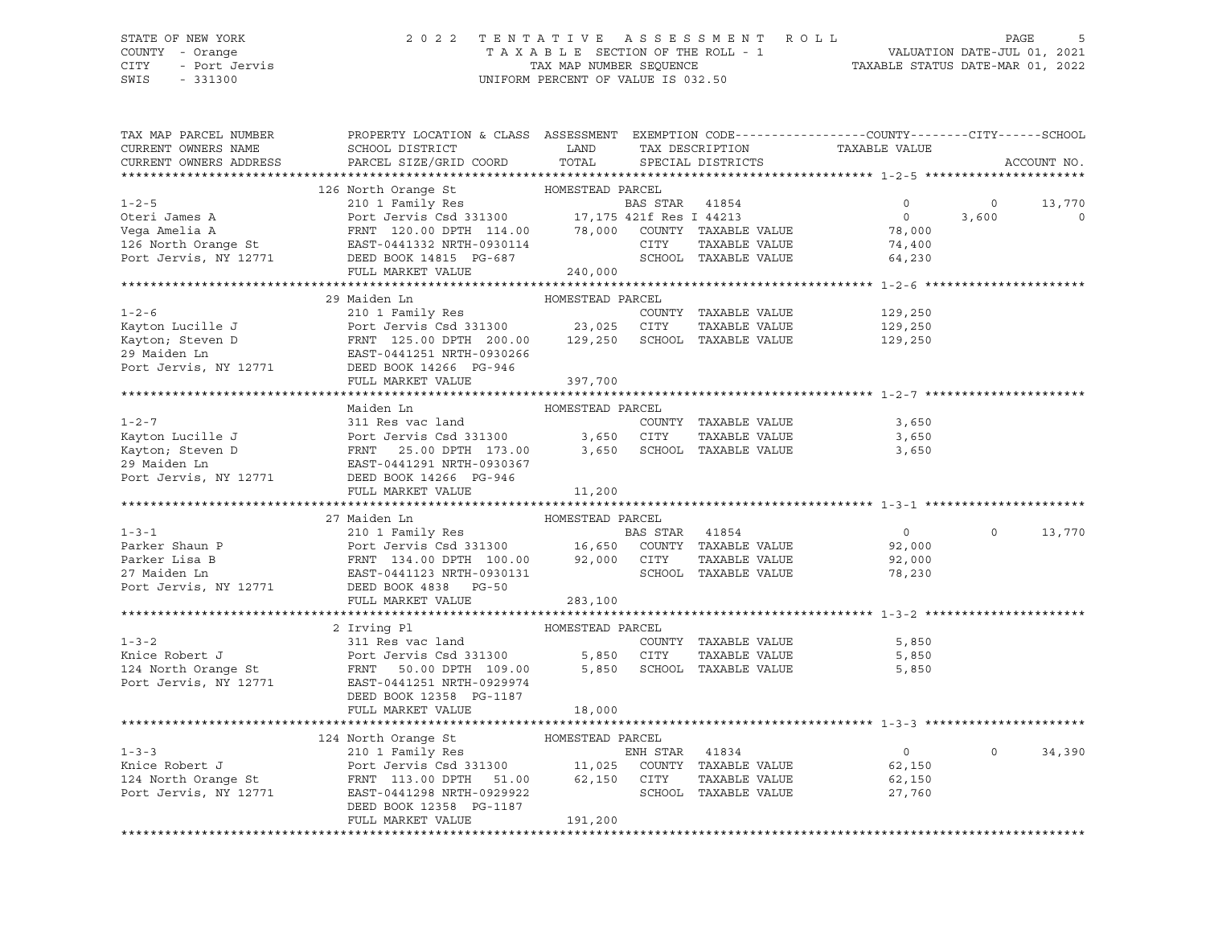#### STATE OF NEW YORK 2 0 2 2 T E N T A T I V E A S S E S S M E N T R O L L PAGE 5 COUNTY - Orange T A X A B L E SECTION OF THE ROLL - 1 VALUATION DATE-JUL 01, 2021 CITY - Port Jervis TAX MAP NUMBER SEQUENCE TAXABLE STATUS DATE-MAR 01, 2022

SWIS - 331300 UNIFORM PERCENT OF VALUE IS 032.50

| TAX MAP PARCEL NUMBER<br>CURRENT OWNERS NAME<br>CURRENT OWNERS ADDRESS                                                                                                                                                                                                                                                                                                                                                                                                                                         | PROPERTY LOCATION & CLASS ASSESSMENT EXEMPTION CODE---------------COUNTY-------CITY------SCHOOL<br>SCHOOL DISTRICT<br>PARCEL SIZE/GRID COORD | LAND TAX DESCRIPTION<br>TOTAL | SPECIAL DISTRICTS    | TAXABLE VALUE      |                | ACCOUNT NO. |
|----------------------------------------------------------------------------------------------------------------------------------------------------------------------------------------------------------------------------------------------------------------------------------------------------------------------------------------------------------------------------------------------------------------------------------------------------------------------------------------------------------------|----------------------------------------------------------------------------------------------------------------------------------------------|-------------------------------|----------------------|--------------------|----------------|-------------|
|                                                                                                                                                                                                                                                                                                                                                                                                                                                                                                                |                                                                                                                                              |                               |                      |                    |                |             |
|                                                                                                                                                                                                                                                                                                                                                                                                                                                                                                                |                                                                                                                                              |                               |                      |                    |                |             |
|                                                                                                                                                                                                                                                                                                                                                                                                                                                                                                                |                                                                                                                                              |                               |                      | $\overline{0}$     | $\circ$        | 13,770      |
|                                                                                                                                                                                                                                                                                                                                                                                                                                                                                                                |                                                                                                                                              |                               |                      | $\overline{0}$     | 3,600          | $\circ$     |
|                                                                                                                                                                                                                                                                                                                                                                                                                                                                                                                |                                                                                                                                              |                               |                      | 78,000<br>74,400   |                |             |
|                                                                                                                                                                                                                                                                                                                                                                                                                                                                                                                |                                                                                                                                              |                               |                      |                    |                |             |
|                                                                                                                                                                                                                                                                                                                                                                                                                                                                                                                |                                                                                                                                              |                               |                      | 64,230             |                |             |
|                                                                                                                                                                                                                                                                                                                                                                                                                                                                                                                |                                                                                                                                              | 240,000                       |                      |                    |                |             |
|                                                                                                                                                                                                                                                                                                                                                                                                                                                                                                                | 29 Maiden Ln                                                                                                                                 | HOMESTEAD PARCEL              |                      |                    |                |             |
|                                                                                                                                                                                                                                                                                                                                                                                                                                                                                                                |                                                                                                                                              |                               |                      |                    |                |             |
|                                                                                                                                                                                                                                                                                                                                                                                                                                                                                                                |                                                                                                                                              |                               |                      | 129,250            |                |             |
|                                                                                                                                                                                                                                                                                                                                                                                                                                                                                                                |                                                                                                                                              |                               |                      | 129,250<br>129,250 |                |             |
|                                                                                                                                                                                                                                                                                                                                                                                                                                                                                                                |                                                                                                                                              |                               |                      |                    |                |             |
| 1-2-6<br>Kayton Lucille J<br>Kayton; Steven D<br>Starting Country TAXABLE VALUE<br>FRNT 125.00 DPTH 200.00<br>23,025 CITY TAXABLE VALUE<br>29 Maiden Ln<br>29 Maiden Ln<br>29 Maiden Ln<br>29 Maiden Ln<br>29 Maiden Ln<br>29 Maiden Ln<br>29 Maiden L                                                                                                                                                                                                                                                         |                                                                                                                                              |                               |                      |                    |                |             |
|                                                                                                                                                                                                                                                                                                                                                                                                                                                                                                                |                                                                                                                                              |                               |                      |                    |                |             |
|                                                                                                                                                                                                                                                                                                                                                                                                                                                                                                                | FULL MARKET VALUE                                                                                                                            | 397,700                       |                      |                    |                |             |
|                                                                                                                                                                                                                                                                                                                                                                                                                                                                                                                | Maiden Ln                                                                                                                                    | HOMESTEAD PARCEL              |                      |                    |                |             |
|                                                                                                                                                                                                                                                                                                                                                                                                                                                                                                                |                                                                                                                                              |                               |                      | 3,650              |                |             |
|                                                                                                                                                                                                                                                                                                                                                                                                                                                                                                                |                                                                                                                                              |                               | TAXABLE VALUE        | 3,650              |                |             |
|                                                                                                                                                                                                                                                                                                                                                                                                                                                                                                                |                                                                                                                                              |                               |                      |                    |                |             |
|                                                                                                                                                                                                                                                                                                                                                                                                                                                                                                                |                                                                                                                                              |                               |                      | 3,650              |                |             |
|                                                                                                                                                                                                                                                                                                                                                                                                                                                                                                                |                                                                                                                                              |                               |                      |                    |                |             |
|                                                                                                                                                                                                                                                                                                                                                                                                                                                                                                                | FULL MARKET VALUE                                                                                                                            | 11,200                        |                      |                    |                |             |
| $\begin{tabular}{lllllllllllll} \multicolumn{3}{c}{\begin{tabular}{l} \multicolumn{3}{c}{\begin{tabular}{l} \multicolumn{3}{c}{\begin{tabular}{l} \multicolumn{3}{c}{\begin{tabular}{l} \multicolumn{3}{c}{\begin{tabular}{l} \multicolumn{3}{c}{\begin{tabular}{l} \multicolumn{3}{c}{\begin{tabular}{l} \multicolumn{3}{c}{\begin{tabular}{l} \multicolumn{3}{c}{\begin{tabular}{l} \multicolumn{3}{c}{\begin{tabular}{l} \multicolumn{3}{c}{\begin{tabular}{l} \multicolumn{3}{c}{\begin{tabular}{l} \mult$ |                                                                                                                                              |                               |                      |                    |                |             |
|                                                                                                                                                                                                                                                                                                                                                                                                                                                                                                                |                                                                                                                                              |                               |                      |                    |                |             |
|                                                                                                                                                                                                                                                                                                                                                                                                                                                                                                                |                                                                                                                                              |                               |                      | $\overline{0}$     | $\overline{0}$ | 13,770      |
|                                                                                                                                                                                                                                                                                                                                                                                                                                                                                                                |                                                                                                                                              |                               |                      | 92,000             |                |             |
|                                                                                                                                                                                                                                                                                                                                                                                                                                                                                                                |                                                                                                                                              |                               |                      | 92,000             |                |             |
|                                                                                                                                                                                                                                                                                                                                                                                                                                                                                                                |                                                                                                                                              |                               | SCHOOL TAXABLE VALUE | 78,230             |                |             |
|                                                                                                                                                                                                                                                                                                                                                                                                                                                                                                                |                                                                                                                                              |                               |                      |                    |                |             |
|                                                                                                                                                                                                                                                                                                                                                                                                                                                                                                                |                                                                                                                                              |                               |                      |                    |                |             |
|                                                                                                                                                                                                                                                                                                                                                                                                                                                                                                                |                                                                                                                                              |                               |                      |                    |                |             |
|                                                                                                                                                                                                                                                                                                                                                                                                                                                                                                                | 2 Irving Pl                                                                                                                                  | HOMESTEAD PARCEL              |                      |                    |                |             |
|                                                                                                                                                                                                                                                                                                                                                                                                                                                                                                                |                                                                                                                                              |                               |                      |                    |                |             |
| 1-3-2<br>The Robert J<br>S,850<br>24 North Orange St<br>25,850<br>24 North Orange St<br>25,850<br>2771<br>2771<br>2771<br>2771<br>2771<br>2771<br>2781<br>28831300<br>29974<br>2000<br>29974<br>2000<br>29974<br>2000<br>2000<br>25,850<br>2010<br>2000<br>25,850<br>2010<br>2010<br>2                                                                                                                                                                                                                         |                                                                                                                                              |                               |                      |                    |                |             |
|                                                                                                                                                                                                                                                                                                                                                                                                                                                                                                                |                                                                                                                                              |                               |                      |                    |                |             |
|                                                                                                                                                                                                                                                                                                                                                                                                                                                                                                                |                                                                                                                                              |                               |                      |                    |                |             |
|                                                                                                                                                                                                                                                                                                                                                                                                                                                                                                                | DEED BOOK 12358 PG-1187                                                                                                                      |                               |                      |                    |                |             |
|                                                                                                                                                                                                                                                                                                                                                                                                                                                                                                                | FULL MARKET VALUE                                                                                                                            | 18,000                        |                      |                    |                |             |
|                                                                                                                                                                                                                                                                                                                                                                                                                                                                                                                |                                                                                                                                              |                               |                      |                    |                |             |
|                                                                                                                                                                                                                                                                                                                                                                                                                                                                                                                | 124 North Orange St                                                                                                                          | HOMESTEAD PARCEL              |                      |                    |                |             |
| 1-3-3<br>ENH STAR 41834<br>ENH STAR 41834<br>ENH STAR 41834<br>ENH STAR 41834<br>ENH STAR 41834<br>ENH STAR 41834<br>ENH STAR 41834<br>ENH STAR 41834<br>ENH STAR 41834<br>ENH STAR 41834<br>ENH STAR 41834<br>ENH STAR 41834<br>ENH STAR 41834<br>ENH STA                                                                                                                                                                                                                                                     |                                                                                                                                              |                               |                      | $\overline{0}$     | $\circ$        | 34,390      |
|                                                                                                                                                                                                                                                                                                                                                                                                                                                                                                                |                                                                                                                                              |                               |                      | 62,150             |                |             |
|                                                                                                                                                                                                                                                                                                                                                                                                                                                                                                                |                                                                                                                                              |                               |                      | 62,150             |                |             |
|                                                                                                                                                                                                                                                                                                                                                                                                                                                                                                                |                                                                                                                                              |                               | SCHOOL TAXABLE VALUE | 27,760             |                |             |
|                                                                                                                                                                                                                                                                                                                                                                                                                                                                                                                |                                                                                                                                              |                               |                      |                    |                |             |
|                                                                                                                                                                                                                                                                                                                                                                                                                                                                                                                | EAST-0441298 NKIR-022211<br>DEED BOOK 12358 PG-1187<br>Compared VALUR 191,200                                                                |                               |                      |                    |                |             |
|                                                                                                                                                                                                                                                                                                                                                                                                                                                                                                                |                                                                                                                                              |                               |                      |                    |                |             |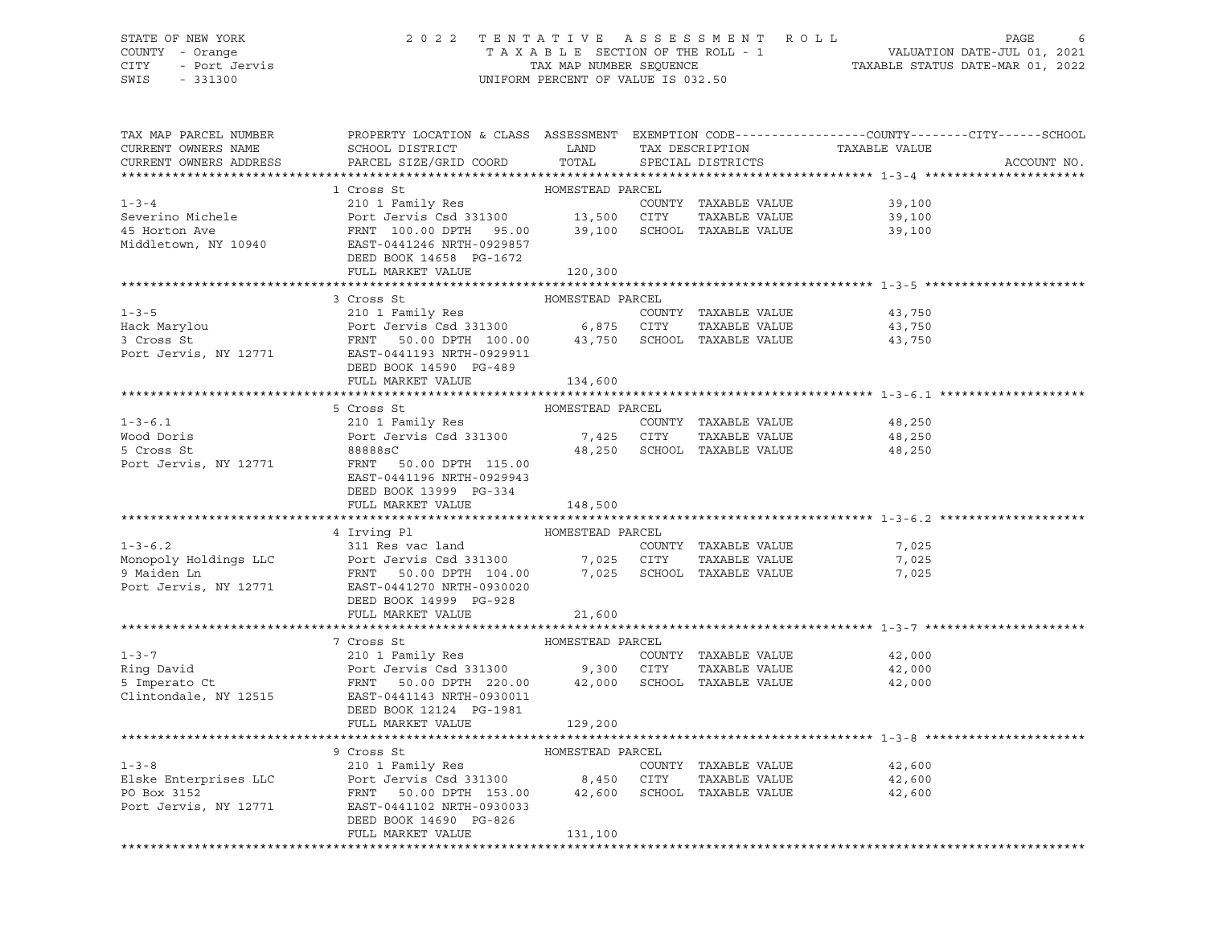# STATE OF NEW YORK 2 0 2 2 T E N T A T I V E A S S E S S M E N T R O L L PAGE 6 COUNTY - Orange T A X A B L E SECTION OF THE ROLL - 1 VALUATION DATE-JUL 01, 2021 CITY - Port Jervis TAX MAP NUMBER SEQUENCE TAXABLE STATUS DATE-MAR 01, 2022

| TAX MAP PARCEL NUMBER<br>CURRENT OWNERS NAME<br>CURRENT OWNERS ADDRESS | PROPERTY LOCATION & CLASS ASSESSMENT EXEMPTION CODE----------------COUNTY-------CITY------SCHOOL<br>SCHOOL DISTRICT<br>PARCEL SIZE/GRID COORD                                                                                                          | LAND<br>TOTAL    | TAX DESCRIPTION<br>SPECIAL DISTRICTS | TAXABLE VALUE | ACCOUNT NO. |
|------------------------------------------------------------------------|--------------------------------------------------------------------------------------------------------------------------------------------------------------------------------------------------------------------------------------------------------|------------------|--------------------------------------|---------------|-------------|
|                                                                        |                                                                                                                                                                                                                                                        |                  |                                      |               |             |
|                                                                        | 1 Cross St                                                                                                                                                                                                                                             | HOMESTEAD PARCEL |                                      |               |             |
| $1 - 3 - 4$                                                            | 210 1 Family Res<br>Port Jervis Csd 331300 13,500 CITY TAXABLE VALUE                                                                                                                                                                                   |                  | COUNTY TAXABLE VALUE                 | 39,100        |             |
| Severino Michele                                                       |                                                                                                                                                                                                                                                        |                  |                                      | 39,100        |             |
| 45 Horton Ave                                                          | FRNT 100.00 DPTH 95.00 39,100 SCHOOL TAXABLE VALUE                                                                                                                                                                                                     |                  |                                      | 39,100        |             |
| Middletown, NY 10940                                                   | ---<br>EAST-0441246 NRTH-0929857                                                                                                                                                                                                                       |                  |                                      |               |             |
|                                                                        | DEED BOOK 14658 PG-1672                                                                                                                                                                                                                                |                  |                                      |               |             |
|                                                                        | FULL MARKET VALUE                                                                                                                                                                                                                                      | 120,300          |                                      |               |             |
|                                                                        |                                                                                                                                                                                                                                                        |                  |                                      |               |             |
|                                                                        | 3 Cross St<br>1-3-5<br>Hack Marylou Port Jervis Csd 331300 6,875 CITY TAXABLE VALUE<br>3 Cross St<br>Port Jervis Csd 331300 6,875 CITY TAXABLE VALUE<br>Port Jervis, NY 12771 EART 50.00 DPTH 100.00 43,750 SCHOOL TAXABLE VALUE<br>Port Jervis, NY 12 | HOMESTEAD PARCEL |                                      |               |             |
|                                                                        |                                                                                                                                                                                                                                                        |                  |                                      | 43,750        |             |
|                                                                        |                                                                                                                                                                                                                                                        |                  |                                      | 43,750        |             |
|                                                                        |                                                                                                                                                                                                                                                        |                  |                                      | 43,750        |             |
|                                                                        |                                                                                                                                                                                                                                                        |                  |                                      |               |             |
|                                                                        | DEED BOOK 14590 PG-489<br>FULL MARKET VALUE                                                                                                                                                                                                            | 134,600          |                                      |               |             |
|                                                                        |                                                                                                                                                                                                                                                        |                  |                                      |               |             |
|                                                                        | 5 Cross St                                                                                                                                                                                                                                             | HOMESTEAD PARCEL |                                      |               |             |
| $1 - 3 - 6.1$                                                          | 210 1 Family Res                                                                                                                                                                                                                                       |                  | COUNTY TAXABLE VALUE                 | 48,250        |             |
| Wood Doris                                                             |                                                                                                                                                                                                                                                        |                  | TAXABLE VALUE                        | 48,250        |             |
| 5 Cross St                                                             | 210 1 Family ACD<br>Port Jervis Csd 331300 7,425 CITY TAXABLE VALUE<br>88888sC 48,250 SCHOOL TAXABLE VALUE                                                                                                                                             |                  |                                      | 48,250        |             |
| Port Jervis, NY 12771                                                  | FRNT 50.00 DPTH 115.00                                                                                                                                                                                                                                 |                  |                                      |               |             |
|                                                                        | EAST-0441196 NRTH-0929943                                                                                                                                                                                                                              |                  |                                      |               |             |
|                                                                        | DEED BOOK 13999 PG-334                                                                                                                                                                                                                                 |                  |                                      |               |             |
|                                                                        | FULL MARKET VALUE 148,500                                                                                                                                                                                                                              |                  |                                      |               |             |
|                                                                        |                                                                                                                                                                                                                                                        |                  |                                      |               |             |
|                                                                        | 4 Irving Pl                                                                                                                                                                                                                                            | HOMESTEAD PARCEL |                                      |               |             |
|                                                                        |                                                                                                                                                                                                                                                        |                  | COUNTY TAXABLE VALUE                 | 7,025         |             |
|                                                                        |                                                                                                                                                                                                                                                        |                  | TAXABLE VALUE                        | 7,025         |             |
|                                                                        | 1-3-6.2<br>Monopoly Holdings LLC<br>9 Maiden Ln<br>Port Jervis Csd 331300<br>9 Maiden Ln<br>Port Jervis, NY 12771<br>EXERCANDE PORT 104.00<br>Port Jervis, NY 12771<br>EXERCANDE PORT 104.00<br>Port Jervis, NY 12771<br>EXERCANDE PORT 104.00<br>PO   |                  |                                      | 7,025         |             |
|                                                                        |                                                                                                                                                                                                                                                        |                  |                                      |               |             |
|                                                                        | DEED BOOK 14999 PG-928<br>FULL MARKET VALUE                                                                                                                                                                                                            | 21,600           |                                      |               |             |
|                                                                        |                                                                                                                                                                                                                                                        |                  |                                      |               |             |
|                                                                        | 7 Cross St                                                                                                                                                                                                                                             | HOMESTEAD PARCEL |                                      |               |             |
| $1 - 3 - 7$                                                            |                                                                                                                                                                                                                                                        |                  | COUNTY TAXABLE VALUE                 | 42,000        |             |
| Ring David                                                             |                                                                                                                                                                                                                                                        |                  |                                      | 42,000        |             |
| 5 Imperato Ct                                                          |                                                                                                                                                                                                                                                        |                  |                                      | 42,000        |             |
| Clintondale, NY 12515                                                  | Port Jervis Csd 331300 9,300 CITY TAXABLE VALUE<br>FRNT 50.00 DPTH 220.00 42,000 SCHOOL TAXABLE VALUE<br>EAST-0441143 NRTH-0930011                                                                                                                     |                  |                                      |               |             |
|                                                                        | DEED BOOK 12124 PG-1981                                                                                                                                                                                                                                |                  |                                      |               |             |
|                                                                        | FULL MARKET VALUE                                                                                                                                                                                                                                      | 129,200          |                                      |               |             |
|                                                                        |                                                                                                                                                                                                                                                        |                  |                                      |               |             |
|                                                                        | 9 Cross St                                                                                                                                                                                                                                             | HOMESTEAD PARCEL |                                      |               |             |
| $1 - 3 - 8$                                                            | 210 1 Family Res                                                                                                                                                                                                                                       |                  | COUNTY TAXABLE VALUE                 | 42,600        |             |
| Elske Enterprises LLC                                                  | Port Jervis Csd 331300   8,450   CITY   TAXABLE VALUE<br>FRNT   50.00   DPTH   153.00   42,600   SCHOOL   TAXABLE VALUE                                                                                                                                |                  | TAXABLE VALUE                        | 42,600        |             |
| PO Box 3152                                                            |                                                                                                                                                                                                                                                        |                  |                                      | 42,600        |             |
| Port Jervis, NY 12771                                                  | EAST-0441102 NRTH-0930033                                                                                                                                                                                                                              |                  |                                      |               |             |
|                                                                        | DEED BOOK 14690 PG-826                                                                                                                                                                                                                                 |                  |                                      |               |             |
|                                                                        | FULL MARKET VALUE                                                                                                                                                                                                                                      | 131,100          |                                      |               |             |
|                                                                        |                                                                                                                                                                                                                                                        |                  |                                      |               |             |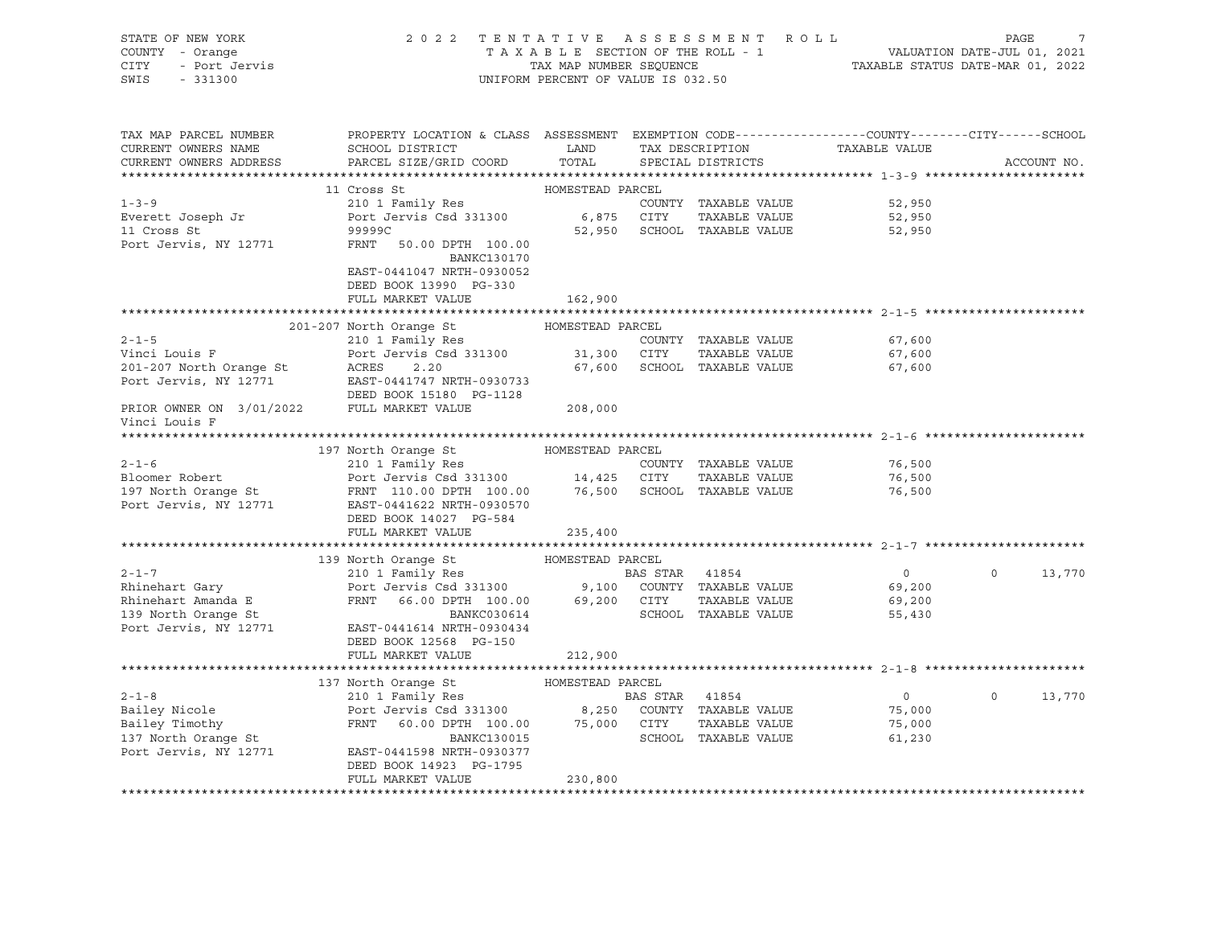| STATE OF NEW YORK<br>COUNTY - Orange<br>7 - Orange<br>- Port Jervis<br>CITY<br>SWIS<br>$-331300$                                                                                                                                                     |                                                                                                                                              | UNIFORM PERCENT OF VALUE IS 032.50 |                                      | 2022 TENTATIVE ASSESSMENT ROLL PAGE 7<br>TAXABLE SECTION OF THE ROLL - 1 VALUATION DATE-JUL 01, 2021<br>TAX MAP NUMBER SEQUENCE TAXABLE STATUS DATE-MAR 01, 2022 |         |               |
|------------------------------------------------------------------------------------------------------------------------------------------------------------------------------------------------------------------------------------------------------|----------------------------------------------------------------------------------------------------------------------------------------------|------------------------------------|--------------------------------------|------------------------------------------------------------------------------------------------------------------------------------------------------------------|---------|---------------|
| TAX MAP PARCEL NUMBER<br>CURRENT OWNERS NAME<br>CURRENT OWNERS ADDRESS                                                                                                                                                                               | PROPERTY LOCATION & CLASS ASSESSMENT EXEMPTION CODE---------------COUNTY-------CITY------SCHOOL<br>SCHOOL DISTRICT<br>PARCEL SIZE/GRID COORD | <b>LAND</b><br>TOTAL               | TAX DESCRIPTION<br>SPECIAL DISTRICTS | TAXABLE VALUE                                                                                                                                                    |         | ACCOUNT NO.   |
|                                                                                                                                                                                                                                                      | 11 Cross St                                                                                                                                  | HOMESTEAD PARCEL                   |                                      |                                                                                                                                                                  |         |               |
| $1 - 3 - 9$                                                                                                                                                                                                                                          | 210 1 Family Res                                                                                                                             |                                    | COUNTY TAXABLE VALUE                 | 52,950                                                                                                                                                           |         |               |
|                                                                                                                                                                                                                                                      |                                                                                                                                              |                                    |                                      | 52,950                                                                                                                                                           |         |               |
| Everett Joseph Jr<br>11 Cross St<br>11 Cross St                                                                                                                                                                                                      |                                                                                                                                              |                                    |                                      | 52,950                                                                                                                                                           |         |               |
| Port Jervis, NY 12771                                                                                                                                                                                                                                | FRNT 50.00 DPTH 100.00<br>BANKC130170                                                                                                        |                                    |                                      |                                                                                                                                                                  |         |               |
|                                                                                                                                                                                                                                                      | EAST-0441047 NRTH-0930052                                                                                                                    |                                    |                                      |                                                                                                                                                                  |         |               |
|                                                                                                                                                                                                                                                      | DEED BOOK 13990 PG-330                                                                                                                       |                                    |                                      |                                                                                                                                                                  |         |               |
|                                                                                                                                                                                                                                                      | FULL MARKET VALUE                                                                                                                            | 162,900                            |                                      |                                                                                                                                                                  |         |               |
|                                                                                                                                                                                                                                                      |                                                                                                                                              |                                    |                                      |                                                                                                                                                                  |         |               |
| $2 - 1 - 5$                                                                                                                                                                                                                                          | 201-207 North Orange St<br>210 1 Family Res COUNTY<br>Port Jervis Csd 331300 31,300 CITY                                                     |                                    | COUNTY TAXABLE VALUE                 | 67,600                                                                                                                                                           |         |               |
| Vinci Louis F                                                                                                                                                                                                                                        |                                                                                                                                              |                                    | TAXABLE VALUE                        | 67,600                                                                                                                                                           |         |               |
|                                                                                                                                                                                                                                                      |                                                                                                                                              |                                    | 67,600 SCHOOL TAXABLE VALUE          | 67,600                                                                                                                                                           |         |               |
| Vinci Louis F<br>201-207 North Orange St<br>201-207 North Orange St<br>201-207 North Orange St<br>2020 North PAST-0441747 NRTH-0930733<br>2021 NRTH-0930733                                                                                          | DEED BOOK 15180 PG-1128                                                                                                                      |                                    |                                      |                                                                                                                                                                  |         |               |
| PRIOR OWNER ON 3/01/2022 FULL MARKET VALUE<br>Vinci Louis F                                                                                                                                                                                          |                                                                                                                                              | 208,000                            |                                      |                                                                                                                                                                  |         |               |
|                                                                                                                                                                                                                                                      |                                                                                                                                              |                                    |                                      |                                                                                                                                                                  |         |               |
|                                                                                                                                                                                                                                                      |                                                                                                                                              |                                    |                                      |                                                                                                                                                                  |         |               |
|                                                                                                                                                                                                                                                      |                                                                                                                                              |                                    |                                      | 76,500                                                                                                                                                           |         |               |
|                                                                                                                                                                                                                                                      |                                                                                                                                              |                                    |                                      | 76,500                                                                                                                                                           |         |               |
| 210 1 Family Res<br>Bloomer Robert<br>210 1 Family Res<br>Port Jervis Csd 331300<br>210 1 Family Res<br>Port Jervis Csd 331300<br>210 1 Family Res<br>210 1 Family Res<br>210 1 Family Res<br>210 1 Family Res<br>210 1 Family Res<br>210 1 Family R |                                                                                                                                              |                                    |                                      | 76,500                                                                                                                                                           |         |               |
|                                                                                                                                                                                                                                                      | FULL MARKET VALUE                                                                                                                            | 235,400                            |                                      |                                                                                                                                                                  |         |               |
|                                                                                                                                                                                                                                                      |                                                                                                                                              |                                    |                                      |                                                                                                                                                                  |         |               |
|                                                                                                                                                                                                                                                      | 139 North Orange St MOMESTEAD PARCEL                                                                                                         |                                    |                                      |                                                                                                                                                                  |         |               |
| $2 - 1 - 7$                                                                                                                                                                                                                                          | 210 1 Family Res                                                                                                                             | <b>BAS STAR</b> 41854              |                                      | $\overline{0}$                                                                                                                                                   | $\circ$ | 13,770        |
|                                                                                                                                                                                                                                                      |                                                                                                                                              |                                    |                                      | 69,200                                                                                                                                                           |         |               |
|                                                                                                                                                                                                                                                      |                                                                                                                                              |                                    |                                      | 69,200                                                                                                                                                           |         |               |
| Port Jervis, NY 12771 EAST-0441614 NRTH-0930434                                                                                                                                                                                                      |                                                                                                                                              |                                    |                                      | 55,430                                                                                                                                                           |         |               |
|                                                                                                                                                                                                                                                      | DEED BOOK 12568 PG-150                                                                                                                       |                                    |                                      |                                                                                                                                                                  |         |               |
|                                                                                                                                                                                                                                                      | FULL MARKET VALUE                                                                                                                            | 212,900                            |                                      |                                                                                                                                                                  |         |               |
|                                                                                                                                                                                                                                                      |                                                                                                                                              |                                    |                                      |                                                                                                                                                                  |         |               |
|                                                                                                                                                                                                                                                      | 137 North Orange St MOMESTEAD PARCEL                                                                                                         |                                    |                                      |                                                                                                                                                                  |         |               |
| $2 - 1 - 8$                                                                                                                                                                                                                                          | 210 1 Family Res 60 BAS STAR 41854                                                                                                           |                                    |                                      | $\overline{0}$                                                                                                                                                   |         | $0 \t 13,770$ |
|                                                                                                                                                                                                                                                      |                                                                                                                                              |                                    |                                      |                                                                                                                                                                  |         |               |
| Bailey Nicole<br>Bailey Timothy<br>Bailey Timothy<br>Bailey Timothy<br>Example 250 COUNTY TAXABLE VALUE<br>EXAMPLE VALUE<br>EXAMPLE SCHOOL TAXABLE VALUE<br>BANKC130015<br>BANKC130015<br>SCHOOL TAXABLE VALUE                                       |                                                                                                                                              |                                    |                                      | 75,000<br>75,000                                                                                                                                                 |         |               |
|                                                                                                                                                                                                                                                      |                                                                                                                                              |                                    | SCHOOL TAXABLE VALUE                 | 61,230                                                                                                                                                           |         |               |
| Port Jervis, NY 12771 EAST-0441598 NRTH-0930377                                                                                                                                                                                                      |                                                                                                                                              |                                    |                                      |                                                                                                                                                                  |         |               |
|                                                                                                                                                                                                                                                      | DEED BOOK 14923 PG-1795                                                                                                                      |                                    |                                      |                                                                                                                                                                  |         |               |
|                                                                                                                                                                                                                                                      | FULL MARKET VALUE                                                                                                                            | 230,800                            |                                      |                                                                                                                                                                  |         |               |
|                                                                                                                                                                                                                                                      |                                                                                                                                              |                                    |                                      |                                                                                                                                                                  |         |               |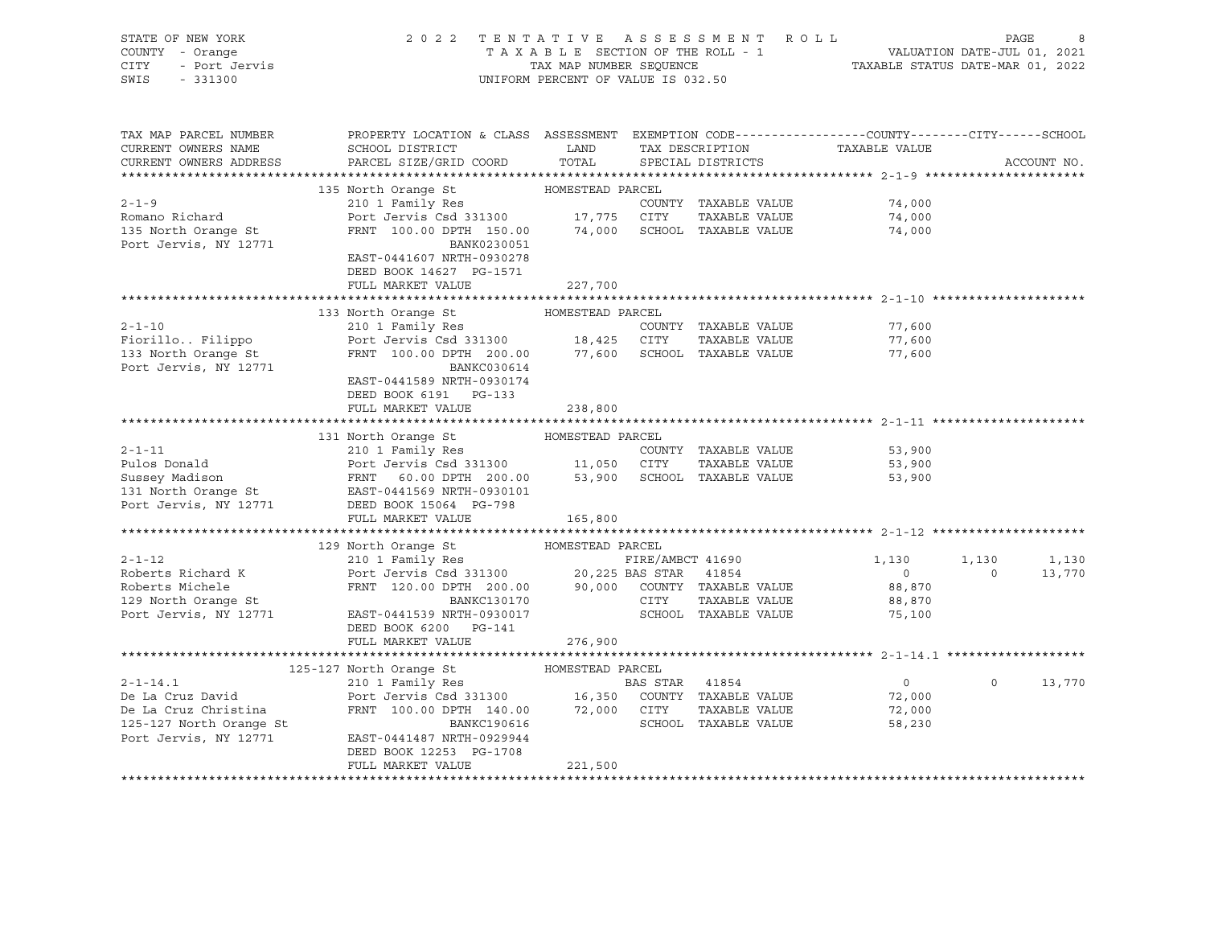| STATE OF NEW YORK<br>COUNTY - Orange<br>Y - Orange<br>- Port Jervis<br>- Port Jervis                                                                                                                                                          |                                                                                                                                                                  |         |  | 2022 TENTATIVE ASSESSMENT ROLL PAGE 8<br>TAXABLE SECTION OF THE ROLL - 1 VALUATION DATE-JUL 01, 2021<br>TAX MAP NUMBER SEQUENCE TAXABLE STATUS DATE-MAR 01, 2022<br>UNIFORM PERCENT OF VALUE IS 032.50 |                |                 |
|-----------------------------------------------------------------------------------------------------------------------------------------------------------------------------------------------------------------------------------------------|------------------------------------------------------------------------------------------------------------------------------------------------------------------|---------|--|--------------------------------------------------------------------------------------------------------------------------------------------------------------------------------------------------------|----------------|-----------------|
| CITY                                                                                                                                                                                                                                          |                                                                                                                                                                  |         |  |                                                                                                                                                                                                        |                |                 |
| SWIS                                                                                                                                                                                                                                          |                                                                                                                                                                  |         |  |                                                                                                                                                                                                        |                |                 |
|                                                                                                                                                                                                                                               |                                                                                                                                                                  |         |  |                                                                                                                                                                                                        |                |                 |
|                                                                                                                                                                                                                                               |                                                                                                                                                                  |         |  |                                                                                                                                                                                                        |                |                 |
| TAX MAP PARCEL NUMBER                                                                                                                                                                                                                         | PROPERTY LOCATION & CLASS ASSESSMENT EXEMPTION CODE---------------COUNTY-------CITY------SCHOOL                                                                  |         |  |                                                                                                                                                                                                        |                |                 |
| CURRENT OWNERS NAME                                                                                                                                                                                                                           | SCHOOL DISTRICT                                                                                                                                                  | LAND    |  |                                                                                                                                                                                                        |                |                 |
| CURRENT OWNERS ADDRESS                                                                                                                                                                                                                        | PARCEL SIZE/GRID COORD TOTAL SPECIAL DISTRICTS                                                                                                                   |         |  | -<br>TAX DESCRIPTION TAXABLE VALUE<br>SPECIAL DISTRICTS                                                                                                                                                |                | ACCOUNT NO.     |
|                                                                                                                                                                                                                                               |                                                                                                                                                                  |         |  |                                                                                                                                                                                                        |                |                 |
|                                                                                                                                                                                                                                               | 135 North Orange St<br>210 1 Family Res<br>POMESTEAD PARCEL<br>210 1 Family Res<br>Port Jervis Csd 331300<br>FRNT 100.00 DPTH 150.00 74,000 SCHOOL TAXABLE VALUE |         |  |                                                                                                                                                                                                        |                |                 |
| $2 - 1 - 9$                                                                                                                                                                                                                                   |                                                                                                                                                                  |         |  | 74,000                                                                                                                                                                                                 |                |                 |
|                                                                                                                                                                                                                                               |                                                                                                                                                                  |         |  |                                                                                                                                                                                                        |                |                 |
| Romano Richard<br>135 North Orange St                                                                                                                                                                                                         |                                                                                                                                                                  |         |  | 74,000<br>74,000<br>74,000                                                                                                                                                                             |                |                 |
| Port Jervis, NY 12771                                                                                                                                                                                                                         | BANK0230051                                                                                                                                                      |         |  |                                                                                                                                                                                                        |                |                 |
|                                                                                                                                                                                                                                               | EAST-0441607 NRTH-0930278                                                                                                                                        |         |  |                                                                                                                                                                                                        |                |                 |
|                                                                                                                                                                                                                                               | DEED BOOK 14627 PG-1571                                                                                                                                          |         |  |                                                                                                                                                                                                        |                |                 |
|                                                                                                                                                                                                                                               | FULL MARKET VALUE                                                                                                                                                | 227,700 |  |                                                                                                                                                                                                        |                |                 |
|                                                                                                                                                                                                                                               |                                                                                                                                                                  |         |  |                                                                                                                                                                                                        |                |                 |
|                                                                                                                                                                                                                                               | 133 North Orange St MOMESTEAD PARCEL                                                                                                                             |         |  |                                                                                                                                                                                                        |                |                 |
|                                                                                                                                                                                                                                               |                                                                                                                                                                  |         |  | 77,600                                                                                                                                                                                                 |                |                 |
|                                                                                                                                                                                                                                               |                                                                                                                                                                  |         |  | 77,600                                                                                                                                                                                                 |                |                 |
|                                                                                                                                                                                                                                               |                                                                                                                                                                  |         |  | 77,600                                                                                                                                                                                                 |                |                 |
|                                                                                                                                                                                                                                               |                                                                                                                                                                  |         |  |                                                                                                                                                                                                        |                |                 |
|                                                                                                                                                                                                                                               | EAST-0441589 NRTH-0930174                                                                                                                                        |         |  |                                                                                                                                                                                                        |                |                 |
|                                                                                                                                                                                                                                               |                                                                                                                                                                  |         |  |                                                                                                                                                                                                        |                |                 |
|                                                                                                                                                                                                                                               | DEED BOOK 6191 PG-133                                                                                                                                            |         |  |                                                                                                                                                                                                        |                |                 |
| 2-1-11 131 North Orange St HOMESTEAD PARCEL<br>210 1 Family Res COUNTY TAXABLE VALUE<br>31 North Orange St Parcel<br>31 North Pennily Res COUNTY TAXABLE VALUE<br>31 North Orange St EAST-0441569 NRTH-0930101<br>31 North Orange St EAST-044 | FULL MARKET VALUE                                                                                                                                                | 238,800 |  |                                                                                                                                                                                                        |                |                 |
|                                                                                                                                                                                                                                               |                                                                                                                                                                  |         |  |                                                                                                                                                                                                        |                |                 |
|                                                                                                                                                                                                                                               |                                                                                                                                                                  |         |  |                                                                                                                                                                                                        |                |                 |
|                                                                                                                                                                                                                                               |                                                                                                                                                                  |         |  | COUNTY TAXABLE VALUE 53,900<br>53,900                                                                                                                                                                  |                |                 |
|                                                                                                                                                                                                                                               |                                                                                                                                                                  |         |  |                                                                                                                                                                                                        |                |                 |
|                                                                                                                                                                                                                                               |                                                                                                                                                                  |         |  | 53,900                                                                                                                                                                                                 |                |                 |
|                                                                                                                                                                                                                                               |                                                                                                                                                                  |         |  |                                                                                                                                                                                                        |                |                 |
|                                                                                                                                                                                                                                               |                                                                                                                                                                  |         |  |                                                                                                                                                                                                        |                |                 |
|                                                                                                                                                                                                                                               |                                                                                                                                                                  |         |  |                                                                                                                                                                                                        |                |                 |
|                                                                                                                                                                                                                                               |                                                                                                                                                                  |         |  |                                                                                                                                                                                                        |                |                 |
|                                                                                                                                                                                                                                               |                                                                                                                                                                  |         |  |                                                                                                                                                                                                        |                |                 |
|                                                                                                                                                                                                                                               |                                                                                                                                                                  |         |  |                                                                                                                                                                                                        | $\overline{0}$ | $1,130$ $1,130$ |
|                                                                                                                                                                                                                                               |                                                                                                                                                                  |         |  |                                                                                                                                                                                                        |                | 13,770          |
|                                                                                                                                                                                                                                               |                                                                                                                                                                  |         |  |                                                                                                                                                                                                        |                |                 |
|                                                                                                                                                                                                                                               |                                                                                                                                                                  |         |  |                                                                                                                                                                                                        |                |                 |
|                                                                                                                                                                                                                                               |                                                                                                                                                                  |         |  |                                                                                                                                                                                                        |                |                 |
|                                                                                                                                                                                                                                               | DEED BOOK 6200 PG-141<br>FULL MARKET VALUE                                                                                                                       |         |  |                                                                                                                                                                                                        |                |                 |
|                                                                                                                                                                                                                                               |                                                                                                                                                                  | 276,900 |  |                                                                                                                                                                                                        |                |                 |
|                                                                                                                                                                                                                                               |                                                                                                                                                                  |         |  |                                                                                                                                                                                                        |                |                 |
|                                                                                                                                                                                                                                               |                                                                                                                                                                  |         |  |                                                                                                                                                                                                        |                |                 |
|                                                                                                                                                                                                                                               |                                                                                                                                                                  |         |  | $\overline{0}$                                                                                                                                                                                         |                | $0 \t 13,770$   |
|                                                                                                                                                                                                                                               |                                                                                                                                                                  |         |  | 72,000<br>72,000<br>72,000                                                                                                                                                                             |                |                 |
|                                                                                                                                                                                                                                               |                                                                                                                                                                  |         |  |                                                                                                                                                                                                        |                |                 |
| 125-127 North Orange St<br>Port Jervis, NY 12771 EAST-0441487 NRTH-0929944                                                                                                                                                                    |                                                                                                                                                                  |         |  | 58,230                                                                                                                                                                                                 |                |                 |
|                                                                                                                                                                                                                                               |                                                                                                                                                                  |         |  |                                                                                                                                                                                                        |                |                 |
|                                                                                                                                                                                                                                               | DEED BOOK 12253 PG-1708                                                                                                                                          |         |  |                                                                                                                                                                                                        |                |                 |
|                                                                                                                                                                                                                                               | FULL MARKET VALUE                                                                                                                                                | 221,500 |  |                                                                                                                                                                                                        |                |                 |
|                                                                                                                                                                                                                                               |                                                                                                                                                                  |         |  |                                                                                                                                                                                                        |                |                 |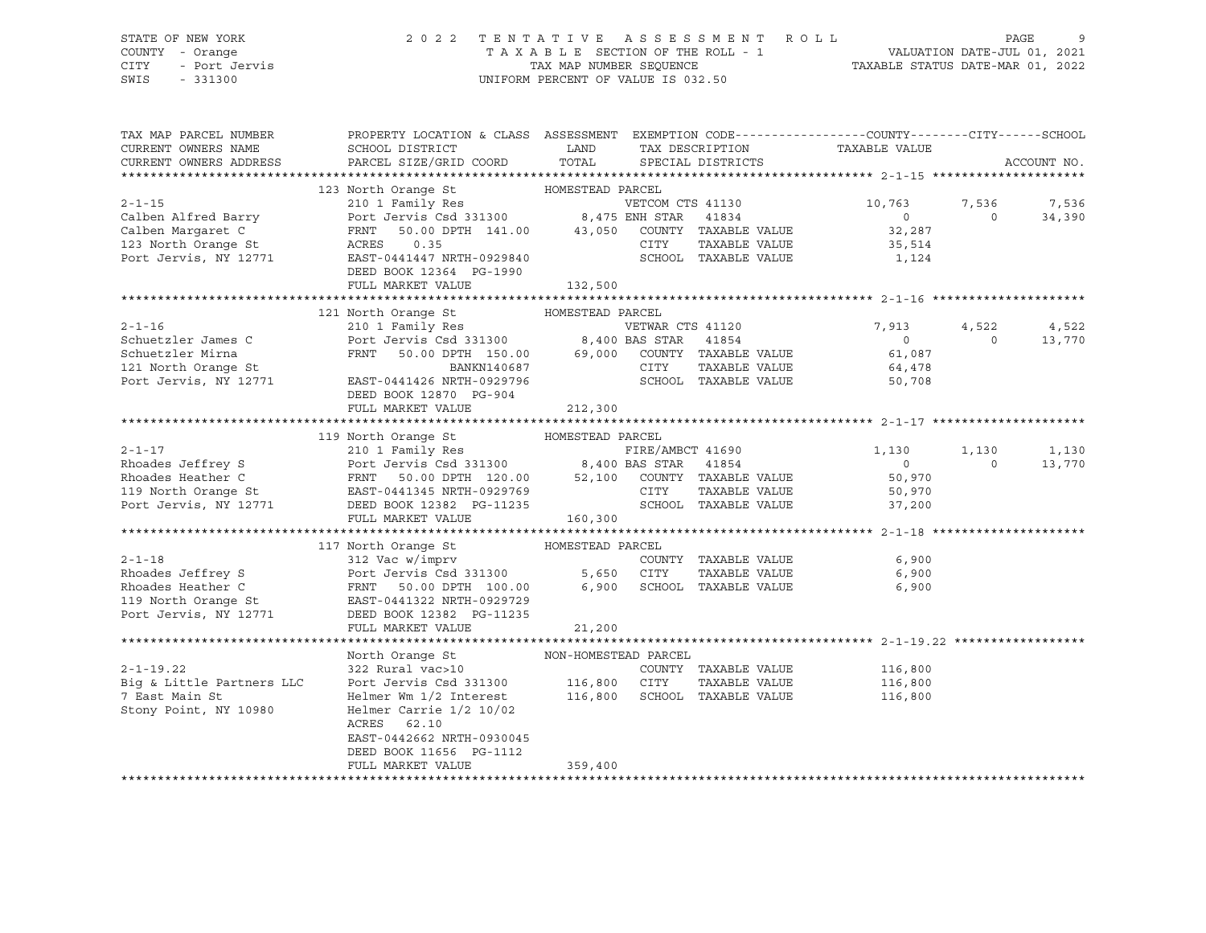# STATE OF NEW YORK 2 0 2 2 T E N T A T I V E A S S E S S M E N T R O L L PAGE 9 COUNTY - Orange T A X A B L E SECTION OF THE ROLL - 1 VALUATION DATE-JUL 01, 2021

SWIS - 331300 UNIFORM PERCENT OF VALUE IS 032.50

CITY - Port Jervis TAX MAP NUMBER SEQUENCE TAXABLE STATUS DATE-MAR 01, 2022

| TAX MAP PARCEL NUMBER<br>CURRENT OWNERS NAME                                                             | SCHOOL DISTRICT                                                                                                                                                                                                          | PROPERTY LOCATION & CLASS ASSESSMENT EXEMPTION CODE----------------COUNTY-------CITY------SCHOOL<br>LAND<br>TAX DESCRIPTION                                                                                                                                                                                              | TAXABLE VALUE                                                  |                                      |
|----------------------------------------------------------------------------------------------------------|--------------------------------------------------------------------------------------------------------------------------------------------------------------------------------------------------------------------------|--------------------------------------------------------------------------------------------------------------------------------------------------------------------------------------------------------------------------------------------------------------------------------------------------------------------------|----------------------------------------------------------------|--------------------------------------|
| CURRENT OWNERS ADDRESS                                                                                   | PARCEL SIZE/GRID COORD                                                                                                                                                                                                   | TOTAL<br>SPECIAL DISTRICTS                                                                                                                                                                                                                                                                                               |                                                                | ACCOUNT NO.                          |
|                                                                                                          |                                                                                                                                                                                                                          |                                                                                                                                                                                                                                                                                                                          |                                                                |                                      |
| $2 - 1 - 15$<br>Calben Alfred Barry<br>Calben Margaret C<br>123 North Orange St<br>Port Jervis, NY 12771 | Port Jervis Csd 331300 8,475 ENH STAR<br>FRNT<br>ACRES<br>0.35<br>EAST-0441447 NRTH-0929840<br>DEED BOOK 12364 PG-1990<br>FULL MARKET VALUE                                                                              | VETCOM CTS 41130<br>41834<br>50.00 DPTH 141.00 43,050 COUNTY TAXABLE VALUE<br>CITY<br>TAXABLE VALUE<br>SCHOOL TAXABLE VALUE<br>132,500                                                                                                                                                                                   | 10,763<br>$\overline{0}$<br>32,287<br>35,514<br>1,124          | 7,536<br>7,536<br>$\Omega$<br>34,390 |
|                                                                                                          |                                                                                                                                                                                                                          |                                                                                                                                                                                                                                                                                                                          |                                                                |                                      |
| $2 - 1 - 16$<br>Schuetzler James C<br>Schuetzler Mirna<br>121 North Orange St<br>Port Jervis, NY 12771   | BANKN140687<br>EAST-0441426 NRTH-0929796<br>DEED BOOK 12870 PG-904<br>FULL MARKET VALUE                                                                                                                                  | VETWAR CTS 41120<br>Port Jervis Csd 331300 8,400 BAS STAR 41854<br>FRNT 50.00 DPTH 150.00 69,000 COUNTY TAXABLE VALUE<br>CITY<br>TAXABLE VALUE<br>SCHOOL TAXABLE VALUE<br>212,300                                                                                                                                        | 7,913<br>4,522<br>$\overline{0}$<br>61,087<br>64,478<br>50,708 | 4,522<br>13,770<br>$\Omega$          |
|                                                                                                          |                                                                                                                                                                                                                          |                                                                                                                                                                                                                                                                                                                          |                                                                |                                      |
| $2 - 1 - 17$<br>Port Jervis, NY 12771                                                                    | 119 North Orange St MOMESTEAD PARCEL<br>210 1 Family Res<br>DEED BOOK 12382 PG-11235<br>FULL MARKET VALUE                                                                                                                | FIRE/AMBCT 41690<br>Rhoades Jeffrey S<br>Rhoades Heather C<br>Rhoades Heather C<br>TRANGE SERIE OF THE SOLOD DPTH 120.00 52,100 COUNTY TAXABLE VALUE<br>TAXABLE VALUE<br>CITY TAXABLE VALUE<br>CITY TAXABLE VALUE<br>CITY TAXABLE VALUE<br>CITY TAXABLE VALUE<br>CIT<br>TAXABLE VALUE<br>SCHOOL TAXABLE VALUE<br>160,300 | 1,130<br>1,130<br>$\overline{0}$<br>50,970<br>50,970<br>37,200 | 1,130<br>$\Omega$<br>13,770          |
|                                                                                                          | 117 North Orange St MOMESTEAD PARCEL                                                                                                                                                                                     |                                                                                                                                                                                                                                                                                                                          |                                                                |                                      |
| $2 - 1 - 18$<br>Rhoades Jeffrey S<br>Rhoades Heather C<br>119 North Orange St<br>Port Jervis, NY 12771   | 312 Vac w/imprv<br>Port Jervis Csd 331300<br>FRNT 50.00 DPTH 100.00<br>EAST-0441322 NRTH-0929729<br>DEED BOOK 12382 PG-11235<br>FULL MARKET VALUE                                                                        | COUNTY TAXABLE VALUE<br>5,650 CITY<br>TAXABLE VALUE<br>6,900<br>SCHOOL TAXABLE VALUE<br>21,200                                                                                                                                                                                                                           | 6,900<br>6,900<br>6,900                                        |                                      |
|                                                                                                          |                                                                                                                                                                                                                          |                                                                                                                                                                                                                                                                                                                          |                                                                |                                      |
| $2 - 1 - 19.22$<br>Big & Little Partners LLC<br>7 East Main St<br>Stony Point, NY 10980                  | North Orange St<br>322 Rural vac>10<br>Port Jervis Csd 331300 116,800<br>Helmer Wm 1/2 Interest<br>Helmer Carrie $1/2$ 10/02<br>ACRES 62.10<br>EAST-0442662 NRTH-0930045<br>DEED BOOK 11656 PG-1112<br>FULL MARKET VALUE | NON-HOMESTEAD PARCEL<br>COUNTY TAXABLE VALUE<br>CITY<br>TAXABLE VALUE<br>116,800<br>SCHOOL TAXABLE VALUE<br>359,400                                                                                                                                                                                                      | 116,800<br>116,800<br>116,800                                  |                                      |
|                                                                                                          |                                                                                                                                                                                                                          |                                                                                                                                                                                                                                                                                                                          |                                                                |                                      |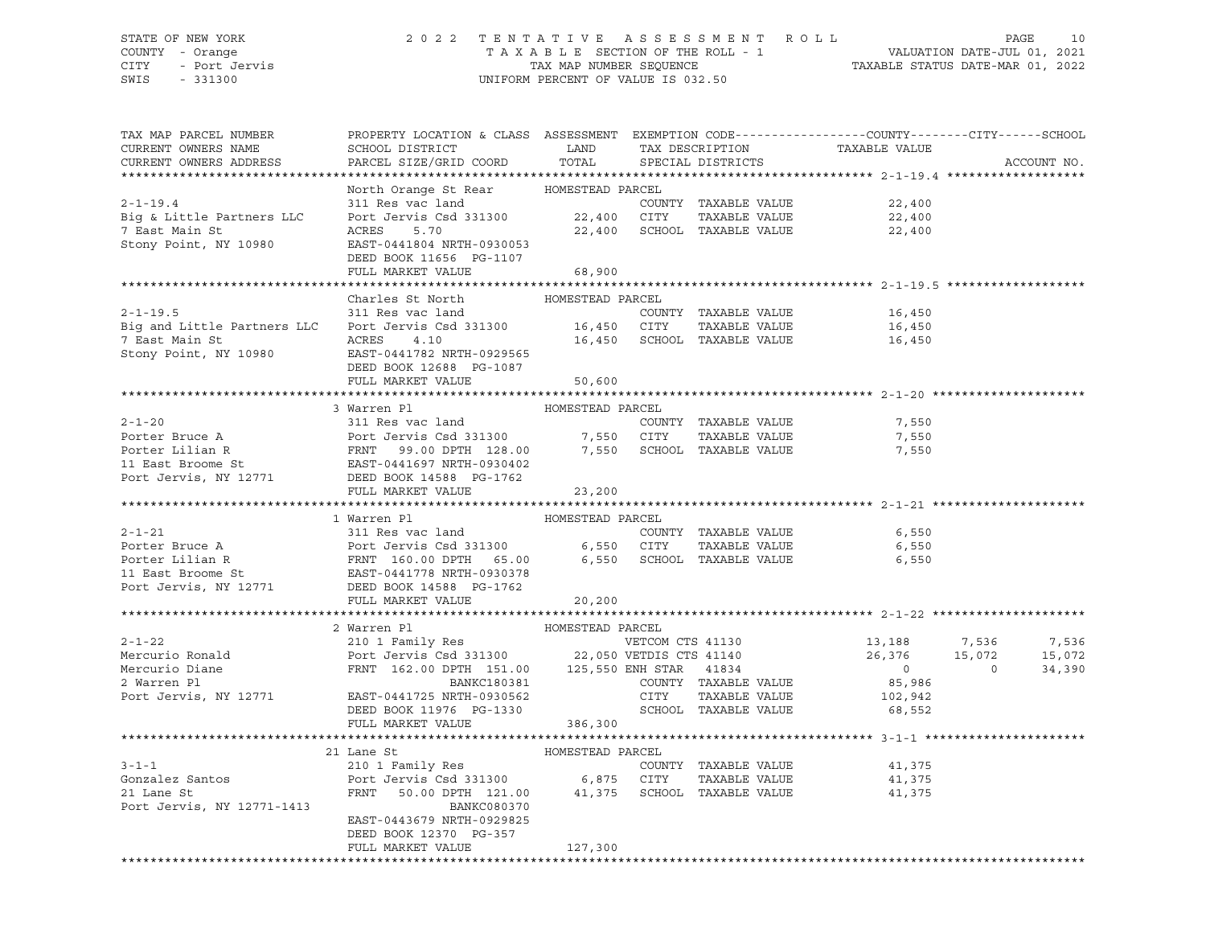### STATE OF NEW YORK 2 0 2 2 T E N T A T I V E A S S E S S M E N T R O L L PAGE 10 COUNTY - Orange T A X A B L E SECTION OF THE ROLL - 1 VALUATION DATE-JUL 01, 2021 CITY - Port Jervis TAX MAP NUMBER SEQUENCE TAXABLE STATUS DATE-MAR 01, 2022 SWIS - 331300 UNIFORM PERCENT OF VALUE IS 032.50

| TAX MAP PARCEL NUMBER<br>CURRENT OWNERS NAME                                                                                                                                                          | PROPERTY LOCATION & CLASS ASSESSMENT EXEMPTION CODE----------------COUNTY-------CITY------SCHOOL<br>SCHOOL DISTRICT | LAND             |                             | TAX DESCRIPTION      | TAXABLE VALUE  |                |             |
|-------------------------------------------------------------------------------------------------------------------------------------------------------------------------------------------------------|---------------------------------------------------------------------------------------------------------------------|------------------|-----------------------------|----------------------|----------------|----------------|-------------|
| CURRENT OWNERS ADDRESS                                                                                                                                                                                | PARCEL SIZE/GRID COORD                                                                                              | TOTAL            |                             | SPECIAL DISTRICTS    |                |                | ACCOUNT NO. |
|                                                                                                                                                                                                       |                                                                                                                     |                  |                             |                      |                |                |             |
|                                                                                                                                                                                                       | North Orange St Rear HOMESTEAD PARCEL                                                                               |                  |                             |                      |                |                |             |
| $2 - 1 - 19.4$                                                                                                                                                                                        | 311 Res vac land                                                                                                    |                  |                             | COUNTY TAXABLE VALUE | 22,400         |                |             |
| Big & Little Partners LLC                                                                                                                                                                             | Port Jervis Csd 331300                                                                                              | 22,400 CITY      |                             | TAXABLE VALUE        | 22,400         |                |             |
| 7 East Main St                                                                                                                                                                                        | ACRES<br>5.70                                                                                                       |                  | 22,400 SCHOOL TAXABLE VALUE |                      | 22,400         |                |             |
| Stony Point, NY 10980                                                                                                                                                                                 | EAST-0441804 NRTH-0930053                                                                                           |                  |                             |                      |                |                |             |
|                                                                                                                                                                                                       | DEED BOOK 11656 PG-1107                                                                                             |                  |                             |                      |                |                |             |
|                                                                                                                                                                                                       | FULL MARKET VALUE                                                                                                   | 68,900           |                             |                      |                |                |             |
|                                                                                                                                                                                                       | Charles St North                                                                                                    | HOMESTEAD PARCEL |                             |                      |                |                |             |
| $2 - 1 - 19.5$                                                                                                                                                                                        | 311 Res vac land                                                                                                    |                  |                             | COUNTY TAXABLE VALUE | 16,450         |                |             |
| Big and Little Partners LLC                                                                                                                                                                           | Port Jervis Csd 331300 16,450 CITY                                                                                  |                  |                             | TAXABLE VALUE        | 16,450         |                |             |
| 7 East Main St                                                                                                                                                                                        | ACRES<br>4.10                                                                                                       |                  | 16,450 SCHOOL TAXABLE VALUE |                      | 16,450         |                |             |
| Stony Point, NY 10980                                                                                                                                                                                 | EAST-0441782 NRTH-0929565                                                                                           |                  |                             |                      |                |                |             |
|                                                                                                                                                                                                       | DEED BOOK 12688 PG-1087                                                                                             |                  |                             |                      |                |                |             |
|                                                                                                                                                                                                       | FULL MARKET VALUE                                                                                                   | 50,600           |                             |                      |                |                |             |
|                                                                                                                                                                                                       |                                                                                                                     |                  |                             |                      |                |                |             |
|                                                                                                                                                                                                       | 3 Warren Pl                                                                                                         | HOMESTEAD PARCEL |                             |                      |                |                |             |
| $2 - 1 - 20$                                                                                                                                                                                          | 311 Res vac land                                                                                                    |                  |                             | COUNTY TAXABLE VALUE | 7,550          |                |             |
|                                                                                                                                                                                                       |                                                                                                                     |                  |                             | TAXABLE VALUE        | 7,550          |                |             |
| Porter Bruce A<br>Port Jervis Csd 331300 7,550 CITY TAXABLE VALUE<br>Porter Lilian R<br>Port Jervis NY 12771 PRAT 128.00 PTH 128.00 7,550 SCHOOL TAXABLE VALUE<br>Port Jervis NY 12771 PRAT 128.1     |                                                                                                                     |                  |                             |                      | 7,550          |                |             |
|                                                                                                                                                                                                       |                                                                                                                     |                  |                             |                      |                |                |             |
| Port Jervis, NY 12771                                                                                                                                                                                 | DEED BOOK 14588 PG-1762                                                                                             |                  |                             |                      |                |                |             |
|                                                                                                                                                                                                       | FULL MARKET VALUE                                                                                                   | 23,200           |                             |                      |                |                |             |
|                                                                                                                                                                                                       |                                                                                                                     |                  |                             |                      |                |                |             |
|                                                                                                                                                                                                       | 1 Warren Pl                                                                                                         | HOMESTEAD PARCEL |                             |                      |                |                |             |
| $2 - 1 - 21$                                                                                                                                                                                          | 311 Res vac land                                                                                                    |                  |                             | COUNTY TAXABLE VALUE | 6,550          |                |             |
|                                                                                                                                                                                                       |                                                                                                                     |                  | 6,550 CITY                  | TAXABLE VALUE        | 6,550          |                |             |
| Porter Bruce A<br>Porter Lilian R<br>Porter Lilian R<br>Porter Lilian R<br>ERNT 160.00 DPTH 65.00<br>Dort Johnson My 19771<br>Port Johnson My 19771<br>Port Johnson My 19771<br>Port Johnson My 19771 |                                                                                                                     |                  | 6,550 SCHOOL TAXABLE VALUE  |                      | 6,550          |                |             |
|                                                                                                                                                                                                       | DEED BOOK 14588 PG-1762                                                                                             |                  |                             |                      |                |                |             |
| Port Jervis, NY 12771                                                                                                                                                                                 | FULL MARKET VALUE                                                                                                   | 20,200           |                             |                      |                |                |             |
|                                                                                                                                                                                                       |                                                                                                                     |                  |                             |                      |                |                |             |
|                                                                                                                                                                                                       | 2 Warren Pl                                                                                                         | HOMESTEAD PARCEL |                             |                      |                |                |             |
| $2 - 1 - 22$                                                                                                                                                                                          |                                                                                                                     |                  | VETCOM CTS 41130            |                      | 13,188 7,536   |                | 7,536       |
| Mercurio Ronald                                                                                                                                                                                       | 210 1 Family Res<br>Port Jervis Csd 331300 22,050 VETDIS CTS 41140                                                  |                  |                             |                      | 26,376         | 15,072         | 15,072      |
| Mercurio Diane                                                                                                                                                                                        | FRNT 162.00 DPTH 151.00 125,550 ENH STAR 41834<br>BANKC180381 COUNTY TAXABLE                                        |                  |                             |                      | $\overline{0}$ | $\overline{0}$ | 34,390      |
| 2 Warren Pl                                                                                                                                                                                           |                                                                                                                     |                  |                             | COUNTY TAXABLE VALUE | 85,986         |                |             |
| Port Jervis, NY 12771                                                                                                                                                                                 | EAST-0441725 NRTH-0930562                                                                                           |                  | CITY                        | TAXABLE VALUE        | 102,942        |                |             |
|                                                                                                                                                                                                       | DEED BOOK 11976 PG-1330                                                                                             |                  |                             | SCHOOL TAXABLE VALUE | 68,552         |                |             |
|                                                                                                                                                                                                       | FULL MARKET VALUE                                                                                                   | 386,300          |                             |                      |                |                |             |
|                                                                                                                                                                                                       |                                                                                                                     |                  |                             |                      |                |                |             |
|                                                                                                                                                                                                       | 21 Lane St                                                                                                          | HOMESTEAD PARCEL |                             |                      |                |                |             |
| $3 - 1 - 1$                                                                                                                                                                                           | 210 1 Family Res                                                                                                    |                  |                             | COUNTY TAXABLE VALUE | 41,375         |                |             |
| Gonzalez Santos                                                                                                                                                                                       | Port Jervis Csd 331300 6,875 CITY                                                                                   |                  |                             | TAXABLE VALUE        | 41,375         |                |             |
| 21 Lane St                                                                                                                                                                                            | FRNT<br>50.00 DPTH 121.00                                                                                           |                  | 41,375 SCHOOL TAXABLE VALUE |                      | 41,375         |                |             |
| Port Jervis, NY 12771-1413                                                                                                                                                                            | <b>BANKC080370</b>                                                                                                  |                  |                             |                      |                |                |             |
|                                                                                                                                                                                                       | EAST-0443679 NRTH-0929825                                                                                           |                  |                             |                      |                |                |             |
|                                                                                                                                                                                                       | DEED BOOK 12370 PG-357                                                                                              |                  |                             |                      |                |                |             |
|                                                                                                                                                                                                       | FULL MARKET VALUE                                                                                                   | 127,300          |                             |                      |                |                |             |
|                                                                                                                                                                                                       |                                                                                                                     |                  |                             |                      |                |                |             |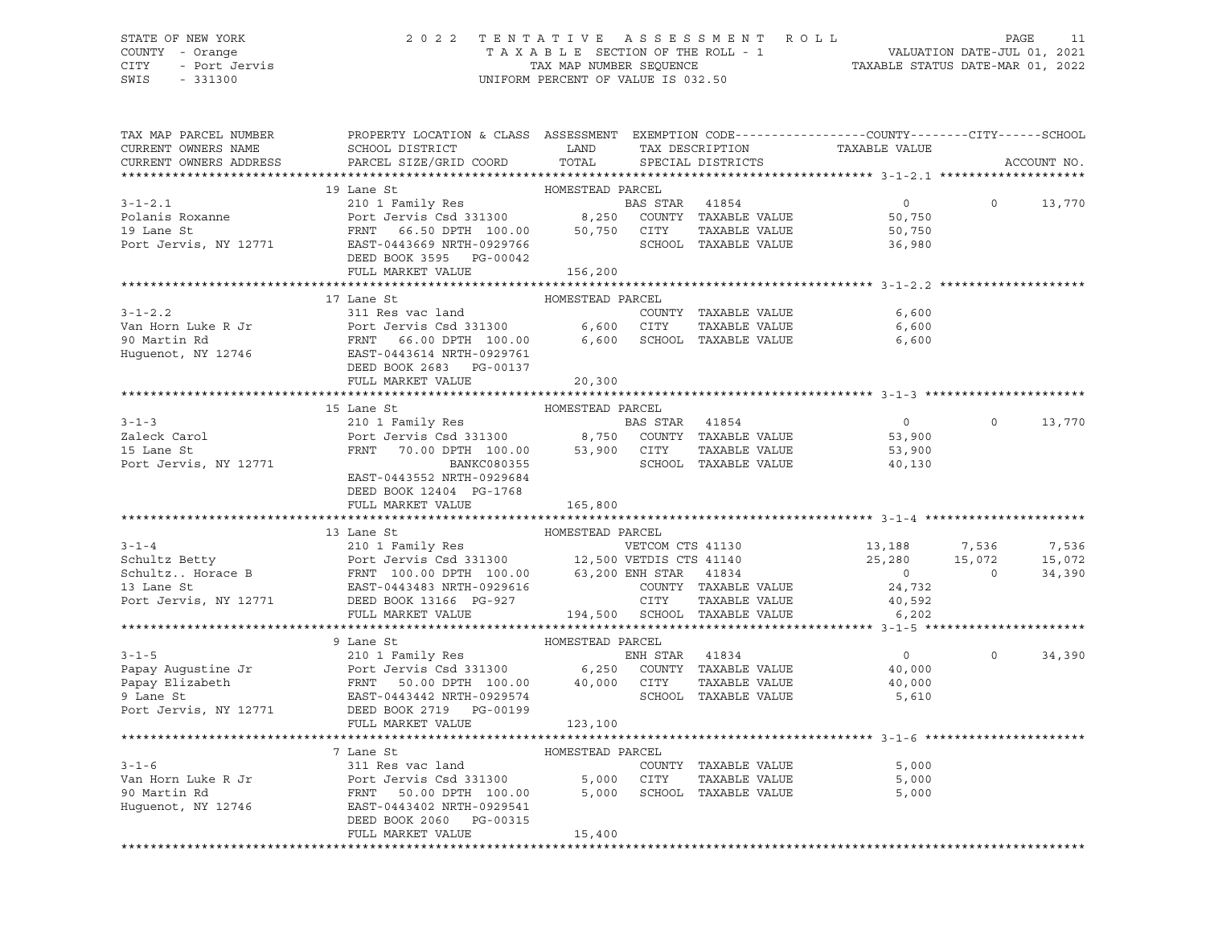### STATE OF NEW YORK 2 0 2 2 T E N T A T I V E A S S E S S M E N T R O L L PAGE 11 COUNTY - Orange T A X A B L E SECTION OF THE ROLL - 1 VALUATION DATE-JUL 01, 2021 CITY - Port Jervis TAX MAP NUMBER SEQUENCE TAXABLE STATUS DATE-MAR 01, 2022

| TAX MAP PARCEL NUMBER<br>CURRENT OWNERS NAME                                                                                                                                                                                                                                                                                                                                                                            | PROPERTY LOCATION & CLASS ASSESSMENT EXEMPTION CODE---------------COUNTY-------CITY------SCHOOL<br>SCHOOL DISTRICT LAND                                                                                                                                   |                  |                |                      | TAX DESCRIPTION TAXABLE VALUE<br>SPECIAL DISTRICTS       |                   |              |
|-------------------------------------------------------------------------------------------------------------------------------------------------------------------------------------------------------------------------------------------------------------------------------------------------------------------------------------------------------------------------------------------------------------------------|-----------------------------------------------------------------------------------------------------------------------------------------------------------------------------------------------------------------------------------------------------------|------------------|----------------|----------------------|----------------------------------------------------------|-------------------|--------------|
| CURRENT OWNERS ADDRESS                                                                                                                                                                                                                                                                                                                                                                                                  | PARCEL SIZE/GRID COORD                                                                                                                                                                                                                                    | TOTAL            |                |                      |                                                          |                   | ACCOUNT NO.  |
|                                                                                                                                                                                                                                                                                                                                                                                                                         |                                                                                                                                                                                                                                                           |                  |                |                      |                                                          |                   |              |
|                                                                                                                                                                                                                                                                                                                                                                                                                         | 19 Lane St                                                                                                                                                                                                                                                | HOMESTEAD PARCEL |                |                      |                                                          |                   |              |
|                                                                                                                                                                                                                                                                                                                                                                                                                         |                                                                                                                                                                                                                                                           |                  |                | BAS STAR 41854       | $\overline{0}$                                           | $\Omega$          | 13,770       |
|                                                                                                                                                                                                                                                                                                                                                                                                                         |                                                                                                                                                                                                                                                           |                  |                |                      | 50,750                                                   |                   |              |
|                                                                                                                                                                                                                                                                                                                                                                                                                         |                                                                                                                                                                                                                                                           |                  |                |                      | 50,750                                                   |                   |              |
| 3-1-2.1<br>Port Jerusian BAS STAR 41854<br>Port Jerus Roxanne Port Jerus Sand BAS STAR 41854<br>Port Jerus Schoper 100.00<br>Port Jerus SCHOOL TAXABLE VALUE<br>Port Jerus SCHOOL TAXABLE VALUE<br>Port Jerus, NY 12771<br>Port Port Port Po                                                                                                                                                                            |                                                                                                                                                                                                                                                           |                  |                |                      | 36,980                                                   |                   |              |
|                                                                                                                                                                                                                                                                                                                                                                                                                         | DEED BOOK 3595 PG-00042                                                                                                                                                                                                                                   |                  |                |                      |                                                          |                   |              |
|                                                                                                                                                                                                                                                                                                                                                                                                                         | FULL MARKET VALUE                                                                                                                                                                                                                                         | 156,200          |                |                      |                                                          |                   |              |
|                                                                                                                                                                                                                                                                                                                                                                                                                         |                                                                                                                                                                                                                                                           |                  |                |                      |                                                          |                   |              |
|                                                                                                                                                                                                                                                                                                                                                                                                                         | 17 Lane St                                                                                                                                                                                                                                                | HOMESTEAD PARCEL |                |                      |                                                          |                   |              |
| $3 - 1 - 2.2$                                                                                                                                                                                                                                                                                                                                                                                                           | 311 Res vac land                                                                                                                                                                                                                                          |                  |                | COUNTY TAXABLE VALUE | 6,600                                                    |                   |              |
|                                                                                                                                                                                                                                                                                                                                                                                                                         |                                                                                                                                                                                                                                                           |                  |                |                      | 6,600                                                    |                   |              |
|                                                                                                                                                                                                                                                                                                                                                                                                                         |                                                                                                                                                                                                                                                           |                  |                |                      | 6,600                                                    |                   |              |
|                                                                                                                                                                                                                                                                                                                                                                                                                         |                                                                                                                                                                                                                                                           |                  |                |                      |                                                          |                   |              |
|                                                                                                                                                                                                                                                                                                                                                                                                                         | DEED BOOK 2683 PG-00137                                                                                                                                                                                                                                   |                  |                |                      |                                                          |                   |              |
|                                                                                                                                                                                                                                                                                                                                                                                                                         | FULL MARKET VALUE 20,300                                                                                                                                                                                                                                  |                  |                |                      |                                                          |                   |              |
|                                                                                                                                                                                                                                                                                                                                                                                                                         |                                                                                                                                                                                                                                                           |                  |                |                      |                                                          |                   |              |
| $3 - 1 - 3$                                                                                                                                                                                                                                                                                                                                                                                                             | FRAME STRIP MOMESTEAD PARCEL<br>210 1 Family Res<br>210 1 Family Res<br>210 1 Family Res<br>210 1 Family Res<br>210 1 Family Res<br>210 200601<br>22 2007 211 22 23 24 25 25 26 26 26 26 26 26 27 21 22 23 24 24 25 26 26 26 26 26 27 22 23<br>15 Lane St |                  |                |                      | $\overline{0}$                                           | $0 \qquad \qquad$ | 13,770       |
|                                                                                                                                                                                                                                                                                                                                                                                                                         |                                                                                                                                                                                                                                                           |                  |                |                      |                                                          |                   |              |
| Zaleck Carol<br>15 Lane St<br>15 Lane St                                                                                                                                                                                                                                                                                                                                                                                |                                                                                                                                                                                                                                                           |                  |                |                      | 53,900<br>53,900                                         |                   |              |
| Port Jervis, NY 12771                                                                                                                                                                                                                                                                                                                                                                                                   |                                                                                                                                                                                                                                                           |                  |                |                      | SCHOOL TAXABLE VALUE 40,130                              |                   |              |
|                                                                                                                                                                                                                                                                                                                                                                                                                         | EAST-0443552 NRTH-0929684                                                                                                                                                                                                                                 |                  |                |                      |                                                          |                   |              |
|                                                                                                                                                                                                                                                                                                                                                                                                                         | DEED BOOK 12404 PG-1768                                                                                                                                                                                                                                   |                  |                |                      |                                                          |                   |              |
|                                                                                                                                                                                                                                                                                                                                                                                                                         | FULL MARKET VALUE                                                                                                                                                                                                                                         | 165,800          |                |                      |                                                          |                   |              |
|                                                                                                                                                                                                                                                                                                                                                                                                                         |                                                                                                                                                                                                                                                           |                  |                |                      |                                                          |                   |              |
|                                                                                                                                                                                                                                                                                                                                                                                                                         | 13 Lane St                                                                                                                                                                                                                                                | HOMESTEAD PARCEL |                |                      |                                                          |                   |              |
|                                                                                                                                                                                                                                                                                                                                                                                                                         |                                                                                                                                                                                                                                                           |                  |                |                      |                                                          |                   | 7,536        |
|                                                                                                                                                                                                                                                                                                                                                                                                                         |                                                                                                                                                                                                                                                           |                  |                |                      | VETCOM CTS 41130<br>VETDIS CTS 41140<br>25,280<br>15,072 |                   | 15,072       |
|                                                                                                                                                                                                                                                                                                                                                                                                                         |                                                                                                                                                                                                                                                           |                  |                |                      |                                                          | $\overline{0}$    | 34,390       |
|                                                                                                                                                                                                                                                                                                                                                                                                                         |                                                                                                                                                                                                                                                           |                  |                |                      | $\begin{array}{c} 0 \\ 24,732 \end{array}$               |                   |              |
|                                                                                                                                                                                                                                                                                                                                                                                                                         |                                                                                                                                                                                                                                                           |                  |                |                      | 40,592                                                   |                   |              |
| 3-1-4<br>210 1 Family Res<br>Schultz Betty<br>Schultz Horace B<br>31 Jane St<br>210 1 Family Res<br>Port Jervis Csd 331300<br>21,500 VETDIS CTS 41130<br>21,500 VETDIS CTS 41140<br>21,500 VETDIS CTS 41140<br>31 Jane St<br>21,500 VETDIS CTS 41                                                                                                                                                                       |                                                                                                                                                                                                                                                           |                  |                |                      | 6,202                                                    |                   |              |
|                                                                                                                                                                                                                                                                                                                                                                                                                         |                                                                                                                                                                                                                                                           |                  |                |                      |                                                          |                   |              |
|                                                                                                                                                                                                                                                                                                                                                                                                                         | 9 Lane St<br>210 1 Family Res<br>Romt Jacob Control Control Control Control Control Control Control Control Control Control Control Control Control Control Control Control Control Control Control Control Control Control Control                       |                  |                |                      |                                                          |                   |              |
| $3 - 1 - 5$                                                                                                                                                                                                                                                                                                                                                                                                             |                                                                                                                                                                                                                                                           |                  | ENH STAR 41834 |                      | $\overline{0}$                                           |                   | $0 \t34,390$ |
|                                                                                                                                                                                                                                                                                                                                                                                                                         |                                                                                                                                                                                                                                                           |                  |                |                      | 40,000                                                   |                   |              |
|                                                                                                                                                                                                                                                                                                                                                                                                                         |                                                                                                                                                                                                                                                           |                  |                | TAXABLE VALUE        | 40,000                                                   |                   |              |
|                                                                                                                                                                                                                                                                                                                                                                                                                         |                                                                                                                                                                                                                                                           |                  |                |                      | 5,610                                                    |                   |              |
| Papay Augustine Jr<br>Papay Elizabeth FRNT 50.00 DPTH 100.00 6,250 COUNTY TAXABLE VALUE<br>9 Lane St<br>Port Jervis Csd 331300 6,250 COUNTY TAXABLE VALUE<br>9 Lane St<br>Port Jervis, NY 12771 DEED DON 2 732 PG-00199<br>Port Jervis, NY                                                                                                                                                                              |                                                                                                                                                                                                                                                           |                  |                |                      |                                                          |                   |              |
|                                                                                                                                                                                                                                                                                                                                                                                                                         | FULL MARKET VALUE                                                                                                                                                                                                                                         | 123,100          |                |                      |                                                          |                   |              |
|                                                                                                                                                                                                                                                                                                                                                                                                                         |                                                                                                                                                                                                                                                           |                  |                |                      |                                                          |                   |              |
|                                                                                                                                                                                                                                                                                                                                                                                                                         | 7 Lane St                                                                                                                                                                                                                                                 | HOMESTEAD PARCEL |                |                      |                                                          |                   |              |
|                                                                                                                                                                                                                                                                                                                                                                                                                         |                                                                                                                                                                                                                                                           |                  |                | COUNTY TAXABLE VALUE | 5,000                                                    |                   |              |
| $\begin{tabular}{lllllllllllll} \multicolumn{3.5}{c l} {\small 3-1-6} & $\multicolumn{3.5}{c}{\small 3-1-6} & $\multicolumn{3.5}{c}{\small 3-1-6} & $\multicolumn{3.5}{c}{\small 3-1-6} & $\multicolumn{3.5}{c}{\small 3-1-6} & $\multicolumn{3.5}{c}{\small 3-1-6} & $\multicolumn{3.5}{c}{\small 3-1-6} & $\multicolumn{3.5}{c}{\small 3-1-6} & $\multicolumn{3.5}{c}{\small 3-1-6} & $\multicolumn{3.5}{c}{\small 3$ |                                                                                                                                                                                                                                                           |                  |                | TAXABLE VALUE        | 5,000                                                    |                   |              |
|                                                                                                                                                                                                                                                                                                                                                                                                                         |                                                                                                                                                                                                                                                           |                  |                |                      | 5,000                                                    |                   |              |
|                                                                                                                                                                                                                                                                                                                                                                                                                         |                                                                                                                                                                                                                                                           |                  |                |                      |                                                          |                   |              |
|                                                                                                                                                                                                                                                                                                                                                                                                                         | DEED BOOK 2060 PG-00315                                                                                                                                                                                                                                   |                  |                |                      |                                                          |                   |              |
|                                                                                                                                                                                                                                                                                                                                                                                                                         | FULL MARKET VALUE                                                                                                                                                                                                                                         | 15,400           |                |                      |                                                          |                   |              |
|                                                                                                                                                                                                                                                                                                                                                                                                                         |                                                                                                                                                                                                                                                           |                  |                |                      |                                                          |                   |              |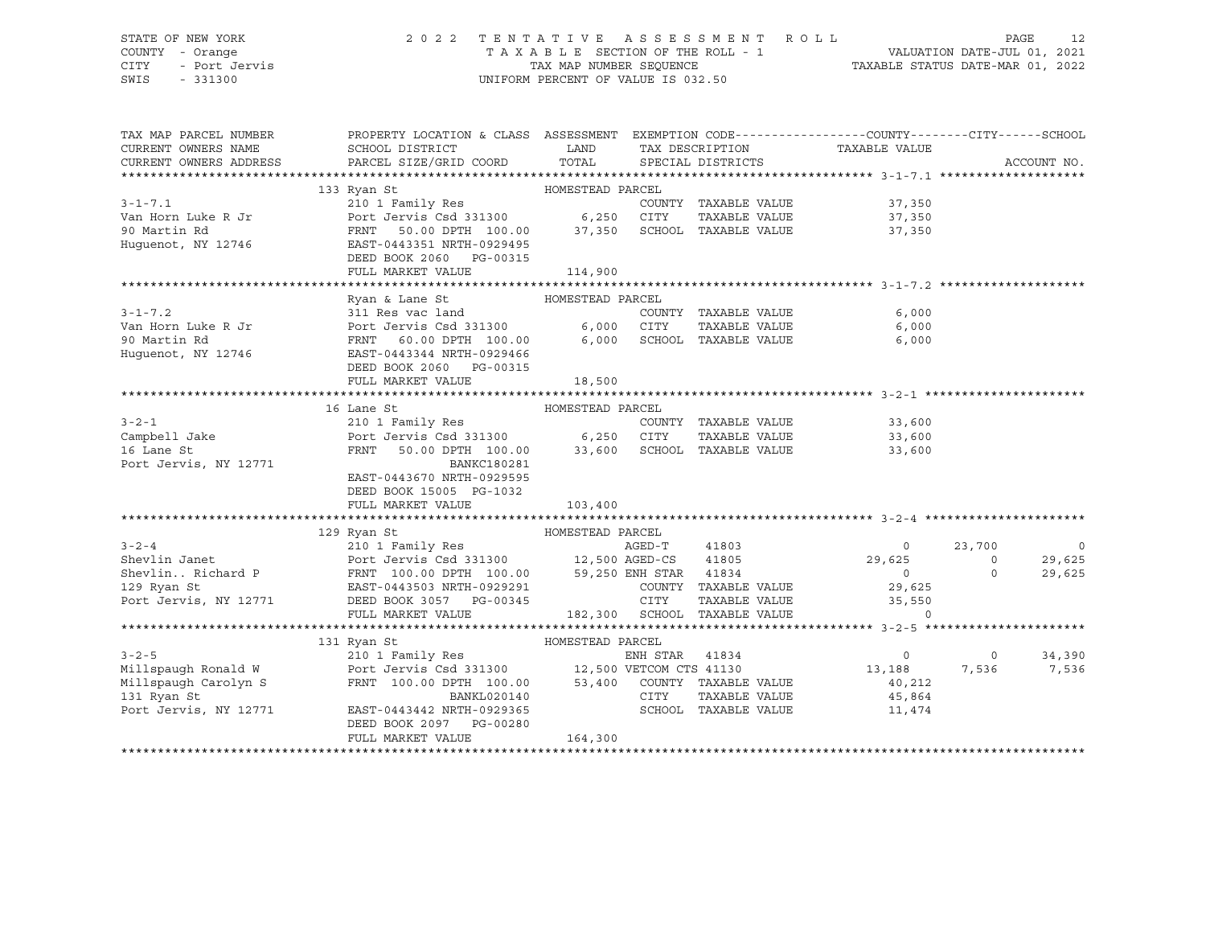#### STATE OF NEW YORK 2 0 2 2 T E N T A T I V E A S S E S S M E N T R O L L PAGE 12 COUNTY - Orange T A X A B L E SECTION OF THE ROLL - 1 VALUATION DATE-JUL 01, 2021 CITY - Port Jervis TAX MAP NUMBER SEQUENCE TAXABLE STATUS DATE-MAR 01, 2022

| TAX MAP PARCEL NUMBER<br>CURRENT OWNERS NAME<br>CURRENT OWNERS ADDRESS | PROPERTY LOCATION & CLASS ASSESSMENT EXEMPTION CODE---------------COUNTY-------CITY------SCHOOL<br>SCHOOL DISTRICT<br>PARCEL SIZE/GRID COORD TOTAL | LAND             |          | SPECIAL DISTRICTS            | TAX DESCRIPTION TAXABLE VALUE |                | ACCOUNT NO. |
|------------------------------------------------------------------------|----------------------------------------------------------------------------------------------------------------------------------------------------|------------------|----------|------------------------------|-------------------------------|----------------|-------------|
|                                                                        |                                                                                                                                                    |                  |          |                              |                               |                |             |
|                                                                        | 133 Ryan St                                                                                                                                        | HOMESTEAD PARCEL |          |                              |                               |                |             |
| $3 - 1 - 7.1$                                                          | 210 1 Family Res<br>Port Jervis Csd 331300 6,250                                                                                                   |                  |          | COUNTY TAXABLE VALUE         | 37,350                        |                |             |
| Van Horn Luke R Jr                                                     |                                                                                                                                                    |                  | CITY     | TAXABLE VALUE                | 37,350                        |                |             |
| 90 Martin Rd                                                           | FRNT 50.00 DPTH 100.00 37,350 SCHOOL TAXABLE VALUE<br>EAST-0443351 NRTH-0929495                                                                    |                  |          |                              | 37,350                        |                |             |
| Huguenot, NY 12746                                                     | DEED BOOK 2060 PG-00315                                                                                                                            |                  |          |                              |                               |                |             |
|                                                                        | FULL MARKET VALUE                                                                                                                                  | 114,900          |          |                              |                               |                |             |
|                                                                        |                                                                                                                                                    |                  |          |                              |                               |                |             |
|                                                                        | Ryan & Lane St                                                                                                                                     | HOMESTEAD PARCEL |          |                              |                               |                |             |
| $3 - 1 - 7.2$                                                          | 311 Res vac land                                                                                                                                   |                  |          | COUNTY TAXABLE VALUE         | 6,000                         |                |             |
| Van Horn Luke R Jr                                                     | Port Jervis Csd 331300 6,000 CITY                                                                                                                  |                  |          | TAXABLE VALUE                | 6,000                         |                |             |
| 90 Martin Rd                                                           | FRNT 60.00 DPTH 100.00 6,000 SCHOOL TAXABLE VALUE                                                                                                  |                  |          |                              | 6,000                         |                |             |
| Huguenot, NY 12746                                                     | EAST-0443344 NRTH-0929466                                                                                                                          |                  |          |                              |                               |                |             |
|                                                                        | DEED BOOK 2060 PG-00315                                                                                                                            |                  |          |                              |                               |                |             |
|                                                                        | FULL MARKET VALUE                                                                                                                                  | 18,500           |          |                              |                               |                |             |
|                                                                        |                                                                                                                                                    |                  |          |                              |                               |                |             |
|                                                                        | 16 Lane St                                                                                                                                         | HOMESTEAD PARCEL |          |                              |                               |                |             |
| $3 - 2 - 1$                                                            | 210 1 Family Res                                                                                                                                   |                  |          | COUNTY TAXABLE VALUE         | 33,600                        |                |             |
| Campbell Jake                                                          | Port Jervis Csd 331300 6,250 CITY TAXABLE VALUE<br>FRNT 50.00 DPTH 100.00 33,600 SCHOOL TAXABLE VALUE                                              |                  |          |                              | 33,600                        |                |             |
| 16 Lane St                                                             |                                                                                                                                                    |                  |          |                              | 33,600                        |                |             |
| Port Jervis, NY 12771                                                  | <b>BANKC180281</b>                                                                                                                                 |                  |          |                              |                               |                |             |
|                                                                        | EAST-0443670 NRTH-0929595                                                                                                                          |                  |          |                              |                               |                |             |
|                                                                        | DEED BOOK 15005 PG-1032                                                                                                                            |                  |          |                              |                               |                |             |
|                                                                        | FULL MARKET VALUE                                                                                                                                  | 103,400          |          |                              |                               |                |             |
|                                                                        |                                                                                                                                                    |                  |          |                              |                               |                |             |
|                                                                        | HOMESTEAD PARCEL<br>129 Ryan St                                                                                                                    |                  |          |                              |                               |                |             |
| $3 - 2 - 4$                                                            |                                                                                                                                                    |                  |          | AGED-T 41803                 | $\circ$                       | 23,700         | $\circ$     |
| Shevlin Janet                                                          |                                                                                                                                                    |                  |          | 41805                        | 29,625                        | $\overline{0}$ | 29,625      |
|                                                                        | Shevlin. Richard P FRNT 100.00 DPTH 100.00 59,250 ENH STAR 41834                                                                                   |                  |          |                              | $\overline{0}$                | $\Omega$       | 29,625      |
| 129 Ryan St<br>Port Jervis, NY 12771                                   | EAST-0443503 NRTH-0929291<br>DEED BOOK 3057 PG-00345                                                                                               |                  |          | COUNTY TAXABLE VALUE         | 29,625                        |                |             |
|                                                                        |                                                                                                                                                    |                  | CITY     | TAXABLE VALUE                | 35,550<br>$\Omega$            |                |             |
|                                                                        | FULL MARKET VALUE                                                                                                                                  |                  |          | 182,300 SCHOOL TAXABLE VALUE |                               |                |             |
|                                                                        |                                                                                                                                                    |                  |          |                              |                               |                |             |
| $3 - 2 - 5$                                                            | 131 Ryan St                                                                                                                                        |                  | ENH STAR | 41834                        | $\overline{0}$                | $\overline{0}$ | 34,390      |
| Millspaugh Ronald W Port Jervis Csd 331300 12,500 VETCOM CTS 41130     |                                                                                                                                                    |                  |          |                              | 13,188                        | 7,536          | 7,536       |
| Millspaugh Carolyn S                                                   |                                                                                                                                                    |                  |          |                              | 40,212                        |                |             |
| 131 Ryan St                                                            | FRNT 100.00 DPTH 100.00 53,400 COUNTY TAXABLE VALUE<br>BANKL020140                                                                                 |                  | CITY     | TAXABLE VALUE                | 45,864                        |                |             |
| Port Jervis, NY 12771                                                  | EAST-0443442 NRTH-0929365                                                                                                                          |                  |          | SCHOOL TAXABLE VALUE         | 11,474                        |                |             |
|                                                                        | DEED BOOK 2097 PG-00280                                                                                                                            |                  |          |                              |                               |                |             |
|                                                                        | FULL MARKET VALUE                                                                                                                                  | 164,300          |          |                              |                               |                |             |
|                                                                        |                                                                                                                                                    |                  |          |                              |                               |                |             |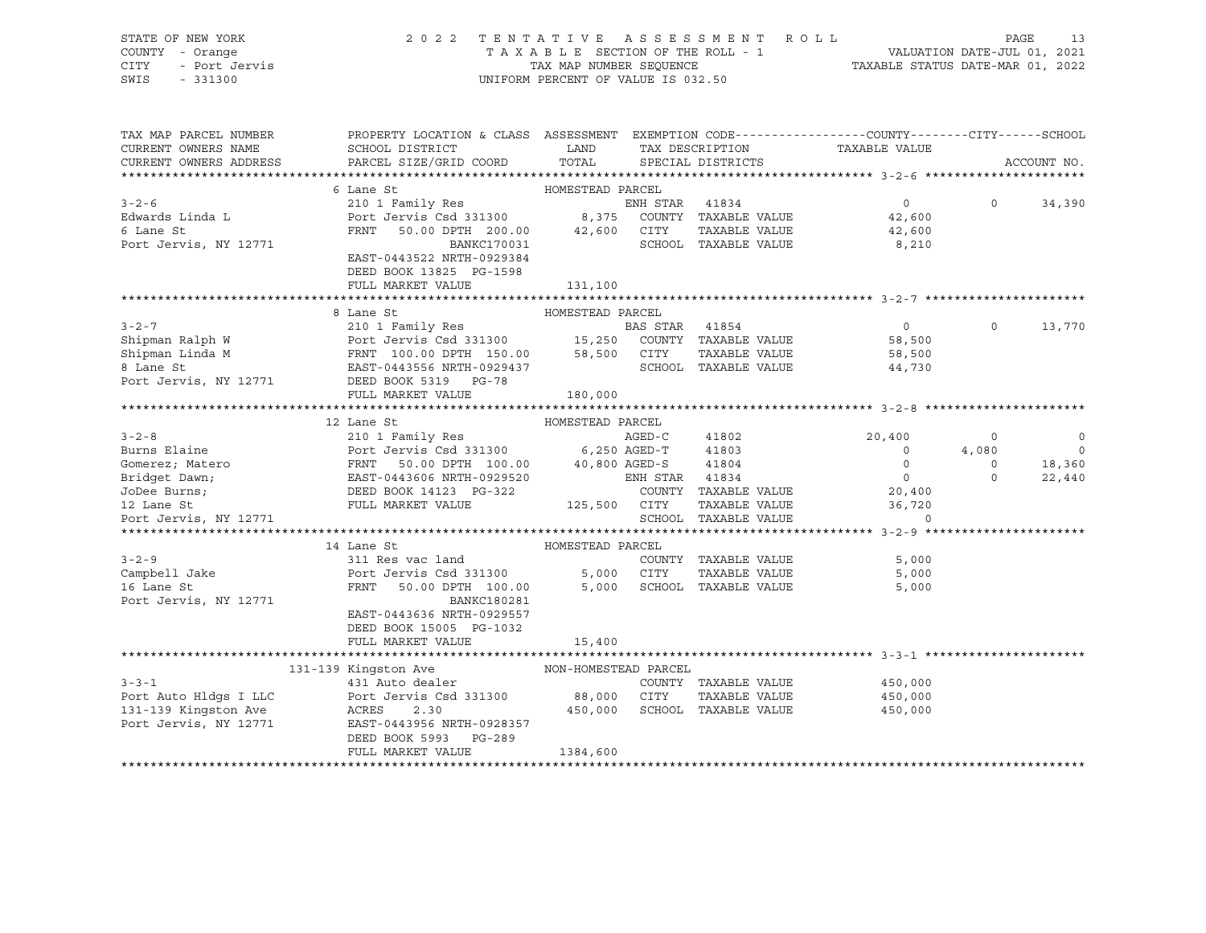### STATE OF NEW YORK 2 0 2 2 T E N T A T I V E A S S E S S M E N T R O L L PAGE 13 COUNTY - Orange T A X A B L E SECTION OF THE ROLL - 1 VALUATION DATE-JUL 01, 2021 CITY - Port Jervis TAX MAP NUMBER SEQUENCE TAXABLE STATUS DATE-MAR 01, 2022

| TAX MAP PARCEL NUMBER<br>CURRENT OWNERS NAME<br>CURRENT OWNERS ADDRESS | PROPERTY LOCATION & CLASS ASSESSMENT EXEMPTION CODE----------------COUNTY-------CITY------SCHOOL<br>SCHOOL DISTRICT<br>PARCEL SIZE/GRID COORD                                                                                                                          | <b>LAND</b><br>TOTAL | TAX DESCRIPTION<br>SPECIAL DISTRICTS | TAXABLE VALUE                                                                                                                                                                                                                                                                                                                                                                                                                                                                                         |            | ACCOUNT NO.              |
|------------------------------------------------------------------------|------------------------------------------------------------------------------------------------------------------------------------------------------------------------------------------------------------------------------------------------------------------------|----------------------|--------------------------------------|-------------------------------------------------------------------------------------------------------------------------------------------------------------------------------------------------------------------------------------------------------------------------------------------------------------------------------------------------------------------------------------------------------------------------------------------------------------------------------------------------------|------------|--------------------------|
|                                                                        |                                                                                                                                                                                                                                                                        |                      |                                      |                                                                                                                                                                                                                                                                                                                                                                                                                                                                                                       |            |                          |
|                                                                        |                                                                                                                                                                                                                                                                        |                      |                                      |                                                                                                                                                                                                                                                                                                                                                                                                                                                                                                       |            |                          |
| $3 - 2 - 6$<br>Edwards Linda L<br>6 Lane St<br>Port Jervis, NY 12771   | FRNT 50.00 DPTH 200.00 42,600 CITY<br>BANKC170031<br>EAST-0443522 NRTH-0929384<br>DEED BOOK 13825 PG-1598                                                                                                                                                              |                      | SCHOOL TAXABLE VALUE                 | $\overline{0}$<br>42,600<br>TAXABLE VALUE 42,600<br>8,210                                                                                                                                                                                                                                                                                                                                                                                                                                             |            | $0 \t34,390$             |
|                                                                        | FULL MARKET VALUE                                                                                                                                                                                                                                                      | 131,100              |                                      |                                                                                                                                                                                                                                                                                                                                                                                                                                                                                                       |            |                          |
|                                                                        |                                                                                                                                                                                                                                                                        |                      |                                      |                                                                                                                                                                                                                                                                                                                                                                                                                                                                                                       |            |                          |
|                                                                        | 8 Lane St<br>3-2-7<br>210 1 Family Res<br>210 1 Family Res<br>210 1 Family Res<br>210 1 Family Res<br>210 1 Family Res<br>210 1 Family Res<br>210 1 Family Res<br>210 1 Family Res<br>210 1 Family Res<br>210 1 Family Res<br>210 1 Family Res<br>210 1 Family Res<br> | HOMESTEAD PARCEL     | SCHOOL TAXABLE VALUE                 | $\overline{0}$<br>TAXABLE VALUE 58,500<br>TAXABLE VALUE 58,500<br>44,730                                                                                                                                                                                                                                                                                                                                                                                                                              | $\Omega$   | 13,770                   |
|                                                                        | FULL MARKET VALUE                                                                                                                                                                                                                                                      | 180,000              |                                      |                                                                                                                                                                                                                                                                                                                                                                                                                                                                                                       |            |                          |
|                                                                        |                                                                                                                                                                                                                                                                        |                      |                                      |                                                                                                                                                                                                                                                                                                                                                                                                                                                                                                       |            |                          |
|                                                                        | 12 Lane St                                                                                                                                                                                                                                                             | HOMESTEAD PARCEL     |                                      |                                                                                                                                                                                                                                                                                                                                                                                                                                                                                                       |            |                          |
|                                                                        |                                                                                                                                                                                                                                                                        |                      |                                      | 20,400                                                                                                                                                                                                                                                                                                                                                                                                                                                                                                | $\Omega$   | $\overline{0}$           |
|                                                                        |                                                                                                                                                                                                                                                                        |                      |                                      | 4,080                                                                                                                                                                                                                                                                                                                                                                                                                                                                                                 |            | $\overline{\phantom{0}}$ |
|                                                                        |                                                                                                                                                                                                                                                                        |                      |                                      |                                                                                                                                                                                                                                                                                                                                                                                                                                                                                                       | $\bigcirc$ | 18,360                   |
|                                                                        |                                                                                                                                                                                                                                                                        |                      |                                      | $\begin{array}{c} 0 \\ 0 \end{array}$                                                                                                                                                                                                                                                                                                                                                                                                                                                                 | $\Omega$   | 22,440                   |
|                                                                        |                                                                                                                                                                                                                                                                        |                      |                                      | COUNTY TAXABLE VALUE 20,400                                                                                                                                                                                                                                                                                                                                                                                                                                                                           |            |                          |
|                                                                        |                                                                                                                                                                                                                                                                        |                      |                                      |                                                                                                                                                                                                                                                                                                                                                                                                                                                                                                       |            |                          |
| Port Jervis, NY 12771                                                  |                                                                                                                                                                                                                                                                        |                      |                                      | $\begin{tabular}{llllll} \multicolumn{2}{c}{\text{CITY}} & \multicolumn{2}{c}{\text{TAXABLE VALUE}} & \multicolumn{2}{c}{\text{S6,720}} \\ \multicolumn{2}{c}{\text{SCHOOL}} & \multicolumn{2}{c}{\text{TAXABLE VALUE}} & \multicolumn{2}{c}{\text{O}} \\ \multicolumn{2}{c}{\text{SCHOOL}} & \multicolumn{2}{c}{\text{TAXABLE VALUE}} & \multicolumn{2}{c}{\text{O}} \\ \multicolumn{2}{c}{\text{O}} & \multicolumn{2}{c}{\text{O}} \\ \multicolumn{2}{c}{\text{SCHOOL}} & \multicolumn{2}{c}{\text$ |            |                          |
|                                                                        |                                                                                                                                                                                                                                                                        |                      |                                      |                                                                                                                                                                                                                                                                                                                                                                                                                                                                                                       |            |                          |
|                                                                        | 14 Lane St                                                                                                                                                                                                                                                             | HOMESTEAD PARCEL     |                                      |                                                                                                                                                                                                                                                                                                                                                                                                                                                                                                       |            |                          |
| $3 - 2 - 9$                                                            | 311 Res vac land                                                                                                                                                                                                                                                       |                      |                                      | COUNTY TAXABLE VALUE 5,000                                                                                                                                                                                                                                                                                                                                                                                                                                                                            |            |                          |
| Campbell Jake<br>16 Lane St                                            | Port Jervis Csd 331300 5,000 CITY<br>FRNT 50.00 DPTH 100.00 5,000 SCHOOL                                                                                                                                                                                               |                      | TAXABLE VALUE                        | 5,000                                                                                                                                                                                                                                                                                                                                                                                                                                                                                                 |            |                          |
| Port Jervis, NY 12771                                                  | <b>BANKC180281</b><br>EAST-0443636 NRTH-0929557<br>DEED BOOK 15005 PG-1032<br>FULL MARKET VALUE                                                                                                                                                                        | 15,400               | 5,000 SCHOOL TAXABLE VALUE           | 5,000                                                                                                                                                                                                                                                                                                                                                                                                                                                                                                 |            |                          |
|                                                                        |                                                                                                                                                                                                                                                                        |                      |                                      |                                                                                                                                                                                                                                                                                                                                                                                                                                                                                                       |            |                          |
|                                                                        |                                                                                                                                                                                                                                                                        |                      |                                      |                                                                                                                                                                                                                                                                                                                                                                                                                                                                                                       |            |                          |
| $3 - 3 - 1$                                                            |                                                                                                                                                                                                                                                                        |                      |                                      | COUNTY TAXABLE VALUE 450,000                                                                                                                                                                                                                                                                                                                                                                                                                                                                          |            |                          |
|                                                                        | DEED BOOK 5993 PG-289                                                                                                                                                                                                                                                  |                      | 450,000 SCHOOL TAXABLE VALUE         | TAXABLE VALUE 450,000<br>450,000                                                                                                                                                                                                                                                                                                                                                                                                                                                                      |            |                          |
|                                                                        | FULL MARKET VALUE                                                                                                                                                                                                                                                      | 1384,600             |                                      |                                                                                                                                                                                                                                                                                                                                                                                                                                                                                                       |            |                          |
|                                                                        |                                                                                                                                                                                                                                                                        |                      |                                      |                                                                                                                                                                                                                                                                                                                                                                                                                                                                                                       |            |                          |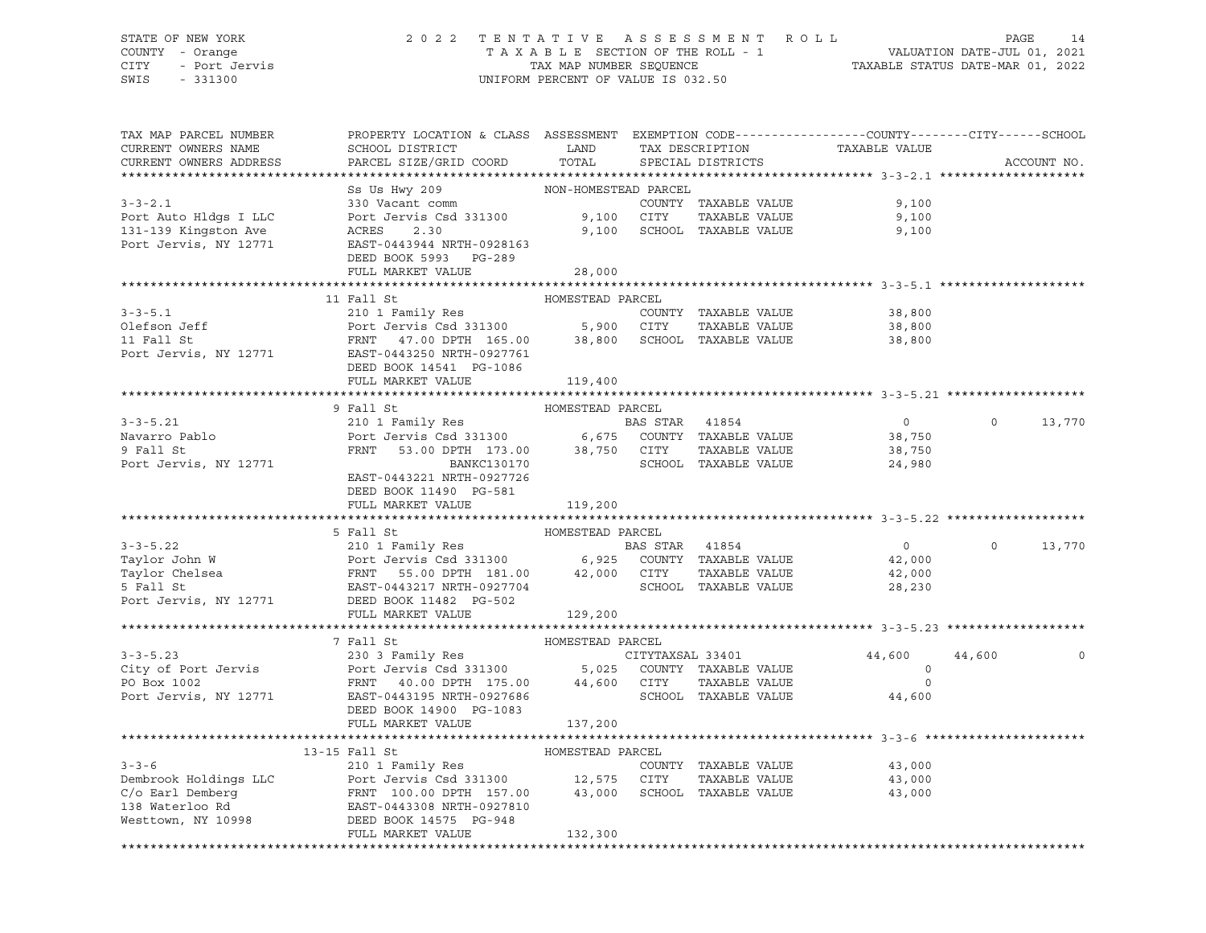### STATE OF NEW YORK 2 0 2 2 T E N T A T I V E A S S E S S M E N T R O L L PAGE 14 COUNTY - Orange T A X A B L E SECTION OF THE ROLL - 1 VALUATION DATE-JUL 01, 2021 CITY - Port Jervis TAX MAP NUMBER SEQUENCE TAXABLE STATUS DATE-MAR 01, 2022 SWIS - 331300 UNIFORM PERCENT OF VALUE IS 032.50

| NON-HOMESTEAD PARCEL<br>Ss Us Hwy 209<br>330 Vacant comm<br>Port Jervis Csd 331300 9,100 CITY<br>COUNTY TAXABLE VALUE<br>9,100<br>TAXABLE VALUE<br>9,100<br>9,100 SCHOOL TAXABLE VALUE<br>ACRES 2.30<br>9,100<br>Port Jervis, NY 12771<br>EAST-0443944 NRTH-0928163<br>DEED BOOK 5993 PG-289<br>FULL MARKET VALUE<br>28,000<br>11 Fall St<br>HOMESTEAD PARCEL<br>3-3-5.1<br>Olefson Jeff 210 1 Family Res<br>Port Jervis Csd 331300 5,900 CITY TAXABLE VALUE<br>FRNT 47.00 DPTH 165.00 38,800 SCHOOL TAXABLE VALUE<br>Port Jervis, NY 12771 EAST-0443250 NRTH-0927761<br>Port SCHOOL TAXABLE VALUE<br>38,800<br>38,800<br>38,800<br>DEED BOOK 14541 PG-1086<br>FULL MARKET VALUE<br>119,400<br>$3 - 3 - 5.21$<br>$\overline{0}$<br>$0 \qquad \qquad$<br>13,770<br>Navarro Pablo<br>9 Fall St<br>38,750<br>38,750<br>9 Fall St<br>Port Jervis, NY 12771<br>SCHOOL TAXABLE VALUE<br>24,980<br>EAST-0443221 NRTH-0927726<br>DEED BOOK 11490 PG-581<br>FULL MARKET VALUE 119,200<br>HOMESTEAD PARCEL<br>5 Fall St<br>$\overline{0}$<br>$\Omega$<br>13,770<br>42,000<br>42,000<br>28,230<br>5 Fall St<br>Port Jervis, NY 12771 DEED BOOK 11482 PG-502<br>129,200<br>FULL MARKET VALUE<br>$3 - 3 - 5.23$<br>CITYTAXSAL 33401<br>44,600<br>44,600<br>City of Port Jervis and Port Jervis Csd 331300 5,025 COUNTY TAXABLE VALUE<br>PO Box 1002 FRNT 40.00 DPTH 175.00 44,600 CITY TAXABLE VALUE<br>Port Jervis, NY 12771 EAST 0443095 NRTH 0927686 SCHOOL TAXABLE VALUE<br>$\circ$<br>$\Omega$<br>44,600<br>DEED BOOK 14900 PG-1083<br>FULL MARKET VALUE<br>137,200<br>13-15 Fall St<br>HOMESTEAD PARCEL<br>$3 - 3 - 6$<br>210 1 Family Res<br>COUNTY TAXABLE VALUE<br>43,000<br>Dembrook Holdings LLC<br>C/o Earl Demberg<br>C/o Earl Demberg<br>TAXABLE VALUE<br>TAXABLE VALUE<br>TAXABLE VALUE<br>TAXABLE VALUE<br>TAXABLE VALUE<br>TAXABLE VALUE<br>TAXABLE VALUE<br>TAXABLE VALUE<br>TAXABLE VALUE<br>TAXABLE VALUE<br>TAXABLE VALUE<br>TAXABLE VALUE<br>43,000<br>43,000<br>FULL MARKET VALUE<br>132,300 | TAX MAP PARCEL NUMBER<br>CURRENT OWNERS NAME<br>CURRENT OWNERS ADDRESS | PROPERTY LOCATION & CLASS ASSESSMENT EXEMPTION CODE----------------COUNTY-------CITY------SCHOOL<br>SCHOOL DISTRICT LAND<br>PARCEL SIZE/GRID COORD | TOTAL | TAX DESCRIPTION<br>SPECIAL DISTRICTS | TAXABLE VALUE | ACCOUNT NO. |
|--------------------------------------------------------------------------------------------------------------------------------------------------------------------------------------------------------------------------------------------------------------------------------------------------------------------------------------------------------------------------------------------------------------------------------------------------------------------------------------------------------------------------------------------------------------------------------------------------------------------------------------------------------------------------------------------------------------------------------------------------------------------------------------------------------------------------------------------------------------------------------------------------------------------------------------------------------------------------------------------------------------------------------------------------------------------------------------------------------------------------------------------------------------------------------------------------------------------------------------------------------------------------------------------------------------------------------------------------------------------------------------------------------------------------------------------------------------------------------------------------------------------------------------------------------------------------------------------------------------------------------------------------------------------------------------------------------------------------------------------------------------------------------------------------------------------------------------------------------------------------------------------------------------------------------------------------------------------------------------------------------|------------------------------------------------------------------------|----------------------------------------------------------------------------------------------------------------------------------------------------|-------|--------------------------------------|---------------|-------------|
|                                                                                                                                                                                                                                                                                                                                                                                                                                                                                                                                                                                                                                                                                                                                                                                                                                                                                                                                                                                                                                                                                                                                                                                                                                                                                                                                                                                                                                                                                                                                                                                                                                                                                                                                                                                                                                                                                                                                                                                                        |                                                                        |                                                                                                                                                    |       |                                      |               |             |
|                                                                                                                                                                                                                                                                                                                                                                                                                                                                                                                                                                                                                                                                                                                                                                                                                                                                                                                                                                                                                                                                                                                                                                                                                                                                                                                                                                                                                                                                                                                                                                                                                                                                                                                                                                                                                                                                                                                                                                                                        |                                                                        |                                                                                                                                                    |       |                                      |               |             |
|                                                                                                                                                                                                                                                                                                                                                                                                                                                                                                                                                                                                                                                                                                                                                                                                                                                                                                                                                                                                                                                                                                                                                                                                                                                                                                                                                                                                                                                                                                                                                                                                                                                                                                                                                                                                                                                                                                                                                                                                        | $3 - 3 - 2.1$                                                          |                                                                                                                                                    |       |                                      |               |             |
|                                                                                                                                                                                                                                                                                                                                                                                                                                                                                                                                                                                                                                                                                                                                                                                                                                                                                                                                                                                                                                                                                                                                                                                                                                                                                                                                                                                                                                                                                                                                                                                                                                                                                                                                                                                                                                                                                                                                                                                                        | Port Auto Hldgs I LLC                                                  |                                                                                                                                                    |       |                                      |               |             |
|                                                                                                                                                                                                                                                                                                                                                                                                                                                                                                                                                                                                                                                                                                                                                                                                                                                                                                                                                                                                                                                                                                                                                                                                                                                                                                                                                                                                                                                                                                                                                                                                                                                                                                                                                                                                                                                                                                                                                                                                        | 131-139 Kingston Ave                                                   |                                                                                                                                                    |       |                                      |               |             |
|                                                                                                                                                                                                                                                                                                                                                                                                                                                                                                                                                                                                                                                                                                                                                                                                                                                                                                                                                                                                                                                                                                                                                                                                                                                                                                                                                                                                                                                                                                                                                                                                                                                                                                                                                                                                                                                                                                                                                                                                        |                                                                        |                                                                                                                                                    |       |                                      |               |             |
|                                                                                                                                                                                                                                                                                                                                                                                                                                                                                                                                                                                                                                                                                                                                                                                                                                                                                                                                                                                                                                                                                                                                                                                                                                                                                                                                                                                                                                                                                                                                                                                                                                                                                                                                                                                                                                                                                                                                                                                                        |                                                                        |                                                                                                                                                    |       |                                      |               |             |
|                                                                                                                                                                                                                                                                                                                                                                                                                                                                                                                                                                                                                                                                                                                                                                                                                                                                                                                                                                                                                                                                                                                                                                                                                                                                                                                                                                                                                                                                                                                                                                                                                                                                                                                                                                                                                                                                                                                                                                                                        |                                                                        |                                                                                                                                                    |       |                                      |               |             |
|                                                                                                                                                                                                                                                                                                                                                                                                                                                                                                                                                                                                                                                                                                                                                                                                                                                                                                                                                                                                                                                                                                                                                                                                                                                                                                                                                                                                                                                                                                                                                                                                                                                                                                                                                                                                                                                                                                                                                                                                        |                                                                        |                                                                                                                                                    |       |                                      |               |             |
|                                                                                                                                                                                                                                                                                                                                                                                                                                                                                                                                                                                                                                                                                                                                                                                                                                                                                                                                                                                                                                                                                                                                                                                                                                                                                                                                                                                                                                                                                                                                                                                                                                                                                                                                                                                                                                                                                                                                                                                                        |                                                                        |                                                                                                                                                    |       |                                      |               |             |
|                                                                                                                                                                                                                                                                                                                                                                                                                                                                                                                                                                                                                                                                                                                                                                                                                                                                                                                                                                                                                                                                                                                                                                                                                                                                                                                                                                                                                                                                                                                                                                                                                                                                                                                                                                                                                                                                                                                                                                                                        |                                                                        |                                                                                                                                                    |       |                                      |               |             |
|                                                                                                                                                                                                                                                                                                                                                                                                                                                                                                                                                                                                                                                                                                                                                                                                                                                                                                                                                                                                                                                                                                                                                                                                                                                                                                                                                                                                                                                                                                                                                                                                                                                                                                                                                                                                                                                                                                                                                                                                        |                                                                        |                                                                                                                                                    |       |                                      |               |             |
|                                                                                                                                                                                                                                                                                                                                                                                                                                                                                                                                                                                                                                                                                                                                                                                                                                                                                                                                                                                                                                                                                                                                                                                                                                                                                                                                                                                                                                                                                                                                                                                                                                                                                                                                                                                                                                                                                                                                                                                                        |                                                                        |                                                                                                                                                    |       |                                      |               |             |
|                                                                                                                                                                                                                                                                                                                                                                                                                                                                                                                                                                                                                                                                                                                                                                                                                                                                                                                                                                                                                                                                                                                                                                                                                                                                                                                                                                                                                                                                                                                                                                                                                                                                                                                                                                                                                                                                                                                                                                                                        |                                                                        |                                                                                                                                                    |       |                                      |               |             |
|                                                                                                                                                                                                                                                                                                                                                                                                                                                                                                                                                                                                                                                                                                                                                                                                                                                                                                                                                                                                                                                                                                                                                                                                                                                                                                                                                                                                                                                                                                                                                                                                                                                                                                                                                                                                                                                                                                                                                                                                        |                                                                        |                                                                                                                                                    |       |                                      |               |             |
|                                                                                                                                                                                                                                                                                                                                                                                                                                                                                                                                                                                                                                                                                                                                                                                                                                                                                                                                                                                                                                                                                                                                                                                                                                                                                                                                                                                                                                                                                                                                                                                                                                                                                                                                                                                                                                                                                                                                                                                                        |                                                                        |                                                                                                                                                    |       |                                      |               |             |
|                                                                                                                                                                                                                                                                                                                                                                                                                                                                                                                                                                                                                                                                                                                                                                                                                                                                                                                                                                                                                                                                                                                                                                                                                                                                                                                                                                                                                                                                                                                                                                                                                                                                                                                                                                                                                                                                                                                                                                                                        |                                                                        |                                                                                                                                                    |       |                                      |               |             |
|                                                                                                                                                                                                                                                                                                                                                                                                                                                                                                                                                                                                                                                                                                                                                                                                                                                                                                                                                                                                                                                                                                                                                                                                                                                                                                                                                                                                                                                                                                                                                                                                                                                                                                                                                                                                                                                                                                                                                                                                        |                                                                        |                                                                                                                                                    |       |                                      |               |             |
|                                                                                                                                                                                                                                                                                                                                                                                                                                                                                                                                                                                                                                                                                                                                                                                                                                                                                                                                                                                                                                                                                                                                                                                                                                                                                                                                                                                                                                                                                                                                                                                                                                                                                                                                                                                                                                                                                                                                                                                                        |                                                                        |                                                                                                                                                    |       |                                      |               |             |
|                                                                                                                                                                                                                                                                                                                                                                                                                                                                                                                                                                                                                                                                                                                                                                                                                                                                                                                                                                                                                                                                                                                                                                                                                                                                                                                                                                                                                                                                                                                                                                                                                                                                                                                                                                                                                                                                                                                                                                                                        |                                                                        |                                                                                                                                                    |       |                                      |               |             |
|                                                                                                                                                                                                                                                                                                                                                                                                                                                                                                                                                                                                                                                                                                                                                                                                                                                                                                                                                                                                                                                                                                                                                                                                                                                                                                                                                                                                                                                                                                                                                                                                                                                                                                                                                                                                                                                                                                                                                                                                        |                                                                        |                                                                                                                                                    |       |                                      |               |             |
|                                                                                                                                                                                                                                                                                                                                                                                                                                                                                                                                                                                                                                                                                                                                                                                                                                                                                                                                                                                                                                                                                                                                                                                                                                                                                                                                                                                                                                                                                                                                                                                                                                                                                                                                                                                                                                                                                                                                                                                                        |                                                                        |                                                                                                                                                    |       |                                      |               |             |
|                                                                                                                                                                                                                                                                                                                                                                                                                                                                                                                                                                                                                                                                                                                                                                                                                                                                                                                                                                                                                                                                                                                                                                                                                                                                                                                                                                                                                                                                                                                                                                                                                                                                                                                                                                                                                                                                                                                                                                                                        |                                                                        |                                                                                                                                                    |       |                                      |               |             |
|                                                                                                                                                                                                                                                                                                                                                                                                                                                                                                                                                                                                                                                                                                                                                                                                                                                                                                                                                                                                                                                                                                                                                                                                                                                                                                                                                                                                                                                                                                                                                                                                                                                                                                                                                                                                                                                                                                                                                                                                        |                                                                        |                                                                                                                                                    |       |                                      |               |             |
|                                                                                                                                                                                                                                                                                                                                                                                                                                                                                                                                                                                                                                                                                                                                                                                                                                                                                                                                                                                                                                                                                                                                                                                                                                                                                                                                                                                                                                                                                                                                                                                                                                                                                                                                                                                                                                                                                                                                                                                                        |                                                                        |                                                                                                                                                    |       |                                      |               |             |
|                                                                                                                                                                                                                                                                                                                                                                                                                                                                                                                                                                                                                                                                                                                                                                                                                                                                                                                                                                                                                                                                                                                                                                                                                                                                                                                                                                                                                                                                                                                                                                                                                                                                                                                                                                                                                                                                                                                                                                                                        |                                                                        |                                                                                                                                                    |       |                                      |               |             |
|                                                                                                                                                                                                                                                                                                                                                                                                                                                                                                                                                                                                                                                                                                                                                                                                                                                                                                                                                                                                                                                                                                                                                                                                                                                                                                                                                                                                                                                                                                                                                                                                                                                                                                                                                                                                                                                                                                                                                                                                        |                                                                        |                                                                                                                                                    |       |                                      |               |             |
|                                                                                                                                                                                                                                                                                                                                                                                                                                                                                                                                                                                                                                                                                                                                                                                                                                                                                                                                                                                                                                                                                                                                                                                                                                                                                                                                                                                                                                                                                                                                                                                                                                                                                                                                                                                                                                                                                                                                                                                                        |                                                                        |                                                                                                                                                    |       |                                      |               |             |
|                                                                                                                                                                                                                                                                                                                                                                                                                                                                                                                                                                                                                                                                                                                                                                                                                                                                                                                                                                                                                                                                                                                                                                                                                                                                                                                                                                                                                                                                                                                                                                                                                                                                                                                                                                                                                                                                                                                                                                                                        |                                                                        |                                                                                                                                                    |       |                                      |               |             |
|                                                                                                                                                                                                                                                                                                                                                                                                                                                                                                                                                                                                                                                                                                                                                                                                                                                                                                                                                                                                                                                                                                                                                                                                                                                                                                                                                                                                                                                                                                                                                                                                                                                                                                                                                                                                                                                                                                                                                                                                        |                                                                        |                                                                                                                                                    |       |                                      |               |             |
|                                                                                                                                                                                                                                                                                                                                                                                                                                                                                                                                                                                                                                                                                                                                                                                                                                                                                                                                                                                                                                                                                                                                                                                                                                                                                                                                                                                                                                                                                                                                                                                                                                                                                                                                                                                                                                                                                                                                                                                                        |                                                                        |                                                                                                                                                    |       |                                      |               |             |
|                                                                                                                                                                                                                                                                                                                                                                                                                                                                                                                                                                                                                                                                                                                                                                                                                                                                                                                                                                                                                                                                                                                                                                                                                                                                                                                                                                                                                                                                                                                                                                                                                                                                                                                                                                                                                                                                                                                                                                                                        |                                                                        |                                                                                                                                                    |       |                                      |               |             |
|                                                                                                                                                                                                                                                                                                                                                                                                                                                                                                                                                                                                                                                                                                                                                                                                                                                                                                                                                                                                                                                                                                                                                                                                                                                                                                                                                                                                                                                                                                                                                                                                                                                                                                                                                                                                                                                                                                                                                                                                        |                                                                        |                                                                                                                                                    |       |                                      |               |             |
|                                                                                                                                                                                                                                                                                                                                                                                                                                                                                                                                                                                                                                                                                                                                                                                                                                                                                                                                                                                                                                                                                                                                                                                                                                                                                                                                                                                                                                                                                                                                                                                                                                                                                                                                                                                                                                                                                                                                                                                                        |                                                                        |                                                                                                                                                    |       |                                      |               |             |
|                                                                                                                                                                                                                                                                                                                                                                                                                                                                                                                                                                                                                                                                                                                                                                                                                                                                                                                                                                                                                                                                                                                                                                                                                                                                                                                                                                                                                                                                                                                                                                                                                                                                                                                                                                                                                                                                                                                                                                                                        |                                                                        |                                                                                                                                                    |       |                                      |               |             |
|                                                                                                                                                                                                                                                                                                                                                                                                                                                                                                                                                                                                                                                                                                                                                                                                                                                                                                                                                                                                                                                                                                                                                                                                                                                                                                                                                                                                                                                                                                                                                                                                                                                                                                                                                                                                                                                                                                                                                                                                        |                                                                        |                                                                                                                                                    |       |                                      |               |             |
|                                                                                                                                                                                                                                                                                                                                                                                                                                                                                                                                                                                                                                                                                                                                                                                                                                                                                                                                                                                                                                                                                                                                                                                                                                                                                                                                                                                                                                                                                                                                                                                                                                                                                                                                                                                                                                                                                                                                                                                                        |                                                                        |                                                                                                                                                    |       |                                      |               |             |
|                                                                                                                                                                                                                                                                                                                                                                                                                                                                                                                                                                                                                                                                                                                                                                                                                                                                                                                                                                                                                                                                                                                                                                                                                                                                                                                                                                                                                                                                                                                                                                                                                                                                                                                                                                                                                                                                                                                                                                                                        |                                                                        |                                                                                                                                                    |       |                                      |               |             |
|                                                                                                                                                                                                                                                                                                                                                                                                                                                                                                                                                                                                                                                                                                                                                                                                                                                                                                                                                                                                                                                                                                                                                                                                                                                                                                                                                                                                                                                                                                                                                                                                                                                                                                                                                                                                                                                                                                                                                                                                        |                                                                        |                                                                                                                                                    |       |                                      |               |             |
|                                                                                                                                                                                                                                                                                                                                                                                                                                                                                                                                                                                                                                                                                                                                                                                                                                                                                                                                                                                                                                                                                                                                                                                                                                                                                                                                                                                                                                                                                                                                                                                                                                                                                                                                                                                                                                                                                                                                                                                                        |                                                                        |                                                                                                                                                    |       |                                      |               |             |
|                                                                                                                                                                                                                                                                                                                                                                                                                                                                                                                                                                                                                                                                                                                                                                                                                                                                                                                                                                                                                                                                                                                                                                                                                                                                                                                                                                                                                                                                                                                                                                                                                                                                                                                                                                                                                                                                                                                                                                                                        |                                                                        |                                                                                                                                                    |       |                                      |               |             |
|                                                                                                                                                                                                                                                                                                                                                                                                                                                                                                                                                                                                                                                                                                                                                                                                                                                                                                                                                                                                                                                                                                                                                                                                                                                                                                                                                                                                                                                                                                                                                                                                                                                                                                                                                                                                                                                                                                                                                                                                        |                                                                        |                                                                                                                                                    |       |                                      |               |             |
|                                                                                                                                                                                                                                                                                                                                                                                                                                                                                                                                                                                                                                                                                                                                                                                                                                                                                                                                                                                                                                                                                                                                                                                                                                                                                                                                                                                                                                                                                                                                                                                                                                                                                                                                                                                                                                                                                                                                                                                                        |                                                                        |                                                                                                                                                    |       |                                      |               |             |
|                                                                                                                                                                                                                                                                                                                                                                                                                                                                                                                                                                                                                                                                                                                                                                                                                                                                                                                                                                                                                                                                                                                                                                                                                                                                                                                                                                                                                                                                                                                                                                                                                                                                                                                                                                                                                                                                                                                                                                                                        |                                                                        |                                                                                                                                                    |       |                                      |               |             |
|                                                                                                                                                                                                                                                                                                                                                                                                                                                                                                                                                                                                                                                                                                                                                                                                                                                                                                                                                                                                                                                                                                                                                                                                                                                                                                                                                                                                                                                                                                                                                                                                                                                                                                                                                                                                                                                                                                                                                                                                        |                                                                        |                                                                                                                                                    |       |                                      |               |             |
|                                                                                                                                                                                                                                                                                                                                                                                                                                                                                                                                                                                                                                                                                                                                                                                                                                                                                                                                                                                                                                                                                                                                                                                                                                                                                                                                                                                                                                                                                                                                                                                                                                                                                                                                                                                                                                                                                                                                                                                                        |                                                                        |                                                                                                                                                    |       |                                      |               |             |
|                                                                                                                                                                                                                                                                                                                                                                                                                                                                                                                                                                                                                                                                                                                                                                                                                                                                                                                                                                                                                                                                                                                                                                                                                                                                                                                                                                                                                                                                                                                                                                                                                                                                                                                                                                                                                                                                                                                                                                                                        |                                                                        |                                                                                                                                                    |       |                                      |               |             |
|                                                                                                                                                                                                                                                                                                                                                                                                                                                                                                                                                                                                                                                                                                                                                                                                                                                                                                                                                                                                                                                                                                                                                                                                                                                                                                                                                                                                                                                                                                                                                                                                                                                                                                                                                                                                                                                                                                                                                                                                        |                                                                        |                                                                                                                                                    |       |                                      |               |             |
|                                                                                                                                                                                                                                                                                                                                                                                                                                                                                                                                                                                                                                                                                                                                                                                                                                                                                                                                                                                                                                                                                                                                                                                                                                                                                                                                                                                                                                                                                                                                                                                                                                                                                                                                                                                                                                                                                                                                                                                                        |                                                                        |                                                                                                                                                    |       |                                      |               |             |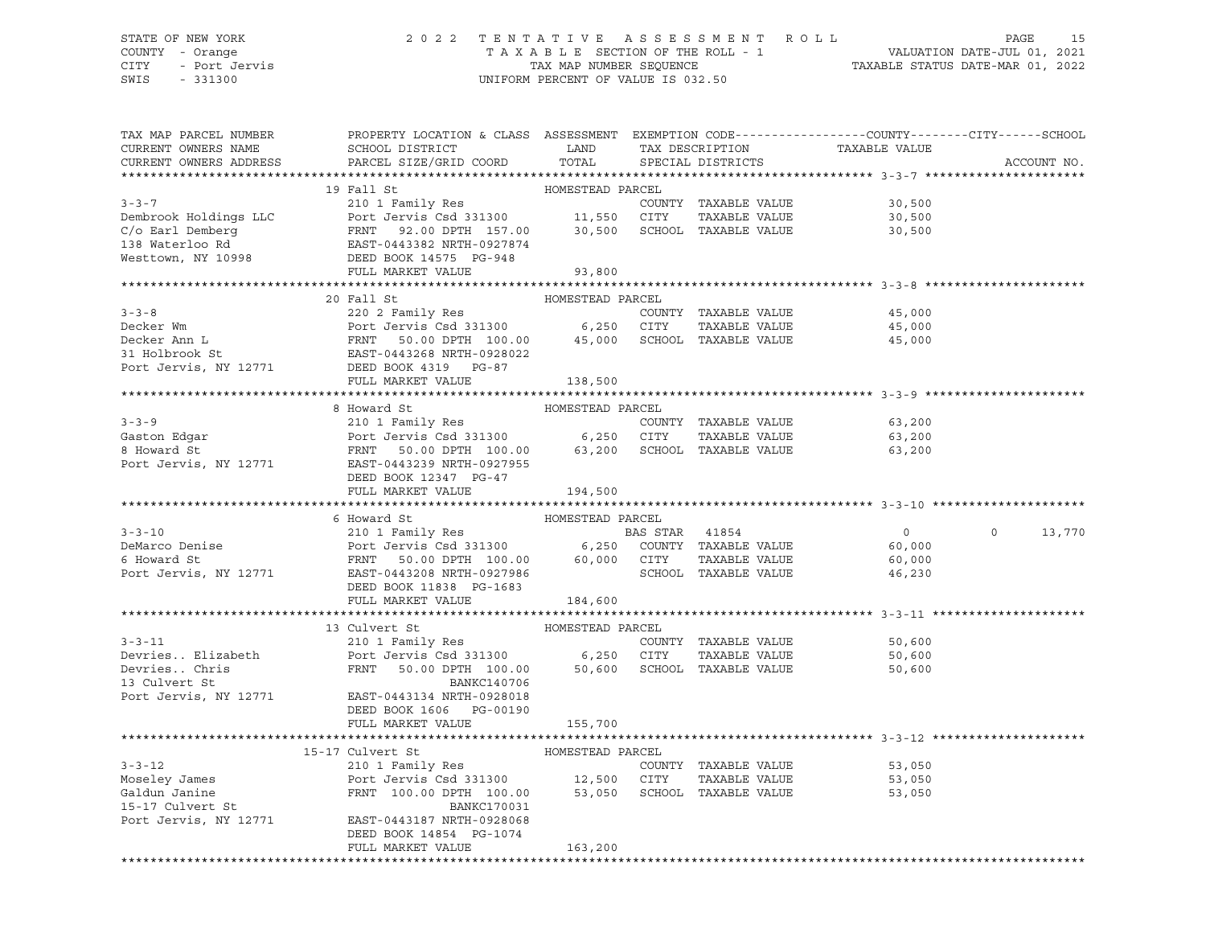# STATE OF NEW YORK 2 0 2 2 T E N T A T I V E A S S E S S M E N T R O L L PAGE 15 COUNTY - Orange T A X A B L E SECTION OF THE ROLL - 1 VALUATION DATE-JUL 01, 2021 CITY - Port Jervis TAX MAP NUMBER SEQUENCE TAXABLE STATUS DATE-MAR 01, 2022

| TAX MAP PARCEL NUMBER<br>CURRENT OWNERS NAME | PROPERTY LOCATION & CLASS ASSESSMENT EXEMPTION CODE---------------COUNTY-------CITY------SCHOOL<br>SCHOOL DISTRICT                                                                                                                                           | LAND             | TAX DESCRIPTION                       | TAXABLE VALUE    |                    |
|----------------------------------------------|--------------------------------------------------------------------------------------------------------------------------------------------------------------------------------------------------------------------------------------------------------------|------------------|---------------------------------------|------------------|--------------------|
| CURRENT OWNERS ADDRESS                       | PARCEL SIZE/GRID COORD                                                                                                                                                                                                                                       | TOTAL            | SPECIAL DISTRICTS                     |                  | ACCOUNT NO.        |
|                                              | 19 Fall St                                                                                                                                                                                                                                                   | HOMESTEAD PARCEL |                                       |                  |                    |
| $3 - 3 - 7$                                  | 210 1 Family Res                                                                                                                                                                                                                                             |                  | COUNTY TAXABLE VALUE                  | 30,500           |                    |
| Dembrook Holdings LLC                        | Port Jervis Csd 331300 11,550 CITY                                                                                                                                                                                                                           |                  | TAXABLE VALUE                         | 30,500           |                    |
| C/o Earl Demberg                             | Port Jervis Csd 331300<br>FRNT 92.00 DPTH 157.00<br>EAST-0443382 NRTH-0927874<br>DEED BOOK 14575 PG-948<br>FRNT 92.00 DPTH 157.00 30,500                                                                                                                     |                  | SCHOOL TAXABLE VALUE                  | 30,500           |                    |
| 138 Waterloo Rd                              |                                                                                                                                                                                                                                                              |                  |                                       |                  |                    |
| Westtown, NY 10998                           |                                                                                                                                                                                                                                                              |                  |                                       |                  |                    |
|                                              | FULL MARKET VALUE                                                                                                                                                                                                                                            | 93,800           |                                       |                  |                    |
|                                              |                                                                                                                                                                                                                                                              |                  |                                       |                  |                    |
|                                              | 20 Fall St<br>COUNTY TAXABLE VALUE<br>Decker Wm<br>Decker Ann L<br>Decker Ann L<br>FRNT 50.00 DPTH 100.00 45,000 SCHOOL TAXABLE VALUE<br>21 Holbrook St<br>220 2 Family Res<br>Port Jervis Csd 331300 6,250 CITY TAXABLE VALUE<br>FRNT 50.00 DPTH 100.00 45, | HOMESTEAD PARCEL |                                       |                  |                    |
|                                              |                                                                                                                                                                                                                                                              |                  |                                       | 45,000           |                    |
|                                              |                                                                                                                                                                                                                                                              |                  |                                       | 45,000           |                    |
|                                              |                                                                                                                                                                                                                                                              |                  |                                       | 45,000           |                    |
|                                              |                                                                                                                                                                                                                                                              |                  |                                       |                  |                    |
|                                              |                                                                                                                                                                                                                                                              |                  |                                       |                  |                    |
|                                              | FULL MARKET VALUE                                                                                                                                                                                                                                            | 138,500          |                                       |                  |                    |
|                                              |                                                                                                                                                                                                                                                              |                  |                                       |                  |                    |
|                                              | 8 Howard St                                                                                                                                                                                                                                                  | HOMESTEAD PARCEL |                                       |                  |                    |
| $3 - 3 - 9$                                  |                                                                                                                                                                                                                                                              |                  | COUNTY TAXABLE VALUE                  | 63,200           |                    |
| Gaston Edgar<br>8 Howard St                  | 210 1 Family Res<br>Port Jervis Csd 331300 6,250 CITY<br>FRNT 50.00 DPTH 100.00 63,200 SCHOOL                                                                                                                                                                |                  | TAXABLE VALUE<br>SCHOOL TAXABLE VALUE | 63,200<br>63,200 |                    |
| Port Jervis, NY 12771                        | EAST-0443239 NRTH-0927955                                                                                                                                                                                                                                    |                  |                                       |                  |                    |
|                                              | DEED BOOK 12347 PG-47                                                                                                                                                                                                                                        |                  |                                       |                  |                    |
|                                              | FULL MARKET VALUE                                                                                                                                                                                                                                            | 194,500          |                                       |                  |                    |
|                                              |                                                                                                                                                                                                                                                              |                  |                                       |                  |                    |
|                                              | 6 Howard St                                                                                                                                                                                                                                                  | HOMESTEAD PARCEL |                                       |                  |                    |
|                                              |                                                                                                                                                                                                                                                              |                  |                                       | $\overline{0}$   | $\Omega$<br>13,770 |
|                                              |                                                                                                                                                                                                                                                              |                  |                                       | 60,000           |                    |
|                                              |                                                                                                                                                                                                                                                              |                  |                                       | 60,000           |                    |
|                                              | 3-3-10<br>DeMarco Denise<br>6 Howard St<br>Port Jervis Csd 331300<br>FRNT 50.00 DPTH 100.00<br>FRNT 50.00 DPTH 100.00<br>60,000 CITY TAXABLE VALUE<br>SCHOOL TAXABLE VALUE<br>Port Jervis, NY 12771<br>EASS TRNT 50.00 DPTH 100.00<br>ECHOOL TAXAB           |                  |                                       | 46,230           |                    |
|                                              | DEED BOOK 11838 PG-1683                                                                                                                                                                                                                                      |                  |                                       |                  |                    |
|                                              | FULL MARKET VALUE                                                                                                                                                                                                                                            | 184,600          |                                       |                  |                    |
|                                              |                                                                                                                                                                                                                                                              |                  |                                       |                  |                    |
|                                              | 13 Culvert St                                                                                                                                                                                                                                                | HOMESTEAD PARCEL |                                       |                  |                    |
| $3 - 3 - 11$                                 | 210 1 Family Res<br>Port Jervis Csd 331300 6,250 CITY                                                                                                                                                                                                        |                  | COUNTY TAXABLE VALUE                  | 50,600           |                    |
| Devries Elizabeth                            |                                                                                                                                                                                                                                                              |                  | TAXABLE VALUE                         | 50,600           |                    |
| Devries Chris<br>13 Culvert St               | FRNT 50.00 DPTH 100.00                                                                                                                                                                                                                                       |                  | 50,600 SCHOOL TAXABLE VALUE           | 50,600           |                    |
|                                              | BANKC140706<br>Port Jervis, NY 12771 EAST-0443134 NRTH-0928018                                                                                                                                                                                               |                  |                                       |                  |                    |
|                                              | DEED BOOK 1606 PG-00190                                                                                                                                                                                                                                      |                  |                                       |                  |                    |
|                                              | FULL MARKET VALUE                                                                                                                                                                                                                                            | 155,700          |                                       |                  |                    |
|                                              |                                                                                                                                                                                                                                                              |                  |                                       |                  |                    |
|                                              | 15-17 Culvert St                                                                                                                                                                                                                                             | HOMESTEAD PARCEL |                                       |                  |                    |
| $3 - 3 - 12$                                 | 210 1 Family Res                                                                                                                                                                                                                                             |                  | COUNTY TAXABLE VALUE                  | 53,050           |                    |
| Moseley James                                |                                                                                                                                                                                                                                                              |                  |                                       | 53,050           |                    |
| Galdun Janine                                | Port Jervis Csd 331300 12,500 CITY TAXABLE VALUE<br>FRNT 100.00 DPTH 100.00 53,050 SCHOOL TAXABLE VALUE                                                                                                                                                      |                  |                                       | 53,050           |                    |
| 15-17 Culvert St                             | BANKC170031                                                                                                                                                                                                                                                  |                  |                                       |                  |                    |
| Port Jervis, NY 12771                        | EAST-0443187 NRTH-0928068                                                                                                                                                                                                                                    |                  |                                       |                  |                    |
|                                              | DEED BOOK 14854 PG-1074                                                                                                                                                                                                                                      |                  |                                       |                  |                    |
|                                              | FULL MARKET VALUE                                                                                                                                                                                                                                            | 163,200          |                                       |                  |                    |
|                                              |                                                                                                                                                                                                                                                              |                  | ******************************        |                  |                    |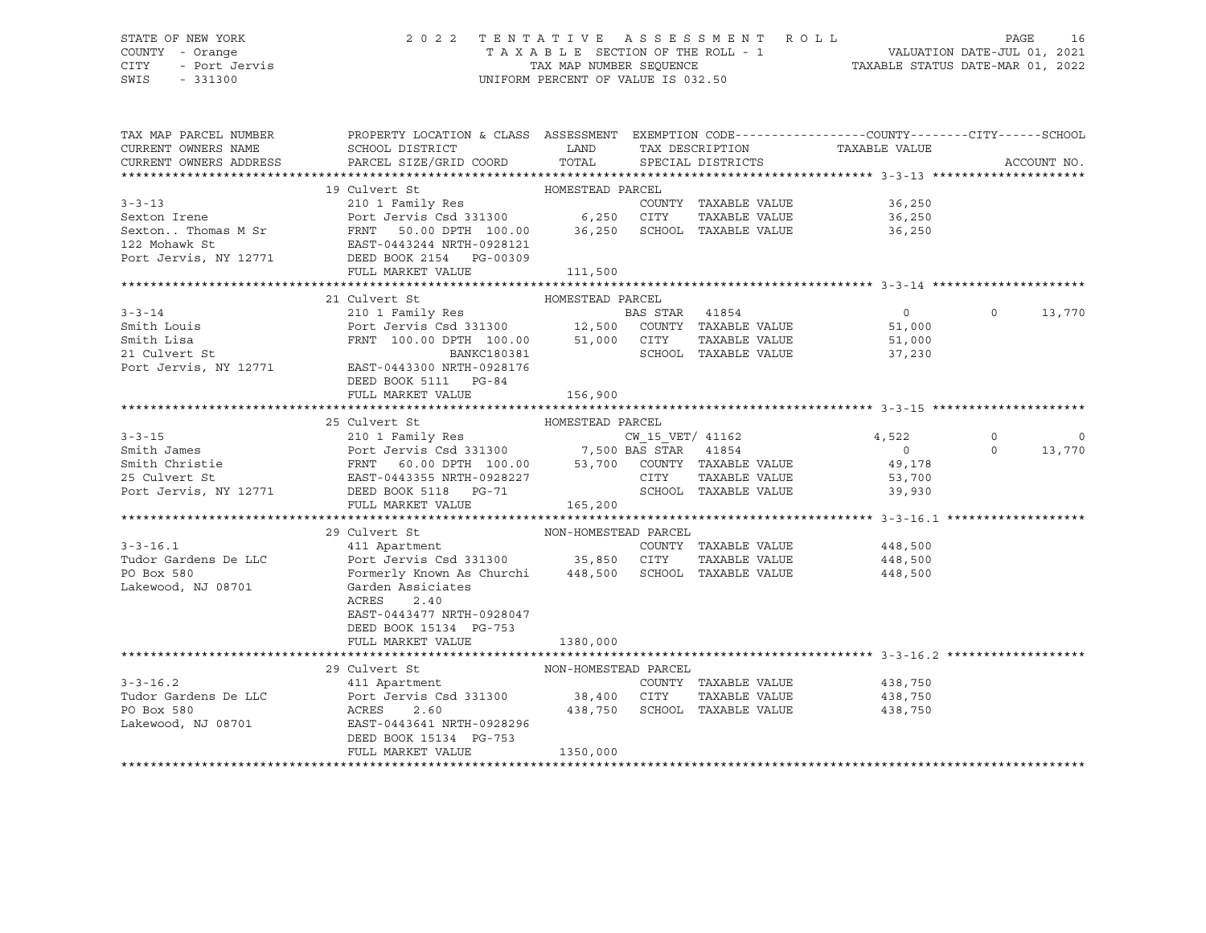# STATE OF NEW YORK 2 0 2 2 T E N T A T I V E A S S E S S M E N T R O L L PAGE 16 COUNTY - Orange T A X A B L E SECTION OF THE ROLL - 1 VALUATION DATE-JUL 01, 2021 CITY - Port Jervis TAX MAP NUMBER SEQUENCE TAXABLE STATUS DATE-MAR 01, 2022

| TAX MAP PARCEL NUMBER<br>CURRENT OWNERS NAME | PROPERTY LOCATION & CLASS ASSESSMENT EXEMPTION CODE----------------COUNTY-------CITY------SCHOOL<br>SCHOOL DISTRICT                                                                                                                                | <b>LAND</b>                  |                      |                              |          |                |
|----------------------------------------------|----------------------------------------------------------------------------------------------------------------------------------------------------------------------------------------------------------------------------------------------------|------------------------------|----------------------|------------------------------|----------|----------------|
| CURRENT OWNERS ADDRESS                       | PARCEL SIZE/GRID COORD                                                                                                                                                                                                                             |                              |                      |                              |          | ACCOUNT NO.    |
|                                              |                                                                                                                                                                                                                                                    |                              |                      |                              |          |                |
|                                              | 19 Culvert St                                                                                                                                                                                                                                      | HOMESTEAD PARCEL             |                      |                              |          |                |
|                                              | 3-3-13<br>Sexton Irene Port Jermily Res<br>Sexton Thomas M Sr<br>TAXABLE VALUE<br>PORT TAXABLE VALUE<br>PORT TAXABLE VALUE<br>TAXABLE VALUE<br>PORT TAXABLE VALUE<br>PORT TAXABLE VALUE<br>PORT TAXABLE VALUE<br>PORT TAXABLE VALUE<br>PORT OF TAX |                              |                      | 36,250                       |          |                |
|                                              |                                                                                                                                                                                                                                                    |                              |                      | 36,250                       |          |                |
|                                              |                                                                                                                                                                                                                                                    |                              |                      | 36,250                       |          |                |
|                                              |                                                                                                                                                                                                                                                    |                              |                      |                              |          |                |
|                                              |                                                                                                                                                                                                                                                    |                              |                      |                              |          |                |
|                                              | FULL MARKET VALUE                                                                                                                                                                                                                                  | 111,500                      |                      |                              |          |                |
|                                              |                                                                                                                                                                                                                                                    |                              |                      |                              |          |                |
|                                              | 21 Culvert St                                                                                                                                                                                                                                      | HOMESTEAD PARCEL             |                      |                              |          |                |
|                                              |                                                                                                                                                                                                                                                    |                              |                      |                              | $\Omega$ | 13,770         |
|                                              |                                                                                                                                                                                                                                                    |                              |                      |                              |          |                |
|                                              |                                                                                                                                                                                                                                                    |                              | TAXABLE VALUE        | 51,000<br>37.230             |          |                |
| Smith Lisa<br>21 Culvert St                  | FRNT 100.00 DPTH 100.00 51,000 CITY<br>BANKC180381 SCHOOL                                                                                                                                                                                          |                              | SCHOOL TAXABLE VALUE | 37,230                       |          |                |
|                                              | Port Jervis, NY 12771 EAST-0443300 NRTH-0928176                                                                                                                                                                                                    |                              |                      |                              |          |                |
|                                              | DEED BOOK 5111 PG-84                                                                                                                                                                                                                               |                              |                      |                              |          |                |
|                                              | FULL MARKET VALUE                                                                                                                                                                                                                                  | 156,900                      |                      |                              |          |                |
|                                              |                                                                                                                                                                                                                                                    |                              |                      |                              |          |                |
|                                              | 25 Culvert St                                                                                                                                                                                                                                      | HOMESTEAD PARCEL             |                      |                              |          |                |
|                                              |                                                                                                                                                                                                                                                    |                              |                      |                              | $\circ$  | $\overline{0}$ |
|                                              |                                                                                                                                                                                                                                                    |                              |                      |                              | $\Omega$ | 13,770         |
|                                              | 3-3-15<br>Smith James<br>Smith Christie (1990)<br>Smith Christie (1990)<br>Smith Christie (1990)<br>Smith Christie (1990)<br>Smith Christie (1990)<br>Smith Christie (1990)<br>Smith Christie (1990)<br>Smith Christie (1990)<br>Smith Christie (1 |                              |                      |                              |          |                |
|                                              |                                                                                                                                                                                                                                                    |                              |                      |                              |          |                |
|                                              |                                                                                                                                                                                                                                                    |                              |                      |                              |          |                |
|                                              | FULL MARKET VALUE                                                                                                                                                                                                                                  | 165, 200                     |                      |                              |          |                |
|                                              |                                                                                                                                                                                                                                                    |                              |                      |                              |          |                |
|                                              |                                                                                                                                                                                                                                                    |                              |                      |                              |          |                |
| $3 - 3 - 16.1$                               | $29$ Culvert St $_{\rm 411\ Apartment}$ $_{\rm 29\ COUNTY}$ NON-HOMESTEAD PARCEL                                                                                                                                                                   |                              | COUNTY TAXABLE VALUE | 448,500                      |          |                |
| Tudor Gardens De LLC                         | Port Jervis Csd 331300 35,850 CITY                                                                                                                                                                                                                 |                              |                      | TAXABLE VALUE 448,500        |          |                |
| PO Box 580                                   |                                                                                                                                                                                                                                                    |                              |                      | 448,500                      |          |                |
| Lakewood, NJ 08701                           | Formerly Known As Churchi     448,500   SCHOOL  TAXABLE VALUE<br>Garden Assiciates<br>Garden Assiciates                                                                                                                                            |                              |                      |                              |          |                |
|                                              |                                                                                                                                                                                                                                                    |                              |                      |                              |          |                |
|                                              | ACRES<br>2.40                                                                                                                                                                                                                                      |                              |                      |                              |          |                |
|                                              | EAST-0443477 NRTH-0928047                                                                                                                                                                                                                          |                              |                      |                              |          |                |
|                                              | DEED BOOK 15134 PG-753                                                                                                                                                                                                                             |                              |                      |                              |          |                |
|                                              | FULL MARKET VALUE                                                                                                                                                                                                                                  | 1380,000                     |                      |                              |          |                |
|                                              |                                                                                                                                                                                                                                                    |                              |                      |                              |          |                |
|                                              | 29 Culvert St                                                                                                                                                                                                                                      |                              |                      |                              |          |                |
| $3 - 3 - 16.2$                               |                                                                                                                                                                                                                                                    |                              |                      | COUNTY TAXABLE VALUE 438,750 |          |                |
|                                              |                                                                                                                                                                                                                                                    |                              |                      | TAXABLE VALUE 438,750        |          |                |
|                                              |                                                                                                                                                                                                                                                    | 438,750 SCHOOL TAXABLE VALUE |                      | 438,750                      |          |                |
|                                              |                                                                                                                                                                                                                                                    |                              |                      |                              |          |                |
|                                              | DEED BOOK 15134 PG-753                                                                                                                                                                                                                             |                              |                      |                              |          |                |
|                                              | FULL MARKET VALUE                                                                                                                                                                                                                                  | 1350,000                     |                      |                              |          |                |
|                                              |                                                                                                                                                                                                                                                    |                              |                      |                              |          |                |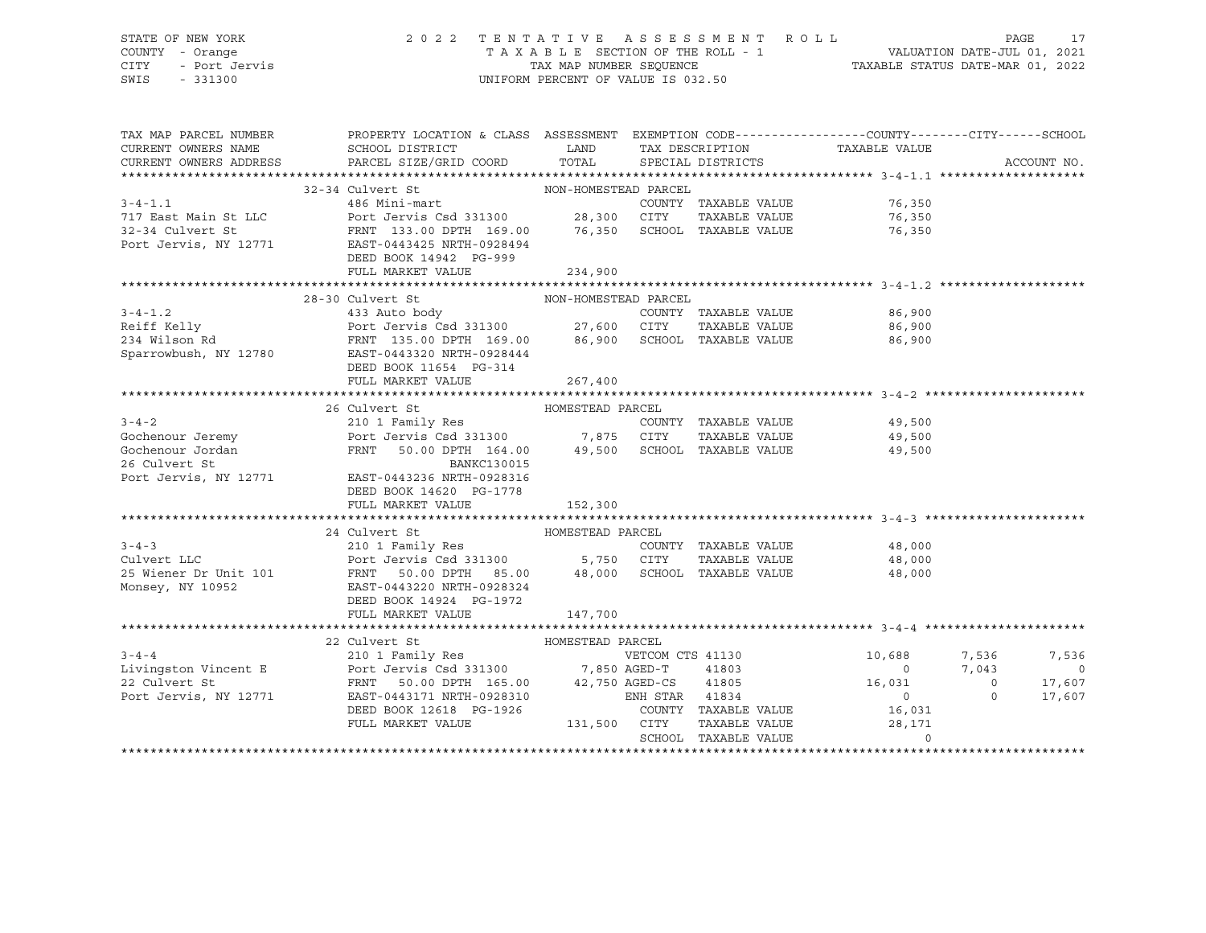# STATE OF NEW YORK 2 0 2 2 T E N T A T I V E A S S E S S M E N T R O L L PAGE 17 COUNTY - Orange T A X A B L E SECTION OF THE ROLL - 1 VALUATION DATE-JUL 01, 2021 CITY - Port Jervis TAX MAP NUMBER SEQUENCE TAXABLE STATUS DATE-MAR 01, 2022

| TAX MAP PARCEL NUMBER<br>CURRENT OWNERS NAME<br>CURRENT OWNERS ADDRESS | PROPERTY LOCATION & CLASS ASSESSMENT EXEMPTION CODE----------------COUNTY-------CITY------SCHOOL<br>SCHOOL DISTRICT                                                                                                                                            | <b>LAND</b>  | TAX DESCRIPTION      |               | TAXABLE VALUE               |                |                          |
|------------------------------------------------------------------------|----------------------------------------------------------------------------------------------------------------------------------------------------------------------------------------------------------------------------------------------------------------|--------------|----------------------|---------------|-----------------------------|----------------|--------------------------|
|                                                                        | PARCEL SIZE/GRID COORD                                                                                                                                                                                                                                         | TOTAL        | SPECIAL DISTRICTS    |               |                             |                | ACCOUNT NO.              |
|                                                                        |                                                                                                                                                                                                                                                                |              |                      |               |                             |                |                          |
| $3 - 4 - 1.1$                                                          |                                                                                                                                                                                                                                                                |              | COUNTY TAXABLE VALUE |               | 76,350                      |                |                          |
|                                                                        |                                                                                                                                                                                                                                                                |              |                      |               | 76,350                      |                |                          |
|                                                                        |                                                                                                                                                                                                                                                                |              |                      |               | 76,350                      |                |                          |
|                                                                        | Port Jervis, NY 12771 EAST-0443425 NRTH-0928494                                                                                                                                                                                                                |              |                      |               |                             |                |                          |
|                                                                        | DEED BOOK 14942 PG-999                                                                                                                                                                                                                                         |              |                      |               |                             |                |                          |
|                                                                        | FULL MARKET VALUE                                                                                                                                                                                                                                              | 234,900      |                      |               |                             |                |                          |
|                                                                        |                                                                                                                                                                                                                                                                |              |                      |               |                             |                |                          |
|                                                                        |                                                                                                                                                                                                                                                                |              |                      |               |                             |                |                          |
|                                                                        | WON-HOMESTEAD PARCEL<br>3-4-1.2<br>433 Auto body<br>Reiff Kelly<br>Port Jervis Csd 331300<br>27,600 CITY<br>27,600 CITY<br>2780<br>27,600 CITY<br>27,600 CITY<br>27,600 CITY<br>27,600 CITY<br>27,600 CITY<br>27,600 CITY<br>27,600 CITY<br>27,600 CITY<br>27, |              |                      |               | 86,900                      |                |                          |
|                                                                        |                                                                                                                                                                                                                                                                |              |                      |               | 86,900                      |                |                          |
|                                                                        |                                                                                                                                                                                                                                                                |              |                      |               | 86,900                      |                |                          |
|                                                                        |                                                                                                                                                                                                                                                                |              |                      |               |                             |                |                          |
|                                                                        | DEED BOOK 11654 PG-314                                                                                                                                                                                                                                         |              |                      |               |                             |                |                          |
|                                                                        | FULL MARKET VALUE                                                                                                                                                                                                                                              | 267,400      |                      |               |                             |                |                          |
|                                                                        |                                                                                                                                                                                                                                                                |              |                      |               |                             |                |                          |
|                                                                        | 26 Culvert St MOMESTEAD PARCEL                                                                                                                                                                                                                                 |              |                      |               |                             |                |                          |
|                                                                        |                                                                                                                                                                                                                                                                |              |                      |               |                             |                |                          |
|                                                                        |                                                                                                                                                                                                                                                                |              |                      |               |                             |                |                          |
|                                                                        | 3-4-2<br>Gochenour Jeremy<br>Gochenour Jordan<br>Extrist Call 210 1 Family Res<br>Port Jervis Csd 331300<br>FRNT 50.00 DPTH 164.00<br>26 Culvert St<br>26 Culvert St<br>26 Culvert St<br>26 Culvert St<br>26 Culvert St<br>26 Culvert St<br>26 Culvert         |              |                      |               |                             |                |                          |
|                                                                        |                                                                                                                                                                                                                                                                |              |                      |               |                             |                |                          |
|                                                                        |                                                                                                                                                                                                                                                                |              |                      |               |                             |                |                          |
|                                                                        | DEED BOOK 14620 PG-1778                                                                                                                                                                                                                                        |              |                      |               |                             |                |                          |
|                                                                        | FULL MARKET VALUE 152,300                                                                                                                                                                                                                                      |              |                      |               |                             |                |                          |
|                                                                        |                                                                                                                                                                                                                                                                |              |                      |               |                             |                |                          |
| $3 - 4 - 3$                                                            | 24 Culvert St MOMESTEAD PARCEL<br>210 1 Family Res                                                                                                                                                                                                             |              | COUNTY TAXABLE VALUE |               | 48,000                      |                |                          |
| Culvert LLC                                                            |                                                                                                                                                                                                                                                                |              |                      |               | TAXABLE VALUE 48,000        |                |                          |
|                                                                        |                                                                                                                                                                                                                                                                |              |                      |               |                             |                |                          |
|                                                                        | 25 Wiener Dr Unit 101 FRNT 50.00 DPTH 85.00 48,000 SCHOOL TAXABLE VALUE 48,000<br>Monsey, NY 10952 EAST-0443220 NRTH-0928324                                                                                                                                   |              |                      |               |                             |                |                          |
|                                                                        | DEED BOOK 14924 PG-1972                                                                                                                                                                                                                                        |              |                      |               |                             |                |                          |
|                                                                        | FULL MARKET VALUE                                                                                                                                                                                                                                              | 147,700      |                      |               |                             |                |                          |
|                                                                        |                                                                                                                                                                                                                                                                |              |                      |               |                             |                |                          |
|                                                                        | 22 Culvert St                                                                                                                                                                                                                                                  |              |                      |               |                             |                |                          |
| $3 - 4 - 4$                                                            |                                                                                                                                                                                                                                                                |              | VETCOM CTS 41130     |               |                             | 10,688 7,536   | 7,536                    |
|                                                                        |                                                                                                                                                                                                                                                                |              |                      |               | $\overline{0}$              | 7,043          | $\overline{\phantom{0}}$ |
|                                                                        | Example 12 and 1803 and 1803<br>22 Culvert St<br>Port Jervis Csd 331300 7,850 AGED-T 41803<br>22 Culvert St<br>Port Jervis, NY 12771 EAST-0443171 NRTH-0928310 ENH STAR 41834                                                                                  |              |                      |               | 16,031                      | $\overline{0}$ | 17,607                   |
| Port Jervis, NY 12771                                                  | EAST-0443171 NRTH-0928310                                                                                                                                                                                                                                      |              | ENH STAR 41834       |               | $\overline{0}$              | $\Omega$       | 17,607                   |
|                                                                        | DEED BOOK 12618 PG-1926                                                                                                                                                                                                                                        |              |                      |               | COUNTY TAXABLE VALUE 16,031 |                |                          |
|                                                                        | FULL MARKET VALUE                                                                                                                                                                                                                                              | 131,500 CITY |                      | TAXABLE VALUE | 28,171                      |                |                          |
|                                                                        |                                                                                                                                                                                                                                                                |              | SCHOOL TAXABLE VALUE |               | $\Omega$                    |                |                          |
|                                                                        |                                                                                                                                                                                                                                                                |              |                      |               |                             |                |                          |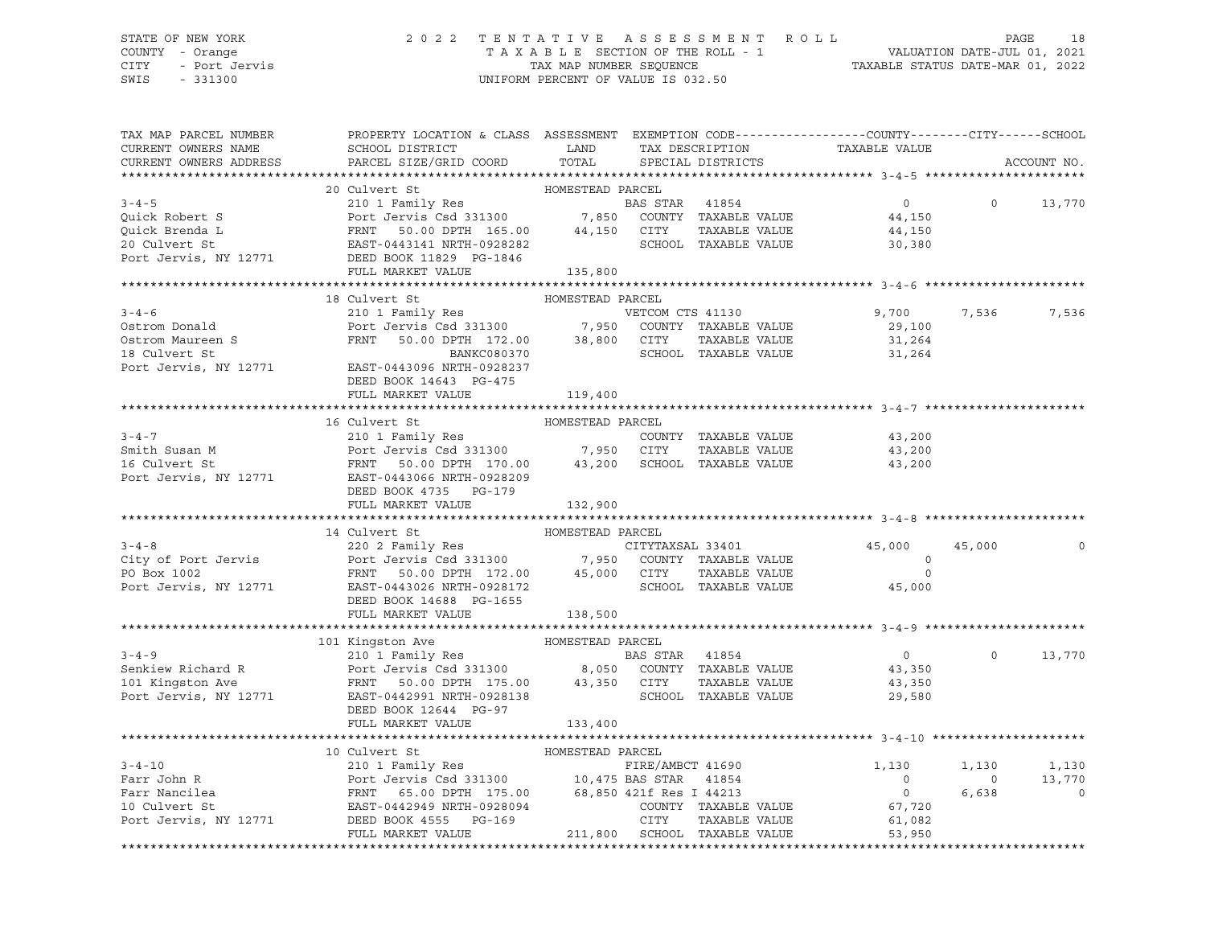# STATE OF NEW YORK 2 0 2 2 T E N T A T I V E A S S E S S M E N T R O L L PAGE 18 COUNTY - Orange T A X A B L E SECTION OF THE ROLL - 1 VALUATION DATE-JUL 01, 2021 CITY - Port Jervis TAX MAP NUMBER SEQUENCE TAXABLE STATUS DATE-MAR 01, 2022

| TAX MAP PARCEL NUMBER<br>CURRENT OWNERS NAME<br>CURRENT OWNERS ADDRESS | PROPERTY LOCATION & CLASS ASSESSMENT EXEMPTION CODE----------------COUNTY-------CITY------SCHOOL<br>SCHOOL DISTRICT LAND<br>PARCEL SIZE/GRID COORD                                                                                                                                                                                              | TOTAL            | TAX DESCRIPTION<br>SPECIAL DISTRICTS  | TAXABLE VALUE                                |                | ACCOUNT NO.    |
|------------------------------------------------------------------------|-------------------------------------------------------------------------------------------------------------------------------------------------------------------------------------------------------------------------------------------------------------------------------------------------------------------------------------------------|------------------|---------------------------------------|----------------------------------------------|----------------|----------------|
|                                                                        |                                                                                                                                                                                                                                                                                                                                                 |                  |                                       |                                              |                |                |
| $3 - 4 - 5$                                                            | 20 Culvert St<br>210 1 Family Res<br>Port Jervis Csd 331300 7,850 COUNTY TAXABLE VALUE<br>3-4-5<br>Quick Robert S<br>Quick Brenda L<br>Quick Brenda L<br>CITY EAST-0443141 NRTH-0928282<br>Port Jervis, NY 12771<br>DEED BOOK 11829 PG-1846<br>FULL MARKET VALUE 135,800<br>PORT 15,800<br>PORT 135,800<br>PORT 135,800<br>PORT 135,800<br>PORT | HOMESTEAD PARCEL | TAXABLE VALUE<br>SCHOOL TAXABLE VALUE | $\overline{0}$<br>44,150<br>44,150<br>30,380 | $\Omega$       | 13,770         |
|                                                                        |                                                                                                                                                                                                                                                                                                                                                 |                  |                                       |                                              |                |                |
|                                                                        |                                                                                                                                                                                                                                                                                                                                                 |                  |                                       |                                              |                |                |
|                                                                        | 18 Culvert St                                                                                                                                                                                                                                                                                                                                   | HOMESTEAD PARCEL |                                       |                                              |                |                |
|                                                                        | 3-4-6<br>Ostrom Donald<br>Ostrom Maureen S<br>Controm Maureen S<br>Controm Maureen S<br>Controm Maureen S<br>Controm Maureen S<br>Controm Maureen S<br>PRNT 50.00 DPTH 172.00<br>218 Culvert St<br>Controm TAXABLE VALUE<br>218 Culvert St                                                                                                      |                  |                                       | 9,700                                        | 7,536          | 7,536          |
|                                                                        |                                                                                                                                                                                                                                                                                                                                                 |                  |                                       | 29,100                                       |                |                |
|                                                                        |                                                                                                                                                                                                                                                                                                                                                 |                  |                                       | 31,264                                       |                |                |
| 18 Culvert St                                                          | BANKC080370                                                                                                                                                                                                                                                                                                                                     |                  | SCHOOL TAXABLE VALUE                  | 31,264                                       |                |                |
|                                                                        | Port Jervis, NY 12771 EAST-0443096 NRTH-0928237                                                                                                                                                                                                                                                                                                 |                  |                                       |                                              |                |                |
|                                                                        | DEED BOOK 14643 PG-475                                                                                                                                                                                                                                                                                                                          |                  |                                       |                                              |                |                |
|                                                                        | FULL MARKET VALUE                                                                                                                                                                                                                                                                                                                               | 119,400          |                                       |                                              |                |                |
|                                                                        |                                                                                                                                                                                                                                                                                                                                                 |                  |                                       |                                              |                |                |
|                                                                        | 16 Culvert St                                                                                                                                                                                                                                                                                                                                   | HOMESTEAD PARCEL |                                       |                                              |                |                |
| $3 - 4 - 7$                                                            |                                                                                                                                                                                                                                                                                                                                                 |                  |                                       |                                              |                |                |
|                                                                        |                                                                                                                                                                                                                                                                                                                                                 |                  |                                       | 43,200<br>43,200                             |                |                |
|                                                                        | 210 1 Family Res<br>Port Jervis Csd 331300 7,950 CITY TAXABLE VALUE<br>FRNT 50.00 DPTH 170.00 43,200 SCHOOL TAXABLE VALUE                                                                                                                                                                                                                       |                  |                                       | 43,200                                       |                |                |
|                                                                        |                                                                                                                                                                                                                                                                                                                                                 |                  |                                       |                                              |                |                |
|                                                                        | DEED BOOK 4735 PG-179                                                                                                                                                                                                                                                                                                                           |                  |                                       |                                              |                |                |
|                                                                        | FULL MARKET VALUE                                                                                                                                                                                                                                                                                                                               | 132,900          |                                       |                                              |                |                |
|                                                                        |                                                                                                                                                                                                                                                                                                                                                 |                  |                                       |                                              |                |                |
|                                                                        | 14 Culvert St                                                                                                                                                                                                                                                                                                                                   | HOMESTEAD PARCEL |                                       |                                              |                |                |
|                                                                        |                                                                                                                                                                                                                                                                                                                                                 |                  |                                       | 45,000                                       | 45,000         | $\Omega$       |
|                                                                        |                                                                                                                                                                                                                                                                                                                                                 |                  |                                       | $\circ$                                      |                |                |
|                                                                        | 3-4-8<br>220 2 Family Res<br>City of Port Jervis<br>Port Jervis (Sd 331300 7,950 COUNTY TAXABLE VALUE<br>PO Box 1002<br>Port Jervis, NY 12771 EAST-0443026 NRTH-0928172<br>Port Jervis, NY 12771 EAST-0443026 NRTH-0928172<br>Port Jervis, N                                                                                                    |                  |                                       | $\circ$<br>45,000                            |                |                |
|                                                                        | DEED BOOK 14688 PG-1655                                                                                                                                                                                                                                                                                                                         |                  |                                       |                                              |                |                |
|                                                                        | FULL MARKET VALUE 138,500                                                                                                                                                                                                                                                                                                                       |                  |                                       |                                              |                |                |
|                                                                        |                                                                                                                                                                                                                                                                                                                                                 |                  |                                       |                                              |                |                |
|                                                                        |                                                                                                                                                                                                                                                                                                                                                 |                  |                                       |                                              |                |                |
|                                                                        |                                                                                                                                                                                                                                                                                                                                                 |                  |                                       | $\overline{0}$                               | $\Omega$       | 13,770         |
|                                                                        |                                                                                                                                                                                                                                                                                                                                                 |                  |                                       |                                              |                |                |
|                                                                        |                                                                                                                                                                                                                                                                                                                                                 |                  |                                       | 43,350<br>43,350                             |                |                |
|                                                                        | 3-4-9<br>Senkiew Richard R<br>Senkiew Richard R<br>210 1 Family Res<br>Port Jervis Csd 331300<br>210 1 Family Res<br>Port 331300<br>210 1 Family Res<br>210 1 Family Res<br>2131300<br>2131300<br>23,350 CITY TAXABLE VALUE<br>23,350 CITY TAXABLE VAL                                                                                          |                  | SCHOOL TAXABLE VALUE                  | 29,580                                       |                |                |
|                                                                        | DEED BOOK 12644 PG-97                                                                                                                                                                                                                                                                                                                           |                  |                                       |                                              |                |                |
|                                                                        | FULL MARKET VALUE                                                                                                                                                                                                                                                                                                                               | 133,400          |                                       |                                              |                |                |
|                                                                        |                                                                                                                                                                                                                                                                                                                                                 |                  |                                       |                                              |                |                |
|                                                                        | 10 Culvert St                                                                                                                                                                                                                                                                                                                                   | HOMESTEAD PARCEL |                                       |                                              |                |                |
|                                                                        |                                                                                                                                                                                                                                                                                                                                                 |                  |                                       |                                              | 1,130          | 1,130          |
|                                                                        |                                                                                                                                                                                                                                                                                                                                                 |                  |                                       |                                              | $\overline{0}$ | 13,770         |
|                                                                        |                                                                                                                                                                                                                                                                                                                                                 |                  |                                       |                                              | 6,638          | $\overline{0}$ |
|                                                                        |                                                                                                                                                                                                                                                                                                                                                 |                  |                                       |                                              |                |                |
|                                                                        | 3-4-10<br>Farr John R<br>Farr Mancilea<br>Farr Mancilea<br>Farr Mancilea<br>Farr Mancilea<br>Farr Mancilea<br>FARR 65.00 DPTH 175.00<br>FARR 41854<br>FARR 41854<br>FARR 41854<br>0<br>COUNTY TAXABLE VALUE<br>FARR 4213<br>0<br>OCUNTY TAXABLE VALUE<br>FARR                                                                                   |                  |                                       |                                              |                |                |
|                                                                        | FULL MARKET VALUE                                                                                                                                                                                                                                                                                                                               |                  | 211,800 SCHOOL TAXABLE VALUE          | 53,950                                       |                |                |
|                                                                        |                                                                                                                                                                                                                                                                                                                                                 |                  |                                       |                                              |                |                |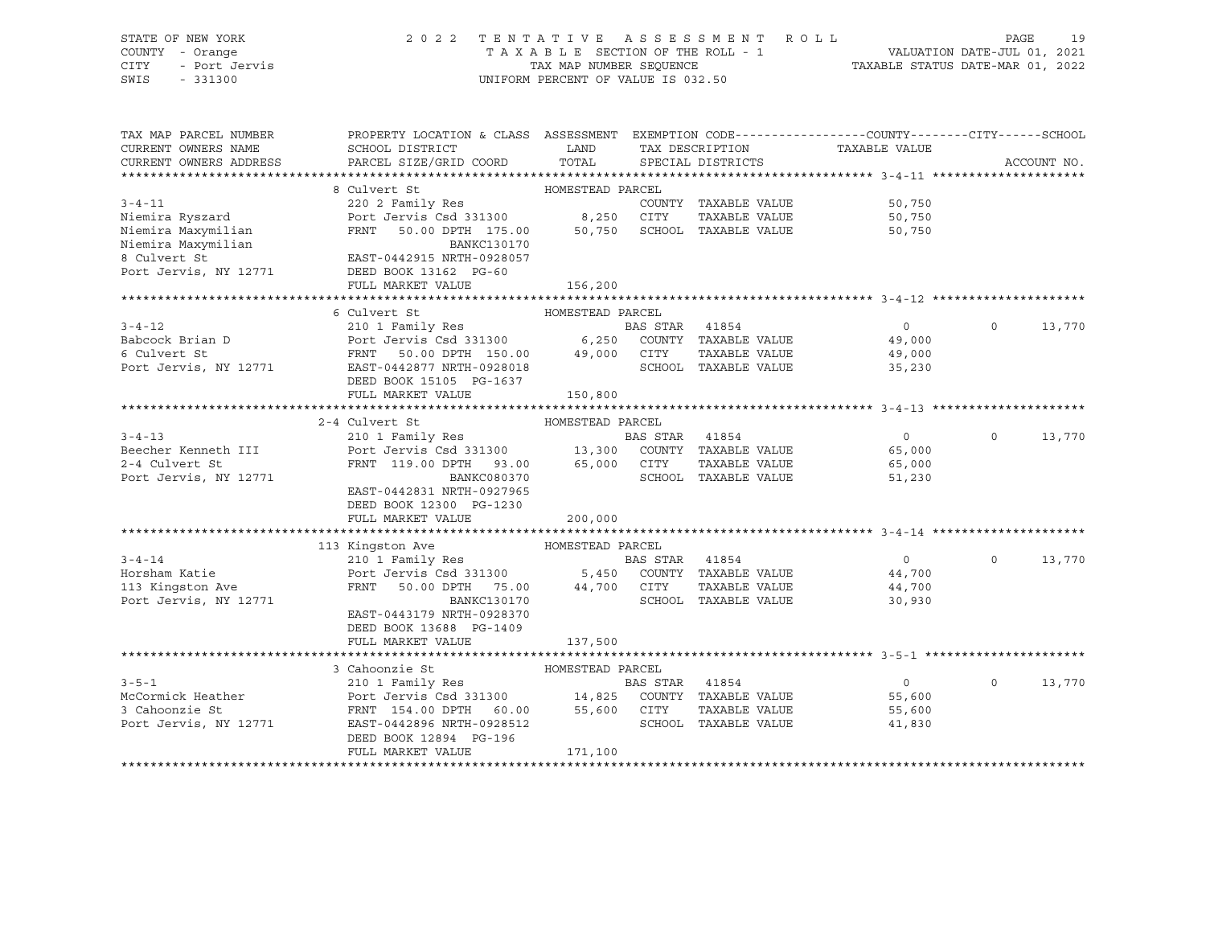# STATE OF NEW YORK 2 0 2 2 T E N T A T I V E A S S E S S M E N T R O L L PAGE 19 COUNTY - Orange T A X A B L E SECTION OF THE ROLL - 1 VALUATION DATE-JUL 01, 2021 CITY - Port Jervis TAX MAP NUMBER SEQUENCE TAXABLE STATUS DATE-MAR 01, 2022

| TAX MAP PARCEL NUMBER<br>CURRENT OWNERS NAME<br>CURRENT OWNERS ADDRESS | PROPERTY LOCATION & CLASS ASSESSMENT EXEMPTION CODE---------------COUNTY-------CITY------SCHOOL<br>SCHOOL DISTRICT<br><b>Example 12</b><br>PARCEL SIZE/GRID COORD | TOTAL            |                | TAX DESCRIPTION<br>SPECIAL DISTRICTS | TAXABLE VALUE              |          | ACCOUNT NO. |
|------------------------------------------------------------------------|-------------------------------------------------------------------------------------------------------------------------------------------------------------------|------------------|----------------|--------------------------------------|----------------------------|----------|-------------|
|                                                                        |                                                                                                                                                                   |                  |                |                                      |                            |          |             |
|                                                                        | HOMESTEAD PARCEL<br>8 Culvert St                                                                                                                                  |                  |                |                                      |                            |          |             |
| $3 - 4 - 11$                                                           | 220 2 Family Res                                                                                                                                                  |                  |                | COUNTY TAXABLE VALUE                 |                            |          |             |
| Niemira Ryszard                                                        | Port Jervis Csd 331300 8,250 CITY                                                                                                                                 |                  |                | TAXABLE VALUE                        | 50,750<br>50.750<br>50,750 |          |             |
| Niemira Maxymilian                                                     | FRNT 50.00 DPTH 175.00 50,750                                                                                                                                     |                  |                | SCHOOL TAXABLE VALUE                 | 50,750                     |          |             |
| Niemira Maxymilian                                                     | BANKC130170                                                                                                                                                       |                  |                |                                      |                            |          |             |
| 8 Culvert St                                                           | EAST-0442915 NRTH-0928057                                                                                                                                         |                  |                |                                      |                            |          |             |
| Port Jervis, NY 12771                                                  | DEED BOOK 13162 PG-60                                                                                                                                             |                  |                |                                      |                            |          |             |
|                                                                        | FULL MARKET VALUE                                                                                                                                                 | 156,200          |                |                                      |                            |          |             |
|                                                                        |                                                                                                                                                                   |                  |                |                                      |                            |          |             |
|                                                                        | 6 Culvert St                                                                                                                                                      | HOMESTEAD PARCEL |                |                                      |                            |          |             |
| $3 - 4 - 12$                                                           | 210 1 Family Res                                                                                                                                                  |                  | BAS STAR 41854 |                                      | $\Omega$                   | $\Omega$ | 13,770      |
|                                                                        |                                                                                                                                                                   |                  |                |                                      | 49,000                     |          |             |
| Babcock Brian D<br>Contrent St                                         |                                                                                                                                                                   |                  |                |                                      | 49,000                     |          |             |
| Port Jervis, NY 12771                                                  | EAST-0442877 NRTH-0928018                                                                                                                                         |                  |                | SCHOOL TAXABLE VALUE                 | 35,230                     |          |             |
|                                                                        | DEED BOOK 15105 PG-1637                                                                                                                                           |                  |                |                                      |                            |          |             |
|                                                                        | FULL MARKET VALUE                                                                                                                                                 | 150,800          |                |                                      |                            |          |             |
|                                                                        |                                                                                                                                                                   |                  |                |                                      |                            |          |             |
|                                                                        | 2-4 Culvert St                                                                                                                                                    | HOMESTEAD PARCEL |                |                                      |                            |          |             |
| $3 - 4 - 13$                                                           |                                                                                                                                                                   |                  |                |                                      | 0                          | $\circ$  | 13,770      |
| Beecher Kenneth III                                                    |                                                                                                                                                                   |                  |                |                                      | 65,000                     |          |             |
| 2-4 Culvert St                                                         | FRNT 119.00 DPTH 93.00 65,000 CITY                                                                                                                                |                  |                | TAXABLE VALUE                        | 65,000                     |          |             |
| Port Jervis, NY 12771                                                  | BANKC080370                                                                                                                                                       |                  |                | SCHOOL TAXABLE VALUE                 | 51,230                     |          |             |
|                                                                        | EAST-0442831 NRTH-0927965                                                                                                                                         |                  |                |                                      |                            |          |             |
|                                                                        | DEED BOOK 12300 PG-1230                                                                                                                                           |                  |                |                                      |                            |          |             |
|                                                                        | FULL MARKET VALUE                                                                                                                                                 | 200,000          |                |                                      |                            |          |             |
|                                                                        |                                                                                                                                                                   |                  |                |                                      |                            |          |             |
|                                                                        | 113 Kingston Ave<br>HOMESTEAD PARCEL                                                                                                                              |                  |                |                                      |                            |          |             |
| $3 - 4 - 14$                                                           | 210 1 Family Res                                                                                                                                                  |                  | BAS STAR       | 41854                                | $\overline{0}$             | $\circ$  | 13,770      |
| Horsham Katie                                                          |                                                                                                                                                                   |                  |                |                                      | 44,700                     |          |             |
| 113 Kingston Ave                                                       | Port Jervis Csd 331300 5,450 COUNTY TAXABLE VALUE<br>FRNT 50.00 DPTH 75.00 44,700 CITY TAXABLE VALUE                                                              |                  |                |                                      | 44,700                     |          |             |
| Port Jervis, NY 12771                                                  | BANKC130170                                                                                                                                                       |                  |                | SCHOOL TAXABLE VALUE                 | 30,930                     |          |             |
|                                                                        | EAST-0443179 NRTH-0928370                                                                                                                                         |                  |                |                                      |                            |          |             |
|                                                                        | DEED BOOK 13688 PG-1409                                                                                                                                           |                  |                |                                      |                            |          |             |
|                                                                        | FULL MARKET VALUE                                                                                                                                                 | 137,500          |                |                                      |                            |          |             |
|                                                                        |                                                                                                                                                                   |                  |                |                                      |                            |          |             |
|                                                                        | 3 Cahoonzie St                                                                                                                                                    | HOMESTEAD PARCEL |                |                                      |                            |          |             |
| $3 - 5 - 1$                                                            |                                                                                                                                                                   |                  | BAS STAR 41854 |                                      | $\overline{0}$             | $\Omega$ | 13,770      |
| McCormick Heather                                                      | Port Jervis Csd 331300 14,825 COUNTY TAXABLE VALUE<br>FRNT 154.00 DPTH 60.00 55,600 CITY TAXABLE VALUE                                                            |                  |                |                                      | 55,600                     |          |             |
| 3 Cahoonzie St                                                         |                                                                                                                                                                   |                  |                |                                      | 55,600                     |          |             |
| Port Jervis, NY 12771                                                  | EAST-0442896 NRTH-0928512                                                                                                                                         |                  |                | SCHOOL TAXABLE VALUE                 | 41,830                     |          |             |
|                                                                        | DEED BOOK 12894 PG-196                                                                                                                                            |                  |                |                                      |                            |          |             |
|                                                                        | FULL MARKET VALUE                                                                                                                                                 | 171,100          |                |                                      |                            |          |             |
|                                                                        |                                                                                                                                                                   |                  |                |                                      |                            |          |             |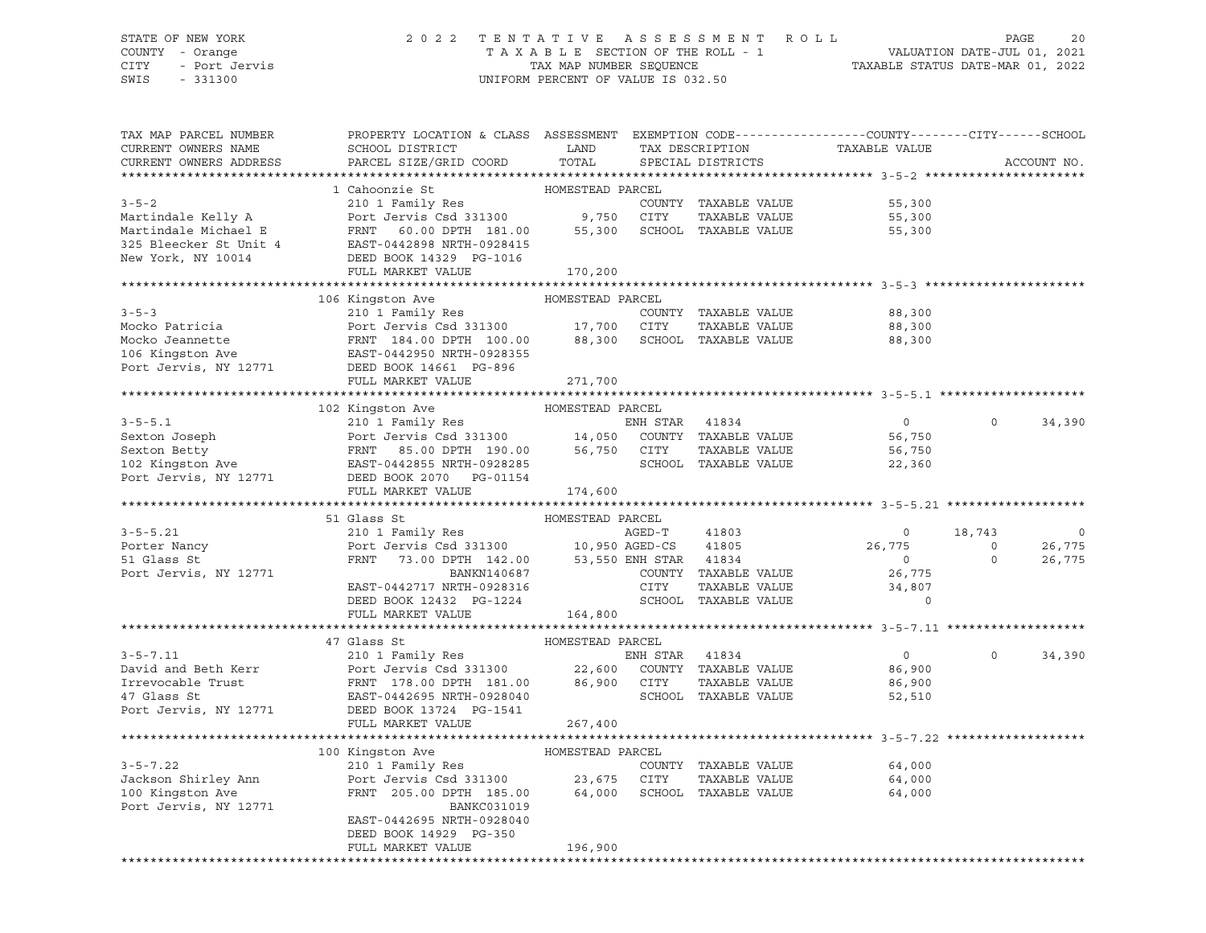# STATE OF NEW YORK 2 0 2 2 T E N T A T I V E A S S E S S M E N T R O L L PAGE 20 COUNTY - Orange T A X A B L E SECTION OF THE ROLL - 1 VALUATION DATE-JUL 01, 2021 CITY - Port Jervis TAX MAP NUMBER SEQUENCE TAXABLE STATUS DATE-MAR 01, 2022

| TAX MAP PARCEL NUMBER<br>CURRENT OWNERS NAME<br>CURRENT OWNERS ADDRESS | PROPERTY LOCATION & CLASS ASSESSMENT EXEMPTION CODE----------------COUNTY-------CITY------SCHOOL<br>SCHOOL DISTRICT<br>PARCEL SIZE/GRID COORD                                                                                                            | LAND<br>TOTAL    | TAX DESCRIPTION<br>SPECIAL DISTRICTS  | TAXABLE VALUE            |                            | ACCOUNT NO. |
|------------------------------------------------------------------------|----------------------------------------------------------------------------------------------------------------------------------------------------------------------------------------------------------------------------------------------------------|------------------|---------------------------------------|--------------------------|----------------------------|-------------|
| *************************                                              |                                                                                                                                                                                                                                                          |                  |                                       |                          |                            |             |
|                                                                        | 1 Cahoonzie St                                                                                                                                                                                                                                           | HOMESTEAD PARCEL | COUNTY TAXABLE VALUE<br>TAXABLE VALUE | 55,300<br>55,300         |                            |             |
|                                                                        | 3-5-2<br>Martindale Kelly A<br>Martindale Kelly A<br>Martindale Michael E<br>Martindale Michael E<br>Martindale Michael E<br>SCOUNTY TAXABLE VALUE<br>Martindale Michael E<br>SCOUNTY TAXABLE VALUE<br>SERIE PRINT 60.00 DPTH 181.00<br>SCHOOL TAX       |                  |                                       | 55,300                   |                            |             |
|                                                                        | FULL MARKET VALUE                                                                                                                                                                                                                                        | 170, 200         |                                       |                          |                            |             |
|                                                                        |                                                                                                                                                                                                                                                          |                  |                                       |                          |                            |             |
|                                                                        | 106 Kingston Ave                                                                                                                                                                                                                                         | HOMESTEAD PARCEL |                                       |                          |                            |             |
| $3 - 5 - 3$                                                            | 210 1 Family Res<br>Mocko Patricia and Mocko Patricia and Mocko Patricia and Port Jervis Csd 331300 17,700 CITY TAXABLE VALUE<br>Mocko Jeannette FRNT 184.00 DPTH 100.00 88,300 SCHOOL TAXABLE VALUE<br>106 Kingston Ave EAST-0442950 NRTH-0928355<br>Po |                  | COUNTY TAXABLE VALUE                  | 88,300                   |                            |             |
|                                                                        |                                                                                                                                                                                                                                                          |                  |                                       | 88,300                   |                            |             |
|                                                                        |                                                                                                                                                                                                                                                          |                  |                                       | 88,300                   |                            |             |
|                                                                        |                                                                                                                                                                                                                                                          |                  |                                       |                          |                            |             |
|                                                                        |                                                                                                                                                                                                                                                          |                  |                                       |                          |                            |             |
|                                                                        | FULL MARKET VALUE                                                                                                                                                                                                                                        | 271,700          |                                       |                          |                            |             |
|                                                                        | 102 Kingston Ave                                                                                                                                                                                                                                         | HOMESTEAD PARCEL |                                       |                          |                            |             |
|                                                                        | 3-5-5.1<br>Sexton Joseph<br>Sexton Betty<br>Sexton Betty<br>Sexton Betty<br>FRNT 85.00 DPTH 190.00<br>EAST-0442855 NRTH-0928285<br>Port Jervis, NY 12771<br>DEED POOK 2070<br>PG-01154<br>FRNT 9728285<br>Port Jervis, NY 12771<br>DEED BOOK 2070<br>PG- |                  |                                       | $\overline{0}$           | $\circ$                    | 34,390      |
|                                                                        |                                                                                                                                                                                                                                                          |                  |                                       | 56,750                   |                            |             |
|                                                                        |                                                                                                                                                                                                                                                          |                  |                                       | 56,750                   |                            |             |
|                                                                        |                                                                                                                                                                                                                                                          |                  |                                       | 22,360                   |                            |             |
|                                                                        |                                                                                                                                                                                                                                                          |                  |                                       |                          |                            |             |
|                                                                        | FULL MARKET VALUE                                                                                                                                                                                                                                        | 174,600          |                                       |                          |                            |             |
|                                                                        | FULL<br>Class St<br>210 1 Family Res<br>Port Jervis Csd 331300<br>FRNT 73.00 DPTH 142.00 53,550 ENH STAR 41834<br>BANKN140687 COUNTY TAXABLE VALUE<br>TACT-0442717 NRTH-0928316 CITY TAXABLE VALUE<br>PC-1224 SCHOOL TAXABLE VALUE                       |                  |                                       |                          |                            |             |
|                                                                        | 51 Glass St                                                                                                                                                                                                                                              |                  |                                       |                          |                            |             |
| $3 - 5 - 5.21$                                                         | 210 1 Family Res                                                                                                                                                                                                                                         |                  |                                       | $\overline{0}$           | 18,743                     | $\circ$     |
| Porter Nancy                                                           |                                                                                                                                                                                                                                                          |                  |                                       | 26,775                   | $\overline{0}$<br>$\Omega$ | 26,775      |
| 51 Glass St<br>Port Jervis, NY 12771                                   |                                                                                                                                                                                                                                                          |                  |                                       | $\overline{0}$<br>26,775 |                            | 26,775      |
|                                                                        |                                                                                                                                                                                                                                                          |                  |                                       | 34,807                   |                            |             |
|                                                                        |                                                                                                                                                                                                                                                          |                  |                                       | $\mathbf 0$              |                            |             |
|                                                                        |                                                                                                                                                                                                                                                          |                  |                                       |                          |                            |             |
|                                                                        |                                                                                                                                                                                                                                                          |                  |                                       |                          |                            |             |
|                                                                        |                                                                                                                                                                                                                                                          |                  |                                       |                          |                            |             |
|                                                                        |                                                                                                                                                                                                                                                          |                  |                                       | $\overline{0}$           | $\Omega$                   | 34,390      |
|                                                                        |                                                                                                                                                                                                                                                          |                  |                                       | 86,900                   |                            |             |
|                                                                        |                                                                                                                                                                                                                                                          |                  | TAXABLE VALUE                         | 86,900                   |                            |             |
|                                                                        |                                                                                                                                                                                                                                                          |                  |                                       | 52,510                   |                            |             |
|                                                                        |                                                                                                                                                                                                                                                          | 267,400          |                                       |                          |                            |             |
|                                                                        | FULL MARKET VALUE                                                                                                                                                                                                                                        |                  |                                       |                          |                            |             |
|                                                                        |                                                                                                                                                                                                                                                          |                  |                                       |                          |                            |             |
| $3 - 5 - 7.22$                                                         |                                                                                                                                                                                                                                                          |                  | COUNTY TAXABLE VALUE                  | 64,000                   |                            |             |
|                                                                        |                                                                                                                                                                                                                                                          |                  |                                       |                          |                            |             |
| Jackson Shirley Ann<br>100 Kingston Ave<br>Port Jervie NY 10000        | Port Jervis Csd 331300 23,675 CITY TAXABLE VALUE 64,000<br>FRNT 205.00 DPTH 185.00 64,000 SCHOOL TAXABLE VALUE 64,000                                                                                                                                    |                  |                                       |                          |                            |             |
| Port Jervis, NY 12771                                                  | BANKC031019                                                                                                                                                                                                                                              |                  |                                       |                          |                            |             |
|                                                                        | EAST-0442695 NRTH-0928040                                                                                                                                                                                                                                |                  |                                       |                          |                            |             |
|                                                                        | DEED BOOK 14929 PG-350                                                                                                                                                                                                                                   |                  |                                       |                          |                            |             |
|                                                                        | FULL MARKET VALUE                                                                                                                                                                                                                                        | 196,900          |                                       |                          |                            |             |
|                                                                        |                                                                                                                                                                                                                                                          |                  |                                       |                          |                            |             |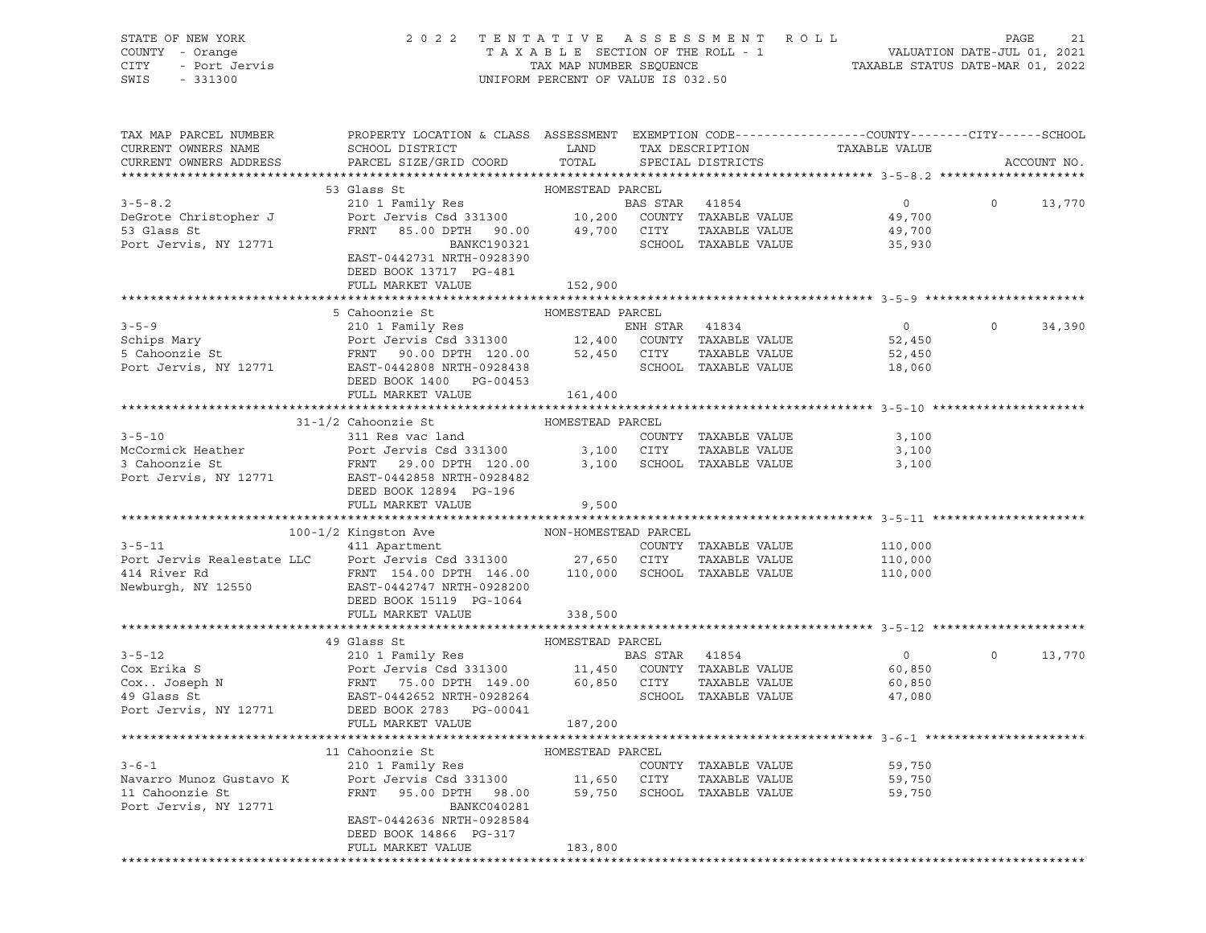STATE OF NEW YORK 2 0 2 2 T E N T A T I V E A S S E S S M E N T R O L L PAGE 21 COUNTY - Orange T A X A B L E SECTION OF THE ROLL - 1 VALUATION DATE-JUL 01, 2021 CITY - Port Jervis TAX MAP NUMBER SEQUENCE TAXABLE STATUS DATE-MAR 01, 2022 SWIS - 331300 UNIFORM PERCENT OF VALUE IS 032.50

| TAX MAP PARCEL NUMBER                         | PROPERTY LOCATION & CLASS ASSESSMENT EXEMPTION CODE---------------COUNTY-------CITY------SCHOOL                                                                                                                                                                            |         |                                                    |                  |                                                                                                                                                                                                                                                                                                                                    |               |
|-----------------------------------------------|----------------------------------------------------------------------------------------------------------------------------------------------------------------------------------------------------------------------------------------------------------------------------|---------|----------------------------------------------------|------------------|------------------------------------------------------------------------------------------------------------------------------------------------------------------------------------------------------------------------------------------------------------------------------------------------------------------------------------|---------------|
| CURRENT OWNERS NAME<br>CURRENT OWNERS ADDRESS | SCHOOL DISTRICT LAND<br>PARCEL SIZE/GRID COORD                                                                                                                                                                                                                             | TOTAL   | TAX DESCRIPTION TAXABLE VALUE<br>SPECIAL DISTRICTS |                  |                                                                                                                                                                                                                                                                                                                                    | ACCOUNT NO.   |
|                                               |                                                                                                                                                                                                                                                                            |         |                                                    |                  |                                                                                                                                                                                                                                                                                                                                    |               |
|                                               |                                                                                                                                                                                                                                                                            |         |                                                    |                  |                                                                                                                                                                                                                                                                                                                                    |               |
|                                               |                                                                                                                                                                                                                                                                            |         |                                                    |                  | $\overline{0}$ and $\overline{0}$ and $\overline{0}$ and $\overline{0}$ and $\overline{0}$ and $\overline{0}$ and $\overline{0}$ and $\overline{0}$ and $\overline{0}$ and $\overline{0}$ and $\overline{0}$ and $\overline{0}$ and $\overline{0}$ and $\overline{0}$ and $\overline{0}$ and $\overline{0}$ and $\overline{0}$ and | 13,770        |
|                                               |                                                                                                                                                                                                                                                                            |         |                                                    | $0$<br>49,700    |                                                                                                                                                                                                                                                                                                                                    |               |
|                                               |                                                                                                                                                                                                                                                                            |         |                                                    |                  |                                                                                                                                                                                                                                                                                                                                    |               |
|                                               |                                                                                                                                                                                                                                                                            |         |                                                    |                  |                                                                                                                                                                                                                                                                                                                                    |               |
|                                               | EAST-0442731 NRTH-0928390                                                                                                                                                                                                                                                  |         |                                                    |                  |                                                                                                                                                                                                                                                                                                                                    |               |
|                                               | DEED BOOK 13717 PG-481                                                                                                                                                                                                                                                     |         |                                                    |                  |                                                                                                                                                                                                                                                                                                                                    |               |
|                                               | FULL MARKET VALUE                                                                                                                                                                                                                                                          | 152,900 |                                                    |                  |                                                                                                                                                                                                                                                                                                                                    |               |
|                                               |                                                                                                                                                                                                                                                                            |         |                                                    |                  |                                                                                                                                                                                                                                                                                                                                    |               |
|                                               | 5 Cahoonzie St<br>5 Cahoonzie St<br>210 1 Family Res<br>5 Cahoonzie St<br>5 Canonzie St<br>5 Canonzie St<br>5 Canonzie St<br>FRNT 90.00 DPTH 120.00<br>52,450 CITY TAXABLE VALUE<br>FOTT JEAST-0442808 NRTH-0928438<br>DEED BOOK 1400<br>DEED BOOK 1                       |         |                                                    |                  |                                                                                                                                                                                                                                                                                                                                    |               |
|                                               |                                                                                                                                                                                                                                                                            |         |                                                    | 0 0 34,390       |                                                                                                                                                                                                                                                                                                                                    |               |
|                                               |                                                                                                                                                                                                                                                                            |         |                                                    | 52,450<br>52,450 |                                                                                                                                                                                                                                                                                                                                    |               |
|                                               |                                                                                                                                                                                                                                                                            |         |                                                    |                  |                                                                                                                                                                                                                                                                                                                                    |               |
|                                               |                                                                                                                                                                                                                                                                            |         |                                                    |                  |                                                                                                                                                                                                                                                                                                                                    |               |
|                                               |                                                                                                                                                                                                                                                                            | 161,400 |                                                    |                  |                                                                                                                                                                                                                                                                                                                                    |               |
|                                               | FULL MARKET VALUE                                                                                                                                                                                                                                                          |         |                                                    |                  |                                                                                                                                                                                                                                                                                                                                    |               |
|                                               | 31-1/2 Cahoonzie St MOMESTEAD PARCEL                                                                                                                                                                                                                                       |         |                                                    |                  |                                                                                                                                                                                                                                                                                                                                    |               |
| $3 - 5 - 10$                                  | 311 Res vac land                                                                                                                                                                                                                                                           |         | COUNTY TAXABLE VALUE                               | 3,100            |                                                                                                                                                                                                                                                                                                                                    |               |
|                                               |                                                                                                                                                                                                                                                                            |         |                                                    |                  |                                                                                                                                                                                                                                                                                                                                    |               |
|                                               | McCormick Heather<br>3,100<br>3 Cahoonzie St<br>3,100<br>29.00 DPTH 120.00<br>29.00 DPTH 120.00<br>20.00 2010<br>29.00 DPTH 120.00<br>3,100<br>3,100<br>3,100<br>2010<br>29.00 DPTH 120.00<br>3,100<br>3,100<br>3,100<br>2010<br>2010<br>2010<br>2010<br>2010<br>2010<br>2 |         |                                                    |                  |                                                                                                                                                                                                                                                                                                                                    |               |
|                                               |                                                                                                                                                                                                                                                                            |         |                                                    |                  |                                                                                                                                                                                                                                                                                                                                    |               |
|                                               | DEED BOOK 12894 PG-196                                                                                                                                                                                                                                                     |         |                                                    |                  |                                                                                                                                                                                                                                                                                                                                    |               |
|                                               | FULL MARKET VALUE                                                                                                                                                                                                                                                          | 9,500   |                                                    |                  |                                                                                                                                                                                                                                                                                                                                    |               |
|                                               |                                                                                                                                                                                                                                                                            |         |                                                    |                  |                                                                                                                                                                                                                                                                                                                                    |               |
|                                               |                                                                                                                                                                                                                                                                            |         |                                                    |                  |                                                                                                                                                                                                                                                                                                                                    |               |
| $3 - 5 - 11$                                  |                                                                                                                                                                                                                                                                            |         |                                                    | 110,000          |                                                                                                                                                                                                                                                                                                                                    |               |
|                                               |                                                                                                                                                                                                                                                                            |         |                                                    |                  |                                                                                                                                                                                                                                                                                                                                    |               |
|                                               |                                                                                                                                                                                                                                                                            |         |                                                    |                  |                                                                                                                                                                                                                                                                                                                                    |               |
|                                               | Port Jervis Realestate LLC<br>Port Jervis Csd 331300 27,650 CITY TAXABLE VALUE 110,000<br>414 River Rd FRNT 154.00 DPTH 146.00 110,000 SCHOOL TAXABLE VALUE 110,000<br>Newburgh, NY 12550 EAST-0442747 NRTH-0928200<br>DEED BOOK 15119                                     |         |                                                    |                  |                                                                                                                                                                                                                                                                                                                                    |               |
|                                               |                                                                                                                                                                                                                                                                            |         |                                                    |                  |                                                                                                                                                                                                                                                                                                                                    |               |
|                                               | FULL MARKET VALUE                                                                                                                                                                                                                                                          | 338,500 |                                                    |                  |                                                                                                                                                                                                                                                                                                                                    |               |
|                                               | 3-5-12<br>3-5-12<br>210 1 Family Res<br>Cox Erika S<br>Cox. Joseph N<br>210 1 Family Res<br>210 1 Family Res<br>Port Jervis Csd 331300<br>21,450 COUNTY TAXABLE VALUE<br>210 1 Family Res<br>2131300<br>21,450 COUNTY TAXABLE VALUE<br>216 14960 COUNT                     |         |                                                    |                  |                                                                                                                                                                                                                                                                                                                                    |               |
|                                               |                                                                                                                                                                                                                                                                            |         |                                                    | $\overline{0}$   |                                                                                                                                                                                                                                                                                                                                    | $0 \t 13,770$ |
|                                               |                                                                                                                                                                                                                                                                            |         |                                                    |                  |                                                                                                                                                                                                                                                                                                                                    |               |
|                                               |                                                                                                                                                                                                                                                                            |         |                                                    | 60,850<br>60,850 |                                                                                                                                                                                                                                                                                                                                    |               |
|                                               |                                                                                                                                                                                                                                                                            |         |                                                    | 47,080           |                                                                                                                                                                                                                                                                                                                                    |               |
|                                               |                                                                                                                                                                                                                                                                            |         |                                                    |                  |                                                                                                                                                                                                                                                                                                                                    |               |
|                                               |                                                                                                                                                                                                                                                                            |         |                                                    |                  |                                                                                                                                                                                                                                                                                                                                    |               |
|                                               |                                                                                                                                                                                                                                                                            |         |                                                    |                  |                                                                                                                                                                                                                                                                                                                                    |               |
|                                               |                                                                                                                                                                                                                                                                            |         |                                                    |                  |                                                                                                                                                                                                                                                                                                                                    |               |
|                                               |                                                                                                                                                                                                                                                                            |         |                                                    |                  |                                                                                                                                                                                                                                                                                                                                    |               |
|                                               |                                                                                                                                                                                                                                                                            |         |                                                    |                  |                                                                                                                                                                                                                                                                                                                                    |               |
|                                               |                                                                                                                                                                                                                                                                            |         |                                                    |                  |                                                                                                                                                                                                                                                                                                                                    |               |
|                                               | 11 Caboonzie St<br>12 10 1 Family Res<br>Navarro Munoz Gustavo K<br>12 20 1 Family Res<br>12 210 1 Family Res<br>Navarro Munoz Gustavo K<br>12771 22856 NRTH-0928584<br>23.00 2017 228584<br>29.750 2028584<br>29.750 2028584<br>29.750 2028584<br>2                       |         |                                                    |                  |                                                                                                                                                                                                                                                                                                                                    |               |
|                                               |                                                                                                                                                                                                                                                                            |         |                                                    |                  |                                                                                                                                                                                                                                                                                                                                    |               |
|                                               | DEED BOOK 14866 PG-317                                                                                                                                                                                                                                                     |         |                                                    |                  |                                                                                                                                                                                                                                                                                                                                    |               |
|                                               | FULL MARKET VALUE                                                                                                                                                                                                                                                          | 183,800 |                                                    |                  |                                                                                                                                                                                                                                                                                                                                    |               |
|                                               |                                                                                                                                                                                                                                                                            |         |                                                    |                  |                                                                                                                                                                                                                                                                                                                                    |               |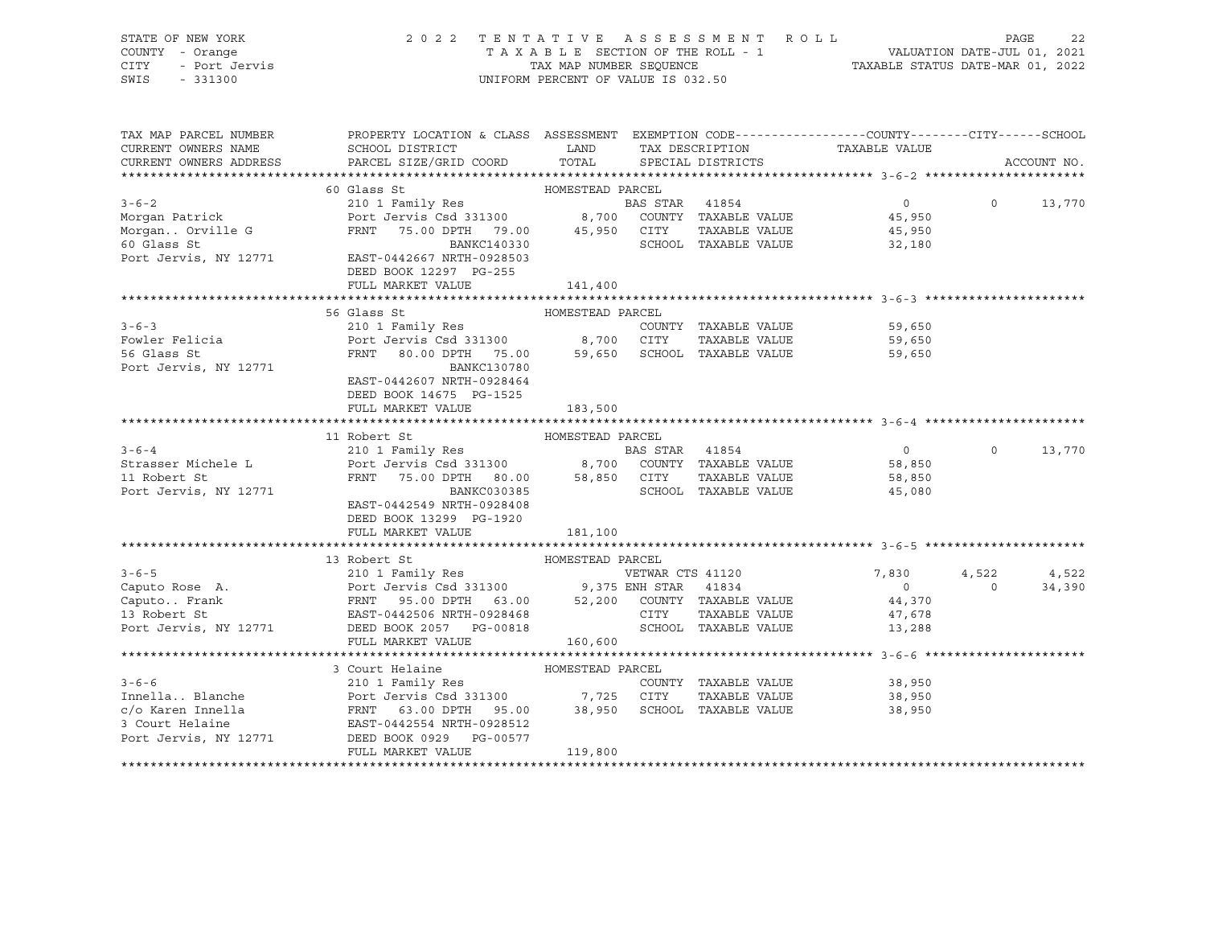| STATE OF NEW YORK  | 2022 TENTATIVE ASSESSMENT ROLL     | 2.2<br>PAGE                      |
|--------------------|------------------------------------|----------------------------------|
| COUNTY - Orange    | TAXABLE SECTION OF THE ROLL - 1    | VALUATION DATE-JUL 01, 2021      |
| CITY - Port Jervis | TAX MAP NUMBER SEOUENCE            | TAXABLE STATUS DATE-MAR 01, 2022 |
| SWIS - 331300      | UNIFORM PERCENT OF VALUE IS 032.50 |                                  |

| TAX MAP PARCEL NUMBER                 | PROPERTY LOCATION & CLASS ASSESSMENT EXEMPTION CODE---------------COUNTY-------CITY------SCHOOL                                                                                              |                  |                |                      |                               |                |             |
|---------------------------------------|----------------------------------------------------------------------------------------------------------------------------------------------------------------------------------------------|------------------|----------------|----------------------|-------------------------------|----------------|-------------|
| CURRENT OWNERS NAME                   | SCHOOL DISTRICT                                                                                                                                                                              | LAND             |                |                      | TAX DESCRIPTION TAXABLE VALUE |                |             |
| CURRENT OWNERS ADDRESS                | PARCEL SIZE/GRID COORD                                                                                                                                                                       | TOTAL            |                | SPECIAL DISTRICTS    |                               |                | ACCOUNT NO. |
|                                       |                                                                                                                                                                                              |                  |                |                      |                               |                |             |
|                                       | 60 Glass St                                                                                                                                                                                  | HOMESTEAD PARCEL |                |                      |                               |                |             |
| $3 - 6 - 2$                           | 210 1 Family Res                                                                                                                                                                             |                  | BAS STAR 41854 |                      | $\overline{0}$                | $\Omega$       | 13,770      |
| Morgan Patrick                        | Port Jervis Csd 331300             8,700   COUNTY TAXABLE VALUE                                                                                                                              |                  |                |                      | 45,950                        |                |             |
| Morgan Orville G                      | FRNT 75.00 DPTH 79.00 45,950 CITY                                                                                                                                                            |                  |                | TAXABLE VALUE        | 45,950                        |                |             |
| 60 Glass St                           | BANKC140330<br>Port Jervis, NY 12771 EAST-0442667 NRTH-0928503                                                                                                                               |                  |                | SCHOOL TAXABLE VALUE | 32,180                        |                |             |
|                                       |                                                                                                                                                                                              |                  |                |                      |                               |                |             |
|                                       | DEED BOOK 12297 PG-255                                                                                                                                                                       |                  |                |                      |                               |                |             |
|                                       | FULL MARKET VALUE                                                                                                                                                                            | 141,400          |                |                      |                               |                |             |
|                                       | 56 Glass St                                                                                                                                                                                  | HOMESTEAD PARCEL |                |                      |                               |                |             |
| $3 - 6 - 3$                           | 210 1 Family Res                                                                                                                                                                             |                  |                | COUNTY TAXABLE VALUE | 59,650                        |                |             |
| Fowler Felicia                        |                                                                                                                                                                                              |                  |                |                      | 59,650                        |                |             |
| 56 Glass St                           | Port Jervis Csd 331300              8,700     CITY     TAXABLE VALUE<br>FRNT    80.00 DPTH    75.00        59,650    SCHOOL  TAXABLE VALUE                                                   |                  |                |                      | 59,650                        |                |             |
| Port Jervis, NY 12771                 | BANKC130780                                                                                                                                                                                  |                  |                |                      |                               |                |             |
|                                       | EAST-0442607 NRTH-0928464                                                                                                                                                                    |                  |                |                      |                               |                |             |
|                                       | DEED BOOK 14675 PG-1525                                                                                                                                                                      |                  |                |                      |                               |                |             |
|                                       | FULL MARKET VALUE                                                                                                                                                                            | 183,500          |                |                      |                               |                |             |
|                                       |                                                                                                                                                                                              |                  |                |                      |                               |                |             |
|                                       | 11 Robert St                                                                                                                                                                                 | HOMESTEAD PARCEL |                |                      |                               |                |             |
| $3 - 6 - 4$                           | 210 1 Family Res                                                                                                                                                                             |                  | BAS STAR 41854 |                      | $\overline{0}$                | $\circ$        | 13,770      |
| Strasser Michele L                    | Port Jervis Csd 331300 8,700 COUNTY TAXABLE VALUE 58,850                                                                                                                                     |                  |                |                      |                               |                |             |
| 11 Robert St                          | FRNT                                                                                                                                                                                         |                  |                | TAXABLE VALUE        | 58,850                        |                |             |
| Port Jervis, NY 12771                 |                                                                                                                                                                                              |                  |                | SCHOOL TAXABLE VALUE | 45,080                        |                |             |
|                                       | EAST-0442549 NRTH-0928408                                                                                                                                                                    |                  |                |                      |                               |                |             |
|                                       | DEED BOOK 13299 PG-1920                                                                                                                                                                      |                  |                |                      |                               |                |             |
|                                       | FULL MARKET VALUE                                                                                                                                                                            | 181,100          |                |                      |                               |                |             |
|                                       |                                                                                                                                                                                              |                  |                |                      |                               |                |             |
|                                       | 13 Robert St<br>HOMESTEAD PARCEL                                                                                                                                                             |                  |                |                      |                               |                |             |
| $3 - 6 - 5$                           | 210 1 Family Res<br>Port Jervis Csd 331300 9,375 ENH STAR 41834<br>FRNT 95.00 DPTH 63.00 52,200 COUNTY TAXABLE VALUE<br>EAST-0442506 NRTH-0928468 CITY TAXABLE VALUE<br>SCHOOL TAXABLE VALUE |                  |                |                      | 7,830                         | 4,522          | 4,522       |
| Caputo Rose A.                        |                                                                                                                                                                                              |                  |                |                      | $\overline{0}$                | $\overline{0}$ | 34,390      |
| Caputo Frank                          |                                                                                                                                                                                              |                  |                |                      | 44,370                        |                |             |
| 13 Robert St<br>Port Jervis, NY 12771 |                                                                                                                                                                                              |                  |                |                      | 47,678                        |                |             |
|                                       | FULL MARKET VALUE                                                                                                                                                                            |                  |                |                      | 13,288                        |                |             |
|                                       |                                                                                                                                                                                              | 160,600          |                |                      |                               |                |             |
|                                       | 3 Court Helaine                                                                                                                                                                              |                  |                |                      |                               |                |             |
| $3 - 6 - 6$                           | 210 1 Family Res                                                                                                                                                                             | HOMESTEAD PARCEL |                | COUNTY TAXABLE VALUE | 38,950                        |                |             |
|                                       |                                                                                                                                                                                              |                  |                |                      | TAXABLE VALUE 38,950          |                |             |
|                                       |                                                                                                                                                                                              |                  |                |                      | 38,950                        |                |             |
|                                       |                                                                                                                                                                                              |                  |                |                      |                               |                |             |
| Port Jervis, NY 12771                 | DEED BOOK 0929 PG-00577                                                                                                                                                                      |                  |                |                      |                               |                |             |
|                                       | FULL MARKET VALUE                                                                                                                                                                            | 119,800          |                |                      |                               |                |             |
|                                       |                                                                                                                                                                                              |                  |                |                      |                               |                |             |
|                                       |                                                                                                                                                                                              |                  |                |                      |                               |                |             |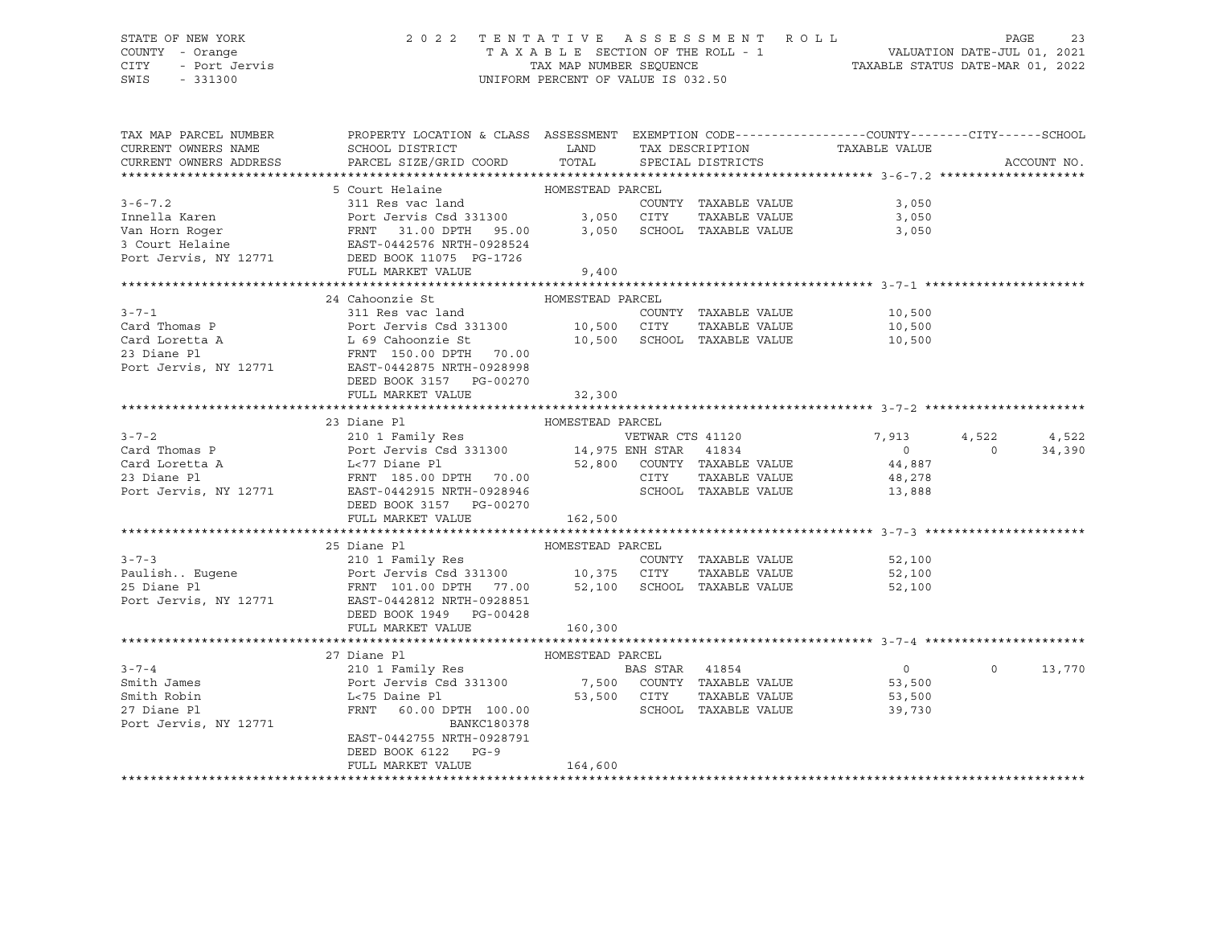# STATE OF NEW YORK 2 0 2 2 T E N T A T I V E A S S E S S M E N T R O L L PAGE 23 COUNTY - Orange T A X A B L E SECTION OF THE ROLL - 1 VALUATION DATE-JUL 01, 2021 CITY - Port Jervis TAX MAP NUMBER SEQUENCE TAXABLE STATUS DATE-MAR 01, 2022

| TAX MAP PARCEL NUMBER | PROPERTY LOCATION & CLASS ASSESSMENT EXEMPTION CODE----------------COUNTY-------CITY------SCHOOL                                                                                                                                                                                                                                                                                                                    |         |                      |                              |                | ACCOUNT NO. |
|-----------------------|---------------------------------------------------------------------------------------------------------------------------------------------------------------------------------------------------------------------------------------------------------------------------------------------------------------------------------------------------------------------------------------------------------------------|---------|----------------------|------------------------------|----------------|-------------|
|                       |                                                                                                                                                                                                                                                                                                                                                                                                                     |         |                      |                              |                |             |
|                       | 5 Court Helaine <b>MOMESTEAD</b> PARCEL                                                                                                                                                                                                                                                                                                                                                                             |         |                      |                              |                |             |
| $3 - 6 - 7.2$         | 311 Res vac land                                                                                                                                                                                                                                                                                                                                                                                                    |         | COUNTY TAXABLE VALUE | 3,050                        |                |             |
|                       |                                                                                                                                                                                                                                                                                                                                                                                                                     |         |                      |                              |                |             |
|                       |                                                                                                                                                                                                                                                                                                                                                                                                                     |         |                      |                              |                |             |
|                       |                                                                                                                                                                                                                                                                                                                                                                                                                     |         |                      |                              |                |             |
|                       |                                                                                                                                                                                                                                                                                                                                                                                                                     |         |                      |                              |                |             |
|                       | FULL MARKET VALUE                                                                                                                                                                                                                                                                                                                                                                                                   | 9,400   |                      |                              |                |             |
|                       |                                                                                                                                                                                                                                                                                                                                                                                                                     |         |                      |                              |                |             |
|                       | 24 Cahoonzie St MOMESTEAD PARCEL                                                                                                                                                                                                                                                                                                                                                                                    |         |                      |                              |                |             |
|                       |                                                                                                                                                                                                                                                                                                                                                                                                                     |         |                      |                              |                |             |
|                       |                                                                                                                                                                                                                                                                                                                                                                                                                     |         |                      |                              |                |             |
|                       |                                                                                                                                                                                                                                                                                                                                                                                                                     |         |                      |                              |                |             |
|                       |                                                                                                                                                                                                                                                                                                                                                                                                                     |         |                      |                              |                |             |
|                       |                                                                                                                                                                                                                                                                                                                                                                                                                     |         |                      |                              |                |             |
|                       | DEED BOOK 3157 PG-00270                                                                                                                                                                                                                                                                                                                                                                                             |         |                      |                              |                |             |
|                       | FULL MARKET VALUE 32,300                                                                                                                                                                                                                                                                                                                                                                                            |         |                      |                              |                |             |
|                       |                                                                                                                                                                                                                                                                                                                                                                                                                     |         |                      |                              |                |             |
|                       | $\begin{tabular}{lllllllllllll} 3-7-2 & 23 \text{ Diane PI} & \text{HOMESTEAD PAREEL} & \text{RICELE} & \text{VETWAR} & \text{CTS 41120} & 7,913 \\ \text{Card Thomas P} & \text{Port Jervis Csd 331300} & 14,975 \text{ ENH STR} & 41834 & 0 \\ \text{Card Loreta A} & \text{L-77 Diane PI} & \text{FRNT 185.00 DPTH} & 70.00 & \text{CTY} & \text{TXABLE VALUE} & 44,887 \\ \text{Port Jervis, NY 12771} & \text$ |         |                      |                              |                |             |
|                       |                                                                                                                                                                                                                                                                                                                                                                                                                     |         |                      | VETWAR CTS 41120 7,913 4,522 |                | 4,522       |
|                       |                                                                                                                                                                                                                                                                                                                                                                                                                     |         |                      |                              | $\overline{0}$ | 34,390      |
|                       |                                                                                                                                                                                                                                                                                                                                                                                                                     |         |                      |                              |                |             |
|                       |                                                                                                                                                                                                                                                                                                                                                                                                                     |         |                      |                              |                |             |
|                       |                                                                                                                                                                                                                                                                                                                                                                                                                     |         |                      |                              |                |             |
|                       |                                                                                                                                                                                                                                                                                                                                                                                                                     |         |                      |                              |                |             |
|                       |                                                                                                                                                                                                                                                                                                                                                                                                                     |         |                      |                              |                |             |
|                       |                                                                                                                                                                                                                                                                                                                                                                                                                     |         |                      |                              |                |             |
|                       | 3-7-3<br>210 1 Family Res<br>210 1 Family Res<br>210 1 Family Res<br>210 1 Family Res<br>210 1 Family Res<br>210 25 Diane Pl<br>25 Diane Pl<br>25 Diane Pl<br>25 Diane Pl<br>2771 22812 NRTH-0928851<br>2771 22812 NRTH-0928851                                                                                                                                                                                     |         |                      |                              |                |             |
|                       |                                                                                                                                                                                                                                                                                                                                                                                                                     |         |                      | COUNTY TAXABLE VALUE 52,100  |                |             |
|                       |                                                                                                                                                                                                                                                                                                                                                                                                                     |         |                      | 52,100                       |                |             |
|                       |                                                                                                                                                                                                                                                                                                                                                                                                                     |         |                      | 52,100                       |                |             |
|                       |                                                                                                                                                                                                                                                                                                                                                                                                                     |         |                      |                              |                |             |
|                       | DEED BOOK 1949 PG-00428                                                                                                                                                                                                                                                                                                                                                                                             |         |                      |                              |                |             |
|                       | FULL MARKET VALUE                                                                                                                                                                                                                                                                                                                                                                                                   | 160,300 |                      |                              |                |             |
|                       | HOMESTEAD PARCEL<br>210 1 Family Res<br>POMESTEAD PARCEL<br>210 1 Family Res<br>POMESTEAD PARCEL<br>210 1 Family Res<br>POMESTEAD PARCEL<br>216 16 274 28 20 2000 2000 2114<br>253,500<br>253,500<br>253,500<br>2771<br>2771<br>2771<br>2771                                                                                                                                                                        |         |                      |                              |                |             |
|                       |                                                                                                                                                                                                                                                                                                                                                                                                                     |         |                      |                              |                |             |
| $3 - 7 - 4$           |                                                                                                                                                                                                                                                                                                                                                                                                                     |         |                      | $\overline{0}$               | $\Omega$       | 13,770      |
| Smith James           |                                                                                                                                                                                                                                                                                                                                                                                                                     |         |                      |                              |                |             |
| Smith Robin           |                                                                                                                                                                                                                                                                                                                                                                                                                     |         |                      |                              |                |             |
| 27 Diane Pl           |                                                                                                                                                                                                                                                                                                                                                                                                                     |         |                      |                              |                |             |
| Port Jervis, NY 12771 | BANKC180378                                                                                                                                                                                                                                                                                                                                                                                                         |         |                      |                              |                |             |
|                       | EAST-0442755 NRTH-0928791                                                                                                                                                                                                                                                                                                                                                                                           |         |                      |                              |                |             |
|                       | DEED BOOK 6122 PG-9                                                                                                                                                                                                                                                                                                                                                                                                 |         |                      |                              |                |             |
|                       | FULL MARKET VALUE                                                                                                                                                                                                                                                                                                                                                                                                   | 164,600 |                      |                              |                |             |
|                       |                                                                                                                                                                                                                                                                                                                                                                                                                     |         |                      |                              |                |             |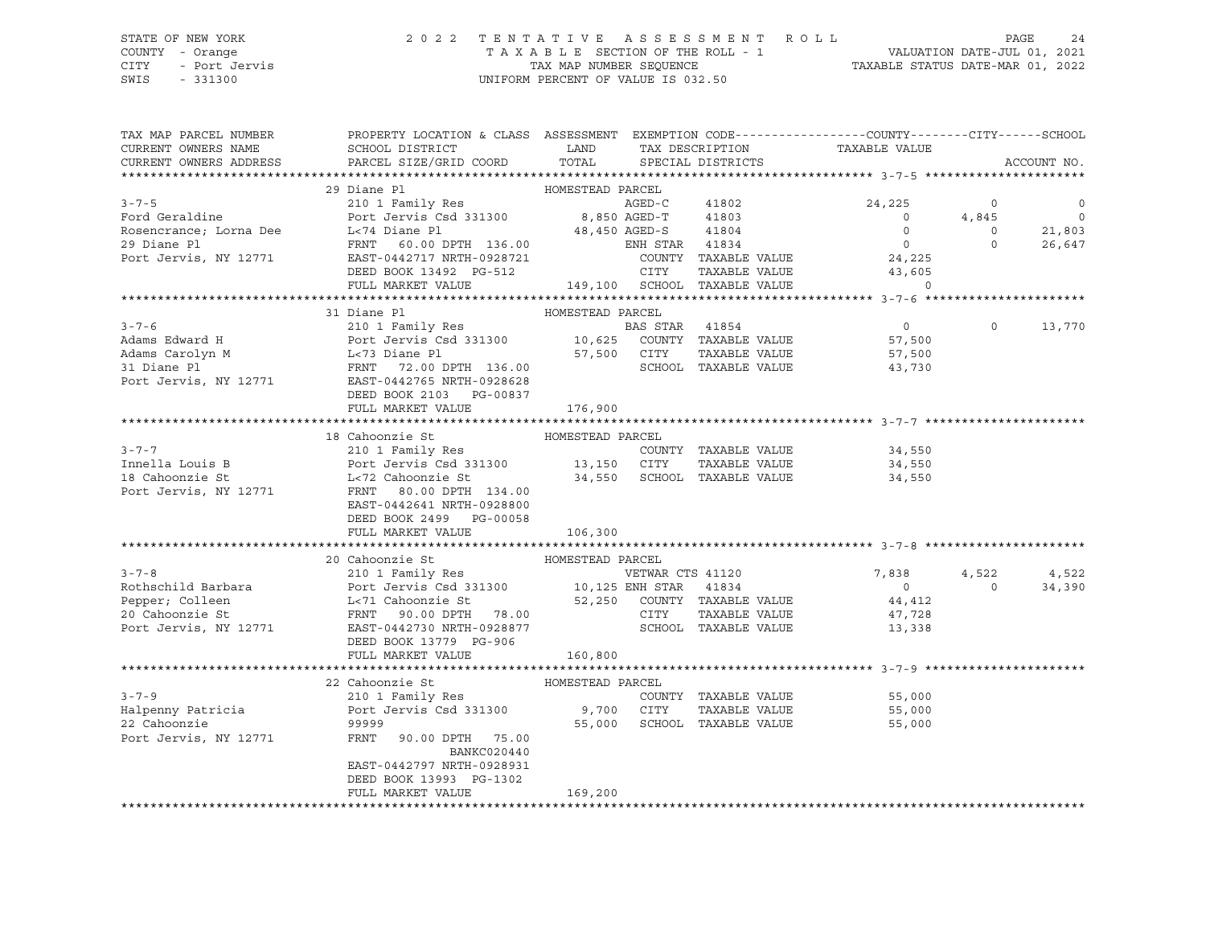### STATE OF NEW YORK 2 0 2 2 T E N T A T I V E A S S E S S M E N T R O L L PAGE 24 COUNTY - Orange T A X A B L E SECTION OF THE ROLL - 1 VALUATION DATE-JUL 01, 2021 CITY - Port Jervis TAX MAP NUMBER SEQUENCE TAXABLE STATUS DATE-MAR 01, 2022 SWIS - 331300 UNIFORM PERCENT OF VALUE IS 032.50

| TAX MAP PARCEL NUMBER<br>CURRENT OWNERS NAME<br>CURRENT OWNERS ADDRESS | PROPERTY LOCATION & CLASS ASSESSMENT EXEMPTION CODE----------------COUNTY-------CITY------SCHOOL<br><b>Example 12</b><br>SCHOOL DISTRICT<br>PARCEL SIZE/GRID COORD                                                                                                                                                                                                 | TOTAL            |                | TAX DESCRIPTION<br>SPECIAL DISTRICTS  | TAXABLE VALUE               |                   | ACCOUNT NO.    |
|------------------------------------------------------------------------|--------------------------------------------------------------------------------------------------------------------------------------------------------------------------------------------------------------------------------------------------------------------------------------------------------------------------------------------------------------------|------------------|----------------|---------------------------------------|-----------------------------|-------------------|----------------|
|                                                                        |                                                                                                                                                                                                                                                                                                                                                                    |                  |                |                                       |                             |                   |                |
|                                                                        | 29 Diane Pl                                                                                                                                                                                                                                                                                                                                                        | HOMESTEAD PARCEL |                |                                       |                             |                   |                |
| $3 - 7 - 5$                                                            | 210 1 Family Res<br>$\begin{tabular}{lcccc} 210 1 Family Res & & & & & & & & & & & & & 41802 \\ 810 1 For the & 180 & & & & & & & & & & 8,850 & AGED-C & & & 41803 \\ 910 1 & & 180 & & & & & & & 8,850 & AGED-T & & & 41803 \\ 161 & & 180 & & & & & & & & 48,450 & AGED-S & & & 41804 \\ 161 & & & & & & & & & & 48,450 & AGED-S & & & & 41804 \\ \end{tabular}$ |                  |                |                                       | 24,225                      | $\circ$           | $\overline{0}$ |
|                                                                        |                                                                                                                                                                                                                                                                                                                                                                    |                  |                |                                       | $\overline{0}$              | 4,845             | $\overline{0}$ |
| Ford Geraldine<br>Rosencrance; Lorna Dee                               | L-74 Diane Pl                                                                                                                                                                                                                                                                                                                                                      |                  |                |                                       | $\overline{0}$              | $\overline{0}$    | 21,803         |
| 29 Diane Pl                                                            | FRNT 60.00 DPTH 136.00<br>FRNT 60.00 DPTH 136.00                                                                                                                                                                                                                                                                                                                   |                  |                |                                       | $\overline{0}$              | $\circ$           | 26,647         |
| Port Jervis, NY 12771                                                  | EAST-0442717 NRTH-0928721                                                                                                                                                                                                                                                                                                                                          |                  |                | COUNTY TAXABLE VALUE                  | 24,225                      |                   |                |
|                                                                        | DEED BOOK 13492 PG-512                                                                                                                                                                                                                                                                                                                                             |                  | CITY           | TAXABLE VALUE                         | 43,605                      |                   |                |
|                                                                        | FULL MARKET VALUE                                                                                                                                                                                                                                                                                                                                                  |                  |                | 149,100 SCHOOL TAXABLE VALUE          | $\Omega$                    |                   |                |
|                                                                        |                                                                                                                                                                                                                                                                                                                                                                    |                  |                |                                       |                             |                   |                |
|                                                                        | 31 Diane Pl                                                                                                                                                                                                                                                                                                                                                        | HOMESTEAD PARCEL |                |                                       |                             |                   |                |
| $3 - 7 - 6$                                                            | 210 1 Family Res<br>Port Jervis Csd 331300 10,625 COUNTY TAXABLE VALUE                                                                                                                                                                                                                                                                                             |                  | BAS STAR 41854 |                                       | $\overline{0}$              | $\circ$           | 13,770         |
| Adams Edward H                                                         |                                                                                                                                                                                                                                                                                                                                                                    |                  |                |                                       | 57,500                      |                   |                |
| Adams Carolyn M<br>31 Diane Pl                                         |                                                                                                                                                                                                                                                                                                                                                                    |                  |                | TAXABLE VALUE<br>SCHOOL TAXABLE VALUE | 57,500<br>43,730            |                   |                |
| Port Jervis, NY 12771                                                  | EAST-0442765 NRTH-0928628                                                                                                                                                                                                                                                                                                                                          |                  |                |                                       |                             |                   |                |
|                                                                        | DEED BOOK 2103 PG-00837                                                                                                                                                                                                                                                                                                                                            |                  |                |                                       |                             |                   |                |
|                                                                        | FULL MARKET VALUE                                                                                                                                                                                                                                                                                                                                                  | 176,900          |                |                                       |                             |                   |                |
|                                                                        |                                                                                                                                                                                                                                                                                                                                                                    |                  |                |                                       |                             |                   |                |
|                                                                        | 18 Cahoonzie St                                                                                                                                                                                                                                                                                                                                                    | HOMESTEAD PARCEL |                |                                       |                             |                   |                |
| $3 - 7 - 7$                                                            | 210 1 Family Res                                                                                                                                                                                                                                                                                                                                                   |                  |                | COUNTY TAXABLE VALUE                  | 34,550                      |                   |                |
| Innella Louis B                                                        |                                                                                                                                                                                                                                                                                                                                                                    |                  |                |                                       | 34,550                      |                   |                |
| 18 Cahoonzie St                                                        | 210 1 Family Res<br>Port Jervis Csd 331300 13,150 CITY TAXABLE VALUE<br>L<72 Cahoonzie St 34,550 SCHOOL TAXABLE VALUE                                                                                                                                                                                                                                              |                  |                |                                       | 34,550                      |                   |                |
| Port Jervis, NY 12771                                                  |                                                                                                                                                                                                                                                                                                                                                                    |                  |                |                                       |                             |                   |                |
|                                                                        | EAST-0442641 NRTH-0928800                                                                                                                                                                                                                                                                                                                                          |                  |                |                                       |                             |                   |                |
|                                                                        | DEED BOOK 2499 PG-00058                                                                                                                                                                                                                                                                                                                                            |                  |                |                                       |                             |                   |                |
|                                                                        | FULL MARKET VALUE                                                                                                                                                                                                                                                                                                                                                  | 106,300          |                |                                       |                             |                   |                |
|                                                                        |                                                                                                                                                                                                                                                                                                                                                                    |                  |                |                                       |                             |                   |                |
|                                                                        | HOMESTEAD PARCEL<br>20 Cahoonzie St                                                                                                                                                                                                                                                                                                                                |                  |                |                                       |                             |                   |                |
| $3 - 7 - 8$                                                            | 210 1 Family Res                                                                                                                                                                                                                                                                                                                                                   |                  |                | VETWAR CTS 41120                      | 7,838<br>$\Omega$           | 4,522<br>$\Omega$ | 4,522          |
| Rothschild Barbara                                                     |                                                                                                                                                                                                                                                                                                                                                                    |                  |                |                                       |                             |                   | 34,390         |
| Pepper; Colleen<br>20 Cahoonzie St                                     |                                                                                                                                                                                                                                                                                                                                                                    |                  |                | TAXABLE VALUE                         | 44,412                      |                   |                |
| Port Jervis, NY 12771                                                  | EAST-0442730 NRTH-0928877                                                                                                                                                                                                                                                                                                                                          |                  |                | SCHOOL TAXABLE VALUE                  | 47,728<br>13,338            |                   |                |
|                                                                        | DEED BOOK 13779 PG-906                                                                                                                                                                                                                                                                                                                                             |                  |                |                                       |                             |                   |                |
|                                                                        | FULL MARKET VALUE                                                                                                                                                                                                                                                                                                                                                  | 160,800          |                |                                       |                             |                   |                |
|                                                                        |                                                                                                                                                                                                                                                                                                                                                                    |                  |                |                                       |                             |                   |                |
|                                                                        | 22 Cahoonzie St                                                                                                                                                                                                                                                                                                                                                    | HOMESTEAD PARCEL |                |                                       |                             |                   |                |
| $3 - 7 - 9$                                                            | 210 1 Family Res                                                                                                                                                                                                                                                                                                                                                   |                  |                |                                       | COUNTY TAXABLE VALUE 55,000 |                   |                |
| Halpenny Patricia                                                      | Port Jervis Csd 331300 9,700 CITY                                                                                                                                                                                                                                                                                                                                  |                  |                | TAXABLE VALUE                         | 55,000                      |                   |                |
| 22 Cahoonzie                                                           | 99999                                                                                                                                                                                                                                                                                                                                                              |                  |                | 55,000 SCHOOL TAXABLE VALUE           | 55,000                      |                   |                |
| Port Jervis, NY 12771                                                  | FRNT<br>90.00 DPTH 75.00                                                                                                                                                                                                                                                                                                                                           |                  |                |                                       |                             |                   |                |
|                                                                        | BANKC020440                                                                                                                                                                                                                                                                                                                                                        |                  |                |                                       |                             |                   |                |
|                                                                        | EAST-0442797 NRTH-0928931                                                                                                                                                                                                                                                                                                                                          |                  |                |                                       |                             |                   |                |
|                                                                        | DEED BOOK 13993 PG-1302                                                                                                                                                                                                                                                                                                                                            |                  |                |                                       |                             |                   |                |
|                                                                        | FULL MARKET VALUE                                                                                                                                                                                                                                                                                                                                                  | 169,200          |                |                                       |                             |                   |                |
|                                                                        |                                                                                                                                                                                                                                                                                                                                                                    |                  |                |                                       |                             |                   |                |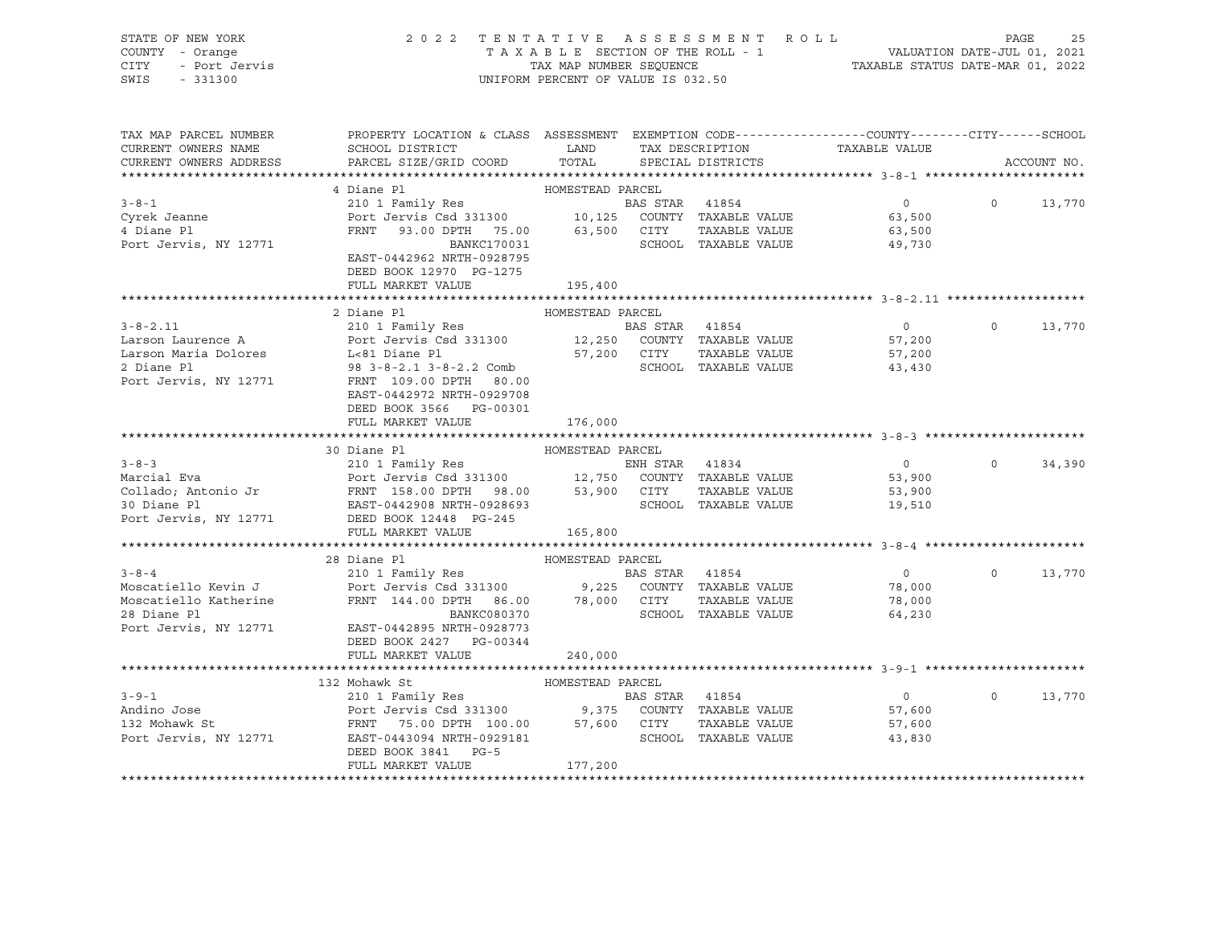| STATE OF NEW YORK            | 2 0 2 2                                                                                               |                                    |                | TENTATIVE ASSESSMENT ROLL       |                                                                 | PAGE          | 25          |
|------------------------------|-------------------------------------------------------------------------------------------------------|------------------------------------|----------------|---------------------------------|-----------------------------------------------------------------|---------------|-------------|
| COUNTY - Orange              |                                                                                                       |                                    |                | TAXABLE SECTION OF THE ROLL - 1 | VALUATION DATE-JUL 01, 2021<br>TAXABLE STATUS DATE-MAR 01, 2022 |               |             |
| <b>CITY</b><br>- Port Jervis |                                                                                                       | TAX MAP NUMBER SEQUENCE            |                |                                 |                                                                 |               |             |
| SWIS<br>$-331300$            |                                                                                                       | UNIFORM PERCENT OF VALUE IS 032.50 |                |                                 |                                                                 |               |             |
|                              |                                                                                                       |                                    |                |                                 |                                                                 |               |             |
|                              |                                                                                                       |                                    |                |                                 |                                                                 |               |             |
| TAX MAP PARCEL NUMBER        | PROPERTY LOCATION & CLASS ASSESSMENT EXEMPTION CODE----------------COUNTY-------CITY------SCHOOL      |                                    |                |                                 |                                                                 |               |             |
| CURRENT OWNERS NAME          | SCHOOL DISTRICT                                                                                       | LAND                               |                | TAX DESCRIPTION                 | TAXABLE VALUE                                                   |               |             |
| CURRENT OWNERS ADDRESS       | PARCEL SIZE/GRID COORD                                                                                | TOTAL                              |                | SPECIAL DISTRICTS               |                                                                 |               | ACCOUNT NO. |
|                              |                                                                                                       |                                    |                |                                 |                                                                 |               |             |
|                              | 4 Diane Pl                                                                                            | HOMESTEAD PARCEL                   |                |                                 |                                                                 |               |             |
| $3 - 8 - 1$                  | 210 1 Family Res                                                                                      |                                    | BAS STAR 41854 |                                 | $\overline{0}$                                                  | $\Omega$      | 13,770      |
| Cyrek Jeanne                 | Port Jervis Csd 331300 10,125 COUNTY TAXABLE VALUE                                                    |                                    |                |                                 | 63,500                                                          |               |             |
| 4 Diane Pl                   | FRNT 93.00 DPTH 75.00 63,500 CITY                                                                     |                                    |                | TAXABLE VALUE                   | 63,500                                                          |               |             |
| Port Jervis, NY 12771        | BANKC170031                                                                                           |                                    |                | SCHOOL TAXABLE VALUE            | 49,730                                                          |               |             |
|                              | EAST-0442962 NRTH-0928795                                                                             |                                    |                |                                 |                                                                 |               |             |
|                              | DEED BOOK 12970 PG-1275                                                                               |                                    |                |                                 |                                                                 |               |             |
|                              | FULL MARKET VALUE                                                                                     | 195,400                            |                |                                 |                                                                 |               |             |
|                              |                                                                                                       |                                    |                |                                 |                                                                 |               |             |
|                              | 2 Diane Pl                                                                                            | HOMESTEAD PARCEL                   |                |                                 |                                                                 |               |             |
| $3 - 8 - 2.11$               | 210 1 Family Res                                                                                      |                                    | BAS STAR 41854 |                                 | $\overline{0}$                                                  | $\Omega$      | 13,770      |
| Larson Laurence A            | Port Jervis Csd 331300 12,250 COUNTY TAXABLE VALUE                                                    |                                    |                |                                 | 57,200                                                          |               |             |
| Larson Maria Dolores         | L<81 Diane Pl                                                                                         |                                    | 57,200 CITY    | TAXABLE VALUE                   | 57,200                                                          |               |             |
| 2 Diane Pl                   | 98  3 - 8 - 2.1  3 - 8 - 2.2  Comb                                                                    |                                    |                | SCHOOL TAXABLE VALUE            | 43,430                                                          |               |             |
| Port Jervis, NY 12771        | FRNT 109.00 DPTH 80.00                                                                                |                                    |                |                                 |                                                                 |               |             |
|                              | EAST-0442972 NRTH-0929708                                                                             |                                    |                |                                 |                                                                 |               |             |
|                              | DEED BOOK 3566 PG-00301                                                                               |                                    |                |                                 |                                                                 |               |             |
|                              |                                                                                                       |                                    |                |                                 |                                                                 |               |             |
|                              | FULL MARKET VALUE                                                                                     | 176,000                            |                |                                 |                                                                 |               |             |
|                              |                                                                                                       |                                    |                |                                 |                                                                 |               |             |
|                              | 30 Diane Pl                                                                                           | HOMESTEAD PARCEL                   |                |                                 |                                                                 |               |             |
| $3 - 8 - 3$                  | 210 1 Family Res                                                                                      |                                    | ENH STAR 41834 |                                 | $\overline{0}$                                                  | $\Omega$      | 34,390      |
| Marcial Eva                  | Port Jervis Csd 331300 12,750 COUNTY TAXABLE VALUE                                                    |                                    |                |                                 | 53,900                                                          |               |             |
|                              | Collado; Antonio Jr           FRNT 158.00 DPTH 98.00       53,900   CITY                              |                                    |                | TAXABLE VALUE                   | 53,900                                                          |               |             |
| 30 Diane Pl                  | EAST-0442908 NRTH-0928693                                                                             |                                    |                | SCHOOL TAXABLE VALUE            | 19,510                                                          |               |             |
| Port Jervis, NY 12771        | DEED BOOK 12448 PG-245                                                                                |                                    |                |                                 |                                                                 |               |             |
|                              | FULL MARKET VALUE                                                                                     | 165,800                            |                |                                 |                                                                 |               |             |
|                              |                                                                                                       |                                    |                |                                 |                                                                 |               |             |
|                              | 28 Diane Pl                                                                                           | HOMESTEAD PARCEL                   |                |                                 |                                                                 |               |             |
| $3 - 8 - 4$                  | 210 1 Family Res                                                                                      |                                    | BAS STAR 41854 |                                 | $\overline{0}$                                                  | $\Omega$      | 13,770      |
| Moscatiello Kevin J          | Port Jervis Csd 331300 9,225 COUNTY TAXABLE VALUE<br>FRNT 144.00 DPTH 86.00 78,000 CITY TAXABLE VALUE |                                    |                |                                 | 78,000                                                          |               |             |
| Moscatiello Katherine        |                                                                                                       |                                    |                | TAXABLE VALUE                   | 78,000                                                          |               |             |
| 28 Diane Pl                  | BANKC080370                                                                                           |                                    |                | SCHOOL TAXABLE VALUE            | 64,230                                                          |               |             |
| Port Jervis, NY 12771        | EAST-0442895 NRTH-0928773                                                                             |                                    |                |                                 |                                                                 |               |             |
|                              | DEED BOOK 2427 PG-00344                                                                               |                                    |                |                                 |                                                                 |               |             |
|                              | FULL MARKET VALUE                                                                                     | 240,000                            |                |                                 |                                                                 |               |             |
|                              |                                                                                                       |                                    |                |                                 |                                                                 |               |             |
|                              | 132 Mohawk St                                                                                         | HOMESTEAD PARCEL                   |                |                                 |                                                                 |               |             |
| $3 - 9 - 1$                  | 210 1 Family Res                                                                                      |                                    |                | RAS STAR 41854                  | $\Omega$                                                        | $\cap$ $\cap$ | 13.770      |

|                       | 132 Mohawk St             | HOMESTEAD PARCEL |               |        |        |
|-----------------------|---------------------------|------------------|---------------|--------|--------|
| $3 - 9 - 1$           | 210 1 Family Res          | BAS STAR         | 41854         |        | 13,770 |
| Andino Jose           | Port Jervis Csd 331300    | COUNTY<br>9.375  | TAXABLE VALUE | 57,600 |        |
| 132 Mohawk St         | FRNT 75.00 DPTH 100.00    | CITY<br>57,600   | TAXABLE VALUE | 57,600 |        |
| Port Jervis, NY 12771 | EAST-0443094 NRTH-0929181 | SCHOOL           | TAXABLE VALUE | 43,830 |        |
|                       | DEED BOOK 3841<br>$PG-5$  |                  |               |        |        |
|                       | FULL MARKET VALUE         | 177,200          |               |        |        |
|                       |                           |                  |               |        |        |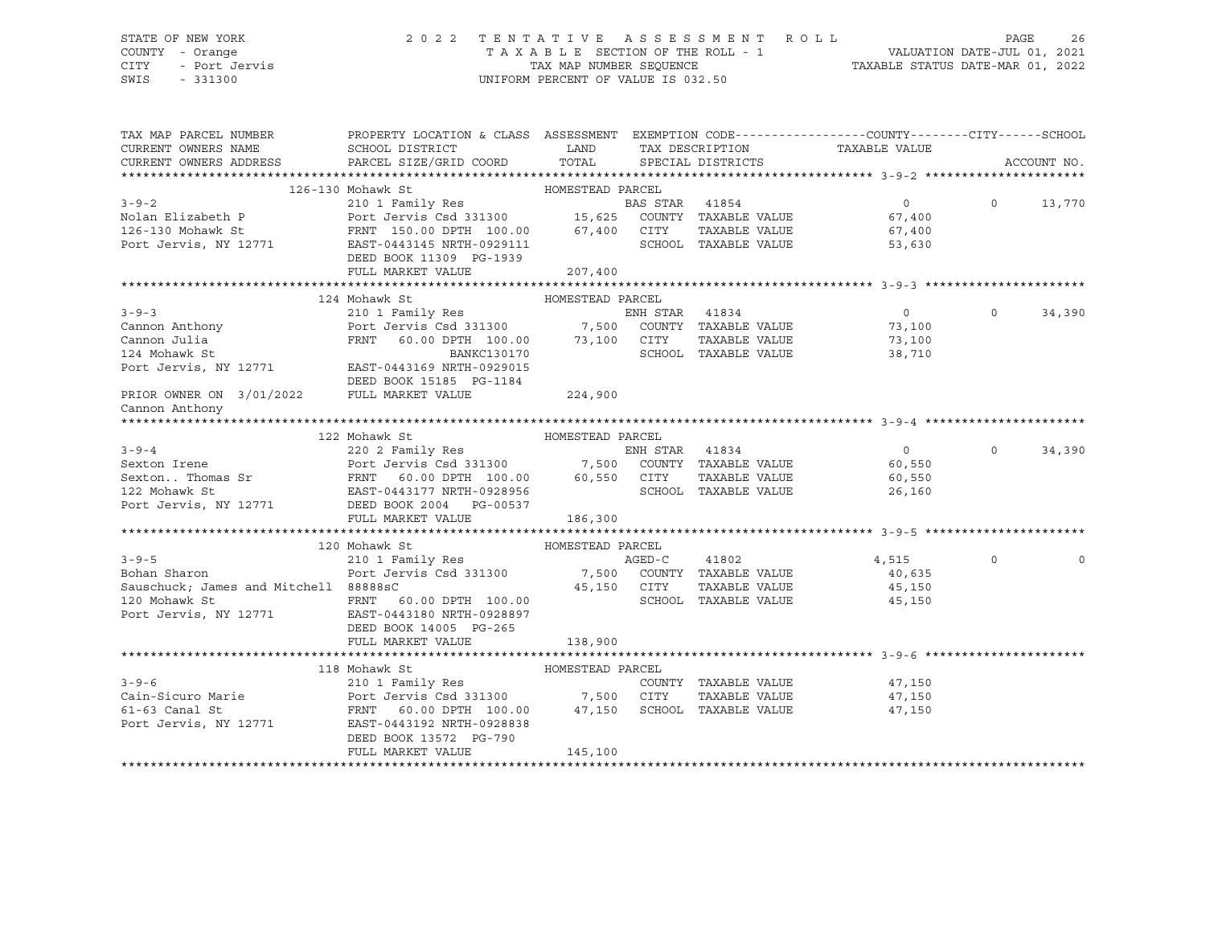### STATE OF NEW YORK 2 0 2 2 T E N T A T I V E A S S E S S M E N T R O L L PAGE 26 COUNTY - Orange T A X A B L E SECTION OF THE ROLL - 1 VALUATION DATE-JUL 01, 2021 CITY - Port Jervis TAX MAP NUMBER SEQUENCE TAXABLE STATUS DATE-MAR 01, 2022 SWIS - 331300 UNIFORM PERCENT OF VALUE IS 032.50

| TAX MAP PARCEL NUMBER<br>CURRENT OWNERS NAME                                                                                                                                                                                                                  | PROPERTY LOCATION & CLASS ASSESSMENT EXEMPTION CODE---------------COUNTY-------CITY------SCHOOL<br>SCHOOL DISTRICT                    | <b>LAND</b>      |        | TAX DESCRIPTION      | TAXABLE VALUE               |             |             |
|---------------------------------------------------------------------------------------------------------------------------------------------------------------------------------------------------------------------------------------------------------------|---------------------------------------------------------------------------------------------------------------------------------------|------------------|--------|----------------------|-----------------------------|-------------|-------------|
| CURRENT OWNERS ADDRESS PARCEL SIZE/GRID COORD                                                                                                                                                                                                                 |                                                                                                                                       | TOTAL            |        | SPECIAL DISTRICTS    |                             |             | ACCOUNT NO. |
|                                                                                                                                                                                                                                                               |                                                                                                                                       |                  |        |                      |                             |             |             |
|                                                                                                                                                                                                                                                               |                                                                                                                                       |                  |        |                      | $\overline{0}$              | $\Omega$    | 13,770      |
|                                                                                                                                                                                                                                                               |                                                                                                                                       |                  |        |                      | 67,400                      |             |             |
|                                                                                                                                                                                                                                                               |                                                                                                                                       |                  |        |                      | TAXABLE VALUE 67,400        |             |             |
|                                                                                                                                                                                                                                                               | DEED BOOK 11309 PG-1939                                                                                                               |                  |        | SCHOOL TAXABLE VALUE | 53,630                      |             |             |
|                                                                                                                                                                                                                                                               | FULL MARKET VALUE                                                                                                                     | 207,400          |        |                      |                             |             |             |
|                                                                                                                                                                                                                                                               |                                                                                                                                       |                  |        |                      |                             |             |             |
|                                                                                                                                                                                                                                                               |                                                                                                                                       |                  |        |                      |                             |             |             |
|                                                                                                                                                                                                                                                               |                                                                                                                                       |                  |        |                      |                             | $\Omega$    | 34,390      |
|                                                                                                                                                                                                                                                               |                                                                                                                                       |                  |        |                      |                             |             |             |
|                                                                                                                                                                                                                                                               |                                                                                                                                       |                  |        |                      |                             |             |             |
|                                                                                                                                                                                                                                                               |                                                                                                                                       |                  |        |                      |                             |             |             |
| Port Jervis, NY 12771 EAST-0443169 NRTH-0929015                                                                                                                                                                                                               | DEED BOOK 15185 PG-1184                                                                                                               |                  |        |                      |                             |             |             |
| PRIOR OWNER ON 3/01/2022                                                                                                                                                                                                                                      | FULL MARKET VALUE                                                                                                                     | 224,900          |        |                      |                             |             |             |
| Cannon Anthony                                                                                                                                                                                                                                                |                                                                                                                                       |                  |        |                      |                             |             |             |
|                                                                                                                                                                                                                                                               |                                                                                                                                       |                  |        |                      |                             |             |             |
| 122 Mohawk St<br>220 2 Family Res<br>220 2 Family Res<br>220 2 Family Res<br>220 2 Family Res<br>220 2 Family Res<br>220 2 Family Res<br>220 2 Family Res<br>220 2 Family Res<br>220 2 Family Res<br>22 Mohawk St<br>26,550<br>26,550<br>26,550<br>26,160<br> |                                                                                                                                       |                  |        |                      |                             |             |             |
|                                                                                                                                                                                                                                                               |                                                                                                                                       |                  |        |                      |                             | $\Omega$    | 34,390      |
|                                                                                                                                                                                                                                                               |                                                                                                                                       |                  |        |                      |                             |             |             |
|                                                                                                                                                                                                                                                               |                                                                                                                                       |                  |        |                      |                             |             |             |
|                                                                                                                                                                                                                                                               |                                                                                                                                       |                  |        |                      |                             |             |             |
| Port Jervis, NY 12771 DEED BOOK 2004 PG-00537                                                                                                                                                                                                                 |                                                                                                                                       |                  |        |                      |                             |             |             |
|                                                                                                                                                                                                                                                               | FULL MARKET VALUE                                                                                                                     | 186,300          |        |                      |                             |             |             |
|                                                                                                                                                                                                                                                               |                                                                                                                                       |                  |        |                      |                             |             |             |
|                                                                                                                                                                                                                                                               | 120 Mohawk St                                                                                                                         | HOMESTEAD PARCEL |        |                      |                             |             |             |
| $3 - 9 - 5$                                                                                                                                                                                                                                                   | 210 1 Family Res                                                                                                                      |                  | AGED-C | 41802                | 4,515                       | $\mathbf 0$ |             |
| Bohan Sharon                                                                                                                                                                                                                                                  |                                                                                                                                       |                  |        |                      | 40,635                      |             |             |
| Sauschuck; James and Mitchell 88888sC                                                                                                                                                                                                                         |                                                                                                                                       |                  |        | TAXABLE VALUE        | 45,150                      |             |             |
| 120 Mohawk St                           FRNT     60.00 DPTH   100.00<br>Port Jervis, NY 12771               EAST-0443180 NRTH-0928897                                                                                                                         | Port Jervis Csd 331300 7,500 COUNTY TAXABLE VALUE<br>88888sC 45,150 CITY TAXABLE VALUE<br>FRNT 60.00 DPTH 100.00 6CHOOL TAXABLE VALUE |                  |        |                      | SCHOOL TAXABLE VALUE 45,150 |             |             |
|                                                                                                                                                                                                                                                               |                                                                                                                                       |                  |        |                      |                             |             |             |
|                                                                                                                                                                                                                                                               | DEED BOOK 14005 PG-265                                                                                                                |                  |        |                      |                             |             |             |
|                                                                                                                                                                                                                                                               | FULL MARKET VALUE                                                                                                                     | 138,900          |        |                      |                             |             |             |
|                                                                                                                                                                                                                                                               |                                                                                                                                       |                  |        |                      |                             |             |             |
|                                                                                                                                                                                                                                                               | 118 Mohawk St                                                                                                                         |                  |        |                      |                             |             |             |
| $3 - 9 - 6$                                                                                                                                                                                                                                                   |                                                                                                                                       |                  |        |                      | COUNTY TAXABLE VALUE 47,150 |             |             |
|                                                                                                                                                                                                                                                               |                                                                                                                                       |                  |        |                      | TAXABLE VALUE 47,150        |             |             |
|                                                                                                                                                                                                                                                               |                                                                                                                                       |                  |        |                      | 47,150                      |             |             |
| Port Jervis, NY 12771 EAST-0443192 NRTH-0928838                                                                                                                                                                                                               |                                                                                                                                       |                  |        |                      |                             |             |             |
|                                                                                                                                                                                                                                                               | DEED BOOK 13572 PG-790                                                                                                                |                  |        |                      |                             |             |             |
|                                                                                                                                                                                                                                                               | FULL MARKET VALUE                                                                                                                     | 145,100          |        |                      |                             |             |             |
|                                                                                                                                                                                                                                                               |                                                                                                                                       |                  |        |                      |                             |             |             |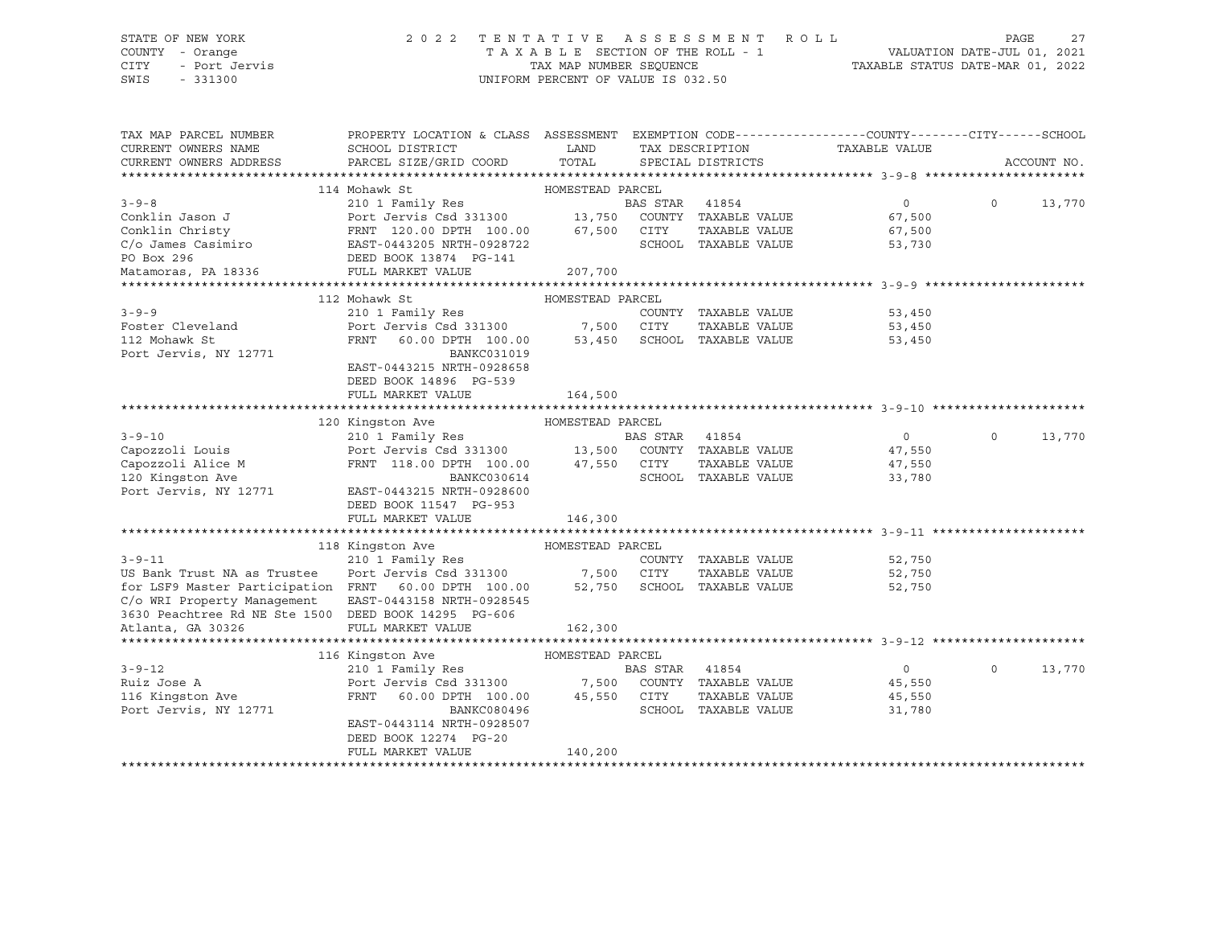## STATE OF NEW YORK 2 0 2 2 T E N T A T I V E A S S E S S M E N T R O L L PAGE 27 COUNTY - Orange T A X A B L E SECTION OF THE ROLL - 1 VALUATION DATE-JUL 01, 2021 CITY - Port Jervis TAX MAP NUMBER SEQUENCE TAXABLE STATUS DATE-MAR 01, 2022

| TAX MAP PARCEL NUMBER<br>CURRENT OWNERS NAME         | PROPERTY LOCATION & CLASS ASSESSMENT EXEMPTION CODE----------------COUNTY-------CITY------SCHOOL<br>SCHOOL DISTRICT                          | LAND             |                |                      |                               |          |             |
|------------------------------------------------------|----------------------------------------------------------------------------------------------------------------------------------------------|------------------|----------------|----------------------|-------------------------------|----------|-------------|
| CURRENT OWNERS ADDRESS                               | PARCEL SIZE/GRID COORD                                                                                                                       | TOTAL            |                | SPECIAL DISTRICTS    | TAX DESCRIPTION TAXABLE VALUE |          | ACCOUNT NO. |
|                                                      |                                                                                                                                              |                  |                |                      |                               |          |             |
|                                                      | 114 Mohawk St                                                                                                                                | HOMESTEAD PARCEL |                |                      |                               |          |             |
| $3 - 9 - 8$                                          | 210 1 Family Res                                                                                                                             |                  | BAS STAR 41854 |                      | $\Omega$                      | $\Omega$ | 13,770      |
| Conklin Jason J                                      |                                                                                                                                              |                  |                |                      | 67,500                        |          |             |
| Conklin Christy                                      | Port Jervis Csd 331300            13,750    COUNTY   TAXABLE VALUE<br>FRNT   120.00 DPTH   100.00          67,500    CITY      TAXABLE VALUE |                  |                |                      | 67,500                        |          |             |
| C/o James Casimiro                                   | EAST-0443205 NRTH-0928722                                                                                                                    |                  |                | SCHOOL TAXABLE VALUE | 53,730                        |          |             |
| PO Box 296                                           | DEED BOOK 13874 PG-141                                                                                                                       |                  |                |                      |                               |          |             |
| Matamoras, PA 18336 FULL MARKET VALUE                |                                                                                                                                              | 207,700          |                |                      |                               |          |             |
|                                                      |                                                                                                                                              |                  |                |                      |                               |          |             |
|                                                      | 112 Mohawk St                                                                                                                                | HOMESTEAD PARCEL |                |                      |                               |          |             |
| $3 - 9 - 9$                                          |                                                                                                                                              |                  |                | COUNTY TAXABLE VALUE | 53,450                        |          |             |
| Foster Cleveland                                     |                                                                                                                                              |                  |                | TAXABLE VALUE        | 53,450                        |          |             |
| 112 Mohawk St                                        | FRNT 60.00 DPTH 100.00 53,450 SCHOOL TAXABLE VALUE                                                                                           |                  |                |                      | 53,450                        |          |             |
| Port Jervis, NY 12771                                | <b>BANKC031019</b>                                                                                                                           |                  |                |                      |                               |          |             |
|                                                      | EAST-0443215 NRTH-0928658                                                                                                                    |                  |                |                      |                               |          |             |
|                                                      | DEED BOOK 14896 PG-539                                                                                                                       |                  |                |                      |                               |          |             |
|                                                      | FULL MARKET VALUE                                                                                                                            | 164,500          |                |                      |                               |          |             |
|                                                      |                                                                                                                                              |                  |                |                      |                               |          |             |
|                                                      | 120 Kingston Ave<br>HOMESTEAD PARCEL                                                                                                         |                  |                |                      |                               |          |             |
| $3 - 9 - 10$                                         | 210 1 Family Res<br>Port Jervis Csd 331300 13,500 COUNTY TAXABLE VALUE                                                                       |                  |                |                      | $\overline{0}$                | $\circ$  | 13,770      |
| Capozzoli Louis                                      |                                                                                                                                              |                  |                |                      | 47,550                        |          |             |
| Capozzoli Alice M                                    | FRNT 118.00 DPTH 100.00 47,550 CITY                                                                                                          |                  |                | TAXABLE VALUE        | 47,550                        |          |             |
| 120 Kingston Ave                                     | BANKC030614                                                                                                                                  |                  |                | SCHOOL TAXABLE VALUE | 33,780                        |          |             |
| Port Jervis, NY 12771                                | EAST-0443215 NRTH-0928600                                                                                                                    |                  |                |                      |                               |          |             |
|                                                      | DEED BOOK 11547 PG-953                                                                                                                       |                  |                |                      |                               |          |             |
|                                                      | FULL MARKET VALUE                                                                                                                            | 146,300          |                |                      |                               |          |             |
|                                                      |                                                                                                                                              |                  |                |                      |                               |          |             |
| $3 - 9 - 11$                                         | 118 Kingston Ave<br>210 1 Family Res                                                                                                         | HOMESTEAD PARCEL |                |                      | COUNTY TAXABLE VALUE 52,750   |          |             |
| US Bank Trust NA as Trustee                          |                                                                                                                                              |                  |                | TAXABLE VALUE        | 52,750                        |          |             |
| for LSF9 Master Participation FRNT 60.00 DPTH 100.00 | Port Jervis Csd 331300 7,500 CITY TAXABLE VALUE<br>FRNT 60.00 DPTH 100.00 52,750 SCHOOL TAXABLE VALUE                                        |                  |                |                      | 52,750                        |          |             |
| C/o WRI Property Management                          | EAST-0443158 NRTH-0928545                                                                                                                    |                  |                |                      |                               |          |             |
| 3630 Peachtree Rd NE Ste 1500 DEED BOOK 14295 PG-606 |                                                                                                                                              |                  |                |                      |                               |          |             |
| Atlanta, GA 30326                                    | FULL MARKET VALUE                                                                                                                            | 162,300          |                |                      |                               |          |             |
|                                                      |                                                                                                                                              |                  |                |                      |                               |          |             |
|                                                      | HOMESTEAD PARCEL<br>116 Kingston Ave                                                                                                         |                  |                |                      |                               |          |             |
| $3 - 9 - 12$                                         | 210 1 Family Res                                                                                                                             |                  | BAS STAR 41854 |                      | $\overline{0}$                | $\circ$  | 13,770      |
| Ruiz Jose A                                          | Port Jervis Csd 331300 7,500 COUNTY TAXABLE VALUE                                                                                            |                  |                |                      | 45,550                        |          |             |
| 116 Kingston Ave                                     | FRNT 60.00 DPTH 100.00 45,550 CITY                                                                                                           |                  |                | TAXABLE VALUE        | 45,550                        |          |             |
| Port Jervis, NY 12771                                | BANKC080496                                                                                                                                  |                  |                | SCHOOL TAXABLE VALUE | 31,780                        |          |             |
|                                                      | EAST-0443114 NRTH-0928507                                                                                                                    |                  |                |                      |                               |          |             |
|                                                      | DEED BOOK 12274 PG-20                                                                                                                        |                  |                |                      |                               |          |             |
|                                                      | FULL MARKET VALUE                                                                                                                            | 140,200          |                |                      |                               |          |             |
|                                                      |                                                                                                                                              |                  |                |                      |                               |          |             |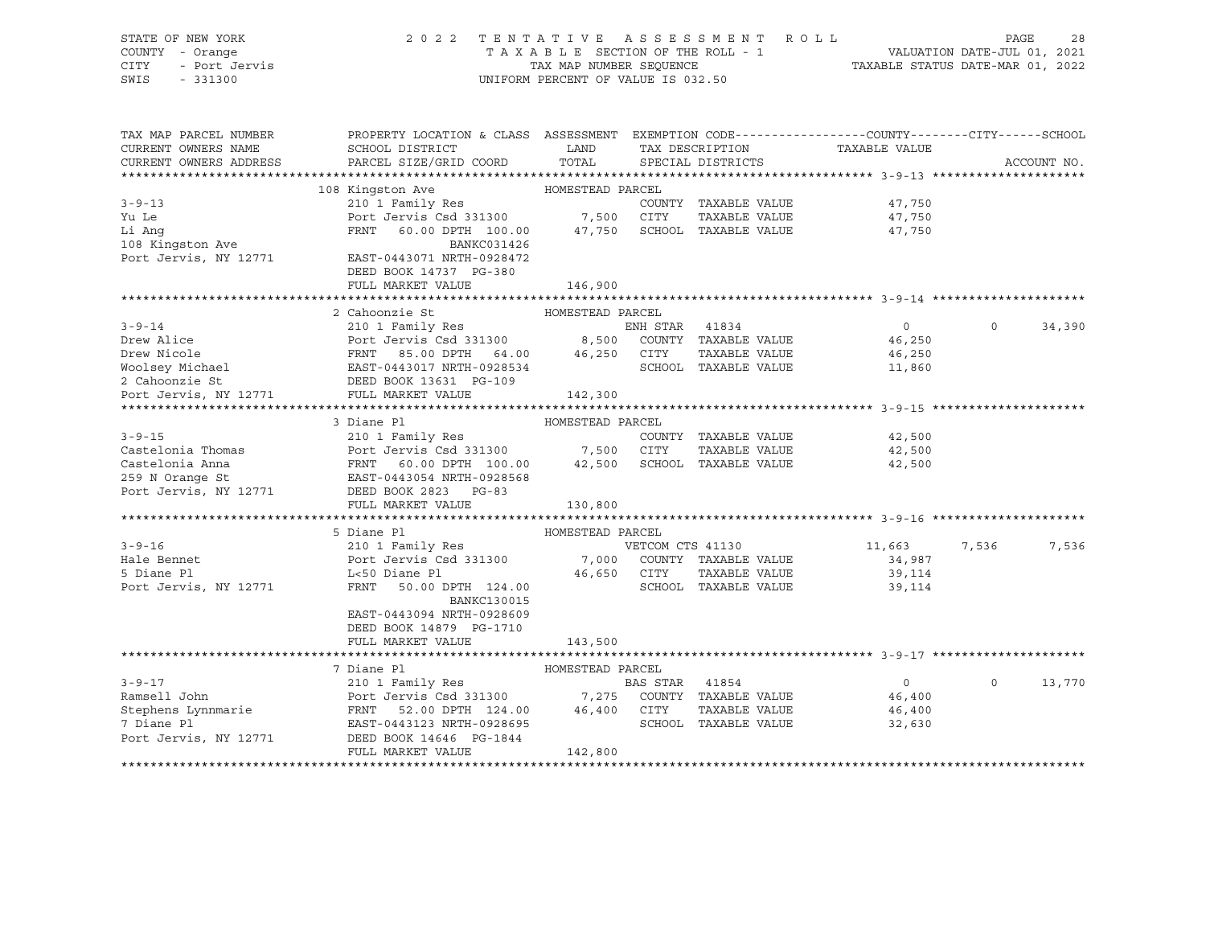| STATE OF NEW YORK<br>COUNTY - Orange<br><b>CITY</b><br>- Port Jervis<br>SWIS<br>$-331300$ | 2022 TENTATIVE ASSESSMENT ROLL                                                                                                                | TAXABLE SECTION OF THE ROLL - 1<br>TAX MAP NUMBER SEQUENCE<br>UNIFORM PERCENT OF VALUE IS 032.50 |                  |                                      | VALUATION DATE-JUL 01, 2021<br>TAXABLE STATUS DATE-MAR 01, 2022 | PAGE        | 28          |
|-------------------------------------------------------------------------------------------|-----------------------------------------------------------------------------------------------------------------------------------------------|--------------------------------------------------------------------------------------------------|------------------|--------------------------------------|-----------------------------------------------------------------|-------------|-------------|
| TAX MAP PARCEL NUMBER<br>CURRENT OWNERS NAME<br>CURRENT OWNERS ADDRESS                    | PROPERTY LOCATION & CLASS ASSESSMENT EXEMPTION CODE----------------COUNTY-------CITY------SCHOOL<br>SCHOOL DISTRICT<br>PARCEL SIZE/GRID COORD | LAND<br>TOTAL                                                                                    |                  | TAX DESCRIPTION<br>SPECIAL DISTRICTS | TAXABLE VALUE                                                   |             | ACCOUNT NO. |
|                                                                                           |                                                                                                                                               |                                                                                                  |                  |                                      |                                                                 |             |             |
|                                                                                           | 108 Kingston Ave                                                                                                                              | HOMESTEAD PARCEL                                                                                 |                  |                                      |                                                                 |             |             |
| $3 - 9 - 13$                                                                              | 210 1 Family Res                                                                                                                              |                                                                                                  |                  | COUNTY TAXABLE VALUE                 | 47,750                                                          |             |             |
| Yu Le                                                                                     | Port Jervis Csd 331300                                                                                                                        | 7,500 CITY                                                                                       |                  | TAXABLE VALUE                        | 47,750                                                          |             |             |
| Li Ang<br>108 Kingston Ave                                                                | FRNT 60.00 DPTH 100.00<br>BANKC031426                                                                                                         |                                                                                                  |                  | 47,750 SCHOOL TAXABLE VALUE          | 47,750                                                          |             |             |
| Port Jervis, NY 12771                                                                     | EAST-0443071 NRTH-0928472<br>DEED BOOK 14737 PG-380                                                                                           |                                                                                                  |                  |                                      |                                                                 |             |             |
|                                                                                           | FULL MARKET VALUE                                                                                                                             | 146,900                                                                                          |                  |                                      | .******************************* 3-9-14 *********************   |             |             |
|                                                                                           | 2 Cahoonzie St                                                                                                                                | HOMESTEAD PARCEL                                                                                 |                  |                                      |                                                                 |             |             |
| $3 - 9 - 14$                                                                              | 210 1 Family Res                                                                                                                              |                                                                                                  | ENH STAR 41834   |                                      | $\overline{0}$                                                  | $\mathbf 0$ | 34,390      |
| Drew Alice                                                                                | Port Jervis Csd 331300 8,500 COUNTY TAXABLE VALUE                                                                                             |                                                                                                  |                  |                                      | 46,250                                                          |             |             |
| Drew Nicole                                                                               | FRNT 85.00 DPTH 64.00 46,250 CITY                                                                                                             |                                                                                                  |                  | TAXABLE VALUE                        | 46,250                                                          |             |             |
| Woolsey Michael EAST-0443017 NRTH-0928534<br>2 Cahoonzie St BEED ROOK 13631 DREED ROOK    |                                                                                                                                               |                                                                                                  |                  | SCHOOL TAXABLE VALUE                 | 11,860                                                          |             |             |
|                                                                                           |                                                                                                                                               |                                                                                                  |                  |                                      |                                                                 |             |             |
| Port Jervis, NY 12771                                                                     | FULL MARKET VALUE                                                                                                                             | 142,300                                                                                          |                  |                                      |                                                                 |             |             |
|                                                                                           | 3 Diane Pl                                                                                                                                    | HOMESTEAD PARCEL                                                                                 |                  |                                      |                                                                 |             |             |
| $3 - 9 - 15$                                                                              | 210 1 Family Res                                                                                                                              |                                                                                                  |                  | COUNTY TAXABLE VALUE                 | 42,500                                                          |             |             |
| Castelonia Thomas                                                                         | Port Jervis Csd 331300 7,500 CITY                                                                                                             |                                                                                                  |                  | TAXABLE VALUE                        | 42,500                                                          |             |             |
| Castelonia Anna                                                                           | FRNT 60.00 DPTH 100.00                                                                                                                        |                                                                                                  |                  | 42,500 SCHOOL TAXABLE VALUE          | 42,500                                                          |             |             |
| 259 N Orange St                                                                           | EAST-0443054 NRTH-0928568                                                                                                                     |                                                                                                  |                  |                                      |                                                                 |             |             |
| Port Jervis, NY 12771                                                                     | DEED BOOK 2823 PG-83                                                                                                                          |                                                                                                  |                  |                                      |                                                                 |             |             |
|                                                                                           | FULL MARKET VALUE                                                                                                                             | 130,800                                                                                          |                  |                                      |                                                                 |             |             |
|                                                                                           |                                                                                                                                               |                                                                                                  |                  |                                      |                                                                 |             |             |
| $3 - 9 - 16$                                                                              | 5 Diane Pl                                                                                                                                    | HOMESTEAD PARCEL                                                                                 | VETCOM CTS 41130 |                                      |                                                                 |             | 7,536       |
| Hale Bennet                                                                               | 210 1 Family Res<br>Port Jervis Csd 331300                                                                                                    | 7,000                                                                                            |                  | COUNTY TAXABLE VALUE                 | 11,663<br>34,987                                                | 7,536       |             |
| 5 Diane Pl                                                                                | L<50 Diane Pl                                                                                                                                 | 46,650 CITY                                                                                      |                  | TAXABLE VALUE                        | 39,114                                                          |             |             |
| Port Jervis, NY 12771                                                                     | FRNT<br>50.00 DPTH 124.00                                                                                                                     |                                                                                                  |                  | SCHOOL TAXABLE VALUE                 | 39,114                                                          |             |             |
|                                                                                           | <b>BANKC130015</b>                                                                                                                            |                                                                                                  |                  |                                      |                                                                 |             |             |
|                                                                                           | EAST-0443094 NRTH-0928609                                                                                                                     |                                                                                                  |                  |                                      |                                                                 |             |             |
|                                                                                           | DEED BOOK 14879 PG-1710                                                                                                                       |                                                                                                  |                  |                                      |                                                                 |             |             |
|                                                                                           | FULL MARKET VALUE                                                                                                                             | 143,500                                                                                          |                  |                                      |                                                                 |             |             |
|                                                                                           | 7 Diane Pl                                                                                                                                    | HOMESTEAD PARCEL                                                                                 |                  |                                      |                                                                 |             |             |
| $3 - 9 - 17$                                                                              | 210 1 Family Res                                                                                                                              |                                                                                                  | BAS STAR         | 41854                                | $0 \qquad \qquad$                                               | $\Omega$    | 13,770      |
| Ramsell John                                                                              | Port Jervis Csd 331300 7,275                                                                                                                  |                                                                                                  |                  | COUNTY TAXABLE VALUE                 | 46,400                                                          |             |             |
| Stephens Lynnmarie                                                                        | FRNT 52.00 DPTH 124.00                                                                                                                        | 46,400 CITY                                                                                      |                  | TAXABLE VALUE                        | 46,400                                                          |             |             |
| 7 Diane Pl                                                                                |                                                                                                                                               |                                                                                                  |                  |                                      | 32,630                                                          |             |             |
|                                                                                           | EAST-0443123 NRTH-0928695                                                                                                                     |                                                                                                  |                  | SCHOOL TAXABLE VALUE                 |                                                                 |             |             |
| Port Jervis, NY 12771                                                                     | DEED BOOK 14646 PG-1844<br>FULL MARKET VALUE                                                                                                  | 142,800                                                                                          |                  |                                      |                                                                 |             |             |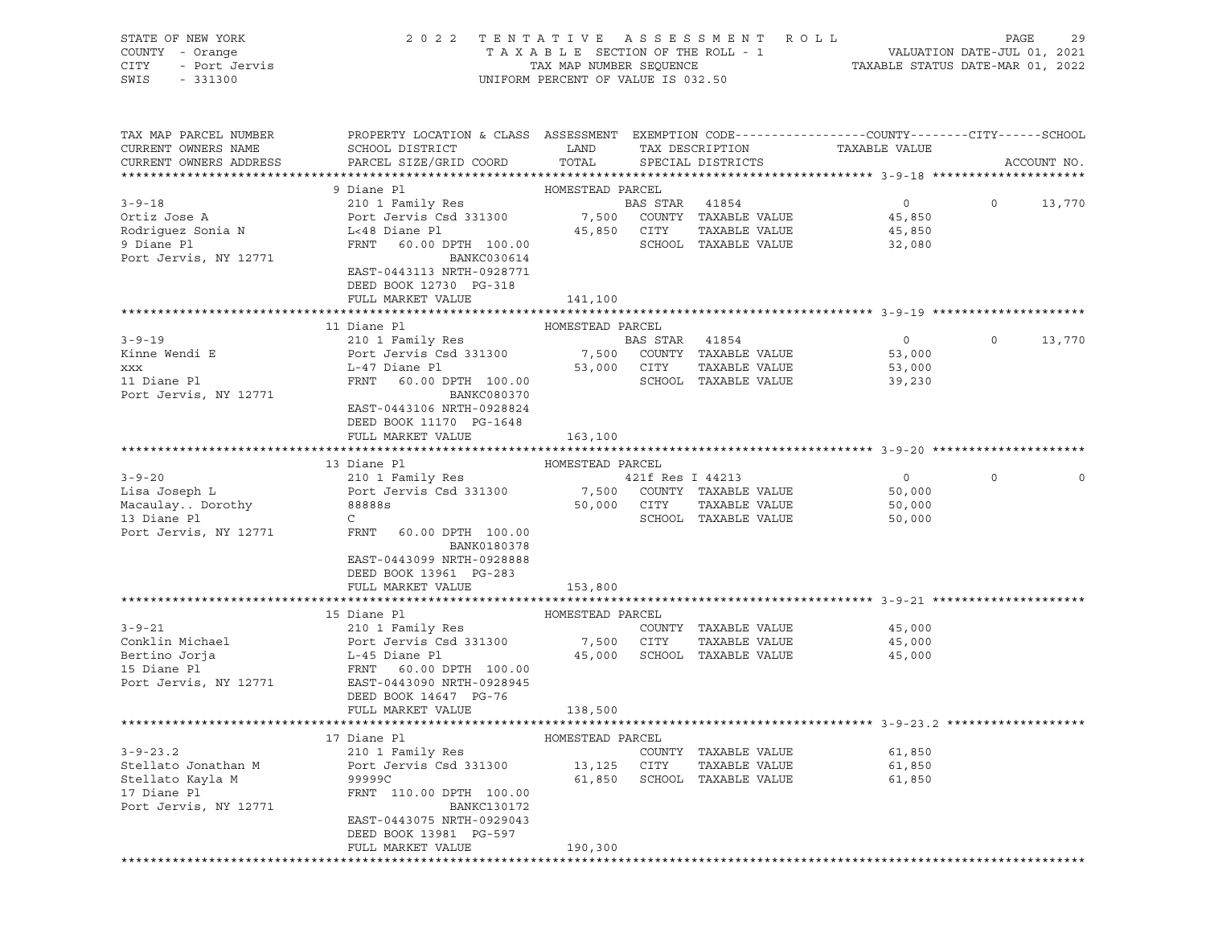| STATE OF NEW YORK<br>COUNTY - Orange<br>CITY<br>- Port Jervis<br>SWIS<br>$-331300$ | 2 0 2 2                                                                                                             | UNIFORM PERCENT OF VALUE IS 032.50 |                  | TENTATIVE ASSESSMENT ROLL                               |                               | PAGE    | 29          |
|------------------------------------------------------------------------------------|---------------------------------------------------------------------------------------------------------------------|------------------------------------|------------------|---------------------------------------------------------|-------------------------------|---------|-------------|
| TAX MAP PARCEL NUMBER<br>CURRENT OWNERS NAME                                       | PROPERTY LOCATION & CLASS ASSESSMENT EXEMPTION CODE----------------COUNTY-------CITY------SCHOOL<br>SCHOOL DISTRICT | LAND                               |                  |                                                         |                               |         |             |
| CURRENT OWNERS ADDRESS                                                             | PARCEL SIZE/GRID COORD                                                                                              | TOTAL                              |                  | SPECIAL DISTRICTS                                       | TAX DESCRIPTION TAXABLE VALUE |         | ACCOUNT NO. |
|                                                                                    |                                                                                                                     |                                    |                  |                                                         |                               |         |             |
|                                                                                    | 9 Diane Pl                                                                                                          | HOMESTEAD PARCEL                   |                  |                                                         |                               |         |             |
| $3 - 9 - 18$                                                                       | 210 1 Family Res                                                                                                    |                                    | BAS STAR 41854   |                                                         | $0 \qquad \qquad$             | $\circ$ | 13,770      |
| Ortiz Jose A                                                                       | Port Jervis Csd 331300                                                                                              |                                    |                  | 7,500 COUNTY TAXABLE VALUE                              | 45,850                        |         |             |
| Rodriguez Sonia N<br>9 Diane Pl                                                    | L<48 Diane Pl<br>FRNT 60.00 DPTH 100.00                                                                             |                                    |                  | 45,850 CITY TAXABLE VALUE<br>SCHOOL TAXABLE VALUE       | 45,850<br>32,080              |         |             |
| Port Jervis, NY 12771                                                              | BANKC030614<br>EAST-0443113 NRTH-0928771                                                                            |                                    |                  |                                                         |                               |         |             |
|                                                                                    | DEED BOOK 12730 PG-318                                                                                              |                                    |                  |                                                         |                               |         |             |
|                                                                                    | FULL MARKET VALUE                                                                                                   | 141,100                            |                  |                                                         |                               |         |             |
|                                                                                    | 11 Diane Pl                                                                                                         | HOMESTEAD PARCEL                   |                  |                                                         |                               |         |             |
| $3 - 9 - 19$                                                                       | 210 1 Family Res                                                                                                    |                                    | BAS STAR 41854   |                                                         | $\circ$                       | $\circ$ | 13,770      |
| Kinne Wendi E                                                                      | Port Jervis Csd 331300                                                                                              | 7,500                              |                  | COUNTY TAXABLE VALUE                                    | 53,000                        |         |             |
| <b>XXX</b>                                                                         | L-47 Diane Pl                                                                                                       | 53,000 CITY                        |                  | TAXABLE VALUE                                           | 53,000                        |         |             |
| 11 Diane Pl                                                                        | FRNT 60.00 DPTH 100.00                                                                                              |                                    |                  | SCHOOL TAXABLE VALUE                                    | 39,230                        |         |             |
| Port Jervis, NY 12771                                                              | <b>BANKC080370</b><br>EAST-0443106 NRTH-0928824<br>DEED BOOK 11170 PG-1648                                          |                                    |                  |                                                         |                               |         |             |
|                                                                                    | FULL MARKET VALUE                                                                                                   | 163,100                            |                  |                                                         |                               |         |             |
|                                                                                    |                                                                                                                     |                                    |                  |                                                         |                               |         |             |
|                                                                                    | 13 Diane Pl                                                                                                         | HOMESTEAD PARCEL                   |                  |                                                         |                               |         |             |
| $3 - 9 - 20$                                                                       | 210 1 Family Res                                                                                                    |                                    | 421f Res I 44213 |                                                         | $\circ$                       | $\circ$ | $\circ$     |
| Lisa Joseph L<br>Macaulay Dorothy                                                  | Port Jervis Csd 331300<br>88888s                                                                                    |                                    |                  | 7,500 COUNTY TAXABLE VALUE<br>50,000 CITY TAXABLE VALUE | 50,000<br>50,000              |         |             |
| 13 Diane Pl                                                                        | $\mathsf{C}$                                                                                                        |                                    |                  | SCHOOL TAXABLE VALUE                                    | 50,000                        |         |             |
| Port Jervis, NY 12771                                                              | FRNT<br>60.00 DPTH 100.00<br>BANK0180378                                                                            |                                    |                  |                                                         |                               |         |             |
|                                                                                    | EAST-0443099 NRTH-0928888<br>DEED BOOK 13961 PG-283<br>FULL MARKET VALUE                                            | 153,800                            |                  |                                                         |                               |         |             |
|                                                                                    |                                                                                                                     |                                    |                  |                                                         |                               |         |             |
|                                                                                    | 15 Diane Pl                                                                                                         | HOMESTEAD PARCEL                   |                  |                                                         |                               |         |             |
| $3 - 9 - 21$                                                                       | 210 1 Family Res                                                                                                    |                                    |                  | COUNTY TAXABLE VALUE                                    | 45,000                        |         |             |
| Conklin Michael                                                                    | Port Jervis Csd 331300                                                                                              | 7,500                              | CITY             | TAXABLE VALUE                                           | 45,000                        |         |             |
| Bertino Jorja                                                                      | L-45 Diane Pl                                                                                                       | 45,000                             |                  | SCHOOL TAXABLE VALUE                                    | 45,000                        |         |             |
| 15 Diane Pl<br>Port Jervis, NY 12771                                               | FRNT 60.00 DPTH 100.00<br>EAST-0443090 NRTH-0928945                                                                 |                                    |                  |                                                         |                               |         |             |
|                                                                                    | DEED BOOK 14647 PG-76                                                                                               |                                    |                  |                                                         |                               |         |             |
|                                                                                    | FULL MARKET VALUE                                                                                                   | 138,500                            |                  |                                                         |                               |         |             |
|                                                                                    | 17 Diane Pl                                                                                                         | HOMESTEAD PARCEL                   |                  |                                                         |                               |         |             |
| $3 - 9 - 23.2$                                                                     | 210 1 Family Res                                                                                                    |                                    |                  | COUNTY TAXABLE VALUE                                    | 61,850                        |         |             |
| Stellato Jonathan M                                                                | Port Jervis Csd 331300                                                                                              | 13,125                             | CITY             | TAXABLE VALUE                                           | 61,850                        |         |             |
| Stellato Kayla M                                                                   | 99999C                                                                                                              | 61,850                             |                  | SCHOOL TAXABLE VALUE                                    | 61,850                        |         |             |
| 17 Diane Pl                                                                        | FRNT 110.00 DPTH 100.00                                                                                             |                                    |                  |                                                         |                               |         |             |
| Port Jervis, NY 12771                                                              | BANKC130172<br>EAST-0443075 NRTH-0929043                                                                            |                                    |                  |                                                         |                               |         |             |
|                                                                                    | DEED BOOK 13981 PG-597                                                                                              |                                    |                  |                                                         |                               |         |             |
|                                                                                    | FULL MARKET VALUE                                                                                                   | 190,300                            |                  |                                                         |                               |         |             |
|                                                                                    |                                                                                                                     |                                    |                  |                                                         |                               |         |             |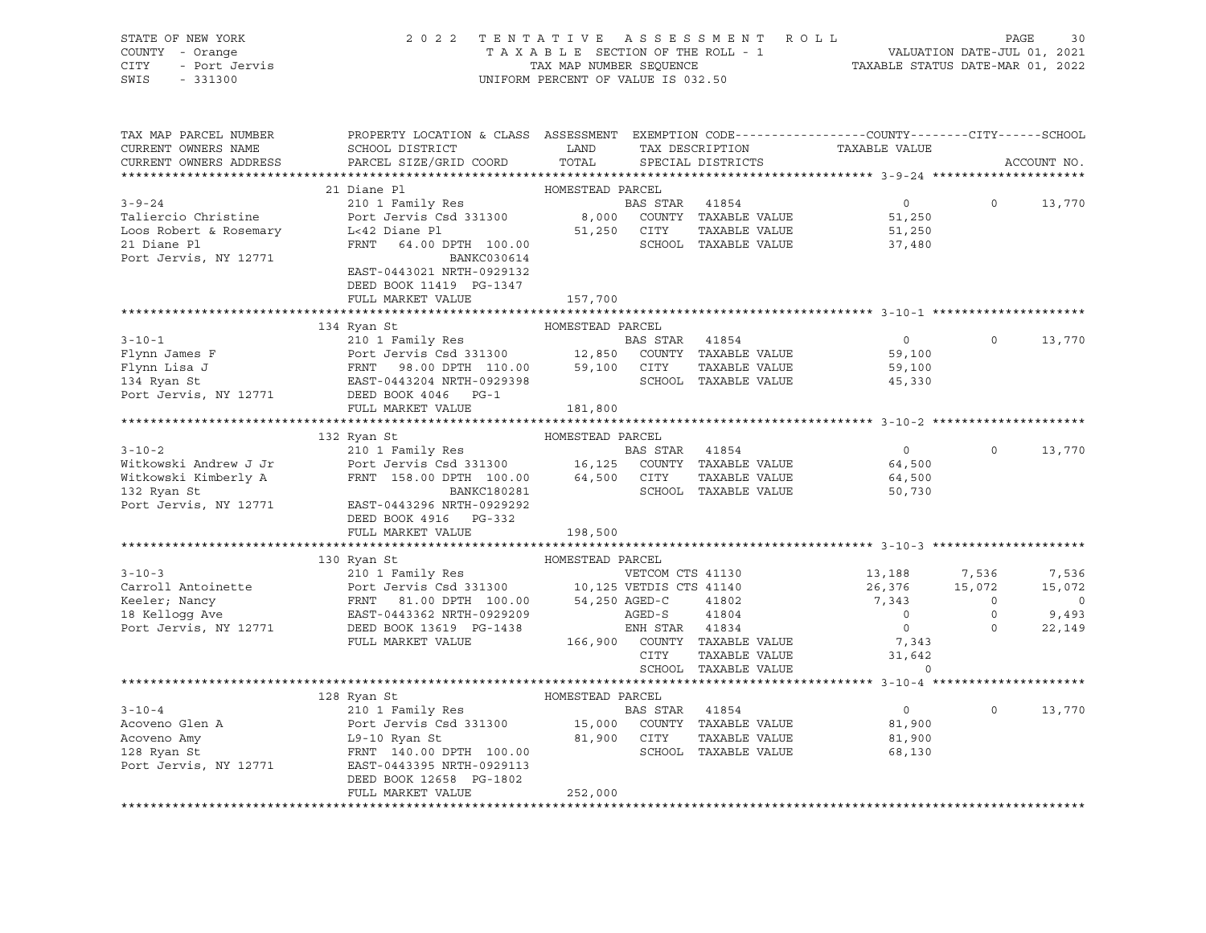| STATE OF NEW YORK                             | 2 0 2 2<br>TENTATIVE                                                                                                                                                                                                                  |                                    |                | ASSESSMENT                                                     | R O L L                                                            |                | PAGE<br>30     |
|-----------------------------------------------|---------------------------------------------------------------------------------------------------------------------------------------------------------------------------------------------------------------------------------------|------------------------------------|----------------|----------------------------------------------------------------|--------------------------------------------------------------------|----------------|----------------|
| COUNTY - Orange                               |                                                                                                                                                                                                                                       | TAXABLE SECTION OF THE ROLL - 1    |                |                                                                | VALUATION DATE-JUL 01, 2021<br>TAXABLE STATUS DATE-MAR 01, 2022    |                |                |
| - Port Jervis<br>CITY                         |                                                                                                                                                                                                                                       | TAX MAP NUMBER SEQUENCE            |                |                                                                |                                                                    |                |                |
| SWIS<br>$-331300$                             |                                                                                                                                                                                                                                       | UNIFORM PERCENT OF VALUE IS 032.50 |                |                                                                |                                                                    |                |                |
|                                               |                                                                                                                                                                                                                                       |                                    |                |                                                                |                                                                    |                |                |
|                                               |                                                                                                                                                                                                                                       |                                    |                |                                                                |                                                                    |                |                |
|                                               |                                                                                                                                                                                                                                       |                                    |                |                                                                |                                                                    |                |                |
| TAX MAP PARCEL NUMBER                         | PROPERTY LOCATION & CLASS ASSESSMENT EXEMPTION CODE---------------COUNTY-------CITY------SCHOOL                                                                                                                                       |                                    |                |                                                                |                                                                    |                |                |
| CURRENT OWNERS NAME                           | SCHOOL DISTRICT                                                                                                                                                                                                                       | LAND                               |                |                                                                |                                                                    |                |                |
| CURRENT OWNERS ADDRESS                        | PARCEL SIZE/GRID COORD                                                                                                                                                                                                                | TOTAL                              |                | TAX DESCRIPTION TAXABLE VALUE<br>TAX DESCRIPTION TAXABLE VALUE |                                                                    |                | ACCOUNT NO.    |
|                                               |                                                                                                                                                                                                                                       |                                    |                |                                                                |                                                                    |                |                |
|                                               | 21 Diane Pl                                                                                                                                                                                                                           | HOMESTEAD PARCEL                   |                |                                                                |                                                                    |                |                |
| $3 - 9 - 24$                                  | 210 1 Family Res<br>Port Jervis Csd 331300 8,000 COUNTY TAXABLE VALUE                                                                                                                                                                 |                                    |                |                                                                | $\overline{0}$                                                     | $\circ$        | 13,770         |
| Taliercio Christine                           |                                                                                                                                                                                                                                       |                                    |                |                                                                | 51,250                                                             |                |                |
| Loos Robert & Rosemary                        | L<42 Diane Pl                                                                                                                                                                                                                         |                                    | 51,250 CITY    | TAXABLE VALUE                                                  | 51,250                                                             |                |                |
| 21 Diane Pl                                   | FRNT<br>64.00 DPTH 100.00                                                                                                                                                                                                             |                                    |                | SCHOOL TAXABLE VALUE                                           | 37,480                                                             |                |                |
| Port Jervis, NY 12771                         | BANKC030614                                                                                                                                                                                                                           |                                    |                |                                                                |                                                                    |                |                |
|                                               | EAST-0443021 NRTH-0929132                                                                                                                                                                                                             |                                    |                |                                                                |                                                                    |                |                |
|                                               | DEED BOOK 11419 PG-1347                                                                                                                                                                                                               |                                    |                |                                                                |                                                                    |                |                |
|                                               | FULL MARKET VALUE                                                                                                                                                                                                                     | 157,700                            |                |                                                                |                                                                    |                |                |
|                                               |                                                                                                                                                                                                                                       |                                    |                |                                                                |                                                                    |                |                |
|                                               | 2.10 1 Family Res<br>Port Jervis Csd 331300<br>FRNT 98.00 DPTH 110.00 59,100 CUNTY TAXABLE VALUE<br>EAST-0443204 NRTH-0929398<br>FRNT 98.00 DPTH 110.00 59,100 CITY TAXABLE VALUE<br>EAST-0443204 NRTH-0929398<br>DEED BOOK 4046 PC 1 |                                    |                |                                                                |                                                                    |                |                |
| $3 - 10 - 1$                                  |                                                                                                                                                                                                                                       |                                    |                |                                                                | $\overline{0}$                                                     | $\Omega$       | 13,770         |
| Flynn James F                                 |                                                                                                                                                                                                                                       |                                    |                |                                                                | 59,100                                                             |                |                |
| Flynn Lisa J                                  |                                                                                                                                                                                                                                       |                                    |                |                                                                | 59,100                                                             |                |                |
| 134 Ryan St                                   |                                                                                                                                                                                                                                       |                                    |                |                                                                | 45,330                                                             |                |                |
| Port Jervis, NY 12771                         |                                                                                                                                                                                                                                       |                                    |                |                                                                |                                                                    |                |                |
|                                               | FULL MARKET VALUE                                                                                                                                                                                                                     |                                    |                |                                                                |                                                                    |                |                |
|                                               |                                                                                                                                                                                                                                       | 181,800                            |                |                                                                |                                                                    |                |                |
|                                               |                                                                                                                                                                                                                                       | HOMESTEAD PARCEL                   |                |                                                                |                                                                    |                |                |
|                                               | 132 Ryan St                                                                                                                                                                                                                           |                                    |                |                                                                |                                                                    |                |                |
| $3 - 10 - 2$                                  | 210 1 Family Res                                                                                                                                                                                                                      |                                    | BAS STAR       | 41854                                                          | $0 \qquad \qquad$                                                  | $\circ$        | 13,770         |
| Witkowski Andrew J Jr                         | Port Jervis Csd 331300 16,125 COUNTY TAXABLE VALUE                                                                                                                                                                                    |                                    |                |                                                                | 64,500                                                             |                |                |
| Witkowski Kimberly A                          | FRNT 158.00 DPTH 100.00                                                                                                                                                                                                               | 64,500 CITY                        |                | TAXABLE VALUE                                                  | 64,500                                                             |                |                |
| 132 Ryan St                                   | BANKC180281                                                                                                                                                                                                                           |                                    |                | SCHOOL TAXABLE VALUE                                           | 50,730                                                             |                |                |
| Port Jervis, NY 12771                         | EAST-0443296 NRTH-0929292                                                                                                                                                                                                             |                                    |                |                                                                |                                                                    |                |                |
|                                               | DEED BOOK 4916 PG-332                                                                                                                                                                                                                 |                                    |                |                                                                |                                                                    |                |                |
|                                               | FULL MARKET VALUE                                                                                                                                                                                                                     |                                    |                |                                                                |                                                                    |                |                |
|                                               |                                                                                                                                                                                                                                       | 198,500                            |                |                                                                |                                                                    |                |                |
|                                               |                                                                                                                                                                                                                                       |                                    |                |                                                                | ************************************ 3-10-3 ********************** |                |                |
|                                               | 130 Ryan St                                                                                                                                                                                                                           | HOMESTEAD PARCEL                   |                |                                                                |                                                                    |                |                |
| $3 - 10 - 3$                                  | 210 1 Family Res                                                                                                                                                                                                                      |                                    |                | VETCOM CTS 41130                                               | 13,188                                                             | 7,536          | 7,536          |
| Carroll Antoinette                            |                                                                                                                                                                                                                                       |                                    |                |                                                                | 26,376                                                             | 15,072         | 15,072         |
|                                               |                                                                                                                                                                                                                                       |                                    |                |                                                                | 7,343                                                              | $\overline{0}$ | $\overline{0}$ |
| Keeler; Nancy<br>18 Kellogg Ave               |                                                                                                                                                                                                                                       |                                    |                |                                                                | $\overline{0}$                                                     | $\circ$        | 9,493          |
| Port Jervis, NY 12771 DEED BOOK 13619 PG-1438 | Port Jervis Csd 331300 10,125 VETDIS CTS 41140<br>FRNT 81.00 DPTH 100.00 54,250 AGED-C 41802<br>EAST-0443362 NRTH-0929209 AGED-S 41804                                                                                                |                                    | ENH STAR       | 41834                                                          | $\overline{0}$                                                     | $\Omega$       | 22,149         |
|                                               | FULL MARKET VALUE                                                                                                                                                                                                                     |                                    |                |                                                                | 7,343                                                              |                |                |
|                                               |                                                                                                                                                                                                                                       |                                    | CITY           | 166,900 COUNTY TAXABLE VALUE<br>TAXABLE VALUE                  | 31,642                                                             |                |                |
|                                               |                                                                                                                                                                                                                                       |                                    |                | SCHOOL TAXABLE VALUE                                           | $\circ$                                                            |                |                |
|                                               |                                                                                                                                                                                                                                       |                                    |                |                                                                |                                                                    |                |                |
|                                               | 128 Ryan St                                                                                                                                                                                                                           | HOMESTEAD PARCEL                   |                |                                                                |                                                                    |                |                |
| $3 - 10 - 4$                                  | 210 1 Family Res                                                                                                                                                                                                                      |                                    | BAS STAR 41854 |                                                                | $\overline{0}$                                                     | $\circ$        | 13,770         |
| Acoveno Glen A                                |                                                                                                                                                                                                                                       |                                    |                |                                                                | 81,900                                                             |                |                |
| Acoveno Amy                                   |                                                                                                                                                                                                                                       |                                    |                |                                                                | 81,900                                                             |                |                |
| 128 Ryan St                                   |                                                                                                                                                                                                                                       |                                    |                |                                                                | 68,130                                                             |                |                |
| Port Jervis, NY 12771                         | Port Jervis Csd 331300 15,000 COUNTY TAXABLE VALUE<br>L9-10 Ryan St 81,900 CITY TAXABLE VALUE<br>FRNT 140.00 DPTH 100.00 5CHOOL TAXABLE VALUE<br>EAST-0443395 NRTH-0929113                                                            |                                    |                |                                                                |                                                                    |                |                |
|                                               |                                                                                                                                                                                                                                       |                                    |                |                                                                |                                                                    |                |                |
|                                               | DEED BOOK 12658 PG-1802<br>FULL MARKET VALUE                                                                                                                                                                                          | 252,000                            |                |                                                                |                                                                    |                |                |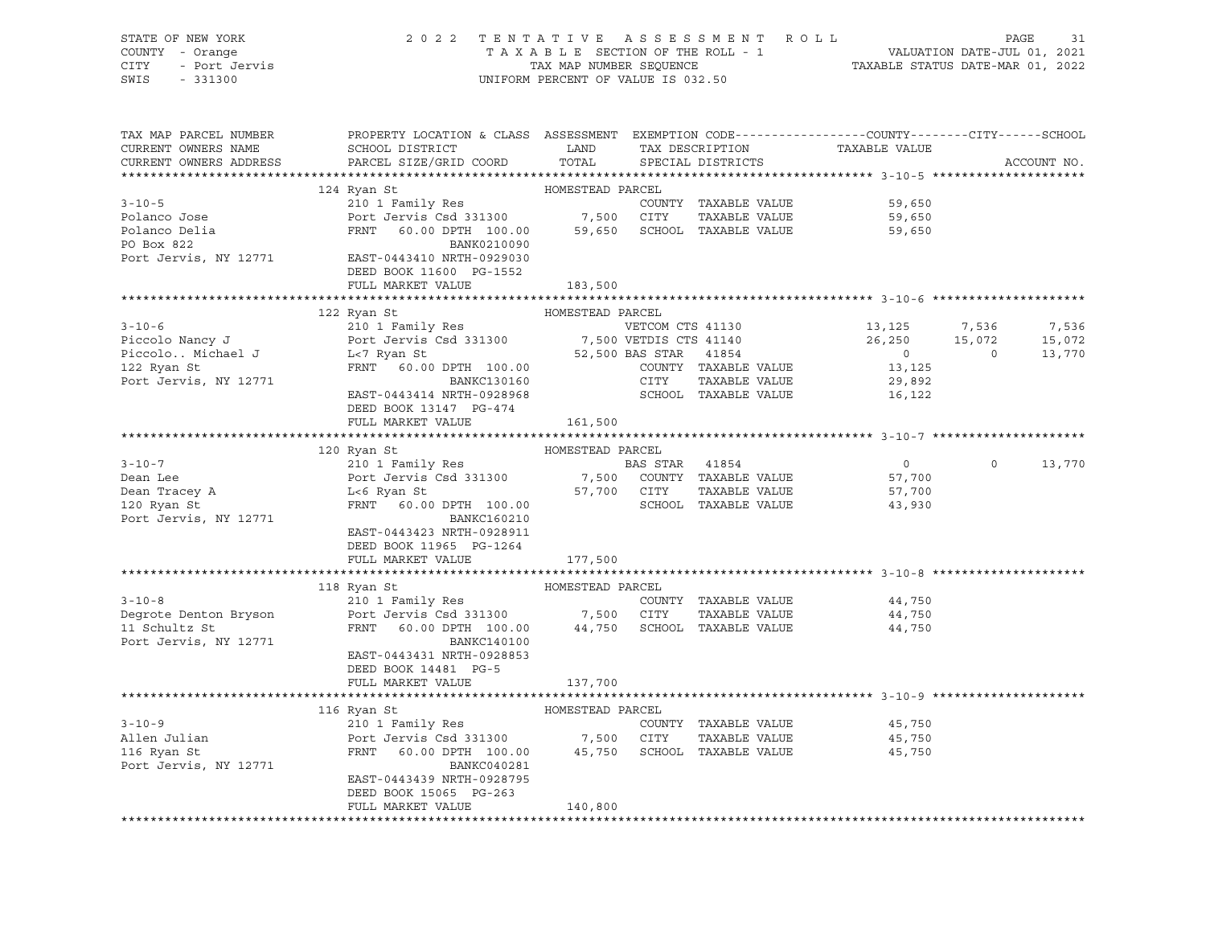| STATE OF NEW YORK<br>"Y - Orange<br>- Port Jervis<br>- 221228<br>COUNTY - Orange<br>CITY<br>SWIS<br>$-331300$                                                                                                                                         | 2022 TENTATIVE ASSESSMENT ROLL PAGE 31<br>TAXABLE SECTION OF THE ROLL - 1 VALUATION DATE-JUL 01, 2021<br>TAX MAP NUMBER SEQUENCE TAXABLE STATUS DATE-MAR 01, 2022 | UNIFORM PERCENT OF VALUE IS 032.50 |                                                              |                         |                                 |             |
|-------------------------------------------------------------------------------------------------------------------------------------------------------------------------------------------------------------------------------------------------------|-------------------------------------------------------------------------------------------------------------------------------------------------------------------|------------------------------------|--------------------------------------------------------------|-------------------------|---------------------------------|-------------|
| TAX MAP PARCEL NUMBER<br>CURRENT OWNERS NAME<br>CURRENT OWNERS ADDRESS                                                                                                                                                                                | PROPERTY LOCATION & CLASS ASSESSMENT EXEMPTION CODE---------------COUNTY-------CITY------SCHOOL<br>SCHOOL DISTRICT LAND<br>PARCEL SIZE/GRID COORD TOTAL           |                                    | TAX DESCRIPTION TAXABLE VALUE SPECIAL DISTRICTS              |                         |                                 | ACCOUNT NO. |
|                                                                                                                                                                                                                                                       |                                                                                                                                                                   | HOMESTEAD PARCEL                   |                                                              |                         |                                 |             |
| $3 - 10 - 5$                                                                                                                                                                                                                                          | 124 Ryan St                                                                                                                                                       |                                    | COUNTY TAXABLE VALUE 59,650                                  |                         |                                 |             |
| Polanco Jose                                                                                                                                                                                                                                          |                                                                                                                                                                   |                                    |                                                              | 59,650                  |                                 |             |
| Polanco Delia<br>PO Box 822                                                                                                                                                                                                                           | 24 Ryan St<br>210 1 Family Res<br>Port Jervis Csd 331300 7,500 CITY TAXABLE VALUE<br>FRNT 60.00 DPTH 100.00 59,650 SCHOOL TAXABLE VALUE<br>BANK0210090            |                                    |                                                              | 59,650                  |                                 |             |
| Port Jervis, NY 12771 EAST-0443410 NRTH-0929030                                                                                                                                                                                                       |                                                                                                                                                                   |                                    |                                                              |                         |                                 |             |
|                                                                                                                                                                                                                                                       | DEED BOOK 11600 PG-1552                                                                                                                                           |                                    |                                                              |                         |                                 |             |
|                                                                                                                                                                                                                                                       | FULL MARKET VALUE                                                                                                                                                 | 183,500                            |                                                              |                         |                                 |             |
|                                                                                                                                                                                                                                                       | 122 Ryan St                                                                                                                                                       | HOMESTEAD PARCEL                   |                                                              |                         |                                 |             |
| 3-10-6<br>Piccolo Nancy J<br>Piccolo. Michael J<br>Piccolo. Michael J<br>Piccolo. Michael J<br>Piccolo Mancy J<br>L-7 Ryan St<br>FRNT 60.00 DPTH 100.00<br>BANKC130160<br>Port Jervis, NY 12771<br>EAST-0443414 NRTH-0928968<br>FRNT 100.00<br>BANKC1 |                                                                                                                                                                   |                                    |                                                              | 13, 125                 | 7,536                           | 7,536       |
|                                                                                                                                                                                                                                                       |                                                                                                                                                                   |                                    |                                                              | $26,250$<br>0<br>13,125 |                                 |             |
|                                                                                                                                                                                                                                                       |                                                                                                                                                                   |                                    |                                                              |                         | $15,072$ $15,072$<br>0 $13,770$ |             |
|                                                                                                                                                                                                                                                       |                                                                                                                                                                   |                                    |                                                              |                         |                                 |             |
|                                                                                                                                                                                                                                                       |                                                                                                                                                                   |                                    |                                                              | 29,892                  |                                 |             |
|                                                                                                                                                                                                                                                       |                                                                                                                                                                   |                                    |                                                              | 16, 122                 |                                 |             |
|                                                                                                                                                                                                                                                       | DEED BOOK 13147 PG-474                                                                                                                                            |                                    |                                                              |                         |                                 |             |
|                                                                                                                                                                                                                                                       | FULL MARKET VALUE 161,500                                                                                                                                         |                                    |                                                              |                         |                                 |             |
|                                                                                                                                                                                                                                                       |                                                                                                                                                                   |                                    |                                                              |                         |                                 |             |
|                                                                                                                                                                                                                                                       | 120 Ryan St                                                                                                                                                       | HOMESTEAD PARCEL                   |                                                              |                         |                                 |             |
| $3 - 10 - 7$                                                                                                                                                                                                                                          |                                                                                                                                                                   |                                    |                                                              | $\overline{0}$          | $0 \t 13,770$                   |             |
|                                                                                                                                                                                                                                                       |                                                                                                                                                                   |                                    |                                                              | 57,700                  |                                 |             |
| Dean Lee<br>Dean Tracey A<br>120 Ryan St                                                                                                                                                                                                              | 210 1 Family Res<br>Port Jervis Csd 331300 BAS STAR 41854<br>Let Ryan St 57,700 COUNTY TAXABLE VALUE<br>ERNT 60.00 DPTH 100.00 SCHOOL TAXABLE VALUE               |                                    | TAXABLE VALUE                                                | 57,700<br>43,930        |                                 |             |
| Port Jervis, NY 12771                                                                                                                                                                                                                                 | <b>BANKC160210</b>                                                                                                                                                |                                    |                                                              |                         |                                 |             |
|                                                                                                                                                                                                                                                       | EAST-0443423 NRTH-0928911<br>DEED BOOK 11965 PG-1264                                                                                                              |                                    |                                                              |                         |                                 |             |
|                                                                                                                                                                                                                                                       | FULL MARKET VALUE                                                                                                                                                 | 177,500                            |                                                              |                         |                                 |             |
|                                                                                                                                                                                                                                                       |                                                                                                                                                                   | HOMESTEAD PARCEL                   | ********************************* 3-10-8 ******************* |                         |                                 |             |
|                                                                                                                                                                                                                                                       | 118 Ryan St                                                                                                                                                       |                                    |                                                              | 44,750                  |                                 |             |
|                                                                                                                                                                                                                                                       |                                                                                                                                                                   |                                    |                                                              | 44,750                  |                                 |             |
|                                                                                                                                                                                                                                                       |                                                                                                                                                                   |                                    |                                                              | 44,750                  |                                 |             |
| Port Jervis, NY 12771                                                                                                                                                                                                                                 | BANKC140100<br>EAST-0443431 NRTH-0928853                                                                                                                          |                                    |                                                              |                         |                                 |             |
|                                                                                                                                                                                                                                                       | DEED BOOK 14481 PG-5                                                                                                                                              |                                    |                                                              |                         |                                 |             |
|                                                                                                                                                                                                                                                       | FULL MARKET VALUE                                                                                                                                                 | 137,700                            |                                                              |                         |                                 |             |
|                                                                                                                                                                                                                                                       |                                                                                                                                                                   |                                    |                                                              |                         |                                 |             |
|                                                                                                                                                                                                                                                       | 116 Ryan St                                                                                                                                                       | HOMESTEAD PARCEL                   |                                                              |                         |                                 |             |
| $3 - 10 - 9$                                                                                                                                                                                                                                          |                                                                                                                                                                   |                                    | COUNTY TAXABLE VALUE 45,750                                  |                         |                                 |             |
| Allen Julian<br>116 Ryan St                                                                                                                                                                                                                           |                                                                                                                                                                   |                                    |                                                              | 45,750                  |                                 |             |
|                                                                                                                                                                                                                                                       |                                                                                                                                                                   |                                    |                                                              | 45,750                  |                                 |             |
| Port Jervis, NY 12771                                                                                                                                                                                                                                 | BANKC040281                                                                                                                                                       |                                    |                                                              |                         |                                 |             |
|                                                                                                                                                                                                                                                       | EAST-0443439 NRTH-0928795                                                                                                                                         |                                    |                                                              |                         |                                 |             |
|                                                                                                                                                                                                                                                       | DEED BOOK 15065 PG-263<br>FULL MARKET VALUE                                                                                                                       | 140,800                            |                                                              |                         |                                 |             |
|                                                                                                                                                                                                                                                       |                                                                                                                                                                   |                                    |                                                              |                         |                                 |             |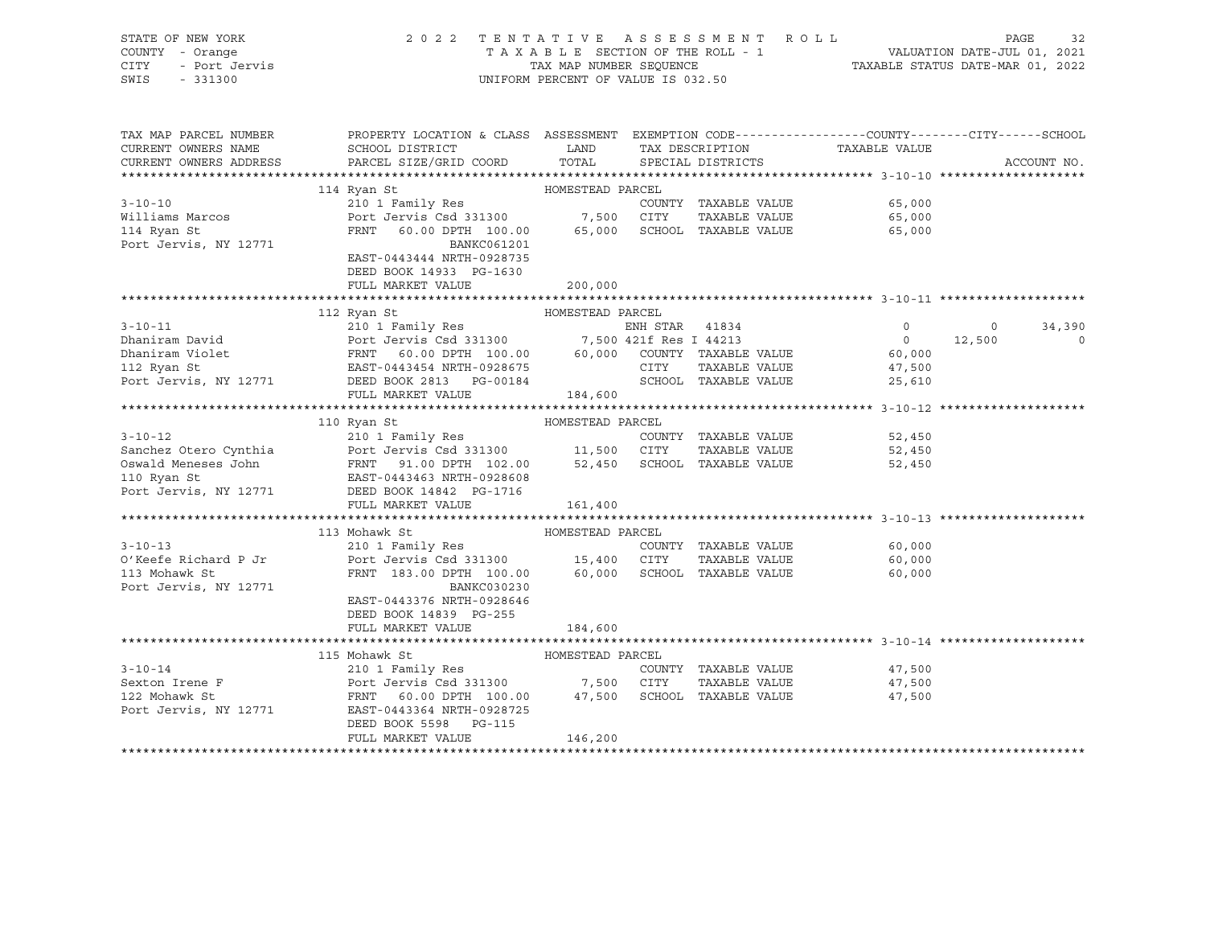| STATE OF NEW YORK<br>COUNTY - Orange<br><b>CITY</b><br>- Port Jervis<br>SWIS<br>$-331300$ | 2022 TENTATIVE ASSESSMENT ROLL                                                                                                                      | UNIFORM PERCENT OF VALUE IS 032.50  |                |                                      |                | PAGE<br>32<br>T A X A B L E SECTION OF THE ROLL - 1<br>T A X A B L E SECTION OF THE ROLL - 1<br>TAX MAP NUMBER SEQUENCE TAXABLE STATUS DATE-MAR 01, 2022 |
|-------------------------------------------------------------------------------------------|-----------------------------------------------------------------------------------------------------------------------------------------------------|-------------------------------------|----------------|--------------------------------------|----------------|----------------------------------------------------------------------------------------------------------------------------------------------------------|
| TAX MAP PARCEL NUMBER                                                                     | PROPERTY LOCATION & CLASS ASSESSMENT EXEMPTION CODE---------------COUNTY-------CITY------SCHOOL                                                     |                                     |                |                                      |                |                                                                                                                                                          |
| CURRENT OWNERS NAME<br>CURRENT OWNERS ADDRESS                                             | SCHOOL DISTRICT<br>PARCEL SIZE/GRID COORD                                                                                                           | <b>EXAMPLE STATE STATE</b><br>TOTAL |                | TAX DESCRIPTION<br>SPECIAL DISTRICTS | TAXABLE VALUE  | ACCOUNT NO.                                                                                                                                              |
|                                                                                           |                                                                                                                                                     |                                     |                |                                      |                |                                                                                                                                                          |
|                                                                                           | 114 Ryan St                                                                                                                                         | HOMESTEAD PARCEL                    |                |                                      |                |                                                                                                                                                          |
| $3 - 10 - 10$                                                                             | 210 1 Family Res                                                                                                                                    |                                     |                | COUNTY TAXABLE VALUE                 | 65,000         |                                                                                                                                                          |
| Williams Marcos                                                                           | Port Jervis Csd 331300 7,500 CITY                                                                                                                   |                                     |                | TAXABLE VALUE                        | 65,000         |                                                                                                                                                          |
| 114 Ryan St                                                                               | FRNT 60.00 DPTH 100.00 65,000                                                                                                                       |                                     |                | SCHOOL TAXABLE VALUE                 | 65,000         |                                                                                                                                                          |
| Port Jervis, NY 12771                                                                     | BANKC061201                                                                                                                                         |                                     |                |                                      |                |                                                                                                                                                          |
|                                                                                           | EAST-0443444 NRTH-0928735                                                                                                                           |                                     |                |                                      |                |                                                                                                                                                          |
|                                                                                           | DEED BOOK 14933 PG-1630                                                                                                                             |                                     |                |                                      |                |                                                                                                                                                          |
|                                                                                           | FULL MARKET VALUE                                                                                                                                   | 200,000                             |                |                                      |                |                                                                                                                                                          |
|                                                                                           |                                                                                                                                                     |                                     |                |                                      |                |                                                                                                                                                          |
|                                                                                           | 112 Ryan St                                                                                                                                         | HOMESTEAD PARCEL                    |                |                                      |                |                                                                                                                                                          |
| $3 - 10 - 11$                                                                             | 210 1 Family Res                                                                                                                                    |                                     | ENH STAR 41834 |                                      | $\overline{0}$ | $\overline{0}$<br>34,390                                                                                                                                 |
| Dhaniram David                                                                            | Port Jervis Csd 331300 7,500 421f Res I 44213<br>FRNT 60.00 DPTH 100.00 60,000 COUNTY TAXABLE VALUE<br>EAST-0443454 NRTH-0928675 CITY TAXABLE VALUE |                                     |                |                                      | $\overline{0}$ | 12,500<br>$\overline{0}$                                                                                                                                 |
| Dhaniram Violet                                                                           |                                                                                                                                                     |                                     |                |                                      | 60,000         |                                                                                                                                                          |
| 112 Ryan St                                                                               |                                                                                                                                                     |                                     |                |                                      | 47,500         |                                                                                                                                                          |
|                                                                                           | Port Jervis, NY 12771 DEED BOOK 2813 PG-00184                                                                                                       |                                     |                | SCHOOL TAXABLE VALUE                 | 25,610         |                                                                                                                                                          |
|                                                                                           | FULL MARKET VALUE                                                                                                                                   | 184,600                             |                |                                      |                |                                                                                                                                                          |
|                                                                                           |                                                                                                                                                     |                                     |                |                                      |                |                                                                                                                                                          |
|                                                                                           | 110 Ryan St                                                                                                                                         | HOMESTEAD PARCEL                    |                |                                      |                |                                                                                                                                                          |
| $3 - 10 - 12$                                                                             | 210 1 Family Res                                                                                                                                    |                                     |                | COUNTY TAXABLE VALUE                 | 52,450         |                                                                                                                                                          |
| Sanchez Otero Cynthia                                                                     | Port Jervis Csd 331300 11,500 CITY                                                                                                                  |                                     |                | TAXABLE VALUE                        | 52,450         |                                                                                                                                                          |
| Oswald Meneses John                                                                       | FRNT 91.00 DPTH 102.00                                                                                                                              | 52,450                              |                | SCHOOL TAXABLE VALUE                 | 52,450         |                                                                                                                                                          |
| 110 Ryan St                                                                               | EAST-0443463 NRTH-0928608                                                                                                                           |                                     |                |                                      |                |                                                                                                                                                          |
| Port Jervis, NY 12771                                                                     | DEED BOOK 14842 PG-1716                                                                                                                             |                                     |                |                                      |                |                                                                                                                                                          |
|                                                                                           | FULL MARKET VALUE                                                                                                                                   | 161,400                             |                |                                      |                |                                                                                                                                                          |
|                                                                                           |                                                                                                                                                     |                                     |                |                                      |                |                                                                                                                                                          |
| $3 - 10 - 13$                                                                             | 113 Mohawk St<br>210 1 Family Res                                                                                                                   | HOMESTEAD PARCEL                    |                | COUNTY TAXABLE VALUE                 | 60,000         |                                                                                                                                                          |
| O'Keefe Richard P Jr                                                                      | Port Jervis Csd 331300 15,400 CITY                                                                                                                  |                                     |                | TAXABLE VALUE                        | 60,000         |                                                                                                                                                          |
| 113 Mohawk St                                                                             | FRNT 183.00 DPTH 100.00                                                                                                                             |                                     |                | 60,000 SCHOOL TAXABLE VALUE          | 60,000         |                                                                                                                                                          |
| Port Jervis, NY 12771                                                                     | BANKC030230                                                                                                                                         |                                     |                |                                      |                |                                                                                                                                                          |
|                                                                                           | EAST-0443376 NRTH-0928646                                                                                                                           |                                     |                |                                      |                |                                                                                                                                                          |
|                                                                                           | DEED BOOK 14839 PG-255                                                                                                                              |                                     |                |                                      |                |                                                                                                                                                          |
|                                                                                           | FULL MARKET VALUE                                                                                                                                   | 184,600                             |                |                                      |                |                                                                                                                                                          |
|                                                                                           |                                                                                                                                                     |                                     |                |                                      |                |                                                                                                                                                          |
|                                                                                           | 115 Mohawk St                                                                                                                                       | HOMESTEAD PARCEL                    |                |                                      |                |                                                                                                                                                          |
| $3 - 10 - 14$                                                                             | 210 1 Family Res                                                                                                                                    |                                     |                | COUNTY TAXABLE VALUE                 | 47,500         |                                                                                                                                                          |
| Sexton Irene F                                                                            | Port Jervis Csd 331300 7,500 CITY                                                                                                                   |                                     |                | TAXABLE VALUE                        | 47,500         |                                                                                                                                                          |
| 122 Mohawk St                                                                             | FRNT 60.00 DPTH 100.00 47,500                                                                                                                       |                                     |                | SCHOOL TAXABLE VALUE                 | 47,500         |                                                                                                                                                          |
| Port Jervis, NY 12771                                                                     | EAST-0443364 NRTH-0928725                                                                                                                           |                                     |                |                                      |                |                                                                                                                                                          |
|                                                                                           | DEED BOOK 5598 PG-115                                                                                                                               |                                     |                |                                      |                |                                                                                                                                                          |
|                                                                                           | FULL MARKET VALUE                                                                                                                                   | 146,200                             |                |                                      |                |                                                                                                                                                          |
|                                                                                           |                                                                                                                                                     |                                     |                |                                      |                |                                                                                                                                                          |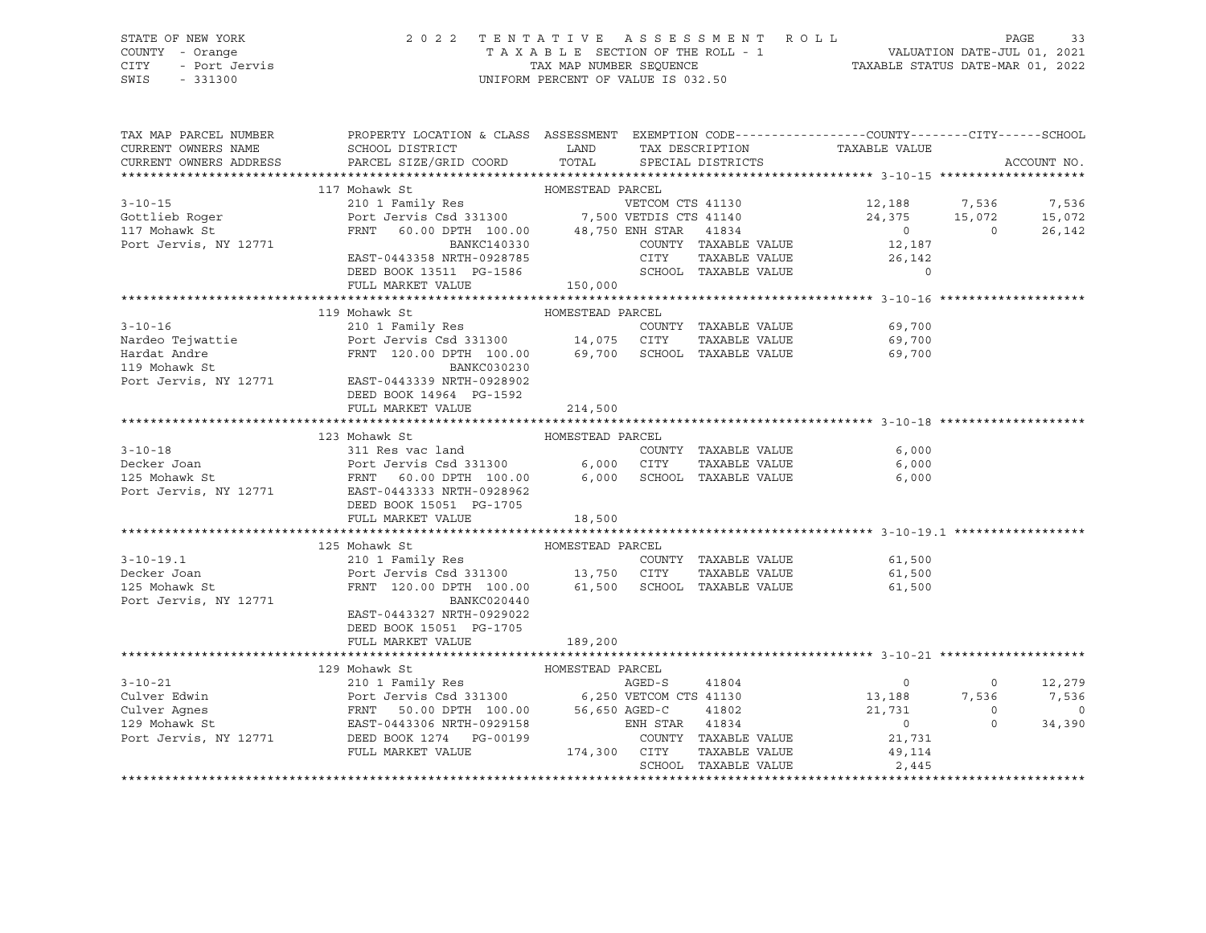## STATE OF NEW YORK 2 0 2 2 T E N T A T I V E A S S E S S M E N T R O L L PAGE 33 COUNTY - Orange T A X A B L E SECTION OF THE ROLL - 1 VALUATION DATE-JUL 01, 2021 CITY - Port Jervis TAX MAP NUMBER SEQUENCE TAXABLE STATUS DATE-MAR 01, 2022

| TAX MAP PARCEL NUMBER<br>CURRENT OWNERS NAME<br>CURRENT OWNERS ADDRESS                                                                                                                                                                                                                                                                                                                                                                                                                                               | PROPERTY LOCATION & CLASS ASSESSMENT EXEMPTION CODE---------------COUNTY-------CITY------SCHOOL<br>SCHOOL DISTRICT<br>PARCEL SIZE/GRID COORD                                                                              | <b>LAND</b><br>TOTAL |      | SPECIAL DISTRICTS                     | TAX DESCRIPTION TAXABLE VALUE                                                                                                                                                                                                                                                                                                                                                                                                  |                  | ACCOUNT NO.               |
|----------------------------------------------------------------------------------------------------------------------------------------------------------------------------------------------------------------------------------------------------------------------------------------------------------------------------------------------------------------------------------------------------------------------------------------------------------------------------------------------------------------------|---------------------------------------------------------------------------------------------------------------------------------------------------------------------------------------------------------------------------|----------------------|------|---------------------------------------|--------------------------------------------------------------------------------------------------------------------------------------------------------------------------------------------------------------------------------------------------------------------------------------------------------------------------------------------------------------------------------------------------------------------------------|------------------|---------------------------|
| $3 - 10 - 15$<br>Gottlieb Roger<br>117 Mohawk St<br>Port Jervis, NY 12771                                                                                                                                                                                                                                                                                                                                                                                                                                            | 117 Mohawk St<br>210 1 Family Res<br>Port Jervis Csd 331300<br>FRNT 60.00 DPTH 100.00 48,750 ENH STAR 41834<br>PRNT 60.00 DPTH 100.00 48,750 ENH STAR 41834<br>PRNT 60.00 PTH 100.00 48,750 ENH STAR 41834<br>BANKC140330 |                      |      | COUNTY TAXABLE VALUE                  | 12,188 7,536<br>24,375 15,072<br>$\begin{array}{c} 0 \\ 12,187 \end{array}$                                                                                                                                                                                                                                                                                                                                                    | $\overline{0}$   | 7,536<br>15,072<br>26,142 |
|                                                                                                                                                                                                                                                                                                                                                                                                                                                                                                                      | EAST-0443358 NRTH-0928785<br>DEED BOOK 13511 PG-1586<br>FULL MARKET VALUE                                                                                                                                                 | 150,000              | CITY |                                       | $\begin{tabular}{lllllll} \multicolumn{2}{c}{\text{CTTY}} & \multicolumn{2}{c}{\text{TAXABLE VALUE}} & \multicolumn{2}{c}{\text{TAZABLE VALUE}} & \multicolumn{2}{c}{\text{26, 142}}\\ \multicolumn{2}{c}{\text{SCHOOL}} & \multicolumn{2}{c}{\text{TAXABLE VALUE}} & & \multicolumn{2}{c}{\text{0}}\\ \multicolumn{2}{c}{\text{C}} & \multicolumn{2}{c}{\text{TAYABLE VALUE}} & & \multicolumn{2}{c}{\text{O}} \end{tabular}$ |                  |                           |
|                                                                                                                                                                                                                                                                                                                                                                                                                                                                                                                      |                                                                                                                                                                                                                           |                      |      |                                       |                                                                                                                                                                                                                                                                                                                                                                                                                                |                  |                           |
| $\begin{tabular}{lcccccc} \multicolumn{1}{c}}{$\texttt{0} & \multicolumn{1}{c}}{$\texttt{1} & \multicolumn{1}{c}}{$\texttt{1} & \multicolumn{1}{c}}{$\texttt{1} & \multicolumn{1}{c}}{$\texttt{1} & \multicolumn{1}{c}}{$\texttt{1} & \multicolumn{1}{c}}{$\texttt{1} & \multicolumn{1}{c}}{$\texttt{1} & \multicolumn{1}{c}}{$\texttt{1} & \multicolumn{1}{c}}{$\texttt{1} & \multicolumn{1}{c}}{$\texttt{1} & \multicolumn{1}{c}}{$\texttt{1} & \multicolumn{1$<br>Port Jervis, NY 12771 EAST-0443339 NRTH-0928902 | FRNT 120.00 DPTH 100.00 69,700 SCHOOL TAXABLE VALUE                                                                                                                                                                       |                      |      | COUNTY TAXABLE VALUE                  | 69,700<br>TAXABLE VALUE 69,700<br>69,700                                                                                                                                                                                                                                                                                                                                                                                       |                  |                           |
|                                                                                                                                                                                                                                                                                                                                                                                                                                                                                                                      | DEED BOOK 14964 PG-1592<br>FULL MARKET VALUE                                                                                                                                                                              | 214,500              |      |                                       |                                                                                                                                                                                                                                                                                                                                                                                                                                |                  |                           |
|                                                                                                                                                                                                                                                                                                                                                                                                                                                                                                                      | HOMESTEAD PARCEL<br>123 Mohawk St                                                                                                                                                                                         |                      |      |                                       |                                                                                                                                                                                                                                                                                                                                                                                                                                |                  |                           |
| $3 - 10 - 18$                                                                                                                                                                                                                                                                                                                                                                                                                                                                                                        | 311 Res vac land                                                                                                                                                                                                          |                      |      | COUNTY TAXABLE VALUE                  | 6,000                                                                                                                                                                                                                                                                                                                                                                                                                          |                  |                           |
|                                                                                                                                                                                                                                                                                                                                                                                                                                                                                                                      |                                                                                                                                                                                                                           |                      |      |                                       | TAXABLE VALUE<br>6,000                                                                                                                                                                                                                                                                                                                                                                                                         |                  |                           |
| 311 Res vac land COUNT COUNT COUNT (COUNT 125 Mohawk St 12771 FRNT 60.00 DPTH 100.00 6,000 SCHOO CITY<br>125 Mohawk St FRNT 60.00 DPTH 100.00 6,000 SCHOO POTT Jervis, NY 12771 EAST-0443333 NRTH-0928962                                                                                                                                                                                                                                                                                                            | DEED BOOK 15051 PG-1705<br>FULL MARKET VALUE                                                                                                                                                                              | 18,500               |      |                                       | SCHOOL TAXABLE VALUE 6,000                                                                                                                                                                                                                                                                                                                                                                                                     |                  |                           |
|                                                                                                                                                                                                                                                                                                                                                                                                                                                                                                                      |                                                                                                                                                                                                                           |                      |      |                                       |                                                                                                                                                                                                                                                                                                                                                                                                                                |                  |                           |
|                                                                                                                                                                                                                                                                                                                                                                                                                                                                                                                      | HOMESTEAD PARCEL<br>125 Mohawk St                                                                                                                                                                                         |                      |      |                                       |                                                                                                                                                                                                                                                                                                                                                                                                                                |                  |                           |
| $3 - 10 - 19.1$                                                                                                                                                                                                                                                                                                                                                                                                                                                                                                      | 210 1 Family Res                                                                                                                                                                                                          |                      |      | COUNTY TAXABLE VALUE                  | 61,500                                                                                                                                                                                                                                                                                                                                                                                                                         |                  |                           |
| Decker Joan<br>125 Mohawk St<br>Port Jervis, NY 12771                                                                                                                                                                                                                                                                                                                                                                                                                                                                | Port Jervis Csd 331300 13,750 CITY TAXABLE VALUE<br>FRNT 120.00 DPTH 100.00 61,500 SCHOOL TAXABLE VALUE<br>BANKC020440<br>EAST-0443327 NRTH-0929022<br>DEED BOOK 15051 PG-1705                                            |                      |      |                                       | 61,500<br>61,500                                                                                                                                                                                                                                                                                                                                                                                                               |                  |                           |
|                                                                                                                                                                                                                                                                                                                                                                                                                                                                                                                      | FULL MARKET VALUE                                                                                                                                                                                                         | 189,200              |      |                                       |                                                                                                                                                                                                                                                                                                                                                                                                                                |                  |                           |
|                                                                                                                                                                                                                                                                                                                                                                                                                                                                                                                      |                                                                                                                                                                                                                           |                      |      |                                       |                                                                                                                                                                                                                                                                                                                                                                                                                                |                  |                           |
|                                                                                                                                                                                                                                                                                                                                                                                                                                                                                                                      |                                                                                                                                                                                                                           |                      |      |                                       |                                                                                                                                                                                                                                                                                                                                                                                                                                |                  |                           |
| $\begin{tabular}{lllllllllllllllllllll} \multicolumn{3.5}{l} \multicolumn{3.5}{l} \multicolumn{3.5}{l} \multicolumn{3.5}{l} \multicolumn{3.5}{l} \multicolumn{3.5}{l} \multicolumn{3.5}{l} \multicolumn{3.5}{l} \multicolumn{3.5}{l} \multicolumn{3.5}{l} \multicolumn{3.5}{l} \multicolumn{3.5}{l} \multicolumn{3.5}{l} \multicolumn{3.5}{l} \multicolumn{3.5}{l} \multicolumn{3.5}{l} \multicolumn{3.5}{l} \multicolumn{3.5}{l} \multicolumn$                                                                      |                                                                                                                                                                                                                           |                      |      |                                       | $\begin{smallmatrix}&&&0\13,188\21,731\end{smallmatrix}$                                                                                                                                                                                                                                                                                                                                                                       | $\Omega$         | 12,279                    |
|                                                                                                                                                                                                                                                                                                                                                                                                                                                                                                                      |                                                                                                                                                                                                                           |                      |      |                                       |                                                                                                                                                                                                                                                                                                                                                                                                                                | 7,536<br>$\circ$ | 7,536<br>$\mathbf 0$      |
|                                                                                                                                                                                                                                                                                                                                                                                                                                                                                                                      |                                                                                                                                                                                                                           |                      |      |                                       | $\overline{0}$                                                                                                                                                                                                                                                                                                                                                                                                                 | $\circ$          | 34,390                    |
|                                                                                                                                                                                                                                                                                                                                                                                                                                                                                                                      |                                                                                                                                                                                                                           |                      |      | COUNTY TAXABLE VALUE                  | 21,731                                                                                                                                                                                                                                                                                                                                                                                                                         |                  |                           |
|                                                                                                                                                                                                                                                                                                                                                                                                                                                                                                                      | FULL MARKET VALUE                                                                                                                                                                                                         | 174,300 CITY         |      | TAXABLE VALUE<br>SCHOOL TAXABLE VALUE | 49,114<br>2,445                                                                                                                                                                                                                                                                                                                                                                                                                |                  |                           |
|                                                                                                                                                                                                                                                                                                                                                                                                                                                                                                                      |                                                                                                                                                                                                                           |                      |      |                                       |                                                                                                                                                                                                                                                                                                                                                                                                                                |                  |                           |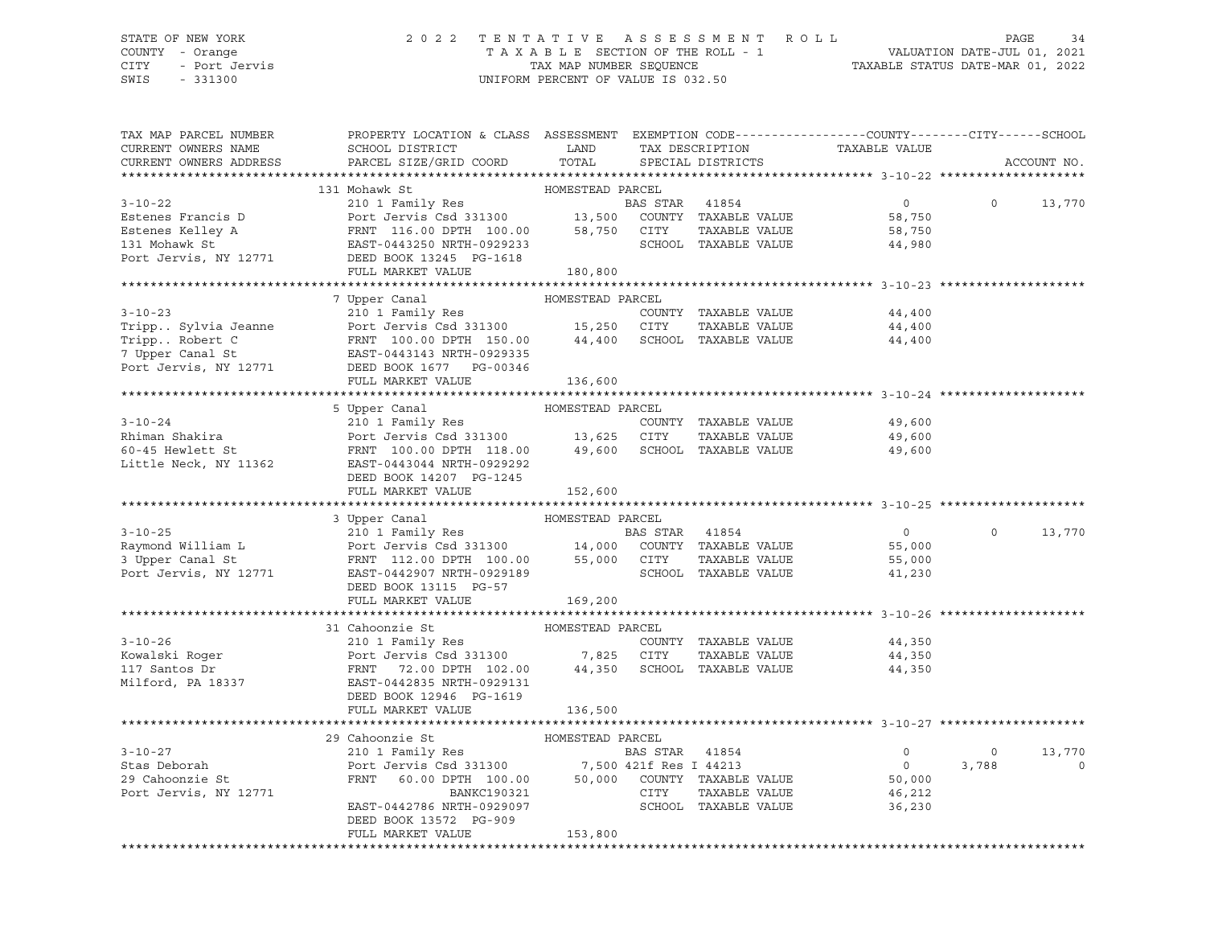## STATE OF NEW YORK 2 0 2 2 T E N T A T I V E A S S E S S M E N T R O L L PAGE 34 COUNTY - Orange T A X A B L E SECTION OF THE ROLL - 1 VALUATION DATE-JUL 01, 2021 CITY - Port Jervis TAX MAP NUMBER SEQUENCE TAXABLE STATUS DATE-MAR 01, 2022

| TAX MAP PARCEL NUMBER<br>CURRENT OWNERS NAME<br>CURRENT OWNERS ADDRESS                                                                                                                                                                             | PROPERTY LOCATION & CLASS ASSESSMENT EXEMPTION CODE---------------COUNTY-------CITY------SCHOOL<br>SCHOOL DISTRICT LAND<br>PARCEL SIZE/GRID COORD                                                                                    | TOTAL            |                | TAX DESCRIPTION TAXABLE VALUE<br>SPECIAL DISTRICTS |                | ACCOUNT NO.            |
|----------------------------------------------------------------------------------------------------------------------------------------------------------------------------------------------------------------------------------------------------|--------------------------------------------------------------------------------------------------------------------------------------------------------------------------------------------------------------------------------------|------------------|----------------|----------------------------------------------------|----------------|------------------------|
|                                                                                                                                                                                                                                                    |                                                                                                                                                                                                                                      |                  |                |                                                    |                |                        |
|                                                                                                                                                                                                                                                    |                                                                                                                                                                                                                                      |                  |                |                                                    |                |                        |
| $3 - 10 - 22$                                                                                                                                                                                                                                      |                                                                                                                                                                                                                                      |                  | BAS STAR 41854 | $\overline{0}$                                     | $\Omega$       | 13,770                 |
| Estenes Francis D                                                                                                                                                                                                                                  |                                                                                                                                                                                                                                      |                  |                | 58,750                                             |                |                        |
| Estenes Kelley A                                                                                                                                                                                                                                   |                                                                                                                                                                                                                                      |                  |                | 58,750                                             |                |                        |
| 131 Mohawk St                                                                                                                                                                                                                                      |                                                                                                                                                                                                                                      |                  |                | 44,980                                             |                |                        |
| Port Jervis, NY 12771 DEED BOOK 13245 PG-1618                                                                                                                                                                                                      |                                                                                                                                                                                                                                      |                  |                |                                                    |                |                        |
|                                                                                                                                                                                                                                                    | FULL MARKET VALUE                                                                                                                                                                                                                    | 180,800          |                |                                                    |                |                        |
|                                                                                                                                                                                                                                                    |                                                                                                                                                                                                                                      |                  |                |                                                    |                |                        |
|                                                                                                                                                                                                                                                    |                                                                                                                                                                                                                                      |                  |                |                                                    |                |                        |
|                                                                                                                                                                                                                                                    |                                                                                                                                                                                                                                      |                  |                | 44,400                                             |                |                        |
|                                                                                                                                                                                                                                                    |                                                                                                                                                                                                                                      |                  |                | 44,400                                             |                |                        |
|                                                                                                                                                                                                                                                    |                                                                                                                                                                                                                                      |                  |                | 44,400                                             |                |                        |
|                                                                                                                                                                                                                                                    |                                                                                                                                                                                                                                      |                  |                |                                                    |                |                        |
|                                                                                                                                                                                                                                                    |                                                                                                                                                                                                                                      |                  |                |                                                    |                |                        |
|                                                                                                                                                                                                                                                    |                                                                                                                                                                                                                                      |                  |                |                                                    |                |                        |
|                                                                                                                                                                                                                                                    |                                                                                                                                                                                                                                      |                  |                |                                                    |                |                        |
|                                                                                                                                                                                                                                                    |                                                                                                                                                                                                                                      |                  |                |                                                    |                |                        |
|                                                                                                                                                                                                                                                    |                                                                                                                                                                                                                                      |                  |                | 49,600                                             |                |                        |
|                                                                                                                                                                                                                                                    |                                                                                                                                                                                                                                      |                  | TAXABLE VALUE  | 49,600<br>49,600                                   |                |                        |
|                                                                                                                                                                                                                                                    |                                                                                                                                                                                                                                      |                  |                |                                                    |                |                        |
|                                                                                                                                                                                                                                                    | DEED BOOK 14207 PG-1245                                                                                                                                                                                                              |                  |                |                                                    |                |                        |
|                                                                                                                                                                                                                                                    | FULL MARKET VALUE                                                                                                                                                                                                                    | 152,600          |                |                                                    |                |                        |
|                                                                                                                                                                                                                                                    |                                                                                                                                                                                                                                      |                  |                |                                                    |                |                        |
| 3 Upper Canal HOMESTEAD PARCEL<br>210 1 Family Res<br>Raymond William L Port Jervis Csd 331300 14,000 COUNTY TAXABLE VALUE<br>3 Upper Canal St FRNT 112.00 DPTH 100.00 55,000 CITY TAXABLE VALUE 55,000<br>Port Jervis, NY 12771 EAST-             |                                                                                                                                                                                                                                      |                  |                |                                                    |                |                        |
|                                                                                                                                                                                                                                                    |                                                                                                                                                                                                                                      |                  |                |                                                    | $\Omega$       | 13,770                 |
|                                                                                                                                                                                                                                                    |                                                                                                                                                                                                                                      |                  |                |                                                    |                |                        |
|                                                                                                                                                                                                                                                    |                                                                                                                                                                                                                                      |                  |                |                                                    |                |                        |
|                                                                                                                                                                                                                                                    |                                                                                                                                                                                                                                      |                  |                |                                                    |                |                        |
|                                                                                                                                                                                                                                                    | DEED BOOK 13115 PG-57                                                                                                                                                                                                                |                  |                |                                                    |                |                        |
|                                                                                                                                                                                                                                                    | FULL MARKET VALUE                                                                                                                                                                                                                    | 169,200          |                |                                                    |                |                        |
|                                                                                                                                                                                                                                                    |                                                                                                                                                                                                                                      |                  |                |                                                    |                |                        |
|                                                                                                                                                                                                                                                    | 31 Cahoonzie St                                                                                                                                                                                                                      | HOMESTEAD PARCEL |                |                                                    |                |                        |
|                                                                                                                                                                                                                                                    |                                                                                                                                                                                                                                      |                  |                | 44,350                                             |                |                        |
|                                                                                                                                                                                                                                                    |                                                                                                                                                                                                                                      |                  |                | 44,350                                             |                |                        |
| 3-10-26<br>EXECUTE 210 1 Family Res<br>EXECUTE 210 1 Family Res<br>Port Jervis Csd 331300<br>PORT 72.00 DPTH 102.00<br>210 Family Res<br>PORT 72.00 DPTH 102.00<br>217 Santos Dr<br>FRNT 72.00 DPTH 102.00<br>217 Santos Dr<br>EXET-0442835 NRTH-0 |                                                                                                                                                                                                                                      |                  |                | 44,350                                             |                |                        |
|                                                                                                                                                                                                                                                    |                                                                                                                                                                                                                                      |                  |                |                                                    |                |                        |
|                                                                                                                                                                                                                                                    | DEED BOOK 12946 PG-1619                                                                                                                                                                                                              |                  |                |                                                    |                |                        |
|                                                                                                                                                                                                                                                    | FULL MARKET VALUE                                                                                                                                                                                                                    | 136,500          |                |                                                    |                |                        |
|                                                                                                                                                                                                                                                    |                                                                                                                                                                                                                                      |                  |                |                                                    |                |                        |
| $3 - 10 - 27$                                                                                                                                                                                                                                      | 29 Cahoonzie St                                                                                                                                                                                                                      |                  |                | $\overline{0}$                                     | $\overline{0}$ |                        |
| Stas Deborah                                                                                                                                                                                                                                       | COMMODIZIE ST FORESTEAD PARCEL<br>210 1 Family Res BAS ST BAS ST                                                                                                                                                                     |                  | BAS STAR 41854 | $\overline{0}$                                     | 3,788          | 13,770<br>$\mathbf{0}$ |
| 29 Cahoonzie St                                                                                                                                                                                                                                    | Port Jervis Csd 331300 7,500 421f Res I 44213 0<br>FRNT 60.00 DPTH 100.00 50,000 COUNTY TAXABLE VALUE 50,000 BANKC190321 CITY TAXABLE VALUE 46,212<br>EAST-0442786 NRTH-0929097 SCHOOL TAXABLE VALUE 36,230<br>FRNT BOOY 13572 DC 90 |                  |                |                                                    |                |                        |
| Port Jervis, NY 12771                                                                                                                                                                                                                              |                                                                                                                                                                                                                                      |                  |                |                                                    |                |                        |
|                                                                                                                                                                                                                                                    |                                                                                                                                                                                                                                      |                  |                |                                                    |                |                        |
|                                                                                                                                                                                                                                                    | DEED BOOK 13572 PG-909                                                                                                                                                                                                               |                  |                |                                                    |                |                        |
|                                                                                                                                                                                                                                                    | FULL MARKET VALUE                                                                                                                                                                                                                    | 153,800          |                |                                                    |                |                        |
|                                                                                                                                                                                                                                                    |                                                                                                                                                                                                                                      |                  |                |                                                    |                |                        |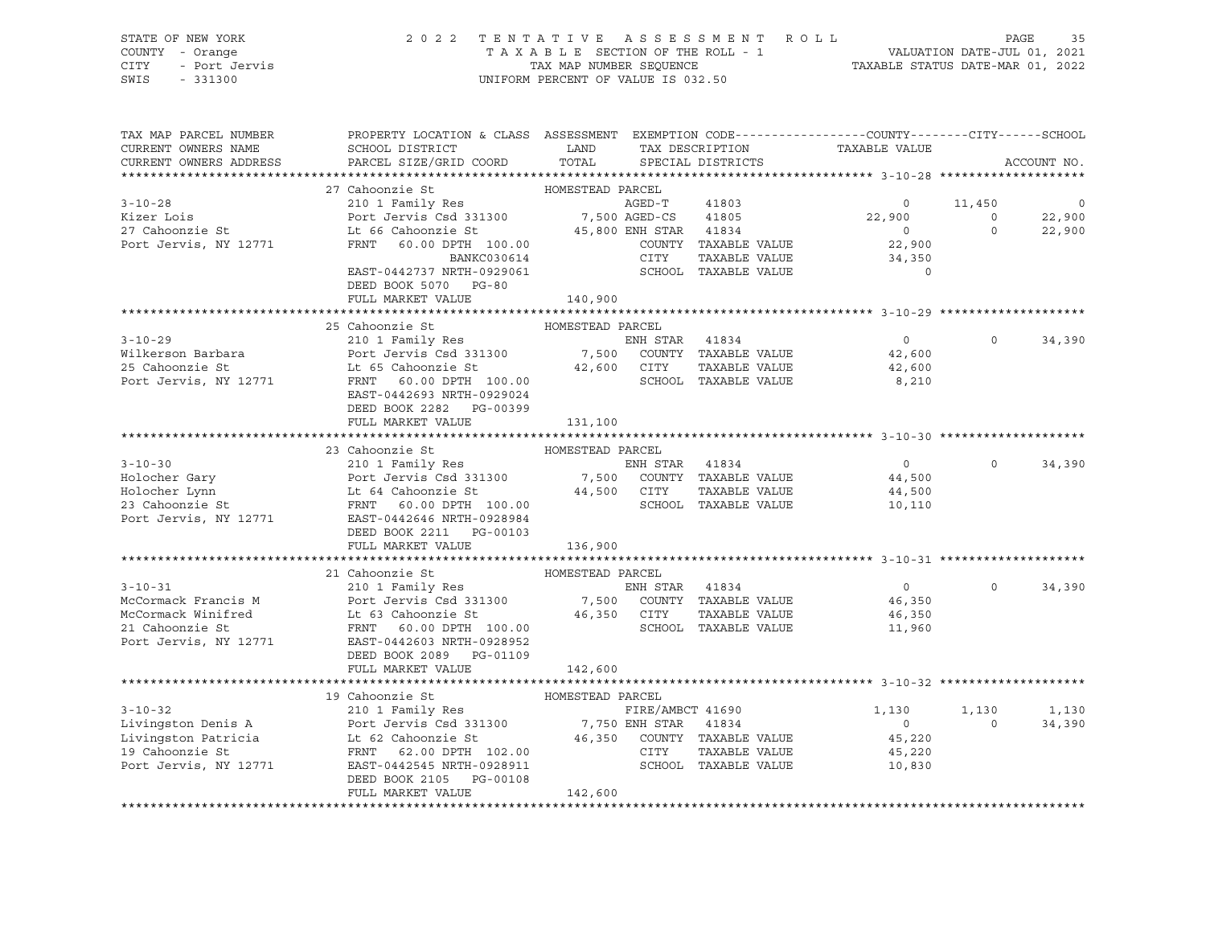| STATE OF NEW YORK 2 0<br>COUNTY - Orange<br>CITY - Port Jervis<br>SWIS - 331300                                                                                                                                                                                                                                                                                                                                                                     |                                                                                                  | UNIFORM PERCENT OF VALUE IS 032.50 |  | 2 0 2 2 TENTATIVE ASSESSMENT ROLL<br>TAXABLE SECTION OF THE ROLL - 1 VALUATION DATE-JUL 01, 2021<br>TAX MAP NUMBER SEQUENCE<br>TAXABLE STATUS DATE-MAR 01, 2022 |                   |              |
|-----------------------------------------------------------------------------------------------------------------------------------------------------------------------------------------------------------------------------------------------------------------------------------------------------------------------------------------------------------------------------------------------------------------------------------------------------|--------------------------------------------------------------------------------------------------|------------------------------------|--|-----------------------------------------------------------------------------------------------------------------------------------------------------------------|-------------------|--------------|
| TAX MAP PARCEL NUMBER<br>CURRENT OWNERS NAME<br>CURRENT OWNERS ADDRESS                                                                                                                                                                                                                                                                                                                                                                              | PROPERTY LOCATION & CLASS ASSESSMENT EXEMPTION CODE----------------COUNTY-------CITY------SCHOOL |                                    |  |                                                                                                                                                                 |                   | ACCOUNT NO.  |
|                                                                                                                                                                                                                                                                                                                                                                                                                                                     |                                                                                                  |                                    |  |                                                                                                                                                                 |                   |              |
|                                                                                                                                                                                                                                                                                                                                                                                                                                                     |                                                                                                  |                                    |  |                                                                                                                                                                 |                   |              |
|                                                                                                                                                                                                                                                                                                                                                                                                                                                     |                                                                                                  |                                    |  |                                                                                                                                                                 |                   |              |
|                                                                                                                                                                                                                                                                                                                                                                                                                                                     |                                                                                                  |                                    |  |                                                                                                                                                                 |                   |              |
|                                                                                                                                                                                                                                                                                                                                                                                                                                                     |                                                                                                  |                                    |  |                                                                                                                                                                 |                   |              |
|                                                                                                                                                                                                                                                                                                                                                                                                                                                     |                                                                                                  |                                    |  |                                                                                                                                                                 |                   |              |
|                                                                                                                                                                                                                                                                                                                                                                                                                                                     |                                                                                                  |                                    |  |                                                                                                                                                                 |                   |              |
|                                                                                                                                                                                                                                                                                                                                                                                                                                                     |                                                                                                  |                                    |  |                                                                                                                                                                 |                   |              |
|                                                                                                                                                                                                                                                                                                                                                                                                                                                     | FULL MARKET VALUE                                                                                | 140,900                            |  |                                                                                                                                                                 |                   |              |
|                                                                                                                                                                                                                                                                                                                                                                                                                                                     | 25 Cahoonzie St                                                                                  | HOMESTEAD PARCEL                   |  |                                                                                                                                                                 |                   |              |
| 3-10-29<br>Wilkerson Barbara (210 1 Family Res Res EM STAR 41834<br>25 Cahoonzie St Lt 65 Cahoonzie St Lt 65 Cahoonzie St 22,600 CUTY TAXABLE VALUE<br>Port Jervis, NY 12771 FRNT 60.00 DPTH 100.00<br>FRNT 00.000 PTH 100.00                                                                                                                                                                                                                       |                                                                                                  |                                    |  | $\overline{0}$                                                                                                                                                  |                   | $0 \t34,390$ |
|                                                                                                                                                                                                                                                                                                                                                                                                                                                     |                                                                                                  |                                    |  |                                                                                                                                                                 |                   |              |
|                                                                                                                                                                                                                                                                                                                                                                                                                                                     |                                                                                                  |                                    |  | 42,600<br>42,600                                                                                                                                                |                   |              |
|                                                                                                                                                                                                                                                                                                                                                                                                                                                     |                                                                                                  |                                    |  | 8,210                                                                                                                                                           |                   |              |
|                                                                                                                                                                                                                                                                                                                                                                                                                                                     | EAST-0442693 NRTH-0929024                                                                        |                                    |  |                                                                                                                                                                 |                   |              |
|                                                                                                                                                                                                                                                                                                                                                                                                                                                     | DEED BOOK 2282 PG-00399                                                                          |                                    |  |                                                                                                                                                                 |                   |              |
|                                                                                                                                                                                                                                                                                                                                                                                                                                                     | FULL MARKET VALUE                                                                                | 131,100                            |  |                                                                                                                                                                 |                   |              |
|                                                                                                                                                                                                                                                                                                                                                                                                                                                     |                                                                                                  |                                    |  |                                                                                                                                                                 |                   |              |
|                                                                                                                                                                                                                                                                                                                                                                                                                                                     |                                                                                                  |                                    |  | $\overline{0}$                                                                                                                                                  | $0 \qquad \qquad$ | 34,390       |
|                                                                                                                                                                                                                                                                                                                                                                                                                                                     |                                                                                                  |                                    |  | 44,500                                                                                                                                                          |                   |              |
|                                                                                                                                                                                                                                                                                                                                                                                                                                                     |                                                                                                  |                                    |  |                                                                                                                                                                 |                   |              |
|                                                                                                                                                                                                                                                                                                                                                                                                                                                     |                                                                                                  |                                    |  | 44,500<br>10,110                                                                                                                                                |                   |              |
| $\begin{tabular}{lllllllllllll} 3-10-30 & & & & & 23\text{ Cahoonzie St}& & & \text{HOMESTEAD PARCEL} \\ & & & & 210 1 Family Res & & & \text{ENH STR} & 41834 \\ \text{Holocher Gary} & & & \text{Port Jervis Csd 331300} & & & 7,500 & \text{COUNTY TAXABLE VALUE} \\ \text{Holocher Lynn} & & & \text{Lt} & 64 \text{ Cahoonzie St}& & & 44,500 & \text{CITY} & \text{TAXABLE VALUE} \\ 23 \text{ Cahoonzie St} & & \text{FRNT} & 60.00 DPTH & $ |                                                                                                  |                                    |  |                                                                                                                                                                 |                   |              |
|                                                                                                                                                                                                                                                                                                                                                                                                                                                     |                                                                                                  |                                    |  |                                                                                                                                                                 |                   |              |
|                                                                                                                                                                                                                                                                                                                                                                                                                                                     | FULL MARKET VALUE 136,900                                                                        |                                    |  |                                                                                                                                                                 |                   |              |
|                                                                                                                                                                                                                                                                                                                                                                                                                                                     | 21 Cahoonzie St                                                                                  | HOMESTEAD PARCEL                   |  |                                                                                                                                                                 |                   |              |
|                                                                                                                                                                                                                                                                                                                                                                                                                                                     |                                                                                                  |                                    |  |                                                                                                                                                                 | $\Omega$          | 34,390       |
|                                                                                                                                                                                                                                                                                                                                                                                                                                                     |                                                                                                  |                                    |  |                                                                                                                                                                 |                   |              |
| $\begin{tabular}{lllllllllllllllllllll} \multicolumn{3.5}{\textbf{3-10-31}} & \multicolumn{3.5}{\textbf{21} Canoonz1e St}} & \multicolumn{3.5}{\textbf{HOMESTEAD PARCEL}} & \multicolumn{3.5}{\textbf{210-31}} & \multicolumn{3.5}{\textbf{21} Canoonz1e St}} & \multicolumn{3.5}{\textbf{21} Canoonz1e St}} & \multicolumn{3.5}{\textbf{21} Canoonz1e St}} & \multicolumn{3.5}{\textbf{21} Canoonz1e St}} & \multicolumn{3.5}{\text$               |                                                                                                  |                                    |  |                                                                                                                                                                 |                   |              |
|                                                                                                                                                                                                                                                                                                                                                                                                                                                     |                                                                                                  |                                    |  |                                                                                                                                                                 |                   |              |
|                                                                                                                                                                                                                                                                                                                                                                                                                                                     |                                                                                                  |                                    |  |                                                                                                                                                                 |                   |              |
|                                                                                                                                                                                                                                                                                                                                                                                                                                                     | DEED BOOK 2089 PG-01109                                                                          |                                    |  |                                                                                                                                                                 |                   |              |
|                                                                                                                                                                                                                                                                                                                                                                                                                                                     | FULL MARKET VALUE 142,600                                                                        |                                    |  |                                                                                                                                                                 |                   |              |
|                                                                                                                                                                                                                                                                                                                                                                                                                                                     |                                                                                                  |                                    |  |                                                                                                                                                                 |                   |              |
|                                                                                                                                                                                                                                                                                                                                                                                                                                                     |                                                                                                  |                                    |  |                                                                                                                                                                 |                   | 1,130        |
|                                                                                                                                                                                                                                                                                                                                                                                                                                                     |                                                                                                  |                                    |  |                                                                                                                                                                 |                   | 34,390       |
|                                                                                                                                                                                                                                                                                                                                                                                                                                                     |                                                                                                  |                                    |  |                                                                                                                                                                 |                   |              |
|                                                                                                                                                                                                                                                                                                                                                                                                                                                     |                                                                                                  |                                    |  |                                                                                                                                                                 |                   |              |
| 19 Cahoonzie St (1,130 1,130 1,130 1,130 1,130 1,130 1,130 1,130 1,130 1,130 1,130 1,130 1,130 1,130 1,130 1,130 1,130 1,130 1,130 1,130 1,130 1,130 1,130 1,130 1,130 1,130 1,130 1,130 1,130 1,130 1,130 1,130 1,130 1,130 1                                                                                                                                                                                                                      |                                                                                                  |                                    |  |                                                                                                                                                                 |                   |              |
|                                                                                                                                                                                                                                                                                                                                                                                                                                                     |                                                                                                  |                                    |  |                                                                                                                                                                 |                   |              |
|                                                                                                                                                                                                                                                                                                                                                                                                                                                     | FULL MARKET VALUE                                                                                | 142,600                            |  |                                                                                                                                                                 |                   |              |
|                                                                                                                                                                                                                                                                                                                                                                                                                                                     |                                                                                                  |                                    |  |                                                                                                                                                                 |                   |              |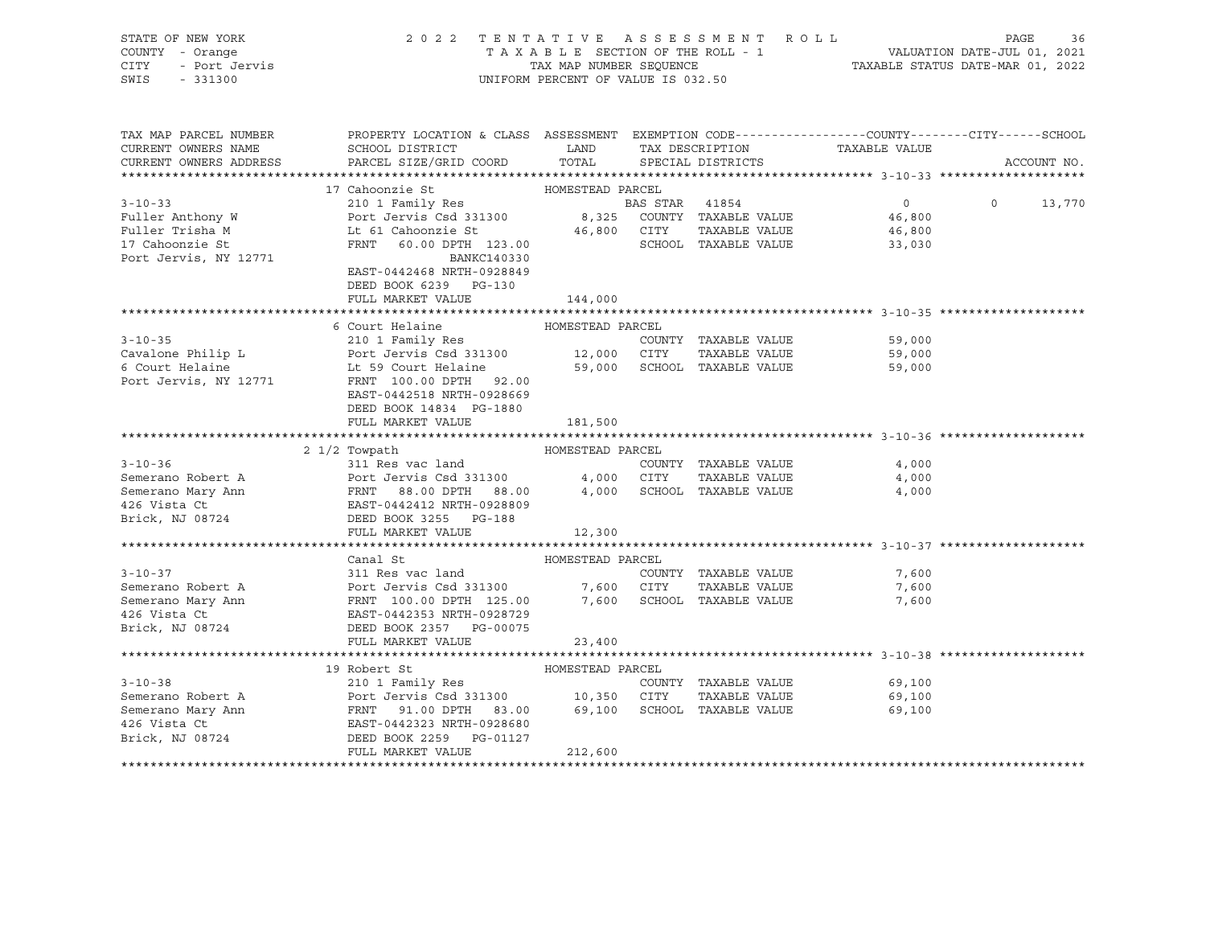| STATE OF NEW YORK                                                                                                                                                                                                                                                                                                                                                                                                                                | UNIFORM PERCENT OF VALUE IS 032.50                                                                                                                           | 2022 TENTATIVE ASSESSMENT ROLL PAGE 36<br>TAXABLE SECTION OF THE ROLL - 1 VALUATION DATE-JUL 01, 2021<br>TAX MAP NUMBER SEQUENCE TAXABLE STATUS DATE-MAR 01, 2022 |               |                          |               |
|--------------------------------------------------------------------------------------------------------------------------------------------------------------------------------------------------------------------------------------------------------------------------------------------------------------------------------------------------------------------------------------------------------------------------------------------------|--------------------------------------------------------------------------------------------------------------------------------------------------------------|-------------------------------------------------------------------------------------------------------------------------------------------------------------------|---------------|--------------------------|---------------|
| TAX MAP PARCEL NUMBER                                                                                                                                                                                                                                                                                                                                                                                                                            | PROPERTY LOCATION & CLASS ASSESSMENT EXEMPTION CODE----------------COUNTY-------CITY------SCHOOL                                                             |                                                                                                                                                                   |               |                          |               |
| CURRENT OWNERS NAME                                                                                                                                                                                                                                                                                                                                                                                                                              | ${\tt SCHOOD\,\, \, {\tt DISTRTCT}} {\small\quad \, {\tt LAND}} {\small\quad \, {\tt TAX\,\, \, {\tt DESCRIPTION}} {\small\quad \, {\tt TAXABLE\,\, VALUE}}$ |                                                                                                                                                                   |               |                          |               |
| CURRENT OWNERS ADDRESS                                                                                                                                                                                                                                                                                                                                                                                                                           | PARCEL SIZE/GRID COORD TOTAL SPECIAL DISTRICTS                                                                                                               |                                                                                                                                                                   |               |                          | ACCOUNT NO.   |
|                                                                                                                                                                                                                                                                                                                                                                                                                                                  |                                                                                                                                                              |                                                                                                                                                                   |               |                          |               |
|                                                                                                                                                                                                                                                                                                                                                                                                                                                  | 17 Cahoonzie St MOMESTEAD PARCEL                                                                                                                             |                                                                                                                                                                   |               |                          |               |
|                                                                                                                                                                                                                                                                                                                                                                                                                                                  |                                                                                                                                                              |                                                                                                                                                                   |               | $\overline{0}$<br>46,800 | $0 \t 13,770$ |
|                                                                                                                                                                                                                                                                                                                                                                                                                                                  |                                                                                                                                                              |                                                                                                                                                                   |               | 46,800                   |               |
| Fuller Anthony W<br>Fuller Trisha M<br>Fuller Trisha M<br>Let G1 Cahoonzie St<br>The G1 Cahoonzie St<br>FRNT 60.00 DPH 123.00<br>TAXABLE VALUE<br>TAXABLE VALUE<br>SCHOOL TAXABLE VALUE<br>SCHOOL TAXABLE VALUE<br>SCHOOL TAXABLE VALUE<br>TAXABLE V                                                                                                                                                                                             |                                                                                                                                                              |                                                                                                                                                                   |               | 33,030                   |               |
| Port Jervis, NY 12771                                                                                                                                                                                                                                                                                                                                                                                                                            | BANKC140330                                                                                                                                                  |                                                                                                                                                                   |               |                          |               |
|                                                                                                                                                                                                                                                                                                                                                                                                                                                  | EAST-0442468 NRTH-0928849                                                                                                                                    |                                                                                                                                                                   |               |                          |               |
|                                                                                                                                                                                                                                                                                                                                                                                                                                                  | DEED BOOK 6239 PG-130                                                                                                                                        |                                                                                                                                                                   |               |                          |               |
|                                                                                                                                                                                                                                                                                                                                                                                                                                                  | FULL MARKET VALUE 144,000                                                                                                                                    |                                                                                                                                                                   |               |                          |               |
|                                                                                                                                                                                                                                                                                                                                                                                                                                                  |                                                                                                                                                              |                                                                                                                                                                   |               |                          |               |
|                                                                                                                                                                                                                                                                                                                                                                                                                                                  | 6 Court Helaine                                                                                                                                              | HOMESTEAD PARCEL                                                                                                                                                  |               |                          |               |
|                                                                                                                                                                                                                                                                                                                                                                                                                                                  |                                                                                                                                                              |                                                                                                                                                                   |               | 59,000<br>59,000         |               |
|                                                                                                                                                                                                                                                                                                                                                                                                                                                  |                                                                                                                                                              |                                                                                                                                                                   |               |                          |               |
| 3-10-35<br>Cavalone Philip L<br>Cavalone Philip L<br>Example 210 1 Family Res<br>Port Jervis Csd 331300<br>Let 59 Court Helaine<br>210 1 Family Res<br>Port Jervis Csd 331300<br>21,000 CITY TAXABLE VALUE<br>TAXABLE VALUE<br>Port Jervis, NY 127                                                                                                                                                                                               |                                                                                                                                                              |                                                                                                                                                                   |               | 59,000                   |               |
|                                                                                                                                                                                                                                                                                                                                                                                                                                                  | EAST-0442518 NRTH-0928669                                                                                                                                    |                                                                                                                                                                   |               |                          |               |
|                                                                                                                                                                                                                                                                                                                                                                                                                                                  | DEED BOOK 14834 PG-1880                                                                                                                                      |                                                                                                                                                                   |               |                          |               |
|                                                                                                                                                                                                                                                                                                                                                                                                                                                  | FULL MARKET VALUE                                                                                                                                            | 181,500                                                                                                                                                           |               |                          |               |
|                                                                                                                                                                                                                                                                                                                                                                                                                                                  |                                                                                                                                                              |                                                                                                                                                                   |               |                          |               |
|                                                                                                                                                                                                                                                                                                                                                                                                                                                  |                                                                                                                                                              |                                                                                                                                                                   |               |                          |               |
|                                                                                                                                                                                                                                                                                                                                                                                                                                                  |                                                                                                                                                              |                                                                                                                                                                   |               | 4,000                    |               |
|                                                                                                                                                                                                                                                                                                                                                                                                                                                  |                                                                                                                                                              |                                                                                                                                                                   |               | 4,000                    |               |
|                                                                                                                                                                                                                                                                                                                                                                                                                                                  |                                                                                                                                                              |                                                                                                                                                                   |               | 4,000                    |               |
|                                                                                                                                                                                                                                                                                                                                                                                                                                                  |                                                                                                                                                              |                                                                                                                                                                   |               |                          |               |
|                                                                                                                                                                                                                                                                                                                                                                                                                                                  | FULL MARKET VALUE                                                                                                                                            |                                                                                                                                                                   |               |                          |               |
|                                                                                                                                                                                                                                                                                                                                                                                                                                                  |                                                                                                                                                              | 12,300                                                                                                                                                            |               |                          |               |
|                                                                                                                                                                                                                                                                                                                                                                                                                                                  |                                                                                                                                                              |                                                                                                                                                                   |               |                          |               |
| 3-10-37<br>Semerano Robert A<br>Semerano Mary Ann<br>Semerano Mary Ann<br>FRNT 100.00 DPTH 125.00 7,600 SCHOOL TAXABLE VALUE<br>FRNT 100.00 DPTH 125.00 7,600 SCHOOL TAXABLE VALUE<br>426 Vista Ct<br>Brick, NJ 08724 DEED BOOK 2357 PG-0007                                                                                                                                                                                                     |                                                                                                                                                              |                                                                                                                                                                   |               | 7,600                    |               |
|                                                                                                                                                                                                                                                                                                                                                                                                                                                  |                                                                                                                                                              |                                                                                                                                                                   | TAXABLE VALUE | 7,600                    |               |
|                                                                                                                                                                                                                                                                                                                                                                                                                                                  |                                                                                                                                                              |                                                                                                                                                                   |               | 7,600                    |               |
|                                                                                                                                                                                                                                                                                                                                                                                                                                                  |                                                                                                                                                              |                                                                                                                                                                   |               |                          |               |
|                                                                                                                                                                                                                                                                                                                                                                                                                                                  |                                                                                                                                                              |                                                                                                                                                                   |               |                          |               |
|                                                                                                                                                                                                                                                                                                                                                                                                                                                  | FULL MARKET VALUE                                                                                                                                            | 23,400                                                                                                                                                            |               |                          |               |
|                                                                                                                                                                                                                                                                                                                                                                                                                                                  |                                                                                                                                                              |                                                                                                                                                                   |               |                          |               |
|                                                                                                                                                                                                                                                                                                                                                                                                                                                  |                                                                                                                                                              |                                                                                                                                                                   |               |                          |               |
| $\begin{tabular}{lcccccc} 3-10-38 & & & 19 & \text{Robert St} & & & \text{HOMESTEAD PARCH} \\ & & 210 & 1 & Family Res & & & \text{COUNTY TAXABLE VALUE} \\ \text{Semerano Robert A} & & \text{Port Jervis Csd 331300} & & 10,350 & CITY & TAXABLE VALUE \\ \text{Semerano Mary Ann & & \text{FRNT} & 91.00 DPTH & 83.00 & 69,100 & SCHOOL TAXABLE VALUE \\ & & & 26 Vista Ct & & & \text{EAST-0442323 NRTH-0928680} \\ \text{Brick, NJ 08724 &$ |                                                                                                                                                              |                                                                                                                                                                   |               | 69,100<br>69,100         |               |
|                                                                                                                                                                                                                                                                                                                                                                                                                                                  |                                                                                                                                                              |                                                                                                                                                                   |               | 69,100                   |               |
|                                                                                                                                                                                                                                                                                                                                                                                                                                                  |                                                                                                                                                              |                                                                                                                                                                   |               |                          |               |
|                                                                                                                                                                                                                                                                                                                                                                                                                                                  |                                                                                                                                                              |                                                                                                                                                                   |               |                          |               |
|                                                                                                                                                                                                                                                                                                                                                                                                                                                  | FULL MARKET VALUE                                                                                                                                            | 212,600                                                                                                                                                           |               |                          |               |
|                                                                                                                                                                                                                                                                                                                                                                                                                                                  |                                                                                                                                                              |                                                                                                                                                                   |               |                          |               |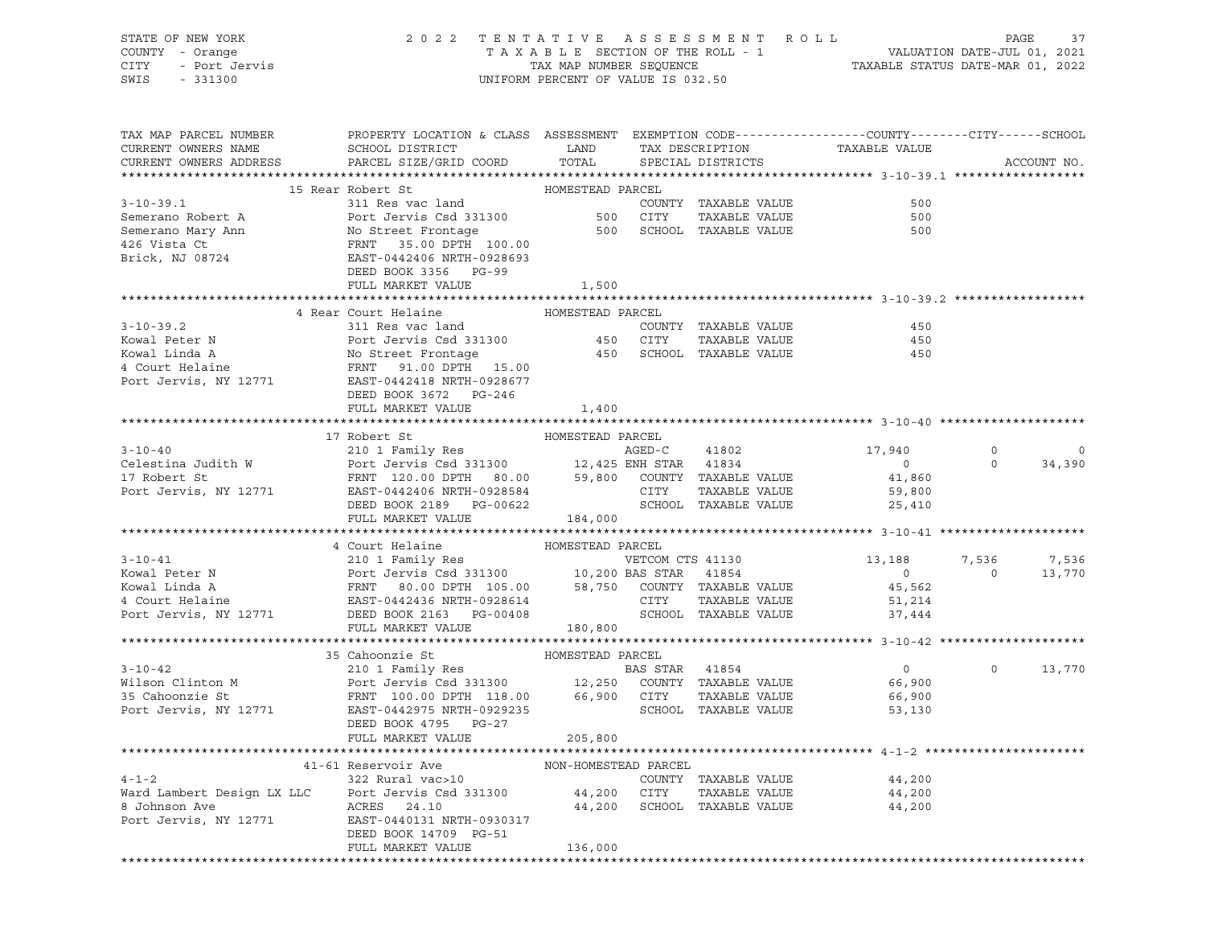| STATE OF NEW YORK<br>COUNTY - Orange<br>- Port Jervis<br>- 331300<br>CITY<br>SWIS<br>$-331300$ | 2022 TENTATIVE ASSESSMENT ROLL                                                                                                                                               | UNIFORM PERCENT OF VALUE IS 032.50 |        |                                                    | T A X A B L E SECTION OF THE ROLL - 1 VALUATION DATE-JUL 01, 2021<br>TAX MAP NUMBER SEQUENCE<br>INIEOPM DEPCENT OF VALUE IS 022 EQ. |                | PAGE<br>37  |
|------------------------------------------------------------------------------------------------|------------------------------------------------------------------------------------------------------------------------------------------------------------------------------|------------------------------------|--------|----------------------------------------------------|-------------------------------------------------------------------------------------------------------------------------------------|----------------|-------------|
| TAX MAP PARCEL NUMBER<br>CURRENT OWNERS NAME<br>CURRENT OWNERS ADDRESS                         | PROPERTY LOCATION & CLASS ASSESSMENT EXEMPTION CODE---------------COUNTY-------CITY------SCHOOL<br>SCHOOL DISTRICT<br>PARCEL SIZE/GRID COORD                                 | LAND<br>TOTAL                      |        | TAX DESCRIPTION TAXABLE VALUE<br>SPECIAL DISTRICTS |                                                                                                                                     |                | ACCOUNT NO. |
|                                                                                                |                                                                                                                                                                              |                                    |        |                                                    |                                                                                                                                     |                |             |
|                                                                                                | 15 Rear Robert St                                                                                                                                                            | HOMESTEAD PARCEL                   |        |                                                    |                                                                                                                                     |                |             |
| $3 - 10 - 39.1$                                                                                | 311 Res vac land                                                                                                                                                             |                                    |        | COUNTY TAXABLE VALUE                               | 500                                                                                                                                 |                |             |
| Semerano Robert A                                                                              | Port Jervis Csd 331300                                                                                                                                                       | 500 CITY                           |        | TAXABLE VALUE                                      | 500                                                                                                                                 |                |             |
|                                                                                                |                                                                                                                                                                              |                                    |        | 500 SCHOOL TAXABLE VALUE                           | 500                                                                                                                                 |                |             |
|                                                                                                |                                                                                                                                                                              |                                    |        |                                                    |                                                                                                                                     |                |             |
|                                                                                                |                                                                                                                                                                              |                                    |        |                                                    |                                                                                                                                     |                |             |
|                                                                                                | DEED BOOK 3356 PG-99                                                                                                                                                         |                                    |        |                                                    |                                                                                                                                     |                |             |
|                                                                                                | FULL MARKET VALUE                                                                                                                                                            | 1,500                              |        |                                                    |                                                                                                                                     |                |             |
|                                                                                                |                                                                                                                                                                              |                                    |        |                                                    |                                                                                                                                     |                |             |
|                                                                                                | 4 Rear Court Helaine                                                                                                                                                         | HOMESTEAD PARCEL                   |        |                                                    |                                                                                                                                     |                |             |
| $3 - 10 - 39.2$                                                                                | 311 Res vac land                                                                                                                                                             | 450 CITY                           |        | COUNTY TAXABLE VALUE                               | 450                                                                                                                                 |                |             |
| Kowal Peter N<br>Kowal Linda A                                                                 | Port Jervis Csd 331300<br>No Street Frontage                                                                                                                                 |                                    |        | TAXABLE VALUE<br>450 SCHOOL TAXABLE VALUE          | 450<br>450                                                                                                                          |                |             |
| 4 Court Helaine                                                                                | FRNT 91.00 DPTH 15.00                                                                                                                                                        |                                    |        |                                                    |                                                                                                                                     |                |             |
| Port Jervis, NY 12771                                                                          | EAST-0442418 NRTH-0928677                                                                                                                                                    |                                    |        |                                                    |                                                                                                                                     |                |             |
|                                                                                                | DEED BOOK 3672 PG-246                                                                                                                                                        |                                    |        |                                                    |                                                                                                                                     |                |             |
|                                                                                                | FULL MARKET VALUE                                                                                                                                                            | 1,400                              |        |                                                    |                                                                                                                                     |                |             |
|                                                                                                |                                                                                                                                                                              |                                    |        |                                                    |                                                                                                                                     |                |             |
|                                                                                                | 17 Robert St                                                                                                                                                                 | HOMESTEAD PARCEL                   |        |                                                    |                                                                                                                                     |                |             |
| $3 - 10 - 40$                                                                                  | 210 1 Family Res                                                                                                                                                             |                                    | AGED-C | 41802                                              | 17,940                                                                                                                              | $\circ$        | $\circ$     |
| Celestina Judith W                                                                             | Port Jervis Csd 331300 12,425 ENH STAR 41834                                                                                                                                 |                                    |        |                                                    | $\overline{0}$                                                                                                                      | $\circ$        | 34,390      |
| 17 Robert St                                                                                   | FRNT 120.00 DPTH 80.00 59,800 COUNTY TAXABLE VALUE                                                                                                                           |                                    |        |                                                    | 41,860                                                                                                                              |                |             |
| Port Jervis, NY 12771                                                                          | EAST-0442406 NRTH-0928584                                                                                                                                                    |                                    | CITY   | TAXABLE VALUE                                      | 59,800                                                                                                                              |                |             |
|                                                                                                | DEED BOOK 2189 PG-00622                                                                                                                                                      |                                    |        | SCHOOL TAXABLE VALUE                               | 25,410                                                                                                                              |                |             |
|                                                                                                | FULL MARKET VALUE                                                                                                                                                            | 184,000                            |        |                                                    |                                                                                                                                     |                |             |
|                                                                                                | 4 Court Helaine                                                                                                                                                              | HOMESTEAD PARCEL                   |        |                                                    |                                                                                                                                     |                |             |
| $3 - 10 - 41$                                                                                  | 210 1 Family Res                                                                                                                                                             |                                    |        | VETCOM CTS 41130                                   | 13,188                                                                                                                              | 7,536          | 7,536       |
| Kowal Peter N                                                                                  |                                                                                                                                                                              |                                    |        |                                                    | $\overline{0}$                                                                                                                      | $\overline{0}$ | 13,770      |
| Kowal Linda A                                                                                  | Port Jervis Csd 331300<br>Port Jervis Csd 331300 10,200 BAS STAR 41854<br>FRNT 80.00 DPTH 105.00 58,750 COUNTY TAXABLE VALUE<br>EAST-0442436 NRTH-0928614 CITY TAXABLE VALUE |                                    |        |                                                    | 45,562                                                                                                                              |                |             |
| 4 Court Helaine                                                                                |                                                                                                                                                                              |                                    |        |                                                    | 51,214                                                                                                                              |                |             |
| Port Jervis, NY 12771                                                                          | DEED BOOK 2163 PG-00408                                                                                                                                                      |                                    |        | SCHOOL TAXABLE VALUE                               | 37,444                                                                                                                              |                |             |
|                                                                                                | FULL MARKET VALUE                                                                                                                                                            | 180,800                            |        |                                                    |                                                                                                                                     |                |             |
|                                                                                                |                                                                                                                                                                              |                                    |        |                                                    |                                                                                                                                     |                |             |
|                                                                                                | 35 Cahoonzie St                                                                                                                                                              | HOMESTEAD PARCEL                   |        |                                                    |                                                                                                                                     |                |             |
| $3 - 10 - 42$                                                                                  | 210 1 Family Res<br>Port Jervis Csd 331300 12,250 COUNTY TAXABLE VALUE                                                                                                       | <b>BAS STAR</b> 41854              |        |                                                    | $\overline{0}$                                                                                                                      | $\circ$        | 13,770      |
| Wilson Clinton M                                                                               |                                                                                                                                                                              |                                    |        |                                                    | 66,900                                                                                                                              |                |             |
| 35 Cahoonzie St                                                                                | FRNT 100.00 DPTH 118.00 66,900 CITY                                                                                                                                          |                                    |        | TAXABLE VALUE                                      | 66,900                                                                                                                              |                |             |
| Port Jervis, NY 12771                                                                          | EAST-0442975 NRTH-0929235<br>DEED BOOK 4795 PG-27                                                                                                                            |                                    |        | SCHOOL TAXABLE VALUE                               | 53,130                                                                                                                              |                |             |
|                                                                                                | FULL MARKET VALUE                                                                                                                                                            | 205,800                            |        |                                                    |                                                                                                                                     |                |             |
|                                                                                                |                                                                                                                                                                              |                                    |        |                                                    |                                                                                                                                     |                |             |
|                                                                                                | 41-61 Reservoir Ave                                                                                                                                                          | NON-HOMESTEAD PARCEL               |        |                                                    |                                                                                                                                     |                |             |
| $4 - 1 - 2$                                                                                    | 322 Rural vac>10                                                                                                                                                             |                                    |        | COUNTY TAXABLE VALUE                               | 44,200                                                                                                                              |                |             |
| Ward Lambert Design LX LLC                                                                     | Port Jervis Csd 331300                                                                                                                                                       | 44,200                             | CITY   | TAXABLE VALUE                                      | 44,200                                                                                                                              |                |             |
| 8 Johnson Ave                                                                                  | ACRES 24.10                                                                                                                                                                  | 44,200                             |        | SCHOOL TAXABLE VALUE                               | 44,200                                                                                                                              |                |             |
| Port Jervis, NY 12771                                                                          | EAST-0440131 NRTH-0930317                                                                                                                                                    |                                    |        |                                                    |                                                                                                                                     |                |             |
|                                                                                                | DEED BOOK 14709 PG-51                                                                                                                                                        |                                    |        |                                                    |                                                                                                                                     |                |             |
|                                                                                                | FULL MARKET VALUE                                                                                                                                                            | 136,000                            |        |                                                    |                                                                                                                                     |                |             |
|                                                                                                |                                                                                                                                                                              |                                    |        |                                                    |                                                                                                                                     |                |             |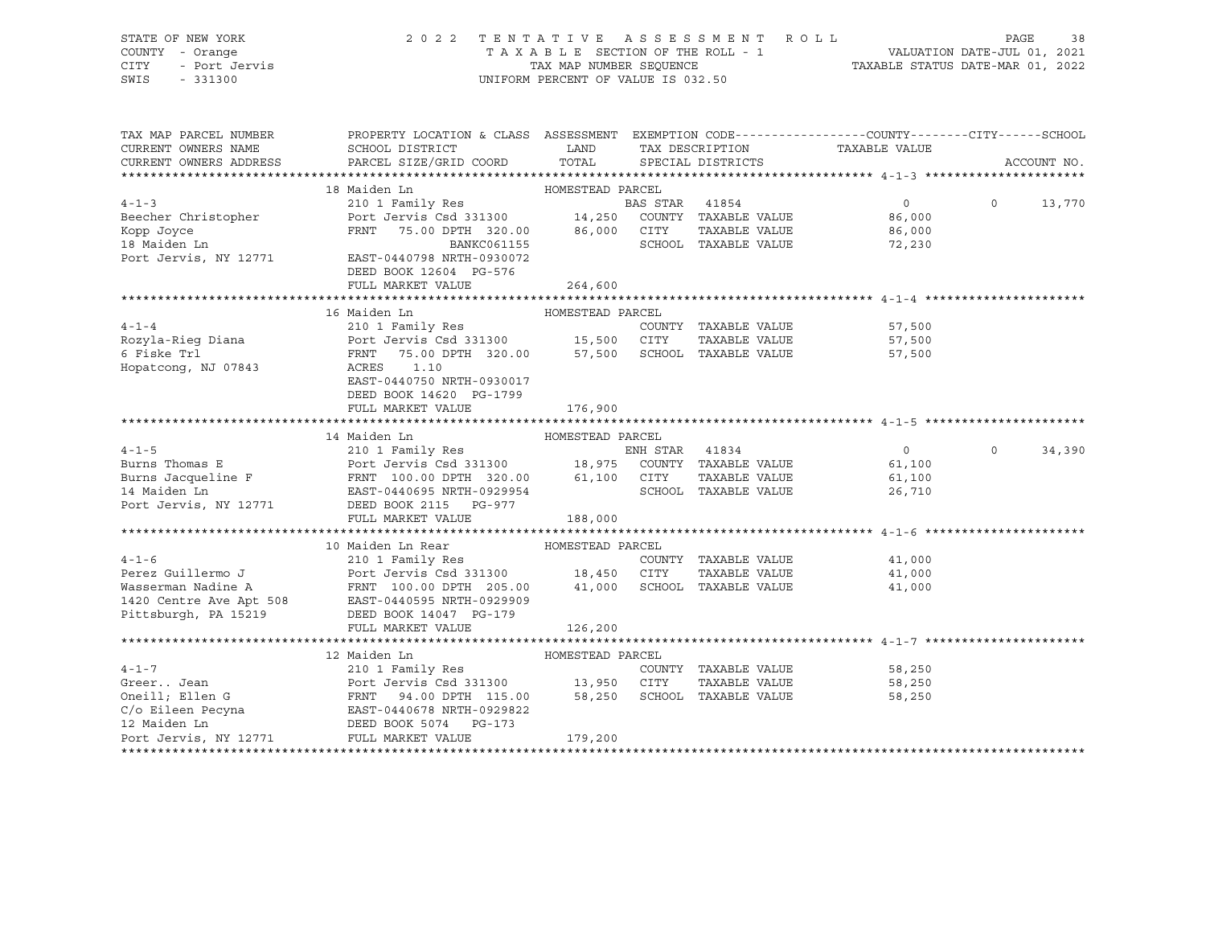STATE OF NEW YORK 2 0 2 2 T E N T A T I V E A S S E S S M E N T R O L L PAGE 38 COUNTY - Orange T A X A B L E SECTION OF THE ROLL - 1 VALUATION DATE-JUL 01, 2021 CITY - Port Jervis TAX MAP NUMBER SEQUENCE TAXABLE STATUS DATE-MAR 01, 2022 SWIS - 331300 UNIFORM PERCENT OF VALUE IS 032.50

| TAX MAP PARCEL NUMBER                 | PROPERTY LOCATION & CLASS ASSESSMENT EXEMPTION CODE----------------COUNTY-------CITY------SCHOOL                                                                           |                  |          |                      |                             |         |               |
|---------------------------------------|----------------------------------------------------------------------------------------------------------------------------------------------------------------------------|------------------|----------|----------------------|-----------------------------|---------|---------------|
| CURRENT OWNERS NAME                   | SCHOOL DISTRICT                                                                                                                                                            | <b>LAND</b>      |          | TAX DESCRIPTION      | TAXABLE VALUE               |         |               |
| CURRENT OWNERS ADDRESS                | PARCEL SIZE/GRID COORD                                                                                                                                                     | TOTAL            |          | SPECIAL DISTRICTS    |                             |         | ACCOUNT NO.   |
|                                       | 18 Maiden Ln                                                                                                                                                               |                  |          |                      |                             |         |               |
| $4 - 1 - 3$                           |                                                                                                                                                                            |                  |          |                      | $\overline{0}$              |         | $0 \t 13,770$ |
| Beecher Christopher                   |                                                                                                                                                                            |                  |          |                      | 86,000                      |         |               |
|                                       | FRNT 75.00 DPTH 320.00 86,000 CITY                                                                                                                                         |                  |          |                      |                             |         |               |
| Kopp Joyce                            |                                                                                                                                                                            |                  |          | TAXABLE VALUE        | 86,000                      |         |               |
| 18 Maiden Ln<br>Port Jervis, NY 12771 | BANKC061155                                                                                                                                                                |                  |          | SCHOOL TAXABLE VALUE | 72,230                      |         |               |
|                                       | EAST-0440798 NRTH-0930072                                                                                                                                                  |                  |          |                      |                             |         |               |
|                                       | DEED BOOK 12604 PG-576                                                                                                                                                     |                  |          |                      |                             |         |               |
|                                       | FULL MARKET VALUE                                                                                                                                                          | 264,600          |          |                      |                             |         |               |
|                                       | 16 Maiden Ln                                                                                                                                                               | HOMESTEAD PARCEL |          |                      |                             |         |               |
| $4 - 1 - 4$                           | 210 1 Family Res                                                                                                                                                           |                  |          | COUNTY TAXABLE VALUE | 57,500                      |         |               |
|                                       |                                                                                                                                                                            |                  |          | TAXABLE VALUE        | 57,500                      |         |               |
|                                       | Rozyla-Rieg Diana (1997) 210 1 Tamily Rose (1997) 15,500 COONT TAXABLE VALUE<br>6 Fiske Trl (1997) 6 Fiske Trl (1997) 75.00 DPTH 320.00 (1997) 57,500 SCHOOL TAXABLE VALUE |                  |          |                      |                             |         |               |
| Hopatcong, NJ 07843                   | ACRES<br>1.10                                                                                                                                                              |                  |          |                      | 57,500                      |         |               |
|                                       |                                                                                                                                                                            |                  |          |                      |                             |         |               |
|                                       | EAST-0440750 NRTH-0930017                                                                                                                                                  |                  |          |                      |                             |         |               |
|                                       | DEED BOOK 14620 PG-1799                                                                                                                                                    |                  |          |                      |                             |         |               |
|                                       | FULL MARKET VALUE                                                                                                                                                          | 176,900          |          |                      |                             |         |               |
|                                       | 14 Maiden Ln                                                                                                                                                               | HOMESTEAD PARCEL |          |                      |                             |         |               |
| $4 - 1 - 5$                           | 210 1 Family Res                                                                                                                                                           |                  | ENH STAR | 41834                | $\overline{0}$              | $\circ$ | 34,390        |
|                                       |                                                                                                                                                                            |                  |          |                      | 61,100                      |         |               |
|                                       |                                                                                                                                                                            |                  |          |                      | 61,100                      |         |               |
| 14 Maiden Ln                          | EAST-0440695 NRTH-0929954                                                                                                                                                  |                  |          | SCHOOL TAXABLE VALUE | 26,710                      |         |               |
| Port Jervis, NY 12771                 | DEED BOOK 2115 PG-977                                                                                                                                                      |                  |          |                      |                             |         |               |
|                                       | FULL MARKET VALUE                                                                                                                                                          | 188,000          |          |                      |                             |         |               |
|                                       |                                                                                                                                                                            |                  |          |                      |                             |         |               |
|                                       | 10 Maiden Ln Rear MOMESTEAD PARCEL                                                                                                                                         |                  |          |                      |                             |         |               |
| $4 - 1 - 6$                           |                                                                                                                                                                            |                  |          | COUNTY TAXABLE VALUE | 41,000                      |         |               |
| Perez Guillermo J                     |                                                                                                                                                                            |                  |          | TAXABLE VALUE        | 41,000                      |         |               |
| Wasserman Nadine A                    | 210 1 Family Res<br>Port Jervis Csd 331300 18,450 CITY TAXABLE VALUE<br>FRNT 100.00 DPTH 205.00 41,000 SCHOOL TAXABLE VALUE                                                |                  |          |                      | 41,000                      |         |               |
|                                       | 1420 Centre Ave Apt 508 EAST-0440595 NRTH-0929909                                                                                                                          |                  |          |                      |                             |         |               |
| Pittsburgh, PA 15219                  | DEED BOOK 14047 PG-179                                                                                                                                                     |                  |          |                      |                             |         |               |
|                                       | FULL MARKET VALUE                                                                                                                                                          | 126,200          |          |                      |                             |         |               |
|                                       |                                                                                                                                                                            |                  |          |                      |                             |         |               |
|                                       | 12 Maiden Ln                                                                                                                                                               | HOMESTEAD PARCEL |          |                      |                             |         |               |
| $4 - 1 - 7$                           | 210 1 Family Res                                                                                                                                                           |                  |          |                      | COUNTY TAXABLE VALUE 58,250 |         |               |
| Greer Jean                            |                                                                                                                                                                            |                  |          | TAXABLE VALUE        | 58,250                      |         |               |
| Greer Jean<br>Oneill; Ellen G         | Port Jervis Csd 331300              13,950     CITY      TAXABLE VALUE<br>FRNT     94.00 DPTH   115.00          58,250     SCHOOL   TAXABLE VALUE                          |                  |          |                      | 58,250                      |         |               |
|                                       | $C/O$ Eileen Pecyna $EAST-0440678$ NRTH-0929822                                                                                                                            |                  |          |                      |                             |         |               |
| 12 Maiden Ln                          | DEED BOOK 5074 PG-173                                                                                                                                                      |                  |          |                      |                             |         |               |
| Port Jervis, NY 12771                 | FULL MARKET VALUE                                                                                                                                                          | 179,200          |          |                      |                             |         |               |
|                                       |                                                                                                                                                                            |                  |          |                      |                             |         |               |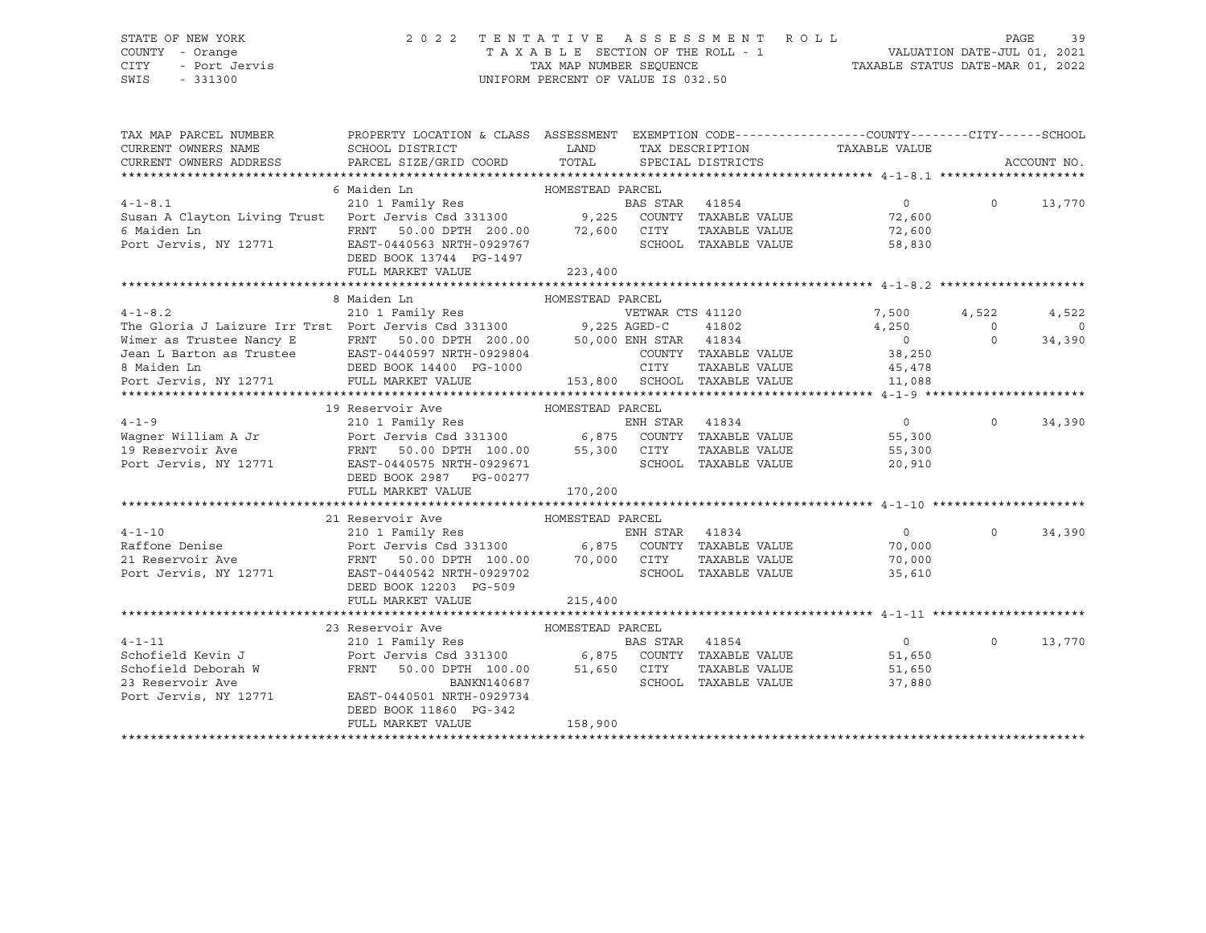### STATE OF NEW YORK 2 0 2 2 T E N T A T I V E A S S E S S M E N T R O L L PAGE 39 COUNTY - Orange T A X A B L E SECTION OF THE ROLL - 1 VALUATION DATE-JUL 01, 2021 CITY - Port Jervis TAX MAP NUMBER SEQUENCE TAXABLE STATUS DATE-MAR 01, 2022

| TAX MAP PARCEL NUMBER                                                                                                                                         | PROPERTY LOCATION & CLASS ASSESSMENT EXEMPTION CODE---------------COUNTY-------CITY------SCHOOL                                                         |                              |                  |                      |                               |                |             |
|---------------------------------------------------------------------------------------------------------------------------------------------------------------|---------------------------------------------------------------------------------------------------------------------------------------------------------|------------------------------|------------------|----------------------|-------------------------------|----------------|-------------|
| CURRENT OWNERS NAME                                                                                                                                           | SCHOOL DISTRICT                                                                                                                                         | LAND                         |                  |                      | TAX DESCRIPTION TAXABLE VALUE |                |             |
| CURRENT OWNERS ADDRESS                                                                                                                                        | PARCEL SIZE/GRID COORD                                                                                                                                  | TOTAL                        |                  | SPECIAL DISTRICTS    |                               |                | ACCOUNT NO. |
|                                                                                                                                                               |                                                                                                                                                         |                              |                  |                      |                               |                |             |
|                                                                                                                                                               | 6 Maiden Ln                                                                                                                                             | HOMESTEAD PARCEL             |                  |                      |                               |                |             |
| $4 - 1 - 8.1$                                                                                                                                                 | 210 1 Family Res                                                                                                                                        |                              | BAS STAR 41854   |                      | $\Omega$                      | $\Omega$       | 13,770      |
| Susan A Clayton Living Trust Port Jervis Csd 331300 9,225 COUNTY TAXABLE VALUE                                                                                |                                                                                                                                                         |                              |                  |                      | 72,600                        |                |             |
| 6 Maiden Ln                                                                                                                                                   | FRNT 50.00 DPTH 200.00 72,600 CITY                                                                                                                      |                              |                  | TAXABLE VALUE        | 72,600                        |                |             |
| Port Jervis, NY 12771                                                                                                                                         | EAST-0440563 NRTH-0929767                                                                                                                               |                              |                  | SCHOOL TAXABLE VALUE | 58,830                        |                |             |
|                                                                                                                                                               | DEED BOOK 13744 PG-1497                                                                                                                                 |                              |                  |                      |                               |                |             |
|                                                                                                                                                               | FULL MARKET VALUE                                                                                                                                       | 223,400                      |                  |                      |                               |                |             |
|                                                                                                                                                               |                                                                                                                                                         |                              |                  |                      |                               |                |             |
|                                                                                                                                                               |                                                                                                                                                         |                              |                  |                      |                               |                |             |
|                                                                                                                                                               | 8 Maiden Ln                                                                                                                                             | HOMESTEAD PARCEL             |                  |                      |                               |                |             |
| 4-1-8.2<br>The Gloria J Laizure Irr Trst Port Jervis Csd 331300 9,225 AGED-C                                                                                  |                                                                                                                                                         |                              | VETWAR CTS 41120 |                      | 7,500                         | 4,522          | 4,522       |
|                                                                                                                                                               |                                                                                                                                                         |                              |                  | 41802                | 4,250                         | $\overline{0}$ | $\circ$     |
|                                                                                                                                                               | FRNT 50.00 DPTH 200.00 50,000 ENH STAR 41834                                                                                                            |                              |                  |                      | $\overline{0}$                | $\Omega$       | 34,390      |
|                                                                                                                                                               | EAST-0440597 NRTH-0929804                                                                                                                               |                              |                  | COUNTY TAXABLE VALUE | 38,250                        |                |             |
| The Gloria J Laizure 111 -<br>Wimer as Trustee Nancy E FRNT 50.00 DF1n 2001.<br>Jean L Barton as Trustee EAST-0440597 NRTH-0929804<br>DEED BOOK 14400 PG-1000 |                                                                                                                                                         |                              | CITY             | TAXABLE VALUE        | 45,478                        |                |             |
| Port Jervis, NY 12771 FULL MARKET VALUE                                                                                                                       |                                                                                                                                                         | 153,800 SCHOOL TAXABLE VALUE |                  |                      | 11,088                        |                |             |
|                                                                                                                                                               |                                                                                                                                                         |                              |                  |                      |                               |                |             |
|                                                                                                                                                               | 19 Reservoir Ave                                                                                                                                        | HOMESTEAD PARCEL             |                  |                      |                               |                |             |
| $4 - 1 - 9$                                                                                                                                                   |                                                                                                                                                         |                              |                  |                      | $\overline{0}$                | $\Omega$       | 34,390      |
| Wagner William A Jr                                                                                                                                           |                                                                                                                                                         |                              |                  |                      | 55,300                        |                |             |
| 19 Reservoir Ave                                                                                                                                              | FRNT 50.00 DPTH 100.00 55,300 CITY                                                                                                                      |                              |                  | TAXABLE VALUE        | 55,300                        |                |             |
| Port Jervis, NY 12771                                                                                                                                         | EAST-0440575 NRTH-0929671                                                                                                                               |                              |                  | SCHOOL TAXABLE VALUE | 20,910                        |                |             |
|                                                                                                                                                               | DEED BOOK 2987 PG-00277                                                                                                                                 |                              |                  |                      |                               |                |             |
|                                                                                                                                                               | FULL MARKET VALUE                                                                                                                                       | 170,200                      |                  |                      |                               |                |             |
|                                                                                                                                                               |                                                                                                                                                         |                              |                  |                      |                               |                |             |
|                                                                                                                                                               | 21 Reservoir Ave                                                                                                                                        | HOMESTEAD PARCEL             |                  |                      |                               |                |             |
| $4 - 1 - 10$                                                                                                                                                  | 210 1 Family Res                                                                                                                                        |                              | ENH STAR         | 41834                | $\circ$                       | $\Omega$       | 34,390      |
| Raffone Denise                                                                                                                                                |                                                                                                                                                         |                              |                  |                      |                               |                |             |
|                                                                                                                                                               |                                                                                                                                                         |                              |                  |                      | 70,000                        |                |             |
| 21 Reservoir Ave                                                                                                                                              | Port Jervis Csd 331300 6,875 COUNTY TAXABLE VALUE<br>FRNT 50.00 DPTH 100.00 70,000 CITY TAXABLE VALUE<br>EAST-0440542 NRTH-0929702 SCHOOL TAXABLE VALUE |                              |                  |                      | 70,000                        |                |             |
| Port Jervis, NY 12771                                                                                                                                         | EAST-0440542 NRTH-0929702                                                                                                                               |                              |                  | SCHOOL TAXABLE VALUE | 35,610                        |                |             |
|                                                                                                                                                               | DEED BOOK 12203 PG-509                                                                                                                                  |                              |                  |                      |                               |                |             |
|                                                                                                                                                               | FULL MARKET VALUE                                                                                                                                       | 215,400                      |                  |                      |                               |                |             |
|                                                                                                                                                               |                                                                                                                                                         |                              |                  |                      |                               |                |             |
|                                                                                                                                                               | 23 Reservoir Ave                                                                                                                                        | HOMESTEAD PARCEL             |                  |                      |                               |                |             |
| $4 - 1 - 11$                                                                                                                                                  | 210 1 Family Res                                                                                                                                        |                              | BAS STAR         | 41854                | $\overline{0}$                | $\Omega$       | 13,770      |
| Schofield Kevin J                                                                                                                                             | Port Jervis Csd 331300 6,875 COUNTY TAXABLE VALUE<br>FRNT 50.00 DPTH 100.00 51,650 CITY TAXABLE VALUE                                                   |                              |                  |                      | 51,650                        |                |             |
| Schofield Deborah W                                                                                                                                           |                                                                                                                                                         |                              |                  |                      | 51,650                        |                |             |
| 23 Reservoir Ave                                                                                                                                              | BANKN140687                                                                                                                                             |                              |                  | SCHOOL TAXABLE VALUE | 37,880                        |                |             |
| Port Jervis, NY 12771                                                                                                                                         | EAST-0440501 NRTH-0929734                                                                                                                               |                              |                  |                      |                               |                |             |
|                                                                                                                                                               | DEED BOOK 11860 PG-342                                                                                                                                  |                              |                  |                      |                               |                |             |
|                                                                                                                                                               | FULL MARKET VALUE                                                                                                                                       | 158,900                      |                  |                      |                               |                |             |
|                                                                                                                                                               |                                                                                                                                                         |                              |                  |                      |                               |                |             |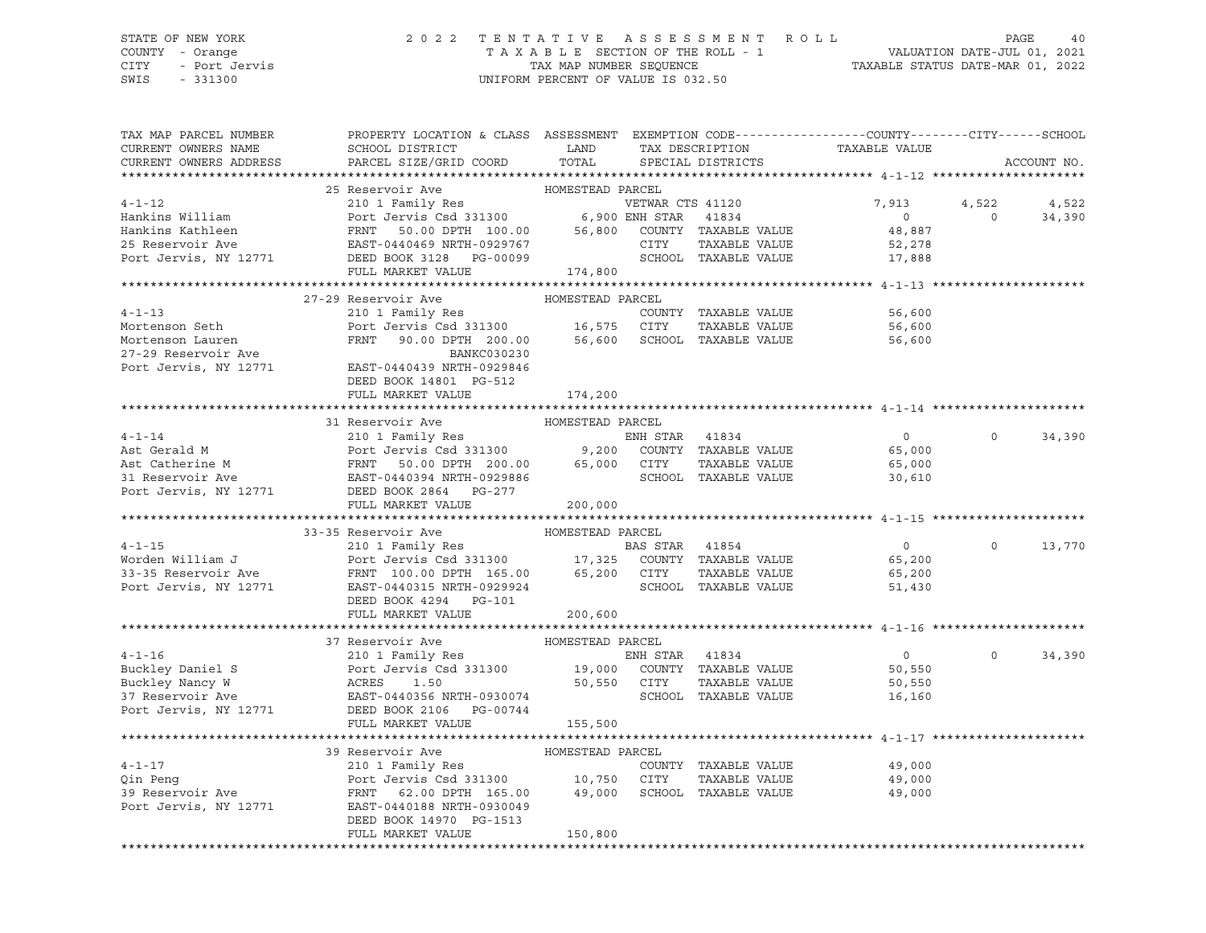### STATE OF NEW YORK 2 0 2 2 T E N T A T I V E A S S E S S M E N T R O L L PAGE 40 COUNTY - Orange T A X A B L E SECTION OF THE ROLL - 1 VALUATION DATE-JUL 01, 2021 CITY - Port Jervis TAX MAP NUMBER SEQUENCE TAXABLE STATUS DATE-MAR 01, 2022

| TAX MAP PARCEL NUMBER<br>CURRENT OWNERS NAME<br>CURRENT OWNERS ADDRESS                                                                                                                                                                                                              | PROPERTY LOCATION & CLASS ASSESSMENT EXEMPTION CODE---------------COUNTY-------CITY------SCHOOL<br>SCHOOL DISTRICT<br>PARCEL SIZE/GRID COORD                                                                      | LAND<br>TOTAL               |                | TAX DESCRIPTION<br>SPECIAL DISTRICTS  | TAXABLE VALUE                                         |                     | ACCOUNT NO.     |
|-------------------------------------------------------------------------------------------------------------------------------------------------------------------------------------------------------------------------------------------------------------------------------------|-------------------------------------------------------------------------------------------------------------------------------------------------------------------------------------------------------------------|-----------------------------|----------------|---------------------------------------|-------------------------------------------------------|---------------------|-----------------|
|                                                                                                                                                                                                                                                                                     |                                                                                                                                                                                                                   |                             |                |                                       |                                                       |                     |                 |
| $4 - 1 - 12$<br>Hankins William<br>Hankins Kathleen<br>25 Reservoir Ave<br>Port Jervis, NY 12771 DEED BOOK 3128 PG-00099                                                                                                                                                            | 25 Reservoir Ave<br>210 1 Family Res<br>Port Jervis Csd 331300 6,900 ENH STAR 41834<br>FULL MARKET VALUE                                                                                                          | HOMESTEAD PARCEL<br>174,800 |                | SCHOOL TAXABLE VALUE                  | 7,913<br>$\overline{0}$<br>48,887<br>52,278<br>17,888 | 4,522<br>$\bigcirc$ | 4,522<br>34,390 |
|                                                                                                                                                                                                                                                                                     |                                                                                                                                                                                                                   |                             |                |                                       |                                                       |                     |                 |
| $4 - 1 - 13$<br>Mortenson Seth                                                                                                                                                                                                                                                      | 27-29 Reservoir Ave<br>210 1 Family Res<br>Port Jervis Csd 331300 16,575 CITY TAXABLE VALUE<br>FRNT 90.00 DPTH 200.00 56,600 SCHOOL TAXABLE VALUE                                                                 | HOMESTEAD PARCEL            |                | COUNTY TAXABLE VALUE                  | 56,600<br>56,600                                      |                     |                 |
| Mortenson Lauren<br>27-29 Reservoir Ave<br>Port Jervis, NY 12771                                                                                                                                                                                                                    | BANKC030230<br>EAST-0440439 NRTH-0929846<br>DEED BOOK 14801 PG-512                                                                                                                                                |                             |                |                                       | 56,600                                                |                     |                 |
|                                                                                                                                                                                                                                                                                     | FULL MARKET VALUE                                                                                                                                                                                                 | 174,200                     |                |                                       |                                                       |                     |                 |
|                                                                                                                                                                                                                                                                                     | 31 Reservoir Ave                                                                                                                                                                                                  | HOMESTEAD PARCEL            |                |                                       |                                                       |                     |                 |
| $4 - 1 - 14$<br>Ast Gerald M<br>Ast Catherine M<br>31 Reservoir Ave                                                                                                                                                                                                                 | 210 1 Family Res<br>Port Jervis Csd 331300 9,200 COUNTY TAXABLE VALUE<br>FRNT 50.00 DPTH 200.00 65,000 CITY TAXABLE VALUE<br>EAST-0440394 NRTH-092986 SCHOOL TAXABLE VALUE                                        |                             |                |                                       | $\overline{0}$<br>65,000<br>65,000<br>30,610          | $\circ$             | 34,390          |
| Port Jervis, NY 12771                                                                                                                                                                                                                                                               | DEED BOOK 2864 PG-277<br>FULL MARKET VALUE                                                                                                                                                                        | 200,000                     |                |                                       |                                                       |                     |                 |
|                                                                                                                                                                                                                                                                                     |                                                                                                                                                                                                                   |                             |                |                                       |                                                       |                     |                 |
|                                                                                                                                                                                                                                                                                     | 33-35 Reservoir Ave                                                                                                                                                                                               | HOMESTEAD PARCEL            |                |                                       |                                                       |                     |                 |
|                                                                                                                                                                                                                                                                                     |                                                                                                                                                                                                                   |                             |                |                                       | $\Omega$                                              | $\Omega$            | 13,770          |
|                                                                                                                                                                                                                                                                                     |                                                                                                                                                                                                                   |                             |                |                                       | 65,200                                                |                     |                 |
| 4-1-15<br>Worden William J<br>2001 Family Res<br>2001 Family Res<br>Port Jervis Csd 331300<br>2011 Family Res<br>2101 Family Res<br>2101 Family Res<br>2103 Fass 371300<br>2101 Family Res<br>21300<br>2101 Family Res<br>21300<br>2131300<br>217325 COUNT<br>Port Jervis, NY 12771 | DEED BOOK 4294 PG-101<br>FULL MARKET VALUE                                                                                                                                                                        | 200,600                     |                |                                       | 65,200<br>51,430                                      |                     |                 |
|                                                                                                                                                                                                                                                                                     |                                                                                                                                                                                                                   |                             |                |                                       |                                                       |                     |                 |
|                                                                                                                                                                                                                                                                                     |                                                                                                                                                                                                                   | HOMESTEAD PARCEL            |                |                                       |                                                       |                     |                 |
| $4 - 1 - 16$<br>Buckley Daniel S<br>Buckley Nancy W<br>37 Reservoir Ave EAST-0440356 NRTH-0930074<br>Port Jervis, NY 12771 DEED BOOK 2106 PG-00744                                                                                                                                  | 37 Reservoir Ave<br>210 1 Family Res<br>Port Jervis Csd 331300 19,000 COUNTY TAXABLE VALUE<br>ACRES 1.50 50,550 CITY TAXABLE VALUE<br>EAST-0440356 NRTH-0930074 SCHOOL TAXABLE VALUE<br>Port J<br>ACRES<br>EAST-0 |                             | ENH STAR 41834 |                                       | $\overline{0}$<br>50,550<br>50,550<br>16,160          | $\circ$             | 34,390          |
|                                                                                                                                                                                                                                                                                     | FULL MARKET VALUE                                                                                                                                                                                                 | 155,500                     |                |                                       |                                                       |                     |                 |
|                                                                                                                                                                                                                                                                                     | 39 Reservoir Ave                                                                                                                                                                                                  | HOMESTEAD PARCEL            |                |                                       |                                                       |                     |                 |
| $4 - 1 - 17$<br>Qin Peng<br>39 Reservoir Ave<br>Port Jervis, NY 12771                                                                                                                                                                                                               | 210 1 Family Res<br>Port Jervis Csd 331300 10,750 CITY TAXABLE VALUE<br>FRNT 62.00 DPTH 165.00 49,000 SCHOOL TAXABLE VALUE<br>EAST-0440188 NRTH-0930049                                                           |                             |                | COUNTY TAXABLE VALUE<br>TAXABLE VALUE | 49,000<br>49,000<br>49,000                            |                     |                 |
|                                                                                                                                                                                                                                                                                     | DEED BOOK 14970 PG-1513<br>FULL MARKET VALUE                                                                                                                                                                      | 150,800                     |                |                                       |                                                       |                     |                 |
|                                                                                                                                                                                                                                                                                     |                                                                                                                                                                                                                   |                             |                |                                       |                                                       |                     |                 |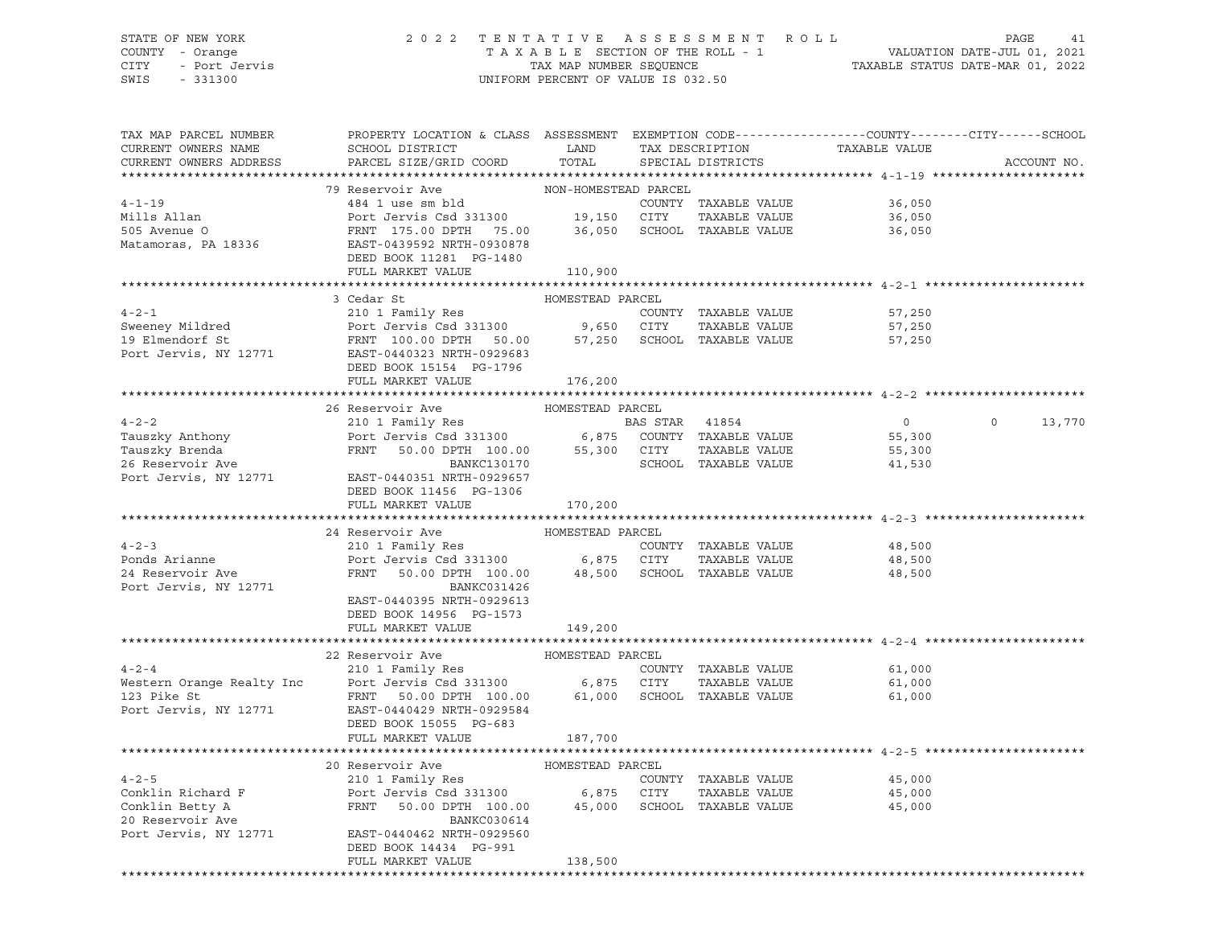### STATE OF NEW YORK 2 0 2 2 T E N T A T I V E A S S E S S M E N T R O L L PAGE 41 COUNTY - Orange T A X A B L E SECTION OF THE ROLL - 1 VALUATION DATE-JUL 01, 2021 CITY - Port Jervis TAX MAP NUMBER SEQUENCE TAXABLE STATUS DATE-MAR 01, 2022 SWIS - 331300 UNIFORM PERCENT OF VALUE IS 032.50

| TAX MAP PARCEL NUMBER<br>CURRENT OWNERS NAME | PROPERTY LOCATION & CLASS ASSESSMENT EXEMPTION CODE---------------COUNTY-------CITY------SCHOOL<br>SCHOOL DISTRICT                                                                                                              | LAND                  | TAX DESCRIPTION      | TAXABLE VALUE    |                   |
|----------------------------------------------|---------------------------------------------------------------------------------------------------------------------------------------------------------------------------------------------------------------------------------|-----------------------|----------------------|------------------|-------------------|
| CURRENT OWNERS ADDRESS                       | PARCEL SIZE/GRID COORD                                                                                                                                                                                                          | TOTAL                 | SPECIAL DISTRICTS    |                  | ACCOUNT NO.       |
|                                              |                                                                                                                                                                                                                                 |                       |                      |                  |                   |
|                                              | 79 Reservoir Ave                                                                                                                                                                                                                | NON-HOMESTEAD PARCEL  |                      |                  |                   |
| $4 - 1 - 19$                                 | 484 1 use sm bld                                                                                                                                                                                                                |                       | COUNTY TAXABLE VALUE | 36,050           |                   |
|                                              |                                                                                                                                                                                                                                 |                       | TAXABLE VALUE        | 36,050           |                   |
| Mills Allan<br>505 Avenue O                  | Port Jervis Csd 331300<br>Port Jervis Csd 331300<br>FRNT 175.00 DPTH 75.00<br>EAST-0439592 NRTH-0930878<br>PER 19313087 PORTH-0930878                                                                                           |                       |                      | 36,050           |                   |
| Matamoras, PA 18336                          |                                                                                                                                                                                                                                 |                       |                      |                  |                   |
|                                              | DEED BOOK 11281 PG-1480                                                                                                                                                                                                         |                       |                      |                  |                   |
|                                              | FULL MARKET VALUE                                                                                                                                                                                                               | 110,900               |                      |                  |                   |
|                                              |                                                                                                                                                                                                                                 |                       |                      |                  |                   |
|                                              | HOMESTEAD PARCEL<br>3 Cedar St                                                                                                                                                                                                  |                       |                      |                  |                   |
| $4 - 2 - 1$                                  | 210 1 Family Res                                                                                                                                                                                                                |                       | COUNTY TAXABLE VALUE | 57,250           |                   |
| Sweeney Mildred<br>19 Elmendorf St           | Port Jervis Csd 331300 9,650 CITY TAXABLE VALUE<br>FRNT 100.00 DPTH 50.00 57,250 SCHOOL TAXABLE VALUE                                                                                                                           |                       | TAXABLE VALUE        | 57,250           |                   |
|                                              |                                                                                                                                                                                                                                 |                       |                      | 57,250           |                   |
| Port Jervis, NY 12771                        | EAST-0440323 NRTH-0929683                                                                                                                                                                                                       |                       |                      |                  |                   |
|                                              | DEED BOOK 15154 PG-1796                                                                                                                                                                                                         |                       |                      |                  |                   |
|                                              | FULL MARKET VALUE                                                                                                                                                                                                               | 176,200               |                      |                  |                   |
|                                              |                                                                                                                                                                                                                                 |                       |                      |                  |                   |
|                                              | 26 Reservoir Ave                                                                                                                                                                                                                | HOMESTEAD PARCEL      |                      |                  |                   |
|                                              |                                                                                                                                                                                                                                 | <b>BAS STAR 41854</b> |                      | $\overline{0}$   | $\circ$<br>13,770 |
|                                              |                                                                                                                                                                                                                                 |                       |                      | 55,300           |                   |
|                                              | BAS STAR 41854<br>Tauszky Anthony Port Jervis Csd 331300 6,875 COUNTY TAXABLE VALUE<br>Tauszky Brenda FRNT 50.00 DPTH 100.00 55,300 CITY TAXABLE VALUE<br>26 Reservoir Ave BANKC130170 BANKC130170                              |                       |                      | 55,300<br>41,530 |                   |
|                                              | Port Jervis, NY 12771 EAST-0440351 NRTH-0929657                                                                                                                                                                                 |                       |                      |                  |                   |
|                                              | DEED BOOK 11456 PG-1306                                                                                                                                                                                                         |                       |                      |                  |                   |
|                                              | FULL MARKET VALUE                                                                                                                                                                                                               | 170,200               |                      |                  |                   |
|                                              |                                                                                                                                                                                                                                 |                       |                      |                  |                   |
|                                              | 24 Reservoir Ave                                                                                                                                                                                                                | HOMESTEAD PARCEL      |                      |                  |                   |
| $4 - 2 - 3$                                  | 210 1 Family Res                                                                                                                                                                                                                |                       | COUNTY TAXABLE VALUE | 48,500           |                   |
| Ponds Arianne                                |                                                                                                                                                                                                                                 |                       | TAXABLE VALUE        | 48,500           |                   |
| 24 Reservoir Ave                             | Port Jervis Csd 331300 6,875 CITY TAXABLE VALUE<br>FRNT 50.00 DPTH 100.00 48,500 SCHOOL TAXABLE VALUE                                                                                                                           |                       |                      | 48,500           |                   |
| Port Jervis, NY 12771                        | BANKC031426                                                                                                                                                                                                                     |                       |                      |                  |                   |
|                                              | EAST-0440395 NRTH-0929613                                                                                                                                                                                                       |                       |                      |                  |                   |
|                                              | DEED BOOK 14956 PG-1573                                                                                                                                                                                                         |                       |                      |                  |                   |
|                                              | FULL MARKET VALUE                                                                                                                                                                                                               | 149,200               |                      |                  |                   |
|                                              |                                                                                                                                                                                                                                 |                       |                      |                  |                   |
|                                              | 22 Reservoir Ave                                                                                                                                                                                                                | HOMESTEAD PARCEL      |                      |                  |                   |
| $4 - 2 - 4$                                  | 210 1 Family Res                                                                                                                                                                                                                |                       | COUNTY TAXABLE VALUE | 61,000           |                   |
|                                              |                                                                                                                                                                                                                                 |                       | TAXABLE VALUE        | 61,000           |                   |
|                                              |                                                                                                                                                                                                                                 |                       |                      | 61,000           |                   |
|                                              | Port Jervis, NY 12771 EAST-0440429 NRTH-0929584                                                                                                                                                                                 |                       |                      |                  |                   |
|                                              | DEED BOOK 15055 PG-683                                                                                                                                                                                                          |                       |                      |                  |                   |
|                                              | FULL MARKET VALUE                                                                                                                                                                                                               | 187,700               |                      |                  |                   |
|                                              |                                                                                                                                                                                                                                 |                       |                      |                  |                   |
|                                              | 20 Reservoir Ave MOMESTEAD PARCEL                                                                                                                                                                                               |                       |                      |                  |                   |
| $4 - 2 - 5$                                  | 210 1 Family Res                                                                                                                                                                                                                |                       | COUNTY TAXABLE VALUE | 45,000           |                   |
|                                              | Conklin Richard F<br>Conklin Betty A (Conklin Betty A (Conklin Betty A (Conklin Betty A (Conklin Betty A (Conklin Betty A (Conklin Betty A (Conklin Betty A (Conklin Betty A (Conklin Betty A (Conklin Betty A (Conklin Betty A |                       | TAXABLE VALUE        | 45,000<br>45,000 |                   |
|                                              |                                                                                                                                                                                                                                 |                       |                      | 45,000           |                   |
|                                              |                                                                                                                                                                                                                                 |                       |                      |                  |                   |
|                                              | Port Jervis, NY 12771 EAST-0440462 NRTH-0929560                                                                                                                                                                                 |                       |                      |                  |                   |
|                                              | DEED BOOK 14434 PG-991                                                                                                                                                                                                          |                       |                      |                  |                   |
|                                              | FULL MARKET VALUE                                                                                                                                                                                                               | 138,500               |                      |                  |                   |
|                                              |                                                                                                                                                                                                                                 |                       |                      |                  |                   |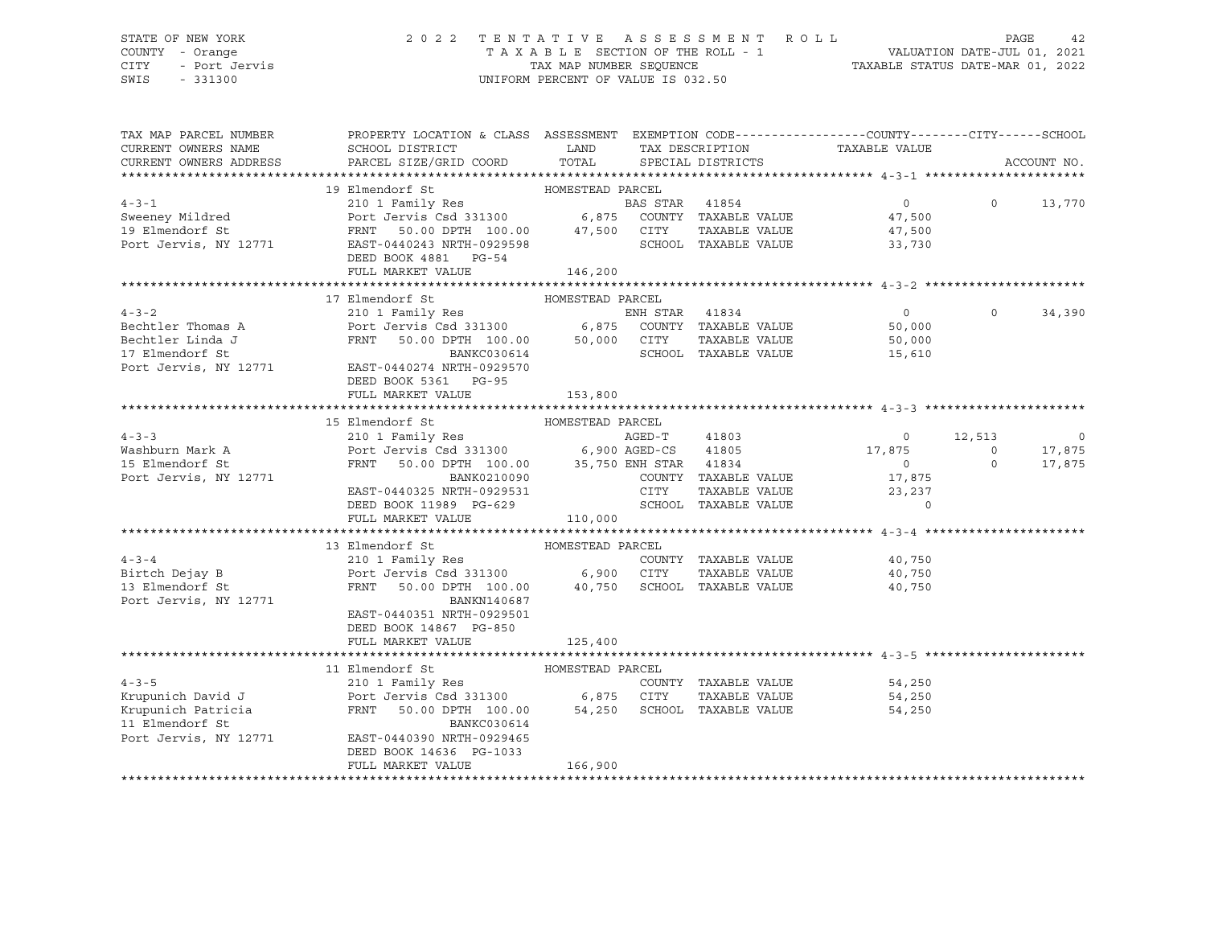## STATE OF NEW YORK 2 0 2 2 T E N T A T I V E A S S E S S M E N T R O L L PAGE 42 COUNTY - Orange T A X A B L E SECTION OF THE ROLL - 1 VALUATION DATE-JUL 01, 2021 CITY - Port Jervis TAX MAP NUMBER SEQUENCE TAXABLE STATUS DATE-MAR 01, 2022

| TAX MAP PARCEL NUMBER<br>CURRENT OWNERS NAME<br>CURRENT OWNERS ADDRESS                             | PROPERTY LOCATION & CLASS ASSESSMENT EXEMPTION CODE---------------COUNTY-------CITY------SCHOOL<br>SCHOOL DISTRICT<br>PARCEL SIZE/GRID COORD                                                                                                              | LAND<br>TOTAL               |                | SPECIAL DISTRICTS                                                      | TAX DESCRIPTION<br>SERCIAL DISTRICTS                                 |                                     | ACCOUNT NO.                     |
|----------------------------------------------------------------------------------------------------|-----------------------------------------------------------------------------------------------------------------------------------------------------------------------------------------------------------------------------------------------------------|-----------------------------|----------------|------------------------------------------------------------------------|----------------------------------------------------------------------|-------------------------------------|---------------------------------|
| $4 - 3 - 1$<br>Sweeney Mildred<br>19 Elmendorf St<br>Port Jervis, NY 12771                         | HOMESTEAD PARCEL<br>19 Elmendorf St<br>FRNT 50.00 DPTH 100.00 47,500 CITY<br>L2771 EAST-0440243 NRTH-0929598 SCHOO<br>DEED BOOK 4881 PG-54<br>FULL MARKET VALUE                                                                                           | 146,200                     |                | TAXABLE VALUE<br>SCHOOL TAXABLE VALUE                                  | $\overline{0}$<br>47,500<br>47,500<br>33,730                         | $\circ$                             | 13,770                          |
| $4 - 3 - 2$<br>Bechtler Thomas A<br>Bechtler Linda J<br>17 Elmendorf St<br>Port Jervis, NY 12771   | 17 Elmendorf St<br>210 1 Family Res<br>Port Jermily Res<br>Port Jervis Csd 331300 6,875 COUNTY TAXABLE VALUE<br>FRNT 50.00 DPTH 100.00 50,000 CITY TAXABLE VALUE<br>BANKC030614<br>EAST-0440274 NRTH-0929570<br>DEED BOOK 5361 PG-95<br>FULL MARKET VALUE | HOMESTEAD PARCEL<br>153,800 |                | SCHOOL TAXABLE VALUE                                                   | $\Omega$<br>50,000<br>50,000<br>15,610                               | $\Omega$                            | 34,390                          |
| $4 - 3 - 3$<br>Washburn Mark A<br>15 Elmendorf St<br>Port Jervis, NY 12771                         | 15 Elmendorf St<br>210 1 Family Res<br>Port Jervis Csd 331300<br>FRNT 50.00 DPTH 100.00 35,750 ENH STAR 41834<br>BANK0210090<br>EAST-0440325 NRTH-0929531<br>DEED BOOK 11989 PG-629<br>FULL MARKET VALUE                                                  | HOMESTEAD PARCEL<br>110,000 | AGED-T<br>CITY | 41803<br>COUNTY TAXABLE VALUE<br>TAXABLE VALUE<br>SCHOOL TAXABLE VALUE | $\overline{0}$<br>17,875<br>$\sim$ 0<br>17,875<br>23,237<br>$\Omega$ | 12,513<br>$\overline{0}$<br>$\circ$ | $\mathbf 0$<br>17,875<br>17,875 |
| $4 - 3 - 4$<br>$4-3-4$<br>Birtch Dejay B<br>Port Jervis, NY 12771                                  | 13 Elmendorf St<br>210 1 Family Res<br>Port Jervis Csd 331300 6,900 CITY TAXABLE VALUE<br>FRNT 50.00 DPTH 100.00 40,750 SCHOOL TAXABLE VALUE<br>BANKN140687<br>EAST-0440351 NRTH-0929501<br>DEED BOOK 14867 PG-850<br>FULL MARKET VALUE                   | HOMESTEAD PARCEL<br>125,400 |                | COUNTY TAXABLE VALUE<br>TAXABLE VALUE                                  | 40,750<br>40,750<br>40,750                                           |                                     |                                 |
| $4 - 3 - 5$<br>Krupunich David J<br>Krupunich Patricia<br>11 Elmendorf St<br>Port Jervis, NY 12771 | 11 Elmendorf St<br>210 1 Family Res<br>Port Jervis Csd 331300 6,875 CITY<br>50.00 DPTH 100.00 54,250 SCHOOL TAXABLE VALUE<br>FRNT<br>BANKC030614<br>EAST-0440390 NRTH-0929465<br>DEED BOOK 14636 PG-1033<br>FULL MARKET VALUE                             | HOMESTEAD PARCEL<br>166,900 |                | COUNTY TAXABLE VALUE<br>TAXABLE VALUE                                  | 54,250<br>54,250<br>54,250                                           |                                     |                                 |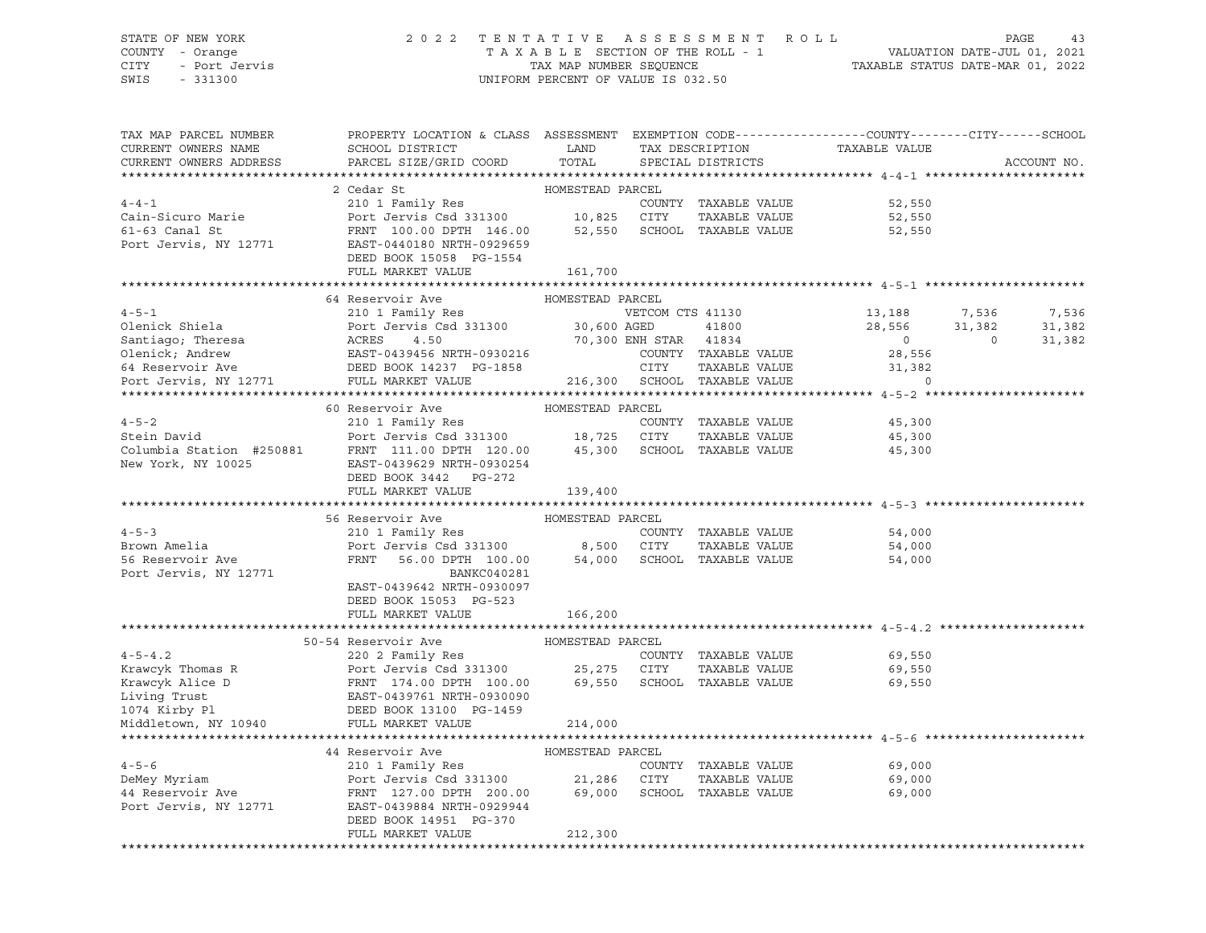### STATE OF NEW YORK 2 0 2 2 T E N T A T I V E A S S E S S M E N T R O L L PAGE 43 COUNTY - Orange T A X A B L E SECTION OF THE ROLL - 1 VALUATION DATE-JUL 01, 2021 CITY - Port Jervis TAX MAP NUMBER SEQUENCE TAXABLE STATUS DATE-MAR 01, 2022

| TAX MAP PARCEL NUMBER  | PROPERTY LOCATION & CLASS ASSESSMENT EXEMPTION CODE----------------COUNTY-------CITY------SCHOOL                                                                                                                                               |                       |      |                             |                                                 |                |             |
|------------------------|------------------------------------------------------------------------------------------------------------------------------------------------------------------------------------------------------------------------------------------------|-----------------------|------|-----------------------------|-------------------------------------------------|----------------|-------------|
| CURRENT OWNERS NAME    | SCHOOL DISTRICT                                                                                                                                                                                                                                | LAND                  |      |                             |                                                 |                |             |
| CURRENT OWNERS ADDRESS | PARCEL SIZE/GRID COORD                                                                                                                                                                                                                         | TOTAL                 |      |                             | TAX DESCRIPTION TAXABLE VALUE SPECIAL DISTRICTS |                | ACCOUNT NO. |
|                        |                                                                                                                                                                                                                                                |                       |      |                             |                                                 |                |             |
|                        | 2 Cedar St                                                                                                                                                                                                                                     | HOMESTEAD PARCEL      |      |                             |                                                 |                |             |
| $4 - 4 - 1$            | 210 1 Family Res                                                                                                                                                                                                                               |                       |      | COUNTY TAXABLE VALUE        | 52,550                                          |                |             |
| Cain-Sicuro Marie      |                                                                                                                                                                                                                                                |                       |      |                             | 52,550                                          |                |             |
| 61-63 Canal St         | Port Jervis Csd 331300 10,825 CITY TAXABLE VALUE<br>FRNT 100.00 DPTH 146.00 52,550 SCHOOL TAXABLE VALUE                                                                                                                                        |                       |      |                             | 52,550                                          |                |             |
| Port Jervis, NY 12771  | EAST-0440180 NRTH-0929659                                                                                                                                                                                                                      |                       |      |                             |                                                 |                |             |
|                        | DEED BOOK 15058 PG-1554                                                                                                                                                                                                                        |                       |      |                             |                                                 |                |             |
|                        | FULL MARKET VALUE                                                                                                                                                                                                                              | 161,700               |      |                             |                                                 |                |             |
|                        |                                                                                                                                                                                                                                                |                       |      |                             |                                                 |                |             |
|                        | 64 Reservoir Ave                                                                                                                                                                                                                               | HOMESTEAD PARCEL      |      |                             |                                                 |                |             |
|                        |                                                                                                                                                                                                                                                |                       |      |                             |                                                 |                |             |
| $4 - 5 - 1$            | 210 1 Family Res                                                                                                                                                                                                                               |                       |      | VETCOM CTS 41130            | 13,188                                          | 7,536          | 7,536       |
|                        | Port Jervis Csd 331300 30,600 AGED<br>ACRES 4.50 70,300 ENH ST<br>01enick Shiela Port Jervis Csd 331300 30,600<br>Santiago; Theresa ACRES 4.50 70,300<br>01enick; Andrew EAST-0439456 NRTH-0930216<br>64 Reservoir Ave DEED BOOK 14237 PG-1858 |                       |      | 41800                       | 28,556                                          | 31,382         | 31,382      |
|                        |                                                                                                                                                                                                                                                | 70,300 ENH STAR 41834 |      |                             | $\overline{0}$                                  | $\overline{0}$ | 31,382      |
|                        |                                                                                                                                                                                                                                                |                       |      | COUNTY TAXABLE VALUE        | 28,556                                          |                |             |
|                        |                                                                                                                                                                                                                                                |                       | CITY | TAXABLE VALUE               | 31,382                                          |                |             |
| Port Jervis, NY 12771  | FULL MARKET VALUE<br>216,300 SCHOOL TAXABLE VALUE                                                                                                                                                                                              |                       |      |                             | $\circ$                                         |                |             |
|                        |                                                                                                                                                                                                                                                |                       |      |                             |                                                 |                |             |
|                        | 60 Reservoir Ave                                                                                                                                                                                                                               | HOMESTEAD PARCEL      |      |                             |                                                 |                |             |
| $4 - 5 - 2$            | 210 1 Family Res                                                                                                                                                                                                                               |                       |      | COUNTY TAXABLE VALUE        | 45,300                                          |                |             |
|                        |                                                                                                                                                                                                                                                |                       |      | TAXABLE VALUE               | 45,300                                          |                |             |
|                        |                                                                                                                                                                                                                                                |                       |      | 45,300 SCHOOL TAXABLE VALUE | 45,300                                          |                |             |
|                        | COUNT<br>Columbia Station #250881 Port Jervis Csd 331300 18,725 CITY<br>REAST 111.00 DPTH 120.00 45,300 SCHOO<br>New York, NY 10025 EAST-0439629 NRTH-0930254                                                                                  |                       |      |                             |                                                 |                |             |
|                        | DEED BOOK 3442 PG-272                                                                                                                                                                                                                          |                       |      |                             |                                                 |                |             |
|                        | FULL MARKET VALUE                                                                                                                                                                                                                              | 139,400               |      |                             |                                                 |                |             |
|                        |                                                                                                                                                                                                                                                |                       |      |                             |                                                 |                |             |
|                        | 56 Reservoir Ave                                                                                                                                                                                                                               | HOMESTEAD PARCEL      |      |                             |                                                 |                |             |
| $4 - 5 - 3$            | Exercise to the COUNTY<br>210 1 Family Res<br>Port Jervis Csd 331300 8,500 CITY                                                                                                                                                                |                       |      |                             | COUNTY TAXABLE VALUE 54,000                     |                |             |
| Brown Amelia           |                                                                                                                                                                                                                                                |                       |      | TAXABLE VALUE               | 54,000                                          |                |             |
| 56 Reservoir Ave       | FRNT 56.00 DPTH 100.00 54,000 SCHOOL TAXABLE VALUE                                                                                                                                                                                             |                       |      |                             | 54,000                                          |                |             |
| Port Jervis, NY 12771  | BANKC040281                                                                                                                                                                                                                                    |                       |      |                             |                                                 |                |             |
|                        | EAST-0439642 NRTH-0930097                                                                                                                                                                                                                      |                       |      |                             |                                                 |                |             |
|                        | DEED BOOK 15053 PG-523                                                                                                                                                                                                                         |                       |      |                             |                                                 |                |             |
|                        | FULL MARKET VALUE                                                                                                                                                                                                                              | 166,200               |      |                             |                                                 |                |             |
|                        |                                                                                                                                                                                                                                                |                       |      |                             |                                                 |                |             |
|                        | 50-54 Reservoir Ave MOMESTEAD PARCEL                                                                                                                                                                                                           |                       |      |                             |                                                 |                |             |
| $4 - 5 - 4.2$          | 220 2 Family Res                                                                                                                                                                                                                               |                       |      | COUNTY TAXABLE VALUE        | 69,550                                          |                |             |
|                        |                                                                                                                                                                                                                                                |                       |      | TAXABLE VALUE               | 69,550                                          |                |             |
|                        | Example 25,275 CITY<br>Example 25,275 CITY<br>Krawcyk Alice D<br>EXAMPLE 27 FRNT 174.00 DPTH 100.00 69,550 SCHOO<br>Living Trust EAST-0439761 NRTH-0930090<br>1074 Kirby Pl<br>DEED BOOK 13100 PG-1459                                         |                       |      | 69,550 SCHOOL TAXABLE VALUE |                                                 |                |             |
|                        |                                                                                                                                                                                                                                                |                       |      |                             | 69,550                                          |                |             |
|                        |                                                                                                                                                                                                                                                |                       |      |                             |                                                 |                |             |
|                        |                                                                                                                                                                                                                                                |                       |      |                             |                                                 |                |             |
| Middletown, NY 10940   | FULL MARKET VALUE                                                                                                                                                                                                                              | 214,000               |      |                             |                                                 |                |             |
|                        |                                                                                                                                                                                                                                                |                       |      |                             |                                                 |                |             |
|                        | 44 Reservoir Ave                                                                                                                                                                                                                               | HOMESTEAD PARCEL      |      |                             |                                                 |                |             |
| $4 - 5 - 6$            | 210 1 Family Res 210 1                                                                                                                                                                                                                         |                       |      | COUNTY TAXABLE VALUE        | 69,000                                          |                |             |
| DeMey Myriam           | Port Jervis Csd 331300 21,286 CITY                                                                                                                                                                                                             |                       |      | TAXABLE VALUE               | 69,000                                          |                |             |
| 44 Reservoir Ave       | FRNT 127.00 DPTH 200.00 69,000 SCHOOL TAXABLE VALUE                                                                                                                                                                                            |                       |      |                             | 69,000                                          |                |             |
| Port Jervis, NY 12771  | EAST-0439884 NRTH-0929944                                                                                                                                                                                                                      |                       |      |                             |                                                 |                |             |
|                        | DEED BOOK 14951 PG-370                                                                                                                                                                                                                         |                       |      |                             |                                                 |                |             |
|                        | FULL MARKET VALUE                                                                                                                                                                                                                              | 212,300               |      |                             |                                                 |                |             |
|                        |                                                                                                                                                                                                                                                |                       |      |                             |                                                 |                |             |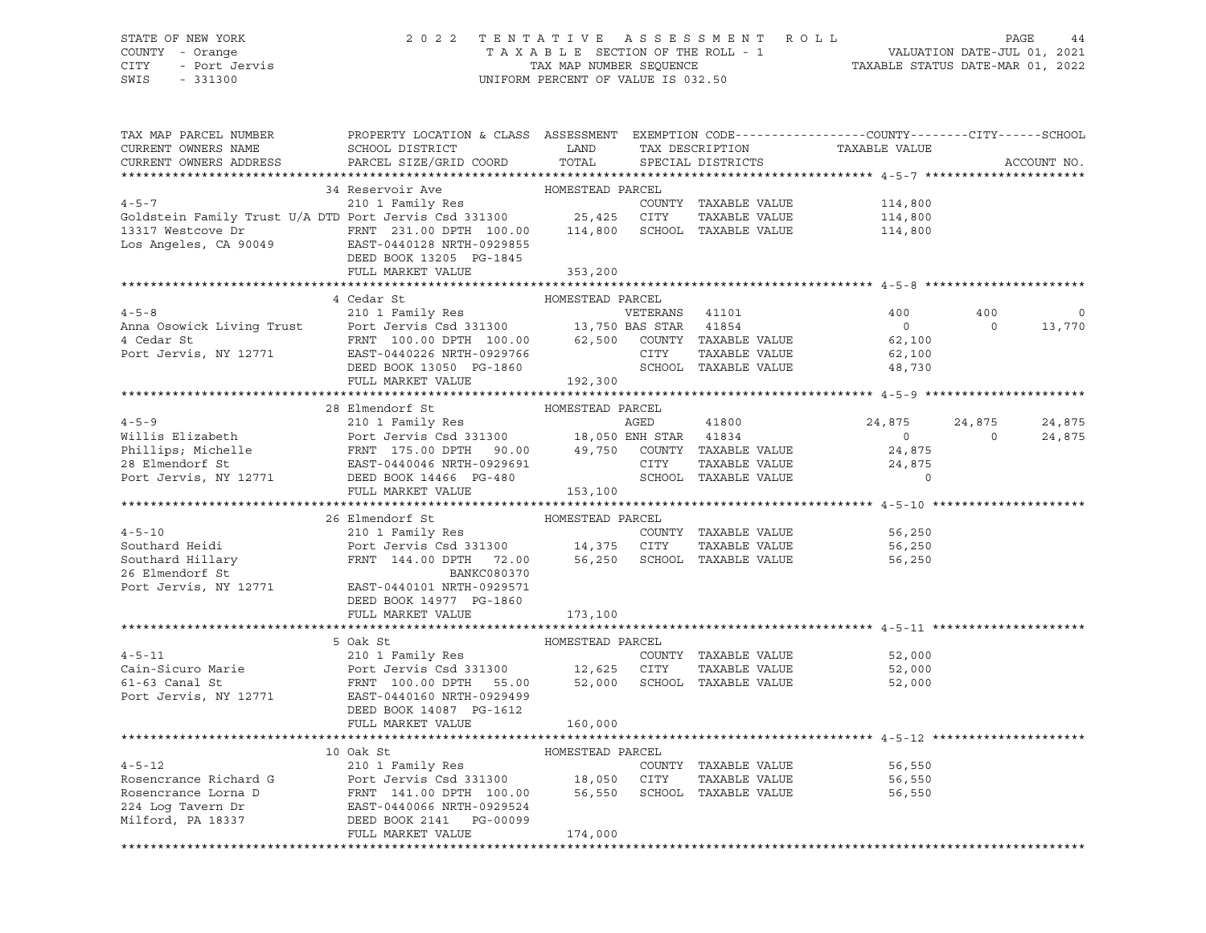### STATE OF NEW YORK 2 0 2 2 T E N T A T I V E A S S E S S M E N T R O L L PAGE 44 COUNTY - Orange T A X A B L E SECTION OF THE ROLL - 1 VALUATION DATE-JUL 01, 2021 CITY - Port Jervis TAX MAP NUMBER SEQUENCE TAXABLE STATUS DATE-MAR 01, 2022

| TAX MAP PARCEL NUMBER<br>CURRENT OWNERS NAME                                                                                                                                                                                                                                                                                                                                                                                                                        | PROPERTY LOCATION & CLASS ASSESSMENT EXEMPTION CODE----------------COUNTY-------CITY------SCHOOL<br>SCHOOL DISTRICT LAND |                  |                      | TAX DESCRIPTION TAXABLE VALUE SPECIAL DISTRICTS |                                 |             |
|---------------------------------------------------------------------------------------------------------------------------------------------------------------------------------------------------------------------------------------------------------------------------------------------------------------------------------------------------------------------------------------------------------------------------------------------------------------------|--------------------------------------------------------------------------------------------------------------------------|------------------|----------------------|-------------------------------------------------|---------------------------------|-------------|
| CURRENT OWNERS ADDRESS                                                                                                                                                                                                                                                                                                                                                                                                                                              | PARCEL SIZE/GRID COORD                                                                                                   | TOTAL            |                      |                                                 |                                 | ACCOUNT NO. |
|                                                                                                                                                                                                                                                                                                                                                                                                                                                                     |                                                                                                                          |                  |                      |                                                 |                                 |             |
| 34 Reservoir Ave HOMESTEAD PARCEL<br>210 1 Family Res COUNTY TAXABLE VALUE<br>3317 Westcove Dr FRNT 231.00 DPTH 100.00 114,800 SCHOOL TAXABLE VALUE 114,800<br>114,800 EAST-0440128 NRTH-0929855                                                                                                                                                                                                                                                                    |                                                                                                                          |                  |                      |                                                 |                                 |             |
|                                                                                                                                                                                                                                                                                                                                                                                                                                                                     |                                                                                                                          |                  |                      |                                                 |                                 |             |
|                                                                                                                                                                                                                                                                                                                                                                                                                                                                     |                                                                                                                          |                  |                      |                                                 |                                 |             |
|                                                                                                                                                                                                                                                                                                                                                                                                                                                                     |                                                                                                                          |                  |                      |                                                 |                                 |             |
|                                                                                                                                                                                                                                                                                                                                                                                                                                                                     |                                                                                                                          |                  |                      |                                                 |                                 |             |
|                                                                                                                                                                                                                                                                                                                                                                                                                                                                     | DEED BOOK 13205 PG-1845                                                                                                  |                  |                      |                                                 |                                 |             |
|                                                                                                                                                                                                                                                                                                                                                                                                                                                                     | FULL MARKET VALUE                                                                                                        | 353,200          |                      |                                                 |                                 |             |
|                                                                                                                                                                                                                                                                                                                                                                                                                                                                     |                                                                                                                          |                  |                      |                                                 |                                 |             |
|                                                                                                                                                                                                                                                                                                                                                                                                                                                                     | 4 Cedar St                                                                                                               | HOMESTEAD PARCEL |                      |                                                 |                                 |             |
|                                                                                                                                                                                                                                                                                                                                                                                                                                                                     |                                                                                                                          |                  |                      | 400                                             | 400<br>$\overline{0}$           | $\mathbf 0$ |
|                                                                                                                                                                                                                                                                                                                                                                                                                                                                     |                                                                                                                          |                  |                      | $\overline{0}$<br>62,100                        |                                 | 13,770      |
|                                                                                                                                                                                                                                                                                                                                                                                                                                                                     |                                                                                                                          |                  |                      |                                                 |                                 |             |
|                                                                                                                                                                                                                                                                                                                                                                                                                                                                     |                                                                                                                          |                  |                      | 62,100                                          |                                 |             |
|                                                                                                                                                                                                                                                                                                                                                                                                                                                                     |                                                                                                                          |                  |                      | 48,730                                          |                                 |             |
| 4-5-8<br>Anna Osowick Living Trust<br>210 1 Family Res<br>Port Jervis Csd 331300<br>PORT 100.00 DPTH 100.00<br>PORT 100.00 PTH 100.00<br>EXST-0440226 NRTH-0929766<br>DEED BOOK 13050 PG-1860<br>PORT 192,300<br>FOREND SCHOOL TAXABLE VALUE<br>PE                                                                                                                                                                                                                  |                                                                                                                          |                  |                      |                                                 |                                 |             |
|                                                                                                                                                                                                                                                                                                                                                                                                                                                                     | 28 Elmendorf St                                                                                                          | HOMESTEAD PARCEL |                      |                                                 |                                 |             |
|                                                                                                                                                                                                                                                                                                                                                                                                                                                                     |                                                                                                                          |                  |                      | 24,875                                          |                                 | 24,875      |
|                                                                                                                                                                                                                                                                                                                                                                                                                                                                     |                                                                                                                          |                  |                      | $\overline{0}$                                  | $24,875$<br>0<br>$\overline{0}$ | 24,875      |
|                                                                                                                                                                                                                                                                                                                                                                                                                                                                     |                                                                                                                          |                  |                      | 24,875                                          |                                 |             |
|                                                                                                                                                                                                                                                                                                                                                                                                                                                                     |                                                                                                                          |                  | TAXABLE VALUE        | 24,875                                          |                                 |             |
| 4-5-9<br>Willis Elizabeth 210 1 Family Res<br>Port Jervis Csd 331300 18,050 ENH STAR 41834<br>Phillips; Michelle FRNT 175.00 DPTH 90.00 49,750 COUNTY TAXABLE VALUE<br>28 Elmendorf St EAST-0440046 NRTH-0929691 CITY TAXABLE VALUE<br>P                                                                                                                                                                                                                            |                                                                                                                          |                  |                      | $\overline{0}$                                  |                                 |             |
|                                                                                                                                                                                                                                                                                                                                                                                                                                                                     | FULL MARKET VALUE 153,100                                                                                                |                  |                      |                                                 |                                 |             |
|                                                                                                                                                                                                                                                                                                                                                                                                                                                                     |                                                                                                                          |                  |                      |                                                 |                                 |             |
|                                                                                                                                                                                                                                                                                                                                                                                                                                                                     | 26 Elmendorf St                                                                                                          | HOMESTEAD PARCEL |                      |                                                 |                                 |             |
| 4-5-10<br>210 1 Family Res<br>Southard Heidi<br>210 1 Family Res<br>210 1 Family Res<br>210 1 Family Res<br>210 1 Family Res<br>26 Elmendorf St<br>26 Elmendorf St<br>26 Elmendorf St<br>26 Elmendorf St<br>26 Elmendorf St<br>26 Elmendorf St<br>26 Elm                                                                                                                                                                                                            |                                                                                                                          |                  |                      | COUNTY TAXABLE VALUE 56,250                     |                                 |             |
|                                                                                                                                                                                                                                                                                                                                                                                                                                                                     |                                                                                                                          |                  |                      | 56,250                                          |                                 |             |
|                                                                                                                                                                                                                                                                                                                                                                                                                                                                     |                                                                                                                          |                  |                      | 56,250                                          |                                 |             |
|                                                                                                                                                                                                                                                                                                                                                                                                                                                                     |                                                                                                                          |                  |                      |                                                 |                                 |             |
|                                                                                                                                                                                                                                                                                                                                                                                                                                                                     |                                                                                                                          |                  |                      |                                                 |                                 |             |
|                                                                                                                                                                                                                                                                                                                                                                                                                                                                     | DEED BOOK 14977 PG-1860                                                                                                  |                  |                      |                                                 |                                 |             |
|                                                                                                                                                                                                                                                                                                                                                                                                                                                                     | FULL MARKET VALUE                                                                                                        | 173,100          |                      |                                                 |                                 |             |
|                                                                                                                                                                                                                                                                                                                                                                                                                                                                     |                                                                                                                          |                  |                      |                                                 |                                 |             |
|                                                                                                                                                                                                                                                                                                                                                                                                                                                                     | HOMESTEAD PARCEL<br>5 Oak St                                                                                             |                  |                      |                                                 |                                 |             |
| $4 - 5 - 11$                                                                                                                                                                                                                                                                                                                                                                                                                                                        | 210 1 Family Res                                                                                                         |                  | COUNTY TAXABLE VALUE | 52,000                                          |                                 |             |
|                                                                                                                                                                                                                                                                                                                                                                                                                                                                     |                                                                                                                          |                  |                      | TAXABLE VALUE 52,000                            |                                 |             |
| Cain-Sicuro Marie<br>FRNT 100.00 DPTH 55.00 52,000 SCHOOL TAXABLE VALUE<br>FRNT 100.00 DPTH 55.00 52,000 SCHOOL TAXABLE VALUE                                                                                                                                                                                                                                                                                                                                       |                                                                                                                          |                  |                      | 52,000                                          |                                 |             |
| Port Jervis, NY 12771 EAST-0440160 NRTH-0929499                                                                                                                                                                                                                                                                                                                                                                                                                     |                                                                                                                          |                  |                      |                                                 |                                 |             |
|                                                                                                                                                                                                                                                                                                                                                                                                                                                                     | DEED BOOK 14087 PG-1612                                                                                                  |                  |                      |                                                 |                                 |             |
|                                                                                                                                                                                                                                                                                                                                                                                                                                                                     | FULL MARKET VALUE                                                                                                        | 160,000          |                      |                                                 |                                 |             |
|                                                                                                                                                                                                                                                                                                                                                                                                                                                                     |                                                                                                                          |                  |                      |                                                 |                                 |             |
|                                                                                                                                                                                                                                                                                                                                                                                                                                                                     |                                                                                                                          |                  |                      |                                                 |                                 |             |
|                                                                                                                                                                                                                                                                                                                                                                                                                                                                     |                                                                                                                          |                  |                      | 56,550                                          |                                 |             |
| $\begin{tabular}{lcccccc} \multicolumn{4}{c }{\textbf{4-5-12}} & & & & & & & \multicolumn{4}{c }{\textbf{HOMESTEAD PARCEL}}\\ \hline \multicolumn{4}{c }{\textbf{Rosencrance Richard G}} & & & & & & & \multicolumn{4}{c }{\textbf{Port Iervis Csd 331300}} & & & & & & \multicolumn{4}{c }{\textbf{B.050 CITY}} & \textbf{TAXABLE VALUE} \\ \hline \multicolumn{4}{c }{\textbf{Rosencrance Lorna D}} & & & & & & \multicolumn{4}{c }{\textbf{FRNT 141.00 DPTH 100$ |                                                                                                                          |                  |                      | 56,550                                          |                                 |             |
|                                                                                                                                                                                                                                                                                                                                                                                                                                                                     |                                                                                                                          |                  |                      | 56,550                                          |                                 |             |
|                                                                                                                                                                                                                                                                                                                                                                                                                                                                     |                                                                                                                          |                  |                      |                                                 |                                 |             |
|                                                                                                                                                                                                                                                                                                                                                                                                                                                                     |                                                                                                                          |                  |                      |                                                 |                                 |             |
|                                                                                                                                                                                                                                                                                                                                                                                                                                                                     | FULL MARKET VALUE                                                                                                        | 174,000          |                      |                                                 |                                 |             |
|                                                                                                                                                                                                                                                                                                                                                                                                                                                                     |                                                                                                                          |                  |                      |                                                 |                                 |             |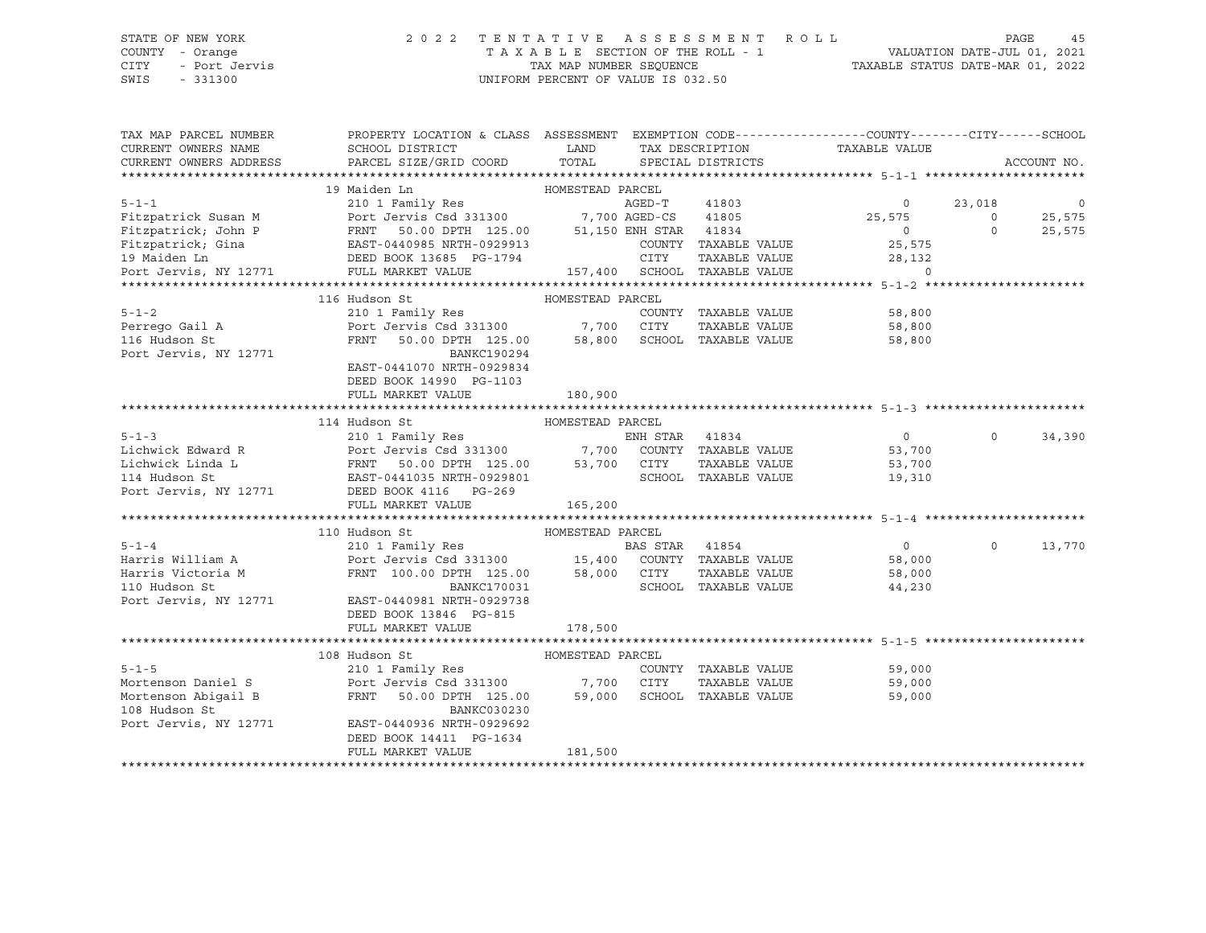### STATE OF NEW YORK 2 0 2 2 T E N T A T I V E A S S E S S M E N T R O L L PAGE 45 COUNTY - Orange T A X A B L E SECTION OF THE ROLL - 1 VALUATION DATE-JUL 01, 2021 CITY - Port Jervis TAX MAP NUMBER SEQUENCE TAXABLE STATUS DATE-MAR 01, 2022 SWIS - 331300 UNIFORM PERCENT OF VALUE IS 032.50

| TAX MAP PARCEL NUMBER<br>CURRENT OWNERS NAME | PROPERTY LOCATION & CLASS ASSESSMENT EXEMPTION CODE----------------COUNTY-------CITY------SCHOOL<br>SCHOOL DISTRICT                                                                                                                  | <b>EXAMPLE EXAMPLE EXAMPLE EXAMPLE EXAMPLE EXAMPLE EXAMPLE EXAMPLE EXAMPLE EXAMPLE EXAMPLE EXAMPLE EXAMPLE EXAMPLE EXAMPLE EXAMPLE EXAMPLE EXAMPLE EXAMPLE EXAMPLE EXAMPLE EXAMPLE EXAMPLE EXAMPLE EXAMPLE EXAMPLE EXAMPLE EXAMP</b> |                | TAX DESCRIPTION      | TAXABLE VALUE                           |          |                |
|----------------------------------------------|--------------------------------------------------------------------------------------------------------------------------------------------------------------------------------------------------------------------------------------|--------------------------------------------------------------------------------------------------------------------------------------------------------------------------------------------------------------------------------------|----------------|----------------------|-----------------------------------------|----------|----------------|
| CURRENT OWNERS ADDRESS                       | PARCEL SIZE/GRID COORD                                                                                                                                                                                                               | TOTAL                                                                                                                                                                                                                                |                | SPECIAL DISTRICTS    |                                         |          | ACCOUNT NO.    |
|                                              |                                                                                                                                                                                                                                      |                                                                                                                                                                                                                                      |                |                      |                                         |          |                |
|                                              |                                                                                                                                                                                                                                      |                                                                                                                                                                                                                                      |                |                      |                                         |          |                |
|                                              |                                                                                                                                                                                                                                      |                                                                                                                                                                                                                                      |                |                      | $\overline{0}$                          | 23,018   | $\overline{0}$ |
|                                              |                                                                                                                                                                                                                                      |                                                                                                                                                                                                                                      |                |                      | 25,575                                  | $\circ$  | 25,575         |
|                                              |                                                                                                                                                                                                                                      |                                                                                                                                                                                                                                      |                |                      |                                         | $\Omega$ | 25,575         |
|                                              |                                                                                                                                                                                                                                      |                                                                                                                                                                                                                                      |                | COUNTY TAXABLE VALUE | $0$<br>25,575                           |          |                |
|                                              |                                                                                                                                                                                                                                      |                                                                                                                                                                                                                                      |                |                      |                                         |          |                |
|                                              | Fitzpatrick; John P FRNT 50.00 DPTH 125.00 51,150 ENH STAR 41834<br>Fitzpatrick; Gina EAST-0440985 NRTH-0929913 COUNTY TAXABLE VALUE<br>19 Maiden Ln DEED BOOK 13685 PG-1794 CITY TAXABLE VALUE<br>Port Jervis, NY 12771 FULL MARKET |                                                                                                                                                                                                                                      |                |                      | TAXABLE VALUE 28,132<br>TAXABLE VALUE 0 |          |                |
|                                              |                                                                                                                                                                                                                                      |                                                                                                                                                                                                                                      |                |                      |                                         |          |                |
|                                              | 116 Hudson St                                                                                                                                                                                                                        | HOMESTEAD PARCEL                                                                                                                                                                                                                     |                |                      |                                         |          |                |
| $5 - 1 - 2$                                  | 210 1 Family Res                                                                                                                                                                                                                     |                                                                                                                                                                                                                                      |                | COUNTY TAXABLE VALUE | 58,800                                  |          |                |
|                                              | Perrego Gail A 210 1 Port Jervis Csd 331300 7,700 CITY                                                                                                                                                                               |                                                                                                                                                                                                                                      |                |                      | TAXABLE VALUE 58,800                    |          |                |
| 116 Hudson St                                | FRNT 50.00 DPTH 125.00 58,800 SCHOOL TAXABLE VALUE                                                                                                                                                                                   |                                                                                                                                                                                                                                      |                |                      | 58,800                                  |          |                |
| Port Jervis, NY 12771                        | BANKC190294                                                                                                                                                                                                                          |                                                                                                                                                                                                                                      |                |                      |                                         |          |                |
|                                              | EAST-0441070 NRTH-0929834                                                                                                                                                                                                            |                                                                                                                                                                                                                                      |                |                      |                                         |          |                |
|                                              | DEED BOOK 14990 PG-1103                                                                                                                                                                                                              |                                                                                                                                                                                                                                      |                |                      |                                         |          |                |
|                                              | FULL MARKET VALUE                                                                                                                                                                                                                    | 180,900                                                                                                                                                                                                                              |                |                      |                                         |          |                |
|                                              |                                                                                                                                                                                                                                      |                                                                                                                                                                                                                                      |                |                      |                                         |          |                |
|                                              | 114 Hudson St                                                                                                                                                                                                                        | HOMESTEAD PARCEL                                                                                                                                                                                                                     |                |                      |                                         |          |                |
|                                              | 5-1-3<br>Lichwick Edward R<br>Lichwick Linda L<br>Lichwick Linda L<br>EAST-0441035 NRTH-0929801<br>Port Jervis, NY 12771<br>DEED BOOK 4116<br>PG-269<br>DEED BOOK 4116<br>PG-269<br>PG-269                                           |                                                                                                                                                                                                                                      |                |                      | $\overline{0}$                          | $\Omega$ | 34,390         |
|                                              |                                                                                                                                                                                                                                      |                                                                                                                                                                                                                                      |                |                      | 53,700                                  |          |                |
|                                              |                                                                                                                                                                                                                                      |                                                                                                                                                                                                                                      |                |                      | TAXABLE VALUE 53,700                    |          |                |
|                                              |                                                                                                                                                                                                                                      |                                                                                                                                                                                                                                      |                | SCHOOL TAXABLE VALUE | 19,310                                  |          |                |
|                                              |                                                                                                                                                                                                                                      |                                                                                                                                                                                                                                      |                |                      |                                         |          |                |
|                                              | FULL MARKET VALUE                                                                                                                                                                                                                    | 165,200                                                                                                                                                                                                                              |                |                      |                                         |          |                |
|                                              |                                                                                                                                                                                                                                      |                                                                                                                                                                                                                                      |                |                      |                                         |          |                |
|                                              | 110 Hudson St                                                                                                                                                                                                                        | HOMESTEAD PARCEL                                                                                                                                                                                                                     |                |                      |                                         |          |                |
| $5 - 1 - 4$                                  |                                                                                                                                                                                                                                      |                                                                                                                                                                                                                                      | BAS STAR 41854 |                      | $\overline{0}$                          | $\Omega$ | 13,770         |
|                                              |                                                                                                                                                                                                                                      |                                                                                                                                                                                                                                      |                |                      | 58,000                                  |          |                |
|                                              |                                                                                                                                                                                                                                      |                                                                                                                                                                                                                                      |                |                      | 58,000                                  |          |                |
|                                              |                                                                                                                                                                                                                                      |                                                                                                                                                                                                                                      |                | SCHOOL TAXABLE VALUE | 44,230                                  |          |                |
|                                              | Port Jervis, NY 12771 EAST-0440981 NRTH-0929738                                                                                                                                                                                      |                                                                                                                                                                                                                                      |                |                      |                                         |          |                |
|                                              | DEED BOOK 13846 PG-815                                                                                                                                                                                                               |                                                                                                                                                                                                                                      |                |                      |                                         |          |                |
|                                              | FULL MARKET VALUE                                                                                                                                                                                                                    | 178,500                                                                                                                                                                                                                              |                |                      |                                         |          |                |
|                                              |                                                                                                                                                                                                                                      |                                                                                                                                                                                                                                      |                |                      |                                         |          |                |
|                                              | HOMESTEAD PARCEL<br>108 Hudson St                                                                                                                                                                                                    |                                                                                                                                                                                                                                      |                |                      |                                         |          |                |
| $5 - 1 - 5$                                  | 210 1 Family Res                                                                                                                                                                                                                     |                                                                                                                                                                                                                                      |                | COUNTY TAXABLE VALUE | 59,000                                  |          |                |
|                                              | د دی دی کرده در سال ۲۵۰۰۰ در ۱۳۵۰۰ در سال ۲۰۰۵ در سال ۲۰۰۵ در سال ۲۰۰۵ در سال ۲۰۰۵ در سال ۲۰۰۵ در سال ۲۰۰۵ در<br>Mortenson Daniel Santa Tervis Csd 331300 در ۲٫700 CITY                                                              |                                                                                                                                                                                                                                      |                | TAXABLE VALUE        | 59,000                                  |          |                |
| Mortenson Abigail B                          | FRNT 50.00 DPTH 125.00                                                                                                                                                                                                               | 59,000                                                                                                                                                                                                                               |                | SCHOOL TAXABLE VALUE | 59,000                                  |          |                |
| 108 Hudson St                                | BANKC030230                                                                                                                                                                                                                          |                                                                                                                                                                                                                                      |                |                      |                                         |          |                |
| Port Jervis, NY 12771                        | EAST-0440936 NRTH-0929692                                                                                                                                                                                                            |                                                                                                                                                                                                                                      |                |                      |                                         |          |                |
|                                              | DEED BOOK 14411 PG-1634                                                                                                                                                                                                              |                                                                                                                                                                                                                                      |                |                      |                                         |          |                |
|                                              | FULL MARKET VALUE                                                                                                                                                                                                                    | 181,500                                                                                                                                                                                                                              |                |                      |                                         |          |                |
|                                              |                                                                                                                                                                                                                                      |                                                                                                                                                                                                                                      |                |                      |                                         |          |                |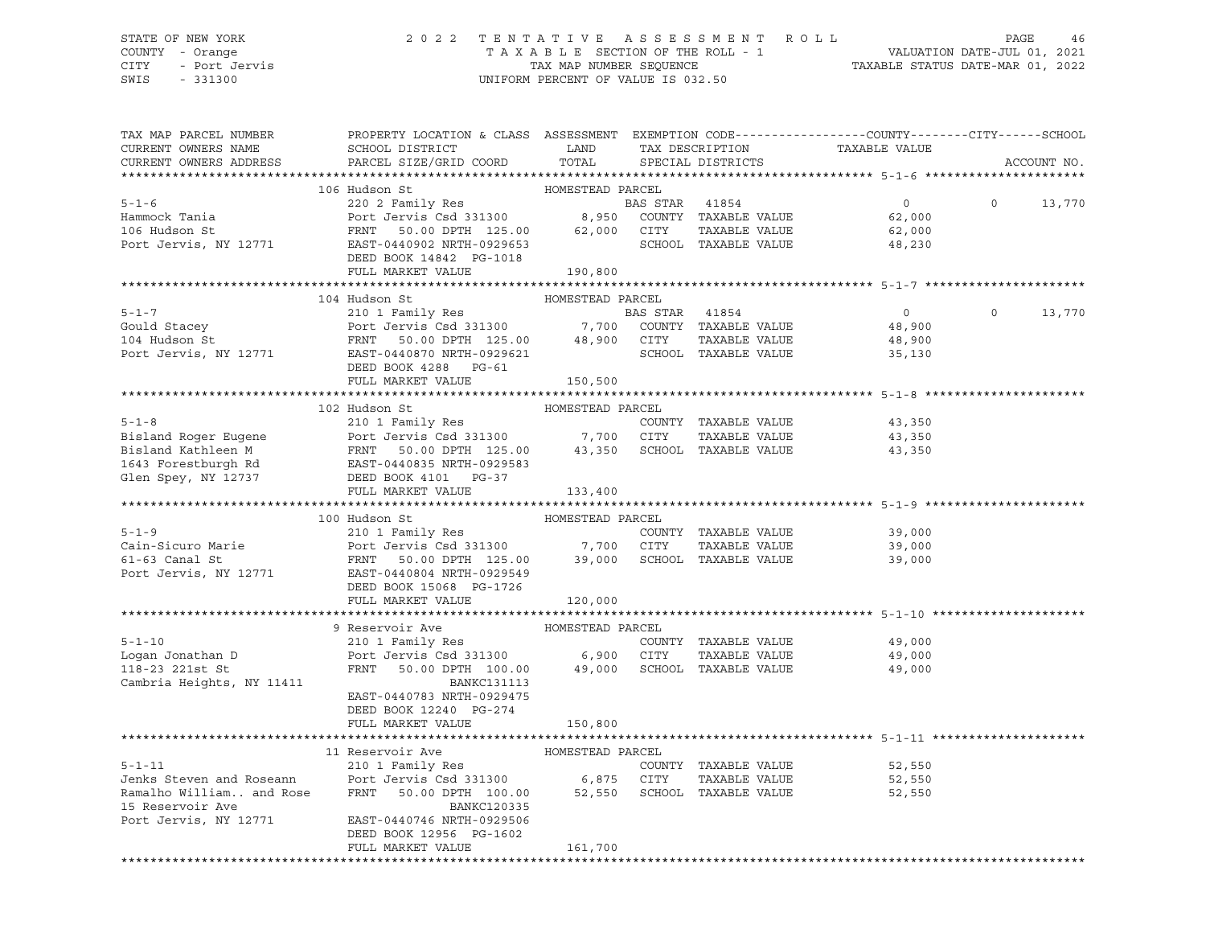### STATE OF NEW YORK 2 0 2 2 T E N T A T I V E A S S E S S M E N T R O L L PAGE 46 COUNTY - Orange T A X A B L E SECTION OF THE ROLL - 1 VALUATION DATE-JUL 01, 2021 CITY - Port Jervis CHA CHA CHAR MAR NUMBER SEQUENCE TAT TAXABLE STATUS DATE-MAR 01, 2022<br>TAXABLE STATUS DATE-MAR 01, 2022 UNIFORM PERCENT OF VALUE IS 032.50

| TAX MAP PARCEL NUMBER<br>CURRENT OWNERS NAME<br>CURRENT OWNERS ADDRESS                                  | PROPERTY LOCATION & CLASS ASSESSMENT EXEMPTION CODE----------------COUNTY-------CITY------SCHOOL<br>SCHOOL DISTRICT<br>PARCEL SIZE/GRID COORD                                                           | LAND<br>TOTAL                             |                | TAX DESCRIPTION<br>SPECIAL DISTRICTS                                 | TAXABLE VALUE                                |          | ACCOUNT NO. |
|---------------------------------------------------------------------------------------------------------|---------------------------------------------------------------------------------------------------------------------------------------------------------------------------------------------------------|-------------------------------------------|----------------|----------------------------------------------------------------------|----------------------------------------------|----------|-------------|
|                                                                                                         |                                                                                                                                                                                                         |                                           |                |                                                                      |                                              |          |             |
| $5 - 1 - 6$<br>Hammock Tania<br>106 Hudson St<br>Port Jervis, NY 12771                                  | 106 Hudson St<br>220 2 Family Res<br>220 2 Family Res<br>Port Jervis Csd 331300 8,95<br>FRNT 50.00 DPTH 125.00<br>EAST-0440902 NRTH-0929653<br>DEED BOOK 14842 PG-1018                                  | HOMESTEAD PARCEL<br>62,000 CITY           | BAS STAR 41854 | 8,950 COUNTY TAXABLE VALUE<br>TAXABLE VALUE<br>SCHOOL TAXABLE VALUE  | $\overline{0}$<br>62,000<br>62,000<br>48,230 | $\circ$  | 13,770      |
|                                                                                                         | FULL MARKET VALUE                                                                                                                                                                                       | 190,800                                   |                |                                                                      |                                              |          |             |
|                                                                                                         |                                                                                                                                                                                                         |                                           |                |                                                                      |                                              |          |             |
| $5 - 1 - 7$<br>Gould Stacey<br>104 Hudson St                                                            | 104 Hudson St<br>210 1 Family Res<br>Port Jervis Csd 331300<br>FRNT 50.00 DPTH 125.00 48,900 CITY<br>Port Jervis, NY 12771 EAST-0440870 NRTH-0929621<br>DEED BOOK 4288 PG-61                            | HOMESTEAD PARCEL                          | BAS STAR 41854 | 7,700 COUNTY TAXABLE VALUE<br>TAXABLE VALUE<br>SCHOOL TAXABLE VALUE  | $\circ$<br>48,900<br>48,900<br>35,130        | $\Omega$ | 13,770      |
|                                                                                                         | FULL MARKET VALUE                                                                                                                                                                                       | 150,500                                   |                |                                                                      |                                              |          |             |
|                                                                                                         |                                                                                                                                                                                                         |                                           |                |                                                                      |                                              |          |             |
| $5 - 1 - 8$<br>Bisland Roger Eugene<br>Bisland Kathleen M<br>1643 Forestburgh Rd<br>Glen Spey, NY 12737 | 102 Hudson St<br>210 1 Family Res<br>Port Jervis Csd 331300<br>FRNT 50.00 DPTH 125.00 43,350<br>EAST-0440835 NRTH-0929583<br>DEED BOOK 4101 PG-37<br>FULL MARKET VALUE                                  | HOMESTEAD PARCEL<br>7,700 CITY<br>133,400 |                | COUNTY TAXABLE VALUE<br>TAXABLE VALUE<br>SCHOOL TAXABLE VALUE        | 43,350<br>43,350<br>43,350                   |          |             |
|                                                                                                         |                                                                                                                                                                                                         |                                           |                |                                                                      |                                              |          |             |
| $5 - 1 - 9$<br>Cain-Sicuro Marie<br>61-63 Canal St<br>Port Jervis, NY 12771                             | 100 Hudson St<br>210 1 Family Res<br>Port Jervis Csd 331300<br>FRNT 50.00 DPTH 125.00<br>EAST-0440804 NRTH-0929549<br>DEED BOOK 15068 PG-1726                                                           | HOMESTEAD PARCEL<br>7,700 CITY            |                | COUNTY TAXABLE VALUE<br>TAXABLE VALUE<br>39,000 SCHOOL TAXABLE VALUE | 39,000<br>39,000<br>39,000                   |          |             |
|                                                                                                         | FULL MARKET VALUE                                                                                                                                                                                       | 120,000                                   |                |                                                                      |                                              |          |             |
|                                                                                                         |                                                                                                                                                                                                         |                                           |                |                                                                      |                                              |          |             |
| $5 - 1 - 10$<br>Logan Jonathan D<br>118-23 221st St<br>Cambria Heights, NY 11411                        | 9 Reservoir Ave<br>210 1 Family Res<br>Port Jervis Csd 331300 6,900 CITY<br>FRNT<br>50.00 DPTH 100.00<br><b>BANKC131113</b><br>EAST-0440783 NRTH-0929475<br>DEED BOOK 12240 PG-274<br>FULL MARKET VALUE | HOMESTEAD PARCEL<br>150,800               |                | COUNTY TAXABLE VALUE<br>TAXABLE VALUE<br>49,000 SCHOOL TAXABLE VALUE | 49,000<br>49,000<br>49,000                   |          |             |
|                                                                                                         |                                                                                                                                                                                                         |                                           |                |                                                                      |                                              |          |             |
| $5 - 1 - 11$<br>Ramalho William and Rose<br>15 Reservoir Ave<br>Port Jervis, NY 12771                   | 11 Reservoir Ave<br>210 1 Family Res<br>Jenks Steven and Roseann Mort Jervis Csd 331300 6,875 CITY<br>FRNT<br>50.00 DPTH 100.00<br>BANKC120335<br>EAST-0440746 NRTH-0929506<br>DEED BOOK 12956 PG-1602  | HOMESTEAD PARCEL                          |                | COUNTY TAXABLE VALUE<br>TAXABLE VALUE<br>52,550 SCHOOL TAXABLE VALUE | 52,550<br>52,550<br>52,550                   |          |             |
| ***********************                                                                                 | FULL MARKET VALUE                                                                                                                                                                                       | 161,700                                   |                |                                                                      |                                              |          |             |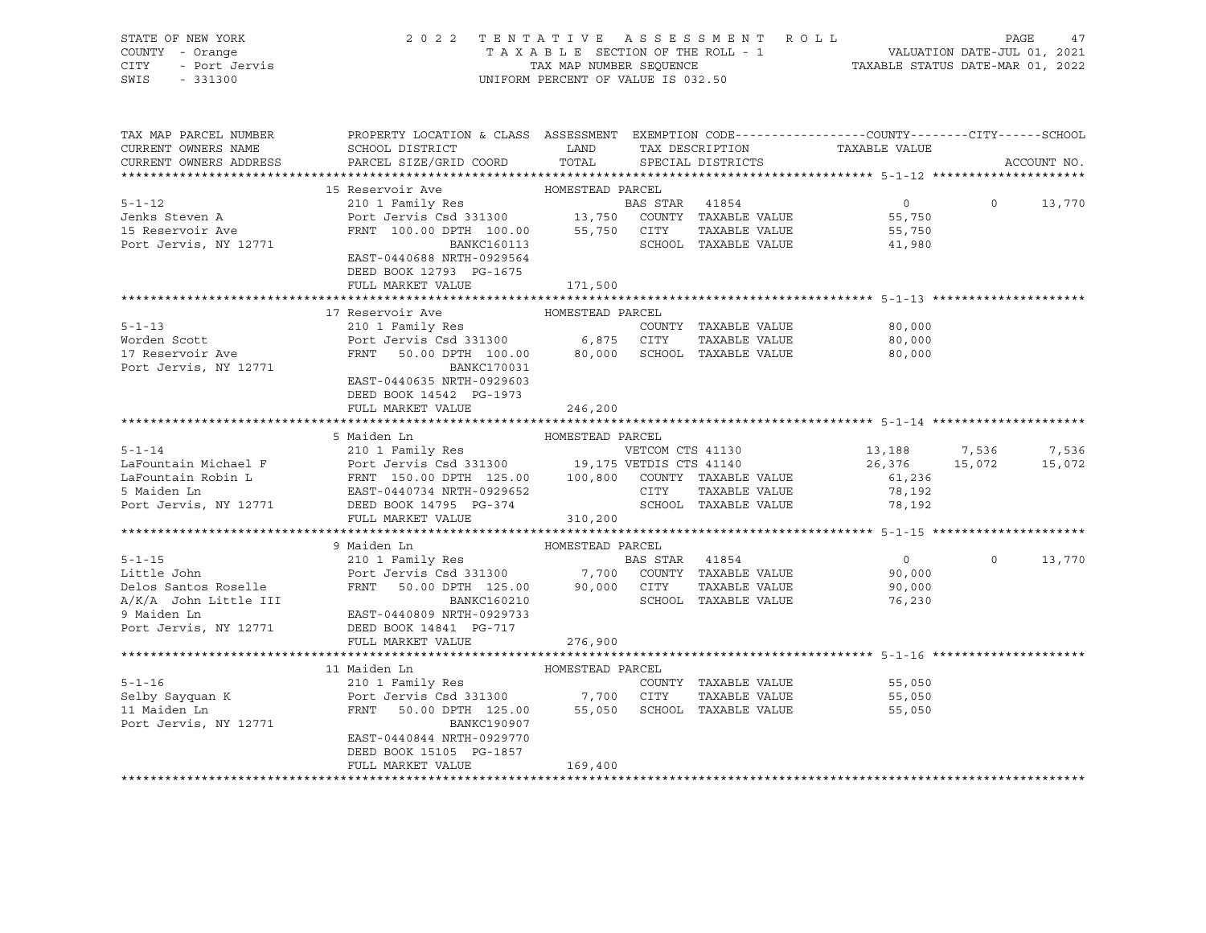| STATE OF NEW YORK                             |                                                                                                                                                                                                                                        |                  |                         |                                                                               |                    |               |  |
|-----------------------------------------------|----------------------------------------------------------------------------------------------------------------------------------------------------------------------------------------------------------------------------------------|------------------|-------------------------|-------------------------------------------------------------------------------|--------------------|---------------|--|
|                                               | 2022 TENTATIVE ASSESSMENT ROLL PAGE 47<br>TAXABLE SECTION OF THE ROLL - 1 VALUATION DATE-JUL 01, 2021<br>TAX MAP NUMBER SEQUENCE TAXABLE STATUS DATE-MAR 01, 2022<br>UNIFORM PERCENT OF VALUE IS 032.50                                |                  |                         |                                                                               |                    |               |  |
|                                               |                                                                                                                                                                                                                                        |                  |                         |                                                                               |                    |               |  |
|                                               |                                                                                                                                                                                                                                        |                  |                         |                                                                               |                    |               |  |
|                                               |                                                                                                                                                                                                                                        |                  |                         |                                                                               |                    |               |  |
|                                               |                                                                                                                                                                                                                                        |                  |                         |                                                                               |                    |               |  |
|                                               |                                                                                                                                                                                                                                        |                  |                         |                                                                               |                    |               |  |
| TAX MAP PARCEL NUMBER                         | PROPERTY LOCATION & CLASS ASSESSMENT EXEMPTION CODE---------------COUNTY-------CITY------SCHOOL                                                                                                                                        |                  |                         |                                                                               |                    |               |  |
| CURRENT OWNERS NAME                           | ${\tt SCHOOL\,\,\, DISTRTCT} \qquad \qquad {\tt LAND} \qquad \qquad {\tt TAX\,\,\, DESCRIPTION} \qquad \qquad {\tt TAXABLE\,\,\, VALUE}$                                                                                               |                  |                         |                                                                               |                    |               |  |
| CURRENT OWNERS ADDRESS                        | PARCEL SIZE/GRID COORD                                                                                                                                                                                                                 |                  | TOTAL SPECIAL DISTRICTS |                                                                               |                    | ACCOUNT NO.   |  |
|                                               |                                                                                                                                                                                                                                        |                  |                         |                                                                               |                    |               |  |
|                                               | 15 Reservoir Ave MOMESTEAD PARCEL                                                                                                                                                                                                      |                  |                         |                                                                               |                    |               |  |
|                                               |                                                                                                                                                                                                                                        |                  |                         |                                                                               |                    |               |  |
| $5 - 1 - 12$                                  |                                                                                                                                                                                                                                        |                  |                         |                                                                               | $0 \t 0 \t 13,770$ |               |  |
| Jenks Steven A<br>15 Reservoir Ave            |                                                                                                                                                                                                                                        |                  |                         |                                                                               |                    |               |  |
|                                               |                                                                                                                                                                                                                                        |                  |                         |                                                                               |                    |               |  |
| Port Jervis, NY 12771                         | 210 1 Family Res<br>POINT MARS STAR 41854 0<br>POINT TAXABLE VALUE<br>FRNT 100.00 DPTH 100.00 55,750 CUNTY TAXABLE VALUE<br>BANKC160113 SCHOOL TAXABLE VALUE 55,750<br>EAST-0440688 NRTH-0929564 SCHOOL TAXABLE VALUE 41,980           |                  |                         |                                                                               |                    |               |  |
|                                               |                                                                                                                                                                                                                                        |                  |                         |                                                                               |                    |               |  |
|                                               | DEED BOOK 12793 PG-1675                                                                                                                                                                                                                |                  |                         |                                                                               |                    |               |  |
|                                               | FULL MARKET VALUE 171,500                                                                                                                                                                                                              |                  |                         |                                                                               |                    |               |  |
|                                               |                                                                                                                                                                                                                                        |                  |                         |                                                                               |                    |               |  |
|                                               | 17 Reservoir Ave                                                                                                                                                                                                                       | HOMESTEAD PARCEL |                         |                                                                               |                    |               |  |
| $5 - 1 - 13$                                  |                                                                                                                                                                                                                                        |                  |                         | 80,000                                                                        |                    |               |  |
| Worden Scott                                  |                                                                                                                                                                                                                                        |                  |                         | 80,000                                                                        |                    |               |  |
| 17 Reservoir Ave                              |                                                                                                                                                                                                                                        |                  |                         | 80,000                                                                        |                    |               |  |
|                                               | BANKC170031                                                                                                                                                                                                                            |                  |                         |                                                                               |                    |               |  |
| Port Jervis, NY 12771                         |                                                                                                                                                                                                                                        |                  |                         |                                                                               |                    |               |  |
|                                               | EAST-0440635 NRTH-0929603                                                                                                                                                                                                              |                  |                         |                                                                               |                    |               |  |
|                                               | DEED BOOK 14542 PG-1973                                                                                                                                                                                                                |                  |                         |                                                                               |                    |               |  |
|                                               | FULL MARKET VALUE                                                                                                                                                                                                                      | 246,200          |                         |                                                                               |                    |               |  |
|                                               |                                                                                                                                                                                                                                        |                  |                         |                                                                               |                    |               |  |
|                                               | 5 Maiden Ln                                                                                                                                                                                                                            | HOMESTEAD PARCEL |                         |                                                                               |                    |               |  |
|                                               | 3 PRACHE RESERVE FOR TRIVIAL PRINT (15.00 DPTH 125.00 PRINT TRIABLE VALUE<br>LaFountain Michael F<br>LaFountain Robin L<br>ERST-0440734 NRTH-0929652 CITY TAXABLE VALUE<br>Port Jervis, NY 12771 DEED BOOK 140734 NRTH-0929652 CITY TA |                  |                         |                                                                               |                    |               |  |
|                                               |                                                                                                                                                                                                                                        |                  |                         |                                                                               |                    |               |  |
|                                               |                                                                                                                                                                                                                                        |                  |                         |                                                                               |                    |               |  |
|                                               |                                                                                                                                                                                                                                        |                  |                         |                                                                               |                    |               |  |
|                                               |                                                                                                                                                                                                                                        |                  |                         |                                                                               |                    |               |  |
|                                               | FULL MARKET VALUE                                                                                                                                                                                                                      | 310,200          |                         |                                                                               |                    |               |  |
|                                               |                                                                                                                                                                                                                                        |                  |                         |                                                                               |                    |               |  |
|                                               | 9 Maiden Ln                                                                                                                                                                                                                            | HOMESTEAD PARCEL |                         |                                                                               |                    |               |  |
| $5 - 1 - 15$                                  | 9 Marten int Romester PANCES<br>210 1 Family Res<br>Port Jervis Csd 331300 7,700 COUNTY TAXABLE VALUE<br>FRNT 50.00 DPTH 125.00 90,000 CITY TAXABLE VALUE<br>BANKC160210 SCHOOL TAXABLE VALUE                                          |                  |                         |                                                                               |                    | $0 \t 13,770$ |  |
| Little John                                   |                                                                                                                                                                                                                                        |                  |                         | $\begin{smallmatrix}&&0\0&\phantom-0&0&0\0&\phantom-0&0&0&0\end{smallmatrix}$ |                    |               |  |
|                                               |                                                                                                                                                                                                                                        |                  |                         |                                                                               |                    |               |  |
| Delos Santos Roselle<br>A/K/A John Little III |                                                                                                                                                                                                                                        |                  |                         | 90,000<br>76,230                                                              |                    |               |  |
|                                               |                                                                                                                                                                                                                                        |                  |                         |                                                                               |                    |               |  |
| 9 Maiden Ln                                   | EAST-0440809 NRTH-0929733                                                                                                                                                                                                              |                  |                         |                                                                               |                    |               |  |
| Port Jervis, NY 12771                         | DEED BOOK 14841 PG-717                                                                                                                                                                                                                 |                  |                         |                                                                               |                    |               |  |
|                                               | FULL MARKET VALUE                                                                                                                                                                                                                      | 276,900          |                         |                                                                               |                    |               |  |
|                                               |                                                                                                                                                                                                                                        |                  |                         |                                                                               |                    |               |  |
|                                               |                                                                                                                                                                                                                                        |                  |                         |                                                                               |                    |               |  |
|                                               |                                                                                                                                                                                                                                        |                  |                         |                                                                               |                    |               |  |
|                                               |                                                                                                                                                                                                                                        |                  |                         |                                                                               |                    |               |  |
|                                               |                                                                                                                                                                                                                                        |                  |                         |                                                                               |                    |               |  |
| Port Jervis, NY 12771                         | BANKC190907                                                                                                                                                                                                                            |                  |                         |                                                                               |                    |               |  |
|                                               | EAST-0440844 NRTH-0929770                                                                                                                                                                                                              |                  |                         |                                                                               |                    |               |  |
|                                               | DEED BOOK 15105 PG-1857                                                                                                                                                                                                                |                  |                         |                                                                               |                    |               |  |
|                                               | FULL MARKET VALUE                                                                                                                                                                                                                      | 169,400          |                         |                                                                               |                    |               |  |
|                                               |                                                                                                                                                                                                                                        |                  |                         |                                                                               |                    |               |  |
|                                               |                                                                                                                                                                                                                                        |                  |                         |                                                                               |                    |               |  |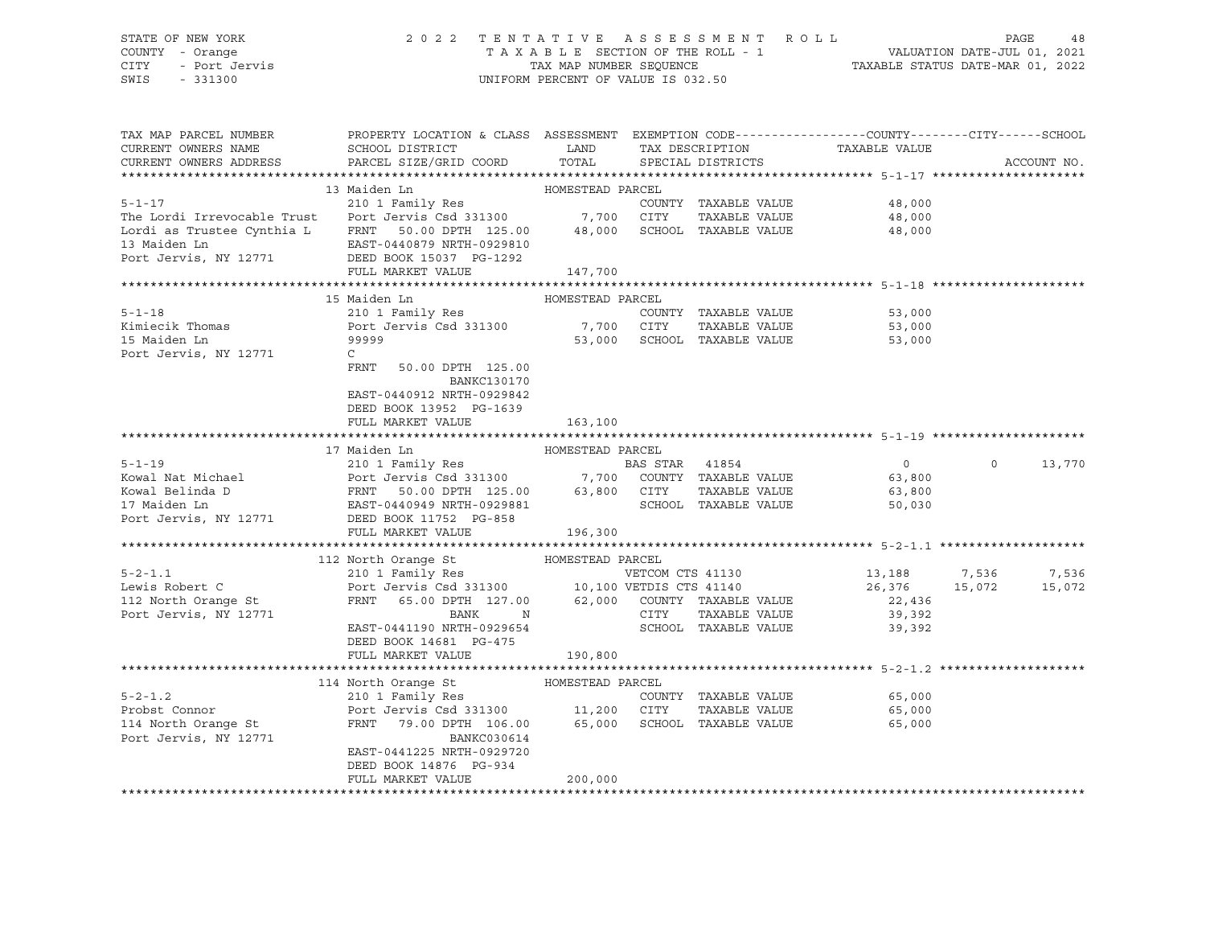# STATE OF NEW YORK 2 0 2 2 T E N T A T I V E A S S E S S M E N T R O L L PAGE 48 COUNTY - Orange T A X A B L E SECTION OF THE ROLL - 1 VALUATION DATE-JUL 01, 2021 CITY - Port Jervis TAX MAP NUMBER SEQUENCE TAXABLE STATUS DATE-MAR 01, 2022

| TAX MAP PARCEL NUMBER<br>CURRENT OWNERS NAME                                                                                                                               | PROPERTY LOCATION & CLASS ASSESSMENT EXEMPTION CODE---------------COUNTY-------CITY------SCHOOL<br>SCHOOL DISTRICT LAND                                                                                                                                                                                                                                                                                                          | TOTAL            | TAX DESCRIPTION  |                                              | TAXABLE VALUE               |          |             |
|----------------------------------------------------------------------------------------------------------------------------------------------------------------------------|----------------------------------------------------------------------------------------------------------------------------------------------------------------------------------------------------------------------------------------------------------------------------------------------------------------------------------------------------------------------------------------------------------------------------------|------------------|------------------|----------------------------------------------|-----------------------------|----------|-------------|
| CURRENT OWNERS ADDRESS                                                                                                                                                     | PARCEL SIZE/GRID COORD                                                                                                                                                                                                                                                                                                                                                                                                           |                  |                  | SPECIAL DISTRICTS                            |                             |          | ACCOUNT NO. |
|                                                                                                                                                                            | 13 Maiden Ln                                                                                                                                                                                                                                                                                                                                                                                                                     | HOMESTEAD PARCEL |                  |                                              |                             |          |             |
| $5 - 1 - 17$                                                                                                                                                               | 210 1 Family Res                                                                                                                                                                                                                                                                                                                                                                                                                 |                  |                  |                                              | COUNTY TAXABLE VALUE 48,000 |          |             |
|                                                                                                                                                                            |                                                                                                                                                                                                                                                                                                                                                                                                                                  |                  |                  | TAXABLE VALUE                                | 48,000                      |          |             |
| The Lordi Irrevocable Trust<br>Lordi as Trustee Cynthia L<br>EXABLE VALUE<br>13 Maiden Ln<br>EXAT-0440879 NRTH-0929810<br>Port Jervis, NY 12771<br>DEED BOOK 15037 PG-1292 |                                                                                                                                                                                                                                                                                                                                                                                                                                  |                  |                  |                                              | 48,000                      |          |             |
|                                                                                                                                                                            |                                                                                                                                                                                                                                                                                                                                                                                                                                  |                  |                  |                                              |                             |          |             |
|                                                                                                                                                                            |                                                                                                                                                                                                                                                                                                                                                                                                                                  |                  |                  |                                              |                             |          |             |
|                                                                                                                                                                            | FULL MARKET VALUE                                                                                                                                                                                                                                                                                                                                                                                                                | 147,700          |                  |                                              |                             |          |             |
|                                                                                                                                                                            |                                                                                                                                                                                                                                                                                                                                                                                                                                  |                  |                  |                                              |                             |          |             |
|                                                                                                                                                                            | 15 Maiden Ln                                                                                                                                                                                                                                                                                                                                                                                                                     | HOMESTEAD PARCEL |                  |                                              |                             |          |             |
| $5 - 1 - 18$                                                                                                                                                               | 210 1 Family Res                                                                                                                                                                                                                                                                                                                                                                                                                 |                  |                  | COUNTY TAXABLE VALUE                         | 53,000                      |          |             |
| Kimiecik Thomas<br>15 Maiden Ln                                                                                                                                            | Port Jervis Csd 331300 7,700 CITY<br>99999                                                                                                                                                                                                                                                                                                                                                                                       |                  |                  | TAXABLE VALUE<br>53,000 SCHOOL TAXABLE VALUE | 53,000                      |          |             |
| Port Jervis, NY 12771                                                                                                                                                      | $\mathsf{C}$                                                                                                                                                                                                                                                                                                                                                                                                                     |                  |                  |                                              | 53,000                      |          |             |
|                                                                                                                                                                            | FRNT 50.00 DPTH 125.00                                                                                                                                                                                                                                                                                                                                                                                                           |                  |                  |                                              |                             |          |             |
|                                                                                                                                                                            | BANKC130170                                                                                                                                                                                                                                                                                                                                                                                                                      |                  |                  |                                              |                             |          |             |
|                                                                                                                                                                            | EAST-0440912 NRTH-0929842                                                                                                                                                                                                                                                                                                                                                                                                        |                  |                  |                                              |                             |          |             |
|                                                                                                                                                                            | DEED BOOK 13952 PG-1639                                                                                                                                                                                                                                                                                                                                                                                                          |                  |                  |                                              |                             |          |             |
|                                                                                                                                                                            | FULL MARKET VALUE                                                                                                                                                                                                                                                                                                                                                                                                                | 163,100          |                  |                                              |                             |          |             |
|                                                                                                                                                                            |                                                                                                                                                                                                                                                                                                                                                                                                                                  |                  |                  |                                              |                             |          |             |
|                                                                                                                                                                            | 17 Maiden Ln                                                                                                                                                                                                                                                                                                                                                                                                                     | HOMESTEAD PARCEL |                  |                                              |                             |          |             |
| $5 - 1 - 19$                                                                                                                                                               |                                                                                                                                                                                                                                                                                                                                                                                                                                  |                  |                  |                                              | $\overline{0}$              | $\Omega$ | 13,770      |
| Kowal Nat Michael                                                                                                                                                          |                                                                                                                                                                                                                                                                                                                                                                                                                                  |                  |                  |                                              | 63,800<br>63.800            |          |             |
| Kowal Belinda D                                                                                                                                                            |                                                                                                                                                                                                                                                                                                                                                                                                                                  |                  |                  |                                              | 63,800                      |          |             |
| 17 Maiden Ln                                                                                                                                                               |                                                                                                                                                                                                                                                                                                                                                                                                                                  |                  |                  |                                              | 50,030                      |          |             |
| Port Jervis, NY 12771                                                                                                                                                      | $\begin{tabular}{lllllllllll} \multicolumn{4}{c}{210} & Family Res & & & & & & & & & & \\ \multicolumn{4}{c}{210} & 1 & Family Res & & & & & & & & \\ \multicolumn{4}{c}{Port~Jervis} & Csd~331300 & & & & & & 7,700 & COUNTY & TAXABLE VALUE \\ \multicolumn{4}{c}{D} & FRNT & 50.00 DPTH & 125.00 & & 63,800 & CITY & TAXABLE VALUE \\ \multicolumn{4}{c}{EAST-0440949 NRTH-0929881} & & & & & & & \\ \multicolumn{4}{c}{NEED$ |                  |                  |                                              |                             |          |             |
|                                                                                                                                                                            |                                                                                                                                                                                                                                                                                                                                                                                                                                  |                  |                  |                                              |                             |          |             |
|                                                                                                                                                                            | 112 North Orange St                                                                                                                                                                                                                                                                                                                                                                                                              | HOMESTEAD PARCEL |                  |                                              |                             |          |             |
| $5 - 2 - 1.1$                                                                                                                                                              |                                                                                                                                                                                                                                                                                                                                                                                                                                  |                  | VETCOM CTS 41130 |                                              | 13,188 7,536                |          | 7,536       |
| Lewis Robert C                                                                                                                                                             |                                                                                                                                                                                                                                                                                                                                                                                                                                  |                  |                  |                                              | 26,376 15,072               |          | 15,072      |
|                                                                                                                                                                            |                                                                                                                                                                                                                                                                                                                                                                                                                                  |                  |                  |                                              | 22,436                      |          |             |
| 112 North Orange St<br>Port Jervis, NY 12771                                                                                                                               |                                                                                                                                                                                                                                                                                                                                                                                                                                  |                  |                  | TAXABLE VALUE                                | 39,392                      |          |             |
|                                                                                                                                                                            | EAST-0441190 NRTH-0929654                                                                                                                                                                                                                                                                                                                                                                                                        |                  |                  | SCHOOL TAXABLE VALUE                         | 39,392                      |          |             |
|                                                                                                                                                                            | DEED BOOK 14681 PG-475                                                                                                                                                                                                                                                                                                                                                                                                           |                  |                  |                                              |                             |          |             |
|                                                                                                                                                                            | FULL MARKET VALUE                                                                                                                                                                                                                                                                                                                                                                                                                | 190,800          |                  |                                              |                             |          |             |
|                                                                                                                                                                            |                                                                                                                                                                                                                                                                                                                                                                                                                                  |                  |                  |                                              |                             |          |             |
|                                                                                                                                                                            |                                                                                                                                                                                                                                                                                                                                                                                                                                  | HOMESTEAD PARCEL |                  |                                              |                             |          |             |
| $5 - 2 - 1.2$                                                                                                                                                              |                                                                                                                                                                                                                                                                                                                                                                                                                                  |                  |                  | COUNTY TAXABLE VALUE                         | 65,000                      |          |             |
| Probst Connor                                                                                                                                                              | $\begin{tabular}{lllllllllll} \bf 114 & North\ Orange St & HOMESTEAD \ PARCEL & \tt 210 1 Family Res & \tt 11,200 & CITY \\ & Port \ Jervis \ Csd \ 331300 & \tt 11,200 & CITY \\ \tt FRNT & \tt 79.00 DPTH & \tt 106.00 & \tt 65,000 & \tt 8CHOO \\ \end{tabular}$                                                                                                                                                              |                  |                  | TAXABLE VALUE                                | 65,000                      |          |             |
| 114 North Orange St                                                                                                                                                        |                                                                                                                                                                                                                                                                                                                                                                                                                                  |                  |                  | 65,000 SCHOOL TAXABLE VALUE                  | 65,000                      |          |             |
| Port Jervis, NY 12771                                                                                                                                                      | BANKC030614                                                                                                                                                                                                                                                                                                                                                                                                                      |                  |                  |                                              |                             |          |             |
|                                                                                                                                                                            | EAST-0441225 NRTH-0929720<br>DEED BOOK 14876 PG-934                                                                                                                                                                                                                                                                                                                                                                              |                  |                  |                                              |                             |          |             |
|                                                                                                                                                                            | FULL MARKET VALUE                                                                                                                                                                                                                                                                                                                                                                                                                | 200,000          |                  |                                              |                             |          |             |
|                                                                                                                                                                            |                                                                                                                                                                                                                                                                                                                                                                                                                                  |                  |                  |                                              |                             |          |             |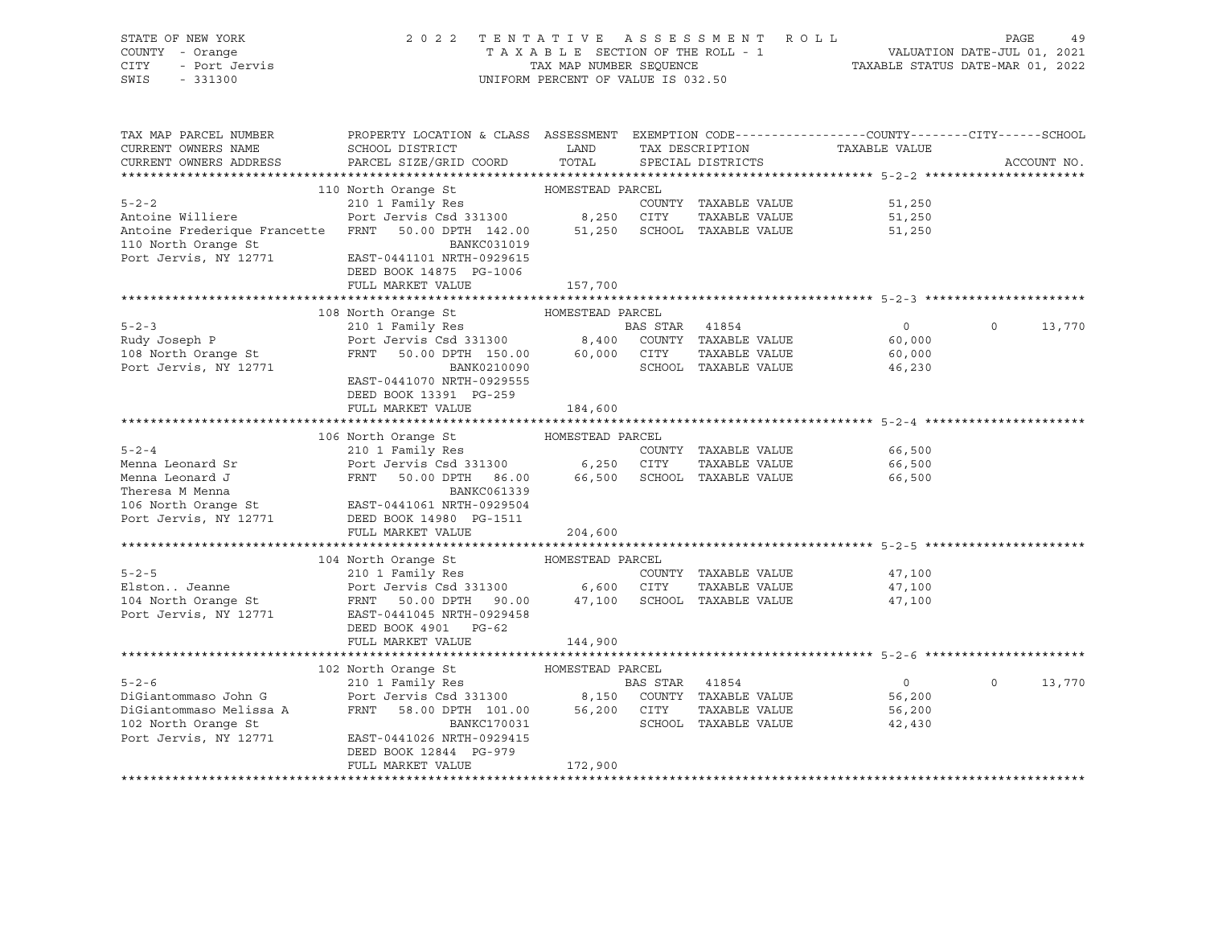| STATE OF NEW YORK                                                                                                                                                                                                                                                                                                                                                                            |                                                                                                                                                                                                                     |                       |                      |                                                    |               |
|----------------------------------------------------------------------------------------------------------------------------------------------------------------------------------------------------------------------------------------------------------------------------------------------------------------------------------------------------------------------------------------------|---------------------------------------------------------------------------------------------------------------------------------------------------------------------------------------------------------------------|-----------------------|----------------------|----------------------------------------------------|---------------|
| COUNTY - Orange                                                                                                                                                                                                                                                                                                                                                                              |                                                                                                                                                                                                                     |                       |                      |                                                    |               |
| y ---<br>Y -- Orange<br>- Port Jervis<br>CITY                                                                                                                                                                                                                                                                                                                                                |                                                                                                                                                                                                                     |                       |                      |                                                    |               |
| SWIS<br>$-331300$                                                                                                                                                                                                                                                                                                                                                                            |                                                                                                                                                                                                                     |                       |                      |                                                    |               |
|                                                                                                                                                                                                                                                                                                                                                                                              |                                                                                                                                                                                                                     |                       |                      |                                                    |               |
|                                                                                                                                                                                                                                                                                                                                                                                              |                                                                                                                                                                                                                     |                       |                      |                                                    |               |
|                                                                                                                                                                                                                                                                                                                                                                                              |                                                                                                                                                                                                                     |                       |                      |                                                    |               |
| TAX MAP PARCEL NUMBER                                                                                                                                                                                                                                                                                                                                                                        | PROPERTY LOCATION & CLASS ASSESSMENT EXEMPTION CODE----------------COUNTY-------CITY------SCHOOL                                                                                                                    |                       |                      |                                                    |               |
|                                                                                                                                                                                                                                                                                                                                                                                              |                                                                                                                                                                                                                     |                       |                      |                                                    |               |
| CURRENT OWNERS NAME                                                                                                                                                                                                                                                                                                                                                                          | SCHOOL DISTRICT                                                                                                                                                                                                     | LAND                  |                      | TAX DESCRIPTION TAXABLE VALUE<br>SPECIAL DISTRICTS |               |
| CURRENT OWNERS ADDRESS                                                                                                                                                                                                                                                                                                                                                                       | PARCEL SIZE/GRID COORD TOTAL SPECIAL DISTRICTS                                                                                                                                                                      |                       |                      |                                                    | ACCOUNT NO.   |
|                                                                                                                                                                                                                                                                                                                                                                                              |                                                                                                                                                                                                                     |                       |                      |                                                    |               |
| 110 North Orange St<br>210 1 Family Res<br>210 1 Family Res<br>210 1 Family Res<br>210 1 Family Res<br>210 1 Family Res<br>210 210 2001 2003<br>250 217Y TAXABLE VALUE<br>26,250 217Y TAXABLE VALUE<br>26,250 217Y TAXABLE VALUE<br>26,250 217Y TA                                                                                                                                           |                                                                                                                                                                                                                     |                       |                      |                                                    |               |
|                                                                                                                                                                                                                                                                                                                                                                                              |                                                                                                                                                                                                                     |                       |                      | 51,250                                             |               |
|                                                                                                                                                                                                                                                                                                                                                                                              |                                                                                                                                                                                                                     |                       |                      | 51,250<br>51,250                                   |               |
|                                                                                                                                                                                                                                                                                                                                                                                              |                                                                                                                                                                                                                     |                       |                      | 51,250                                             |               |
|                                                                                                                                                                                                                                                                                                                                                                                              | BANKC031019                                                                                                                                                                                                         |                       |                      |                                                    |               |
|                                                                                                                                                                                                                                                                                                                                                                                              |                                                                                                                                                                                                                     |                       |                      |                                                    |               |
|                                                                                                                                                                                                                                                                                                                                                                                              | DEED BOOK 14875 PG-1006                                                                                                                                                                                             |                       |                      |                                                    |               |
|                                                                                                                                                                                                                                                                                                                                                                                              | FULL MARKET VALUE                                                                                                                                                                                                   | 157,700               |                      |                                                    |               |
|                                                                                                                                                                                                                                                                                                                                                                                              |                                                                                                                                                                                                                     |                       |                      |                                                    |               |
|                                                                                                                                                                                                                                                                                                                                                                                              |                                                                                                                                                                                                                     | HOMESTEAD PARCEL      |                      |                                                    |               |
|                                                                                                                                                                                                                                                                                                                                                                                              | 108 North Orange St                                                                                                                                                                                                 |                       |                      |                                                    |               |
| $5 - 2 - 3$                                                                                                                                                                                                                                                                                                                                                                                  |                                                                                                                                                                                                                     |                       |                      | $\overline{0}$                                     | $0 \t 13,770$ |
|                                                                                                                                                                                                                                                                                                                                                                                              |                                                                                                                                                                                                                     |                       |                      | 60,000                                             |               |
|                                                                                                                                                                                                                                                                                                                                                                                              |                                                                                                                                                                                                                     |                       |                      |                                                    |               |
| Rudy Joseph P<br>108 North Orange St<br>Port Jervis, NY 12771                                                                                                                                                                                                                                                                                                                                | 210 1 Family Res<br>210 1 Family Res<br>Port Jervis Csd 331300 8,400 COUNTY TAXABLE VALUE<br>FRNT 50.00 DPTH 150.00 60,000 CITY TAXABLE VALUE<br>80,000 BANK0210090 SCHOOL TAXABLE VALUE<br>210 111070 NPTH 0000555 |                       |                      |                                                    |               |
|                                                                                                                                                                                                                                                                                                                                                                                              | EAST-0441070 NRTH-0929555                                                                                                                                                                                           |                       |                      |                                                    |               |
|                                                                                                                                                                                                                                                                                                                                                                                              | DEED BOOK 13391 PG-259                                                                                                                                                                                              |                       |                      |                                                    |               |
|                                                                                                                                                                                                                                                                                                                                                                                              | FULL MARKET VALUE                                                                                                                                                                                                   | 184,600               |                      |                                                    |               |
|                                                                                                                                                                                                                                                                                                                                                                                              |                                                                                                                                                                                                                     |                       |                      |                                                    |               |
|                                                                                                                                                                                                                                                                                                                                                                                              |                                                                                                                                                                                                                     |                       |                      |                                                    |               |
|                                                                                                                                                                                                                                                                                                                                                                                              |                                                                                                                                                                                                                     |                       |                      |                                                    |               |
|                                                                                                                                                                                                                                                                                                                                                                                              |                                                                                                                                                                                                                     |                       |                      |                                                    |               |
|                                                                                                                                                                                                                                                                                                                                                                                              |                                                                                                                                                                                                                     |                       |                      |                                                    |               |
|                                                                                                                                                                                                                                                                                                                                                                                              |                                                                                                                                                                                                                     |                       |                      |                                                    |               |
|                                                                                                                                                                                                                                                                                                                                                                                              |                                                                                                                                                                                                                     |                       |                      |                                                    |               |
|                                                                                                                                                                                                                                                                                                                                                                                              |                                                                                                                                                                                                                     |                       |                      |                                                    |               |
| $\begin{tabular}{lcccccc} 5-2-4 & 106 North Orange St & 106 North Orange St & 210 1 Family Res & 210 1 Family Res & 210 1 Family Res & 66,500\nMenna Leonard Sr & 50.00 DPTH & 86.00 & 66,500 & SCH0OL TAXABLE VALUE & 66,500\nTheresa M Menna & 50.00 DPTH & 86.00 & 66,500 & SCH0OL TAXABLE VALUE & 66,500\nTheresa M Menna & 50.00 DPTH & 86.00 & 66,500 & SCH0OL TAXABLE VALUE & 66,500$ |                                                                                                                                                                                                                     |                       |                      |                                                    |               |
|                                                                                                                                                                                                                                                                                                                                                                                              |                                                                                                                                                                                                                     |                       |                      |                                                    |               |
| Theresa M Menna<br>106 North Orange St<br>206 North Orange St<br>2071 DEED BOOK 14980 PG-1511                                                                                                                                                                                                                                                                                                | FULL MARKET VALUE                                                                                                                                                                                                   | 204,600               |                      |                                                    |               |
|                                                                                                                                                                                                                                                                                                                                                                                              |                                                                                                                                                                                                                     |                       |                      |                                                    |               |
|                                                                                                                                                                                                                                                                                                                                                                                              |                                                                                                                                                                                                                     |                       |                      |                                                    |               |
| $5 - 2 - 5$                                                                                                                                                                                                                                                                                                                                                                                  | 104 North Orange St MOMESTEAD PARCEL                                                                                                                                                                                |                       |                      | 47,100                                             |               |
|                                                                                                                                                                                                                                                                                                                                                                                              | 210 1 Family Res and Sound COUNTY TAXABLE VALUE                                                                                                                                                                     |                       |                      |                                                    |               |
|                                                                                                                                                                                                                                                                                                                                                                                              |                                                                                                                                                                                                                     |                       |                      | 47,100                                             |               |
| ElstonJeanne Port Jervis Csd 331300 6,600 CITY TAXABLE VALUE<br>104 North Orange St FRNT 50.00 DPTH 90.00 47,100 SCHOOL TAXABLE VALUE                                                                                                                                                                                                                                                        |                                                                                                                                                                                                                     |                       |                      | 47,100                                             |               |
| Port Jervis, NY 12771                                                                                                                                                                                                                                                                                                                                                                        | EAST-0441045 NRTH-0929458                                                                                                                                                                                           |                       |                      |                                                    |               |
|                                                                                                                                                                                                                                                                                                                                                                                              | DEED BOOK 4901 PG-62                                                                                                                                                                                                |                       |                      |                                                    |               |
|                                                                                                                                                                                                                                                                                                                                                                                              | FULL MARKET VALUE                                                                                                                                                                                                   | 144,900               |                      |                                                    |               |
|                                                                                                                                                                                                                                                                                                                                                                                              |                                                                                                                                                                                                                     |                       |                      |                                                    |               |
|                                                                                                                                                                                                                                                                                                                                                                                              | 102 North Orange St MOMESTEAD PARCEL                                                                                                                                                                                |                       |                      |                                                    |               |
| $5 - 2 - 6$                                                                                                                                                                                                                                                                                                                                                                                  | 210 1 Family Res                                                                                                                                                                                                    | <b>BAS STAR 41854</b> |                      | $0 \t 0 \t 13,770$                                 |               |
|                                                                                                                                                                                                                                                                                                                                                                                              |                                                                                                                                                                                                                     |                       |                      | 56,200                                             |               |
|                                                                                                                                                                                                                                                                                                                                                                                              |                                                                                                                                                                                                                     |                       | TAXABLE VALUE        | 56, 200                                            |               |
|                                                                                                                                                                                                                                                                                                                                                                                              |                                                                                                                                                                                                                     |                       |                      | 42,430                                             |               |
| Digiantommaso John G<br>Digiantommaso Melissa A FRNT 58.00 DPTH 101.00 56,200 COUNTY TAXABLE VALUE<br>102 North Orange St BANKC170031 BANKC170031 SCHOOL TAXABLE VALUE                                                                                                                                                                                                                       |                                                                                                                                                                                                                     |                       | SCHOOL TAXABLE VALUE |                                                    |               |
| Port Jervis, NY 12771 EAST-0441026 NRTH-0929415                                                                                                                                                                                                                                                                                                                                              | DEED BOOK 12844 PG-979                                                                                                                                                                                              |                       |                      |                                                    |               |
|                                                                                                                                                                                                                                                                                                                                                                                              | FULL MARKET VALUE                                                                                                                                                                                                   | 172,900               |                      |                                                    |               |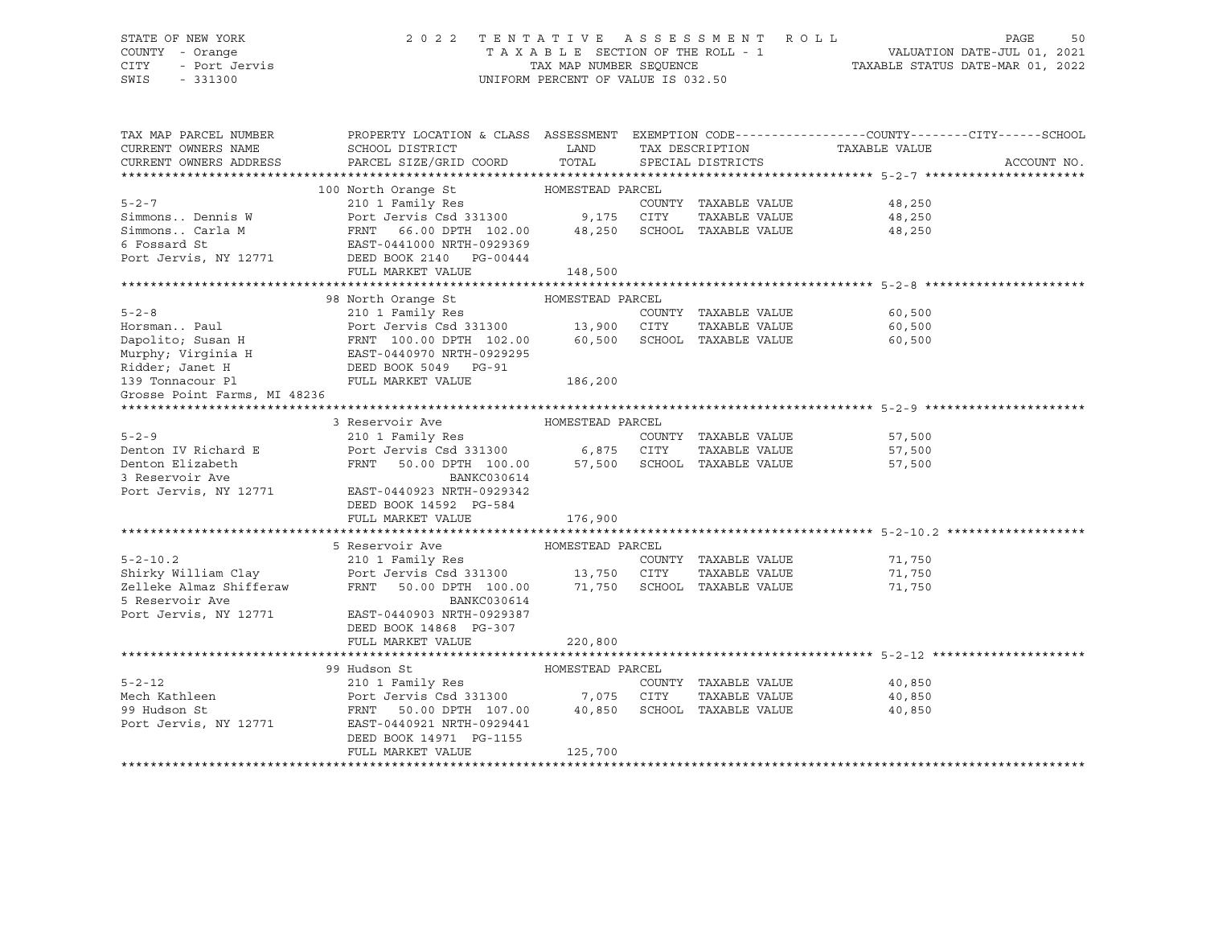# STATE OF NEW YORK 2 0 2 2 T E N T A T I V E A S S E S S M E N T R O L L PAGE 50 COUNTY - Orange T A X A B L E SECTION OF THE ROLL - 1 VALUATION DATE-JUL 01, 2021 CITY - Port Jervis TAX MAP NUMBER SEQUENCE TAXABLE STATUS DATE-MAR 01, 2022

| TAX MAP PARCEL NUMBER<br>CURRENT OWNERS NAME<br>CURRENT OWNERS ADDRESS                                                        | PROPERTY LOCATION & CLASS ASSESSMENT EXEMPTION CODE---------------COUNTY-------CITY------SCHOOL<br>SCHOOL DISTRICT<br>PARCEL SIZE/GRID COORD | <b>Example 12</b> LAND<br>TOTAL | TAX DESCRIPTION<br>SPECIAL DISTRICTS | TAXABLE VALUE                  | ACCOUNT NO. |
|-------------------------------------------------------------------------------------------------------------------------------|----------------------------------------------------------------------------------------------------------------------------------------------|---------------------------------|--------------------------------------|--------------------------------|-------------|
|                                                                                                                               |                                                                                                                                              |                                 |                                      |                                |             |
|                                                                                                                               | 100 North Orange St MOMESTEAD PARCEL                                                                                                         |                                 |                                      |                                |             |
| $5 - 2 - 7$                                                                                                                   | 210 1 Family Res                                                                                                                             |                                 | COUNTY TAXABLE VALUE                 | 48,250                         |             |
| Simmons Dennis W                                                                                                              | Port Jervis Csd 331300 9,175 CITY                                                                                                            |                                 | TAXABLE VALUE                        | 48,250                         |             |
| Simmons Carla M                                                                                                               | FRNT 66.00 DPTH 102.00                                                                                                                       | 48,250                          |                                      | SCHOOL TAXABLE VALUE<br>48,250 |             |
| 6 Fossard St                                                                                                                  | EAST-0441000 NRTH-0929369                                                                                                                    |                                 |                                      |                                |             |
| Port Jervis, NY 12771                                                                                                         | DEED BOOK 2140 PG-00444                                                                                                                      |                                 |                                      |                                |             |
|                                                                                                                               | FULL MARKET VALUE                                                                                                                            | 148,500                         |                                      |                                |             |
|                                                                                                                               |                                                                                                                                              |                                 |                                      |                                |             |
|                                                                                                                               | 98 North Orange St                                                                                                                           | HOMESTEAD PARCEL                |                                      |                                |             |
| $5 - 2 - 8$                                                                                                                   | 210 1 Family Res                                                                                                                             |                                 | COUNTY TAXABLE VALUE                 | 60,500                         |             |
| Horsman Paul                                                                                                                  | Port Jervis Csd 331300 13,900 CITY                                                                                                           |                                 | TAXABLE VALUE                        | 60,500                         |             |
| Dapolito; Susan H                     FRNT 100.00 DPTH 102.00<br>Murphy; Virginia H                 EAST-0440970 NRTH-0929295 | FRNT 100.00 DPTH 102.00 60,500                                                                                                               |                                 | SCHOOL TAXABLE VALUE                 | 60,500                         |             |
|                                                                                                                               |                                                                                                                                              |                                 |                                      |                                |             |
| Ridder; Janet H                                                                                                               | DEED BOOK 5049 PG-91<br>FULL MARKET VALUE                                                                                                    |                                 |                                      |                                |             |
| 139 Tonnacour Pl                                                                                                              | FULL MARKET VALUE                                                                                                                            | 186,200                         |                                      |                                |             |
| Grosse Point Farms, MI 48236                                                                                                  |                                                                                                                                              |                                 |                                      |                                |             |
|                                                                                                                               |                                                                                                                                              |                                 |                                      |                                |             |
|                                                                                                                               | 3 Reservoir Ave                                                                                                                              | HOMESTEAD PARCEL                |                                      |                                |             |
| $5 - 2 - 9$                                                                                                                   | 210 1 Family Res<br>Port Jervis Csd 331300 6,875 CITY                                                                                        |                                 | COUNTY TAXABLE VALUE                 | 57,500                         |             |
| Denton IV Richard E                                                                                                           |                                                                                                                                              |                                 | TAXABLE VALUE                        | 57,500                         |             |
| Denton Elizabeth                                                                                                              | FRNT<br>50.00 DPTH 100.00 57,500 SCHOOL TAXABLE VALUE                                                                                        |                                 |                                      | 57,500                         |             |
| 3 Reservoir Ave                                                                                                               | BANKC030614                                                                                                                                  |                                 |                                      |                                |             |
| Port Jervis, NY 12771                                                                                                         | EAST-0440923 NRTH-0929342                                                                                                                    |                                 |                                      |                                |             |
|                                                                                                                               | DEED BOOK 14592 PG-584<br>FULL MARKET VALUE                                                                                                  |                                 |                                      |                                |             |
|                                                                                                                               |                                                                                                                                              | 176,900                         |                                      |                                |             |
|                                                                                                                               | 5 Reservoir Ave                                                                                                                              | HOMESTEAD PARCEL                |                                      |                                |             |
| $5 - 2 - 10.2$                                                                                                                | 210 1 Family Res                                                                                                                             |                                 |                                      | COUNTY TAXABLE VALUE 71,750    |             |
|                                                                                                                               |                                                                                                                                              |                                 | TAXABLE VALUE                        | 71,750                         |             |
| Shirky William Clay<br>Zelleke Almaz Shifferaw                                                                                | Port Jervis Csd 331300 13,750 CITY TAXABLE VALUE<br>FRNT 50.00 DPTH 100.00 71,750 SCHOOL TAXABLE VALUE                                       |                                 |                                      | 71,750                         |             |
| 5 Reservoir Ave                                                                                                               | BANKC030614                                                                                                                                  |                                 |                                      |                                |             |
| Port Jervis, NY 12771                                                                                                         | EAST-0440903 NRTH-0929387                                                                                                                    |                                 |                                      |                                |             |
|                                                                                                                               | DEED BOOK 14868 PG-307                                                                                                                       |                                 |                                      |                                |             |
|                                                                                                                               | FULL MARKET VALUE                                                                                                                            | 220,800                         |                                      |                                |             |
|                                                                                                                               |                                                                                                                                              |                                 |                                      |                                |             |
|                                                                                                                               | 99 Hudson St                                                                                                                                 | HOMESTEAD PARCEL                |                                      |                                |             |
| $5 - 2 - 12$                                                                                                                  | 210 1 Family Res                                                                                                                             |                                 | COUNTY TAXABLE VALUE                 | 40,850                         |             |
| Mech Kathleen                                                                                                                 | Port Jervis Csd 331300 7,075 CITY                                                                                                            |                                 | TAXABLE VALUE                        | 40,850                         |             |
| 99 Hudson St                                                                                                                  | FRNT 50.00 DPTH 107.00                                                                                                                       |                                 | 40,850 SCHOOL TAXABLE VALUE          | 40,850                         |             |
| Port Jervis, NY 12771                                                                                                         | EAST-0440921 NRTH-0929441                                                                                                                    |                                 |                                      |                                |             |
|                                                                                                                               | DEED BOOK 14971 PG-1155                                                                                                                      |                                 |                                      |                                |             |
|                                                                                                                               | FULL MARKET VALUE                                                                                                                            | 125,700                         |                                      |                                |             |
|                                                                                                                               |                                                                                                                                              |                                 |                                      |                                |             |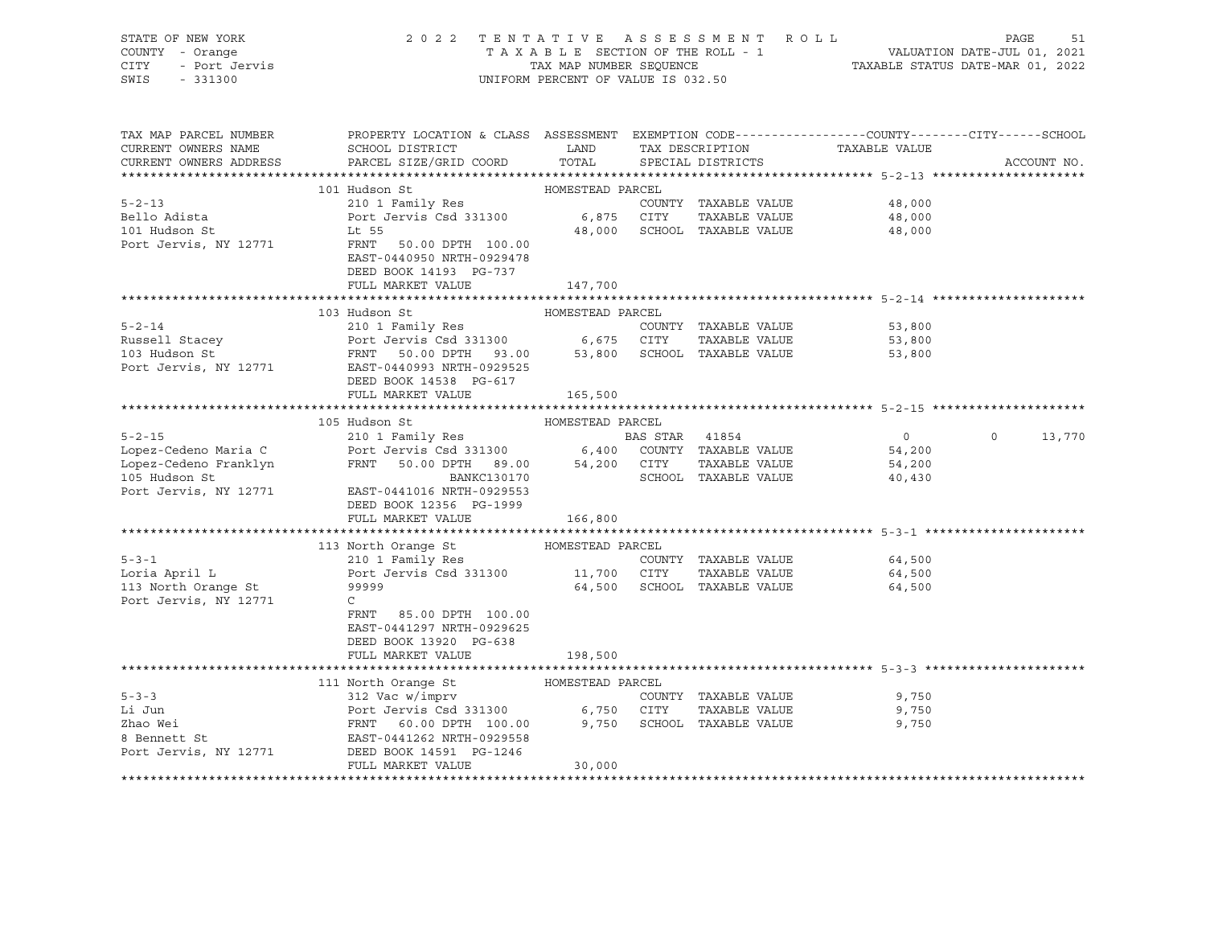| STATE OF NEW YORK                      | 2022 TENTATIVE ASSESSMENT ROLL                                                                                                   |                                                                                                                                   |  |                             |                               | PAGE<br>51        |
|----------------------------------------|----------------------------------------------------------------------------------------------------------------------------------|-----------------------------------------------------------------------------------------------------------------------------------|--|-----------------------------|-------------------------------|-------------------|
| COUNTY - Orange                        |                                                                                                                                  | T A X A B L E SECTION OF THE ROLL - 1 VALUATION DATE-JUL 01, 2021<br>TAX MAP NUMBER SEQUENCE - 1 TAXABLE STATUS DATE-MAR 01, 2022 |  |                             |                               |                   |
| - Urange<br>- Port Jervis<br>CITY      |                                                                                                                                  |                                                                                                                                   |  |                             |                               |                   |
| SWIS<br>$-331300$                      |                                                                                                                                  | UNIFORM PERCENT OF VALUE IS 032.50                                                                                                |  |                             |                               |                   |
|                                        |                                                                                                                                  |                                                                                                                                   |  |                             |                               |                   |
|                                        |                                                                                                                                  |                                                                                                                                   |  |                             |                               |                   |
| TAX MAP PARCEL NUMBER                  | PROPERTY LOCATION & CLASS ASSESSMENT EXEMPTION CODE----------------COUNTY-------CITY------SCHOOL                                 |                                                                                                                                   |  |                             |                               |                   |
| CURRENT OWNERS NAME                    | SCHOOL DISTRICT                                                                                                                  | LAND                                                                                                                              |  |                             | TAX DESCRIPTION TAXABLE VALUE |                   |
| CURRENT OWNERS ADDRESS                 | PARCEL SIZE/GRID COORD                                                                                                           | TOTAL                                                                                                                             |  | SPECIAL DISTRICTS           |                               | ACCOUNT NO.       |
|                                        |                                                                                                                                  |                                                                                                                                   |  |                             |                               |                   |
|                                        | 101 Hudson St                                                                                                                    | HOMESTEAD PARCEL                                                                                                                  |  |                             |                               |                   |
| $5 - 2 - 13$                           | 210 1 Family Res                                                                                                                 |                                                                                                                                   |  | COUNTY TAXABLE VALUE        | 48,000                        |                   |
| Bello Adista                           | Port Jervis Csd 331300 6,875 CITY                                                                                                |                                                                                                                                   |  | TAXABLE VALUE               | 48,000                        |                   |
| 101 Hudson St                          | Lt 55                                                                                                                            |                                                                                                                                   |  | 48,000 SCHOOL TAXABLE VALUE | 48,000                        |                   |
| Port Jervis, NY 12771                  | FRNT 50.00 DPTH 100.00                                                                                                           |                                                                                                                                   |  |                             |                               |                   |
|                                        | EAST-0440950 NRTH-0929478                                                                                                        |                                                                                                                                   |  |                             |                               |                   |
|                                        | DEED BOOK 14193 PG-737                                                                                                           |                                                                                                                                   |  |                             |                               |                   |
|                                        | FULL MARKET VALUE                                                                                                                | 147,700                                                                                                                           |  |                             |                               |                   |
|                                        |                                                                                                                                  |                                                                                                                                   |  |                             |                               |                   |
|                                        | 103 Hudson St                                                                                                                    | HOMESTEAD PARCEL                                                                                                                  |  |                             |                               |                   |
| $5 - 2 - 14$                           | 210 1 Family Res                                                                                                                 |                                                                                                                                   |  | COUNTY TAXABLE VALUE        | 53,800                        |                   |
| Russell Stacey                         |                                                                                                                                  |                                                                                                                                   |  | TAXABLE VALUE               | 53,800                        |                   |
| 103 Hudson St                          | Port Jervis Csd 331300 6,675 CITY TAXABLE VALUE<br>FRNT 50.00 DPTH 93.00 53,800 SCHOOL TAXABLE VALUE                             |                                                                                                                                   |  |                             | 53,800                        |                   |
|                                        | Port Jervis, NY 12771 EAST-0440993 NRTH-0929525                                                                                  |                                                                                                                                   |  |                             |                               |                   |
|                                        | DEED BOOK 14538 PG-617                                                                                                           |                                                                                                                                   |  |                             |                               |                   |
|                                        | FULL MARKET VALUE                                                                                                                | 165,500                                                                                                                           |  |                             |                               |                   |
|                                        |                                                                                                                                  |                                                                                                                                   |  |                             |                               |                   |
|                                        | 105 Hudson St                                                                                                                    | HOMESTEAD PARCEL                                                                                                                  |  |                             |                               |                   |
| $5 - 2 - 15$                           |                                                                                                                                  |                                                                                                                                   |  |                             | $\overline{0}$                | $\circ$<br>13,770 |
| Lopez-Cedeno Maria C                   | 210 1 Family Res<br>Port Jervis Csd 331300 6,400 COUNTY TAXABLE VALUE                                                            |                                                                                                                                   |  |                             | 54,200                        |                   |
| Lopez-Cedeno Franklyn<br>105 Hudson St |                                                                                                                                  |                                                                                                                                   |  | TAXABLE VALUE               | 54,200                        |                   |
| 105 Hudson St                          | FRNT 50.00 DPTH 89.00 54,200 CITY<br>BANKC130170 SCHOOL                                                                          |                                                                                                                                   |  | SCHOOL TAXABLE VALUE        | 40,430                        |                   |
| Port Jervis, NY 12771                  | EAST-0441016 NRTH-0929553                                                                                                        |                                                                                                                                   |  |                             |                               |                   |
|                                        | DEED BOOK 12356 PG-1999                                                                                                          |                                                                                                                                   |  |                             |                               |                   |
|                                        | FULL MARKET VALUE                                                                                                                | 166,800                                                                                                                           |  |                             |                               |                   |
|                                        |                                                                                                                                  |                                                                                                                                   |  |                             |                               |                   |
|                                        |                                                                                                                                  |                                                                                                                                   |  |                             |                               |                   |
| $5 - 3 - 1$                            |                                                                                                                                  |                                                                                                                                   |  | COUNTY TAXABLE VALUE        | 64,500                        |                   |
| Loria April L                          | 210 1 Family Res<br>Port Jervis Csd 331300 11,700 CITY                                                                           |                                                                                                                                   |  | TAXABLE VALUE               | 64,500                        |                   |
| 113 North Orange St                    | 99999                                                                                                                            |                                                                                                                                   |  | 64,500 SCHOOL TAXABLE VALUE | 64,500                        |                   |
| Port Jervis, NY 12771                  | $\mathsf{C}$                                                                                                                     |                                                                                                                                   |  |                             |                               |                   |
|                                        | FRNT 85.00 DPTH 100.00                                                                                                           |                                                                                                                                   |  |                             |                               |                   |
|                                        | EAST-0441297 NRTH-0929625                                                                                                        |                                                                                                                                   |  |                             |                               |                   |
|                                        | DEED BOOK 13920 PG-638                                                                                                           |                                                                                                                                   |  |                             |                               |                   |
|                                        | FULL MARKET VALUE                                                                                                                | 198,500                                                                                                                           |  |                             |                               |                   |
|                                        |                                                                                                                                  |                                                                                                                                   |  |                             |                               |                   |
|                                        |                                                                                                                                  | HOMESTEAD PARCEL                                                                                                                  |  |                             |                               |                   |
| $5 - 3 - 3$                            | 111 North Orange St<br>312 Vac w/imprv                                                                                           |                                                                                                                                   |  | COUNTY TAXABLE VALUE        | 9,750                         |                   |
| Li Jun                                 |                                                                                                                                  |                                                                                                                                   |  | TAXABLE VALUE               | 9,750                         |                   |
| Zhao Wei                               |                                                                                                                                  |                                                                                                                                   |  |                             | 9,750                         |                   |
| 8 Bennett St                           | Port Jervis Csd 331300<br>FRNT 60.00 DPTH 100.00 9,750 SCHOOL TAXABLE VALUE<br>FRNT 60.00 DPTH 100.00 9,750 SCHOOL TAXABLE VALUE |                                                                                                                                   |  |                             |                               |                   |
| Port Jervis, NY 12771                  | DEED BOOK 14591 PG-1246                                                                                                          |                                                                                                                                   |  |                             |                               |                   |
|                                        | FULL MARKET VALUE                                                                                                                | 30,000                                                                                                                            |  |                             |                               |                   |
|                                        |                                                                                                                                  |                                                                                                                                   |  |                             |                               |                   |
|                                        |                                                                                                                                  |                                                                                                                                   |  |                             |                               |                   |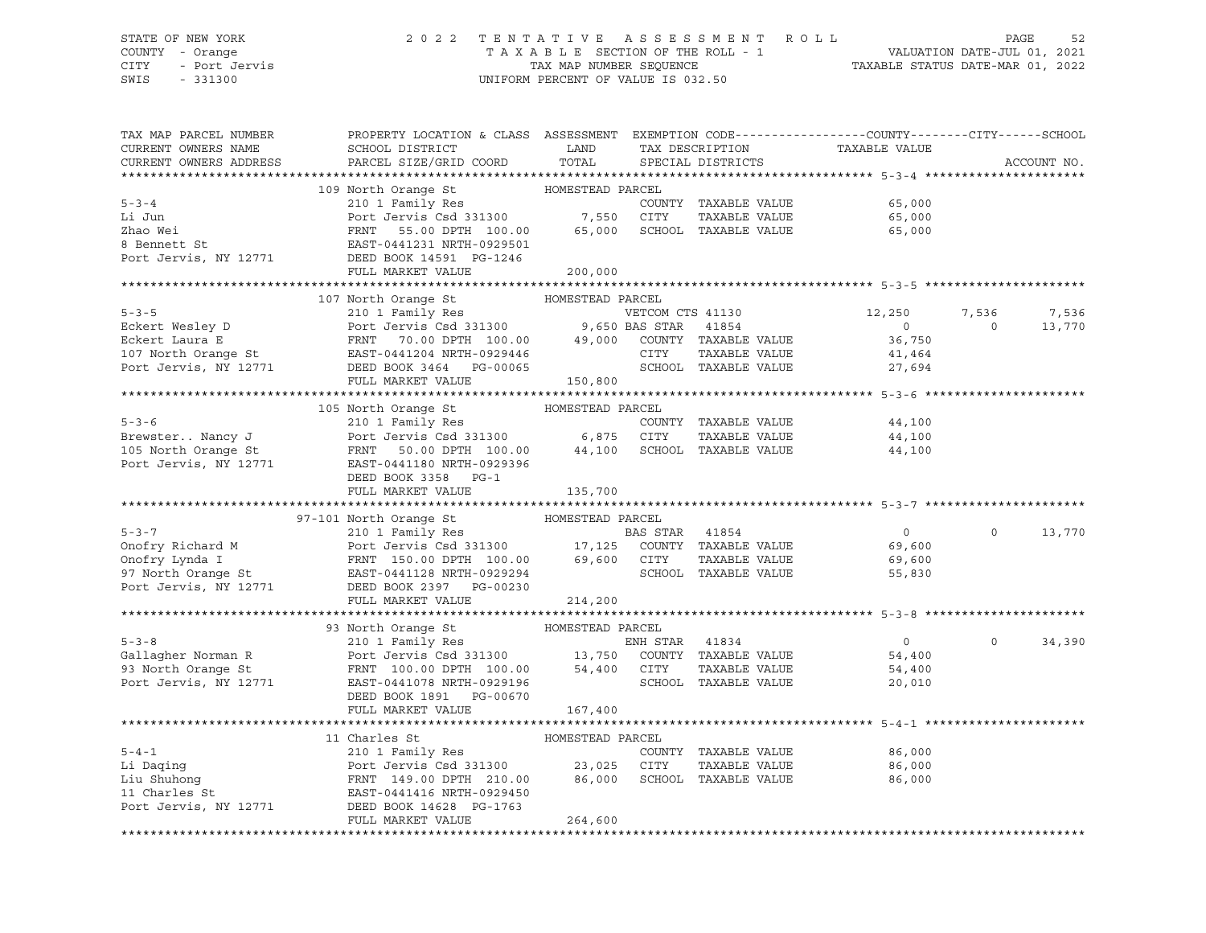### STATE OF NEW YORK 2 0 2 2 T E N T A T I V E A S S E S S M E N T R O L L PAGE 52 COUNTY - Orange T A X A B L E SECTION OF THE ROLL - 1 VALUATION DATE-JUL 01, 2021 CITY - Port Jervis TAX MAP NUMBER SEQUENCE TAXABLE STATUS DATE-MAR 01, 2022

| TAX MAP PARCEL NUMBER                                                                                                                                                                                                                                                                                                                                                                                                                                        | PROPERTY LOCATION & CLASS ASSESSMENT EXEMPTION CODE----------------COUNTY-------CITY------SCHOOL                                                                                         |         |                                |                                                                                                                                                                                                                                                                                                                                                                                                                                                                                     |                   |             |
|--------------------------------------------------------------------------------------------------------------------------------------------------------------------------------------------------------------------------------------------------------------------------------------------------------------------------------------------------------------------------------------------------------------------------------------------------------------|------------------------------------------------------------------------------------------------------------------------------------------------------------------------------------------|---------|--------------------------------|-------------------------------------------------------------------------------------------------------------------------------------------------------------------------------------------------------------------------------------------------------------------------------------------------------------------------------------------------------------------------------------------------------------------------------------------------------------------------------------|-------------------|-------------|
| CURRENT OWNERS NAME                                                                                                                                                                                                                                                                                                                                                                                                                                          | SCHOOL DISTRICT<br><b>Example 12</b> LAND                                                                                                                                                |         |                                |                                                                                                                                                                                                                                                                                                                                                                                                                                                                                     |                   |             |
| CURRENT OWNERS ADDRESS                                                                                                                                                                                                                                                                                                                                                                                                                                       | PARCEL SIZE/GRID COORD TOTAL                                                                                                                                                             |         |                                | TAX DESCRIPTION TAXABLE VALUE SPECIAL DISTRICTS                                                                                                                                                                                                                                                                                                                                                                                                                                     |                   | ACCOUNT NO. |
|                                                                                                                                                                                                                                                                                                                                                                                                                                                              |                                                                                                                                                                                          |         |                                |                                                                                                                                                                                                                                                                                                                                                                                                                                                                                     |                   |             |
|                                                                                                                                                                                                                                                                                                                                                                                                                                                              |                                                                                                                                                                                          |         |                                |                                                                                                                                                                                                                                                                                                                                                                                                                                                                                     |                   |             |
| $5 - 3 - 4$                                                                                                                                                                                                                                                                                                                                                                                                                                                  | 210 1 Family Res<br>Port Jervis Csd 331300 7,550 CITY TAXABLE VALUE<br>FRNT 55.00 DPTH 100.00 65,000 SCHOOL TAXABLE VALUE 65,000<br>EAST-0441231 NRTH-0929501 DEAST-0441231 NRTH-0929501 |         |                                |                                                                                                                                                                                                                                                                                                                                                                                                                                                                                     |                   |             |
| Li Jun                                                                                                                                                                                                                                                                                                                                                                                                                                                       |                                                                                                                                                                                          |         |                                |                                                                                                                                                                                                                                                                                                                                                                                                                                                                                     |                   |             |
|                                                                                                                                                                                                                                                                                                                                                                                                                                                              |                                                                                                                                                                                          |         |                                |                                                                                                                                                                                                                                                                                                                                                                                                                                                                                     |                   |             |
|                                                                                                                                                                                                                                                                                                                                                                                                                                                              |                                                                                                                                                                                          |         |                                |                                                                                                                                                                                                                                                                                                                                                                                                                                                                                     |                   |             |
|                                                                                                                                                                                                                                                                                                                                                                                                                                                              |                                                                                                                                                                                          |         |                                |                                                                                                                                                                                                                                                                                                                                                                                                                                                                                     |                   |             |
| Example 100.00 EDM FOLL DELVIS CSU DUDING 2012<br>8 Bennett St<br>Port Jervis, NY 12771 DEED BOOK 14591 PG-1246<br>Port Jervis, NY 12771 DEED BOOK 14591 PG-1246                                                                                                                                                                                                                                                                                             |                                                                                                                                                                                          |         |                                |                                                                                                                                                                                                                                                                                                                                                                                                                                                                                     |                   |             |
|                                                                                                                                                                                                                                                                                                                                                                                                                                                              | FULL MARKET VALUE                                                                                                                                                                        | 200,000 |                                |                                                                                                                                                                                                                                                                                                                                                                                                                                                                                     |                   |             |
|                                                                                                                                                                                                                                                                                                                                                                                                                                                              |                                                                                                                                                                                          |         |                                |                                                                                                                                                                                                                                                                                                                                                                                                                                                                                     |                   |             |
|                                                                                                                                                                                                                                                                                                                                                                                                                                                              | 107 North Orange St MOMESTEAD PARCEL                                                                                                                                                     |         |                                |                                                                                                                                                                                                                                                                                                                                                                                                                                                                                     |                   |             |
|                                                                                                                                                                                                                                                                                                                                                                                                                                                              |                                                                                                                                                                                          |         |                                | 12,250                                                                                                                                                                                                                                                                                                                                                                                                                                                                              | 7,536             | 7,536       |
|                                                                                                                                                                                                                                                                                                                                                                                                                                                              |                                                                                                                                                                                          |         |                                | $\overline{0}$                                                                                                                                                                                                                                                                                                                                                                                                                                                                      | $\overline{0}$    | 13,770      |
|                                                                                                                                                                                                                                                                                                                                                                                                                                                              |                                                                                                                                                                                          |         |                                | 36,750                                                                                                                                                                                                                                                                                                                                                                                                                                                                              |                   |             |
|                                                                                                                                                                                                                                                                                                                                                                                                                                                              |                                                                                                                                                                                          |         |                                |                                                                                                                                                                                                                                                                                                                                                                                                                                                                                     |                   |             |
|                                                                                                                                                                                                                                                                                                                                                                                                                                                              |                                                                                                                                                                                          |         |                                | $\begin{tabular}{lllllllll} \multicolumn{2}{c}{\textbf{CITY}} & \multicolumn{2}{c}{\textbf{TXABLE}} & \multicolumn{2}{c}{\textbf{VALUE}} & & \multicolumn{2}{c}{\textbf{41,464}} \\ \multicolumn{2}{c}{\textbf{SCHOOD}} & \multicolumn{2}{c}{\textbf{TXABLE}} & \multicolumn{2}{c}{\textbf{VALUE}} & & \multicolumn{2}{c}{\textbf{27,694}} \\ \multicolumn{2}{c}{\textbf{SCHOOL}} & \multicolumn{2}{c}{\textbf{TXABLE}} & \multicolumn{2}{c}{\textbf{VALUE}} & & \multicolumn{2}{c$ |                   |             |
| Eckert Wesley D<br>Eckert Wesley D<br>Eckert Laura E<br>Eckert Laura E<br>FRNT 70.00 DPTH 100.00<br>107 North Orange St<br>POINT TAXABLE VALUE<br>POINT TAXABLE VALUE<br>POINT TAXABLE VALUE<br>POINT TAXABLE VALUE<br>POINT TAXABLE VALUE<br>POINT                                                                                                                                                                                                          |                                                                                                                                                                                          |         |                                |                                                                                                                                                                                                                                                                                                                                                                                                                                                                                     |                   |             |
|                                                                                                                                                                                                                                                                                                                                                                                                                                                              |                                                                                                                                                                                          |         |                                |                                                                                                                                                                                                                                                                                                                                                                                                                                                                                     |                   |             |
|                                                                                                                                                                                                                                                                                                                                                                                                                                                              |                                                                                                                                                                                          |         |                                |                                                                                                                                                                                                                                                                                                                                                                                                                                                                                     |                   |             |
|                                                                                                                                                                                                                                                                                                                                                                                                                                                              |                                                                                                                                                                                          |         |                                |                                                                                                                                                                                                                                                                                                                                                                                                                                                                                     |                   |             |
|                                                                                                                                                                                                                                                                                                                                                                                                                                                              |                                                                                                                                                                                          |         |                                |                                                                                                                                                                                                                                                                                                                                                                                                                                                                                     |                   |             |
|                                                                                                                                                                                                                                                                                                                                                                                                                                                              |                                                                                                                                                                                          |         |                                |                                                                                                                                                                                                                                                                                                                                                                                                                                                                                     |                   |             |
|                                                                                                                                                                                                                                                                                                                                                                                                                                                              |                                                                                                                                                                                          |         |                                |                                                                                                                                                                                                                                                                                                                                                                                                                                                                                     |                   |             |
|                                                                                                                                                                                                                                                                                                                                                                                                                                                              | DEED BOOK 3358 PG-1                                                                                                                                                                      |         |                                |                                                                                                                                                                                                                                                                                                                                                                                                                                                                                     |                   |             |
|                                                                                                                                                                                                                                                                                                                                                                                                                                                              | FULL MARKET VALUE                                                                                                                                                                        | 135,700 |                                |                                                                                                                                                                                                                                                                                                                                                                                                                                                                                     |                   |             |
|                                                                                                                                                                                                                                                                                                                                                                                                                                                              |                                                                                                                                                                                          |         |                                |                                                                                                                                                                                                                                                                                                                                                                                                                                                                                     |                   |             |
|                                                                                                                                                                                                                                                                                                                                                                                                                                                              |                                                                                                                                                                                          |         |                                |                                                                                                                                                                                                                                                                                                                                                                                                                                                                                     |                   |             |
|                                                                                                                                                                                                                                                                                                                                                                                                                                                              |                                                                                                                                                                                          |         |                                |                                                                                                                                                                                                                                                                                                                                                                                                                                                                                     |                   |             |
|                                                                                                                                                                                                                                                                                                                                                                                                                                                              |                                                                                                                                                                                          |         |                                | $\overline{0}$                                                                                                                                                                                                                                                                                                                                                                                                                                                                      | $0 \qquad \qquad$ | 13,770      |
|                                                                                                                                                                                                                                                                                                                                                                                                                                                              |                                                                                                                                                                                          |         |                                | 69,600                                                                                                                                                                                                                                                                                                                                                                                                                                                                              |                   |             |
|                                                                                                                                                                                                                                                                                                                                                                                                                                                              |                                                                                                                                                                                          |         |                                | 69,600                                                                                                                                                                                                                                                                                                                                                                                                                                                                              |                   |             |
|                                                                                                                                                                                                                                                                                                                                                                                                                                                              |                                                                                                                                                                                          |         |                                | SCHOOL TAXABLE VALUE<br>55,830                                                                                                                                                                                                                                                                                                                                                                                                                                                      |                   |             |
|                                                                                                                                                                                                                                                                                                                                                                                                                                                              |                                                                                                                                                                                          |         |                                |                                                                                                                                                                                                                                                                                                                                                                                                                                                                                     |                   |             |
|                                                                                                                                                                                                                                                                                                                                                                                                                                                              | FULL MARKET VALUE                                                                                                                                                                        | 214,200 |                                |                                                                                                                                                                                                                                                                                                                                                                                                                                                                                     |                   |             |
|                                                                                                                                                                                                                                                                                                                                                                                                                                                              |                                                                                                                                                                                          |         |                                |                                                                                                                                                                                                                                                                                                                                                                                                                                                                                     |                   |             |
|                                                                                                                                                                                                                                                                                                                                                                                                                                                              |                                                                                                                                                                                          |         |                                |                                                                                                                                                                                                                                                                                                                                                                                                                                                                                     |                   |             |
| $5 - 3 - 8$                                                                                                                                                                                                                                                                                                                                                                                                                                                  |                                                                                                                                                                                          |         |                                | $\overline{0}$                                                                                                                                                                                                                                                                                                                                                                                                                                                                      | $\circ$           | 34,390      |
|                                                                                                                                                                                                                                                                                                                                                                                                                                                              |                                                                                                                                                                                          |         |                                | 54,400                                                                                                                                                                                                                                                                                                                                                                                                                                                                              |                   |             |
| Gallagher Norman R<br>93 North Orange St<br>Port Jervis, NY 12771                                                                                                                                                                                                                                                                                                                                                                                            | FOLL DELVIS CSA COLOR<br>FRNT 100.00 DPTH 100.00 54,400 CITY<br>EAST-0441078 NRTH-0929196 SCHOOL                                                                                         |         | TAXABLE VALUE                  | 54,400                                                                                                                                                                                                                                                                                                                                                                                                                                                                              |                   |             |
|                                                                                                                                                                                                                                                                                                                                                                                                                                                              |                                                                                                                                                                                          |         | SCHOOL TAXABLE VALUE           | 20,010                                                                                                                                                                                                                                                                                                                                                                                                                                                                              |                   |             |
|                                                                                                                                                                                                                                                                                                                                                                                                                                                              | DEED BOOK 1891 PG-00670                                                                                                                                                                  |         |                                |                                                                                                                                                                                                                                                                                                                                                                                                                                                                                     |                   |             |
|                                                                                                                                                                                                                                                                                                                                                                                                                                                              | FULL MARKET VALUE                                                                                                                                                                        | 167,400 |                                |                                                                                                                                                                                                                                                                                                                                                                                                                                                                                     |                   |             |
|                                                                                                                                                                                                                                                                                                                                                                                                                                                              |                                                                                                                                                                                          |         |                                |                                                                                                                                                                                                                                                                                                                                                                                                                                                                                     |                   |             |
|                                                                                                                                                                                                                                                                                                                                                                                                                                                              |                                                                                                                                                                                          |         |                                |                                                                                                                                                                                                                                                                                                                                                                                                                                                                                     |                   |             |
| $\begin{tabular}{lcccc} 5-4-1 & 11 Charles St & HOMESTEAD PARCHL & 210 1 Family Res & 210 1 Family Res & 23,025 CITY TAXABLE VALUE & 23,025 CITY TAXABLE VALUE & 23,025 CITY TAXABLE VALUE & 23,025 CITY TAXABLE VALUE & 23,025 CITY TAXABLE VALUE & 23,025 CITY TAXABLE VALUE & 23,025 CITY TAXABLE VALUE & 23,025 CITY TAXABLE VALUE & 23,025 CITY TAXABLE VALUE & 23,025 CITY TAXABLE VALUE & 23,025 CITY TAXABLE VALUE & 23,025 CITY TAXABLE VALUE & 23$ |                                                                                                                                                                                          |         | COUNTY TAXABLE VALUE           | 86,000                                                                                                                                                                                                                                                                                                                                                                                                                                                                              |                   |             |
|                                                                                                                                                                                                                                                                                                                                                                                                                                                              |                                                                                                                                                                                          |         |                                |                                                                                                                                                                                                                                                                                                                                                                                                                                                                                     |                   |             |
|                                                                                                                                                                                                                                                                                                                                                                                                                                                              |                                                                                                                                                                                          |         | TAXABLE VALUE<br>TAXABLE VALUE | 86,000                                                                                                                                                                                                                                                                                                                                                                                                                                                                              |                   |             |
|                                                                                                                                                                                                                                                                                                                                                                                                                                                              |                                                                                                                                                                                          |         |                                | 86,000                                                                                                                                                                                                                                                                                                                                                                                                                                                                              |                   |             |
|                                                                                                                                                                                                                                                                                                                                                                                                                                                              |                                                                                                                                                                                          |         |                                |                                                                                                                                                                                                                                                                                                                                                                                                                                                                                     |                   |             |
|                                                                                                                                                                                                                                                                                                                                                                                                                                                              |                                                                                                                                                                                          |         |                                |                                                                                                                                                                                                                                                                                                                                                                                                                                                                                     |                   |             |
|                                                                                                                                                                                                                                                                                                                                                                                                                                                              | FULL MARKET VALUE                                                                                                                                                                        | 264,600 |                                |                                                                                                                                                                                                                                                                                                                                                                                                                                                                                     |                   |             |
|                                                                                                                                                                                                                                                                                                                                                                                                                                                              |                                                                                                                                                                                          |         |                                |                                                                                                                                                                                                                                                                                                                                                                                                                                                                                     |                   |             |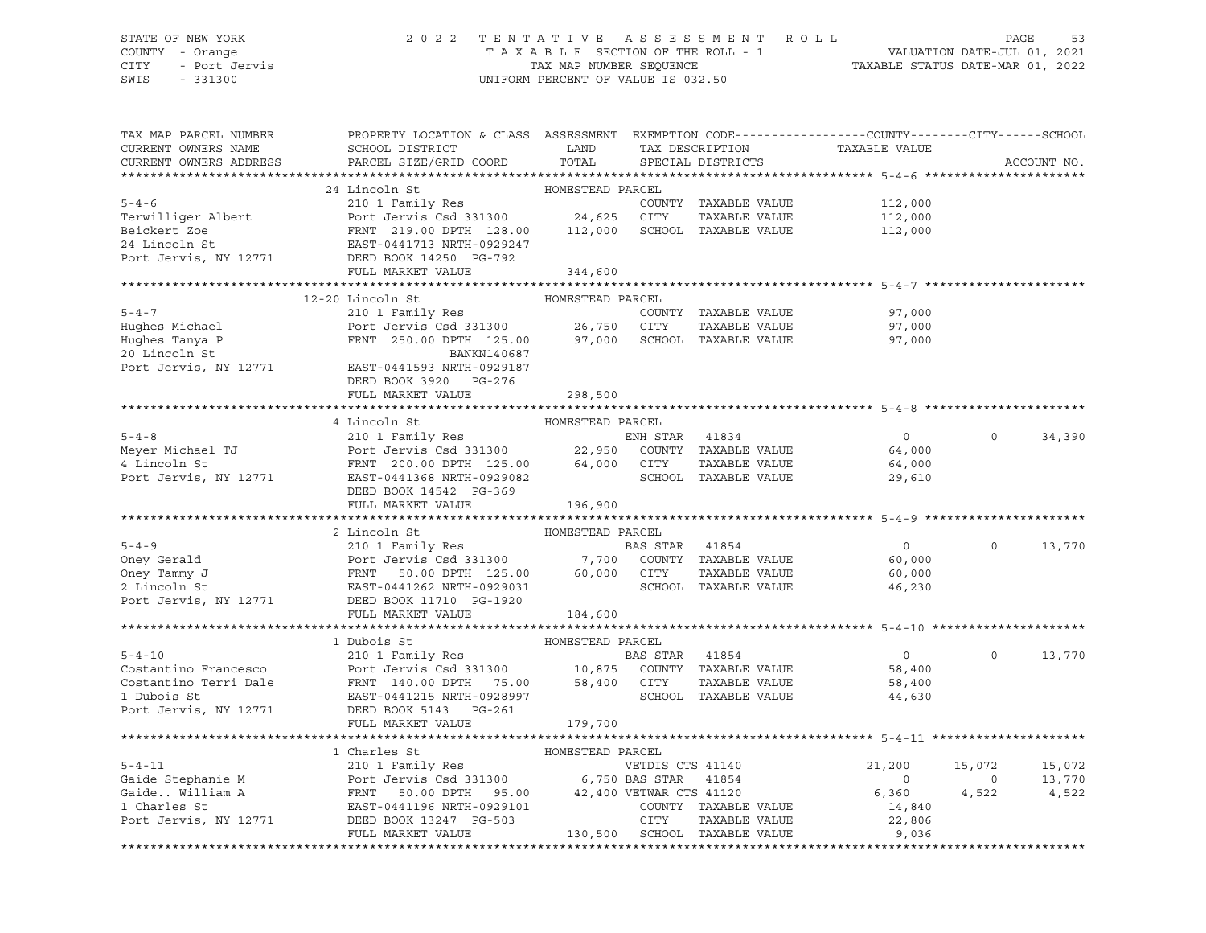# STATE OF NEW YORK 2 0 2 2 T E N T A T I V E A S S E S S M E N T R O L L PAGE 53 COUNTY - Orange T A X A B L E SECTION OF THE ROLL - 1 VALUATION DATE-JUL 01, 2021 CITY - Port Jervis TAX MAP NUMBER SEQUENCE TAXABLE STATUS DATE-MAR 01, 2022

| TAX MAP PARCEL NUMBER<br>CURRENT OWNERS NAME<br>CURRENT OWNERS ADDRESS                                          | PROPERTY LOCATION & CLASS ASSESSMENT<br>SCHOOL DISTRICT<br>PARCEL SIZE/GRID COORD                                                                    | LAND<br>TOTAL    |          | TAX DESCRIPTION<br>SPECIAL DISTRICTS | EXEMPTION CODE-----------------COUNTY-------CITY------SCHOOL<br>TAXABLE VALUE |                | ACCOUNT NO. |
|-----------------------------------------------------------------------------------------------------------------|------------------------------------------------------------------------------------------------------------------------------------------------------|------------------|----------|--------------------------------------|-------------------------------------------------------------------------------|----------------|-------------|
|                                                                                                                 |                                                                                                                                                      |                  |          |                                      |                                                                               |                |             |
|                                                                                                                 | 24 Lincoln St                                                                                                                                        | HOMESTEAD PARCEL |          |                                      |                                                                               |                |             |
| $5 - 4 - 6$                                                                                                     | 210 1 Family Res COUNT<br>Port Jervis Csd 331300 24,625 CITY                                                                                         |                  |          | COUNTY TAXABLE VALUE                 | 112,000                                                                       |                |             |
| Terwilliger Albert                                                                                              |                                                                                                                                                      |                  |          | TAXABLE VALUE                        | 112,000                                                                       |                |             |
| Beickert Zoe                                                                                                    | FRNT 219.00 DPTH 128.00 112,000                                                                                                                      |                  |          | SCHOOL TAXABLE VALUE                 | 112,000                                                                       |                |             |
| 24 Lincoln St                                                                                                   | EAST-0441713 NRTH-0929247                                                                                                                            |                  |          |                                      |                                                                               |                |             |
| Port Jervis, NY 12771                                                                                           | DEED BOOK 14250 PG-792                                                                                                                               |                  |          |                                      |                                                                               |                |             |
|                                                                                                                 | FULL MARKET VALUE                                                                                                                                    | 344,600          |          |                                      |                                                                               |                |             |
|                                                                                                                 |                                                                                                                                                      |                  |          |                                      |                                                                               |                |             |
|                                                                                                                 | 12-20 Lincoln St                                                                                                                                     | HOMESTEAD PARCEL |          |                                      |                                                                               |                |             |
| $5 - 4 - 7$                                                                                                     | 210 1 Family Res                                                                                                                                     |                  |          | COUNTY TAXABLE VALUE                 | 97,000                                                                        |                |             |
| Hughes Michael                                                                                                  | Port Jervis Csd 331300 26,750 CITY<br>FRNT 250.00 DPTH 125.00 97,000 SCHOO                                                                           |                  |          | TAXABLE VALUE                        | 97,000                                                                        |                |             |
| Hughes Tanya P                                                                                                  |                                                                                                                                                      |                  |          | SCHOOL TAXABLE VALUE                 | 97,000                                                                        |                |             |
| 20 Lincoln St                                                                                                   | BANKN140687                                                                                                                                          |                  |          |                                      |                                                                               |                |             |
| Port Jervis, NY 12771                                                                                           | EAST-0441593 NRTH-0929187                                                                                                                            |                  |          |                                      |                                                                               |                |             |
|                                                                                                                 | DEED BOOK 3920 PG-276                                                                                                                                |                  |          |                                      |                                                                               |                |             |
|                                                                                                                 | FULL MARKET VALUE                                                                                                                                    | 298,500          |          |                                      |                                                                               |                |             |
|                                                                                                                 |                                                                                                                                                      |                  |          |                                      |                                                                               |                |             |
|                                                                                                                 | 4 Lincoln St                                                                                                                                         | HOMESTEAD PARCEL |          |                                      |                                                                               | $\Omega$       |             |
| $5 - 4 - 8$                                                                                                     | 210 1 Family Res<br>210 1 Family Res<br>Port Jervis Csd 331300 22,950 COUNTY TAXABLE VALUE                                                           |                  |          |                                      | $\overline{0}$                                                                |                | 34,390      |
| Meyer Michael TJ                                                                                                |                                                                                                                                                      |                  |          |                                      | 64,000                                                                        |                |             |
| 4 Lincoln St                                                                                                    | FRNT 200.00 DPTH 125.00 64,000 CITY                                                                                                                  |                  |          | TAXABLE VALUE                        | 64,000                                                                        |                |             |
| Port Jervis, NY 12771                                                                                           | EAST-0441368 NRTH-0929082                                                                                                                            |                  |          | SCHOOL TAXABLE VALUE                 | 29,610                                                                        |                |             |
|                                                                                                                 | DEED BOOK 14542 PG-369<br>FULL MARKET VALUE                                                                                                          |                  |          |                                      |                                                                               |                |             |
|                                                                                                                 |                                                                                                                                                      | 196,900          |          |                                      |                                                                               |                |             |
|                                                                                                                 | 2 Lincoln St                                                                                                                                         | HOMESTEAD PARCEL |          |                                      |                                                                               |                |             |
| $5 - 4 - 9$                                                                                                     |                                                                                                                                                      |                  |          |                                      | $\overline{0}$                                                                | $\Omega$       | 13,770      |
| Oney Gerald                                                                                                     |                                                                                                                                                      |                  |          |                                      | 60,000                                                                        |                |             |
| Oney Gerald<br>Oney Tammy J<br>2 Lincoln St<br>2 Lincoln St<br>Port Jervis, NY 12771<br>DEED BOOK 11710 PG-1920 | BAS STAR 41854<br>Port Jervis Csd 331300 7,700 COUNTY TAXABLE VALUE<br>FRNT 50.00 DPTH 125.00 60,000 CITY TAXABLE VALUE<br>EAST-0441262 NRTH-0929031 |                  |          |                                      | 60,000                                                                        |                |             |
|                                                                                                                 |                                                                                                                                                      |                  |          |                                      | 46,230                                                                        |                |             |
|                                                                                                                 |                                                                                                                                                      |                  |          |                                      |                                                                               |                |             |
|                                                                                                                 | FULL MARKET VALUE                                                                                                                                    | 184,600          |          |                                      |                                                                               |                |             |
|                                                                                                                 |                                                                                                                                                      |                  |          |                                      |                                                                               |                |             |
|                                                                                                                 | 1 Dubois St                                                                                                                                          | HOMESTEAD PARCEL |          |                                      |                                                                               |                |             |
| $5 - 4 - 10$                                                                                                    | 210 1 Family Res                                                                                                                                     |                  | BAS STAR | 41854                                | $\overline{0}$                                                                | $\Omega$       | 13,770      |
| Costantino Francesco                                                                                            | Port Jervis Csd 331300 10,875 COUNTY TAXABLE VALUE                                                                                                   |                  |          |                                      | 58,400                                                                        |                |             |
| Costantino Terri Dale                                                                                           | FRNT 140.00 DPTH 75.00                                                                                                                               | 58,400 CITY      |          | TAXABLE VALUE                        | 58,400                                                                        |                |             |
| 1 Dubois St                                                                                                     | EAST-0441215 NRTH-0928997                                                                                                                            |                  |          | SCHOOL TAXABLE VALUE                 | 44,630                                                                        |                |             |
| Port Jervis, NY 12771                                                                                           | DEED BOOK 5143 PG-261                                                                                                                                |                  |          |                                      |                                                                               |                |             |
|                                                                                                                 | FULL MARKET VALUE                                                                                                                                    | 179,700          |          |                                      |                                                                               |                |             |
|                                                                                                                 |                                                                                                                                                      |                  |          |                                      |                                                                               |                |             |
|                                                                                                                 | 1 Charles St                                                                                                                                         | HOMESTEAD PARCEL |          |                                      |                                                                               |                |             |
| $5 - 4 - 11$                                                                                                    | 210 1 Family Res<br>210 1 Family Res<br>Port Jervis Csd 331300 6,750 BAS STAR 41854                                                                  |                  |          |                                      | 21,200                                                                        | 15,072         | 15,072      |
| Gaide Stephanie M<br>Gaide William A<br>1 Charles St<br>BAST-04                                                 |                                                                                                                                                      |                  |          |                                      | $\overline{\phantom{0}}$                                                      | $\overline{0}$ | 13,770      |
|                                                                                                                 | 50.00 DPTH 95.00 42,400 VETWAR CTS 41120                                                                                                             |                  |          |                                      | 6,360                                                                         | 4,522          | 4,522       |
| 1 Charles St                                                                                                    | EAST-0441196 NRTH-0929101                                                                                                                            |                  |          | COUNTY TAXABLE VALUE                 | 14,840                                                                        |                |             |
| Port Jervis, NY 12771                                                                                           | DEED BOOK 13247 PG-503                                                                                                                               |                  | CITY     | TAXABLE VALUE                        | 22,806                                                                        |                |             |
|                                                                                                                 | FULL MARKET VALUE                                                                                                                                    |                  |          | 130,500 SCHOOL TAXABLE VALUE         | 9,036                                                                         |                |             |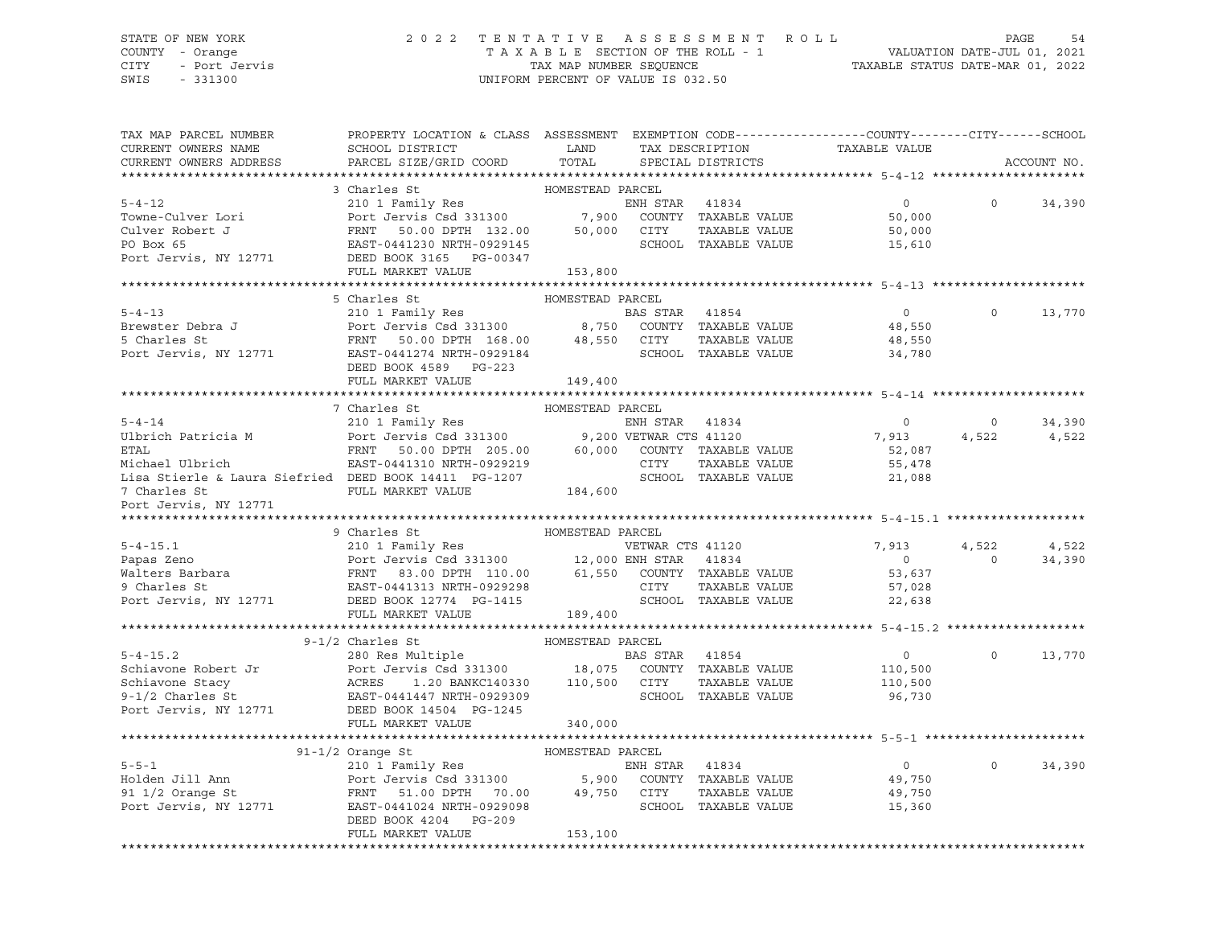### STATE OF NEW YORK 2 0 2 2 T E N T A T I V E A S S E S S M E N T R O L L PAGE 54 COUNTY - Orange T A X A B L E SECTION OF THE ROLL - 1 VALUATION DATE-JUL 01, 2021 CITY - Port Jervis TAX MAP NUMBER SEQUENCE TAXABLE STATUS DATE-MAR 01, 2022

| TAX MAP PARCEL NUMBER<br>CURRENT OWNERS NAME<br>CURRENT OWNERS ADDRESS                                                                                                                                                                      | PROPERTY LOCATION & CLASS ASSESSMENT EXEMPTION CODE----------------COUNTY-------CITY------SCHOOL<br>SCHOOL DISTRICT<br>PARCEL SIZE/GRID COORD                               | LAND<br>TOTAL    |                | TAX DESCRIPTION<br>SPECIAL DISTRICTS | TAXABLE VALUE  |                | ACCOUNT NO. |
|---------------------------------------------------------------------------------------------------------------------------------------------------------------------------------------------------------------------------------------------|-----------------------------------------------------------------------------------------------------------------------------------------------------------------------------|------------------|----------------|--------------------------------------|----------------|----------------|-------------|
|                                                                                                                                                                                                                                             |                                                                                                                                                                             |                  |                |                                      |                |                |             |
|                                                                                                                                                                                                                                             | 3 Charles St                                                                                                                                                                | HOMESTEAD PARCEL |                |                                      |                |                |             |
| $5 - 4 - 12$                                                                                                                                                                                                                                | ENH STAR 41834<br>210 1 Family Res<br>Port Jervis Csd 331300 7,900 COUNTY TAXABLE VALUE                                                                                     |                  |                |                                      | $\overline{0}$ | $\Omega$       | 34,390      |
| Towne-Culver Lori                                                                                                                                                                                                                           |                                                                                                                                                                             |                  |                |                                      | 50,000         |                |             |
| Culver Robert J                                                                                                                                                                                                                             | FRNT 50.00 DPTH 132.00 50,000                                                                                                                                               |                  | CITY           | TAXABLE VALUE                        | 50,000         |                |             |
| PO Box 65                                                                                                                                                                                                                                   | EAST-0441230 NRTH-0929145                                                                                                                                                   |                  |                | SCHOOL TAXABLE VALUE                 | 15,610         |                |             |
| Port Jervis, NY 12771                                                                                                                                                                                                                       | DEED BOOK 3165 PG-00347                                                                                                                                                     |                  |                |                                      |                |                |             |
|                                                                                                                                                                                                                                             | FULL MARKET VALUE                                                                                                                                                           | 153,800          |                |                                      |                |                |             |
|                                                                                                                                                                                                                                             |                                                                                                                                                                             |                  |                |                                      |                |                |             |
|                                                                                                                                                                                                                                             | 5 Charles St                                                                                                                                                                | HOMESTEAD PARCEL |                |                                      |                |                |             |
| $5 - 4 - 13$                                                                                                                                                                                                                                |                                                                                                                                                                             |                  |                |                                      | $\Omega$       | $\Omega$       | 13,770      |
| b-4-15<br>Brewster Debra J<br>5 Charles St                                                                                                                                                                                                  |                                                                                                                                                                             |                  |                |                                      | 48,550         |                |             |
|                                                                                                                                                                                                                                             |                                                                                                                                                                             |                  |                |                                      | 48,550         |                |             |
| Port Jervis, NY 12771                                                                                                                                                                                                                       | 210 1 Family Res<br>Port Jervis Csd 331300 8,750 COUNTY TAXABLE VALUE<br>FRNT 50.00 DPTH 168.00 48,550 CITY TAXABLE VALUE<br>EAST-0441274 NRTH-0929184 SCHOOL TAXABLE VALUE |                  |                |                                      | 34,780         |                |             |
|                                                                                                                                                                                                                                             | DEED BOOK 4589 PG-223                                                                                                                                                       |                  |                |                                      |                |                |             |
|                                                                                                                                                                                                                                             | FULL MARKET VALUE                                                                                                                                                           | 149,400          |                |                                      |                |                |             |
|                                                                                                                                                                                                                                             |                                                                                                                                                                             |                  |                |                                      |                |                |             |
|                                                                                                                                                                                                                                             | 7 Charles St                                                                                                                                                                | HOMESTEAD PARCEL |                |                                      |                |                |             |
| $5 - 4 - 14$                                                                                                                                                                                                                                | 210 1 Family Res                                                                                                                                                            |                  | ENH STAR 41834 |                                      | $\overline{0}$ | $\circ$        | 34,390      |
| Ulbrich Patricia M                                                                                                                                                                                                                          | Port Jervis Csd 331300 9,200 VETWAR CTS 41120<br>FRNT 50.00 DPTH 205.00 60,000 COUNTY TAXABLE VALUE                                                                         |                  |                |                                      | 7,913          | 4,522          | 4,522       |
| <b>ETAL</b>                                                                                                                                                                                                                                 |                                                                                                                                                                             |                  |                |                                      | 52,087         |                |             |
| Michael Ulbrich                                                                                                                                                                                                                             | EAST-0441310 NRTH-0929219                                                                                                                                                   |                  | CITY           | TAXABLE VALUE                        | 55,478         |                |             |
| Lisa Stierle & Laura Siefried DEED BOOK 14411 PG-1207                                                                                                                                                                                       |                                                                                                                                                                             |                  |                | SCHOOL TAXABLE VALUE                 | 21,088         |                |             |
| 7 Charles St                                                                                                                                                                                                                                | FULL MARKET VALUE                                                                                                                                                           | 184,600          |                |                                      |                |                |             |
| Port Jervis, NY 12771                                                                                                                                                                                                                       |                                                                                                                                                                             |                  |                |                                      |                |                |             |
|                                                                                                                                                                                                                                             |                                                                                                                                                                             |                  |                |                                      |                |                |             |
|                                                                                                                                                                                                                                             | HOMESTEAD PARCEL<br>9 Charles St                                                                                                                                            |                  |                |                                      |                |                |             |
| 9 CHARGEL 210 1 Family Res<br>Papas Zeno 210 1 Family Res<br>WETWAR CTS 41120<br>Walters Barbara FRNT 83.00 DPTH 110.00 202398<br>9 Charles St<br>22 Online FRNT 83.00 DPTH 110.00 61,550 COUNTY TAXABLE VALUE<br>9 Charles St<br>22 Online |                                                                                                                                                                             |                  |                |                                      | 7,913          | 4,522          | 4,522       |
|                                                                                                                                                                                                                                             |                                                                                                                                                                             |                  |                |                                      | $\overline{0}$ | $\overline{0}$ | 34,390      |
|                                                                                                                                                                                                                                             |                                                                                                                                                                             |                  |                |                                      | 53,637         |                |             |
|                                                                                                                                                                                                                                             |                                                                                                                                                                             |                  |                |                                      | 57,028         |                |             |
|                                                                                                                                                                                                                                             |                                                                                                                                                                             |                  |                |                                      | 22,638         |                |             |
|                                                                                                                                                                                                                                             | FULL MARKET VALUE                                                                                                                                                           | 189,400          |                |                                      |                |                |             |
|                                                                                                                                                                                                                                             |                                                                                                                                                                             |                  |                |                                      |                |                |             |
|                                                                                                                                                                                                                                             | $9-1/2$ Charles St                                                                                                                                                          | HOMESTEAD PARCEL |                |                                      |                |                |             |
|                                                                                                                                                                                                                                             |                                                                                                                                                                             |                  | BAS STAR 41854 |                                      | $\overline{0}$ | $\Omega$       | 13,770      |
|                                                                                                                                                                                                                                             |                                                                                                                                                                             |                  |                |                                      | 110,500        |                |             |
|                                                                                                                                                                                                                                             | Port Jervis Csd 331300 18,075 COUNTY TAXABLE VALUE<br>ACRES 1.20 BANKC140330 110,500 CITY TAXABLE VALUE                                                                     |                  |                |                                      | 110,500        |                |             |
|                                                                                                                                                                                                                                             |                                                                                                                                                                             |                  |                | SCHOOL TAXABLE VALUE                 | 96,730         |                |             |
| 9-1/2 Charles St<br>Port Jervis, NY 12771 DEED BOOK 14504 PG-1245                                                                                                                                                                           |                                                                                                                                                                             |                  |                |                                      |                |                |             |
|                                                                                                                                                                                                                                             | FULL MARKET VALUE                                                                                                                                                           | 340,000          |                |                                      |                |                |             |
|                                                                                                                                                                                                                                             |                                                                                                                                                                             |                  |                |                                      |                |                |             |
|                                                                                                                                                                                                                                             | $91-1/2$ Orange St                                                                                                                                                          | HOMESTEAD PARCEL |                |                                      |                |                |             |
| $5 - 5 - 1$                                                                                                                                                                                                                                 | 210 1 Family Res                                                                                                                                                            |                  | ENH STAR 41834 |                                      | $\overline{0}$ | $\Omega$       | 34,390      |
| Holden Jill Ann                                                                                                                                                                                                                             |                                                                                                                                                                             |                  |                |                                      | 49,750         |                |             |
| 91 $1/2$ Orange St                                                                                                                                                                                                                          |                                                                                                                                                                             |                  |                |                                      | 49,750         |                |             |
| pi 1/4 vrange st<br>Port Jervis, NY 12771                                                                                                                                                                                                   | 210 1 Family Ness<br>Port Jervis Csd 331300 5,900 COUNTY TAXABLE VALUE<br>FRNT 51.00 DPTH 70.00 49,750 CITY TAXABLE VALUE<br>EAST-0441024 NRTH-0929098 SCHOOL TAXABLE VALUE |                  |                |                                      | 15,360         |                |             |
|                                                                                                                                                                                                                                             | DEED BOOK 4204 PG-209                                                                                                                                                       |                  |                |                                      |                |                |             |
|                                                                                                                                                                                                                                             | FULL MARKET VALUE                                                                                                                                                           | 153,100          |                |                                      |                |                |             |
|                                                                                                                                                                                                                                             |                                                                                                                                                                             |                  |                |                                      |                |                |             |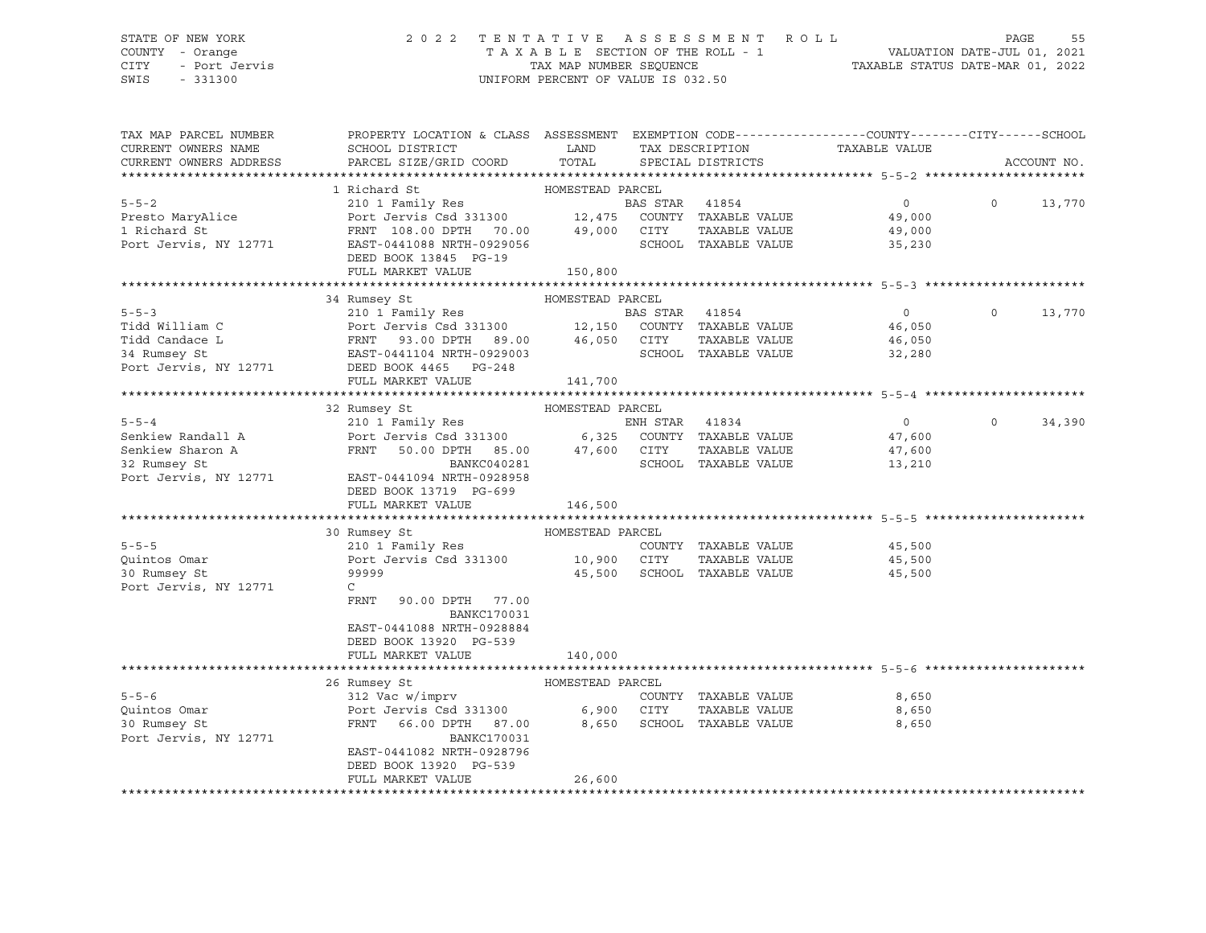### STATE OF NEW YORK 2 0 2 2 T E N T A T I V E A S S E S S M E N T R O L L PAGE 55 COUNTY - Orange T A X A B L E SECTION OF THE ROLL - 1 VALUATION DATE-JUL 01, 2021 CITY - Port Jervis TAX MAP NUMBER SEQUENCE TAXABLE STATUS DATE-MAR 01, 2022 SWIS - 331300 UNIFORM PERCENT OF VALUE IS 032.50

| TAX MAP PARCEL NUMBER<br>CURRENT OWNERS NAME<br>CURRENT OWNERS ADDRESS                                                                                                | PROPERTY LOCATION & CLASS ASSESSMENT EXEMPTION CODE----------------COUNTY-------CITY------SCHOOL<br>SCHOOL DISTRICT<br>PARCEL SIZE/GRID COORD                                                                                                                                                                                                                                                                                                   | LAND<br>TOTAL                                                        |                | TAX DESCRIPTION<br>SPECIAL DISTRICTS                                                                   | TAXABLE VALUE                                                              |          | ACCOUNT NO. |
|-----------------------------------------------------------------------------------------------------------------------------------------------------------------------|-------------------------------------------------------------------------------------------------------------------------------------------------------------------------------------------------------------------------------------------------------------------------------------------------------------------------------------------------------------------------------------------------------------------------------------------------|----------------------------------------------------------------------|----------------|--------------------------------------------------------------------------------------------------------|----------------------------------------------------------------------------|----------|-------------|
|                                                                                                                                                                       |                                                                                                                                                                                                                                                                                                                                                                                                                                                 |                                                                      |                |                                                                                                        |                                                                            |          |             |
| $5 - 5 - 2$<br>Presto MaryAlice<br>1 Richard St<br>Port Jervis, NY 12771                                                                                              | 1 Richard St<br>210 1 Family Res<br>Port Jervis Csd 331300 12,475<br>FRNT 108.00 DPTH 70.00 49,000 CITY<br>EAST-0441088 NRTH-0929056<br>DEED BOOK 13845 PG-19<br>FULL MARKET VALUE                                                                                                                                                                                                                                                              | HOMESTEAD PARCEL<br>150,800                                          | BAS STAR 41854 | COUNTY TAXABLE VALUE<br>TAXABLE VALUE<br>SCHOOL TAXABLE VALUE                                          | $\overline{0}$<br>49,000<br>49,000<br>35,230                               | $\Omega$ | 13,770      |
|                                                                                                                                                                       |                                                                                                                                                                                                                                                                                                                                                                                                                                                 |                                                                      |                |                                                                                                        |                                                                            |          |             |
| $5 - 5 - 3$<br>Tidd William C<br>Tidd Candace L<br>34 Rumsey St<br>Port Jervis, NY 12771                                                                              | 34 Rumsey St<br>210 1 Family Res<br>Port Jervis Csd 331300 12,150 COUNTY TAXABLE VALUE<br>Port Jervis Csd 331300 12,150 COUNII<br>FRNT 93.00 DPTH 89.00 46,050 CITY<br>EAST-0441104 NRTH-0929003 SCHOOL<br>DEED BOOK 4465 PG-248<br>FULL MARKET VALUE                                                                                                                                                                                           | HOMESTEAD PARCEL<br>141,700                                          | BAS STAR 41854 | TAXABLE VALUE<br>SCHOOL TAXABLE VALUE                                                                  | $\overline{0}$<br>46,050<br>46,050<br>32,280                               | $\Omega$ | 13,770      |
|                                                                                                                                                                       |                                                                                                                                                                                                                                                                                                                                                                                                                                                 |                                                                      |                |                                                                                                        |                                                                            |          |             |
| $5 - 5 - 4$<br>Senkiew Randall A<br>Senkiew Sharon A<br>32 Rumsey St<br>Port Jervis, NY 12771<br>$5 - 5 - 5$<br>Ouintos Omar<br>30 Rumsey St<br>Port Jervis, NY 12771 | 32 Rumsey St<br>210 1 Family Res<br>Port Jervis Csd 331300 6,325 COUNTY TAXABLE VALUE<br>FRNT 50.00 DPTH 85.00 47,600 CITY<br>BANKC040281<br>EAST-0441094 NRTH-0928958<br>DEED BOOK 13719 PG-699<br>FULL MARKET VALUE<br>30 Rumsey St<br>210 1 Family Res<br>Port Jervis Csd 331300 10,900 CITY<br>99999<br>$\mathsf{C}$<br>FRNT<br>90.00 DPTH 77.00<br>BANKC170031<br>EAST-0441088 NRTH-0928884<br>DEED BOOK 13920 PG-539<br>FULL MARKET VALUE | HOMESTEAD PARCEL<br>146,500<br>HOMESTEAD PARCEL<br>45,500<br>140,000 | ENH STAR 41834 | TAXABLE VALUE<br>SCHOOL TAXABLE VALUE<br>COUNTY TAXABLE VALUE<br>TAXABLE VALUE<br>SCHOOL TAXABLE VALUE | $\overline{0}$<br>47,600<br>47,600<br>13,210<br>45,500<br>45,500<br>45,500 | $\Omega$ | 34,390      |
|                                                                                                                                                                       |                                                                                                                                                                                                                                                                                                                                                                                                                                                 |                                                                      |                |                                                                                                        |                                                                            |          |             |
| $5 - 5 - 6$<br>Quintos Omar<br>30 Rumsey St<br>Port Jervis, NY 12771                                                                                                  | 26 Rumsey St<br>312 Vac w/imprv<br>Port Jervis Csd 331300<br>FRNT 66.00 DPTH 87.00<br><b>BANKC170031</b><br>EAST-0441082 NRTH-0928796<br>DEED BOOK 13920 PG-539<br>FULL MARKET VALUE                                                                                                                                                                                                                                                            | HOMESTEAD PARCEL<br>6,900<br>8,650<br>26,600                         | CITY           | COUNTY TAXABLE VALUE<br>TAXABLE VALUE<br>SCHOOL TAXABLE VALUE                                          | 8,650<br>8,650<br>8,650                                                    |          |             |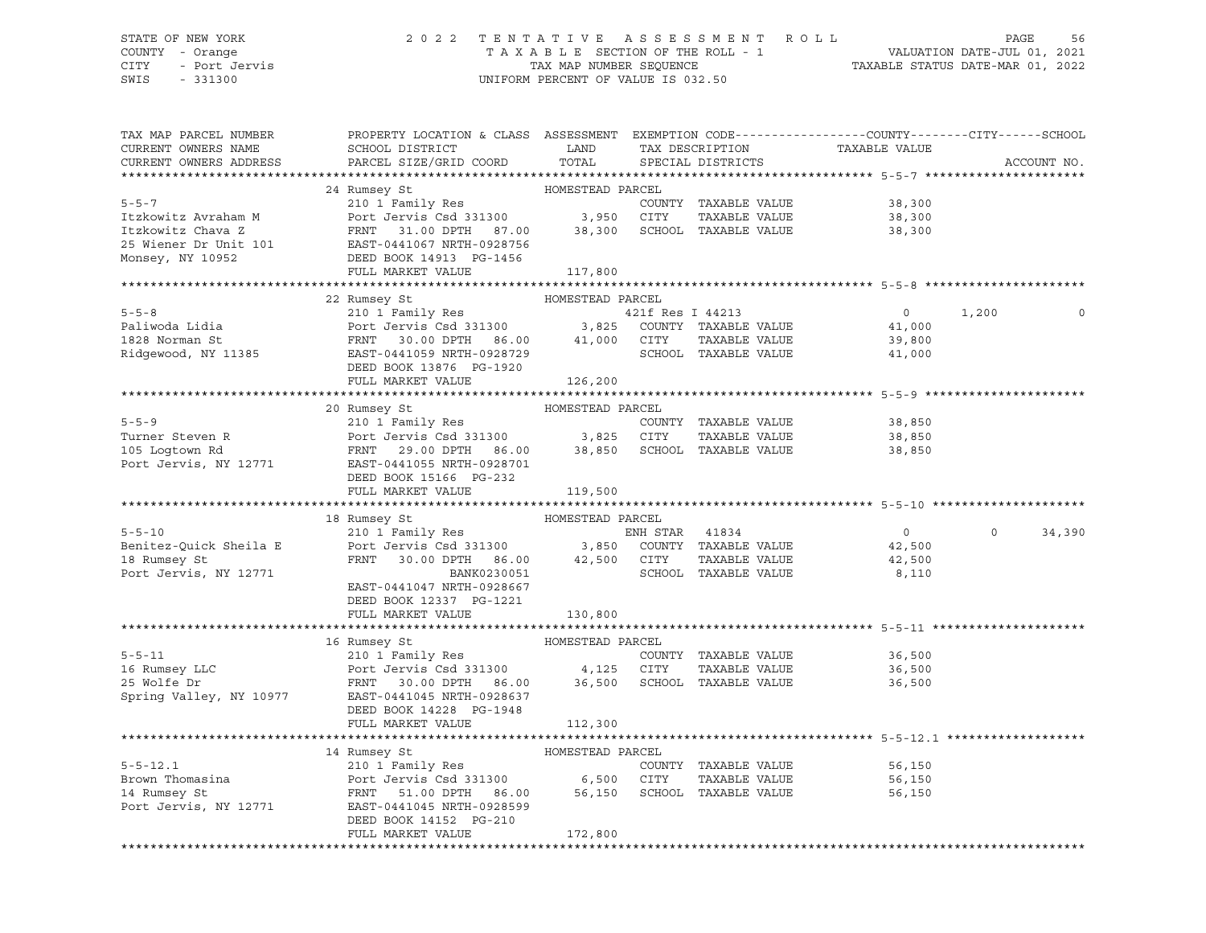## STATE OF NEW YORK 2 0 2 2 T E N T A T I V E A S S E S S M E N T R O L L PAGE 56 COUNTY - Orange T A X A B L E SECTION OF THE ROLL - 1 VALUATION DATE-JUL 01, 2021 CITY - Port Jervis TAX MAP NUMBER SEQUENCE TAXABLE STATUS DATE-MAR 01, 2022

| TAX MAP PARCEL NUMBER<br>CURRENT OWNERS NAME<br>CURRENT OWNERS ADDRESS | PROPERTY LOCATION & CLASS ASSESSMENT EXEMPTION CODE---------------COUNTY-------CITY------SCHOOL<br>SCHOOL DISTRICT<br>PARCEL SIZE/GRID COORD                               | LAND<br>TOTAL    | TAX DESCRIPTION<br>SPECIAL DISTRICTS | TAXABLE VALUE  |          | ACCOUNT NO. |
|------------------------------------------------------------------------|----------------------------------------------------------------------------------------------------------------------------------------------------------------------------|------------------|--------------------------------------|----------------|----------|-------------|
|                                                                        |                                                                                                                                                                            |                  |                                      |                |          |             |
|                                                                        | 24 Rumsey St                                                                                                                                                               | HOMESTEAD PARCEL |                                      |                |          |             |
| $5 - 5 - 7$                                                            | 210 1 Family Res<br>Port Jervis Csd 331300 3,950 CITY                                                                                                                      |                  | COUNTY TAXABLE VALUE                 | 38,300         |          |             |
| Itzkowitz Avraham M                                                    |                                                                                                                                                                            |                  | TAXABLE VALUE                        | 38,300         |          |             |
| Itzkowitz Chava Z                                                      | FRNT 31.00 DPTH 87.00                                                                                                                                                      |                  | 38,300 SCHOOL TAXABLE VALUE          | 38,300         |          |             |
|                                                                        | 25 Wiener Dr Unit 101 EAST-0441067 NRTH-0928756                                                                                                                            |                  |                                      |                |          |             |
| Monsey, NY 10952                                                       | DEED BOOK 14913 PG-1456                                                                                                                                                    |                  |                                      |                |          |             |
|                                                                        | FULL MARKET VALUE                                                                                                                                                          | 117,800          |                                      |                |          |             |
|                                                                        |                                                                                                                                                                            |                  |                                      |                |          |             |
|                                                                        | 22 Rumsey St                                                                                                                                                               | HOMESTEAD PARCEL |                                      |                |          |             |
| $5 - 5 - 8$                                                            | 210 1 Family Res<br>Port Jervis Csd 331300 3,825 COUNTY TAXABLE VALUE<br>FRNT 30.00 DPTH 86.00 41,000 CITY TAXABLE VALUE<br>EAST-0441059 NRTH-0928729 SCHOOL TAXABLE VALUE |                  |                                      | $\overline{0}$ | 1,200    | 0           |
| Paliwoda Lidia                                                         |                                                                                                                                                                            |                  |                                      | 41,000         |          |             |
| $1828$ Norman St                                                       |                                                                                                                                                                            |                  |                                      | 39,800         |          |             |
| Ridgewood, NY 11385                                                    |                                                                                                                                                                            |                  |                                      | 41,000         |          |             |
|                                                                        | DEED BOOK 13876 PG-1920                                                                                                                                                    |                  |                                      |                |          |             |
|                                                                        | FULL MARKET VALUE                                                                                                                                                          | 126,200          |                                      |                |          |             |
|                                                                        |                                                                                                                                                                            |                  |                                      |                |          |             |
|                                                                        | 20 Rumsey St<br>Rumsey St<br>210 1 Family Res                                                                                                                              | HOMESTEAD PARCEL |                                      |                |          |             |
| $5 - 5 - 9$                                                            |                                                                                                                                                                            |                  | COUNTY TAXABLE VALUE                 | 38,850         |          |             |
| Turner Steven R<br>105 Logtown Rd                                      | Port Jervis Csd 331300                3,825    CITY      TAXABLE VALUE<br>FRNT     29.00 DPTH    86.00          38,850     SCHOOL   TAXABLE VALUE                          |                  | TAXABLE VALUE                        | 38,850         |          |             |
|                                                                        |                                                                                                                                                                            |                  |                                      | 38,850         |          |             |
| Port Jervis, NY 12771                                                  | EAST-0441055 NRTH-0928701                                                                                                                                                  |                  |                                      |                |          |             |
|                                                                        | DEED BOOK 15166 PG-232                                                                                                                                                     |                  |                                      |                |          |             |
|                                                                        | FULL MARKET VALUE                                                                                                                                                          | 119,500          |                                      |                |          |             |
|                                                                        |                                                                                                                                                                            |                  |                                      |                |          |             |
|                                                                        | 18 Rumsey St                                                                                                                                                               | HOMESTEAD PARCEL |                                      |                |          |             |
| $5 - 5 - 10$                                                           | 210 1 Family Res BNH STAR 41834                                                                                                                                            |                  |                                      | $\overline{0}$ | $\Omega$ | 34,390      |
| Benitez-Quick Sheila E                                                 | Port Jervis Csd 331300 3,850 COUNTY TAXABLE VALUE                                                                                                                          |                  |                                      | 42,500         |          |             |
| 18 Rumsey St                                                           | FRNT 30.00 DPTH 86.00 42,500 CITY<br>BANK0230051 SCHOOL                                                                                                                    |                  | TAXABLE VALUE                        | 42,500         |          |             |
| Port Jervis, NY 12771                                                  |                                                                                                                                                                            |                  | SCHOOL TAXABLE VALUE                 | 8,110          |          |             |
|                                                                        | EAST-0441047 NRTH-0928667                                                                                                                                                  |                  |                                      |                |          |             |
|                                                                        | DEED BOOK 12337 PG-1221                                                                                                                                                    |                  |                                      |                |          |             |
|                                                                        | FULL MARKET VALUE                                                                                                                                                          | 130,800          |                                      |                |          |             |
|                                                                        |                                                                                                                                                                            |                  |                                      |                |          |             |
| $5 - 5 - 11$                                                           | 16 Rumsey St<br>Rumsey St                         HOMESTEAD PARCEL                             COUN                                                                        |                  |                                      |                |          |             |
|                                                                        |                                                                                                                                                                            |                  | COUNTY TAXABLE VALUE                 | 36,500         |          |             |
| 16 Rumsey LLC<br>25 Welfe Dr                                           | Port Jervis Csd 331300 4,125 CITY<br>FRNT 30.00 DPTH 86.00 36,500 SCHOOL TAXABLE VALUE                                                                                     |                  | TAXABLE VALUE                        | 36,500         |          |             |
|                                                                        |                                                                                                                                                                            |                  |                                      | 36,500         |          |             |
| Spring Valley, NY 10977                                                | -<br>EAST-0441045 NRTH-0928637                                                                                                                                             |                  |                                      |                |          |             |
|                                                                        | DEED BOOK 14228 PG-1948                                                                                                                                                    |                  |                                      |                |          |             |
|                                                                        | FULL MARKET VALUE                                                                                                                                                          | 112,300          |                                      |                |          |             |
|                                                                        |                                                                                                                                                                            | HOMESTEAD PARCEL |                                      |                |          |             |
| $5 - 5 - 12.1$                                                         | 14 Rumsey St<br>210 1 Family Res                                                                                                                                           |                  | COUNTY TAXABLE VALUE                 | 56,150         |          |             |
|                                                                        |                                                                                                                                                                            |                  | TAXABLE VALUE                        | 56,150         |          |             |
| Brown Thomasina<br>14 Rumsey St<br>14 Rumsey St                        | Port Jervis Csd 331300 6,500 CITY TAXABLE VALUE<br>FRNT 51.00 DPTH 86.00 56,150 SCHOOL TAXABLE VALUE                                                                       |                  |                                      |                |          |             |
|                                                                        |                                                                                                                                                                            |                  |                                      | 56,150         |          |             |
| Port Jervis, NY 12771                                                  | EAST-0441045 NRTH-0928599<br>DEED BOOK 14152 PG-210                                                                                                                        |                  |                                      |                |          |             |
|                                                                        | FULL MARKET VALUE                                                                                                                                                          |                  |                                      |                |          |             |
|                                                                        |                                                                                                                                                                            | 172,800          |                                      |                |          |             |
|                                                                        |                                                                                                                                                                            |                  |                                      |                |          |             |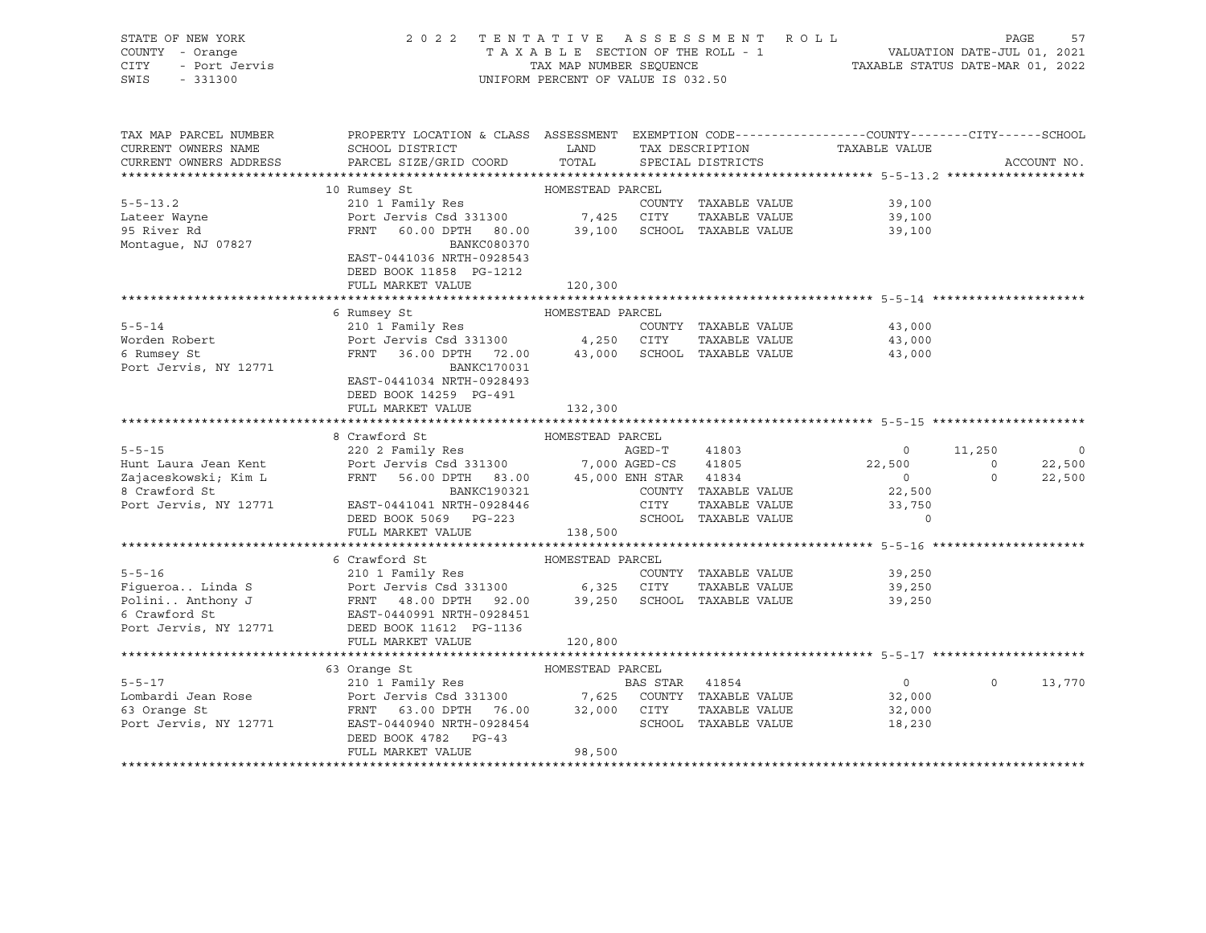| STATE OF NEW YORK<br>Y - Orange<br>- Port Jervis<br>- 331300<br>COUNTY - Orange<br>CITY<br>SWIS<br>$-331300$ | 2022 TENTATIVE ASSESSMENT ROLL                                                                                                                                                                                                                      | UNIFORM PERCENT OF VALUE IS 032.50 |                      | FAGE 57<br>TAXABLE SECTION OF THE ROLL - 1 VALUATION DATE-JUL 01, 2021<br>TAXABLE STATUS DATE-MAR 01, 2022 | PAGE     | 57          |
|--------------------------------------------------------------------------------------------------------------|-----------------------------------------------------------------------------------------------------------------------------------------------------------------------------------------------------------------------------------------------------|------------------------------------|----------------------|------------------------------------------------------------------------------------------------------------|----------|-------------|
| TAX MAP PARCEL NUMBER                                                                                        | PROPERTY LOCATION & CLASS ASSESSMENT EXEMPTION CODE----------------COUNTY-------CITY------SCHOOL<br>CURRENT OWNERS NAME SCHOOL DISTRICT LAND TAX DESCRIPTION TAXABLE VALUE<br>CURRENT OWNERS ADDRESS PARCEL SIZE/GRID COORD TOTAL SPECIAL DISTRICTS |                                    |                      |                                                                                                            |          | ACCOUNT NO. |
|                                                                                                              |                                                                                                                                                                                                                                                     |                                    |                      |                                                                                                            |          |             |
|                                                                                                              | 10 Rumsey St                                                                                                                                                                                                                                        |                                    |                      |                                                                                                            |          |             |
| $5 - 5 - 13.2$                                                                                               |                                                                                                                                                                                                                                                     |                                    |                      | 39,100                                                                                                     |          |             |
| Lateer Wayne<br>95 River Rd                                                                                  |                                                                                                                                                                                                                                                     |                                    |                      | 39,100<br>39,100                                                                                           |          |             |
| Montague, NJ 07827                                                                                           | BANKC080370<br>EAST-0441036 NRTH-0928543                                                                                                                                                                                                            |                                    |                      |                                                                                                            |          |             |
|                                                                                                              | DEED BOOK 11858 PG-1212<br>FULL MARKET VALUE                                                                                                                                                                                                        | 120,300                            |                      |                                                                                                            |          |             |
|                                                                                                              |                                                                                                                                                                                                                                                     |                                    |                      |                                                                                                            |          |             |
| $5 - 5 - 14$                                                                                                 | 6 Rumsey St                                                                                                                                                                                                                                         | HOMESTEAD PARCEL                   |                      | 43,000                                                                                                     |          |             |
| Worden Robert                                                                                                | 210 1 Family Res<br>Port Jervis Csd 331300 4,250 CITY TAXABLE VALUE<br>FRNT 36.00 DPTH 72.00 43,000 SCHOOL TAXABLE VALUE                                                                                                                            |                                    | COUNTY TAXABLE VALUE | 43,000                                                                                                     |          |             |
| 6 Rumsey St                                                                                                  |                                                                                                                                                                                                                                                     |                                    |                      | 43,000                                                                                                     |          |             |
| Port Jervis, NY 12771                                                                                        | BANKC170031                                                                                                                                                                                                                                         |                                    |                      |                                                                                                            |          |             |
|                                                                                                              | EAST-0441034 NRTH-0928493                                                                                                                                                                                                                           |                                    |                      |                                                                                                            |          |             |
|                                                                                                              | DEED BOOK 14259 PG-491                                                                                                                                                                                                                              |                                    |                      |                                                                                                            |          |             |
|                                                                                                              | FULL MARKET VALUE                                                                                                                                                                                                                                   | 132,300                            |                      |                                                                                                            |          |             |
|                                                                                                              | 8 Crawford St                                                                                                                                                                                                                                       | HOMESTEAD PARCEL                   |                      |                                                                                                            |          |             |
|                                                                                                              | 220 2 Family Res                                                                                                                                                                                                                                    |                                    |                      |                                                                                                            |          |             |
|                                                                                                              |                                                                                                                                                                                                                                                     |                                    |                      |                                                                                                            |          |             |
|                                                                                                              | 5-5-15<br>Hunt Laura Jean Kent<br>Zajaceskowski; Kim L<br>220 2 Family Res<br>Port Jervis Csd 331300<br>FRNT 56.00 DPTH 83.00<br>8 Crawford St<br>Port Jervis, NY 12771<br>EAST-0441041 NRTH-0928446<br>DEED POR SOM STAR 41834<br>COUNTY TAXABLE   |                                    |                      | $\begin{array}{cccc} & 0 & 11,250 & 0 \\ 22,500 & 0 & 22,500 \\ 0 & 0 & 22,500 \end{array}$                |          |             |
|                                                                                                              |                                                                                                                                                                                                                                                     |                                    |                      |                                                                                                            |          |             |
|                                                                                                              |                                                                                                                                                                                                                                                     |                                    |                      |                                                                                                            |          |             |
|                                                                                                              |                                                                                                                                                                                                                                                     |                                    |                      |                                                                                                            |          |             |
|                                                                                                              | FULL MARKET VALUE                                                                                                                                                                                                                                   | 138,500                            |                      |                                                                                                            |          |             |
|                                                                                                              | 6 Crawford St                                                                                                                                                                                                                                       | HOMESTEAD PARCEL                   |                      |                                                                                                            |          |             |
| $5 - 5 - 16$                                                                                                 | 210 1 Family Res                                                                                                                                                                                                                                    |                                    | COUNTY TAXABLE VALUE | 39,250                                                                                                     |          |             |
|                                                                                                              |                                                                                                                                                                                                                                                     |                                    | TAXABLE VALUE        | 39,250                                                                                                     |          |             |
|                                                                                                              | Figueroa Linda S<br>Port Jervis Csd 331300 6,325 CITY TAXABLE VALUE<br>Polini Anthony J<br>FRNT 48.00 DPTH 92.00 39,250 SCHOOL TAXABLE VALUE<br>6 Crawford St<br>Port Jervis, NY 12771 DEED BOOK 11612 PG-1136                                      |                                    |                      | 39,250                                                                                                     |          |             |
|                                                                                                              |                                                                                                                                                                                                                                                     |                                    |                      |                                                                                                            |          |             |
|                                                                                                              |                                                                                                                                                                                                                                                     |                                    |                      |                                                                                                            |          |             |
|                                                                                                              | FULL MARKET VALUE                                                                                                                                                                                                                                   | 120,800                            |                      |                                                                                                            |          |             |
|                                                                                                              |                                                                                                                                                                                                                                                     |                                    |                      | ******************************* 5-5-17 *******************                                                 |          |             |
|                                                                                                              | 63 Orange St                                                                                                                                                                                                                                        | HOMESTEAD PARCEL                   |                      |                                                                                                            |          |             |
|                                                                                                              |                                                                                                                                                                                                                                                     |                                    |                      | $\overline{0}$<br>32,000                                                                                   | $\Omega$ | 13,770      |
|                                                                                                              |                                                                                                                                                                                                                                                     |                                    |                      | 32,000                                                                                                     |          |             |
|                                                                                                              | 5-5-17<br>Lombardi Jean Rose<br>Example 210 1 Family Res<br>FRNT 63.00 DPTH 76.00<br>POTT JENT 63.00 DPTH 76.00<br>POTT 32,000 CITY TAXABLE VALUE<br>POTT JENT FRNT 63.00 DPTH 76.00<br>POTT 32,000 CITY TAXABLE VALUE<br>POTT JENT DOW 4700 D      |                                    |                      | 18,230                                                                                                     |          |             |
|                                                                                                              | DEED BOOK 4782 PG-43                                                                                                                                                                                                                                |                                    |                      |                                                                                                            |          |             |
|                                                                                                              | FULL MARKET VALUE                                                                                                                                                                                                                                   | 98,500                             |                      |                                                                                                            |          |             |
|                                                                                                              |                                                                                                                                                                                                                                                     |                                    |                      |                                                                                                            |          |             |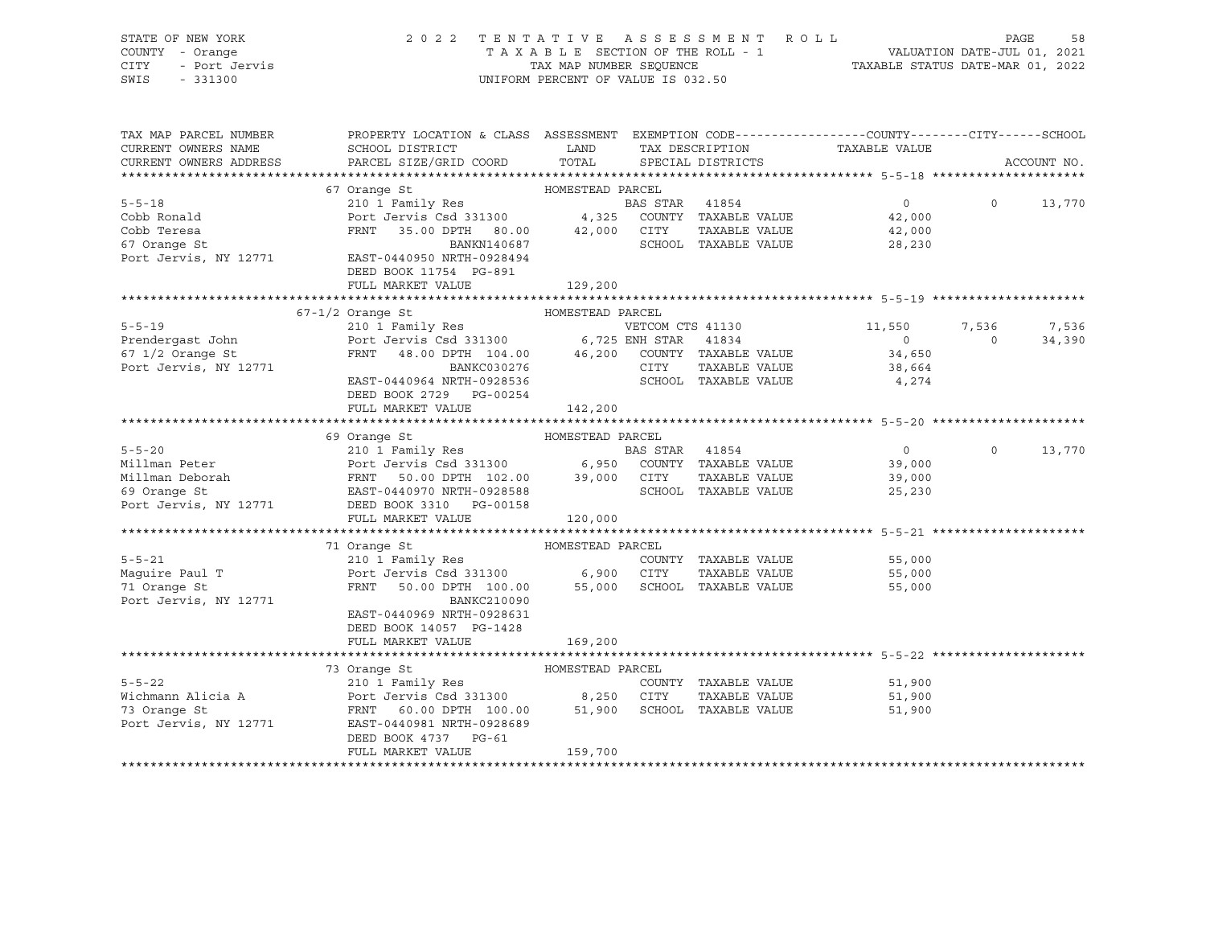| STATE OF NEW YORK<br>COUNTY - Orange<br><b>CITY</b><br>- Port Jervis<br>$-331300$<br>SWIS | 2022 TENTATIVE ASSESSMENT ROLL                                                                                     | UNIFORM PERCENT OF VALUE IS 032.50 |                 |                      |                               |          | PAGE<br>58  |
|-------------------------------------------------------------------------------------------|--------------------------------------------------------------------------------------------------------------------|------------------------------------|-----------------|----------------------|-------------------------------|----------|-------------|
| TAX MAP PARCEL NUMBER<br>CURRENT OWNERS NAME                                              | PROPERTY LOCATION & CLASS ASSESSMENT EXEMPTION CODE---------------COUNTY-------CITY------SCHOOL<br>SCHOOL DISTRICT | <b>EXAMPLE TO A LAND</b>           |                 |                      | TAX DESCRIPTION TAXABLE VALUE |          |             |
| CURRENT OWNERS ADDRESS                                                                    | PARCEL SIZE/GRID COORD TOTAL SPECIAL DISTRICTS                                                                     |                                    |                 |                      |                               |          | ACCOUNT NO. |
|                                                                                           |                                                                                                                    |                                    |                 |                      |                               |          |             |
|                                                                                           | 67 Orange St                                                                                                       | HOMESTEAD PARCEL                   |                 |                      |                               |          |             |
| $5 - 5 - 18$                                                                              | 210 1 Family Res                                                                                                   |                                    | BAS STAR 41854  |                      | $\overline{0}$                | $\Omega$ | 13,770      |
| Cobb Ronald                                                                               | Port Jervis Csd 331300 4,325 COUNTY TAXABLE VALUE 42,000                                                           |                                    |                 |                      |                               |          |             |
| Cobb Teresa                                                                               | FRNT 35.00 DPTH 80.00 42,000 CITY                                                                                  | BANKN140687                        |                 | SCHOOL TAXABLE VALUE | TAXABLE VALUE 42,000          |          |             |
| 67 Orange St<br>Port Jervis, NY 12771                                                     | EAST-0440950 NRTH-0928494                                                                                          |                                    |                 |                      | 28,230                        |          |             |
|                                                                                           | DEED BOOK 11754 PG-891                                                                                             |                                    |                 |                      |                               |          |             |
|                                                                                           | FULL MARKET VALUE                                                                                                  | 129,200                            |                 |                      |                               |          |             |
|                                                                                           |                                                                                                                    |                                    |                 |                      |                               |          |             |
|                                                                                           | $67 - 1/2$ Orange St<br>HOMESTEAD PARCEL                                                                           |                                    |                 |                      |                               |          |             |
| $5 - 5 - 19$                                                                              | 210 1 Family Res                                                                                                   |                                    |                 |                      | VETCOM CTS 41130 11,550 7,536 |          | 7,536       |
| Prendergast John Port Jervis Csd 331300 6,725 ENH STAR 41834                              |                                                                                                                    |                                    |                 |                      | $\overline{0}$                | $\Omega$ | 34,390      |
| $67$ $1/2$ Orange St                                                                      | FRNT 48.00 DPTH 104.00 46,200 COUNTY TAXABLE VALUE 34,650                                                          |                                    |                 |                      |                               |          |             |
| Port Jervis, NY 12771                                                                     | <b>BANKC030276</b>                                                                                                 |                                    | CITY            |                      | TAXABLE VALUE 38,664          |          |             |
|                                                                                           | EAST-0440964 NRTH-0928536                                                                                          |                                    |                 | SCHOOL TAXABLE VALUE | 4,274                         |          |             |
|                                                                                           | DEED BOOK 2729 PG-00254                                                                                            |                                    |                 |                      |                               |          |             |
|                                                                                           | FULL MARKET VALUE                                                                                                  | 142,200                            |                 |                      |                               |          |             |
|                                                                                           |                                                                                                                    |                                    |                 |                      |                               |          |             |
|                                                                                           | 69 Orange St<br>HOMESTEAD PARCEL                                                                                   |                                    |                 |                      |                               |          |             |
| $5 - 5 - 20$                                                                              | 210 1 Family Res                                                                                                   |                                    | <b>BAS STAR</b> | 41854                | $\overline{0}$                | $\circ$  | 13,770      |
| Millman Peter 39,000 Port Jervis Csd 331300 6,950 COUNTY TAXABLE VALUE 39,000             |                                                                                                                    |                                    |                 |                      |                               |          |             |
| Millman Deborah (FRNT 50.00 DPTH 102.00 39,000 CITY                                       |                                                                                                                    |                                    |                 | TAXABLE VALUE        | 39,000                        |          |             |
| 69 Orange St                                                                              | EAST-0440970 NRTH-0928588                                                                                          |                                    |                 | SCHOOL TAXABLE VALUE | 25,230                        |          |             |
| Port Jervis, NY 12771                                                                     | DEED BOOK 3310 PG-00158                                                                                            |                                    |                 |                      |                               |          |             |

|                       | 71 Orange St                                                      | HOMESTEAD PARCEL |        |                      |        |  |
|-----------------------|-------------------------------------------------------------------|------------------|--------|----------------------|--------|--|
| $5 - 5 - 21$          | 210 1 Family Res                                                  |                  | COUNTY | TAXABLE VALUE        | 55,000 |  |
| Maquire Paul T        | Port Jervis Csd 331300 6,900 CITY TAXABLE VALUE                   |                  |        |                      | 55,000 |  |
| 71 Orange St          | FRNT 50.00 DPTH 100.00 55,000                                     |                  |        | SCHOOL TAXABLE VALUE | 55,000 |  |
| Port Jervis, NY 12771 | BANKC210090                                                       |                  |        |                      |        |  |
|                       | EAST-0440969 NRTH-0928631                                         |                  |        |                      |        |  |
|                       | DEED BOOK 14057 PG-1428                                           |                  |        |                      |        |  |
|                       | FULL MARKET VALUE                                                 | 169,200          |        |                      |        |  |
|                       |                                                                   |                  |        |                      |        |  |
|                       | 73 Orange St                                                      | HOMESTEAD PARCEL |        |                      |        |  |
| $5 - 5 - 22$          | 210 1 Family Res                                                  |                  | COUNTY | TAXABLE VALUE        | 51,900 |  |
|                       | Wichmann Alicia A Port Jervis Csd 331300 8,250 CITY TAXABLE VALUE |                  |        |                      | 51,900 |  |
| 73 Orange St          | FRNT 60.00 DPTH 100.00 51,900                                     |                  | SCHOOL | TAXABLE VALUE        | 51,900 |  |
|                       | Port Jervis, NY 12771 EAST-0440981 NRTH-0928689                   |                  |        |                      |        |  |
|                       | DEED BOOK 4737 PG-61                                              |                  |        |                      |        |  |
|                       | FULL MARKET VALUE                                                 | 159,700          |        |                      |        |  |
|                       |                                                                   |                  |        |                      |        |  |

FULL MARKET VALUE 120,000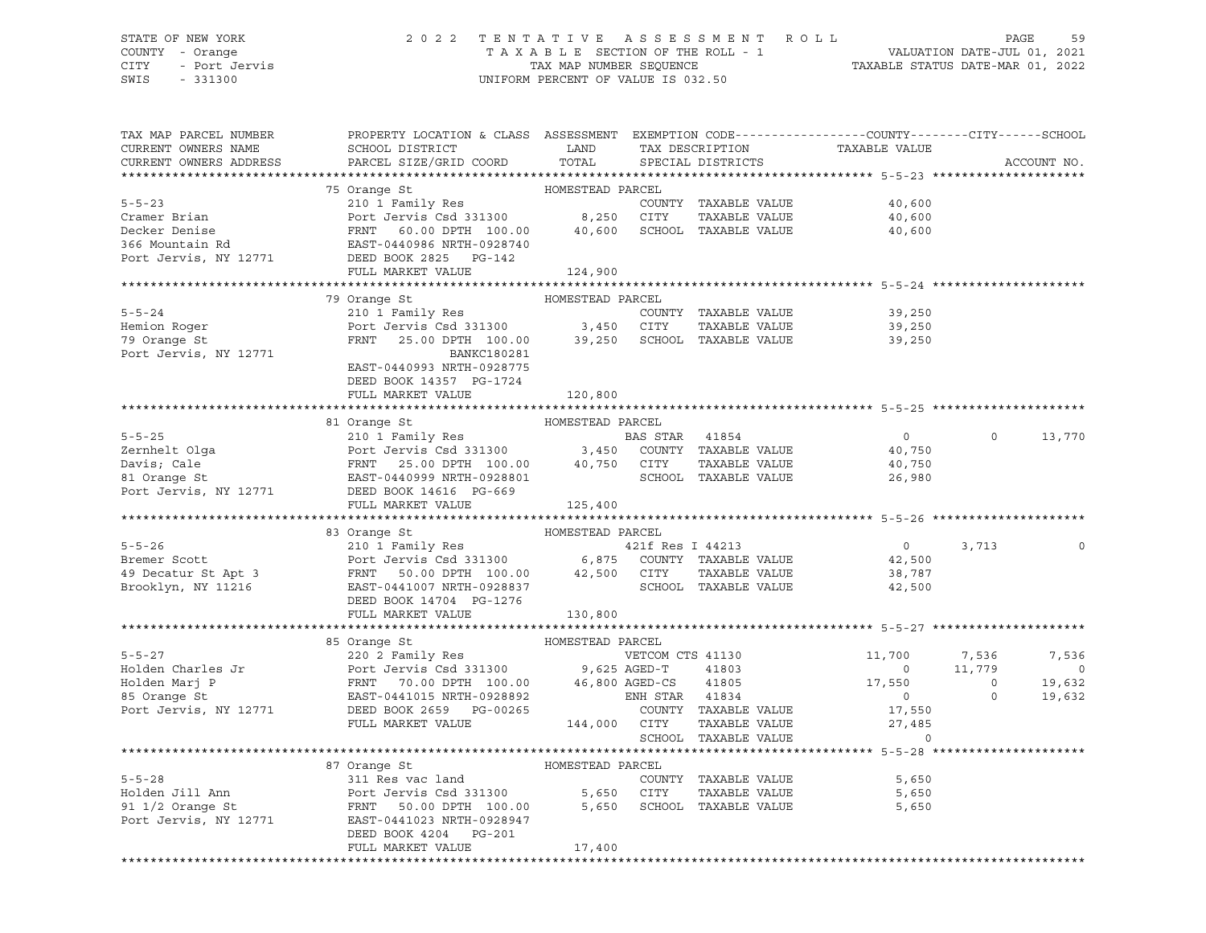# STATE OF NEW YORK 2 0 2 2 T E N T A T I V E A S S E S S M E N T R O L L PAGE 59 COUNTY - Orange T A X A B L E SECTION OF THE ROLL - 1 VALUATION DATE-JUL 01, 2021 CITY - Port Jervis TAX MAP NUMBER SEQUENCE TAXABLE STATUS DATE-MAR 01, 2022

| TAX MAP PARCEL NUMBER<br>CURRENT OWNERS NAME<br>CURRENT OWNERS ADDRESS | PROPERTY LOCATION & CLASS ASSESSMENT EXEMPTION CODE---------------COUNTY-------CITY------SCHOOL<br>SCHOOL DISTRICT LAND TAX DESCRIPTION<br>PARCEL SIZE/GRID COORD TOTAL                                                                                                                                                                                                                                                                       |                  | SPECIAL DISTRICTS    | TAXABLE VALUE                         |          | ACCOUNT NO. |
|------------------------------------------------------------------------|-----------------------------------------------------------------------------------------------------------------------------------------------------------------------------------------------------------------------------------------------------------------------------------------------------------------------------------------------------------------------------------------------------------------------------------------------|------------------|----------------------|---------------------------------------|----------|-------------|
|                                                                        | $\begin{tabular}{lllllllllll} \texttt{5-5-23} & \texttt{75 Orange St} & \texttt{HOMESTEAD PARCEL} \\ \texttt{Cramer Brian} & \texttt{Port Jervis Csd 331300} & 8,250 CITY TAXABLE VALUE \\ \texttt{Decker Denis} & \texttt{FRNT} & 60.00 DPTH 100.00 & 40,600 SCHOOL TAXABLE VALUE \\ \texttt{366 Mountain Rd} & \texttt{EAST-0440986 NRTH-0928740} \\ \texttt{Port Jervis, NY 12771} & \texttt{DEED BOK 2825 PG-142} \\ \texttt{FUL$         |                  |                      |                                       |          |             |
|                                                                        |                                                                                                                                                                                                                                                                                                                                                                                                                                               |                  |                      |                                       |          |             |
|                                                                        |                                                                                                                                                                                                                                                                                                                                                                                                                                               |                  |                      | 40,600                                |          |             |
|                                                                        |                                                                                                                                                                                                                                                                                                                                                                                                                                               |                  |                      | 40,600                                |          |             |
|                                                                        |                                                                                                                                                                                                                                                                                                                                                                                                                                               |                  |                      | 40,600                                |          |             |
|                                                                        |                                                                                                                                                                                                                                                                                                                                                                                                                                               |                  |                      |                                       |          |             |
|                                                                        |                                                                                                                                                                                                                                                                                                                                                                                                                                               |                  |                      |                                       |          |             |
|                                                                        |                                                                                                                                                                                                                                                                                                                                                                                                                                               |                  |                      |                                       |          |             |
|                                                                        | 79 Orange St                                                                                                                                                                                                                                                                                                                                                                                                                                  | HOMESTEAD PARCEL |                      |                                       |          |             |
| $5 - 5 - 24$                                                           | 210 1 Family Res<br>Port Jervis Csd 331300 3,450 CITY TAXABLE VALUE<br>FRNT 25.00 DTN TAXABLE 39,250 SCHOOL TAXABLE VALUE                                                                                                                                                                                                                                                                                                                     |                  |                      | 39,250                                |          |             |
| Hemion Roger                                                           |                                                                                                                                                                                                                                                                                                                                                                                                                                               |                  |                      | 39,250                                |          |             |
| 79 Orange St                                                           |                                                                                                                                                                                                                                                                                                                                                                                                                                               |                  |                      | 39,250                                |          |             |
| Port Jervis, NY 12771                                                  | BANKC180281                                                                                                                                                                                                                                                                                                                                                                                                                                   |                  |                      |                                       |          |             |
|                                                                        | EAST-0440993 NRTH-0928775                                                                                                                                                                                                                                                                                                                                                                                                                     |                  |                      |                                       |          |             |
|                                                                        | DEED BOOK 14357 PG-1724                                                                                                                                                                                                                                                                                                                                                                                                                       |                  |                      |                                       |          |             |
|                                                                        | FULL MARKET VALUE                                                                                                                                                                                                                                                                                                                                                                                                                             | 120,800          |                      |                                       |          |             |
|                                                                        |                                                                                                                                                                                                                                                                                                                                                                                                                                               |                  |                      |                                       |          |             |
|                                                                        | $\begin{tabular}{lllllllllllll} \multicolumn{3}{c }{5-5-25} & \multicolumn{3}{c }{5-5-25} & \multicolumn{3}{c }{HOMESTEAD PARCH} & \multicolumn{3}{c }{BAS STAR} & 41854 & \multicolumn{3}{c }{BAS STAR} & 41854 & \multicolumn{3}{c }{BAS STAR} & 41854 & \multicolumn{3}{c }{BAS STAR} & 41854 & \multicolumn{3}{c }{BAS STAR} & 41854 & \multicolumn{3}{c }{BAS STAR} & 41854 & \multicolumn{3}{c }{BAS ST$                                |                  |                      |                                       |          |             |
|                                                                        |                                                                                                                                                                                                                                                                                                                                                                                                                                               |                  |                      | $\overline{0}$                        | $\Omega$ | 13,770      |
|                                                                        |                                                                                                                                                                                                                                                                                                                                                                                                                                               |                  |                      | 40,750                                |          |             |
|                                                                        |                                                                                                                                                                                                                                                                                                                                                                                                                                               |                  |                      | 40,750<br>26,980                      |          |             |
|                                                                        |                                                                                                                                                                                                                                                                                                                                                                                                                                               |                  |                      |                                       |          |             |
|                                                                        | FULL MARKET VALUE 125,400                                                                                                                                                                                                                                                                                                                                                                                                                     |                  |                      |                                       |          |             |
|                                                                        |                                                                                                                                                                                                                                                                                                                                                                                                                                               |                  |                      |                                       |          |             |
|                                                                        | $\begin{tabular}{lllllllllll} \texttt{5-5-26} & & & & & & \texttt{HOMESTEAD} & \texttt{PARCEL} \\ & & & & & & \texttt{HOMESTEAD} & \texttt{PARCEL} \\ & & & & & & \texttt{POMESTEAD} & \texttt{PARCEL} \\ & & & & & & \texttt{PORCEL} \\ & & & & & & \texttt{Port} & \texttt{Jervis} & \texttt{Csd} & \texttt{331300} & & & \texttt{6,875} & \texttt{COUNTY} & \texttt{TAXABLE VALUE} \\ & & & & & & \texttt{FRNT} & \texttt{50.00 DPTH} & \$ |                  |                      |                                       |          |             |
|                                                                        |                                                                                                                                                                                                                                                                                                                                                                                                                                               |                  |                      | $0 \t 3, 713$                         |          |             |
|                                                                        |                                                                                                                                                                                                                                                                                                                                                                                                                                               |                  |                      | 42,500                                |          |             |
|                                                                        |                                                                                                                                                                                                                                                                                                                                                                                                                                               |                  |                      | 38,787                                |          |             |
|                                                                        |                                                                                                                                                                                                                                                                                                                                                                                                                                               |                  |                      | 42,500                                |          |             |
|                                                                        |                                                                                                                                                                                                                                                                                                                                                                                                                                               |                  |                      |                                       |          |             |
|                                                                        |                                                                                                                                                                                                                                                                                                                                                                                                                                               | 130,800          |                      |                                       |          |             |
|                                                                        |                                                                                                                                                                                                                                                                                                                                                                                                                                               |                  |                      |                                       |          |             |
|                                                                        | 85 Crange St<br>86 Crange St<br>86 Crange St<br>86 Crange St<br>86 Crange St<br>86 Crange St<br>86 Crange St<br>86 Crange St<br>86 Crange St<br>86 Crange St<br>86 Crange St<br>86 Crange St<br>86 Crange St<br>86 Crange St<br>86 Crange St<br>86 Crange St                                                                                                                                                                                  |                  |                      |                                       |          |             |
|                                                                        |                                                                                                                                                                                                                                                                                                                                                                                                                                               |                  |                      |                                       |          |             |
|                                                                        |                                                                                                                                                                                                                                                                                                                                                                                                                                               |                  |                      |                                       |          |             |
|                                                                        |                                                                                                                                                                                                                                                                                                                                                                                                                                               |                  |                      |                                       |          |             |
|                                                                        |                                                                                                                                                                                                                                                                                                                                                                                                                                               |                  |                      | $\frac{17}{27}$ , 550<br>27, 485<br>0 |          |             |
|                                                                        |                                                                                                                                                                                                                                                                                                                                                                                                                                               |                  |                      |                                       |          |             |
|                                                                        |                                                                                                                                                                                                                                                                                                                                                                                                                                               |                  | SCHOOL TAXABLE VALUE |                                       |          |             |
|                                                                        |                                                                                                                                                                                                                                                                                                                                                                                                                                               |                  |                      |                                       |          |             |
|                                                                        | 87 Orange St                                                                                                                                                                                                                                                                                                                                                                                                                                  | HOMESTEAD PARCEL |                      |                                       |          |             |
|                                                                        |                                                                                                                                                                                                                                                                                                                                                                                                                                               |                  |                      | 5,650                                 |          |             |
|                                                                        |                                                                                                                                                                                                                                                                                                                                                                                                                                               |                  |                      | 5,650                                 |          |             |
|                                                                        | FANCEL<br>FANCE OUNTY TAXABLE VALUE<br>FOOT JET SOLO DPTH 100.00 5,650 CITY TAXABLE VALUE<br>POTT JET SOLO DPTH 100.00 5,650 SCHOOL TAXABLE VALUE<br>POTT JET DOLO PTH 100.00 5,650 SCHOOL TAXABLE VALUE<br>POTT JET DOLO PTH 100.00 5,6                                                                                                                                                                                                      |                  |                      | 5,650                                 |          |             |
|                                                                        |                                                                                                                                                                                                                                                                                                                                                                                                                                               |                  |                      |                                       |          |             |
|                                                                        | DEED BOOK 4204 PG-201                                                                                                                                                                                                                                                                                                                                                                                                                         |                  |                      |                                       |          |             |
|                                                                        | FULL MARKET VALUE                                                                                                                                                                                                                                                                                                                                                                                                                             | 17,400           |                      |                                       |          |             |
|                                                                        |                                                                                                                                                                                                                                                                                                                                                                                                                                               |                  |                      |                                       |          |             |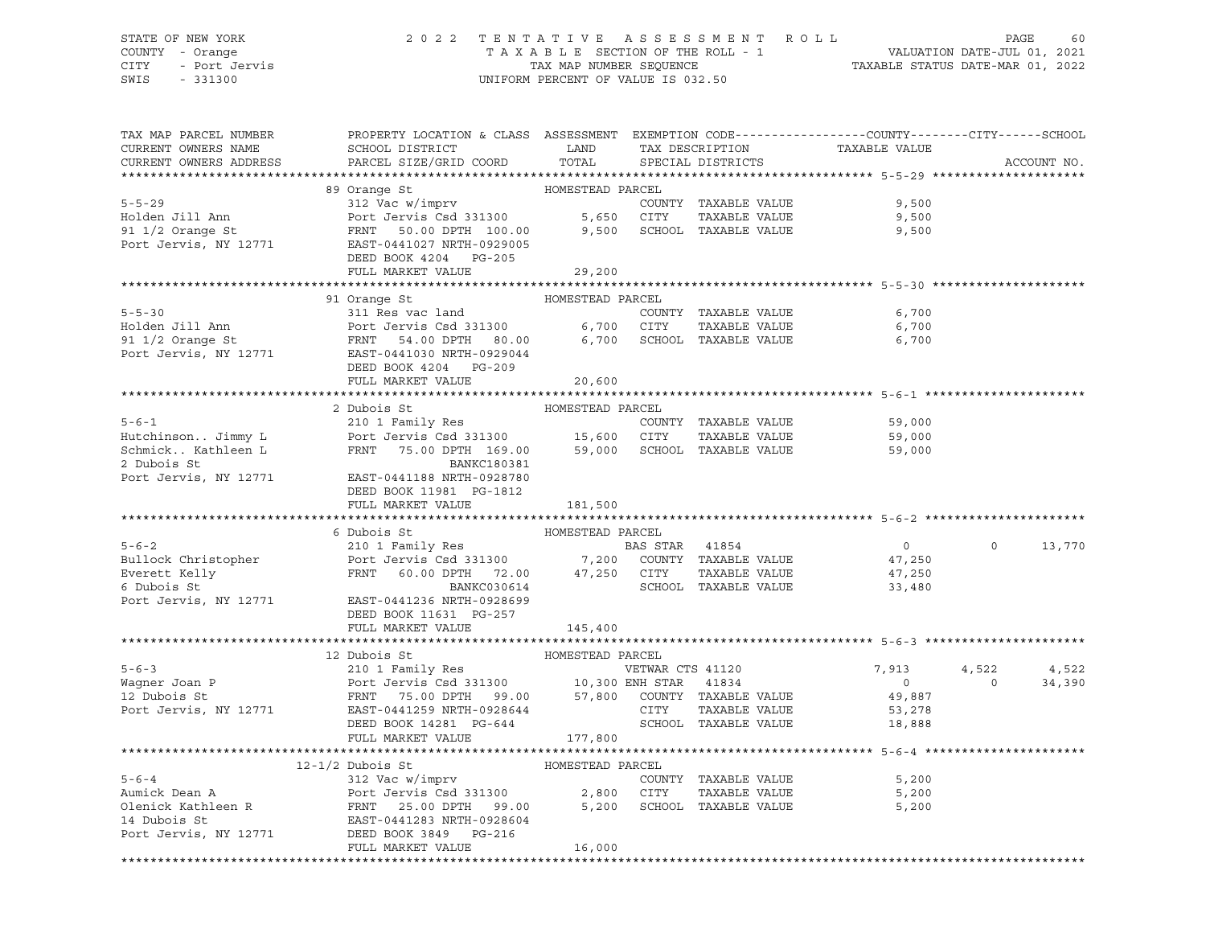### STATE OF NEW YORK 2 0 2 2 T E N T A T I V E A S S E S S M E N T R O L L PAGE 60 COUNTY - Orange T A X A B L E SECTION OF THE ROLL - 1 VALUATION DATE-JUL 01, 2021 CITY - Port Jervis TAX MAP NUMBER SEQUENCE TAXABLE STATUS DATE-MAR 01, 2022

| TAX MAP PARCEL NUMBER<br>CURRENT OWNERS NAME<br>CURRENT OWNERS ADDRESS                                            | PROPERTY LOCATION & CLASS ASSESSMENT EXEMPTION CODE----------------COUNTY-------CITY------SCHOOL<br>SCHOOL DISTRICT LAND<br>PARCEL SIZE/GRID COORD                                                                                                                  | TOTAL                      |                | TAX DESCRIPTION<br>SPECIAL DISTRICTS                                | TAXABLE VALUE                                         |                   | ACCOUNT NO.     |
|-------------------------------------------------------------------------------------------------------------------|---------------------------------------------------------------------------------------------------------------------------------------------------------------------------------------------------------------------------------------------------------------------|----------------------------|----------------|---------------------------------------------------------------------|-------------------------------------------------------|-------------------|-----------------|
|                                                                                                                   |                                                                                                                                                                                                                                                                     |                            |                |                                                                     |                                                       |                   |                 |
| $5 - 5 - 29$<br>Holden Jill Ann<br>91 1/2 Orange St                                                               | 89 Orange St<br>312 Vac w/imprv<br>Port Jervis Csd 331300 5,650 CITY<br>Port Jervis Csu 301000<br>FRNT 50.00 DPTH 100.00<br>------- "PTH-0929005<br>Port Jervis, NY 12771 EAST-0441027 NRTH-0929005<br>DEED BOOK 4204 PG-205                                        | HOMESTEAD PARCEL<br>9,500  |                | COUNTY TAXABLE VALUE<br>TAXABLE VALUE<br>SCHOOL TAXABLE VALUE       | 9,500<br>9,500<br>9,500                               |                   |                 |
|                                                                                                                   | FULL MARKET VALUE                                                                                                                                                                                                                                                   | 29,200                     |                |                                                                     |                                                       |                   |                 |
|                                                                                                                   |                                                                                                                                                                                                                                                                     |                            |                |                                                                     |                                                       |                   |                 |
| $5 - 5 - 30$                                                                                                      | 91 Orange St<br>311 Res vac land<br>DEED BOOK 4204 PG-209                                                                                                                                                                                                           | HOMESTEAD PARCEL           |                | COUNTY TAXABLE VALUE                                                | 6,700<br>6,700<br>6,700                               |                   |                 |
|                                                                                                                   | FULL MARKET VALUE                                                                                                                                                                                                                                                   | 20,600                     |                |                                                                     |                                                       |                   |                 |
|                                                                                                                   |                                                                                                                                                                                                                                                                     |                            |                |                                                                     |                                                       |                   |                 |
| 2 Dubois St<br>Port Jervis, NY 12771                                                                              | 2 Dubois St<br>BANKC180381<br>EAST-0441188 NRTH-0928780                                                                                                                                                                                                             | HOMESTEAD PARCEL           |                |                                                                     | 59,000<br>59,000<br>59,000                            |                   |                 |
|                                                                                                                   | DEED BOOK 11981 PG-1812<br>FULL MARKET VALUE                                                                                                                                                                                                                        | 181,500                    |                |                                                                     |                                                       |                   |                 |
|                                                                                                                   | 6 Dubois St                                                                                                                                                                                                                                                         | HOMESTEAD PARCEL           |                |                                                                     |                                                       |                   |                 |
| $5 - 6 - 2$<br>Bullock Christopher<br>Everett Kelly<br>Everett Kelly<br>Devis St<br>Devi<br>Port Jervis, NY 12771 | 210 1 Family Res<br>Port Jervis Csd 331300 7,200 COUNTY TAXABLE VALUE<br>FRNT 60.00 DPTH 72.00 47,250 CITY TAXABLE VALUE<br>BANKC030614<br>EAST-0441236 NRTH-0928699<br>DEED BOOK 11631 PG-257                                                                      |                            | BAS STAR 41854 | SCHOOL TAXABLE VALUE                                                | $\overline{0}$<br>47,250<br>47,250<br>33,480          | $\circ$           | 13,770          |
|                                                                                                                   | FULL MARKET VALUE                                                                                                                                                                                                                                                   | 145,400                    |                |                                                                     |                                                       |                   |                 |
|                                                                                                                   |                                                                                                                                                                                                                                                                     | HOMESTEAD PARCEL           |                |                                                                     |                                                       |                   |                 |
| $5 - 6 - 3$                                                                                                       | 12 Dubois St<br>210 1 Family Res<br>Wagner Joan P<br>Magner Joan P<br>10,300 ENH STAR 41834<br>12 Dubois St<br>Port Jervis, NY 12771<br>EAST-0441259 NRTH-0928644<br>EAST-0441259 NRTH-0928644<br>CITY TAXABLE VALUE<br>DEED BOOK 14281 PG-644<br>FULL MARKET VALUE | 177,800                    |                | VETWAR CTS 41120<br>SCHOOL TAXABLE VALUE                            | 7,913<br>$\overline{0}$<br>49,887<br>53,278<br>18,888 | 4,522<br>$\Omega$ | 4,522<br>34,390 |
|                                                                                                                   |                                                                                                                                                                                                                                                                     |                            |                |                                                                     |                                                       |                   |                 |
| $5 - 6 - 4$<br>Aumick Dean A<br>Olenick Kathleen R<br>14 Dubois St<br>Port Jervis, NY 12771                       | $12 - 1/2$ Dubois St<br>312 Vac w/imprv<br>Port Jervis Csd 331300 2,800 CITY<br>FRNT 25.00 DPTH 99.00 5,200 SCHOOL<br>EAST-0441283 NRTH-0928604<br>DEED BOOK 3849 PG-216<br>FULL MARKET VALUE                                                                       | HOMESTEAD PARCEL<br>16,000 |                | COUNTY TAXABLE VALUE<br>TAXABLE VALUE<br>5,200 SCHOOL TAXABLE VALUE | 5,200<br>5,200<br>5,200                               |                   |                 |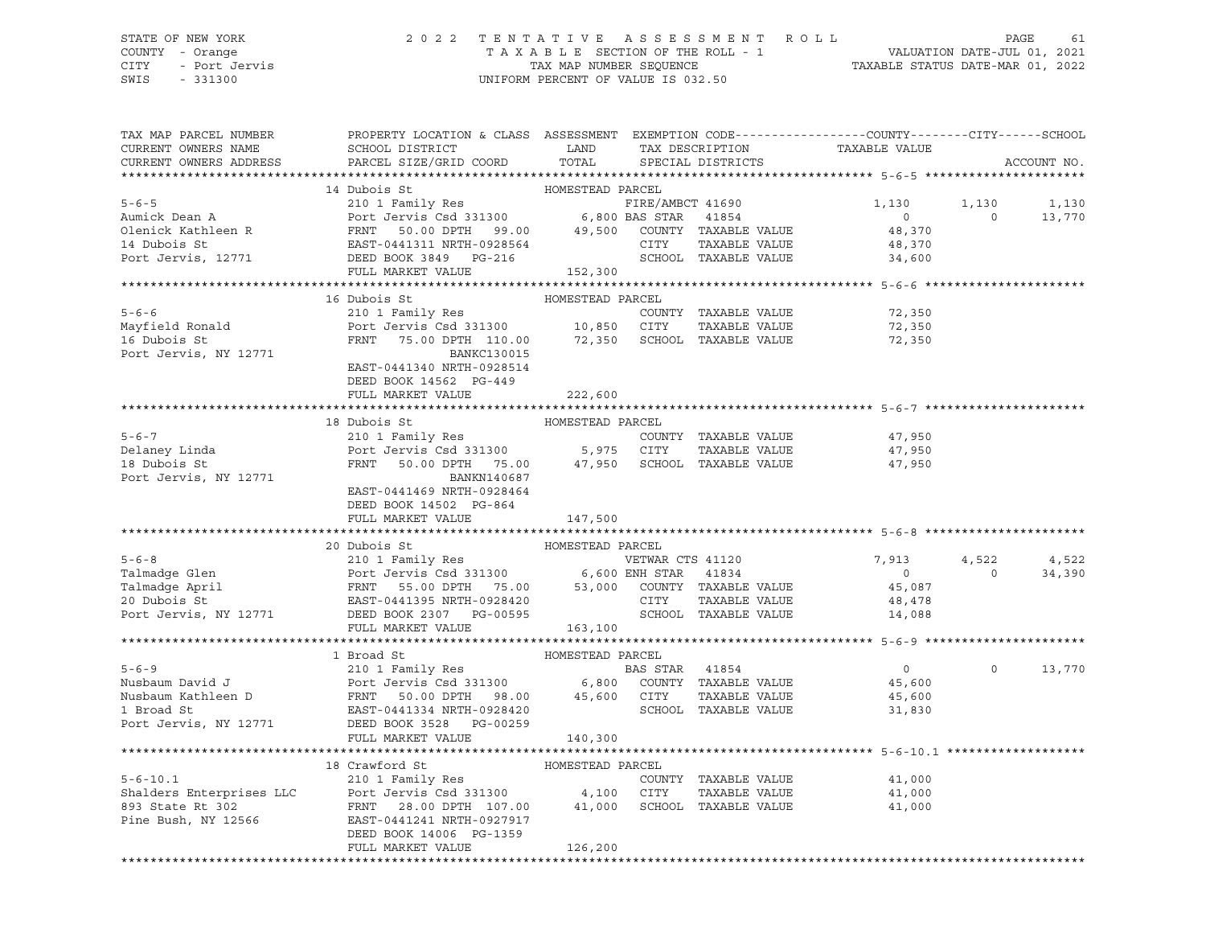### STATE OF NEW YORK 2 0 2 2 T E N T A T I V E A S S E S S M E N T R O L L PAGE 61 COUNTY - Orange T A X A B L E SECTION OF THE ROLL - 1 VALUATION DATE-JUL 01, 2021 CITY - Port Jervis TAX MAP NUMBER SEQUENCE TAXABLE STATUS DATE-MAR 01, 2022

| TAX MAP PARCEL NUMBER         | PROPERTY LOCATION & CLASS ASSESSMENT EXEMPTION CODE---------------COUNTY-------CITY------SCHOOL                                                                                                                                                                                                                                                                                                                                                                                  |                  |                      |                                    |                    |               |
|-------------------------------|----------------------------------------------------------------------------------------------------------------------------------------------------------------------------------------------------------------------------------------------------------------------------------------------------------------------------------------------------------------------------------------------------------------------------------------------------------------------------------|------------------|----------------------|------------------------------------|--------------------|---------------|
| CURRENT OWNERS NAME           |                                                                                                                                                                                                                                                                                                                                                                                                                                                                                  |                  |                      |                                    |                    |               |
| CURRENT OWNERS ADDRESS        | PARCEL SIZE/GRID COORD TOTAL                                                                                                                                                                                                                                                                                                                                                                                                                                                     |                  |                      |                                    |                    | ACCOUNT NO.   |
|                               |                                                                                                                                                                                                                                                                                                                                                                                                                                                                                  |                  |                      |                                    |                    |               |
|                               |                                                                                                                                                                                                                                                                                                                                                                                                                                                                                  |                  |                      |                                    |                    |               |
|                               |                                                                                                                                                                                                                                                                                                                                                                                                                                                                                  |                  |                      | FIRE/AMBCT 41690 1,130 1,130 1,130 |                    |               |
|                               |                                                                                                                                                                                                                                                                                                                                                                                                                                                                                  |                  |                      |                                    |                    | $0 \t 13,770$ |
|                               |                                                                                                                                                                                                                                                                                                                                                                                                                                                                                  |                  |                      |                                    |                    |               |
|                               |                                                                                                                                                                                                                                                                                                                                                                                                                                                                                  |                  |                      |                                    |                    |               |
|                               |                                                                                                                                                                                                                                                                                                                                                                                                                                                                                  |                  |                      |                                    |                    |               |
|                               | $\begin{tabular}{lllllllllllll} \multicolumn{3}{l}{} & 14 \text{ Dubois St} & \multicolumn{3}{l}{} & \multicolumn{3}{l}{} & \multicolumn{3}{l}{} & 14 \text{ Dubois St} & \multicolumn{3}{l}{} & \multicolumn{3}{l}{} & 14 \text{ Dubois St} & \multicolumn{3}{l}{} & \multicolumn{3}{l}{} & \multicolumn{3}{l}{} & \multicolumn{3}{l}{} & \multicolumn{3}{l}{} & \multicolumn{3}{l}{} & \multicolumn{3}{l}{} & \multicolumn{3}{l}{} & \multicolumn{3}{l}{} & \multicolumn{3}{l$ |                  |                      |                                    |                    |               |
|                               |                                                                                                                                                                                                                                                                                                                                                                                                                                                                                  |                  |                      |                                    |                    |               |
|                               | 16 Dubois St                                                                                                                                                                                                                                                                                                                                                                                                                                                                     | HOMESTEAD PARCEL |                      |                                    |                    |               |
|                               |                                                                                                                                                                                                                                                                                                                                                                                                                                                                                  |                  |                      |                                    |                    |               |
|                               |                                                                                                                                                                                                                                                                                                                                                                                                                                                                                  |                  |                      |                                    |                    |               |
|                               | 310 1 Family Res<br>210 1 Family Res<br>210 1 Family Res<br>210 1 Family Res<br>210 1 Family Res<br>210 1 Family Res<br>210 2011 Family Res<br>210 2011 Family Res<br>210 2013<br>210 2013<br>22,350<br>22,350<br>22,350<br>22,350<br>22,350<br>22,350<br>22,3                                                                                                                                                                                                                   |                  |                      |                                    |                    |               |
| Port Jervis, NY 12771         | BANKC130015                                                                                                                                                                                                                                                                                                                                                                                                                                                                      |                  |                      |                                    |                    |               |
|                               | EAST-0441340 NRTH-0928514                                                                                                                                                                                                                                                                                                                                                                                                                                                        |                  |                      |                                    |                    |               |
|                               | DEED BOOK 14562 PG-449                                                                                                                                                                                                                                                                                                                                                                                                                                                           |                  |                      |                                    |                    |               |
|                               | FULL MARKET VALUE                                                                                                                                                                                                                                                                                                                                                                                                                                                                | 222,600          |                      |                                    |                    |               |
|                               |                                                                                                                                                                                                                                                                                                                                                                                                                                                                                  |                  |                      |                                    |                    |               |
|                               | 18 Dubois St                                                                                                                                                                                                                                                                                                                                                                                                                                                                     | HOMESTEAD PARCEL |                      |                                    |                    |               |
| $5 - 6 - 7$                   |                                                                                                                                                                                                                                                                                                                                                                                                                                                                                  |                  |                      | 47,950                             |                    |               |
|                               |                                                                                                                                                                                                                                                                                                                                                                                                                                                                                  |                  |                      | 47,950                             |                    |               |
| Delaney Linda<br>18 Dubois St |                                                                                                                                                                                                                                                                                                                                                                                                                                                                                  |                  |                      | 47,950                             |                    |               |
| Port Jervis, NY 12771         | BANKN140687                                                                                                                                                                                                                                                                                                                                                                                                                                                                      |                  |                      |                                    |                    |               |
|                               | EAST-0441469 NRTH-0928464                                                                                                                                                                                                                                                                                                                                                                                                                                                        |                  |                      |                                    |                    |               |
|                               | DEED BOOK 14502 PG-864                                                                                                                                                                                                                                                                                                                                                                                                                                                           |                  |                      |                                    |                    |               |
|                               | FULL MARKET VALUE                                                                                                                                                                                                                                                                                                                                                                                                                                                                | 147,500          |                      |                                    |                    |               |
|                               |                                                                                                                                                                                                                                                                                                                                                                                                                                                                                  |                  |                      |                                    |                    |               |
|                               |                                                                                                                                                                                                                                                                                                                                                                                                                                                                                  |                  |                      |                                    |                    |               |
|                               |                                                                                                                                                                                                                                                                                                                                                                                                                                                                                  |                  |                      | 7,913                              | 4,522              | 4,522         |
|                               |                                                                                                                                                                                                                                                                                                                                                                                                                                                                                  |                  |                      |                                    | $\overline{0}$     | 34,390        |
|                               |                                                                                                                                                                                                                                                                                                                                                                                                                                                                                  |                  |                      |                                    |                    |               |
|                               |                                                                                                                                                                                                                                                                                                                                                                                                                                                                                  |                  |                      |                                    |                    |               |
|                               |                                                                                                                                                                                                                                                                                                                                                                                                                                                                                  |                  |                      |                                    |                    |               |
|                               |                                                                                                                                                                                                                                                                                                                                                                                                                                                                                  |                  |                      |                                    |                    |               |
|                               |                                                                                                                                                                                                                                                                                                                                                                                                                                                                                  |                  |                      |                                    |                    |               |
|                               | 1 Broad St Musbaum David J<br>Nusbaum David J<br>Nusbaum Kathleen D<br>Nusbaum Kathleen D<br>FRNT 50.00 DPTH 98.00 45,600 COUNTY TAXABLE VALUE 45,600<br>210 1 Family Res<br>BAS STAR 41854 0<br>6,800 COUNTY TAXABLE VALUE 45,600<br>21 Broad                                                                                                                                                                                                                                   |                  |                      |                                    |                    |               |
|                               |                                                                                                                                                                                                                                                                                                                                                                                                                                                                                  |                  |                      |                                    | $0 \t 0 \t 13,770$ |               |
|                               |                                                                                                                                                                                                                                                                                                                                                                                                                                                                                  |                  |                      |                                    |                    |               |
|                               |                                                                                                                                                                                                                                                                                                                                                                                                                                                                                  |                  |                      |                                    |                    |               |
|                               |                                                                                                                                                                                                                                                                                                                                                                                                                                                                                  |                  |                      |                                    |                    |               |
|                               |                                                                                                                                                                                                                                                                                                                                                                                                                                                                                  |                  |                      |                                    |                    |               |
|                               | FULL MARKET VALUE                                                                                                                                                                                                                                                                                                                                                                                                                                                                | 140,300          |                      |                                    |                    |               |
|                               |                                                                                                                                                                                                                                                                                                                                                                                                                                                                                  |                  |                      |                                    |                    |               |
|                               |                                                                                                                                                                                                                                                                                                                                                                                                                                                                                  |                  |                      |                                    |                    |               |
|                               |                                                                                                                                                                                                                                                                                                                                                                                                                                                                                  |                  | COUNTY TAXABLE VALUE | 41,000                             |                    |               |
|                               |                                                                                                                                                                                                                                                                                                                                                                                                                                                                                  |                  | TAXABLE VALUE 41,000 |                                    |                    |               |
|                               |                                                                                                                                                                                                                                                                                                                                                                                                                                                                                  |                  |                      | 41,000                             |                    |               |
|                               |                                                                                                                                                                                                                                                                                                                                                                                                                                                                                  |                  |                      |                                    |                    |               |
|                               | DEED BOOK 14006 PG-1359                                                                                                                                                                                                                                                                                                                                                                                                                                                          |                  |                      |                                    |                    |               |
|                               | FULL MARKET VALUE                                                                                                                                                                                                                                                                                                                                                                                                                                                                | 126,200          |                      |                                    |                    |               |
|                               |                                                                                                                                                                                                                                                                                                                                                                                                                                                                                  |                  |                      |                                    |                    |               |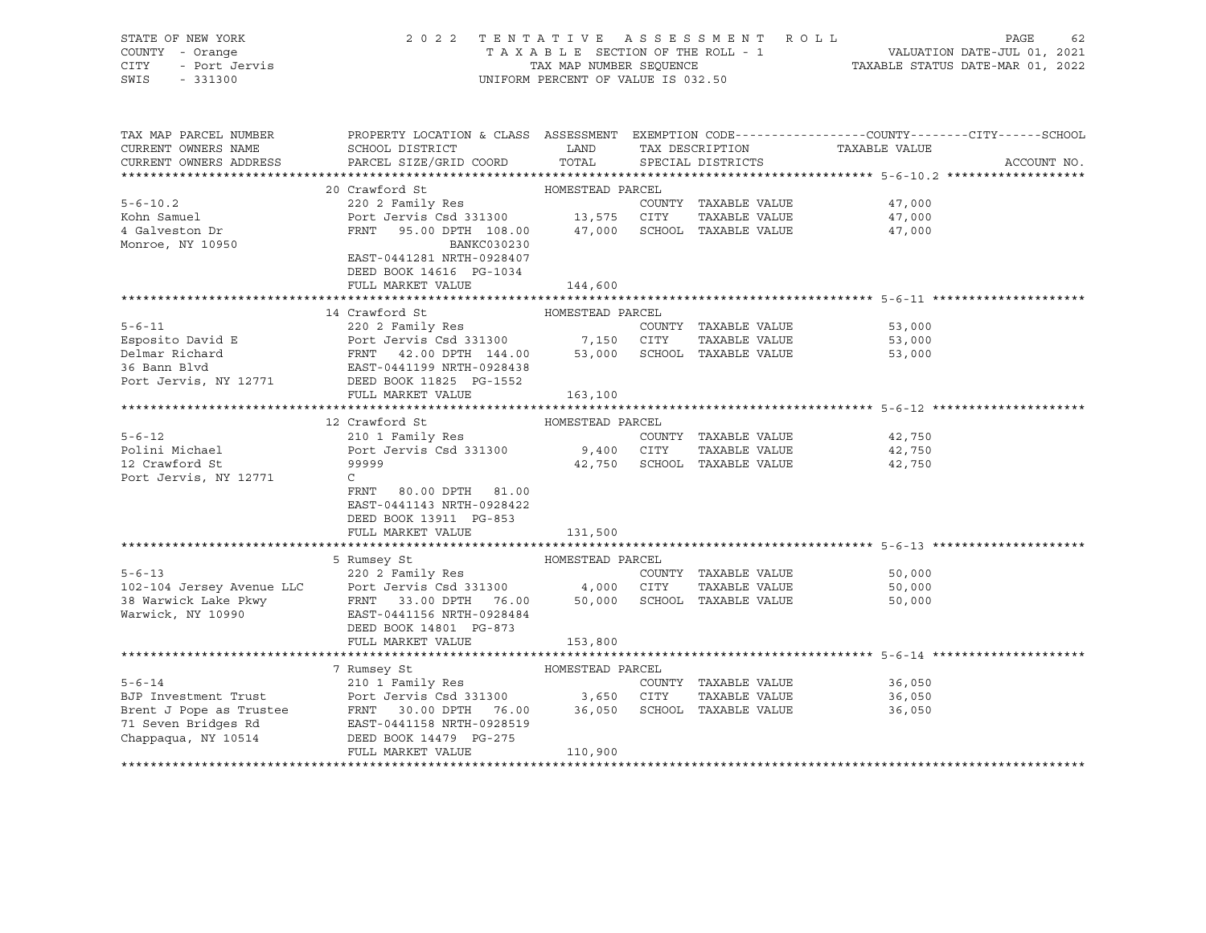| STATE OF NEW YORK      | 2022 TENTATIVE ASSESSMENT ROLL                                                                                                                                                                                                                                                                                                                                                                                                                                                           |                                    |                             |                               | PAGE<br>62  |
|------------------------|------------------------------------------------------------------------------------------------------------------------------------------------------------------------------------------------------------------------------------------------------------------------------------------------------------------------------------------------------------------------------------------------------------------------------------------------------------------------------------------|------------------------------------|-----------------------------|-------------------------------|-------------|
| COUNTY - Orange        |                                                                                                                                                                                                                                                                                                                                                                                                                                                                                          |                                    |                             |                               |             |
| - Port Jervis<br>CITY  |                                                                                                                                                                                                                                                                                                                                                                                                                                                                                          |                                    |                             |                               |             |
| SWIS<br>$-331300$      |                                                                                                                                                                                                                                                                                                                                                                                                                                                                                          | UNIFORM PERCENT OF VALUE IS 032.50 |                             |                               |             |
|                        |                                                                                                                                                                                                                                                                                                                                                                                                                                                                                          |                                    |                             |                               |             |
|                        |                                                                                                                                                                                                                                                                                                                                                                                                                                                                                          |                                    |                             |                               |             |
|                        |                                                                                                                                                                                                                                                                                                                                                                                                                                                                                          |                                    |                             |                               |             |
| TAX MAP PARCEL NUMBER  | PROPERTY LOCATION & CLASS ASSESSMENT EXEMPTION CODE----------------COUNTY-------CITY------SCHOOL                                                                                                                                                                                                                                                                                                                                                                                         |                                    |                             |                               |             |
| CURRENT OWNERS NAME    | SCHOOL DISTRICT                                                                                                                                                                                                                                                                                                                                                                                                                                                                          | <b>LAND</b>                        |                             | TAX DESCRIPTION TAXABLE VALUE |             |
| CURRENT OWNERS ADDRESS | PARCEL SIZE/GRID COORD                                                                                                                                                                                                                                                                                                                                                                                                                                                                   | TOTAL                              | SPECIAL DISTRICTS           |                               | ACCOUNT NO. |
|                        |                                                                                                                                                                                                                                                                                                                                                                                                                                                                                          |                                    |                             |                               |             |
|                        | 20 Crawford St                                                                                                                                                                                                                                                                                                                                                                                                                                                                           | HOMESTEAD PARCEL                   |                             |                               |             |
| $5 - 6 - 10.2$         | 220 2 Family Res                                                                                                                                                                                                                                                                                                                                                                                                                                                                         |                                    | COUNTY TAXABLE VALUE        | 47,000                        |             |
|                        |                                                                                                                                                                                                                                                                                                                                                                                                                                                                                          |                                    |                             |                               |             |
| Kohn Samuel            | Port Jervis Csd 331300 13,575 CITY TAXABLE VALUE<br>FRNT 95.00 DPTH 108.00 47,000 SCHOOL TAXABLE VALUE                                                                                                                                                                                                                                                                                                                                                                                   |                                    | TAXABLE VALUE               | 47,000                        |             |
| 4 Galveston Dr         |                                                                                                                                                                                                                                                                                                                                                                                                                                                                                          |                                    |                             | 47,000                        |             |
| Monroe, NY 10950       | BANKC030230                                                                                                                                                                                                                                                                                                                                                                                                                                                                              |                                    |                             |                               |             |
|                        | EAST-0441281 NRTH-0928407                                                                                                                                                                                                                                                                                                                                                                                                                                                                |                                    |                             |                               |             |
|                        | DEED BOOK 14616 PG-1034                                                                                                                                                                                                                                                                                                                                                                                                                                                                  |                                    |                             |                               |             |
|                        | FULL MARKET VALUE                                                                                                                                                                                                                                                                                                                                                                                                                                                                        | 144,600                            |                             |                               |             |
|                        |                                                                                                                                                                                                                                                                                                                                                                                                                                                                                          |                                    |                             |                               |             |
|                        | 14 Crawford St                                                                                                                                                                                                                                                                                                                                                                                                                                                                           | HOMESTEAD PARCEL                   |                             |                               |             |
| $5 - 6 - 11$           | 220 2 Family Res                                                                                                                                                                                                                                                                                                                                                                                                                                                                         |                                    | COUNTY TAXABLE VALUE        | 53,000                        |             |
|                        |                                                                                                                                                                                                                                                                                                                                                                                                                                                                                          |                                    |                             | 53,000                        |             |
|                        |                                                                                                                                                                                                                                                                                                                                                                                                                                                                                          |                                    |                             | 53,000                        |             |
|                        | Esposito David E<br>Delmar Richard<br>2000 EPORT Jervis Csd 331300 7,150 CITY TAXABLE VALUE<br>36 Bann Blvd<br>2000 EAST-0441199 NRTH-0928438<br>2000 EAST-0441199 NRTH-0928438<br>2000 EAST-0441199 NRTH-0928438<br>2000 ECHOOL TAXABLE VAL                                                                                                                                                                                                                                             |                                    |                             |                               |             |
|                        |                                                                                                                                                                                                                                                                                                                                                                                                                                                                                          |                                    |                             |                               |             |
|                        |                                                                                                                                                                                                                                                                                                                                                                                                                                                                                          |                                    |                             |                               |             |
|                        | FULL MARKET VALUE                                                                                                                                                                                                                                                                                                                                                                                                                                                                        | 163,100                            |                             |                               |             |
|                        |                                                                                                                                                                                                                                                                                                                                                                                                                                                                                          |                                    |                             |                               |             |
|                        | 12 Crawford St                                                                                                                                                                                                                                                                                                                                                                                                                                                                           | HOMESTEAD PARCEL                   |                             |                               |             |
| $5 - 6 - 12$           | 210 1 Family Res                                                                                                                                                                                                                                                                                                                                                                                                                                                                         |                                    | COUNTY TAXABLE VALUE        | 42,750                        |             |
| Polini Michael         | Port Jervis Csd 331300 9,400 CITY                                                                                                                                                                                                                                                                                                                                                                                                                                                        |                                    | TAXABLE VALUE               | 42,750                        |             |
| 12 Crawford St         | 99999                                                                                                                                                                                                                                                                                                                                                                                                                                                                                    |                                    | 42,750 SCHOOL TAXABLE VALUE | 42,750                        |             |
| Port Jervis, NY 12771  | $\mathsf{C}$                                                                                                                                                                                                                                                                                                                                                                                                                                                                             |                                    |                             |                               |             |
|                        | 80.00 DPTH 81.00<br>FRNT                                                                                                                                                                                                                                                                                                                                                                                                                                                                 |                                    |                             |                               |             |
|                        | EAST-0441143 NRTH-0928422                                                                                                                                                                                                                                                                                                                                                                                                                                                                |                                    |                             |                               |             |
|                        | DEED BOOK 13911 PG-853                                                                                                                                                                                                                                                                                                                                                                                                                                                                   |                                    |                             |                               |             |
|                        | FULL MARKET VALUE                                                                                                                                                                                                                                                                                                                                                                                                                                                                        | 131,500                            |                             |                               |             |
|                        |                                                                                                                                                                                                                                                                                                                                                                                                                                                                                          |                                    |                             |                               |             |
|                        | 5 Rumsey St                                                                                                                                                                                                                                                                                                                                                                                                                                                                              | HOMESTEAD PARCEL                   |                             |                               |             |
| $5 - 6 - 13$           | 220 2 Family Res                                                                                                                                                                                                                                                                                                                                                                                                                                                                         |                                    | COUNTY TAXABLE VALUE        | 50,000                        |             |
|                        |                                                                                                                                                                                                                                                                                                                                                                                                                                                                                          |                                    |                             |                               |             |
|                        | 102-104 Jersey Avenue LLC Port Jervis Csd 331300 4,000 CITY TAXABLE VALUE<br>38 Warwick Lake Pkwy FRNT 33.00 DPTH 76.00 50,000 SCHOOL TAXABLE VALUE<br>Warwick, NY 10990 EAST-0441156 NRTH-0928484                                                                                                                                                                                                                                                                                       |                                    | TAXABLE VALUE               | 50,000                        |             |
|                        |                                                                                                                                                                                                                                                                                                                                                                                                                                                                                          |                                    |                             | 50,000                        |             |
| Warwick, NY 10990      |                                                                                                                                                                                                                                                                                                                                                                                                                                                                                          |                                    |                             |                               |             |
|                        | DEED BOOK 14801 PG-873                                                                                                                                                                                                                                                                                                                                                                                                                                                                   |                                    |                             |                               |             |
|                        | FULL MARKET VALUE                                                                                                                                                                                                                                                                                                                                                                                                                                                                        | 153,800                            |                             |                               |             |
|                        |                                                                                                                                                                                                                                                                                                                                                                                                                                                                                          |                                    |                             |                               |             |
|                        |                                                                                                                                                                                                                                                                                                                                                                                                                                                                                          |                                    |                             |                               |             |
|                        |                                                                                                                                                                                                                                                                                                                                                                                                                                                                                          |                                    | COUNTY TAXABLE VALUE        | 36,050                        |             |
|                        |                                                                                                                                                                                                                                                                                                                                                                                                                                                                                          |                                    | TAXABLE VALUE               | 36,050                        |             |
|                        |                                                                                                                                                                                                                                                                                                                                                                                                                                                                                          |                                    |                             | 36,050                        |             |
|                        |                                                                                                                                                                                                                                                                                                                                                                                                                                                                                          |                                    |                             |                               |             |
|                        |                                                                                                                                                                                                                                                                                                                                                                                                                                                                                          |                                    |                             |                               |             |
|                        | $\begin{tabular}{lllllllllll} \multicolumn{4}{c }{\emph{BJP Investment Trust}} & \multicolumn{4}{c }{\emph{APCEL}} & \multicolumn{4}{c }{\emph{APCEL}} & \multicolumn{4}{c }{\emph{APCEL}} & \multicolumn{4}{c }{\emph{APCEL}} & \multicolumn{4}{c }{\emph{COUNTY}} & \multicolumn{4}{c }{\emph{TAXABLE VALUE}} \\ \multicolumn{4}{c }{\emph{Brent J Pope as Trustee}} & \multicolumn{4}{c }{\emph{FNNT}} & \multicolumn{4}{c }{\emph{30.00 DPTH}} & \multicolumn{$<br>FULL MARKET VALUE | 110,900                            |                             |                               |             |
|                        |                                                                                                                                                                                                                                                                                                                                                                                                                                                                                          |                                    |                             |                               |             |
|                        |                                                                                                                                                                                                                                                                                                                                                                                                                                                                                          |                                    |                             |                               |             |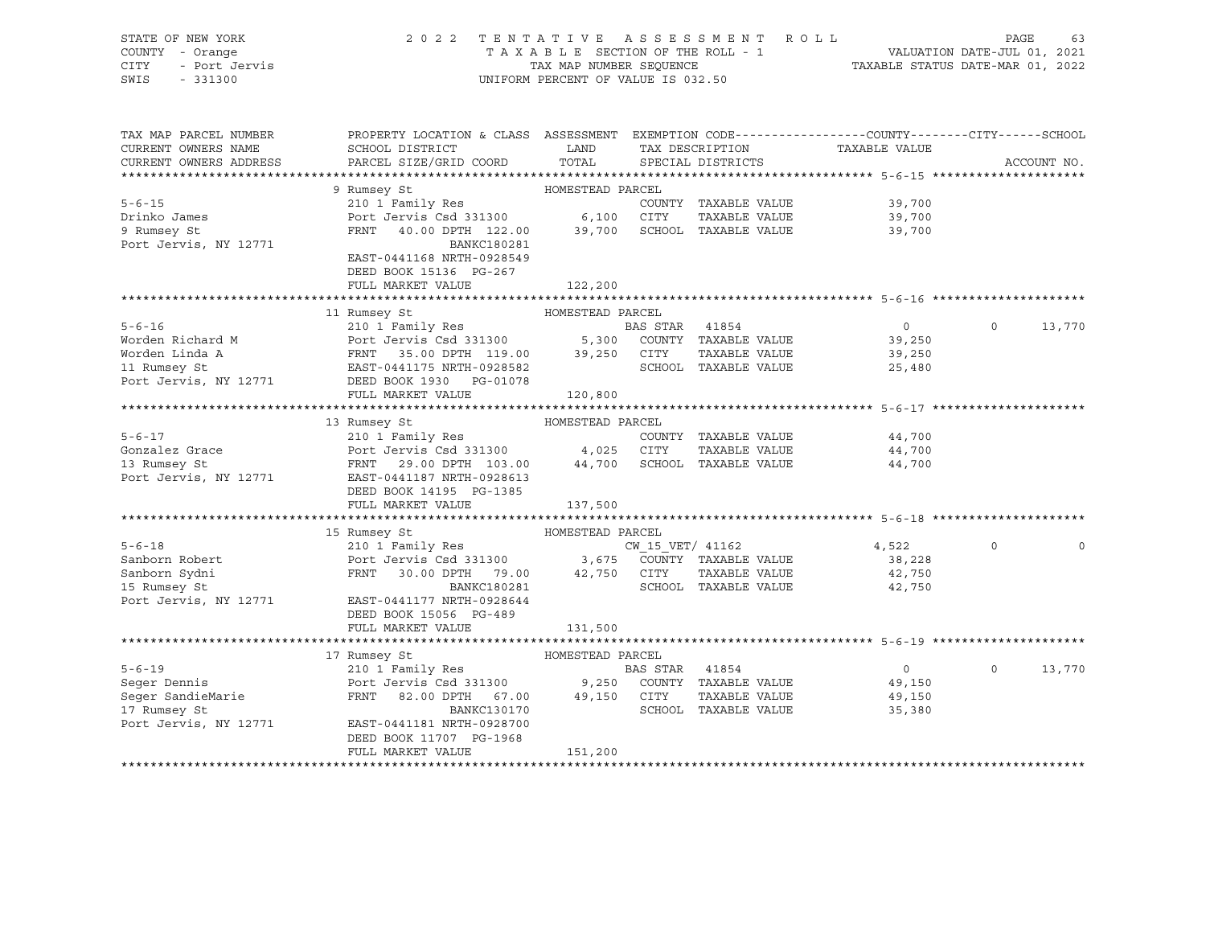| STATE OF NEW YORK<br>COUNTY - Orange<br>CITY<br>- Port Jervis<br>SWIS<br>$-331300$ | 2 0 2 2                                                                                                                                                                         | TAX MAP NUMBER SEQUENCE | TENTATIVE ASSESSMENT<br>TAXABLE SECTION OF THE ROLL - 1<br>UNIFORM PERCENT OF VALUE IS 032.50 | ROLL                        | VALUATION DATE-JUL 01, 2021<br>TAXABLE STATUS DATE-MAR 01, 2022 | PAGE         | 63          |
|------------------------------------------------------------------------------------|---------------------------------------------------------------------------------------------------------------------------------------------------------------------------------|-------------------------|-----------------------------------------------------------------------------------------------|-----------------------------|-----------------------------------------------------------------|--------------|-------------|
| TAX MAP PARCEL NUMBER<br>CURRENT OWNERS NAME<br>CURRENT OWNERS ADDRESS             | PROPERTY LOCATION & CLASS ASSESSMENT EXEMPTION CODE---------------COUNTY-------CITY-----SCHOOL<br>SCHOOL DISTRICT<br>PARCEL SIZE/GRID COORD                                     | LAND<br>TOTAL           | TAX DESCRIPTION<br>SPECIAL DISTRICTS                                                          |                             | TAXABLE VALUE                                                   |              | ACCOUNT NO. |
|                                                                                    |                                                                                                                                                                                 |                         |                                                                                               |                             |                                                                 |              |             |
|                                                                                    | 9 Rumsey St                                                                                                                                                                     | HOMESTEAD PARCEL        |                                                                                               |                             |                                                                 |              |             |
| $5 - 6 - 15$                                                                       | 210 1 Family Res                                                                                                                                                                |                         |                                                                                               | COUNTY TAXABLE VALUE        | 39,700                                                          |              |             |
| Drinko James                                                                       | Port Jervis Csd 331300                                                                                                                                                          | 6,100 CITY              |                                                                                               | TAXABLE VALUE               | 39,700                                                          |              |             |
| 9 Rumsey St<br>Port Jervis, NY 12771                                               | FRNT 40.00 DPTH 122.00<br><b>BANKC180281</b>                                                                                                                                    |                         |                                                                                               | 39,700 SCHOOL TAXABLE VALUE | 39,700                                                          |              |             |
|                                                                                    | EAST-0441168 NRTH-0928549<br>DEED BOOK 15136 PG-267                                                                                                                             |                         |                                                                                               |                             |                                                                 |              |             |
|                                                                                    | FULL MARKET VALUE                                                                                                                                                               | 122,200                 |                                                                                               |                             |                                                                 |              |             |
|                                                                                    |                                                                                                                                                                                 |                         |                                                                                               |                             | ******************************* 5-6-16 ******************       |              |             |
|                                                                                    | 11 Rumsey St                                                                                                                                                                    | HOMESTEAD PARCEL        |                                                                                               |                             |                                                                 |              |             |
| $5 - 6 - 16$                                                                       | 210 1 Family Res                                                                                                                                                                |                         | BAS STAR 41854                                                                                |                             | $\overline{0}$                                                  | $\mathsf{O}$ | 13,770      |
| Worden Richard M                                                                   |                                                                                                                                                                                 |                         |                                                                                               |                             | 39,250                                                          |              |             |
| Worden Linda A                                                                     |                                                                                                                                                                                 |                         |                                                                                               |                             | 39,250                                                          |              |             |
| $\overline{a}$<br>11 Rumsey St                                                     | Port Jervis Csd 331300<br>Port Jervis Csd 331300<br>FRNT 35.00 DPTH 119.00 39,250 CITY TAXABLE VALUE<br>EAST-0441175 NRTH-0928582<br>CHOOL TAXABLE VALUE<br>CHOOL TAXABLE VALUE |                         |                                                                                               |                             | 25,480                                                          |              |             |
| Port Jervis, NY 12771                                                              | DEED BOOK 1930 PG-01078<br>FULL MARKET VALUE                                                                                                                                    |                         |                                                                                               |                             |                                                                 |              |             |
|                                                                                    |                                                                                                                                                                                 | 120,800                 |                                                                                               |                             |                                                                 |              |             |
|                                                                                    | 13 Rumsey St                                                                                                                                                                    | HOMESTEAD PARCEL        |                                                                                               |                             |                                                                 |              |             |
| $5 - 6 - 17$                                                                       | 210 1 Family Res                                                                                                                                                                |                         |                                                                                               | COUNTY TAXABLE VALUE        | 44,700                                                          |              |             |
| Gonzalez Grace                                                                     | Port Jervis Csd 331300 4,025 CITY                                                                                                                                               |                         |                                                                                               | TAXABLE VALUE               | 44,700                                                          |              |             |
| 13 Rumsey St                                                                       | FRNT 29.00 DPTH 103.00                                                                                                                                                          |                         |                                                                                               | 44,700 SCHOOL TAXABLE VALUE | 44,700                                                          |              |             |
| Port Jervis, NY 12771                                                              | EAST-0441187 NRTH-0928613                                                                                                                                                       |                         |                                                                                               |                             |                                                                 |              |             |
|                                                                                    | DEED BOOK 14195 PG-1385                                                                                                                                                         |                         |                                                                                               |                             |                                                                 |              |             |
|                                                                                    | FULL MARKET VALUE                                                                                                                                                               | 137,500                 |                                                                                               |                             |                                                                 |              |             |
|                                                                                    |                                                                                                                                                                                 | HOMESTEAD PARCEL        |                                                                                               |                             |                                                                 |              |             |
| $5 - 6 - 18$                                                                       | 15 Rumsey St                                                                                                                                                                    |                         |                                                                                               | CW_15_VET/ 41162            | 4,522                                                           | $\circ$      |             |
| Sanborn Robert                                                                     | 210 1 Family Res<br>Port Jervis Csd 331300 3,675 COUNTY TAXABLE VALUE                                                                                                           |                         |                                                                                               |                             | 38,228                                                          |              |             |
| Sanborn Sydni                                                                      | FRNT<br>30.00 DPTH 79.00                                                                                                                                                        |                         | 42,750 CITY                                                                                   | TAXABLE VALUE               | 42,750                                                          |              |             |
| 15 Rumsey St                                                                       | BANKC180281                                                                                                                                                                     |                         |                                                                                               | SCHOOL TAXABLE VALUE        | 42,750                                                          |              |             |
| Port Jervis, NY 12771                                                              | EAST-0441177 NRTH-0928644                                                                                                                                                       |                         |                                                                                               |                             |                                                                 |              |             |
|                                                                                    | DEED BOOK 15056 PG-489                                                                                                                                                          |                         |                                                                                               |                             |                                                                 |              |             |
|                                                                                    | FULL MARKET VALUE                                                                                                                                                               | 131,500                 |                                                                                               |                             |                                                                 |              |             |
|                                                                                    |                                                                                                                                                                                 |                         |                                                                                               |                             |                                                                 |              |             |
|                                                                                    | 17 Rumsey St                                                                                                                                                                    | HOMESTEAD PARCEL        |                                                                                               |                             |                                                                 | $\Omega$     |             |
| $5 - 6 - 19$                                                                       | 210 1 Family Res                                                                                                                                                                |                         | BAS STAR 41854                                                                                | COUNTY TAXABLE VALUE        | $\overline{0}$<br>49,150                                        |              | 13,770      |
| Seger Dennis<br>Seger SandieMarie                                                  | Port Jervis Csd 331300 9,250<br>FRNT 82.00 DPTH 67.00 49,150                                                                                                                    |                         | 49,150 CITY                                                                                   | TAXABLE VALUE               | 49,150                                                          |              |             |
| 17 Rumsey St                                                                       | BANKC130170                                                                                                                                                                     |                         |                                                                                               | SCHOOL TAXABLE VALUE        | 35,380                                                          |              |             |
| Port Jervis, NY 12771                                                              | EAST-0441181 NRTH-0928700                                                                                                                                                       |                         |                                                                                               |                             |                                                                 |              |             |
|                                                                                    | DEED BOOK 11707 PG-1968                                                                                                                                                         |                         |                                                                                               |                             |                                                                 |              |             |
|                                                                                    | FULL MARKET VALUE                                                                                                                                                               | 151,200                 |                                                                                               |                             |                                                                 |              |             |
|                                                                                    |                                                                                                                                                                                 |                         |                                                                                               |                             |                                                                 |              |             |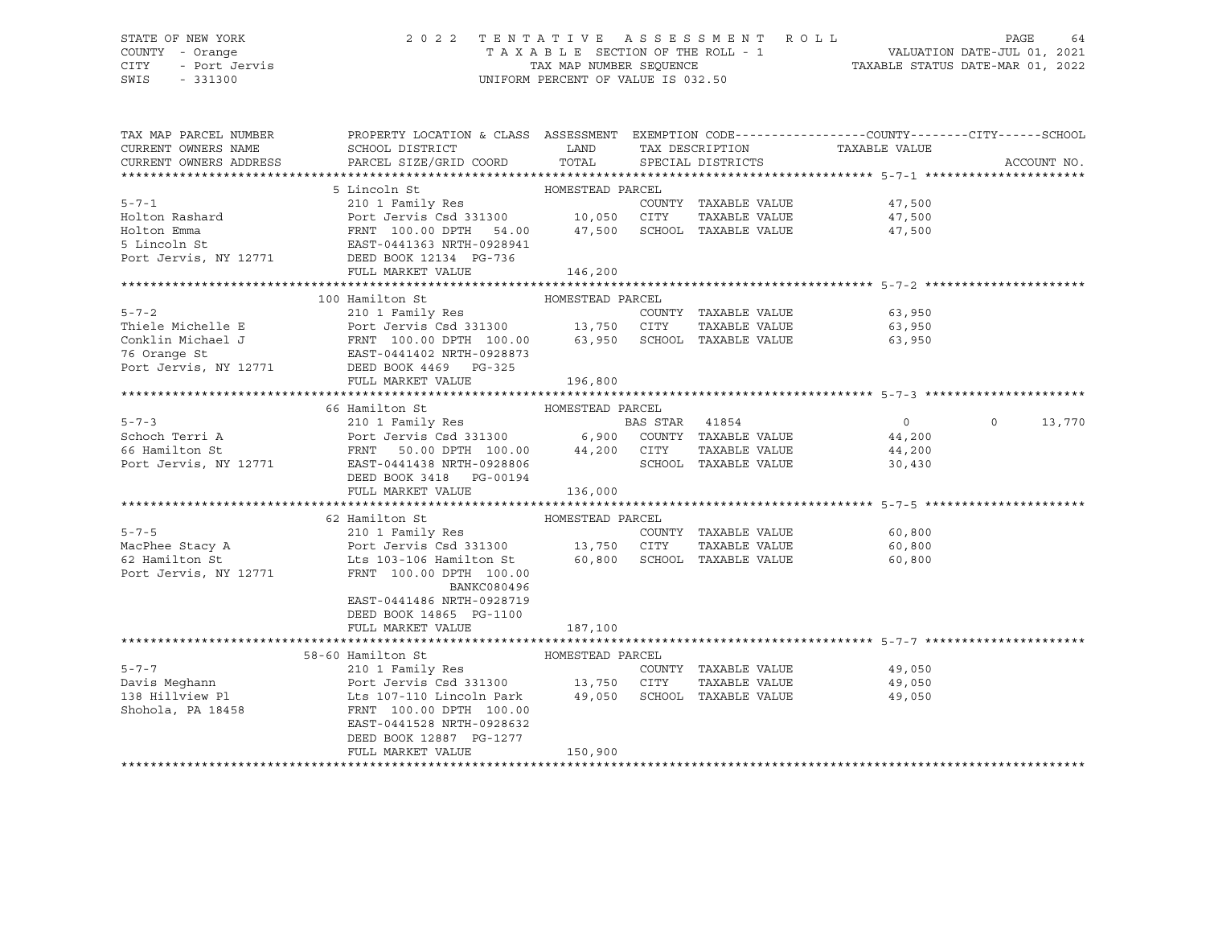# STATE OF NEW YORK 2 0 2 2 T E N T A T I V E A S S E S S M E N T R O L L PAGE 64 COUNTY - Orange T A X A B L E SECTION OF THE ROLL - 1 VALUATION DATE-JUL 01, 2021 CITY - Port Jervis TAX MAP NUMBER SEQUENCE TAXABLE STATUS DATE-MAR 01, 2022

| PARCEL SIZE/GRID COORD<br>TOTAL<br>SPECIAL DISTRICTS<br>CURRENT OWNERS ADDRESS<br>ACCOUNT NO.<br>HOMESTEAD PARCEL<br>5 Lincoln St<br>$5 - 7 - 1$<br>COUNTY TAXABLE VALUE<br>47,500<br>Holton Rashard<br>TAXABLE VALUE<br>47,500<br>$\begin{tabular}{lllllll} \multicolumn{2}{c}{\textbf{FRNT}} & 100.00 & DPTH & 54.00 & 47,500 & 3CHOOL & TAXABLE VALUE & & & & 47,500 \\ \multicolumn{2}{c}{\textbf{EAST-0441363 NRTH-0928941}} & \multicolumn{2}{c}{\end{tabular}$<br>Holton Emma<br>5 Lincoln St<br>Port Jervis, NY 12771 DEED BOOK 12134 PG-736<br>FULL MARKET VALUE<br>146,200<br>100 Hamilton St<br>HOMESTEAD PARCEL<br>$5 - 7 - 2$<br>Thiele Michelle E<br>Conklin Michael J<br>Port Jervis, NY 12771 DEED BOOK 4469 PG-325<br>FULL MARKET VALUE<br>196,800<br>66 Hamilton St<br>HOMESTEAD PARCEL<br>210 1 Family Res<br>$5 - 7 - 3$<br>BAS STAR 41854<br>$\overline{0}$<br>$\circ$<br>13,770<br>Schoch Terri A<br>44,200<br>66 Hamilton St<br>44,200<br>Port Jervis, NY 12771 EAST-0441438 NRTH-0928806<br>SCHOOL TAXABLE VALUE<br>30,430<br>DEED BOOK 3418 PG-00194<br>136,000<br>FULL MARKET VALUE<br>HOMESTEAD PARCEL<br>62 Hamilton St<br>$5 - 7 - 5$<br>COUNTY TAXABLE VALUE<br>60,800<br>MacPhee Stacy A<br>MacPhee Stacy A<br>62 Hamilton St<br>Els 103-106 Hamilton St<br>Contains and the CO, 800<br>TAXABLE VALUE<br>60,800<br>SCHOOL TAXABLE VALUE<br>60,800<br>Port Jervis, NY 12771<br>FRNT 100.00 DPTH 100.00<br>BANKC080496<br>EAST-0441486 NRTH-0928719<br>DEED BOOK 14865 PG-1100<br>FULL MARKET VALUE<br>187,100<br>HOMESTEAD PARCEL<br>58-60 Hamilton St<br>$5 - 7 - 7$<br>210 1 Family Res<br>COUNTY TAXABLE VALUE<br>49,050<br>210 1 Family Res<br>Port Jervis Csd 331300 13,750 CITY<br>Davis Meghann<br>TAXABLE VALUE<br>49,050<br>Lts 107-110 Lincoln Park 49,050 SCHOOL TAXABLE VALUE<br>138 Hillview Pl<br>49,050<br>Shohola, PA 18458<br>FRNT 100.00 DPTH 100.00<br>EAST-0441528 NRTH-0928632<br>DEED BOOK 12887 PG-1277<br>FULL MARKET VALUE<br>150,900 | TAX MAP PARCEL NUMBER<br>CURRENT OWNERS NAME | PROPERTY LOCATION & CLASS ASSESSMENT EXEMPTION CODE----------------COUNTY-------CITY------SCHOOL<br>SCHOOL DISTRICT | <b>LAND</b> | TAX DESCRIPTION | TAXABLE VALUE |  |
|----------------------------------------------------------------------------------------------------------------------------------------------------------------------------------------------------------------------------------------------------------------------------------------------------------------------------------------------------------------------------------------------------------------------------------------------------------------------------------------------------------------------------------------------------------------------------------------------------------------------------------------------------------------------------------------------------------------------------------------------------------------------------------------------------------------------------------------------------------------------------------------------------------------------------------------------------------------------------------------------------------------------------------------------------------------------------------------------------------------------------------------------------------------------------------------------------------------------------------------------------------------------------------------------------------------------------------------------------------------------------------------------------------------------------------------------------------------------------------------------------------------------------------------------------------------------------------------------------------------------------------------------------------------------------------------------------------------------------------------------------------------------------------------------------------------------------------------------------------------------------------------------------------------------------------------------------------------------------------------------|----------------------------------------------|---------------------------------------------------------------------------------------------------------------------|-------------|-----------------|---------------|--|
|                                                                                                                                                                                                                                                                                                                                                                                                                                                                                                                                                                                                                                                                                                                                                                                                                                                                                                                                                                                                                                                                                                                                                                                                                                                                                                                                                                                                                                                                                                                                                                                                                                                                                                                                                                                                                                                                                                                                                                                              |                                              |                                                                                                                     |             |                 |               |  |
|                                                                                                                                                                                                                                                                                                                                                                                                                                                                                                                                                                                                                                                                                                                                                                                                                                                                                                                                                                                                                                                                                                                                                                                                                                                                                                                                                                                                                                                                                                                                                                                                                                                                                                                                                                                                                                                                                                                                                                                              |                                              |                                                                                                                     |             |                 |               |  |
|                                                                                                                                                                                                                                                                                                                                                                                                                                                                                                                                                                                                                                                                                                                                                                                                                                                                                                                                                                                                                                                                                                                                                                                                                                                                                                                                                                                                                                                                                                                                                                                                                                                                                                                                                                                                                                                                                                                                                                                              |                                              |                                                                                                                     |             |                 |               |  |
|                                                                                                                                                                                                                                                                                                                                                                                                                                                                                                                                                                                                                                                                                                                                                                                                                                                                                                                                                                                                                                                                                                                                                                                                                                                                                                                                                                                                                                                                                                                                                                                                                                                                                                                                                                                                                                                                                                                                                                                              |                                              |                                                                                                                     |             |                 |               |  |
|                                                                                                                                                                                                                                                                                                                                                                                                                                                                                                                                                                                                                                                                                                                                                                                                                                                                                                                                                                                                                                                                                                                                                                                                                                                                                                                                                                                                                                                                                                                                                                                                                                                                                                                                                                                                                                                                                                                                                                                              |                                              |                                                                                                                     |             |                 |               |  |
|                                                                                                                                                                                                                                                                                                                                                                                                                                                                                                                                                                                                                                                                                                                                                                                                                                                                                                                                                                                                                                                                                                                                                                                                                                                                                                                                                                                                                                                                                                                                                                                                                                                                                                                                                                                                                                                                                                                                                                                              |                                              |                                                                                                                     |             |                 |               |  |
|                                                                                                                                                                                                                                                                                                                                                                                                                                                                                                                                                                                                                                                                                                                                                                                                                                                                                                                                                                                                                                                                                                                                                                                                                                                                                                                                                                                                                                                                                                                                                                                                                                                                                                                                                                                                                                                                                                                                                                                              |                                              |                                                                                                                     |             |                 |               |  |
|                                                                                                                                                                                                                                                                                                                                                                                                                                                                                                                                                                                                                                                                                                                                                                                                                                                                                                                                                                                                                                                                                                                                                                                                                                                                                                                                                                                                                                                                                                                                                                                                                                                                                                                                                                                                                                                                                                                                                                                              |                                              |                                                                                                                     |             |                 |               |  |
|                                                                                                                                                                                                                                                                                                                                                                                                                                                                                                                                                                                                                                                                                                                                                                                                                                                                                                                                                                                                                                                                                                                                                                                                                                                                                                                                                                                                                                                                                                                                                                                                                                                                                                                                                                                                                                                                                                                                                                                              |                                              |                                                                                                                     |             |                 |               |  |
|                                                                                                                                                                                                                                                                                                                                                                                                                                                                                                                                                                                                                                                                                                                                                                                                                                                                                                                                                                                                                                                                                                                                                                                                                                                                                                                                                                                                                                                                                                                                                                                                                                                                                                                                                                                                                                                                                                                                                                                              |                                              |                                                                                                                     |             |                 |               |  |
|                                                                                                                                                                                                                                                                                                                                                                                                                                                                                                                                                                                                                                                                                                                                                                                                                                                                                                                                                                                                                                                                                                                                                                                                                                                                                                                                                                                                                                                                                                                                                                                                                                                                                                                                                                                                                                                                                                                                                                                              |                                              |                                                                                                                     |             |                 |               |  |
|                                                                                                                                                                                                                                                                                                                                                                                                                                                                                                                                                                                                                                                                                                                                                                                                                                                                                                                                                                                                                                                                                                                                                                                                                                                                                                                                                                                                                                                                                                                                                                                                                                                                                                                                                                                                                                                                                                                                                                                              |                                              |                                                                                                                     |             |                 |               |  |
|                                                                                                                                                                                                                                                                                                                                                                                                                                                                                                                                                                                                                                                                                                                                                                                                                                                                                                                                                                                                                                                                                                                                                                                                                                                                                                                                                                                                                                                                                                                                                                                                                                                                                                                                                                                                                                                                                                                                                                                              |                                              |                                                                                                                     |             |                 |               |  |
|                                                                                                                                                                                                                                                                                                                                                                                                                                                                                                                                                                                                                                                                                                                                                                                                                                                                                                                                                                                                                                                                                                                                                                                                                                                                                                                                                                                                                                                                                                                                                                                                                                                                                                                                                                                                                                                                                                                                                                                              |                                              |                                                                                                                     |             |                 |               |  |
|                                                                                                                                                                                                                                                                                                                                                                                                                                                                                                                                                                                                                                                                                                                                                                                                                                                                                                                                                                                                                                                                                                                                                                                                                                                                                                                                                                                                                                                                                                                                                                                                                                                                                                                                                                                                                                                                                                                                                                                              | 76 Orange St                                 |                                                                                                                     |             |                 |               |  |
|                                                                                                                                                                                                                                                                                                                                                                                                                                                                                                                                                                                                                                                                                                                                                                                                                                                                                                                                                                                                                                                                                                                                                                                                                                                                                                                                                                                                                                                                                                                                                                                                                                                                                                                                                                                                                                                                                                                                                                                              |                                              |                                                                                                                     |             |                 |               |  |
|                                                                                                                                                                                                                                                                                                                                                                                                                                                                                                                                                                                                                                                                                                                                                                                                                                                                                                                                                                                                                                                                                                                                                                                                                                                                                                                                                                                                                                                                                                                                                                                                                                                                                                                                                                                                                                                                                                                                                                                              |                                              |                                                                                                                     |             |                 |               |  |
|                                                                                                                                                                                                                                                                                                                                                                                                                                                                                                                                                                                                                                                                                                                                                                                                                                                                                                                                                                                                                                                                                                                                                                                                                                                                                                                                                                                                                                                                                                                                                                                                                                                                                                                                                                                                                                                                                                                                                                                              |                                              |                                                                                                                     |             |                 |               |  |
|                                                                                                                                                                                                                                                                                                                                                                                                                                                                                                                                                                                                                                                                                                                                                                                                                                                                                                                                                                                                                                                                                                                                                                                                                                                                                                                                                                                                                                                                                                                                                                                                                                                                                                                                                                                                                                                                                                                                                                                              |                                              |                                                                                                                     |             |                 |               |  |
|                                                                                                                                                                                                                                                                                                                                                                                                                                                                                                                                                                                                                                                                                                                                                                                                                                                                                                                                                                                                                                                                                                                                                                                                                                                                                                                                                                                                                                                                                                                                                                                                                                                                                                                                                                                                                                                                                                                                                                                              |                                              |                                                                                                                     |             |                 |               |  |
|                                                                                                                                                                                                                                                                                                                                                                                                                                                                                                                                                                                                                                                                                                                                                                                                                                                                                                                                                                                                                                                                                                                                                                                                                                                                                                                                                                                                                                                                                                                                                                                                                                                                                                                                                                                                                                                                                                                                                                                              |                                              |                                                                                                                     |             |                 |               |  |
|                                                                                                                                                                                                                                                                                                                                                                                                                                                                                                                                                                                                                                                                                                                                                                                                                                                                                                                                                                                                                                                                                                                                                                                                                                                                                                                                                                                                                                                                                                                                                                                                                                                                                                                                                                                                                                                                                                                                                                                              |                                              |                                                                                                                     |             |                 |               |  |
|                                                                                                                                                                                                                                                                                                                                                                                                                                                                                                                                                                                                                                                                                                                                                                                                                                                                                                                                                                                                                                                                                                                                                                                                                                                                                                                                                                                                                                                                                                                                                                                                                                                                                                                                                                                                                                                                                                                                                                                              |                                              |                                                                                                                     |             |                 |               |  |
|                                                                                                                                                                                                                                                                                                                                                                                                                                                                                                                                                                                                                                                                                                                                                                                                                                                                                                                                                                                                                                                                                                                                                                                                                                                                                                                                                                                                                                                                                                                                                                                                                                                                                                                                                                                                                                                                                                                                                                                              |                                              |                                                                                                                     |             |                 |               |  |
|                                                                                                                                                                                                                                                                                                                                                                                                                                                                                                                                                                                                                                                                                                                                                                                                                                                                                                                                                                                                                                                                                                                                                                                                                                                                                                                                                                                                                                                                                                                                                                                                                                                                                                                                                                                                                                                                                                                                                                                              |                                              |                                                                                                                     |             |                 |               |  |
|                                                                                                                                                                                                                                                                                                                                                                                                                                                                                                                                                                                                                                                                                                                                                                                                                                                                                                                                                                                                                                                                                                                                                                                                                                                                                                                                                                                                                                                                                                                                                                                                                                                                                                                                                                                                                                                                                                                                                                                              |                                              |                                                                                                                     |             |                 |               |  |
|                                                                                                                                                                                                                                                                                                                                                                                                                                                                                                                                                                                                                                                                                                                                                                                                                                                                                                                                                                                                                                                                                                                                                                                                                                                                                                                                                                                                                                                                                                                                                                                                                                                                                                                                                                                                                                                                                                                                                                                              |                                              |                                                                                                                     |             |                 |               |  |
|                                                                                                                                                                                                                                                                                                                                                                                                                                                                                                                                                                                                                                                                                                                                                                                                                                                                                                                                                                                                                                                                                                                                                                                                                                                                                                                                                                                                                                                                                                                                                                                                                                                                                                                                                                                                                                                                                                                                                                                              |                                              |                                                                                                                     |             |                 |               |  |
|                                                                                                                                                                                                                                                                                                                                                                                                                                                                                                                                                                                                                                                                                                                                                                                                                                                                                                                                                                                                                                                                                                                                                                                                                                                                                                                                                                                                                                                                                                                                                                                                                                                                                                                                                                                                                                                                                                                                                                                              |                                              |                                                                                                                     |             |                 |               |  |
|                                                                                                                                                                                                                                                                                                                                                                                                                                                                                                                                                                                                                                                                                                                                                                                                                                                                                                                                                                                                                                                                                                                                                                                                                                                                                                                                                                                                                                                                                                                                                                                                                                                                                                                                                                                                                                                                                                                                                                                              |                                              |                                                                                                                     |             |                 |               |  |
|                                                                                                                                                                                                                                                                                                                                                                                                                                                                                                                                                                                                                                                                                                                                                                                                                                                                                                                                                                                                                                                                                                                                                                                                                                                                                                                                                                                                                                                                                                                                                                                                                                                                                                                                                                                                                                                                                                                                                                                              |                                              |                                                                                                                     |             |                 |               |  |
|                                                                                                                                                                                                                                                                                                                                                                                                                                                                                                                                                                                                                                                                                                                                                                                                                                                                                                                                                                                                                                                                                                                                                                                                                                                                                                                                                                                                                                                                                                                                                                                                                                                                                                                                                                                                                                                                                                                                                                                              |                                              |                                                                                                                     |             |                 |               |  |
|                                                                                                                                                                                                                                                                                                                                                                                                                                                                                                                                                                                                                                                                                                                                                                                                                                                                                                                                                                                                                                                                                                                                                                                                                                                                                                                                                                                                                                                                                                                                                                                                                                                                                                                                                                                                                                                                                                                                                                                              |                                              |                                                                                                                     |             |                 |               |  |
|                                                                                                                                                                                                                                                                                                                                                                                                                                                                                                                                                                                                                                                                                                                                                                                                                                                                                                                                                                                                                                                                                                                                                                                                                                                                                                                                                                                                                                                                                                                                                                                                                                                                                                                                                                                                                                                                                                                                                                                              |                                              |                                                                                                                     |             |                 |               |  |
|                                                                                                                                                                                                                                                                                                                                                                                                                                                                                                                                                                                                                                                                                                                                                                                                                                                                                                                                                                                                                                                                                                                                                                                                                                                                                                                                                                                                                                                                                                                                                                                                                                                                                                                                                                                                                                                                                                                                                                                              |                                              |                                                                                                                     |             |                 |               |  |
|                                                                                                                                                                                                                                                                                                                                                                                                                                                                                                                                                                                                                                                                                                                                                                                                                                                                                                                                                                                                                                                                                                                                                                                                                                                                                                                                                                                                                                                                                                                                                                                                                                                                                                                                                                                                                                                                                                                                                                                              |                                              |                                                                                                                     |             |                 |               |  |
|                                                                                                                                                                                                                                                                                                                                                                                                                                                                                                                                                                                                                                                                                                                                                                                                                                                                                                                                                                                                                                                                                                                                                                                                                                                                                                                                                                                                                                                                                                                                                                                                                                                                                                                                                                                                                                                                                                                                                                                              |                                              |                                                                                                                     |             |                 |               |  |
|                                                                                                                                                                                                                                                                                                                                                                                                                                                                                                                                                                                                                                                                                                                                                                                                                                                                                                                                                                                                                                                                                                                                                                                                                                                                                                                                                                                                                                                                                                                                                                                                                                                                                                                                                                                                                                                                                                                                                                                              |                                              |                                                                                                                     |             |                 |               |  |
|                                                                                                                                                                                                                                                                                                                                                                                                                                                                                                                                                                                                                                                                                                                                                                                                                                                                                                                                                                                                                                                                                                                                                                                                                                                                                                                                                                                                                                                                                                                                                                                                                                                                                                                                                                                                                                                                                                                                                                                              |                                              |                                                                                                                     |             |                 |               |  |
|                                                                                                                                                                                                                                                                                                                                                                                                                                                                                                                                                                                                                                                                                                                                                                                                                                                                                                                                                                                                                                                                                                                                                                                                                                                                                                                                                                                                                                                                                                                                                                                                                                                                                                                                                                                                                                                                                                                                                                                              |                                              |                                                                                                                     |             |                 |               |  |
|                                                                                                                                                                                                                                                                                                                                                                                                                                                                                                                                                                                                                                                                                                                                                                                                                                                                                                                                                                                                                                                                                                                                                                                                                                                                                                                                                                                                                                                                                                                                                                                                                                                                                                                                                                                                                                                                                                                                                                                              |                                              |                                                                                                                     |             |                 |               |  |
|                                                                                                                                                                                                                                                                                                                                                                                                                                                                                                                                                                                                                                                                                                                                                                                                                                                                                                                                                                                                                                                                                                                                                                                                                                                                                                                                                                                                                                                                                                                                                                                                                                                                                                                                                                                                                                                                                                                                                                                              |                                              |                                                                                                                     |             |                 |               |  |
|                                                                                                                                                                                                                                                                                                                                                                                                                                                                                                                                                                                                                                                                                                                                                                                                                                                                                                                                                                                                                                                                                                                                                                                                                                                                                                                                                                                                                                                                                                                                                                                                                                                                                                                                                                                                                                                                                                                                                                                              |                                              |                                                                                                                     |             |                 |               |  |
|                                                                                                                                                                                                                                                                                                                                                                                                                                                                                                                                                                                                                                                                                                                                                                                                                                                                                                                                                                                                                                                                                                                                                                                                                                                                                                                                                                                                                                                                                                                                                                                                                                                                                                                                                                                                                                                                                                                                                                                              |                                              |                                                                                                                     |             |                 |               |  |
|                                                                                                                                                                                                                                                                                                                                                                                                                                                                                                                                                                                                                                                                                                                                                                                                                                                                                                                                                                                                                                                                                                                                                                                                                                                                                                                                                                                                                                                                                                                                                                                                                                                                                                                                                                                                                                                                                                                                                                                              |                                              |                                                                                                                     |             |                 |               |  |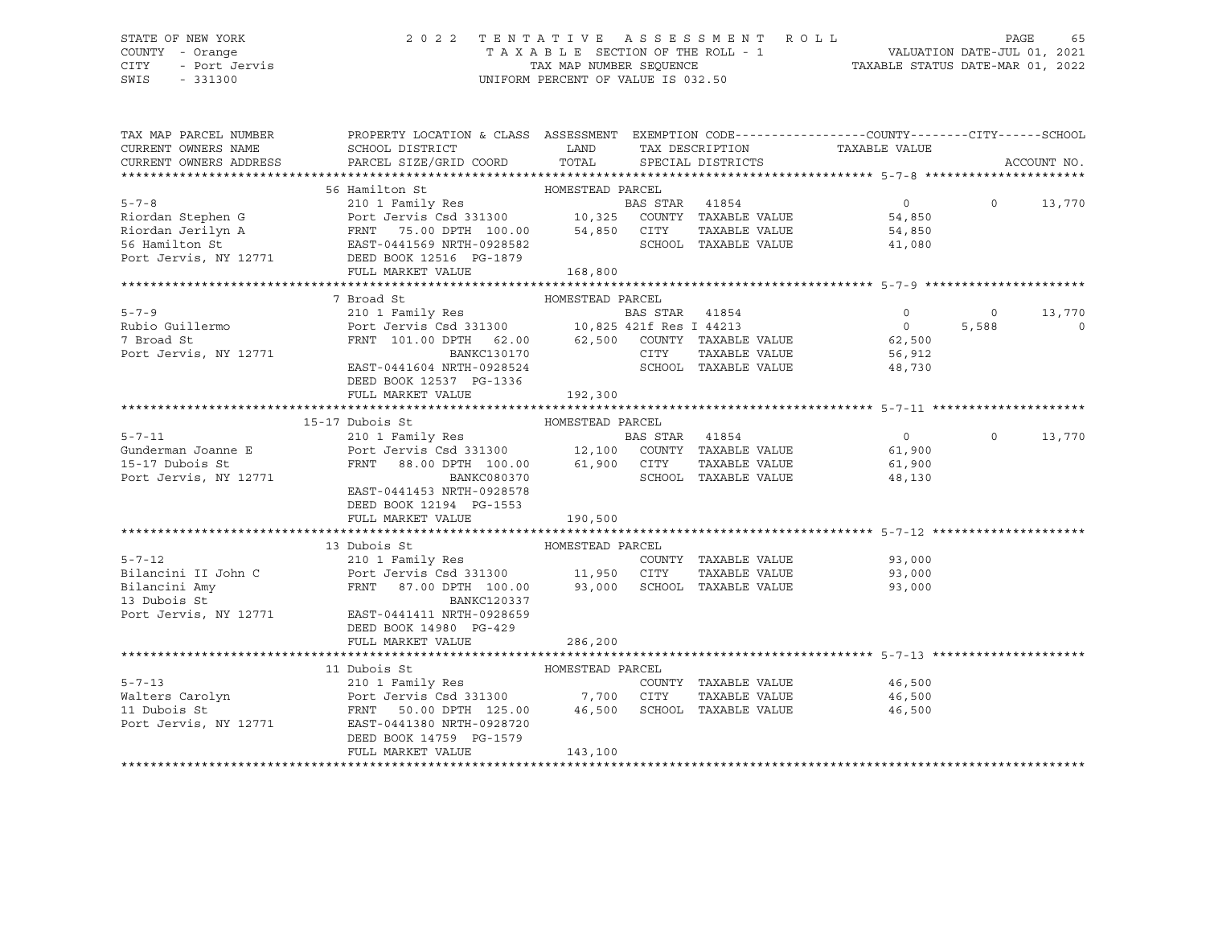### STATE OF NEW YORK 2 0 2 2 T E N T A T I V E A S S E S S M E N T R O L L PAGE 65 COUNTY - Orange T A X A B L E SECTION OF THE ROLL - 1 VALUATION DATE-JUL 01, 2021 CITY - Port Jervis TAX MAP NUMBER SEQUENCE TAXABLE STATUS DATE-MAR 01, 2022

| TAX MAP PARCEL NUMBER                     | PROPERTY LOCATION & CLASS ASSESSMENT EXEMPTION CODE----------------COUNTY-------CITY------SCHOOL                                                                                                                                         |                   |                      |                               |          |             |
|-------------------------------------------|------------------------------------------------------------------------------------------------------------------------------------------------------------------------------------------------------------------------------------------|-------------------|----------------------|-------------------------------|----------|-------------|
| CURRENT OWNERS NAME                       | SCHOOL DISTRICT<br>PARCEL SIZE/GRID COORD TOTAL SPECIAL DISTRICTS                                                                                                                                                                        | <b>Example 12</b> |                      | TAX DESCRIPTION TAXABLE VALUE |          |             |
| CURRENT OWNERS ADDRESS                    |                                                                                                                                                                                                                                          |                   |                      |                               |          | ACCOUNT NO. |
|                                           |                                                                                                                                                                                                                                          |                   |                      |                               |          |             |
|                                           | 56 Hamilton St                                                                                                                                                                                                                           | HOMESTEAD PARCEL  |                      |                               |          |             |
|                                           |                                                                                                                                                                                                                                          |                   |                      | $\overline{0}$                | $\Omega$ | 13,770      |
|                                           |                                                                                                                                                                                                                                          |                   |                      | 54,850                        |          |             |
|                                           |                                                                                                                                                                                                                                          |                   |                      | 54,850                        |          |             |
|                                           |                                                                                                                                                                                                                                          |                   |                      | 41,080                        |          |             |
|                                           | ERIT 100.00 EXAMPLE VALUE<br>FANCEL BAS STAR 41854<br>Riordan Jerilyn A FRNT 75.00 DPTH 100.00 54,850 CITY TAXABLE VALUE<br>FRNT 75.00 DPTH 100.00 54,850 CITY TAXABLE VALUE<br>FRNT 75.00 DPTH 100.00 54,850 CITY TAXABLE VALUE<br>FRNT |                   |                      |                               |          |             |
|                                           | FULL MARKET VALUE                                                                                                                                                                                                                        | 168,800           |                      |                               |          |             |
|                                           |                                                                                                                                                                                                                                          |                   |                      |                               |          |             |
|                                           | 7 Broad St<br>HOMESTEAD PARCEL                                                                                                                                                                                                           |                   |                      |                               |          |             |
| $5 - 7 - 9$                               |                                                                                                                                                                                                                                          |                   |                      | $\overline{0}$                | $\circ$  | 13,770      |
| Rubio Guillermo                           |                                                                                                                                                                                                                                          |                   |                      | $\overline{0}$                | 5,588    | $\circ$     |
| 7 Broad St                                |                                                                                                                                                                                                                                          |                   |                      |                               |          |             |
| Port Jervis, NY 12771                     | $\begin{tabular}{lllllllllll} \textsc{FRNT} & 101.00 \textsc{DPTH} & 62.00 & 62,500 & \textsc{COUNTY} & \textsc{TAXABLE VALUE} & 62,500 \\ & \textsc{BANKC130170} & \textsc{CITY} & \textsc{TAXABLE VALUE} & 56,912 \\ \end{tabular}$    |                   |                      |                               |          |             |
|                                           | EAST-0441604 NRTH-0928524                                                                                                                                                                                                                |                   | SCHOOL TAXABLE VALUE | 48,730                        |          |             |
|                                           | DEED BOOK 12537 PG-1336                                                                                                                                                                                                                  |                   |                      |                               |          |             |
|                                           |                                                                                                                                                                                                                                          |                   |                      |                               |          |             |
|                                           | FULL MARKET VALUE                                                                                                                                                                                                                        | 192,300           |                      |                               |          |             |
|                                           |                                                                                                                                                                                                                                          |                   |                      |                               |          |             |
|                                           |                                                                                                                                                                                                                                          |                   |                      |                               |          |             |
| $5 - 7 - 11$                              |                                                                                                                                                                                                                                          |                   |                      | $\overline{0}$                | $\Omega$ | 13,770      |
| Gunderman Joanne E                        | HOMESTEAD PARCEL<br>210 1 Family Res<br>BAS STAR 41854<br>Port Jervis Csd 331300 12,100 COUNTY TAXABLE VALUE<br>FRNT 88.00 DPTH 100.00 61.900 CITTY TAXABLE VALUE                                                                        |                   |                      | 61,900                        |          |             |
| 15-17 Dubois St                           | FRNT 88.00 DPTH 100.00 61,900 CITY<br>FRNT 88.00 DPTH 100.00 61,900 CITY<br>BANKC080370 SCHOOL                                                                                                                                           |                   |                      | TAXABLE VALUE 61,900          |          |             |
| Port Jervis, NY 12771                     |                                                                                                                                                                                                                                          |                   | SCHOOL TAXABLE VALUE | 48,130                        |          |             |
|                                           | EAST-0441453 NRTH-0928578                                                                                                                                                                                                                |                   |                      |                               |          |             |
|                                           | DEED BOOK 12194 PG-1553                                                                                                                                                                                                                  |                   |                      |                               |          |             |
|                                           | FULL MARKET VALUE                                                                                                                                                                                                                        | 190,500           |                      |                               |          |             |
|                                           |                                                                                                                                                                                                                                          |                   |                      |                               |          |             |
|                                           | 13 Dubois St                                                                                                                                                                                                                             | HOMESTEAD PARCEL  |                      |                               |          |             |
| $5 - 7 - 12$                              | 210 1 Family Res                                                                                                                                                                                                                         |                   |                      | COUNTY TAXABLE VALUE 93,000   |          |             |
|                                           |                                                                                                                                                                                                                                          |                   | TAXABLE VALUE        | 93,000<br>93.000              |          |             |
| .<br>Bilancini II John C<br>Bilancini Amy | Port Jervis Csd 331300<br>Port Jervis Csd 331300 11,950 CITY TAXABLE VALUE<br>FRNT 87.00 DPTH 100.00 93,000 SCHOOL TAXABLE VALUE                                                                                                         |                   |                      | 93,000                        |          |             |
| 13 Dubois St                              | <b>BANKC120337</b>                                                                                                                                                                                                                       |                   |                      |                               |          |             |
| Port Jervis, NY 12771                     | EAST-0441411 NRTH-0928659                                                                                                                                                                                                                |                   |                      |                               |          |             |
|                                           | DEED BOOK 14980 PG-429                                                                                                                                                                                                                   |                   |                      |                               |          |             |
|                                           | FULL MARKET VALUE                                                                                                                                                                                                                        | 286,200           |                      |                               |          |             |
|                                           |                                                                                                                                                                                                                                          |                   |                      |                               |          |             |
|                                           | 11 Dubois St                                                                                                                                                                                                                             | HOMESTEAD PARCEL  |                      |                               |          |             |
| $5 - 7 - 13$                              | Dubois St<br>210 1 Family Res                                                                                                                                                                                                            |                   |                      | 46,500                        |          |             |
| Walters Carolyn                           |                                                                                                                                                                                                                                          |                   |                      | TAXABLE VALUE 46,500          |          |             |
|                                           | 210 1 Family Res<br>Port Jervis Csd 331300 7,700 CITY TAXABLE VALUE<br>FRNT 50.00 DPTH 125.00 46,500 SCHOOL TAXABLE VALUE                                                                                                                |                   |                      | 46,500                        |          |             |
| 11 Dubois St<br>Port Jervis, NY 12771     |                                                                                                                                                                                                                                          |                   |                      |                               |          |             |
|                                           |                                                                                                                                                                                                                                          |                   |                      |                               |          |             |
|                                           | DEED BOOK 14759 PG-1579                                                                                                                                                                                                                  |                   |                      |                               |          |             |
|                                           | FULL MARKET VALUE                                                                                                                                                                                                                        | 143,100           |                      |                               |          |             |
|                                           |                                                                                                                                                                                                                                          |                   |                      |                               |          |             |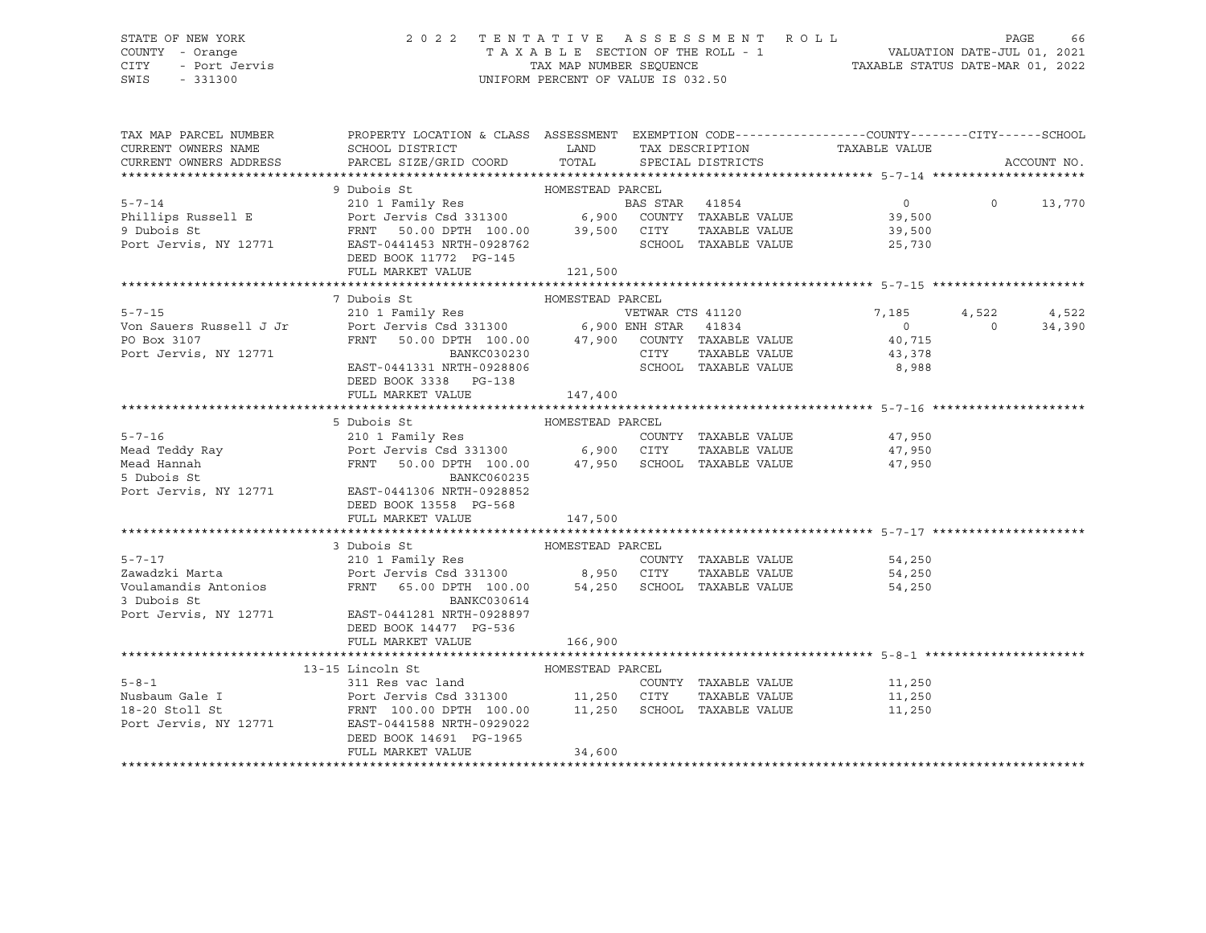# STATE OF NEW YORK 2 0 2 2 T E N T A T I V E A S S E S S M E N T R O L L PAGE 66 COUNTY - Orange T A X A B L E SECTION OF THE ROLL - 1 VALUATION DATE-JUL 01, 2021 CITY - Port Jervis TAX MAP NUMBER SEQUENCE TAXABLE STATUS DATE-MAR 01, 2022

| TAX MAP PARCEL NUMBER<br>CURRENT OWNERS NAME | PROPERTY LOCATION & CLASS ASSESSMENT EXEMPTION CODE----------------COUNTY-------CITY-----SCHOOL<br>SCHOOL DISTRICT                                                                                                                                                                                                                                                                                                                                      |                  | LAND TAX DESCRIPTION    | TAXABLE VALUE                              |          |               |
|----------------------------------------------|---------------------------------------------------------------------------------------------------------------------------------------------------------------------------------------------------------------------------------------------------------------------------------------------------------------------------------------------------------------------------------------------------------------------------------------------------------|------------------|-------------------------|--------------------------------------------|----------|---------------|
| CURRENT OWNERS ADDRESS                       | PARCEL SIZE/GRID COORD                                                                                                                                                                                                                                                                                                                                                                                                                                  |                  | TOTAL SPECIAL DISTRICTS |                                            |          | ACCOUNT NO.   |
|                                              |                                                                                                                                                                                                                                                                                                                                                                                                                                                         |                  |                         |                                            |          |               |
|                                              | 9 Dubois St<br>210 1 Family Res<br>210 1 Family Res<br>210 1 Family Res<br>210 1 Family Res<br>210 1 Family Res<br>210 2 Ferris Csd 331300<br>29,500 COUNTY TAXABLE VALUE<br>29,500<br>29,500 COUNTY TAXABLE VALUE<br>29,500<br>29,500<br>29,500<br>29,5                                                                                                                                                                                                |                  |                         | $\overline{0}$                             |          | $0 \t 13,770$ |
|                                              |                                                                                                                                                                                                                                                                                                                                                                                                                                                         |                  |                         |                                            |          |               |
|                                              |                                                                                                                                                                                                                                                                                                                                                                                                                                                         |                  |                         |                                            |          |               |
|                                              |                                                                                                                                                                                                                                                                                                                                                                                                                                                         |                  |                         |                                            |          |               |
|                                              | DEED BOOK 11772 PG-145                                                                                                                                                                                                                                                                                                                                                                                                                                  |                  |                         |                                            |          |               |
|                                              | FULL MARKET VALUE 121,500                                                                                                                                                                                                                                                                                                                                                                                                                               |                  |                         |                                            |          |               |
|                                              |                                                                                                                                                                                                                                                                                                                                                                                                                                                         |                  |                         |                                            |          |               |
|                                              | 7 Dubois St                                                                                                                                                                                                                                                                                                                                                                                                                                             | HOMESTEAD PARCEL |                         |                                            |          |               |
|                                              |                                                                                                                                                                                                                                                                                                                                                                                                                                                         |                  |                         | 7,185                                      | 4,522    | 4,522         |
|                                              |                                                                                                                                                                                                                                                                                                                                                                                                                                                         |                  |                         |                                            | $\Omega$ | 34,390        |
|                                              |                                                                                                                                                                                                                                                                                                                                                                                                                                                         |                  |                         | $\begin{array}{c} 0 \\ 40,715 \end{array}$ |          |               |
| PO Box 3107<br>Port Jervis, NY 12771         | $\begin{tabular}{lllllllllll} \multicolumn{2}{c}{\textbf{FRNT}} & \multicolumn{2}{c}{\textbf{50.00 DPTH}} & \multicolumn{2}{c}{\textbf{100.00}} & \multicolumn{2}{c}{\textbf{47,900}} & \multicolumn{2}{c}{\textbf{COUNTY}} & \multicolumn{2}{c}{\textbf{TAXABLE VALUE}} & \multicolumn{2}{c}{\textbf{40,715}} \\ & \multicolumn{2}{c}{\textbf{BANKC030230}} & \multicolumn{2}{c}{\textbf{50.00}} & \multicolumn{2}{c}{\textbf{CITY}} & \multicolumn{2$ |                  |                         |                                            |          |               |
|                                              | $\verb EAST-0441331 NRTH-0928806 \hspace{1.5cm} \verb SCHOOL-TXABLE VALUE  \hspace{1.5cm} \verb 8,988  \hspace{1.5cm}$                                                                                                                                                                                                                                                                                                                                  |                  |                         |                                            |          |               |
|                                              | DEED BOOK 3338 PG-138                                                                                                                                                                                                                                                                                                                                                                                                                                   |                  |                         |                                            |          |               |
|                                              | FULL MARKET VALUE                                                                                                                                                                                                                                                                                                                                                                                                                                       | 147,400          |                         |                                            |          |               |
|                                              |                                                                                                                                                                                                                                                                                                                                                                                                                                                         |                  |                         |                                            |          |               |
|                                              | Mead Teddy Ray<br>Mead Teddy Ray<br>Mead Hannah<br>Solution of Part Jervis Csd 331300<br>FRNT 50.00 DPTH 100.00<br>FRNT 50.00 DPTH 100.00<br>Text: Jervis With Part Jervis With Part Jervis<br>Port Jervis With Part Part Jervis With Part J                                                                                                                                                                                                            |                  |                         |                                            |          |               |
|                                              |                                                                                                                                                                                                                                                                                                                                                                                                                                                         |                  | COUNTY TAXABLE VALUE    |                                            |          |               |
|                                              |                                                                                                                                                                                                                                                                                                                                                                                                                                                         |                  | TAXABLE VALUE           | 47,950<br>47,950                           |          |               |
|                                              | FRNT 50.00 DPTH 100.00 47,950 SCHOOL TAXABLE VALUE 47,950                                                                                                                                                                                                                                                                                                                                                                                               |                  |                         |                                            |          |               |
|                                              |                                                                                                                                                                                                                                                                                                                                                                                                                                                         |                  |                         |                                            |          |               |
| Port Jervis, NY 12771                        | EAST-0441306 NRTH-0928852                                                                                                                                                                                                                                                                                                                                                                                                                               |                  |                         |                                            |          |               |
|                                              | DEED BOOK 13558 PG-568                                                                                                                                                                                                                                                                                                                                                                                                                                  |                  |                         |                                            |          |               |
|                                              | FULL MARKET VALUE                                                                                                                                                                                                                                                                                                                                                                                                                                       | 147,500          |                         |                                            |          |               |
|                                              |                                                                                                                                                                                                                                                                                                                                                                                                                                                         |                  |                         |                                            |          |               |
|                                              | 3 Dubois St                                                                                                                                                                                                                                                                                                                                                                                                                                             | HOMESTEAD PARCEL |                         |                                            |          |               |
| $5 - 7 - 17$                                 | 210 1 Family Res                                                                                                                                                                                                                                                                                                                                                                                                                                        |                  |                         | COUNTY TAXABLE VALUE 54,250                |          |               |
|                                              |                                                                                                                                                                                                                                                                                                                                                                                                                                                         |                  |                         | 54,250<br>54.250                           |          |               |
|                                              |                                                                                                                                                                                                                                                                                                                                                                                                                                                         |                  |                         | 54,250                                     |          |               |
| 3 Dubois St                                  | BANKC030614                                                                                                                                                                                                                                                                                                                                                                                                                                             |                  |                         |                                            |          |               |
|                                              | Port Jervis, NY 12771 EAST-0441281 NRTH-0928897                                                                                                                                                                                                                                                                                                                                                                                                         |                  |                         |                                            |          |               |
|                                              | DEED BOOK 14477 PG-536                                                                                                                                                                                                                                                                                                                                                                                                                                  |                  |                         |                                            |          |               |
|                                              | FULL MARKET VALUE                                                                                                                                                                                                                                                                                                                                                                                                                                       | 166,900          |                         |                                            |          |               |
|                                              |                                                                                                                                                                                                                                                                                                                                                                                                                                                         |                  |                         |                                            |          |               |
|                                              | 13-15 Lincoln St                                                                                                                                                                                                                                                                                                                                                                                                                                        |                  |                         |                                            |          |               |
| $5 - 8 - 1$                                  |                                                                                                                                                                                                                                                                                                                                                                                                                                                         |                  |                         | COUNTY TAXABLE VALUE 11,250                |          |               |
|                                              | Nusbaum Gale I Port Jervis Csd 331300 11,250 CITY                                                                                                                                                                                                                                                                                                                                                                                                       |                  |                         | TAXABLE VALUE 11,250                       |          |               |
| 18-20 Stoll St                               | FRNT 100.00 DPTH 100.00 11,250 SCHOOL TAXABLE VALUE<br>Port Jervis, NY 12771 EAST-0441588 NRTH-0929022                                                                                                                                                                                                                                                                                                                                                  |                  |                         | 11,250                                     |          |               |
|                                              |                                                                                                                                                                                                                                                                                                                                                                                                                                                         |                  |                         |                                            |          |               |
|                                              | DEED BOOK 14691 PG-1965<br>FULL MARKET VALUE                                                                                                                                                                                                                                                                                                                                                                                                            | 34,600           |                         |                                            |          |               |
|                                              |                                                                                                                                                                                                                                                                                                                                                                                                                                                         |                  |                         |                                            |          |               |
|                                              |                                                                                                                                                                                                                                                                                                                                                                                                                                                         |                  |                         |                                            |          |               |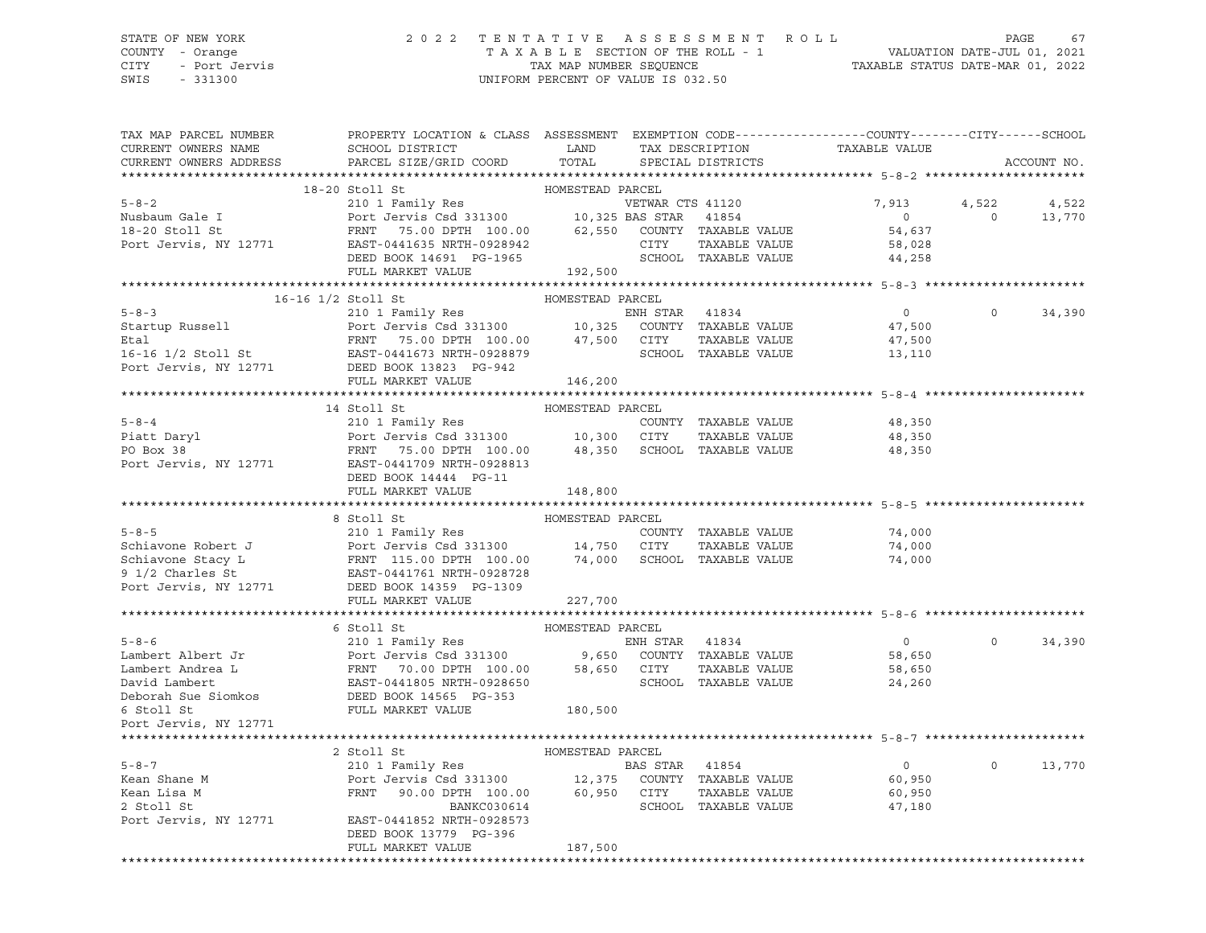### STATE OF NEW YORK 2 0 2 2 T E N T A T I V E A S S E S S M E N T R O L L PAGE 67 COUNTY - Orange T A X A B L E SECTION OF THE ROLL - 1 VALUATION DATE-JUL 01, 2021 CITY - Port Jervis TAX MAP NUMBER SEQUENCE TAXABLE STATUS DATE-MAR 01, 2022

| TAX MAP PARCEL NUMBER<br>CURRENT OWNERS NAME                                                                                                                                                                                                                                                                                                                                                                                                                                                                     | PROPERTY LOCATION & CLASS ASSESSMENT EXEMPTION CODE----------------COUNTY-------CITY------SCHOOL<br>SCHOOL DISTRICT                              | LAND             |                | TAX DESCRIPTION             | TAXABLE VALUE                               |                         |                 |
|------------------------------------------------------------------------------------------------------------------------------------------------------------------------------------------------------------------------------------------------------------------------------------------------------------------------------------------------------------------------------------------------------------------------------------------------------------------------------------------------------------------|--------------------------------------------------------------------------------------------------------------------------------------------------|------------------|----------------|-----------------------------|---------------------------------------------|-------------------------|-----------------|
| CURRENT OWNERS ADDRESS                                                                                                                                                                                                                                                                                                                                                                                                                                                                                           | PARCEL SIZE/GRID COORD                                                                                                                           | TOTAL            |                | SPECIAL DISTRICTS           |                                             |                         | ACCOUNT NO.     |
|                                                                                                                                                                                                                                                                                                                                                                                                                                                                                                                  | $18-20$ Stoll St                                                                                                                                 | HOMESTEAD PARCEL |                |                             |                                             |                         |                 |
| $5 - 8 - 2$<br>Nusbaum Gale I<br>18-20 Stoll St<br>Port Jervis, NY 12771 EAST-0441635 NRTH-0928942                                                                                                                                                                                                                                                                                                                                                                                                               | 210 1 Family Res<br>Port Jervis Csd 331300 10,325 BAS STAR 41854<br>Port Jervis Csd 331300<br>FRNT 75.00 DPTH 100.00 62,550 COUNTY TAXABLE VALUE |                  |                |                             | 7,913<br>$\overline{0}$<br>54,637<br>58,028 | 4,522<br>$\overline{0}$ | 4,522<br>13,770 |
|                                                                                                                                                                                                                                                                                                                                                                                                                                                                                                                  | DEED BOOK 14691 PG-1965<br>FULL MARKET VALUE                                                                                                     | 192,500          |                | SCHOOL TAXABLE VALUE        | 44,258                                      |                         |                 |
|                                                                                                                                                                                                                                                                                                                                                                                                                                                                                                                  |                                                                                                                                                  |                  |                |                             |                                             |                         |                 |
| 16-16 1/2 Stoll St                                                                                                                                                                                                                                                                                                                                                                                                                                                                                               |                                                                                                                                                  | HOMESTEAD PARCEL |                |                             |                                             |                         |                 |
| 5-8-3<br>Startup Russell<br>Etal<br>Etal<br>FRNT 75.00 DPTH 100.00 47,500 CITY TAXABLE VALUE<br>Etal<br>FRNT 75.00 DPTH 100.00 47,500 CITY TAXABLE VALUE<br>POCK Jervis, NY 12771 DEED BOOK 18833<br>POCK Jervis, NY 12771 DEED BOOK 19828879<br>                                                                                                                                                                                                                                                                |                                                                                                                                                  |                  |                |                             | $\overline{0}$                              | $\Omega$                | 34,390          |
|                                                                                                                                                                                                                                                                                                                                                                                                                                                                                                                  |                                                                                                                                                  |                  |                |                             | 47,500                                      |                         |                 |
|                                                                                                                                                                                                                                                                                                                                                                                                                                                                                                                  |                                                                                                                                                  |                  |                |                             | 47,500                                      |                         |                 |
|                                                                                                                                                                                                                                                                                                                                                                                                                                                                                                                  |                                                                                                                                                  |                  |                |                             | 13,110                                      |                         |                 |
|                                                                                                                                                                                                                                                                                                                                                                                                                                                                                                                  |                                                                                                                                                  |                  |                |                             |                                             |                         |                 |
|                                                                                                                                                                                                                                                                                                                                                                                                                                                                                                                  | FULL MARKET VALUE                                                                                                                                | 146,200          |                |                             |                                             |                         |                 |
|                                                                                                                                                                                                                                                                                                                                                                                                                                                                                                                  |                                                                                                                                                  |                  |                |                             |                                             |                         |                 |
|                                                                                                                                                                                                                                                                                                                                                                                                                                                                                                                  | 14 Stoll St                                                                                                                                      | HOMESTEAD PARCEL |                |                             |                                             |                         |                 |
| $5 - 8 - 4$                                                                                                                                                                                                                                                                                                                                                                                                                                                                                                      |                                                                                                                                                  |                  |                |                             | 48,350                                      |                         |                 |
| Piatt Daryl<br>PO Box 38                                                                                                                                                                                                                                                                                                                                                                                                                                                                                         | 210 1 Family Res<br>Port Jervis Csd 331300 10,300 CITY TAXABLE VALUE<br>FRNT 75.00 DPTH 100.00 48,350 SCHOOL TAXABLE VALUE                       |                  |                |                             | 48,350                                      |                         |                 |
| Port Jervis, NY 12771 EAST-0441709 NRTH-0928813                                                                                                                                                                                                                                                                                                                                                                                                                                                                  | DEED BOOK 14444 PG-11                                                                                                                            |                  |                |                             | 48,350                                      |                         |                 |
|                                                                                                                                                                                                                                                                                                                                                                                                                                                                                                                  | FULL MARKET VALUE                                                                                                                                | 148,800          |                |                             |                                             |                         |                 |
|                                                                                                                                                                                                                                                                                                                                                                                                                                                                                                                  |                                                                                                                                                  |                  |                |                             |                                             |                         |                 |
|                                                                                                                                                                                                                                                                                                                                                                                                                                                                                                                  |                                                                                                                                                  |                  |                |                             |                                             |                         |                 |
|                                                                                                                                                                                                                                                                                                                                                                                                                                                                                                                  |                                                                                                                                                  |                  |                |                             |                                             |                         |                 |
|                                                                                                                                                                                                                                                                                                                                                                                                                                                                                                                  |                                                                                                                                                  |                  |                | COUNTY TAXABLE VALUE        | 74,000                                      |                         |                 |
|                                                                                                                                                                                                                                                                                                                                                                                                                                                                                                                  |                                                                                                                                                  |                  |                | TAXABLE VALUE               | 74,000                                      |                         |                 |
|                                                                                                                                                                                                                                                                                                                                                                                                                                                                                                                  |                                                                                                                                                  |                  |                | 74,000 SCHOOL TAXABLE VALUE | 74,000                                      |                         |                 |
|                                                                                                                                                                                                                                                                                                                                                                                                                                                                                                                  |                                                                                                                                                  |                  |                |                             |                                             |                         |                 |
|                                                                                                                                                                                                                                                                                                                                                                                                                                                                                                                  |                                                                                                                                                  |                  |                |                             |                                             |                         |                 |
| HOMESTEAD PARENT MENTE AND RESTEAD PARENT COUNT COUNT OF THE COUNT OF THE COUNT OF THE COUNT OF THE COUNT OF THE COUNT OF THE COUNT OF THE COUNT OF THE COUNT OF THE COUNT OF THE COUNT OF THE COUNT OF THE COUNT OF THE COUNT                                                                                                                                                                                                                                                                                   |                                                                                                                                                  |                  |                |                             |                                             |                         |                 |
|                                                                                                                                                                                                                                                                                                                                                                                                                                                                                                                  |                                                                                                                                                  |                  |                |                             |                                             |                         |                 |
|                                                                                                                                                                                                                                                                                                                                                                                                                                                                                                                  |                                                                                                                                                  |                  |                |                             |                                             |                         |                 |
|                                                                                                                                                                                                                                                                                                                                                                                                                                                                                                                  |                                                                                                                                                  |                  |                |                             | $\overline{0}$                              | $\Omega$                | 34,390          |
|                                                                                                                                                                                                                                                                                                                                                                                                                                                                                                                  |                                                                                                                                                  |                  |                |                             | 58,650                                      |                         |                 |
|                                                                                                                                                                                                                                                                                                                                                                                                                                                                                                                  |                                                                                                                                                  |                  |                |                             | 58,650                                      |                         |                 |
|                                                                                                                                                                                                                                                                                                                                                                                                                                                                                                                  |                                                                                                                                                  |                  |                |                             | 24,260                                      |                         |                 |
|                                                                                                                                                                                                                                                                                                                                                                                                                                                                                                                  |                                                                                                                                                  |                  |                |                             |                                             |                         |                 |
|                                                                                                                                                                                                                                                                                                                                                                                                                                                                                                                  |                                                                                                                                                  |                  |                |                             |                                             |                         |                 |
| $\begin{tabular}{lllllllllllll} \multicolumn{3}{c}{\begin{tabular}{l} \multicolumn{3}{c}{\begin{tabular}{l} \multicolumn{3}{c}{\begin{tabular}{l} \multicolumn{3}{c}{\begin{tabular}{l} \multicolumn{3}{c}{\begin{tabular}{l} \multicolumn{3}{c}{\begin{tabular}{l} \multicolumn{3}{c}{\begin{tabular}{l} \multicolumn{3}{c}{\begin{tabular}{l} \multicolumn{3}{c}{\begin{tabular}{l} \multicolumn{3}{c}{\begin{tabular}{l} \multicolumn{3}{c}{\begin{tabular}{l} \multicolumn{3}{c}{\begin{tabular}{l} \multic$ |                                                                                                                                                  |                  |                |                             |                                             |                         |                 |
|                                                                                                                                                                                                                                                                                                                                                                                                                                                                                                                  | 2 Stoll St                                                                                                                                       | HOMESTEAD PARCEL |                |                             |                                             |                         |                 |
| $5 - 8 - 7$                                                                                                                                                                                                                                                                                                                                                                                                                                                                                                      | 210 1 Family Res                                                                                                                                 |                  | BAS STAR 41854 |                             | $\overline{0}$                              | $\Omega$                | 13,770          |
| Kean Shane M                                                                                                                                                                                                                                                                                                                                                                                                                                                                                                     |                                                                                                                                                  |                  |                |                             | 60,950                                      |                         |                 |
| Kean Lisa M                                                                                                                                                                                                                                                                                                                                                                                                                                                                                                      | Port Jervis Csd 331300 12,375 COUNTY TAXABLE VALUE<br>FRNT 90.00 DPTH 100.00 60,950 CITY TAXABLE VALUE                                           |                  |                |                             | 60,950                                      |                         |                 |
| 2 Stoll St                                                                                                                                                                                                                                                                                                                                                                                                                                                                                                       | BANKC030614                                                                                                                                      |                  |                | SCHOOL TAXABLE VALUE        | 47,180                                      |                         |                 |
| Port Jervis, NY 12771                                                                                                                                                                                                                                                                                                                                                                                                                                                                                            | EAST-0441852 NRTH-0928573                                                                                                                        |                  |                |                             |                                             |                         |                 |
|                                                                                                                                                                                                                                                                                                                                                                                                                                                                                                                  | DEED BOOK 13779 PG-396<br>FULL MARKET VALUE                                                                                                      | 187,500          |                |                             |                                             |                         |                 |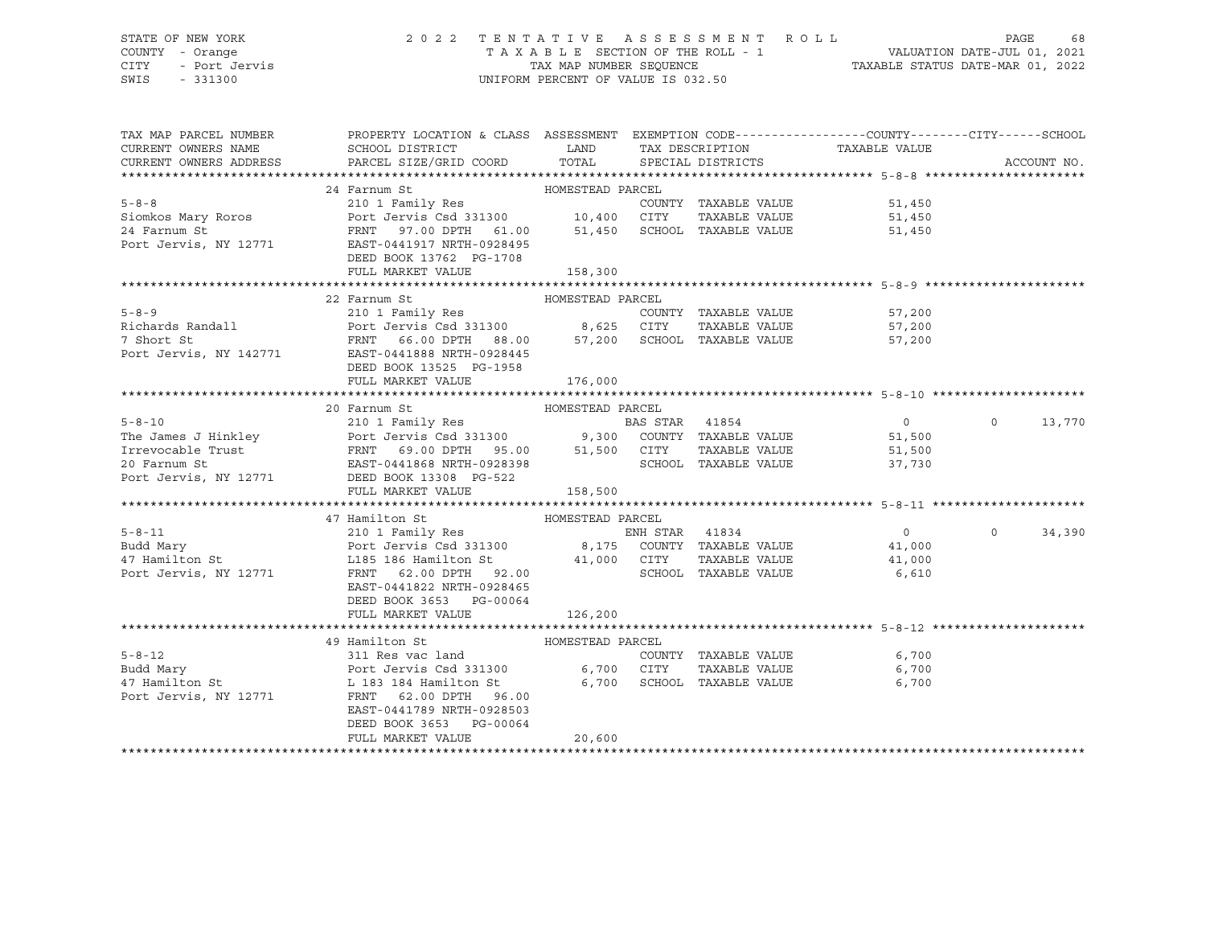## STATE OF NEW YORK 2 0 2 2 T E N T A T I V E A S S E S S M E N T R O L L PAGE 68 COUNTY - Orange T A X A B L E SECTION OF THE ROLL - 1 VALUATION DATE-JUL 01, 2021 CITY - Port Jervis TAX MAP NUMBER SEQUENCE TAXABLE STATUS DATE-MAR 01, 2022

| TAX MAP PARCEL NUMBER                                                                                                                                                                                                                                    | PROPERTY LOCATION & CLASS ASSESSMENT EXEMPTION CODE---------------COUNTY-------CITY------SCHOOL |                             |                                                    |                                                              |                   |        |
|----------------------------------------------------------------------------------------------------------------------------------------------------------------------------------------------------------------------------------------------------------|-------------------------------------------------------------------------------------------------|-----------------------------|----------------------------------------------------|--------------------------------------------------------------|-------------------|--------|
| 3-8-8<br>210 1 Family Res<br>210 1 Family Res<br>210 1 Family Res<br>210 1 Family Res<br>210 1 Family Res<br>210 1 Family Res<br>210 24 Farnum St<br>210 24 Farnum St<br>210 21 Family Res<br>210 21 Family Res<br>24 Farnum St<br>21,450<br>24 Farnum S | DEED BOOK 13762 PG-1708<br>FULL MARKET VALUE                                                    | 158,300                     |                                                    |                                                              |                   |        |
| 5-8-9<br>Examples 210 1 Family Res<br>Richards Randall<br>Port Jervis Csd 331300<br>Port Jervis Csd 331300<br>FRNT 66.00 DPTH 88.00<br>FRNT 66.00 DPTH 88.00<br>ST,200<br>SCHOOL TAXABLE VALUE<br>FRNT 66.00 DPTH 88.00<br>ST,200<br>SCHOOL TAXABLE      | 22 Farnum St<br>DEED BOOK 13525 PG-1958<br>FULL MARKET VALUE                                    | HOMESTEAD PARCEL<br>176,000 |                                                    |                                                              |                   |        |
|                                                                                                                                                                                                                                                          | 20 Farnum St MOMESTEAD PARCEL<br>FULL MARKET VALUE                                              | 158,500                     |                                                    |                                                              | $\Omega$          | 13,770 |
|                                                                                                                                                                                                                                                          |                                                                                                 |                             |                                                    |                                                              |                   |        |
| 97 Hamilton St HOMESTEAD PARCEL<br>210 1 Family Res<br>Budd Mary Port Jervis Csd 331300 8,175 COUNTY TAXABLE VALUE<br>47 Hamilton St L185 186 Hamilton St 41,000 CITY TAXABLE VALUE<br>Port Jervis, NY 12771 FRNT 62.00 DPTH 92.00<br>PO                 | EAST-0441822 NRTH-0928465<br>DEED BOOK 3653 PG-00064                                            |                             | TAXABLE VALUE 41,000<br>SCHOOL TAXABLE VALUE 6,610 | $\overline{0}$<br>$\begin{array}{c} 0 \\ 41,000 \end{array}$ | $0 \qquad \qquad$ | 34,390 |
|                                                                                                                                                                                                                                                          | FULL MARKET VALUE                                                                               | 126,200                     |                                                    |                                                              |                   |        |
| 5-8-12 311 Res vac land COUNTY TAXABLE VALUE<br>Budd Mary Port Jervis Csd 331300 6,700 CITY TAXABLE VALUE<br>47 Hamilton St L 183 184 Hamilton St 6,700 SCHOOL TAXABLE VALUE<br>Port Jervis, NY 12771 FRNT 62.00 DPTH 96.00                              | 49 Hamilton St<br>EAST-0441789 NRTH-0928503<br>DEED BOOK 3653 PG-00064<br>FULL MARKET VALUE     | HOMESTEAD PARCEL<br>20,600  | COUNTY TAXABLE VALUE<br>TAXABLE VALUE 6,700        | 6,700<br>6,700                                               |                   |        |
|                                                                                                                                                                                                                                                          |                                                                                                 |                             |                                                    |                                                              |                   |        |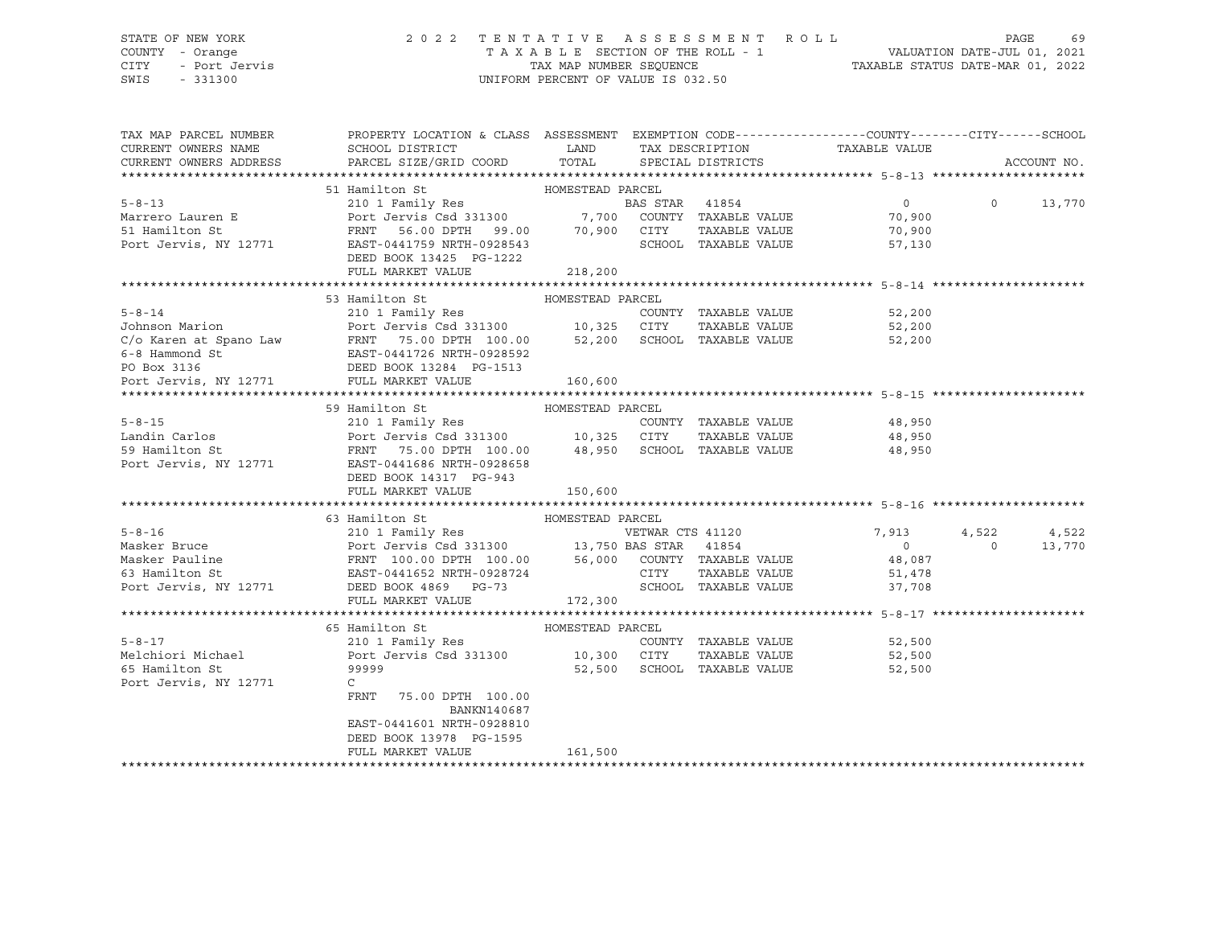### STATE OF NEW YORK 2 0 2 2 T E N T A T I V E A S S E S S M E N T R O L L PAGE 69 COUNTY - Orange T A X A B L E SECTION OF THE ROLL - 1 VALUATION DATE-JUL 01, 2021 CITY - Port Jervis TAX MAP NUMBER SEQUENCE TAXABLE STATUS DATE-MAR 01, 2022

| TAX MAP PARCEL NUMBER                                                                                                                                                                                                                  | PROPERTY LOCATION & CLASS ASSESSMENT EXEMPTION CODE----------------COUNTY-------CITY------SCHOOL |                  |                             |                      |                                            |                |             |
|----------------------------------------------------------------------------------------------------------------------------------------------------------------------------------------------------------------------------------------|--------------------------------------------------------------------------------------------------|------------------|-----------------------------|----------------------|--------------------------------------------|----------------|-------------|
| CURRENT OWNERS NAME                                                                                                                                                                                                                    |                                                                                                  |                  |                             |                      |                                            |                |             |
| CURRENT OWNERS ADDRESS                                                                                                                                                                                                                 |                                                                                                  |                  |                             |                      | TAX DESCRIPTION TAXABLE VALUE              |                | ACCOUNT NO. |
|                                                                                                                                                                                                                                        |                                                                                                  |                  |                             |                      |                                            |                |             |
|                                                                                                                                                                                                                                        | HOMESTEAD PARCEL<br>51 Hamilton St                                                               |                  |                             |                      |                                            |                |             |
| 910 1 Family Res<br>Marrero Lauren E 210 1 Family Res<br>Port Jervis Csd 331300 7,700 COUNTY TAXABLE VALUE<br>FRIT 56.00 DPTH 99.00 70,900 CITY TAXABLE VALUE<br>Port Jervis, NY 12771 EAST-0441759 NRTH-0928543 SCHOOL TAXABLE VALUE  |                                                                                                  |                  |                             |                      | $\overline{0}$                             | $\Omega$       | 13,770      |
|                                                                                                                                                                                                                                        |                                                                                                  |                  |                             |                      | 70,900                                     |                |             |
|                                                                                                                                                                                                                                        |                                                                                                  |                  |                             |                      | TAXABLE VALUE 70,900                       |                |             |
|                                                                                                                                                                                                                                        |                                                                                                  |                  |                             |                      | SCHOOL TAXABLE VALUE<br>57,130             |                |             |
|                                                                                                                                                                                                                                        | DEED BOOK 13425 PG-1222                                                                          |                  |                             |                      |                                            |                |             |
|                                                                                                                                                                                                                                        | FULL MARKET VALUE                                                                                | 218,200          |                             |                      |                                            |                |             |
|                                                                                                                                                                                                                                        |                                                                                                  |                  |                             |                      |                                            |                |             |
|                                                                                                                                                                                                                                        | HOMESTEAD PARCEL<br>53 Hamilton St                                                               |                  |                             |                      |                                            |                |             |
| $5 - 8 - 14$                                                                                                                                                                                                                           |                                                                                                  |                  |                             |                      |                                            |                |             |
| Johnson Marion                                                                                                                                                                                                                         |                                                                                                  |                  |                             |                      |                                            |                |             |
|                                                                                                                                                                                                                                        |                                                                                                  |                  |                             |                      |                                            |                |             |
|                                                                                                                                                                                                                                        |                                                                                                  |                  |                             |                      |                                            |                |             |
|                                                                                                                                                                                                                                        |                                                                                                  |                  |                             |                      |                                            |                |             |
| C/o Karen at Spano Law FRNT 75.00 DPTH 100.00 52,200 SCHOOL TAXABLE VALUE 52,200<br>6-8 Hammond St EAST-0441726 NRTH-0928592<br>PO Box 3136 DEED BOOK 13284 PG-1513<br>Port Jervis, NY 12771 FULL MARKET VALUE 160,600                 |                                                                                                  |                  |                             |                      |                                            |                |             |
|                                                                                                                                                                                                                                        |                                                                                                  |                  |                             |                      |                                            |                |             |
|                                                                                                                                                                                                                                        | 59 Hamilton St                                                                                   |                  |                             |                      |                                            |                |             |
| $5 - 8 - 15$                                                                                                                                                                                                                           |                                                                                                  |                  |                             |                      | COUNTY TAXABLE VALUE 48,950                |                |             |
|                                                                                                                                                                                                                                        |                                                                                                  |                  |                             |                      | TAXABLE VALUE 48,950                       |                |             |
| Landin Carlos<br>59 Hamilton St<br>Port Jervis Csd 331300<br>FRNT 75.00 DPTH 100.00 48,950 SCHOOL TAXABLE VALUE<br>Port Jervis, NY 12771 EAST-0441686 NRTH-0928658                                                                     |                                                                                                  |                  |                             |                      | 48,950                                     |                |             |
|                                                                                                                                                                                                                                        |                                                                                                  |                  |                             |                      |                                            |                |             |
|                                                                                                                                                                                                                                        | DEED BOOK 14317 PG-943                                                                           |                  |                             |                      |                                            |                |             |
|                                                                                                                                                                                                                                        | FULL MARKET VALUE                                                                                | 150,600          |                             |                      |                                            |                |             |
|                                                                                                                                                                                                                                        |                                                                                                  |                  |                             |                      |                                            |                |             |
|                                                                                                                                                                                                                                        | 63 Hamilton St MOMESTEAD PARCEL                                                                  |                  |                             |                      |                                            |                |             |
|                                                                                                                                                                                                                                        |                                                                                                  |                  |                             |                      | VETWAR CTS 41120 7,913<br>BAS STAR 41854 0 | 4,522          | 4,522       |
|                                                                                                                                                                                                                                        |                                                                                                  |                  |                             |                      |                                            | $\overline{0}$ | 13,770      |
|                                                                                                                                                                                                                                        |                                                                                                  |                  |                             |                      |                                            |                |             |
|                                                                                                                                                                                                                                        |                                                                                                  |                  |                             |                      |                                            |                |             |
| 310 1 Family Res<br>Masker Bruce Port Jervis Csd 331300 13,750 BAS STAR 41854 0<br>Masker Pauline FRNT 100.00 DPTH 100.00 56,000 COUNTY TAXABLE VALUE 48,087<br>FORT JERNY 100.00 DPTH 100.00 56,000 COUNTY TAXABLE VALUE 48,087<br>Po |                                                                                                  |                  |                             |                      |                                            |                |             |
|                                                                                                                                                                                                                                        | FULL MARKET VALUE                                                                                | 172,300          |                             |                      |                                            |                |             |
|                                                                                                                                                                                                                                        | 65 Hamilton St                                                                                   |                  |                             |                      |                                            |                |             |
|                                                                                                                                                                                                                                        |                                                                                                  | HOMESTEAD PARCEL |                             | COUNTY TAXABLE VALUE | 52,500                                     |                |             |
|                                                                                                                                                                                                                                        |                                                                                                  |                  |                             |                      | TAXABLE VALUE 52,500                       |                |             |
| 65 Hamilton St                                                                                                                                                                                                                         | 99999                                                                                            |                  | 52,500 SCHOOL TAXABLE VALUE |                      | 52,500                                     |                |             |
| Port Jervis, NY 12771                                                                                                                                                                                                                  | $\mathcal{C}$                                                                                    |                  |                             |                      |                                            |                |             |
|                                                                                                                                                                                                                                        | FRNT<br>75.00 DPTH 100.00                                                                        |                  |                             |                      |                                            |                |             |
|                                                                                                                                                                                                                                        | BANKN140687                                                                                      |                  |                             |                      |                                            |                |             |
|                                                                                                                                                                                                                                        | EAST-0441601 NRTH-0928810                                                                        |                  |                             |                      |                                            |                |             |
|                                                                                                                                                                                                                                        | DEED BOOK 13978 PG-1595                                                                          |                  |                             |                      |                                            |                |             |
|                                                                                                                                                                                                                                        | FULL MARKET VALUE                                                                                | 161,500          |                             |                      |                                            |                |             |
|                                                                                                                                                                                                                                        |                                                                                                  |                  |                             |                      |                                            |                |             |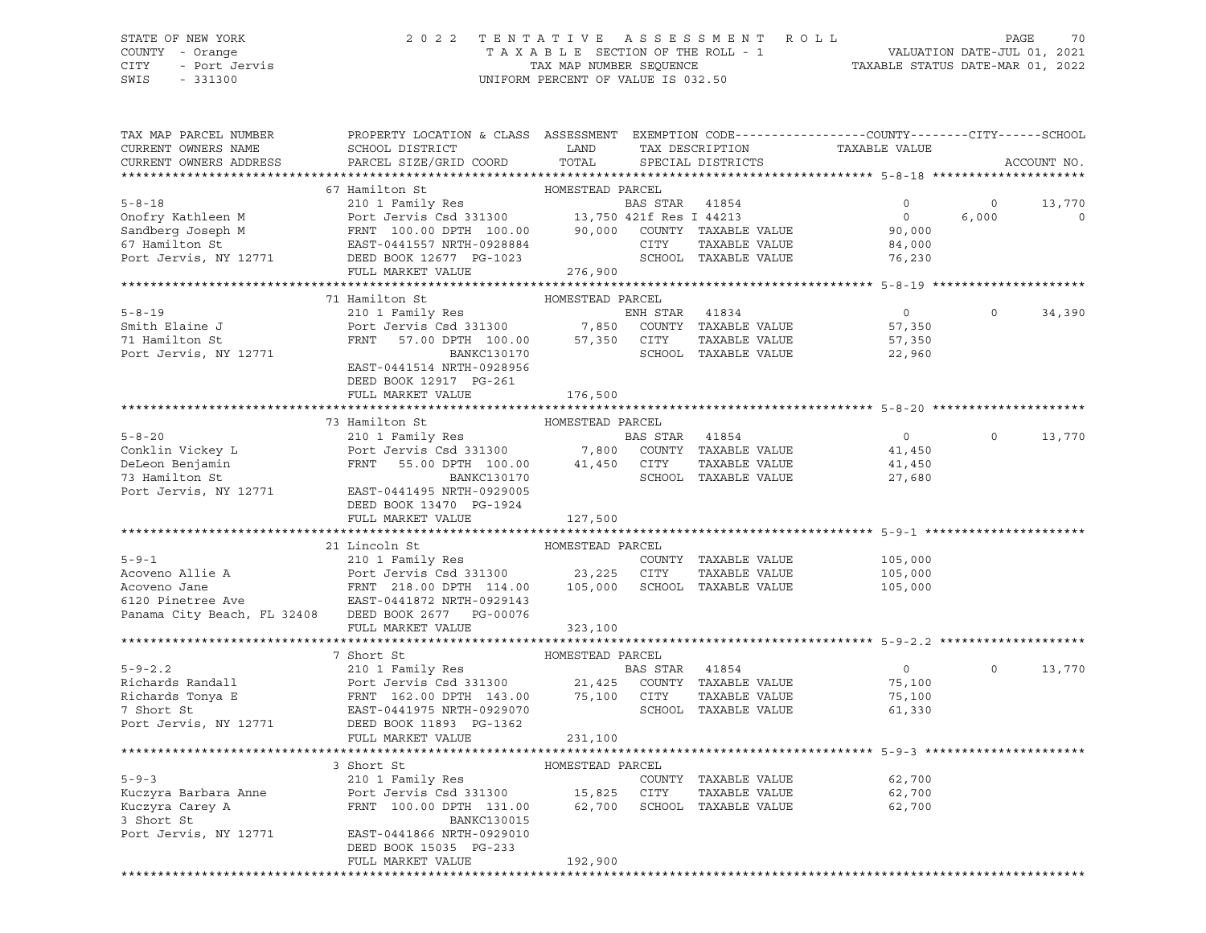### STATE OF NEW YORK 2 0 2 2 T E N T A T I V E A S S E S S M E N T R O L L PAGE 70 COUNTY - Orange T A X A B L E SECTION OF THE ROLL - 1 VALUATION DATE-JUL 01, 2021 CITY - Port Jervis TAX MAP NUMBER SEQUENCE TAXABLE STATUS DATE-MAR 01, 2022

SWIS - 331300 UNIFORM PERCENT OF VALUE IS 032.50

| TAX MAP PARCEL NUMBER<br>CURRENT OWNERS NAME                                                                                                                                                                                                 | PROPERTY LOCATION & CLASS ASSESSMENT EXEMPTION CODE---------------COUNTY-------CITY------SCHOOL<br>SCHOOL DISTRICT                                                                                       | LAND             |                | TAX DESCRIPTION      | TAXABLE VALUE      |                   |             |
|----------------------------------------------------------------------------------------------------------------------------------------------------------------------------------------------------------------------------------------------|----------------------------------------------------------------------------------------------------------------------------------------------------------------------------------------------------------|------------------|----------------|----------------------|--------------------|-------------------|-------------|
| CURRENT OWNERS ADDRESS                                                                                                                                                                                                                       | PARCEL SIZE/GRID COORD                                                                                                                                                                                   | TOTAL            |                | SPECIAL DISTRICTS    |                    |                   | ACCOUNT NO. |
| **************************                                                                                                                                                                                                                   |                                                                                                                                                                                                          |                  |                |                      |                    |                   |             |
|                                                                                                                                                                                                                                              | 67 Hamilton St                                                                                                                                                                                           | HOMESTEAD PARCEL |                |                      |                    |                   |             |
| $5 - 8 - 18$                                                                                                                                                                                                                                 | 210 1 Family Res                                                                                                                                                                                         |                  | BAS STAR 41854 |                      | $\overline{0}$     | $\circ$           | 13,770      |
|                                                                                                                                                                                                                                              |                                                                                                                                                                                                          |                  |                |                      | $\overline{0}$     | 6,000             | $\circ$     |
|                                                                                                                                                                                                                                              |                                                                                                                                                                                                          |                  |                |                      | 90,000             |                   |             |
|                                                                                                                                                                                                                                              |                                                                                                                                                                                                          |                  |                |                      | 84,000             |                   |             |
| 9 BAS STAR 41854<br>9 Donofry Kathleen M Port Jervis Csd 331300<br>90,000 COUNTY TAXABLE VALUE<br>67 Hamilton St EAST-0441557 NRTH-0928884<br>90,000 COUNTY TAXABLE VALUE<br>90,000 COUNTY TAXABLE VALUE<br>90,000 COUNTY TAXABLE VALUE<br>9 |                                                                                                                                                                                                          |                  |                | SCHOOL TAXABLE VALUE | 76,230             |                   |             |
|                                                                                                                                                                                                                                              |                                                                                                                                                                                                          |                  |                |                      |                    |                   |             |
|                                                                                                                                                                                                                                              |                                                                                                                                                                                                          |                  |                |                      |                    |                   |             |
| $5 - 8 - 19$                                                                                                                                                                                                                                 | 71 Hamilton St                                                                                                                                                                                           | HOMESTEAD PARCEL |                |                      |                    |                   |             |
|                                                                                                                                                                                                                                              | 210 1 Family Res                                                                                                                                                                                         |                  |                | ENH STAR 41834       | $\overline{0}$     | $0 \qquad \qquad$ | 34,390      |
| Smith Elaine J                                                                                                                                                                                                                               | Port Jervis Csd 331300<br>FRNT 57.00 DPTH 100.00 57,350 COUNTY TAXABLE VALUE<br>FRNT 57.00 DPTH 100.00 57,350 CITY TAXABLE VALUE                                                                         |                  |                |                      | 57,350             |                   |             |
| 71 Hamilton St                                                                                                                                                                                                                               | BANKC130170                                                                                                                                                                                              |                  |                | SCHOOL TAXABLE VALUE | 57,350             |                   |             |
| Port Jervis, NY 12771                                                                                                                                                                                                                        | EAST-0441514 NRTH-0928956                                                                                                                                                                                |                  |                |                      | 22,960             |                   |             |
|                                                                                                                                                                                                                                              | DEED BOOK 12917 PG-261                                                                                                                                                                                   |                  |                |                      |                    |                   |             |
|                                                                                                                                                                                                                                              | FULL MARKET VALUE                                                                                                                                                                                        | 176,500          |                |                      |                    |                   |             |
|                                                                                                                                                                                                                                              |                                                                                                                                                                                                          |                  |                |                      |                    |                   |             |
|                                                                                                                                                                                                                                              | 73 Hamilton St                                                                                                                                                                                           | HOMESTEAD PARCEL |                |                      |                    |                   |             |
| $5 - 8 - 20$                                                                                                                                                                                                                                 | 210 1 Family Res                                                                                                                                                                                         |                  | BAS STAR 41854 |                      | $\overline{0}$     | $\Omega$          | 13,770      |
| Conklin Vickey L                                                                                                                                                                                                                             |                                                                                                                                                                                                          |                  |                |                      | 41,450             |                   |             |
| DeLeon Benjamin                                                                                                                                                                                                                              | Port Jerus Csd 331300 7,800 COUNTY TAXABLE VALUE<br>FRNT 55.00 DPTH 100.00 41,450 CITY TAXABLE VALUE<br>BANKC130170 SCHOOL TAXABLE VALUE                                                                 |                  |                |                      | 41,450             |                   |             |
| 73 Hamilton St                                                                                                                                                                                                                               |                                                                                                                                                                                                          |                  |                | SCHOOL TAXABLE VALUE | 27,680             |                   |             |
| Port Jervis, NY 12771                                                                                                                                                                                                                        | EAST-0441495 NRTH-0929005                                                                                                                                                                                |                  |                |                      |                    |                   |             |
|                                                                                                                                                                                                                                              | DEED BOOK 13470 PG-1924                                                                                                                                                                                  |                  |                |                      |                    |                   |             |
|                                                                                                                                                                                                                                              | FULL MARKET VALUE                                                                                                                                                                                        | 127,500          |                |                      |                    |                   |             |
|                                                                                                                                                                                                                                              |                                                                                                                                                                                                          |                  |                |                      |                    |                   |             |
|                                                                                                                                                                                                                                              | 21 Lincoln St                                                                                                                                                                                            | HOMESTEAD PARCEL |                |                      |                    |                   |             |
| $5 - 9 - 1$                                                                                                                                                                                                                                  | 210 1 Family Res                                                                                                                                                                                         |                  |                | COUNTY TAXABLE VALUE |                    |                   |             |
|                                                                                                                                                                                                                                              |                                                                                                                                                                                                          |                  |                | TAXABLE VALUE        | 105,000<br>105,000 |                   |             |
| EXECUTIVE AND MANUS ACOVERN PORT OF THE SERVICE OF THE SERVICE AND MANUS ACOVERN PORT OF THE SERVICE OF THE SAME PRINT CONSIDER THE SAME PRINT CONSIDER THE SAME PRINT CONSIDER THE SAME PRINT CONSIDER THE SAME PRINT CONSIDE               |                                                                                                                                                                                                          |                  |                |                      | 105,000            |                   |             |
|                                                                                                                                                                                                                                              |                                                                                                                                                                                                          |                  |                |                      |                    |                   |             |
| Panama City Beach, FL 32408 DEED BOOK 2677 PG-00076                                                                                                                                                                                          |                                                                                                                                                                                                          |                  |                |                      |                    |                   |             |
|                                                                                                                                                                                                                                              | FULL MARKET VALUE                                                                                                                                                                                        | 323,100          |                |                      |                    |                   |             |
|                                                                                                                                                                                                                                              |                                                                                                                                                                                                          |                  |                |                      |                    |                   |             |
|                                                                                                                                                                                                                                              | 7 Short St                                                                                                                                                                                               | HOMESTEAD PARCEL |                |                      |                    |                   |             |
| $5 - 9 - 2.2$                                                                                                                                                                                                                                |                                                                                                                                                                                                          |                  |                |                      | $\overline{0}$     | $\Omega$          | 13,770      |
| Richards Randall                                                                                                                                                                                                                             |                                                                                                                                                                                                          |                  |                |                      | 75,100             |                   |             |
|                                                                                                                                                                                                                                              |                                                                                                                                                                                                          |                  |                |                      | 75,100             |                   |             |
|                                                                                                                                                                                                                                              | 210 1 Family Res<br>Port Jervis Csd 331300 21,425 COUNTY TAXABLE VALUE<br>FRNT 162.00 DPTH 143.00 75,100 CITY TAXABLE VALUE<br>EAST-0441975 NRTH-0929070 SCHOOL TAXABLE VALUE<br>NEED POOK 11992 PC 1262 |                  |                |                      | 61,330             |                   |             |
|                                                                                                                                                                                                                                              |                                                                                                                                                                                                          |                  |                |                      |                    |                   |             |
|                                                                                                                                                                                                                                              | FULL MARKET VALUE                                                                                                                                                                                        | 231,100          |                |                      |                    |                   |             |
|                                                                                                                                                                                                                                              |                                                                                                                                                                                                          |                  |                |                      |                    |                   |             |
|                                                                                                                                                                                                                                              | HOMESTEAD PARCEL<br>3 Short St                                                                                                                                                                           |                  |                |                      |                    |                   |             |
| $5 - 9 - 3$                                                                                                                                                                                                                                  | 210 1 Family Res                                                                                                                                                                                         |                  |                | COUNTY TAXABLE VALUE | 62,700             |                   |             |
|                                                                                                                                                                                                                                              |                                                                                                                                                                                                          |                  |                |                      | 62,700<br>62,700   |                   |             |
| Kuczyra Carey A<br>3 Short St                                                                                                                                                                                                                |                                                                                                                                                                                                          |                  |                |                      | 62,700             |                   |             |
| 3 Short St                                                                                                                                                                                                                                   | BANKC130015                                                                                                                                                                                              |                  |                |                      |                    |                   |             |
| Port Jervis, NY 12771                                                                                                                                                                                                                        | EAST-0441866 NRTH-0929010                                                                                                                                                                                |                  |                |                      |                    |                   |             |
|                                                                                                                                                                                                                                              | DEED BOOK 15035 PG-233<br>FULL MARKET VALUE                                                                                                                                                              | 192,900          |                |                      |                    |                   |             |
|                                                                                                                                                                                                                                              |                                                                                                                                                                                                          |                  |                |                      |                    |                   |             |
|                                                                                                                                                                                                                                              |                                                                                                                                                                                                          |                  |                |                      |                    |                   |             |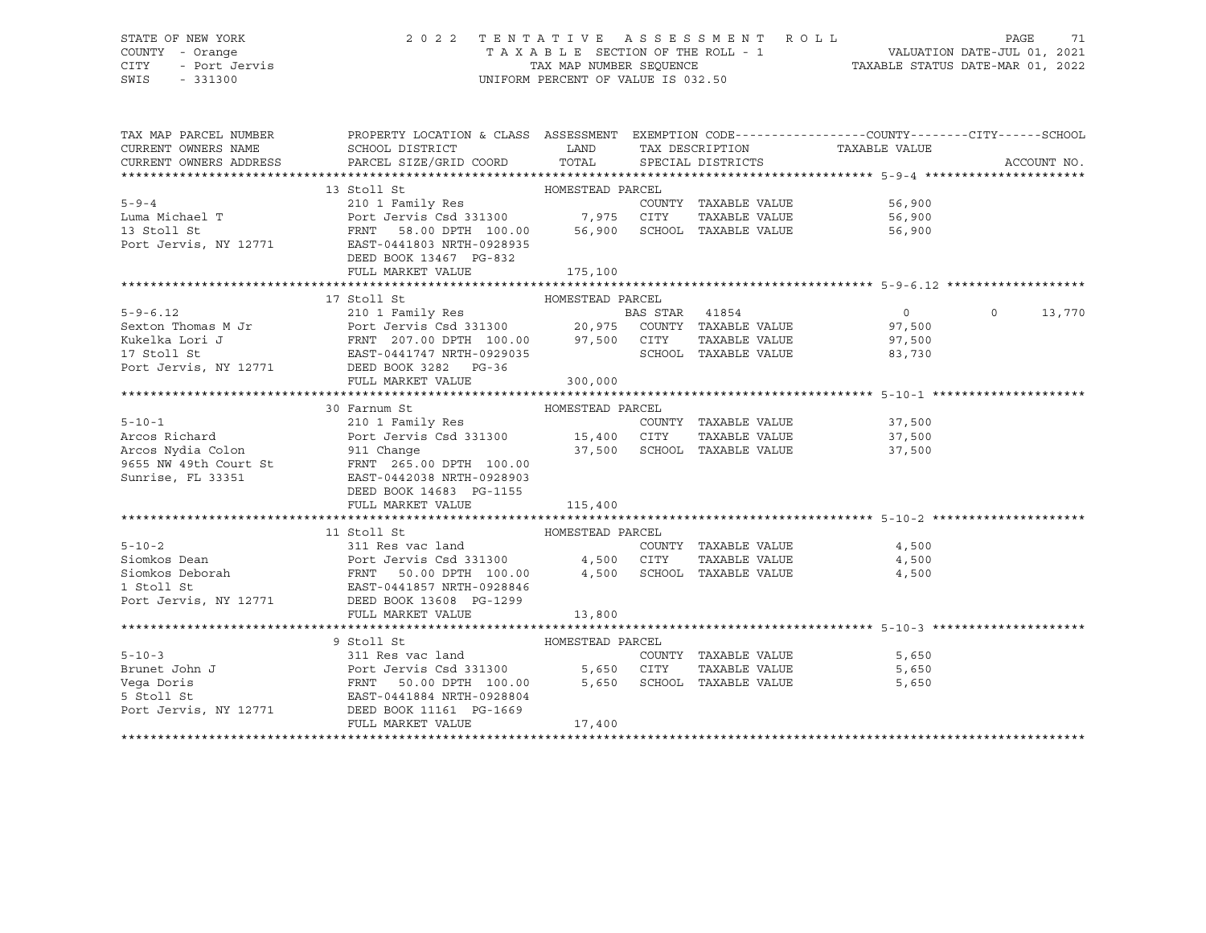## STATE OF NEW YORK 2 0 2 2 T E N T A T I V E A S S E S S M E N T R O L L PAGE 71 COUNTY - Orange T A X A B L E SECTION OF THE ROLL - 1 VALUATION DATE-JUL 01, 2021 CITY - Port Jervis TAX MAP NUMBER SEQUENCE TAXABLE STATUS DATE-MAR 01, 2022

|                                                                                                                                                                                                                                                                                                                                                                                                                                                                | TAX MAP PARCEL NUMBER THE PROPERTY LOCATION & CLASS ASSESSMENT EXEMPTION CODE--------------COUNTY-------CITY------SCHOOL |         |  |                                                                        |               | ACCOUNT NO. |
|----------------------------------------------------------------------------------------------------------------------------------------------------------------------------------------------------------------------------------------------------------------------------------------------------------------------------------------------------------------------------------------------------------------------------------------------------------------|--------------------------------------------------------------------------------------------------------------------------|---------|--|------------------------------------------------------------------------|---------------|-------------|
|                                                                                                                                                                                                                                                                                                                                                                                                                                                                |                                                                                                                          |         |  |                                                                        |               |             |
|                                                                                                                                                                                                                                                                                                                                                                                                                                                                |                                                                                                                          |         |  |                                                                        |               |             |
|                                                                                                                                                                                                                                                                                                                                                                                                                                                                |                                                                                                                          |         |  |                                                                        |               |             |
|                                                                                                                                                                                                                                                                                                                                                                                                                                                                |                                                                                                                          |         |  |                                                                        |               |             |
|                                                                                                                                                                                                                                                                                                                                                                                                                                                                |                                                                                                                          |         |  |                                                                        |               |             |
|                                                                                                                                                                                                                                                                                                                                                                                                                                                                |                                                                                                                          |         |  |                                                                        |               |             |
|                                                                                                                                                                                                                                                                                                                                                                                                                                                                |                                                                                                                          |         |  |                                                                        |               |             |
|                                                                                                                                                                                                                                                                                                                                                                                                                                                                | FULL MARKET VALUE                                                                                                        | 175,100 |  |                                                                        |               |             |
|                                                                                                                                                                                                                                                                                                                                                                                                                                                                |                                                                                                                          |         |  |                                                                        |               |             |
|                                                                                                                                                                                                                                                                                                                                                                                                                                                                |                                                                                                                          |         |  |                                                                        |               |             |
|                                                                                                                                                                                                                                                                                                                                                                                                                                                                |                                                                                                                          |         |  | $\overline{0}$                                                         | $0 \t 13,770$ |             |
|                                                                                                                                                                                                                                                                                                                                                                                                                                                                |                                                                                                                          |         |  |                                                                        |               |             |
|                                                                                                                                                                                                                                                                                                                                                                                                                                                                |                                                                                                                          |         |  |                                                                        |               |             |
|                                                                                                                                                                                                                                                                                                                                                                                                                                                                |                                                                                                                          |         |  |                                                                        |               |             |
|                                                                                                                                                                                                                                                                                                                                                                                                                                                                |                                                                                                                          |         |  |                                                                        |               |             |
|                                                                                                                                                                                                                                                                                                                                                                                                                                                                | FULL MARKET VALUE                                                                                                        | 300,000 |  |                                                                        |               |             |
|                                                                                                                                                                                                                                                                                                                                                                                                                                                                |                                                                                                                          |         |  |                                                                        |               |             |
|                                                                                                                                                                                                                                                                                                                                                                                                                                                                | HOMESTEAD PARCEL<br>30 Farnum St                                                                                         |         |  |                                                                        |               |             |
|                                                                                                                                                                                                                                                                                                                                                                                                                                                                |                                                                                                                          |         |  | COUNTY TAXABLE VALUE 37,500                                            |               |             |
|                                                                                                                                                                                                                                                                                                                                                                                                                                                                |                                                                                                                          |         |  | 15,400 CITY TAXABLE VALUE 37,500<br>37,500 SCHOOL TAXABLE VALUE 37,500 |               |             |
|                                                                                                                                                                                                                                                                                                                                                                                                                                                                |                                                                                                                          |         |  |                                                                        |               |             |
| 5-10-1<br>Arcos Richard<br>210 1 Family Res<br>Port Jervis Csd 331300<br>210 1 Family Res<br>Port Jervis Csd 331300<br>211 Change<br>211 Change<br>211 Change<br>211 Change<br>2131300<br>211 Change<br>2131300<br>2137,500 SCHOOL<br>27,500 SCHOOL<br>27,50                                                                                                                                                                                                   |                                                                                                                          |         |  |                                                                        |               |             |
|                                                                                                                                                                                                                                                                                                                                                                                                                                                                |                                                                                                                          |         |  |                                                                        |               |             |
|                                                                                                                                                                                                                                                                                                                                                                                                                                                                |                                                                                                                          |         |  |                                                                        |               |             |
|                                                                                                                                                                                                                                                                                                                                                                                                                                                                | FULL MARKET VALUE                                                                                                        | 115,400 |  |                                                                        |               |             |
|                                                                                                                                                                                                                                                                                                                                                                                                                                                                |                                                                                                                          |         |  |                                                                        |               |             |
|                                                                                                                                                                                                                                                                                                                                                                                                                                                                | 11 Stoll St MOMESTEAD PARCEL                                                                                             |         |  |                                                                        |               |             |
|                                                                                                                                                                                                                                                                                                                                                                                                                                                                |                                                                                                                          |         |  |                                                                        |               |             |
|                                                                                                                                                                                                                                                                                                                                                                                                                                                                |                                                                                                                          |         |  |                                                                        |               |             |
|                                                                                                                                                                                                                                                                                                                                                                                                                                                                |                                                                                                                          |         |  |                                                                        |               |             |
|                                                                                                                                                                                                                                                                                                                                                                                                                                                                |                                                                                                                          |         |  |                                                                        |               |             |
|                                                                                                                                                                                                                                                                                                                                                                                                                                                                | FULL MARKET VALUE                                                                                                        | 13,800  |  |                                                                        |               |             |
|                                                                                                                                                                                                                                                                                                                                                                                                                                                                |                                                                                                                          |         |  |                                                                        |               |             |
|                                                                                                                                                                                                                                                                                                                                                                                                                                                                | 9 Stoll St<br>HOMESTEAD PARCEL                                                                                           |         |  |                                                                        |               |             |
|                                                                                                                                                                                                                                                                                                                                                                                                                                                                |                                                                                                                          |         |  |                                                                        |               |             |
|                                                                                                                                                                                                                                                                                                                                                                                                                                                                |                                                                                                                          |         |  |                                                                        |               |             |
|                                                                                                                                                                                                                                                                                                                                                                                                                                                                |                                                                                                                          |         |  |                                                                        |               |             |
|                                                                                                                                                                                                                                                                                                                                                                                                                                                                |                                                                                                                          |         |  |                                                                        |               |             |
|                                                                                                                                                                                                                                                                                                                                                                                                                                                                |                                                                                                                          |         |  |                                                                        |               |             |
| $\begin{tabular}{lllllllllllll} \texttt{5-10-3} & \texttt{normB311 Res vac land} & \texttt{normB311 Res vac land} & \texttt{COMNTY} & \texttt{TAXABLE VALUE} & \texttt{5,650} \\ \texttt{Brunet John J} & \texttt{Port Jervis} & \texttt{S,650} & \texttt{CITY} & \texttt{TAXABLE VALUE} & \texttt{5,650} \\ \texttt{Vega Doris} & \texttt{FRTT} & \texttt{50.00 DPTH} & \texttt{100.00} & \texttt{5,650} & \texttt{CITY} & \texttt{TAXABLE VALUE} & \texttt{$ | FULL MARKET VALUE                                                                                                        | 17,400  |  |                                                                        |               |             |
|                                                                                                                                                                                                                                                                                                                                                                                                                                                                |                                                                                                                          |         |  |                                                                        |               |             |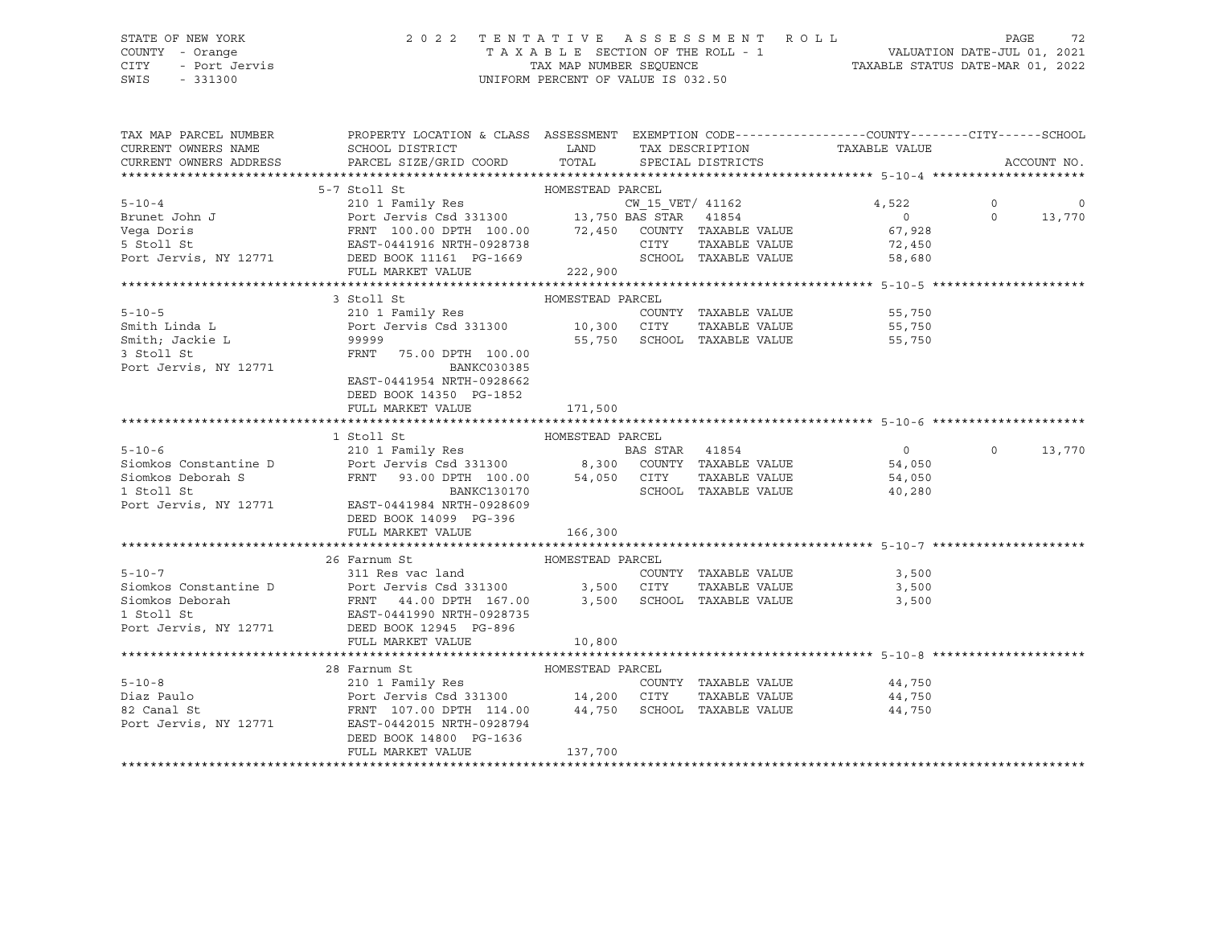### STATE OF NEW YORK 2 0 2 2 T E N T A T I V E A S S E S S M E N T R O L L PAGE 72 COUNTY - Orange T A X A B L E SECTION OF THE ROLL - 1 VALUATION DATE-JUL 01, 2021 CITY - Port Jervis TAX MAP NUMBER SEQUENCE TAXABLE STATUS DATE-MAR 01, 2022

| CURRENT OWNERS NAME<br>SCHOOL DISTRICT                                                                                                                                                                                                                   |                    |
|----------------------------------------------------------------------------------------------------------------------------------------------------------------------------------------------------------------------------------------------------------|--------------------|
| LAND TAX DESCRIPTION TAXABLE VALUE<br>COORD TOTAL SPECIAL DISTRICTS<br>CURRENT OWNERS ADDRESS<br>PARCEL SIZE/GRID COORD<br>TOTAL SPECIAL DISTRICTS                                                                                                       | ACCOUNT NO.        |
|                                                                                                                                                                                                                                                          |                    |
| 5-10-4<br>5-10-4<br>210 1 Family Res<br>Brunet John J<br>210 1 Family Res<br>210 1 Family Res<br>210 1 Family Res<br>210 1 Family Res<br>210 1 Family Res<br>210 1 Family Res<br>210 1 Family Res<br>210 1 Family Res<br>210 1 Family Res<br>210 1 Famil |                    |
|                                                                                                                                                                                                                                                          | $\circ$<br>$\circ$ |
|                                                                                                                                                                                                                                                          | $\Omega$<br>13,770 |
|                                                                                                                                                                                                                                                          |                    |
|                                                                                                                                                                                                                                                          |                    |
|                                                                                                                                                                                                                                                          |                    |
| 222,900<br>FULL MARKET VALUE                                                                                                                                                                                                                             |                    |
|                                                                                                                                                                                                                                                          |                    |
| 3 Stoll St<br>HOMESTEAD PARCEL                                                                                                                                                                                                                           |                    |
|                                                                                                                                                                                                                                                          |                    |
|                                                                                                                                                                                                                                                          |                    |
| 99999<br>FRNT<br>55,750 SCHOOL TAXABLE VALUE 55,750                                                                                                                                                                                                      |                    |
| Smith; Jackie L<br>3 Stoll St<br>Port Jervis, NY 12771<br>FRNT 75.00 DPTH 100.00                                                                                                                                                                         |                    |
| BANKC030385                                                                                                                                                                                                                                              |                    |
| EAST-0441954 NRTH-0928662                                                                                                                                                                                                                                |                    |
| DEED BOOK 14350 PG-1852                                                                                                                                                                                                                                  |                    |
| FULL MARKET VALUE<br>171,500                                                                                                                                                                                                                             |                    |
|                                                                                                                                                                                                                                                          |                    |
| HOMESTEAD PARCEL<br>1 Stoll St                                                                                                                                                                                                                           |                    |
| 5-10-6<br>54,050<br>210 1 Family Res BAS STAR 41854<br>210 1 Family Res BAS STAR 41854<br>8,300 COUNTY TAXABLE VALUE 54,050<br>$\overline{0}$                                                                                                            | $\Omega$<br>13,770 |
|                                                                                                                                                                                                                                                          |                    |
| Siomkos Deborah S<br>TRNT 93.00 DPTH 100.00 54,050 CITY<br>BANKC130170 SCHOOL BOOT<br>TAXABLE VALUE<br>54,050<br>SCHOOL TAXABLE VALUE 40,280                                                                                                             |                    |
|                                                                                                                                                                                                                                                          |                    |
| Port Jervis, NY 12771 EAST-0441984 NRTH-0928609                                                                                                                                                                                                          |                    |
| DEED BOOK 14099 PG-396                                                                                                                                                                                                                                   |                    |
| FULL MARKET VALUE<br>166, 300                                                                                                                                                                                                                            |                    |
|                                                                                                                                                                                                                                                          |                    |
| 26 Farnum St<br>HOMESTEAD PARCEL                                                                                                                                                                                                                         |                    |
|                                                                                                                                                                                                                                                          |                    |
|                                                                                                                                                                                                                                                          |                    |
| 5-10-7<br>Siomkos Constantine D<br>Siomkos Peborah<br>Siomkos Deborah<br>Siomkos Deborah<br>Siomkos Deborah<br>Siomkos Deborah<br>Siomkos Deborah<br>Siomkos Deborah<br>Siomkos Deborah<br>Siomkos Deborah<br>Siomkos Deborah<br>Siomkos Deborah<br>Siom |                    |
| Port Jervis, NY 12771 DEED BOOK 12945 PG-896                                                                                                                                                                                                             |                    |
|                                                                                                                                                                                                                                                          |                    |
| FULL MARKET VALUE<br>10,800                                                                                                                                                                                                                              |                    |
| 28 Farnum St                                                                                                                                                                                                                                             |                    |
| Farnum St                         HOMESTEAD PARCEL                             COUN<br>COUNTY TAXABLE VALUE 44,750<br>$5 - 10 - 8$                                                                                                                       |                    |
| Diaz Paulo<br>TAXABLE VALUE 44,750                                                                                                                                                                                                                       |                    |
| Port Jervis Csd 331300 14,200 CITY TAXABLE VALUE<br>FRNT 107.00 DPTH 114.00 44,750 SCHOOL TAXABLE VALUE<br>82 Canal St<br>44,750                                                                                                                         |                    |
| Port Jervis, NY 12771 EAST-0442015 NRTH-0928794                                                                                                                                                                                                          |                    |
| DEED BOOK 14800 PG-1636                                                                                                                                                                                                                                  |                    |
| 137,700<br>FULL MARKET VALUE                                                                                                                                                                                                                             |                    |
|                                                                                                                                                                                                                                                          |                    |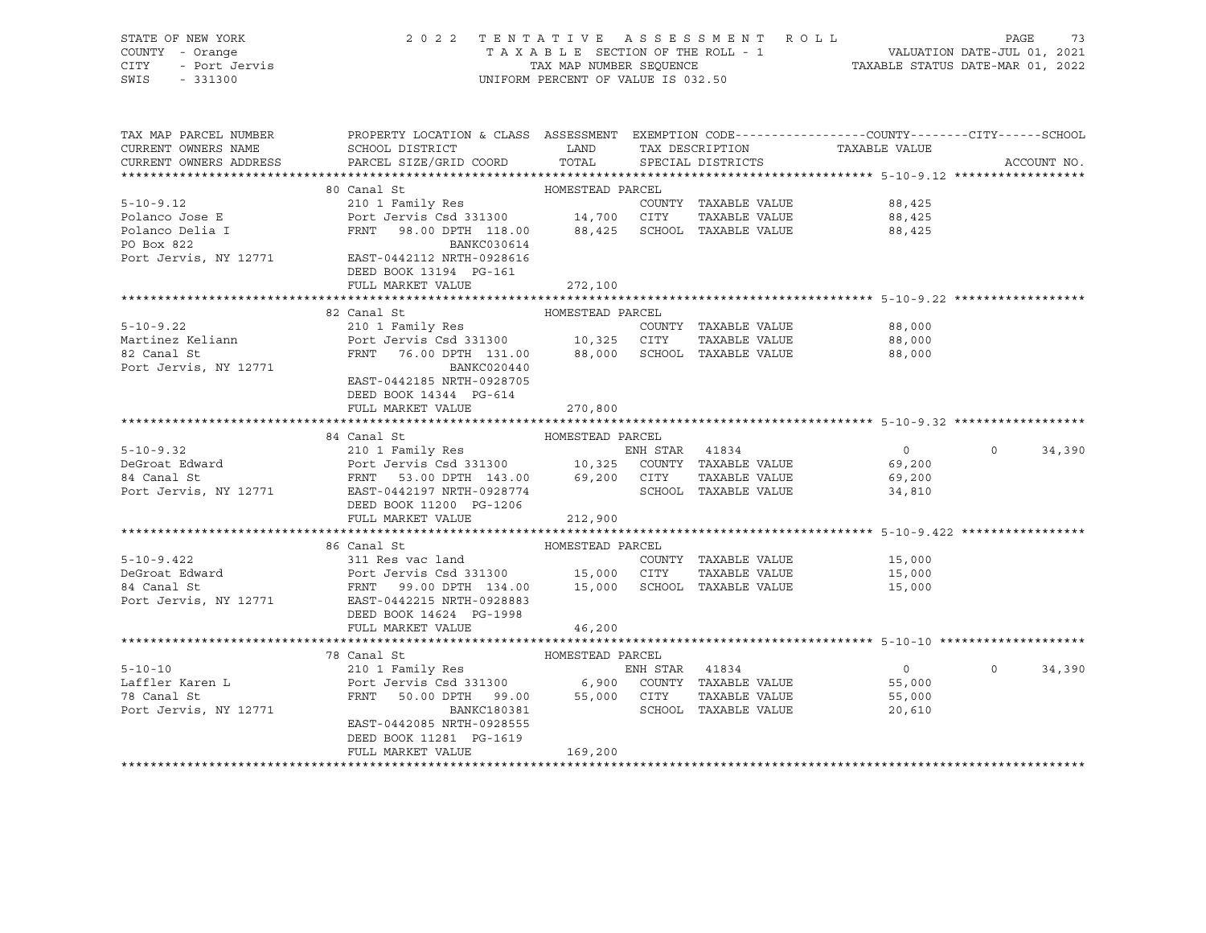| STATE OF NEW YORK<br>COUNTY - Orange<br>CITY - Port Jervis<br>SWIS - 331300 | 2022 TENTATIVE ASSESSMENT ROLL                                                                                                                                                                                                                                        | UNIFORM PERCENT OF VALUE IS 032.50 |                      | TENTATIVE ASSESSMENT ROLL PAGE 73<br>TAXABLE SECTION OF THE ROLL - 1 VALUATION DATE-JUL 01, 2021<br>TAX MAP NUMBER SEQUENCE TAXABLE STATUS DATE-MAR 01, 2022 |          |             |
|-----------------------------------------------------------------------------|-----------------------------------------------------------------------------------------------------------------------------------------------------------------------------------------------------------------------------------------------------------------------|------------------------------------|----------------------|--------------------------------------------------------------------------------------------------------------------------------------------------------------|----------|-------------|
|                                                                             | TAX MAP PARCEL NUMBER THE PROPERTY LOCATION & CLASS ASSESSMENT EXEMPTION CODE--------------COUNTY-------CUTY------SCHOOL                                                                                                                                              |                                    |                      |                                                                                                                                                              |          |             |
| CURRENT OWNERS NAME                                                         | ${\tt SCHOOD\,\, \, {\tt DISTRTCT}} {\small\quad \, {\tt LAND}} {\small\quad \, {\tt TAX\,\, \, {\tt DESCRIPTION}} {\small\quad \, {\tt TAXABLE\,\, VALUE}}$                                                                                                          |                                    |                      |                                                                                                                                                              |          |             |
| CURRENT OWNERS ADDRESS                                                      | PARCEL SIZE/GRID COORD                                                                                                                                                                                                                                                | TOTAL                              | SPECIAL DISTRICTS    |                                                                                                                                                              |          | ACCOUNT NO. |
|                                                                             | 80 Canal St                                                                                                                                                                                                                                                           | HOMESTEAD PARCEL                   |                      |                                                                                                                                                              |          |             |
| $5 - 10 - 9.12$                                                             | 210 1 Family Res                                                                                                                                                                                                                                                      |                                    | COUNTY TAXABLE VALUE | 88,425                                                                                                                                                       |          |             |
| Polanco Jose E                                                              | Port Jervis Csd 331300 14,700 CITY TAXABLE VALUE                                                                                                                                                                                                                      |                                    |                      | 88,425                                                                                                                                                       |          |             |
|                                                                             | FRNT 98.00 DPTH 118.00 88,425 SCHOOL TAXABLE VALUE                                                                                                                                                                                                                    |                                    |                      | 88,425                                                                                                                                                       |          |             |
| Polanco Delia I<br>PO Box 822                                               | BANKC030614                                                                                                                                                                                                                                                           |                                    |                      |                                                                                                                                                              |          |             |
|                                                                             | Port Jervis, NY 12771 EAST-0442112 NRTH-0928616                                                                                                                                                                                                                       |                                    |                      |                                                                                                                                                              |          |             |
|                                                                             | DEED BOOK 13194 PG-161                                                                                                                                                                                                                                                |                                    |                      |                                                                                                                                                              |          |             |
|                                                                             | FULL MARKET VALUE                                                                                                                                                                                                                                                     | 272,100                            |                      |                                                                                                                                                              |          |             |
|                                                                             |                                                                                                                                                                                                                                                                       |                                    |                      |                                                                                                                                                              |          |             |
|                                                                             | 82 Canal St                                                                                                                                                                                                                                                           | HOMESTEAD PARCEL                   |                      |                                                                                                                                                              |          |             |
| $5 - 10 - 9.22$                                                             | 210 1 Family Res                                                                                                                                                                                                                                                      |                                    | COUNTY TAXABLE VALUE | 88,000                                                                                                                                                       |          |             |
| Martinez Keliann<br>82 Canal St                                             | Port Jervis Csd 331300 10,325 CITY TAXABLE VALUE<br>FRNT 76.00 DPTH 131.00 88,000 SCHOOL TAXABLE VALUE                                                                                                                                                                |                                    |                      | 88,000                                                                                                                                                       |          |             |
|                                                                             |                                                                                                                                                                                                                                                                       |                                    |                      | 88,000                                                                                                                                                       |          |             |
| Port Jervis, NY 12771                                                       | BANKC020440                                                                                                                                                                                                                                                           |                                    |                      |                                                                                                                                                              |          |             |
|                                                                             | EAST-0442185 NRTH-0928705                                                                                                                                                                                                                                             |                                    |                      |                                                                                                                                                              |          |             |
|                                                                             | DEED BOOK 14344 PG-614                                                                                                                                                                                                                                                |                                    |                      |                                                                                                                                                              |          |             |
|                                                                             | FULL MARKET VALUE                                                                                                                                                                                                                                                     | 270,800                            |                      |                                                                                                                                                              |          |             |
|                                                                             |                                                                                                                                                                                                                                                                       |                                    |                      |                                                                                                                                                              |          |             |
|                                                                             | 84 Canal St<br>5-10-9.32<br>DeGroat Edward<br>210 1 Family Res<br>210 1 Family Res<br>210 1 Family Res<br>210 1 Family Res<br>210 1 Family Res<br>210 1 Family Res<br>210 1 Family Res<br>210 1 Family Res<br>210 1 Family Res<br>210 1 Family Res<br>210 1 Family Re | HOMESTEAD PARCEL                   |                      | $\overline{0}$                                                                                                                                               | $\circ$  | 34,390      |
|                                                                             |                                                                                                                                                                                                                                                                       |                                    |                      | 69,200                                                                                                                                                       |          |             |
|                                                                             |                                                                                                                                                                                                                                                                       |                                    |                      | 69,200                                                                                                                                                       |          |             |
|                                                                             |                                                                                                                                                                                                                                                                       |                                    |                      | 34,810                                                                                                                                                       |          |             |
|                                                                             | DEED BOOK 11200 PG-1206                                                                                                                                                                                                                                               |                                    |                      |                                                                                                                                                              |          |             |
|                                                                             | FULL MARKET VALUE                                                                                                                                                                                                                                                     | 212,900                            |                      |                                                                                                                                                              |          |             |
|                                                                             |                                                                                                                                                                                                                                                                       |                                    |                      |                                                                                                                                                              |          |             |
|                                                                             | 86 Canal St                                                                                                                                                                                                                                                           | HOMESTEAD PARCEL                   |                      |                                                                                                                                                              |          |             |
| $5 - 10 - 9.422$                                                            | 311 Res vac land                                                                                                                                                                                                                                                      |                                    | COUNTY TAXABLE VALUE | 15,000                                                                                                                                                       |          |             |
|                                                                             |                                                                                                                                                                                                                                                                       |                                    |                      | 15,000                                                                                                                                                       |          |             |
| b-10-2.322<br>DeGroat Edward<br>04 Canal St                                 |                                                                                                                                                                                                                                                                       |                                    |                      | 15,000                                                                                                                                                       |          |             |
| Port Jervis, NY 12771                                                       | Port Jervis Csd 331300 15,000 CITY TAXABLE VALUE<br>FRNT 99.00 DPTH 134.00 15,000 SCHOOL TAXABLE VALUE<br>EAST-0442215 NRTH-0928883                                                                                                                                   |                                    |                      |                                                                                                                                                              |          |             |
|                                                                             | DEED BOOK 14624 PG-1998                                                                                                                                                                                                                                               |                                    |                      |                                                                                                                                                              |          |             |
|                                                                             | FULL MARKET VALUE                                                                                                                                                                                                                                                     | 46,200                             |                      |                                                                                                                                                              |          |             |
|                                                                             |                                                                                                                                                                                                                                                                       |                                    |                      |                                                                                                                                                              |          |             |
|                                                                             | 78 Canal St                                                                                                                                                                                                                                                           | HOMESTEAD PARCEL                   |                      |                                                                                                                                                              |          |             |
| $5 - 10 - 10$                                                               | 210 1 Family Res 60 ENH STAR 41834                                                                                                                                                                                                                                    |                                    |                      | $\overline{0}$                                                                                                                                               | $\Omega$ | 34,390      |
| Laffler Karen L<br>78 Canal St                                              | Port Jervis Csd 331300 6,900 COUNTY TAXABLE VALUE<br>FRNT 50.00 DPTH 99.00 55,000 CITY TAXABLE VALUE                                                                                                                                                                  |                                    |                      | 55,000                                                                                                                                                       |          |             |
| 78 Canal St                                                                 |                                                                                                                                                                                                                                                                       |                                    |                      | 55,000                                                                                                                                                       |          |             |
| Port Jervis, NY 12771                                                       | BANKC180381                                                                                                                                                                                                                                                           |                                    | SCHOOL TAXABLE VALUE | 20,610                                                                                                                                                       |          |             |
|                                                                             | EAST-0442085 NRTH-0928555                                                                                                                                                                                                                                             |                                    |                      |                                                                                                                                                              |          |             |
|                                                                             | DEED BOOK 11281 PG-1619<br>FULL MARKET VALUE                                                                                                                                                                                                                          | 169,200                            |                      |                                                                                                                                                              |          |             |
|                                                                             |                                                                                                                                                                                                                                                                       |                                    |                      |                                                                                                                                                              |          |             |

\*\*\*\*\*\*\*\*\*\*\*\*\*\*\*\*\*\*\*\*\*\*\*\*\*\*\*\*\*\*\*\*\*\*\*\*\*\*\*\*\*\*\*\*\*\*\*\*\*\*\*\*\*\*\*\*\*\*\*\*\*\*\*\*\*\*\*\*\*\*\*\*\*\*\*\*\*\*\*\*\*\*\*\*\*\*\*\*\*\*\*\*\*\*\*\*\*\*\*\*\*\*\*\*\*\*\*\*\*\*\*\*\*\*\*\*\*\*\*\*\*\*\*\*\*\*\*\*\*\*\*\*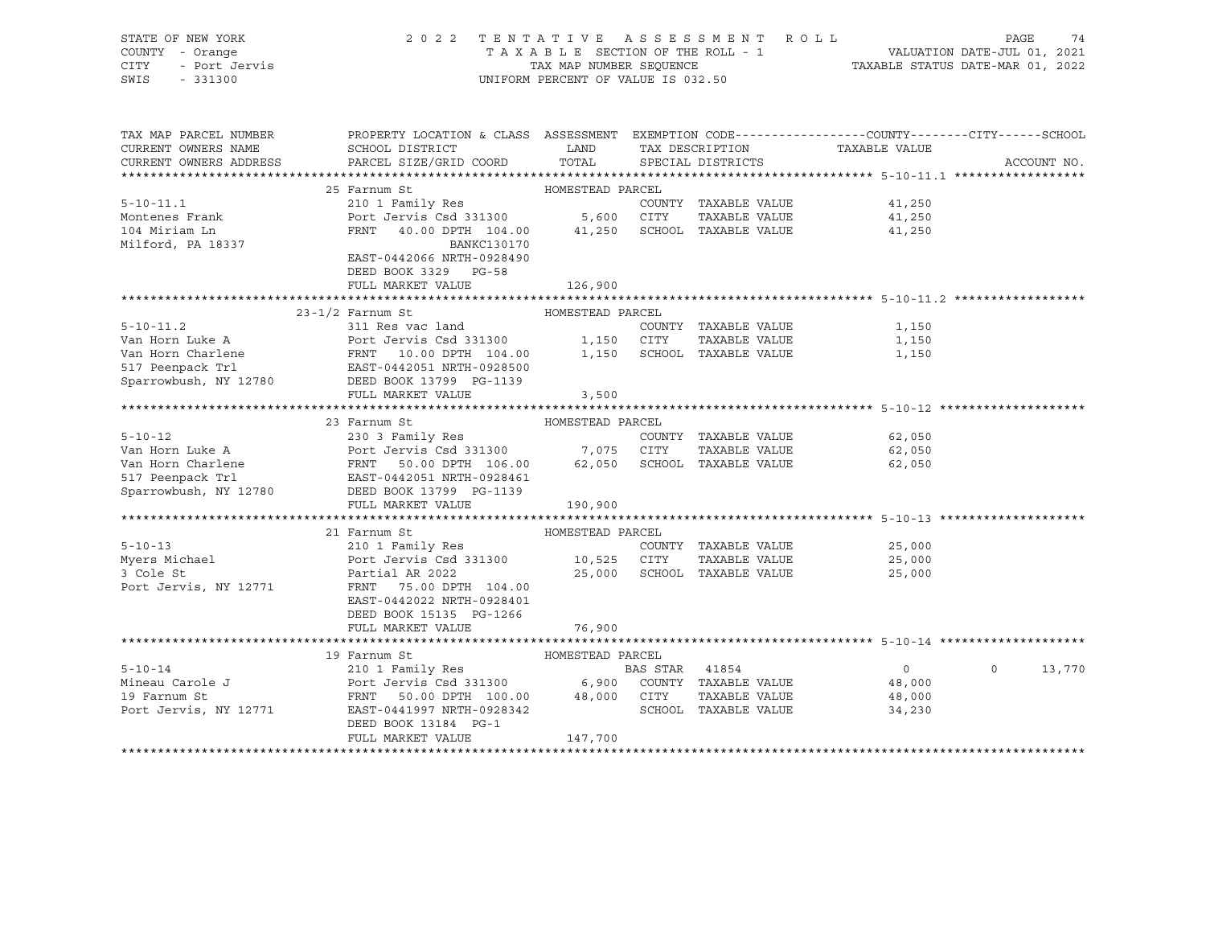| STATE OF NEW YORK<br>COUNTY - Orange<br>CITY - Port Jervis<br>SWIS - 331300 | 2022 TENTATIVE ASSESSMENT ROLL PAGE 74<br>TAXABLE SECTION OF THE ROLL - 1 VALUATION DATE-JUL 01, 2021<br>TAX MAP NUMBER SEQUENCE TAXABLE STATUS DATE-MAR 01, 2022                                                                                              | UNIFORM PERCENT OF VALUE IS 032.50 |                             |                  |                   |  |
|-----------------------------------------------------------------------------|----------------------------------------------------------------------------------------------------------------------------------------------------------------------------------------------------------------------------------------------------------------|------------------------------------|-----------------------------|------------------|-------------------|--|
| CURRENT OWNERS NAME                                                         | TAX MAP PARCEL NUMBER THE PROPERTY LOCATION & CLASS ASSESSMENT EXEMPTION CODE--------------COUNTY-------CITY------SCHOOL<br>SCHOOL DISTRICT TAND TAX DESCRIPTION                                                                                               |                                    |                             | TAXABLE VALUE    |                   |  |
|                                                                             | CURRENT OWNERS ADDRESS PARCEL SIZE/GRID COORD                                                                                                                                                                                                                  |                                    | TOTAL SPECIAL DISTRICTS     |                  | ACCOUNT NO.       |  |
|                                                                             |                                                                                                                                                                                                                                                                |                                    |                             |                  |                   |  |
|                                                                             | 25 Farnum St                                                                                                                                                                                                                                                   | HOMESTEAD PARCEL                   |                             |                  |                   |  |
|                                                                             |                                                                                                                                                                                                                                                                |                                    |                             | 41,250           |                   |  |
|                                                                             |                                                                                                                                                                                                                                                                |                                    |                             | 41,250           |                   |  |
|                                                                             |                                                                                                                                                                                                                                                                |                                    |                             | 41,250           |                   |  |
| Milford, PA 18337                                                           | BANKC130170                                                                                                                                                                                                                                                    |                                    |                             |                  |                   |  |
|                                                                             | EAST-0442066 NRTH-0928490<br>DEED BOOK 3329 PG-58                                                                                                                                                                                                              |                                    |                             |                  |                   |  |
|                                                                             | FULL MARKET VALUE                                                                                                                                                                                                                                              | 126,900                            |                             |                  |                   |  |
|                                                                             |                                                                                                                                                                                                                                                                |                                    |                             |                  |                   |  |
|                                                                             |                                                                                                                                                                                                                                                                |                                    |                             |                  |                   |  |
|                                                                             |                                                                                                                                                                                                                                                                |                                    |                             |                  |                   |  |
|                                                                             |                                                                                                                                                                                                                                                                |                                    |                             |                  |                   |  |
|                                                                             |                                                                                                                                                                                                                                                                |                                    |                             |                  |                   |  |
|                                                                             |                                                                                                                                                                                                                                                                |                                    |                             |                  |                   |  |
|                                                                             | 1.1.2<br>2.1.1.2<br>2.1.1 Ees vac land<br>2.11 Res vac land<br>2.11 Res vac land<br>2.11 Res vac land<br>2.11 Res vac land<br>2.11 COUNTY TAXABLE VALUE<br>2.1,150<br>2.11 Peenpack Trl<br>2.1,150<br>2.1,150<br>2.1,150<br>2.1,150<br>2.1,150<br>2.1,150<br>2 |                                    |                             |                  |                   |  |
|                                                                             | FULL MARKET VALUE                                                                                                                                                                                                                                              | 3,500                              |                             |                  |                   |  |
|                                                                             | 23 Farnum St                                                                                                                                                                                                                                                   | HOMESTEAD PARCEL                   |                             |                  |                   |  |
|                                                                             |                                                                                                                                                                                                                                                                |                                    |                             | 62,050           |                   |  |
|                                                                             |                                                                                                                                                                                                                                                                |                                    |                             | 62,050           |                   |  |
|                                                                             |                                                                                                                                                                                                                                                                |                                    |                             | 62,050           |                   |  |
|                                                                             | 330 3 Family Res<br>Van Horn Luke A<br>Van Horn Charlene<br>17 Peenpack Trl EAST-0442051 NRTH-0928461<br>Sparrowbush, NY 12780<br>DEED BOOK 13799 PG-1139                                                                                                      |                                    |                             |                  |                   |  |
|                                                                             |                                                                                                                                                                                                                                                                |                                    |                             |                  |                   |  |
|                                                                             | FULL MARKET VALUE                                                                                                                                                                                                                                              | 190,900                            |                             |                  |                   |  |
|                                                                             |                                                                                                                                                                                                                                                                |                                    |                             |                  |                   |  |
|                                                                             | 21 Farnum St                                                                                                                                                                                                                                                   | HOMESTEAD PARCEL                   |                             |                  |                   |  |
|                                                                             |                                                                                                                                                                                                                                                                |                                    |                             | 25,000           |                   |  |
|                                                                             | 5-10-13<br>Myers Michael 210 1 Family Res<br>Myers Michael Port Jervis Csd 331300 10,525 CITY TAXABLE VALUE<br>3 Cole St<br>Partial AR 2022 25,000 SCHOOL TAXABLE VALUE<br>25,000 SCHOOL TAXABLE VALUE                                                         |                                    | 25,000 SCHOOL TAXABLE VALUE | 25,000<br>25,000 |                   |  |
|                                                                             | Port Jervis, NY 12771 FRNT 75.00 DPTH 104.00                                                                                                                                                                                                                   |                                    |                             |                  |                   |  |
|                                                                             | EAST-0442022 NRTH-0928401                                                                                                                                                                                                                                      |                                    |                             |                  |                   |  |
|                                                                             | DEED BOOK 15135 PG-1266                                                                                                                                                                                                                                        |                                    |                             |                  |                   |  |
|                                                                             | FULL MARKET VALUE                                                                                                                                                                                                                                              | 76,900                             |                             |                  |                   |  |
|                                                                             |                                                                                                                                                                                                                                                                |                                    |                             |                  |                   |  |
|                                                                             | 19 Farnum St                                                                                                                                                                                                                                                   | HOMESTEAD PARCEL                   |                             |                  |                   |  |
|                                                                             |                                                                                                                                                                                                                                                                |                                    |                             | $\overline{0}$   | $\circ$<br>13,770 |  |
|                                                                             | 5-10-14<br>Mineau Carole J<br>210 1 Family Res<br>Port Jervis Csd 331300 6,900 COUNTY TAXABLE VALUE<br>19 Farnum St<br>Port Jervis, NY 12771 EAST-0441997 NRTH-092342<br>EAST-0441997 NRTH-092342<br>SCHOOL TAXABLE VALUE<br>SCHOOL TAXABLE VA                 |                                    |                             | 48,000           |                   |  |
|                                                                             |                                                                                                                                                                                                                                                                |                                    |                             | 48,000           |                   |  |
|                                                                             |                                                                                                                                                                                                                                                                |                                    |                             | 34,230           |                   |  |
|                                                                             | DEED BOOK 13184 PG-1<br>FULL MARKET VALUE                                                                                                                                                                                                                      | 147,700                            |                             |                  |                   |  |
|                                                                             |                                                                                                                                                                                                                                                                |                                    |                             |                  |                   |  |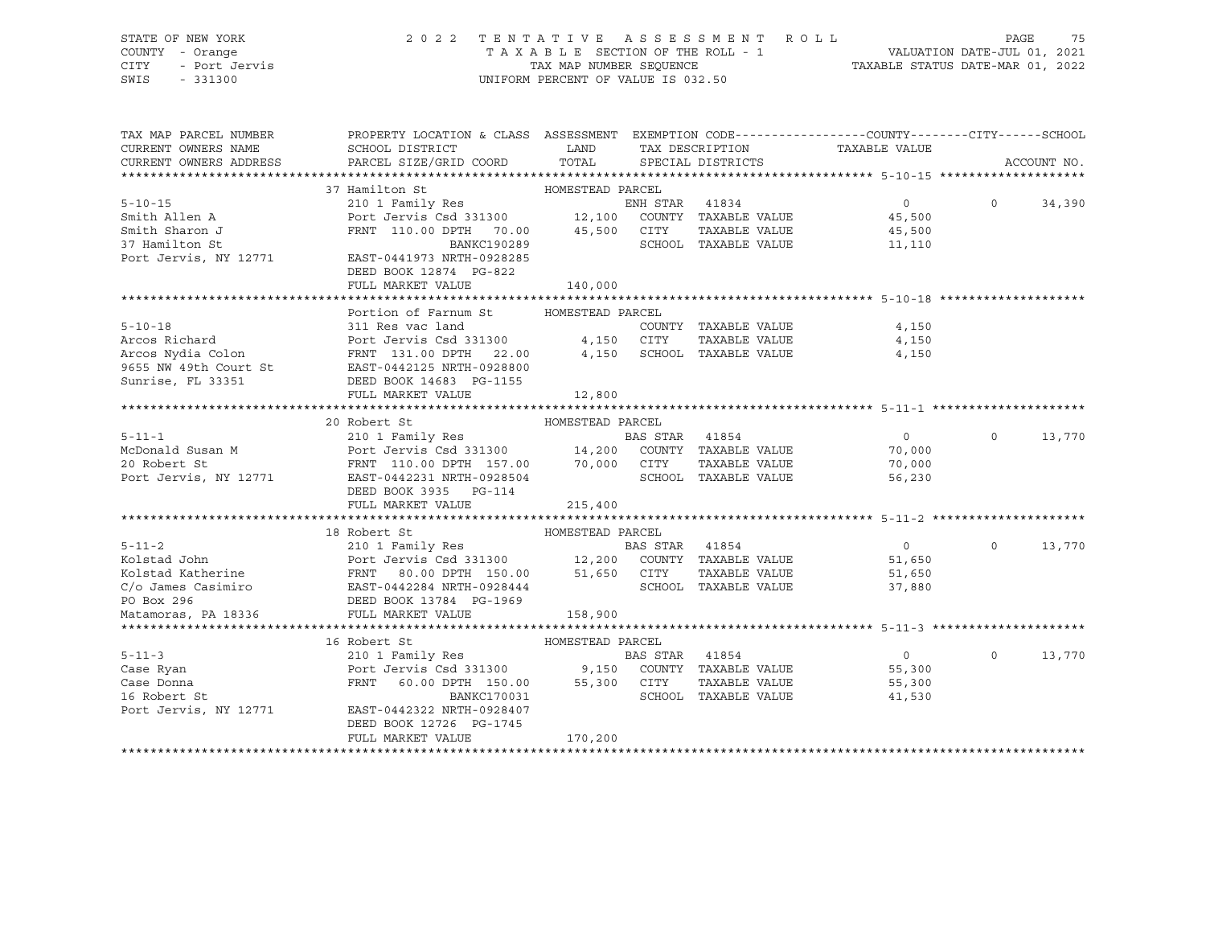| STATE OF NEW YORK<br>COUNTY - Orange<br><b>CITY</b><br>- Port Jervis<br>SWIS<br>$-331300$                                                                                                                                  | 2022 TENTATIVE ASSESSMENT ROLL                                                                         | UNIFORM PERCENT OF VALUE IS 032.50 |                |                            | T A X A B L E SECTION OF THE ROLL - 1<br>T A X A B L E SECTION OF THE ROLL - 1<br>TAXABLE STATUS DATE-JUL 01, 2022 | PAGE     | 75          |
|----------------------------------------------------------------------------------------------------------------------------------------------------------------------------------------------------------------------------|--------------------------------------------------------------------------------------------------------|------------------------------------|----------------|----------------------------|--------------------------------------------------------------------------------------------------------------------|----------|-------------|
| TAX MAP PARCEL NUMBER                                                                                                                                                                                                      | PROPERTY LOCATION & CLASS ASSESSMENT EXEMPTION CODE----------------COUNTY-------CITY------SCHOOL       |                                    |                |                            |                                                                                                                    |          |             |
| CURRENT OWNERS NAME                                                                                                                                                                                                        | <b>Example 12</b> LAND<br>SCHOOL DISTRICT                                                              |                                    |                | TAX DESCRIPTION            | TAXABLE VALUE                                                                                                      |          |             |
| CURRENT OWNERS ADDRESS                                                                                                                                                                                                     | PARCEL SIZE/GRID COORD                                                                                 | TOTAL                              |                | SPECIAL DISTRICTS          |                                                                                                                    |          | ACCOUNT NO. |
|                                                                                                                                                                                                                            | 37 Hamilton St                                                                                         | HOMESTEAD PARCEL                   |                |                            |                                                                                                                    |          |             |
| $5 - 10 - 15$                                                                                                                                                                                                              |                                                                                                        |                                    |                |                            | $0 \qquad \qquad$                                                                                                  | $\Omega$ | 34,390      |
| Smith Allen A                                                                                                                                                                                                              | 210 1 Family Res<br>Port Jervis Csd 331300 12,100 COUNTY TAXABLE VALUE                                 |                                    |                |                            | 45,500                                                                                                             |          |             |
| Smith Sharon J                                                                                                                                                                                                             | FRNT 110.00 DPTH 70.00 45,500 CITY                                                                     |                                    |                | TAXABLE VALUE              | 45,500                                                                                                             |          |             |
| 37 Hamilton St                                                                                                                                                                                                             | BANKC190289                                                                                            |                                    |                | SCHOOL TAXABLE VALUE       | 11,110                                                                                                             |          |             |
| Port Jervis, NY 12771                                                                                                                                                                                                      | EAST-0441973 NRTH-0928285<br>DEED BOOK 12874 PG-822                                                    |                                    |                |                            |                                                                                                                    |          |             |
|                                                                                                                                                                                                                            | FULL MARKET VALUE                                                                                      | 140,000                            |                |                            |                                                                                                                    |          |             |
|                                                                                                                                                                                                                            |                                                                                                        |                                    |                |                            |                                                                                                                    |          |             |
|                                                                                                                                                                                                                            | Portion of Farnum St                                                                                   | HOMESTEAD PARCEL                   |                |                            |                                                                                                                    |          |             |
| $5 - 10 - 18$                                                                                                                                                                                                              | 311 Res vac land                                                                                       |                                    |                | COUNTY TAXABLE VALUE       | 4,150                                                                                                              |          |             |
|                                                                                                                                                                                                                            |                                                                                                        |                                    |                | TAXABLE VALUE              | 4,150                                                                                                              |          |             |
|                                                                                                                                                                                                                            |                                                                                                        |                                    |                | 4,150 SCHOOL TAXABLE VALUE | 4,150                                                                                                              |          |             |
| Arcos Richard<br>Arcos Nydia Colon<br>Port Jervis Csd 331300 4,150 CITY<br>9655 NW 49th Court St<br>EAST-0442125 NRTH-0928800<br>PORT 131.00 DPTH 22.00 4,150 SCHOO!<br>9655 NW 49th Court St<br>EAST-0442125 NRTH-0928800 |                                                                                                        |                                    |                |                            |                                                                                                                    |          |             |
| Sunrise, FL 33351                                                                                                                                                                                                          | DEED BOOK 14683 PG-1155                                                                                |                                    |                |                            |                                                                                                                    |          |             |
|                                                                                                                                                                                                                            | FULL MARKET VALUE                                                                                      | 12,800                             |                |                            |                                                                                                                    |          |             |
|                                                                                                                                                                                                                            | 20 Robert St                                                                                           | HOMESTEAD PARCEL                   |                |                            |                                                                                                                    |          |             |
| $5 - 11 - 1$                                                                                                                                                                                                               | 210 1 Family Res                                                                                       |                                    | BAS STAR 41854 |                            | $\overline{0}$                                                                                                     | $\Omega$ | 13,770      |
| McDonald Susan M                                                                                                                                                                                                           | Port Jervis Csd 331300 14,200 COUNTY TAXABLE VALUE                                                     |                                    |                |                            | 70,000                                                                                                             |          |             |
| 20 Robert St                                                                                                                                                                                                               | FRNT 110.00 DPTH 157.00 70,000 CITY                                                                    |                                    |                | TAXABLE VALUE              | 70,000                                                                                                             |          |             |
| Port Jervis, NY 12771                                                                                                                                                                                                      | EAST-0442231 NRTH-0928504                                                                              |                                    |                | SCHOOL TAXABLE VALUE       | 56,230                                                                                                             |          |             |
|                                                                                                                                                                                                                            | DEED BOOK 3935 PG-114                                                                                  |                                    |                |                            |                                                                                                                    |          |             |
|                                                                                                                                                                                                                            | FULL MARKET VALUE                                                                                      | 215,400                            |                |                            |                                                                                                                    |          |             |
|                                                                                                                                                                                                                            |                                                                                                        |                                    |                |                            |                                                                                                                    |          |             |
|                                                                                                                                                                                                                            | 18 Robert St                                                                                           | HOMESTEAD PARCEL                   |                |                            |                                                                                                                    |          |             |
| $5 - 11 - 2$                                                                                                                                                                                                               | 210 1 Family Res                                                                                       |                                    | BAS STAR 41854 |                            | $\overline{0}$                                                                                                     | $\Omega$ | 13,770      |
| Kolstad John                                                                                                                                                                                                               | Port Jervis Csd 331300 12,200 COUNTY TAXABLE VALUE<br>FRNT 80.00 DPTH 150.00 51,650 CITY TAXABLE VALUE |                                    |                |                            | 51,650                                                                                                             |          |             |
| Kolstad Katherine                                                                                                                                                                                                          |                                                                                                        |                                    |                |                            | 51,650                                                                                                             |          |             |
| C/o James Casimiro BAST-0442284 NRTH-0928444                                                                                                                                                                               |                                                                                                        |                                    |                | SCHOOL TAXABLE VALUE       | 37,880                                                                                                             |          |             |
| PO Box 296                                                                                                                                                                                                                 | DEED BOOK 13784 PG-1969                                                                                |                                    |                |                            |                                                                                                                    |          |             |
| Matamoras, PA 18336                                                                                                                                                                                                        | FULL MARKET VALUE                                                                                      | 158,900                            |                |                            |                                                                                                                    |          |             |
|                                                                                                                                                                                                                            | 16 Robert St                                                                                           | HOMESTEAD PARCEL                   |                |                            |                                                                                                                    |          |             |
| $5 - 11 - 3$                                                                                                                                                                                                               | 210 1 Family Res                                                                                       |                                    | BAS STAR 41854 |                            | $\overline{0}$                                                                                                     | $\Omega$ | 13,770      |
|                                                                                                                                                                                                                            | Port Jervis Csd 331300 9,150 COUNTY TAXABLE VALUE                                                      |                                    |                |                            | 55,300                                                                                                             |          |             |
| Case Ryan<br>Case Donna<br>16 Robert St                                                                                                                                                                                    | 60.00 DPTH 150.00<br>FRNT                                                                              | 55,300 CITY                        |                | TAXABLE VALUE              | 55,300                                                                                                             |          |             |
|                                                                                                                                                                                                                            | BANKC170031                                                                                            |                                    |                | SCHOOL TAXABLE VALUE       | 41,530                                                                                                             |          |             |
| Port Jervis, NY 12771                                                                                                                                                                                                      | EAST-0442322 NRTH-0928407                                                                              |                                    |                |                            |                                                                                                                    |          |             |
|                                                                                                                                                                                                                            | DEED BOOK 12726 PG-1745                                                                                |                                    |                |                            |                                                                                                                    |          |             |
|                                                                                                                                                                                                                            | FULL MARKET VALUE                                                                                      | 170,200                            |                |                            |                                                                                                                    |          |             |

\*\*\*\*\*\*\*\*\*\*\*\*\*\*\*\*\*\*\*\*\*\*\*\*\*\*\*\*\*\*\*\*\*\*\*\*\*\*\*\*\*\*\*\*\*\*\*\*\*\*\*\*\*\*\*\*\*\*\*\*\*\*\*\*\*\*\*\*\*\*\*\*\*\*\*\*\*\*\*\*\*\*\*\*\*\*\*\*\*\*\*\*\*\*\*\*\*\*\*\*\*\*\*\*\*\*\*\*\*\*\*\*\*\*\*\*\*\*\*\*\*\*\*\*\*\*\*\*\*\*\*\*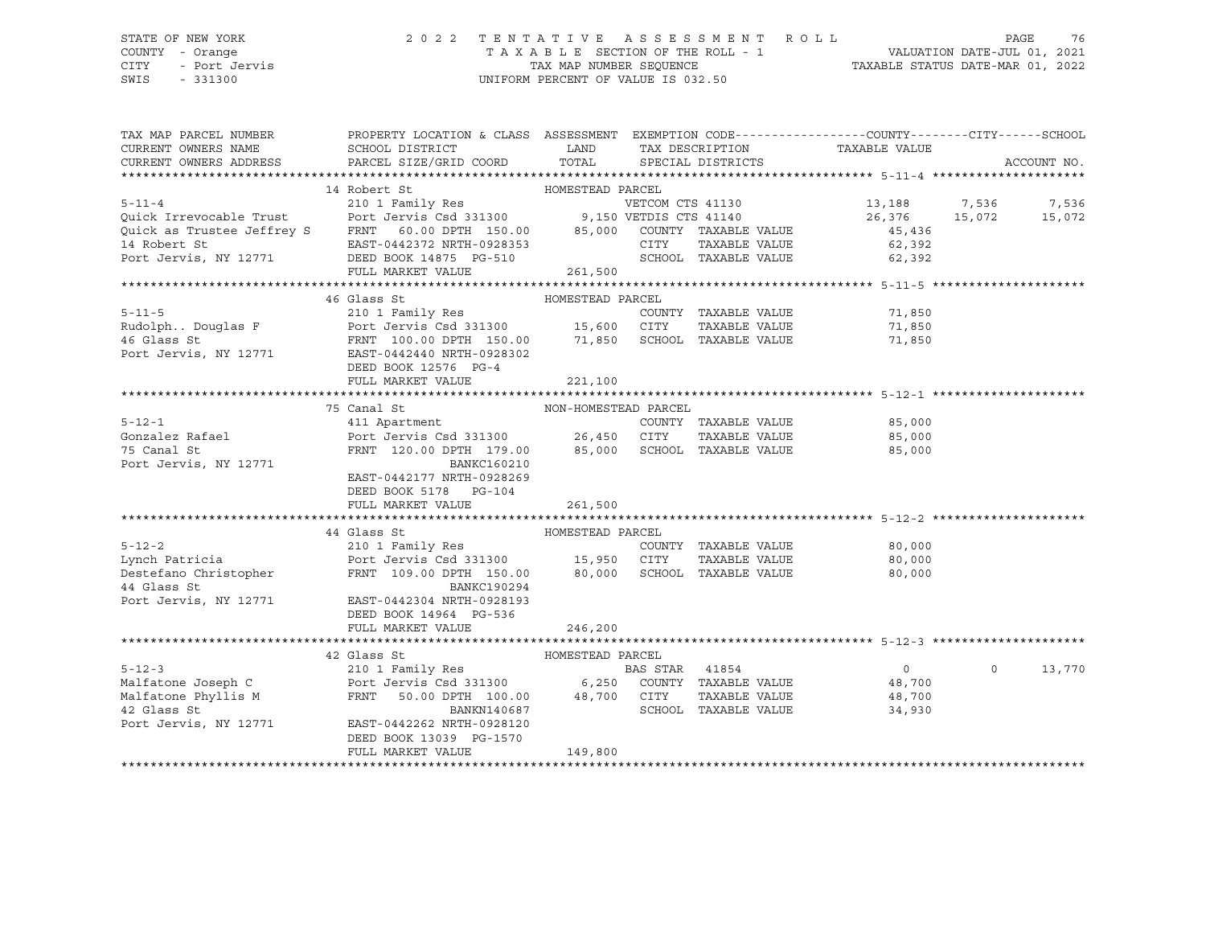## STATE OF NEW YORK 2 0 2 2 T E N T A T I V E A S S E S S M E N T R O L L PAGE 76 COUNTY - Orange T A X A B L E SECTION OF THE ROLL - 1 VALUATION DATE-JUL 01, 2021 CITY - Port Jervis TAX MAP NUMBER SEQUENCE TAXABLE STATUS DATE-MAR 01, 2022

| TAX MAP PARCEL NUMBER                | PROPERTY LOCATION & CLASS ASSESSMENT EXEMPTION CODE---------------COUNTY-------CITY------SCHOOL                                                                                                                                                                                                                                                                                                           |                      |                      |                                                          |          |             |
|--------------------------------------|-----------------------------------------------------------------------------------------------------------------------------------------------------------------------------------------------------------------------------------------------------------------------------------------------------------------------------------------------------------------------------------------------------------|----------------------|----------------------|----------------------------------------------------------|----------|-------------|
| CURRENT OWNERS NAME                  | SCHOOL DISTRICT                                                                                                                                                                                                                                                                                                                                                                                           | LAND                 |                      | TAX DESCRIPTION TAXABLE VALUE                            |          |             |
| CURRENT OWNERS ADDRESS               | PARCEL SIZE/GRID COORD TOTAL SPECIAL DISTRICTS                                                                                                                                                                                                                                                                                                                                                            |                      |                      |                                                          |          | ACCOUNT NO. |
|                                      |                                                                                                                                                                                                                                                                                                                                                                                                           |                      |                      |                                                          |          |             |
|                                      |                                                                                                                                                                                                                                                                                                                                                                                                           |                      |                      |                                                          |          |             |
|                                      |                                                                                                                                                                                                                                                                                                                                                                                                           |                      |                      | 13,188 7,536                                             |          | 7,536       |
|                                      |                                                                                                                                                                                                                                                                                                                                                                                                           |                      |                      | 26,376 15,072                                            |          | 15,072      |
|                                      |                                                                                                                                                                                                                                                                                                                                                                                                           |                      |                      | 45,436                                                   |          |             |
|                                      |                                                                                                                                                                                                                                                                                                                                                                                                           |                      |                      | TAXABLE VALUE 62,392                                     |          |             |
|                                      | $\begin{tabular}{lcccc} & & 14 \mbox{ Robert St} & & 14 \mbox{Robert St} & & 10 \mbox{MESTEAD PARCEL} \\ & 210 1 Family Res & & 9,150 VETOM CTS 41130 \\ \mbox{Quick are.} & 210 1 Family Res & & 9,150 VETDIS CTS 41130 \\ \mbox{Quick as.} & 210 1 Family Res & & 9,150 VETDIS CTS 41130 \\ \mbox{Quick as.} & 210 1 Family Res & & 9,150 VETDIS CTS 41140 \\ \mbox{Delta of 140} & 9,150 VETDIS CTS 4$ |                      | SCHOOL TAXABLE VALUE | 62,392                                                   |          |             |
|                                      | FULL MARKET VALUE                                                                                                                                                                                                                                                                                                                                                                                         | 261,500              |                      |                                                          |          |             |
|                                      |                                                                                                                                                                                                                                                                                                                                                                                                           |                      |                      |                                                          |          |             |
|                                      | 46 Glass St                                                                                                                                                                                                                                                                                                                                                                                               | HOMESTEAD PARCEL     |                      |                                                          |          |             |
|                                      |                                                                                                                                                                                                                                                                                                                                                                                                           |                      |                      |                                                          |          |             |
|                                      |                                                                                                                                                                                                                                                                                                                                                                                                           |                      |                      | COUNTY TAXABLE VALUE 11,850<br>CITY TAXABLE VALUE 11,850 |          |             |
|                                      |                                                                                                                                                                                                                                                                                                                                                                                                           |                      |                      | 71,850                                                   |          |             |
| Port Jervis, NY 12771                | EAST-0442440 NRTH-0928302                                                                                                                                                                                                                                                                                                                                                                                 |                      |                      |                                                          |          |             |
|                                      | DEED BOOK 12576 PG-4                                                                                                                                                                                                                                                                                                                                                                                      |                      |                      |                                                          |          |             |
|                                      | FULL MARKET VALUE                                                                                                                                                                                                                                                                                                                                                                                         | 221,100              |                      |                                                          |          |             |
|                                      |                                                                                                                                                                                                                                                                                                                                                                                                           |                      |                      |                                                          |          |             |
|                                      | 75 Canal St                                                                                                                                                                                                                                                                                                                                                                                               | NON-HOMESTEAD PARCEL |                      |                                                          |          |             |
| $5 - 12 - 1$                         | Canal St<br>411 Apartment                                                                                                                                                                                                                                                                                                                                                                                 |                      | COUNTY TAXABLE VALUE | 85,000                                                   |          |             |
| Gonzalez Rafael                      |                                                                                                                                                                                                                                                                                                                                                                                                           |                      |                      | TAXABLE VALUE 85,000                                     |          |             |
| 75 Canal St                          | FRNT 120.00 DPTH 179.00 85,000 SCHOOL TAXABLE VALUE                                                                                                                                                                                                                                                                                                                                                       |                      |                      | 85,000                                                   |          |             |
| Port Jervis, NY 12771                | BANKC160210                                                                                                                                                                                                                                                                                                                                                                                               |                      |                      |                                                          |          |             |
|                                      | EAST-0442177 NRTH-0928269                                                                                                                                                                                                                                                                                                                                                                                 |                      |                      |                                                          |          |             |
|                                      | DEED BOOK 5178 PG-104                                                                                                                                                                                                                                                                                                                                                                                     |                      |                      |                                                          |          |             |
|                                      | FULL MARKET VALUE                                                                                                                                                                                                                                                                                                                                                                                         | 261,500              |                      |                                                          |          |             |
|                                      |                                                                                                                                                                                                                                                                                                                                                                                                           |                      |                      |                                                          |          |             |
|                                      | HOMESTEAD PARCEL<br>44 Glass St                                                                                                                                                                                                                                                                                                                                                                           |                      |                      |                                                          |          |             |
| $5 - 12 - 2$                         | 210 1 Family Res                                                                                                                                                                                                                                                                                                                                                                                          |                      | COUNTY TAXABLE VALUE | 80,000                                                   |          |             |
|                                      |                                                                                                                                                                                                                                                                                                                                                                                                           |                      |                      | 80,000                                                   |          |             |
|                                      | 15,950 CITY 1AAADDE VADUE<br>Lynch Patricia (hristopher FRNT 109.00 DPTH 150.00 80,000 SCHOOL TAXABLE VALUE<br>RANKC190294                                                                                                                                                                                                                                                                                |                      |                      | 80,000                                                   |          |             |
|                                      |                                                                                                                                                                                                                                                                                                                                                                                                           |                      |                      |                                                          |          |             |
|                                      | Port Jervis, NY 12771 EAST-0442304 NRTH-0928193                                                                                                                                                                                                                                                                                                                                                           |                      |                      |                                                          |          |             |
|                                      | DEED BOOK 14964 PG-536                                                                                                                                                                                                                                                                                                                                                                                    |                      |                      |                                                          |          |             |
|                                      | FULL MARKET VALUE                                                                                                                                                                                                                                                                                                                                                                                         | 246,200              |                      |                                                          |          |             |
|                                      |                                                                                                                                                                                                                                                                                                                                                                                                           |                      |                      |                                                          |          |             |
|                                      | HOMESTEAD PARCEL<br>42 Glass St                                                                                                                                                                                                                                                                                                                                                                           |                      |                      |                                                          |          |             |
|                                      |                                                                                                                                                                                                                                                                                                                                                                                                           |                      |                      | $\overline{0}$                                           | $\Omega$ | 13,770      |
|                                      |                                                                                                                                                                                                                                                                                                                                                                                                           |                      |                      | 48,700                                                   |          |             |
|                                      |                                                                                                                                                                                                                                                                                                                                                                                                           |                      |                      | TAXABLE VALUE 48,700                                     |          |             |
| 42 Glass St<br>Port Jervis, NY 12771 | BANKN140687                                                                                                                                                                                                                                                                                                                                                                                               |                      | SCHOOL TAXABLE VALUE | 34,930                                                   |          |             |
|                                      | EAST-0442262 NRTH-0928120                                                                                                                                                                                                                                                                                                                                                                                 |                      |                      |                                                          |          |             |
|                                      | DEED BOOK 13039 PG-1570                                                                                                                                                                                                                                                                                                                                                                                   |                      |                      |                                                          |          |             |
|                                      | FULL MARKET VALUE                                                                                                                                                                                                                                                                                                                                                                                         | 149,800              |                      |                                                          |          |             |
|                                      |                                                                                                                                                                                                                                                                                                                                                                                                           |                      |                      |                                                          |          |             |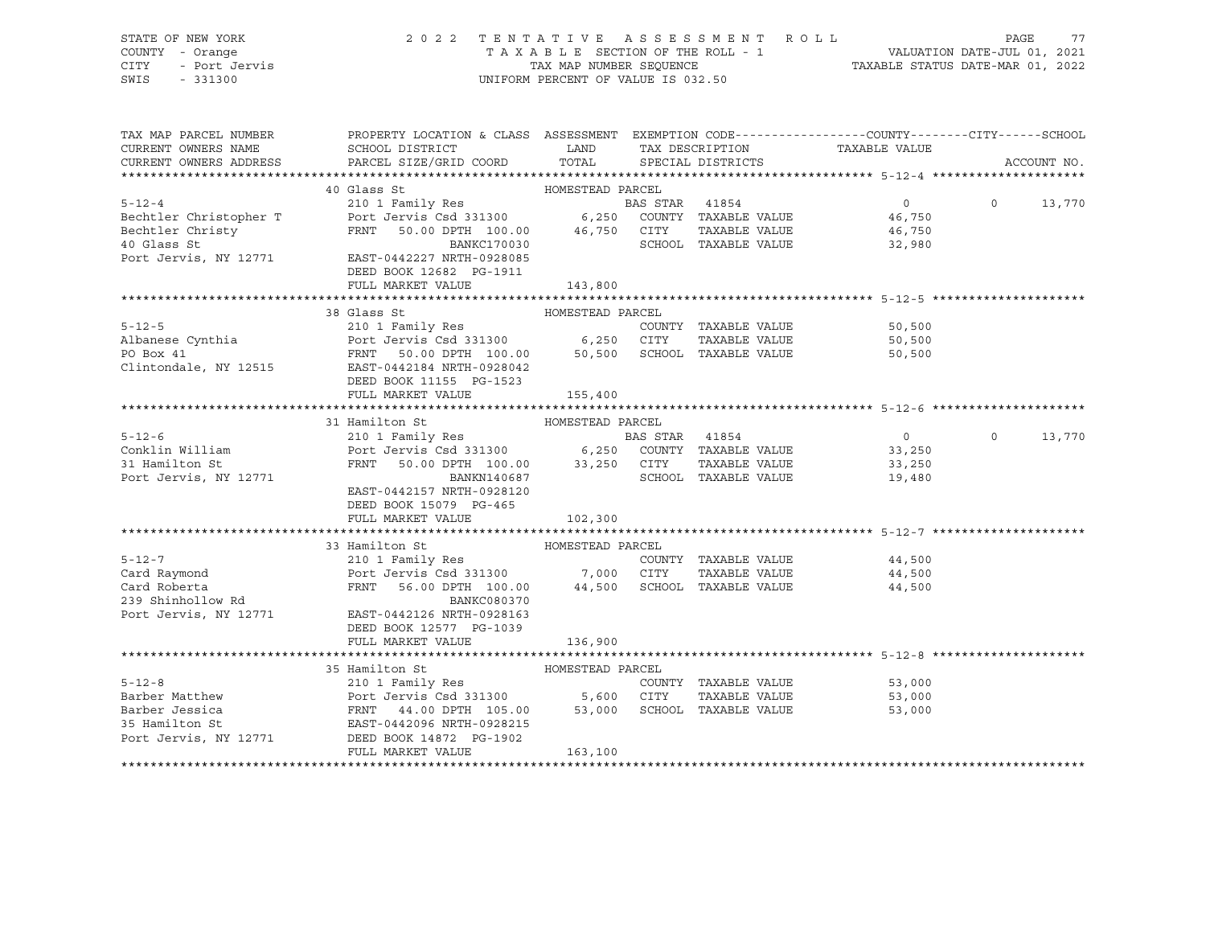STATE OF NEW YORK 2 0 2 2 T E N T A T I V E A S S E S S M E N T R O L L PAGE 77 COUNTY - Orange T A X A B L E SECTION OF THE ROLL - 1 VALUATION DATE-JUL 01, 2021 CITY - Port Jervis TAX MAP NUMBER SEQUENCE TAXABLE STATUS DATE-MAR 01, 2022 SWIS - 331300 UNIFORM PERCENT OF VALUE IS 032.50

| TAX MAP PARCEL NUMBER<br>CURRENT OWNERS NAME                                                                                                                      | PROPERTY LOCATION & CLASS ASSESSMENT EXEMPTION CODE----------------COUNTY-------CITY------SCHOOL<br>SCHOOL DISTRICT                | <b>EXAMPLE STATE STATE</b> | TAX DESCRIPTION             | TAXABLE VALUE        |          |             |
|-------------------------------------------------------------------------------------------------------------------------------------------------------------------|------------------------------------------------------------------------------------------------------------------------------------|----------------------------|-----------------------------|----------------------|----------|-------------|
| CURRENT OWNERS ADDRESS                                                                                                                                            | PARCEL SIZE/GRID COORD                                                                                                             | TOTAL                      | SPECIAL DISTRICTS           |                      |          | ACCOUNT NO. |
|                                                                                                                                                                   |                                                                                                                                    |                            |                             |                      |          |             |
|                                                                                                                                                                   |                                                                                                                                    |                            |                             | $\overline{0}$       | $\Omega$ | 13,770      |
|                                                                                                                                                                   |                                                                                                                                    |                            |                             | 46,750               |          |             |
| Bechtler Christy                                                                                                                                                  | FRNT 50.00 DPTH 100.00 46,750 CITY                                                                                                 |                            |                             | TAXABLE VALUE 46,750 |          |             |
| 40 Glass St                                                                                                                                                       | BANKC170030                                                                                                                        |                            | SCHOOL TAXABLE VALUE        | 32,980               |          |             |
| Port Jervis, NY 12771                                                                                                                                             | EAST-0442227 NRTH-0928085                                                                                                          |                            |                             |                      |          |             |
|                                                                                                                                                                   | DEED BOOK 12682 PG-1911                                                                                                            |                            |                             |                      |          |             |
|                                                                                                                                                                   | FULL MARKET VALUE                                                                                                                  | 143,800                    |                             |                      |          |             |
|                                                                                                                                                                   |                                                                                                                                    |                            |                             |                      |          |             |
|                                                                                                                                                                   | 38 Glass St                                                                                                                        | HOMESTEAD PARCEL           |                             |                      |          |             |
| $5 - 12 - 5$                                                                                                                                                      | 210 1 Family Res                                                                                                                   |                            | COUNTY TAXABLE VALUE        | 50,500               |          |             |
|                                                                                                                                                                   |                                                                                                                                    |                            |                             | 50,500               |          |             |
|                                                                                                                                                                   |                                                                                                                                    |                            |                             | 50,500               |          |             |
|                                                                                                                                                                   | Clintondale, NY 12515 EAST-0442184 NRTH-0928042                                                                                    |                            |                             |                      |          |             |
|                                                                                                                                                                   | DEED BOOK 11155 PG-1523                                                                                                            |                            |                             |                      |          |             |
|                                                                                                                                                                   | FULL MARKET VALUE                                                                                                                  | 155,400                    |                             |                      |          |             |
|                                                                                                                                                                   |                                                                                                                                    |                            |                             |                      |          |             |
|                                                                                                                                                                   | 31 Hamilton St                                                                                                                     | HOMESTEAD PARCEL           |                             |                      |          |             |
| $5 - 12 - 6$                                                                                                                                                      |                                                                                                                                    |                            |                             | $\overline{0}$       | $\circ$  | 13,770      |
| Conklin William                                                                                                                                                   |                                                                                                                                    |                            |                             | 33,250               |          |             |
| and a straight for the state.<br>The contract of the state of the state of the state of the state of the state of the state of the state of the<br>31 Hamilton St | FRNT 50.00 DPTH 100.00 33,250 CITY                                                                                                 |                            |                             | TAXABLE VALUE 33,250 |          |             |
| Port Jervis, NY 12771                                                                                                                                             | BANKN140687                                                                                                                        |                            | SCHOOL TAXABLE VALUE        | 19,480               |          |             |
|                                                                                                                                                                   | EAST-0442157 NRTH-0928120                                                                                                          |                            |                             |                      |          |             |
|                                                                                                                                                                   | DEED BOOK 15079 PG-465                                                                                                             |                            |                             |                      |          |             |
|                                                                                                                                                                   | FULL MARKET VALUE                                                                                                                  | 102,300                    |                             |                      |          |             |
|                                                                                                                                                                   |                                                                                                                                    |                            |                             |                      |          |             |
|                                                                                                                                                                   | 33 Hamilton St                                                                                                                     | HOMESTEAD PARCEL           |                             |                      |          |             |
| $5 - 12 - 7$                                                                                                                                                      | 210 1 Family Res                                                                                                                   |                            | COUNTY TAXABLE VALUE 44,500 |                      |          |             |
| Card Raymond                                                                                                                                                      | Port Jervis Csd 331300 7,000 CITY TAXABLE VALUE<br>FRNT 56.00 DPTH 100.00 44,500 SCHOOL TAXABLE VALUE                              |                            |                             | 44,500               |          |             |
| Card Roberta                                                                                                                                                      |                                                                                                                                    |                            |                             | 44,500               |          |             |
| 239 Shinhollow Rd                                                                                                                                                 | BANKC080370                                                                                                                        |                            |                             |                      |          |             |
|                                                                                                                                                                   | Port Jervis, NY 12771 EAST-0442126 NRTH-0928163                                                                                    |                            |                             |                      |          |             |
|                                                                                                                                                                   | DEED BOOK 12577 PG-1039                                                                                                            |                            |                             |                      |          |             |
|                                                                                                                                                                   | FULL MARKET VALUE                                                                                                                  | 136,900                    |                             |                      |          |             |
|                                                                                                                                                                   |                                                                                                                                    |                            |                             |                      |          |             |
|                                                                                                                                                                   | 35 Hamilton St<br>HOMESTEAD PARCEL 210 1 Family Res ROMESTEAD COUN                                                                 |                            |                             |                      |          |             |
| $5 - 12 - 8$                                                                                                                                                      |                                                                                                                                    |                            | COUNTY TAXABLE VALUE        | 53,000               |          |             |
| Barber Matthew                                                                                                                                                    | Port Jervis Csd 331300 5,600 CITY TAXABLE VALUE<br>FRNT 44.00 DPTH 105.00 53,000 SCHOOL TAXABLE VALUE<br>EAST-0442096 NRTH-0928215 |                            | TAXABLE VALUE               | 53,000               |          |             |
| Barber Jessica                                                                                                                                                    |                                                                                                                                    |                            |                             | 53,000               |          |             |
| 35 Hamilton St                                                                                                                                                    |                                                                                                                                    |                            |                             |                      |          |             |
|                                                                                                                                                                   | Port Jervis, NY 12771 DEED BOOK 14872 PG-1902                                                                                      |                            |                             |                      |          |             |
|                                                                                                                                                                   | FULL MARKET VALUE                                                                                                                  | 163,100                    |                             |                      |          |             |
|                                                                                                                                                                   |                                                                                                                                    |                            |                             |                      |          |             |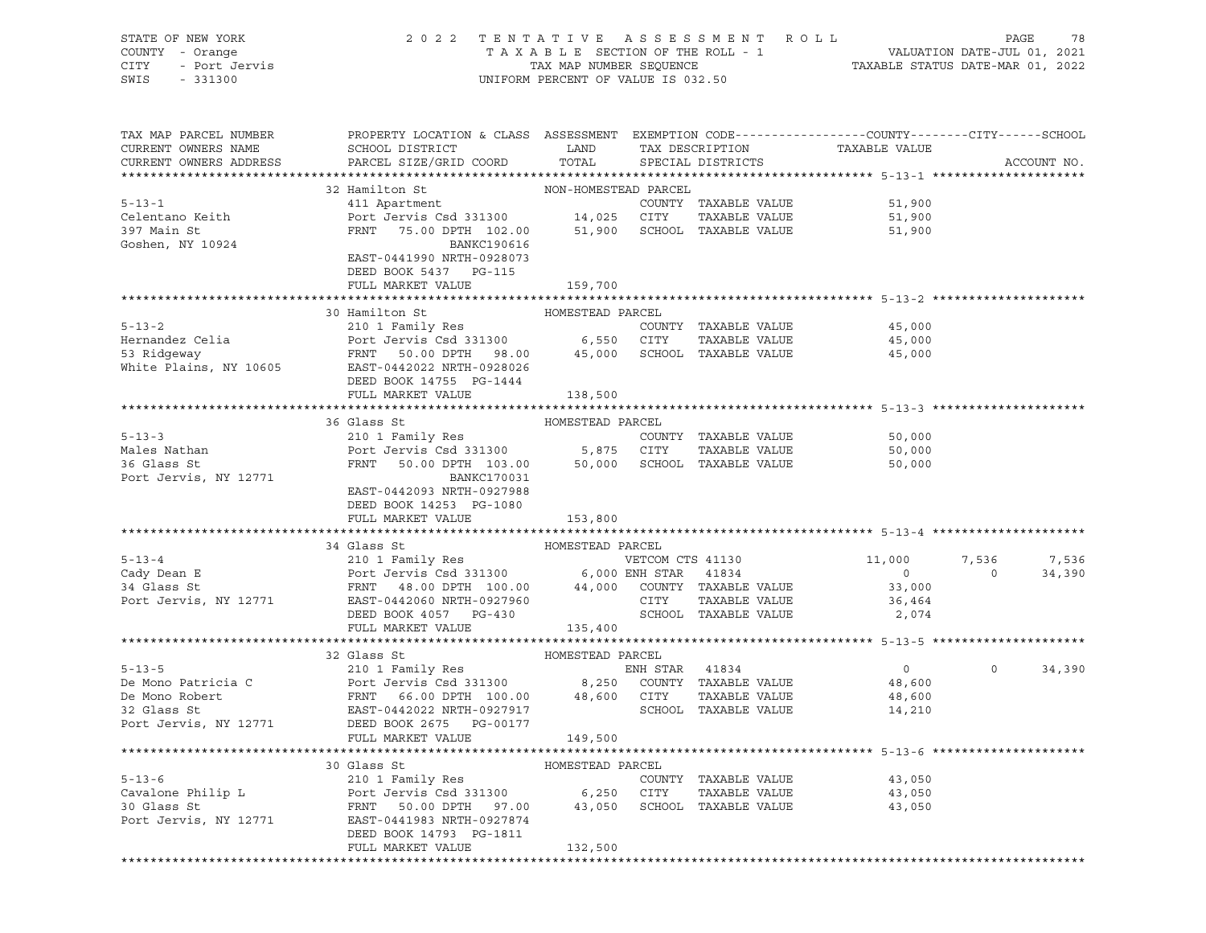| STATE OF NEW YORK<br>COUNTY<br>- Orange<br>CITY<br>- Port Jervis<br>SWIS<br>$-331300$ |                                                                                                                        |               | 2022 TENTATIVE ASSESSMENT ROLL<br>UNIFORM PERCENT OF VALUE IS 032.50 | T A X A B L E SECTION OF THE ROLL - 1 VALUATION DATE-JUL 01, 2021<br>TAX MAP NUMBER SEQUENCE TAXABLE STATUS DATE-MAR 01, 2022 | PAGE<br>78  |
|---------------------------------------------------------------------------------------|------------------------------------------------------------------------------------------------------------------------|---------------|----------------------------------------------------------------------|-------------------------------------------------------------------------------------------------------------------------------|-------------|
| TAX MAP PARCEL NUMBER                                                                 | PROPERTY LOCATION & CLASS ASSESSMENT                                                                                   |               |                                                                      | EXEMPTION CODE-----------------COUNTY-------CITY------SCHOOL                                                                  |             |
| CURRENT OWNERS NAME                                                                   | SCHOOL DISTRICT<br><b>LAND</b>                                                                                         |               | TAX DESCRIPTION                                                      | TAXABLE VALUE                                                                                                                 |             |
|                                                                                       | CURRENT OWNERS ADDRESS 6 PARCEL SIZE/GRID COORD 6 TOTAL 5 PECIAL DISTRICTS                                             |               |                                                                      |                                                                                                                               | ACCOUNT NO. |
|                                                                                       | 32 Hamilton St NON-HOMESTEAD PARCEL                                                                                    |               |                                                                      |                                                                                                                               |             |
| $5 - 13 - 1$                                                                          | 411 Apartment                                                                                                          |               | COUNTY                                                               | 51,900<br>TAXABLE VALUE                                                                                                       |             |
| Celentano Keith                                                                       | Port Jervis Csd 331300 14,025 CITY                                                                                     |               |                                                                      | TAXABLE VALUE<br>51,900                                                                                                       |             |
| 397 Main St                                                                           |                                                                                                                        | 51,900 SCHOOL | TAXABLE VALUE                                                        | 51,900                                                                                                                        |             |
| Goshen, NY 10924                                                                      | FRNT 75.00 DPTH 102.00<br>BANKC190616 BANKC190616<br>BANKC190616<br>EAST-0441990 NRTH-0928073<br>DEED BOOK 5437 PG-115 |               |                                                                      |                                                                                                                               |             |
|                                                                                       | FULL MARKET VALUE                                                                                                      | 159,700       |                                                                      |                                                                                                                               |             |
|                                                                                       |                                                                                                                        |               |                                                                      |                                                                                                                               |             |
| $5 - 13 - 2$                                                                          | 30 Hamilton St 60 HOMESTEAD PARCEL<br>210 1 Family Res                                                                 |               | TAXABLE VALUE<br>COUNTY                                              | 45,000                                                                                                                        |             |
|                                                                                       |                                                                                                                        |               |                                                                      |                                                                                                                               |             |

| 45,000 |
|--------|
|        |
| 45,000 |
|        |
|        |
|        |
|        |

|              | 36 Glass St            | HOMESTEAD PARCEL |        |               |        |
|--------------|------------------------|------------------|--------|---------------|--------|
| $5 - 13 - 3$ | 210 1 Family Res       |                  | COUNTY | TAXABLE VALUE | 50,000 |
| Males Nathan | Port Jervis Csd 331300 | 5.875            | CITY   | TAXABLE VALUE | 50,000 |

|                       | .                         | ----<br>---- |                      | ------ |
|-----------------------|---------------------------|--------------|----------------------|--------|
| 36 Glass St           | 50.00 DPTH 103.00<br>FRNT | 50,000       | SCHOOL TAXABLE VALUE | 50,000 |
| Port Jervis, NY 12771 | BANKC170031               |              |                      |        |
|                       | EAST-0442093 NRTH-0927988 |              |                      |        |
|                       | DEED BOOK 14253 PG-1080   |              |                      |        |
|                       | FULL MARKET VALUE         | 153,800      |                      |        |
|                       |                           |              |                      |        |

|                       | 34 Glass St |                           | HOMESTEAD PARCEL |                  |               |          |          |        |
|-----------------------|-------------|---------------------------|------------------|------------------|---------------|----------|----------|--------|
| $5 - 13 - 4$          |             | 210 1 Family Res          |                  | VETCOM CTS 41130 |               | 11,000   | 7,536    | 7,536  |
| Cady Dean E           |             | Port Jervis Csd 331300    |                  | 6,000 ENH STAR   | 41834         |          | $\circ$  | 34,390 |
| 34 Glass St           |             | FRNT 48.00 DPTH 100.00    | 44,000           | COUNTY           | TAXABLE VALUE | 33,000   |          |        |
| Port Jervis, NY 12771 |             | EAST-0442060 NRTH-0927960 |                  | CITY             | TAXABLE VALUE | 36,464   |          |        |
|                       |             | DEED BOOK 4057 PG-430     |                  | SCHOOL           | TAXABLE VALUE | 2,074    |          |        |
|                       |             | FULL MARKET VALUE         | 135,400          |                  |               |          |          |        |
|                       |             |                           |                  |                  |               |          |          |        |
|                       |             |                           |                  |                  |               |          |          |        |
|                       | 32 Glass St |                           | HOMESTEAD PARCEL |                  |               |          |          |        |
| $5 - 13 - 5$          |             | 210 1 Family Res          |                  | ENH STAR         | 41834         | $\Omega$ | $\Omega$ | 34,390 |
| De Mono Patricia C    |             | Port Jervis Csd 331300    | 8,250            | COUNTY           | TAXABLE VALUE | 48,600   |          |        |
| De Mono Robert        |             | FRNT 66.00 DPTH 100.00    | 48,600           | CITY             | TAXABLE VALUE | 48,600   |          |        |
| 32 Glass St           |             | EAST-0442022 NRTH-0927917 |                  | SCHOOL           | TAXABLE VALUE | 14,210   |          |        |

|                       | FULL MARKET VALUE         | 149,500          |        |                             |        |  |
|-----------------------|---------------------------|------------------|--------|-----------------------------|--------|--|
|                       |                           |                  |        |                             |        |  |
|                       | 30 Glass St               | HOMESTEAD PARCEL |        |                             |        |  |
| $5 - 13 - 6$          | 210 1 Family Res          |                  | COUNTY | TAXABLE VALUE               | 43,050 |  |
| Cavalone Philip L     | Port Jervis Csd 331300    | 6,250            | CITY   | TAXABLE VALUE               | 43,050 |  |
| 30 Glass St           | FRNT 50.00 DPTH 97.00     |                  |        | 43,050 SCHOOL TAXABLE VALUE | 43,050 |  |
| Port Jervis, NY 12771 | EAST-0441983 NRTH-0927874 |                  |        |                             |        |  |
|                       | DEED BOOK 14793 PG-1811   |                  |        |                             |        |  |
|                       | FULL MARKET VALUE         | 132,500          |        |                             |        |  |
|                       |                           |                  |        |                             |        |  |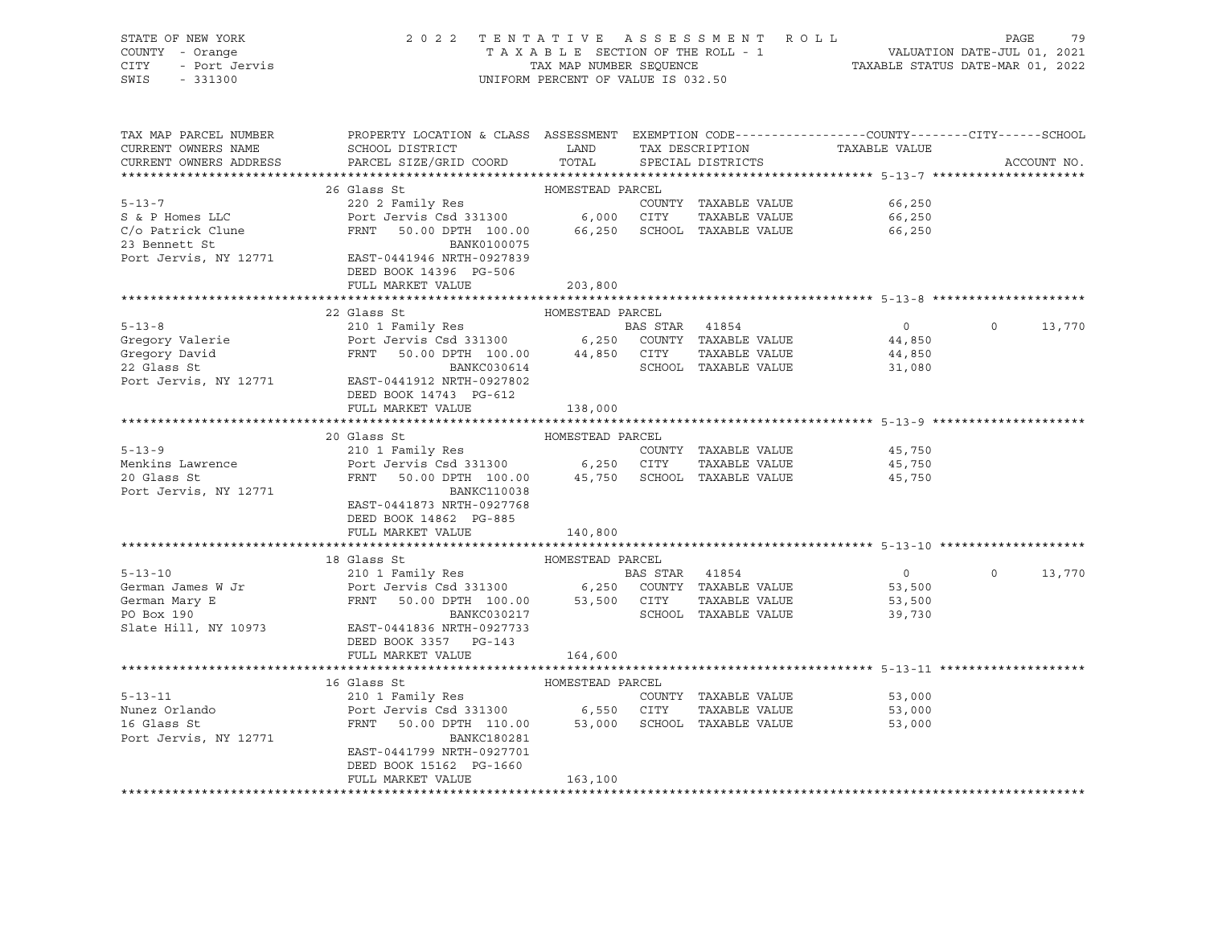| STATE OF NEW YORK<br>COUNTY<br>- Orange<br>CITY<br>- Port Jervis<br>SWIS<br>$-331300$ |                                                                       |                  | 2022 TENTATIVE ASSESSMENT ROLL<br>TAXABLE SECTION OF THE ROLL - 1<br>TAX MAP NUMBER SEOUENCE<br>UNIFORM PERCENT OF VALUE IS 032.50 |                                                               | -79<br>PAGE<br>VALUATION DATE-JUL 01, 2021<br>TAXABLE STATUS DATE-MAR 01, 2022 |
|---------------------------------------------------------------------------------------|-----------------------------------------------------------------------|------------------|------------------------------------------------------------------------------------------------------------------------------------|---------------------------------------------------------------|--------------------------------------------------------------------------------|
|                                                                                       |                                                                       |                  |                                                                                                                                    |                                                               |                                                                                |
| TAX MAP PARCEL NUMBER                                                                 | PROPERTY LOCATION & CLASS ASSESSMENT                                  |                  |                                                                                                                                    | EXEMPTION CODE-----------------COUNTY--------CITY------SCHOOL |                                                                                |
| CURRENT OWNERS NAME                                                                   | SCHOOL DISTRICT                                                       | LAND             | TAX DESCRIPTION                                                                                                                    | TAXABLE VALUE                                                 |                                                                                |
|                                                                                       | CURRENT OWNERS ADDRESS FARCEL SIZE/GRID COORD TOTAL SPECIAL DISTRICTS |                  |                                                                                                                                    |                                                               | ACCOUNT NO.                                                                    |
|                                                                                       |                                                                       |                  |                                                                                                                                    |                                                               |                                                                                |
|                                                                                       | 26 Glass St                                                           | HOMESTEAD PARCEL |                                                                                                                                    |                                                               |                                                                                |
| $5 - 13 - 7$                                                                          | 220 2 Family Res                                                      |                  | COUNTY<br>TAXABLE VALUE                                                                                                            | 66,250                                                        |                                                                                |
|                                                                                       |                                                                       | 6,000            | CITY<br>TAXABLE VALUE                                                                                                              | 66,250                                                        |                                                                                |
| C/o Patrick Clune                                                                     | FRNT 50.00 DPTH 100.00 66,250                                         |                  | SCHOOL<br>TAXABLE VALUE                                                                                                            | 66,250                                                        |                                                                                |
| 23 Bennett St                                                                         | BANK0100075                                                           |                  |                                                                                                                                    |                                                               |                                                                                |
|                                                                                       |                                                                       |                  |                                                                                                                                    |                                                               |                                                                                |

| 23 Bennett St         | BANK0100075                                           |         |                      |                |          |        |
|-----------------------|-------------------------------------------------------|---------|----------------------|----------------|----------|--------|
|                       | Port Jervis, NY 12771 EAST-0441946 NRTH-0927839       |         |                      |                |          |        |
|                       | DEED BOOK 14396 PG-506                                |         |                      |                |          |        |
|                       | FULL MARKET VALUE                                     | 203,800 |                      |                |          |        |
|                       |                                                       |         |                      |                |          |        |
|                       | 22 Glass St<br>HOMESTEAD PARCEL                       |         |                      |                |          |        |
| $5 - 13 - 8$          | 210 1 Family Res                                      |         | BAS STAR 41854       | $\overline{0}$ | $\circ$  | 13,770 |
| Gregory Valerie       | Port Jervis Csd 331300 6,250 COUNTY TAXABLE VALUE     |         |                      | 44,850         |          |        |
| Gregory David         | FRNT 50.00 DPTH 100.00 44,850 CITY                    |         | TAXABLE VALUE        | 44,850         |          |        |
| 22 Glass St           | BANKC030614                                           |         | SCHOOL TAXABLE VALUE | 31,080         |          |        |
|                       | Port Jervis, NY 12771 EAST-0441912 NRTH-0927802       |         |                      |                |          |        |
|                       | DEED BOOK 14743 PG-612                                |         |                      |                |          |        |
|                       | FULL MARKET VALUE                                     | 138,000 |                      |                |          |        |
|                       |                                                       |         |                      |                |          |        |
|                       | 20 Glass St<br>HOMESTEAD PARCEL                       |         |                      |                |          |        |
| $5 - 13 - 9$          | 210 1 Family Res<br>Port Jervis Csd 331300 6,250 CITY |         | COUNTY TAXABLE VALUE | 45,750         |          |        |
| Menkins Lawrence      |                                                       |         | TAXABLE VALUE        | 45,750         |          |        |
| 20 Glass St           | FRNT 50.00 DPTH 100.00 45,750 SCHOOL TAXABLE VALUE    |         |                      | 45,750         |          |        |
| Port Jervis, NY 12771 | <b>BANKC110038</b>                                    |         |                      |                |          |        |
|                       | EAST-0441873 NRTH-0927768                             |         |                      |                |          |        |
|                       | DEED BOOK 14862 PG-885                                |         |                      |                |          |        |
|                       | FULL MARKET VALUE                                     | 140,800 |                      |                |          |        |
|                       |                                                       |         |                      |                |          |        |
|                       | 18 Glass St<br>HOMESTEAD PARCEL                       |         |                      |                |          |        |
|                       |                                                       |         |                      | $\overline{0}$ | $\Omega$ | 13,770 |
|                       |                                                       |         |                      | 53,500         |          |        |
| German Mary E         | FRNT<br>$50.00$ DPTH $100.00$ 53,500 CITY             |         | TAXABLE VALUE        | 53,500         |          |        |
| PO Box 190            | BANKC030217                                           |         | SCHOOL TAXABLE VALUE | 39,730         |          |        |
| Slate Hill, NY 10973  | EAST-0441836 NRTH-0927733                             |         |                      |                |          |        |
|                       | DEED BOOK 3357 PG-143                                 |         |                      |                |          |        |
|                       | FULL MARKET VALUE                                     | 164,600 |                      |                |          |        |
|                       |                                                       |         |                      |                |          |        |
|                       | HOMESTEAD PARCEL<br>16 Glass St                       |         |                      |                |          |        |
| $5 - 13 - 11$         | 210 1 Family Res                                      |         | COUNTY TAXABLE VALUE | 53,000         |          |        |
| Nunez Orlando         | Port Jervis Csd 331300 6,550 CITY                     |         | TAXABLE VALUE        | 53,000         |          |        |
| 16 Glass St           | 50.00 DPTH 110.00 53,000 SCHOOL TAXABLE VALUE<br>FRNT |         |                      | 53,000         |          |        |
| Port Jervis, NY 12771 | <b>BANKC180281</b>                                    |         |                      |                |          |        |
|                       | EAST-0441799 NRTH-0927701                             |         |                      |                |          |        |
|                       | DEED BOOK 15162 PG-1660                               |         |                      |                |          |        |

\*\*\*\*\*\*\*\*\*\*\*\*\*\*\*\*\*\*\*\*\*\*\*\*\*\*\*\*\*\*\*\*\*\*\*\*\*\*\*\*\*\*\*\*\*\*\*\*\*\*\*\*\*\*\*\*\*\*\*\*\*\*\*\*\*\*\*\*\*\*\*\*\*\*\*\*\*\*\*\*\*\*\*\*\*\*\*\*\*\*\*\*\*\*\*\*\*\*\*\*\*\*\*\*\*\*\*\*\*\*\*\*\*\*\*\*\*\*\*\*\*\*\*\*\*\*\*\*\*\*\*\*

FULL MARKET VALUE 163,100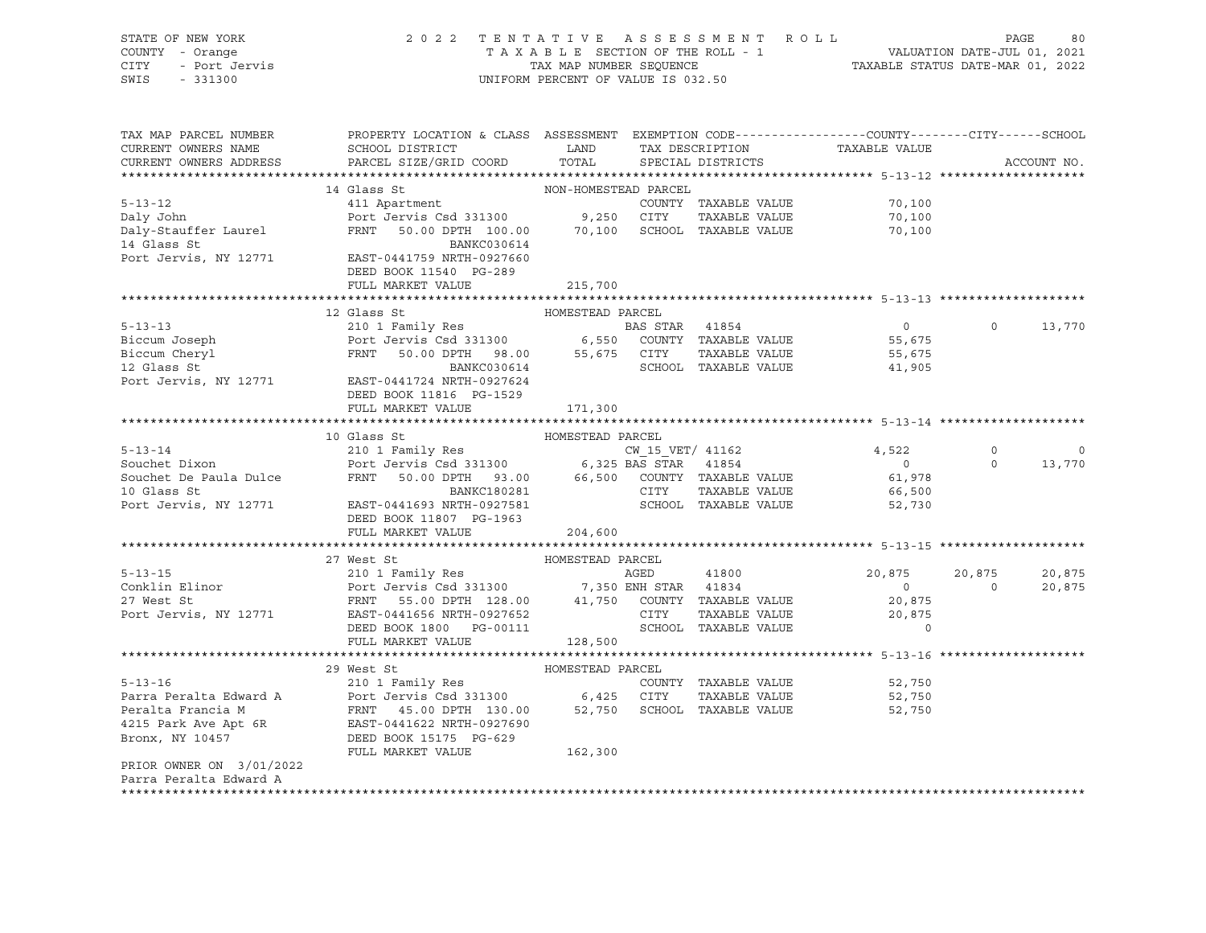| STATE OF NEW YORK<br>COUNTY - Orange<br>CITY<br>- Port Jervis<br>SWIS<br>$-331300$ | 2022 TENTATIVE ASSESSMENT ROLL                                                                                                                 | UNIFORM PERCENT OF VALUE IS 032.50 |            |                             | TAXABLE SECTION OF THE ROLL - 1<br>TAXABLE SECTION OF THE ROLL - 1<br>TAXABLE STATUS DATE-MAR 01, 2022 | PAGE              | 80          |
|------------------------------------------------------------------------------------|------------------------------------------------------------------------------------------------------------------------------------------------|------------------------------------|------------|-----------------------------|--------------------------------------------------------------------------------------------------------|-------------------|-------------|
| TAX MAP PARCEL NUMBER<br>CURRENT OWNERS NAME<br>CURRENT OWNERS ADDRESS             | PROPERTY LOCATION & CLASS ASSESSMENT EXEMPTION CODE----------------COUNTY--------CITY------SCHOOL<br>SCHOOL DISTRICT<br>PARCEL SIZE/GRID COORD | TOTAL                              |            | SPECIAL DISTRICTS           | LAND TAX DESCRIPTION TAXABLE VALUE                                                                     |                   | ACCOUNT NO. |
|                                                                                    |                                                                                                                                                |                                    |            |                             |                                                                                                        |                   |             |
|                                                                                    | 14 Glass St                                                                                                                                    | NON-HOMESTEAD PARCEL               |            |                             |                                                                                                        |                   |             |
| $5 - 13 - 12$                                                                      | 411 Apartment                                                                                                                                  |                                    |            | COUNTY TAXABLE VALUE        | 70,100                                                                                                 |                   |             |
| Daly John                                                                          | Port Jervis Csd 331300                                                                                                                         |                                    | 9,250 CITY | TAXABLE VALUE               | 70,100                                                                                                 |                   |             |
| Daly-Stauffer Laurel<br>14 Glass St                                                | FRNT 50.00 DPTH 100.00<br>BANKC030614                                                                                                          |                                    |            | 70,100 SCHOOL TAXABLE VALUE | 70,100                                                                                                 |                   |             |
| Port Jervis, NY 12771                                                              | EAST-0441759 NRTH-0927660<br>DEED BOOK 11540 PG-289<br>FULL MARKET VALUE                                                                       | 215,700                            |            |                             |                                                                                                        |                   |             |
|                                                                                    |                                                                                                                                                |                                    |            |                             | ******************************* 5-13-13 *********************                                          |                   |             |
|                                                                                    | HOMESTEAD PARCEL<br>210 1 Family Res<br>Port Jervis Csd 331300 6,550 COUNTY TAXABLE VALUE<br>FRNT 50.00 DPTH 98.00 55.675 CITTY TAXABLE PRNT   |                                    |            |                             |                                                                                                        |                   |             |
| $5 - 13 - 13$                                                                      |                                                                                                                                                |                                    |            |                             | $\overline{0}$                                                                                         | $\Omega$          | 13,770      |
| Biccum Joseph                                                                      |                                                                                                                                                |                                    |            |                             | 55,675                                                                                                 |                   |             |
| Biccum Cheryl<br>12 Glass St                                                       | FRNT 50.00 DPTH 98.00 55,675 CITY<br>BANKC030614 SCHOOL                                                                                        |                                    |            |                             | 55,675                                                                                                 |                   |             |
|                                                                                    |                                                                                                                                                |                                    |            | SCHOOL TAXABLE VALUE        | 41,905                                                                                                 |                   |             |
| Port Jervis, NY 12771                                                              | EAST-0441724 NRTH-0927624<br>DEED BOOK 11816 PG-1529                                                                                           |                                    |            |                             |                                                                                                        |                   |             |
|                                                                                    | FULL MARKET VALUE                                                                                                                              | 171,300                            |            |                             |                                                                                                        |                   |             |
|                                                                                    | 10 Glass St                                                                                                                                    | HOMESTEAD PARCEL                   |            |                             |                                                                                                        |                   |             |
| $5 - 13 - 14$                                                                      |                                                                                                                                                |                                    |            | CW 15 VET/ 41162            | 4,522                                                                                                  | $\circ$           | $\circ$     |
| Souchet Dixon                                                                      | 210 1 Family Res<br>Port Jervis Csd 331300 6,325 BAS STAR 41854                                                                                |                                    |            |                             | $\overline{0}$                                                                                         | $\Omega$          | 13,770      |
| Souchet De Paula Dulce                                                             | 50.00 DPTH 93.00 66,500 COUNTY TAXABLE VALUE<br>FRNT                                                                                           |                                    |            |                             | 61,978                                                                                                 |                   |             |
| 10 Glass St                                                                        | BANKC180281                                                                                                                                    |                                    | CITY       | TAXABLE VALUE               | 66,500                                                                                                 |                   |             |
| Port Jervis, NY 12771                                                              | EAST-0441693 NRTH-0927581<br>DEED BOOK 11807 PG-1963                                                                                           |                                    |            | SCHOOL TAXABLE VALUE        | 52,730                                                                                                 |                   |             |
|                                                                                    | FULL MARKET VALUE                                                                                                                              | 204,600                            |            |                             |                                                                                                        |                   |             |
|                                                                                    |                                                                                                                                                |                                    |            |                             |                                                                                                        |                   |             |
|                                                                                    | 27 West St                                                                                                                                     | HOMESTEAD PARCEL                   |            |                             |                                                                                                        |                   |             |
| $5 - 13 - 15$                                                                      | 210 1 Family Res                                                                                                                               |                                    | AGED       | 41800                       | 20,875                                                                                                 | 20,875            | 20,875      |
| Conklin Elinor<br>27 West St                                                       | Port Jervis Csd 331300 7,350 ENH STAR 41834<br>FRNT 55.00 DPTH 128.00 41,750 COUNTY TAXABLE VALUE                                              |                                    |            |                             | $\overline{0}$                                                                                         | $0 \qquad \qquad$ | 20,875      |
| Port Jervis, NY 12771                                                              | EAST-0441656 NRTH-0927652                                                                                                                      |                                    | CITY       | TAXABLE VALUE               | 20,875<br>20,875                                                                                       |                   |             |
|                                                                                    | DEED BOOK 1800 PG-00111                                                                                                                        |                                    |            | SCHOOL TAXABLE VALUE        | $\Omega$                                                                                               |                   |             |
|                                                                                    | FULL MARKET VALUE                                                                                                                              | 128,500                            |            |                             |                                                                                                        |                   |             |
|                                                                                    |                                                                                                                                                |                                    |            |                             |                                                                                                        |                   |             |
|                                                                                    | 29 West St                                                                                                                                     | HOMESTEAD PARCEL                   |            |                             |                                                                                                        |                   |             |
| $5 - 13 - 16$                                                                      | 210 1 Family Res                                                                                                                               |                                    |            | COUNTY TAXABLE VALUE        | 52,750                                                                                                 |                   |             |
| Parra Peralta Edward A                                                             | Port Jervis Csd 331300 6,425 CITY<br>FRNT 45.00 DPTH 130.00 52,750 SCHOOL                                                                      |                                    |            | TAXABLE VALUE               | 52,750                                                                                                 |                   |             |
| Peralta Francia M                                                                  |                                                                                                                                                |                                    |            | SCHOOL TAXABLE VALUE        | 52,750                                                                                                 |                   |             |
| 4215 Park Ave Apt 6R<br>Bronx, NY 10457                                            | EAST-0441622 NRTH-0927690                                                                                                                      |                                    |            |                             |                                                                                                        |                   |             |
|                                                                                    | DEED BOOK 15175 PG-629                                                                                                                         |                                    |            |                             |                                                                                                        |                   |             |
| PRIOR OWNER ON 3/01/2022                                                           | FULL MARKET VALUE                                                                                                                              | 162,300                            |            |                             |                                                                                                        |                   |             |

Parra Peralta Edward A \*\*\*\*\*\*\*\*\*\*\*\*\*\*\*\*\*\*\*\*\*\*\*\*\*\*\*\*\*\*\*\*\*\*\*\*\*\*\*\*\*\*\*\*\*\*\*\*\*\*\*\*\*\*\*\*\*\*\*\*\*\*\*\*\*\*\*\*\*\*\*\*\*\*\*\*\*\*\*\*\*\*\*\*\*\*\*\*\*\*\*\*\*\*\*\*\*\*\*\*\*\*\*\*\*\*\*\*\*\*\*\*\*\*\*\*\*\*\*\*\*\*\*\*\*\*\*\*\*\*\*\*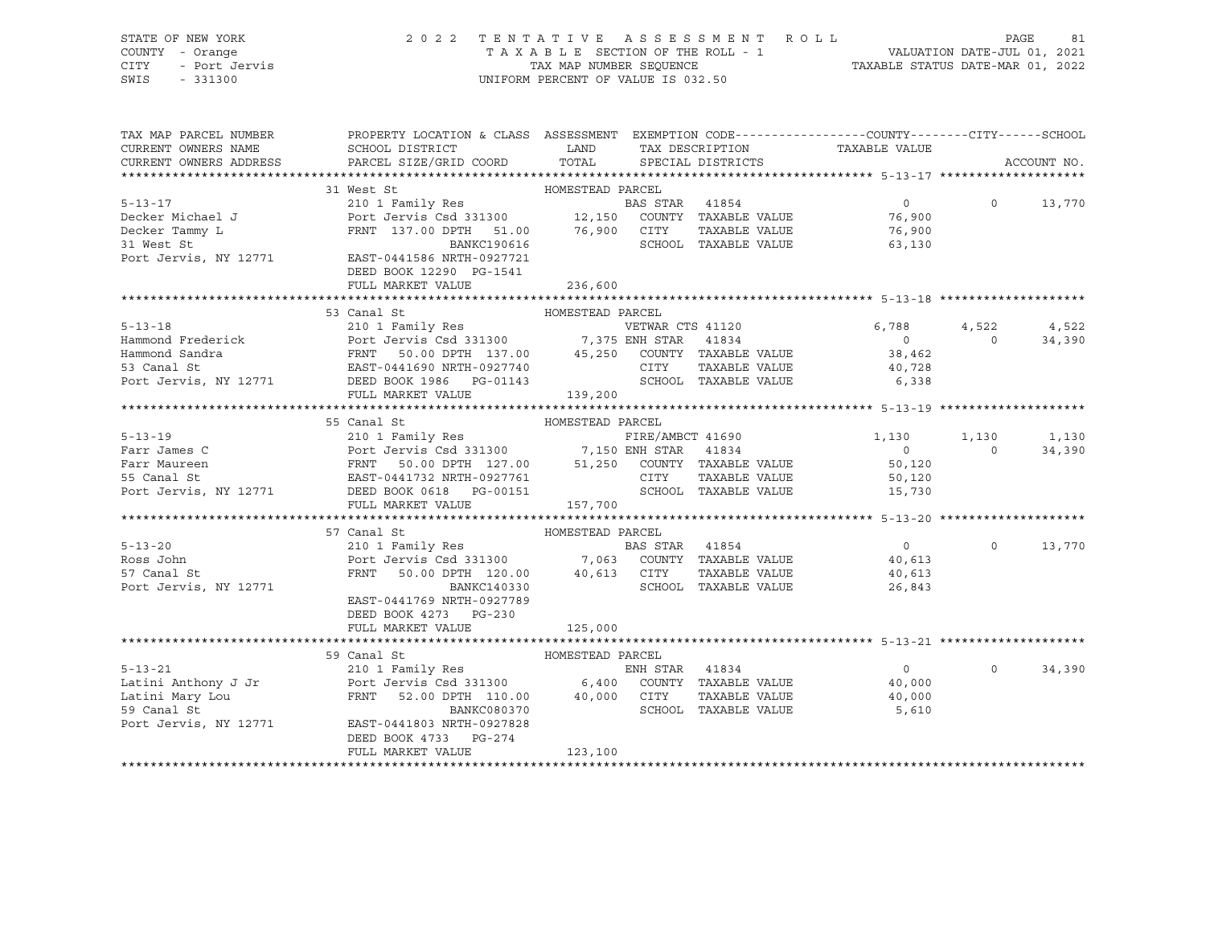## STATE OF NEW YORK 2 0 2 2 T E N T A T I V E A S S E S S M E N T R O L L PAGE 81 COUNTY - Orange T A X A B L E SECTION OF THE ROLL - 1 VALUATION DATE-JUL 01, 2021 CITY - Port Jervis TAX MAP NUMBER SEQUENCE TAXABLE STATUS DATE-MAR 01, 2022

| TAX MAP PARCEL NUMBER                                                                                                                                                                                                                                                                                                                                                                                                       | PROPERTY LOCATION & CLASS ASSESSMENT EXEMPTION CODE----------------COUNTY-------CITY------SCHOOL                                                  |                  |                |                      |                                              |                   |             |
|-----------------------------------------------------------------------------------------------------------------------------------------------------------------------------------------------------------------------------------------------------------------------------------------------------------------------------------------------------------------------------------------------------------------------------|---------------------------------------------------------------------------------------------------------------------------------------------------|------------------|----------------|----------------------|----------------------------------------------|-------------------|-------------|
| CURRENT OWNERS NAME                                                                                                                                                                                                                                                                                                                                                                                                         |                                                                                                                                                   |                  |                |                      | TAX DESCRIPTION TAXABLE VALUE                |                   |             |
| CURRENT OWNERS ADDRESS                                                                                                                                                                                                                                                                                                                                                                                                      |                                                                                                                                                   |                  |                |                      |                                              |                   | ACCOUNT NO. |
|                                                                                                                                                                                                                                                                                                                                                                                                                             |                                                                                                                                                   |                  |                |                      |                                              |                   |             |
| $\begin{tabular}{lllllllllllll} \textbf{5-13-17} & & & & & \textbf{HOMESTEAD PARCEL} & \\ & & & & & \textbf{BAS STR} & 41854 & \\ \textbf{Decker Tammy L} & & & & \textbf{Port Jervis Csd 331300} & & \\ & & & & \textbf{Port Jervis Csd 331300} & & \\ \textbf{31 West St} & & & \textbf{Port Jervis Csd 331300} & & \\ & & & \textbf{FRNT} & 137.00 DPTH & 51.00 & 76,900 & \\ \textbf{31 West St} & & & \textbf{BANKC19$ |                                                                                                                                                   |                  |                |                      |                                              |                   |             |
|                                                                                                                                                                                                                                                                                                                                                                                                                             |                                                                                                                                                   |                  |                |                      |                                              | $\circ$           | 13,770      |
|                                                                                                                                                                                                                                                                                                                                                                                                                             |                                                                                                                                                   |                  |                |                      |                                              |                   |             |
|                                                                                                                                                                                                                                                                                                                                                                                                                             |                                                                                                                                                   |                  |                |                      |                                              |                   |             |
|                                                                                                                                                                                                                                                                                                                                                                                                                             |                                                                                                                                                   |                  |                |                      |                                              |                   |             |
|                                                                                                                                                                                                                                                                                                                                                                                                                             |                                                                                                                                                   |                  |                |                      |                                              |                   |             |
|                                                                                                                                                                                                                                                                                                                                                                                                                             |                                                                                                                                                   |                  |                |                      |                                              |                   |             |
|                                                                                                                                                                                                                                                                                                                                                                                                                             | FULL MARKET VALUE                                                                                                                                 | 236,600          |                |                      |                                              |                   |             |
|                                                                                                                                                                                                                                                                                                                                                                                                                             |                                                                                                                                                   |                  |                |                      |                                              |                   |             |
|                                                                                                                                                                                                                                                                                                                                                                                                                             | 53 Canal St                                                                                                                                       | HOMESTEAD PARCEL |                |                      |                                              |                   |             |
|                                                                                                                                                                                                                                                                                                                                                                                                                             |                                                                                                                                                   |                  |                |                      | 6,788                                        | 4,522             | 4,522       |
| 5-13-18<br>Hammond Frederick Port Jervis Csd 331300<br>Hammond Sandra<br>FRNT 50.00 DPTH 137.00 45,250 COUNTY TAXABLE VALUE<br>EAST-0441690 NRTH-0927740 CITY TAXABLE VALUE<br>EAST-0441690 NRTH-0927740 CITY TAXABLE VALUE                                                                                                                                                                                                 |                                                                                                                                                   |                  |                |                      |                                              | $\overline{0}$    | 34,390      |
|                                                                                                                                                                                                                                                                                                                                                                                                                             |                                                                                                                                                   |                  |                |                      | $\begin{array}{c} 0 \\ 38,462 \end{array}$   |                   |             |
|                                                                                                                                                                                                                                                                                                                                                                                                                             |                                                                                                                                                   |                  |                |                      | TAXABLE VALUE 40,728                         |                   |             |
|                                                                                                                                                                                                                                                                                                                                                                                                                             |                                                                                                                                                   |                  |                |                      | SCHOOL TAXABLE VALUE 6,338                   |                   |             |
| Port Jervis, NY 12771 DEED BOOK 1986 PG-01143<br>FULL MARKET VALUE 139,200                                                                                                                                                                                                                                                                                                                                                  |                                                                                                                                                   |                  |                |                      |                                              |                   |             |
|                                                                                                                                                                                                                                                                                                                                                                                                                             |                                                                                                                                                   |                  |                |                      |                                              |                   |             |
|                                                                                                                                                                                                                                                                                                                                                                                                                             | 55 Canal St                                                                                                                                       | HOMESTEAD PARCEL |                |                      |                                              |                   |             |
| 5-13-19<br>Farr James C<br>Farr Maureen<br>FRIE (AMBCT 41690<br>FRIE (AMBCT 41690<br>FRIE (AMBCT 41690<br>FRIE (AMBCT 41690<br>FRIE 2AMBCT 41690<br>FRIE 41834<br>O<br>FRIE 41834<br>O<br>FRIE 41834<br>O<br>FRIE 41834<br>O<br>COUNTY TAXABLE VALUE<br>SO,120<br>                                                                                                                                                          |                                                                                                                                                   |                  |                |                      | FIRE/AMBCT 41690 1,130                       |                   | 1,130 1,130 |
|                                                                                                                                                                                                                                                                                                                                                                                                                             |                                                                                                                                                   |                  |                |                      |                                              | $\Omega$          | 34,390      |
|                                                                                                                                                                                                                                                                                                                                                                                                                             |                                                                                                                                                   |                  |                |                      |                                              |                   |             |
|                                                                                                                                                                                                                                                                                                                                                                                                                             |                                                                                                                                                   |                  |                |                      |                                              |                   |             |
|                                                                                                                                                                                                                                                                                                                                                                                                                             |                                                                                                                                                   |                  |                |                      |                                              |                   |             |
|                                                                                                                                                                                                                                                                                                                                                                                                                             |                                                                                                                                                   |                  |                |                      |                                              |                   |             |
|                                                                                                                                                                                                                                                                                                                                                                                                                             | FULL MARKET VALUE                                                                                                                                 | 157,700          |                |                      |                                              |                   |             |
|                                                                                                                                                                                                                                                                                                                                                                                                                             |                                                                                                                                                   |                  |                |                      |                                              |                   |             |
|                                                                                                                                                                                                                                                                                                                                                                                                                             | 57 Canal St<br>Canal St                                   HOMESTEAD PARCEL 210 1 Family Res                                 BAS ST                |                  |                |                      |                                              |                   |             |
| $5 - 13 - 20$                                                                                                                                                                                                                                                                                                                                                                                                               |                                                                                                                                                   |                  | BAS STAR 41854 |                      | $\overline{0}$                               | $0 \qquad \qquad$ | 13,770      |
| Ross John                                                                                                                                                                                                                                                                                                                                                                                                                   |                                                                                                                                                   |                  |                |                      |                                              |                   |             |
| 57 Canal St                                                                                                                                                                                                                                                                                                                                                                                                                 | Port Jerus Csd 331300 7,063 COUNTY TAXABLE VALUE 40,613<br>FRNT 50.00 DPTH 120.00 40,613 CITY TAXABLE VALUE 40,613<br>COUNTY TAXABLE VALUE 40,613 |                  |                |                      | TAXABLE VALUE 40,613<br>TAXABLE VALUE 26,843 |                   |             |
| Port Jervis, NY 12771                                                                                                                                                                                                                                                                                                                                                                                                       | BANKC140330                                                                                                                                       |                  |                | SCHOOL TAXABLE VALUE |                                              |                   |             |
|                                                                                                                                                                                                                                                                                                                                                                                                                             | EAST-0441769 NRTH-0927789                                                                                                                         |                  |                |                      |                                              |                   |             |
|                                                                                                                                                                                                                                                                                                                                                                                                                             | DEED BOOK 4273 PG-230                                                                                                                             |                  |                |                      |                                              |                   |             |
|                                                                                                                                                                                                                                                                                                                                                                                                                             | FULL MARKET VALUE                                                                                                                                 | 125,000          |                |                      |                                              |                   |             |
|                                                                                                                                                                                                                                                                                                                                                                                                                             |                                                                                                                                                   |                  |                |                      |                                              |                   |             |
|                                                                                                                                                                                                                                                                                                                                                                                                                             |                                                                                                                                                   |                  |                |                      |                                              |                   |             |
|                                                                                                                                                                                                                                                                                                                                                                                                                             |                                                                                                                                                   |                  |                |                      | $\sim$ 0                                     | $\Omega$          | 34,390      |
|                                                                                                                                                                                                                                                                                                                                                                                                                             |                                                                                                                                                   |                  |                |                      | 40,000                                       |                   |             |
|                                                                                                                                                                                                                                                                                                                                                                                                                             |                                                                                                                                                   |                  |                |                      | TAXABLE VALUE 40,000                         |                   |             |
| 5-13-21<br>210 1 Family Res<br>Latini Anthony J Jr Port Jervis Csd 331300<br>Latini Mary Lou FRNT 52.00 DPTH 110.00 40,000 CITY TAXABLE VALUE<br>EXERCISE ANT 52.00 DPTH 110.00 40,000 CITY TAXABLE VALUE<br>BOTT TAXABLE VALUE<br>BOTT TA                                                                                                                                                                                  |                                                                                                                                                   |                  |                | SCHOOL TAXABLE VALUE | 5,610                                        |                   |             |
| Port Jervis, NY 12771                                                                                                                                                                                                                                                                                                                                                                                                       | EAST-0441803 NRTH-0927828                                                                                                                         |                  |                |                      |                                              |                   |             |
|                                                                                                                                                                                                                                                                                                                                                                                                                             | DEED BOOK 4733 PG-274                                                                                                                             |                  |                |                      |                                              |                   |             |
|                                                                                                                                                                                                                                                                                                                                                                                                                             | FULL MARKET VALUE                                                                                                                                 | 123,100          |                |                      |                                              |                   |             |
|                                                                                                                                                                                                                                                                                                                                                                                                                             |                                                                                                                                                   |                  |                |                      |                                              |                   |             |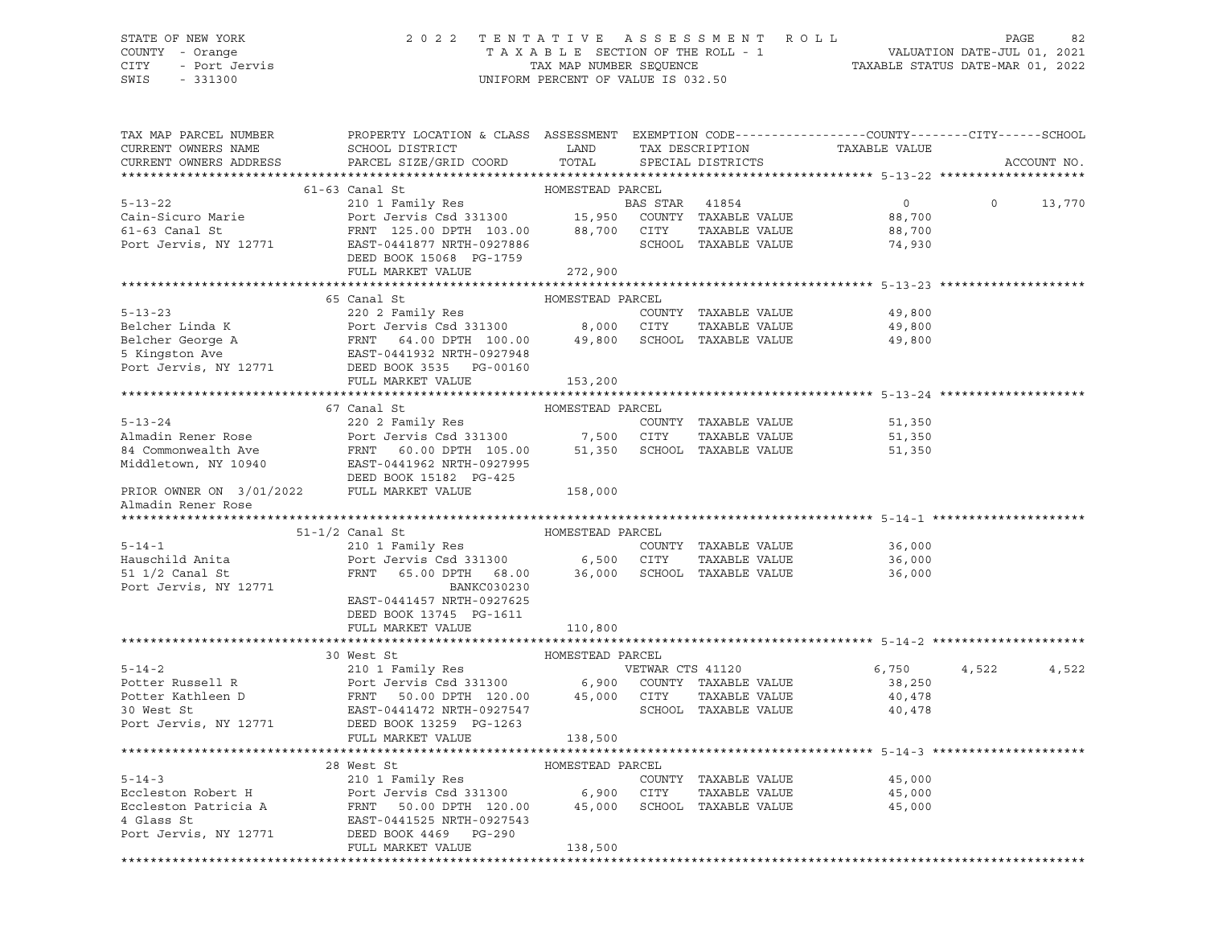# STATE OF NEW YORK 2 0 2 2 T E N T A T I V E A S S E S S M E N T R O L L PAGE 82 COUNTY - Orange T A X A B L E SECTION OF THE ROLL - 1 VALUATION DATE-JUL 01, 2021 CITY - Port Jervis TAX MAP NUMBER SEQUENCE TAXABLE STATUS DATE-MAR 01, 2022

| TAX MAP PARCEL NUMBER<br>CURRENT OWNERS NAME<br>CURRENT OWNERS ADDRESS | PROPERTY LOCATION & CLASS ASSESSMENT EXEMPTION CODE---------------COUNTY-------CITY------SCHOOL<br>${\tt SCHOOL\,\,\, DISTRICT}\qquad \qquad {\tt LAND}\qquad \qquad {\tt TAX\,\,\, DESCRIPTION}\qquad \qquad {\tt TAXABLE\,\,\, VALUE}$<br>PARCEL SIZE/GRID COORD TOTAL SPECIAL DISTRICTS                                                                                                                                      |                  |  |                                                                      |          | ACCOUNT NO. |
|------------------------------------------------------------------------|---------------------------------------------------------------------------------------------------------------------------------------------------------------------------------------------------------------------------------------------------------------------------------------------------------------------------------------------------------------------------------------------------------------------------------|------------------|--|----------------------------------------------------------------------|----------|-------------|
|                                                                        |                                                                                                                                                                                                                                                                                                                                                                                                                                 |                  |  |                                                                      |          |             |
|                                                                        | 61-63 Canal St                                                                                                                                                                                                                                                                                                                                                                                                                  | HOMESTEAD PARCEL |  |                                                                      |          |             |
|                                                                        | 5-13-22<br>Cain-Sicuro Marie 210 1 Family Res<br>Cain-Sicuro Marie 210 1 Family Res<br>FRNT 125.00 DPTH 103.00 88,700 CITY TAXABLE VALUE 88,700<br>POLI MARKET VALUE DEED BOOK 15068 PG-1759<br>FULL MARKET VALUE 272,900<br>FULL MARKET V                                                                                                                                                                                      |                  |  |                                                                      | $\Omega$ | 13,770      |
|                                                                        |                                                                                                                                                                                                                                                                                                                                                                                                                                 |                  |  |                                                                      |          |             |
|                                                                        |                                                                                                                                                                                                                                                                                                                                                                                                                                 |                  |  |                                                                      |          |             |
|                                                                        |                                                                                                                                                                                                                                                                                                                                                                                                                                 |                  |  |                                                                      |          |             |
|                                                                        |                                                                                                                                                                                                                                                                                                                                                                                                                                 |                  |  |                                                                      |          |             |
|                                                                        |                                                                                                                                                                                                                                                                                                                                                                                                                                 |                  |  |                                                                      |          |             |
|                                                                        |                                                                                                                                                                                                                                                                                                                                                                                                                                 |                  |  |                                                                      |          |             |
|                                                                        | HOMESTEAD PARCEL<br>65 Canal St<br>5-13-23<br>Belcher Linda K<br>Belcher George A<br>Experiment of the Salesman COUNTY TAXABLE VALUE<br>Experiment of the Salesman COUNTY (4.00 DPTH 100.00 (2000 CITY TAXABLE VALUE<br>5 Kingston Ave EAST-0441932 NRTH-0927948<br>Port Jerv                                                                                                                                                   |                  |  |                                                                      |          |             |
|                                                                        |                                                                                                                                                                                                                                                                                                                                                                                                                                 |                  |  | 49,800                                                               |          |             |
|                                                                        |                                                                                                                                                                                                                                                                                                                                                                                                                                 |                  |  | TAXABLE VALUE 49,800<br>TAXABLE VALUE 49,800<br>TAXARLE VALUE 49,800 |          |             |
|                                                                        |                                                                                                                                                                                                                                                                                                                                                                                                                                 |                  |  |                                                                      |          |             |
|                                                                        |                                                                                                                                                                                                                                                                                                                                                                                                                                 |                  |  |                                                                      |          |             |
|                                                                        | FULL MARKET VALUE                                                                                                                                                                                                                                                                                                                                                                                                               | 153,200          |  |                                                                      |          |             |
|                                                                        |                                                                                                                                                                                                                                                                                                                                                                                                                                 |                  |  |                                                                      |          |             |
|                                                                        | 67 Canal St                                                                                                                                                                                                                                                                                                                                                                                                                     | HOMESTEAD PARCEL |  |                                                                      |          |             |
|                                                                        |                                                                                                                                                                                                                                                                                                                                                                                                                                 |                  |  |                                                                      |          |             |
|                                                                        |                                                                                                                                                                                                                                                                                                                                                                                                                                 |                  |  |                                                                      |          |             |
|                                                                        |                                                                                                                                                                                                                                                                                                                                                                                                                                 |                  |  |                                                                      |          |             |
|                                                                        |                                                                                                                                                                                                                                                                                                                                                                                                                                 |                  |  |                                                                      |          |             |
|                                                                        | 3-13-24<br>220 2 Family Res<br>220 2 Family Res<br>220 2 Family Res<br>220 2 Family Res<br>220 2 Family Res<br>220 2 Family Res<br>220 2 Family Res<br>220 2 Family Res<br>220 2 Family Res<br>220 2 Family Res<br>220 2 Family Res<br>220 2 Family Re<br>DEED BOOK 15182 PG-425                                                                                                                                                |                  |  |                                                                      |          |             |
|                                                                        | PRIOR OWNER ON 3/01/2022 FULL MARKET VALUE 158,000                                                                                                                                                                                                                                                                                                                                                                              |                  |  |                                                                      |          |             |
| Almadin Rener Rose                                                     |                                                                                                                                                                                                                                                                                                                                                                                                                                 |                  |  |                                                                      |          |             |
|                                                                        |                                                                                                                                                                                                                                                                                                                                                                                                                                 |                  |  |                                                                      |          |             |
|                                                                        | $\begin{array}{cccccccc} \texttt{5--14--1} & & & & & & & & \\ \texttt{5--14--1} & & & & & & & & \\ \texttt{5--14--1} & & & & & & & & \\ \texttt{6--14--1} & & & & & & & & \\ \texttt{6--14--1} & & & & & & & & \\ \texttt{6--14--1} & & & & & & & & \\ \texttt{6--14--1} & & & & & & & & \\ \texttt{6--14--1} & & & & & & & & \\ \texttt{6--14--1} & & & & & & & & \\ \texttt{6--14--1} & & & & & & & & \\ \texttt{6--14--1} &$ |                  |  |                                                                      |          |             |
|                                                                        |                                                                                                                                                                                                                                                                                                                                                                                                                                 |                  |  |                                                                      |          |             |
|                                                                        |                                                                                                                                                                                                                                                                                                                                                                                                                                 |                  |  |                                                                      |          |             |
|                                                                        |                                                                                                                                                                                                                                                                                                                                                                                                                                 |                  |  |                                                                      |          |             |
| Port Jervis, NY 12771                                                  | <b>BANKC030230</b>                                                                                                                                                                                                                                                                                                                                                                                                              |                  |  |                                                                      |          |             |
|                                                                        | EAST-0441457 NRTH-0927625                                                                                                                                                                                                                                                                                                                                                                                                       |                  |  |                                                                      |          |             |
|                                                                        | DEED BOOK 13745 PG-1611                                                                                                                                                                                                                                                                                                                                                                                                         |                  |  |                                                                      |          |             |
|                                                                        | FULL MARKET VALUE 110,800                                                                                                                                                                                                                                                                                                                                                                                                       |                  |  |                                                                      |          |             |
|                                                                        |                                                                                                                                                                                                                                                                                                                                                                                                                                 |                  |  |                                                                      |          |             |
|                                                                        |                                                                                                                                                                                                                                                                                                                                                                                                                                 |                  |  | 6,750 4,522                                                          |          | 4,522       |
|                                                                        |                                                                                                                                                                                                                                                                                                                                                                                                                                 |                  |  | 38,250                                                               |          |             |
|                                                                        |                                                                                                                                                                                                                                                                                                                                                                                                                                 |                  |  |                                                                      |          |             |
|                                                                        |                                                                                                                                                                                                                                                                                                                                                                                                                                 |                  |  |                                                                      |          |             |
|                                                                        |                                                                                                                                                                                                                                                                                                                                                                                                                                 |                  |  |                                                                      |          |             |
|                                                                        | FULL MARKET VALUE                                                                                                                                                                                                                                                                                                                                                                                                               | 138,500          |  |                                                                      |          |             |
|                                                                        |                                                                                                                                                                                                                                                                                                                                                                                                                                 |                  |  | ******************************** 5-14-3 *********                    |          |             |
|                                                                        | 28 West St                                                                                                                                                                                                                                                                                                                                                                                                                      | HOMESTEAD PARCEL |  |                                                                      |          |             |
|                                                                        |                                                                                                                                                                                                                                                                                                                                                                                                                                 |                  |  | 45,000                                                               |          |             |
|                                                                        |                                                                                                                                                                                                                                                                                                                                                                                                                                 |                  |  | TAXABLE VALUE 45,000                                                 |          |             |
|                                                                        |                                                                                                                                                                                                                                                                                                                                                                                                                                 |                  |  | 45,000                                                               |          |             |
|                                                                        | 5-14-3<br>Eccleston Robert H<br>Eccleston Patricia A<br>Eccleston Patricia A<br>FRNT 50.00 DPTH 120.00<br>45,000 SCHOOL TAXABLE VALUE<br>4 Glass St<br>Port Jervis, NY 12771<br>DEED BOOK 4469<br>PG-290<br>TAXABLE VALUE<br>PEAST-0441525 NRTH-0927                                                                                                                                                                            |                  |  |                                                                      |          |             |
|                                                                        |                                                                                                                                                                                                                                                                                                                                                                                                                                 |                  |  |                                                                      |          |             |
|                                                                        | FULL MARKET VALUE                                                                                                                                                                                                                                                                                                                                                                                                               | 138,500          |  |                                                                      |          |             |
|                                                                        |                                                                                                                                                                                                                                                                                                                                                                                                                                 |                  |  |                                                                      |          |             |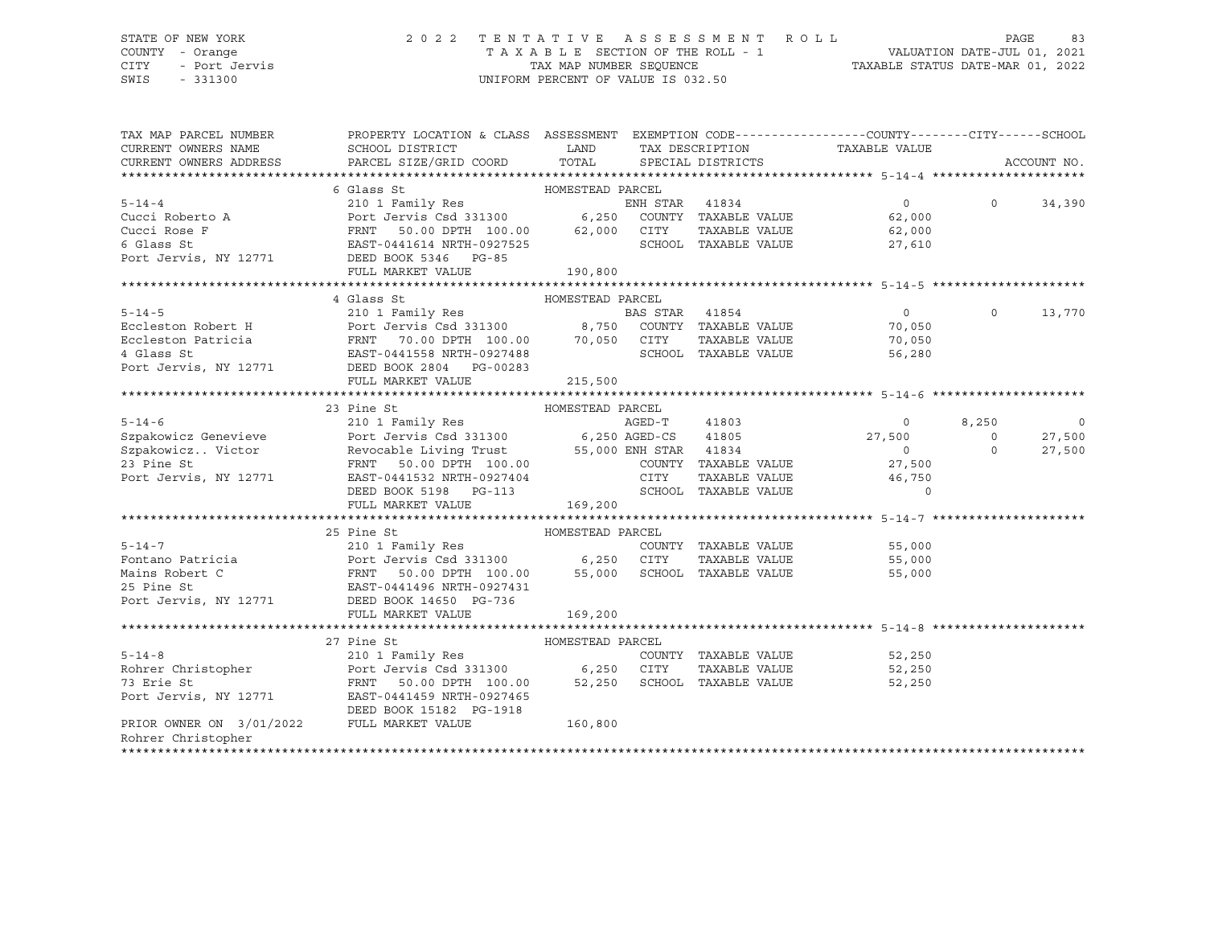## STATE OF NEW YORK 2 0 2 2 T E N T A T I V E A S S E S S M E N T R O L L PAGE 83 COUNTY - Orange T A X A B L E SECTION OF THE ROLL - 1 VALUATION DATE-JUL 01, 2021 CITY - Port Jervis TAX MAP NUMBER SEQUENCE TAXABLE STATUS DATE-MAR 01, 2022

| TAX MAP PARCEL NUMBER<br>CURRENT OWNERS NAME<br>CURRENT OWNERS ADDRESS | PROPERTY LOCATION & CLASS ASSESSMENT EXEMPTION CODE----------------COUNTY-------CITY------SCHOOL<br>SCHOOL DISTRICT<br>PARCEL SIZE/GRID COORD TOTAL SPECIAL DISTRICTS                                                                                                                                                                                                                                    |         |  | LAND TAX DESCRIPTION TAXABLE VALUE                                                                                                                                                                                                                                                                                                 |                | ACCOUNT NO. |
|------------------------------------------------------------------------|----------------------------------------------------------------------------------------------------------------------------------------------------------------------------------------------------------------------------------------------------------------------------------------------------------------------------------------------------------------------------------------------------------|---------|--|------------------------------------------------------------------------------------------------------------------------------------------------------------------------------------------------------------------------------------------------------------------------------------------------------------------------------------|----------------|-------------|
|                                                                        |                                                                                                                                                                                                                                                                                                                                                                                                          |         |  |                                                                                                                                                                                                                                                                                                                                    |                |             |
|                                                                        |                                                                                                                                                                                                                                                                                                                                                                                                          |         |  |                                                                                                                                                                                                                                                                                                                                    |                |             |
|                                                                        |                                                                                                                                                                                                                                                                                                                                                                                                          |         |  | $\overline{0}$ and $\overline{0}$ and $\overline{0}$ and $\overline{0}$ and $\overline{0}$ and $\overline{0}$ and $\overline{0}$ and $\overline{0}$ and $\overline{0}$ and $\overline{0}$ and $\overline{0}$ and $\overline{0}$ and $\overline{0}$ and $\overline{0}$ and $\overline{0}$ and $\overline{0}$ and $\overline{0}$ and | $\Omega$       | 34,390      |
|                                                                        |                                                                                                                                                                                                                                                                                                                                                                                                          |         |  |                                                                                                                                                                                                                                                                                                                                    |                |             |
|                                                                        |                                                                                                                                                                                                                                                                                                                                                                                                          |         |  |                                                                                                                                                                                                                                                                                                                                    |                |             |
|                                                                        |                                                                                                                                                                                                                                                                                                                                                                                                          |         |  |                                                                                                                                                                                                                                                                                                                                    |                |             |
|                                                                        |                                                                                                                                                                                                                                                                                                                                                                                                          |         |  |                                                                                                                                                                                                                                                                                                                                    |                |             |
|                                                                        | $\begin{tabular}{lcccccc} 5-14-4 & 6 Glass St & 41834 & 0 & 6 Class St & 210 1 Family Res & 6观 test & 210 1's 0.00 & 62,000 & 62,000 & 62,000 & 62,000 & 62,000 & 62,000 & 62,000 & 62,000 & 62,000 & 62,000 & 62,000 & 62,000 & 62,000 & 62,000 & 62,000 & 62,000 & 62,000 & 62,000 & 62,000 & 62$                                                                                                      |         |  |                                                                                                                                                                                                                                                                                                                                    |                |             |
|                                                                        |                                                                                                                                                                                                                                                                                                                                                                                                          |         |  |                                                                                                                                                                                                                                                                                                                                    |                |             |
|                                                                        | FORE 310 1 Family Res BAS STAR 41854 0<br>Eccleston Robert H Port Jervis Csd 331300 8,750 COUNTY TAXABLE VALUE 70,050<br>Eccleston Patricia FRNT 70.00 DPTH 100.00 70,050 CITY TAXABLE VALUE 70,050<br>4 Glass St EAST-0441558 NRTH-                                                                                                                                                                     |         |  |                                                                                                                                                                                                                                                                                                                                    |                |             |
|                                                                        |                                                                                                                                                                                                                                                                                                                                                                                                          |         |  | $\overline{0}$                                                                                                                                                                                                                                                                                                                     | $\circ$        | 13,770      |
|                                                                        |                                                                                                                                                                                                                                                                                                                                                                                                          |         |  |                                                                                                                                                                                                                                                                                                                                    |                |             |
|                                                                        |                                                                                                                                                                                                                                                                                                                                                                                                          |         |  |                                                                                                                                                                                                                                                                                                                                    |                |             |
|                                                                        |                                                                                                                                                                                                                                                                                                                                                                                                          |         |  |                                                                                                                                                                                                                                                                                                                                    |                |             |
|                                                                        |                                                                                                                                                                                                                                                                                                                                                                                                          |         |  |                                                                                                                                                                                                                                                                                                                                    |                |             |
|                                                                        | FULL MARKET VALUE                                                                                                                                                                                                                                                                                                                                                                                        | 215,500 |  |                                                                                                                                                                                                                                                                                                                                    |                |             |
|                                                                        |                                                                                                                                                                                                                                                                                                                                                                                                          |         |  |                                                                                                                                                                                                                                                                                                                                    |                |             |
|                                                                        |                                                                                                                                                                                                                                                                                                                                                                                                          |         |  |                                                                                                                                                                                                                                                                                                                                    |                |             |
|                                                                        |                                                                                                                                                                                                                                                                                                                                                                                                          |         |  | $\overline{0}$                                                                                                                                                                                                                                                                                                                     | 8,250          | $\mathbf 0$ |
|                                                                        |                                                                                                                                                                                                                                                                                                                                                                                                          |         |  | 27,500                                                                                                                                                                                                                                                                                                                             | $\overline{0}$ | 27,500      |
|                                                                        | $\begin{tabular}{lllllllllllllllllllll} \multicolumn{4}{c c c c c} \multicolumn{4}{c c c c} \multicolumn{4}{c c c c} \multicolumn{4}{c c c} \multicolumn{4}{c c c} \multicolumn{4}{c c c} \multicolumn{4}{c c c} \multicolumn{4}{c c c} \multicolumn{4}{c c c} \multicolumn{4}{c c c} \multicolumn{4}{c c c} \multicolumn{4}{c c c} \multicolumn{4}{c c c} \multicolumn{4}{c c c} \multicolumn{4}{c c c$ |         |  | $\overline{0}$                                                                                                                                                                                                                                                                                                                     | $\circ$        | 27,500      |
|                                                                        |                                                                                                                                                                                                                                                                                                                                                                                                          |         |  | 27,500                                                                                                                                                                                                                                                                                                                             |                |             |
|                                                                        |                                                                                                                                                                                                                                                                                                                                                                                                          |         |  | CITY TAXABLE VALUE 46,750<br>SCHOOL TAXABLE VALUE 10                                                                                                                                                                                                                                                                               |                |             |
|                                                                        | DEED BOOK 5198 PG-113                                                                                                                                                                                                                                                                                                                                                                                    |         |  |                                                                                                                                                                                                                                                                                                                                    |                |             |
|                                                                        | FULL MARKET VALUE 169,200                                                                                                                                                                                                                                                                                                                                                                                |         |  |                                                                                                                                                                                                                                                                                                                                    |                |             |
|                                                                        |                                                                                                                                                                                                                                                                                                                                                                                                          |         |  |                                                                                                                                                                                                                                                                                                                                    |                |             |
|                                                                        |                                                                                                                                                                                                                                                                                                                                                                                                          |         |  |                                                                                                                                                                                                                                                                                                                                    |                |             |
|                                                                        |                                                                                                                                                                                                                                                                                                                                                                                                          |         |  |                                                                                                                                                                                                                                                                                                                                    |                |             |
|                                                                        |                                                                                                                                                                                                                                                                                                                                                                                                          |         |  |                                                                                                                                                                                                                                                                                                                                    |                |             |
|                                                                        | 35 Pine St<br>Fontano Patricia 210 1 Family Res<br>Fontano Patricia Port Jervis Csd 331300 6,250 CITY TAXABLE VALUE 55,000<br>Mains Robert C FRNT 50.00 DPTH 100.00 55,000 SCHOOL TAXABLE VALUE 55,000<br>25 Pine St EAST-0441496 NRTH                                                                                                                                                                   |         |  |                                                                                                                                                                                                                                                                                                                                    |                |             |
|                                                                        |                                                                                                                                                                                                                                                                                                                                                                                                          |         |  |                                                                                                                                                                                                                                                                                                                                    |                |             |
|                                                                        |                                                                                                                                                                                                                                                                                                                                                                                                          |         |  |                                                                                                                                                                                                                                                                                                                                    |                |             |
|                                                                        | FULL MARKET VALUE                                                                                                                                                                                                                                                                                                                                                                                        | 169,200 |  |                                                                                                                                                                                                                                                                                                                                    |                |             |
|                                                                        |                                                                                                                                                                                                                                                                                                                                                                                                          |         |  |                                                                                                                                                                                                                                                                                                                                    |                |             |
|                                                                        | 27 Pine St                                                                                                                                                                                                                                                                                                                                                                                               |         |  |                                                                                                                                                                                                                                                                                                                                    |                |             |
| $5 - 14 - 8$                                                           |                                                                                                                                                                                                                                                                                                                                                                                                          |         |  | COUNTY TAXABLE VALUE 52,250                                                                                                                                                                                                                                                                                                        |                |             |
|                                                                        | 5-14-8 210 1 Family Res COUNTY TAXABLE VALUE<br>Rohrer Christopher Port Jervis Csd 331300 6,250 CITY TAXABLE VALUE<br>73 Erie St FRNT 50.00 DPTH 100.00 52,250 SCHOOL TAXABLE VALUE<br>Port Jervis, NY 12771 EAST-0441459 NRTH-0927465                                                                                                                                                                   |         |  | TAXABLE VALUE 52,250                                                                                                                                                                                                                                                                                                               |                |             |
|                                                                        |                                                                                                                                                                                                                                                                                                                                                                                                          |         |  | 52,250                                                                                                                                                                                                                                                                                                                             |                |             |
|                                                                        |                                                                                                                                                                                                                                                                                                                                                                                                          |         |  |                                                                                                                                                                                                                                                                                                                                    |                |             |
|                                                                        | DEED BOOK 15182 PG-1918                                                                                                                                                                                                                                                                                                                                                                                  |         |  |                                                                                                                                                                                                                                                                                                                                    |                |             |
| PRIOR OWNER ON $3/01/2022$ FULL MARKET VALUE                           |                                                                                                                                                                                                                                                                                                                                                                                                          | 160,800 |  |                                                                                                                                                                                                                                                                                                                                    |                |             |
| Rohrer Christopher                                                     |                                                                                                                                                                                                                                                                                                                                                                                                          |         |  |                                                                                                                                                                                                                                                                                                                                    |                |             |
|                                                                        |                                                                                                                                                                                                                                                                                                                                                                                                          |         |  |                                                                                                                                                                                                                                                                                                                                    |                |             |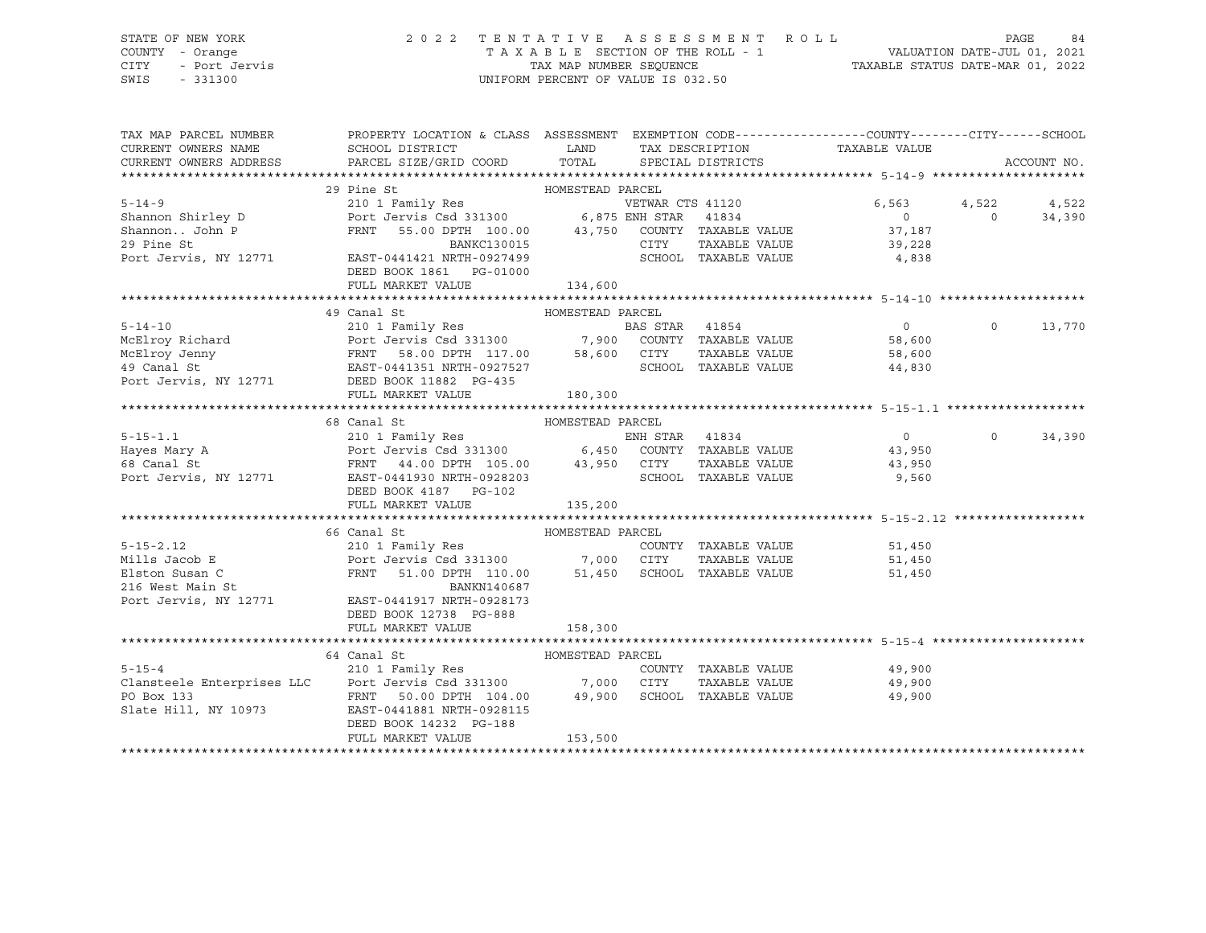## STATE OF NEW YORK 2 0 2 2 T E N T A T I V E A S S E S S M E N T R O L L PAGE 84 COUNTY - Orange T A X A B L E SECTION OF THE ROLL - 1 VALUATION DATE-JUL 01, 2021 CITY - Port Jervis TAX MAP NUMBER SEQUENCE TAXABLE STATUS DATE-MAR 01, 2022

| $\begin{tabular}{lllllllllllllllllll} \hline 5-14-9 & 29 \text{ Pine St} & \text{HOMESTEAD PARCH} & \text{VETWAR CTS 41120} & 6,563\\ \text{Shannon Shirley D} & \text{Port Jervis Csd 331300} & 6,875 \text{ ENH STAR} & 41834 & 0\\ \text{Shannon. John P} & \text{FRNT} & 55.00 \text{ DPTH} & 100.00 & 43,750 \text{ CONTTY TAXABLE VALUE} & 37,187\\ \text{29 Pine St} & \text{RNT} & \text{S5.00 DPTH$<br>VETWAR CTS 41120 6,563 4,522 4,522<br>$0$ 0 34,390<br>37,187<br>FULL MARKET VALUE 134,600<br>HOMESTEAD PARCEL<br>49 Canal St<br>5-14-10<br>McElroy Richard<br>McElroy Jenny<br>McElroy Jenny<br>McElroy Jenny<br>McElroy Jenny<br>McElroy Jenny<br>McElroy Jenny<br>McElroy Jenny<br>McElroy Jenny<br>FRNT 58.00 DPTH 117.00<br>EAST-0441351 NRTH-0927527<br>Port Jervis, NY 12771<br>DE<br>$\overline{0}$<br>$\circ$<br>13,770<br>180,300<br>FULL MARKET VALUE<br>5-15-1.1 68 Canal St ENDESTEAD PARCEL<br>210 1 Family Res ENR STAR 41834 0<br>FRNT 44.00 DPTH 105.00 43,950 CITY TAXABLE VALUE 43,950<br>Port Jervis, NY 12771 EAST-0441930 NRTH-0928203 SCHOOL TAXABLE VALUE 43,950<br>DEED BOOK 43,9<br>$0 \t 0 \t 34,390$<br>$\begin{tabular}{lllllllllllllllllllll} \multicolumn{3}{c c c c c c} \multicolumn{3}{c c c c} \multicolumn{3}{c c c c} \multicolumn{3}{c c c c} \multicolumn{3}{c c c c} \multicolumn{3}{c c c c} \multicolumn{3}{c c c c} \multicolumn{3}{c c c c} \multicolumn{3}{c c c c} \multicolumn{3}{c c c c} \multicolumn{3}{c c c c} \multicolumn{3}{c c c c} \multicolumn{3}{c c c c} \multic$ |
|----------------------------------------------------------------------------------------------------------------------------------------------------------------------------------------------------------------------------------------------------------------------------------------------------------------------------------------------------------------------------------------------------------------------------------------------------------------------------------------------------------------------------------------------------------------------------------------------------------------------------------------------------------------------------------------------------------------------------------------------------------------------------------------------------------------------------------------------------------------------------------------------------------------------------------------------------------------------------------------------------------------------------------------------------------------------------------------------------------------------------------------------------------------------------------------------------------------------------------------------------------------------------------------------------------------------------------------------------------------------------------------------------------------------------------------------------------------------------------------------------------------------------------------------|
|                                                                                                                                                                                                                                                                                                                                                                                                                                                                                                                                                                                                                                                                                                                                                                                                                                                                                                                                                                                                                                                                                                                                                                                                                                                                                                                                                                                                                                                                                                                                              |
|                                                                                                                                                                                                                                                                                                                                                                                                                                                                                                                                                                                                                                                                                                                                                                                                                                                                                                                                                                                                                                                                                                                                                                                                                                                                                                                                                                                                                                                                                                                                              |
|                                                                                                                                                                                                                                                                                                                                                                                                                                                                                                                                                                                                                                                                                                                                                                                                                                                                                                                                                                                                                                                                                                                                                                                                                                                                                                                                                                                                                                                                                                                                              |
|                                                                                                                                                                                                                                                                                                                                                                                                                                                                                                                                                                                                                                                                                                                                                                                                                                                                                                                                                                                                                                                                                                                                                                                                                                                                                                                                                                                                                                                                                                                                              |
|                                                                                                                                                                                                                                                                                                                                                                                                                                                                                                                                                                                                                                                                                                                                                                                                                                                                                                                                                                                                                                                                                                                                                                                                                                                                                                                                                                                                                                                                                                                                              |
|                                                                                                                                                                                                                                                                                                                                                                                                                                                                                                                                                                                                                                                                                                                                                                                                                                                                                                                                                                                                                                                                                                                                                                                                                                                                                                                                                                                                                                                                                                                                              |
|                                                                                                                                                                                                                                                                                                                                                                                                                                                                                                                                                                                                                                                                                                                                                                                                                                                                                                                                                                                                                                                                                                                                                                                                                                                                                                                                                                                                                                                                                                                                              |
|                                                                                                                                                                                                                                                                                                                                                                                                                                                                                                                                                                                                                                                                                                                                                                                                                                                                                                                                                                                                                                                                                                                                                                                                                                                                                                                                                                                                                                                                                                                                              |
|                                                                                                                                                                                                                                                                                                                                                                                                                                                                                                                                                                                                                                                                                                                                                                                                                                                                                                                                                                                                                                                                                                                                                                                                                                                                                                                                                                                                                                                                                                                                              |
|                                                                                                                                                                                                                                                                                                                                                                                                                                                                                                                                                                                                                                                                                                                                                                                                                                                                                                                                                                                                                                                                                                                                                                                                                                                                                                                                                                                                                                                                                                                                              |
|                                                                                                                                                                                                                                                                                                                                                                                                                                                                                                                                                                                                                                                                                                                                                                                                                                                                                                                                                                                                                                                                                                                                                                                                                                                                                                                                                                                                                                                                                                                                              |
|                                                                                                                                                                                                                                                                                                                                                                                                                                                                                                                                                                                                                                                                                                                                                                                                                                                                                                                                                                                                                                                                                                                                                                                                                                                                                                                                                                                                                                                                                                                                              |
|                                                                                                                                                                                                                                                                                                                                                                                                                                                                                                                                                                                                                                                                                                                                                                                                                                                                                                                                                                                                                                                                                                                                                                                                                                                                                                                                                                                                                                                                                                                                              |
|                                                                                                                                                                                                                                                                                                                                                                                                                                                                                                                                                                                                                                                                                                                                                                                                                                                                                                                                                                                                                                                                                                                                                                                                                                                                                                                                                                                                                                                                                                                                              |
|                                                                                                                                                                                                                                                                                                                                                                                                                                                                                                                                                                                                                                                                                                                                                                                                                                                                                                                                                                                                                                                                                                                                                                                                                                                                                                                                                                                                                                                                                                                                              |
|                                                                                                                                                                                                                                                                                                                                                                                                                                                                                                                                                                                                                                                                                                                                                                                                                                                                                                                                                                                                                                                                                                                                                                                                                                                                                                                                                                                                                                                                                                                                              |
|                                                                                                                                                                                                                                                                                                                                                                                                                                                                                                                                                                                                                                                                                                                                                                                                                                                                                                                                                                                                                                                                                                                                                                                                                                                                                                                                                                                                                                                                                                                                              |
|                                                                                                                                                                                                                                                                                                                                                                                                                                                                                                                                                                                                                                                                                                                                                                                                                                                                                                                                                                                                                                                                                                                                                                                                                                                                                                                                                                                                                                                                                                                                              |
|                                                                                                                                                                                                                                                                                                                                                                                                                                                                                                                                                                                                                                                                                                                                                                                                                                                                                                                                                                                                                                                                                                                                                                                                                                                                                                                                                                                                                                                                                                                                              |
|                                                                                                                                                                                                                                                                                                                                                                                                                                                                                                                                                                                                                                                                                                                                                                                                                                                                                                                                                                                                                                                                                                                                                                                                                                                                                                                                                                                                                                                                                                                                              |
|                                                                                                                                                                                                                                                                                                                                                                                                                                                                                                                                                                                                                                                                                                                                                                                                                                                                                                                                                                                                                                                                                                                                                                                                                                                                                                                                                                                                                                                                                                                                              |
|                                                                                                                                                                                                                                                                                                                                                                                                                                                                                                                                                                                                                                                                                                                                                                                                                                                                                                                                                                                                                                                                                                                                                                                                                                                                                                                                                                                                                                                                                                                                              |
|                                                                                                                                                                                                                                                                                                                                                                                                                                                                                                                                                                                                                                                                                                                                                                                                                                                                                                                                                                                                                                                                                                                                                                                                                                                                                                                                                                                                                                                                                                                                              |
|                                                                                                                                                                                                                                                                                                                                                                                                                                                                                                                                                                                                                                                                                                                                                                                                                                                                                                                                                                                                                                                                                                                                                                                                                                                                                                                                                                                                                                                                                                                                              |
|                                                                                                                                                                                                                                                                                                                                                                                                                                                                                                                                                                                                                                                                                                                                                                                                                                                                                                                                                                                                                                                                                                                                                                                                                                                                                                                                                                                                                                                                                                                                              |
|                                                                                                                                                                                                                                                                                                                                                                                                                                                                                                                                                                                                                                                                                                                                                                                                                                                                                                                                                                                                                                                                                                                                                                                                                                                                                                                                                                                                                                                                                                                                              |
|                                                                                                                                                                                                                                                                                                                                                                                                                                                                                                                                                                                                                                                                                                                                                                                                                                                                                                                                                                                                                                                                                                                                                                                                                                                                                                                                                                                                                                                                                                                                              |
|                                                                                                                                                                                                                                                                                                                                                                                                                                                                                                                                                                                                                                                                                                                                                                                                                                                                                                                                                                                                                                                                                                                                                                                                                                                                                                                                                                                                                                                                                                                                              |
|                                                                                                                                                                                                                                                                                                                                                                                                                                                                                                                                                                                                                                                                                                                                                                                                                                                                                                                                                                                                                                                                                                                                                                                                                                                                                                                                                                                                                                                                                                                                              |
|                                                                                                                                                                                                                                                                                                                                                                                                                                                                                                                                                                                                                                                                                                                                                                                                                                                                                                                                                                                                                                                                                                                                                                                                                                                                                                                                                                                                                                                                                                                                              |
| Port Jervis, NY 12771 EAST-0441917 NRTH-0928173                                                                                                                                                                                                                                                                                                                                                                                                                                                                                                                                                                                                                                                                                                                                                                                                                                                                                                                                                                                                                                                                                                                                                                                                                                                                                                                                                                                                                                                                                              |
| DEED BOOK 12738 PG-888                                                                                                                                                                                                                                                                                                                                                                                                                                                                                                                                                                                                                                                                                                                                                                                                                                                                                                                                                                                                                                                                                                                                                                                                                                                                                                                                                                                                                                                                                                                       |
| FULL MARKET VALUE<br>158,300                                                                                                                                                                                                                                                                                                                                                                                                                                                                                                                                                                                                                                                                                                                                                                                                                                                                                                                                                                                                                                                                                                                                                                                                                                                                                                                                                                                                                                                                                                                 |
|                                                                                                                                                                                                                                                                                                                                                                                                                                                                                                                                                                                                                                                                                                                                                                                                                                                                                                                                                                                                                                                                                                                                                                                                                                                                                                                                                                                                                                                                                                                                              |
|                                                                                                                                                                                                                                                                                                                                                                                                                                                                                                                                                                                                                                                                                                                                                                                                                                                                                                                                                                                                                                                                                                                                                                                                                                                                                                                                                                                                                                                                                                                                              |
| COUNTY TAXABLE VALUE 49,900                                                                                                                                                                                                                                                                                                                                                                                                                                                                                                                                                                                                                                                                                                                                                                                                                                                                                                                                                                                                                                                                                                                                                                                                                                                                                                                                                                                                                                                                                                                  |
|                                                                                                                                                                                                                                                                                                                                                                                                                                                                                                                                                                                                                                                                                                                                                                                                                                                                                                                                                                                                                                                                                                                                                                                                                                                                                                                                                                                                                                                                                                                                              |
| TAXABLE VALUE 49,900<br>TAXABLE VALUE 49,900                                                                                                                                                                                                                                                                                                                                                                                                                                                                                                                                                                                                                                                                                                                                                                                                                                                                                                                                                                                                                                                                                                                                                                                                                                                                                                                                                                                                                                                                                                 |
|                                                                                                                                                                                                                                                                                                                                                                                                                                                                                                                                                                                                                                                                                                                                                                                                                                                                                                                                                                                                                                                                                                                                                                                                                                                                                                                                                                                                                                                                                                                                              |
|                                                                                                                                                                                                                                                                                                                                                                                                                                                                                                                                                                                                                                                                                                                                                                                                                                                                                                                                                                                                                                                                                                                                                                                                                                                                                                                                                                                                                                                                                                                                              |
| 153,500<br>FULL MARKET VALUE                                                                                                                                                                                                                                                                                                                                                                                                                                                                                                                                                                                                                                                                                                                                                                                                                                                                                                                                                                                                                                                                                                                                                                                                                                                                                                                                                                                                                                                                                                                 |
|                                                                                                                                                                                                                                                                                                                                                                                                                                                                                                                                                                                                                                                                                                                                                                                                                                                                                                                                                                                                                                                                                                                                                                                                                                                                                                                                                                                                                                                                                                                                              |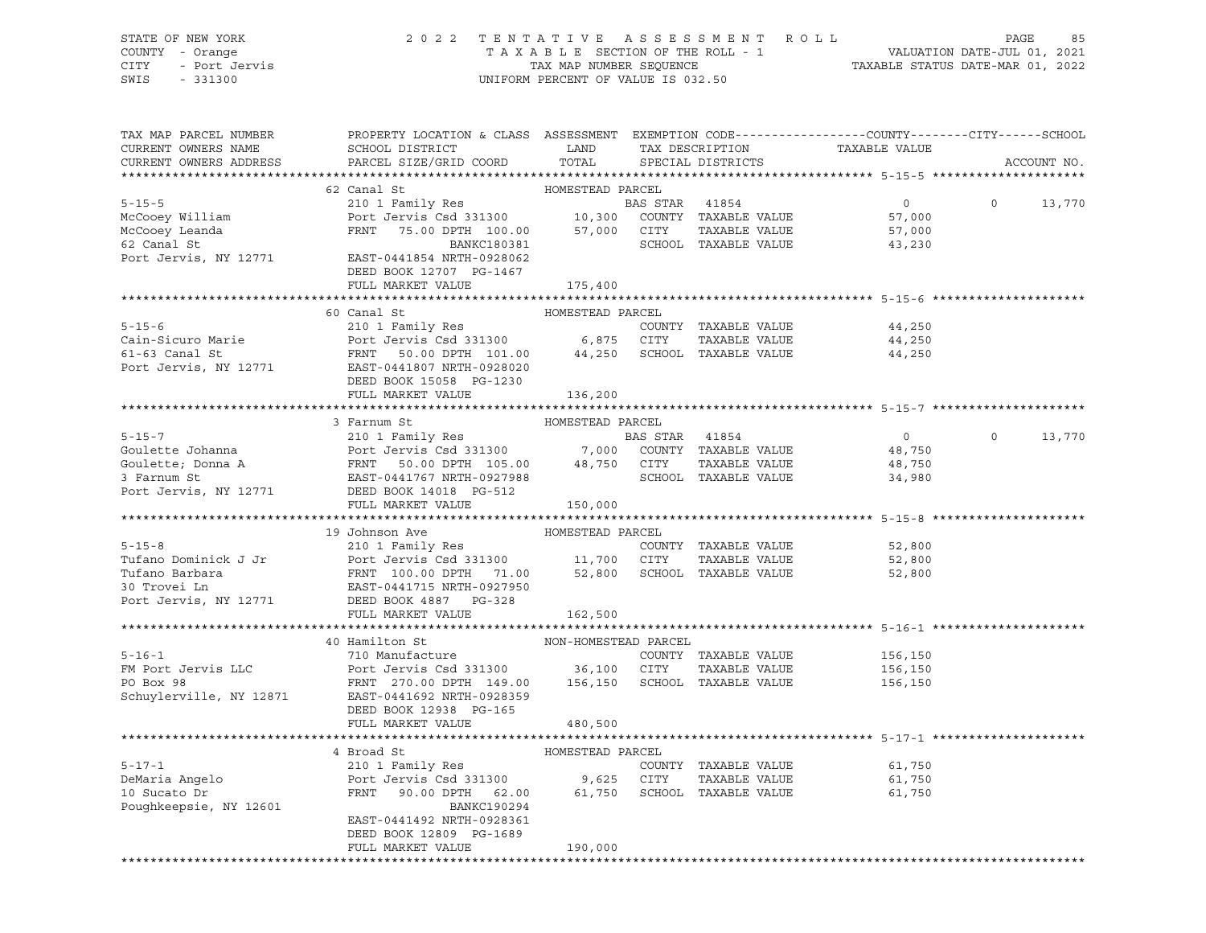# STATE OF NEW YORK 2 0 2 2 T E N T A T I V E A S S E S S M E N T R O L L PAGE 85 COUNTY - Orange T A X A B L E SECTION OF THE ROLL - 1 VALUATION DATE-JUL 01, 2021 CITY - Port Jervis TAX MAP NUMBER SEQUENCE TAXABLE STATUS DATE-MAR 01, 2022

| TAX MAP PARCEL NUMBER<br>PROPERTY LOCATION & CLASS ASSESSMENT EXEMPTION CODE----------------COUNTY-------CITY------SCHOOL<br>TAXABLE VALUE<br>CURRENT OWNERS NAME<br>SCHOOL DISTRICT<br>LAND<br>TAX DESCRIPTION<br>PARCEL SIZE/GRID COORD<br>CURRENT OWNERS ADDRESS<br>TOTAL<br>ACCOUNT NO.<br>SPECIAL DISTRICTS<br>62 Canal St<br>HOMESTEAD PARCEL<br>210 1 Family Res<br>$5 - 15 - 5$<br>$\overline{0}$<br>$\circ$<br>13,770<br>McCooey William<br>57,000<br>McCooey Leanda<br>FRNT 75.00 DPTH 100.00 57,000 CITY<br>TAXABLE VALUE<br>57,000<br>62 Canal St<br>SCHOOL TAXABLE VALUE<br>BANKC180381<br>43,230<br>EAST-0441854 NRTH-0928062<br>Port Jervis, NY 12771<br>DEED BOOK 12707 PG-1467<br>FULL MARKET VALUE<br>175,400<br>60 Canal St<br>HOMESTEAD PARCEL<br>$5 - 15 - 6$<br>210 1 Family Res<br>COUNTY TAXABLE VALUE<br>44,250<br>Cain-Sicuro Marie<br>44,250<br>$61-63$ Canal St<br>44,250<br>Port Jervis, NY 12771<br>DEED BOOK 15058 PG-1230<br>FULL MARKET VALUE<br>136,200<br>3 Farnum St<br>HOMESTEAD PARCEL<br>$\overline{0}$<br>$\circ$<br>13,770<br>48,750<br>48,750<br>34,980<br>Port Jervis, NY 12771 DEED BOOK 14018 PG-512<br>150,000<br>FULL MARKET VALUE<br>19 Johnson Ave<br>HOMESTEAD PARCEL<br>210 1 Family Res<br>Port Jamily Res<br>$5 - 15 - 8$<br>COUNTY TAXABLE VALUE<br>52,800<br>Port Jervis Csd 331300 11,700 CITY TAXABLE VALUE<br>FRNT 100.00 DPTH 71.00 52,800 SCHOOL TAXABLE VALUE<br>Tufano Dominick J Jr<br>Port Jervis Csd 331300<br>FRNT 100.00 DPTH 71.00<br>EAST-0441715 NRTH-0927950<br>52,800<br>Tufano Barbara<br>52,800<br>30 Trovei Ln<br>Port Jervis, NY 12771 DEED BOOK 4887 PG-328<br>FULL MARKET VALUE<br>162,500<br>40 Hamilton St<br>NON-HOMESTEAD PARCEL<br>$5 - 16 - 1$<br>710 Manufacture<br>COUNTY TAXABLE VALUE<br>156,150<br>Port Jervis Csd 331300 36,100 CITY<br>FM Port Jervis LLC<br>TAXABLE VALUE<br>156,150<br>$\overline{P}$<br>FRNT 270.00 DPTH 149.00 156,150 SCHOOL TAXABLE VALUE<br>PO Box 98<br>156,150<br>EAST-0441692 NRTH-0928359<br>Schuylerville, NY 12871<br>DEED BOOK 12938 PG-165<br>FULL MARKET VALUE<br>480,500<br>4 Broad St<br>HOMESTEAD PARCEL<br>$5 - 17 - 1$<br>210 1 Family Res<br>COUNTY TAXABLE VALUE<br>61,750<br>Port Jervis Csd 331300 9,625 CITY TAXABLE VALUE<br>FRNT 90.00 DPTH 62.00 61,750 SCHOOL TAXABLE VALUE<br>DeMaria Angelo<br>10 Sucato Dr<br>TAXABLE VALUE<br>61,750<br>10 Sucato Dr<br>61,750<br>Poughkeepsie, NY 12601<br>BANKC190294<br>EAST-0441492 NRTH-0928361<br>DEED BOOK 12809 PG-1689<br>FULL MARKET VALUE<br>190,000<br>******************************* |  |  |  |  |
|---------------------------------------------------------------------------------------------------------------------------------------------------------------------------------------------------------------------------------------------------------------------------------------------------------------------------------------------------------------------------------------------------------------------------------------------------------------------------------------------------------------------------------------------------------------------------------------------------------------------------------------------------------------------------------------------------------------------------------------------------------------------------------------------------------------------------------------------------------------------------------------------------------------------------------------------------------------------------------------------------------------------------------------------------------------------------------------------------------------------------------------------------------------------------------------------------------------------------------------------------------------------------------------------------------------------------------------------------------------------------------------------------------------------------------------------------------------------------------------------------------------------------------------------------------------------------------------------------------------------------------------------------------------------------------------------------------------------------------------------------------------------------------------------------------------------------------------------------------------------------------------------------------------------------------------------------------------------------------------------------------------------------------------------------------------------------------------------------------------------------------------------------------------------------------------------------------------------------------------------------------------------------------------------------------------------------------------------------------------------------------------------------------------------------------------------------------------------------------------------------------------------------------------------------------------------------------|--|--|--|--|
|                                                                                                                                                                                                                                                                                                                                                                                                                                                                                                                                                                                                                                                                                                                                                                                                                                                                                                                                                                                                                                                                                                                                                                                                                                                                                                                                                                                                                                                                                                                                                                                                                                                                                                                                                                                                                                                                                                                                                                                                                                                                                                                                                                                                                                                                                                                                                                                                                                                                                                                                                                                 |  |  |  |  |
|                                                                                                                                                                                                                                                                                                                                                                                                                                                                                                                                                                                                                                                                                                                                                                                                                                                                                                                                                                                                                                                                                                                                                                                                                                                                                                                                                                                                                                                                                                                                                                                                                                                                                                                                                                                                                                                                                                                                                                                                                                                                                                                                                                                                                                                                                                                                                                                                                                                                                                                                                                                 |  |  |  |  |
|                                                                                                                                                                                                                                                                                                                                                                                                                                                                                                                                                                                                                                                                                                                                                                                                                                                                                                                                                                                                                                                                                                                                                                                                                                                                                                                                                                                                                                                                                                                                                                                                                                                                                                                                                                                                                                                                                                                                                                                                                                                                                                                                                                                                                                                                                                                                                                                                                                                                                                                                                                                 |  |  |  |  |
|                                                                                                                                                                                                                                                                                                                                                                                                                                                                                                                                                                                                                                                                                                                                                                                                                                                                                                                                                                                                                                                                                                                                                                                                                                                                                                                                                                                                                                                                                                                                                                                                                                                                                                                                                                                                                                                                                                                                                                                                                                                                                                                                                                                                                                                                                                                                                                                                                                                                                                                                                                                 |  |  |  |  |
|                                                                                                                                                                                                                                                                                                                                                                                                                                                                                                                                                                                                                                                                                                                                                                                                                                                                                                                                                                                                                                                                                                                                                                                                                                                                                                                                                                                                                                                                                                                                                                                                                                                                                                                                                                                                                                                                                                                                                                                                                                                                                                                                                                                                                                                                                                                                                                                                                                                                                                                                                                                 |  |  |  |  |
|                                                                                                                                                                                                                                                                                                                                                                                                                                                                                                                                                                                                                                                                                                                                                                                                                                                                                                                                                                                                                                                                                                                                                                                                                                                                                                                                                                                                                                                                                                                                                                                                                                                                                                                                                                                                                                                                                                                                                                                                                                                                                                                                                                                                                                                                                                                                                                                                                                                                                                                                                                                 |  |  |  |  |
|                                                                                                                                                                                                                                                                                                                                                                                                                                                                                                                                                                                                                                                                                                                                                                                                                                                                                                                                                                                                                                                                                                                                                                                                                                                                                                                                                                                                                                                                                                                                                                                                                                                                                                                                                                                                                                                                                                                                                                                                                                                                                                                                                                                                                                                                                                                                                                                                                                                                                                                                                                                 |  |  |  |  |
|                                                                                                                                                                                                                                                                                                                                                                                                                                                                                                                                                                                                                                                                                                                                                                                                                                                                                                                                                                                                                                                                                                                                                                                                                                                                                                                                                                                                                                                                                                                                                                                                                                                                                                                                                                                                                                                                                                                                                                                                                                                                                                                                                                                                                                                                                                                                                                                                                                                                                                                                                                                 |  |  |  |  |
|                                                                                                                                                                                                                                                                                                                                                                                                                                                                                                                                                                                                                                                                                                                                                                                                                                                                                                                                                                                                                                                                                                                                                                                                                                                                                                                                                                                                                                                                                                                                                                                                                                                                                                                                                                                                                                                                                                                                                                                                                                                                                                                                                                                                                                                                                                                                                                                                                                                                                                                                                                                 |  |  |  |  |
|                                                                                                                                                                                                                                                                                                                                                                                                                                                                                                                                                                                                                                                                                                                                                                                                                                                                                                                                                                                                                                                                                                                                                                                                                                                                                                                                                                                                                                                                                                                                                                                                                                                                                                                                                                                                                                                                                                                                                                                                                                                                                                                                                                                                                                                                                                                                                                                                                                                                                                                                                                                 |  |  |  |  |
|                                                                                                                                                                                                                                                                                                                                                                                                                                                                                                                                                                                                                                                                                                                                                                                                                                                                                                                                                                                                                                                                                                                                                                                                                                                                                                                                                                                                                                                                                                                                                                                                                                                                                                                                                                                                                                                                                                                                                                                                                                                                                                                                                                                                                                                                                                                                                                                                                                                                                                                                                                                 |  |  |  |  |
|                                                                                                                                                                                                                                                                                                                                                                                                                                                                                                                                                                                                                                                                                                                                                                                                                                                                                                                                                                                                                                                                                                                                                                                                                                                                                                                                                                                                                                                                                                                                                                                                                                                                                                                                                                                                                                                                                                                                                                                                                                                                                                                                                                                                                                                                                                                                                                                                                                                                                                                                                                                 |  |  |  |  |
|                                                                                                                                                                                                                                                                                                                                                                                                                                                                                                                                                                                                                                                                                                                                                                                                                                                                                                                                                                                                                                                                                                                                                                                                                                                                                                                                                                                                                                                                                                                                                                                                                                                                                                                                                                                                                                                                                                                                                                                                                                                                                                                                                                                                                                                                                                                                                                                                                                                                                                                                                                                 |  |  |  |  |
|                                                                                                                                                                                                                                                                                                                                                                                                                                                                                                                                                                                                                                                                                                                                                                                                                                                                                                                                                                                                                                                                                                                                                                                                                                                                                                                                                                                                                                                                                                                                                                                                                                                                                                                                                                                                                                                                                                                                                                                                                                                                                                                                                                                                                                                                                                                                                                                                                                                                                                                                                                                 |  |  |  |  |
|                                                                                                                                                                                                                                                                                                                                                                                                                                                                                                                                                                                                                                                                                                                                                                                                                                                                                                                                                                                                                                                                                                                                                                                                                                                                                                                                                                                                                                                                                                                                                                                                                                                                                                                                                                                                                                                                                                                                                                                                                                                                                                                                                                                                                                                                                                                                                                                                                                                                                                                                                                                 |  |  |  |  |
|                                                                                                                                                                                                                                                                                                                                                                                                                                                                                                                                                                                                                                                                                                                                                                                                                                                                                                                                                                                                                                                                                                                                                                                                                                                                                                                                                                                                                                                                                                                                                                                                                                                                                                                                                                                                                                                                                                                                                                                                                                                                                                                                                                                                                                                                                                                                                                                                                                                                                                                                                                                 |  |  |  |  |
|                                                                                                                                                                                                                                                                                                                                                                                                                                                                                                                                                                                                                                                                                                                                                                                                                                                                                                                                                                                                                                                                                                                                                                                                                                                                                                                                                                                                                                                                                                                                                                                                                                                                                                                                                                                                                                                                                                                                                                                                                                                                                                                                                                                                                                                                                                                                                                                                                                                                                                                                                                                 |  |  |  |  |
|                                                                                                                                                                                                                                                                                                                                                                                                                                                                                                                                                                                                                                                                                                                                                                                                                                                                                                                                                                                                                                                                                                                                                                                                                                                                                                                                                                                                                                                                                                                                                                                                                                                                                                                                                                                                                                                                                                                                                                                                                                                                                                                                                                                                                                                                                                                                                                                                                                                                                                                                                                                 |  |  |  |  |
|                                                                                                                                                                                                                                                                                                                                                                                                                                                                                                                                                                                                                                                                                                                                                                                                                                                                                                                                                                                                                                                                                                                                                                                                                                                                                                                                                                                                                                                                                                                                                                                                                                                                                                                                                                                                                                                                                                                                                                                                                                                                                                                                                                                                                                                                                                                                                                                                                                                                                                                                                                                 |  |  |  |  |
|                                                                                                                                                                                                                                                                                                                                                                                                                                                                                                                                                                                                                                                                                                                                                                                                                                                                                                                                                                                                                                                                                                                                                                                                                                                                                                                                                                                                                                                                                                                                                                                                                                                                                                                                                                                                                                                                                                                                                                                                                                                                                                                                                                                                                                                                                                                                                                                                                                                                                                                                                                                 |  |  |  |  |
|                                                                                                                                                                                                                                                                                                                                                                                                                                                                                                                                                                                                                                                                                                                                                                                                                                                                                                                                                                                                                                                                                                                                                                                                                                                                                                                                                                                                                                                                                                                                                                                                                                                                                                                                                                                                                                                                                                                                                                                                                                                                                                                                                                                                                                                                                                                                                                                                                                                                                                                                                                                 |  |  |  |  |
|                                                                                                                                                                                                                                                                                                                                                                                                                                                                                                                                                                                                                                                                                                                                                                                                                                                                                                                                                                                                                                                                                                                                                                                                                                                                                                                                                                                                                                                                                                                                                                                                                                                                                                                                                                                                                                                                                                                                                                                                                                                                                                                                                                                                                                                                                                                                                                                                                                                                                                                                                                                 |  |  |  |  |
|                                                                                                                                                                                                                                                                                                                                                                                                                                                                                                                                                                                                                                                                                                                                                                                                                                                                                                                                                                                                                                                                                                                                                                                                                                                                                                                                                                                                                                                                                                                                                                                                                                                                                                                                                                                                                                                                                                                                                                                                                                                                                                                                                                                                                                                                                                                                                                                                                                                                                                                                                                                 |  |  |  |  |
|                                                                                                                                                                                                                                                                                                                                                                                                                                                                                                                                                                                                                                                                                                                                                                                                                                                                                                                                                                                                                                                                                                                                                                                                                                                                                                                                                                                                                                                                                                                                                                                                                                                                                                                                                                                                                                                                                                                                                                                                                                                                                                                                                                                                                                                                                                                                                                                                                                                                                                                                                                                 |  |  |  |  |
|                                                                                                                                                                                                                                                                                                                                                                                                                                                                                                                                                                                                                                                                                                                                                                                                                                                                                                                                                                                                                                                                                                                                                                                                                                                                                                                                                                                                                                                                                                                                                                                                                                                                                                                                                                                                                                                                                                                                                                                                                                                                                                                                                                                                                                                                                                                                                                                                                                                                                                                                                                                 |  |  |  |  |
|                                                                                                                                                                                                                                                                                                                                                                                                                                                                                                                                                                                                                                                                                                                                                                                                                                                                                                                                                                                                                                                                                                                                                                                                                                                                                                                                                                                                                                                                                                                                                                                                                                                                                                                                                                                                                                                                                                                                                                                                                                                                                                                                                                                                                                                                                                                                                                                                                                                                                                                                                                                 |  |  |  |  |
|                                                                                                                                                                                                                                                                                                                                                                                                                                                                                                                                                                                                                                                                                                                                                                                                                                                                                                                                                                                                                                                                                                                                                                                                                                                                                                                                                                                                                                                                                                                                                                                                                                                                                                                                                                                                                                                                                                                                                                                                                                                                                                                                                                                                                                                                                                                                                                                                                                                                                                                                                                                 |  |  |  |  |
|                                                                                                                                                                                                                                                                                                                                                                                                                                                                                                                                                                                                                                                                                                                                                                                                                                                                                                                                                                                                                                                                                                                                                                                                                                                                                                                                                                                                                                                                                                                                                                                                                                                                                                                                                                                                                                                                                                                                                                                                                                                                                                                                                                                                                                                                                                                                                                                                                                                                                                                                                                                 |  |  |  |  |
|                                                                                                                                                                                                                                                                                                                                                                                                                                                                                                                                                                                                                                                                                                                                                                                                                                                                                                                                                                                                                                                                                                                                                                                                                                                                                                                                                                                                                                                                                                                                                                                                                                                                                                                                                                                                                                                                                                                                                                                                                                                                                                                                                                                                                                                                                                                                                                                                                                                                                                                                                                                 |  |  |  |  |
|                                                                                                                                                                                                                                                                                                                                                                                                                                                                                                                                                                                                                                                                                                                                                                                                                                                                                                                                                                                                                                                                                                                                                                                                                                                                                                                                                                                                                                                                                                                                                                                                                                                                                                                                                                                                                                                                                                                                                                                                                                                                                                                                                                                                                                                                                                                                                                                                                                                                                                                                                                                 |  |  |  |  |
|                                                                                                                                                                                                                                                                                                                                                                                                                                                                                                                                                                                                                                                                                                                                                                                                                                                                                                                                                                                                                                                                                                                                                                                                                                                                                                                                                                                                                                                                                                                                                                                                                                                                                                                                                                                                                                                                                                                                                                                                                                                                                                                                                                                                                                                                                                                                                                                                                                                                                                                                                                                 |  |  |  |  |
|                                                                                                                                                                                                                                                                                                                                                                                                                                                                                                                                                                                                                                                                                                                                                                                                                                                                                                                                                                                                                                                                                                                                                                                                                                                                                                                                                                                                                                                                                                                                                                                                                                                                                                                                                                                                                                                                                                                                                                                                                                                                                                                                                                                                                                                                                                                                                                                                                                                                                                                                                                                 |  |  |  |  |
|                                                                                                                                                                                                                                                                                                                                                                                                                                                                                                                                                                                                                                                                                                                                                                                                                                                                                                                                                                                                                                                                                                                                                                                                                                                                                                                                                                                                                                                                                                                                                                                                                                                                                                                                                                                                                                                                                                                                                                                                                                                                                                                                                                                                                                                                                                                                                                                                                                                                                                                                                                                 |  |  |  |  |
|                                                                                                                                                                                                                                                                                                                                                                                                                                                                                                                                                                                                                                                                                                                                                                                                                                                                                                                                                                                                                                                                                                                                                                                                                                                                                                                                                                                                                                                                                                                                                                                                                                                                                                                                                                                                                                                                                                                                                                                                                                                                                                                                                                                                                                                                                                                                                                                                                                                                                                                                                                                 |  |  |  |  |
|                                                                                                                                                                                                                                                                                                                                                                                                                                                                                                                                                                                                                                                                                                                                                                                                                                                                                                                                                                                                                                                                                                                                                                                                                                                                                                                                                                                                                                                                                                                                                                                                                                                                                                                                                                                                                                                                                                                                                                                                                                                                                                                                                                                                                                                                                                                                                                                                                                                                                                                                                                                 |  |  |  |  |
|                                                                                                                                                                                                                                                                                                                                                                                                                                                                                                                                                                                                                                                                                                                                                                                                                                                                                                                                                                                                                                                                                                                                                                                                                                                                                                                                                                                                                                                                                                                                                                                                                                                                                                                                                                                                                                                                                                                                                                                                                                                                                                                                                                                                                                                                                                                                                                                                                                                                                                                                                                                 |  |  |  |  |
|                                                                                                                                                                                                                                                                                                                                                                                                                                                                                                                                                                                                                                                                                                                                                                                                                                                                                                                                                                                                                                                                                                                                                                                                                                                                                                                                                                                                                                                                                                                                                                                                                                                                                                                                                                                                                                                                                                                                                                                                                                                                                                                                                                                                                                                                                                                                                                                                                                                                                                                                                                                 |  |  |  |  |
|                                                                                                                                                                                                                                                                                                                                                                                                                                                                                                                                                                                                                                                                                                                                                                                                                                                                                                                                                                                                                                                                                                                                                                                                                                                                                                                                                                                                                                                                                                                                                                                                                                                                                                                                                                                                                                                                                                                                                                                                                                                                                                                                                                                                                                                                                                                                                                                                                                                                                                                                                                                 |  |  |  |  |
|                                                                                                                                                                                                                                                                                                                                                                                                                                                                                                                                                                                                                                                                                                                                                                                                                                                                                                                                                                                                                                                                                                                                                                                                                                                                                                                                                                                                                                                                                                                                                                                                                                                                                                                                                                                                                                                                                                                                                                                                                                                                                                                                                                                                                                                                                                                                                                                                                                                                                                                                                                                 |  |  |  |  |
|                                                                                                                                                                                                                                                                                                                                                                                                                                                                                                                                                                                                                                                                                                                                                                                                                                                                                                                                                                                                                                                                                                                                                                                                                                                                                                                                                                                                                                                                                                                                                                                                                                                                                                                                                                                                                                                                                                                                                                                                                                                                                                                                                                                                                                                                                                                                                                                                                                                                                                                                                                                 |  |  |  |  |
|                                                                                                                                                                                                                                                                                                                                                                                                                                                                                                                                                                                                                                                                                                                                                                                                                                                                                                                                                                                                                                                                                                                                                                                                                                                                                                                                                                                                                                                                                                                                                                                                                                                                                                                                                                                                                                                                                                                                                                                                                                                                                                                                                                                                                                                                                                                                                                                                                                                                                                                                                                                 |  |  |  |  |
|                                                                                                                                                                                                                                                                                                                                                                                                                                                                                                                                                                                                                                                                                                                                                                                                                                                                                                                                                                                                                                                                                                                                                                                                                                                                                                                                                                                                                                                                                                                                                                                                                                                                                                                                                                                                                                                                                                                                                                                                                                                                                                                                                                                                                                                                                                                                                                                                                                                                                                                                                                                 |  |  |  |  |
|                                                                                                                                                                                                                                                                                                                                                                                                                                                                                                                                                                                                                                                                                                                                                                                                                                                                                                                                                                                                                                                                                                                                                                                                                                                                                                                                                                                                                                                                                                                                                                                                                                                                                                                                                                                                                                                                                                                                                                                                                                                                                                                                                                                                                                                                                                                                                                                                                                                                                                                                                                                 |  |  |  |  |
|                                                                                                                                                                                                                                                                                                                                                                                                                                                                                                                                                                                                                                                                                                                                                                                                                                                                                                                                                                                                                                                                                                                                                                                                                                                                                                                                                                                                                                                                                                                                                                                                                                                                                                                                                                                                                                                                                                                                                                                                                                                                                                                                                                                                                                                                                                                                                                                                                                                                                                                                                                                 |  |  |  |  |
|                                                                                                                                                                                                                                                                                                                                                                                                                                                                                                                                                                                                                                                                                                                                                                                                                                                                                                                                                                                                                                                                                                                                                                                                                                                                                                                                                                                                                                                                                                                                                                                                                                                                                                                                                                                                                                                                                                                                                                                                                                                                                                                                                                                                                                                                                                                                                                                                                                                                                                                                                                                 |  |  |  |  |
|                                                                                                                                                                                                                                                                                                                                                                                                                                                                                                                                                                                                                                                                                                                                                                                                                                                                                                                                                                                                                                                                                                                                                                                                                                                                                                                                                                                                                                                                                                                                                                                                                                                                                                                                                                                                                                                                                                                                                                                                                                                                                                                                                                                                                                                                                                                                                                                                                                                                                                                                                                                 |  |  |  |  |
|                                                                                                                                                                                                                                                                                                                                                                                                                                                                                                                                                                                                                                                                                                                                                                                                                                                                                                                                                                                                                                                                                                                                                                                                                                                                                                                                                                                                                                                                                                                                                                                                                                                                                                                                                                                                                                                                                                                                                                                                                                                                                                                                                                                                                                                                                                                                                                                                                                                                                                                                                                                 |  |  |  |  |
|                                                                                                                                                                                                                                                                                                                                                                                                                                                                                                                                                                                                                                                                                                                                                                                                                                                                                                                                                                                                                                                                                                                                                                                                                                                                                                                                                                                                                                                                                                                                                                                                                                                                                                                                                                                                                                                                                                                                                                                                                                                                                                                                                                                                                                                                                                                                                                                                                                                                                                                                                                                 |  |  |  |  |
|                                                                                                                                                                                                                                                                                                                                                                                                                                                                                                                                                                                                                                                                                                                                                                                                                                                                                                                                                                                                                                                                                                                                                                                                                                                                                                                                                                                                                                                                                                                                                                                                                                                                                                                                                                                                                                                                                                                                                                                                                                                                                                                                                                                                                                                                                                                                                                                                                                                                                                                                                                                 |  |  |  |  |
|                                                                                                                                                                                                                                                                                                                                                                                                                                                                                                                                                                                                                                                                                                                                                                                                                                                                                                                                                                                                                                                                                                                                                                                                                                                                                                                                                                                                                                                                                                                                                                                                                                                                                                                                                                                                                                                                                                                                                                                                                                                                                                                                                                                                                                                                                                                                                                                                                                                                                                                                                                                 |  |  |  |  |
|                                                                                                                                                                                                                                                                                                                                                                                                                                                                                                                                                                                                                                                                                                                                                                                                                                                                                                                                                                                                                                                                                                                                                                                                                                                                                                                                                                                                                                                                                                                                                                                                                                                                                                                                                                                                                                                                                                                                                                                                                                                                                                                                                                                                                                                                                                                                                                                                                                                                                                                                                                                 |  |  |  |  |
|                                                                                                                                                                                                                                                                                                                                                                                                                                                                                                                                                                                                                                                                                                                                                                                                                                                                                                                                                                                                                                                                                                                                                                                                                                                                                                                                                                                                                                                                                                                                                                                                                                                                                                                                                                                                                                                                                                                                                                                                                                                                                                                                                                                                                                                                                                                                                                                                                                                                                                                                                                                 |  |  |  |  |
|                                                                                                                                                                                                                                                                                                                                                                                                                                                                                                                                                                                                                                                                                                                                                                                                                                                                                                                                                                                                                                                                                                                                                                                                                                                                                                                                                                                                                                                                                                                                                                                                                                                                                                                                                                                                                                                                                                                                                                                                                                                                                                                                                                                                                                                                                                                                                                                                                                                                                                                                                                                 |  |  |  |  |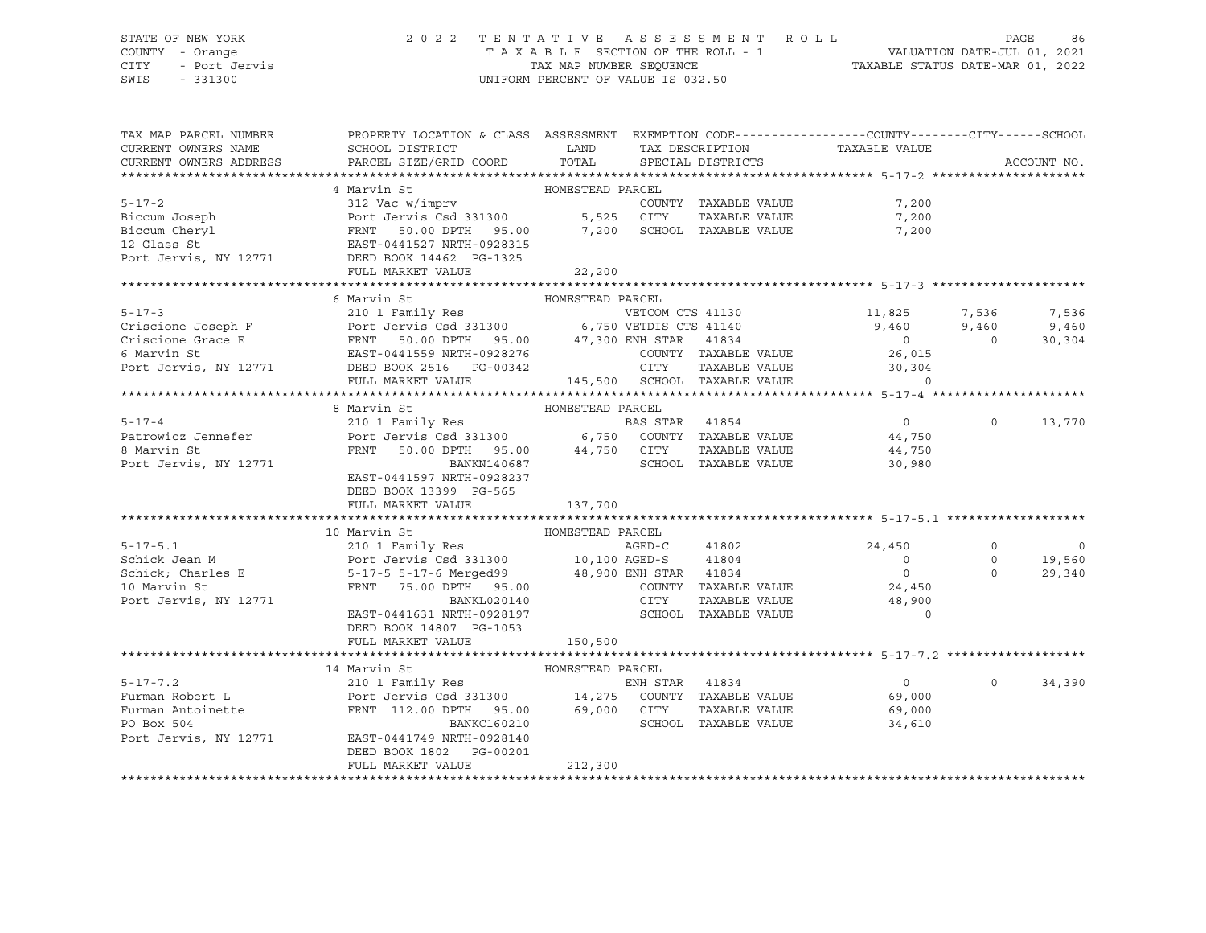## STATE OF NEW YORK 2 0 2 2 T E N T A T I V E A S S E S S M E N T R O L L PAGE 86 COUNTY - Orange T A X A B L E SECTION OF THE ROLL - 1 VALUATION DATE-JUL 01, 2021 CITY - Port Jervis TAX MAP NUMBER SEQUENCE TAXABLE STATUS DATE-MAR 01, 2022

| PROPERTY LOCATION & CLASS ASSESSMENT EXEMPTION CODE---------------COUNTY-------CITY------SCHOOL<br>CURRENT OWNERS NAME<br>TAX DESCRIPTION TAXABLE VALUE<br>CURRENT OWNERS ADDRESS<br>ACCOUNT NO.<br>4 Marvin St<br>HOMESTEAD PARCEL<br>5-17-2<br>Biccum Joseph<br>Biccum Comphistant COUNTY TAXABLE VALUE<br>Biccum Cheryl<br>Biccum Cheryl<br>FRNT 50.00 DPTH 95.00<br>FRNT 50.00 DPTH 95.00<br>7,200 SCHOOL TAXABLE VALUE<br>TAXABLE VALUE<br>POTT JERED BOOK 14462<br>FRNT 50.00 DPTH<br>7,200<br>7,200<br>7,200<br>FULL MARKET VALUE<br>22, 200<br>$30,304$<br>$145,500$ SCHOOL TAXABLE VALUE $30,304$<br>0<br>FULL MARKET VALUE<br>8 Marvin St<br>HOMESTEAD PARCEL<br>$5 - 17 - 4$<br>$\Omega$<br>13,770<br>Patrowicz Jennefer<br>FRNT 50.00 DPTH 95.00 44,750 CITY<br>BANKN140687 SCHOOL<br>8 Marvin St<br>TAXABLE VALUE<br>44,750<br>30,980<br>Port Jervis, NY 12771<br>SCHOOL TAXABLE VALUE<br>EAST-0441597 NRTH-0928237<br>DEED BOOK 13399 PG-565<br>FULL MARKET VALUE<br>137,700<br>HOMESTEAD PARCEL<br>10 Marvin St<br>$\overline{\phantom{0}}$<br>$5 - 17 - 5.1$<br>24,450<br>$\circ$<br>Schick Jean M<br>$\overline{0}$<br>$\circ$<br>19,560<br>5-17-5 5-17-6 Merged99 48,900 ENH STAR 41834<br>FRNT 75.00 DPTH 95.00 COUNTY TAXABLE<br>Schick; Charles E<br>10 Marvin St<br>$\overline{0}$<br>$\Omega$<br>29,340<br>10 Marvin St<br>COUNTY TAXABLE VALUE<br>24,450<br>CITY<br>TAXABLE VALUE 48,900<br>Port Jervis, NY 12771<br>BANKL020140<br>EAST-0441631 NRTH-0928197 SCHOOL TAXABLE VALUE<br>$\Omega$<br>DEED BOOK 14807 PG-1053<br>150,500<br>FULL MARKET VALUE<br>$\begin{tabular}{lcccccc} 5-17-7.2 & 14 Marvin St & 14 Mavityes \\ \hline \texttt{Furman Robert L} & 210 1 Family Res & 14,275 COUNT TAXABLE VALUE \\ \texttt{Furman Antoinette} & 210 12.00 DPTH & 95.00 & 69,000 CITY TAXABLE VALUE \\ \texttt{Port Jewia NVI122.00 DPTH} & 35-17-7.2 & 210 1 Family Res \\ \texttt{FRTI} & 112.00 DPTH & 95.00 & 69,000 CITY TAXABLE VALUE \\ \texttt{POTL} & 35-17-7.2 & $<br>$\overline{0}$<br>$\Omega$<br>34,390<br>69,000<br>TAXABLE VALUE 69,000<br>SCHOOL TAXABLE VALUE<br>34,610<br>Port Jervis, NY 12771<br>EAST-0441749 NRTH-0928140<br>DEED BOOK 1802 PG-00201<br>212,300<br>FULL MARKET VALUE |                       |  |  |  |  |
|----------------------------------------------------------------------------------------------------------------------------------------------------------------------------------------------------------------------------------------------------------------------------------------------------------------------------------------------------------------------------------------------------------------------------------------------------------------------------------------------------------------------------------------------------------------------------------------------------------------------------------------------------------------------------------------------------------------------------------------------------------------------------------------------------------------------------------------------------------------------------------------------------------------------------------------------------------------------------------------------------------------------------------------------------------------------------------------------------------------------------------------------------------------------------------------------------------------------------------------------------------------------------------------------------------------------------------------------------------------------------------------------------------------------------------------------------------------------------------------------------------------------------------------------------------------------------------------------------------------------------------------------------------------------------------------------------------------------------------------------------------------------------------------------------------------------------------------------------------------------------------------------------------------------------------------------------------------------------------------------------------------------------------------------------------------------------------------------------------------------------------------------------------------------------------------------------------------------------------|-----------------------|--|--|--|--|
|                                                                                                                                                                                                                                                                                                                                                                                                                                                                                                                                                                                                                                                                                                                                                                                                                                                                                                                                                                                                                                                                                                                                                                                                                                                                                                                                                                                                                                                                                                                                                                                                                                                                                                                                                                                                                                                                                                                                                                                                                                                                                                                                                                                                                                  | TAX MAP PARCEL NUMBER |  |  |  |  |
|                                                                                                                                                                                                                                                                                                                                                                                                                                                                                                                                                                                                                                                                                                                                                                                                                                                                                                                                                                                                                                                                                                                                                                                                                                                                                                                                                                                                                                                                                                                                                                                                                                                                                                                                                                                                                                                                                                                                                                                                                                                                                                                                                                                                                                  |                       |  |  |  |  |
|                                                                                                                                                                                                                                                                                                                                                                                                                                                                                                                                                                                                                                                                                                                                                                                                                                                                                                                                                                                                                                                                                                                                                                                                                                                                                                                                                                                                                                                                                                                                                                                                                                                                                                                                                                                                                                                                                                                                                                                                                                                                                                                                                                                                                                  |                       |  |  |  |  |
|                                                                                                                                                                                                                                                                                                                                                                                                                                                                                                                                                                                                                                                                                                                                                                                                                                                                                                                                                                                                                                                                                                                                                                                                                                                                                                                                                                                                                                                                                                                                                                                                                                                                                                                                                                                                                                                                                                                                                                                                                                                                                                                                                                                                                                  |                       |  |  |  |  |
|                                                                                                                                                                                                                                                                                                                                                                                                                                                                                                                                                                                                                                                                                                                                                                                                                                                                                                                                                                                                                                                                                                                                                                                                                                                                                                                                                                                                                                                                                                                                                                                                                                                                                                                                                                                                                                                                                                                                                                                                                                                                                                                                                                                                                                  |                       |  |  |  |  |
|                                                                                                                                                                                                                                                                                                                                                                                                                                                                                                                                                                                                                                                                                                                                                                                                                                                                                                                                                                                                                                                                                                                                                                                                                                                                                                                                                                                                                                                                                                                                                                                                                                                                                                                                                                                                                                                                                                                                                                                                                                                                                                                                                                                                                                  |                       |  |  |  |  |
|                                                                                                                                                                                                                                                                                                                                                                                                                                                                                                                                                                                                                                                                                                                                                                                                                                                                                                                                                                                                                                                                                                                                                                                                                                                                                                                                                                                                                                                                                                                                                                                                                                                                                                                                                                                                                                                                                                                                                                                                                                                                                                                                                                                                                                  |                       |  |  |  |  |
|                                                                                                                                                                                                                                                                                                                                                                                                                                                                                                                                                                                                                                                                                                                                                                                                                                                                                                                                                                                                                                                                                                                                                                                                                                                                                                                                                                                                                                                                                                                                                                                                                                                                                                                                                                                                                                                                                                                                                                                                                                                                                                                                                                                                                                  |                       |  |  |  |  |
|                                                                                                                                                                                                                                                                                                                                                                                                                                                                                                                                                                                                                                                                                                                                                                                                                                                                                                                                                                                                                                                                                                                                                                                                                                                                                                                                                                                                                                                                                                                                                                                                                                                                                                                                                                                                                                                                                                                                                                                                                                                                                                                                                                                                                                  |                       |  |  |  |  |
|                                                                                                                                                                                                                                                                                                                                                                                                                                                                                                                                                                                                                                                                                                                                                                                                                                                                                                                                                                                                                                                                                                                                                                                                                                                                                                                                                                                                                                                                                                                                                                                                                                                                                                                                                                                                                                                                                                                                                                                                                                                                                                                                                                                                                                  |                       |  |  |  |  |
|                                                                                                                                                                                                                                                                                                                                                                                                                                                                                                                                                                                                                                                                                                                                                                                                                                                                                                                                                                                                                                                                                                                                                                                                                                                                                                                                                                                                                                                                                                                                                                                                                                                                                                                                                                                                                                                                                                                                                                                                                                                                                                                                                                                                                                  |                       |  |  |  |  |
|                                                                                                                                                                                                                                                                                                                                                                                                                                                                                                                                                                                                                                                                                                                                                                                                                                                                                                                                                                                                                                                                                                                                                                                                                                                                                                                                                                                                                                                                                                                                                                                                                                                                                                                                                                                                                                                                                                                                                                                                                                                                                                                                                                                                                                  |                       |  |  |  |  |
|                                                                                                                                                                                                                                                                                                                                                                                                                                                                                                                                                                                                                                                                                                                                                                                                                                                                                                                                                                                                                                                                                                                                                                                                                                                                                                                                                                                                                                                                                                                                                                                                                                                                                                                                                                                                                                                                                                                                                                                                                                                                                                                                                                                                                                  |                       |  |  |  |  |
|                                                                                                                                                                                                                                                                                                                                                                                                                                                                                                                                                                                                                                                                                                                                                                                                                                                                                                                                                                                                                                                                                                                                                                                                                                                                                                                                                                                                                                                                                                                                                                                                                                                                                                                                                                                                                                                                                                                                                                                                                                                                                                                                                                                                                                  |                       |  |  |  |  |
|                                                                                                                                                                                                                                                                                                                                                                                                                                                                                                                                                                                                                                                                                                                                                                                                                                                                                                                                                                                                                                                                                                                                                                                                                                                                                                                                                                                                                                                                                                                                                                                                                                                                                                                                                                                                                                                                                                                                                                                                                                                                                                                                                                                                                                  |                       |  |  |  |  |
|                                                                                                                                                                                                                                                                                                                                                                                                                                                                                                                                                                                                                                                                                                                                                                                                                                                                                                                                                                                                                                                                                                                                                                                                                                                                                                                                                                                                                                                                                                                                                                                                                                                                                                                                                                                                                                                                                                                                                                                                                                                                                                                                                                                                                                  |                       |  |  |  |  |
|                                                                                                                                                                                                                                                                                                                                                                                                                                                                                                                                                                                                                                                                                                                                                                                                                                                                                                                                                                                                                                                                                                                                                                                                                                                                                                                                                                                                                                                                                                                                                                                                                                                                                                                                                                                                                                                                                                                                                                                                                                                                                                                                                                                                                                  |                       |  |  |  |  |
|                                                                                                                                                                                                                                                                                                                                                                                                                                                                                                                                                                                                                                                                                                                                                                                                                                                                                                                                                                                                                                                                                                                                                                                                                                                                                                                                                                                                                                                                                                                                                                                                                                                                                                                                                                                                                                                                                                                                                                                                                                                                                                                                                                                                                                  |                       |  |  |  |  |
|                                                                                                                                                                                                                                                                                                                                                                                                                                                                                                                                                                                                                                                                                                                                                                                                                                                                                                                                                                                                                                                                                                                                                                                                                                                                                                                                                                                                                                                                                                                                                                                                                                                                                                                                                                                                                                                                                                                                                                                                                                                                                                                                                                                                                                  |                       |  |  |  |  |
|                                                                                                                                                                                                                                                                                                                                                                                                                                                                                                                                                                                                                                                                                                                                                                                                                                                                                                                                                                                                                                                                                                                                                                                                                                                                                                                                                                                                                                                                                                                                                                                                                                                                                                                                                                                                                                                                                                                                                                                                                                                                                                                                                                                                                                  |                       |  |  |  |  |
|                                                                                                                                                                                                                                                                                                                                                                                                                                                                                                                                                                                                                                                                                                                                                                                                                                                                                                                                                                                                                                                                                                                                                                                                                                                                                                                                                                                                                                                                                                                                                                                                                                                                                                                                                                                                                                                                                                                                                                                                                                                                                                                                                                                                                                  |                       |  |  |  |  |
|                                                                                                                                                                                                                                                                                                                                                                                                                                                                                                                                                                                                                                                                                                                                                                                                                                                                                                                                                                                                                                                                                                                                                                                                                                                                                                                                                                                                                                                                                                                                                                                                                                                                                                                                                                                                                                                                                                                                                                                                                                                                                                                                                                                                                                  |                       |  |  |  |  |
|                                                                                                                                                                                                                                                                                                                                                                                                                                                                                                                                                                                                                                                                                                                                                                                                                                                                                                                                                                                                                                                                                                                                                                                                                                                                                                                                                                                                                                                                                                                                                                                                                                                                                                                                                                                                                                                                                                                                                                                                                                                                                                                                                                                                                                  |                       |  |  |  |  |
|                                                                                                                                                                                                                                                                                                                                                                                                                                                                                                                                                                                                                                                                                                                                                                                                                                                                                                                                                                                                                                                                                                                                                                                                                                                                                                                                                                                                                                                                                                                                                                                                                                                                                                                                                                                                                                                                                                                                                                                                                                                                                                                                                                                                                                  |                       |  |  |  |  |
|                                                                                                                                                                                                                                                                                                                                                                                                                                                                                                                                                                                                                                                                                                                                                                                                                                                                                                                                                                                                                                                                                                                                                                                                                                                                                                                                                                                                                                                                                                                                                                                                                                                                                                                                                                                                                                                                                                                                                                                                                                                                                                                                                                                                                                  |                       |  |  |  |  |
|                                                                                                                                                                                                                                                                                                                                                                                                                                                                                                                                                                                                                                                                                                                                                                                                                                                                                                                                                                                                                                                                                                                                                                                                                                                                                                                                                                                                                                                                                                                                                                                                                                                                                                                                                                                                                                                                                                                                                                                                                                                                                                                                                                                                                                  |                       |  |  |  |  |
|                                                                                                                                                                                                                                                                                                                                                                                                                                                                                                                                                                                                                                                                                                                                                                                                                                                                                                                                                                                                                                                                                                                                                                                                                                                                                                                                                                                                                                                                                                                                                                                                                                                                                                                                                                                                                                                                                                                                                                                                                                                                                                                                                                                                                                  |                       |  |  |  |  |
|                                                                                                                                                                                                                                                                                                                                                                                                                                                                                                                                                                                                                                                                                                                                                                                                                                                                                                                                                                                                                                                                                                                                                                                                                                                                                                                                                                                                                                                                                                                                                                                                                                                                                                                                                                                                                                                                                                                                                                                                                                                                                                                                                                                                                                  |                       |  |  |  |  |
|                                                                                                                                                                                                                                                                                                                                                                                                                                                                                                                                                                                                                                                                                                                                                                                                                                                                                                                                                                                                                                                                                                                                                                                                                                                                                                                                                                                                                                                                                                                                                                                                                                                                                                                                                                                                                                                                                                                                                                                                                                                                                                                                                                                                                                  |                       |  |  |  |  |
|                                                                                                                                                                                                                                                                                                                                                                                                                                                                                                                                                                                                                                                                                                                                                                                                                                                                                                                                                                                                                                                                                                                                                                                                                                                                                                                                                                                                                                                                                                                                                                                                                                                                                                                                                                                                                                                                                                                                                                                                                                                                                                                                                                                                                                  |                       |  |  |  |  |
|                                                                                                                                                                                                                                                                                                                                                                                                                                                                                                                                                                                                                                                                                                                                                                                                                                                                                                                                                                                                                                                                                                                                                                                                                                                                                                                                                                                                                                                                                                                                                                                                                                                                                                                                                                                                                                                                                                                                                                                                                                                                                                                                                                                                                                  |                       |  |  |  |  |
|                                                                                                                                                                                                                                                                                                                                                                                                                                                                                                                                                                                                                                                                                                                                                                                                                                                                                                                                                                                                                                                                                                                                                                                                                                                                                                                                                                                                                                                                                                                                                                                                                                                                                                                                                                                                                                                                                                                                                                                                                                                                                                                                                                                                                                  |                       |  |  |  |  |
|                                                                                                                                                                                                                                                                                                                                                                                                                                                                                                                                                                                                                                                                                                                                                                                                                                                                                                                                                                                                                                                                                                                                                                                                                                                                                                                                                                                                                                                                                                                                                                                                                                                                                                                                                                                                                                                                                                                                                                                                                                                                                                                                                                                                                                  |                       |  |  |  |  |
|                                                                                                                                                                                                                                                                                                                                                                                                                                                                                                                                                                                                                                                                                                                                                                                                                                                                                                                                                                                                                                                                                                                                                                                                                                                                                                                                                                                                                                                                                                                                                                                                                                                                                                                                                                                                                                                                                                                                                                                                                                                                                                                                                                                                                                  |                       |  |  |  |  |
|                                                                                                                                                                                                                                                                                                                                                                                                                                                                                                                                                                                                                                                                                                                                                                                                                                                                                                                                                                                                                                                                                                                                                                                                                                                                                                                                                                                                                                                                                                                                                                                                                                                                                                                                                                                                                                                                                                                                                                                                                                                                                                                                                                                                                                  |                       |  |  |  |  |
|                                                                                                                                                                                                                                                                                                                                                                                                                                                                                                                                                                                                                                                                                                                                                                                                                                                                                                                                                                                                                                                                                                                                                                                                                                                                                                                                                                                                                                                                                                                                                                                                                                                                                                                                                                                                                                                                                                                                                                                                                                                                                                                                                                                                                                  |                       |  |  |  |  |
|                                                                                                                                                                                                                                                                                                                                                                                                                                                                                                                                                                                                                                                                                                                                                                                                                                                                                                                                                                                                                                                                                                                                                                                                                                                                                                                                                                                                                                                                                                                                                                                                                                                                                                                                                                                                                                                                                                                                                                                                                                                                                                                                                                                                                                  |                       |  |  |  |  |
|                                                                                                                                                                                                                                                                                                                                                                                                                                                                                                                                                                                                                                                                                                                                                                                                                                                                                                                                                                                                                                                                                                                                                                                                                                                                                                                                                                                                                                                                                                                                                                                                                                                                                                                                                                                                                                                                                                                                                                                                                                                                                                                                                                                                                                  |                       |  |  |  |  |
|                                                                                                                                                                                                                                                                                                                                                                                                                                                                                                                                                                                                                                                                                                                                                                                                                                                                                                                                                                                                                                                                                                                                                                                                                                                                                                                                                                                                                                                                                                                                                                                                                                                                                                                                                                                                                                                                                                                                                                                                                                                                                                                                                                                                                                  |                       |  |  |  |  |
|                                                                                                                                                                                                                                                                                                                                                                                                                                                                                                                                                                                                                                                                                                                                                                                                                                                                                                                                                                                                                                                                                                                                                                                                                                                                                                                                                                                                                                                                                                                                                                                                                                                                                                                                                                                                                                                                                                                                                                                                                                                                                                                                                                                                                                  |                       |  |  |  |  |
|                                                                                                                                                                                                                                                                                                                                                                                                                                                                                                                                                                                                                                                                                                                                                                                                                                                                                                                                                                                                                                                                                                                                                                                                                                                                                                                                                                                                                                                                                                                                                                                                                                                                                                                                                                                                                                                                                                                                                                                                                                                                                                                                                                                                                                  |                       |  |  |  |  |
|                                                                                                                                                                                                                                                                                                                                                                                                                                                                                                                                                                                                                                                                                                                                                                                                                                                                                                                                                                                                                                                                                                                                                                                                                                                                                                                                                                                                                                                                                                                                                                                                                                                                                                                                                                                                                                                                                                                                                                                                                                                                                                                                                                                                                                  |                       |  |  |  |  |
|                                                                                                                                                                                                                                                                                                                                                                                                                                                                                                                                                                                                                                                                                                                                                                                                                                                                                                                                                                                                                                                                                                                                                                                                                                                                                                                                                                                                                                                                                                                                                                                                                                                                                                                                                                                                                                                                                                                                                                                                                                                                                                                                                                                                                                  |                       |  |  |  |  |
|                                                                                                                                                                                                                                                                                                                                                                                                                                                                                                                                                                                                                                                                                                                                                                                                                                                                                                                                                                                                                                                                                                                                                                                                                                                                                                                                                                                                                                                                                                                                                                                                                                                                                                                                                                                                                                                                                                                                                                                                                                                                                                                                                                                                                                  |                       |  |  |  |  |
|                                                                                                                                                                                                                                                                                                                                                                                                                                                                                                                                                                                                                                                                                                                                                                                                                                                                                                                                                                                                                                                                                                                                                                                                                                                                                                                                                                                                                                                                                                                                                                                                                                                                                                                                                                                                                                                                                                                                                                                                                                                                                                                                                                                                                                  |                       |  |  |  |  |
|                                                                                                                                                                                                                                                                                                                                                                                                                                                                                                                                                                                                                                                                                                                                                                                                                                                                                                                                                                                                                                                                                                                                                                                                                                                                                                                                                                                                                                                                                                                                                                                                                                                                                                                                                                                                                                                                                                                                                                                                                                                                                                                                                                                                                                  |                       |  |  |  |  |
|                                                                                                                                                                                                                                                                                                                                                                                                                                                                                                                                                                                                                                                                                                                                                                                                                                                                                                                                                                                                                                                                                                                                                                                                                                                                                                                                                                                                                                                                                                                                                                                                                                                                                                                                                                                                                                                                                                                                                                                                                                                                                                                                                                                                                                  |                       |  |  |  |  |
|                                                                                                                                                                                                                                                                                                                                                                                                                                                                                                                                                                                                                                                                                                                                                                                                                                                                                                                                                                                                                                                                                                                                                                                                                                                                                                                                                                                                                                                                                                                                                                                                                                                                                                                                                                                                                                                                                                                                                                                                                                                                                                                                                                                                                                  |                       |  |  |  |  |
|                                                                                                                                                                                                                                                                                                                                                                                                                                                                                                                                                                                                                                                                                                                                                                                                                                                                                                                                                                                                                                                                                                                                                                                                                                                                                                                                                                                                                                                                                                                                                                                                                                                                                                                                                                                                                                                                                                                                                                                                                                                                                                                                                                                                                                  |                       |  |  |  |  |
|                                                                                                                                                                                                                                                                                                                                                                                                                                                                                                                                                                                                                                                                                                                                                                                                                                                                                                                                                                                                                                                                                                                                                                                                                                                                                                                                                                                                                                                                                                                                                                                                                                                                                                                                                                                                                                                                                                                                                                                                                                                                                                                                                                                                                                  |                       |  |  |  |  |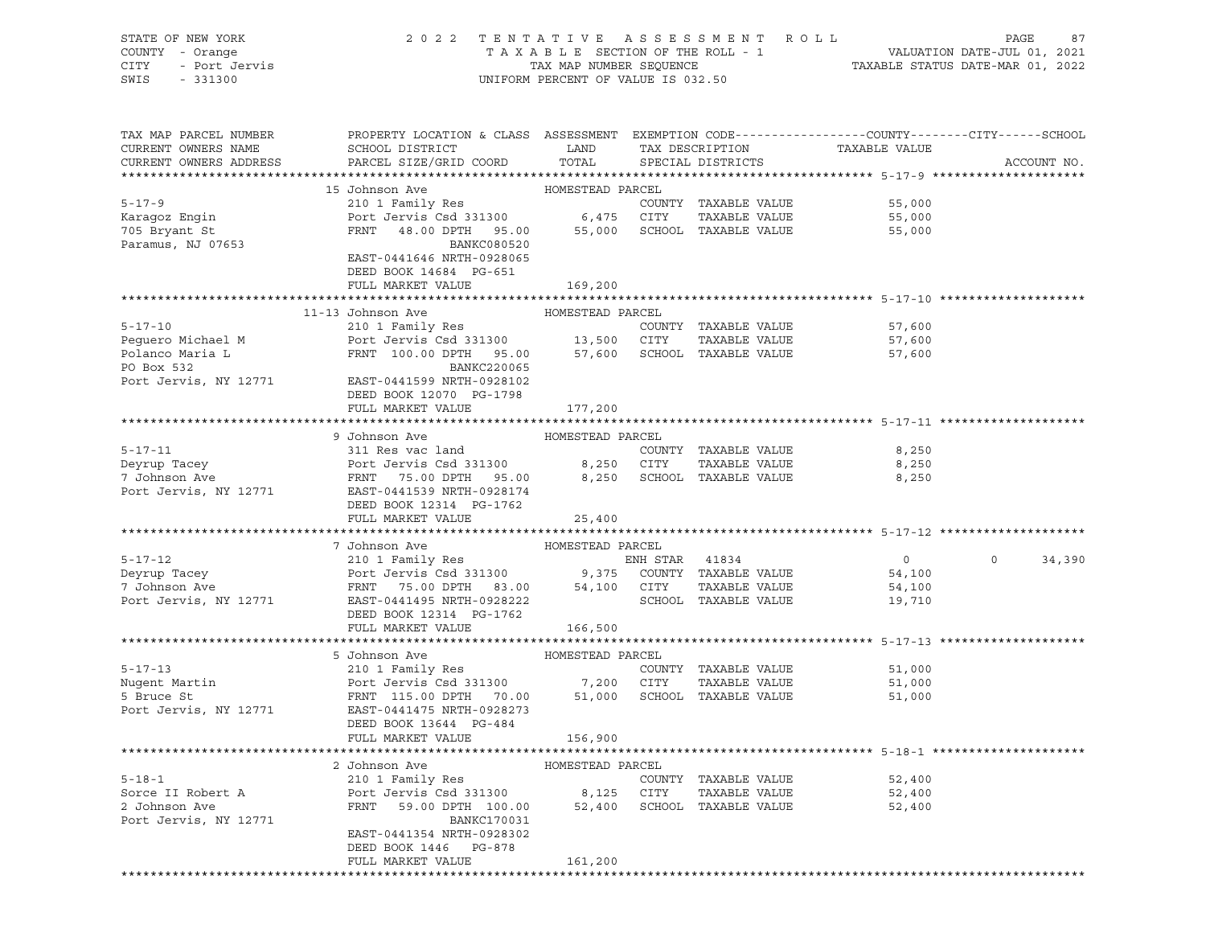| STATE OF NEW YORK<br>COUNTY - Orange<br>CITY<br>- Port Jervis<br>SWIS<br>$-331300$ | 2022 TENTATIVE ASSESSMENT ROLL                                                                   | UNIFORM PERCENT OF VALUE IS 032.50 |                |                             |                               | 87<br>PAGE        |
|------------------------------------------------------------------------------------|--------------------------------------------------------------------------------------------------|------------------------------------|----------------|-----------------------------|-------------------------------|-------------------|
| TAX MAP PARCEL NUMBER                                                              | PROPERTY LOCATION & CLASS ASSESSMENT EXEMPTION CODE----------------COUNTY-------CITY------SCHOOL |                                    |                |                             |                               |                   |
| CURRENT OWNERS NAME<br>CURRENT OWNERS ADDRESS                                      | SCHOOL DISTRICT<br>PARCEL SIZE/GRID COORD                                                        | LAND<br>TOTAL                      |                | SPECIAL DISTRICTS           | TAX DESCRIPTION TAXABLE VALUE | ACCOUNT NO.       |
|                                                                                    |                                                                                                  |                                    |                |                             |                               |                   |
|                                                                                    | 15 Johnson Ave                                                                                   | HOMESTEAD PARCEL                   |                |                             |                               |                   |
| $5 - 17 - 9$                                                                       | 210 1 Family Res                                                                                 |                                    |                | COUNTY TAXABLE VALUE        | 55,000                        |                   |
| Karagoz Engin                                                                      | Port Jervis Csd 331300 6,475 CITY                                                                |                                    |                | TAXABLE VALUE               | 55,000                        |                   |
| 705 Bryant St                                                                      | FRNT 48.00 DPTH 95.00                                                                            |                                    |                | 55,000 SCHOOL TAXABLE VALUE | 55,000                        |                   |
| Paramus, NJ 07653                                                                  | <b>BANKC080520</b>                                                                               |                                    |                |                             |                               |                   |
|                                                                                    | EAST-0441646 NRTH-0928065                                                                        |                                    |                |                             |                               |                   |
|                                                                                    | DEED BOOK 14684 PG-651<br>FULL MARKET VALUE                                                      | 169,200                            |                |                             |                               |                   |
|                                                                                    |                                                                                                  |                                    |                |                             |                               |                   |
|                                                                                    | 11-13 Johnson Ave                                                                                | HOMESTEAD PARCEL                   |                |                             |                               |                   |
| $5 - 17 - 10$                                                                      | 210 1 Family Res                                                                                 |                                    |                | COUNTY TAXABLE VALUE        | 57,600                        |                   |
| Pequero Michael M                                                                  | Port Jervis Csd 331300 13,500 CITY<br>FRNT 100.00 DPTH 95.00 57,600 SCHOOL                       |                                    |                | TAXABLE VALUE               | 57,600                        |                   |
| Polanco Maria L                                                                    | FRNT 100.00 DPTH 95.00                                                                           |                                    |                | 57,600 SCHOOL TAXABLE VALUE | 57,600                        |                   |
| PO Box 532                                                                         | BANKC220065                                                                                      |                                    |                |                             |                               |                   |
| Port Jervis, NY 12771                                                              | EAST-0441599 NRTH-0928102                                                                        |                                    |                |                             |                               |                   |
|                                                                                    | DEED BOOK 12070 PG-1798                                                                          |                                    |                |                             |                               |                   |
|                                                                                    | FULL MARKET VALUE                                                                                | 177,200                            |                |                             |                               |                   |
|                                                                                    |                                                                                                  |                                    |                |                             |                               |                   |
| $5 - 17 - 11$                                                                      | 9 Johnson Ave                                                                                    | HOMESTEAD PARCEL                   |                | COUNTY TAXABLE VALUE        |                               |                   |
| Deyrup Tacey                                                                       | 311 Res vac land<br>Port Jervis Csd 331300 8,250 CITY                                            |                                    |                | TAXABLE VALUE               | 8,250<br>8,250                |                   |
| 7 Johnson Ave                                                                      | FRNT 75.00 DPTH 95.00 8,250 SCHOOL TAXABLE VALUE                                                 |                                    |                |                             | 8,250                         |                   |
| Port Jervis, NY 12771                                                              | EAST-0441539 NRTH-0928174                                                                        |                                    |                |                             |                               |                   |
|                                                                                    | DEED BOOK 12314 PG-1762                                                                          |                                    |                |                             |                               |                   |
|                                                                                    | FULL MARKET VALUE                                                                                | 25,400                             |                |                             |                               |                   |
|                                                                                    |                                                                                                  |                                    |                |                             |                               |                   |
|                                                                                    | 7 Johnson Ave                                                                                    | HOMESTEAD PARCEL                   |                |                             |                               |                   |
| $5 - 17 - 12$                                                                      | 210 1 Family Res                                                                                 |                                    | ENH STAR 41834 |                             | $\overline{0}$                | $\circ$<br>34,390 |
| Deyrup Tacey                                                                       | Port Jervis Csd 331300 9,375 COUNTY TAXABLE VALUE                                                |                                    |                |                             | 54,100                        |                   |
| 7 Johnson Ave                                                                      | FRNT 75.00 DPTH 83.00                                                                            |                                    | 54,100 CITY    | TAXABLE VALUE               | 54,100                        |                   |
| Port Jervis, NY 12771                                                              | EAST-0441495 NRTH-0928222                                                                        |                                    |                | SCHOOL TAXABLE VALUE        | 19,710                        |                   |
|                                                                                    | DEED BOOK 12314 PG-1762<br>FULL MARKET VALUE                                                     | 166,500                            |                |                             |                               |                   |
|                                                                                    |                                                                                                  |                                    |                |                             |                               |                   |
|                                                                                    | 5 Johnson Ave                                                                                    | HOMESTEAD PARCEL                   |                |                             |                               |                   |
| $5 - 17 - 13$                                                                      | 210 1 Family Res                                                                                 |                                    |                | COUNTY TAXABLE VALUE        | 51,000                        |                   |
| Nugent Martin                                                                      | Port Jervis Csd 331300 7,200 CITY                                                                |                                    |                | TAXABLE VALUE               | 51,000                        |                   |
| 5 Bruce St                                                                         | FRNT 115.00 DPTH 70.00                                                                           | 51,000                             |                | SCHOOL TAXABLE VALUE        | 51,000                        |                   |
| Port Jervis, NY 12771                                                              | EAST-0441475 NRTH-0928273                                                                        |                                    |                |                             |                               |                   |
|                                                                                    | DEED BOOK 13644 PG-484                                                                           |                                    |                |                             |                               |                   |
|                                                                                    | FULL MARKET VALUE                                                                                | 156,900                            |                |                             |                               |                   |
|                                                                                    |                                                                                                  |                                    |                |                             |                               |                   |
| $5 - 18 - 1$                                                                       | 2 Johnson Ave<br>210 1 Family Res                                                                | HOMESTEAD PARCEL                   |                | COUNTY TAXABLE VALUE        | 52,400                        |                   |
| Sorce II Robert A                                                                  | Port Jervis Csd 331300                                                                           | 8,125                              | CITY           | TAXABLE VALUE               | 52,400                        |                   |
| 2 Johnson Ave                                                                      | FRNT<br>59.00 DPTH 100.00                                                                        | 52,400                             |                | SCHOOL TAXABLE VALUE        | 52,400                        |                   |
| Port Jervis, NY 12771                                                              | <b>BANKC170031</b>                                                                               |                                    |                |                             |                               |                   |
|                                                                                    | EAST-0441354 NRTH-0928302                                                                        |                                    |                |                             |                               |                   |
|                                                                                    | DEED BOOK 1446<br>PG-878                                                                         |                                    |                |                             |                               |                   |
|                                                                                    | FULL MARKET VALUE                                                                                | 161,200                            |                |                             |                               |                   |
|                                                                                    |                                                                                                  |                                    |                |                             |                               |                   |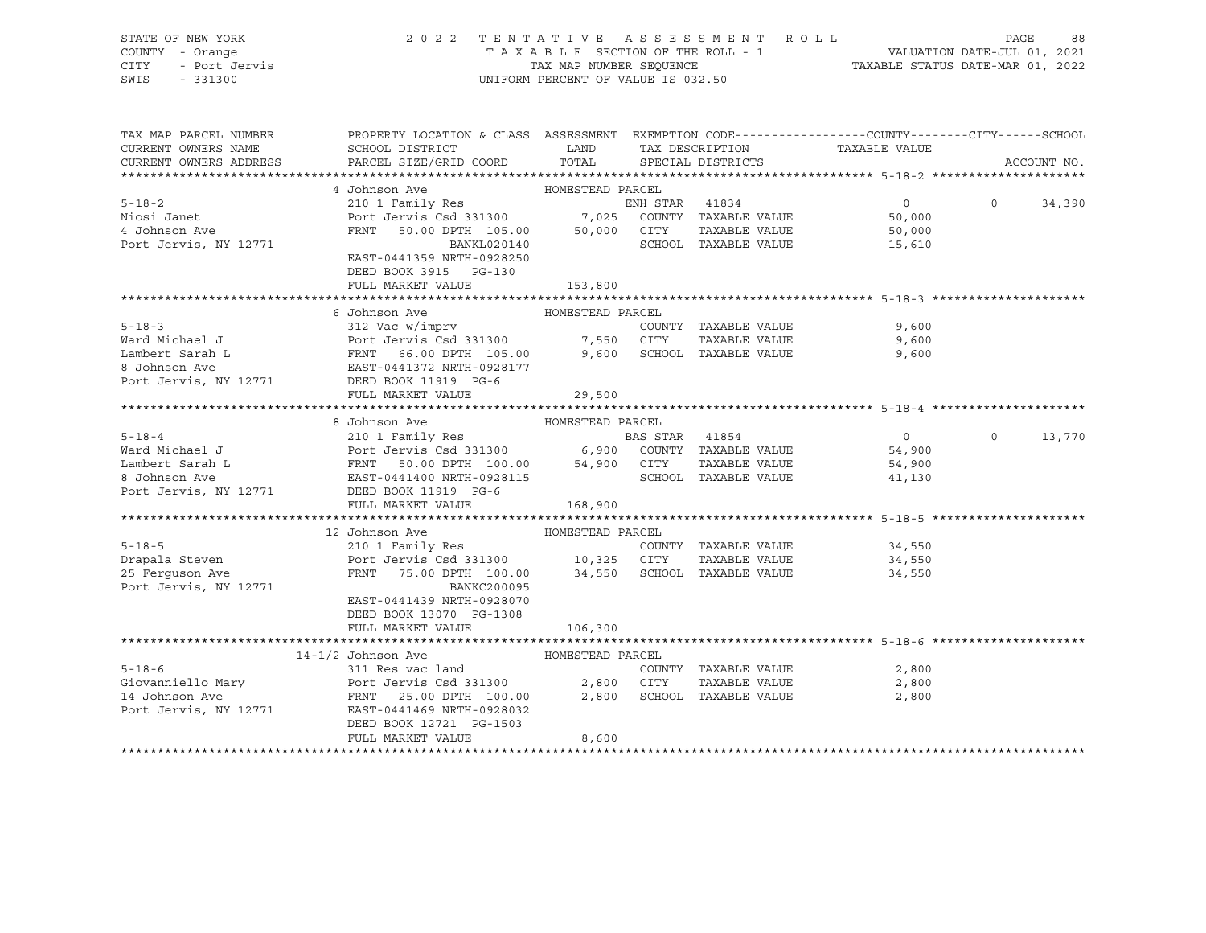| STATE OF NEW YORK<br>COUNTY - Orange<br>OF NEW TURN<br>7 - Orange<br>- Port Jervis<br>1000<br>CITY<br>SWIS | 2022 TENTATIVE ASSESSMENT ROLL                                                                                                                                                                                                                 | UNIFORM PERCENT OF VALUE IS 032.50 |                      |                | PAGE     | 88          |
|------------------------------------------------------------------------------------------------------------|------------------------------------------------------------------------------------------------------------------------------------------------------------------------------------------------------------------------------------------------|------------------------------------|----------------------|----------------|----------|-------------|
| TAX MAP PARCEL NUMBER<br>CURRENT OWNERS NAME                                                               | PROPERTY LOCATION & CLASS ASSESSMENT EXEMPTION CODE---------------COUNTY-------CITY------SCHOOL                                                                                                                                                |                                    | TAX DESCRIPTION      | TAXABLE VALUE  |          |             |
| CURRENT OWNERS ADDRESS                                                                                     |                                                                                                                                                                                                                                                |                                    | SPECIAL DISTRICTS    |                |          | ACCOUNT NO. |
|                                                                                                            | 4 Johnson Ave                                                                                                                                                                                                                                  | HOMESTEAD PARCEL                   |                      |                |          |             |
| $5 - 18 - 2$                                                                                               | 210 1 Family Res                                                                                                                                                                                                                               | ENH STAR 41834                     |                      | 0              | $\Omega$ | 34,390      |
| Niosi Janet                                                                                                | Port Jervis Csd 331300 7,025 COUNTY TAXABLE VALUE<br>FRNT 50.00 DPTH 105.00 50,000 CITY TAXABLE VALUE                                                                                                                                          |                                    |                      | 50,000         |          |             |
| 4 Johnson Ave                                                                                              |                                                                                                                                                                                                                                                |                                    |                      | 50,000         |          |             |
| Port Jervis, NY 12771                                                                                      | BANKL020140                                                                                                                                                                                                                                    |                                    | SCHOOL TAXABLE VALUE | 15,610         |          |             |
|                                                                                                            | EAST-0441359 NRTH-0928250                                                                                                                                                                                                                      |                                    |                      |                |          |             |
|                                                                                                            | DEED BOOK 3915 PG-130                                                                                                                                                                                                                          |                                    |                      |                |          |             |
|                                                                                                            | FULL MARKET VALUE                                                                                                                                                                                                                              | 153,800                            |                      |                |          |             |
|                                                                                                            |                                                                                                                                                                                                                                                |                                    |                      |                |          |             |
|                                                                                                            | 6 Johnson Ave                                                                                                                                                                                                                                  | HOMESTEAD PARCEL                   |                      |                |          |             |
| $5 - 18 - 3$                                                                                               | 312 Vac w/imprv                                                                                                                                                                                                                                |                                    | COUNTY TAXABLE VALUE | 9,600          |          |             |
|                                                                                                            |                                                                                                                                                                                                                                                |                                    |                      | 9,600          |          |             |
|                                                                                                            |                                                                                                                                                                                                                                                |                                    |                      | 9,600          |          |             |
|                                                                                                            | Port Jervis, NY 12771 DEED BOOK 11919 PG-6                                                                                                                                                                                                     |                                    |                      |                |          |             |
|                                                                                                            | FULL MARKET VALUE                                                                                                                                                                                                                              | 29,500                             |                      |                |          |             |
|                                                                                                            |                                                                                                                                                                                                                                                |                                    |                      |                |          |             |
|                                                                                                            | 8 Johnson Ave                                                                                                                                                                                                                                  | HOMESTEAD PARCEL                   |                      |                |          |             |
| $5 - 18 - 4$                                                                                               | 210 1 Family Res                                                                                                                                                                                                                               | <b>BAS STAR 41854</b>              |                      | $\overline{0}$ | $\Omega$ | 13,770      |
|                                                                                                            |                                                                                                                                                                                                                                                |                                    |                      | 54,900         |          |             |
|                                                                                                            |                                                                                                                                                                                                                                                |                                    |                      | 54,900         |          |             |
|                                                                                                            | 5-18-4<br>Ward Michael J<br>Ward Michael J<br>Lambert Sarah L<br>ERNT 50.00 DPTH 100.00 54,900 COUNTY TAXABLE VALUE<br>8 Johnson Ave EAST-0441400 NRTH-0928115<br>Port Jervis, NY 12771 DEED BOOK 11919 PG-6<br>EAST-0441400 NRTH-0928115<br>P |                                    |                      | 41,130         |          |             |
|                                                                                                            |                                                                                                                                                                                                                                                |                                    |                      |                |          |             |
|                                                                                                            | FULL MARKET VALUE                                                                                                                                                                                                                              | 168,900                            |                      |                |          |             |
|                                                                                                            |                                                                                                                                                                                                                                                |                                    |                      |                |          |             |
|                                                                                                            | 12 Johnson Ave                                                                                                                                                                                                                                 | HOMESTEAD PARCEL                   |                      |                |          |             |
| $5 - 18 - 5$                                                                                               | 210 1 Family Res                                                                                                                                                                                                                               |                                    | COUNTY TAXABLE VALUE | 34,550         |          |             |
| Drapala Steven                                                                                             | Port Jervis Csd 331300 10,325 CITY                                                                                                                                                                                                             |                                    | TAXABLE VALUE        | 34,550         |          |             |
| 25 Ferguson Ave<br>Port Jervis, NY 12771                                                                   | FRNT 75.00 DPTH 100.00 34,550 SCHOOL TAXABLE VALUE<br>BANKC200095                                                                                                                                                                              |                                    |                      | 34,550         |          |             |
|                                                                                                            | EAST-0441439 NRTH-0928070                                                                                                                                                                                                                      |                                    |                      |                |          |             |
|                                                                                                            | DEED BOOK 13070 PG-1308                                                                                                                                                                                                                        |                                    |                      |                |          |             |
|                                                                                                            | FULL MARKET VALUE                                                                                                                                                                                                                              | 106,300                            |                      |                |          |             |
|                                                                                                            |                                                                                                                                                                                                                                                |                                    |                      |                |          |             |
|                                                                                                            | 14-1/2 Johnson Ave                                                                                                                                                                                                                             | HOMESTEAD PARCEL                   |                      |                |          |             |
| $5 - 18 - 6$                                                                                               | 311 Res vac land                                                                                                                                                                                                                               |                                    | COUNTY TAXABLE VALUE | 2,800          |          |             |
|                                                                                                            |                                                                                                                                                                                                                                                |                                    | TAXABLE VALUE        | 2,800          |          |             |
|                                                                                                            |                                                                                                                                                                                                                                                |                                    |                      | 2,800          |          |             |
| Port Jervis, NY 12771                                                                                      | EAST-0441469 NRTH-0928032                                                                                                                                                                                                                      |                                    |                      |                |          |             |
|                                                                                                            | DEED BOOK 12721 PG-1503                                                                                                                                                                                                                        |                                    |                      |                |          |             |
|                                                                                                            | FULL MARKET VALUE                                                                                                                                                                                                                              | 8,600                              |                      |                |          |             |
|                                                                                                            |                                                                                                                                                                                                                                                |                                    |                      |                |          |             |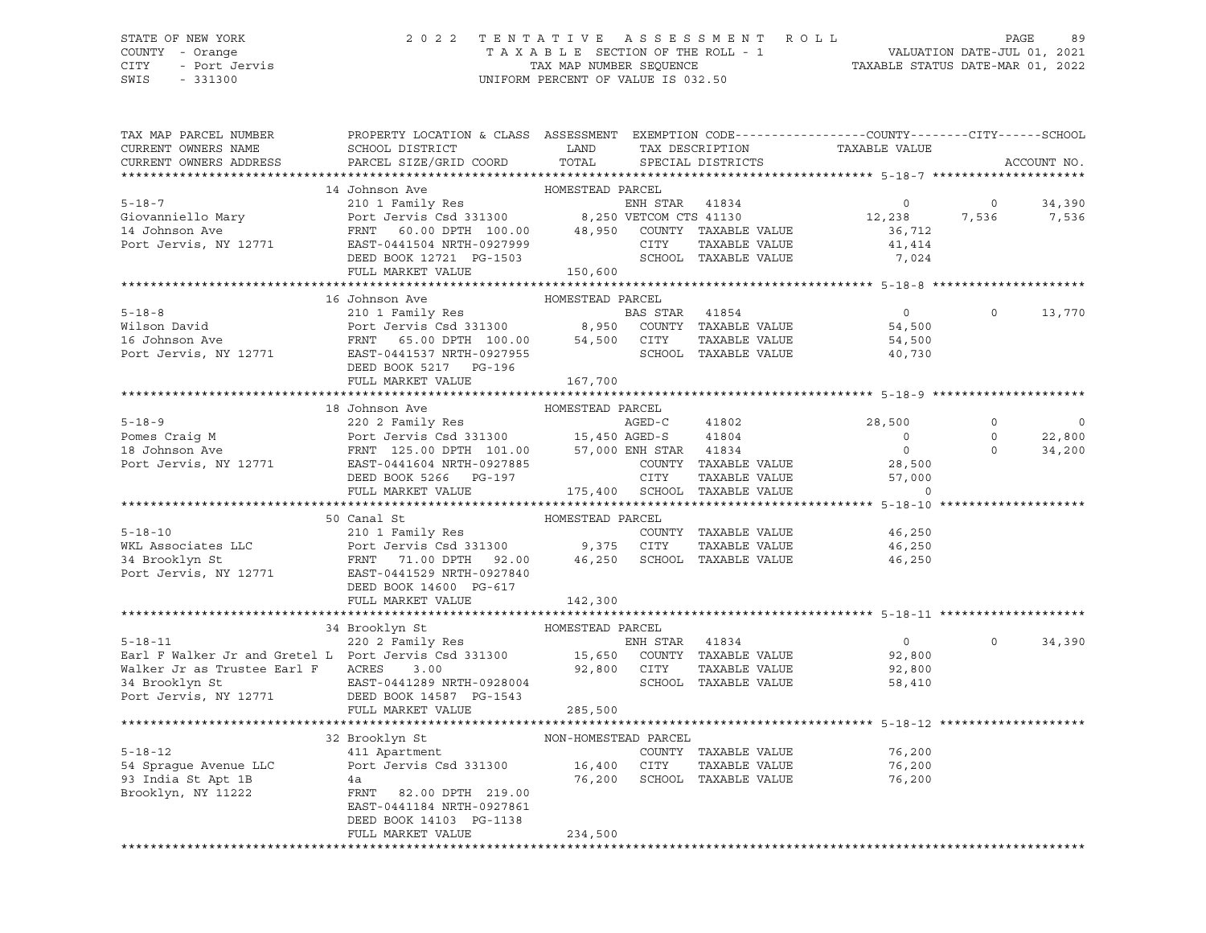#### STATE OF NEW YORK 2 0 2 2 T E N T A T I V E A S S E S S M E N T R O L L PAGE 89 COUNTY - Orange T A X A B L E SECTION OF THE ROLL - 1 VALUATION DATE-JUL 01, 2021

CITY - Port Jervis TAX MAP NUMBER SEQUENCE TAXABLE STATUS DATE-MAR 01, 2022

| TAX DESCRIPTION TAXABLE VALUE SPECIAL DISTRICTS<br>PARCEL SIZE/GRID COORD<br>CURRENT OWNERS ADDRESS<br>ACCOUNT NO.<br>14 Johnson Ave<br>HOMESTEAD PARCEL<br>310 1 Family Res (1993)<br>210 1 Family Res (2013)<br>210 1 Family Res (2013)<br>217 EAST -0441504 NRTH-0927999 (2017 TAXABLE VALUE 36,712<br>2238 FRNT 60.00 DPTH 100.00 48,950 COUNTY TAXABLE VALUE 36,712<br>238 EAST-0441504 NRTH-09<br>$5 - 18 - 7$<br>$0 \t34,390$<br>12,238 7,536 7,536<br>Giovanniello Mary<br>14 Johnson Ave<br>Port Jervis, NY 12771<br>HOMESTEAD PARCEL<br>16 Johnson Ave<br>5-18-8<br>Wilson David Port Jervis Csd 331300<br>FRNT 65.00 DPTH 100.00 54,500 COUNTY TAXABLE VALUE<br>Port Jervis, NY 12771 EAST-0441537 NRTH-0927955<br>DEED BOOK 5217 PG-196<br>PORED BOOK 5217 PG-196<br>$\overline{0}$<br>$\circ$<br>13,770<br>54,500<br>54,500<br>40,730<br>EAST-0441537 NAMES - 2007<br>DEED BOOK 5217 PG-196<br>------ ******FF 167,700<br>18 Johnson Ave<br>$\Omega$<br>$\Omega$<br>9<br>Pomes Craig M<br>220 2 Family Res<br>Port Jervis Csd 331300<br>FRNT 125.00 DPTH 101.00<br>FRNT 125.00 DPTH 101.00<br>57,000 ENH STAR 41834<br>28,500<br>DEED BOOK 5266<br>DEED BOOK 5266<br>PORT TAXABLE VALUE<br>28,500<br>DEED BOOK 5266<br>PORT<br>$\begin{matrix} 0 \\ 0 \end{matrix}$<br>22,800<br>34,200<br>HOMESTEAD PARCEL<br>50 Canal St<br>210 1 Family Res<br>Port Jervis Csd 331300 9,375 CITY TAXABLE VALUE<br>FRNT 71.00 DPTH 92.00 46,250 SCHOOL TAXABLE VALUE<br>$5 - 18 - 10$<br>46,250<br>WKL Associates LLC<br>46,250<br>34 Brooklyn St<br>Port Jervis, NY 12771 EAST-0441529 NRTH-0927840<br>46,250<br>DEED BOOK 14600 PG-617<br>FULL MARKET VALUE<br>142,300<br>HOMESTEAD PARCEL<br>$\begin{tabular}{lllllllllll} \multicolumn{1.0cm}{0.0cm} \multicolumn{1.0cm}{0.0cm} \multicolumn{1.0cm}{0.0cm} \multicolumn{1.0cm}{0.0cm} \multicolumn{1.0cm}{0.0cm} \multicolumn{1.0cm}{0.0cm} \multicolumn{1.0cm}{0.0cm} \multicolumn{1.0cm}{0.0cm} \multicolumn{1.0cm}{0.0cm} \multicolumn{1.0cm}{0.0cm} \multicolumn{1.0cm}{0.0cm} \multicolumn{1.0cm}{0.0cm} \multicolumn{1.0cm}{0.0cm} \multicolumn{1.0cm}{0.$<br>$\overline{0}$<br>$\Omega$<br>34,390<br>92,800<br>92,800<br>58,410<br>Port Jervis, NY 12771 DEED BOOK 14587 PG-1543<br>285,500<br>FULL MARKET VALUE<br>32 Brooklyn St<br>$5 - 18 - 12$<br>COUNTY TAXABLE VALUE 76,200<br>Port Jervis Csd 331300 16,400 CITY<br>54 Sprague Avenue LLC<br>93 India St Apt 1B<br>-<br>TAXABLE VALUE<br>76,200<br>76,200 SCHOOL TAXABLE VALUE<br>76,200<br>4a<br>FRNT 82.00 DPTH 219.00<br>Brooklyn, NY 11222<br>EAST-0441184 NRTH-0927861<br>DEED BOOK 14103 PG-1138<br>234,500<br>FULL MARKET VALUE<br>******************************* | TAX MAP PARCEL NUMBER<br>CURRENT OWNERS NAME | PROPERTY LOCATION & CLASS ASSESSMENT EXEMPTION CODE---------------COUNTY-------CITY------SCHOOL<br>SCHOOL DISTRICT LAND |       |  |  |  |
|---------------------------------------------------------------------------------------------------------------------------------------------------------------------------------------------------------------------------------------------------------------------------------------------------------------------------------------------------------------------------------------------------------------------------------------------------------------------------------------------------------------------------------------------------------------------------------------------------------------------------------------------------------------------------------------------------------------------------------------------------------------------------------------------------------------------------------------------------------------------------------------------------------------------------------------------------------------------------------------------------------------------------------------------------------------------------------------------------------------------------------------------------------------------------------------------------------------------------------------------------------------------------------------------------------------------------------------------------------------------------------------------------------------------------------------------------------------------------------------------------------------------------------------------------------------------------------------------------------------------------------------------------------------------------------------------------------------------------------------------------------------------------------------------------------------------------------------------------------------------------------------------------------------------------------------------------------------------------------------------------------------------------------------------------------------------------------------------------------------------------------------------------------------------------------------------------------------------------------------------------------------------------------------------------------------------------------------------------------------------------------------------------------------------------------------------------------------------------------------------------------------------------------------------------------------------------------------------------------------------------------------------------------------------------------------------|----------------------------------------------|-------------------------------------------------------------------------------------------------------------------------|-------|--|--|--|
|                                                                                                                                                                                                                                                                                                                                                                                                                                                                                                                                                                                                                                                                                                                                                                                                                                                                                                                                                                                                                                                                                                                                                                                                                                                                                                                                                                                                                                                                                                                                                                                                                                                                                                                                                                                                                                                                                                                                                                                                                                                                                                                                                                                                                                                                                                                                                                                                                                                                                                                                                                                                                                                                                             |                                              |                                                                                                                         | TOTAL |  |  |  |
|                                                                                                                                                                                                                                                                                                                                                                                                                                                                                                                                                                                                                                                                                                                                                                                                                                                                                                                                                                                                                                                                                                                                                                                                                                                                                                                                                                                                                                                                                                                                                                                                                                                                                                                                                                                                                                                                                                                                                                                                                                                                                                                                                                                                                                                                                                                                                                                                                                                                                                                                                                                                                                                                                             |                                              |                                                                                                                         |       |  |  |  |
|                                                                                                                                                                                                                                                                                                                                                                                                                                                                                                                                                                                                                                                                                                                                                                                                                                                                                                                                                                                                                                                                                                                                                                                                                                                                                                                                                                                                                                                                                                                                                                                                                                                                                                                                                                                                                                                                                                                                                                                                                                                                                                                                                                                                                                                                                                                                                                                                                                                                                                                                                                                                                                                                                             |                                              |                                                                                                                         |       |  |  |  |
|                                                                                                                                                                                                                                                                                                                                                                                                                                                                                                                                                                                                                                                                                                                                                                                                                                                                                                                                                                                                                                                                                                                                                                                                                                                                                                                                                                                                                                                                                                                                                                                                                                                                                                                                                                                                                                                                                                                                                                                                                                                                                                                                                                                                                                                                                                                                                                                                                                                                                                                                                                                                                                                                                             |                                              |                                                                                                                         |       |  |  |  |
|                                                                                                                                                                                                                                                                                                                                                                                                                                                                                                                                                                                                                                                                                                                                                                                                                                                                                                                                                                                                                                                                                                                                                                                                                                                                                                                                                                                                                                                                                                                                                                                                                                                                                                                                                                                                                                                                                                                                                                                                                                                                                                                                                                                                                                                                                                                                                                                                                                                                                                                                                                                                                                                                                             |                                              |                                                                                                                         |       |  |  |  |
|                                                                                                                                                                                                                                                                                                                                                                                                                                                                                                                                                                                                                                                                                                                                                                                                                                                                                                                                                                                                                                                                                                                                                                                                                                                                                                                                                                                                                                                                                                                                                                                                                                                                                                                                                                                                                                                                                                                                                                                                                                                                                                                                                                                                                                                                                                                                                                                                                                                                                                                                                                                                                                                                                             |                                              |                                                                                                                         |       |  |  |  |
|                                                                                                                                                                                                                                                                                                                                                                                                                                                                                                                                                                                                                                                                                                                                                                                                                                                                                                                                                                                                                                                                                                                                                                                                                                                                                                                                                                                                                                                                                                                                                                                                                                                                                                                                                                                                                                                                                                                                                                                                                                                                                                                                                                                                                                                                                                                                                                                                                                                                                                                                                                                                                                                                                             |                                              |                                                                                                                         |       |  |  |  |
|                                                                                                                                                                                                                                                                                                                                                                                                                                                                                                                                                                                                                                                                                                                                                                                                                                                                                                                                                                                                                                                                                                                                                                                                                                                                                                                                                                                                                                                                                                                                                                                                                                                                                                                                                                                                                                                                                                                                                                                                                                                                                                                                                                                                                                                                                                                                                                                                                                                                                                                                                                                                                                                                                             |                                              |                                                                                                                         |       |  |  |  |
|                                                                                                                                                                                                                                                                                                                                                                                                                                                                                                                                                                                                                                                                                                                                                                                                                                                                                                                                                                                                                                                                                                                                                                                                                                                                                                                                                                                                                                                                                                                                                                                                                                                                                                                                                                                                                                                                                                                                                                                                                                                                                                                                                                                                                                                                                                                                                                                                                                                                                                                                                                                                                                                                                             |                                              |                                                                                                                         |       |  |  |  |
|                                                                                                                                                                                                                                                                                                                                                                                                                                                                                                                                                                                                                                                                                                                                                                                                                                                                                                                                                                                                                                                                                                                                                                                                                                                                                                                                                                                                                                                                                                                                                                                                                                                                                                                                                                                                                                                                                                                                                                                                                                                                                                                                                                                                                                                                                                                                                                                                                                                                                                                                                                                                                                                                                             |                                              |                                                                                                                         |       |  |  |  |
|                                                                                                                                                                                                                                                                                                                                                                                                                                                                                                                                                                                                                                                                                                                                                                                                                                                                                                                                                                                                                                                                                                                                                                                                                                                                                                                                                                                                                                                                                                                                                                                                                                                                                                                                                                                                                                                                                                                                                                                                                                                                                                                                                                                                                                                                                                                                                                                                                                                                                                                                                                                                                                                                                             |                                              |                                                                                                                         |       |  |  |  |
|                                                                                                                                                                                                                                                                                                                                                                                                                                                                                                                                                                                                                                                                                                                                                                                                                                                                                                                                                                                                                                                                                                                                                                                                                                                                                                                                                                                                                                                                                                                                                                                                                                                                                                                                                                                                                                                                                                                                                                                                                                                                                                                                                                                                                                                                                                                                                                                                                                                                                                                                                                                                                                                                                             |                                              |                                                                                                                         |       |  |  |  |
|                                                                                                                                                                                                                                                                                                                                                                                                                                                                                                                                                                                                                                                                                                                                                                                                                                                                                                                                                                                                                                                                                                                                                                                                                                                                                                                                                                                                                                                                                                                                                                                                                                                                                                                                                                                                                                                                                                                                                                                                                                                                                                                                                                                                                                                                                                                                                                                                                                                                                                                                                                                                                                                                                             |                                              |                                                                                                                         |       |  |  |  |
|                                                                                                                                                                                                                                                                                                                                                                                                                                                                                                                                                                                                                                                                                                                                                                                                                                                                                                                                                                                                                                                                                                                                                                                                                                                                                                                                                                                                                                                                                                                                                                                                                                                                                                                                                                                                                                                                                                                                                                                                                                                                                                                                                                                                                                                                                                                                                                                                                                                                                                                                                                                                                                                                                             |                                              |                                                                                                                         |       |  |  |  |
|                                                                                                                                                                                                                                                                                                                                                                                                                                                                                                                                                                                                                                                                                                                                                                                                                                                                                                                                                                                                                                                                                                                                                                                                                                                                                                                                                                                                                                                                                                                                                                                                                                                                                                                                                                                                                                                                                                                                                                                                                                                                                                                                                                                                                                                                                                                                                                                                                                                                                                                                                                                                                                                                                             |                                              |                                                                                                                         |       |  |  |  |
|                                                                                                                                                                                                                                                                                                                                                                                                                                                                                                                                                                                                                                                                                                                                                                                                                                                                                                                                                                                                                                                                                                                                                                                                                                                                                                                                                                                                                                                                                                                                                                                                                                                                                                                                                                                                                                                                                                                                                                                                                                                                                                                                                                                                                                                                                                                                                                                                                                                                                                                                                                                                                                                                                             |                                              |                                                                                                                         |       |  |  |  |
|                                                                                                                                                                                                                                                                                                                                                                                                                                                                                                                                                                                                                                                                                                                                                                                                                                                                                                                                                                                                                                                                                                                                                                                                                                                                                                                                                                                                                                                                                                                                                                                                                                                                                                                                                                                                                                                                                                                                                                                                                                                                                                                                                                                                                                                                                                                                                                                                                                                                                                                                                                                                                                                                                             |                                              |                                                                                                                         |       |  |  |  |
|                                                                                                                                                                                                                                                                                                                                                                                                                                                                                                                                                                                                                                                                                                                                                                                                                                                                                                                                                                                                                                                                                                                                                                                                                                                                                                                                                                                                                                                                                                                                                                                                                                                                                                                                                                                                                                                                                                                                                                                                                                                                                                                                                                                                                                                                                                                                                                                                                                                                                                                                                                                                                                                                                             |                                              |                                                                                                                         |       |  |  |  |
|                                                                                                                                                                                                                                                                                                                                                                                                                                                                                                                                                                                                                                                                                                                                                                                                                                                                                                                                                                                                                                                                                                                                                                                                                                                                                                                                                                                                                                                                                                                                                                                                                                                                                                                                                                                                                                                                                                                                                                                                                                                                                                                                                                                                                                                                                                                                                                                                                                                                                                                                                                                                                                                                                             |                                              |                                                                                                                         |       |  |  |  |
|                                                                                                                                                                                                                                                                                                                                                                                                                                                                                                                                                                                                                                                                                                                                                                                                                                                                                                                                                                                                                                                                                                                                                                                                                                                                                                                                                                                                                                                                                                                                                                                                                                                                                                                                                                                                                                                                                                                                                                                                                                                                                                                                                                                                                                                                                                                                                                                                                                                                                                                                                                                                                                                                                             |                                              |                                                                                                                         |       |  |  |  |
|                                                                                                                                                                                                                                                                                                                                                                                                                                                                                                                                                                                                                                                                                                                                                                                                                                                                                                                                                                                                                                                                                                                                                                                                                                                                                                                                                                                                                                                                                                                                                                                                                                                                                                                                                                                                                                                                                                                                                                                                                                                                                                                                                                                                                                                                                                                                                                                                                                                                                                                                                                                                                                                                                             |                                              |                                                                                                                         |       |  |  |  |
|                                                                                                                                                                                                                                                                                                                                                                                                                                                                                                                                                                                                                                                                                                                                                                                                                                                                                                                                                                                                                                                                                                                                                                                                                                                                                                                                                                                                                                                                                                                                                                                                                                                                                                                                                                                                                                                                                                                                                                                                                                                                                                                                                                                                                                                                                                                                                                                                                                                                                                                                                                                                                                                                                             |                                              |                                                                                                                         |       |  |  |  |
|                                                                                                                                                                                                                                                                                                                                                                                                                                                                                                                                                                                                                                                                                                                                                                                                                                                                                                                                                                                                                                                                                                                                                                                                                                                                                                                                                                                                                                                                                                                                                                                                                                                                                                                                                                                                                                                                                                                                                                                                                                                                                                                                                                                                                                                                                                                                                                                                                                                                                                                                                                                                                                                                                             |                                              |                                                                                                                         |       |  |  |  |
|                                                                                                                                                                                                                                                                                                                                                                                                                                                                                                                                                                                                                                                                                                                                                                                                                                                                                                                                                                                                                                                                                                                                                                                                                                                                                                                                                                                                                                                                                                                                                                                                                                                                                                                                                                                                                                                                                                                                                                                                                                                                                                                                                                                                                                                                                                                                                                                                                                                                                                                                                                                                                                                                                             |                                              |                                                                                                                         |       |  |  |  |
|                                                                                                                                                                                                                                                                                                                                                                                                                                                                                                                                                                                                                                                                                                                                                                                                                                                                                                                                                                                                                                                                                                                                                                                                                                                                                                                                                                                                                                                                                                                                                                                                                                                                                                                                                                                                                                                                                                                                                                                                                                                                                                                                                                                                                                                                                                                                                                                                                                                                                                                                                                                                                                                                                             |                                              |                                                                                                                         |       |  |  |  |
|                                                                                                                                                                                                                                                                                                                                                                                                                                                                                                                                                                                                                                                                                                                                                                                                                                                                                                                                                                                                                                                                                                                                                                                                                                                                                                                                                                                                                                                                                                                                                                                                                                                                                                                                                                                                                                                                                                                                                                                                                                                                                                                                                                                                                                                                                                                                                                                                                                                                                                                                                                                                                                                                                             |                                              |                                                                                                                         |       |  |  |  |
|                                                                                                                                                                                                                                                                                                                                                                                                                                                                                                                                                                                                                                                                                                                                                                                                                                                                                                                                                                                                                                                                                                                                                                                                                                                                                                                                                                                                                                                                                                                                                                                                                                                                                                                                                                                                                                                                                                                                                                                                                                                                                                                                                                                                                                                                                                                                                                                                                                                                                                                                                                                                                                                                                             |                                              |                                                                                                                         |       |  |  |  |
|                                                                                                                                                                                                                                                                                                                                                                                                                                                                                                                                                                                                                                                                                                                                                                                                                                                                                                                                                                                                                                                                                                                                                                                                                                                                                                                                                                                                                                                                                                                                                                                                                                                                                                                                                                                                                                                                                                                                                                                                                                                                                                                                                                                                                                                                                                                                                                                                                                                                                                                                                                                                                                                                                             |                                              |                                                                                                                         |       |  |  |  |
|                                                                                                                                                                                                                                                                                                                                                                                                                                                                                                                                                                                                                                                                                                                                                                                                                                                                                                                                                                                                                                                                                                                                                                                                                                                                                                                                                                                                                                                                                                                                                                                                                                                                                                                                                                                                                                                                                                                                                                                                                                                                                                                                                                                                                                                                                                                                                                                                                                                                                                                                                                                                                                                                                             |                                              |                                                                                                                         |       |  |  |  |
|                                                                                                                                                                                                                                                                                                                                                                                                                                                                                                                                                                                                                                                                                                                                                                                                                                                                                                                                                                                                                                                                                                                                                                                                                                                                                                                                                                                                                                                                                                                                                                                                                                                                                                                                                                                                                                                                                                                                                                                                                                                                                                                                                                                                                                                                                                                                                                                                                                                                                                                                                                                                                                                                                             |                                              |                                                                                                                         |       |  |  |  |
|                                                                                                                                                                                                                                                                                                                                                                                                                                                                                                                                                                                                                                                                                                                                                                                                                                                                                                                                                                                                                                                                                                                                                                                                                                                                                                                                                                                                                                                                                                                                                                                                                                                                                                                                                                                                                                                                                                                                                                                                                                                                                                                                                                                                                                                                                                                                                                                                                                                                                                                                                                                                                                                                                             |                                              |                                                                                                                         |       |  |  |  |
|                                                                                                                                                                                                                                                                                                                                                                                                                                                                                                                                                                                                                                                                                                                                                                                                                                                                                                                                                                                                                                                                                                                                                                                                                                                                                                                                                                                                                                                                                                                                                                                                                                                                                                                                                                                                                                                                                                                                                                                                                                                                                                                                                                                                                                                                                                                                                                                                                                                                                                                                                                                                                                                                                             |                                              |                                                                                                                         |       |  |  |  |
|                                                                                                                                                                                                                                                                                                                                                                                                                                                                                                                                                                                                                                                                                                                                                                                                                                                                                                                                                                                                                                                                                                                                                                                                                                                                                                                                                                                                                                                                                                                                                                                                                                                                                                                                                                                                                                                                                                                                                                                                                                                                                                                                                                                                                                                                                                                                                                                                                                                                                                                                                                                                                                                                                             |                                              |                                                                                                                         |       |  |  |  |
|                                                                                                                                                                                                                                                                                                                                                                                                                                                                                                                                                                                                                                                                                                                                                                                                                                                                                                                                                                                                                                                                                                                                                                                                                                                                                                                                                                                                                                                                                                                                                                                                                                                                                                                                                                                                                                                                                                                                                                                                                                                                                                                                                                                                                                                                                                                                                                                                                                                                                                                                                                                                                                                                                             |                                              |                                                                                                                         |       |  |  |  |
|                                                                                                                                                                                                                                                                                                                                                                                                                                                                                                                                                                                                                                                                                                                                                                                                                                                                                                                                                                                                                                                                                                                                                                                                                                                                                                                                                                                                                                                                                                                                                                                                                                                                                                                                                                                                                                                                                                                                                                                                                                                                                                                                                                                                                                                                                                                                                                                                                                                                                                                                                                                                                                                                                             |                                              |                                                                                                                         |       |  |  |  |
|                                                                                                                                                                                                                                                                                                                                                                                                                                                                                                                                                                                                                                                                                                                                                                                                                                                                                                                                                                                                                                                                                                                                                                                                                                                                                                                                                                                                                                                                                                                                                                                                                                                                                                                                                                                                                                                                                                                                                                                                                                                                                                                                                                                                                                                                                                                                                                                                                                                                                                                                                                                                                                                                                             |                                              |                                                                                                                         |       |  |  |  |
|                                                                                                                                                                                                                                                                                                                                                                                                                                                                                                                                                                                                                                                                                                                                                                                                                                                                                                                                                                                                                                                                                                                                                                                                                                                                                                                                                                                                                                                                                                                                                                                                                                                                                                                                                                                                                                                                                                                                                                                                                                                                                                                                                                                                                                                                                                                                                                                                                                                                                                                                                                                                                                                                                             |                                              |                                                                                                                         |       |  |  |  |
|                                                                                                                                                                                                                                                                                                                                                                                                                                                                                                                                                                                                                                                                                                                                                                                                                                                                                                                                                                                                                                                                                                                                                                                                                                                                                                                                                                                                                                                                                                                                                                                                                                                                                                                                                                                                                                                                                                                                                                                                                                                                                                                                                                                                                                                                                                                                                                                                                                                                                                                                                                                                                                                                                             |                                              |                                                                                                                         |       |  |  |  |
|                                                                                                                                                                                                                                                                                                                                                                                                                                                                                                                                                                                                                                                                                                                                                                                                                                                                                                                                                                                                                                                                                                                                                                                                                                                                                                                                                                                                                                                                                                                                                                                                                                                                                                                                                                                                                                                                                                                                                                                                                                                                                                                                                                                                                                                                                                                                                                                                                                                                                                                                                                                                                                                                                             |                                              |                                                                                                                         |       |  |  |  |
|                                                                                                                                                                                                                                                                                                                                                                                                                                                                                                                                                                                                                                                                                                                                                                                                                                                                                                                                                                                                                                                                                                                                                                                                                                                                                                                                                                                                                                                                                                                                                                                                                                                                                                                                                                                                                                                                                                                                                                                                                                                                                                                                                                                                                                                                                                                                                                                                                                                                                                                                                                                                                                                                                             |                                              |                                                                                                                         |       |  |  |  |
|                                                                                                                                                                                                                                                                                                                                                                                                                                                                                                                                                                                                                                                                                                                                                                                                                                                                                                                                                                                                                                                                                                                                                                                                                                                                                                                                                                                                                                                                                                                                                                                                                                                                                                                                                                                                                                                                                                                                                                                                                                                                                                                                                                                                                                                                                                                                                                                                                                                                                                                                                                                                                                                                                             |                                              |                                                                                                                         |       |  |  |  |
|                                                                                                                                                                                                                                                                                                                                                                                                                                                                                                                                                                                                                                                                                                                                                                                                                                                                                                                                                                                                                                                                                                                                                                                                                                                                                                                                                                                                                                                                                                                                                                                                                                                                                                                                                                                                                                                                                                                                                                                                                                                                                                                                                                                                                                                                                                                                                                                                                                                                                                                                                                                                                                                                                             |                                              |                                                                                                                         |       |  |  |  |
|                                                                                                                                                                                                                                                                                                                                                                                                                                                                                                                                                                                                                                                                                                                                                                                                                                                                                                                                                                                                                                                                                                                                                                                                                                                                                                                                                                                                                                                                                                                                                                                                                                                                                                                                                                                                                                                                                                                                                                                                                                                                                                                                                                                                                                                                                                                                                                                                                                                                                                                                                                                                                                                                                             |                                              |                                                                                                                         |       |  |  |  |
|                                                                                                                                                                                                                                                                                                                                                                                                                                                                                                                                                                                                                                                                                                                                                                                                                                                                                                                                                                                                                                                                                                                                                                                                                                                                                                                                                                                                                                                                                                                                                                                                                                                                                                                                                                                                                                                                                                                                                                                                                                                                                                                                                                                                                                                                                                                                                                                                                                                                                                                                                                                                                                                                                             |                                              |                                                                                                                         |       |  |  |  |
|                                                                                                                                                                                                                                                                                                                                                                                                                                                                                                                                                                                                                                                                                                                                                                                                                                                                                                                                                                                                                                                                                                                                                                                                                                                                                                                                                                                                                                                                                                                                                                                                                                                                                                                                                                                                                                                                                                                                                                                                                                                                                                                                                                                                                                                                                                                                                                                                                                                                                                                                                                                                                                                                                             |                                              |                                                                                                                         |       |  |  |  |
|                                                                                                                                                                                                                                                                                                                                                                                                                                                                                                                                                                                                                                                                                                                                                                                                                                                                                                                                                                                                                                                                                                                                                                                                                                                                                                                                                                                                                                                                                                                                                                                                                                                                                                                                                                                                                                                                                                                                                                                                                                                                                                                                                                                                                                                                                                                                                                                                                                                                                                                                                                                                                                                                                             |                                              |                                                                                                                         |       |  |  |  |
|                                                                                                                                                                                                                                                                                                                                                                                                                                                                                                                                                                                                                                                                                                                                                                                                                                                                                                                                                                                                                                                                                                                                                                                                                                                                                                                                                                                                                                                                                                                                                                                                                                                                                                                                                                                                                                                                                                                                                                                                                                                                                                                                                                                                                                                                                                                                                                                                                                                                                                                                                                                                                                                                                             |                                              |                                                                                                                         |       |  |  |  |
|                                                                                                                                                                                                                                                                                                                                                                                                                                                                                                                                                                                                                                                                                                                                                                                                                                                                                                                                                                                                                                                                                                                                                                                                                                                                                                                                                                                                                                                                                                                                                                                                                                                                                                                                                                                                                                                                                                                                                                                                                                                                                                                                                                                                                                                                                                                                                                                                                                                                                                                                                                                                                                                                                             |                                              |                                                                                                                         |       |  |  |  |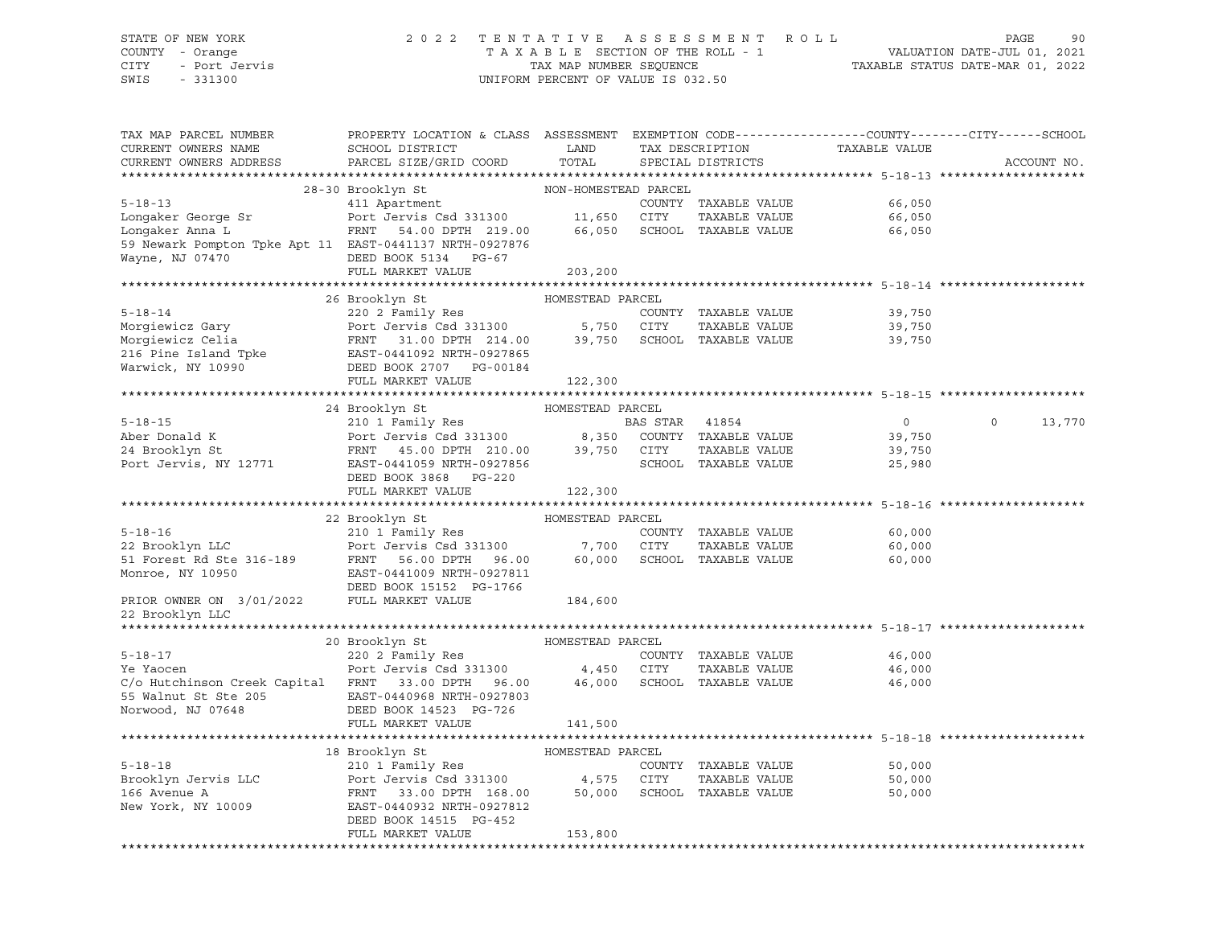# STATE OF NEW YORK 2 0 2 2 T E N T A T I V E A S S E S S M E N T R O L L PAGE 90 COUNTY - Orange T A X A B L E SECTION OF THE ROLL - 1 VALUATION DATE-JUL 01, 2021 CITY - Port Jervis TAX MAP NUMBER SEQUENCE TAXABLE STATUS DATE-MAR 01, 2022

| TAX MAP PARCEL NUMBER<br>CURRENT OWNERS NAME<br>CURRENT OWNERS ADDRESS                                                                                                                                                                                   | PROPERTY LOCATION & CLASS ASSESSMENT EXEMPTION CODE----------------COUNTY-------CITY------SCHOOL<br>SCHOOL DISTRICT<br><b>LAND</b><br>PARCEL SIZE/GRID COORD | TOTAL            | TAX DESCRIPTION<br>SPECIAL DISTRICTS | TAXABLE VALUE    | ACCOUNT NO.              |
|----------------------------------------------------------------------------------------------------------------------------------------------------------------------------------------------------------------------------------------------------------|--------------------------------------------------------------------------------------------------------------------------------------------------------------|------------------|--------------------------------------|------------------|--------------------------|
|                                                                                                                                                                                                                                                          |                                                                                                                                                              |                  |                                      |                  |                          |
| 28-30 Brooklyn St MON-HOMESTEAD PARCEL<br>411 Apartment COUNTY TAXABLE VALUE<br>46,050 Experiment COUNTY TAXABLE VALUE<br>46,050 Englished County COUNTY TAXABLE VALUE<br>46,050 ECHOOL TAXABLE VALUE<br>46,050 ECHOOL TAXABLE VALUE<br>46               |                                                                                                                                                              |                  |                                      |                  |                          |
|                                                                                                                                                                                                                                                          |                                                                                                                                                              |                  |                                      |                  |                          |
|                                                                                                                                                                                                                                                          |                                                                                                                                                              |                  |                                      |                  |                          |
|                                                                                                                                                                                                                                                          |                                                                                                                                                              |                  |                                      |                  |                          |
| 59 Newark Pompton Tpke Apt 11 EAST-0441137 NRTH-0927876                                                                                                                                                                                                  |                                                                                                                                                              |                  |                                      |                  |                          |
| Wayne, NJ 07470                                                                                                                                                                                                                                          | DEED BOOK 5134 PG-67                                                                                                                                         |                  |                                      |                  |                          |
|                                                                                                                                                                                                                                                          | FULL MARKET VALUE                                                                                                                                            | 203,200          |                                      |                  |                          |
|                                                                                                                                                                                                                                                          |                                                                                                                                                              |                  |                                      |                  |                          |
| 5-18-14<br>Morgiewicz Gary<br>Morgiewicz Celia<br>Morgiewicz Celia<br>PRNT 31.00 DPTH 214.00<br>216 Pine Island Tpke<br>Warwick, NY 10990<br>EED BOOK 2707 PG-00184<br>FULL, MARKET VALUE<br>FULL, MARKET VALUE<br>PRNT 31.00 DPTH 214.00<br>216 Pin     |                                                                                                                                                              |                  |                                      |                  |                          |
|                                                                                                                                                                                                                                                          |                                                                                                                                                              |                  |                                      | 39,750           |                          |
|                                                                                                                                                                                                                                                          |                                                                                                                                                              |                  |                                      | 39,750           |                          |
|                                                                                                                                                                                                                                                          |                                                                                                                                                              |                  |                                      | 39,750           |                          |
|                                                                                                                                                                                                                                                          |                                                                                                                                                              |                  |                                      |                  |                          |
|                                                                                                                                                                                                                                                          |                                                                                                                                                              |                  |                                      |                  |                          |
|                                                                                                                                                                                                                                                          |                                                                                                                                                              |                  |                                      |                  |                          |
|                                                                                                                                                                                                                                                          |                                                                                                                                                              |                  |                                      |                  |                          |
|                                                                                                                                                                                                                                                          |                                                                                                                                                              |                  |                                      | $\overline{0}$   | $\overline{0}$<br>13,770 |
|                                                                                                                                                                                                                                                          |                                                                                                                                                              |                  |                                      |                  |                          |
|                                                                                                                                                                                                                                                          |                                                                                                                                                              |                  |                                      | 39,750<br>39,750 |                          |
|                                                                                                                                                                                                                                                          |                                                                                                                                                              |                  | SCHOOL TAXABLE VALUE                 | 25,980           |                          |
|                                                                                                                                                                                                                                                          | DEED BOOK 3868 PG-220                                                                                                                                        |                  |                                      |                  |                          |
|                                                                                                                                                                                                                                                          | FULL MARKET VALUE                                                                                                                                            | 122,300          |                                      |                  |                          |
|                                                                                                                                                                                                                                                          |                                                                                                                                                              |                  |                                      |                  |                          |
|                                                                                                                                                                                                                                                          |                                                                                                                                                              | HOMESTEAD PARCEL |                                      |                  |                          |
|                                                                                                                                                                                                                                                          |                                                                                                                                                              |                  | COUNTY TAXABLE VALUE                 | 60,000           |                          |
|                                                                                                                                                                                                                                                          |                                                                                                                                                              |                  | TAXABLE VALUE                        | 60,000           |                          |
|                                                                                                                                                                                                                                                          |                                                                                                                                                              |                  |                                      | 60,000           |                          |
| B-18-16<br>210 1 Family Res<br>22 Brooklyn LLC<br>210 1 Family Res<br>22 Brooklyn LLC<br>210 1 Family Res<br>22 Brooklyn LLC<br>210 1 Family Res<br>22 Brooklyn LLC<br>210 1 Family Res<br>22 Brooklyn LLC<br>210 1 Family Res<br>23 31300<br>27,700 CIT |                                                                                                                                                              |                  |                                      |                  |                          |
|                                                                                                                                                                                                                                                          |                                                                                                                                                              |                  |                                      |                  |                          |
| PRIOR OWNER ON 3/01/2022                                                                                                                                                                                                                                 | FULL MARKET VALUE 184,600                                                                                                                                    |                  |                                      |                  |                          |
| 22 Brooklyn LLC                                                                                                                                                                                                                                          |                                                                                                                                                              |                  |                                      |                  |                          |
|                                                                                                                                                                                                                                                          |                                                                                                                                                              |                  |                                      |                  |                          |
|                                                                                                                                                                                                                                                          |                                                                                                                                                              |                  |                                      |                  |                          |
| $5 - 18 - 17$                                                                                                                                                                                                                                            |                                                                                                                                                              |                  | COUNTY TAXABLE VALUE                 | 46,000           |                          |
|                                                                                                                                                                                                                                                          |                                                                                                                                                              |                  |                                      |                  |                          |
|                                                                                                                                                                                                                                                          |                                                                                                                                                              |                  |                                      |                  |                          |
| 55 Walnut St Ste 205 EAST-0440968 NRTH-0927803                                                                                                                                                                                                           |                                                                                                                                                              |                  |                                      |                  |                          |
| Norwood, NJ 07648                                                                                                                                                                                                                                        | DEED BOOK 14523 PG-726                                                                                                                                       |                  |                                      |                  |                          |
|                                                                                                                                                                                                                                                          | FULL MARKET VALUE                                                                                                                                            | 141,500          |                                      |                  |                          |
|                                                                                                                                                                                                                                                          |                                                                                                                                                              |                  |                                      |                  |                          |
|                                                                                                                                                                                                                                                          | 18 Brooklyn St                                                                                                                                               |                  |                                      |                  |                          |
| $5 - 18 - 18$                                                                                                                                                                                                                                            |                                                                                                                                                              |                  | COUNTY TAXABLE VALUE                 | 50,000           |                          |
|                                                                                                                                                                                                                                                          |                                                                                                                                                              |                  | TAXABLE VALUE                        | 50,000           |                          |
|                                                                                                                                                                                                                                                          |                                                                                                                                                              |                  |                                      | 50,000           |                          |
| New York, NY 10009                                                                                                                                                                                                                                       | EAST-0440932 NRTH-0927812                                                                                                                                    |                  |                                      |                  |                          |
|                                                                                                                                                                                                                                                          | DEED BOOK 14515 PG-452                                                                                                                                       |                  |                                      |                  |                          |
|                                                                                                                                                                                                                                                          | FULL MARKET VALUE                                                                                                                                            | 153,800          |                                      |                  |                          |
|                                                                                                                                                                                                                                                          |                                                                                                                                                              |                  |                                      |                  |                          |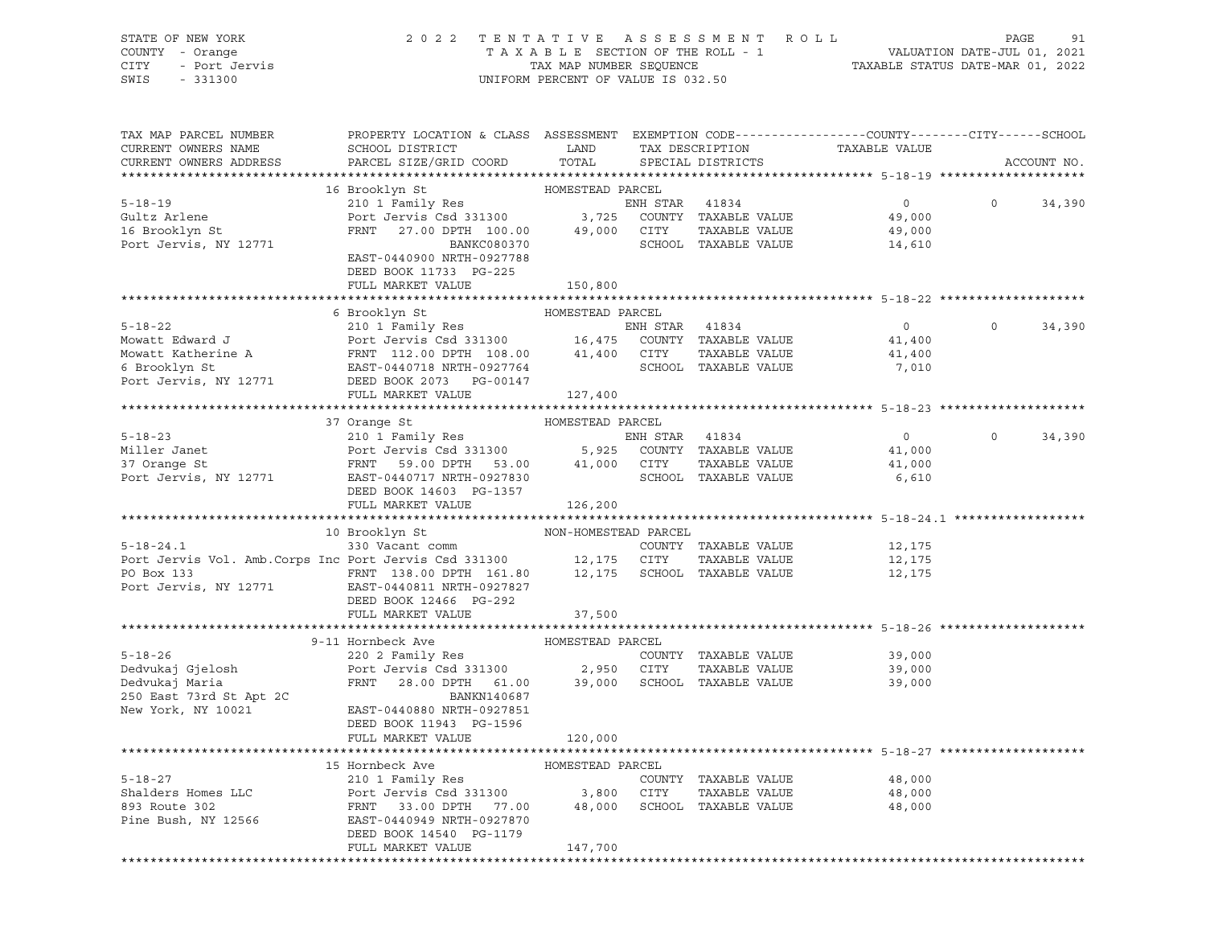| STATE OF NEW YORK<br>COUNTY - Orange<br>OF NEW YORK<br>7 - Orange<br>- Port Jervis<br>221300<br>CITY<br>SWIS      | 2022 TENTATIVE ASSESSMENT ROLL                                                                                                            | UNIFORM PERCENT OF VALUE IS 032.50 |                |                                       |                | PAGE<br>91<br>TAXABLE SECTION OF THE ROLL - 1<br>TAXABLE STATUS DATE-JUL 01, 2021<br>TAXABLE STATUS DATE-MAR 01, 2022 |
|-------------------------------------------------------------------------------------------------------------------|-------------------------------------------------------------------------------------------------------------------------------------------|------------------------------------|----------------|---------------------------------------|----------------|-----------------------------------------------------------------------------------------------------------------------|
| TAX MAP PARCEL NUMBER<br>CURRENT OWNERS NAME                                                                      | PROPERTY LOCATION & CLASS ASSESSMENT EXEMPTION CODE----------------COUNTY-------CITY------SCHOOL<br>SCHOOL DISTRICT                       | LAND                               |                | TAX DESCRIPTION                       | TAXABLE VALUE  |                                                                                                                       |
| CURRENT OWNERS ADDRESS                                                                                            | PARCEL SIZE/GRID COORD                                                                                                                    | TOTAL                              |                | SPECIAL DISTRICTS                     |                | ACCOUNT NO.                                                                                                           |
|                                                                                                                   | 16 Brooklyn St                                                                                                                            |                                    |                |                                       |                |                                                                                                                       |
| $5 - 18 - 19$                                                                                                     | HOMESTEAD PARCEL<br>210 1 Family Res                                                                                                      |                                    | ENH STAR 41834 |                                       | $\overline{0}$ | $0 \qquad \qquad$<br>34,390                                                                                           |
| Gultz Arlene                                                                                                      |                                                                                                                                           |                                    |                |                                       | 49,000         |                                                                                                                       |
| 16 Brooklyn St                                                                                                    |                                                                                                                                           |                                    |                |                                       | 49,000         |                                                                                                                       |
| Port Jervis, NY 12771                                                                                             | Port Jervis Csd 331300 3,725 COUNTY TAXABLE VALUE<br>FRNT 27.00 DPTH 100.00 49,000 CITY TAXABLE VALUE<br>BANKC080370 SCHOOL TAXABLE VALUE |                                    |                | SCHOOL TAXABLE VALUE                  | 14,610         |                                                                                                                       |
|                                                                                                                   | EAST-0440900 NRTH-0927788                                                                                                                 |                                    |                |                                       |                |                                                                                                                       |
|                                                                                                                   | DEED BOOK 11733 PG-225                                                                                                                    |                                    |                |                                       |                |                                                                                                                       |
|                                                                                                                   | FULL MARKET VALUE                                                                                                                         | 150,800                            |                |                                       |                |                                                                                                                       |
|                                                                                                                   | 6 Brooklyn St                                                                                                                             |                                    |                |                                       |                |                                                                                                                       |
| $5 - 18 - 22$                                                                                                     |                                                                                                                                           | HOMESTEAD PARCEL                   |                |                                       | $\overline{0}$ | $\circ$<br>34,390                                                                                                     |
| Mowatt Edward J                                                                                                   | 210 1 Family Res<br>Port Jervis Csd 331300 16,475 COUNTY TAXABLE VALUE                                                                    |                                    |                |                                       | 41,400         |                                                                                                                       |
|                                                                                                                   |                                                                                                                                           |                                    |                | TAXABLE VALUE                         | 41,400         |                                                                                                                       |
|                                                                                                                   |                                                                                                                                           |                                    |                | SCHOOL TAXABLE VALUE                  | 7,010          |                                                                                                                       |
| 6 Brooklyn St<br>Port Jervis, NY 12771                                                                            | DEED BOOK 2073 PG-00147                                                                                                                   |                                    |                |                                       |                |                                                                                                                       |
|                                                                                                                   | FULL MARKET VALUE                                                                                                                         | 127,400                            |                |                                       |                |                                                                                                                       |
|                                                                                                                   |                                                                                                                                           |                                    |                |                                       |                |                                                                                                                       |
|                                                                                                                   | 37 Orange St                                                                                                                              | HOMESTEAD PARCEL                   |                |                                       |                |                                                                                                                       |
| $5 - 18 - 23$                                                                                                     | 210 1 Family Res                                                                                                                          |                                    |                |                                       | $\overline{0}$ | $\circ$<br>34,390                                                                                                     |
| Miller Janet                                                                                                      |                                                                                                                                           |                                    |                |                                       | 41,000         |                                                                                                                       |
| 37 Orange St                                                                                                      | 210 1 Family Res<br>Port Jervis Csd 331300 5,925 COUNTY TAXABLE VALUE<br>FRNT 59.00 DPTH 53.00 41,000 CITY TAXABLE VALUE<br>TAXABLE VALUE |                                    |                | SCHOOL TAXABLE VALUE                  | 41,000         |                                                                                                                       |
| Port Jervis, NY 12771                                                                                             | EAST-0440717 NRTH-0927830<br>DEED BOOK 14603 PG-1357                                                                                      |                                    |                |                                       | 6,610          |                                                                                                                       |
|                                                                                                                   | FULL MARKET VALUE                                                                                                                         | 126,200                            |                |                                       |                |                                                                                                                       |
|                                                                                                                   |                                                                                                                                           |                                    |                |                                       |                |                                                                                                                       |
|                                                                                                                   | 10 Brooklyn St NON-HOMESTEAD PARCEL                                                                                                       |                                    |                |                                       |                |                                                                                                                       |
| 5-18-24.1 (2000)<br>Port Jervis Vol. Amb.Corps Inc Port Jervis Csd 331300 (2000)<br>Port Jervis Csd 331300 (2017) |                                                                                                                                           |                                    |                | COUNTY TAXABLE VALUE                  | 12,175         |                                                                                                                       |
|                                                                                                                   |                                                                                                                                           |                                    |                | TAXABLE VALUE                         | 12,175         |                                                                                                                       |
| PO Box 133                                                                                                        | FRNT 138.00 DPTH 161.80 12,175 SCHOOL TAXABLE VALUE                                                                                       |                                    |                |                                       | 12,175         |                                                                                                                       |
| Port Jervis, NY 12771                                                                                             | EAST-0440811 NRTH-0927827                                                                                                                 |                                    |                |                                       |                |                                                                                                                       |
|                                                                                                                   | DEED BOOK 12466 PG-292                                                                                                                    |                                    |                |                                       |                |                                                                                                                       |
|                                                                                                                   | FULL MARKET VALUE                                                                                                                         | 37,500                             |                |                                       |                |                                                                                                                       |
|                                                                                                                   | 9-11 Hornbeck Ave                                                                                                                         | HOMESTEAD PARCEL                   |                |                                       |                |                                                                                                                       |
|                                                                                                                   | 220 2 Family Res                                                                                                                          |                                    |                | COUNTY TAXABLE VALUE                  | 39,000         |                                                                                                                       |
|                                                                                                                   | Port Jervis Csd 331300 2,950 CITY                                                                                                         |                                    |                | TAXABLE VALUE                         | 39,000         |                                                                                                                       |
|                                                                                                                   | FRNT 28.00 DPTH 61.00 39,000 SCHOOL TAXABLE VALUE                                                                                         |                                    |                |                                       | 39,000         |                                                                                                                       |
|                                                                                                                   | BANKN140687                                                                                                                               |                                    |                |                                       |                |                                                                                                                       |
| 5-18-26<br>Dedvukaj Gjelosh<br>Dedvukaj Maria<br>250 East 73rd St Apt 2C                                          | EAST-0440880 NRTH-0927851                                                                                                                 |                                    |                |                                       |                |                                                                                                                       |
|                                                                                                                   | DEED BOOK 11943 PG-1596                                                                                                                   |                                    |                |                                       |                |                                                                                                                       |
|                                                                                                                   | FULL MARKET VALUE                                                                                                                         | 120,000                            |                |                                       |                |                                                                                                                       |
|                                                                                                                   |                                                                                                                                           |                                    |                |                                       |                |                                                                                                                       |
|                                                                                                                   | 15 Hornbeck Ave                                                                                                                           | HOMESTEAD PARCEL                   |                |                                       |                |                                                                                                                       |
| $5 - 18 - 27$<br>Shalders Homes LLC                                                                               | 210 1 Family Res                                                                                                                          |                                    |                | COUNTY TAXABLE VALUE                  | 48,000         |                                                                                                                       |
| 893 Route 302                                                                                                     | Port Jervis Csd 331300                                                                                                                    | 3,800<br>48,000                    | <b>CITY</b>    | TAXABLE VALUE<br>SCHOOL TAXABLE VALUE | 48,000         |                                                                                                                       |
| Pine Bush, NY 12566                                                                                               | 33.00 DPTH<br>FRNT<br>77.00<br>EAST-0440949 NRTH-0927870                                                                                  |                                    |                |                                       | 48,000         |                                                                                                                       |
|                                                                                                                   | DEED BOOK 14540 PG-1179                                                                                                                   |                                    |                |                                       |                |                                                                                                                       |
|                                                                                                                   | FULL MARKET VALUE                                                                                                                         | 147,700                            |                |                                       |                |                                                                                                                       |
|                                                                                                                   |                                                                                                                                           |                                    |                |                                       |                |                                                                                                                       |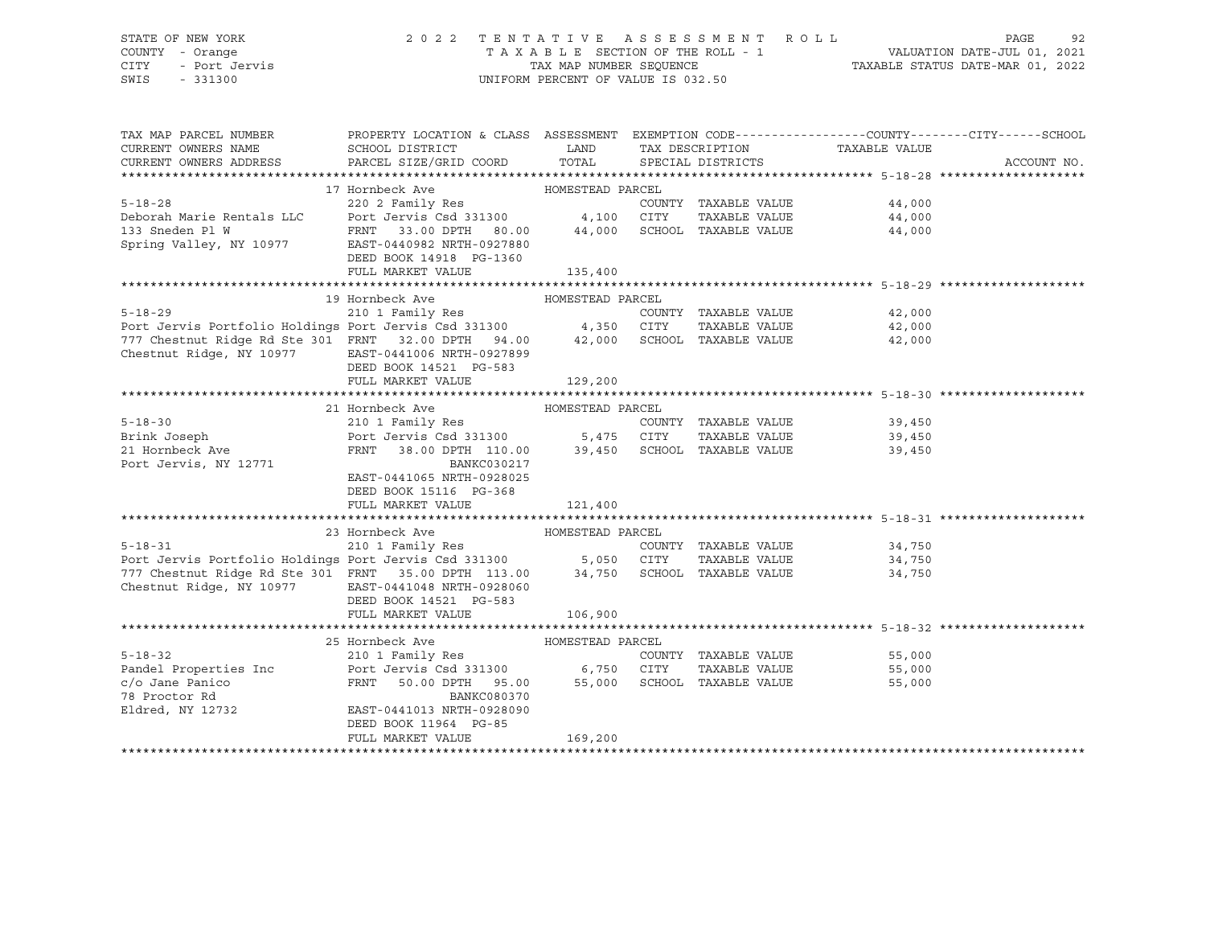# STATE OF NEW YORK 2 0 2 2 T E N T A T I V E A S S E S S M E N T R O L L PAGE 92 COUNTY - Orange T A X A B L E SECTION OF THE ROLL - 1 VALUATION DATE-JUL 01, 2021 CITY - Port Jervis TAX MAP NUMBER SEQUENCE TAXABLE STATUS DATE-MAR 01, 2022

| TAX MAP PARCEL NUMBER<br>CURRENT OWNERS NAME<br>CURRENT OWNERS ADDRESS                                                                                                                                                                    | PROPERTY LOCATION & CLASS ASSESSMENT EXEMPTION CODE----------------COUNTY-------CITY------SCHOOL<br>SCHOOL DISTRICT<br>PARCEL SIZE/GRID COORD | <b>EXAMPLE SETTING STATE</b> | TAX DESCRIPTION<br>TOTAL SPECIAL DISTRICTS | TAXABLE VALUE               | ACCOUNT NO. |
|-------------------------------------------------------------------------------------------------------------------------------------------------------------------------------------------------------------------------------------------|-----------------------------------------------------------------------------------------------------------------------------------------------|------------------------------|--------------------------------------------|-----------------------------|-------------|
|                                                                                                                                                                                                                                           |                                                                                                                                               |                              |                                            |                             |             |
|                                                                                                                                                                                                                                           | 17 Hornbeck Ave MOMESTEAD PARCEL                                                                                                              |                              |                                            |                             |             |
|                                                                                                                                                                                                                                           |                                                                                                                                               |                              |                                            | 44,000                      |             |
|                                                                                                                                                                                                                                           |                                                                                                                                               |                              |                                            | 44,000                      |             |
|                                                                                                                                                                                                                                           |                                                                                                                                               |                              |                                            | 44,000                      |             |
|                                                                                                                                                                                                                                           |                                                                                                                                               |                              |                                            |                             |             |
| Deborah Marie Rentals LLC<br>Deborah Marie Rentals LLC<br>133 Sneden Pl W FRNT 33.00 DPTH 80.00 44,000 SCHOOL TAXABLE VALUE<br>Spring Valley, NY 10977 EAST-0440982 NRTH-0927880<br>FRNT 33.00 DPTH 80.00 44,000 SCHOOL TAXABLE VALUE<br> | DEED BOOK 14918 PG-1360                                                                                                                       |                              |                                            |                             |             |
|                                                                                                                                                                                                                                           | FULL MARKET VALUE                                                                                                                             | 135,400                      |                                            |                             |             |
|                                                                                                                                                                                                                                           |                                                                                                                                               |                              |                                            |                             |             |
|                                                                                                                                                                                                                                           | 19 Hornbeck Ave                                                                                                                               | HOMESTEAD PARCEL             |                                            |                             |             |
|                                                                                                                                                                                                                                           |                                                                                                                                               |                              |                                            | COUNTY TAXABLE VALUE 42,000 |             |
|                                                                                                                                                                                                                                           |                                                                                                                                               |                              |                                            | 42,000                      |             |
|                                                                                                                                                                                                                                           |                                                                                                                                               |                              |                                            | 42,000                      |             |
| Chestnut Ridge, NY 10977 EAST-0441006 NRTH-0927899                                                                                                                                                                                        |                                                                                                                                               |                              |                                            |                             |             |
|                                                                                                                                                                                                                                           | DEED BOOK 14521 PG-583                                                                                                                        |                              |                                            |                             |             |
|                                                                                                                                                                                                                                           | FULL MARKET VALUE                                                                                                                             | 129,200                      |                                            |                             |             |
|                                                                                                                                                                                                                                           |                                                                                                                                               |                              |                                            |                             |             |
|                                                                                                                                                                                                                                           | 21 Hornbeck Ave MOMESTEAD PARCEL                                                                                                              |                              |                                            |                             |             |
|                                                                                                                                                                                                                                           |                                                                                                                                               |                              |                                            | COUNTY TAXABLE VALUE 39,450 |             |
|                                                                                                                                                                                                                                           |                                                                                                                                               |                              |                                            | 39,450                      |             |
|                                                                                                                                                                                                                                           |                                                                                                                                               |                              |                                            | 39,450                      |             |
| Port Jervis, NY 12771                                                                                                                                                                                                                     | BANKC030217                                                                                                                                   |                              |                                            |                             |             |
|                                                                                                                                                                                                                                           | EAST-0441065 NRTH-0928025                                                                                                                     |                              |                                            |                             |             |
|                                                                                                                                                                                                                                           | DEED BOOK 15116 PG-368                                                                                                                        |                              |                                            |                             |             |
|                                                                                                                                                                                                                                           | FULL MARKET VALUE 121,400                                                                                                                     |                              |                                            |                             |             |
|                                                                                                                                                                                                                                           | 23 Hornbeck Ave<br>HOMESTEAD PARCEL                                                                                                           |                              |                                            |                             |             |
|                                                                                                                                                                                                                                           |                                                                                                                                               |                              | COUNTY TAXABLE VALUE                       | 34,750                      |             |
| 5-18-31 COUNTY<br>Port Jervis Portfolio Holdings Port Jervis Csd 331300 5,050 CITY                                                                                                                                                        |                                                                                                                                               |                              |                                            | TAXABLE VALUE 34,750        |             |
| 777 Chestnut Ridge Rd Ste 301 FRNT 35.00 DPTH 113.00 34,750 SCHOOL TAXABLE VALUE 34,750                                                                                                                                                   |                                                                                                                                               |                              |                                            |                             |             |
| Chestnut Ridge, NY 10977 EAST-0441048 NRTH-0928060                                                                                                                                                                                        |                                                                                                                                               |                              |                                            |                             |             |
|                                                                                                                                                                                                                                           | DEED BOOK 14521 PG-583                                                                                                                        |                              |                                            |                             |             |
|                                                                                                                                                                                                                                           | FULL MARKET VALUE                                                                                                                             | 106,900                      |                                            |                             |             |
|                                                                                                                                                                                                                                           |                                                                                                                                               |                              |                                            |                             |             |
|                                                                                                                                                                                                                                           | 25 Hornbeck Ave<br>HOMESTEAD PARCEL                                                                                                           |                              |                                            |                             |             |
| $5 - 18 - 32$                                                                                                                                                                                                                             | 210 1 Family Res                                                                                                                              |                              |                                            | COUNTY TAXABLE VALUE 55,000 |             |
| Pandel Properties Inc Port Jervis Csd 331300 6,750 CITY                                                                                                                                                                                   |                                                                                                                                               |                              |                                            | TAXABLE VALUE 55,000        |             |
|                                                                                                                                                                                                                                           | FRNT 50.00 DPTH 95.00 55,000 SCHOOL TAXABLE VALUE                                                                                             |                              |                                            | 55,000                      |             |
| c/o Jane Panico<br>78 Proctor Rd                                                                                                                                                                                                          | BANKC080370                                                                                                                                   |                              |                                            |                             |             |
| 78 Proctor Rd<br>Eldred, NY 12732                                                                                                                                                                                                         | EAST-0441013 NRTH-0928090                                                                                                                     |                              |                                            |                             |             |
|                                                                                                                                                                                                                                           | DEED BOOK 11964 PG-85                                                                                                                         |                              |                                            |                             |             |
|                                                                                                                                                                                                                                           | FULL MARKET VALUE                                                                                                                             | 169,200                      |                                            |                             |             |
|                                                                                                                                                                                                                                           |                                                                                                                                               |                              |                                            |                             |             |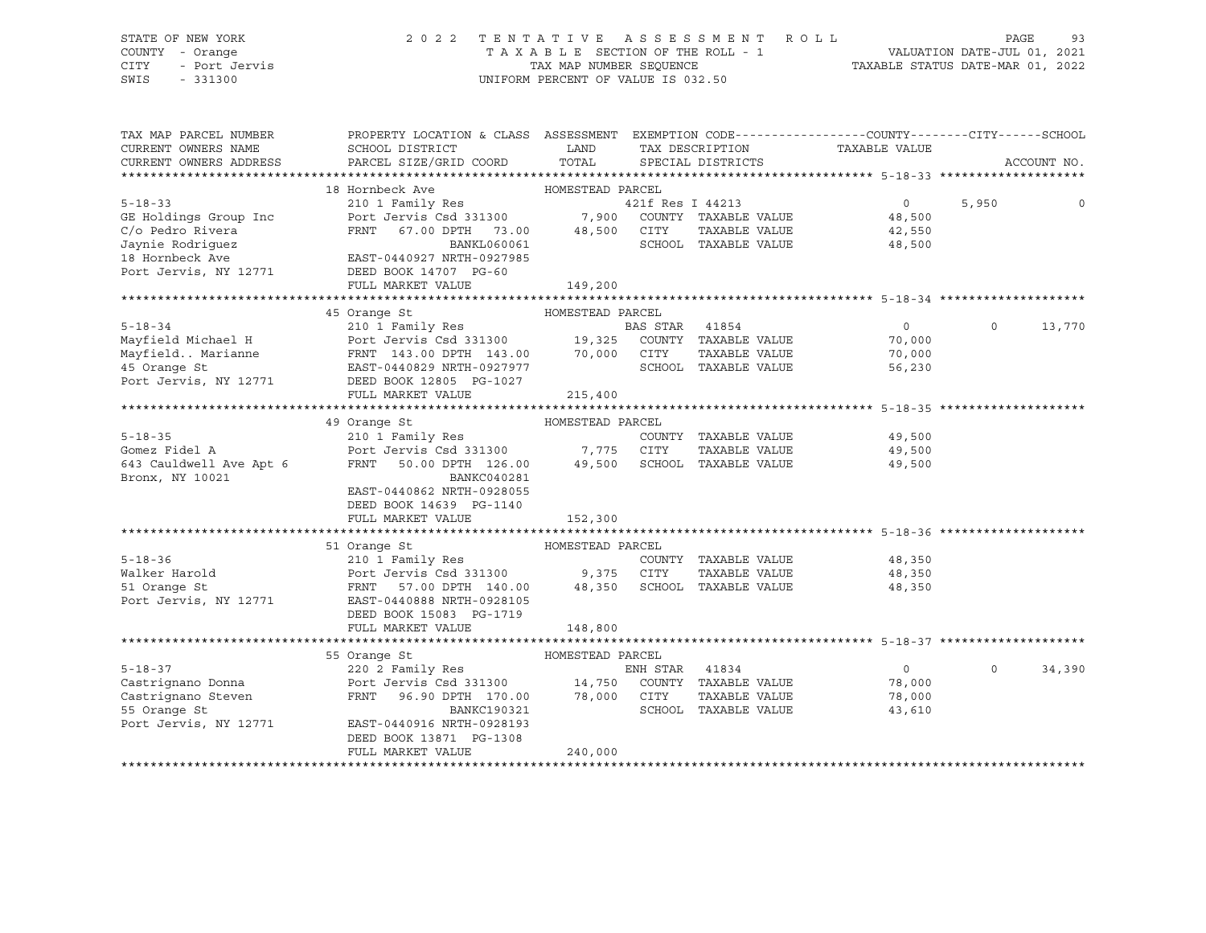# STATE OF NEW YORK 2 0 2 2 T E N T A T I V E A S S E S S M E N T R O L L PAGE 93 COUNTY - Orange T A X A B L E SECTION OF THE ROLL - 1 VALUATION DATE-JUL 01, 2021

CITY - Port Jervis TAX MAP NUMBER SEQUENCE TAXABLE STATUS DATE-MAR 01, 2022

| TAX MAP PARCEL NUMBER   | PROPERTY LOCATION & CLASS ASSESSMENT EXEMPTION CODE----------------COUNTY-------CITY------SCHOOL |                             |                  |                      |                             |          |             |
|-------------------------|--------------------------------------------------------------------------------------------------|-----------------------------|------------------|----------------------|-----------------------------|----------|-------------|
| CURRENT OWNERS NAME     | SCHOOL DISTRICT                                                                                  | LAND                        |                  | TAX DESCRIPTION      | TAXABLE VALUE               |          |             |
| CURRENT OWNERS ADDRESS  | PARCEL SIZE/GRID COORD                                                                           | TOTAL                       |                  | SPECIAL DISTRICTS    |                             |          | ACCOUNT NO. |
|                         |                                                                                                  |                             |                  |                      |                             |          |             |
|                         | 18 Hornbeck Ave                                                                                  | HOMESTEAD PARCEL            |                  |                      |                             |          |             |
| $5 - 18 - 33$           | 210 1 Family Res                                                                                 |                             | 421f Res I 44213 |                      | $\overline{0}$              | 5,950    |             |
| GE Holdings Group Inc   | Port Jervis Csd 331300 7,900 COUNTY TAXABLE VALUE                                                |                             |                  |                      | 48,500                      |          |             |
| C/o Pedro Rivera        | FRNT 67.00 DPTH 73.00 48,500 CITY                                                                |                             |                  | TAXABLE VALUE        | 42,550                      |          |             |
| Jaynie Rodriquez        | BANKL060061                                                                                      |                             |                  | SCHOOL TAXABLE VALUE | 48,500                      |          |             |
| 18 Hornbeck Ave         | EAST-0440927 NRTH-0927985                                                                        |                             |                  |                      |                             |          |             |
| Port Jervis, NY 12771   | DEED BOOK 14707 PG-60                                                                            |                             |                  |                      |                             |          |             |
|                         | FULL MARKET VALUE                                                                                | 149,200                     |                  |                      |                             |          |             |
|                         |                                                                                                  |                             |                  |                      |                             |          |             |
|                         | HOMESTEAD PARCEL<br>45 Orange St                                                                 |                             |                  |                      |                             |          |             |
|                         |                                                                                                  |                             |                  |                      | $\overline{0}$              | $\Omega$ | 13,770      |
|                         |                                                                                                  |                             |                  |                      | 70,000                      |          |             |
|                         | Mayfield. Marianne FRNT 143.00 DPTH 143.00 70,000 CITY                                           |                             |                  |                      | TAXABLE VALUE<br>70,000     |          |             |
| 45 Orange St            | EAST-0440829 NRTH-0927977                                                                        |                             |                  | SCHOOL TAXABLE VALUE | 56,230                      |          |             |
| Port Jervis, NY 12771   | DEED BOOK 12805 PG-1027                                                                          |                             |                  |                      |                             |          |             |
|                         | FULL MARKET VALUE                                                                                | 215,400                     |                  |                      |                             |          |             |
|                         |                                                                                                  |                             |                  |                      |                             |          |             |
|                         | 49 Orange St                                                                                     | HOMESTEAD PARCEL            |                  |                      |                             |          |             |
| $5 - 18 - 35$           | 210 1 Family Res                                                                                 |                             |                  | COUNTY TAXABLE VALUE | 49,500                      |          |             |
|                         | Port Jervis Csd 331300 7,775 CITY                                                                |                             |                  |                      | 49,500                      |          |             |
| Gomez Fidel A           |                                                                                                  |                             |                  | TAXABLE VALUE        |                             |          |             |
| 643 Cauldwell Ave Apt 6 | 50.00 DPTH 126.00 49,500 SCHOOL TAXABLE VALUE<br>FRNT                                            |                             |                  |                      | 49,500                      |          |             |
| Bronx, NY 10021         | BANKC040281                                                                                      |                             |                  |                      |                             |          |             |
|                         | EAST-0440862 NRTH-0928055                                                                        |                             |                  |                      |                             |          |             |
|                         | DEED BOOK 14639 PG-1140                                                                          |                             |                  |                      |                             |          |             |
|                         | FULL MARKET VALUE                                                                                | 152,300                     |                  |                      |                             |          |             |
|                         |                                                                                                  |                             |                  |                      |                             |          |             |
|                         | 51 Orange St                                                                                     | HOMESTEAD PARCEL            |                  |                      |                             |          |             |
| $5 - 18 - 36$           | 210 1 Family Res                                                                                 |                             |                  |                      | COUNTY TAXABLE VALUE 48,350 |          |             |
| Walker Harold           | Port Jervis Csd 331300 9,375 CITY                                                                |                             |                  | TAXABLE VALUE        | 48,350                      |          |             |
| 51 Orange St            | FRNT 57.00 DPTH 140.00                                                                           | 48,350 SCHOOL TAXABLE VALUE |                  |                      | 48,350                      |          |             |
| Port Jervis, NY 12771   | EAST-0440888 NRTH-0928105                                                                        |                             |                  |                      |                             |          |             |
|                         | DEED BOOK 15083 PG-1719                                                                          |                             |                  |                      |                             |          |             |
|                         | FULL MARKET VALUE                                                                                | 148,800                     |                  |                      |                             |          |             |
|                         |                                                                                                  |                             |                  |                      |                             |          |             |
|                         | HOMESTEAD PARCEL<br>55 Orange St                                                                 |                             |                  |                      |                             |          |             |
| $5 - 18 - 37$           | 220 2 Family Res                                                                                 |                             | ENH STAR 41834   |                      | $\overline{0}$              | $\Omega$ | 34,390      |
| Castrignano Donna       | Port Jervis Csd 331300 14,750 COUNTY TAXABLE VALUE                                               |                             |                  |                      | 78,000                      |          |             |
| Castrignano Steven      | FRNT 96.90 DPTH 170.00 78,000 CITY                                                               |                             |                  | TAXABLE VALUE        | 78,000                      |          |             |
| 55 Orange St            | BANKC190321                                                                                      |                             |                  | SCHOOL TAXABLE VALUE | 43,610                      |          |             |
| Port Jervis, NY 12771   | EAST-0440916 NRTH-0928193                                                                        |                             |                  |                      |                             |          |             |
|                         | DEED BOOK 13871 PG-1308                                                                          |                             |                  |                      |                             |          |             |
|                         | FULL MARKET VALUE                                                                                | 240,000                     |                  |                      |                             |          |             |
|                         |                                                                                                  |                             |                  |                      |                             |          |             |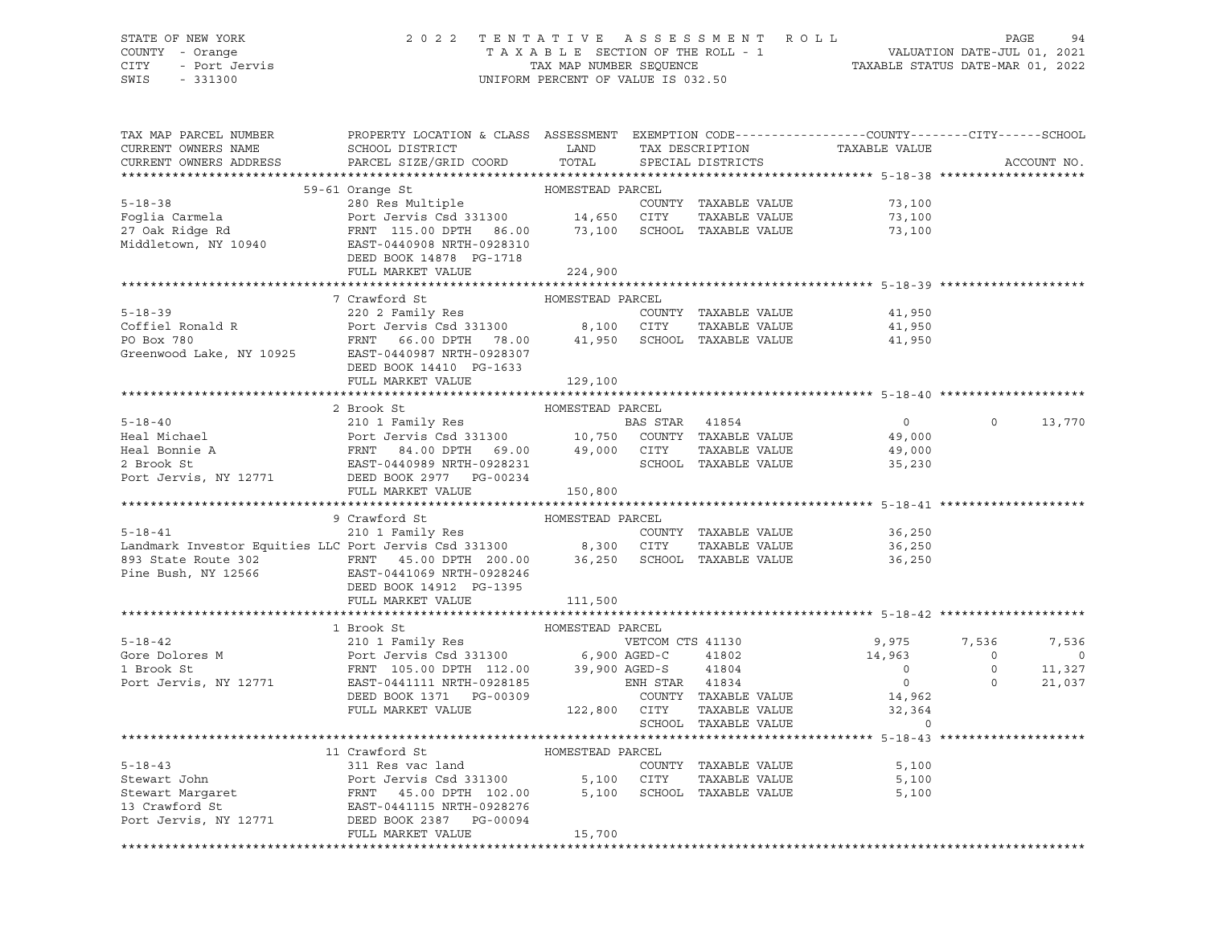# STATE OF NEW YORK 2 0 2 2 T E N T A T I V E A S S E S S M E N T R O L L PAGE 94 COUNTY - Orange T A X A B L E SECTION OF THE ROLL - 1 VALUATION DATE-JUL 01, 2021 CITY - Port Jervis TAX MAP NUMBER SEQUENCE TAXABLE STATUS DATE-MAR 01, 2022

| TAX MAP PARCEL NUMBER<br>CURRENT OWNERS NAME<br>CURRENT OWNERS ADDRESS                                                                                                                                                                                                                                                                                                                                                                                 | PROPERTY LOCATION & CLASS ASSESSMENT EXEMPTION CODE----------------COUNTY-------CITY------SCHOOL<br>PARCEL SIZE/GRID COORD TOTAL |                  | SPECIAL DISTRICTS    | TAXABLE VALUE                                                                                                                                       |                                                                                | ACCOUNT NO.   |
|--------------------------------------------------------------------------------------------------------------------------------------------------------------------------------------------------------------------------------------------------------------------------------------------------------------------------------------------------------------------------------------------------------------------------------------------------------|----------------------------------------------------------------------------------------------------------------------------------|------------------|----------------------|-----------------------------------------------------------------------------------------------------------------------------------------------------|--------------------------------------------------------------------------------|---------------|
|                                                                                                                                                                                                                                                                                                                                                                                                                                                        |                                                                                                                                  |                  |                      |                                                                                                                                                     |                                                                                |               |
|                                                                                                                                                                                                                                                                                                                                                                                                                                                        |                                                                                                                                  |                  |                      |                                                                                                                                                     |                                                                                |               |
|                                                                                                                                                                                                                                                                                                                                                                                                                                                        |                                                                                                                                  |                  |                      |                                                                                                                                                     |                                                                                |               |
|                                                                                                                                                                                                                                                                                                                                                                                                                                                        |                                                                                                                                  |                  |                      |                                                                                                                                                     |                                                                                |               |
|                                                                                                                                                                                                                                                                                                                                                                                                                                                        |                                                                                                                                  |                  |                      |                                                                                                                                                     |                                                                                |               |
|                                                                                                                                                                                                                                                                                                                                                                                                                                                        |                                                                                                                                  |                  |                      |                                                                                                                                                     |                                                                                |               |
|                                                                                                                                                                                                                                                                                                                                                                                                                                                        | DEED BOOK 14878 PG-1718                                                                                                          |                  |                      |                                                                                                                                                     |                                                                                |               |
|                                                                                                                                                                                                                                                                                                                                                                                                                                                        | FULL MARKET VALUE                                                                                                                | 224,900          |                      |                                                                                                                                                     |                                                                                |               |
|                                                                                                                                                                                                                                                                                                                                                                                                                                                        |                                                                                                                                  |                  |                      |                                                                                                                                                     |                                                                                |               |
|                                                                                                                                                                                                                                                                                                                                                                                                                                                        | 7 Crawford St                                                                                                                    | HOMESTEAD PARCEL |                      |                                                                                                                                                     |                                                                                |               |
|                                                                                                                                                                                                                                                                                                                                                                                                                                                        |                                                                                                                                  |                  |                      |                                                                                                                                                     |                                                                                |               |
| 5-18-39<br>Coffiel Ronald R<br>Port Jervis Csd 331300<br>PO Box 780<br>Greenwood Lake, NY 10925<br>EAST-0440987 NRTH-0928307<br>DEED BOOK 14410 PG-1633                                                                                                                                                                                                                                                                                                |                                                                                                                                  |                  |                      |                                                                                                                                                     |                                                                                |               |
|                                                                                                                                                                                                                                                                                                                                                                                                                                                        |                                                                                                                                  |                  |                      |                                                                                                                                                     |                                                                                |               |
|                                                                                                                                                                                                                                                                                                                                                                                                                                                        |                                                                                                                                  |                  |                      |                                                                                                                                                     |                                                                                |               |
|                                                                                                                                                                                                                                                                                                                                                                                                                                                        | FULL MARKET VALUE 129,100                                                                                                        |                  |                      |                                                                                                                                                     |                                                                                |               |
|                                                                                                                                                                                                                                                                                                                                                                                                                                                        |                                                                                                                                  |                  |                      |                                                                                                                                                     |                                                                                |               |
| $\begin{tabular}{lcccccc} 5-18-40 & 2\,\, \text{Brook St} & \text{HOMESTEAD PARCH} & \text{BARCH} & \text{BCHOOL} & \text{BCHOOL} & \text{BCHOOL} & \text{BCHOOL} & \text{BCHOOL} & \text{BCHOOL} & \text{BCHOOL} & \text{BCHOOL} & \text{BCHOOL} & \text{BCHOOL} & \text{BCHOOL} & \text{BCHOOL} & \text{BCHOOL} & \text{BCHOOL} & \text{BCHOOL} & \text{BCHOOL} & \text{BCHOOL} & \text{BCHOOL} & \text{BCHOOL$                                      |                                                                                                                                  |                  |                      |                                                                                                                                                     |                                                                                |               |
|                                                                                                                                                                                                                                                                                                                                                                                                                                                        |                                                                                                                                  |                  |                      |                                                                                                                                                     |                                                                                | $0 \t 13,770$ |
|                                                                                                                                                                                                                                                                                                                                                                                                                                                        |                                                                                                                                  |                  |                      |                                                                                                                                                     |                                                                                |               |
|                                                                                                                                                                                                                                                                                                                                                                                                                                                        |                                                                                                                                  |                  |                      |                                                                                                                                                     |                                                                                |               |
|                                                                                                                                                                                                                                                                                                                                                                                                                                                        |                                                                                                                                  |                  |                      |                                                                                                                                                     |                                                                                |               |
|                                                                                                                                                                                                                                                                                                                                                                                                                                                        |                                                                                                                                  |                  |                      |                                                                                                                                                     |                                                                                |               |
|                                                                                                                                                                                                                                                                                                                                                                                                                                                        | FULL MARKET VALUE                                                                                                                | 150,800          |                      |                                                                                                                                                     |                                                                                |               |
|                                                                                                                                                                                                                                                                                                                                                                                                                                                        |                                                                                                                                  |                  |                      |                                                                                                                                                     |                                                                                |               |
| $\begin{tabular}{lcccc} \texttt{5-18-41} & & 9 \text{ Crawford St} & & \texttt{HOMESTEAD PARCH} \\ & & 210 1 \text{ Family Res} & & \texttt{COMESTEAD PARCH} \\ \texttt{Landmark Investor Equities LLC Port Jervis Csd 331300} & & 8,300 \text{ CITY} & \texttt{TAXABLE VALUE} \\ \texttt{893 State Route 302} & & \texttt{FRNT} & 45.00 DPTH 200.00 & & 36,250 \text{ SCHOOL TAXABLE VALUE} \\ \texttt{Pine Bush, NY 12566} & & \texttt{EAST-0411069$ |                                                                                                                                  |                  |                      |                                                                                                                                                     |                                                                                |               |
|                                                                                                                                                                                                                                                                                                                                                                                                                                                        |                                                                                                                                  |                  | COUNTY TAXABLE VALUE |                                                                                                                                                     |                                                                                |               |
|                                                                                                                                                                                                                                                                                                                                                                                                                                                        |                                                                                                                                  |                  | TAXABLE VALUE        | 36,250<br>36,250                                                                                                                                    |                                                                                |               |
|                                                                                                                                                                                                                                                                                                                                                                                                                                                        |                                                                                                                                  |                  |                      | 36,250                                                                                                                                              |                                                                                |               |
|                                                                                                                                                                                                                                                                                                                                                                                                                                                        |                                                                                                                                  |                  |                      |                                                                                                                                                     |                                                                                |               |
|                                                                                                                                                                                                                                                                                                                                                                                                                                                        | DEED BOOK 14912 PG-1395                                                                                                          |                  |                      |                                                                                                                                                     |                                                                                |               |
|                                                                                                                                                                                                                                                                                                                                                                                                                                                        | FULL MARKET VALUE 111,500                                                                                                        |                  |                      |                                                                                                                                                     |                                                                                |               |
|                                                                                                                                                                                                                                                                                                                                                                                                                                                        |                                                                                                                                  |                  |                      |                                                                                                                                                     |                                                                                |               |
| 3 1 Brook St 210 1 Family Res<br>31 0 1 Family Res<br>210 1 Family Res<br>210 1 Family Res<br>210 1 Family Res<br>210 1 Family Res<br>210 1 Family Res<br>210 1 Family Res<br>210 2 Family Res<br>210 20 6,900 AGED-C<br>23,900 AGED-S<br>23,900 AGE                                                                                                                                                                                                   | 1 Brook St                                                                                                                       | HOMESTEAD PARCEL |                      |                                                                                                                                                     |                                                                                |               |
|                                                                                                                                                                                                                                                                                                                                                                                                                                                        |                                                                                                                                  |                  |                      | VETCOM CTS 41130 9,975 7,536                                                                                                                        |                                                                                | 7,536         |
|                                                                                                                                                                                                                                                                                                                                                                                                                                                        |                                                                                                                                  |                  |                      | $14,963$<br>0                                                                                                                                       | $\begin{array}{ccc} 0 & & & 0 \\ 0 & & & 11,327 \\ 0 & & & 21,037 \end{array}$ |               |
|                                                                                                                                                                                                                                                                                                                                                                                                                                                        |                                                                                                                                  |                  |                      |                                                                                                                                                     |                                                                                |               |
|                                                                                                                                                                                                                                                                                                                                                                                                                                                        |                                                                                                                                  |                  |                      | $\overline{0}$                                                                                                                                      |                                                                                |               |
|                                                                                                                                                                                                                                                                                                                                                                                                                                                        |                                                                                                                                  |                  |                      | $\begin{tabular}{llll} \texttt{TAXABLE} & \texttt{VALUE} & \texttt{14,962} \\ \texttt{TAXABLE} & \texttt{VALUE} & \texttt{32,364} \\ \end{tabular}$ |                                                                                |               |
|                                                                                                                                                                                                                                                                                                                                                                                                                                                        |                                                                                                                                  |                  | SCHOOL TAXABLE VALUE | $\Omega$                                                                                                                                            |                                                                                |               |
|                                                                                                                                                                                                                                                                                                                                                                                                                                                        |                                                                                                                                  |                  |                      |                                                                                                                                                     |                                                                                |               |
|                                                                                                                                                                                                                                                                                                                                                                                                                                                        | 11 Crawford St                                                                                                                   | HOMESTEAD PARCEL |                      |                                                                                                                                                     |                                                                                |               |
|                                                                                                                                                                                                                                                                                                                                                                                                                                                        |                                                                                                                                  |                  |                      | 5,100                                                                                                                                               |                                                                                |               |
|                                                                                                                                                                                                                                                                                                                                                                                                                                                        |                                                                                                                                  |                  |                      | 5,100                                                                                                                                               |                                                                                |               |
| 5-18-43<br>Stewart John Bort Jervis Csd 331300 5,100 CITY TAXABLE VALUE<br>Stewart Margaret FRNT 45.00 DPTH 102.00 5,100 SCHOOL TAXABLE VALUE<br>13 Crawford St EAST-0441115 NRTH-0928276<br>Port Jervis, NY 12771 DEED BOOK 23387 PG-                                                                                                                                                                                                                 |                                                                                                                                  |                  |                      | 5,100                                                                                                                                               |                                                                                |               |
|                                                                                                                                                                                                                                                                                                                                                                                                                                                        |                                                                                                                                  |                  |                      |                                                                                                                                                     |                                                                                |               |
|                                                                                                                                                                                                                                                                                                                                                                                                                                                        |                                                                                                                                  |                  |                      |                                                                                                                                                     |                                                                                |               |
|                                                                                                                                                                                                                                                                                                                                                                                                                                                        | FULL MARKET VALUE                                                                                                                | 15,700           |                      |                                                                                                                                                     |                                                                                |               |
|                                                                                                                                                                                                                                                                                                                                                                                                                                                        |                                                                                                                                  |                  |                      |                                                                                                                                                     |                                                                                |               |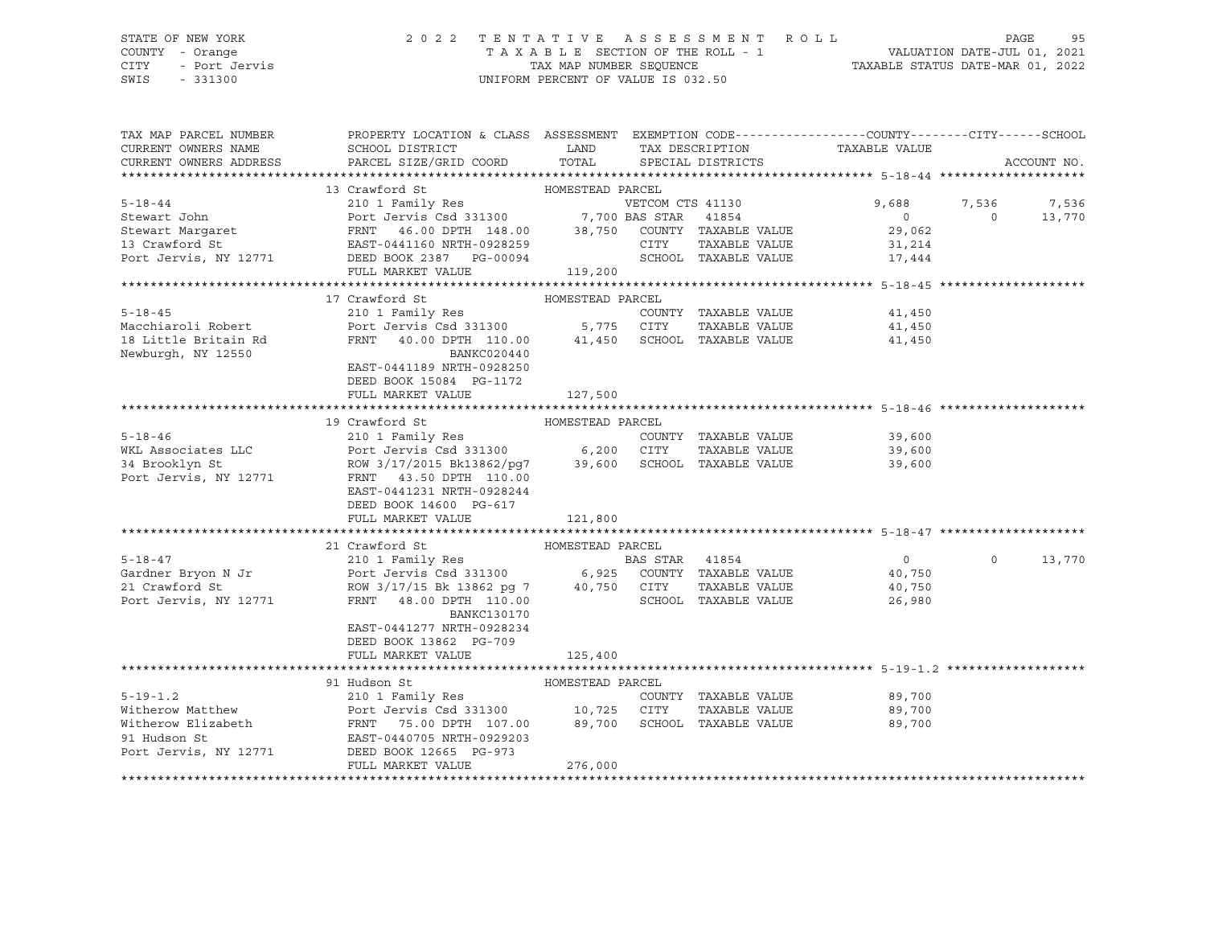## STATE OF NEW YORK 2 0 2 2 T E N T A T I V E A S S E S S M E N T R O L L PAGE 95 COUNTY - Orange T A X A B L E SECTION OF THE ROLL - 1 VALUATION DATE-JUL 01, 2021 CITY - Port Jervis TAX MAP NUMBER SEQUENCE TAXABLE STATUS DATE-MAR 01, 2022

| TAX MAP PARCEL NUMBER                                                                                                                                                                              | PROPERTY LOCATION & CLASS ASSESSMENT EXEMPTION CODE----------------COUNTY-------CITY------SCHOOL                                                                                              |                  |                      |                                                                                                                                                                                                |                |             |
|----------------------------------------------------------------------------------------------------------------------------------------------------------------------------------------------------|-----------------------------------------------------------------------------------------------------------------------------------------------------------------------------------------------|------------------|----------------------|------------------------------------------------------------------------------------------------------------------------------------------------------------------------------------------------|----------------|-------------|
| CURRENT OWNERS NAME                                                                                                                                                                                | SCHOOL DISTRICT                                                                                                                                                                               | LAND             |                      | TAX DESCRIPTION TAXABLE VALUE                                                                                                                                                                  |                |             |
| CURRENT OWNERS ADDRESS                                                                                                                                                                             | PARCEL SIZE/GRID COORD TOTAL SPECIAL DISTRICTS                                                                                                                                                |                  |                      |                                                                                                                                                                                                |                | ACCOUNT NO. |
|                                                                                                                                                                                                    |                                                                                                                                                                                               |                  |                      |                                                                                                                                                                                                |                |             |
|                                                                                                                                                                                                    |                                                                                                                                                                                               |                  |                      |                                                                                                                                                                                                |                |             |
|                                                                                                                                                                                                    |                                                                                                                                                                                               |                  |                      |                                                                                                                                                                                                |                |             |
|                                                                                                                                                                                                    |                                                                                                                                                                                               |                  |                      | 9,688                                                                                                                                                                                          | 7,536          | 7,536       |
|                                                                                                                                                                                                    |                                                                                                                                                                                               |                  |                      | $\overline{0}$                                                                                                                                                                                 | $\overline{0}$ | 13,770      |
|                                                                                                                                                                                                    |                                                                                                                                                                                               |                  |                      | 29,062                                                                                                                                                                                         |                |             |
|                                                                                                                                                                                                    |                                                                                                                                                                                               |                  |                      | 31,214                                                                                                                                                                                         |                |             |
|                                                                                                                                                                                                    |                                                                                                                                                                                               |                  |                      | $\begin{tabular}{lllll} \multicolumn{2}{c}{\textbf{SCHOOL}} & \multicolumn{2}{c}{\textbf{TAXABLE}} & \multicolumn{2}{c}{\textbf{VALUE}} & \multicolumn{2}{c}{\textbf{17,444}}\\ \end{tabular}$ |                |             |
|                                                                                                                                                                                                    | FULL MARKET VALUE                                                                                                                                                                             | 119,200          |                      |                                                                                                                                                                                                |                |             |
|                                                                                                                                                                                                    |                                                                                                                                                                                               |                  |                      |                                                                                                                                                                                                |                |             |
|                                                                                                                                                                                                    |                                                                                                                                                                                               |                  |                      |                                                                                                                                                                                                |                |             |
|                                                                                                                                                                                                    | 17 Crawford St                                                                                                                                                                                | HOMESTEAD PARCEL |                      |                                                                                                                                                                                                |                |             |
| $5 - 18 - 45$                                                                                                                                                                                      | 210 1 Family Res                                                                                                                                                                              |                  | COUNTY TAXABLE VALUE | 41,450                                                                                                                                                                                         |                |             |
| Macchiaroli Robert                                                                                                                                                                                 |                                                                                                                                                                                               |                  |                      | 41,450                                                                                                                                                                                         |                |             |
| 18 Little Britain Rd                                                                                                                                                                               | Port Jervis Csd 331300 5,775 CITY TAXABLE VALUE<br>FRNT 40.00 DPTH 110.00 41,450 SCHOOL TAXABLE VALUE                                                                                         |                  |                      | 41,450                                                                                                                                                                                         |                |             |
| Newburgh, NY 12550                                                                                                                                                                                 | BANKC020440                                                                                                                                                                                   |                  |                      |                                                                                                                                                                                                |                |             |
|                                                                                                                                                                                                    | EAST-0441189 NRTH-0928250                                                                                                                                                                     |                  |                      |                                                                                                                                                                                                |                |             |
|                                                                                                                                                                                                    | DEED BOOK 15084 PG-1172                                                                                                                                                                       |                  |                      |                                                                                                                                                                                                |                |             |
|                                                                                                                                                                                                    |                                                                                                                                                                                               |                  |                      |                                                                                                                                                                                                |                |             |
|                                                                                                                                                                                                    | FULL MARKET VALUE                                                                                                                                                                             | 127,500          |                      |                                                                                                                                                                                                |                |             |
|                                                                                                                                                                                                    |                                                                                                                                                                                               |                  |                      |                                                                                                                                                                                                |                |             |
|                                                                                                                                                                                                    | 19 Crawford St                                                                                                                                                                                | HOMESTEAD PARCEL |                      |                                                                                                                                                                                                |                |             |
| $5 - 18 - 46$                                                                                                                                                                                      |                                                                                                                                                                                               |                  |                      | 39,600                                                                                                                                                                                         |                |             |
| WKL Associates LLC<br>34 Brooklyn St                                                                                                                                                               | 210 1 Family Res<br>Port Jervis Csd 331300 6,200 CITY TAXABLE VALUE<br>ROW 3/17/2015 Bk13862/pg7 39,600 SCHOOL TAXABLE VALUE                                                                  |                  | TAXABLE VALUE        | 39,600                                                                                                                                                                                         |                |             |
| 34 Brooklyn St                                                                                                                                                                                     |                                                                                                                                                                                               |                  |                      | 39,600                                                                                                                                                                                         |                |             |
| Port Jervis, NY 12771                                                                                                                                                                              | FRNT 43.50 DPTH 110.00                                                                                                                                                                        |                  |                      |                                                                                                                                                                                                |                |             |
|                                                                                                                                                                                                    | EAST-0441231 NRTH-0928244                                                                                                                                                                     |                  |                      |                                                                                                                                                                                                |                |             |
|                                                                                                                                                                                                    |                                                                                                                                                                                               |                  |                      |                                                                                                                                                                                                |                |             |
|                                                                                                                                                                                                    | DEED BOOK 14600 PG-617                                                                                                                                                                        |                  |                      |                                                                                                                                                                                                |                |             |
|                                                                                                                                                                                                    | FULL MARKET VALUE                                                                                                                                                                             | 121,800          |                      |                                                                                                                                                                                                |                |             |
|                                                                                                                                                                                                    |                                                                                                                                                                                               |                  |                      |                                                                                                                                                                                                |                |             |
|                                                                                                                                                                                                    | 21 Crawford St                                                                                                                                                                                | HOMESTEAD PARCEL |                      |                                                                                                                                                                                                |                |             |
| $5 - 18 - 47$                                                                                                                                                                                      |                                                                                                                                                                                               |                  |                      | $\overline{0}$                                                                                                                                                                                 | $\Omega$       | 13,770      |
|                                                                                                                                                                                                    |                                                                                                                                                                                               |                  |                      | 40,750                                                                                                                                                                                         |                |             |
| Gardner Bryon N Jr<br>21 Crawford St                                                                                                                                                               |                                                                                                                                                                                               |                  |                      | 40,750                                                                                                                                                                                         |                |             |
| Port Jervis, NY 12771                                                                                                                                                                              | 21 Crawford St<br>210 1 Family Res<br>Port Jervis Csd 331300 6,925 COUNTY TAXABLE VALUE<br>ROW 3/17/15 Bk 13862 pg 7 40,750 CITY TAXABLE VALUE<br>FRNT 48.00 DPTH 110.00 SCHOOL TAXABLE VALUE |                  |                      | 26,980                                                                                                                                                                                         |                |             |
|                                                                                                                                                                                                    |                                                                                                                                                                                               |                  |                      |                                                                                                                                                                                                |                |             |
|                                                                                                                                                                                                    | <b>BANKC130170</b>                                                                                                                                                                            |                  |                      |                                                                                                                                                                                                |                |             |
|                                                                                                                                                                                                    | EAST-0441277 NRTH-0928234                                                                                                                                                                     |                  |                      |                                                                                                                                                                                                |                |             |
|                                                                                                                                                                                                    | DEED BOOK 13862 PG-709                                                                                                                                                                        |                  |                      |                                                                                                                                                                                                |                |             |
|                                                                                                                                                                                                    | FULL MARKET VALUE                                                                                                                                                                             | 125,400          |                      |                                                                                                                                                                                                |                |             |
|                                                                                                                                                                                                    |                                                                                                                                                                                               |                  |                      |                                                                                                                                                                                                |                |             |
|                                                                                                                                                                                                    | HOMESTEAD PARCEL<br>91 Hudson St                                                                                                                                                              |                  |                      |                                                                                                                                                                                                |                |             |
|                                                                                                                                                                                                    |                                                                                                                                                                                               |                  |                      | 89,700                                                                                                                                                                                         |                |             |
| Exercise of the COUNTY TAXABLE VALUE<br>Witherow Matthew Port Jervis Csd 331300 10,725 CITY TAXABLE VALUE<br>Witherow Elizabeth FRNT 75.00 DPTH 107.00 89,700 SCHOOL TAXABLE VALUE<br>91 Hudson St |                                                                                                                                                                                               |                  |                      | TAXABLE VALUE 89,700                                                                                                                                                                           |                |             |
|                                                                                                                                                                                                    |                                                                                                                                                                                               |                  |                      |                                                                                                                                                                                                |                |             |
|                                                                                                                                                                                                    |                                                                                                                                                                                               |                  |                      | 89,700                                                                                                                                                                                         |                |             |
|                                                                                                                                                                                                    |                                                                                                                                                                                               |                  |                      |                                                                                                                                                                                                |                |             |
| Port Jervis, NY 12771                                                                                                                                                                              | DEED BOOK 12665 PG-973                                                                                                                                                                        |                  |                      |                                                                                                                                                                                                |                |             |
|                                                                                                                                                                                                    | FULL MARKET VALUE                                                                                                                                                                             | 276,000          |                      |                                                                                                                                                                                                |                |             |
|                                                                                                                                                                                                    |                                                                                                                                                                                               |                  |                      |                                                                                                                                                                                                |                |             |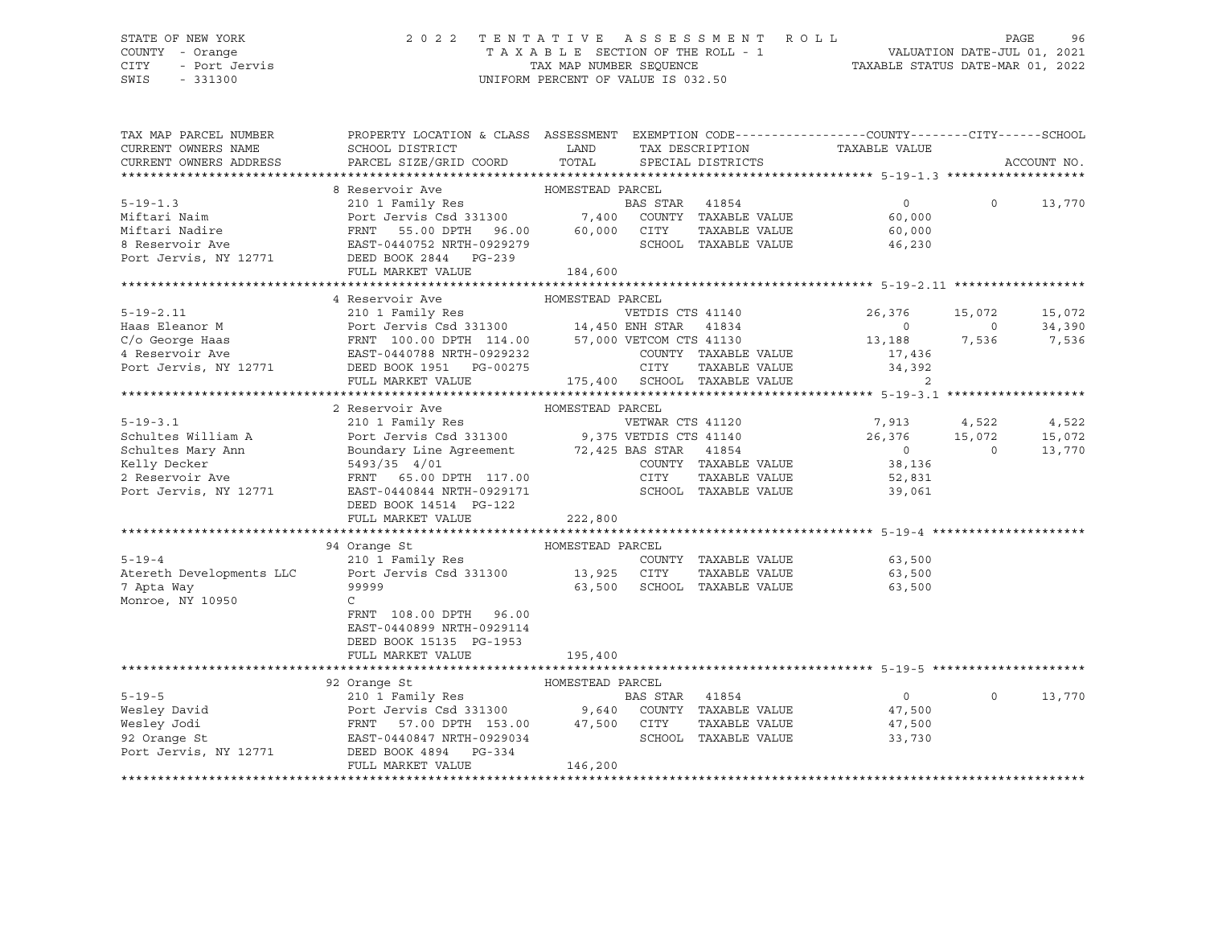# STATE OF NEW YORK 2 0 2 2 T E N T A T I V E A S S E S S M E N T R O L L PAGE 96 COUNTY - Orange T A X A B L E SECTION OF THE ROLL - 1 VALUATION DATE-JUL 01, 2021

SWIS - 331300 UNIFORM PERCENT OF VALUE IS 032.50

CITY - Port Jervis TAX MAP NUMBER SEQUENCE TAXABLE STATUS DATE-MAR 01, 2022

| TAX MAP PARCEL NUMBER    | PROPERTY LOCATION & CLASS ASSESSMENT EXEMPTION CODE----------------COUNTY-------CITY------SCHOOL                    |                  |                  |                              |                |                |             |
|--------------------------|---------------------------------------------------------------------------------------------------------------------|------------------|------------------|------------------------------|----------------|----------------|-------------|
| CURRENT OWNERS NAME      | SCHOOL DISTRICT                                                                                                     | LAND<br>TOTAL    |                  | TAX DESCRIPTION              | TAXABLE VALUE  |                |             |
| CURRENT OWNERS ADDRESS   | PARCEL SIZE/GRID COORD                                                                                              |                  |                  | SPECIAL DISTRICTS            |                |                | ACCOUNT NO. |
|                          | 8 Reservoir Ave                                                                                                     | HOMESTEAD PARCEL |                  |                              |                |                |             |
| $5 - 19 - 1.3$           | 210 1 Family Res                                                                                                    |                  | BAS STAR         | 41854                        | $\overline{0}$ | $\circ$        | 13,770      |
| Miftari Naim             | Port Jervis Csd 331300 7,400                                                                                        |                  |                  | COUNTY TAXABLE VALUE         | 60,000         |                |             |
| Miftari Nadire           | FRNT 55.00 DPTH 96.00 60,000 CITY                                                                                   |                  |                  | TAXABLE VALUE                | 60,000         |                |             |
| 8 Reservoir Ave          | EAST-0440752 NRTH-0929279                                                                                           |                  |                  | SCHOOL TAXABLE VALUE         | 46,230         |                |             |
| Port Jervis, NY 12771    | DEED BOOK 2844 PG-239                                                                                               |                  |                  |                              |                |                |             |
|                          | FULL MARKET VALUE                                                                                                   | 184,600          |                  |                              |                |                |             |
|                          |                                                                                                                     |                  |                  |                              |                |                |             |
|                          | 4 Reservoir Ave                                                                                                     | HOMESTEAD PARCEL |                  |                              |                |                |             |
| $5 - 19 - 2.11$          |                                                                                                                     |                  |                  |                              | 26,376         | 15,072         | 15,072      |
| Haas Eleanor M           |                                                                                                                     |                  |                  |                              | $\overline{0}$ | $\overline{0}$ | 34,390      |
| C/o George Haas          | FRNT 100.00 DPTH 114.00 57,000 VETCOM CTS 41130<br>EAST-0440788 NRTH-0929232 COUNTY TAXABLE                         |                  |                  |                              | 13,188 7,536   |                | 7,536       |
| 4 Reservoir Ave          |                                                                                                                     |                  |                  | COUNTY TAXABLE VALUE         | 17,436         |                |             |
| Port Jervis, NY 12771    | DEED BOOK 1951    PG-00275                                                                                          |                  | CITY             | TAXABLE VALUE                | 34,392         |                |             |
|                          | FULL MARKET VALUE                                                                                                   |                  |                  | 175,400 SCHOOL TAXABLE VALUE | 2              |                |             |
|                          |                                                                                                                     |                  |                  |                              |                |                |             |
|                          | 2 Reservoir Ave                                                                                                     | HOMESTEAD PARCEL |                  |                              |                |                |             |
| $5 - 19 - 3.1$           | 210 1 Family Res WETWAR CTS 41120<br>Port Jervis Csd 331300 9,375 VETDIS CTS 41140                                  |                  | VETWAR CTS 41120 |                              | 7,913          | 4,522          | 4,522       |
| Schultes William A       |                                                                                                                     |                  |                  |                              | 26,376         | 15,072         | 15,072      |
| Schultes Mary Ann        | Boundary Line Agreement 72,425 BAS STAR 41854<br>5493/35 4/01 COUNTY TAXABLE<br>FRNT 65.00 DPTH 117.00 CITY TAXABLE |                  |                  |                              | $\overline{0}$ | $\circ$        | 13,770      |
| Kelly Decker             |                                                                                                                     |                  |                  | COUNTY TAXABLE VALUE         | 38,136         |                |             |
| 2 Reservoir Ave          |                                                                                                                     |                  |                  | TAXABLE VALUE                | 52,831         |                |             |
| Port Jervis, NY 12771    | EAST-0440844 NRTH-0929171                                                                                           |                  |                  | SCHOOL TAXABLE VALUE         | 39,061         |                |             |
|                          | DEED BOOK 14514 PG-122<br>FULL MARKET VALUE                                                                         | 222,800          |                  |                              |                |                |             |
|                          |                                                                                                                     |                  |                  |                              |                |                |             |
|                          | 94 Orange St                                                                                                        | HOMESTEAD PARCEL |                  |                              |                |                |             |
| $5 - 19 - 4$             | 210 1 Family Res                                                                                                    |                  |                  | COUNTY TAXABLE VALUE         | 63,500         |                |             |
| Atereth Developments LLC | Port Jervis Csd 331300 13,925 CITY                                                                                  |                  |                  | TAXABLE VALUE                | 63,500         |                |             |
| 7 Apta Way               | 99999                                                                                                               | 63,500           |                  | SCHOOL TAXABLE VALUE         | 63,500         |                |             |
| Monroe, NY 10950         | $\mathsf{C}$                                                                                                        |                  |                  |                              |                |                |             |
|                          | FRNT 108.00 DPTH 96.00                                                                                              |                  |                  |                              |                |                |             |
|                          | EAST-0440899 NRTH-0929114                                                                                           |                  |                  |                              |                |                |             |
|                          | DEED BOOK 15135 PG-1953                                                                                             |                  |                  |                              |                |                |             |
|                          | FULL MARKET VALUE                                                                                                   | 195,400          |                  |                              |                |                |             |
|                          |                                                                                                                     |                  |                  |                              |                |                |             |
|                          | 92 Orange St                                                                                                        | HOMESTEAD PARCEL |                  |                              |                |                |             |
| $5 - 19 - 5$             | 210 1 Family Res                                                                                                    |                  | BAS STAR 41854   |                              | $\overline{0}$ | $\Omega$       | 13,770      |
| Wesley David             | Port Jervis Csd 331300 9,640                                                                                        |                  |                  | COUNTY TAXABLE VALUE         | 47,500         |                |             |
| Wesley Jodi              | FRNT 57.00 DPTH 153.00 47,500 CITY<br>EAST-0440847 NRTH-0929034 SCHOO                                               |                  |                  | TAXABLE VALUE                | 47,500         |                |             |
| 92 Orange St             |                                                                                                                     |                  |                  | SCHOOL TAXABLE VALUE         | 33,730         |                |             |
| Port Jervis, NY 12771    | DEED BOOK 4894 PG-334                                                                                               |                  |                  |                              |                |                |             |
|                          | FULL MARKET VALUE                                                                                                   | 146,200          |                  |                              |                |                |             |
|                          |                                                                                                                     |                  |                  |                              |                |                |             |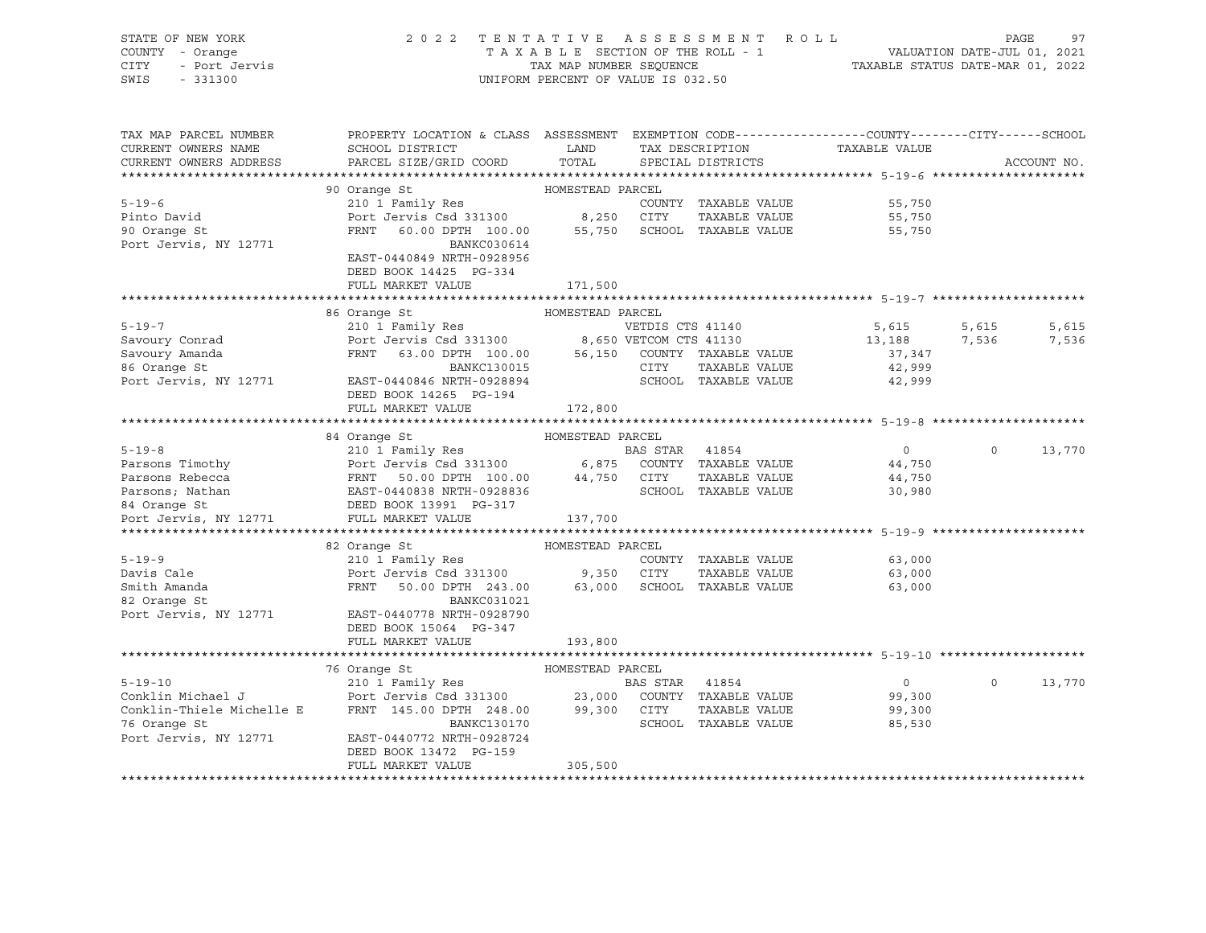| STATE OF NEW YORK<br>COUNTY - Orange<br>CITY - Port Jervis<br>SWIS - 331300                                                                                                                                                                                | 2022 TENTATIVE ASSESSMENT ROLL                                                                                                                                                                                                                        | UNIFORM PERCENT OF VALUE IS 032.50 |                                            | PAGE 97<br>TAXABLE SECTION OF THE ROLL - 1 VALUATION DATE-JUL 01, 2021<br>TAXABLE STATUS DATE-MAR 01, 2022<br>TAXABLE STATUS DATE-MAR 01, 2022 | PAGE           | 97          |
|------------------------------------------------------------------------------------------------------------------------------------------------------------------------------------------------------------------------------------------------------------|-------------------------------------------------------------------------------------------------------------------------------------------------------------------------------------------------------------------------------------------------------|------------------------------------|--------------------------------------------|------------------------------------------------------------------------------------------------------------------------------------------------|----------------|-------------|
| TAX MAP PARCEL NUMBER<br>CURRENT OWNERS NAME<br>CURRENT OWNERS ADDRESS                                                                                                                                                                                     | PROPERTY LOCATION & CLASS ASSESSMENT EXEMPTION CODE---------------COUNTY-------CITY------SCHOOL<br>SCHOOL DISTRICT                       LAND        TAX DESCRIPTION                  TAXABLE VALUE<br>PARCEL SIZE/GRID COORD TOTAL SPECIAL DISTRICTS |                                    |                                            |                                                                                                                                                |                | ACCOUNT NO. |
|                                                                                                                                                                                                                                                            |                                                                                                                                                                                                                                                       |                                    |                                            |                                                                                                                                                |                |             |
|                                                                                                                                                                                                                                                            | 90 Orange St                                                                                                                                                                                                                                          | HOMESTEAD PARCEL                   |                                            |                                                                                                                                                |                |             |
| $5 - 19 - 6$                                                                                                                                                                                                                                               |                                                                                                                                                                                                                                                       |                                    | COUNTY TAXABLE VALUE                       | 55,750                                                                                                                                         |                |             |
| Pinto David                                                                                                                                                                                                                                                |                                                                                                                                                                                                                                                       |                                    |                                            | 55,750                                                                                                                                         |                |             |
| 90 Orange St                                                                                                                                                                                                                                               | Orange St<br>210 1 Family Res<br>Port Jervis Csd 331300 8,250 CITY TAXABLE VALUE<br>FRNT 60.00 DPTH 100.00 55,750 SCHOOL TAXABLE VALUE                                                                                                                |                                    |                                            | 55,750                                                                                                                                         |                |             |
| Port Jervis, NY 12771                                                                                                                                                                                                                                      | BANKC030614                                                                                                                                                                                                                                           |                                    |                                            |                                                                                                                                                |                |             |
|                                                                                                                                                                                                                                                            | EAST-0440849 NRTH-0928956                                                                                                                                                                                                                             |                                    |                                            |                                                                                                                                                |                |             |
|                                                                                                                                                                                                                                                            | DEED BOOK 14425 PG-334                                                                                                                                                                                                                                |                                    |                                            |                                                                                                                                                |                |             |
|                                                                                                                                                                                                                                                            | FULL MARKET VALUE                                                                                                                                                                                                                                     | 171,500                            |                                            |                                                                                                                                                |                |             |
|                                                                                                                                                                                                                                                            |                                                                                                                                                                                                                                                       |                                    |                                            |                                                                                                                                                |                |             |
| 5-19-7<br>Savoury Conrad<br>Savoury Amanda<br>Savoury Amanda<br>Savoury Amanda<br>Savoury Amanda<br>Savoury Amanda<br>Savoury Amanda<br>Savoury Amanda<br>Savoury Amanda<br>Savoury Amanda<br>Savoury Amanda<br>Savoury Amanda<br>Savoury Amanda<br>Savour | 86 Orange St                                                                                                                                                                                                                                          | HOMESTEAD PARCEL                   |                                            |                                                                                                                                                |                |             |
|                                                                                                                                                                                                                                                            |                                                                                                                                                                                                                                                       |                                    | VETDIS CTS 41140                           | 5,615                                                                                                                                          | 5,615          | 5,615       |
|                                                                                                                                                                                                                                                            |                                                                                                                                                                                                                                                       |                                    |                                            | 13,188 7,536                                                                                                                                   |                | 7,536       |
|                                                                                                                                                                                                                                                            |                                                                                                                                                                                                                                                       |                                    |                                            | 37,347<br>42,999                                                                                                                               |                |             |
| Port Jervis, NY 12771 EAST-0440846 NRTH-0928894                                                                                                                                                                                                            |                                                                                                                                                                                                                                                       |                                    | CITY TAXABLE VALUE<br>SCHOOL TAXABLE VALUE | 42,999                                                                                                                                         |                |             |
|                                                                                                                                                                                                                                                            | DEED BOOK 14265 PG-194                                                                                                                                                                                                                                |                                    |                                            |                                                                                                                                                |                |             |
|                                                                                                                                                                                                                                                            | FULL MARKET VALUE                                                                                                                                                                                                                                     | 172,800                            |                                            |                                                                                                                                                |                |             |
|                                                                                                                                                                                                                                                            |                                                                                                                                                                                                                                                       |                                    |                                            |                                                                                                                                                |                |             |
|                                                                                                                                                                                                                                                            | 84 Orange St                                                                                                                                                                                                                                          | HOMESTEAD PARCEL                   |                                            |                                                                                                                                                |                |             |
|                                                                                                                                                                                                                                                            |                                                                                                                                                                                                                                                       |                                    |                                            | $\overline{0}$                                                                                                                                 | $\Omega$       | 13,770      |
|                                                                                                                                                                                                                                                            |                                                                                                                                                                                                                                                       |                                    |                                            | 44,750                                                                                                                                         |                |             |
|                                                                                                                                                                                                                                                            |                                                                                                                                                                                                                                                       |                                    |                                            | 44,750                                                                                                                                         |                |             |
| 910 1 Family Res<br>Parsons Timothy<br>Parsons Rebecca<br>Parsons Rebecca<br>Parsons Rebecca<br>Parsons, Nathan<br>BAS STAR 41854<br>Port Jervis Csd 331300<br>Parsons, Nathan<br>BAST-0440838 NRTH-0928836<br>PAST-0440838 NRTH-0928836<br>PAST-044       |                                                                                                                                                                                                                                                       |                                    |                                            | 30,980                                                                                                                                         |                |             |
|                                                                                                                                                                                                                                                            |                                                                                                                                                                                                                                                       |                                    |                                            |                                                                                                                                                |                |             |
|                                                                                                                                                                                                                                                            |                                                                                                                                                                                                                                                       |                                    |                                            |                                                                                                                                                |                |             |
|                                                                                                                                                                                                                                                            |                                                                                                                                                                                                                                                       |                                    |                                            |                                                                                                                                                |                |             |
|                                                                                                                                                                                                                                                            | 82 Orange St                                                                                                                                                                                                                                          | HOMESTEAD PARCEL                   |                                            |                                                                                                                                                |                |             |
| $5 - 19 - 9$                                                                                                                                                                                                                                               | 210 1 Family Res                                                                                                                                                                                                                                      |                                    | COUNTY TAXABLE VALUE                       | 63,000                                                                                                                                         |                |             |
| Davis Cale                                                                                                                                                                                                                                                 | Port Jervis Csd 331300 9,350 CITY TAXABLE VALUE 63,000<br>FRNT 50.00 DPTH 243.00 63,000 SCHOOL TAXABLE VALUE 63,000                                                                                                                                   |                                    |                                            |                                                                                                                                                |                |             |
| Smith Amanda<br>82 Orange St                                                                                                                                                                                                                               |                                                                                                                                                                                                                                                       |                                    |                                            |                                                                                                                                                |                |             |
|                                                                                                                                                                                                                                                            | BANKC031021                                                                                                                                                                                                                                           |                                    |                                            |                                                                                                                                                |                |             |
| Port Jervis, NY 12771 EAST-0440778 NRTH-0928790                                                                                                                                                                                                            |                                                                                                                                                                                                                                                       |                                    |                                            |                                                                                                                                                |                |             |
|                                                                                                                                                                                                                                                            | DEED BOOK 15064 PG-347                                                                                                                                                                                                                                |                                    |                                            |                                                                                                                                                |                |             |
|                                                                                                                                                                                                                                                            | FULL MARKET VALUE                                                                                                                                                                                                                                     | 193,800                            |                                            |                                                                                                                                                |                |             |
|                                                                                                                                                                                                                                                            |                                                                                                                                                                                                                                                       |                                    |                                            |                                                                                                                                                |                |             |
|                                                                                                                                                                                                                                                            |                                                                                                                                                                                                                                                       |                                    |                                            | $\overline{0}$                                                                                                                                 | $\overline{0}$ | 13,770      |
|                                                                                                                                                                                                                                                            |                                                                                                                                                                                                                                                       |                                    |                                            | 99,300                                                                                                                                         |                |             |
|                                                                                                                                                                                                                                                            |                                                                                                                                                                                                                                                       |                                    |                                            | 99,300                                                                                                                                         |                |             |
|                                                                                                                                                                                                                                                            |                                                                                                                                                                                                                                                       |                                    |                                            | 85,530                                                                                                                                         |                |             |
| Port Jervis, NY 12771 EAST-0440772 NRTH-0928724                                                                                                                                                                                                            |                                                                                                                                                                                                                                                       |                                    |                                            |                                                                                                                                                |                |             |
|                                                                                                                                                                                                                                                            | DEED BOOK 13472 PG-159                                                                                                                                                                                                                                |                                    |                                            |                                                                                                                                                |                |             |
|                                                                                                                                                                                                                                                            | FULL MARKET VALUE                                                                                                                                                                                                                                     | 305,500                            |                                            |                                                                                                                                                |                |             |
|                                                                                                                                                                                                                                                            |                                                                                                                                                                                                                                                       |                                    |                                            |                                                                                                                                                |                |             |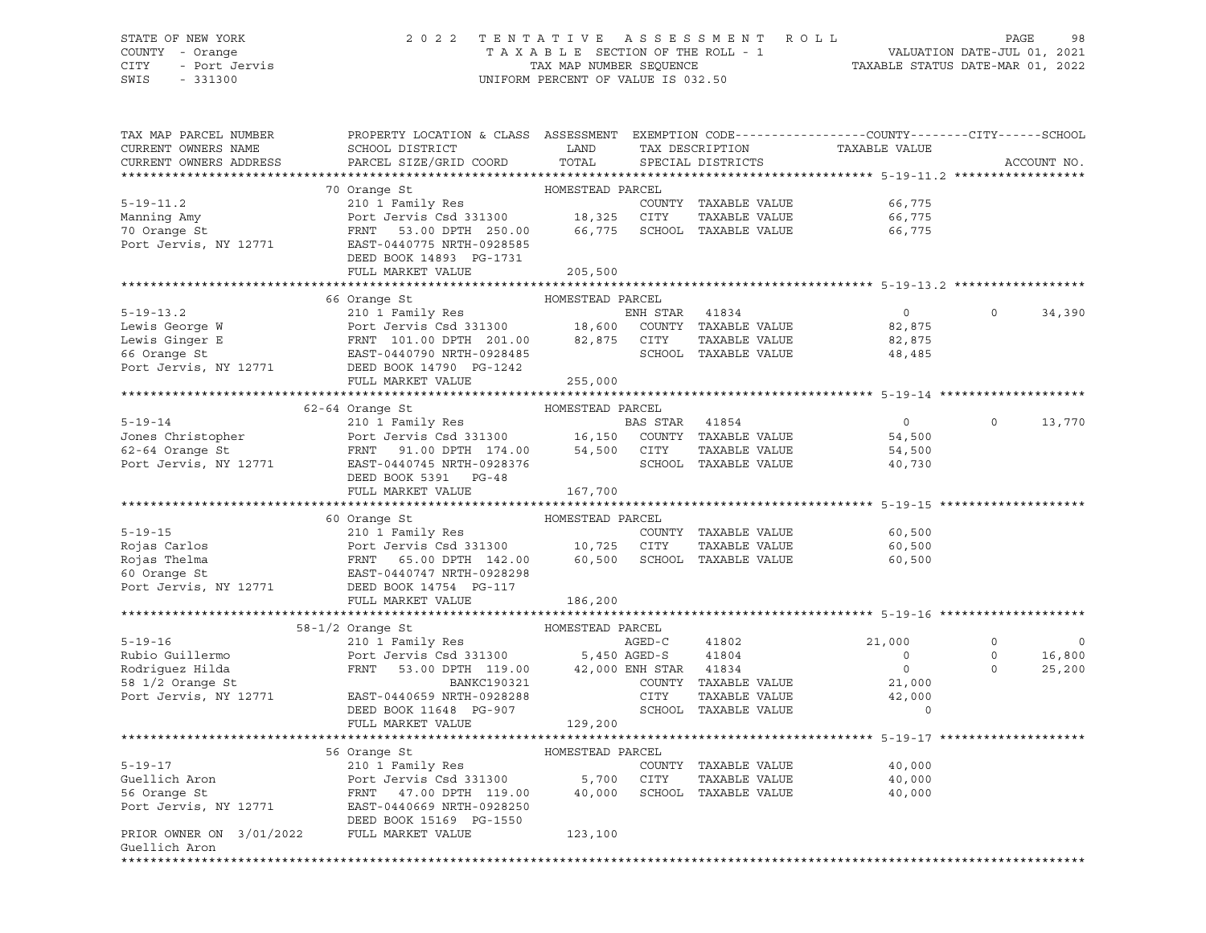## STATE OF NEW YORK 2 0 2 2 T E N T A T I V E A S S E S S M E N T R O L L PAGE 98 COUNTY - Orange T A X A B L E SECTION OF THE ROLL - 1 VALUATION DATE-JUL 01, 2021 CITY - Port Jervis TAX MAP NUMBER SEQUENCE TAXABLE STATUS DATE-MAR 01, 2022

| TAX MAP PARCEL NUMBER<br>CURRENT OWNERS NAME | PROPERTY LOCATION & CLASS ASSESSMENT<br>SCHOOL DISTRICT                   | LAND             |                       | TAX DESCRIPTION             | EXEMPTION CODE-----------------COUNTY-------CITY------SCHOOL<br>TAXABLE VALUE |          |             |
|----------------------------------------------|---------------------------------------------------------------------------|------------------|-----------------------|-----------------------------|-------------------------------------------------------------------------------|----------|-------------|
| CURRENT OWNERS ADDRESS                       | PARCEL SIZE/GRID COORD                                                    | TOTAL            |                       | SPECIAL DISTRICTS           |                                                                               |          | ACCOUNT NO. |
|                                              | 70 Orange St                                                              | HOMESTEAD PARCEL |                       |                             |                                                                               |          |             |
| $5 - 19 - 11.2$                              | 210 1 Family Res                                                          |                  |                       | COUNTY TAXABLE VALUE        | 66,775                                                                        |          |             |
| Manning Amy                                  | Port Jervis Csd 331300 18,325 CITY                                        |                  |                       | TAXABLE VALUE               | 66,775                                                                        |          |             |
| 70 Orange St                                 | FRNT 53.00 DPTH 250.00                                                    | 66,775           |                       | SCHOOL TAXABLE VALUE        | 66,775                                                                        |          |             |
| Port Jervis, NY 12771                        | EAST-0440775 NRTH-0928585                                                 |                  |                       |                             |                                                                               |          |             |
|                                              | DEED BOOK 14893 PG-1731                                                   |                  |                       |                             |                                                                               |          |             |
|                                              | FULL MARKET VALUE                                                         | 205,500          |                       |                             |                                                                               |          |             |
|                                              |                                                                           |                  |                       |                             |                                                                               |          |             |
|                                              | 66 Orange St                                                              | HOMESTEAD PARCEL |                       |                             |                                                                               |          |             |
| $5 - 19 - 13.2$                              | 210 1 Family Res                                                          |                  | ENH STAR              | 41834                       | $\circ$                                                                       | $\circ$  | 34,390      |
| Lewis George W                               | Port Jervis Csd 331300 18,600                                             |                  |                       | COUNTY TAXABLE VALUE        | 82,875                                                                        |          |             |
| Lewis Ginger E                               | FRNT 101.00 DPTH 201.00                                                   | 82,875           | CITY                  | TAXABLE VALUE               | 82,875                                                                        |          |             |
| 66 Orange St                                 | EAST-0440790 NRTH-0928485                                                 |                  |                       | SCHOOL TAXABLE VALUE        | 48,485                                                                        |          |             |
| Port Jervis, NY 12771                        | DEED BOOK 14790 PG-1242                                                   |                  |                       |                             |                                                                               |          |             |
|                                              | FULL MARKET VALUE                                                         | 255,000          |                       |                             |                                                                               |          |             |
|                                              |                                                                           |                  |                       |                             |                                                                               |          |             |
|                                              | 62-64 Orange St                                                           | HOMESTEAD PARCEL |                       |                             |                                                                               |          |             |
| $5 - 19 - 14$                                | 210 I Family Res<br>Port Jervis Csd 331300 16,150                         |                  | BAS STAR              | 41854                       | $\overline{0}$                                                                | $\Omega$ | 13,770      |
| Jones Christopher                            |                                                                           |                  |                       | COUNTY TAXABLE VALUE        | 54,500                                                                        |          |             |
| 62-64 Orange St                              | FRNT 91.00 DPTH 174.00 54,500<br>EAST-0440745 NRTH-0928376                |                  | CITY                  | TAXABLE VALUE               | 54,500                                                                        |          |             |
| Port Jervis, NY 12771                        | EAST-0440745 NRTH-0928376                                                 |                  |                       | SCHOOL TAXABLE VALUE        | 40,730                                                                        |          |             |
|                                              | DEED BOOK 5391 PG-48<br>FULL MARKET VALUE                                 | 167,700          |                       |                             |                                                                               |          |             |
|                                              |                                                                           |                  |                       |                             |                                                                               |          |             |
|                                              | 60 Orange St                                                              | HOMESTEAD PARCEL |                       |                             |                                                                               |          |             |
| $5 - 19 - 15$                                | 210 1 Family Res                                                          |                  |                       | COUNTY TAXABLE VALUE        | 60,500                                                                        |          |             |
| Rojas Carlos                                 | Port Jervis Csd 331300 10,725 CITY<br>FRNT 65.00 DPTH 142.00 60,500 SCHOO |                  |                       | TAXABLE VALUE               | 60,500                                                                        |          |             |
| Rojas Thelma                                 |                                                                           |                  |                       | 60,500 SCHOOL TAXABLE VALUE | 60,500                                                                        |          |             |
| 60 Orange St                                 | EAST-0440747 NRTH-0928298                                                 |                  |                       |                             |                                                                               |          |             |
| Port Jervis, NY 12771                        | DEED BOOK 14754 PG-117                                                    |                  |                       |                             |                                                                               |          |             |
|                                              | FULL MARKET VALUE                                                         | 186,200          |                       |                             |                                                                               |          |             |
|                                              |                                                                           |                  |                       |                             |                                                                               |          |             |
|                                              | $58-1/2$ Orange St                                                        | HOMESTEAD PARCEL |                       |                             |                                                                               |          |             |
| $5 - 19 - 16$                                | 210 1 Family Res                                                          |                  | AGED-C                | 41802                       | 21,000                                                                        | $\circ$  | 0           |
| Rubio Guillermo                              | Port Jervis Csd $331300$ 5,450 AGED-S                                     |                  |                       | 41804                       | $\circ$                                                                       | $\circ$  | 16,800      |
| Rodriguez Hilda                              | FRNT<br>53.00 DPTH 119.00                                                 |                  | 42,000 ENH STAR 41834 |                             | $\circ$                                                                       | $\Omega$ | 25,200      |
| 58 1/2 Orange St                             | BANKC190321                                                               |                  |                       | COUNTY TAXABLE VALUE        | 21,000                                                                        |          |             |
| Port Jervis, NY 12771                        | EAST-0440659 NRTH-0928288                                                 |                  | CITY                  | TAXABLE VALUE               | 42,000                                                                        |          |             |
|                                              | DEED BOOK 11648 PG-907                                                    |                  |                       | SCHOOL TAXABLE VALUE        |                                                                               |          |             |
|                                              | FULL MARKET VALUE                                                         | 129,200          |                       |                             |                                                                               |          |             |
|                                              |                                                                           |                  |                       |                             |                                                                               |          |             |
|                                              | 56 Orange St                                                              | HOMESTEAD PARCEL |                       |                             |                                                                               |          |             |
| $5 - 19 - 17$                                | 210 1 Family Res                                                          |                  |                       | COUNTY TAXABLE VALUE        | 40,000                                                                        |          |             |
| Guellich Aron                                | Port Jervis Csd 331300                                                    | 5,700            | CITY                  | TAXABLE VALUE               | 40,000                                                                        |          |             |
| 56 Orange St                                 | FRNT 47.00 DPTH 119.00                                                    | 40,000           |                       | SCHOOL TAXABLE VALUE        | 40,000                                                                        |          |             |
| Port Jervis, NY 12771                        | EAST-0440669 NRTH-0928250                                                 |                  |                       |                             |                                                                               |          |             |
| PRIOR OWNER ON 3/01/2022 FULL MARKET VALUE   | DEED BOOK 15169 PG-1550                                                   | 123,100          |                       |                             |                                                                               |          |             |
| Guellich Aron                                |                                                                           |                  |                       |                             |                                                                               |          |             |
| ****************                             |                                                                           |                  |                       |                             |                                                                               |          |             |
|                                              |                                                                           |                  |                       |                             |                                                                               |          |             |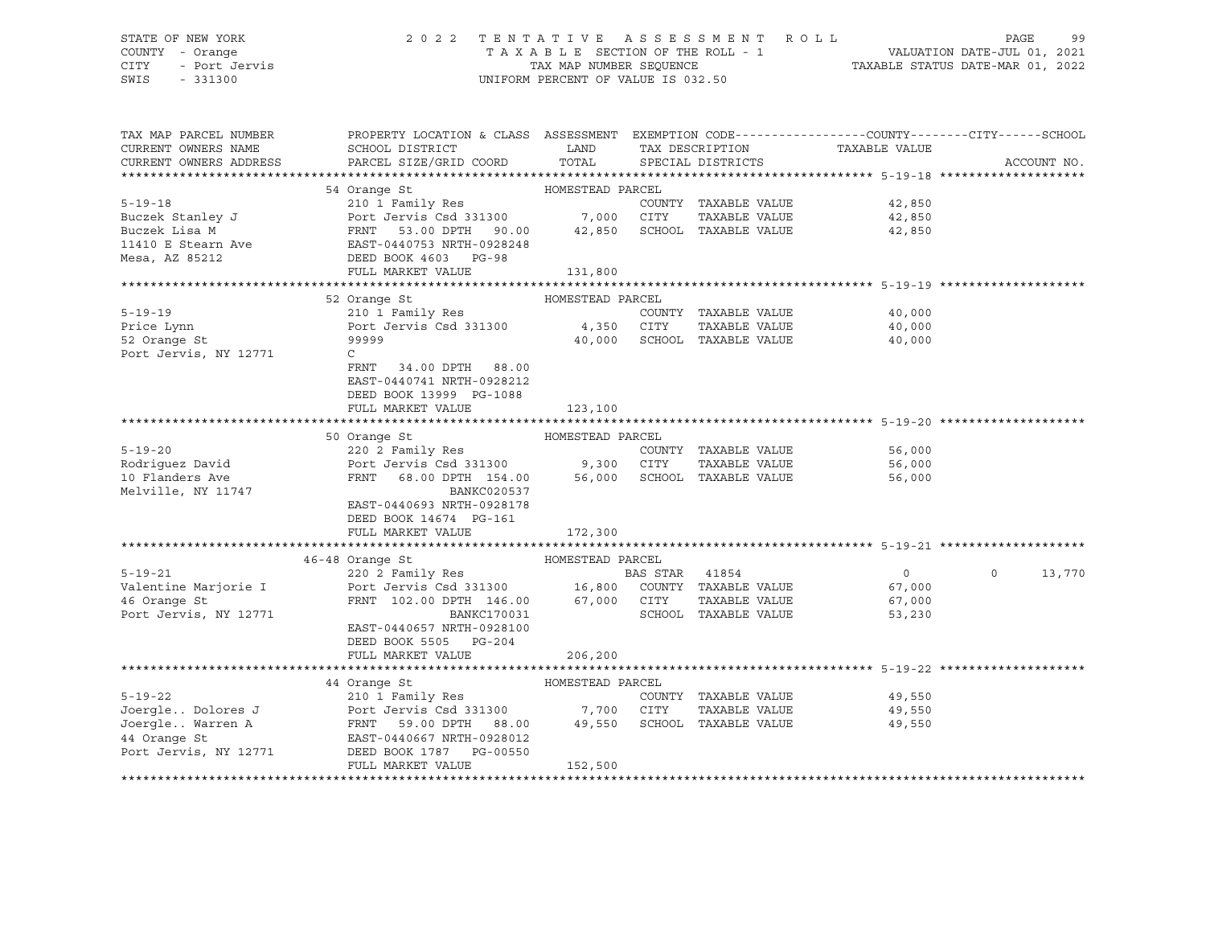# STATE OF NEW YORK 2 0 2 2 T E N T A T I V E A S S E S S M E N T R O L L PAGE 99 COUNTY - Orange T A X A B L E SECTION OF THE ROLL - 1 VALUATION DATE-JUL 01, 2021 CITY - Port Jervis TAX MAP NUMBER SEQUENCE TAXABLE STATUS DATE-MAR 01, 2022

| TAX MAP PARCEL NUMBER  | PROPERTY LOCATION & CLASS ASSESSMENT EXEMPTION CODE---------------COUNTY-------CITY------SCHOOL                                                                                                                                        |                  |                |                             |                             |                    |
|------------------------|----------------------------------------------------------------------------------------------------------------------------------------------------------------------------------------------------------------------------------------|------------------|----------------|-----------------------------|-----------------------------|--------------------|
| CURRENT OWNERS NAME    | SCHOOL DISTRICT                                                                                                                                                                                                                        | <b>LAND</b>      |                | TAX DESCRIPTION             | TAXABLE VALUE               |                    |
| CURRENT OWNERS ADDRESS | PARCEL SIZE/GRID COORD                                                                                                                                                                                                                 | TOTAL            |                | SPECIAL DISTRICTS           |                             | ACCOUNT NO.        |
|                        |                                                                                                                                                                                                                                        |                  |                |                             |                             |                    |
|                        | 54 Orange St<br>$\frac{1}{2}$ and $\frac{1}{2}$ 00                                                                                                                                                                                     | HOMESTEAD PARCEL |                |                             |                             |                    |
| $5 - 19 - 18$          | 210 1 Family Res                                                                                                                                                                                                                       |                  |                |                             | COUNTY TAXABLE VALUE 42,850 |                    |
|                        |                                                                                                                                                                                                                                        |                  |                |                             | TAXABLE VALUE 42,850        |                    |
|                        |                                                                                                                                                                                                                                        |                  |                |                             | 42,850                      |                    |
|                        |                                                                                                                                                                                                                                        |                  |                |                             |                             |                    |
|                        | Buczek Stanley J<br>Buczek Lisa M<br>Buczek Lisa M<br>I1410 E Stearn Ave EAST-0440753 NRTH-0928248<br>Mesa, AZ 85212<br>DEED BOOK 4603 PG-98                                                                                           |                  |                |                             |                             |                    |
|                        | FULL MARKET VALUE                                                                                                                                                                                                                      | 131,800          |                |                             |                             |                    |
|                        |                                                                                                                                                                                                                                        |                  |                |                             |                             |                    |
|                        | HOMESTEAD PARCEL<br>52 Orange St                                                                                                                                                                                                       |                  |                |                             |                             |                    |
| $5 - 19 - 19$          |                                                                                                                                                                                                                                        |                  |                | COUNTY TAXABLE VALUE        | $40,000$<br>$40.000$        |                    |
| Price Lynn             |                                                                                                                                                                                                                                        |                  |                | TAXABLE VALUE               | 40,000                      |                    |
| 52 Orange St           | 99999                                                                                                                                                                                                                                  |                  |                | 40,000 SCHOOL TAXABLE VALUE | 40,000                      |                    |
| Port Jervis, NY 12771  | $\mathsf{C}$                                                                                                                                                                                                                           |                  |                |                             |                             |                    |
|                        | FRNT<br>34.00 DPTH 88.00                                                                                                                                                                                                               |                  |                |                             |                             |                    |
|                        | EAST-0440741 NRTH-0928212                                                                                                                                                                                                              |                  |                |                             |                             |                    |
|                        | DEED BOOK 13999 PG-1088                                                                                                                                                                                                                |                  |                |                             |                             |                    |
|                        | FULL MARKET VALUE                                                                                                                                                                                                                      | 123,100          |                |                             |                             |                    |
|                        |                                                                                                                                                                                                                                        |                  |                |                             |                             |                    |
|                        | 50 Orange St                                                                                                                                                                                                                           | HOMESTEAD PARCEL |                |                             |                             |                    |
| $5 - 19 - 20$          |                                                                                                                                                                                                                                        |                  |                | COUNTY TAXABLE VALUE        | 56,000                      |                    |
| Rodriguez David        |                                                                                                                                                                                                                                        |                  |                |                             | TAXABLE VALUE 56,000        |                    |
| 10 Flanders Ave        | Port Jervis Csd 331300 9,300 CITY TAXABLE VALUE<br>FRNT 68.00 DPTH 154.00 56,000 SCHOOL TAXABLE VALUE                                                                                                                                  |                  |                |                             | 56,000                      |                    |
| Melville, NY 11747     | BANKC020537                                                                                                                                                                                                                            |                  |                |                             |                             |                    |
|                        | EAST-0440693 NRTH-0928178                                                                                                                                                                                                              |                  |                |                             |                             |                    |
|                        | DEED BOOK 14674 PG-161                                                                                                                                                                                                                 |                  |                |                             |                             |                    |
|                        | FULL MARKET VALUE                                                                                                                                                                                                                      | 172,300          |                |                             |                             |                    |
|                        |                                                                                                                                                                                                                                        |                  |                |                             |                             |                    |
|                        | 46-48 Orange St                                                                                                                                                                                                                        |                  |                |                             |                             |                    |
| $5 - 19 - 21$          |                                                                                                                                                                                                                                        |                  | BAS STAR 41854 |                             | $\overline{0}$              | $\Omega$<br>13,770 |
|                        |                                                                                                                                                                                                                                        |                  |                |                             |                             |                    |
|                        |                                                                                                                                                                                                                                        |                  |                |                             |                             |                    |
|                        | 19-21<br>Valentine Marjorie I (1970) 220 2 Family Res<br>Valentine Marjorie I (1970) 220 2 Family Res<br>16 Grange St<br>19771 (1973) 230 Dort Jervis NY 12771 (1970) 200 DPTH 146.00 (1987) 271 (1987) 230 Dort Jervis NY 12771 (1988 |                  |                |                             |                             |                    |
|                        | EAST-0440657 NRTH-0928100                                                                                                                                                                                                              |                  |                |                             |                             |                    |
|                        |                                                                                                                                                                                                                                        |                  |                |                             |                             |                    |
|                        | DEED BOOK 5505 PG-204                                                                                                                                                                                                                  |                  |                |                             |                             |                    |
|                        | FULL MARKET VALUE                                                                                                                                                                                                                      | 206,200          |                |                             |                             |                    |
|                        |                                                                                                                                                                                                                                        |                  |                |                             |                             |                    |
|                        | 44 Orange St<br>HOMESTEAD PARCEL                                                                                                                                                                                                       |                  |                |                             |                             |                    |
| $5 - 19 - 22$          | 210 1 Family Res                                                                                                                                                                                                                       |                  |                | COUNTY TAXABLE VALUE        | 49,550                      |                    |
|                        | Joergle Dolores J<br>Joergle Warren A Marken (FRNT 59.00 DPTH 88.00 197550 SCHOOL TAXABLE VALUE<br>44 Orange St (EAST-0440667 NRTH-0928012                                                                                             |                  |                |                             | TAXABLE VALUE 49,550        |                    |
|                        |                                                                                                                                                                                                                                        |                  |                |                             | 49,550                      |                    |
|                        |                                                                                                                                                                                                                                        |                  |                |                             |                             |                    |
| Port Jervis, NY 12771  | DEED BOOK 1787 PG-00550                                                                                                                                                                                                                |                  |                |                             |                             |                    |
|                        | FULL MARKET VALUE                                                                                                                                                                                                                      | 152,500          |                |                             |                             |                    |
|                        |                                                                                                                                                                                                                                        |                  |                |                             |                             |                    |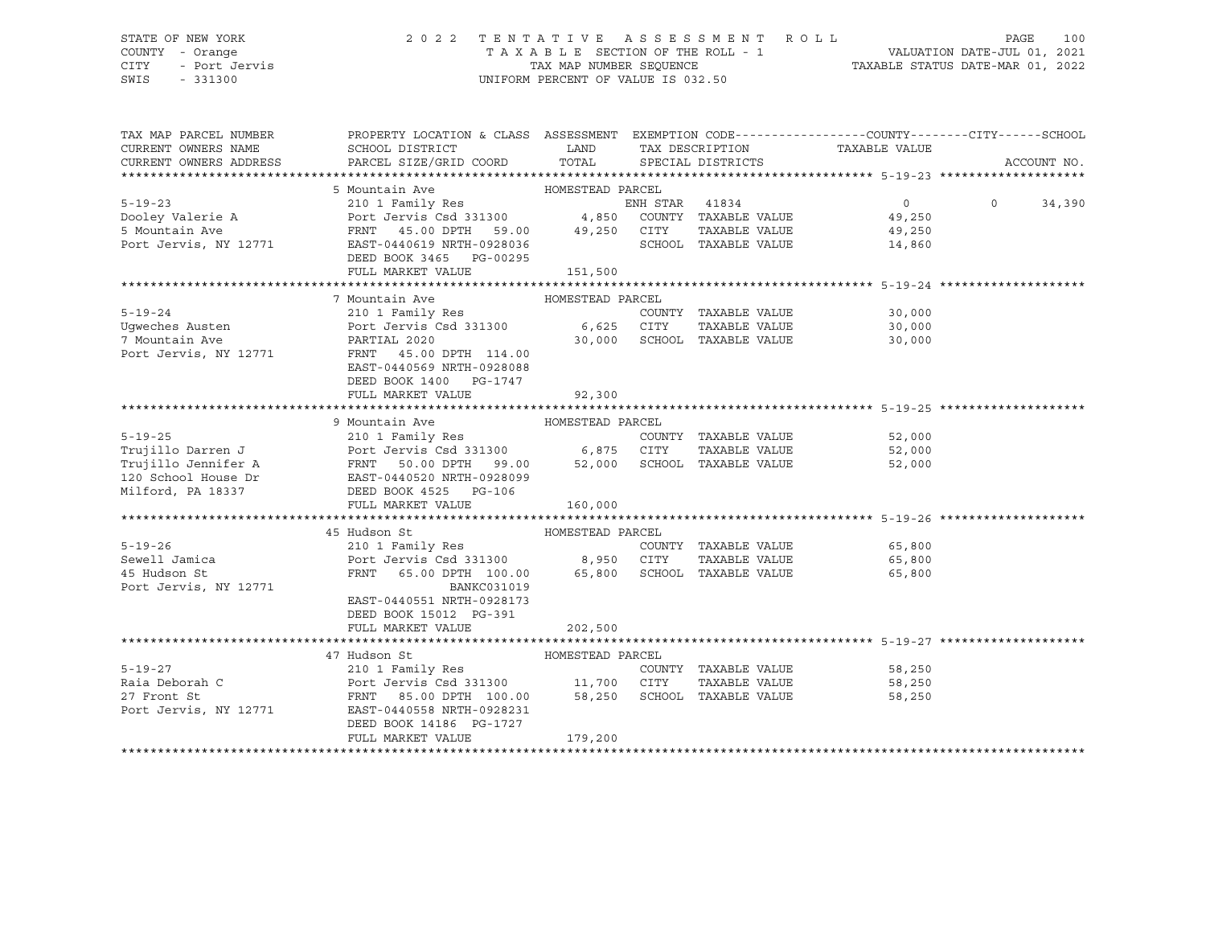# STATE OF NEW YORK 2 0 2 2 T E N T A T I V E A S S E S S M E N T R O L L PAGE 100 COUNTY - Orange T A X A B L E SECTION OF THE ROLL - 1 VALUATION DATE-JUL 01, 2021 CITY - Port Jervis TAX MAP NUMBER SEQUENCE TAXABLE STATUS DATE-MAR 01, 2022

| TAX MAP PARCEL NUMBER<br>CURRENT OWNERS NAME<br>CURRENT OWNERS ADDRESS                  | PROPERTY LOCATION & CLASS ASSESSMENT EXEMPTION CODE---------------COUNTY-------CITY------SCHOOL<br>SCHOOL DISTRICT<br>PARCEL SIZE/GRID COORD | <b>EXAMPLE SERVICE SERVICE SERVICE SERVICE SERVICE SERVICE SERVICE SERVICE SERVICE SERVICE SERVICE SERVICE SERVICE</b><br>TOTAL |                | TAX DESCRIPTION<br>SPECIAL DISTRICTS | TAXABLE VALUE                  | ACCOUNT NO.        |
|-----------------------------------------------------------------------------------------|----------------------------------------------------------------------------------------------------------------------------------------------|---------------------------------------------------------------------------------------------------------------------------------|----------------|--------------------------------------|--------------------------------|--------------------|
|                                                                                         |                                                                                                                                              |                                                                                                                                 |                |                                      |                                |                    |
|                                                                                         | 5 Mountain Ave MOMESTEAD PARCEL                                                                                                              |                                                                                                                                 |                |                                      |                                |                    |
| $5 - 19 - 23$                                                                           | 210 1 Family Res                                                                                                                             |                                                                                                                                 | ENH STAR 41834 |                                      | $\overline{0}$                 | $\Omega$<br>34,390 |
|                                                                                         |                                                                                                                                              |                                                                                                                                 |                |                                      | 49,250                         |                    |
|                                                                                         |                                                                                                                                              |                                                                                                                                 |                |                                      | 49,250                         |                    |
| Port Jervis, NY 12771 EAST-0440619 NRTH-0928036                                         |                                                                                                                                              |                                                                                                                                 |                |                                      | SCHOOL TAXABLE VALUE<br>14,860 |                    |
|                                                                                         | DEED BOOK 3465 PG-00295                                                                                                                      |                                                                                                                                 |                |                                      |                                |                    |
|                                                                                         | FULL MARKET VALUE                                                                                                                            | 151,500                                                                                                                         |                |                                      |                                |                    |
|                                                                                         |                                                                                                                                              |                                                                                                                                 |                |                                      |                                |                    |
|                                                                                         | 7 Mountain Ave                                                                                                                               | HOMESTEAD PARCEL                                                                                                                |                |                                      |                                |                    |
|                                                                                         |                                                                                                                                              |                                                                                                                                 |                |                                      | COUNTY TAXABLE VALUE 30,000    |                    |
|                                                                                         |                                                                                                                                              |                                                                                                                                 |                | TAXABLE VALUE                        | 30,000                         |                    |
|                                                                                         |                                                                                                                                              |                                                                                                                                 |                | 30,000 SCHOOL TAXABLE VALUE          | 30,000                         |                    |
| Port Jervis, NY 12771 FRNT 45.00 DPTH 114.00                                            |                                                                                                                                              |                                                                                                                                 |                |                                      |                                |                    |
|                                                                                         | EAST-0440569 NRTH-0928088                                                                                                                    |                                                                                                                                 |                |                                      |                                |                    |
|                                                                                         | DEED BOOK 1400 PG-1747                                                                                                                       |                                                                                                                                 |                |                                      |                                |                    |
|                                                                                         | FULL MARKET VALUE                                                                                                                            | 92,300                                                                                                                          |                |                                      |                                |                    |
|                                                                                         |                                                                                                                                              |                                                                                                                                 |                |                                      |                                |                    |
|                                                                                         | 9 Mountain Ave                                                                                                                               | HOMESTEAD PARCEL                                                                                                                |                |                                      |                                |                    |
| $5 - 19 - 25$                                                                           | 210 1 Family Res                                                                                                                             |                                                                                                                                 |                | COUNTY TAXABLE VALUE                 | 52,000                         |                    |
| Trujillo Darren J                       Port Jervis Csd 331300             6,875   CITY |                                                                                                                                              |                                                                                                                                 |                |                                      | TAXABLE VALUE<br>52,000        |                    |
|                                                                                         |                                                                                                                                              |                                                                                                                                 |                |                                      | 52,000                         |                    |
|                                                                                         |                                                                                                                                              |                                                                                                                                 |                |                                      |                                |                    |
|                                                                                         |                                                                                                                                              |                                                                                                                                 |                |                                      |                                |                    |
|                                                                                         | FULL MARKET VALUE                                                                                                                            | 160,000                                                                                                                         |                |                                      |                                |                    |
|                                                                                         | 45 Hudson St                                                                                                                                 | HOMESTEAD PARCEL                                                                                                                |                |                                      |                                |                    |
| $5 - 19 - 26$                                                                           |                                                                                                                                              |                                                                                                                                 |                | COUNTY TAXABLE VALUE                 | 65,800                         |                    |
| Sewell Jamica                                                                           |                                                                                                                                              |                                                                                                                                 |                |                                      | TAXABLE VALUE 65,800           |                    |
| 45 Hudson St                                                                            | FRNT 65.00 DPTH 100.00 65,800 SCHOOL TAXABLE VALUE 65,800                                                                                    |                                                                                                                                 |                |                                      |                                |                    |
| Port Jervis, NY 12771                                                                   | <b>BANKC031019</b>                                                                                                                           |                                                                                                                                 |                |                                      |                                |                    |
|                                                                                         | EAST-0440551 NRTH-0928173                                                                                                                    |                                                                                                                                 |                |                                      |                                |                    |
|                                                                                         | DEED BOOK 15012 PG-391                                                                                                                       |                                                                                                                                 |                |                                      |                                |                    |
|                                                                                         | FULL MARKET VALUE                                                                                                                            | 202,500                                                                                                                         |                |                                      |                                |                    |
|                                                                                         |                                                                                                                                              |                                                                                                                                 |                |                                      |                                |                    |
|                                                                                         | 47 Hudson St                                                                                                                                 | HOMESTEAD PARCEL                                                                                                                |                |                                      |                                |                    |
| 5-19-27                                                                                 | 210 1 Family Res                                                                                                                             |                                                                                                                                 |                |                                      | COUNTY TAXABLE VALUE 58,250    |                    |
| Raia Deborah C                                                                          |                                                                                                                                              |                                                                                                                                 |                | TAXABLE VALUE                        | 58,250                         |                    |
| 27 Front St                                                                             | Port Jervis Csd 331300 11,700 CITY TAXABLE VALUE<br>FRNT 85.00 DPTH 100.00 58,250 SCHOOL TAXABLE VALUE                                       |                                                                                                                                 |                |                                      | 58,250                         |                    |
| Port Jervis, NY 12771                                                                   | EAST-0440558 NRTH-0928231                                                                                                                    |                                                                                                                                 |                |                                      |                                |                    |
|                                                                                         | DEED BOOK 14186 PG-1727                                                                                                                      |                                                                                                                                 |                |                                      |                                |                    |
|                                                                                         | FULL MARKET VALUE                                                                                                                            | 179,200                                                                                                                         |                |                                      |                                |                    |
|                                                                                         |                                                                                                                                              |                                                                                                                                 |                |                                      |                                |                    |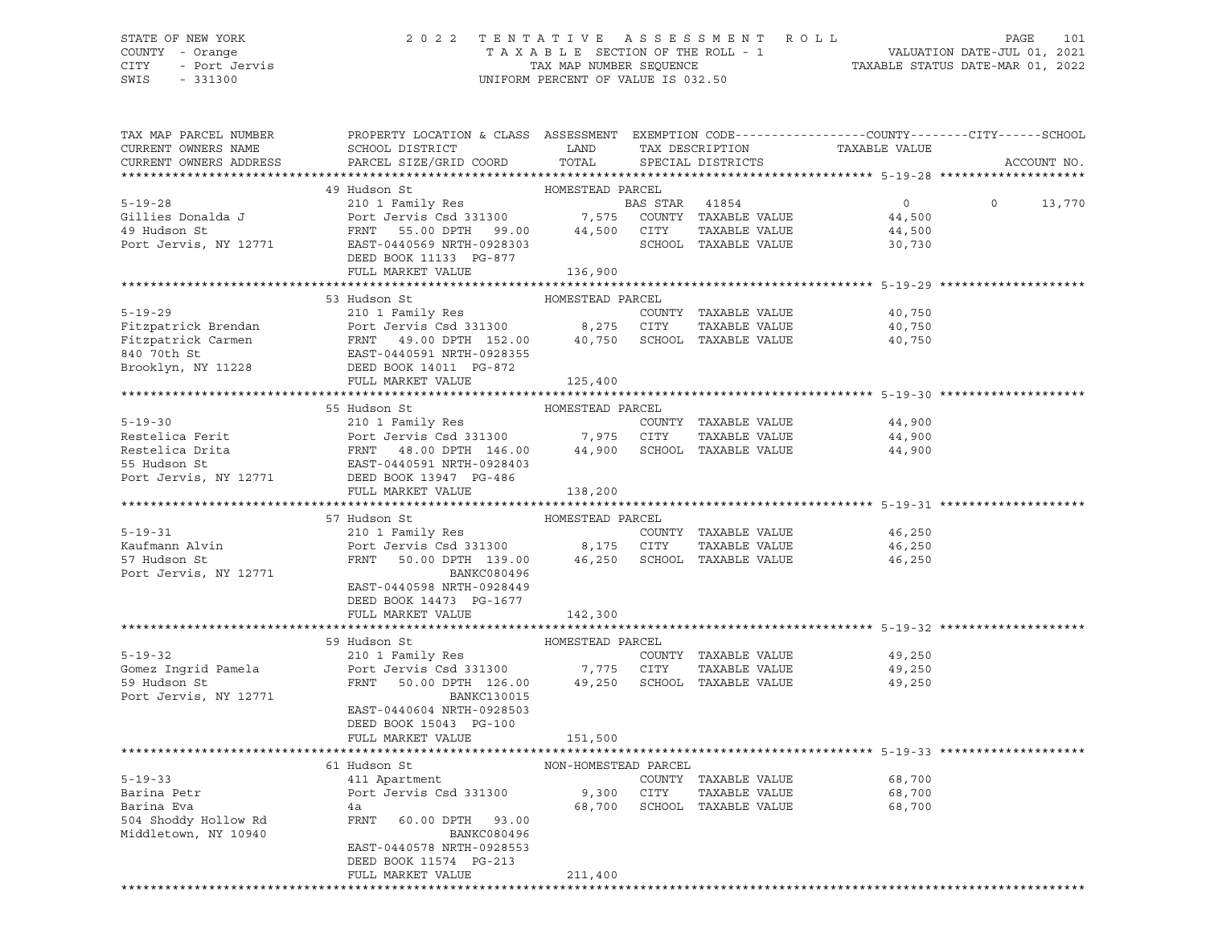## STATE OF NEW YORK 2 0 2 2 T E N T A T I V E A S S E S S M E N T R O L L PAGE 101 COUNTY - Orange T A X A B L E SECTION OF THE ROLL - 1 VALUATION DATE-JUL 01, 2021 CITY - Port Jervis TAX MAP NUMBER SEQUENCE TAXABLE STATUS DATE-MAR 01, 2022

| TAX MAP PARCEL NUMBER  | PROPERTY LOCATION & CLASS ASSESSMENT EXEMPTION CODE---------------COUNTY-------CITY------SCHOOL                                                                                                                       |                      |                             |                                                |                   |
|------------------------|-----------------------------------------------------------------------------------------------------------------------------------------------------------------------------------------------------------------------|----------------------|-----------------------------|------------------------------------------------|-------------------|
| CURRENT OWNERS NAME    | SCHOOL DISTRICT                                                                                                                                                                                                       | LAND                 | TAX DESCRIPTION             | TAXABLE VALUE                                  |                   |
| CURRENT OWNERS ADDRESS | PARCEL SIZE/GRID COORD                                                                                                                                                                                                | TOTAL                | SPECIAL DISTRICTS           |                                                | ACCOUNT NO.       |
|                        |                                                                                                                                                                                                                       |                      |                             |                                                |                   |
|                        | 49 Hudson St                                                                                                                                                                                                          | HOMESTEAD PARCEL     |                             |                                                |                   |
|                        |                                                                                                                                                                                                                       |                      |                             | $\overline{0}$                                 | $\circ$<br>13,770 |
|                        |                                                                                                                                                                                                                       |                      |                             | 44,500                                         |                   |
|                        |                                                                                                                                                                                                                       |                      |                             | 44,500                                         |                   |
|                        |                                                                                                                                                                                                                       |                      |                             | 30,730                                         |                   |
|                        | DEED BOOK 11133 PG-877                                                                                                                                                                                                |                      |                             |                                                |                   |
|                        | FULL MARKET VALUE                                                                                                                                                                                                     | 136,900              |                             |                                                |                   |
|                        |                                                                                                                                                                                                                       |                      |                             |                                                |                   |
|                        | 53 Hudson St                                                                                                                                                                                                          | HOMESTEAD PARCEL     |                             |                                                |                   |
| $5 - 19 - 29$          | 210 1 Family Res                                                                                                                                                                                                      |                      | COUNTY TAXABLE VALUE        | 40,750                                         |                   |
|                        |                                                                                                                                                                                                                       |                      | TAXABLE VALUE               | 40,750                                         |                   |
|                        | Fitzpatrick Brendan<br>Fitzpatrick Carmen<br>FRNT 49.00 DPTH 152.00 8,275 CITY TAXABLE VALUE<br>840 70th Strategies (ASST-0440591 NRTH-0928355                                                                        |                      |                             | 40,750                                         |                   |
|                        |                                                                                                                                                                                                                       |                      |                             |                                                |                   |
| Brooklyn, NY 11228     | DEED BOOK 14011 PG-872                                                                                                                                                                                                |                      |                             |                                                |                   |
|                        | FULL MARKET VALUE                                                                                                                                                                                                     | 125,400              |                             |                                                |                   |
|                        |                                                                                                                                                                                                                       |                      |                             |                                                |                   |
|                        | HOMESTEAD PARCEL<br>Restelica Ferit<br>Restelica Drita<br>Restelica Drita<br>FRNT 48.00 DPTH 146.00 7,975 CITY<br>FRNT 48.00 DPTH 146.00 44,900 SCHOOL<br>55 Hudson St<br>POT Jervis, NY 12771 DEED BOOK 13947 PC 400 |                      |                             |                                                |                   |
|                        |                                                                                                                                                                                                                       |                      | COUNTY TAXABLE VALUE        | 44,900                                         |                   |
|                        |                                                                                                                                                                                                                       |                      | TAXABLE VALUE               | 44,900                                         |                   |
|                        |                                                                                                                                                                                                                       |                      | 44,900 SCHOOL TAXABLE VALUE | 44,900                                         |                   |
|                        |                                                                                                                                                                                                                       |                      |                             |                                                |                   |
|                        |                                                                                                                                                                                                                       |                      |                             |                                                |                   |
|                        |                                                                                                                                                                                                                       |                      |                             |                                                |                   |
|                        |                                                                                                                                                                                                                       |                      |                             | ******************************* 5-19-31 ****** |                   |
|                        | 57 Hudson St                                                                                                                                                                                                          | HOMESTEAD PARCEL     |                             |                                                |                   |
| $5 - 19 - 31$          |                                                                                                                                                                                                                       |                      |                             |                                                |                   |
|                        | 210 1 Family Res                                                                                                                                                                                                      |                      | COUNTY TAXABLE VALUE        | 46,250                                         |                   |
| Kaufmann Alvin         | Port Jervis Csd 331300 8,175 CITY TAXABLE VALUE<br>FRNT 50.00 DPTH 139.00 46,250 SCHOOL TAXABLE VALUE                                                                                                                 |                      |                             | 46,250                                         |                   |
| 57 Hudson St           |                                                                                                                                                                                                                       |                      |                             | 46,250                                         |                   |
| Port Jervis, NY 12771  | BANKC080496                                                                                                                                                                                                           |                      |                             |                                                |                   |
|                        | EAST-0440598 NRTH-0928449                                                                                                                                                                                             |                      |                             |                                                |                   |
|                        | DEED BOOK 14473 PG-1677                                                                                                                                                                                               |                      |                             |                                                |                   |
|                        | FULL MARKET VALUE                                                                                                                                                                                                     | 142,300              |                             |                                                |                   |
|                        |                                                                                                                                                                                                                       |                      |                             |                                                |                   |
|                        | 59 Hudson St                                                                                                                                                                                                          | HOMESTEAD PARCEL     |                             |                                                |                   |
| $5 - 19 - 32$          | 210 1 Family Res                                                                                                                                                                                                      |                      | COUNTY TAXABLE VALUE        | 49,250                                         |                   |
| Gomez Ingrid Pamela    | Port Jervis Csd 331300 7,775 CITY TAXABLE VALUE<br>FRNT 50.00 DPTH 126.00 49,250 SCHOOL TAXABLE VALUE                                                                                                                 |                      |                             | 49,250                                         |                   |
| 59 Hudson St           |                                                                                                                                                                                                                       |                      |                             | 49,250                                         |                   |
| Port Jervis, NY 12771  | BANKC130015                                                                                                                                                                                                           |                      |                             |                                                |                   |
|                        | EAST-0440604 NRTH-0928503                                                                                                                                                                                             |                      |                             |                                                |                   |
|                        | DEED BOOK 15043 PG-100                                                                                                                                                                                                |                      |                             |                                                |                   |
|                        | FULL MARKET VALUE                                                                                                                                                                                                     | 151,500              |                             |                                                |                   |
|                        |                                                                                                                                                                                                                       |                      |                             |                                                |                   |
|                        | 61 Hudson St                                                                                                                                                                                                          | NON-HOMESTEAD PARCEL |                             |                                                |                   |
| $5 - 19 - 33$          | 411 Apartment                                                                                                                                                                                                         |                      | COUNTY TAXABLE VALUE        | 68,700                                         |                   |
| Barina Petr            | Port Jervis Csd 331300                                                                                                                                                                                                | 9,300 CITY           | TAXABLE VALUE               | 68,700                                         |                   |
| Barina Eva             | 4a                                                                                                                                                                                                                    |                      | 68,700 SCHOOL TAXABLE VALUE | 68,700                                         |                   |
| 504 Shoddy Hollow Rd   | FRNT<br>60.00 DPTH 93.00                                                                                                                                                                                              |                      |                             |                                                |                   |
| Middletown, NY 10940   | BANKC080496                                                                                                                                                                                                           |                      |                             |                                                |                   |
|                        | EAST-0440578 NRTH-0928553                                                                                                                                                                                             |                      |                             |                                                |                   |
|                        | DEED BOOK 11574 PG-213                                                                                                                                                                                                |                      |                             |                                                |                   |
|                        |                                                                                                                                                                                                                       |                      |                             |                                                |                   |
|                        | FULL MARKET VALUE                                                                                                                                                                                                     | 211,400              |                             |                                                |                   |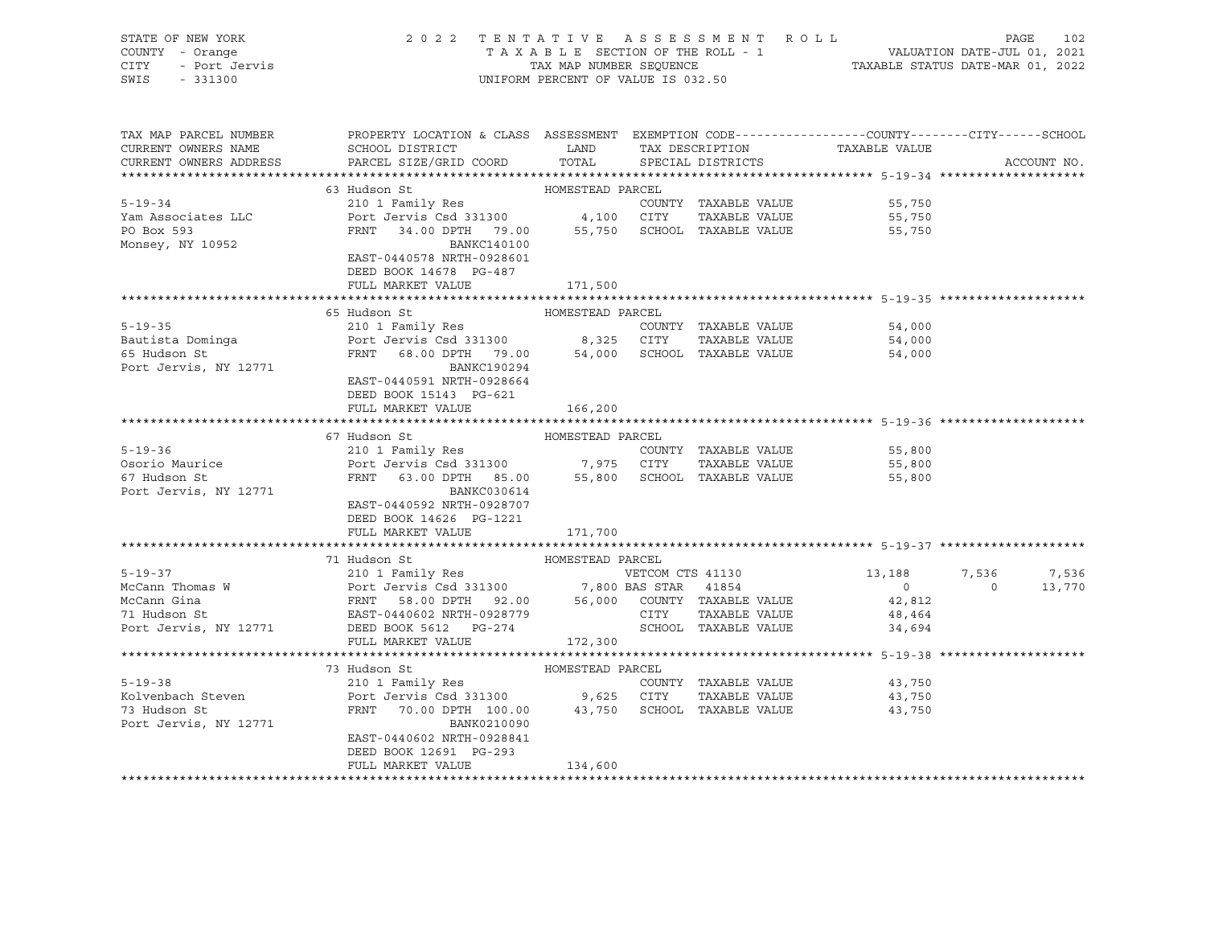| STATE OF NEW YORK                                                                                                                                                                                                                                |                                                                                                                                                                                                          |                  |  |                                            |                |             |
|--------------------------------------------------------------------------------------------------------------------------------------------------------------------------------------------------------------------------------------------------|----------------------------------------------------------------------------------------------------------------------------------------------------------------------------------------------------------|------------------|--|--------------------------------------------|----------------|-------------|
|                                                                                                                                                                                                                                                  |                                                                                                                                                                                                          |                  |  |                                            |                |             |
|                                                                                                                                                                                                                                                  |                                                                                                                                                                                                          |                  |  |                                            |                |             |
| STATE OF NEW SOLE<br>COUNTY - Orange<br>CITY - Port Jervis                                                                                                                                                                                       | 2022 TENTATIVE ASSESSMENT ROLL PAGE 102<br>TAXABLE SECTION OF THE ROLL - 1 VALUATION DATE-JUL 01, 2021<br>TAX MAP NUMBER SEQUENCE TAXABLE STATUS DATE-MAR 01, 2022<br>UNIFORM PERCENT OF VALUE IS 032.50 |                  |  |                                            |                |             |
|                                                                                                                                                                                                                                                  |                                                                                                                                                                                                          |                  |  |                                            |                |             |
|                                                                                                                                                                                                                                                  |                                                                                                                                                                                                          |                  |  |                                            |                |             |
|                                                                                                                                                                                                                                                  |                                                                                                                                                                                                          |                  |  |                                            |                |             |
| TAX MAP PARCEL NUMBER                                                                                                                                                                                                                            | PROPERTY LOCATION & CLASS ASSESSMENT EXEMPTION CODE---------------COUNTY-------CITY------SCHOOL                                                                                                          |                  |  |                                            |                |             |
| CURRENT OWNERS NAME                                                                                                                                                                                                                              | SCHOOL DISTRICT LAND TAX DESCRIPTION TAXABLE VALUE<br>NAMEL AND TAX DESCRIPTION TAXABLE VALUE                                                                                                            |                  |  |                                            |                |             |
| CURRENT OWNERS ADDRESS                                                                                                                                                                                                                           | PARCEL SIZE/GRID COORD TOTAL SPECIAL DISTRICTS                                                                                                                                                           |                  |  |                                            |                | ACCOUNT NO. |
|                                                                                                                                                                                                                                                  |                                                                                                                                                                                                          |                  |  |                                            |                |             |
| EXAMPLE VALUE 5-19-34<br>FRAGEL 5-19-34<br>TAXABLE VALUE 210 1 Family Res<br>FRAGE PORT COUNTY TAXABLE VALUE<br>FRAGE PORT COUNTY COUNTY TAXABLE VALUE<br>PORT 34.00 DPTH 79.00 55,750 SCHOOL TAXABLE VALUE                                      |                                                                                                                                                                                                          |                  |  |                                            |                |             |
|                                                                                                                                                                                                                                                  |                                                                                                                                                                                                          |                  |  | 55,750                                     |                |             |
|                                                                                                                                                                                                                                                  |                                                                                                                                                                                                          |                  |  |                                            |                |             |
|                                                                                                                                                                                                                                                  |                                                                                                                                                                                                          |                  |  | 55,750<br>55,750                           |                |             |
| PO Box 593<br>Monsey, NY 10952                                                                                                                                                                                                                   |                                                                                                                                                                                                          |                  |  |                                            |                |             |
|                                                                                                                                                                                                                                                  | BANKC140100                                                                                                                                                                                              |                  |  |                                            |                |             |
|                                                                                                                                                                                                                                                  | EAST-0440578 NRTH-0928601                                                                                                                                                                                |                  |  |                                            |                |             |
|                                                                                                                                                                                                                                                  | DEED BOOK 14678 PG-487                                                                                                                                                                                   |                  |  |                                            |                |             |
|                                                                                                                                                                                                                                                  | FULL MARKET VALUE 171,500                                                                                                                                                                                |                  |  |                                            |                |             |
|                                                                                                                                                                                                                                                  |                                                                                                                                                                                                          |                  |  |                                            |                |             |
|                                                                                                                                                                                                                                                  | 65 Hudson St                                                                                                                                                                                             | HOMESTEAD PARCEL |  |                                            |                |             |
|                                                                                                                                                                                                                                                  |                                                                                                                                                                                                          |                  |  |                                            |                |             |
|                                                                                                                                                                                                                                                  |                                                                                                                                                                                                          |                  |  | 54,000<br>54,000                           |                |             |
|                                                                                                                                                                                                                                                  |                                                                                                                                                                                                          |                  |  | 54,000                                     |                |             |
| EXECUTE 19-35<br>Bautista Dominga<br>Exercise 210 1 Family Res<br>Port Jervis Csd 331300<br>FRNT 68.00 DPTH 79.00 54,000 SCHOOL TAXABLE VALUE<br>Port Jervis, NY 12771<br>BANKC190294                                                            |                                                                                                                                                                                                          |                  |  |                                            |                |             |
|                                                                                                                                                                                                                                                  | EAST-0440591 NRTH-0928664                                                                                                                                                                                |                  |  |                                            |                |             |
|                                                                                                                                                                                                                                                  | DEED BOOK 15143 PG-621                                                                                                                                                                                   |                  |  |                                            |                |             |
|                                                                                                                                                                                                                                                  |                                                                                                                                                                                                          |                  |  |                                            |                |             |
|                                                                                                                                                                                                                                                  | FULL MARKET VALUE                                                                                                                                                                                        | 166,200          |  |                                            |                |             |
|                                                                                                                                                                                                                                                  |                                                                                                                                                                                                          |                  |  |                                            |                |             |
|                                                                                                                                                                                                                                                  | 67 Hudson St                                                                                                                                                                                             | HOMESTEAD PARCEL |  |                                            |                |             |
| $5 - 19 - 36$                                                                                                                                                                                                                                    |                                                                                                                                                                                                          |                  |  |                                            |                |             |
| Osorio Maurice<br>67 Hudson St                                                                                                                                                                                                                   |                                                                                                                                                                                                          |                  |  |                                            |                |             |
|                                                                                                                                                                                                                                                  | 210 1 Family Res<br>210 1 Family Res<br>Port Jervis Csd 331300 7,975 CITY TAXABLE VALUE<br>FRNT 63.00 DPTH 85.00 55,800 SCHOOL TAXABLE VALUE 55,800 FRNT 63.00 DPTH 85.00                                |                  |  |                                            |                |             |
| Port Jervis, NY 12771                                                                                                                                                                                                                            | BANKC030614                                                                                                                                                                                              |                  |  |                                            |                |             |
|                                                                                                                                                                                                                                                  | EAST-0440592 NRTH-0928707                                                                                                                                                                                |                  |  |                                            |                |             |
|                                                                                                                                                                                                                                                  | DEED BOOK 14626 PG-1221                                                                                                                                                                                  |                  |  |                                            |                |             |
|                                                                                                                                                                                                                                                  | FULL MARKET VALUE                                                                                                                                                                                        | 171,700          |  |                                            |                |             |
|                                                                                                                                                                                                                                                  |                                                                                                                                                                                                          |                  |  |                                            |                |             |
|                                                                                                                                                                                                                                                  |                                                                                                                                                                                                          |                  |  |                                            |                |             |
|                                                                                                                                                                                                                                                  |                                                                                                                                                                                                          |                  |  | 13,188                                     | 7,536 7,536    |             |
|                                                                                                                                                                                                                                                  |                                                                                                                                                                                                          |                  |  |                                            | $\overline{0}$ | 13,770      |
|                                                                                                                                                                                                                                                  |                                                                                                                                                                                                          |                  |  | $\begin{array}{c} 0 \\ 42,812 \end{array}$ |                |             |
|                                                                                                                                                                                                                                                  |                                                                                                                                                                                                          |                  |  |                                            |                |             |
|                                                                                                                                                                                                                                                  |                                                                                                                                                                                                          |                  |  |                                            |                |             |
|                                                                                                                                                                                                                                                  |                                                                                                                                                                                                          |                  |  |                                            |                |             |
|                                                                                                                                                                                                                                                  |                                                                                                                                                                                                          |                  |  |                                            |                |             |
|                                                                                                                                                                                                                                                  |                                                                                                                                                                                                          |                  |  |                                            |                |             |
|                                                                                                                                                                                                                                                  |                                                                                                                                                                                                          |                  |  |                                            |                |             |
| 73 Hudson St<br>210 1 Family Res<br>210 1 Family Res<br>210 1 Family Res<br>210 1 Family Res<br>210 1 Family Res<br>210 20 20 20 20 20 20 20 20 20 20 20 20 31300<br>210 20 31300<br>210 200 200 200 2017 2018 2010 2012 31,750<br>210 2013 2019 |                                                                                                                                                                                                          |                  |  |                                            |                |             |
|                                                                                                                                                                                                                                                  |                                                                                                                                                                                                          |                  |  |                                            |                |             |
|                                                                                                                                                                                                                                                  |                                                                                                                                                                                                          |                  |  |                                            |                |             |
| Port Jervis, NY 12771                                                                                                                                                                                                                            | BANK0210090                                                                                                                                                                                              |                  |  |                                            |                |             |
|                                                                                                                                                                                                                                                  | EAST-0440602 NRTH-0928841                                                                                                                                                                                |                  |  |                                            |                |             |
|                                                                                                                                                                                                                                                  | DEED BOOK 12691 PG-293                                                                                                                                                                                   |                  |  |                                            |                |             |
|                                                                                                                                                                                                                                                  | FULL MARKET VALUE                                                                                                                                                                                        | 134,600          |  |                                            |                |             |
|                                                                                                                                                                                                                                                  |                                                                                                                                                                                                          |                  |  |                                            |                |             |
|                                                                                                                                                                                                                                                  |                                                                                                                                                                                                          |                  |  |                                            |                |             |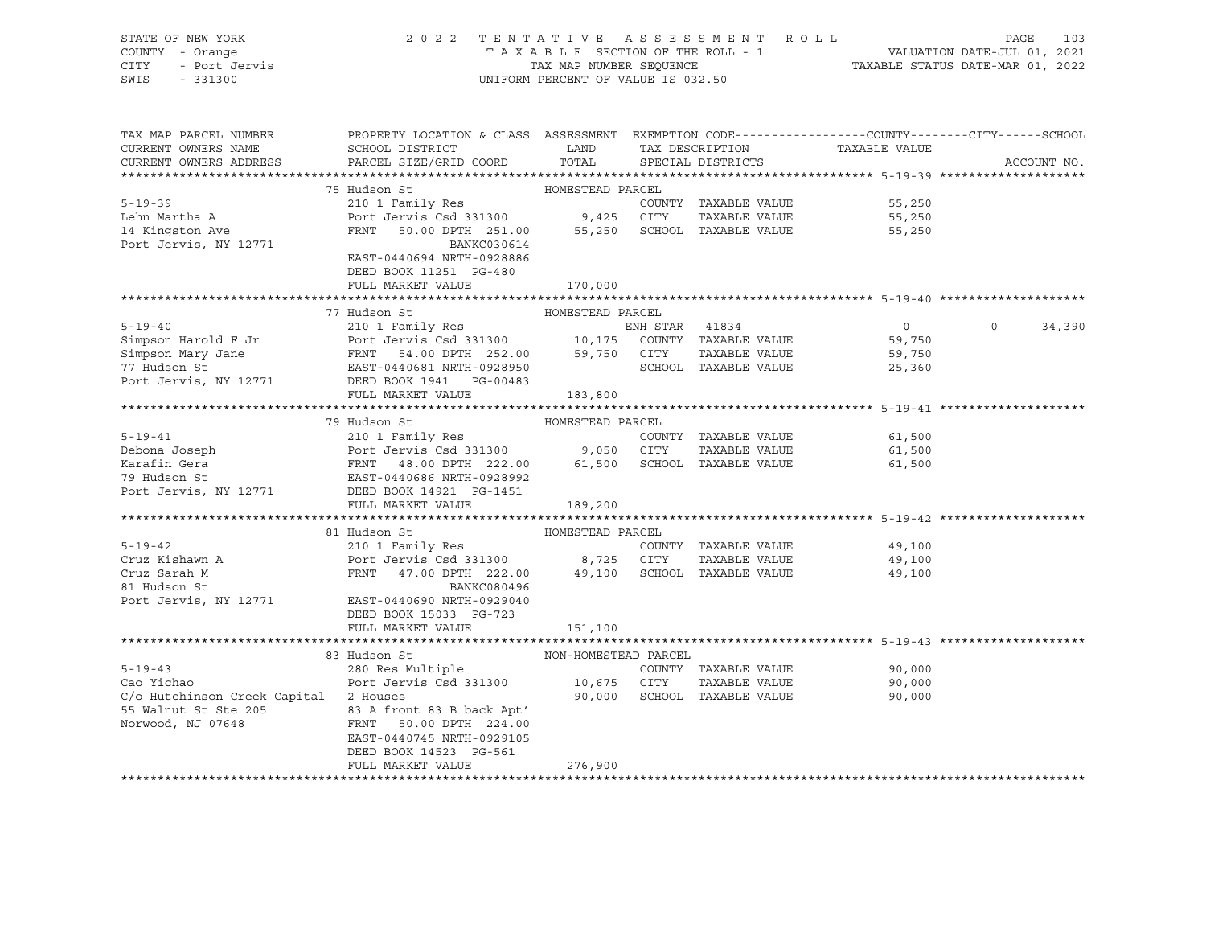| STATE OF NEW YORK<br>SIALE OF NEW LOAK<br>COUNTY - Orange<br>CITY - Port Jervis<br>SWIS - 331300                                                                                                                                                         | 2022 TENTATIVE ASSESSMENT ROLL                                                                                                                                                                        | UNIFORM PERCENT OF VALUE IS 032.50 |                             | TAXABLE SECTION OF THE ROLL - 1<br>TAXABLE STATUS DATE-JUL 01, 2021<br>TAXABLE STATUS DATE-MAR 01, 2022 | PAGE<br>103       |
|----------------------------------------------------------------------------------------------------------------------------------------------------------------------------------------------------------------------------------------------------------|-------------------------------------------------------------------------------------------------------------------------------------------------------------------------------------------------------|------------------------------------|-----------------------------|---------------------------------------------------------------------------------------------------------|-------------------|
| TAX MAP PARCEL NUMBER<br>CURRENT OWNERS NAME<br>CURRENT OWNERS ADDRESS PARCEL SIZE/GRID COORD TOTAL SPECIAL DISTRICTS                                                                                                                                    | PROPERTY LOCATION & CLASS ASSESSMENT EXEMPTION CODE---------------COUNTY-------CITY------SCHOOL<br>SCHOOL DISTRICT                         LAND        TAX DESCRIPTION                  TAXABLE VALUE |                                    |                             |                                                                                                         | ACCOUNT NO.       |
|                                                                                                                                                                                                                                                          |                                                                                                                                                                                                       |                                    |                             |                                                                                                         |                   |
|                                                                                                                                                                                                                                                          | 75 Hudson St NoMESTEAD PARCEL                                                                                                                                                                         |                                    |                             |                                                                                                         |                   |
| $5 - 19 - 39$                                                                                                                                                                                                                                            |                                                                                                                                                                                                       |                                    | COUNTY TAXABLE VALUE        | 55,250                                                                                                  |                   |
| Lehn Martha A                                                                                                                                                                                                                                            |                                                                                                                                                                                                       |                                    |                             | 55,250                                                                                                  |                   |
| 14 Kingston Ave                                                                                                                                                                                                                                          | COUNTY TAXABLE VALUE<br>210 1 Family Res<br>Port Jervis Csd 331300 9,425 CITY TAXABLE VALUE<br>FRNT 50.00 DPTH 251.00 55,250 SCHOOL TAXABLE VALUE                                                     |                                    |                             | 55,250                                                                                                  |                   |
| Port Jervis, NY 12771                                                                                                                                                                                                                                    | BANKC030614<br>EAST-0440694 NRTH-0928886<br>DEED BOOK 11251 PG-480<br>FULL MARKET VALUE                                                                                                               |                                    |                             |                                                                                                         |                   |
|                                                                                                                                                                                                                                                          |                                                                                                                                                                                                       | 170,000                            |                             |                                                                                                         |                   |
|                                                                                                                                                                                                                                                          | 77 Hudson St                                                                                                                                                                                          | HOMESTEAD PARCEL                   |                             |                                                                                                         |                   |
| 5-19-40<br>Simpson Harold F Jr<br>Simpson Mary Jane<br>The Simpson Mary Jane<br>The Simpson Mary Jane<br>The Simpson Mary Jane<br>The Simpson Section State PRNT<br>The Simpson Section Section Section Section Section Section Section Sect             |                                                                                                                                                                                                       |                                    |                             | $\overline{0}$                                                                                          | $\circ$<br>34,390 |
|                                                                                                                                                                                                                                                          |                                                                                                                                                                                                       |                                    |                             | 59,750                                                                                                  |                   |
|                                                                                                                                                                                                                                                          |                                                                                                                                                                                                       |                                    |                             | 59,750                                                                                                  |                   |
|                                                                                                                                                                                                                                                          |                                                                                                                                                                                                       |                                    | SCHOOL TAXABLE VALUE        | 25,360                                                                                                  |                   |
| Port Jervis, NY 12771 DEED BOOK 1941 PG-00483                                                                                                                                                                                                            |                                                                                                                                                                                                       |                                    |                             |                                                                                                         |                   |
|                                                                                                                                                                                                                                                          | FULL MARKET VALUE 183,800                                                                                                                                                                             |                                    |                             |                                                                                                         |                   |
|                                                                                                                                                                                                                                                          |                                                                                                                                                                                                       |                                    |                             |                                                                                                         |                   |
| F-19-41<br>210 1 Family Res<br>210 1 Family Res<br>210 1 Family Res<br>210 1 Family Res<br>210 1 Family Res<br>210 1 Family Res<br>210 1 Family Res<br>210 1 Family Res<br>210 1 Family Res<br>210 2023090<br>202100 9,050 CITY<br>22.00<br>20210 61,500 |                                                                                                                                                                                                       |                                    |                             |                                                                                                         |                   |
|                                                                                                                                                                                                                                                          |                                                                                                                                                                                                       |                                    |                             | COUNTY TAXABLE VALUE 61,500                                                                             |                   |
|                                                                                                                                                                                                                                                          |                                                                                                                                                                                                       |                                    |                             | 61,500                                                                                                  |                   |
|                                                                                                                                                                                                                                                          |                                                                                                                                                                                                       |                                    |                             | 61,500                                                                                                  |                   |
|                                                                                                                                                                                                                                                          |                                                                                                                                                                                                       |                                    |                             |                                                                                                         |                   |
|                                                                                                                                                                                                                                                          |                                                                                                                                                                                                       |                                    |                             |                                                                                                         |                   |
|                                                                                                                                                                                                                                                          | FULL MARKET VALUE                                                                                                                                                                                     | 189,200                            |                             |                                                                                                         |                   |
|                                                                                                                                                                                                                                                          |                                                                                                                                                                                                       |                                    |                             |                                                                                                         |                   |
| $5 - 19 - 42$                                                                                                                                                                                                                                            | 81 Hudson St                                                                                                                                                                                          | HOMESTEAD PARCEL                   |                             |                                                                                                         |                   |
| Cruz Kishawn A                                                                                                                                                                                                                                           |                                                                                                                                                                                                       |                                    |                             | 49,100                                                                                                  |                   |
| Cruz Sarah M                                                                                                                                                                                                                                             | 210 1 Family Res<br>Port Jervis Csd 331300 8,725 CITY TAXABLE VALUE<br>FRNT 47.00 DPTH 222.00 49,100 SCHOOL TAXABLE VALUE                                                                             |                                    |                             | 49,100<br>49,100                                                                                        |                   |
| 81 Hudson St                                                                                                                                                                                                                                             | BANKC080496                                                                                                                                                                                           |                                    |                             |                                                                                                         |                   |
| Port Jervis, NY 12771 EAST-0440690 NRTH-0929040                                                                                                                                                                                                          |                                                                                                                                                                                                       |                                    |                             |                                                                                                         |                   |
|                                                                                                                                                                                                                                                          | DEED BOOK 15033 PG-723                                                                                                                                                                                |                                    |                             |                                                                                                         |                   |
|                                                                                                                                                                                                                                                          | FULL MARKET VALUE                                                                                                                                                                                     | 151,100                            |                             |                                                                                                         |                   |
|                                                                                                                                                                                                                                                          |                                                                                                                                                                                                       |                                    |                             |                                                                                                         |                   |
|                                                                                                                                                                                                                                                          | 83 Hudson St                                                                                                                                                                                          | NON-HOMESTEAD PARCEL               |                             |                                                                                                         |                   |
| $5 - 19 - 43$                                                                                                                                                                                                                                            | FOR THE COUNTY TREADLE VALUE<br>Port Jervis Csd 331300<br>2 Houses (10,675 CITY TRAABLE VALUE<br>2 Houses (90,000 SCHOOT TRANGE VALUE                                                                 |                                    |                             | COUNTY TAXABLE VALUE 90,000                                                                             |                   |
| Cao Yichao                                                                                                                                                                                                                                               |                                                                                                                                                                                                       |                                    |                             | 90,000                                                                                                  |                   |
| C/o Hutchinson Creek Capital 2 Houses                                                                                                                                                                                                                    |                                                                                                                                                                                                       |                                    | 90,000 SCHOOL TAXABLE VALUE | 90,000                                                                                                  |                   |
| 55 Walnut St Ste 205<br>Norwood, NJ 07648<br>FRNT 50.00 DPTH 224.00                                                                                                                                                                                      |                                                                                                                                                                                                       |                                    |                             |                                                                                                         |                   |
|                                                                                                                                                                                                                                                          |                                                                                                                                                                                                       |                                    |                             |                                                                                                         |                   |
|                                                                                                                                                                                                                                                          | EAST-0440745 NRTH-0929105                                                                                                                                                                             |                                    |                             |                                                                                                         |                   |
|                                                                                                                                                                                                                                                          | DEED BOOK 14523 PG-561                                                                                                                                                                                |                                    |                             |                                                                                                         |                   |
|                                                                                                                                                                                                                                                          | FULL MARKET VALUE                                                                                                                                                                                     | 276,900                            |                             |                                                                                                         |                   |
|                                                                                                                                                                                                                                                          |                                                                                                                                                                                                       |                                    |                             |                                                                                                         |                   |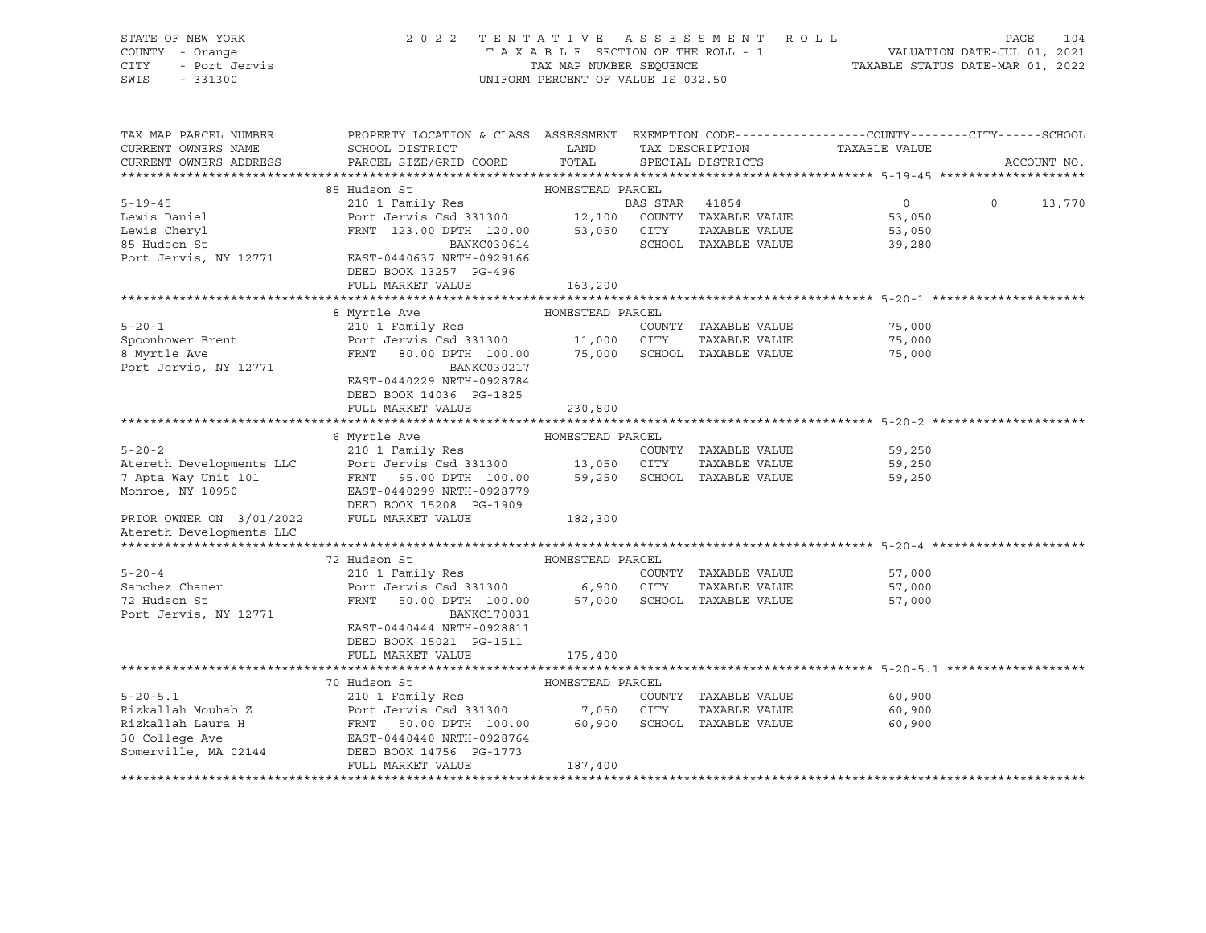| STATE OF NEW YORK<br>COUNTY - Orange<br>- Port Jervis<br>CITY<br>SWIS<br>$-331300$ | 2022 TENTATIVE ASSESSMENT ROLL                                                                                                                                                                                               | UNIFORM PERCENT OF VALUE IS 032.50 |                         | TAXABLE SECTION OF THE ROLL - 1<br>TAXABLE SECTION OF THE ROLL - 1<br>TAXABLE STATUS DATE-MAR 01, 2022 | PAGE<br>104        |
|------------------------------------------------------------------------------------|------------------------------------------------------------------------------------------------------------------------------------------------------------------------------------------------------------------------------|------------------------------------|-------------------------|--------------------------------------------------------------------------------------------------------|--------------------|
| TAX MAP PARCEL NUMBER<br>CURRENT OWNERS NAME                                       | PROPERTY LOCATION & CLASS ASSESSMENT EXEMPTION CODE---------------COUNTY-------CITY------SCHOOL<br>SCHOOL DISTRICT LAND                                                                                                      |                                    |                         | TAX DESCRIPTION TAXABLE VALUE                                                                          |                    |
| CURRENT OWNERS ADDRESS                                                             | PARCEL SIZE/GRID COORD                                                                                                                                                                                                       |                                    | TOTAL SPECIAL DISTRICTS |                                                                                                        | ACCOUNT NO.        |
|                                                                                    | 85 Hudson St                                                                                                                                                                                                                 | HOMESTEAD PARCEL                   |                         |                                                                                                        |                    |
| $5 - 19 - 45$                                                                      | 35 Hudson St<br>210 1 Family Res<br>Port Jervis Csd 331300 12,100 COUNTY TAXABLE VALUE<br>FRNT 123.00 DPTH 120.00 53,050 CITY TAXABLE VALUE<br>FRNT 123.00 DPTH 120.00 53,050 CITY TAXABLE VALUE                             |                                    |                         | $0 \qquad \qquad$                                                                                      | $\Omega$<br>13,770 |
| Lewis Daniel                                                                       |                                                                                                                                                                                                                              |                                    |                         | 53,050                                                                                                 |                    |
| Lewis Cheryl                                                                       |                                                                                                                                                                                                                              |                                    |                         | 53,050                                                                                                 |                    |
| 85 Hudson St                                                                       | BANKC030614                                                                                                                                                                                                                  |                                    | SCHOOL TAXABLE VALUE    | 39,280                                                                                                 |                    |
| Port Jervis, NY 12771                                                              | EAST-0440637 NRTH-0929166<br>DEED BOOK 13257 PG-496                                                                                                                                                                          |                                    |                         |                                                                                                        |                    |
|                                                                                    | FULL MARKET VALUE                                                                                                                                                                                                            | 163,200                            |                         |                                                                                                        |                    |
|                                                                                    |                                                                                                                                                                                                                              |                                    |                         |                                                                                                        |                    |
|                                                                                    | 8 Myrtle Ave                                                                                                                                                                                                                 | HOMESTEAD PARCEL                   |                         |                                                                                                        |                    |
| $5 - 20 - 1$                                                                       | 210 1 Family Res                                                                                                                                                                                                             |                                    | COUNTY TAXABLE VALUE    | 75,000                                                                                                 |                    |
| Spoonhower Brent                                                                   | Port Jervis Csd 331300 11,000 CITY TAXABLE VALUE<br>FRNT 80.00 DPTH 100.00 75,000 SCHOOL TAXABLE VALUE                                                                                                                       |                                    |                         | 75,000                                                                                                 |                    |
| 8 Myrtle Ave<br>Port Jervis, NY 12771                                              | BANKC030217                                                                                                                                                                                                                  |                                    |                         | 75,000                                                                                                 |                    |
|                                                                                    | EAST-0440229 NRTH-0928784                                                                                                                                                                                                    |                                    |                         |                                                                                                        |                    |
|                                                                                    | DEED BOOK 14036 PG-1825                                                                                                                                                                                                      |                                    |                         |                                                                                                        |                    |
|                                                                                    | FULL MARKET VALUE                                                                                                                                                                                                            | 230,800                            |                         |                                                                                                        |                    |
|                                                                                    |                                                                                                                                                                                                                              |                                    |                         |                                                                                                        |                    |
|                                                                                    | 6 Myrtle Ave                                                                                                                                                                                                                 | HOMESTEAD PARCEL                   |                         |                                                                                                        |                    |
| $5 - 20 - 2$                                                                       | 210 1 Family Res                                                                                                                                                                                                             |                                    | COUNTY TAXABLE VALUE    | 59,250                                                                                                 |                    |
|                                                                                    |                                                                                                                                                                                                                              |                                    |                         | 59,250                                                                                                 |                    |
|                                                                                    |                                                                                                                                                                                                                              |                                    |                         | 59,250                                                                                                 |                    |
| Monroe, NY 10950                                                                   | Atereth Developments LLC Port Jervis Csd 331300 13,050 CITY TAXABLE VALUE<br>7 Apta Way Unit 101 FRNT 95.00 DPTH 100.00 59,250 SCHOOL TAXABLE VALUE<br>Monroe, NY 10950 BAST-0440299 NRTH-0928779<br>DEED BOOK 15208 PG-1909 |                                    |                         |                                                                                                        |                    |
| PRIOR OWNER ON 3/01/2022 FULL MARKET VALUE                                         |                                                                                                                                                                                                                              | 182,300                            |                         |                                                                                                        |                    |
| Atereth Developments LLC                                                           |                                                                                                                                                                                                                              |                                    |                         |                                                                                                        |                    |
|                                                                                    |                                                                                                                                                                                                                              |                                    |                         |                                                                                                        |                    |
|                                                                                    | 72 Hudson St                                                                                                                                                                                                                 | HOMESTEAD PARCEL                   |                         |                                                                                                        |                    |
| $5 - 20 - 4$                                                                       | 210 1 Family Res                                                                                                                                                                                                             |                                    | COUNTY TAXABLE VALUE    | 57,000                                                                                                 |                    |
| Sanchez Chaner                                                                     | Port Jervis Csd 331300 6,900 CITY                                                                                                                                                                                            |                                    | TAXABLE VALUE           | 57,000                                                                                                 |                    |
| 72 Hudson St                                                                       | FRNT 50.00 DPTH 100.00 57,000 SCHOOL TAXABLE VALUE                                                                                                                                                                           |                                    |                         | 57,000                                                                                                 |                    |
| Port Jervis, NY 12771                                                              | BANKC170031<br>EAST-0440444 NRTH-0928811                                                                                                                                                                                     |                                    |                         |                                                                                                        |                    |
|                                                                                    | DEED BOOK 15021 PG-1511                                                                                                                                                                                                      |                                    |                         |                                                                                                        |                    |
|                                                                                    | FULL MARKET VALUE                                                                                                                                                                                                            | 175,400                            |                         |                                                                                                        |                    |
|                                                                                    |                                                                                                                                                                                                                              |                                    |                         |                                                                                                        |                    |
|                                                                                    | 70 Hudson St                                                                                                                                                                                                                 | HOMESTEAD PARCEL                   |                         |                                                                                                        |                    |
| $5 - 20 - 5.1$                                                                     | 210 1 Family Res                                                                                                                                                                                                             |                                    | COUNTY TAXABLE VALUE    | 60,900                                                                                                 |                    |
| Rizkallah Mouhab Z                                                                 |                                                                                                                                                                                                                              |                                    | TAXABLE VALUE           | 60,900                                                                                                 |                    |
| Rizkallah Laura H                                                                  |                                                                                                                                                                                                                              |                                    | SCHOOL TAXABLE VALUE    | 60,900                                                                                                 |                    |
| 30 College Ave                                                                     | Port Jervis Csd 331300 7,050 CITY<br>FRNT 50.00 DPTH 100.00 60,900 SCHOOL<br>EAST-0440440 NRTH-0928764                                                                                                                       |                                    |                         |                                                                                                        |                    |
| Somerville, MA 02144                                                               | DEED BOOK 14756 PG-1773                                                                                                                                                                                                      |                                    |                         |                                                                                                        |                    |
|                                                                                    | FULL MARKET VALUE                                                                                                                                                                                                            | 187,400                            |                         |                                                                                                        |                    |
|                                                                                    |                                                                                                                                                                                                                              |                                    |                         |                                                                                                        |                    |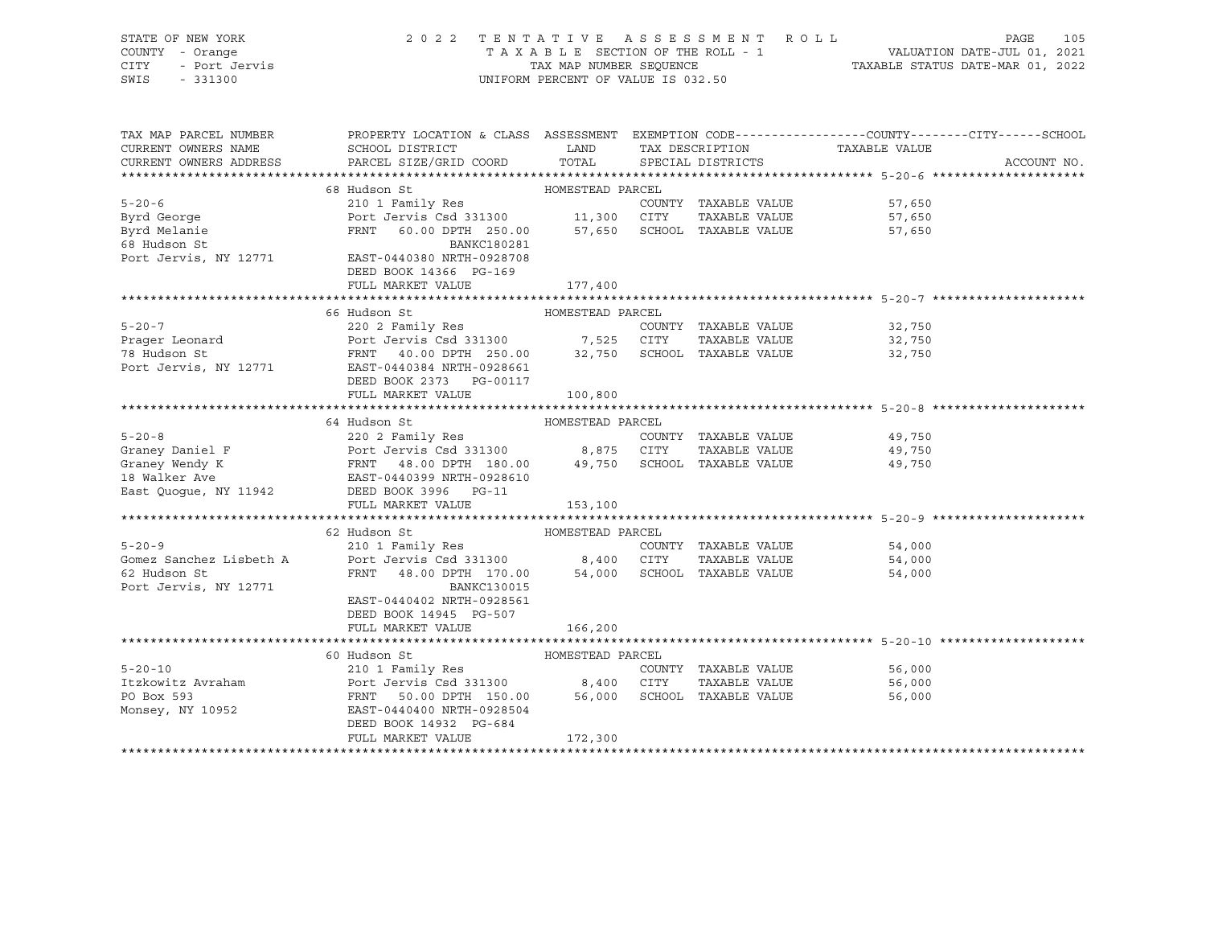| STATE OF NEW YORK<br>COUNTY - Orange<br>! - Orange<br>- Port Jervis<br>CITY<br>SWIS<br>$-331300$ | 2022 TENTATIVE ASSESSMENT ROLL<br>PAGE<br>105<br>$\begin{tabular}{lllllllllll} \texttt{T A X A B L E} & \texttt{SECTION OF THE ROLL} & \texttt{T B T B} & \texttt{VALUATION DATE-JUL 01, 2021} \\ & \texttt{TAX MAP NUMBER SEQUENCE} & \texttt{TAXABLE STATUS DATE-MAR 01, 2022} \end{tabular}$<br>UNIFORM PERCENT OF VALUE IS 032.50 |                  |  |                                       |                  |             |  |  |
|--------------------------------------------------------------------------------------------------|---------------------------------------------------------------------------------------------------------------------------------------------------------------------------------------------------------------------------------------------------------------------------------------------------------------------------------------|------------------|--|---------------------------------------|------------------|-------------|--|--|
| CURRENT OWNERS NAME                                                                              | TAX MAP PARCEL NUMBER THE PROPERTY LOCATION & CLASS ASSESSMENT EXEMPTION CODE-------------COUNTY-------CUTY------SCHOOL                                                                                                                                                                                                               |                  |  |                                       | TAXABLE VALUE    |             |  |  |
| CURRENT OWNERS ADDRESS                                                                           |                                                                                                                                                                                                                                                                                                                                       |                  |  |                                       |                  | ACCOUNT NO. |  |  |
|                                                                                                  |                                                                                                                                                                                                                                                                                                                                       |                  |  |                                       |                  |             |  |  |
|                                                                                                  | 68 Hudson St                                                                                                                                                                                                                                                                                                                          | HOMESTEAD PARCEL |  |                                       |                  |             |  |  |
| $5 - 20 - 6$                                                                                     | 210 1 Family Res                                                                                                                                                                                                                                                                                                                      |                  |  | COUNTY TAXABLE VALUE                  | 57,650           |             |  |  |
| Byrd George                                                                                      | Port Jervis Csd 331300 11,300 CITY TAXABLE VALUE<br>FRNT 60.00 DPTH 250.00 57,650 SCHOOL TAXABLE VALUE                                                                                                                                                                                                                                |                  |  | TAXABLE VALUE                         | 57,650           |             |  |  |
| Byrd Melanie<br>68 Hudson St                                                                     | BANKC180281                                                                                                                                                                                                                                                                                                                           |                  |  |                                       | 57,650           |             |  |  |
| Port Jervis, NY 12771                                                                            | EAST-0440380 NRTH-0928708                                                                                                                                                                                                                                                                                                             |                  |  |                                       |                  |             |  |  |
|                                                                                                  | DEED BOOK 14366 PG-169                                                                                                                                                                                                                                                                                                                |                  |  |                                       |                  |             |  |  |
|                                                                                                  | FULL MARKET VALUE                                                                                                                                                                                                                                                                                                                     | 177,400          |  |                                       |                  |             |  |  |
|                                                                                                  |                                                                                                                                                                                                                                                                                                                                       |                  |  |                                       |                  |             |  |  |
|                                                                                                  | HUMESTEAD PARCEL<br>220 2 Family Res<br>Port Jervis Csd 331300<br>FRNT 40.00 DPTH 250.00 32,750 SCHOOL TAXABLE VALUE<br>EAST-0440384 NRTH-0928661<br>FRNT BOOK 3736 SCHOOL TAXABLE VALUE<br>FRNT BOOK 3736 SCHOOL TAXABLE VALUE<br>FRNT BOOK                                                                                          |                  |  |                                       |                  |             |  |  |
| $5 - 20 - 7$                                                                                     |                                                                                                                                                                                                                                                                                                                                       |                  |  |                                       |                  |             |  |  |
| Prager Leonard<br>The Hudson St                                                                  |                                                                                                                                                                                                                                                                                                                                       |                  |  |                                       |                  |             |  |  |
|                                                                                                  |                                                                                                                                                                                                                                                                                                                                       |                  |  |                                       |                  |             |  |  |
| Port Jervis, NY 12771                                                                            |                                                                                                                                                                                                                                                                                                                                       |                  |  |                                       |                  |             |  |  |
|                                                                                                  | DEED BOOK 2373 PG-00117                                                                                                                                                                                                                                                                                                               |                  |  |                                       |                  |             |  |  |
|                                                                                                  | FULL MARKET VALUE                                                                                                                                                                                                                                                                                                                     | 100,800          |  |                                       |                  |             |  |  |
|                                                                                                  | 64 Hudson St                                                                                                                                                                                                                                                                                                                          | HOMESTEAD PARCEL |  |                                       |                  |             |  |  |
|                                                                                                  |                                                                                                                                                                                                                                                                                                                                       |                  |  |                                       | 49,750           |             |  |  |
|                                                                                                  |                                                                                                                                                                                                                                                                                                                                       |                  |  | TAXABLE VALUE                         | 49,750           |             |  |  |
|                                                                                                  | 5-20-8 220 2 Family Res<br>Graney Daniel F Port Jervis Csd 331300 8,875 CITY TAXABLE VALUE<br>Graney Wendy K FRNT 48.00 DPTH 180.00 49,750 SCHOOL TAXABLE VALUE<br>18 Walker Ave EAST-0440399 NRTH-0928610<br>East Quogue, NY 11942 DE                                                                                                |                  |  |                                       | 49,750           |             |  |  |
|                                                                                                  |                                                                                                                                                                                                                                                                                                                                       |                  |  |                                       |                  |             |  |  |
|                                                                                                  |                                                                                                                                                                                                                                                                                                                                       |                  |  |                                       |                  |             |  |  |
|                                                                                                  | FULL MARKET VALUE                                                                                                                                                                                                                                                                                                                     | 153,100          |  |                                       |                  |             |  |  |
|                                                                                                  |                                                                                                                                                                                                                                                                                                                                       |                  |  |                                       |                  |             |  |  |
|                                                                                                  | 62 Hudson St                                                                                                                                                                                                                                                                                                                          | HOMESTEAD PARCEL |  |                                       |                  |             |  |  |
| $5 - 20 - 9$<br>Gomez Sanchez Lisbeth A                                                          | 210 1 Family Res<br>Port Jervis Csd 331300 8,400 CITY                                                                                                                                                                                                                                                                                 |                  |  | COUNTY TAXABLE VALUE<br>TAXABLE VALUE | 54,000           |             |  |  |
| 62 Hudson St                                                                                     | FRNT 48.00 DPTH 170.00 54,000 SCHOOL TAXABLE VALUE                                                                                                                                                                                                                                                                                    |                  |  |                                       | 54,000<br>54,000 |             |  |  |
| Port Jervis, NY 12771                                                                            | <b>BANKC130015</b>                                                                                                                                                                                                                                                                                                                    |                  |  |                                       |                  |             |  |  |
|                                                                                                  | EAST-0440402 NRTH-0928561                                                                                                                                                                                                                                                                                                             |                  |  |                                       |                  |             |  |  |
|                                                                                                  | DEED BOOK 14945 PG-507                                                                                                                                                                                                                                                                                                                |                  |  |                                       |                  |             |  |  |
|                                                                                                  | FULL MARKET VALUE                                                                                                                                                                                                                                                                                                                     | 166,200          |  |                                       |                  |             |  |  |
|                                                                                                  |                                                                                                                                                                                                                                                                                                                                       |                  |  |                                       |                  |             |  |  |
|                                                                                                  | 60 Hudson St                                                                                                                                                                                                                                                                                                                          | HOMESTEAD PARCEL |  |                                       |                  |             |  |  |
| $5 - 20 - 10$                                                                                    | 210 1 Family Res                                                                                                                                                                                                                                                                                                                      |                  |  | COUNTY TAXABLE VALUE                  | 56,000           |             |  |  |
|                                                                                                  | The United States of the CITY TAXABLE VALUE<br>The Politics of the Port Jervis Csd 331300 56,000 CITY TAXABLE VALUE<br>PO Box 593 TRNT 50.00 DPTH 150.00 56,000 SCHOOL TAXABLE VALUE                                                                                                                                                  |                  |  | TAXABLE VALUE                         | 56,000           |             |  |  |
|                                                                                                  |                                                                                                                                                                                                                                                                                                                                       |                  |  |                                       | 56,000           |             |  |  |
| Monsey, NY 10952                                                                                 | EAST-0440400 NRTH-0928504                                                                                                                                                                                                                                                                                                             |                  |  |                                       |                  |             |  |  |
|                                                                                                  | DEED BOOK 14932 PG-684<br>FULL MARKET VALUE                                                                                                                                                                                                                                                                                           | 172,300          |  |                                       |                  |             |  |  |
|                                                                                                  |                                                                                                                                                                                                                                                                                                                                       |                  |  |                                       |                  |             |  |  |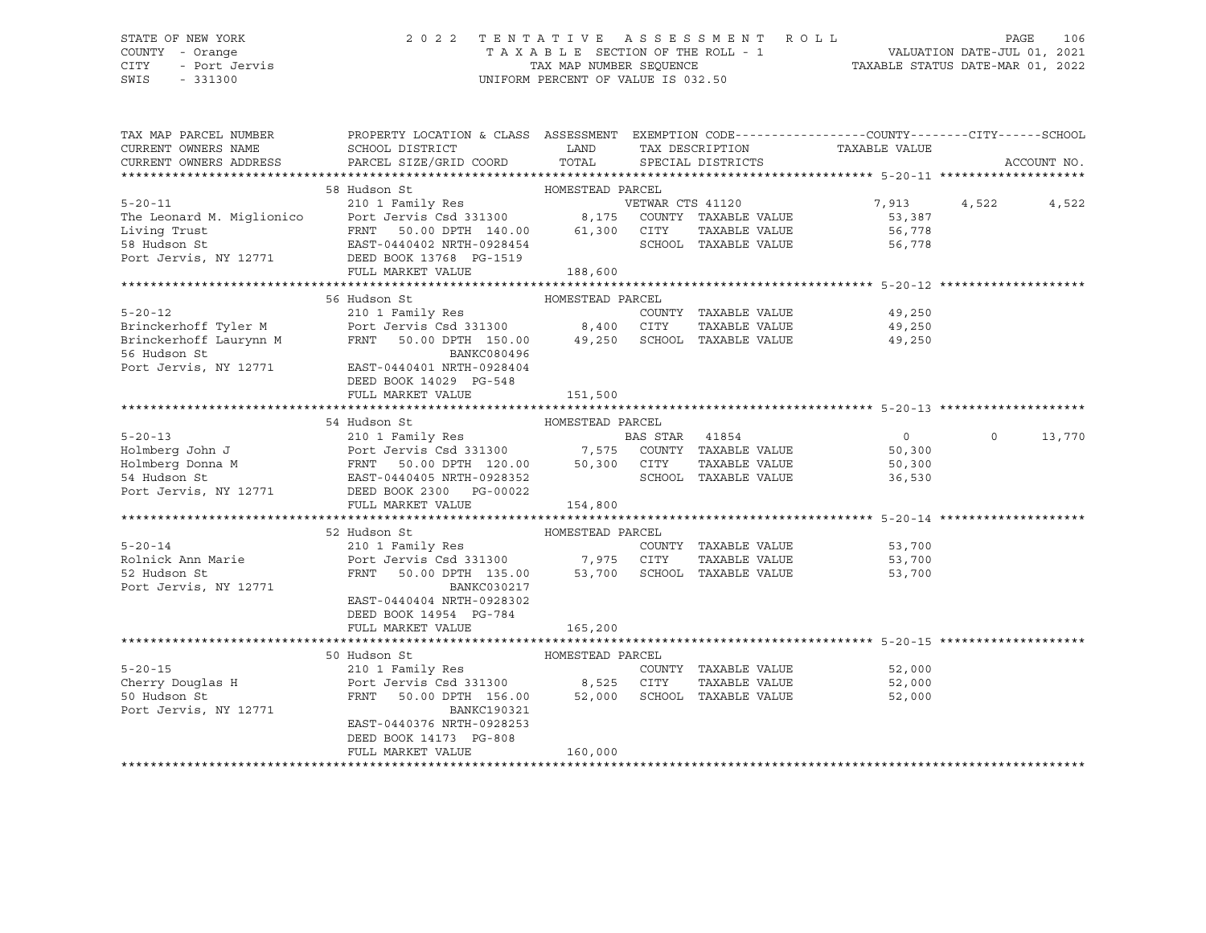## STATE OF NEW YORK 2 0 2 2 T E N T A T I V E A S S E S S M E N T R O L L PAGE 106 COUNTY - Orange T A X A B L E SECTION OF THE ROLL - 1 VALUATION DATE-JUL 01, 2021 CITY - Port Jervis TAX MAP NUMBER SEQUENCE TAXABLE STATUS DATE-MAR 01, 2022

| TAX MAP PARCEL NUMBER                       | PROPERTY LOCATION & CLASS ASSESSMENT EXEMPTION CODE----------------COUNTY-------CITY------SCHOOL                                                                                                                                                   |                  |                                    |               |                                              |         |             |
|---------------------------------------------|----------------------------------------------------------------------------------------------------------------------------------------------------------------------------------------------------------------------------------------------------|------------------|------------------------------------|---------------|----------------------------------------------|---------|-------------|
| CURRENT OWNERS NAME                         | SCHOOL DISTRICT                                                                                                                                                                                                                                    |                  | LAND TAX DESCRIPTION TAXABLE VALUE |               |                                              |         |             |
| CURRENT OWNERS ADDRESS                      | PARCEL SIZE/GRID COORD TOTAL SPECIAL DISTRICTS                                                                                                                                                                                                     |                  |                                    |               |                                              |         | ACCOUNT NO. |
|                                             |                                                                                                                                                                                                                                                    |                  |                                    |               |                                              |         |             |
|                                             |                                                                                                                                                                                                                                                    |                  |                                    |               |                                              |         |             |
|                                             |                                                                                                                                                                                                                                                    |                  |                                    |               | 7,913                                        | 4,522   | 4,522       |
|                                             |                                                                                                                                                                                                                                                    |                  |                                    |               |                                              |         |             |
|                                             |                                                                                                                                                                                                                                                    |                  |                                    |               |                                              |         |             |
|                                             |                                                                                                                                                                                                                                                    |                  |                                    |               |                                              |         |             |
|                                             | Port Jervis, NY 12771 DEED BOOK 13768 PG-1519                                                                                                                                                                                                      |                  |                                    |               |                                              |         |             |
|                                             | FULL MARKET VALUE                                                                                                                                                                                                                                  | 188,600          |                                    |               |                                              |         |             |
|                                             |                                                                                                                                                                                                                                                    |                  |                                    |               |                                              |         |             |
|                                             | 56 Hudson St                                                                                                                                                                                                                                       | HOMESTEAD PARCEL |                                    |               |                                              |         |             |
|                                             |                                                                                                                                                                                                                                                    |                  |                                    |               |                                              |         |             |
|                                             |                                                                                                                                                                                                                                                    |                  |                                    |               |                                              |         |             |
|                                             | 9,250 = 12<br>Brinckerhoff Tyler M = 210 1 Family Res<br>Brinckerhoff Islamynn M = 250 = 250 = 250 = 250 = 250 = 250 = 250 = 250<br>Brinckerhoff Laurynn M = 250 = 250 = 250 = 250 = 250 = 250 = 250 = 250 = 250 = 250 = 250 = 250 = 25            |                  |                                    |               |                                              |         |             |
| 56 Hudson St                                | BANKC080496                                                                                                                                                                                                                                        |                  |                                    |               |                                              |         |             |
|                                             | Port Jervis, NY 12771 EAST-0440401 NRTH-0928404                                                                                                                                                                                                    |                  |                                    |               |                                              |         |             |
|                                             | DEED BOOK 14029 PG-548                                                                                                                                                                                                                             |                  |                                    |               |                                              |         |             |
|                                             | FULL MARKET VALUE                                                                                                                                                                                                                                  | 151,500          |                                    |               |                                              |         |             |
|                                             |                                                                                                                                                                                                                                                    |                  |                                    |               |                                              |         |             |
|                                             | 54 Hudson St                                                                                                                                                                                                                                       | HOMESTEAD PARCEL |                                    |               |                                              |         |             |
|                                             | 5-20-13<br>Holmberg John J<br>Holmberg Donna M<br>Holmberg Donna M<br>ERNT 50.00 DPTH 120.00<br>ERS STAR<br>FRNT 50.00 DPTH 120.00<br>50,300 CITY TAXABLE VALUE<br>STAR HUGSON 2300 PTH 120.00<br>SCHOOL TAXABLE VALUE<br>POTT JERED BOOK 2300 PTH |                  |                                    |               | $\overline{0}$                               | $\circ$ | 13,770      |
|                                             |                                                                                                                                                                                                                                                    |                  |                                    |               | 50,300<br>50,300                             |         |             |
|                                             |                                                                                                                                                                                                                                                    |                  |                                    |               |                                              |         |             |
|                                             |                                                                                                                                                                                                                                                    |                  | SCHOOL TAXABLE VALUE 36,530        |               |                                              |         |             |
|                                             |                                                                                                                                                                                                                                                    |                  |                                    |               |                                              |         |             |
|                                             | FULL MARKET VALUE                                                                                                                                                                                                                                  | 154,800          |                                    |               |                                              |         |             |
|                                             |                                                                                                                                                                                                                                                    |                  |                                    |               |                                              |         |             |
|                                             | 52 Hudson St                                                                                                                                                                                                                                       |                  |                                    |               |                                              |         |             |
| $5 - 20 - 14$                               |                                                                                                                                                                                                                                                    |                  | COUNTY TAXABLE VALUE               |               | TAXABLE VALUE 53,700<br>TAXABLE VALUE 53,700 |         |             |
|                                             |                                                                                                                                                                                                                                                    |                  |                                    |               |                                              |         |             |
|                                             |                                                                                                                                                                                                                                                    |                  |                                    |               | 53,700                                       |         |             |
| Port Jervis, NY 12771                       | BANKC030217                                                                                                                                                                                                                                        |                  |                                    |               |                                              |         |             |
|                                             | EAST-0440404 NRTH-0928302                                                                                                                                                                                                                          |                  |                                    |               |                                              |         |             |
|                                             | DEED BOOK 14954 PG-784                                                                                                                                                                                                                             |                  |                                    |               |                                              |         |             |
|                                             | FULL MARKET VALUE                                                                                                                                                                                                                                  | 165,200          |                                    |               |                                              |         |             |
|                                             |                                                                                                                                                                                                                                                    |                  |                                    |               |                                              |         |             |
|                                             | HOMESTEAD PARCEL<br>50 Hudson St                                                                                                                                                                                                                   |                  |                                    |               |                                              |         |             |
| 5-20-15<br>Cherry Douglas H<br>50 Hudson St | 210 1 Family Res<br>Port Jervis Csd 331300 8,525 CITY TAXABLE VALUE<br>FRNT 50.00 DPTH 156.00 52,000 SCHOOL TAXABLE VALUE                                                                                                                          |                  | COUNTY TAXABLE VALUE               |               | 52,000<br>52,000                             |         |             |
|                                             |                                                                                                                                                                                                                                                    |                  |                                    | TAXABLE VALUE | 52,000                                       |         |             |
|                                             |                                                                                                                                                                                                                                                    |                  |                                    |               | 52,000                                       |         |             |
| Port Jervis, NY 12771                       | BANKC190321                                                                                                                                                                                                                                        |                  |                                    |               |                                              |         |             |
|                                             | EAST-0440376 NRTH-0928253                                                                                                                                                                                                                          |                  |                                    |               |                                              |         |             |
|                                             | DEED BOOK 14173 PG-808                                                                                                                                                                                                                             |                  |                                    |               |                                              |         |             |
|                                             | FULL MARKET VALUE                                                                                                                                                                                                                                  | 160,000          |                                    |               |                                              |         |             |
|                                             |                                                                                                                                                                                                                                                    |                  |                                    |               |                                              |         |             |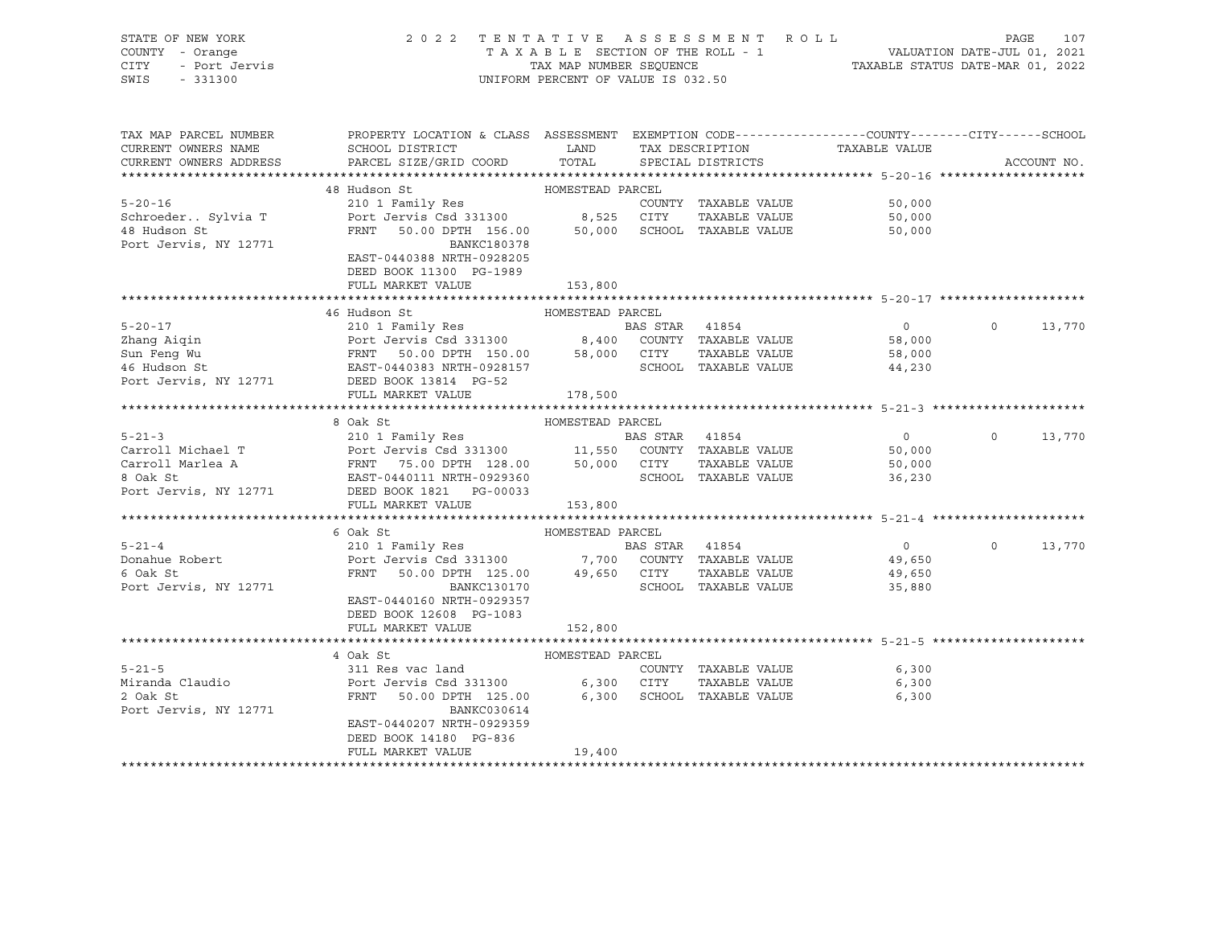| STATE OF NEW YORK<br>COUNTY - Orange<br>- Port Jervis<br>CITY<br>SWIS<br>$-331300$ |                                                     | TAX MAP NUMBER SEOUENCE<br>UNIFORM PERCENT OF VALUE IS 032.50 | 2022 TENTATIVE ASSESSMENT ROLL<br>TAXABLE SECTION OF THE ROLL - 1 | VALUATION DATE-JUL 01, 2021<br>TAXABLE STATUS DATE-MAR 01, 2022 | PAGE      | 107    |
|------------------------------------------------------------------------------------|-----------------------------------------------------|---------------------------------------------------------------|-------------------------------------------------------------------|-----------------------------------------------------------------|-----------|--------|
| may Map paport attampp                                                             | ELATION ICONTANT C OLIGO ICODOMENTE DVEMBEON VEROLE |                                                               |                                                                   | $C0$ $T1$ $T2$ $T3$ $T4$                                        | $AT$ $MT$ | ATIQAT |

| TAX MAP PARCEL NUMBER  | PROPERTY LOCATION & CLASS ASSESSMENT EXEMPTION CODE---------------COUNTY-------CITY------SCHOOL                                                                                                                                |                  |                |                             |                |                    |
|------------------------|--------------------------------------------------------------------------------------------------------------------------------------------------------------------------------------------------------------------------------|------------------|----------------|-----------------------------|----------------|--------------------|
| CURRENT OWNERS NAME    | SCHOOL DISTRICT                                                                                                                                                                                                                | LAND             |                | TAX DESCRIPTION             | TAXABLE VALUE  |                    |
| CURRENT OWNERS ADDRESS | PARCEL SIZE/GRID COORD TOTAL                                                                                                                                                                                                   |                  |                | SPECIAL DISTRICTS           |                | ACCOUNT NO.        |
|                        |                                                                                                                                                                                                                                |                  |                |                             |                |                    |
|                        | 48 Hudson St                                                                                                                                                                                                                   | HOMESTEAD PARCEL |                |                             |                |                    |
| $5 - 20 - 16$          |                                                                                                                                                                                                                                |                  |                | COUNTY TAXABLE VALUE 50,000 |                |                    |
| Schroeder Sylvia T     | Port Jervis Csd 331300 8,525 CITY                                                                                                                                                                                              |                  |                | TAXABLE VALUE 50,000        |                |                    |
| 48 Hudson St           | FRNT 50.00 DPTH 156.00 50,000 SCHOOL TAXABLE VALUE                                                                                                                                                                             |                  |                |                             | 50,000         |                    |
| Port Jervis, NY 12771  | BANKC180378                                                                                                                                                                                                                    |                  |                |                             |                |                    |
|                        | EAST-0440388 NRTH-0928205                                                                                                                                                                                                      |                  |                |                             |                |                    |
|                        | DEED BOOK 11300 PG-1989                                                                                                                                                                                                        |                  |                |                             |                |                    |
|                        | FULL MARKET VALUE                                                                                                                                                                                                              | 153,800          |                |                             |                |                    |
|                        |                                                                                                                                                                                                                                |                  |                |                             |                |                    |
|                        | 46 Hudson St                                                                                                                                                                                                                   | HOMESTEAD PARCEL |                |                             |                |                    |
|                        |                                                                                                                                                                                                                                |                  |                |                             | $\overline{0}$ | $\Omega$<br>13,770 |
|                        |                                                                                                                                                                                                                                |                  |                |                             | 58,000         |                    |
|                        | EXERCISE TO A PRIME OF THE MANUSCRIPS OF THE MANUSCRIPS OF THE MANUSCRIPS OF THE MANUSCRIPS OF THE MANUSCRIPS OF THE MANUSCRIPS OF THE MANUSCRIPS OF THE MANUSCRIPS OF THE MANUSCRIPS OF THE MANUSCRIPS OF THE MANUSCRIPS OF T |                  |                |                             | 58,000         |                    |
|                        |                                                                                                                                                                                                                                |                  |                | SCHOOL TAXABLE VALUE        | 44,230         |                    |
|                        | Port Jervis, NY 12771 DEED BOOK 13814 PG-52                                                                                                                                                                                    |                  |                |                             |                |                    |
|                        | FULL MARKET VALUE                                                                                                                                                                                                              | 178,500          |                |                             |                |                    |
|                        |                                                                                                                                                                                                                                |                  |                |                             |                |                    |
|                        | 8 Oak St                                                                                                                                                                                                                       | HOMESTEAD PARCEL |                |                             |                |                    |
| $5 - 21 - 3$           | 210 1 Family Res                                                                                                                                                                                                               |                  | BAS STAR 41854 |                             | $\sim$ 0       | $\Omega$<br>13,770 |
|                        |                                                                                                                                                                                                                                |                  |                |                             |                |                    |
|                        |                                                                                                                                                                                                                                |                  |                |                             |                |                    |
|                        |                                                                                                                                                                                                                                |                  |                |                             |                |                    |
|                        | Port Jervis, NY 12771 DEED BOOK 1821 PG-00033                                                                                                                                                                                  |                  |                |                             |                |                    |
|                        | FULL MARKET VALUE 153,800                                                                                                                                                                                                      |                  |                |                             |                |                    |
|                        |                                                                                                                                                                                                                                |                  |                |                             |                |                    |
|                        |                                                                                                                                                                                                                                |                  |                |                             |                | $\Omega$           |
|                        |                                                                                                                                                                                                                                |                  |                |                             |                | 13,770             |
|                        |                                                                                                                                                                                                                                |                  |                |                             |                |                    |
| Port Jervis, NY 12771  | FRNT 50.00 DPTH 125.00 49,650 CITY<br>BANKC130170 SCHOC                                                                                                                                                                        |                  |                | SCHOOL TAXABLE VALUE        |                |                    |
|                        | EAST-0440160 NRTH-0929357                                                                                                                                                                                                      |                  |                |                             | 35,880         |                    |
|                        | DEED BOOK 12608 PG-1083                                                                                                                                                                                                        |                  |                |                             |                |                    |
|                        | FULL MARKET VALUE                                                                                                                                                                                                              | 152,800          |                |                             |                |                    |
|                        |                                                                                                                                                                                                                                |                  |                |                             |                |                    |
|                        | 4 Oak St                                                                                                                                                                                                                       | HOMESTEAD PARCEL |                |                             |                |                    |
| $5 - 21 - 5$           | 311 Res vac land                                                                                                                                                                                                               |                  |                | COUNTY TAXABLE VALUE 6,300  |                |                    |
| Miranda Claudio        |                                                                                                                                                                                                                                |                  |                | TAXABLE VALUE               | 6,300          |                    |
| 2 Oak St               |                                                                                                                                                                                                                                |                  |                |                             | 6,300          |                    |
| Port Jervis, NY 12771  | BANKC030614                                                                                                                                                                                                                    |                  |                |                             |                |                    |
|                        | EAST-0440207 NRTH-0929359                                                                                                                                                                                                      |                  |                |                             |                |                    |
|                        | DEED BOOK 14180 PG-836                                                                                                                                                                                                         |                  |                |                             |                |                    |
|                        | FULL MARKET VALUE                                                                                                                                                                                                              | 19,400           |                |                             |                |                    |

#### \*\*\*\*\*\*\*\*\*\*\*\*\*\*\*\*\*\*\*\*\*\*\*\*\*\*\*\*\*\*\*\*\*\*\*\*\*\*\*\*\*\*\*\*\*\*\*\*\*\*\*\*\*\*\*\*\*\*\*\*\*\*\*\*\*\*\*\*\*\*\*\*\*\*\*\*\*\*\*\*\*\*\*\*\*\*\*\*\*\*\*\*\*\*\*\*\*\*\*\*\*\*\*\*\*\*\*\*\*\*\*\*\*\*\*\*\*\*\*\*\*\*\*\*\*\*\*\*\*\*\*\*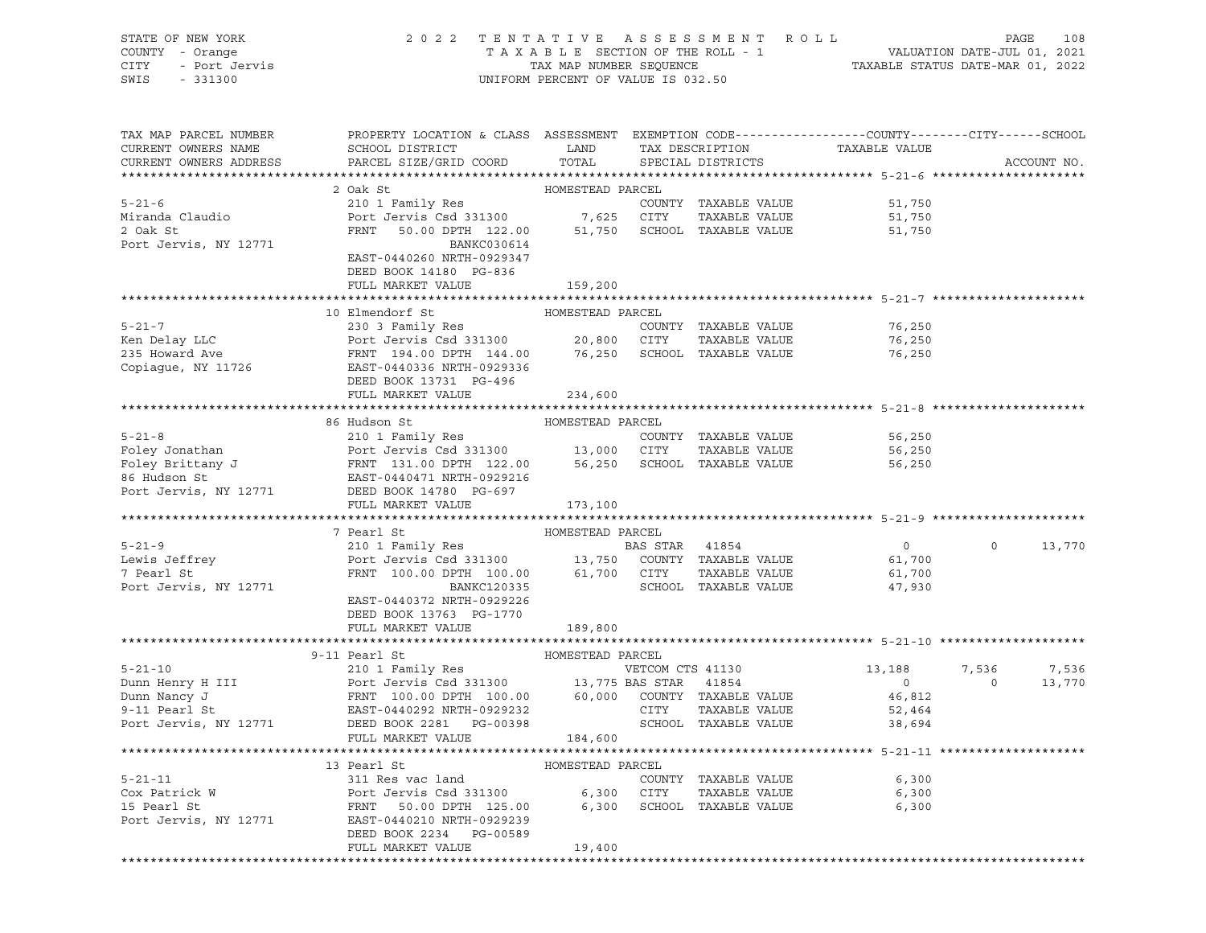STATE OF NEW YORK 2 0 2 2 T E N T A T I V E A S S E S S M E N T R O L L PAGE 108 COUNTY - Orange T A X A B L E SECTION OF THE ROLL - 1 VALUATION DATE-JUL 01, 2021 CITY - Port Jervis TAX MAP NUMBER SEQUENCE TAXABLE STATUS DATE-MAR 01, 2022 SWIS - 331300 UNIFORM PERCENT OF VALUE IS 032.50

| TAX MAP PARCEL NUMBER<br>CURRENT OWNERS NAME<br>CURRENT OWNERS ADDRESS             | PROPERTY LOCATION & CLASS ASSESSMENT EXEMPTION CODE----------------COUNTY-------CITY------SCHOOL<br>SCHOOL DISTRICT<br>PARCEL SIZE/GRID COORD                                                                                                                     | LAND<br>TOTAL    | TAX DESCRIPTION  | SPECIAL DISTRICTS                                                    | TAXABLE VALUE                                    |                  | ACCOUNT NO.     |
|------------------------------------------------------------------------------------|-------------------------------------------------------------------------------------------------------------------------------------------------------------------------------------------------------------------------------------------------------------------|------------------|------------------|----------------------------------------------------------------------|--------------------------------------------------|------------------|-----------------|
|                                                                                    |                                                                                                                                                                                                                                                                   |                  |                  |                                                                      |                                                  |                  |                 |
| $5 - 21 - 6$<br>Miranda Claudio<br>2 Oak St<br>Port Jervis, NY 12771               | 2 Oak St<br>210 1 Family Res<br>$210$ 1 $r = 5$<br>Port Jervis Csd 331300 7,625 CITY<br>FRNT 50.00 DPTH 122.00<br>BANKC030614<br>EAST-0440260 NRTH-0929347                                                                                                        | HOMESTEAD PARCEL |                  | COUNTY TAXABLE VALUE<br>TAXABLE VALUE<br>51,750 SCHOOL TAXABLE VALUE | 51,750<br>51,750<br>51,750                       |                  |                 |
|                                                                                    | DEED BOOK 14180 PG-836                                                                                                                                                                                                                                            |                  |                  |                                                                      |                                                  |                  |                 |
|                                                                                    | FULL MARKET VALUE                                                                                                                                                                                                                                                 | 159,200          |                  |                                                                      |                                                  |                  |                 |
|                                                                                    |                                                                                                                                                                                                                                                                   |                  |                  |                                                                      |                                                  |                  |                 |
| $5 - 21 - 7$<br>Xen Delay LLC<br>235 Howard Ave<br>Copiague, NY 11726              | 10 Elmendorf St<br>230 3 Family Res<br>Port Jervis Csd 331300 20,800 CITY TAXABLE VALUE<br>FRNT 194.00 DPTH 144.00 76,250 SCHOOL TAXABLE VALUE<br>EAST-0440336 NRTH-0929336<br>DEED BOOK 13731 PG-496                                                             | HOMESTEAD PARCEL |                  | COUNTY TAXABLE VALUE                                                 | 76,250<br>76,250<br>76,250                       |                  |                 |
|                                                                                    | FULL MARKET VALUE                                                                                                                                                                                                                                                 | 234,600          |                  |                                                                      |                                                  |                  |                 |
|                                                                                    |                                                                                                                                                                                                                                                                   |                  |                  |                                                                      |                                                  |                  |                 |
|                                                                                    | 86 Hudson St                                                                                                                                                                                                                                                      | HOMESTEAD PARCEL |                  |                                                                      |                                                  |                  |                 |
|                                                                                    | Foley Jonathan and and the set of the set of the set of the set of the set of the set of the set of the set of the set of the set of the set of the set of the set of the set of the set of the set of the set of the set of t                                    |                  |                  |                                                                      | 56,250<br>56,250<br>56,250                       |                  |                 |
|                                                                                    | FULL MARKET VALUE                                                                                                                                                                                                                                                 | 173,100          |                  |                                                                      |                                                  |                  |                 |
|                                                                                    |                                                                                                                                                                                                                                                                   |                  |                  |                                                                      |                                                  |                  |                 |
|                                                                                    | 7 Pearl St                                                                                                                                                                                                                                                        | HOMESTEAD PARCEL |                  |                                                                      |                                                  |                  |                 |
| $5 - 21 - 9$<br>Lewis Jeffrey<br>7 Doorl St<br>7 Pearl St<br>Port Jervis, NY 12771 | 210 1 Family Res<br>Port Jervis Csd 331300 13,750 COUNTY TAXABLE VALUE<br>FRNT 100.00 DPTH 100.00 61,700 CITY TAXABLE VALUE<br>BANKC120335<br>EAST-0440372 NRTH-0929226                                                                                           |                  | BAS STAR 41854   | TAXABLE VALUE<br>SCHOOL TAXABLE VALUE                                | $\overline{0}$<br>61,700<br>61,700<br>47,930     | $\Omega$         | 13,770          |
|                                                                                    | DEED BOOK 13763 PG-1770<br>FULL MARKET VALUE                                                                                                                                                                                                                      | 189,800          |                  |                                                                      |                                                  |                  |                 |
|                                                                                    |                                                                                                                                                                                                                                                                   |                  |                  |                                                                      |                                                  |                  |                 |
|                                                                                    | 9-11 Pearl St                                                                                                                                                                                                                                                     | HOMESTEAD PARCEL |                  |                                                                      |                                                  |                  |                 |
| $5 - 21 - 10$                                                                      | 210 1 Family Res<br>Dunn Henry H III<br>Dunn Nancy J<br>Dunn Nancy J<br>9-11 Pearl St<br>Port Jervis Csd 331300 13,775 BAS STAR 41854<br>9-11 Pearl St<br>Port Jervis, NY 12771 DEAST-0440292 NRTH-0929232<br>Port Jervis, NY 12771 DEED BOOK 2281 PG-00398<br>Po |                  | VETCOM CTS 41130 |                                                                      | 13,188<br>$\sim$ 0<br>46,812<br>52,464<br>38,694 | 7,536<br>$\circ$ | 7,536<br>13,770 |
|                                                                                    | FULL MARKET VALUE                                                                                                                                                                                                                                                 | 184,600          |                  |                                                                      |                                                  |                  |                 |
|                                                                                    | 13 Pearl St                                                                                                                                                                                                                                                       | HOMESTEAD PARCEL |                  |                                                                      |                                                  |                  |                 |
|                                                                                    | 5-21-11 Cox Patrick W 311 Res vac land COUNTY<br>Cox Patrick W Port Jervis Csd 331300 6,300 CITY<br>15 Pearl St FRNT 50.00 DPTH 125.00 6,300 SCHOOL                                                                                                               |                  |                  | COUNTY TAXABLE VALUE<br>TAXABLE VALUE<br>6,300 SCHOOL TAXABLE VALUE  | 6,300<br>6,300<br>6,300                          |                  |                 |
| Port Jervis, NY 12771                                                              | EAST-0440210 NRTH-0929239<br>DEED BOOK 2234 PG-00589<br>FULL MARKET VALUE                                                                                                                                                                                         | 19,400           |                  |                                                                      |                                                  |                  |                 |
|                                                                                    |                                                                                                                                                                                                                                                                   |                  |                  |                                                                      |                                                  |                  |                 |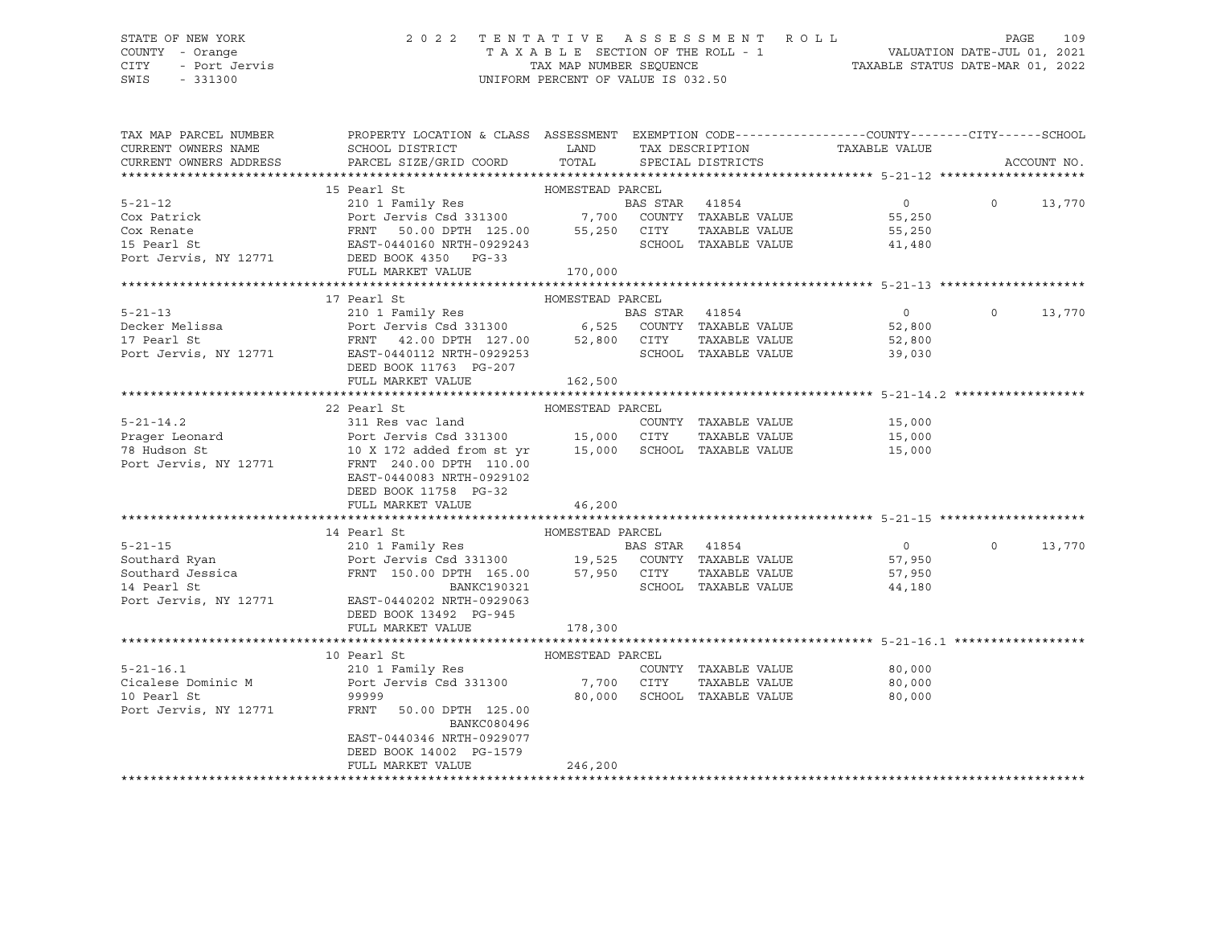# STATE OF NEW YORK 2 0 2 2 T E N T A T I V E A S S E S S M E N T R O L L PAGE 109 COUNTY - Orange T A X A B L E SECTION OF THE ROLL - 1 VALUATION DATE-JUL 01, 2021 CITY - Port Jervis TAX MAP NUMBER SEQUENCE TAXABLE STATUS DATE-MAR 01, 2022

| TAX MAP PARCEL NUMBER | PROPERTY LOCATION & CLASS ASSESSMENT EXEMPTION CODE----------------COUNTY-------CITY------SCHOOL                                                                                                                                                        |                  |                             |                                                                                                                                                                                                                                                                                                                                    |          |             |
|-----------------------|---------------------------------------------------------------------------------------------------------------------------------------------------------------------------------------------------------------------------------------------------------|------------------|-----------------------------|------------------------------------------------------------------------------------------------------------------------------------------------------------------------------------------------------------------------------------------------------------------------------------------------------------------------------------|----------|-------------|
| CURRENT OWNERS NAME   | SCHOOL DISTRICT                                                                                                                                                                                                                                         | <b>LAND</b>      |                             | TAX DESCRIPTION TAXABLE VALUE                                                                                                                                                                                                                                                                                                      |          |             |
|                       | CURRENT OWNERS ADDRESS FARCEL SIZE/GRID COORD TOTAL SPECIAL DISTRICTS                                                                                                                                                                                   |                  |                             |                                                                                                                                                                                                                                                                                                                                    |          | ACCOUNT NO. |
|                       |                                                                                                                                                                                                                                                         |                  |                             |                                                                                                                                                                                                                                                                                                                                    |          |             |
|                       | HOMESTEAD PARCEL<br>15 Pearl St                                                                                                                                                                                                                         |                  |                             |                                                                                                                                                                                                                                                                                                                                    |          |             |
|                       | 5-21-12<br>Cox Patrick<br>Cox Renate<br>Cox Renate<br>Cox Renate<br>Cox Renate<br>FRNT 50.00 DPTH 125.00<br>SERIST DESCRIPED AND COUNTY TAXABLE VALUE<br>FRNT 50.00 DPTH 125.00<br>SERIST DESCRIPED BOOK<br>SERIST 250 CITY<br>SCHOOL TAXABLE VALUE<br> |                  |                             | $\overline{0}$ and $\overline{0}$ and $\overline{0}$ and $\overline{0}$ and $\overline{0}$ and $\overline{0}$ and $\overline{0}$ and $\overline{0}$ and $\overline{0}$ and $\overline{0}$ and $\overline{0}$ and $\overline{0}$ and $\overline{0}$ and $\overline{0}$ and $\overline{0}$ and $\overline{0}$ and $\overline{0}$ and | $\circ$  | 13,770      |
|                       |                                                                                                                                                                                                                                                         |                  |                             | 55,250                                                                                                                                                                                                                                                                                                                             |          |             |
|                       |                                                                                                                                                                                                                                                         |                  |                             | TAXABLE VALUE 55,250                                                                                                                                                                                                                                                                                                               |          |             |
|                       |                                                                                                                                                                                                                                                         |                  |                             | 41,480                                                                                                                                                                                                                                                                                                                             |          |             |
|                       |                                                                                                                                                                                                                                                         |                  |                             |                                                                                                                                                                                                                                                                                                                                    |          |             |
|                       | FULL MARKET VALUE                                                                                                                                                                                                                                       | 170,000          |                             |                                                                                                                                                                                                                                                                                                                                    |          |             |
|                       |                                                                                                                                                                                                                                                         |                  |                             |                                                                                                                                                                                                                                                                                                                                    |          |             |
|                       | 17 Pearl St                                                                                                                                                                                                                                             | HOMESTEAD PARCEL |                             |                                                                                                                                                                                                                                                                                                                                    |          |             |
|                       | 1/ Fearl St.<br>210 1 Family Res<br>210 1 Family Res<br>210 1 Family Res<br>210 1 Family Res<br>210 1 Family Res<br>210 1 Family Res<br>210 1 Family Res<br>210 1 Family Res<br>210 1 Family Res<br>26 6,525 COUNTY TAXABLE VALUE<br>29255 62,800<br>2  |                  |                             |                                                                                                                                                                                                                                                                                                                                    | $\circ$  | 13,770      |
|                       |                                                                                                                                                                                                                                                         |                  |                             |                                                                                                                                                                                                                                                                                                                                    |          |             |
|                       |                                                                                                                                                                                                                                                         |                  |                             |                                                                                                                                                                                                                                                                                                                                    |          |             |
|                       |                                                                                                                                                                                                                                                         |                  |                             |                                                                                                                                                                                                                                                                                                                                    |          |             |
|                       | DEED BOOK 11763 PG-207                                                                                                                                                                                                                                  |                  |                             |                                                                                                                                                                                                                                                                                                                                    |          |             |
|                       | FULL MARKET VALUE                                                                                                                                                                                                                                       | 162,500          |                             |                                                                                                                                                                                                                                                                                                                                    |          |             |
|                       |                                                                                                                                                                                                                                                         |                  |                             |                                                                                                                                                                                                                                                                                                                                    |          |             |
|                       | HOMESTEAD PARCEL<br>22 Pearl St                                                                                                                                                                                                                         |                  |                             |                                                                                                                                                                                                                                                                                                                                    |          |             |
|                       |                                                                                                                                                                                                                                                         |                  |                             |                                                                                                                                                                                                                                                                                                                                    |          |             |
|                       |                                                                                                                                                                                                                                                         |                  |                             |                                                                                                                                                                                                                                                                                                                                    |          |             |
|                       |                                                                                                                                                                                                                                                         |                  |                             |                                                                                                                                                                                                                                                                                                                                    |          |             |
|                       |                                                                                                                                                                                                                                                         |                  |                             |                                                                                                                                                                                                                                                                                                                                    |          |             |
|                       |                                                                                                                                                                                                                                                         |                  |                             |                                                                                                                                                                                                                                                                                                                                    |          |             |
|                       | EAST-0440083 NRTH-0929102                                                                                                                                                                                                                               |                  |                             |                                                                                                                                                                                                                                                                                                                                    |          |             |
|                       | DEED BOOK 11758 PG-32                                                                                                                                                                                                                                   |                  |                             |                                                                                                                                                                                                                                                                                                                                    |          |             |
|                       | FULL MARKET VALUE                                                                                                                                                                                                                                       | 46,200           |                             |                                                                                                                                                                                                                                                                                                                                    |          |             |
|                       |                                                                                                                                                                                                                                                         |                  |                             |                                                                                                                                                                                                                                                                                                                                    |          |             |
|                       | 14 Pearl St<br>HOMESTEAD PARCEL                                                                                                                                                                                                                         |                  |                             |                                                                                                                                                                                                                                                                                                                                    |          |             |
|                       |                                                                                                                                                                                                                                                         |                  |                             | $\overline{0}$                                                                                                                                                                                                                                                                                                                     | $\Omega$ | 13,770      |
|                       |                                                                                                                                                                                                                                                         |                  |                             |                                                                                                                                                                                                                                                                                                                                    |          |             |
|                       |                                                                                                                                                                                                                                                         |                  |                             |                                                                                                                                                                                                                                                                                                                                    |          |             |
|                       |                                                                                                                                                                                                                                                         |                  | SCHOOL TAXABLE VALUE        |                                                                                                                                                                                                                                                                                                                                    |          |             |
|                       | Port Jervis, NY 12771 EAST-0440202 NRTH-0929063                                                                                                                                                                                                         |                  |                             |                                                                                                                                                                                                                                                                                                                                    |          |             |
|                       | DEED BOOK 13492 PG-945                                                                                                                                                                                                                                  |                  |                             |                                                                                                                                                                                                                                                                                                                                    |          |             |
|                       | FULL MARKET VALUE                                                                                                                                                                                                                                       | 178,300          |                             |                                                                                                                                                                                                                                                                                                                                    |          |             |
|                       |                                                                                                                                                                                                                                                         |                  |                             |                                                                                                                                                                                                                                                                                                                                    |          |             |
|                       | 10 Pearl St                                                                                                                                                                                                                                             | HOMESTEAD PARCEL |                             |                                                                                                                                                                                                                                                                                                                                    |          |             |
| $5 - 21 - 16.1$       |                                                                                                                                                                                                                                                         |                  | COUNTY TAXABLE VALUE        | 80,000                                                                                                                                                                                                                                                                                                                             |          |             |
|                       |                                                                                                                                                                                                                                                         |                  |                             | TAXABLE VALUE 80,000                                                                                                                                                                                                                                                                                                               |          |             |
| 10 Pearl St           | 99999                                                                                                                                                                                                                                                   |                  | 80,000 SCHOOL TAXABLE VALUE | 80,000                                                                                                                                                                                                                                                                                                                             |          |             |
|                       | Port Jervis, NY 12771 FRNT 50.00 DPTH 125.00                                                                                                                                                                                                            |                  |                             |                                                                                                                                                                                                                                                                                                                                    |          |             |
|                       | BANKC080496                                                                                                                                                                                                                                             |                  |                             |                                                                                                                                                                                                                                                                                                                                    |          |             |
|                       | EAST-0440346 NRTH-0929077                                                                                                                                                                                                                               |                  |                             |                                                                                                                                                                                                                                                                                                                                    |          |             |
|                       | DEED BOOK 14002 PG-1579                                                                                                                                                                                                                                 |                  |                             |                                                                                                                                                                                                                                                                                                                                    |          |             |
|                       | FULL MARKET VALUE                                                                                                                                                                                                                                       | 246,200          |                             |                                                                                                                                                                                                                                                                                                                                    |          |             |
|                       |                                                                                                                                                                                                                                                         |                  |                             |                                                                                                                                                                                                                                                                                                                                    |          |             |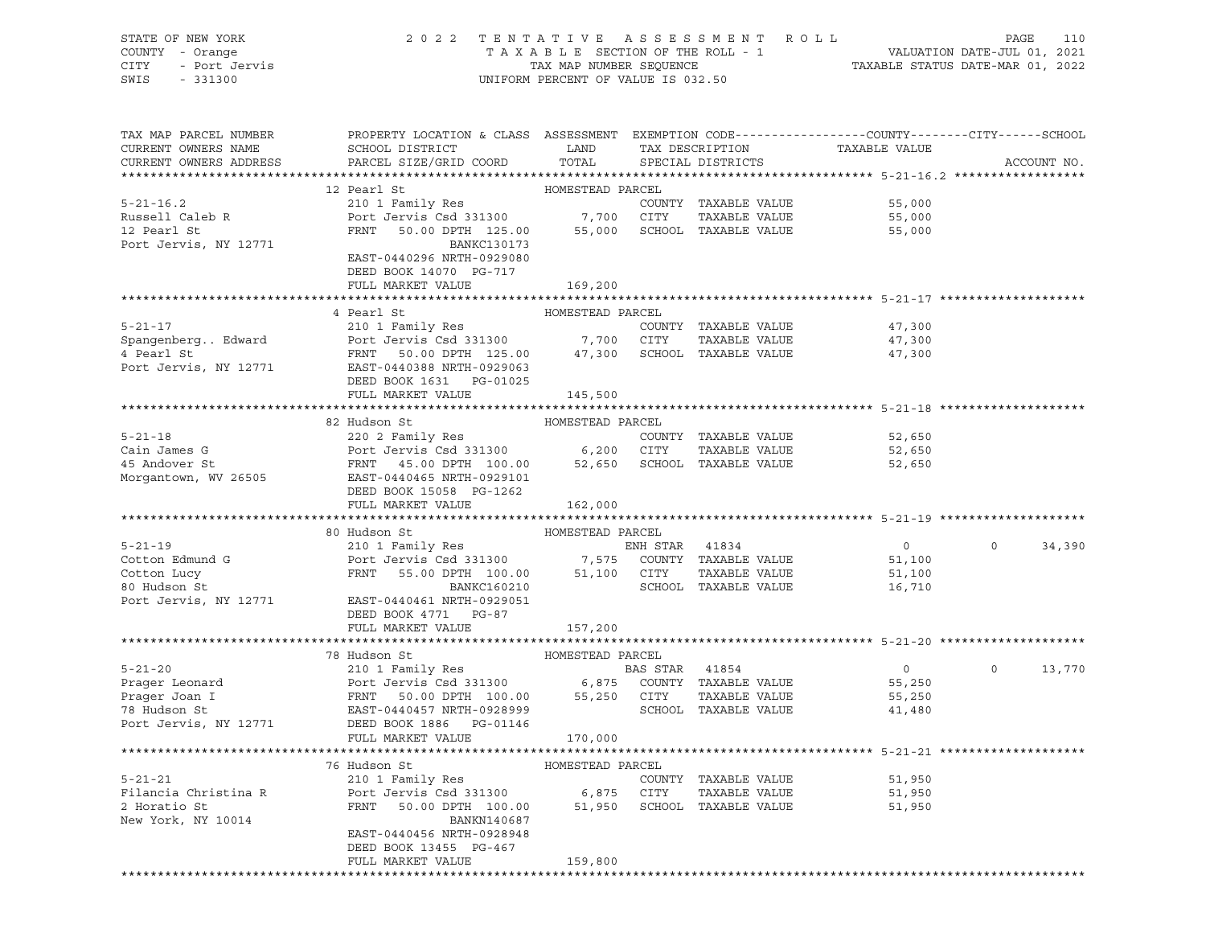| STATE OF NEW YORK<br>COUNTY - Orange<br><b>CITY</b><br>- Port Jervis<br>SWIS<br>$-331300$ |                                                                                                                                          | UNIFORM PERCENT OF VALUE IS 032.50 |                |                      | 2022 TENTATIVE ASSESSMENT ROLL | PAGE    | 110         |
|-------------------------------------------------------------------------------------------|------------------------------------------------------------------------------------------------------------------------------------------|------------------------------------|----------------|----------------------|--------------------------------|---------|-------------|
| TAX MAP PARCEL NUMBER                                                                     | PROPERTY LOCATION & CLASS ASSESSMENT EXEMPTION CODE----------------COUNTY--------CITY------SCHOOL                                        |                                    |                |                      |                                |         |             |
| CURRENT OWNERS NAME                                                                       | SCHOOL DISTRICT                                                                                                                          | <b>LAND</b>                        |                | TAX DESCRIPTION      | TAXABLE VALUE                  |         |             |
| CURRENT OWNERS ADDRESS                                                                    | PARCEL SIZE/GRID COORD                                                                                                                   | TOTAL                              |                | SPECIAL DISTRICTS    |                                |         | ACCOUNT NO. |
|                                                                                           |                                                                                                                                          |                                    |                |                      |                                |         |             |
|                                                                                           | 12 Pearl St<br>HOMESTEAD PARCEL<br>HOMESTEAD PARCEL<br>210 1 Family Res<br>Port Jervis Csd 331300 7,700 CITY<br>FRNT 50.00 DPTH 125.00 2 |                                    |                |                      |                                |         |             |
| $5 - 21 - 16.2$                                                                           |                                                                                                                                          |                                    |                | COUNTY TAXABLE VALUE | 55,000                         |         |             |
| Russell Caleb R<br>12 Pearl St                                                            |                                                                                                                                          |                                    |                | TAXABLE VALUE        | 55,000                         |         |             |
|                                                                                           | FRNT 50.00 DPTH 125.00 55,000                                                                                                            |                                    |                | SCHOOL TAXABLE VALUE | 55,000                         |         |             |
| Port Jervis, NY 12771                                                                     | BANKC130173                                                                                                                              |                                    |                |                      |                                |         |             |
|                                                                                           | EAST-0440296 NRTH-0929080                                                                                                                |                                    |                |                      |                                |         |             |
|                                                                                           | DEED BOOK 14070 PG-717                                                                                                                   |                                    |                |                      |                                |         |             |
|                                                                                           | FULL MARKET VALUE                                                                                                                        | 169,200                            |                |                      |                                |         |             |
|                                                                                           |                                                                                                                                          |                                    |                |                      |                                |         |             |
|                                                                                           | 4 Pearl St<br>HOMESTEAD PARCEL                                                                                                           |                                    |                |                      |                                |         |             |
| $5 - 21 - 17$                                                                             | 210 1 Family Res                                                                                                                         |                                    |                | COUNTY TAXABLE VALUE | 47,300                         |         |             |
| SpangenbergEdward Port Jervis Csd 331300 7,700 CITY                                       |                                                                                                                                          |                                    |                | TAXABLE VALUE        | 47,300                         |         |             |
| 4 Pearl St                                                                                | FRNT 50.00 DPTH 125.00 47,300                                                                                                            |                                    |                | SCHOOL TAXABLE VALUE | 47,300                         |         |             |
| Port Jervis, NY 12771                                                                     | EAST-0440388 NRTH-0929063                                                                                                                |                                    |                |                      |                                |         |             |
|                                                                                           | DEED BOOK 1631 PG-01025                                                                                                                  |                                    |                |                      |                                |         |             |
|                                                                                           | FULL MARKET VALUE                                                                                                                        | 145,500                            |                |                      |                                |         |             |
|                                                                                           |                                                                                                                                          |                                    |                |                      |                                |         |             |
|                                                                                           | 82 Hudson St<br>HOMESTEAD PARCEL                                                                                                         |                                    |                |                      |                                |         |             |
| $5 - 21 - 18$                                                                             | 220 2 Family Res                                                                                                                         |                                    |                | COUNTY TAXABLE VALUE | 52,650                         |         |             |
| Cain James G<br>45 Andover St                                                             | Port Jervis Csd 331300 6,200 CITY                                                                                                        |                                    |                | TAXABLE VALUE        | 52,650                         |         |             |
|                                                                                           | FRNT 45.00 DPTH 100.00 52,650<br>EAST-0440465 NRTH-0929101                                                                               |                                    |                | SCHOOL TAXABLE VALUE | 52,650                         |         |             |
| Morgantown, WV 26505                                                                      | DEED BOOK 15058 PG-1262                                                                                                                  |                                    |                |                      |                                |         |             |
|                                                                                           | FULL MARKET VALUE                                                                                                                        | 162,000                            |                |                      |                                |         |             |
|                                                                                           |                                                                                                                                          |                                    |                |                      |                                |         |             |
|                                                                                           | 80 Hudson St                                                                                                                             | HOMESTEAD PARCEL                   |                |                      |                                |         |             |
| $5 - 21 - 19$                                                                             | 210 1 Family Res                                                                                                                         |                                    | ENH STAR 41834 |                      | $\mathbf 0$                    | $\circ$ | 34,390      |
|                                                                                           |                                                                                                                                          |                                    |                |                      |                                |         |             |

| Cotton Edmund G | Port Jervis Csd 331300                          | 7,575            | COUNTY   | TAXABLE VALUE        | 51,100   |         |        |
|-----------------|-------------------------------------------------|------------------|----------|----------------------|----------|---------|--------|
| Cotton Lucy     | FRNT 55.00 DPTH 100.00                          | 51,100           |          | CITY TAXABLE VALUE   | 51,100   |         |        |
| 80 Hudson St    | BANKC160210                                     |                  |          | SCHOOL TAXABLE VALUE | 16,710   |         |        |
|                 | Port Jervis, NY 12771 EAST-0440461 NRTH-0929051 |                  |          |                      |          |         |        |
|                 | DEED BOOK 4771 PG-87                            |                  |          |                      |          |         |        |
|                 | FULL MARKET VALUE                               | 157,200          |          |                      |          |         |        |
|                 |                                                 |                  |          |                      |          |         |        |
|                 | 78 Hudson St<br>HOMESTEAD PARCEL                |                  |          |                      |          |         |        |
| $5 - 21 - 20$   | 210 1 Family Res                                |                  | BAS STAR | 41854                | $\Omega$ | $\circ$ | 13,770 |
| Prager Leonard  | Port Jervis Csd 331300 6,875 COUNTY             |                  |          | TAXABLE VALUE        | 55,250   |         |        |
| Prager Joan I   | FRNT 50.00 DPTH 100.00                          | 55,250           | CITY     | TAXABLE VALUE        | 55,250   |         |        |
| 78 Hudson St    | EAST-0440457 NRTH-0928999                       |                  | SCHOOL   | TAXABLE VALUE        | 41,480   |         |        |
|                 | Port Jervis, NY 12771 DEED BOOK 1886 PG-01146   |                  |          |                      |          |         |        |
|                 | FULL MARKET VALUE                               | 170,000          |          |                      |          |         |        |
|                 |                                                 |                  |          |                      |          |         |        |
|                 | 76 Hudson St                                    | HOMESTEAD PARCEL |          |                      |          |         |        |
| $5 - 21 - 21$   | 210 1 Family Res                                |                  |          | COUNTY TAXABLE VALUE | 51,950   |         |        |
|                 |                                                 |                  |          | $-1$                 |          |         |        |

| $5 - 21 - 21$        | 210 1 Family Res          |         | COUNTY | TAXABLE VALUE | 51,950 |
|----------------------|---------------------------|---------|--------|---------------|--------|
| Filancia Christina R | Port Jervis Csd 331300    | 6,875   | CITY   | TAXABLE VALUE | 51,950 |
| 2 Horatio St         | 50.00 DPTH 100.00<br>FRNT | 51,950  | SCHOOL | TAXABLE VALUE | 51,950 |
| New York, NY 10014   | BANKN140687               |         |        |               |        |
|                      | EAST-0440456 NRTH-0928948 |         |        |               |        |
|                      | DEED BOOK 13455 PG-467    |         |        |               |        |
|                      | FULL MARKET VALUE         | 159,800 |        |               |        |
|                      |                           |         |        |               |        |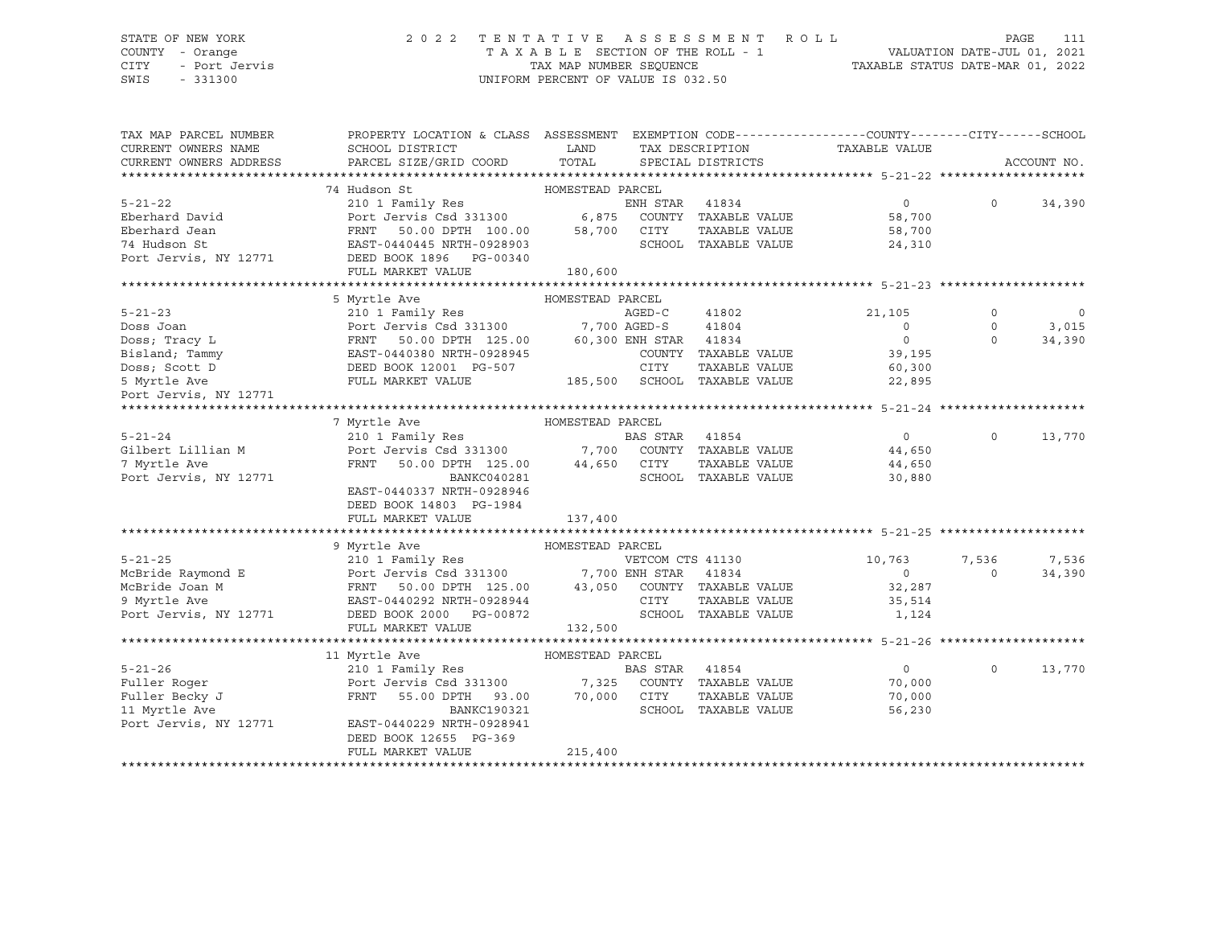#### STATE OF NEW YORK 2 0 2 2 T E N T A T I V E A S S E S S M E N T R O L L PAGE 111 COUNTY - Orange T A X A B L E SECTION OF THE ROLL - 1 VALUATION DATE-JUL 01, 2021 CITY - Port Jervis TAX MAP NUMBER SEQUENCE TAXABLE STATUS DATE-MAR 01, 2022

SWIS - 331300 UNIFORM PERCENT OF VALUE IS 032.50

| TAX MAP PARCEL NUMBER  | PROPERTY LOCATION & CLASS ASSESSMENT EXEMPTION CODE----------------COUNTY-------CITY------SCHOOL    |                  |                |                                                     |                |             |             |
|------------------------|-----------------------------------------------------------------------------------------------------|------------------|----------------|-----------------------------------------------------|----------------|-------------|-------------|
| CURRENT OWNERS NAME    | SCHOOL DISTRICT                                                                                     | LAND             |                | TAX DESCRIPTION                                     | TAXABLE VALUE  |             |             |
| CURRENT OWNERS ADDRESS | PARCEL SIZE/GRID COORD                                                                              | TOTAL            |                | SPECIAL DISTRICTS                                   |                |             | ACCOUNT NO. |
|                        |                                                                                                     |                  |                |                                                     |                |             |             |
|                        | 74 Hudson St                                                                                        | HOMESTEAD PARCEL |                |                                                     |                |             |             |
| $5 - 21 - 22$          | 210 1 Family Res                                                                                    |                  | ENH STAR 41834 |                                                     | $\overline{0}$ | $\Omega$    | 34,390      |
| Eberhard David         | Port Jervis Csd 331300 6,875 COUNTY TAXABLE VALUE                                                   |                  |                |                                                     | 58,700         |             |             |
| Eberhard Jean          | 50.00 DPTH 100.00 58,700 CITY<br>FRNT<br>EAST-04                                                    |                  |                | TAXABLE VALUE                                       | 58,700         |             |             |
| 74 Hudson St           | EAST-0440445 NRTH-0928903                                                                           |                  |                | SCHOOL TAXABLE VALUE                                | 24,310         |             |             |
| Port Jervis, NY 12771  | DEED BOOK 1896    PG-00340                                                                          |                  |                |                                                     |                |             |             |
|                        | FULL MARKET VALUE                                                                                   | 180,600          |                |                                                     |                |             |             |
|                        |                                                                                                     |                  |                |                                                     |                |             |             |
|                        | 5 Myrtle Ave                                                                                        | HOMESTEAD PARCEL |                |                                                     |                |             |             |
| $5 - 21 - 23$          | 210 1 Family Res                                                                                    |                  | AGED-C         | 41802                                               | 21,105         | $\mathbf 0$ | $\circ$     |
| Doss Joan              | Port Jervis Csd 331300 7,700 AGED-S<br>Port Je<br>FRNT                                              |                  |                | 41804                                               | $\overline{0}$ | $\circ$     | 3,015       |
| Doss; Tracy L          | 50.00 DPTH 125.00 60,300 ENH STAR 41834                                                             |                  |                |                                                     | $\overline{0}$ | $\Omega$    | 34,390      |
| Bisland; Tammy         |                                                                                                     |                  |                | COUNTY TAXABLE VALUE                                | 39,195         |             |             |
| Doss; Scott D          |                                                                                                     |                  | CITY           | TAXABLE VALUE                                       | 60,300         |             |             |
| 5 Myrtle Ave           | FRINT 50.00 DFTH 125.00<br>EAST-0440380 NRTH-0928945<br>DEED BOOK 12001 PG-507<br>FULL MARKET VALUE |                  |                | CITY TAXABLE VALUE:<br>185,500 SCHOOL TAXABLE VALUE | 22,895         |             |             |
| Port Jervis, NY 12771  |                                                                                                     |                  |                |                                                     |                |             |             |
|                        |                                                                                                     |                  |                |                                                     |                |             |             |
|                        | HOMESTEAD PARCEL<br>7 Myrtle Ave                                                                    |                  |                |                                                     |                |             |             |
| $5 - 21 - 24$          |                                                                                                     |                  |                |                                                     | $\overline{0}$ | $\circ$     | 13,770      |
| Gilbert Lillian M      | 210 1 Family Res<br>Port Jervis Csd 331300 7,700 COUNTY TAXABLE VALUE                               |                  |                |                                                     | 44,650         |             |             |
| 7 Myrtle Ave           | FRNT<br>50.00 DPTH 125.00 44,650 CITY                                                               |                  |                | TAXABLE VALUE                                       | 44,650         |             |             |
| Port Jervis, NY 12771  | BANKC040281                                                                                         |                  |                | SCHOOL TAXABLE VALUE                                | 30,880         |             |             |
|                        | EAST-0440337 NRTH-0928946                                                                           |                  |                |                                                     |                |             |             |
|                        | DEED BOOK 14803 PG-1984                                                                             |                  |                |                                                     |                |             |             |
|                        | FULL MARKET VALUE                                                                                   | 137,400          |                |                                                     |                |             |             |
|                        |                                                                                                     |                  |                |                                                     |                |             |             |
|                        | 9 Myrtle Ave                                                                                        | HOMESTEAD PARCEL |                |                                                     |                |             |             |
| $5 - 21 - 25$          | 210 1 Family Res<br>Port Jervis Csd 331300<br>FRNT 50.00 DPTH 125.00 43,050 COUNTY TAXABLE VALUE    |                  |                |                                                     | 10,763         | 7,536       | 7,536       |
| McBride Raymond E      |                                                                                                     |                  |                |                                                     | $\Omega$       | $\Omega$    | 34,390      |
| McBride Joan M         |                                                                                                     |                  |                |                                                     | 32,287         |             |             |
| 9 Myrtle Ave           | EAST-0440292 NRTH-0928944                                                                           |                  | CITY           | TAXABLE VALUE                                       | 35,514         |             |             |
| Port Jervis, NY 12771  | DEED BOOK 2000 PG-00872                                                                             |                  |                | SCHOOL TAXABLE VALUE                                | 1,124          |             |             |
|                        | FULL MARKET VALUE                                                                                   | 132,500          |                |                                                     |                |             |             |
|                        |                                                                                                     |                  |                |                                                     |                |             |             |
|                        | HOMESTEAD PARCEL<br>11 Myrtle Ave                                                                   |                  |                |                                                     |                |             |             |
| $5 - 21 - 26$          | 210 1 Family Res                                                                                    |                  | BAS STAR 41854 |                                                     | $\overline{0}$ | $\Omega$    | 13,770      |
| Fuller Roger           | Port Jervis Csd 331300 7,325 COUNTY TAXABLE VALUE                                                   |                  |                |                                                     | 70,000         |             |             |
| Fuller Becky J         | 55.00 DPTH 93.00<br>FRNT                                                                            | 70,000 CITY      |                | TAXABLE VALUE                                       | 70,000         |             |             |
| 11 Myrtle Ave          | BANKC190321                                                                                         |                  |                | SCHOOL TAXABLE VALUE                                | 56,230         |             |             |
| Port Jervis, NY 12771  | EAST-0440229 NRTH-0928941                                                                           |                  |                |                                                     |                |             |             |
|                        | DEED BOOK 12655 PG-369                                                                              |                  |                |                                                     |                |             |             |
|                        | FULL MARKET VALUE                                                                                   | 215,400          |                |                                                     |                |             |             |
|                        |                                                                                                     |                  |                |                                                     |                |             |             |
|                        |                                                                                                     |                  |                |                                                     |                |             |             |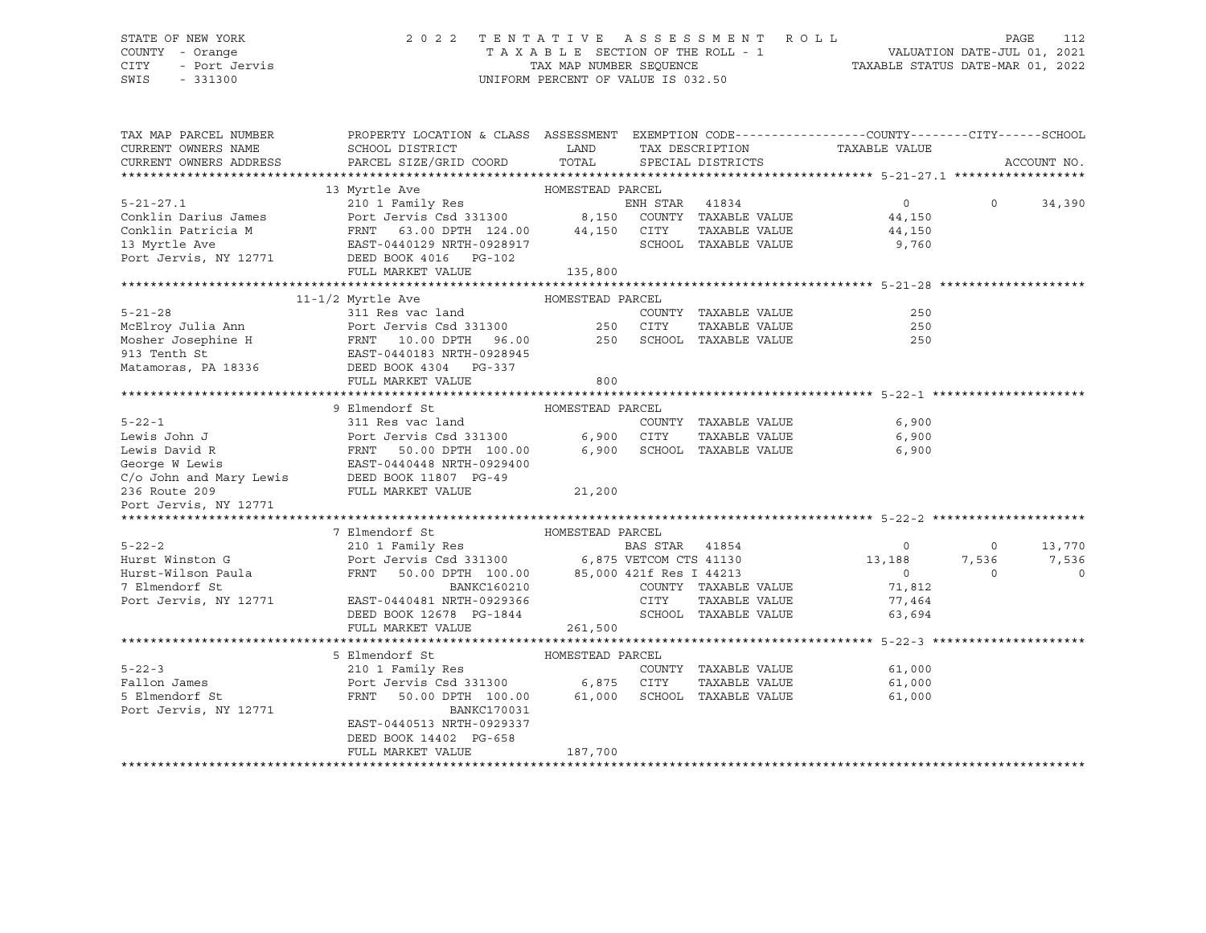#### STATE OF NEW YORK 2 0 2 2 T E N T A T I V E A S S E S S M E N T R O L L PAGE 112 COUNTY - Orange T A X A B L E SECTION OF THE ROLL - 1 VALUATION DATE-JUL 01, 2021 CITY - Port Jervis TAX MAP NUMBER SEQUENCE TAXABLE STATUS DATE-MAR 01, 2022

SWIS - 331300 UNIFORM PERCENT OF VALUE IS 032.50

| TAX MAP PARCEL NUMBER  | PROPERTY LOCATION & CLASS ASSESSMENT EXEMPTION CODE----------------COUNTY-------CITY------SCHOOL                                                  |             |      |                            |                  |                |                |
|------------------------|---------------------------------------------------------------------------------------------------------------------------------------------------|-------------|------|----------------------------|------------------|----------------|----------------|
| CURRENT OWNERS NAME    | SCHOOL DISTRICT                                                                                                                                   | <b>LAND</b> |      | TAX DESCRIPTION            | TAXABLE VALUE    |                |                |
| CURRENT OWNERS ADDRESS | PARCEL SIZE/GRID COORD                                                                                                                            | TOTAL       |      | SPECIAL DISTRICTS          |                  |                | ACCOUNT NO.    |
|                        |                                                                                                                                                   |             |      |                            |                  |                |                |
|                        |                                                                                                                                                   |             |      |                            |                  |                |                |
|                        |                                                                                                                                                   |             |      |                            |                  |                | $0 \t34,390$   |
|                        |                                                                                                                                                   |             |      |                            |                  |                |                |
|                        |                                                                                                                                                   |             |      | TAXABLE VALUE              | 44,150<br>9,760  |                |                |
|                        |                                                                                                                                                   |             |      | SCHOOL TAXABLE VALUE       |                  |                |                |
|                        |                                                                                                                                                   |             |      |                            |                  |                |                |
|                        | Port Jervis, NY 12771 DEED BOOK 4016 PG-102<br>FULL MARKET VALUE 135,800                                                                          |             |      |                            |                  |                |                |
|                        |                                                                                                                                                   |             |      |                            |                  |                |                |
|                        | $11-1/2$ Myrtle Ave $\qquad$ HOMESTEAD PARCEL 311 Res vac land $\qquad$ COUI                                                                      |             |      |                            |                  |                |                |
| $5 - 21 - 28$          |                                                                                                                                                   |             |      | COUNTY TAXABLE VALUE       | 250              |                |                |
|                        |                                                                                                                                                   |             |      | TAXABLE VALUE              | 250              |                |                |
|                        | McElroy Julia Ann Mort Jervis Csd 331300 250 CITY<br>Mosher Josephine H FRNT 10.00 DPTH 96.00 250 SCHOC<br>913 Tenth St EAST-0440183 NRTH-0928945 |             |      | 250 SCHOOL TAXABLE VALUE   | 250              |                |                |
|                        |                                                                                                                                                   |             |      |                            |                  |                |                |
|                        | Matamoras, PA 18336 DEED BOOK 4304 PG-337                                                                                                         |             |      |                            |                  |                |                |
|                        |                                                                                                                                                   |             |      |                            |                  |                |                |
|                        |                                                                                                                                                   |             |      |                            |                  |                |                |
|                        |                                                                                                                                                   |             |      |                            |                  |                |                |
|                        |                                                                                                                                                   |             |      | COUNTY TAXABLE VALUE 6,900 |                  |                |                |
|                        |                                                                                                                                                   |             |      |                            | 6,900            |                |                |
|                        |                                                                                                                                                   |             |      |                            | 6,900            |                |                |
|                        |                                                                                                                                                   |             |      |                            |                  |                |                |
|                        |                                                                                                                                                   |             |      |                            |                  |                |                |
|                        |                                                                                                                                                   |             |      |                            |                  |                |                |
|                        |                                                                                                                                                   |             |      |                            |                  |                |                |
|                        |                                                                                                                                                   |             |      |                            |                  |                |                |
|                        | 7 Elmendorf St                                                                                                                                    |             |      |                            |                  |                |                |
| $5 - 22 - 2$           |                                                                                                                                                   |             |      | BAS STAR 41854 0           |                  | $\overline{0}$ | 13,770         |
|                        |                                                                                                                                                   |             |      |                            |                  |                | 7,536 7,536    |
|                        |                                                                                                                                                   |             |      |                            |                  | $\Omega$       | $\overline{0}$ |
|                        |                                                                                                                                                   |             |      |                            | 71,812           |                |                |
| Port Jervis, NY 12771  | EAST-0440481 NRTH-0929366                                                                                                                         |             | CITY | TAXABLE VALUE              | 77,464<br>63.694 |                |                |
|                        | DEED BOOK 12678 PG-1844                                                                                                                           |             |      | SCHOOL TAXABLE VALUE       |                  |                |                |
|                        | FULL MARKET VALUE                                                                                                                                 | 261,500     |      |                            |                  |                |                |
|                        |                                                                                                                                                   |             |      |                            |                  |                |                |
|                        | HOMESTEAD PARCEL<br>5 Elmendorf St                                                                                                                |             |      |                            |                  |                |                |
| $5 - 22 - 3$           |                                                                                                                                                   |             |      | COUNTY TAXABLE VALUE       | 61,000           |                |                |
| Fallon James           |                                                                                                                                                   |             |      | TAXABLE VALUE              | 61,000           |                |                |
| 5 Elmendorf St         | FRNT 50.00 DPTH 100.00 61,000 SCHOOL TAXABLE VALUE                                                                                                |             |      |                            | 61,000           |                |                |
| Port Jervis, NY 12771  | BANKC170031                                                                                                                                       |             |      |                            |                  |                |                |
|                        | EAST-0440513 NRTH-0929337                                                                                                                         |             |      |                            |                  |                |                |
|                        | DEED BOOK 14402 PG-658                                                                                                                            |             |      |                            |                  |                |                |
|                        | FULL MARKET VALUE                                                                                                                                 | 187,700     |      |                            |                  |                |                |
|                        |                                                                                                                                                   |             |      |                            |                  |                |                |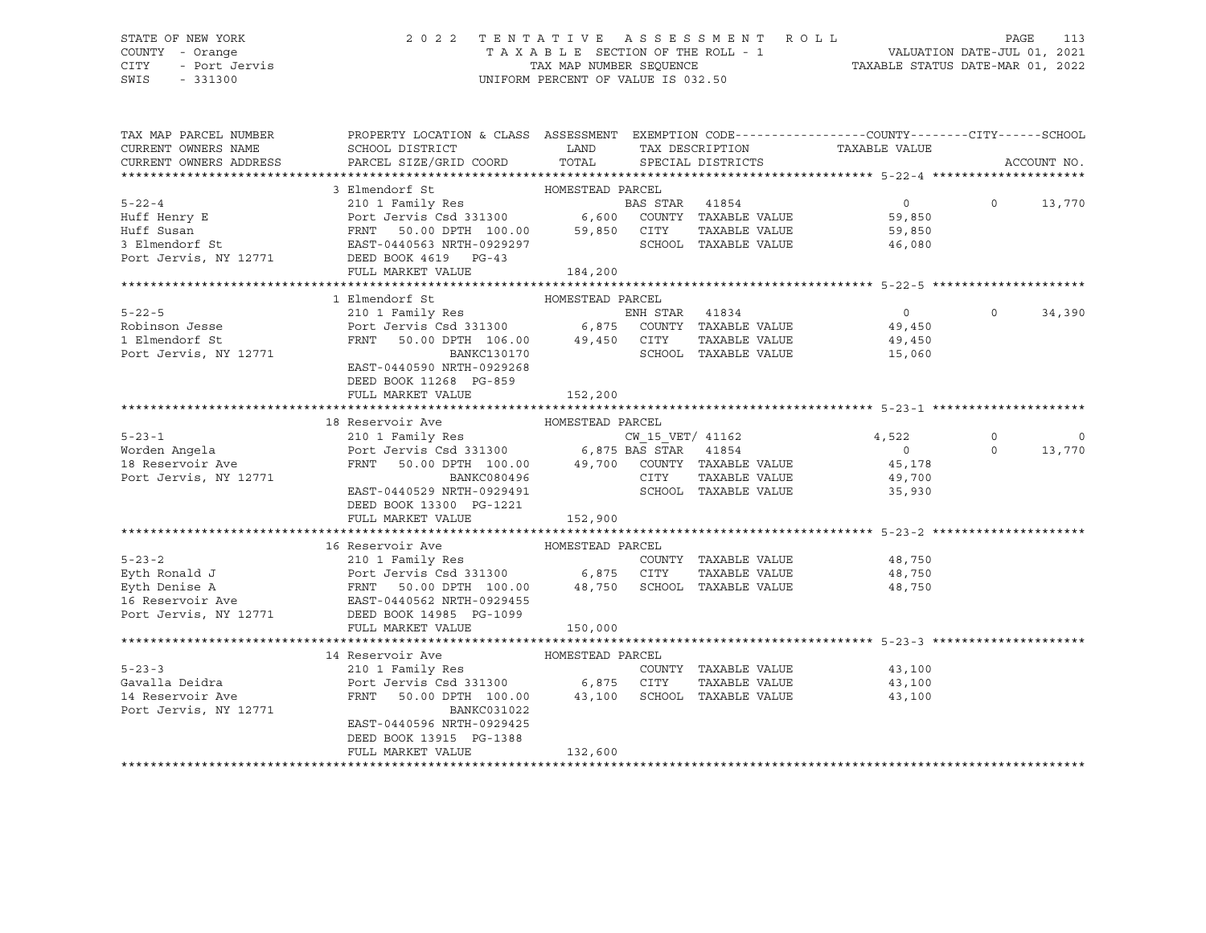## STATE OF NEW YORK 2 0 2 2 T E N T A T I V E A S S E S S M E N T R O L L PAGE 113 COUNTY - Orange T A X A B L E SECTION OF THE ROLL - 1 VALUATION DATE-JUL 01, 2021 CITY - Port Jervis TAX MAP NUMBER SEQUENCE TAXABLE STATUS DATE-MAR 01, 2022

| TAXABLE VALUE<br>CURRENT OWNERS NAME<br>SCHOOL DISTRICT<br><b>LAND</b><br>TAX DESCRIPTION<br>PARCEL SIZE/GRID COORD<br>TOTAL<br>CURRENT OWNERS ADDRESS<br>SPECIAL DISTRICTS<br>ACCOUNT NO.<br>HOMESTEAD PARCEL<br>3 Elmendorf St<br>5-22-4<br>Huff Henry E<br>Huff Susan<br>Huff Susan<br>FRNT 50.00 DPTH 100.00 59,850 CITY TAXABLE VALUE<br>FRNT 50.00 DPTH 100.00 59,850 CITY TAXABLE VALUE<br>Port Jervis, NY 12771 DEED BOOK 4619 PG-43<br>PORT DEED BOOK 4619 PG-43<br>$\overline{0}$<br>$\Omega$<br>13,770<br>59,850<br>TAXABLE VALUE 59,850<br>SCHOOL TAXABLE VALUE<br>46,080<br>FULL MARKET VALUE<br>184,200<br>1 Elmendorf St<br>HOMESTEAD PARCEL<br>$5 - 22 - 5$<br>$\Omega$<br>34,390<br>Robinson Jesse<br>1 Elmendorf St<br>TAXABLE VALUE<br>FRNT 50.00 DPTH 106.00 49,450 CITY<br>BANKC130170 SCHOC<br>49,450<br>15,060<br>Port Jervis, NY 12771<br>SCHOOL TAXABLE VALUE<br>EAST-0440590 NRTH-0929268<br>DEED BOOK 11268 PG-859<br>FULL MARKET VALUE<br>152,200<br>18 Reservoir Ave<br>HOMESTEAD PARCEL<br>$5 - 23 - 1$<br>$CW_15_VET/$ 41162<br>4,522<br>$\circ$<br>$\mathbf 0$<br>$\overline{0}$<br>$\Omega$<br>13,770<br>Worden Angela<br>18 Reservoir Ave<br>$\begin{tabular}{lllllllllll} \textsc{FRNT} & \textsc{50.00 DPTH} & \textsc{100.00} & \textsc{49.700} & \textsc{COUNTY} & \textsc{TXABLE VALUE} & \textsc{45.178} \end{tabular}$<br>TAXABLE VALUE<br>Port Jervis, NY 12771<br>CITY<br>BANKC080496<br>49,700<br>EAST-0440529 NRTH-0929491<br>SCHOOL TAXABLE VALUE 35,930<br>DEED BOOK 13300 PG-1221<br>FULL MARKET VALUE<br>152,900<br>16 Reservoir Ave<br>HOMESTEAD PARCEL<br>COUNTY TAXABLE VALUE 48,750<br>48,750<br>48,750<br>FULL MARKET VALUE<br>150,000<br>HOMESTEAD PARCEL<br>14 Reservoir Ave<br>$5 - 23 - 3$<br>210 1 Family Res<br>COUNTY TAXABLE VALUE<br>43,100<br>43,100<br>Gavalla Deidra<br>TAXABLE VALUE<br>14 Reservoir Ave<br>FRNT 50.00 DPTH 100.00 43,100 SCHOOL TAXABLE VALUE<br>43,100<br>Port Jervis, NY 12771<br>BANKC031022<br>EAST-0440596 NRTH-0929425<br>DEED BOOK 13915 PG-1388<br>FULL MARKET VALUE<br>132,600 | TAX MAP PARCEL NUMBER | PROPERTY LOCATION & CLASS ASSESSMENT EXEMPTION CODE----------------COUNTY-------CITY------SCHOOL |  |  |  |
|-----------------------------------------------------------------------------------------------------------------------------------------------------------------------------------------------------------------------------------------------------------------------------------------------------------------------------------------------------------------------------------------------------------------------------------------------------------------------------------------------------------------------------------------------------------------------------------------------------------------------------------------------------------------------------------------------------------------------------------------------------------------------------------------------------------------------------------------------------------------------------------------------------------------------------------------------------------------------------------------------------------------------------------------------------------------------------------------------------------------------------------------------------------------------------------------------------------------------------------------------------------------------------------------------------------------------------------------------------------------------------------------------------------------------------------------------------------------------------------------------------------------------------------------------------------------------------------------------------------------------------------------------------------------------------------------------------------------------------------------------------------------------------------------------------------------------------------------------------------------------------------------------------------------------------------------------------------------------------------------------------------------------------------------------------------------------------|-----------------------|--------------------------------------------------------------------------------------------------|--|--|--|
|                                                                                                                                                                                                                                                                                                                                                                                                                                                                                                                                                                                                                                                                                                                                                                                                                                                                                                                                                                                                                                                                                                                                                                                                                                                                                                                                                                                                                                                                                                                                                                                                                                                                                                                                                                                                                                                                                                                                                                                                                                                                             |                       |                                                                                                  |  |  |  |
|                                                                                                                                                                                                                                                                                                                                                                                                                                                                                                                                                                                                                                                                                                                                                                                                                                                                                                                                                                                                                                                                                                                                                                                                                                                                                                                                                                                                                                                                                                                                                                                                                                                                                                                                                                                                                                                                                                                                                                                                                                                                             |                       |                                                                                                  |  |  |  |
|                                                                                                                                                                                                                                                                                                                                                                                                                                                                                                                                                                                                                                                                                                                                                                                                                                                                                                                                                                                                                                                                                                                                                                                                                                                                                                                                                                                                                                                                                                                                                                                                                                                                                                                                                                                                                                                                                                                                                                                                                                                                             |                       |                                                                                                  |  |  |  |
|                                                                                                                                                                                                                                                                                                                                                                                                                                                                                                                                                                                                                                                                                                                                                                                                                                                                                                                                                                                                                                                                                                                                                                                                                                                                                                                                                                                                                                                                                                                                                                                                                                                                                                                                                                                                                                                                                                                                                                                                                                                                             |                       |                                                                                                  |  |  |  |
|                                                                                                                                                                                                                                                                                                                                                                                                                                                                                                                                                                                                                                                                                                                                                                                                                                                                                                                                                                                                                                                                                                                                                                                                                                                                                                                                                                                                                                                                                                                                                                                                                                                                                                                                                                                                                                                                                                                                                                                                                                                                             |                       |                                                                                                  |  |  |  |
|                                                                                                                                                                                                                                                                                                                                                                                                                                                                                                                                                                                                                                                                                                                                                                                                                                                                                                                                                                                                                                                                                                                                                                                                                                                                                                                                                                                                                                                                                                                                                                                                                                                                                                                                                                                                                                                                                                                                                                                                                                                                             |                       |                                                                                                  |  |  |  |
|                                                                                                                                                                                                                                                                                                                                                                                                                                                                                                                                                                                                                                                                                                                                                                                                                                                                                                                                                                                                                                                                                                                                                                                                                                                                                                                                                                                                                                                                                                                                                                                                                                                                                                                                                                                                                                                                                                                                                                                                                                                                             |                       |                                                                                                  |  |  |  |
|                                                                                                                                                                                                                                                                                                                                                                                                                                                                                                                                                                                                                                                                                                                                                                                                                                                                                                                                                                                                                                                                                                                                                                                                                                                                                                                                                                                                                                                                                                                                                                                                                                                                                                                                                                                                                                                                                                                                                                                                                                                                             |                       |                                                                                                  |  |  |  |
|                                                                                                                                                                                                                                                                                                                                                                                                                                                                                                                                                                                                                                                                                                                                                                                                                                                                                                                                                                                                                                                                                                                                                                                                                                                                                                                                                                                                                                                                                                                                                                                                                                                                                                                                                                                                                                                                                                                                                                                                                                                                             |                       |                                                                                                  |  |  |  |
|                                                                                                                                                                                                                                                                                                                                                                                                                                                                                                                                                                                                                                                                                                                                                                                                                                                                                                                                                                                                                                                                                                                                                                                                                                                                                                                                                                                                                                                                                                                                                                                                                                                                                                                                                                                                                                                                                                                                                                                                                                                                             |                       |                                                                                                  |  |  |  |
|                                                                                                                                                                                                                                                                                                                                                                                                                                                                                                                                                                                                                                                                                                                                                                                                                                                                                                                                                                                                                                                                                                                                                                                                                                                                                                                                                                                                                                                                                                                                                                                                                                                                                                                                                                                                                                                                                                                                                                                                                                                                             |                       |                                                                                                  |  |  |  |
|                                                                                                                                                                                                                                                                                                                                                                                                                                                                                                                                                                                                                                                                                                                                                                                                                                                                                                                                                                                                                                                                                                                                                                                                                                                                                                                                                                                                                                                                                                                                                                                                                                                                                                                                                                                                                                                                                                                                                                                                                                                                             |                       |                                                                                                  |  |  |  |
|                                                                                                                                                                                                                                                                                                                                                                                                                                                                                                                                                                                                                                                                                                                                                                                                                                                                                                                                                                                                                                                                                                                                                                                                                                                                                                                                                                                                                                                                                                                                                                                                                                                                                                                                                                                                                                                                                                                                                                                                                                                                             |                       |                                                                                                  |  |  |  |
|                                                                                                                                                                                                                                                                                                                                                                                                                                                                                                                                                                                                                                                                                                                                                                                                                                                                                                                                                                                                                                                                                                                                                                                                                                                                                                                                                                                                                                                                                                                                                                                                                                                                                                                                                                                                                                                                                                                                                                                                                                                                             |                       |                                                                                                  |  |  |  |
|                                                                                                                                                                                                                                                                                                                                                                                                                                                                                                                                                                                                                                                                                                                                                                                                                                                                                                                                                                                                                                                                                                                                                                                                                                                                                                                                                                                                                                                                                                                                                                                                                                                                                                                                                                                                                                                                                                                                                                                                                                                                             |                       |                                                                                                  |  |  |  |
|                                                                                                                                                                                                                                                                                                                                                                                                                                                                                                                                                                                                                                                                                                                                                                                                                                                                                                                                                                                                                                                                                                                                                                                                                                                                                                                                                                                                                                                                                                                                                                                                                                                                                                                                                                                                                                                                                                                                                                                                                                                                             |                       |                                                                                                  |  |  |  |
|                                                                                                                                                                                                                                                                                                                                                                                                                                                                                                                                                                                                                                                                                                                                                                                                                                                                                                                                                                                                                                                                                                                                                                                                                                                                                                                                                                                                                                                                                                                                                                                                                                                                                                                                                                                                                                                                                                                                                                                                                                                                             |                       |                                                                                                  |  |  |  |
|                                                                                                                                                                                                                                                                                                                                                                                                                                                                                                                                                                                                                                                                                                                                                                                                                                                                                                                                                                                                                                                                                                                                                                                                                                                                                                                                                                                                                                                                                                                                                                                                                                                                                                                                                                                                                                                                                                                                                                                                                                                                             |                       |                                                                                                  |  |  |  |
|                                                                                                                                                                                                                                                                                                                                                                                                                                                                                                                                                                                                                                                                                                                                                                                                                                                                                                                                                                                                                                                                                                                                                                                                                                                                                                                                                                                                                                                                                                                                                                                                                                                                                                                                                                                                                                                                                                                                                                                                                                                                             |                       |                                                                                                  |  |  |  |
|                                                                                                                                                                                                                                                                                                                                                                                                                                                                                                                                                                                                                                                                                                                                                                                                                                                                                                                                                                                                                                                                                                                                                                                                                                                                                                                                                                                                                                                                                                                                                                                                                                                                                                                                                                                                                                                                                                                                                                                                                                                                             |                       |                                                                                                  |  |  |  |
|                                                                                                                                                                                                                                                                                                                                                                                                                                                                                                                                                                                                                                                                                                                                                                                                                                                                                                                                                                                                                                                                                                                                                                                                                                                                                                                                                                                                                                                                                                                                                                                                                                                                                                                                                                                                                                                                                                                                                                                                                                                                             |                       |                                                                                                  |  |  |  |
|                                                                                                                                                                                                                                                                                                                                                                                                                                                                                                                                                                                                                                                                                                                                                                                                                                                                                                                                                                                                                                                                                                                                                                                                                                                                                                                                                                                                                                                                                                                                                                                                                                                                                                                                                                                                                                                                                                                                                                                                                                                                             |                       |                                                                                                  |  |  |  |
|                                                                                                                                                                                                                                                                                                                                                                                                                                                                                                                                                                                                                                                                                                                                                                                                                                                                                                                                                                                                                                                                                                                                                                                                                                                                                                                                                                                                                                                                                                                                                                                                                                                                                                                                                                                                                                                                                                                                                                                                                                                                             |                       |                                                                                                  |  |  |  |
|                                                                                                                                                                                                                                                                                                                                                                                                                                                                                                                                                                                                                                                                                                                                                                                                                                                                                                                                                                                                                                                                                                                                                                                                                                                                                                                                                                                                                                                                                                                                                                                                                                                                                                                                                                                                                                                                                                                                                                                                                                                                             |                       |                                                                                                  |  |  |  |
|                                                                                                                                                                                                                                                                                                                                                                                                                                                                                                                                                                                                                                                                                                                                                                                                                                                                                                                                                                                                                                                                                                                                                                                                                                                                                                                                                                                                                                                                                                                                                                                                                                                                                                                                                                                                                                                                                                                                                                                                                                                                             |                       |                                                                                                  |  |  |  |
|                                                                                                                                                                                                                                                                                                                                                                                                                                                                                                                                                                                                                                                                                                                                                                                                                                                                                                                                                                                                                                                                                                                                                                                                                                                                                                                                                                                                                                                                                                                                                                                                                                                                                                                                                                                                                                                                                                                                                                                                                                                                             |                       |                                                                                                  |  |  |  |
|                                                                                                                                                                                                                                                                                                                                                                                                                                                                                                                                                                                                                                                                                                                                                                                                                                                                                                                                                                                                                                                                                                                                                                                                                                                                                                                                                                                                                                                                                                                                                                                                                                                                                                                                                                                                                                                                                                                                                                                                                                                                             |                       |                                                                                                  |  |  |  |
|                                                                                                                                                                                                                                                                                                                                                                                                                                                                                                                                                                                                                                                                                                                                                                                                                                                                                                                                                                                                                                                                                                                                                                                                                                                                                                                                                                                                                                                                                                                                                                                                                                                                                                                                                                                                                                                                                                                                                                                                                                                                             |                       |                                                                                                  |  |  |  |
|                                                                                                                                                                                                                                                                                                                                                                                                                                                                                                                                                                                                                                                                                                                                                                                                                                                                                                                                                                                                                                                                                                                                                                                                                                                                                                                                                                                                                                                                                                                                                                                                                                                                                                                                                                                                                                                                                                                                                                                                                                                                             |                       |                                                                                                  |  |  |  |
|                                                                                                                                                                                                                                                                                                                                                                                                                                                                                                                                                                                                                                                                                                                                                                                                                                                                                                                                                                                                                                                                                                                                                                                                                                                                                                                                                                                                                                                                                                                                                                                                                                                                                                                                                                                                                                                                                                                                                                                                                                                                             |                       |                                                                                                  |  |  |  |
|                                                                                                                                                                                                                                                                                                                                                                                                                                                                                                                                                                                                                                                                                                                                                                                                                                                                                                                                                                                                                                                                                                                                                                                                                                                                                                                                                                                                                                                                                                                                                                                                                                                                                                                                                                                                                                                                                                                                                                                                                                                                             |                       |                                                                                                  |  |  |  |
|                                                                                                                                                                                                                                                                                                                                                                                                                                                                                                                                                                                                                                                                                                                                                                                                                                                                                                                                                                                                                                                                                                                                                                                                                                                                                                                                                                                                                                                                                                                                                                                                                                                                                                                                                                                                                                                                                                                                                                                                                                                                             |                       |                                                                                                  |  |  |  |
|                                                                                                                                                                                                                                                                                                                                                                                                                                                                                                                                                                                                                                                                                                                                                                                                                                                                                                                                                                                                                                                                                                                                                                                                                                                                                                                                                                                                                                                                                                                                                                                                                                                                                                                                                                                                                                                                                                                                                                                                                                                                             |                       |                                                                                                  |  |  |  |
|                                                                                                                                                                                                                                                                                                                                                                                                                                                                                                                                                                                                                                                                                                                                                                                                                                                                                                                                                                                                                                                                                                                                                                                                                                                                                                                                                                                                                                                                                                                                                                                                                                                                                                                                                                                                                                                                                                                                                                                                                                                                             |                       |                                                                                                  |  |  |  |
|                                                                                                                                                                                                                                                                                                                                                                                                                                                                                                                                                                                                                                                                                                                                                                                                                                                                                                                                                                                                                                                                                                                                                                                                                                                                                                                                                                                                                                                                                                                                                                                                                                                                                                                                                                                                                                                                                                                                                                                                                                                                             |                       |                                                                                                  |  |  |  |
|                                                                                                                                                                                                                                                                                                                                                                                                                                                                                                                                                                                                                                                                                                                                                                                                                                                                                                                                                                                                                                                                                                                                                                                                                                                                                                                                                                                                                                                                                                                                                                                                                                                                                                                                                                                                                                                                                                                                                                                                                                                                             |                       |                                                                                                  |  |  |  |
|                                                                                                                                                                                                                                                                                                                                                                                                                                                                                                                                                                                                                                                                                                                                                                                                                                                                                                                                                                                                                                                                                                                                                                                                                                                                                                                                                                                                                                                                                                                                                                                                                                                                                                                                                                                                                                                                                                                                                                                                                                                                             |                       |                                                                                                  |  |  |  |
|                                                                                                                                                                                                                                                                                                                                                                                                                                                                                                                                                                                                                                                                                                                                                                                                                                                                                                                                                                                                                                                                                                                                                                                                                                                                                                                                                                                                                                                                                                                                                                                                                                                                                                                                                                                                                                                                                                                                                                                                                                                                             |                       |                                                                                                  |  |  |  |
|                                                                                                                                                                                                                                                                                                                                                                                                                                                                                                                                                                                                                                                                                                                                                                                                                                                                                                                                                                                                                                                                                                                                                                                                                                                                                                                                                                                                                                                                                                                                                                                                                                                                                                                                                                                                                                                                                                                                                                                                                                                                             |                       |                                                                                                  |  |  |  |
|                                                                                                                                                                                                                                                                                                                                                                                                                                                                                                                                                                                                                                                                                                                                                                                                                                                                                                                                                                                                                                                                                                                                                                                                                                                                                                                                                                                                                                                                                                                                                                                                                                                                                                                                                                                                                                                                                                                                                                                                                                                                             |                       |                                                                                                  |  |  |  |
|                                                                                                                                                                                                                                                                                                                                                                                                                                                                                                                                                                                                                                                                                                                                                                                                                                                                                                                                                                                                                                                                                                                                                                                                                                                                                                                                                                                                                                                                                                                                                                                                                                                                                                                                                                                                                                                                                                                                                                                                                                                                             |                       |                                                                                                  |  |  |  |
|                                                                                                                                                                                                                                                                                                                                                                                                                                                                                                                                                                                                                                                                                                                                                                                                                                                                                                                                                                                                                                                                                                                                                                                                                                                                                                                                                                                                                                                                                                                                                                                                                                                                                                                                                                                                                                                                                                                                                                                                                                                                             |                       |                                                                                                  |  |  |  |
|                                                                                                                                                                                                                                                                                                                                                                                                                                                                                                                                                                                                                                                                                                                                                                                                                                                                                                                                                                                                                                                                                                                                                                                                                                                                                                                                                                                                                                                                                                                                                                                                                                                                                                                                                                                                                                                                                                                                                                                                                                                                             |                       |                                                                                                  |  |  |  |
|                                                                                                                                                                                                                                                                                                                                                                                                                                                                                                                                                                                                                                                                                                                                                                                                                                                                                                                                                                                                                                                                                                                                                                                                                                                                                                                                                                                                                                                                                                                                                                                                                                                                                                                                                                                                                                                                                                                                                                                                                                                                             |                       |                                                                                                  |  |  |  |
|                                                                                                                                                                                                                                                                                                                                                                                                                                                                                                                                                                                                                                                                                                                                                                                                                                                                                                                                                                                                                                                                                                                                                                                                                                                                                                                                                                                                                                                                                                                                                                                                                                                                                                                                                                                                                                                                                                                                                                                                                                                                             |                       |                                                                                                  |  |  |  |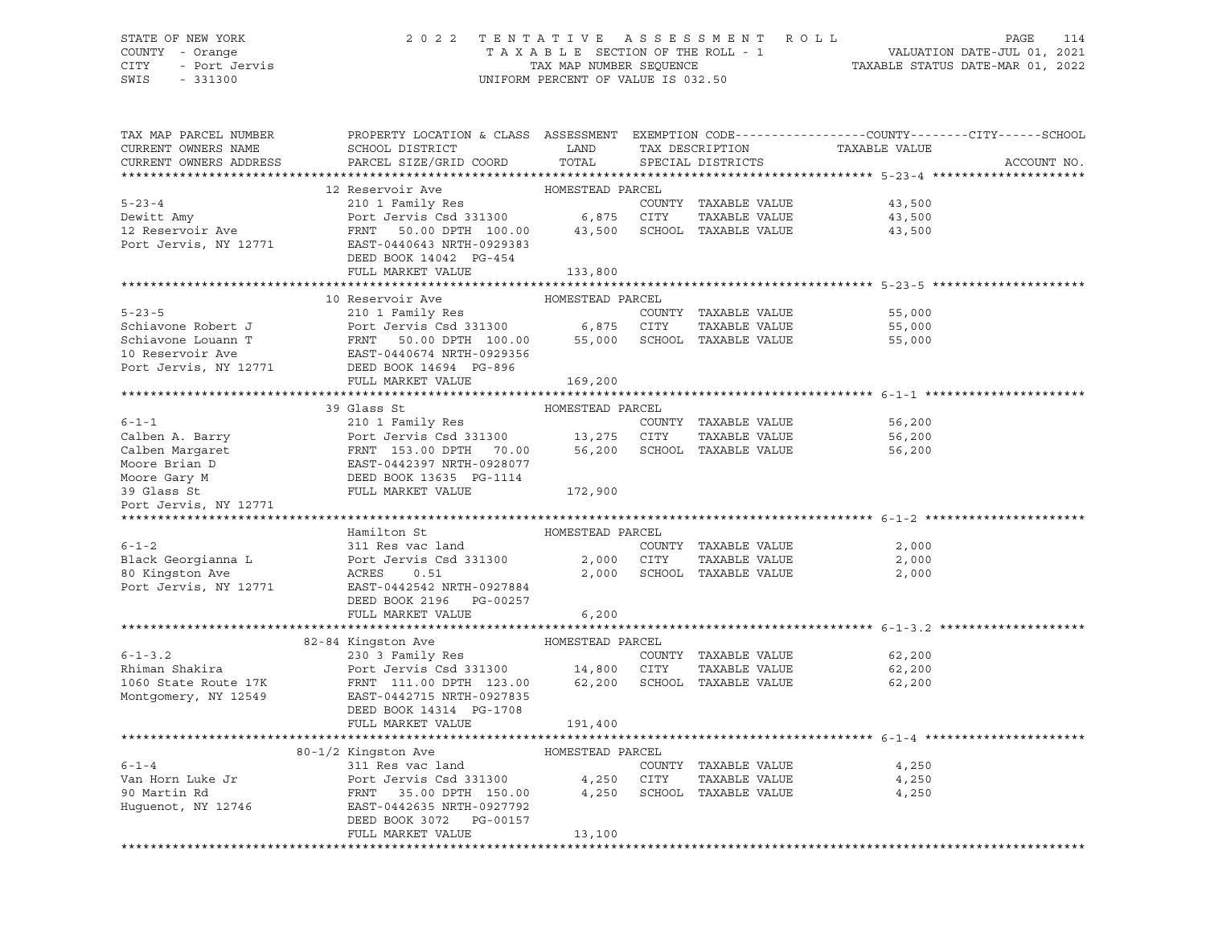### STATE OF NEW YORK 2 0 2 2 T E N T A T I V E A S S E S S M E N T R O L L PAGE 114 COUNTY - Orange T A X A B L E SECTION OF THE ROLL - 1 VALUATION DATE-JUL 01, 2021 CITY - Port Jervis TAX MAP NUMBER SEQUENCE TAXABLE STATUS DATE-MAR 01, 2022

| TAX MAP PARCEL NUMBER<br>CURRENT OWNERS NAME<br>CURRENT OWNERS ADDRESS | PROPERTY LOCATION & CLASS ASSESSMENT EXEMPTION CODE---------------COUNTY-------CITY------SCHOOL<br>SCHOOL DISTRICT<br>PARCEL SIZE/GRID COORD                                                                                                     | LAND<br>TOTAL    | TAX DESCRIPTION<br>SPECIAL DISTRICTS | TAXABLE VALUE    | ACCOUNT NO. |
|------------------------------------------------------------------------|--------------------------------------------------------------------------------------------------------------------------------------------------------------------------------------------------------------------------------------------------|------------------|--------------------------------------|------------------|-------------|
|                                                                        |                                                                                                                                                                                                                                                  |                  |                                      |                  |             |
|                                                                        |                                                                                                                                                                                                                                                  |                  |                                      |                  |             |
| $5 - 23 - 4$                                                           |                                                                                                                                                                                                                                                  |                  | COUNTY TAXABLE VALUE                 | 43,500           |             |
| Dewitt Amy                                                             |                                                                                                                                                                                                                                                  |                  | TAXABLE VALUE                        | 43,500           |             |
| 12 Reservoir Ave                                                       | FRNT 50.00 DPTH 100.00 43,500 SCHOOL TAXABLE VALUE                                                                                                                                                                                               |                  |                                      | 43,500           |             |
| Port Jervis, NY 12771                                                  | EAST-0440643 NRTH-0929383                                                                                                                                                                                                                        |                  |                                      |                  |             |
|                                                                        | DEED BOOK 14042 PG-454                                                                                                                                                                                                                           |                  |                                      |                  |             |
|                                                                        | FULL MARKET VALUE                                                                                                                                                                                                                                | 133,800          |                                      |                  |             |
|                                                                        |                                                                                                                                                                                                                                                  |                  |                                      |                  |             |
|                                                                        | 10 Reservoir Ave                                                                                                                                                                                                                                 | HOMESTEAD PARCEL |                                      |                  |             |
| $5 - 23 - 5$                                                           | 210 1 Family Res                                                                                                                                                                                                                                 |                  | COUNTY TAXABLE VALUE                 | 55,000           |             |
| Schiavone Robert J                                                     |                                                                                                                                                                                                                                                  |                  |                                      | 55,000           |             |
| Schiavone Louann T                                                     | Port Jervis Csd 331300<br>Port Jervis Csd 331300 6,875 CITY TAXABLE VALUE<br>FRAT 50.00 DPTH 100.00 55,000 SCHOOL TAXABLE VALUE<br>EAST -21.00 A40674 NRTH-0929356                                                                               |                  |                                      | 55,000           |             |
| 10 Reservoir Ave                                                       | 10 Reservoir Ave EAST-0440674 NRTH-09293!<br>Port Jervis, NY 12771 DEED BOOK 14694 PG-896                                                                                                                                                        |                  |                                      |                  |             |
|                                                                        |                                                                                                                                                                                                                                                  |                  |                                      |                  |             |
|                                                                        | FULL MARKET VALUE                                                                                                                                                                                                                                | 169,200          |                                      |                  |             |
|                                                                        |                                                                                                                                                                                                                                                  |                  |                                      |                  |             |
| $6 - 1 - 1$                                                            | 39 Glass St<br>210 1 Family Res                                                                                                                                                                                                                  | HOMESTEAD PARCEL |                                      | 56,200           |             |
|                                                                        |                                                                                                                                                                                                                                                  |                  | COUNTY TAXABLE VALUE                 |                  |             |
|                                                                        | Calben A. Barry<br>Calben Margaret<br>Calben Margaret<br>Moore Brian D<br>Moore Gary M<br>Moore Gary M<br>Moore Gary M<br>Moore Gary M<br>Moore Gary M<br>Moore Gary M<br>Mull Market VALUE<br>TULL MARKET VALUE<br>TULL MARKET VALUE<br>172,900 |                  |                                      | 56,200<br>56,200 |             |
|                                                                        |                                                                                                                                                                                                                                                  |                  |                                      |                  |             |
|                                                                        |                                                                                                                                                                                                                                                  |                  |                                      |                  |             |
|                                                                        |                                                                                                                                                                                                                                                  |                  |                                      |                  |             |
| Port Jervis, NY 12771                                                  |                                                                                                                                                                                                                                                  |                  |                                      |                  |             |
|                                                                        |                                                                                                                                                                                                                                                  |                  |                                      |                  |             |
|                                                                        | Hamilton St                                                                                                                                                                                                                                      | HOMESTEAD PARCEL |                                      |                  |             |
| $6 - 1 - 2$                                                            | 311 Res vac land                                                                                                                                                                                                                                 |                  | COUNTY TAXABLE VALUE                 | 2,000            |             |
| Black Georgianna L                                                     | Port Jervis Csd 331300                                                                                                                                                                                                                           | 2,000 CITY       | TAXABLE VALUE                        | 2,000            |             |
| 80 Kingston Ave                                                        | ACRES<br>0.51                                                                                                                                                                                                                                    |                  | 2,000 SCHOOL TAXABLE VALUE           | 2,000            |             |
| Port Jervis, NY 12771                                                  | EAST-0442542 NRTH-0927884                                                                                                                                                                                                                        |                  |                                      |                  |             |
|                                                                        | DEED BOOK 2196 PG-00257                                                                                                                                                                                                                          |                  |                                      |                  |             |
|                                                                        | FULL MARKET VALUE                                                                                                                                                                                                                                | 6,200            |                                      |                  |             |
|                                                                        |                                                                                                                                                                                                                                                  |                  |                                      |                  |             |
|                                                                        |                                                                                                                                                                                                                                                  |                  |                                      |                  |             |
| $6 - 1 - 3.2$                                                          |                                                                                                                                                                                                                                                  |                  | COUNTY TAXABLE VALUE                 | 62,200           |             |
| Rhiman Shakira                                                         | Port Jervis Csd 331300 14,800 CITY TAXABLE VALUE<br>FRNT 111.00 DPTH 123.00 62,200 SCHOOL TAXABLE VALUE                                                                                                                                          |                  |                                      | 62,200           |             |
| 1060 State Route 17K                                                   |                                                                                                                                                                                                                                                  |                  |                                      | 62,200           |             |
| Montgomery, NY 12549                                                   | EAST-0442715 NRTH-0927835                                                                                                                                                                                                                        |                  |                                      |                  |             |
|                                                                        | DEED BOOK 14314 PG-1708                                                                                                                                                                                                                          |                  |                                      |                  |             |
|                                                                        | FULL MARKET VALUE                                                                                                                                                                                                                                | 191,400          |                                      |                  |             |
|                                                                        |                                                                                                                                                                                                                                                  |                  |                                      |                  |             |
|                                                                        | 80-1/2 Kingston Ave                                                                                                                                                                                                                              | HOMESTEAD PARCEL |                                      |                  |             |
| $6 - 1 - 4$                                                            | 311 Res vac land                                                                                                                                                                                                                                 |                  | COUNTY TAXABLE VALUE                 | 4,250            |             |
| Van Horn Luke Jr                                                       | Port Jervis Csd 331300 4,250 CITY<br>FRNT 35.00 DPTH 150.00 4,250 SCHOO                                                                                                                                                                          |                  | TAXABLE VALUE                        | 4,250            |             |
| 90 Martin Rd                                                           |                                                                                                                                                                                                                                                  |                  | 4,250 SCHOOL TAXABLE VALUE           | 4,250            |             |
| Huguenot, NY 12746                                                     | EAST-0442635 NRTH-0927792                                                                                                                                                                                                                        |                  |                                      |                  |             |
|                                                                        | DEED BOOK 3072 PG-00157                                                                                                                                                                                                                          |                  |                                      |                  |             |
|                                                                        | FULL MARKET VALUE                                                                                                                                                                                                                                | 13,100           |                                      |                  |             |
|                                                                        |                                                                                                                                                                                                                                                  |                  |                                      |                  |             |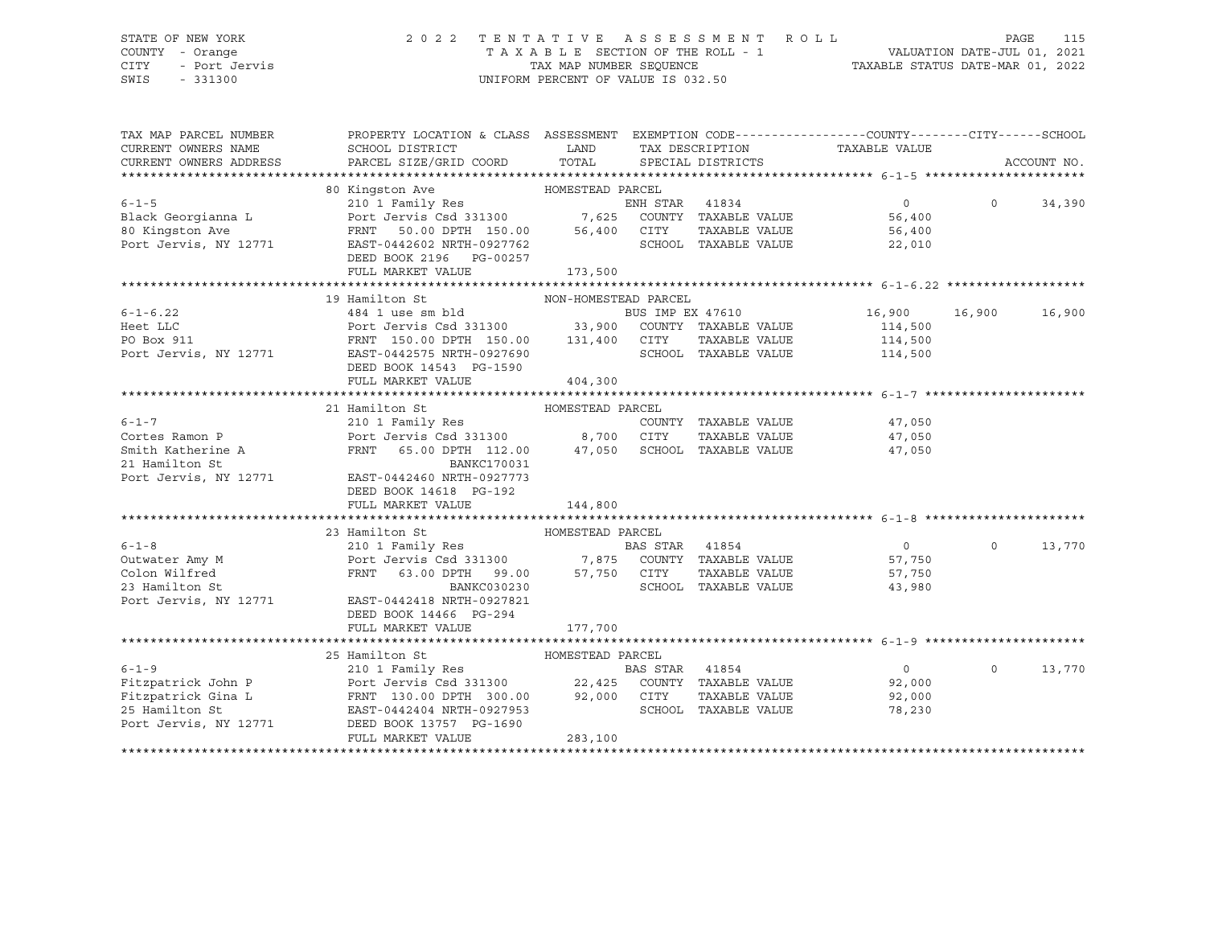#### STATE OF NEW YORK 2 0 2 2 T E N T A T I V E A S S E S S M E N T R O L L PAGE 115 COUNTY - Orange T A X A B L E SECTION OF THE ROLL - 1 VALUATION DATE-JUL 01, 2021 CITY - Port Jervis TAX MAP NUMBER SEQUENCE TAXABLE STATUS DATE-MAR 01, 2022

| TAX MAP PARCEL NUMBER<br>CURRENT OWNERS NAME<br>CURRENT OWNERS ADDRESS | PROPERTY LOCATION & CLASS ASSESSMENT EXEMPTION CODE---------------COUNTY-------CITY------SCHOOL<br>SCHOOL DISTRICT<br>PARCEL SIZE/GRID COORD | LAND<br>TOTAL        |                | SPECIAL DISTRICTS    | TAX DESCRIPTION TAXABLE VALUE  |          | ACCOUNT NO. |
|------------------------------------------------------------------------|----------------------------------------------------------------------------------------------------------------------------------------------|----------------------|----------------|----------------------|--------------------------------|----------|-------------|
|                                                                        | 80 Kingston Ave<br>HOMESTEAD PARCEL                                                                                                          |                      |                |                      |                                |          |             |
| $6 - 1 - 5$                                                            | 210 <sup>1</sup> Family Res                                                                                                                  |                      | ENH STAR 41834 |                      | $\overline{0}$                 | $\Omega$ | 34,390      |
| Black Georgianna L                                                     |                                                                                                                                              |                      |                |                      | 56,400                         |          |             |
| 80 Kingston Ave                                                        | Port Jervis Csd 331300 7,625 COUNTY TAXABLE VALUE<br>FRNT 50.00 DPTH 150.00 56,400 CITY TAXABLE VALUE                                        |                      |                |                      | 56,400                         |          |             |
| Port Jervis, NY 12771                                                  | EAST-0442602 NRTH-0927762                                                                                                                    |                      |                | SCHOOL TAXABLE VALUE | 22,010                         |          |             |
|                                                                        | DEED BOOK 2196 PG-00257                                                                                                                      |                      |                |                      |                                |          |             |
|                                                                        | FULL MARKET VALUE                                                                                                                            | 173,500              |                |                      |                                |          |             |
|                                                                        |                                                                                                                                              |                      |                |                      |                                |          |             |
|                                                                        | 19 Hamilton St                                                                                                                               | NON-HOMESTEAD PARCEL |                |                      |                                |          |             |
| $6 - 1 - 6.22$                                                         |                                                                                                                                              |                      |                |                      | BUS IMP EX 47610 16,900 16,900 |          | 16,900      |
| Heet LLC                                                               |                                                                                                                                              |                      |                |                      | 114,500                        |          |             |
| PO Box 911                                                             |                                                                                                                                              |                      |                |                      | 114,500                        |          |             |
| Port Jervis, NY 12771 EAST-0442575 NRTH-0927690                        |                                                                                                                                              |                      |                |                      | SCHOOL TAXABLE VALUE 114,500   |          |             |
|                                                                        | DEED BOOK 14543 PG-1590                                                                                                                      |                      |                |                      |                                |          |             |
|                                                                        | FULL MARKET VALUE                                                                                                                            | 404,300              |                |                      |                                |          |             |
|                                                                        |                                                                                                                                              |                      |                |                      |                                |          |             |
|                                                                        | 21 Hamilton St                                                                                                                               | HOMESTEAD PARCEL     |                |                      |                                |          |             |
| $6 - 1 - 7$                                                            | 210 1 Family Res                                                                                                                             |                      |                | COUNTY TAXABLE VALUE | 47,050                         |          |             |
| Cortes Ramon P                                                         | Port Jervis Csd 331300 8,700 CITY TAXABLE VALUE<br>FRNT 65.00 DPTH 112.00 47,050 SCHOOL TAXABLE VALUE                                        |                      |                | TAXABLE VALUE        | 47,050                         |          |             |
| Smith Katherine A                                                      |                                                                                                                                              |                      |                |                      | 47,050                         |          |             |
| 21 Hamilton St<br>Port Jervis, NY 12771                                | BANKC170031                                                                                                                                  |                      |                |                      |                                |          |             |
|                                                                        | EAST-0442460 NRTH-0927773                                                                                                                    |                      |                |                      |                                |          |             |
|                                                                        | DEED BOOK 14618 PG-192                                                                                                                       |                      |                |                      |                                |          |             |
|                                                                        | FULL MARKET VALUE                                                                                                                            | 144,800              |                |                      |                                |          |             |
|                                                                        |                                                                                                                                              |                      |                |                      |                                |          |             |
|                                                                        | 23 Hamilton St                                                                                                                               | HOMESTEAD PARCEL     |                |                      |                                |          |             |
|                                                                        |                                                                                                                                              |                      |                |                      | $\overline{0}$                 | $\Omega$ | 13,770      |
|                                                                        |                                                                                                                                              |                      |                |                      | 57,750                         |          |             |
| Colon Wilfred                                                          | FRNT 63.00 DPTH 99.00 57,750 CITY<br>BANKC030230 SCHOO                                                                                       |                      |                | TAXABLE VALUE        | 57,750                         |          |             |
| 23 Hamilton St                                                         | BANKC030230                                                                                                                                  |                      |                | SCHOOL TAXABLE VALUE | 43,980                         |          |             |
| Port Jervis, NY 12771                                                  | EAST-0442418 NRTH-0927821                                                                                                                    |                      |                |                      |                                |          |             |
|                                                                        | DEED BOOK 14466 PG-294                                                                                                                       |                      |                |                      |                                |          |             |
|                                                                        | FULL MARKET VALUE                                                                                                                            | 177,700              |                |                      |                                |          |             |
|                                                                        |                                                                                                                                              |                      |                |                      |                                |          |             |
|                                                                        | 25 Hamilton St                                                                                                                               | HOMESTEAD PARCEL     |                |                      |                                |          |             |
| $6 - 1 - 9$                                                            | 210 1 Family Res                                                                                                                             |                      | BAS STAR       | 41854                | $\overline{0}$                 | $\Omega$ | 13,770      |
|                                                                        |                                                                                                                                              |                      |                |                      | 92,000                         |          |             |
|                                                                        |                                                                                                                                              |                      |                |                      | 92,000                         |          |             |
|                                                                        |                                                                                                                                              |                      |                |                      | 78,230                         |          |             |
| Port Jervis, NY 12771                                                  | DEED BOOK 13757 PG-1690                                                                                                                      |                      |                |                      |                                |          |             |
|                                                                        | FULL MARKET VALUE                                                                                                                            | 283,100              |                |                      |                                |          |             |
|                                                                        |                                                                                                                                              |                      |                |                      |                                |          |             |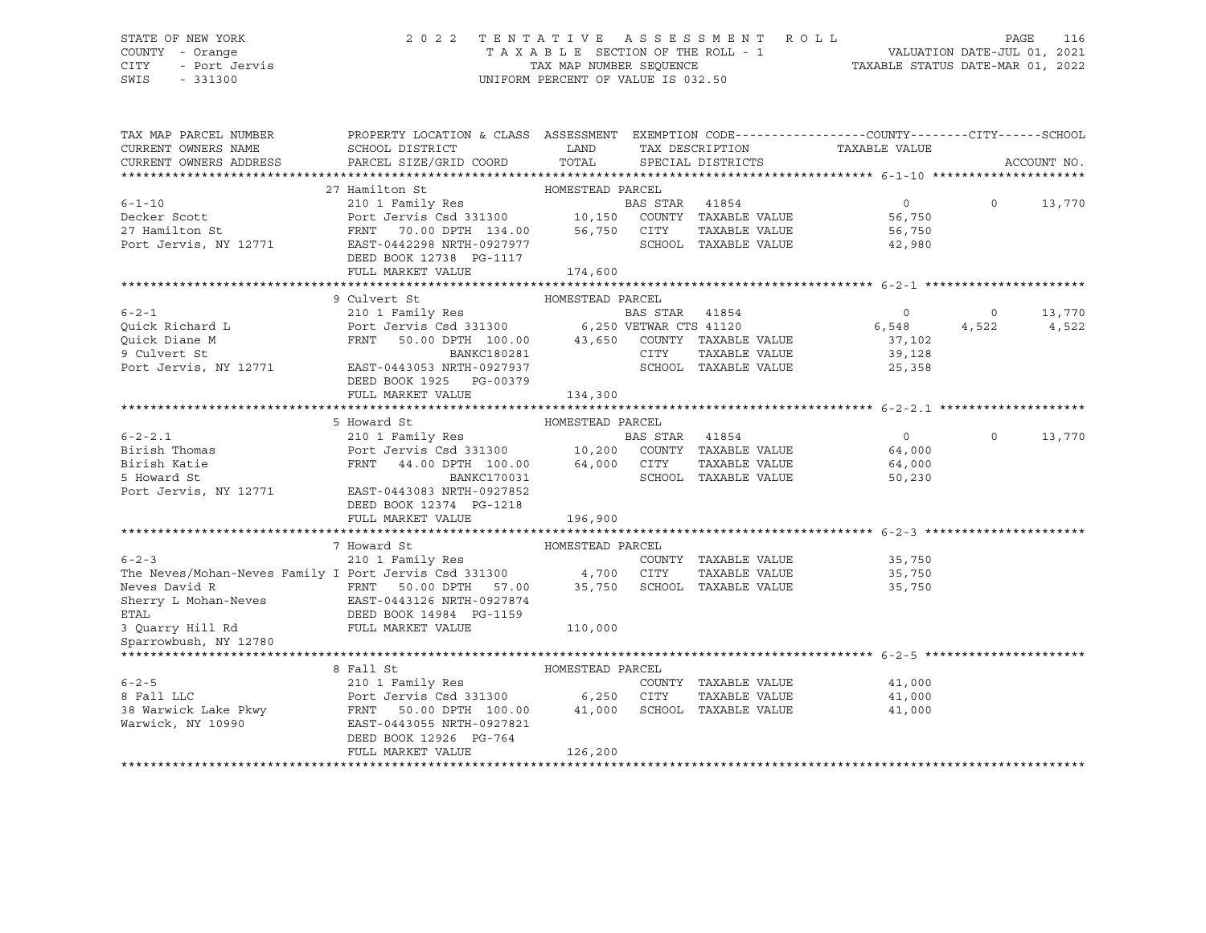#### STATE OF NEW YORK 2 0 2 2 T E N T A T I V E A S S E S S M E N T R O L L PAGE 116 COUNTY - Orange T A X A B L E SECTION OF THE ROLL - 1 VALUATION DATE-JUL 01, 2021 CITY - Port Jervis TAX MAP NUMBER SEQUENCE TAXABLE STATUS DATE-MAR 01, 2022

| TAX MAP PARCEL NUMBER<br>CURRENT OWNERS NAME                                                                                                                                                                                    | PROPERTY LOCATION & CLASS ASSESSMENT EXEMPTION CODE----------------COUNTY-------CITY------SCHOOL<br>SCHOOL DISTRICT        | LAND             |                |                             |                               |          |             |
|---------------------------------------------------------------------------------------------------------------------------------------------------------------------------------------------------------------------------------|----------------------------------------------------------------------------------------------------------------------------|------------------|----------------|-----------------------------|-------------------------------|----------|-------------|
| CURRENT OWNERS ADDRESS                                                                                                                                                                                                          | PARCEL SIZE/GRID COORD TOTAL                                                                                               |                  |                | SPECIAL DISTRICTS           | TAX DESCRIPTION TAXABLE VALUE |          | ACCOUNT NO. |
|                                                                                                                                                                                                                                 |                                                                                                                            |                  |                |                             |                               |          |             |
|                                                                                                                                                                                                                                 | 27 Hamilton St                                                                                                             | HOMESTEAD PARCEL |                |                             |                               |          |             |
| $6 - 1 - 10$                                                                                                                                                                                                                    |                                                                                                                            |                  |                |                             | $\Omega$                      | $\Omega$ | 13,770      |
| Decker Scott                                                                                                                                                                                                                    | 210 1 Family Res<br>Port Jervis Csd 331300 10,150 COUNTY TAXABLE VALUE<br>FRNT 70.00 DPTH 134.00 56,750 CITY TAXABLE VALUE |                  |                |                             | 56,750                        |          |             |
| 27 Hamilton St                                                                                                                                                                                                                  |                                                                                                                            |                  |                |                             | 56,750                        |          |             |
| Port Jervis, NY 12771                                                                                                                                                                                                           | EAST-0442298 NRTH-0927977                                                                                                  |                  |                | SCHOOL TAXABLE VALUE        | 42,980                        |          |             |
|                                                                                                                                                                                                                                 | DEED BOOK 12738 PG-1117                                                                                                    |                  |                |                             |                               |          |             |
|                                                                                                                                                                                                                                 | FULL MARKET VALUE                                                                                                          | 174,600          |                |                             |                               |          |             |
|                                                                                                                                                                                                                                 |                                                                                                                            |                  |                |                             |                               |          |             |
|                                                                                                                                                                                                                                 | HOMESTEAD PARCEL<br>9 Culvert St                                                                                           |                  |                |                             |                               |          |             |
| $6 - 2 - 1$                                                                                                                                                                                                                     |                                                                                                                            |                  | BAS STAR 41854 |                             | $\circ$                       | $\circ$  | 13,770      |
|                                                                                                                                                                                                                                 |                                                                                                                            |                  |                |                             | 6,548                         | 4,522    | 4,522       |
|                                                                                                                                                                                                                                 | 50.00 DPTH 100.00 43,650 COUNTY TAXABLE VALUE<br>FRNT                                                                      |                  |                |                             | 37,102                        |          |             |
| Quick Richard L<br>Quick Diane M<br>9 Culvert St                                                                                                                                                                                | BANKC180281                                                                                                                |                  | CITY           | TAXABLE VALUE               | 39,128                        |          |             |
| Port Jervis, NY 12771                                                                                                                                                                                                           | EAST-0443053 NRTH-0927937                                                                                                  |                  |                | SCHOOL TAXABLE VALUE        | 25,358                        |          |             |
|                                                                                                                                                                                                                                 | DEED BOOK 1925 PG-00379                                                                                                    |                  |                |                             |                               |          |             |
|                                                                                                                                                                                                                                 | FULL MARKET VALUE                                                                                                          | 134,300          |                |                             |                               |          |             |
|                                                                                                                                                                                                                                 |                                                                                                                            |                  |                |                             |                               |          |             |
|                                                                                                                                                                                                                                 | 5 Howard St                                                                                                                | HOMESTEAD PARCEL |                |                             |                               |          |             |
| $6 - 2 - 2.1$                                                                                                                                                                                                                   | 210 1 Family Res<br>Port Jervis Csd 331300 10,200 COUNTY TAXABLE VALUE                                                     |                  |                |                             | $\overline{0}$                | $\Omega$ | 13,770      |
|                                                                                                                                                                                                                                 |                                                                                                                            |                  |                |                             | 64,000                        |          |             |
| Birish Thomas<br>Birish Katie<br>5 Howard St                                                                                                                                                                                    | 44.00 DPTH 100.00 64,000 CITY<br>FRNT                                                                                      |                  |                |                             | TAXABLE VALUE 64,000          |          |             |
|                                                                                                                                                                                                                                 | BANKC170031                                                                                                                |                  |                | SCHOOL TAXABLE VALUE        | 50,230                        |          |             |
| Port Jervis, NY 12771                                                                                                                                                                                                           | EAST-0443083 NRTH-0927852                                                                                                  |                  |                |                             |                               |          |             |
|                                                                                                                                                                                                                                 | DEED BOOK 12374 PG-1218                                                                                                    |                  |                |                             |                               |          |             |
|                                                                                                                                                                                                                                 | FULL MARKET VALUE                                                                                                          | 196,900          |                |                             |                               |          |             |
|                                                                                                                                                                                                                                 |                                                                                                                            |                  |                |                             |                               |          |             |
|                                                                                                                                                                                                                                 | 7 Howard St                                                                                                                | HOMESTEAD PARCEL |                |                             |                               |          |             |
| $6 - 2 - 3$                                                                                                                                                                                                                     | 210 1 Family Res                                                                                                           |                  |                | COUNTY TAXABLE VALUE        | 35,750                        |          |             |
| The Neves/Mohan-Neves Family I Port Jervis Csd 331300 4,700 CITY TAXABLE VALUE<br>Neves David R TRINT 50.00 DPTH 57.00 35,750 SCHOOL TAXABLE VALUE                                                                              |                                                                                                                            |                  |                | TAXABLE VALUE               | 35,750                        |          |             |
|                                                                                                                                                                                                                                 |                                                                                                                            |                  |                |                             | 35,750                        |          |             |
| Sherry L Mohan-Neves EAST-0443126 NRTH-0927874                                                                                                                                                                                  |                                                                                                                            |                  |                |                             |                               |          |             |
| <b>ETAL</b><br>3 Quarry Hill Rd FULL MARKET VALUE                                                                                                                                                                               | DEED BOOK 14984 PG-1159                                                                                                    |                  |                |                             |                               |          |             |
| Sparrowbush, NY 12780                                                                                                                                                                                                           |                                                                                                                            | 110,000          |                |                             |                               |          |             |
|                                                                                                                                                                                                                                 |                                                                                                                            |                  |                |                             |                               |          |             |
|                                                                                                                                                                                                                                 | 8 Fall St                                                                                                                  | HOMESTEAD PARCEL |                |                             |                               |          |             |
|                                                                                                                                                                                                                                 |                                                                                                                            |                  |                | COUNTY TAXABLE VALUE        | 41,000                        |          |             |
|                                                                                                                                                                                                                                 |                                                                                                                            |                  |                | TAXABLE VALUE               | 41,000                        |          |             |
|                                                                                                                                                                                                                                 |                                                                                                                            |                  |                | 41,000 SCHOOL TAXABLE VALUE | 41,000                        |          |             |
| EXECUTE:<br>2000.com = 1.000.00 = 1.000.00 = 1.000.00 = 1.000.00 = 1.000.00 = 1.000.00 = 1.000.00 = 1.000.00 = 1.000.00 = 1.000 = 1.000 = 1.000 = 1.000 = 1.000 = 1.000 = 1.000 = 1.000 = 1.000 = 1.000 = 1.000 = 1.000 = 1.000 |                                                                                                                            |                  |                |                             |                               |          |             |
|                                                                                                                                                                                                                                 | DEED BOOK 12926 PG-764                                                                                                     |                  |                |                             |                               |          |             |
|                                                                                                                                                                                                                                 | FULL MARKET VALUE                                                                                                          | 126,200          |                |                             |                               |          |             |
|                                                                                                                                                                                                                                 |                                                                                                                            |                  |                |                             |                               |          |             |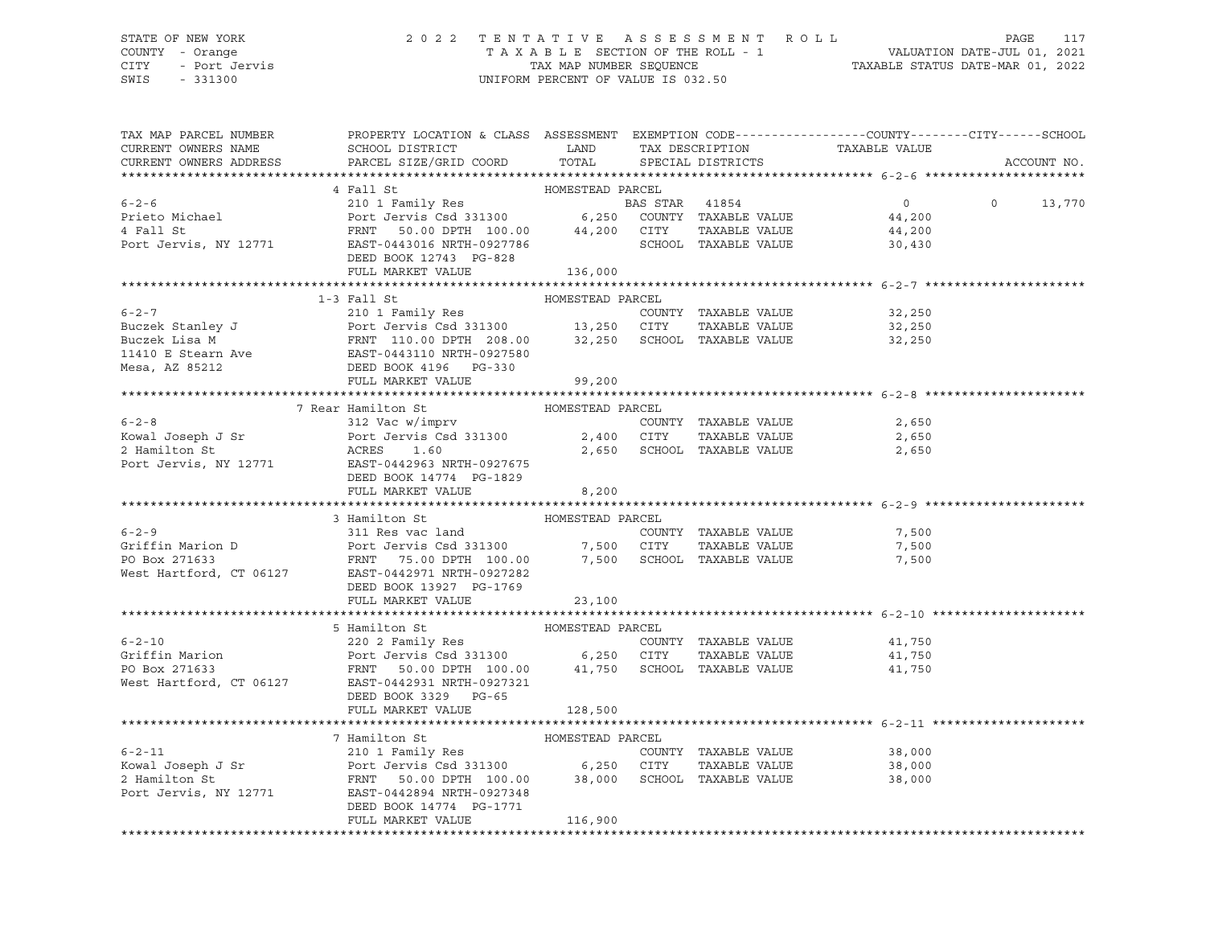# STATE OF NEW YORK 2 0 2 2 T E N T A T I V E A S S E S S M E N T R O L L PAGE 117 COUNTY - Orange T A X A B L E SECTION OF THE ROLL - 1 VALUATION DATE-JUL 01, 2021 CITY - Port Jervis TAX MAP NUMBER SEQUENCE TAXABLE STATUS DATE-MAR 01, 2022

| TAX MAP PARCEL NUMBER<br>CURRENT OWNERS NAME<br>CURRENT OWNERS ADDRESS                                                                                                                                                                                                                                                                                                                                                                                                   | PROPERTY LOCATION & CLASS ASSESSMENT EXEMPTION CODE----------------COUNTY-------CITY------SCHOOL |                  |  |                     | ACCOUNT NO.   |
|--------------------------------------------------------------------------------------------------------------------------------------------------------------------------------------------------------------------------------------------------------------------------------------------------------------------------------------------------------------------------------------------------------------------------------------------------------------------------|--------------------------------------------------------------------------------------------------|------------------|--|---------------------|---------------|
|                                                                                                                                                                                                                                                                                                                                                                                                                                                                          |                                                                                                  |                  |  |                     |               |
|                                                                                                                                                                                                                                                                                                                                                                                                                                                                          |                                                                                                  |                  |  |                     |               |
|                                                                                                                                                                                                                                                                                                                                                                                                                                                                          |                                                                                                  |                  |  | $0$<br>44.200       | $0 \t 13,770$ |
|                                                                                                                                                                                                                                                                                                                                                                                                                                                                          |                                                                                                  |                  |  |                     |               |
|                                                                                                                                                                                                                                                                                                                                                                                                                                                                          |                                                                                                  |                  |  | 44,200              |               |
|                                                                                                                                                                                                                                                                                                                                                                                                                                                                          |                                                                                                  |                  |  | 30,430              |               |
| $\begin{tabular}{lllllllllll} 6-2-6 & 4\ \texttt{Fall St} & 1011\ \texttt{Family Res} & \texttt{HOMESTEAD PARCEL} \\ & 2101\ \texttt{Family Res} & \texttt{BAS STAR} & 41854 \\ & 2101\ \texttt{Family Res} & \texttt{BAS STAR} & 41854 \\ & 4\ \texttt{Fall St} & \texttt{FRNT} & 50.00\ \texttt{DPTH} & 100.00 & 44,200\ \texttt{CITY} & \texttt{TXABLE VALUE} \\ & \texttt{RNT} & \texttt{ESST-0443016 NRTH-092$                                                      |                                                                                                  |                  |  |                     |               |
|                                                                                                                                                                                                                                                                                                                                                                                                                                                                          | FULL MARKET VALUE                                                                                | 136,000          |  |                     |               |
|                                                                                                                                                                                                                                                                                                                                                                                                                                                                          |                                                                                                  |                  |  |                     |               |
|                                                                                                                                                                                                                                                                                                                                                                                                                                                                          | 1-3 Fall St                                                                                      | HOMESTEAD PARCEL |  |                     |               |
|                                                                                                                                                                                                                                                                                                                                                                                                                                                                          |                                                                                                  |                  |  |                     |               |
| 6-2-7<br>Buczek Stanley J<br>Buczek Lisa M<br>Buczek Lisa M<br>Buczek Lisa M<br>Buczek Lisa M<br>Buczek Lisa M<br>Buczek Lisa M<br>Buczek Lisa M<br>Buczek Lisa M<br>Buczek Lisa M<br>Buczek Lisa M<br>Buczek Lisa M<br>Buczek Lisa M<br>Buczek Lisa M<br>Bu                                                                                                                                                                                                             |                                                                                                  |                  |  |                     |               |
|                                                                                                                                                                                                                                                                                                                                                                                                                                                                          |                                                                                                  |                  |  |                     |               |
|                                                                                                                                                                                                                                                                                                                                                                                                                                                                          |                                                                                                  |                  |  |                     |               |
|                                                                                                                                                                                                                                                                                                                                                                                                                                                                          |                                                                                                  |                  |  |                     |               |
|                                                                                                                                                                                                                                                                                                                                                                                                                                                                          |                                                                                                  |                  |  |                     |               |
|                                                                                                                                                                                                                                                                                                                                                                                                                                                                          |                                                                                                  |                  |  |                     |               |
|                                                                                                                                                                                                                                                                                                                                                                                                                                                                          | 7 Rear Hamilton St                                                                               | HOMESTEAD PARCEL |  |                     |               |
|                                                                                                                                                                                                                                                                                                                                                                                                                                                                          |                                                                                                  |                  |  |                     |               |
|                                                                                                                                                                                                                                                                                                                                                                                                                                                                          |                                                                                                  |                  |  |                     |               |
|                                                                                                                                                                                                                                                                                                                                                                                                                                                                          |                                                                                                  |                  |  |                     |               |
|                                                                                                                                                                                                                                                                                                                                                                                                                                                                          |                                                                                                  |                  |  |                     |               |
|                                                                                                                                                                                                                                                                                                                                                                                                                                                                          |                                                                                                  |                  |  |                     |               |
|                                                                                                                                                                                                                                                                                                                                                                                                                                                                          |                                                                                                  |                  |  |                     |               |
|                                                                                                                                                                                                                                                                                                                                                                                                                                                                          |                                                                                                  |                  |  |                     |               |
|                                                                                                                                                                                                                                                                                                                                                                                                                                                                          |                                                                                                  |                  |  |                     |               |
| EXECT A SILE ON THE SERVE HOMESTEAD PARCEL<br>Griffin Marion D<br>Port Jervis Csd 331300 7,500 CITY TAXABLE VALUE<br>PO Box 271633 FRNT 75.00 DPTH 100.00 7,500 SCHOOL TAXABLE VALUE<br>FRNT 75.00 DPTH 100.00 7,500 SCHOOL TAXABLE VA                                                                                                                                                                                                                                   |                                                                                                  |                  |  |                     |               |
|                                                                                                                                                                                                                                                                                                                                                                                                                                                                          |                                                                                                  |                  |  | 7,500               |               |
|                                                                                                                                                                                                                                                                                                                                                                                                                                                                          |                                                                                                  |                  |  | TAXABLE VALUE 7,500 |               |
|                                                                                                                                                                                                                                                                                                                                                                                                                                                                          |                                                                                                  |                  |  | 7,500               |               |
|                                                                                                                                                                                                                                                                                                                                                                                                                                                                          |                                                                                                  |                  |  |                     |               |
|                                                                                                                                                                                                                                                                                                                                                                                                                                                                          |                                                                                                  |                  |  |                     |               |
|                                                                                                                                                                                                                                                                                                                                                                                                                                                                          | FULL MARKET VALUE                                                                                | 23,100           |  |                     |               |
|                                                                                                                                                                                                                                                                                                                                                                                                                                                                          |                                                                                                  |                  |  |                     |               |
|                                                                                                                                                                                                                                                                                                                                                                                                                                                                          |                                                                                                  |                  |  |                     |               |
|                                                                                                                                                                                                                                                                                                                                                                                                                                                                          |                                                                                                  |                  |  |                     |               |
| $\begin{tabular}{lllllllllllll} 6-2-10 & & & \multicolumn{3}{c }{5} Hamilton St & & & \multicolumn{3}{c }{HOMESTEAD PARCEL} & & & & \multicolumn{3}{c }{5} Hamilton St & & & & \multicolumn{3}{c }{C}D & & & \multicolumn{3}{c }{5} Hamilton St & & & & \multicolumn{3}{c }{C}D & & & \multicolumn{3}{c }{C}D & & & \multicolumn{3}{c }{5} Hamilton St & & & & \multicolumn{3}{c }{C}D & & & \multicolumn{3}{c }{C}D & & & \multicolumn{3}{c }{C}D & & & \multicolumn{3$ |                                                                                                  |                  |  |                     |               |
|                                                                                                                                                                                                                                                                                                                                                                                                                                                                          |                                                                                                  |                  |  |                     |               |
|                                                                                                                                                                                                                                                                                                                                                                                                                                                                          |                                                                                                  |                  |  |                     |               |
|                                                                                                                                                                                                                                                                                                                                                                                                                                                                          | DEED BOOK 3329 PG-65                                                                             |                  |  |                     |               |
|                                                                                                                                                                                                                                                                                                                                                                                                                                                                          | FULL MARKET VALUE                                                                                | 128,500          |  |                     |               |
|                                                                                                                                                                                                                                                                                                                                                                                                                                                                          |                                                                                                  |                  |  |                     |               |
|                                                                                                                                                                                                                                                                                                                                                                                                                                                                          |                                                                                                  |                  |  |                     |               |
|                                                                                                                                                                                                                                                                                                                                                                                                                                                                          |                                                                                                  |                  |  |                     |               |
|                                                                                                                                                                                                                                                                                                                                                                                                                                                                          |                                                                                                  |                  |  | 38,000              |               |
|                                                                                                                                                                                                                                                                                                                                                                                                                                                                          |                                                                                                  |                  |  | 38,000              |               |
|                                                                                                                                                                                                                                                                                                                                                                                                                                                                          |                                                                                                  |                  |  | 38,000              |               |
|                                                                                                                                                                                                                                                                                                                                                                                                                                                                          |                                                                                                  |                  |  |                     |               |
|                                                                                                                                                                                                                                                                                                                                                                                                                                                                          | DEED BOOK 14774 PG-1771                                                                          |                  |  |                     |               |
|                                                                                                                                                                                                                                                                                                                                                                                                                                                                          | FULL MARKET VALUE                                                                                | 116,900          |  |                     |               |
|                                                                                                                                                                                                                                                                                                                                                                                                                                                                          |                                                                                                  |                  |  |                     |               |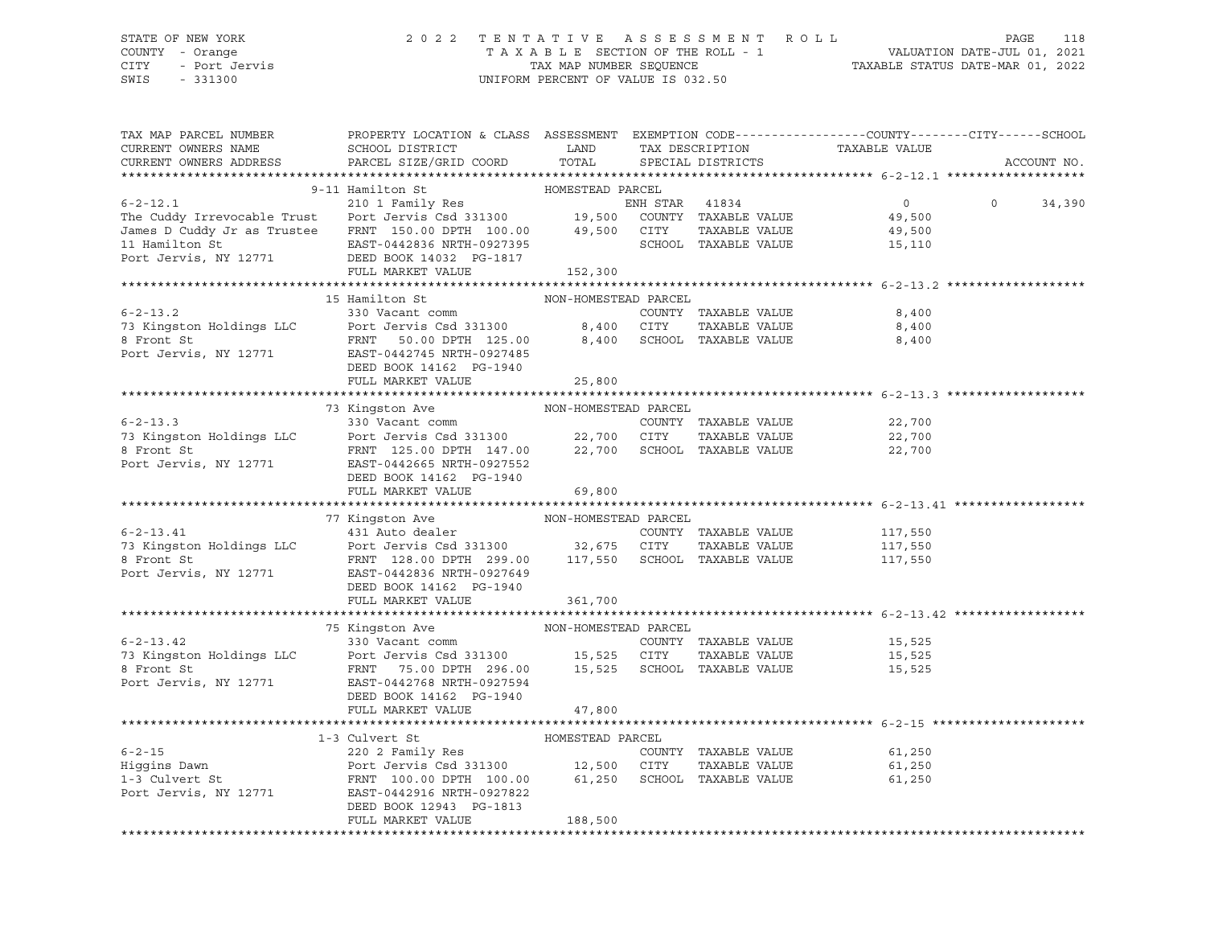#### STATE OF NEW YORK 2 0 2 2 T E N T A T I V E A S S E S S M E N T R O L L PAGE 118 COUNTY - Orange T A X A B L E SECTION OF THE ROLL - 1 VALUATION DATE-JUL 01, 2021 CITY - Port Jervis TAX MAP NUMBER SEQUENCE TAXABLE STATUS DATE-MAR 01, 2022

SWIS - 331300 UNIFORM PERCENT OF VALUE IS 032.50

| TAX MAP PARCEL NUMBER<br>CURRENT OWNERS NAME<br>CURRENT OWNERS ADDRESS                                                                                                                                                                                                                                                                  | PROPERTY LOCATION & CLASS ASSESSMENT EXEMPTION CODE----------------COUNTY-------CITY------SCHOOL<br>SCHOOL DISTRICT<br>PARCEL SIZE/GRID COORD | LAND<br>TOTAL                  | TAX DESCRIPTION<br>SPECIAL DISTRICTS        | TAXABLE VALUE                                | ACCOUNT NO.        |
|-----------------------------------------------------------------------------------------------------------------------------------------------------------------------------------------------------------------------------------------------------------------------------------------------------------------------------------------|-----------------------------------------------------------------------------------------------------------------------------------------------|--------------------------------|---------------------------------------------|----------------------------------------------|--------------------|
|                                                                                                                                                                                                                                                                                                                                         |                                                                                                                                               |                                |                                             |                                              |                    |
| $6 - 2 - 12.1$<br>The Cuddy Irrevocable Trust<br>James D Cuddy Jr as Trustee FRNT 150.00 DPTH 100.00 49,500 CITY<br>11 Hamilton St<br>Port Jervis, NY 12771<br>Port Jervis, NY 12771<br>Port Jervis, NY 12771<br>Port Jervis, NY 12771<br>Port Jervis, NY 12771<br>Port Jervis, NY 12771<br>Port Jervis, NY 12771<br>Port 14032 PG-1817 | 9-11 Hamilton St<br>ENH STAR 41834<br>210 1 Family Res<br>Port Jervis Csd 331300 19,500 COUNTY TAXABLE VALUE<br>FULL MARKET VALUE             | HOMESTEAD PARCEL<br>152,300    | TAXABLE VALUE<br>SCHOOL TAXABLE VALUE       | $\overline{0}$<br>49,500<br>49,500<br>15,110 | $\Omega$<br>34,390 |
|                                                                                                                                                                                                                                                                                                                                         |                                                                                                                                               |                                |                                             |                                              |                    |
| $6 - 2 - 13.2$<br>73 Kingston Holdings LLC<br>8 Front St<br>8 Front St<br>Port Jervis Csd 331300<br>8,400 CITY<br>TAXABLE VALUE<br>Port Jervis, NY 12771<br>EAST-0442745 NRTH-0927485                                                                                                                                                   | 15 Hamilton St<br>330 Vacant comm<br>DEED BOOK 14162 PG-1940<br>FULL MARKET VALUE                                                             | NON-HOMESTEAD PARCEL<br>25,800 | COUNTY TAXABLE VALUE                        | 8,400<br>8,400<br>8,400                      |                    |
|                                                                                                                                                                                                                                                                                                                                         | 73 Kingston Ave                                                                                                                               | NON-HOMESTEAD PARCEL           |                                             |                                              |                    |
| 6-2-13.3<br>73 Kingston Holdings LLC<br>8 Front St<br>Port Jervis Csd 331300<br>8 Front St<br>Port Jervis, NY 12771<br>EAST-0442665 NRTH-0927552<br>PORT 147.00<br>22,700 SCHOOL TAXABLE VALUE<br>PORT TAXABLE VALUE<br>PORT 147.00<br>EAST-0442665                                                                                     | DEED BOOK 14162 PG-1940                                                                                                                       |                                |                                             | 22,700<br>22,700<br>22,700                   |                    |
|                                                                                                                                                                                                                                                                                                                                         | FULL MARKET VALUE                                                                                                                             | 69,800                         |                                             |                                              |                    |
|                                                                                                                                                                                                                                                                                                                                         |                                                                                                                                               |                                |                                             |                                              |                    |
| $6 - 2 - 13.41$<br>73 Kingston Holdings LLC      Port Jervis Csd 331300         32,675   CITY   TAXABLE VALUE                 FRNT   128.00 DPTH   299.00        117,550   SCHOOL   TAXABLE VALUE<br>Port Jervis, NY 12771                                                                                                              | EAST-0442836 NRTH-0927649<br>DEED BOOK 14162 PG-1940<br>FULL MARKET VALUE                                                                     | 361,700                        | COUNTY TAXABLE VALUE<br>TAXABLE VALUE       | 117,550<br>117,550<br>117,550                |                    |
|                                                                                                                                                                                                                                                                                                                                         |                                                                                                                                               |                                |                                             |                                              |                    |
| 6-2-13.42<br>330 Vacant comm<br>330 Vacant comm<br>8 Front St<br>8 Front St<br>Port Jervis Csd 331300<br>8 Front St<br>FRNT<br>296.00<br>15,525 SCHOOL TAXABLE VALUE<br>296.00<br>15,525 SCHOOL TAXABLE VALUE<br>296.00<br>15,525 SCHOOL TAXABLE VALUE<br>                                                                              | 75 Kingston Ave NON-HOMESTEAD PARCEL<br>DEED BOOK 14162 PG-1940<br>FULL MARKET VALUE                                                          | 47,800                         |                                             | 15,525<br>15,525<br>15,525                   |                    |
|                                                                                                                                                                                                                                                                                                                                         |                                                                                                                                               |                                |                                             |                                              |                    |
| Port Jervis, NY 12771                                                                                                                                                                                                                                                                                                                   | EAST-0442916 NRTH-0927822<br>DEED BOOK 12943 PG-1813<br>FULL MARKET VALUE                                                                     | 188,500                        | COUNTY TAXABLE VALUE<br>--<br>TAXABLE VALUE | 61,250<br>61,250<br>61,250                   |                    |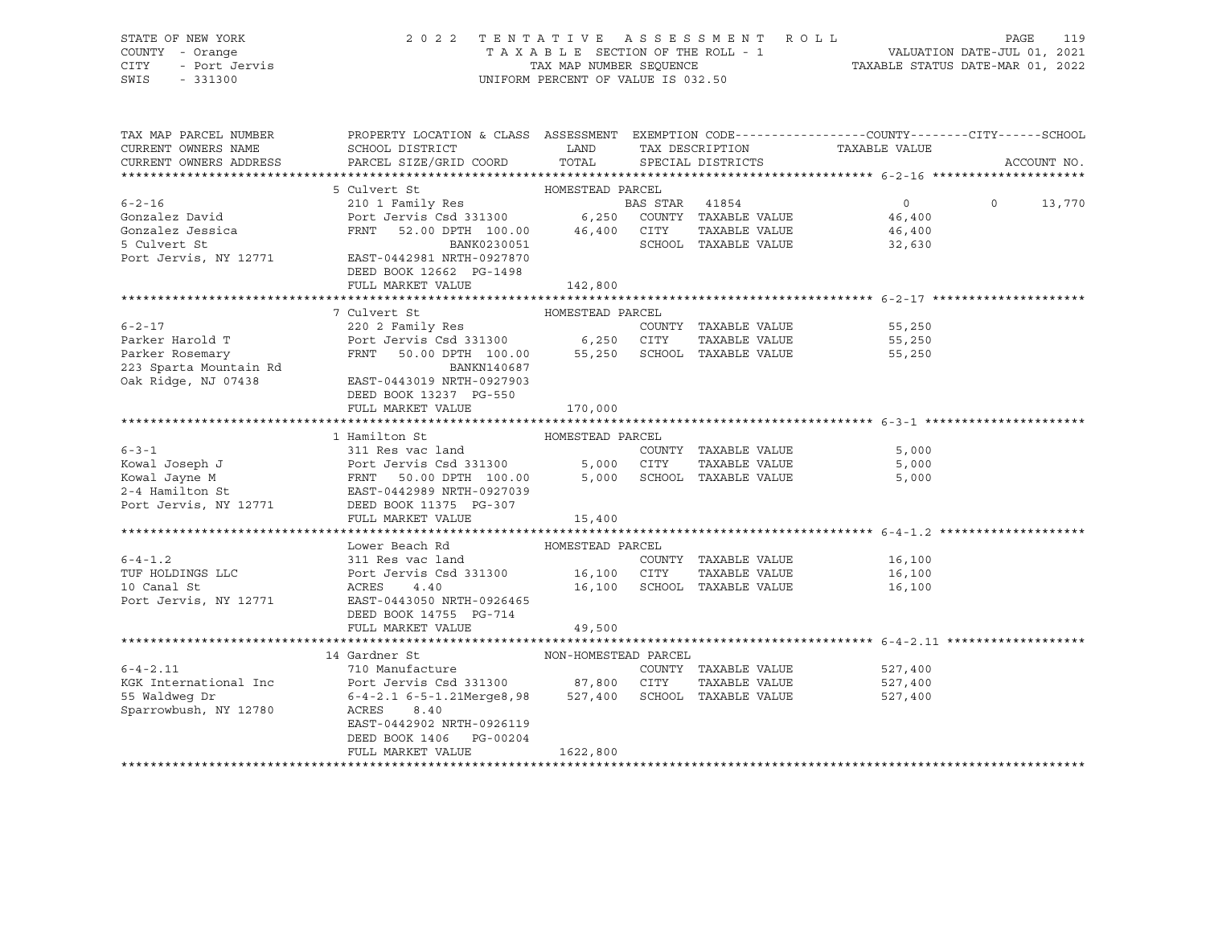STATE OF NEW YORK 2 0 2 2 T E N T A T I V E A S S E S S M E N T R O L L PAGE 119 COUNTY - Orange T A X A B L E SECTION OF THE ROLL - 1 VALUATION DATE-JUL 01, 2021 CITY - Port Jervis TAX MAP NUMBER SEQUENCE TAXABLE STATUS DATE-MAR 01, 2022 SWIS - 331300 UNIFORM PERCENT OF VALUE IS 032.50

| TAX MAP PARCEL NUMBER                           | PROPERTY LOCATION & CLASS ASSESSMENT EXEMPTION CODE----------------COUNTY-------CITY------SCHOOL |                  |                |                             |               |                    |                |             |
|-------------------------------------------------|--------------------------------------------------------------------------------------------------|------------------|----------------|-----------------------------|---------------|--------------------|----------------|-------------|
| CURRENT OWNERS NAME                             | SCHOOL DISTRICT                                                                                  | LAND             |                | TAX DESCRIPTION             | TAXABLE VALUE |                    |                |             |
| CURRENT OWNERS ADDRESS                          | PARCEL SIZE/GRID COORD                                                                           | TOTAL            |                | SPECIAL DISTRICTS           |               |                    |                | ACCOUNT NO. |
|                                                 |                                                                                                  |                  |                |                             |               |                    |                |             |
|                                                 | 5 Culvert St                                                                                     |                  |                |                             |               |                    |                |             |
| $6 - 2 - 16$                                    |                                                                                                  |                  | BAS STAR 41854 |                             |               | $\overline{0}$     | $\overline{0}$ | 13,770      |
| Gonzalez David                                  | Port Jervis Csd 331300 6,250 COUNTY TAXABLE VALUE 46,400                                         |                  |                |                             |               |                    |                |             |
| Gonzalez Jessica                                | FRNT 52.00 DPTH 100.00 $46,400$ CITY TAXABLE VALUE                                               |                  |                |                             |               |                    |                |             |
| 5 Culvert St                                    | BANK0230051                                                                                      |                  |                | SCHOOL TAXABLE VALUE        |               | 46,400<br>32,630   |                |             |
| Port Jervis, NY 12771 EAST-0442981 NRTH-0927870 |                                                                                                  |                  |                |                             |               |                    |                |             |
|                                                 | DEED BOOK 12662 PG-1498                                                                          |                  |                |                             |               |                    |                |             |
|                                                 | FULL MARKET VALUE                                                                                | 142,800          |                |                             |               |                    |                |             |
|                                                 |                                                                                                  |                  |                |                             |               |                    |                |             |
|                                                 | 7 Culvert St                                                                                     | HOMESTEAD PARCEL |                |                             |               |                    |                |             |
| $6 - 2 - 17$                                    | 220 2 Family Res                                                                                 |                  |                | COUNTY TAXABLE VALUE        |               | 55,250             |                |             |
| Parker Harold T                                 | 220 2 Family Res<br>Port Jervis Csd 331300 6,250 CITY                                            |                  |                | TAXABLE VALUE               |               | 55,250             |                |             |
| Parker Rosemary                                 | FRNT 50.00 DPTH 100.00 55,250 SCHOOL TAXABLE VALUE                                               |                  |                |                             |               | 55,250             |                |             |
| 223 Sparta Mountain Rd<br>Oak Ridge, NJ 07438   | BANKN140687                                                                                      |                  |                |                             |               |                    |                |             |
| Oak Ridge, NJ 07438                             | EAST-0443019 NRTH-0927903                                                                        |                  |                |                             |               |                    |                |             |
|                                                 | DEED BOOK 13237 PG-550                                                                           |                  |                |                             |               |                    |                |             |
|                                                 | FULL MARKET VALUE                                                                                | 170,000          |                |                             |               |                    |                |             |
|                                                 |                                                                                                  |                  |                |                             |               |                    |                |             |
|                                                 | 1 Hamilton St                                                                                    | HOMESTEAD PARCEL |                |                             |               |                    |                |             |
|                                                 |                                                                                                  |                  |                | COUNTY TAXABLE VALUE        |               | 5,000              |                |             |
|                                                 |                                                                                                  |                  |                | TAXABLE VALUE               |               | 5,000              |                |             |
|                                                 |                                                                                                  |                  |                | 5,000 SCHOOL TAXABLE VALUE  |               | 5,000              |                |             |
|                                                 |                                                                                                  |                  |                |                             |               |                    |                |             |
| Port Jervis, NY 12771 DEED BOOK 11375 PG-307    |                                                                                                  |                  |                |                             |               |                    |                |             |
|                                                 | FULL MARKET VALUE                                                                                | 15,400           |                |                             |               |                    |                |             |
|                                                 |                                                                                                  |                  |                |                             |               |                    |                |             |
|                                                 | Lower Beach Rd MOMESTEAD PARCEL                                                                  |                  |                |                             |               |                    |                |             |
| $6 - 4 - 1.2$                                   |                                                                                                  |                  |                | COUNTY TAXABLE VALUE 16,100 |               |                    |                |             |
| TUF HOLDINGS LLC                                | 311 Res vac land<br>Port Jervis Csd 331300 16,100 CITY<br>ACRES 4.40 16,100 SCHOOL               |                  |                | TAXABLE VALUE               |               | 16,100             |                |             |
| 10 Canal St                                     |                                                                                                  |                  |                | 16,100 SCHOOL TAXABLE VALUE |               | 16,100             |                |             |
| Port Jervis, NY 12771                           | EAST-0443050 NRTH-0926465                                                                        |                  |                |                             |               |                    |                |             |
|                                                 | DEED BOOK 14755 PG-714                                                                           |                  |                |                             |               |                    |                |             |
|                                                 | FULL MARKET VALUE                                                                                | 49,500           |                |                             |               |                    |                |             |
|                                                 |                                                                                                  |                  |                |                             |               |                    |                |             |
|                                                 | NON-HOMESTEAD PARCEL<br>14 Gardner St                                                            |                  |                |                             |               |                    |                |             |
| $6 - 4 - 2.11$                                  | 710 Manufacture                                                                                  |                  |                | COUNTY TAXABLE VALUE        |               | 527,400<br>527,400 |                |             |
| KGK International Inc                           | Port Jervis Csd 331300 87,800 CITY                                                               |                  |                | TAXABLE VALUE               |               |                    |                |             |
| 55 Waldweg Dr                                   | 6-4-2.1 6-5-1.21Merge8,98 527,400 SCHOOL TAXABLE VALUE 527,400                                   |                  |                |                             |               |                    |                |             |
| Sparrowbush, NY 12780                           | ACRES<br>8.40                                                                                    |                  |                |                             |               |                    |                |             |
|                                                 | EAST-0442902 NRTH-0926119                                                                        |                  |                |                             |               |                    |                |             |
|                                                 | DEED BOOK 1406 PG-00204                                                                          |                  |                |                             |               |                    |                |             |
|                                                 | FULL MARKET VALUE                                                                                | 1622,800         |                |                             |               |                    |                |             |
|                                                 |                                                                                                  |                  |                |                             |               |                    |                |             |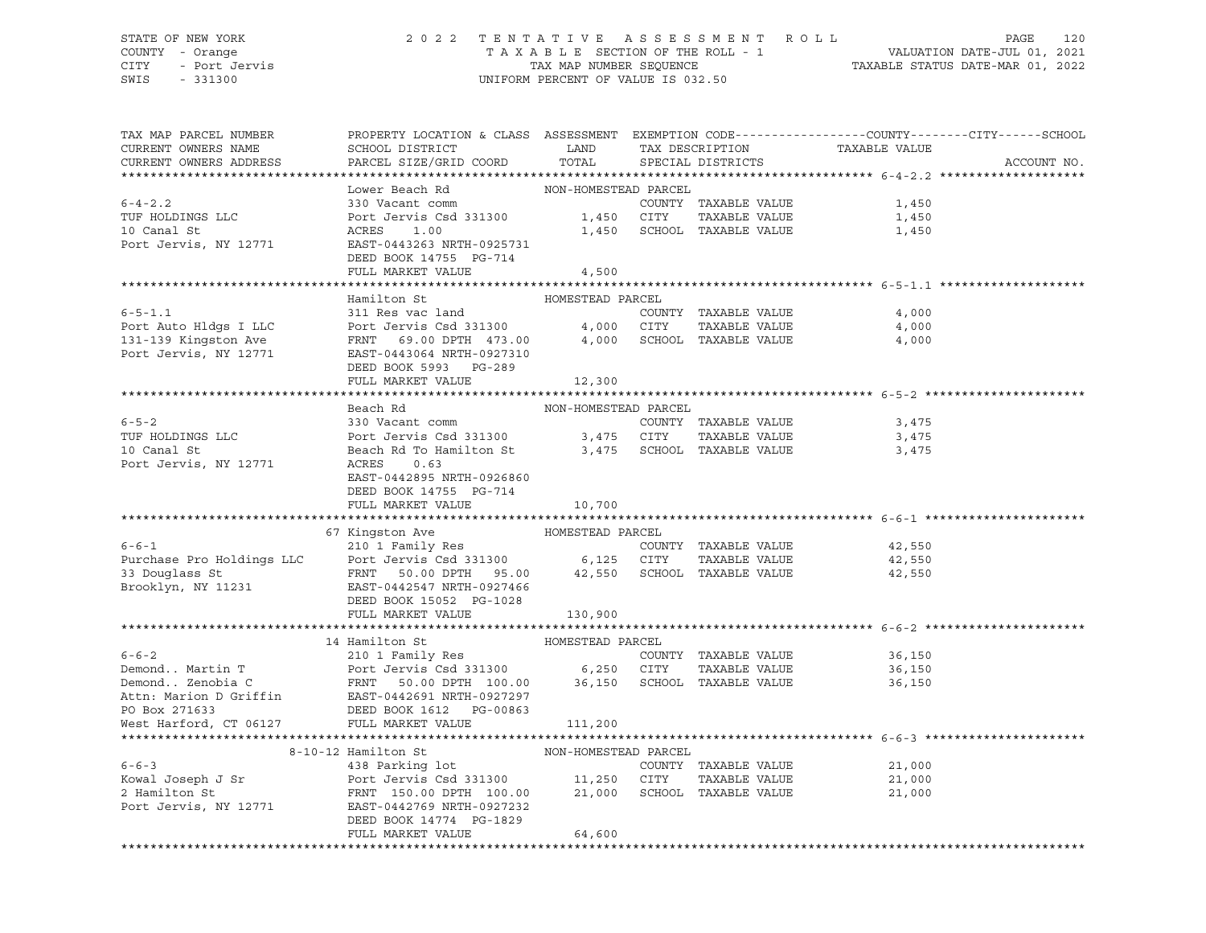#### STATE OF NEW YORK 2 0 2 2 T E N T A T I V E A S S E S S M E N T R O L L PAGE 120 COUNTY - Orange T A X A B L E SECTION OF THE ROLL - 1 VALUATION DATE-JUL 01, 2021 CITY - Port Jervis TAX MAP NUMBER SEQUENCE TAXABLE STATUS DATE-MAR 01, 2022 SWIS - 331300 UNIFORM PERCENT OF VALUE IS 032.50

| TAX MAP PARCEL NUMBER<br>CURRENT OWNERS NAME<br>CURRENT OWNERS ADDRESS                                                                                                                                                                                 | PROPERTY LOCATION & CLASS ASSESSMENT EXEMPTION CODE----------------COUNTY-------CITY------SCHOOL<br>SCHOOL DISTRICT<br>PARCEL SIZE/GRID COORD        | LAND<br>TOTAL        | TAX DESCRIPTION<br>SPECIAL DISTRICTS | TAXABLE VALUE | ACCOUNT NO. |
|--------------------------------------------------------------------------------------------------------------------------------------------------------------------------------------------------------------------------------------------------------|------------------------------------------------------------------------------------------------------------------------------------------------------|----------------------|--------------------------------------|---------------|-------------|
|                                                                                                                                                                                                                                                        |                                                                                                                                                      |                      |                                      |               |             |
|                                                                                                                                                                                                                                                        | Lower Beach Rd                                                                                                                                       | NON-HOMESTEAD PARCEL |                                      |               |             |
| $6 - 4 - 2.2$                                                                                                                                                                                                                                          | 330 Vacant comm<br>Port Jervis Csd 331300 1,450 CITY                                                                                                 |                      | COUNTY TAXABLE VALUE                 | 1,450         |             |
| TUF HOLDINGS LLC<br>10 Canal St                                                                                                                                                                                                                        | ACRES                                                                                                                                                |                      | TAXABLE VALUE                        | 1,450         |             |
|                                                                                                                                                                                                                                                        | 1.00                                                                                                                                                 |                      | 1,450 SCHOOL TAXABLE VALUE           | 1,450         |             |
| Port Jervis, NY 12771                                                                                                                                                                                                                                  | EAST-0443263 NRTH-0925731<br>DEED BOOK 14755 PG-714                                                                                                  |                      |                                      |               |             |
|                                                                                                                                                                                                                                                        | FULL MARKET VALUE                                                                                                                                    | 4,500                |                                      |               |             |
|                                                                                                                                                                                                                                                        |                                                                                                                                                      |                      |                                      |               |             |
|                                                                                                                                                                                                                                                        | Hamilton St                                                                                                                                          | HOMESTEAD PARCEL     |                                      |               |             |
| $6 - 5 - 1.1$                                                                                                                                                                                                                                          | 311 Res vac land                                                                                                                                     |                      | COUNTY TAXABLE VALUE                 | 4,000         |             |
| Port Auto Hldgs I LLC                                                                                                                                                                                                                                  | Port Jervis Csd 331300 4,000 CITY                                                                                                                    |                      | TAXABLE VALUE                        | 4,000         |             |
| 131-139 Kingston Ave                                                                                                                                                                                                                                   | FRNT 69.00 DPTH 473.00 4,000 SCHOOL TAXABLE VALUE                                                                                                    |                      |                                      | 4,000         |             |
| Port Jervis, NY 12771                                                                                                                                                                                                                                  | EAST-0443064 NRTH-0927310                                                                                                                            |                      |                                      |               |             |
|                                                                                                                                                                                                                                                        | DEED BOOK 5993 PG-289                                                                                                                                |                      |                                      |               |             |
|                                                                                                                                                                                                                                                        | FULL MARKET VALUE                                                                                                                                    | 12,300               |                                      |               |             |
|                                                                                                                                                                                                                                                        |                                                                                                                                                      |                      |                                      |               |             |
|                                                                                                                                                                                                                                                        | Beach Rd                                                                                                                                             | NON-HOMESTEAD PARCEL |                                      |               |             |
| $6 - 5 - 2$                                                                                                                                                                                                                                            | 330 Vacant comm                                                                                                                                      |                      | COUNTY TAXABLE VALUE                 | 3,475         |             |
| TUF HOLDINGS LLC                                                                                                                                                                                                                                       | Port Jervis Csd 331300                 3,475    CITY      TAXABLE VALUE<br>Beach Rd To Hamilton St                  3,475     SCHOOL   TAXABLE VALUE |                      |                                      | 3,475         |             |
| 10 Canal St                                                                                                                                                                                                                                            |                                                                                                                                                      |                      |                                      | 3,475         |             |
| Port Jervis, NY 12771                                                                                                                                                                                                                                  | ACRES<br>0.63                                                                                                                                        |                      |                                      |               |             |
|                                                                                                                                                                                                                                                        | EAST-0442895 NRTH-0926860                                                                                                                            |                      |                                      |               |             |
|                                                                                                                                                                                                                                                        | DEED BOOK 14755 PG-714                                                                                                                               |                      |                                      |               |             |
|                                                                                                                                                                                                                                                        | FULL MARKET VALUE                                                                                                                                    | 10,700               |                                      |               |             |
|                                                                                                                                                                                                                                                        |                                                                                                                                                      |                      |                                      |               |             |
|                                                                                                                                                                                                                                                        | 67 Kingston Ave                                                                                                                                      | HOMESTEAD PARCEL     |                                      |               |             |
|                                                                                                                                                                                                                                                        |                                                                                                                                                      |                      | COUNTY TAXABLE VALUE                 | 42,550        |             |
|                                                                                                                                                                                                                                                        |                                                                                                                                                      |                      | TAXABLE VALUE                        | 42,550        |             |
| 6-6-1<br>Purchase Pro Holdings LLC<br>210 1 Family Res<br>210 1 Family Res<br>210 1 Family Res<br>210 1 Family Res<br>210 1 Family Res<br>210 1 Family Res<br>210 1 Family Res<br>210 1 Family Res<br>210 1 Family Res<br>210 1 Family Res<br>210 1 Fa |                                                                                                                                                      |                      |                                      | 42,550        |             |
|                                                                                                                                                                                                                                                        |                                                                                                                                                      |                      |                                      |               |             |
|                                                                                                                                                                                                                                                        | DEED BOOK 15052 PG-1028                                                                                                                              |                      |                                      |               |             |
|                                                                                                                                                                                                                                                        | FULL MARKET VALUE                                                                                                                                    | 130,900              |                                      |               |             |
|                                                                                                                                                                                                                                                        | 14 Hamilton St                                                                                                                                       |                      |                                      |               |             |
| $6 - 6 - 2$                                                                                                                                                                                                                                            | Hamilton St MOMESTEAD PARCEL<br>210 1 Family Res COUN                                                                                                |                      | COUNTY TAXABLE VALUE                 | 36,150        |             |
|                                                                                                                                                                                                                                                        |                                                                                                                                                      |                      |                                      | 36,150        |             |
|                                                                                                                                                                                                                                                        |                                                                                                                                                      |                      |                                      | 36,150        |             |
|                                                                                                                                                                                                                                                        |                                                                                                                                                      |                      |                                      |               |             |
|                                                                                                                                                                                                                                                        |                                                                                                                                                      |                      |                                      |               |             |
| Demond Martin T<br>Demond Zenobia C<br>Demond Zenobia C<br>Attn: Marion D Griffin<br>EAST-0442691 NRTH-0927297<br>PO Box 271633<br>West Harford, CT 06127<br>FULL MARKET VALUE<br>PULL MARKET VALUE<br>PULL MARKET VALUE<br>200                        |                                                                                                                                                      |                      |                                      |               |             |
|                                                                                                                                                                                                                                                        |                                                                                                                                                      |                      |                                      |               |             |
|                                                                                                                                                                                                                                                        | 8-10-12 Hamilton St                                                                                                                                  | NON-HOMESTEAD PARCEL |                                      |               |             |
|                                                                                                                                                                                                                                                        |                                                                                                                                                      |                      | COUNTY TAXABLE VALUE                 | 21,000        |             |
|                                                                                                                                                                                                                                                        |                                                                                                                                                      |                      | TAXABLE VALUE                        | 21,000        |             |
|                                                                                                                                                                                                                                                        |                                                                                                                                                      |                      |                                      | 21,000        |             |
| Port Jervis, NY 12771                                                                                                                                                                                                                                  | EAST-0442769 NRTH-0927232                                                                                                                            |                      |                                      |               |             |
|                                                                                                                                                                                                                                                        | DEED BOOK 14774 PG-1829                                                                                                                              |                      |                                      |               |             |
|                                                                                                                                                                                                                                                        | FULL MARKET VALUE                                                                                                                                    | 64,600               |                                      |               |             |
|                                                                                                                                                                                                                                                        |                                                                                                                                                      |                      |                                      |               |             |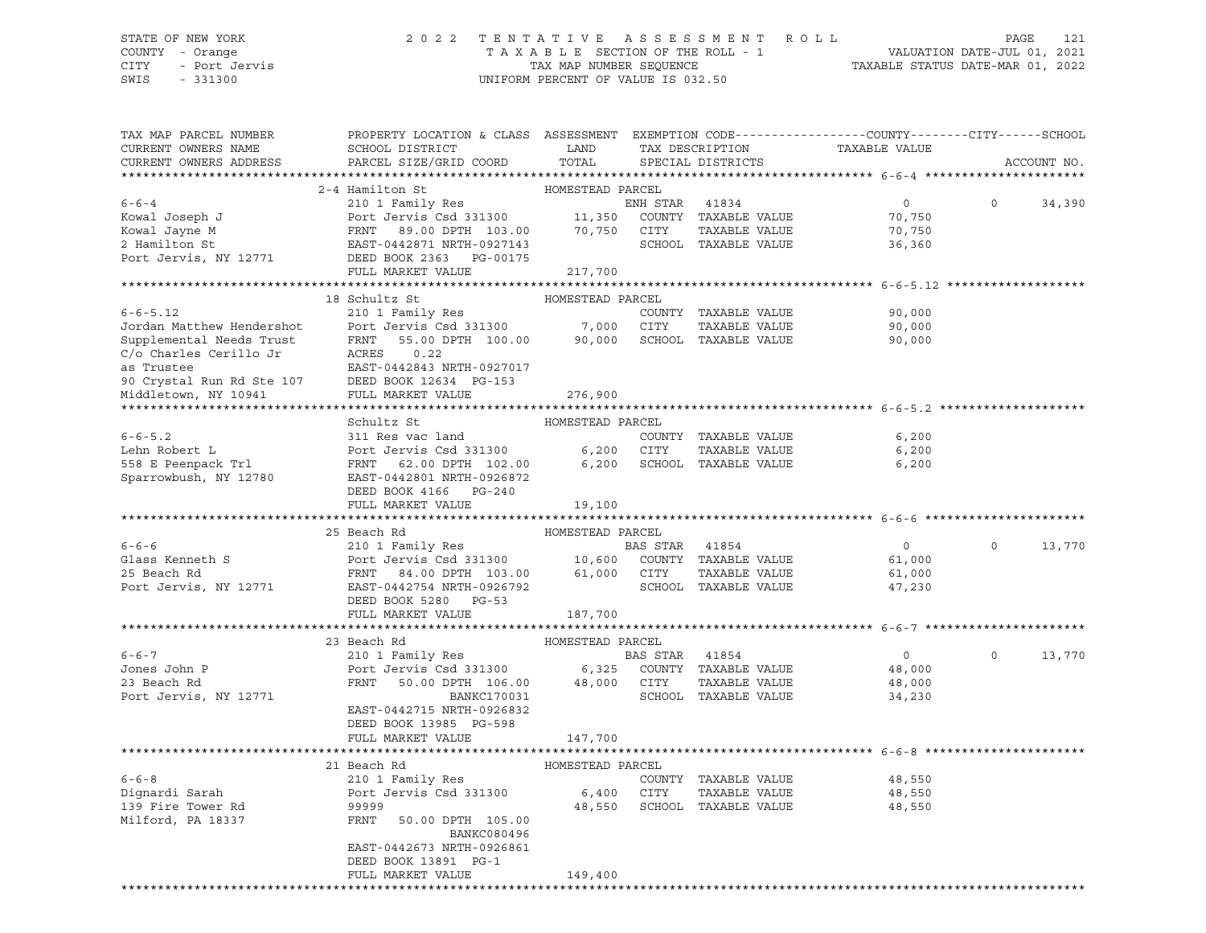#### STATE OF NEW YORK 2 0 2 2 T E N T A T I V E A S S E S S M E N T R O L L PAGE 121 COUNTY - Orange T A X A B L E SECTION OF THE ROLL - 1 VALUATION DATE-JUL 01, 2021 CITY - Port Jervis TAX MAP NUMBER SEQUENCE TAXABLE STATUS DATE-MAR 01, 2022

| TAX MAP PARCEL NUMBER<br>CURRENT OWNERS NAME                                                                                 | PROPERTY LOCATION & CLASS ASSESSMENT EXEMPTION CODE----------------COUNTY-------CITY------SCHOOL<br>SCHOOL DISTRICT                                                                                                                                                                   | LAND                  |                | TAX DESCRIPTION             | TAXABLE VALUE                                |          |             |
|------------------------------------------------------------------------------------------------------------------------------|---------------------------------------------------------------------------------------------------------------------------------------------------------------------------------------------------------------------------------------------------------------------------------------|-----------------------|----------------|-----------------------------|----------------------------------------------|----------|-------------|
| CURRENT OWNERS ADDRESS                                                                                                       | PARCEL SIZE/GRID COORD                                                                                                                                                                                                                                                                | TOTAL                 |                | SPECIAL DISTRICTS           |                                              |          | ACCOUNT NO. |
|                                                                                                                              |                                                                                                                                                                                                                                                                                       | HOMESTEAD PARCEL      |                |                             |                                              |          |             |
| $6 - 6 - 4$<br>Kowal Joseph J                                                                                                | 2-4 Hamilton St<br>210 1 Family Res<br>Port Jervis Csd 331300 11,350 COUNTY TAXABLE VALUE<br>FRNT 89.00 DPTH 103.00 70,750 CITY TAXABLE VALUE<br>EAST-0442871 NRTH-0927143 SCHOOL TAXABLE VALUE<br>EAST-0442871 NRTH-0927143                                                          |                       | ENH STAR 41834 | SCHOOL TAXABLE VALUE        | $\overline{0}$<br>70,750<br>70,750<br>36,360 | $\Omega$ | 34,390      |
|                                                                                                                              | Kowal Jayne M<br>2 Hamilton St<br>2 Hamilton St<br>Port Jervis, NY 12771<br>DEED BOOK 2363<br>DEED BOOK 2363<br>PC-00175<br>2008 2363<br>2008 2363<br>2008 2363<br>2008 2363<br>2008 2363<br>2008 2363<br>2008 2363<br>2008 2363<br>2008 2363<br>2008 2363<br>20<br>FULL MARKET VALUE | 217,700               |                |                             |                                              |          |             |
|                                                                                                                              |                                                                                                                                                                                                                                                                                       |                       |                |                             |                                              |          |             |
|                                                                                                                              | 18 Schultz St                                                                                                                                                                                                                                                                         | HOMESTEAD PARCEL      |                |                             |                                              |          |             |
| $6 - 6 - 5.12$                                                                                                               | 210 1 Family Res                                                                                                                                                                                                                                                                      |                       |                | COUNTY TAXABLE VALUE        | 90,000                                       |          |             |
|                                                                                                                              |                                                                                                                                                                                                                                                                                       |                       |                |                             |                                              |          |             |
| 6-6-5.12<br>Jordan Matthew Hendershot Port Je<br>Supplemental Needs Trust FRNT<br>C'o Charles Cerillo Jr ACRES<br>as Trustee | Port Jervis Csd 331300 7,000 CITY TAXABLE VALUE 90,000<br>FRNT 55.00 DPTH 100.00 90,000 SCHOOL TAXABLE VALUE 90,000<br>ACRES 0.22<br>EAST-0442843 NRTH-0927017<br>90 Crystal Run Rd Ste 107 DEED BOOK 12634 PG-153<br>Middletown, NY 10941 FULL MARKET VALUE                          |                       |                |                             |                                              |          |             |
|                                                                                                                              |                                                                                                                                                                                                                                                                                       | 276,900               |                |                             |                                              |          |             |
|                                                                                                                              |                                                                                                                                                                                                                                                                                       |                       |                |                             |                                              |          |             |
|                                                                                                                              | Schultz St                                                                                                                                                                                                                                                                            | HOMESTEAD PARCEL      |                |                             |                                              |          |             |
| $6 - 6 - 5.2$                                                                                                                | 311 Res vac land                                                                                                                                                                                                                                                                      |                       |                | COUNTY TAXABLE VALUE        | 6,200                                        |          |             |
| Lehn Robert L                                                                                                                |                                                                                                                                                                                                                                                                                       |                       |                | TAXABLE VALUE               | 6,200                                        |          |             |
| 558 E Peenpack Trl<br>Sparrowbush, NY 12780                                                                                  | Port Jervis Csd 331300                 6,200     CITY     TAXABLE VALUE<br>FRNT     62.00 DPTH   102.00           6,200     SCHOOL   TAXABLE VALUE<br>EAST-0442801  NRTH-0926872<br>EAST-0442801 NRTH-0926872<br>DEED BOOK 4166 PG-240                                                |                       |                |                             | 6,200                                        |          |             |
|                                                                                                                              | FULL MARKET VALUE                                                                                                                                                                                                                                                                     | 19,100                |                |                             |                                              |          |             |
|                                                                                                                              |                                                                                                                                                                                                                                                                                       |                       |                |                             |                                              |          |             |
| $6 - 6 - 6$                                                                                                                  | 25 Beach Rd<br>210 1 Family Res<br>Port Jervis Csd 331300 10,600 COUNTY TAXABLE VALUE<br>FRNT 84.00 DPTH 103.00 61,000 CITY TAXABLE VALUE<br>EAST-04427544 NRTH-0926792 SCHOOL TAXABLE VALUE                                                                                          | HOMESTEAD PARCEL      |                |                             | $\overline{0}$                               | $\Omega$ | 13,770      |
|                                                                                                                              |                                                                                                                                                                                                                                                                                       |                       |                |                             |                                              |          |             |
| Glass Kenneth S<br>25 Beach Rd                                                                                               |                                                                                                                                                                                                                                                                                       |                       |                |                             | 61,000                                       |          |             |
|                                                                                                                              |                                                                                                                                                                                                                                                                                       |                       |                |                             | 61,000                                       |          |             |
| Port Jervis, NY 12771                                                                                                        | DEED BOOK 5280 PG-53<br>FULL MARKET VALUE                                                                                                                                                                                                                                             | 187,700               |                |                             | 47,230                                       |          |             |
|                                                                                                                              |                                                                                                                                                                                                                                                                                       |                       |                |                             |                                              |          |             |
|                                                                                                                              | 23 Beach Rd                                                                                                                                                                                                                                                                           | HOMESTEAD PARCEL      |                |                             |                                              |          |             |
| $6 - 6 - 7$                                                                                                                  | 210 1 Family Res                                                                                                                                                                                                                                                                      | <b>BAS STAR</b> 41854 |                |                             | $\overline{0}$                               | $\circ$  | 13,770      |
| Jones John P                                                                                                                 |                                                                                                                                                                                                                                                                                       |                       |                |                             |                                              |          |             |
| 23 Beach Rd                                                                                                                  |                                                                                                                                                                                                                                                                                       |                       |                |                             | 48,000                                       |          |             |
|                                                                                                                              |                                                                                                                                                                                                                                                                                       |                       |                |                             |                                              |          |             |
| Port Jervis, NY 12771                                                                                                        | Port Jervis Csd 331300 6,325 COUNTY TAXABLE VALUE<br>FRNT 50.00 DPTH 106.00 48,000 CITY TAXABLE VALUE<br>BANKC170031<br>EAST-0442715 NRTH-0926832<br>DEED BOOK 13985 PG-598                                                                                                           |                       |                | SCHOOL TAXABLE VALUE        | 48,000<br>34,230                             |          |             |
|                                                                                                                              | FULL MARKET VALUE                                                                                                                                                                                                                                                                     | 147,700               |                |                             |                                              |          |             |
|                                                                                                                              |                                                                                                                                                                                                                                                                                       |                       |                |                             |                                              |          |             |
|                                                                                                                              | 21 Beach Rd                                                                                                                                                                                                                                                                           | HOMESTEAD PARCEL      |                |                             |                                              |          |             |
| $6 - 6 - 8$                                                                                                                  | 210 1 Family Res                                                                                                                                                                                                                                                                      |                       |                | COUNTY TAXABLE VALUE        | 48,550                                       |          |             |
| Dignardi Sarah                                                                                                               | Port Jervis Csd 331300                                                                                                                                                                                                                                                                | 6,400 CITY            |                | TAXABLE VALUE               | 48,550                                       |          |             |
| 139 Fire Tower Rd<br>Milford, PA 18337                                                                                       | 99999<br>FRNT<br>50.00 DPTH 105.00<br>BANKC080496                                                                                                                                                                                                                                     |                       |                | 48,550 SCHOOL TAXABLE VALUE | 48,550                                       |          |             |
|                                                                                                                              | EAST-0442673 NRTH-0926861                                                                                                                                                                                                                                                             |                       |                |                             |                                              |          |             |
|                                                                                                                              | DEED BOOK 13891 PG-1<br>FULL MARKET VALUE                                                                                                                                                                                                                                             | 149,400               |                |                             |                                              |          |             |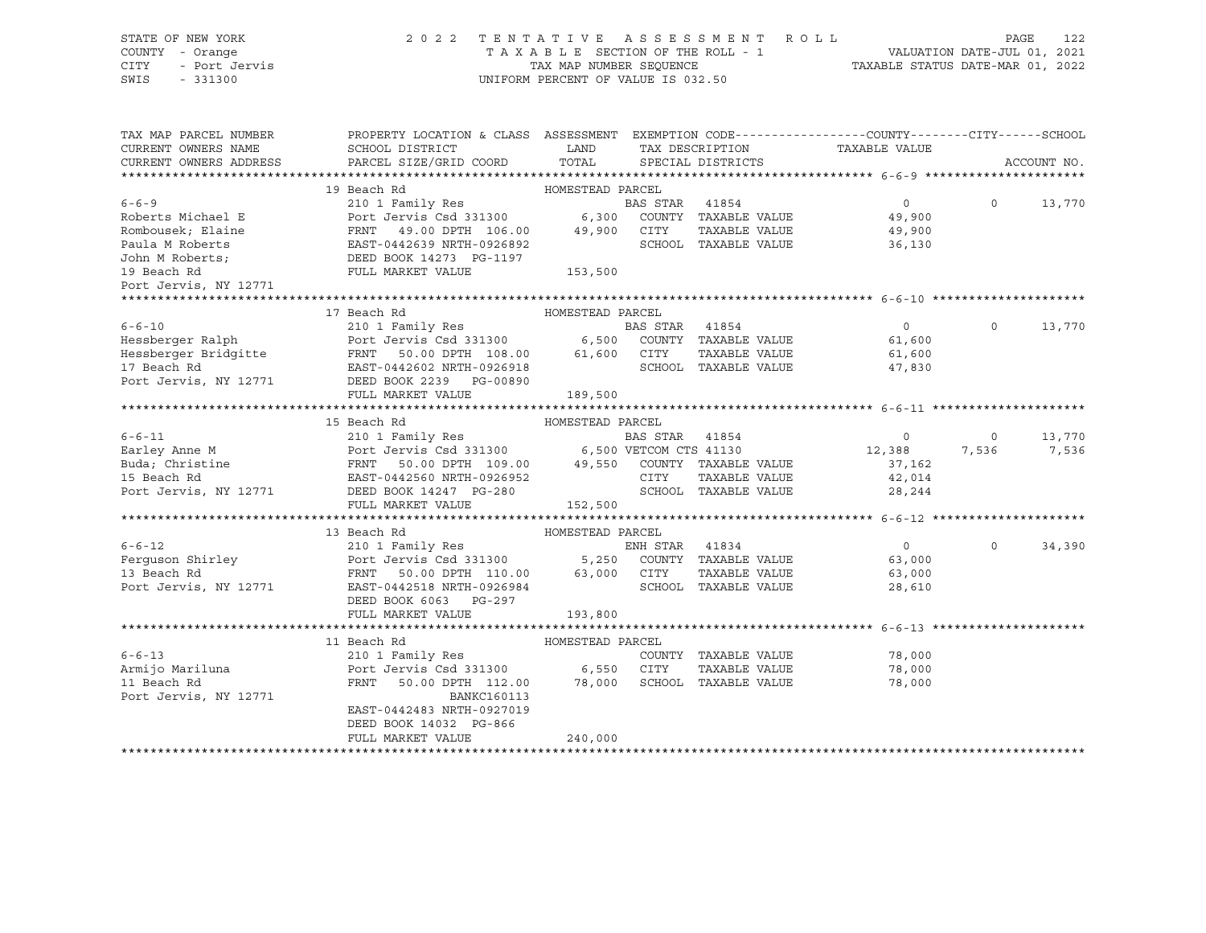STATE OF NEW YORK 2 0 2 2 T E N T A T I V E A S S E S S M E N T R O L L PAGE 122 COUNTY - Orange T A X A B L E SECTION OF THE ROLL - 1 VALUATION DATE-JUL 01, 2021 CITY - Port Jervis TAX MAP NUMBER SEQUENCE TAXABLE STATUS DATE-MAR 01, 2022 SWIS - 331300 UNIFORM PERCENT OF VALUE IS 032.50 19 Beach Rd HOMESTEAD PARCEL

| TAX MAP PARCEL NUMBER  | PROPERTY LOCATION & CLASS ASSESSMENT EXEMPTION CODE---------------COUNTY-------CITY------SCHOOL                                                                                                                                                                                                                                                                                                                                             |         |                               |                      |          |             |
|------------------------|---------------------------------------------------------------------------------------------------------------------------------------------------------------------------------------------------------------------------------------------------------------------------------------------------------------------------------------------------------------------------------------------------------------------------------------------|---------|-------------------------------|----------------------|----------|-------------|
| CURRENT OWNERS NAME    |                                                                                                                                                                                                                                                                                                                                                                                                                                             |         | TAX DESCRIPTION TAXABLE VALUE |                      |          |             |
| CURRENT OWNERS ADDRESS |                                                                                                                                                                                                                                                                                                                                                                                                                                             |         |                               |                      |          | ACCOUNT NO. |
|                        |                                                                                                                                                                                                                                                                                                                                                                                                                                             |         |                               |                      |          |             |
|                        |                                                                                                                                                                                                                                                                                                                                                                                                                                             |         |                               |                      |          |             |
|                        |                                                                                                                                                                                                                                                                                                                                                                                                                                             |         |                               | $\overline{0}$       | $\Omega$ | 13,770      |
|                        |                                                                                                                                                                                                                                                                                                                                                                                                                                             |         |                               |                      |          |             |
|                        |                                                                                                                                                                                                                                                                                                                                                                                                                                             |         |                               |                      |          |             |
|                        |                                                                                                                                                                                                                                                                                                                                                                                                                                             |         |                               |                      |          |             |
|                        |                                                                                                                                                                                                                                                                                                                                                                                                                                             |         |                               |                      |          |             |
|                        | 19 Beach Rd 19 Beach Rd 2001 Family Res 2001 Family Res 2001 Family Res 2001 Family Res 2001 Family Res 2001 Family Res 2001 Family Res 2001 Family Res 2001 Family Res 2001 Family Res 2001 Family Res 2001 Family Res 2001 F                                                                                                                                                                                                              |         |                               |                      |          |             |
| Port Jervis, NY 12771  |                                                                                                                                                                                                                                                                                                                                                                                                                                             |         |                               |                      |          |             |
|                        |                                                                                                                                                                                                                                                                                                                                                                                                                                             |         |                               |                      |          |             |
|                        | $\begin{tabular}{lcccc} \textbf{6--6-10} & & & & \textbf{17 Beach Rd} & & & \textbf{HOMESTEAD PARCEL} \\ & & & & & \textbf{210 1 Family Res} & & & \textbf{BAS STAR} & 41854 & & \\ & & & & \textbf{210 1 Family Res} & & & \textbf{BAS STAR} & 41854 & & \\ & & & \textbf{Port Jervis Csd 331300} & & & \textbf{6,500 COMTY TAXABLE VALUE} & & \textbf{61,600} \\ & & & & \textbf{RASTRA} & 41854 & & & 0 \\ & & & \textbf{RASTRA} & 50.0$ |         |                               |                      |          |             |
|                        |                                                                                                                                                                                                                                                                                                                                                                                                                                             |         |                               |                      | $\Omega$ | 13,770      |
|                        |                                                                                                                                                                                                                                                                                                                                                                                                                                             |         |                               |                      |          |             |
|                        |                                                                                                                                                                                                                                                                                                                                                                                                                                             |         |                               |                      |          |             |
|                        |                                                                                                                                                                                                                                                                                                                                                                                                                                             |         |                               |                      |          |             |
|                        |                                                                                                                                                                                                                                                                                                                                                                                                                                             |         |                               |                      |          |             |
|                        | FULL MARKET VALUE                                                                                                                                                                                                                                                                                                                                                                                                                           | 189,500 |                               |                      |          |             |
|                        |                                                                                                                                                                                                                                                                                                                                                                                                                                             |         |                               |                      |          |             |
|                        |                                                                                                                                                                                                                                                                                                                                                                                                                                             |         |                               |                      |          |             |
| $6 - 6 - 11$           |                                                                                                                                                                                                                                                                                                                                                                                                                                             |         |                               | BAS STAR 41854 0 0 0 |          | 13,770      |
|                        | Earley Anne M<br>Earley Anne M<br>Buda; Christine FRNT 50.00 DPTH 109.00 (500 VETCOM CTS 41130 12,388 7,536<br>Buda; Christine FRNT 50.00 DPTH 109.00 49,550 COUNTY TAXABLE VALUE 37,162<br>TO TAXABLE VALUE 42,014<br>POLI MARKET VALUE                                                                                                                                                                                                    |         |                               |                      |          | 7,536       |
|                        |                                                                                                                                                                                                                                                                                                                                                                                                                                             |         |                               |                      |          |             |
|                        |                                                                                                                                                                                                                                                                                                                                                                                                                                             |         |                               |                      |          |             |
|                        |                                                                                                                                                                                                                                                                                                                                                                                                                                             |         |                               |                      |          |             |
|                        |                                                                                                                                                                                                                                                                                                                                                                                                                                             |         |                               |                      |          |             |
|                        |                                                                                                                                                                                                                                                                                                                                                                                                                                             |         |                               |                      |          |             |
|                        | 13 Beach Rd 210 1 Family Res 210 1 Family Res 210 1 Family Res 210 1 Family Res 210 1 Family Res 210 1 Family Res 210 1 Family Res 210 1 Family Res 210 1 Family Res 210 1 Family Res 210 1 Family Res 210 1 Family Res 210 1                                                                                                                                                                                                               |         |                               |                      |          |             |
|                        |                                                                                                                                                                                                                                                                                                                                                                                                                                             |         |                               |                      | $\Omega$ | 34,390      |
|                        |                                                                                                                                                                                                                                                                                                                                                                                                                                             |         |                               |                      |          |             |
|                        |                                                                                                                                                                                                                                                                                                                                                                                                                                             |         |                               |                      |          |             |
|                        |                                                                                                                                                                                                                                                                                                                                                                                                                                             |         |                               |                      |          |             |
|                        | DEED BOOK 6063 PG-297                                                                                                                                                                                                                                                                                                                                                                                                                       |         |                               |                      |          |             |
|                        | FULL MARKET VALUE                                                                                                                                                                                                                                                                                                                                                                                                                           | 193,800 |                               |                      |          |             |
|                        |                                                                                                                                                                                                                                                                                                                                                                                                                                             |         |                               |                      |          |             |
|                        | 11 Beach Rd                                                                                                                                                                                                                                                                                                                                                                                                                                 |         |                               |                      |          |             |
| $6 - 6 - 13$           |                                                                                                                                                                                                                                                                                                                                                                                                                                             |         | COUNTY TAXABLE VALUE 78,000   |                      |          |             |
| Armijo Mariluna        | Port Jervis Csd 331300 6,550 CITY                                                                                                                                                                                                                                                                                                                                                                                                           |         | TAXABLE VALUE 78,000          |                      |          |             |
| 11 Beach Rd            | FRNT 50.00 DPTH 112.00 78,000 SCHOOL TAXABLE VALUE                                                                                                                                                                                                                                                                                                                                                                                          |         |                               | 78,000               |          |             |
| Port Jervis, NY 12771  | BANKC160113                                                                                                                                                                                                                                                                                                                                                                                                                                 |         |                               |                      |          |             |
|                        | EAST-0442483 NRTH-0927019                                                                                                                                                                                                                                                                                                                                                                                                                   |         |                               |                      |          |             |
|                        | DEED BOOK 14032 PG-866                                                                                                                                                                                                                                                                                                                                                                                                                      |         |                               |                      |          |             |
|                        | FULL MARKET VALUE                                                                                                                                                                                                                                                                                                                                                                                                                           | 240,000 |                               |                      |          |             |
|                        |                                                                                                                                                                                                                                                                                                                                                                                                                                             |         |                               |                      |          |             |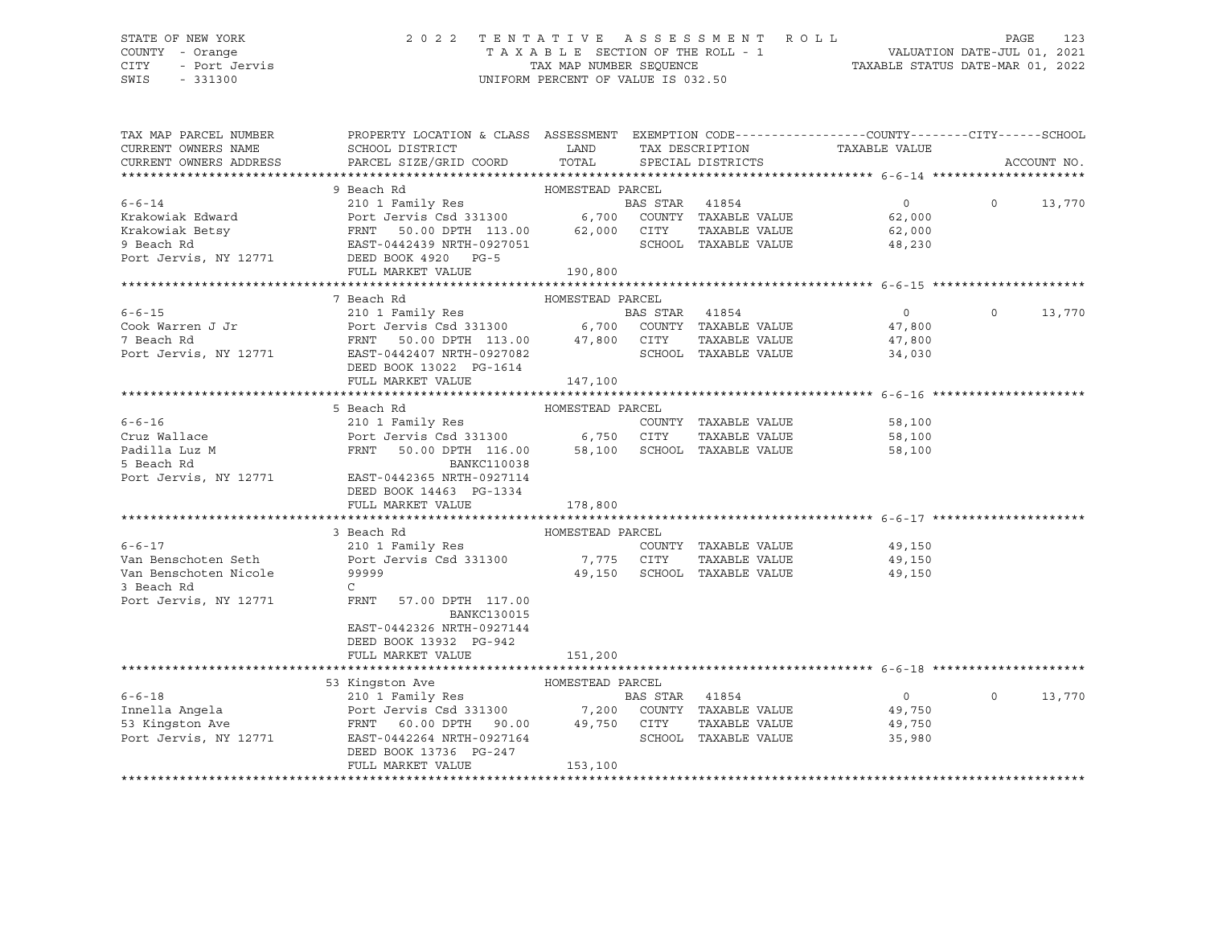# STATE OF NEW YORK 2 0 2 2 T E N T A T I V E A S S E S S M E N T R O L L PAGE 123 COUNTY - Orange T A X A B L E SECTION OF THE ROLL - 1 VALUATION DATE-JUL 01, 2021 CITY - Port Jervis TAX MAP NUMBER SEQUENCE TAXABLE STATUS DATE-MAR 01, 2022

| $6 - 6 - 14$<br>$\overline{0}$<br>$\circ$<br>13,770<br>Krakowiak Edward<br>62,000<br>Krakowiak Betsy<br>TAXABLE VALUE<br>62,000<br>9 Beach Rd<br>SCHOOL TAXABLE VALUE<br>48,230<br>Port Jervis, NY 12771 DEED BOOK 4920 PG-5<br>FULL MARKET VALUE<br>190,800<br>7 Beach Rd<br>HOMESTEAD PARCEL<br>210 1 Family Res<br>Port Jervis Csd 331300 6,700 COUNTY TAXABLE VALUE<br>FRNT 50.00 DPTH 113.00 47,800 CITY TAXABLE VALUE<br>$6 - 6 - 15$<br>$\overline{0}$<br>$\Omega$<br>13,770<br>Cook Warren J Jr<br>7 Beach Rd<br>47,800<br>47,800<br>7 Beach Rd<br>Port Jervis, NY 12771<br>SCHOOL TAXABLE VALUE<br>EAST-0442407 NRTH-0927082<br>34,030<br>DEED BOOK 13022 PG-1614<br>FULL MARKET VALUE<br>147,100<br>5 Beach Rd<br>HOMESTEAD PARCEL<br>$6 - 6 - 16$<br>210 1 Family Res<br>COUNTY TAXABLE VALUE<br>58,100<br>Port Jervis Csd 331300 6,750 CITY<br>Cruz Wallace<br>TAXABLE VALUE 58,100<br>FRNT 50.00 DPTH 116.00 58,100 SCHOOL TAXABLE VALUE<br>Padilla Luz M<br>5 Beach Rd<br>58,100<br>5 Beach Rd<br><b>BANKC110038</b><br>Port Jervis, NY 12771 EAST-0442365 NRTH-0927114<br>DEED BOOK 14463 PG-1334<br>FULL MARKET VALUE<br>178,800<br>3 Beach Rd<br>HOMESTEAD PARCEL<br>$6 - 6 - 17$<br>210 1 Family Res<br>COUNTY TAXABLE VALUE<br>49,150<br>Van Benschoten Seth Port Jervis Csd 331300 7,775 CITY<br>TAXABLE VALUE 49,150<br>Van Benschoten Nicole<br>99999<br>49,150 SCHOOL TAXABLE VALUE<br>49,150<br>3 Beach Rd<br>$\mathsf{C}$<br>Port Jervis, NY 12771 FRNT 57.00 DPTH 117.00<br><b>BANKC130015</b><br>EAST-0442326 NRTH-0927144<br>DEED BOOK 13932 PG-942<br>FULL MARKET VALUE<br>151,200<br>53 Kingston Ave<br>HOMESTEAD PARCEL<br>$6 - 6 - 18$<br>$\overline{0}$<br>210 1 Family Res<br>BAS STAR 41854<br>$\Omega$<br>13,770<br>220 1 - 220 1202<br>Port Jervis Csd 331300 7,200 COUNTY TAXABLE VALUE<br>FRNT 60.00 DPTH 90.00 49,750 CITY TAXABLE VALUE<br>EAST-0442264 NRTH-0927164 SCHOOL TAXABLE VALUE<br>Innella Angela<br>49,750<br>53 Kingston Ave<br>49,750<br>EAST-0442264 NRTH-0927164<br>Port Jervis, NY 12771<br>35,980<br>DEED BOOK 13736 PG-247<br>153,100<br>FULL MARKET VALUE | TAX MAP PARCEL NUMBER<br>CURRENT OWNERS NAME<br>CURRENT OWNERS ADDRESS | PROPERTY LOCATION & CLASS ASSESSMENT EXEMPTION CODE---------------COUNTY-------CITY------SCHOOL<br>SCHOOL DISTRICT<br>PARCEL SIZE/GRID COORD | LAND<br>TOTAL | TAX DESCRIPTION TAXABLE VALUE<br>SPECIAL DISTRICTS |  | ACCOUNT NO. |
|-----------------------------------------------------------------------------------------------------------------------------------------------------------------------------------------------------------------------------------------------------------------------------------------------------------------------------------------------------------------------------------------------------------------------------------------------------------------------------------------------------------------------------------------------------------------------------------------------------------------------------------------------------------------------------------------------------------------------------------------------------------------------------------------------------------------------------------------------------------------------------------------------------------------------------------------------------------------------------------------------------------------------------------------------------------------------------------------------------------------------------------------------------------------------------------------------------------------------------------------------------------------------------------------------------------------------------------------------------------------------------------------------------------------------------------------------------------------------------------------------------------------------------------------------------------------------------------------------------------------------------------------------------------------------------------------------------------------------------------------------------------------------------------------------------------------------------------------------------------------------------------------------------------------------------------------------------------------------------------------------------------------------------------------------------------------------------------------------------------------------|------------------------------------------------------------------------|----------------------------------------------------------------------------------------------------------------------------------------------|---------------|----------------------------------------------------|--|-------------|
|                                                                                                                                                                                                                                                                                                                                                                                                                                                                                                                                                                                                                                                                                                                                                                                                                                                                                                                                                                                                                                                                                                                                                                                                                                                                                                                                                                                                                                                                                                                                                                                                                                                                                                                                                                                                                                                                                                                                                                                                                                                                                                                       |                                                                        |                                                                                                                                              |               |                                                    |  |             |
|                                                                                                                                                                                                                                                                                                                                                                                                                                                                                                                                                                                                                                                                                                                                                                                                                                                                                                                                                                                                                                                                                                                                                                                                                                                                                                                                                                                                                                                                                                                                                                                                                                                                                                                                                                                                                                                                                                                                                                                                                                                                                                                       |                                                                        |                                                                                                                                              |               |                                                    |  |             |
|                                                                                                                                                                                                                                                                                                                                                                                                                                                                                                                                                                                                                                                                                                                                                                                                                                                                                                                                                                                                                                                                                                                                                                                                                                                                                                                                                                                                                                                                                                                                                                                                                                                                                                                                                                                                                                                                                                                                                                                                                                                                                                                       |                                                                        |                                                                                                                                              |               |                                                    |  |             |
|                                                                                                                                                                                                                                                                                                                                                                                                                                                                                                                                                                                                                                                                                                                                                                                                                                                                                                                                                                                                                                                                                                                                                                                                                                                                                                                                                                                                                                                                                                                                                                                                                                                                                                                                                                                                                                                                                                                                                                                                                                                                                                                       |                                                                        |                                                                                                                                              |               |                                                    |  |             |
|                                                                                                                                                                                                                                                                                                                                                                                                                                                                                                                                                                                                                                                                                                                                                                                                                                                                                                                                                                                                                                                                                                                                                                                                                                                                                                                                                                                                                                                                                                                                                                                                                                                                                                                                                                                                                                                                                                                                                                                                                                                                                                                       |                                                                        |                                                                                                                                              |               |                                                    |  |             |
|                                                                                                                                                                                                                                                                                                                                                                                                                                                                                                                                                                                                                                                                                                                                                                                                                                                                                                                                                                                                                                                                                                                                                                                                                                                                                                                                                                                                                                                                                                                                                                                                                                                                                                                                                                                                                                                                                                                                                                                                                                                                                                                       |                                                                        |                                                                                                                                              |               |                                                    |  |             |
|                                                                                                                                                                                                                                                                                                                                                                                                                                                                                                                                                                                                                                                                                                                                                                                                                                                                                                                                                                                                                                                                                                                                                                                                                                                                                                                                                                                                                                                                                                                                                                                                                                                                                                                                                                                                                                                                                                                                                                                                                                                                                                                       |                                                                        |                                                                                                                                              |               |                                                    |  |             |
|                                                                                                                                                                                                                                                                                                                                                                                                                                                                                                                                                                                                                                                                                                                                                                                                                                                                                                                                                                                                                                                                                                                                                                                                                                                                                                                                                                                                                                                                                                                                                                                                                                                                                                                                                                                                                                                                                                                                                                                                                                                                                                                       |                                                                        |                                                                                                                                              |               |                                                    |  |             |
|                                                                                                                                                                                                                                                                                                                                                                                                                                                                                                                                                                                                                                                                                                                                                                                                                                                                                                                                                                                                                                                                                                                                                                                                                                                                                                                                                                                                                                                                                                                                                                                                                                                                                                                                                                                                                                                                                                                                                                                                                                                                                                                       |                                                                        |                                                                                                                                              |               |                                                    |  |             |
|                                                                                                                                                                                                                                                                                                                                                                                                                                                                                                                                                                                                                                                                                                                                                                                                                                                                                                                                                                                                                                                                                                                                                                                                                                                                                                                                                                                                                                                                                                                                                                                                                                                                                                                                                                                                                                                                                                                                                                                                                                                                                                                       |                                                                        |                                                                                                                                              |               |                                                    |  |             |
|                                                                                                                                                                                                                                                                                                                                                                                                                                                                                                                                                                                                                                                                                                                                                                                                                                                                                                                                                                                                                                                                                                                                                                                                                                                                                                                                                                                                                                                                                                                                                                                                                                                                                                                                                                                                                                                                                                                                                                                                                                                                                                                       |                                                                        |                                                                                                                                              |               |                                                    |  |             |
|                                                                                                                                                                                                                                                                                                                                                                                                                                                                                                                                                                                                                                                                                                                                                                                                                                                                                                                                                                                                                                                                                                                                                                                                                                                                                                                                                                                                                                                                                                                                                                                                                                                                                                                                                                                                                                                                                                                                                                                                                                                                                                                       |                                                                        |                                                                                                                                              |               |                                                    |  |             |
|                                                                                                                                                                                                                                                                                                                                                                                                                                                                                                                                                                                                                                                                                                                                                                                                                                                                                                                                                                                                                                                                                                                                                                                                                                                                                                                                                                                                                                                                                                                                                                                                                                                                                                                                                                                                                                                                                                                                                                                                                                                                                                                       |                                                                        |                                                                                                                                              |               |                                                    |  |             |
|                                                                                                                                                                                                                                                                                                                                                                                                                                                                                                                                                                                                                                                                                                                                                                                                                                                                                                                                                                                                                                                                                                                                                                                                                                                                                                                                                                                                                                                                                                                                                                                                                                                                                                                                                                                                                                                                                                                                                                                                                                                                                                                       |                                                                        |                                                                                                                                              |               |                                                    |  |             |
|                                                                                                                                                                                                                                                                                                                                                                                                                                                                                                                                                                                                                                                                                                                                                                                                                                                                                                                                                                                                                                                                                                                                                                                                                                                                                                                                                                                                                                                                                                                                                                                                                                                                                                                                                                                                                                                                                                                                                                                                                                                                                                                       |                                                                        |                                                                                                                                              |               |                                                    |  |             |
|                                                                                                                                                                                                                                                                                                                                                                                                                                                                                                                                                                                                                                                                                                                                                                                                                                                                                                                                                                                                                                                                                                                                                                                                                                                                                                                                                                                                                                                                                                                                                                                                                                                                                                                                                                                                                                                                                                                                                                                                                                                                                                                       |                                                                        |                                                                                                                                              |               |                                                    |  |             |
|                                                                                                                                                                                                                                                                                                                                                                                                                                                                                                                                                                                                                                                                                                                                                                                                                                                                                                                                                                                                                                                                                                                                                                                                                                                                                                                                                                                                                                                                                                                                                                                                                                                                                                                                                                                                                                                                                                                                                                                                                                                                                                                       |                                                                        |                                                                                                                                              |               |                                                    |  |             |
|                                                                                                                                                                                                                                                                                                                                                                                                                                                                                                                                                                                                                                                                                                                                                                                                                                                                                                                                                                                                                                                                                                                                                                                                                                                                                                                                                                                                                                                                                                                                                                                                                                                                                                                                                                                                                                                                                                                                                                                                                                                                                                                       |                                                                        |                                                                                                                                              |               |                                                    |  |             |
|                                                                                                                                                                                                                                                                                                                                                                                                                                                                                                                                                                                                                                                                                                                                                                                                                                                                                                                                                                                                                                                                                                                                                                                                                                                                                                                                                                                                                                                                                                                                                                                                                                                                                                                                                                                                                                                                                                                                                                                                                                                                                                                       |                                                                        |                                                                                                                                              |               |                                                    |  |             |
|                                                                                                                                                                                                                                                                                                                                                                                                                                                                                                                                                                                                                                                                                                                                                                                                                                                                                                                                                                                                                                                                                                                                                                                                                                                                                                                                                                                                                                                                                                                                                                                                                                                                                                                                                                                                                                                                                                                                                                                                                                                                                                                       |                                                                        |                                                                                                                                              |               |                                                    |  |             |
|                                                                                                                                                                                                                                                                                                                                                                                                                                                                                                                                                                                                                                                                                                                                                                                                                                                                                                                                                                                                                                                                                                                                                                                                                                                                                                                                                                                                                                                                                                                                                                                                                                                                                                                                                                                                                                                                                                                                                                                                                                                                                                                       |                                                                        |                                                                                                                                              |               |                                                    |  |             |
|                                                                                                                                                                                                                                                                                                                                                                                                                                                                                                                                                                                                                                                                                                                                                                                                                                                                                                                                                                                                                                                                                                                                                                                                                                                                                                                                                                                                                                                                                                                                                                                                                                                                                                                                                                                                                                                                                                                                                                                                                                                                                                                       |                                                                        |                                                                                                                                              |               |                                                    |  |             |
|                                                                                                                                                                                                                                                                                                                                                                                                                                                                                                                                                                                                                                                                                                                                                                                                                                                                                                                                                                                                                                                                                                                                                                                                                                                                                                                                                                                                                                                                                                                                                                                                                                                                                                                                                                                                                                                                                                                                                                                                                                                                                                                       |                                                                        |                                                                                                                                              |               |                                                    |  |             |
|                                                                                                                                                                                                                                                                                                                                                                                                                                                                                                                                                                                                                                                                                                                                                                                                                                                                                                                                                                                                                                                                                                                                                                                                                                                                                                                                                                                                                                                                                                                                                                                                                                                                                                                                                                                                                                                                                                                                                                                                                                                                                                                       |                                                                        |                                                                                                                                              |               |                                                    |  |             |
|                                                                                                                                                                                                                                                                                                                                                                                                                                                                                                                                                                                                                                                                                                                                                                                                                                                                                                                                                                                                                                                                                                                                                                                                                                                                                                                                                                                                                                                                                                                                                                                                                                                                                                                                                                                                                                                                                                                                                                                                                                                                                                                       |                                                                        |                                                                                                                                              |               |                                                    |  |             |
|                                                                                                                                                                                                                                                                                                                                                                                                                                                                                                                                                                                                                                                                                                                                                                                                                                                                                                                                                                                                                                                                                                                                                                                                                                                                                                                                                                                                                                                                                                                                                                                                                                                                                                                                                                                                                                                                                                                                                                                                                                                                                                                       |                                                                        |                                                                                                                                              |               |                                                    |  |             |
|                                                                                                                                                                                                                                                                                                                                                                                                                                                                                                                                                                                                                                                                                                                                                                                                                                                                                                                                                                                                                                                                                                                                                                                                                                                                                                                                                                                                                                                                                                                                                                                                                                                                                                                                                                                                                                                                                                                                                                                                                                                                                                                       |                                                                        |                                                                                                                                              |               |                                                    |  |             |
|                                                                                                                                                                                                                                                                                                                                                                                                                                                                                                                                                                                                                                                                                                                                                                                                                                                                                                                                                                                                                                                                                                                                                                                                                                                                                                                                                                                                                                                                                                                                                                                                                                                                                                                                                                                                                                                                                                                                                                                                                                                                                                                       |                                                                        |                                                                                                                                              |               |                                                    |  |             |
|                                                                                                                                                                                                                                                                                                                                                                                                                                                                                                                                                                                                                                                                                                                                                                                                                                                                                                                                                                                                                                                                                                                                                                                                                                                                                                                                                                                                                                                                                                                                                                                                                                                                                                                                                                                                                                                                                                                                                                                                                                                                                                                       |                                                                        |                                                                                                                                              |               |                                                    |  |             |
|                                                                                                                                                                                                                                                                                                                                                                                                                                                                                                                                                                                                                                                                                                                                                                                                                                                                                                                                                                                                                                                                                                                                                                                                                                                                                                                                                                                                                                                                                                                                                                                                                                                                                                                                                                                                                                                                                                                                                                                                                                                                                                                       |                                                                        |                                                                                                                                              |               |                                                    |  |             |
|                                                                                                                                                                                                                                                                                                                                                                                                                                                                                                                                                                                                                                                                                                                                                                                                                                                                                                                                                                                                                                                                                                                                                                                                                                                                                                                                                                                                                                                                                                                                                                                                                                                                                                                                                                                                                                                                                                                                                                                                                                                                                                                       |                                                                        |                                                                                                                                              |               |                                                    |  |             |
|                                                                                                                                                                                                                                                                                                                                                                                                                                                                                                                                                                                                                                                                                                                                                                                                                                                                                                                                                                                                                                                                                                                                                                                                                                                                                                                                                                                                                                                                                                                                                                                                                                                                                                                                                                                                                                                                                                                                                                                                                                                                                                                       |                                                                        |                                                                                                                                              |               |                                                    |  |             |
|                                                                                                                                                                                                                                                                                                                                                                                                                                                                                                                                                                                                                                                                                                                                                                                                                                                                                                                                                                                                                                                                                                                                                                                                                                                                                                                                                                                                                                                                                                                                                                                                                                                                                                                                                                                                                                                                                                                                                                                                                                                                                                                       |                                                                        |                                                                                                                                              |               |                                                    |  |             |
|                                                                                                                                                                                                                                                                                                                                                                                                                                                                                                                                                                                                                                                                                                                                                                                                                                                                                                                                                                                                                                                                                                                                                                                                                                                                                                                                                                                                                                                                                                                                                                                                                                                                                                                                                                                                                                                                                                                                                                                                                                                                                                                       |                                                                        |                                                                                                                                              |               |                                                    |  |             |
|                                                                                                                                                                                                                                                                                                                                                                                                                                                                                                                                                                                                                                                                                                                                                                                                                                                                                                                                                                                                                                                                                                                                                                                                                                                                                                                                                                                                                                                                                                                                                                                                                                                                                                                                                                                                                                                                                                                                                                                                                                                                                                                       |                                                                        |                                                                                                                                              |               |                                                    |  |             |
|                                                                                                                                                                                                                                                                                                                                                                                                                                                                                                                                                                                                                                                                                                                                                                                                                                                                                                                                                                                                                                                                                                                                                                                                                                                                                                                                                                                                                                                                                                                                                                                                                                                                                                                                                                                                                                                                                                                                                                                                                                                                                                                       |                                                                        |                                                                                                                                              |               |                                                    |  |             |
|                                                                                                                                                                                                                                                                                                                                                                                                                                                                                                                                                                                                                                                                                                                                                                                                                                                                                                                                                                                                                                                                                                                                                                                                                                                                                                                                                                                                                                                                                                                                                                                                                                                                                                                                                                                                                                                                                                                                                                                                                                                                                                                       |                                                                        |                                                                                                                                              |               |                                                    |  |             |
|                                                                                                                                                                                                                                                                                                                                                                                                                                                                                                                                                                                                                                                                                                                                                                                                                                                                                                                                                                                                                                                                                                                                                                                                                                                                                                                                                                                                                                                                                                                                                                                                                                                                                                                                                                                                                                                                                                                                                                                                                                                                                                                       |                                                                        |                                                                                                                                              |               |                                                    |  |             |
|                                                                                                                                                                                                                                                                                                                                                                                                                                                                                                                                                                                                                                                                                                                                                                                                                                                                                                                                                                                                                                                                                                                                                                                                                                                                                                                                                                                                                                                                                                                                                                                                                                                                                                                                                                                                                                                                                                                                                                                                                                                                                                                       |                                                                        |                                                                                                                                              |               |                                                    |  |             |
|                                                                                                                                                                                                                                                                                                                                                                                                                                                                                                                                                                                                                                                                                                                                                                                                                                                                                                                                                                                                                                                                                                                                                                                                                                                                                                                                                                                                                                                                                                                                                                                                                                                                                                                                                                                                                                                                                                                                                                                                                                                                                                                       |                                                                        |                                                                                                                                              |               |                                                    |  |             |
|                                                                                                                                                                                                                                                                                                                                                                                                                                                                                                                                                                                                                                                                                                                                                                                                                                                                                                                                                                                                                                                                                                                                                                                                                                                                                                                                                                                                                                                                                                                                                                                                                                                                                                                                                                                                                                                                                                                                                                                                                                                                                                                       |                                                                        |                                                                                                                                              |               |                                                    |  |             |
|                                                                                                                                                                                                                                                                                                                                                                                                                                                                                                                                                                                                                                                                                                                                                                                                                                                                                                                                                                                                                                                                                                                                                                                                                                                                                                                                                                                                                                                                                                                                                                                                                                                                                                                                                                                                                                                                                                                                                                                                                                                                                                                       |                                                                        |                                                                                                                                              |               |                                                    |  |             |
|                                                                                                                                                                                                                                                                                                                                                                                                                                                                                                                                                                                                                                                                                                                                                                                                                                                                                                                                                                                                                                                                                                                                                                                                                                                                                                                                                                                                                                                                                                                                                                                                                                                                                                                                                                                                                                                                                                                                                                                                                                                                                                                       |                                                                        |                                                                                                                                              |               |                                                    |  |             |
|                                                                                                                                                                                                                                                                                                                                                                                                                                                                                                                                                                                                                                                                                                                                                                                                                                                                                                                                                                                                                                                                                                                                                                                                                                                                                                                                                                                                                                                                                                                                                                                                                                                                                                                                                                                                                                                                                                                                                                                                                                                                                                                       |                                                                        |                                                                                                                                              |               |                                                    |  |             |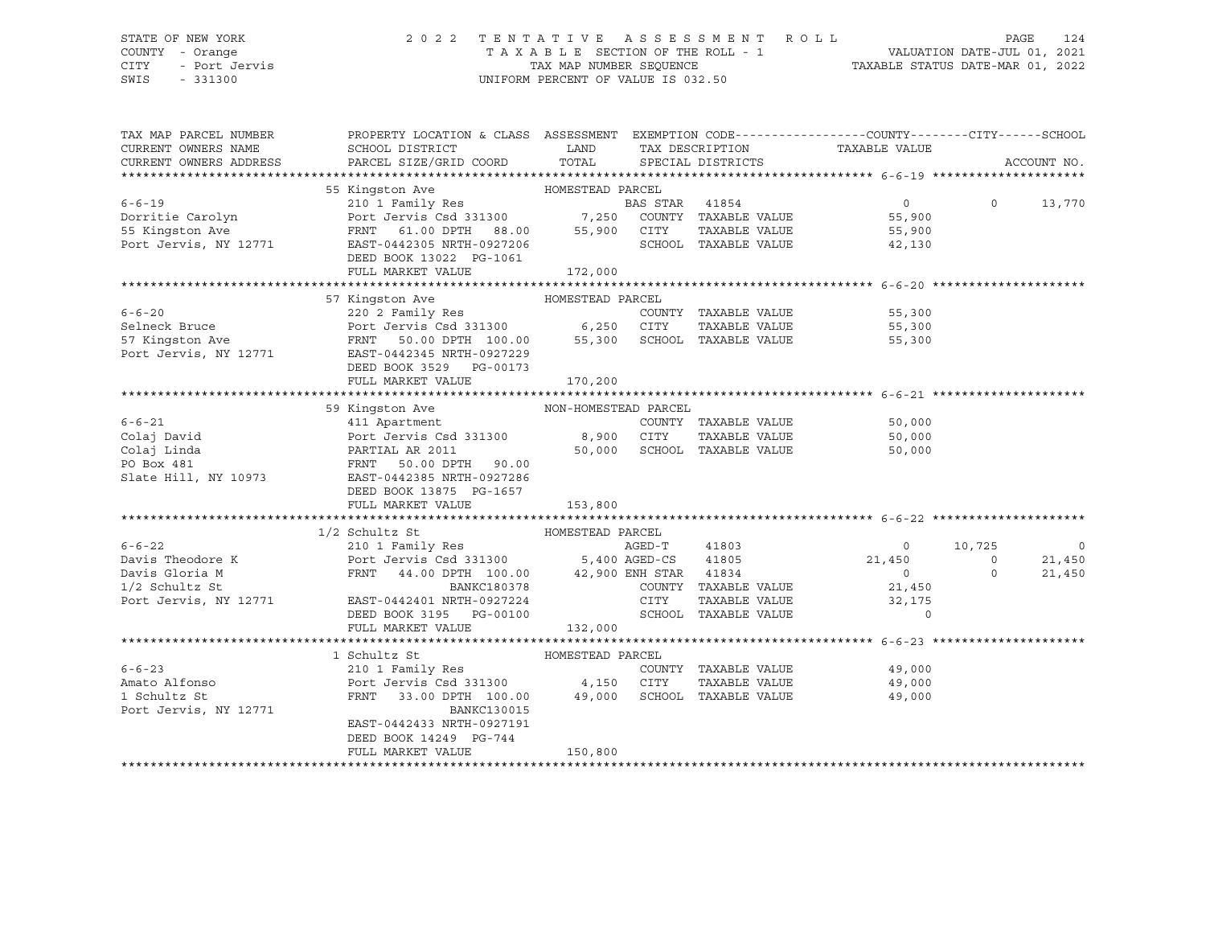## STATE OF NEW YORK 2 0 2 2 T E N T A T I V E A S S E S S M E N T R O L L PAGE 124 COUNTY - Orange T A X A B L E SECTION OF THE ROLL - 1 VALUATION DATE-JUL 01, 2021 CITY - Port Jervis TAX MAP NUMBER SEQUENCE TAXABLE STATUS DATE-MAR 01, 2022

| TAX MAP PARCEL NUMBER<br>CURRENT OWNERS NAME<br>CURRENT OWNERS ADDRESS | PROPERTY LOCATION & CLASS ASSESSMENT EXEMPTION CODE----------------COUNTY-------CITY------SCHOOL<br>SCHOOL DISTRICT<br>PARCEL SIZE/GRID COORD TOTAL                                                       | LAND    |      |                             | TAX DESCRIPTION TAXABLE VALUE SPECIAL DISTRICTS |          | ACCOUNT NO.    |
|------------------------------------------------------------------------|-----------------------------------------------------------------------------------------------------------------------------------------------------------------------------------------------------------|---------|------|-----------------------------|-------------------------------------------------|----------|----------------|
|                                                                        |                                                                                                                                                                                                           |         |      |                             |                                                 |          |                |
|                                                                        | 55 Kingston Ave MOMESTEAD PARCEL                                                                                                                                                                          |         |      |                             |                                                 |          |                |
|                                                                        | 6-6-19<br>210 1 Family Res<br>210 1 Family Res<br>210 1 Family Res<br>210 210 Family Res<br>210 210 Family Res<br>210 200 7,250 COUNTY TAXABLE VALUE<br>35 STAR<br>210 210 210 7,250 COUNTY TAXABLE VALUE |         |      |                             | $\overline{0}$                                  | $\Omega$ | 13,770         |
|                                                                        |                                                                                                                                                                                                           |         |      |                             | 55,900                                          |          |                |
|                                                                        |                                                                                                                                                                                                           |         |      |                             | TAXABLE VALUE 55,900                            |          |                |
| Port Jervis, NY 12771                                                  | EAST-0442305 NRTH-0927206                                                                                                                                                                                 |         |      | SCHOOL TAXABLE VALUE        | 42,130                                          |          |                |
|                                                                        | DEED BOOK 13022 PG-1061                                                                                                                                                                                   |         |      |                             |                                                 |          |                |
|                                                                        | FULL MARKET VALUE                                                                                                                                                                                         | 172,000 |      |                             |                                                 |          |                |
|                                                                        |                                                                                                                                                                                                           |         |      |                             |                                                 |          |                |
|                                                                        | HOMESTEAD PARCEL<br>57 Kingston Ave                                                                                                                                                                       |         |      |                             |                                                 |          |                |
| $6 - 6 - 20$                                                           |                                                                                                                                                                                                           |         |      |                             |                                                 |          |                |
| Selneck Bruce                                                          |                                                                                                                                                                                                           |         |      |                             |                                                 |          |                |
| 57 Kingston Ave<br>Port Jervis, NY 12771                               | 220 2 Family Res<br>Port Jervis Csd 331300 6,250 CITY TAXABLE VALUE 55,300<br>FRNT 50.00 DPTH 100.00 55,300 SCHOOL TAXABLE VALUE 55,300<br>FAST-0442345 NPTH-0027229                                      |         |      |                             |                                                 |          |                |
|                                                                        | EAST-0442345 NRTH-0927229                                                                                                                                                                                 |         |      |                             |                                                 |          |                |
|                                                                        | DEED BOOK 3529 PG-00173                                                                                                                                                                                   |         |      |                             |                                                 |          |                |
|                                                                        | FULL MARKET VALUE                                                                                                                                                                                         | 170,200 |      |                             |                                                 |          |                |
|                                                                        |                                                                                                                                                                                                           |         |      |                             |                                                 |          |                |
|                                                                        |                                                                                                                                                                                                           |         |      |                             |                                                 |          |                |
| $6 - 6 - 21$                                                           |                                                                                                                                                                                                           |         |      |                             | COUNTY TAXABLE VALUE 50,000                     |          |                |
| Colaj David                                                            | Port Jervis Csd 331300 8,900 CITY                                                                                                                                                                         |         |      |                             | TAXABLE VALUE 50,000                            |          |                |
| Colaj Linda                                                            | Port Jervis Csd 331300<br>PARTIAL AR 2011<br>FRNT 50.00 DPTH 90.00                                                                                                                                        |         |      | 50,000 SCHOOL TAXABLE VALUE | 50,000                                          |          |                |
| PO Box 481                                                             |                                                                                                                                                                                                           |         |      |                             |                                                 |          |                |
| Slate Hill, NY 10973                                                   | EAST-0442385 NRTH-0927286<br>DEED BOOK 13875 PG-1657                                                                                                                                                      |         |      |                             |                                                 |          |                |
|                                                                        | FULL MARKET VALUE                                                                                                                                                                                         | 153,800 |      |                             |                                                 |          |                |
|                                                                        |                                                                                                                                                                                                           |         |      |                             |                                                 |          |                |
|                                                                        | 1/2 Schultz St                                                                                                                                                                                            |         |      |                             |                                                 |          |                |
| $6 - 6 - 22$                                                           | 210 1 Family Res                                                                                                                                                                                          |         |      | AGED-T 41803                | $\overline{0}$                                  | 10,725   | $\overline{0}$ |
| Davis Theodore K                                                       |                                                                                                                                                                                                           |         |      |                             |                                                 | $\circ$  | 21,450         |
| Davis Gloria M                                                         |                                                                                                                                                                                                           |         |      |                             |                                                 | $\circ$  | 21,450         |
| $1/2$ Schultz St                                                       | Port Jeruis Csd 331300 5,400 AGED-CS 41805 21,450<br>FRNT 44.00 DPTH 100.00 42,900 ENH STAR 41834 0<br>BANKC180378 COUNTY TAXABLE VALUE 21,450                                                            |         |      |                             | 21,450                                          |          |                |
| Port Jervis, NY 12771                                                  | EAST-0442401 NRTH-0927224                                                                                                                                                                                 |         | CITY | TAXABLE VALUE               | 32,175                                          |          |                |
|                                                                        | DEED BOOK 3195 PG-00100                                                                                                                                                                                   |         |      | SCHOOL TAXABLE VALUE        | $\Omega$                                        |          |                |
|                                                                        | FULL MARKET VALUE                                                                                                                                                                                         | 132,000 |      |                             |                                                 |          |                |
|                                                                        |                                                                                                                                                                                                           |         |      |                             |                                                 |          |                |
|                                                                        | HOMESTEAD PARCEL<br>1 Schultz St                                                                                                                                                                          |         |      |                             |                                                 |          |                |
| $6 - 6 - 23$                                                           |                                                                                                                                                                                                           |         |      | COUNTY TAXABLE VALUE        | 49,000<br>49.NNA                                |          |                |
| Amato Alfonso                                                          |                                                                                                                                                                                                           |         |      | TAXABLE VALUE               | 49,000                                          |          |                |
| 1 Schultz St                                                           | FRNT 33.00 DPTH 100.00 49,000 SCHOOL TAXABLE VALUE                                                                                                                                                        |         |      |                             | 49,000                                          |          |                |
| Port Jervis, NY 12771                                                  | BANKC130015                                                                                                                                                                                               |         |      |                             |                                                 |          |                |
|                                                                        | EAST-0442433 NRTH-0927191                                                                                                                                                                                 |         |      |                             |                                                 |          |                |
|                                                                        | DEED BOOK 14249 PG-744                                                                                                                                                                                    |         |      |                             |                                                 |          |                |
|                                                                        | FULL MARKET VALUE                                                                                                                                                                                         | 150,800 |      |                             |                                                 |          |                |
|                                                                        |                                                                                                                                                                                                           |         |      |                             |                                                 |          |                |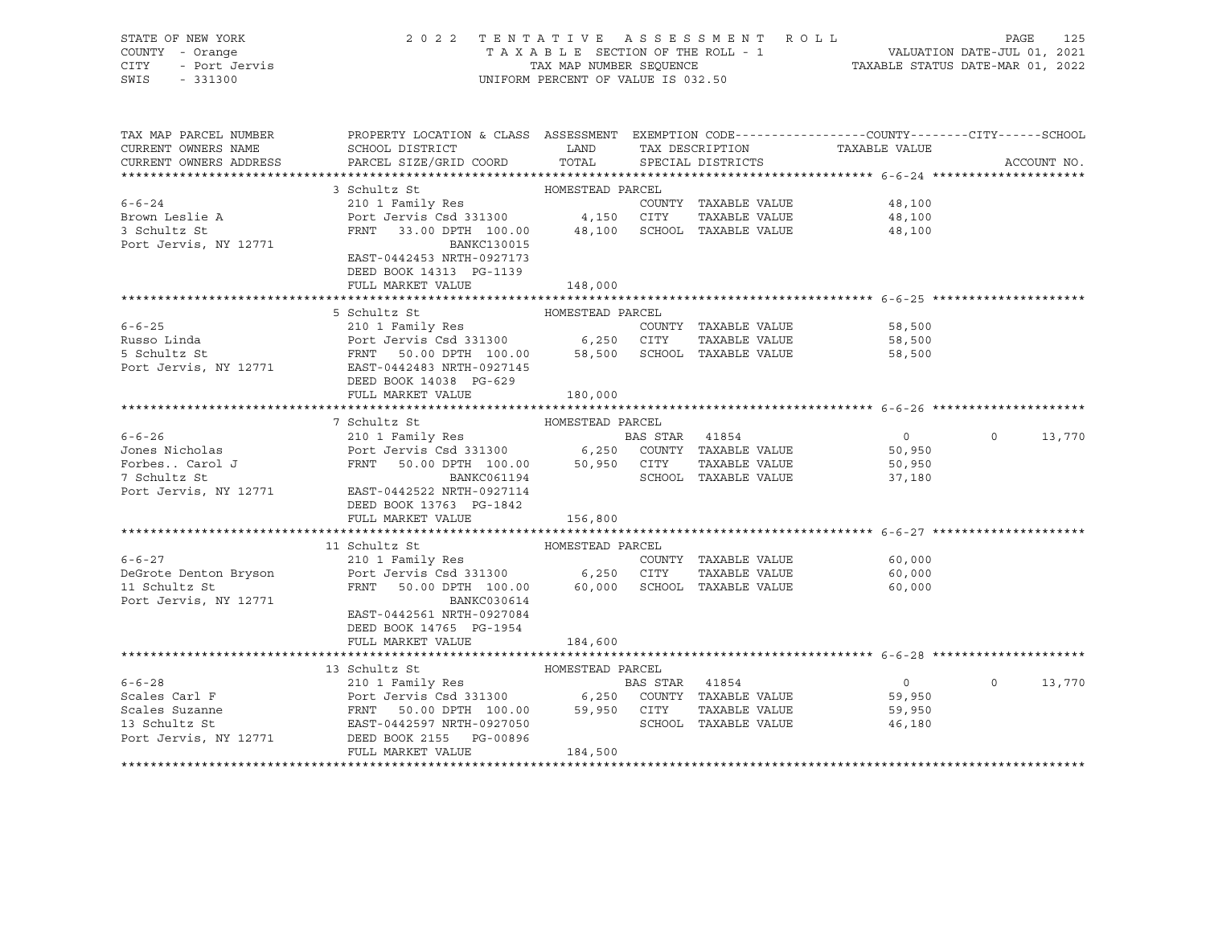|      | STATE OF NEW YORK | 2022 TENTATIVE ASSESSMENT ROLL     | 125<br>PAGE                      |
|------|-------------------|------------------------------------|----------------------------------|
|      | COUNTY - Orange   | TAXABLE SECTION OF THE ROLL - 1    | VALUATION DATE-JUL 01, 2021      |
| CITY | - Port Jervis     | TAX MAP NUMBER SEOUENCE            | TAXABLE STATUS DATE-MAR 01, 2022 |
| SWIS | $-331300$         | UNIFORM PERCENT OF VALUE IS 032.50 |                                  |

| TAX MAP PARCEL NUMBER  | PROPERTY LOCATION & CLASS ASSESSMENT EXEMPTION CODE---------------COUNTY-------CITY------SCHOOL                                                         |                                  |                |                             |                |             |        |
|------------------------|---------------------------------------------------------------------------------------------------------------------------------------------------------|----------------------------------|----------------|-----------------------------|----------------|-------------|--------|
| CURRENT OWNERS NAME    | SCHOOL DISTRICT                                                                                                                                         | <b>EXAMPLE AND SERVICE STATE</b> |                | TAX DESCRIPTION             | TAXABLE VALUE  |             |        |
| CURRENT OWNERS ADDRESS | PARCEL SIZE/GRID COORD                                                                                                                                  | TOTAL                            |                | SPECIAL DISTRICTS           |                | ACCOUNT NO. |        |
|                        |                                                                                                                                                         |                                  |                |                             |                |             |        |
|                        | 3 Schultz St<br>HOMESTEAD PARCEL                                                                                                                        |                                  |                |                             |                |             |        |
| $6 - 6 - 24$           | 210 1 Family Res                                                                                                                                        |                                  |                | COUNTY TAXABLE VALUE        | 48,100         |             |        |
| Brown Leslie A         | Port Jervis Csd 331300 4,150 CITY                                                                                                                       |                                  |                | TAXABLE VALUE               | 48,100         |             |        |
| 3 Schultz St           | FRNT 33.00 DPTH 100.00 48,100 SCHOOL TAXABLE VALUE                                                                                                      |                                  |                |                             | 48,100         |             |        |
| Port Jervis, NY 12771  | <b>BANKC130015</b>                                                                                                                                      |                                  |                |                             |                |             |        |
|                        | EAST-0442453 NRTH-0927173                                                                                                                               |                                  |                |                             |                |             |        |
|                        | DEED BOOK 14313 PG-1139                                                                                                                                 |                                  |                |                             |                |             |        |
|                        | FULL MARKET VALUE                                                                                                                                       | 148,000                          |                |                             |                |             |        |
|                        |                                                                                                                                                         |                                  |                |                             |                |             |        |
|                        | 5 Schultz St                                                                                                                                            | HOMESTEAD PARCEL                 |                |                             |                |             |        |
| $6 - 6 - 25$           | 210 1 Family Res                                                                                                                                        |                                  |                | COUNTY TAXABLE VALUE        | 58,500         |             |        |
| Russo Linda            |                                                                                                                                                         |                                  |                |                             | 58,500         |             |        |
| 5 Schultz St           |                                                                                                                                                         |                                  |                |                             | 58,500         |             |        |
| Port Jervis, NY 12771  | EAST-0442483 NRTH-0927145                                                                                                                               |                                  |                |                             |                |             |        |
|                        | DEED BOOK 14038 PG-629                                                                                                                                  |                                  |                |                             |                |             |        |
|                        | FULL MARKET VALUE                                                                                                                                       | 180,000                          |                |                             |                |             |        |
|                        |                                                                                                                                                         |                                  |                |                             |                |             |        |
|                        | 7 Schultz St                                                                                                                                            | HOMESTEAD PARCEL                 |                |                             |                |             |        |
| $6 - 6 - 26$           |                                                                                                                                                         |                                  |                |                             | $\overline{0}$ | $\circ$     | 13,770 |
| Jones Nicholas         |                                                                                                                                                         |                                  |                |                             | 50,950         |             |        |
| Forbes Carol J         | FRNT 50.00 DPTH 100.00 50,950 CITY                                                                                                                      |                                  |                | TAXABLE VALUE               | 50,950         |             |        |
| 7 Schultz St           | BANKC061194                                                                                                                                             |                                  |                | SCHOOL TAXABLE VALUE        | 37,180         |             |        |
| Port Jervis, NY 12771  | EAST-0442522 NRTH-0927114                                                                                                                               |                                  |                |                             |                |             |        |
|                        | DEED BOOK 13763 PG-1842                                                                                                                                 |                                  |                |                             |                |             |        |
|                        | FULL MARKET VALUE                                                                                                                                       | 156,800                          |                |                             |                |             |        |
|                        |                                                                                                                                                         |                                  |                |                             |                |             |        |
|                        | 11 Schultz St                                                                                                                                           | HOMESTEAD PARCEL                 |                |                             |                |             |        |
| $6 - 6 - 27$           | 210 1 Family Res                                                                                                                                        |                                  |                | COUNTY TAXABLE VALUE 60,000 |                |             |        |
| DeGrote Denton Bryson  | Port Jervis Csd 331300 6,250 CITY                                                                                                                       |                                  |                | TAXABLE VALUE               | 60,000         |             |        |
| 11 Schultz St          | FRNT 50.00 DPTH 100.00                                                                                                                                  |                                  |                | 60,000 SCHOOL TAXABLE VALUE | 60,000         |             |        |
| Port Jervis, NY 12771  | BANKC030614                                                                                                                                             |                                  |                |                             |                |             |        |
|                        | EAST-0442561 NRTH-0927084                                                                                                                               |                                  |                |                             |                |             |        |
|                        | DEED BOOK 14765 PG-1954                                                                                                                                 |                                  |                |                             |                |             |        |
|                        | FULL MARKET VALUE                                                                                                                                       | 184,600                          |                |                             |                |             |        |
|                        |                                                                                                                                                         |                                  |                |                             |                |             |        |
|                        | 13 Schultz St                                                                                                                                           | HOMESTEAD PARCEL                 |                |                             |                |             |        |
| $6 - 6 - 28$           |                                                                                                                                                         |                                  | BAS STAR 41854 |                             | $\overline{0}$ | $\Omega$    | 13,770 |
| Scales Carl F          |                                                                                                                                                         |                                  |                |                             | 59,950         |             |        |
| Scales Suzanne         | Port Jervis Csd 331300 6,250 COUNTY TAXABLE VALUE<br>FRNT 50.00 DPTH 100.00 59,950 CITY TAXABLE VALUE<br>EAST-0442597 NRTH-0927050 SCHOOL TAXABLE VALUE |                                  |                |                             | 59,950         |             |        |
| 13 Schultz St          |                                                                                                                                                         |                                  |                | SCHOOL TAXABLE VALUE        | 46,180         |             |        |
|                        |                                                                                                                                                         |                                  |                |                             |                |             |        |
|                        | Port Jervis, NY 12771 DEED BOOK 2155 PG-00896<br>FULL MARKET VALUE                                                                                      | 184,500                          |                |                             |                |             |        |
|                        |                                                                                                                                                         |                                  |                |                             |                |             |        |
|                        |                                                                                                                                                         |                                  |                |                             |                |             |        |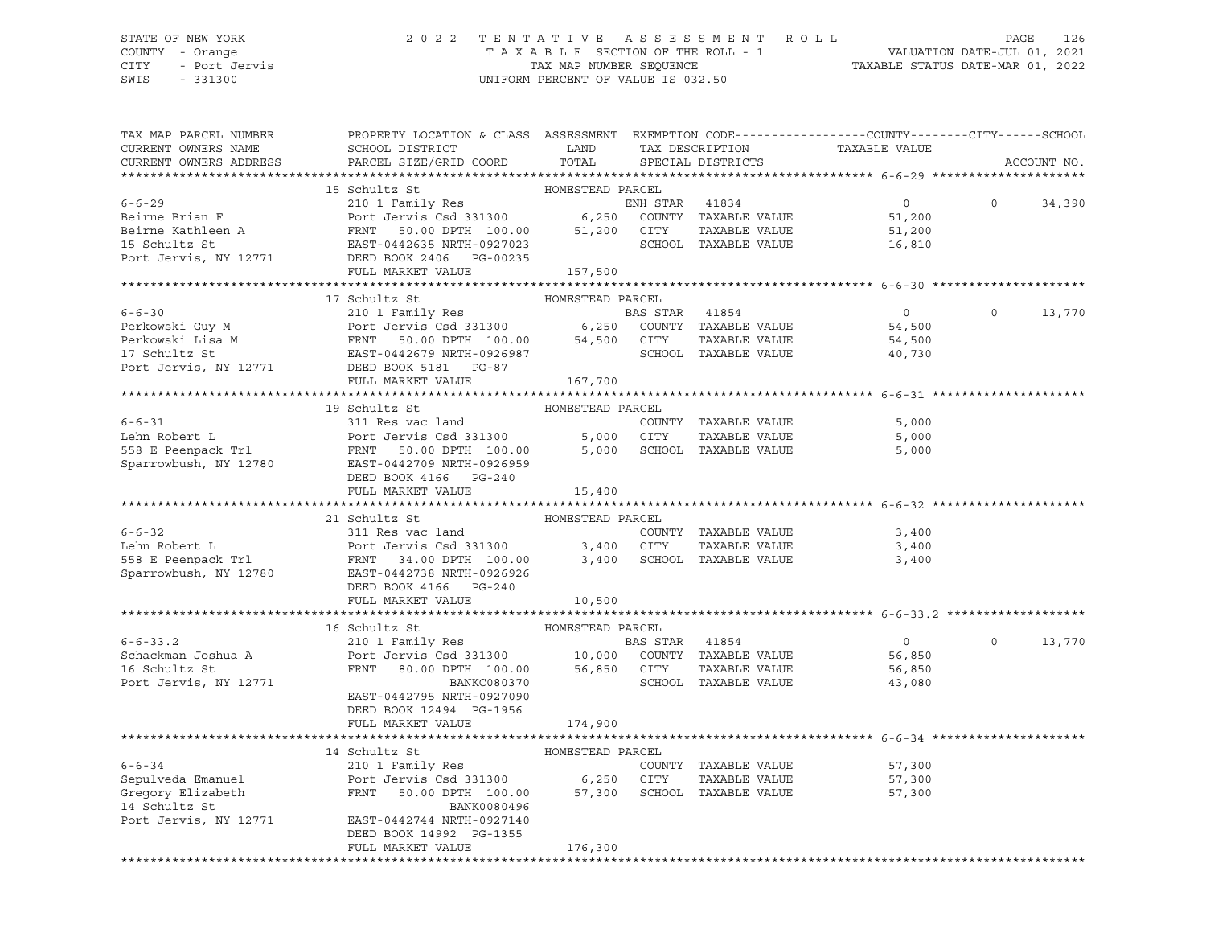## STATE OF NEW YORK 2 0 2 2 T E N T A T I V E A S S E S S M E N T R O L L PAGE 126 COUNTY - Orange T A X A B L E SECTION OF THE ROLL - 1 VALUATION DATE-JUL 01, 2021 CITY - Port Jervis TAX MAP NUMBER SEQUENCE TAXABLE STATUS DATE-MAR 01, 2022

| 15 Schultz St<br>HOMESTEAD PARCEL<br>210 1 Family Res<br>210 1 Family Res<br>Port Jervis Csd 331300 6,250<br>ENH STAR 41834<br>$\overline{0}$<br>$\circ$<br>34,390<br>COUNTY TAXABLE VALUE<br>51,200<br>TAXABLE VALUE<br>FRNT 50.00 DPTH 100.00<br>EAST-0442635 NRTH-0927023<br>51,200<br>CITY<br>51,200<br>SCHOOL TAXABLE VALUE<br>EAST-0442635 NRTH-0927023<br>16,810<br>DEED BOOK 2406 PG-00235<br>FULL MARKET VALUE<br>157,500<br>HOMESTEAD PARCEL<br>17 Schultz St<br>$6 - 6 - 30$<br>210 1 Family Res<br>BAS STAR 41854<br>$\overline{0}$<br>$\Omega$<br>13,770<br>Perkowski Guy M<br>Perkowski Lisa M<br>Perkowski Lisa M<br>Perkowski Lisa M<br>Perkowski Lisa M<br>Perkowski Lisa M<br>Perkowski Lisa M<br>PERST-0442679 NRTH-0926987<br>EAST-0442679 NRTH-0926987<br>SCHOOL TAXABLE VALUE<br>SCHOOL TAXABLE VALUE<br>54,500<br>54,500<br>40,730<br>Port Jervis, NY 12771<br>DEED BOOK 5181 PG-87<br>FULL MARKET VALUE<br>167,700<br>19 Schultz St<br>HOMESTEAD PARCEL<br>311 Res vac land<br>$6 - 6 - 31$<br>5,000<br>COUNTY TAXABLE VALUE<br>Port Jervis Csd 331300 5,000 CITY<br>Lehn Robert L<br>TAXABLE VALUE<br>5,000<br>558 E Peenpack Trl<br>FRNT 50.00 DPTH 100.00 5,000<br>SCHOOL TAXABLE VALUE<br>5,000<br>Sparrowbush, NY 12780<br>EAST-0442709 NRTH-0926959<br>DEED BOOK 4166 PG-240<br>FULL MARKET VALUE<br>15,400<br>21 Schultz St<br>HOMESTEAD PARCEL<br>311 Res vac land<br>COUNTY TAXABLE VALUE<br>3,400<br>TAXABLE VALUE<br>3,400<br>3,400 SCHOOL TAXABLE VALUE<br>3,400<br>DEED BOOK 4166 PG-240<br>FULL MARKET VALUE<br>10,500<br>16 Schultz St<br>HOMESTEAD PARCEL<br>$210 1 Family ResPort Jervis Csd 331300 10,000 COUNT Y TXABLE VALUE$<br>$6 - 6 - 33.2$<br>$\Omega$<br>13,770<br>$\overline{0}$<br>Schackman Joshua A<br>56,850<br>16 Schultz St<br>FRNT 80.00 DPTH 100.00<br>56,850 CITY<br>TAXABLE VALUE<br>56,850<br>Port Jervis, NY 12771<br>BANKC080370<br>SCHOOL TAXABLE VALUE<br>43,080<br>EAST-0442795 NRTH-0927090<br>DEED BOOK 12494 PG-1956<br>FULL MARKET VALUE<br>174,900<br>HOMESTEAD PARCEL<br>14 Schultz St<br>$6 - 6 - 34$<br>210 1 Family Res<br>COUNTY TAXABLE VALUE<br>57,300<br>Sepulveda Emanuel<br>Gregory Elizabeth<br>Port Jervis Csd 331300 6,250 CITY<br>TAXABLE VALUE<br>57,300<br>FRNT<br>50.00 DPTH 100.00<br>57,300 SCHOOL TAXABLE VALUE<br>57,300<br>14 Schultz St<br>BANK0080496<br>Port Jervis, NY 12771<br>EAST-0442744 NRTH-0927140<br>DEED BOOK 14992 PG-1355<br>FULL MARKET VALUE<br>176,300<br>******************************* | TAX MAP PARCEL NUMBER<br>CURRENT OWNERS NAME<br>CURRENT OWNERS ADDRESS | PROPERTY LOCATION & CLASS ASSESSMENT EXEMPTION CODE----------------COUNTY-------CITY------SCHOOL<br>SCHOOL DISTRICT<br>PARCEL SIZE/GRID COORD | LAND<br>TOTAL | TAX DESCRIPTION<br>SPECIAL DISTRICTS | TAXABLE VALUE | ACCOUNT NO. |
|-----------------------------------------------------------------------------------------------------------------------------------------------------------------------------------------------------------------------------------------------------------------------------------------------------------------------------------------------------------------------------------------------------------------------------------------------------------------------------------------------------------------------------------------------------------------------------------------------------------------------------------------------------------------------------------------------------------------------------------------------------------------------------------------------------------------------------------------------------------------------------------------------------------------------------------------------------------------------------------------------------------------------------------------------------------------------------------------------------------------------------------------------------------------------------------------------------------------------------------------------------------------------------------------------------------------------------------------------------------------------------------------------------------------------------------------------------------------------------------------------------------------------------------------------------------------------------------------------------------------------------------------------------------------------------------------------------------------------------------------------------------------------------------------------------------------------------------------------------------------------------------------------------------------------------------------------------------------------------------------------------------------------------------------------------------------------------------------------------------------------------------------------------------------------------------------------------------------------------------------------------------------------------------------------------------------------------------------------------------------------------------------------------------------------------------------------------------------------------------------------------------|------------------------------------------------------------------------|-----------------------------------------------------------------------------------------------------------------------------------------------|---------------|--------------------------------------|---------------|-------------|
|                                                                                                                                                                                                                                                                                                                                                                                                                                                                                                                                                                                                                                                                                                                                                                                                                                                                                                                                                                                                                                                                                                                                                                                                                                                                                                                                                                                                                                                                                                                                                                                                                                                                                                                                                                                                                                                                                                                                                                                                                                                                                                                                                                                                                                                                                                                                                                                                                                                                                                           |                                                                        |                                                                                                                                               |               |                                      |               |             |
|                                                                                                                                                                                                                                                                                                                                                                                                                                                                                                                                                                                                                                                                                                                                                                                                                                                                                                                                                                                                                                                                                                                                                                                                                                                                                                                                                                                                                                                                                                                                                                                                                                                                                                                                                                                                                                                                                                                                                                                                                                                                                                                                                                                                                                                                                                                                                                                                                                                                                                           |                                                                        |                                                                                                                                               |               |                                      |               |             |
|                                                                                                                                                                                                                                                                                                                                                                                                                                                                                                                                                                                                                                                                                                                                                                                                                                                                                                                                                                                                                                                                                                                                                                                                                                                                                                                                                                                                                                                                                                                                                                                                                                                                                                                                                                                                                                                                                                                                                                                                                                                                                                                                                                                                                                                                                                                                                                                                                                                                                                           | $6 - 6 - 29$                                                           |                                                                                                                                               |               |                                      |               |             |
|                                                                                                                                                                                                                                                                                                                                                                                                                                                                                                                                                                                                                                                                                                                                                                                                                                                                                                                                                                                                                                                                                                                                                                                                                                                                                                                                                                                                                                                                                                                                                                                                                                                                                                                                                                                                                                                                                                                                                                                                                                                                                                                                                                                                                                                                                                                                                                                                                                                                                                           | Beirne Brian F                                                         |                                                                                                                                               |               |                                      |               |             |
|                                                                                                                                                                                                                                                                                                                                                                                                                                                                                                                                                                                                                                                                                                                                                                                                                                                                                                                                                                                                                                                                                                                                                                                                                                                                                                                                                                                                                                                                                                                                                                                                                                                                                                                                                                                                                                                                                                                                                                                                                                                                                                                                                                                                                                                                                                                                                                                                                                                                                                           | Beirne Kathleen A                                                      |                                                                                                                                               |               |                                      |               |             |
|                                                                                                                                                                                                                                                                                                                                                                                                                                                                                                                                                                                                                                                                                                                                                                                                                                                                                                                                                                                                                                                                                                                                                                                                                                                                                                                                                                                                                                                                                                                                                                                                                                                                                                                                                                                                                                                                                                                                                                                                                                                                                                                                                                                                                                                                                                                                                                                                                                                                                                           | 15 Schultz St                                                          |                                                                                                                                               |               |                                      |               |             |
|                                                                                                                                                                                                                                                                                                                                                                                                                                                                                                                                                                                                                                                                                                                                                                                                                                                                                                                                                                                                                                                                                                                                                                                                                                                                                                                                                                                                                                                                                                                                                                                                                                                                                                                                                                                                                                                                                                                                                                                                                                                                                                                                                                                                                                                                                                                                                                                                                                                                                                           | Port Jervis, NY 12771                                                  |                                                                                                                                               |               |                                      |               |             |
|                                                                                                                                                                                                                                                                                                                                                                                                                                                                                                                                                                                                                                                                                                                                                                                                                                                                                                                                                                                                                                                                                                                                                                                                                                                                                                                                                                                                                                                                                                                                                                                                                                                                                                                                                                                                                                                                                                                                                                                                                                                                                                                                                                                                                                                                                                                                                                                                                                                                                                           |                                                                        |                                                                                                                                               |               |                                      |               |             |
|                                                                                                                                                                                                                                                                                                                                                                                                                                                                                                                                                                                                                                                                                                                                                                                                                                                                                                                                                                                                                                                                                                                                                                                                                                                                                                                                                                                                                                                                                                                                                                                                                                                                                                                                                                                                                                                                                                                                                                                                                                                                                                                                                                                                                                                                                                                                                                                                                                                                                                           |                                                                        |                                                                                                                                               |               |                                      |               |             |
|                                                                                                                                                                                                                                                                                                                                                                                                                                                                                                                                                                                                                                                                                                                                                                                                                                                                                                                                                                                                                                                                                                                                                                                                                                                                                                                                                                                                                                                                                                                                                                                                                                                                                                                                                                                                                                                                                                                                                                                                                                                                                                                                                                                                                                                                                                                                                                                                                                                                                                           |                                                                        |                                                                                                                                               |               |                                      |               |             |
|                                                                                                                                                                                                                                                                                                                                                                                                                                                                                                                                                                                                                                                                                                                                                                                                                                                                                                                                                                                                                                                                                                                                                                                                                                                                                                                                                                                                                                                                                                                                                                                                                                                                                                                                                                                                                                                                                                                                                                                                                                                                                                                                                                                                                                                                                                                                                                                                                                                                                                           |                                                                        |                                                                                                                                               |               |                                      |               |             |
|                                                                                                                                                                                                                                                                                                                                                                                                                                                                                                                                                                                                                                                                                                                                                                                                                                                                                                                                                                                                                                                                                                                                                                                                                                                                                                                                                                                                                                                                                                                                                                                                                                                                                                                                                                                                                                                                                                                                                                                                                                                                                                                                                                                                                                                                                                                                                                                                                                                                                                           |                                                                        |                                                                                                                                               |               |                                      |               |             |
|                                                                                                                                                                                                                                                                                                                                                                                                                                                                                                                                                                                                                                                                                                                                                                                                                                                                                                                                                                                                                                                                                                                                                                                                                                                                                                                                                                                                                                                                                                                                                                                                                                                                                                                                                                                                                                                                                                                                                                                                                                                                                                                                                                                                                                                                                                                                                                                                                                                                                                           |                                                                        |                                                                                                                                               |               |                                      |               |             |
|                                                                                                                                                                                                                                                                                                                                                                                                                                                                                                                                                                                                                                                                                                                                                                                                                                                                                                                                                                                                                                                                                                                                                                                                                                                                                                                                                                                                                                                                                                                                                                                                                                                                                                                                                                                                                                                                                                                                                                                                                                                                                                                                                                                                                                                                                                                                                                                                                                                                                                           |                                                                        |                                                                                                                                               |               |                                      |               |             |
|                                                                                                                                                                                                                                                                                                                                                                                                                                                                                                                                                                                                                                                                                                                                                                                                                                                                                                                                                                                                                                                                                                                                                                                                                                                                                                                                                                                                                                                                                                                                                                                                                                                                                                                                                                                                                                                                                                                                                                                                                                                                                                                                                                                                                                                                                                                                                                                                                                                                                                           |                                                                        |                                                                                                                                               |               |                                      |               |             |
|                                                                                                                                                                                                                                                                                                                                                                                                                                                                                                                                                                                                                                                                                                                                                                                                                                                                                                                                                                                                                                                                                                                                                                                                                                                                                                                                                                                                                                                                                                                                                                                                                                                                                                                                                                                                                                                                                                                                                                                                                                                                                                                                                                                                                                                                                                                                                                                                                                                                                                           |                                                                        |                                                                                                                                               |               |                                      |               |             |
|                                                                                                                                                                                                                                                                                                                                                                                                                                                                                                                                                                                                                                                                                                                                                                                                                                                                                                                                                                                                                                                                                                                                                                                                                                                                                                                                                                                                                                                                                                                                                                                                                                                                                                                                                                                                                                                                                                                                                                                                                                                                                                                                                                                                                                                                                                                                                                                                                                                                                                           |                                                                        |                                                                                                                                               |               |                                      |               |             |
|                                                                                                                                                                                                                                                                                                                                                                                                                                                                                                                                                                                                                                                                                                                                                                                                                                                                                                                                                                                                                                                                                                                                                                                                                                                                                                                                                                                                                                                                                                                                                                                                                                                                                                                                                                                                                                                                                                                                                                                                                                                                                                                                                                                                                                                                                                                                                                                                                                                                                                           |                                                                        |                                                                                                                                               |               |                                      |               |             |
|                                                                                                                                                                                                                                                                                                                                                                                                                                                                                                                                                                                                                                                                                                                                                                                                                                                                                                                                                                                                                                                                                                                                                                                                                                                                                                                                                                                                                                                                                                                                                                                                                                                                                                                                                                                                                                                                                                                                                                                                                                                                                                                                                                                                                                                                                                                                                                                                                                                                                                           |                                                                        |                                                                                                                                               |               |                                      |               |             |
|                                                                                                                                                                                                                                                                                                                                                                                                                                                                                                                                                                                                                                                                                                                                                                                                                                                                                                                                                                                                                                                                                                                                                                                                                                                                                                                                                                                                                                                                                                                                                                                                                                                                                                                                                                                                                                                                                                                                                                                                                                                                                                                                                                                                                                                                                                                                                                                                                                                                                                           |                                                                        |                                                                                                                                               |               |                                      |               |             |
|                                                                                                                                                                                                                                                                                                                                                                                                                                                                                                                                                                                                                                                                                                                                                                                                                                                                                                                                                                                                                                                                                                                                                                                                                                                                                                                                                                                                                                                                                                                                                                                                                                                                                                                                                                                                                                                                                                                                                                                                                                                                                                                                                                                                                                                                                                                                                                                                                                                                                                           |                                                                        |                                                                                                                                               |               |                                      |               |             |
|                                                                                                                                                                                                                                                                                                                                                                                                                                                                                                                                                                                                                                                                                                                                                                                                                                                                                                                                                                                                                                                                                                                                                                                                                                                                                                                                                                                                                                                                                                                                                                                                                                                                                                                                                                                                                                                                                                                                                                                                                                                                                                                                                                                                                                                                                                                                                                                                                                                                                                           |                                                                        |                                                                                                                                               |               |                                      |               |             |
|                                                                                                                                                                                                                                                                                                                                                                                                                                                                                                                                                                                                                                                                                                                                                                                                                                                                                                                                                                                                                                                                                                                                                                                                                                                                                                                                                                                                                                                                                                                                                                                                                                                                                                                                                                                                                                                                                                                                                                                                                                                                                                                                                                                                                                                                                                                                                                                                                                                                                                           |                                                                        |                                                                                                                                               |               |                                      |               |             |
|                                                                                                                                                                                                                                                                                                                                                                                                                                                                                                                                                                                                                                                                                                                                                                                                                                                                                                                                                                                                                                                                                                                                                                                                                                                                                                                                                                                                                                                                                                                                                                                                                                                                                                                                                                                                                                                                                                                                                                                                                                                                                                                                                                                                                                                                                                                                                                                                                                                                                                           |                                                                        |                                                                                                                                               |               |                                      |               |             |
|                                                                                                                                                                                                                                                                                                                                                                                                                                                                                                                                                                                                                                                                                                                                                                                                                                                                                                                                                                                                                                                                                                                                                                                                                                                                                                                                                                                                                                                                                                                                                                                                                                                                                                                                                                                                                                                                                                                                                                                                                                                                                                                                                                                                                                                                                                                                                                                                                                                                                                           |                                                                        |                                                                                                                                               |               |                                      |               |             |
|                                                                                                                                                                                                                                                                                                                                                                                                                                                                                                                                                                                                                                                                                                                                                                                                                                                                                                                                                                                                                                                                                                                                                                                                                                                                                                                                                                                                                                                                                                                                                                                                                                                                                                                                                                                                                                                                                                                                                                                                                                                                                                                                                                                                                                                                                                                                                                                                                                                                                                           | $6 - 6 - 32$                                                           |                                                                                                                                               |               |                                      |               |             |
|                                                                                                                                                                                                                                                                                                                                                                                                                                                                                                                                                                                                                                                                                                                                                                                                                                                                                                                                                                                                                                                                                                                                                                                                                                                                                                                                                                                                                                                                                                                                                                                                                                                                                                                                                                                                                                                                                                                                                                                                                                                                                                                                                                                                                                                                                                                                                                                                                                                                                                           |                                                                        |                                                                                                                                               |               |                                      |               |             |
|                                                                                                                                                                                                                                                                                                                                                                                                                                                                                                                                                                                                                                                                                                                                                                                                                                                                                                                                                                                                                                                                                                                                                                                                                                                                                                                                                                                                                                                                                                                                                                                                                                                                                                                                                                                                                                                                                                                                                                                                                                                                                                                                                                                                                                                                                                                                                                                                                                                                                                           |                                                                        |                                                                                                                                               |               |                                      |               |             |
|                                                                                                                                                                                                                                                                                                                                                                                                                                                                                                                                                                                                                                                                                                                                                                                                                                                                                                                                                                                                                                                                                                                                                                                                                                                                                                                                                                                                                                                                                                                                                                                                                                                                                                                                                                                                                                                                                                                                                                                                                                                                                                                                                                                                                                                                                                                                                                                                                                                                                                           |                                                                        |                                                                                                                                               |               |                                      |               |             |
|                                                                                                                                                                                                                                                                                                                                                                                                                                                                                                                                                                                                                                                                                                                                                                                                                                                                                                                                                                                                                                                                                                                                                                                                                                                                                                                                                                                                                                                                                                                                                                                                                                                                                                                                                                                                                                                                                                                                                                                                                                                                                                                                                                                                                                                                                                                                                                                                                                                                                                           |                                                                        |                                                                                                                                               |               |                                      |               |             |
|                                                                                                                                                                                                                                                                                                                                                                                                                                                                                                                                                                                                                                                                                                                                                                                                                                                                                                                                                                                                                                                                                                                                                                                                                                                                                                                                                                                                                                                                                                                                                                                                                                                                                                                                                                                                                                                                                                                                                                                                                                                                                                                                                                                                                                                                                                                                                                                                                                                                                                           |                                                                        |                                                                                                                                               |               |                                      |               |             |
|                                                                                                                                                                                                                                                                                                                                                                                                                                                                                                                                                                                                                                                                                                                                                                                                                                                                                                                                                                                                                                                                                                                                                                                                                                                                                                                                                                                                                                                                                                                                                                                                                                                                                                                                                                                                                                                                                                                                                                                                                                                                                                                                                                                                                                                                                                                                                                                                                                                                                                           |                                                                        |                                                                                                                                               |               |                                      |               |             |
|                                                                                                                                                                                                                                                                                                                                                                                                                                                                                                                                                                                                                                                                                                                                                                                                                                                                                                                                                                                                                                                                                                                                                                                                                                                                                                                                                                                                                                                                                                                                                                                                                                                                                                                                                                                                                                                                                                                                                                                                                                                                                                                                                                                                                                                                                                                                                                                                                                                                                                           |                                                                        |                                                                                                                                               |               |                                      |               |             |
|                                                                                                                                                                                                                                                                                                                                                                                                                                                                                                                                                                                                                                                                                                                                                                                                                                                                                                                                                                                                                                                                                                                                                                                                                                                                                                                                                                                                                                                                                                                                                                                                                                                                                                                                                                                                                                                                                                                                                                                                                                                                                                                                                                                                                                                                                                                                                                                                                                                                                                           |                                                                        |                                                                                                                                               |               |                                      |               |             |
|                                                                                                                                                                                                                                                                                                                                                                                                                                                                                                                                                                                                                                                                                                                                                                                                                                                                                                                                                                                                                                                                                                                                                                                                                                                                                                                                                                                                                                                                                                                                                                                                                                                                                                                                                                                                                                                                                                                                                                                                                                                                                                                                                                                                                                                                                                                                                                                                                                                                                                           |                                                                        |                                                                                                                                               |               |                                      |               |             |
|                                                                                                                                                                                                                                                                                                                                                                                                                                                                                                                                                                                                                                                                                                                                                                                                                                                                                                                                                                                                                                                                                                                                                                                                                                                                                                                                                                                                                                                                                                                                                                                                                                                                                                                                                                                                                                                                                                                                                                                                                                                                                                                                                                                                                                                                                                                                                                                                                                                                                                           |                                                                        |                                                                                                                                               |               |                                      |               |             |
|                                                                                                                                                                                                                                                                                                                                                                                                                                                                                                                                                                                                                                                                                                                                                                                                                                                                                                                                                                                                                                                                                                                                                                                                                                                                                                                                                                                                                                                                                                                                                                                                                                                                                                                                                                                                                                                                                                                                                                                                                                                                                                                                                                                                                                                                                                                                                                                                                                                                                                           |                                                                        |                                                                                                                                               |               |                                      |               |             |
|                                                                                                                                                                                                                                                                                                                                                                                                                                                                                                                                                                                                                                                                                                                                                                                                                                                                                                                                                                                                                                                                                                                                                                                                                                                                                                                                                                                                                                                                                                                                                                                                                                                                                                                                                                                                                                                                                                                                                                                                                                                                                                                                                                                                                                                                                                                                                                                                                                                                                                           |                                                                        |                                                                                                                                               |               |                                      |               |             |
|                                                                                                                                                                                                                                                                                                                                                                                                                                                                                                                                                                                                                                                                                                                                                                                                                                                                                                                                                                                                                                                                                                                                                                                                                                                                                                                                                                                                                                                                                                                                                                                                                                                                                                                                                                                                                                                                                                                                                                                                                                                                                                                                                                                                                                                                                                                                                                                                                                                                                                           |                                                                        |                                                                                                                                               |               |                                      |               |             |
|                                                                                                                                                                                                                                                                                                                                                                                                                                                                                                                                                                                                                                                                                                                                                                                                                                                                                                                                                                                                                                                                                                                                                                                                                                                                                                                                                                                                                                                                                                                                                                                                                                                                                                                                                                                                                                                                                                                                                                                                                                                                                                                                                                                                                                                                                                                                                                                                                                                                                                           |                                                                        |                                                                                                                                               |               |                                      |               |             |
|                                                                                                                                                                                                                                                                                                                                                                                                                                                                                                                                                                                                                                                                                                                                                                                                                                                                                                                                                                                                                                                                                                                                                                                                                                                                                                                                                                                                                                                                                                                                                                                                                                                                                                                                                                                                                                                                                                                                                                                                                                                                                                                                                                                                                                                                                                                                                                                                                                                                                                           |                                                                        |                                                                                                                                               |               |                                      |               |             |
|                                                                                                                                                                                                                                                                                                                                                                                                                                                                                                                                                                                                                                                                                                                                                                                                                                                                                                                                                                                                                                                                                                                                                                                                                                                                                                                                                                                                                                                                                                                                                                                                                                                                                                                                                                                                                                                                                                                                                                                                                                                                                                                                                                                                                                                                                                                                                                                                                                                                                                           |                                                                        |                                                                                                                                               |               |                                      |               |             |
|                                                                                                                                                                                                                                                                                                                                                                                                                                                                                                                                                                                                                                                                                                                                                                                                                                                                                                                                                                                                                                                                                                                                                                                                                                                                                                                                                                                                                                                                                                                                                                                                                                                                                                                                                                                                                                                                                                                                                                                                                                                                                                                                                                                                                                                                                                                                                                                                                                                                                                           |                                                                        |                                                                                                                                               |               |                                      |               |             |
|                                                                                                                                                                                                                                                                                                                                                                                                                                                                                                                                                                                                                                                                                                                                                                                                                                                                                                                                                                                                                                                                                                                                                                                                                                                                                                                                                                                                                                                                                                                                                                                                                                                                                                                                                                                                                                                                                                                                                                                                                                                                                                                                                                                                                                                                                                                                                                                                                                                                                                           |                                                                        |                                                                                                                                               |               |                                      |               |             |
|                                                                                                                                                                                                                                                                                                                                                                                                                                                                                                                                                                                                                                                                                                                                                                                                                                                                                                                                                                                                                                                                                                                                                                                                                                                                                                                                                                                                                                                                                                                                                                                                                                                                                                                                                                                                                                                                                                                                                                                                                                                                                                                                                                                                                                                                                                                                                                                                                                                                                                           |                                                                        |                                                                                                                                               |               |                                      |               |             |
|                                                                                                                                                                                                                                                                                                                                                                                                                                                                                                                                                                                                                                                                                                                                                                                                                                                                                                                                                                                                                                                                                                                                                                                                                                                                                                                                                                                                                                                                                                                                                                                                                                                                                                                                                                                                                                                                                                                                                                                                                                                                                                                                                                                                                                                                                                                                                                                                                                                                                                           |                                                                        |                                                                                                                                               |               |                                      |               |             |
|                                                                                                                                                                                                                                                                                                                                                                                                                                                                                                                                                                                                                                                                                                                                                                                                                                                                                                                                                                                                                                                                                                                                                                                                                                                                                                                                                                                                                                                                                                                                                                                                                                                                                                                                                                                                                                                                                                                                                                                                                                                                                                                                                                                                                                                                                                                                                                                                                                                                                                           |                                                                        |                                                                                                                                               |               |                                      |               |             |
|                                                                                                                                                                                                                                                                                                                                                                                                                                                                                                                                                                                                                                                                                                                                                                                                                                                                                                                                                                                                                                                                                                                                                                                                                                                                                                                                                                                                                                                                                                                                                                                                                                                                                                                                                                                                                                                                                                                                                                                                                                                                                                                                                                                                                                                                                                                                                                                                                                                                                                           |                                                                        |                                                                                                                                               |               |                                      |               |             |
|                                                                                                                                                                                                                                                                                                                                                                                                                                                                                                                                                                                                                                                                                                                                                                                                                                                                                                                                                                                                                                                                                                                                                                                                                                                                                                                                                                                                                                                                                                                                                                                                                                                                                                                                                                                                                                                                                                                                                                                                                                                                                                                                                                                                                                                                                                                                                                                                                                                                                                           |                                                                        |                                                                                                                                               |               |                                      |               |             |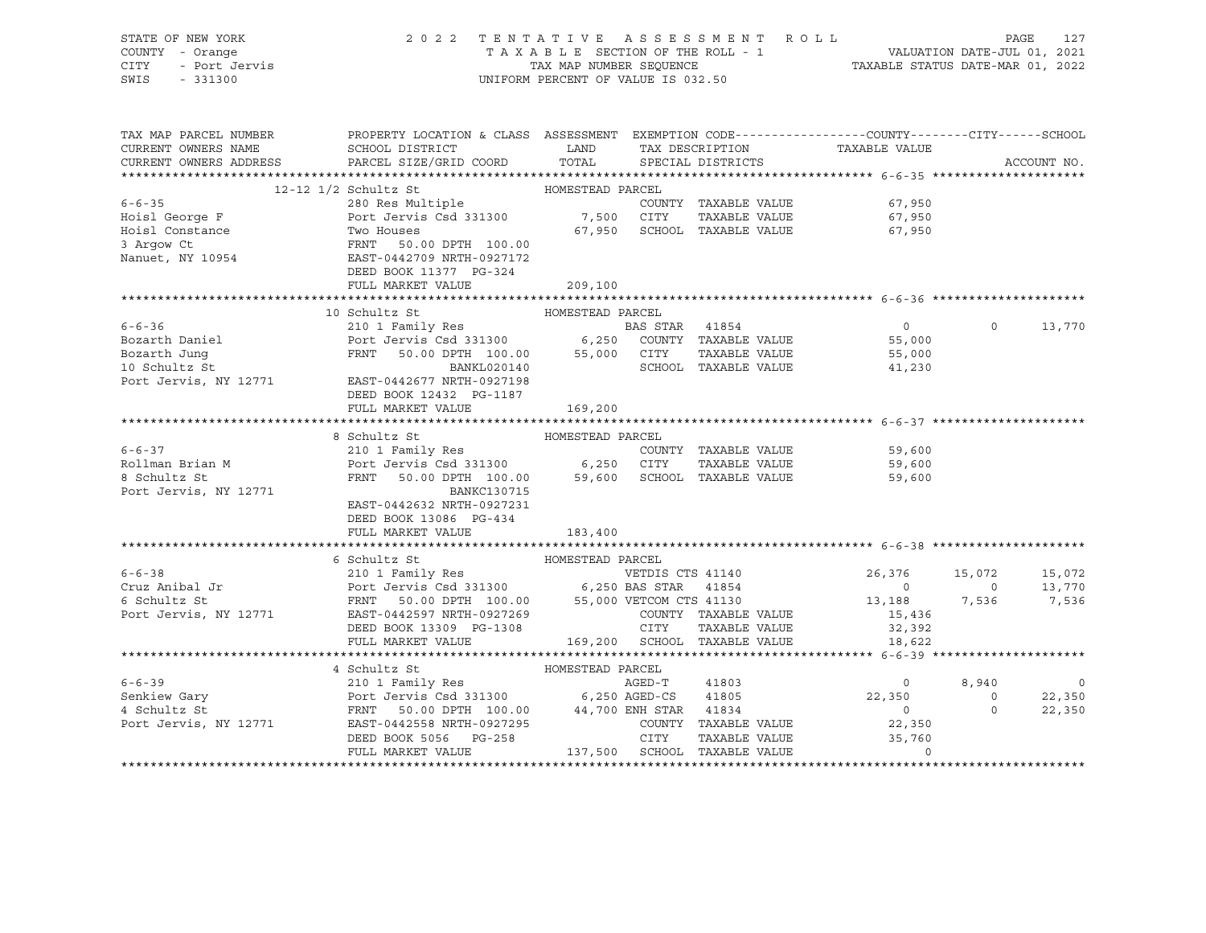| STATE OF NEW YORK                                                                                                                                                                                                                                                | 2022 TENTATIVE ASSESSMENT ROLL PAGE 127<br>TAXABLE SECTION OF THE ROLL - 1 VALUATION DATE-JUL 01, 2021<br>TAX MAP NUMBER SEQUENCE TAXABLE STATUS DATE-MAR 01, 2022<br>UNIFORM PERCENT OF VALUE IS 032.50                  |                             |                   |                      |        |                |             |                |
|------------------------------------------------------------------------------------------------------------------------------------------------------------------------------------------------------------------------------------------------------------------|---------------------------------------------------------------------------------------------------------------------------------------------------------------------------------------------------------------------------|-----------------------------|-------------------|----------------------|--------|----------------|-------------|----------------|
| COUNTY - Orange<br>OF NEW TOOL                                                                                                                                                                                                                                   |                                                                                                                                                                                                                           |                             |                   |                      |        |                |             |                |
| CITY                                                                                                                                                                                                                                                             |                                                                                                                                                                                                                           |                             |                   |                      |        |                |             |                |
| SWIS - 331300                                                                                                                                                                                                                                                    |                                                                                                                                                                                                                           |                             |                   |                      |        |                |             |                |
|                                                                                                                                                                                                                                                                  |                                                                                                                                                                                                                           |                             |                   |                      |        |                |             |                |
|                                                                                                                                                                                                                                                                  |                                                                                                                                                                                                                           |                             |                   |                      |        |                |             |                |
|                                                                                                                                                                                                                                                                  |                                                                                                                                                                                                                           |                             |                   |                      |        |                |             |                |
| TAX MAP PARCEL NUMBER                                                                                                                                                                                                                                            | PROPERTY LOCATION & CLASS ASSESSMENT EXEMPTION CODE-----------------COUNTY-------CITY------SCHOOL                                                                                                                         |                             |                   |                      |        |                |             |                |
| CURRENT OWNERS NAME                                                                                                                                                                                                                                              | SCHOOL DISTRICT                        LAND        TAX DESCRIPTION                  TAXABLE VALUE                                                                                                                         |                             |                   |                      |        |                |             |                |
| CURRENT OWNERS ADDRESS PARCEL SIZE/GRID COORD TOTAL                                                                                                                                                                                                              |                                                                                                                                                                                                                           |                             | SPECIAL DISTRICTS |                      |        |                | ACCOUNT NO. |                |
|                                                                                                                                                                                                                                                                  |                                                                                                                                                                                                                           |                             |                   |                      |        |                |             |                |
| 6-6-35<br>For the stress of the country<br>Hoise Gorge F<br>Hoise Country<br>Hoise Country<br>Hoise Country<br>Hoise Country<br>Hoise Country<br>For the Same Country<br>Two Houses<br>3 Argow Ct<br>Nanuet, NY 10954<br>EAST-0442709 NRTH-0927172<br>DE         |                                                                                                                                                                                                                           |                             |                   |                      |        |                |             |                |
|                                                                                                                                                                                                                                                                  |                                                                                                                                                                                                                           |                             |                   | COUNTY TAXABLE VALUE | 67,950 |                |             |                |
|                                                                                                                                                                                                                                                                  |                                                                                                                                                                                                                           |                             |                   |                      |        |                |             |                |
|                                                                                                                                                                                                                                                                  |                                                                                                                                                                                                                           |                             |                   | TAXABLE VALUE        | 67,950 |                |             |                |
|                                                                                                                                                                                                                                                                  |                                                                                                                                                                                                                           | 67,950 SCHOOL TAXABLE VALUE |                   |                      | 67,950 |                |             |                |
|                                                                                                                                                                                                                                                                  |                                                                                                                                                                                                                           |                             |                   |                      |        |                |             |                |
|                                                                                                                                                                                                                                                                  |                                                                                                                                                                                                                           |                             |                   |                      |        |                |             |                |
|                                                                                                                                                                                                                                                                  |                                                                                                                                                                                                                           |                             |                   |                      |        |                |             |                |
|                                                                                                                                                                                                                                                                  |                                                                                                                                                                                                                           |                             |                   |                      |        |                |             |                |
|                                                                                                                                                                                                                                                                  |                                                                                                                                                                                                                           |                             |                   |                      |        |                |             |                |
|                                                                                                                                                                                                                                                                  | 10 Schultz St                                                                                                                                                                                                             | HOMESTEAD PARCEL            |                   |                      |        |                |             |                |
| 6-6-36 210 1 Family Res Bozarth Daniel Port Jervis Csd 331300 6,250 COUNTY TAXABLE VALUE 55,000<br>Bozarth Jung FRNT 50.00 DPTH 100.00 55,000 CITY TAXABLE VALUE 55,000<br>10 Schultz St BAST-0442677 NXTH-0927198 PORT CHANGE RAN                               |                                                                                                                                                                                                                           |                             |                   |                      |        | $\overline{0}$ |             | 13,770         |
|                                                                                                                                                                                                                                                                  |                                                                                                                                                                                                                           |                             |                   |                      |        |                |             |                |
|                                                                                                                                                                                                                                                                  |                                                                                                                                                                                                                           |                             |                   |                      |        |                |             |                |
|                                                                                                                                                                                                                                                                  |                                                                                                                                                                                                                           |                             |                   |                      |        |                |             |                |
|                                                                                                                                                                                                                                                                  |                                                                                                                                                                                                                           |                             |                   |                      |        |                |             |                |
|                                                                                                                                                                                                                                                                  |                                                                                                                                                                                                                           |                             |                   |                      |        |                |             |                |
|                                                                                                                                                                                                                                                                  | DEED BOOK 12432 PG-1187                                                                                                                                                                                                   |                             |                   |                      |        |                |             |                |
|                                                                                                                                                                                                                                                                  | FULL MARKET VALUE                                                                                                                                                                                                         | 169,200                     |                   |                      |        |                |             |                |
|                                                                                                                                                                                                                                                                  |                                                                                                                                                                                                                           |                             |                   |                      |        |                |             |                |
|                                                                                                                                                                                                                                                                  | 8 Schultz St<br>8 Schultz St<br>210 1 Family Res<br>Port Jervis Csd 331300 6,250 CITY TAXABLE VALUE<br>FRNT 50.00 DPTH 100.00 59,600 SCHOOL TAXABLE VALUE<br>FRNT 50.00 DPTH 100.00 59,600 SCHOOL TAXABLE VALUE<br>59,600 | HOMESTEAD PARCEL            |                   |                      |        |                |             |                |
| $6 - 6 - 37$                                                                                                                                                                                                                                                     |                                                                                                                                                                                                                           |                             |                   |                      |        |                |             |                |
|                                                                                                                                                                                                                                                                  |                                                                                                                                                                                                                           |                             |                   |                      |        |                |             |                |
| Rollman Brian M<br>8 Schultz St                                                                                                                                                                                                                                  |                                                                                                                                                                                                                           |                             |                   |                      |        |                |             |                |
| Port Jervis, NY 12771                                                                                                                                                                                                                                            | BANKC130715                                                                                                                                                                                                               |                             |                   |                      |        |                |             |                |
|                                                                                                                                                                                                                                                                  | EAST-0442632 NRTH-0927231                                                                                                                                                                                                 |                             |                   |                      |        |                |             |                |
|                                                                                                                                                                                                                                                                  | DEED BOOK 13086 PG-434                                                                                                                                                                                                    |                             |                   |                      |        |                |             |                |
|                                                                                                                                                                                                                                                                  | FULL MARKET VALUE                                                                                                                                                                                                         | 183,400                     |                   |                      |        |                |             |                |
|                                                                                                                                                                                                                                                                  |                                                                                                                                                                                                                           |                             |                   |                      |        |                |             |                |
| 6 112 30 13,770<br>6 210 1 Family Res<br>Cruz Anibal Jr Port Jervis Csd 331300 6,250 BAS STAR 41854 0 13,770<br>6 Schultz St FRNT 50.00 DPTH 100.00 55,000 VETCOM CTS 41130 13,188 7,536 7,536<br>Port Jervis, NY 12771 EAST-0442597 N                           |                                                                                                                                                                                                                           |                             |                   |                      |        |                |             |                |
|                                                                                                                                                                                                                                                                  |                                                                                                                                                                                                                           |                             |                   |                      |        |                |             |                |
|                                                                                                                                                                                                                                                                  |                                                                                                                                                                                                                           |                             |                   |                      |        |                |             |                |
|                                                                                                                                                                                                                                                                  |                                                                                                                                                                                                                           |                             |                   |                      |        |                |             |                |
|                                                                                                                                                                                                                                                                  |                                                                                                                                                                                                                           |                             |                   |                      |        |                |             |                |
|                                                                                                                                                                                                                                                                  |                                                                                                                                                                                                                           |                             |                   |                      |        |                |             |                |
|                                                                                                                                                                                                                                                                  |                                                                                                                                                                                                                           |                             |                   |                      |        |                |             |                |
|                                                                                                                                                                                                                                                                  |                                                                                                                                                                                                                           |                             |                   |                      |        |                |             |                |
|                                                                                                                                                                                                                                                                  |                                                                                                                                                                                                                           |                             |                   |                      |        |                |             |                |
|                                                                                                                                                                                                                                                                  | 4 Schultz St                                                                                                                                                                                                              | HOMESTEAD PARCEL            |                   |                      |        |                |             |                |
|                                                                                                                                                                                                                                                                  |                                                                                                                                                                                                                           |                             |                   |                      |        |                |             | $\overline{0}$ |
|                                                                                                                                                                                                                                                                  |                                                                                                                                                                                                                           |                             |                   |                      |        |                |             | 22,350         |
|                                                                                                                                                                                                                                                                  |                                                                                                                                                                                                                           |                             |                   |                      |        |                |             | 22,350         |
|                                                                                                                                                                                                                                                                  |                                                                                                                                                                                                                           |                             |                   |                      |        |                |             |                |
|                                                                                                                                                                                                                                                                  |                                                                                                                                                                                                                           |                             |                   |                      |        |                |             |                |
| 4 SCRIPT MARKET VALUE<br>4 SCRIPT 210 I Family Res<br>210 I Family Res<br>22,350 22,350 0<br>4 Schultz St<br>22,350 0<br>22,350 0<br>22,350 0<br>22,350 0<br>22,350 0<br>22,350 0<br>22,350 0<br>22,350 0<br>22,350 0<br>22,350 0<br>22,350 0<br>22,350 0<br>22, |                                                                                                                                                                                                                           |                             |                   |                      |        |                |             |                |
|                                                                                                                                                                                                                                                                  |                                                                                                                                                                                                                           |                             |                   |                      |        |                |             |                |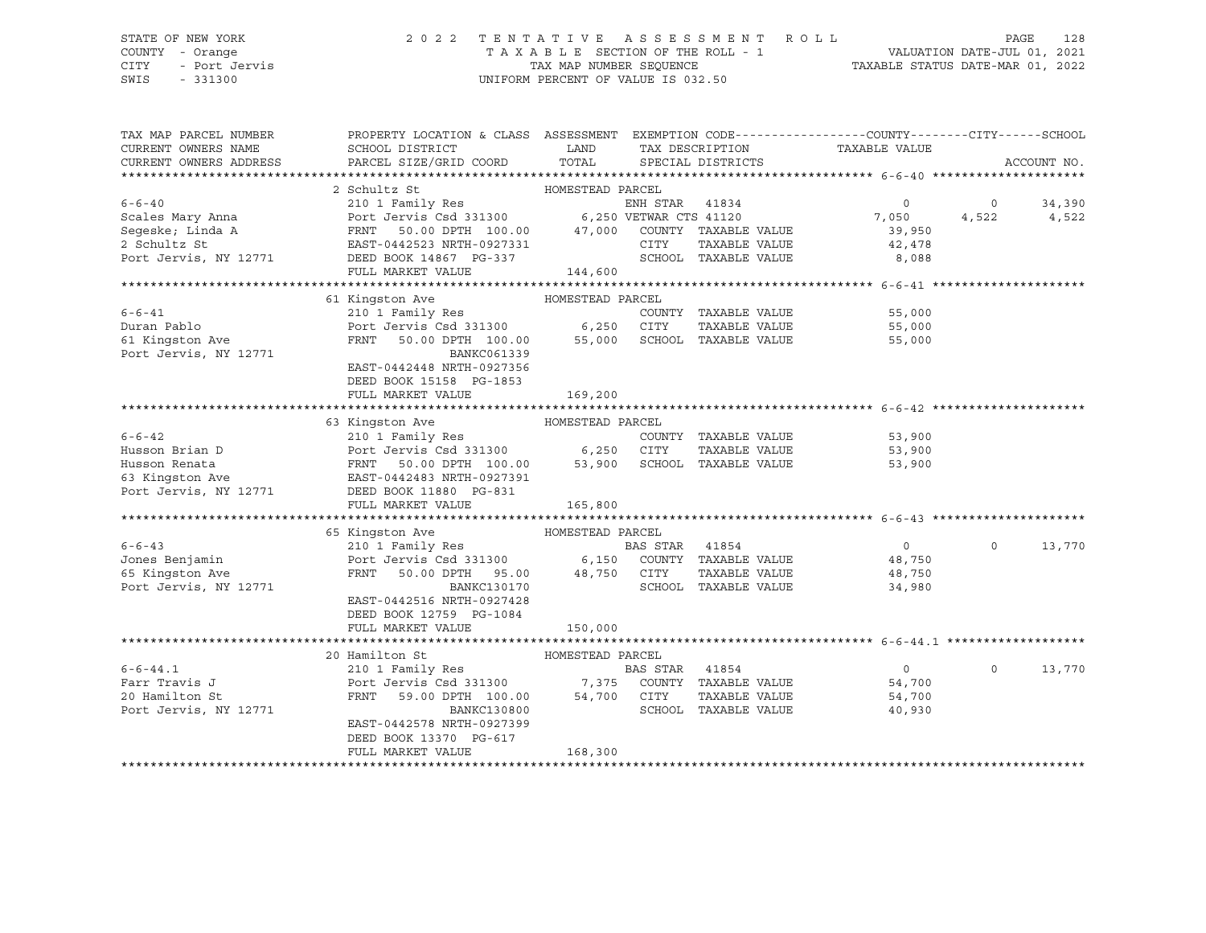#### STATE OF NEW YORK 2 0 2 2 T E N T A T I V E A S S E S S M E N T R O L L PAGE 128 COUNTY - Orange T A X A B L E SECTION OF THE ROLL - 1 VALUATION DATE-JUL 01, 2021 CITY - Port Jervis TAX MAP NUMBER SEQUENCE TAXABLE STATUS DATE-MAR 01, 2022

| PROPERTY LOCATION & CLASS ASSESSMENT EXEMPTION CODE---------------COUNTY-------CITY------SCHOOL<br>CURRENT OWNERS NAME<br>SCHOOL DISTRICT<br>LAND<br>TAX DESCRIPTION<br>TAXABLE VALUE<br>PARCEL SIZE/GRID COORD TOTAL SPECIAL DISTRICTS<br>CURRENT OWNERS ADDRESS<br>ACCOUNT NO.<br>2 Schultz St<br>HOMESTEAD PARCEL<br>210 1 Family Res<br>$6 - 6 - 40$<br>ENH STAR 41834<br>$\circ$<br>34,390<br>$\circ$<br>Port Jervis Csd 331300 6,250 VETWAR CTS 41120<br>FRNT 50.00 DPTH 100.00 47,000 COUNTY TAXABLE VALUE<br>7,050<br>Scales Mary Anna<br>4,522<br>4,522<br>Seqeske; Linda A<br>39,950<br>2 Schultz St<br>CITY<br>EAST-0442523 NRTH-0927331<br>TAXABLE VALUE<br>42,478<br>SCHOOL TAXABLE VALUE<br>Port Jervis, NY 12771<br>DEED BOOK 14867 PG-337<br>8,088<br>144,600<br>FULL MARKET VALUE<br>61 Kingston Ave<br>HOMESTEAD PARCEL<br>$6 - 6 - 41$<br>210 1 Family Res COUNT COUNT<br>Port Jervis Csd 331300 6,250 CITY<br>COUNTY TAXABLE VALUE<br>55,000<br>Duran Pablo<br>TAXABLE VALUE<br>55,000<br>61 Kingston Ave<br>50.00 DPTH 100.00 55,000 SCHOOL TAXABLE VALUE<br>FRNT<br>55,000<br>Port Jervis, NY 12771<br>BANKC061339<br>EAST-0442448 NRTH-0927356<br>DEED BOOK 15158 PG-1853<br>FULL MARKET VALUE<br>169,200<br>63 Kingston Ave<br>HOMESTEAD PARCEL<br>210 I Family Res<br>Port Jervis Csd 331300 6,250 CITY TAXABLE VALUE<br>FRNT 50.00 DPTH 100.00 53,900 SCHOOL TAXABLE VALUE<br>$6 - 6 - 42$<br>COUNTY TAXABLE VALUE 53,900<br>Husson Brian D<br>Port Jervis Car (100.00)<br>FRNT 50.00 DPTH 100.00<br>EAST-0442483 NRTH-0927391<br>DEED BOOK 11880 PG-831<br>TAXABLE VALUE<br>53,900<br>Husson Renata<br>53,900<br>63 Kingston Ave<br>Port Jervis, NY 12771<br>165,800<br>HOMESTEAD PARCEL<br>65 Kingston Ave<br>$6 - 6 - 43$<br>210 1 Family Res<br>BAS STAR 41854<br>$\overline{0}$<br>$\Omega$<br>13,770<br>Port Jervis Csd 331300 6,150 COUNTY TAXABLE VALUE<br>Jones Benjamin<br>48,750<br>50.00 DPTH 95.00 48,750 CITY<br>65 Kingston Ave<br>FRNT<br>TAXABLE VALUE<br>48,750<br>SCHOOL TAXABLE VALUE<br>Port Jervis, NY 12771<br>BANKC130170<br>34,980<br>EAST-0442516 NRTH-0927428<br>DEED BOOK 12759 PG-1084<br>FULL MARKET VALUE<br>150,000<br>HOMESTEAD PARCEL<br>20 Hamilton St<br>$6 - 6 - 44.1$<br>210 1 Family Res<br>Port Jervis Csd 331300 7,375 COUNTY TAXABLE VALUE<br>$\overline{0}$<br>$\Omega$<br>13,770<br>Farr Travis J<br>54,700<br>59.00 DPTH 100.00<br>20 Hamilton St<br>FRNT<br>54,700 CITY<br>TAXABLE VALUE<br>54,700<br>SCHOOL TAXABLE VALUE<br>Port Jervis, NY 12771<br>BANKC130800<br>40,930<br>EAST-0442578 NRTH-0927399<br>DEED BOOK 13370 PG-617<br>168,300<br>FULL MARKET VALUE |                       |  |  |  |  |
|---------------------------------------------------------------------------------------------------------------------------------------------------------------------------------------------------------------------------------------------------------------------------------------------------------------------------------------------------------------------------------------------------------------------------------------------------------------------------------------------------------------------------------------------------------------------------------------------------------------------------------------------------------------------------------------------------------------------------------------------------------------------------------------------------------------------------------------------------------------------------------------------------------------------------------------------------------------------------------------------------------------------------------------------------------------------------------------------------------------------------------------------------------------------------------------------------------------------------------------------------------------------------------------------------------------------------------------------------------------------------------------------------------------------------------------------------------------------------------------------------------------------------------------------------------------------------------------------------------------------------------------------------------------------------------------------------------------------------------------------------------------------------------------------------------------------------------------------------------------------------------------------------------------------------------------------------------------------------------------------------------------------------------------------------------------------------------------------------------------------------------------------------------------------------------------------------------------------------------------------------------------------------------------------------------------------------------------------------------------------------------------------------------------------------------------------------------------------------------------------------------------------------------------------------------------------------------------------------------------------------------------------|-----------------------|--|--|--|--|
|                                                                                                                                                                                                                                                                                                                                                                                                                                                                                                                                                                                                                                                                                                                                                                                                                                                                                                                                                                                                                                                                                                                                                                                                                                                                                                                                                                                                                                                                                                                                                                                                                                                                                                                                                                                                                                                                                                                                                                                                                                                                                                                                                                                                                                                                                                                                                                                                                                                                                                                                                                                                                                             | TAX MAP PARCEL NUMBER |  |  |  |  |
|                                                                                                                                                                                                                                                                                                                                                                                                                                                                                                                                                                                                                                                                                                                                                                                                                                                                                                                                                                                                                                                                                                                                                                                                                                                                                                                                                                                                                                                                                                                                                                                                                                                                                                                                                                                                                                                                                                                                                                                                                                                                                                                                                                                                                                                                                                                                                                                                                                                                                                                                                                                                                                             |                       |  |  |  |  |
|                                                                                                                                                                                                                                                                                                                                                                                                                                                                                                                                                                                                                                                                                                                                                                                                                                                                                                                                                                                                                                                                                                                                                                                                                                                                                                                                                                                                                                                                                                                                                                                                                                                                                                                                                                                                                                                                                                                                                                                                                                                                                                                                                                                                                                                                                                                                                                                                                                                                                                                                                                                                                                             |                       |  |  |  |  |
|                                                                                                                                                                                                                                                                                                                                                                                                                                                                                                                                                                                                                                                                                                                                                                                                                                                                                                                                                                                                                                                                                                                                                                                                                                                                                                                                                                                                                                                                                                                                                                                                                                                                                                                                                                                                                                                                                                                                                                                                                                                                                                                                                                                                                                                                                                                                                                                                                                                                                                                                                                                                                                             |                       |  |  |  |  |
|                                                                                                                                                                                                                                                                                                                                                                                                                                                                                                                                                                                                                                                                                                                                                                                                                                                                                                                                                                                                                                                                                                                                                                                                                                                                                                                                                                                                                                                                                                                                                                                                                                                                                                                                                                                                                                                                                                                                                                                                                                                                                                                                                                                                                                                                                                                                                                                                                                                                                                                                                                                                                                             |                       |  |  |  |  |
|                                                                                                                                                                                                                                                                                                                                                                                                                                                                                                                                                                                                                                                                                                                                                                                                                                                                                                                                                                                                                                                                                                                                                                                                                                                                                                                                                                                                                                                                                                                                                                                                                                                                                                                                                                                                                                                                                                                                                                                                                                                                                                                                                                                                                                                                                                                                                                                                                                                                                                                                                                                                                                             |                       |  |  |  |  |
|                                                                                                                                                                                                                                                                                                                                                                                                                                                                                                                                                                                                                                                                                                                                                                                                                                                                                                                                                                                                                                                                                                                                                                                                                                                                                                                                                                                                                                                                                                                                                                                                                                                                                                                                                                                                                                                                                                                                                                                                                                                                                                                                                                                                                                                                                                                                                                                                                                                                                                                                                                                                                                             |                       |  |  |  |  |
|                                                                                                                                                                                                                                                                                                                                                                                                                                                                                                                                                                                                                                                                                                                                                                                                                                                                                                                                                                                                                                                                                                                                                                                                                                                                                                                                                                                                                                                                                                                                                                                                                                                                                                                                                                                                                                                                                                                                                                                                                                                                                                                                                                                                                                                                                                                                                                                                                                                                                                                                                                                                                                             |                       |  |  |  |  |
|                                                                                                                                                                                                                                                                                                                                                                                                                                                                                                                                                                                                                                                                                                                                                                                                                                                                                                                                                                                                                                                                                                                                                                                                                                                                                                                                                                                                                                                                                                                                                                                                                                                                                                                                                                                                                                                                                                                                                                                                                                                                                                                                                                                                                                                                                                                                                                                                                                                                                                                                                                                                                                             |                       |  |  |  |  |
|                                                                                                                                                                                                                                                                                                                                                                                                                                                                                                                                                                                                                                                                                                                                                                                                                                                                                                                                                                                                                                                                                                                                                                                                                                                                                                                                                                                                                                                                                                                                                                                                                                                                                                                                                                                                                                                                                                                                                                                                                                                                                                                                                                                                                                                                                                                                                                                                                                                                                                                                                                                                                                             |                       |  |  |  |  |
|                                                                                                                                                                                                                                                                                                                                                                                                                                                                                                                                                                                                                                                                                                                                                                                                                                                                                                                                                                                                                                                                                                                                                                                                                                                                                                                                                                                                                                                                                                                                                                                                                                                                                                                                                                                                                                                                                                                                                                                                                                                                                                                                                                                                                                                                                                                                                                                                                                                                                                                                                                                                                                             |                       |  |  |  |  |
|                                                                                                                                                                                                                                                                                                                                                                                                                                                                                                                                                                                                                                                                                                                                                                                                                                                                                                                                                                                                                                                                                                                                                                                                                                                                                                                                                                                                                                                                                                                                                                                                                                                                                                                                                                                                                                                                                                                                                                                                                                                                                                                                                                                                                                                                                                                                                                                                                                                                                                                                                                                                                                             |                       |  |  |  |  |
|                                                                                                                                                                                                                                                                                                                                                                                                                                                                                                                                                                                                                                                                                                                                                                                                                                                                                                                                                                                                                                                                                                                                                                                                                                                                                                                                                                                                                                                                                                                                                                                                                                                                                                                                                                                                                                                                                                                                                                                                                                                                                                                                                                                                                                                                                                                                                                                                                                                                                                                                                                                                                                             |                       |  |  |  |  |
|                                                                                                                                                                                                                                                                                                                                                                                                                                                                                                                                                                                                                                                                                                                                                                                                                                                                                                                                                                                                                                                                                                                                                                                                                                                                                                                                                                                                                                                                                                                                                                                                                                                                                                                                                                                                                                                                                                                                                                                                                                                                                                                                                                                                                                                                                                                                                                                                                                                                                                                                                                                                                                             |                       |  |  |  |  |
|                                                                                                                                                                                                                                                                                                                                                                                                                                                                                                                                                                                                                                                                                                                                                                                                                                                                                                                                                                                                                                                                                                                                                                                                                                                                                                                                                                                                                                                                                                                                                                                                                                                                                                                                                                                                                                                                                                                                                                                                                                                                                                                                                                                                                                                                                                                                                                                                                                                                                                                                                                                                                                             |                       |  |  |  |  |
|                                                                                                                                                                                                                                                                                                                                                                                                                                                                                                                                                                                                                                                                                                                                                                                                                                                                                                                                                                                                                                                                                                                                                                                                                                                                                                                                                                                                                                                                                                                                                                                                                                                                                                                                                                                                                                                                                                                                                                                                                                                                                                                                                                                                                                                                                                                                                                                                                                                                                                                                                                                                                                             |                       |  |  |  |  |
|                                                                                                                                                                                                                                                                                                                                                                                                                                                                                                                                                                                                                                                                                                                                                                                                                                                                                                                                                                                                                                                                                                                                                                                                                                                                                                                                                                                                                                                                                                                                                                                                                                                                                                                                                                                                                                                                                                                                                                                                                                                                                                                                                                                                                                                                                                                                                                                                                                                                                                                                                                                                                                             |                       |  |  |  |  |
|                                                                                                                                                                                                                                                                                                                                                                                                                                                                                                                                                                                                                                                                                                                                                                                                                                                                                                                                                                                                                                                                                                                                                                                                                                                                                                                                                                                                                                                                                                                                                                                                                                                                                                                                                                                                                                                                                                                                                                                                                                                                                                                                                                                                                                                                                                                                                                                                                                                                                                                                                                                                                                             |                       |  |  |  |  |
|                                                                                                                                                                                                                                                                                                                                                                                                                                                                                                                                                                                                                                                                                                                                                                                                                                                                                                                                                                                                                                                                                                                                                                                                                                                                                                                                                                                                                                                                                                                                                                                                                                                                                                                                                                                                                                                                                                                                                                                                                                                                                                                                                                                                                                                                                                                                                                                                                                                                                                                                                                                                                                             |                       |  |  |  |  |
|                                                                                                                                                                                                                                                                                                                                                                                                                                                                                                                                                                                                                                                                                                                                                                                                                                                                                                                                                                                                                                                                                                                                                                                                                                                                                                                                                                                                                                                                                                                                                                                                                                                                                                                                                                                                                                                                                                                                                                                                                                                                                                                                                                                                                                                                                                                                                                                                                                                                                                                                                                                                                                             |                       |  |  |  |  |
|                                                                                                                                                                                                                                                                                                                                                                                                                                                                                                                                                                                                                                                                                                                                                                                                                                                                                                                                                                                                                                                                                                                                                                                                                                                                                                                                                                                                                                                                                                                                                                                                                                                                                                                                                                                                                                                                                                                                                                                                                                                                                                                                                                                                                                                                                                                                                                                                                                                                                                                                                                                                                                             |                       |  |  |  |  |
|                                                                                                                                                                                                                                                                                                                                                                                                                                                                                                                                                                                                                                                                                                                                                                                                                                                                                                                                                                                                                                                                                                                                                                                                                                                                                                                                                                                                                                                                                                                                                                                                                                                                                                                                                                                                                                                                                                                                                                                                                                                                                                                                                                                                                                                                                                                                                                                                                                                                                                                                                                                                                                             |                       |  |  |  |  |
|                                                                                                                                                                                                                                                                                                                                                                                                                                                                                                                                                                                                                                                                                                                                                                                                                                                                                                                                                                                                                                                                                                                                                                                                                                                                                                                                                                                                                                                                                                                                                                                                                                                                                                                                                                                                                                                                                                                                                                                                                                                                                                                                                                                                                                                                                                                                                                                                                                                                                                                                                                                                                                             |                       |  |  |  |  |
|                                                                                                                                                                                                                                                                                                                                                                                                                                                                                                                                                                                                                                                                                                                                                                                                                                                                                                                                                                                                                                                                                                                                                                                                                                                                                                                                                                                                                                                                                                                                                                                                                                                                                                                                                                                                                                                                                                                                                                                                                                                                                                                                                                                                                                                                                                                                                                                                                                                                                                                                                                                                                                             |                       |  |  |  |  |
|                                                                                                                                                                                                                                                                                                                                                                                                                                                                                                                                                                                                                                                                                                                                                                                                                                                                                                                                                                                                                                                                                                                                                                                                                                                                                                                                                                                                                                                                                                                                                                                                                                                                                                                                                                                                                                                                                                                                                                                                                                                                                                                                                                                                                                                                                                                                                                                                                                                                                                                                                                                                                                             |                       |  |  |  |  |
|                                                                                                                                                                                                                                                                                                                                                                                                                                                                                                                                                                                                                                                                                                                                                                                                                                                                                                                                                                                                                                                                                                                                                                                                                                                                                                                                                                                                                                                                                                                                                                                                                                                                                                                                                                                                                                                                                                                                                                                                                                                                                                                                                                                                                                                                                                                                                                                                                                                                                                                                                                                                                                             |                       |  |  |  |  |
|                                                                                                                                                                                                                                                                                                                                                                                                                                                                                                                                                                                                                                                                                                                                                                                                                                                                                                                                                                                                                                                                                                                                                                                                                                                                                                                                                                                                                                                                                                                                                                                                                                                                                                                                                                                                                                                                                                                                                                                                                                                                                                                                                                                                                                                                                                                                                                                                                                                                                                                                                                                                                                             |                       |  |  |  |  |
|                                                                                                                                                                                                                                                                                                                                                                                                                                                                                                                                                                                                                                                                                                                                                                                                                                                                                                                                                                                                                                                                                                                                                                                                                                                                                                                                                                                                                                                                                                                                                                                                                                                                                                                                                                                                                                                                                                                                                                                                                                                                                                                                                                                                                                                                                                                                                                                                                                                                                                                                                                                                                                             |                       |  |  |  |  |
|                                                                                                                                                                                                                                                                                                                                                                                                                                                                                                                                                                                                                                                                                                                                                                                                                                                                                                                                                                                                                                                                                                                                                                                                                                                                                                                                                                                                                                                                                                                                                                                                                                                                                                                                                                                                                                                                                                                                                                                                                                                                                                                                                                                                                                                                                                                                                                                                                                                                                                                                                                                                                                             |                       |  |  |  |  |
|                                                                                                                                                                                                                                                                                                                                                                                                                                                                                                                                                                                                                                                                                                                                                                                                                                                                                                                                                                                                                                                                                                                                                                                                                                                                                                                                                                                                                                                                                                                                                                                                                                                                                                                                                                                                                                                                                                                                                                                                                                                                                                                                                                                                                                                                                                                                                                                                                                                                                                                                                                                                                                             |                       |  |  |  |  |
|                                                                                                                                                                                                                                                                                                                                                                                                                                                                                                                                                                                                                                                                                                                                                                                                                                                                                                                                                                                                                                                                                                                                                                                                                                                                                                                                                                                                                                                                                                                                                                                                                                                                                                                                                                                                                                                                                                                                                                                                                                                                                                                                                                                                                                                                                                                                                                                                                                                                                                                                                                                                                                             |                       |  |  |  |  |
|                                                                                                                                                                                                                                                                                                                                                                                                                                                                                                                                                                                                                                                                                                                                                                                                                                                                                                                                                                                                                                                                                                                                                                                                                                                                                                                                                                                                                                                                                                                                                                                                                                                                                                                                                                                                                                                                                                                                                                                                                                                                                                                                                                                                                                                                                                                                                                                                                                                                                                                                                                                                                                             |                       |  |  |  |  |
|                                                                                                                                                                                                                                                                                                                                                                                                                                                                                                                                                                                                                                                                                                                                                                                                                                                                                                                                                                                                                                                                                                                                                                                                                                                                                                                                                                                                                                                                                                                                                                                                                                                                                                                                                                                                                                                                                                                                                                                                                                                                                                                                                                                                                                                                                                                                                                                                                                                                                                                                                                                                                                             |                       |  |  |  |  |
|                                                                                                                                                                                                                                                                                                                                                                                                                                                                                                                                                                                                                                                                                                                                                                                                                                                                                                                                                                                                                                                                                                                                                                                                                                                                                                                                                                                                                                                                                                                                                                                                                                                                                                                                                                                                                                                                                                                                                                                                                                                                                                                                                                                                                                                                                                                                                                                                                                                                                                                                                                                                                                             |                       |  |  |  |  |
|                                                                                                                                                                                                                                                                                                                                                                                                                                                                                                                                                                                                                                                                                                                                                                                                                                                                                                                                                                                                                                                                                                                                                                                                                                                                                                                                                                                                                                                                                                                                                                                                                                                                                                                                                                                                                                                                                                                                                                                                                                                                                                                                                                                                                                                                                                                                                                                                                                                                                                                                                                                                                                             |                       |  |  |  |  |
|                                                                                                                                                                                                                                                                                                                                                                                                                                                                                                                                                                                                                                                                                                                                                                                                                                                                                                                                                                                                                                                                                                                                                                                                                                                                                                                                                                                                                                                                                                                                                                                                                                                                                                                                                                                                                                                                                                                                                                                                                                                                                                                                                                                                                                                                                                                                                                                                                                                                                                                                                                                                                                             |                       |  |  |  |  |
|                                                                                                                                                                                                                                                                                                                                                                                                                                                                                                                                                                                                                                                                                                                                                                                                                                                                                                                                                                                                                                                                                                                                                                                                                                                                                                                                                                                                                                                                                                                                                                                                                                                                                                                                                                                                                                                                                                                                                                                                                                                                                                                                                                                                                                                                                                                                                                                                                                                                                                                                                                                                                                             |                       |  |  |  |  |
|                                                                                                                                                                                                                                                                                                                                                                                                                                                                                                                                                                                                                                                                                                                                                                                                                                                                                                                                                                                                                                                                                                                                                                                                                                                                                                                                                                                                                                                                                                                                                                                                                                                                                                                                                                                                                                                                                                                                                                                                                                                                                                                                                                                                                                                                                                                                                                                                                                                                                                                                                                                                                                             |                       |  |  |  |  |
|                                                                                                                                                                                                                                                                                                                                                                                                                                                                                                                                                                                                                                                                                                                                                                                                                                                                                                                                                                                                                                                                                                                                                                                                                                                                                                                                                                                                                                                                                                                                                                                                                                                                                                                                                                                                                                                                                                                                                                                                                                                                                                                                                                                                                                                                                                                                                                                                                                                                                                                                                                                                                                             |                       |  |  |  |  |
|                                                                                                                                                                                                                                                                                                                                                                                                                                                                                                                                                                                                                                                                                                                                                                                                                                                                                                                                                                                                                                                                                                                                                                                                                                                                                                                                                                                                                                                                                                                                                                                                                                                                                                                                                                                                                                                                                                                                                                                                                                                                                                                                                                                                                                                                                                                                                                                                                                                                                                                                                                                                                                             |                       |  |  |  |  |
|                                                                                                                                                                                                                                                                                                                                                                                                                                                                                                                                                                                                                                                                                                                                                                                                                                                                                                                                                                                                                                                                                                                                                                                                                                                                                                                                                                                                                                                                                                                                                                                                                                                                                                                                                                                                                                                                                                                                                                                                                                                                                                                                                                                                                                                                                                                                                                                                                                                                                                                                                                                                                                             |                       |  |  |  |  |
|                                                                                                                                                                                                                                                                                                                                                                                                                                                                                                                                                                                                                                                                                                                                                                                                                                                                                                                                                                                                                                                                                                                                                                                                                                                                                                                                                                                                                                                                                                                                                                                                                                                                                                                                                                                                                                                                                                                                                                                                                                                                                                                                                                                                                                                                                                                                                                                                                                                                                                                                                                                                                                             |                       |  |  |  |  |
|                                                                                                                                                                                                                                                                                                                                                                                                                                                                                                                                                                                                                                                                                                                                                                                                                                                                                                                                                                                                                                                                                                                                                                                                                                                                                                                                                                                                                                                                                                                                                                                                                                                                                                                                                                                                                                                                                                                                                                                                                                                                                                                                                                                                                                                                                                                                                                                                                                                                                                                                                                                                                                             |                       |  |  |  |  |
|                                                                                                                                                                                                                                                                                                                                                                                                                                                                                                                                                                                                                                                                                                                                                                                                                                                                                                                                                                                                                                                                                                                                                                                                                                                                                                                                                                                                                                                                                                                                                                                                                                                                                                                                                                                                                                                                                                                                                                                                                                                                                                                                                                                                                                                                                                                                                                                                                                                                                                                                                                                                                                             |                       |  |  |  |  |
|                                                                                                                                                                                                                                                                                                                                                                                                                                                                                                                                                                                                                                                                                                                                                                                                                                                                                                                                                                                                                                                                                                                                                                                                                                                                                                                                                                                                                                                                                                                                                                                                                                                                                                                                                                                                                                                                                                                                                                                                                                                                                                                                                                                                                                                                                                                                                                                                                                                                                                                                                                                                                                             |                       |  |  |  |  |
|                                                                                                                                                                                                                                                                                                                                                                                                                                                                                                                                                                                                                                                                                                                                                                                                                                                                                                                                                                                                                                                                                                                                                                                                                                                                                                                                                                                                                                                                                                                                                                                                                                                                                                                                                                                                                                                                                                                                                                                                                                                                                                                                                                                                                                                                                                                                                                                                                                                                                                                                                                                                                                             |                       |  |  |  |  |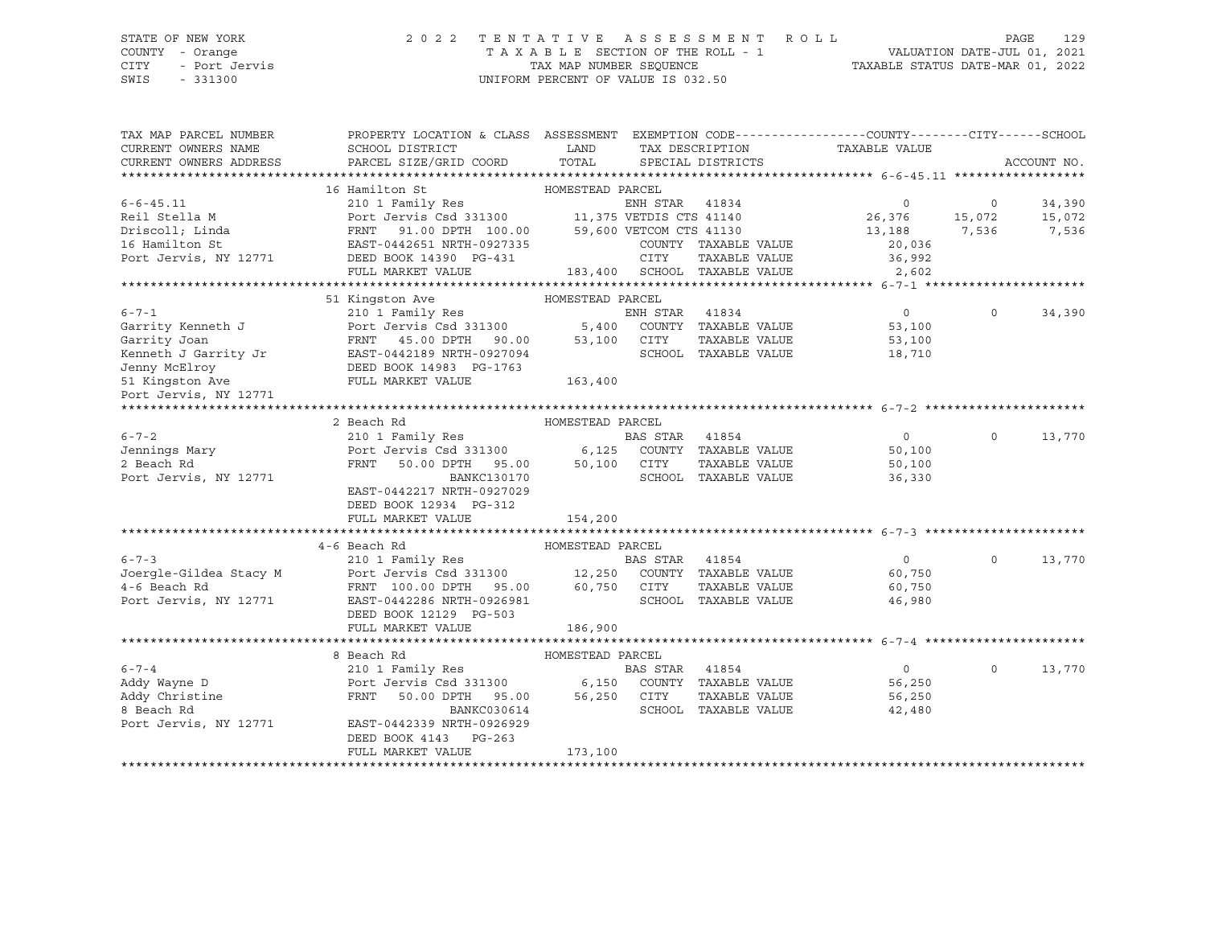#### STATE OF NEW YORK 2 0 2 2 T E N T A T I V E A S S E S S M E N T R O L L PAGE 129 COUNTY - Orange T A X A B L E SECTION OF THE ROLL - 1 VALUATION DATE-JUL 01, 2021 CITY - Port Jervis TAX MAP NUMBER SEQUENCE TAXABLE STATUS DATE-MAR 01, 2022

| TAX MAP PARCEL NUMBER<br>CURRENT OWNERS NAME<br>CURRENT OWNERS ADDRESS | PROPERTY LOCATION & CLASS ASSESSMENT EXEMPTION CODE----------------COUNTY-------CITY------SCHOOL<br>SCHOOL DISTRICT<br>PARCEL SIZE/GRID COORD                                                                                     | LAND<br>TOTAL    |                | SPECIAL DISTRICTS            | TAX DESCRIPTION TAXABLE VALUE |          | ACCOUNT NO. |
|------------------------------------------------------------------------|-----------------------------------------------------------------------------------------------------------------------------------------------------------------------------------------------------------------------------------|------------------|----------------|------------------------------|-------------------------------|----------|-------------|
|                                                                        |                                                                                                                                                                                                                                   |                  |                |                              |                               |          |             |
|                                                                        | 16 Hamilton St                                                                                                                                                                                                                    | HOMESTEAD PARCEL |                |                              |                               |          |             |
| $6 - 6 - 45.11$                                                        | 210 1 Family Res                                                                                                                                                                                                                  |                  | ENH STAR 41834 |                              | $\Omega$                      | $\Omega$ | 34,390      |
| Reil Stella M                                                          |                                                                                                                                                                                                                                   |                  |                |                              | 26,376                        | 15,072   | 15,072      |
| Driscoll; Linda                                                        | Port Jervis Csd 331300 11,375 VETDIS CTS 41140<br>FRNT 91.00 DPTH 100.00 59,600 VETCOM CTS 41130                                                                                                                                  |                  |                |                              | 13,188                        | 7,536    | 7,536       |
| 16 Hamilton St                                                         | EAST-0442651 NRTH-0927335                                                                                                                                                                                                         |                  |                | COUNTY TAXABLE VALUE         | 20,036                        |          |             |
| Port Jervis, NY 12771                                                  | DEED BOOK 14390 PG-431                                                                                                                                                                                                            |                  | <b>CITY</b>    | TAXABLE VALUE                | 36,992                        |          |             |
|                                                                        | FULL MARKET VALUE                                                                                                                                                                                                                 |                  |                | 183,400 SCHOOL TAXABLE VALUE | 2,602                         |          |             |
|                                                                        |                                                                                                                                                                                                                                   |                  |                |                              |                               |          |             |
|                                                                        | 51 Kingston Ave                                                                                                                                                                                                                   | HOMESTEAD PARCEL |                |                              |                               |          |             |
| $6 - 7 - 1$                                                            | 210 1 Family Res BN EN BN EN BN EN BN EN BN EN BN EN BN EN BN EN BN EN BN EN BN EN BN EN BN EN BN EN BN EN BN E<br>External bn English English English English English English English English English English English English En |                  | ENH STAR 41834 |                              | $\overline{0}$                | $\circ$  | 34,390      |
| Garrity Kenneth J                                                      |                                                                                                                                                                                                                                   |                  |                | COUNTY TAXABLE VALUE         | 53,100                        |          |             |
| Garrity Joan                                                           |                                                                                                                                                                                                                                   |                  | CITY           | TAXABLE VALUE                | 53,100                        |          |             |
| Kenneth J Garrity Jr                                                   |                                                                                                                                                                                                                                   |                  |                | SCHOOL TAXABLE VALUE         | 18,710                        |          |             |
| Jenny McElroy                                                          | 5,400<br>FRNT 45.00 DPTH 90.00 53,100<br>EAST-0442189 NRTH-0927094<br>DEED BOOK 14983 PG-1763<br>FULL MARKET VALUE 163.400                                                                                                        |                  |                |                              |                               |          |             |
| 51 Kingston Ave                                                        |                                                                                                                                                                                                                                   |                  |                |                              |                               |          |             |
| Port Jervis, NY 12771                                                  |                                                                                                                                                                                                                                   |                  |                |                              |                               |          |             |
|                                                                        |                                                                                                                                                                                                                                   |                  |                |                              |                               |          |             |
|                                                                        | 2 Beach Rd                                                                                                                                                                                                                        | HOMESTEAD PARCEL |                |                              |                               |          |             |
| $6 - 7 - 2$                                                            | 210 1 Family Res                                                                                                                                                                                                                  |                  | BAS STAR       | 41854                        | $\overline{0}$                | $\circ$  | 13,770      |
| Jennings Mary                                                          | Port Jervis Csd 331300 6,125                                                                                                                                                                                                      |                  |                | COUNTY TAXABLE VALUE         | 50,100                        |          |             |
| 2 Beach Rd                                                             | 50.00 DPTH 95.00 50,100<br>FRNT                                                                                                                                                                                                   |                  | CITY           | TAXABLE VALUE                | 50,100                        |          |             |
| Port Jervis, NY 12771                                                  | BANKC130170                                                                                                                                                                                                                       |                  |                | SCHOOL TAXABLE VALUE         | 36,330                        |          |             |
|                                                                        | EAST-0442217 NRTH-0927029<br>DEED BOOK 12934 PG-312                                                                                                                                                                               |                  |                |                              |                               |          |             |
|                                                                        | FULL MARKET VALUE                                                                                                                                                                                                                 | 154,200          |                |                              |                               |          |             |
|                                                                        |                                                                                                                                                                                                                                   |                  |                |                              |                               |          |             |
|                                                                        | 4-6 Beach Rd                                                                                                                                                                                                                      | HOMESTEAD PARCEL |                |                              |                               |          |             |
| $6 - 7 - 3$                                                            | 210 1 Family Res                                                                                                                                                                                                                  |                  | BAS STAR 41854 |                              | $\overline{0}$                | $\Omega$ | 13,770      |
| Joergle-Gildea Stacy M                                                 |                                                                                                                                                                                                                                   |                  |                |                              | 60,750                        |          |             |
| 4-6 Beach Rd                                                           | Port Jervis Csd 331300 12,250 COUNTY TAXABLE VALUE<br>FRNT 100.00 DPTH 95.00 60,750 CITY TAXABLE VALUE                                                                                                                            |                  |                |                              | 60,750                        |          |             |
| Port Jervis, NY 12771                                                  | EAST-0442286 NRTH-0926981                                                                                                                                                                                                         |                  |                | SCHOOL TAXABLE VALUE         | 46,980                        |          |             |
|                                                                        | DEED BOOK 12129 PG-503                                                                                                                                                                                                            |                  |                |                              |                               |          |             |
|                                                                        | FULL MARKET VALUE                                                                                                                                                                                                                 | 186,900          |                |                              |                               |          |             |
|                                                                        |                                                                                                                                                                                                                                   |                  |                |                              |                               |          |             |
|                                                                        | 8 Beach Rd                                                                                                                                                                                                                        | HOMESTEAD PARCEL |                |                              |                               |          |             |
| $6 - 7 - 4$                                                            | 210 1 Family Res                                                                                                                                                                                                                  |                  | BAS STAR       | 41854                        | $\overline{0}$                | $\circ$  | 13,770      |
| Addy Wayne D                                                           | Port Jervis Csd 331300 6,150 COUNTY TAXABLE VALUE                                                                                                                                                                                 |                  |                |                              | 56,250                        |          |             |
| Addy Christine                                                         | 50.00 DPTH 95.00<br>FRNT                                                                                                                                                                                                          | 56,250           | CITY           | TAXABLE VALUE                | 56,250                        |          |             |
| 8 Beach Rd                                                             | BANKC030614                                                                                                                                                                                                                       |                  |                | SCHOOL TAXABLE VALUE         | 42,480                        |          |             |
| Port Jervis, NY 12771                                                  | EAST-0442339 NRTH-0926929                                                                                                                                                                                                         |                  |                |                              |                               |          |             |
|                                                                        | DEED BOOK 4143<br>$PG-263$                                                                                                                                                                                                        |                  |                |                              |                               |          |             |
|                                                                        | FULL MARKET VALUE                                                                                                                                                                                                                 | 173,100          |                |                              |                               |          |             |
|                                                                        |                                                                                                                                                                                                                                   |                  |                |                              |                               |          |             |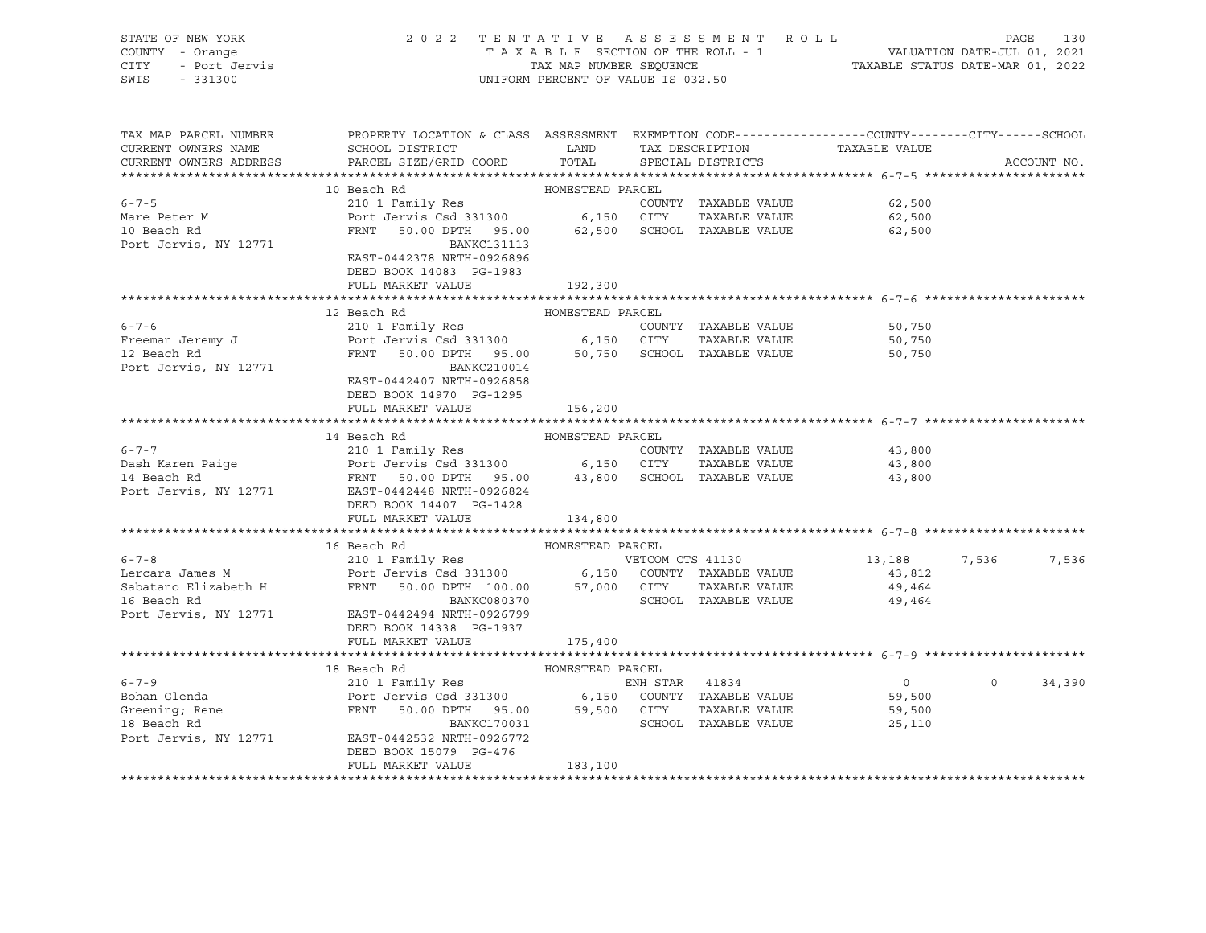| STATE OF NEW YORK  | 2022 TENTATIVE ASSESSMENT ROLL     |                                  | PAGE                        | 130 |
|--------------------|------------------------------------|----------------------------------|-----------------------------|-----|
| COUNTY - Orange    | TAXABLE SECTION OF THE ROLL - 1    |                                  | VALUATION DATE-JUL 01, 2021 |     |
| CITY - Port Jervis | TAX MAP NUMBER SEOUENCE            | TAXABLE STATUS DATE-MAR 01, 2022 |                             |     |
| SWIS<br>$-331300$  | UNIFORM PERCENT OF VALUE IS 032.50 |                                  |                             |     |

| TAX MAP PARCEL NUMBER<br>CURRENT OWNERS NAME<br>CURRENT OWNERS ADDRESS | PROPERTY LOCATION & CLASS ASSESSMENT EXEMPTION CODE---------------COUNTY-------CITY------SCHOOL<br>SCHOOL DISTRICT                         LAND         TAX DESCRIPTION                   TAXABLE VALUE<br>PARCEL SIZE/GRID COORD TOTAL SPECIAL DISTRICTS                                                                                                                                                                                                                                       |         |                                  |                                            | ACCOUNT NO.        |
|------------------------------------------------------------------------|-------------------------------------------------------------------------------------------------------------------------------------------------------------------------------------------------------------------------------------------------------------------------------------------------------------------------------------------------------------------------------------------------------------------------------------------------------------------------------------------------|---------|----------------------------------|--------------------------------------------|--------------------|
|                                                                        |                                                                                                                                                                                                                                                                                                                                                                                                                                                                                                 |         |                                  |                                            |                    |
| $6 - 7 - 5$<br>Mare Peter M<br>10 Beach Rd<br>Port Jervis, NY 12771    | BANKC131113<br>EAST-0442378 NRTH-0926896<br>DEED BOOK 14083 PG-1983                                                                                                                                                                                                                                                                                                                                                                                                                             |         | COUNTY TAXABLE VALUE 62,500      | TAXABLE VALUE 62,500<br>62,500             |                    |
|                                                                        | FULL MARKET VALUE                                                                                                                                                                                                                                                                                                                                                                                                                                                                               | 192,300 |                                  |                                            |                    |
|                                                                        | 12 Beach Rd<br>6-7-6<br>Freeman Jeremy J<br>Port Jervis Csd 331300 6,150 CITY TAXABLE VALUE<br>Port Jervis Csd 331300 6,150 CITY TAXABLE VALUE<br>PRNT 50.00 DPTH 95.00 50,750 SCHOOL TAXABLE VALUE<br>EAST-0442407 NRTH-0926858<br>DEED BOOK 14970 PG-1295<br>FULL MARKET VALUE                                                                                                                                                                                                                | 156,200 |                                  | 50,750<br>TAXABLE VALUE 50,750<br>50,750   |                    |
|                                                                        |                                                                                                                                                                                                                                                                                                                                                                                                                                                                                                 |         |                                  |                                            |                    |
|                                                                        | 14 Beach Rd 14 Beach Rd 210 1 Family Res 210 1 Family Res 210 1 Family Res 210 1 Family Res 210 1 Family Res 210 1 Family Res 210 1 Family Res 210 1 Family Res 210 1 Family Res 210 1 Family Res 214 Beach Rd 214 Beach Rd 21<br>DEED BOOK 14407 PG-1428<br>FULL MARKET VALUE 134,800                                                                                                                                                                                                          |         |                                  | 43,800<br>TAXABLE VALUE 43,800<br>43,800   |                    |
|                                                                        |                                                                                                                                                                                                                                                                                                                                                                                                                                                                                                 |         |                                  |                                            |                    |
|                                                                        | 16 Beach Rd 16 Beach Rd 210 1 Family Res 210 1 Family Res 210 1 Family Res 210 1 Family Res 210 1 Family Res 210 1 Family Res 210 1 Family Res 210 1 Family Res 210 1 Family Res 210 1 Family Res 210 1 Family Res 210 1 Famil<br>16 Beach Rd<br>Port Jervis, NY 12771 EAST-0442494 NRTH-0926799<br>DEED BOOK 14338 PG-1937                                                                                                                                                                     |         | BANKC080370 SCHOOL TAXABLE VALUE | 13, 188<br>49,464                          | 7,536<br>7,536     |
|                                                                        | FULL MARKET VALUE                                                                                                                                                                                                                                                                                                                                                                                                                                                                               | 175,400 |                                  |                                            |                    |
|                                                                        | $\begin{tabular}{lllllllllll} \multicolumn{3}{c }{6-7-9} & & & 18\text{ Beach Rd} & & \multicolumn{3}{c }{HOMESTEAD PARCEL} & & \multicolumn{3}{c }{BORCEL} & & \multicolumn{3}{c }{BORCEL} & & \multicolumn{3}{c }{EMR STAR} & & \multicolumn{3}{c }{BORCEL} & & \multicolumn{3}{c }{EMR STAR} & & \multicolumn{3}{c }{BORCEL} & & \multicolumn{3}{c }{EMR STAR} & & \multicolumn{3}{c }{BORCEL} & & \multicolumn{3}{c }{EMR STAR} & & \multic$<br>DEED BOOK 15079 PG-476<br>FULL MARKET VALUE | 183,100 |                                  | $\begin{array}{c} 0 \\ 59,500 \end{array}$ | $\Omega$<br>34,390 |
|                                                                        |                                                                                                                                                                                                                                                                                                                                                                                                                                                                                                 |         |                                  |                                            |                    |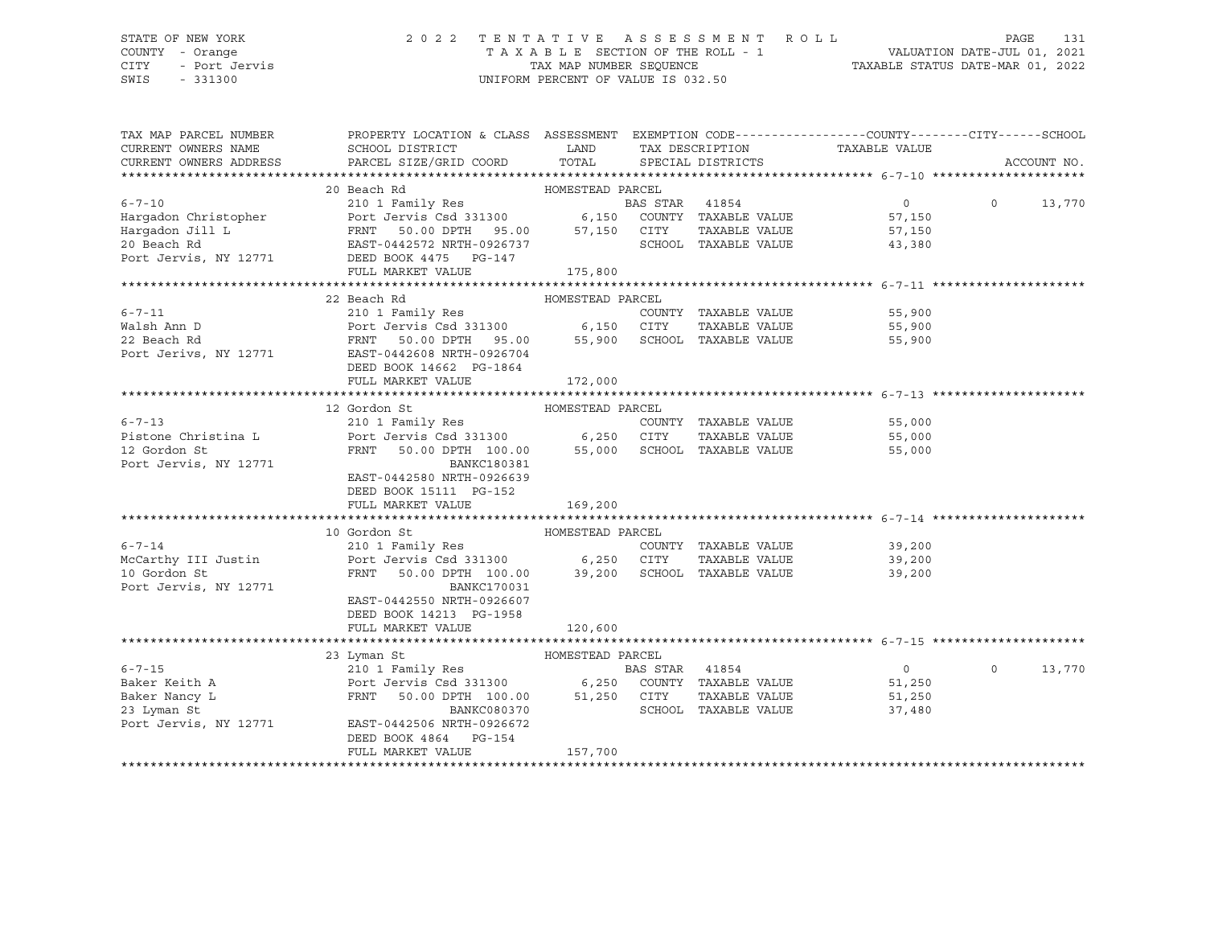## STATE OF NEW YORK 2 0 2 2 T E N T A T I V E A S S E S S M E N T R O L L PAGE 131 COUNTY - Orange T A X A B L E SECTION OF THE ROLL - 1 VALUATION DATE-JUL 01, 2021 CITY - Port Jervis TAX MAP NUMBER SEQUENCE TAXABLE STATUS DATE-MAR 01, 2022

| TAX MAP PARCEL NUMBER  | PROPERTY LOCATION & CLASS ASSESSMENT EXEMPTION CODE----------------COUNTY-------CITY------SCHOOL                                                                                                                                                             |         |                      |                               |          |             |
|------------------------|--------------------------------------------------------------------------------------------------------------------------------------------------------------------------------------------------------------------------------------------------------------|---------|----------------------|-------------------------------|----------|-------------|
| CURRENT OWNERS NAME    | SCHOOL DISTRICT                                                                                                                                                                                                                                              | LAND    |                      | TAX DESCRIPTION TAXABLE VALUE |          |             |
| CURRENT OWNERS ADDRESS | PARCEL SIZE/GRID COORD TOTAL SPECIAL DISTRICTS                                                                                                                                                                                                               |         |                      |                               |          | ACCOUNT NO. |
|                        |                                                                                                                                                                                                                                                              |         |                      |                               |          |             |
|                        |                                                                                                                                                                                                                                                              |         |                      |                               |          |             |
|                        |                                                                                                                                                                                                                                                              |         |                      |                               | $\circ$  | 13,770      |
|                        |                                                                                                                                                                                                                                                              |         |                      |                               |          |             |
|                        |                                                                                                                                                                                                                                                              |         |                      |                               |          |             |
|                        |                                                                                                                                                                                                                                                              |         |                      |                               |          |             |
|                        |                                                                                                                                                                                                                                                              |         |                      |                               |          |             |
|                        |                                                                                                                                                                                                                                                              |         |                      |                               |          |             |
|                        |                                                                                                                                                                                                                                                              |         |                      |                               |          |             |
|                        | 6-7-11<br>6-7-11<br>210 1 Family Res<br>22 Beach Rd<br>22 Beach Rd<br>Port Jervis Csd 331300<br>22 Beach Rd<br>Port Jerivs, NY 12771<br>EAST-0442608 NRTH-0926704<br>DEED BOOK 14662<br>PG.11662<br>PG.11642<br>PG.11642<br>PG.11642<br>PG.11642<br>PG.11642 |         |                      |                               |          |             |
|                        |                                                                                                                                                                                                                                                              |         |                      |                               |          |             |
|                        |                                                                                                                                                                                                                                                              |         |                      |                               |          |             |
|                        |                                                                                                                                                                                                                                                              |         |                      |                               |          |             |
|                        |                                                                                                                                                                                                                                                              |         |                      |                               |          |             |
|                        |                                                                                                                                                                                                                                                              |         |                      |                               |          |             |
|                        | FULL MARKET VALUE                                                                                                                                                                                                                                            | 172,000 |                      |                               |          |             |
|                        |                                                                                                                                                                                                                                                              |         |                      |                               |          |             |
|                        | 12 Gordon St                                                                                                                                                                                                                                                 |         |                      |                               |          |             |
| $6 - 7 - 13$           | 210 1 Family Res                                                                                                                                                                                                                                             |         | COUNTY TAXABLE VALUE | 55,000                        |          |             |
|                        | Pistone Christina L Port Jervis Csd 331300 6,250 CITY                                                                                                                                                                                                        |         |                      | TAXABLE VALUE 55,000          |          |             |
| 12 Gordon St           | FRNT 50.00 DPTH 100.00 55,000 SCHOOL TAXABLE VALUE                                                                                                                                                                                                           |         |                      | 55,000                        |          |             |
| Port Jervis, NY 12771  | BANKC180381                                                                                                                                                                                                                                                  |         |                      |                               |          |             |
|                        | EAST-0442580 NRTH-0926639                                                                                                                                                                                                                                    |         |                      |                               |          |             |
|                        | DEED BOOK 15111 PG-152                                                                                                                                                                                                                                       |         |                      |                               |          |             |
|                        | FULL MARKET VALUE                                                                                                                                                                                                                                            | 169,200 |                      |                               |          |             |
|                        |                                                                                                                                                                                                                                                              |         |                      |                               |          |             |
|                        | 10 Gordon St<br>HOMESTEAD PARCEL                                                                                                                                                                                                                             |         |                      |                               |          |             |
| $6 - 7 - 14$           | 210 1 Family Res                                                                                                                                                                                                                                             |         | COUNTY TAXABLE VALUE | 39,200                        |          |             |
|                        | McCarthy III Justin Port Jervis Csd 331300 6,250 CITY                                                                                                                                                                                                        |         |                      | TAXABLE VALUE 39,200          |          |             |
| 10 Gordon St           | FRNT 50.00 DPTH 100.00 39,200 SCHOOL TAXABLE VALUE                                                                                                                                                                                                           |         |                      | 39,200                        |          |             |
| Port Jervis, NY 12771  | BANKC170031                                                                                                                                                                                                                                                  |         |                      |                               |          |             |
|                        | EAST-0442550 NRTH-0926607                                                                                                                                                                                                                                    |         |                      |                               |          |             |
|                        | DEED BOOK 14213 PG-1958                                                                                                                                                                                                                                      |         |                      |                               |          |             |
|                        | FULL MARKET VALUE                                                                                                                                                                                                                                            | 120,600 |                      |                               |          |             |
|                        |                                                                                                                                                                                                                                                              |         |                      |                               |          |             |
|                        | HOMESTEAD PARCEL<br>23 Lyman St                                                                                                                                                                                                                              |         |                      |                               |          |             |
|                        |                                                                                                                                                                                                                                                              |         |                      | $\overline{0}$                | $\Omega$ | 13,770      |
|                        |                                                                                                                                                                                                                                                              |         |                      | 51,250                        |          |             |
|                        | 6-7-15<br>Baker Keith A<br>Baker Nancy L<br>Baker Nancy L<br>Baker Nancy L<br>ERST-0442506 NRTH-0926672<br>ERST-0442506 NRTH-0926672<br>FRIT 100.00<br>BANKC080370<br>BANKC080370<br>SCHOOL TAXABLE VALUE<br>SCHOOL TAXABLE VALUE<br>POTT JERST-044250       |         |                      | TAXABLE VALUE 51,250          |          |             |
|                        |                                                                                                                                                                                                                                                              |         | SCHOOL TAXABLE VALUE | 37,480                        |          |             |
|                        |                                                                                                                                                                                                                                                              |         |                      |                               |          |             |
|                        | DEED BOOK 4864 PG-154                                                                                                                                                                                                                                        |         |                      |                               |          |             |
|                        | FULL MARKET VALUE                                                                                                                                                                                                                                            | 157,700 |                      |                               |          |             |
|                        |                                                                                                                                                                                                                                                              |         |                      |                               |          |             |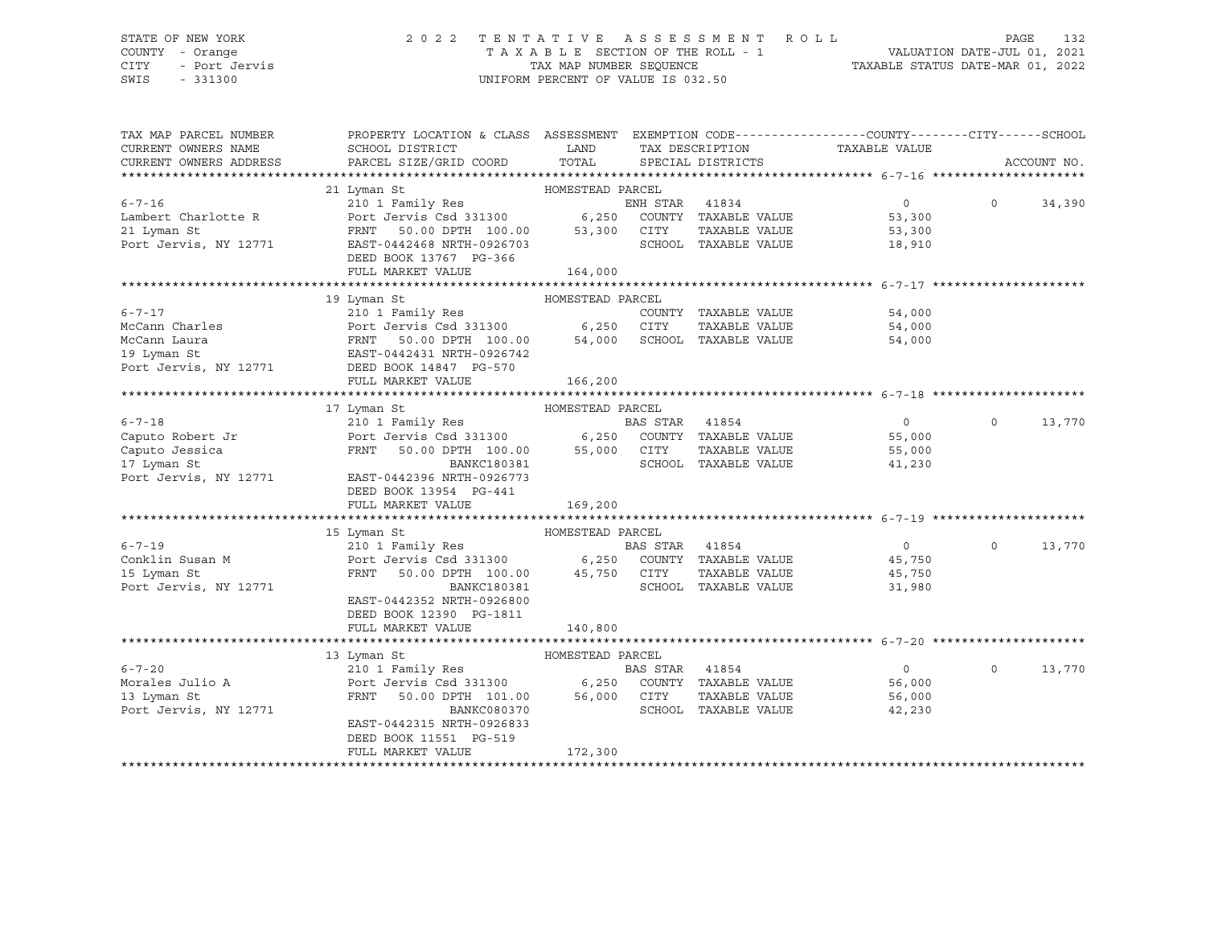## STATE OF NEW YORK 2 0 2 2 T E N T A T I V E A S S E S S M E N T R O L L PAGE 132 COUNTY - Orange T A X A B L E SECTION OF THE ROLL - 1 VALUATION DATE-JUL 01, 2021 CITY - Port Jervis TAX MAP NUMBER SEQUENCE TAXABLE STATUS DATE-MAR 01, 2022

| TAX MAP PARCEL NUMBER  | PROPERTY LOCATION & CLASS ASSESSMENT EXEMPTION CODE---------------COUNTY-------CITY------SCHOOL       |                  |                |                      |                               |          |             |
|------------------------|-------------------------------------------------------------------------------------------------------|------------------|----------------|----------------------|-------------------------------|----------|-------------|
| CURRENT OWNERS NAME    | SCHOOL DISTRICT                                                                                       | LAND             |                |                      | TAX DESCRIPTION TAXABLE VALUE |          |             |
| CURRENT OWNERS ADDRESS | PARCEL SIZE/GRID COORD                                                                                | TOTAL            |                | SPECIAL DISTRICTS    |                               |          | ACCOUNT NO. |
|                        |                                                                                                       |                  |                |                      |                               |          |             |
|                        | 21 Lyman St                                                                                           | HOMESTEAD PARCEL |                |                      |                               |          |             |
| $6 - 7 - 16$           | 210 1 Family Res                                                                                      |                  | ENH STAR 41834 |                      | $\Omega$                      | $\Omega$ | 34,390      |
| Lambert Charlotte R    | Port Jervis Csd 331300 6,250 COUNTY TAXABLE VALUE                                                     |                  |                |                      | 53,300                        |          |             |
| 21 Lyman St            | Port Jervis Csd 331300<br>FRNT 50.00 DPTH 100.00 53,300                                               |                  | CITY           | TAXABLE VALUE        | 53,300                        |          |             |
| Port Jervis, NY 12771  | EAST-0442468 NRTH-0926703                                                                             |                  |                | SCHOOL TAXABLE VALUE | 18,910                        |          |             |
|                        | DEED BOOK 13767 PG-366                                                                                |                  |                |                      |                               |          |             |
|                        | FULL MARKET VALUE                                                                                     | 164,000          |                |                      |                               |          |             |
|                        |                                                                                                       |                  |                |                      |                               |          |             |
|                        | 19 Lyman St                                                                                           | HOMESTEAD PARCEL |                |                      |                               |          |             |
| $6 - 7 - 17$           | 210 1 Family Res                                                                                      |                  |                | COUNTY TAXABLE VALUE | 54,000                        |          |             |
| McCann Charles         | 210 1 Pamily Res<br>Port Jervis Csd 331300 6,250 CITY                                                 |                  |                | TAXABLE VALUE        | 54,000                        |          |             |
| McCann Laura           | FRNT 50.00 DE11.<br>EAST-0442431 NRTH-0926742<br>FRNT 50.00 DPTH 100.00 54,000                        |                  |                | SCHOOL TAXABLE VALUE | 54,000                        |          |             |
| 19 Lyman St            |                                                                                                       |                  |                |                      |                               |          |             |
| Port Jervis, NY 12771  |                                                                                                       |                  |                |                      |                               |          |             |
|                        | FULL MARKET VALUE                                                                                     | 166,200          |                |                      |                               |          |             |
|                        |                                                                                                       |                  |                |                      |                               |          |             |
|                        | 17 Lyman St                                                                                           | HOMESTEAD PARCEL |                |                      |                               |          |             |
| $6 - 7 - 18$           | 210 1 Family Res                                                                                      |                  | BAS STAR       | 41854                | $\overline{0}$                | $\Omega$ | 13,770      |
| Caputo Robert Jr       | Port Jervis Csd 331300 6,250 COUNTY TAXABLE VALUE<br>FRNT 50.00 DPTH 100.00 55,000 CITY TAXABLE VALUE |                  |                |                      | 55,000                        |          |             |
| Caputo Jessica         |                                                                                                       |                  |                | TAXABLE VALUE        | 55,000                        |          |             |
| 17 Lyman St            | BANKC180381                                                                                           |                  |                | SCHOOL TAXABLE VALUE | 41,230                        |          |             |
| Port Jervis, NY 12771  | EAST-0442396 NRTH-0926773                                                                             |                  |                |                      |                               |          |             |
|                        | DEED BOOK 13954 PG-441                                                                                |                  |                |                      |                               |          |             |
|                        | FULL MARKET VALUE                                                                                     | 169,200          |                |                      |                               |          |             |
|                        |                                                                                                       |                  |                |                      |                               |          |             |
|                        | 15 Lyman St                                                                                           | HOMESTEAD PARCEL |                |                      |                               |          |             |
| $6 - 7 - 19$           | 210 1 Family Res                                                                                      |                  | BAS STAR 41854 |                      | $\overline{0}$                | $\circ$  | 13,770      |
| Conklin Susan M        | Port Jervis Csd 331300 6,250 COUNTY TAXABLE VALUE                                                     |                  |                |                      | 45,750                        |          |             |
| 15 Lyman St            | FRNT<br>50.00 DPTH 100.00 45,750 CITY                                                                 |                  |                | TAXABLE VALUE        | 45,750                        |          |             |
| Port Jervis, NY 12771  | BANKC180381                                                                                           |                  |                | SCHOOL TAXABLE VALUE | 31,980                        |          |             |
|                        | EAST-0442352 NRTH-0926800                                                                             |                  |                |                      |                               |          |             |
|                        | DEED BOOK 12390 PG-1811                                                                               |                  |                |                      |                               |          |             |
|                        | FULL MARKET VALUE                                                                                     | 140,800          |                |                      |                               |          |             |
|                        |                                                                                                       |                  |                |                      |                               |          |             |
|                        | 13 Lyman St                                                                                           | HOMESTEAD PARCEL |                |                      |                               |          |             |
| $6 - 7 - 20$           | 210 1 Family Res                                                                                      |                  | BAS STAR 41854 |                      | $\overline{0}$                | $\circ$  | 13,770      |
| Morales Julio A        | Port Jervis Csd 331300 6,250 COUNTY TAXABLE VALUE                                                     |                  |                |                      | 56,000                        |          |             |
| 13 Lyman St            | 50.00 DPTH 101.00<br>FRNT                                                                             | 56,000 CITY      |                | TAXABLE VALUE        | 56,000                        |          |             |
| Port Jervis, NY 12771  | BANKC080370                                                                                           |                  |                | SCHOOL TAXABLE VALUE | 42,230                        |          |             |
|                        | EAST-0442315 NRTH-0926833                                                                             |                  |                |                      |                               |          |             |
|                        | DEED BOOK 11551 PG-519                                                                                |                  |                |                      |                               |          |             |
|                        | FULL MARKET VALUE                                                                                     | 172,300          |                |                      |                               |          |             |
|                        |                                                                                                       |                  |                |                      |                               |          |             |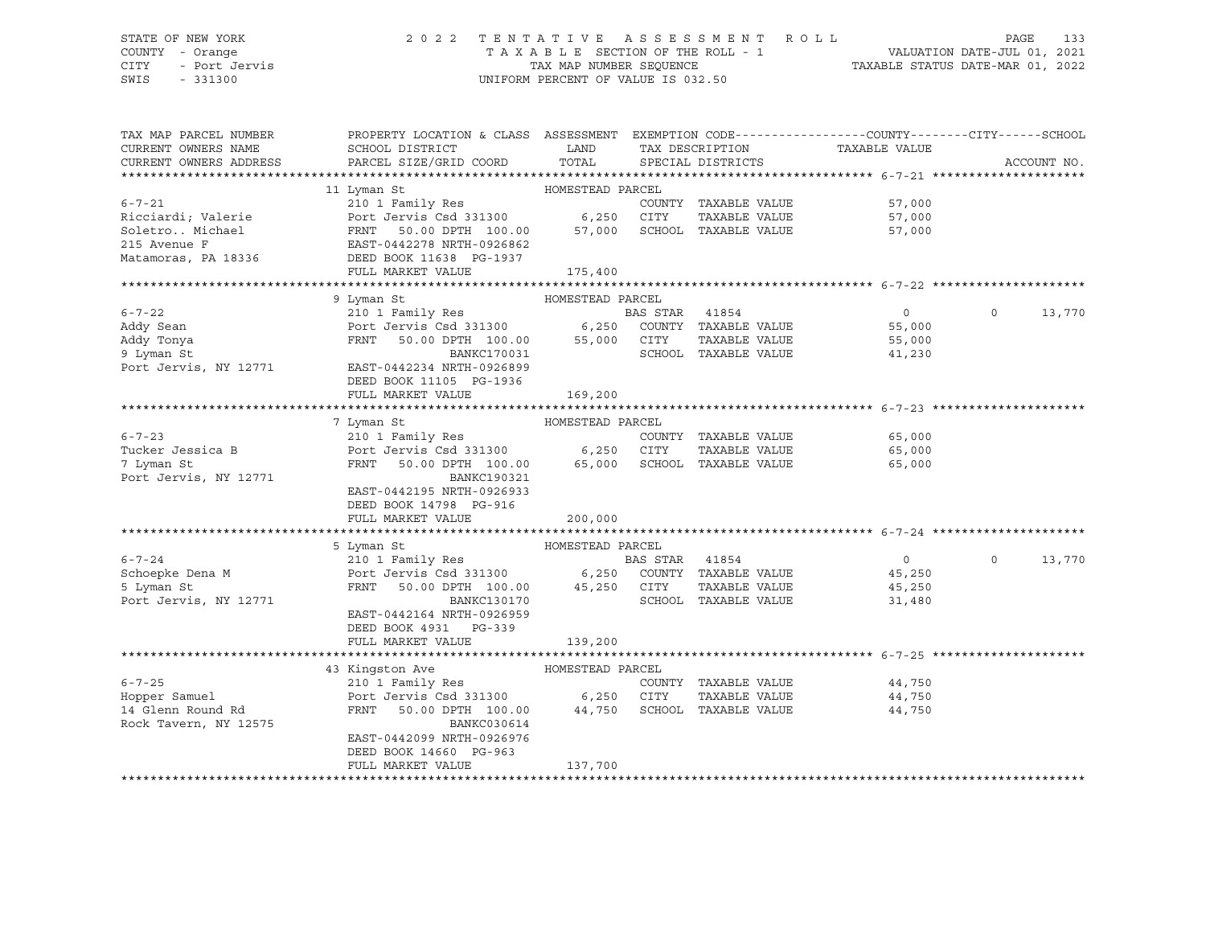#### STATE OF NEW YORK 2 0 2 2 T E N T A T I V E A S S E S S M E N T R O L L PAGE 133 COUNTY - Orange T A X A B L E SECTION OF THE ROLL - 1 VALUATION DATE-JUL 01, 2021 CITY - Port Jervis TAX MAP NUMBER SEQUENCE TAXABLE STATUS DATE-MAR 01, 2022

| TAX MAP PARCEL NUMBER<br>CURRENT OWNERS NAME<br>CURRENT OWNERS ADDRESS | PROPERTY LOCATION & CLASS ASSESSMENT EXEMPTION CODE---------------COUNTY-------CITY------SCHOOL<br><b>LAND</b><br>SCHOOL DISTRICT<br>PARCEL SIZE/GRID COORD | TOTAL            |                | TAX DESCRIPTION<br>SPECIAL DISTRICTS | TAXABLE VALUE  |          | ACCOUNT NO. |
|------------------------------------------------------------------------|-------------------------------------------------------------------------------------------------------------------------------------------------------------|------------------|----------------|--------------------------------------|----------------|----------|-------------|
|                                                                        |                                                                                                                                                             |                  |                |                                      |                |          |             |
|                                                                        | 11 Lyman St                                                                                                                                                 |                  |                |                                      |                |          |             |
| $6 - 7 - 21$                                                           |                                                                                                                                                             |                  |                | COUNTY TAXABLE VALUE                 | 57,000         |          |             |
| Ricciardi; Valerie                                                     | Port Jervis Csd 331300 6,250 CITY                                                                                                                           |                  |                | TAXABLE VALUE                        | 57,000         |          |             |
|                                                                        | 50.00 DPTH 100.00 57,000                                                                                                                                    |                  |                | SCHOOL TAXABLE VALUE                 | 57,000         |          |             |
|                                                                        |                                                                                                                                                             |                  |                |                                      |                |          |             |
| Matamoras, PA 18336                                                    | DEED BOOK 11638 PG-1937                                                                                                                                     |                  |                |                                      |                |          |             |
|                                                                        | FULL MARKET VALUE                                                                                                                                           | 175,400          |                |                                      |                |          |             |
|                                                                        |                                                                                                                                                             |                  |                |                                      |                |          |             |
|                                                                        | 9 Lyman St                                                                                                                                                  | HOMESTEAD PARCEL |                |                                      |                |          |             |
| $6 - 7 - 22$                                                           | 210 1 Family Res<br>210 1 Family Res<br>Port Jervis Csd 331300 6,250 COUNTY TAXABLE VALUE<br>FRNT 50.00 DPTH 100.00 55,000 CITY TAXABLE VALUE               |                  | BAS STAR 41854 |                                      | $\overline{0}$ | $\Omega$ | 13,770      |
| Addy Sean                                                              |                                                                                                                                                             |                  |                |                                      | 55,000         |          |             |
| Addy Tonya                                                             |                                                                                                                                                             |                  |                |                                      | 55,000         |          |             |
| 9 Lyman St                                                             | BANKC170031                                                                                                                                                 |                  |                | SCHOOL TAXABLE VALUE                 | 41,230         |          |             |
| 9 Lyman St<br>Port Jervis, NY 12771                                    | EAST-0442234 NRTH-0926899                                                                                                                                   |                  |                |                                      |                |          |             |
|                                                                        | DEED BOOK 11105 PG-1936                                                                                                                                     |                  |                |                                      |                |          |             |
|                                                                        | FULL MARKET VALUE                                                                                                                                           | 169,200          |                |                                      |                |          |             |
|                                                                        |                                                                                                                                                             |                  |                |                                      |                |          |             |
|                                                                        | 7 Lyman St                                                                                                                                                  | HOMESTEAD PARCEL |                |                                      |                |          |             |
| $6 - 7 - 23$                                                           |                                                                                                                                                             |                  |                |                                      | 65,000         |          |             |
| Tucker Jessica B<br>7 Lyman St                                         | 210 1 Family Res<br>Port Jervis Csd 331300 6,250 CITY TAXABLE VALUE<br>FRNT 50.00 DPTH 100.00 65,000 SCHOOL TAXABLE VALUE                                   |                  |                |                                      | 65,000         |          |             |
| 7 Lyman St                                                             |                                                                                                                                                             |                  |                |                                      | 65,000         |          |             |
| Port Jervis, NY 12771                                                  | BANKC190321                                                                                                                                                 |                  |                |                                      |                |          |             |
|                                                                        | EAST-0442195 NRTH-0926933                                                                                                                                   |                  |                |                                      |                |          |             |
|                                                                        | DEED BOOK 14798 PG-916                                                                                                                                      |                  |                |                                      |                |          |             |
|                                                                        | FULL MARKET VALUE                                                                                                                                           | 200,000          |                |                                      |                |          |             |
|                                                                        | 5 Lyman St                                                                                                                                                  | HOMESTEAD PARCEL |                |                                      |                |          |             |
| $6 - 7 - 24$                                                           |                                                                                                                                                             |                  |                |                                      | $\overline{0}$ | $\Omega$ | 13,770      |
|                                                                        |                                                                                                                                                             |                  |                |                                      | 45,250         |          |             |
| Schoepke Dena M<br>5 Lyman St<br>5 Lyman St                            | 210 1 Family Res<br>Port Jervis Csd 331300 6,250 COUNTY TAXABLE VALUE<br>FRNT 50.00 DPTH 100.00 45,250 CITY TAXABLE VALUE                                   |                  |                |                                      | 45,250         |          |             |
| Port Jervis, NY 12771                                                  | BANKC130170                                                                                                                                                 |                  |                | SCHOOL TAXABLE VALUE                 | 31,480         |          |             |
|                                                                        | EAST-0442164 NRTH-0926959                                                                                                                                   |                  |                |                                      |                |          |             |
|                                                                        | DEED BOOK 4931 PG-339                                                                                                                                       |                  |                |                                      |                |          |             |
|                                                                        | FULL MARKET VALUE                                                                                                                                           | 139,200          |                |                                      |                |          |             |
|                                                                        |                                                                                                                                                             |                  |                |                                      |                |          |             |
|                                                                        | 43 Kingston Ave MOMESTEAD PARCEL                                                                                                                            |                  |                |                                      |                |          |             |
| $6 - 7 - 25$                                                           | 210 1 Family Res<br>Port Jervis Csd 331300 6,250 CITY TAXABLE VALUE<br>FRNT 50.00 DPTH 100.00 44,750 SCHOOL TAXABLE VALUE                                   |                  |                | COUNTY TAXABLE VALUE                 | 44,750         |          |             |
| Hopper Samuel                                                          |                                                                                                                                                             |                  |                | TAXABLE VALUE                        | 44,750         |          |             |
| 14 Glenn Round Rd                                                      |                                                                                                                                                             |                  |                |                                      | 44,750         |          |             |
| Rock Tavern, NY 12575                                                  | BANKC030614                                                                                                                                                 |                  |                |                                      |                |          |             |
|                                                                        | EAST-0442099 NRTH-0926976                                                                                                                                   |                  |                |                                      |                |          |             |
|                                                                        | DEED BOOK 14660 PG-963                                                                                                                                      |                  |                |                                      |                |          |             |
|                                                                        | FULL MARKET VALUE                                                                                                                                           | 137,700          |                |                                      |                |          |             |
|                                                                        |                                                                                                                                                             |                  |                |                                      |                |          |             |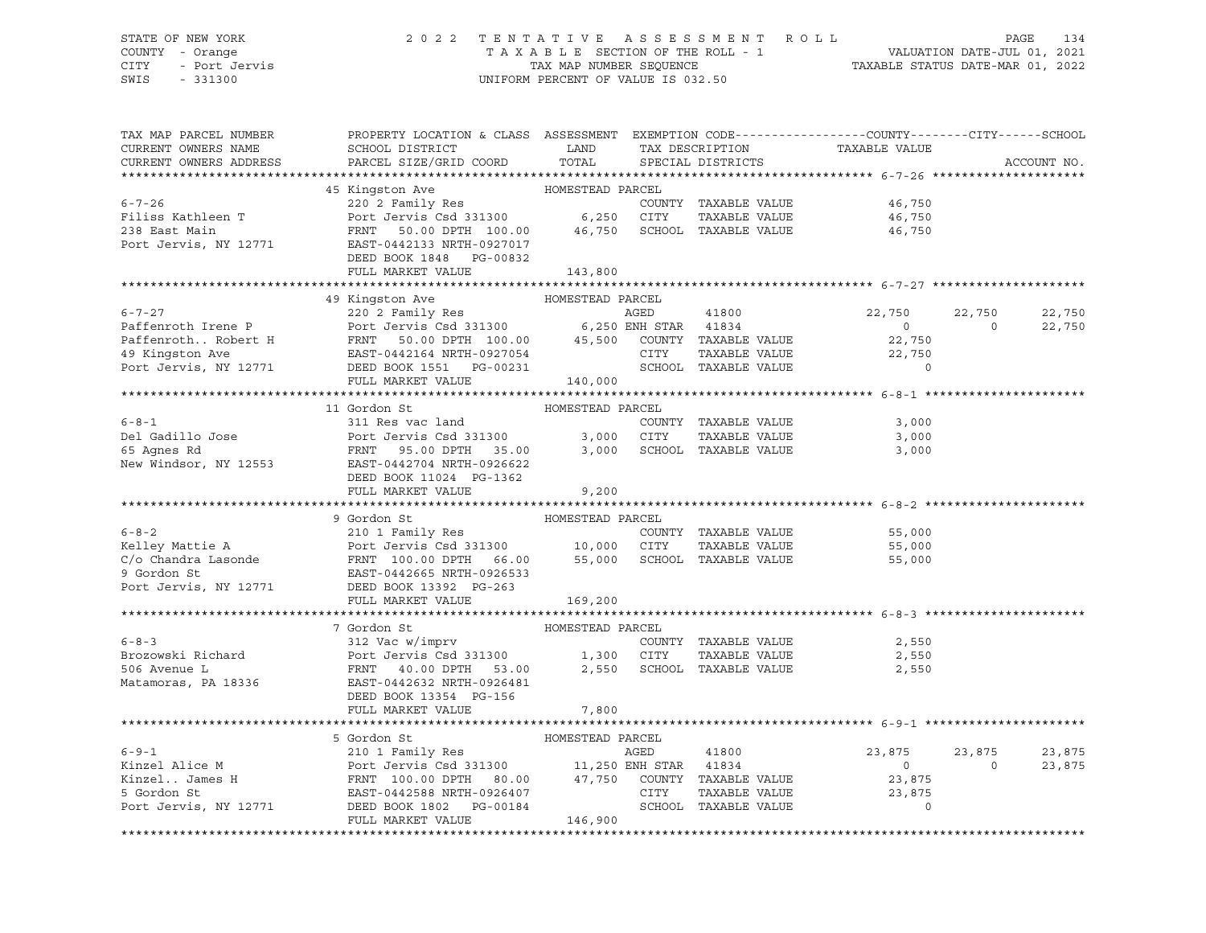#### STATE OF NEW YORK 2 0 2 2 T E N T A T I V E A S S E S S M E N T R O L L PAGE 134 COUNTY - Orange T A X A B L E SECTION OF THE ROLL - 1 VALUATION DATE-JUL 01, 2021 CITY - Port Jervis TAX MAP NUMBER SEQUENCE TAXABLE STATUS DATE-MAR 01, 2022

| TAX MAP PARCEL NUMBER                                                                                                                                                                                                                            | PROPERTY LOCATION & CLASS ASSESSMENT EXEMPTION CODE---------------COUNTY-------CITY------SCHOOL                                                                                                                                                                                                                                                                                                                                 |                  |                                |                               |                |             |
|--------------------------------------------------------------------------------------------------------------------------------------------------------------------------------------------------------------------------------------------------|---------------------------------------------------------------------------------------------------------------------------------------------------------------------------------------------------------------------------------------------------------------------------------------------------------------------------------------------------------------------------------------------------------------------------------|------------------|--------------------------------|-------------------------------|----------------|-------------|
| CURRENT OWNERS NAME                                                                                                                                                                                                                              |                                                                                                                                                                                                                                                                                                                                                                                                                                 |                  |                                | TAX DESCRIPTION TAXABLE VALUE |                |             |
| CURRENT OWNERS ADDRESS                                                                                                                                                                                                                           |                                                                                                                                                                                                                                                                                                                                                                                                                                 |                  | SPECIAL DISTRICTS              |                               |                | ACCOUNT NO. |
|                                                                                                                                                                                                                                                  |                                                                                                                                                                                                                                                                                                                                                                                                                                 |                  |                                |                               |                |             |
|                                                                                                                                                                                                                                                  |                                                                                                                                                                                                                                                                                                                                                                                                                                 |                  |                                |                               |                |             |
| $6 - 7 - 26$                                                                                                                                                                                                                                     |                                                                                                                                                                                                                                                                                                                                                                                                                                 |                  | COUNTY TAXABLE VALUE           | 46,750                        |                |             |
|                                                                                                                                                                                                                                                  |                                                                                                                                                                                                                                                                                                                                                                                                                                 |                  |                                | TAXABLE VALUE 46,750          |                |             |
|                                                                                                                                                                                                                                                  |                                                                                                                                                                                                                                                                                                                                                                                                                                 |                  |                                | 46,750                        |                |             |
|                                                                                                                                                                                                                                                  | Port Jervis, NY 12771 EAST-0442133 NRTH-0927017                                                                                                                                                                                                                                                                                                                                                                                 |                  |                                |                               |                |             |
|                                                                                                                                                                                                                                                  | DEED BOOK 1848 PG-00832                                                                                                                                                                                                                                                                                                                                                                                                         |                  |                                |                               |                |             |
|                                                                                                                                                                                                                                                  | FULL MARKET VALUE                                                                                                                                                                                                                                                                                                                                                                                                               | 143,800          |                                |                               |                |             |
|                                                                                                                                                                                                                                                  |                                                                                                                                                                                                                                                                                                                                                                                                                                 | HOMESTEAD PARCEL |                                |                               |                |             |
|                                                                                                                                                                                                                                                  | 49 Kingston Ave<br>9.1-127 1 220 2 Family Res<br>Paffenroth Irene P P POrt Jervis Csd 331300 6,250 ENR STAR 41834<br>PaffenrothRobert H PRNT 50.00 DPTH 100.00 45,500 COUNTY TAXABLE VALUE<br>49 Kingston Ave EAST-0442164 NRTH-0927054 CITY TAXABLE                                                                                                                                                                            |                  |                                | 22,750                        | 22,750         | 22,750      |
|                                                                                                                                                                                                                                                  |                                                                                                                                                                                                                                                                                                                                                                                                                                 |                  |                                | $\sim$ 0                      | $\overline{0}$ | 22,750      |
|                                                                                                                                                                                                                                                  |                                                                                                                                                                                                                                                                                                                                                                                                                                 |                  |                                |                               |                |             |
|                                                                                                                                                                                                                                                  |                                                                                                                                                                                                                                                                                                                                                                                                                                 |                  |                                | 22,750<br>22,750              |                |             |
|                                                                                                                                                                                                                                                  |                                                                                                                                                                                                                                                                                                                                                                                                                                 |                  |                                | $\Omega$                      |                |             |
|                                                                                                                                                                                                                                                  | FULL MARKET VALUE                                                                                                                                                                                                                                                                                                                                                                                                               | 140,000          |                                |                               |                |             |
|                                                                                                                                                                                                                                                  |                                                                                                                                                                                                                                                                                                                                                                                                                                 |                  |                                |                               |                |             |
|                                                                                                                                                                                                                                                  | 11 Gordon St                                                                                                                                                                                                                                                                                                                                                                                                                    | HOMESTEAD PARCEL |                                |                               |                |             |
| $6 - 8 - 1$                                                                                                                                                                                                                                      | 311 Res vac land                                                                                                                                                                                                                                                                                                                                                                                                                |                  | COUNTY TAXABLE VALUE           | 3,000                         |                |             |
|                                                                                                                                                                                                                                                  |                                                                                                                                                                                                                                                                                                                                                                                                                                 |                  |                                | 3,000                         |                |             |
|                                                                                                                                                                                                                                                  |                                                                                                                                                                                                                                                                                                                                                                                                                                 |                  |                                | 3,000                         |                |             |
|                                                                                                                                                                                                                                                  |                                                                                                                                                                                                                                                                                                                                                                                                                                 |                  |                                |                               |                |             |
|                                                                                                                                                                                                                                                  | DEED BOOK 11024 PG-1362                                                                                                                                                                                                                                                                                                                                                                                                         |                  |                                |                               |                |             |
|                                                                                                                                                                                                                                                  | FULL MARKET VALUE                                                                                                                                                                                                                                                                                                                                                                                                               | 9,200            |                                |                               |                |             |
|                                                                                                                                                                                                                                                  |                                                                                                                                                                                                                                                                                                                                                                                                                                 |                  |                                |                               |                |             |
|                                                                                                                                                                                                                                                  | HOMESTEAD PARCEL<br>9 Gordon St                                                                                                                                                                                                                                                                                                                                                                                                 |                  |                                |                               |                |             |
|                                                                                                                                                                                                                                                  |                                                                                                                                                                                                                                                                                                                                                                                                                                 |                  |                                | 55,000                        |                |             |
|                                                                                                                                                                                                                                                  |                                                                                                                                                                                                                                                                                                                                                                                                                                 |                  | TAXABLE VALUE                  | 55,000                        |                |             |
|                                                                                                                                                                                                                                                  |                                                                                                                                                                                                                                                                                                                                                                                                                                 |                  |                                | 55,000                        |                |             |
|                                                                                                                                                                                                                                                  |                                                                                                                                                                                                                                                                                                                                                                                                                                 |                  |                                |                               |                |             |
|                                                                                                                                                                                                                                                  |                                                                                                                                                                                                                                                                                                                                                                                                                                 |                  |                                |                               |                |             |
| Examples the part of the Mattie A<br>Example 210 1 Family Res<br>Example 210 1 Family Res<br>Fort Jervis Csd 331300<br>C/o Chandra Lasonde<br>PRNT 100.00 DPTH 66.00<br>9 Gordon St<br>Port Jervis, NY 12771<br>DEED BOOK 13392 PG-263<br>FIII.I |                                                                                                                                                                                                                                                                                                                                                                                                                                 |                  |                                |                               |                |             |
|                                                                                                                                                                                                                                                  |                                                                                                                                                                                                                                                                                                                                                                                                                                 |                  |                                |                               |                |             |
|                                                                                                                                                                                                                                                  | 7 Gordon St                                                                                                                                                                                                                                                                                                                                                                                                                     | HOMESTEAD PARCEL |                                |                               |                |             |
| $6 - 8 - 3$                                                                                                                                                                                                                                      | 312 Vac w/imprv<br>312 Vac Wimprv COUNTY<br>Port Jervis Csd 331300 1,300 CITY                                                                                                                                                                                                                                                                                                                                                   |                  |                                | COUNTY TAXABLE VALUE 2,550    |                |             |
| Brozowski Richard                                                                                                                                                                                                                                |                                                                                                                                                                                                                                                                                                                                                                                                                                 |                  | TAXABLE VALUE                  | 2,550                         |                |             |
| 506 Avenue L                                                                                                                                                                                                                                     | $\begin{tabular}{lllllllll} \multicolumn{2}{l}{{\bf FRNT}} & \multicolumn{2}{c}{{\bf 40.00 DPTH}} & \multicolumn{2}{c}{{\bf 53.00}} & \multicolumn{2}{c}{{\bf 2.550}} & \multicolumn{2}{c}{{\bf SCHOOL}} & \multicolumn{2}{c}{{\bf TAXABLE VALUE}} & \multicolumn{2}{c}{{\bf 2.550}} \\ \multicolumn{2}{c}{{\bf 2.550}} & \multicolumn{2}{c}{{\bf 2.550}} & \multicolumn{2}{c}{{\bf SCHOOL}} & \multicolumn{2}{c}{{\bf TAXABLE$ |                  |                                |                               |                |             |
| Matamoras, PA 18336                                                                                                                                                                                                                              | EAST-0442632 NRTH-0926481                                                                                                                                                                                                                                                                                                                                                                                                       |                  |                                |                               |                |             |
|                                                                                                                                                                                                                                                  | DEED BOOK 13354 PG-156                                                                                                                                                                                                                                                                                                                                                                                                          |                  |                                |                               |                |             |
|                                                                                                                                                                                                                                                  | FULL MARKET VALUE                                                                                                                                                                                                                                                                                                                                                                                                               | 7,800            |                                |                               |                |             |
|                                                                                                                                                                                                                                                  |                                                                                                                                                                                                                                                                                                                                                                                                                                 |                  |                                |                               |                |             |
|                                                                                                                                                                                                                                                  | 5 Gordon St                                                                                                                                                                                                                                                                                                                                                                                                                     | HOMESTEAD PARCEL |                                |                               |                |             |
|                                                                                                                                                                                                                                                  |                                                                                                                                                                                                                                                                                                                                                                                                                                 |                  |                                | 23,875                        | 23,875         | 23,875      |
|                                                                                                                                                                                                                                                  |                                                                                                                                                                                                                                                                                                                                                                                                                                 |                  |                                | $\overline{0}$                | $\overline{0}$ | 23,875      |
|                                                                                                                                                                                                                                                  |                                                                                                                                                                                                                                                                                                                                                                                                                                 |                  |                                | 23,875                        |                |             |
|                                                                                                                                                                                                                                                  |                                                                                                                                                                                                                                                                                                                                                                                                                                 |                  | TAXABLE VALUE<br>TAXABLE VALUE | 23,875                        |                |             |
|                                                                                                                                                                                                                                                  | 6-9-1<br>Kinzel Alice M<br>Example 210 1 Family Res<br>FRNT 100.00 DPTH 80.00<br>FRNT 100.00 DPTH 80.00<br>EXST-0442588 NRTH-0926407<br>POLI MARKET VALUE<br>FULL MARKET VALUE<br>FULL MARKET VALUE<br>FULL MARKET VALUE<br>210 1 Family Res<br>210                                                                                                                                                                             |                  |                                |                               |                |             |
|                                                                                                                                                                                                                                                  |                                                                                                                                                                                                                                                                                                                                                                                                                                 |                  |                                |                               |                |             |
|                                                                                                                                                                                                                                                  |                                                                                                                                                                                                                                                                                                                                                                                                                                 |                  |                                |                               |                |             |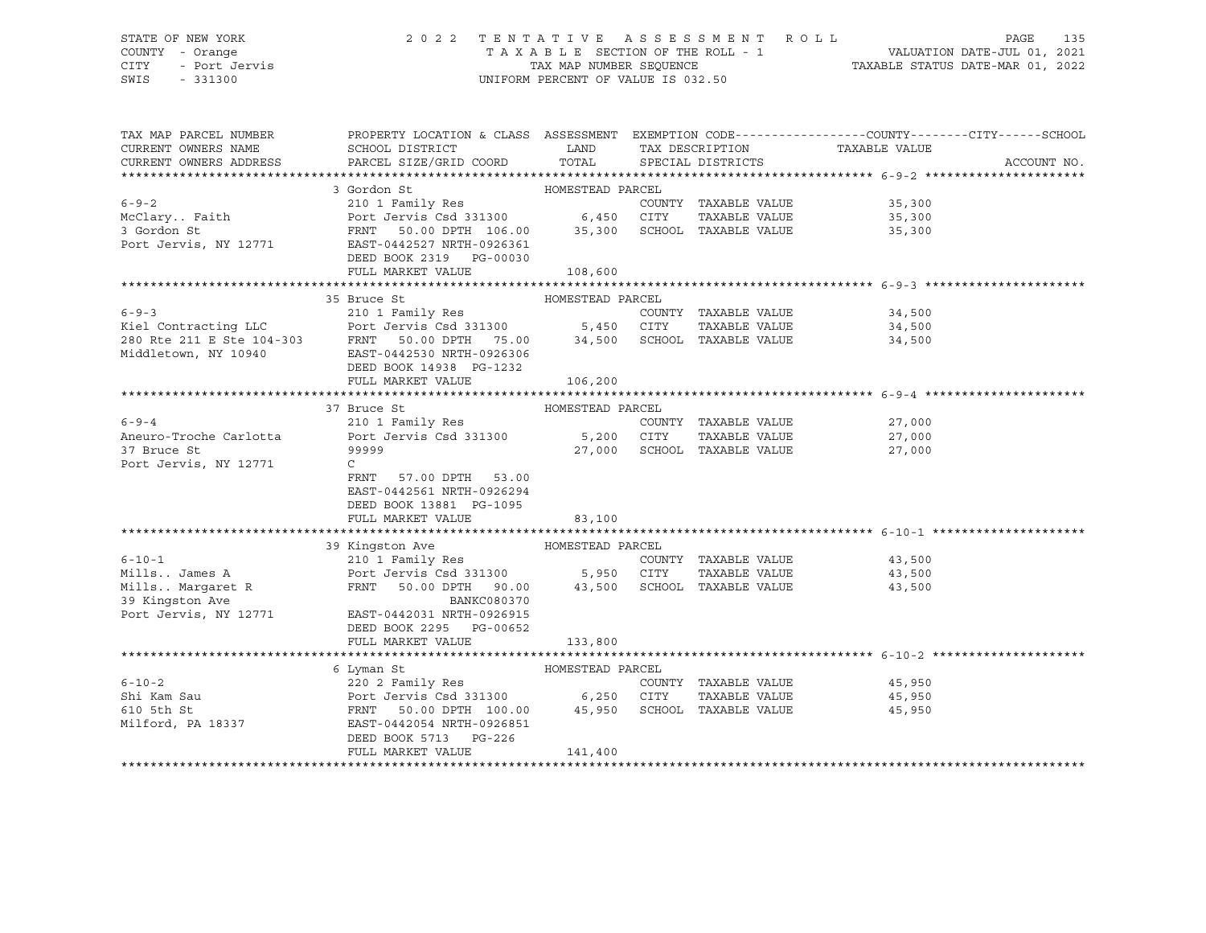#### STATE OF NEW YORK 2 0 2 2 T E N T A T I V E A S S E S S M E N T R O L L PAGE 135 COUNTY - Orange T A X A B L E SECTION OF THE ROLL - 1 VALUATION DATE-JUL 01, 2021 CITY - Port Jervis TAX MAP NUMBER SEQUENCE TAXABLE STATUS DATE-MAR 01, 2022 SWIS - 331300 UNIFORM PERCENT OF VALUE IS 032.50

| TAX MAP PARCEL NUMBER                                              | PROPERTY LOCATION & CLASS ASSESSMENT EXEMPTION CODE----------------COUNTY-------CITY------SCHOOL      |                  |                             |                                   |             |
|--------------------------------------------------------------------|-------------------------------------------------------------------------------------------------------|------------------|-----------------------------|-----------------------------------|-------------|
| CURRENT OWNERS NAME                                                | SCHOOL DISTRICT                                                                                       | <b>LAND</b>      | TAX DESCRIPTION             | TAXABLE VALUE                     |             |
| CURRENT OWNERS ADDRESS                                             | PARCEL SIZE/GRID COORD                                                                                | TOTAL            | SPECIAL DISTRICTS           |                                   | ACCOUNT NO. |
|                                                                    |                                                                                                       |                  |                             |                                   |             |
|                                                                    | HOMESTEAD PARCEL<br>3 Gordon St                                                                       |                  |                             |                                   |             |
| $6 - 9 - 2$                                                        | 210 1 Family Res                                                                                      |                  | COUNTY TAXABLE VALUE        | 35,300                            |             |
| McClary Faith                                                      | Port Jervis Csd 331300 6,450 CITY                                                                     |                  | TAXABLE VALUE               | 35,300                            |             |
| 3 Gordon St                                                        | FRNT 50.00 DPTH 106.00 35,300 SCHOOL TAXABLE VALUE<br>EAST-0442527 NRTH-0926361                       |                  |                             | 35,300                            |             |
| Port Jervis, NY 12771                                              |                                                                                                       |                  |                             |                                   |             |
|                                                                    | DEED BOOK 2319 PG-00030                                                                               |                  |                             |                                   |             |
|                                                                    | FULL MARKET VALUE 108,600                                                                             |                  |                             |                                   |             |
|                                                                    |                                                                                                       |                  |                             |                                   |             |
|                                                                    | 35 Bruce St                                                                                           | HOMESTEAD PARCEL |                             |                                   |             |
| $6 - 9 - 3$                                                        | 210 1 Family Res                                                                                      |                  | COUNTY TAXABLE VALUE        | 34,500                            |             |
|                                                                    |                                                                                                       |                  |                             | TAXABLE VALUE 34,500              |             |
|                                                                    |                                                                                                       |                  |                             | 34,500                            |             |
|                                                                    |                                                                                                       |                  |                             |                                   |             |
|                                                                    | DEED BOOK 14938 PG-1232                                                                               |                  |                             |                                   |             |
|                                                                    | FULL MARKET VALUE                                                                                     | 106,200          |                             |                                   |             |
|                                                                    |                                                                                                       |                  |                             |                                   |             |
|                                                                    | 37 Bruce St                                                                                           | HOMESTEAD PARCEL |                             |                                   |             |
| $6 - 9 - 4$                                                        | 210 1 Family Res                                                                                      |                  |                             | COUNTY TAXABLE VALUE 27,000       |             |
| Aneuro-Troche Carlotta                                             | Port Jervis Csd 331300 5,200 CITY                                                                     |                  | TAXABLE VALUE               |                                   |             |
| 37 Bruce St                                                        | 99999                                                                                                 |                  | 27,000 SCHOOL TAXABLE VALUE | $\frac{27,000}{27,000}$<br>27,000 |             |
| Port Jervis, NY 12771                                              | $\mathsf{C}$                                                                                          |                  |                             |                                   |             |
|                                                                    | FRNT 57.00 DPTH 53.00                                                                                 |                  |                             |                                   |             |
|                                                                    | EAST-0442561 NRTH-0926294                                                                             |                  |                             |                                   |             |
|                                                                    | DEED BOOK 13881 PG-1095                                                                               |                  |                             |                                   |             |
|                                                                    | FULL MARKET VALUE                                                                                     | 83,100           |                             |                                   |             |
|                                                                    |                                                                                                       |                  |                             |                                   |             |
|                                                                    | 39 Kingston Ave MOMESTEAD PARCEL                                                                      |                  |                             |                                   |             |
| $6 - 10 - 1$                                                       | 210 1 Family Res                                                                                      |                  |                             | COUNTY TAXABLE VALUE 43,500       |             |
|                                                                    | Port Jervis Csd 331300 5,950 CITY                                                                     |                  | TAXABLE VALUE               | 43,500                            |             |
|                                                                    | FRNT 50.00 DPTH 90.00 43,500 SCHOOL TAXABLE VALUE                                                     |                  |                             | 43,500                            |             |
| ---. James A<br>Mills Margaret R<br>39 Kingston Ave<br>Port Jervin | BANKC080370                                                                                           |                  |                             |                                   |             |
|                                                                    | Port Jervis, NY 12771 EAST-0442031 NRTH-0926915                                                       |                  |                             |                                   |             |
|                                                                    | DEED BOOK 2295 PG-00652                                                                               |                  |                             |                                   |             |
|                                                                    | FULL MARKET VALUE                                                                                     |                  |                             |                                   |             |
|                                                                    |                                                                                                       | 133,800          |                             |                                   |             |
|                                                                    | 6 Lyman St                                                                                            | HOMESTEAD PARCEL |                             |                                   |             |
| $6 - 10 - 2$                                                       |                                                                                                       |                  |                             | COUNTY TAXABLE VALUE 45,950       |             |
|                                                                    |                                                                                                       |                  |                             |                                   |             |
| Shi Kam Sau                                                        | Port Jervis Csd 331300 6,250 CITY TAXABLE VALUE<br>FRNT 50.00 DPTH 100.00 45,950 SCHOOL TAXABLE VALUE |                  |                             | TAXABLE VALUE 45,950              |             |
| 610 5th St                                                         | Milford, PA 18337 EAST-0442054 NRTH-0926851                                                           |                  |                             | 45,950                            |             |
|                                                                    |                                                                                                       |                  |                             |                                   |             |
|                                                                    | DEED BOOK 5713 PG-226                                                                                 |                  |                             |                                   |             |
|                                                                    | FULL MARKET VALUE                                                                                     | 141,400          |                             |                                   |             |
|                                                                    |                                                                                                       |                  |                             |                                   |             |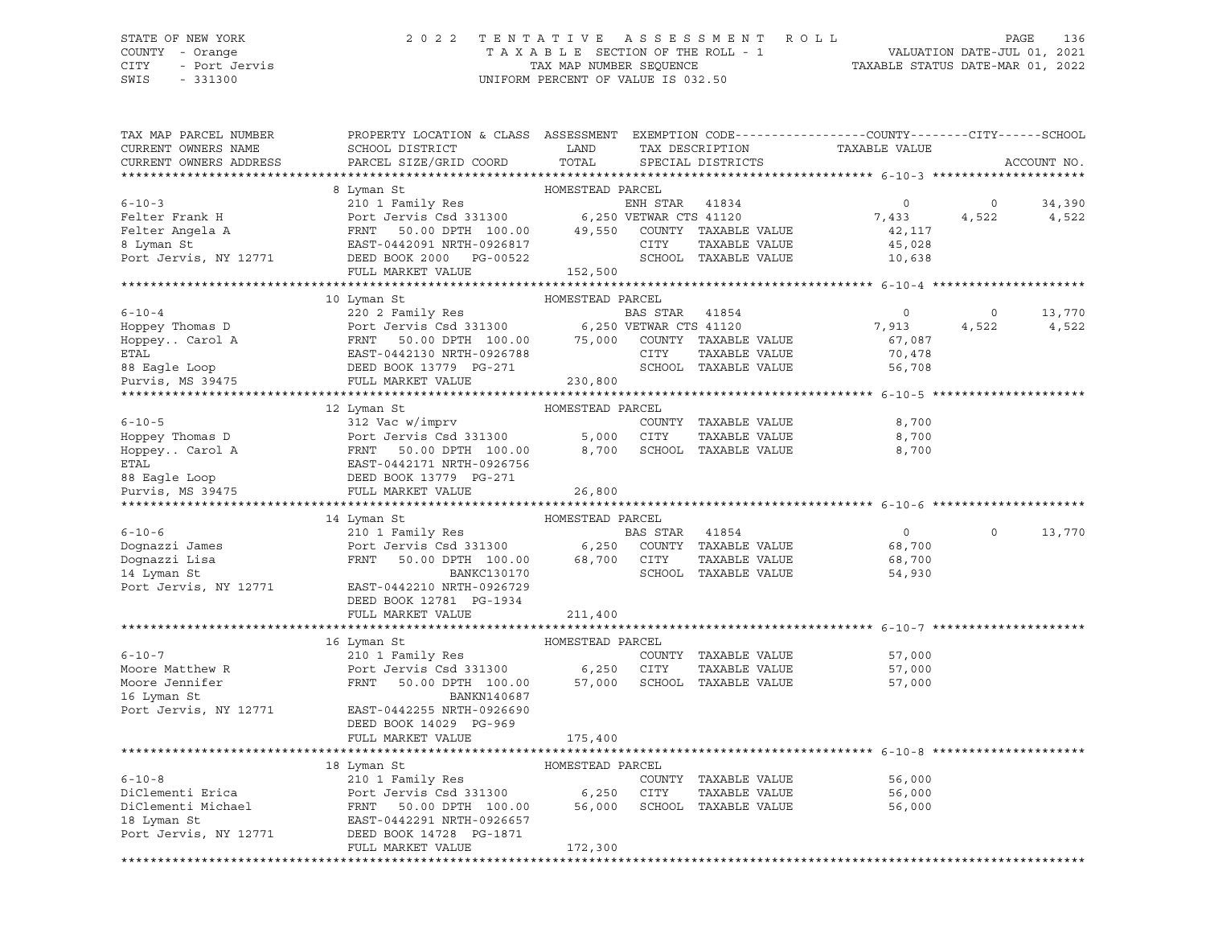## STATE OF NEW YORK 2 0 2 2 T E N T A T I V E A S S E S S M E N T R O L L PAGE 136 COUNTY - Orange T A X A B L E SECTION OF THE ROLL - 1 VALUATION DATE-JUL 01, 2021

SWIS - 331300 UNIFORM PERCENT OF VALUE IS 032.50

CITY - Port Jervis TAX MAP NUMBER SEQUENCE TAXABLE STATUS DATE-MAR 01, 2022

| TAX MAP PARCEL NUMBER  | PROPERTY LOCATION & CLASS ASSESSMENT EXEMPTION CODE---------------COUNTY-------CITY------SCHOOL                                                                                                                                                                                                                                                                                                                                           |                  |                |                      |                               |                |             |
|------------------------|-------------------------------------------------------------------------------------------------------------------------------------------------------------------------------------------------------------------------------------------------------------------------------------------------------------------------------------------------------------------------------------------------------------------------------------------|------------------|----------------|----------------------|-------------------------------|----------------|-------------|
| CURRENT OWNERS NAME    | <b>Example 12</b> LAND<br>SCHOOL DISTRICT                                                                                                                                                                                                                                                                                                                                                                                                 |                  |                |                      | TAX DESCRIPTION TAXABLE VALUE |                |             |
| CURRENT OWNERS ADDRESS | PARCEL SIZE/GRID COORD                                                                                                                                                                                                                                                                                                                                                                                                                    | TOTAL            |                | SPECIAL DISTRICTS    |                               |                | ACCOUNT NO. |
|                        |                                                                                                                                                                                                                                                                                                                                                                                                                                           |                  |                |                      |                               |                |             |
|                        |                                                                                                                                                                                                                                                                                                                                                                                                                                           |                  |                |                      |                               |                |             |
|                        |                                                                                                                                                                                                                                                                                                                                                                                                                                           |                  |                |                      |                               | $\circ$        | 34,390      |
|                        |                                                                                                                                                                                                                                                                                                                                                                                                                                           |                  |                |                      | 7,433                         |                | 4,522 4,522 |
|                        |                                                                                                                                                                                                                                                                                                                                                                                                                                           |                  |                |                      |                               |                |             |
|                        |                                                                                                                                                                                                                                                                                                                                                                                                                                           |                  |                |                      |                               |                |             |
|                        |                                                                                                                                                                                                                                                                                                                                                                                                                                           |                  |                |                      |                               |                |             |
|                        |                                                                                                                                                                                                                                                                                                                                                                                                                                           |                  |                |                      |                               |                |             |
|                        |                                                                                                                                                                                                                                                                                                                                                                                                                                           |                  |                |                      |                               |                |             |
|                        | $\begin{tabular}{lllllllllllllllllllll} \vspace{0.1cm} \rule{0.1cm}{0.1cm} \vspace{0.1cm} 6-10-4 & 10 \text{ Lyman St} & \text{HOMESTEAD PARCH.} & \text{BAS STAR} & 41854 & \text{ADPPY} & \text{Thomas D} & \text{BAS STAR} & 41854 & \text{ADPPY}. \\ \vspace{0.1cm} \end{tabular} \vspace{0.1cm} \vspace{0.1cm} \vspace{0.1cm} \vspace{0.1cm} \vspace{0.1cm} \vspace{0.1cm} \vspace{0.1cm} \vspace{0.1cm$                             |                  |                |                      |                               |                |             |
|                        |                                                                                                                                                                                                                                                                                                                                                                                                                                           |                  |                |                      | $\overline{0}$                | $\overline{0}$ | 13,770      |
|                        |                                                                                                                                                                                                                                                                                                                                                                                                                                           |                  |                |                      | 7,913<br>67,087               |                | 4,522 4,522 |
|                        |                                                                                                                                                                                                                                                                                                                                                                                                                                           |                  |                |                      |                               |                |             |
|                        |                                                                                                                                                                                                                                                                                                                                                                                                                                           |                  |                |                      | 70,478                        |                |             |
|                        |                                                                                                                                                                                                                                                                                                                                                                                                                                           |                  |                |                      | 56,708                        |                |             |
|                        |                                                                                                                                                                                                                                                                                                                                                                                                                                           |                  |                |                      |                               |                |             |
|                        | 12 Lyman St                                                                                                                                                                                                                                                                                                                                                                                                                               | HOMESTEAD PARCEL |                |                      |                               |                |             |
|                        | $\begin{tabular}{lllllllllllllllllll} \multicolumn{3}{c }{\textbf{6}-10-5} & \multicolumn{3}{c }{\textbf{200NTY}} & \multicolumn{3}{c }{\textbf{212 Vac W/imprv}} & \multicolumn{3}{c }{\textbf{121 Vac W/imprv}} & \multicolumn{3}{c }{\textbf{122 Vac W/imprv}} & \multicolumn{3}{c }{\textbf{122 Vac W/imprv}} & \multicolumn{3}{c }{\textbf{123 Vac W/imprv}} & \multicolumn{3}{c }{\textbf{123 Vac W/imprv}} & \multicolumn{3}{c }{$ |                  |                |                      | 8,700                         |                |             |
|                        |                                                                                                                                                                                                                                                                                                                                                                                                                                           |                  |                | TAXABLE VALUE        | 8,700                         |                |             |
|                        |                                                                                                                                                                                                                                                                                                                                                                                                                                           |                  |                |                      | 8,700                         |                |             |
|                        |                                                                                                                                                                                                                                                                                                                                                                                                                                           |                  |                |                      |                               |                |             |
|                        |                                                                                                                                                                                                                                                                                                                                                                                                                                           |                  |                |                      |                               |                |             |
|                        |                                                                                                                                                                                                                                                                                                                                                                                                                                           |                  |                |                      |                               |                |             |
|                        |                                                                                                                                                                                                                                                                                                                                                                                                                                           |                  |                |                      |                               |                |             |
|                        |                                                                                                                                                                                                                                                                                                                                                                                                                                           |                  |                |                      |                               |                |             |
|                        |                                                                                                                                                                                                                                                                                                                                                                                                                                           |                  |                |                      |                               |                |             |
|                        | 14 Lyman St                                                                                                                                                                                                                                                                                                                                                                                                                               | HOMESTEAD PARCEL |                |                      |                               | $\Omega$       |             |
| $6 - 10 - 6$           | 210 1 Family Res                                                                                                                                                                                                                                                                                                                                                                                                                          |                  | BAS STAR 41854 |                      | $\overline{0}$                |                | 13,770      |
|                        |                                                                                                                                                                                                                                                                                                                                                                                                                                           |                  |                |                      | 68,700                        |                |             |
|                        |                                                                                                                                                                                                                                                                                                                                                                                                                                           |                  |                |                      | 68,700                        |                |             |
|                        |                                                                                                                                                                                                                                                                                                                                                                                                                                           |                  |                | SCHOOL TAXABLE VALUE | 54,930                        |                |             |
|                        | Port Jervis, NY 12771 EAST-0442210 NRTH-0926729<br>DEED BOOK 12781 PG-1934                                                                                                                                                                                                                                                                                                                                                                |                  |                |                      |                               |                |             |
|                        | FULL MARKET VALUE                                                                                                                                                                                                                                                                                                                                                                                                                         |                  |                |                      |                               |                |             |
|                        |                                                                                                                                                                                                                                                                                                                                                                                                                                           | 211,400          |                |                      |                               |                |             |
|                        |                                                                                                                                                                                                                                                                                                                                                                                                                                           |                  |                |                      |                               |                |             |
|                        |                                                                                                                                                                                                                                                                                                                                                                                                                                           |                  |                |                      | 57,000                        |                |             |
|                        |                                                                                                                                                                                                                                                                                                                                                                                                                                           |                  |                |                      | 57,000                        |                |             |
|                        |                                                                                                                                                                                                                                                                                                                                                                                                                                           |                  |                |                      | 57,000                        |                |             |
| 16 Lyman St            |                                                                                                                                                                                                                                                                                                                                                                                                                                           |                  |                |                      |                               |                |             |
|                        | 16 Lyman St<br>16 Lyman St<br>210 1 Family Res<br>Moore Matthew R<br>Moore Jennifer<br>16 Lyman St<br>210 1 Family Res<br>Port Jervis Csd 331300<br>FRNT 50.00 DPTH 100.00 57,000 SCHOOL TAXABLE VALUE<br>210 1 Family Res<br>210 1 Family Res<br>21                                                                                                                                                                                      |                  |                |                      |                               |                |             |
|                        | 16 BANAN140667<br>Port Jervis, NY 12771 EAST-0442255 NRTH-0926690<br>DEED BOOK 14029 PG-969                                                                                                                                                                                                                                                                                                                                               |                  |                |                      |                               |                |             |
|                        | FULL MARKET VALUE                                                                                                                                                                                                                                                                                                                                                                                                                         | 175,400          |                |                      |                               |                |             |
|                        |                                                                                                                                                                                                                                                                                                                                                                                                                                           |                  |                |                      |                               |                |             |
|                        | 18 Lyman St                                                                                                                                                                                                                                                                                                                                                                                                                               | HOMESTEAD PARCEL |                |                      |                               |                |             |
|                        | 210 1 Family Res                                                                                                                                                                                                                                                                                                                                                                                                                          |                  |                |                      | 56,000                        |                |             |
|                        |                                                                                                                                                                                                                                                                                                                                                                                                                                           |                  |                | TAXABLE VALUE        | 56,000                        |                |             |
|                        |                                                                                                                                                                                                                                                                                                                                                                                                                                           |                  |                |                      | 56,000                        |                |             |
|                        |                                                                                                                                                                                                                                                                                                                                                                                                                                           |                  |                |                      |                               |                |             |
|                        | 6-10-8 210 1 Family Res COUNTY TAXABLE VALUE<br>DiClementi Erica Port Jervis Csd 331300 6,250 CITY TAXABLE VALUE<br>DiClementi Michael FRNT 50.00 DPTH 100.00 56,000 SCHOOL TAXABLE VALUE<br>18 Lyman St EAST-0442291 NRTH-0926657<br>Port                                                                                                                                                                                                |                  |                |                      |                               |                |             |
|                        | FULL MARKET VALUE                                                                                                                                                                                                                                                                                                                                                                                                                         | 172,300          |                |                      |                               |                |             |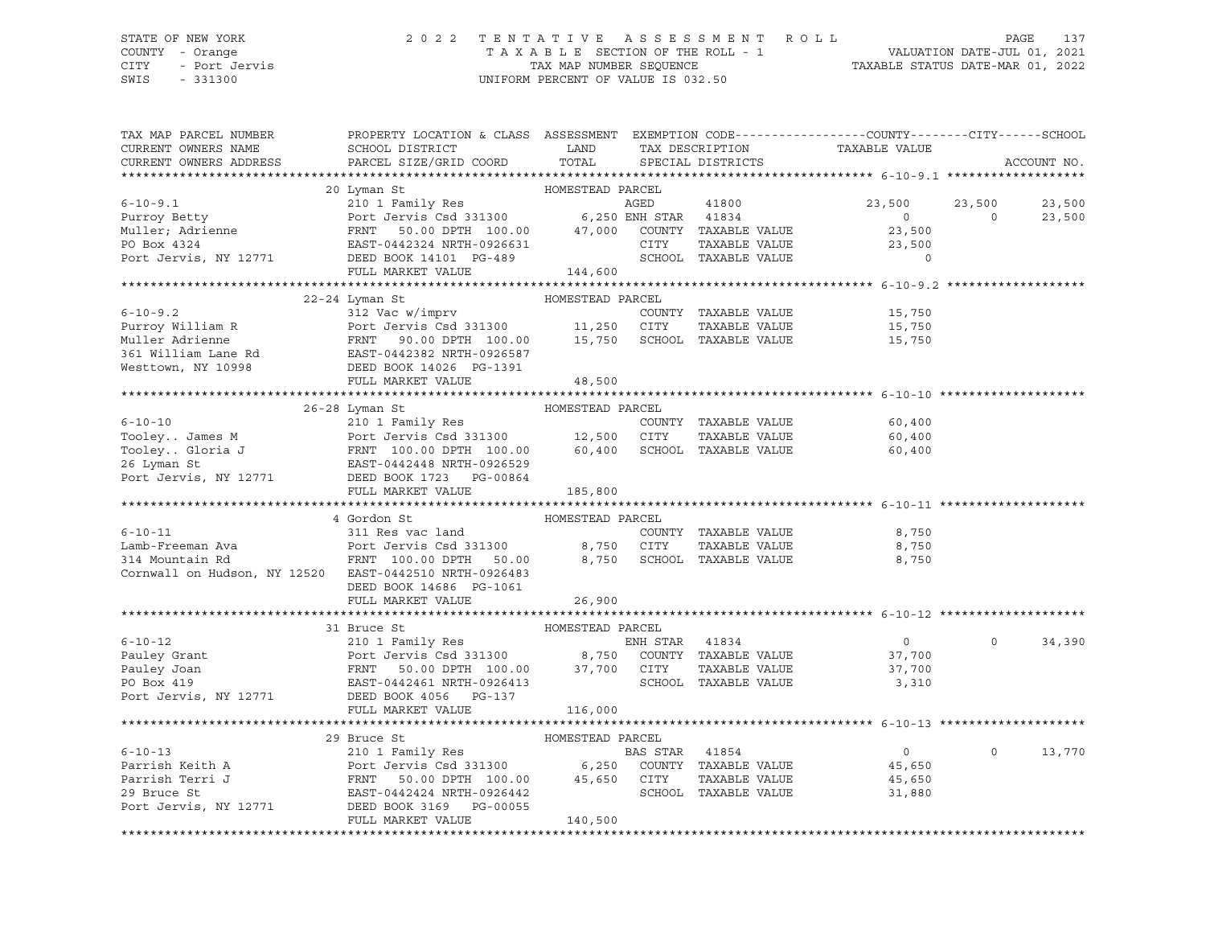#### STATE OF NEW YORK 2 0 2 2 T E N T A T I V E A S S E S S M E N T R O L L PAGE 137 COUNTY - Orange T A X A B L E SECTION OF THE ROLL - 1 VALUATION DATE-JUL 01, 2021 CITY - Port Jervis TAX MAP NUMBER SEQUENCE TAXABLE STATUS DATE-MAR 01, 2022

| TAX MAP PARCEL NUMBER                                                                                                                                                                                                                                                                                                                                                                                                                                                                                          | PROPERTY LOCATION & CLASS ASSESSMENT EXEMPTION CODE----------------COUNTY-------CITY------SCHOOL |                  |                      |                                           |          |             |
|----------------------------------------------------------------------------------------------------------------------------------------------------------------------------------------------------------------------------------------------------------------------------------------------------------------------------------------------------------------------------------------------------------------------------------------------------------------------------------------------------------------|--------------------------------------------------------------------------------------------------|------------------|----------------------|-------------------------------------------|----------|-------------|
| CURRENT OWNERS NAME                                                                                                                                                                                                                                                                                                                                                                                                                                                                                            |                                                                                                  |                  |                      |                                           |          |             |
| CURRENT OWNERS ADDRESS                                                                                                                                                                                                                                                                                                                                                                                                                                                                                         |                                                                                                  |                  |                      |                                           |          | ACCOUNT NO. |
|                                                                                                                                                                                                                                                                                                                                                                                                                                                                                                                |                                                                                                  |                  |                      |                                           |          |             |
| $\begin{tabular}{lcccccc} 6-10-9.1 & 20 Lyman St & HOMESTEAD PARCHL & 41800 \\ & 20 Lyman St & 2101 Family Res & AGED & 41800 \\ \hline POTK Jerivis & 250.00 DPTH & 100.00 & 47,000 & COUNTY TAXABLE VALUE \\ \hline PO Box 4324 & EAST-0442324 NRTH-0926631 & 217Y & TAXABLE VALUE \\ \hline POTL Jerviis, NY 12771 & DEG-489 & 324 & SCHOOL TAXABLE VALUE \\ \end{tabular}$                                                                                                                                 |                                                                                                  |                  |                      |                                           |          |             |
|                                                                                                                                                                                                                                                                                                                                                                                                                                                                                                                |                                                                                                  |                  |                      | 23,500 23,500                             |          | 23,500      |
|                                                                                                                                                                                                                                                                                                                                                                                                                                                                                                                |                                                                                                  |                  |                      | $\begin{array}{c}\n0 \\ 235\n\end{array}$ | $\Omega$ | 23,500      |
|                                                                                                                                                                                                                                                                                                                                                                                                                                                                                                                |                                                                                                  |                  |                      |                                           |          |             |
|                                                                                                                                                                                                                                                                                                                                                                                                                                                                                                                |                                                                                                  |                  |                      | 23,500                                    |          |             |
|                                                                                                                                                                                                                                                                                                                                                                                                                                                                                                                |                                                                                                  |                  |                      | $\circ$                                   |          |             |
|                                                                                                                                                                                                                                                                                                                                                                                                                                                                                                                | FULL MARKET VALUE 144,600                                                                        |                  |                      |                                           |          |             |
| $\begin{tabular}{lllllllllllll} \multicolumn{3}{c}{\begin{tabular}{l} \multicolumn{3}{c}{\begin{tabular}{l} \multicolumn{3}{c}{\begin{tabular}{l} \multicolumn{3}{c}{\begin{tabular}{l} \multicolumn{3}{c}{\begin{tabular}{l} \multicolumn{3}{c}{\begin{tabular}{l} \multicolumn{3}{c}{\begin{tabular}{l} \multicolumn{3}{c}{\begin{tabular}{l} \multicolumn{3}{c}{\begin{tabular}{l} \multicolumn{3}{c}{\begin{tabular}{l} \multicolumn{3}{c}{\begin{tabular}{l} \multicolumn{3}{c}{\begin{tabular}{l} \mult$ |                                                                                                  |                  |                      |                                           |          |             |
|                                                                                                                                                                                                                                                                                                                                                                                                                                                                                                                |                                                                                                  |                  |                      |                                           |          |             |
|                                                                                                                                                                                                                                                                                                                                                                                                                                                                                                                |                                                                                                  |                  |                      |                                           |          |             |
|                                                                                                                                                                                                                                                                                                                                                                                                                                                                                                                |                                                                                                  |                  |                      |                                           |          |             |
|                                                                                                                                                                                                                                                                                                                                                                                                                                                                                                                |                                                                                                  |                  |                      |                                           |          |             |
|                                                                                                                                                                                                                                                                                                                                                                                                                                                                                                                |                                                                                                  |                  |                      |                                           |          |             |
|                                                                                                                                                                                                                                                                                                                                                                                                                                                                                                                |                                                                                                  |                  |                      |                                           |          |             |
|                                                                                                                                                                                                                                                                                                                                                                                                                                                                                                                |                                                                                                  |                  |                      |                                           |          |             |
|                                                                                                                                                                                                                                                                                                                                                                                                                                                                                                                |                                                                                                  |                  |                      |                                           |          |             |
|                                                                                                                                                                                                                                                                                                                                                                                                                                                                                                                |                                                                                                  |                  |                      |                                           |          |             |
|                                                                                                                                                                                                                                                                                                                                                                                                                                                                                                                |                                                                                                  |                  |                      |                                           |          |             |
|                                                                                                                                                                                                                                                                                                                                                                                                                                                                                                                |                                                                                                  |                  |                      |                                           |          |             |
|                                                                                                                                                                                                                                                                                                                                                                                                                                                                                                                |                                                                                                  |                  |                      |                                           |          |             |
|                                                                                                                                                                                                                                                                                                                                                                                                                                                                                                                |                                                                                                  |                  |                      |                                           |          |             |
| $\begin{array}{cccccccc} \texttt{6-10-10} & & & & \texttt{26-28 Lyman St} & & & \texttt{HOMESTEAD PARCEL} \\ & & & & \texttt{210 1 Family Res} & & & \texttt{COMESTEAD PARCEL} & & \\ \texttt{Tooley James M} & & & \texttt{Port Jervis Csd 331300} & & & 12,500 & \texttt{CITY} & \texttt{TAXABLE VALUE} & & 60,400 \\ \texttt{Tooley Gloria J} & & & \texttt{FRNT 100.00 DPTH 100.00} & & & 60,400 & \texttt{SCHOOL TAXABLE VALUE} & & &$                                                                    | FULL MARKET VALUE 185,800                                                                        |                  |                      |                                           |          |             |
|                                                                                                                                                                                                                                                                                                                                                                                                                                                                                                                |                                                                                                  |                  |                      |                                           |          |             |
|                                                                                                                                                                                                                                                                                                                                                                                                                                                                                                                | 4 Gordon St                                                                                      | HOMESTEAD PARCEL |                      |                                           |          |             |
| $6 - 10 - 11$                                                                                                                                                                                                                                                                                                                                                                                                                                                                                                  | 311 Res vac land                                                                                 |                  | COUNTY TAXABLE VALUE | 8,750                                     |          |             |
|                                                                                                                                                                                                                                                                                                                                                                                                                                                                                                                |                                                                                                  |                  |                      | TAXABLE VALUE 8,750                       |          |             |
|                                                                                                                                                                                                                                                                                                                                                                                                                                                                                                                |                                                                                                  |                  |                      | 8,750                                     |          |             |
| Cornwall on Hudson, NY 12520 EAST-0442510 NRTH-0926483                                                                                                                                                                                                                                                                                                                                                                                                                                                         |                                                                                                  |                  |                      |                                           |          |             |
|                                                                                                                                                                                                                                                                                                                                                                                                                                                                                                                | DEED BOOK 14686 PG-1061                                                                          |                  |                      |                                           |          |             |
|                                                                                                                                                                                                                                                                                                                                                                                                                                                                                                                | FULL MARKET VALUE                                                                                | 26,900           |                      |                                           |          |             |
|                                                                                                                                                                                                                                                                                                                                                                                                                                                                                                                |                                                                                                  |                  |                      |                                           |          |             |
| $\begin{tabular}{lcccccc} 6-10-12 & & & 31 Bruce St & & & \text{HOMESTEAD PARCH} \\ 6-10-12 & & & 210 1 Family Res & & & ENH STAR & 41834 \\ 210 1 Family Res & & & 8,750 & COUNTY TAXABLE VALUE \\ 210 1 Family Res & & & 8,750 & COUNTY TAXABLE VALUE \\ 210 1 Family Res & & & 8,750 & COUNTY TAXABLE VALUE \\ 210 1 Family Res & & & 8,750 & COUNTY TAXABLE VALUE \\ 210 1 Family Res & & & 8,750 & COUNTY TAXABLE VALUE \\ 210 1 Family Res & & & 8,750 & COUNTY$                                         |                                                                                                  |                  |                      |                                           |          |             |
|                                                                                                                                                                                                                                                                                                                                                                                                                                                                                                                |                                                                                                  |                  | ENH STAR 41834       | $\overline{0}$                            | $\Omega$ | 34,390      |
|                                                                                                                                                                                                                                                                                                                                                                                                                                                                                                                |                                                                                                  |                  |                      | 37,700                                    |          |             |
|                                                                                                                                                                                                                                                                                                                                                                                                                                                                                                                |                                                                                                  |                  | TAXABLE VALUE        |                                           |          |             |
|                                                                                                                                                                                                                                                                                                                                                                                                                                                                                                                |                                                                                                  |                  |                      | 37,700<br>3,310                           |          |             |
| Port Jervis, NY 12771 DEED BOOK 4056 PG-137                                                                                                                                                                                                                                                                                                                                                                                                                                                                    |                                                                                                  |                  |                      |                                           |          |             |
|                                                                                                                                                                                                                                                                                                                                                                                                                                                                                                                | FULL MARKET VALUE                                                                                | 116,000          |                      |                                           |          |             |
|                                                                                                                                                                                                                                                                                                                                                                                                                                                                                                                |                                                                                                  |                  |                      |                                           |          |             |
|                                                                                                                                                                                                                                                                                                                                                                                                                                                                                                                |                                                                                                  |                  |                      |                                           |          |             |
|                                                                                                                                                                                                                                                                                                                                                                                                                                                                                                                |                                                                                                  |                  |                      |                                           | $\circ$  | 13,770      |
|                                                                                                                                                                                                                                                                                                                                                                                                                                                                                                                |                                                                                                  |                  |                      |                                           |          |             |
|                                                                                                                                                                                                                                                                                                                                                                                                                                                                                                                |                                                                                                  |                  |                      |                                           |          |             |
|                                                                                                                                                                                                                                                                                                                                                                                                                                                                                                                |                                                                                                  |                  |                      |                                           |          |             |
| 39 Bruce St<br>210 1 Family Res<br>Parrish Keith A Port Jervis Csd 331300 6,250 COUNTY TAXABLE VALUE<br>29 Bruce St<br>Parrish Terri J FRNT 50.00 DPTH 100.00 45,650 CITY TAXABLE VALUE<br>29 Bruce St<br>29 Bruce St<br>29 Bruce St<br>29 Bru                                                                                                                                                                                                                                                                 |                                                                                                  |                  |                      |                                           |          |             |
|                                                                                                                                                                                                                                                                                                                                                                                                                                                                                                                | FULL MARKET VALUE                                                                                | 140,500          |                      |                                           |          |             |
|                                                                                                                                                                                                                                                                                                                                                                                                                                                                                                                |                                                                                                  |                  |                      |                                           |          |             |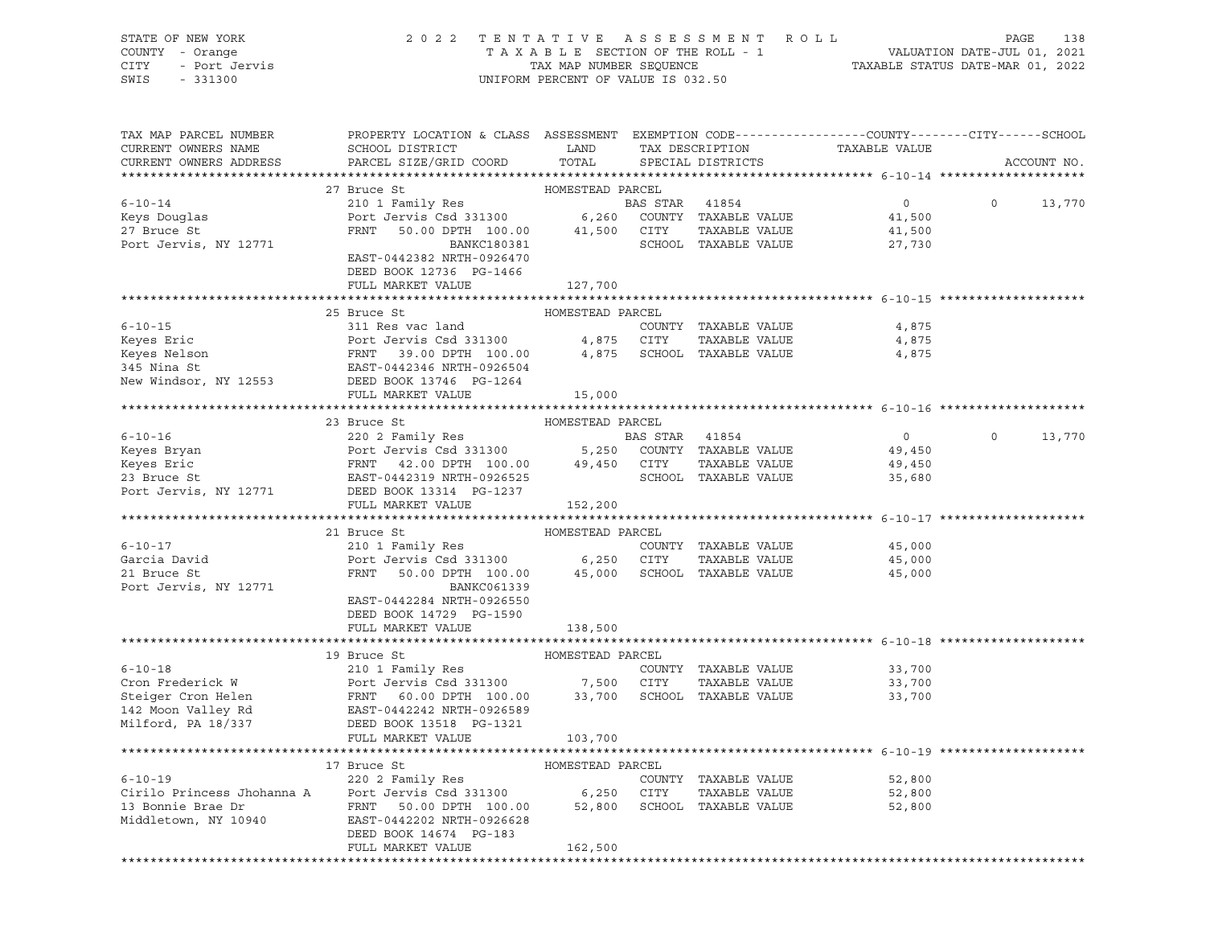| STATE OF NEW YORK<br>OF NEW YORK<br>- Orange<br>- Port Jervis<br>- 2000<br>COUNTY - Orange<br>CITY<br>SWIS | 2022 TENTATIVE ASSESSMENT ROLL                                                                                                                                                                                                           | UNIFORM PERCENT OF VALUE IS 032.50 |                |                                      |                | PAGE<br>138<br>TAXABLE SECTION OF THE ROLL - 1<br>TAXABLE STATUS DATE-JUL 01, 2021<br>TAXABLE STATUS DATE-MAR 01, 2022 |
|------------------------------------------------------------------------------------------------------------|------------------------------------------------------------------------------------------------------------------------------------------------------------------------------------------------------------------------------------------|------------------------------------|----------------|--------------------------------------|----------------|------------------------------------------------------------------------------------------------------------------------|
| TAX MAP PARCEL NUMBER                                                                                      | PROPERTY LOCATION & CLASS ASSESSMENT EXEMPTION CODE----------------COUNTY-------CITY------SCHOOL                                                                                                                                         |                                    |                |                                      |                |                                                                                                                        |
| CURRENT OWNERS NAME<br>CURRENT OWNERS ADDRESS                                                              | SCHOOL DISTRICT<br>PARCEL SIZE/GRID COORD                                                                                                                                                                                                | LAND<br>TOTAL                      |                | TAX DESCRIPTION<br>SPECIAL DISTRICTS | TAXABLE VALUE  | ACCOUNT NO.                                                                                                            |
|                                                                                                            |                                                                                                                                                                                                                                          |                                    |                |                                      |                |                                                                                                                        |
|                                                                                                            | 27 Bruce St                                                                                                                                                                                                                              |                                    |                |                                      |                |                                                                                                                        |
| $6 - 10 - 14$                                                                                              |                                                                                                                                                                                                                                          |                                    | BAS STAR 41854 |                                      | $\overline{0}$ | $\circ$<br>13,770                                                                                                      |
| Keys Douglas                                                                                               | Port Jeruiny Nes (2008)<br>Port Jervis Csd 331300 (2008)<br>FRNT 50.00 DPTH 100.00 (21,500 CITY TAXABLE VALUE<br>BANKC180381 (2010OL TAXABLE VALUE                                                                                       |                                    |                |                                      | 41,500         |                                                                                                                        |
| 27 Bruce St                                                                                                |                                                                                                                                                                                                                                          |                                    |                |                                      | 41,500         |                                                                                                                        |
| Port Jervis, NY 12771                                                                                      |                                                                                                                                                                                                                                          |                                    |                | SCHOOL TAXABLE VALUE                 | 27,730         |                                                                                                                        |
|                                                                                                            | EAST-0442382 NRTH-0926470                                                                                                                                                                                                                |                                    |                |                                      |                |                                                                                                                        |
|                                                                                                            | DEED BOOK 12736 PG-1466                                                                                                                                                                                                                  |                                    |                |                                      |                |                                                                                                                        |
|                                                                                                            | FULL MARKET VALUE                                                                                                                                                                                                                        | 127,700                            |                |                                      |                |                                                                                                                        |
|                                                                                                            | 25 Bruce St                                                                                                                                                                                                                              | HOMESTEAD PARCEL                   |                |                                      |                |                                                                                                                        |
|                                                                                                            | 6-10-15<br>Experiment COUNTY TAXABLE VALUE<br>Keyes Eric Port Jervis Csd 331300 4,875 CITY TAXABLE VALUE<br>Keyes Nelson FRNT 39.00 DPTH 100.00 4,875 SCHOOL TAXABLE VALUE<br>345 Nina St EAST-0442346 NRTH-0926504<br>New Windsor, NY 1 |                                    |                |                                      | 4,875          |                                                                                                                        |
|                                                                                                            |                                                                                                                                                                                                                                          |                                    |                |                                      | 4,875          |                                                                                                                        |
|                                                                                                            |                                                                                                                                                                                                                                          |                                    |                |                                      | 4,875          |                                                                                                                        |
|                                                                                                            |                                                                                                                                                                                                                                          |                                    |                |                                      |                |                                                                                                                        |
|                                                                                                            |                                                                                                                                                                                                                                          |                                    |                |                                      |                |                                                                                                                        |
|                                                                                                            | FULL MARKET VALUE                                                                                                                                                                                                                        |                                    |                |                                      |                |                                                                                                                        |
|                                                                                                            |                                                                                                                                                                                                                                          | 15,000                             |                |                                      |                |                                                                                                                        |
|                                                                                                            | 23 Bruce St                                                                                                                                                                                                                              | HOMESTEAD PARCEL                   |                |                                      |                |                                                                                                                        |
|                                                                                                            |                                                                                                                                                                                                                                          |                                    |                |                                      | $\overline{0}$ | $\circ$<br>13,770                                                                                                      |
|                                                                                                            |                                                                                                                                                                                                                                          |                                    |                |                                      | 49,450         |                                                                                                                        |
|                                                                                                            |                                                                                                                                                                                                                                          |                                    |                | TAXABLE VALUE                        | 49,450         |                                                                                                                        |
|                                                                                                            |                                                                                                                                                                                                                                          |                                    |                |                                      | 35,680         |                                                                                                                        |
|                                                                                                            | 6-10-16<br>Keyes Bryan<br>Keyes Eric PRNT 42.00 DPTH 100.00 49,450 CITY TAXABLE VALUE<br>23 Bruce St EAST-0442319 NRTH-0926525 SCHOOL TAXABLE VALUE<br>POTT JERD BOOK 13314 PG-1237                                                      |                                    |                |                                      |                |                                                                                                                        |
|                                                                                                            | FULL MARKET VALUE                                                                                                                                                                                                                        | 152,200                            |                |                                      |                |                                                                                                                        |
|                                                                                                            |                                                                                                                                                                                                                                          |                                    |                |                                      |                |                                                                                                                        |
|                                                                                                            | 21 Bruce St                                                                                                                                                                                                                              | HOMESTEAD PARCEL                   |                |                                      |                |                                                                                                                        |
| $6 - 10 - 17$                                                                                              | 210 1 Family Res                                                                                                                                                                                                                         |                                    |                | COUNTY TAXABLE VALUE                 | 45,000         |                                                                                                                        |
| Garcia David                                                                                               | Port Jervis Csd 331300 6,250 CITY                                                                                                                                                                                                        |                                    |                | TAXABLE VALUE                        | 45,000         |                                                                                                                        |
| 21 Bruce St                                                                                                | 50.00 DPTH 100.00 45,000 SCHOOL TAXABLE VALUE<br>FRNT                                                                                                                                                                                    |                                    |                |                                      | 45,000         |                                                                                                                        |
| Port Jervis, NY 12771                                                                                      | BANKC061339                                                                                                                                                                                                                              |                                    |                |                                      |                |                                                                                                                        |
|                                                                                                            | EAST-0442284 NRTH-0926550                                                                                                                                                                                                                |                                    |                |                                      |                |                                                                                                                        |
|                                                                                                            | DEED BOOK 14729 PG-1590                                                                                                                                                                                                                  |                                    |                |                                      |                |                                                                                                                        |
|                                                                                                            | FULL MARKET VALUE                                                                                                                                                                                                                        | 138,500                            |                |                                      |                |                                                                                                                        |
|                                                                                                            |                                                                                                                                                                                                                                          |                                    |                |                                      |                |                                                                                                                        |
|                                                                                                            | 19 Bruce St                                                                                                                                                                                                                              | HOMESTEAD PARCEL                   |                |                                      |                |                                                                                                                        |
| $6 - 10 - 18$                                                                                              | 210 1 Family Res                                                                                                                                                                                                                         |                                    |                | COUNTY TAXABLE VALUE                 | 33,700         |                                                                                                                        |
| Cron Frederick W                                                                                           |                                                                                                                                                                                                                                          |                                    |                | TAXABLE VALUE                        | 33,700         |                                                                                                                        |
| Steiger Cron Helen<br>110 Moor Valley Rd                                                                   | FRNT 60.00 DPTH 100.00 33,700                                                                                                                                                                                                            |                                    |                | SCHOOL TAXABLE VALUE                 | 33,700         |                                                                                                                        |
| 142 Moon Valley Rd                                                                                         | EAST-0442242 NRTH-0926589                                                                                                                                                                                                                |                                    |                |                                      |                |                                                                                                                        |
| Milford, PA 18/337                                                                                         | DEED BOOK 13518 PG-1321                                                                                                                                                                                                                  |                                    |                |                                      |                |                                                                                                                        |
|                                                                                                            | FULL MARKET VALUE                                                                                                                                                                                                                        | 103,700                            |                |                                      |                |                                                                                                                        |
|                                                                                                            |                                                                                                                                                                                                                                          |                                    |                |                                      |                |                                                                                                                        |
|                                                                                                            | 17 Bruce St                                                                                                                                                                                                                              | HOMESTEAD PARCEL                   |                |                                      |                |                                                                                                                        |
| $6 - 10 - 19$                                                                                              | 220 2 Family Res                                                                                                                                                                                                                         |                                    |                | COUNTY TAXABLE VALUE                 | 52,800         |                                                                                                                        |
| Cirilo Princess Jhohanna A                                                                                 | Port Jervis Csd 331300                                                                                                                                                                                                                   | 6,250                              | CITY           | TAXABLE VALUE                        | 52,800         |                                                                                                                        |
| 13 Bonnie Brae Dr                                                                                          | 50.00 DPTH 100.00<br>FRNT                                                                                                                                                                                                                | 52,800                             |                | SCHOOL TAXABLE VALUE                 | 52,800         |                                                                                                                        |
| Middletown, NY 10940                                                                                       | EAST-0442202 NRTH-0926628                                                                                                                                                                                                                |                                    |                |                                      |                |                                                                                                                        |
|                                                                                                            | DEED BOOK 14674 PG-183                                                                                                                                                                                                                   |                                    |                |                                      |                |                                                                                                                        |
|                                                                                                            | FULL MARKET VALUE                                                                                                                                                                                                                        | 162,500                            |                |                                      |                |                                                                                                                        |
|                                                                                                            |                                                                                                                                                                                                                                          |                                    |                |                                      |                |                                                                                                                        |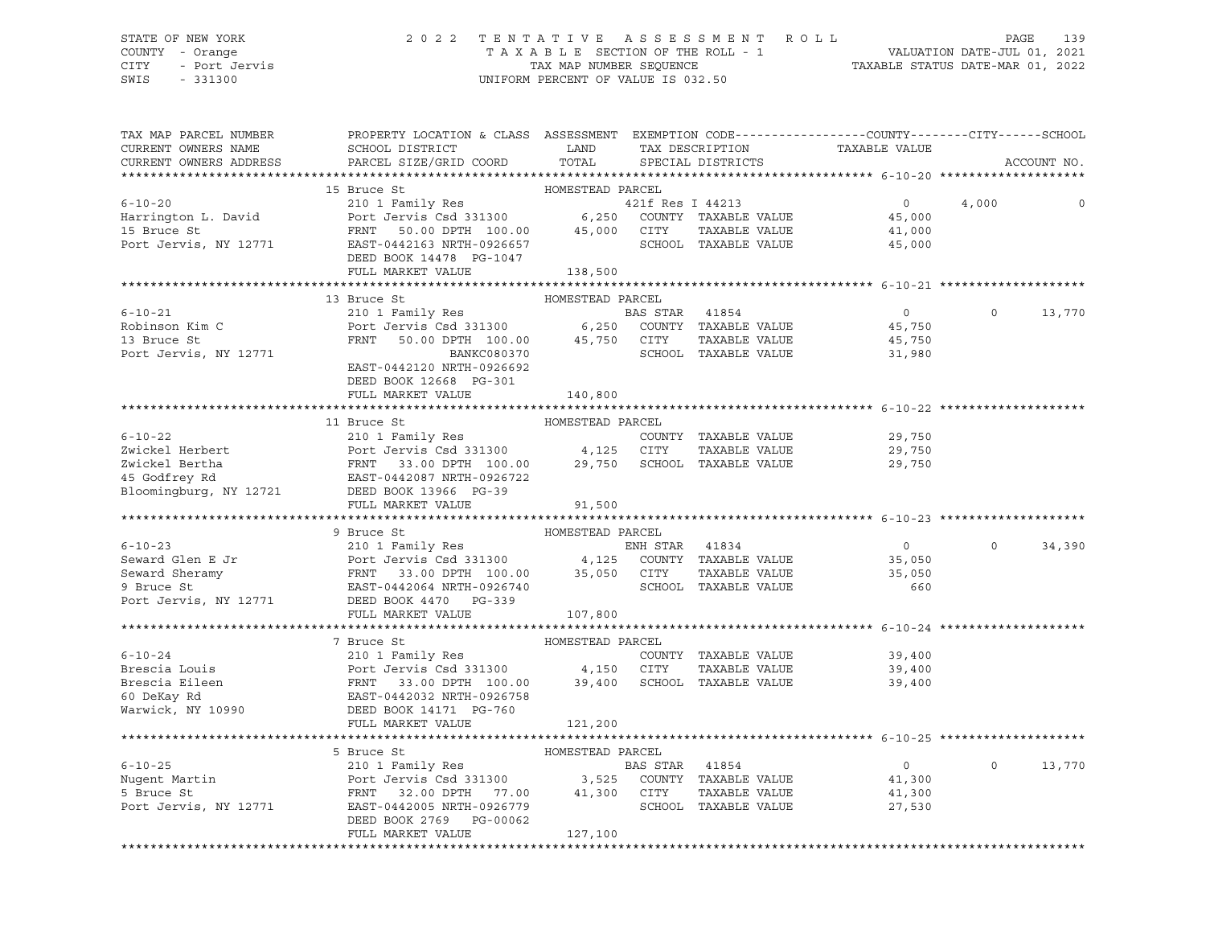#### STATE OF NEW YORK 2 0 2 2 T E N T A T I V E A S S E S S M E N T R O L L PAGE 139 COUNTY - Orange T A X A B L E SECTION OF THE ROLL - 1 VALUATION DATE-JUL 01, 2021 CITY - Port Jervis TAX MAP NUMBER SEQUENCE TAXABLE STATUS DATE-MAR 01, 2022

SWIS - 331300 UNIFORM PERCENT OF VALUE IS 032.50

| TAX MAP PARCEL NUMBER<br>CURRENT OWNERS NAME<br>CURRENT OWNERS ADDRESS                                                                                                                                                                                                                                                                                                                           | PROPERTY LOCATION & CLASS ASSESSMENT EXEMPTION CODE----------------COUNTY-------CITY------SCHOOL<br>SCHOOL DISTRICT LAND<br>PARCEL SIZE/GRID COORD                                                                             | TOTAL            | TAX DESCRIPTION<br>SPECIAL DISTRICTS | TAXABLE VALUE                                            |          | ACCOUNT NO. |
|--------------------------------------------------------------------------------------------------------------------------------------------------------------------------------------------------------------------------------------------------------------------------------------------------------------------------------------------------------------------------------------------------|--------------------------------------------------------------------------------------------------------------------------------------------------------------------------------------------------------------------------------|------------------|--------------------------------------|----------------------------------------------------------|----------|-------------|
|                                                                                                                                                                                                                                                                                                                                                                                                  |                                                                                                                                                                                                                                |                  |                                      |                                                          |          |             |
|                                                                                                                                                                                                                                                                                                                                                                                                  | 15 Bruce St                                                                                                                                                                                                                    | HOMESTEAD PARCEL |                                      |                                                          |          |             |
| $6 - 10 - 20$                                                                                                                                                                                                                                                                                                                                                                                    | 210 1 Family Res<br>210 1 Family Res<br>210 1 Family Res<br>21300 6,250 COUNTY TAXABLE VALUE<br>2200 27TY TAXABLE VALUE                                                                                                        |                  | 421f Res I 44213                     | $\overline{0}$                                           | 4,000    | 0           |
| Harrington L. David                                                                                                                                                                                                                                                                                                                                                                              |                                                                                                                                                                                                                                |                  |                                      | 45,000                                                   |          |             |
|                                                                                                                                                                                                                                                                                                                                                                                                  |                                                                                                                                                                                                                                |                  | TAXABLE VALUE                        | 41,000                                                   |          |             |
| 15 Bruce St<br>15 Bruce St<br>16 Port Jervis, NY 12771 EAST-0442163 NRTH-0926657 SCHOOL                                                                                                                                                                                                                                                                                                          |                                                                                                                                                                                                                                |                  | SCHOOL TAXABLE VALUE                 | 45,000                                                   |          |             |
|                                                                                                                                                                                                                                                                                                                                                                                                  | DEED BOOK 14478 PG-1047                                                                                                                                                                                                        |                  |                                      |                                                          |          |             |
|                                                                                                                                                                                                                                                                                                                                                                                                  | FULL MARKET VALUE                                                                                                                                                                                                              | 138,500          |                                      |                                                          |          |             |
|                                                                                                                                                                                                                                                                                                                                                                                                  |                                                                                                                                                                                                                                |                  |                                      |                                                          |          |             |
|                                                                                                                                                                                                                                                                                                                                                                                                  | 13 Bruce St                                                                                                                                                                                                                    | HOMESTEAD PARCEL |                                      |                                                          |          |             |
| $6 - 10 - 21$                                                                                                                                                                                                                                                                                                                                                                                    | EXECUTE OF THE PART OF THE PART OF THE PART OF THE PART OF THE PRINT SO TO PETER THE PRINT SO TO PETER THE PART OF THE PART OF THE PART OF THE PART OF THE PART OF THE PART OF THE PART OF THE PART OF THE PART OF THE PART OF |                  |                                      | $\overline{0}$                                           | $\Omega$ | 13,770      |
| Robinson Kim C<br>12 Bruce St                                                                                                                                                                                                                                                                                                                                                                    |                                                                                                                                                                                                                                |                  |                                      | 45,750                                                   |          |             |
|                                                                                                                                                                                                                                                                                                                                                                                                  |                                                                                                                                                                                                                                |                  |                                      | 45,750                                                   |          |             |
| Port Jervis, NY 12771                                                                                                                                                                                                                                                                                                                                                                            | BANKC080370                                                                                                                                                                                                                    |                  | SCHOOL TAXABLE VALUE                 | 31,980                                                   |          |             |
|                                                                                                                                                                                                                                                                                                                                                                                                  | EAST-0442120 NRTH-0926692                                                                                                                                                                                                      |                  |                                      |                                                          |          |             |
|                                                                                                                                                                                                                                                                                                                                                                                                  | DEED BOOK 12668 PG-301                                                                                                                                                                                                         |                  |                                      |                                                          |          |             |
|                                                                                                                                                                                                                                                                                                                                                                                                  | FULL MARKET VALUE                                                                                                                                                                                                              | 140,800          |                                      |                                                          |          |             |
|                                                                                                                                                                                                                                                                                                                                                                                                  |                                                                                                                                                                                                                                |                  |                                      |                                                          |          |             |
| 6-10-22<br>Zwickel Herbert 210 1 Family Res COUNTY TAXABLE VALUE<br>Zwickel Bertha FRNT 33.00 DPTH 100.00 29,750 SCHOOL TAXABLE VALUE<br>4,125 CITY TAXABLE VALUE<br>4,125 CITY TAXABLE VALUE<br>45 Godfrey Rd EAST-0442087 NRTH-0926722                                                                                                                                                         | 11 Bruce St                                                                                                                                                                                                                    | HOMESTEAD PARCEL |                                      |                                                          |          |             |
|                                                                                                                                                                                                                                                                                                                                                                                                  |                                                                                                                                                                                                                                |                  |                                      | 29,750<br>29,750                                         |          |             |
|                                                                                                                                                                                                                                                                                                                                                                                                  |                                                                                                                                                                                                                                |                  |                                      |                                                          |          |             |
|                                                                                                                                                                                                                                                                                                                                                                                                  |                                                                                                                                                                                                                                |                  |                                      | 29,750                                                   |          |             |
|                                                                                                                                                                                                                                                                                                                                                                                                  |                                                                                                                                                                                                                                |                  |                                      |                                                          |          |             |
|                                                                                                                                                                                                                                                                                                                                                                                                  |                                                                                                                                                                                                                                |                  |                                      |                                                          |          |             |
|                                                                                                                                                                                                                                                                                                                                                                                                  | FULL MARKET VALUE                                                                                                                                                                                                              | 91,500           |                                      |                                                          |          |             |
| $\begin{tabular}{lllllllllll} 6-10-23 & \mbox{\tt 9-10-23} & \mbox{\tt 9-10-23} & \mbox{\tt 9-10-23} \\ & & \mbox{\tt 210 1 Family Res} & \mbox{\tt EMH STR} & 41834 & \mbox{\tt 0} \\ \mbox{\tt Seward Glenn E Jr} & \mbox{\tt Port Jervis Csd 331300} & 4,125 & \mbox{\tt COUNTY} & \mbox{\tt TAXABLE VALUE} & 35,050 \\ \mbox{\tt Seward Sheramy} & \mbox{\tt FRNT} & 33.00 DPTH 100.00 & 35$ |                                                                                                                                                                                                                                |                  |                                      |                                                          |          |             |
|                                                                                                                                                                                                                                                                                                                                                                                                  |                                                                                                                                                                                                                                |                  |                                      |                                                          | $\Omega$ | 34,390      |
|                                                                                                                                                                                                                                                                                                                                                                                                  |                                                                                                                                                                                                                                |                  |                                      |                                                          |          |             |
|                                                                                                                                                                                                                                                                                                                                                                                                  |                                                                                                                                                                                                                                |                  |                                      |                                                          |          |             |
|                                                                                                                                                                                                                                                                                                                                                                                                  |                                                                                                                                                                                                                                |                  |                                      |                                                          |          |             |
|                                                                                                                                                                                                                                                                                                                                                                                                  |                                                                                                                                                                                                                                |                  |                                      |                                                          |          |             |
|                                                                                                                                                                                                                                                                                                                                                                                                  | FULL MARKET VALUE                                                                                                                                                                                                              | 107,800          |                                      |                                                          |          |             |
|                                                                                                                                                                                                                                                                                                                                                                                                  |                                                                                                                                                                                                                                |                  |                                      |                                                          |          |             |
|                                                                                                                                                                                                                                                                                                                                                                                                  | 7 Bruce St                                                                                                                                                                                                                     |                  |                                      |                                                          |          |             |
| $6 - 10 - 24$                                                                                                                                                                                                                                                                                                                                                                                    |                                                                                                                                                                                                                                |                  |                                      | 39,400                                                   |          |             |
|                                                                                                                                                                                                                                                                                                                                                                                                  |                                                                                                                                                                                                                                |                  | TAXABLE VALUE                        |                                                          |          |             |
|                                                                                                                                                                                                                                                                                                                                                                                                  |                                                                                                                                                                                                                                |                  |                                      | 39,400<br>39,400                                         |          |             |
|                                                                                                                                                                                                                                                                                                                                                                                                  |                                                                                                                                                                                                                                |                  |                                      |                                                          |          |             |
| Warwick, NY 10990 DEED BOOK 14171 PG-760                                                                                                                                                                                                                                                                                                                                                         |                                                                                                                                                                                                                                |                  |                                      |                                                          |          |             |
|                                                                                                                                                                                                                                                                                                                                                                                                  | FULL MARKET VALUE                                                                                                                                                                                                              | 121,200          |                                      |                                                          |          |             |
|                                                                                                                                                                                                                                                                                                                                                                                                  |                                                                                                                                                                                                                                |                  |                                      | ********************************* 6-10-25 ************** |          |             |
|                                                                                                                                                                                                                                                                                                                                                                                                  | 5 Bruce St                                                                                                                                                                                                                     | HOMESTEAD PARCEL |                                      |                                                          |          |             |
| 3 Druce St<br>210 1 Family Res<br>210 1 Family Res<br>210 1 Family Res<br>210 1 Family Res<br>210 1 Family Res<br>210 1 Family Res<br>210 2001 2005 NPTH 77.00<br>21,300<br>21,300<br>21,300<br>27,530<br>27,530<br>27,530<br>27,530                                                                                                                                                             |                                                                                                                                                                                                                                |                  |                                      |                                                          | $\circ$  | 13,770      |
|                                                                                                                                                                                                                                                                                                                                                                                                  |                                                                                                                                                                                                                                |                  |                                      |                                                          |          |             |
|                                                                                                                                                                                                                                                                                                                                                                                                  |                                                                                                                                                                                                                                |                  |                                      |                                                          |          |             |
|                                                                                                                                                                                                                                                                                                                                                                                                  |                                                                                                                                                                                                                                |                  |                                      |                                                          |          |             |
|                                                                                                                                                                                                                                                                                                                                                                                                  | DEED BOOK 2769 PG-00062                                                                                                                                                                                                        |                  |                                      |                                                          |          |             |
|                                                                                                                                                                                                                                                                                                                                                                                                  | FULL MARKET VALUE                                                                                                                                                                                                              | 127,100          |                                      |                                                          |          |             |
|                                                                                                                                                                                                                                                                                                                                                                                                  |                                                                                                                                                                                                                                |                  |                                      |                                                          |          |             |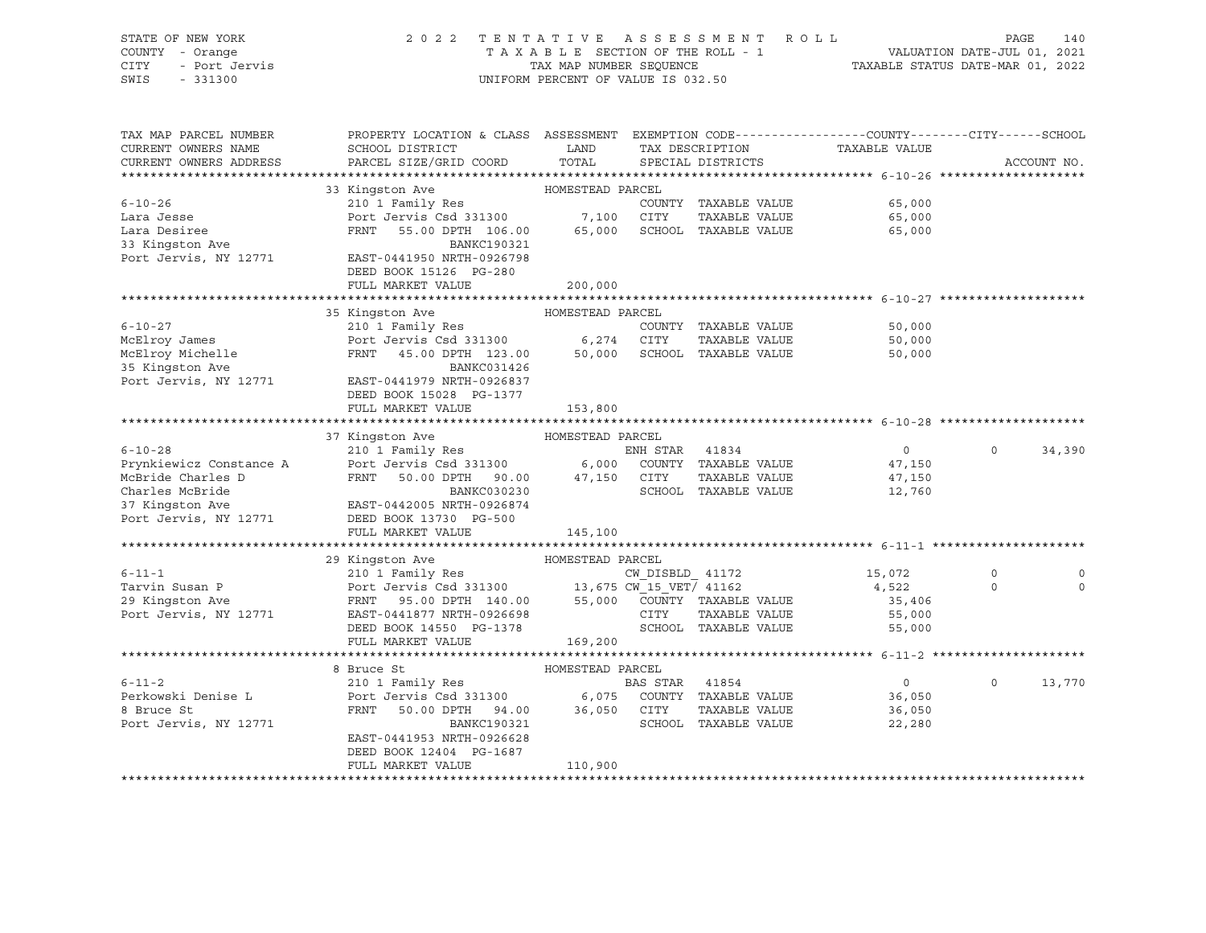| STATE OF NEW YORK<br>COUNTY - Orange<br>CITY<br>- Port Jervis<br>SWIS<br>$-331300$ | 2 0 2 2                                                                                                                                       | TAX MAP NUMBER SEQUENCE | TENTATIVE ASSESSMENT ROLL<br>TAXABLE SECTION OF THE ROLL - 1<br>UNIFORM PERCENT OF VALUE IS 032.50 | TAXABLE STATUS DATE-MAR 01, 2022 | PAGE<br>VALUATION DATE-JUL 01, 2021 | 140         |
|------------------------------------------------------------------------------------|-----------------------------------------------------------------------------------------------------------------------------------------------|-------------------------|----------------------------------------------------------------------------------------------------|----------------------------------|-------------------------------------|-------------|
| TAX MAP PARCEL NUMBER<br>CURRENT OWNERS NAME<br>CURRENT OWNERS ADDRESS             | PROPERTY LOCATION & CLASS ASSESSMENT EXEMPTION CODE----------------COUNTY-------CITY------SCHOOL<br>SCHOOL DISTRICT<br>PARCEL SIZE/GRID COORD | LAND<br>TOTAL           | TAX DESCRIPTION<br>SPECIAL DISTRICTS                                                               | TAXABLE VALUE                    |                                     |             |
|                                                                                    |                                                                                                                                               |                         |                                                                                                    |                                  |                                     | ACCOUNT NO. |
|                                                                                    | 33 Kingston Ave                                                                                                                               | HOMESTEAD PARCEL        |                                                                                                    |                                  |                                     |             |
| $6 - 10 - 26$                                                                      | 210 1 Family Res                                                                                                                              |                         | COUNTY TAXABLE VALUE                                                                               | 65,000                           |                                     |             |
| Lara Jesse                                                                         | Port Jervis Csd 331300                                                                                                                        | 7,100                   | CITY<br>TAXABLE VALUE                                                                              | 65,000                           |                                     |             |
| Lara Desiree                                                                       | FRNT<br>55.00 DPTH 106.00                                                                                                                     | 65,000                  | SCHOOL TAXABLE VALUE                                                                               | 65,000                           |                                     |             |
| 33 Kingston Ave                                                                    | BANKC190321                                                                                                                                   |                         |                                                                                                    |                                  |                                     |             |
| Port Jervis, NY 12771                                                              | EAST-0441950 NRTH-0926798<br>DEED BOOK 15126 PG-280                                                                                           |                         |                                                                                                    |                                  |                                     |             |
|                                                                                    | FULL MARKET VALUE                                                                                                                             | 200,000                 |                                                                                                    |                                  |                                     |             |
|                                                                                    |                                                                                                                                               |                         |                                                                                                    |                                  |                                     |             |
|                                                                                    | 35 Kingston Ave                                                                                                                               | HOMESTEAD PARCEL        |                                                                                                    |                                  |                                     |             |
| $6 - 10 - 27$                                                                      | 210 1 Family Res                                                                                                                              |                         | COUNTY TAXABLE VALUE                                                                               | 50,000                           |                                     |             |
| McElroy James                                                                      | Port Jervis Csd 331300                                                                                                                        | 6,274                   | CITY<br>TAXABLE VALUE                                                                              | 50,000                           |                                     |             |
| McElroy Michelle                                                                   | FRNT 45.00 DPTH 123.00                                                                                                                        | 50,000                  | SCHOOL TAXABLE VALUE                                                                               | 50,000                           |                                     |             |
| 35 Kingston Ave                                                                    | BANKC031426                                                                                                                                   |                         |                                                                                                    |                                  |                                     |             |
| Port Jervis, NY 12771                                                              | EAST-0441979 NRTH-0926837<br>DEED BOOK 15028 PG-1377                                                                                          |                         |                                                                                                    |                                  |                                     |             |
|                                                                                    | FULL MARKET VALUE                                                                                                                             | 153,800                 |                                                                                                    |                                  |                                     |             |
|                                                                                    |                                                                                                                                               | HOMESTEAD PARCEL        |                                                                                                    |                                  |                                     |             |
| $6 - 10 - 28$                                                                      | 37 Kingston Ave<br>210 1 Family Res                                                                                                           |                         | ENH STAR 41834                                                                                     | $\overline{0}$                   | $\circ$                             | 34,390      |
| Prynkiewicz Constance A                                                            | Port Jervis Csd 331300                                                                                                                        |                         | 6,000 COUNTY TAXABLE VALUE                                                                         | 47,150                           |                                     |             |
| McBride Charles D                                                                  | FRNT 50.00 DPTH 90.00                                                                                                                         | 47,150 CITY             | TAXABLE VALUE                                                                                      | 47,150                           |                                     |             |
| Charles McBride                                                                    | BANKC030230                                                                                                                                   |                         | SCHOOL TAXABLE VALUE                                                                               | 12,760                           |                                     |             |
| 37 Kingston Ave                                                                    | EAST-0442005 NRTH-0926874                                                                                                                     |                         |                                                                                                    |                                  |                                     |             |
| Port Jervis, NY 12771                                                              | DEED BOOK 13730 PG-500                                                                                                                        |                         |                                                                                                    |                                  |                                     |             |
|                                                                                    | FULL MARKET VALUE                                                                                                                             | 145,100                 |                                                                                                    |                                  |                                     |             |
|                                                                                    |                                                                                                                                               |                         |                                                                                                    |                                  |                                     |             |
|                                                                                    | 29 Kingston Ave                                                                                                                               | HOMESTEAD PARCEL        |                                                                                                    |                                  |                                     |             |
| $6 - 11 - 1$                                                                       | 210 1 Family Res                                                                                                                              |                         | $CW\_DISBLD_41172$                                                                                 | 15,072                           | $\Omega$                            | 0           |
| Tarvin Susan P                                                                     | Port Jervis Csd 331300 13,675 CW 15 VET/ 41162                                                                                                |                         |                                                                                                    | 4,522                            | $\circ$                             | $\Omega$    |
| 29 Kingston Ave                                                                    | FRNT 95.00 DPTH 140.00 55,000 COUNTY TAXABLE VALUE                                                                                            |                         |                                                                                                    | 35,406                           |                                     |             |
| Port Jervis, NY 12771                                                              | EAST-0441877 NRTH-0926698                                                                                                                     |                         | CITY<br>TAXABLE VALUE                                                                              | 55,000                           |                                     |             |
|                                                                                    | DEED BOOK 14550 PG-1378                                                                                                                       |                         | SCHOOL TAXABLE VALUE                                                                               | 55,000                           |                                     |             |
|                                                                                    | FULL MARKET VALUE                                                                                                                             | 169,200                 |                                                                                                    |                                  |                                     |             |
|                                                                                    |                                                                                                                                               |                         |                                                                                                    |                                  |                                     |             |
|                                                                                    | 8 Bruce St                                                                                                                                    | HOMESTEAD PARCEL        |                                                                                                    |                                  |                                     |             |
| $6 - 11 - 2$                                                                       | 210 1 Family Res                                                                                                                              |                         | BAS STAR 41854                                                                                     | $\overline{0}$                   | $\circ$                             | 13,770      |
| Perkowski Denise L                                                                 | Port Jervis Csd 331300                                                                                                                        | 6,075                   | COUNTY TAXABLE VALUE                                                                               | 36,050                           |                                     |             |
| 8 Bruce St                                                                         | 50.00 DPTH 94.00 36,050 CITY<br>FRNT                                                                                                          |                         | TAXABLE VALUE                                                                                      | 36,050                           |                                     |             |
| Port Jervis, NY 12771                                                              | BANKC190321                                                                                                                                   |                         | SCHOOL TAXABLE VALUE                                                                               | 22,280                           |                                     |             |
|                                                                                    | EAST-0441953 NRTH-0926628                                                                                                                     |                         |                                                                                                    |                                  |                                     |             |
|                                                                                    | DEED BOOK 12404 PG-1687                                                                                                                       |                         |                                                                                                    |                                  |                                     |             |
|                                                                                    | FULL MARKET VALUE                                                                                                                             | 110,900                 |                                                                                                    |                                  |                                     |             |
|                                                                                    |                                                                                                                                               |                         |                                                                                                    |                                  |                                     |             |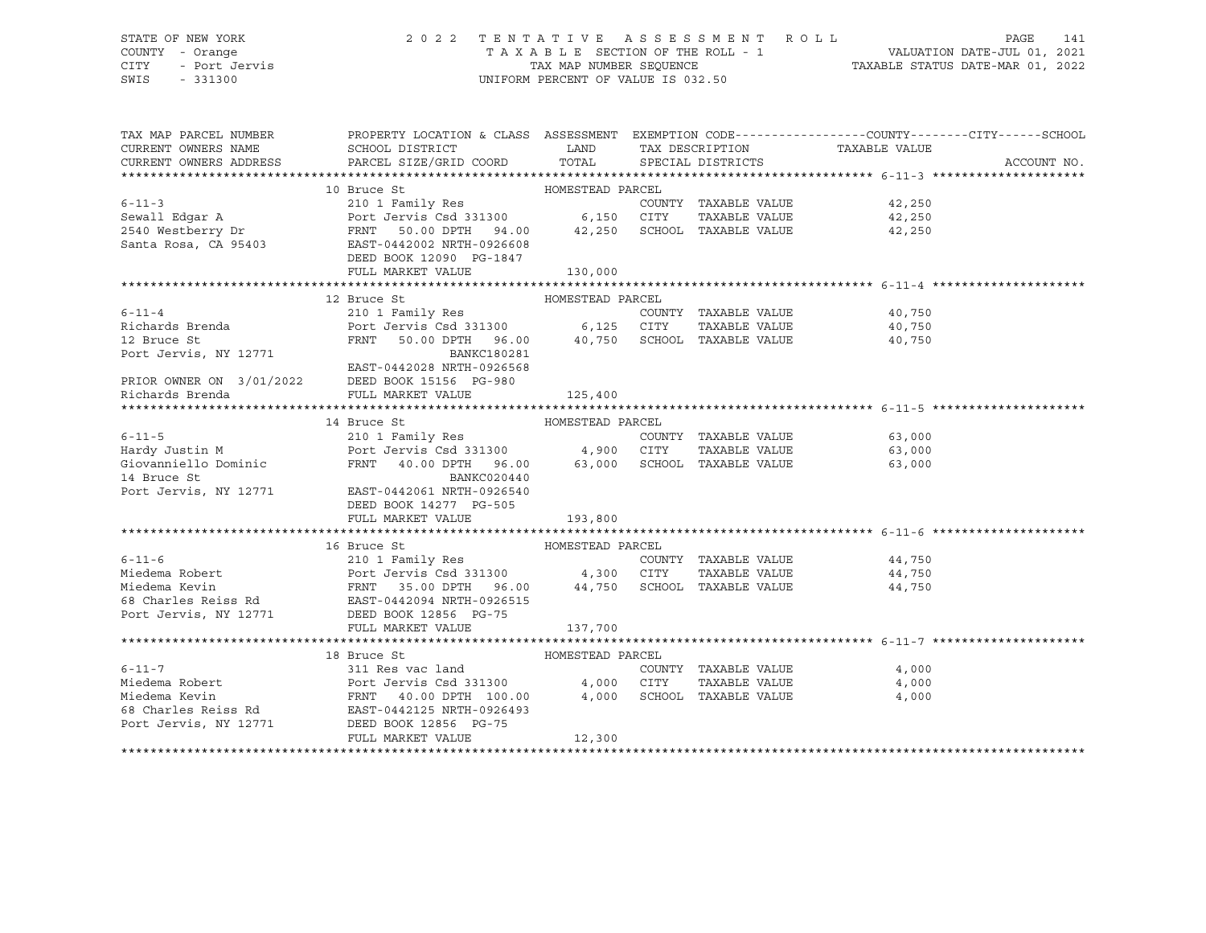# STATE OF NEW YORK 2 0 2 2 T E N T A T I V E A S S E S S M E N T R O L L PAGE 141 COUNTY - Orange T A X A B L E SECTION OF THE ROLL - 1 VALUATION DATE-JUL 01, 2021 CITY - Port Jervis TAX MAP NUMBER SEQUENCE TAXABLE STATUS DATE-MAR 01, 2022

| TAX MAP PARCEL NUMBER                       | PROPERTY LOCATION & CLASS ASSESSMENT EXEMPTION CODE----------------COUNTY-------CITY------SCHOOL                                                                                                                                                                                                                                                                                                                                                                     |                  |                      |                                              |             |
|---------------------------------------------|----------------------------------------------------------------------------------------------------------------------------------------------------------------------------------------------------------------------------------------------------------------------------------------------------------------------------------------------------------------------------------------------------------------------------------------------------------------------|------------------|----------------------|----------------------------------------------|-------------|
| CURRENT OWNERS NAME                         | <b>Example 12</b><br>SCHOOL DISTRICT                                                                                                                                                                                                                                                                                                                                                                                                                                 |                  |                      |                                              |             |
| CURRENT OWNERS ADDRESS                      |                                                                                                                                                                                                                                                                                                                                                                                                                                                                      |                  |                      |                                              | ACCOUNT NO. |
|                                             |                                                                                                                                                                                                                                                                                                                                                                                                                                                                      |                  |                      |                                              |             |
|                                             |                                                                                                                                                                                                                                                                                                                                                                                                                                                                      |                  |                      |                                              |             |
|                                             |                                                                                                                                                                                                                                                                                                                                                                                                                                                                      |                  | COUNTY TAXABLE VALUE | 42,250                                       |             |
|                                             |                                                                                                                                                                                                                                                                                                                                                                                                                                                                      |                  |                      | TAXABLE VALUE 42,250                         |             |
|                                             |                                                                                                                                                                                                                                                                                                                                                                                                                                                                      |                  |                      | 42,250                                       |             |
|                                             |                                                                                                                                                                                                                                                                                                                                                                                                                                                                      |                  |                      |                                              |             |
|                                             | DEED BOOK 12090 PG-1847                                                                                                                                                                                                                                                                                                                                                                                                                                              |                  |                      |                                              |             |
|                                             | FULL MARKET VALUE                                                                                                                                                                                                                                                                                                                                                                                                                                                    | 130,000          |                      |                                              |             |
|                                             |                                                                                                                                                                                                                                                                                                                                                                                                                                                                      |                  |                      |                                              |             |
|                                             | 12 Bruce St                                                                                                                                                                                                                                                                                                                                                                                                                                                          | HOMESTEAD PARCEL |                      |                                              |             |
| $6 - 11 - 4$                                | 210 1 Family Res                                                                                                                                                                                                                                                                                                                                                                                                                                                     |                  |                      | COUNTY TAXABLE VALUE 40,750                  |             |
|                                             |                                                                                                                                                                                                                                                                                                                                                                                                                                                                      |                  |                      |                                              |             |
|                                             | Richards Brenda<br>Richards Brenda<br>Port Jervis Csd 331300<br>Port Jervis Csd 331300<br>FRNT 50.00 DPTH 96.00<br>BANKC180281<br>PRIOR OWNER ON 3/01/2022<br>DEED BOOK 15156 PG-980<br>RIOR OWNER ON 3/01/2022<br>DEED BOOK 15156 PG-980<br>RIOR                                                                                                                                                                                                                    |                  |                      | TAXABLE VALUE 40,750<br>TAXABLE VALUE 40,750 |             |
|                                             |                                                                                                                                                                                                                                                                                                                                                                                                                                                                      |                  |                      |                                              |             |
|                                             |                                                                                                                                                                                                                                                                                                                                                                                                                                                                      |                  |                      |                                              |             |
|                                             |                                                                                                                                                                                                                                                                                                                                                                                                                                                                      |                  |                      |                                              |             |
|                                             |                                                                                                                                                                                                                                                                                                                                                                                                                                                                      |                  |                      |                                              |             |
|                                             |                                                                                                                                                                                                                                                                                                                                                                                                                                                                      |                  |                      |                                              |             |
|                                             | HOMESTEAD PARCEL<br>14 Bruce St                                                                                                                                                                                                                                                                                                                                                                                                                                      |                  |                      |                                              |             |
|                                             |                                                                                                                                                                                                                                                                                                                                                                                                                                                                      |                  |                      |                                              |             |
|                                             |                                                                                                                                                                                                                                                                                                                                                                                                                                                                      |                  |                      |                                              |             |
|                                             |                                                                                                                                                                                                                                                                                                                                                                                                                                                                      |                  |                      |                                              |             |
|                                             |                                                                                                                                                                                                                                                                                                                                                                                                                                                                      |                  |                      |                                              |             |
|                                             | 14 Bruce St<br>Port Jervis, NY 12771 EAST-0442061 NRTH-0926540                                                                                                                                                                                                                                                                                                                                                                                                       |                  |                      |                                              |             |
|                                             | DEED BOOK 14277 PG-505                                                                                                                                                                                                                                                                                                                                                                                                                                               |                  |                      |                                              |             |
|                                             | FULL MARKET VALUE                                                                                                                                                                                                                                                                                                                                                                                                                                                    | 193,800          |                      |                                              |             |
|                                             |                                                                                                                                                                                                                                                                                                                                                                                                                                                                      |                  |                      |                                              |             |
|                                             |                                                                                                                                                                                                                                                                                                                                                                                                                                                                      |                  |                      |                                              |             |
|                                             |                                                                                                                                                                                                                                                                                                                                                                                                                                                                      |                  |                      | COUNTY TAXABLE VALUE 44,750                  |             |
|                                             | $\begin{tabular}{lcccc} \textbf{6-11-6} & & & & & \textbf{16 Bruce St} & & & \textbf{HOMESTEAD PARCEL} & \\ \textbf{Miedema Robert} & & & & & \textbf{210 1 Family Res} & & & \textbf{COMESTEAD PARCEL} & \\ \textbf{Miedema Robert} & & & & \textbf{Port Jervis Csd 331300} & & & 4,300 & \textbf{CITY} & \textbf{TAXABLE VALUE} \\ \textbf{Miedema Kevin} & & & & \textbf{FRNT} & 35.00 DPTH & 96.00 & & 44,750 & \textbf{SCHOOL TAXABLE VALUE} \\ \textbf{Poct J$ |                  |                      | TAXABLE VALUE 44,750                         |             |
|                                             |                                                                                                                                                                                                                                                                                                                                                                                                                                                                      |                  |                      | 44,750                                       |             |
|                                             |                                                                                                                                                                                                                                                                                                                                                                                                                                                                      |                  |                      |                                              |             |
| Port Jervis, NY 12771 DEED BOOK 12856 PG-75 |                                                                                                                                                                                                                                                                                                                                                                                                                                                                      |                  |                      |                                              |             |
|                                             | FULL MARKET VALUE                                                                                                                                                                                                                                                                                                                                                                                                                                                    | 137,700          |                      |                                              |             |
|                                             |                                                                                                                                                                                                                                                                                                                                                                                                                                                                      |                  |                      |                                              |             |
|                                             | 18 Bruce St                                                                                                                                                                                                                                                                                                                                                                                                                                                          | HOMESTEAD PARCEL |                      |                                              |             |
| $6 - 11 - 7$                                | 311 Res vac land                                                                                                                                                                                                                                                                                                                                                                                                                                                     |                  |                      | COUNTY TAXABLE VALUE 4,000                   |             |
|                                             |                                                                                                                                                                                                                                                                                                                                                                                                                                                                      |                  |                      | TAXABLE VALUE 4,000                          |             |
|                                             |                                                                                                                                                                                                                                                                                                                                                                                                                                                                      |                  |                      | 4,000                                        |             |
|                                             |                                                                                                                                                                                                                                                                                                                                                                                                                                                                      |                  |                      |                                              |             |
|                                             | Miedema Robert<br>Miedema Kevin<br>Miedema Kevin<br>FRNT 40.00 DPTH 100.00 4,000 CITY TAXABLE VALUE<br>FRNT 40.00 DPTH 100.00 4,000 SCHOOL TAXABLE VALUE<br>FRNT 40.00 DPTH 100.00 4,000 SCHOOL TAXABLE VALUE<br>POTT Jerry NATHER POOK 12                                                                                                                                                                                                                           |                  |                      |                                              |             |
|                                             | FULL MARKET VALUE                                                                                                                                                                                                                                                                                                                                                                                                                                                    | 12,300           |                      |                                              |             |
|                                             |                                                                                                                                                                                                                                                                                                                                                                                                                                                                      |                  |                      |                                              |             |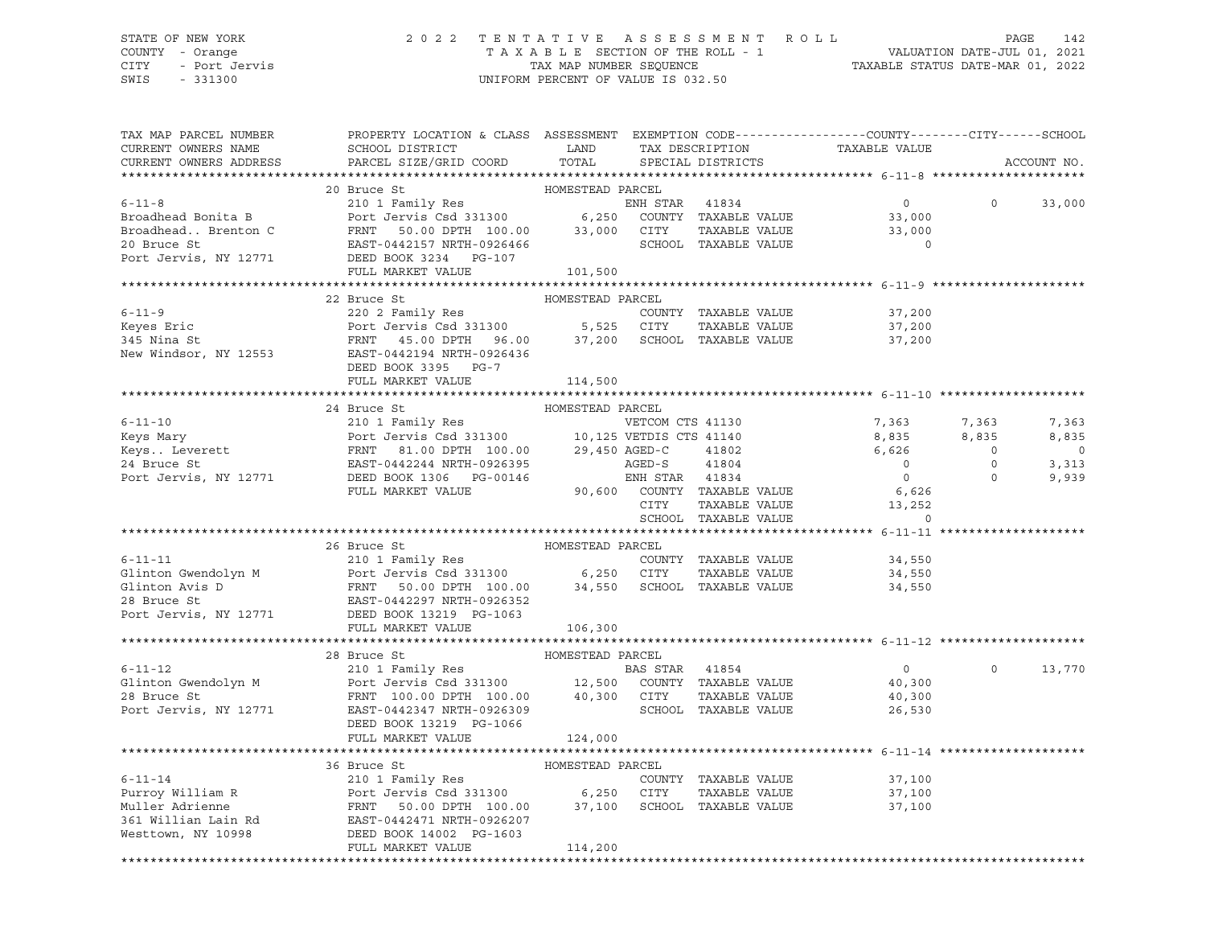#### STATE OF NEW YORK 2 0 2 2 T E N T A T I V E A S S E S S M E N T R O L L PAGE 142 COUNTY - Orange T A X A B L E SECTION OF THE ROLL - 1 VALUATION DATE-JUL 01, 2021 CITY - Port Jervis TAX MAP NUMBER SEQUENCE TAXABLE STATUS DATE-MAR 01, 2022

| TAX MAP PARCEL NUMBER<br>CURRENT OWNERS NAME<br>CURRENT OWNERS ADDRESS | PROPERTY LOCATION & CLASS ASSESSMENT EXEMPTION CODE---------------COUNTY-------CITY------SCHOOL<br>SCHOOL DISTRICT LAND<br>PARCEL SIZE/GRID COORD                                                                                                              | TOTAL            |                |                      |               | TAX DESCRIPTION TAXABLE VALUE SPECIAL DISTRICTS |                | ACCOUNT NO. |
|------------------------------------------------------------------------|----------------------------------------------------------------------------------------------------------------------------------------------------------------------------------------------------------------------------------------------------------------|------------------|----------------|----------------------|---------------|-------------------------------------------------|----------------|-------------|
|                                                                        |                                                                                                                                                                                                                                                                |                  |                |                      |               |                                                 |                |             |
|                                                                        | 20 Bruce St                                                                                                                                                                                                                                                    | HOMESTEAD PARCEL |                |                      |               |                                                 |                |             |
| $6 - 11 - 8$                                                           | 20 BIUCE St<br>210 1 Family Res<br>Port Jervis Csd 331300 6,250 COUNTY TAXABLE VALUE<br>FRNT 50.00 DPTH 100.00 33,000 CITY TAXABLE VALUE<br>ERNT 50.00 DPTH 100.00 33,000 CITY TAXABLE VALUE                                                                   |                  |                |                      |               | $\overline{0}$                                  | $\Omega$       | 33,000      |
| Broadhead Bonita B                                                     |                                                                                                                                                                                                                                                                |                  |                |                      |               | 33,000                                          |                |             |
| Broadhead Brenton C                                                    |                                                                                                                                                                                                                                                                |                  |                |                      | TAXABLE VALUE | 33,000                                          |                |             |
| 20 Bruce St                                                            | EAST-0442157 NRTH-0926466                                                                                                                                                                                                                                      |                  |                | SCHOOL TAXABLE VALUE |               | $\Omega$                                        |                |             |
| Port Jervis, NY 12771                                                  | DEED BOOK 3234 PG-107                                                                                                                                                                                                                                          |                  |                |                      |               |                                                 |                |             |
|                                                                        | FULL MARKET VALUE                                                                                                                                                                                                                                              | 101,500          |                |                      |               |                                                 |                |             |
|                                                                        | 22 Bruce St                                                                                                                                                                                                                                                    | HOMESTEAD PARCEL |                |                      |               |                                                 |                |             |
|                                                                        |                                                                                                                                                                                                                                                                |                  |                |                      |               | 37,200                                          |                |             |
|                                                                        |                                                                                                                                                                                                                                                                |                  |                |                      |               | 37,200                                          |                |             |
|                                                                        | Example of the country TAXABLE VALUE<br>Example 220 2 Family Res<br>FRNT 45.00 DPTH 96.00 37,200 SCHOOL TAXABLE VALUE<br>New Windsor, NY 12553 E117 EXABLE VALUE<br>EXAMPLE 2553 E25 CITY TAXABLE VALUE<br>New Windsor, NY 12553 E417-04                       |                  |                |                      |               | 37,200                                          |                |             |
|                                                                        |                                                                                                                                                                                                                                                                |                  |                |                      |               |                                                 |                |             |
|                                                                        | DEED BOOK 3395 PG-7                                                                                                                                                                                                                                            |                  |                |                      |               |                                                 |                |             |
|                                                                        | FULL MARKET VALUE                                                                                                                                                                                                                                              | 114,500          |                |                      |               |                                                 |                |             |
|                                                                        |                                                                                                                                                                                                                                                                |                  |                |                      |               |                                                 |                |             |
|                                                                        |                                                                                                                                                                                                                                                                |                  |                |                      |               |                                                 |                |             |
|                                                                        |                                                                                                                                                                                                                                                                |                  |                |                      |               | VETCOM CTS 41130 7,363                          | 7,363          | 7,363       |
|                                                                        |                                                                                                                                                                                                                                                                |                  |                |                      |               | 8,835                                           | 8,835          | 8,835       |
|                                                                        |                                                                                                                                                                                                                                                                |                  |                |                      |               | 6,626                                           | $\overline{0}$ | $\circ$     |
|                                                                        |                                                                                                                                                                                                                                                                |                  |                |                      |               | $\overline{0}$                                  | $\overline{0}$ | 3,313       |
|                                                                        |                                                                                                                                                                                                                                                                |                  |                |                      |               | $\overline{0}$                                  | $\circ$        | 9,939       |
|                                                                        |                                                                                                                                                                                                                                                                |                  |                |                      |               | $6,626$<br>$13,252$                             |                |             |
|                                                                        |                                                                                                                                                                                                                                                                |                  |                | SCHOOL TAXABLE VALUE |               | $\Omega$                                        |                |             |
|                                                                        |                                                                                                                                                                                                                                                                |                  |                |                      |               |                                                 |                |             |
|                                                                        | 26 Bruce St                                                                                                                                                                                                                                                    | HOMESTEAD PARCEL |                |                      |               |                                                 |                |             |
|                                                                        |                                                                                                                                                                                                                                                                |                  |                |                      |               | 34,550                                          |                |             |
|                                                                        |                                                                                                                                                                                                                                                                |                  |                |                      |               | 34,550                                          |                |             |
|                                                                        |                                                                                                                                                                                                                                                                |                  |                |                      |               | 34,550                                          |                |             |
|                                                                        |                                                                                                                                                                                                                                                                |                  |                |                      |               |                                                 |                |             |
|                                                                        |                                                                                                                                                                                                                                                                |                  |                |                      |               |                                                 |                |             |
|                                                                        | FULL MARKET VALUE                                                                                                                                                                                                                                              | 106,300          |                |                      |               |                                                 |                |             |
|                                                                        |                                                                                                                                                                                                                                                                |                  |                |                      |               |                                                 |                |             |
|                                                                        | 28 Bruce St                                                                                                                                                                                                                                                    | HOMESTEAD PARCEL |                |                      |               |                                                 |                |             |
| $6 - 11 - 12$                                                          | 210 1 Family Res                                                                                                                                                                                                                                               |                  | BAS STAR 41854 |                      |               | $\overline{0}$                                  | $\Omega$       | 13,770      |
|                                                                        | 6-11-12<br>Glinton Gwendolyn M<br>28 Bruce St<br>28 Bruce St<br>28 Bruce St<br>29 Bruce St<br>29 Bruce St<br>29 Bruce St<br>29 Bruce St<br>29 Bruce St<br>29 Bruce St<br>29 Bruce St<br>29 Bruce St<br>29 Bruce St<br>29 Bruce St<br>29 Bruce St<br>29 Bruce S |                  |                |                      |               | 40,300                                          |                |             |
|                                                                        |                                                                                                                                                                                                                                                                |                  |                |                      |               | 40,300                                          |                |             |
|                                                                        |                                                                                                                                                                                                                                                                |                  |                |                      |               | 26,530                                          |                |             |
|                                                                        | DEED BOOK 13219 PG-1066<br>FULL MARKET VALUE                                                                                                                                                                                                                   | 124,000          |                |                      |               |                                                 |                |             |
|                                                                        |                                                                                                                                                                                                                                                                |                  |                |                      |               |                                                 |                |             |
|                                                                        |                                                                                                                                                                                                                                                                |                  |                |                      |               |                                                 |                |             |
|                                                                        |                                                                                                                                                                                                                                                                |                  |                | COUNTY TAXABLE VALUE |               | 37,100                                          |                |             |
|                                                                        |                                                                                                                                                                                                                                                                |                  |                |                      |               | 37,100                                          |                |             |
|                                                                        |                                                                                                                                                                                                                                                                |                  |                |                      |               | 37,100                                          |                |             |
|                                                                        |                                                                                                                                                                                                                                                                |                  |                |                      |               |                                                 |                |             |
|                                                                        |                                                                                                                                                                                                                                                                |                  |                |                      |               |                                                 |                |             |
|                                                                        |                                                                                                                                                                                                                                                                | 114,200          |                |                      |               |                                                 |                |             |
|                                                                        |                                                                                                                                                                                                                                                                |                  |                |                      |               |                                                 |                |             |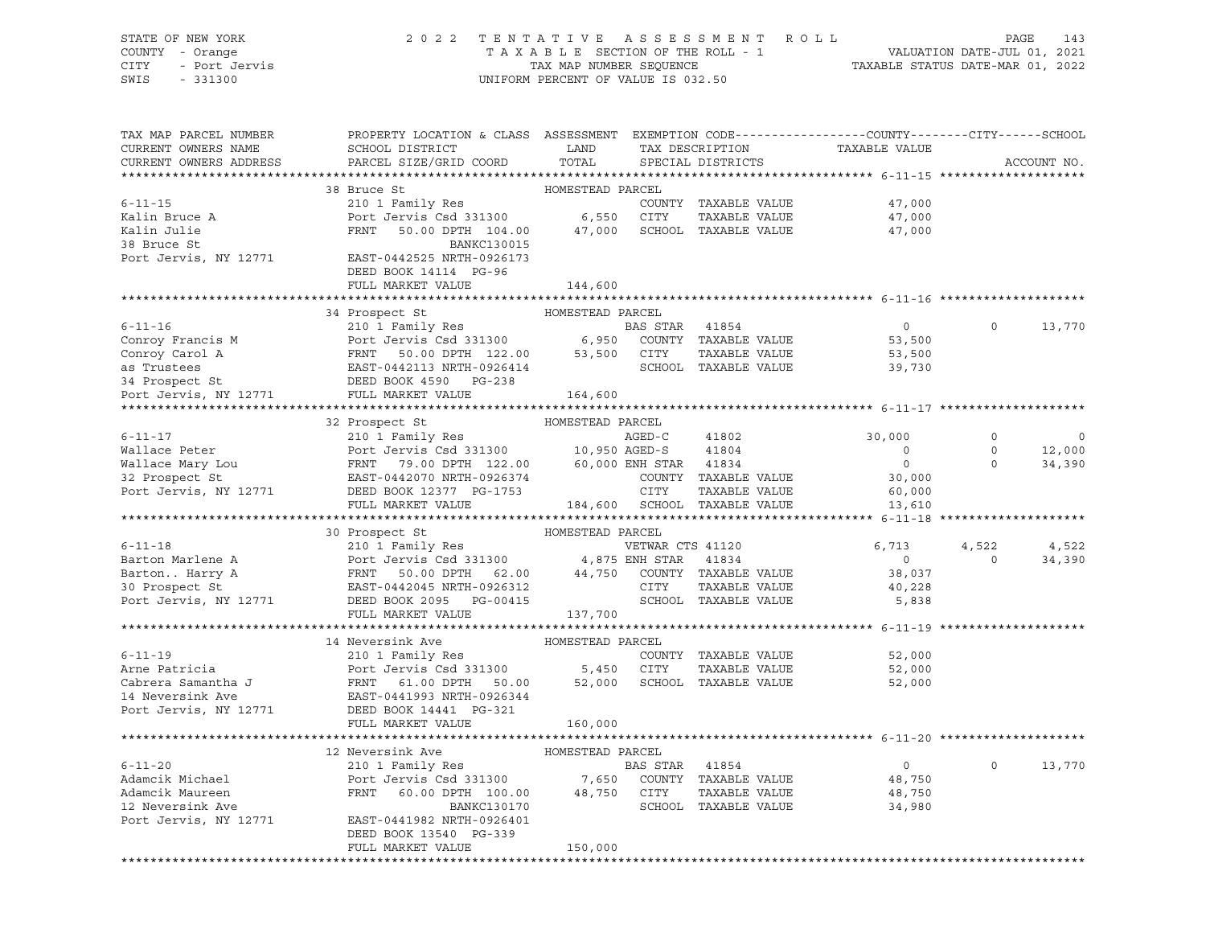#### STATE OF NEW YORK 2 0 2 2 T E N T A T I V E A S S E S S M E N T R O L L PAGE 143 COUNTY - Orange T A X A B L E SECTION OF THE ROLL - 1 VALUATION DATE-JUL 01, 2021 CITY - Port Jervis TAX MAP NUMBER SEQUENCE TAXABLE STATUS DATE-MAR 01, 2022

| TAX MAP PARCEL NUMBER<br>CURRENT OWNERS NAME | SCHOOL DISTRICT                                                                                                                                                                                                                                      | PROPERTY LOCATION & CLASS ASSESSMENT EXEMPTION CODE----------------COUNTY--------CITY------SCHOOL<br>----- PESCRIPTION TAXABLE VALUE SPECIAL DISTRICTS TAXABLE VALUE<br>LAND |                |                                            |                          |          |                  |
|----------------------------------------------|------------------------------------------------------------------------------------------------------------------------------------------------------------------------------------------------------------------------------------------------------|------------------------------------------------------------------------------------------------------------------------------------------------------------------------------|----------------|--------------------------------------------|--------------------------|----------|------------------|
| CURRENT OWNERS ADDRESS                       | PARCEL SIZE/GRID COORD                                                                                                                                                                                                                               | TOTAL                                                                                                                                                                        |                |                                            |                          |          | ACCOUNT NO.      |
|                                              |                                                                                                                                                                                                                                                      |                                                                                                                                                                              |                |                                            |                          |          | **************** |
| $6 - 11 - 15$                                | 38 Bruce St                                                                                                                                                                                                                                          | HOMESTEAD PARCEL                                                                                                                                                             |                | COUNTY TAXABLE VALUE                       | 47,000                   |          |                  |
| Kalin Bruce A                                | 210 1 Family Res<br>Port Jervis Csd 331300 6,550 CITY<br>The Country Country Country                                                                                                                                                                 |                                                                                                                                                                              |                | TAXABLE VALUE                              | 47,000                   |          |                  |
| Kalin Julie                                  | 50.00 DPTH 104.00  47,000  SCHOOL TAXABLE VALUE<br>FRNT                                                                                                                                                                                              |                                                                                                                                                                              |                |                                            | 47,000                   |          |                  |
| 38 Bruce St                                  | <b>BANKC130015</b>                                                                                                                                                                                                                                   |                                                                                                                                                                              |                |                                            |                          |          |                  |
| Port Jervis, NY 12771                        | EAST-0442525 NRTH-0926173                                                                                                                                                                                                                            |                                                                                                                                                                              |                |                                            |                          |          |                  |
|                                              | DEED BOOK 14114 PG-96                                                                                                                                                                                                                                |                                                                                                                                                                              |                |                                            |                          |          |                  |
|                                              | FULL MARKET VALUE                                                                                                                                                                                                                                    | 144,600                                                                                                                                                                      |                |                                            |                          |          |                  |
|                                              |                                                                                                                                                                                                                                                      |                                                                                                                                                                              |                |                                            |                          |          |                  |
|                                              | 34 Prospect St                                                                                                                                                                                                                                       | HOMESTEAD PARCEL                                                                                                                                                             |                |                                            |                          |          |                  |
| $6 - 11 - 16$                                | 210 1 Family Res                                                                                                                                                                                                                                     |                                                                                                                                                                              | BAS STAR 41854 |                                            | $\overline{0}$           | $\Omega$ | 13,770           |
|                                              |                                                                                                                                                                                                                                                      |                                                                                                                                                                              |                |                                            | 53,500                   |          |                  |
|                                              |                                                                                                                                                                                                                                                      |                                                                                                                                                                              |                |                                            | 53,500                   |          |                  |
|                                              |                                                                                                                                                                                                                                                      |                                                                                                                                                                              |                |                                            | 39,730                   |          |                  |
|                                              |                                                                                                                                                                                                                                                      |                                                                                                                                                                              |                |                                            |                          |          |                  |
|                                              | Conroy Francis M<br>Conroy Carol A<br>Conroy Carol A<br>ERST-0442113 NRTH-0926414<br>PEED BOOK 4590 PG-238<br>POLI MARKET VALUE<br>POLI MARKET VALUE<br>TAXABLE VALUE<br>SCHOOL TAXABLE VALUE<br>SCHOOL TAXABLE VALUE<br>POLI MARKET VALUE<br>164,60 |                                                                                                                                                                              |                |                                            |                          |          |                  |
|                                              |                                                                                                                                                                                                                                                      |                                                                                                                                                                              |                |                                            |                          |          |                  |
|                                              | 32 Prospect St                                                                                                                                                                                                                                       | HOMESTEAD PARCEL                                                                                                                                                             |                |                                            |                          |          |                  |
| $6 - 11 - 17$                                |                                                                                                                                                                                                                                                      |                                                                                                                                                                              |                | 41802                                      | 30,000                   | $\circ$  | $\overline{0}$   |
| Wallace Peter                                | 210 1 Family Res AGED-C 41802<br>Port Jervis Csd 331300 10,950 AGED-S 41804<br>FRNT 79.00 DPTH 122.00 60,000 ENH STAR 41834<br>EAST-0442070 NRTH-0926374 COUNTY TAXABLE                                                                              |                                                                                                                                                                              |                |                                            | $\overline{\phantom{0}}$ | $\circ$  | 12,000           |
|                                              |                                                                                                                                                                                                                                                      |                                                                                                                                                                              |                |                                            | $\overline{0}$           | $\Omega$ | 34,390           |
|                                              |                                                                                                                                                                                                                                                      |                                                                                                                                                                              |                | COUNTY TAXABLE VALUE<br>CITY TAXABLE VALUE | 30,000                   |          |                  |
|                                              |                                                                                                                                                                                                                                                      |                                                                                                                                                                              |                |                                            | 60,000                   |          |                  |
|                                              | Wallace Peter<br>Wallace Mary Lou FRNT 79.00 DPTH 122.00 60,000 ENH SIAN TAXABLE VALUE<br>32 Prospect St EAST-0442070 NRTH-0926374 COUNTY TAXABLE VALUE<br>Port Jervis, NY 12771 DEED BOOK 12377 PG-1753 CITY TAXABLE VALUE<br>FULL MA               |                                                                                                                                                                              |                |                                            | 13,610                   |          |                  |
|                                              | 30 Prospect St                                                                                                                                                                                                                                       | HOMESTEAD PARCEL                                                                                                                                                             |                |                                            |                          |          |                  |
|                                              |                                                                                                                                                                                                                                                      |                                                                                                                                                                              |                |                                            | 6,713                    | 4,522    | 4,522            |
|                                              | 0-11-18<br>Barton Marlene A<br>BartonHarry A<br>BartonHarry A<br>30 Prospect St<br>Port Jervis Csd 331300<br>EAST-0442045 NRTH-0926312<br>Port Jervis, NY 12771<br>DEED BOOK 2095<br>PORTH-0926312<br>Port Jervis, NY 12771<br>DEED BOOK 2095<br>    |                                                                                                                                                                              |                |                                            | $\overline{0}$           | $\Omega$ | 34,390           |
|                                              |                                                                                                                                                                                                                                                      |                                                                                                                                                                              |                |                                            | 38,037                   |          |                  |
|                                              |                                                                                                                                                                                                                                                      |                                                                                                                                                                              |                |                                            | 40,228                   |          |                  |
|                                              |                                                                                                                                                                                                                                                      |                                                                                                                                                                              |                |                                            | 5,838                    |          |                  |
|                                              | FULL MARKET VALUE                                                                                                                                                                                                                                    | 137,700                                                                                                                                                                      |                |                                            |                          |          |                  |
|                                              |                                                                                                                                                                                                                                                      |                                                                                                                                                                              |                |                                            |                          |          |                  |
|                                              | 14 Neversink Ave                                                                                                                                                                                                                                     | HOMESTEAD PARCEL                                                                                                                                                             |                |                                            |                          |          |                  |
|                                              |                                                                                                                                                                                                                                                      |                                                                                                                                                                              |                | COUNTY TAXABLE VALUE                       | 52,000                   |          |                  |
|                                              | COUNT<br>COUNT<br>Cabrera Samantha J<br>Cabrera Samantha J<br>Count Cabrera Samantha J<br>FRNT 61.00 DPTH 50.00 52,000 SCHOO<br>Port Jervie NY 10000                                                                                                 |                                                                                                                                                                              |                | TAXABLE VALUE                              | 52,000                   |          |                  |
|                                              |                                                                                                                                                                                                                                                      |                                                                                                                                                                              |                | 52,000 SCHOOL TAXABLE VALUE                | 52,000                   |          |                  |
|                                              |                                                                                                                                                                                                                                                      |                                                                                                                                                                              |                |                                            |                          |          |                  |
| Port Jervis, NY 12771 DEED BOOK 14441 PG-321 |                                                                                                                                                                                                                                                      |                                                                                                                                                                              |                |                                            |                          |          |                  |
|                                              | FULL MARKET VALUE                                                                                                                                                                                                                                    | 160,000                                                                                                                                                                      |                |                                            |                          |          |                  |
|                                              |                                                                                                                                                                                                                                                      |                                                                                                                                                                              |                |                                            |                          |          |                  |
|                                              | 12 Neversink Ave                                                                                                                                                                                                                                     | HOMESTEAD PARCEL                                                                                                                                                             |                |                                            |                          |          |                  |
| $6 - 11 - 20$                                | 210 1 Family Res                                                                                                                                                                                                                                     |                                                                                                                                                                              | BAS STAR 41854 |                                            | $\overline{0}$           | $\circ$  | 13,770           |
| Adamcik Michael                              | Port Jervis Csd 331300 7,650 COUNT<br>FRNT 60.00 DPTH 100.00 48,750 CITY                                                                                                                                                                             |                                                                                                                                                                              |                | COUNTY TAXABLE VALUE                       | 48,750                   |          |                  |
| Adamcik Maureen<br>12 Neversink Ave          | BANKC130170                                                                                                                                                                                                                                          |                                                                                                                                                                              |                | TAXABLE VALUE<br>SCHOOL TAXABLE VALUE      | 48,750<br>34,980         |          |                  |
| Port Jervis, NY 12771                        | EAST-0441982 NRTH-0926401                                                                                                                                                                                                                            |                                                                                                                                                                              |                |                                            |                          |          |                  |
|                                              | DEED BOOK 13540 PG-339                                                                                                                                                                                                                               |                                                                                                                                                                              |                |                                            |                          |          |                  |
|                                              | FULL MARKET VALUE                                                                                                                                                                                                                                    | 150,000                                                                                                                                                                      |                |                                            |                          |          |                  |
|                                              |                                                                                                                                                                                                                                                      |                                                                                                                                                                              |                |                                            |                          |          |                  |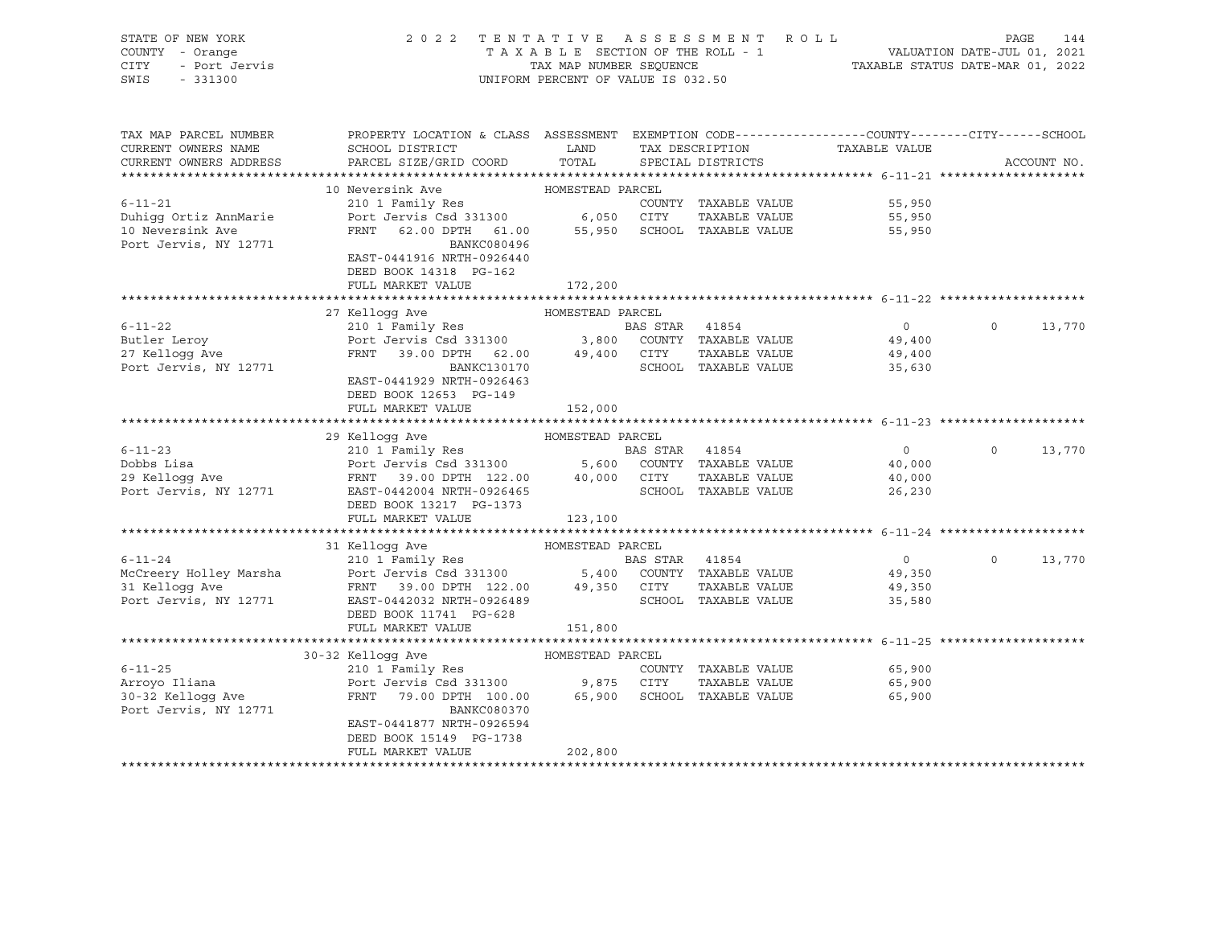| STATE OF NEW YORK<br>COUNTY - Orange<br>CITY<br>- Port Jervis<br>SWIS<br>$-331300$ | TENTATIVE ASSESSMENT ROLL<br>2 0 2 2<br>PAGE<br>144<br>TAXABLE SECTION OF THE ROLL - 1<br>TAXABLE SECTION OF THE ROLL - 1<br>TAXABLE STATUS DATE-MAR 01, 2022<br>UNIFORM PERCENT OF VALUE IS 032.50 |                  |                |                                                                      |                                                 |          |             |  |
|------------------------------------------------------------------------------------|-----------------------------------------------------------------------------------------------------------------------------------------------------------------------------------------------------|------------------|----------------|----------------------------------------------------------------------|-------------------------------------------------|----------|-------------|--|
| TAX MAP PARCEL NUMBER<br>CURRENT OWNERS NAME<br>CURRENT OWNERS ADDRESS             | PROPERTY LOCATION & CLASS ASSESSMENT EXEMPTION CODE---------------COUNTY-------CITY------SCHOOL<br>SCHOOL DISTRICT<br>PARCEL SIZE/GRID COORD                                                        | LAND<br>TOTAL    |                | TAX DESCRIPTION<br>SPECIAL DISTRICTS                                 | TAXABLE VALUE                                   |          | ACCOUNT NO. |  |
|                                                                                    |                                                                                                                                                                                                     |                  |                |                                                                      |                                                 |          |             |  |
| $6 - 11 - 21$                                                                      | 10 Neversink Ave                                                                                                                                                                                    | HOMESTEAD PARCEL |                |                                                                      |                                                 |          |             |  |
| Duhigg Ortiz AnnMarie<br>10 Neversink Ave<br>Port Jervis, NY 12771                 | 210 1 Family Res<br>Port Jervis Csd 331300 6,050<br>FRNT 62.00 DPTH 61.00<br>BANKC080496<br>EAST-0441916 NRTH-0926440                                                                               | 55,950           | CITY           | COUNTY TAXABLE VALUE<br>TAXABLE VALUE<br>SCHOOL TAXABLE VALUE        | 55,950<br>55,950<br>55,950                      |          |             |  |
|                                                                                    | DEED BOOK 14318 PG-162<br>FULL MARKET VALUE                                                                                                                                                         | 172,200          |                |                                                                      |                                                 |          |             |  |
|                                                                                    |                                                                                                                                                                                                     |                  |                |                                                                      |                                                 |          |             |  |
|                                                                                    | 27 Kelloqq Ave                                                                                                                                                                                      | HOMESTEAD PARCEL |                |                                                                      |                                                 |          |             |  |
| $6 - 11 - 22$                                                                      | 210 1 Family Res                                                                                                                                                                                    |                  | BAS STAR 41854 |                                                                      | $\overline{0}$                                  | $\circ$  | 13,770      |  |
| Butler Leroy<br>27 Kellogg Ave<br>Port Jervis, NY 12771                            | Port Jervis Csd 331300 3,800<br>FRNT 39.00 DPTH 62.00 49,400 CITY<br>BANKC130170<br>EAST-0441929 NRTH-0926463<br>DEED BOOK 12653 PG-149                                                             |                  |                | COUNTY TAXABLE VALUE<br>TAXABLE VALUE<br>SCHOOL TAXABLE VALUE        | 49,400<br>49,400<br>35,630                      |          |             |  |
|                                                                                    | FULL MARKET VALUE                                                                                                                                                                                   | 152,000          |                |                                                                      |                                                 |          |             |  |
|                                                                                    |                                                                                                                                                                                                     |                  |                |                                                                      |                                                 |          |             |  |
|                                                                                    | 29 Kelloqq Ave                                                                                                                                                                                      | HOMESTEAD PARCEL |                |                                                                      |                                                 |          |             |  |
| $6 - 11 - 23$<br>Dobbs Lisa<br>29 Kellogg Ave<br>Port Jervis, NY 12771             | 210 1 Family Res<br>Port Jervis Csd 331300 5,600 COUNTY TAXABLE VALUE<br>FRNT 39.00 DPTH 122.00 40,000 CITY<br>EAST-0442004 NRTH-0926465<br>DEED BOOK 13217 PG-1373                                 |                  | BAS STAR 41854 | TAXABLE VALUE<br>SCHOOL TAXABLE VALUE                                | $0 \qquad \qquad$<br>40,000<br>40,000<br>26,230 | $\Omega$ | 13,770      |  |
|                                                                                    | FULL MARKET VALUE                                                                                                                                                                                   | 123,100          |                |                                                                      |                                                 |          |             |  |
|                                                                                    |                                                                                                                                                                                                     |                  |                |                                                                      |                                                 |          |             |  |
|                                                                                    | 31 Kellogg Ave                                                                                                                                                                                      | HOMESTEAD PARCEL |                |                                                                      |                                                 |          |             |  |
| $6 - 11 - 24$<br>McCreery Holley Marsha<br>31 Kellogg Ave<br>Port Jervis, NY 12771 | 210 1 Family Res<br>Port Jervis Csd 331300 5,400 COUNTY TAXABLE VALUE<br>FRNT 39.00 DPTH 122.00 49,350 CITY<br>EAST-0442032 NRTH-0926489<br>DEED BOOK 11741 PG-628<br>FULL MARKET VALUE             | 151,800          | BAS STAR 41854 | TAXABLE VALUE<br>SCHOOL TAXABLE VALUE                                | $\overline{0}$<br>49,350<br>49,350<br>35,580    | $\Omega$ | 13,770      |  |
|                                                                                    |                                                                                                                                                                                                     |                  |                |                                                                      |                                                 |          |             |  |
| $6 - 11 - 25$<br>Arroyo Iliana<br>30-32 Kellogg Ave<br>Port Jervis, NY 12771       | 30-32 Kelloqq Ave<br>210 1 Family Res<br>Port Jervis Csd 331300 9,875<br>FRNT 79.00 DPTH 100.00<br>BANKC080370<br>EAST-0441877 NRTH-0926594                                                         | HOMESTEAD PARCEL | CITY           | COUNTY TAXABLE VALUE<br>TAXABLE VALUE<br>65,900 SCHOOL TAXABLE VALUE | 65,900<br>65,900<br>65,900                      |          |             |  |
|                                                                                    | DEED BOOK 15149 PG-1738<br>FULL MARKET VALUE                                                                                                                                                        | 202,800          |                |                                                                      |                                                 |          |             |  |
|                                                                                    |                                                                                                                                                                                                     |                  |                |                                                                      |                                                 |          |             |  |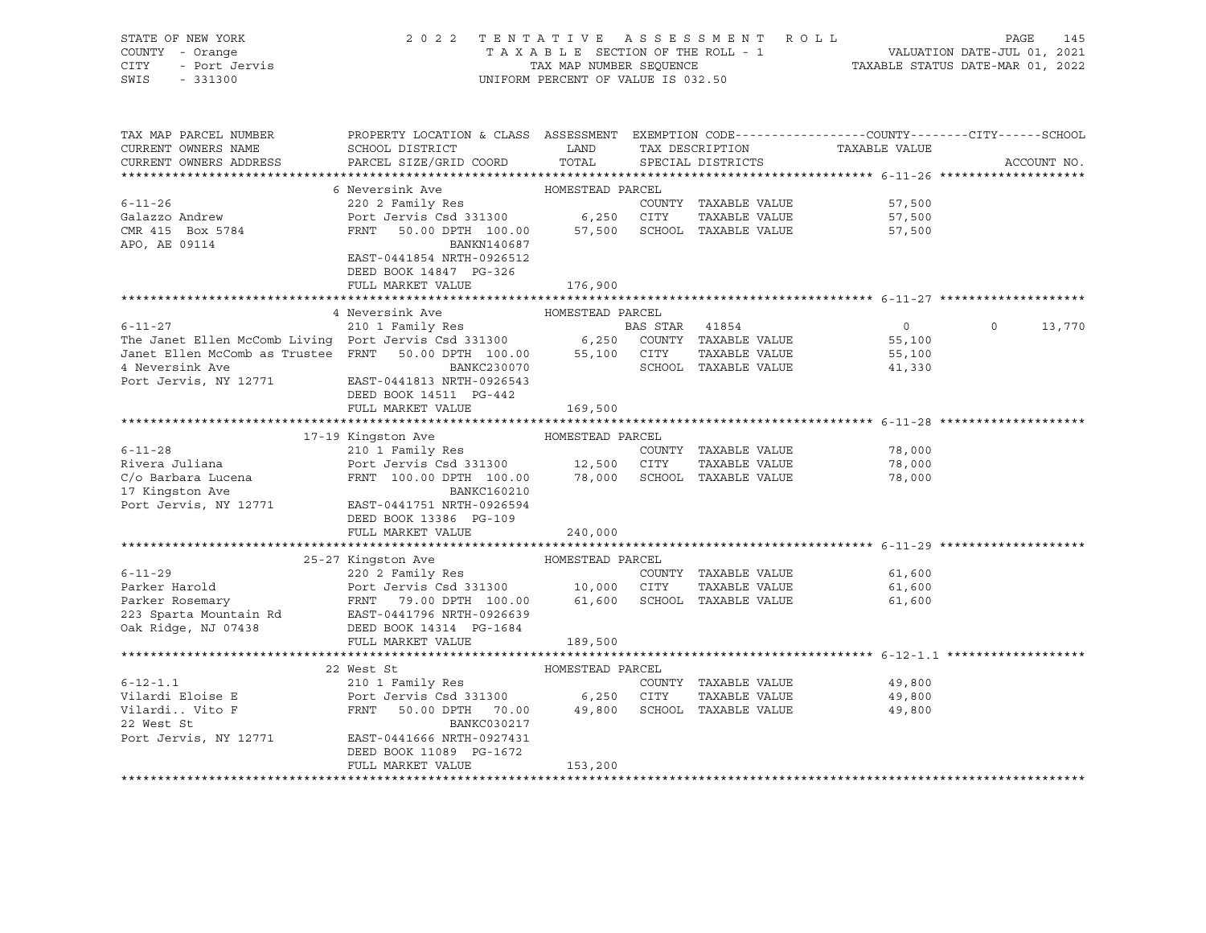| TENTATIVE ASSESSMENT ROLL PAGE 145<br>TAXABLE SECTION OF THE ROLL - 1 VALUATION DATE-JUL 01, 2021<br>TAX MAP NUMBER SEQUENCE TAXABLE STATUS DATE-MAR 01, 2022<br>INIEOPM DEPCENT OF VALUE TO 000 LO<br>V - Orange<br>- Port Jervis<br>- Port Jervis<br>CITY<br>SWIS - 331300<br>UNIFORM PERCENT OF VALUE IS 032.50<br>PROPERTY LOCATION & CLASS ASSESSMENT EXEMPTION CODE---------------COUNTY-------CITY------SCHOOL<br>TAX MAP PARCEL NUMBER<br>SCHOOL DISTRICT <b>TAXIS DESCRIPTION</b> TAXIS TAXABLE VALUE<br>CURRENT OWNERS NAME<br>PARCEL SIZE/GRID COORD TOTAL<br>CURRENT OWNERS ADDRESS<br>SPECIAL DISTRICTS<br>ACCOUNT NO.<br>6 Neversink Ave MOMESTEAD PARCEL<br>220 2 Family Res<br>$6 - 11 - 26$<br>COUNTY TAXABLE VALUE<br>57,500<br>Port Jervis Csd 331300 6,250 CITY TAXABLE VALUE<br>FRNT 50.00 DPTH 100.00 57,500 SCHOOL TAXABLE VALUE<br>Galazzo Andrew<br>57,500<br>CMR 415 Box 5784<br>APO, AE 09114<br>57,500<br>APO, AE 09114<br>BANKN140687<br>EAST-0441854 NRTH-0926512<br>DEED BOOK 14847 PG-326<br>FULL MARKET VALUE 176,900<br>HOMESTEAD PARCEL<br>4 Neversink Ave<br>6-11-27<br>210 1 Family Res<br>210 1 Family Res<br>210 1 Family Res<br>210 1 Family Res<br>31300<br>6,250 COUNTY TAXABLE VALUE<br>311100 6,250 COUNTY TAXABLE VALUE<br>311100 6,250 COUNTY TAXABLE VALUE<br>4 Neversink Ave<br>210 BANKC230070<br>$\overline{0}$<br>$0 \qquad \qquad$<br>13,770<br>55,100<br>55,100<br>41,330<br>Port Jervis, NY 12771<br>EAST-0441813 NRTH-0926543<br>DEED BOOK 14511 PG-442<br>FULL MARKET VALUE<br>169,500<br>EXECUTIVE HOMESTEAD PARCEL<br>210 1 Family Res<br>Port Jeruin Cultural State of the March 2011<br>17-19 Kingston Ave<br>78,000<br>78,000<br>78,000<br>17 Kingston Ave<br>BANKC160210<br>Port Jervis, NY 12771<br>EAST-0441751 NRTH-0926594<br>DEED BOOK 13386 PG-109<br>FULL MARKET VALUE<br>240,000<br>25-27 Kingston Ave MOMESTEAD PARCEL<br>6-11-29<br>220 2 Family Res<br>Parker Harold<br>Port Jervis Csd 331300<br>Parker Rosemary<br>223 Sparta Mountain Rd<br>223 Sparta Mountain Rd<br>235 Sparta Mountain Rd<br>235 Sparta Mountain Rd<br>235 Sparta Mountain Rd<br>235 Sparta Mountain<br>61,600<br>TAXABLE VALUE<br>61,600<br>61,600<br>FULL MARKET VALUE<br>189,500<br>HOMESTEAD PARCEL<br>22 West St<br>$6 - 12 - 1.1$<br>210 1 Family Res<br>COUNTY TAXABLE VALUE<br>49,800<br>22 West St<br>BANKC030217<br>Port Jervis, NY 12771 EAST-0441666 NRTH-0927431<br>DEED BOOK 11089 PG-1672<br>FULL MARKET VALUE<br>153,200 | STATE OF NEW YORK | 2022 TENTATIVE ASSESSMENT ROLL |  |  |  |  |  |  |
|-----------------------------------------------------------------------------------------------------------------------------------------------------------------------------------------------------------------------------------------------------------------------------------------------------------------------------------------------------------------------------------------------------------------------------------------------------------------------------------------------------------------------------------------------------------------------------------------------------------------------------------------------------------------------------------------------------------------------------------------------------------------------------------------------------------------------------------------------------------------------------------------------------------------------------------------------------------------------------------------------------------------------------------------------------------------------------------------------------------------------------------------------------------------------------------------------------------------------------------------------------------------------------------------------------------------------------------------------------------------------------------------------------------------------------------------------------------------------------------------------------------------------------------------------------------------------------------------------------------------------------------------------------------------------------------------------------------------------------------------------------------------------------------------------------------------------------------------------------------------------------------------------------------------------------------------------------------------------------------------------------------------------------------------------------------------------------------------------------------------------------------------------------------------------------------------------------------------------------------------------------------------------------------------------------------------------------------------------------------------------------------------------------------------------------------------------------------------------------------------|-------------------|--------------------------------|--|--|--|--|--|--|
|                                                                                                                                                                                                                                                                                                                                                                                                                                                                                                                                                                                                                                                                                                                                                                                                                                                                                                                                                                                                                                                                                                                                                                                                                                                                                                                                                                                                                                                                                                                                                                                                                                                                                                                                                                                                                                                                                                                                                                                                                                                                                                                                                                                                                                                                                                                                                                                                                                                                                         | COUNTY - Orange   |                                |  |  |  |  |  |  |
|                                                                                                                                                                                                                                                                                                                                                                                                                                                                                                                                                                                                                                                                                                                                                                                                                                                                                                                                                                                                                                                                                                                                                                                                                                                                                                                                                                                                                                                                                                                                                                                                                                                                                                                                                                                                                                                                                                                                                                                                                                                                                                                                                                                                                                                                                                                                                                                                                                                                                         |                   |                                |  |  |  |  |  |  |
|                                                                                                                                                                                                                                                                                                                                                                                                                                                                                                                                                                                                                                                                                                                                                                                                                                                                                                                                                                                                                                                                                                                                                                                                                                                                                                                                                                                                                                                                                                                                                                                                                                                                                                                                                                                                                                                                                                                                                                                                                                                                                                                                                                                                                                                                                                                                                                                                                                                                                         |                   |                                |  |  |  |  |  |  |
|                                                                                                                                                                                                                                                                                                                                                                                                                                                                                                                                                                                                                                                                                                                                                                                                                                                                                                                                                                                                                                                                                                                                                                                                                                                                                                                                                                                                                                                                                                                                                                                                                                                                                                                                                                                                                                                                                                                                                                                                                                                                                                                                                                                                                                                                                                                                                                                                                                                                                         |                   |                                |  |  |  |  |  |  |
|                                                                                                                                                                                                                                                                                                                                                                                                                                                                                                                                                                                                                                                                                                                                                                                                                                                                                                                                                                                                                                                                                                                                                                                                                                                                                                                                                                                                                                                                                                                                                                                                                                                                                                                                                                                                                                                                                                                                                                                                                                                                                                                                                                                                                                                                                                                                                                                                                                                                                         |                   |                                |  |  |  |  |  |  |
|                                                                                                                                                                                                                                                                                                                                                                                                                                                                                                                                                                                                                                                                                                                                                                                                                                                                                                                                                                                                                                                                                                                                                                                                                                                                                                                                                                                                                                                                                                                                                                                                                                                                                                                                                                                                                                                                                                                                                                                                                                                                                                                                                                                                                                                                                                                                                                                                                                                                                         |                   |                                |  |  |  |  |  |  |
|                                                                                                                                                                                                                                                                                                                                                                                                                                                                                                                                                                                                                                                                                                                                                                                                                                                                                                                                                                                                                                                                                                                                                                                                                                                                                                                                                                                                                                                                                                                                                                                                                                                                                                                                                                                                                                                                                                                                                                                                                                                                                                                                                                                                                                                                                                                                                                                                                                                                                         |                   |                                |  |  |  |  |  |  |
|                                                                                                                                                                                                                                                                                                                                                                                                                                                                                                                                                                                                                                                                                                                                                                                                                                                                                                                                                                                                                                                                                                                                                                                                                                                                                                                                                                                                                                                                                                                                                                                                                                                                                                                                                                                                                                                                                                                                                                                                                                                                                                                                                                                                                                                                                                                                                                                                                                                                                         |                   |                                |  |  |  |  |  |  |
|                                                                                                                                                                                                                                                                                                                                                                                                                                                                                                                                                                                                                                                                                                                                                                                                                                                                                                                                                                                                                                                                                                                                                                                                                                                                                                                                                                                                                                                                                                                                                                                                                                                                                                                                                                                                                                                                                                                                                                                                                                                                                                                                                                                                                                                                                                                                                                                                                                                                                         |                   |                                |  |  |  |  |  |  |
|                                                                                                                                                                                                                                                                                                                                                                                                                                                                                                                                                                                                                                                                                                                                                                                                                                                                                                                                                                                                                                                                                                                                                                                                                                                                                                                                                                                                                                                                                                                                                                                                                                                                                                                                                                                                                                                                                                                                                                                                                                                                                                                                                                                                                                                                                                                                                                                                                                                                                         |                   |                                |  |  |  |  |  |  |
|                                                                                                                                                                                                                                                                                                                                                                                                                                                                                                                                                                                                                                                                                                                                                                                                                                                                                                                                                                                                                                                                                                                                                                                                                                                                                                                                                                                                                                                                                                                                                                                                                                                                                                                                                                                                                                                                                                                                                                                                                                                                                                                                                                                                                                                                                                                                                                                                                                                                                         |                   |                                |  |  |  |  |  |  |
|                                                                                                                                                                                                                                                                                                                                                                                                                                                                                                                                                                                                                                                                                                                                                                                                                                                                                                                                                                                                                                                                                                                                                                                                                                                                                                                                                                                                                                                                                                                                                                                                                                                                                                                                                                                                                                                                                                                                                                                                                                                                                                                                                                                                                                                                                                                                                                                                                                                                                         |                   |                                |  |  |  |  |  |  |
|                                                                                                                                                                                                                                                                                                                                                                                                                                                                                                                                                                                                                                                                                                                                                                                                                                                                                                                                                                                                                                                                                                                                                                                                                                                                                                                                                                                                                                                                                                                                                                                                                                                                                                                                                                                                                                                                                                                                                                                                                                                                                                                                                                                                                                                                                                                                                                                                                                                                                         |                   |                                |  |  |  |  |  |  |
|                                                                                                                                                                                                                                                                                                                                                                                                                                                                                                                                                                                                                                                                                                                                                                                                                                                                                                                                                                                                                                                                                                                                                                                                                                                                                                                                                                                                                                                                                                                                                                                                                                                                                                                                                                                                                                                                                                                                                                                                                                                                                                                                                                                                                                                                                                                                                                                                                                                                                         |                   |                                |  |  |  |  |  |  |
|                                                                                                                                                                                                                                                                                                                                                                                                                                                                                                                                                                                                                                                                                                                                                                                                                                                                                                                                                                                                                                                                                                                                                                                                                                                                                                                                                                                                                                                                                                                                                                                                                                                                                                                                                                                                                                                                                                                                                                                                                                                                                                                                                                                                                                                                                                                                                                                                                                                                                         |                   |                                |  |  |  |  |  |  |
|                                                                                                                                                                                                                                                                                                                                                                                                                                                                                                                                                                                                                                                                                                                                                                                                                                                                                                                                                                                                                                                                                                                                                                                                                                                                                                                                                                                                                                                                                                                                                                                                                                                                                                                                                                                                                                                                                                                                                                                                                                                                                                                                                                                                                                                                                                                                                                                                                                                                                         |                   |                                |  |  |  |  |  |  |
|                                                                                                                                                                                                                                                                                                                                                                                                                                                                                                                                                                                                                                                                                                                                                                                                                                                                                                                                                                                                                                                                                                                                                                                                                                                                                                                                                                                                                                                                                                                                                                                                                                                                                                                                                                                                                                                                                                                                                                                                                                                                                                                                                                                                                                                                                                                                                                                                                                                                                         |                   |                                |  |  |  |  |  |  |
|                                                                                                                                                                                                                                                                                                                                                                                                                                                                                                                                                                                                                                                                                                                                                                                                                                                                                                                                                                                                                                                                                                                                                                                                                                                                                                                                                                                                                                                                                                                                                                                                                                                                                                                                                                                                                                                                                                                                                                                                                                                                                                                                                                                                                                                                                                                                                                                                                                                                                         |                   |                                |  |  |  |  |  |  |
|                                                                                                                                                                                                                                                                                                                                                                                                                                                                                                                                                                                                                                                                                                                                                                                                                                                                                                                                                                                                                                                                                                                                                                                                                                                                                                                                                                                                                                                                                                                                                                                                                                                                                                                                                                                                                                                                                                                                                                                                                                                                                                                                                                                                                                                                                                                                                                                                                                                                                         |                   |                                |  |  |  |  |  |  |
|                                                                                                                                                                                                                                                                                                                                                                                                                                                                                                                                                                                                                                                                                                                                                                                                                                                                                                                                                                                                                                                                                                                                                                                                                                                                                                                                                                                                                                                                                                                                                                                                                                                                                                                                                                                                                                                                                                                                                                                                                                                                                                                                                                                                                                                                                                                                                                                                                                                                                         |                   |                                |  |  |  |  |  |  |
|                                                                                                                                                                                                                                                                                                                                                                                                                                                                                                                                                                                                                                                                                                                                                                                                                                                                                                                                                                                                                                                                                                                                                                                                                                                                                                                                                                                                                                                                                                                                                                                                                                                                                                                                                                                                                                                                                                                                                                                                                                                                                                                                                                                                                                                                                                                                                                                                                                                                                         |                   |                                |  |  |  |  |  |  |
|                                                                                                                                                                                                                                                                                                                                                                                                                                                                                                                                                                                                                                                                                                                                                                                                                                                                                                                                                                                                                                                                                                                                                                                                                                                                                                                                                                                                                                                                                                                                                                                                                                                                                                                                                                                                                                                                                                                                                                                                                                                                                                                                                                                                                                                                                                                                                                                                                                                                                         |                   |                                |  |  |  |  |  |  |
|                                                                                                                                                                                                                                                                                                                                                                                                                                                                                                                                                                                                                                                                                                                                                                                                                                                                                                                                                                                                                                                                                                                                                                                                                                                                                                                                                                                                                                                                                                                                                                                                                                                                                                                                                                                                                                                                                                                                                                                                                                                                                                                                                                                                                                                                                                                                                                                                                                                                                         |                   |                                |  |  |  |  |  |  |
|                                                                                                                                                                                                                                                                                                                                                                                                                                                                                                                                                                                                                                                                                                                                                                                                                                                                                                                                                                                                                                                                                                                                                                                                                                                                                                                                                                                                                                                                                                                                                                                                                                                                                                                                                                                                                                                                                                                                                                                                                                                                                                                                                                                                                                                                                                                                                                                                                                                                                         |                   |                                |  |  |  |  |  |  |
|                                                                                                                                                                                                                                                                                                                                                                                                                                                                                                                                                                                                                                                                                                                                                                                                                                                                                                                                                                                                                                                                                                                                                                                                                                                                                                                                                                                                                                                                                                                                                                                                                                                                                                                                                                                                                                                                                                                                                                                                                                                                                                                                                                                                                                                                                                                                                                                                                                                                                         |                   |                                |  |  |  |  |  |  |
|                                                                                                                                                                                                                                                                                                                                                                                                                                                                                                                                                                                                                                                                                                                                                                                                                                                                                                                                                                                                                                                                                                                                                                                                                                                                                                                                                                                                                                                                                                                                                                                                                                                                                                                                                                                                                                                                                                                                                                                                                                                                                                                                                                                                                                                                                                                                                                                                                                                                                         |                   |                                |  |  |  |  |  |  |
|                                                                                                                                                                                                                                                                                                                                                                                                                                                                                                                                                                                                                                                                                                                                                                                                                                                                                                                                                                                                                                                                                                                                                                                                                                                                                                                                                                                                                                                                                                                                                                                                                                                                                                                                                                                                                                                                                                                                                                                                                                                                                                                                                                                                                                                                                                                                                                                                                                                                                         |                   |                                |  |  |  |  |  |  |
|                                                                                                                                                                                                                                                                                                                                                                                                                                                                                                                                                                                                                                                                                                                                                                                                                                                                                                                                                                                                                                                                                                                                                                                                                                                                                                                                                                                                                                                                                                                                                                                                                                                                                                                                                                                                                                                                                                                                                                                                                                                                                                                                                                                                                                                                                                                                                                                                                                                                                         |                   |                                |  |  |  |  |  |  |
|                                                                                                                                                                                                                                                                                                                                                                                                                                                                                                                                                                                                                                                                                                                                                                                                                                                                                                                                                                                                                                                                                                                                                                                                                                                                                                                                                                                                                                                                                                                                                                                                                                                                                                                                                                                                                                                                                                                                                                                                                                                                                                                                                                                                                                                                                                                                                                                                                                                                                         |                   |                                |  |  |  |  |  |  |
|                                                                                                                                                                                                                                                                                                                                                                                                                                                                                                                                                                                                                                                                                                                                                                                                                                                                                                                                                                                                                                                                                                                                                                                                                                                                                                                                                                                                                                                                                                                                                                                                                                                                                                                                                                                                                                                                                                                                                                                                                                                                                                                                                                                                                                                                                                                                                                                                                                                                                         |                   |                                |  |  |  |  |  |  |
|                                                                                                                                                                                                                                                                                                                                                                                                                                                                                                                                                                                                                                                                                                                                                                                                                                                                                                                                                                                                                                                                                                                                                                                                                                                                                                                                                                                                                                                                                                                                                                                                                                                                                                                                                                                                                                                                                                                                                                                                                                                                                                                                                                                                                                                                                                                                                                                                                                                                                         |                   |                                |  |  |  |  |  |  |
|                                                                                                                                                                                                                                                                                                                                                                                                                                                                                                                                                                                                                                                                                                                                                                                                                                                                                                                                                                                                                                                                                                                                                                                                                                                                                                                                                                                                                                                                                                                                                                                                                                                                                                                                                                                                                                                                                                                                                                                                                                                                                                                                                                                                                                                                                                                                                                                                                                                                                         |                   |                                |  |  |  |  |  |  |
|                                                                                                                                                                                                                                                                                                                                                                                                                                                                                                                                                                                                                                                                                                                                                                                                                                                                                                                                                                                                                                                                                                                                                                                                                                                                                                                                                                                                                                                                                                                                                                                                                                                                                                                                                                                                                                                                                                                                                                                                                                                                                                                                                                                                                                                                                                                                                                                                                                                                                         |                   |                                |  |  |  |  |  |  |
|                                                                                                                                                                                                                                                                                                                                                                                                                                                                                                                                                                                                                                                                                                                                                                                                                                                                                                                                                                                                                                                                                                                                                                                                                                                                                                                                                                                                                                                                                                                                                                                                                                                                                                                                                                                                                                                                                                                                                                                                                                                                                                                                                                                                                                                                                                                                                                                                                                                                                         |                   |                                |  |  |  |  |  |  |
|                                                                                                                                                                                                                                                                                                                                                                                                                                                                                                                                                                                                                                                                                                                                                                                                                                                                                                                                                                                                                                                                                                                                                                                                                                                                                                                                                                                                                                                                                                                                                                                                                                                                                                                                                                                                                                                                                                                                                                                                                                                                                                                                                                                                                                                                                                                                                                                                                                                                                         |                   |                                |  |  |  |  |  |  |
|                                                                                                                                                                                                                                                                                                                                                                                                                                                                                                                                                                                                                                                                                                                                                                                                                                                                                                                                                                                                                                                                                                                                                                                                                                                                                                                                                                                                                                                                                                                                                                                                                                                                                                                                                                                                                                                                                                                                                                                                                                                                                                                                                                                                                                                                                                                                                                                                                                                                                         |                   |                                |  |  |  |  |  |  |
|                                                                                                                                                                                                                                                                                                                                                                                                                                                                                                                                                                                                                                                                                                                                                                                                                                                                                                                                                                                                                                                                                                                                                                                                                                                                                                                                                                                                                                                                                                                                                                                                                                                                                                                                                                                                                                                                                                                                                                                                                                                                                                                                                                                                                                                                                                                                                                                                                                                                                         |                   |                                |  |  |  |  |  |  |
|                                                                                                                                                                                                                                                                                                                                                                                                                                                                                                                                                                                                                                                                                                                                                                                                                                                                                                                                                                                                                                                                                                                                                                                                                                                                                                                                                                                                                                                                                                                                                                                                                                                                                                                                                                                                                                                                                                                                                                                                                                                                                                                                                                                                                                                                                                                                                                                                                                                                                         |                   |                                |  |  |  |  |  |  |
|                                                                                                                                                                                                                                                                                                                                                                                                                                                                                                                                                                                                                                                                                                                                                                                                                                                                                                                                                                                                                                                                                                                                                                                                                                                                                                                                                                                                                                                                                                                                                                                                                                                                                                                                                                                                                                                                                                                                                                                                                                                                                                                                                                                                                                                                                                                                                                                                                                                                                         |                   |                                |  |  |  |  |  |  |
|                                                                                                                                                                                                                                                                                                                                                                                                                                                                                                                                                                                                                                                                                                                                                                                                                                                                                                                                                                                                                                                                                                                                                                                                                                                                                                                                                                                                                                                                                                                                                                                                                                                                                                                                                                                                                                                                                                                                                                                                                                                                                                                                                                                                                                                                                                                                                                                                                                                                                         |                   |                                |  |  |  |  |  |  |
|                                                                                                                                                                                                                                                                                                                                                                                                                                                                                                                                                                                                                                                                                                                                                                                                                                                                                                                                                                                                                                                                                                                                                                                                                                                                                                                                                                                                                                                                                                                                                                                                                                                                                                                                                                                                                                                                                                                                                                                                                                                                                                                                                                                                                                                                                                                                                                                                                                                                                         |                   |                                |  |  |  |  |  |  |
|                                                                                                                                                                                                                                                                                                                                                                                                                                                                                                                                                                                                                                                                                                                                                                                                                                                                                                                                                                                                                                                                                                                                                                                                                                                                                                                                                                                                                                                                                                                                                                                                                                                                                                                                                                                                                                                                                                                                                                                                                                                                                                                                                                                                                                                                                                                                                                                                                                                                                         |                   |                                |  |  |  |  |  |  |
|                                                                                                                                                                                                                                                                                                                                                                                                                                                                                                                                                                                                                                                                                                                                                                                                                                                                                                                                                                                                                                                                                                                                                                                                                                                                                                                                                                                                                                                                                                                                                                                                                                                                                                                                                                                                                                                                                                                                                                                                                                                                                                                                                                                                                                                                                                                                                                                                                                                                                         |                   |                                |  |  |  |  |  |  |
|                                                                                                                                                                                                                                                                                                                                                                                                                                                                                                                                                                                                                                                                                                                                                                                                                                                                                                                                                                                                                                                                                                                                                                                                                                                                                                                                                                                                                                                                                                                                                                                                                                                                                                                                                                                                                                                                                                                                                                                                                                                                                                                                                                                                                                                                                                                                                                                                                                                                                         |                   |                                |  |  |  |  |  |  |
|                                                                                                                                                                                                                                                                                                                                                                                                                                                                                                                                                                                                                                                                                                                                                                                                                                                                                                                                                                                                                                                                                                                                                                                                                                                                                                                                                                                                                                                                                                                                                                                                                                                                                                                                                                                                                                                                                                                                                                                                                                                                                                                                                                                                                                                                                                                                                                                                                                                                                         |                   |                                |  |  |  |  |  |  |
|                                                                                                                                                                                                                                                                                                                                                                                                                                                                                                                                                                                                                                                                                                                                                                                                                                                                                                                                                                                                                                                                                                                                                                                                                                                                                                                                                                                                                                                                                                                                                                                                                                                                                                                                                                                                                                                                                                                                                                                                                                                                                                                                                                                                                                                                                                                                                                                                                                                                                         |                   |                                |  |  |  |  |  |  |
|                                                                                                                                                                                                                                                                                                                                                                                                                                                                                                                                                                                                                                                                                                                                                                                                                                                                                                                                                                                                                                                                                                                                                                                                                                                                                                                                                                                                                                                                                                                                                                                                                                                                                                                                                                                                                                                                                                                                                                                                                                                                                                                                                                                                                                                                                                                                                                                                                                                                                         |                   |                                |  |  |  |  |  |  |
|                                                                                                                                                                                                                                                                                                                                                                                                                                                                                                                                                                                                                                                                                                                                                                                                                                                                                                                                                                                                                                                                                                                                                                                                                                                                                                                                                                                                                                                                                                                                                                                                                                                                                                                                                                                                                                                                                                                                                                                                                                                                                                                                                                                                                                                                                                                                                                                                                                                                                         |                   |                                |  |  |  |  |  |  |
|                                                                                                                                                                                                                                                                                                                                                                                                                                                                                                                                                                                                                                                                                                                                                                                                                                                                                                                                                                                                                                                                                                                                                                                                                                                                                                                                                                                                                                                                                                                                                                                                                                                                                                                                                                                                                                                                                                                                                                                                                                                                                                                                                                                                                                                                                                                                                                                                                                                                                         |                   |                                |  |  |  |  |  |  |
|                                                                                                                                                                                                                                                                                                                                                                                                                                                                                                                                                                                                                                                                                                                                                                                                                                                                                                                                                                                                                                                                                                                                                                                                                                                                                                                                                                                                                                                                                                                                                                                                                                                                                                                                                                                                                                                                                                                                                                                                                                                                                                                                                                                                                                                                                                                                                                                                                                                                                         |                   |                                |  |  |  |  |  |  |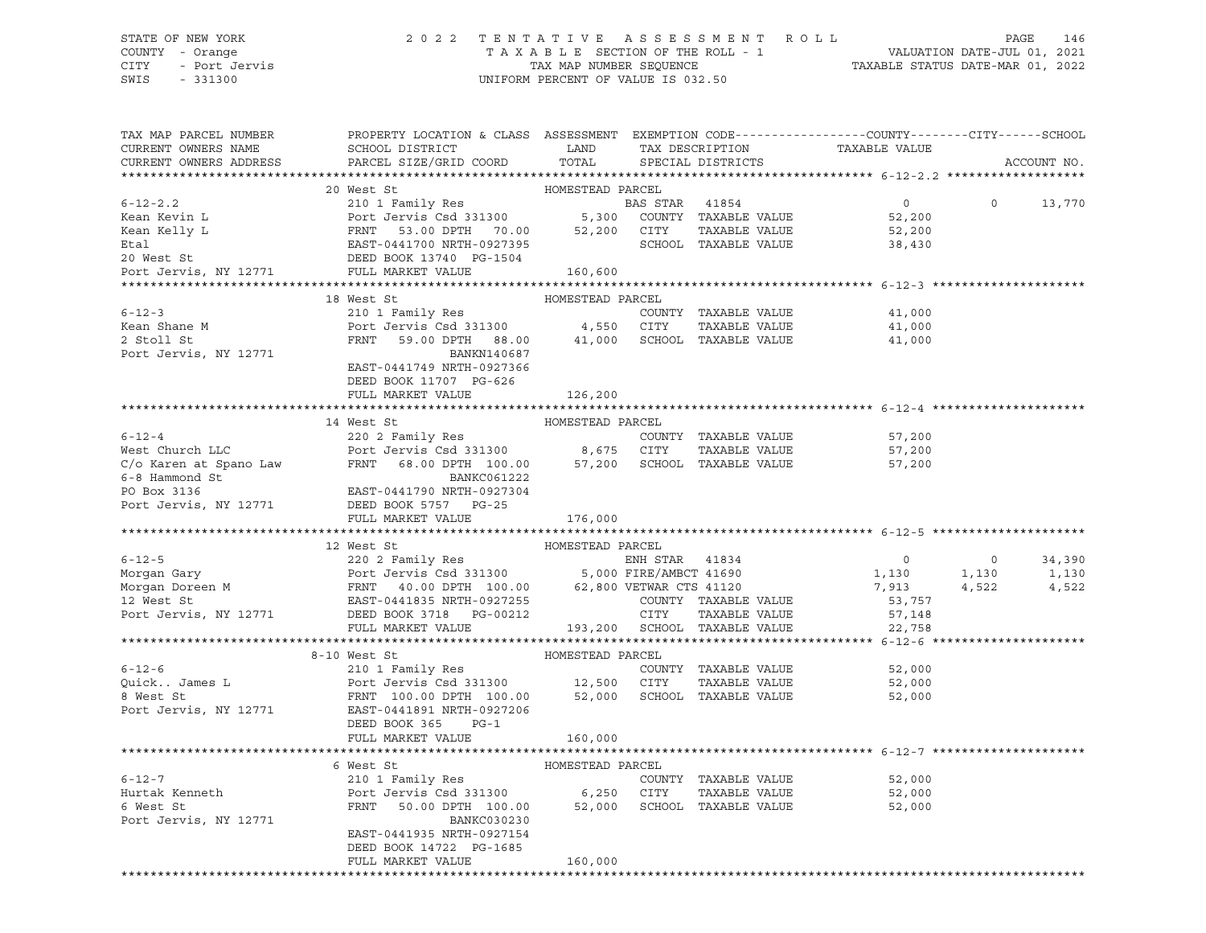## STATE OF NEW YORK 2 0 2 2 T E N T A T I V E A S S E S S M E N T R O L L PAGE 146 COUNTY - Orange T A X A B L E SECTION OF THE ROLL - 1 VALUATION DATE-JUL 01, 2021 CITY - Port Jervis TAX MAP NUMBER SEQUENCE TAXABLE STATUS DATE-MAR 01, 2022

| TAX MAP PARCEL NUMBER<br>CURRENT OWNERS NAME | PROPERTY LOCATION & CLASS ASSESSMENT EXEMPTION CODE----------------COUNTY-------CITY------SCHOOL<br>SCHOOL DISTRICT<br><b>Example 12</b>                                                                                                                                             |                  | TAX DESCRIPTION TAXABLE VALUE SPECIAL DISTRICTS |                                                             |                                         |
|----------------------------------------------|--------------------------------------------------------------------------------------------------------------------------------------------------------------------------------------------------------------------------------------------------------------------------------------|------------------|-------------------------------------------------|-------------------------------------------------------------|-----------------------------------------|
| CURRENT OWNERS ADDRESS                       | PARCEL SIZE/GRID COORD                                                                                                                                                                                                                                                               | TOTAL            |                                                 |                                                             | ACCOUNT NO.                             |
|                                              | 20 West St                                                                                                                                                                                                                                                                           | HOMESTEAD PARCEL |                                                 |                                                             |                                         |
| $6 - 12 - 2.2$                               | 20 West St<br>210 1 Family Res<br>210 1 Family Res<br>Port Jervis Csd 331300 5,300 COUNTY TAXABLE VALUE<br>FRNT 53.00 DPTH 70.00 52,200 CITY TAXABLE VALUE 52,200<br>EAST-0441700 NRTH-0927395 SCHOOL TAXABLE VALUE 52,200<br>DEED BOOK 13                                           |                  |                                                 |                                                             | $\circ$<br>13,770                       |
| Kean Kevin L                                 |                                                                                                                                                                                                                                                                                      |                  |                                                 |                                                             |                                         |
| Kean Kelly L                                 |                                                                                                                                                                                                                                                                                      |                  |                                                 |                                                             |                                         |
| Etal                                         |                                                                                                                                                                                                                                                                                      |                  |                                                 |                                                             |                                         |
| 20 West St                                   |                                                                                                                                                                                                                                                                                      |                  |                                                 |                                                             |                                         |
| Port Jervis, NY 12771                        | FULL MARKET VALUE                                                                                                                                                                                                                                                                    | 160,600          |                                                 |                                                             |                                         |
|                                              |                                                                                                                                                                                                                                                                                      |                  |                                                 |                                                             |                                         |
|                                              | 18 West St                                                                                                                                                                                                                                                                           | HOMESTEAD PARCEL |                                                 |                                                             |                                         |
| $6 - 12 - 3$                                 | 210 1 Family Res                                                                                                                                                                                                                                                                     |                  | COUNTY TAXABLE VALUE                            | 41,000                                                      |                                         |
|                                              |                                                                                                                                                                                                                                                                                      |                  |                                                 | TAXABLE VALUE 41,000<br>TAXABLE VALUE 41,000                |                                         |
|                                              |                                                                                                                                                                                                                                                                                      |                  |                                                 |                                                             |                                         |
| Port Jervis, NY 12771                        | BANKN140687                                                                                                                                                                                                                                                                          |                  |                                                 |                                                             |                                         |
|                                              | EAST-0441749 NRTH-0927366                                                                                                                                                                                                                                                            |                  |                                                 |                                                             |                                         |
|                                              | DEED BOOK 11707 PG-626                                                                                                                                                                                                                                                               |                  |                                                 |                                                             |                                         |
|                                              | FULL MARKET VALUE                                                                                                                                                                                                                                                                    | 126,200          |                                                 |                                                             |                                         |
|                                              |                                                                                                                                                                                                                                                                                      |                  |                                                 |                                                             |                                         |
|                                              | 14 West St                                                                                                                                                                                                                                                                           | HOMESTEAD PARCEL |                                                 |                                                             |                                         |
|                                              |                                                                                                                                                                                                                                                                                      |                  | COUNTY TAXABLE VALUE                            | 57,200                                                      |                                         |
|                                              |                                                                                                                                                                                                                                                                                      |                  | TAXABLE VALUE                                   | 57,200                                                      |                                         |
|                                              |                                                                                                                                                                                                                                                                                      |                  |                                                 | 57,200                                                      |                                         |
|                                              |                                                                                                                                                                                                                                                                                      |                  |                                                 |                                                             |                                         |
|                                              | Example 220 2 Family Res<br>West Church LLC<br>C/o Karen at Spano Law<br>FRNT 68.00 DPTH 100.00 57,200 SCHOOL TAXABLE VALUE<br>6-8 Hammond St<br>PO Box 3136 EAST-0441790 NRTH-0927304<br>PO BOX 3136 EAST-0441790 NRTH-0927304<br>EAST-0441790 NRTH-0927304<br>DEED BOOK 5757 PG-25 |                  |                                                 |                                                             |                                         |
| Port Jervis, NY 12771                        |                                                                                                                                                                                                                                                                                      |                  |                                                 |                                                             |                                         |
|                                              | FULL MARKET VALUE                                                                                                                                                                                                                                                                    | 176,000          |                                                 |                                                             |                                         |
|                                              |                                                                                                                                                                                                                                                                                      | HOMESTEAD PARCEL |                                                 |                                                             |                                         |
|                                              | 12 West St<br>6-12-5<br>Morgan Gary<br>Morgan Doreen M<br>Morgan Doreen M<br>ENH STAR 41834<br>Port Jervis Csd 331300<br>FRNT 40.00 DPTH 100.00<br>FRNT 40.00 DPTH 100.00<br>FRNT 40.00 DPTH 100.00<br>62,800 VETWAR CTS 41120<br>COUNTY TAXABLE VALUE<br>Port Jer                   |                  |                                                 |                                                             |                                         |
|                                              |                                                                                                                                                                                                                                                                                      |                  |                                                 | $\overline{0}$<br>$\begin{array}{c} 0 \\ 1,130 \end{array}$ | $\overline{0}$<br>34,390<br>1,130 1,130 |
|                                              |                                                                                                                                                                                                                                                                                      |                  |                                                 | 7,913                                                       |                                         |
|                                              |                                                                                                                                                                                                                                                                                      |                  |                                                 |                                                             | 4,522<br>4,522                          |
|                                              |                                                                                                                                                                                                                                                                                      |                  |                                                 |                                                             |                                         |
|                                              | FULL MARKET VALUE                                                                                                                                                                                                                                                                    |                  | 193,200 SCHOOL TAXABLE VALUE                    | 53,757<br>57,148<br>22,758                                  |                                         |
|                                              |                                                                                                                                                                                                                                                                                      |                  |                                                 |                                                             |                                         |
|                                              | 8-10 West St                                                                                                                                                                                                                                                                         | HOMESTEAD PARCEL |                                                 |                                                             |                                         |
|                                              |                                                                                                                                                                                                                                                                                      |                  | COUNTY TAXABLE VALUE                            | 52,000                                                      |                                         |
|                                              |                                                                                                                                                                                                                                                                                      |                  | TAXABLE VALUE                                   | 52,000                                                      |                                         |
|                                              |                                                                                                                                                                                                                                                                                      |                  |                                                 | 52,000                                                      |                                         |
|                                              | Port Jervis, NY 12771 EAST-0441891 NRTH-0927206                                                                                                                                                                                                                                      |                  |                                                 |                                                             |                                         |
|                                              | DEED BOOK 365 PG-1                                                                                                                                                                                                                                                                   |                  |                                                 |                                                             |                                         |
|                                              | FULL MARKET VALUE                                                                                                                                                                                                                                                                    | 160,000          |                                                 |                                                             |                                         |
|                                              |                                                                                                                                                                                                                                                                                      |                  |                                                 |                                                             |                                         |
|                                              | HOMESTEAD PARCEL<br>6 West St                                                                                                                                                                                                                                                        |                  |                                                 |                                                             |                                         |
| $6 - 12 - 7$                                 | 210 1 Family Res                                                                                                                                                                                                                                                                     |                  | COUNTY TAXABLE VALUE                            | 52,000                                                      |                                         |
| 6-12-7<br>Hurtak Kenneth                     |                                                                                                                                                                                                                                                                                      |                  | TAXABLE VALUE                                   |                                                             |                                         |
| 6 West St                                    |                                                                                                                                                                                                                                                                                      |                  |                                                 | 52,000<br>52,000                                            |                                         |
| Port Jervis, NY 12771                        | BANKC030230                                                                                                                                                                                                                                                                          |                  |                                                 |                                                             |                                         |
|                                              | EAST-0441935 NRTH-0927154                                                                                                                                                                                                                                                            |                  |                                                 |                                                             |                                         |
|                                              | DEED BOOK 14722 PG-1685                                                                                                                                                                                                                                                              |                  |                                                 |                                                             |                                         |
|                                              | FULL MARKET VALUE                                                                                                                                                                                                                                                                    | 160,000          |                                                 |                                                             |                                         |
|                                              |                                                                                                                                                                                                                                                                                      |                  |                                                 |                                                             |                                         |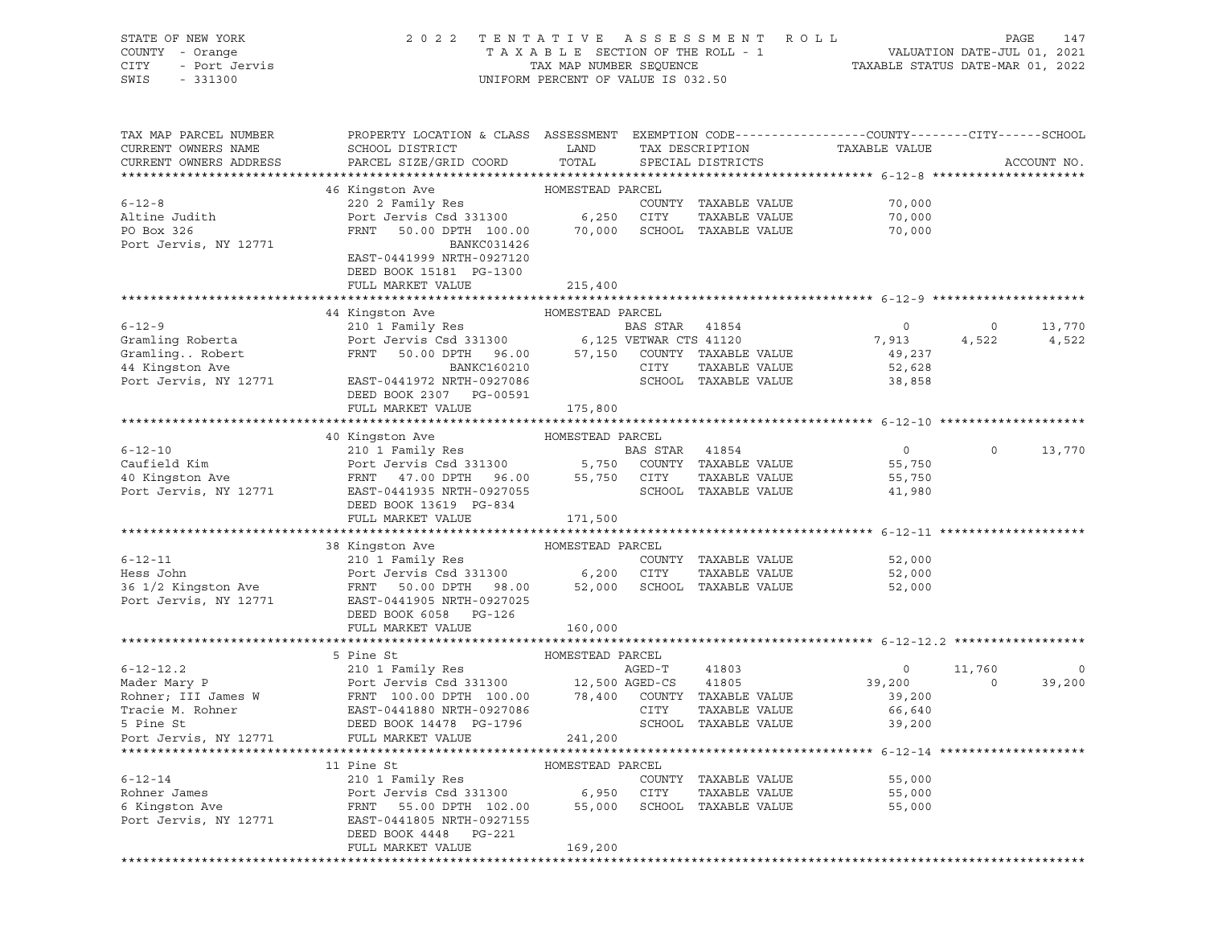| STATE OF NEW YORK<br>COUNTY - Orange<br>CITY<br>- Port Jervis<br>- 331300<br>SWIS | 2022 TENTATIVE ASSESSMENT ROLL                                                                                                                                             | UNIFORM PERCENT OF VALUE IS 032.50 | T A X A B L E SECTION OF THE ROLL - 1 VALUATION DATE-JUL 01, 2021<br>TAX MAP NUMBER SEQUENCE TAXABLE STATUS DATE-MAR 01, 2022 |                      | PAGE<br>147                   |             |                |
|-----------------------------------------------------------------------------------|----------------------------------------------------------------------------------------------------------------------------------------------------------------------------|------------------------------------|-------------------------------------------------------------------------------------------------------------------------------|----------------------|-------------------------------|-------------|----------------|
| TAX MAP PARCEL NUMBER<br>CURRENT OWNERS NAME<br>CURRENT OWNERS ADDRESS            | PROPERTY LOCATION & CLASS ASSESSMENT EXEMPTION CODE----------------CUNTY-------CITY------SCHOOL<br>SCHOOL DISTRICT<br>PARCEL SIZE/GRID COORD                               | LAND<br>TOTAL                      |                                                                                                                               | SPECIAL DISTRICTS    | TAX DESCRIPTION TAXABLE VALUE |             | ACCOUNT NO.    |
|                                                                                   | 46 Kingston Ave MOMESTEAD PARCEL                                                                                                                                           |                                    |                                                                                                                               |                      |                               |             |                |
| $6 - 12 - 8$                                                                      | 220 2 Family Res                                                                                                                                                           |                                    |                                                                                                                               | COUNTY TAXABLE VALUE | 70,000                        |             |                |
| Altine Judith                                                                     | Port Jervis Csd 331300 6,250 CITY TAXABLE VALUE<br>FRNT 50.00 DPTH 100.00 70,000 SCHOOL TAXABLE VALUE                                                                      |                                    |                                                                                                                               | TAXABLE VALUE        | 70,000                        |             |                |
| PO Box 326                                                                        |                                                                                                                                                                            |                                    |                                                                                                                               |                      | 70,000                        |             |                |
| Port Jervis, NY 12771                                                             | BANKC031426                                                                                                                                                                |                                    |                                                                                                                               |                      |                               |             |                |
|                                                                                   | EAST-0441999 NRTH-0927120                                                                                                                                                  |                                    |                                                                                                                               |                      |                               |             |                |
|                                                                                   | DEED BOOK 15181 PG-1300                                                                                                                                                    |                                    |                                                                                                                               |                      |                               |             |                |
|                                                                                   | FULL MARKET VALUE                                                                                                                                                          | 215,400                            |                                                                                                                               |                      |                               |             |                |
|                                                                                   |                                                                                                                                                                            |                                    |                                                                                                                               |                      |                               |             |                |
|                                                                                   | 44 Kingston Ave MOMESTEAD PARCEL                                                                                                                                           |                                    |                                                                                                                               |                      |                               |             |                |
| $6 - 12 - 9$                                                                      | 210 1 Family Res<br>Port Jervis Csd 331300 6,125 VETWAR CTS 41120<br>FRNT 50.00 DPTH 96.00 57,150 COUNTY TAXABLE VALUE                                                     |                                    |                                                                                                                               |                      | $\circ$                       | $\circ$     | 13,770         |
| Gramling Roberta<br>Gramling Robert<br>44 Kingston Ave                            |                                                                                                                                                                            |                                    |                                                                                                                               |                      | 7,913                         | 4,522       | 4,522          |
|                                                                                   |                                                                                                                                                                            |                                    |                                                                                                                               |                      | 49,237                        |             |                |
|                                                                                   | BANKC160210                                                                                                                                                                |                                    | CITY                                                                                                                          | TAXABLE VALUE        | 52,628                        |             |                |
| Port Jervis, NY 12771                                                             | EAST-0441972 NRTH-0927086                                                                                                                                                  |                                    |                                                                                                                               | SCHOOL TAXABLE VALUE | 38,858                        |             |                |
|                                                                                   | DEED BOOK 2307 PG-00591                                                                                                                                                    |                                    |                                                                                                                               |                      |                               |             |                |
|                                                                                   | FULL MARKET VALUE                                                                                                                                                          | 175,800                            |                                                                                                                               |                      |                               |             |                |
|                                                                                   |                                                                                                                                                                            |                                    |                                                                                                                               |                      |                               |             |                |
|                                                                                   | 40 Kingston Ave MOMESTEAD PARCEL                                                                                                                                           |                                    |                                                                                                                               |                      |                               |             |                |
| $6 - 12 - 10$                                                                     |                                                                                                                                                                            |                                    |                                                                                                                               |                      | $\overline{0}$                | $\circ$     | 13,770         |
| Caufield Kim                                                                      |                                                                                                                                                                            |                                    |                                                                                                                               |                      | 55,750                        |             |                |
| 40 Kingston Ave                                                                   |                                                                                                                                                                            |                                    |                                                                                                                               |                      | 55,750                        |             |                |
| Port Jervis, NY 12771                                                             | 210 1 Family Res<br>Port Jervis Csd 331300 5,750 COUNTY TAXABLE VALUE<br>FRNT 47.00 DPTH 96.00 55,750 CITY TAXABLE VALUE<br>EAST-0441935 NRTH-0927055 SCHOOL TAXABLE VALUE |                                    |                                                                                                                               |                      | 41,980                        |             |                |
|                                                                                   | DEED BOOK 13619 PG-834                                                                                                                                                     |                                    |                                                                                                                               |                      |                               |             |                |
|                                                                                   | FULL MARKET VALUE                                                                                                                                                          | 171,500                            |                                                                                                                               |                      |                               |             |                |
|                                                                                   |                                                                                                                                                                            |                                    |                                                                                                                               |                      |                               |             |                |
|                                                                                   | 38 Kingston Ave                                                                                                                                                            | HOMESTEAD PARCEL                   |                                                                                                                               |                      |                               |             |                |
| $6 - 12 - 11$                                                                     | 210 1 Family Res                                                                                                                                                           |                                    |                                                                                                                               | COUNTY TAXABLE VALUE | 52,000                        |             |                |
| Hess John                                                                         |                                                                                                                                                                            |                                    |                                                                                                                               | TAXABLE VALUE        | 52,000                        |             |                |
| 36 1/2 Kingston Ave                                                               | Port Jervis Csd 331300 6,200 CITY TAXABLE VALUE<br>FRNT 50.00 DPTH 98.00 52,000 SCHOOL TAXABLE VALUE                                                                       |                                    |                                                                                                                               |                      | 52,000                        |             |                |
| Port Jervis, NY 12771                                                             | EAST-0441905 NRTH-0927025                                                                                                                                                  |                                    |                                                                                                                               |                      |                               |             |                |
|                                                                                   | DEED BOOK 6058 PG-126                                                                                                                                                      |                                    |                                                                                                                               |                      |                               |             |                |
|                                                                                   | FULL MARKET VALUE                                                                                                                                                          | 160,000                            |                                                                                                                               |                      |                               |             |                |
|                                                                                   |                                                                                                                                                                            |                                    |                                                                                                                               |                      |                               |             |                |
|                                                                                   | 5 Pine St                                                                                                                                                                  | HOMESTEAD PARCEL                   |                                                                                                                               |                      |                               |             |                |
| $6 - 12 - 12.2$                                                                   | 210 1 Family Res                                                                                                                                                           |                                    | AGED-T                                                                                                                        | 41803                | $\circ$                       | 11,760      | $\overline{0}$ |
| Mader Mary P                                                                      | Port Jervis Csd 331300 12,500 AGED-CS 41805<br>FRNT 100.00 DPTH 100.00 78,400 COUNTY TAXABLE VALUE                                                                         |                                    |                                                                                                                               |                      | 39,200                        | $\mathbf 0$ | 39,200         |
| Rohner; III James W                                                               |                                                                                                                                                                            |                                    |                                                                                                                               |                      | 39,200                        |             |                |
| Tracie M. Rohner                                                                  | EAST-0441880 NRTH-0927086                                                                                                                                                  |                                    | CITY                                                                                                                          | TAXABLE VALUE        | 66,640                        |             |                |
| 5 Pine St                                                                         | DEED BOOK 14478 PG-1796                                                                                                                                                    |                                    |                                                                                                                               | SCHOOL TAXABLE VALUE | 39,200                        |             |                |
| Port Jervis, NY 12771                                                             | FULL MARKET VALUE                                                                                                                                                          | 241,200                            |                                                                                                                               |                      |                               |             |                |
|                                                                                   |                                                                                                                                                                            |                                    |                                                                                                                               |                      |                               |             |                |
|                                                                                   | 11 Pine St                                                                                                                                                                 | HOMESTEAD PARCEL                   |                                                                                                                               |                      |                               |             |                |
| $6 - 12 - 14$                                                                     | 210 1 Family Res                                                                                                                                                           |                                    |                                                                                                                               | COUNTY TAXABLE VALUE | 55,000                        |             |                |
| Rohner James                                                                      | Port Jervis Csd 331300                                                                                                                                                     | 6,950                              | CITY                                                                                                                          | TAXABLE VALUE        | 55,000                        |             |                |
| 6 Kingston Ave                                                                    | FRNT<br>55.00 DPTH 102.00                                                                                                                                                  | 55,000                             |                                                                                                                               | SCHOOL TAXABLE VALUE | 55,000                        |             |                |
| Port Jervis, NY 12771                                                             | EAST-0441805 NRTH-0927155                                                                                                                                                  |                                    |                                                                                                                               |                      |                               |             |                |
|                                                                                   | DEED BOOK 4448<br>PG-221                                                                                                                                                   |                                    |                                                                                                                               |                      |                               |             |                |
|                                                                                   | FULL MARKET VALUE                                                                                                                                                          | 169,200                            |                                                                                                                               |                      |                               |             |                |
|                                                                                   |                                                                                                                                                                            |                                    |                                                                                                                               |                      |                               |             |                |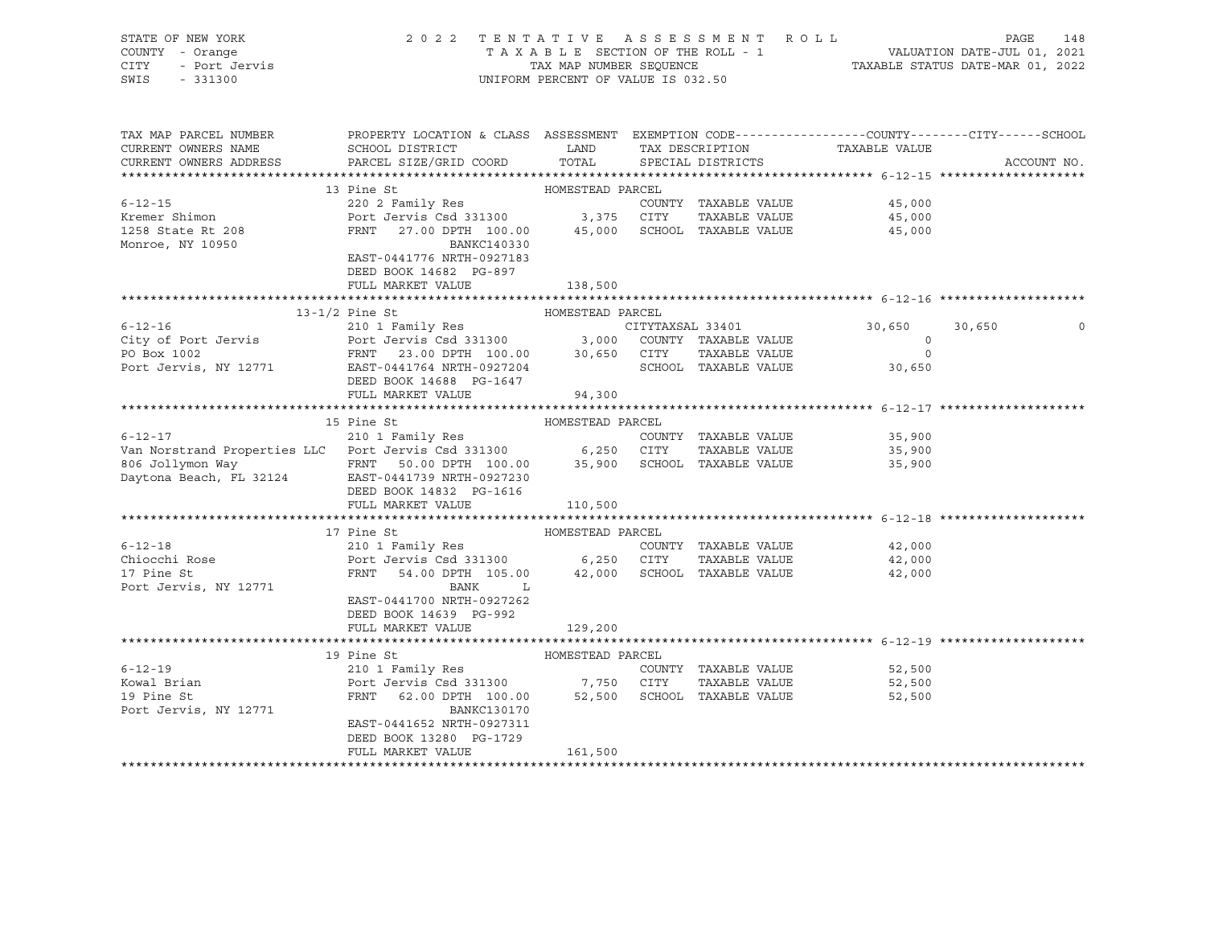| STATE OF NEW YORK<br>COUNTY - Orange<br>CITY<br>- Port Jervis<br>SWIS<br>$-331300$ | 2 0 2 2                                                                | UNIFORM PERCENT OF VALUE IS 032.50 | TENTATIVE ASSESSMENT ROLL             | T A X A B L E SECTION OF THE ROLL - 1<br>T A X A B L E SECTION OF THE ROLL - 1<br>TAX MAP NUMBER SEQUENCE TAXABLE STATUS DATE-MAR 01, 2022 | PAGE                                                                                                           | 148 |
|------------------------------------------------------------------------------------|------------------------------------------------------------------------|------------------------------------|---------------------------------------|--------------------------------------------------------------------------------------------------------------------------------------------|----------------------------------------------------------------------------------------------------------------|-----|
| TAX MAP PARCEL NUMBER<br>CURRENT OWNERS NAME<br>CURRENT OWNERS ADDRESS             | SCHOOL DISTRICT<br>PARCEL SIZE/GRID COORD                              | LAND<br>TOTAL                      | TAX DESCRIPTION<br>SPECIAL DISTRICTS  | TAXABLE VALUE                                                                                                                              | PROPERTY LOCATION & CLASS ASSESSMENT EXEMPTION CODE---------------COUNTY-------CITY------SCHOOL<br>ACCOUNT NO. |     |
|                                                                                    |                                                                        |                                    |                                       |                                                                                                                                            |                                                                                                                |     |
|                                                                                    | 13 Pine St                                                             | HOMESTEAD PARCEL                   |                                       |                                                                                                                                            |                                                                                                                |     |
| $6 - 12 - 15$                                                                      | 220 2 Family Res                                                       |                                    | COUNTY TAXABLE VALUE                  | 45,000                                                                                                                                     |                                                                                                                |     |
| Kremer Shimon                                                                      | Port Jervis Csd 331300 3,375 CITY TAXABLE VALUE                        |                                    |                                       | 45,000                                                                                                                                     |                                                                                                                |     |
| 1258 State Rt 208<br>Monroe, NY 10950                                              | FRNT 27.00 DPTH 100.00<br>BANKC140330                                  | 45,000                             | SCHOOL TAXABLE VALUE                  | 45,000                                                                                                                                     |                                                                                                                |     |
|                                                                                    | EAST-0441776 NRTH-0927183                                              |                                    |                                       |                                                                                                                                            |                                                                                                                |     |
|                                                                                    | DEED BOOK 14682 PG-897                                                 |                                    |                                       |                                                                                                                                            |                                                                                                                |     |
|                                                                                    | FULL MARKET VALUE                                                      | 138,500                            |                                       |                                                                                                                                            |                                                                                                                |     |
|                                                                                    | $13-1/2$ Pine St                                                       | HOMESTEAD PARCEL                   |                                       |                                                                                                                                            |                                                                                                                |     |
| $6 - 12 - 16$                                                                      |                                                                        |                                    |                                       | 30,650                                                                                                                                     | 30,650                                                                                                         |     |
| City of Port Jervis                                                                |                                                                        |                                    |                                       | $\circ$                                                                                                                                    |                                                                                                                |     |
| PO Box 1002                                                                        |                                                                        |                                    | TAXABLE VALUE                         | $\circ$                                                                                                                                    |                                                                                                                |     |
| Port Jervis, NY 12771                                                              | FRNT 23.00 DPTH 100.00 30,650 CITY<br>EAST-0441764 NRTH-0927204 SCHOOL |                                    | SCHOOL TAXABLE VALUE                  | 30,650                                                                                                                                     |                                                                                                                |     |
|                                                                                    | DEED BOOK 14688 PG-1647                                                |                                    |                                       |                                                                                                                                            |                                                                                                                |     |
|                                                                                    | FULL MARKET VALUE                                                      | 94,300                             |                                       |                                                                                                                                            |                                                                                                                |     |
|                                                                                    |                                                                        |                                    |                                       |                                                                                                                                            |                                                                                                                |     |
|                                                                                    | 15 Pine St                                                             | HOMESTEAD PARCEL                   |                                       |                                                                                                                                            |                                                                                                                |     |
| $6 - 12 - 17$<br>Van Norstrand Properties LLC Port Jervis Csd 331300 6,250 CITY    | 210 1 Family Res                                                       |                                    | COUNTY TAXABLE VALUE                  | 35,900                                                                                                                                     |                                                                                                                |     |
|                                                                                    |                                                                        |                                    | TAXABLE VALUE                         | 35,900                                                                                                                                     |                                                                                                                |     |
| 806 Jollymon Way<br>Daytona Beach, FL 32124 EAST-0441739 NRTH-0927230              |                                                                        |                                    | 35,900 SCHOOL TAXABLE VALUE           | 35,900                                                                                                                                     |                                                                                                                |     |
|                                                                                    | DEED BOOK 14832 PG-1616                                                |                                    |                                       |                                                                                                                                            |                                                                                                                |     |
|                                                                                    | FULL MARKET VALUE                                                      | 110,500                            |                                       |                                                                                                                                            |                                                                                                                |     |
|                                                                                    |                                                                        |                                    |                                       |                                                                                                                                            |                                                                                                                |     |
|                                                                                    | 17 Pine St                                                             | HOMESTEAD PARCEL                   |                                       |                                                                                                                                            |                                                                                                                |     |
| $6 - 12 - 18$                                                                      | 210 1 Family Res                                                       |                                    | COUNTY TAXABLE VALUE                  | 42,000                                                                                                                                     |                                                                                                                |     |
| Chiocchi Rose                                                                      | Port Jervis Csd 331300 6,250 CITY                                      |                                    | TAXABLE VALUE                         | 42,000                                                                                                                                     |                                                                                                                |     |
| 17 Pine St                                                                         | FRNT 54.00 DPTH 105.00 42,000                                          |                                    | SCHOOL TAXABLE VALUE                  | 42,000                                                                                                                                     |                                                                                                                |     |
| Port Jervis, NY 12771                                                              | $\mathbf{L}$<br>BANK                                                   |                                    |                                       |                                                                                                                                            |                                                                                                                |     |
|                                                                                    | EAST-0441700 NRTH-0927262                                              |                                    |                                       |                                                                                                                                            |                                                                                                                |     |
|                                                                                    | DEED BOOK 14639 PG-992                                                 |                                    |                                       |                                                                                                                                            |                                                                                                                |     |
|                                                                                    | FULL MARKET VALUE                                                      | 129,200                            |                                       |                                                                                                                                            |                                                                                                                |     |
|                                                                                    |                                                                        |                                    |                                       |                                                                                                                                            |                                                                                                                |     |
| $6 - 12 - 19$                                                                      | 19 Pine St                                                             | HOMESTEAD PARCEL                   |                                       |                                                                                                                                            |                                                                                                                |     |
| Kowal Brian                                                                        | 210 1 Family Res<br>Port Jervis Csd 331300 7,750 CITY                  |                                    | COUNTY TAXABLE VALUE<br>TAXABLE VALUE | 52,500<br>52,500                                                                                                                           |                                                                                                                |     |
| 19 Pine St                                                                         | 62.00 DPTH 100.00 52,500 SCHOOL TAXABLE VALUE<br>FRNT                  |                                    |                                       | 52,500                                                                                                                                     |                                                                                                                |     |
| Port Jervis, NY 12771                                                              | BANKC130170                                                            |                                    |                                       |                                                                                                                                            |                                                                                                                |     |
|                                                                                    | EAST-0441652 NRTH-0927311                                              |                                    |                                       |                                                                                                                                            |                                                                                                                |     |
|                                                                                    | DEED BOOK 13280 PG-1729                                                |                                    |                                       |                                                                                                                                            |                                                                                                                |     |
|                                                                                    | FULL MARKET VALUE                                                      | 161,500                            |                                       |                                                                                                                                            |                                                                                                                |     |
|                                                                                    |                                                                        |                                    |                                       |                                                                                                                                            |                                                                                                                |     |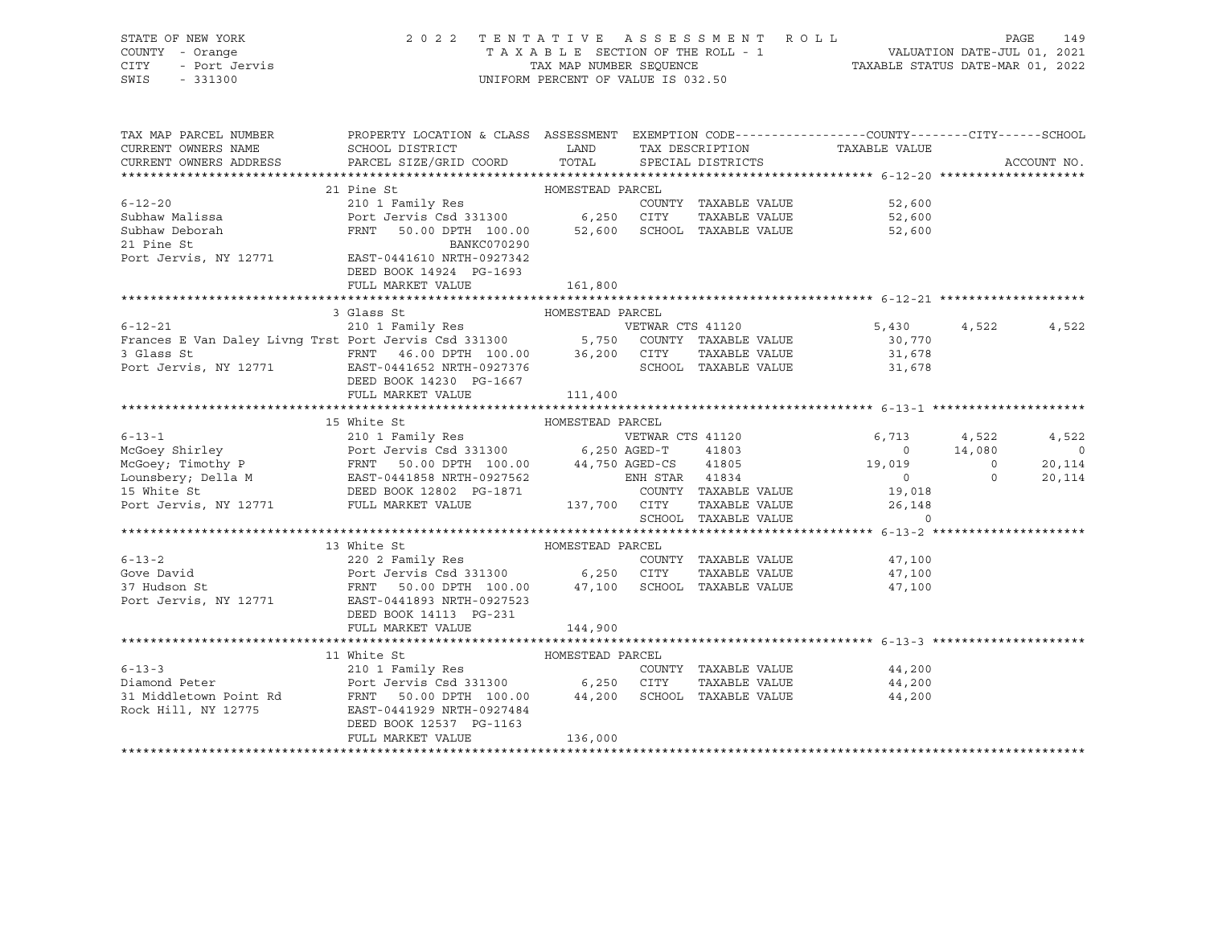| STATE OF NEW YORK<br>COUNTY - Orange<br>CITY<br>- Port Jervis<br>SWIS<br>$-331300$                                                                                                                                                       | 2022 TENTATIVE ASSESSMENT ROLL |         | UNIFORM PERCENT OF VALUE IS 032.50 | TAXABLE SECTION OF THE ROLL - 1 VALUATION DATE-JUL 01, 2021<br>TAXABLE STATUS DATE-MAR 01, 2022 | PAGE<br>149    |
|------------------------------------------------------------------------------------------------------------------------------------------------------------------------------------------------------------------------------------------|--------------------------------|---------|------------------------------------|-------------------------------------------------------------------------------------------------|----------------|
| TAX MAP PARCEL NUMBER THE PROPERTY LOCATION & CLASS ASSESSMENT EXEMPTION CODE--------------COUNTY-------CITY------SCHOOL                                                                                                                 |                                |         |                                    |                                                                                                 |                |
|                                                                                                                                                                                                                                          |                                | LAND    |                                    | TAX DESCRIPTION TAXABLE VALUE                                                                   |                |
| CURRENT OWNERS NAME SCHOOL DISTRICT THE LAND TAX DESCRIPTION<br>CURRENT OWNERS ADDRESS TARCEL SIZE/GRID COORD TOTAL SPECIAL DISTRICTS                                                                                                    |                                |         |                                    |                                                                                                 | ACCOUNT NO.    |
|                                                                                                                                                                                                                                          |                                |         |                                    |                                                                                                 |                |
|                                                                                                                                                                                                                                          | HOMESTEAD PARCEL<br>21 Pine St |         |                                    |                                                                                                 |                |
|                                                                                                                                                                                                                                          |                                |         |                                    |                                                                                                 |                |
|                                                                                                                                                                                                                                          |                                |         |                                    |                                                                                                 |                |
|                                                                                                                                                                                                                                          |                                |         |                                    |                                                                                                 |                |
| 6-12-20<br>Subhaw Malissa 210 1 Family Res<br>Subhaw Malissa Port Jervis Csd 331300 6,250 CITY TAXABLE VALUE 52,600<br>Subhaw Deborah FRNT 50.00 DPTH 100.00 52,600 SCHOOL TAXABLE VALUE 52,600<br>21 Pine St BANKC070290<br>Port Jervis |                                |         |                                    |                                                                                                 |                |
|                                                                                                                                                                                                                                          | DEED BOOK 14924 PG-1693        |         |                                    |                                                                                                 |                |
|                                                                                                                                                                                                                                          |                                |         |                                    |                                                                                                 |                |
|                                                                                                                                                                                                                                          |                                |         |                                    |                                                                                                 |                |
| 3 Glass St BOMESTEAD PARCEL<br>210 1 Family Res vETWAR CTS 41120 5,430 5,430 4,522<br>Frances E Van Daley Livng Trst Port Jervis Csd 331300 5,750 COUNTY TAXABLE VALUE 30,770<br>21.678 21.678 21.678 21.678 21.678 21.678 21.678 21.67  |                                |         |                                    |                                                                                                 |                |
|                                                                                                                                                                                                                                          |                                |         |                                    |                                                                                                 | 4,522          |
|                                                                                                                                                                                                                                          |                                |         |                                    |                                                                                                 |                |
|                                                                                                                                                                                                                                          |                                |         |                                    |                                                                                                 |                |
|                                                                                                                                                                                                                                          | DEED BOOK 14230 PG-1667        |         |                                    |                                                                                                 |                |
|                                                                                                                                                                                                                                          | FULL MARKET VALUE              | 111,400 |                                    |                                                                                                 |                |
|                                                                                                                                                                                                                                          |                                |         |                                    |                                                                                                 |                |
|                                                                                                                                                                                                                                          | 15 White St                    |         |                                    |                                                                                                 |                |
|                                                                                                                                                                                                                                          |                                |         | VETWAR CTS 41120                   | $6,713$ $4,522$<br>0 $14,080$                                                                   | 4,522          |
|                                                                                                                                                                                                                                          |                                |         |                                    |                                                                                                 | $\overline{a}$ |
|                                                                                                                                                                                                                                          |                                |         |                                    |                                                                                                 | 20,114         |
|                                                                                                                                                                                                                                          |                                |         |                                    |                                                                                                 | 20,114         |
|                                                                                                                                                                                                                                          |                                |         |                                    |                                                                                                 |                |
| COUNTY TAXABLE VALUE<br>IS White St DEED BOOK 12802 PG-1871 COUNTY TAXABLE VALUE<br>Port Jervis, NY 12771 FULL MARKET VALUE 137,700 CITY TAXABLE VALUE 26,148<br>SCHOOL TAXABLE VALUE 26,148                                             |                                |         |                                    |                                                                                                 |                |
|                                                                                                                                                                                                                                          |                                |         |                                    |                                                                                                 |                |
|                                                                                                                                                                                                                                          |                                |         |                                    |                                                                                                 |                |
|                                                                                                                                                                                                                                          |                                |         |                                    | COUNTY TAXABLE VALUE 47,100                                                                     |                |
|                                                                                                                                                                                                                                          |                                |         |                                    | TAXABLE VALUE 47,100                                                                            |                |
|                                                                                                                                                                                                                                          |                                |         |                                    | 47,100                                                                                          |                |
| Port Jervis, NY 12771 EAST-0441893 NRTH-0927523                                                                                                                                                                                          |                                |         |                                    |                                                                                                 |                |

 DEED BOOK 14113 PG-231 FULL MARKET VALUE 144,900 \*\*\*\*\*\*\*\*\*\*\*\*\*\*\*\*\*\*\*\*\*\*\*\*\*\*\*\*\*\*\*\*\*\*\*\*\*\*\*\*\*\*\*\*\*\*\*\*\*\*\*\*\*\*\*\*\*\*\*\*\*\*\*\*\*\*\*\*\*\*\*\*\*\*\*\*\*\*\*\*\*\*\*\*\*\*\*\*\*\*\*\*\*\*\*\*\*\*\*\*\*\*\* 6-13-3 \*\*\*\*\*\*\*\*\*\*\*\*\*\*\*\*\*\*\*\*\* 11 White St HOMESTEAD PARCEL 6-13-3 210 1 Family Res COUNTY TAXABLE VALUE 44,200 Diamond Peter Port Jervis Csd 331300 6,250 CITY TAXABLE VALUE 44,200 31 Middletown Point Rd FRNT 50.00 DPTH 100.00 44,200 SCHOOL TAXABLE VALUE 44,200 Rock Hill, NY 12775 EAST-0441929 NRTH-0927484 DEED BOOK 12537 PG-1163 FULL MARKET VALUE 136,000

\*\*\*\*\*\*\*\*\*\*\*\*\*\*\*\*\*\*\*\*\*\*\*\*\*\*\*\*\*\*\*\*\*\*\*\*\*\*\*\*\*\*\*\*\*\*\*\*\*\*\*\*\*\*\*\*\*\*\*\*\*\*\*\*\*\*\*\*\*\*\*\*\*\*\*\*\*\*\*\*\*\*\*\*\*\*\*\*\*\*\*\*\*\*\*\*\*\*\*\*\*\*\*\*\*\*\*\*\*\*\*\*\*\*\*\*\*\*\*\*\*\*\*\*\*\*\*\*\*\*\*\*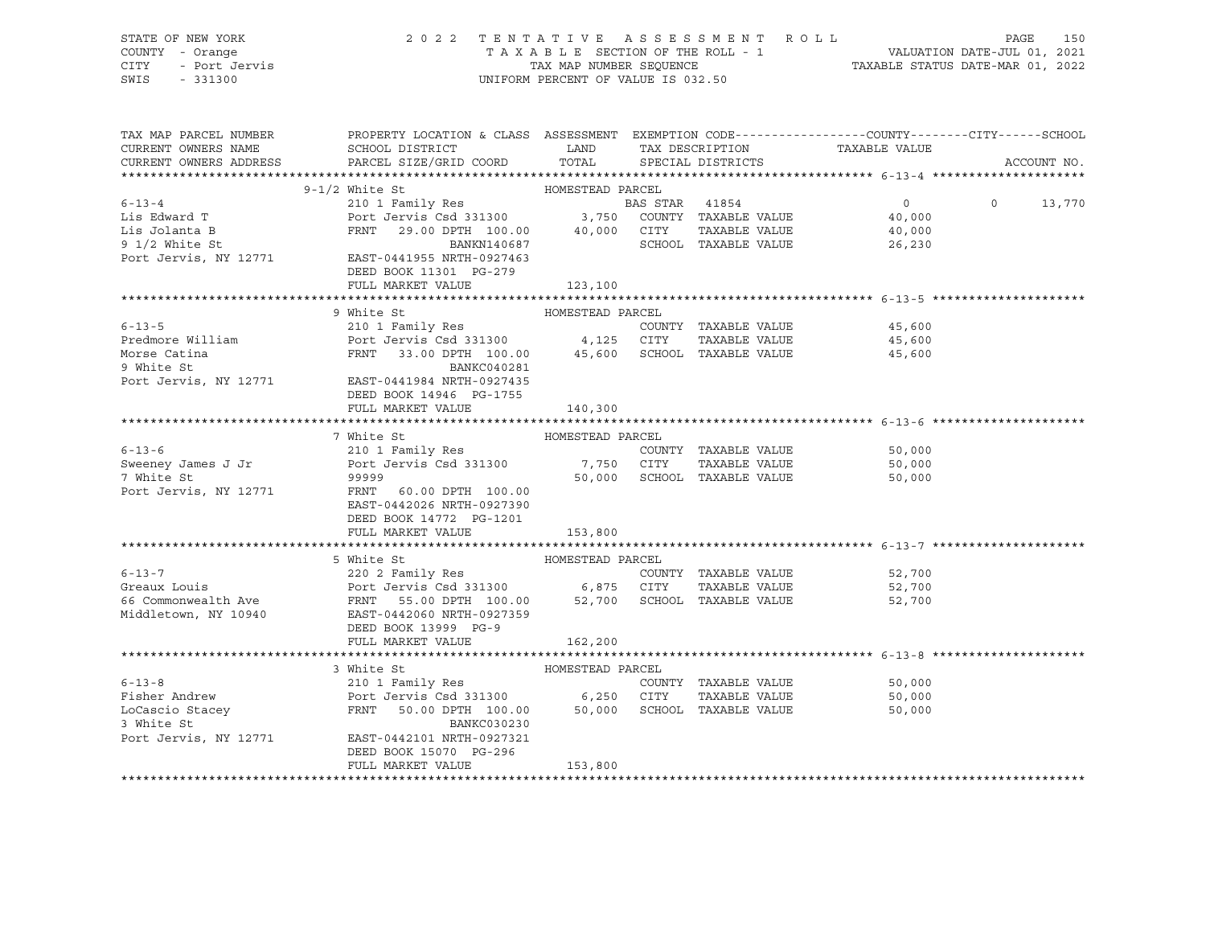| STATE OF NEW YORK  | 2022 TENTATIVE ASSESSMENT ROLL     | 150<br>PAGE                      |
|--------------------|------------------------------------|----------------------------------|
| COUNTY - Orange    | TAXABLE SECTION OF THE ROLL - 1    | VALUATION DATE-JUL 01, 2021      |
| CITY - Port Jervis | TAX MAP NUMBER SEOUENCE            | TAXABLE STATUS DATE-MAR 01, 2022 |
| SWIS - 331300      | UNIFORM PERCENT OF VALUE IS 032.50 |                                  |

| TAX MAP PARCEL NUMBER<br>CURRENT OWNERS NAME | PROPERTY LOCATION & CLASS ASSESSMENT EXEMPTION CODE---------------COUNTY-------CITY------SCHOOL<br>SCHOOL DISTRICT<br>CURRENT OWNERS ADDRESS PARCEL SIZE/GRID COORD                                                                                                                                                                                                                                        | LAND TAX DESCRIPTION<br>TOTAL |                                                                      | TAX DESCRIPTION TAXABLE VALUE SPECIAL DISTRICTS | ACCOUNT NO.        |
|----------------------------------------------|------------------------------------------------------------------------------------------------------------------------------------------------------------------------------------------------------------------------------------------------------------------------------------------------------------------------------------------------------------------------------------------------------------|-------------------------------|----------------------------------------------------------------------|-------------------------------------------------|--------------------|
|                                              |                                                                                                                                                                                                                                                                                                                                                                                                            |                               |                                                                      |                                                 |                    |
|                                              |                                                                                                                                                                                                                                                                                                                                                                                                            |                               |                                                                      |                                                 |                    |
|                                              | $\begin{array}{cccccccc} 6-13-4 & & & 9-1/2 \text{ White St} & & & & \text{HOMESTEAD PARCH} \\ 6-13-4 & & & 210 1 Family Res & & & \text{BAS STAR} & 41854 & & 0 \\ 115 Edward T & & & \text{Port Jervis Csd 331300} & & 3,750 COUNTY TAXABLE VALUE & 40,000 \\ 115 Jolanta B & & & \text{FRNT} & 29.00 DPTH 100.00 & & 40,000 CITY TAXABLE VALUE & 40,000 \\ 9.1/2 White St & & & \text{BANKN140687} & &$ |                               |                                                                      | $0 \qquad \qquad$                               | $\Omega$<br>13,770 |
|                                              | 9 1/2 White St<br>Port Jervis, NY 12771 EAST-0441955 NRTH-0927463<br>DEED BOOK 11301 PG-279<br>FULL MARKET VALUE                                                                                                                                                                                                                                                                                           | 123,100                       |                                                                      |                                                 |                    |
|                                              |                                                                                                                                                                                                                                                                                                                                                                                                            |                               |                                                                      |                                                 |                    |
|                                              | 9 White St<br>HOMESTEAD PARCEL                                                                                                                                                                                                                                                                                                                                                                             |                               |                                                                      |                                                 |                    |
| $6 - 13 - 5$                                 |                                                                                                                                                                                                                                                                                                                                                                                                            |                               |                                                                      |                                                 |                    |
|                                              | Port Jervis, NY 12771 EAST-0441984 NRTH-0927435<br>DEED BOOK 14946 PG-1755<br>FULL MARKET VALUE                                                                                                                                                                                                                                                                                                            | 140,300                       |                                                                      |                                                 |                    |
|                                              |                                                                                                                                                                                                                                                                                                                                                                                                            |                               |                                                                      |                                                 |                    |
| $6 - 13 - 6$                                 | HOMESTEAD PARCEL<br>7 White St<br>210 1 Family Res<br>Sweeney James J Jr and the Port Jervis Csd 331300 7,750 CUONI<br>7 White St 99999<br>Port Jervis, NY 12771 FRNT 60.00 DPTH 100.00 5CHOC<br>EAST-0442026 NRTH-0927390<br>DEED BOOK 14772 PG-1201<br>FULL MARKET VALUE                                                                                                                                 | 153,800                       | COUNTY TAXABLE VALUE<br>TAXABLE VALUE<br>50,000 SCHOOL TAXABLE VALUE | 50,000<br>50,000<br>50,000                      |                    |
|                                              |                                                                                                                                                                                                                                                                                                                                                                                                            |                               |                                                                      |                                                 |                    |
|                                              | 5 White St<br>Forms and the St (2002 Family Res (2002 Family Res (2003 Family Res (2003 Family Res (2003 Family Res (2008)<br>Fort Jervis Csd 331300 (2008)<br>FRNT 55.00 DPTH 100.00 52,700 SCHOOL TAXABLE VALUE<br>Middletown, NY 10<br>DEED BOOK 13999 PG-9<br>FULL MARKET VALUE                                                                                                                        | 162,200                       |                                                                      | 52,700<br>TAXABLE VALUE 52,700<br>52,700        |                    |
|                                              |                                                                                                                                                                                                                                                                                                                                                                                                            |                               |                                                                      |                                                 |                    |
| Port Jervis, NY 12771                        | 3 White St<br>6-13-8 210 1 Family Res COUNT<br>Fisher Andrew Port Jervis Csd 331300 6,250 CITY<br>LoCascio Stacey FRNT 50.00 DPTH 100.00 50,000 SCHOO<br>3 White St<br>EAST-0442101 NRTH-0927321<br>DEED BOOK 15070 PG-296<br>FULL MARKET VALUE                                                                                                                                                            | HOMESTEAD PARCEL<br>153,800   | COUNTY TAXABLE VALUE<br>TAXABLE VALUE<br>SCHOOL TAXABLE VALUE        | 50,000<br>50,000<br>50,000                      |                    |
|                                              |                                                                                                                                                                                                                                                                                                                                                                                                            |                               |                                                                      |                                                 |                    |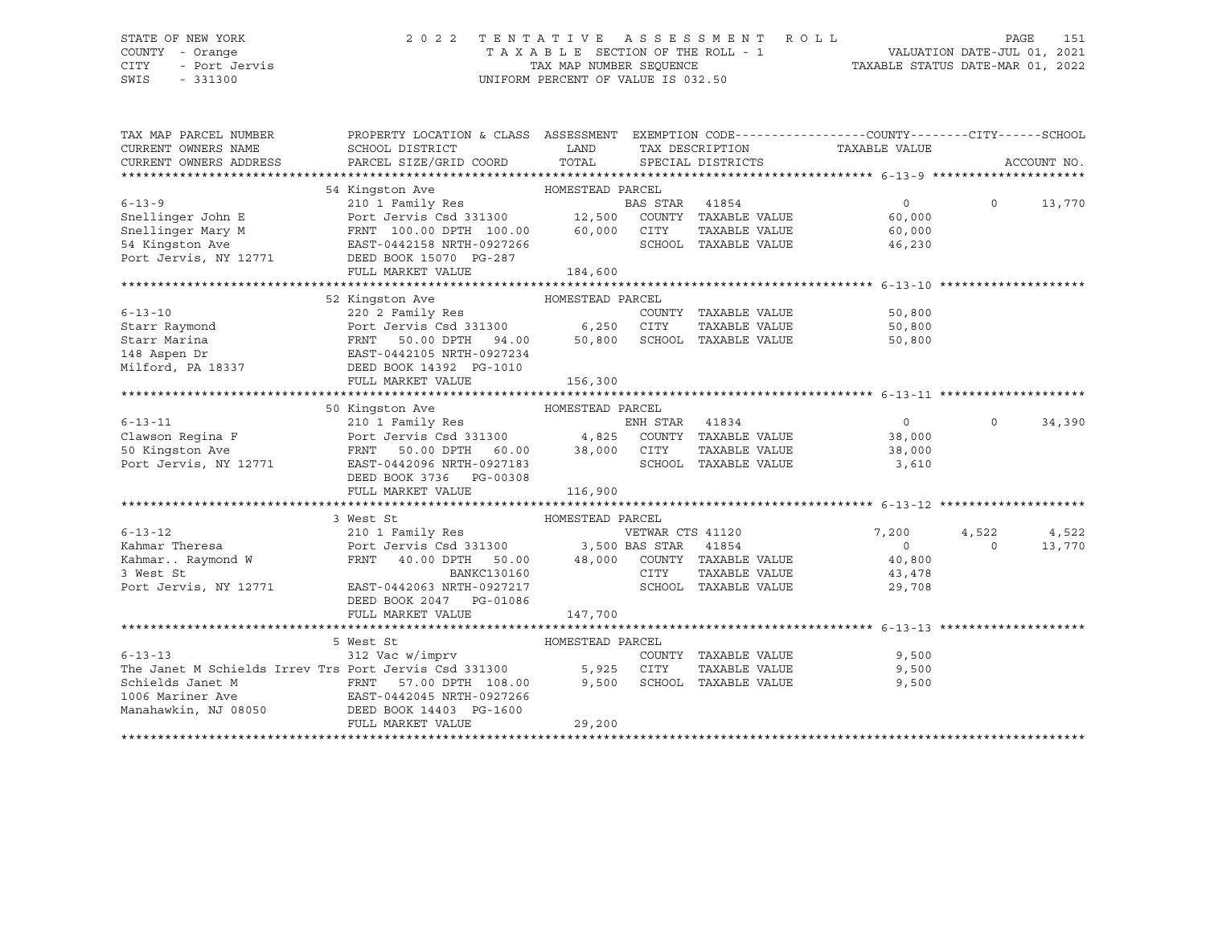### STATE OF NEW YORK 2 0 2 2 T E N T A T I V E A S S E S S M E N T R O L L PAGE 151 COUNTY - Orange T A X A B L E SECTION OF THE ROLL - 1 VALUATION DATE-JUL 01, 2021 CITY - Port Jervis TAX MAP NUMBER SEQUENCE TAXABLE STATUS DATE-MAR 01, 2022

| TAX MAP PARCEL NUMBER<br>CURRENT OWNERS NAME<br>CURRENT OWNERS ADDRESS | PROPERTY LOCATION & CLASS ASSESSMENT EXEMPTION CODE---------------COUNTY-------CITY------SCHOOL<br>SCHOOL DISTRICT<br>PARCEL SIZE/GRID COORD TOTAL                     | LAND             |                  | SPECIAL DISTRICTS          | TAX DESCRIPTION TAXABLE VALUE |          | ACCOUNT NO. |
|------------------------------------------------------------------------|------------------------------------------------------------------------------------------------------------------------------------------------------------------------|------------------|------------------|----------------------------|-------------------------------|----------|-------------|
|                                                                        |                                                                                                                                                                        |                  |                  |                            |                               |          |             |
|                                                                        | 54 Kingston Ave<br>HOMESTEAD PARCEL                                                                                                                                    |                  |                  |                            |                               |          |             |
| $6 - 13 - 9$                                                           | ${\small \begin{tabular}{lcccccc} 210 & 1 & Family Res & & & & BAS STAR & 41854 \\ & Port Jervis Csd & 331300 & & & 12,500 & COUNTY & TAXABLE VALUE \\ \end{tabular}}$ |                  |                  |                            | $\Omega$                      | $\Omega$ | 13,770      |
| Snellinger John E                                                      |                                                                                                                                                                        |                  |                  |                            | 60,000                        |          |             |
| Snellinger Mary M                                                      | FRNT 100.00 DPTH 100.00 60,000                                                                                                                                         |                  | CITY             | TAXABLE VALUE              | 60,000                        |          |             |
| 54 Kingston Ave                                                        | EAST-0442158 NRTH-0927266                                                                                                                                              |                  |                  | SCHOOL TAXABLE VALUE       | 46,230                        |          |             |
| Port Jervis, NY 12771                                                  | DEED BOOK 15070 PG-287                                                                                                                                                 |                  |                  |                            |                               |          |             |
|                                                                        | FULL MARKET VALUE                                                                                                                                                      | 184,600          |                  |                            |                               |          |             |
|                                                                        |                                                                                                                                                                        |                  |                  |                            |                               |          |             |
|                                                                        | 52 Kingston Ave<br>HOMESTEAD PARCEL                                                                                                                                    |                  |                  |                            |                               |          |             |
| $6 - 13 - 10$                                                          | 220 2 Family Res                                                                                                                                                       |                  |                  | COUNTY TAXABLE VALUE       | 50,800                        |          |             |
| Starr Raymond                                                          | Port Jervis Csd 331300 6,250 CITY                                                                                                                                      |                  |                  | TAXABLE VALUE              | 50,800                        |          |             |
| Starr Marina                                                           | 50.00 DPTH 94.00 50,800 SCHOOL TAXABLE VALUE<br>FRNT                                                                                                                   |                  |                  |                            | 50,800                        |          |             |
| 148 Aspen Dr                                                           | EAST-0442105 NRTH-0927234                                                                                                                                              |                  |                  |                            |                               |          |             |
|                                                                        |                                                                                                                                                                        |                  |                  |                            |                               |          |             |
|                                                                        | FULL MARKET VALUE                                                                                                                                                      | 156,300          |                  |                            |                               |          |             |
|                                                                        |                                                                                                                                                                        |                  |                  |                            |                               |          |             |
|                                                                        | 50 Kingston Ave                                                                                                                                                        | HOMESTEAD PARCEL |                  |                            |                               |          |             |
| $6 - 13 - 11$                                                          |                                                                                                                                                                        |                  |                  |                            | $\overline{0}$                | $\circ$  | 34,390      |
| Clawson Regina F                                                       |                                                                                                                                                                        |                  |                  |                            | 38,000                        |          |             |
| 50 Kingston Ave                                                        |                                                                                                                                                                        |                  |                  |                            | 38,000                        |          |             |
| Port Jervis, NY 12771                                                  | EAST-0442096 NRTH-0927183                                                                                                                                              |                  |                  | SCHOOL TAXABLE VALUE       | 3,610                         |          |             |
|                                                                        | DEED BOOK 3736 PG-00308                                                                                                                                                |                  |                  |                            |                               |          |             |
|                                                                        | FULL MARKET VALUE                                                                                                                                                      | 116,900          |                  |                            |                               |          |             |
|                                                                        |                                                                                                                                                                        |                  |                  |                            |                               |          |             |
|                                                                        | 3 West St                                                                                                                                                              | HOMESTEAD PARCEL |                  |                            |                               |          |             |
| $6 - 13 - 12$                                                          | 210 1 Family Res                                                                                                                                                       |                  | VETWAR CTS 41120 |                            | 7,200                         | 4,522    | 4,522       |
|                                                                        |                                                                                                                                                                        |                  |                  |                            | $\overline{0}$                | $\Omega$ | 13,770      |
|                                                                        | Port Jervis Csd 331300 3,500 BAS STAR 41854<br>FRNT 40.00 DPTH 50.00 48,000 COUNTY TAXABLE VALUE<br>BANKC130160 CITY TAXABLE VALUE                                     |                  |                  |                            | 40,800                        |          |             |
|                                                                        |                                                                                                                                                                        |                  |                  |                            | 43,478                        |          |             |
| Port Jervis, NY 12771                                                  | EAST-0442063 NRTH-0927217                                                                                                                                              |                  |                  | SCHOOL TAXABLE VALUE       | 29,708                        |          |             |
|                                                                        | DEED BOOK 2047 PG-01086                                                                                                                                                |                  |                  |                            |                               |          |             |
|                                                                        | FULL MARKET VALUE                                                                                                                                                      | 147,700          |                  |                            |                               |          |             |
|                                                                        |                                                                                                                                                                        |                  |                  |                            |                               |          |             |
|                                                                        | 5 West St                                                                                                                                                              | HOMESTEAD PARCEL |                  |                            |                               |          |             |
| $6 - 13 - 13$                                                          | 312 Vac w/imprv                                                                                                                                                        |                  |                  | COUNTY TAXABLE VALUE       | 9,500                         |          |             |
| The Janet M Schields Irrev Trs Port Jervis Csd 331300                  |                                                                                                                                                                        |                  | 5,925 CITY       | TAXABLE VALUE              | 9,500                         |          |             |
| Schields Janet M                                                       | FRNT 57.00 DPTH 108.00                                                                                                                                                 |                  |                  | 9,500 SCHOOL TAXABLE VALUE | 9,500                         |          |             |
| 1006 Mariner Ave                                                       | EAST-0442045 NRTH-0927266                                                                                                                                              |                  |                  |                            |                               |          |             |
| Manahawkin, NJ 08050                                                   | DEED BOOK 14403 PG-1600                                                                                                                                                |                  |                  |                            |                               |          |             |
|                                                                        | FULL MARKET VALUE                                                                                                                                                      | 29,200           |                  |                            |                               |          |             |
|                                                                        |                                                                                                                                                                        |                  |                  |                            |                               |          |             |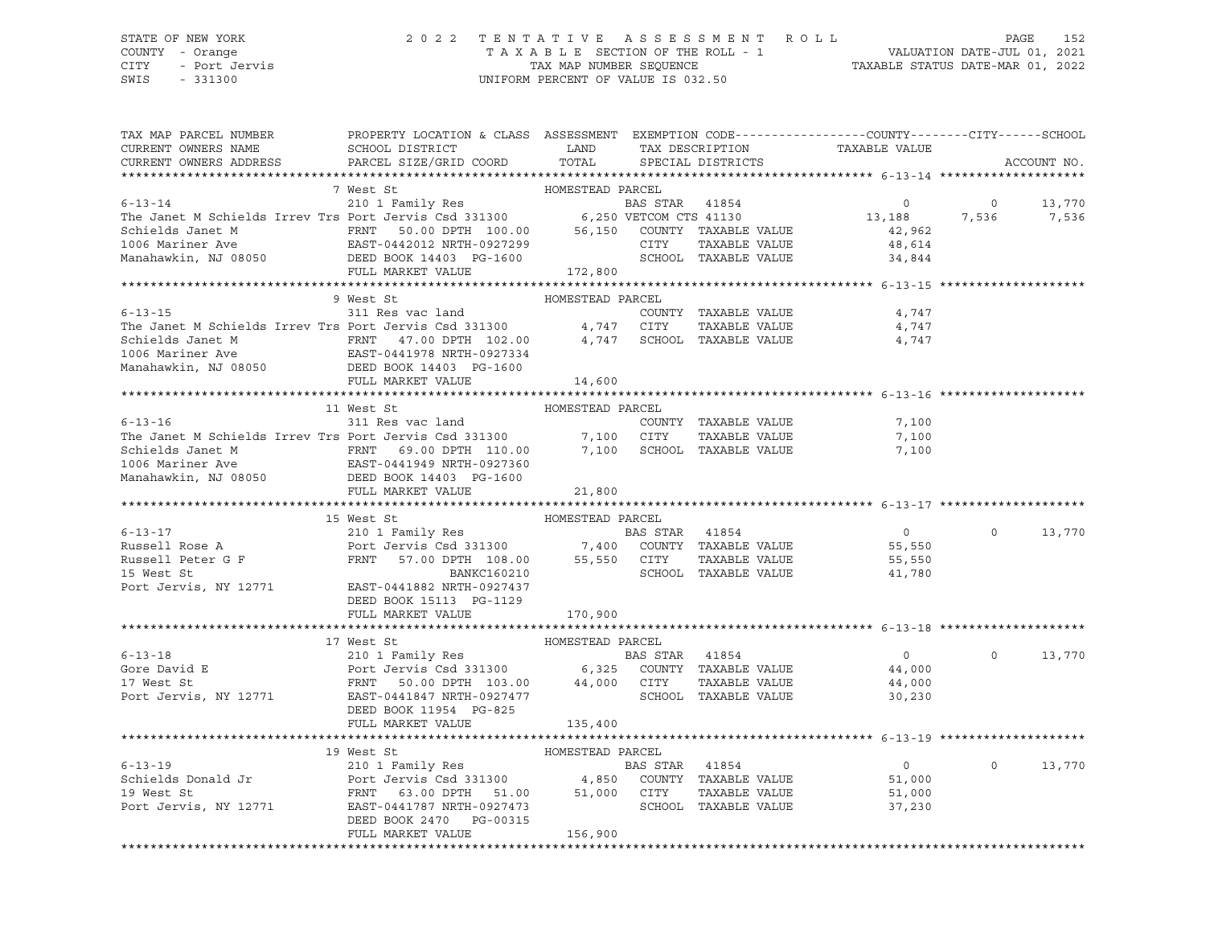### STATE OF NEW YORK 2 0 2 2 T E N T A T I V E A S S E S S M E N T R O L L PAGE 152 COUNTY - Orange T A X A B L E SECTION OF THE ROLL - 1 VALUATION DATE-JUL 01, 2021 CITY - Port Jervis TAX MAP NUMBER SEQUENCE TAXABLE STATUS DATE-MAR 01, 2022

| TAX MAP PARCEL NUMBER                                                                                                                                                                                                                                  |                         | PROPERTY LOCATION & CLASS ASSESSMENT EXEMPTION CODE----------------COUNTY-------CITY------SCHOOL                     |                |                            |                                                 |                |             |
|--------------------------------------------------------------------------------------------------------------------------------------------------------------------------------------------------------------------------------------------------------|-------------------------|----------------------------------------------------------------------------------------------------------------------|----------------|----------------------------|-------------------------------------------------|----------------|-------------|
| CURRENT OWNERS NAME                                                                                                                                                                                                                                    |                         | SCHOOL DISTRICT LAND                                                                                                 |                |                            |                                                 |                |             |
| CURRENT OWNERS ADDRESS                                                                                                                                                                                                                                 | PARCEL SIZE/GRID COORD  | TOTAL                                                                                                                |                |                            | TAX DESCRIPTION TAXABLE VALUE SPECIAL DISTRICTS |                | ACCOUNT NO. |
|                                                                                                                                                                                                                                                        |                         |                                                                                                                      |                |                            |                                                 |                |             |
|                                                                                                                                                                                                                                                        | 7 West St               | HOMESTEAD PARCEL                                                                                                     |                |                            |                                                 |                |             |
| 6-13-14<br>210 1 Family Res<br>The Janet M Schields Irrev Trs Port Jervis Csd 331300<br>Schields Janet M<br>EAST-0442012 NRTH-0927299<br>EAST-0442012 NRTH-0927299<br>CITY TAXABLE VALUE                                                               |                         |                                                                                                                      |                |                            | $\overline{0}$                                  | $\overline{0}$ | 13,770      |
|                                                                                                                                                                                                                                                        |                         |                                                                                                                      |                |                            | 13,188 7,536 7,536                              |                |             |
|                                                                                                                                                                                                                                                        |                         |                                                                                                                      |                |                            |                                                 |                |             |
|                                                                                                                                                                                                                                                        |                         |                                                                                                                      |                |                            | 42,962                                          |                |             |
|                                                                                                                                                                                                                                                        |                         |                                                                                                                      |                |                            | 48,614                                          |                |             |
| Manahawkin, NJ 08050 DEED BOOK 14403 PG-1600                                                                                                                                                                                                           |                         |                                                                                                                      |                | SCHOOL TAXABLE VALUE       | 34,844                                          |                |             |
|                                                                                                                                                                                                                                                        | FULL MARKET VALUE       | 172,800                                                                                                              |                |                            |                                                 |                |             |
|                                                                                                                                                                                                                                                        |                         |                                                                                                                      |                |                            |                                                 |                |             |
|                                                                                                                                                                                                                                                        | 9 West St               | HOMESTEAD PARCEL                                                                                                     |                |                            |                                                 |                |             |
| $6 - 13 - 15$                                                                                                                                                                                                                                          | 311 Res vac land        |                                                                                                                      |                | COUNTY TAXABLE VALUE       | 4,747                                           |                |             |
| The Janet M Schields Irrev Trs Port Jervis Csd 331300 4,747 CITY                                                                                                                                                                                       |                         |                                                                                                                      |                | TAXABLE VALUE              | 4,747                                           |                |             |
|                                                                                                                                                                                                                                                        |                         |                                                                                                                      |                | 4,747 SCHOOL TAXABLE VALUE | 4,747                                           |                |             |
|                                                                                                                                                                                                                                                        |                         |                                                                                                                      |                |                            |                                                 |                |             |
|                                                                                                                                                                                                                                                        |                         |                                                                                                                      |                |                            |                                                 |                |             |
|                                                                                                                                                                                                                                                        | FULL MARKET VALUE       | 14,600                                                                                                               |                |                            |                                                 |                |             |
|                                                                                                                                                                                                                                                        |                         |                                                                                                                      |                |                            |                                                 |                |             |
|                                                                                                                                                                                                                                                        | 11 West St              | HOMESTEAD PARCEL                                                                                                     |                |                            |                                                 |                |             |
| $6 - 13 - 16$                                                                                                                                                                                                                                          | 311 Res vac land        |                                                                                                                      |                | COUNTY TAXABLE VALUE       | 7,100                                           |                |             |
| The Janet M Schields Irrev Trs Port Jervis Csd 331300 7,100 CITY                                                                                                                                                                                       |                         |                                                                                                                      |                | TAXABLE VALUE              | 7,100                                           |                |             |
| Schields Janet M FRNT 69.00 DPTH 110.00                                                                                                                                                                                                                |                         |                                                                                                                      |                | 7,100 SCHOOL TAXABLE VALUE | 7,100                                           |                |             |
|                                                                                                                                                                                                                                                        |                         |                                                                                                                      |                |                            |                                                 |                |             |
| 1006 Mariner Ave 2010 1006 Mariner Ave 2010 2010 2010 2010 2021<br>Manahawkin, NJ 08050 2021 DEED BOOK 14403 PG-1600                                                                                                                                   |                         |                                                                                                                      |                |                            |                                                 |                |             |
|                                                                                                                                                                                                                                                        | FULL MARKET VALUE       | 21,800                                                                                                               |                |                            |                                                 |                |             |
|                                                                                                                                                                                                                                                        |                         |                                                                                                                      |                |                            |                                                 |                |             |
|                                                                                                                                                                                                                                                        | 15 West St              | HOMESTEAD PARCEL                                                                                                     |                |                            |                                                 |                |             |
|                                                                                                                                                                                                                                                        |                         |                                                                                                                      |                |                            | $\overline{0}$                                  | $\Omega$       | 13,770      |
|                                                                                                                                                                                                                                                        |                         |                                                                                                                      |                |                            | 55,550                                          |                |             |
| 6-13-17<br>EXECUTE 210 1 Family Res<br>Russell Rose A<br>Russell Peter G F<br>Russell Peter G F<br>Russell Peter G F<br>Russell Peter G F<br>Russell Peter G F<br>Russell Peter G F<br>Russell Peter G F<br>Russell Peter G F<br>Russell Peter G F<br> |                         |                                                                                                                      |                |                            | 55,550                                          |                |             |
|                                                                                                                                                                                                                                                        |                         |                                                                                                                      |                |                            | 41,780                                          |                |             |
| Port Jervis, NY 12771 EAST-0441882 NRTH-0927437                                                                                                                                                                                                        |                         |                                                                                                                      |                |                            |                                                 |                |             |
|                                                                                                                                                                                                                                                        | DEED BOOK 15113 PG-1129 |                                                                                                                      |                |                            |                                                 |                |             |
|                                                                                                                                                                                                                                                        | FULL MARKET VALUE       | 170,900                                                                                                              |                |                            |                                                 |                |             |
|                                                                                                                                                                                                                                                        |                         |                                                                                                                      |                |                            |                                                 |                |             |
|                                                                                                                                                                                                                                                        | 17 West St              | HOMESTEAD PARCEL                                                                                                     |                |                            |                                                 |                |             |
| $6 - 13 - 18$                                                                                                                                                                                                                                          | 210 1 Family Res        |                                                                                                                      | BAS STAR 41854 |                            | $\overline{0}$                                  | $\Omega$       | 13,770      |
| Gore David E                                                                                                                                                                                                                                           |                         |                                                                                                                      |                |                            | 44,000                                          |                |             |
|                                                                                                                                                                                                                                                        |                         |                                                                                                                      |                |                            |                                                 |                |             |
| 17 West St                                                                                                                                                                                                                                             |                         | EXAMPLE POINT AND THE CONSENSE ON THE POINT OF A SAMPLE OF THE POINT OF A SAMPLE OF THE PARABLE CALLUE PARABLE VALUE |                |                            | 44,000                                          |                |             |
| Port Jervis, NY 12771 EAST-0441847 NRTH-0927477                                                                                                                                                                                                        |                         |                                                                                                                      |                | SCHOOL TAXABLE VALUE       | 30,230                                          |                |             |
|                                                                                                                                                                                                                                                        | DEED BOOK 11954 PG-825  |                                                                                                                      |                |                            |                                                 |                |             |
|                                                                                                                                                                                                                                                        | FULL MARKET VALUE       | 135,400                                                                                                              |                |                            |                                                 |                |             |
|                                                                                                                                                                                                                                                        |                         |                                                                                                                      |                |                            |                                                 |                |             |
|                                                                                                                                                                                                                                                        | 19 West St              | HOMESTEAD PARCEL                                                                                                     |                |                            |                                                 |                |             |
|                                                                                                                                                                                                                                                        |                         |                                                                                                                      |                |                            | $\overline{0}$                                  | $\circ$        | 13,770      |
|                                                                                                                                                                                                                                                        |                         |                                                                                                                      |                |                            | 51,000                                          |                |             |
|                                                                                                                                                                                                                                                        |                         |                                                                                                                      |                |                            | 51,000                                          |                |             |
| 6-13-19<br>Schields Donald Jr<br>210 1 Family Res<br>210 1 Family Res<br>Port Jervis Csd 331300<br>216 19 West St<br>210 1 Family Res<br>210 1 Family Res<br>210 1 Family Res<br>210 1 Family Res<br>210 1 Family Res<br>210 21 74,850 COUNTY TAXABL   |                         |                                                                                                                      |                |                            | 37,230                                          |                |             |
|                                                                                                                                                                                                                                                        | DEED BOOK 2470 PG-00315 |                                                                                                                      |                |                            |                                                 |                |             |
|                                                                                                                                                                                                                                                        | FULL MARKET VALUE       | 156,900                                                                                                              |                |                            |                                                 |                |             |
|                                                                                                                                                                                                                                                        |                         |                                                                                                                      |                |                            |                                                 |                |             |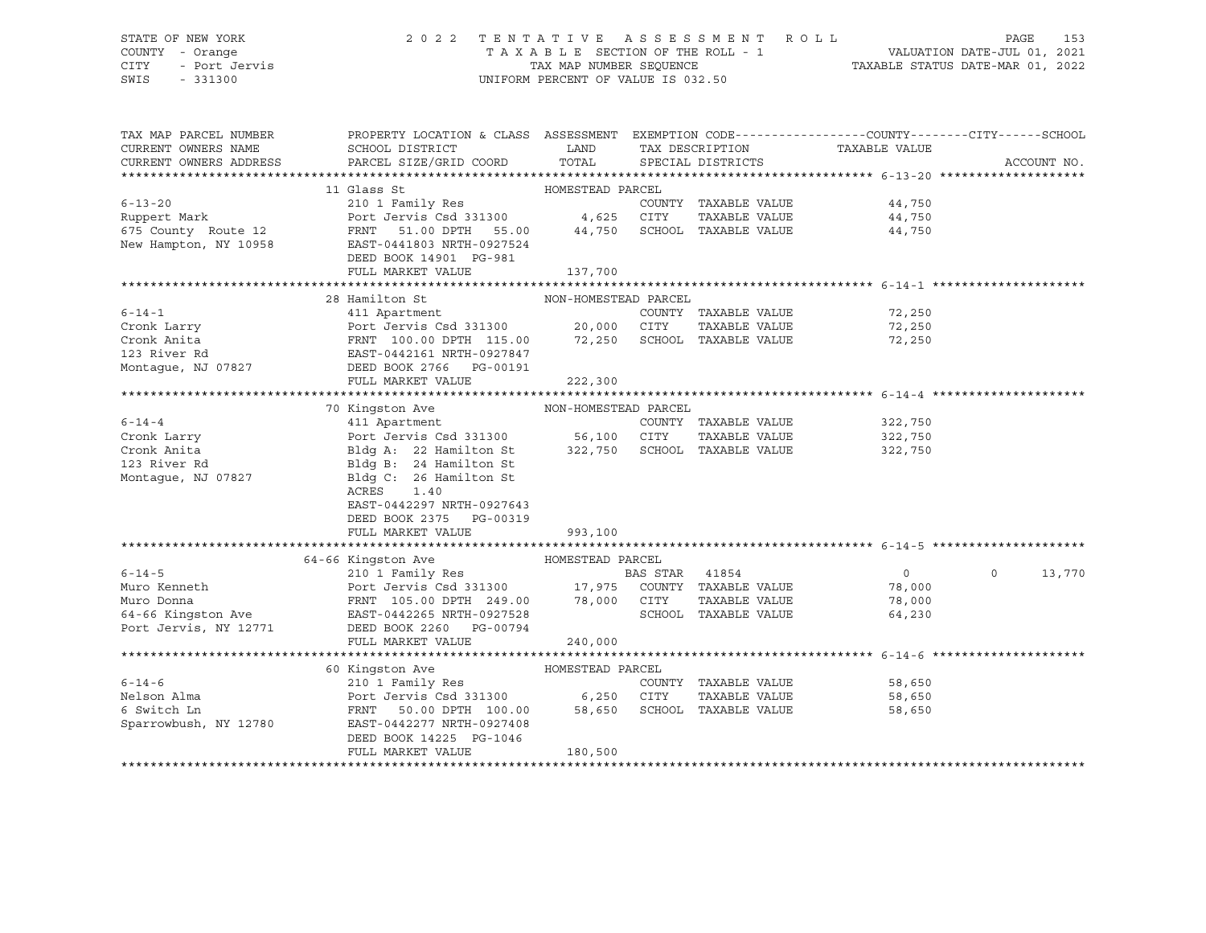### STATE OF NEW YORK 2 0 2 2 T E N T A T I V E A S S E S S M E N T R O L L PAGE 153 COUNTY - Orange T A X A B L E SECTION OF THE ROLL - 1 VALUATION DATE-JUL 01, 2021 CITY - Port Jervis TAX MAP NUMBER SEQUENCE TAXABLE STATUS DATE-MAR 01, 2022

| TAX MAP PARCEL NUMBER<br>CURRENT OWNERS NAME<br>CURRENT OWNERS ADDRESS                | PROPERTY LOCATION & CLASS ASSESSMENT EXEMPTION CODE----------------COUNTY-------CITY------SCHOOL<br>SCHOOL DISTRICT<br>PARCEL SIZE/GRID COORD | LAND<br>TOTAL               | TAX DESCRIPTION<br>SPECIAL DISTRICTS | TAXABLE VALUE                |                | ACCOUNT NO. |
|---------------------------------------------------------------------------------------|-----------------------------------------------------------------------------------------------------------------------------------------------|-----------------------------|--------------------------------------|------------------------------|----------------|-------------|
|                                                                                       |                                                                                                                                               |                             |                                      |                              |                |             |
|                                                                                       | 11 Glass St                                                                                                                                   | HOMESTEAD PARCEL            |                                      |                              |                |             |
| $6 - 13 - 20$                                                                         | 210 1 Family Res                                                                                                                              |                             | COUNTY TAXABLE VALUE                 |                              | 44,750         |             |
| Ruppert Mark                                                                          | Port Jervis Csd 331300 4,625 CITY                                                                                                             |                             | TAXABLE VALUE                        |                              | 44,750         |             |
| 675 County Route 12 FRNT                                                              | 51.00 DPTH 55.00 44,750 SCHOOL TAXABLE VALUE                                                                                                  |                             |                                      |                              | 44,750         |             |
| New Hampton, NY 10958                                                                 | EAST-0441803 NRTH-0927524                                                                                                                     |                             |                                      |                              |                |             |
|                                                                                       | DEED BOOK 14901 PG-981                                                                                                                        |                             |                                      |                              |                |             |
|                                                                                       | FULL MARKET VALUE                                                                                                                             | 137,700                     |                                      |                              |                |             |
|                                                                                       |                                                                                                                                               |                             |                                      |                              |                |             |
|                                                                                       | 28 Hamilton St                                                                                                                                | NON-HOMESTEAD PARCEL        |                                      |                              |                |             |
| $6 - 14 - 1$                                                                          |                                                                                                                                               |                             | COUNTY TAXABLE VALUE                 |                              | 72,250         |             |
| Cronk Larry                                                                           |                                                                                                                                               |                             | TAXABLE VALUE                        |                              | 72,250         |             |
|                                                                                       |                                                                                                                                               |                             |                                      |                              | 72,250         |             |
| Cronk Anita<br>123 River Rd<br>Montague, NJ 07827                                     | Port Jervis Csd 331300<br>PRNT 100.00 DPTH 115.00 72,250 SCHOOL TAXABLE VALUE<br>EAST-0442161 NRTH-0927847<br>EAST-0442161 NRTH-0927847       |                             |                                      |                              |                |             |
|                                                                                       |                                                                                                                                               |                             |                                      |                              |                |             |
|                                                                                       | FULL MARKET VALUE                                                                                                                             | 222,300                     |                                      |                              |                |             |
|                                                                                       |                                                                                                                                               |                             |                                      |                              |                |             |
|                                                                                       |                                                                                                                                               |                             |                                      |                              |                |             |
| $6 - 14 - 4$                                                                          |                                                                                                                                               |                             |                                      | COUNTY TAXABLE VALUE 322,750 |                |             |
| Cronk Larry                                                                           | Port Jervis Csd 331300 56,100 CITY TAXABLE VALUE<br>Bldg A: 22 Hamilton St 322,750 SCHOOL TAXABLE VALUE                                       |                             |                                      | TAXABLE VALUE                | 322,750        |             |
| Cronk Anita                                                                           |                                                                                                                                               |                             |                                      |                              | 322,750        |             |
| 123 River Rd                                                                          | Bldg B: 24 Hamilton St                                                                                                                        |                             |                                      |                              |                |             |
| Montaque, NJ 07827                                                                    | Bldg C: 26 Hamilton St                                                                                                                        |                             |                                      |                              |                |             |
|                                                                                       | ACRES<br>1.40                                                                                                                                 |                             |                                      |                              |                |             |
|                                                                                       | EAST-0442297 NRTH-0927643                                                                                                                     |                             |                                      |                              |                |             |
|                                                                                       | DEED BOOK 2375 PG-00319                                                                                                                       |                             |                                      |                              |                |             |
|                                                                                       | FULL MARKET VALUE                                                                                                                             | 993,100                     |                                      |                              |                |             |
|                                                                                       |                                                                                                                                               |                             |                                      |                              |                |             |
| $6 - 14 - 5$                                                                          | 64-66 Kingston Ave                                                                                                                            | HOMESTEAD PARCEL            |                                      |                              | $\overline{0}$ | $\circ$     |
| Muro Kenneth                                                                          |                                                                                                                                               |                             |                                      |                              | 78,000         | 13,770      |
|                                                                                       |                                                                                                                                               |                             | TAXABLE VALUE                        |                              | 78,000         |             |
| Muro Donna<br>FRNT 105.00 DPTH 249.00 78,000 CITY<br>EAST-0442265 NRTH-0927528 SCHOOL |                                                                                                                                               |                             | SCHOOL TAXABLE VALUE                 |                              | 64,230         |             |
| Port Jervis, NY 12771                                                                 | DEED BOOK 2260 PG-00794                                                                                                                       |                             |                                      |                              |                |             |
|                                                                                       | FULL MARKET VALUE                                                                                                                             | 240,000                     |                                      |                              |                |             |
|                                                                                       |                                                                                                                                               |                             |                                      |                              |                |             |
|                                                                                       | 60 Kingston Ave                                                                                                                               | HOMESTEAD PARCEL            |                                      |                              |                |             |
| $6 - 14 - 6$                                                                          | 210 1 Family Res                                                                                                                              |                             | COUNTY TAXABLE VALUE                 |                              | 58,650         |             |
| Nelson Alma                                                                           | Port Jervis Csd 331300 6,250 CITY                                                                                                             |                             | TAXABLE VALUE                        |                              | 58,650         |             |
| 6 Switch Ln                                                                           | FRNT 50.00 DPTH 100.00                                                                                                                        | 58,650 SCHOOL TAXABLE VALUE |                                      |                              | 58,650         |             |
| Sparrowbush, NY 12780                                                                 | EAST-0442277 NRTH-0927408                                                                                                                     |                             |                                      |                              |                |             |
|                                                                                       | DEED BOOK 14225 PG-1046                                                                                                                       |                             |                                      |                              |                |             |
|                                                                                       | FULL MARKET VALUE                                                                                                                             | 180,500                     |                                      |                              |                |             |
|                                                                                       |                                                                                                                                               |                             |                                      |                              |                |             |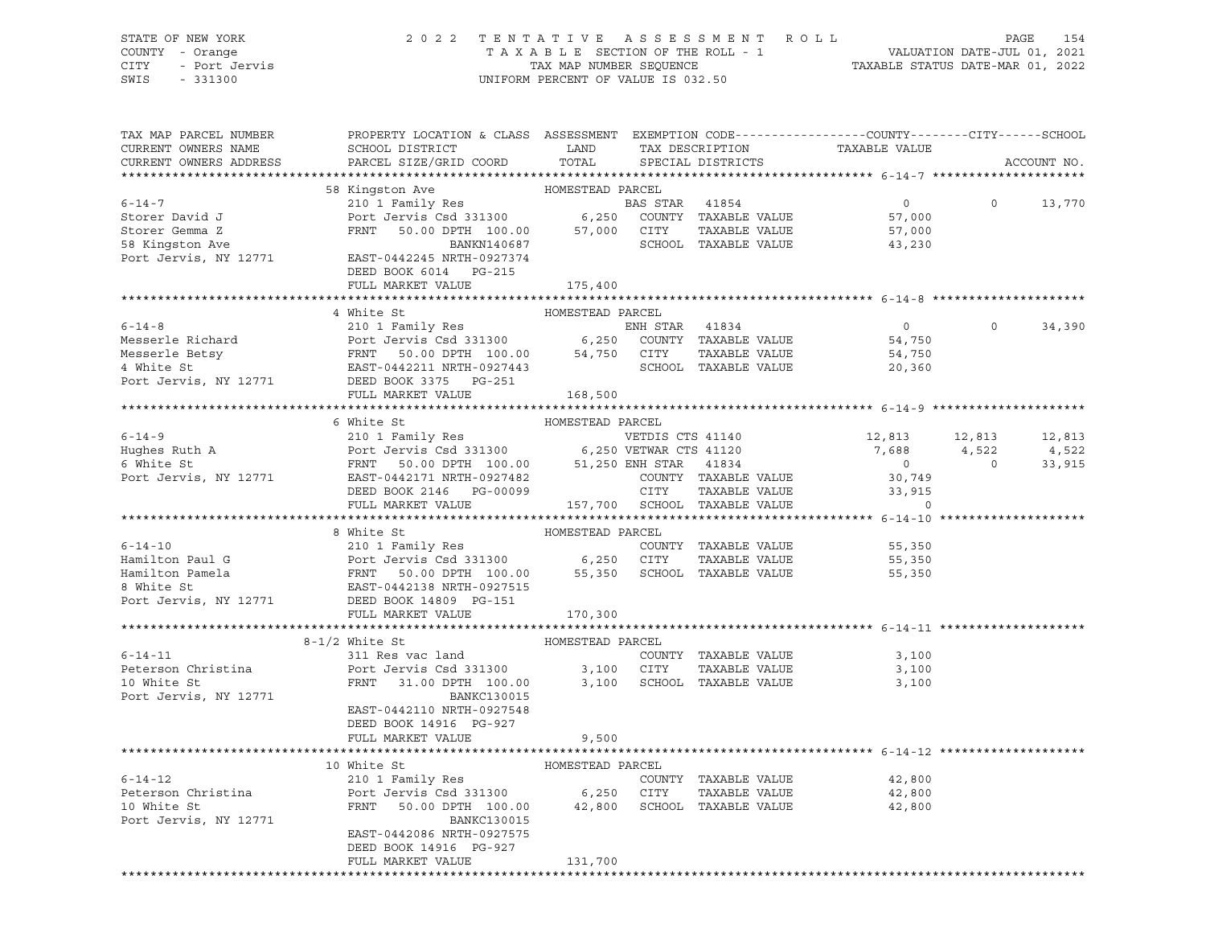STATE OF NEW YORK 2 0 2 2 T E N T A T I V E A S S E S S M E N T R O L L PAGE 154 COUNTY - Orange T A X A B L E SECTION OF THE ROLL - 1 VALUATION DATE-JUL 01, 2021 CITY - Port Jervis TAX MAP NUMBER SEQUENCE TAXABLE STATUS DATE-MAR 01, 2022 SWIS - 331300 UNIFORM PERCENT OF VALUE IS 032.50

| TAX MAP PARCEL NUMBER<br>CURRENT OWNERS NAME<br>CURRENT OWNERS ADDRESS                                                                                                                                                                                        | PROPERTY LOCATION & CLASS ASSESSMENT EXEMPTION CODE---------------COUNTY-------CITY------SCHOOL<br>SCHOOL DISTRICT LAND                                         |                  |                      |                                       |          | ACCOUNT NO. |
|---------------------------------------------------------------------------------------------------------------------------------------------------------------------------------------------------------------------------------------------------------------|-----------------------------------------------------------------------------------------------------------------------------------------------------------------|------------------|----------------------|---------------------------------------|----------|-------------|
|                                                                                                                                                                                                                                                               |                                                                                                                                                                 |                  |                      |                                       |          |             |
|                                                                                                                                                                                                                                                               |                                                                                                                                                                 |                  |                      |                                       |          |             |
| $6 - 14 - 7$                                                                                                                                                                                                                                                  |                                                                                                                                                                 |                  |                      |                                       | $\Omega$ | 13,770      |
|                                                                                                                                                                                                                                                               |                                                                                                                                                                 |                  |                      |                                       |          |             |
|                                                                                                                                                                                                                                                               |                                                                                                                                                                 |                  |                      |                                       |          |             |
| Storer David J<br>Storer Gemma Z<br>58 Kingston Ave                                                                                                                                                                                                           | BANKN140687                                                                                                                                                     |                  | SCHOOL TAXABLE VALUE | 43,230                                |          |             |
| Port Jervis, NY 12771 EAST-0442245 NRTH-0927374                                                                                                                                                                                                               | DEED BOOK 6014    PG-215                                                                                                                                        |                  |                      |                                       |          |             |
|                                                                                                                                                                                                                                                               | FULL MARKET VALUE                                                                                                                                               | 175,400          |                      |                                       |          |             |
|                                                                                                                                                                                                                                                               |                                                                                                                                                                 |                  |                      |                                       |          |             |
|                                                                                                                                                                                                                                                               | 4 White St                                                                                                                                                      | HOMESTEAD PARCEL |                      |                                       |          |             |
| FRAME PRICHARD AND THE SERVANGE SERVALUE AND THE SERVALUE SERVALUE SERVALUE SERVALUE SERVALUE SERVALUE SERVALUE SERVALUE SERVALUE SERVALUE SERVALUE SERVALUE SERVALUE SERVALUE SERVALUE SERVALUE SERVALUE SERVALUE SERVALUE SE                                |                                                                                                                                                                 |                  |                      | $\overline{0}$                        | $\Omega$ | 34,390      |
|                                                                                                                                                                                                                                                               |                                                                                                                                                                 |                  |                      |                                       |          |             |
|                                                                                                                                                                                                                                                               |                                                                                                                                                                 |                  |                      |                                       |          |             |
|                                                                                                                                                                                                                                                               |                                                                                                                                                                 |                  |                      |                                       |          |             |
|                                                                                                                                                                                                                                                               |                                                                                                                                                                 |                  |                      |                                       |          |             |
|                                                                                                                                                                                                                                                               | FULL MARKET VALUE                                                                                                                                               | 168,500          |                      |                                       |          |             |
|                                                                                                                                                                                                                                                               |                                                                                                                                                                 |                  |                      |                                       |          |             |
|                                                                                                                                                                                                                                                               |                                                                                                                                                                 |                  |                      |                                       |          |             |
|                                                                                                                                                                                                                                                               |                                                                                                                                                                 |                  |                      | 12,813 12,813                         |          | 12,813      |
|                                                                                                                                                                                                                                                               |                                                                                                                                                                 |                  |                      |                                       |          |             |
|                                                                                                                                                                                                                                                               |                                                                                                                                                                 |                  |                      | $7,688$ $4,522$ $4,522$<br>0 0 33,915 |          |             |
|                                                                                                                                                                                                                                                               |                                                                                                                                                                 |                  |                      |                                       |          |             |
|                                                                                                                                                                                                                                                               |                                                                                                                                                                 |                  |                      |                                       |          |             |
|                                                                                                                                                                                                                                                               |                                                                                                                                                                 |                  |                      |                                       |          |             |
|                                                                                                                                                                                                                                                               |                                                                                                                                                                 |                  |                      |                                       |          |             |
| From Band Control of Homestean PARCEL<br>Hamilton Paul G Hamilton Panela<br>FRNT 50.00 DPTH 100.00 55,350 SCHOOL TAXABLE VALUE<br>FRNT 50.00 DPTH 100.00 55,350 SCHOOL TAXABLE VALUE<br>FRNT 50.00 DPTH 100.00 55,350 SCHOOL TAXABLE V                        | 8 White St                                                                                                                                                      | HOMESTEAD PARCEL |                      |                                       |          |             |
|                                                                                                                                                                                                                                                               |                                                                                                                                                                 |                  |                      | 55,350                                |          |             |
|                                                                                                                                                                                                                                                               |                                                                                                                                                                 |                  |                      | 55,350                                |          |             |
|                                                                                                                                                                                                                                                               |                                                                                                                                                                 |                  |                      | 55,350                                |          |             |
|                                                                                                                                                                                                                                                               |                                                                                                                                                                 |                  |                      |                                       |          |             |
|                                                                                                                                                                                                                                                               |                                                                                                                                                                 |                  |                      |                                       |          |             |
|                                                                                                                                                                                                                                                               | FULL MARKET VALUE                                                                                                                                               | 170,300          |                      |                                       |          |             |
|                                                                                                                                                                                                                                                               |                                                                                                                                                                 |                  |                      |                                       |          |             |
|                                                                                                                                                                                                                                                               | $8-1/2$ White St                                                                                                                                                | HOMESTEAD PARCEL |                      |                                       |          |             |
| $6 - 14 - 11$                                                                                                                                                                                                                                                 |                                                                                                                                                                 |                  |                      |                                       |          |             |
| Peterson Christina<br>10 White St                                                                                                                                                                                                                             |                                                                                                                                                                 |                  |                      |                                       |          |             |
|                                                                                                                                                                                                                                                               | 311 Res vac land COUNTY TAXABLE VALUE 3,100<br>Port Jervis Csd 331300 3,100 CITY TAXABLE VALUE 3,100<br>FRNT 31.00 DPTH 100.00 3,100 SCHOOL TAXABLE VALUE 3,100 |                  |                      |                                       |          |             |
| Port Jervis, NY 12771                                                                                                                                                                                                                                         | BANKC130015                                                                                                                                                     |                  |                      |                                       |          |             |
|                                                                                                                                                                                                                                                               | EAST-0442110 NRTH-0927548                                                                                                                                       |                  |                      |                                       |          |             |
|                                                                                                                                                                                                                                                               | DEED BOOK 14916 PG-927                                                                                                                                          |                  |                      |                                       |          |             |
|                                                                                                                                                                                                                                                               | FULL MARKET VALUE                                                                                                                                               | 9,500            |                      |                                       |          |             |
|                                                                                                                                                                                                                                                               |                                                                                                                                                                 |                  |                      |                                       |          |             |
|                                                                                                                                                                                                                                                               |                                                                                                                                                                 |                  |                      |                                       |          |             |
| 10 White St<br>210 1 Family Res<br>Peterson Christina<br>210 1 Family Res<br>Peterson Christina<br>210 1 Family Res<br>210 1 Family Res<br>210 1 Family Res<br>210 1 Family Res<br>210 210 1 Family Res<br>22,800<br>22,800<br>22,800<br>22,800<br>22,800<br> |                                                                                                                                                                 |                  |                      |                                       |          |             |
|                                                                                                                                                                                                                                                               |                                                                                                                                                                 |                  |                      |                                       |          |             |
|                                                                                                                                                                                                                                                               |                                                                                                                                                                 |                  |                      |                                       |          |             |
| Port Jervis, NY 12771                                                                                                                                                                                                                                         | BANKC130015                                                                                                                                                     |                  |                      |                                       |          |             |
|                                                                                                                                                                                                                                                               | EAST-0442086 NRTH-0927575                                                                                                                                       |                  |                      |                                       |          |             |
|                                                                                                                                                                                                                                                               | DEED BOOK 14916 PG-927                                                                                                                                          |                  |                      |                                       |          |             |
|                                                                                                                                                                                                                                                               | FULL MARKET VALUE                                                                                                                                               | 131,700          |                      |                                       |          |             |
|                                                                                                                                                                                                                                                               |                                                                                                                                                                 |                  |                      |                                       |          |             |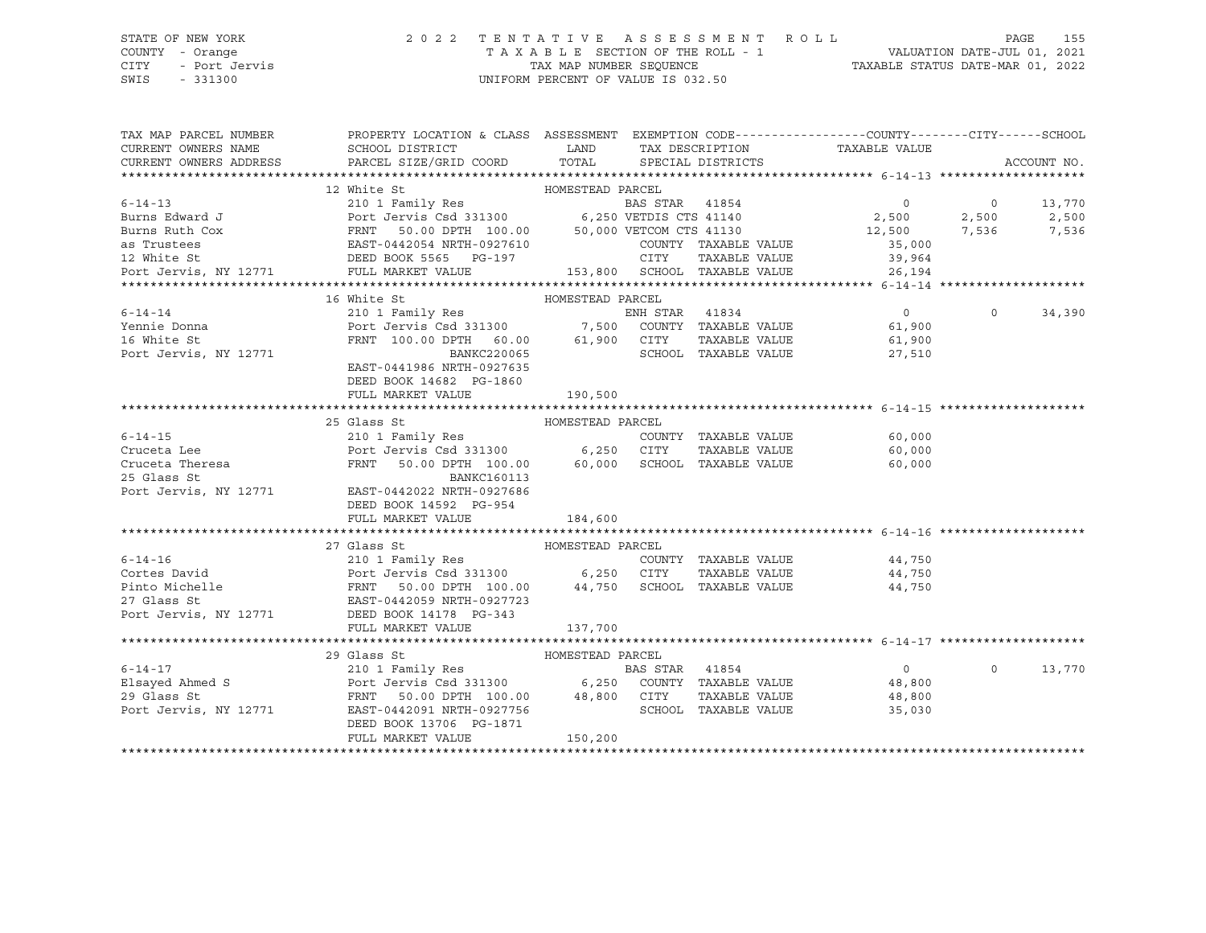# STATE OF NEW YORK 2 0 2 2 T E N T A T I V E A S S E S S M E N T R O L L PAGE 155 COUNTY - Orange T A X A B L E SECTION OF THE ROLL - 1 VALUATION DATE-JUL 01, 2021 CITY - Port Jervis TAX MAP NUMBER SEQUENCE TAXABLE STATUS DATE-MAR 01, 2022

| TAX MAP PARCEL NUMBER<br>CURRENT OWNERS NAME | PROPERTY LOCATION & CLASS ASSESSMENT EXEMPTION CODE---------------COUNTY-------CITY-----SCHOOL<br>SCHOOL DISTRICT<br>CURRENT OWNERS ADDRESS PARCEL SIZE/GRID COORD                                                                                                                                                                                                                                                     | <b>EXAMPLE THE STATE OF STATE OF STATE OF STATE OF STATE OF STATE OF STATE OF STATE OF STATE OF STATE OF STATE OF STATE</b> | TOTAL SPECIAL DISTRICTS | TAX DESCRIPTION TAXABLE VALUE<br>SPECIAL DISTRICTS              |                | ACCOUNT NO.        |
|----------------------------------------------|------------------------------------------------------------------------------------------------------------------------------------------------------------------------------------------------------------------------------------------------------------------------------------------------------------------------------------------------------------------------------------------------------------------------|-----------------------------------------------------------------------------------------------------------------------------|-------------------------|-----------------------------------------------------------------|----------------|--------------------|
|                                              |                                                                                                                                                                                                                                                                                                                                                                                                                        |                                                                                                                             |                         |                                                                 |                |                    |
|                                              |                                                                                                                                                                                                                                                                                                                                                                                                                        |                                                                                                                             |                         |                                                                 | $\overline{0}$ |                    |
|                                              |                                                                                                                                                                                                                                                                                                                                                                                                                        |                                                                                                                             |                         | $\overline{0}$<br>$2,500$<br>12,500<br>12,500<br>7,536<br>7,536 |                | 13,770             |
|                                              |                                                                                                                                                                                                                                                                                                                                                                                                                        |                                                                                                                             |                         |                                                                 |                |                    |
|                                              |                                                                                                                                                                                                                                                                                                                                                                                                                        |                                                                                                                             |                         |                                                                 |                |                    |
|                                              |                                                                                                                                                                                                                                                                                                                                                                                                                        |                                                                                                                             | COUNTY TAXABLE VALUE    | 35,000                                                          |                |                    |
|                                              |                                                                                                                                                                                                                                                                                                                                                                                                                        |                                                                                                                             |                         | 39,964                                                          |                |                    |
|                                              |                                                                                                                                                                                                                                                                                                                                                                                                                        |                                                                                                                             |                         | 153,800 SCHOOL TAXABLE VALUE 26,194                             |                |                    |
|                                              |                                                                                                                                                                                                                                                                                                                                                                                                                        |                                                                                                                             |                         |                                                                 |                |                    |
|                                              | 16 White St                                                                                                                                                                                                                                                                                                                                                                                                            | HOMESTEAD PARCEL                                                                                                            |                         |                                                                 |                |                    |
| $6 - 14 - 14$                                |                                                                                                                                                                                                                                                                                                                                                                                                                        |                                                                                                                             |                         | $0$<br>61,900                                                   |                | $\Omega$<br>34,390 |
| Yennie Donna                                 |                                                                                                                                                                                                                                                                                                                                                                                                                        |                                                                                                                             |                         |                                                                 |                |                    |
| 16 White St                                  |                                                                                                                                                                                                                                                                                                                                                                                                                        |                                                                                                                             |                         |                                                                 |                |                    |
| Port Jervis, NY 12771                        | 210 1 Family Res<br>Port Jervis Csd 331300 7,500 COUNTY TAXABLE VALUE 61,900<br>FRNT 100.00 DPTH 60.00 61,900 CITY TAXABLE VALUE 61,900<br>BANKC220065 SCHOOL TAXABLE VALUE 27,510<br>PANKC220065 SCHOOL TAXABLE VALUE 27,510                                                                                                                                                                                          |                                                                                                                             |                         |                                                                 |                |                    |
|                                              | EAST-0441986 NRTH-0927635                                                                                                                                                                                                                                                                                                                                                                                              |                                                                                                                             |                         |                                                                 |                |                    |
|                                              | DEED BOOK 14682 PG-1860                                                                                                                                                                                                                                                                                                                                                                                                |                                                                                                                             |                         |                                                                 |                |                    |
|                                              | FULL MARKET VALUE                                                                                                                                                                                                                                                                                                                                                                                                      | 190,500                                                                                                                     |                         |                                                                 |                |                    |
|                                              |                                                                                                                                                                                                                                                                                                                                                                                                                        |                                                                                                                             |                         |                                                                 |                |                    |
|                                              | 25 Glass St                                                                                                                                                                                                                                                                                                                                                                                                            |                                                                                                                             |                         |                                                                 |                |                    |
| $6 - 14 - 15$                                |                                                                                                                                                                                                                                                                                                                                                                                                                        |                                                                                                                             | COUNTY TAXABLE VALUE    | 60,000                                                          |                |                    |
|                                              | 6-14-15 210 1 Family Res COUNTY TAXABLE VALUE<br>Cruceta Lee Port Jervis Csd 331300 6,250 CITY TAXABLE VALUE<br>Cruceta Theresa FRNT 50.00 DPTH 100.00 60,000 SCHOOL TAXABLE VALUE<br>25 Glass St BANKC160113<br>Port Jervis, NY 12771 EAS                                                                                                                                                                             |                                                                                                                             |                         | TAXABLE VALUE 60,000                                            |                |                    |
|                                              |                                                                                                                                                                                                                                                                                                                                                                                                                        |                                                                                                                             |                         | 60,000                                                          |                |                    |
|                                              |                                                                                                                                                                                                                                                                                                                                                                                                                        |                                                                                                                             |                         |                                                                 |                |                    |
|                                              |                                                                                                                                                                                                                                                                                                                                                                                                                        |                                                                                                                             |                         |                                                                 |                |                    |
|                                              | DEED BOOK 14592 PG-954                                                                                                                                                                                                                                                                                                                                                                                                 |                                                                                                                             |                         |                                                                 |                |                    |
|                                              | FULL MARKET VALUE                                                                                                                                                                                                                                                                                                                                                                                                      | 184,600                                                                                                                     |                         |                                                                 |                |                    |
|                                              |                                                                                                                                                                                                                                                                                                                                                                                                                        |                                                                                                                             |                         |                                                                 |                |                    |
|                                              | $\begin{tabular}{lcccc} 6-14-16 & 27 Glass St & 210 1 Family Res \\ \hline \textbf{Cortes David} & 210 1 Family Res & 200NTY TAXABLE VALUE \\ \textbf{Pinto Michelle} & 50.00 DPTH 100.00 & 44,750 SCHOOL TAXABLE VALUE \\ \textbf{Port Jervis Csd 331300} & 6,250 CITY TAXABLE VALUE \\ \textbf{POT LGess St} & 27.8128 S & 28-0442059 NRTH-0927723 \\ \textbf{27.0120} & 44,750 SCHOOL TAXABLE VALUE \\ \textbf{POT$ |                                                                                                                             |                         |                                                                 |                |                    |
|                                              |                                                                                                                                                                                                                                                                                                                                                                                                                        |                                                                                                                             |                         |                                                                 |                |                    |
|                                              |                                                                                                                                                                                                                                                                                                                                                                                                                        |                                                                                                                             |                         | COUNTY TAXABLE VALUE 44,750                                     |                |                    |
|                                              |                                                                                                                                                                                                                                                                                                                                                                                                                        |                                                                                                                             |                         | TAXABLE VALUE 44,750                                            |                |                    |
|                                              |                                                                                                                                                                                                                                                                                                                                                                                                                        |                                                                                                                             |                         | 44,750                                                          |                |                    |
|                                              |                                                                                                                                                                                                                                                                                                                                                                                                                        |                                                                                                                             |                         |                                                                 |                |                    |
| Port Jervis, NY 12771 DEED BOOK 14178 PG-343 |                                                                                                                                                                                                                                                                                                                                                                                                                        |                                                                                                                             |                         |                                                                 |                |                    |
|                                              | FULL MARKET VALUE                                                                                                                                                                                                                                                                                                                                                                                                      | 137,700                                                                                                                     |                         |                                                                 |                |                    |
|                                              |                                                                                                                                                                                                                                                                                                                                                                                                                        |                                                                                                                             |                         |                                                                 |                |                    |
|                                              | 29 Glass St                                                                                                                                                                                                                                                                                                                                                                                                            | HOMESTEAD PARCEL                                                                                                            |                         |                                                                 |                |                    |
|                                              | 210 1 Family Res                                                                                                                                                                                                                                                                                                                                                                                                       |                                                                                                                             |                         | $\overline{0}$                                                  | $\Omega$       | 13,770             |
|                                              |                                                                                                                                                                                                                                                                                                                                                                                                                        |                                                                                                                             |                         | 48,800<br>48,800                                                |                |                    |
|                                              |                                                                                                                                                                                                                                                                                                                                                                                                                        |                                                                                                                             |                         |                                                                 |                |                    |
|                                              | 6-14-17 210 1 Family Res BAS STAR 41854<br>Elsayed Ahmed S Port Jervis Csd 331300 6,250 COUNTY TAXABLE VALUE<br>29 Glass St FRNT 50.00 DPTH 100.00 48,800 CITY TAXABLE VALUE<br>Port Jervis, NY 12771 EAST-0442091 NRTH-0927756<br>---                                                                                                                                                                                 |                                                                                                                             | SCHOOL TAXABLE VALUE    | 35,030                                                          |                |                    |
|                                              | DEED BOOK 13706 PG-1871                                                                                                                                                                                                                                                                                                                                                                                                |                                                                                                                             |                         |                                                                 |                |                    |
|                                              | FULL MARKET VALUE                                                                                                                                                                                                                                                                                                                                                                                                      | 150,200                                                                                                                     |                         |                                                                 |                |                    |
|                                              |                                                                                                                                                                                                                                                                                                                                                                                                                        |                                                                                                                             |                         |                                                                 |                |                    |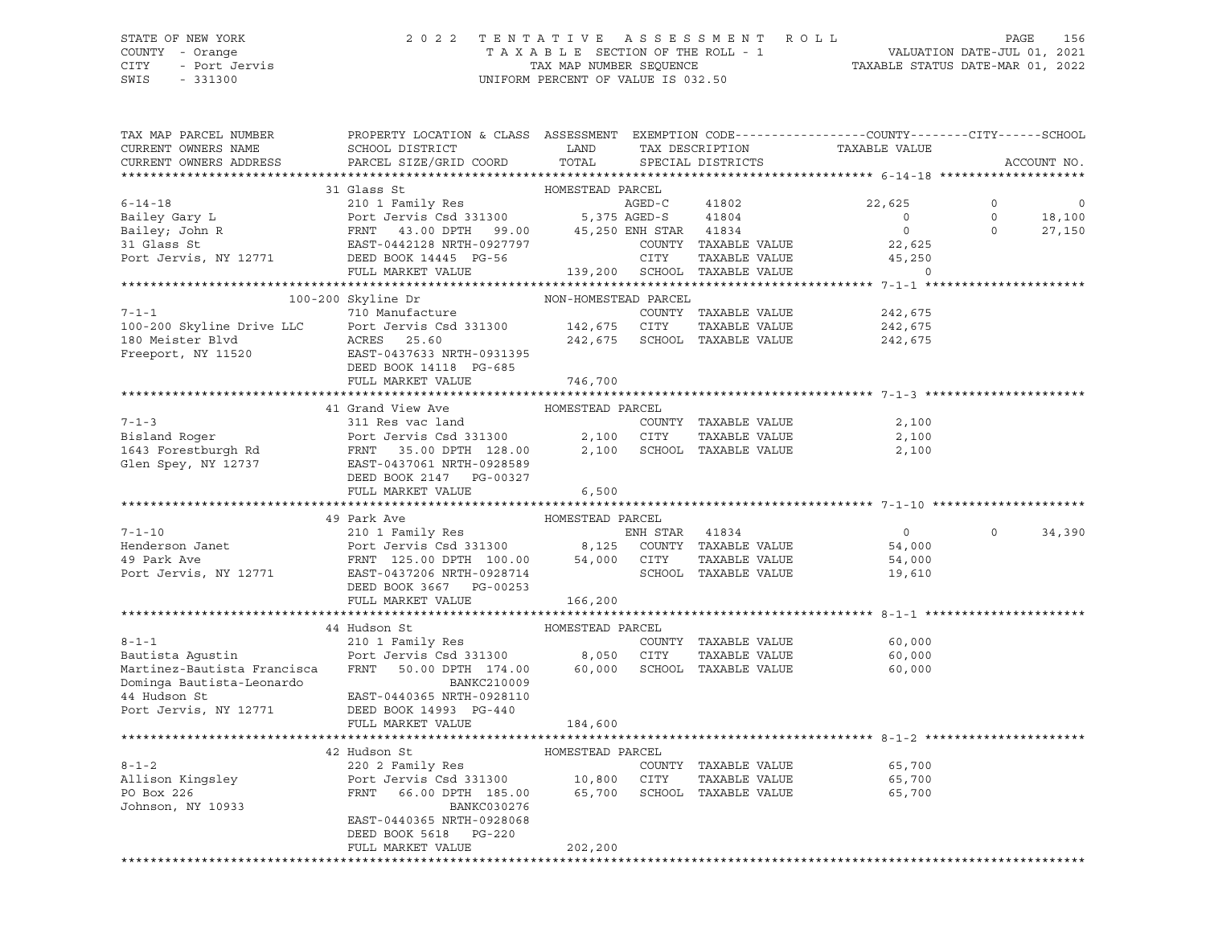### STATE OF NEW YORK 2 0 2 2 T E N T A T I V E A S S E S S M E N T R O L L PAGE 156 COUNTY - Orange T A X A B L E SECTION OF THE ROLL - 1 VALUATION DATE-JUL 01, 2021 CITY - Port Jervis TAX MAP NUMBER SEQUENCE TAXABLE STATUS DATE-MAR 01, 2022 SWIS - 331300 UNIFORM PERCENT OF VALUE IS 032.50

| TAX MAP PARCEL NUMBER<br>CURRENT OWNERS NAME<br>CURRENT OWNERS ADDRESS | PROPERTY LOCATION & CLASS ASSESSMENT EXEMPTION CODE---------------COUNTY-------CITY------SCHOOL<br>SCHOOL DISTRICT<br>PARCEL SIZE/GRID COORD                                      | LAND<br>TOTAL        |                | TAX DESCRIPTION<br>SPECIAL DISTRICTS | TAXABLE VALUE  |          | ACCOUNT NO. |
|------------------------------------------------------------------------|-----------------------------------------------------------------------------------------------------------------------------------------------------------------------------------|----------------------|----------------|--------------------------------------|----------------|----------|-------------|
|                                                                        |                                                                                                                                                                                   |                      |                |                                      |                |          |             |
|                                                                        | 31 Glass St                                                                                                                                                                       | HOMESTEAD PARCEL     |                |                                      |                |          |             |
| $6 - 14 - 18$                                                          | 210 1 Family Res                                                                                                                                                                  |                      | AGED-C         | 41802                                | 22,625         | $\circ$  | 0           |
| Bailey Gary L                                                          | Port Jervis Csd 331300 5,375 AGED-S 41804                                                                                                                                         |                      |                |                                      | $\overline{0}$ | $\circ$  | 18,100      |
|                                                                        |                                                                                                                                                                                   |                      |                |                                      | $\Omega$       | $\Omega$ | 27,150      |
| Bailey; John R<br>31 Glass St<br>31 Glass St                           |                                                                                                                                                                                   |                      |                | COUNTY TAXABLE VALUE                 | 22,625         |          |             |
| Port Jervis, NY 12771                                                  |                                                                                                                                                                                   |                      |                | TAXABLE VALUE                        | 45,250         |          |             |
|                                                                        | Port Jervis Csd 331300 5,375 AGED-5 71007<br>FRNT 43.00 DPTH 99.00 45,250 ENH STAR 41834<br>EAST-0442128 NRTH-0927797 COUNTY TAXABLE<br>DEED BOOK 14445 PG-56 CITY TAXABLE        |                      |                | 139,200 SCHOOL TAXABLE VALUE         | $\circ$        |          |             |
|                                                                        |                                                                                                                                                                                   |                      |                |                                      |                |          |             |
|                                                                        | 100-200 Skyline Dr                                                                                                                                                                | NON-HOMESTEAD PARCEL |                |                                      |                |          |             |
| 7-1-1<br>100-200 Skyline Drive LLC                                     | 710 Manufacture                                                                                                                                                                   |                      |                | COUNTY TAXABLE VALUE                 | 242,675        |          |             |
|                                                                        | Port Jervis Csd 331300 142,675 CITY                                                                                                                                               |                      |                | TAXABLE VALUE                        | 242,675        |          |             |
|                                                                        | ACRES 25.60                                                                                                                                                                       |                      |                | 242,675 SCHOOL TAXABLE VALUE         | 242,675        |          |             |
| Freeport, NY 11520 EAST-0437633 NRTH-0931395                           |                                                                                                                                                                                   |                      |                |                                      |                |          |             |
|                                                                        | DEED BOOK 14118 PG-685                                                                                                                                                            |                      |                |                                      |                |          |             |
|                                                                        | FULL MARKET VALUE                                                                                                                                                                 | 746,700              |                |                                      |                |          |             |
|                                                                        |                                                                                                                                                                                   |                      |                |                                      |                |          |             |
|                                                                        |                                                                                                                                                                                   |                      |                |                                      |                |          |             |
|                                                                        |                                                                                                                                                                                   |                      |                | COUNTY TAXABLE VALUE                 | 2,100          |          |             |
|                                                                        |                                                                                                                                                                                   |                      |                | TAXABLE VALUE                        | 2,100          |          |             |
|                                                                        |                                                                                                                                                                                   |                      |                | SCHOOL TAXABLE VALUE                 | 2,100          |          |             |
|                                                                        |                                                                                                                                                                                   |                      |                |                                      |                |          |             |
|                                                                        |                                                                                                                                                                                   |                      |                |                                      |                |          |             |
|                                                                        | FULL MARKET VALUE                                                                                                                                                                 | 6,500                |                |                                      |                |          |             |
|                                                                        | 49 Park Ave                                                                                                                                                                       | HOMESTEAD PARCEL     |                |                                      |                |          |             |
| $7 - 1 - 10$                                                           | 210 1 Family Res                                                                                                                                                                  |                      | ENH STAR 41834 |                                      | $\overline{0}$ | $\Omega$ | 34,390      |
| Henderson Janet                                                        | 210 1 Family Res<br>Port Jervis Csd 331300 8,125 COUNTY TAXABLE VALUE<br>FRNT 125.00 DPTH 100.00 54,000 CITY TAXABLE VALUE<br>FRNT 125.00 DPTH 100.00 54,000 COUNCY TAVABLE VALUE |                      |                |                                      | 54,000         |          |             |
| 49 Park Ave                                                            |                                                                                                                                                                                   |                      |                |                                      | 54,000         |          |             |
| Port Jervis, NY 12771 EAST-0437206 NRTH-0928714                        |                                                                                                                                                                                   |                      |                | SCHOOL TAXABLE VALUE                 | 19,610         |          |             |
|                                                                        | DEED BOOK 3667 PG-00253                                                                                                                                                           |                      |                |                                      |                |          |             |
|                                                                        | FULL MARKET VALUE                                                                                                                                                                 | 166,200              |                |                                      |                |          |             |
|                                                                        |                                                                                                                                                                                   |                      |                |                                      |                |          |             |
|                                                                        | 44 Hudson St                                                                                                                                                                      | HOMESTEAD PARCEL     |                |                                      |                |          |             |
| $8 - 1 - 1$                                                            | 210 1 Family Res                                                                                                                                                                  |                      |                | COUNTY TAXABLE VALUE                 | 60,000         |          |             |
| Bautista Aqustin                                                       | Port Jervis Csd 331300 8,050 CITY                                                                                                                                                 |                      |                | TAXABLE VALUE                        | 60,000         |          |             |
| Martinez-Bautista Francisca                                            | FRNT<br>50.00 DPTH 174.00 60,000 SCHOOL TAXABLE VALUE                                                                                                                             |                      |                |                                      | 60,000         |          |             |
| Dominga Bautista-Leonardo<br>44 Hudson St                              | BANKC210009                                                                                                                                                                       |                      |                |                                      |                |          |             |
| 44 Hudson St                                                           | EAST-0440365 NRTH-0928110                                                                                                                                                         |                      |                |                                      |                |          |             |
| Port Jervis, NY 12771                                                  | DEED BOOK 14993 PG-440                                                                                                                                                            |                      |                |                                      |                |          |             |
|                                                                        | FULL MARKET VALUE                                                                                                                                                                 | 184,600              |                |                                      |                |          |             |
|                                                                        |                                                                                                                                                                                   |                      |                |                                      |                |          |             |
|                                                                        | 42 Hudson St                                                                                                                                                                      | HOMESTEAD PARCEL     |                |                                      |                |          |             |
| $8 - 1 - 2$                                                            | 220 2 Family Res                                                                                                                                                                  |                      |                | COUNTY TAXABLE VALUE                 | 65,700         |          |             |
| Allison Kingsley<br>PO Box 226                                         | Port Jervis Csd 331300 10,800 CITY<br>FRNT 66.00 DPTH 185.00 65,700 SCHOOL                                                                                                        |                      |                | TAXABLE VALUE                        | 65,700         |          |             |
|                                                                        |                                                                                                                                                                                   |                      |                | 65,700 SCHOOL TAXABLE VALUE          | 65,700         |          |             |
| Johnson, NY 10933                                                      | BANKC030276                                                                                                                                                                       |                      |                |                                      |                |          |             |
|                                                                        | EAST-0440365 NRTH-0928068                                                                                                                                                         |                      |                |                                      |                |          |             |
|                                                                        | DEED BOOK 5618 PG-220                                                                                                                                                             |                      |                |                                      |                |          |             |
|                                                                        | FULL MARKET VALUE                                                                                                                                                                 | 202,200              |                |                                      |                |          |             |
|                                                                        |                                                                                                                                                                                   |                      |                |                                      |                |          |             |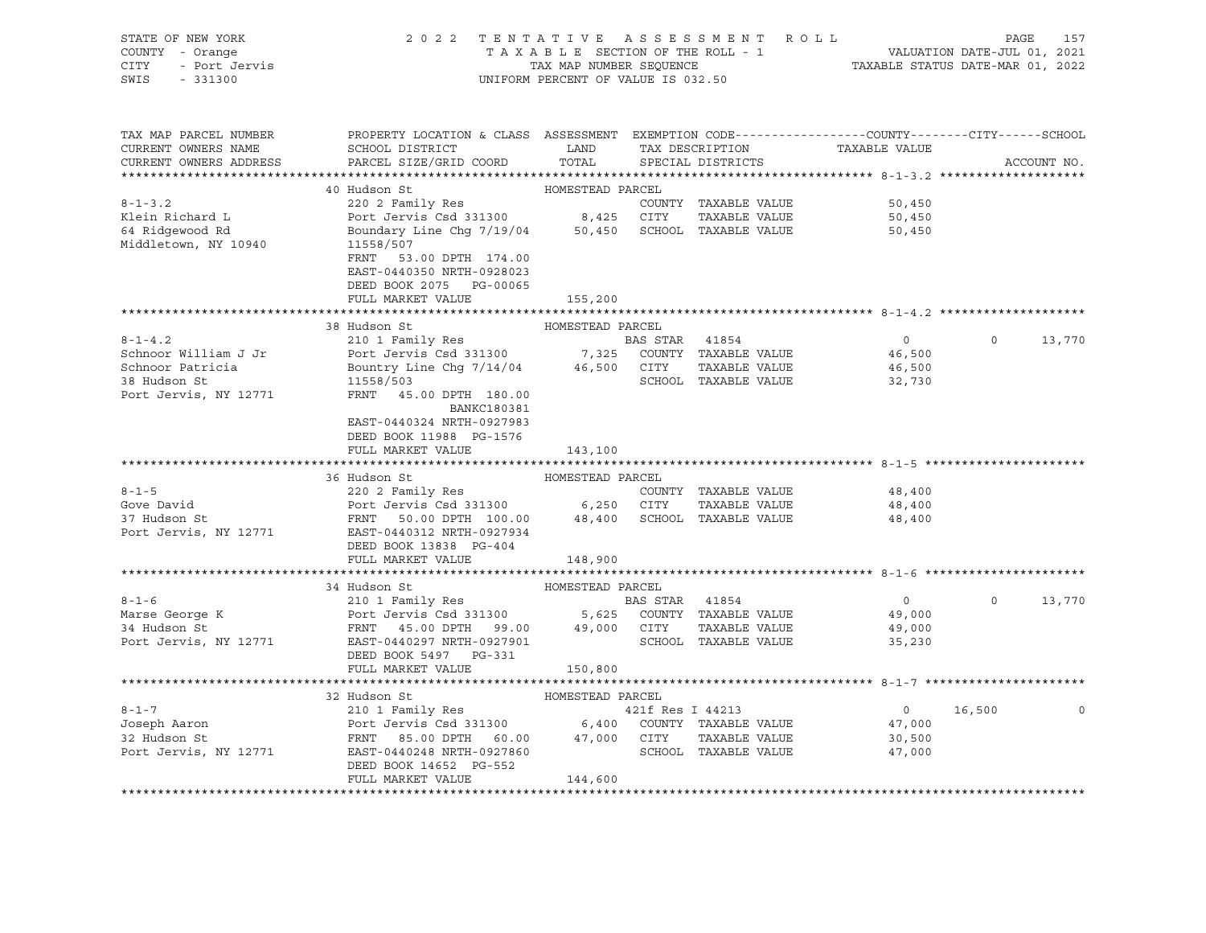| STATE OF NEW YORK<br>STATE OF NEW 1000.<br>COUNTY - Orange<br>CITY - Port Jervis<br>SWIS - 331300 |                                                                                                                                                                                                                                                                                                                                                       | UNIFORM PERCENT OF VALUE IS 032.50 |                      | 2022 TENTATIVE ASSESSMENT ROLL PAGE 157<br>TAXABLE SECTION OF THE ROLL - 1 VALUATION DATE-JUL 01, 2021<br>TAX MAP NUMBER SEQUENCE TAXABLE STATUS DATE-MAR 01, 2022 |                   |             |
|---------------------------------------------------------------------------------------------------|-------------------------------------------------------------------------------------------------------------------------------------------------------------------------------------------------------------------------------------------------------------------------------------------------------------------------------------------------------|------------------------------------|----------------------|--------------------------------------------------------------------------------------------------------------------------------------------------------------------|-------------------|-------------|
| TAX MAP PARCEL NUMBER<br>CURRENT OWNERS NAME<br>CURRENT OWNERS ADDRESS                            | PROPERTY LOCATION & CLASS ASSESSMENT EXEMPTION CODE----------------COUNTY-------CITY------SCHOOL<br>SCHOOL DISTRICT CONTROL CAND TAX DESCRIPTION TAXABLE VALUE<br>PARCEL SIZE/GRID COORD                                                                                                                                                              | TOTAL                              | SPECIAL DISTRICTS    |                                                                                                                                                                    |                   | ACCOUNT NO. |
|                                                                                                   |                                                                                                                                                                                                                                                                                                                                                       |                                    |                      |                                                                                                                                                                    |                   |             |
| $8 - 1 - 3$ . 2                                                                                   |                                                                                                                                                                                                                                                                                                                                                       |                                    |                      | 50,450                                                                                                                                                             |                   |             |
| Klein Richard L                                                                                   |                                                                                                                                                                                                                                                                                                                                                       |                                    |                      | 50,450<br>50,450                                                                                                                                                   |                   |             |
| Alein Richard L<br>64 Ridgewood Rd<br>Middletown, NY 10940                                        | 40 Hudson St<br>220 2 Family Res<br>POMESTEAD PARCEL<br>220 2 Family Res<br>Port Jervis Csd 331300<br>Boundary Line Chg 7/19/04<br>50,450 SCHOOL TAXABLE VALUE<br>11558/507<br>FRNT 53.00 DPTH 174.00<br>EAST-0440350 NRTH-0928023<br>DEED BOOK 2075 PG-00065                                                                                         |                                    |                      |                                                                                                                                                                    |                   |             |
|                                                                                                   | FULL MARKET VALUE                                                                                                                                                                                                                                                                                                                                     | 155,200                            |                      |                                                                                                                                                                    |                   |             |
|                                                                                                   |                                                                                                                                                                                                                                                                                                                                                       |                                    |                      |                                                                                                                                                                    |                   |             |
|                                                                                                   |                                                                                                                                                                                                                                                                                                                                                       |                                    |                      |                                                                                                                                                                    |                   |             |
| $8 - 1 - 4.2$                                                                                     |                                                                                                                                                                                                                                                                                                                                                       |                                    |                      | $\overline{0}$                                                                                                                                                     | $0 \qquad \qquad$ | 13,770      |
| Schnoor William J Jr                                                                              |                                                                                                                                                                                                                                                                                                                                                       |                                    |                      | 46,500                                                                                                                                                             |                   |             |
| Schnoor Patricia<br>38 Hudson St                                                                  |                                                                                                                                                                                                                                                                                                                                                       |                                    |                      | 46,500<br>SCHOOL TAXABLE VALUE 32,730                                                                                                                              |                   |             |
| Port Jervis, NY 12771                                                                             | FRNT 45.00 DPTH 180.00<br>BANKC180381<br>EAST-0440324 NRTH-0927983<br>DEED BOOK 11988 PG-1576<br>FULL MARKET VALUE                                                                                                                                                                                                                                    | 143,100                            |                      |                                                                                                                                                                    |                   |             |
|                                                                                                   |                                                                                                                                                                                                                                                                                                                                                       |                                    |                      |                                                                                                                                                                    |                   |             |
|                                                                                                   | HOMESTEAD PARCEL<br>36 Hudson St                                                                                                                                                                                                                                                                                                                      |                                    |                      |                                                                                                                                                                    |                   |             |
|                                                                                                   |                                                                                                                                                                                                                                                                                                                                                       |                                    |                      | 48,400                                                                                                                                                             |                   |             |
|                                                                                                   |                                                                                                                                                                                                                                                                                                                                                       |                                    |                      | 48,400<br>48,400                                                                                                                                                   |                   |             |
| Port Jervis, NY 12771                                                                             | EAST-0440312 NRTH-0927934<br>DEED BOOK 13838 PG-404                                                                                                                                                                                                                                                                                                   |                                    |                      | 48,400                                                                                                                                                             |                   |             |
|                                                                                                   | FULL MARKET VALUE                                                                                                                                                                                                                                                                                                                                     | 148,900                            |                      |                                                                                                                                                                    |                   |             |
|                                                                                                   |                                                                                                                                                                                                                                                                                                                                                       |                                    |                      |                                                                                                                                                                    |                   |             |
|                                                                                                   |                                                                                                                                                                                                                                                                                                                                                       |                                    |                      | $\overline{0}$                                                                                                                                                     | $\Omega$          | 13,770      |
|                                                                                                   |                                                                                                                                                                                                                                                                                                                                                       |                                    |                      | 49,000                                                                                                                                                             |                   |             |
|                                                                                                   |                                                                                                                                                                                                                                                                                                                                                       |                                    |                      | 49,000                                                                                                                                                             |                   |             |
|                                                                                                   | $\begin{array}{cccccc} 8-1-6 & 34\text{ Hudson St} & \text{HOMESTEAD PARCEL} \\ \text{Marse George K} & \text{Port Jervis Csd 331300} & 5,625\text{ COUNTY TAXABLE VALUE} \\ \text{Part Jervis, NY 12771} & \text{EAST-0440297 NRFH-0927901} & 99.00 & \text{SCHOOL TAXABLE VALUE} \end{array}$<br>DEED BOOK 5497 PG-331<br>FULL MARKET VALUE 150,800 |                                    | SCHOOL TAXABLE VALUE | 35,230                                                                                                                                                             |                   |             |
|                                                                                                   |                                                                                                                                                                                                                                                                                                                                                       |                                    |                      |                                                                                                                                                                    |                   |             |
|                                                                                                   | 32 Hudson St                                                                                                                                                                                                                                                                                                                                          | HOMESTEAD PARCEL                   |                      |                                                                                                                                                                    |                   |             |
|                                                                                                   |                                                                                                                                                                                                                                                                                                                                                       |                                    |                      |                                                                                                                                                                    | $0 \t 16,500$     | $\mathbf 0$ |
|                                                                                                   |                                                                                                                                                                                                                                                                                                                                                       |                                    |                      | 47,000                                                                                                                                                             |                   |             |
|                                                                                                   |                                                                                                                                                                                                                                                                                                                                                       |                                    |                      | 30,500                                                                                                                                                             |                   |             |
|                                                                                                   | DEED BOOK 14652 PG-552<br>FULL MARKET VALUE                                                                                                                                                                                                                                                                                                           | 144,600                            |                      | 47,000                                                                                                                                                             |                   |             |
|                                                                                                   |                                                                                                                                                                                                                                                                                                                                                       |                                    |                      |                                                                                                                                                                    |                   |             |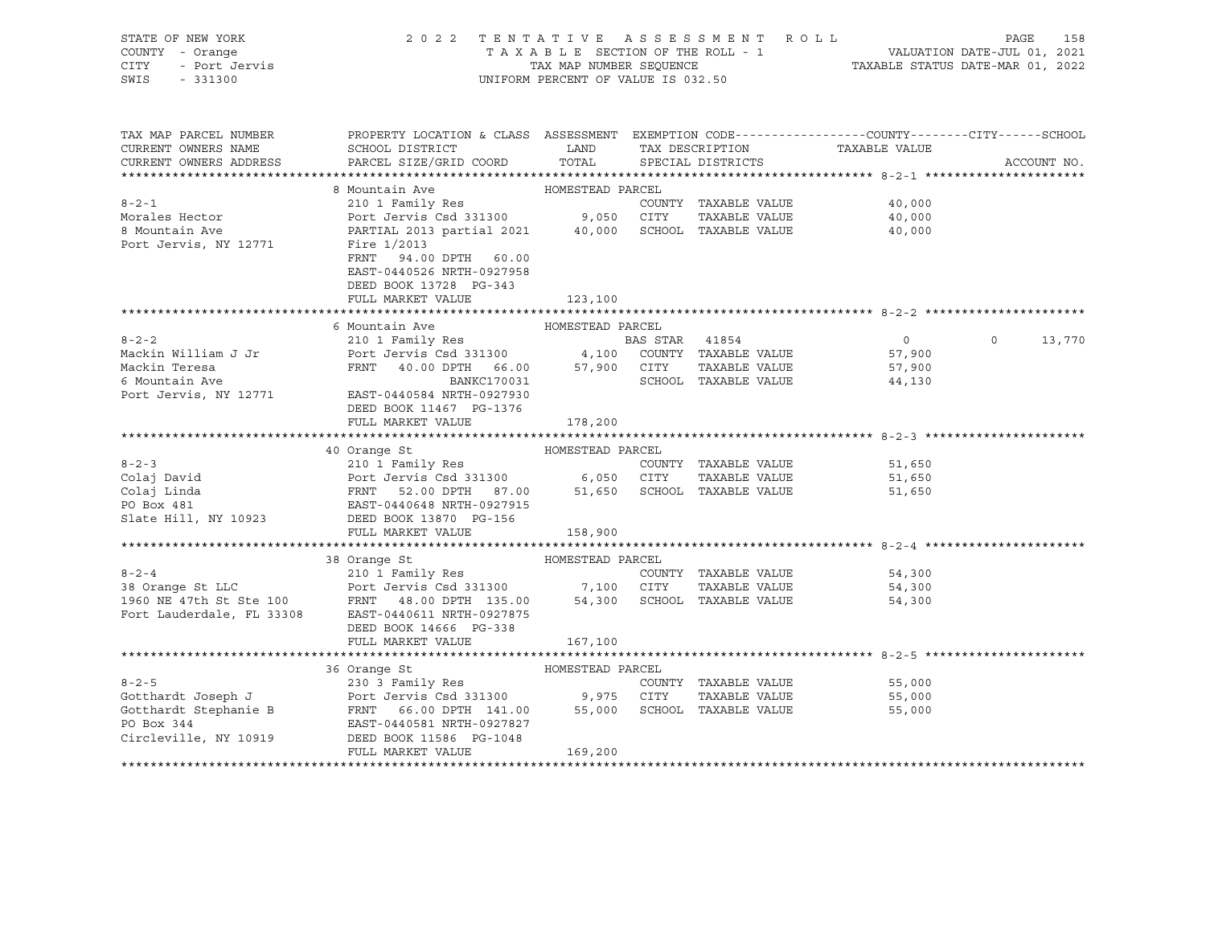| STATE OF NEW YORK<br>y - Orange<br>- Port Jervis<br>COUNTY - Orange<br>CITY<br>SWIS - 331300 | 2022 TENTATIVE ASSESSMENT ROLL<br>TAXABLE SECTION OF THE ROLL - 1 VALUATION DATE-JUL 01, 2021<br>TAX MAP NUMBER SEQUENCE TAXABLE STATUS DATE-MAR 01, 2022<br>UNIFORM PERCENT OF VALUE IS 032.50                                                                      |                  |                      |                |               |
|----------------------------------------------------------------------------------------------|----------------------------------------------------------------------------------------------------------------------------------------------------------------------------------------------------------------------------------------------------------------------|------------------|----------------------|----------------|---------------|
| TAX MAP PARCEL NUMBER<br>CURRENT OWNERS NAME                                                 | PROPERTY LOCATION & CLASS ASSESSMENT EXEMPTION CODE-----------------COUNTY-------CITY------SCHOOL<br>SCHOOL DISTRICT                          LAND         TAX DESCRIPTION                   TAXABLE VALUE                                                           |                  |                      |                |               |
|                                                                                              | CURRENT OWNERS ADDRESS PARCEL SIZE/GRID COORD TOTAL SPECIAL DISTRICTS                                                                                                                                                                                                |                  |                      |                | ACCOUNT NO.   |
|                                                                                              |                                                                                                                                                                                                                                                                      |                  |                      |                |               |
|                                                                                              |                                                                                                                                                                                                                                                                      |                  |                      |                |               |
|                                                                                              |                                                                                                                                                                                                                                                                      |                  | COUNTY TAXABLE VALUE | 40,000         |               |
|                                                                                              |                                                                                                                                                                                                                                                                      |                  |                      | 40,000         |               |
|                                                                                              |                                                                                                                                                                                                                                                                      |                  |                      | 40,000         |               |
|                                                                                              |                                                                                                                                                                                                                                                                      |                  |                      |                |               |
|                                                                                              | FRNT 94.00 DPTH 60.00                                                                                                                                                                                                                                                |                  |                      |                |               |
|                                                                                              | EAST-0440526 NRTH-0927958                                                                                                                                                                                                                                            |                  |                      |                |               |
|                                                                                              | DEED BOOK 13728 PG-343                                                                                                                                                                                                                                               |                  |                      |                |               |
|                                                                                              | FULL MARKET VALUE 123,100                                                                                                                                                                                                                                            |                  |                      |                |               |
|                                                                                              | 6 Mountain Ave                                                                                                                                                                                                                                                       | HOMESTEAD PARCEL |                      |                |               |
| $8 - 2 - 2$                                                                                  |                                                                                                                                                                                                                                                                      |                  |                      | $\overline{0}$ | $0 \t 13,770$ |
| Mackin William J Jr                                                                          |                                                                                                                                                                                                                                                                      |                  |                      | 57,900         |               |
| Mackin Teresa                                                                                | 210 1 Family Res<br>Port Jervis Csd 331300 4,100 COUNTY TAXABLE VALUE<br>FRNT 40.00 DPTH 66.00 57,900 CITY TAXABLE VALUE<br>EXPRESS TAXABLE VALUE<br>PRNT 40.00 DPTH 66.00 57,900 CITY TAXABLE VALUE<br>PRNT 40.00 DPTH 66.00 57,900 CIT                             |                  |                      | 57,900         |               |
| 6 Mountain Ave                                                                               |                                                                                                                                                                                                                                                                      |                  |                      | 44,130         |               |
| Port Jervis, NY 12771                                                                        | EAST-0440584 NRTH-0927930                                                                                                                                                                                                                                            |                  |                      |                |               |
|                                                                                              | DEED BOOK 11467 PG-1376                                                                                                                                                                                                                                              |                  |                      |                |               |
|                                                                                              | FULL MARKET VALUE                                                                                                                                                                                                                                                    | 178,200          |                      |                |               |
|                                                                                              |                                                                                                                                                                                                                                                                      |                  |                      |                |               |
|                                                                                              | 40 Orange St                                                                                                                                                                                                                                                         | HOMESTEAD PARCEL |                      |                |               |
| $8 - 2 - 3$                                                                                  | 210 I Family Res<br>Port Jervis Csd 331300 6,050 CITY TAXABLE VALUE<br>FRNT 52.00 DPTH 87.00 51,650 SCHOOL TAXABLE VALUE<br>EAST-0440648 NRTH-0927915                                                                                                                |                  |                      | 51,650         |               |
|                                                                                              |                                                                                                                                                                                                                                                                      |                  |                      | 51,650         |               |
|                                                                                              |                                                                                                                                                                                                                                                                      |                  |                      | 51,650         |               |
| Colaj David<br>Colaj Linda<br>PO Box 481                                                     |                                                                                                                                                                                                                                                                      |                  |                      |                |               |
|                                                                                              | Slate Hill, NY 10923 DEED BOOK 13870 PG-156                                                                                                                                                                                                                          |                  |                      |                |               |
|                                                                                              | FULL MARKET VALUE                                                                                                                                                                                                                                                    | 158,900          |                      |                |               |
|                                                                                              |                                                                                                                                                                                                                                                                      |                  |                      |                |               |
|                                                                                              |                                                                                                                                                                                                                                                                      |                  |                      |                |               |
|                                                                                              |                                                                                                                                                                                                                                                                      |                  |                      | 54,300         |               |
|                                                                                              |                                                                                                                                                                                                                                                                      |                  | TAXABLE VALUE        | 54,300         |               |
|                                                                                              |                                                                                                                                                                                                                                                                      |                  |                      | 54,300         |               |
|                                                                                              |                                                                                                                                                                                                                                                                      |                  |                      |                |               |
|                                                                                              | DEED BOOK 14666 PG-338                                                                                                                                                                                                                                               |                  |                      |                |               |
|                                                                                              | FULL MARKET VALUE                                                                                                                                                                                                                                                    | 167,100          |                      |                |               |
|                                                                                              |                                                                                                                                                                                                                                                                      | HOMESTEAD PARCEL |                      |                |               |
|                                                                                              | 36 Orange St<br>8-2-5<br>COUNTY TAXABLE VALUE<br>Gotthardt Joseph J<br>Gotthardt Stephanie B<br>Port Jervis Csd 331300<br>Port Jervis Csd 331300<br>9,975 CITY TAXABLE VALUE<br>PO Box 344<br>EAST-0440581 NRTH-0927827<br>Circleville, NY 10919<br>DEED BOX 344<br> |                  |                      | 55,000         |               |
|                                                                                              |                                                                                                                                                                                                                                                                      |                  | TAXABLE VALUE        | 55,000         |               |
|                                                                                              |                                                                                                                                                                                                                                                                      |                  |                      | 55,000         |               |
|                                                                                              |                                                                                                                                                                                                                                                                      |                  |                      |                |               |
|                                                                                              |                                                                                                                                                                                                                                                                      |                  |                      |                |               |
|                                                                                              | FULL MARKET VALUE                                                                                                                                                                                                                                                    | 169,200          |                      |                |               |
|                                                                                              |                                                                                                                                                                                                                                                                      |                  |                      |                |               |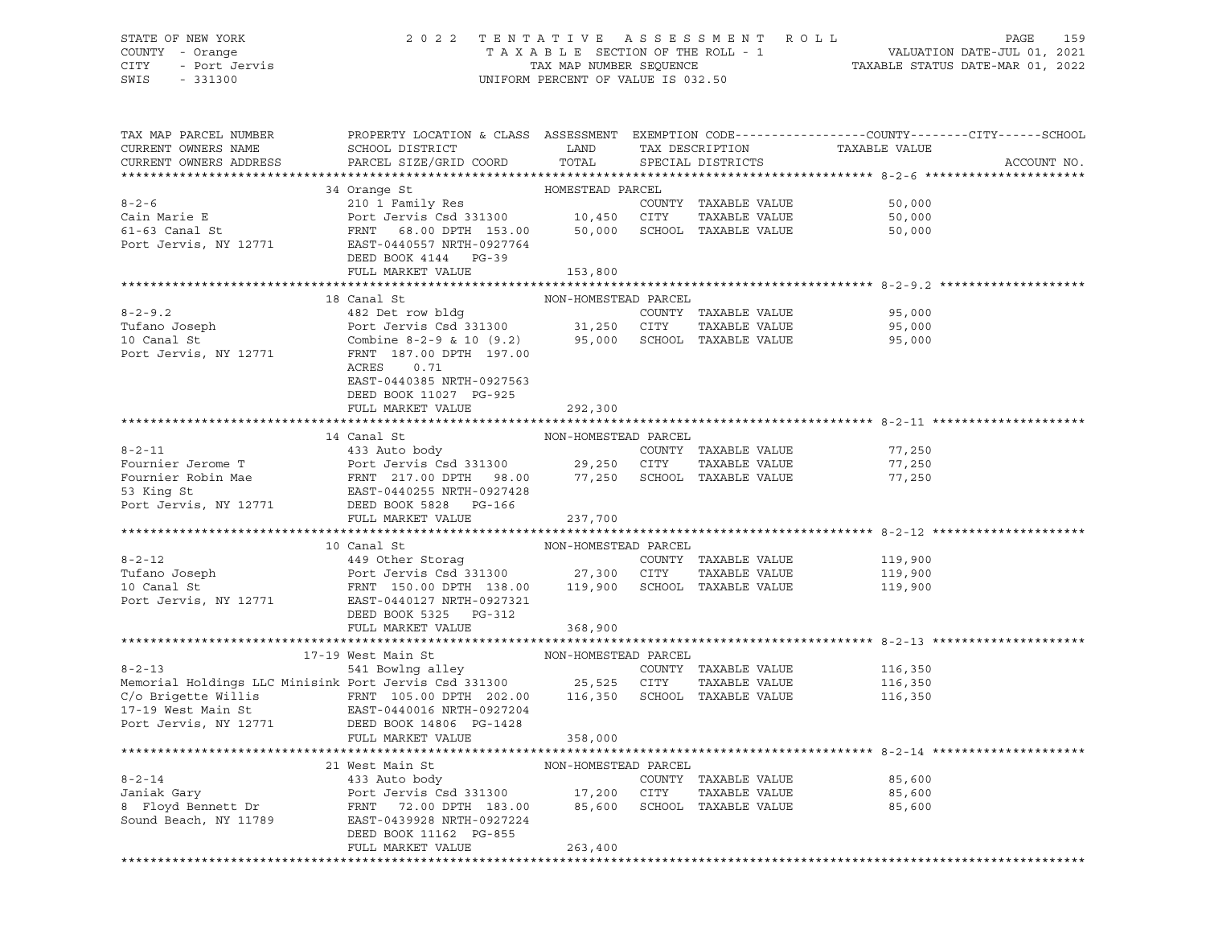## STATE OF NEW YORK 2 0 2 2 T E N T A T I V E A S S E S S M E N T R O L L PAGE 159 COUNTY - Orange T A X A B L E SECTION OF THE ROLL - 1 VALUATION DATE-JUL 01, 2021 CITY - Port Jervis TAX MAP NUMBER SEQUENCE TAXABLE STATUS DATE-MAR 01, 2022

| TAX MAP PARCEL NUMBER<br>CURRENT OWNERS NAME<br>CURRENT OWNERS ADDRESS                                                                                                                                                                                                                                                                                                                                                                                                                     | PROPERTY LOCATION & CLASS ASSESSMENT EXEMPTION CODE----------------COUNTY-------CITY------SCHOOL |         |  |                                                                         | ACCOUNT NO. |
|--------------------------------------------------------------------------------------------------------------------------------------------------------------------------------------------------------------------------------------------------------------------------------------------------------------------------------------------------------------------------------------------------------------------------------------------------------------------------------------------|--------------------------------------------------------------------------------------------------|---------|--|-------------------------------------------------------------------------|-------------|
| $\begin{tabular}{lllllllllll} \multicolumn{3}{c}{8-2-6}\hline\\ & 34\ \texttt{Orange St}&\texttt{HOMESTEAD} \texttt{ PARCEL}\\ & 210\ 1\ \texttt{Family Res}&\texttt{COUNTY} \texttt{ TAXABLE VALUE} & 50,000\\ & 61-63\ \texttt{Canal St}&\texttt{FRNT} \texttt{ 68.00 DPTH} \texttt{ 153.00}& 10,450\ \texttt{ CITY} \texttt{ TAXABLE VALUE} & 50,000\\ & 50,000\ \texttt{SCHOL} \texttt{ TAXABLE VALUE} & 50,000\\$                                                                     |                                                                                                  |         |  |                                                                         |             |
|                                                                                                                                                                                                                                                                                                                                                                                                                                                                                            |                                                                                                  |         |  |                                                                         |             |
|                                                                                                                                                                                                                                                                                                                                                                                                                                                                                            |                                                                                                  |         |  |                                                                         |             |
|                                                                                                                                                                                                                                                                                                                                                                                                                                                                                            |                                                                                                  |         |  |                                                                         |             |
|                                                                                                                                                                                                                                                                                                                                                                                                                                                                                            |                                                                                                  |         |  |                                                                         |             |
|                                                                                                                                                                                                                                                                                                                                                                                                                                                                                            |                                                                                                  |         |  |                                                                         |             |
|                                                                                                                                                                                                                                                                                                                                                                                                                                                                                            | DEED BOOK 4144 PG-39                                                                             |         |  |                                                                         |             |
|                                                                                                                                                                                                                                                                                                                                                                                                                                                                                            | FULL MARKET VALUE                                                                                | 153,800 |  |                                                                         |             |
|                                                                                                                                                                                                                                                                                                                                                                                                                                                                                            |                                                                                                  |         |  |                                                                         |             |
|                                                                                                                                                                                                                                                                                                                                                                                                                                                                                            |                                                                                                  |         |  |                                                                         |             |
|                                                                                                                                                                                                                                                                                                                                                                                                                                                                                            |                                                                                                  |         |  | 95,000<br>TAXABLE VALUE<br>TAXABLE VALUE 95,000<br>TAXABLE VALUE 95,000 |             |
|                                                                                                                                                                                                                                                                                                                                                                                                                                                                                            |                                                                                                  |         |  |                                                                         |             |
|                                                                                                                                                                                                                                                                                                                                                                                                                                                                                            |                                                                                                  |         |  |                                                                         |             |
|                                                                                                                                                                                                                                                                                                                                                                                                                                                                                            | ACRES<br>0.71                                                                                    |         |  |                                                                         |             |
|                                                                                                                                                                                                                                                                                                                                                                                                                                                                                            | EAST-0440385 NRTH-0927563                                                                        |         |  |                                                                         |             |
|                                                                                                                                                                                                                                                                                                                                                                                                                                                                                            | DEED BOOK 11027 PG-925                                                                           |         |  |                                                                         |             |
|                                                                                                                                                                                                                                                                                                                                                                                                                                                                                            | FULL MARKET VALUE                                                                                | 292,300 |  |                                                                         |             |
|                                                                                                                                                                                                                                                                                                                                                                                                                                                                                            |                                                                                                  |         |  |                                                                         |             |
|                                                                                                                                                                                                                                                                                                                                                                                                                                                                                            |                                                                                                  |         |  |                                                                         |             |
|                                                                                                                                                                                                                                                                                                                                                                                                                                                                                            |                                                                                                  |         |  |                                                                         |             |
|                                                                                                                                                                                                                                                                                                                                                                                                                                                                                            |                                                                                                  |         |  |                                                                         |             |
|                                                                                                                                                                                                                                                                                                                                                                                                                                                                                            |                                                                                                  |         |  |                                                                         |             |
|                                                                                                                                                                                                                                                                                                                                                                                                                                                                                            |                                                                                                  |         |  |                                                                         |             |
|                                                                                                                                                                                                                                                                                                                                                                                                                                                                                            |                                                                                                  |         |  |                                                                         |             |
|                                                                                                                                                                                                                                                                                                                                                                                                                                                                                            | FULL MARKET VALUE                                                                                | 237,700 |  |                                                                         |             |
| $\begin{tabular}{lcccccc} \multicolumn{4}{c}{\textbf{8-2-12}} & 10\text{ Canal St} & \multicolumn{4}{c}{\textbf{NON-HOMESTEAD PARCEL}} & \multicolumn{4}{c}{\textbf{QCDNTY}} & \multicolumn{4}{c}{\textbf{PARCEL}} & \multicolumn{4}{c}{\textbf{CUNTY}} & \multicolumn{4}{c}{\textbf{TuFano Joseph}} & \multicolumn{4}{c}{\textbf{CUNTY}} & \multicolumn{4}{c}{\textbf{TAXABLE VALUE}} & \multicolumn{4}{c}{\textbf{CUNTY}} & \multicolumn{4}{c}{\textbf{TAXABLE VALUE}} & \multicolumn{4$ |                                                                                                  |         |  |                                                                         |             |
|                                                                                                                                                                                                                                                                                                                                                                                                                                                                                            |                                                                                                  |         |  |                                                                         |             |
|                                                                                                                                                                                                                                                                                                                                                                                                                                                                                            |                                                                                                  |         |  | 119,900                                                                 |             |
|                                                                                                                                                                                                                                                                                                                                                                                                                                                                                            |                                                                                                  |         |  | 119,900<br>119,900                                                      |             |
|                                                                                                                                                                                                                                                                                                                                                                                                                                                                                            |                                                                                                  |         |  |                                                                         |             |
|                                                                                                                                                                                                                                                                                                                                                                                                                                                                                            | DEED BOOK 5325 PG-312                                                                            |         |  |                                                                         |             |
|                                                                                                                                                                                                                                                                                                                                                                                                                                                                                            | FULL MARKET VALUE                                                                                | 368,900 |  |                                                                         |             |
|                                                                                                                                                                                                                                                                                                                                                                                                                                                                                            |                                                                                                  |         |  |                                                                         |             |
|                                                                                                                                                                                                                                                                                                                                                                                                                                                                                            |                                                                                                  |         |  |                                                                         |             |
|                                                                                                                                                                                                                                                                                                                                                                                                                                                                                            |                                                                                                  |         |  |                                                                         |             |
|                                                                                                                                                                                                                                                                                                                                                                                                                                                                                            |                                                                                                  |         |  |                                                                         |             |
|                                                                                                                                                                                                                                                                                                                                                                                                                                                                                            |                                                                                                  |         |  |                                                                         |             |
|                                                                                                                                                                                                                                                                                                                                                                                                                                                                                            |                                                                                                  |         |  |                                                                         |             |
|                                                                                                                                                                                                                                                                                                                                                                                                                                                                                            |                                                                                                  |         |  |                                                                         |             |
|                                                                                                                                                                                                                                                                                                                                                                                                                                                                                            | FULL MARKET VALUE                                                                                | 358,000 |  |                                                                         |             |
|                                                                                                                                                                                                                                                                                                                                                                                                                                                                                            |                                                                                                  |         |  |                                                                         |             |
|                                                                                                                                                                                                                                                                                                                                                                                                                                                                                            |                                                                                                  |         |  |                                                                         |             |
| $\begin{tabular}{lllllllllll} \multicolumn{3}{c}{8-2-14} & & & & & & \\ 8-2-14 & & & & & & & \\ 8-2-14 & & & & & & & \\ 9-2-14 & & & & & & & \\ 9-2-14 & & & & & & & \\ 9-2-14 & & & & & & & \\ 9-2-14 & & & & & & & \\ 9-2-14 & & & & & & & \\ 9-2-14 & & & & & & & \\ 9-2-14 & & & & & & & \\ 9-2-14 & & & & & & & \\ 9-2-14 & & & & & & & \\ 9-2-14 & & & & & & & \\ 9-2$                                                                                                               |                                                                                                  |         |  |                                                                         |             |
|                                                                                                                                                                                                                                                                                                                                                                                                                                                                                            |                                                                                                  |         |  |                                                                         |             |
|                                                                                                                                                                                                                                                                                                                                                                                                                                                                                            |                                                                                                  |         |  |                                                                         |             |
|                                                                                                                                                                                                                                                                                                                                                                                                                                                                                            |                                                                                                  |         |  |                                                                         |             |
|                                                                                                                                                                                                                                                                                                                                                                                                                                                                                            | DEED BOOK 11162 PG-855<br>FULL MARKET VALUE                                                      | 263,400 |  |                                                                         |             |
|                                                                                                                                                                                                                                                                                                                                                                                                                                                                                            |                                                                                                  |         |  |                                                                         |             |
|                                                                                                                                                                                                                                                                                                                                                                                                                                                                                            |                                                                                                  |         |  |                                                                         |             |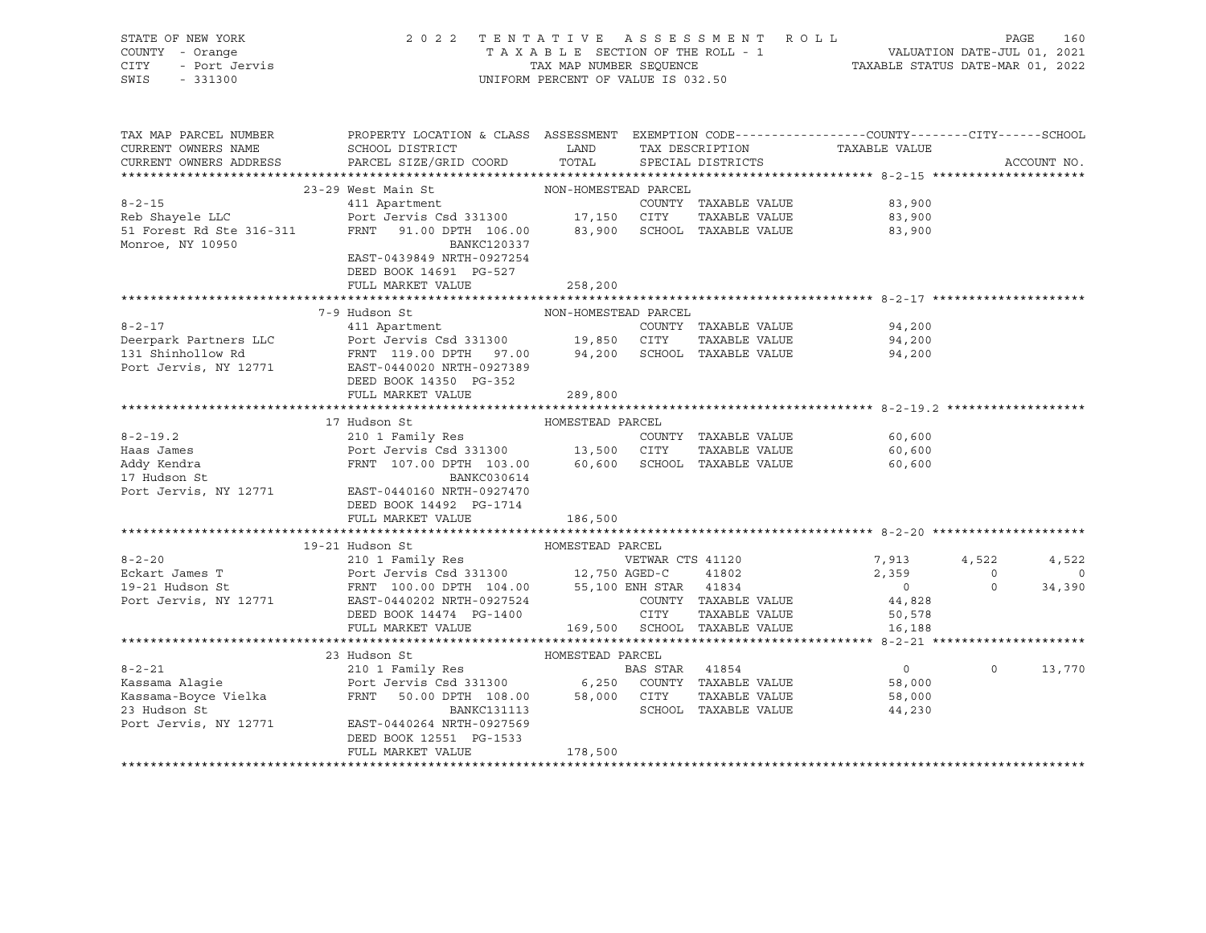| STATE OF NEW YORK  | 2022 TENTATIVE ASSESSMENT ROLL     |                                  | PAGE | 160 |
|--------------------|------------------------------------|----------------------------------|------|-----|
| COUNTY - Orange    | TAXABLE SECTION OF THE ROLL - 1    | VALUATION DATE-JUL 01, 2021      |      |     |
| CITY - Port Jervis | TAX MAP NUMBER SEOUENCE            | TAXABLE STATUS DATE-MAR 01, 2022 |      |     |
| SWIS<br>$-331300$  | UNIFORM PERCENT OF VALUE IS 032.50 |                                  |      |     |
|                    |                                    |                                  |      |     |
|                    |                                    |                                  |      |     |

| CURRENT OWNERS NAME<br>LAND<br>TAXABLE VALUE<br>SCHOOL DISTRICT<br>TAX DESCRIPTION<br>TOTAL<br>CURRENT OWNERS ADDRESS<br>PARCEL SIZE/GRID COORD<br>ACCOUNT NO.<br>SPECIAL DISTRICTS<br>23-29 West Main St<br>west Main St<br>411 Apartment<br>Pert -<br>NON-HOMESTEAD PARCEL<br>$8 - 2 - 15$<br>83,900<br>COUNTY TAXABLE VALUE<br>Reb Shayele LLC<br>51 Forest Rd Ste 316-311<br>Port Jervis Csd 331300 17,150 CITY<br>TAXABLE VALUE 83,900<br>83,900 SCHOOL TAXABLE VALUE<br>FRNT 91.00 DPTH 106.00<br>83,900<br>Monroe, NY 10950<br>BANKC120337<br>EAST-0439849 NRTH-0927254<br>DEED BOOK 14691 PG-527<br>FULL MARKET VALUE<br>258,200<br>NON-HOMESTEAD PARCEL<br>7-9 Hudson St<br>$8 - 2 - 17$<br>411 Apartment<br>COUNTY TAXABLE VALUE<br>94,200<br>Deerpark Partners LLC Port Jervis Csd 331300 19,850 CITY<br>94,200<br>TAXABLE VALUE<br>131 Shinhollow Rd<br>94,200<br>Port Jervis, NY 12771<br>DEED BOOK 14350 PG-352<br>FULL MARKET VALUE<br>289,800<br>HOMESTEAD PARCEL<br>17 Hudson St<br>$8 - 2 - 19.2$<br>210 1 Family Res<br>COUNTY TAXABLE VALUE<br>60,600<br>TAXABLE VALUE 60,600<br>FRNT 107.00 DPTH 103.00 60,600 SCHOOL TAXABLE VALUE<br>Addy Kendra<br>60,600<br>17 Hudson St<br>BANKC030614<br>Port Jervis, NY 12771<br>EAST-0440160 NRTH-0927470<br>DEED BOOK 14492 PG-1714<br>FULL MARKET VALUE<br>186,500<br>19-21 Hudson St<br>HOMESTEAD PARCEL<br>$8 - 2 - 20$<br>VETWAR CTS 41120<br>7,913<br>2,359<br>4,522<br>4,522<br>Eckart James T<br>$\circ$<br>$\overline{0}$<br>$\overline{0}$<br>$\Omega$<br>19-21 Hudson St<br>34,390<br>Port Jervis, NY 12771<br>COUNTY TAXABLE VALUE<br>EAST-0440202 NRTH-0927524<br>44,828<br>COUNT<br>CITY<br>TAXABLE VALUE 50,578<br>DEED BOOK 14474    PG-1400<br>169,500 SCHOOL TAXABLE VALUE<br>FULL MARKET VALUE<br>16,188<br>HOMESTEAD PARCEL<br>23 Hudson St<br>$8 - 2 - 21$<br>210 1 Family Res<br>BAS STAR 41854<br>$\overline{0}$<br>$\Omega$<br>13,770<br>58,000<br>Kassama-Boyce Vielka<br>FRNT 50.00 DPTH 108.00 58,000 CITY<br>TAXABLE VALUE 58,000<br>SCHOOL TAXABLE VALUE<br>23 Hudson St<br><b>BANKC131113</b><br>44,230<br>Port Jervis, NY 12771<br>EAST-0440264 NRTH-0927569<br>DEED BOOK 12551 PG-1533<br>178,500<br>FULL MARKET VALUE | TAX MAP PARCEL NUMBER | PROPERTY LOCATION & CLASS ASSESSMENT EXEMPTION CODE---------------COUNTY-------CITY------SCHOOL |  |  |
|---------------------------------------------------------------------------------------------------------------------------------------------------------------------------------------------------------------------------------------------------------------------------------------------------------------------------------------------------------------------------------------------------------------------------------------------------------------------------------------------------------------------------------------------------------------------------------------------------------------------------------------------------------------------------------------------------------------------------------------------------------------------------------------------------------------------------------------------------------------------------------------------------------------------------------------------------------------------------------------------------------------------------------------------------------------------------------------------------------------------------------------------------------------------------------------------------------------------------------------------------------------------------------------------------------------------------------------------------------------------------------------------------------------------------------------------------------------------------------------------------------------------------------------------------------------------------------------------------------------------------------------------------------------------------------------------------------------------------------------------------------------------------------------------------------------------------------------------------------------------------------------------------------------------------------------------------------------------------------------------------------------------------------------------------------------------------------------------------------------------------------------------------------------------------------------------------------------------|-----------------------|-------------------------------------------------------------------------------------------------|--|--|
|                                                                                                                                                                                                                                                                                                                                                                                                                                                                                                                                                                                                                                                                                                                                                                                                                                                                                                                                                                                                                                                                                                                                                                                                                                                                                                                                                                                                                                                                                                                                                                                                                                                                                                                                                                                                                                                                                                                                                                                                                                                                                                                                                                                                                     |                       |                                                                                                 |  |  |
|                                                                                                                                                                                                                                                                                                                                                                                                                                                                                                                                                                                                                                                                                                                                                                                                                                                                                                                                                                                                                                                                                                                                                                                                                                                                                                                                                                                                                                                                                                                                                                                                                                                                                                                                                                                                                                                                                                                                                                                                                                                                                                                                                                                                                     |                       |                                                                                                 |  |  |
|                                                                                                                                                                                                                                                                                                                                                                                                                                                                                                                                                                                                                                                                                                                                                                                                                                                                                                                                                                                                                                                                                                                                                                                                                                                                                                                                                                                                                                                                                                                                                                                                                                                                                                                                                                                                                                                                                                                                                                                                                                                                                                                                                                                                                     |                       |                                                                                                 |  |  |
|                                                                                                                                                                                                                                                                                                                                                                                                                                                                                                                                                                                                                                                                                                                                                                                                                                                                                                                                                                                                                                                                                                                                                                                                                                                                                                                                                                                                                                                                                                                                                                                                                                                                                                                                                                                                                                                                                                                                                                                                                                                                                                                                                                                                                     |                       |                                                                                                 |  |  |
|                                                                                                                                                                                                                                                                                                                                                                                                                                                                                                                                                                                                                                                                                                                                                                                                                                                                                                                                                                                                                                                                                                                                                                                                                                                                                                                                                                                                                                                                                                                                                                                                                                                                                                                                                                                                                                                                                                                                                                                                                                                                                                                                                                                                                     |                       |                                                                                                 |  |  |
|                                                                                                                                                                                                                                                                                                                                                                                                                                                                                                                                                                                                                                                                                                                                                                                                                                                                                                                                                                                                                                                                                                                                                                                                                                                                                                                                                                                                                                                                                                                                                                                                                                                                                                                                                                                                                                                                                                                                                                                                                                                                                                                                                                                                                     |                       |                                                                                                 |  |  |
|                                                                                                                                                                                                                                                                                                                                                                                                                                                                                                                                                                                                                                                                                                                                                                                                                                                                                                                                                                                                                                                                                                                                                                                                                                                                                                                                                                                                                                                                                                                                                                                                                                                                                                                                                                                                                                                                                                                                                                                                                                                                                                                                                                                                                     |                       |                                                                                                 |  |  |
|                                                                                                                                                                                                                                                                                                                                                                                                                                                                                                                                                                                                                                                                                                                                                                                                                                                                                                                                                                                                                                                                                                                                                                                                                                                                                                                                                                                                                                                                                                                                                                                                                                                                                                                                                                                                                                                                                                                                                                                                                                                                                                                                                                                                                     |                       |                                                                                                 |  |  |
|                                                                                                                                                                                                                                                                                                                                                                                                                                                                                                                                                                                                                                                                                                                                                                                                                                                                                                                                                                                                                                                                                                                                                                                                                                                                                                                                                                                                                                                                                                                                                                                                                                                                                                                                                                                                                                                                                                                                                                                                                                                                                                                                                                                                                     |                       |                                                                                                 |  |  |
|                                                                                                                                                                                                                                                                                                                                                                                                                                                                                                                                                                                                                                                                                                                                                                                                                                                                                                                                                                                                                                                                                                                                                                                                                                                                                                                                                                                                                                                                                                                                                                                                                                                                                                                                                                                                                                                                                                                                                                                                                                                                                                                                                                                                                     |                       |                                                                                                 |  |  |
|                                                                                                                                                                                                                                                                                                                                                                                                                                                                                                                                                                                                                                                                                                                                                                                                                                                                                                                                                                                                                                                                                                                                                                                                                                                                                                                                                                                                                                                                                                                                                                                                                                                                                                                                                                                                                                                                                                                                                                                                                                                                                                                                                                                                                     |                       |                                                                                                 |  |  |
|                                                                                                                                                                                                                                                                                                                                                                                                                                                                                                                                                                                                                                                                                                                                                                                                                                                                                                                                                                                                                                                                                                                                                                                                                                                                                                                                                                                                                                                                                                                                                                                                                                                                                                                                                                                                                                                                                                                                                                                                                                                                                                                                                                                                                     |                       |                                                                                                 |  |  |
|                                                                                                                                                                                                                                                                                                                                                                                                                                                                                                                                                                                                                                                                                                                                                                                                                                                                                                                                                                                                                                                                                                                                                                                                                                                                                                                                                                                                                                                                                                                                                                                                                                                                                                                                                                                                                                                                                                                                                                                                                                                                                                                                                                                                                     |                       |                                                                                                 |  |  |
|                                                                                                                                                                                                                                                                                                                                                                                                                                                                                                                                                                                                                                                                                                                                                                                                                                                                                                                                                                                                                                                                                                                                                                                                                                                                                                                                                                                                                                                                                                                                                                                                                                                                                                                                                                                                                                                                                                                                                                                                                                                                                                                                                                                                                     |                       |                                                                                                 |  |  |
|                                                                                                                                                                                                                                                                                                                                                                                                                                                                                                                                                                                                                                                                                                                                                                                                                                                                                                                                                                                                                                                                                                                                                                                                                                                                                                                                                                                                                                                                                                                                                                                                                                                                                                                                                                                                                                                                                                                                                                                                                                                                                                                                                                                                                     |                       |                                                                                                 |  |  |
|                                                                                                                                                                                                                                                                                                                                                                                                                                                                                                                                                                                                                                                                                                                                                                                                                                                                                                                                                                                                                                                                                                                                                                                                                                                                                                                                                                                                                                                                                                                                                                                                                                                                                                                                                                                                                                                                                                                                                                                                                                                                                                                                                                                                                     |                       |                                                                                                 |  |  |
|                                                                                                                                                                                                                                                                                                                                                                                                                                                                                                                                                                                                                                                                                                                                                                                                                                                                                                                                                                                                                                                                                                                                                                                                                                                                                                                                                                                                                                                                                                                                                                                                                                                                                                                                                                                                                                                                                                                                                                                                                                                                                                                                                                                                                     |                       |                                                                                                 |  |  |
|                                                                                                                                                                                                                                                                                                                                                                                                                                                                                                                                                                                                                                                                                                                                                                                                                                                                                                                                                                                                                                                                                                                                                                                                                                                                                                                                                                                                                                                                                                                                                                                                                                                                                                                                                                                                                                                                                                                                                                                                                                                                                                                                                                                                                     |                       |                                                                                                 |  |  |
|                                                                                                                                                                                                                                                                                                                                                                                                                                                                                                                                                                                                                                                                                                                                                                                                                                                                                                                                                                                                                                                                                                                                                                                                                                                                                                                                                                                                                                                                                                                                                                                                                                                                                                                                                                                                                                                                                                                                                                                                                                                                                                                                                                                                                     |                       |                                                                                                 |  |  |
|                                                                                                                                                                                                                                                                                                                                                                                                                                                                                                                                                                                                                                                                                                                                                                                                                                                                                                                                                                                                                                                                                                                                                                                                                                                                                                                                                                                                                                                                                                                                                                                                                                                                                                                                                                                                                                                                                                                                                                                                                                                                                                                                                                                                                     |                       |                                                                                                 |  |  |
|                                                                                                                                                                                                                                                                                                                                                                                                                                                                                                                                                                                                                                                                                                                                                                                                                                                                                                                                                                                                                                                                                                                                                                                                                                                                                                                                                                                                                                                                                                                                                                                                                                                                                                                                                                                                                                                                                                                                                                                                                                                                                                                                                                                                                     |                       |                                                                                                 |  |  |
|                                                                                                                                                                                                                                                                                                                                                                                                                                                                                                                                                                                                                                                                                                                                                                                                                                                                                                                                                                                                                                                                                                                                                                                                                                                                                                                                                                                                                                                                                                                                                                                                                                                                                                                                                                                                                                                                                                                                                                                                                                                                                                                                                                                                                     |                       |                                                                                                 |  |  |
|                                                                                                                                                                                                                                                                                                                                                                                                                                                                                                                                                                                                                                                                                                                                                                                                                                                                                                                                                                                                                                                                                                                                                                                                                                                                                                                                                                                                                                                                                                                                                                                                                                                                                                                                                                                                                                                                                                                                                                                                                                                                                                                                                                                                                     |                       |                                                                                                 |  |  |
|                                                                                                                                                                                                                                                                                                                                                                                                                                                                                                                                                                                                                                                                                                                                                                                                                                                                                                                                                                                                                                                                                                                                                                                                                                                                                                                                                                                                                                                                                                                                                                                                                                                                                                                                                                                                                                                                                                                                                                                                                                                                                                                                                                                                                     |                       |                                                                                                 |  |  |
|                                                                                                                                                                                                                                                                                                                                                                                                                                                                                                                                                                                                                                                                                                                                                                                                                                                                                                                                                                                                                                                                                                                                                                                                                                                                                                                                                                                                                                                                                                                                                                                                                                                                                                                                                                                                                                                                                                                                                                                                                                                                                                                                                                                                                     |                       |                                                                                                 |  |  |
|                                                                                                                                                                                                                                                                                                                                                                                                                                                                                                                                                                                                                                                                                                                                                                                                                                                                                                                                                                                                                                                                                                                                                                                                                                                                                                                                                                                                                                                                                                                                                                                                                                                                                                                                                                                                                                                                                                                                                                                                                                                                                                                                                                                                                     |                       |                                                                                                 |  |  |
|                                                                                                                                                                                                                                                                                                                                                                                                                                                                                                                                                                                                                                                                                                                                                                                                                                                                                                                                                                                                                                                                                                                                                                                                                                                                                                                                                                                                                                                                                                                                                                                                                                                                                                                                                                                                                                                                                                                                                                                                                                                                                                                                                                                                                     |                       |                                                                                                 |  |  |
|                                                                                                                                                                                                                                                                                                                                                                                                                                                                                                                                                                                                                                                                                                                                                                                                                                                                                                                                                                                                                                                                                                                                                                                                                                                                                                                                                                                                                                                                                                                                                                                                                                                                                                                                                                                                                                                                                                                                                                                                                                                                                                                                                                                                                     |                       |                                                                                                 |  |  |
|                                                                                                                                                                                                                                                                                                                                                                                                                                                                                                                                                                                                                                                                                                                                                                                                                                                                                                                                                                                                                                                                                                                                                                                                                                                                                                                                                                                                                                                                                                                                                                                                                                                                                                                                                                                                                                                                                                                                                                                                                                                                                                                                                                                                                     |                       |                                                                                                 |  |  |
|                                                                                                                                                                                                                                                                                                                                                                                                                                                                                                                                                                                                                                                                                                                                                                                                                                                                                                                                                                                                                                                                                                                                                                                                                                                                                                                                                                                                                                                                                                                                                                                                                                                                                                                                                                                                                                                                                                                                                                                                                                                                                                                                                                                                                     |                       |                                                                                                 |  |  |
|                                                                                                                                                                                                                                                                                                                                                                                                                                                                                                                                                                                                                                                                                                                                                                                                                                                                                                                                                                                                                                                                                                                                                                                                                                                                                                                                                                                                                                                                                                                                                                                                                                                                                                                                                                                                                                                                                                                                                                                                                                                                                                                                                                                                                     |                       |                                                                                                 |  |  |
|                                                                                                                                                                                                                                                                                                                                                                                                                                                                                                                                                                                                                                                                                                                                                                                                                                                                                                                                                                                                                                                                                                                                                                                                                                                                                                                                                                                                                                                                                                                                                                                                                                                                                                                                                                                                                                                                                                                                                                                                                                                                                                                                                                                                                     |                       |                                                                                                 |  |  |
|                                                                                                                                                                                                                                                                                                                                                                                                                                                                                                                                                                                                                                                                                                                                                                                                                                                                                                                                                                                                                                                                                                                                                                                                                                                                                                                                                                                                                                                                                                                                                                                                                                                                                                                                                                                                                                                                                                                                                                                                                                                                                                                                                                                                                     |                       |                                                                                                 |  |  |
|                                                                                                                                                                                                                                                                                                                                                                                                                                                                                                                                                                                                                                                                                                                                                                                                                                                                                                                                                                                                                                                                                                                                                                                                                                                                                                                                                                                                                                                                                                                                                                                                                                                                                                                                                                                                                                                                                                                                                                                                                                                                                                                                                                                                                     |                       |                                                                                                 |  |  |
|                                                                                                                                                                                                                                                                                                                                                                                                                                                                                                                                                                                                                                                                                                                                                                                                                                                                                                                                                                                                                                                                                                                                                                                                                                                                                                                                                                                                                                                                                                                                                                                                                                                                                                                                                                                                                                                                                                                                                                                                                                                                                                                                                                                                                     |                       |                                                                                                 |  |  |
|                                                                                                                                                                                                                                                                                                                                                                                                                                                                                                                                                                                                                                                                                                                                                                                                                                                                                                                                                                                                                                                                                                                                                                                                                                                                                                                                                                                                                                                                                                                                                                                                                                                                                                                                                                                                                                                                                                                                                                                                                                                                                                                                                                                                                     |                       |                                                                                                 |  |  |
|                                                                                                                                                                                                                                                                                                                                                                                                                                                                                                                                                                                                                                                                                                                                                                                                                                                                                                                                                                                                                                                                                                                                                                                                                                                                                                                                                                                                                                                                                                                                                                                                                                                                                                                                                                                                                                                                                                                                                                                                                                                                                                                                                                                                                     |                       |                                                                                                 |  |  |
|                                                                                                                                                                                                                                                                                                                                                                                                                                                                                                                                                                                                                                                                                                                                                                                                                                                                                                                                                                                                                                                                                                                                                                                                                                                                                                                                                                                                                                                                                                                                                                                                                                                                                                                                                                                                                                                                                                                                                                                                                                                                                                                                                                                                                     |                       |                                                                                                 |  |  |
|                                                                                                                                                                                                                                                                                                                                                                                                                                                                                                                                                                                                                                                                                                                                                                                                                                                                                                                                                                                                                                                                                                                                                                                                                                                                                                                                                                                                                                                                                                                                                                                                                                                                                                                                                                                                                                                                                                                                                                                                                                                                                                                                                                                                                     |                       |                                                                                                 |  |  |
|                                                                                                                                                                                                                                                                                                                                                                                                                                                                                                                                                                                                                                                                                                                                                                                                                                                                                                                                                                                                                                                                                                                                                                                                                                                                                                                                                                                                                                                                                                                                                                                                                                                                                                                                                                                                                                                                                                                                                                                                                                                                                                                                                                                                                     |                       |                                                                                                 |  |  |
|                                                                                                                                                                                                                                                                                                                                                                                                                                                                                                                                                                                                                                                                                                                                                                                                                                                                                                                                                                                                                                                                                                                                                                                                                                                                                                                                                                                                                                                                                                                                                                                                                                                                                                                                                                                                                                                                                                                                                                                                                                                                                                                                                                                                                     |                       |                                                                                                 |  |  |
|                                                                                                                                                                                                                                                                                                                                                                                                                                                                                                                                                                                                                                                                                                                                                                                                                                                                                                                                                                                                                                                                                                                                                                                                                                                                                                                                                                                                                                                                                                                                                                                                                                                                                                                                                                                                                                                                                                                                                                                                                                                                                                                                                                                                                     |                       |                                                                                                 |  |  |
|                                                                                                                                                                                                                                                                                                                                                                                                                                                                                                                                                                                                                                                                                                                                                                                                                                                                                                                                                                                                                                                                                                                                                                                                                                                                                                                                                                                                                                                                                                                                                                                                                                                                                                                                                                                                                                                                                                                                                                                                                                                                                                                                                                                                                     |                       |                                                                                                 |  |  |
|                                                                                                                                                                                                                                                                                                                                                                                                                                                                                                                                                                                                                                                                                                                                                                                                                                                                                                                                                                                                                                                                                                                                                                                                                                                                                                                                                                                                                                                                                                                                                                                                                                                                                                                                                                                                                                                                                                                                                                                                                                                                                                                                                                                                                     |                       |                                                                                                 |  |  |
|                                                                                                                                                                                                                                                                                                                                                                                                                                                                                                                                                                                                                                                                                                                                                                                                                                                                                                                                                                                                                                                                                                                                                                                                                                                                                                                                                                                                                                                                                                                                                                                                                                                                                                                                                                                                                                                                                                                                                                                                                                                                                                                                                                                                                     |                       |                                                                                                 |  |  |
|                                                                                                                                                                                                                                                                                                                                                                                                                                                                                                                                                                                                                                                                                                                                                                                                                                                                                                                                                                                                                                                                                                                                                                                                                                                                                                                                                                                                                                                                                                                                                                                                                                                                                                                                                                                                                                                                                                                                                                                                                                                                                                                                                                                                                     |                       |                                                                                                 |  |  |
|                                                                                                                                                                                                                                                                                                                                                                                                                                                                                                                                                                                                                                                                                                                                                                                                                                                                                                                                                                                                                                                                                                                                                                                                                                                                                                                                                                                                                                                                                                                                                                                                                                                                                                                                                                                                                                                                                                                                                                                                                                                                                                                                                                                                                     |                       |                                                                                                 |  |  |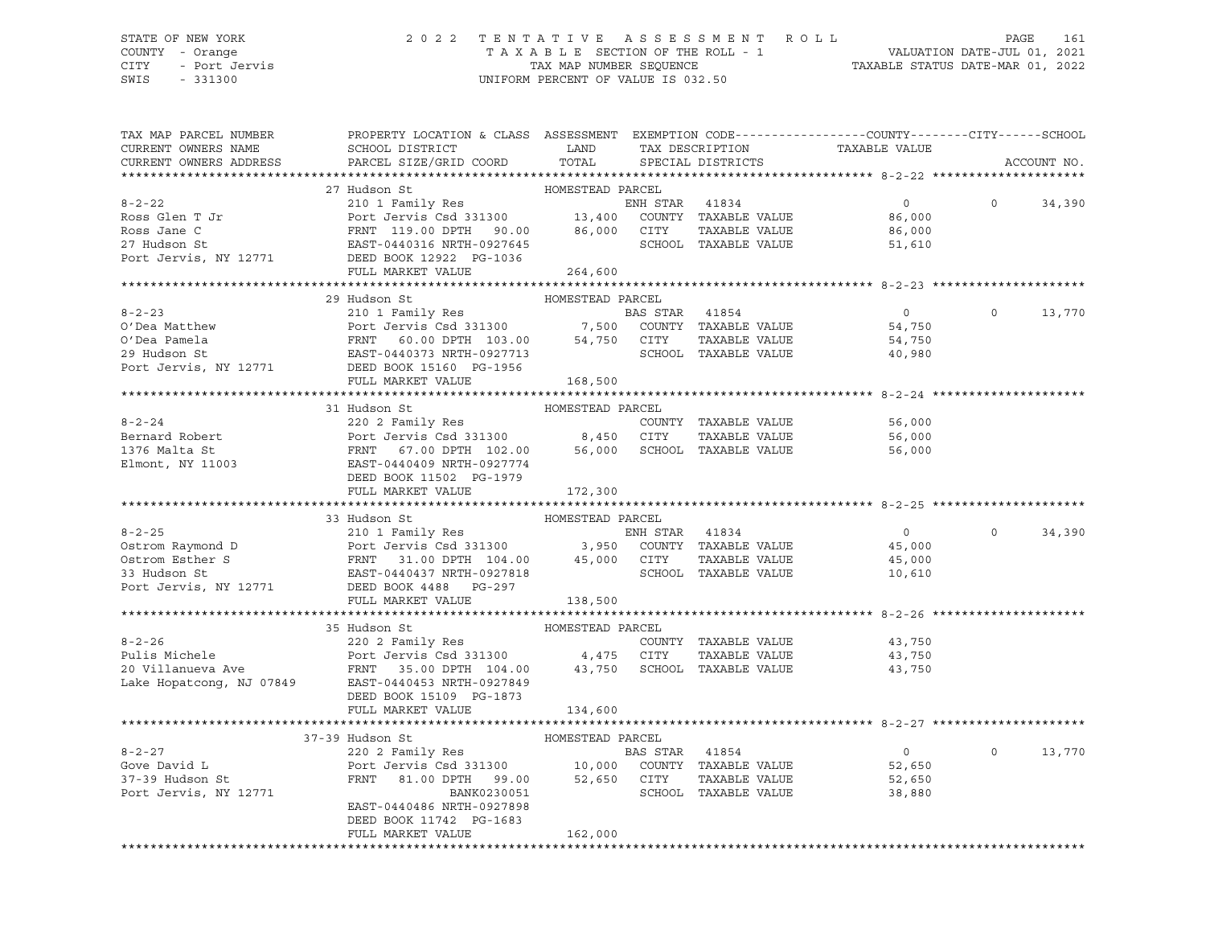### STATE OF NEW YORK 2 0 2 2 T E N T A T I V E A S S E S S M E N T R O L L PAGE 161 COUNTY - Orange T A X A B L E SECTION OF THE ROLL - 1 VALUATION DATE-JUL 01, 2021 CITY - Port Jervis TAX MAP NUMBER SEQUENCE TAXABLE STATUS DATE-MAR 01, 2022

| TAX MAP PARCEL NUMBER<br>CURRENT OWNERS NAME | PROPERTY LOCATION & CLASS ASSESSMENT EXEMPTION CODE---------------COUNTY-------CITY------SCHOOL<br>SCHOOL DISTRICT LAND                                                                                                                                                                                                                                                                                                                                         |                  |                |                      | TAX DESCRIPTION TAXABLE VALUE SPECIAL DISTRICTS          |          |             |
|----------------------------------------------|-----------------------------------------------------------------------------------------------------------------------------------------------------------------------------------------------------------------------------------------------------------------------------------------------------------------------------------------------------------------------------------------------------------------------------------------------------------------|------------------|----------------|----------------------|----------------------------------------------------------|----------|-------------|
| CURRENT OWNERS ADDRESS                       | PARCEL SIZE/GRID COORD TOTAL                                                                                                                                                                                                                                                                                                                                                                                                                                    |                  |                |                      |                                                          |          | ACCOUNT NO. |
|                                              | 27 Hudson St                                                                                                                                                                                                                                                                                                                                                                                                                                                    | HOMESTEAD PARCEL |                |                      |                                                          |          |             |
| $8 - 2 - 22$                                 | 27 Hudson St<br>210 1 Family Res<br>Port Jervis Csd 331300<br>FRNT 119.00 DPTH 90.00 86,000 CITY TAXABLE VALUE<br>ERNT 119.00 DPTH 90.00 86,000 CITY TAXABLE VALUE<br>EAST-0440316 NRTH-0927645<br>REST-040316 NRTH-0927645                                                                                                                                                                                                                                     |                  |                |                      | $\overline{0}$                                           | $\Omega$ | 34,390      |
|                                              |                                                                                                                                                                                                                                                                                                                                                                                                                                                                 |                  |                |                      |                                                          |          |             |
| Ross Glen T Jr                               |                                                                                                                                                                                                                                                                                                                                                                                                                                                                 |                  |                |                      | 86,000                                                   |          |             |
| Ross Jane C                                  |                                                                                                                                                                                                                                                                                                                                                                                                                                                                 |                  |                | TAXABLE VALUE        | 86,000<br>51,610                                         |          |             |
| 27 Hudson St                                 |                                                                                                                                                                                                                                                                                                                                                                                                                                                                 |                  |                |                      |                                                          |          |             |
|                                              | Port Jervis, NY 12771 DEED BOOK 12922 PG-1036                                                                                                                                                                                                                                                                                                                                                                                                                   |                  |                |                      |                                                          |          |             |
|                                              | FULL MARKET VALUE                                                                                                                                                                                                                                                                                                                                                                                                                                               | 264,600          |                |                      |                                                          |          |             |
|                                              | 29 Hudson St                                                                                                                                                                                                                                                                                                                                                                                                                                                    | HOMESTEAD PARCEL |                |                      |                                                          |          |             |
|                                              |                                                                                                                                                                                                                                                                                                                                                                                                                                                                 |                  |                |                      | $\overline{0}$                                           | $\circ$  | 13,770      |
|                                              |                                                                                                                                                                                                                                                                                                                                                                                                                                                                 |                  |                |                      |                                                          |          |             |
|                                              |                                                                                                                                                                                                                                                                                                                                                                                                                                                                 |                  |                |                      | 54,750<br>54,750                                         |          |             |
|                                              |                                                                                                                                                                                                                                                                                                                                                                                                                                                                 |                  |                |                      | 40,980                                                   |          |             |
|                                              |                                                                                                                                                                                                                                                                                                                                                                                                                                                                 |                  |                |                      |                                                          |          |             |
|                                              | 8-2-23<br>210 1 Family Res<br>210 1 Family Res<br>Port Jervis Csd 331300<br>29 Hudson St<br>29 Hudson St<br>29 Hudson St<br>29 Hudson St<br>29 Hudson St<br>29 Hudson St<br>29 Hudson St<br>29 Hudson St<br>29 Hudson St<br>29 Hudson St<br>29 Hudson St<br>                                                                                                                                                                                                    |                  |                |                      |                                                          |          |             |
|                                              |                                                                                                                                                                                                                                                                                                                                                                                                                                                                 |                  |                |                      |                                                          |          |             |
|                                              |                                                                                                                                                                                                                                                                                                                                                                                                                                                                 |                  |                |                      |                                                          |          |             |
|                                              | $\begin{tabular}{lcccccc} \texttt{6-2-24} & & & & & & & & \texttt{HOMESTEAD PARCEL} \\ \texttt{Bernard Robert} & & & & & & & & & & \texttt{COMESTEAD PARCEL} \\ \texttt{Bernard Robert} & & & & & & & & & \texttt{COUNTY} & \texttt{TAXABLE VALUE} \\ 1376 Malta St & & & & & & & & \texttt{FFNT} & 67.00 DPTH 102.00 & & & & & & \texttt{56,000} & \texttt{SCHOOL} & \texttt{TAXABLE VALUE} \\ \texttt{Elmont, NY 11003} & & & & & & & \texttt{DEFD RONY 1150$ |                  |                |                      | 56,000                                                   |          |             |
|                                              |                                                                                                                                                                                                                                                                                                                                                                                                                                                                 |                  |                |                      |                                                          |          |             |
|                                              |                                                                                                                                                                                                                                                                                                                                                                                                                                                                 |                  |                |                      | TAXABLE VALUE 56,000<br>56,000                           |          |             |
|                                              |                                                                                                                                                                                                                                                                                                                                                                                                                                                                 |                  |                |                      |                                                          |          |             |
|                                              |                                                                                                                                                                                                                                                                                                                                                                                                                                                                 |                  |                |                      |                                                          |          |             |
|                                              | FULL MARKET VALUE                                                                                                                                                                                                                                                                                                                                                                                                                                               | 172,300          |                |                      |                                                          |          |             |
|                                              |                                                                                                                                                                                                                                                                                                                                                                                                                                                                 |                  |                |                      |                                                          |          |             |
|                                              | 33 Hudson St                                                                                                                                                                                                                                                                                                                                                                                                                                                    | HOMESTEAD PARCEL |                |                      |                                                          |          |             |
|                                              |                                                                                                                                                                                                                                                                                                                                                                                                                                                                 |                  |                |                      |                                                          | $\Omega$ | 34,390      |
|                                              |                                                                                                                                                                                                                                                                                                                                                                                                                                                                 |                  |                |                      |                                                          |          |             |
|                                              |                                                                                                                                                                                                                                                                                                                                                                                                                                                                 |                  |                |                      |                                                          |          |             |
|                                              |                                                                                                                                                                                                                                                                                                                                                                                                                                                                 |                  |                |                      |                                                          |          |             |
|                                              |                                                                                                                                                                                                                                                                                                                                                                                                                                                                 |                  |                |                      |                                                          |          |             |
|                                              | $\begin{tabular}{lcccccc} 8-2-25 & 210 & 1 Family Res & 10000strom Raymond D & 101 & 12771 & 101.000strom Esther S & 12771 & 12771 & 108.00Port JersT-0440437 NRTH-0927818 & 3,950Port JersT-0440437 NRTH-0927818 & 10,610Port JersT-0440437 NRTH-0927818 & 10,610WRTT MPTT TQXABLE VALUEWRTT MPTT TQZZQDE 448$<br>FULL MARKET VALUE                                                                                                                            | 138,500          |                |                      |                                                          |          |             |
|                                              |                                                                                                                                                                                                                                                                                                                                                                                                                                                                 |                  |                |                      |                                                          |          |             |
|                                              | 35 Hudson St                                                                                                                                                                                                                                                                                                                                                                                                                                                    | HOMESTEAD PARCEL |                |                      |                                                          |          |             |
|                                              | Pulis Michele<br>Pulis Michele<br>2002 Family Res<br>2002 Family Res<br>2003 Family Res<br>2003 Family Res<br>2003 Family Res<br>2003 Family Res<br>2003 4,475 CITY<br>43,750 SCHOOL TAXABLE VALUE<br>2001 TAXABLE VALUE<br>2001 TAXABLE VALUE<br>2001                                                                                                                                                                                                          |                  |                |                      |                                                          |          |             |
|                                              |                                                                                                                                                                                                                                                                                                                                                                                                                                                                 |                  |                |                      | COUNTY TAXABLE VALUE 43,750<br>CITY TAXABLE VALUE 43,750 |          |             |
|                                              |                                                                                                                                                                                                                                                                                                                                                                                                                                                                 |                  |                |                      | 43,750                                                   |          |             |
|                                              |                                                                                                                                                                                                                                                                                                                                                                                                                                                                 |                  |                |                      |                                                          |          |             |
|                                              | DEED BOOK 15109 PG-1873                                                                                                                                                                                                                                                                                                                                                                                                                                         |                  |                |                      |                                                          |          |             |
|                                              | FULL MARKET VALUE                                                                                                                                                                                                                                                                                                                                                                                                                                               | 134,600          |                |                      |                                                          |          |             |
|                                              |                                                                                                                                                                                                                                                                                                                                                                                                                                                                 |                  |                |                      |                                                          |          |             |
|                                              | 37-39 Hudson St                                                                                                                                                                                                                                                                                                                                                                                                                                                 |                  |                |                      |                                                          |          |             |
| $8 - 2 - 27$                                 |                                                                                                                                                                                                                                                                                                                                                                                                                                                                 |                  | BAS STAR 41854 |                      | $\overline{0}$                                           | $\Omega$ | 13,770      |
| Gove David L                                 |                                                                                                                                                                                                                                                                                                                                                                                                                                                                 |                  |                |                      | 52,650                                                   |          |             |
| 37-39 Hudson St                              | Port Jervis Csd 331300 10,000 COUNTY TAXABLE VALUE<br>FRNT 81.00 DPTH 99.00 52,650 CITY TAXABLE VALUE                                                                                                                                                                                                                                                                                                                                                           |                  |                | TAXABLE VALUE        | 52,650                                                   |          |             |
| Port Jervis, NY 12771                        | BANK0230051                                                                                                                                                                                                                                                                                                                                                                                                                                                     |                  |                | SCHOOL TAXABLE VALUE | 38,880                                                   |          |             |
|                                              | EAST-0440486 NRTH-0927898                                                                                                                                                                                                                                                                                                                                                                                                                                       |                  |                |                      |                                                          |          |             |
|                                              | DEED BOOK 11742 PG-1683                                                                                                                                                                                                                                                                                                                                                                                                                                         |                  |                |                      |                                                          |          |             |
|                                              | FULL MARKET VALUE                                                                                                                                                                                                                                                                                                                                                                                                                                               | 162,000          |                |                      |                                                          |          |             |
|                                              |                                                                                                                                                                                                                                                                                                                                                                                                                                                                 |                  |                |                      |                                                          |          |             |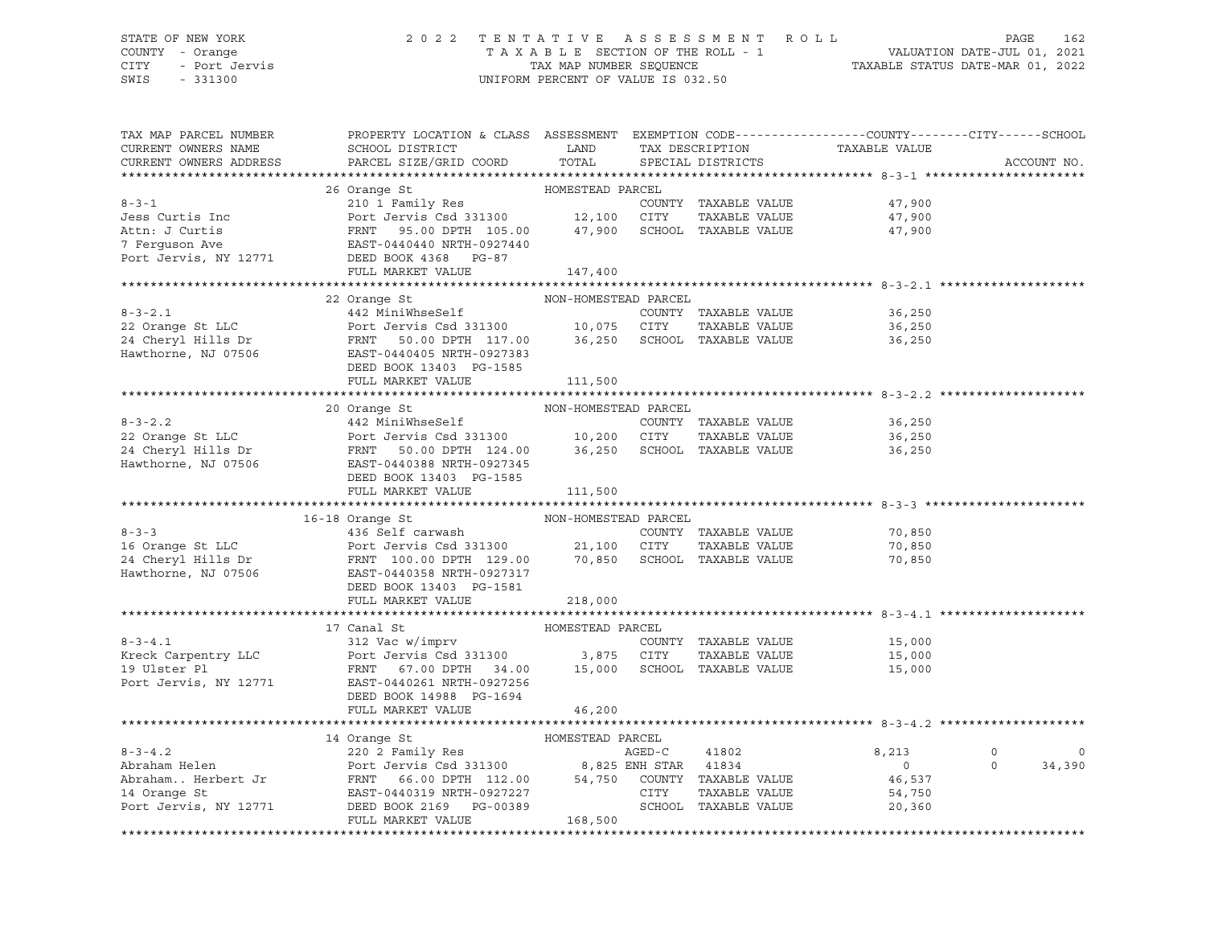## STATE OF NEW YORK 2 0 2 2 T E N T A T I V E A S S E S S M E N T R O L L PAGE 162 COUNTY - Orange T A X A B L E SECTION OF THE ROLL - 1 VALUATION DATE-JUL 01, 2021 CITY - Port Jervis TAX MAP NUMBER SEQUENCE TAXABLE STATUS DATE-MAR 01, 2022

| TAX MAP PARCEL NUMBER<br>CURRENT OWNERS NAME<br>CURRENT OWNERS ADDRESS | PROPERTY LOCATION & CLASS ASSESSMENT EXEMPTION CODE----------------COUNTY-------CITY------SCHOOL<br>SCHOOL DISTRICT<br>PARCEL SIZE/GRID COORD                                                                                                                                                                                                                                                                                                                       | LAND<br>TOTAL        | TAX DESCRIPTION<br>SPECIAL DISTRICTS  | TAXABLE VALUE                                         | ACCOUNT NO.                              |
|------------------------------------------------------------------------|---------------------------------------------------------------------------------------------------------------------------------------------------------------------------------------------------------------------------------------------------------------------------------------------------------------------------------------------------------------------------------------------------------------------------------------------------------------------|----------------------|---------------------------------------|-------------------------------------------------------|------------------------------------------|
|                                                                        |                                                                                                                                                                                                                                                                                                                                                                                                                                                                     |                      |                                       |                                                       |                                          |
| $8 - 3 - 1$<br>Jess Curtis Inc<br>Attn: J Curtis<br>7 Ferguson Ave     | 26 Orange St<br>210 1 Family Res<br>Port Jervis Csd 331300 12,100 CITY<br>FRNT 95.00 DPTH 105.00 $47,900$ SCHOOL TAXABLE VALUE $47,900$ EAST-0440440 NRTH-0927440<br>Port Jervis, NY 12771 DEED BOOK 4368 PG-87                                                                                                                                                                                                                                                     | HOMESTEAD PARCEL     | TAXABLE VALUE                         | COUNTY TAXABLE VALUE 47,900<br>47,900                 |                                          |
|                                                                        | FULL MARKET VALUE                                                                                                                                                                                                                                                                                                                                                                                                                                                   | 147,400              |                                       |                                                       |                                          |
|                                                                        |                                                                                                                                                                                                                                                                                                                                                                                                                                                                     |                      |                                       |                                                       |                                          |
| $8 - 3 - 2.1$                                                          | 22 Orange St<br>442 MiniWhseSelf<br>22 Orange St LLC<br>24 Cheryl Hills Dr<br>24 Cheryl Hills Dr<br>36,250 SCHOOL TAXABLE VALUE<br>24 Cheryl Hills Dr<br>36,250 SCHOOL TAXABLE VALUE<br>DEED BOOK 13403 PG-1585                                                                                                                                                                                                                                                     | NON-HOMESTEAD PARCEL | COUNTY TAXABLE VALUE<br>TAXABLE VALUE | 36,250<br>36,250<br>36,250                            |                                          |
|                                                                        | FULL MARKET VALUE                                                                                                                                                                                                                                                                                                                                                                                                                                                   | 111,500              |                                       |                                                       |                                          |
|                                                                        |                                                                                                                                                                                                                                                                                                                                                                                                                                                                     | NON-HOMESTEAD PARCEL |                                       |                                                       |                                          |
|                                                                        | 20 Orange St<br>DEED BOOK 13403 PG-1585                                                                                                                                                                                                                                                                                                                                                                                                                             |                      |                                       | 36,250<br>36,250<br>36,250                            |                                          |
|                                                                        | FULL MARKET VALUE                                                                                                                                                                                                                                                                                                                                                                                                                                                   | 111,500              |                                       |                                                       |                                          |
|                                                                        |                                                                                                                                                                                                                                                                                                                                                                                                                                                                     |                      |                                       |                                                       |                                          |
| $8 - 3 - 3$                                                            | NON-HOMESTEAD PARCEL<br>16-18 Orange St<br>436 Self carwash<br>16 Orange St LLC<br>24 Cheryl Hills Dr<br>24 Cheryl Hills Dr<br>324 Cheryl Hills Dr<br>324 Cheryl Hills Dr<br>324 Cheryl Hills Dr<br>324 Cheryl Hills Dr<br>324 Cheryl Hills Dr<br>324 Cheryl Hills Dr<br>325 CHOOL TAXABLE VALUE<br>327317<br>326 C<br>DEED BOOK 13403 PG-1581<br>FULL MARKET VALUE                                                                                                 | 218,000              | COUNTY TAXABLE VALUE<br>TAXABLE VALUE | 70,850<br>70,850<br>70,850                            |                                          |
|                                                                        |                                                                                                                                                                                                                                                                                                                                                                                                                                                                     |                      |                                       |                                                       |                                          |
|                                                                        | 17 Canal St<br>FRNT 67.00 DPTH 34.00 15,000 SCHOOL TAXABLE VALUE<br>DEED BOOK 14988 PG-1694                                                                                                                                                                                                                                                                                                                                                                         | HOMESTEAD PARCEL     | COUNTY TAXABLE VALUE<br>TAXABLE VALUE | 15,000<br>15,000<br>15,000                            |                                          |
|                                                                        | FULL MARKET VALUE                                                                                                                                                                                                                                                                                                                                                                                                                                                   | 46,200               |                                       |                                                       |                                          |
|                                                                        |                                                                                                                                                                                                                                                                                                                                                                                                                                                                     |                      |                                       |                                                       |                                          |
|                                                                        | $\begin{tabular}{lllllllllllllllllll@{}} \multicolumn{3}{c}{\textbf{8-3-4.2}} & \multicolumn{3}{c}{\textbf{14 Orange St}} & \multicolumn{3}{c}{\textbf{HOMESTEAD PARCEL}} & \multicolumn{3}{c}{\textbf{AAERD-C}} & \multicolumn{3}{c}{\textbf{20 2 Family Res}} & \multicolumn{3}{c}{\textbf{ABrahan. Hehert Jr}} & \multicolumn{3}{c}{\textbf{BOraham. Ehept Jr}} & \multicolumn{3}{c}{\textbf{Boraham. Ehept Jr}} & \multicolumn{3}{c}{\textbf{Boraham. Ehept Jr$ |                      | SCHOOL TAXABLE VALUE                  | 8,213<br>$\overline{0}$<br>46,537<br>54,750<br>20,360 | $\circ$<br>$\circ$<br>$\Omega$<br>34,390 |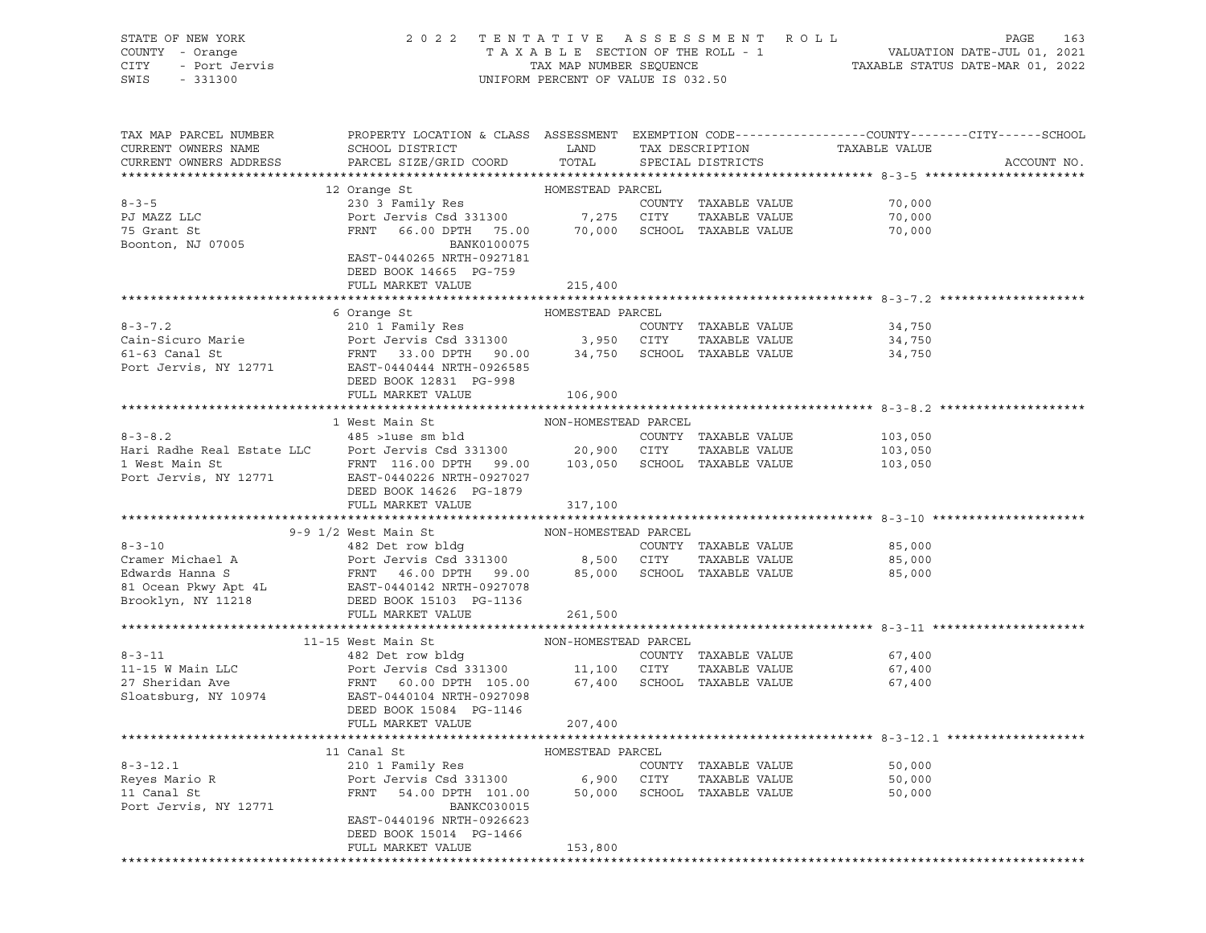| STATE OF NEW YORK                                                                                                                                                                                                                      | 2 0 2 2                                                                                          |                                    |            | TENTATIVE ASSESSMENT ROLL     |         | PAGE<br>163 |
|----------------------------------------------------------------------------------------------------------------------------------------------------------------------------------------------------------------------------------------|--------------------------------------------------------------------------------------------------|------------------------------------|------------|-------------------------------|---------|-------------|
| COUNTY - Orange                                                                                                                                                                                                                        |                                                                                                  |                                    |            |                               |         |             |
| - Port Jervis<br>- Port Jervis<br>- 221200<br>CITY                                                                                                                                                                                     |                                                                                                  |                                    |            |                               |         |             |
| SWIS<br>$-331300$                                                                                                                                                                                                                      |                                                                                                  | UNIFORM PERCENT OF VALUE IS 032.50 |            |                               |         |             |
|                                                                                                                                                                                                                                        |                                                                                                  |                                    |            |                               |         |             |
|                                                                                                                                                                                                                                        |                                                                                                  |                                    |            |                               |         |             |
| TAX MAP PARCEL NUMBER                                                                                                                                                                                                                  | PROPERTY LOCATION & CLASS ASSESSMENT EXEMPTION CODE----------------COUNTY-------CITY------SCHOOL |                                    |            |                               |         |             |
| CURRENT OWNERS NAME                                                                                                                                                                                                                    | SCHOOL DISTRICT                                                                                  | LAND                               |            | TAX DESCRIPTION TAXABLE VALUE |         |             |
| CURRENT OWNERS ADDRESS                                                                                                                                                                                                                 | PARCEL SIZE/GRID COORD                                                                           | TOTAL                              |            | SPECIAL DISTRICTS             |         | ACCOUNT NO. |
|                                                                                                                                                                                                                                        |                                                                                                  |                                    |            |                               |         |             |
|                                                                                                                                                                                                                                        | 12 Orange St                                                                                     | HOMESTEAD PARCEL                   |            |                               |         |             |
| $8 - 3 - 5$                                                                                                                                                                                                                            | 230 3 Family Res                                                                                 |                                    |            | COUNTY TAXABLE VALUE          | 70,000  |             |
| PJ MAZZ LLC                                                                                                                                                                                                                            |                                                                                                  |                                    | CITY       | TAXABLE VALUE                 | 70,000  |             |
| 75 Grant St                                                                                                                                                                                                                            | 230 3 rattlef Nes<br>Port Jervis Csd 331300 7,275<br>PONT 66.00 DPTH 75.00 70,000                |                                    |            | SCHOOL TAXABLE VALUE          | 70,000  |             |
| Boonton, NJ 07005                                                                                                                                                                                                                      | BANK0100075                                                                                      |                                    |            |                               |         |             |
|                                                                                                                                                                                                                                        | EAST-0440265 NRTH-0927181                                                                        |                                    |            |                               |         |             |
|                                                                                                                                                                                                                                        | DEED BOOK 14665 PG-759                                                                           |                                    |            |                               |         |             |
|                                                                                                                                                                                                                                        | FULL MARKET VALUE                                                                                | 215,400                            |            |                               |         |             |
|                                                                                                                                                                                                                                        |                                                                                                  |                                    |            |                               |         |             |
|                                                                                                                                                                                                                                        | 6 Orange St                                                                                      | HOMESTEAD PARCEL                   |            |                               |         |             |
| $8 - 3 - 7.2$                                                                                                                                                                                                                          | 210 1 Family Res                                                                                 |                                    |            | COUNTY TAXABLE VALUE          | 34,750  |             |
|                                                                                                                                                                                                                                        |                                                                                                  |                                    | 3,950 CITY | TAXABLE VALUE                 | 34,750  |             |
| Cain-Sicuro Marie<br>61-63 Canal St<br>Port Jervis, NY 12771<br>EAST-0440444 NRTH-0926585<br>Port Jervis, NY 12771<br>EAST-044044 NRTH-0926585                                                                                         |                                                                                                  |                                    |            | 34,750 SCHOOL TAXABLE VALUE   | 34,750  |             |
|                                                                                                                                                                                                                                        |                                                                                                  |                                    |            |                               |         |             |
|                                                                                                                                                                                                                                        | DEED BOOK 12831 PG-998                                                                           |                                    |            |                               |         |             |
|                                                                                                                                                                                                                                        | FULL MARKET VALUE                                                                                | 106,900                            |            |                               |         |             |
|                                                                                                                                                                                                                                        |                                                                                                  |                                    |            |                               |         |             |
|                                                                                                                                                                                                                                        | 1 West Main St                                                                                   | NON-HOMESTEAD PARCEL               |            |                               |         |             |
| $8 - 3 - 8.2$                                                                                                                                                                                                                          | 485 >luse sm bld                                                                                 |                                    |            | COUNTY TAXABLE VALUE          | 103,050 |             |
| Hari Radhe Real Estate LLC                                                                                                                                                                                                             | Port Jervis Csd 331300 20,900 CITY                                                               |                                    |            | TAXABLE VALUE                 | 103,050 |             |
| 1 West Main St                                                                                                                                                                                                                         | FRNT 116.00 DPTH 99.00 103,050 SCHOOL TAXABLE VALUE                                              |                                    |            |                               | 103,050 |             |
| Port Jervis, NY 12771                                                                                                                                                                                                                  | EAST-0440226 NRTH-0927027                                                                        |                                    |            |                               |         |             |
|                                                                                                                                                                                                                                        | DEED BOOK 14626 PG-1879                                                                          |                                    |            |                               |         |             |
|                                                                                                                                                                                                                                        | FULL MARKET VALUE                                                                                | 317,100                            |            |                               |         |             |
|                                                                                                                                                                                                                                        |                                                                                                  |                                    |            |                               |         |             |
|                                                                                                                                                                                                                                        | 9-9 1/2 West Main St                                                                             | NON-HOMESTEAD PARCEL               |            |                               |         |             |
| $8 - 3 - 10$                                                                                                                                                                                                                           | 482 Det row bldg<br>Port Jervis Csd 331300 8,500 CITY<br>FRNT 46.00 DPTH 99.00 85,000 SCHOOL     |                                    |            | COUNTY TAXABLE VALUE          | 85,000  |             |
|                                                                                                                                                                                                                                        |                                                                                                  |                                    |            | TAXABLE VALUE                 | 85,000  |             |
|                                                                                                                                                                                                                                        |                                                                                                  |                                    |            | 85,000 SCHOOL TAXABLE VALUE   | 85,000  |             |
|                                                                                                                                                                                                                                        |                                                                                                  |                                    |            |                               |         |             |
|                                                                                                                                                                                                                                        |                                                                                                  |                                    |            |                               |         |             |
| 8-3-10<br>Cramer Michael A<br>Edwards Hanna S<br>81 Ocean Pkwy Apt 4L<br>Norther Mac BAST-0440142 NRTH-0927078<br>81 Ocean Pkwy Apt 4L<br>Norther Mac BAST-0440142 NRTH-0927078<br>DEED BOOK 15103 PG-1136<br>NORED BOOK 15103 PG-1136 |                                                                                                  | 261,500                            |            |                               |         |             |
|                                                                                                                                                                                                                                        |                                                                                                  |                                    |            |                               |         |             |
|                                                                                                                                                                                                                                        | 11-15 West Main St                                                                               | NON-HOMESTEAD PARCEL               |            |                               |         |             |
| $8 - 3 - 11$                                                                                                                                                                                                                           | 482 Det row bldg                                                                                 |                                    |            | COUNTY TAXABLE VALUE          | 67,400  |             |
| 11-15 W Main LLC                                                                                                                                                                                                                       | Port Jervis Csd 331300 11,100                                                                    |                                    | CITY       | TAXABLE VALUE                 | 67,400  |             |
| 27 Sheridan Ave                                                                                                                                                                                                                        | FRNT 60.00 DPTH 105.00                                                                           | 67,400                             |            | SCHOOL TAXABLE VALUE          | 67,400  |             |
| Sloatsburg, NY 10974                                                                                                                                                                                                                   | EAST-0440104 NRTH-0927098                                                                        |                                    |            |                               |         |             |
|                                                                                                                                                                                                                                        | DEED BOOK 15084 PG-1146                                                                          |                                    |            |                               |         |             |
|                                                                                                                                                                                                                                        | FULL MARKET VALUE                                                                                | 207,400                            |            |                               |         |             |
|                                                                                                                                                                                                                                        |                                                                                                  |                                    |            |                               |         |             |
|                                                                                                                                                                                                                                        | 11 Canal St                                                                                      | HOMESTEAD PARCEL                   |            |                               |         |             |
| $8 - 3 - 12.1$                                                                                                                                                                                                                         | 210 1 Family Res                                                                                 |                                    |            | COUNTY TAXABLE VALUE          | 50,000  |             |
| Reyes Mario R                                                                                                                                                                                                                          | Port Jervis Csd 331300 6,900 CITY                                                                |                                    |            | TAXABLE VALUE                 | 50,000  |             |
| 11 Canal St                                                                                                                                                                                                                            | FRNT 54.00 DPTH 101.00                                                                           | 50,000                             |            | SCHOOL TAXABLE VALUE          | 50,000  |             |
| Port Jervis, NY 12771                                                                                                                                                                                                                  | BANKC030015                                                                                      |                                    |            |                               |         |             |
|                                                                                                                                                                                                                                        | EAST-0440196 NRTH-0926623                                                                        |                                    |            |                               |         |             |

FULL MARKET VALUE 153,800 \*\*\*\*\*\*\*\*\*\*\*\*\*\*\*\*\*\*\*\*\*\*\*\*\*\*\*\*\*\*\*\*\*\*\*\*\*\*\*\*\*\*\*\*\*\*\*\*\*\*\*\*\*\*\*\*\*\*\*\*\*\*\*\*\*\*\*\*\*\*\*\*\*\*\*\*\*\*\*\*\*\*\*\*\*\*\*\*\*\*\*\*\*\*\*\*\*\*\*\*\*\*\*\*\*\*\*\*\*\*\*\*\*\*\*\*\*\*\*\*\*\*\*\*\*\*\*\*\*\*\*\*

DEED BOOK 15014 PG-1466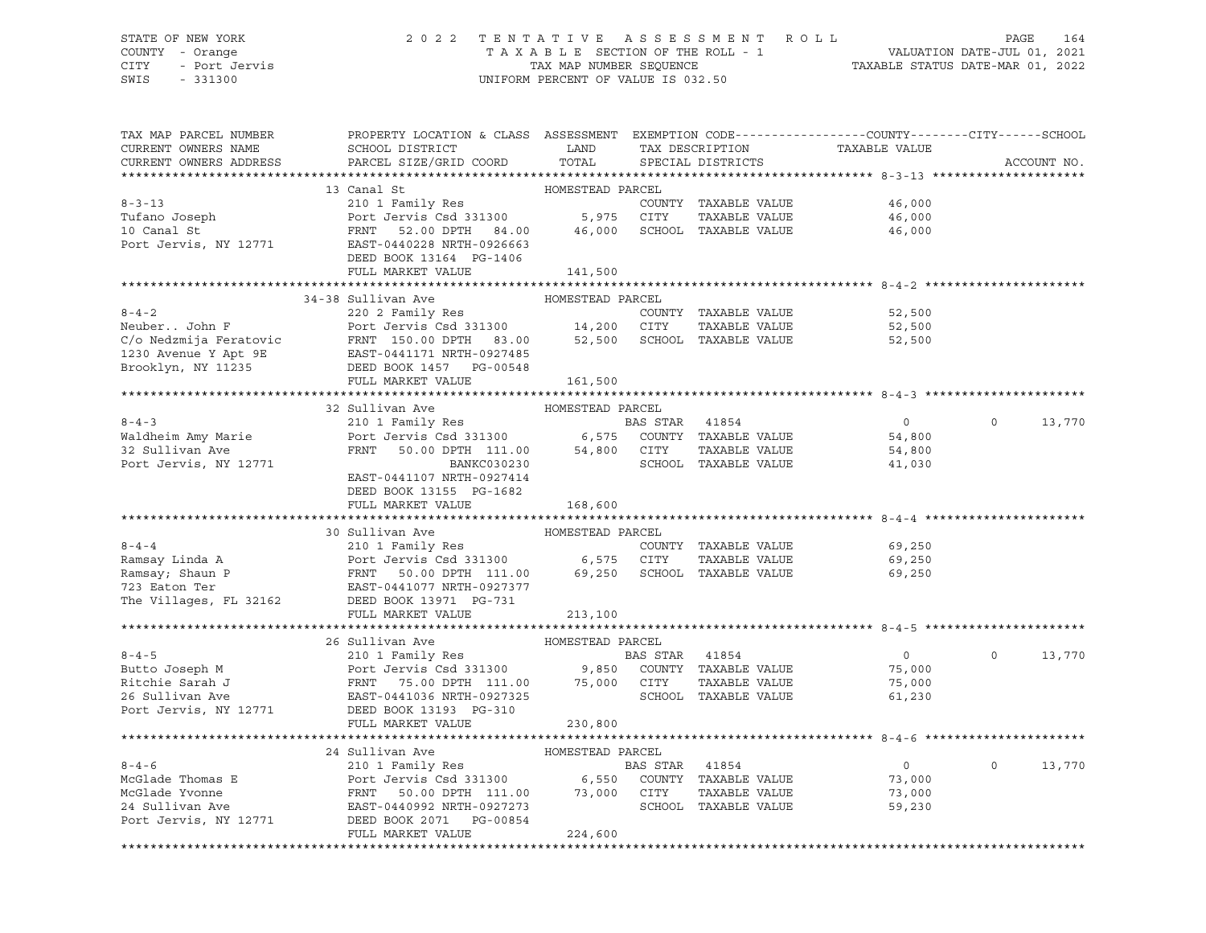## STATE OF NEW YORK 2 0 2 2 T E N T A T I V E A S S E S S M E N T R O L L PAGE 164 COUNTY - Orange T A X A B L E SECTION OF THE ROLL - 1 VALUATION DATE-JUL 01, 2021 CITY - Port Jervis TAX MAP NUMBER SEQUENCE TAXABLE STATUS DATE-MAR 01, 2022

| TAX MAP PARCEL NUMBER<br>CURRENT OWNERS NAME<br>CURRENT OWNERS ADDRESS | PROPERTY LOCATION & CLASS ASSESSMENT EXEMPTION CODE----------------COUNTY-------CITY------SCHOOL<br>SCHOOL DISTRICT<br>PARCEL SIZE/GRID COORD                                                                                                       | LAND<br>TOTAL    |                | TAX DESCRIPTION<br>SPECIAL DISTRICTS | TAXABLE VALUE  |          | ACCOUNT NO. |
|------------------------------------------------------------------------|-----------------------------------------------------------------------------------------------------------------------------------------------------------------------------------------------------------------------------------------------------|------------------|----------------|--------------------------------------|----------------|----------|-------------|
|                                                                        |                                                                                                                                                                                                                                                     |                  |                |                                      |                |          |             |
|                                                                        | 13 Canal St                                                                                                                                                                                                                                         | HOMESTEAD PARCEL |                |                                      |                |          |             |
| $8 - 3 - 13$                                                           |                                                                                                                                                                                                                                                     |                  |                | COUNTY TAXABLE VALUE                 | 46,000         |          |             |
| Tufano Joseph                                                          |                                                                                                                                                                                                                                                     |                  |                | TAXABLE VALUE                        | 46,000         |          |             |
| 10 Canal St                                                            | Port Jervis, NY 12771 EAST-0440228 NRTH-0926663                                                                                                                                                                                                     |                  |                | SCHOOL TAXABLE VALUE                 | 46,000         |          |             |
|                                                                        |                                                                                                                                                                                                                                                     |                  |                |                                      |                |          |             |
|                                                                        | DEED BOOK 13164 PG-1406<br>FULL MARKET VALUE                                                                                                                                                                                                        |                  |                |                                      |                |          |             |
|                                                                        |                                                                                                                                                                                                                                                     | 141,500          |                |                                      |                |          |             |
|                                                                        | 34-38 Sullivan Ave                                                                                                                                                                                                                                  | HOMESTEAD PARCEL |                |                                      |                |          |             |
| $8 - 4 - 2$                                                            | 220 2 Family Res                                                                                                                                                                                                                                    |                  |                | COUNTY TAXABLE VALUE                 | 52,500         |          |             |
|                                                                        |                                                                                                                                                                                                                                                     |                  |                | TAXABLE VALUE                        | 52,500         |          |             |
|                                                                        | NeuberJohn F<br>COUNT: TAXABLE VALUE<br>C/O Nedzmija Feratovic FRNT 150.00 DPTH 83.00 14,200 CITY TAXABLE VALUE<br>1230 Avenue Y Apt 9E EAST-0441171 NRTH-0927485<br>Brooklyn, NY 11235 DEED BOOK TAXABLE VALUE<br>THE MARKET VALUE T               |                  |                |                                      | 52,500         |          |             |
|                                                                        |                                                                                                                                                                                                                                                     |                  |                |                                      |                |          |             |
|                                                                        |                                                                                                                                                                                                                                                     |                  |                |                                      |                |          |             |
|                                                                        | FULL MARKET VALUE                                                                                                                                                                                                                                   | 161,500          |                |                                      |                |          |             |
|                                                                        |                                                                                                                                                                                                                                                     |                  |                |                                      |                |          |             |
|                                                                        | 32 Sullivan Ave                                                                                                                                                                                                                                     | HOMESTEAD PARCEL |                |                                      |                |          |             |
| $8 - 4 - 3$                                                            | 210 1 Family Res                                                                                                                                                                                                                                    |                  | BAS STAR 41854 |                                      | $\overline{0}$ | $\circ$  | 13,770      |
| Waldheim Amy Marie<br>32 Sullivan Ave                                  |                                                                                                                                                                                                                                                     |                  |                |                                      | 54,800         |          |             |
| 32 Sullivan Ave                                                        | Port Jervis Csd 331300 6,575 COUNTY TAXABLE VALUE<br>FRNT 50.00 DPTH 111.00 54,800 CITY TAXABLE VALUE                                                                                                                                               |                  |                |                                      | 54,800         |          |             |
| Port Jervis, NY 12771                                                  | BANKC030230                                                                                                                                                                                                                                         |                  |                | SCHOOL TAXABLE VALUE                 | 41,030         |          |             |
|                                                                        | EAST-0441107 NRTH-0927414                                                                                                                                                                                                                           |                  |                |                                      |                |          |             |
|                                                                        | DEED BOOK 13155 PG-1682                                                                                                                                                                                                                             |                  |                |                                      |                |          |             |
|                                                                        | FULL MARKET VALUE                                                                                                                                                                                                                                   | 168,600          |                |                                      |                |          |             |
|                                                                        |                                                                                                                                                                                                                                                     |                  |                |                                      |                |          |             |
|                                                                        | 30 Sullivan Ave                                                                                                                                                                                                                                     | HOMESTEAD PARCEL |                |                                      |                |          |             |
|                                                                        |                                                                                                                                                                                                                                                     |                  |                |                                      | 69,250         |          |             |
|                                                                        |                                                                                                                                                                                                                                                     |                  |                | TAXABLE VALUE                        | 69,250         |          |             |
|                                                                        |                                                                                                                                                                                                                                                     |                  |                |                                      | 69,250         |          |             |
|                                                                        |                                                                                                                                                                                                                                                     |                  |                |                                      |                |          |             |
| The Villages, FL 32162                                                 | DEED BOOK 13971 PG-731                                                                                                                                                                                                                              |                  |                |                                      |                |          |             |
|                                                                        | FULL MARKET VALUE                                                                                                                                                                                                                                   | 213,100          |                |                                      |                |          |             |
|                                                                        | 26 Sullivan Ave                                                                                                                                                                                                                                     | HOMESTEAD PARCEL |                |                                      |                |          |             |
| $8 - 4 - 5$                                                            | 210 1 Family Res                                                                                                                                                                                                                                    |                  | BAS STAR 41854 |                                      | $\overline{0}$ | $\circ$  | 13,770      |
|                                                                        | Port Jervis Csd 331300 9,850 COUNTY TAXABLE VALUE                                                                                                                                                                                                   |                  |                |                                      | 75,000         |          |             |
|                                                                        |                                                                                                                                                                                                                                                     |                  |                | TAXABLE VALUE                        | 75,000         |          |             |
|                                                                        |                                                                                                                                                                                                                                                     |                  |                | SCHOOL TAXABLE VALUE                 | 61,230         |          |             |
|                                                                        | Butto Joseph M<br>Ritchie Sarah J<br>Ritchie Sarah J<br>26 Sullivan Ave BAST-0441036 NRTH-0927325<br>26 Sullivan Ave BAST-0441036 NRTH-0927325<br>2000 POrt Jervis, NY 12771<br>2000 PORT MAST-0441036 NRTH-0927325<br>2000 PORT MAST-044103        |                  |                |                                      |                |          |             |
|                                                                        | FULL MARKET VALUE                                                                                                                                                                                                                                   | 230,800          |                |                                      |                |          |             |
|                                                                        |                                                                                                                                                                                                                                                     |                  |                |                                      |                |          |             |
|                                                                        | 24 Sullivan Ave                                                                                                                                                                                                                                     | HOMESTEAD PARCEL |                |                                      |                |          |             |
|                                                                        |                                                                                                                                                                                                                                                     |                  |                |                                      | $\overline{0}$ | $\Omega$ | 13,770      |
|                                                                        |                                                                                                                                                                                                                                                     |                  |                |                                      | 73,000         |          |             |
|                                                                        |                                                                                                                                                                                                                                                     |                  |                |                                      | 73,000         |          |             |
|                                                                        |                                                                                                                                                                                                                                                     |                  |                |                                      | 59,230         |          |             |
|                                                                        | 8-4-6<br>McGlade Thomas E<br>McGlade Thomas E<br>McGlade Thomas E<br>McGlade Thomas E<br>McGlade Thomas E<br>McGlade Thomas E<br>Port Jervis Csd 331300<br>FRNT 50.00 DPTH 111.00<br>24 Sullivan Ave<br>EAST-0440992 NRTH-0927273<br>DEED BOOK 2071 |                  |                |                                      |                |          |             |
|                                                                        | FULL MARKET VALUE                                                                                                                                                                                                                                   | 224,600          |                |                                      |                |          |             |
|                                                                        |                                                                                                                                                                                                                                                     |                  |                |                                      |                |          |             |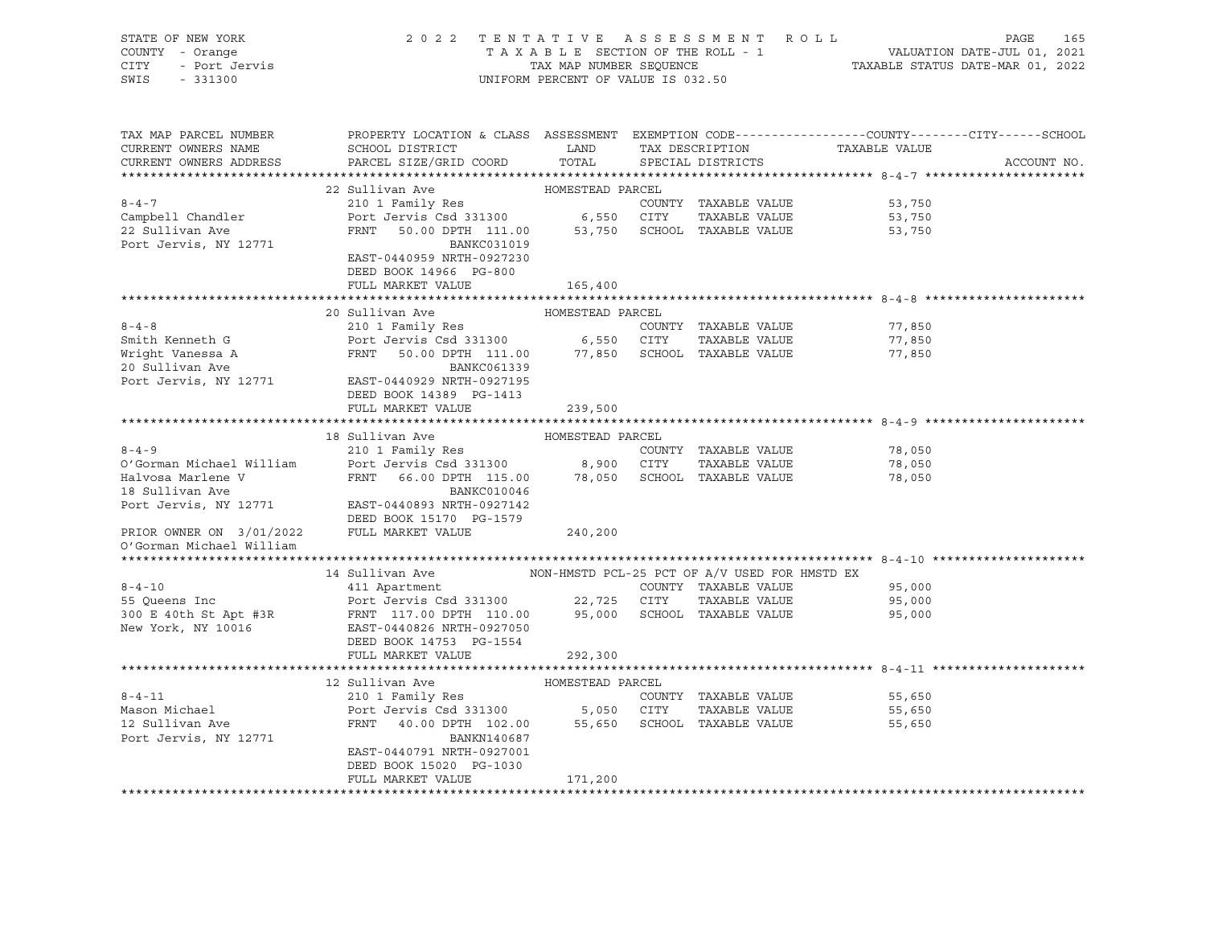| STATE OF NEW YORK        | 2022 TENTATIVE ASSESSMENT ROLL                                                                        |                                    |                                 |                                                                 | PAGE<br>165 |
|--------------------------|-------------------------------------------------------------------------------------------------------|------------------------------------|---------------------------------|-----------------------------------------------------------------|-------------|
| COUNTY - Orange          |                                                                                                       |                                    | TAXABLE SECTION OF THE ROLL - 1 | VALUATION DATE-JUL 01, 2021<br>TAXABLE STATUS DATE-MAR 01, 2022 |             |
| - Port Jervis<br>CITY    |                                                                                                       | TAX MAP NUMBER SEQUENCE            |                                 |                                                                 |             |
| SWIS<br>$-331300$        |                                                                                                       | UNIFORM PERCENT OF VALUE IS 032.50 |                                 |                                                                 |             |
|                          |                                                                                                       |                                    |                                 |                                                                 |             |
|                          |                                                                                                       |                                    |                                 |                                                                 |             |
|                          |                                                                                                       |                                    |                                 |                                                                 |             |
| TAX MAP PARCEL NUMBER    | PROPERTY LOCATION & CLASS ASSESSMENT EXEMPTION CODE----------------COUNTY-------CITY------SCHOOL      |                                    |                                 |                                                                 |             |
| CURRENT OWNERS NAME      | SCHOOL DISTRICT                                                                                       | <b>LAND</b>                        | TAX DESCRIPTION                 | TAXABLE VALUE                                                   |             |
| CURRENT OWNERS ADDRESS   | PARCEL SIZE/GRID COORD                                                                                | TOTAL                              | SPECIAL DISTRICTS               |                                                                 | ACCOUNT NO. |
|                          |                                                                                                       |                                    |                                 |                                                                 |             |
|                          | 22 Sullivan Ave                                                                                       | HOMESTEAD PARCEL                   |                                 |                                                                 |             |
| $8 - 4 - 7$              | 210 1 Family Res                                                                                      |                                    | COUNTY TAXABLE VALUE            | 53,750                                                          |             |
| Campbell Chandler        | Port Jervis Csd 331300 6,550 CITY TAXABLE VALUE<br>FRNT 50.00 DPTH 111.00 53,750 SCHOOL TAXABLE VALUE |                                    |                                 | 53,750                                                          |             |
| 22 Sullivan Ave          |                                                                                                       |                                    |                                 | 53,750                                                          |             |
| Port Jervis, NY 12771    | BANKC031019                                                                                           |                                    |                                 |                                                                 |             |
|                          | EAST-0440959 NRTH-0927230                                                                             |                                    |                                 |                                                                 |             |
|                          | DEED BOOK 14966 PG-800                                                                                |                                    |                                 |                                                                 |             |
|                          | FULL MARKET VALUE                                                                                     | 165,400                            |                                 |                                                                 |             |
|                          |                                                                                                       |                                    |                                 |                                                                 |             |
|                          | 20 Sullivan Ave                                                                                       | HOMESTEAD PARCEL                   |                                 |                                                                 |             |
| $8 - 4 - 8$              | 210 1 Family Res                                                                                      |                                    | COUNTY TAXABLE VALUE            | 77,850                                                          |             |
| Smith Kenneth G          | Port Jervis Csd 331300 6,550 CITY                                                                     |                                    | TAXABLE VALUE                   | 77,850                                                          |             |
| Wright Vanessa A         | 50.00 DPTH 111.00 77,850 SCHOOL TAXABLE VALUE<br>FRNT                                                 |                                    |                                 | 77,850                                                          |             |
| 20 Sullivan Ave          | BANKC061339                                                                                           |                                    |                                 |                                                                 |             |
|                          | Port Jervis, NY 12771 EAST-0440929 NRTH-0927195                                                       |                                    |                                 |                                                                 |             |
|                          | DEED BOOK 14389 PG-1413                                                                               |                                    |                                 |                                                                 |             |
|                          | FULL MARKET VALUE                                                                                     |                                    |                                 |                                                                 |             |
|                          |                                                                                                       | 239,500                            |                                 |                                                                 |             |
|                          |                                                                                                       |                                    |                                 |                                                                 |             |
|                          |                                                                                                       |                                    |                                 |                                                                 |             |
|                          | 18 Sullivan Ave                                                                                       | HOMESTEAD PARCEL                   |                                 |                                                                 |             |
| $8 - 4 - 9$              | 210 1 Family Res                                                                                      |                                    | COUNTY TAXABLE VALUE            | 78,050                                                          |             |
| O'Gorman Michael William |                                                                                                       |                                    | TAXABLE VALUE                   | 78,050                                                          |             |
| Halvosa Marlene V        | Port Jervis Csd 331300 8,900 CITY TAXABLE VALUE<br>FRNT 66.00 DPTH 115.00 78,050 SCHOOL TAXABLE VALUE |                                    |                                 | 78,050                                                          |             |
| 18 Sullivan Ave          | BANKC010046                                                                                           |                                    |                                 |                                                                 |             |
| Port Jervis, NY 12771    | EAST-0440893 NRTH-0927142                                                                             |                                    |                                 |                                                                 |             |
|                          | DEED BOOK 15170 PG-1579                                                                               |                                    |                                 |                                                                 |             |
| PRIOR OWNER ON 3/01/2022 | FULL MARKET VALUE                                                                                     | 240,200                            |                                 |                                                                 |             |
| O'Gorman Michael William |                                                                                                       |                                    |                                 |                                                                 |             |
|                          |                                                                                                       |                                    |                                 |                                                                 |             |
|                          | 14 Sullivan Ave MON-HMSTD PCL-25 PCT OF A/V USED FOR HMSTD EX                                         |                                    |                                 |                                                                 |             |
| $8 - 4 - 10$             | 411 Apartment                                                                                         |                                    | COUNTY TAXABLE VALUE            | 95,000                                                          |             |
| 55 Queens Inc            | Port Jervis Csd 331300 22,725 CITY                                                                    |                                    | TAXABLE VALUE                   | 95,000                                                          |             |
|                          |                                                                                                       |                                    |                                 | 95,000                                                          |             |
|                          |                                                                                                       |                                    |                                 |                                                                 |             |
|                          | DEED BOOK 14753 PG-1554                                                                               |                                    |                                 |                                                                 |             |
|                          | FULL MARKET VALUE                                                                                     | 292,300                            |                                 |                                                                 |             |
|                          |                                                                                                       |                                    |                                 |                                                                 |             |
|                          | 12 Sullivan Ave                                                                                       | HOMESTEAD PARCEL                   |                                 |                                                                 |             |
| $8 - 4 - 11$             | 210 1 Family Res                                                                                      |                                    | COUNTY TAXABLE VALUE            | 55,650                                                          |             |
| Mason Michael            |                                                                                                       |                                    |                                 | 55,650                                                          |             |
| 12 Sullivan Ave          |                                                                                                       |                                    |                                 | 55,650                                                          |             |
| Port Jervis, NY 12771    | Port Jervis Csd 331300<br>FRNT 40.00 DPTH 102.00 55,650 SCHOOL TAXABLE VALUE<br>BANKN140687           |                                    |                                 |                                                                 |             |
|                          | EAST-0440791 NRTH-0927001                                                                             |                                    |                                 |                                                                 |             |
|                          | DEED BOOK 15020 PG-1030                                                                               |                                    |                                 |                                                                 |             |
|                          | FULL MARKET VALUE                                                                                     | 171,200                            |                                 |                                                                 |             |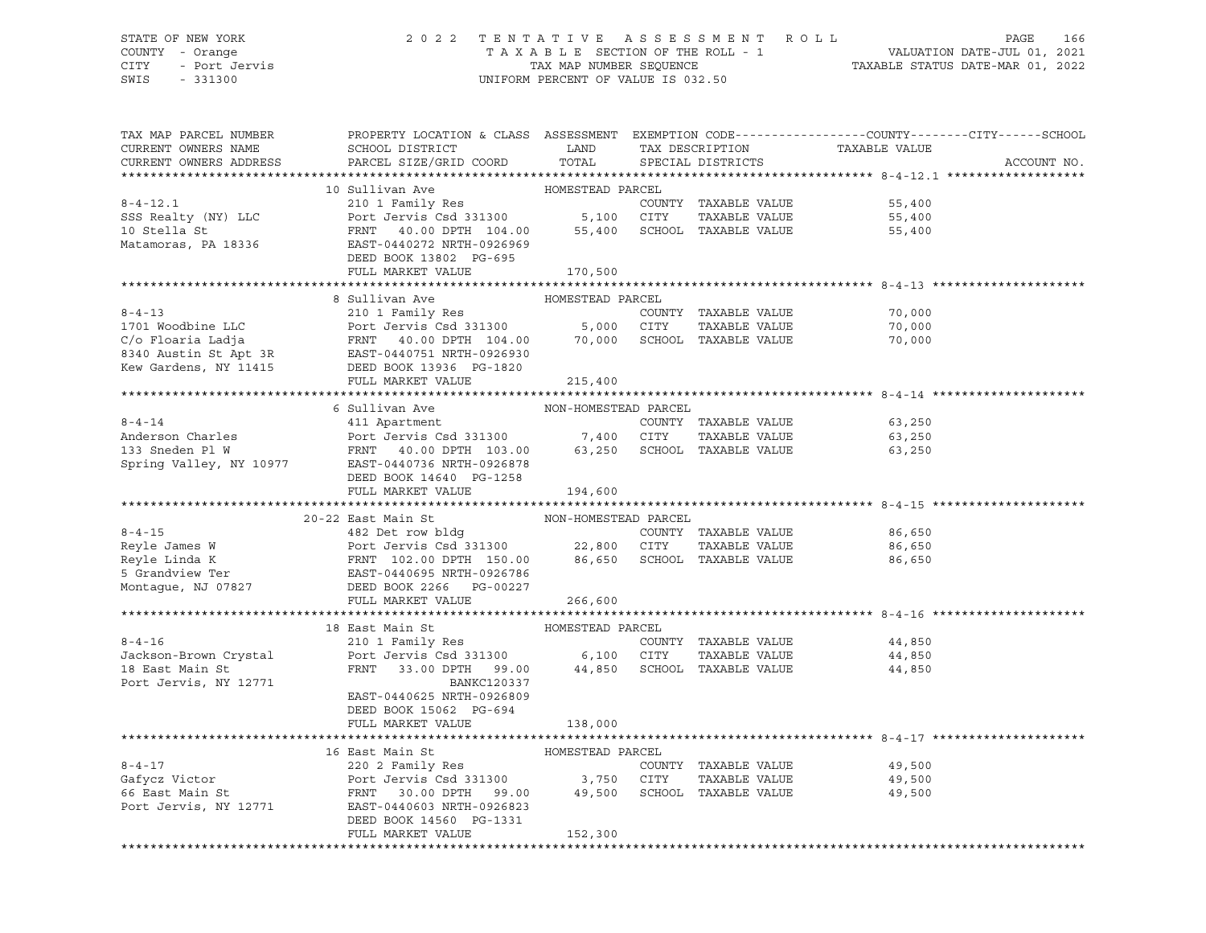## STATE OF NEW YORK 2 0 2 2 T E N T A T I V E A S S E S S M E N T R O L L PAGE 166 COUNTY - Orange T A X A B L E SECTION OF THE ROLL - 1 VALUATION DATE-JUL 01, 2021 CITY - Port Jervis TAX MAP NUMBER SEQUENCE TAXABLE STATUS DATE-MAR 01, 2022

| TAX MAP PARCEL NUMBER<br>CURRENT OWNERS NAME           | PROPERTY LOCATION & CLASS ASSESSMENT EXEMPTION CODE----------------COUNTY-------CITY------SCHOOL<br>SCHOOL DISTRICT                                                                                                                                      | LAND                 | TAX DESCRIPTION      | TAXABLE VALUE                                   |             |
|--------------------------------------------------------|----------------------------------------------------------------------------------------------------------------------------------------------------------------------------------------------------------------------------------------------------------|----------------------|----------------------|-------------------------------------------------|-------------|
| CURRENT OWNERS ADDRESS                                 | PARCEL SIZE/GRID COORD                                                                                                                                                                                                                                   | TOTAL                | SPECIAL DISTRICTS    |                                                 | ACCOUNT NO. |
|                                                        | 10 Sullivan Ave                                                                                                                                                                                                                                          | HOMESTEAD PARCEL     |                      |                                                 |             |
| $8 - 4 - 12.1$                                         |                                                                                                                                                                                                                                                          |                      |                      | COUNTY TAXABLE VALUE<br>55,400                  |             |
| SSS Realty (NY) LLC                                    | 210 1 Family Res<br>Port Jervis Csd 331300 5,100 CITY                                                                                                                                                                                                    |                      | TAXABLE VALUE        | 55,400                                          |             |
| 10 Stella St                                           | FRNT 40.00 DPTH 104.00 55,400 SCHOOL TAXABLE VALUE                                                                                                                                                                                                       |                      |                      | 55,400                                          |             |
| Matamoras, PA 18336                                    | EAST-0440272 NRTH-0926969                                                                                                                                                                                                                                |                      |                      |                                                 |             |
|                                                        | DEED BOOK 13802 PG-695                                                                                                                                                                                                                                   |                      |                      |                                                 |             |
|                                                        | FULL MARKET VALUE                                                                                                                                                                                                                                        | 170,500              |                      |                                                 |             |
|                                                        |                                                                                                                                                                                                                                                          |                      |                      |                                                 |             |
|                                                        | 8 Sullivan Ave                                                                                                                                                                                                                                           | HOMESTEAD PARCEL     |                      |                                                 |             |
|                                                        |                                                                                                                                                                                                                                                          |                      |                      | 70,000                                          |             |
|                                                        |                                                                                                                                                                                                                                                          |                      |                      | 70,000                                          |             |
|                                                        |                                                                                                                                                                                                                                                          |                      |                      | 70,000                                          |             |
|                                                        |                                                                                                                                                                                                                                                          |                      |                      |                                                 |             |
|                                                        |                                                                                                                                                                                                                                                          |                      |                      |                                                 |             |
|                                                        | 1701 Woodbine LLC<br>C/o Floaria Ladja<br>C/o Floaria Ladja<br>EXRIT 40.00 DPTH 104.00<br>EXRIC 1040751 NRTH-0926930<br>EXRIC 1040751 NRTH-0926930<br>EXRIC 1820<br>EXRIC 1820<br>EXRIC 1820<br>EXRIC 1820<br>EXRIC 1820<br>EXRIC 1820<br>EXRIC 1820<br> |                      |                      |                                                 |             |
|                                                        |                                                                                                                                                                                                                                                          |                      |                      |                                                 |             |
|                                                        | 6 Sullivan Ave                                                                                                                                                                                                                                           | NON-HOMESTEAD PARCEL |                      |                                                 |             |
| $8 - 4 - 14$                                           | 411 Apartment                                                                                                                                                                                                                                            |                      | COUNTY TAXABLE VALUE | 63,250                                          |             |
|                                                        |                                                                                                                                                                                                                                                          |                      | TAXABLE VALUE        | 63,250                                          |             |
|                                                        |                                                                                                                                                                                                                                                          |                      |                      | 63,250                                          |             |
|                                                        |                                                                                                                                                                                                                                                          |                      |                      |                                                 |             |
|                                                        | DEED BOOK 14640 PG-1258                                                                                                                                                                                                                                  |                      |                      |                                                 |             |
|                                                        | FULL MARKET VALUE                                                                                                                                                                                                                                        | 194,600              |                      |                                                 |             |
|                                                        |                                                                                                                                                                                                                                                          |                      |                      |                                                 |             |
|                                                        | 20-22 East Main St                                                                                                                                                                                                                                       | NON-HOMESTEAD PARCEL |                      |                                                 |             |
|                                                        |                                                                                                                                                                                                                                                          |                      | COUNTY TAXABLE VALUE | 86,650                                          |             |
|                                                        |                                                                                                                                                                                                                                                          |                      | TAXABLE VALUE        | 86,650                                          |             |
|                                                        |                                                                                                                                                                                                                                                          |                      |                      | 86,650                                          |             |
| Reyle Linda K<br>5 Grandview Ter<br>Montague, NJ 07827 |                                                                                                                                                                                                                                                          |                      |                      |                                                 |             |
|                                                        | FULL MARKET VALUE                                                                                                                                                                                                                                        | 266,600              |                      |                                                 |             |
|                                                        |                                                                                                                                                                                                                                                          |                      |                      |                                                 |             |
|                                                        | 18 East Main St                                                                                                                                                                                                                                          | HOMESTEAD PARCEL     |                      |                                                 |             |
| $8 - 4 - 16$                                           |                                                                                                                                                                                                                                                          |                      | COUNTY TAXABLE VALUE | 44,850                                          |             |
| Jackson-Brown Crystal                                  |                                                                                                                                                                                                                                                          |                      | TAXABLE VALUE        | 44,850                                          |             |
| in a shekarar 1990.<br>Matukio<br>18 East Main St      | FRNT 33.00 DPTH 99.00 44,850 SCHOOL TAXABLE VALUE                                                                                                                                                                                                        |                      |                      | 44,850                                          |             |
| Port Jervis, NY 12771                                  | BANKC120337                                                                                                                                                                                                                                              |                      |                      |                                                 |             |
|                                                        | EAST-0440625 NRTH-0926809                                                                                                                                                                                                                                |                      |                      |                                                 |             |
|                                                        | DEED BOOK 15062 PG-694                                                                                                                                                                                                                                   |                      |                      |                                                 |             |
|                                                        | FULL MARKET VALUE                                                                                                                                                                                                                                        | 138,000              |                      |                                                 |             |
|                                                        |                                                                                                                                                                                                                                                          |                      |                      | ******************************** 8-4-17 ******* |             |
|                                                        | 16 East Main St                                                                                                                                                                                                                                          | HOMESTEAD PARCEL     |                      |                                                 |             |
|                                                        |                                                                                                                                                                                                                                                          |                      | COUNTY TAXABLE VALUE | 49,500                                          |             |
|                                                        |                                                                                                                                                                                                                                                          |                      | TAXABLE VALUE        | 49,500                                          |             |
|                                                        |                                                                                                                                                                                                                                                          |                      |                      | 49,500                                          |             |
|                                                        | Port Jervis, NY 12771 EAST-0440603 NRTH-0926823                                                                                                                                                                                                          |                      |                      |                                                 |             |
|                                                        | DEED BOOK 14560 PG-1331                                                                                                                                                                                                                                  |                      |                      |                                                 |             |
|                                                        | FULL MARKET VALUE                                                                                                                                                                                                                                        | 152,300              |                      |                                                 |             |
|                                                        |                                                                                                                                                                                                                                                          |                      |                      |                                                 |             |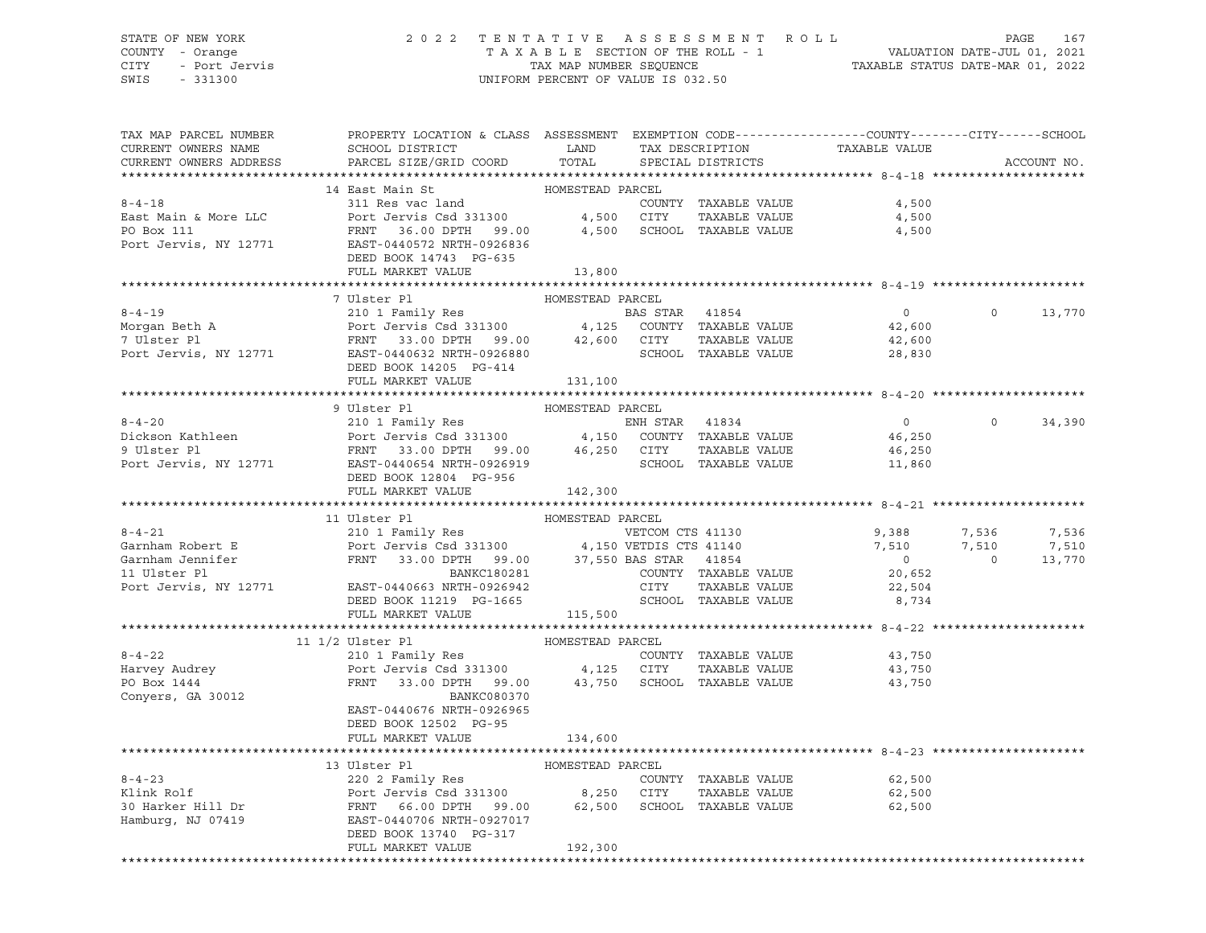### STATE OF NEW YORK 2 0 2 2 T E N T A T I V E A S S E S S M E N T R O L L PAGE 167 COUNTY - Orange T A X A B L E SECTION OF THE ROLL - 1 VALUATION DATE-JUL 01, 2021 CITY - Port Jervis TAX MAP NUMBER SEQUENCE TAXABLE STATUS DATE-MAR 01, 2022

| TAX MAP PARCEL NUMBER<br>CURRENT OWNERS NAME | PROPERTY LOCATION & CLASS ASSESSMENT EXEMPTION CODE---------------COUNTY-------CITY------SCHOOL                                                                                                                                                                                                                                                                                             |                  |                      |                |                |             |
|----------------------------------------------|---------------------------------------------------------------------------------------------------------------------------------------------------------------------------------------------------------------------------------------------------------------------------------------------------------------------------------------------------------------------------------------------|------------------|----------------------|----------------|----------------|-------------|
| CURRENT OWNERS ADDRESS                       |                                                                                                                                                                                                                                                                                                                                                                                             |                  |                      |                |                | ACCOUNT NO. |
|                                              |                                                                                                                                                                                                                                                                                                                                                                                             |                  |                      |                |                |             |
|                                              |                                                                                                                                                                                                                                                                                                                                                                                             |                  | COUNTY TAXABLE VALUE | 4,500          |                |             |
|                                              |                                                                                                                                                                                                                                                                                                                                                                                             |                  |                      | 4,500          |                |             |
|                                              | $\begin{tabular}{lllllllll} \multicolumn{2}{l}{{\bf FRNT}} & \multicolumn{2}{c}{36.00} & \multicolumn{2}{c}{\bf DPTH} & \multicolumn{2}{c}{99.00} & \multicolumn{2}{c}{4,500} & \multicolumn{2}{c}{\bf SCHOOL} & \multicolumn{2}{c}{\bf TAXABLE VALUE} & \multicolumn{2}{c}{4,500} \end{tabular}$                                                                                           |                  |                      |                |                |             |
|                                              |                                                                                                                                                                                                                                                                                                                                                                                             |                  |                      |                |                |             |
|                                              | DEED BOOK 14743 PG-635                                                                                                                                                                                                                                                                                                                                                                      |                  |                      |                |                |             |
|                                              | FULL MARKET VALUE 13,800                                                                                                                                                                                                                                                                                                                                                                    |                  |                      |                |                |             |
|                                              | 7 Ulster Pl                                                                                                                                                                                                                                                                                                                                                                                 | HOMESTEAD PARCEL |                      |                |                |             |
|                                              | 8-4-19<br>Morgan Beth A<br>Port Jervis Csd 331300 4,125 COUNTY TAXABLE VALUE<br>7 Ulster Pl<br>Port Jervis, NY 12771 EAT-04406432 NRTH-0926880 SCHOOL TAXABLE VALUE<br>Port Jervis, NY 12771 EAT-04406432 NRTH-0926880 SCHOOL TAXABLE VA                                                                                                                                                    |                  |                      | $\overline{0}$ | $\Omega$       | 13,770      |
|                                              |                                                                                                                                                                                                                                                                                                                                                                                             |                  |                      | 42,600         |                |             |
|                                              |                                                                                                                                                                                                                                                                                                                                                                                             |                  |                      | 42,600         |                |             |
|                                              |                                                                                                                                                                                                                                                                                                                                                                                             |                  | SCHOOL TAXABLE VALUE | 28,830         |                |             |
|                                              | DEED BOOK 14205 PG-414                                                                                                                                                                                                                                                                                                                                                                      |                  |                      |                |                |             |
|                                              | FULL MARKET VALUE 131,100                                                                                                                                                                                                                                                                                                                                                                   |                  |                      |                |                |             |
|                                              |                                                                                                                                                                                                                                                                                                                                                                                             |                  |                      |                |                |             |
|                                              | 9 Ulster Pl<br>210 1 Family Res<br>210 1 Family Res<br>210 1 Family Res<br>210 1 Family Res<br>210 1 Family Res<br>210 1 Family Res<br>210 2013<br>210 2013<br>210 2013<br>210 2013<br>210 2013<br>210 2013<br>210 2013<br>210 2013<br>210 2013<br>210 2013<br>2                                                                                                                            |                  |                      |                |                |             |
|                                              |                                                                                                                                                                                                                                                                                                                                                                                             |                  |                      | $\overline{0}$ | $\overline{0}$ | 34,390      |
|                                              |                                                                                                                                                                                                                                                                                                                                                                                             |                  |                      | 46,250         |                |             |
|                                              |                                                                                                                                                                                                                                                                                                                                                                                             |                  |                      |                |                |             |
|                                              |                                                                                                                                                                                                                                                                                                                                                                                             |                  |                      |                |                |             |
|                                              | DEED BOOK 12804 PG-956                                                                                                                                                                                                                                                                                                                                                                      |                  |                      |                |                |             |
|                                              | FULL MARKET VALUE 142,300                                                                                                                                                                                                                                                                                                                                                                   |                  |                      |                |                |             |
|                                              | 11 Ulster Pl                                                                                                                                                                                                                                                                                                                                                                                | HOMESTEAD PARCEL |                      |                |                |             |
|                                              | 11 Ulster P1<br>210 IP and Port Partial Partial Partial Partial Partial Partial Partial Partial Partial Partial Partial Partial Partial Partial Partial Partial Partial Partial Partial Partial Partial Partial Partial Partial                                                                                                                                                             |                  |                      |                |                |             |
|                                              |                                                                                                                                                                                                                                                                                                                                                                                             |                  |                      |                |                |             |
|                                              |                                                                                                                                                                                                                                                                                                                                                                                             |                  |                      |                |                |             |
|                                              |                                                                                                                                                                                                                                                                                                                                                                                             |                  |                      |                |                |             |
|                                              |                                                                                                                                                                                                                                                                                                                                                                                             |                  |                      |                |                |             |
|                                              |                                                                                                                                                                                                                                                                                                                                                                                             |                  |                      |                |                |             |
|                                              |                                                                                                                                                                                                                                                                                                                                                                                             |                  |                      |                |                |             |
|                                              |                                                                                                                                                                                                                                                                                                                                                                                             |                  |                      |                |                |             |
|                                              | $\begin{tabular}{ccccc} 8-4-22 & 11 & 1/2 & Ulster Pl & & HOMESTEAD PARCEL \\ & 210 & 1 Family Res & & \text{COUNTY TAXABLE VALUE} \\ \text{Haryey Audrey} & \text{Port Jervis Csd 331300} & & 4,125 & CITY & TAXABLE VALUE \\ \text{POD Dox 1444 & \text{FRNT} & 33.00 DPH & & & \\ \text{Courry TAXABLE VALUE} & \text{SCHOOL TAXABLE VALUE} & \text{SCHOOL TAXABLE VALUE} \end{tabular}$ |                  |                      |                |                |             |
|                                              |                                                                                                                                                                                                                                                                                                                                                                                             |                  |                      | 43,750         |                |             |
|                                              |                                                                                                                                                                                                                                                                                                                                                                                             |                  |                      | 43,750         |                |             |
|                                              |                                                                                                                                                                                                                                                                                                                                                                                             |                  |                      | 43,750         |                |             |
| Conyers, GA 30012                            | BANKC080370                                                                                                                                                                                                                                                                                                                                                                                 |                  |                      |                |                |             |
|                                              | EAST-0440676 NRTH-0926965<br>DEED BOOK 12502 PG-95                                                                                                                                                                                                                                                                                                                                          |                  |                      |                |                |             |
|                                              | FULL MARKET VALUE                                                                                                                                                                                                                                                                                                                                                                           | 134,600          |                      |                |                |             |
|                                              |                                                                                                                                                                                                                                                                                                                                                                                             |                  |                      |                |                |             |
|                                              | 13 Ulster Pl                                                                                                                                                                                                                                                                                                                                                                                | HOMESTEAD PARCEL |                      |                |                |             |
|                                              |                                                                                                                                                                                                                                                                                                                                                                                             |                  |                      |                |                |             |
|                                              | 3-4-23<br>Example of the state of the state of the state of the state of the state of the state of the state of the state of the state of the state of the state of the state of the state of the state of the state of the stat                                                                                                                                                            |                  |                      |                |                |             |
|                                              |                                                                                                                                                                                                                                                                                                                                                                                             |                  |                      |                |                |             |
|                                              |                                                                                                                                                                                                                                                                                                                                                                                             |                  |                      |                |                |             |
|                                              | DEED BOOK 13740 PG-317                                                                                                                                                                                                                                                                                                                                                                      |                  |                      |                |                |             |
|                                              | FULL MARKET VALUE                                                                                                                                                                                                                                                                                                                                                                           | 192,300          |                      |                |                |             |
|                                              |                                                                                                                                                                                                                                                                                                                                                                                             |                  |                      |                |                |             |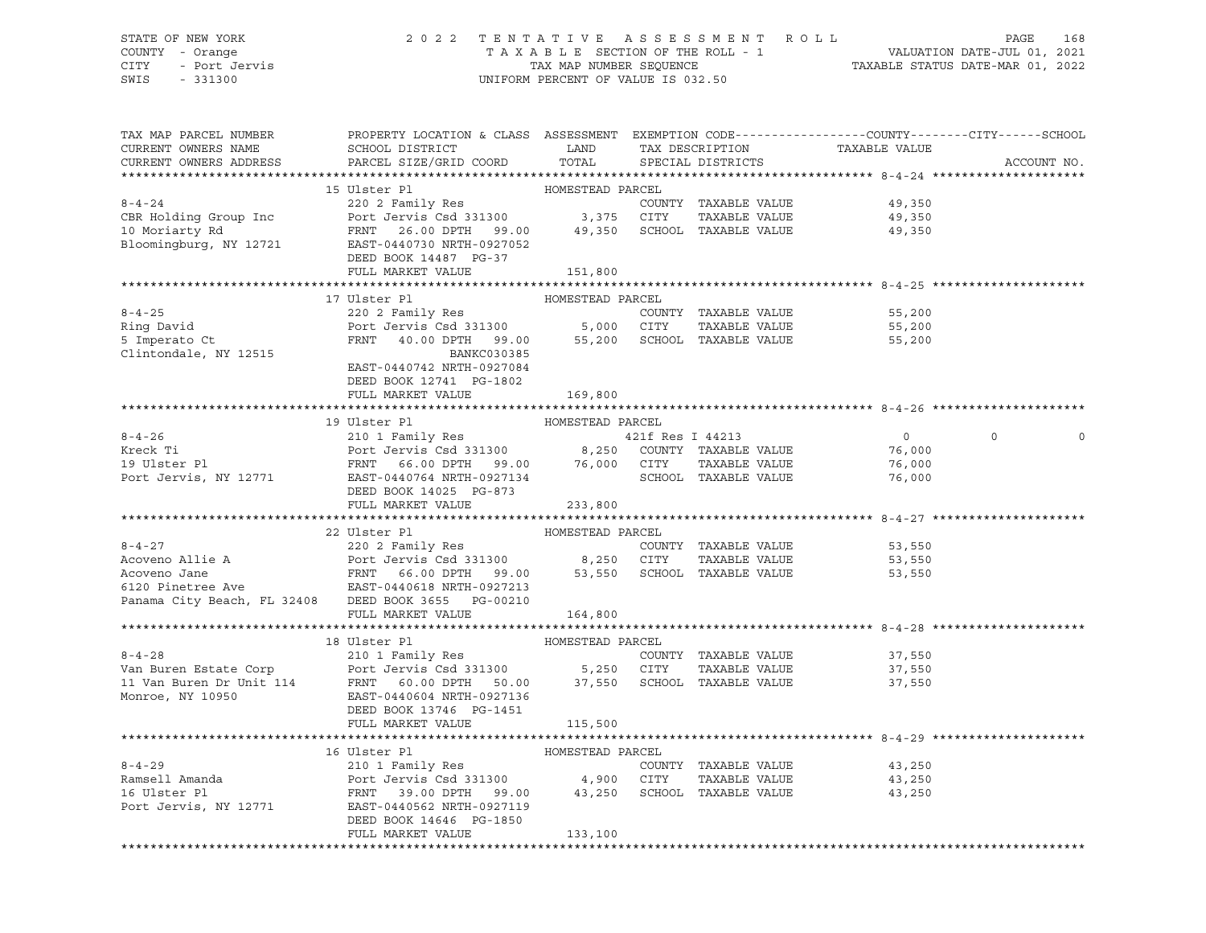# STATE OF NEW YORK 2 0 2 2 T E N T A T I V E A S S E S S M E N T R O L L PAGE 168 COUNTY - Orange T A X A B L E SECTION OF THE ROLL - 1 VALUATION DATE-JUL 01, 2021 CITY - Port Jervis TAX MAP NUMBER SEQUENCE TAXABLE STATUS DATE-MAR 01, 2022

| 15 Ulster Pl<br>HOMESTEAD PARCEL<br>49,350<br>49,350<br>49,350<br>DEED BOOK 14487 PG-37<br>FULL MARKET VALUE<br>151,800<br>HOMESTEAD PARCEL<br>17 Ulster Pl<br>$8 - 4 - 25$<br>55,200<br>Ring David<br>55,200<br>5 Imperato Ct<br>55,200<br>Clintondale, NY 12515<br>BANKC030385<br>EAST-0440742 NRTH-0927084<br>DEED BOOK 12741 PG-1802<br>FULL MARKET VALUE<br>169,800<br>19 Ulster Pl<br>HOMESTEAD PARCEL<br>8-4-26<br>Exercise 1 210 1 Family Res<br>Reck Ti Port Jervis Csd 331300<br>PORT 66.00 DPTH 99.00 76,000 CITY TAXABLE VALUE 76,000<br>PORT 66.00 DPTH 99.00 76,000 CITY TAXABLE VALUE 76,000<br>PORT 12771 EAST-0440764 NRTH-0927134<br>RES<br>$\circ$<br>DEED BOOK 14025 PG-873<br>FULL MARKET VALUE 233,800<br>HOMESTEAD PARCEL<br>22 Ulster Pl<br>8-4-27<br>Acoveno Allie A<br>Acoveno Jane<br>Acoveno Jane<br>EXECULTRIC PORT SAMPLE VALUE<br>PORT SAMPLE VALUE<br>FRNT 66.00 DPTH 99.00<br>EXECULTRIC SAMPLE VALUE<br>FRNT 66.00 DPTH 99.00<br>53,550 SCHOOL TAXABLE VALUE<br>FRNT 66.00 DPTH 99.0<br>COUNTY TAXABLE VALUE<br>53,550<br>53,550<br>53,550<br>FULL MARKET VALUE<br>164,800<br>18 Ulster P1<br>210 1 Family Res<br>210 1 Family Res<br>210 1 Family Res<br>210 1 Family Res<br>210 1 Family Res<br>210 1 Family Res<br>210 1 Family Res<br>210 1 Family Res<br>210 1 Family Res<br>210 1 Family Res<br>210 1 Family Res<br>210 1 Fami<br>COUNTY TAXABLE VALUE 37,550<br>37,550<br>37,550<br>FULL MARKET VALUE<br>115,500<br>16 Ulster Pl<br>HOMESTEAD PARCEL<br>COUNTY TAXABLE VALUE<br>43,250<br>TAXABLE VALUE<br>43,250<br>43,250<br>Port Jervis, NY 12771 EAST-0440562 NRTH-0927119<br>DEED BOOK 14646 PG-1850<br>FULL MARKET VALUE<br>133,100 | TAX MAP PARCEL NUMBER<br>CURRENT OWNERS NAME<br>CURRENT OWNERS ADDRESS | PROPERTY LOCATION & CLASS ASSESSMENT EXEMPTION CODE---------------COUNTY-------CITY------SCHOOL<br>SCHOOL DISTRICT TAND TAX DESCRIPTION<br>PARCEL SIZE/GRID COORD | TOTAL | SPECIAL DISTRICTS | TAXABLE VALUE | ACCOUNT NO. |
|------------------------------------------------------------------------------------------------------------------------------------------------------------------------------------------------------------------------------------------------------------------------------------------------------------------------------------------------------------------------------------------------------------------------------------------------------------------------------------------------------------------------------------------------------------------------------------------------------------------------------------------------------------------------------------------------------------------------------------------------------------------------------------------------------------------------------------------------------------------------------------------------------------------------------------------------------------------------------------------------------------------------------------------------------------------------------------------------------------------------------------------------------------------------------------------------------------------------------------------------------------------------------------------------------------------------------------------------------------------------------------------------------------------------------------------------------------------------------------------------------------------------------------------------------------------------------------------------------------------------------------------------------------------------------------|------------------------------------------------------------------------|-------------------------------------------------------------------------------------------------------------------------------------------------------------------|-------|-------------------|---------------|-------------|
|                                                                                                                                                                                                                                                                                                                                                                                                                                                                                                                                                                                                                                                                                                                                                                                                                                                                                                                                                                                                                                                                                                                                                                                                                                                                                                                                                                                                                                                                                                                                                                                                                                                                                    |                                                                        |                                                                                                                                                                   |       |                   |               |             |
|                                                                                                                                                                                                                                                                                                                                                                                                                                                                                                                                                                                                                                                                                                                                                                                                                                                                                                                                                                                                                                                                                                                                                                                                                                                                                                                                                                                                                                                                                                                                                                                                                                                                                    |                                                                        |                                                                                                                                                                   |       |                   |               |             |
|                                                                                                                                                                                                                                                                                                                                                                                                                                                                                                                                                                                                                                                                                                                                                                                                                                                                                                                                                                                                                                                                                                                                                                                                                                                                                                                                                                                                                                                                                                                                                                                                                                                                                    |                                                                        |                                                                                                                                                                   |       |                   |               |             |
|                                                                                                                                                                                                                                                                                                                                                                                                                                                                                                                                                                                                                                                                                                                                                                                                                                                                                                                                                                                                                                                                                                                                                                                                                                                                                                                                                                                                                                                                                                                                                                                                                                                                                    |                                                                        |                                                                                                                                                                   |       |                   |               |             |
|                                                                                                                                                                                                                                                                                                                                                                                                                                                                                                                                                                                                                                                                                                                                                                                                                                                                                                                                                                                                                                                                                                                                                                                                                                                                                                                                                                                                                                                                                                                                                                                                                                                                                    |                                                                        |                                                                                                                                                                   |       |                   |               |             |
|                                                                                                                                                                                                                                                                                                                                                                                                                                                                                                                                                                                                                                                                                                                                                                                                                                                                                                                                                                                                                                                                                                                                                                                                                                                                                                                                                                                                                                                                                                                                                                                                                                                                                    |                                                                        |                                                                                                                                                                   |       |                   |               |             |
|                                                                                                                                                                                                                                                                                                                                                                                                                                                                                                                                                                                                                                                                                                                                                                                                                                                                                                                                                                                                                                                                                                                                                                                                                                                                                                                                                                                                                                                                                                                                                                                                                                                                                    |                                                                        |                                                                                                                                                                   |       |                   |               |             |
|                                                                                                                                                                                                                                                                                                                                                                                                                                                                                                                                                                                                                                                                                                                                                                                                                                                                                                                                                                                                                                                                                                                                                                                                                                                                                                                                                                                                                                                                                                                                                                                                                                                                                    |                                                                        |                                                                                                                                                                   |       |                   |               |             |
|                                                                                                                                                                                                                                                                                                                                                                                                                                                                                                                                                                                                                                                                                                                                                                                                                                                                                                                                                                                                                                                                                                                                                                                                                                                                                                                                                                                                                                                                                                                                                                                                                                                                                    |                                                                        |                                                                                                                                                                   |       |                   |               |             |
|                                                                                                                                                                                                                                                                                                                                                                                                                                                                                                                                                                                                                                                                                                                                                                                                                                                                                                                                                                                                                                                                                                                                                                                                                                                                                                                                                                                                                                                                                                                                                                                                                                                                                    |                                                                        |                                                                                                                                                                   |       |                   |               |             |
|                                                                                                                                                                                                                                                                                                                                                                                                                                                                                                                                                                                                                                                                                                                                                                                                                                                                                                                                                                                                                                                                                                                                                                                                                                                                                                                                                                                                                                                                                                                                                                                                                                                                                    |                                                                        |                                                                                                                                                                   |       |                   |               |             |
|                                                                                                                                                                                                                                                                                                                                                                                                                                                                                                                                                                                                                                                                                                                                                                                                                                                                                                                                                                                                                                                                                                                                                                                                                                                                                                                                                                                                                                                                                                                                                                                                                                                                                    |                                                                        |                                                                                                                                                                   |       |                   |               |             |
|                                                                                                                                                                                                                                                                                                                                                                                                                                                                                                                                                                                                                                                                                                                                                                                                                                                                                                                                                                                                                                                                                                                                                                                                                                                                                                                                                                                                                                                                                                                                                                                                                                                                                    |                                                                        |                                                                                                                                                                   |       |                   |               |             |
|                                                                                                                                                                                                                                                                                                                                                                                                                                                                                                                                                                                                                                                                                                                                                                                                                                                                                                                                                                                                                                                                                                                                                                                                                                                                                                                                                                                                                                                                                                                                                                                                                                                                                    |                                                                        |                                                                                                                                                                   |       |                   |               |             |
|                                                                                                                                                                                                                                                                                                                                                                                                                                                                                                                                                                                                                                                                                                                                                                                                                                                                                                                                                                                                                                                                                                                                                                                                                                                                                                                                                                                                                                                                                                                                                                                                                                                                                    |                                                                        |                                                                                                                                                                   |       |                   |               |             |
|                                                                                                                                                                                                                                                                                                                                                                                                                                                                                                                                                                                                                                                                                                                                                                                                                                                                                                                                                                                                                                                                                                                                                                                                                                                                                                                                                                                                                                                                                                                                                                                                                                                                                    |                                                                        |                                                                                                                                                                   |       |                   |               |             |
|                                                                                                                                                                                                                                                                                                                                                                                                                                                                                                                                                                                                                                                                                                                                                                                                                                                                                                                                                                                                                                                                                                                                                                                                                                                                                                                                                                                                                                                                                                                                                                                                                                                                                    |                                                                        |                                                                                                                                                                   |       |                   |               |             |
|                                                                                                                                                                                                                                                                                                                                                                                                                                                                                                                                                                                                                                                                                                                                                                                                                                                                                                                                                                                                                                                                                                                                                                                                                                                                                                                                                                                                                                                                                                                                                                                                                                                                                    |                                                                        |                                                                                                                                                                   |       |                   |               |             |
|                                                                                                                                                                                                                                                                                                                                                                                                                                                                                                                                                                                                                                                                                                                                                                                                                                                                                                                                                                                                                                                                                                                                                                                                                                                                                                                                                                                                                                                                                                                                                                                                                                                                                    |                                                                        |                                                                                                                                                                   |       |                   |               |             |
|                                                                                                                                                                                                                                                                                                                                                                                                                                                                                                                                                                                                                                                                                                                                                                                                                                                                                                                                                                                                                                                                                                                                                                                                                                                                                                                                                                                                                                                                                                                                                                                                                                                                                    |                                                                        |                                                                                                                                                                   |       |                   |               |             |
|                                                                                                                                                                                                                                                                                                                                                                                                                                                                                                                                                                                                                                                                                                                                                                                                                                                                                                                                                                                                                                                                                                                                                                                                                                                                                                                                                                                                                                                                                                                                                                                                                                                                                    |                                                                        |                                                                                                                                                                   |       |                   |               |             |
|                                                                                                                                                                                                                                                                                                                                                                                                                                                                                                                                                                                                                                                                                                                                                                                                                                                                                                                                                                                                                                                                                                                                                                                                                                                                                                                                                                                                                                                                                                                                                                                                                                                                                    |                                                                        |                                                                                                                                                                   |       |                   |               |             |
|                                                                                                                                                                                                                                                                                                                                                                                                                                                                                                                                                                                                                                                                                                                                                                                                                                                                                                                                                                                                                                                                                                                                                                                                                                                                                                                                                                                                                                                                                                                                                                                                                                                                                    |                                                                        |                                                                                                                                                                   |       |                   |               |             |
|                                                                                                                                                                                                                                                                                                                                                                                                                                                                                                                                                                                                                                                                                                                                                                                                                                                                                                                                                                                                                                                                                                                                                                                                                                                                                                                                                                                                                                                                                                                                                                                                                                                                                    |                                                                        |                                                                                                                                                                   |       |                   |               |             |
|                                                                                                                                                                                                                                                                                                                                                                                                                                                                                                                                                                                                                                                                                                                                                                                                                                                                                                                                                                                                                                                                                                                                                                                                                                                                                                                                                                                                                                                                                                                                                                                                                                                                                    |                                                                        |                                                                                                                                                                   |       |                   |               |             |
|                                                                                                                                                                                                                                                                                                                                                                                                                                                                                                                                                                                                                                                                                                                                                                                                                                                                                                                                                                                                                                                                                                                                                                                                                                                                                                                                                                                                                                                                                                                                                                                                                                                                                    |                                                                        |                                                                                                                                                                   |       |                   |               |             |
|                                                                                                                                                                                                                                                                                                                                                                                                                                                                                                                                                                                                                                                                                                                                                                                                                                                                                                                                                                                                                                                                                                                                                                                                                                                                                                                                                                                                                                                                                                                                                                                                                                                                                    |                                                                        |                                                                                                                                                                   |       |                   |               |             |
|                                                                                                                                                                                                                                                                                                                                                                                                                                                                                                                                                                                                                                                                                                                                                                                                                                                                                                                                                                                                                                                                                                                                                                                                                                                                                                                                                                                                                                                                                                                                                                                                                                                                                    |                                                                        |                                                                                                                                                                   |       |                   |               |             |
|                                                                                                                                                                                                                                                                                                                                                                                                                                                                                                                                                                                                                                                                                                                                                                                                                                                                                                                                                                                                                                                                                                                                                                                                                                                                                                                                                                                                                                                                                                                                                                                                                                                                                    |                                                                        |                                                                                                                                                                   |       |                   |               |             |
|                                                                                                                                                                                                                                                                                                                                                                                                                                                                                                                                                                                                                                                                                                                                                                                                                                                                                                                                                                                                                                                                                                                                                                                                                                                                                                                                                                                                                                                                                                                                                                                                                                                                                    |                                                                        |                                                                                                                                                                   |       |                   |               |             |
|                                                                                                                                                                                                                                                                                                                                                                                                                                                                                                                                                                                                                                                                                                                                                                                                                                                                                                                                                                                                                                                                                                                                                                                                                                                                                                                                                                                                                                                                                                                                                                                                                                                                                    |                                                                        |                                                                                                                                                                   |       |                   |               |             |
|                                                                                                                                                                                                                                                                                                                                                                                                                                                                                                                                                                                                                                                                                                                                                                                                                                                                                                                                                                                                                                                                                                                                                                                                                                                                                                                                                                                                                                                                                                                                                                                                                                                                                    |                                                                        |                                                                                                                                                                   |       |                   |               |             |
|                                                                                                                                                                                                                                                                                                                                                                                                                                                                                                                                                                                                                                                                                                                                                                                                                                                                                                                                                                                                                                                                                                                                                                                                                                                                                                                                                                                                                                                                                                                                                                                                                                                                                    |                                                                        |                                                                                                                                                                   |       |                   |               |             |
|                                                                                                                                                                                                                                                                                                                                                                                                                                                                                                                                                                                                                                                                                                                                                                                                                                                                                                                                                                                                                                                                                                                                                                                                                                                                                                                                                                                                                                                                                                                                                                                                                                                                                    |                                                                        |                                                                                                                                                                   |       |                   |               |             |
|                                                                                                                                                                                                                                                                                                                                                                                                                                                                                                                                                                                                                                                                                                                                                                                                                                                                                                                                                                                                                                                                                                                                                                                                                                                                                                                                                                                                                                                                                                                                                                                                                                                                                    |                                                                        |                                                                                                                                                                   |       |                   |               |             |
|                                                                                                                                                                                                                                                                                                                                                                                                                                                                                                                                                                                                                                                                                                                                                                                                                                                                                                                                                                                                                                                                                                                                                                                                                                                                                                                                                                                                                                                                                                                                                                                                                                                                                    |                                                                        |                                                                                                                                                                   |       |                   |               |             |
|                                                                                                                                                                                                                                                                                                                                                                                                                                                                                                                                                                                                                                                                                                                                                                                                                                                                                                                                                                                                                                                                                                                                                                                                                                                                                                                                                                                                                                                                                                                                                                                                                                                                                    |                                                                        |                                                                                                                                                                   |       |                   |               |             |
|                                                                                                                                                                                                                                                                                                                                                                                                                                                                                                                                                                                                                                                                                                                                                                                                                                                                                                                                                                                                                                                                                                                                                                                                                                                                                                                                                                                                                                                                                                                                                                                                                                                                                    |                                                                        |                                                                                                                                                                   |       |                   |               |             |
|                                                                                                                                                                                                                                                                                                                                                                                                                                                                                                                                                                                                                                                                                                                                                                                                                                                                                                                                                                                                                                                                                                                                                                                                                                                                                                                                                                                                                                                                                                                                                                                                                                                                                    |                                                                        |                                                                                                                                                                   |       |                   |               |             |
|                                                                                                                                                                                                                                                                                                                                                                                                                                                                                                                                                                                                                                                                                                                                                                                                                                                                                                                                                                                                                                                                                                                                                                                                                                                                                                                                                                                                                                                                                                                                                                                                                                                                                    |                                                                        |                                                                                                                                                                   |       |                   |               |             |
|                                                                                                                                                                                                                                                                                                                                                                                                                                                                                                                                                                                                                                                                                                                                                                                                                                                                                                                                                                                                                                                                                                                                                                                                                                                                                                                                                                                                                                                                                                                                                                                                                                                                                    |                                                                        |                                                                                                                                                                   |       |                   |               |             |
|                                                                                                                                                                                                                                                                                                                                                                                                                                                                                                                                                                                                                                                                                                                                                                                                                                                                                                                                                                                                                                                                                                                                                                                                                                                                                                                                                                                                                                                                                                                                                                                                                                                                                    |                                                                        |                                                                                                                                                                   |       |                   |               |             |
|                                                                                                                                                                                                                                                                                                                                                                                                                                                                                                                                                                                                                                                                                                                                                                                                                                                                                                                                                                                                                                                                                                                                                                                                                                                                                                                                                                                                                                                                                                                                                                                                                                                                                    |                                                                        |                                                                                                                                                                   |       |                   |               |             |
|                                                                                                                                                                                                                                                                                                                                                                                                                                                                                                                                                                                                                                                                                                                                                                                                                                                                                                                                                                                                                                                                                                                                                                                                                                                                                                                                                                                                                                                                                                                                                                                                                                                                                    |                                                                        |                                                                                                                                                                   |       |                   |               |             |
|                                                                                                                                                                                                                                                                                                                                                                                                                                                                                                                                                                                                                                                                                                                                                                                                                                                                                                                                                                                                                                                                                                                                                                                                                                                                                                                                                                                                                                                                                                                                                                                                                                                                                    |                                                                        |                                                                                                                                                                   |       |                   |               |             |
|                                                                                                                                                                                                                                                                                                                                                                                                                                                                                                                                                                                                                                                                                                                                                                                                                                                                                                                                                                                                                                                                                                                                                                                                                                                                                                                                                                                                                                                                                                                                                                                                                                                                                    |                                                                        |                                                                                                                                                                   |       |                   |               |             |
|                                                                                                                                                                                                                                                                                                                                                                                                                                                                                                                                                                                                                                                                                                                                                                                                                                                                                                                                                                                                                                                                                                                                                                                                                                                                                                                                                                                                                                                                                                                                                                                                                                                                                    |                                                                        |                                                                                                                                                                   |       |                   |               |             |
|                                                                                                                                                                                                                                                                                                                                                                                                                                                                                                                                                                                                                                                                                                                                                                                                                                                                                                                                                                                                                                                                                                                                                                                                                                                                                                                                                                                                                                                                                                                                                                                                                                                                                    |                                                                        |                                                                                                                                                                   |       |                   |               |             |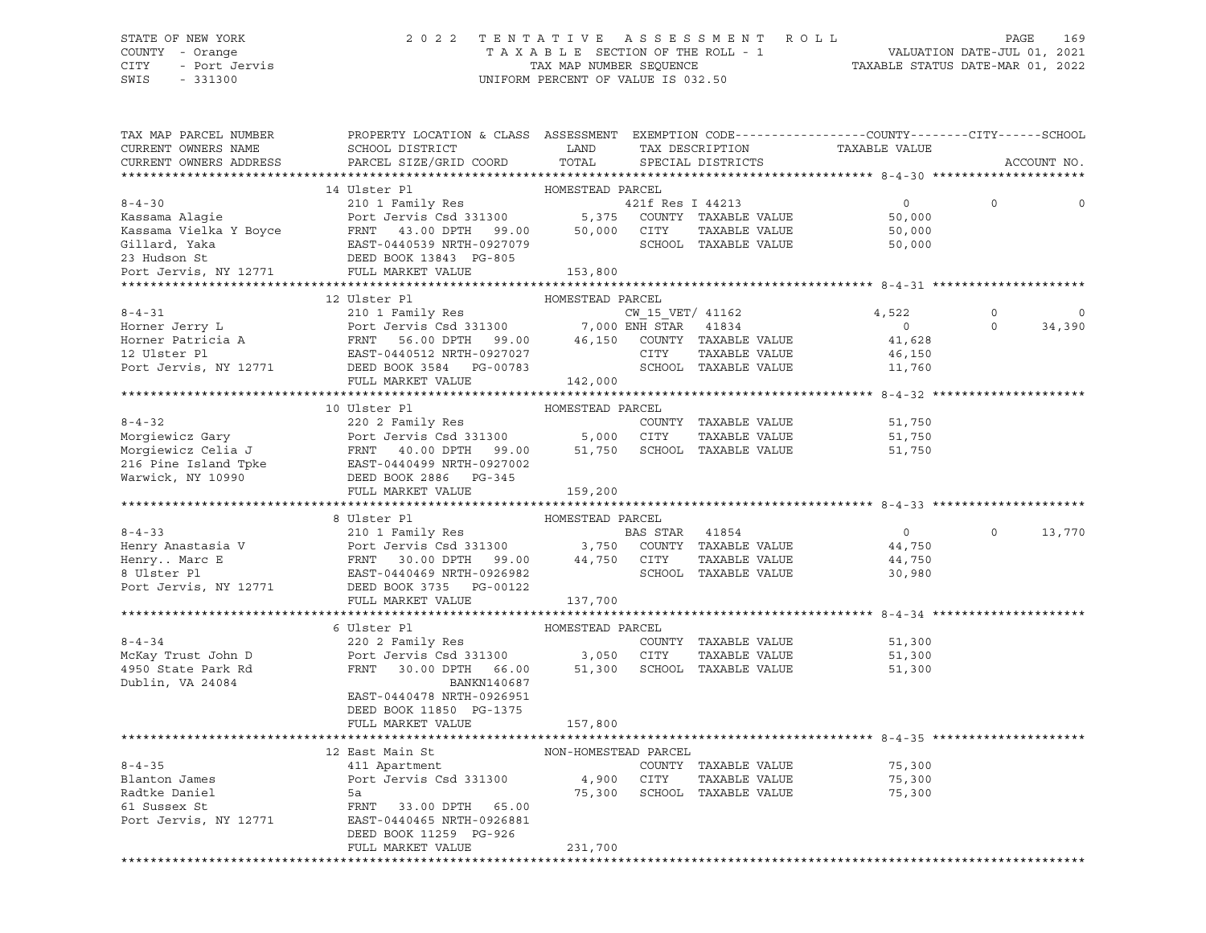# STATE OF NEW YORK 2 0 2 2 T E N T A T I V E A S S E S S M E N T R O L L PAGE 169 COUNTY - Orange T A X A B L E SECTION OF THE ROLL - 1 VALUATION DATE-JUL 01, 2021

CITY - Port Jervis TAX MAP NUMBER SEQUENCE TAXABLE STATUS DATE-MAR 01, 2022

| TAX MAP PARCEL NUMBER<br>CURRENT OWNERS NAME | PROPERTY LOCATION & CLASS ASSESSMENT EXEMPTION CODE----------------COUNTY-------CITY------SCHOOL                                                                                                                                                                                                                                                                                                                                                               |                  |                      |                                |                |             |
|----------------------------------------------|----------------------------------------------------------------------------------------------------------------------------------------------------------------------------------------------------------------------------------------------------------------------------------------------------------------------------------------------------------------------------------------------------------------------------------------------------------------|------------------|----------------------|--------------------------------|----------------|-------------|
| CURRENT OWNERS ADDRESS                       |                                                                                                                                                                                                                                                                                                                                                                                                                                                                |                  |                      |                                |                | ACCOUNT NO. |
|                                              | $\begin{tabular}{lllllllllll} \multicolumn{4}{c}{\textbf{8-4-30}} & & & & & & & \multicolumn{4}{c}{\textbf{14 UIE}}\\ & & & & 14 \text{ UIster P1} & & \multicolumn{4}{c}{\textbf{HOMESTEAD PARCHD PARCHC}} & & \\ & & & 210 1 \text{ Family Res} & & & 421 \text{ f} \\ & & & 210 1 \text{ Family Res} & & & 421 \text{ f} \\ \textbf{Kassama N algie} & & & 210 1 \text{ gravity} & & & 421 \text{ f} \\ \textbf{Kassama Vielka Y Boyce} & & & \multicolumn$ |                  |                      |                                |                |             |
|                                              |                                                                                                                                                                                                                                                                                                                                                                                                                                                                |                  |                      | $\overline{0}$                 | $\Omega$       |             |
|                                              |                                                                                                                                                                                                                                                                                                                                                                                                                                                                |                  |                      | 50,000                         |                |             |
|                                              |                                                                                                                                                                                                                                                                                                                                                                                                                                                                |                  |                      |                                |                |             |
|                                              |                                                                                                                                                                                                                                                                                                                                                                                                                                                                |                  |                      | $50,000$<br>$50,000$<br>50,000 |                |             |
|                                              |                                                                                                                                                                                                                                                                                                                                                                                                                                                                |                  |                      |                                |                |             |
|                                              |                                                                                                                                                                                                                                                                                                                                                                                                                                                                |                  |                      |                                |                |             |
|                                              |                                                                                                                                                                                                                                                                                                                                                                                                                                                                |                  |                      |                                |                |             |
|                                              | 12 Ulster Pl                                                                                                                                                                                                                                                                                                                                                                                                                                                   | HOMESTEAD PARCEL |                      |                                |                |             |
|                                              |                                                                                                                                                                                                                                                                                                                                                                                                                                                                |                  |                      |                                | $\circ$        |             |
|                                              |                                                                                                                                                                                                                                                                                                                                                                                                                                                                |                  |                      |                                | $\overline{0}$ | 34,390      |
|                                              |                                                                                                                                                                                                                                                                                                                                                                                                                                                                |                  |                      |                                |                |             |
|                                              |                                                                                                                                                                                                                                                                                                                                                                                                                                                                |                  |                      |                                |                |             |
|                                              | 12 UISter P1<br>210 IF 2015 CM Particle Recent<br>210 IF 2016 CM Particle Recent<br>210 IF 2017 IF 2017 CM Particle Recent<br>210 IF 2017 IF 2018 CM PART<br>210 IF 2018 CM PART<br>210 IF 2018 CM PART<br>210 IF 2018 CM PART<br>21,522<br>2018                                                                                                                                                                                                               |                  |                      |                                |                |             |
|                                              |                                                                                                                                                                                                                                                                                                                                                                                                                                                                |                  |                      |                                |                |             |
|                                              |                                                                                                                                                                                                                                                                                                                                                                                                                                                                |                  |                      |                                |                |             |
|                                              |                                                                                                                                                                                                                                                                                                                                                                                                                                                                |                  |                      |                                |                |             |
|                                              |                                                                                                                                                                                                                                                                                                                                                                                                                                                                |                  |                      |                                |                |             |
|                                              |                                                                                                                                                                                                                                                                                                                                                                                                                                                                |                  |                      |                                |                |             |
|                                              |                                                                                                                                                                                                                                                                                                                                                                                                                                                                |                  |                      |                                |                |             |
|                                              |                                                                                                                                                                                                                                                                                                                                                                                                                                                                |                  |                      |                                |                |             |
|                                              | 10 Ulster Plant and the MMESTEAD PARCEL<br>10 Ulster Plant and the STEAD PARCEL<br>20 2 Family Res<br>Morgiewicz Gary Port Jervis Csd 331300 5,000 CITY TAXABLE VALUE 51,750<br>Morgiewicz Celia J FRNT 40.00 DPTH 99.00 51,750 SCHOOL                                                                                                                                                                                                                         |                  |                      |                                |                |             |
|                                              |                                                                                                                                                                                                                                                                                                                                                                                                                                                                |                  |                      |                                |                |             |
|                                              |                                                                                                                                                                                                                                                                                                                                                                                                                                                                |                  |                      |                                |                |             |
|                                              |                                                                                                                                                                                                                                                                                                                                                                                                                                                                |                  |                      | $\overline{0}$                 | $\circ$        | 13,770      |
|                                              |                                                                                                                                                                                                                                                                                                                                                                                                                                                                |                  |                      | 44,750                         |                |             |
|                                              |                                                                                                                                                                                                                                                                                                                                                                                                                                                                |                  |                      | 44,750                         |                |             |
|                                              |                                                                                                                                                                                                                                                                                                                                                                                                                                                                |                  |                      | 30,980                         |                |             |
|                                              |                                                                                                                                                                                                                                                                                                                                                                                                                                                                |                  |                      |                                |                |             |
|                                              | $\begin{tabular}{lllllllllllllllllll} \multicolumn{3}{c}{8-4-33} & \multicolumn{3}{c}{210 & 1 & Family Res} & \multicolumn{3}{c}{B-4-33} & \multicolumn{3}{c}{210 & 1 & Family Res} & \multicolumn{3}{c}{BAS\ STAR} & 41854 & \multicolumn{3}{c}{BAS\ STAR} & 41854 & \multicolumn{3}{c}{BAS\ STAR} & 41854 & \multicolumn{3}{c}{BAS\ STAR} & 41854 & \multicolumn{3}{c}{BAS\ STAR} & 41854 & \multicolumn{3}{c}{BAS\ STAR$                                    |                  |                      |                                |                |             |
|                                              |                                                                                                                                                                                                                                                                                                                                                                                                                                                                |                  |                      |                                |                |             |
|                                              | $8-4-34$<br>$8-4-34$<br>$8-4-34$<br>$8-4-34$<br>$8-4-34$<br>$8-4-34$<br>$8-4-34$<br>$8-4-34$<br>$8-4-34$<br>$8-4-34$<br>$8-4-34$<br>$8-4-34$<br>$8-4-34$<br>$8-4-34$<br>$8-4-34$<br>$8-4-34$<br>$8-4-34$<br>$8-4-34$<br>$8-4-34$<br>$8-4-34$<br>$8-4-34$<br>$8-4-34$<br>                                                                                                                                                                                       |                  |                      |                                |                |             |
|                                              |                                                                                                                                                                                                                                                                                                                                                                                                                                                                |                  |                      |                                |                |             |
|                                              |                                                                                                                                                                                                                                                                                                                                                                                                                                                                |                  |                      |                                |                |             |
| Dublin, VA 24084                             | BANKN140687                                                                                                                                                                                                                                                                                                                                                                                                                                                    |                  |                      |                                |                |             |
|                                              | EAST-0440478 NRTH-0926951                                                                                                                                                                                                                                                                                                                                                                                                                                      |                  |                      |                                |                |             |
|                                              | DEED BOOK 11850 PG-1375                                                                                                                                                                                                                                                                                                                                                                                                                                        |                  |                      |                                |                |             |
|                                              | FULL MARKET VALUE                                                                                                                                                                                                                                                                                                                                                                                                                                              | 157,800          |                      |                                |                |             |
|                                              |                                                                                                                                                                                                                                                                                                                                                                                                                                                                |                  |                      |                                |                |             |
|                                              | 12 East Main St<br>411 Apartment MON-HOMESTEAD PARCEL                                                                                                                                                                                                                                                                                                                                                                                                          |                  |                      |                                |                |             |
| $8 - 4 - 35$                                 |                                                                                                                                                                                                                                                                                                                                                                                                                                                                |                  | COUNTY TAXABLE VALUE | 75,300                         |                |             |
| Blanton James                                |                                                                                                                                                                                                                                                                                                                                                                                                                                                                |                  |                      |                                |                |             |
| Radtke Daniel                                |                                                                                                                                                                                                                                                                                                                                                                                                                                                                |                  |                      |                                |                |             |
| 61 Sussex St                                 |                                                                                                                                                                                                                                                                                                                                                                                                                                                                |                  |                      |                                |                |             |
|                                              | Port Jervis, NY 12771 EAST-0440465 NRTH-0926881                                                                                                                                                                                                                                                                                                                                                                                                                |                  |                      |                                |                |             |
|                                              | DEED BOOK 11259 PG-926                                                                                                                                                                                                                                                                                                                                                                                                                                         |                  |                      |                                |                |             |
|                                              | FULL MARKET VALUE                                                                                                                                                                                                                                                                                                                                                                                                                                              | 231,700          |                      |                                |                |             |
|                                              |                                                                                                                                                                                                                                                                                                                                                                                                                                                                |                  |                      |                                |                |             |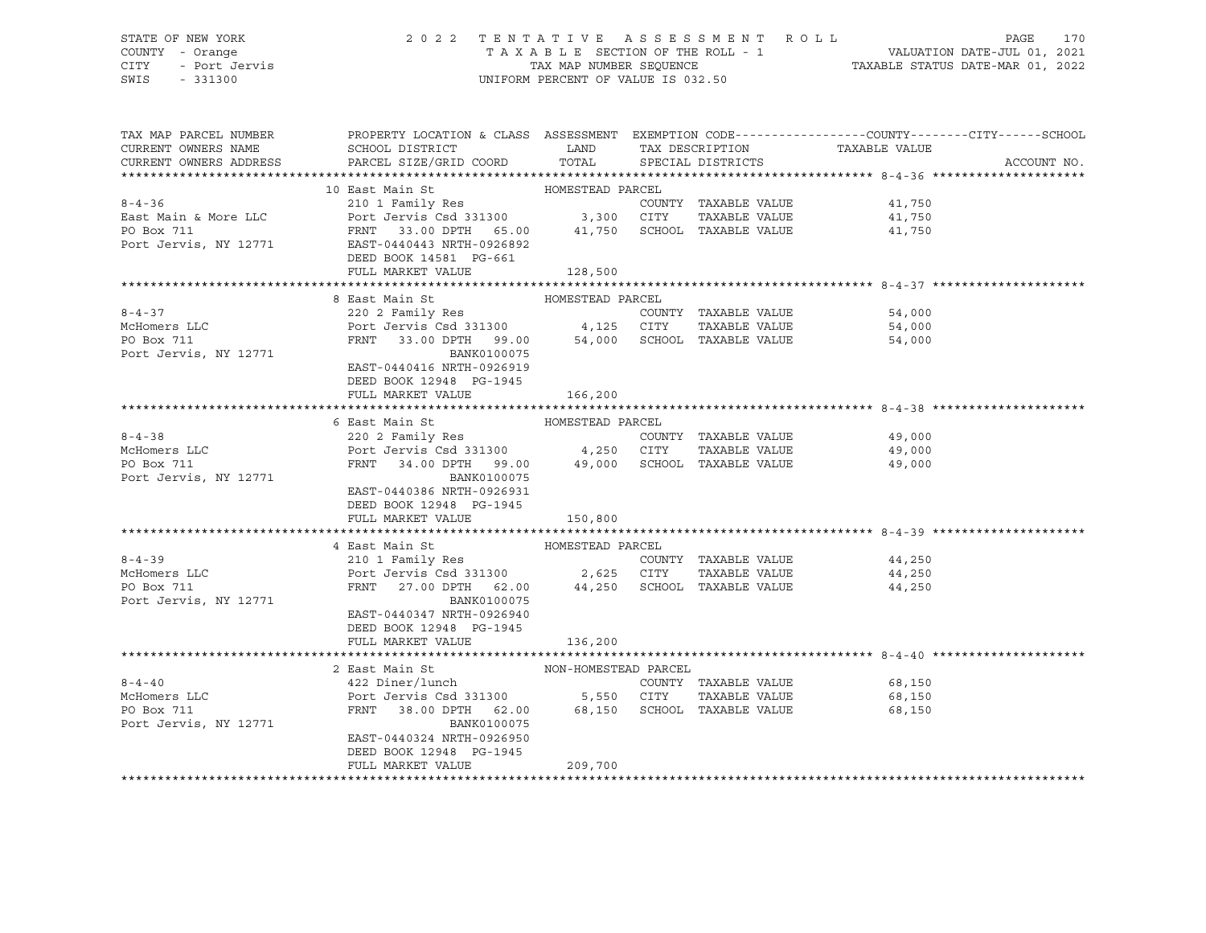## STATE OF NEW YORK 2 0 2 2 T E N T A T I V E A S S E S S M E N T R O L L PAGE 170 COUNTY - Orange T A X A B L E SECTION OF THE ROLL - 1 VALUATION DATE-JUL 01, 2021 CITY - Port Jervis TAX MAP NUMBER SEQUENCE TAXABLE STATUS DATE-MAR 01, 2022

| TAX MAP PARCEL NUMBER<br>CURRENT OWNERS NAME<br>CURRENT OWNERS ADDRESS | PROPERTY LOCATION & CLASS ASSESSMENT EXEMPTION CODE----------------COUNTY-------CITY------SCHOOL<br>SCHOOL DISTRICT<br>PARCEL SIZE/GRID COORD TOTAL |                  | LAND TAX DESCRIPTION | TAX DESCRIPTION TAXABLE VALUE SPECIAL DISTRICTS | ACCOUNT NO. |
|------------------------------------------------------------------------|-----------------------------------------------------------------------------------------------------------------------------------------------------|------------------|----------------------|-------------------------------------------------|-------------|
|                                                                        |                                                                                                                                                     |                  |                      |                                                 |             |
|                                                                        |                                                                                                                                                     |                  |                      |                                                 |             |
| $8 - 4 - 36$                                                           |                                                                                                                                                     |                  | COUNTY TAXABLE VALUE |                                                 |             |
| East Main & More LLC                                                   |                                                                                                                                                     |                  | TAXABLE VALUE        | 41,750<br>41,750                                |             |
| PO Box 711                                                             |                                                                                                                                                     |                  |                      |                                                 |             |
| Port Jervis, NY 12771                                                  | FRNT 33.00 DPTH 65.00 41,750 SCHOOL TAXABLE VALUE 41,750<br>EAST-0440443 NRTH-0926892                                                               |                  |                      |                                                 |             |
|                                                                        | DEED BOOK 14581 PG-661                                                                                                                              |                  |                      |                                                 |             |
|                                                                        | FULL MARKET VALUE                                                                                                                                   | 128,500          |                      |                                                 |             |
|                                                                        |                                                                                                                                                     |                  |                      |                                                 |             |
|                                                                        | 8 East Main St                                                                                                                                      | HOMESTEAD PARCEL |                      |                                                 |             |
| $8 - 4 - 37$                                                           | 220 2 Family Res                                                                                                                                    |                  |                      | COUNTY TAXABLE VALUE 54,000                     |             |
| $8-4-3$<br>McHomers LLC                                                | Port Jervis Csd 331300   4,125   CITY   TAXABLE VALUE<br>FRNT   33.00   DPTH   99.00   54,000   SCHOOL   TAXABLE VALUE                              |                  |                      | 54,000<br>54,000                                |             |
|                                                                        |                                                                                                                                                     |                  |                      |                                                 |             |
| Port Jervis, NY 12771                                                  | BANK0100075                                                                                                                                         |                  |                      |                                                 |             |
|                                                                        | EAST-0440416 NRTH-0926919                                                                                                                           |                  |                      |                                                 |             |
|                                                                        | DEED BOOK 12948 PG-1945                                                                                                                             |                  |                      |                                                 |             |
|                                                                        | FULL MARKET VALUE                                                                                                                                   | 166, 200         |                      |                                                 |             |
|                                                                        |                                                                                                                                                     |                  |                      |                                                 |             |
|                                                                        | 6 East Main St                                                                                                                                      | HOMESTEAD PARCEL |                      |                                                 |             |
| $8 - 4 - 38$                                                           |                                                                                                                                                     |                  |                      |                                                 |             |
| 8-4-30<br>McHomers LLC                                                 | 220 2 Family Res<br>Port Jervis Csd 331300 4,250 CITY TAXABLE VALUE<br>FRNT 34.00 DPTH 99.00 49,000 SCHOOL TAXABLE VALUE 49,000                     |                  |                      |                                                 |             |
|                                                                        |                                                                                                                                                     |                  |                      |                                                 |             |
| Port Jervis, NY 12771                                                  | BANK0100075                                                                                                                                         |                  |                      |                                                 |             |
|                                                                        | EAST-0440386 NRTH-0926931                                                                                                                           |                  |                      |                                                 |             |
|                                                                        | DEED BOOK 12948 PG-1945                                                                                                                             |                  |                      |                                                 |             |
|                                                                        | FULL MARKET VALUE                                                                                                                                   | 150,800          |                      |                                                 |             |
|                                                                        | 4 East Main St                                                                                                                                      | HOMESTEAD PARCEL |                      |                                                 |             |
| $8 - 4 - 39$                                                           |                                                                                                                                                     |                  |                      |                                                 |             |
|                                                                        |                                                                                                                                                     |                  |                      | COUNTY TAXABLE VALUE 44,250<br>44,250           |             |
| McHomers LLC                                                           | 210 1 Family Res<br>Port Jervis Csd 331300 2,625 CITY TAXABLE VALUE<br>FRNT 27.00 DPTH 62.00 44,250 SCHOOL TAXABLE VALUE                            |                  |                      | 44,250                                          |             |
| Port Jervis, NY 12771                                                  | BANK0100075                                                                                                                                         |                  |                      |                                                 |             |
|                                                                        | EAST-0440347 NRTH-0926940                                                                                                                           |                  |                      |                                                 |             |
|                                                                        | DEED BOOK 12948 PG-1945                                                                                                                             |                  |                      |                                                 |             |
|                                                                        | FULL MARKET VALUE                                                                                                                                   | 136,200          |                      |                                                 |             |
|                                                                        |                                                                                                                                                     |                  |                      |                                                 |             |
|                                                                        | 2 East Main St NON-HOMESTEAD PARCEL                                                                                                                 |                  |                      |                                                 |             |
| $8 - 4 - 40$                                                           |                                                                                                                                                     |                  |                      | COUNTY TAXABLE VALUE 68,150                     |             |
| McHomers LLC                                                           |                                                                                                                                                     |                  |                      | 68,150                                          |             |
| PO Box 711                                                             |                                                                                                                                                     |                  |                      | 68,150                                          |             |
| Port Jervis, NY 12771                                                  | BANK0100075                                                                                                                                         |                  |                      |                                                 |             |
|                                                                        | EAST-0440324 NRTH-0926950                                                                                                                           |                  |                      |                                                 |             |
|                                                                        | DEED BOOK 12948 PG-1945                                                                                                                             |                  |                      |                                                 |             |
|                                                                        | FULL MARKET VALUE                                                                                                                                   | 209,700          |                      |                                                 |             |
|                                                                        |                                                                                                                                                     |                  |                      |                                                 |             |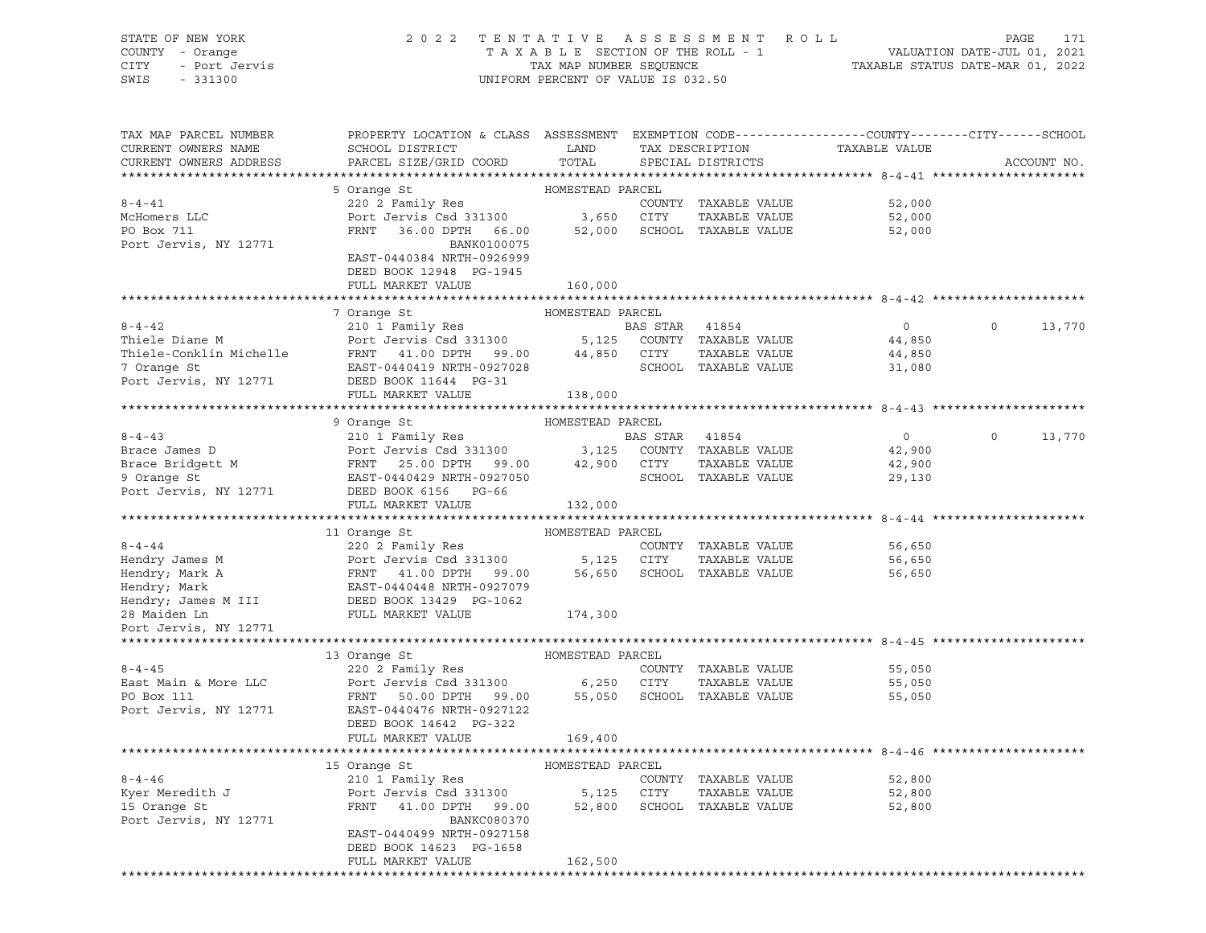# STATE OF NEW YORK 2 0 2 2 T E N T A T I V E A S S E S S M E N T R O L L PAGE 171 COUNTY - Orange T A X A B L E SECTION OF THE ROLL - 1 VALUATION DATE-JUL 01, 2021 CITY - Port Jervis TAX MAP NUMBER SEQUENCE TAXABLE STATUS DATE-MAR 01, 2022

| TAX MAP PARCEL NUMBER<br>CURRENT OWNERS NAME                                                                                                                         | PROPERTY LOCATION & CLASS ASSESSMENT EXEMPTION CODE----------------COUNTY-------CITY------SCHOOL<br>SCHOOL DISTRICT         | LAND             |                | TAX DESCRIPTION                  | TAXABLE VALUE  |             |        |
|----------------------------------------------------------------------------------------------------------------------------------------------------------------------|-----------------------------------------------------------------------------------------------------------------------------|------------------|----------------|----------------------------------|----------------|-------------|--------|
| CURRENT OWNERS ADDRESS                                                                                                                                               | PARCEL SIZE/GRID COORD                                                                                                      | TOTAL            |                | SPECIAL DISTRICTS                |                | ACCOUNT NO. |        |
|                                                                                                                                                                      |                                                                                                                             |                  |                |                                  |                |             |        |
|                                                                                                                                                                      | 5 Orange St                                                                                                                 | HOMESTEAD PARCEL |                |                                  |                |             |        |
| $8 - 4 - 41$                                                                                                                                                         | 220 2 Family Res                                                                                                            |                  |                | COUNTY TAXABLE VALUE             | 52,000         |             |        |
| McHomers LLC                                                                                                                                                         | Port Jervis Csd 331300 3,650 CITY                                                                                           |                  |                | TAXABLE VALUE                    | 52,000         |             |        |
| PO Box 711                                                                                                                                                           | FRNT 36.00 DPTH 66.00                                                                                                       | 52,000           |                | SCHOOL TAXABLE VALUE             | 52,000         |             |        |
| Port Jervis, NY 12771                                                                                                                                                | BANK0100075                                                                                                                 |                  |                |                                  |                |             |        |
|                                                                                                                                                                      | EAST-0440384 NRTH-0926999                                                                                                   |                  |                |                                  |                |             |        |
|                                                                                                                                                                      | DEED BOOK 12948 PG-1945                                                                                                     |                  |                |                                  |                |             |        |
|                                                                                                                                                                      | FULL MARKET VALUE                                                                                                           | 160,000          |                |                                  |                |             |        |
|                                                                                                                                                                      |                                                                                                                             |                  |                |                                  |                |             |        |
|                                                                                                                                                                      | 7 Orange St                                                                                                                 | HOMESTEAD PARCEL |                |                                  |                |             |        |
| $8 - 4 - 42$                                                                                                                                                         | 210 1 Family Res                                                                                                            |                  | BAS STAR 41854 |                                  | $\overline{0}$ | $\circ$     | 13,770 |
| Thiele Diane M                                                                                                                                                       |                                                                                                                             |                  |                |                                  | 44,850         |             |        |
|                                                                                                                                                                      |                                                                                                                             |                  |                | TAXABLE VALUE                    | 44,850         |             |        |
| $\begin{tabular}{lcccccc} \bf{Thiele-Conklin\; Michelle & \tt FRNT & 41.00 DPTH & 99.00 & 44,850 & CITY \\ 7.0 range \; {\tt St} & & & & & & & & & \\ \end{tabular}$ |                                                                                                                             |                  |                | SCHOOL TAXABLE VALUE             | 31,080         |             |        |
| Port Jervis, NY 12771                                                                                                                                                | DEED BOOK 11644 PG-31                                                                                                       |                  |                |                                  |                |             |        |
|                                                                                                                                                                      | FULL MARKET VALUE                                                                                                           | 138,000          |                |                                  |                |             |        |
|                                                                                                                                                                      |                                                                                                                             |                  |                |                                  |                |             |        |
|                                                                                                                                                                      | 9 Orange St                                                                                                                 | HOMESTEAD PARCEL |                |                                  |                |             |        |
| $8 - 4 - 43$                                                                                                                                                         | 210 1 Family Res                                                                                                            |                  | BAS STAR 41854 |                                  | $\overline{0}$ | $\Omega$    | 13,770 |
| Brace James D                                                                                                                                                        |                                                                                                                             |                  |                |                                  | 42,900         |             |        |
|                                                                                                                                                                      |                                                                                                                             |                  |                |                                  |                |             |        |
| Brace Bridgett M<br>9 Orange St                                                                                                                                      |                                                                                                                             |                  |                |                                  | 42,900         |             |        |
| Port Jervis, NY 12771                                                                                                                                                | Port Jervis Csd 331300<br>PRNT 25.00 DPTH 99.00 42,900 CITY TAXABLE VALUE<br>EAST-0440429 NRTH-0927050 SCHOOL TAXABLE VALUE |                  |                |                                  | 29,130         |             |        |
|                                                                                                                                                                      | DEED BOOK 6156 PG-66                                                                                                        |                  |                |                                  |                |             |        |
|                                                                                                                                                                      | FULL MARKET VALUE                                                                                                           | 132,000          |                |                                  |                |             |        |
|                                                                                                                                                                      |                                                                                                                             | HOMESTEAD PARCEL |                |                                  |                |             |        |
| $8 - 4 - 44$                                                                                                                                                         | 11 Orange St                                                                                                                |                  |                |                                  |                |             |        |
|                                                                                                                                                                      | 220 2 Family Res                                                                                                            |                  |                | COUNTY TAXABLE VALUE             | 56,650         |             |        |
| Hendry James M                                                                                                                                                       | Port Jervis Csd 331300 5,125 CITY<br>FRNT 41.00 DPTH 99.00 56,650 SCHOO<br>EAST-0440448 NRTH-0927079                        |                  |                | TAXABLE VALUE                    | 56,650         |             |        |
| Hendry; Mark A                                                                                                                                                       |                                                                                                                             |                  |                | SCHOOL TAXABLE VALUE             | 56,650         |             |        |
| Hendry; Mark                                                                                                                                                         |                                                                                                                             |                  |                |                                  |                |             |        |
| Hendry; James M III DEED BOOK 13429 PG-1062                                                                                                                          |                                                                                                                             |                  |                |                                  |                |             |        |
| 28 Maiden Ln                                                                                                                                                         | FULL MARKET VALUE                                                                                                           | 174,300          |                |                                  |                |             |        |
| Port Jervis, NY 12771                                                                                                                                                |                                                                                                                             |                  |                |                                  |                |             |        |
|                                                                                                                                                                      |                                                                                                                             |                  |                |                                  |                |             |        |
|                                                                                                                                                                      | 13 Orange St                                                                                                                | HOMESTEAD PARCEL |                |                                  |                |             |        |
| $8 - 4 - 45$                                                                                                                                                         | 220 2 Family Res                                                                                                            |                  |                | COUNTY TAXABLE VALUE             | 55,050         |             |        |
| East Main & More LLC                                                                                                                                                 | Port Jervis Csd 331300 6,250 CITY                                                                                           |                  |                | TAXABLE VALUE                    | 55,050         |             |        |
| PO Box 111                                                                                                                                                           | FRNT 50.00 DPTH 99.00                                                                                                       |                  |                | 55,050 SCHOOL TAXABLE VALUE      | 55,050         |             |        |
| Port Jervis, NY 12771                                                                                                                                                | EAST-0440476 NRTH-0927122                                                                                                   |                  |                |                                  |                |             |        |
|                                                                                                                                                                      | DEED BOOK 14642 PG-322                                                                                                      |                  |                |                                  |                |             |        |
|                                                                                                                                                                      | FULL MARKET VALUE                                                                                                           | 169,400          |                |                                  |                |             |        |
|                                                                                                                                                                      |                                                                                                                             |                  |                |                                  |                |             |        |
|                                                                                                                                                                      | 15 Orange St                                                                                                                | HOMESTEAD PARCEL |                |                                  |                |             |        |
| $8 - 4 - 46$                                                                                                                                                         | 210 1 Family Res                                                                                                            |                  |                | COUNTY TAXABLE VALUE             | 52,800         |             |        |
| Kyer Meredith J                                                                                                                                                      | Port Jervis Csd 331300                                                                                                      | 5,125            | CITY           | TAXABLE VALUE                    | 52,800         |             |        |
| 15 Orange St                                                                                                                                                         | FRNT 41.00 DPTH 99.00                                                                                                       |                  |                | 52,800 SCHOOL TAXABLE VALUE      | 52,800         |             |        |
| Port Jervis, NY 12771                                                                                                                                                | BANKC080370                                                                                                                 |                  |                |                                  |                |             |        |
|                                                                                                                                                                      | EAST-0440499 NRTH-0927158                                                                                                   |                  |                |                                  |                |             |        |
|                                                                                                                                                                      | DEED BOOK 14623 PG-1658                                                                                                     |                  |                |                                  |                |             |        |
|                                                                                                                                                                      | FULL MARKET VALUE                                                                                                           | 162,500          |                |                                  |                |             |        |
|                                                                                                                                                                      |                                                                                                                             |                  |                | ******************************** |                |             |        |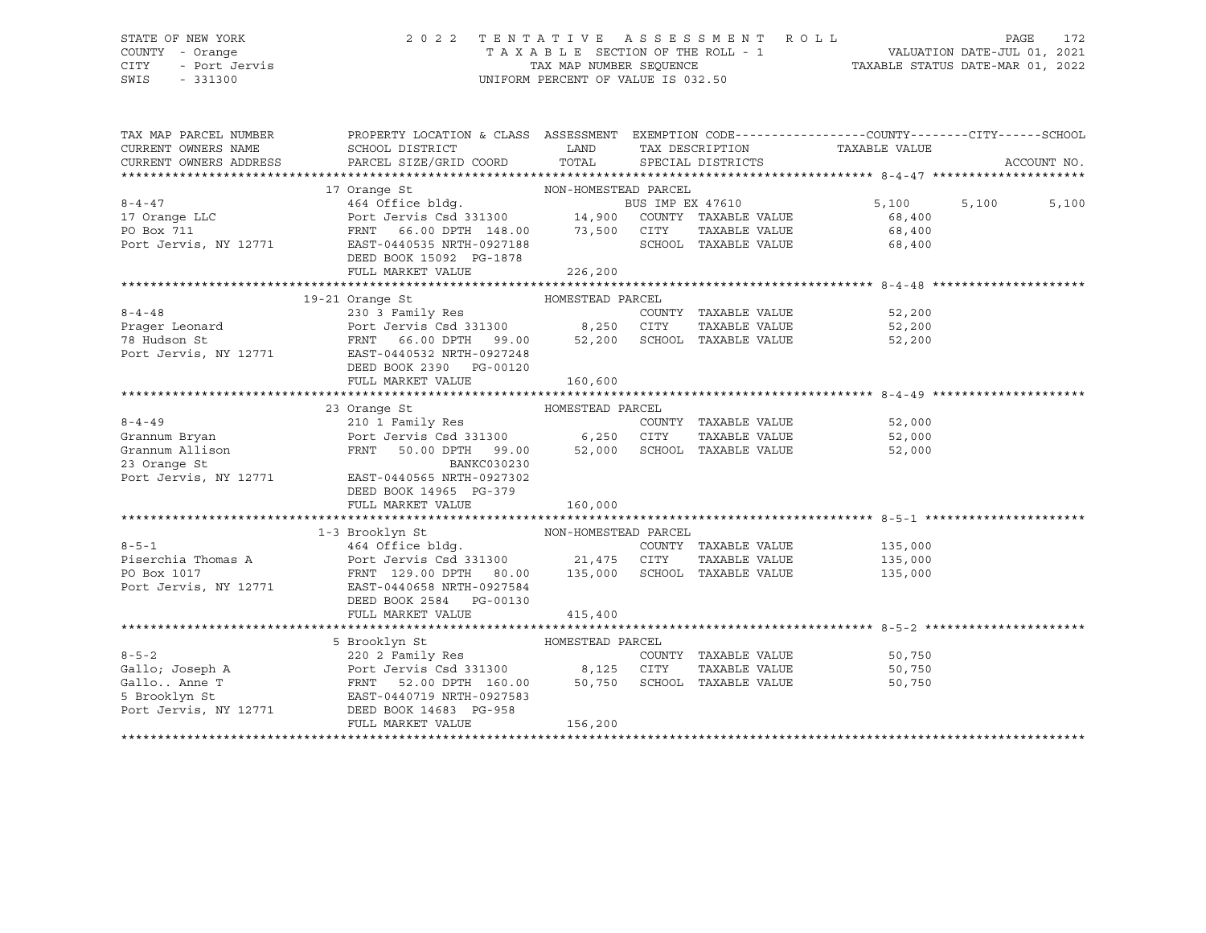# STATE OF NEW YORK 2 0 2 2 T E N T A T I V E A S S E S S M E N T R O L L PAGE 172 COUNTY - Orange T A X A B L E SECTION OF THE ROLL - 1 VALUATION DATE-JUL 01, 2021 CITY - Port Jervis TAX MAP NUMBER SEQUENCE TAXABLE STATUS DATE-MAR 01, 2022

| TAX MAP PARCEL NUMBER<br>CURRENT OWNERS NAME | PROPERTY LOCATION & CLASS ASSESSMENT EXEMPTION CODE----------------COUNTY-------CITY------SCHOOL<br>SCHOOL DISTRICT<br>CURRENT OWNERS ADDRESS FARCEL SIZE/GRID COORD TOTAL SPECIAL DISTRICTS                                                                                                                                                                                                        | LAND                        |                                                               | TAX DESCRIPTION TAXABLE VALUE                     | ACCOUNT NO.    |
|----------------------------------------------|-----------------------------------------------------------------------------------------------------------------------------------------------------------------------------------------------------------------------------------------------------------------------------------------------------------------------------------------------------------------------------------------------------|-----------------------------|---------------------------------------------------------------|---------------------------------------------------|----------------|
|                                              | 17 Orange St<br>$\begin{minipage}{.4\linewidth} \textbf{NON-HOMESTEAD} \quad \textbf{PARCEL} \end{minipage}$<br>8-4-47 10<br>17 Orange LLC 2010 2011 2011 2011 2011 2013 2014 2014 2013<br>2011 2011 2011 2013 2014 2013 2014 2014 2015 2016 2017 2018<br>2013 2014 2013 2014 2014 2015 2016 2017 2014 2015 2016 2017 2014 2016 2017 2014 2016 2017<br>DEED BOOK 15092 PG-1878<br>FULL MARKET VALUE | 226,200                     | SCHOOL TAXABLE VALUE                                          | 5,100<br>68,400<br>TAXABLE VALUE 68,400<br>68,400 | 5,100<br>5,100 |
|                                              | 19-21 Orange St<br>HOMESTEAD PARCEL<br>$\begin{array}{ccccccccc} 8-4-48 &&&&&&&&&230&3&Fami1y Res\\ \texttt{Prager Leonard} &&&&&&&\texttt{Port Jervis Csd 331300} &&&&&8,250&CITY\\ 78 Hudson St &&&&&&&\texttt{FRNT} && 66.00 DPTH && 99.00 && && 52,200&SCHOC\\ \end{array}$<br>Port Jervis, NY 12771 EAST-0440532 NRTH-0927248<br>DEED BOOK 2390 PG-00120<br>FULL MARKET VALUE                  | 160,600                     | COUNTY TAXABLE VALUE<br>TAXABLE VALUE<br>SCHOOL TAXABLE VALUE | 52,200<br>52.200<br>52,200<br>52,200              |                |
|                                              | Grannum Bryan<br>Grannum Bryan<br>Grannum Allison<br>Port Jervis Csd 331300 6,250 CONTY<br>Port Jervis William (199.00 52.000 CONTY<br>Port Jervis William (199.00 52.000 CONTY<br>Port Jervis William (199.00 52.000 Control<br>Port Jervis<br>Port Jervis, NY 12771 EAST-0440565 NRTH-0927302<br>DEED BOOK 14965 PG-379<br>FULL MARKET VALUE                                                      | 160,000                     | TAXABLE VALUE<br>50.00 DPTH 99.00 52,000 SCHOOL TAXABLE VALUE | COUNTY TAXABLE VALUE 52,000<br>52,000<br>52,000   |                |
| Port Jervis, NY 12771                        | NON-HOMESTEAD PARCEL<br>1-3 Brooklyn St<br>8-5-1 (135,000 MHz) 464 Office bldg.<br>9-5-1 (2000) Piserchia Thomas A (135,000 Port Jervis Csd 331300 (135,000 21,475 CITY TAXABLE VALUE (135,000<br>21,475 CITY TAXABLE VALUE (135,000 PORTR) 129.00 DPTH 20.00 (135,000 SCHOOL<br>EAST-0440658 NRTH-0927584<br>DEED BOOK 2584 PG-00130<br>FULL MARKET VALUE                                          | 415,400                     |                                                               |                                                   |                |
| Port Jervis, NY 12771                        | 5 Brooklyn St<br>DEED BOOK 14683 PG-958<br>FULL MARKET VALUE                                                                                                                                                                                                                                                                                                                                        | HOMESTEAD PARCEL<br>156,200 |                                                               | COUNTY TAXABLE VALUE 50,750<br>50,750<br>50,750   |                |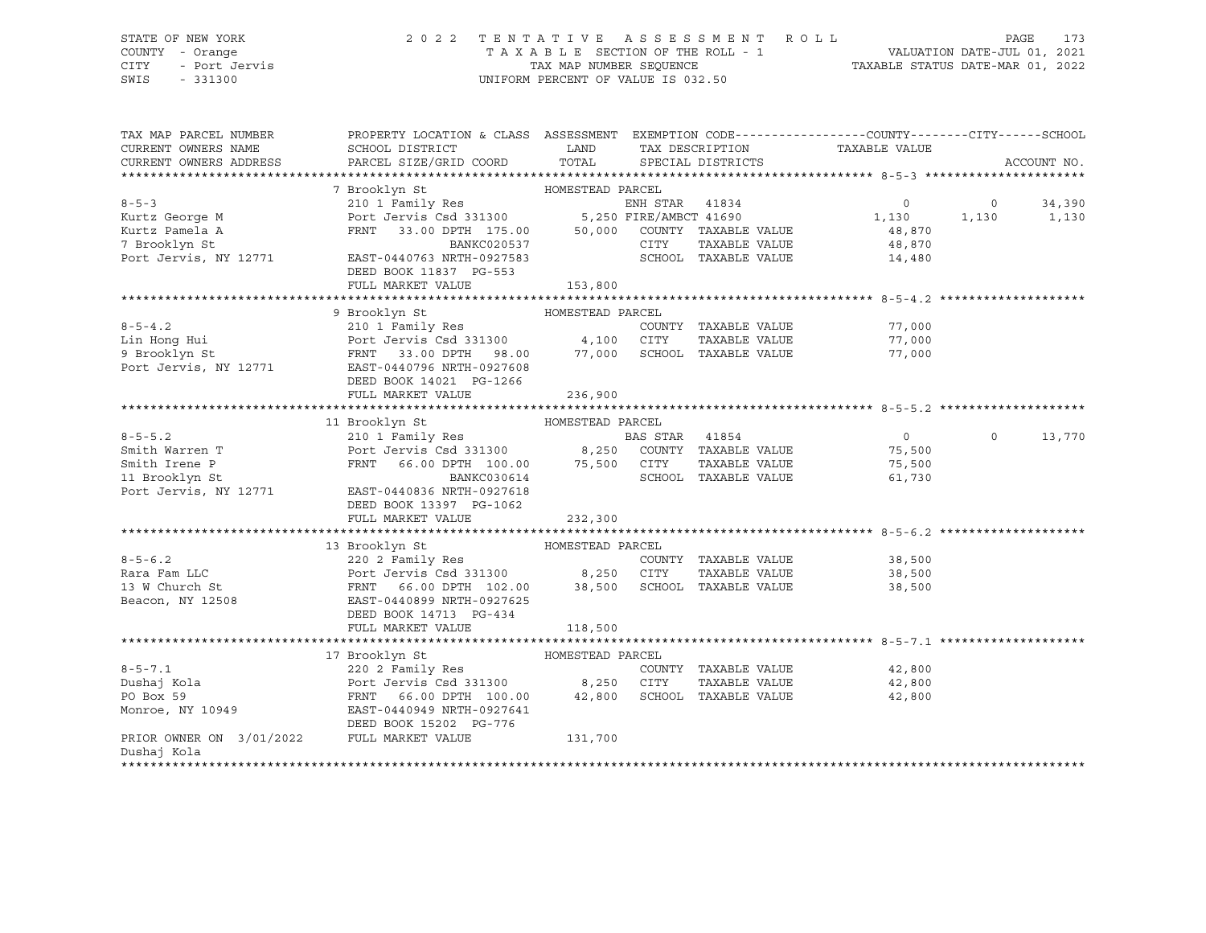### STATE OF NEW YORK 2 0 2 2 T E N T A T I V E A S S E S S M E N T R O L L PAGE 173 COUNTY - Orange T A X A B L E SECTION OF THE ROLL - 1 VALUATION DATE-JUL 01, 2021 CITY - Port Jervis TAX MAP NUMBER SEQUENCE TAXABLE STATUS DATE-MAR 01, 2022

| TAX MAP PARCEL NUMBER<br>CURRENT OWNERS NAME                                  | PROPERTY LOCATION & CLASS ASSESSMENT EXEMPTION CODE----------------COUNTY-------CITY------SCHOOL<br>SCHOOL DISTRICT                                                                                                                          | LAND    |      |                                       |                               |                |             |
|-------------------------------------------------------------------------------|----------------------------------------------------------------------------------------------------------------------------------------------------------------------------------------------------------------------------------------------|---------|------|---------------------------------------|-------------------------------|----------------|-------------|
|                                                                               | PARCEL SIZE/GRID COORD                                                                                                                                                                                                                       | TOTAL   |      |                                       | TAX DESCRIPTION TAXABLE VALUE |                | ACCOUNT NO. |
| CURRENT OWNERS ADDRESS                                                        |                                                                                                                                                                                                                                              |         |      | SPECIAL DISTRICTS                     |                               |                |             |
|                                                                               |                                                                                                                                                                                                                                              |         |      |                                       |                               |                |             |
| $8 - 5 - 3$                                                                   |                                                                                                                                                                                                                                              |         |      |                                       | $\circ$                       |                |             |
|                                                                               |                                                                                                                                                                                                                                              |         |      |                                       |                               | $\overline{0}$ | 34,390      |
| Kurtz George M                                                                |                                                                                                                                                                                                                                              |         |      |                                       | 1,130                         | 1,130          | 1,130       |
| Kurtz Pamela A                                                                |                                                                                                                                                                                                                                              |         | CITY |                                       | 48,870                        |                |             |
| 7 Brooklyn St<br>Port Jervis, NY 12771                                        | BANKC020537<br>EAST-0440763 NRTH-0927583                                                                                                                                                                                                     |         |      | TAXABLE VALUE                         | 48,870<br>14,480              |                |             |
|                                                                               |                                                                                                                                                                                                                                              |         |      | SCHOOL TAXABLE VALUE                  |                               |                |             |
|                                                                               | DEED BOOK 11837 PG-553                                                                                                                                                                                                                       |         |      |                                       |                               |                |             |
|                                                                               | FULL MARKET VALUE                                                                                                                                                                                                                            | 153,800 |      |                                       |                               |                |             |
|                                                                               |                                                                                                                                                                                                                                              |         |      |                                       |                               |                |             |
|                                                                               | 9 Brooklyn St<br>210 1 Family Res<br>210 1 Family Res<br>210 1 Family Res<br>210 210 217Y TAXABLE VALUE<br>210 2000 2000 2011Y TAXABLE VALUE<br>23.00 DPTH 98.00 277,000 SCHOOL TAXABLE VALUE<br>23.00 DPTH 98.00 277,000 SCHOOL TAXABLE VAL |         |      |                                       |                               |                |             |
|                                                                               |                                                                                                                                                                                                                                              |         |      |                                       | 77,000                        |                |             |
|                                                                               |                                                                                                                                                                                                                                              |         |      | TAXABLE VALUE                         | 77,000                        |                |             |
|                                                                               |                                                                                                                                                                                                                                              |         |      |                                       | 77,000                        |                |             |
| Port Jervis, NY 12771                                                         | EAST-0440796 NRTH-0927608                                                                                                                                                                                                                    |         |      |                                       |                               |                |             |
|                                                                               | DEED BOOK 14021 PG-1266                                                                                                                                                                                                                      |         |      |                                       |                               |                |             |
|                                                                               | FULL MARKET VALUE                                                                                                                                                                                                                            | 236,900 |      |                                       |                               |                |             |
|                                                                               |                                                                                                                                                                                                                                              |         |      |                                       |                               |                |             |
|                                                                               | HOMESTEAD PARCEL<br>11 Brooklyn St                                                                                                                                                                                                           |         |      |                                       |                               |                |             |
| $8 - 5 - 5.2$<br>8-5-5.2<br>Smith Warren T<br>Smith Irene P<br>11 Brooklyn St |                                                                                                                                                                                                                                              |         |      |                                       | $\overline{0}$                | $\circ$        | 13,770      |
|                                                                               |                                                                                                                                                                                                                                              |         |      |                                       | 75,500                        |                |             |
|                                                                               | FRNT 66.00 DPTH 100.00 75,500 CITY<br>BANKC030614 SCHOOL                                                                                                                                                                                     |         |      |                                       | TAXABLE VALUE 75,500          |                |             |
| Port Jervis, NY 12771                                                         |                                                                                                                                                                                                                                              |         |      | SCHOOL TAXABLE VALUE                  | 61,730                        |                |             |
|                                                                               | EAST-0440836 NRTH-0927618                                                                                                                                                                                                                    |         |      |                                       |                               |                |             |
|                                                                               | DEED BOOK 13397 PG-1062                                                                                                                                                                                                                      |         |      |                                       |                               |                |             |
|                                                                               | FULL MARKET VALUE                                                                                                                                                                                                                            | 232,300 |      |                                       |                               |                |             |
|                                                                               |                                                                                                                                                                                                                                              |         |      |                                       |                               |                |             |
|                                                                               | 13 Brooklyn St<br>HOMESTEAD PARCEL<br>$220$ 2 Family Res                                                                                                                                                                                     |         |      |                                       |                               |                |             |
| $8 - 5 - 6.2$                                                                 |                                                                                                                                                                                                                                              |         |      |                                       | COUNTY TAXABLE VALUE 38,500   |                |             |
| Rara Fam LLC                                                                  |                                                                                                                                                                                                                                              |         |      | TAXABLE VALUE                         | 38,500                        |                |             |
| 13 W Church St                                                                | EAST-0440899 NRTH-0927625                                                                                                                                                                                                                    |         |      |                                       | 38,500                        |                |             |
| Beacon, NY 12508                                                              |                                                                                                                                                                                                                                              |         |      |                                       |                               |                |             |
|                                                                               | DEED BOOK 14713 PG-434<br>FULL MARKET VALUE                                                                                                                                                                                                  |         |      |                                       |                               |                |             |
|                                                                               |                                                                                                                                                                                                                                              | 118,500 |      |                                       |                               |                |             |
|                                                                               |                                                                                                                                                                                                                                              |         |      |                                       |                               |                |             |
| $8 - 5 - 7.1$                                                                 |                                                                                                                                                                                                                                              |         |      |                                       |                               |                |             |
| Dushaj Kola                                                                   |                                                                                                                                                                                                                                              |         |      | COUNTY TAXABLE VALUE<br>TAXABLE VALUE | 42,800<br>42,800              |                |             |
|                                                                               |                                                                                                                                                                                                                                              |         |      | SCHOOL TAXABLE VALUE                  |                               |                |             |
| PO Box 59                                                                     | HOMESTEAD PARCEL<br>220 2 Family Res<br>Port Jervis Csd 331300 8,250 CITY<br>FRNT 66.00 DPTH 100.00 42,800 SCHOOL<br>EAST-0440949 NRTH-0977641                                                                                               |         |      |                                       | 42,800                        |                |             |
| Monroe, NY 10949                                                              |                                                                                                                                                                                                                                              |         |      |                                       |                               |                |             |
|                                                                               | DEED BOOK 15202 PG-776<br>FULL MARKET VALUE                                                                                                                                                                                                  |         |      |                                       |                               |                |             |
| PRIOR OWNER ON 3/01/2022<br>Dushaj Kola                                       |                                                                                                                                                                                                                                              | 131,700 |      |                                       |                               |                |             |
|                                                                               |                                                                                                                                                                                                                                              |         |      |                                       |                               |                |             |
|                                                                               |                                                                                                                                                                                                                                              |         |      |                                       |                               |                |             |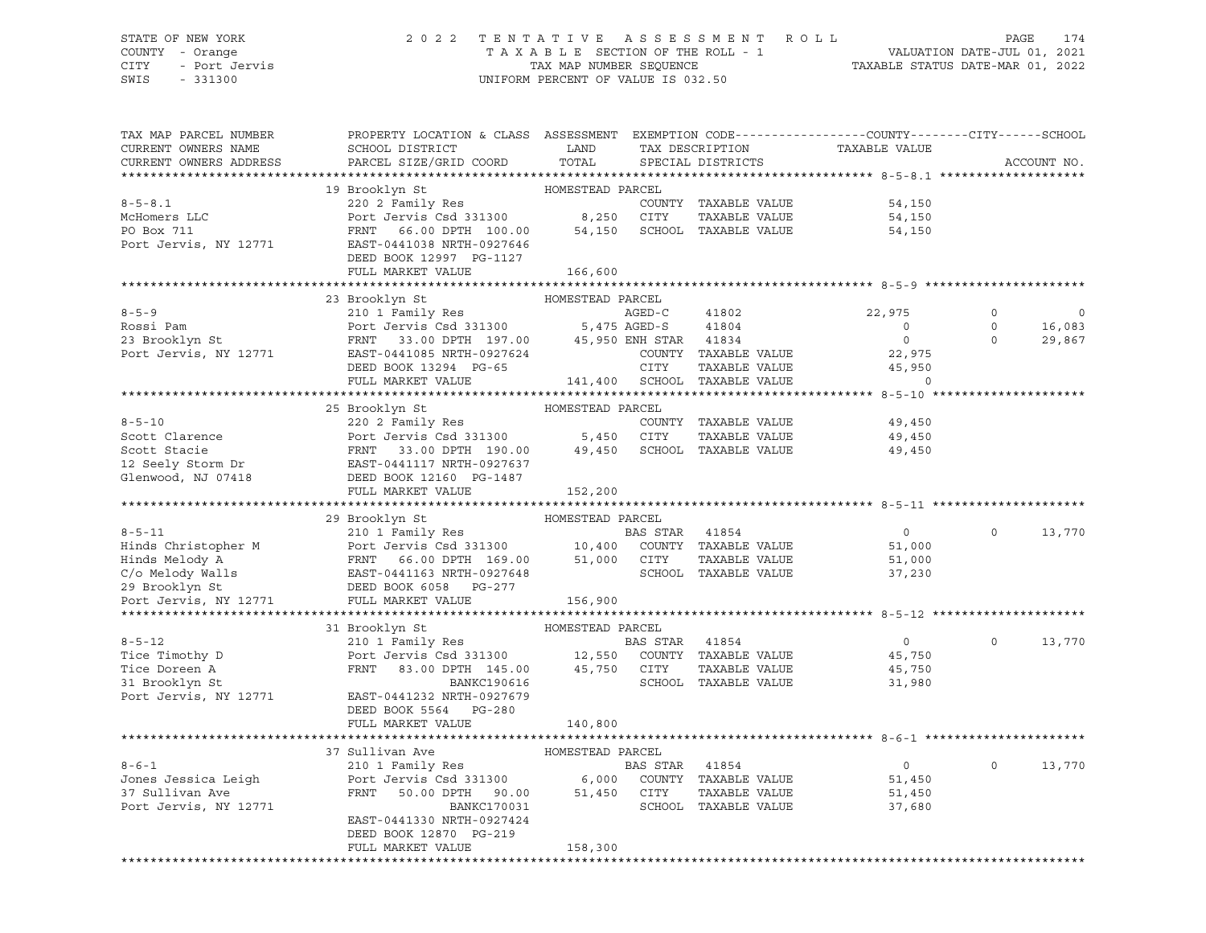### STATE OF NEW YORK 2 0 2 2 T E N T A T I V E A S S E S S M E N T R O L L PAGE 174 COUNTY - Orange T A X A B L E SECTION OF THE ROLL - 1 VALUATION DATE-JUL 01, 2021 CITY - Port Jervis TAX MAP NUMBER SEQUENCE TAXABLE STATUS DATE-MAR 01, 2022

SWIS - 331300 UNIFORM PERCENT OF VALUE IS 032.50

| TAX MAP PARCEL NUMBER<br>CURRENT OWNERS NAME<br>CURRENT OWNERS ADDRESS | PROPERTY LOCATION & CLASS ASSESSMENT EXEMPTION CODE----------------COUNTY-------CITY------SCHOOL<br>SCHOOL DISTRICT<br>PARCEL SIZE/GRID COORD | LAND<br>TOTAL    |          | TAX DESCRIPTION<br>SPECIAL DISTRICTS | TAXABLE VALUE     |          | ACCOUNT NO. |
|------------------------------------------------------------------------|-----------------------------------------------------------------------------------------------------------------------------------------------|------------------|----------|--------------------------------------|-------------------|----------|-------------|
| **********************                                                 |                                                                                                                                               |                  |          |                                      |                   |          |             |
|                                                                        | 19 Brooklyn St                                                                                                                                | HOMESTEAD PARCEL |          |                                      |                   |          |             |
| $8 - 5 - 8.1$                                                          | 220 2 Family Res<br>Port Jervis Csd 331300 8,250                                                                                              |                  |          | COUNTY TAXABLE VALUE                 | 54,150            |          |             |
| McHomers LLC                                                           |                                                                                                                                               |                  | CITY     | TAXABLE VALUE                        | 54,150            |          |             |
| PO Box 711                                                             | FRNT 66.00 DPTH 100.00                                                                                                                        | 54,150           |          | SCHOOL TAXABLE VALUE                 | 54,150            |          |             |
| Port Jervis, NY 12771                                                  | EAST-0441038 NRTH-0927646                                                                                                                     |                  |          |                                      |                   |          |             |
|                                                                        | DEED BOOK 12997 PG-1127<br>FULL MARKET VALUE                                                                                                  | 166,600          |          |                                      |                   |          |             |
|                                                                        |                                                                                                                                               |                  |          |                                      |                   |          |             |
|                                                                        | 23 Brooklyn St                                                                                                                                | HOMESTEAD PARCEL |          |                                      |                   |          |             |
| $8 - 5 - 9$                                                            | 210 1 Family Res                                                                                                                              |                  | AGED-C   | 41802                                | 22,975            | 0        |             |
| Rossi Pam                                                              | Port Jervis Csd 331300 5,475 AGED-S                                                                                                           |                  |          | 41804                                | $\circ$           | $\Omega$ | 16,083      |
| 23 Brooklyn St                                                         | FRNT 33.00 DPTH 197.00 45,950 ENH STAR 41834                                                                                                  |                  |          |                                      | $\overline{0}$    | $\Omega$ | 29,867      |
| Port Jervis, NY 12771                                                  | EAST-0441085 NRTH-0927624                                                                                                                     |                  |          | COUNTY TAXABLE VALUE                 | 22,975            |          |             |
|                                                                        | DEED BOOK 13294 PG-65                                                                                                                         |                  | CITY     | TAXABLE VALUE                        | 45,950            |          |             |
|                                                                        | FULL MARKET VALUE                                                                                                                             |                  |          | 141,400 SCHOOL TAXABLE VALUE         | $\cap$            |          |             |
|                                                                        |                                                                                                                                               |                  |          |                                      |                   |          |             |
|                                                                        | 25 Brooklyn St                                                                                                                                | HOMESTEAD PARCEL |          |                                      |                   |          |             |
| $8 - 5 - 10$                                                           | 220 2 Family Res                                                                                                                              |                  |          | COUNTY TAXABLE VALUE                 | 49,450            |          |             |
| Scott Clarence                                                         | Port Jervis Csd 331300 5,450 CITY                                                                                                             |                  |          | TAXABLE VALUE                        | 49,450            |          |             |
| Scott Stacie                                                           | FRNT 33.00 DPTH 190.00                                                                                                                        | 49,450           |          | SCHOOL TAXABLE VALUE                 | 49,450            |          |             |
| 12 Seely Storm Dr                                                      | EAST-0441117 NRTH-0927637                                                                                                                     |                  |          |                                      |                   |          |             |
| Glenwood, NJ 07418                                                     | DEED BOOK 12160 PG-1487                                                                                                                       |                  |          |                                      |                   |          |             |
|                                                                        | FULL MARKET VALUE                                                                                                                             | 152,200          |          |                                      |                   |          |             |
|                                                                        |                                                                                                                                               |                  |          |                                      |                   |          |             |
|                                                                        | 29 Brooklyn St                                                                                                                                | HOMESTEAD PARCEL |          |                                      |                   |          |             |
| $8 - 5 - 11$                                                           | 210 1 Family Res                                                                                                                              |                  | BAS STAR | 41854                                | $\circ$           | $\Omega$ | 13,770      |
|                                                                        |                                                                                                                                               |                  |          | COUNTY TAXABLE VALUE                 |                   |          |             |
| Hinds Christopher M                                                    |                                                                                                                                               |                  |          |                                      | 51,000            |          |             |
| Hinds Melody A                                                         |                                                                                                                                               |                  | CITY     | TAXABLE VALUE                        | 51,000            |          |             |
| C/o Melody Walls                                                       | Port Jervis Csd 331300 10,400<br>FRNT 66.00 DPTH 169.00 51,000<br>EAST-0441163 NRTH-0927648                                                   |                  |          | SCHOOL TAXABLE VALUE                 | 37,230            |          |             |
| 29 Brooklyn St                                                         | DEED BOOK 6058 PG-277                                                                                                                         |                  |          |                                      |                   |          |             |
| Port Jervis, NY 12771                                                  | FULL MARKET VALUE                                                                                                                             | 156,900          |          |                                      |                   |          |             |
|                                                                        |                                                                                                                                               |                  |          |                                      |                   |          |             |
|                                                                        | 31 Brooklyn St                                                                                                                                | HOMESTEAD PARCEL |          |                                      |                   |          |             |
| $8 - 5 - 12$                                                           | 210 1 Family Res                                                                                                                              |                  | BAS STAR | 41854                                | $0 \qquad \qquad$ | $\circ$  | 13,770      |
| Tice Timothy D                                                         | Port Jervis Csd 331300 12,550 COUNTY TAXABLE VALUE                                                                                            |                  |          |                                      | 45,750            |          |             |
| Tice Doreen A                                                          | FRNT 83.00 DPTH 145.00                                                                                                                        | 45,750 CITY      |          | TAXABLE VALUE                        | 45,750            |          |             |
| 31 Brooklyn St                                                         | BANKC190616                                                                                                                                   |                  |          | SCHOOL TAXABLE VALUE                 | 31,980            |          |             |
| Port Jervis, NY 12771                                                  | EAST-0441232 NRTH-0927679                                                                                                                     |                  |          |                                      |                   |          |             |
|                                                                        | DEED BOOK 5564 PG-280                                                                                                                         |                  |          |                                      |                   |          |             |
|                                                                        | FULL MARKET VALUE                                                                                                                             | 140,800          |          |                                      |                   |          |             |
|                                                                        |                                                                                                                                               |                  |          |                                      |                   |          |             |
|                                                                        | 37 Sullivan Ave                                                                                                                               | HOMESTEAD PARCEL |          |                                      |                   |          |             |
| $8 - 6 - 1$                                                            | 210 1 Family Res                                                                                                                              |                  | BAS STAR | 41854                                | $\overline{0}$    | $\circ$  | 13,770      |
| Jones Jessica Leigh                                                    | Port Jervis Csd 331300                                                                                                                        | 6,000            |          | COUNTY TAXABLE VALUE                 | 51,450            |          |             |
| 37 Sullivan Ave                                                        | 50.00 DPTH 90.00<br>FRNT                                                                                                                      | 51,450 CITY      |          | TAXABLE VALUE                        | 51,450            |          |             |
| Port Jervis, NY 12771                                                  | BANKC170031                                                                                                                                   |                  |          | SCHOOL TAXABLE VALUE                 | 37,680            |          |             |
|                                                                        | EAST-0441330 NRTH-0927424                                                                                                                     |                  |          |                                      |                   |          |             |
|                                                                        | DEED BOOK 12870 PG-219<br>FULL MARKET VALUE                                                                                                   | 158,300          |          |                                      |                   |          |             |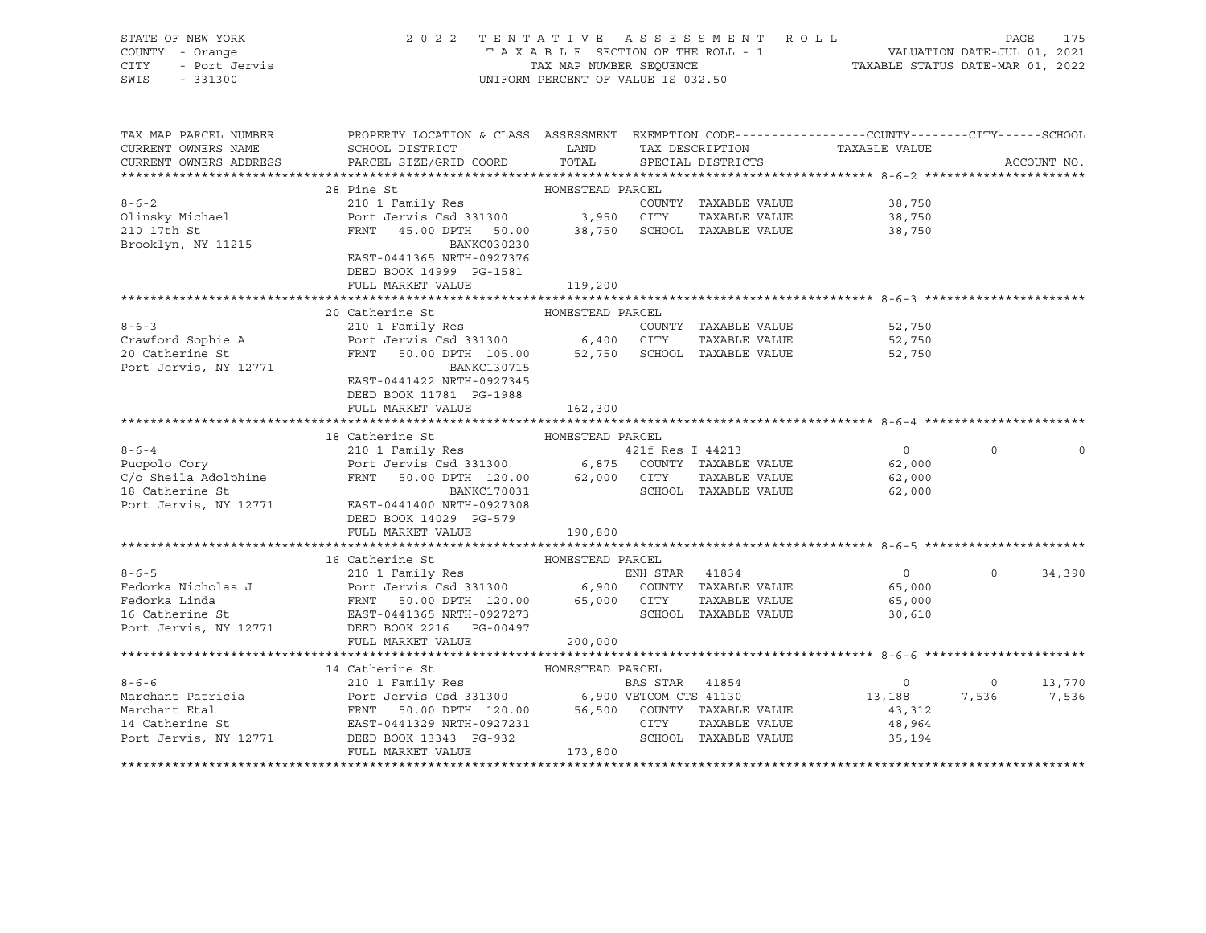| STATE OF NEW YORK<br>COUNTY - Orange<br>- Port Jervis<br>- 331300<br>CITY<br>SWIS<br>$-331300$                                                                                                                                | 2022 TENTATIVE ASSESSMENT ROLL<br>UNIFORM PERCENT OF VALUE IS 032.50                                  |                      | FENTATIVE ASSESSMENT ROLL PAGE 175<br>TAXABLE SECTION OF THE ROLL - 1 VALUATION DATE-JUL 01, 2021<br>TAX MAP NUMBER SEQUENCE TAXABLE STATUS DATE-MAR 01, 2022 |                |             |
|-------------------------------------------------------------------------------------------------------------------------------------------------------------------------------------------------------------------------------|-------------------------------------------------------------------------------------------------------|----------------------|---------------------------------------------------------------------------------------------------------------------------------------------------------------|----------------|-------------|
| TAX MAP PARCEL NUMBER THE PROPERTY LOCATION & CLASS ASSESSMENT EXEMPTION CODE--------------COUNTY-------CUTY------SCHOOL                                                                                                      |                                                                                                       |                      |                                                                                                                                                               |                |             |
| CURRENT OWNERS NAME<br>CURRENT OWNERS ADDRESS<br>PARCEL SIZE/GRID COORD                                                                                                                                                       | SCHOOL DISTRICT TAND TAX DESCRIPTION<br>TOTAL                                                         | SPECIAL DISTRICTS    | TAXABLE VALUE                                                                                                                                                 |                | ACCOUNT NO. |
|                                                                                                                                                                                                                               |                                                                                                       |                      |                                                                                                                                                               |                |             |
| 28 Pine St                                                                                                                                                                                                                    | HOMESTEAD PARCEL                                                                                      |                      |                                                                                                                                                               |                |             |
| $8 - 6 - 2$<br>210 1 Family Res                                                                                                                                                                                               |                                                                                                       | COUNTY TAXABLE VALUE | 38,750                                                                                                                                                        |                |             |
| Olinsky Michael                                                                                                                                                                                                               |                                                                                                       |                      | 38,750                                                                                                                                                        |                |             |
| 210 17th St                                                                                                                                                                                                                   | Port Jervis Csd 331300 3,950 CITY TAXABLE VALUE<br>FRNT 45.00 DPTH 50.00 38,750 SCHOOL TAXABLE VALUE  |                      | 38,750                                                                                                                                                        |                |             |
| Brooklyn, NY 11215                                                                                                                                                                                                            | BANKC030230                                                                                           |                      |                                                                                                                                                               |                |             |
| EAST-0441365 NRTH-0927376                                                                                                                                                                                                     |                                                                                                       |                      |                                                                                                                                                               |                |             |
| DEED BOOK 14999 PG-1581                                                                                                                                                                                                       |                                                                                                       |                      |                                                                                                                                                               |                |             |
| FULL MARKET VALUE                                                                                                                                                                                                             | 119,200                                                                                               |                      |                                                                                                                                                               |                |             |
|                                                                                                                                                                                                                               |                                                                                                       |                      |                                                                                                                                                               |                |             |
| 20 Catherine St                                                                                                                                                                                                               | HOMESTEAD PARCEL                                                                                      |                      |                                                                                                                                                               |                |             |
| $8 - 6 - 3$<br>210 1 Family Res                                                                                                                                                                                               |                                                                                                       | COUNTY TAXABLE VALUE | 52,750                                                                                                                                                        |                |             |
| Crawford Sophie A<br>20 Catherine St                                                                                                                                                                                          | Port Jervis Csd 331300 6,400 CITY TAXABLE VALUE<br>FRNT 50.00 DPTH 105.00 52,750 SCHOOL TAXABLE VALUE |                      | 52,750                                                                                                                                                        |                |             |
|                                                                                                                                                                                                                               |                                                                                                       |                      | 52,750                                                                                                                                                        |                |             |
| Port Jervis, NY 12771                                                                                                                                                                                                         | <b>BANKC130715</b>                                                                                    |                      |                                                                                                                                                               |                |             |
| EAST-0441422 NRTH-0927345                                                                                                                                                                                                     |                                                                                                       |                      |                                                                                                                                                               |                |             |
| DEED BOOK 11781 PG-1988                                                                                                                                                                                                       |                                                                                                       |                      |                                                                                                                                                               |                |             |
| FULL MARKET VALUE                                                                                                                                                                                                             | 162,300                                                                                               |                      |                                                                                                                                                               |                |             |
| 18 Catherine St                                                                                                                                                                                                               | HOMESTEAD PARCEL                                                                                      |                      |                                                                                                                                                               |                |             |
|                                                                                                                                                                                                                               |                                                                                                       |                      | $\overline{0}$                                                                                                                                                | $\circ$        | $\circ$     |
|                                                                                                                                                                                                                               |                                                                                                       |                      | 62,000                                                                                                                                                        |                |             |
| 8-6-4<br>Puopolo Cory<br>C/o Sheila Adolphine<br>C/o Sheila Adolphine<br>FRNT 50.00 DPTH 120.00<br>POTT 120.00<br>POTT 120.00<br>POTT 120.00<br>C2,000 CITY<br>CITY TAXABLE VALUE<br>CALLENTING CONTRAINS                     |                                                                                                       |                      | 62,000                                                                                                                                                        |                |             |
| 18 Catherine St                                                                                                                                                                                                               | BANKC170031                                                                                           | SCHOOL TAXABLE VALUE | 62,000                                                                                                                                                        |                |             |
| Port Jervis, NY 12771<br>EAST-0441400 NRTH-0927308                                                                                                                                                                            |                                                                                                       |                      |                                                                                                                                                               |                |             |
| DEED BOOK 14029 PG-579                                                                                                                                                                                                        |                                                                                                       |                      |                                                                                                                                                               |                |             |
| FULL MARKET VALUE                                                                                                                                                                                                             | 190,800                                                                                               |                      |                                                                                                                                                               |                |             |
|                                                                                                                                                                                                                               |                                                                                                       |                      |                                                                                                                                                               |                |             |
| 16 Catherine St                                                                                                                                                                                                               | HOMESTEAD PARCEL                                                                                      |                      |                                                                                                                                                               |                |             |
| $8 - 6 - 5$                                                                                                                                                                                                                   | 210 1 Family Res BNH STAR 41834                                                                       |                      | $\overline{0}$                                                                                                                                                | $\Omega$       | 34,390      |
| Fedorka Nicholas J                                                                                                                                                                                                            |                                                                                                       |                      | 65,000                                                                                                                                                        |                |             |
| POIT Jeruis Csd 331300<br>POIT Jeruis Csd 331300 6,900 COUNTY TAXABLE VALUE<br>FRNT 50.00 DPTH 120.00 65,000 CITY TAXABLE VALUE<br>EAST-0441365 NRTH-0927273 SCHOOL TAXABLE VALUE<br>DEED BOOK 2216 PG-00497<br>Fedorka Linda |                                                                                                       |                      | 65,000                                                                                                                                                        |                |             |
| 16 Catherine St<br>Port Jervis, NY 12771                                                                                                                                                                                      |                                                                                                       |                      | 30,610                                                                                                                                                        |                |             |
|                                                                                                                                                                                                                               |                                                                                                       |                      |                                                                                                                                                               |                |             |
| FULL MARKET VALUE                                                                                                                                                                                                             | 200,000                                                                                               |                      |                                                                                                                                                               |                |             |
|                                                                                                                                                                                                                               |                                                                                                       |                      |                                                                                                                                                               |                |             |
| 14 Catherine St                                                                                                                                                                                                               | HOMESTEAD PARCEL                                                                                      |                      |                                                                                                                                                               |                |             |
| 210 1 Family Res<br>Port Jervis Csd 331300 6,900 VETCOM CTS 41130<br>FRNT 50.00 DPTH 120.00 56,500 COUNTY TAXABLE VALUE<br>EAST-0441329 NRTH-0927231 CITY TAXABLE VALUE<br>$8 - 6 - 6$                                        |                                                                                                       |                      | $\circ$                                                                                                                                                       | $\overline{0}$ | 13,770      |
| Marchant Patricia                                                                                                                                                                                                             |                                                                                                       |                      | 13,188                                                                                                                                                        | 7,536          | 7,536       |
| Marchant Etal                                                                                                                                                                                                                 |                                                                                                       |                      | 43,312                                                                                                                                                        |                |             |
| 14 Catherine St<br>Port Jervis, NY 12771<br>DEED BOOK 13343 PG-932                                                                                                                                                            |                                                                                                       | SCHOOL TAXABLE VALUE | 48,964<br>35,194                                                                                                                                              |                |             |
| FULL MARKET VALUE                                                                                                                                                                                                             | 173,800                                                                                               |                      |                                                                                                                                                               |                |             |

\*\*\*\*\*\*\*\*\*\*\*\*\*\*\*\*\*\*\*\*\*\*\*\*\*\*\*\*\*\*\*\*\*\*\*\*\*\*\*\*\*\*\*\*\*\*\*\*\*\*\*\*\*\*\*\*\*\*\*\*\*\*\*\*\*\*\*\*\*\*\*\*\*\*\*\*\*\*\*\*\*\*\*\*\*\*\*\*\*\*\*\*\*\*\*\*\*\*\*\*\*\*\*\*\*\*\*\*\*\*\*\*\*\*\*\*\*\*\*\*\*\*\*\*\*\*\*\*\*\*\*\*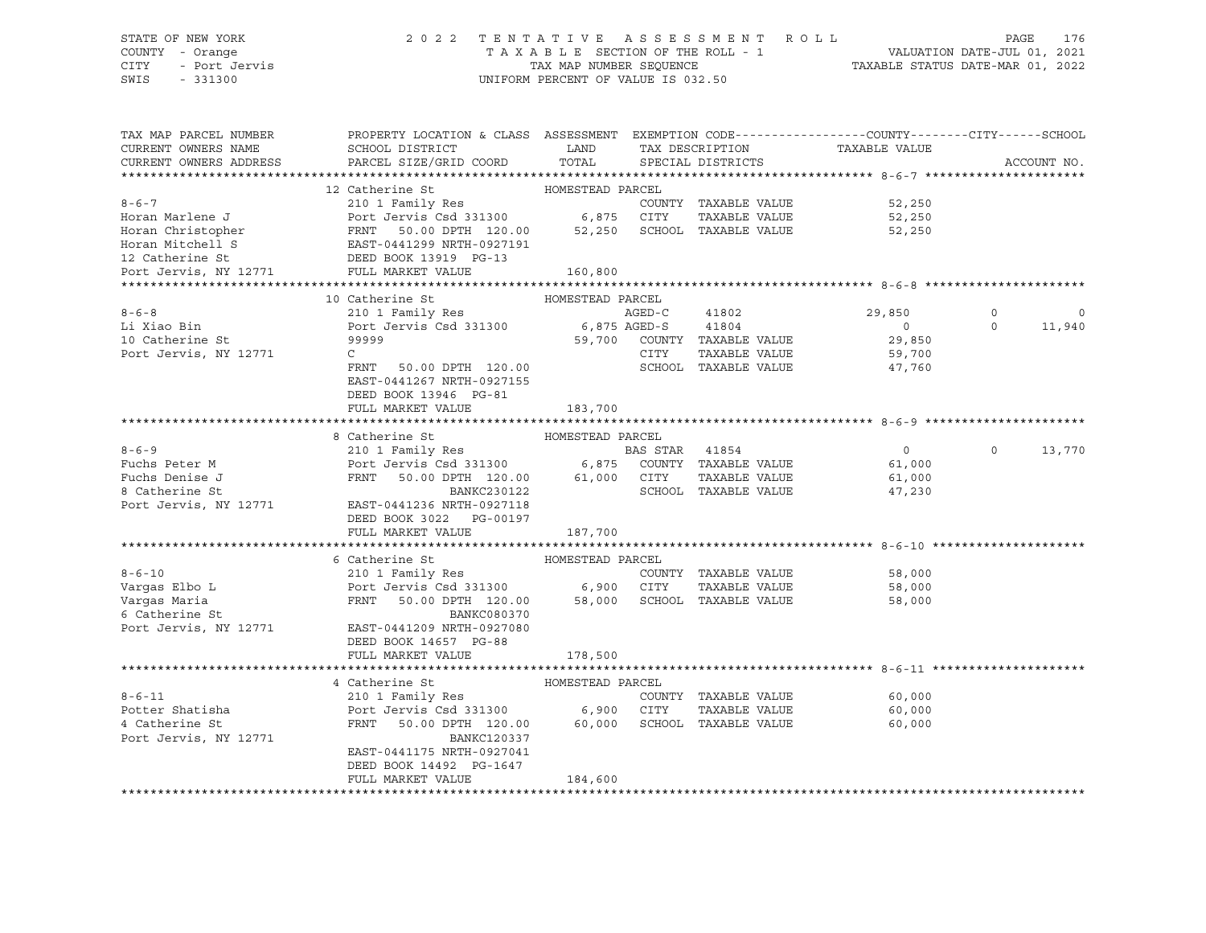### STATE OF NEW YORK 2 0 2 2 T E N T A T I V E A S S E S S M E N T R O L L PAGE 176 COUNTY - Orange T A X A B L E SECTION OF THE ROLL - 1 VALUATION DATE-JUL 01, 2021 CITY - Port Jervis TAX MAP NUMBER SEQUENCE TAXABLE STATUS DATE-MAR 01, 2022

| TAX MAP PARCEL NUMBER<br>CURRENT OWNERS NAME<br>CURRENT OWNERS ADDRESS | PROPERTY LOCATION & CLASS ASSESSMENT EXEMPTION CODE----------------COUNTY-------CITY------SCHOOL<br>SCHOOL DISTRICT<br>PARCEL SIZE/GRID COORD | LAND<br>TOTAL    |        | TAX DESCRIPTION<br>SPECIAL DISTRICTS | TAXABLE VALUE  |          | ACCOUNT NO. |
|------------------------------------------------------------------------|-----------------------------------------------------------------------------------------------------------------------------------------------|------------------|--------|--------------------------------------|----------------|----------|-------------|
|                                                                        |                                                                                                                                               |                  |        |                                      |                |          |             |
|                                                                        | 12 Catherine St                                                                                                                               | HOMESTEAD PARCEL |        |                                      |                |          |             |
| $8 - 6 - 7$                                                            | 210 1 Family Res                                                                                                                              |                  |        | COUNTY TAXABLE VALUE                 | 52,250         |          |             |
| Horan Marlene J                                                        | Port Jervis Csd 331300 6,875 CITY                                                                                                             |                  |        | TAXABLE VALUE                        | 52,250         |          |             |
| Horan Christopher                                                      |                                                                                                                                               |                  |        | 52,250 SCHOOL TAXABLE VALUE          | 52,250         |          |             |
| Horan Mitchell S                                                       |                                                                                                                                               |                  |        |                                      |                |          |             |
| 12 Catherine St                                                        |                                                                                                                                               |                  |        |                                      |                |          |             |
| Port Jervis, NY 12771                                                  | Port Jervis Csu 331300<br>FRNT 50.00 DPTH 120.00<br>EAST-0441299 NRTH-0927191<br>DEED BOOK 13919 PG-13                                        | 160,800          |        |                                      |                |          |             |
|                                                                        |                                                                                                                                               |                  |        |                                      |                |          |             |
|                                                                        | 10 Catherine St                                                                                                                               | HOMESTEAD PARCEL |        |                                      |                |          |             |
| $8 - 6 - 8$                                                            | 210 1 Family Res                                                                                                                              |                  | AGED-C | 41802                                | 29,850         | $\Omega$ | $\mathbf 0$ |
| Li Xiao Bin                                                            | Port Jervis Csd 331300 6,875 AGED-S 41804                                                                                                     |                  |        |                                      | $\Omega$       | $\Omega$ | 11,940      |
| 10 Catherine St                                                        | 99999                                                                                                                                         |                  |        | 59,700 COUNTY TAXABLE VALUE          | 29,850         |          |             |
| Port Jervis, NY 12771                                                  | $\mathsf{C}$                                                                                                                                  |                  | CITY   | TAXABLE VALUE                        | 59,700         |          |             |
|                                                                        | FRNT 50.00 DPTH 120.00                                                                                                                        |                  |        | SCHOOL TAXABLE VALUE                 | 47,760         |          |             |
|                                                                        | EAST-0441267 NRTH-0927155                                                                                                                     |                  |        |                                      |                |          |             |
|                                                                        | DEED BOOK 13946 PG-81                                                                                                                         |                  |        |                                      |                |          |             |
|                                                                        | FULL MARKET VALUE                                                                                                                             | 183,700          |        |                                      |                |          |             |
|                                                                        | 8 Catherine St                                                                                                                                | HOMESTEAD PARCEL |        |                                      |                |          |             |
| $8 - 6 - 9$                                                            |                                                                                                                                               |                  |        |                                      | $\overline{0}$ | $\circ$  | 13,770      |
| Fuchs Peter M                                                          | 210 1 Family Res<br>Port Jervis Csd 331300 6,875 COUNTY TAXABLE VALUE                                                                         |                  |        |                                      | 61,000         |          |             |
| Fuchs Denise J                                                         | 50.00 DPTH 120.00 61,000 CITY<br>FRNT                                                                                                         |                  |        | TAXABLE VALUE                        | 61,000         |          |             |
| 8 Catherine St                                                         | BANKC230122                                                                                                                                   |                  |        | SCHOOL TAXABLE VALUE                 | 47,230         |          |             |
| Port Jervis, NY 12771                                                  | EAST-0441236 NRTH-0927118                                                                                                                     |                  |        |                                      |                |          |             |
|                                                                        | DEED BOOK 3022 PG-00197                                                                                                                       |                  |        |                                      |                |          |             |
|                                                                        | FULL MARKET VALUE                                                                                                                             | 187,700          |        |                                      |                |          |             |
|                                                                        |                                                                                                                                               |                  |        |                                      |                |          |             |
|                                                                        | 6 Catherine St                                                                                                                                | HOMESTEAD PARCEL |        |                                      |                |          |             |
| $8 - 6 - 10$                                                           | 210 1 Family Res                                                                                                                              |                  |        | COUNTY TAXABLE VALUE                 | 58,000         |          |             |
| Vargas Elbo L                                                          | Port Jervis Csd 331300 6,900 CITY                                                                                                             |                  |        | TAXABLE VALUE                        | 58,000         |          |             |
| Varqas Maria                                                           | FRNT 50.00 DPTH 120.00                                                                                                                        |                  |        | 58,000 SCHOOL TAXABLE VALUE          | 58,000         |          |             |
| 6 Catherine St                                                         | BANKC080370                                                                                                                                   |                  |        |                                      |                |          |             |
| Port Jervis, NY 12771                                                  | EAST-0441209 NRTH-0927080                                                                                                                     |                  |        |                                      |                |          |             |
|                                                                        | DEED BOOK 14657 PG-88                                                                                                                         |                  |        |                                      |                |          |             |
|                                                                        | FULL MARKET VALUE                                                                                                                             | 178,500          |        |                                      |                |          |             |
|                                                                        |                                                                                                                                               |                  |        |                                      |                |          |             |
|                                                                        | 4 Catherine St                                                                                                                                | HOMESTEAD PARCEL |        |                                      |                |          |             |
| $8 - 6 - 11$                                                           | 210 1 Family Res                                                                                                                              |                  |        | COUNTY TAXABLE VALUE                 | 60,000         |          |             |
| Potter Shatisha                                                        | Port Jervis Csd 331300 6,900 CITY                                                                                                             |                  |        | TAXABLE VALUE                        | 60,000         |          |             |
| 4 Catherine St                                                         | FRNT<br>50.00 DPTH 120.00                                                                                                                     | 60,000           |        | SCHOOL TAXABLE VALUE                 | 60,000         |          |             |
| Port Jervis, NY 12771                                                  | <b>BANKC120337</b>                                                                                                                            |                  |        |                                      |                |          |             |
|                                                                        | EAST-0441175 NRTH-0927041                                                                                                                     |                  |        |                                      |                |          |             |
|                                                                        | DEED BOOK 14492 PG-1647<br>FULL MARKET VALUE                                                                                                  |                  |        |                                      |                |          |             |
|                                                                        |                                                                                                                                               | 184,600          |        |                                      |                |          |             |
|                                                                        |                                                                                                                                               |                  |        |                                      |                |          |             |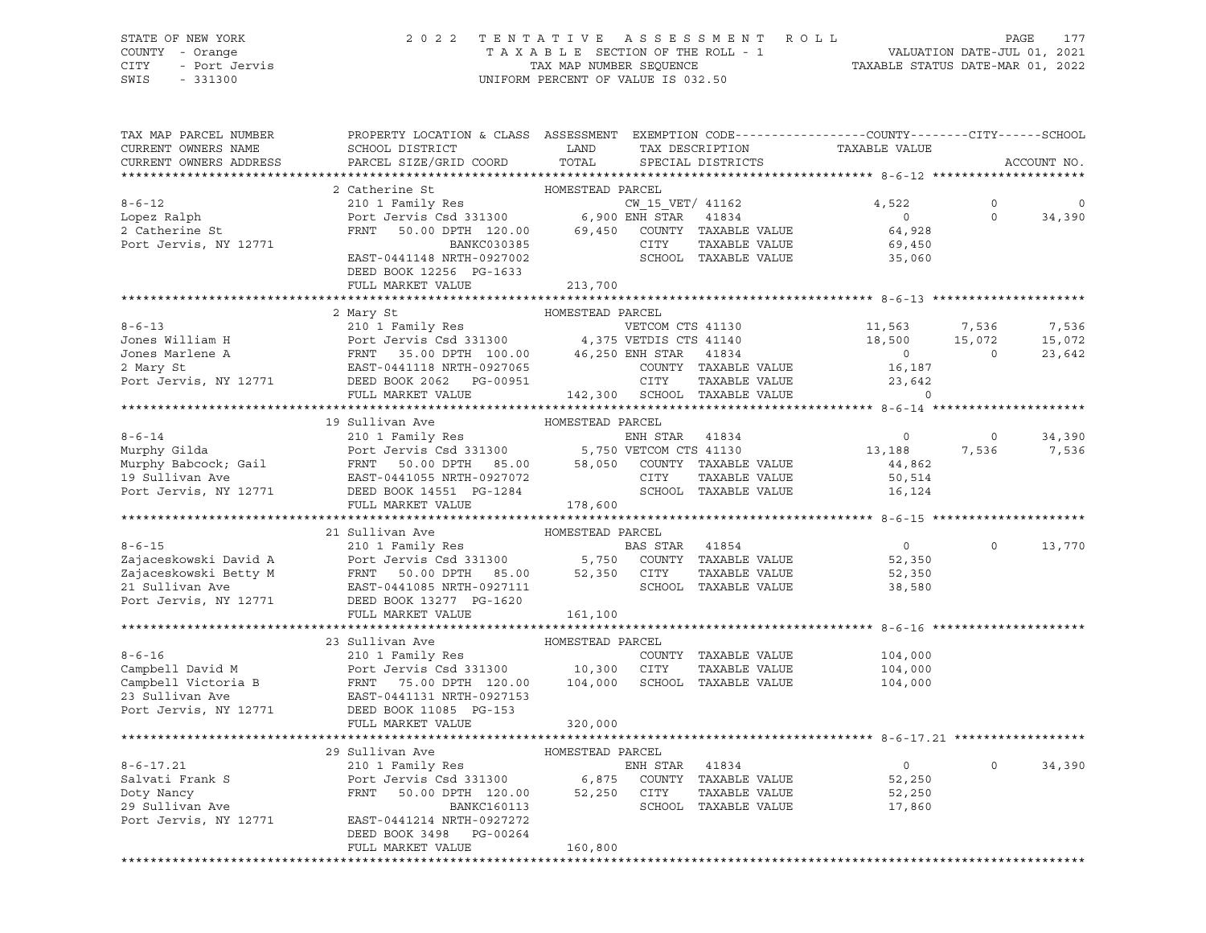### STATE OF NEW YORK 2 0 2 2 T E N T A T I V E A S S E S S M E N T R O L L PAGE 177 COUNTY - Orange T A X A B L E SECTION OF THE ROLL - 1 VALUATION DATE-JUL 01, 2021 CITY - Port Jervis TAX MAP NUMBER SEQUENCE TAXABLE STATUS DATE-MAR 01, 2022

SWIS - 331300 UNIFORM PERCENT OF VALUE IS 032.50

| HOMESTEAD PARCEL<br>2 Catherine St<br>$8 - 6 - 12$<br>210 1 Family Res<br>Port Jervis Csd 331300 6,900 ENH STAR 41834<br>FRNT 50.00 DPTH 120.00 69,450 COUNTY TAXABLE VALUE<br>4,522<br>$\Omega$<br>$\mathbf 0$<br>$\overline{0}$<br>$\Omega$<br>Lopez Ralph<br>34,390<br>2 Catherine St<br>64,928<br>BANKC030385<br>Port Jervis, NY 12771<br>CITY<br>TAXABLE VALUE<br>69,450<br>EAST-0441148 NRTH-0927002<br>SCHOOL TAXABLE VALUE<br>35,060<br>DEED BOOK 12256 PG-1633<br>FULL MARKET VALUE<br>213,700<br>2 Mary St<br>HOMESTEAD PARCEL<br>210 1 Family Res<br>210 1 Family Res<br>Port Jervis Csd 331300 4,375 VETOM CTS 41140<br>2 A FRNT 35.00 DPTH 100.00 46,250 ENH STAR 41834<br>EAST-0441118 NRTH-0927065 COUNTY TAXABLE VA<br>$8 - 6 - 13$<br>VETCOM CTS 41130<br>VETDIS CTS 41140<br>18,500<br>15,072<br>7,536<br>Jones William H<br>15,072<br>15,072<br>0<br>Jones Marlene A<br>$\begin{array}{c} 0 \\ 16,187 \end{array}$<br>23,642<br>COUNTY TAXABLE VALUE<br>TAXABLE VALUE<br>23,642<br>$\Omega$<br>HOMESTEAD PARCEL<br>19 Sullivan Ave<br>210 1 Family Res<br>ENH STAR 41834<br>$\overline{0}$<br>34,390<br>$\circ$<br>13,188<br>7,536<br>7,536<br>44,862<br>50,514<br>DEED BOOK 14551 PG-1284<br>19 Sullivan Ave<br>Port Jervis, NY 12771<br>SCHOOL TAXABLE VALUE<br>16,124<br>178,600<br>FULL MARKET VALUE<br>21 Sullivan Ave<br>EXAMPLE TO THE MARKER PARCEL<br>210 1 Family Res<br>Port Jervis Csd 331300<br>$8 - 6 - 15$<br>BAS STAR 41854<br>$\overline{0}$<br>$\Omega$<br>13,770<br>Examples and the state of the state of the state of the state of the state of the state of the state of the state of the state of the state of the state of the state of the state of the state of the state of the state of t<br>52,350<br>TAXABLE VALUE<br>52,350<br>38,580<br>161,100<br>FULL MARKET VALUE<br>Campbell David M<br>Campbell David M<br>Count David M<br>Count David M<br>Count David M<br>Count David M<br>Port Jervis Csd 331300<br>23 Sullivan Ave<br>Port Jervis, NY 12771<br>Port Jervis, NY 12771<br>Port Jervis, NY 12771<br>Port Jervis, NY<br>COUNTY TAXABLE VALUE<br>104,000<br>TAXABLE VALUE<br>104,000<br>104,000 SCHOOL TAXABLE VALUE<br>104,000<br>29 Sullivan Ave<br>HOMESTEAD PARCEL<br>210 1 Family Res<br>$8 - 6 - 17.21$<br>ENH STAR 41834<br>$\overline{0}$<br>$\Omega$<br>34,390<br>Salvati Frank S<br>Doty Nancy<br>29 Sullivan Ave<br>Port Jervis Csd 331300 6,875 COUNTY TAXABLE VALUE<br>FRNT 50.00 DPTH 120.00 52,250 CITY TAXABLE VALUE<br>52,250<br>52,250<br>SCHOOL TAXABLE VALUE<br>BANKC160113<br>17,860<br>Port Jervis, NY 12771<br>EAST-0441214 NRTH-0927272<br>DEED BOOK 3498 PG-00264<br>FULL MARKET VALUE<br>160,800 | TAX MAP PARCEL NUMBER<br>CURRENT OWNERS NAME<br>CURRENT OWNERS ADDRESS | PROPERTY LOCATION & CLASS ASSESSMENT EXEMPTION CODE----------------COUNTY-------CITY------SCHOOL<br>SCHOOL DISTRICT<br>PARCEL SIZE/GRID COORD | LAND<br>TOTAL | TAX DESCRIPTION<br>SPECIAL DISTRICTS | TAXABLE VALUE | ACCOUNT NO. |
|-------------------------------------------------------------------------------------------------------------------------------------------------------------------------------------------------------------------------------------------------------------------------------------------------------------------------------------------------------------------------------------------------------------------------------------------------------------------------------------------------------------------------------------------------------------------------------------------------------------------------------------------------------------------------------------------------------------------------------------------------------------------------------------------------------------------------------------------------------------------------------------------------------------------------------------------------------------------------------------------------------------------------------------------------------------------------------------------------------------------------------------------------------------------------------------------------------------------------------------------------------------------------------------------------------------------------------------------------------------------------------------------------------------------------------------------------------------------------------------------------------------------------------------------------------------------------------------------------------------------------------------------------------------------------------------------------------------------------------------------------------------------------------------------------------------------------------------------------------------------------------------------------------------------------------------------------------------------------------------------------------------------------------------------------------------------------------------------------------------------------------------------------------------------------------------------------------------------------------------------------------------------------------------------------------------------------------------------------------------------------------------------------------------------------------------------------------------------------------------------------------------------------------------------------------------------------------------------------------------------------------------------------------------------------------------|------------------------------------------------------------------------|-----------------------------------------------------------------------------------------------------------------------------------------------|---------------|--------------------------------------|---------------|-------------|
|                                                                                                                                                                                                                                                                                                                                                                                                                                                                                                                                                                                                                                                                                                                                                                                                                                                                                                                                                                                                                                                                                                                                                                                                                                                                                                                                                                                                                                                                                                                                                                                                                                                                                                                                                                                                                                                                                                                                                                                                                                                                                                                                                                                                                                                                                                                                                                                                                                                                                                                                                                                                                                                                                     |                                                                        |                                                                                                                                               |               |                                      |               |             |
|                                                                                                                                                                                                                                                                                                                                                                                                                                                                                                                                                                                                                                                                                                                                                                                                                                                                                                                                                                                                                                                                                                                                                                                                                                                                                                                                                                                                                                                                                                                                                                                                                                                                                                                                                                                                                                                                                                                                                                                                                                                                                                                                                                                                                                                                                                                                                                                                                                                                                                                                                                                                                                                                                     |                                                                        |                                                                                                                                               |               |                                      |               |             |
|                                                                                                                                                                                                                                                                                                                                                                                                                                                                                                                                                                                                                                                                                                                                                                                                                                                                                                                                                                                                                                                                                                                                                                                                                                                                                                                                                                                                                                                                                                                                                                                                                                                                                                                                                                                                                                                                                                                                                                                                                                                                                                                                                                                                                                                                                                                                                                                                                                                                                                                                                                                                                                                                                     |                                                                        |                                                                                                                                               |               |                                      |               |             |
|                                                                                                                                                                                                                                                                                                                                                                                                                                                                                                                                                                                                                                                                                                                                                                                                                                                                                                                                                                                                                                                                                                                                                                                                                                                                                                                                                                                                                                                                                                                                                                                                                                                                                                                                                                                                                                                                                                                                                                                                                                                                                                                                                                                                                                                                                                                                                                                                                                                                                                                                                                                                                                                                                     |                                                                        |                                                                                                                                               |               |                                      |               |             |
|                                                                                                                                                                                                                                                                                                                                                                                                                                                                                                                                                                                                                                                                                                                                                                                                                                                                                                                                                                                                                                                                                                                                                                                                                                                                                                                                                                                                                                                                                                                                                                                                                                                                                                                                                                                                                                                                                                                                                                                                                                                                                                                                                                                                                                                                                                                                                                                                                                                                                                                                                                                                                                                                                     |                                                                        |                                                                                                                                               |               |                                      |               |             |
|                                                                                                                                                                                                                                                                                                                                                                                                                                                                                                                                                                                                                                                                                                                                                                                                                                                                                                                                                                                                                                                                                                                                                                                                                                                                                                                                                                                                                                                                                                                                                                                                                                                                                                                                                                                                                                                                                                                                                                                                                                                                                                                                                                                                                                                                                                                                                                                                                                                                                                                                                                                                                                                                                     |                                                                        |                                                                                                                                               |               |                                      |               |             |
|                                                                                                                                                                                                                                                                                                                                                                                                                                                                                                                                                                                                                                                                                                                                                                                                                                                                                                                                                                                                                                                                                                                                                                                                                                                                                                                                                                                                                                                                                                                                                                                                                                                                                                                                                                                                                                                                                                                                                                                                                                                                                                                                                                                                                                                                                                                                                                                                                                                                                                                                                                                                                                                                                     |                                                                        |                                                                                                                                               |               |                                      |               |             |
|                                                                                                                                                                                                                                                                                                                                                                                                                                                                                                                                                                                                                                                                                                                                                                                                                                                                                                                                                                                                                                                                                                                                                                                                                                                                                                                                                                                                                                                                                                                                                                                                                                                                                                                                                                                                                                                                                                                                                                                                                                                                                                                                                                                                                                                                                                                                                                                                                                                                                                                                                                                                                                                                                     |                                                                        |                                                                                                                                               |               |                                      |               |             |
|                                                                                                                                                                                                                                                                                                                                                                                                                                                                                                                                                                                                                                                                                                                                                                                                                                                                                                                                                                                                                                                                                                                                                                                                                                                                                                                                                                                                                                                                                                                                                                                                                                                                                                                                                                                                                                                                                                                                                                                                                                                                                                                                                                                                                                                                                                                                                                                                                                                                                                                                                                                                                                                                                     |                                                                        |                                                                                                                                               |               |                                      |               |             |
|                                                                                                                                                                                                                                                                                                                                                                                                                                                                                                                                                                                                                                                                                                                                                                                                                                                                                                                                                                                                                                                                                                                                                                                                                                                                                                                                                                                                                                                                                                                                                                                                                                                                                                                                                                                                                                                                                                                                                                                                                                                                                                                                                                                                                                                                                                                                                                                                                                                                                                                                                                                                                                                                                     |                                                                        |                                                                                                                                               |               |                                      |               |             |
|                                                                                                                                                                                                                                                                                                                                                                                                                                                                                                                                                                                                                                                                                                                                                                                                                                                                                                                                                                                                                                                                                                                                                                                                                                                                                                                                                                                                                                                                                                                                                                                                                                                                                                                                                                                                                                                                                                                                                                                                                                                                                                                                                                                                                                                                                                                                                                                                                                                                                                                                                                                                                                                                                     |                                                                        |                                                                                                                                               |               |                                      |               |             |
|                                                                                                                                                                                                                                                                                                                                                                                                                                                                                                                                                                                                                                                                                                                                                                                                                                                                                                                                                                                                                                                                                                                                                                                                                                                                                                                                                                                                                                                                                                                                                                                                                                                                                                                                                                                                                                                                                                                                                                                                                                                                                                                                                                                                                                                                                                                                                                                                                                                                                                                                                                                                                                                                                     |                                                                        |                                                                                                                                               |               |                                      |               |             |
|                                                                                                                                                                                                                                                                                                                                                                                                                                                                                                                                                                                                                                                                                                                                                                                                                                                                                                                                                                                                                                                                                                                                                                                                                                                                                                                                                                                                                                                                                                                                                                                                                                                                                                                                                                                                                                                                                                                                                                                                                                                                                                                                                                                                                                                                                                                                                                                                                                                                                                                                                                                                                                                                                     |                                                                        |                                                                                                                                               |               |                                      |               |             |
|                                                                                                                                                                                                                                                                                                                                                                                                                                                                                                                                                                                                                                                                                                                                                                                                                                                                                                                                                                                                                                                                                                                                                                                                                                                                                                                                                                                                                                                                                                                                                                                                                                                                                                                                                                                                                                                                                                                                                                                                                                                                                                                                                                                                                                                                                                                                                                                                                                                                                                                                                                                                                                                                                     |                                                                        |                                                                                                                                               |               |                                      |               |             |
|                                                                                                                                                                                                                                                                                                                                                                                                                                                                                                                                                                                                                                                                                                                                                                                                                                                                                                                                                                                                                                                                                                                                                                                                                                                                                                                                                                                                                                                                                                                                                                                                                                                                                                                                                                                                                                                                                                                                                                                                                                                                                                                                                                                                                                                                                                                                                                                                                                                                                                                                                                                                                                                                                     |                                                                        |                                                                                                                                               |               |                                      |               |             |
|                                                                                                                                                                                                                                                                                                                                                                                                                                                                                                                                                                                                                                                                                                                                                                                                                                                                                                                                                                                                                                                                                                                                                                                                                                                                                                                                                                                                                                                                                                                                                                                                                                                                                                                                                                                                                                                                                                                                                                                                                                                                                                                                                                                                                                                                                                                                                                                                                                                                                                                                                                                                                                                                                     |                                                                        |                                                                                                                                               |               |                                      |               |             |
|                                                                                                                                                                                                                                                                                                                                                                                                                                                                                                                                                                                                                                                                                                                                                                                                                                                                                                                                                                                                                                                                                                                                                                                                                                                                                                                                                                                                                                                                                                                                                                                                                                                                                                                                                                                                                                                                                                                                                                                                                                                                                                                                                                                                                                                                                                                                                                                                                                                                                                                                                                                                                                                                                     |                                                                        |                                                                                                                                               |               |                                      |               |             |
|                                                                                                                                                                                                                                                                                                                                                                                                                                                                                                                                                                                                                                                                                                                                                                                                                                                                                                                                                                                                                                                                                                                                                                                                                                                                                                                                                                                                                                                                                                                                                                                                                                                                                                                                                                                                                                                                                                                                                                                                                                                                                                                                                                                                                                                                                                                                                                                                                                                                                                                                                                                                                                                                                     |                                                                        |                                                                                                                                               |               |                                      |               |             |
|                                                                                                                                                                                                                                                                                                                                                                                                                                                                                                                                                                                                                                                                                                                                                                                                                                                                                                                                                                                                                                                                                                                                                                                                                                                                                                                                                                                                                                                                                                                                                                                                                                                                                                                                                                                                                                                                                                                                                                                                                                                                                                                                                                                                                                                                                                                                                                                                                                                                                                                                                                                                                                                                                     | $8 - 6 - 14$                                                           |                                                                                                                                               |               |                                      |               |             |
|                                                                                                                                                                                                                                                                                                                                                                                                                                                                                                                                                                                                                                                                                                                                                                                                                                                                                                                                                                                                                                                                                                                                                                                                                                                                                                                                                                                                                                                                                                                                                                                                                                                                                                                                                                                                                                                                                                                                                                                                                                                                                                                                                                                                                                                                                                                                                                                                                                                                                                                                                                                                                                                                                     |                                                                        |                                                                                                                                               |               |                                      |               |             |
|                                                                                                                                                                                                                                                                                                                                                                                                                                                                                                                                                                                                                                                                                                                                                                                                                                                                                                                                                                                                                                                                                                                                                                                                                                                                                                                                                                                                                                                                                                                                                                                                                                                                                                                                                                                                                                                                                                                                                                                                                                                                                                                                                                                                                                                                                                                                                                                                                                                                                                                                                                                                                                                                                     |                                                                        |                                                                                                                                               |               |                                      |               |             |
|                                                                                                                                                                                                                                                                                                                                                                                                                                                                                                                                                                                                                                                                                                                                                                                                                                                                                                                                                                                                                                                                                                                                                                                                                                                                                                                                                                                                                                                                                                                                                                                                                                                                                                                                                                                                                                                                                                                                                                                                                                                                                                                                                                                                                                                                                                                                                                                                                                                                                                                                                                                                                                                                                     |                                                                        |                                                                                                                                               |               |                                      |               |             |
|                                                                                                                                                                                                                                                                                                                                                                                                                                                                                                                                                                                                                                                                                                                                                                                                                                                                                                                                                                                                                                                                                                                                                                                                                                                                                                                                                                                                                                                                                                                                                                                                                                                                                                                                                                                                                                                                                                                                                                                                                                                                                                                                                                                                                                                                                                                                                                                                                                                                                                                                                                                                                                                                                     |                                                                        |                                                                                                                                               |               |                                      |               |             |
|                                                                                                                                                                                                                                                                                                                                                                                                                                                                                                                                                                                                                                                                                                                                                                                                                                                                                                                                                                                                                                                                                                                                                                                                                                                                                                                                                                                                                                                                                                                                                                                                                                                                                                                                                                                                                                                                                                                                                                                                                                                                                                                                                                                                                                                                                                                                                                                                                                                                                                                                                                                                                                                                                     |                                                                        |                                                                                                                                               |               |                                      |               |             |
|                                                                                                                                                                                                                                                                                                                                                                                                                                                                                                                                                                                                                                                                                                                                                                                                                                                                                                                                                                                                                                                                                                                                                                                                                                                                                                                                                                                                                                                                                                                                                                                                                                                                                                                                                                                                                                                                                                                                                                                                                                                                                                                                                                                                                                                                                                                                                                                                                                                                                                                                                                                                                                                                                     |                                                                        |                                                                                                                                               |               |                                      |               |             |
|                                                                                                                                                                                                                                                                                                                                                                                                                                                                                                                                                                                                                                                                                                                                                                                                                                                                                                                                                                                                                                                                                                                                                                                                                                                                                                                                                                                                                                                                                                                                                                                                                                                                                                                                                                                                                                                                                                                                                                                                                                                                                                                                                                                                                                                                                                                                                                                                                                                                                                                                                                                                                                                                                     |                                                                        |                                                                                                                                               |               |                                      |               |             |
|                                                                                                                                                                                                                                                                                                                                                                                                                                                                                                                                                                                                                                                                                                                                                                                                                                                                                                                                                                                                                                                                                                                                                                                                                                                                                                                                                                                                                                                                                                                                                                                                                                                                                                                                                                                                                                                                                                                                                                                                                                                                                                                                                                                                                                                                                                                                                                                                                                                                                                                                                                                                                                                                                     |                                                                        |                                                                                                                                               |               |                                      |               |             |
|                                                                                                                                                                                                                                                                                                                                                                                                                                                                                                                                                                                                                                                                                                                                                                                                                                                                                                                                                                                                                                                                                                                                                                                                                                                                                                                                                                                                                                                                                                                                                                                                                                                                                                                                                                                                                                                                                                                                                                                                                                                                                                                                                                                                                                                                                                                                                                                                                                                                                                                                                                                                                                                                                     |                                                                        |                                                                                                                                               |               |                                      |               |             |
|                                                                                                                                                                                                                                                                                                                                                                                                                                                                                                                                                                                                                                                                                                                                                                                                                                                                                                                                                                                                                                                                                                                                                                                                                                                                                                                                                                                                                                                                                                                                                                                                                                                                                                                                                                                                                                                                                                                                                                                                                                                                                                                                                                                                                                                                                                                                                                                                                                                                                                                                                                                                                                                                                     |                                                                        |                                                                                                                                               |               |                                      |               |             |
|                                                                                                                                                                                                                                                                                                                                                                                                                                                                                                                                                                                                                                                                                                                                                                                                                                                                                                                                                                                                                                                                                                                                                                                                                                                                                                                                                                                                                                                                                                                                                                                                                                                                                                                                                                                                                                                                                                                                                                                                                                                                                                                                                                                                                                                                                                                                                                                                                                                                                                                                                                                                                                                                                     |                                                                        |                                                                                                                                               |               |                                      |               |             |
|                                                                                                                                                                                                                                                                                                                                                                                                                                                                                                                                                                                                                                                                                                                                                                                                                                                                                                                                                                                                                                                                                                                                                                                                                                                                                                                                                                                                                                                                                                                                                                                                                                                                                                                                                                                                                                                                                                                                                                                                                                                                                                                                                                                                                                                                                                                                                                                                                                                                                                                                                                                                                                                                                     |                                                                        |                                                                                                                                               |               |                                      |               |             |
|                                                                                                                                                                                                                                                                                                                                                                                                                                                                                                                                                                                                                                                                                                                                                                                                                                                                                                                                                                                                                                                                                                                                                                                                                                                                                                                                                                                                                                                                                                                                                                                                                                                                                                                                                                                                                                                                                                                                                                                                                                                                                                                                                                                                                                                                                                                                                                                                                                                                                                                                                                                                                                                                                     |                                                                        |                                                                                                                                               |               |                                      |               |             |
|                                                                                                                                                                                                                                                                                                                                                                                                                                                                                                                                                                                                                                                                                                                                                                                                                                                                                                                                                                                                                                                                                                                                                                                                                                                                                                                                                                                                                                                                                                                                                                                                                                                                                                                                                                                                                                                                                                                                                                                                                                                                                                                                                                                                                                                                                                                                                                                                                                                                                                                                                                                                                                                                                     |                                                                        |                                                                                                                                               |               |                                      |               |             |
|                                                                                                                                                                                                                                                                                                                                                                                                                                                                                                                                                                                                                                                                                                                                                                                                                                                                                                                                                                                                                                                                                                                                                                                                                                                                                                                                                                                                                                                                                                                                                                                                                                                                                                                                                                                                                                                                                                                                                                                                                                                                                                                                                                                                                                                                                                                                                                                                                                                                                                                                                                                                                                                                                     |                                                                        |                                                                                                                                               |               |                                      |               |             |
|                                                                                                                                                                                                                                                                                                                                                                                                                                                                                                                                                                                                                                                                                                                                                                                                                                                                                                                                                                                                                                                                                                                                                                                                                                                                                                                                                                                                                                                                                                                                                                                                                                                                                                                                                                                                                                                                                                                                                                                                                                                                                                                                                                                                                                                                                                                                                                                                                                                                                                                                                                                                                                                                                     |                                                                        |                                                                                                                                               |               |                                      |               |             |
|                                                                                                                                                                                                                                                                                                                                                                                                                                                                                                                                                                                                                                                                                                                                                                                                                                                                                                                                                                                                                                                                                                                                                                                                                                                                                                                                                                                                                                                                                                                                                                                                                                                                                                                                                                                                                                                                                                                                                                                                                                                                                                                                                                                                                                                                                                                                                                                                                                                                                                                                                                                                                                                                                     |                                                                        |                                                                                                                                               |               |                                      |               |             |
|                                                                                                                                                                                                                                                                                                                                                                                                                                                                                                                                                                                                                                                                                                                                                                                                                                                                                                                                                                                                                                                                                                                                                                                                                                                                                                                                                                                                                                                                                                                                                                                                                                                                                                                                                                                                                                                                                                                                                                                                                                                                                                                                                                                                                                                                                                                                                                                                                                                                                                                                                                                                                                                                                     |                                                                        |                                                                                                                                               |               |                                      |               |             |
|                                                                                                                                                                                                                                                                                                                                                                                                                                                                                                                                                                                                                                                                                                                                                                                                                                                                                                                                                                                                                                                                                                                                                                                                                                                                                                                                                                                                                                                                                                                                                                                                                                                                                                                                                                                                                                                                                                                                                                                                                                                                                                                                                                                                                                                                                                                                                                                                                                                                                                                                                                                                                                                                                     |                                                                        |                                                                                                                                               |               |                                      |               |             |
|                                                                                                                                                                                                                                                                                                                                                                                                                                                                                                                                                                                                                                                                                                                                                                                                                                                                                                                                                                                                                                                                                                                                                                                                                                                                                                                                                                                                                                                                                                                                                                                                                                                                                                                                                                                                                                                                                                                                                                                                                                                                                                                                                                                                                                                                                                                                                                                                                                                                                                                                                                                                                                                                                     |                                                                        |                                                                                                                                               |               |                                      |               |             |
|                                                                                                                                                                                                                                                                                                                                                                                                                                                                                                                                                                                                                                                                                                                                                                                                                                                                                                                                                                                                                                                                                                                                                                                                                                                                                                                                                                                                                                                                                                                                                                                                                                                                                                                                                                                                                                                                                                                                                                                                                                                                                                                                                                                                                                                                                                                                                                                                                                                                                                                                                                                                                                                                                     |                                                                        |                                                                                                                                               |               |                                      |               |             |
|                                                                                                                                                                                                                                                                                                                                                                                                                                                                                                                                                                                                                                                                                                                                                                                                                                                                                                                                                                                                                                                                                                                                                                                                                                                                                                                                                                                                                                                                                                                                                                                                                                                                                                                                                                                                                                                                                                                                                                                                                                                                                                                                                                                                                                                                                                                                                                                                                                                                                                                                                                                                                                                                                     |                                                                        |                                                                                                                                               |               |                                      |               |             |
|                                                                                                                                                                                                                                                                                                                                                                                                                                                                                                                                                                                                                                                                                                                                                                                                                                                                                                                                                                                                                                                                                                                                                                                                                                                                                                                                                                                                                                                                                                                                                                                                                                                                                                                                                                                                                                                                                                                                                                                                                                                                                                                                                                                                                                                                                                                                                                                                                                                                                                                                                                                                                                                                                     |                                                                        |                                                                                                                                               |               |                                      |               |             |
|                                                                                                                                                                                                                                                                                                                                                                                                                                                                                                                                                                                                                                                                                                                                                                                                                                                                                                                                                                                                                                                                                                                                                                                                                                                                                                                                                                                                                                                                                                                                                                                                                                                                                                                                                                                                                                                                                                                                                                                                                                                                                                                                                                                                                                                                                                                                                                                                                                                                                                                                                                                                                                                                                     |                                                                        |                                                                                                                                               |               |                                      |               |             |
|                                                                                                                                                                                                                                                                                                                                                                                                                                                                                                                                                                                                                                                                                                                                                                                                                                                                                                                                                                                                                                                                                                                                                                                                                                                                                                                                                                                                                                                                                                                                                                                                                                                                                                                                                                                                                                                                                                                                                                                                                                                                                                                                                                                                                                                                                                                                                                                                                                                                                                                                                                                                                                                                                     |                                                                        |                                                                                                                                               |               |                                      |               |             |
|                                                                                                                                                                                                                                                                                                                                                                                                                                                                                                                                                                                                                                                                                                                                                                                                                                                                                                                                                                                                                                                                                                                                                                                                                                                                                                                                                                                                                                                                                                                                                                                                                                                                                                                                                                                                                                                                                                                                                                                                                                                                                                                                                                                                                                                                                                                                                                                                                                                                                                                                                                                                                                                                                     |                                                                        |                                                                                                                                               |               |                                      |               |             |
|                                                                                                                                                                                                                                                                                                                                                                                                                                                                                                                                                                                                                                                                                                                                                                                                                                                                                                                                                                                                                                                                                                                                                                                                                                                                                                                                                                                                                                                                                                                                                                                                                                                                                                                                                                                                                                                                                                                                                                                                                                                                                                                                                                                                                                                                                                                                                                                                                                                                                                                                                                                                                                                                                     |                                                                        |                                                                                                                                               |               |                                      |               |             |
|                                                                                                                                                                                                                                                                                                                                                                                                                                                                                                                                                                                                                                                                                                                                                                                                                                                                                                                                                                                                                                                                                                                                                                                                                                                                                                                                                                                                                                                                                                                                                                                                                                                                                                                                                                                                                                                                                                                                                                                                                                                                                                                                                                                                                                                                                                                                                                                                                                                                                                                                                                                                                                                                                     |                                                                        |                                                                                                                                               |               |                                      |               |             |
|                                                                                                                                                                                                                                                                                                                                                                                                                                                                                                                                                                                                                                                                                                                                                                                                                                                                                                                                                                                                                                                                                                                                                                                                                                                                                                                                                                                                                                                                                                                                                                                                                                                                                                                                                                                                                                                                                                                                                                                                                                                                                                                                                                                                                                                                                                                                                                                                                                                                                                                                                                                                                                                                                     |                                                                        |                                                                                                                                               |               |                                      |               |             |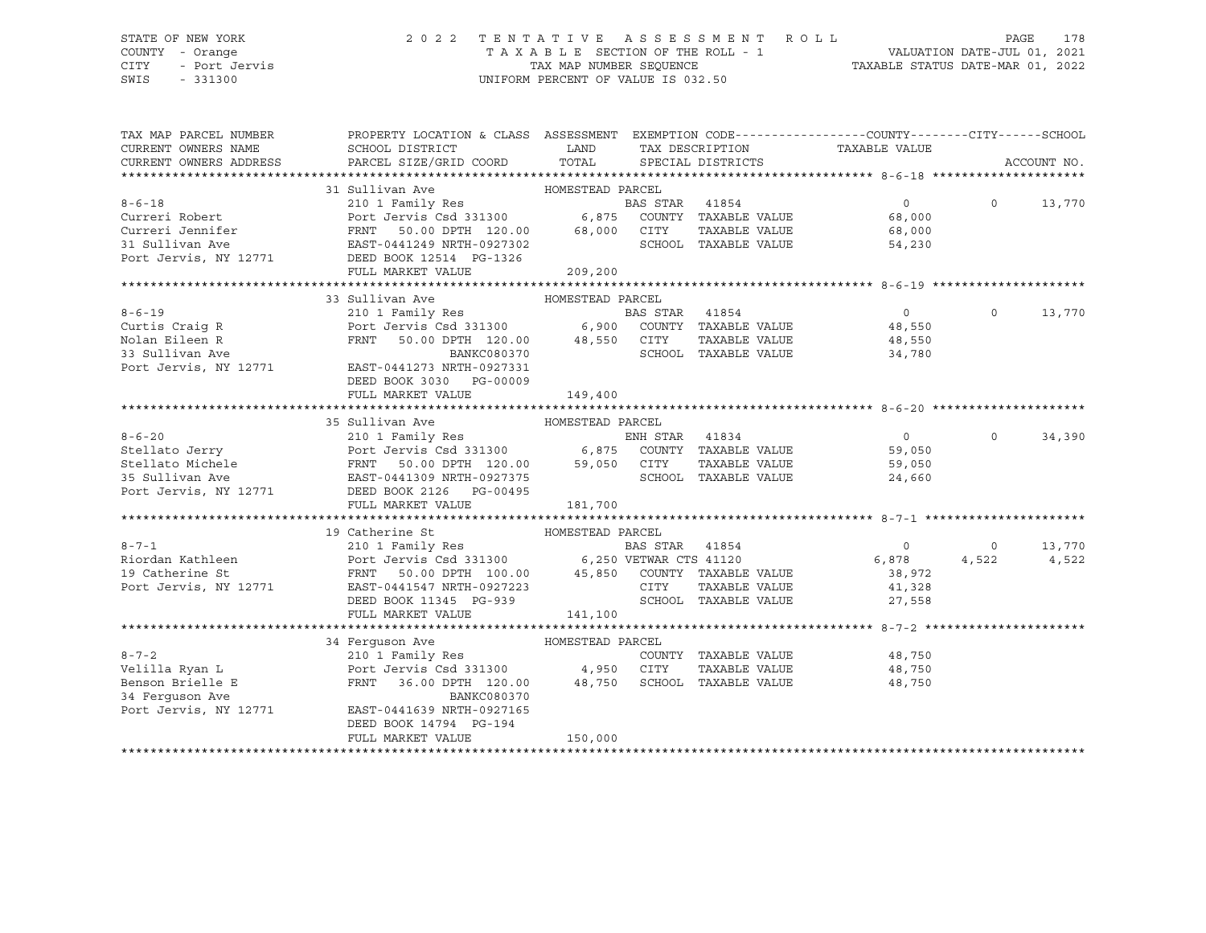### STATE OF NEW YORK 2 0 2 2 T E N T A T I V E A S S E S S M E N T R O L L PAGE 178 COUNTY - Orange T A X A B L E SECTION OF THE ROLL - 1 VALUATION DATE-JUL 01, 2021 CITY - Port Jervis TAX MAP NUMBER SEQUENCE TAXABLE STATUS DATE-MAR 01, 2022

| TAX MAP PARCEL NUMBER<br>CURRENT OWNERS NAME<br>CURRENT OWNERS ADDRESS                                                                                                                                                                   | PROPERTY LOCATION & CLASS ASSESSMENT EXEMPTION CODE---------------COUNTY-------CITY------SCHOOL                                                               |                  |                      |                                |          | ACCOUNT NO.        |
|------------------------------------------------------------------------------------------------------------------------------------------------------------------------------------------------------------------------------------------|---------------------------------------------------------------------------------------------------------------------------------------------------------------|------------------|----------------------|--------------------------------|----------|--------------------|
|                                                                                                                                                                                                                                          |                                                                                                                                                               |                  |                      |                                |          |                    |
|                                                                                                                                                                                                                                          |                                                                                                                                                               |                  |                      |                                |          |                    |
|                                                                                                                                                                                                                                          |                                                                                                                                                               |                  |                      | $\overline{0}$                 | $\Omega$ | 13,770             |
|                                                                                                                                                                                                                                          |                                                                                                                                                               |                  |                      |                                |          |                    |
|                                                                                                                                                                                                                                          |                                                                                                                                                               |                  |                      | 68,000<br>68,000               |          |                    |
| 31 Sullivan Ave AMESTEAD PARCEL<br>210 1 Family Res<br>Curreri Robert Port Jervis Csd 331300 6,875 COUNTY TAXABLE VALUE<br>Curreri Jennifer FRNT 50.00 DPTH 120.00 68,000 CITY TAXABLE VALUE<br>31 Sullivan Ave EAST-0441249 NRTH-0927   |                                                                                                                                                               |                  |                      | SCHOOL TAXABLE VALUE<br>54,230 |          |                    |
| Port Jervis, NY 12771 DEED BOOK 12514 PG-1326                                                                                                                                                                                            |                                                                                                                                                               |                  |                      |                                |          |                    |
|                                                                                                                                                                                                                                          | FULL MARKET VALUE                                                                                                                                             | 209,200          |                      |                                |          |                    |
|                                                                                                                                                                                                                                          |                                                                                                                                                               |                  |                      |                                |          |                    |
|                                                                                                                                                                                                                                          | 33 Sullivan Ave                                                                                                                                               | HOMESTEAD PARCEL |                      |                                |          |                    |
| $8 - 6 - 19$                                                                                                                                                                                                                             |                                                                                                                                                               |                  |                      | $\overline{0}$                 | $\Omega$ | 13,770             |
| 8-6-19<br>Curtis Craig R<br>"Jon Fileen R                                                                                                                                                                                                | 210 1 Family Res<br>Port Jervis Csd 331300 6,900 COUNTY TAXABLE VALUE<br>FRNT 50.00 DPTH 120.00 48,550 CITY TAXABLE VALUE<br>BANKC080370 SCHOOL TAXABLE VALUE |                  |                      |                                |          |                    |
|                                                                                                                                                                                                                                          |                                                                                                                                                               |                  |                      | 48,550<br>48,550               |          |                    |
| 33 Sullivan Ave                                                                                                                                                                                                                          |                                                                                                                                                               |                  |                      | SCHOOL TAXABLE VALUE 34,780    |          |                    |
| Port Jervis, NY 12771                                                                                                                                                                                                                    | EAST-0441273 NRTH-0927331                                                                                                                                     |                  |                      |                                |          |                    |
|                                                                                                                                                                                                                                          | DEED BOOK 3030 PG-00009                                                                                                                                       |                  |                      |                                |          |                    |
|                                                                                                                                                                                                                                          | FULL MARKET VALUE                                                                                                                                             | 149,400          |                      |                                |          |                    |
|                                                                                                                                                                                                                                          |                                                                                                                                                               |                  |                      |                                |          |                    |
|                                                                                                                                                                                                                                          | 35 Sullivan Ave<br>HOMESTEAD PARCEL                                                                                                                           |                  |                      |                                |          |                    |
| 8-6-20<br>Stellato Jerry 210 1 Family Res ENN STAR 41834<br>Stellato Michele FRNT 50.00 DPTH 120.00 59,050 CITY TAXABLE VALUE 59,050<br>35 Sullivan Ave EAST-0441309 NRTH-0927375<br>Port Jervis, NY 12771 DEED BOOK 2126 PG-00495<br>TA |                                                                                                                                                               |                  |                      | $\overline{0}$                 |          | $\Omega$<br>34,390 |
|                                                                                                                                                                                                                                          |                                                                                                                                                               |                  |                      |                                |          |                    |
|                                                                                                                                                                                                                                          |                                                                                                                                                               |                  |                      |                                |          |                    |
|                                                                                                                                                                                                                                          |                                                                                                                                                               |                  |                      |                                |          |                    |
|                                                                                                                                                                                                                                          |                                                                                                                                                               |                  |                      |                                |          |                    |
|                                                                                                                                                                                                                                          |                                                                                                                                                               |                  |                      |                                |          |                    |
|                                                                                                                                                                                                                                          |                                                                                                                                                               |                  |                      |                                |          |                    |
|                                                                                                                                                                                                                                          | 19 Catherine St<br>HOMESTEAD PARCEL                                                                                                                           |                  |                      |                                |          |                    |
| 8-7-1 210 1 Family Res BAS STAR 41854 0 0 13,770<br>Riordan Kathleen Port Jervis Csd 331300 6,250 VETWAR CTS 41120 6,878 4,522 4,522<br>Port Jervis, NY 12771 EAST-0441547 NRTH-0927223 CITY TAXABLE VALUE 41,328<br>Port Jervis, NY 12  |                                                                                                                                                               |                  |                      |                                |          |                    |
|                                                                                                                                                                                                                                          |                                                                                                                                                               |                  |                      |                                |          |                    |
|                                                                                                                                                                                                                                          |                                                                                                                                                               |                  |                      |                                |          |                    |
|                                                                                                                                                                                                                                          |                                                                                                                                                               |                  |                      |                                |          |                    |
|                                                                                                                                                                                                                                          | DEED BOOK 11345 PG-939                                                                                                                                        |                  | SCHOOL TAXABLE VALUE | 27,558                         |          |                    |
|                                                                                                                                                                                                                                          | FULL MARKET VALUE                                                                                                                                             | 141,100          |                      |                                |          |                    |
|                                                                                                                                                                                                                                          |                                                                                                                                                               |                  |                      |                                |          |                    |
|                                                                                                                                                                                                                                          | 34 Ferquson Ave<br>HOMESTEAD PARCEL                                                                                                                           |                  |                      |                                |          |                    |
| $8 - 7 - 2$                                                                                                                                                                                                                              | 210 1 Family Res                                                                                                                                              |                  |                      | COUNTY TAXABLE VALUE 48,750    |          |                    |
|                                                                                                                                                                                                                                          |                                                                                                                                                               |                  |                      | TAXABLE VALUE 48,750           |          |                    |
|                                                                                                                                                                                                                                          | FRNT 36.00 DPTH 120.00 48,750 SCHOOL TAXABLE VALUE                                                                                                            |                  |                      | 48,750                         |          |                    |
| Benson Brielle E<br>34 Ferguson Ave<br>Port Jervis, NY 12771                                                                                                                                                                             | BANKC080370                                                                                                                                                   |                  |                      |                                |          |                    |
|                                                                                                                                                                                                                                          | EAST-0441639 NRTH-0927165                                                                                                                                     |                  |                      |                                |          |                    |
|                                                                                                                                                                                                                                          | DEED BOOK 14794 PG-194                                                                                                                                        |                  |                      |                                |          |                    |
|                                                                                                                                                                                                                                          | FULL MARKET VALUE                                                                                                                                             | 150,000          |                      |                                |          |                    |
|                                                                                                                                                                                                                                          |                                                                                                                                                               |                  |                      |                                |          |                    |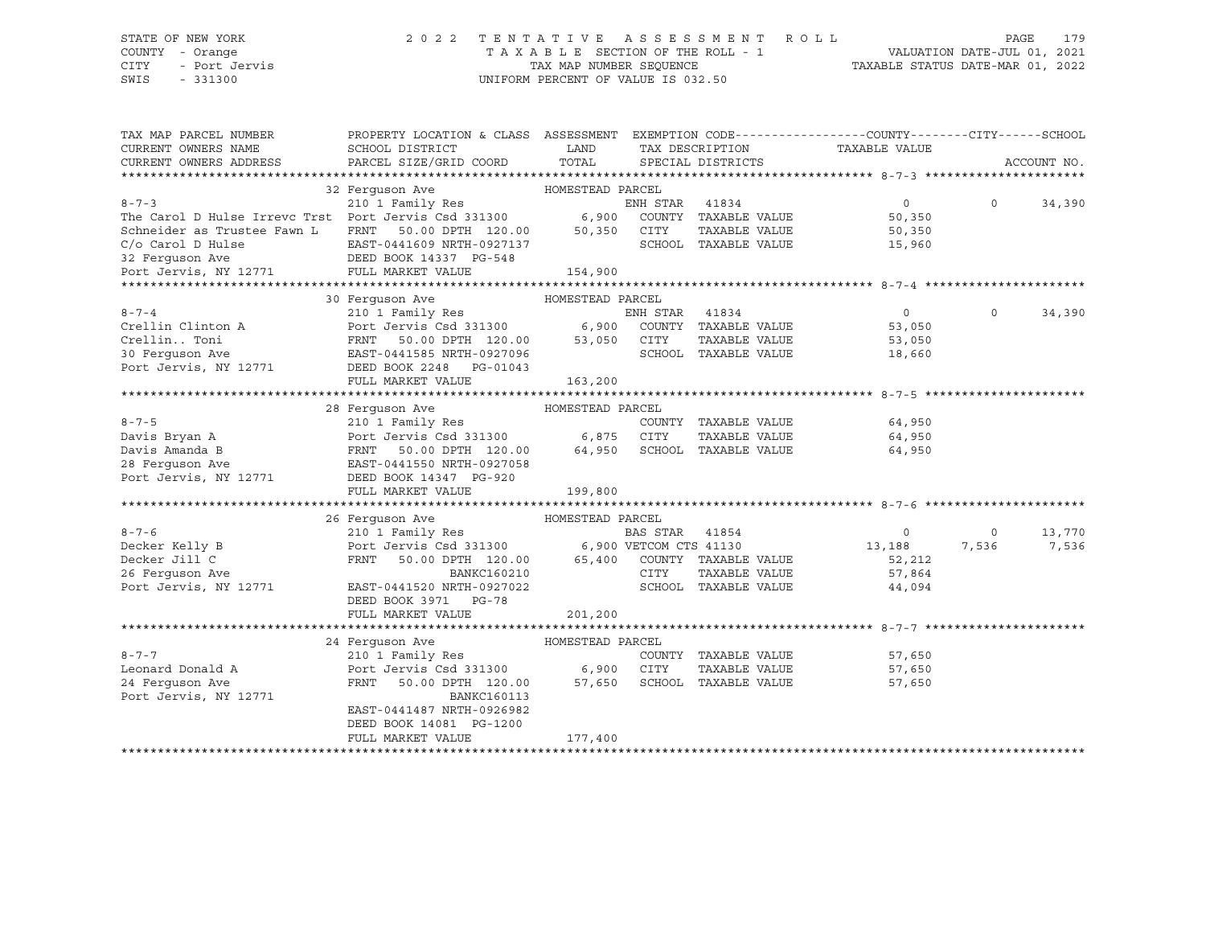### STATE OF NEW YORK 2 0 2 2 T E N T A T I V E A S S E S S M E N T R O L L PAGE 179 COUNTY - Orange T A X A B L E SECTION OF THE ROLL - 1 VALUATION DATE-JUL 01, 2021 CITY - Port Jervis TAX MAP NUMBER SEQUENCE TAXABLE STATUS DATE-MAR 01, 2022

SWIS - 331300 UNIFORM PERCENT OF VALUE IS 032.50

| PARCEL SIZE/GRID COORD<br>TOTAL<br>CURRENT OWNERS ADDRESS<br>SPECIAL DISTRICTS<br>ACCOUNT NO.<br>32 Ferquson Ave MOMESTEAD PARCEL<br>210 1 Family Res<br>$8 - 7 - 3$<br>$\overline{0}$<br>ENH STAR 41834<br>$\Omega$<br>34,390<br>The Carol D Hulse Irrevc Trst Port Jervis Csd 331300 6,900 COUNTY TAXABLE VALUE<br>Schneider as Trustee Fawn L FRNT 50.00 DPTH 120.00 50,350 CITY TAXABLE VALUE<br>50,350<br>50,350<br>C/o Carol D Hulse<br>EAST-0441609 NRTH-0927137<br>SCHOOL TAXABLE VALUE<br>EAST-0441609 NRTH-092713<br>DEED BOOK 14337 PG-548<br>15,960<br>154,900<br>30 Ferquson Ave<br>HOMESTEAD PARCEL<br>$8 - 7 - 4$<br>$\Omega$<br>210 1 Family Res<br>Port Jervis Csd 331300 6,900 COUNTY TAXABLE VALUE<br>$\overline{0}$<br>34,390<br>Crellin Clinton A Port Je<br>CrellinToni FRNT<br>30 Ferguson Ave RAST-04<br>53,050<br>50.00 DPTH 120.00 53,050 CITY<br>TAXABLE VALUE<br>53,050<br>SCHOOL TAXABLE VALUE<br>EAST-0441585 NRTH-0927096<br>18,660<br>Port Jervis, NY 12771<br>DEED BOOK 2248 PG-01043<br>163,200<br>FULL MARKET VALUE<br>28 Ferguson Ave MOMESTEAD PARCEL<br>210 1 Family Res<br>$8 - 7 - 5$<br>64,950<br>COUNTY TAXABLE VALUE<br>210 1 F<br>Port Je<br>FRNT<br>Port Jervis Csd 331300 6,875 CITY<br>Davis Bryan A<br>TAXABLE VALUE<br>64,950<br>50.00 DPTH 120.00 64,950 SCHOOL TAXABLE VALUE<br>Davis Amanda B<br>64,950<br>28 Ferquson Ave<br>EAST-0441550 NRTH-0927058<br>Port Jervis, NY 12771<br>DEED BOOK 14347 PG-920<br>FULL MARKET VALUE<br>199,800<br>26 Ferquson Ave<br>HOMESTEAD PARCEL<br>210 1 Family Res<br>Port Jervis Csd 331300 6,900 VETCOM CTS 41130<br>$8 - 7 - 6$<br>13,770<br>$\circ$<br>$\circ$<br>7,536<br>Decker Kelly B<br>Decker Jill C<br>13,188<br>7,536<br>50.00 DPTH 120.00 65,400 COUNTY TAXABLE VALUE<br>FRNT<br>52,212<br>26 Ferquson Ave<br>CITY<br>BANKC160210<br>TAXABLE VALUE<br>57,864<br>Port Jervis, NY 12771<br>EAST-0441520 NRTH-0927022<br>SCHOOL TAXABLE VALUE<br>44,094<br>DEED BOOK 3971 PG-78<br>FULL MARKET VALUE<br>201,200<br>24 Ferquson Ave<br>HOMESTEAD PARCEL<br>$8 - 7 - 7$<br>210 1 Family Res<br>COUNTY TAXABLE VALUE<br>57,650<br>Port Jervis Csd 331300 6,900 CITY<br>Leonard Donald A<br>57,650<br>TAXABLE VALUE<br>24 Ferquson Ave<br>FRNT<br>50.00 DPTH 120.00 57,650<br>SCHOOL TAXABLE VALUE<br>57,650<br>Port Jervis, NY 12771<br>BANKC160113<br>EAST-0441487 NRTH-0926982<br>DEED BOOK 14081 PG-1200<br>FULL MARKET VALUE<br>177,400 | TAX MAP PARCEL NUMBER<br>CURRENT OWNERS NAME | PROPERTY LOCATION & CLASS ASSESSMENT EXEMPTION CODE----------------COUNTY-------CITY------SCHOOL<br>SCHOOL DISTRICT | LAND | TAX DESCRIPTION |  | TAXABLE VALUE |  |
|-------------------------------------------------------------------------------------------------------------------------------------------------------------------------------------------------------------------------------------------------------------------------------------------------------------------------------------------------------------------------------------------------------------------------------------------------------------------------------------------------------------------------------------------------------------------------------------------------------------------------------------------------------------------------------------------------------------------------------------------------------------------------------------------------------------------------------------------------------------------------------------------------------------------------------------------------------------------------------------------------------------------------------------------------------------------------------------------------------------------------------------------------------------------------------------------------------------------------------------------------------------------------------------------------------------------------------------------------------------------------------------------------------------------------------------------------------------------------------------------------------------------------------------------------------------------------------------------------------------------------------------------------------------------------------------------------------------------------------------------------------------------------------------------------------------------------------------------------------------------------------------------------------------------------------------------------------------------------------------------------------------------------------------------------------------------------------------------------------------------------------------------------------------------------------------------------------------------------------------------------------------------------------------------------------------------------------------------------------------------------------------------------------------------------------------------|----------------------------------------------|---------------------------------------------------------------------------------------------------------------------|------|-----------------|--|---------------|--|
|                                                                                                                                                                                                                                                                                                                                                                                                                                                                                                                                                                                                                                                                                                                                                                                                                                                                                                                                                                                                                                                                                                                                                                                                                                                                                                                                                                                                                                                                                                                                                                                                                                                                                                                                                                                                                                                                                                                                                                                                                                                                                                                                                                                                                                                                                                                                                                                                                                           |                                              |                                                                                                                     |      |                 |  |               |  |
|                                                                                                                                                                                                                                                                                                                                                                                                                                                                                                                                                                                                                                                                                                                                                                                                                                                                                                                                                                                                                                                                                                                                                                                                                                                                                                                                                                                                                                                                                                                                                                                                                                                                                                                                                                                                                                                                                                                                                                                                                                                                                                                                                                                                                                                                                                                                                                                                                                           |                                              |                                                                                                                     |      |                 |  |               |  |
|                                                                                                                                                                                                                                                                                                                                                                                                                                                                                                                                                                                                                                                                                                                                                                                                                                                                                                                                                                                                                                                                                                                                                                                                                                                                                                                                                                                                                                                                                                                                                                                                                                                                                                                                                                                                                                                                                                                                                                                                                                                                                                                                                                                                                                                                                                                                                                                                                                           |                                              |                                                                                                                     |      |                 |  |               |  |
|                                                                                                                                                                                                                                                                                                                                                                                                                                                                                                                                                                                                                                                                                                                                                                                                                                                                                                                                                                                                                                                                                                                                                                                                                                                                                                                                                                                                                                                                                                                                                                                                                                                                                                                                                                                                                                                                                                                                                                                                                                                                                                                                                                                                                                                                                                                                                                                                                                           |                                              |                                                                                                                     |      |                 |  |               |  |
|                                                                                                                                                                                                                                                                                                                                                                                                                                                                                                                                                                                                                                                                                                                                                                                                                                                                                                                                                                                                                                                                                                                                                                                                                                                                                                                                                                                                                                                                                                                                                                                                                                                                                                                                                                                                                                                                                                                                                                                                                                                                                                                                                                                                                                                                                                                                                                                                                                           |                                              |                                                                                                                     |      |                 |  |               |  |
|                                                                                                                                                                                                                                                                                                                                                                                                                                                                                                                                                                                                                                                                                                                                                                                                                                                                                                                                                                                                                                                                                                                                                                                                                                                                                                                                                                                                                                                                                                                                                                                                                                                                                                                                                                                                                                                                                                                                                                                                                                                                                                                                                                                                                                                                                                                                                                                                                                           |                                              |                                                                                                                     |      |                 |  |               |  |
|                                                                                                                                                                                                                                                                                                                                                                                                                                                                                                                                                                                                                                                                                                                                                                                                                                                                                                                                                                                                                                                                                                                                                                                                                                                                                                                                                                                                                                                                                                                                                                                                                                                                                                                                                                                                                                                                                                                                                                                                                                                                                                                                                                                                                                                                                                                                                                                                                                           |                                              |                                                                                                                     |      |                 |  |               |  |
|                                                                                                                                                                                                                                                                                                                                                                                                                                                                                                                                                                                                                                                                                                                                                                                                                                                                                                                                                                                                                                                                                                                                                                                                                                                                                                                                                                                                                                                                                                                                                                                                                                                                                                                                                                                                                                                                                                                                                                                                                                                                                                                                                                                                                                                                                                                                                                                                                                           |                                              |                                                                                                                     |      |                 |  |               |  |
|                                                                                                                                                                                                                                                                                                                                                                                                                                                                                                                                                                                                                                                                                                                                                                                                                                                                                                                                                                                                                                                                                                                                                                                                                                                                                                                                                                                                                                                                                                                                                                                                                                                                                                                                                                                                                                                                                                                                                                                                                                                                                                                                                                                                                                                                                                                                                                                                                                           |                                              |                                                                                                                     |      |                 |  |               |  |
|                                                                                                                                                                                                                                                                                                                                                                                                                                                                                                                                                                                                                                                                                                                                                                                                                                                                                                                                                                                                                                                                                                                                                                                                                                                                                                                                                                                                                                                                                                                                                                                                                                                                                                                                                                                                                                                                                                                                                                                                                                                                                                                                                                                                                                                                                                                                                                                                                                           |                                              |                                                                                                                     |      |                 |  |               |  |
|                                                                                                                                                                                                                                                                                                                                                                                                                                                                                                                                                                                                                                                                                                                                                                                                                                                                                                                                                                                                                                                                                                                                                                                                                                                                                                                                                                                                                                                                                                                                                                                                                                                                                                                                                                                                                                                                                                                                                                                                                                                                                                                                                                                                                                                                                                                                                                                                                                           |                                              |                                                                                                                     |      |                 |  |               |  |
|                                                                                                                                                                                                                                                                                                                                                                                                                                                                                                                                                                                                                                                                                                                                                                                                                                                                                                                                                                                                                                                                                                                                                                                                                                                                                                                                                                                                                                                                                                                                                                                                                                                                                                                                                                                                                                                                                                                                                                                                                                                                                                                                                                                                                                                                                                                                                                                                                                           |                                              |                                                                                                                     |      |                 |  |               |  |
|                                                                                                                                                                                                                                                                                                                                                                                                                                                                                                                                                                                                                                                                                                                                                                                                                                                                                                                                                                                                                                                                                                                                                                                                                                                                                                                                                                                                                                                                                                                                                                                                                                                                                                                                                                                                                                                                                                                                                                                                                                                                                                                                                                                                                                                                                                                                                                                                                                           |                                              |                                                                                                                     |      |                 |  |               |  |
|                                                                                                                                                                                                                                                                                                                                                                                                                                                                                                                                                                                                                                                                                                                                                                                                                                                                                                                                                                                                                                                                                                                                                                                                                                                                                                                                                                                                                                                                                                                                                                                                                                                                                                                                                                                                                                                                                                                                                                                                                                                                                                                                                                                                                                                                                                                                                                                                                                           |                                              |                                                                                                                     |      |                 |  |               |  |
|                                                                                                                                                                                                                                                                                                                                                                                                                                                                                                                                                                                                                                                                                                                                                                                                                                                                                                                                                                                                                                                                                                                                                                                                                                                                                                                                                                                                                                                                                                                                                                                                                                                                                                                                                                                                                                                                                                                                                                                                                                                                                                                                                                                                                                                                                                                                                                                                                                           |                                              |                                                                                                                     |      |                 |  |               |  |
|                                                                                                                                                                                                                                                                                                                                                                                                                                                                                                                                                                                                                                                                                                                                                                                                                                                                                                                                                                                                                                                                                                                                                                                                                                                                                                                                                                                                                                                                                                                                                                                                                                                                                                                                                                                                                                                                                                                                                                                                                                                                                                                                                                                                                                                                                                                                                                                                                                           |                                              |                                                                                                                     |      |                 |  |               |  |
|                                                                                                                                                                                                                                                                                                                                                                                                                                                                                                                                                                                                                                                                                                                                                                                                                                                                                                                                                                                                                                                                                                                                                                                                                                                                                                                                                                                                                                                                                                                                                                                                                                                                                                                                                                                                                                                                                                                                                                                                                                                                                                                                                                                                                                                                                                                                                                                                                                           |                                              |                                                                                                                     |      |                 |  |               |  |
|                                                                                                                                                                                                                                                                                                                                                                                                                                                                                                                                                                                                                                                                                                                                                                                                                                                                                                                                                                                                                                                                                                                                                                                                                                                                                                                                                                                                                                                                                                                                                                                                                                                                                                                                                                                                                                                                                                                                                                                                                                                                                                                                                                                                                                                                                                                                                                                                                                           |                                              |                                                                                                                     |      |                 |  |               |  |
|                                                                                                                                                                                                                                                                                                                                                                                                                                                                                                                                                                                                                                                                                                                                                                                                                                                                                                                                                                                                                                                                                                                                                                                                                                                                                                                                                                                                                                                                                                                                                                                                                                                                                                                                                                                                                                                                                                                                                                                                                                                                                                                                                                                                                                                                                                                                                                                                                                           |                                              |                                                                                                                     |      |                 |  |               |  |
|                                                                                                                                                                                                                                                                                                                                                                                                                                                                                                                                                                                                                                                                                                                                                                                                                                                                                                                                                                                                                                                                                                                                                                                                                                                                                                                                                                                                                                                                                                                                                                                                                                                                                                                                                                                                                                                                                                                                                                                                                                                                                                                                                                                                                                                                                                                                                                                                                                           |                                              |                                                                                                                     |      |                 |  |               |  |
|                                                                                                                                                                                                                                                                                                                                                                                                                                                                                                                                                                                                                                                                                                                                                                                                                                                                                                                                                                                                                                                                                                                                                                                                                                                                                                                                                                                                                                                                                                                                                                                                                                                                                                                                                                                                                                                                                                                                                                                                                                                                                                                                                                                                                                                                                                                                                                                                                                           |                                              |                                                                                                                     |      |                 |  |               |  |
|                                                                                                                                                                                                                                                                                                                                                                                                                                                                                                                                                                                                                                                                                                                                                                                                                                                                                                                                                                                                                                                                                                                                                                                                                                                                                                                                                                                                                                                                                                                                                                                                                                                                                                                                                                                                                                                                                                                                                                                                                                                                                                                                                                                                                                                                                                                                                                                                                                           |                                              |                                                                                                                     |      |                 |  |               |  |
|                                                                                                                                                                                                                                                                                                                                                                                                                                                                                                                                                                                                                                                                                                                                                                                                                                                                                                                                                                                                                                                                                                                                                                                                                                                                                                                                                                                                                                                                                                                                                                                                                                                                                                                                                                                                                                                                                                                                                                                                                                                                                                                                                                                                                                                                                                                                                                                                                                           |                                              |                                                                                                                     |      |                 |  |               |  |
|                                                                                                                                                                                                                                                                                                                                                                                                                                                                                                                                                                                                                                                                                                                                                                                                                                                                                                                                                                                                                                                                                                                                                                                                                                                                                                                                                                                                                                                                                                                                                                                                                                                                                                                                                                                                                                                                                                                                                                                                                                                                                                                                                                                                                                                                                                                                                                                                                                           |                                              |                                                                                                                     |      |                 |  |               |  |
|                                                                                                                                                                                                                                                                                                                                                                                                                                                                                                                                                                                                                                                                                                                                                                                                                                                                                                                                                                                                                                                                                                                                                                                                                                                                                                                                                                                                                                                                                                                                                                                                                                                                                                                                                                                                                                                                                                                                                                                                                                                                                                                                                                                                                                                                                                                                                                                                                                           |                                              |                                                                                                                     |      |                 |  |               |  |
|                                                                                                                                                                                                                                                                                                                                                                                                                                                                                                                                                                                                                                                                                                                                                                                                                                                                                                                                                                                                                                                                                                                                                                                                                                                                                                                                                                                                                                                                                                                                                                                                                                                                                                                                                                                                                                                                                                                                                                                                                                                                                                                                                                                                                                                                                                                                                                                                                                           |                                              |                                                                                                                     |      |                 |  |               |  |
|                                                                                                                                                                                                                                                                                                                                                                                                                                                                                                                                                                                                                                                                                                                                                                                                                                                                                                                                                                                                                                                                                                                                                                                                                                                                                                                                                                                                                                                                                                                                                                                                                                                                                                                                                                                                                                                                                                                                                                                                                                                                                                                                                                                                                                                                                                                                                                                                                                           |                                              |                                                                                                                     |      |                 |  |               |  |
|                                                                                                                                                                                                                                                                                                                                                                                                                                                                                                                                                                                                                                                                                                                                                                                                                                                                                                                                                                                                                                                                                                                                                                                                                                                                                                                                                                                                                                                                                                                                                                                                                                                                                                                                                                                                                                                                                                                                                                                                                                                                                                                                                                                                                                                                                                                                                                                                                                           |                                              |                                                                                                                     |      |                 |  |               |  |
|                                                                                                                                                                                                                                                                                                                                                                                                                                                                                                                                                                                                                                                                                                                                                                                                                                                                                                                                                                                                                                                                                                                                                                                                                                                                                                                                                                                                                                                                                                                                                                                                                                                                                                                                                                                                                                                                                                                                                                                                                                                                                                                                                                                                                                                                                                                                                                                                                                           |                                              |                                                                                                                     |      |                 |  |               |  |
|                                                                                                                                                                                                                                                                                                                                                                                                                                                                                                                                                                                                                                                                                                                                                                                                                                                                                                                                                                                                                                                                                                                                                                                                                                                                                                                                                                                                                                                                                                                                                                                                                                                                                                                                                                                                                                                                                                                                                                                                                                                                                                                                                                                                                                                                                                                                                                                                                                           |                                              |                                                                                                                     |      |                 |  |               |  |
|                                                                                                                                                                                                                                                                                                                                                                                                                                                                                                                                                                                                                                                                                                                                                                                                                                                                                                                                                                                                                                                                                                                                                                                                                                                                                                                                                                                                                                                                                                                                                                                                                                                                                                                                                                                                                                                                                                                                                                                                                                                                                                                                                                                                                                                                                                                                                                                                                                           |                                              |                                                                                                                     |      |                 |  |               |  |
|                                                                                                                                                                                                                                                                                                                                                                                                                                                                                                                                                                                                                                                                                                                                                                                                                                                                                                                                                                                                                                                                                                                                                                                                                                                                                                                                                                                                                                                                                                                                                                                                                                                                                                                                                                                                                                                                                                                                                                                                                                                                                                                                                                                                                                                                                                                                                                                                                                           |                                              |                                                                                                                     |      |                 |  |               |  |
|                                                                                                                                                                                                                                                                                                                                                                                                                                                                                                                                                                                                                                                                                                                                                                                                                                                                                                                                                                                                                                                                                                                                                                                                                                                                                                                                                                                                                                                                                                                                                                                                                                                                                                                                                                                                                                                                                                                                                                                                                                                                                                                                                                                                                                                                                                                                                                                                                                           |                                              |                                                                                                                     |      |                 |  |               |  |
|                                                                                                                                                                                                                                                                                                                                                                                                                                                                                                                                                                                                                                                                                                                                                                                                                                                                                                                                                                                                                                                                                                                                                                                                                                                                                                                                                                                                                                                                                                                                                                                                                                                                                                                                                                                                                                                                                                                                                                                                                                                                                                                                                                                                                                                                                                                                                                                                                                           |                                              |                                                                                                                     |      |                 |  |               |  |
|                                                                                                                                                                                                                                                                                                                                                                                                                                                                                                                                                                                                                                                                                                                                                                                                                                                                                                                                                                                                                                                                                                                                                                                                                                                                                                                                                                                                                                                                                                                                                                                                                                                                                                                                                                                                                                                                                                                                                                                                                                                                                                                                                                                                                                                                                                                                                                                                                                           |                                              |                                                                                                                     |      |                 |  |               |  |
|                                                                                                                                                                                                                                                                                                                                                                                                                                                                                                                                                                                                                                                                                                                                                                                                                                                                                                                                                                                                                                                                                                                                                                                                                                                                                                                                                                                                                                                                                                                                                                                                                                                                                                                                                                                                                                                                                                                                                                                                                                                                                                                                                                                                                                                                                                                                                                                                                                           |                                              |                                                                                                                     |      |                 |  |               |  |
|                                                                                                                                                                                                                                                                                                                                                                                                                                                                                                                                                                                                                                                                                                                                                                                                                                                                                                                                                                                                                                                                                                                                                                                                                                                                                                                                                                                                                                                                                                                                                                                                                                                                                                                                                                                                                                                                                                                                                                                                                                                                                                                                                                                                                                                                                                                                                                                                                                           |                                              |                                                                                                                     |      |                 |  |               |  |
|                                                                                                                                                                                                                                                                                                                                                                                                                                                                                                                                                                                                                                                                                                                                                                                                                                                                                                                                                                                                                                                                                                                                                                                                                                                                                                                                                                                                                                                                                                                                                                                                                                                                                                                                                                                                                                                                                                                                                                                                                                                                                                                                                                                                                                                                                                                                                                                                                                           |                                              |                                                                                                                     |      |                 |  |               |  |
|                                                                                                                                                                                                                                                                                                                                                                                                                                                                                                                                                                                                                                                                                                                                                                                                                                                                                                                                                                                                                                                                                                                                                                                                                                                                                                                                                                                                                                                                                                                                                                                                                                                                                                                                                                                                                                                                                                                                                                                                                                                                                                                                                                                                                                                                                                                                                                                                                                           |                                              |                                                                                                                     |      |                 |  |               |  |
|                                                                                                                                                                                                                                                                                                                                                                                                                                                                                                                                                                                                                                                                                                                                                                                                                                                                                                                                                                                                                                                                                                                                                                                                                                                                                                                                                                                                                                                                                                                                                                                                                                                                                                                                                                                                                                                                                                                                                                                                                                                                                                                                                                                                                                                                                                                                                                                                                                           |                                              |                                                                                                                     |      |                 |  |               |  |
|                                                                                                                                                                                                                                                                                                                                                                                                                                                                                                                                                                                                                                                                                                                                                                                                                                                                                                                                                                                                                                                                                                                                                                                                                                                                                                                                                                                                                                                                                                                                                                                                                                                                                                                                                                                                                                                                                                                                                                                                                                                                                                                                                                                                                                                                                                                                                                                                                                           |                                              |                                                                                                                     |      |                 |  |               |  |
|                                                                                                                                                                                                                                                                                                                                                                                                                                                                                                                                                                                                                                                                                                                                                                                                                                                                                                                                                                                                                                                                                                                                                                                                                                                                                                                                                                                                                                                                                                                                                                                                                                                                                                                                                                                                                                                                                                                                                                                                                                                                                                                                                                                                                                                                                                                                                                                                                                           |                                              |                                                                                                                     |      |                 |  |               |  |
|                                                                                                                                                                                                                                                                                                                                                                                                                                                                                                                                                                                                                                                                                                                                                                                                                                                                                                                                                                                                                                                                                                                                                                                                                                                                                                                                                                                                                                                                                                                                                                                                                                                                                                                                                                                                                                                                                                                                                                                                                                                                                                                                                                                                                                                                                                                                                                                                                                           |                                              |                                                                                                                     |      |                 |  |               |  |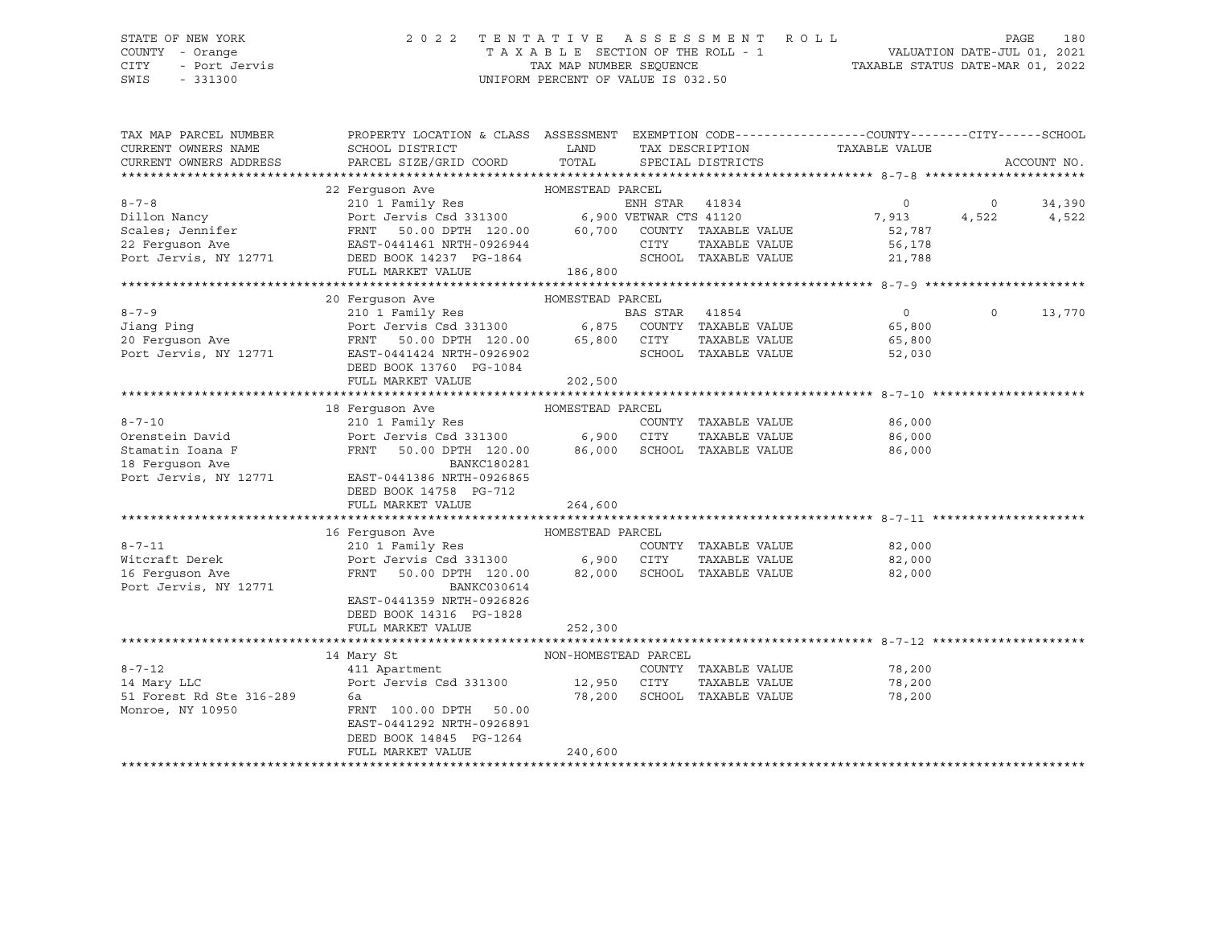CITY - Port Jervis TAX MAP NUMBER SEQUENCE TAXABLE STATUS DATE-MAR 01, 2022 SWIS - 331300 UNIFORM PERCENT OF VALUE IS 032.50

## STATE OF NEW YORK 2 0 2 2 T E N T A T I V E A S S E S S M E N T R O L L PAGE 180 COUNTY - Orange T A X A B L E SECTION OF THE ROLL - 1 VALUATION DATE-JUL 01, 2021

| TAX MAP PARCEL NUMBER<br>CURRENT OWNERS NAME<br>CURRENT OWNERS ADDRESS                          | PROPERTY LOCATION & CLASS ASSESSMENT EXEMPTION CODE----------------COUNTY-------CITY------SCHOOL<br>SCHOOL DISTRICT<br>PARCEL SIZE/GRID COORD                                                                                      | LAND<br>TOTAL                             | TAX DESCRIPTION<br>SPECIAL DISTRICTS           |               | TAXABLE VALUE                                         |                  | ACCOUNT NO.     |
|-------------------------------------------------------------------------------------------------|------------------------------------------------------------------------------------------------------------------------------------------------------------------------------------------------------------------------------------|-------------------------------------------|------------------------------------------------|---------------|-------------------------------------------------------|------------------|-----------------|
| $8 - 7 - 8$<br>Dillon Nancy<br>Scales; Jennifer<br>22 Ferquson Ave<br>Port Jervis, NY 12771     | 22 Ferquson Ave<br>210 1 Family Res<br>Port Jervis Csd 331300 6,900 VETWAR CTS 41120<br>FRNT 50.00 DPTH 120.00 60,700 COUNTY TAXABLE VALUE<br>EAST-0441461 NRTH-0926944<br>DEED BOOK 14237 PG-1864                                 | HOMESTEAD PARCEL                          | ENH STAR 41834<br>CITY<br>SCHOOL TAXABLE VALUE | TAXABLE VALUE | $\overline{0}$<br>7,913<br>52,787<br>56,178<br>21,788 | $\circ$<br>4,522 | 34,390<br>4,522 |
|                                                                                                 | FULL MARKET VALUE                                                                                                                                                                                                                  | 186,800                                   |                                                |               |                                                       |                  |                 |
| $8 - 7 - 9$<br>Jiang Ping<br>20 Ferguson Ave<br>Port Jervis, NY 12771                           | 20 Ferquson Ave<br>HOMESTEAD PARCEL<br>210 1 Family Res<br>Port Jervis Csd 331300 6,875 COUNTY TAXABLE VALUE<br>50.00 DPTH 120.00 65,800 CITY<br>FRNT<br>EAST-0441424 NRTH-0926902<br>DEED BOOK 13760 PG-1084<br>FULL MARKET VALUE | 202,500                                   | SCHOOL TAXABLE VALUE                           | TAXABLE VALUE | $\overline{0}$<br>65,800<br>65,800<br>52,030          | $\Omega$         | 13,770          |
|                                                                                                 | 18 Ferquson Ave                                                                                                                                                                                                                    | HOMESTEAD PARCEL                          |                                                |               |                                                       |                  |                 |
| $8 - 7 - 10$<br>Orenstein David<br>Stamatin Ioana F<br>18 Ferguson Ave<br>Port Jervis, NY 12771 | 210 1 Family Res<br>Port Jervis Csd 331300 6,900 CITY<br>FRNT<br>50.00 DPTH 120.00<br><b>BANKC180281</b><br>EAST-0441386 NRTH-0926865<br>DEED BOOK 14758 PG-712<br>FULL MARKET VALUE                                               | 86,000<br>264,600                         | COUNTY TAXABLE VALUE<br>SCHOOL TAXABLE VALUE   | TAXABLE VALUE | 86,000<br>86,000<br>86,000                            |                  |                 |
|                                                                                                 | HOMESTEAD PARCEL<br>16 Ferquson Ave                                                                                                                                                                                                |                                           |                                                |               |                                                       |                  |                 |
| $8 - 7 - 11$<br>Witcraft Derek<br>16 Ferquson Ave<br>Port Jervis, NY 12771                      | 210 1 Family Res<br>Port Jervis Csd 331300 6,900 CITY<br>FRNT<br>50.00 DPTH 120.00<br>BANKC030614<br>EAST-0441359 NRTH-0926826<br>DEED BOOK 14316 PG-1828                                                                          | 82,000                                    | COUNTY TAXABLE VALUE<br>SCHOOL TAXABLE VALUE   | TAXABLE VALUE | 82,000<br>82,000<br>82,000                            |                  |                 |
|                                                                                                 | FULL MARKET VALUE                                                                                                                                                                                                                  | 252,300                                   |                                                |               |                                                       |                  |                 |
| $8 - 7 - 12$<br>14 Mary LLC<br>51 Forest Rd Ste 316-289<br>Monroe, NY 10950                     | 14 Mary St<br>411 Apartment<br>Port Jervis Csd 331300 12,950 CITY<br>6a<br>FRNT 100.00 DPTH 50.00<br>EAST-0441292 NRTH-0926891<br>DEED BOOK 14845 PG-1264<br>FULL MARKET VALUE                                                     | NON-HOMESTEAD PARCEL<br>78,200<br>240,600 | COUNTY TAXABLE VALUE<br>SCHOOL TAXABLE VALUE   | TAXABLE VALUE | 78,200<br>78,200<br>78,200                            |                  |                 |
|                                                                                                 |                                                                                                                                                                                                                                    |                                           |                                                |               |                                                       |                  |                 |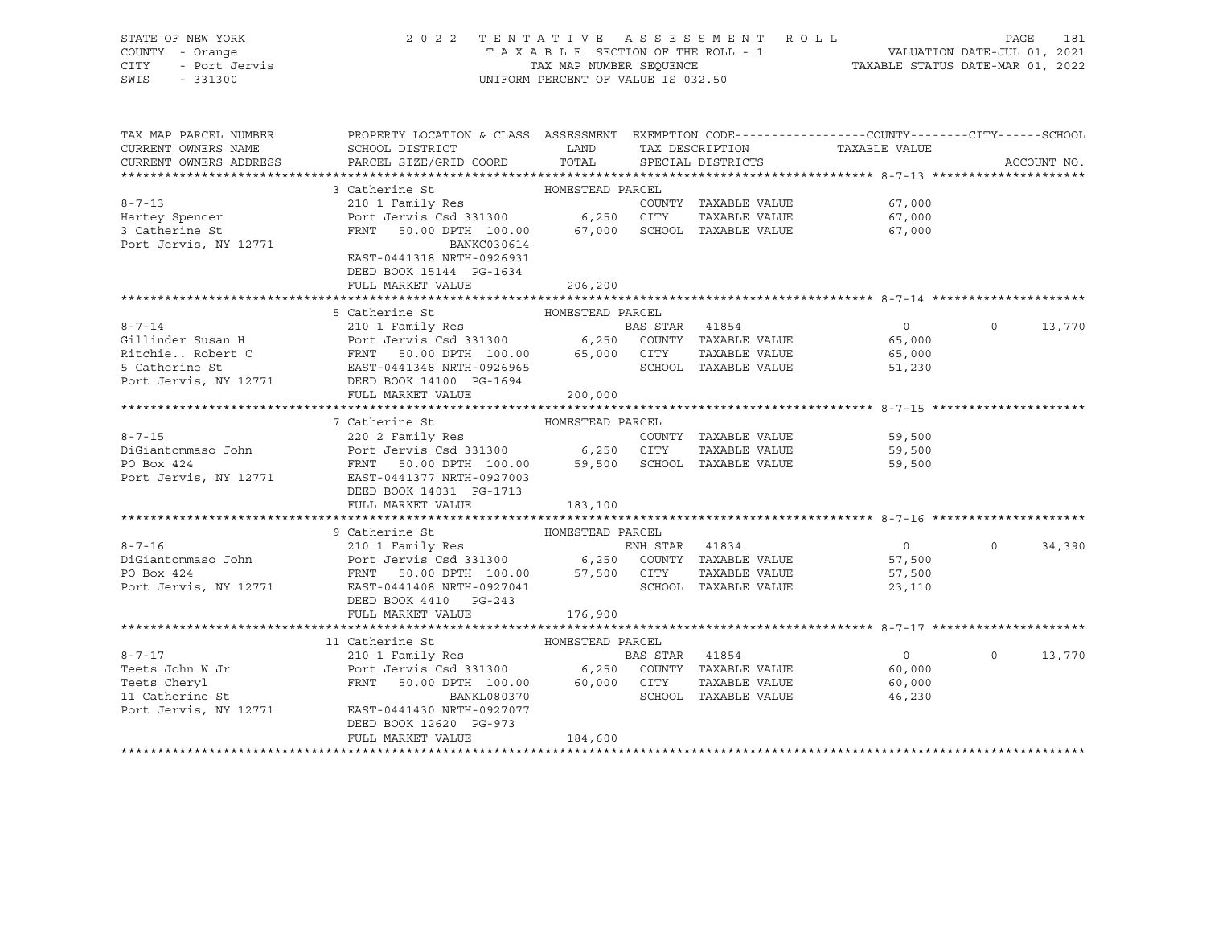|      | STATE OF NEW YORK | 2022 TENTATIVE ASSESSMENT ROLL                                 | PAGE | 181 |
|------|-------------------|----------------------------------------------------------------|------|-----|
|      | COUNTY - Orange   | TAXABLE SECTION OF THE ROLL - 1<br>VALUATION DATE-JUL 01, 2021 |      |     |
| CITY | - Port Jervis     | TAXABLE STATUS DATE-MAR 01, 2022<br>TAX MAP NUMBER SEQUENCE    |      |     |
| SWIS | $-331300$         | UNIFORM PERCENT OF VALUE IS 032.50                             |      |     |
|      |                   |                                                                |      |     |
|      |                   |                                                                |      |     |

| TAX MAP PARCEL NUMBER<br>CURRENT OWNERS NAME         | PROPERTY LOCATION & CLASS ASSESSMENT EXEMPTION CODE----------------COUNTY-------CITY------SCHOOL<br>SCHOOL DISTRICT                                                             | <b>EXAMPLE THE STATE OF STATE OF STATE OF STATE OF STATE OF STATE OF STATE OF STATE OF STATE OF STATE</b> |                | TAX DESCRIPTION         | TAXABLE VALUE  |          |             |
|------------------------------------------------------|---------------------------------------------------------------------------------------------------------------------------------------------------------------------------------|-----------------------------------------------------------------------------------------------------------|----------------|-------------------------|----------------|----------|-------------|
| CURRENT OWNERS ADDRESS                               | PARCEL SIZE/GRID COORD                                                                                                                                                          |                                                                                                           |                | TOTAL SPECIAL DISTRICTS |                |          | ACCOUNT NO. |
|                                                      | HOMESTEAD PARCEL<br>3 Catherine St                                                                                                                                              |                                                                                                           |                |                         |                |          |             |
| $8 - 7 - 13$                                         | 210 1 Family Res                                                                                                                                                                |                                                                                                           |                | COUNTY TAXABLE VALUE    | 67,000         |          |             |
| Hartey Spencer                                       | Port Jervis Csd 331300 6,250 CITY                                                                                                                                               |                                                                                                           |                | TAXABLE VALUE           | 67,000         |          |             |
| 3 Catherine St                                       | FRNT 50.00 DPTH 100.00 67,000 SCHOOL TAXABLE VALUE                                                                                                                              |                                                                                                           |                |                         | 67,000         |          |             |
| Port Jervis, NY 12771                                | BANKC030614                                                                                                                                                                     |                                                                                                           |                |                         |                |          |             |
|                                                      | EAST-0441318 NRTH-0926931                                                                                                                                                       |                                                                                                           |                |                         |                |          |             |
|                                                      | DEED BOOK 15144 PG-1634                                                                                                                                                         |                                                                                                           |                |                         |                |          |             |
|                                                      | FULL MARKET VALUE                                                                                                                                                               | 206,200                                                                                                   |                |                         |                |          |             |
|                                                      |                                                                                                                                                                                 |                                                                                                           |                |                         |                |          |             |
|                                                      | 5 Catherine St                                                                                                                                                                  | HOMESTEAD PARCEL                                                                                          |                |                         |                |          |             |
| $8 - 7 - 14$                                         |                                                                                                                                                                                 |                                                                                                           |                |                         |                | $\Omega$ | 13,770      |
| Gillinder Susan H                                    |                                                                                                                                                                                 |                                                                                                           |                |                         |                |          |             |
|                                                      |                                                                                                                                                                                 |                                                                                                           |                | TAXABLE VALUE           | 65,000         |          |             |
|                                                      |                                                                                                                                                                                 |                                                                                                           |                | SCHOOL TAXABLE VALUE    | 51,230         |          |             |
| 5 Catherine St<br>Port Jervis, NY 12771              | DEED BOOK 14100 PG-1694                                                                                                                                                         |                                                                                                           |                |                         |                |          |             |
|                                                      | FULL MARKET VALUE                                                                                                                                                               | 200,000                                                                                                   |                |                         |                |          |             |
|                                                      |                                                                                                                                                                                 |                                                                                                           |                |                         |                |          |             |
|                                                      | 7 Catherine St                                                                                                                                                                  | HOMESTEAD PARCEL                                                                                          |                |                         |                |          |             |
| $8 - 7 - 15$                                         | 220 2 Family Res                                                                                                                                                                |                                                                                                           |                | COUNTY TAXABLE VALUE    | 59,500         |          |             |
| DiGiantommaso John Port Jervis Csd 331300 6,250 CITY |                                                                                                                                                                                 |                                                                                                           |                | TAXABLE VALUE           | 59,500         |          |             |
| PO Box 424                                           |                                                                                                                                                                                 |                                                                                                           |                |                         | 59,500         |          |             |
| Port Jervis, NY 12771                                | FRNT 50.00 DPTH 100.00 59,500 SCHOOL TAXABLE VALUE<br>EAST-0441377 NRTH-0927003<br>EAST-0441377 NRTH-0927003                                                                    |                                                                                                           |                |                         |                |          |             |
|                                                      | DEED BOOK 14031 PG-1713                                                                                                                                                         |                                                                                                           |                |                         |                |          |             |
|                                                      | FULL MARKET VALUE                                                                                                                                                               | 183,100                                                                                                   |                |                         |                |          |             |
|                                                      |                                                                                                                                                                                 |                                                                                                           |                |                         |                |          |             |
|                                                      | 9 Catherine St                                                                                                                                                                  | HOMESTEAD PARCEL                                                                                          |                |                         |                |          |             |
| $8 - 7 - 16$                                         | 2 COMPANY TO THE TRANSPORT OF THE SERIE VALUE<br>2010 1 Family Res<br>POTT JET SO 00 DPTH 100.00 57,500 CITY TAXABLE VALUE<br>FRAME SO 00 DPTH 100.00 57,500 CITY TAXABLE VALUE |                                                                                                           |                |                         | $\overline{0}$ | $\circ$  | 34,390      |
| DiGiantommaso John                                   |                                                                                                                                                                                 |                                                                                                           |                |                         | 57,500         |          |             |
| PO Box 424                                           |                                                                                                                                                                                 |                                                                                                           |                |                         | 57,500         |          |             |
| Port Jervis, NY 12771                                | EAST-0441408 NRTH-0927041                                                                                                                                                       |                                                                                                           |                | SCHOOL TAXABLE VALUE    | 23,110         |          |             |
|                                                      | DEED BOOK 4410 PG-243                                                                                                                                                           |                                                                                                           |                |                         |                |          |             |
|                                                      | FULL MARKET VALUE                                                                                                                                                               | 176,900                                                                                                   |                |                         |                |          |             |
|                                                      |                                                                                                                                                                                 |                                                                                                           |                |                         |                |          |             |
|                                                      | 11 Catherine St                                                                                                                                                                 | HOMESTEAD PARCEL                                                                                          |                |                         |                |          |             |
| $8 - 7 - 17$                                         | 210 1 Family Res                                                                                                                                                                |                                                                                                           | BAS STAR 41854 |                         | $\overline{0}$ | $\Omega$ | 13,770      |
| Teets John W Jr                                      | 210 1 Family Res<br>Port Jervis Csd 331300 6,250 COUNTY TAXABLE VALUE                                                                                                           |                                                                                                           |                |                         | 60,000         |          |             |
| Teets Cheryl                                         | FRNT 50.00 DPTH 100.00 60,000 CITY                                                                                                                                              |                                                                                                           |                | TAXABLE VALUE           | 60,000         |          |             |
| 11 Catherine St                                      | BANKL080370                                                                                                                                                                     |                                                                                                           |                | SCHOOL TAXABLE VALUE    | 46,230         |          |             |
| Port Jervis, NY 12771                                | EAST-0441430 NRTH-0927077                                                                                                                                                       |                                                                                                           |                |                         |                |          |             |
|                                                      | DEED BOOK 12620 PG-973                                                                                                                                                          |                                                                                                           |                |                         |                |          |             |
|                                                      | FULL MARKET VALUE                                                                                                                                                               | 184,600                                                                                                   |                |                         |                |          |             |
|                                                      |                                                                                                                                                                                 |                                                                                                           |                |                         |                |          |             |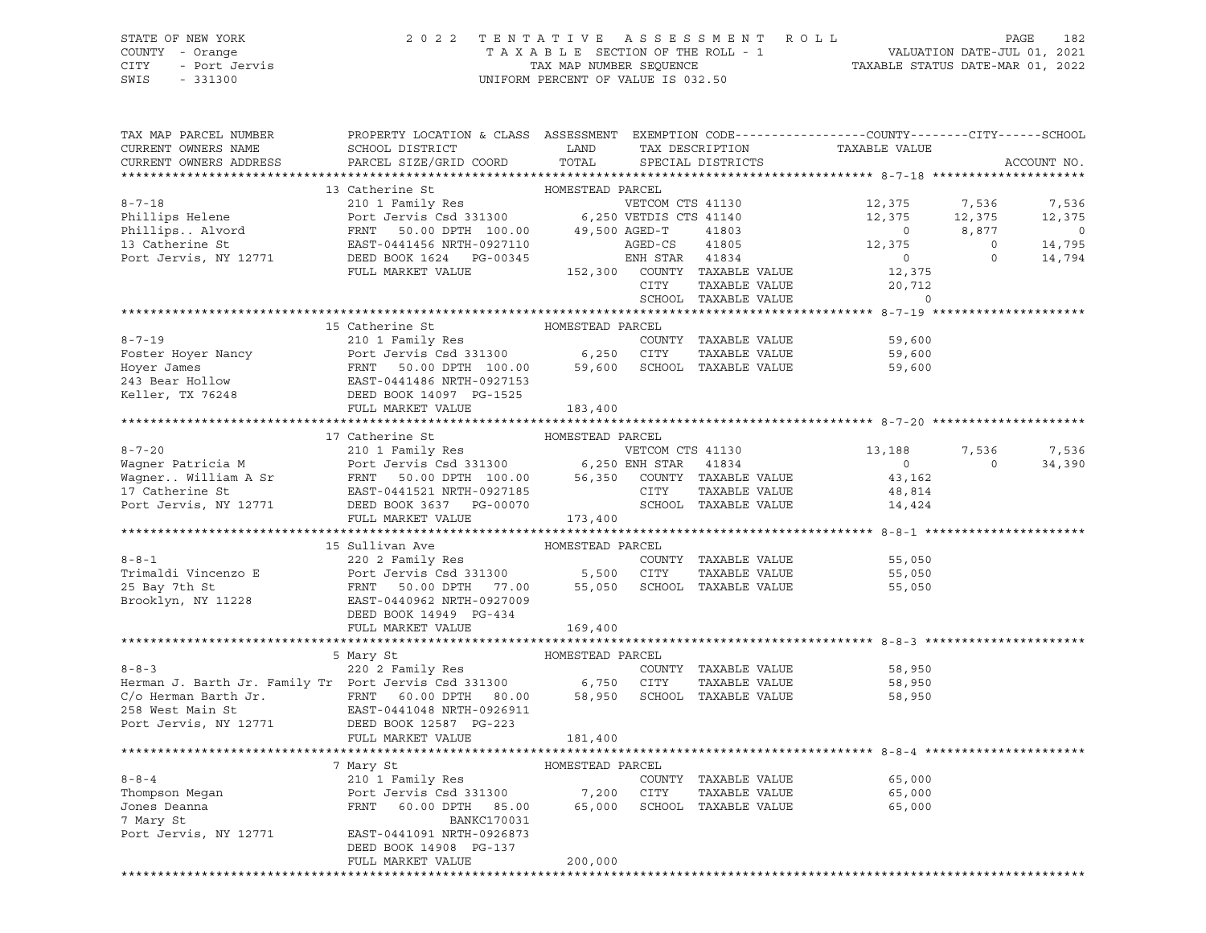# STATE OF NEW YORK 2 0 2 2 T E N T A T I V E A S S E S S M E N T R O L L PAGE 182 COUNTY - Orange T A X A B L E SECTION OF THE ROLL - 1 VALUATION DATE-JUL 01, 2021 CITY - Port Jervis TAX MAP NUMBER SEQUENCE TAXABLE STATUS DATE-MAR 01, 2022

| TAX MAP PARCEL NUMBER<br>CURRENT OWNERS NAME<br>CURRENT OWNERS ADDRESS                                                                                                                                                                                   | PROPERTY LOCATION & CLASS ASSESSMENT EXEMPTION CODE---------------COUNTY-------CITY------SCHOOL<br>SCHOOL DISTRICT<br>PARCEL SIZE/GRID COORD | LAND<br>TOTAL    |      | TAX DESCRIPTION<br>SPECIAL DISTRICTS | TAXABLE VALUE                                                                                                                                                             |                         | ACCOUNT NO.                    |
|----------------------------------------------------------------------------------------------------------------------------------------------------------------------------------------------------------------------------------------------------------|----------------------------------------------------------------------------------------------------------------------------------------------|------------------|------|--------------------------------------|---------------------------------------------------------------------------------------------------------------------------------------------------------------------------|-------------------------|--------------------------------|
| *************************                                                                                                                                                                                                                                |                                                                                                                                              |                  |      |                                      |                                                                                                                                                                           |                         |                                |
|                                                                                                                                                                                                                                                          | 13 Catherine St                                                                                                                              | HOMESTEAD PARCEL |      |                                      |                                                                                                                                                                           |                         |                                |
|                                                                                                                                                                                                                                                          |                                                                                                                                              |                  |      |                                      |                                                                                                                                                                           |                         | 7,536                          |
|                                                                                                                                                                                                                                                          |                                                                                                                                              |                  |      |                                      |                                                                                                                                                                           |                         | 12,375                         |
|                                                                                                                                                                                                                                                          |                                                                                                                                              |                  |      |                                      |                                                                                                                                                                           |                         | $\overline{0}$                 |
|                                                                                                                                                                                                                                                          |                                                                                                                                              |                  |      |                                      |                                                                                                                                                                           |                         | $0$ , $0$ 14, 795<br>0 14, 794 |
|                                                                                                                                                                                                                                                          |                                                                                                                                              |                  |      |                                      |                                                                                                                                                                           |                         |                                |
| 8-7-18<br>Phillips Helene<br>Phillips Helene<br>Phillips . Alvord<br>Phillips . Alvord<br>Phillips . Alvord<br>Phillips . Alvord<br>Phillips . Alvord<br>Phillips . Alvord<br>Phillips . Alvord<br>Phillips . Alvord<br>Phillips . Alvord<br>Phillips    |                                                                                                                                              |                  |      |                                      |                                                                                                                                                                           |                         |                                |
|                                                                                                                                                                                                                                                          |                                                                                                                                              |                  | CITY |                                      |                                                                                                                                                                           |                         |                                |
|                                                                                                                                                                                                                                                          |                                                                                                                                              |                  |      | SCHOOL TAXABLE VALUE                 | $\begin{tabular}{ll} \bf 41834 & \multicolumn{2}{c}{\bf 7.534} \\ \bf TAXABLE VALUE & 12,375 \\ \bf TAXABLE VALUE & 20,712 \\ \bf TAXABLE VALUE & 0 \\ \bf \end{tabular}$ |                         |                                |
| 0-7-19<br>0-7-19<br>210 1 Family Res<br>Foster Hoyer Nancy<br>210 1 Family Res<br>210 1 Family Res<br>210 1 Family Res<br>243 Bear Hollow<br>243 Bear Hollow<br>243 Bear Hollow<br>243 Bear Hollow<br>243 Bear Hollow<br>243 Bear Hollow<br>243 Bear Hol |                                                                                                                                              |                  |      |                                      |                                                                                                                                                                           |                         |                                |
|                                                                                                                                                                                                                                                          |                                                                                                                                              |                  |      |                                      |                                                                                                                                                                           |                         |                                |
|                                                                                                                                                                                                                                                          |                                                                                                                                              |                  |      |                                      | 59,600                                                                                                                                                                    |                         |                                |
|                                                                                                                                                                                                                                                          |                                                                                                                                              |                  |      |                                      | 59,600                                                                                                                                                                    |                         |                                |
|                                                                                                                                                                                                                                                          |                                                                                                                                              |                  |      |                                      | 59,600                                                                                                                                                                    |                         |                                |
|                                                                                                                                                                                                                                                          |                                                                                                                                              |                  |      |                                      |                                                                                                                                                                           |                         |                                |
|                                                                                                                                                                                                                                                          |                                                                                                                                              |                  |      |                                      |                                                                                                                                                                           |                         |                                |
|                                                                                                                                                                                                                                                          |                                                                                                                                              |                  |      |                                      |                                                                                                                                                                           |                         |                                |
|                                                                                                                                                                                                                                                          |                                                                                                                                              |                  |      |                                      |                                                                                                                                                                           |                         |                                |
| 3-7-20<br>Wagner Patricia M<br>Wagner Patricia M<br>Wagner William A Sr<br>Tensity Res<br>Wagner William A Sr<br>Tensity Res<br>Port Jervis Csd 331300<br>Tensity Res<br>Port Jervis Csd 331300<br>Tensity Res<br>Tensity Res<br>Tensity Res<br>Te       | 17 Catherine St                                                                                                                              | HOMESTEAD PARCEL |      |                                      |                                                                                                                                                                           |                         |                                |
|                                                                                                                                                                                                                                                          |                                                                                                                                              |                  |      |                                      | 13,188<br>$\sim$ 0 $\sim$                                                                                                                                                 | 7,536<br>$\overline{0}$ | 7,536                          |
|                                                                                                                                                                                                                                                          |                                                                                                                                              |                  |      |                                      |                                                                                                                                                                           |                         | 34,390                         |
|                                                                                                                                                                                                                                                          |                                                                                                                                              |                  |      |                                      | 43,162<br>48,814                                                                                                                                                          |                         |                                |
|                                                                                                                                                                                                                                                          |                                                                                                                                              |                  |      | SCHOOL TAXABLE VALUE                 | 14,424                                                                                                                                                                    |                         |                                |
|                                                                                                                                                                                                                                                          | FULL MARKET VALUE 173,400                                                                                                                    |                  |      |                                      |                                                                                                                                                                           |                         |                                |
|                                                                                                                                                                                                                                                          |                                                                                                                                              |                  |      |                                      |                                                                                                                                                                           |                         |                                |
|                                                                                                                                                                                                                                                          | 15 Sullivan Ave                                                                                                                              | HOMESTEAD PARCEL |      |                                      |                                                                                                                                                                           |                         |                                |
|                                                                                                                                                                                                                                                          |                                                                                                                                              |                  |      |                                      | 55,050                                                                                                                                                                    |                         |                                |
|                                                                                                                                                                                                                                                          |                                                                                                                                              |                  |      |                                      | 55,050                                                                                                                                                                    |                         |                                |
|                                                                                                                                                                                                                                                          |                                                                                                                                              |                  |      |                                      | 55,050                                                                                                                                                                    |                         |                                |
|                                                                                                                                                                                                                                                          |                                                                                                                                              |                  |      |                                      |                                                                                                                                                                           |                         |                                |
|                                                                                                                                                                                                                                                          | DEED BOOK 14949 PG-434                                                                                                                       |                  |      |                                      |                                                                                                                                                                           |                         |                                |
|                                                                                                                                                                                                                                                          | FULL MARKET VALUE                                                                                                                            | 169,400          |      |                                      |                                                                                                                                                                           |                         |                                |
|                                                                                                                                                                                                                                                          |                                                                                                                                              |                  |      |                                      |                                                                                                                                                                           |                         |                                |
|                                                                                                                                                                                                                                                          | 5 Mary St                                                                                                                                    | HOMESTEAD PARCEL |      |                                      |                                                                                                                                                                           |                         |                                |
| $8 - 8 - 3$                                                                                                                                                                                                                                              | 220 2 Family Res                                                                                                                             |                  |      | COUNTY TAXABLE VALUE                 | 58,950                                                                                                                                                                    |                         |                                |
|                                                                                                                                                                                                                                                          |                                                                                                                                              |                  |      | TAXABLE VALUE                        | 58,950                                                                                                                                                                    |                         |                                |
| Example 250 2 1 2008 1999 1999 10000 1120 2009 1120 2009 1120 2009 1120 2009 1120 258 West Main St<br>C/o Herman Barth Jr. FRNT 60.00 DPTH 80.00 58,950 SCHOOL TAXABLE VALUE<br>258 West Main St<br>258 West Main St<br>258 West Main                    |                                                                                                                                              |                  |      |                                      | 58,950                                                                                                                                                                    |                         |                                |
|                                                                                                                                                                                                                                                          |                                                                                                                                              |                  |      |                                      |                                                                                                                                                                           |                         |                                |
|                                                                                                                                                                                                                                                          |                                                                                                                                              |                  |      |                                      |                                                                                                                                                                           |                         |                                |
|                                                                                                                                                                                                                                                          | FULL MARKET VALUE                                                                                                                            | 181,400          |      |                                      |                                                                                                                                                                           |                         |                                |
|                                                                                                                                                                                                                                                          |                                                                                                                                              |                  |      |                                      |                                                                                                                                                                           |                         |                                |
|                                                                                                                                                                                                                                                          | 7 Mary St 6 MOMESTEAD PARCEL                                                                                                                 |                  |      |                                      |                                                                                                                                                                           |                         |                                |
| $8 - 8 - 4$                                                                                                                                                                                                                                              | 210 1 Family Res                                                                                                                             |                  |      | COUNTY TAXABLE VALUE                 | 65,000                                                                                                                                                                    |                         |                                |
|                                                                                                                                                                                                                                                          |                                                                                                                                              |                  |      |                                      |                                                                                                                                                                           |                         |                                |
|                                                                                                                                                                                                                                                          |                                                                                                                                              |                  |      |                                      | 65,000<br>65,000                                                                                                                                                          |                         |                                |
| 7 Mary St                                                                                                                                                                                                                                                | BANKC170031                                                                                                                                  |                  |      |                                      |                                                                                                                                                                           |                         |                                |
| Port Jervis, NY 12771 EAST-0441091 NRTH-0926873                                                                                                                                                                                                          |                                                                                                                                              |                  |      |                                      |                                                                                                                                                                           |                         |                                |
|                                                                                                                                                                                                                                                          | DEED BOOK 14908 PG-137                                                                                                                       |                  |      |                                      |                                                                                                                                                                           |                         |                                |
|                                                                                                                                                                                                                                                          | FULL MARKET VALUE                                                                                                                            | 200,000          |      |                                      |                                                                                                                                                                           |                         |                                |
|                                                                                                                                                                                                                                                          |                                                                                                                                              |                  |      |                                      |                                                                                                                                                                           |                         |                                |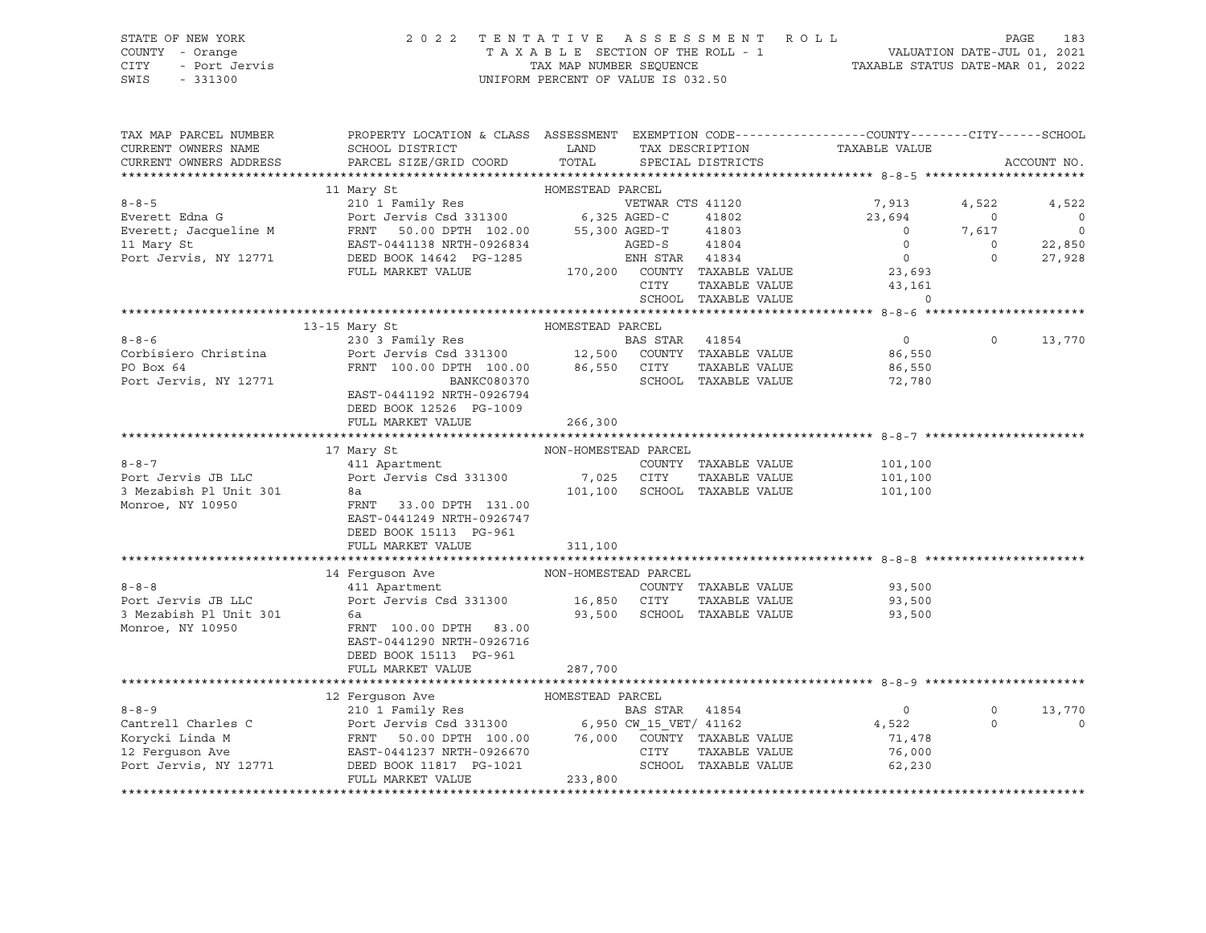# STATE OF NEW YORK 2 0 2 2 T E N T A T I V E A S S E S S M E N T R O L L PAGE 183 COUNTY - Orange T A X A B L E SECTION OF THE ROLL - 1 VALUATION DATE-JUL 01, 2021 CITY - Port Jervis TAX MAP NUMBER SEQUENCE TAXABLE STATUS DATE-MAR 01, 2022

| TAX MAP PARCEL NUMBER  | PROPERTY LOCATION & CLASS ASSESSMENT EXEMPTION CODE----------------COUNTY-------CITY------SCHOOL                                                           |                      |                |                             |                |          |                          |
|------------------------|------------------------------------------------------------------------------------------------------------------------------------------------------------|----------------------|----------------|-----------------------------|----------------|----------|--------------------------|
| CURRENT OWNERS NAME    | SCHOOL DISTRICT                                                                                                                                            | LAND                 |                | TAX DESCRIPTION             | TAXABLE VALUE  |          |                          |
| CURRENT OWNERS ADDRESS | PARCEL SIZE/GRID COORD                                                                                                                                     | TOTAL                |                | SPECIAL DISTRICTS           |                |          | ACCOUNT NO.              |
|                        |                                                                                                                                                            |                      |                |                             |                |          |                          |
|                        | 11 Mary St                                                                                                                                                 | HOMESTEAD PARCEL     |                |                             |                |          |                          |
| $8 - 8 - 5$            | 210 1 Family Res                                                                                                                                           |                      |                | VETWAR CTS 41120            | 7,913          | 4,522    | 4,522                    |
| Everett Edna G         | Port Jervis Csd 331300 6,325 AGED-C                                                                                                                        |                      |                | 41802                       | 23,694         | $\circ$  | $\overline{0}$           |
| Everett; Jacqueline M  | FRNT 50.00 DPTH 102.00 55,300 AGED-T                                                                                                                       |                      |                | 41803                       | $\overline{0}$ | 7,617    | $\overline{\phantom{0}}$ |
| 11 Mary St             |                                                                                                                                                            |                      |                |                             | $\overline{0}$ | $\circ$  | 22,850                   |
| Port Jervis, NY 12771  | EAST-0441138 NRTH-0926834<br>DEED BOOK 14642 PG-1285<br>FIILL MARKET VALUE 170,200 COUNTY TAXABLE VALUE<br>FIILL MARKET VALUE 170,200 COUNTY TAXABLE VALUE |                      |                |                             | $\overline{0}$ | $\circ$  | 27,928                   |
|                        |                                                                                                                                                            |                      |                |                             | 23,693         |          |                          |
|                        |                                                                                                                                                            |                      | CITY           | TAXABLE VALUE               | 43,161         |          |                          |
|                        |                                                                                                                                                            |                      |                | SCHOOL TAXABLE VALUE        | $\Omega$       |          |                          |
|                        |                                                                                                                                                            |                      |                |                             |                |          |                          |
|                        | 13-15 Mary St                                                                                                                                              | HOMESTEAD PARCEL     |                |                             |                |          |                          |
| $8 - 8 - 6$            | 230 3 Family Res                                                                                                                                           |                      | BAS STAR 41854 |                             | $\overline{0}$ | $\circ$  | 13,770                   |
| Corbisiero Christina   | Port Jervis Csd 331300 12,500 COUNTY TAXABLE VALUE                                                                                                         |                      |                |                             | 86,550         |          |                          |
| PO Box 64              | FRNT 100.00 DPTH 100.00 86,550 CITY                                                                                                                        |                      |                | TAXABLE VALUE               | 86,550         |          |                          |
| Port Jervis, NY 12771  | BANKC080370                                                                                                                                                |                      |                | SCHOOL TAXABLE VALUE        | 72,780         |          |                          |
|                        | EAST-0441192 NRTH-0926794                                                                                                                                  |                      |                |                             |                |          |                          |
|                        | DEED BOOK 12526 PG-1009                                                                                                                                    |                      |                |                             |                |          |                          |
|                        | FULL MARKET VALUE                                                                                                                                          | 266,300              |                |                             |                |          |                          |
|                        |                                                                                                                                                            |                      |                |                             |                |          |                          |
|                        |                                                                                                                                                            | NON-HOMESTEAD PARCEL |                |                             |                |          |                          |
| $8 - 8 - 7$            | 17 Mary St                                                                                                                                                 |                      |                |                             |                |          |                          |
|                        | 411 Apartment                                                                                                                                              |                      |                | COUNTY TAXABLE VALUE        | 101,100        |          |                          |
| Port Jervis JB LLC     | Port Jervis Csd 331300                                                                                                                                     | 7,025 CITY           |                | TAXABLE VALUE               | 101,100        |          |                          |
| 3 Mezabish Pl Unit 301 | 8a                                                                                                                                                         | 101,100              |                | SCHOOL TAXABLE VALUE        | 101,100        |          |                          |
| Monroe, NY 10950       | FRNT 33.00 DPTH 131.00                                                                                                                                     |                      |                |                             |                |          |                          |
|                        | EAST-0441249 NRTH-0926747                                                                                                                                  |                      |                |                             |                |          |                          |
|                        | DEED BOOK 15113 PG-961                                                                                                                                     |                      |                |                             |                |          |                          |
|                        | FULL MARKET VALUE                                                                                                                                          | 311,100              |                |                             |                |          |                          |
|                        |                                                                                                                                                            |                      |                |                             |                |          |                          |
|                        | 14 Ferquson Ave                                                                                                                                            | NON-HOMESTEAD PARCEL |                |                             |                |          |                          |
| $8 - 8 - 8$            | 411 Apartment                                                                                                                                              |                      |                | COUNTY TAXABLE VALUE        | 93,500         |          |                          |
| Port Jervis JB LLC     | Port Jervis Csd 331300 16,850 CITY                                                                                                                         |                      |                | TAXABLE VALUE               | 93,500         |          |                          |
| 3 Mezabish Pl Unit 301 | 6a                                                                                                                                                         |                      |                | 93,500 SCHOOL TAXABLE VALUE | 93,500         |          |                          |
| Monroe, NY 10950       | FRNT 100.00 DPTH 83.00                                                                                                                                     |                      |                |                             |                |          |                          |
|                        | EAST-0441290 NRTH-0926716                                                                                                                                  |                      |                |                             |                |          |                          |
|                        | DEED BOOK 15113 PG-961                                                                                                                                     |                      |                |                             |                |          |                          |
|                        | FULL MARKET VALUE                                                                                                                                          | 287,700              |                |                             |                |          |                          |
|                        |                                                                                                                                                            |                      |                |                             |                |          |                          |
|                        | 12 Ferguson Ave                                                                                                                                            | HOMESTEAD PARCEL     |                |                             |                |          |                          |
| $8 - 8 - 9$            |                                                                                                                                                            |                      |                |                             | $\overline{0}$ | $\circ$  | 13,770                   |
| Cantrell Charles C     |                                                                                                                                                            |                      |                |                             | 4,522          | $\Omega$ | $\circ$                  |
| Korycki Linda M        |                                                                                                                                                            |                      |                |                             | 71,478         |          |                          |
| 12 Ferquson Ave        |                                                                                                                                                            |                      |                |                             | 76,000         |          |                          |
|                        | Port Jervis, NY 12771 DEED BOOK 11817 PG-1021                                                                                                              |                      |                | SCHOOL TAXABLE VALUE        | 62, 230        |          |                          |
|                        | FULL MARKET VALUE                                                                                                                                          | 233,800              |                |                             |                |          |                          |
|                        |                                                                                                                                                            |                      |                |                             |                |          |                          |
|                        |                                                                                                                                                            |                      |                |                             |                |          |                          |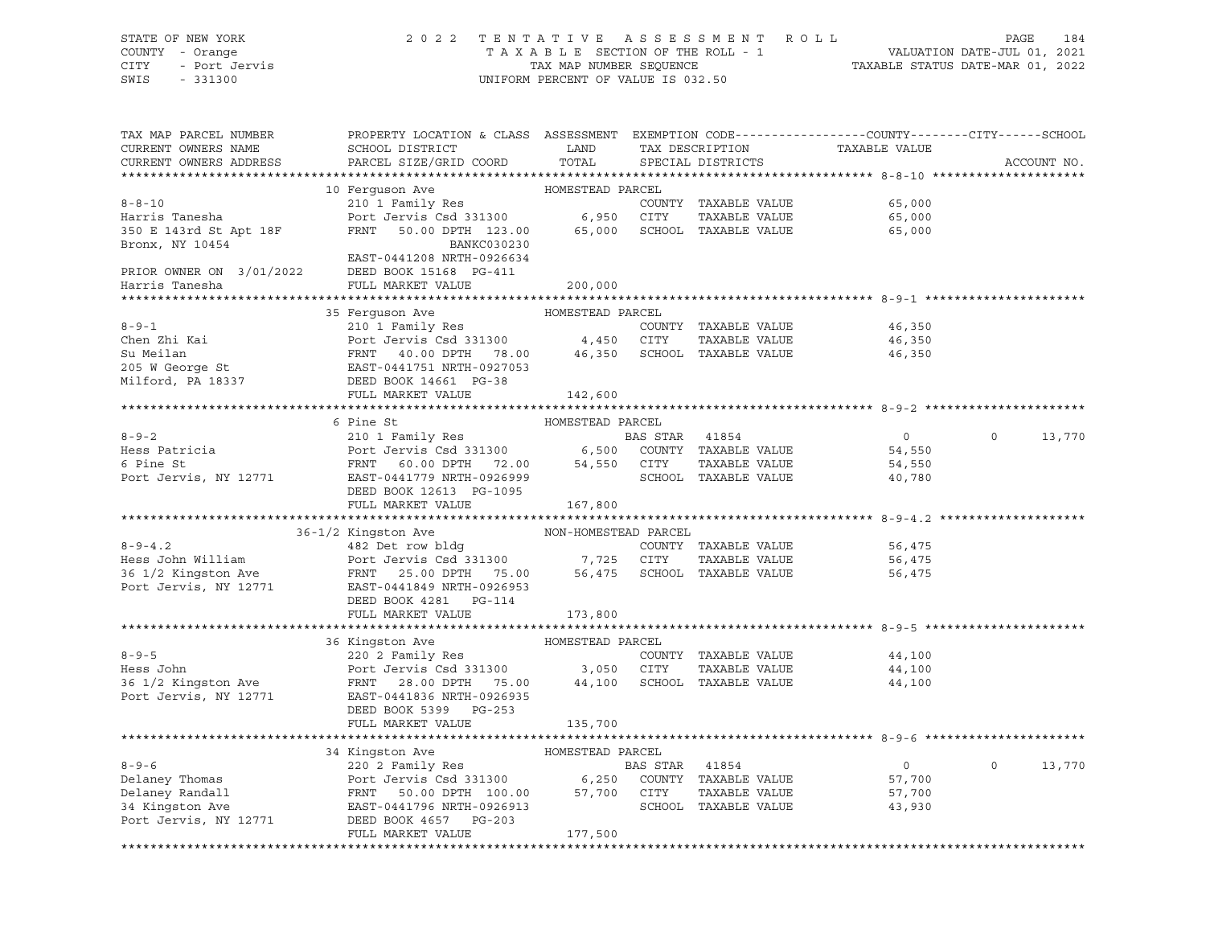## STATE OF NEW YORK 2 0 2 2 T E N T A T I V E A S S E S S M E N T R O L L PAGE 184 COUNTY - Orange T A X A B L E SECTION OF THE ROLL - 1 VALUATION DATE-JUL 01, 2021 CITY - Port Jervis TAX MAP NUMBER SEQUENCE TAXABLE STATUS DATE-MAR 01, 2022

| TAX MAP PARCEL NUMBER<br>CURRENT OWNERS NAME<br>CURRENT OWNERS ADDRESS                                                                                                                                                                                     | PROPERTY LOCATION & CLASS ASSESSMENT EXEMPTION CODE----------------COUNTY-------CITY------SCHOOL<br>SCHOOL DISTRICT<br>PARCEL SIZE/GRID COORD                                                            | LAND<br>TOTAL               | TAX DESCRIPTION<br>SPECIAL DISTRICTS  | TAXABLE VALUE                                |          | ACCOUNT NO. |
|------------------------------------------------------------------------------------------------------------------------------------------------------------------------------------------------------------------------------------------------------------|----------------------------------------------------------------------------------------------------------------------------------------------------------------------------------------------------------|-----------------------------|---------------------------------------|----------------------------------------------|----------|-------------|
|                                                                                                                                                                                                                                                            |                                                                                                                                                                                                          |                             |                                       |                                              |          |             |
| $8 - 8 - 10$<br>Harris Tanesha<br>350 E 143rd St Apt 18F<br>Bronx, NY 10454                                                                                                                                                                                | 10 Ferquson Ave<br>210 1 Family Res<br>Port Jervis Csd 331300 6,950 CITY<br>FRNT 50.00 DPTH 123.00 65,000 SCHOOL TAXABLE VALUE<br>BANKC030230                                                            | HOMESTEAD PARCEL            | COUNTY TAXABLE VALUE<br>TAXABLE VALUE | 65,000<br>65,000<br>65,000                   |          |             |
| PRIOR OWNER ON $3/01/2022$ DEED BOOK 15168 PG-411<br>Harris Tanesha                                                                                                                                                                                        | EAST-0441208 NRTH-0926634<br>FULL MARKET VALUE                                                                                                                                                           | 200,000                     |                                       |                                              |          |             |
|                                                                                                                                                                                                                                                            |                                                                                                                                                                                                          |                             |                                       |                                              |          |             |
| $8 - 9 - 1$<br>Chen Zhi Kai<br>Su Meilan<br>205 W George St<br>205 W George St<br>205 W George St<br>205 W George St<br>205 W George St<br>205 BAST-0441751 NRTH-0927053<br>200K 14661 PG-38                                                               | 35 Ferquson Ave<br>210 1 Family Res<br>Port Jervis Csd 331300<br>FRNT 40.00 DPTH 78.00 46,350 SCHOOL TAXABLE VALUE<br>FULL MARKET VALUE                                                                  | HOMESTEAD PARCEL<br>142,600 | COUNTY TAXABLE VALUE<br>TAXABLE VALUE | 46,350<br>46,350<br>46,350                   |          |             |
|                                                                                                                                                                                                                                                            |                                                                                                                                                                                                          |                             |                                       |                                              |          |             |
|                                                                                                                                                                                                                                                            | 6 Pine St                                                                                                                                                                                                | HOMESTEAD PARCEL            |                                       |                                              |          |             |
| $8 - 9 - 2$<br>Hess Patricia<br>6 Pine St<br>Port Jervis, NY 12771                                                                                                                                                                                         | 210 1 Family Res<br>Port Jervis Csd 331300<br>FRNT 60.00 DPTH 72.00 54,550 CITY TAXABLE VALUE<br>FRNT 60.00 DPTH 72.00 54,550 CITY TAXABLE VALUE<br>EAST-0441779 NRTH-0926999<br>DEED BOOK 12613 PG-1095 |                             |                                       | $\overline{0}$<br>54,550<br>54,550<br>40,780 | $\Omega$ | 13,770      |
|                                                                                                                                                                                                                                                            | FULL MARKET VALUE                                                                                                                                                                                        | 167,800                     |                                       |                                              |          |             |
|                                                                                                                                                                                                                                                            |                                                                                                                                                                                                          |                             |                                       |                                              |          |             |
|                                                                                                                                                                                                                                                            | 36-1/2 Kingston Ave                                                                                                                                                                                      | NON-HOMESTEAD PARCEL        |                                       |                                              |          |             |
| 8-9-4.2<br>Hess John William<br>Hess John William<br>1/2 Kingston Ave<br>Port Jervis Csd 331300<br>Port Jervis Csd 331300<br>Port Jervis Csd 331300<br>25.00 DPTH<br>25.00 DPTH<br>25.00 DPTH<br>25.00 DPTH<br>25.00 DPTH<br>25.00 DPTH<br>25.00 DPTH<br>2 | DEED BOOK 4281 PG-114<br>FULL MARKET VALUE                                                                                                                                                               | 173,800                     | COUNTY TAXABLE VALUE<br>TAXABLE VALUE | 56,475<br>56,475<br>56,475                   |          |             |
|                                                                                                                                                                                                                                                            |                                                                                                                                                                                                          |                             |                                       |                                              |          |             |
| $8 - 9 - 5$<br>Hess John<br>Hess Jonn<br>36 1/2 Kingston Ave<br>Port Jervis, NY 12771                                                                                                                                                                      | 36 Kingston Ave<br>220 2 Family Res<br>Port Jervis Csd 331300 3,050 CITY TAXABLE VALUE<br>FRNT 28.00 DPTH 75.00 44,100 SCHOOL TAXABLE VALUE<br>EAST-0441836 NRTH-0926935<br>DEED BOOK 5399 PG-253        | HOMESTEAD PARCEL            | COUNTY TAXABLE VALUE<br>TAXABLE VALUE | 44,100<br>44,100<br>44,100                   |          |             |
|                                                                                                                                                                                                                                                            | FULL MARKET VALUE                                                                                                                                                                                        | 135,700                     |                                       |                                              |          |             |
|                                                                                                                                                                                                                                                            |                                                                                                                                                                                                          |                             |                                       |                                              |          |             |
|                                                                                                                                                                                                                                                            | 34 Kingston Ave                                                                                                                                                                                          | HOMESTEAD PARCEL            |                                       |                                              | $\circ$  |             |
| $8 - 9 - 6$<br>Delaney Thomas<br>Delaney Randall                                                                                                                                                                                                           | 220 2 Family Res<br>Port Jervis Csd 331300 6,250 COUNTY TAXABLE VALUE<br>FRNT 50.00 DPTH 100.00 57,700 CITY TAXABLE VALUE<br>EAST-0441796 NRTH-0926913 SCHOOL TAXABLE VALUE                              |                             |                                       | $\overline{0}$<br>57,700<br>57,700           |          | 13,770      |
| 34 Kingston Ave<br>Port Jervis, NY 12771                                                                                                                                                                                                                   | DEED BOOK 4657 PG-203<br>FULL MARKET VALUE                                                                                                                                                               | 177,500                     |                                       | 43,930                                       |          |             |
|                                                                                                                                                                                                                                                            |                                                                                                                                                                                                          |                             |                                       |                                              |          |             |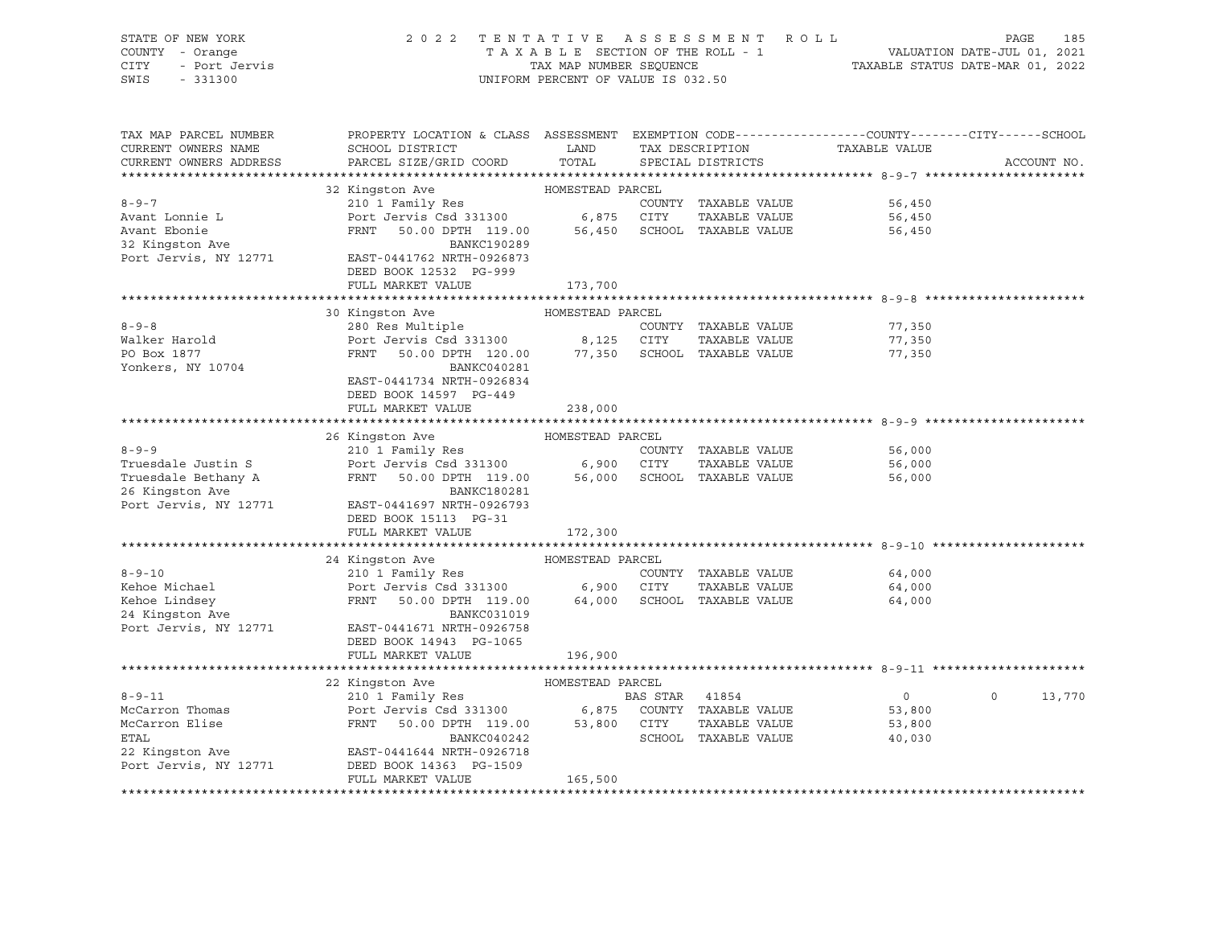| STATE OF NEW YORK                        | 2 0 2 2                                                                                                                                                     |                                    |                | TENTATIVE ASSESSMENT ROLL   |                                  | PAGE               | 185 |  |  |
|------------------------------------------|-------------------------------------------------------------------------------------------------------------------------------------------------------------|------------------------------------|----------------|-----------------------------|----------------------------------|--------------------|-----|--|--|
| COUNTY - Orange                          | TAXABLE SECTION OF THE ROLL - 1<br>VALUATION DATE-JUL 01, 2021                                                                                              |                                    |                |                             |                                  |                    |     |  |  |
| - Port Jervis<br>CITY                    |                                                                                                                                                             | TAX MAP NUMBER SEQUENCE            |                |                             | TAXABLE STATUS DATE-MAR 01, 2022 |                    |     |  |  |
| SWIS<br>$-331300$                        |                                                                                                                                                             | UNIFORM PERCENT OF VALUE IS 032.50 |                |                             |                                  |                    |     |  |  |
|                                          |                                                                                                                                                             |                                    |                |                             |                                  |                    |     |  |  |
|                                          |                                                                                                                                                             |                                    |                |                             |                                  |                    |     |  |  |
|                                          |                                                                                                                                                             |                                    |                |                             |                                  |                    |     |  |  |
| TAX MAP PARCEL NUMBER                    | PROPERTY LOCATION & CLASS ASSESSMENT EXEMPTION CODE---------------COUNTY-------CITY------SCHOOL                                                             |                                    |                |                             |                                  |                    |     |  |  |
| CURRENT OWNERS NAME                      | SCHOOL DISTRICT                                                                                                                                             | LAND                               |                | TAX DESCRIPTION             | TAXABLE VALUE                    |                    |     |  |  |
| CURRENT OWNERS ADDRESS                   | PARCEL SIZE/GRID COORD                                                                                                                                      | TOTAL                              |                | SPECIAL DISTRICTS           |                                  | ACCOUNT NO.        |     |  |  |
|                                          |                                                                                                                                                             |                                    |                |                             |                                  |                    |     |  |  |
|                                          | 32 Kingston Ave                                                                                                                                             | HOMESTEAD PARCEL                   |                |                             |                                  |                    |     |  |  |
| $8 - 9 - 7$                              | 210 1 Family Res                                                                                                                                            |                                    |                | COUNTY TAXABLE VALUE        | 56,450                           |                    |     |  |  |
| Avant Lonnie L                           | Port Jervis Csd 331300 6,875 CITY                                                                                                                           |                                    |                | TAXABLE VALUE               | 56,450                           |                    |     |  |  |
|                                          | FRNT<br>50.00 DPTH 119.00                                                                                                                                   |                                    |                | 56,450 SCHOOL TAXABLE VALUE | 56,450                           |                    |     |  |  |
| Example<br>32 Kingston Ave<br>Port Jermi | BANKC190289                                                                                                                                                 |                                    |                |                             |                                  |                    |     |  |  |
| Port Jervis, NY 12771                    | EAST-0441762 NRTH-0926873                                                                                                                                   |                                    |                |                             |                                  |                    |     |  |  |
|                                          | DEED BOOK 12532 PG-999                                                                                                                                      |                                    |                |                             |                                  |                    |     |  |  |
|                                          | FULL MARKET VALUE                                                                                                                                           | 173,700                            |                |                             |                                  |                    |     |  |  |
|                                          |                                                                                                                                                             |                                    |                |                             |                                  |                    |     |  |  |
|                                          | 30 Kingston Ave MOMESTEAD PARCEL                                                                                                                            |                                    |                |                             |                                  |                    |     |  |  |
| $8 - 9 - 8$                              | 280 Res Multiple                                                                                                                                            |                                    |                | COUNTY TAXABLE VALUE        | 77,350                           |                    |     |  |  |
| Walker Harold                            |                                                                                                                                                             |                                    |                | TAXABLE VALUE               | 77,350                           |                    |     |  |  |
| PO Box 1877                              | Port Jervis Csd 331300 8,125 CITY<br>FRNT 50.00 DPTH 120.00 77,350 SCHOO                                                                                    |                                    |                | 77,350 SCHOOL TAXABLE VALUE | 77,350                           |                    |     |  |  |
|                                          | BANKC040281                                                                                                                                                 |                                    |                |                             |                                  |                    |     |  |  |
| Yonkers, NY 10704                        |                                                                                                                                                             |                                    |                |                             |                                  |                    |     |  |  |
|                                          | EAST-0441734 NRTH-0926834                                                                                                                                   |                                    |                |                             |                                  |                    |     |  |  |
|                                          | DEED BOOK 14597 PG-449                                                                                                                                      |                                    |                |                             |                                  |                    |     |  |  |
|                                          | FULL MARKET VALUE                                                                                                                                           | 238,000                            |                |                             |                                  |                    |     |  |  |
|                                          |                                                                                                                                                             |                                    |                |                             |                                  |                    |     |  |  |
|                                          | 26 Kingston Ave                                                                                                                                             | HOMESTEAD PARCEL                   |                |                             |                                  |                    |     |  |  |
| $8 - 9 - 9$                              | 210 1 Family Res                                                                                                                                            |                                    |                | COUNTY TAXABLE VALUE        | 56,000                           |                    |     |  |  |
| Truesdale Justin S                       | Port Jervis Csd 331300 6,900 CITY TAXABLE VALUE<br>FRNT 50.00 DPTH 119.00 56,000 SCHOOL TAXABLE VALUE                                                       |                                    |                | TAXABLE VALUE               | 56,000                           |                    |     |  |  |
| Truesdale Bethany A                      |                                                                                                                                                             |                                    |                |                             | 56,000                           |                    |     |  |  |
| 26 Kingston Ave                          | BANKC180281                                                                                                                                                 |                                    |                |                             |                                  |                    |     |  |  |
| Port Jervis, NY 12771                    | EAST-0441697 NRTH-0926793                                                                                                                                   |                                    |                |                             |                                  |                    |     |  |  |
|                                          | DEED BOOK 15113 PG-31                                                                                                                                       |                                    |                |                             |                                  |                    |     |  |  |
|                                          | FULL MARKET VALUE                                                                                                                                           | 172,300                            |                |                             |                                  |                    |     |  |  |
|                                          |                                                                                                                                                             |                                    |                |                             |                                  |                    |     |  |  |
|                                          | 24 Kingston Ave                                                                                                                                             | HOMESTEAD PARCEL                   |                |                             |                                  |                    |     |  |  |
| $8 - 9 - 10$                             | 210 1 Family Res                                                                                                                                            |                                    |                | COUNTY TAXABLE VALUE        | 64,000                           |                    |     |  |  |
| Kehoe Michael                            | Port Jervis Csd 331300 $6,900$ CITY                                                                                                                         |                                    |                | TAXABLE VALUE               | 64,000                           |                    |     |  |  |
| Kehoe Lindsey                            | FRNT 50.00 DPTH 119.00                                                                                                                                      |                                    |                | 64,000 SCHOOL TAXABLE VALUE | 64,000                           |                    |     |  |  |
| 24 Kingston Ave                          | BANKC031019                                                                                                                                                 |                                    |                |                             |                                  |                    |     |  |  |
| Port Jervis, NY 12771                    | EAST-0441671 NRTH-0926758                                                                                                                                   |                                    |                |                             |                                  |                    |     |  |  |
|                                          | DEED BOOK 14943 PG-1065                                                                                                                                     |                                    |                |                             |                                  |                    |     |  |  |
|                                          | FULL MARKET VALUE                                                                                                                                           | 196,900                            |                |                             |                                  |                    |     |  |  |
|                                          |                                                                                                                                                             |                                    |                |                             |                                  |                    |     |  |  |
|                                          | 22 Kingston Ave                                                                                                                                             | HOMESTEAD PARCEL                   |                |                             |                                  |                    |     |  |  |
| $8 - 9 - 11$                             | 210 1 Family Res                                                                                                                                            |                                    | BAS STAR 41854 |                             | $\overline{0}$                   | $\Omega$<br>13,770 |     |  |  |
| McCarron Thomas                          |                                                                                                                                                             |                                    |                |                             | 53,800                           |                    |     |  |  |
| McCarron Elise                           | EAS SIAK 41854<br>Port Jervis Csd 331300 6,875 COUNTY TAXABLE VALUE<br>FRNT 50.00 DPTH 119.00 53,800 CITY TAXABLE VALUE<br>BANKC040242 SCHOOL TAXABLE VALUE |                                    |                |                             |                                  |                    |     |  |  |
|                                          |                                                                                                                                                             |                                    |                |                             | 53,800                           |                    |     |  |  |
| <b>ETAL</b>                              |                                                                                                                                                             |                                    |                |                             | 40,030                           |                    |     |  |  |
| 22 Kingston Ave                          | EAST-0441644 NRTH-0926718                                                                                                                                   |                                    |                |                             |                                  |                    |     |  |  |
| Port Jervis, NY 12771                    | DEED BOOK 14363 PG-1509                                                                                                                                     |                                    |                |                             |                                  |                    |     |  |  |
|                                          | FULL MARKET VALUE                                                                                                                                           | 165,500                            |                |                             |                                  |                    |     |  |  |
|                                          |                                                                                                                                                             |                                    |                |                             |                                  |                    |     |  |  |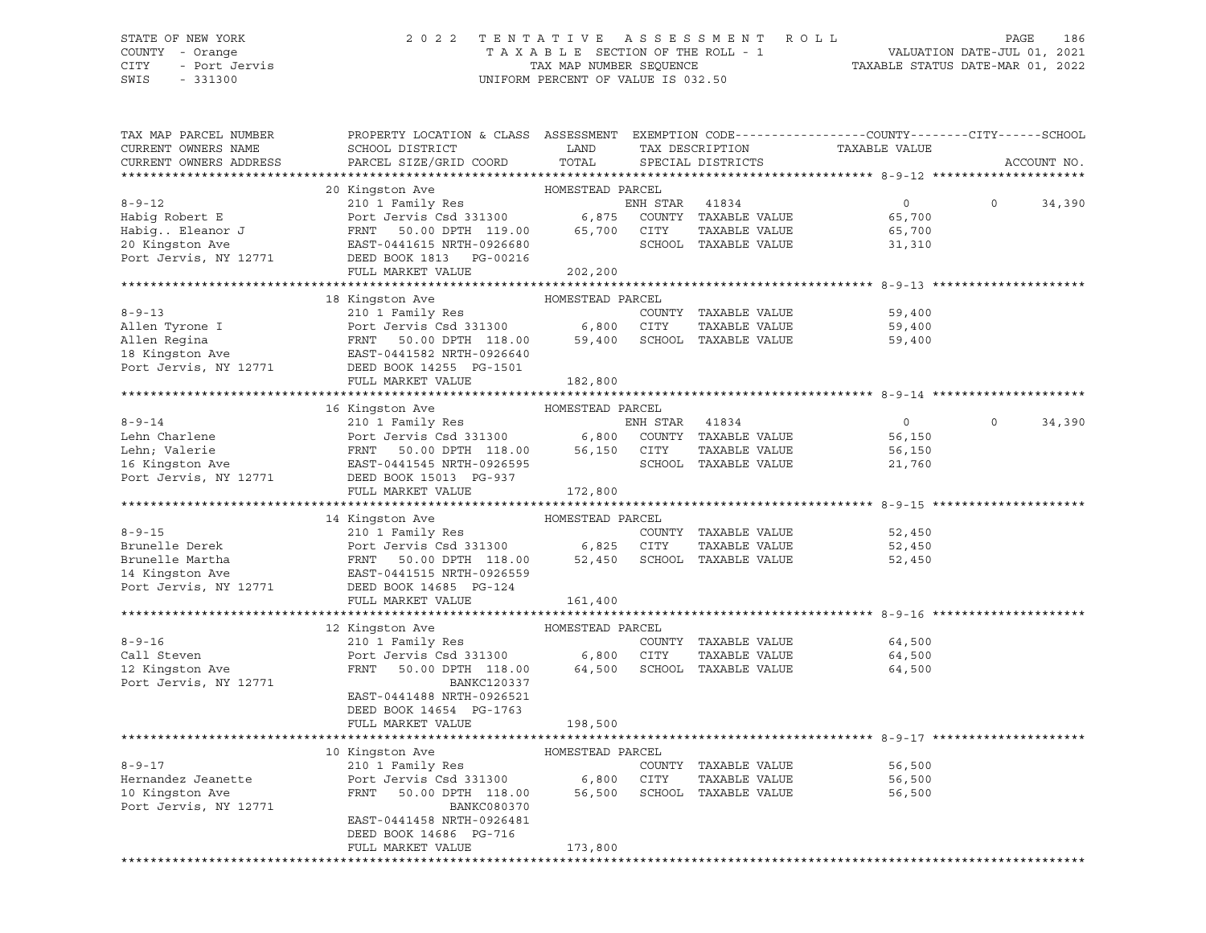#### STATE OF NEW YORK 2 0 2 2 T E N T A T I V E A S S E S S M E N T R O L L PAGE 186 COUNTY - Orange T A X A B L E SECTION OF THE ROLL - 1 VALUATION DATE-JUL 01, 2021 CITY - Port Jervis TAX MAP NUMBER SEQUENCE TAXABLE STATUS DATE-MAR 01, 2022

| TAX MAP PARCEL NUMBER<br>CURRENT OWNERS NAME<br>CURRENT OWNERS ADDRESS                        | PROPERTY LOCATION & CLASS ASSESSMENT EXEMPTION CODE----------------COUNTY-------CITY------SCHOOL<br>SCHOOL DISTRICT<br>PARCEL SIZE/GRID COORD                                                 | LAND<br>TOTAL                                       |                  | TAX DESCRIPTION<br>SPECIAL DISTRICTS                                   | TAXABLE VALUE                                |          | ACCOUNT NO. |
|-----------------------------------------------------------------------------------------------|-----------------------------------------------------------------------------------------------------------------------------------------------------------------------------------------------|-----------------------------------------------------|------------------|------------------------------------------------------------------------|----------------------------------------------|----------|-------------|
|                                                                                               |                                                                                                                                                                                               |                                                     |                  |                                                                        |                                              |          |             |
| $8 - 9 - 12$<br>Habiq Robert E<br>Habig Eleanor J<br>20 Kingston Ave<br>Port Jervis, NY 12771 | 20 Kingston Ave<br>210 1 Family Res<br>Port Jervis Csd 331300<br>FRNT<br>50.00 DPTH 119.00<br>EAST-0441615 NRTH-0926680<br>DEED BOOK 1813 PG-00216                                            | HOMESTEAD PARCEL<br>6,875<br>65,700                 | ENH STAR<br>CITY | 41834<br>COUNTY TAXABLE VALUE<br>TAXABLE VALUE<br>SCHOOL TAXABLE VALUE | $\overline{0}$<br>65,700<br>65,700<br>31,310 | $\circ$  | 34,390      |
|                                                                                               | FULL MARKET VALUE                                                                                                                                                                             | 202,200                                             |                  |                                                                        |                                              |          |             |
|                                                                                               | 18 Kingston Ave                                                                                                                                                                               | HOMESTEAD PARCEL                                    |                  |                                                                        |                                              |          |             |
| $8 - 9 - 13$<br>Allen Tyrone I<br>Allen Regina<br>18 Kingston Ave<br>Port Jervis, NY 12771    | 210 1 Family Res<br>Port Jervis Csd 331300 6,800 CITY<br>FRNT 50.00 DPTH 118.00 59,400 SCHOC<br>EAST-0441582 NRTH-0926640<br>DEED BOOK 14255 PG-1501                                          |                                                     |                  | COUNTY TAXABLE VALUE<br>TAXABLE VALUE<br>59,400 SCHOOL TAXABLE VALUE   | 59,400<br>59,400<br>59,400                   |          |             |
|                                                                                               | FULL MARKET VALUE                                                                                                                                                                             | 182,800                                             |                  |                                                                        |                                              |          |             |
|                                                                                               |                                                                                                                                                                                               |                                                     |                  |                                                                        |                                              |          |             |
| $8 - 9 - 14$<br>Lehn Charlene<br>Lehn; Valerie<br>16 Kingston Ave<br>Port Jervis, NY 12771    | 16 Kingston Ave<br>210 1 Family Res<br>Port Jervis Csd 331300 6,800<br>Port Jervis Csu 331200<br>FRNT 50.00 DPTH 118.00 56,15<br>- 2111515 NRTH-0926595<br>DEED BOOK 15013 PG-937             | HOMESTEAD PARCEL<br>56,150                          | ENH STAR<br>CITY | 41834<br>COUNTY TAXABLE VALUE<br>TAXABLE VALUE<br>SCHOOL TAXABLE VALUE | $\overline{0}$<br>56,150<br>56,150<br>21,760 | $\Omega$ | 34,390      |
|                                                                                               | FULL MARKET VALUE                                                                                                                                                                             | 172,800                                             |                  |                                                                        |                                              |          |             |
|                                                                                               | 14 Kingston Ave                                                                                                                                                                               | HOMESTEAD PARCEL                                    |                  |                                                                        |                                              |          |             |
| $8 - 9 - 15$<br>Brunelle Derek<br>Brunelle Martha<br>14 Kingston Ave<br>Port Jervis, NY 12771 | 210 1 Family Res<br>210 1 Family Res<br>Port Jervis Csd 331300 6,825 CITY<br>FRNT 50.00 DPTH 118.00 52,450 SCHOC<br>EAST-0441515 NRTH-0926559<br>DEED BOOK 14685 PG-124                       |                                                     |                  | COUNTY TAXABLE VALUE<br>TAXABLE VALUE<br>52,450 SCHOOL TAXABLE VALUE   | 52,450<br>52,450<br>52,450                   |          |             |
|                                                                                               | FULL MARKET VALUE                                                                                                                                                                             | 161,400                                             |                  |                                                                        |                                              |          |             |
|                                                                                               |                                                                                                                                                                                               |                                                     |                  |                                                                        |                                              |          |             |
| $8 - 9 - 16$<br>Call Steven<br>12 Kingston Ave<br>Port Jervis, NY 12771                       | 12 Kingston Ave<br>210 1 Family Res<br>Port Jervis Csd 331300<br>FRNT<br>50.00 DPTH 118.00<br><b>BANKC120337</b><br>EAST-0441488 NRTH-0926521<br>DEED BOOK 14654 PG-1763<br>FULL MARKET VALUE | HOMESTEAD PARCEL<br>6,800 CITY<br>64,500<br>198,500 |                  | COUNTY TAXABLE VALUE<br>TAXABLE VALUE<br>SCHOOL TAXABLE VALUE          | 64,500<br>64,500<br>64,500                   |          |             |
|                                                                                               |                                                                                                                                                                                               |                                                     |                  |                                                                        |                                              |          |             |
| $8 - 9 - 17$<br>Hernandez Jeanette<br>10 Kingston Ave<br>Port Jervis, NY 12771                | 10 Kingston Ave<br>210 1 Family Res<br>Port Jervis Csd 331300<br>FRNT<br>50.00 DPTH 118.00<br><b>BANKC080370</b><br>EAST-0441458 NRTH-0926481<br>DEED BOOK 14686 PG-716<br>FULL MARKET VALUE  | HOMESTEAD PARCEL<br>6,800<br>173,800                | CITY             | COUNTY TAXABLE VALUE<br>TAXABLE VALUE<br>56,500 SCHOOL TAXABLE VALUE   | 56,500<br>56,500<br>56,500                   |          |             |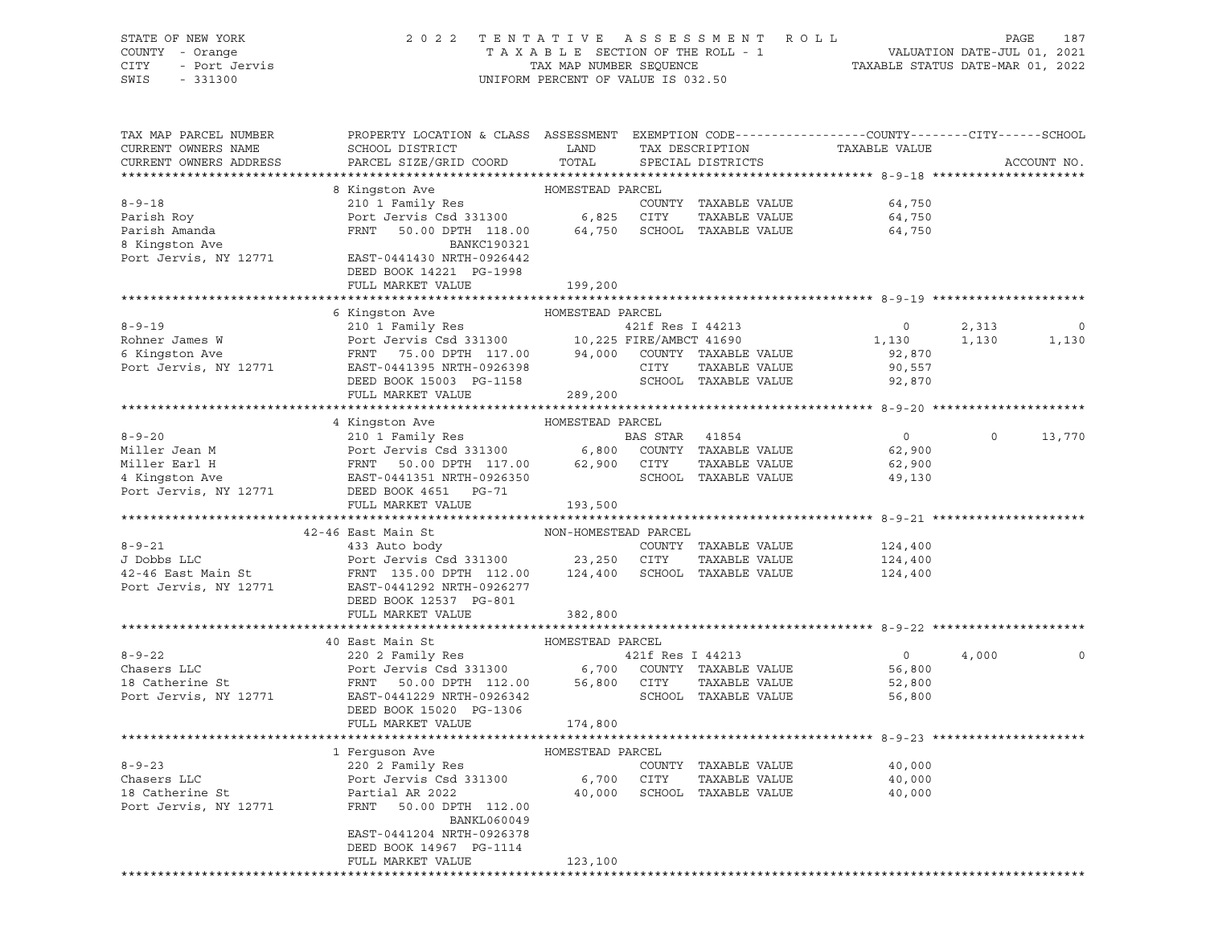|      | STATE OF NEW YORK | 2022 TENTATIVE ASSESSMENT ROLL     |                                  | PAGE                        | 187 |
|------|-------------------|------------------------------------|----------------------------------|-----------------------------|-----|
|      | COUNTY - Orange   | TAXABLE SECTION OF THE ROLL - 1    |                                  | VALUATION DATE-JUL 01, 2021 |     |
| CITY | - Port Jervis     | TAX MAP NUMBER SEOUENCE            | TAXABLE STATUS DATE-MAR 01, 2022 |                             |     |
| SWIS | $-331300$         | UNIFORM PERCENT OF VALUE IS 032.50 |                                  |                             |     |

| TAX MAP PARCEL NUMBER                                                                                                                                                                                                                                 | PROPERTY LOCATION & CLASS ASSESSMENT EXEMPTION CODE----------------COUNTY-------CITY------SCHOOL                                                                                                                                               |                      |                  |                                |                |          |             |
|-------------------------------------------------------------------------------------------------------------------------------------------------------------------------------------------------------------------------------------------------------|------------------------------------------------------------------------------------------------------------------------------------------------------------------------------------------------------------------------------------------------|----------------------|------------------|--------------------------------|----------------|----------|-------------|
| CURRENT OWNERS NAME                                                                                                                                                                                                                                   | SCHOOL DISTRICT<br>PARCEL SIZE/GRID COORD                                                                                                                                                                                                      | LAND<br>TOTAL        |                  | TAX DESCRIPTION                | TAXABLE VALUE  |          | ACCOUNT NO. |
| CURRENT OWNERS ADDRESS                                                                                                                                                                                                                                |                                                                                                                                                                                                                                                |                      |                  | SPECIAL DISTRICTS              |                |          |             |
|                                                                                                                                                                                                                                                       | 8 Kingston Ave                                                                                                                                                                                                                                 | HOMESTEAD PARCEL     |                  |                                |                |          |             |
| $8 - 9 - 18$                                                                                                                                                                                                                                          | 210 1 Family Res                                                                                                                                                                                                                               |                      |                  | COUNTY TAXABLE VALUE           | 64,750         |          |             |
| Parish Roy                                                                                                                                                                                                                                            |                                                                                                                                                                                                                                                |                      |                  | TAXABLE VALUE                  | 64,750         |          |             |
| Parish Amanda                                                                                                                                                                                                                                         | FRNT 50.00 DPTH 118.00 64,750 SCHOOL TAXABLE VALUE                                                                                                                                                                                             |                      |                  |                                | 64,750         |          |             |
| 8 Kingston Ave                                                                                                                                                                                                                                        | BANKC190321                                                                                                                                                                                                                                    |                      |                  |                                |                |          |             |
| Port Jervis, NY 12771                                                                                                                                                                                                                                 | EAST-0441430 NRTH-0926442                                                                                                                                                                                                                      |                      |                  |                                |                |          |             |
|                                                                                                                                                                                                                                                       | DEED BOOK 14221 PG-1998                                                                                                                                                                                                                        |                      |                  |                                |                |          |             |
|                                                                                                                                                                                                                                                       | FULL MARKET VALUE                                                                                                                                                                                                                              | 199,200              |                  |                                |                |          |             |
|                                                                                                                                                                                                                                                       |                                                                                                                                                                                                                                                |                      |                  |                                |                |          |             |
|                                                                                                                                                                                                                                                       |                                                                                                                                                                                                                                                | HOMESTEAD PARCEL     |                  |                                |                |          |             |
| $8 - 9 - 19$                                                                                                                                                                                                                                          |                                                                                                                                                                                                                                                |                      |                  |                                | $\overline{0}$ | 2,313    | 0           |
| Rohner James W                                                                                                                                                                                                                                        |                                                                                                                                                                                                                                                |                      |                  |                                | 1,130          | 1,130    | 1,130       |
| 6 Kingston Ave                                                                                                                                                                                                                                        |                                                                                                                                                                                                                                                |                      |                  |                                | 92,870         |          |             |
| Port Jervis, NY 12771                                                                                                                                                                                                                                 |                                                                                                                                                                                                                                                |                      |                  |                                | 90,557         |          |             |
|                                                                                                                                                                                                                                                       | 6 Kingston Ave (1991)<br>210 1 Family Res (216 Res 1996)<br>210 1 Family Res (216 Res 1996)<br>225 FIRE/AMBCT 41690<br>225 FIRE/AMBCT 41690<br>235 FIRE/AMBCT 41690<br>24,000 COUNTY TAXABLE VALUE<br>245T-0441395 NRTH-0926398<br>25TOOL TAXA |                      |                  |                                | 92,870         |          |             |
|                                                                                                                                                                                                                                                       | FULL MARKET VALUE                                                                                                                                                                                                                              | 289,200              |                  |                                |                |          |             |
|                                                                                                                                                                                                                                                       |                                                                                                                                                                                                                                                |                      |                  |                                |                |          |             |
|                                                                                                                                                                                                                                                       | 4 Kingston Ave                                                                                                                                                                                                                                 | HOMESTEAD PARCEL     |                  |                                |                |          |             |
|                                                                                                                                                                                                                                                       |                                                                                                                                                                                                                                                |                      |                  |                                | $\overline{0}$ | $\Omega$ | 13,770      |
|                                                                                                                                                                                                                                                       |                                                                                                                                                                                                                                                |                      |                  |                                | 62,900         |          |             |
|                                                                                                                                                                                                                                                       |                                                                                                                                                                                                                                                |                      |                  |                                | 62,900         |          |             |
|                                                                                                                                                                                                                                                       |                                                                                                                                                                                                                                                |                      |                  |                                | 49,130         |          |             |
| 8-9-20<br>Miller Jean M<br>Miller Earl H<br>Miller Earl H<br>Expect Jervis Csd 331300<br>Port Jervis Csd 331300<br>FRNT 50.00 DPTH 117.00<br>EAST-0441351 NRTH-0926350<br>Port Jervis, NY 12771<br>DEED BOOK 4651<br>PORT PG-71<br>PORT PG-71<br>PORT |                                                                                                                                                                                                                                                |                      |                  |                                |                |          |             |
|                                                                                                                                                                                                                                                       | FULL MARKET VALUE                                                                                                                                                                                                                              | 193,500              |                  |                                |                |          |             |
|                                                                                                                                                                                                                                                       |                                                                                                                                                                                                                                                |                      |                  |                                |                |          |             |
|                                                                                                                                                                                                                                                       | 42-46 East Main St                                                                                                                                                                                                                             | NON-HOMESTEAD PARCEL |                  |                                |                |          |             |
| $8 - 9 - 21$                                                                                                                                                                                                                                          | 433 Auto body                                                                                                                                                                                                                                  |                      |                  | COUNTY TAXABLE VALUE           | 124,400        |          |             |
| J Dobbs LLC                                                                                                                                                                                                                                           | Port Jervis Csd 331300 23,250 CITY TAXABLE VALUE<br>FRNT 135.00 DPTH 112.00 124,400 SCHOOL TAXABLE VALUE                                                                                                                                       |                      |                  | TAXABLE VALUE                  | 124,400        |          |             |
| 42-46 East Main St                                                                                                                                                                                                                                    |                                                                                                                                                                                                                                                |                      |                  |                                | 124,400        |          |             |
| Port Jervis, NY 12771                                                                                                                                                                                                                                 | EAST-0441292 NRTH-0926277                                                                                                                                                                                                                      |                      |                  |                                |                |          |             |
|                                                                                                                                                                                                                                                       | DEED BOOK 12537 PG-801                                                                                                                                                                                                                         |                      |                  |                                |                |          |             |
|                                                                                                                                                                                                                                                       | FULL MARKET VALUE                                                                                                                                                                                                                              | 382,800              |                  |                                |                |          |             |
|                                                                                                                                                                                                                                                       |                                                                                                                                                                                                                                                |                      |                  |                                |                |          |             |
| $8 - 9 - 22$                                                                                                                                                                                                                                          | HOMESTEAD PARCEL<br>40 East Main St                                                                                                                                                                                                            |                      |                  |                                | $\overline{0}$ |          |             |
| Chasers LLC                                                                                                                                                                                                                                           | 220 2 Family Res                                                                                                                                                                                                                               |                      | 421f Res I 44213 |                                | 56,800         | 4,000    |             |
| 18 Catherine St                                                                                                                                                                                                                                       | Port Jervis Csd 331300 6,700 COUNTY TAXABLE VALUE<br>FRNT 50.00 DPTH 112.00 56,800 CITY TAXABLE VALUE                                                                                                                                          |                      |                  | TAXABLE VALUE                  | 52,800         |          |             |
| Port Jervis, NY 12771                                                                                                                                                                                                                                 | EAST-0441229 NRTH-0926342                                                                                                                                                                                                                      |                      |                  | SCHOOL TAXABLE VALUE           | 56,800         |          |             |
|                                                                                                                                                                                                                                                       | DEED BOOK 15020 PG-1306                                                                                                                                                                                                                        |                      |                  |                                |                |          |             |
|                                                                                                                                                                                                                                                       | FULL MARKET VALUE                                                                                                                                                                                                                              | 174,800              |                  |                                |                |          |             |
|                                                                                                                                                                                                                                                       |                                                                                                                                                                                                                                                |                      |                  |                                |                |          |             |
|                                                                                                                                                                                                                                                       | 1 Ferguson Ave                                                                                                                                                                                                                                 | HOMESTEAD PARCEL     |                  |                                |                |          |             |
| $8 - 9 - 23$                                                                                                                                                                                                                                          |                                                                                                                                                                                                                                                |                      |                  | COUNTY TAXABLE VALUE           | 40,000         |          |             |
| Chasers LLC                                                                                                                                                                                                                                           | 220 2 Family Res<br>Port Jervis Csd 331300                                                                                                                                                                                                     | 6,700 CITY           |                  | TAXABLE VALUE                  | 40,000         |          |             |
|                                                                                                                                                                                                                                                       | Partial AR 2022                                                                                                                                                                                                                                |                      |                  | 40,000 SCHOOL TAXABLE VALUE    | 40,000         |          |             |
| 18 Catherine St<br>Port Jervis, NY 12771                                                                                                                                                                                                              | FRNT 50.00 DPTH 112.00                                                                                                                                                                                                                         |                      |                  |                                |                |          |             |
|                                                                                                                                                                                                                                                       | BANKL060049                                                                                                                                                                                                                                    |                      |                  |                                |                |          |             |
|                                                                                                                                                                                                                                                       | EAST-0441204 NRTH-0926378                                                                                                                                                                                                                      |                      |                  |                                |                |          |             |
|                                                                                                                                                                                                                                                       | DEED BOOK 14967 PG-1114                                                                                                                                                                                                                        |                      |                  |                                |                |          |             |
|                                                                                                                                                                                                                                                       | FULL MARKET VALUE                                                                                                                                                                                                                              | 123,100              |                  |                                |                |          |             |
|                                                                                                                                                                                                                                                       |                                                                                                                                                                                                                                                |                      |                  | ****************************** |                |          |             |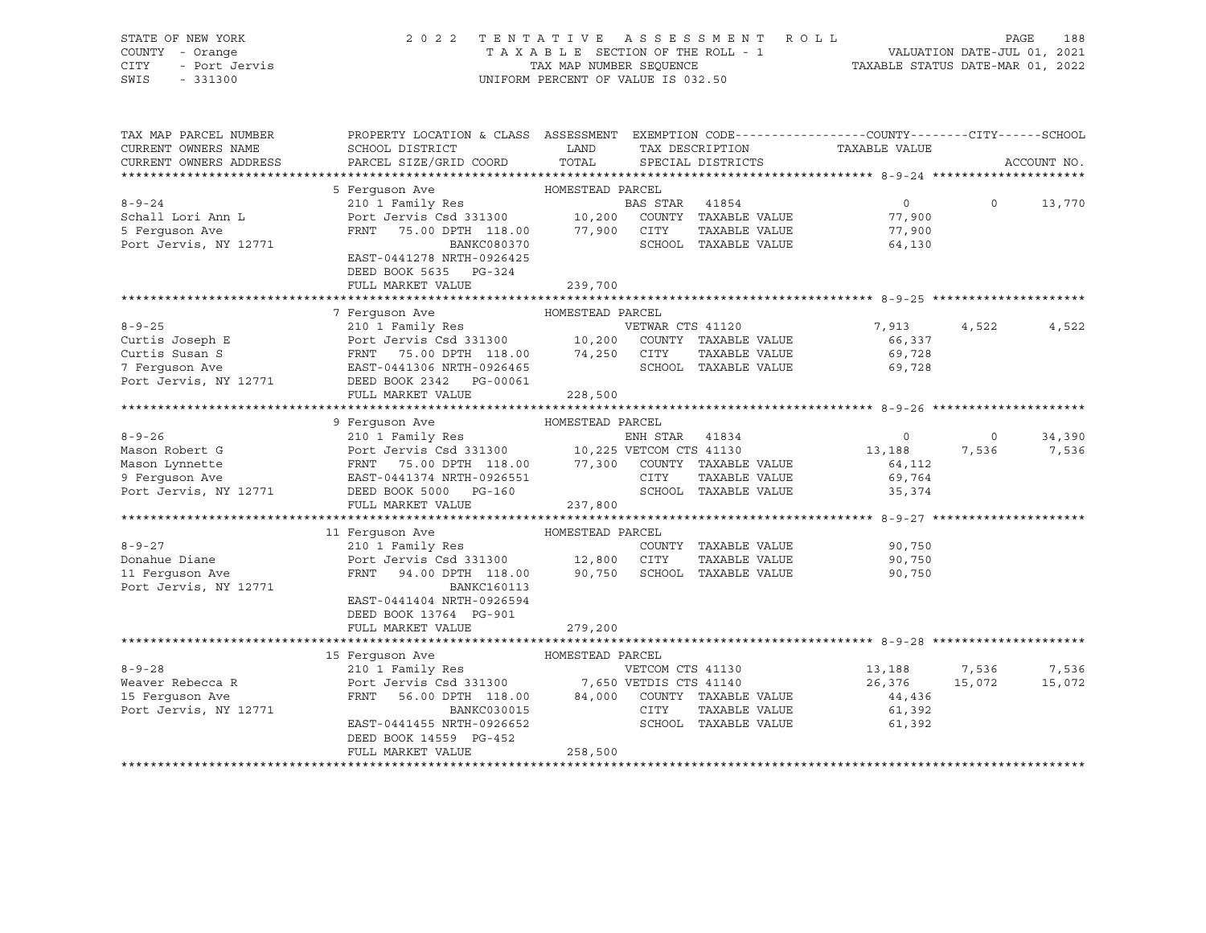| STATE OF NEW YORK<br>COUNTY - Orange<br>7 - Orange<br>- Port Jervis<br>CITY<br>SWIS<br>$-331300$ | 2022 TENTATIVE ASSESSMENT ROLL<br>UNIFORM PERCENT OF VALUE IS 032.50                                                                                                                                                                                    | TAXABLE SECTION OF THE ROLL - 1<br>TAXABLE SECTION OF THE ROLL - 1<br>TAXABLE STATUS DATE-MAR 01, 2022 | PAGE                          | 188                     |                |             |
|--------------------------------------------------------------------------------------------------|---------------------------------------------------------------------------------------------------------------------------------------------------------------------------------------------------------------------------------------------------------|--------------------------------------------------------------------------------------------------------|-------------------------------|-------------------------|----------------|-------------|
| TAX MAP PARCEL NUMBER<br>CURRENT OWNERS NAME                                                     | PROPERTY LOCATION & CLASS ASSESSMENT EXEMPTION CODE----------------COUNTY-------CITY------SCHOOL<br>SCHOOL DISTRICT LAND                                                                                                                                |                                                                                                        | TAX DESCRIPTION TAXABLE VALUE |                         |                |             |
| CURRENT OWNERS ADDRESS                                                                           | PARCEL SIZE/GRID COORD                                                                                                                                                                                                                                  | TOTAL                                                                                                  | SPECIAL DISTRICTS             |                         |                | ACCOUNT NO. |
|                                                                                                  | 5 Ferguson Ave                                                                                                                                                                                                                                          |                                                                                                        |                               |                         |                |             |
| $8 - 9 - 24$                                                                                     | Ferguson Ave MOMESTEAD PARCEL<br>210 1 Family Res BAS STAR 41854<br>Port Jervis Csd 331300 10,200 COUNTY TAXABLE VALUE<br>FRNT 75.00 DPH 118.00 77,900 CITY TAXABLE VALUE                                                                               |                                                                                                        |                               | $\overline{0}$          | $\circ$        | 13,770      |
| Schall Lori Ann L                                                                                |                                                                                                                                                                                                                                                         |                                                                                                        |                               | 77,900                  |                |             |
| 5 Ferguson Ave                                                                                   |                                                                                                                                                                                                                                                         |                                                                                                        |                               | 77,900                  |                |             |
| Port Jervis, NY 12771                                                                            | BANKC080370                                                                                                                                                                                                                                             |                                                                                                        | SCHOOL TAXABLE VALUE          | 64,130                  |                |             |
|                                                                                                  | EAST-0441278 NRTH-0926425                                                                                                                                                                                                                               |                                                                                                        |                               |                         |                |             |
|                                                                                                  | DEED BOOK 5635 PG-324<br>FULL MARKET VALUE                                                                                                                                                                                                              | 239,700                                                                                                |                               |                         |                |             |
|                                                                                                  |                                                                                                                                                                                                                                                         |                                                                                                        |                               |                         |                |             |
|                                                                                                  | 7 Ferquson Ave                                                                                                                                                                                                                                          | HOMESTEAD PARCEL                                                                                       |                               |                         |                |             |
|                                                                                                  | 8-9-25<br>Curtis Joseph E<br>Curtis Susan S<br>Curtis Susan S<br>Terry TAXABLE VALUE<br>POTT JET TATABLE VALUE<br>POTT TAXABLE VALUE<br>Terry TAXABLE VALUE<br>POTT TAXABLE VALUE<br>POTT TAXABLE VALUE<br>POTT TAXABLE VALUE<br>POTT TAXABLE VALUE<br> |                                                                                                        |                               | 7,913                   | 4,522          | 4,522       |
|                                                                                                  |                                                                                                                                                                                                                                                         |                                                                                                        |                               | 66,337                  |                |             |
|                                                                                                  |                                                                                                                                                                                                                                                         |                                                                                                        |                               | 69,728                  |                |             |
|                                                                                                  |                                                                                                                                                                                                                                                         |                                                                                                        | SCHOOL TAXABLE VALUE          | 69,728                  |                |             |
|                                                                                                  |                                                                                                                                                                                                                                                         |                                                                                                        |                               |                         |                |             |
|                                                                                                  | FULL MARKET VALUE                                                                                                                                                                                                                                       | 228,500                                                                                                |                               |                         |                |             |
|                                                                                                  | 9 Ferquson Ave                                                                                                                                                                                                                                          | HOMESTEAD PARCEL                                                                                       |                               |                         |                |             |
| $8 - 9 - 26$                                                                                     |                                                                                                                                                                                                                                                         |                                                                                                        |                               | $\overline{0}$          | $\overline{0}$ | 34,390      |
| Mason Robert G                                                                                   |                                                                                                                                                                                                                                                         |                                                                                                        |                               | 13,188 7,536 7,536      |                |             |
|                                                                                                  |                                                                                                                                                                                                                                                         |                                                                                                        |                               | 64,112                  |                |             |
| Mason Lynnette<br>9 Ferguson Ave<br>Port Jervis, NY 12771                                        |                                                                                                                                                                                                                                                         |                                                                                                        |                               | 69,764<br>35,374        |                |             |
|                                                                                                  | 210 1 Family Res<br>Port Jerwis Csd 331300 10,225 VETCOM CTS 41130<br>FRNT 75.00 DPTH 118.00 77,300 COUNTY TAXABLE VALUE<br>EAST-0441374 NRTH-0926551 CITY TAXABLE VALUE<br>DEED BOOK 5000 PG-160 SCHOOL TAXABLE VALUE                                  |                                                                                                        |                               |                         |                |             |
|                                                                                                  | FULL MARKET VALUE                                                                                                                                                                                                                                       | 237,800                                                                                                |                               |                         |                |             |
|                                                                                                  | 11 Ferquson Ave                                                                                                                                                                                                                                         | HOMESTEAD PARCEL                                                                                       |                               |                         |                |             |
| $8 - 9 - 27$                                                                                     |                                                                                                                                                                                                                                                         |                                                                                                        | COUNTY TAXABLE VALUE          | 90,750                  |                |             |
| Donahue Diane                                                                                    | 210 1 Family Res<br>Port Jervis Csd 331300 12,800 CITY                                                                                                                                                                                                  |                                                                                                        | TAXABLE VALUE                 | 90,750                  |                |             |
| 11 Ferguson Ave                                                                                  | FRNT 94.00 DPTH 118.00 90,750 SCHOOL TAXABLE VALUE                                                                                                                                                                                                      |                                                                                                        |                               | 90,750                  |                |             |
| Port Jervis, NY 12771                                                                            | <b>BANKC160113</b>                                                                                                                                                                                                                                      |                                                                                                        |                               |                         |                |             |
|                                                                                                  | EAST-0441404 NRTH-0926594                                                                                                                                                                                                                               |                                                                                                        |                               |                         |                |             |
|                                                                                                  | DEED BOOK 13764 PG-901                                                                                                                                                                                                                                  |                                                                                                        |                               |                         |                |             |
|                                                                                                  | FULL MARKET VALUE                                                                                                                                                                                                                                       | 279,200                                                                                                |                               |                         |                |             |
|                                                                                                  |                                                                                                                                                                                                                                                         |                                                                                                        |                               |                         |                |             |
| $8 - 9 - 28$                                                                                     |                                                                                                                                                                                                                                                         |                                                                                                        |                               |                         |                | 7,536       |
|                                                                                                  |                                                                                                                                                                                                                                                         |                                                                                                        |                               | 13,188<br>26,376 15,072 | 7,536          | 15,072      |
|                                                                                                  |                                                                                                                                                                                                                                                         |                                                                                                        |                               | 44,436                  |                |             |
| Port Jervis, NY 12771                                                                            |                                                                                                                                                                                                                                                         |                                                                                                        | <b>CITY</b><br>TAXABLE VALUE  | 61,392                  |                |             |
|                                                                                                  | BANKC030015<br>EAST-0441455 NRTH-0926652                                                                                                                                                                                                                |                                                                                                        | SCHOOL TAXABLE VALUE          | 61,392                  |                |             |
|                                                                                                  | DEED BOOK 14559 PG-452                                                                                                                                                                                                                                  |                                                                                                        |                               |                         |                |             |
|                                                                                                  | FULL MARKET VALUE                                                                                                                                                                                                                                       | 258,500                                                                                                |                               |                         |                |             |
|                                                                                                  |                                                                                                                                                                                                                                                         |                                                                                                        |                               |                         |                |             |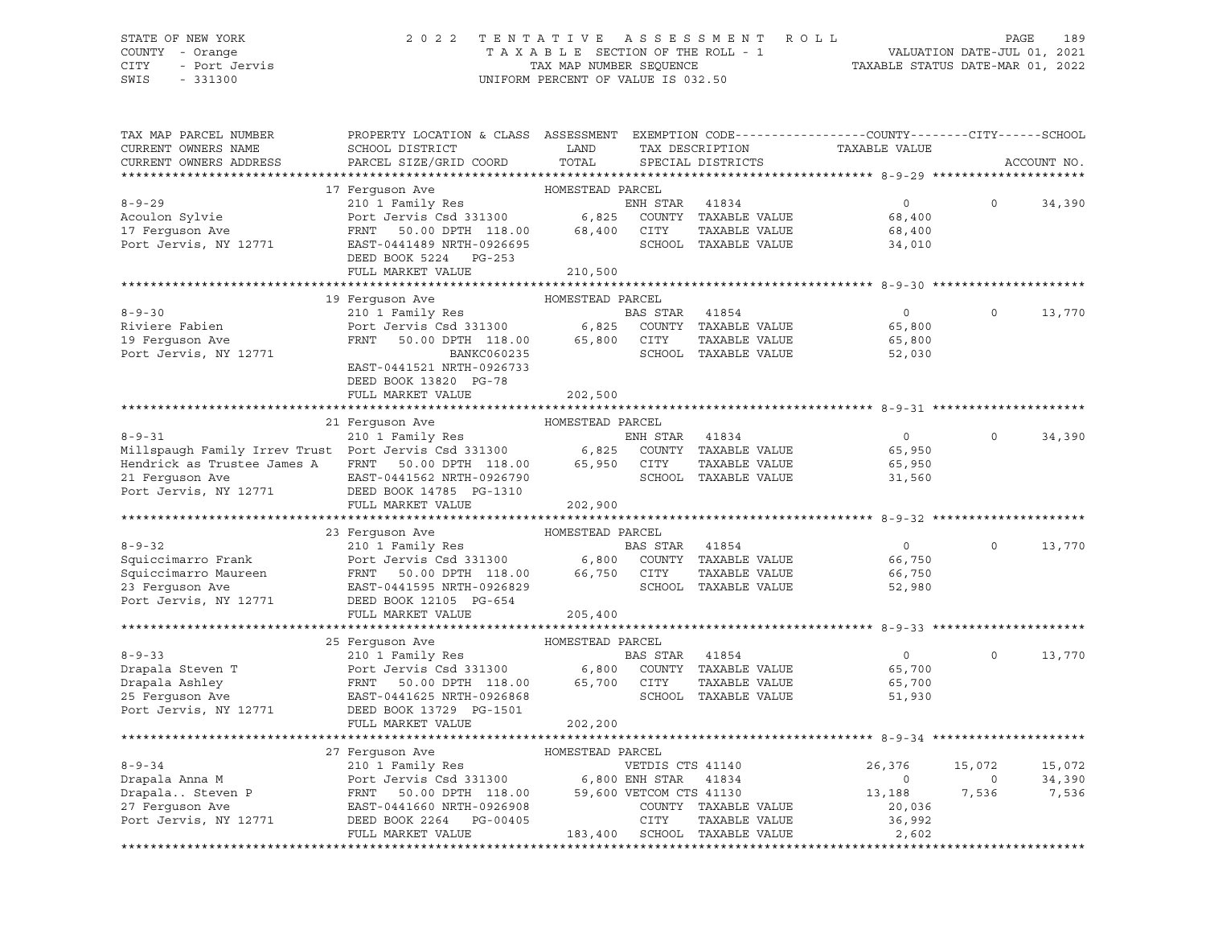#### STATE OF NEW YORK 2 0 2 2 T E N T A T I V E A S S E S S M E N T R O L L PAGE 189 COUNTY - Orange T A X A B L E SECTION OF THE ROLL - 1 VALUATION DATE-JUL 01, 2021 CITY - Port Jervis TAX MAP NUMBER SEQUENCE TAXABLE STATUS DATE-MAR 01, 2022

| TAX MAP PARCEL NUMBER<br>CURRENT OWNERS NAME                         | PROPERTY LOCATION & CLASS ASSESSMENT<br>SCHOOL DISTRICT                                                                                                                                         | LAND             |                | TAX DESCRIPTION              | EXEMPTION CODE-----------------COUNTY-------CITY------SCHOOL<br>TAXABLE VALUE |          |             |
|----------------------------------------------------------------------|-------------------------------------------------------------------------------------------------------------------------------------------------------------------------------------------------|------------------|----------------|------------------------------|-------------------------------------------------------------------------------|----------|-------------|
| CURRENT OWNERS ADDRESS                                               | PARCEL SIZE/GRID COORD                                                                                                                                                                          | TOTAL            |                | SPECIAL DISTRICTS            |                                                                               |          | ACCOUNT NO. |
|                                                                      | 17 Ferquson Ave                                                                                                                                                                                 | HOMESTEAD PARCEL |                |                              |                                                                               |          |             |
| $8 - 9 - 29$                                                         |                                                                                                                                                                                                 |                  | ENH STAR       | 41834                        | $0 \qquad \qquad$                                                             | $\Omega$ | 34,390      |
| Acoulon Sylvie                                                       | 210 <sup>1</sup> Family Res<br>Port Jervis Csd 331300 6,825                                                                                                                                     |                  |                | COUNTY TAXABLE VALUE         | 68,400                                                                        |          |             |
| 17 Ferguson Ave                                                      | FRNT<br>50.00 DPTH 118.00                                                                                                                                                                       | 68,400           | CITY           | TAXABLE VALUE                | 68,400                                                                        |          |             |
| Port Jervis, NY 12771                                                | EAST-0441489 NRTH-0926695                                                                                                                                                                       |                  |                | SCHOOL TAXABLE VALUE         | 34,010                                                                        |          |             |
|                                                                      | DEED BOOK 5224 PG-253                                                                                                                                                                           |                  |                |                              |                                                                               |          |             |
|                                                                      | FULL MARKET VALUE                                                                                                                                                                               | 210,500          |                |                              |                                                                               |          |             |
|                                                                      |                                                                                                                                                                                                 |                  |                |                              |                                                                               |          |             |
|                                                                      | 19 Ferguson Ave                                                                                                                                                                                 | HOMESTEAD PARCEL |                |                              |                                                                               |          |             |
| $8 - 9 - 30$                                                         | 210 1 Family Res                                                                                                                                                                                |                  | BAS STAR 41854 |                              | $\circ$                                                                       | $\Omega$ | 13,770      |
| Riviere Fabien                                                       | Port Jervis Csd 331300 6,825 COUNT<br>FRNT 50.00 DPTH 118.00 65,800 CITY                                                                                                                        |                  |                | COUNTY TAXABLE VALUE         | 65,800                                                                        |          |             |
| 19 Ferquson Ave                                                      |                                                                                                                                                                                                 |                  |                | TAXABLE VALUE                | 65,800                                                                        |          |             |
| Port Jervis, NY 12771                                                | BANKC060235                                                                                                                                                                                     |                  |                | SCHOOL TAXABLE VALUE         | 52,030                                                                        |          |             |
|                                                                      | EAST-0441521 NRTH-0926733                                                                                                                                                                       |                  |                |                              |                                                                               |          |             |
|                                                                      | DEED BOOK 13820 PG-78                                                                                                                                                                           |                  |                |                              |                                                                               |          |             |
|                                                                      | FULL MARKET VALUE                                                                                                                                                                               | 202,500          |                |                              |                                                                               |          |             |
|                                                                      |                                                                                                                                                                                                 |                  |                |                              |                                                                               |          |             |
|                                                                      | 21 Ferguson Ave                                                                                                                                                                                 | HOMESTEAD PARCEL |                |                              |                                                                               |          |             |
| 8-9-31<br>Millspaugh Family Irrev Trust Port Jervis Csd 331300 6,825 |                                                                                                                                                                                                 |                  | ENH STAR       | 41834                        | $\overline{0}$                                                                | $\Omega$ | 34,390      |
|                                                                      |                                                                                                                                                                                                 |                  |                | COUNTY TAXABLE VALUE         | 65,950                                                                        |          |             |
| Hendrick as Trustee James A                                          | FRNT 50.00 DPTH 118.00                                                                                                                                                                          | 65,950           | CITY           | TAXABLE VALUE                | 65,950                                                                        |          |             |
| 21 Ferguson Ave                                                      | EAST-0441562 NRTH-0926790                                                                                                                                                                       |                  |                | SCHOOL TAXABLE VALUE         | 31,560                                                                        |          |             |
| Port Jervis, NY 12771                                                | DEED BOOK 14785 PG-1310<br>FULL MARKET VALUE                                                                                                                                                    | 202,900          |                |                              |                                                                               |          |             |
|                                                                      |                                                                                                                                                                                                 |                  |                |                              |                                                                               |          |             |
|                                                                      | 23 Ferquson Ave                                                                                                                                                                                 | HOMESTEAD PARCEL |                |                              |                                                                               |          |             |
| $8 - 9 - 32$                                                         | 210 1 Family Res                                                                                                                                                                                |                  | BAS STAR       | 41854                        | $\circ$                                                                       | $\Omega$ | 13,770      |
| Squiccimarro Frank                                                   | Port Jervis Csd 331300 6,800 COUNTY TAXABLE VALUE                                                                                                                                               |                  |                |                              | 66,750                                                                        |          |             |
| Squiccimarro Maureen                                                 | FRNT 50.00 DPTH 118.00 66,750 CITY                                                                                                                                                              |                  |                | TAXABLE VALUE                | 66,750                                                                        |          |             |
| 23 Ferquson Ave                                                      | EAST-0441595 NRTH-0926829                                                                                                                                                                       |                  |                | SCHOOL TAXABLE VALUE         | 52,980                                                                        |          |             |
| Port Jervis, NY 12771                                                | DEED BOOK 12105 PG-654                                                                                                                                                                          |                  |                |                              |                                                                               |          |             |
|                                                                      | FULL MARKET VALUE                                                                                                                                                                               | 205,400          |                |                              |                                                                               |          |             |
|                                                                      |                                                                                                                                                                                                 |                  |                |                              |                                                                               |          |             |
|                                                                      | 25 Ferquson Ave                                                                                                                                                                                 | HOMESTEAD PARCEL |                |                              |                                                                               |          |             |
| $8 - 9 - 33$                                                         | 210 1 Family Res                                                                                                                                                                                |                  | BAS STAR       | 41854                        | $\overline{0}$                                                                | $\Omega$ | 13,770      |
| Drapala Steven T                                                     | Port Jervis Csd 331300 6,800<br>FRNT 50.00 DPTH 118.00 65,700                                                                                                                                   |                  |                | COUNTY TAXABLE VALUE         | 65,700                                                                        |          |             |
| Drapala Ashley                                                       | 50.00 DPTH 118.00                                                                                                                                                                               |                  | CITY           | TAXABLE VALUE                | 65,700                                                                        |          |             |
| 25 Ferquson Ave                                                      | EAST-0441625 NRTH-0926868                                                                                                                                                                       |                  |                | SCHOOL TAXABLE VALUE         | 51,930                                                                        |          |             |
| Port Jervis, NY 12771                                                | DEED BOOK 13729 PG-1501                                                                                                                                                                         |                  |                |                              |                                                                               |          |             |
|                                                                      | FULL MARKET VALUE                                                                                                                                                                               | 202,200          |                |                              | ******************************** 8-9-34 *********                             |          |             |
|                                                                      | 27 Ferguson Ave                                                                                                                                                                                 | HOMESTEAD PARCEL |                |                              |                                                                               |          |             |
| $8 - 9 - 34$                                                         |                                                                                                                                                                                                 |                  |                |                              | 26,376                                                                        | 15,072   | 15,072      |
| Drapala Anna M                                                       | $\begin{tabular}{lllllllllllll} \textbf{210} & \textbf{Family Res} & & \textbf{VETDIS CTS 41140} \\ \textbf{Port Jervis Csd 331300} & & \textbf{6,800 ENH STAR} & \textbf{41834} \end{tabular}$ |                  |                |                              | $\overline{0}$                                                                | $\Omega$ | 34,390      |
| Drapala Steven P                                                     | 50.00 DPTH 118.00 59,600 VETCOM CTS 41130<br>FRNT                                                                                                                                               |                  |                |                              | 13,188                                                                        | 7,536    | 7,536       |
| 27 Ferquson Ave                                                      | EAST-0441660 NRTH-0926908                                                                                                                                                                       |                  |                | COUNTY TAXABLE VALUE         | 20,036                                                                        |          |             |
| Port Jervis, NY 12771                                                | DEED BOOK 2264 PG-00405                                                                                                                                                                         |                  | CITY           | TAXABLE VALUE                | 36,992                                                                        |          |             |
|                                                                      | FULL MARKET VALUE                                                                                                                                                                               |                  |                | 183,400 SCHOOL TAXABLE VALUE | 2,602                                                                         |          |             |
|                                                                      |                                                                                                                                                                                                 |                  |                |                              |                                                                               |          |             |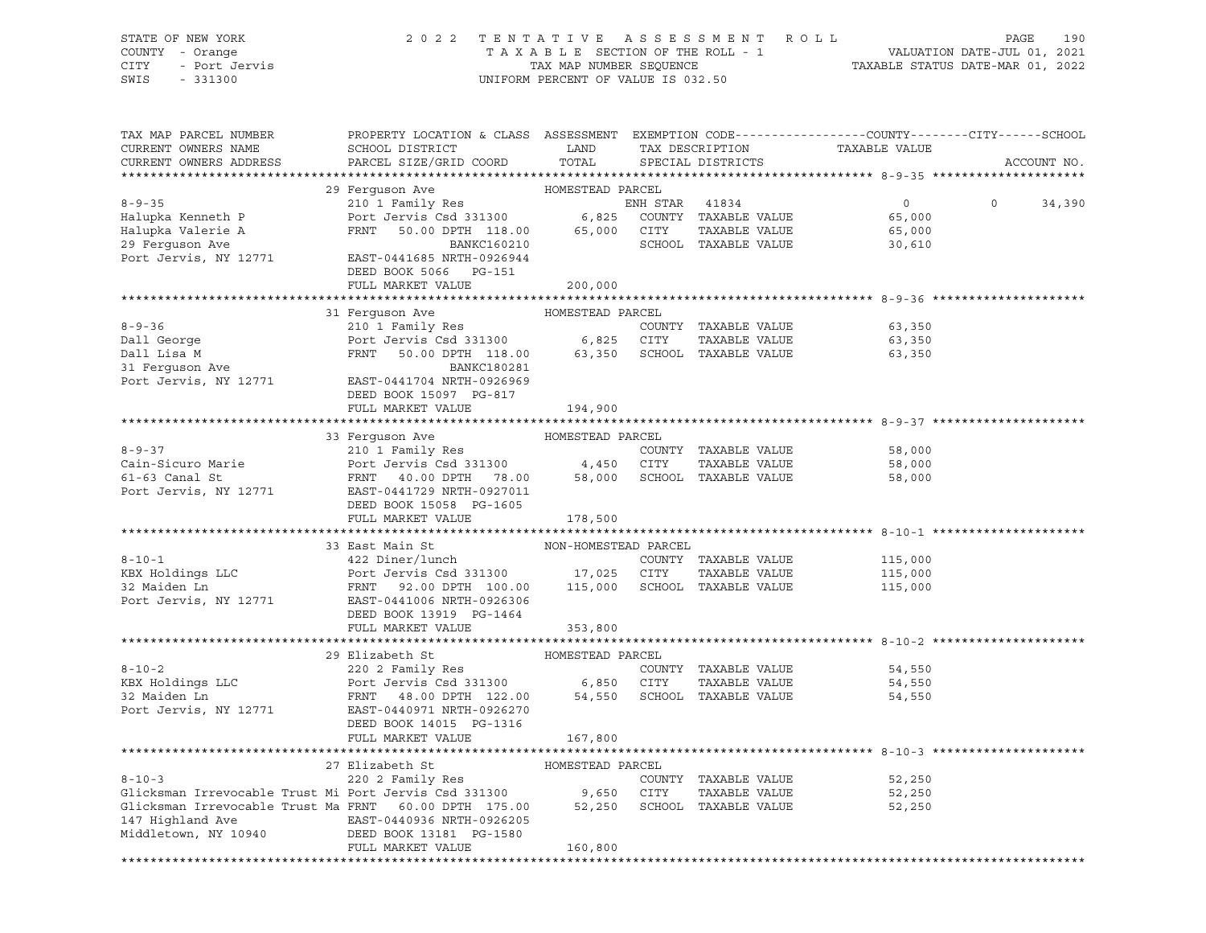| STATE OF NEW YORK<br>COUNTY - Orange<br>CITY<br>- Urung.<br>- Port Jervis<br>SWIS<br>$-331300$ | 2 0 2 2                                                                                                            | UNIFORM PERCENT OF VALUE IS 032.50 |                | TENTATIVE ASSESSMENT ROLL             | TAXABLE SECTION OF THE ROLL - 1<br>TAX MAP NUMBER SEQUENCE<br>TAXABLE STATUS DATE-MAR 01, 2022<br>TAXABLE STATUS DATE-MAR 01, 2022 | PAGE<br>190       |
|------------------------------------------------------------------------------------------------|--------------------------------------------------------------------------------------------------------------------|------------------------------------|----------------|---------------------------------------|------------------------------------------------------------------------------------------------------------------------------------|-------------------|
| TAX MAP PARCEL NUMBER<br>CURRENT OWNERS NAME                                                   | PROPERTY LOCATION & CLASS ASSESSMENT EXEMPTION CODE---------------COUNTY-------CITY------SCHOOL<br>SCHOOL DISTRICT | LAND                               |                |                                       | TAX DESCRIPTION TAXABLE VALUE                                                                                                      |                   |
| CURRENT OWNERS ADDRESS                                                                         | PARCEL SIZE/GRID COORD                                                                                             | TOTAL                              |                | SPECIAL DISTRICTS                     |                                                                                                                                    | ACCOUNT NO.       |
|                                                                                                | 29 Ferguson Ave MOMESTEAD PARCEL                                                                                   |                                    |                |                                       |                                                                                                                                    |                   |
| $8 - 9 - 35$                                                                                   | 210 1 Family Res                                                                                                   |                                    | ENH STAR 41834 |                                       | $\overline{0}$                                                                                                                     | $\circ$<br>34,390 |
| Halupka Kenneth P                                                                              | Port Jervis Csd 331300 6,825 COUNTY TAXABLE VALUE                                                                  |                                    |                |                                       | 65,000                                                                                                                             |                   |
| Halupka Valerie A                                                                              | FRNT 50.00 DPTH 118.00 65,000 CITY TAXABLE VALUE                                                                   |                                    |                |                                       | 65,000                                                                                                                             |                   |
| 29 Ferguson Ave                                                                                | BANKC160210                                                                                                        |                                    |                | SCHOOL TAXABLE VALUE                  | 30,610                                                                                                                             |                   |
| Port Jervis, NY 12771                                                                          | EAST-0441685 NRTH-0926944<br>DEED BOOK 5066 PG-151                                                                 |                                    |                |                                       |                                                                                                                                    |                   |
|                                                                                                | FULL MARKET VALUE                                                                                                  | 200,000                            |                |                                       |                                                                                                                                    |                   |
|                                                                                                |                                                                                                                    |                                    |                |                                       |                                                                                                                                    |                   |
| $8 - 9 - 36$                                                                                   | 31 Ferguson Ave<br>210 1 Family Res                                                                                | HOMESTEAD PARCEL                   |                | COUNTY TAXABLE VALUE                  |                                                                                                                                    |                   |
| 8-9-30<br>Dall George<br>- ' - M                                                               |                                                                                                                    |                                    |                | TAXABLE VALUE                         | 63,350<br>63,350                                                                                                                   |                   |
|                                                                                                | Port Jervis Csd 331300 6,825 CITY TAXABLE VALUE<br>FRNT 50.00 DPTH 118.00 63,350 SCHOOL TAXABLE VALUE              |                                    |                |                                       | 63,350                                                                                                                             |                   |
| 31 Ferguson Ave                                                                                | BANKC180281                                                                                                        |                                    |                |                                       |                                                                                                                                    |                   |
| Port Jervis, NY 12771                                                                          | EAST-0441704 NRTH-0926969<br>DEED BOOK 15097 PG-817                                                                |                                    |                |                                       |                                                                                                                                    |                   |
|                                                                                                | FULL MARKET VALUE                                                                                                  | 194,900                            |                |                                       |                                                                                                                                    |                   |
|                                                                                                | 33 Ferquson Ave MOMESTEAD PARCEL                                                                                   |                                    |                |                                       |                                                                                                                                    |                   |
| $8 - 9 - 37$                                                                                   | 210 1 Family Res                                                                                                   |                                    |                | COUNTY TAXABLE VALUE                  |                                                                                                                                    |                   |
| Cain-Sicuro Marie                                                                              |                                                                                                                    |                                    |                | TAXABLE VALUE                         | 58,000<br>58,000                                                                                                                   |                   |
| $61-63$ Canal St                                                                               | FRNT 40.00 DPTH 78.00 58,000 SCHOOL TAXABLE VALUE                                                                  |                                    |                |                                       | 58,000                                                                                                                             |                   |
| Port Jervis, NY 12771                                                                          | EAST-0441729 NRTH-0927011<br>DEED BOOK 15058 PG-1605                                                               |                                    |                |                                       |                                                                                                                                    |                   |
|                                                                                                | FULL MARKET VALUE                                                                                                  | 178,500                            |                |                                       |                                                                                                                                    |                   |
|                                                                                                | 33 East Main St                                                                                                    | NON-HOMESTEAD PARCEL               |                |                                       |                                                                                                                                    |                   |
| $8 - 10 - 1$                                                                                   | 422 Diner/lunch                                                                                                    |                                    |                | COUNTY TAXABLE VALUE                  |                                                                                                                                    |                   |
| KBX Holdings LLC                                                                               | Port Jervis Csd 331300 17,025 CITY TAXABLE VALUE                                                                   |                                    |                |                                       | 115,000<br>115,000                                                                                                                 |                   |
| 32 Maiden Ln                                                                                   | FRNT 92.00 DPTH 100.00 115,000 SCHOOL TAXABLE VALUE 115,000                                                        |                                    |                |                                       |                                                                                                                                    |                   |
| Port Jervis, NY 12771                                                                          | EAST-0441006 NRTH-0926306                                                                                          |                                    |                |                                       |                                                                                                                                    |                   |
|                                                                                                | DEED BOOK 13919 PG-1464                                                                                            |                                    |                |                                       |                                                                                                                                    |                   |
|                                                                                                | FULL MARKET VALUE                                                                                                  | 353,800                            |                |                                       |                                                                                                                                    |                   |
|                                                                                                | 29 Elizabeth St                                                                                                    | HOMESTEAD PARCEL                   |                |                                       |                                                                                                                                    |                   |
| $8 - 10 - 2$                                                                                   | 220 2 Family Res                                                                                                   |                                    |                | COUNTY TAXABLE VALUE                  | 54,550                                                                                                                             |                   |
| KBX Holdings LLC                                                                               | Port Jervis Csd 331300 6,850 CITY                                                                                  |                                    |                | TAXABLE VALUE                         | 54,550                                                                                                                             |                   |
| 32 Maiden Ln                                                                                   | FRNT 48.00 DPTH 122.00 54,550                                                                                      |                                    |                | SCHOOL TAXABLE VALUE                  | 54,550                                                                                                                             |                   |
| Port Jervis, NY 12771                                                                          | EAST-0440971 NRTH-0926270                                                                                          |                                    |                |                                       |                                                                                                                                    |                   |
|                                                                                                | DEED BOOK 14015 PG-1316                                                                                            |                                    |                |                                       |                                                                                                                                    |                   |
|                                                                                                | FULL MARKET VALUE                                                                                                  | 167,800                            |                |                                       |                                                                                                                                    |                   |
|                                                                                                |                                                                                                                    |                                    |                |                                       |                                                                                                                                    |                   |
|                                                                                                | 27 Elizabeth St                                                                                                    | HOMESTEAD PARCEL                   |                |                                       |                                                                                                                                    |                   |
| $8 - 10 - 3$<br>Glicksman Irrevocable Trust Mi Port Jervis Csd 331300                          | 220 2 Family Res                                                                                                   |                                    |                | COUNTY TAXABLE VALUE                  | 52,250                                                                                                                             |                   |
| Glicksman Irrevocable Trust Ma FRNT<br>147 Highland Ave                                        | 60.00 DPTH 175.00<br>EAST-0440936 NRTH-0926205                                                                     | 9,650<br>52,250                    | CITY           | TAXABLE VALUE<br>SCHOOL TAXABLE VALUE | 52,250<br>52,250                                                                                                                   |                   |
| Middletown, NY 10940                                                                           | DEED BOOK 13181 PG-1580                                                                                            |                                    |                |                                       |                                                                                                                                    |                   |
|                                                                                                | FULL MARKET VALUE                                                                                                  | 160,800                            |                |                                       |                                                                                                                                    |                   |

\*\*\*\*\*\*\*\*\*\*\*\*\*\*\*\*\*\*\*\*\*\*\*\*\*\*\*\*\*\*\*\*\*\*\*\*\*\*\*\*\*\*\*\*\*\*\*\*\*\*\*\*\*\*\*\*\*\*\*\*\*\*\*\*\*\*\*\*\*\*\*\*\*\*\*\*\*\*\*\*\*\*\*\*\*\*\*\*\*\*\*\*\*\*\*\*\*\*\*\*\*\*\*\*\*\*\*\*\*\*\*\*\*\*\*\*\*\*\*\*\*\*\*\*\*\*\*\*\*\*\*\*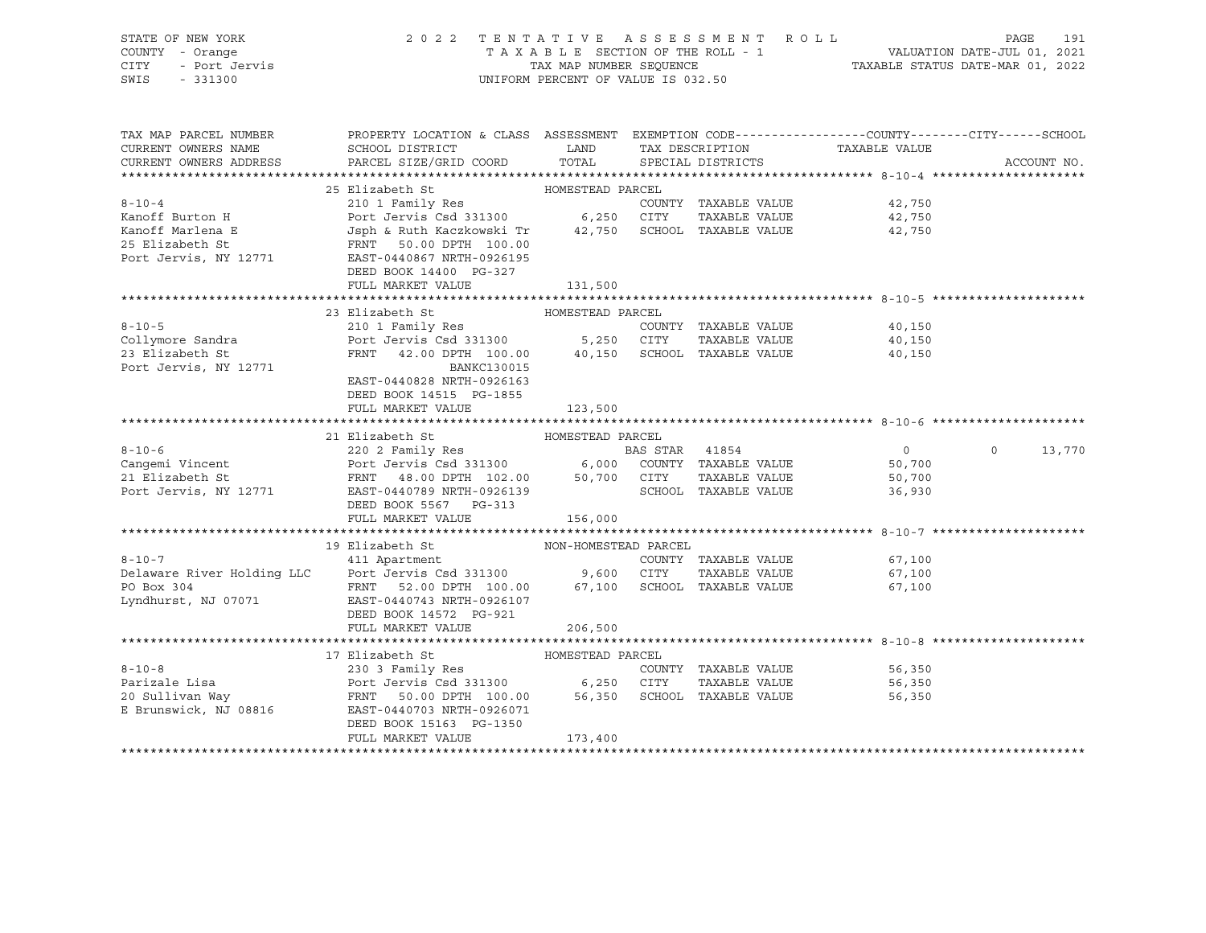| STATE OF NEW YORK<br>y - Orange<br>- Port Jervis<br>- 331300<br>COUNTY - Orange<br>CITY<br>SWIS - 331300 | 2022 TENTATIVE ASSESSMENT ROLL                                                                                                                                                                                                                                          | UNIFORM PERCENT OF VALUE IS 032.50 |  |                      | PAGE<br>191      |                   |
|----------------------------------------------------------------------------------------------------------|-------------------------------------------------------------------------------------------------------------------------------------------------------------------------------------------------------------------------------------------------------------------------|------------------------------------|--|----------------------|------------------|-------------------|
| TAX MAP PARCEL NUMBER<br>CURRENT OWNERS NAME<br>CURRENT OWNERS ADDRESS                                   | PROPERTY LOCATION & CLASS ASSESSMENT EXEMPTION CODE---------------COUNTY-------CITY------SCHOOL<br>SCHOOL DISTRICT CONTROLLAND TAX DESCRIPTION<br>PARCEL SIZE/GRID COORD                                                                                                | TOTAL SPECIAL DISTRICTS            |  |                      | TAXABLE VALUE    | ACCOUNT NO.       |
|                                                                                                          | 25 Elizabeth St                                                                                                                                                                                                                                                         | HOMESTEAD PARCEL                   |  |                      |                  |                   |
| $8 - 10 - 4$                                                                                             |                                                                                                                                                                                                                                                                         |                                    |  | COUNTY TAXABLE VALUE | 42,750           |                   |
|                                                                                                          |                                                                                                                                                                                                                                                                         |                                    |  |                      | 42,750           |                   |
|                                                                                                          | Example Fort Jervis Csd 331300<br>Kanoff Marlena E Jost Jervis Csd 331300<br>25 Elizabeth St FRNT 50.00 DPTH 100.00<br>Port Jervis, NY 12771 EAST-0440867 NRTH-0926195                                                                                                  |                                    |  |                      | 42,750           |                   |
|                                                                                                          |                                                                                                                                                                                                                                                                         |                                    |  |                      |                  |                   |
|                                                                                                          |                                                                                                                                                                                                                                                                         |                                    |  |                      |                  |                   |
|                                                                                                          | DEED BOOK 14400 PG-327                                                                                                                                                                                                                                                  |                                    |  |                      |                  |                   |
|                                                                                                          | FULL MARKET VALUE                                                                                                                                                                                                                                                       | 131,500                            |  |                      |                  |                   |
|                                                                                                          |                                                                                                                                                                                                                                                                         |                                    |  |                      |                  |                   |
|                                                                                                          | 23 Elizabeth St                                                                                                                                                                                                                                                         | HOMESTEAD PARCEL                   |  |                      |                  |                   |
| $8 - 10 - 5$                                                                                             | 210 1 Family Res                                                                                                                                                                                                                                                        |                                    |  | COUNTY TAXABLE VALUE | 40,150           |                   |
| Collymore Sandra<br>23 Elizabeth St                                                                      | Port Jervis Csd 331300 5,250 CITY TAXABLE VALUE<br>FRNT 42.00 DPTH 100.00 40,150 SCHOOL TAXABLE VALUE                                                                                                                                                                   |                                    |  |                      | 40,150           |                   |
|                                                                                                          |                                                                                                                                                                                                                                                                         |                                    |  |                      | 40,150           |                   |
| Port Jervis, NY 12771                                                                                    | BANKC130015                                                                                                                                                                                                                                                             |                                    |  |                      |                  |                   |
|                                                                                                          | EAST-0440828 NRTH-0926163                                                                                                                                                                                                                                               |                                    |  |                      |                  |                   |
|                                                                                                          | DEED BOOK 14515 PG-1855                                                                                                                                                                                                                                                 |                                    |  |                      |                  |                   |
|                                                                                                          | FULL MARKET VALUE                                                                                                                                                                                                                                                       | 123,500                            |  |                      |                  |                   |
|                                                                                                          |                                                                                                                                                                                                                                                                         |                                    |  |                      |                  |                   |
|                                                                                                          | 21 Elizabeth St                                                                                                                                                                                                                                                         | HOMESTEAD PARCEL                   |  |                      |                  |                   |
|                                                                                                          |                                                                                                                                                                                                                                                                         |                                    |  |                      | $\overline{0}$   | $\circ$<br>13,770 |
|                                                                                                          |                                                                                                                                                                                                                                                                         |                                    |  |                      | 50,700           |                   |
|                                                                                                          |                                                                                                                                                                                                                                                                         |                                    |  |                      | 50,700<br>36,930 |                   |
|                                                                                                          | 8-10-6<br>Cangemi Vincent<br>220 2 Family Res<br>220 2 Family Res<br>Port Jervis Csd 331300<br>FRNT 48.00 DPTH 102.00 50,700 CITY TAXABLE VALUE<br>Port Jervis, NY 12771<br>EAS STAR 41854<br>PORT 48.00 DPTH 102.00 50,700 CITY TAXABLE VALUE<br>DEED BOOK 5567 PG-313 |                                    |  |                      |                  |                   |
|                                                                                                          | FULL MARKET VALUE                                                                                                                                                                                                                                                       | 156,000                            |  |                      |                  |                   |
|                                                                                                          |                                                                                                                                                                                                                                                                         |                                    |  |                      |                  |                   |
|                                                                                                          | 19 Elizabeth St                                                                                                                                                                                                                                                         | NON-HOMESTEAD PARCEL               |  |                      |                  |                   |
| $8 - 10 - 7$                                                                                             | 411 Apartment                                                                                                                                                                                                                                                           |                                    |  | COUNTY TAXABLE VALUE | 67,100           |                   |
|                                                                                                          |                                                                                                                                                                                                                                                                         |                                    |  |                      | 67,100           |                   |
|                                                                                                          |                                                                                                                                                                                                                                                                         |                                    |  |                      | 67,100           |                   |
| Lyndhurst, NJ 07071                                                                                      | Delaware River Holding LLC Port Jervis Csd 331300 9,600 CITY TAXABLE VALUE<br>PO Box 304 FRNT 52.00 DPTH 100.00 67,100 SCHOOL TAXABLE VALUE<br>Lyndhurst, NJ 07071 EAST-0440743 NRTH-0926107                                                                            |                                    |  |                      |                  |                   |
|                                                                                                          | DEED BOOK 14572 PG-921                                                                                                                                                                                                                                                  |                                    |  |                      |                  |                   |
|                                                                                                          | FULL MARKET VALUE                                                                                                                                                                                                                                                       | 206,500                            |  |                      |                  |                   |
|                                                                                                          |                                                                                                                                                                                                                                                                         |                                    |  |                      |                  |                   |
|                                                                                                          | 17 Elizabeth St                                                                                                                                                                                                                                                         | HOMESTEAD PARCEL                   |  |                      |                  |                   |
| $8 - 10 - 8$                                                                                             |                                                                                                                                                                                                                                                                         |                                    |  | COUNTY TAXABLE VALUE | 56,350           |                   |
| Parizale Lisa                                                                                            |                                                                                                                                                                                                                                                                         |                                    |  | TAXABLE VALUE        | 56,350           |                   |
| Parizale Lisa<br>20 Sullivan Way                                                                         |                                                                                                                                                                                                                                                                         |                                    |  |                      | 56,350           |                   |
| E Brunswick, NJ 08816                                                                                    | EAST-0440703 NRTH-0926071                                                                                                                                                                                                                                               |                                    |  |                      |                  |                   |
|                                                                                                          | DEED BOOK 15163 PG-1350                                                                                                                                                                                                                                                 |                                    |  |                      |                  |                   |
|                                                                                                          | FULL MARKET VALUE                                                                                                                                                                                                                                                       | 173,400                            |  |                      |                  |                   |
|                                                                                                          |                                                                                                                                                                                                                                                                         |                                    |  |                      |                  |                   |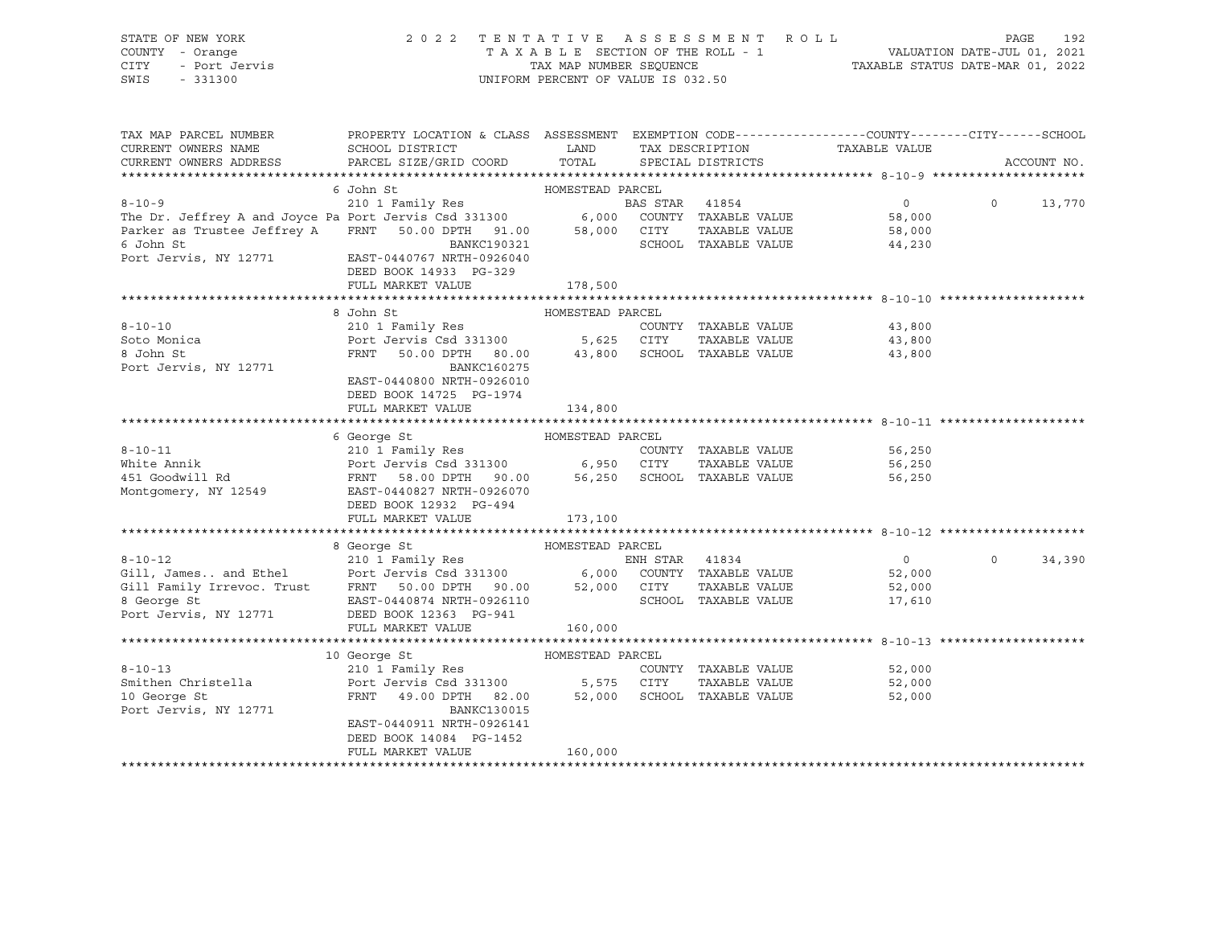|      | STATE OF NEW YORK | 2022 TENTATIVE ASSESSMENT ROLL     | 192<br>PAGE                      |
|------|-------------------|------------------------------------|----------------------------------|
|      | COUNTY - Orange   | TAXABLE SECTION OF THE ROLL - 1    | VALUATION DATE-JUL 01, 2021      |
| CITY | - Port Jervis     | TAX MAP NUMBER SEOUENCE            | TAXABLE STATUS DATE-MAR 01, 2022 |
| SWIS | - 331300          | UNIFORM PERCENT OF VALUE IS 032.50 |                                  |

| TAX MAP PARCEL NUMBER                                                                                                                                                                                                                              | PROPERTY LOCATION & CLASS ASSESSMENT EXEMPTION CODE---------------COUNTY-------CITY------SCHOOL |                  |                             |                |          |               |
|----------------------------------------------------------------------------------------------------------------------------------------------------------------------------------------------------------------------------------------------------|-------------------------------------------------------------------------------------------------|------------------|-----------------------------|----------------|----------|---------------|
| CURRENT OWNERS NAME                                                                                                                                                                                                                                | SCHOOL DISTRICT                                                                                 | LAND             | TAX DESCRIPTION             | TAXABLE VALUE  |          |               |
| CURRENT OWNERS ADDRESS                                                                                                                                                                                                                             | PARCEL SIZE/GRID COORD                                                                          | TOTAL            | SPECIAL DISTRICTS           |                |          | ACCOUNT NO.   |
|                                                                                                                                                                                                                                                    |                                                                                                 |                  |                             |                |          |               |
| 6 John St<br>210 1 Family Res<br>210 1 Family Res<br>210 1 Family Res<br>210 1 Family Res<br>210 1 Family Res<br>210 1 Family Res<br>210 1 Family Res<br>210 6,000 COUNTY TAXABLE VALUE<br>21.00 6,000 COUNTY TAXABLE VALUE<br>21.00 58,000 CITY T |                                                                                                 |                  |                             |                |          |               |
|                                                                                                                                                                                                                                                    |                                                                                                 |                  |                             | $\overline{0}$ |          | $0 \t 13,770$ |
|                                                                                                                                                                                                                                                    |                                                                                                 |                  |                             | 58,000         |          |               |
|                                                                                                                                                                                                                                                    |                                                                                                 |                  |                             | 58,000         |          |               |
| 6 John St                                                                                                                                                                                                                                          | BANKC190321                                                                                     |                  | SCHOOL TAXABLE VALUE        | 44,230         |          |               |
| Port Jervis, NY 12771 EAST-0440767 NRTH-0926040                                                                                                                                                                                                    |                                                                                                 |                  |                             |                |          |               |
|                                                                                                                                                                                                                                                    | DEED BOOK 14933 PG-329                                                                          |                  |                             |                |          |               |
|                                                                                                                                                                                                                                                    | FULL MARKET VALUE                                                                               | 178,500          |                             |                |          |               |
|                                                                                                                                                                                                                                                    |                                                                                                 |                  |                             |                |          |               |
|                                                                                                                                                                                                                                                    | HOMESTEAD PARCEL<br>8 John St                                                                   |                  |                             |                |          |               |
| $8 - 10 - 10$                                                                                                                                                                                                                                      | 210 1 Family Res                                                                                |                  | COUNTY TAXABLE VALUE        | 43,800         |          |               |
| Soto Monica                                                                                                                                                                                                                                        | لسان 210 Ephrid I Family Res<br>Port Jervis Csd 331300 5,625   CITY                             |                  | TAXABLE VALUE               | 43,800         |          |               |
| 8 John St                                                                                                                                                                                                                                          | FRNT 50.00 DPTH 80.00 43,800 SCHOOL TAXABLE VALUE                                               |                  |                             | 43,800         |          |               |
| Port Jervis, NY 12771                                                                                                                                                                                                                              | BANKC160275                                                                                     |                  |                             |                |          |               |
|                                                                                                                                                                                                                                                    | EAST-0440800 NRTH-0926010                                                                       |                  |                             |                |          |               |
|                                                                                                                                                                                                                                                    | DEED BOOK 14725 PG-1974                                                                         |                  |                             |                |          |               |
|                                                                                                                                                                                                                                                    | FULL MARKET VALUE                                                                               | 134,800          |                             |                |          |               |
|                                                                                                                                                                                                                                                    |                                                                                                 |                  |                             |                |          |               |
|                                                                                                                                                                                                                                                    | 6 George St                                                                                     | HOMESTEAD PARCEL |                             |                |          |               |
|                                                                                                                                                                                                                                                    |                                                                                                 |                  | COUNTY TAXABLE VALUE        | 56,250         |          |               |
|                                                                                                                                                                                                                                                    |                                                                                                 |                  | TAXABLE VALUE               | 56,250         |          |               |
|                                                                                                                                                                                                                                                    |                                                                                                 |                  |                             | 56,250         |          |               |
| Montgomery, NY 12549 EAST-0440827 NRTH-0926070                                                                                                                                                                                                     |                                                                                                 |                  |                             |                |          |               |
|                                                                                                                                                                                                                                                    | DEED BOOK 12932 PG-494                                                                          |                  |                             |                |          |               |
|                                                                                                                                                                                                                                                    | FULL MARKET VALUE                                                                               | 173,100          |                             |                |          |               |
|                                                                                                                                                                                                                                                    |                                                                                                 |                  |                             |                |          |               |
|                                                                                                                                                                                                                                                    | 8 George St<br>HOMESTEAD PARCEL                                                                 |                  |                             |                |          |               |
|                                                                                                                                                                                                                                                    |                                                                                                 |                  |                             | $\overline{0}$ | $\Omega$ | 34,390        |
|                                                                                                                                                                                                                                                    |                                                                                                 |                  |                             | 52,000         |          |               |
|                                                                                                                                                                                                                                                    |                                                                                                 |                  | TAXABLE VALUE               | 52,000         |          |               |
|                                                                                                                                                                                                                                                    |                                                                                                 |                  | SCHOOL TAXABLE VALUE        | 17,610         |          |               |
| 8-10-12<br>8-10-12<br>Gill, James and Ethel<br>Ethel<br>Port Jervis Csd 331300<br>FRNT 50.00 DPTH 90.00<br>8 George St<br>EAST-0440874 NRTH-0926110<br>Port Jervis, NY 12771<br>DEED BOOK 12363 PG-941<br>Port Jervis, NY 12771<br>Port Jervis, N  |                                                                                                 |                  |                             |                |          |               |
|                                                                                                                                                                                                                                                    | FULL MARKET VALUE                                                                               | 160,000          |                             |                |          |               |
|                                                                                                                                                                                                                                                    |                                                                                                 |                  |                             |                |          |               |
|                                                                                                                                                                                                                                                    | HOMESTEAD PARCEL<br>10 George St                                                                |                  |                             |                |          |               |
| $8 - 10 - 13$                                                                                                                                                                                                                                      | 210 1 Family Res                                                                                |                  | COUNTY TAXABLE VALUE        | 52,000         |          |               |
| 8-10-13<br>Smithen Christella                                                                                                                                                                                                                      | Port Jervis Csd 331300 5,575 CITY                                                               |                  | TAXABLE VALUE               | 52,000         |          |               |
| 10 George St                                                                                                                                                                                                                                       | FRNT 49.00 DPTH 82.00                                                                           |                  | 52,000 SCHOOL TAXABLE VALUE | 52,000         |          |               |
| Port Jervis, NY 12771                                                                                                                                                                                                                              | <b>BANKC130015</b>                                                                              |                  |                             |                |          |               |
|                                                                                                                                                                                                                                                    | EAST-0440911 NRTH-0926141                                                                       |                  |                             |                |          |               |
|                                                                                                                                                                                                                                                    | DEED BOOK 14084 PG-1452                                                                         |                  |                             |                |          |               |
|                                                                                                                                                                                                                                                    | FULL MARKET VALUE                                                                               | 160,000          |                             |                |          |               |
|                                                                                                                                                                                                                                                    |                                                                                                 |                  |                             |                |          |               |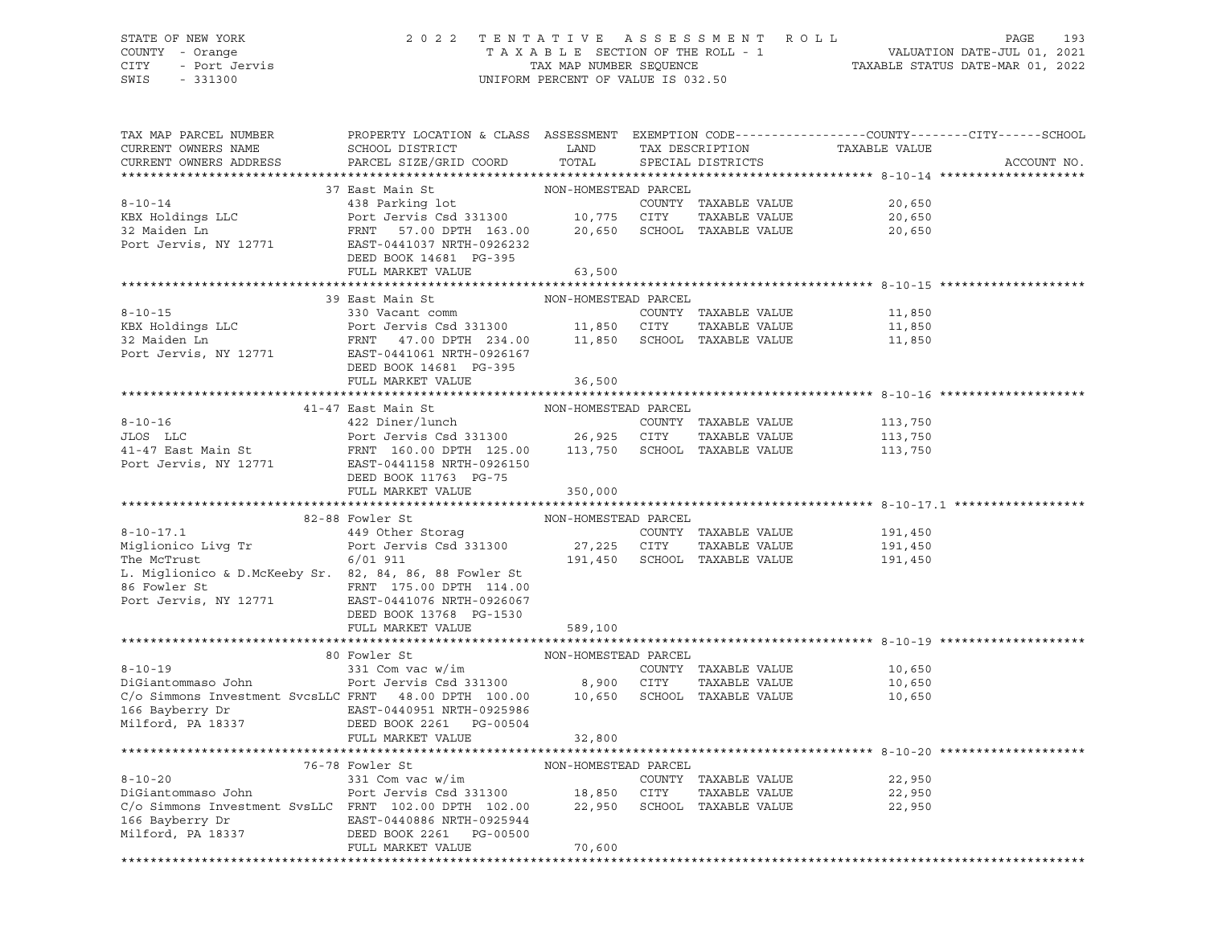# STATE OF NEW YORK 2 0 2 2 T E N T A T I V E A S S E S S M E N T R O L L PAGE 193 COUNTY - Orange T A X A B L E SECTION OF THE ROLL - 1 VALUATION DATE-JUL 01, 2021 CITY - Port Jervis TAX MAP NUMBER SEQUENCE TAXABLE STATUS DATE-MAR 01, 2022

| TAX MAP PARCEL NUMBER<br>CURRENT OWNERS NAME<br>CURRENT OWNERS ADDRESS                                                                                                                                                                                                                                                                                                                                                                                                                                                     | PROPERTY LOCATION & CLASS ASSESSMENT EXEMPTION CODE---------------COUNTY-------CITY------SCHOOL<br>${\tt SCHOOL\,\, DISTRICT}\qquad \qquad {\tt LAND}\qquad \qquad {\tt TAX\,\, DESCRIPTION}\qquad \qquad {\tt TAXABLE\,\, VALUE}$<br>PARCEL SIZE/GRID COORD TOTAL SPECIAL DISTRICTS |                      |  |                                                                  |                    | ACCOUNT NO. |
|----------------------------------------------------------------------------------------------------------------------------------------------------------------------------------------------------------------------------------------------------------------------------------------------------------------------------------------------------------------------------------------------------------------------------------------------------------------------------------------------------------------------------|--------------------------------------------------------------------------------------------------------------------------------------------------------------------------------------------------------------------------------------------------------------------------------------|----------------------|--|------------------------------------------------------------------|--------------------|-------------|
|                                                                                                                                                                                                                                                                                                                                                                                                                                                                                                                            |                                                                                                                                                                                                                                                                                      |                      |  |                                                                  |                    |             |
|                                                                                                                                                                                                                                                                                                                                                                                                                                                                                                                            |                                                                                                                                                                                                                                                                                      |                      |  |                                                                  |                    |             |
|                                                                                                                                                                                                                                                                                                                                                                                                                                                                                                                            |                                                                                                                                                                                                                                                                                      |                      |  |                                                                  | 20,650             |             |
|                                                                                                                                                                                                                                                                                                                                                                                                                                                                                                                            |                                                                                                                                                                                                                                                                                      |                      |  | TAXABLE VALUE<br>TAXABLE VALUE 20,650<br>-------- VALUE 20,650   |                    |             |
|                                                                                                                                                                                                                                                                                                                                                                                                                                                                                                                            |                                                                                                                                                                                                                                                                                      |                      |  |                                                                  |                    |             |
|                                                                                                                                                                                                                                                                                                                                                                                                                                                                                                                            |                                                                                                                                                                                                                                                                                      |                      |  |                                                                  |                    |             |
|                                                                                                                                                                                                                                                                                                                                                                                                                                                                                                                            | DEED BOOK 14681 PG-395                                                                                                                                                                                                                                                               |                      |  |                                                                  |                    |             |
|                                                                                                                                                                                                                                                                                                                                                                                                                                                                                                                            | FULL MARKET VALUE                                                                                                                                                                                                                                                                    | 63,500               |  |                                                                  |                    |             |
|                                                                                                                                                                                                                                                                                                                                                                                                                                                                                                                            |                                                                                                                                                                                                                                                                                      |                      |  |                                                                  |                    |             |
| $\begin{tabular}{lllllllllllll} \multicolumn{4}{c}{\footnotesize \textbf{8-10-15}} & & & & & & & & & \multicolumn{4}{c}{\footnotesize \textbf{NON-HOMESTEAD PARCH} \\ & & & & & & & & & & & \multicolumn{4}{c}{\footnotesize \textbf{C}\footnotesize \textbf{VALUE}} \\ & & & & & & & & & & \multicolumn{4}{c}{\footnotesize \textbf{C}\footnotesize \textbf{VALUE}} & & & & & & & \multicolumn{4}{c}{\footnotesize \textbf{C}\footnotesize \textbf{C}\footnotesize \textbf{C}\footnotesize \textbf{D} PART & & & & & & \$ |                                                                                                                                                                                                                                                                                      |                      |  |                                                                  |                    |             |
|                                                                                                                                                                                                                                                                                                                                                                                                                                                                                                                            |                                                                                                                                                                                                                                                                                      |                      |  |                                                                  |                    |             |
|                                                                                                                                                                                                                                                                                                                                                                                                                                                                                                                            |                                                                                                                                                                                                                                                                                      |                      |  | TAXABLE VALUE 11,850<br>TAXABLE VALUE 11,850<br>11,850<br>11,850 |                    |             |
|                                                                                                                                                                                                                                                                                                                                                                                                                                                                                                                            |                                                                                                                                                                                                                                                                                      |                      |  |                                                                  |                    |             |
|                                                                                                                                                                                                                                                                                                                                                                                                                                                                                                                            |                                                                                                                                                                                                                                                                                      |                      |  |                                                                  |                    |             |
|                                                                                                                                                                                                                                                                                                                                                                                                                                                                                                                            | FULL MARKET VALUE                                                                                                                                                                                                                                                                    | 36,500               |  |                                                                  |                    |             |
|                                                                                                                                                                                                                                                                                                                                                                                                                                                                                                                            |                                                                                                                                                                                                                                                                                      |                      |  |                                                                  |                    |             |
| $\begin{tabular}{lllllllllll} \multicolumn{2}{c l}{{\small \begin{tabular}{l}p{0.5cm}p{0.5cm}p{0.5cm}p{0.5cm}p{0.5cm}p{0.5cm}p{0.5cm}p{0.5cm}p{0.5cm}p{0.5cm}p{0.5cm}p{0.5cm}p{0.5cm}p{0.5cm}p{0.5cm}p{0.5cm}p{0.5cm}p{0.5cm}p{0.5cm}p{0.5cm}p{0.5cm}p{0.5cm}p{0.5cm}p{0.5cm}p{0.5cm}p{0.5cm}p{0$                                                                                                                                                                                                                          |                                                                                                                                                                                                                                                                                      | NON-HOMESTEAD PARCEL |  |                                                                  |                    |             |
|                                                                                                                                                                                                                                                                                                                                                                                                                                                                                                                            |                                                                                                                                                                                                                                                                                      |                      |  |                                                                  |                    |             |
|                                                                                                                                                                                                                                                                                                                                                                                                                                                                                                                            |                                                                                                                                                                                                                                                                                      |                      |  |                                                                  |                    |             |
|                                                                                                                                                                                                                                                                                                                                                                                                                                                                                                                            |                                                                                                                                                                                                                                                                                      |                      |  |                                                                  |                    |             |
|                                                                                                                                                                                                                                                                                                                                                                                                                                                                                                                            |                                                                                                                                                                                                                                                                                      |                      |  |                                                                  |                    |             |
|                                                                                                                                                                                                                                                                                                                                                                                                                                                                                                                            | DEED BOOK 11763 PG-75<br>FULL MARKET VALUE 350,000                                                                                                                                                                                                                                   |                      |  |                                                                  |                    |             |
|                                                                                                                                                                                                                                                                                                                                                                                                                                                                                                                            |                                                                                                                                                                                                                                                                                      |                      |  |                                                                  |                    |             |
|                                                                                                                                                                                                                                                                                                                                                                                                                                                                                                                            | 82-88 Fowler St NON-HOMESTEAD PARCEL                                                                                                                                                                                                                                                 |                      |  |                                                                  |                    |             |
|                                                                                                                                                                                                                                                                                                                                                                                                                                                                                                                            |                                                                                                                                                                                                                                                                                      |                      |  |                                                                  |                    |             |
|                                                                                                                                                                                                                                                                                                                                                                                                                                                                                                                            |                                                                                                                                                                                                                                                                                      |                      |  |                                                                  | 191,450<br>191,450 |             |
| 8-10-17.1<br>Miglionico Live Transferse and the Storag country TAXABLE VALUE<br>The McTrust<br>The McTrust<br>Example of the McTrust<br>Served on the State of the State of the State of the State of the State of the State of the Scho                                                                                                                                                                                                                                                                                   |                                                                                                                                                                                                                                                                                      |                      |  |                                                                  | 191,450            |             |
|                                                                                                                                                                                                                                                                                                                                                                                                                                                                                                                            |                                                                                                                                                                                                                                                                                      |                      |  |                                                                  |                    |             |
|                                                                                                                                                                                                                                                                                                                                                                                                                                                                                                                            |                                                                                                                                                                                                                                                                                      |                      |  |                                                                  |                    |             |
| 86 Fowler St<br>Port Jervis, NY 12771<br>Port Jervis, NY 12771<br>Port Poor 13769 PG-1530                                                                                                                                                                                                                                                                                                                                                                                                                                  |                                                                                                                                                                                                                                                                                      |                      |  |                                                                  |                    |             |
|                                                                                                                                                                                                                                                                                                                                                                                                                                                                                                                            | DEED BOOK 13768 PG-1530                                                                                                                                                                                                                                                              |                      |  |                                                                  |                    |             |
|                                                                                                                                                                                                                                                                                                                                                                                                                                                                                                                            | FULL MARKET VALUE 589,100                                                                                                                                                                                                                                                            |                      |  |                                                                  |                    |             |
|                                                                                                                                                                                                                                                                                                                                                                                                                                                                                                                            |                                                                                                                                                                                                                                                                                      |                      |  |                                                                  |                    |             |
| 80 Fowler St<br>81 Com vac w/im<br>231 Com vac w/im<br>231 Com vac w/im<br>231 Com vac w/im<br>231 Com vac w/im<br>231 Com vac w/im<br>26 Fort Jervis Csd 331300<br>27 Commons Investment SvcsLLC FRNT 48.00 DPTH 100.00<br>27 Commons Investmen                                                                                                                                                                                                                                                                           |                                                                                                                                                                                                                                                                                      |                      |  |                                                                  |                    |             |
|                                                                                                                                                                                                                                                                                                                                                                                                                                                                                                                            |                                                                                                                                                                                                                                                                                      |                      |  |                                                                  |                    |             |
|                                                                                                                                                                                                                                                                                                                                                                                                                                                                                                                            |                                                                                                                                                                                                                                                                                      |                      |  |                                                                  |                    |             |
|                                                                                                                                                                                                                                                                                                                                                                                                                                                                                                                            |                                                                                                                                                                                                                                                                                      |                      |  |                                                                  |                    |             |
| 166 Bayberry Dr                         EAST-0440951 NRTH-0925986<br>Milford, PA 18337                   DEED BOOK 2261   PG-00504                                                                                                                                                                                                                                                                                                                                                                                         |                                                                                                                                                                                                                                                                                      |                      |  |                                                                  |                    |             |
|                                                                                                                                                                                                                                                                                                                                                                                                                                                                                                                            | FULL MARKET VALUE                                                                                                                                                                                                                                                                    | 32,800               |  |                                                                  |                    |             |
|                                                                                                                                                                                                                                                                                                                                                                                                                                                                                                                            |                                                                                                                                                                                                                                                                                      |                      |  |                                                                  |                    |             |
|                                                                                                                                                                                                                                                                                                                                                                                                                                                                                                                            |                                                                                                                                                                                                                                                                                      |                      |  |                                                                  |                    |             |
|                                                                                                                                                                                                                                                                                                                                                                                                                                                                                                                            |                                                                                                                                                                                                                                                                                      |                      |  |                                                                  | 22,950             |             |
| $76-78$ Fowler St<br>$8-10-20$<br>$76-78$ Fowler St<br>$331$ Com vac w/im<br>$9$ ot Jervis Csd 331300<br>$\frac{18}{32}$ , 850 CITY<br>$\frac{18}{32}$ , 950 SCHOOL<br>$\frac{18}{32}$ , 950 SCHOOL<br>$\frac{18}{32}$ , 950 SCHOOL<br>$\frac{16}{32}$ , 950 SCHOOL<br>$\frac{$                                                                                                                                                                                                                                            |                                                                                                                                                                                                                                                                                      |                      |  | TAXABLE VALUE 22,950                                             |                    |             |
|                                                                                                                                                                                                                                                                                                                                                                                                                                                                                                                            |                                                                                                                                                                                                                                                                                      |                      |  |                                                                  | 22,950             |             |
|                                                                                                                                                                                                                                                                                                                                                                                                                                                                                                                            |                                                                                                                                                                                                                                                                                      |                      |  |                                                                  |                    |             |
|                                                                                                                                                                                                                                                                                                                                                                                                                                                                                                                            |                                                                                                                                                                                                                                                                                      |                      |  |                                                                  |                    |             |
|                                                                                                                                                                                                                                                                                                                                                                                                                                                                                                                            | 166 Bayberry Dr                           EAST-0440886 NRTH-0925944<br>Milford, PA 18337                     DEED BOOK 2261   PG-00500                                                                                                                                               |                      |  |                                                                  |                    |             |
|                                                                                                                                                                                                                                                                                                                                                                                                                                                                                                                            | FULL MARKET VALUE                                                                                                                                                                                                                                                                    | 70,600               |  |                                                                  |                    |             |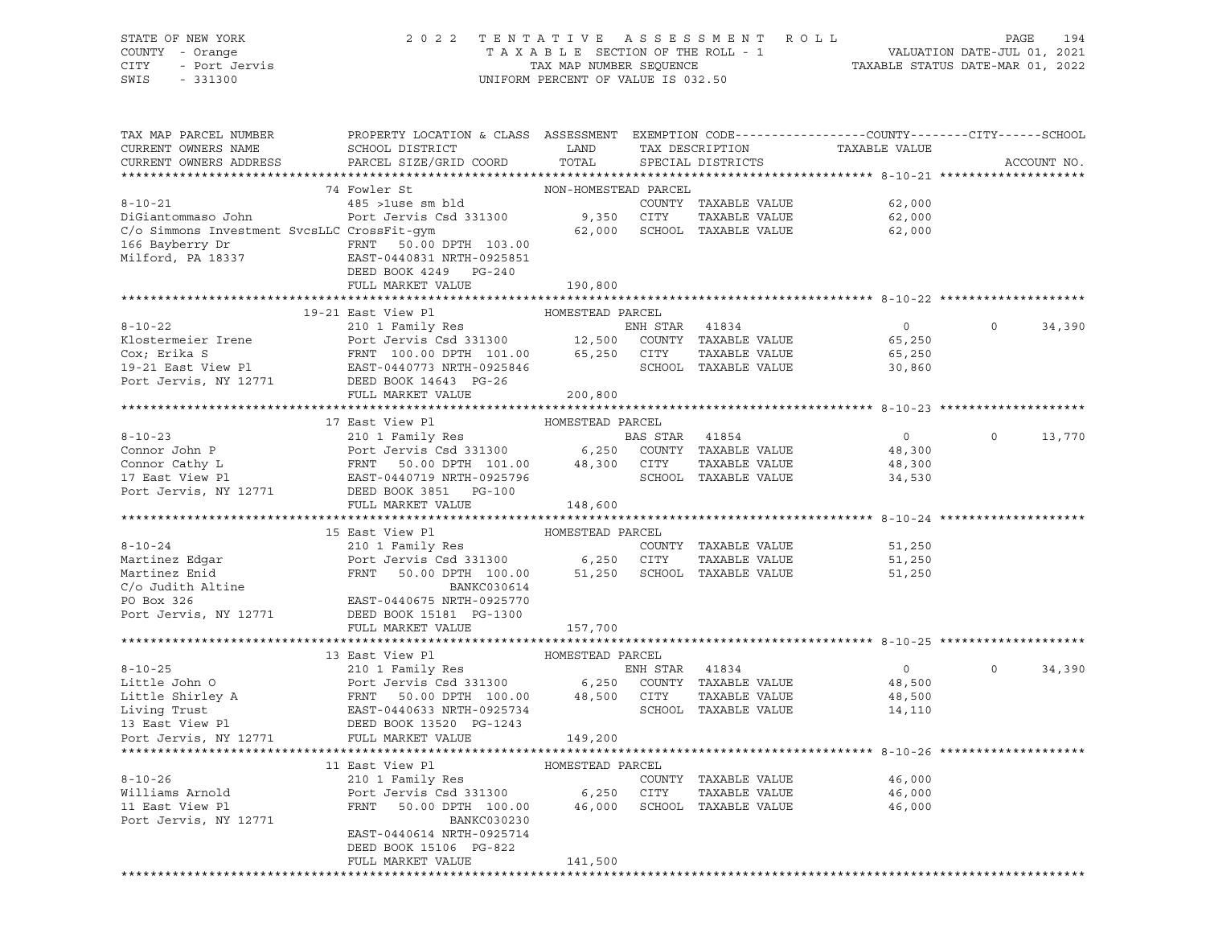| STATE OF NEW YORK<br>COUNTY - Orange<br>OF NEW YORK<br>I - Orange<br>- Port Jervis<br>201200<br>CITY<br>SWIS                                                                                                                                                                                                                                                                                              | UNIFORM PERCENT OF VALUE IS 032.50                                                                                                                                                                       |                  | 2022 TENTATIVE ASSESSMENT ROLL PAGE 194<br>TAXABLE SECTION OF THE ROLL - 1 VALUATION DATE-JUL 01, 2021<br>TAX MAP NUMBER SEQUENCE TAXABLE STATUS DATE-MAR 01, 2022 |                             |                                                 |                   |
|-----------------------------------------------------------------------------------------------------------------------------------------------------------------------------------------------------------------------------------------------------------------------------------------------------------------------------------------------------------------------------------------------------------|----------------------------------------------------------------------------------------------------------------------------------------------------------------------------------------------------------|------------------|--------------------------------------------------------------------------------------------------------------------------------------------------------------------|-----------------------------|-------------------------------------------------|-------------------|
|                                                                                                                                                                                                                                                                                                                                                                                                           |                                                                                                                                                                                                          |                  |                                                                                                                                                                    |                             |                                                 |                   |
| TAX MAP PARCEL NUMBER PROPERTY LOCATION & CLASS ASSESSMENT EXEMPTION CODE---------------COUNTY-------CITY------SCHOOL                                                                                                                                                                                                                                                                                     |                                                                                                                                                                                                          |                  |                                                                                                                                                                    |                             |                                                 |                   |
| CURRENT OWNERS NAME                                                                                                                                                                                                                                                                                                                                                                                       | SCHOOL DISTRICT<br><b>EXAMPLE SERVICE SERVICE SERVICE SERVICE SERVICE SERVICE SERVICE SERVICE SERVICE SERVICE SERVICE SERVICE SERVICE</b>                                                                |                  |                                                                                                                                                                    |                             | TAX DESCRIPTION TAXABLE VALUE SPECIAL DISTRICTS |                   |
| CURRENT OWNERS ADDRESS                                                                                                                                                                                                                                                                                                                                                                                    | PARCEL SIZE/GRID COORD                                                                                                                                                                                   | TOTAL            |                                                                                                                                                                    |                             |                                                 | ACCOUNT NO.       |
|                                                                                                                                                                                                                                                                                                                                                                                                           |                                                                                                                                                                                                          |                  |                                                                                                                                                                    |                             |                                                 |                   |
|                                                                                                                                                                                                                                                                                                                                                                                                           | 74 Fowler St<br>$\begin{minipage}{.485\textwidth} \centering\textbf{Fourier St} & \textbf{NON-HOMESTEAD PARCH} \\ \textbf{485 > luse sm bld} & \textbf{COM-MOMESTEAD} & \textbf{CORNITY} \end{minipage}$ |                  |                                                                                                                                                                    |                             |                                                 |                   |
| $8 - 10 - 21$                                                                                                                                                                                                                                                                                                                                                                                             |                                                                                                                                                                                                          |                  |                                                                                                                                                                    |                             | COUNTY TAXABLE VALUE 62,000                     |                   |
| DiGiantommaso John                                                                                                                                                                                                                                                                                                                                                                                        | Port Jervis Csd 331300 9,350 CITY                                                                                                                                                                        |                  |                                                                                                                                                                    |                             | TAXABLE VALUE 62,000                            |                   |
| C/o Simmons Investment SvcsLLC CrossFit-qym                                                                                                                                                                                                                                                                                                                                                               |                                                                                                                                                                                                          |                  |                                                                                                                                                                    | 62,000 SCHOOL TAXABLE VALUE | 62,000                                          |                   |
|                                                                                                                                                                                                                                                                                                                                                                                                           |                                                                                                                                                                                                          |                  |                                                                                                                                                                    |                             |                                                 |                   |
|                                                                                                                                                                                                                                                                                                                                                                                                           |                                                                                                                                                                                                          |                  |                                                                                                                                                                    |                             |                                                 |                   |
|                                                                                                                                                                                                                                                                                                                                                                                                           | DEED BOOK 4249 PG-240                                                                                                                                                                                    |                  |                                                                                                                                                                    |                             |                                                 |                   |
|                                                                                                                                                                                                                                                                                                                                                                                                           | FULL MARKET VALUE                                                                                                                                                                                        | 190,800          |                                                                                                                                                                    |                             |                                                 |                   |
|                                                                                                                                                                                                                                                                                                                                                                                                           |                                                                                                                                                                                                          |                  |                                                                                                                                                                    |                             |                                                 |                   |
|                                                                                                                                                                                                                                                                                                                                                                                                           | 19-21 East View Pl                                                                                                                                                                                       | HOMESTEAD PARCEL |                                                                                                                                                                    |                             |                                                 |                   |
| 8-10-22<br>ENH STAR 41834<br>ENH STAR 41834<br>Cox; Erika S<br>Cox; Erika S<br>Pent Jervis Csd 331300<br>210 1 Family Res<br>Port Jervis Csd 331300<br>210 1 Family Res<br>210 1 Family Res<br>210 1 Family Res<br>210 1 Family Res<br>210 1 Family Re                                                                                                                                                    |                                                                                                                                                                                                          |                  |                                                                                                                                                                    | ENH STAR 41834              | $\overline{0}$                                  | 34,390<br>$\circ$ |
|                                                                                                                                                                                                                                                                                                                                                                                                           |                                                                                                                                                                                                          |                  |                                                                                                                                                                    |                             | 65,250                                          |                   |
|                                                                                                                                                                                                                                                                                                                                                                                                           |                                                                                                                                                                                                          |                  |                                                                                                                                                                    |                             | TAXABLE VALUE 65,250                            |                   |
|                                                                                                                                                                                                                                                                                                                                                                                                           |                                                                                                                                                                                                          |                  |                                                                                                                                                                    |                             | 30,860                                          |                   |
|                                                                                                                                                                                                                                                                                                                                                                                                           |                                                                                                                                                                                                          |                  |                                                                                                                                                                    |                             |                                                 |                   |
|                                                                                                                                                                                                                                                                                                                                                                                                           | FULL MARKET VALUE                                                                                                                                                                                        | 200,800          |                                                                                                                                                                    |                             |                                                 |                   |
|                                                                                                                                                                                                                                                                                                                                                                                                           |                                                                                                                                                                                                          |                  |                                                                                                                                                                    |                             |                                                 |                   |
|                                                                                                                                                                                                                                                                                                                                                                                                           | 17 East View Pl                                                                                                                                                                                          | HOMESTEAD PARCEL |                                                                                                                                                                    |                             |                                                 |                   |
|                                                                                                                                                                                                                                                                                                                                                                                                           |                                                                                                                                                                                                          |                  |                                                                                                                                                                    |                             | $\overline{0}$                                  | 13,770<br>$\circ$ |
|                                                                                                                                                                                                                                                                                                                                                                                                           |                                                                                                                                                                                                          |                  |                                                                                                                                                                    |                             | $\begin{array}{c}0\\48,300\end{array}$          |                   |
|                                                                                                                                                                                                                                                                                                                                                                                                           |                                                                                                                                                                                                          |                  |                                                                                                                                                                    |                             | TAXABLE VALUE 48,300                            |                   |
|                                                                                                                                                                                                                                                                                                                                                                                                           |                                                                                                                                                                                                          |                  |                                                                                                                                                                    | SCHOOL TAXABLE VALUE        | 34,530                                          |                   |
| 8-10-23<br>Connor John P<br>Connor Cathy L<br>Connor Cathy L<br>The BAS STAR 41854<br>Port Jervis Csd 331300<br>FRNT 50.00 DPTH 101.00<br>48,300 CITY TAXABLE VALUE<br>TARABLE VALUE<br>Port Jervis, NY 12771<br>DEED BOOK 3851 PG-100<br>PORT PG-10                                                                                                                                                      |                                                                                                                                                                                                          |                  |                                                                                                                                                                    |                             |                                                 |                   |
|                                                                                                                                                                                                                                                                                                                                                                                                           | FULL MARKET VALUE                                                                                                                                                                                        | 148,600          |                                                                                                                                                                    |                             |                                                 |                   |
|                                                                                                                                                                                                                                                                                                                                                                                                           |                                                                                                                                                                                                          |                  |                                                                                                                                                                    |                             |                                                 |                   |
|                                                                                                                                                                                                                                                                                                                                                                                                           | 15 East View Pl                                                                                                                                                                                          | HOMESTEAD PARCEL |                                                                                                                                                                    |                             |                                                 |                   |
| 8-10-24<br>Martinez Edgar 210 1 Family Res COUNTY<br>Martinez Enid FRNT 50.00 DPTH 100.00 51,250 SCHOOL<br>C/o Judith Altine<br>PO Box 326 EAST-0440675 NRTH-0925770<br>POT Jervis, NY 12771 DEED BOOK 15181 PG-1300                                                                                                                                                                                      |                                                                                                                                                                                                          |                  |                                                                                                                                                                    |                             | COUNTY TAXABLE VALUE 51,250                     |                   |
|                                                                                                                                                                                                                                                                                                                                                                                                           |                                                                                                                                                                                                          |                  |                                                                                                                                                                    | TAXABLE VALUE               | 51,250                                          |                   |
|                                                                                                                                                                                                                                                                                                                                                                                                           | FRNT 50.00 DPTH 100.00 51,250 SCHOOL TAXABLE VALUE 51,250                                                                                                                                                |                  |                                                                                                                                                                    |                             |                                                 |                   |
|                                                                                                                                                                                                                                                                                                                                                                                                           |                                                                                                                                                                                                          |                  |                                                                                                                                                                    |                             |                                                 |                   |
|                                                                                                                                                                                                                                                                                                                                                                                                           |                                                                                                                                                                                                          |                  |                                                                                                                                                                    |                             |                                                 |                   |
|                                                                                                                                                                                                                                                                                                                                                                                                           |                                                                                                                                                                                                          |                  |                                                                                                                                                                    |                             |                                                 |                   |
|                                                                                                                                                                                                                                                                                                                                                                                                           | FULL MARKET VALUE                                                                                                                                                                                        | 157,700          |                                                                                                                                                                    |                             |                                                 |                   |
| $\begin{tabular}{lllllllllllll} \multicolumn{3}{c c c c c} \multicolumn{3}{c c c c} \multicolumn{3}{c c c c} \multicolumn{3}{c c c} \multicolumn{3}{c c c} \multicolumn{3}{c c c} \multicolumn{3}{c c c} \multicolumn{3}{c c c} \multicolumn{3}{c c c} \multicolumn{3}{c c c} \multicolumn{3}{c c c} \multicolumn{3}{c c c} \multicolumn{3}{c c c} \multicolumn{3}{c c c} \multicolumn{3}{c c c} \multic$ |                                                                                                                                                                                                          |                  |                                                                                                                                                                    |                             |                                                 |                   |
|                                                                                                                                                                                                                                                                                                                                                                                                           |                                                                                                                                                                                                          |                  |                                                                                                                                                                    |                             |                                                 |                   |
|                                                                                                                                                                                                                                                                                                                                                                                                           |                                                                                                                                                                                                          |                  |                                                                                                                                                                    |                             |                                                 | $\circ$<br>34,390 |
|                                                                                                                                                                                                                                                                                                                                                                                                           |                                                                                                                                                                                                          |                  |                                                                                                                                                                    |                             |                                                 |                   |
|                                                                                                                                                                                                                                                                                                                                                                                                           |                                                                                                                                                                                                          |                  |                                                                                                                                                                    |                             |                                                 |                   |
|                                                                                                                                                                                                                                                                                                                                                                                                           |                                                                                                                                                                                                          |                  |                                                                                                                                                                    |                             |                                                 |                   |
| 13 East View Pl                                                                                                                                                                                                                                                                                                                                                                                           | DEED BOOK 13520 PG-1243                                                                                                                                                                                  |                  |                                                                                                                                                                    |                             |                                                 |                   |
| Port Jervis, NY 12771                                                                                                                                                                                                                                                                                                                                                                                     | FULL MARKET VALUE                                                                                                                                                                                        | 149,200          |                                                                                                                                                                    |                             |                                                 |                   |
| ******************                                                                                                                                                                                                                                                                                                                                                                                        |                                                                                                                                                                                                          |                  |                                                                                                                                                                    |                             |                                                 |                   |
|                                                                                                                                                                                                                                                                                                                                                                                                           | 11 East View Pl                                                                                                                                                                                          | HOMESTEAD PARCEL |                                                                                                                                                                    |                             |                                                 |                   |
| $8 - 10 - 26$                                                                                                                                                                                                                                                                                                                                                                                             | 210 1 Family Res                                                                                                                                                                                         |                  | COUNTY                                                                                                                                                             | TAXABLE VALUE               | 46,000                                          |                   |
| Williams Arnold                                                                                                                                                                                                                                                                                                                                                                                           | Port Jervis Csd 331300                                                                                                                                                                                   | 6,250            | CITY                                                                                                                                                               | TAXABLE VALUE               | 46,000                                          |                   |
| 11 East View Pl                                                                                                                                                                                                                                                                                                                                                                                           | FRNT<br>50.00 DPTH 100.00                                                                                                                                                                                | 46,000           |                                                                                                                                                                    | SCHOOL TAXABLE VALUE        | 46,000                                          |                   |
| Port Jervis, NY 12771                                                                                                                                                                                                                                                                                                                                                                                     | BANKC030230                                                                                                                                                                                              |                  |                                                                                                                                                                    |                             |                                                 |                   |
|                                                                                                                                                                                                                                                                                                                                                                                                           | EAST-0440614 NRTH-0925714                                                                                                                                                                                |                  |                                                                                                                                                                    |                             |                                                 |                   |
|                                                                                                                                                                                                                                                                                                                                                                                                           | DEED BOOK 15106 PG-822                                                                                                                                                                                   |                  |                                                                                                                                                                    |                             |                                                 |                   |
|                                                                                                                                                                                                                                                                                                                                                                                                           | FULL MARKET VALUE                                                                                                                                                                                        | 141,500          |                                                                                                                                                                    |                             |                                                 |                   |
|                                                                                                                                                                                                                                                                                                                                                                                                           |                                                                                                                                                                                                          |                  |                                                                                                                                                                    |                             |                                                 |                   |

\*\*\*\*\*\*\*\*\*\*\*\*\*\*\*\*\*\*\*\*\*\*\*\*\*\*\*\*\*\*\*\*\*\*\*\*\*\*\*\*\*\*\*\*\*\*\*\*\*\*\*\*\*\*\*\*\*\*\*\*\*\*\*\*\*\*\*\*\*\*\*\*\*\*\*\*\*\*\*\*\*\*\*\*\*\*\*\*\*\*\*\*\*\*\*\*\*\*\*\*\*\*\*\*\*\*\*\*\*\*\*\*\*\*\*\*\*\*\*\*\*\*\*\*\*\*\*\*\*\*\*\*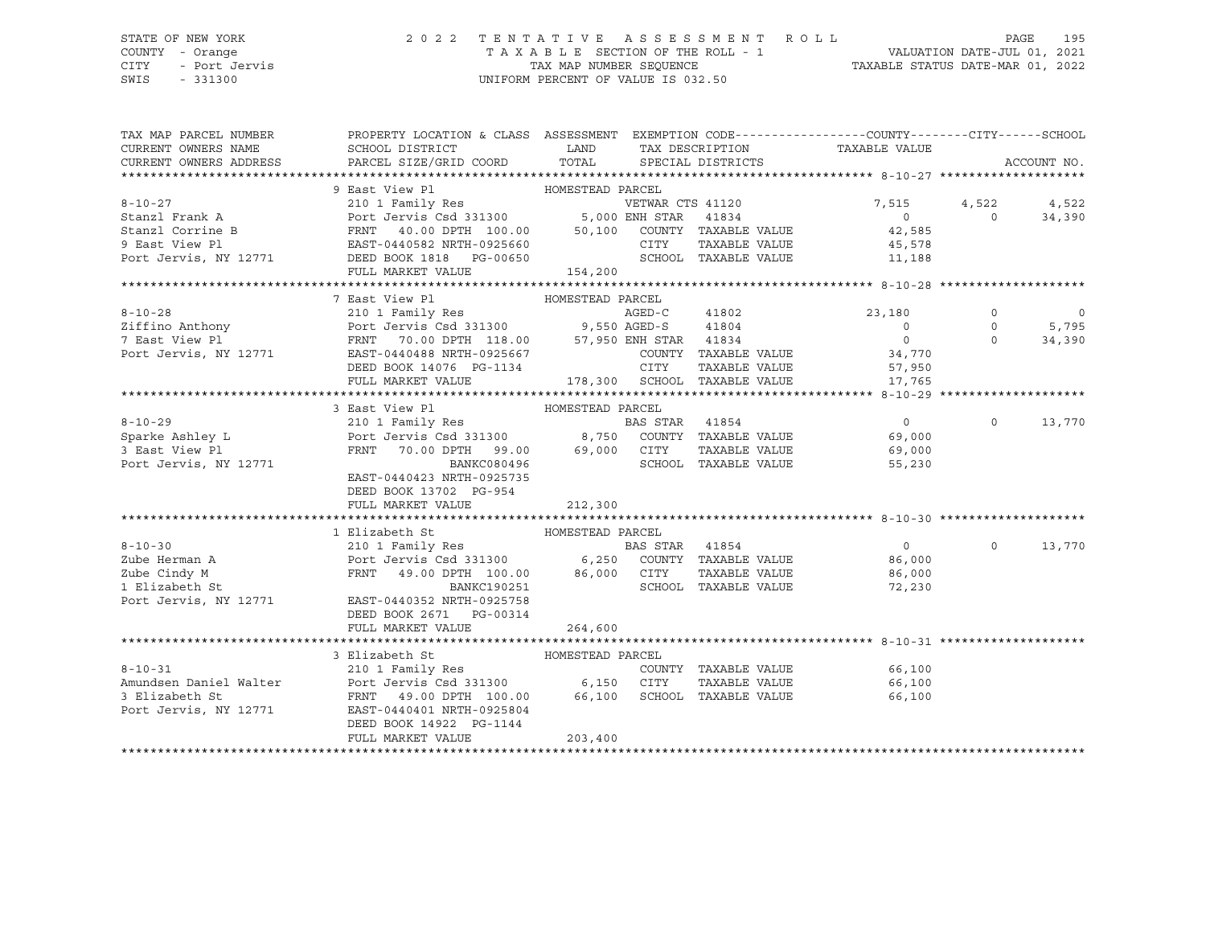# STATE OF NEW YORK 2 0 2 2 T E N T A T I V E A S S E S S M E N T R O L L PAGE 195 COUNTY - Orange T A X A B L E SECTION OF THE ROLL - 1 VALUATION DATE-JUL 01, 2021

SWIS - 331300 UNIFORM PERCENT OF VALUE IS 032.50

CITY - Port Jervis TAX MAP NUMBER SEQUENCE TAXABLE STATUS DATE-MAR 01, 2022

| TAX MAP PARCEL NUMBER                                                                                                                                                                                                                              | PROPERTY LOCATION & CLASS ASSESSMENT EXEMPTION CODE----------------COUNTY-------CITY------SCHOOL      |                  |      |                              |                             |                |                |
|----------------------------------------------------------------------------------------------------------------------------------------------------------------------------------------------------------------------------------------------------|-------------------------------------------------------------------------------------------------------|------------------|------|------------------------------|-----------------------------|----------------|----------------|
| CURRENT OWNERS NAME                                                                                                                                                                                                                                | SCHOOL DISTRICT                                                                                       | LAND             |      | TAX DESCRIPTION              | TAXABLE VALUE               |                |                |
| CURRENT OWNERS ADDRESS                                                                                                                                                                                                                             | PARCEL SIZE/GRID COORD                                                                                | TOTAL            |      | SPECIAL DISTRICTS            |                             |                | ACCOUNT NO.    |
|                                                                                                                                                                                                                                                    |                                                                                                       |                  |      |                              |                             |                |                |
|                                                                                                                                                                                                                                                    | 9 East View Pl<br>HOMESTEAD PARCEL                                                                    |                  |      |                              |                             |                |                |
| $8 - 10 - 27$                                                                                                                                                                                                                                      | 210 1 Family Res<br>Port Jervis Csd 331300 5,000 ENH STAR 41834                                       |                  |      |                              | 7,515 4,522                 |                | 4,522          |
| Stanzl Frank A                                                                                                                                                                                                                                     |                                                                                                       |                  |      |                              | $\overline{0}$              | $\overline{0}$ | 34,390         |
| Stanzl Corrine B                                                                                                                                                                                                                                   |                                                                                                       |                  |      |                              |                             |                |                |
|                                                                                                                                                                                                                                                    |                                                                                                       |                  | CITY | TAXABLE VALUE                | 45,578                      |                |                |
|                                                                                                                                                                                                                                                    |                                                                                                       |                  |      |                              | SCHOOL TAXABLE VALUE 11,188 |                |                |
|                                                                                                                                                                                                                                                    | FULL MARKET VALUE                                                                                     | 154,200          |      |                              |                             |                |                |
|                                                                                                                                                                                                                                                    |                                                                                                       |                  |      |                              |                             |                |                |
| 8-10-28 210 1 Family Res AGED-C 41802<br>210 1 Family Res AGED-C 41802<br>210 1 Family Res AGED-C 41802<br>210 1 Family Res AGED-C 41802<br>210 1 Family Res AGED-C 41802<br>210 1 Family Res AGED-C 41802<br>210 1 Family Res AGED-C 41802<br>210 | 7 East View Pl                                                                                        | HOMESTEAD PARCEL |      |                              |                             |                |                |
|                                                                                                                                                                                                                                                    |                                                                                                       |                  |      |                              | 23,180                      | $\circ$        | $\overline{0}$ |
|                                                                                                                                                                                                                                                    |                                                                                                       |                  |      |                              | $\overline{0}$              | $\circ$        | 5,795          |
|                                                                                                                                                                                                                                                    |                                                                                                       |                  |      |                              | $\overline{0}$              | $\Omega$       | 34,390         |
|                                                                                                                                                                                                                                                    |                                                                                                       |                  |      | COUNTY TAXABLE VALUE         | 34,770                      |                |                |
|                                                                                                                                                                                                                                                    |                                                                                                       |                  |      |                              | TAXABLE VALUE 57,950        |                |                |
|                                                                                                                                                                                                                                                    | FULL MARKET VALUE                                                                                     |                  |      | 178,300 SCHOOL TAXABLE VALUE | 17,765                      |                |                |
|                                                                                                                                                                                                                                                    |                                                                                                       |                  |      |                              |                             |                |                |
|                                                                                                                                                                                                                                                    | 3 East View Pl<br>HOMESTEAD PARCEL                                                                    |                  |      |                              |                             |                |                |
| $8 - 10 - 29$                                                                                                                                                                                                                                      |                                                                                                       |                  |      |                              | $\overline{0}$              | $\Omega$       | 13,770         |
| Sparke Ashley L                                                                                                                                                                                                                                    |                                                                                                       |                  |      |                              | 69,000                      |                |                |
| 3 East View Pl                                                                                                                                                                                                                                     | FRNT 70.00 DPTH 99.00 69,000 CITY                                                                     |                  |      |                              | TAXABLE VALUE 69,000        |                |                |
| Port Jervis, NY 12771                                                                                                                                                                                                                              | BANKC080496                                                                                           |                  |      | SCHOOL TAXABLE VALUE         | 55,230                      |                |                |
|                                                                                                                                                                                                                                                    | EAST-0440423 NRTH-0925735                                                                             |                  |      |                              |                             |                |                |
|                                                                                                                                                                                                                                                    | DEED BOOK 13702 PG-954                                                                                |                  |      |                              |                             |                |                |
|                                                                                                                                                                                                                                                    | FULL MARKET VALUE                                                                                     | 212,300          |      |                              |                             |                |                |
|                                                                                                                                                                                                                                                    |                                                                                                       |                  |      |                              |                             |                |                |
|                                                                                                                                                                                                                                                    |                                                                                                       |                  |      |                              |                             |                |                |
|                                                                                                                                                                                                                                                    |                                                                                                       |                  |      |                              |                             | $\circ$        | 13,770         |
|                                                                                                                                                                                                                                                    |                                                                                                       |                  |      |                              |                             |                |                |
| Zube Cindy M                                                                                                                                                                                                                                       | FRNT 49.00 DPTH 100.00 86,000 CITY<br>BANKC190251 SCHOC                                               |                  |      | TAXABLE VALUE                | 86,000                      |                |                |
| 1 Elizabeth St                                                                                                                                                                                                                                     | BANKC190251                                                                                           |                  |      | SCHOOL TAXABLE VALUE         | 72,230                      |                |                |
| Port Jervis, NY 12771 EAST-0440352 NRTH-0925758                                                                                                                                                                                                    |                                                                                                       |                  |      |                              |                             |                |                |
|                                                                                                                                                                                                                                                    | DEED BOOK 2671 PG-00314                                                                               |                  |      |                              |                             |                |                |
|                                                                                                                                                                                                                                                    | FULL MARKET VALUE                                                                                     | 264,600          |      |                              |                             |                |                |
|                                                                                                                                                                                                                                                    |                                                                                                       |                  |      |                              |                             |                |                |
|                                                                                                                                                                                                                                                    | 3 Elizabeth St                                                                                        | HOMESTEAD PARCEL |      |                              |                             |                |                |
| $8 - 10 - 31$                                                                                                                                                                                                                                      | 210 1 Family Res                                                                                      |                  |      |                              | COUNTY TAXABLE VALUE 66,100 |                |                |
| Amundsen Daniel Walter                                                                                                                                                                                                                             | Port Jervis Csd 331300 6,150 CITY TAXABLE VALUE<br>FRNT 49.00 DPTH 100.00 66,100 SCHOOL TAXABLE VALUE |                  |      | TAXABLE VALUE                | 66,100                      |                |                |
| 3 Elizabeth St                                                                                                                                                                                                                                     |                                                                                                       |                  |      |                              | 66,100                      |                |                |
| Port Jervis, NY 12771                                                                                                                                                                                                                              | EAST-0440401 NRTH-0925804                                                                             |                  |      |                              |                             |                |                |
|                                                                                                                                                                                                                                                    | DEED BOOK 14922 PG-1144                                                                               |                  |      |                              |                             |                |                |
|                                                                                                                                                                                                                                                    | FULL MARKET VALUE                                                                                     | 203,400          |      |                              |                             |                |                |
|                                                                                                                                                                                                                                                    |                                                                                                       |                  |      |                              |                             |                |                |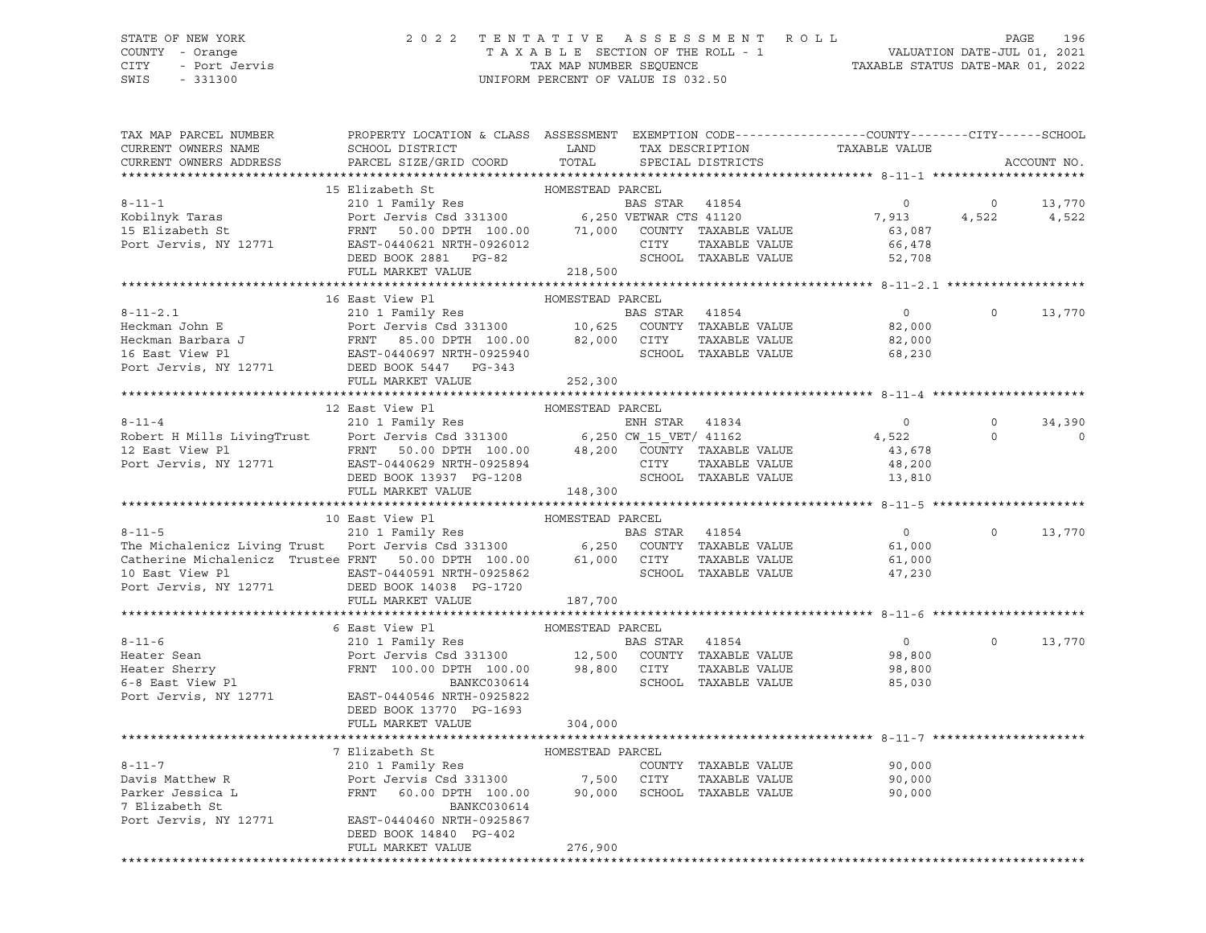CITY - Port Jervis TAX MAP NUMBER SEQUENCE TAXABLE STATUS DATE-MAR 01, 2022 SWIS - 331300 UNIFORM PERCENT OF VALUE IS 032.50

#### STATE OF NEW YORK 2 0 2 2 T E N T A T I V E A S S E S S M E N T R O L L PAGE 196 COUNTY - Orange T A X A B L E SECTION OF THE ROLL - 1 VALUATION DATE-JUL 01, 2021

| TAX MAP PARCEL NUMBER                                                                                                                                                                                                                                                                                                                                                                                                                                                                                                   | PROPERTY LOCATION & CLASS ASSESSMENT EXEMPTION CODE---------------COUNTY-------CITY------SCHOOL |         |                      |                                            |                |                |
|-------------------------------------------------------------------------------------------------------------------------------------------------------------------------------------------------------------------------------------------------------------------------------------------------------------------------------------------------------------------------------------------------------------------------------------------------------------------------------------------------------------------------|-------------------------------------------------------------------------------------------------|---------|----------------------|--------------------------------------------|----------------|----------------|
| CURRENT OWNERS NAME                                                                                                                                                                                                                                                                                                                                                                                                                                                                                                     |                                                                                                 |         |                      |                                            |                |                |
| CURRENT OWNERS ADDRESS                                                                                                                                                                                                                                                                                                                                                                                                                                                                                                  |                                                                                                 |         |                      |                                            |                | ACCOUNT NO.    |
|                                                                                                                                                                                                                                                                                                                                                                                                                                                                                                                         |                                                                                                 |         |                      |                                            |                |                |
|                                                                                                                                                                                                                                                                                                                                                                                                                                                                                                                         |                                                                                                 |         |                      |                                            |                |                |
|                                                                                                                                                                                                                                                                                                                                                                                                                                                                                                                         |                                                                                                 |         |                      |                                            |                | $0 \t 13,770$  |
|                                                                                                                                                                                                                                                                                                                                                                                                                                                                                                                         |                                                                                                 |         |                      |                                            |                | 4,522 4,522    |
|                                                                                                                                                                                                                                                                                                                                                                                                                                                                                                                         |                                                                                                 |         |                      |                                            |                |                |
|                                                                                                                                                                                                                                                                                                                                                                                                                                                                                                                         |                                                                                                 |         |                      |                                            |                |                |
|                                                                                                                                                                                                                                                                                                                                                                                                                                                                                                                         |                                                                                                 |         |                      |                                            |                |                |
|                                                                                                                                                                                                                                                                                                                                                                                                                                                                                                                         |                                                                                                 |         |                      |                                            |                |                |
|                                                                                                                                                                                                                                                                                                                                                                                                                                                                                                                         |                                                                                                 |         |                      |                                            |                |                |
|                                                                                                                                                                                                                                                                                                                                                                                                                                                                                                                         |                                                                                                 |         |                      |                                            |                |                |
|                                                                                                                                                                                                                                                                                                                                                                                                                                                                                                                         |                                                                                                 |         |                      | $\overline{0}$                             | $\circ$        | 13,770         |
|                                                                                                                                                                                                                                                                                                                                                                                                                                                                                                                         |                                                                                                 |         |                      |                                            |                |                |
|                                                                                                                                                                                                                                                                                                                                                                                                                                                                                                                         |                                                                                                 |         |                      | 82,000<br>82,000                           |                |                |
|                                                                                                                                                                                                                                                                                                                                                                                                                                                                                                                         |                                                                                                 |         |                      | 68,230                                     |                |                |
|                                                                                                                                                                                                                                                                                                                                                                                                                                                                                                                         |                                                                                                 |         |                      |                                            |                |                |
|                                                                                                                                                                                                                                                                                                                                                                                                                                                                                                                         | FULL MARKET VALUE 252,300                                                                       |         |                      |                                            |                |                |
|                                                                                                                                                                                                                                                                                                                                                                                                                                                                                                                         |                                                                                                 |         |                      |                                            |                |                |
|                                                                                                                                                                                                                                                                                                                                                                                                                                                                                                                         | 12 East View Pl<br>---- view PI MOMESTEAD PARCEL<br>210 1 Family Res HOMESTEAD PARCEL           |         |                      |                                            |                |                |
|                                                                                                                                                                                                                                                                                                                                                                                                                                                                                                                         |                                                                                                 |         |                      |                                            |                | $0 \t34,390$   |
|                                                                                                                                                                                                                                                                                                                                                                                                                                                                                                                         |                                                                                                 |         |                      |                                            | $\circ$        | $\overline{0}$ |
|                                                                                                                                                                                                                                                                                                                                                                                                                                                                                                                         |                                                                                                 |         |                      |                                            |                |                |
|                                                                                                                                                                                                                                                                                                                                                                                                                                                                                                                         |                                                                                                 |         |                      |                                            |                |                |
| 8-11-4<br>Robert H Mills LivingTrust<br>210 1 Family Res<br>Port Jervis Csd 331300<br>FRNT 50.00 DPTH 100.00<br>FRNT 50.00 DPTH 100.00<br>48,200 COUNTY TAXABLE VALUE<br>CITY TAXABLE VALUE<br>CITY TAXABLE VALUE<br>48,200<br>200 COUNTY TAXABLE                                                                                                                                                                                                                                                                       |                                                                                                 |         |                      |                                            |                |                |
|                                                                                                                                                                                                                                                                                                                                                                                                                                                                                                                         |                                                                                                 | 148,300 |                      |                                            |                |                |
|                                                                                                                                                                                                                                                                                                                                                                                                                                                                                                                         | FULL MARKET VALUE                                                                               |         |                      |                                            |                |                |
| 10 East View Pl<br>210 1 Family Res<br>210 1 Family Res<br>210 1 Family Res<br>210 1 Family Res<br>210 1 Family Res<br>210 1 Family Res<br>210 6,250 COUNTY TAXABLE VALUE<br>Catherine Michalenicz Trustee FRNT 50.00 DPTH 100.00 61,000 CITY                                                                                                                                                                                                                                                                           |                                                                                                 |         |                      |                                            |                |                |
|                                                                                                                                                                                                                                                                                                                                                                                                                                                                                                                         |                                                                                                 |         |                      |                                            |                |                |
|                                                                                                                                                                                                                                                                                                                                                                                                                                                                                                                         |                                                                                                 |         |                      | $\overline{0}$                             |                | $0 \t 13,770$  |
|                                                                                                                                                                                                                                                                                                                                                                                                                                                                                                                         |                                                                                                 |         |                      | 61,000                                     |                |                |
|                                                                                                                                                                                                                                                                                                                                                                                                                                                                                                                         |                                                                                                 |         | SCHOOL TAXABLE VALUE | 61,000<br>47,230                           |                |                |
|                                                                                                                                                                                                                                                                                                                                                                                                                                                                                                                         |                                                                                                 |         |                      |                                            |                |                |
| 10 East View Pl<br>Port Jervis, NY 12771 bEED BOOK 14038 PG-1720<br>FULL MARKET VALUE                                                                                                                                                                                                                                                                                                                                                                                                                                   |                                                                                                 |         |                      |                                            |                |                |
|                                                                                                                                                                                                                                                                                                                                                                                                                                                                                                                         |                                                                                                 | 187,700 |                      |                                            |                |                |
|                                                                                                                                                                                                                                                                                                                                                                                                                                                                                                                         |                                                                                                 |         |                      |                                            |                |                |
|                                                                                                                                                                                                                                                                                                                                                                                                                                                                                                                         |                                                                                                 |         |                      |                                            |                |                |
|                                                                                                                                                                                                                                                                                                                                                                                                                                                                                                                         |                                                                                                 |         |                      | $\begin{array}{c} 0 \\ 98,800 \end{array}$ | $\overline{0}$ | 13,770         |
|                                                                                                                                                                                                                                                                                                                                                                                                                                                                                                                         |                                                                                                 |         |                      |                                            |                |                |
| $\begin{tabular}{lllllllllllll} \multicolumn{3}{c}{\begin{tabular}{l} \multicolumn{3}{c}{6\textwidth} \multicolumn{3}{c}{6\textwidth} \multicolumn{3}{c}{6\textwidth} \multicolumn{3}{c}{6\textwidth} \multicolumn{3}{c}{6\textwidth} \multicolumn{3}{c}{6\textwidth} \multicolumn{3}{c}{6\textwidth} \multicolumn{3}{c}{6\textwidth} \multicolumn{3}{c}{6\textwidth} \multicolumn{3}{c}{6\textwidth} \multicolumn{3}{c}{6\textwidth} \multicolumn{3}{c}{6\textwidth} \multicolumn{3}{c}{6\textwidth} \multicolumn{3}{$ |                                                                                                 |         |                      |                                            |                |                |
|                                                                                                                                                                                                                                                                                                                                                                                                                                                                                                                         |                                                                                                 |         |                      |                                            |                |                |
|                                                                                                                                                                                                                                                                                                                                                                                                                                                                                                                         |                                                                                                 |         |                      |                                            |                |                |
|                                                                                                                                                                                                                                                                                                                                                                                                                                                                                                                         | DEED BOOK 13770 PG-1693                                                                         |         |                      |                                            |                |                |
|                                                                                                                                                                                                                                                                                                                                                                                                                                                                                                                         | FULL MARKET VALUE                                                                               | 304,000 |                      |                                            |                |                |
|                                                                                                                                                                                                                                                                                                                                                                                                                                                                                                                         |                                                                                                 |         |                      |                                            |                |                |
|                                                                                                                                                                                                                                                                                                                                                                                                                                                                                                                         | 7 Elizabeth St MOMESTEAD PARCEL                                                                 |         |                      |                                            |                |                |
| 90,000 Elizabeth St<br>The Matthew R (210 1 Family Res COUNTY TAXABLE VALUE<br>Port Jervis Csd 331300 (21TY TAXABLE VALUE 90,000 Parker Jessica L (20.00 PFRNT 60.00 DPTH 100.00 (20.000 SCHOOL TAXABLE VALUE 90,000 PTH 200.000 P                                                                                                                                                                                                                                                                                      |                                                                                                 |         |                      |                                            |                |                |
|                                                                                                                                                                                                                                                                                                                                                                                                                                                                                                                         |                                                                                                 |         |                      |                                            |                |                |
|                                                                                                                                                                                                                                                                                                                                                                                                                                                                                                                         |                                                                                                 |         |                      |                                            |                |                |
|                                                                                                                                                                                                                                                                                                                                                                                                                                                                                                                         |                                                                                                 |         |                      |                                            |                |                |
| Port Jervis, NY 12771 EAST-0440460 NRTH-0925867                                                                                                                                                                                                                                                                                                                                                                                                                                                                         |                                                                                                 |         |                      |                                            |                |                |
|                                                                                                                                                                                                                                                                                                                                                                                                                                                                                                                         | DEED BOOK 14840 PG-402                                                                          |         |                      |                                            |                |                |
|                                                                                                                                                                                                                                                                                                                                                                                                                                                                                                                         | FULL MARKET VALUE                                                                               | 276,900 |                      |                                            |                |                |
|                                                                                                                                                                                                                                                                                                                                                                                                                                                                                                                         |                                                                                                 |         |                      |                                            |                |                |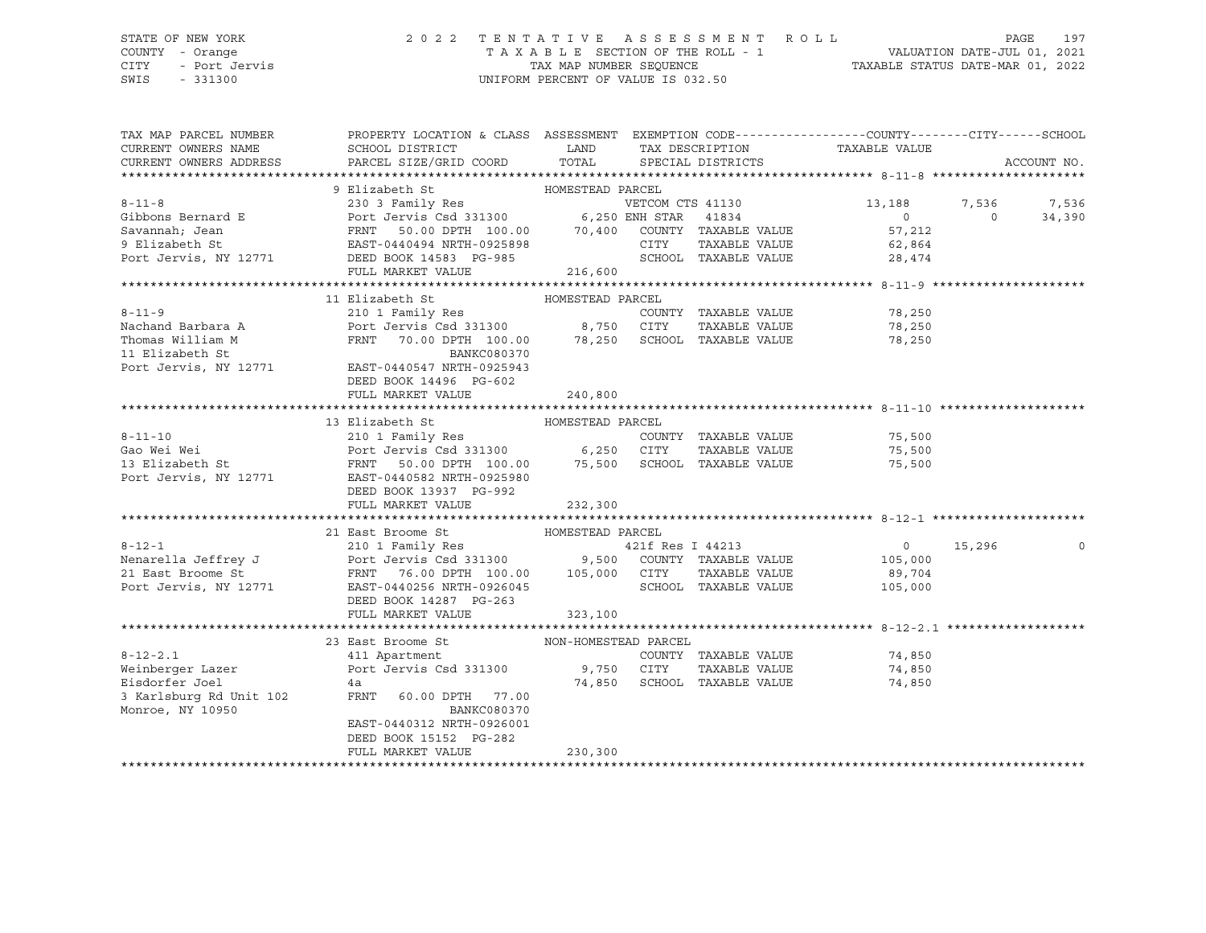### STATE OF NEW YORK 2 0 2 2 T E N T A T I V E A S S E S S M E N T R O L L PAGE 197 COUNTY - Orange T A X A B L E SECTION OF THE ROLL - 1 VALUATION DATE-JUL 01, 2021 CITY - Port Jervis TAX MAP NUMBER SEQUENCE TAXABLE STATUS DATE-MAR 01, 2022

| TAX MAP PARCEL NUMBER<br>CURRENT OWNERS NAME                                                                                                                                                                                                             | PROPERTY LOCATION & CLASS ASSESSMENT EXEMPTION CODE----------------COUNTY-------CITY------SCHOOL<br>SCHOOL DISTRICT |                  | LAND TAX DESCRIPTION TAXABLE VALUE |               |                                                          |                |             |
|----------------------------------------------------------------------------------------------------------------------------------------------------------------------------------------------------------------------------------------------------------|---------------------------------------------------------------------------------------------------------------------|------------------|------------------------------------|---------------|----------------------------------------------------------|----------------|-------------|
| CURRENT OWNERS ADDRESS                                                                                                                                                                                                                                   | PARCEL SIZE/GRID COORD TOTAL SPECIAL DISTRICTS                                                                      |                  |                                    |               |                                                          |                | ACCOUNT NO. |
| 8-11-8<br>9 Elizabeth St<br>230 3 Family Res<br>230 3 Family Res<br>230 3 Family Res<br>230 3 Family Res<br>230 3 Family Res<br>230 3 Family Res<br>230 3 Family Res<br>230 3 Family Res<br>230 3 Family Res<br>230 3 Family Res<br>230 3 Family Res<br> |                                                                                                                     |                  |                                    |               |                                                          |                |             |
|                                                                                                                                                                                                                                                          |                                                                                                                     |                  |                                    |               |                                                          |                |             |
|                                                                                                                                                                                                                                                          |                                                                                                                     |                  |                                    |               | 13,188 7,536 7,536<br>$\overline{0}$                     | $\overline{0}$ |             |
|                                                                                                                                                                                                                                                          |                                                                                                                     |                  |                                    |               | 57,212                                                   |                | 34,390      |
|                                                                                                                                                                                                                                                          |                                                                                                                     |                  |                                    |               |                                                          |                |             |
|                                                                                                                                                                                                                                                          |                                                                                                                     |                  |                                    |               | CITY TAXABLE VALUE 62,864<br>SCHOOL TAXABLE VALUE 28,474 |                |             |
|                                                                                                                                                                                                                                                          | FULL MARKET VALUE                                                                                                   | 216,600          |                                    |               |                                                          |                |             |
|                                                                                                                                                                                                                                                          |                                                                                                                     |                  |                                    |               |                                                          |                |             |
|                                                                                                                                                                                                                                                          | 11 Elizabeth St                                                                                                     | HOMESTEAD PARCEL |                                    |               |                                                          |                |             |
|                                                                                                                                                                                                                                                          |                                                                                                                     |                  |                                    |               |                                                          |                |             |
|                                                                                                                                                                                                                                                          |                                                                                                                     |                  |                                    |               |                                                          |                |             |
|                                                                                                                                                                                                                                                          |                                                                                                                     |                  |                                    |               |                                                          |                |             |
|                                                                                                                                                                                                                                                          |                                                                                                                     |                  |                                    |               |                                                          |                |             |
| Port Jervis, NY 12771 EAST-0440547 NRTH-0925943                                                                                                                                                                                                          |                                                                                                                     |                  |                                    |               |                                                          |                |             |
|                                                                                                                                                                                                                                                          | DEED BOOK 14496 PG-602                                                                                              |                  |                                    |               |                                                          |                |             |
|                                                                                                                                                                                                                                                          | FULL MARKET VALUE                                                                                                   | 240,800          |                                    |               |                                                          |                |             |
| 3-11-10<br>6-11-10<br>210 1 Family Res<br>210 1 Family Res<br>210 1 Family Res<br>210 1 Family Res<br>210 1 Family Res<br>210 1 Family Res<br>210 1 Family Res<br>210 1 Family Res<br>210 6,250 CITY TAXABLE VALUE<br>210 6,250 CITY TAXABLE VALUE<br>   |                                                                                                                     |                  |                                    |               |                                                          |                |             |
|                                                                                                                                                                                                                                                          |                                                                                                                     |                  |                                    |               |                                                          |                |             |
|                                                                                                                                                                                                                                                          |                                                                                                                     |                  |                                    |               | COUNTY TAXABLE VALUE 75,500<br>CITY TAXABLE VALUE 75,500 |                |             |
|                                                                                                                                                                                                                                                          |                                                                                                                     |                  |                                    |               |                                                          |                |             |
|                                                                                                                                                                                                                                                          |                                                                                                                     |                  |                                    |               | 75,500                                                   |                |             |
|                                                                                                                                                                                                                                                          |                                                                                                                     |                  |                                    |               |                                                          |                |             |
|                                                                                                                                                                                                                                                          | FULL MARKET VALUE                                                                                                   | 232,300          |                                    |               |                                                          |                |             |
|                                                                                                                                                                                                                                                          |                                                                                                                     |                  |                                    |               |                                                          |                |             |
|                                                                                                                                                                                                                                                          | 21 East Broome St MOMESTEAD PARCEL                                                                                  |                  |                                    |               |                                                          |                |             |
| $8 - 12 - 1$                                                                                                                                                                                                                                             | 210 1 Family Res                                                                                                    |                  | 421f Res I 44213                   |               | $0 \t 15,296$                                            |                |             |
|                                                                                                                                                                                                                                                          |                                                                                                                     |                  |                                    |               |                                                          |                |             |
|                                                                                                                                                                                                                                                          |                                                                                                                     |                  |                                    |               |                                                          |                |             |
| Nenarella Jeffrey J<br>210 1 Family Res<br>210 1 Family Res<br>21 Bast Broome St<br>21 East Broome St<br>21 Family Res<br>210 Family Res<br>21 211 Res<br>21 Res<br>21 Res<br>21 Res<br>21 RABLE VALUE<br>21 BAST-0440256 NRTH-0926045<br>21 CHOOL TAXAB |                                                                                                                     |                  |                                    |               |                                                          |                |             |
|                                                                                                                                                                                                                                                          | DEED BOOK 14287 PG-263                                                                                              |                  |                                    |               |                                                          |                |             |
|                                                                                                                                                                                                                                                          | FULL MARKET VALUE                                                                                                   | 323,100          |                                    |               |                                                          |                |             |
|                                                                                                                                                                                                                                                          |                                                                                                                     |                  |                                    |               |                                                          |                |             |
|                                                                                                                                                                                                                                                          | 23 East Broome St NON-HOMESTEAD PARCEL                                                                              |                  |                                    |               |                                                          |                |             |
|                                                                                                                                                                                                                                                          |                                                                                                                     |                  |                                    |               | COUNTY TAXABLE VALUE 74,850                              |                |             |
|                                                                                                                                                                                                                                                          |                                                                                                                     |                  |                                    | TAXABLE VALUE | 74,850                                                   |                |             |
|                                                                                                                                                                                                                                                          |                                                                                                                     |                  | 74,850 SCHOOL TAXABLE VALUE        |               | 74,850                                                   |                |             |
| 3 Karlsburg Rd Unit 102                                                                                                                                                                                                                                  | FRNT 60.00 DPTH 77.00                                                                                               |                  |                                    |               |                                                          |                |             |
| Monroe, NY 10950                                                                                                                                                                                                                                         | <b>BANKC080370</b>                                                                                                  |                  |                                    |               |                                                          |                |             |
|                                                                                                                                                                                                                                                          | EAST-0440312 NRTH-0926001<br>DEED BOOK 15152 PG-282                                                                 |                  |                                    |               |                                                          |                |             |
|                                                                                                                                                                                                                                                          | FULL MARKET VALUE                                                                                                   | 230,300          |                                    |               |                                                          |                |             |
|                                                                                                                                                                                                                                                          |                                                                                                                     |                  |                                    |               |                                                          |                |             |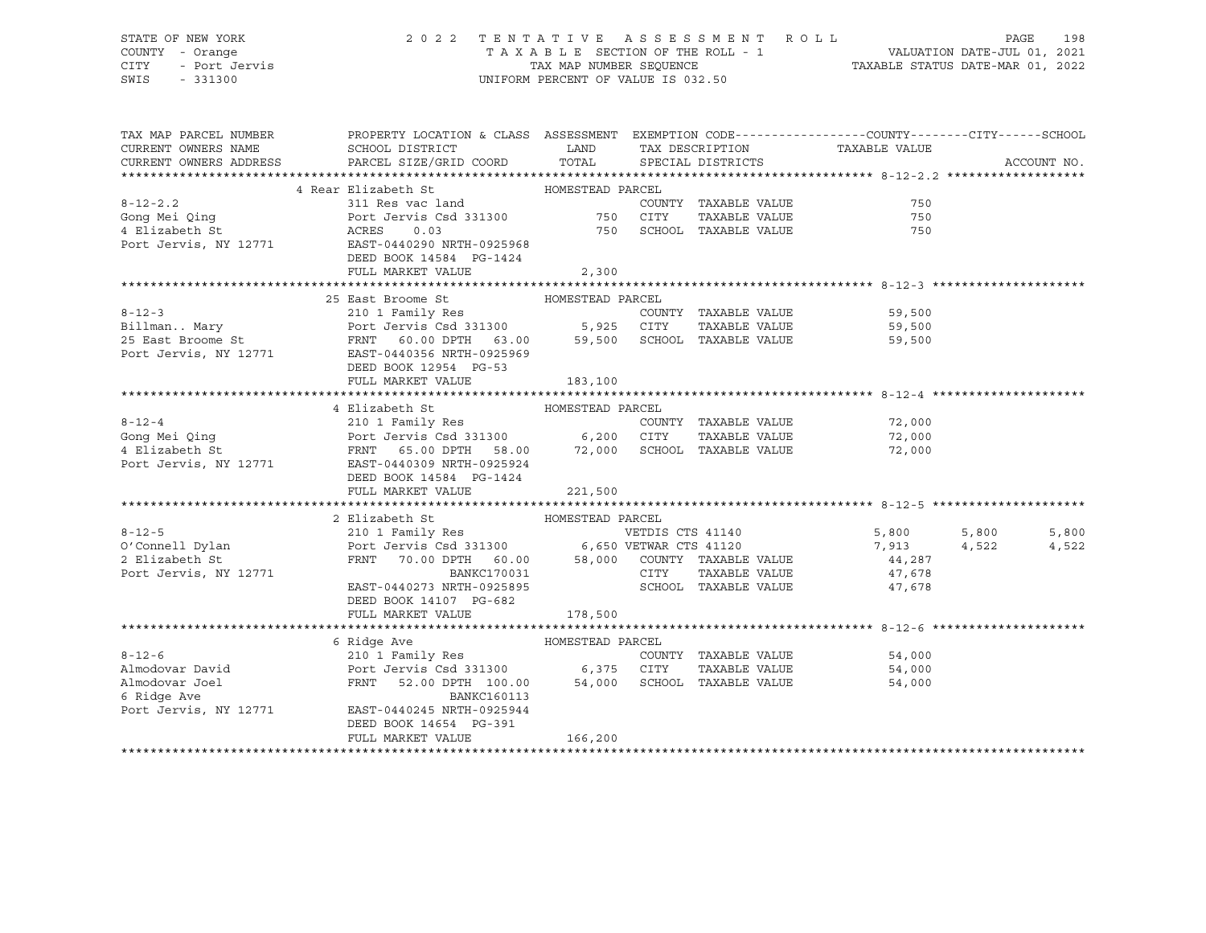# STATE OF NEW YORK 2 0 2 2 T E N T A T I V E A S S E S S M E N T R O L L PAGE 198 COUNTY - Orange T A X A B L E SECTION OF THE ROLL - 1 VALUATION DATE-JUL 01, 2021

SWIS - 331300 UNIFORM PERCENT OF VALUE IS 032.50

CITY - Port Jervis TAX MAP NUMBER SEQUENCE TAXABLE STATUS DATE-MAR 01, 2022

| TAX MAP PARCEL NUMBER                | PROPERTY LOCATION & CLASS ASSESSMENT EXEMPTION CODE---------------COUNTY-------CITY------SCHOOL                                                                                                                                                                                                                                                                      |         |                             |                      |                |
|--------------------------------------|----------------------------------------------------------------------------------------------------------------------------------------------------------------------------------------------------------------------------------------------------------------------------------------------------------------------------------------------------------------------|---------|-----------------------------|----------------------|----------------|
| CURRENT OWNERS NAME                  | SCHOOL DISTRICT TAX DESCRIPTION                                                                                                                                                                                                                                                                                                                                      |         |                             | TAXABLE VALUE        |                |
|                                      | CURRENT OWNERS ADDRESS PARCEL SIZE/GRID COORD TOTAL SPECIAL DISTRICTS                                                                                                                                                                                                                                                                                                |         |                             |                      | ACCOUNT NO.    |
|                                      |                                                                                                                                                                                                                                                                                                                                                                      |         |                             |                      |                |
|                                      | 4 Rear Elizabeth St MOMESTEAD PARCEL<br>8-12-2.2<br>Gong Mei Qing<br>4 Elizabeth St<br>2000 Port Jervis, NY 12771<br>ERES 20.03<br>2000 Port Jervis, NY 12771<br>2000 Port Jervis, NY 12771<br>2000 Port Jervis, NY 12771<br>2000 Port Jervis, NY 12771<br>2000 Port Jervis, NY 12771<br>2                                                                           |         |                             |                      |                |
|                                      |                                                                                                                                                                                                                                                                                                                                                                      |         | COUNTY TAXABLE VALUE        | 750                  |                |
|                                      |                                                                                                                                                                                                                                                                                                                                                                      |         | TAXABLE VALUE               | 750                  |                |
|                                      |                                                                                                                                                                                                                                                                                                                                                                      |         | 750 SCHOOL TAXABLE VALUE    | 750                  |                |
|                                      | DEED BOOK 14584 PG-1424                                                                                                                                                                                                                                                                                                                                              |         |                             |                      |                |
|                                      | FULL MARKET VALUE                                                                                                                                                                                                                                                                                                                                                    | 2,300   |                             |                      |                |
|                                      |                                                                                                                                                                                                                                                                                                                                                                      |         |                             |                      |                |
|                                      | 25 East Broome St MOMESTEAD PARCEL                                                                                                                                                                                                                                                                                                                                   |         |                             |                      |                |
|                                      |                                                                                                                                                                                                                                                                                                                                                                      |         | COUNTY TAXABLE VALUE        |                      |                |
|                                      |                                                                                                                                                                                                                                                                                                                                                                      |         |                             |                      |                |
|                                      | 8-12-3 210 1 Family Res COUNTY TAXABLE VALUE 59,500<br>Billman Mary Port Jervis Csd 331300 5,925 CITY TAXABLE VALUE 59,500<br>25 East Broome St FRNT 60.00 DPTH 63.00 59,500 SCHOOL TAXABLE VALUE 59,500<br>Port Jervis, NY 12771                                                                                                                                    |         |                             |                      |                |
|                                      |                                                                                                                                                                                                                                                                                                                                                                      |         |                             |                      |                |
|                                      |                                                                                                                                                                                                                                                                                                                                                                      |         |                             |                      |                |
|                                      | FULL MARKET VALUE                                                                                                                                                                                                                                                                                                                                                    | 183,100 |                             |                      |                |
|                                      |                                                                                                                                                                                                                                                                                                                                                                      |         |                             |                      |                |
|                                      | 4 Elizabeth St MOMESTEAD PARCEL                                                                                                                                                                                                                                                                                                                                      |         |                             |                      |                |
|                                      |                                                                                                                                                                                                                                                                                                                                                                      |         |                             |                      |                |
|                                      |                                                                                                                                                                                                                                                                                                                                                                      |         |                             | 72,000<br>72,000     |                |
|                                      | 8-12-4<br>Song Mei Qing<br>Port Jervis Csd 331300<br>Port Jervis Csd 331300<br>Port Jervis Csd 331300<br>FRNT 65.00 DPTH 58.00<br>72,000 SCHOOL TAXABLE VALUE<br>Port Jervis, NY 12771<br>EAST-0440309 NRTH-0925924<br>PORT 0440309 NRTH-0925924                                                                                                                     |         |                             | 72,000               |                |
|                                      |                                                                                                                                                                                                                                                                                                                                                                      |         |                             |                      |                |
|                                      | DEED BOOK 14584 PG-1424                                                                                                                                                                                                                                                                                                                                              |         |                             |                      |                |
|                                      | FULL MARKET VALUE                                                                                                                                                                                                                                                                                                                                                    | 221,500 |                             |                      |                |
|                                      |                                                                                                                                                                                                                                                                                                                                                                      |         |                             |                      |                |
|                                      |                                                                                                                                                                                                                                                                                                                                                                      |         |                             |                      |                |
|                                      |                                                                                                                                                                                                                                                                                                                                                                      |         |                             | 5,800<br>7,913       | 5,800<br>5,800 |
|                                      |                                                                                                                                                                                                                                                                                                                                                                      |         |                             |                      | 4,522<br>4,522 |
|                                      | $\begin{tabular}{lllllllll} \multicolumn{2}{c }{\textbf{FRNT}} & \multicolumn{2}{c }{\textbf{70.00}} & \multicolumn{2}{c }{\textbf{DPTH}} & \multicolumn{2}{c }{\textbf{60.00}} & \multicolumn{2}{c }{\textbf{58,000}} & \multicolumn{2}{c }{\textbf{COUNTY}} & \multicolumn{2}{c }{\textbf{TAXABLE VALUE}} & \multicolumn{2}{c }{\textbf{44,287}} \\ \end{tabular}$ |         |                             |                      |                |
| Port Jervis, NY 12771                | $\begin{tabular}{lcccc} BANKC170031 & & & CITY & TAXABLE VALUE \\ EAST-0440273 NRTH-0925895 & & & SCHOOL & TAXABLE VALUE \end{tabular}$                                                                                                                                                                                                                              |         | TAAnnum<br>TAXABLE VALUE    | 47,678<br>47,678     |                |
|                                      |                                                                                                                                                                                                                                                                                                                                                                      |         |                             |                      |                |
|                                      | DEED BOOK 14107 PG-682                                                                                                                                                                                                                                                                                                                                               |         |                             |                      |                |
|                                      | FULL MARKET VALUE                                                                                                                                                                                                                                                                                                                                                    | 178,500 |                             |                      |                |
|                                      |                                                                                                                                                                                                                                                                                                                                                                      |         |                             |                      |                |
|                                      | 6 Ridge Ave                                                                                                                                                                                                                                                                                                                                                          |         |                             |                      |                |
| $8 - 12 - 6$                         |                                                                                                                                                                                                                                                                                                                                                                      |         | COUNTY TAXABLE VALUE 54,000 |                      |                |
|                                      | Almodovar David <b>Example 2018</b> Port Jervis Csd 331300 6,375 CITY                                                                                                                                                                                                                                                                                                |         |                             | TAXABLE VALUE 54,000 |                |
| Almodovar Joel                       | FRNT 52.00 DPTH 100.00 54,000 SCHOOL TAXABLE VALUE<br>BANKC160113                                                                                                                                                                                                                                                                                                    |         |                             | 54,000               |                |
| 6 Ridge Ave<br>Port Jervis, NY 12771 |                                                                                                                                                                                                                                                                                                                                                                      |         |                             |                      |                |
|                                      | EAST-0440245 NRTH-0925944                                                                                                                                                                                                                                                                                                                                            |         |                             |                      |                |
|                                      | DEED BOOK 14654 PG-391<br>FULL MARKET VALUE                                                                                                                                                                                                                                                                                                                          | 166,200 |                             |                      |                |
|                                      |                                                                                                                                                                                                                                                                                                                                                                      |         |                             |                      |                |
|                                      |                                                                                                                                                                                                                                                                                                                                                                      |         |                             |                      |                |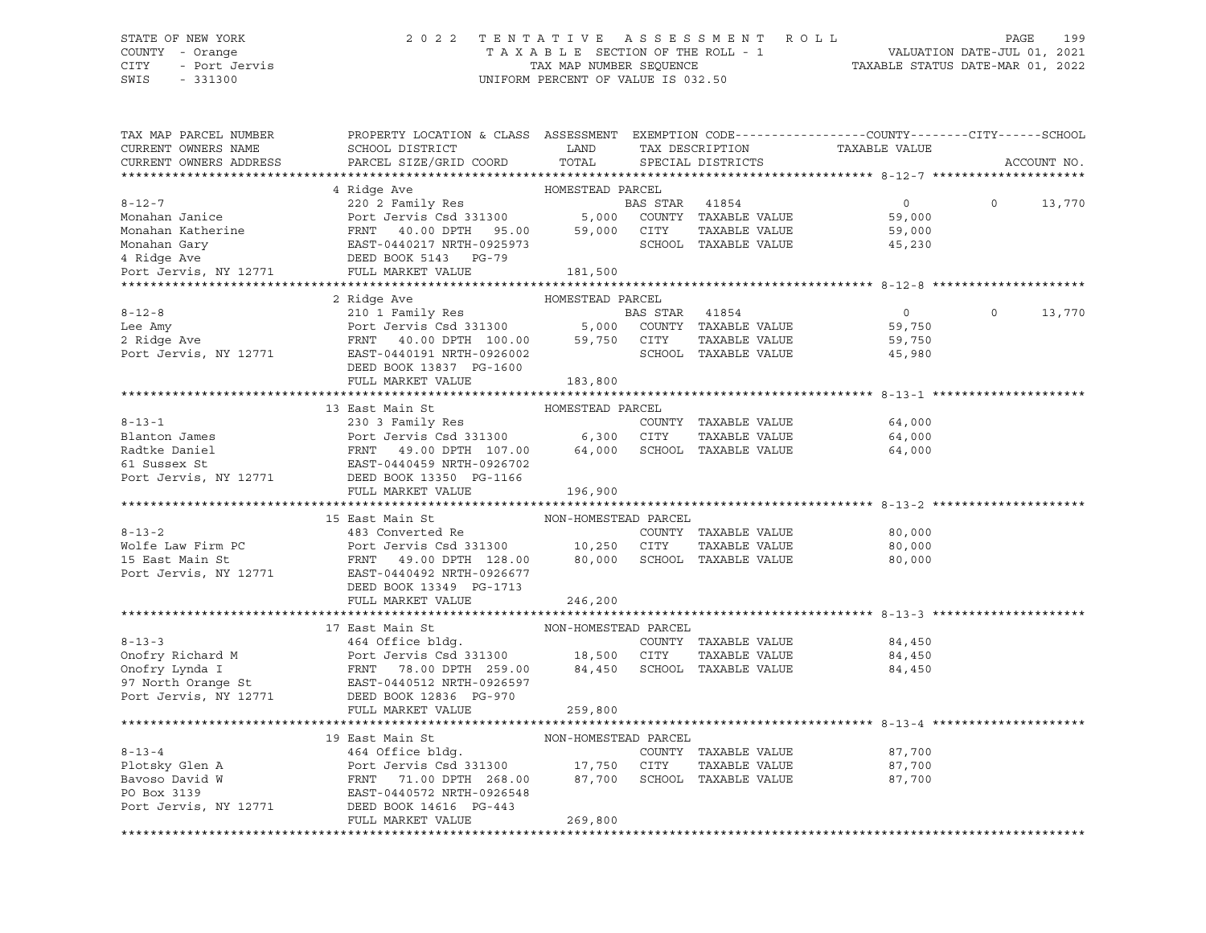#### STATE OF NEW YORK 2 0 2 2 T E N T A T I V E A S S E S S M E N T R O L L PAGE 199 COUNTY - Orange T A X A B L E SECTION OF THE ROLL - 1 VALUATION DATE-JUL 01, 2021 CITY - Port Jervis TAX MAP NUMBER SEQUENCE TAXABLE STATUS DATE-MAR 01, 2022

| TAX MAP PARCEL NUMBER<br>CURRENT OWNERS NAME<br>CURRENT OWNERS ADDRESS                                                                                                                                                  | PROPERTY LOCATION & CLASS ASSESSMENT EXEMPTION CODE---------------COUNTY-------CITY------SCHOOL<br>SCHOOL DISTRICT<br>PARCEL SIZE/GRID COORD | LAND<br>TOTAL        |                | TAX DESCRIPTION<br>SPECIAL DISTRICTS | TAXABLE VALUE  |          | ACCOUNT NO. |
|-------------------------------------------------------------------------------------------------------------------------------------------------------------------------------------------------------------------------|----------------------------------------------------------------------------------------------------------------------------------------------|----------------------|----------------|--------------------------------------|----------------|----------|-------------|
|                                                                                                                                                                                                                         |                                                                                                                                              |                      |                |                                      |                |          |             |
|                                                                                                                                                                                                                         | 4 Ridge Ave                                                                                                                                  | HOMESTEAD PARCEL     |                |                                      |                |          |             |
| $8 - 12 - 7$                                                                                                                                                                                                            | 220 2 Family Res                                                                                                                             |                      | BAS STAR 41854 |                                      | $\overline{0}$ | $\Omega$ | 13,770      |
| Monahan Janice                                                                                                                                                                                                          | Port Jervis Csd 331300 5,000                                                                                                                 |                      |                | COUNTY TAXABLE VALUE                 | 59,000         |          |             |
|                                                                                                                                                                                                                         |                                                                                                                                              |                      | CITY           | TAXABLE VALUE                        | 59,000         |          |             |
|                                                                                                                                                                                                                         |                                                                                                                                              |                      |                | SCHOOL TAXABLE VALUE                 | 45,230         |          |             |
| Monahan Katherine<br>Monahan Katherine<br>Monahan Gary<br>195.00 59,000<br>197.000 EXST-0440217 NRTH-0925973<br>197.000 EXST-0440217 NRTH-0925973<br>181,500<br>Port Jervis, NY 12771 FULL MARKET VALUE<br>PORT 181,500 |                                                                                                                                              |                      |                |                                      |                |          |             |
|                                                                                                                                                                                                                         |                                                                                                                                              |                      |                |                                      |                |          |             |
|                                                                                                                                                                                                                         |                                                                                                                                              |                      |                |                                      |                |          |             |
|                                                                                                                                                                                                                         | 2 Ridge Ave                                                                                                                                  | HOMESTEAD PARCEL     |                |                                      |                | $\Omega$ |             |
| $8 - 12 - 8$                                                                                                                                                                                                            | 210 1 Family Res                                                                                                                             |                      | BAS STAR 41854 |                                      | $\circ$        |          | 13,770      |
| Lee Amy<br>2 Ridge Ave                                                                                                                                                                                                  | $210 \text{ J} \text{ r}$ and $1 \text{ J} \text{ c}$ and $210 \text{ J} \text{ c}$ and $5,000$                                              |                      |                | COUNTY TAXABLE VALUE                 | 59,750         |          |             |
|                                                                                                                                                                                                                         | FRNT 40.00 DPTH 100.00 59,750 CITY                                                                                                           |                      |                | TAXABLE VALUE                        | 59,750         |          |             |
| Port Jervis, NY 12771                                                                                                                                                                                                   | EAST-0440191 NRTH-0926002                                                                                                                    |                      |                | SCHOOL TAXABLE VALUE                 | 45,980         |          |             |
|                                                                                                                                                                                                                         | DEED BOOK 13837 PG-1600                                                                                                                      |                      |                |                                      |                |          |             |
|                                                                                                                                                                                                                         | FULL MARKET VALUE                                                                                                                            | 183,800              |                |                                      |                |          |             |
|                                                                                                                                                                                                                         |                                                                                                                                              |                      |                |                                      |                |          |             |
|                                                                                                                                                                                                                         | 13 East Main St                                                                                                                              | HOMESTEAD PARCEL     |                |                                      |                |          |             |
| $8 - 13 - 1$                                                                                                                                                                                                            | 230 3 Family Res<br>Port Jervis Csd 331300 6,300 CITY                                                                                        |                      |                | COUNTY TAXABLE VALUE                 | 64,000         |          |             |
| Blanton James                                                                                                                                                                                                           |                                                                                                                                              |                      |                | TAXABLE VALUE                        | 64,000         |          |             |
| Radtke Daniel                                                                                                                                                                                                           | Port Jervis Csd 331300<br>FRNT 49.00 DPTH 107.00<br>EAST-0440459 NRTH-0926702                                                                | 64,000               |                | SCHOOL TAXABLE VALUE                 | 64,000         |          |             |
| 61 Sussex St                                                                                                                                                                                                            |                                                                                                                                              |                      |                |                                      |                |          |             |
| Port Jervis, NY 12771                                                                                                                                                                                                   | DEED BOOK 13350 PG-1166                                                                                                                      |                      |                |                                      |                |          |             |
|                                                                                                                                                                                                                         | FULL MARKET VALUE                                                                                                                            | 196,900              |                |                                      |                |          |             |
|                                                                                                                                                                                                                         | 15 East Main St                                                                                                                              | NON-HOMESTEAD PARCEL |                |                                      |                |          |             |
| $8 - 13 - 2$                                                                                                                                                                                                            | 483 Converted Re                                                                                                                             |                      |                | COUNTY TAXABLE VALUE                 | 80,000         |          |             |
| Wolfe Law Firm PC                                                                                                                                                                                                       | Port Jervis Csd 331300 10,250 CITY                                                                                                           |                      |                | TAXABLE VALUE                        | 80,000         |          |             |
| 15 East Main St                                                                                                                                                                                                         | FRNT 49.00 DPTH 128.00                                                                                                                       |                      |                | 80,000 SCHOOL TAXABLE VALUE          | 80,000         |          |             |
| Port Jervis, NY 12771                                                                                                                                                                                                   | EAST-0440492 NRTH-0926677                                                                                                                    |                      |                |                                      |                |          |             |
|                                                                                                                                                                                                                         | DEED BOOK 13349 PG-1713                                                                                                                      |                      |                |                                      |                |          |             |
|                                                                                                                                                                                                                         | FULL MARKET VALUE                                                                                                                            | 246,200              |                |                                      |                |          |             |
|                                                                                                                                                                                                                         |                                                                                                                                              |                      |                |                                      |                |          |             |
|                                                                                                                                                                                                                         | 17 East Main St                                                                                                                              | NON-HOMESTEAD PARCEL |                |                                      |                |          |             |
| $8 - 13 - 3$                                                                                                                                                                                                            | 464 Office bldg.                                                                                                                             |                      |                | COUNTY TAXABLE VALUE                 | 84,450         |          |             |
|                                                                                                                                                                                                                         | Port Jervis Csd 331300 18,500 CITY                                                                                                           |                      |                | TAXABLE VALUE                        | 84,450         |          |             |
| Onofry Richard M Port Jervis Csd 331300<br>Onofry Lynda I FRNT 78.00 DPTH 259.00<br>97 North Orange St EAST-0440512 NRTH-0926597                                                                                        | FRNT 78.00 DPTH 259.00 84,450                                                                                                                |                      |                | SCHOOL TAXABLE VALUE                 | 84,450         |          |             |
|                                                                                                                                                                                                                         |                                                                                                                                              |                      |                |                                      |                |          |             |
| Port Jervis, NY 12771                                                                                                                                                                                                   | DEED BOOK 12836 PG-970                                                                                                                       |                      |                |                                      |                |          |             |
|                                                                                                                                                                                                                         | FULL MARKET VALUE                                                                                                                            | 259,800              |                |                                      |                |          |             |
|                                                                                                                                                                                                                         |                                                                                                                                              |                      |                |                                      |                |          |             |
|                                                                                                                                                                                                                         | 19 East Main St                                                                                                                              | NON-HOMESTEAD PARCEL |                |                                      |                |          |             |
| $8 - 13 - 4$                                                                                                                                                                                                            | 464 Office bldg.                                                                                                                             |                      |                | COUNTY TAXABLE VALUE                 | 87,700         |          |             |
| Plotsky Glen A                                                                                                                                                                                                          | Port Jervis Csd 331300 17,750 CITY                                                                                                           |                      |                | TAXABLE VALUE                        | 87,700         |          |             |
| Bavoso David W                                                                                                                                                                                                          | FRNT 71.00 DPTH 268.00                                                                                                                       | 87,700               |                | SCHOOL TAXABLE VALUE                 | 87,700         |          |             |
| PO Box 3139                                                                                                                                                                                                             | EAST-0440572 NRTH-0926548                                                                                                                    |                      |                |                                      |                |          |             |
| Port Jervis, NY 12771                                                                                                                                                                                                   | DEED BOOK 14616 PG-443                                                                                                                       |                      |                |                                      |                |          |             |
|                                                                                                                                                                                                                         | FULL MARKET VALUE                                                                                                                            | 269,800              |                |                                      |                |          |             |
|                                                                                                                                                                                                                         |                                                                                                                                              |                      |                |                                      |                |          |             |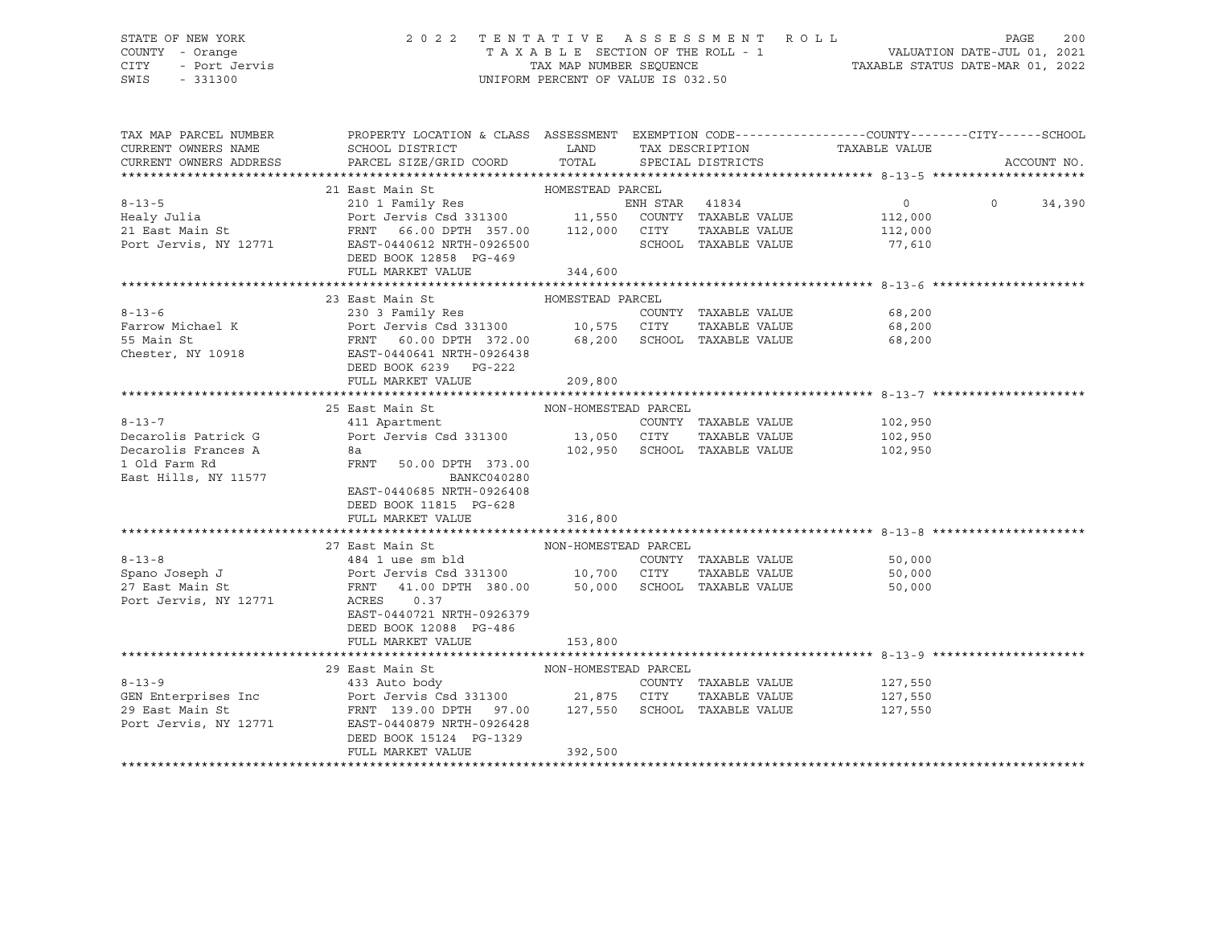## STATE OF NEW YORK 2 0 2 2 T E N T A T I V E A S S E S S M E N T R O L L PAGE 200 COUNTY - Orange T A X A B L E SECTION OF THE ROLL - 1 VALUATION DATE-JUL 01, 2021 CITY - Port Jervis TAX MAP NUMBER SEQUENCE TAXABLE STATUS DATE-MAR 01, 2022

| TAX MAP PARCEL NUMBER<br>CURRENT OWNERS NAME<br>CURRENT OWNERS ADDRESS | PROPERTY LOCATION & CLASS ASSESSMENT EXEMPTION CODE----------------COUNTY-------CITY------SCHOOL<br>SCHOOL DISTRICT<br>PARCEL SIZE/GRID COORD TOTAL   | <b>LAND</b>          | TAX DESCRIPTION              | TAXABLE VALUE                |                             |
|------------------------------------------------------------------------|-------------------------------------------------------------------------------------------------------------------------------------------------------|----------------------|------------------------------|------------------------------|-----------------------------|
|                                                                        |                                                                                                                                                       |                      | SPECIAL DISTRICTS            |                              | ACCOUNT NO.                 |
|                                                                        |                                                                                                                                                       |                      |                              |                              |                             |
| $8 - 13 - 5$                                                           |                                                                                                                                                       |                      |                              | $0 \qquad \qquad$            | $0 \qquad \qquad$<br>34,390 |
| Healy Julia                                                            |                                                                                                                                                       |                      |                              | 112,000                      |                             |
|                                                                        |                                                                                                                                                       |                      |                              | TAXABLE VALUE 112,000        |                             |
|                                                                        | DEED BOOK 12858 PG-469                                                                                                                                |                      | SCHOOL TAXABLE VALUE         | 77,610                       |                             |
|                                                                        | FULL MARKET VALUE                                                                                                                                     | 344,600              |                              |                              |                             |
|                                                                        |                                                                                                                                                       |                      |                              |                              |                             |
|                                                                        | 23 East Main St                                                                                                                                       | HOMESTEAD PARCEL     |                              |                              |                             |
|                                                                        |                                                                                                                                                       |                      |                              | 68,200                       |                             |
|                                                                        |                                                                                                                                                       |                      |                              | TAXABLE VALUE 68,200         |                             |
|                                                                        |                                                                                                                                                       |                      |                              | 68,200                       |                             |
|                                                                        |                                                                                                                                                       |                      |                              |                              |                             |
|                                                                        | DEED BOOK 6239 PG-222                                                                                                                                 |                      |                              |                              |                             |
|                                                                        | FULL MARKET VALUE                                                                                                                                     | 209,800              |                              |                              |                             |
|                                                                        |                                                                                                                                                       |                      |                              |                              |                             |
|                                                                        | 25 East Main St<br>411 Apartment                                                                                                                      | NON-HOMESTEAD PARCEL |                              |                              |                             |
| $8 - 13 - 7$                                                           |                                                                                                                                                       |                      |                              | COUNTY TAXABLE VALUE 102,950 |                             |
| Decarolis Patrick G                                                    | Port Jervis Csd 331300 13,050 CITY TAXABLE VALUE 102,950                                                                                              |                      |                              |                              |                             |
| Decarolis Frances A                                                    | 8a                                                                                                                                                    |                      | 102,950 SCHOOL TAXABLE VALUE | 102,950                      |                             |
| 1 Old Farm Rd                                                          | FRNT 50.00 DPTH 373.00                                                                                                                                |                      |                              |                              |                             |
| East Hills, NY 11577                                                   | BANKC040280                                                                                                                                           |                      |                              |                              |                             |
|                                                                        | EAST-0440685 NRTH-0926408                                                                                                                             |                      |                              |                              |                             |
|                                                                        | DEED BOOK 11815 PG-628                                                                                                                                |                      |                              |                              |                             |
|                                                                        | FULL MARKET VALUE                                                                                                                                     | 316,800              |                              |                              |                             |
|                                                                        |                                                                                                                                                       |                      |                              |                              |                             |
|                                                                        | 27 East Main St MON-HOMESTEAD PARCEL                                                                                                                  |                      |                              | COUNTY TAXABLE VALUE 50,000  |                             |
|                                                                        |                                                                                                                                                       |                      |                              | 50,000                       |                             |
|                                                                        | 8-13-8 (COUNTY TAXABLE VALUE Spano Joseph J (1991)<br>Spano Joseph J (1991) Port Jervis Csd 331300 (10,700 (CITY (1984) TAXABLE VALUE 27 East Main St |                      |                              | 50,000                       |                             |
| Port Jervis, NY 12771 ACRES                                            | 0.37                                                                                                                                                  |                      |                              |                              |                             |
|                                                                        | EAST-0440721 NRTH-0926379                                                                                                                             |                      |                              |                              |                             |
|                                                                        | DEED BOOK 12088 PG-486                                                                                                                                |                      |                              |                              |                             |
|                                                                        | FULL MARKET VALUE                                                                                                                                     | 153,800              |                              |                              |                             |
|                                                                        |                                                                                                                                                       |                      |                              |                              |                             |
|                                                                        | 29 East Main St                                                                                                                                       |                      |                              |                              |                             |
| $8 - 13 - 9$                                                           |                                                                                                                                                       |                      |                              | COUNTY TAXABLE VALUE 127,550 |                             |
|                                                                        |                                                                                                                                                       |                      |                              | TAXABLE VALUE 127,550        |                             |
|                                                                        |                                                                                                                                                       |                      |                              | 127,550                      |                             |
| Port Jervis, NY 12771                                                  | EAST-0440879 NRTH-0926428                                                                                                                             |                      |                              |                              |                             |
|                                                                        | DEED BOOK 15124 PG-1329                                                                                                                               |                      |                              |                              |                             |
|                                                                        | FULL MARKET VALUE                                                                                                                                     | 392,500              |                              |                              |                             |
|                                                                        |                                                                                                                                                       |                      |                              |                              |                             |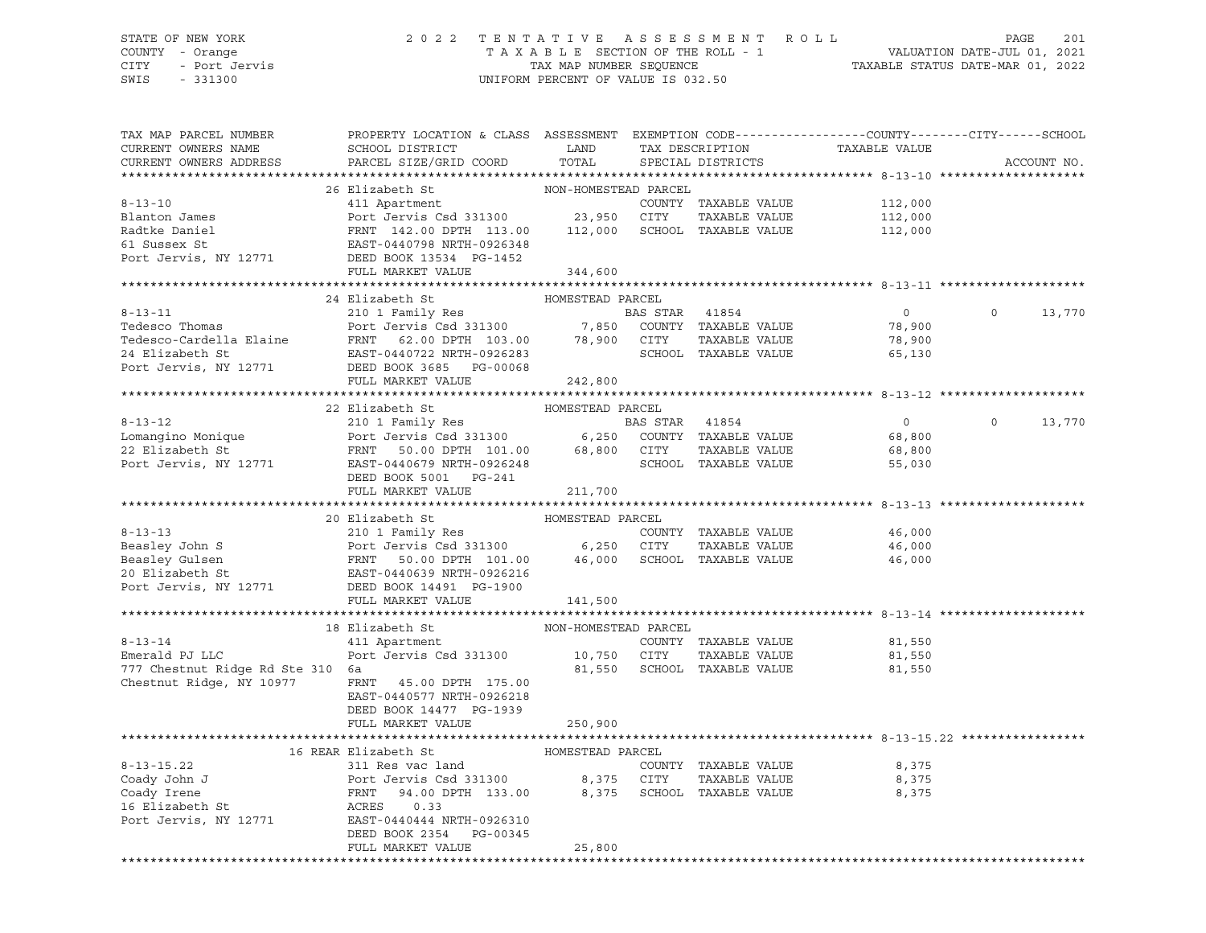#### STATE OF NEW YORK 2 0 2 2 T E N T A T I V E A S S E S S M E N T R O L L PAGE 201 COUNTY - Orange T A X A B L E SECTION OF THE ROLL - 1 VALUATION DATE-JUL 01, 2021 CITY - Port Jervis TAX MAP NUMBER SEQUENCE TAXABLE STATUS DATE-MAR 01, 2022 SWIS - 331300 UNIFORM PERCENT OF VALUE IS 032.50

| TAX MAP PARCEL NUMBER<br>CURRENT OWNERS NAME                                                                                                                                                     | PROPERTY LOCATION & CLASS ASSESSMENT<br>SCHOOL DISTRICT                       | LAND                  |                | TAX DESCRIPTION             | TAXABLE VALUE  | EXEMPTION CODE-----------------COUNTY-------CITY------SCHOOL |
|--------------------------------------------------------------------------------------------------------------------------------------------------------------------------------------------------|-------------------------------------------------------------------------------|-----------------------|----------------|-----------------------------|----------------|--------------------------------------------------------------|
| CURRENT OWNERS ADDRESS                                                                                                                                                                           | PARCEL SIZE/GRID COORD                                                        | TOTAL                 |                | SPECIAL DISTRICTS           |                | ACCOUNT NO.                                                  |
|                                                                                                                                                                                                  |                                                                               |                       |                |                             |                |                                                              |
|                                                                                                                                                                                                  | 26 Elizabeth St                                                               | NON-HOMESTEAD PARCEL  |                |                             |                |                                                              |
| $8 - 13 - 10$                                                                                                                                                                                    | 411 Apartment                                                                 |                       |                | COUNTY TAXABLE VALUE        | 112,000        |                                                              |
| Blanton James                                                                                                                                                                                    | Port Jervis Csd 331300 23,950                                                 |                       | CITY           | TAXABLE VALUE               | 112,000        |                                                              |
| Radtke Daniel                                                                                                                                                                                    | FRNT 142.00 DPTH 113.00                                                       | 112,000               |                | SCHOOL TAXABLE VALUE        | 112,000        |                                                              |
| 61 Sussex St                                                                                                                                                                                     | EAST-0440798 NRTH-0926348                                                     |                       |                |                             |                |                                                              |
| Port Jervis, NY 12771                                                                                                                                                                            | DEED BOOK 13534 PG-1452<br>FULL MARKET VALUE                                  | 344,600               |                |                             |                |                                                              |
|                                                                                                                                                                                                  |                                                                               |                       |                |                             |                |                                                              |
|                                                                                                                                                                                                  | 24 Elizabeth St                                                               | HOMESTEAD PARCEL      |                |                             |                |                                                              |
|                                                                                                                                                                                                  |                                                                               |                       | BAS STAR       | 41854                       | $\overline{0}$ | $\Omega$<br>13,770                                           |
| 8-13-11 210 1 Family Res<br>Tedesco Thomas Port Jervis Csd 331300 7,850 COUNT:<br>Tedesco-Cardella Elaine FRNT 62.00 DPTH 103.00 78,900 CITY<br>24 Flizabeth St EAST-0440722 NRTH-0926283 SCHOOI |                                                                               |                       |                | COUNTY TAXABLE VALUE        | 78,900         |                                                              |
|                                                                                                                                                                                                  |                                                                               |                       |                | TAXABLE VALUE               | 78,900         |                                                              |
|                                                                                                                                                                                                  |                                                                               |                       |                | SCHOOL TAXABLE VALUE        | 65,130         |                                                              |
| Port Jervis, NY 12771                                                                                                                                                                            | DEED BOOK 3685 PG-00068                                                       |                       |                |                             |                |                                                              |
|                                                                                                                                                                                                  | FULL MARKET VALUE                                                             | 242,800               |                |                             |                |                                                              |
|                                                                                                                                                                                                  |                                                                               |                       |                |                             |                |                                                              |
|                                                                                                                                                                                                  | 22 Elizabeth St                                                               | HOMESTEAD PARCEL      |                |                             |                |                                                              |
| $8 - 13 - 12$                                                                                                                                                                                    | 210 1 Family Res BASES BASES BASES BASES AND RESPONSIVE SERVIS CSC 331300     |                       | BAS STAR 41854 |                             | $\overline{0}$ | $\circ$<br>13,770                                            |
| Lomangino Monique                                                                                                                                                                                |                                                                               |                       |                | COUNTY TAXABLE VALUE        | 68,800         |                                                              |
| 22 Elizabeth St                                                                                                                                                                                  | FRNT 50.00 DPTH 101.00                                                        | 68,800 CITY           |                | TAXABLE VALUE               | 68,800         |                                                              |
| Port Jervis, NY 12771                                                                                                                                                                            | EAST-0440679 NRTH-0926248                                                     |                       |                | SCHOOL TAXABLE VALUE        | 55,030         |                                                              |
|                                                                                                                                                                                                  | DEED BOOK 5001 PG-241                                                         |                       |                |                             |                |                                                              |
|                                                                                                                                                                                                  | FULL MARKET VALUE                                                             | 211,700               |                |                             |                |                                                              |
|                                                                                                                                                                                                  |                                                                               |                       |                |                             |                |                                                              |
|                                                                                                                                                                                                  | 20 Elizabeth St                                                               | HOMESTEAD PARCEL      |                |                             |                |                                                              |
| $8 - 13 - 13$                                                                                                                                                                                    | 210 1 Family Res                                                              |                       |                | COUNTY TAXABLE VALUE        | 46,000         |                                                              |
| Beasley John S                                                                                                                                                                                   | Port Jervis Csd 331300 6,250 CITY                                             |                       |                | TAXABLE VALUE               | 46,000         |                                                              |
|                                                                                                                                                                                                  | Port Jervis Csd 331300<br>FRNT 50.00 DPTH 101.00<br>EAST-0440639 NRTH-0926216 |                       |                | 46,000 SCHOOL TAXABLE VALUE | 46,000         |                                                              |
| Beasley Gulsen<br>20 Elizabeth St<br>Port Jervis, NY 12771                                                                                                                                       |                                                                               |                       |                |                             |                |                                                              |
|                                                                                                                                                                                                  | DEED BOOK 14491 PG-1900                                                       |                       |                |                             |                |                                                              |
|                                                                                                                                                                                                  | FULL MARKET VALUE                                                             | 141,500               |                |                             |                |                                                              |
|                                                                                                                                                                                                  |                                                                               |                       |                |                             |                |                                                              |
|                                                                                                                                                                                                  | 18 Elizabeth St<br>411 Apartment                                              | NON-HOMESTEAD PARCEL  |                |                             |                |                                                              |
| $8 - 13 - 14$                                                                                                                                                                                    |                                                                               |                       |                | COUNTY TAXABLE VALUE        | 81,550         |                                                              |
| Emerald PJ LLC                                                                                                                                                                                   | Port Jervis Csd 331300                                                        | 10,750 CITY<br>81,550 |                | TAXABLE VALUE               | 81,550         |                                                              |
| 777 Chestnut Ridge Rd Ste 310 6a<br>Chestnut Ridge, NY 10977                                                                                                                                     |                                                                               |                       |                | SCHOOL TAXABLE VALUE        | 81,550         |                                                              |
|                                                                                                                                                                                                  | FRNT 45.00 DPTH 175.00<br>EAST-0440577 NRTH-0926218                           |                       |                |                             |                |                                                              |
|                                                                                                                                                                                                  | DEED BOOK 14477 PG-1939                                                       |                       |                |                             |                |                                                              |
|                                                                                                                                                                                                  | FULL MARKET VALUE                                                             | 250,900               |                |                             |                |                                                              |
|                                                                                                                                                                                                  |                                                                               |                       |                |                             |                |                                                              |
|                                                                                                                                                                                                  | 16 REAR Elizabeth St                                                          | HOMESTEAD PARCEL      |                |                             |                |                                                              |
| $8 - 13 - 15.22$                                                                                                                                                                                 | 311 Res vac land                                                              |                       |                | COUNTY TAXABLE VALUE        | 8,375          |                                                              |
| Coady John J                                                                                                                                                                                     | Port Jervis Csd 331300                                                        | 8,375                 | CITY           | TAXABLE VALUE               | 8,375          |                                                              |
| Coady Irene                                                                                                                                                                                      | FRNT 94.00 DPTH 133.00 8,375                                                  |                       |                | SCHOOL TAXABLE VALUE        | 8,375          |                                                              |
| 16 Elizabeth St                                                                                                                                                                                  | ACRES<br>0.33                                                                 |                       |                |                             |                |                                                              |
| Port Jervis, NY 12771                                                                                                                                                                            | EAST-0440444 NRTH-0926310                                                     |                       |                |                             |                |                                                              |
|                                                                                                                                                                                                  | DEED BOOK 2354<br>PG-00345                                                    |                       |                |                             |                |                                                              |
|                                                                                                                                                                                                  | FULL MARKET VALUE                                                             | 25,800                |                |                             |                |                                                              |
|                                                                                                                                                                                                  |                                                                               |                       |                |                             |                |                                                              |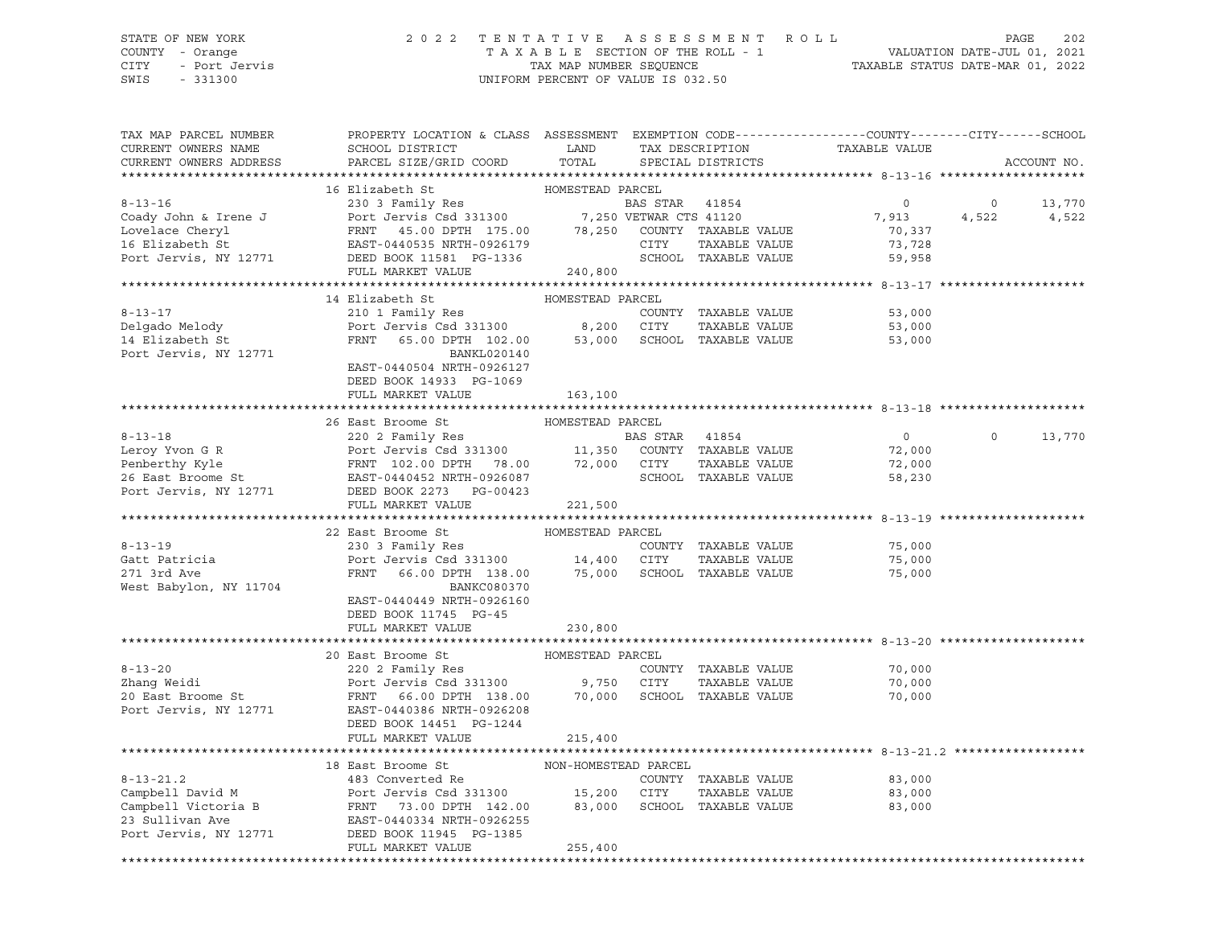#### STATE OF NEW YORK 2 0 2 2 T E N T A T I V E A S S E S S M E N T R O L L PAGE 202 COUNTY - Orange T A X A B L E SECTION OF THE ROLL - 1 VALUATION DATE-JUL 01, 2021 CITY - Port Jervis TAX MAP NUMBER SEQUENCE TAXABLE STATUS DATE-MAR 01, 2022

SWIS - 331300 UNIFORM PERCENT OF VALUE IS 032.50

| TAX MAP PARCEL NUMBER<br>CURRENT OWNERS NAME<br>CURRENT OWNERS ADDRESS | PROPERTY LOCATION & CLASS ASSESSMENT EXEMPTION CODE---------------COUNTY-------CITY------SCHOOL<br>SCHOOL DISTRICT $\hfill\textsc{LAND}$ TAX DESCRIPTION TAXABLE VALUE<br>PARCEL SIZE/GRID COORD TOTAL SPECIAL DISTRICTS                                                                                                                                                                                                                                  |                  |                                                                      | ACCOUNT NO.        |
|------------------------------------------------------------------------|-----------------------------------------------------------------------------------------------------------------------------------------------------------------------------------------------------------------------------------------------------------------------------------------------------------------------------------------------------------------------------------------------------------------------------------------------------------|------------------|----------------------------------------------------------------------|--------------------|
|                                                                        |                                                                                                                                                                                                                                                                                                                                                                                                                                                           |                  |                                                                      |                    |
|                                                                        |                                                                                                                                                                                                                                                                                                                                                                                                                                                           |                  |                                                                      |                    |
|                                                                        | 16 Elizabeth St<br>2008 TENT 45.00 DPTH 175.00 240,800<br>2008 HOMESTEAD PARCEL ALUE<br>2009 John & Irene J<br>2008 Tervis Coady John & Irene J<br>2008 Tervis Computer of the Strategy and HOMESTEAD PARCES 41120<br>2009 John & Irene J<br>                                                                                                                                                                                                             |                  |                                                                      |                    |
|                                                                        |                                                                                                                                                                                                                                                                                                                                                                                                                                                           |                  |                                                                      |                    |
|                                                                        | 14 Elizabeth St                                                                                                                                                                                                                                                                                                                                                                                                                                           | HOMESTEAD PARCEL |                                                                      |                    |
|                                                                        |                                                                                                                                                                                                                                                                                                                                                                                                                                                           |                  |                                                                      |                    |
|                                                                        |                                                                                                                                                                                                                                                                                                                                                                                                                                                           |                  |                                                                      |                    |
|                                                                        | 8-13-17<br>210 1 Family Res<br>Delgado Melody<br>Port Jervis Csd 331300 8,200 CITY TAXABLE VALUE<br>FRNT 65.00 DPTH 102.00 53,000 SCHOOL TAXABLE VALUE 53,000<br>Port Jervis, NY 12771 EAST-0440504 NRTH-0926127                                                                                                                                                                                                                                          |                  |                                                                      |                    |
|                                                                        | DEED BOOK 14933 PG-1069<br>FULL MARKET VALUE                                                                                                                                                                                                                                                                                                                                                                                                              | 163,100          |                                                                      |                    |
|                                                                        |                                                                                                                                                                                                                                                                                                                                                                                                                                                           |                  |                                                                      |                    |
|                                                                        |                                                                                                                                                                                                                                                                                                                                                                                                                                                           |                  |                                                                      |                    |
|                                                                        |                                                                                                                                                                                                                                                                                                                                                                                                                                                           |                  | $\overline{0}$                                                       | $\Omega$<br>13,770 |
|                                                                        |                                                                                                                                                                                                                                                                                                                                                                                                                                                           |                  | 72,000                                                               |                    |
|                                                                        |                                                                                                                                                                                                                                                                                                                                                                                                                                                           |                  | 72,000<br>58,230                                                     |                    |
|                                                                        |                                                                                                                                                                                                                                                                                                                                                                                                                                                           |                  |                                                                      |                    |
|                                                                        |                                                                                                                                                                                                                                                                                                                                                                                                                                                           |                  |                                                                      |                    |
|                                                                        |                                                                                                                                                                                                                                                                                                                                                                                                                                                           |                  |                                                                      |                    |
|                                                                        |                                                                                                                                                                                                                                                                                                                                                                                                                                                           |                  |                                                                      |                    |
|                                                                        |                                                                                                                                                                                                                                                                                                                                                                                                                                                           |                  |                                                                      |                    |
|                                                                        |                                                                                                                                                                                                                                                                                                                                                                                                                                                           |                  |                                                                      |                    |
| West Babylon, NY 11704                                                 | $\begin{array}{cccccccc} \texttt{8-13-19} & & & & & \texttt{22 East Broome St} & & & & \texttt{HOMESTEAD PARCH} & & & & \texttt{8-13-19} \\ & & & & & & & \texttt{230 3 Family Res} & & & & \texttt{COUNTY TAXABLE VALUE} & & & \texttt{75,000} \\ & & & & & & \texttt{Port Jervis Csd 331300} & & & & \texttt{14,400 CITY TAXABLE VALUE} & & & \texttt{75,000} & & & \texttt{75,000} \\ & & & & & & \texttt{FRNT} & 66.00 DPTH 13$<br><b>BANKC080370</b> |                  |                                                                      |                    |
|                                                                        | EAST-0440449 NRTH-0926160<br>DEED BOOK 11745 PG-45<br>FULL MARKET VALUE                                                                                                                                                                                                                                                                                                                                                                                   | 230,800          |                                                                      |                    |
|                                                                        |                                                                                                                                                                                                                                                                                                                                                                                                                                                           |                  |                                                                      |                    |
|                                                                        |                                                                                                                                                                                                                                                                                                                                                                                                                                                           |                  |                                                                      |                    |
|                                                                        |                                                                                                                                                                                                                                                                                                                                                                                                                                                           |                  |                                                                      |                    |
|                                                                        |                                                                                                                                                                                                                                                                                                                                                                                                                                                           |                  | TAXABLE VALUE<br>TAXABLE VALUE 70,000<br>-- ******* 70,000<br>70,000 |                    |
|                                                                        | 8-13-20<br>20 East Broome St<br>20 East Broome St<br>20 East Broome St<br>20 East Broome St<br>20 East Broome St<br>20 East Broome St<br>20 East Broome St<br>20 East Broome St<br>20 East Broome St<br>20 East Broome St<br>20 East Broome St<br>20 E<br>DEED BOOK 14451 PG-1244                                                                                                                                                                         |                  |                                                                      |                    |
|                                                                        | FULL MARKET VALUE                                                                                                                                                                                                                                                                                                                                                                                                                                         | 215,400          |                                                                      |                    |
|                                                                        |                                                                                                                                                                                                                                                                                                                                                                                                                                                           |                  |                                                                      |                    |
|                                                                        |                                                                                                                                                                                                                                                                                                                                                                                                                                                           |                  |                                                                      |                    |
|                                                                        |                                                                                                                                                                                                                                                                                                                                                                                                                                                           |                  |                                                                      |                    |
|                                                                        | 18 East Broome St<br>23 Converted Re<br>23 Converted Re<br>23 Converted Re<br>23 Converted Re<br>23 Converted Re<br>23 Converted Re<br>23 Converted Re<br>23 Converted Re<br>23 Converted Re<br>23 Converted Re<br>23 Converted Re<br>23 Converted Re<br>                                                                                                                                                                                                 |                  |                                                                      |                    |
|                                                                        | FULL MARKET VALUE                                                                                                                                                                                                                                                                                                                                                                                                                                         | 255,400          |                                                                      |                    |
|                                                                        |                                                                                                                                                                                                                                                                                                                                                                                                                                                           |                  |                                                                      |                    |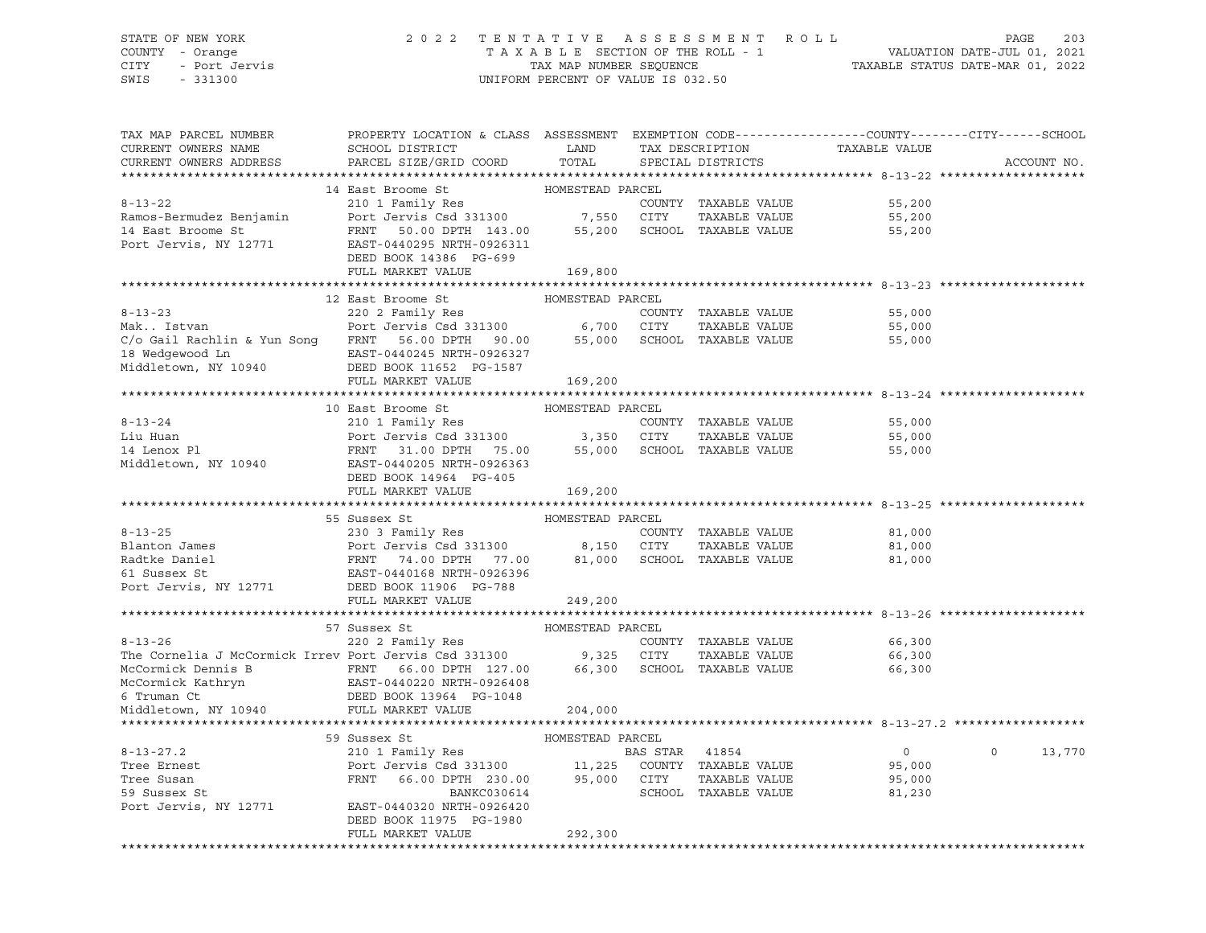#### STATE OF NEW YORK 2 0 2 2 T E N T A T I V E A S S E S S M E N T R O L L PAGE 203 COUNTY - Orange T A X A B L E SECTION OF THE ROLL - 1 VALUATION DATE-JUL 01, 2021 CITY - Port Jervis TAX MAP NUMBER SEQUENCE TAXABLE STATUS DATE-MAR 01, 2022

| TAX MAP PARCEL NUMBER<br>CURRENT OWNERS NAME<br>CURRENT OWNERS ADDRESS                                                                                                                                                                            | PROPERTY LOCATION & CLASS ASSESSMENT EXEMPTION CODE---------------COUNTY-------CITY------SCHOOL<br>SCHOOL DISTRICT<br>PARCEL SIZE/GRID COORD   | LAND<br>TOTAL               |                | TAX DESCRIPTION<br>SPECIAL DISTRICTS | TAXABLE VALUE                                   | ACCOUNT NO.        |
|---------------------------------------------------------------------------------------------------------------------------------------------------------------------------------------------------------------------------------------------------|------------------------------------------------------------------------------------------------------------------------------------------------|-----------------------------|----------------|--------------------------------------|-------------------------------------------------|--------------------|
|                                                                                                                                                                                                                                                   |                                                                                                                                                |                             |                |                                      |                                                 |                    |
|                                                                                                                                                                                                                                                   | 14 East Broome St                                                                                                                              | HOMESTEAD PARCEL            |                |                                      |                                                 |                    |
| $8 - 13 - 22$                                                                                                                                                                                                                                     | 210 1 Family Res<br>Port Jervis Csd 331300 7,550 CITY                                                                                          |                             |                |                                      | COUNTY TAXABLE VALUE<br>55,200                  |                    |
| Ramos-Bermudez Benjamin                                                                                                                                                                                                                           |                                                                                                                                                |                             |                | TAXABLE VALUE                        | 55,200                                          |                    |
| 14 East Broome St<br>Port Jervis, NY 12771                                                                                                                                                                                                        | FRNT 50.00 DPTH 143.00 55,200 SCHOOL TAXABLE VALUE                                                                                             |                             |                |                                      | 55,200                                          |                    |
|                                                                                                                                                                                                                                                   | EAST-0440295 NRTH-0926311                                                                                                                      |                             |                |                                      |                                                 |                    |
|                                                                                                                                                                                                                                                   | DEED BOOK 14386 PG-699                                                                                                                         |                             |                |                                      |                                                 |                    |
|                                                                                                                                                                                                                                                   | FULL MARKET VALUE                                                                                                                              | 169,800                     |                |                                      |                                                 |                    |
|                                                                                                                                                                                                                                                   |                                                                                                                                                |                             |                |                                      |                                                 |                    |
|                                                                                                                                                                                                                                                   | 12 East Broome St                                                                                                                              | HOMESTEAD PARCEL            |                |                                      |                                                 |                    |
| $8 - 13 - 23$                                                                                                                                                                                                                                     | 220 2 Family Res                                                                                                                               |                             |                | COUNTY TAXABLE VALUE                 | 55,000                                          |                    |
|                                                                                                                                                                                                                                                   |                                                                                                                                                |                             |                |                                      | 55,000                                          |                    |
|                                                                                                                                                                                                                                                   |                                                                                                                                                |                             |                |                                      | 55,000                                          |                    |
| 18 Wedgewood Ln                         EAST-0440245 NRTH-0926327 Middletown, NY 10940                       DEED BOOK 11652 PG-1587                                                                                                              |                                                                                                                                                |                             |                |                                      |                                                 |                    |
|                                                                                                                                                                                                                                                   | FULL MARKET VALUE                                                                                                                              | 169,200                     |                |                                      |                                                 |                    |
|                                                                                                                                                                                                                                                   |                                                                                                                                                |                             |                |                                      |                                                 |                    |
|                                                                                                                                                                                                                                                   | 10 East Broome St                                                                                                                              | HOMESTEAD PARCEL            |                |                                      |                                                 |                    |
| $8 - 13 - 24$                                                                                                                                                                                                                                     | 210 1 Family Res                                                                                                                               |                             |                | COUNTY TAXABLE VALUE                 | 55,000                                          |                    |
|                                                                                                                                                                                                                                                   |                                                                                                                                                |                             |                | TAXABLE VALUE                        | 55,000                                          |                    |
| Liu Huan<br>14 Lenox Pl                                                                                                                                                                                                                           | Port Jervis Csd 331300               3,350    CITY      TAXABLE VALUE<br>FRNT    31.00  DPTH    75.00         55,000    SCHOOL   TAXABLE VALUE |                             |                |                                      | 55,000                                          |                    |
| Middletown, NY 10940                                                                                                                                                                                                                              | EAST-0440205 NRTH-0926363                                                                                                                      |                             |                |                                      |                                                 |                    |
|                                                                                                                                                                                                                                                   | DEED BOOK 14964 PG-405                                                                                                                         |                             |                |                                      |                                                 |                    |
|                                                                                                                                                                                                                                                   | FULL MARKET VALUE                                                                                                                              | 169,200                     |                |                                      |                                                 |                    |
|                                                                                                                                                                                                                                                   |                                                                                                                                                |                             |                |                                      | ******************************* 8-13-25 ******* |                    |
|                                                                                                                                                                                                                                                   | 55 Sussex St                                                                                                                                   | HOMESTEAD PARCEL            |                |                                      |                                                 |                    |
|                                                                                                                                                                                                                                                   |                                                                                                                                                |                             |                | COUNTY TAXABLE VALUE                 | 81,000                                          |                    |
|                                                                                                                                                                                                                                                   |                                                                                                                                                |                             |                | TAXABLE VALUE                        | 81,000                                          |                    |
|                                                                                                                                                                                                                                                   |                                                                                                                                                |                             |                |                                      | 81,000                                          |                    |
|                                                                                                                                                                                                                                                   |                                                                                                                                                |                             |                |                                      |                                                 |                    |
| 8-13-25<br>Blanton James<br>Port Jervis Csd 331300<br>Radtke Daniel<br>FRNT 74.00 DPTH 77.00<br>FRNT 74.00 DPTH 77.00<br>8,150 CITY TAXABLE VALUE<br>FRNT 74.00 DPTH 77.00<br>81,000 SCHOOL TAXABLE VALUE<br>FRNT 74.00 DPTH 77.00<br>BLOOK 11906 | FULL MARKET VALUE                                                                                                                              |                             |                |                                      |                                                 |                    |
|                                                                                                                                                                                                                                                   |                                                                                                                                                | 249,200                     |                |                                      |                                                 |                    |
|                                                                                                                                                                                                                                                   | 57 Sussex St                                                                                                                                   | HOMESTEAD PARCEL            |                |                                      |                                                 |                    |
|                                                                                                                                                                                                                                                   |                                                                                                                                                |                             |                | COUNTY TAXABLE VALUE                 | 66,300                                          |                    |
| 8-13-26 COUNT<br>The Cornelia J McCormick Irrev Port Jervis Csd 331300 9,325 CITY                                                                                                                                                                 |                                                                                                                                                |                             |                | TAXABLE VALUE                        | 66,300                                          |                    |
|                                                                                                                                                                                                                                                   |                                                                                                                                                | 66,300 SCHOOL TAXABLE VALUE |                |                                      | 66,300                                          |                    |
|                                                                                                                                                                                                                                                   |                                                                                                                                                |                             |                |                                      |                                                 |                    |
|                                                                                                                                                                                                                                                   |                                                                                                                                                |                             |                |                                      |                                                 |                    |
| McCormick Dennis B<br>McCormick Kathryn<br>EAST-0440220 NRTH-0926408<br>6 Truman Ct<br>Middletown, NY 10940<br>FULL MARKET VALUE                                                                                                                  |                                                                                                                                                | 204,000                     |                |                                      |                                                 |                    |
|                                                                                                                                                                                                                                                   |                                                                                                                                                |                             |                |                                      |                                                 |                    |
|                                                                                                                                                                                                                                                   | 59 Sussex St                                                                                                                                   | HOMESTEAD PARCEL            |                |                                      |                                                 |                    |
| $8 - 13 - 27.2$                                                                                                                                                                                                                                   | 210 1 Family Res hombit                                                                                                                        |                             | BAS STAR 41854 |                                      | $\overline{0}$                                  | $\Omega$<br>13,770 |
| Tree Ernest                                                                                                                                                                                                                                       | Port Jervis Csd 331300 11,225 COUNTY TAXABLE VALUE<br>FRNT 66.00 DPTH 230.00 95,000 CITY TAXABLE VALUE                                         |                             |                |                                      | 95,000                                          |                    |
| Tree Susan                                                                                                                                                                                                                                        |                                                                                                                                                |                             |                | TAXABLE VALUE                        | 95,000                                          |                    |
| 59 Sussex St                                                                                                                                                                                                                                      | BANKC030614                                                                                                                                    |                             |                | SCHOOL TAXABLE VALUE                 | 81,230                                          |                    |
| Port Jervis, NY 12771 EAST-0440320 NRTH-0926420                                                                                                                                                                                                   |                                                                                                                                                |                             |                |                                      |                                                 |                    |
|                                                                                                                                                                                                                                                   | DEED BOOK 11975 PG-1980                                                                                                                        |                             |                |                                      |                                                 |                    |
|                                                                                                                                                                                                                                                   | FULL MARKET VALUE                                                                                                                              | 292,300                     |                |                                      |                                                 |                    |
|                                                                                                                                                                                                                                                   |                                                                                                                                                |                             |                |                                      |                                                 |                    |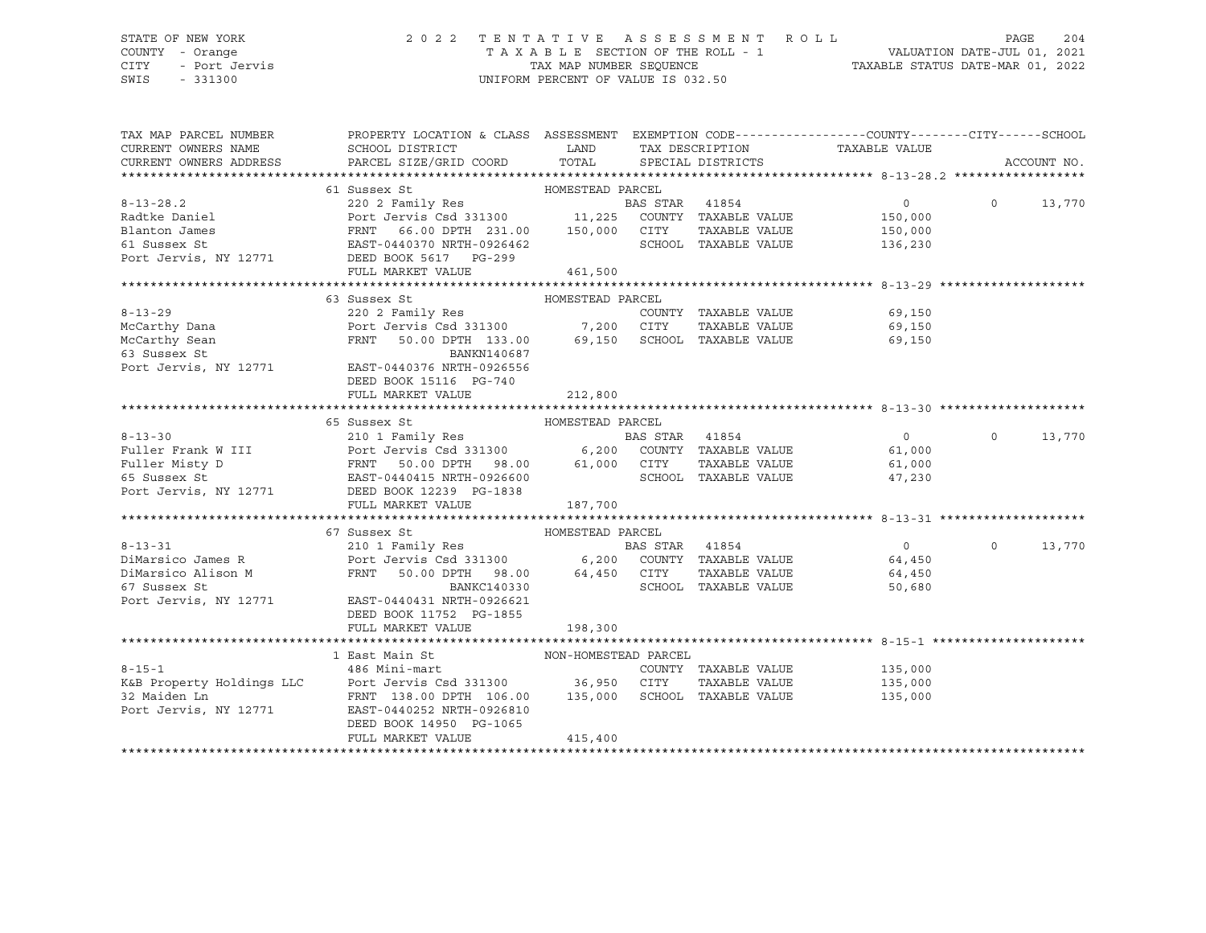### STATE OF NEW YORK 2 0 2 2 T E N T A T I V E A S S E S S M E N T R O L L PAGE 204 COUNTY - Orange T A X A B L E SECTION OF THE ROLL - 1 VALUATION DATE-JUL 01, 2021 CITY - Port Jervis TAX MAP NUMBER SEQUENCE TAXABLE STATUS DATE-MAR 01, 2022

| TAX MAP PARCEL NUMBER<br>CURRENT OWNERS NAME<br>CURRENT OWNERS ADDRESS | PROPERTY LOCATION & CLASS ASSESSMENT EXEMPTION CODE---------------COUNTY-------CITY------SCHOOL<br>SCHOOL DISTRICT<br>PARCEL SIZE/GRID COORD TOTAL SPECIAL DISTRICTS                                                                                                                                                                                                                                      | <b>EXAMPLE SERVICE SERVICE SERVICE SERVICE SERVICE SERVICE SERVICE SERVICE SERVICE SERVICE SERVICE SERVICE SERVICE</b> |                |                      | TAX DESCRIPTION TAXABLE VALUE                                                                                                                                                                                                                                                                                                      |                | ACCOUNT NO. |
|------------------------------------------------------------------------|-----------------------------------------------------------------------------------------------------------------------------------------------------------------------------------------------------------------------------------------------------------------------------------------------------------------------------------------------------------------------------------------------------------|------------------------------------------------------------------------------------------------------------------------|----------------|----------------------|------------------------------------------------------------------------------------------------------------------------------------------------------------------------------------------------------------------------------------------------------------------------------------------------------------------------------------|----------------|-------------|
|                                                                        |                                                                                                                                                                                                                                                                                                                                                                                                           |                                                                                                                        |                |                      |                                                                                                                                                                                                                                                                                                                                    |                |             |
|                                                                        |                                                                                                                                                                                                                                                                                                                                                                                                           |                                                                                                                        |                |                      | $\overline{0}$                                                                                                                                                                                                                                                                                                                     | $\Omega$       |             |
|                                                                        | $\begin{tabular}{lllllllllllll} \multicolumn{3}{c c c c c} \multicolumn{3}{c c c c} \multicolumn{3}{c c c c} \multicolumn{3}{c c c} \multicolumn{3}{c c c} \multicolumn{3}{c c c} \multicolumn{3}{c c c} \multicolumn{3}{c c c} \multicolumn{3}{c c c} \multicolumn{3}{c c c} \multicolumn{3}{c c c} \multicolumn{3}{c c c} \multicolumn{3}{c c c} \multicolumn{3}{c c c} \multicolumn{3}{c c c} \multic$ |                                                                                                                        |                |                      |                                                                                                                                                                                                                                                                                                                                    |                | 13,770      |
|                                                                        |                                                                                                                                                                                                                                                                                                                                                                                                           |                                                                                                                        |                |                      | 150,000<br>150,000                                                                                                                                                                                                                                                                                                                 |                |             |
|                                                                        |                                                                                                                                                                                                                                                                                                                                                                                                           |                                                                                                                        |                |                      |                                                                                                                                                                                                                                                                                                                                    |                |             |
|                                                                        |                                                                                                                                                                                                                                                                                                                                                                                                           |                                                                                                                        |                |                      | SCHOOL TAXABLE VALUE 136,230                                                                                                                                                                                                                                                                                                       |                |             |
|                                                                        |                                                                                                                                                                                                                                                                                                                                                                                                           |                                                                                                                        |                |                      |                                                                                                                                                                                                                                                                                                                                    |                |             |
|                                                                        |                                                                                                                                                                                                                                                                                                                                                                                                           | 461,500                                                                                                                |                |                      |                                                                                                                                                                                                                                                                                                                                    |                |             |
|                                                                        |                                                                                                                                                                                                                                                                                                                                                                                                           |                                                                                                                        |                |                      |                                                                                                                                                                                                                                                                                                                                    |                |             |
|                                                                        | 63 Sussex St                                                                                                                                                                                                                                                                                                                                                                                              | HOMESTEAD PARCEL                                                                                                       |                |                      |                                                                                                                                                                                                                                                                                                                                    |                |             |
| $8 - 13 - 29$                                                          |                                                                                                                                                                                                                                                                                                                                                                                                           |                                                                                                                        |                |                      | COUNTY TAXABLE VALUE 69,150                                                                                                                                                                                                                                                                                                        |                |             |
|                                                                        |                                                                                                                                                                                                                                                                                                                                                                                                           |                                                                                                                        |                |                      | 69,150<br>69,150                                                                                                                                                                                                                                                                                                                   |                |             |
| McCarthy Dana<br>McCarthy Sean<br>63 Sussex St                         |                                                                                                                                                                                                                                                                                                                                                                                                           |                                                                                                                        |                |                      | 69,150                                                                                                                                                                                                                                                                                                                             |                |             |
|                                                                        | BANKN140687                                                                                                                                                                                                                                                                                                                                                                                               |                                                                                                                        |                |                      |                                                                                                                                                                                                                                                                                                                                    |                |             |
| os Sussex Sc<br>Port Jervis, NY 12771                                  | EAST-0440376 NRTH-0926556                                                                                                                                                                                                                                                                                                                                                                                 |                                                                                                                        |                |                      |                                                                                                                                                                                                                                                                                                                                    |                |             |
|                                                                        | DEED BOOK 15116 PG-740                                                                                                                                                                                                                                                                                                                                                                                    |                                                                                                                        |                |                      |                                                                                                                                                                                                                                                                                                                                    |                |             |
|                                                                        | FULL MARKET VALUE                                                                                                                                                                                                                                                                                                                                                                                         | 212,800                                                                                                                |                |                      |                                                                                                                                                                                                                                                                                                                                    |                |             |
|                                                                        |                                                                                                                                                                                                                                                                                                                                                                                                           |                                                                                                                        |                |                      |                                                                                                                                                                                                                                                                                                                                    |                |             |
|                                                                        | 65 Sussex St                                                                                                                                                                                                                                                                                                                                                                                              |                                                                                                                        |                |                      |                                                                                                                                                                                                                                                                                                                                    |                |             |
| $8 - 13 - 30$                                                          |                                                                                                                                                                                                                                                                                                                                                                                                           |                                                                                                                        | BAS STAR 41854 |                      | $\overline{0}$ and $\overline{0}$ and $\overline{0}$ and $\overline{0}$ and $\overline{0}$ and $\overline{0}$ and $\overline{0}$ and $\overline{0}$ and $\overline{0}$ and $\overline{0}$ and $\overline{0}$ and $\overline{0}$ and $\overline{0}$ and $\overline{0}$ and $\overline{0}$ and $\overline{0}$ and $\overline{0}$ and | $\overline{0}$ | 13,770      |
|                                                                        |                                                                                                                                                                                                                                                                                                                                                                                                           |                                                                                                                        |                |                      |                                                                                                                                                                                                                                                                                                                                    |                |             |
|                                                                        |                                                                                                                                                                                                                                                                                                                                                                                                           |                                                                                                                        |                |                      |                                                                                                                                                                                                                                                                                                                                    |                |             |
|                                                                        |                                                                                                                                                                                                                                                                                                                                                                                                           |                                                                                                                        |                |                      |                                                                                                                                                                                                                                                                                                                                    |                |             |
|                                                                        |                                                                                                                                                                                                                                                                                                                                                                                                           |                                                                                                                        |                |                      |                                                                                                                                                                                                                                                                                                                                    |                |             |
|                                                                        | FULL MARKET VALUE                                                                                                                                                                                                                                                                                                                                                                                         | 187,700                                                                                                                |                |                      |                                                                                                                                                                                                                                                                                                                                    |                |             |
|                                                                        |                                                                                                                                                                                                                                                                                                                                                                                                           |                                                                                                                        |                |                      |                                                                                                                                                                                                                                                                                                                                    |                |             |
|                                                                        |                                                                                                                                                                                                                                                                                                                                                                                                           |                                                                                                                        |                |                      |                                                                                                                                                                                                                                                                                                                                    |                |             |
|                                                                        |                                                                                                                                                                                                                                                                                                                                                                                                           |                                                                                                                        |                |                      |                                                                                                                                                                                                                                                                                                                                    | $\Omega$       |             |
|                                                                        |                                                                                                                                                                                                                                                                                                                                                                                                           |                                                                                                                        |                |                      |                                                                                                                                                                                                                                                                                                                                    |                | 13,770      |
|                                                                        |                                                                                                                                                                                                                                                                                                                                                                                                           |                                                                                                                        |                |                      |                                                                                                                                                                                                                                                                                                                                    |                |             |
|                                                                        | 8-13-31<br>210 1 Family Res<br>210 1 Family Res<br>210 1 Family Res<br>210 1 Family Res<br>210 1 Family Res<br>210 1 Family Res<br>210 1 Family Res<br>210 1 Family Res<br>210 1 Family Res<br>210 64,450<br>210 6200 COUNTY TAXABLE VALUE<br>24,450<br>                                                                                                                                                  |                                                                                                                        |                |                      |                                                                                                                                                                                                                                                                                                                                    |                |             |
| 67 Sussex St                                                           | BANKC140330                                                                                                                                                                                                                                                                                                                                                                                               |                                                                                                                        |                | SCHOOL TAXABLE VALUE | 50,680                                                                                                                                                                                                                                                                                                                             |                |             |
| Port Jervis, NY 12771                                                  | EAST-0440431 NRTH-0926621                                                                                                                                                                                                                                                                                                                                                                                 |                                                                                                                        |                |                      |                                                                                                                                                                                                                                                                                                                                    |                |             |
|                                                                        | DEED BOOK 11752 PG-1855                                                                                                                                                                                                                                                                                                                                                                                   |                                                                                                                        |                |                      |                                                                                                                                                                                                                                                                                                                                    |                |             |
|                                                                        | FULL MARKET VALUE                                                                                                                                                                                                                                                                                                                                                                                         | 198,300                                                                                                                |                |                      |                                                                                                                                                                                                                                                                                                                                    |                |             |
|                                                                        |                                                                                                                                                                                                                                                                                                                                                                                                           |                                                                                                                        |                |                      |                                                                                                                                                                                                                                                                                                                                    |                |             |
|                                                                        |                                                                                                                                                                                                                                                                                                                                                                                                           |                                                                                                                        |                |                      |                                                                                                                                                                                                                                                                                                                                    |                |             |
| $8 - 15 - 1$                                                           | 486 Mini-mart                                                                                                                                                                                                                                                                                                                                                                                             |                                                                                                                        |                |                      | COUNTY TAXABLE VALUE 135,000                                                                                                                                                                                                                                                                                                       |                |             |
|                                                                        |                                                                                                                                                                                                                                                                                                                                                                                                           |                                                                                                                        |                |                      |                                                                                                                                                                                                                                                                                                                                    |                |             |
|                                                                        |                                                                                                                                                                                                                                                                                                                                                                                                           |                                                                                                                        |                |                      |                                                                                                                                                                                                                                                                                                                                    |                |             |
|                                                                        |                                                                                                                                                                                                                                                                                                                                                                                                           |                                                                                                                        |                |                      |                                                                                                                                                                                                                                                                                                                                    |                |             |
|                                                                        | DEED BOOK 14950 PG-1065                                                                                                                                                                                                                                                                                                                                                                                   |                                                                                                                        |                |                      |                                                                                                                                                                                                                                                                                                                                    |                |             |
|                                                                        | FULL MARKET VALUE                                                                                                                                                                                                                                                                                                                                                                                         | 415,400                                                                                                                |                |                      |                                                                                                                                                                                                                                                                                                                                    |                |             |
|                                                                        |                                                                                                                                                                                                                                                                                                                                                                                                           |                                                                                                                        |                |                      |                                                                                                                                                                                                                                                                                                                                    |                |             |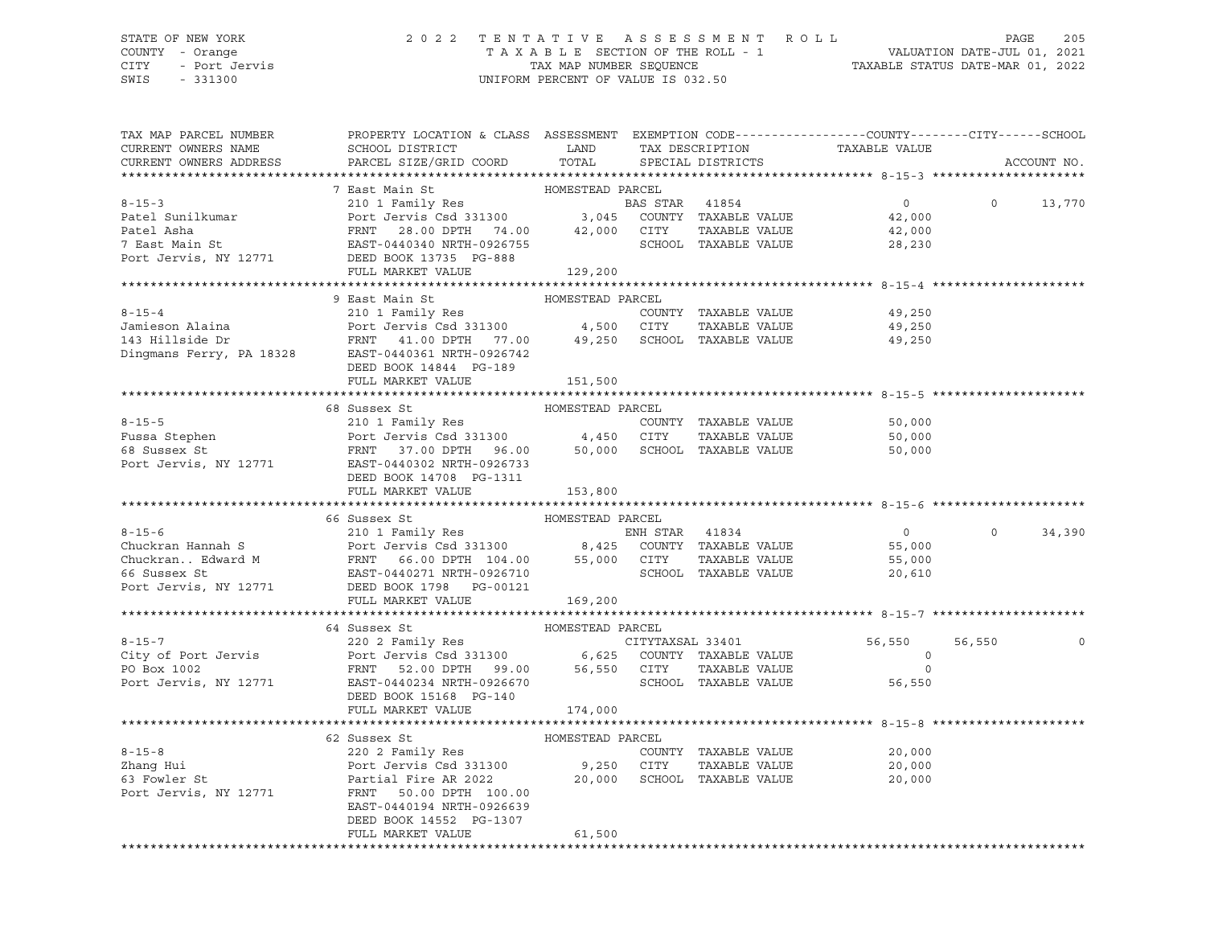## STATE OF NEW YORK 2 0 2 2 T E N T A T I V E A S S E S S M E N T R O L L PAGE 205 COUNTY - Orange T A X A B L E SECTION OF THE ROLL - 1 VALUATION DATE-JUL 01, 2021 CITY - Port Jervis TAX MAP NUMBER SEQUENCE TAXABLE STATUS DATE-MAR 01, 2022

| TAX MAP PARCEL NUMBER<br>CURRENT OWNERS NAME<br>CURRENT OWNERS ADDRESS | PROPERTY LOCATION & CLASS ASSESSMENT EXEMPTION CODE----------------COUNTY-------CITY------SCHOOL<br>SCHOOL DISTRICT LAND<br>PARCEL SIZE/GRID COORD                                                                                                                       | TOTAL            | TAX DESCRIPTION<br>SPECIAL DISTRICTS | TAXABLE VALUE  |          | ACCOUNT NO. |
|------------------------------------------------------------------------|--------------------------------------------------------------------------------------------------------------------------------------------------------------------------------------------------------------------------------------------------------------------------|------------------|--------------------------------------|----------------|----------|-------------|
|                                                                        |                                                                                                                                                                                                                                                                          |                  |                                      |                |          |             |
|                                                                        |                                                                                                                                                                                                                                                                          |                  |                                      |                |          |             |
|                                                                        |                                                                                                                                                                                                                                                                          |                  |                                      | $\overline{0}$ | $\circ$  | 13,770      |
|                                                                        |                                                                                                                                                                                                                                                                          |                  |                                      | 42,000         |          |             |
|                                                                        |                                                                                                                                                                                                                                                                          |                  |                                      | 42,000         |          |             |
|                                                                        |                                                                                                                                                                                                                                                                          |                  |                                      | 28,230         |          |             |
|                                                                        |                                                                                                                                                                                                                                                                          |                  |                                      |                |          |             |
|                                                                        | % -15-3<br>210 1 Family Res<br>Parcel Sunilkumar<br>Parcel Sunilkumar<br>Parcel Asha<br>Parcel Asha<br>Parcel Asha<br>Parcel Asha<br>Parcel Asha<br>Parcel Asha<br>Parcel Asha<br>Parcel Asha<br>Parcel Asha<br>Parcel Asha<br>Parcel Asha<br>Parcel Asha<br>P           |                  |                                      |                |          |             |
|                                                                        |                                                                                                                                                                                                                                                                          |                  |                                      |                |          |             |
|                                                                        | 9 East Main St<br>8-15-4<br>210 1 Family Res<br>210 1 Family Res<br>210 1 Family Res<br>210 1 Family Res<br>210 1 Family Res<br>210 1 Family Res<br>210 21 Family Res<br>210 21 Family Res<br>210 21 Family Res<br>210 2000 211 FAXABLE VALUE<br>210 2007 4,500 CITY<br> | HOMESTEAD PARCEL |                                      |                |          |             |
|                                                                        |                                                                                                                                                                                                                                                                          |                  |                                      | 49,250         |          |             |
|                                                                        |                                                                                                                                                                                                                                                                          |                  |                                      | 49,250         |          |             |
|                                                                        |                                                                                                                                                                                                                                                                          |                  |                                      | 49,250         |          |             |
|                                                                        |                                                                                                                                                                                                                                                                          |                  |                                      |                |          |             |
|                                                                        | DEED BOOK 14844 PG-189                                                                                                                                                                                                                                                   |                  |                                      |                |          |             |
|                                                                        | FULL MARKET VALUE                                                                                                                                                                                                                                                        | 151,500          |                                      |                |          |             |
|                                                                        |                                                                                                                                                                                                                                                                          |                  |                                      |                |          |             |
|                                                                        |                                                                                                                                                                                                                                                                          |                  |                                      |                |          |             |
|                                                                        |                                                                                                                                                                                                                                                                          |                  |                                      |                |          |             |
|                                                                        |                                                                                                                                                                                                                                                                          |                  |                                      |                |          |             |
|                                                                        |                                                                                                                                                                                                                                                                          |                  |                                      |                |          |             |
|                                                                        |                                                                                                                                                                                                                                                                          |                  |                                      |                |          |             |
|                                                                        |                                                                                                                                                                                                                                                                          |                  |                                      |                |          |             |
|                                                                        | FULL MARKET VALUE                                                                                                                                                                                                                                                        | 153,800          |                                      |                |          |             |
|                                                                        | 66 Sussex St                                                                                                                                                                                                                                                             | HOMESTEAD PARCEL |                                      |                |          |             |
|                                                                        | 8-15-6<br>Chuckran Hannah S<br>Chuckran . Edward M<br>Chuckran . Edward M<br>Chuckran . Edward M<br>Chuckran . Edward M<br>EXST-0440271 NRTH-0926710<br>Port Jervis, NY 12771<br>DEED BOOK 1798 PG-00121<br>METH-0926710<br>Port SCHOOL TAXABLE VA                       |                  |                                      |                | $\Omega$ | 34,390      |
|                                                                        |                                                                                                                                                                                                                                                                          |                  |                                      |                |          |             |
|                                                                        |                                                                                                                                                                                                                                                                          |                  |                                      |                |          |             |
|                                                                        |                                                                                                                                                                                                                                                                          |                  |                                      |                |          |             |
|                                                                        |                                                                                                                                                                                                                                                                          |                  |                                      |                |          |             |
|                                                                        | FULL MARKET VALUE 169,200                                                                                                                                                                                                                                                |                  |                                      |                |          |             |
|                                                                        |                                                                                                                                                                                                                                                                          |                  |                                      |                |          |             |
|                                                                        | 64 Sussex St                                                                                                                                                                                                                                                             | HOMESTEAD PARCEL |                                      |                |          |             |
|                                                                        |                                                                                                                                                                                                                                                                          |                  |                                      |                | 56,550   |             |
|                                                                        |                                                                                                                                                                                                                                                                          |                  |                                      |                |          |             |
|                                                                        |                                                                                                                                                                                                                                                                          |                  |                                      |                |          |             |
|                                                                        |                                                                                                                                                                                                                                                                          |                  |                                      |                |          |             |
|                                                                        | DEED BOOK 15168 PG-140                                                                                                                                                                                                                                                   |                  |                                      |                |          |             |
|                                                                        | FULL MARKET VALUE                                                                                                                                                                                                                                                        | 174,000          |                                      |                |          |             |
|                                                                        |                                                                                                                                                                                                                                                                          |                  |                                      |                |          |             |
|                                                                        | 62 Sussex St                                                                                                                                                                                                                                                             | HOMESTEAD PARCEL |                                      |                |          |             |
| $8 - 15 - 8$                                                           |                                                                                                                                                                                                                                                                          |                  |                                      |                |          |             |
|                                                                        |                                                                                                                                                                                                                                                                          |                  |                                      |                |          |             |
| Zhang Hui<br>63 Fowler St                                              |                                                                                                                                                                                                                                                                          |                  |                                      |                |          |             |
| Port Jervis, NY 12771                                                  | FRNT 50.00 DPTH 100.00                                                                                                                                                                                                                                                   |                  |                                      |                |          |             |
|                                                                        | EAST-0440194 NRTH-0926639                                                                                                                                                                                                                                                |                  |                                      |                |          |             |
|                                                                        | DEED BOOK 14552 PG-1307                                                                                                                                                                                                                                                  |                  |                                      |                |          |             |
|                                                                        | FULL MARKET VALUE                                                                                                                                                                                                                                                        | 61,500           |                                      |                |          |             |
|                                                                        |                                                                                                                                                                                                                                                                          |                  |                                      |                |          |             |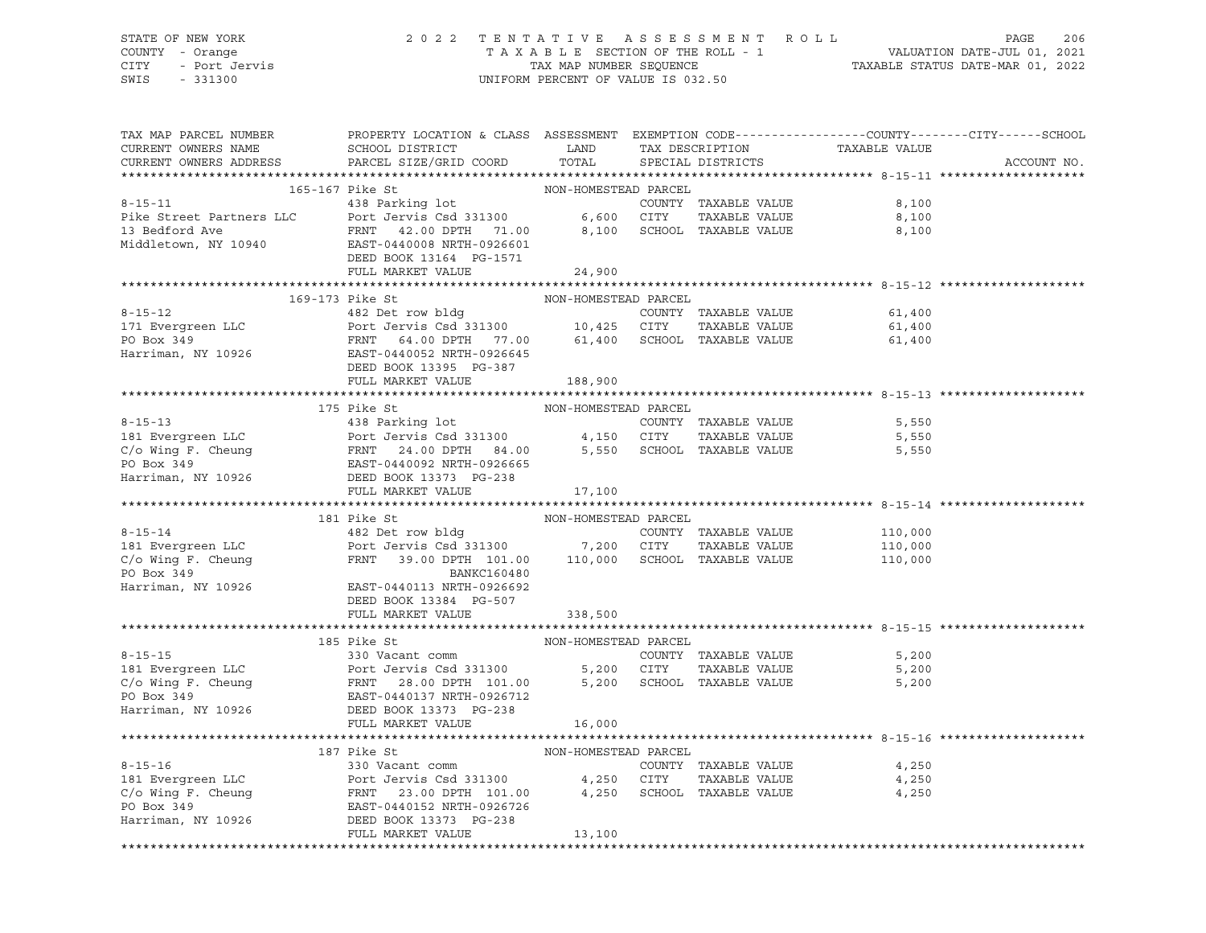# STATE OF NEW YORK 2 0 2 2 T E N T A T I V E A S S E S S M E N T R O L L PAGE 206 COUNTY - Orange T A X A B L E SECTION OF THE ROLL - 1 VALUATION DATE-JUL 01, 2021 CITY - Port Jervis TAX MAP NUMBER SEQUENCE TAXABLE STATUS DATE-MAR 01, 2022

| SCHOOL DISTRICT LAND<br>TAX DESCRIPTION TAXABLE VALUE SPECIAL DISTRICTS<br>PARCEL SIZE/GRID COORD<br>CURRENT OWNERS ADDRESS<br>TOTAL<br>ACCOUNT NO.<br>$\begin{tabular}{l c c c c c} \multicolumn{4}{c }{\textbf{8-15-11}} & \multicolumn{4}{c }{\textbf{165-167}~{\textbf{Pike St}} & \multicolumn{4}{c }{\textbf{165-167}~{\textbf{Pike St}} & \multicolumn{4}{c }{\textbf{165-167}~{\textbf{Pike St}} & \multicolumn{4}{c }{\textbf{165-167}~{\textbf{Pike St}} & \multicolumn{4}{c }{\textbf{165-167}~{\textbf{Pike St}} & \multicolumn{4}{c }{\textbf{165-1$<br>FULL MARKET VALUE<br>24,900<br>COUNTY TAXABLE VALUE 61,400<br>61,400<br>61,400<br>188,900<br>175 Pike State MON-HOMESTEAD PRINT<br>175 Pike State MON-HOMESTEAD PRINT TAXABLE VALUE<br>181 Evergreen LLC<br>C/o Wing F. Cheung<br>FRNT 24.00 DPTH 84.00<br>EAST-0440092 NRTH-0926665<br>Harriman, NY 10926<br>DEED BOOK 13373 PG-238<br>FUL<br>5,550<br>TAXABLE VALUE 5,550<br>TAXABLE VALUE 5,550<br>$\begin{tabular}{lllllllllll} \multicolumn{3}{c }{\textbf{8-15-14}} & \multicolumn{3}{c }{\textbf{10,000}} & \multicolumn{3}{c }{\textbf{2-15-14}} & \multicolumn{3}{c }{\textbf{2-15-14}} & \multicolumn{3}{c }{\textbf{2-15-14}} & \multicolumn{3}{c }{\textbf{2-15-14}} & \multicolumn{3}{c }{\textbf{2-15-14}} & \multicolumn{3}{c }{\textbf{2-15-14}} & \multicolumn{3}{c }{\textbf{2-15-14}} & \$<br>DEED BOOK 13384 PG-507<br>338,500<br>FULL MARKET VALUE<br>NON-HOMESTEAD PARCEL<br>185 Pike St<br>$8 - 15 - 15$<br>8-15-15<br>181 Evergreen LLC<br>181 Evergreen LLC<br>C/o Wing F. Cheung<br>181 Evergreen LLC<br>181 Evergreen LLC<br>181 Evergreen LLC<br>181 Evergreen LLC<br>181 Evergreen LLC<br>181 Evergreen LLC<br>181 Evergreen LLC<br>1820 Ever Jervis Csd 3<br>$\begin{tabular}{lllllllllllll} \multicolumn{3}{c}{\begin{tabular}{l} \multicolumn{3}{c}{\begin{tabular}{l} \multicolumn{3}{c}{\begin{tabular}{l} \multicolumn{3}{c}{\begin{tabular}{l} \multicolumn{3}{c}{\begin{tabular}{l} \multicolumn{3}{c}{\begin{tabular}{l} \multicolumn{3}{c}{\begin{tabular}{l} \multicolumn{3}{c}{\begin{tabular}{l} \multicolumn{3}{c}{\begin{tabular}{l} \multicolumn{3}{c}{\begin{tabular}{l} \multicolumn{3}{c}{\begin{tabular}{l} \multicolumn{3}{c}{\begin{tabular}{l} \mult$<br>4,250<br>TAXABLE VALUE 4,250<br>4,250 | TAX MAP PARCEL NUMBER<br>CURRENT OWNERS NAME | PROPERTY LOCATION & CLASS ASSESSMENT EXEMPTION CODE---------------COUNTY-------CITY------SCHOOL |  |  |  |
|-------------------------------------------------------------------------------------------------------------------------------------------------------------------------------------------------------------------------------------------------------------------------------------------------------------------------------------------------------------------------------------------------------------------------------------------------------------------------------------------------------------------------------------------------------------------------------------------------------------------------------------------------------------------------------------------------------------------------------------------------------------------------------------------------------------------------------------------------------------------------------------------------------------------------------------------------------------------------------------------------------------------------------------------------------------------------------------------------------------------------------------------------------------------------------------------------------------------------------------------------------------------------------------------------------------------------------------------------------------------------------------------------------------------------------------------------------------------------------------------------------------------------------------------------------------------------------------------------------------------------------------------------------------------------------------------------------------------------------------------------------------------------------------------------------------------------------------------------------------------------------------------------------------------------------------------------------------------------------------------------------------------------------------------------------------------------------------------------------------------------------------------------------------------------------------------------------------------------------------------------------------------------------------------------------------------------|----------------------------------------------|-------------------------------------------------------------------------------------------------|--|--|--|
|                                                                                                                                                                                                                                                                                                                                                                                                                                                                                                                                                                                                                                                                                                                                                                                                                                                                                                                                                                                                                                                                                                                                                                                                                                                                                                                                                                                                                                                                                                                                                                                                                                                                                                                                                                                                                                                                                                                                                                                                                                                                                                                                                                                                                                                                                                                         |                                              |                                                                                                 |  |  |  |
|                                                                                                                                                                                                                                                                                                                                                                                                                                                                                                                                                                                                                                                                                                                                                                                                                                                                                                                                                                                                                                                                                                                                                                                                                                                                                                                                                                                                                                                                                                                                                                                                                                                                                                                                                                                                                                                                                                                                                                                                                                                                                                                                                                                                                                                                                                                         |                                              |                                                                                                 |  |  |  |
|                                                                                                                                                                                                                                                                                                                                                                                                                                                                                                                                                                                                                                                                                                                                                                                                                                                                                                                                                                                                                                                                                                                                                                                                                                                                                                                                                                                                                                                                                                                                                                                                                                                                                                                                                                                                                                                                                                                                                                                                                                                                                                                                                                                                                                                                                                                         |                                              |                                                                                                 |  |  |  |
|                                                                                                                                                                                                                                                                                                                                                                                                                                                                                                                                                                                                                                                                                                                                                                                                                                                                                                                                                                                                                                                                                                                                                                                                                                                                                                                                                                                                                                                                                                                                                                                                                                                                                                                                                                                                                                                                                                                                                                                                                                                                                                                                                                                                                                                                                                                         |                                              |                                                                                                 |  |  |  |
|                                                                                                                                                                                                                                                                                                                                                                                                                                                                                                                                                                                                                                                                                                                                                                                                                                                                                                                                                                                                                                                                                                                                                                                                                                                                                                                                                                                                                                                                                                                                                                                                                                                                                                                                                                                                                                                                                                                                                                                                                                                                                                                                                                                                                                                                                                                         |                                              |                                                                                                 |  |  |  |
|                                                                                                                                                                                                                                                                                                                                                                                                                                                                                                                                                                                                                                                                                                                                                                                                                                                                                                                                                                                                                                                                                                                                                                                                                                                                                                                                                                                                                                                                                                                                                                                                                                                                                                                                                                                                                                                                                                                                                                                                                                                                                                                                                                                                                                                                                                                         |                                              |                                                                                                 |  |  |  |
|                                                                                                                                                                                                                                                                                                                                                                                                                                                                                                                                                                                                                                                                                                                                                                                                                                                                                                                                                                                                                                                                                                                                                                                                                                                                                                                                                                                                                                                                                                                                                                                                                                                                                                                                                                                                                                                                                                                                                                                                                                                                                                                                                                                                                                                                                                                         |                                              |                                                                                                 |  |  |  |
|                                                                                                                                                                                                                                                                                                                                                                                                                                                                                                                                                                                                                                                                                                                                                                                                                                                                                                                                                                                                                                                                                                                                                                                                                                                                                                                                                                                                                                                                                                                                                                                                                                                                                                                                                                                                                                                                                                                                                                                                                                                                                                                                                                                                                                                                                                                         |                                              |                                                                                                 |  |  |  |
|                                                                                                                                                                                                                                                                                                                                                                                                                                                                                                                                                                                                                                                                                                                                                                                                                                                                                                                                                                                                                                                                                                                                                                                                                                                                                                                                                                                                                                                                                                                                                                                                                                                                                                                                                                                                                                                                                                                                                                                                                                                                                                                                                                                                                                                                                                                         |                                              |                                                                                                 |  |  |  |
|                                                                                                                                                                                                                                                                                                                                                                                                                                                                                                                                                                                                                                                                                                                                                                                                                                                                                                                                                                                                                                                                                                                                                                                                                                                                                                                                                                                                                                                                                                                                                                                                                                                                                                                                                                                                                                                                                                                                                                                                                                                                                                                                                                                                                                                                                                                         |                                              |                                                                                                 |  |  |  |
|                                                                                                                                                                                                                                                                                                                                                                                                                                                                                                                                                                                                                                                                                                                                                                                                                                                                                                                                                                                                                                                                                                                                                                                                                                                                                                                                                                                                                                                                                                                                                                                                                                                                                                                                                                                                                                                                                                                                                                                                                                                                                                                                                                                                                                                                                                                         |                                              |                                                                                                 |  |  |  |
|                                                                                                                                                                                                                                                                                                                                                                                                                                                                                                                                                                                                                                                                                                                                                                                                                                                                                                                                                                                                                                                                                                                                                                                                                                                                                                                                                                                                                                                                                                                                                                                                                                                                                                                                                                                                                                                                                                                                                                                                                                                                                                                                                                                                                                                                                                                         |                                              |                                                                                                 |  |  |  |
|                                                                                                                                                                                                                                                                                                                                                                                                                                                                                                                                                                                                                                                                                                                                                                                                                                                                                                                                                                                                                                                                                                                                                                                                                                                                                                                                                                                                                                                                                                                                                                                                                                                                                                                                                                                                                                                                                                                                                                                                                                                                                                                                                                                                                                                                                                                         |                                              |                                                                                                 |  |  |  |
|                                                                                                                                                                                                                                                                                                                                                                                                                                                                                                                                                                                                                                                                                                                                                                                                                                                                                                                                                                                                                                                                                                                                                                                                                                                                                                                                                                                                                                                                                                                                                                                                                                                                                                                                                                                                                                                                                                                                                                                                                                                                                                                                                                                                                                                                                                                         |                                              |                                                                                                 |  |  |  |
|                                                                                                                                                                                                                                                                                                                                                                                                                                                                                                                                                                                                                                                                                                                                                                                                                                                                                                                                                                                                                                                                                                                                                                                                                                                                                                                                                                                                                                                                                                                                                                                                                                                                                                                                                                                                                                                                                                                                                                                                                                                                                                                                                                                                                                                                                                                         |                                              |                                                                                                 |  |  |  |
|                                                                                                                                                                                                                                                                                                                                                                                                                                                                                                                                                                                                                                                                                                                                                                                                                                                                                                                                                                                                                                                                                                                                                                                                                                                                                                                                                                                                                                                                                                                                                                                                                                                                                                                                                                                                                                                                                                                                                                                                                                                                                                                                                                                                                                                                                                                         |                                              |                                                                                                 |  |  |  |
|                                                                                                                                                                                                                                                                                                                                                                                                                                                                                                                                                                                                                                                                                                                                                                                                                                                                                                                                                                                                                                                                                                                                                                                                                                                                                                                                                                                                                                                                                                                                                                                                                                                                                                                                                                                                                                                                                                                                                                                                                                                                                                                                                                                                                                                                                                                         |                                              |                                                                                                 |  |  |  |
|                                                                                                                                                                                                                                                                                                                                                                                                                                                                                                                                                                                                                                                                                                                                                                                                                                                                                                                                                                                                                                                                                                                                                                                                                                                                                                                                                                                                                                                                                                                                                                                                                                                                                                                                                                                                                                                                                                                                                                                                                                                                                                                                                                                                                                                                                                                         |                                              |                                                                                                 |  |  |  |
|                                                                                                                                                                                                                                                                                                                                                                                                                                                                                                                                                                                                                                                                                                                                                                                                                                                                                                                                                                                                                                                                                                                                                                                                                                                                                                                                                                                                                                                                                                                                                                                                                                                                                                                                                                                                                                                                                                                                                                                                                                                                                                                                                                                                                                                                                                                         |                                              |                                                                                                 |  |  |  |
|                                                                                                                                                                                                                                                                                                                                                                                                                                                                                                                                                                                                                                                                                                                                                                                                                                                                                                                                                                                                                                                                                                                                                                                                                                                                                                                                                                                                                                                                                                                                                                                                                                                                                                                                                                                                                                                                                                                                                                                                                                                                                                                                                                                                                                                                                                                         |                                              |                                                                                                 |  |  |  |
|                                                                                                                                                                                                                                                                                                                                                                                                                                                                                                                                                                                                                                                                                                                                                                                                                                                                                                                                                                                                                                                                                                                                                                                                                                                                                                                                                                                                                                                                                                                                                                                                                                                                                                                                                                                                                                                                                                                                                                                                                                                                                                                                                                                                                                                                                                                         |                                              |                                                                                                 |  |  |  |
|                                                                                                                                                                                                                                                                                                                                                                                                                                                                                                                                                                                                                                                                                                                                                                                                                                                                                                                                                                                                                                                                                                                                                                                                                                                                                                                                                                                                                                                                                                                                                                                                                                                                                                                                                                                                                                                                                                                                                                                                                                                                                                                                                                                                                                                                                                                         |                                              |                                                                                                 |  |  |  |
|                                                                                                                                                                                                                                                                                                                                                                                                                                                                                                                                                                                                                                                                                                                                                                                                                                                                                                                                                                                                                                                                                                                                                                                                                                                                                                                                                                                                                                                                                                                                                                                                                                                                                                                                                                                                                                                                                                                                                                                                                                                                                                                                                                                                                                                                                                                         |                                              |                                                                                                 |  |  |  |
|                                                                                                                                                                                                                                                                                                                                                                                                                                                                                                                                                                                                                                                                                                                                                                                                                                                                                                                                                                                                                                                                                                                                                                                                                                                                                                                                                                                                                                                                                                                                                                                                                                                                                                                                                                                                                                                                                                                                                                                                                                                                                                                                                                                                                                                                                                                         |                                              |                                                                                                 |  |  |  |
|                                                                                                                                                                                                                                                                                                                                                                                                                                                                                                                                                                                                                                                                                                                                                                                                                                                                                                                                                                                                                                                                                                                                                                                                                                                                                                                                                                                                                                                                                                                                                                                                                                                                                                                                                                                                                                                                                                                                                                                                                                                                                                                                                                                                                                                                                                                         |                                              |                                                                                                 |  |  |  |
|                                                                                                                                                                                                                                                                                                                                                                                                                                                                                                                                                                                                                                                                                                                                                                                                                                                                                                                                                                                                                                                                                                                                                                                                                                                                                                                                                                                                                                                                                                                                                                                                                                                                                                                                                                                                                                                                                                                                                                                                                                                                                                                                                                                                                                                                                                                         |                                              |                                                                                                 |  |  |  |
|                                                                                                                                                                                                                                                                                                                                                                                                                                                                                                                                                                                                                                                                                                                                                                                                                                                                                                                                                                                                                                                                                                                                                                                                                                                                                                                                                                                                                                                                                                                                                                                                                                                                                                                                                                                                                                                                                                                                                                                                                                                                                                                                                                                                                                                                                                                         |                                              |                                                                                                 |  |  |  |
|                                                                                                                                                                                                                                                                                                                                                                                                                                                                                                                                                                                                                                                                                                                                                                                                                                                                                                                                                                                                                                                                                                                                                                                                                                                                                                                                                                                                                                                                                                                                                                                                                                                                                                                                                                                                                                                                                                                                                                                                                                                                                                                                                                                                                                                                                                                         |                                              |                                                                                                 |  |  |  |
|                                                                                                                                                                                                                                                                                                                                                                                                                                                                                                                                                                                                                                                                                                                                                                                                                                                                                                                                                                                                                                                                                                                                                                                                                                                                                                                                                                                                                                                                                                                                                                                                                                                                                                                                                                                                                                                                                                                                                                                                                                                                                                                                                                                                                                                                                                                         |                                              |                                                                                                 |  |  |  |
|                                                                                                                                                                                                                                                                                                                                                                                                                                                                                                                                                                                                                                                                                                                                                                                                                                                                                                                                                                                                                                                                                                                                                                                                                                                                                                                                                                                                                                                                                                                                                                                                                                                                                                                                                                                                                                                                                                                                                                                                                                                                                                                                                                                                                                                                                                                         |                                              |                                                                                                 |  |  |  |
|                                                                                                                                                                                                                                                                                                                                                                                                                                                                                                                                                                                                                                                                                                                                                                                                                                                                                                                                                                                                                                                                                                                                                                                                                                                                                                                                                                                                                                                                                                                                                                                                                                                                                                                                                                                                                                                                                                                                                                                                                                                                                                                                                                                                                                                                                                                         |                                              |                                                                                                 |  |  |  |
|                                                                                                                                                                                                                                                                                                                                                                                                                                                                                                                                                                                                                                                                                                                                                                                                                                                                                                                                                                                                                                                                                                                                                                                                                                                                                                                                                                                                                                                                                                                                                                                                                                                                                                                                                                                                                                                                                                                                                                                                                                                                                                                                                                                                                                                                                                                         |                                              |                                                                                                 |  |  |  |
|                                                                                                                                                                                                                                                                                                                                                                                                                                                                                                                                                                                                                                                                                                                                                                                                                                                                                                                                                                                                                                                                                                                                                                                                                                                                                                                                                                                                                                                                                                                                                                                                                                                                                                                                                                                                                                                                                                                                                                                                                                                                                                                                                                                                                                                                                                                         |                                              |                                                                                                 |  |  |  |
|                                                                                                                                                                                                                                                                                                                                                                                                                                                                                                                                                                                                                                                                                                                                                                                                                                                                                                                                                                                                                                                                                                                                                                                                                                                                                                                                                                                                                                                                                                                                                                                                                                                                                                                                                                                                                                                                                                                                                                                                                                                                                                                                                                                                                                                                                                                         |                                              |                                                                                                 |  |  |  |
|                                                                                                                                                                                                                                                                                                                                                                                                                                                                                                                                                                                                                                                                                                                                                                                                                                                                                                                                                                                                                                                                                                                                                                                                                                                                                                                                                                                                                                                                                                                                                                                                                                                                                                                                                                                                                                                                                                                                                                                                                                                                                                                                                                                                                                                                                                                         |                                              |                                                                                                 |  |  |  |
|                                                                                                                                                                                                                                                                                                                                                                                                                                                                                                                                                                                                                                                                                                                                                                                                                                                                                                                                                                                                                                                                                                                                                                                                                                                                                                                                                                                                                                                                                                                                                                                                                                                                                                                                                                                                                                                                                                                                                                                                                                                                                                                                                                                                                                                                                                                         |                                              |                                                                                                 |  |  |  |
|                                                                                                                                                                                                                                                                                                                                                                                                                                                                                                                                                                                                                                                                                                                                                                                                                                                                                                                                                                                                                                                                                                                                                                                                                                                                                                                                                                                                                                                                                                                                                                                                                                                                                                                                                                                                                                                                                                                                                                                                                                                                                                                                                                                                                                                                                                                         |                                              |                                                                                                 |  |  |  |
|                                                                                                                                                                                                                                                                                                                                                                                                                                                                                                                                                                                                                                                                                                                                                                                                                                                                                                                                                                                                                                                                                                                                                                                                                                                                                                                                                                                                                                                                                                                                                                                                                                                                                                                                                                                                                                                                                                                                                                                                                                                                                                                                                                                                                                                                                                                         |                                              |                                                                                                 |  |  |  |
|                                                                                                                                                                                                                                                                                                                                                                                                                                                                                                                                                                                                                                                                                                                                                                                                                                                                                                                                                                                                                                                                                                                                                                                                                                                                                                                                                                                                                                                                                                                                                                                                                                                                                                                                                                                                                                                                                                                                                                                                                                                                                                                                                                                                                                                                                                                         |                                              |                                                                                                 |  |  |  |
|                                                                                                                                                                                                                                                                                                                                                                                                                                                                                                                                                                                                                                                                                                                                                                                                                                                                                                                                                                                                                                                                                                                                                                                                                                                                                                                                                                                                                                                                                                                                                                                                                                                                                                                                                                                                                                                                                                                                                                                                                                                                                                                                                                                                                                                                                                                         |                                              |                                                                                                 |  |  |  |
|                                                                                                                                                                                                                                                                                                                                                                                                                                                                                                                                                                                                                                                                                                                                                                                                                                                                                                                                                                                                                                                                                                                                                                                                                                                                                                                                                                                                                                                                                                                                                                                                                                                                                                                                                                                                                                                                                                                                                                                                                                                                                                                                                                                                                                                                                                                         |                                              |                                                                                                 |  |  |  |
|                                                                                                                                                                                                                                                                                                                                                                                                                                                                                                                                                                                                                                                                                                                                                                                                                                                                                                                                                                                                                                                                                                                                                                                                                                                                                                                                                                                                                                                                                                                                                                                                                                                                                                                                                                                                                                                                                                                                                                                                                                                                                                                                                                                                                                                                                                                         |                                              |                                                                                                 |  |  |  |
|                                                                                                                                                                                                                                                                                                                                                                                                                                                                                                                                                                                                                                                                                                                                                                                                                                                                                                                                                                                                                                                                                                                                                                                                                                                                                                                                                                                                                                                                                                                                                                                                                                                                                                                                                                                                                                                                                                                                                                                                                                                                                                                                                                                                                                                                                                                         |                                              |                                                                                                 |  |  |  |
|                                                                                                                                                                                                                                                                                                                                                                                                                                                                                                                                                                                                                                                                                                                                                                                                                                                                                                                                                                                                                                                                                                                                                                                                                                                                                                                                                                                                                                                                                                                                                                                                                                                                                                                                                                                                                                                                                                                                                                                                                                                                                                                                                                                                                                                                                                                         |                                              |                                                                                                 |  |  |  |
|                                                                                                                                                                                                                                                                                                                                                                                                                                                                                                                                                                                                                                                                                                                                                                                                                                                                                                                                                                                                                                                                                                                                                                                                                                                                                                                                                                                                                                                                                                                                                                                                                                                                                                                                                                                                                                                                                                                                                                                                                                                                                                                                                                                                                                                                                                                         |                                              |                                                                                                 |  |  |  |
|                                                                                                                                                                                                                                                                                                                                                                                                                                                                                                                                                                                                                                                                                                                                                                                                                                                                                                                                                                                                                                                                                                                                                                                                                                                                                                                                                                                                                                                                                                                                                                                                                                                                                                                                                                                                                                                                                                                                                                                                                                                                                                                                                                                                                                                                                                                         |                                              |                                                                                                 |  |  |  |
|                                                                                                                                                                                                                                                                                                                                                                                                                                                                                                                                                                                                                                                                                                                                                                                                                                                                                                                                                                                                                                                                                                                                                                                                                                                                                                                                                                                                                                                                                                                                                                                                                                                                                                                                                                                                                                                                                                                                                                                                                                                                                                                                                                                                                                                                                                                         |                                              |                                                                                                 |  |  |  |
|                                                                                                                                                                                                                                                                                                                                                                                                                                                                                                                                                                                                                                                                                                                                                                                                                                                                                                                                                                                                                                                                                                                                                                                                                                                                                                                                                                                                                                                                                                                                                                                                                                                                                                                                                                                                                                                                                                                                                                                                                                                                                                                                                                                                                                                                                                                         |                                              |                                                                                                 |  |  |  |
|                                                                                                                                                                                                                                                                                                                                                                                                                                                                                                                                                                                                                                                                                                                                                                                                                                                                                                                                                                                                                                                                                                                                                                                                                                                                                                                                                                                                                                                                                                                                                                                                                                                                                                                                                                                                                                                                                                                                                                                                                                                                                                                                                                                                                                                                                                                         |                                              |                                                                                                 |  |  |  |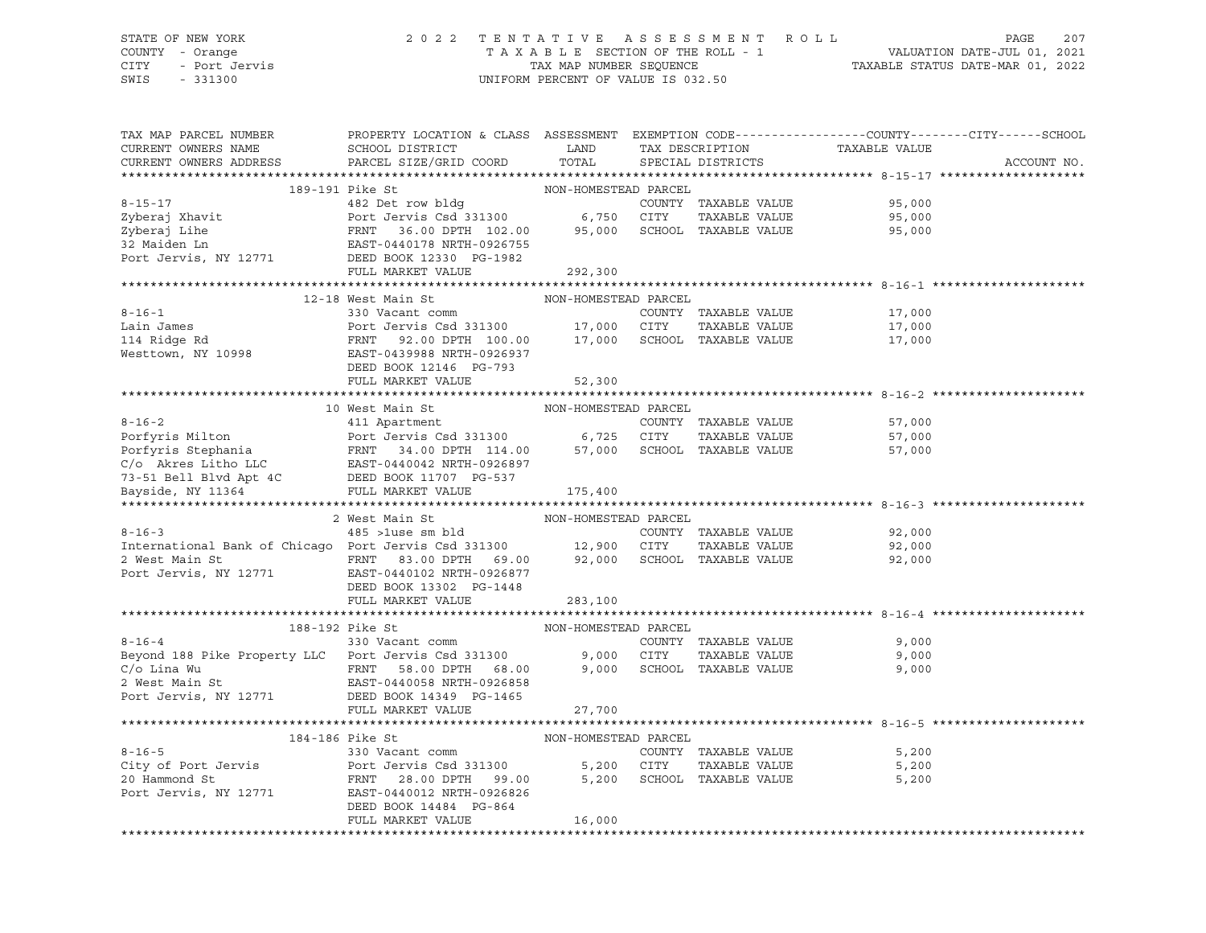#### STATE OF NEW YORK 2 0 2 2 T E N T A T I V E A S S E S S M E N T R O L L PAGE 207 COUNTY - Orange T A X A B L E SECTION OF THE ROLL - 1 VALUATION DATE-JUL 01, 2021 CITY - Port Jervis TAX MAP NUMBER SEQUENCE TAXABLE STATUS DATE-MAR 01, 2022

| TAX MAP PARCEL NUMBER<br>CURRENT OWNERS NAME<br>CURRENT OWNERS ADDRESS                                                                                                                                                                                                                                                                                                                                                                                                               | PROPERTY LOCATION & CLASS ASSESSMENT EXEMPTION CODE---------------COUNTY-------CITY------SCHOOL<br><b>EXAMPLE SERVICE SERVICE SERVICE SERVICE SERVICE SERVICE SERVICE SERVICE SERVICE SERVICE SERVICE SERVICE SERVICE</b><br>SCHOOL DISTRICT<br>PARCEL SIZE/GRID COORD | TOTAL                |                                                   | TAX DESCRIPTION TAXABLE VALUE SPECIAL DISTRICTS | ACCOUNT NO. |
|--------------------------------------------------------------------------------------------------------------------------------------------------------------------------------------------------------------------------------------------------------------------------------------------------------------------------------------------------------------------------------------------------------------------------------------------------------------------------------------|------------------------------------------------------------------------------------------------------------------------------------------------------------------------------------------------------------------------------------------------------------------------|----------------------|---------------------------------------------------|-------------------------------------------------|-------------|
|                                                                                                                                                                                                                                                                                                                                                                                                                                                                                      |                                                                                                                                                                                                                                                                        |                      |                                                   |                                                 |             |
|                                                                                                                                                                                                                                                                                                                                                                                                                                                                                      |                                                                                                                                                                                                                                                                        |                      |                                                   |                                                 |             |
|                                                                                                                                                                                                                                                                                                                                                                                                                                                                                      |                                                                                                                                                                                                                                                                        |                      |                                                   | COUNTY TAXABLE VALUE 95,000                     |             |
|                                                                                                                                                                                                                                                                                                                                                                                                                                                                                      |                                                                                                                                                                                                                                                                        |                      |                                                   | 95,000                                          |             |
|                                                                                                                                                                                                                                                                                                                                                                                                                                                                                      |                                                                                                                                                                                                                                                                        |                      |                                                   | 95,000                                          |             |
|                                                                                                                                                                                                                                                                                                                                                                                                                                                                                      |                                                                                                                                                                                                                                                                        |                      |                                                   |                                                 |             |
| $\begin{tabular}{lllllllllll} \multicolumn{3}{c}{\textbf{8-15-17}} & \multicolumn{3}{c}{\textbf{100N-HOMESTED PARCH}} & \multicolumn{3}{c}{\textbf{200N-TANABLE VALUE}} & \multicolumn{3}{c}{\textbf{200N-TANABLE VALUE}} & \multicolumn{3}{c}{\textbf{200N-TANABLE VALUE}} & \multicolumn{3}{c}{\textbf{200N-TANABLE VALUE}} & \multicolumn{3}{c}{\textbf{200N-TANABLE VALUE}} & \multicolumn{3}{c}{\textbf{200N-TANABLE VALUE}} & \multicolumn{3}{c}{\textbf{200N-TANABLE VALUE}}$ |                                                                                                                                                                                                                                                                        |                      |                                                   |                                                 |             |
|                                                                                                                                                                                                                                                                                                                                                                                                                                                                                      | FULL MARKET VALUE                                                                                                                                                                                                                                                      | 292,300              |                                                   |                                                 |             |
|                                                                                                                                                                                                                                                                                                                                                                                                                                                                                      |                                                                                                                                                                                                                                                                        |                      |                                                   |                                                 |             |
|                                                                                                                                                                                                                                                                                                                                                                                                                                                                                      | 12-18 West Main St                                                                                                                                                                                                                                                     | NON-HOMESTEAD PARCEL |                                                   |                                                 |             |
|                                                                                                                                                                                                                                                                                                                                                                                                                                                                                      |                                                                                                                                                                                                                                                                        |                      |                                                   |                                                 |             |
|                                                                                                                                                                                                                                                                                                                                                                                                                                                                                      |                                                                                                                                                                                                                                                                        |                      |                                                   |                                                 |             |
|                                                                                                                                                                                                                                                                                                                                                                                                                                                                                      |                                                                                                                                                                                                                                                                        |                      |                                                   |                                                 |             |
|                                                                                                                                                                                                                                                                                                                                                                                                                                                                                      |                                                                                                                                                                                                                                                                        |                      |                                                   |                                                 |             |
|                                                                                                                                                                                                                                                                                                                                                                                                                                                                                      | DEED BOOK 12146 PG-793                                                                                                                                                                                                                                                 |                      |                                                   |                                                 |             |
|                                                                                                                                                                                                                                                                                                                                                                                                                                                                                      | FULL MARKET VALUE                                                                                                                                                                                                                                                      | 52,300               |                                                   |                                                 |             |
|                                                                                                                                                                                                                                                                                                                                                                                                                                                                                      |                                                                                                                                                                                                                                                                        |                      |                                                   |                                                 |             |
|                                                                                                                                                                                                                                                                                                                                                                                                                                                                                      |                                                                                                                                                                                                                                                                        |                      |                                                   |                                                 |             |
|                                                                                                                                                                                                                                                                                                                                                                                                                                                                                      |                                                                                                                                                                                                                                                                        |                      |                                                   | 57,000                                          |             |
|                                                                                                                                                                                                                                                                                                                                                                                                                                                                                      |                                                                                                                                                                                                                                                                        |                      |                                                   | 57,000                                          |             |
|                                                                                                                                                                                                                                                                                                                                                                                                                                                                                      |                                                                                                                                                                                                                                                                        |                      |                                                   | 57,000                                          |             |
|                                                                                                                                                                                                                                                                                                                                                                                                                                                                                      |                                                                                                                                                                                                                                                                        |                      |                                                   |                                                 |             |
|                                                                                                                                                                                                                                                                                                                                                                                                                                                                                      |                                                                                                                                                                                                                                                                        |                      |                                                   |                                                 |             |
|                                                                                                                                                                                                                                                                                                                                                                                                                                                                                      |                                                                                                                                                                                                                                                                        |                      |                                                   |                                                 |             |
|                                                                                                                                                                                                                                                                                                                                                                                                                                                                                      |                                                                                                                                                                                                                                                                        |                      |                                                   |                                                 |             |
|                                                                                                                                                                                                                                                                                                                                                                                                                                                                                      |                                                                                                                                                                                                                                                                        |                      |                                                   |                                                 |             |
| $8 - 16 - 3$                                                                                                                                                                                                                                                                                                                                                                                                                                                                         |                                                                                                                                                                                                                                                                        |                      | COUNTY TAXABLE VALUE                              | 92,000                                          |             |
|                                                                                                                                                                                                                                                                                                                                                                                                                                                                                      |                                                                                                                                                                                                                                                                        |                      |                                                   | TAXABLE VALUE 92,000                            |             |
|                                                                                                                                                                                                                                                                                                                                                                                                                                                                                      |                                                                                                                                                                                                                                                                        |                      |                                                   | 92,000                                          |             |
| Port Jervis, NY 12771 EAST-0440102 NRTH-0926877                                                                                                                                                                                                                                                                                                                                                                                                                                      |                                                                                                                                                                                                                                                                        |                      |                                                   |                                                 |             |
|                                                                                                                                                                                                                                                                                                                                                                                                                                                                                      | DEED BOOK 13302 PG-1448                                                                                                                                                                                                                                                |                      |                                                   |                                                 |             |
|                                                                                                                                                                                                                                                                                                                                                                                                                                                                                      | FULL MARKET VALUE                                                                                                                                                                                                                                                      | 283,100              |                                                   |                                                 |             |
|                                                                                                                                                                                                                                                                                                                                                                                                                                                                                      |                                                                                                                                                                                                                                                                        |                      |                                                   |                                                 |             |
|                                                                                                                                                                                                                                                                                                                                                                                                                                                                                      | 188-192 Pike St                                                                                                                                                                                                                                                        | NON-HOMESTEAD PARCEL |                                                   |                                                 |             |
|                                                                                                                                                                                                                                                                                                                                                                                                                                                                                      |                                                                                                                                                                                                                                                                        |                      | COUNTY TAXABLE VALUE                              | 9,000                                           |             |
| 8-16-4 330 Vacant comm<br>Beyond 188 Pike Property LLC Port Jervis Csd 331300 9,000 CITY                                                                                                                                                                                                                                                                                                                                                                                             |                                                                                                                                                                                                                                                                        |                      | TAXABLE VALUE                                     | 9,000                                           |             |
| C/O Lina Wu<br>2 West Main St<br>2 West Main St<br>2 West Main St<br>2 West Main St<br>27 700<br>27 700<br>27 700<br>27 700<br>27 700                                                                                                                                                                                                                                                                                                                                                |                                                                                                                                                                                                                                                                        |                      |                                                   |                                                 |             |
|                                                                                                                                                                                                                                                                                                                                                                                                                                                                                      |                                                                                                                                                                                                                                                                        |                      |                                                   |                                                 |             |
|                                                                                                                                                                                                                                                                                                                                                                                                                                                                                      |                                                                                                                                                                                                                                                                        |                      |                                                   |                                                 |             |
|                                                                                                                                                                                                                                                                                                                                                                                                                                                                                      | FULL MARKET VALUE                                                                                                                                                                                                                                                      | 27,700               |                                                   |                                                 |             |
|                                                                                                                                                                                                                                                                                                                                                                                                                                                                                      |                                                                                                                                                                                                                                                                        |                      |                                                   |                                                 |             |
|                                                                                                                                                                                                                                                                                                                                                                                                                                                                                      | 184-186 Pike St                                                                                                                                                                                                                                                        | NON-HOMESTEAD PARCEL |                                                   |                                                 |             |
| $8 - 16 - 5$                                                                                                                                                                                                                                                                                                                                                                                                                                                                         | b PIKE St<br>330 Vacant comm                                                                                                                                                                                                                                           |                      | COUNTY TAXABLE VALUE                              | 5,200                                           |             |
|                                                                                                                                                                                                                                                                                                                                                                                                                                                                                      |                                                                                                                                                                                                                                                                        |                      |                                                   | 5,200                                           |             |
|                                                                                                                                                                                                                                                                                                                                                                                                                                                                                      |                                                                                                                                                                                                                                                                        |                      | CITY      TAXABLE VALUE<br>SCHOOL   TAXABLE VALUE | 5,200                                           |             |
| Port Jervis, NY 12771 EAST-0440012 NRTH-0926826                                                                                                                                                                                                                                                                                                                                                                                                                                      |                                                                                                                                                                                                                                                                        |                      |                                                   |                                                 |             |
|                                                                                                                                                                                                                                                                                                                                                                                                                                                                                      | DEED BOOK 14484 PG-864                                                                                                                                                                                                                                                 |                      |                                                   |                                                 |             |
|                                                                                                                                                                                                                                                                                                                                                                                                                                                                                      | FULL MARKET VALUE                                                                                                                                                                                                                                                      | 16,000               |                                                   |                                                 |             |
|                                                                                                                                                                                                                                                                                                                                                                                                                                                                                      |                                                                                                                                                                                                                                                                        |                      |                                                   |                                                 |             |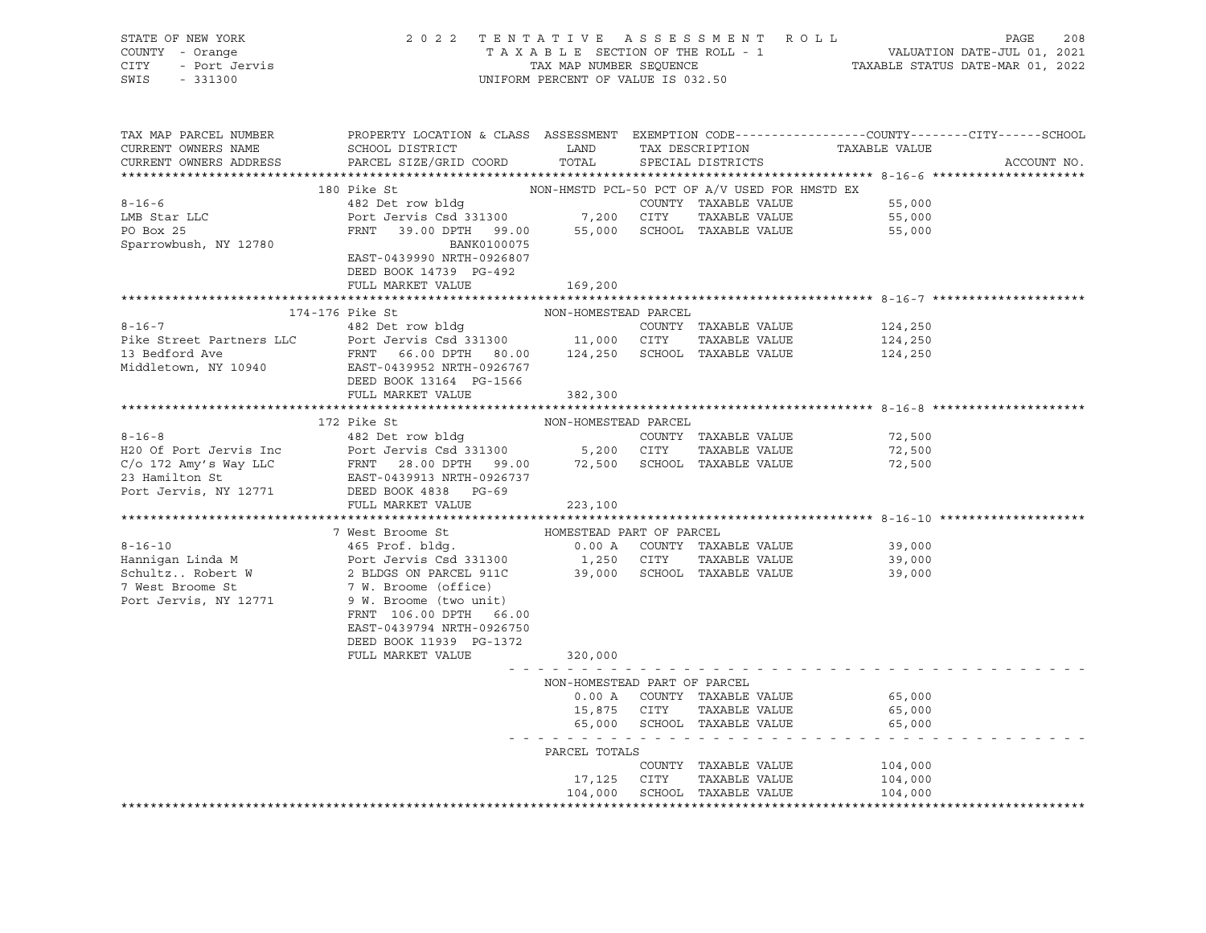| COUNTY - Orange<br>CITY - Port Jervis<br>SWIS - 331300                                                                                                                                                                                     | 2022 TENTATIVE ASSESSMENT ROLL                                                                                                                                                                                                                              | UNIFORM PERCENT OF VALUE IS 032.50 |             |                              | TENTATIVE ASSESSMENT ROLL<br>TAXABLE SECTION OF THE ROLL - 1 VALUATION DATE-JUL 01, 2021<br>TAX MAP NUMBER SEQUENCE TAXABLE STATUS DATE-MAR 01, 2022 |             |
|--------------------------------------------------------------------------------------------------------------------------------------------------------------------------------------------------------------------------------------------|-------------------------------------------------------------------------------------------------------------------------------------------------------------------------------------------------------------------------------------------------------------|------------------------------------|-------------|------------------------------|------------------------------------------------------------------------------------------------------------------------------------------------------|-------------|
| CURRENT OWNERS ADDRESS                                                                                                                                                                                                                     | SCHOOL DISTRICT LAND TAX DESCRIPTION TAXABLE VALUE<br>NAMEL ALUE LAND TAX DESCRIPTION TAXABLE VALUE                                                                                                                                                         |                                    |             | TOTAL SPECIAL DISTRICTS      |                                                                                                                                                      | ACCOUNT NO. |
|                                                                                                                                                                                                                                            | BO Pike St<br>180 Pike St<br>182 Det row bldg<br>182 Det row bldg<br>199.00 Pravis County TAXABLE VALUE<br>199.00 PRNT 39.00 DPTH 99.00 SCHOOL TAXABLE VALUE<br>199.00 PRNT 39.00 DPTH 99.00 SCHOOL TAXABLE VALUE<br>199.00 SCHOOL TAXABLE V<br>180 Pike St |                                    |             |                              |                                                                                                                                                      |             |
| $8 - 16 - 6$                                                                                                                                                                                                                               |                                                                                                                                                                                                                                                             |                                    |             |                              |                                                                                                                                                      |             |
|                                                                                                                                                                                                                                            |                                                                                                                                                                                                                                                             |                                    |             |                              |                                                                                                                                                      |             |
| LMB Star LLC<br>PO Box 25                                                                                                                                                                                                                  |                                                                                                                                                                                                                                                             |                                    |             |                              |                                                                                                                                                      |             |
| Sparrowbush, NY 12780                                                                                                                                                                                                                      | BANK0100075<br>EAST-0439990 NRTH-0926807<br>DEED BOOK 14739 PG-492                                                                                                                                                                                          |                                    |             |                              |                                                                                                                                                      |             |
|                                                                                                                                                                                                                                            | FULL MARKET VALUE                                                                                                                                                                                                                                           | 169,200                            |             |                              |                                                                                                                                                      |             |
|                                                                                                                                                                                                                                            |                                                                                                                                                                                                                                                             |                                    |             |                              |                                                                                                                                                      |             |
| 174-176 Pike St<br>174-176 Pike St<br>26.00 DPTH 80.00 124,250 SCHOOL TAXABLE VALUE<br>MON-HOMESTEAD PARCEL<br>24,250 COUNTY TAXABLE VALUE<br>24,250 13 Bedford Ave FRNT 66.00 DPTH 80.00 124,250 SCHOOL TAXABLE VALUE<br>224,250 Middleto |                                                                                                                                                                                                                                                             |                                    |             |                              |                                                                                                                                                      |             |
|                                                                                                                                                                                                                                            |                                                                                                                                                                                                                                                             |                                    |             |                              |                                                                                                                                                      |             |
|                                                                                                                                                                                                                                            |                                                                                                                                                                                                                                                             |                                    |             |                              |                                                                                                                                                      |             |
|                                                                                                                                                                                                                                            |                                                                                                                                                                                                                                                             |                                    |             |                              |                                                                                                                                                      |             |
|                                                                                                                                                                                                                                            | DEED BOOK 13164 PG-1566                                                                                                                                                                                                                                     |                                    |             |                              |                                                                                                                                                      |             |
|                                                                                                                                                                                                                                            | FULL MARKET VALUE 382,300                                                                                                                                                                                                                                   |                                    |             |                              |                                                                                                                                                      |             |
|                                                                                                                                                                                                                                            |                                                                                                                                                                                                                                                             |                                    |             |                              |                                                                                                                                                      |             |
|                                                                                                                                                                                                                                            | 172 Pike St                                                                                                                                                                                                                                                 | NON-HOMESTEAD PARCEL               |             |                              |                                                                                                                                                      |             |
| $8 - 16 - 8$                                                                                                                                                                                                                               | 482 Det row bldg                                                                                                                                                                                                                                            |                                    |             | COUNTY TAXABLE VALUE         | 72,500                                                                                                                                               |             |
|                                                                                                                                                                                                                                            |                                                                                                                                                                                                                                                             |                                    |             |                              | 72,500                                                                                                                                               |             |
|                                                                                                                                                                                                                                            |                                                                                                                                                                                                                                                             |                                    |             |                              | 72,500                                                                                                                                               |             |
|                                                                                                                                                                                                                                            |                                                                                                                                                                                                                                                             |                                    |             |                              |                                                                                                                                                      |             |
| H2O Of Port Jervis Inc and the Lie of Port Jervis Csd 331300<br>C/o 172 Amy's Way LLC FRNT 28.00 DPTH 99.00 72,500 SCHOOL TAXABLE VALUE<br>23 Hamilton St EAST-0439913 NRTH-0926737<br>Port Jervis, NY 12771 DEED BOOK 4838 PG-69<br>E     |                                                                                                                                                                                                                                                             |                                    |             |                              |                                                                                                                                                      |             |
|                                                                                                                                                                                                                                            | FULL MARKET VALUE                                                                                                                                                                                                                                           | 223,100                            |             |                              |                                                                                                                                                      |             |
|                                                                                                                                                                                                                                            | 7 West Broome St                                                                                                                                                                                                                                            | HOMESTEAD PART OF PARCEL           |             |                              |                                                                                                                                                      |             |
|                                                                                                                                                                                                                                            |                                                                                                                                                                                                                                                             |                                    |             |                              |                                                                                                                                                      |             |
|                                                                                                                                                                                                                                            |                                                                                                                                                                                                                                                             |                                    |             |                              |                                                                                                                                                      |             |
| 8-16-10<br>Hannigan Linda M<br>SchultzRobert W 2 BLDGS ON PARCEL 911C<br>7 West Schultz and Port Jervis Csd 331300<br>SchultzRobert W 2 BLDGS ON PARCEL 911C<br>7 West Schultz and Schultz and Schultz and Schultz and Schultz and S       |                                                                                                                                                                                                                                                             |                                    |             |                              |                                                                                                                                                      |             |
|                                                                                                                                                                                                                                            |                                                                                                                                                                                                                                                             |                                    |             |                              |                                                                                                                                                      |             |
| Port Jervis, NY 12771                                                                                                                                                                                                                      | 9 W. Broome (two unit)                                                                                                                                                                                                                                      |                                    |             |                              |                                                                                                                                                      |             |
|                                                                                                                                                                                                                                            | FRNT 106.00 DPTH 66.00                                                                                                                                                                                                                                      |                                    |             |                              |                                                                                                                                                      |             |
|                                                                                                                                                                                                                                            | EAST-0439794 NRTH-0926750                                                                                                                                                                                                                                   |                                    |             |                              |                                                                                                                                                      |             |
|                                                                                                                                                                                                                                            | DEED BOOK 11939 PG-1372                                                                                                                                                                                                                                     |                                    |             |                              |                                                                                                                                                      |             |
|                                                                                                                                                                                                                                            | FULL MARKET VALUE                                                                                                                                                                                                                                           | 320,000                            |             |                              |                                                                                                                                                      |             |
|                                                                                                                                                                                                                                            |                                                                                                                                                                                                                                                             | NON-HOMESTEAD PART OF PARCEL       |             |                              |                                                                                                                                                      |             |
|                                                                                                                                                                                                                                            |                                                                                                                                                                                                                                                             |                                    |             | 0.00 A COUNTY TAXABLE VALUE  | 65,000                                                                                                                                               |             |
|                                                                                                                                                                                                                                            |                                                                                                                                                                                                                                                             |                                    |             | 15,875 CITY TAXABLE VALUE    | 65,000                                                                                                                                               |             |
|                                                                                                                                                                                                                                            |                                                                                                                                                                                                                                                             |                                    |             | 65,000 SCHOOL TAXABLE VALUE  | 65,000                                                                                                                                               |             |
|                                                                                                                                                                                                                                            |                                                                                                                                                                                                                                                             | .                                  |             |                              |                                                                                                                                                      |             |
|                                                                                                                                                                                                                                            |                                                                                                                                                                                                                                                             | PARCEL TOTALS                      |             | COUNTY TAXABLE VALUE         |                                                                                                                                                      |             |
|                                                                                                                                                                                                                                            |                                                                                                                                                                                                                                                             |                                    | 17,125 CITY | TAXABLE VALUE                | 104,000<br>104,000                                                                                                                                   |             |
|                                                                                                                                                                                                                                            |                                                                                                                                                                                                                                                             |                                    |             | 104,000 SCHOOL TAXABLE VALUE | 104,000                                                                                                                                              |             |
|                                                                                                                                                                                                                                            |                                                                                                                                                                                                                                                             |                                    |             |                              |                                                                                                                                                      |             |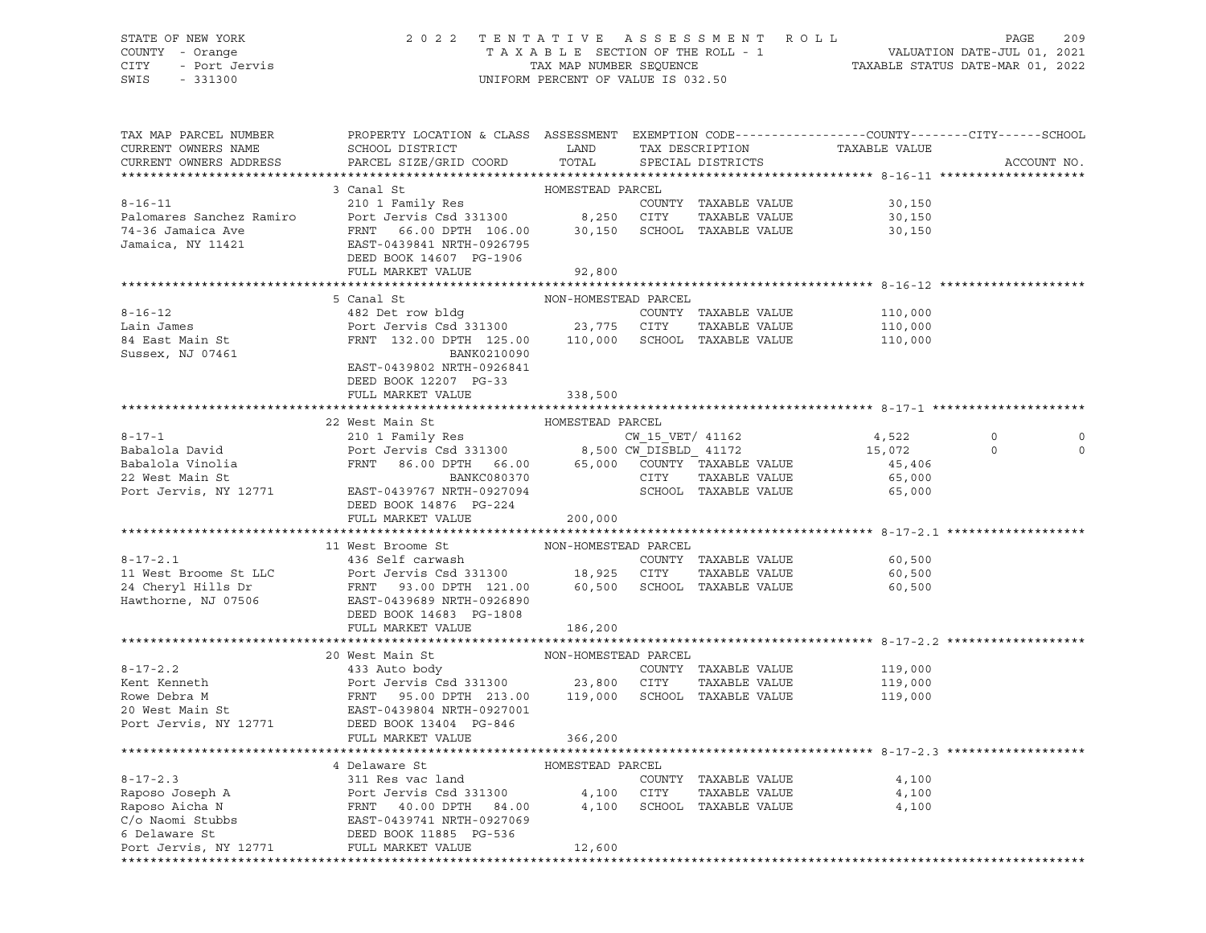#### STATE OF NEW YORK 2 0 2 2 T E N T A T I V E A S S E S S M E N T R O L L PAGE 209 COUNTY - Orange T A X A B L E SECTION OF THE ROLL - 1 VALUATION DATE-JUL 01, 2021 CITY - Port Jervis TAX MAP NUMBER SEQUENCE TAXABLE STATUS DATE-MAR 01, 2022 SWIS - 331300 UNIFORM PERCENT OF VALUE IS 032.50

| TAX MAP PARCEL NUMBER<br>CURRENT OWNERS NAME<br>CURRENT OWNERS ADDRESS | PROPERTY LOCATION & CLASS ASSESSMENT EXEMPTION CODE----------------COUNTY-------CITY------SCHOOL<br>SCHOOL DISTRICT LAND TAX DESCRIPTION<br>PARCEL SIZE/GRID COORD TOTAL SPECIAL DISTRICTS                                                                                                                                                                                                           |                            | TAXABLE VALUE              | ACCOUNT NO.               |
|------------------------------------------------------------------------|------------------------------------------------------------------------------------------------------------------------------------------------------------------------------------------------------------------------------------------------------------------------------------------------------------------------------------------------------------------------------------------------------|----------------------------|----------------------------|---------------------------|
|                                                                        |                                                                                                                                                                                                                                                                                                                                                                                                      |                            |                            |                           |
|                                                                        | 3 Canal St<br>8-16-11<br>Palomares Sanchez Ramiro<br>Port Jervis Csd 331300<br>Port Jervis Csd 331300<br>FRNT 66.00 DPTH 106.00<br>Jamaica, NY 11421<br>Jamaica, NY 11421<br>DEED BOOK 14607 PG-1906<br>PORT 106.00<br>DEED BOOK 14607 PG-1906                                                                                                                                                       | HOMESTEAD PARCEL           | 30,150<br>30,150<br>30,150 |                           |
|                                                                        | FULL MARKET VALUE                                                                                                                                                                                                                                                                                                                                                                                    | 92,800                     |                            |                           |
|                                                                        |                                                                                                                                                                                                                                                                                                                                                                                                      |                            |                            |                           |
|                                                                        | 5 Canal St                                                                                                                                                                                                                                                                                                                                                                                           | NON-HOMESTEAD PARCEL       |                            |                           |
|                                                                        | 8-16-12<br>Lain James (110,000 POTT Jervis Csd 331300 COUNTY TAXABLE VALUE<br>23,775 CITY TAXABLE VALUE 110,000 SCHOOL TAXABLE VALUE 110,000 SUSSEX, NJ 07461 POTT 125.00 DPTH 125.00 110,000 SCHOOL TAXABLE VALUE 110,000 SCHOOL<br>EAST-0439802 NRTH-0926841                                                                                                                                       |                            |                            |                           |
|                                                                        | DEED BOOK 12207 PG-33                                                                                                                                                                                                                                                                                                                                                                                |                            |                            |                           |
|                                                                        | FULL MARKET VALUE                                                                                                                                                                                                                                                                                                                                                                                    | 338,500                    |                            |                           |
|                                                                        |                                                                                                                                                                                                                                                                                                                                                                                                      | HOMESTEAD PARCEL           |                            |                           |
|                                                                        | 22 West Main St                                                                                                                                                                                                                                                                                                                                                                                      |                            |                            | $\Omega$<br>0             |
|                                                                        | $\begin{tabular}{lcccc} \bf 8-17-1 & 22 West Mann St & HOMESTEAD PARCHL & 4,522\nBabalola David & 95,001a\nBabalola Vinolia & FRNT & 86.00 DPTH & 66.00\nPort Jervis, NY 12771 & EAST-0439767 NRTH-0927094\nDERTBONKCO80370 & 8,500 CW_DISBLD_41172 & 1172\nCNT TAXABLE VALUE & 45,406\nCITY TAXABLE VALUE & 65,000\nSCHOOL TAXABLE VALUE & 65,000\nSC$                                              |                            |                            | $\overline{0}$<br>$\circ$ |
|                                                                        | DEED BOOK 14876 PG-224                                                                                                                                                                                                                                                                                                                                                                               |                            |                            |                           |
|                                                                        | FULL MARKET VALUE                                                                                                                                                                                                                                                                                                                                                                                    | 200,000                    |                            |                           |
|                                                                        | 11 West Broome St                                                                                                                                                                                                                                                                                                                                                                                    | NON-HOMESTEAD PARCEL       |                            |                           |
|                                                                        | 8-17-2.1<br>436 Self carwash<br>24 Cheryl Hills Dr<br>24 Cheryl Hills Dr<br>24 Cheryl Hills Dr<br>24 Cheryl Hills Dr<br>24 Cheryl Hills Dr<br>24 Cheryl Hills Dr<br>24 Cheryl Hills Dr<br>24 Cheryl Hills Dr<br>25 CITY<br>260 SCHOOL TAXABLE VALUE<br><br>FULL MARKET VALUE 186,200                                                                                                                 |                            | 60,500<br>60,500<br>60,500 |                           |
|                                                                        |                                                                                                                                                                                                                                                                                                                                                                                                      |                            |                            |                           |
|                                                                        | $\begin{tabular}{lllllllllllllllllllll} \hline 8-17-2.2 & 20 West Main St & NON-HOMESTEAD PARCEL & 119,000 \\ & & & 23,800 CITY TAXABLE VALUE & 119,000 \\ & & & 23,800 CITY TAXABLE VALUE & 119,000 \\ & & 23,800 CITY TAXABLE VALUE & 119,000 \\ & & 23,800 CITY TAXABLE VALUE & 119,000 \\ & & 23,800 CITY TAXABLE VALUE & 119,000 \\ & & 23,800 CITY TAXABLE VALUE & 119,000 \\ & & 23,800 CITY$ |                            |                            |                           |
|                                                                        | FULL MARKET VALUE                                                                                                                                                                                                                                                                                                                                                                                    | 366,200                    |                            |                           |
|                                                                        |                                                                                                                                                                                                                                                                                                                                                                                                      |                            |                            |                           |
| Port Jervis, NY 12771 FULL MARKET VALUE                                | 4 Delaware St<br>$Raposo Joseph A$ Raposo Joseph A<br>Raposo Aicha N<br>COUNTY TAXABLE VALUE<br>Raposo Aicha N<br>C/o Naomi Stubbs<br>C/o Naomi Stubbs<br>EAST-0439741 NRTH-0927069<br>EAST-0439741 NRTH-0927069<br>C/o Naomi Stubbs<br>EAST-0439741 NRTH-0927069<br>EAST-04                                                                                                                         | HOMESTEAD PARCEL<br>12,600 |                            |                           |
|                                                                        |                                                                                                                                                                                                                                                                                                                                                                                                      |                            |                            |                           |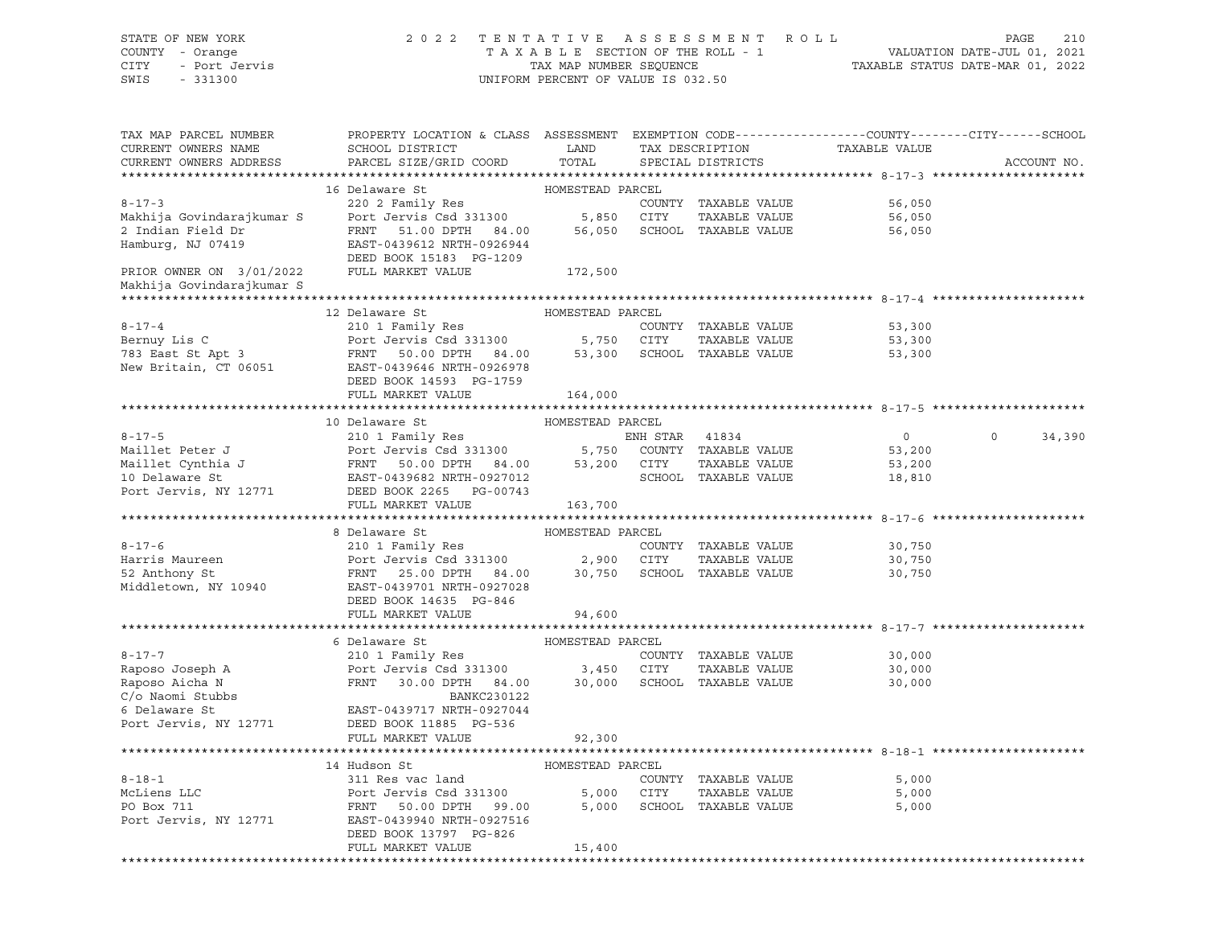| STATE OF NEW YORK<br>COUNTY - Orange<br>CITY<br>- Port Jervis<br>SWIS<br>$-331300$  | 2 0 2 2                                                                                                                                          | TENTATIVE ASSESSMENT<br>TAXABLE SECTION OF THE ROLL - 1<br>TAX MAP NUMBER SEQUENCE<br>UNIFORM PERCENT OF VALUE IS 032.50 |            | R O L L                                                              | 210<br>PAGE<br>VALUATION DATE-JUL 01, 2021<br>TAXABLE STATUS DATE-MAR 01, 2022 |                   |  |  |
|-------------------------------------------------------------------------------------|--------------------------------------------------------------------------------------------------------------------------------------------------|--------------------------------------------------------------------------------------------------------------------------|------------|----------------------------------------------------------------------|--------------------------------------------------------------------------------|-------------------|--|--|
| TAX MAP PARCEL NUMBER<br>CURRENT OWNERS NAME<br>CURRENT OWNERS ADDRESS              | PROPERTY LOCATION & CLASS ASSESSMENT EXEMPTION CODE----------------COUNTY-------CITY------SCHOOL<br>SCHOOL DISTRICT<br>PARCEL SIZE/GRID COORD    | LAND<br>TOTAL                                                                                                            |            | TAX DESCRIPTION<br>SPECIAL DISTRICTS                                 | TAXABLE VALUE                                                                  | ACCOUNT NO.       |  |  |
|                                                                                     |                                                                                                                                                  |                                                                                                                          |            |                                                                      |                                                                                |                   |  |  |
| $8 - 17 - 3$<br>Makhija Govindarajkumar S<br>2 Indian Field Dr<br>Hamburg, NJ 07419 | 16 Delaware St<br>220 2 Family Res<br>Port Jervis Csd 331300<br>FRNT<br>51.00 DPTH 84.00<br>EAST-0439612 NRTH-0926944<br>DEED BOOK 15183 PG-1209 | HOMESTEAD PARCEL<br>5,850                                                                                                | CITY       | COUNTY TAXABLE VALUE<br>TAXABLE VALUE<br>56,050 SCHOOL TAXABLE VALUE | 56,050<br>56,050<br>56,050                                                     |                   |  |  |
| PRIOR OWNER ON 3/01/2022                                                            | FULL MARKET VALUE                                                                                                                                | 172,500                                                                                                                  |            |                                                                      |                                                                                |                   |  |  |
| Makhija Govindarajkumar S                                                           |                                                                                                                                                  |                                                                                                                          |            |                                                                      |                                                                                |                   |  |  |
|                                                                                     |                                                                                                                                                  |                                                                                                                          |            |                                                                      |                                                                                |                   |  |  |
|                                                                                     | 12 Delaware St                                                                                                                                   | HOMESTEAD PARCEL                                                                                                         |            |                                                                      |                                                                                |                   |  |  |
| $8 - 17 - 4$                                                                        | 210 1 Family Res                                                                                                                                 |                                                                                                                          |            | COUNTY TAXABLE VALUE                                                 | 53,300                                                                         |                   |  |  |
| Bernuy Lis C                                                                        | Port Jervis Csd 331300                                                                                                                           |                                                                                                                          | 5,750 CITY | TAXABLE VALUE                                                        | 53,300                                                                         |                   |  |  |
| 783 East St Apt 3                                                                   | FRNT<br>50.00 DPTH 84.00                                                                                                                         |                                                                                                                          |            | 53,300 SCHOOL TAXABLE VALUE                                          | 53,300                                                                         |                   |  |  |
| New Britain, CT 06051                                                               | EAST-0439646 NRTH-0926978                                                                                                                        |                                                                                                                          |            |                                                                      |                                                                                |                   |  |  |
|                                                                                     | DEED BOOK 14593 PG-1759                                                                                                                          |                                                                                                                          |            |                                                                      |                                                                                |                   |  |  |
|                                                                                     | FULL MARKET VALUE                                                                                                                                | 164,000                                                                                                                  |            |                                                                      |                                                                                |                   |  |  |
|                                                                                     |                                                                                                                                                  |                                                                                                                          |            |                                                                      |                                                                                |                   |  |  |
|                                                                                     | 10 Delaware St                                                                                                                                   | HOMESTEAD PARCEL                                                                                                         |            |                                                                      |                                                                                |                   |  |  |
| $8 - 17 - 5$                                                                        | 210 1 Family Res                                                                                                                                 |                                                                                                                          | ENH STAR   | 41834                                                                | $\overline{0}$                                                                 | $\circ$<br>34,390 |  |  |
| Maillet Peter J                                                                     | Port Jervis Csd 331300                                                                                                                           | 5,750                                                                                                                    |            | COUNTY TAXABLE VALUE                                                 | 53,200                                                                         |                   |  |  |
| Maillet Cynthia J                                                                   | FRNT<br>50.00 DPTH 84.00                                                                                                                         | 53,200 CITY                                                                                                              |            | TAXABLE VALUE                                                        | 53,200                                                                         |                   |  |  |
| 10 Delaware St                                                                      | EAST-0439682 NRTH-0927012                                                                                                                        |                                                                                                                          |            | SCHOOL TAXABLE VALUE                                                 | 18,810                                                                         |                   |  |  |
| Port Jervis, NY 12771                                                               | DEED BOOK 2265 PG-00743                                                                                                                          |                                                                                                                          |            |                                                                      |                                                                                |                   |  |  |
|                                                                                     | FULL MARKET VALUE                                                                                                                                | 163,700                                                                                                                  |            |                                                                      |                                                                                |                   |  |  |
|                                                                                     | 8 Delaware St                                                                                                                                    | HOMESTEAD PARCEL                                                                                                         |            |                                                                      |                                                                                |                   |  |  |
| $8 - 17 - 6$                                                                        | 210 1 Family Res                                                                                                                                 |                                                                                                                          |            | COUNTY TAXABLE VALUE                                                 | 30,750                                                                         |                   |  |  |
| Harris Maureen                                                                      | Port Jervis Csd 331300                                                                                                                           | 2,900                                                                                                                    | CITY       | TAXABLE VALUE                                                        | 30,750                                                                         |                   |  |  |
| 52 Anthony St                                                                       | FRNT<br>25.00 DPTH 84.00                                                                                                                         |                                                                                                                          |            | 30,750 SCHOOL TAXABLE VALUE                                          | 30,750                                                                         |                   |  |  |
| Middletown, NY 10940                                                                | EAST-0439701 NRTH-0927028<br>DEED BOOK 14635 PG-846                                                                                              |                                                                                                                          |            |                                                                      |                                                                                |                   |  |  |
|                                                                                     | FULL MARKET VALUE                                                                                                                                | 94,600                                                                                                                   |            |                                                                      |                                                                                |                   |  |  |
|                                                                                     |                                                                                                                                                  |                                                                                                                          |            |                                                                      |                                                                                |                   |  |  |
|                                                                                     | 6 Delaware St                                                                                                                                    | HOMESTEAD PARCEL                                                                                                         |            |                                                                      |                                                                                |                   |  |  |
| $8 - 17 - 7$                                                                        | 210 1 Family Res                                                                                                                                 |                                                                                                                          |            | COUNTY TAXABLE VALUE                                                 | 30,000                                                                         |                   |  |  |
| Raposo Joseph A                                                                     | Port Jervis Csd 331300                                                                                                                           | 3,450                                                                                                                    | CITY       | TAXABLE VALUE                                                        | 30,000                                                                         |                   |  |  |
| Raposo Aicha N                                                                      | FRNT<br>30.00 DPTH 84.00                                                                                                                         | 30,000                                                                                                                   |            | SCHOOL TAXABLE VALUE                                                 | 30,000                                                                         |                   |  |  |
| C/o Naomi Stubbs                                                                    | BANKC230122                                                                                                                                      |                                                                                                                          |            |                                                                      |                                                                                |                   |  |  |
| 6 Delaware St                                                                       | EAST-0439717 NRTH-0927044                                                                                                                        |                                                                                                                          |            |                                                                      |                                                                                |                   |  |  |
| Port Jervis, NY 12771                                                               | DEED BOOK 11885 PG-536                                                                                                                           |                                                                                                                          |            |                                                                      |                                                                                |                   |  |  |
|                                                                                     | FULL MARKET VALUE                                                                                                                                | 92,300                                                                                                                   |            |                                                                      |                                                                                |                   |  |  |
|                                                                                     |                                                                                                                                                  |                                                                                                                          |            |                                                                      |                                                                                |                   |  |  |
|                                                                                     | 14 Hudson St                                                                                                                                     | HOMESTEAD PARCEL                                                                                                         |            |                                                                      |                                                                                |                   |  |  |
| $8 - 18 - 1$<br>McLiens LLC                                                         | 311 Res vac land                                                                                                                                 |                                                                                                                          |            | COUNTY TAXABLE VALUE                                                 | 5,000                                                                          |                   |  |  |
|                                                                                     | Port Jervis Csd 331300<br>50.00 DPTH                                                                                                             | 5,000                                                                                                                    | CITY       | TAXABLE VALUE                                                        | 5,000                                                                          |                   |  |  |
| PO Box 711<br>Port Jervis, NY 12771                                                 | FRNT<br>99.00<br>EAST-0439940 NRTH-0927516                                                                                                       | 5,000                                                                                                                    |            | SCHOOL TAXABLE VALUE                                                 | 5,000                                                                          |                   |  |  |
|                                                                                     | DEED BOOK 13797 PG-826                                                                                                                           |                                                                                                                          |            |                                                                      |                                                                                |                   |  |  |
|                                                                                     | FULL MARKET VALUE                                                                                                                                | 15,400                                                                                                                   |            |                                                                      |                                                                                |                   |  |  |
|                                                                                     |                                                                                                                                                  |                                                                                                                          |            |                                                                      |                                                                                |                   |  |  |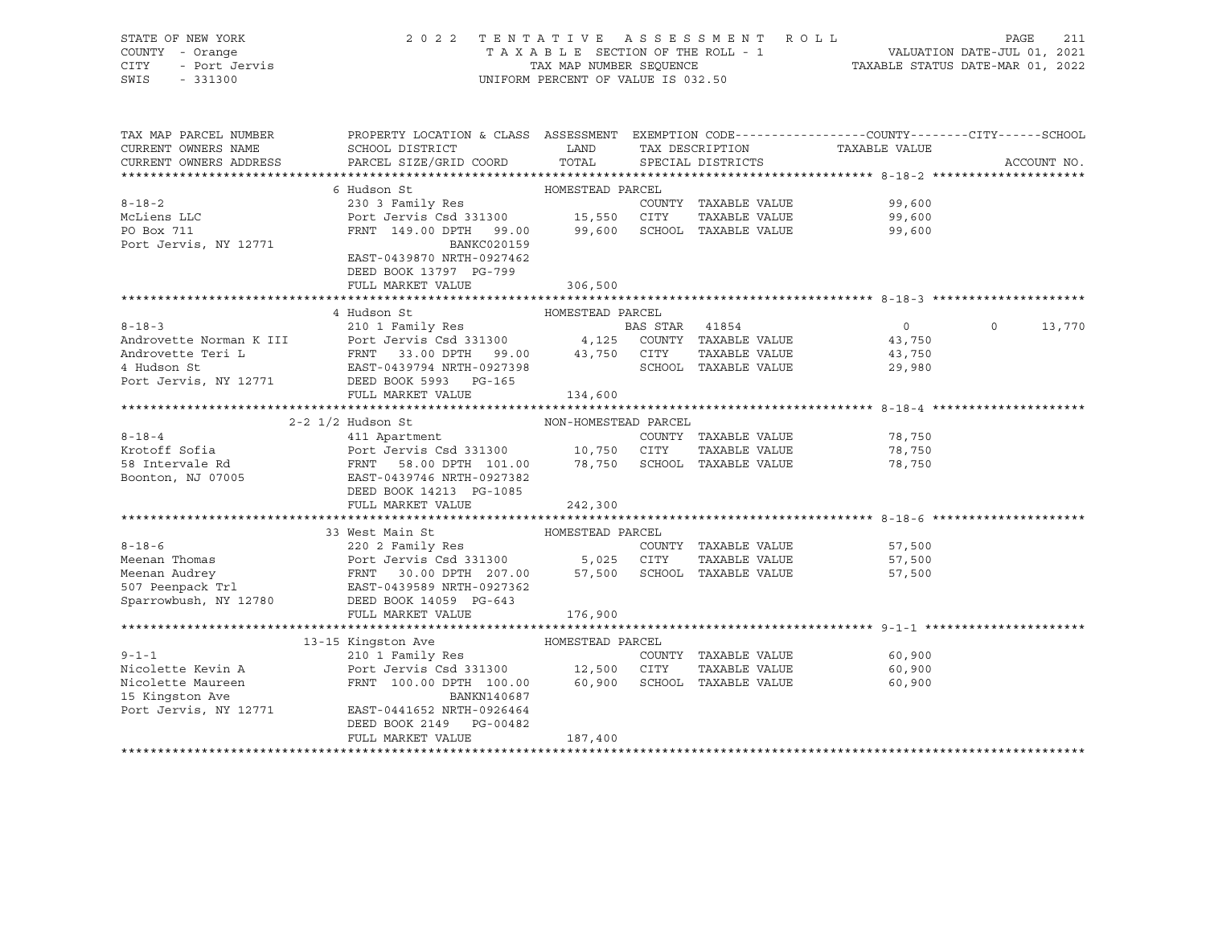| STATE OF NEW YORK<br>COUNTY - Orange<br>CITY<br>1 - Urunge<br>- Port Jervis<br>SWIS<br>$-331300$                                                                                                             | TENTATIVE ASSESSMENT ROLL<br>2 0 2 2<br>PAGE<br>211<br>UNIFORM PERCENT OF VALUE IS 032.50                                                              |                      |                |                                      |                |                   |
|--------------------------------------------------------------------------------------------------------------------------------------------------------------------------------------------------------------|--------------------------------------------------------------------------------------------------------------------------------------------------------|----------------------|----------------|--------------------------------------|----------------|-------------------|
| TAX MAP PARCEL NUMBER<br>CURRENT OWNERS NAME<br>CURRENT OWNERS ADDRESS<br>***********************                                                                                                            | PROPERTY LOCATION & CLASS ASSESSMENT EXEMPTION CODE---------------COUNTY-------CITY------SCHOOL<br>SCHOOL DISTRICT<br>PARCEL SIZE/GRID COORD           | LAND<br>TOTAL        |                | TAX DESCRIPTION<br>SPECIAL DISTRICTS | TAXABLE VALUE  | ACCOUNT NO.       |
|                                                                                                                                                                                                              | 6 Hudson St                                                                                                                                            | HOMESTEAD PARCEL     |                |                                      |                |                   |
| $8 - 18 - 2$                                                                                                                                                                                                 | 230 3 Family Res                                                                                                                                       |                      |                | COUNTY TAXABLE VALUE                 | 99,600         |                   |
| McLiens LLC                                                                                                                                                                                                  | Port Jervis Csd 331300 15,550 CITY                                                                                                                     |                      |                | TAXABLE VALUE                        | 99,600         |                   |
| PO Box 711                                                                                                                                                                                                   | FRNT 149.00 DPTH 99.00 99,600 SCHOOL TAXABLE VALUE                                                                                                     |                      |                |                                      | 99,600         |                   |
| Port Jervis, NY 12771                                                                                                                                                                                        | BANKC020159                                                                                                                                            |                      |                |                                      |                |                   |
|                                                                                                                                                                                                              | EAST-0439870 NRTH-0927462                                                                                                                              |                      |                |                                      |                |                   |
|                                                                                                                                                                                                              | DEED BOOK 13797 PG-799                                                                                                                                 |                      |                |                                      |                |                   |
|                                                                                                                                                                                                              | FULL MARKET VALUE                                                                                                                                      | 306,500              |                |                                      |                |                   |
|                                                                                                                                                                                                              |                                                                                                                                                        |                      |                |                                      |                |                   |
|                                                                                                                                                                                                              | 4 Hudson St                                                                                                                                            | HOMESTEAD PARCEL     |                |                                      |                |                   |
| $8 - 18 - 3$                                                                                                                                                                                                 | 210 1 Family Res                                                                                                                                       |                      | BAS STAR 41854 |                                      | $\overline{0}$ | $\circ$<br>13,770 |
| Androvette Norman K III Port Jervis Csd 331300 4,125 COUNTY TAXABLE VALUE<br>Androvette Teri L FRNT 33.00 DPTH 99.00 43,750 CITY TAXABLE VALUE<br>4 Hudson St EAST-0439794 NRTH-0927398 SCHOOL TAXABLE VALUE |                                                                                                                                                        |                      |                |                                      | 43,750         |                   |
|                                                                                                                                                                                                              |                                                                                                                                                        |                      |                |                                      | 43,750         |                   |
|                                                                                                                                                                                                              |                                                                                                                                                        |                      |                |                                      | 29,980         |                   |
| Port Jervis, NY 12771 DEED BOOK 5993 PG-165                                                                                                                                                                  | FULL MARKET VALUE                                                                                                                                      |                      |                |                                      |                |                   |
|                                                                                                                                                                                                              |                                                                                                                                                        | 134,600              |                |                                      |                |                   |
|                                                                                                                                                                                                              | $2 - 2$ $1/2$ Hudson St                                                                                                                                | NON-HOMESTEAD PARCEL |                |                                      |                |                   |
| $8 - 18 - 4$                                                                                                                                                                                                 | 411 Apartment                                                                                                                                          |                      |                | COUNTY TAXABLE VALUE                 | 78,750         |                   |
| Krotoff Sofia                                                                                                                                                                                                | Port Jervis Csd 331300 10,750 CITY                                                                                                                     |                      |                | TAXABLE VALUE                        | 78,750         |                   |
| 58 Intervale Rd                                                                                                                                                                                              |                                                                                                                                                        |                      |                | 78,750 SCHOOL TAXABLE VALUE          | 78,750         |                   |
| Boonton, NJ 07005                                                                                                                                                                                            | Port Jervis Cau Company<br>FRNT 58.00 DPTH 101.00<br>COLORAL NETH-0927382<br>EAST-0439746 NRTH-0927382                                                 |                      |                |                                      |                |                   |
|                                                                                                                                                                                                              | DEED BOOK 14213 PG-1085                                                                                                                                |                      |                |                                      |                |                   |
|                                                                                                                                                                                                              | FULL MARKET VALUE                                                                                                                                      | 242,300              |                |                                      |                |                   |
|                                                                                                                                                                                                              |                                                                                                                                                        |                      |                |                                      |                |                   |
|                                                                                                                                                                                                              | 33 West Main St                                                                                                                                        | HOMESTEAD PARCEL     |                |                                      |                |                   |
| $8 - 18 - 6$                                                                                                                                                                                                 |                                                                                                                                                        |                      |                |                                      | 57,500         |                   |
| Meenan Thomas                                                                                                                                                                                                |                                                                                                                                                        |                      |                |                                      | 57,500         |                   |
| Meenan Audrey<br>507 Peenpack Trl                                                                                                                                                                            | 220 2 Family Res<br>Port Jervis Csd 331300 5,025 CITY TAXABLE VALUE<br>FRNT 30.00 DPTH 207.00 57,500 SCHOOL TAXABLE VALUE<br>EAST-0439589 NRTH-0927362 |                      |                |                                      | 57,500         |                   |
|                                                                                                                                                                                                              |                                                                                                                                                        |                      |                |                                      |                |                   |
| Sparrowbush, NY 12780                                                                                                                                                                                        | DEED BOOK 14059 PG-643                                                                                                                                 |                      |                |                                      |                |                   |
|                                                                                                                                                                                                              | FULL MARKET VALUE                                                                                                                                      | 176,900              |                |                                      |                |                   |
|                                                                                                                                                                                                              |                                                                                                                                                        |                      |                |                                      |                |                   |
|                                                                                                                                                                                                              | 13-15 Kingston Ave                                                                                                                                     | HOMESTEAD PARCEL     |                |                                      |                |                   |
| $9 - 1 - 1$                                                                                                                                                                                                  |                                                                                                                                                        |                      |                | COUNTY TAXABLE VALUE                 | 60,900         |                   |
| Nicolette Kevin A                                                                                                                                                                                            | Port Jervis Csd 331300 12,500 CITY                                                                                                                     |                      |                | TAXABLE VALUE                        | 60,900         |                   |
| Nicolette Maureen                                                                                                                                                                                            | FRNT 100.00 DPTH 100.00 60,900                                                                                                                         |                      |                | SCHOOL TAXABLE VALUE                 | 60,900         |                   |
| 15 Kingston Ave                                                                                                                                                                                              | BANKN140687                                                                                                                                            |                      |                |                                      |                |                   |
| Port Jervis, NY 12771                                                                                                                                                                                        | EAST-0441652 NRTH-0926464                                                                                                                              |                      |                |                                      |                |                   |
|                                                                                                                                                                                                              | DEED BOOK 2149 PG-00482<br>FULL MARKET VALUE                                                                                                           | 187,400              |                |                                      |                |                   |
|                                                                                                                                                                                                              |                                                                                                                                                        |                      |                |                                      |                |                   |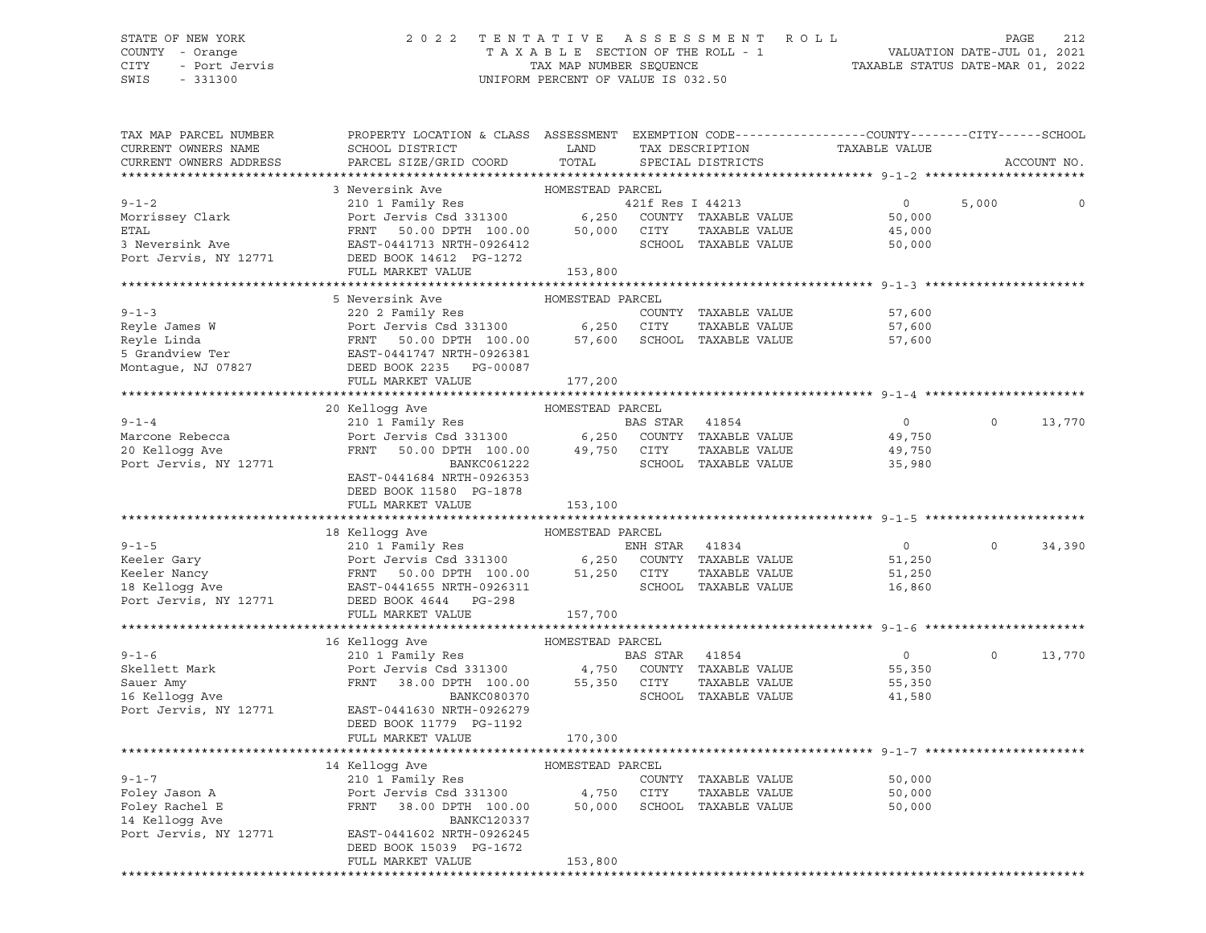#### STATE OF NEW YORK 2 0 2 2 T E N T A T I V E A S S E S S M E N T R O L L PAGE 212 COUNTY - Orange T A X A B L E SECTION OF THE ROLL - 1 VALUATION DATE-JUL 01, 2021 CITY - Port Jervis TAX MAP NUMBER SEQUENCE TAXABLE STATUS DATE-MAR 01, 2022

| TAX MAP PARCEL NUMBER                        | PROPERTY LOCATION & CLASS ASSESSMENT EXEMPTION CODE----------------COUNTY-------CITY------SCHOOL                                                                                                                                                           |                  |                  |                             |                                                      |          |             |
|----------------------------------------------|------------------------------------------------------------------------------------------------------------------------------------------------------------------------------------------------------------------------------------------------------------|------------------|------------------|-----------------------------|------------------------------------------------------|----------|-------------|
| CURRENT OWNERS NAME                          | SCHOOL DISTRICT                                                                                                                                                                                                                                            | LAND             |                  | TAX DESCRIPTION             | TAXABLE VALUE                                        |          |             |
| CURRENT OWNERS ADDRESS                       | PARCEL SIZE/GRID COORD                                                                                                                                                                                                                                     | TOTAL            |                  | SPECIAL DISTRICTS           |                                                      |          | ACCOUNT NO. |
|                                              |                                                                                                                                                                                                                                                            |                  |                  |                             |                                                      |          |             |
|                                              | 3 Neversink Ave                                                                                                                                                                                                                                            | HOMESTEAD PARCEL |                  |                             |                                                      |          |             |
| $9 - 1 - 2$                                  | 210 1 Family Res<br>Port Jervis Csd 331300 6,250                                                                                                                                                                                                           |                  | 421f Res I 44213 |                             | $\overline{0}$                                       | 5,000    | 0           |
| Morrissey Clark                              |                                                                                                                                                                                                                                                            |                  |                  | COUNTY TAXABLE VALUE        | 50,000                                               |          |             |
| <b>ETAL</b>                                  | FRNT 50.00 DPTH 100.00 50,000<br>EAST-0441713 NRTH-0926412                                                                                                                                                                                                 |                  | CITY             | TAXABLE VALUE               | 45,000                                               |          |             |
| 3 Neversink Ave                              |                                                                                                                                                                                                                                                            |                  |                  | SCHOOL TAXABLE VALUE        | 50,000                                               |          |             |
| Port Jervis, NY 12771                        | DEED BOOK 14612 PG-1272                                                                                                                                                                                                                                    |                  |                  |                             |                                                      |          |             |
|                                              | FULL MARKET VALUE                                                                                                                                                                                                                                          | 153,800          |                  |                             |                                                      |          |             |
|                                              |                                                                                                                                                                                                                                                            |                  |                  |                             |                                                      |          |             |
|                                              | 5 Neversink Ave                                                                                                                                                                                                                                            | HOMESTEAD PARCEL |                  |                             |                                                      |          |             |
| $9 - 1 - 3$                                  | 220 2 Family Res                                                                                                                                                                                                                                           |                  |                  | COUNTY TAXABLE VALUE        | 57,600                                               |          |             |
|                                              | Reyle James W<br>Reyle Linda<br>Reyle Linda<br>FRNT 50.00 DPTH 100.00 57,600 SCHOOL TAXABLE VALUE<br>5 Grandview Ter<br>Montague, NJ 07827 DEED BOOK 2235 PG-00087<br>THEO BOOK 2235 PG-00087                                                              |                  |                  |                             | 57,600                                               |          |             |
|                                              |                                                                                                                                                                                                                                                            |                  |                  |                             | 57,600                                               |          |             |
|                                              |                                                                                                                                                                                                                                                            |                  |                  |                             |                                                      |          |             |
|                                              |                                                                                                                                                                                                                                                            |                  |                  |                             |                                                      |          |             |
|                                              | FULL MARKET VALUE                                                                                                                                                                                                                                          | 177,200          |                  |                             |                                                      |          |             |
|                                              |                                                                                                                                                                                                                                                            |                  |                  |                             |                                                      |          |             |
|                                              | 20 Kelloqq Ave                                                                                                                                                                                                                                             | HOMESTEAD PARCEL |                  |                             |                                                      |          |             |
| $9 - 1 - 4$                                  | 210 1 Family Res                                                                                                                                                                                                                                           |                  | BAS STAR 41854   |                             | $\overline{0}$                                       | $\Omega$ | 13,770      |
| Marcone Rebecca                              | Port Jervis Csd 331300 6,250 COUNTY TAXABLE VALUE<br>FRNT 50.00 DPTH 100.00 49,750 CITY TAXABLE VALUE                                                                                                                                                      |                  |                  |                             | 49,750                                               |          |             |
| 20 Kellogg Ave                               |                                                                                                                                                                                                                                                            |                  |                  |                             | 49,750                                               |          |             |
| Port Jervis, NY 12771                        | BANKC061222                                                                                                                                                                                                                                                |                  |                  | SCHOOL TAXABLE VALUE        | 35,980                                               |          |             |
|                                              | EAST-0441684 NRTH-0926353                                                                                                                                                                                                                                  |                  |                  |                             |                                                      |          |             |
|                                              | DEED BOOK 11580 PG-1878                                                                                                                                                                                                                                    |                  |                  |                             |                                                      |          |             |
|                                              | FULL MARKET VALUE                                                                                                                                                                                                                                          | 153,100          |                  |                             |                                                      |          |             |
|                                              |                                                                                                                                                                                                                                                            |                  |                  |                             | ******************************** 9-1-5 ************* |          |             |
|                                              | 18 Kelloqq Ave                                                                                                                                                                                                                                             | HOMESTEAD PARCEL |                  |                             |                                                      |          |             |
|                                              | 9-1-5<br>ENH STAR 41834<br>ENH STAR 41834<br>ENH STAR 41834<br>ENH STAR 41834<br>ENH STAR 41834<br>ENH STAR 41834<br>ENH STAR 41834<br>ENH STAR 41834<br>ENH STAR 41834<br>ENH STAR 41834<br>ENH STAR 41834<br>ENH STAR 41834<br>ENH STAR 41834<br>ENH STA |                  |                  |                             | $\overline{0}$                                       | $\Omega$ | 34,390      |
|                                              |                                                                                                                                                                                                                                                            |                  |                  |                             | 51,250                                               |          |             |
|                                              |                                                                                                                                                                                                                                                            |                  |                  | TAXABLE VALUE               | 51,250                                               |          |             |
|                                              |                                                                                                                                                                                                                                                            |                  |                  |                             | 16,860                                               |          |             |
|                                              |                                                                                                                                                                                                                                                            |                  |                  |                             |                                                      |          |             |
|                                              | FULL MARKET VALUE                                                                                                                                                                                                                                          | 157,700          |                  |                             |                                                      |          |             |
|                                              |                                                                                                                                                                                                                                                            |                  |                  |                             |                                                      |          |             |
|                                              | 16 Kellogg Ave                                                                                                                                                                                                                                             | HOMESTEAD PARCEL |                  |                             |                                                      |          |             |
| $9 - 1 - 6$                                  | 210 1 Family Res                                                                                                                                                                                                                                           |                  | BAS STAR 41854   |                             | $\overline{0}$                                       | $\circ$  | 13,770      |
|                                              |                                                                                                                                                                                                                                                            |                  |                  |                             | 55,350                                               |          |             |
| Skellett Mark<br>Sauer Amy<br>16 Kellogg Ave | Port Jervis Csd 331300 4,750 COUNTY TAXABLE VALUE<br>FRNT 38.00 DPTH 100.00 55,350 CITY TAXABLE VALUE                                                                                                                                                      |                  |                  |                             | 55,350                                               |          |             |
|                                              | BANKC080370                                                                                                                                                                                                                                                |                  |                  | SCHOOL TAXABLE VALUE        | 41,580                                               |          |             |
| Port Jervis, NY 12771                        | EAST-0441630 NRTH-0926279                                                                                                                                                                                                                                  |                  |                  |                             |                                                      |          |             |
|                                              | DEED BOOK 11779 PG-1192                                                                                                                                                                                                                                    |                  |                  |                             |                                                      |          |             |
|                                              | FULL MARKET VALUE                                                                                                                                                                                                                                          | 170,300          |                  |                             |                                                      |          |             |
|                                              |                                                                                                                                                                                                                                                            |                  |                  |                             |                                                      |          |             |
|                                              | 14 Kellogg Ave MOMESTEAD PARCEL                                                                                                                                                                                                                            |                  |                  |                             |                                                      |          |             |
|                                              | 210 1 Family Res                                                                                                                                                                                                                                           |                  |                  | COUNTY TAXABLE VALUE        | 50,000                                               |          |             |
| 9-1-7<br>Foley Jason A<br>Tav Rachel E       |                                                                                                                                                                                                                                                            |                  | CITY             | TAXABLE VALUE               | 50,000                                               |          |             |
|                                              | Port Jervis Csd 331300 4,750<br>FRNT 38.00 DPTH 100.00 50,000                                                                                                                                                                                              |                  |                  | 50,000 SCHOOL TAXABLE VALUE | 50,000                                               |          |             |
|                                              | <b>BANKC120337</b>                                                                                                                                                                                                                                         |                  |                  |                             |                                                      |          |             |
| Port Jervis, NY 12771                        | EAST-0441602 NRTH-0926245                                                                                                                                                                                                                                  |                  |                  |                             |                                                      |          |             |
|                                              | DEED BOOK 15039 PG-1672                                                                                                                                                                                                                                    |                  |                  |                             |                                                      |          |             |
|                                              | FULL MARKET VALUE                                                                                                                                                                                                                                          | 153,800          |                  |                             |                                                      |          |             |
|                                              |                                                                                                                                                                                                                                                            |                  |                  |                             |                                                      |          |             |
|                                              |                                                                                                                                                                                                                                                            |                  |                  |                             |                                                      |          |             |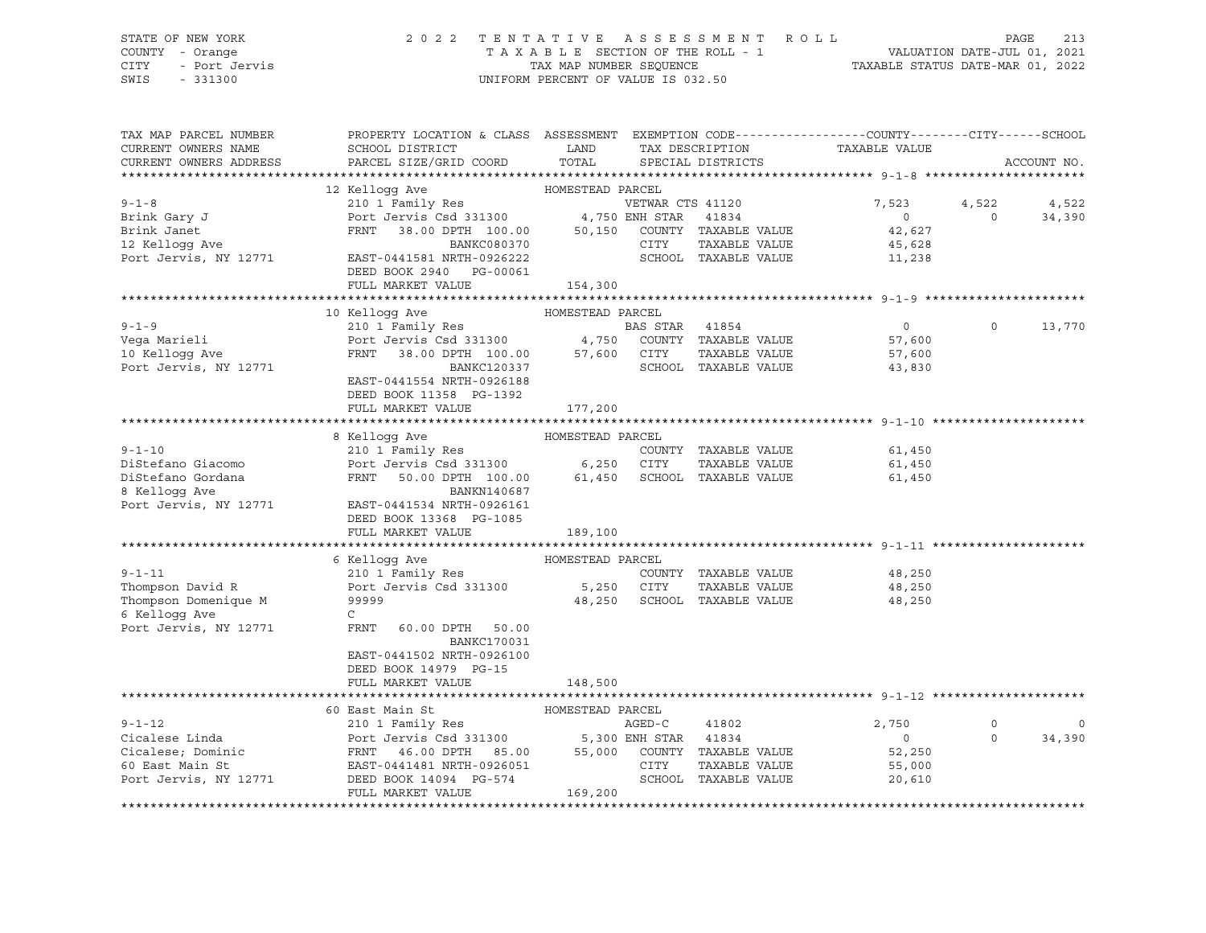### STATE OF NEW YORK 2 0 2 2 T E N T A T I V E A S S E S S M E N T R O L L PAGE 213 COUNTY - Orange T A X A B L E SECTION OF THE ROLL - 1 VALUATION DATE-JUL 01, 2021 CITY - Port Jervis TAX MAP NUMBER SEQUENCE TAXABLE STATUS DATE-MAR 01, 2022

| 12 Kellogg Ave<br>HOMESTEAD PARCEL<br>210 1 Family Res<br>VETWAR CTS 41120<br>$9 - 1 - 8$<br>7,523<br>4,522<br>Port Jervis Csd 331300 4,750 ENH STAR 41834<br>FRNT 38.00 DPTH 100.00 50,150 COUNTY TAXABLE VALUE<br>Brink Gary J<br>$\overline{0}$<br>$\Omega$<br>42,627<br>Brink Janet<br>12 Kelloqq Ave<br>BANKC080370<br>CITY<br>TAXABLE VALUE<br>45,628<br>Port Jervis, NY 12771<br>EAST-0441581 NRTH-0926222<br>SCHOOL TAXABLE VALUE<br>11,238<br>DEED BOOK 2940 PG-00061<br>FULL MARKET VALUE<br>154,300<br>10 Kellogg Ave<br>HOMESTEAD PARCEL<br>$9 - 1 - 9$<br>210 1 Family Res<br>$\overline{0}$<br>BAS STAR<br>41854<br>$\circ$<br>Port Jervis Csd $331300$ 4,750<br>Vega Marieli<br>COUNTY TAXABLE VALUE<br>57,600<br>10 Kelloqq Ave<br>FRNT 38.00 DPTH 100.00 57,600<br>CITY<br>TAXABLE VALUE<br>57,600<br>Port Jervis, NY 12771<br>BANKC120337<br>SCHOOL TAXABLE VALUE<br>43,830<br>EAST-0441554 NRTH-0926188<br>DEED BOOK 11358 PG-1392<br>FULL MARKET VALUE<br>177,200<br>8 Kelloqq Ave<br>HOMESTEAD PARCEL<br>$9 - 1 - 10$<br>210 1 Family Res<br>COUNTY TAXABLE VALUE<br>61,450<br>Port Jervis Csd 331300 6,250 CITY<br>DiStefano Giacomo<br>TAXABLE VALUE<br>61,450<br>FRNT 50.00 DPTH 100.00<br>DiStefano Gordana<br>SCHOOL TAXABLE VALUE<br>61,450<br>61,450<br>8 Kelloqq Ave<br>BANKN140687<br>Port Jervis, NY 12771<br>EAST-0441534 NRTH-0926161<br>DEED BOOK 13368 PG-1085<br>FULL MARKET VALUE<br>189,100<br>6 Kelloqq Ave<br>HOMESTEAD PARCEL<br>$9 - 1 - 11$<br>210 1 Family Res<br>COUNTY TAXABLE VALUE<br>48,250<br>Port Jervis Csd 331300 5,250 CITY<br>Thompson David R<br>TAXABLE VALUE<br>48,250<br>Thompson Domenique M<br>99999<br>48,250<br>SCHOOL TAXABLE VALUE<br>48,250<br>6 Kellogg Ave<br>$\mathsf{C}$<br>Port Jervis, NY 12771<br>FRNT<br>60.00 DPTH 50.00<br><b>BANKC170031</b><br>EAST-0441502 NRTH-0926100<br>DEED BOOK 14979 PG-15<br>FULL MARKET VALUE<br>148,500<br>HOMESTEAD PARCEL<br>60 East Main St<br>$9 - 1 - 12$<br>210 1 Family Res<br>AGED-C<br>41802<br>2,750<br>$\circ$ | TAX MAP PARCEL NUMBER<br>CURRENT OWNERS NAME<br>CURRENT OWNERS ADDRESS | PROPERTY LOCATION & CLASS ASSESSMENT EXEMPTION CODE----------------COUNTY-------CITY------SCHOOL<br>SCHOOL DISTRICT<br>PARCEL SIZE/GRID COORD | LAND<br>TOTAL | TAX DESCRIPTION<br>SPECIAL DISTRICTS | TAXABLE VALUE | ACCOUNT NO.     |
|-----------------------------------------------------------------------------------------------------------------------------------------------------------------------------------------------------------------------------------------------------------------------------------------------------------------------------------------------------------------------------------------------------------------------------------------------------------------------------------------------------------------------------------------------------------------------------------------------------------------------------------------------------------------------------------------------------------------------------------------------------------------------------------------------------------------------------------------------------------------------------------------------------------------------------------------------------------------------------------------------------------------------------------------------------------------------------------------------------------------------------------------------------------------------------------------------------------------------------------------------------------------------------------------------------------------------------------------------------------------------------------------------------------------------------------------------------------------------------------------------------------------------------------------------------------------------------------------------------------------------------------------------------------------------------------------------------------------------------------------------------------------------------------------------------------------------------------------------------------------------------------------------------------------------------------------------------------------------------------------------------------------------------------|------------------------------------------------------------------------|-----------------------------------------------------------------------------------------------------------------------------------------------|---------------|--------------------------------------|---------------|-----------------|
|                                                                                                                                                                                                                                                                                                                                                                                                                                                                                                                                                                                                                                                                                                                                                                                                                                                                                                                                                                                                                                                                                                                                                                                                                                                                                                                                                                                                                                                                                                                                                                                                                                                                                                                                                                                                                                                                                                                                                                                                                                   |                                                                        |                                                                                                                                               |               |                                      |               |                 |
|                                                                                                                                                                                                                                                                                                                                                                                                                                                                                                                                                                                                                                                                                                                                                                                                                                                                                                                                                                                                                                                                                                                                                                                                                                                                                                                                                                                                                                                                                                                                                                                                                                                                                                                                                                                                                                                                                                                                                                                                                                   |                                                                        |                                                                                                                                               |               |                                      |               |                 |
|                                                                                                                                                                                                                                                                                                                                                                                                                                                                                                                                                                                                                                                                                                                                                                                                                                                                                                                                                                                                                                                                                                                                                                                                                                                                                                                                                                                                                                                                                                                                                                                                                                                                                                                                                                                                                                                                                                                                                                                                                                   |                                                                        |                                                                                                                                               |               |                                      |               | 4,522<br>34,390 |
|                                                                                                                                                                                                                                                                                                                                                                                                                                                                                                                                                                                                                                                                                                                                                                                                                                                                                                                                                                                                                                                                                                                                                                                                                                                                                                                                                                                                                                                                                                                                                                                                                                                                                                                                                                                                                                                                                                                                                                                                                                   |                                                                        |                                                                                                                                               |               |                                      |               |                 |
|                                                                                                                                                                                                                                                                                                                                                                                                                                                                                                                                                                                                                                                                                                                                                                                                                                                                                                                                                                                                                                                                                                                                                                                                                                                                                                                                                                                                                                                                                                                                                                                                                                                                                                                                                                                                                                                                                                                                                                                                                                   |                                                                        |                                                                                                                                               |               |                                      |               |                 |
|                                                                                                                                                                                                                                                                                                                                                                                                                                                                                                                                                                                                                                                                                                                                                                                                                                                                                                                                                                                                                                                                                                                                                                                                                                                                                                                                                                                                                                                                                                                                                                                                                                                                                                                                                                                                                                                                                                                                                                                                                                   |                                                                        |                                                                                                                                               |               |                                      |               |                 |
|                                                                                                                                                                                                                                                                                                                                                                                                                                                                                                                                                                                                                                                                                                                                                                                                                                                                                                                                                                                                                                                                                                                                                                                                                                                                                                                                                                                                                                                                                                                                                                                                                                                                                                                                                                                                                                                                                                                                                                                                                                   |                                                                        |                                                                                                                                               |               |                                      |               | 13,770          |
|                                                                                                                                                                                                                                                                                                                                                                                                                                                                                                                                                                                                                                                                                                                                                                                                                                                                                                                                                                                                                                                                                                                                                                                                                                                                                                                                                                                                                                                                                                                                                                                                                                                                                                                                                                                                                                                                                                                                                                                                                                   |                                                                        |                                                                                                                                               |               |                                      |               |                 |
|                                                                                                                                                                                                                                                                                                                                                                                                                                                                                                                                                                                                                                                                                                                                                                                                                                                                                                                                                                                                                                                                                                                                                                                                                                                                                                                                                                                                                                                                                                                                                                                                                                                                                                                                                                                                                                                                                                                                                                                                                                   |                                                                        |                                                                                                                                               |               |                                      |               |                 |
|                                                                                                                                                                                                                                                                                                                                                                                                                                                                                                                                                                                                                                                                                                                                                                                                                                                                                                                                                                                                                                                                                                                                                                                                                                                                                                                                                                                                                                                                                                                                                                                                                                                                                                                                                                                                                                                                                                                                                                                                                                   |                                                                        |                                                                                                                                               |               |                                      |               |                 |
|                                                                                                                                                                                                                                                                                                                                                                                                                                                                                                                                                                                                                                                                                                                                                                                                                                                                                                                                                                                                                                                                                                                                                                                                                                                                                                                                                                                                                                                                                                                                                                                                                                                                                                                                                                                                                                                                                                                                                                                                                                   |                                                                        |                                                                                                                                               |               |                                      |               |                 |
|                                                                                                                                                                                                                                                                                                                                                                                                                                                                                                                                                                                                                                                                                                                                                                                                                                                                                                                                                                                                                                                                                                                                                                                                                                                                                                                                                                                                                                                                                                                                                                                                                                                                                                                                                                                                                                                                                                                                                                                                                                   |                                                                        |                                                                                                                                               |               |                                      |               |                 |
|                                                                                                                                                                                                                                                                                                                                                                                                                                                                                                                                                                                                                                                                                                                                                                                                                                                                                                                                                                                                                                                                                                                                                                                                                                                                                                                                                                                                                                                                                                                                                                                                                                                                                                                                                                                                                                                                                                                                                                                                                                   |                                                                        |                                                                                                                                               |               |                                      |               |                 |
|                                                                                                                                                                                                                                                                                                                                                                                                                                                                                                                                                                                                                                                                                                                                                                                                                                                                                                                                                                                                                                                                                                                                                                                                                                                                                                                                                                                                                                                                                                                                                                                                                                                                                                                                                                                                                                                                                                                                                                                                                                   |                                                                        |                                                                                                                                               |               |                                      |               |                 |
|                                                                                                                                                                                                                                                                                                                                                                                                                                                                                                                                                                                                                                                                                                                                                                                                                                                                                                                                                                                                                                                                                                                                                                                                                                                                                                                                                                                                                                                                                                                                                                                                                                                                                                                                                                                                                                                                                                                                                                                                                                   |                                                                        |                                                                                                                                               |               |                                      |               |                 |
|                                                                                                                                                                                                                                                                                                                                                                                                                                                                                                                                                                                                                                                                                                                                                                                                                                                                                                                                                                                                                                                                                                                                                                                                                                                                                                                                                                                                                                                                                                                                                                                                                                                                                                                                                                                                                                                                                                                                                                                                                                   |                                                                        |                                                                                                                                               |               |                                      |               |                 |
|                                                                                                                                                                                                                                                                                                                                                                                                                                                                                                                                                                                                                                                                                                                                                                                                                                                                                                                                                                                                                                                                                                                                                                                                                                                                                                                                                                                                                                                                                                                                                                                                                                                                                                                                                                                                                                                                                                                                                                                                                                   |                                                                        |                                                                                                                                               |               |                                      |               |                 |
|                                                                                                                                                                                                                                                                                                                                                                                                                                                                                                                                                                                                                                                                                                                                                                                                                                                                                                                                                                                                                                                                                                                                                                                                                                                                                                                                                                                                                                                                                                                                                                                                                                                                                                                                                                                                                                                                                                                                                                                                                                   |                                                                        |                                                                                                                                               |               |                                      |               |                 |
| Port Jervis Csd 331300 5,300 ENH STAR 41834<br>Cicalese Linda<br>$\circ$<br>$\Omega$                                                                                                                                                                                                                                                                                                                                                                                                                                                                                                                                                                                                                                                                                                                                                                                                                                                                                                                                                                                                                                                                                                                                                                                                                                                                                                                                                                                                                                                                                                                                                                                                                                                                                                                                                                                                                                                                                                                                              |                                                                        |                                                                                                                                               |               |                                      |               | 0<br>34,390     |
| FRNT 46.00 DPTH 85.00 55,000 COUNTY TAXABLE VALUE<br>Cicalese; Dominic<br>52,250<br>CITY<br>60 East Main St<br>EAST-0441481 NRTH-0926051<br>TAXABLE VALUE<br>55,000<br>169, 200<br>SCHOOL TAXABLE VALUE<br>Port Jervis, NY 12771<br>DEED BOOK 14094 PG-574<br>20,610                                                                                                                                                                                                                                                                                                                                                                                                                                                                                                                                                                                                                                                                                                                                                                                                                                                                                                                                                                                                                                                                                                                                                                                                                                                                                                                                                                                                                                                                                                                                                                                                                                                                                                                                                              |                                                                        |                                                                                                                                               |               |                                      |               |                 |
| FULL MARKET VALUE                                                                                                                                                                                                                                                                                                                                                                                                                                                                                                                                                                                                                                                                                                                                                                                                                                                                                                                                                                                                                                                                                                                                                                                                                                                                                                                                                                                                                                                                                                                                                                                                                                                                                                                                                                                                                                                                                                                                                                                                                 |                                                                        |                                                                                                                                               |               |                                      |               |                 |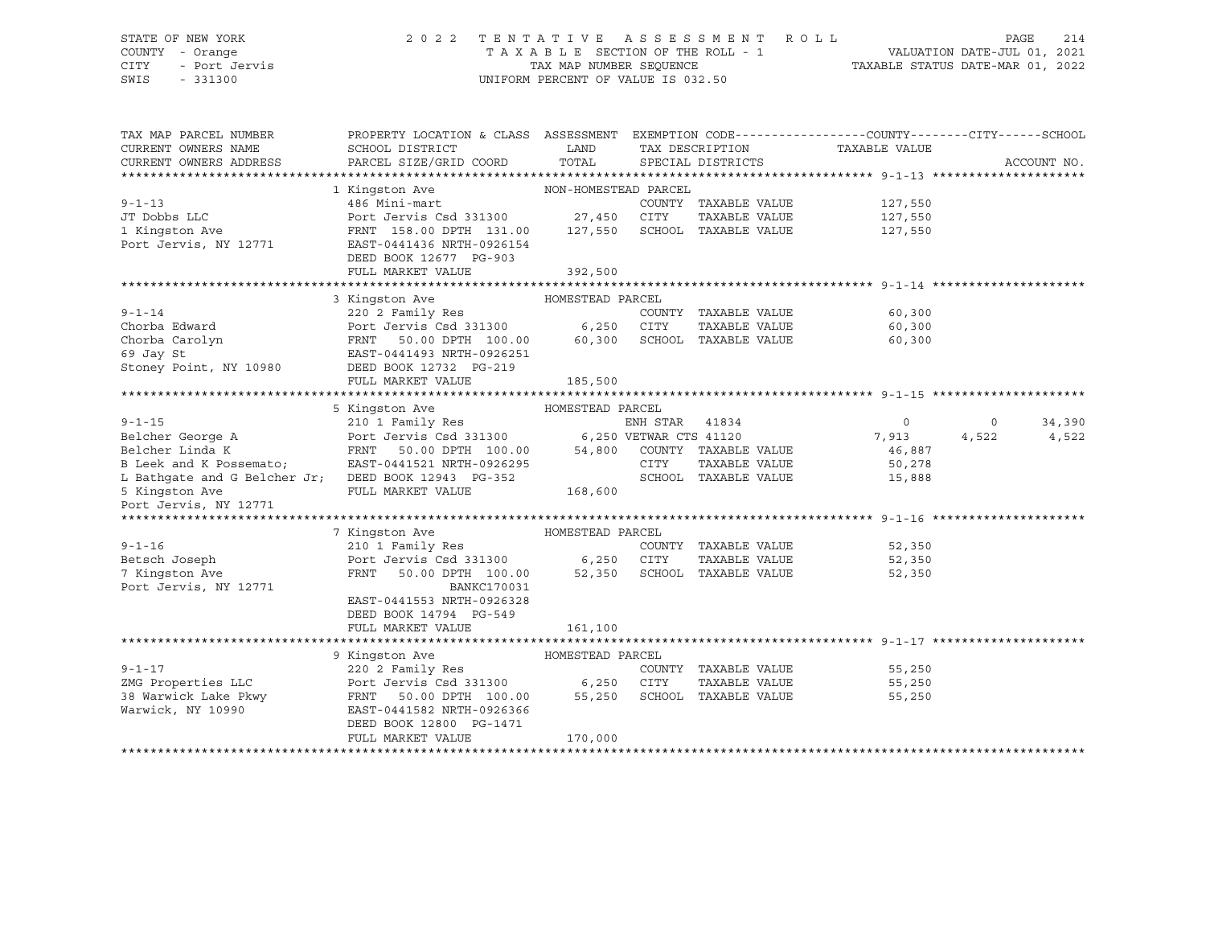#### STATE OF NEW YORK 2 0 2 2 T E N T A T I V E A S S E S S M E N T R O L L PAGE 214 COUNTY - Orange T A X A B L E SECTION OF THE ROLL - 1 VALUATION DATE-JUL 01, 2021 CITY - Port Jervis TAX MAP NUMBER SEQUENCE TAXABLE STATUS DATE-MAR 01, 2022 SWIS - 331300 UNIFORM PERCENT OF VALUE IS 032.50

| TAX MAP PARCEL NUMBER<br>CURRENT OWNERS NAME        | PROPERTY LOCATION & CLASS ASSESSMENT<br>SCHOOL DISTRICT                                               | LAND<br>TOTAL    |      | TAX DESCRIPTION             | EXEMPTION CODE-----------------COUNTY-------CITY------SCHOOL<br>TAXABLE VALUE |         |             |
|-----------------------------------------------------|-------------------------------------------------------------------------------------------------------|------------------|------|-----------------------------|-------------------------------------------------------------------------------|---------|-------------|
| CURRENT OWNERS ADDRESS                              | PARCEL SIZE/GRID COORD                                                                                |                  |      | SPECIAL DISTRICTS           |                                                                               |         | ACCOUNT NO. |
|                                                     | 1 Kingston Ave NON-HOMESTEAD PARCEL                                                                   |                  |      |                             |                                                                               |         |             |
| $9 - 1 - 13$                                        | 486 Mini-mart                                                                                         |                  |      | COUNTY TAXABLE VALUE        | 127,550                                                                       |         |             |
| JT Dobbs LLC                                        | Port Jervis Csd 331300 27,450 CITY                                                                    |                  |      | TAXABLE VALUE               | 127,550                                                                       |         |             |
| 1 Kingston Ave                                      | FRNT 158.00 DPTH 131.00 127,550                                                                       |                  |      | SCHOOL TAXABLE VALUE        | 127,550                                                                       |         |             |
| Port Jervis, NY 12771                               | EAST-0441436 NRTH-0926154                                                                             |                  |      |                             |                                                                               |         |             |
|                                                     | DEED BOOK 12677 PG-903                                                                                |                  |      |                             |                                                                               |         |             |
|                                                     | FULL MARKET VALUE                                                                                     | 392,500          |      |                             |                                                                               |         |             |
|                                                     |                                                                                                       |                  |      |                             |                                                                               |         |             |
|                                                     | 3 Kingston Ave                                                                                        | HOMESTEAD PARCEL |      |                             |                                                                               |         |             |
| $9 - 1 - 14$                                        | 220 2 Family Res                                                                                      |                  |      | COUNTY TAXABLE VALUE        | 60,300                                                                        |         |             |
| Chorba Edward                                       |                                                                                                       |                  |      | TAXABLE VALUE               | 60,300                                                                        |         |             |
| Chorba Carolyn                                      | 50.00 DPTH 100.00 60,300 SCHOOL TAXABLE VALUE                                                         |                  |      |                             | 60,300                                                                        |         |             |
| 69 Jay St                                           | EAST-0441493 NRTH-0926251                                                                             |                  |      |                             |                                                                               |         |             |
| Stoney Point, NY 10980                              | DEED BOOK 12732 PG-219                                                                                |                  |      |                             |                                                                               |         |             |
|                                                     | FULL MARKET VALUE                                                                                     | 185,500          |      |                             |                                                                               |         |             |
|                                                     |                                                                                                       |                  |      |                             |                                                                               |         |             |
|                                                     | HOMESTEAD PARCEL<br>5 Kingston Ave                                                                    |                  |      |                             |                                                                               |         |             |
| $9 - 1 - 15$                                        | 210 1 Family Res                                                                                      |                  |      |                             | $\overline{0}$                                                                | $\circ$ | 34,390      |
| Belcher George A                                    |                                                                                                       |                  |      |                             | 7,913                                                                         | 4,522   | 4,522       |
| FRNT<br>Belcher Linda K                             | 50.00 DPTH 100.00                                                                                     |                  |      | 54,800 COUNTY TAXABLE VALUE | 46,887                                                                        |         |             |
| B Leek and K Possemato;                             | EAST-0441521 NRTH-0926295                                                                             |                  | CITY | TAXABLE VALUE               | 50,278                                                                        |         |             |
| L Bathgate and G Belcher Jr; DEED BOOK 12943 PG-352 |                                                                                                       |                  |      | SCHOOL TAXABLE VALUE        | 15,888                                                                        |         |             |
| 5 Kingston Ave                                      | FULL MARKET VALUE                                                                                     | 168,600          |      |                             |                                                                               |         |             |
| Port Jervis, NY 12771                               |                                                                                                       |                  |      |                             |                                                                               |         |             |
|                                                     |                                                                                                       |                  |      |                             |                                                                               |         |             |
|                                                     | 7 Kingston Ave                                                                                        | HOMESTEAD PARCEL |      |                             |                                                                               |         |             |
| $9 - 1 - 16$                                        | 210 1 Family Res                                                                                      |                  |      | COUNTY TAXABLE VALUE        | 52,350                                                                        |         |             |
| Betsch Joseph                                       | Port Jervis Csd 331300 6,250 CITY                                                                     |                  |      | TAXABLE VALUE               | 52,350                                                                        |         |             |
| 7 Kingston Ave                                      | FRNT<br>50.00 DPTH 100.00 52,350                                                                      |                  |      | SCHOOL TAXABLE VALUE        | 52,350                                                                        |         |             |
| Port Jervis, NY 12771                               | BANKC170031                                                                                           |                  |      |                             |                                                                               |         |             |
|                                                     | EAST-0441553 NRTH-0926328                                                                             |                  |      |                             |                                                                               |         |             |
|                                                     | DEED BOOK 14794 PG-549                                                                                |                  |      |                             |                                                                               |         |             |
|                                                     | FULL MARKET VALUE                                                                                     | 161,100          |      |                             |                                                                               |         |             |
|                                                     |                                                                                                       |                  |      |                             |                                                                               |         |             |
|                                                     | HOMESTEAD PARCEL<br>9 Kingston Ave                                                                    |                  |      |                             |                                                                               |         |             |
| $9 - 1 - 17$                                        | 220 2 Family Res                                                                                      |                  |      | COUNTY TAXABLE VALUE        | 55,250                                                                        |         |             |
| ZMG Properties LLC<br>38 Warwick Lake Pkwy          | Port Jervis Csd 331300 6,250 CITY TAXABLE VALUE<br>FRNT 50.00 DPTH 100.00 55,250 SCHOOL TAXABLE VALUE |                  |      | TAXABLE VALUE               | 55,250                                                                        |         |             |
|                                                     |                                                                                                       |                  |      |                             | 55,250                                                                        |         |             |
| Warwick, NY 10990                                   | EAST-0441582 NRTH-0926366                                                                             |                  |      |                             |                                                                               |         |             |
|                                                     | DEED BOOK 12800 PG-1471                                                                               |                  |      |                             |                                                                               |         |             |
|                                                     | FULL MARKET VALUE                                                                                     | 170,000          |      |                             |                                                                               |         |             |
|                                                     |                                                                                                       |                  |      |                             |                                                                               |         |             |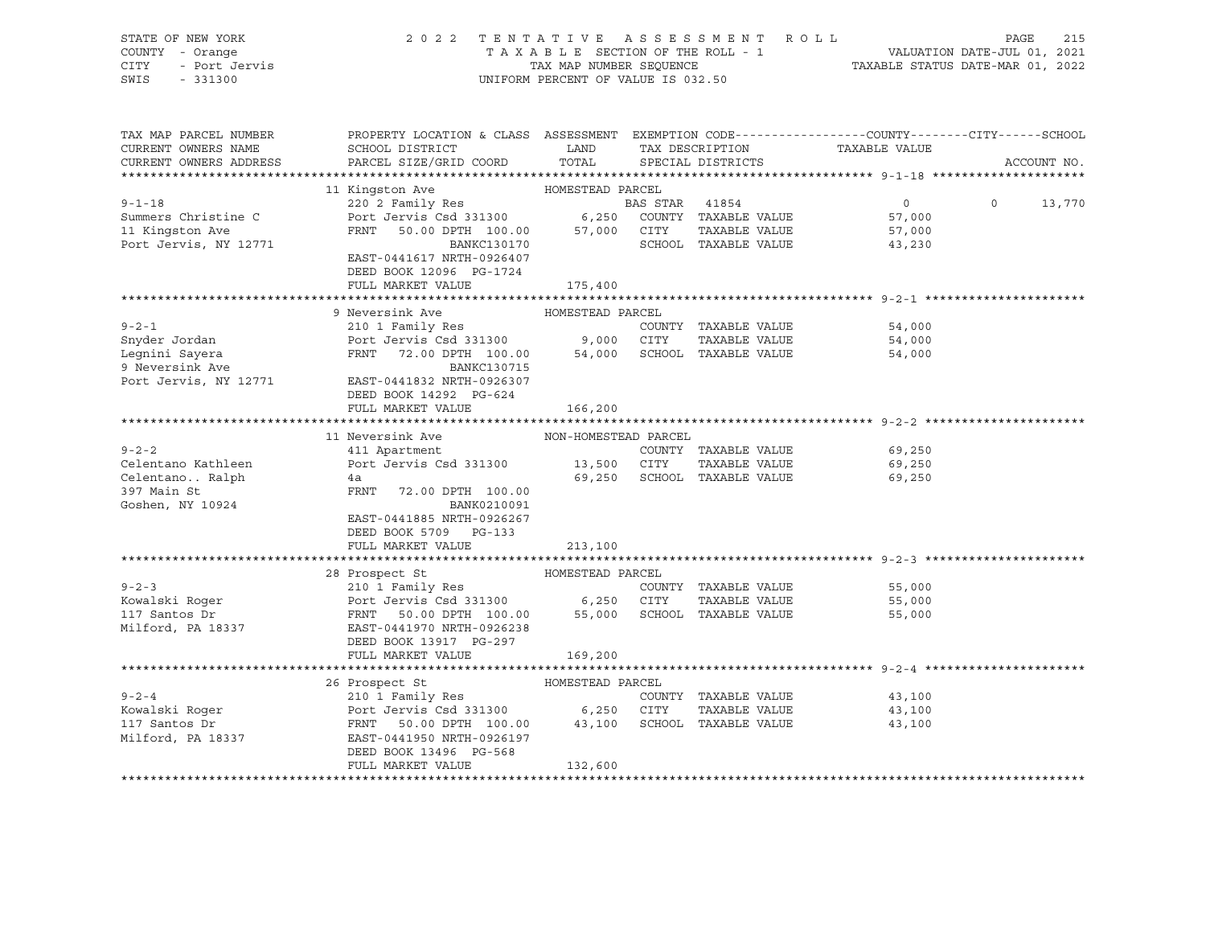| STATE OF NEW YORK<br>COUNTY - Orange<br>CITY - Port Jervis<br>SWIS - 331300 |                                                                                                                                                                                                                                                                              | 2022 TENTATIVE ASSESSMENT ROLL<br>T A X A B L E SECTION OF THE ROLL - 1 VALUATION DATE-JUL 01, 2021<br>TAX MAP NUMBER SEQUENCE TAXABLE STATUS DATE-MAR 01, 2022<br>UNIFORM PERCENT OF VALUE IS 032.50 |  |                                    |                    | PAGE | 215         |  |
|-----------------------------------------------------------------------------|------------------------------------------------------------------------------------------------------------------------------------------------------------------------------------------------------------------------------------------------------------------------------|-------------------------------------------------------------------------------------------------------------------------------------------------------------------------------------------------------|--|------------------------------------|--------------------|------|-------------|--|
| TAX MAP PARCEL NUMBER<br>CURRENT OWNERS NAME<br>CURRENT OWNERS ADDRESS      | PROPERTY LOCATION & CLASS ASSESSMENT EXEMPTION CODE---------------COUNTY-------CITY------SCHOOL<br>PROPERTY LOCALION & CLEASE ADDITION TAX DESCRIPTION TAXABLE VALUE<br>SCHOOL DISTRICT LAND TAX DESCRIPTION TAXABLE VALUE<br>PARCEL SIZE/GRID COORD TOTAL SPECIAL DISTRICTS |                                                                                                                                                                                                       |  |                                    |                    |      | ACCOUNT NO. |  |
|                                                                             |                                                                                                                                                                                                                                                                              |                                                                                                                                                                                                       |  |                                    |                    |      |             |  |
| $9 - 1 - 18$                                                                |                                                                                                                                                                                                                                                                              |                                                                                                                                                                                                       |  |                                    | $0 \t 0 \t 13,770$ |      |             |  |
| Summers Christine C                                                         |                                                                                                                                                                                                                                                                              |                                                                                                                                                                                                       |  |                                    | 57,000             |      |             |  |
| 11 Kingston Ave                                                             |                                                                                                                                                                                                                                                                              |                                                                                                                                                                                                       |  |                                    |                    |      |             |  |
| Port Jervis, NY 12771                                                       | DEED BOOK 12096 PG-1724                                                                                                                                                                                                                                                      |                                                                                                                                                                                                       |  |                                    |                    |      |             |  |
|                                                                             | FULL MARKET VALUE 175,400                                                                                                                                                                                                                                                    |                                                                                                                                                                                                       |  |                                    |                    |      |             |  |
|                                                                             | 9 Neversink Ave                                                                                                                                                                                                                                                              | HOMESTEAD PARCEL                                                                                                                                                                                      |  |                                    |                    |      |             |  |
|                                                                             |                                                                                                                                                                                                                                                                              |                                                                                                                                                                                                       |  |                                    | 54,000             |      |             |  |
|                                                                             |                                                                                                                                                                                                                                                                              |                                                                                                                                                                                                       |  |                                    | 54,000             |      |             |  |
|                                                                             |                                                                                                                                                                                                                                                                              |                                                                                                                                                                                                       |  |                                    | 54,000             |      |             |  |
| Legnini Sayera<br>9 Neversink Ave                                           | BANKC130715                                                                                                                                                                                                                                                                  |                                                                                                                                                                                                       |  |                                    |                    |      |             |  |
| Port Jervis, NY 12771                                                       | EAST-0441832 NRTH-0926307                                                                                                                                                                                                                                                    |                                                                                                                                                                                                       |  |                                    |                    |      |             |  |
|                                                                             | DEED BOOK 14292 PG-624                                                                                                                                                                                                                                                       |                                                                                                                                                                                                       |  |                                    |                    |      |             |  |
|                                                                             | FULL MARKET VALUE                                                                                                                                                                                                                                                            | 166,200                                                                                                                                                                                               |  |                                    |                    |      |             |  |
|                                                                             | 11 Neversink Ave                                                                                                                                                                                                                                                             | NON-HOMESTEAD PARCEL                                                                                                                                                                                  |  |                                    |                    |      |             |  |
| $9 - 2 - 2$                                                                 |                                                                                                                                                                                                                                                                              |                                                                                                                                                                                                       |  | COUNTY TAXABLE VALUE 69,250        |                    |      |             |  |
| Celentano Kathleen                                                          |                                                                                                                                                                                                                                                                              |                                                                                                                                                                                                       |  |                                    | 69,250             |      |             |  |
|                                                                             |                                                                                                                                                                                                                                                                              |                                                                                                                                                                                                       |  | 69,250 SCHOOL TAXABLE VALUE 69,250 |                    |      |             |  |
|                                                                             | FRNT 72.00 DPTH 100.00                                                                                                                                                                                                                                                       |                                                                                                                                                                                                       |  |                                    |                    |      |             |  |
| Goshen, NY 10924                                                            | BANK0210091                                                                                                                                                                                                                                                                  |                                                                                                                                                                                                       |  |                                    |                    |      |             |  |
|                                                                             | EAST-0441885 NRTH-0926267                                                                                                                                                                                                                                                    |                                                                                                                                                                                                       |  |                                    |                    |      |             |  |
|                                                                             | DEED BOOK 5709 PG-133                                                                                                                                                                                                                                                        |                                                                                                                                                                                                       |  |                                    |                    |      |             |  |
|                                                                             | FULL MARKET VALUE                                                                                                                                                                                                                                                            | 213,100                                                                                                                                                                                               |  |                                    |                    |      |             |  |
|                                                                             |                                                                                                                                                                                                                                                                              |                                                                                                                                                                                                       |  |                                    |                    |      |             |  |
|                                                                             | 28 Prospect St                                                                                                                                                                                                                                                               | HOMESTEAD PARCEL                                                                                                                                                                                      |  |                                    |                    |      |             |  |
|                                                                             |                                                                                                                                                                                                                                                                              |                                                                                                                                                                                                       |  |                                    | 55,000<br>55,000   |      |             |  |
|                                                                             |                                                                                                                                                                                                                                                                              |                                                                                                                                                                                                       |  |                                    |                    |      |             |  |
|                                                                             | 9-2-3<br>EXAMPLE VALUE<br>EXAMPLE VALUE<br>EXAMPLE VALUE<br>EXAMPLE VALUE<br>POTT JET SAND DEPTH 100.00<br>EXAMPLE VALUE<br>FRIT 50.00 DPTH 100.00<br>EXAMPLE VALUE<br>EXAMPLE VALUE<br>EXAMPLE VALUE<br>EXAMPLE VALUE<br>EXAMPLE VALUE<br>EXAMPLE VALUE                     |                                                                                                                                                                                                       |  |                                    | 55,000             |      |             |  |
|                                                                             |                                                                                                                                                                                                                                                                              |                                                                                                                                                                                                       |  |                                    |                    |      |             |  |
|                                                                             | DEED BOOK 13917 PG-297                                                                                                                                                                                                                                                       |                                                                                                                                                                                                       |  |                                    |                    |      |             |  |
|                                                                             | FULL MARKET VALUE                                                                                                                                                                                                                                                            | 169,200                                                                                                                                                                                               |  |                                    |                    |      |             |  |
|                                                                             |                                                                                                                                                                                                                                                                              |                                                                                                                                                                                                       |  |                                    |                    |      |             |  |
|                                                                             | 26 Prospect St                                                                                                                                                                                                                                                               | HOMESTEAD PARCEL                                                                                                                                                                                      |  |                                    |                    |      |             |  |
|                                                                             |                                                                                                                                                                                                                                                                              |                                                                                                                                                                                                       |  |                                    | 43,100             |      |             |  |
|                                                                             |                                                                                                                                                                                                                                                                              |                                                                                                                                                                                                       |  | TAXABLE VALUE                      | 43,100             |      |             |  |
|                                                                             | 9-2-4<br>Kowalski Roger and Municipal Country Taxable Value<br>Municipal Country Taxable Value<br>Port Jervis Csd 331300<br>Port Jervis Csd 331300<br>FRNT 50.00 DPTH 100.00 43,100 SCHOOL TAXABLE VALUE<br>Milford, PA 18337<br>Milford, PA                                 |                                                                                                                                                                                                       |  |                                    | 43,100             |      |             |  |
|                                                                             |                                                                                                                                                                                                                                                                              |                                                                                                                                                                                                       |  |                                    |                    |      |             |  |
|                                                                             | DEED BOOK 13496 PG-568                                                                                                                                                                                                                                                       |                                                                                                                                                                                                       |  |                                    |                    |      |             |  |
|                                                                             | FULL MARKET VALUE                                                                                                                                                                                                                                                            | 132,600                                                                                                                                                                                               |  |                                    |                    |      |             |  |
|                                                                             |                                                                                                                                                                                                                                                                              |                                                                                                                                                                                                       |  |                                    |                    |      |             |  |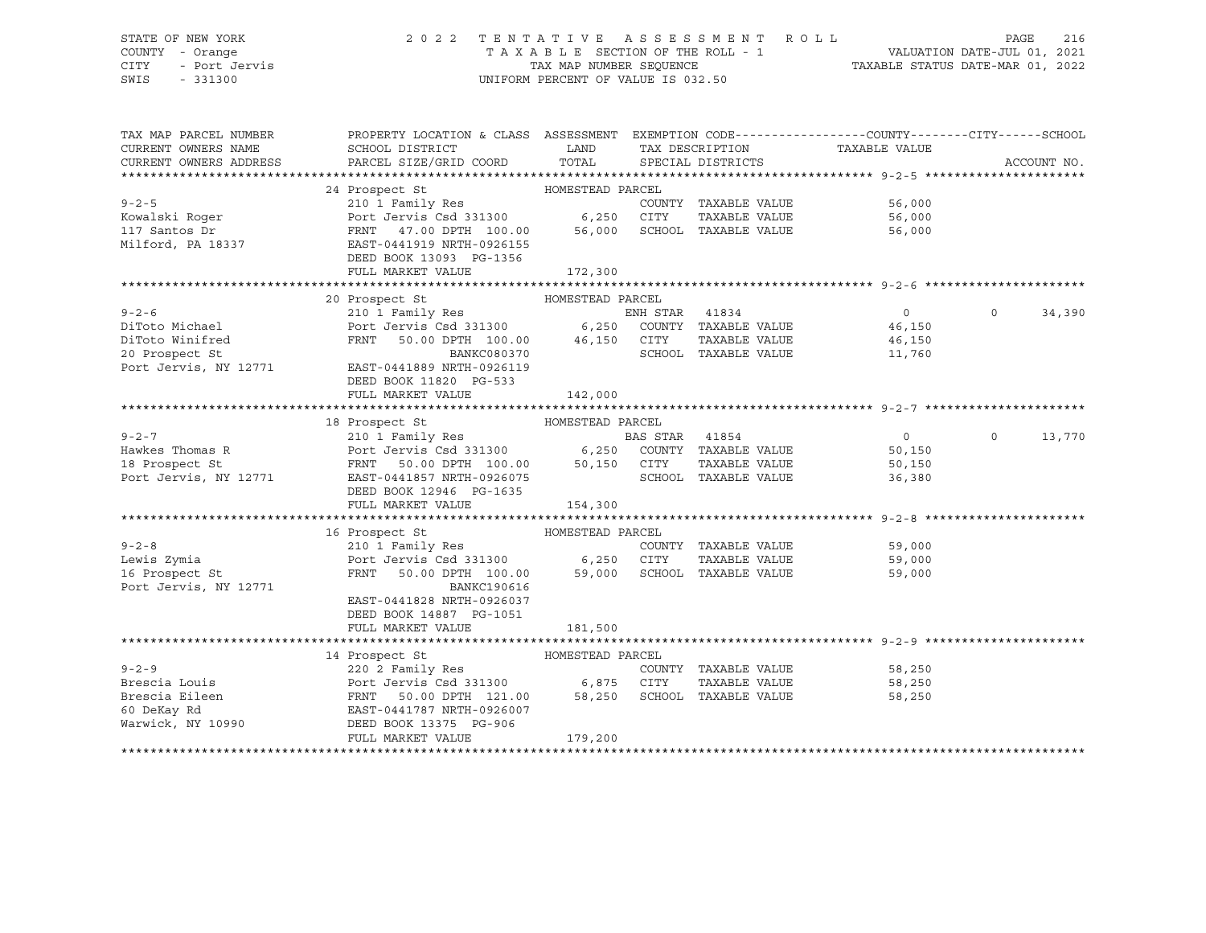### STATE OF NEW YORK 2 0 2 2 T E N T A T I V E A S S E S S M E N T R O L L PAGE 216 COUNTY - Orange T A X A B L E SECTION OF THE ROLL - 1 VALUATION DATE-JUL 01, 2021 CITY - Port Jervis TAX MAP NUMBER SEQUENCE TAXABLE STATUS DATE-MAR 01, 2022

| TAX MAP PARCEL NUMBER<br>CURRENT OWNERS NAME<br>CURRENT OWNERS ADDRESS | PROPERTY LOCATION & CLASS ASSESSMENT EXEMPTION CODE---------------COUNTY-------CITY------SCHOOL<br>SCHOOL DISTRICT<br>PARCEL SIZE/GRID COORD TOTAL                                                                             | <b>EXAMPLE THE STATE OF STATE OF STATE OF STATE OF STATE OF STATE OF STATE OF STATE OF STATE OF STATE OF STATE OF STATE OF STATE OF STATE OF STATE OF STATE OF STATE OF STATE OF STATE OF STATE OF STATE OF STATE OF STATE OF ST</b> | SPECIAL DISTRICTS    | TAX DESCRIPTION TAXABLE VALUE SPECIAL DISTRICTS |          | ACCOUNT NO. |
|------------------------------------------------------------------------|--------------------------------------------------------------------------------------------------------------------------------------------------------------------------------------------------------------------------------|--------------------------------------------------------------------------------------------------------------------------------------------------------------------------------------------------------------------------------------|----------------------|-------------------------------------------------|----------|-------------|
|                                                                        |                                                                                                                                                                                                                                |                                                                                                                                                                                                                                      |                      |                                                 |          |             |
|                                                                        | 24 Prospect St MOMESTEAD PARCEL                                                                                                                                                                                                |                                                                                                                                                                                                                                      |                      |                                                 |          |             |
| $9 - 2 - 5$                                                            | 210 1 Family Res                                                                                                                                                                                                               |                                                                                                                                                                                                                                      | COUNTY TAXABLE VALUE | 56,000                                          |          |             |
| Kowalski Roger                                                         |                                                                                                                                                                                                                                |                                                                                                                                                                                                                                      | TAXABLE VALUE        |                                                 |          |             |
| 117 Santos Dr                                                          | Port Jervis Csd 331300 6,250 CITY TAXABLE VALUE<br>FRNT 47.00 DPTH 100.00 56,000 SCHOOL TAXABLE VALUE                                                                                                                          |                                                                                                                                                                                                                                      |                      | 56,000<br>56.nnn<br>56,000                      |          |             |
| Milford, PA 18337                                                      | EAST-0441919 NRTH-0926155                                                                                                                                                                                                      |                                                                                                                                                                                                                                      |                      |                                                 |          |             |
|                                                                        | DEED BOOK 13093 PG-1356                                                                                                                                                                                                        |                                                                                                                                                                                                                                      |                      |                                                 |          |             |
|                                                                        | FULL MARKET VALUE                                                                                                                                                                                                              | 172,300                                                                                                                                                                                                                              |                      |                                                 |          |             |
|                                                                        |                                                                                                                                                                                                                                |                                                                                                                                                                                                                                      |                      |                                                 |          |             |
|                                                                        | 20 Prospect St MOMESTEAD PARCEL                                                                                                                                                                                                |                                                                                                                                                                                                                                      |                      |                                                 |          |             |
| $9 - 2 - 6$                                                            | 210 1 Family Res<br>Port Jervis Csd 331300 6,250 COUNTY TAXABLE VALUE<br>FRNT 50.00 DPTH 100.00 46,150 CITY TAXABLE VALUE<br>BANKC080370 SCHOOL TAXABLE VALUE                                                                  |                                                                                                                                                                                                                                      |                      | $\overline{0}$                                  | $\Omega$ | 34,390      |
| DiToto Michael                                                         |                                                                                                                                                                                                                                |                                                                                                                                                                                                                                      |                      | 46,150                                          |          |             |
| DiToto Winifred                                                        |                                                                                                                                                                                                                                |                                                                                                                                                                                                                                      | TAXABLE VALUE        | 46,150                                          |          |             |
| 20 Prospect St                                                         |                                                                                                                                                                                                                                |                                                                                                                                                                                                                                      |                      | SCHOOL TAXABLE VALUE<br>11,760                  |          |             |
| 20 Prospect St<br>Port Jervis, NY 12771                                | EAST-0441889 NRTH-0926119                                                                                                                                                                                                      |                                                                                                                                                                                                                                      |                      |                                                 |          |             |
|                                                                        | DEED BOOK 11820 PG-533                                                                                                                                                                                                         |                                                                                                                                                                                                                                      |                      |                                                 |          |             |
|                                                                        | FULL MARKET VALUE                                                                                                                                                                                                              | 142,000                                                                                                                                                                                                                              |                      |                                                 |          |             |
|                                                                        | 18 Prospect St (10 1 Family Res (10 1 Family Res (10 1 Family Res (10 1 Family Res (10 1 Family Res (10 1 Family Res (10 1 Family Res (10 1 Family Res (10 1 Family Res (10 1 6, 250 1 250 1 7 TAXABLE VALUE (12771 EAST-04418 |                                                                                                                                                                                                                                      |                      |                                                 |          |             |
|                                                                        |                                                                                                                                                                                                                                |                                                                                                                                                                                                                                      |                      |                                                 |          |             |
| $9 - 2 - 7$                                                            |                                                                                                                                                                                                                                |                                                                                                                                                                                                                                      |                      | $\overline{0}$                                  | $\Omega$ | 13,770      |
| Hawkes Thomas R                                                        |                                                                                                                                                                                                                                |                                                                                                                                                                                                                                      |                      | 50,150                                          |          |             |
| 18 Prospect St                                                         |                                                                                                                                                                                                                                |                                                                                                                                                                                                                                      |                      | TAXABLE VALUE 50,150                            |          |             |
| Port Jervis, NY 12771                                                  |                                                                                                                                                                                                                                |                                                                                                                                                                                                                                      |                      | 36,380                                          |          |             |
|                                                                        | DEED BOOK 12946 PG-1635                                                                                                                                                                                                        |                                                                                                                                                                                                                                      |                      |                                                 |          |             |
|                                                                        | FULL MARKET VALUE 154,300                                                                                                                                                                                                      |                                                                                                                                                                                                                                      |                      |                                                 |          |             |
|                                                                        |                                                                                                                                                                                                                                |                                                                                                                                                                                                                                      |                      |                                                 |          |             |
|                                                                        | 16 Prospect St                                                                                                                                                                                                                 | HOMESTEAD PARCEL                                                                                                                                                                                                                     |                      |                                                 |          |             |
| $9 - 2 - 8$                                                            | 210 1 Family Res<br>Port Jervis Csd 331300 6,250 CITY TAXABLE VALUE 59,000                                                                                                                                                     |                                                                                                                                                                                                                                      |                      |                                                 |          |             |
| Lewis Zymia                                                            |                                                                                                                                                                                                                                |                                                                                                                                                                                                                                      |                      |                                                 |          |             |
| 16 Prospect St                                                         | FRNT 50.00 DPTH 100.00 59,000 SCHOOL TAXABLE VALUE                                                                                                                                                                             |                                                                                                                                                                                                                                      |                      | 59,000                                          |          |             |
| Port Jervis, NY 12771                                                  | BANKC190616                                                                                                                                                                                                                    |                                                                                                                                                                                                                                      |                      |                                                 |          |             |
|                                                                        | EAST-0441828 NRTH-0926037                                                                                                                                                                                                      |                                                                                                                                                                                                                                      |                      |                                                 |          |             |
|                                                                        | DEED BOOK 14887 PG-1051                                                                                                                                                                                                        |                                                                                                                                                                                                                                      |                      |                                                 |          |             |
|                                                                        | FULL MARKET VALUE                                                                                                                                                                                                              | 181,500                                                                                                                                                                                                                              |                      |                                                 |          |             |
|                                                                        | HOMESTEAD PARCEL<br>14 Prospect St                                                                                                                                                                                             |                                                                                                                                                                                                                                      |                      |                                                 |          |             |
| $9 - 2 - 9$                                                            | 220 2 Family Res                                                                                                                                                                                                               |                                                                                                                                                                                                                                      |                      | COUNTY TAXABLE VALUE 58,250                     |          |             |
|                                                                        |                                                                                                                                                                                                                                |                                                                                                                                                                                                                                      | TAXABLE VALUE        | 58,250                                          |          |             |
|                                                                        |                                                                                                                                                                                                                                |                                                                                                                                                                                                                                      |                      | 58,250                                          |          |             |
|                                                                        |                                                                                                                                                                                                                                |                                                                                                                                                                                                                                      |                      |                                                 |          |             |
| Warwick, NY 10990                                                      | DEED BOOK 13375 PG-906                                                                                                                                                                                                         |                                                                                                                                                                                                                                      |                      |                                                 |          |             |
|                                                                        | FULL MARKET VALUE                                                                                                                                                                                                              | 179,200                                                                                                                                                                                                                              |                      |                                                 |          |             |
|                                                                        |                                                                                                                                                                                                                                |                                                                                                                                                                                                                                      |                      |                                                 |          |             |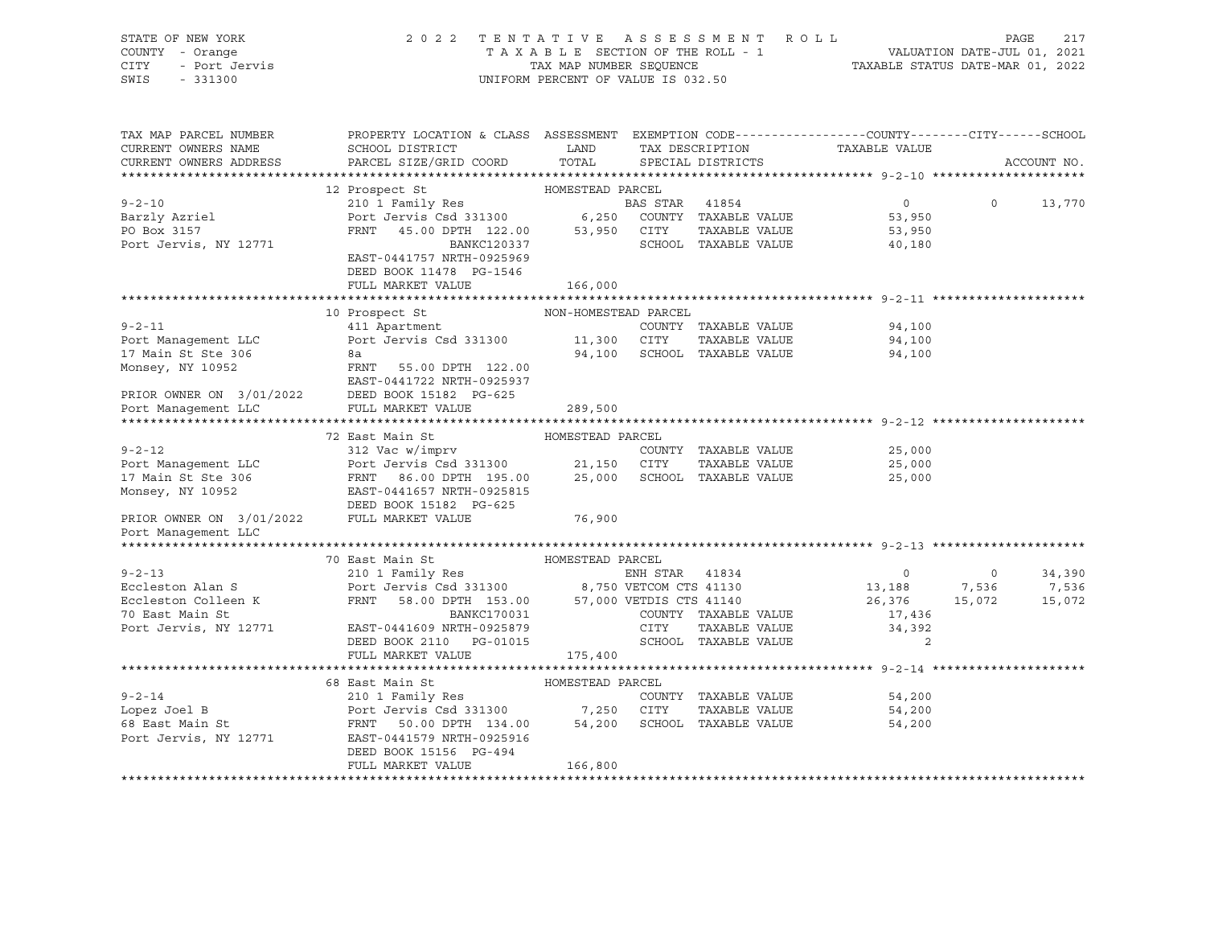| STATE OF NEW YORK<br>COUNTY - Orange<br>CITY<br>- Port Jervis<br>SWIS<br>$-331300$ | 2 0 2 2                                                                                                                                                                                                                                                                                                                                                                                                                                                                               |                      | TENTATIVE ASSESSMENT ROLL<br>TAXABLE SECTION OF THE ROLL - 1<br>TAXABLE SECTION OF THE ROLL - 1<br>TAXABLE STATUS DATE-MAR 01, 2022<br>UNIFORM PERCENT OF VALUE IS 032.50 |               |                                                            | PAGE           | 217         |
|------------------------------------------------------------------------------------|---------------------------------------------------------------------------------------------------------------------------------------------------------------------------------------------------------------------------------------------------------------------------------------------------------------------------------------------------------------------------------------------------------------------------------------------------------------------------------------|----------------------|---------------------------------------------------------------------------------------------------------------------------------------------------------------------------|---------------|------------------------------------------------------------|----------------|-------------|
| TAX MAP PARCEL NUMBER<br>CURRENT OWNERS NAME                                       | PROPERTY LOCATION & CLASS ASSESSMENT EXEMPTION CODE----------------COUNTY-------CITY------SCHOOL<br>SCHOOL DISTRICT LAND                                                                                                                                                                                                                                                                                                                                                              |                      | TAX DESCRIPTION TAXABLE VALUE                                                                                                                                             |               |                                                            |                |             |
| CURRENT OWNERS ADDRESS                                                             | PARCEL SIZE/GRID COORD                                                                                                                                                                                                                                                                                                                                                                                                                                                                | TOTAL                | SPECIAL DISTRICTS                                                                                                                                                         |               |                                                            |                | ACCOUNT NO. |
|                                                                                    |                                                                                                                                                                                                                                                                                                                                                                                                                                                                                       | HOMESTEAD PARCEL     |                                                                                                                                                                           |               |                                                            |                |             |
| $9 - 2 - 10$                                                                       | 12 Prospect St<br>210 1 Family Res                                                                                                                                                                                                                                                                                                                                                                                                                                                    |                      |                                                                                                                                                                           |               | $0 \qquad \qquad$                                          | $\Omega$       | 13,770      |
| Barzly Azriel                                                                      | 210 1 Family Res<br>Port Jervis Csd 331300 6,250 COUNTY TAXABLE VALUE                                                                                                                                                                                                                                                                                                                                                                                                                 |                      |                                                                                                                                                                           |               | 53,950                                                     |                |             |
| PO Box 3157                                                                        |                                                                                                                                                                                                                                                                                                                                                                                                                                                                                       |                      |                                                                                                                                                                           |               | 53,950                                                     |                |             |
| Port Jervis, NY 12771                                                              | FRNT 45.00 DPTH 122.00 53,950 CITY TAXABLE VALUE<br>BANKC120337 SCHOOL TAXABLE VALUE                                                                                                                                                                                                                                                                                                                                                                                                  |                      | SCHOOL TAXABLE VALUE                                                                                                                                                      |               | 40,180                                                     |                |             |
|                                                                                    | EAST-0441757 NRTH-0925969<br>DEED BOOK 11478 PG-1546                                                                                                                                                                                                                                                                                                                                                                                                                                  |                      |                                                                                                                                                                           |               |                                                            |                |             |
|                                                                                    | FULL MARKET VALUE                                                                                                                                                                                                                                                                                                                                                                                                                                                                     | 166,000              |                                                                                                                                                                           |               |                                                            |                |             |
|                                                                                    |                                                                                                                                                                                                                                                                                                                                                                                                                                                                                       |                      |                                                                                                                                                                           |               |                                                            |                |             |
| $9 - 2 - 11$                                                                       | 10 Prospect St<br>411 Apartment                                                                                                                                                                                                                                                                                                                                                                                                                                                       | NON-HOMESTEAD PARCEL | COUNTY TAXABLE VALUE                                                                                                                                                      |               | 94,100                                                     |                |             |
| Port Management LLC                                                                | Port Jervis Csd 331300 11,300 CITY                                                                                                                                                                                                                                                                                                                                                                                                                                                    |                      |                                                                                                                                                                           | TAXABLE VALUE | 94,100                                                     |                |             |
|                                                                                    |                                                                                                                                                                                                                                                                                                                                                                                                                                                                                       |                      | 94,100 SCHOOL TAXABLE VALUE                                                                                                                                               |               | 94,100                                                     |                |             |
|                                                                                    |                                                                                                                                                                                                                                                                                                                                                                                                                                                                                       |                      |                                                                                                                                                                           |               |                                                            |                |             |
|                                                                                    |                                                                                                                                                                                                                                                                                                                                                                                                                                                                                       |                      |                                                                                                                                                                           |               |                                                            |                |             |
|                                                                                    |                                                                                                                                                                                                                                                                                                                                                                                                                                                                                       |                      |                                                                                                                                                                           |               |                                                            |                |             |
|                                                                                    | 17 Main St Ste 306<br>Monsey, NY 10952<br>PRIOR OWNER ON 3/01/2022<br>PRIOR OWNER ON 3/01/2022<br>PEED BOOK 15182 PG-625<br>POOK 15182 PG-625<br>POOK Management LLC<br>PULL MARKET VALUE                                                                                                                                                                                                                                                                                             | 289,500              |                                                                                                                                                                           |               |                                                            |                |             |
|                                                                                    |                                                                                                                                                                                                                                                                                                                                                                                                                                                                                       |                      |                                                                                                                                                                           |               |                                                            |                |             |
|                                                                                    |                                                                                                                                                                                                                                                                                                                                                                                                                                                                                       |                      |                                                                                                                                                                           |               |                                                            |                |             |
| $9 - 2 - 12$                                                                       |                                                                                                                                                                                                                                                                                                                                                                                                                                                                                       |                      | COUNTY TAXABLE VALUE                                                                                                                                                      |               | 25,000                                                     |                |             |
| Port Management LLC                                                                |                                                                                                                                                                                                                                                                                                                                                                                                                                                                                       |                      |                                                                                                                                                                           |               | 25,000                                                     |                |             |
| 17 Main St Ste 306                                                                 |                                                                                                                                                                                                                                                                                                                                                                                                                                                                                       |                      |                                                                                                                                                                           |               | 25,000                                                     |                |             |
| Monsey, NY 10952                                                                   | $\begin{tabular}{lllllllllll} \multicolumn{2}{c}{\multicolumn{2}{c}{\multicolumn{2}{c}{\multicolumn{2}{c}{\multicolumn{2}{c}{\multicolumn{2}{c}{\multicolumn{2}{c}{\multicolumn{2}{c}{\multicolumn{2}{c}{\multicolumn{2}{c}{\multicolumn{2}{c}{\multicolumn{2}{c}{\multicolumn{2}{c}{\multicolumn{2}{c}{\multicolumn{2}{c}{\multicolumn{2}{c}{\multicolumn{2}{c}{\multicolumn{2}{c}{\multicolumn{2}{c}{\multicolumn{2}{c}{\multicolumn{2}{c}{\multicolumn{2}{c}{\multicolumn{2}{c}{\$ |                      |                                                                                                                                                                           |               |                                                            |                |             |
| PRIOR OWNER ON 3/01/2022 FULL MARKET VALUE                                         |                                                                                                                                                                                                                                                                                                                                                                                                                                                                                       | 76,900               |                                                                                                                                                                           |               |                                                            |                |             |
| Port Management LLC                                                                |                                                                                                                                                                                                                                                                                                                                                                                                                                                                                       |                      |                                                                                                                                                                           |               |                                                            |                |             |
|                                                                                    |                                                                                                                                                                                                                                                                                                                                                                                                                                                                                       |                      |                                                                                                                                                                           |               |                                                            |                |             |
|                                                                                    | 70 East Main St                                                                                                                                                                                                                                                                                                                                                                                                                                                                       | HOMESTEAD PARCEL     |                                                                                                                                                                           |               |                                                            |                |             |
| $9 - 2 - 13$                                                                       | 210 1 Family Res                                                                                                                                                                                                                                                                                                                                                                                                                                                                      |                      | ENH STAR 41834                                                                                                                                                            |               | $\overline{0}$                                             | $\overline{0}$ | 34,390      |
| Eccleston Alan S                                                                   | Port Jervis Csd 331300<br>FRNT 58.00 DPTH 153.00 57,000 VETCOM CTS 41130<br>FRNT 58.00 DPTH 153.00 57,000 VETULE CTS 41140                                                                                                                                                                                                                                                                                                                                                            |                      |                                                                                                                                                                           |               | $\begin{array}{ccc} & 0 & 0 \\ 13,188 & 7,536 \end{array}$ |                | 7,536       |
| Eccleston Colleen K<br>70 East Main St                                             |                                                                                                                                                                                                                                                                                                                                                                                                                                                                                       |                      |                                                                                                                                                                           |               | 26,376                                                     | 15,072         | 15,072      |
|                                                                                    |                                                                                                                                                                                                                                                                                                                                                                                                                                                                                       |                      | COUNTY TAXABLE VALUE                                                                                                                                                      |               | 17,436                                                     |                |             |
|                                                                                    | Eccleston Colleen K<br>70 East Main St<br>Port Jervis, NY 12771<br>EAST-0441609 NRTH-0925879<br>NGC 2110 PG-01015                                                                                                                                                                                                                                                                                                                                                                     |                      | CITY                                                                                                                                                                      | TAXABLE VALUE | 34,392                                                     |                |             |
|                                                                                    | DEED BOOK 2110 PG-01015                                                                                                                                                                                                                                                                                                                                                                                                                                                               |                      | SCHOOL TAXABLE VALUE                                                                                                                                                      |               | 2                                                          |                |             |
|                                                                                    | FULL MARKET VALUE                                                                                                                                                                                                                                                                                                                                                                                                                                                                     | 175,400              |                                                                                                                                                                           |               |                                                            |                |             |
|                                                                                    |                                                                                                                                                                                                                                                                                                                                                                                                                                                                                       |                      |                                                                                                                                                                           |               |                                                            |                |             |
|                                                                                    | 68 East Main St<br>210 1 Family Res<br>Port Jervis Csd 331300 7,250 CITY                                                                                                                                                                                                                                                                                                                                                                                                              |                      |                                                                                                                                                                           |               |                                                            |                |             |
| $9 - 2 - 14$                                                                       |                                                                                                                                                                                                                                                                                                                                                                                                                                                                                       |                      | COUNTY TAXABLE VALUE                                                                                                                                                      |               | 54,200                                                     |                |             |
| Lopez Joel B<br>68 East Main St                                                    |                                                                                                                                                                                                                                                                                                                                                                                                                                                                                       |                      | TAXABLE VALUE                                                                                                                                                             |               | 54,200                                                     |                |             |
|                                                                                    | FRNT 50.00 DPTH 134.00 54,200<br>Port Jervis, NY 12771 EAST-0441579 NRTH-0925916                                                                                                                                                                                                                                                                                                                                                                                                      |                      | SCHOOL TAXABLE VALUE                                                                                                                                                      |               | 54,200                                                     |                |             |
|                                                                                    |                                                                                                                                                                                                                                                                                                                                                                                                                                                                                       |                      |                                                                                                                                                                           |               |                                                            |                |             |
|                                                                                    | DEED BOOK 15156 PG-494<br>FULL MARKET VALUE                                                                                                                                                                                                                                                                                                                                                                                                                                           | 166,800              |                                                                                                                                                                           |               |                                                            |                |             |
|                                                                                    |                                                                                                                                                                                                                                                                                                                                                                                                                                                                                       |                      |                                                                                                                                                                           |               |                                                            |                |             |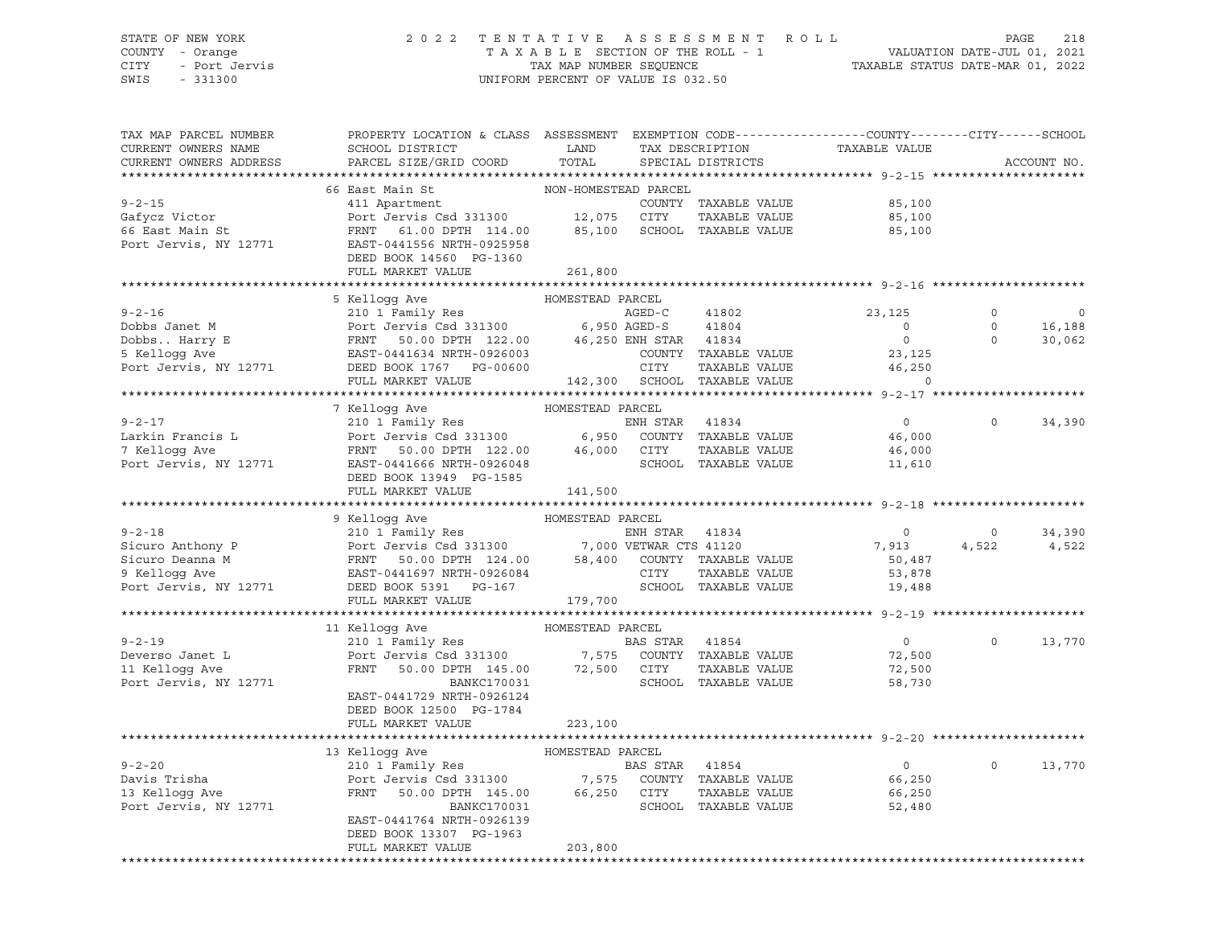### STATE OF NEW YORK 2 0 2 2 T E N T A T I V E A S S E S S M E N T R O L L PAGE 218 COUNTY - Orange T A X A B L E SECTION OF THE ROLL - 1 VALUATION DATE-JUL 01, 2021 CITY - Port Jervis TAX MAP NUMBER SEQUENCE TAXABLE STATUS DATE-MAR 01, 2022

| TAX MAP PARCEL NUMBER<br>CURRENT OWNERS NAME | PROPERTY LOCATION & CLASS ASSESSMENT EXEMPTION CODE----------------COUNTY-------CITY------SCHOOL<br>SCHOOL DISTRICT | LAND                 |                        | TAX DESCRIPTION                              | TAXABLE VALUE    |             |             |
|----------------------------------------------|---------------------------------------------------------------------------------------------------------------------|----------------------|------------------------|----------------------------------------------|------------------|-------------|-------------|
| CURRENT OWNERS ADDRESS                       | PARCEL SIZE/GRID COORD                                                                                              | TOTAL                |                        | SPECIAL DISTRICTS                            |                  |             | ACCOUNT NO. |
|                                              | 66 East Main St                                                                                                     | NON-HOMESTEAD PARCEL |                        |                                              |                  |             |             |
| $9 - 2 - 15$                                 | 411 Apartment                                                                                                       |                      |                        | COUNTY TAXABLE VALUE                         | 85,100           |             |             |
| Gafycz Victor                                | Port Jervis Csd 331300                                                                                              | 12,075               | CITY                   | TAXABLE VALUE                                | 85,100           |             |             |
| 66 East Main St                              | FRNT 61.00 DPTH 114.00                                                                                              | 85,100               |                        | SCHOOL TAXABLE VALUE                         | 85,100           |             |             |
| Port Jervis, NY 12771                        | EAST-0441556 NRTH-0925958                                                                                           |                      |                        |                                              |                  |             |             |
|                                              | DEED BOOK 14560 PG-1360                                                                                             |                      |                        |                                              |                  |             |             |
|                                              | FULL MARKET VALUE                                                                                                   | 261,800              |                        |                                              |                  |             |             |
|                                              |                                                                                                                     |                      |                        |                                              |                  |             |             |
|                                              | 5 Kellogg Ave                                                                                                       | HOMESTEAD PARCEL     |                        |                                              |                  |             |             |
| $9 - 2 - 16$                                 | 210 1 Family Res                                                                                                    |                      | $AGED-C$               | 41802                                        | 23,125           | $\circ$     |             |
| Dobbs Janet M                                | Port Jervis Csd 331300                                                                                              | 6,950 AGED-S         |                        | 41804                                        | $\circ$          | $\mathbf 0$ | 16,188      |
| Dobbs Harry E                                | FRNT 50.00 DPTH 122.00                                                                                              |                      | 46,250 ENH STAR        | 41834                                        | $\mathbb O$      | $\mathbf 0$ | 30,062      |
| 5 Kelloqq Ave                                | EAST-0441634 NRTH-0926003                                                                                           |                      | CITY                   | COUNTY TAXABLE VALUE<br>TAXABLE VALUE        | 23,125<br>46,250 |             |             |
| Port Jervis, NY 12771                        | DEED BOOK 1767 PG-00600<br>FULL MARKET VALUE                                                                        |                      |                        | 142,300 SCHOOL TAXABLE VALUE                 | $\Omega$         |             |             |
|                                              |                                                                                                                     |                      |                        |                                              |                  |             |             |
|                                              | 7 Kelloqq Ave                                                                                                       | HOMESTEAD PARCEL     |                        |                                              |                  |             |             |
| $9 - 2 - 17$                                 | 210 1 Family Res                                                                                                    |                      | ENH STAR               | 41834                                        | $\circ$          | $\circ$     | 34,390      |
| Larkin Francis L                             | Port Jervis Csd 331300                                                                                              | 6,950                |                        | COUNTY TAXABLE VALUE                         | 46,000           |             |             |
| 7 Kelloqq Ave                                | FRNT 50.00 DPTH 122.00                                                                                              | 46,000               | CITY                   | TAXABLE VALUE                                | 46,000           |             |             |
| Port Jervis, NY 12771                        | EAST-0441666 NRTH-0926048                                                                                           |                      |                        | SCHOOL TAXABLE VALUE                         | 11,610           |             |             |
|                                              | DEED BOOK 13949 PG-1585                                                                                             |                      |                        |                                              |                  |             |             |
|                                              | FULL MARKET VALUE                                                                                                   | 141,500              |                        |                                              |                  |             |             |
|                                              |                                                                                                                     |                      |                        |                                              |                  |             |             |
|                                              | 9 Kellogg Ave                                                                                                       | HOMESTEAD PARCEL     |                        |                                              |                  |             |             |
| $9 - 2 - 18$                                 | 210 1 Family Res<br>Port Jervis Csd 331300                                                                          |                      | ENH STAR 41834         |                                              | $\overline{0}$   | $\mathbf 0$ | 34,390      |
| Sicuro Anthony P                             |                                                                                                                     |                      | 7,000 VETWAR CTS 41120 |                                              | 7,913            | 4,522       | 4,522       |
| Sicuro Deanna M<br>9 Kelloqq Ave             | FRNT 50.00 DPTH 124.00<br>EAST-0441697 NRTH-0926084                                                                 |                      | CITY                   | 58,400 COUNTY TAXABLE VALUE<br>TAXABLE VALUE | 50,487<br>53,878 |             |             |
| Port Jervis, NY 12771                        | DEED BOOK 5391 PG-167                                                                                               |                      |                        | SCHOOL TAXABLE VALUE                         | 19,488           |             |             |
|                                              | FULL MARKET VALUE                                                                                                   | 179,700              |                        |                                              |                  |             |             |
|                                              |                                                                                                                     |                      |                        |                                              |                  |             |             |
|                                              | 11 Kelloqq Ave                                                                                                      | HOMESTEAD PARCEL     |                        |                                              |                  |             |             |
| $9 - 2 - 19$                                 | 210 1 Family Res                                                                                                    |                      | BAS STAR               | 41854                                        | $\circ$          | $\circ$     | 13,770      |
| Deverso Janet L                              | Port Jervis Csd 331300                                                                                              |                      |                        | 7,575 COUNTY TAXABLE VALUE                   | 72,500           |             |             |
| 11 Kelloqq Ave                               | FRNT<br>50.00 DPTH 145.00                                                                                           | 72,500               | CITY                   | TAXABLE VALUE                                | 72,500           |             |             |
| Port Jervis, NY 12771                        | <b>BANKC170031</b>                                                                                                  |                      |                        | SCHOOL TAXABLE VALUE                         | 58,730           |             |             |
|                                              | EAST-0441729 NRTH-0926124                                                                                           |                      |                        |                                              |                  |             |             |
|                                              | DEED BOOK 12500 PG-1784                                                                                             |                      |                        |                                              |                  |             |             |
|                                              | FULL MARKET VALUE                                                                                                   | 223,100              |                        |                                              |                  |             |             |
|                                              |                                                                                                                     |                      |                        |                                              |                  |             |             |
|                                              | 13 Kelloqq Ave                                                                                                      | HOMESTEAD PARCEL     |                        |                                              |                  | $\Omega$    |             |
| $9 - 2 - 20$<br>Davis Trisha                 | 210 1 Family Res                                                                                                    |                      | BAS STAR               | 41854                                        | $\overline{0}$   |             | 13,770      |
| 13 Kelloqq Ave                               | Port Jervis Csd 331300<br>FRNT<br>50.00 DPTH 145.00                                                                 | 7,575<br>66,250      | CITY                   | COUNTY TAXABLE VALUE<br>TAXABLE VALUE        | 66,250<br>66,250 |             |             |
| Port Jervis, NY 12771                        | <b>BANKC170031</b>                                                                                                  |                      |                        | SCHOOL TAXABLE VALUE                         | 52,480           |             |             |
|                                              | EAST-0441764 NRTH-0926139                                                                                           |                      |                        |                                              |                  |             |             |
|                                              | DEED BOOK 13307 PG-1963                                                                                             |                      |                        |                                              |                  |             |             |
|                                              | FULL MARKET VALUE                                                                                                   | 203,800              |                        |                                              |                  |             |             |
|                                              | ************************                                                                                            |                      |                        |                                              |                  |             |             |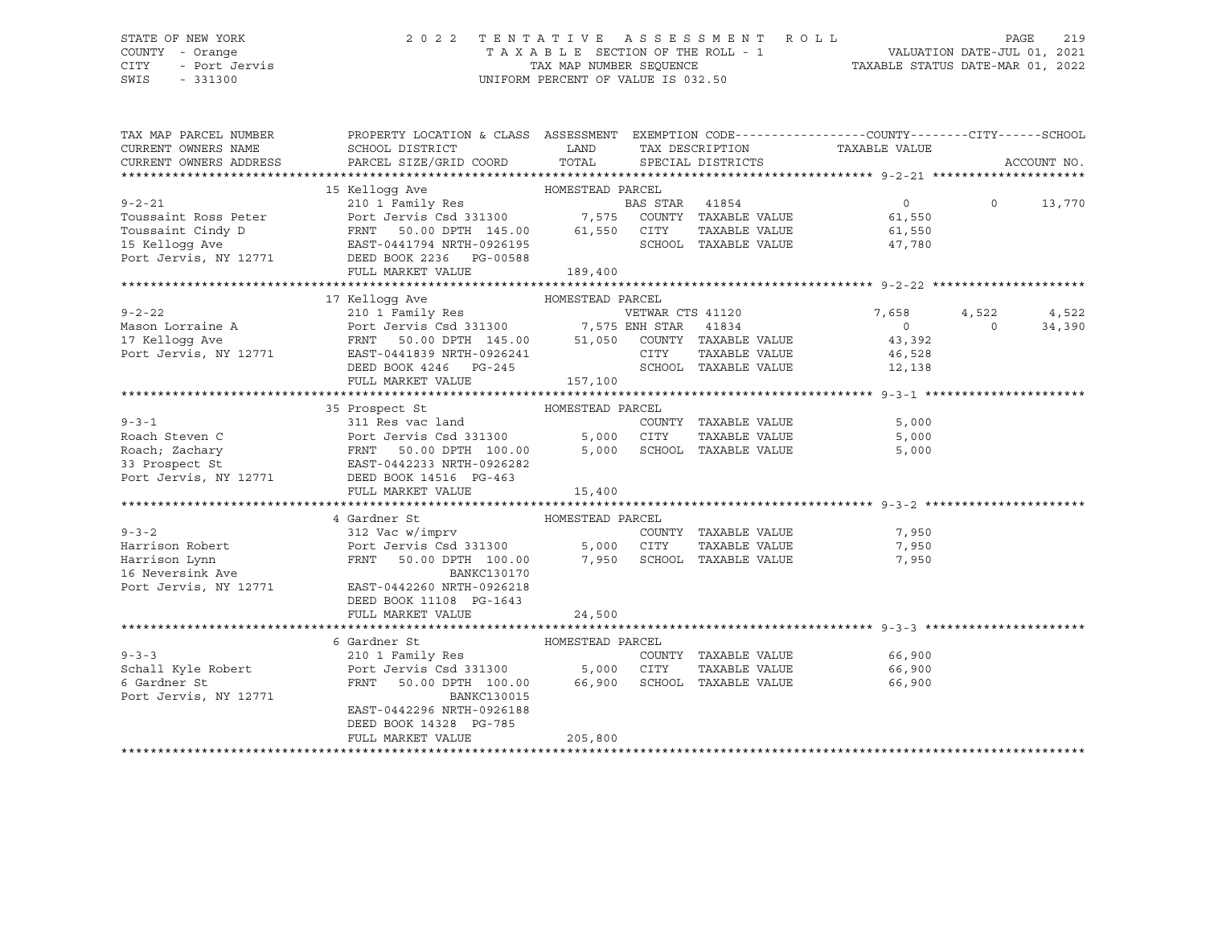### STATE OF NEW YORK 2 0 2 2 T E N T A T I V E A S S E S S M E N T R O L L PAGE 219 COUNTY - Orange T A X A B L E SECTION OF THE ROLL - 1 VALUATION DATE-JUL 01, 2021 CITY - Port Jervis TAX MAP NUMBER SEQUENCE TAXABLE STATUS DATE-MAR 01, 2022

SWIS - 331300 UNIFORM PERCENT OF VALUE IS 032.50

| TAX MAP PARCEL NUMBER<br>CURRENT OWNERS NAME<br>CURRENT OWNERS ADDRESS | PROPERTY LOCATION & CLASS ASSESSMENT EXEMPTION CODE---------------COUNTY-------CITY------SCHOOL<br>SCHOOL DISTRICT<br>PARCEL SIZE/GRID COORD                                                                                                           | <b>LAND</b> | TAX DESCRIPTION<br>TOTAL SPECIAL DISTRICTS | TAXABLE VALUE                           |          | ACCOUNT NO. |
|------------------------------------------------------------------------|--------------------------------------------------------------------------------------------------------------------------------------------------------------------------------------------------------------------------------------------------------|-------------|--------------------------------------------|-----------------------------------------|----------|-------------|
|                                                                        |                                                                                                                                                                                                                                                        |             |                                            |                                         |          |             |
|                                                                        |                                                                                                                                                                                                                                                        |             |                                            |                                         |          |             |
|                                                                        | Toussaint Ross Peter<br>Toussaint Cindy D<br>Toussaint Cindy D<br>Toussaint Cindy D<br>Toussaint Cindy D<br>Toussaint Cindy D<br>FRNT 50.00 DPTH 145.00<br>EAST-0441794 NRTH-0926195<br>Port Jervis, NY 12771<br>DEED BOOK 2236 PG-00588<br>FULL M     |             |                                            | $\begin{array}{c} 0 \\ 6.1 \end{array}$ | $\circ$  | 13,770      |
|                                                                        |                                                                                                                                                                                                                                                        |             |                                            |                                         |          |             |
|                                                                        |                                                                                                                                                                                                                                                        |             |                                            | TAXABLE VALUE 61,550                    |          |             |
|                                                                        |                                                                                                                                                                                                                                                        |             | SCHOOL TAXABLE VALUE                       | 47,780                                  |          |             |
|                                                                        |                                                                                                                                                                                                                                                        |             |                                            |                                         |          |             |
|                                                                        |                                                                                                                                                                                                                                                        | 189,400     |                                            |                                         |          |             |
|                                                                        |                                                                                                                                                                                                                                                        |             |                                            |                                         |          |             |
|                                                                        | HOMESTEAD PARCEL<br>17 Kelloqq Ave                                                                                                                                                                                                                     |             |                                            |                                         |          |             |
|                                                                        |                                                                                                                                                                                                                                                        |             |                                            | 7,658                                   | 4,522    | 4,522       |
|                                                                        |                                                                                                                                                                                                                                                        |             |                                            |                                         | $\Omega$ | 34,390      |
|                                                                        |                                                                                                                                                                                                                                                        |             |                                            |                                         |          |             |
|                                                                        |                                                                                                                                                                                                                                                        |             |                                            |                                         |          |             |
|                                                                        | 9-2-22<br>Mason Lorraine A<br>210 1 Family Res<br>Port Jervis Csd 331300<br>Port Jervis Csd 331300<br>FRNT 50.00 DPTH 145.00<br>FRNT 50.00 DPTH 145.00<br>51,050 COUNTY TAXABLE VALUE<br>CITY TAXABLE VALUE<br>43,392<br>Port Jervis, NY 12771<br>DE   |             |                                            |                                         |          |             |
|                                                                        | FULL MARKET VALUE                                                                                                                                                                                                                                      | 157,100     |                                            |                                         |          |             |
|                                                                        |                                                                                                                                                                                                                                                        |             |                                            |                                         |          |             |
|                                                                        | 35 Prospect St MOMESTEAD PARCEL                                                                                                                                                                                                                        |             |                                            |                                         |          |             |
|                                                                        |                                                                                                                                                                                                                                                        |             |                                            | 5,000                                   |          |             |
|                                                                        | 9-3-1<br>Roach Steven C<br>Roach, Zachary<br>Roach, Zachary<br>Roach, Zachary<br>Port Jervis Csd 331300<br>FRNT 50.00 DPTH 100.00<br>5,000 CITY TAXABLE VALUE<br>S3 Prospect St<br>Port Jervis, NY 12771<br>DEED BOOK 14516 PG-463<br>THE PG-463       |             |                                            | 5,000<br>5,000                          |          |             |
|                                                                        |                                                                                                                                                                                                                                                        |             |                                            |                                         |          |             |
|                                                                        |                                                                                                                                                                                                                                                        |             |                                            |                                         |          |             |
|                                                                        | FULL MARKET VALUE                                                                                                                                                                                                                                      | 15,400      |                                            |                                         |          |             |
|                                                                        |                                                                                                                                                                                                                                                        |             |                                            |                                         |          |             |
|                                                                        | 4 Gardner St<br>HOMESTEAD PARCEL                                                                                                                                                                                                                       |             |                                            |                                         |          |             |
|                                                                        |                                                                                                                                                                                                                                                        |             | COUNTY TAXABLE VALUE 7,950                 |                                         |          |             |
|                                                                        |                                                                                                                                                                                                                                                        |             | TAXABLE VALUE                              | 7,950                                   |          |             |
|                                                                        | FRNT 50.00 DPTH 100.00 7,950 SCHOOL TAXABLE VALUE                                                                                                                                                                                                      |             |                                            | 7,950                                   |          |             |
|                                                                        |                                                                                                                                                                                                                                                        |             |                                            |                                         |          |             |
|                                                                        | 9-3-2<br>Harrison Robert<br>Harrison Lynn<br>Harrison Lynn<br>Harrison Lynn<br>16 Neversink Ave<br>Port Jervis Csd 331300<br>FRNT 50.00 DPTH 100.00<br>BANKC130170<br>Port Jervis, NY 12771<br>EAST-0442260 NRTH-0926218<br>FRNT 50.00 DPTH 100.00<br> |             |                                            |                                         |          |             |
|                                                                        | DEED BOOK 11108 PG-1643                                                                                                                                                                                                                                |             |                                            |                                         |          |             |
|                                                                        | FULL MARKET VALUE                                                                                                                                                                                                                                      | 24,500      |                                            |                                         |          |             |
|                                                                        |                                                                                                                                                                                                                                                        |             |                                            |                                         |          |             |
|                                                                        | 6 Gardner St<br>Gardner St<br>$\begin{minipage}{0.9\linewidth} \textbf{HOMESTEAD PARCEL} \\ 210 \textbf{ 1} \textbf{ Family Res} \end{minipage}$                                                                                                       |             |                                            |                                         |          |             |
| $9 - 3 - 3$                                                            |                                                                                                                                                                                                                                                        |             | COUNTY TAXABLE VALUE 66,900                |                                         |          |             |
|                                                                        | Schall Kyle Robert <b>Fort Jervis</b> Csd 331300 5,000 CITY                                                                                                                                                                                            |             | TAXABLE VALUE 66,900                       |                                         |          |             |
| 6 Gardner St                                                           | FRNT 50.00 DPTH 100.00 66,900 SCHOOL TAXABLE VALUE                                                                                                                                                                                                     |             |                                            | 66,900                                  |          |             |
| Port Jervis, NY 12771                                                  | BANKC130015                                                                                                                                                                                                                                            |             |                                            |                                         |          |             |
|                                                                        | EAST-0442296 NRTH-0926188                                                                                                                                                                                                                              |             |                                            |                                         |          |             |
|                                                                        | DEED BOOK 14328 PG-785                                                                                                                                                                                                                                 |             |                                            |                                         |          |             |
|                                                                        | FULL MARKET VALUE                                                                                                                                                                                                                                      | 205,800     |                                            |                                         |          |             |
|                                                                        |                                                                                                                                                                                                                                                        |             |                                            |                                         |          |             |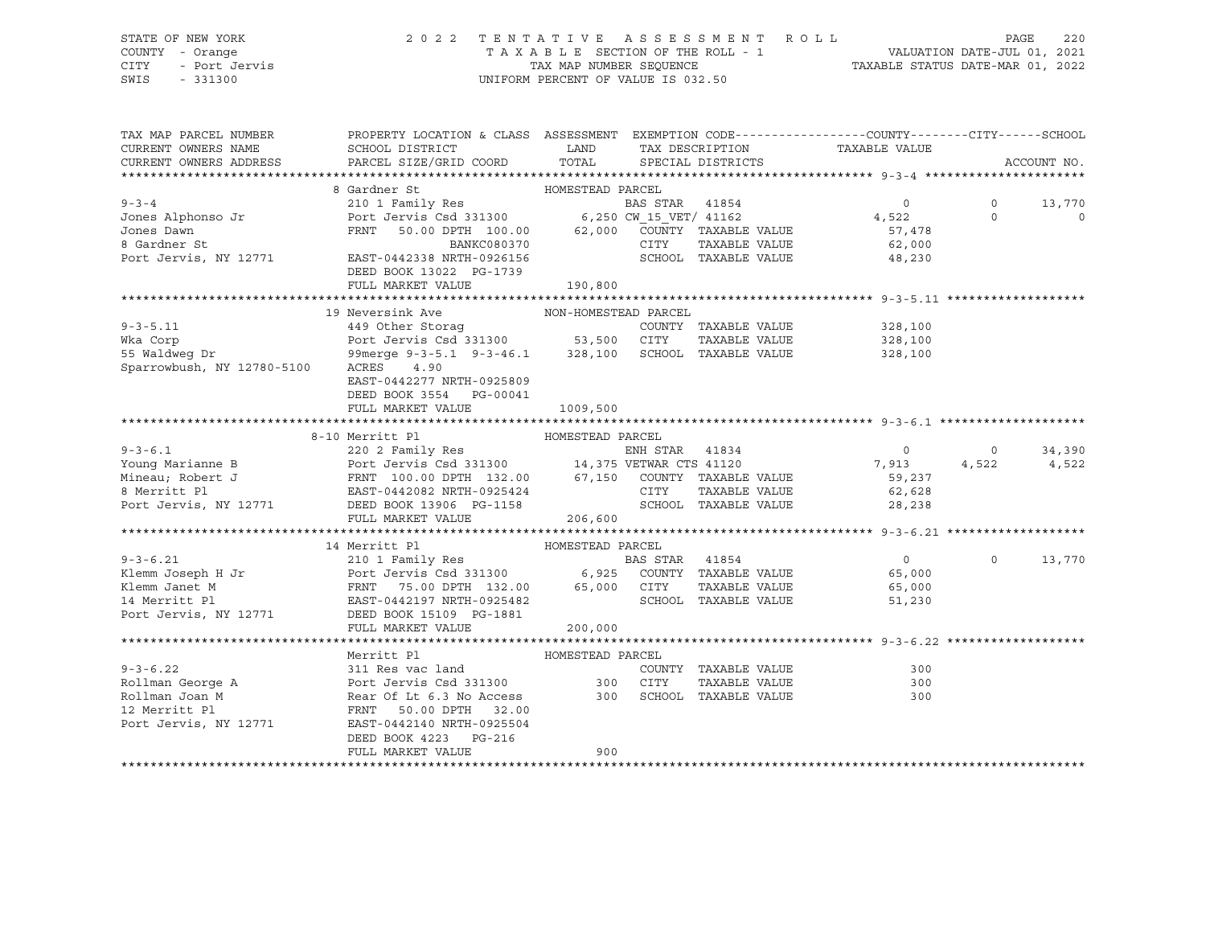### STATE OF NEW YORK 2 0 2 2 T E N T A T I V E A S S E S S M E N T R O L L PAGE 220 COUNTY - Orange T A X A B L E SECTION OF THE ROLL - 1 VALUATION DATE-JUL 01, 2021 CITY - Port Jervis TAX MAP NUMBER SEQUENCE TAXABLE STATUS DATE-MAR 01, 2022

| TAX MAP PARCEL NUMBER<br>CURRENT OWNERS NAME<br>CURRENT OWNERS ADDRESS                                                                                                                                                              | PROPERTY LOCATION & CLASS ASSESSMENT EXEMPTION CODE----------------COUNTY-------CITY------SCHOOL<br>SCHOOL DISTRICT<br>PARCEL SIZE/GRID COORD                                                                                        | <b>LAND</b><br>TOTAL |      | TAX DESCRIPTION<br>SPECIAL DISTRICTS | TAXABLE VALUE               |                | ACCOUNT NO.    |
|-------------------------------------------------------------------------------------------------------------------------------------------------------------------------------------------------------------------------------------|--------------------------------------------------------------------------------------------------------------------------------------------------------------------------------------------------------------------------------------|----------------------|------|--------------------------------------|-----------------------------|----------------|----------------|
|                                                                                                                                                                                                                                     |                                                                                                                                                                                                                                      |                      |      |                                      |                             |                |                |
|                                                                                                                                                                                                                                     | 8 Gardner St                                                                                                                                                                                                                         | HOMESTEAD PARCEL     |      |                                      |                             |                |                |
| $9 - 3 - 4$                                                                                                                                                                                                                         |                                                                                                                                                                                                                                      |                      |      |                                      | $\overline{0}$              | $\circ$        | 13,770         |
| Jones Alphonso Jr                                                                                                                                                                                                                   |                                                                                                                                                                                                                                      |                      |      |                                      | 4,522                       | $\Omega$       | $\overline{0}$ |
| Jones Dawn                                                                                                                                                                                                                          | 50.00 DPTH 100.00 62,000<br>FRNT                                                                                                                                                                                                     |                      |      | COUNTY TAXABLE VALUE                 | 57,478                      |                |                |
| 8 Gardner St                                                                                                                                                                                                                        |                                                                                                                                                                                                                                      |                      | CITY | TAXABLE VALUE                        | 62,000                      |                |                |
| Port Jervis, NY 12771                                                                                                                                                                                                               | BANKC080370<br>EAST-0442338 NRTH-0926156                                                                                                                                                                                             |                      |      |                                      | SCHOOL TAXABLE VALUE 48,230 |                |                |
|                                                                                                                                                                                                                                     | DEED BOOK 13022 PG-1739                                                                                                                                                                                                              |                      |      |                                      |                             |                |                |
|                                                                                                                                                                                                                                     | FULL MARKET VALUE                                                                                                                                                                                                                    | 190,800              |      |                                      |                             |                |                |
|                                                                                                                                                                                                                                     |                                                                                                                                                                                                                                      |                      |      |                                      |                             |                |                |
|                                                                                                                                                                                                                                     | 19 Neversink Ave MON-HOMESTEAD PARCEL                                                                                                                                                                                                |                      |      |                                      |                             |                |                |
| $9 - 3 - 5.11$                                                                                                                                                                                                                      | 449 Other Storag                                                                                                                                                                                                                     |                      |      | COUNTY TAXABLE VALUE                 | 328,100                     |                |                |
| Wka Corp                                                                                                                                                                                                                            | Port Jervis Csd 331300 53,500 CITY<br>99merge 9-3-5.1 9-3-46.1 328,100 SCHOC                                                                                                                                                         |                      |      | TAXABLE VALUE                        | 328,100                     |                |                |
| wka Corp<br>55 Waldweg Dr                                                                                                                                                                                                           |                                                                                                                                                                                                                                      |                      |      | SCHOOL TAXABLE VALUE                 | 328,100                     |                |                |
| Sparrowbush, NY 12780-5100                                                                                                                                                                                                          | ACRES 4.90                                                                                                                                                                                                                           |                      |      |                                      |                             |                |                |
|                                                                                                                                                                                                                                     | EAST-0442277 NRTH-0925809                                                                                                                                                                                                            |                      |      |                                      |                             |                |                |
|                                                                                                                                                                                                                                     | DEED BOOK 3554 PG-00041                                                                                                                                                                                                              |                      |      |                                      |                             |                |                |
|                                                                                                                                                                                                                                     | FULL MARKET VALUE 1009,500                                                                                                                                                                                                           |                      |      |                                      |                             |                |                |
|                                                                                                                                                                                                                                     |                                                                                                                                                                                                                                      |                      |      |                                      |                             |                |                |
|                                                                                                                                                                                                                                     | 8-10 Merritt P1 (220 2 Family Res (220 2 Family Res (220 2 Family Res (220 2 Family Res (220 2 Family Res (231300 )<br>B Port Jervis Csd 331300 (24,375 VETWAR CTS 41120<br>FRNT 100.00 DPTH 132.00 (27,150 COUNTY TAXABLE VALUE RAS |                      |      |                                      |                             |                |                |
| $9 - 3 - 6.1$                                                                                                                                                                                                                       |                                                                                                                                                                                                                                      |                      |      |                                      | $\overline{0}$              | $\overline{0}$ | 34,390         |
| Young Marianne B                                                                                                                                                                                                                    |                                                                                                                                                                                                                                      |                      |      |                                      | 7,913                       | 4,522          | 4,522          |
| Mineau; Robert J                                                                                                                                                                                                                    |                                                                                                                                                                                                                                      |                      |      |                                      | 59,237                      |                |                |
| 8 Merritt Pl                                                                                                                                                                                                                        |                                                                                                                                                                                                                                      |                      |      |                                      | 62,628                      |                |                |
| Port Jervis, NY 12771 DEED BOOK 13906 PG-1158                                                                                                                                                                                       |                                                                                                                                                                                                                                      |                      |      | SCHOOL TAXABLE VALUE                 | 28, 238                     |                |                |
|                                                                                                                                                                                                                                     | FULL MARKET VALUE                                                                                                                                                                                                                    | 206,600              |      |                                      |                             |                |                |
|                                                                                                                                                                                                                                     |                                                                                                                                                                                                                                      |                      |      |                                      |                             |                |                |
|                                                                                                                                                                                                                                     | 14 Merritt Pl                                                                                                                                                                                                                        | HOMESTEAD PARCEL     |      |                                      |                             |                |                |
|                                                                                                                                                                                                                                     |                                                                                                                                                                                                                                      |                      |      |                                      | $\overline{0}$              | $\Omega$       | 13,770         |
|                                                                                                                                                                                                                                     |                                                                                                                                                                                                                                      |                      |      |                                      | 65,000                      |                |                |
|                                                                                                                                                                                                                                     |                                                                                                                                                                                                                                      |                      |      |                                      | 65,000                      |                |                |
|                                                                                                                                                                                                                                     |                                                                                                                                                                                                                                      |                      |      |                                      | 51,230                      |                |                |
| 9-3-6.21 210 1 Family Res BAS STAR 41854<br>Klemm Joseph H Jr Port Jervis Csd 331300 6,925 COUNTY TAXABLE VALUE<br>Klemm Janet M FRNT 75.00 DPTH 132.00 65,000 CITY TAXABLE VALUE<br>14 Merritt Pl EAST-0442197 NRTH-0925482 SCHOOL |                                                                                                                                                                                                                                      |                      |      |                                      |                             |                |                |
|                                                                                                                                                                                                                                     | FULL MARKET VALUE                                                                                                                                                                                                                    | 200,000              |      |                                      |                             |                |                |
|                                                                                                                                                                                                                                     | Merritt Pl                                                                                                                                                                                                                           | HOMESTEAD PARCEL     |      |                                      |                             |                |                |
|                                                                                                                                                                                                                                     |                                                                                                                                                                                                                                      |                      |      | COUNTY TAXABLE VALUE                 | 300                         |                |                |
|                                                                                                                                                                                                                                     |                                                                                                                                                                                                                                      |                      |      | TAXABLE VALUE                        | 300                         |                |                |
|                                                                                                                                                                                                                                     |                                                                                                                                                                                                                                      |                      |      | SCHOOL TAXABLE VALUE                 | 300                         |                |                |
| 9-3-6.22<br>Rollman George A<br>Rollman Joan M<br>Rollman Joan M<br>Rear Of Lt 6.3 No Access<br>2000 SCHOC<br>2000 SCHOC<br>2000 SCHOC<br>2000 SCHOC<br>2000 PTH<br>22.00                                                           |                                                                                                                                                                                                                                      |                      |      |                                      |                             |                |                |
| Port Jervis, NY 12771                                                                                                                                                                                                               | EAST-0442140 NRTH-0925504                                                                                                                                                                                                            |                      |      |                                      |                             |                |                |
|                                                                                                                                                                                                                                     | DEED BOOK 4223<br>PG-216                                                                                                                                                                                                             |                      |      |                                      |                             |                |                |
|                                                                                                                                                                                                                                     | FULL MARKET VALUE                                                                                                                                                                                                                    | 900                  |      |                                      |                             |                |                |
|                                                                                                                                                                                                                                     |                                                                                                                                                                                                                                      |                      |      |                                      |                             |                |                |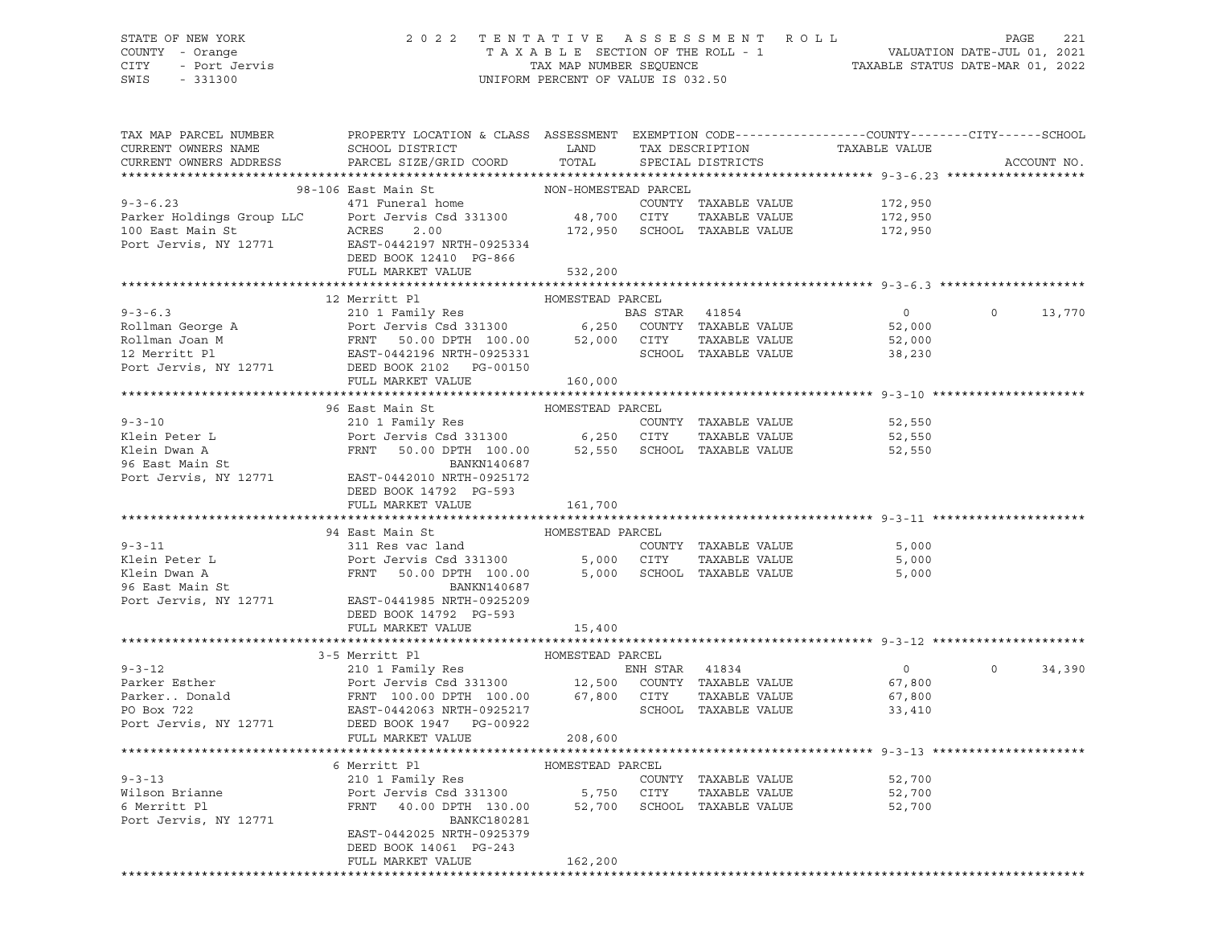### STATE OF NEW YORK 2 0 2 2 T E N T A T I V E A S S E S S M E N T R O L L PAGE 221 COUNTY - Orange T A X A B L E SECTION OF THE ROLL - 1 VALUATION DATE-JUL 01, 2021 CITY - Port Jervis TAX MAP NUMBER SEQUENCE TAXABLE STATUS DATE-MAR 01, 2022

| TAX MAP PARCEL NUMBER<br>CURRENT OWNERS NAME | PROPERTY LOCATION & CLASS ASSESSMENT EXEMPTION CODE---------------COUNTY-------CITY------SCHOOL<br>SCHOOL DISTRICT LAND TAX DESCRIPTION<br>PARCEL SIZE/GRID COORD TOTAL                                                                                      |                      |                   | TAXABLE VALUE    |                    |
|----------------------------------------------|--------------------------------------------------------------------------------------------------------------------------------------------------------------------------------------------------------------------------------------------------------------|----------------------|-------------------|------------------|--------------------|
| CURRENT OWNERS ADDRESS                       |                                                                                                                                                                                                                                                              |                      | SPECIAL DISTRICTS |                  | ACCOUNT NO.        |
|                                              | 98-106 East Main St                                                                                                                                                                                                                                          | NON-HOMESTEAD PARCEL |                   |                  |                    |
|                                              | 9-3-6.23<br>Parker Holdings Group LLC<br>100 East Main St<br>Port Jervis Csd 331300<br>2.00<br>Port Jervis, NY 12771<br>EAST-0442197 NRTH-0925334<br>DEED BOOK 124210<br>Port Jervis, NY 12771<br>EAST-0442197 NRTH-0925334<br>DEED BOOK 12410<br>PO         |                      |                   | 172,950          |                    |
|                                              |                                                                                                                                                                                                                                                              |                      |                   | 172,950          |                    |
|                                              |                                                                                                                                                                                                                                                              |                      |                   | 172,950          |                    |
|                                              |                                                                                                                                                                                                                                                              |                      |                   |                  |                    |
|                                              |                                                                                                                                                                                                                                                              |                      |                   |                  |                    |
|                                              | FULL MARKET VALUE                                                                                                                                                                                                                                            | 532,200              |                   |                  |                    |
|                                              |                                                                                                                                                                                                                                                              |                      |                   |                  |                    |
|                                              |                                                                                                                                                                                                                                                              |                      |                   |                  |                    |
|                                              |                                                                                                                                                                                                                                                              |                      |                   |                  | 0 0 13,770         |
|                                              |                                                                                                                                                                                                                                                              |                      |                   | 52,000           |                    |
|                                              |                                                                                                                                                                                                                                                              |                      |                   |                  |                    |
|                                              |                                                                                                                                                                                                                                                              |                      |                   |                  |                    |
|                                              |                                                                                                                                                                                                                                                              |                      |                   |                  |                    |
|                                              | FULL MARKET VALUE                                                                                                                                                                                                                                            | 160,000              |                   |                  |                    |
|                                              |                                                                                                                                                                                                                                                              |                      |                   |                  |                    |
|                                              | 96 East Main St                                                                                                                                                                                                                                              | HOMESTEAD PARCEL     |                   |                  |                    |
| $9 - 3 - 10$                                 | 210 1 Family Res<br>Port Jervis Csd 331300 6,250 CITY TAXABLE VALUE 52,550<br>FRNT 50.00 DPTH 100.00 52,550 SCHOOL TAXABLE VALUE 52,550 52,550                                                                                                               |                      |                   |                  |                    |
| Klein Peter L                                |                                                                                                                                                                                                                                                              |                      |                   |                  |                    |
|                                              |                                                                                                                                                                                                                                                              |                      |                   |                  |                    |
| Klein Dwan A<br>96 East Main St              | BANKN140687                                                                                                                                                                                                                                                  |                      |                   |                  |                    |
|                                              | 96 East Main St<br>Port Jervis, NY 12771 EAST-0442010 NRTH-0925172                                                                                                                                                                                           |                      |                   |                  |                    |
|                                              | DEED BOOK 14792 PG-593                                                                                                                                                                                                                                       |                      |                   |                  |                    |
|                                              | FULL MARKET VALUE                                                                                                                                                                                                                                            | 161,700              |                   |                  |                    |
|                                              |                                                                                                                                                                                                                                                              |                      |                   |                  |                    |
|                                              | 94 East Main St                                                                                                                                                                                                                                              | HOMESTEAD PARCEL     |                   |                  |                    |
|                                              |                                                                                                                                                                                                                                                              |                      |                   | 5,000            |                    |
|                                              |                                                                                                                                                                                                                                                              |                      |                   | 5,000            |                    |
|                                              |                                                                                                                                                                                                                                                              |                      |                   | 5,000            |                    |
|                                              | 9-3-11<br>Exerces and<br>Saturday COUNTY TAXABLE VALUE<br>Exerces 231300<br>FRNT 50.00 DPTH 100.00<br>FRNT 50.00 DPTH 100.00<br>EAST-0441985 NRTH-09252509<br>POTT 300.00<br>EAST-0441985 NRTH-09252509<br>POTT 100.00<br>FRNT 100.00<br>EAST-044198         |                      |                   |                  |                    |
|                                              |                                                                                                                                                                                                                                                              |                      |                   |                  |                    |
|                                              | DEED BOOK 14792 PG-593                                                                                                                                                                                                                                       |                      |                   |                  |                    |
|                                              | FULL MARKET VALUE                                                                                                                                                                                                                                            | 15,400               |                   |                  |                    |
|                                              |                                                                                                                                                                                                                                                              |                      |                   |                  |                    |
|                                              | 3-5 Merritt Pl                                                                                                                                                                                                                                               | HOMESTEAD PARCEL     |                   |                  |                    |
|                                              |                                                                                                                                                                                                                                                              |                      |                   | $\overline{0}$   | $\Omega$<br>34,390 |
|                                              |                                                                                                                                                                                                                                                              |                      |                   | 67,800           |                    |
|                                              |                                                                                                                                                                                                                                                              |                      |                   | 67,800           |                    |
|                                              |                                                                                                                                                                                                                                                              |                      |                   | 33,410           |                    |
|                                              | 9-3-12<br>Parker Esther<br>Parker Esther<br>Parker Esther<br>Parker Esther<br>Parker Esther<br>Parker Esther<br>Parker Esther<br>Parker Esther<br>Parker Donald<br>Parker Donald<br>Parker Donald<br>Parker Donald<br>Parker Donald<br>Parker Donald<br>Park |                      |                   |                  |                    |
|                                              | FULL MARKET VALUE 208,600                                                                                                                                                                                                                                    |                      |                   |                  |                    |
|                                              |                                                                                                                                                                                                                                                              |                      |                   |                  |                    |
| $9 - 3 - 13$                                 |                                                                                                                                                                                                                                                              |                      |                   |                  |                    |
|                                              |                                                                                                                                                                                                                                                              |                      |                   | 52,700           |                    |
| Wilson Brianne<br>6 Merritt Pl               |                                                                                                                                                                                                                                                              |                      |                   | 52,700<br>52,700 |                    |
|                                              | 210 1 Family Res<br>Port Jervis Csd 331300 5,750 CITY TAXABLE VALUE<br>FRNT 40.00 DPTH 130.00 52,700 SCHOOL TAXABLE VALUE                                                                                                                                    |                      |                   |                  |                    |
| Port Jervis, NY 12771                        | BANKC180281                                                                                                                                                                                                                                                  |                      |                   |                  |                    |
|                                              | EAST-0442025 NRTH-0925379                                                                                                                                                                                                                                    |                      |                   |                  |                    |
|                                              | DEED BOOK 14061 PG-243<br>FULL MARKET VALUE                                                                                                                                                                                                                  | 162,200              |                   |                  |                    |
|                                              |                                                                                                                                                                                                                                                              |                      |                   |                  |                    |
|                                              |                                                                                                                                                                                                                                                              |                      |                   |                  |                    |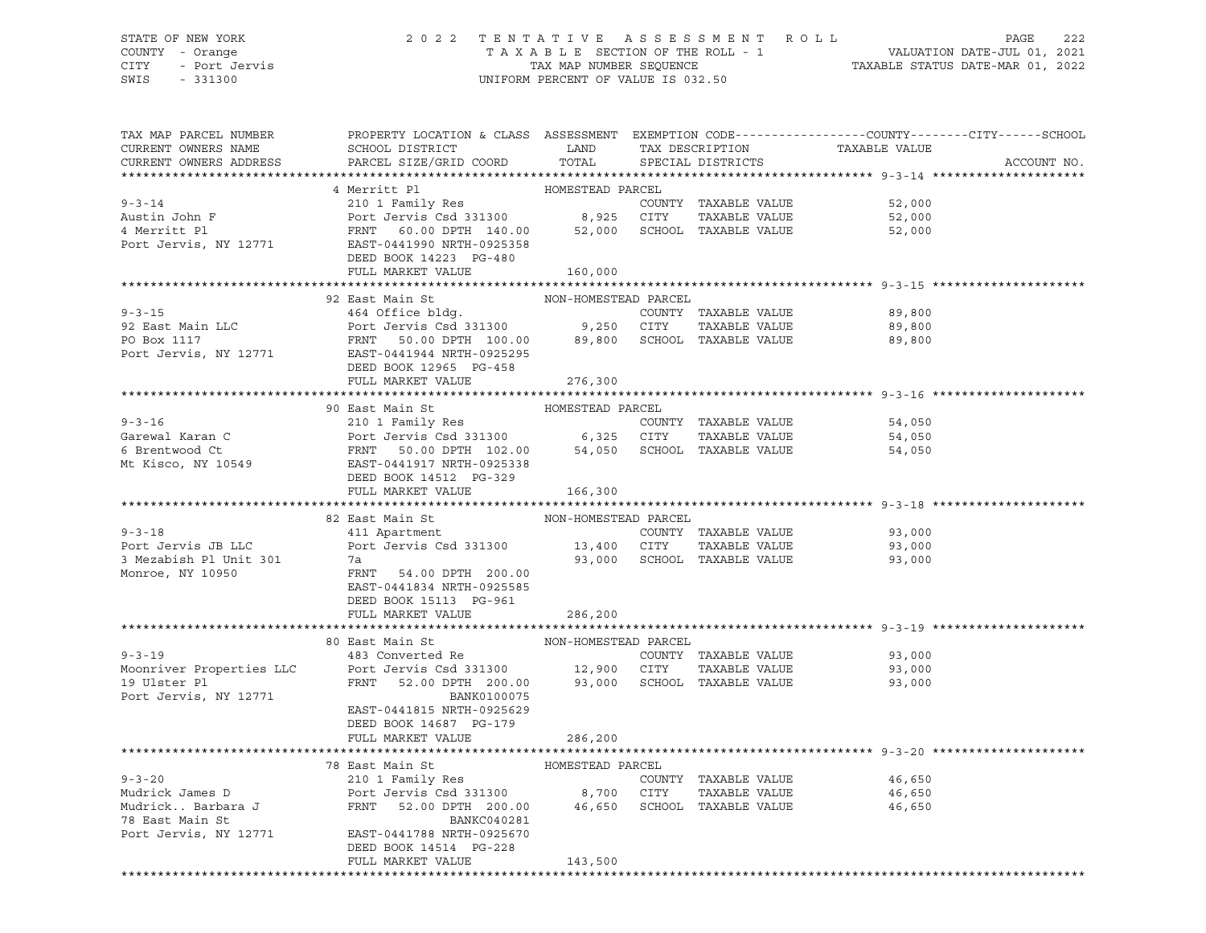## STATE OF NEW YORK 2 0 2 2 T E N T A T I V E A S S E S S M E N T R O L L PAGE 222 COUNTY - Orange T A X A B L E SECTION OF THE ROLL - 1 VALUATION DATE-JUL 01, 2021 CITY - Port Jervis TAX MAP NUMBER SEQUENCE TAXABLE STATUS DATE-MAR 01, 2022

| TAX MAP PARCEL NUMBER<br>CURRENT OWNERS NAME<br>CURRENT OWNERS ADDRESS | PROPERTY LOCATION & CLASS ASSESSMENT EXEMPTION CODE----------------COUNTY-------CITY------SCHOOL<br>SCHOOL DISTRICT<br>PARCEL SIZE/GRID COORD                                                                       | LAND TAX DESCRIPTION | TOTAL SPECIAL DISTRICTS |                                                                           | TAXABLE VALUE | ACCOUNT NO. |
|------------------------------------------------------------------------|---------------------------------------------------------------------------------------------------------------------------------------------------------------------------------------------------------------------|----------------------|-------------------------|---------------------------------------------------------------------------|---------------|-------------|
|                                                                        |                                                                                                                                                                                                                     |                      |                         |                                                                           |               |             |
| $9 - 3 - 14$                                                           | 4 Merritt Pl<br>210 1 Family Res                                                                                                                                                                                    | HOMESTEAD PARCEL     |                         | COUNTY TAXABLE VALUE                                                      | 52,000        |             |
|                                                                        |                                                                                                                                                                                                                     |                      |                         |                                                                           | 52,000        |             |
|                                                                        | Austin John F<br>4 Merritt Pl<br>Port Jervis Csd 331300 8,925 CITY TAXABLE VALUE<br>Port Jervis, NY 12771 EAST-0441990 NRTH-0925358                                                                                 |                      |                         |                                                                           | 52,000        |             |
|                                                                        |                                                                                                                                                                                                                     |                      |                         |                                                                           |               |             |
|                                                                        | DEED BOOK 14223 PG-480                                                                                                                                                                                              |                      |                         |                                                                           |               |             |
|                                                                        | FULL MARKET VALUE                                                                                                                                                                                                   | 160,000              |                         |                                                                           |               |             |
|                                                                        |                                                                                                                                                                                                                     |                      |                         |                                                                           |               |             |
|                                                                        | 92 East Main St MON-HOMESTEAD PARCEL<br>464 Office bldg. COUNTY TAXABLE VALUE<br>Port Jervis Csd 331300 9,250 CITY TAXABLE VALUE<br>FRNT 50.00 DPTH 100.00 89,800 SCHOOL TAXABLE VALUE<br>EAST-0441944 NRTH-0925295 |                      |                         |                                                                           |               |             |
| $9 - 3 - 15$                                                           |                                                                                                                                                                                                                     |                      |                         |                                                                           | 89,800        |             |
| 92 East Main LLC                                                       |                                                                                                                                                                                                                     |                      |                         |                                                                           | 89,800        |             |
| PO Box 1117                                                            |                                                                                                                                                                                                                     |                      |                         |                                                                           | 89,800        |             |
| Port Jervis, NY 12771                                                  |                                                                                                                                                                                                                     |                      |                         |                                                                           |               |             |
|                                                                        | DEED BOOK 12965 PG-458                                                                                                                                                                                              |                      |                         |                                                                           |               |             |
|                                                                        | FULL MARKET VALUE                                                                                                                                                                                                   | 276,300              |                         |                                                                           |               |             |
|                                                                        |                                                                                                                                                                                                                     |                      |                         |                                                                           |               |             |
|                                                                        | 90 East Main St                                                                                                                                                                                                     | HOMESTEAD PARCEL     |                         |                                                                           |               |             |
|                                                                        |                                                                                                                                                                                                                     |                      |                         |                                                                           | 54,050        |             |
|                                                                        |                                                                                                                                                                                                                     |                      |                         |                                                                           | 54,050        |             |
|                                                                        |                                                                                                                                                                                                                     |                      |                         |                                                                           | 54,050        |             |
|                                                                        |                                                                                                                                                                                                                     |                      |                         |                                                                           |               |             |
|                                                                        | DEED BOOK 14512 PG-329                                                                                                                                                                                              |                      |                         |                                                                           |               |             |
|                                                                        | FULL MARKET VALUE                                                                                                                                                                                                   | 166,300              |                         |                                                                           |               |             |
|                                                                        |                                                                                                                                                                                                                     |                      |                         |                                                                           |               |             |
|                                                                        | 82 East Main St<br>All Apartment                                                                                                                                                                                    | NON-HOMESTEAD PARCEL |                         |                                                                           |               |             |
| $9 - 3 - 18$                                                           |                                                                                                                                                                                                                     |                      |                         | COUNTY TAXABLE VALUE<br>13,400 CITY TAXABLE VALUE<br>COUNTY TAXABLE VALUE | 93,000        |             |
| Port Jervis JB LLC                                                     | Port Jervis Csd 331300                                                                                                                                                                                              |                      |                         |                                                                           | 93,000        |             |
| 3 Mezabish Pl Unit 301                                                 | 7a                                                                                                                                                                                                                  |                      |                         | 93,000 SCHOOL TAXABLE VALUE                                               | 93,000        |             |
| Monroe, NY 10950                                                       | FRNT 54.00 DPTH 200.00                                                                                                                                                                                              |                      |                         |                                                                           |               |             |
|                                                                        | EAST-0441834 NRTH-0925585                                                                                                                                                                                           |                      |                         |                                                                           |               |             |
|                                                                        | DEED BOOK 15113 PG-961                                                                                                                                                                                              |                      |                         |                                                                           |               |             |
|                                                                        | FULL MARKET VALUE                                                                                                                                                                                                   | 286,200              |                         |                                                                           |               |             |
|                                                                        | 80 East Main St                                                                                                                                                                                                     | NON-HOMESTEAD PARCEL |                         |                                                                           |               |             |
| $9 - 3 - 19$                                                           | 483 Converted Re                                                                                                                                                                                                    |                      |                         | COUNTY TAXABLE VALUE                                                      | 93,000        |             |
|                                                                        |                                                                                                                                                                                                                     |                      |                         |                                                                           | 93,000        |             |
| Moonriver Properties LLC<br>19 Ulster Pl                               | Port Jervis Csd 331300 12,900 CITY TAXABLE VALUE<br>FRNT 52.00 DPTH 200.00 93,000 SCHOOL TAXABLE VALUE                                                                                                              |                      |                         |                                                                           | 93,000        |             |
| Port Jervis, NY 12771                                                  | BANK0100075                                                                                                                                                                                                         |                      |                         |                                                                           |               |             |
|                                                                        | EAST-0441815 NRTH-0925629                                                                                                                                                                                           |                      |                         |                                                                           |               |             |
|                                                                        | DEED BOOK 14687 PG-179                                                                                                                                                                                              |                      |                         |                                                                           |               |             |
|                                                                        | FULL MARKET VALUE                                                                                                                                                                                                   | 286,200              |                         |                                                                           |               |             |
|                                                                        |                                                                                                                                                                                                                     |                      |                         |                                                                           |               |             |
|                                                                        | 78 East Main St Manager (Fig. 2015) HOMESTEAD PARCEL                                                                                                                                                                |                      |                         |                                                                           |               |             |
| $9 - 3 - 20$                                                           | 210 1 Family Res                                                                                                                                                                                                    |                      |                         | COUNTY TAXABLE VALUE                                                      | 46,650        |             |
|                                                                        |                                                                                                                                                                                                                     |                      |                         |                                                                           | 46,650        |             |
|                                                                        |                                                                                                                                                                                                                     |                      |                         |                                                                           | 46,650        |             |
| 78 East Main St                                                        | BANKC040281                                                                                                                                                                                                         |                      |                         |                                                                           |               |             |
|                                                                        | Port Jervis, NY 12771 EAST-0441788 NRTH-0925670                                                                                                                                                                     |                      |                         |                                                                           |               |             |
|                                                                        | DEED BOOK 14514 PG-228                                                                                                                                                                                              |                      |                         |                                                                           |               |             |
|                                                                        | FULL MARKET VALUE                                                                                                                                                                                                   | 143,500              |                         |                                                                           |               |             |
|                                                                        |                                                                                                                                                                                                                     |                      |                         |                                                                           |               |             |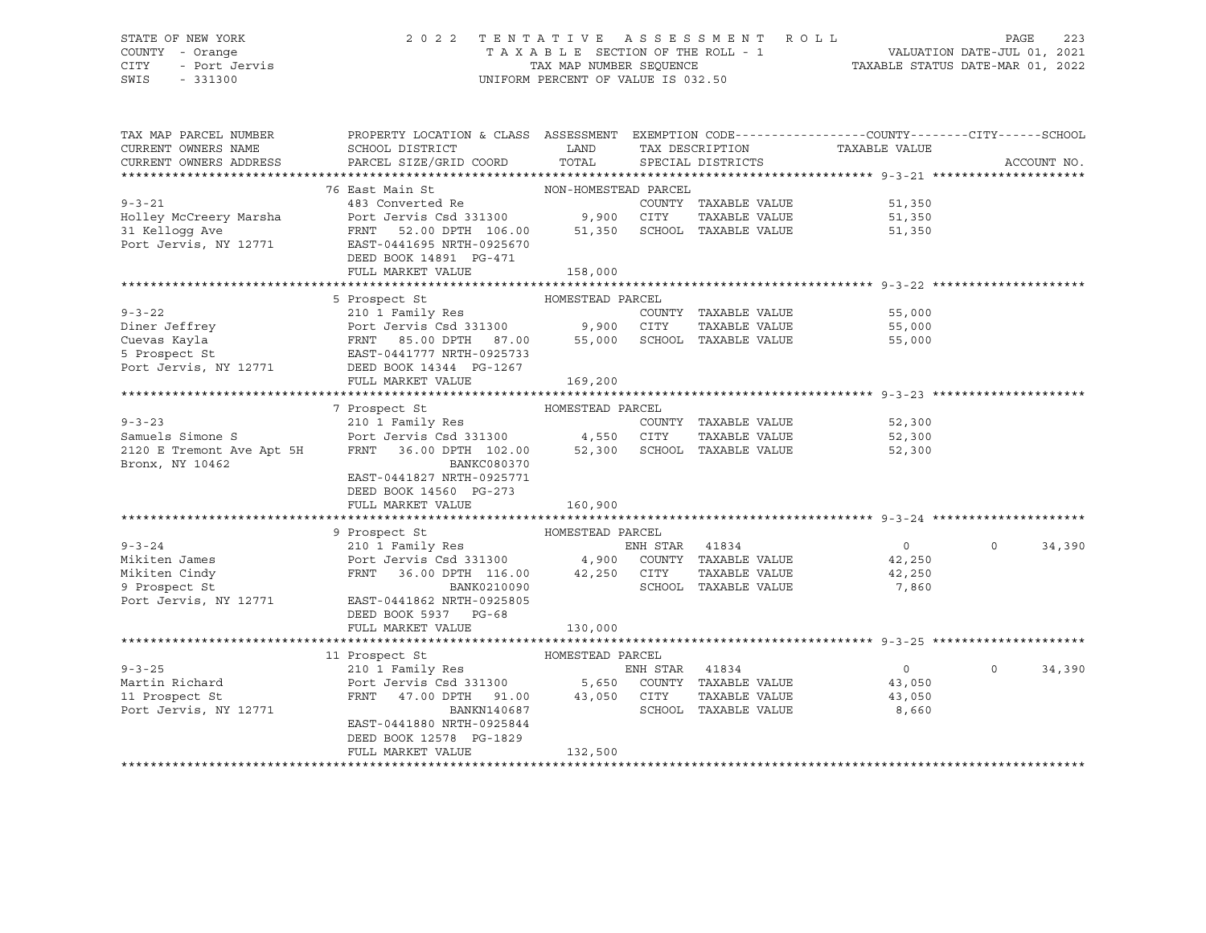### STATE OF NEW YORK 2 0 2 2 T E N T A T I V E A S S E S S M E N T R O L L PAGE 223 COUNTY - Orange T A X A B L E SECTION OF THE ROLL - 1 VALUATION DATE-JUL 01, 2021 CITY - Port Jervis TAX MAP NUMBER SEQUENCE TAXABLE STATUS DATE-MAR 01, 2022 SWIS - 331300 UNIFORM PERCENT OF VALUE IS 032.50

| TAX MAP PARCEL NUMBER     | PROPERTY LOCATION & CLASS ASSESSMENT EXEMPTION CODE---------------COUNTY-------CITY------SCHOOL       |                      |                |                             |                |                    |
|---------------------------|-------------------------------------------------------------------------------------------------------|----------------------|----------------|-----------------------------|----------------|--------------------|
| CURRENT OWNERS NAME       | SCHOOL DISTRICT                                                                                       | LAND                 |                | TAX DESCRIPTION             | TAXABLE VALUE  |                    |
| CURRENT OWNERS ADDRESS    | PARCEL SIZE/GRID COORD                                                                                | TOTAL                |                | SPECIAL DISTRICTS           |                | ACCOUNT NO.        |
|                           |                                                                                                       |                      |                |                             |                |                    |
|                           | 76 East Main St                                                                                       | NON-HOMESTEAD PARCEL |                |                             |                |                    |
| $9 - 3 - 21$              | 483 Converted Re                                                                                      |                      |                | COUNTY TAXABLE VALUE        | 51,350         |                    |
| Holley McCreery Marsha    | Port Jervis Csd 331300 9,900 CITY                                                                     |                      |                | TAXABLE VALUE               | 51,350         |                    |
| 31 Kelloqq Ave            | FRNT 52.00 DPTH 106.00                                                                                |                      |                | 51,350 SCHOOL TAXABLE VALUE | 51,350         |                    |
| Port Jervis, NY 12771     | EAST-0441695 NRTH-0925670                                                                             |                      |                |                             |                |                    |
|                           | DEED BOOK 14891 PG-471                                                                                |                      |                |                             |                |                    |
|                           | FULL MARKET VALUE                                                                                     | 158,000              |                |                             |                |                    |
|                           |                                                                                                       | HOMESTEAD PARCEL     |                |                             |                |                    |
| $9 - 3 - 22$              | 5 Prospect St                                                                                         |                      |                |                             |                |                    |
|                           | 210 1 Family Res                                                                                      |                      |                | COUNTY TAXABLE VALUE        | 55,000         |                    |
|                           |                                                                                                       |                      |                | TAXABLE VALUE               | 55,000         |                    |
|                           | FRNT 85.00 DPTH 87.00<br>EAST-0441777 NRTH-0925733                                                    |                      |                |                             | 55,000         |                    |
| 5 Prospect St             |                                                                                                       |                      |                |                             |                |                    |
| Port Jervis, NY 12771     | DEED BOOK 14344 PG-1267<br>FULL MARKET VALUE                                                          |                      |                |                             |                |                    |
|                           |                                                                                                       | 169,200              |                |                             |                |                    |
|                           | 7 Prospect St                                                                                         | HOMESTEAD PARCEL     |                |                             |                |                    |
| $9 - 3 - 23$              | 210 1 Family Res                                                                                      |                      |                | COUNTY TAXABLE VALUE        | 52,300         |                    |
| Samuels Simone S          |                                                                                                       |                      |                | TAXABLE VALUE               | 52,300         |                    |
| 2120 E Tremont Ave Apt 5H | Port Jervis Csd 331300 4,550 CITY TAXABLE VALUE<br>FRNT 36.00 DPTH 102.00 52,300 SCHOOL TAXABLE VALUE |                      |                |                             | 52,300         |                    |
| Bronx, NY 10462           | <b>BANKC080370</b>                                                                                    |                      |                |                             |                |                    |
|                           | EAST-0441827 NRTH-0925771                                                                             |                      |                |                             |                |                    |
|                           | DEED BOOK 14560 PG-273                                                                                |                      |                |                             |                |                    |
|                           | FULL MARKET VALUE                                                                                     | 160,900              |                |                             |                |                    |
|                           |                                                                                                       |                      |                |                             |                |                    |
|                           |                                                                                                       | HOMESTEAD PARCEL     |                |                             |                |                    |
| $9 - 3 - 24$              | 9 Prospect St<br>210 1 Family Res                                                                     |                      | ENH STAR 41834 |                             | $\overline{0}$ | $\Omega$<br>34,390 |
| Mikiten James             | Port Jervis Csd 331300 4,900 COUNTY TAXABLE VALUE                                                     |                      |                |                             | 42,250         |                    |
| Mikiten Cindy             | FRNT 36.00 DPTH 116.00 42,250 CITY                                                                    |                      |                | TAXABLE VALUE               | 42,250         |                    |
| 9 Prospect St             | BANK0210090                                                                                           |                      |                | SCHOOL TAXABLE VALUE        | 7,860          |                    |
| Port Jervis, NY 12771     | EAST-0441862 NRTH-0925805                                                                             |                      |                |                             |                |                    |
|                           | DEED BOOK 5937 PG-68                                                                                  |                      |                |                             |                |                    |
|                           | FULL MARKET VALUE                                                                                     | 130,000              |                |                             |                |                    |
|                           |                                                                                                       |                      |                |                             |                |                    |
|                           | HOMESTEAD PARCEL<br>11 Prospect St                                                                    |                      |                |                             |                |                    |
| $9 - 3 - 25$              | 210 1 Family Res                                                                                      |                      | ENH STAR 41834 |                             | $\overline{0}$ | $\circ$<br>34,390  |
| Martin Richard            | Port Jervis Csd 331300 5,650 COUNTY TAXABLE VALUE                                                     |                      |                |                             | 43,050         |                    |
| 11 Prospect St            | FRNT 47.00 DPTH 91.00 43,050 CITY                                                                     |                      |                | TAXABLE VALUE               | 43,050         |                    |
| Port Jervis, NY 12771     | BANKN140687                                                                                           |                      |                | SCHOOL TAXABLE VALUE        | 8,660          |                    |
|                           | EAST-0441880 NRTH-0925844                                                                             |                      |                |                             |                |                    |
|                           | DEED BOOK 12578 PG-1829                                                                               |                      |                |                             |                |                    |
|                           | FULL MARKET VALUE                                                                                     | 132,500              |                |                             |                |                    |
|                           |                                                                                                       |                      |                |                             |                |                    |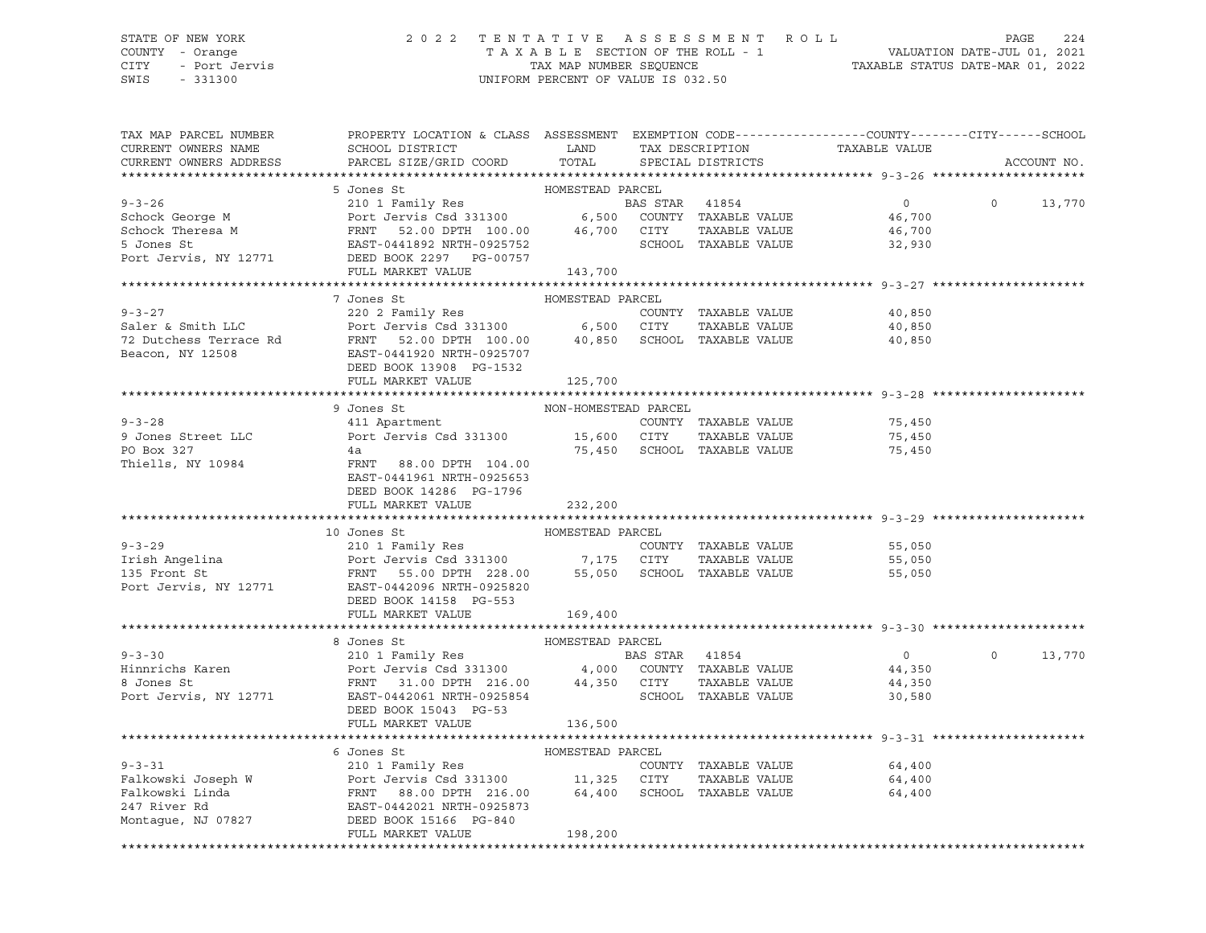### STATE OF NEW YORK 2 0 2 2 T E N T A T I V E A S S E S S M E N T R O L L PAGE 224 COUNTY - Orange T A X A B L E SECTION OF THE ROLL - 1 VALUATION DATE-JUL 01, 2021 CITY - Port Jervis TAX MAP NUMBER SEQUENCE TAXABLE STATUS DATE-MAR 01, 2022 SWIS - 331300 UNIFORM PERCENT OF VALUE IS 032.50

| TAX MAP PARCEL NUMBER<br>CURRENT OWNERS NAME<br>CURRENT OWNERS ADDRESS                                                                                                                                                                                | PROPERTY LOCATION & CLASS ASSESSMENT EXEMPTION CODE----------------COUNTY-------CITY------SCHOOL<br>SCHOOL DISTRICT LAND<br>PARCEL SIZE/GRID COORD | TOTAL            |                | TAX DESCRIPTION<br>SPECIAL DISTRICTS | TAXABLE VALUE    |                | ACCOUNT NO.   |
|-------------------------------------------------------------------------------------------------------------------------------------------------------------------------------------------------------------------------------------------------------|----------------------------------------------------------------------------------------------------------------------------------------------------|------------------|----------------|--------------------------------------|------------------|----------------|---------------|
|                                                                                                                                                                                                                                                       |                                                                                                                                                    |                  |                |                                      |                  |                |               |
|                                                                                                                                                                                                                                                       |                                                                                                                                                    |                  |                |                                      |                  |                |               |
|                                                                                                                                                                                                                                                       |                                                                                                                                                    |                  |                | BAS STAR 41854                       | $\overline{0}$   | $\overline{0}$ | 13,770        |
|                                                                                                                                                                                                                                                       |                                                                                                                                                    |                  |                |                                      | 46,700           |                |               |
|                                                                                                                                                                                                                                                       |                                                                                                                                                    |                  |                |                                      | 46,700           |                |               |
|                                                                                                                                                                                                                                                       |                                                                                                                                                    |                  |                |                                      | 32,930           |                |               |
|                                                                                                                                                                                                                                                       |                                                                                                                                                    |                  |                |                                      |                  |                |               |
| 9-3-26<br>Schock George M<br>Schock Theresa M<br>Schock Theresa M<br>Schock Theresa M<br>Schock Theresa M<br>Schock Theresa M<br>Schock Theresa M<br>Schock Theresa M<br>Schock Theresa M<br>Schock Theresa M<br>Schock Theresa M<br>School TAXABLE V |                                                                                                                                                    |                  |                |                                      |                  |                |               |
|                                                                                                                                                                                                                                                       |                                                                                                                                                    |                  |                |                                      |                  |                |               |
|                                                                                                                                                                                                                                                       | 7 Jones St                                                                                                                                         | HOMESTEAD PARCEL |                |                                      |                  |                |               |
|                                                                                                                                                                                                                                                       |                                                                                                                                                    |                  |                |                                      | 40,850           |                |               |
|                                                                                                                                                                                                                                                       |                                                                                                                                                    |                  |                |                                      | 40,850           |                |               |
| 9-3-27<br>Saler & Smith LLC<br>Port Jervis Csd 331300<br>Port Jervis Csd 331300<br>FRNT 52.00 DPTH 100.00<br>40,850 SCHOOL TAXABLE VALUE<br>Beacon, NY 12508<br>Beacon, NY 12508<br>EAST-0441920 NRTH-0925707                                         |                                                                                                                                                    |                  |                |                                      | 40,850           |                |               |
|                                                                                                                                                                                                                                                       |                                                                                                                                                    |                  |                |                                      |                  |                |               |
|                                                                                                                                                                                                                                                       | DEED BOOK 13908 PG-1532                                                                                                                            |                  |                |                                      |                  |                |               |
|                                                                                                                                                                                                                                                       | FULL MARKET VALUE                                                                                                                                  | 125,700          |                |                                      |                  |                |               |
|                                                                                                                                                                                                                                                       |                                                                                                                                                    |                  |                |                                      |                  |                |               |
|                                                                                                                                                                                                                                                       | 9 Jones St                                                                                                                                         |                  |                |                                      |                  |                |               |
| $9 - 3 - 28$                                                                                                                                                                                                                                          |                                                                                                                                                    |                  |                | COUNTY TAXABLE VALUE                 | 75,450           |                |               |
| 9 Jones Street LLC<br>Port Jervis Csd 331300 15,600 CITY                                                                                                                                                                                              |                                                                                                                                                    |                  |                | TAXABLE VALUE                        | 75,450<br>75,450 |                |               |
| PO Box 327                                                                                                                                                                                                                                            | 4a<br>FRNT 88.00 DPTH 104.00                                                                                                                       |                  |                | 75,450 SCHOOL TAXABLE VALUE          | 75,450           |                |               |
| Thiells, NY 10984                                                                                                                                                                                                                                     |                                                                                                                                                    |                  |                |                                      |                  |                |               |
|                                                                                                                                                                                                                                                       | EAST-0441961 NRTH-0925653                                                                                                                          |                  |                |                                      |                  |                |               |
|                                                                                                                                                                                                                                                       | DEED BOOK 14286 PG-1796                                                                                                                            |                  |                |                                      |                  |                |               |
|                                                                                                                                                                                                                                                       | FULL MARKET VALUE                                                                                                                                  | 232,200          |                |                                      |                  |                |               |
|                                                                                                                                                                                                                                                       | 10 Jones St                                                                                                                                        | HOMESTEAD PARCEL |                |                                      |                  |                |               |
| 9-3-29<br>Irish Angelina 210 1 Family Res<br>210 1 Family Res<br>Port Jervis Csd 331300 7,175 CITY TAXABLE VALUE<br>228.00 55,050 SCHOOL TAXABLE VALUE<br>Port Jervis, NY 12771 EAST-0925820<br>Port Jervis, NY 12771 EAST-0925820<br>PORT 1          |                                                                                                                                                    |                  |                | COUNTY TAXABLE VALUE                 | 55,050           |                |               |
|                                                                                                                                                                                                                                                       |                                                                                                                                                    |                  |                |                                      | 55,050           |                |               |
|                                                                                                                                                                                                                                                       |                                                                                                                                                    |                  |                |                                      | 55,050           |                |               |
|                                                                                                                                                                                                                                                       |                                                                                                                                                    |                  |                |                                      |                  |                |               |
|                                                                                                                                                                                                                                                       | DEED BOOK 14158 PG-553                                                                                                                             |                  |                |                                      |                  |                |               |
|                                                                                                                                                                                                                                                       | FULL MARKET VALUE                                                                                                                                  | 169,400          |                |                                      |                  |                |               |
|                                                                                                                                                                                                                                                       |                                                                                                                                                    |                  |                |                                      |                  |                |               |
|                                                                                                                                                                                                                                                       |                                                                                                                                                    |                  |                |                                      |                  |                |               |
| $9 - 3 - 30$                                                                                                                                                                                                                                          |                                                                                                                                                    |                  | BAS STAR 41854 |                                      | $\overline{0}$   |                | $0 \t 13,770$ |
|                                                                                                                                                                                                                                                       |                                                                                                                                                    |                  |                |                                      | 44,350           |                |               |
|                                                                                                                                                                                                                                                       |                                                                                                                                                    |                  |                | TAXABLE VALUE                        | 44,350           |                |               |
| Hinnrichs Karen<br>8 Jones St<br>Port Jervis Csd 331300 4,000 COUNTY TAXABLE VALUE<br>8 Jones St<br>Port Jervis, NY 12771 EAST-0442061 NRTH-0925854 SCHOOL TAXABLE VALUE                                                                              |                                                                                                                                                    |                  |                | SCHOOL TAXABLE VALUE                 | 30,580           |                |               |
|                                                                                                                                                                                                                                                       | DEED BOOK 15043 PG-53                                                                                                                              |                  |                |                                      |                  |                |               |
|                                                                                                                                                                                                                                                       | FULL MARKET VALUE                                                                                                                                  | 136,500          |                |                                      |                  |                |               |
|                                                                                                                                                                                                                                                       |                                                                                                                                                    |                  |                |                                      |                  |                |               |
|                                                                                                                                                                                                                                                       | 6 Jones St                                                                                                                                         | HOMESTEAD PARCEL |                |                                      |                  |                |               |
|                                                                                                                                                                                                                                                       |                                                                                                                                                    |                  |                | COUNTY TAXABLE VALUE                 | 64,400           |                |               |
| 9-3-31 Palkowski Joseph W 210 1 Family Res<br>Falkowski Joseph W Port Jervis Csd 331300 11,325 CITY<br>Falkowski Linda FRNT 88.00 DPTH 216.00 64,400 SCHOOL<br>247 River Rd EAST-0442021 NRTH-0925873<br>Montague, NJ 07827 DEED BOOK                 |                                                                                                                                                    |                  |                | TAXABLE VALUE                        | 64,400           |                |               |
|                                                                                                                                                                                                                                                       |                                                                                                                                                    |                  |                | 64,400 SCHOOL TAXABLE VALUE          | 64,400           |                |               |
|                                                                                                                                                                                                                                                       |                                                                                                                                                    |                  |                |                                      |                  |                |               |
|                                                                                                                                                                                                                                                       |                                                                                                                                                    |                  |                |                                      |                  |                |               |
|                                                                                                                                                                                                                                                       | FULL MARKET VALUE                                                                                                                                  | 198,200          |                |                                      |                  |                |               |
|                                                                                                                                                                                                                                                       |                                                                                                                                                    |                  |                |                                      |                  |                |               |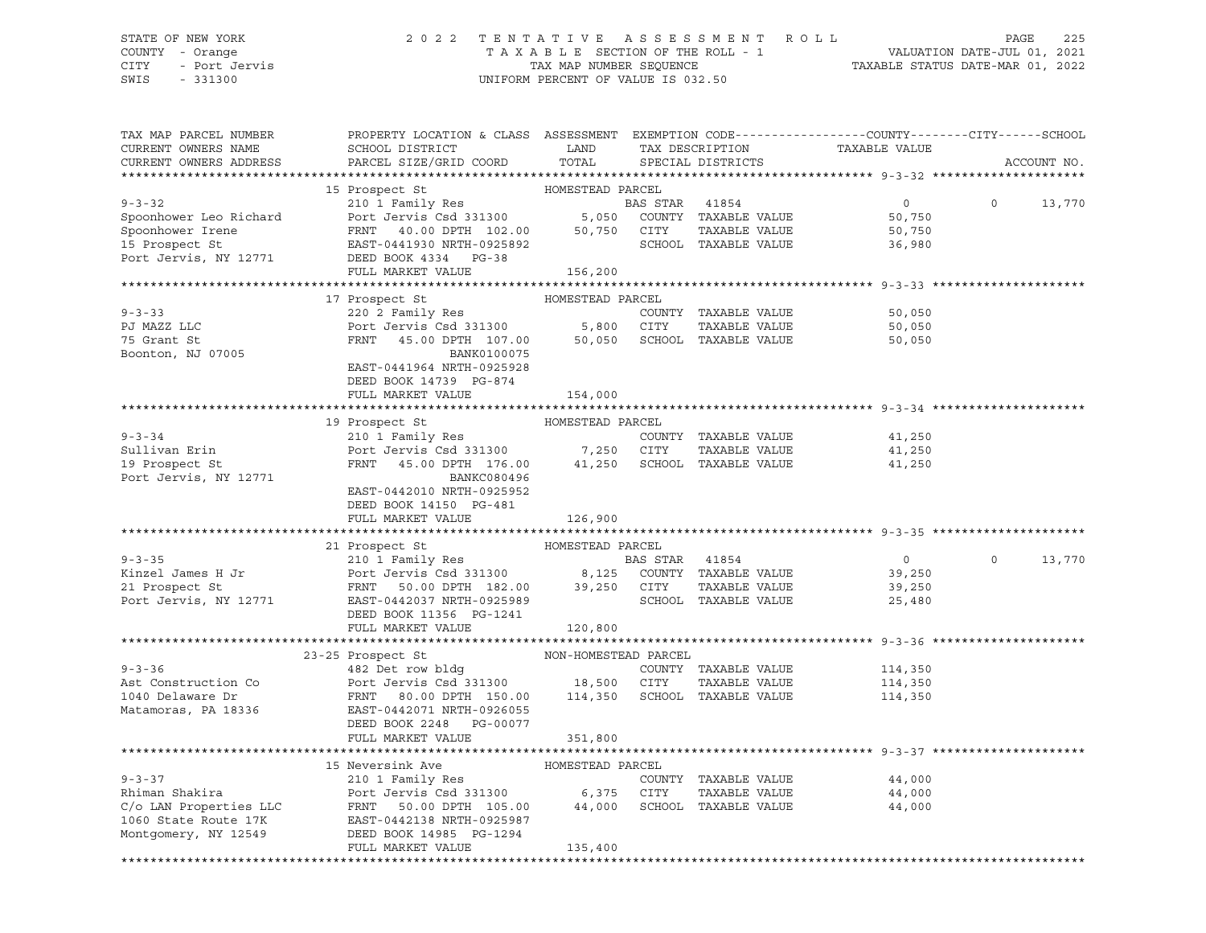## STATE OF NEW YORK 2 0 2 2 T E N T A T I V E A S S E S S M E N T R O L L PAGE 225 COUNTY - Orange T A X A B L E SECTION OF THE ROLL - 1 VALUATION DATE-JUL 01, 2021 CITY - Port Jervis TAX MAP NUMBER SEQUENCE TAXABLE STATUS DATE-MAR 01, 2022

| TAX MAP PARCEL NUMBER<br>CURRENT OWNERS NAME<br>CURRENT OWNERS ADDRESS   | PROPERTY LOCATION & CLASS ASSESSMENT EXEMPTION CODE----------------COUNTY-------CITY------SCHOOL<br>SCHOOL DISTRICT LAND<br>PARCEL SIZE/GRID COORD                                                                                                                                                                            | TOTAL                           | TAX DESCRIPTION<br>SPECIAL DISTRICTS  | TAXABLE VALUE                                   |          | ACCOUNT NO. |
|--------------------------------------------------------------------------|-------------------------------------------------------------------------------------------------------------------------------------------------------------------------------------------------------------------------------------------------------------------------------------------------------------------------------|---------------------------------|---------------------------------------|-------------------------------------------------|----------|-------------|
|                                                                          |                                                                                                                                                                                                                                                                                                                               |                                 |                                       |                                                 |          |             |
|                                                                          |                                                                                                                                                                                                                                                                                                                               |                                 |                                       | $\overline{0}$<br>50,750<br>50,750<br>36,980    | $\Omega$ | 13,770      |
|                                                                          | FULL MARKET VALUE                                                                                                                                                                                                                                                                                                             | 156,200                         |                                       |                                                 |          |             |
|                                                                          |                                                                                                                                                                                                                                                                                                                               |                                 |                                       |                                                 |          |             |
|                                                                          | 17 Prospect St                                                                                                                                                                                                                                                                                                                | HOMESTEAD PARCEL                |                                       |                                                 |          |             |
| $9 - 3 - 33$<br>PJ MAZZ LLC<br>75 Grant St<br>Boonton, NJ 07005          | 220 2 Family Res<br>Port Jervis Csd 331300<br>FRNT 45.00 DPTH 107.00 5,800 CITY TAXABLE VALUE<br>FRNT 45.00 DPTH 107.00 50,050 SCHOOL TAXABLE VALUE<br>BANK0100075<br>EAST-0441964 NRTH-0925928                                                                                                                               |                                 | COUNTY TAXABLE VALUE                  | 50,050<br>50,050<br>50,050                      |          |             |
|                                                                          | DEED BOOK 14739 PG-874                                                                                                                                                                                                                                                                                                        |                                 |                                       |                                                 |          |             |
|                                                                          | FULL MARKET VALUE                                                                                                                                                                                                                                                                                                             | 154,000                         |                                       |                                                 |          |             |
|                                                                          | 19 Prospect St                                                                                                                                                                                                                                                                                                                | HOMESTEAD PARCEL                |                                       |                                                 |          |             |
| $9 - 3 - 34$<br>Sullivan Erin<br>19 Prospect St<br>Port Jervis, NY 12771 | BANKC080496<br>EAST-0442010 NRTH-0925952                                                                                                                                                                                                                                                                                      |                                 |                                       |                                                 |          |             |
|                                                                          | DEED BOOK 14150 PG-481                                                                                                                                                                                                                                                                                                        |                                 |                                       |                                                 |          |             |
|                                                                          | FULL MARKET VALUE                                                                                                                                                                                                                                                                                                             | 126,900                         |                                       |                                                 |          |             |
|                                                                          | 21 Prospect St                                                                                                                                                                                                                                                                                                                | HOMESTEAD PARCEL                |                                       |                                                 |          |             |
|                                                                          | 9-3-35<br>EXECUTE 210 1 Family Res<br>EXECUTE 21 Prospect St<br>21 Prospect St<br>21 Prospect St<br>21 Prospect St<br>21 Prospect St<br>21 Prospect St<br>21 Prospect St<br>21 Prospect St<br>21 Prospect St<br>21 Prospect St<br>21 Prospect St<br>21 P                                                                      |                                 |                                       | $\overline{0}$<br>39,250<br>39,250<br>25,480    | $\circ$  | 13,770      |
|                                                                          | FULL MARKET VALUE 120,800                                                                                                                                                                                                                                                                                                     |                                 |                                       |                                                 |          |             |
|                                                                          |                                                                                                                                                                                                                                                                                                                               |                                 |                                       |                                                 |          |             |
| $9 - 3 - 36$                                                             | 23-25 Prospect St<br>482 Det row bldg<br>9-3-36<br>Ast Construction Co and Port Jervis Csd 331300<br>18,500 CITY TAXABLE VALUE<br>1040 Delaware Dr FRNT 80.00 DPTH 150.00<br>Matamoras, PA 18336 EAST-0442071 NRTH-0926055<br>Natamoras, PA 18336<br>There pook 2248 PG-00077<br>DEED BOOK 2248 PG-00077<br>FULL MARKET VALUE | NON-HOMESTEAD PARCEL<br>351,800 | COUNTY TAXABLE VALUE                  | 114,350<br>TAXABLE VALUE 114,350<br>114,350     |          |             |
|                                                                          |                                                                                                                                                                                                                                                                                                                               |                                 |                                       | ******************************* 9-3-37 ******** |          |             |
|                                                                          | 15 Neversink Ave<br>9-3-37<br>210 1 Family Res<br>210 1 Family Res<br>210 1 Family Res<br>210 1 Family Res<br>210 1 Family Res<br>210 1 Family Res<br>210 1 Family Res<br>210 1 Family Res<br>210 1 Family Res<br>210 1 Family Res<br>210 1 Family Res<br>210 1 Family Res<br>FULL MARKET VALUE                               | HOMESTEAD PARCEL<br>135,400     | COUNTY TAXABLE VALUE<br>TAXABLE VALUE | 44,000<br>44,000<br>44,000                      |          |             |
|                                                                          |                                                                                                                                                                                                                                                                                                                               |                                 |                                       |                                                 |          |             |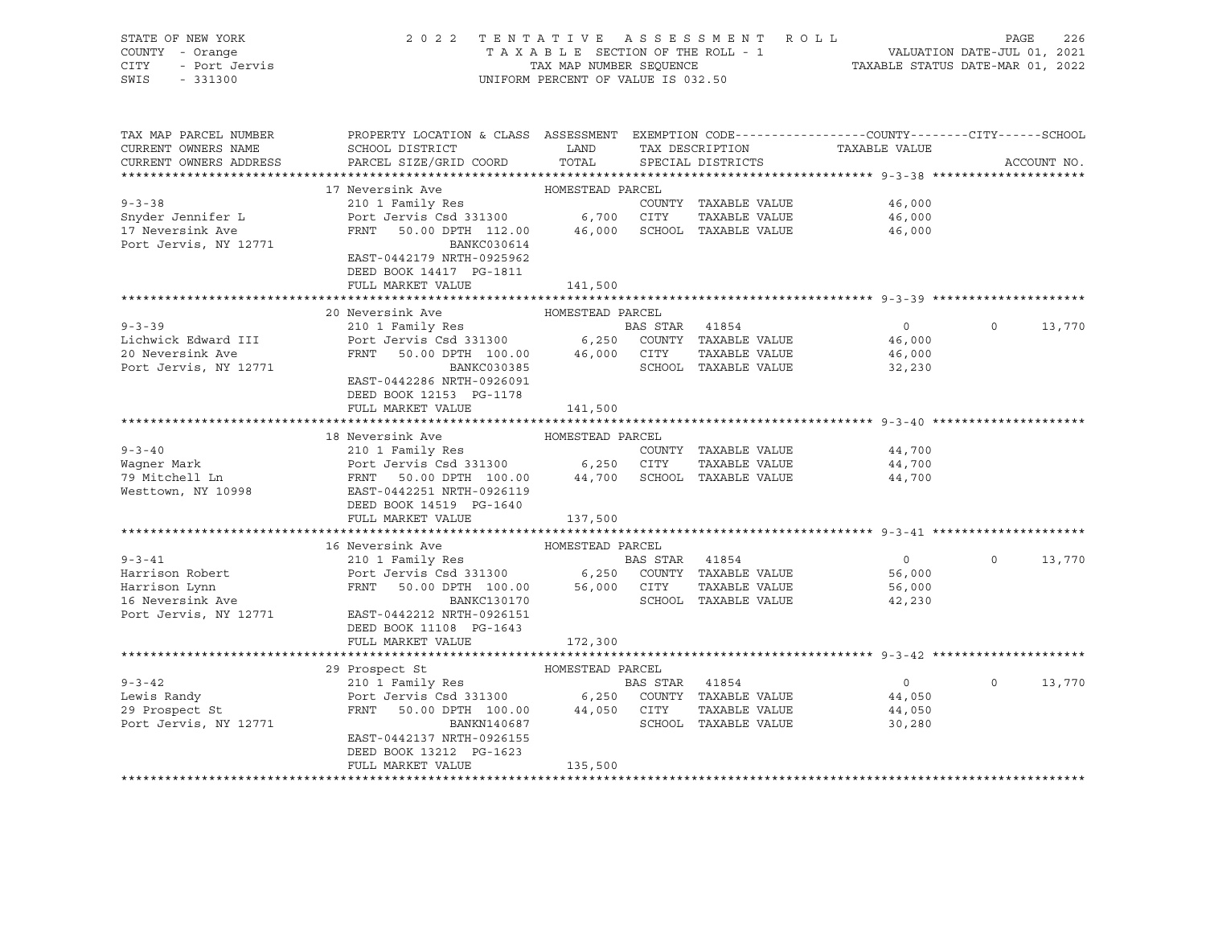| STATE OF NEW YORK<br>COUNTY - Orange<br>- Port Jervis<br>CITY<br>SWIS<br>$-331300$ | 2022 TENTATIVE ASSESSMENT ROLL<br>TAXABLE SECTION OF THE ROLL - 1<br>TAX MAP NUMBER SEQUENCE<br>UNIFORM PERCENT OF VALUE IS 032.50                | ROLL - 1<br>VALUATION DATE-JUL 01, 2021<br>TAXABLE STATUS DATE-MAR 01, 2022 | PAGE           | 226                  |                |                   |             |
|------------------------------------------------------------------------------------|---------------------------------------------------------------------------------------------------------------------------------------------------|-----------------------------------------------------------------------------|----------------|----------------------|----------------|-------------------|-------------|
| TAX MAP PARCEL NUMBER<br>CURRENT OWNERS NAME                                       | PROPERTY LOCATION & CLASS ASSESSMENT EXEMPTION CODE----------------COUNTY-------CITY------SCHOOL<br>SCHOOL DISTRICT                               | LAND                                                                        |                | TAX DESCRIPTION      | TAXABLE VALUE  |                   |             |
| CURRENT OWNERS ADDRESS                                                             | PARCEL SIZE/GRID COORD                                                                                                                            | TOTAL                                                                       |                | SPECIAL DISTRICTS    |                |                   | ACCOUNT NO. |
|                                                                                    |                                                                                                                                                   |                                                                             |                |                      |                |                   |             |
|                                                                                    | 17 Neversink Ave                                                                                                                                  | HOMESTEAD PARCEL                                                            |                |                      |                |                   |             |
| $9 - 3 - 38$                                                                       | 210 1 Family Res                                                                                                                                  |                                                                             |                | COUNTY TAXABLE VALUE | 46,000         |                   |             |
| Snyder Jennifer L                                                                  |                                                                                                                                                   |                                                                             |                | TAXABLE VALUE        | 46,000         |                   |             |
| 17 Neversink Ave<br>Port Jervis, NY 12771                                          | Port Jervis Csd 331300 6,700 CITY TAXABLE VALUE<br>FRNT 50.00 DPTH 112.00 46,000 SCHOOL TAXABLE VALUE<br>BANKC030614<br>EAST-0442179 NRTH-0925962 |                                                                             |                |                      | 46,000         |                   |             |
|                                                                                    | DEED BOOK 14417 PG-1811                                                                                                                           |                                                                             |                |                      |                |                   |             |
|                                                                                    | FULL MARKET VALUE                                                                                                                                 | 141,500                                                                     |                |                      |                |                   |             |
|                                                                                    | 20 Neversink Ave                                                                                                                                  | HOMESTEAD PARCEL                                                            |                |                      |                |                   |             |
| $9 - 3 - 39$                                                                       |                                                                                                                                                   |                                                                             |                |                      | $\overline{0}$ | $\mathbf{0}$      | 13,770      |
| Lichwick Edward III                                                                |                                                                                                                                                   |                                                                             |                |                      | 46,000         |                   |             |
| 20 Neversink Ave                                                                   |                                                                                                                                                   |                                                                             |                |                      | 46,000         |                   |             |
| Port Jervis, NY 12771                                                              |                                                                                                                                                   |                                                                             |                |                      | 32,230         |                   |             |
|                                                                                    | EAST-0442286 NRTH-0926091                                                                                                                         |                                                                             |                |                      |                |                   |             |
|                                                                                    | DEED BOOK 12153 PG-1178                                                                                                                           |                                                                             |                |                      |                |                   |             |
|                                                                                    | FULL MARKET VALUE                                                                                                                                 | 141,500                                                                     |                |                      |                |                   |             |
|                                                                                    |                                                                                                                                                   |                                                                             |                |                      |                |                   |             |
|                                                                                    | 18 Neversink Ave                                                                                                                                  | HOMESTEAD PARCEL                                                            |                |                      |                |                   |             |
| $9 - 3 - 40$                                                                       |                                                                                                                                                   |                                                                             |                | COUNTY TAXABLE VALUE | 44,700         |                   |             |
| Waqner Mark                                                                        |                                                                                                                                                   |                                                                             |                | TAXABLE VALUE        | 44,700         |                   |             |
| 79 Mitchell Ln                                                                     |                                                                                                                                                   |                                                                             |                |                      | 44,700         |                   |             |
| Westtown, NY 10998                                                                 |                                                                                                                                                   |                                                                             |                |                      |                |                   |             |
|                                                                                    | DEED BOOK 14519 PG-1640                                                                                                                           |                                                                             |                |                      |                |                   |             |
|                                                                                    | FULL MARKET VALUE                                                                                                                                 | 137,500                                                                     |                |                      |                |                   |             |
|                                                                                    |                                                                                                                                                   |                                                                             |                |                      |                |                   |             |
|                                                                                    | 16 Neversink Ave                                                                                                                                  | HOMESTEAD PARCEL                                                            |                |                      |                |                   |             |
| $9 - 3 - 41$                                                                       | 210 1 Family Res                                                                                                                                  |                                                                             | BAS STAR 41854 |                      | $\overline{0}$ | $0 \qquad \qquad$ | 13,770      |
| Harrison Robert                                                                    |                                                                                                                                                   |                                                                             |                |                      | 56,000         |                   |             |
| Harrison Lynn<br>16 Neversink Ave                                                  | Port Jervis Csd 331300 6,250 COUNTY TAXABLE VALUE<br>FRNT 50.00 DPTH 100.00 56,000 CITY TAXABLE VALUE<br>BANKC130170 SCHOOL TAXABLE VALUE         |                                                                             |                |                      | 56,000         |                   |             |
|                                                                                    |                                                                                                                                                   |                                                                             |                |                      | 42,230         |                   |             |
| Port Jervis, NY 12771 EAST-0442212 NRTH-0926151                                    |                                                                                                                                                   |                                                                             |                |                      |                |                   |             |
|                                                                                    | DEED BOOK 11108 PG-1643                                                                                                                           |                                                                             |                |                      |                |                   |             |
|                                                                                    | FULL MARKET VALUE                                                                                                                                 | 172,300                                                                     |                |                      |                |                   |             |
|                                                                                    | 29 Prospect St                                                                                                                                    | HOMESTEAD PARCEL                                                            |                |                      |                |                   |             |
| $9 - 3 - 42$                                                                       | 210 1 Family Res                                                                                                                                  |                                                                             | BAS STAR 41854 |                      | $\overline{0}$ | $0 \qquad \qquad$ | 13,770      |
|                                                                                    |                                                                                                                                                   |                                                                             |                |                      | 44,050         |                   |             |
| $29 \text{ Prospect St}$ $Port \text{ Term1} = 7$                                  | Port Jervis Csd 331300 6,250 COUNTY TAXABLE VALUE<br>FRNT 50.00 DPTH 100.00 44,050 CITY TAXABLE VALUE                                             |                                                                             |                |                      | 44,050         |                   |             |
| Port Jervis, NY 12771                                                              | BANKN140687                                                                                                                                       |                                                                             |                | SCHOOL TAXABLE VALUE | 30,280         |                   |             |
|                                                                                    | EAST-0442137 NRTH-0926155                                                                                                                         |                                                                             |                |                      |                |                   |             |
|                                                                                    | DEED BOOK 13212 PG-1623                                                                                                                           |                                                                             |                |                      |                |                   |             |
|                                                                                    | FULL MARKET VALUE                                                                                                                                 | 135,500                                                                     |                |                      |                |                   |             |
|                                                                                    |                                                                                                                                                   |                                                                             |                |                      |                |                   |             |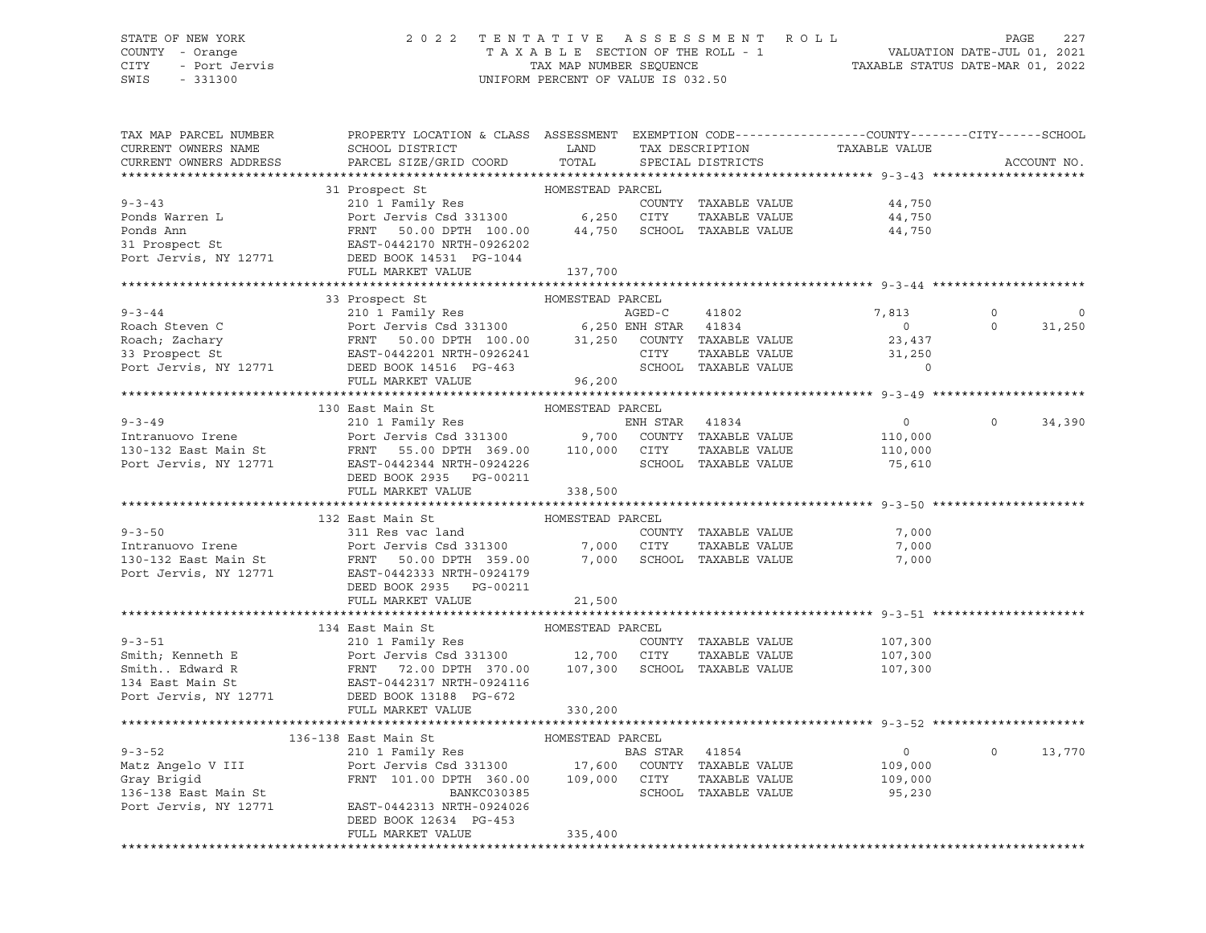# STATE OF NEW YORK 2 0 2 2 T E N T A T I V E A S S E S S M E N T R O L L PAGE 227 COUNTY - Orange T A X A B L E SECTION OF THE ROLL - 1 VALUATION DATE-JUL 01, 2021

SWIS - 331300 UNIFORM PERCENT OF VALUE IS 032.50

CITY - Port Jervis TAX MAP NUMBER SEQUENCE TAXABLE STATUS DATE-MAR 01, 2022

| TAX MAP PARCEL NUMBER<br>CURRENT OWNERS NAME<br>CURRENT OWNERS ADDRESS | PROPERTY LOCATION & CLASS ASSESSMENT EXEMPTION CODE----------------COUNTY-------CITY------SCHOOL<br>SCHOOL DISTRICT LAND<br>PARCEL SIZE/GRID COORD                                                                                                                                                                                                                                                                                                              | TOTAL            | TAX DESCRIPTION<br>SPECIAL DISTRICTS | TAXABLE VALUE  |                | ACCOUNT NO. |
|------------------------------------------------------------------------|-----------------------------------------------------------------------------------------------------------------------------------------------------------------------------------------------------------------------------------------------------------------------------------------------------------------------------------------------------------------------------------------------------------------------------------------------------------------|------------------|--------------------------------------|----------------|----------------|-------------|
|                                                                        |                                                                                                                                                                                                                                                                                                                                                                                                                                                                 |                  |                                      |                |                |             |
|                                                                        | 31 Prospect St                                                                                                                                                                                                                                                                                                                                                                                                                                                  | HOMESTEAD PARCEL |                                      |                |                |             |
|                                                                        | 9-3-43<br>Ponds Warren L<br>Ponds Ann Pont Jennify Res<br>Pont Jennify Res<br>Pont Jennify Res<br>Pont Jennify Res<br>Pont Jennify Res<br>Pont Jennify Res<br>Pont Jennify Res<br>Pont Jennify Res<br>Pont Jennify Res<br>Pont Jennify Res<br>Pont Je                                                                                                                                                                                                           |                  | COUNTY TAXABLE VALUE                 | 44,750         |                |             |
|                                                                        |                                                                                                                                                                                                                                                                                                                                                                                                                                                                 |                  | TAXABLE VALUE                        | 44,750         |                |             |
|                                                                        |                                                                                                                                                                                                                                                                                                                                                                                                                                                                 |                  |                                      | 44,750         |                |             |
|                                                                        |                                                                                                                                                                                                                                                                                                                                                                                                                                                                 |                  |                                      |                |                |             |
|                                                                        |                                                                                                                                                                                                                                                                                                                                                                                                                                                                 |                  |                                      |                |                |             |
|                                                                        | FULL MARKET VALUE                                                                                                                                                                                                                                                                                                                                                                                                                                               | 137,700          |                                      |                |                |             |
|                                                                        |                                                                                                                                                                                                                                                                                                                                                                                                                                                                 |                  |                                      |                |                |             |
|                                                                        | 33 Prospect St<br>$\begin{tabular}{lllllllllllll} \hline 9-3-44 & 33\text{ Prospect St}&\text{nonnonnormal model}\\ & 210&1\text{ Family Res}&\text{AGED-C}&41802\\ \text{Roach, Zachary}&\text{Fort Jervis Csd 331300}&6,250\text{ ENH STAR} &41834\\ \text{Roach, Zachary}&\text{FRNT}&50.00\text{ DPTH} &100.00&31,250\text{ COUNTY} &\text{TAXABLE VALUE}\\ &\text{Bart Jervis, NY} &12771&\text{DEED BOOK} &14516&\text{PG}-463&\text{$                    | HOMESTEAD PARCEL |                                      |                |                |             |
|                                                                        |                                                                                                                                                                                                                                                                                                                                                                                                                                                                 |                  |                                      | 7,813          |                | $\mathbf 0$ |
|                                                                        |                                                                                                                                                                                                                                                                                                                                                                                                                                                                 |                  |                                      | $\overline{0}$ | $\circ$        | 31,250      |
|                                                                        |                                                                                                                                                                                                                                                                                                                                                                                                                                                                 |                  |                                      | 23,437         |                |             |
|                                                                        |                                                                                                                                                                                                                                                                                                                                                                                                                                                                 |                  |                                      | 31,250         |                |             |
|                                                                        |                                                                                                                                                                                                                                                                                                                                                                                                                                                                 |                  |                                      | $\overline{0}$ |                |             |
|                                                                        |                                                                                                                                                                                                                                                                                                                                                                                                                                                                 |                  |                                      |                |                |             |
|                                                                        |                                                                                                                                                                                                                                                                                                                                                                                                                                                                 |                  |                                      |                |                |             |
|                                                                        |                                                                                                                                                                                                                                                                                                                                                                                                                                                                 |                  |                                      |                |                |             |
|                                                                        |                                                                                                                                                                                                                                                                                                                                                                                                                                                                 |                  |                                      | $\overline{0}$ | $\overline{0}$ | 34,390      |
|                                                                        |                                                                                                                                                                                                                                                                                                                                                                                                                                                                 |                  |                                      | 110,000        |                |             |
|                                                                        |                                                                                                                                                                                                                                                                                                                                                                                                                                                                 |                  |                                      | 110,000        |                |             |
|                                                                        |                                                                                                                                                                                                                                                                                                                                                                                                                                                                 |                  |                                      | 75,610         |                |             |
|                                                                        | DEED BOOK 2935 PG-00211                                                                                                                                                                                                                                                                                                                                                                                                                                         |                  |                                      |                |                |             |
|                                                                        | FULL MARKET VALUE                                                                                                                                                                                                                                                                                                                                                                                                                                               | 338,500          |                                      |                |                |             |
|                                                                        |                                                                                                                                                                                                                                                                                                                                                                                                                                                                 |                  |                                      |                |                |             |
|                                                                        | 132 East Main St                                                                                                                                                                                                                                                                                                                                                                                                                                                | HOMESTEAD PARCEL |                                      |                |                |             |
|                                                                        |                                                                                                                                                                                                                                                                                                                                                                                                                                                                 |                  |                                      | 7,000          |                |             |
|                                                                        |                                                                                                                                                                                                                                                                                                                                                                                                                                                                 |                  |                                      | 7,000          |                |             |
|                                                                        |                                                                                                                                                                                                                                                                                                                                                                                                                                                                 |                  |                                      | 7,000          |                |             |
|                                                                        |                                                                                                                                                                                                                                                                                                                                                                                                                                                                 |                  |                                      |                |                |             |
|                                                                        | DEED BOOK 2935 PG-00211                                                                                                                                                                                                                                                                                                                                                                                                                                         |                  |                                      |                |                |             |
|                                                                        | FULL MARKET VALUE                                                                                                                                                                                                                                                                                                                                                                                                                                               | 21,500           |                                      |                |                |             |
|                                                                        |                                                                                                                                                                                                                                                                                                                                                                                                                                                                 |                  |                                      |                |                |             |
|                                                                        |                                                                                                                                                                                                                                                                                                                                                                                                                                                                 |                  |                                      | 107,300        |                |             |
|                                                                        |                                                                                                                                                                                                                                                                                                                                                                                                                                                                 |                  | TAXABLE VALUE                        | 107,300        |                |             |
|                                                                        |                                                                                                                                                                                                                                                                                                                                                                                                                                                                 |                  |                                      | 107,300        |                |             |
|                                                                        |                                                                                                                                                                                                                                                                                                                                                                                                                                                                 |                  |                                      |                |                |             |
|                                                                        |                                                                                                                                                                                                                                                                                                                                                                                                                                                                 |                  |                                      |                |                |             |
|                                                                        | $\begin{tabular}{lllllllllll} 9-3-51 & \multicolumn{3}{c }{210} & \multicolumn{3}{c }{11} & \multicolumn{3}{c }{51} & \multicolumn{3}{c }{HOMESTEAD PARCEL} & \multicolumn{3}{c }{COUNTY} & \multicolumn{3}{c }{TAXABLE VALUE} & \multicolumn{3}{c }{Smith}, \text{ Kenneth E} & \multicolumn{3}{c }{COUNTY} & \multicolumn{3}{c }{TAXABLE VALUE} & \multicolumn{3}{c }{Smith}. & \multicolumn{3}{c }{EAVLUE} & \multicolumn{3}{c }{Smith}. & \multicolumn{3}{$ | 330,200          |                                      |                |                |             |
|                                                                        |                                                                                                                                                                                                                                                                                                                                                                                                                                                                 |                  |                                      |                |                |             |
|                                                                        |                                                                                                                                                                                                                                                                                                                                                                                                                                                                 |                  |                                      |                |                |             |
|                                                                        |                                                                                                                                                                                                                                                                                                                                                                                                                                                                 |                  |                                      | $\overline{0}$ | $\overline{0}$ | 13,770      |
|                                                                        |                                                                                                                                                                                                                                                                                                                                                                                                                                                                 |                  |                                      | 109,000        |                |             |
|                                                                        |                                                                                                                                                                                                                                                                                                                                                                                                                                                                 |                  |                                      | 109,000        |                |             |
|                                                                        | $\begin{tabular}{lllllllllllllllllllllll} \hline 9-3-52 & 210&1 Family Res & BAS STAR & 41854 \\ \hline Matz Angelo V III & Port Jervis Csd 331300 & 17,600 COUNTY TAXABLE VALUE \\ Gray Bridd & FRNT & 101.00 DPH & 360.00 & 109,000 CITY & TAXABLE VALUE BANKC030385 & SCHOOL TAXABLE VALUE \\ port Jervis, NY 12771 & EAST-0442313 NRFH-0924026 & & & & & & & \\ \hline \end{tabular}$                                                                       |                  | SCHOOL TAXABLE VALUE                 | 95,230         |                |             |
|                                                                        |                                                                                                                                                                                                                                                                                                                                                                                                                                                                 |                  |                                      |                |                |             |
|                                                                        | DEED BOOK 12634 PG-453                                                                                                                                                                                                                                                                                                                                                                                                                                          |                  |                                      |                |                |             |
|                                                                        | FULL MARKET VALUE                                                                                                                                                                                                                                                                                                                                                                                                                                               | 335,400          |                                      |                |                |             |
|                                                                        |                                                                                                                                                                                                                                                                                                                                                                                                                                                                 |                  |                                      |                |                |             |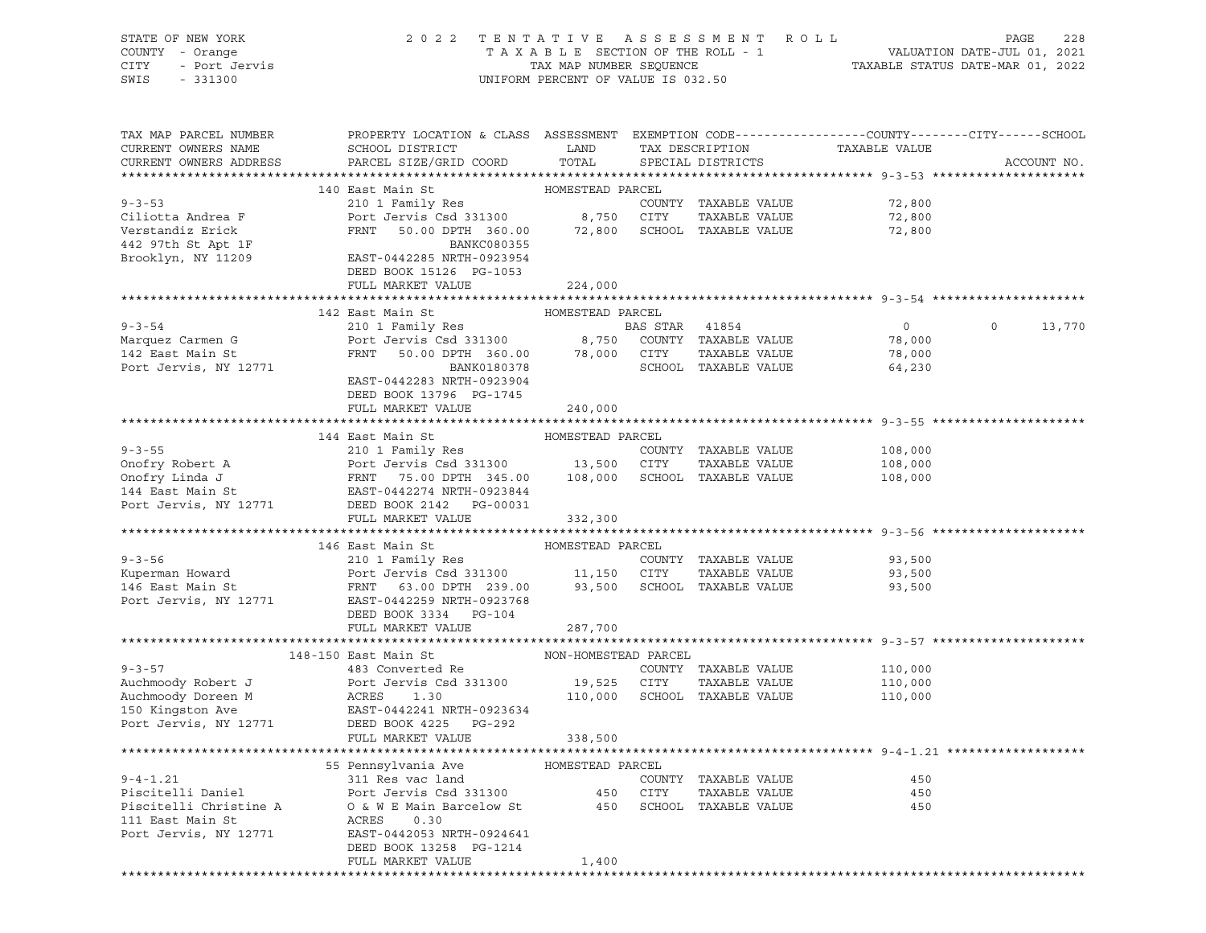| PROPERTY LOCATION & CLASS ASSESSMENT EXEMPTION CODE----------------COUNTY-------CITY------SCHOOL<br>TAX MAP PARCEL NUMBER<br>CURRENT OWNERS NAME<br>SCHOOL DISTRICT<br>LAND<br>TAX DESCRIPTION TAXABLE VALUE<br>PARCEL SIZE/GRID COORD<br>TOTAL<br>CURRENT OWNERS ADDRESS<br>SPECIAL DISTRICTS<br>ACCOUNT NO.<br>HOMESTEAD PARCEL<br>140 East Main St<br>210 1 Family Res<br>$9 - 3 - 53$<br>COUNTY TAXABLE VALUE<br>72,800<br>Port Jervis Csd 331300 8,750 CITY<br>72,800<br>Ciliotta Andrea F<br>TAXABLE VALUE<br>Verstandiz Erick<br>442 97th St Apt 1F<br>FRNT 50.00 DPTH 360.00 72,800 SCHOOL TAXABLE VALUE<br>72,800<br>BANKC080355<br>Brooklyn, NY 11209<br>EAST-0442285 NRTH-0923954<br>DEED BOOK 15126 PG-1053<br>FULL MARKET VALUE<br>224,000<br>142 East Main St<br>HOMESTEAD PARCEL<br>210 1 Family Res<br>$9 - 3 - 54$<br>BAS STAR 41854<br>$\overline{0}$<br>$\circ$<br>13,770<br>Port Jervis Csd 331300 8,750 COUNTY TAXABLE VALUE<br>FRNT 50.00 DPTH 360.00 78,000 CITY TAXABLE VALUE<br>BANK0180378 SCHOOL TAXABLE VALUE<br>Marquez Carmen G<br>142 East Main St<br>78,000<br>78,000<br>Port Jervis, NY 12771<br>SCHOOL TAXABLE VALUE<br>64,230<br>EAST-0442283 NRTH-0923904<br>DEED BOOK 13796 PG-1745<br>FULL MARKET VALUE<br>240,000<br>144 East Main St<br>HOMESTEAD PARCEL<br>108,000<br>TAXABLE VALUE 108,000<br>108,000<br>Port Jervis, NY 12771<br>DEED BOOK 2142   PG-00031<br>332,300<br>FULL MARKET VALUE<br>146 East Main St<br>HOMESTEAD PARCEL<br>$9 - 3 - 56$<br>210 1 Family Res<br>COUNTY TAXABLE VALUE<br>93,500<br>Kuperman Howard <b>Example 2018</b> Port Jervis Csd 331300 11,150 CITY<br>93,500<br>TAXABLE VALUE<br>146 East Main St<br>FRNT 63.00 DPTH 239.00 93,500 SCHOOL TAXABLE VALUE<br>93,500<br>Port Jervis, NY 12771<br>EAST-0442259 NRTH-0923768<br>DEED BOOK 3334 PG-104<br>FULL MARKET VALUE<br>287,700<br>148-150 East Main St<br>NON-HOMESTEAD PARCEL<br>$9 - 3 - 57$<br>483 Converted Re<br>COUNTY TAXABLE VALUE<br>110,000<br>Port Jervis Csd 331300 19,525 CITY<br>110,000<br>Auchmoody Robert J<br>TAXABLE VALUE<br>Auchmoody Doreen M<br>ACRES 1.30<br>110,000 SCHOOL TAXABLE VALUE<br>110,000<br>EAST-0442241 NRTH-0923634<br>150 Kingston Ave<br>Port Jervis, NY 12771<br>DEED BOOK 4225 PG-292<br>FULL MARKET VALUE<br>338,500<br>55 Pennsylvania Ave<br>HOMESTEAD PARCEL<br>$9 - 4 - 1.21$<br>311 Res vac land<br>COUNTY TAXABLE VALUE<br>450<br>Piscitelli Daniel<br>Port Jervis Csd 331300<br>450<br>CITY<br>TAXABLE VALUE<br>450<br>Piscitelli Christine A<br>O & W E Main Barcelow St<br>450<br>SCHOOL TAXABLE VALUE<br>450<br>111 East Main St<br>ACRES<br>0.30<br>Port Jervis, NY 12771<br>EAST-0442053 NRTH-0924641<br>DEED BOOK 13258 PG-1214<br>FULL MARKET VALUE<br>1,400 | STATE OF NEW YORK<br>COUNTY - Orange<br>CITY<br>- Port Jervis<br>- 331300<br>SWIS<br>$-331300$ | 2022 TENTATIVE ASSESSMENT ROLL | UNIFORM PERCENT OF VALUE IS 032.50 |  | T A X A B L E SECTION OF THE ROLL - 1 VALUATION DATE-JUL 01, 2021<br>TAX MAP NUMBER SEQUENCE TAXABLE STATUS DATE-MAR 01, 2022 | PAGE<br>228 |
|----------------------------------------------------------------------------------------------------------------------------------------------------------------------------------------------------------------------------------------------------------------------------------------------------------------------------------------------------------------------------------------------------------------------------------------------------------------------------------------------------------------------------------------------------------------------------------------------------------------------------------------------------------------------------------------------------------------------------------------------------------------------------------------------------------------------------------------------------------------------------------------------------------------------------------------------------------------------------------------------------------------------------------------------------------------------------------------------------------------------------------------------------------------------------------------------------------------------------------------------------------------------------------------------------------------------------------------------------------------------------------------------------------------------------------------------------------------------------------------------------------------------------------------------------------------------------------------------------------------------------------------------------------------------------------------------------------------------------------------------------------------------------------------------------------------------------------------------------------------------------------------------------------------------------------------------------------------------------------------------------------------------------------------------------------------------------------------------------------------------------------------------------------------------------------------------------------------------------------------------------------------------------------------------------------------------------------------------------------------------------------------------------------------------------------------------------------------------------------------------------------------------------------------------------------------------------------------------------------------------------------------------------------------------------------------------------------------------------------------------------|------------------------------------------------------------------------------------------------|--------------------------------|------------------------------------|--|-------------------------------------------------------------------------------------------------------------------------------|-------------|
|                                                                                                                                                                                                                                                                                                                                                                                                                                                                                                                                                                                                                                                                                                                                                                                                                                                                                                                                                                                                                                                                                                                                                                                                                                                                                                                                                                                                                                                                                                                                                                                                                                                                                                                                                                                                                                                                                                                                                                                                                                                                                                                                                                                                                                                                                                                                                                                                                                                                                                                                                                                                                                                                                                                                                    |                                                                                                |                                |                                    |  |                                                                                                                               |             |
|                                                                                                                                                                                                                                                                                                                                                                                                                                                                                                                                                                                                                                                                                                                                                                                                                                                                                                                                                                                                                                                                                                                                                                                                                                                                                                                                                                                                                                                                                                                                                                                                                                                                                                                                                                                                                                                                                                                                                                                                                                                                                                                                                                                                                                                                                                                                                                                                                                                                                                                                                                                                                                                                                                                                                    |                                                                                                |                                |                                    |  |                                                                                                                               |             |
|                                                                                                                                                                                                                                                                                                                                                                                                                                                                                                                                                                                                                                                                                                                                                                                                                                                                                                                                                                                                                                                                                                                                                                                                                                                                                                                                                                                                                                                                                                                                                                                                                                                                                                                                                                                                                                                                                                                                                                                                                                                                                                                                                                                                                                                                                                                                                                                                                                                                                                                                                                                                                                                                                                                                                    |                                                                                                |                                |                                    |  |                                                                                                                               |             |
|                                                                                                                                                                                                                                                                                                                                                                                                                                                                                                                                                                                                                                                                                                                                                                                                                                                                                                                                                                                                                                                                                                                                                                                                                                                                                                                                                                                                                                                                                                                                                                                                                                                                                                                                                                                                                                                                                                                                                                                                                                                                                                                                                                                                                                                                                                                                                                                                                                                                                                                                                                                                                                                                                                                                                    |                                                                                                |                                |                                    |  |                                                                                                                               |             |
|                                                                                                                                                                                                                                                                                                                                                                                                                                                                                                                                                                                                                                                                                                                                                                                                                                                                                                                                                                                                                                                                                                                                                                                                                                                                                                                                                                                                                                                                                                                                                                                                                                                                                                                                                                                                                                                                                                                                                                                                                                                                                                                                                                                                                                                                                                                                                                                                                                                                                                                                                                                                                                                                                                                                                    |                                                                                                |                                |                                    |  |                                                                                                                               |             |
|                                                                                                                                                                                                                                                                                                                                                                                                                                                                                                                                                                                                                                                                                                                                                                                                                                                                                                                                                                                                                                                                                                                                                                                                                                                                                                                                                                                                                                                                                                                                                                                                                                                                                                                                                                                                                                                                                                                                                                                                                                                                                                                                                                                                                                                                                                                                                                                                                                                                                                                                                                                                                                                                                                                                                    |                                                                                                |                                |                                    |  |                                                                                                                               |             |
|                                                                                                                                                                                                                                                                                                                                                                                                                                                                                                                                                                                                                                                                                                                                                                                                                                                                                                                                                                                                                                                                                                                                                                                                                                                                                                                                                                                                                                                                                                                                                                                                                                                                                                                                                                                                                                                                                                                                                                                                                                                                                                                                                                                                                                                                                                                                                                                                                                                                                                                                                                                                                                                                                                                                                    |                                                                                                |                                |                                    |  |                                                                                                                               |             |
|                                                                                                                                                                                                                                                                                                                                                                                                                                                                                                                                                                                                                                                                                                                                                                                                                                                                                                                                                                                                                                                                                                                                                                                                                                                                                                                                                                                                                                                                                                                                                                                                                                                                                                                                                                                                                                                                                                                                                                                                                                                                                                                                                                                                                                                                                                                                                                                                                                                                                                                                                                                                                                                                                                                                                    |                                                                                                |                                |                                    |  |                                                                                                                               |             |
|                                                                                                                                                                                                                                                                                                                                                                                                                                                                                                                                                                                                                                                                                                                                                                                                                                                                                                                                                                                                                                                                                                                                                                                                                                                                                                                                                                                                                                                                                                                                                                                                                                                                                                                                                                                                                                                                                                                                                                                                                                                                                                                                                                                                                                                                                                                                                                                                                                                                                                                                                                                                                                                                                                                                                    |                                                                                                |                                |                                    |  |                                                                                                                               |             |
|                                                                                                                                                                                                                                                                                                                                                                                                                                                                                                                                                                                                                                                                                                                                                                                                                                                                                                                                                                                                                                                                                                                                                                                                                                                                                                                                                                                                                                                                                                                                                                                                                                                                                                                                                                                                                                                                                                                                                                                                                                                                                                                                                                                                                                                                                                                                                                                                                                                                                                                                                                                                                                                                                                                                                    |                                                                                                |                                |                                    |  |                                                                                                                               |             |
|                                                                                                                                                                                                                                                                                                                                                                                                                                                                                                                                                                                                                                                                                                                                                                                                                                                                                                                                                                                                                                                                                                                                                                                                                                                                                                                                                                                                                                                                                                                                                                                                                                                                                                                                                                                                                                                                                                                                                                                                                                                                                                                                                                                                                                                                                                                                                                                                                                                                                                                                                                                                                                                                                                                                                    |                                                                                                |                                |                                    |  |                                                                                                                               |             |
|                                                                                                                                                                                                                                                                                                                                                                                                                                                                                                                                                                                                                                                                                                                                                                                                                                                                                                                                                                                                                                                                                                                                                                                                                                                                                                                                                                                                                                                                                                                                                                                                                                                                                                                                                                                                                                                                                                                                                                                                                                                                                                                                                                                                                                                                                                                                                                                                                                                                                                                                                                                                                                                                                                                                                    |                                                                                                |                                |                                    |  |                                                                                                                               |             |
|                                                                                                                                                                                                                                                                                                                                                                                                                                                                                                                                                                                                                                                                                                                                                                                                                                                                                                                                                                                                                                                                                                                                                                                                                                                                                                                                                                                                                                                                                                                                                                                                                                                                                                                                                                                                                                                                                                                                                                                                                                                                                                                                                                                                                                                                                                                                                                                                                                                                                                                                                                                                                                                                                                                                                    |                                                                                                |                                |                                    |  |                                                                                                                               |             |
|                                                                                                                                                                                                                                                                                                                                                                                                                                                                                                                                                                                                                                                                                                                                                                                                                                                                                                                                                                                                                                                                                                                                                                                                                                                                                                                                                                                                                                                                                                                                                                                                                                                                                                                                                                                                                                                                                                                                                                                                                                                                                                                                                                                                                                                                                                                                                                                                                                                                                                                                                                                                                                                                                                                                                    |                                                                                                |                                |                                    |  |                                                                                                                               |             |
|                                                                                                                                                                                                                                                                                                                                                                                                                                                                                                                                                                                                                                                                                                                                                                                                                                                                                                                                                                                                                                                                                                                                                                                                                                                                                                                                                                                                                                                                                                                                                                                                                                                                                                                                                                                                                                                                                                                                                                                                                                                                                                                                                                                                                                                                                                                                                                                                                                                                                                                                                                                                                                                                                                                                                    |                                                                                                |                                |                                    |  |                                                                                                                               |             |
|                                                                                                                                                                                                                                                                                                                                                                                                                                                                                                                                                                                                                                                                                                                                                                                                                                                                                                                                                                                                                                                                                                                                                                                                                                                                                                                                                                                                                                                                                                                                                                                                                                                                                                                                                                                                                                                                                                                                                                                                                                                                                                                                                                                                                                                                                                                                                                                                                                                                                                                                                                                                                                                                                                                                                    |                                                                                                |                                |                                    |  |                                                                                                                               |             |
|                                                                                                                                                                                                                                                                                                                                                                                                                                                                                                                                                                                                                                                                                                                                                                                                                                                                                                                                                                                                                                                                                                                                                                                                                                                                                                                                                                                                                                                                                                                                                                                                                                                                                                                                                                                                                                                                                                                                                                                                                                                                                                                                                                                                                                                                                                                                                                                                                                                                                                                                                                                                                                                                                                                                                    |                                                                                                |                                |                                    |  |                                                                                                                               |             |
|                                                                                                                                                                                                                                                                                                                                                                                                                                                                                                                                                                                                                                                                                                                                                                                                                                                                                                                                                                                                                                                                                                                                                                                                                                                                                                                                                                                                                                                                                                                                                                                                                                                                                                                                                                                                                                                                                                                                                                                                                                                                                                                                                                                                                                                                                                                                                                                                                                                                                                                                                                                                                                                                                                                                                    |                                                                                                |                                |                                    |  |                                                                                                                               |             |
|                                                                                                                                                                                                                                                                                                                                                                                                                                                                                                                                                                                                                                                                                                                                                                                                                                                                                                                                                                                                                                                                                                                                                                                                                                                                                                                                                                                                                                                                                                                                                                                                                                                                                                                                                                                                                                                                                                                                                                                                                                                                                                                                                                                                                                                                                                                                                                                                                                                                                                                                                                                                                                                                                                                                                    |                                                                                                |                                |                                    |  |                                                                                                                               |             |
|                                                                                                                                                                                                                                                                                                                                                                                                                                                                                                                                                                                                                                                                                                                                                                                                                                                                                                                                                                                                                                                                                                                                                                                                                                                                                                                                                                                                                                                                                                                                                                                                                                                                                                                                                                                                                                                                                                                                                                                                                                                                                                                                                                                                                                                                                                                                                                                                                                                                                                                                                                                                                                                                                                                                                    |                                                                                                |                                |                                    |  |                                                                                                                               |             |
|                                                                                                                                                                                                                                                                                                                                                                                                                                                                                                                                                                                                                                                                                                                                                                                                                                                                                                                                                                                                                                                                                                                                                                                                                                                                                                                                                                                                                                                                                                                                                                                                                                                                                                                                                                                                                                                                                                                                                                                                                                                                                                                                                                                                                                                                                                                                                                                                                                                                                                                                                                                                                                                                                                                                                    |                                                                                                |                                |                                    |  |                                                                                                                               |             |
|                                                                                                                                                                                                                                                                                                                                                                                                                                                                                                                                                                                                                                                                                                                                                                                                                                                                                                                                                                                                                                                                                                                                                                                                                                                                                                                                                                                                                                                                                                                                                                                                                                                                                                                                                                                                                                                                                                                                                                                                                                                                                                                                                                                                                                                                                                                                                                                                                                                                                                                                                                                                                                                                                                                                                    |                                                                                                |                                |                                    |  |                                                                                                                               |             |
|                                                                                                                                                                                                                                                                                                                                                                                                                                                                                                                                                                                                                                                                                                                                                                                                                                                                                                                                                                                                                                                                                                                                                                                                                                                                                                                                                                                                                                                                                                                                                                                                                                                                                                                                                                                                                                                                                                                                                                                                                                                                                                                                                                                                                                                                                                                                                                                                                                                                                                                                                                                                                                                                                                                                                    |                                                                                                |                                |                                    |  |                                                                                                                               |             |
|                                                                                                                                                                                                                                                                                                                                                                                                                                                                                                                                                                                                                                                                                                                                                                                                                                                                                                                                                                                                                                                                                                                                                                                                                                                                                                                                                                                                                                                                                                                                                                                                                                                                                                                                                                                                                                                                                                                                                                                                                                                                                                                                                                                                                                                                                                                                                                                                                                                                                                                                                                                                                                                                                                                                                    |                                                                                                |                                |                                    |  |                                                                                                                               |             |
|                                                                                                                                                                                                                                                                                                                                                                                                                                                                                                                                                                                                                                                                                                                                                                                                                                                                                                                                                                                                                                                                                                                                                                                                                                                                                                                                                                                                                                                                                                                                                                                                                                                                                                                                                                                                                                                                                                                                                                                                                                                                                                                                                                                                                                                                                                                                                                                                                                                                                                                                                                                                                                                                                                                                                    |                                                                                                |                                |                                    |  |                                                                                                                               |             |
|                                                                                                                                                                                                                                                                                                                                                                                                                                                                                                                                                                                                                                                                                                                                                                                                                                                                                                                                                                                                                                                                                                                                                                                                                                                                                                                                                                                                                                                                                                                                                                                                                                                                                                                                                                                                                                                                                                                                                                                                                                                                                                                                                                                                                                                                                                                                                                                                                                                                                                                                                                                                                                                                                                                                                    |                                                                                                |                                |                                    |  |                                                                                                                               |             |
|                                                                                                                                                                                                                                                                                                                                                                                                                                                                                                                                                                                                                                                                                                                                                                                                                                                                                                                                                                                                                                                                                                                                                                                                                                                                                                                                                                                                                                                                                                                                                                                                                                                                                                                                                                                                                                                                                                                                                                                                                                                                                                                                                                                                                                                                                                                                                                                                                                                                                                                                                                                                                                                                                                                                                    |                                                                                                |                                |                                    |  |                                                                                                                               |             |
|                                                                                                                                                                                                                                                                                                                                                                                                                                                                                                                                                                                                                                                                                                                                                                                                                                                                                                                                                                                                                                                                                                                                                                                                                                                                                                                                                                                                                                                                                                                                                                                                                                                                                                                                                                                                                                                                                                                                                                                                                                                                                                                                                                                                                                                                                                                                                                                                                                                                                                                                                                                                                                                                                                                                                    |                                                                                                |                                |                                    |  |                                                                                                                               |             |
|                                                                                                                                                                                                                                                                                                                                                                                                                                                                                                                                                                                                                                                                                                                                                                                                                                                                                                                                                                                                                                                                                                                                                                                                                                                                                                                                                                                                                                                                                                                                                                                                                                                                                                                                                                                                                                                                                                                                                                                                                                                                                                                                                                                                                                                                                                                                                                                                                                                                                                                                                                                                                                                                                                                                                    |                                                                                                |                                |                                    |  |                                                                                                                               |             |
|                                                                                                                                                                                                                                                                                                                                                                                                                                                                                                                                                                                                                                                                                                                                                                                                                                                                                                                                                                                                                                                                                                                                                                                                                                                                                                                                                                                                                                                                                                                                                                                                                                                                                                                                                                                                                                                                                                                                                                                                                                                                                                                                                                                                                                                                                                                                                                                                                                                                                                                                                                                                                                                                                                                                                    |                                                                                                |                                |                                    |  |                                                                                                                               |             |
|                                                                                                                                                                                                                                                                                                                                                                                                                                                                                                                                                                                                                                                                                                                                                                                                                                                                                                                                                                                                                                                                                                                                                                                                                                                                                                                                                                                                                                                                                                                                                                                                                                                                                                                                                                                                                                                                                                                                                                                                                                                                                                                                                                                                                                                                                                                                                                                                                                                                                                                                                                                                                                                                                                                                                    |                                                                                                |                                |                                    |  |                                                                                                                               |             |
|                                                                                                                                                                                                                                                                                                                                                                                                                                                                                                                                                                                                                                                                                                                                                                                                                                                                                                                                                                                                                                                                                                                                                                                                                                                                                                                                                                                                                                                                                                                                                                                                                                                                                                                                                                                                                                                                                                                                                                                                                                                                                                                                                                                                                                                                                                                                                                                                                                                                                                                                                                                                                                                                                                                                                    |                                                                                                |                                |                                    |  |                                                                                                                               |             |
|                                                                                                                                                                                                                                                                                                                                                                                                                                                                                                                                                                                                                                                                                                                                                                                                                                                                                                                                                                                                                                                                                                                                                                                                                                                                                                                                                                                                                                                                                                                                                                                                                                                                                                                                                                                                                                                                                                                                                                                                                                                                                                                                                                                                                                                                                                                                                                                                                                                                                                                                                                                                                                                                                                                                                    |                                                                                                |                                |                                    |  |                                                                                                                               |             |
|                                                                                                                                                                                                                                                                                                                                                                                                                                                                                                                                                                                                                                                                                                                                                                                                                                                                                                                                                                                                                                                                                                                                                                                                                                                                                                                                                                                                                                                                                                                                                                                                                                                                                                                                                                                                                                                                                                                                                                                                                                                                                                                                                                                                                                                                                                                                                                                                                                                                                                                                                                                                                                                                                                                                                    |                                                                                                |                                |                                    |  |                                                                                                                               |             |
|                                                                                                                                                                                                                                                                                                                                                                                                                                                                                                                                                                                                                                                                                                                                                                                                                                                                                                                                                                                                                                                                                                                                                                                                                                                                                                                                                                                                                                                                                                                                                                                                                                                                                                                                                                                                                                                                                                                                                                                                                                                                                                                                                                                                                                                                                                                                                                                                                                                                                                                                                                                                                                                                                                                                                    |                                                                                                |                                |                                    |  |                                                                                                                               |             |
|                                                                                                                                                                                                                                                                                                                                                                                                                                                                                                                                                                                                                                                                                                                                                                                                                                                                                                                                                                                                                                                                                                                                                                                                                                                                                                                                                                                                                                                                                                                                                                                                                                                                                                                                                                                                                                                                                                                                                                                                                                                                                                                                                                                                                                                                                                                                                                                                                                                                                                                                                                                                                                                                                                                                                    |                                                                                                |                                |                                    |  |                                                                                                                               |             |
|                                                                                                                                                                                                                                                                                                                                                                                                                                                                                                                                                                                                                                                                                                                                                                                                                                                                                                                                                                                                                                                                                                                                                                                                                                                                                                                                                                                                                                                                                                                                                                                                                                                                                                                                                                                                                                                                                                                                                                                                                                                                                                                                                                                                                                                                                                                                                                                                                                                                                                                                                                                                                                                                                                                                                    |                                                                                                |                                |                                    |  |                                                                                                                               |             |
|                                                                                                                                                                                                                                                                                                                                                                                                                                                                                                                                                                                                                                                                                                                                                                                                                                                                                                                                                                                                                                                                                                                                                                                                                                                                                                                                                                                                                                                                                                                                                                                                                                                                                                                                                                                                                                                                                                                                                                                                                                                                                                                                                                                                                                                                                                                                                                                                                                                                                                                                                                                                                                                                                                                                                    |                                                                                                |                                |                                    |  |                                                                                                                               |             |
|                                                                                                                                                                                                                                                                                                                                                                                                                                                                                                                                                                                                                                                                                                                                                                                                                                                                                                                                                                                                                                                                                                                                                                                                                                                                                                                                                                                                                                                                                                                                                                                                                                                                                                                                                                                                                                                                                                                                                                                                                                                                                                                                                                                                                                                                                                                                                                                                                                                                                                                                                                                                                                                                                                                                                    |                                                                                                |                                |                                    |  |                                                                                                                               |             |
|                                                                                                                                                                                                                                                                                                                                                                                                                                                                                                                                                                                                                                                                                                                                                                                                                                                                                                                                                                                                                                                                                                                                                                                                                                                                                                                                                                                                                                                                                                                                                                                                                                                                                                                                                                                                                                                                                                                                                                                                                                                                                                                                                                                                                                                                                                                                                                                                                                                                                                                                                                                                                                                                                                                                                    |                                                                                                |                                |                                    |  |                                                                                                                               |             |
|                                                                                                                                                                                                                                                                                                                                                                                                                                                                                                                                                                                                                                                                                                                                                                                                                                                                                                                                                                                                                                                                                                                                                                                                                                                                                                                                                                                                                                                                                                                                                                                                                                                                                                                                                                                                                                                                                                                                                                                                                                                                                                                                                                                                                                                                                                                                                                                                                                                                                                                                                                                                                                                                                                                                                    |                                                                                                |                                |                                    |  |                                                                                                                               |             |
|                                                                                                                                                                                                                                                                                                                                                                                                                                                                                                                                                                                                                                                                                                                                                                                                                                                                                                                                                                                                                                                                                                                                                                                                                                                                                                                                                                                                                                                                                                                                                                                                                                                                                                                                                                                                                                                                                                                                                                                                                                                                                                                                                                                                                                                                                                                                                                                                                                                                                                                                                                                                                                                                                                                                                    |                                                                                                |                                |                                    |  |                                                                                                                               |             |
|                                                                                                                                                                                                                                                                                                                                                                                                                                                                                                                                                                                                                                                                                                                                                                                                                                                                                                                                                                                                                                                                                                                                                                                                                                                                                                                                                                                                                                                                                                                                                                                                                                                                                                                                                                                                                                                                                                                                                                                                                                                                                                                                                                                                                                                                                                                                                                                                                                                                                                                                                                                                                                                                                                                                                    |                                                                                                |                                |                                    |  |                                                                                                                               |             |
|                                                                                                                                                                                                                                                                                                                                                                                                                                                                                                                                                                                                                                                                                                                                                                                                                                                                                                                                                                                                                                                                                                                                                                                                                                                                                                                                                                                                                                                                                                                                                                                                                                                                                                                                                                                                                                                                                                                                                                                                                                                                                                                                                                                                                                                                                                                                                                                                                                                                                                                                                                                                                                                                                                                                                    |                                                                                                |                                |                                    |  |                                                                                                                               |             |
|                                                                                                                                                                                                                                                                                                                                                                                                                                                                                                                                                                                                                                                                                                                                                                                                                                                                                                                                                                                                                                                                                                                                                                                                                                                                                                                                                                                                                                                                                                                                                                                                                                                                                                                                                                                                                                                                                                                                                                                                                                                                                                                                                                                                                                                                                                                                                                                                                                                                                                                                                                                                                                                                                                                                                    |                                                                                                |                                |                                    |  |                                                                                                                               |             |
|                                                                                                                                                                                                                                                                                                                                                                                                                                                                                                                                                                                                                                                                                                                                                                                                                                                                                                                                                                                                                                                                                                                                                                                                                                                                                                                                                                                                                                                                                                                                                                                                                                                                                                                                                                                                                                                                                                                                                                                                                                                                                                                                                                                                                                                                                                                                                                                                                                                                                                                                                                                                                                                                                                                                                    |                                                                                                |                                |                                    |  |                                                                                                                               |             |
|                                                                                                                                                                                                                                                                                                                                                                                                                                                                                                                                                                                                                                                                                                                                                                                                                                                                                                                                                                                                                                                                                                                                                                                                                                                                                                                                                                                                                                                                                                                                                                                                                                                                                                                                                                                                                                                                                                                                                                                                                                                                                                                                                                                                                                                                                                                                                                                                                                                                                                                                                                                                                                                                                                                                                    |                                                                                                |                                |                                    |  |                                                                                                                               |             |
|                                                                                                                                                                                                                                                                                                                                                                                                                                                                                                                                                                                                                                                                                                                                                                                                                                                                                                                                                                                                                                                                                                                                                                                                                                                                                                                                                                                                                                                                                                                                                                                                                                                                                                                                                                                                                                                                                                                                                                                                                                                                                                                                                                                                                                                                                                                                                                                                                                                                                                                                                                                                                                                                                                                                                    |                                                                                                |                                |                                    |  |                                                                                                                               |             |
|                                                                                                                                                                                                                                                                                                                                                                                                                                                                                                                                                                                                                                                                                                                                                                                                                                                                                                                                                                                                                                                                                                                                                                                                                                                                                                                                                                                                                                                                                                                                                                                                                                                                                                                                                                                                                                                                                                                                                                                                                                                                                                                                                                                                                                                                                                                                                                                                                                                                                                                                                                                                                                                                                                                                                    |                                                                                                |                                |                                    |  |                                                                                                                               |             |
|                                                                                                                                                                                                                                                                                                                                                                                                                                                                                                                                                                                                                                                                                                                                                                                                                                                                                                                                                                                                                                                                                                                                                                                                                                                                                                                                                                                                                                                                                                                                                                                                                                                                                                                                                                                                                                                                                                                                                                                                                                                                                                                                                                                                                                                                                                                                                                                                                                                                                                                                                                                                                                                                                                                                                    |                                                                                                |                                |                                    |  |                                                                                                                               |             |
|                                                                                                                                                                                                                                                                                                                                                                                                                                                                                                                                                                                                                                                                                                                                                                                                                                                                                                                                                                                                                                                                                                                                                                                                                                                                                                                                                                                                                                                                                                                                                                                                                                                                                                                                                                                                                                                                                                                                                                                                                                                                                                                                                                                                                                                                                                                                                                                                                                                                                                                                                                                                                                                                                                                                                    |                                                                                                |                                |                                    |  |                                                                                                                               |             |
|                                                                                                                                                                                                                                                                                                                                                                                                                                                                                                                                                                                                                                                                                                                                                                                                                                                                                                                                                                                                                                                                                                                                                                                                                                                                                                                                                                                                                                                                                                                                                                                                                                                                                                                                                                                                                                                                                                                                                                                                                                                                                                                                                                                                                                                                                                                                                                                                                                                                                                                                                                                                                                                                                                                                                    |                                                                                                |                                |                                    |  |                                                                                                                               |             |
|                                                                                                                                                                                                                                                                                                                                                                                                                                                                                                                                                                                                                                                                                                                                                                                                                                                                                                                                                                                                                                                                                                                                                                                                                                                                                                                                                                                                                                                                                                                                                                                                                                                                                                                                                                                                                                                                                                                                                                                                                                                                                                                                                                                                                                                                                                                                                                                                                                                                                                                                                                                                                                                                                                                                                    |                                                                                                |                                |                                    |  |                                                                                                                               |             |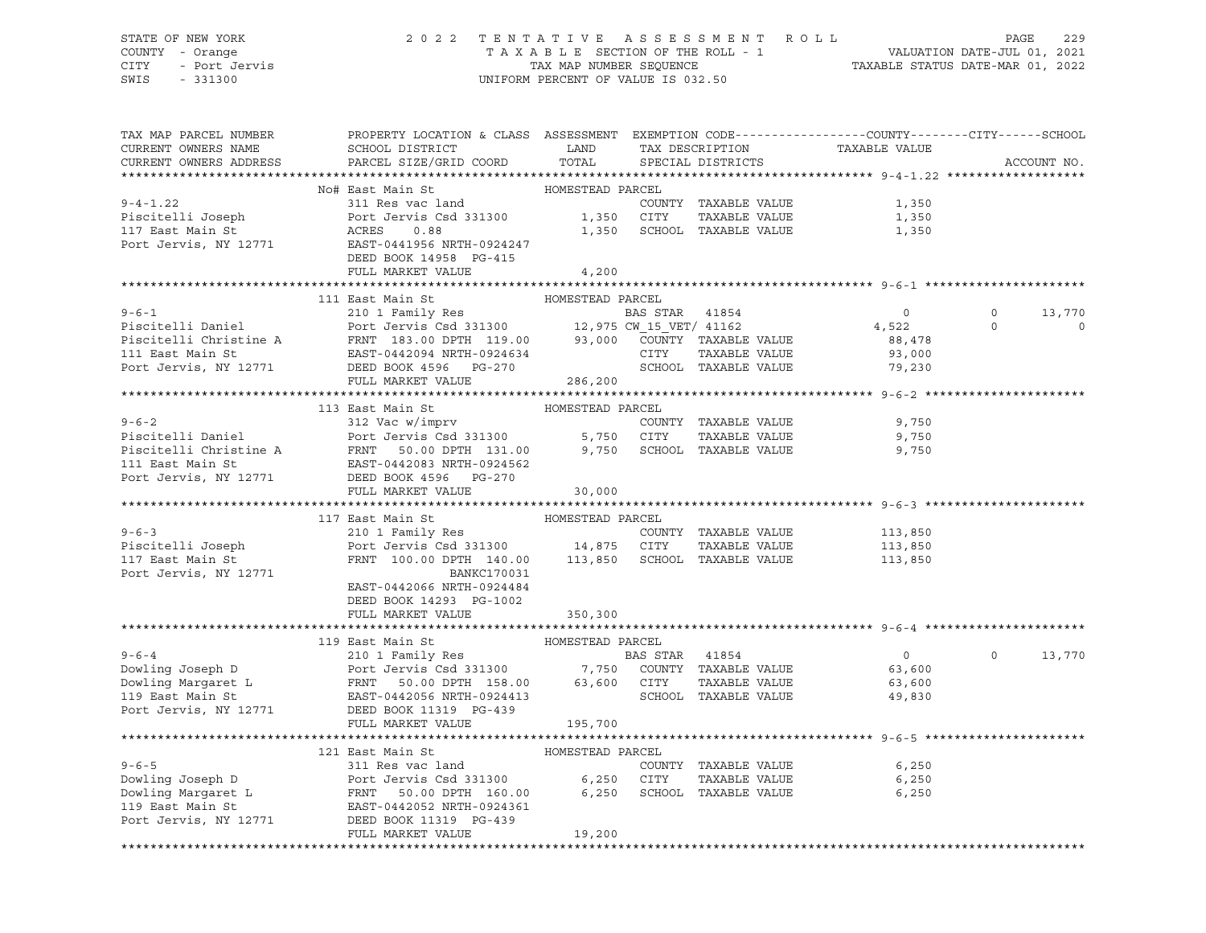CITY - Port Jervis TAX MAP NUMBER SEQUENCE TAXABLE STATUS DATE-MAR 01, 2022 SWIS - 331300 UNIFORM PERCENT OF VALUE IS 032.50

#### STATE OF NEW YORK 2 0 2 2 T E N T A T I V E A S S E S S M E N T R O L L PAGE 229 COUNTY - Orange T A X A B L E SECTION OF THE ROLL - 1 VALUATION DATE-JUL 01, 2021

| TAX MAP PARCEL NUMBER  | PROPERTY LOCATION & CLASS ASSESSMENT EXEMPTION CODE----------------COUNTY-------CITY------SCHOOL                                                                                                                                                                                                                                                                                                                                                                                |                  |  |                     |                |
|------------------------|---------------------------------------------------------------------------------------------------------------------------------------------------------------------------------------------------------------------------------------------------------------------------------------------------------------------------------------------------------------------------------------------------------------------------------------------------------------------------------|------------------|--|---------------------|----------------|
| CURRENT OWNERS NAME    |                                                                                                                                                                                                                                                                                                                                                                                                                                                                                 |                  |  |                     |                |
| CURRENT OWNERS ADDRESS |                                                                                                                                                                                                                                                                                                                                                                                                                                                                                 |                  |  |                     | ACCOUNT NO.    |
|                        | No# East Main St<br>Note East Main St<br>Note East Main St<br>Piscitelli Joseph<br>Port Jervis Csd 331300<br>Port Jervis Csd 331300<br>Port Jervis Csd 331300<br>Port Jervis Csd 331300<br>Port Jervis Csd 331300<br>Port Jervis Csd 331300<br>Por                                                                                                                                                                                                                              |                  |  |                     |                |
|                        |                                                                                                                                                                                                                                                                                                                                                                                                                                                                                 |                  |  |                     |                |
|                        |                                                                                                                                                                                                                                                                                                                                                                                                                                                                                 |                  |  |                     |                |
|                        |                                                                                                                                                                                                                                                                                                                                                                                                                                                                                 |                  |  |                     |                |
|                        |                                                                                                                                                                                                                                                                                                                                                                                                                                                                                 |                  |  |                     |                |
|                        |                                                                                                                                                                                                                                                                                                                                                                                                                                                                                 |                  |  |                     |                |
|                        |                                                                                                                                                                                                                                                                                                                                                                                                                                                                                 |                  |  |                     |                |
|                        | FULL MARKET VALUE                                                                                                                                                                                                                                                                                                                                                                                                                                                               | 4,200            |  |                     |                |
|                        |                                                                                                                                                                                                                                                                                                                                                                                                                                                                                 |                  |  |                     |                |
|                        | 111 East Main St                                                                                                                                                                                                                                                                                                                                                                                                                                                                | HOMESTEAD PARCEL |  |                     |                |
|                        |                                                                                                                                                                                                                                                                                                                                                                                                                                                                                 |                  |  |                     | 13,770         |
|                        |                                                                                                                                                                                                                                                                                                                                                                                                                                                                                 |                  |  |                     | $\overline{0}$ |
|                        |                                                                                                                                                                                                                                                                                                                                                                                                                                                                                 |                  |  |                     |                |
|                        |                                                                                                                                                                                                                                                                                                                                                                                                                                                                                 |                  |  |                     |                |
|                        |                                                                                                                                                                                                                                                                                                                                                                                                                                                                                 |                  |  |                     |                |
|                        | 9-6-1<br>Piscitelli Daniel 210 1 Family Res<br>Piscitelli Christine A FRNT 183.00 DPTH 119.00 93,000 COUNTY TAXABLE VALUE<br>210 1 Family Res<br>Piscitelli Christine A FRNT 183.00 DPTH 119.00 93,000 COUNTY TAXABLE VALUE 88,478<br>21                                                                                                                                                                                                                                        |                  |  |                     |                |
|                        | $\begin{tabular}{lllllllllllll} \hline 9-6-2 & 113 East Main St & HOMESTEAD PARCEL \\ \hline 9-6-2 & 312 Vac w/imprv & \multicolumn{2}{c}{COUNTY} TAXABLE VALUE \\ \hline \hline Piscitelli Daniel & \multicolumn{2}{c}{Piscitelli Christine A} & \multicolumn{2}{c}{FRNT} & 50.00 DPTH & 131.00 & 9,750 SCHOOL TAXABLE VALUE \\ \hline 111 East Main St & \multicolumn{2}{c}{East Mail} & \multicolumn{2}{c}{B.750} & \multicolumn{2}{c}{CUTY} & TAXABLE VALUE \\ \hline Pisc$ |                  |  |                     |                |
|                        |                                                                                                                                                                                                                                                                                                                                                                                                                                                                                 |                  |  |                     |                |
|                        |                                                                                                                                                                                                                                                                                                                                                                                                                                                                                 |                  |  | 9,750               |                |
|                        |                                                                                                                                                                                                                                                                                                                                                                                                                                                                                 |                  |  | TAXABLE VALUE 9,750 |                |
|                        |                                                                                                                                                                                                                                                                                                                                                                                                                                                                                 |                  |  | 9,750               |                |
|                        |                                                                                                                                                                                                                                                                                                                                                                                                                                                                                 |                  |  |                     |                |
|                        |                                                                                                                                                                                                                                                                                                                                                                                                                                                                                 |                  |  |                     |                |
|                        | FULL MARKET VALUE                                                                                                                                                                                                                                                                                                                                                                                                                                                               | 30,000           |  |                     |                |
|                        |                                                                                                                                                                                                                                                                                                                                                                                                                                                                                 |                  |  |                     |                |
|                        | 117 East Main St                                                                                                                                                                                                                                                                                                                                                                                                                                                                | HOMESTEAD PARCEL |  |                     |                |
|                        |                                                                                                                                                                                                                                                                                                                                                                                                                                                                                 |                  |  |                     |                |
|                        |                                                                                                                                                                                                                                                                                                                                                                                                                                                                                 |                  |  |                     |                |
|                        | 9-6-3<br>Piscitelli Joseph 210 1 Family Res COUNTY TAXABLE VALUE<br>Piscitelli Joseph Port Jervis Csd 331300 14,875 CITY TAXABLE VALUE<br>113,850 FRNT 100.00 DPTH 140.00 113,850 SCHOOL TAXABLE VALUE<br>210 FRNT 100.00 DPTH 140.00                                                                                                                                                                                                                                           |                  |  |                     |                |
| Port Jervis, NY 12771  | BANKC170031                                                                                                                                                                                                                                                                                                                                                                                                                                                                     |                  |  |                     |                |
|                        | EAST-0442066 NRTH-0924484                                                                                                                                                                                                                                                                                                                                                                                                                                                       |                  |  |                     |                |
|                        | DEED BOOK 14293 PG-1002                                                                                                                                                                                                                                                                                                                                                                                                                                                         |                  |  |                     |                |
|                        | FULL MARKET VALUE 350,300                                                                                                                                                                                                                                                                                                                                                                                                                                                       |                  |  |                     |                |
|                        |                                                                                                                                                                                                                                                                                                                                                                                                                                                                                 |                  |  |                     |                |
|                        |                                                                                                                                                                                                                                                                                                                                                                                                                                                                                 |                  |  |                     |                |
|                        |                                                                                                                                                                                                                                                                                                                                                                                                                                                                                 |                  |  | $0$ 0 13,770        |                |
|                        |                                                                                                                                                                                                                                                                                                                                                                                                                                                                                 |                  |  |                     |                |
|                        |                                                                                                                                                                                                                                                                                                                                                                                                                                                                                 |                  |  |                     |                |
|                        |                                                                                                                                                                                                                                                                                                                                                                                                                                                                                 |                  |  |                     |                |
|                        |                                                                                                                                                                                                                                                                                                                                                                                                                                                                                 |                  |  |                     |                |
|                        | FULL MARKET VALUE                                                                                                                                                                                                                                                                                                                                                                                                                                                               | 195,700          |  |                     |                |
|                        |                                                                                                                                                                                                                                                                                                                                                                                                                                                                                 |                  |  |                     |                |
|                        |                                                                                                                                                                                                                                                                                                                                                                                                                                                                                 |                  |  |                     |                |
|                        |                                                                                                                                                                                                                                                                                                                                                                                                                                                                                 |                  |  | 6,250               |                |
|                        |                                                                                                                                                                                                                                                                                                                                                                                                                                                                                 |                  |  | TAXABLE VALUE 6,250 |                |
|                        |                                                                                                                                                                                                                                                                                                                                                                                                                                                                                 |                  |  | 6,250               |                |
|                        |                                                                                                                                                                                                                                                                                                                                                                                                                                                                                 |                  |  |                     |                |
|                        | 9-6-5<br>121 East Main St<br>211 East Main St<br>211 Res vac land<br>2000 DEED (COUNTY TAXABLE VALUE<br>211 Res vac land<br>2000 COUNTY TAXABLE VALUE<br>25.250 CITY TAXABLE VALUE<br>25.250 SCHOOL TAXABLE VALUE<br>26.250 SCHOOL TAXABLE VALUE                                                                                                                                                                                                                                |                  |  |                     |                |
|                        | FULL MARKET VALUE                                                                                                                                                                                                                                                                                                                                                                                                                                                               | 19,200           |  |                     |                |
|                        |                                                                                                                                                                                                                                                                                                                                                                                                                                                                                 |                  |  |                     |                |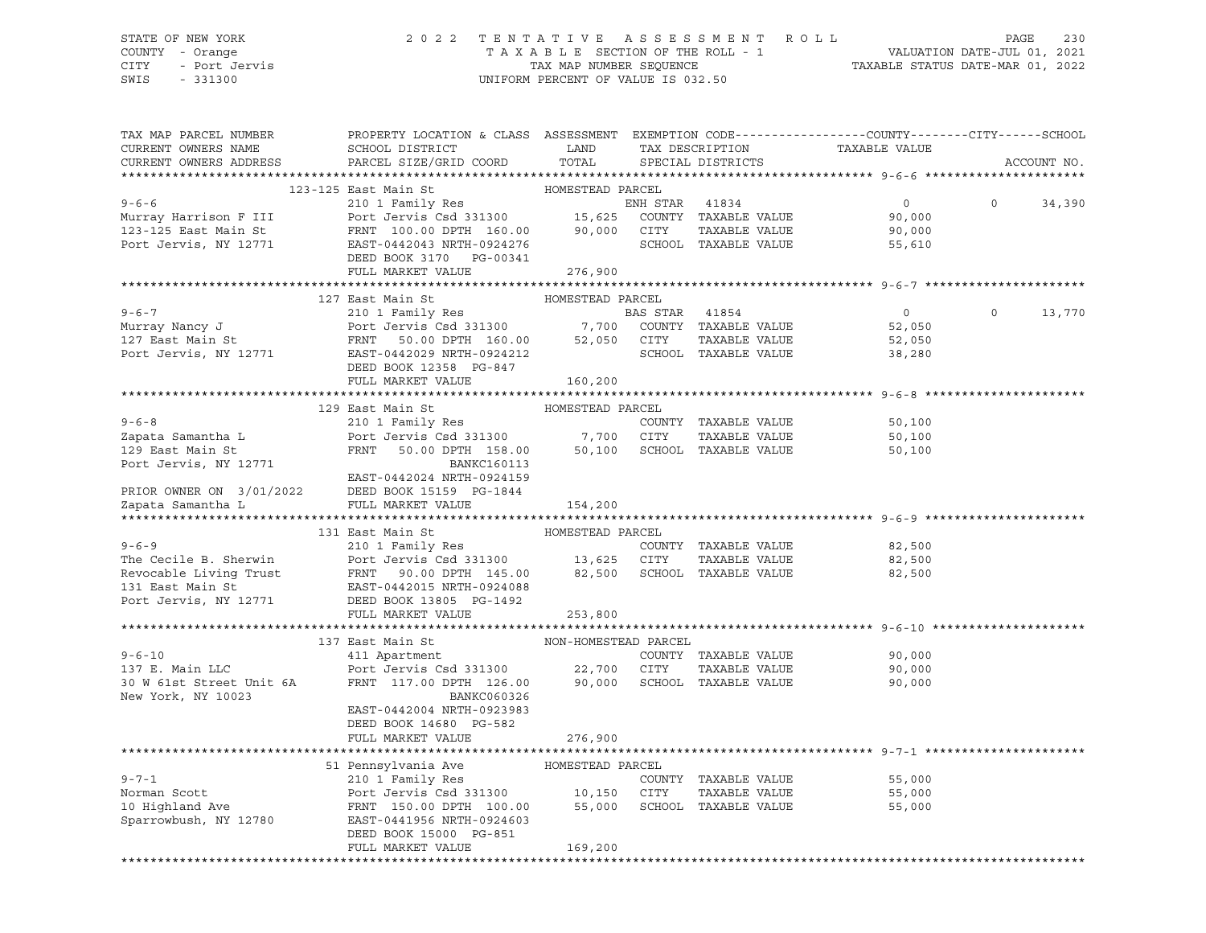### STATE OF NEW YORK 2 0 2 2 T E N T A T I V E A S S E S S M E N T R O L L PAGE 230 COUNTY - Orange T A X A B L E SECTION OF THE ROLL - 1 VALUATION DATE-JUL 01, 2021 CITY - Port Jervis TAX MAP NUMBER SEQUENCE TAXABLE STATUS DATE-MAR 01, 2022

| 123-125 East Main St<br>HOMESTEAD PARCEL<br>0<br>$\Omega$<br>34,390<br>90,000<br>90,000<br>55,610<br>DEED BOOK 3170 PG-00341<br>FULL MARKET VALUE 276,900<br>127 East Main St<br>HOMESTEAD PARCEL<br>210 1 Family Res<br>$9 - 6 - 7$<br>BAS STAR 41854<br>$\overline{0}$<br>$\Omega$<br>13,770<br>9-6-7<br>Murray Nancy J<br>210 1 Family Res<br>210 1 Family Res<br>210 1 Family Res<br>210 1 Family Res<br>210 1 Family Res<br>210 1 Family Res<br>21300 7,700 COUNTY TAXABLE VALUE<br>27 East Main St<br>27 East Main St<br>27 East Main St<br>27 Eas<br>52,050<br>52,050<br>38,280<br>DEED BOOK 12358 PG-847<br>FULL MARKET VALUE<br>160,200<br>129 East Main St<br>HOMESTEAD PARCEL<br>210 1 Family Res<br>210 1 Family Res<br>Port Jervis Csd 331300 7,700 CITY TAXABLE VALUE<br>FRNT 50.00 DPTH 158.00 50,100 SCHOOL TAXABLE VALUE<br>$9 - 6 - 8$<br>50,100<br>Zapata Samantha L<br>50,100<br>129 East Main St<br>50,100<br>Port Jervis, NY 12771<br><b>BANKC160113</b><br>EAST-0442024 NRTH-0924159<br>PRIOR OWNER ON 3/01/2022 DEED BOOK 15159 PG-1844<br>Zapata Samantha L FULL MARKET VALUE<br>Zapata Samantha L<br>FULL MARKET VALUE<br>154,200<br>131 East Main St<br>HOMESTEAD PARCEL<br>210 1 Family Res<br>$9 - 6 - 9$<br>COUNTY TAXABLE VALUE<br>82,500<br>Port Jervis Csd 331300 13,625 CITY<br>The Cecile B. Sherwin Port Jervis Csd 331300<br>Revocable Living Trust FRNT 90.00 DPTH 145.00<br>131 East Main St EAST-0442015 NRTH-0924088<br>TAXABLE VALUE<br>82,500<br>82,500 SCHOOL TAXABLE VALUE<br>82,500<br>EAST-0442015 NRTH-0924088<br>131 East Main St<br>Port Jervis, NY 12771 DEED BOOK 13805 PG-1492<br>253,800<br>FULL MARKET VALUE<br>NON-HOMESTEAD PARCEL<br>137 East Main St<br>$9 - 6 - 10$<br>COUNTY TAXABLE VALUE<br>90,000<br>TAXABLE VALUE<br>137 E. Main LLC<br>90,000<br>30 W 61st Street Unit 6A<br>90,000<br>New York, NY 10023<br>BANKC060326<br>EAST-0442004 NRTH-0923983<br>DEED BOOK 14680 PG-582<br>FULL MARKET VALUE<br>276,900<br>********************************* 9-7-1 ********<br>51 Pennsylvania Ave         HOMESTEAD PARCEL<br>210 1 Family Res<br>210 1 Family Res<br>Port Jervis Csd 331300<br>FRNT 150.00 DPTH 100.00 55,000 SCHOOL TAXABLE VALUE<br>$9 - 7 - 1$<br>COUNTY TAXABLE VALUE<br>55,000<br>55,000<br>TAXABLE VALUE<br>Norman Scott<br>10 Highland Ave<br>55,000<br>Sparrowbush, NY 12780<br>EAST-0441956 NRTH-0924603<br>DEED BOOK 15000 PG-851<br>FULL MARKET VALUE<br>169,200 | TAX MAP PARCEL NUMBER<br>CURRENT OWNERS NAME<br>CURRENT OWNERS ADDRESS | PROPERTY LOCATION & CLASS ASSESSMENT EXEMPTION CODE----------------COUNTY-------CITY------SCHOOL<br>SCHOOL DISTRICT<br>PARCEL SIZE/GRID COORD | LAND<br>TOTAL | TAX DESCRIPTION<br>SPECIAL DISTRICTS | TAXABLE VALUE | ACCOUNT NO. |
|---------------------------------------------------------------------------------------------------------------------------------------------------------------------------------------------------------------------------------------------------------------------------------------------------------------------------------------------------------------------------------------------------------------------------------------------------------------------------------------------------------------------------------------------------------------------------------------------------------------------------------------------------------------------------------------------------------------------------------------------------------------------------------------------------------------------------------------------------------------------------------------------------------------------------------------------------------------------------------------------------------------------------------------------------------------------------------------------------------------------------------------------------------------------------------------------------------------------------------------------------------------------------------------------------------------------------------------------------------------------------------------------------------------------------------------------------------------------------------------------------------------------------------------------------------------------------------------------------------------------------------------------------------------------------------------------------------------------------------------------------------------------------------------------------------------------------------------------------------------------------------------------------------------------------------------------------------------------------------------------------------------------------------------------------------------------------------------------------------------------------------------------------------------------------------------------------------------------------------------------------------------------------------------------------------------------------------------------------------------------------------------------------------------------------------------------------------|------------------------------------------------------------------------|-----------------------------------------------------------------------------------------------------------------------------------------------|---------------|--------------------------------------|---------------|-------------|
|                                                                                                                                                                                                                                                                                                                                                                                                                                                                                                                                                                                                                                                                                                                                                                                                                                                                                                                                                                                                                                                                                                                                                                                                                                                                                                                                                                                                                                                                                                                                                                                                                                                                                                                                                                                                                                                                                                                                                                                                                                                                                                                                                                                                                                                                                                                                                                                                                                                         |                                                                        |                                                                                                                                               |               |                                      |               |             |
|                                                                                                                                                                                                                                                                                                                                                                                                                                                                                                                                                                                                                                                                                                                                                                                                                                                                                                                                                                                                                                                                                                                                                                                                                                                                                                                                                                                                                                                                                                                                                                                                                                                                                                                                                                                                                                                                                                                                                                                                                                                                                                                                                                                                                                                                                                                                                                                                                                                         |                                                                        |                                                                                                                                               |               |                                      |               |             |
|                                                                                                                                                                                                                                                                                                                                                                                                                                                                                                                                                                                                                                                                                                                                                                                                                                                                                                                                                                                                                                                                                                                                                                                                                                                                                                                                                                                                                                                                                                                                                                                                                                                                                                                                                                                                                                                                                                                                                                                                                                                                                                                                                                                                                                                                                                                                                                                                                                                         |                                                                        |                                                                                                                                               |               |                                      |               |             |
|                                                                                                                                                                                                                                                                                                                                                                                                                                                                                                                                                                                                                                                                                                                                                                                                                                                                                                                                                                                                                                                                                                                                                                                                                                                                                                                                                                                                                                                                                                                                                                                                                                                                                                                                                                                                                                                                                                                                                                                                                                                                                                                                                                                                                                                                                                                                                                                                                                                         |                                                                        |                                                                                                                                               |               |                                      |               |             |
|                                                                                                                                                                                                                                                                                                                                                                                                                                                                                                                                                                                                                                                                                                                                                                                                                                                                                                                                                                                                                                                                                                                                                                                                                                                                                                                                                                                                                                                                                                                                                                                                                                                                                                                                                                                                                                                                                                                                                                                                                                                                                                                                                                                                                                                                                                                                                                                                                                                         |                                                                        |                                                                                                                                               |               |                                      |               |             |
|                                                                                                                                                                                                                                                                                                                                                                                                                                                                                                                                                                                                                                                                                                                                                                                                                                                                                                                                                                                                                                                                                                                                                                                                                                                                                                                                                                                                                                                                                                                                                                                                                                                                                                                                                                                                                                                                                                                                                                                                                                                                                                                                                                                                                                                                                                                                                                                                                                                         |                                                                        |                                                                                                                                               |               |                                      |               |             |
|                                                                                                                                                                                                                                                                                                                                                                                                                                                                                                                                                                                                                                                                                                                                                                                                                                                                                                                                                                                                                                                                                                                                                                                                                                                                                                                                                                                                                                                                                                                                                                                                                                                                                                                                                                                                                                                                                                                                                                                                                                                                                                                                                                                                                                                                                                                                                                                                                                                         |                                                                        |                                                                                                                                               |               |                                      |               |             |
|                                                                                                                                                                                                                                                                                                                                                                                                                                                                                                                                                                                                                                                                                                                                                                                                                                                                                                                                                                                                                                                                                                                                                                                                                                                                                                                                                                                                                                                                                                                                                                                                                                                                                                                                                                                                                                                                                                                                                                                                                                                                                                                                                                                                                                                                                                                                                                                                                                                         |                                                                        |                                                                                                                                               |               |                                      |               |             |
|                                                                                                                                                                                                                                                                                                                                                                                                                                                                                                                                                                                                                                                                                                                                                                                                                                                                                                                                                                                                                                                                                                                                                                                                                                                                                                                                                                                                                                                                                                                                                                                                                                                                                                                                                                                                                                                                                                                                                                                                                                                                                                                                                                                                                                                                                                                                                                                                                                                         |                                                                        |                                                                                                                                               |               |                                      |               |             |
|                                                                                                                                                                                                                                                                                                                                                                                                                                                                                                                                                                                                                                                                                                                                                                                                                                                                                                                                                                                                                                                                                                                                                                                                                                                                                                                                                                                                                                                                                                                                                                                                                                                                                                                                                                                                                                                                                                                                                                                                                                                                                                                                                                                                                                                                                                                                                                                                                                                         |                                                                        |                                                                                                                                               |               |                                      |               |             |
|                                                                                                                                                                                                                                                                                                                                                                                                                                                                                                                                                                                                                                                                                                                                                                                                                                                                                                                                                                                                                                                                                                                                                                                                                                                                                                                                                                                                                                                                                                                                                                                                                                                                                                                                                                                                                                                                                                                                                                                                                                                                                                                                                                                                                                                                                                                                                                                                                                                         |                                                                        |                                                                                                                                               |               |                                      |               |             |
|                                                                                                                                                                                                                                                                                                                                                                                                                                                                                                                                                                                                                                                                                                                                                                                                                                                                                                                                                                                                                                                                                                                                                                                                                                                                                                                                                                                                                                                                                                                                                                                                                                                                                                                                                                                                                                                                                                                                                                                                                                                                                                                                                                                                                                                                                                                                                                                                                                                         |                                                                        |                                                                                                                                               |               |                                      |               |             |
|                                                                                                                                                                                                                                                                                                                                                                                                                                                                                                                                                                                                                                                                                                                                                                                                                                                                                                                                                                                                                                                                                                                                                                                                                                                                                                                                                                                                                                                                                                                                                                                                                                                                                                                                                                                                                                                                                                                                                                                                                                                                                                                                                                                                                                                                                                                                                                                                                                                         |                                                                        |                                                                                                                                               |               |                                      |               |             |
|                                                                                                                                                                                                                                                                                                                                                                                                                                                                                                                                                                                                                                                                                                                                                                                                                                                                                                                                                                                                                                                                                                                                                                                                                                                                                                                                                                                                                                                                                                                                                                                                                                                                                                                                                                                                                                                                                                                                                                                                                                                                                                                                                                                                                                                                                                                                                                                                                                                         |                                                                        |                                                                                                                                               |               |                                      |               |             |
|                                                                                                                                                                                                                                                                                                                                                                                                                                                                                                                                                                                                                                                                                                                                                                                                                                                                                                                                                                                                                                                                                                                                                                                                                                                                                                                                                                                                                                                                                                                                                                                                                                                                                                                                                                                                                                                                                                                                                                                                                                                                                                                                                                                                                                                                                                                                                                                                                                                         |                                                                        |                                                                                                                                               |               |                                      |               |             |
|                                                                                                                                                                                                                                                                                                                                                                                                                                                                                                                                                                                                                                                                                                                                                                                                                                                                                                                                                                                                                                                                                                                                                                                                                                                                                                                                                                                                                                                                                                                                                                                                                                                                                                                                                                                                                                                                                                                                                                                                                                                                                                                                                                                                                                                                                                                                                                                                                                                         |                                                                        |                                                                                                                                               |               |                                      |               |             |
|                                                                                                                                                                                                                                                                                                                                                                                                                                                                                                                                                                                                                                                                                                                                                                                                                                                                                                                                                                                                                                                                                                                                                                                                                                                                                                                                                                                                                                                                                                                                                                                                                                                                                                                                                                                                                                                                                                                                                                                                                                                                                                                                                                                                                                                                                                                                                                                                                                                         |                                                                        |                                                                                                                                               |               |                                      |               |             |
|                                                                                                                                                                                                                                                                                                                                                                                                                                                                                                                                                                                                                                                                                                                                                                                                                                                                                                                                                                                                                                                                                                                                                                                                                                                                                                                                                                                                                                                                                                                                                                                                                                                                                                                                                                                                                                                                                                                                                                                                                                                                                                                                                                                                                                                                                                                                                                                                                                                         |                                                                        |                                                                                                                                               |               |                                      |               |             |
|                                                                                                                                                                                                                                                                                                                                                                                                                                                                                                                                                                                                                                                                                                                                                                                                                                                                                                                                                                                                                                                                                                                                                                                                                                                                                                                                                                                                                                                                                                                                                                                                                                                                                                                                                                                                                                                                                                                                                                                                                                                                                                                                                                                                                                                                                                                                                                                                                                                         |                                                                        |                                                                                                                                               |               |                                      |               |             |
|                                                                                                                                                                                                                                                                                                                                                                                                                                                                                                                                                                                                                                                                                                                                                                                                                                                                                                                                                                                                                                                                                                                                                                                                                                                                                                                                                                                                                                                                                                                                                                                                                                                                                                                                                                                                                                                                                                                                                                                                                                                                                                                                                                                                                                                                                                                                                                                                                                                         |                                                                        |                                                                                                                                               |               |                                      |               |             |
|                                                                                                                                                                                                                                                                                                                                                                                                                                                                                                                                                                                                                                                                                                                                                                                                                                                                                                                                                                                                                                                                                                                                                                                                                                                                                                                                                                                                                                                                                                                                                                                                                                                                                                                                                                                                                                                                                                                                                                                                                                                                                                                                                                                                                                                                                                                                                                                                                                                         |                                                                        |                                                                                                                                               |               |                                      |               |             |
|                                                                                                                                                                                                                                                                                                                                                                                                                                                                                                                                                                                                                                                                                                                                                                                                                                                                                                                                                                                                                                                                                                                                                                                                                                                                                                                                                                                                                                                                                                                                                                                                                                                                                                                                                                                                                                                                                                                                                                                                                                                                                                                                                                                                                                                                                                                                                                                                                                                         |                                                                        |                                                                                                                                               |               |                                      |               |             |
|                                                                                                                                                                                                                                                                                                                                                                                                                                                                                                                                                                                                                                                                                                                                                                                                                                                                                                                                                                                                                                                                                                                                                                                                                                                                                                                                                                                                                                                                                                                                                                                                                                                                                                                                                                                                                                                                                                                                                                                                                                                                                                                                                                                                                                                                                                                                                                                                                                                         |                                                                        |                                                                                                                                               |               |                                      |               |             |
|                                                                                                                                                                                                                                                                                                                                                                                                                                                                                                                                                                                                                                                                                                                                                                                                                                                                                                                                                                                                                                                                                                                                                                                                                                                                                                                                                                                                                                                                                                                                                                                                                                                                                                                                                                                                                                                                                                                                                                                                                                                                                                                                                                                                                                                                                                                                                                                                                                                         |                                                                        |                                                                                                                                               |               |                                      |               |             |
|                                                                                                                                                                                                                                                                                                                                                                                                                                                                                                                                                                                                                                                                                                                                                                                                                                                                                                                                                                                                                                                                                                                                                                                                                                                                                                                                                                                                                                                                                                                                                                                                                                                                                                                                                                                                                                                                                                                                                                                                                                                                                                                                                                                                                                                                                                                                                                                                                                                         |                                                                        |                                                                                                                                               |               |                                      |               |             |
|                                                                                                                                                                                                                                                                                                                                                                                                                                                                                                                                                                                                                                                                                                                                                                                                                                                                                                                                                                                                                                                                                                                                                                                                                                                                                                                                                                                                                                                                                                                                                                                                                                                                                                                                                                                                                                                                                                                                                                                                                                                                                                                                                                                                                                                                                                                                                                                                                                                         |                                                                        |                                                                                                                                               |               |                                      |               |             |
|                                                                                                                                                                                                                                                                                                                                                                                                                                                                                                                                                                                                                                                                                                                                                                                                                                                                                                                                                                                                                                                                                                                                                                                                                                                                                                                                                                                                                                                                                                                                                                                                                                                                                                                                                                                                                                                                                                                                                                                                                                                                                                                                                                                                                                                                                                                                                                                                                                                         |                                                                        |                                                                                                                                               |               |                                      |               |             |
|                                                                                                                                                                                                                                                                                                                                                                                                                                                                                                                                                                                                                                                                                                                                                                                                                                                                                                                                                                                                                                                                                                                                                                                                                                                                                                                                                                                                                                                                                                                                                                                                                                                                                                                                                                                                                                                                                                                                                                                                                                                                                                                                                                                                                                                                                                                                                                                                                                                         |                                                                        |                                                                                                                                               |               |                                      |               |             |
|                                                                                                                                                                                                                                                                                                                                                                                                                                                                                                                                                                                                                                                                                                                                                                                                                                                                                                                                                                                                                                                                                                                                                                                                                                                                                                                                                                                                                                                                                                                                                                                                                                                                                                                                                                                                                                                                                                                                                                                                                                                                                                                                                                                                                                                                                                                                                                                                                                                         |                                                                        |                                                                                                                                               |               |                                      |               |             |
|                                                                                                                                                                                                                                                                                                                                                                                                                                                                                                                                                                                                                                                                                                                                                                                                                                                                                                                                                                                                                                                                                                                                                                                                                                                                                                                                                                                                                                                                                                                                                                                                                                                                                                                                                                                                                                                                                                                                                                                                                                                                                                                                                                                                                                                                                                                                                                                                                                                         |                                                                        |                                                                                                                                               |               |                                      |               |             |
|                                                                                                                                                                                                                                                                                                                                                                                                                                                                                                                                                                                                                                                                                                                                                                                                                                                                                                                                                                                                                                                                                                                                                                                                                                                                                                                                                                                                                                                                                                                                                                                                                                                                                                                                                                                                                                                                                                                                                                                                                                                                                                                                                                                                                                                                                                                                                                                                                                                         |                                                                        |                                                                                                                                               |               |                                      |               |             |
|                                                                                                                                                                                                                                                                                                                                                                                                                                                                                                                                                                                                                                                                                                                                                                                                                                                                                                                                                                                                                                                                                                                                                                                                                                                                                                                                                                                                                                                                                                                                                                                                                                                                                                                                                                                                                                                                                                                                                                                                                                                                                                                                                                                                                                                                                                                                                                                                                                                         |                                                                        |                                                                                                                                               |               |                                      |               |             |
|                                                                                                                                                                                                                                                                                                                                                                                                                                                                                                                                                                                                                                                                                                                                                                                                                                                                                                                                                                                                                                                                                                                                                                                                                                                                                                                                                                                                                                                                                                                                                                                                                                                                                                                                                                                                                                                                                                                                                                                                                                                                                                                                                                                                                                                                                                                                                                                                                                                         |                                                                        |                                                                                                                                               |               |                                      |               |             |
|                                                                                                                                                                                                                                                                                                                                                                                                                                                                                                                                                                                                                                                                                                                                                                                                                                                                                                                                                                                                                                                                                                                                                                                                                                                                                                                                                                                                                                                                                                                                                                                                                                                                                                                                                                                                                                                                                                                                                                                                                                                                                                                                                                                                                                                                                                                                                                                                                                                         |                                                                        |                                                                                                                                               |               |                                      |               |             |
|                                                                                                                                                                                                                                                                                                                                                                                                                                                                                                                                                                                                                                                                                                                                                                                                                                                                                                                                                                                                                                                                                                                                                                                                                                                                                                                                                                                                                                                                                                                                                                                                                                                                                                                                                                                                                                                                                                                                                                                                                                                                                                                                                                                                                                                                                                                                                                                                                                                         |                                                                        |                                                                                                                                               |               |                                      |               |             |
|                                                                                                                                                                                                                                                                                                                                                                                                                                                                                                                                                                                                                                                                                                                                                                                                                                                                                                                                                                                                                                                                                                                                                                                                                                                                                                                                                                                                                                                                                                                                                                                                                                                                                                                                                                                                                                                                                                                                                                                                                                                                                                                                                                                                                                                                                                                                                                                                                                                         |                                                                        |                                                                                                                                               |               |                                      |               |             |
|                                                                                                                                                                                                                                                                                                                                                                                                                                                                                                                                                                                                                                                                                                                                                                                                                                                                                                                                                                                                                                                                                                                                                                                                                                                                                                                                                                                                                                                                                                                                                                                                                                                                                                                                                                                                                                                                                                                                                                                                                                                                                                                                                                                                                                                                                                                                                                                                                                                         |                                                                        |                                                                                                                                               |               |                                      |               |             |
|                                                                                                                                                                                                                                                                                                                                                                                                                                                                                                                                                                                                                                                                                                                                                                                                                                                                                                                                                                                                                                                                                                                                                                                                                                                                                                                                                                                                                                                                                                                                                                                                                                                                                                                                                                                                                                                                                                                                                                                                                                                                                                                                                                                                                                                                                                                                                                                                                                                         |                                                                        |                                                                                                                                               |               |                                      |               |             |
|                                                                                                                                                                                                                                                                                                                                                                                                                                                                                                                                                                                                                                                                                                                                                                                                                                                                                                                                                                                                                                                                                                                                                                                                                                                                                                                                                                                                                                                                                                                                                                                                                                                                                                                                                                                                                                                                                                                                                                                                                                                                                                                                                                                                                                                                                                                                                                                                                                                         |                                                                        |                                                                                                                                               |               |                                      |               |             |
|                                                                                                                                                                                                                                                                                                                                                                                                                                                                                                                                                                                                                                                                                                                                                                                                                                                                                                                                                                                                                                                                                                                                                                                                                                                                                                                                                                                                                                                                                                                                                                                                                                                                                                                                                                                                                                                                                                                                                                                                                                                                                                                                                                                                                                                                                                                                                                                                                                                         |                                                                        |                                                                                                                                               |               |                                      |               |             |
|                                                                                                                                                                                                                                                                                                                                                                                                                                                                                                                                                                                                                                                                                                                                                                                                                                                                                                                                                                                                                                                                                                                                                                                                                                                                                                                                                                                                                                                                                                                                                                                                                                                                                                                                                                                                                                                                                                                                                                                                                                                                                                                                                                                                                                                                                                                                                                                                                                                         |                                                                        |                                                                                                                                               |               |                                      |               |             |
|                                                                                                                                                                                                                                                                                                                                                                                                                                                                                                                                                                                                                                                                                                                                                                                                                                                                                                                                                                                                                                                                                                                                                                                                                                                                                                                                                                                                                                                                                                                                                                                                                                                                                                                                                                                                                                                                                                                                                                                                                                                                                                                                                                                                                                                                                                                                                                                                                                                         |                                                                        |                                                                                                                                               |               |                                      |               |             |
|                                                                                                                                                                                                                                                                                                                                                                                                                                                                                                                                                                                                                                                                                                                                                                                                                                                                                                                                                                                                                                                                                                                                                                                                                                                                                                                                                                                                                                                                                                                                                                                                                                                                                                                                                                                                                                                                                                                                                                                                                                                                                                                                                                                                                                                                                                                                                                                                                                                         |                                                                        |                                                                                                                                               |               |                                      |               |             |
|                                                                                                                                                                                                                                                                                                                                                                                                                                                                                                                                                                                                                                                                                                                                                                                                                                                                                                                                                                                                                                                                                                                                                                                                                                                                                                                                                                                                                                                                                                                                                                                                                                                                                                                                                                                                                                                                                                                                                                                                                                                                                                                                                                                                                                                                                                                                                                                                                                                         |                                                                        |                                                                                                                                               |               |                                      |               |             |
|                                                                                                                                                                                                                                                                                                                                                                                                                                                                                                                                                                                                                                                                                                                                                                                                                                                                                                                                                                                                                                                                                                                                                                                                                                                                                                                                                                                                                                                                                                                                                                                                                                                                                                                                                                                                                                                                                                                                                                                                                                                                                                                                                                                                                                                                                                                                                                                                                                                         |                                                                        |                                                                                                                                               |               |                                      |               |             |
|                                                                                                                                                                                                                                                                                                                                                                                                                                                                                                                                                                                                                                                                                                                                                                                                                                                                                                                                                                                                                                                                                                                                                                                                                                                                                                                                                                                                                                                                                                                                                                                                                                                                                                                                                                                                                                                                                                                                                                                                                                                                                                                                                                                                                                                                                                                                                                                                                                                         |                                                                        |                                                                                                                                               |               |                                      |               |             |
|                                                                                                                                                                                                                                                                                                                                                                                                                                                                                                                                                                                                                                                                                                                                                                                                                                                                                                                                                                                                                                                                                                                                                                                                                                                                                                                                                                                                                                                                                                                                                                                                                                                                                                                                                                                                                                                                                                                                                                                                                                                                                                                                                                                                                                                                                                                                                                                                                                                         |                                                                        |                                                                                                                                               |               |                                      |               |             |
|                                                                                                                                                                                                                                                                                                                                                                                                                                                                                                                                                                                                                                                                                                                                                                                                                                                                                                                                                                                                                                                                                                                                                                                                                                                                                                                                                                                                                                                                                                                                                                                                                                                                                                                                                                                                                                                                                                                                                                                                                                                                                                                                                                                                                                                                                                                                                                                                                                                         |                                                                        |                                                                                                                                               |               |                                      |               |             |
|                                                                                                                                                                                                                                                                                                                                                                                                                                                                                                                                                                                                                                                                                                                                                                                                                                                                                                                                                                                                                                                                                                                                                                                                                                                                                                                                                                                                                                                                                                                                                                                                                                                                                                                                                                                                                                                                                                                                                                                                                                                                                                                                                                                                                                                                                                                                                                                                                                                         |                                                                        |                                                                                                                                               |               |                                      |               |             |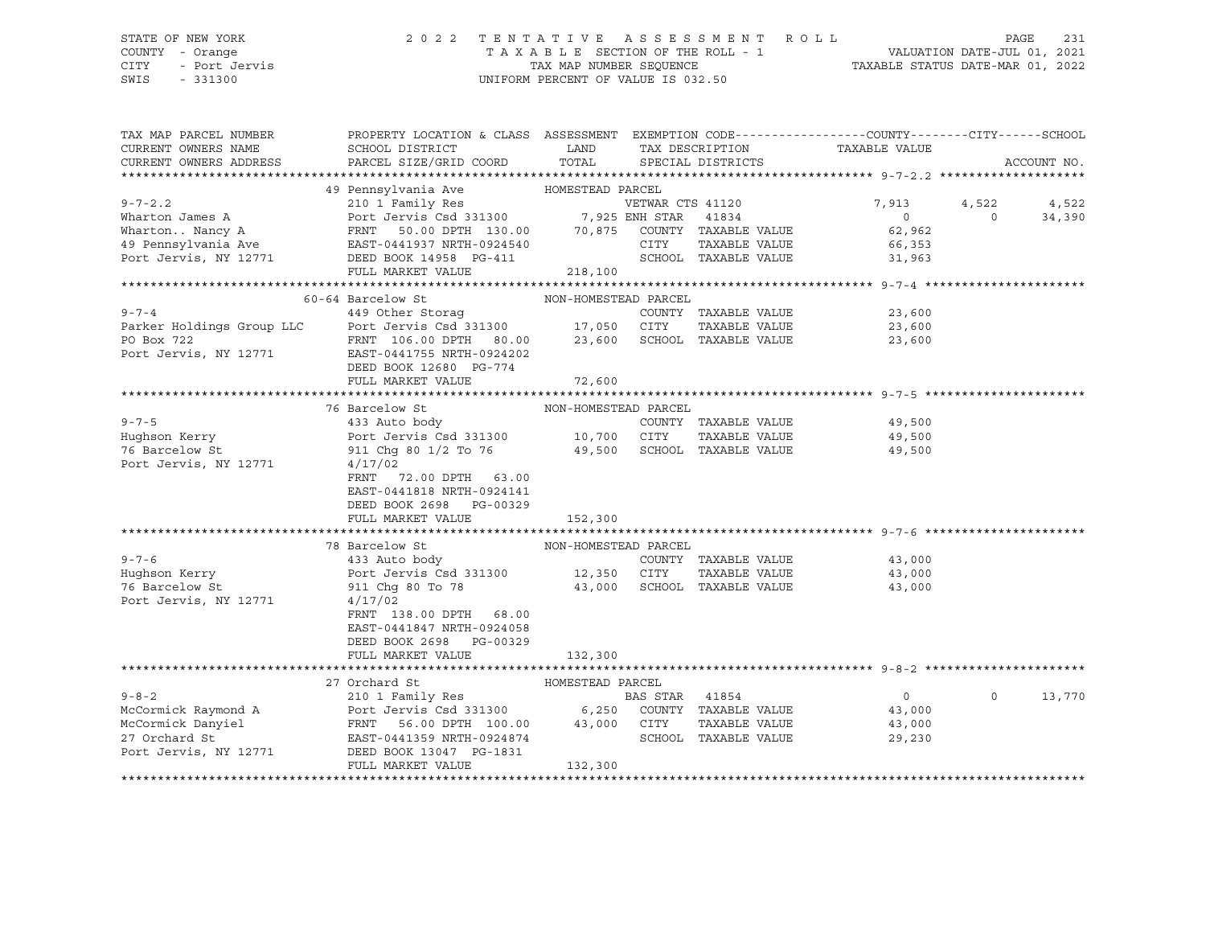### STATE OF NEW YORK 2 0 2 2 T E N T A T I V E A S S E S S M E N T R O L L PAGE 231 COUNTY - Orange T A X A B L E SECTION OF THE ROLL - 1 VALUATION DATE-JUL 01, 2021 CITY - Port Jervis TAX MAP NUMBER SEQUENCE TAXABLE STATUS DATE-MAR 01, 2022

| TAX MAP PARCEL NUMBER              | PROPERTY LOCATION & CLASS ASSESSMENT EXEMPTION CODE----------------COUNTY-------CITY------SCHOOL                                                                                                                                |                      |                |                             |                               |          |             |
|------------------------------------|---------------------------------------------------------------------------------------------------------------------------------------------------------------------------------------------------------------------------------|----------------------|----------------|-----------------------------|-------------------------------|----------|-------------|
| CURRENT OWNERS NAME                | SCHOOL DISTRICT                                                                                                                                                                                                                 | LAND                 |                |                             | TAX DESCRIPTION TAXABLE VALUE |          |             |
| CURRENT OWNERS ADDRESS             | PARCEL SIZE/GRID COORD TOTAL                                                                                                                                                                                                    |                      |                | SPECIAL DISTRICTS           |                               |          | ACCOUNT NO. |
|                                    |                                                                                                                                                                                                                                 |                      |                |                             |                               |          |             |
|                                    | Wharton James A<br>Wharton James A<br>WhartonNancy A<br>WhartonNancy A<br>Pennsylvania Ave EAST-0441937 NRTH-0924540<br>Port Jervis, NY 12771<br>DEED BOOK 14958 PG-411<br>PG-411<br>PG-411<br>PG-411<br>PEED BOOK 14958 PG-411 |                      |                |                             |                               |          |             |
|                                    |                                                                                                                                                                                                                                 |                      |                |                             | 7,913                         | 4,522    | 4,522       |
|                                    |                                                                                                                                                                                                                                 |                      |                |                             | $\overline{0}$                | $\Omega$ |             |
|                                    |                                                                                                                                                                                                                                 |                      |                |                             |                               |          | 34,390      |
|                                    |                                                                                                                                                                                                                                 |                      |                |                             | 62,962                        |          |             |
|                                    |                                                                                                                                                                                                                                 |                      |                |                             | 66,353                        |          |             |
|                                    |                                                                                                                                                                                                                                 |                      |                |                             | 31,963                        |          |             |
|                                    | FULL MARKET VALUE                                                                                                                                                                                                               | 218,100              |                |                             |                               |          |             |
|                                    |                                                                                                                                                                                                                                 |                      |                |                             |                               |          |             |
|                                    | 60-64 Barcelow St                                                                                                                                                                                                               | NON-HOMESTEAD PARCEL |                |                             |                               |          |             |
|                                    | 9-7-4<br>249 Other Storag<br>Parker Holdings Group LLC<br>PO Box 722<br>PO Box 722<br>PRNT 106.00 DPTH 80.00<br>PO Box 722<br>PRNT 106.00 DPTH 80.00<br>23,600<br>SCHOOL TAXABLE VALUE                                          |                      |                |                             | 23,600                        |          |             |
|                                    |                                                                                                                                                                                                                                 |                      |                |                             | 23,600                        |          |             |
|                                    |                                                                                                                                                                                                                                 |                      |                |                             |                               |          |             |
|                                    |                                                                                                                                                                                                                                 |                      |                |                             | 23,600                        |          |             |
|                                    | Port Jervis, NY 12771 EAST-0441755 NRTH-0924202                                                                                                                                                                                 |                      |                |                             |                               |          |             |
|                                    | DEED BOOK 12680 PG-774                                                                                                                                                                                                          |                      |                |                             |                               |          |             |
|                                    | FULL MARKET VALUE                                                                                                                                                                                                               | 72,600               |                |                             |                               |          |             |
|                                    |                                                                                                                                                                                                                                 |                      |                |                             |                               |          |             |
|                                    | 76 Barcelow St                                                                                                                                                                                                                  | NON-HOMESTEAD PARCEL |                |                             |                               |          |             |
| $9 - 7 - 5$                        |                                                                                                                                                                                                                                 |                      |                | COUNTY TAXABLE VALUE        | 49,500                        |          |             |
| Huqhson Kerry                      |                                                                                                                                                                                                                                 |                      |                | TAXABLE VALUE               | 49,500                        |          |             |
|                                    |                                                                                                                                                                                                                                 |                      |                |                             |                               |          |             |
| 76 Barcelow St                     | 911 Chg 80 1/2 To 76 49,500 SCHOOL TAXABLE VALUE 49,500                                                                                                                                                                         |                      |                |                             |                               |          |             |
| Port Jervis, NY 12771              | 4/17/02                                                                                                                                                                                                                         |                      |                |                             |                               |          |             |
|                                    | FRNT 72.00 DPTH 63.00                                                                                                                                                                                                           |                      |                |                             |                               |          |             |
|                                    | EAST-0441818 NRTH-0924141                                                                                                                                                                                                       |                      |                |                             |                               |          |             |
|                                    | DEED BOOK 2698 PG-00329                                                                                                                                                                                                         |                      |                |                             |                               |          |             |
|                                    | FULL MARKET VALUE                                                                                                                                                                                                               | 152,300              |                |                             |                               |          |             |
|                                    |                                                                                                                                                                                                                                 |                      |                |                             |                               |          |             |
|                                    | 78 Barcelow St                                                                                                                                                                                                                  | NON-HOMESTEAD PARCEL |                |                             |                               |          |             |
| $9 - 7 - 6$                        | 433 Auto body                                                                                                                                                                                                                   |                      |                | COUNTY TAXABLE VALUE        | 43,000                        |          |             |
|                                    |                                                                                                                                                                                                                                 |                      |                | TAXABLE VALUE               | 43,000                        |          |             |
| Hughson Kerry                      | Port Jervis Csd 331300 12,350 CITY                                                                                                                                                                                              |                      |                |                             |                               |          |             |
| 76 Barcelow St                     | 911 Chq 80 To 78                                                                                                                                                                                                                |                      |                | 43,000 SCHOOL TAXABLE VALUE | 43,000                        |          |             |
| Port Jervis, NY 12771              | 4/17/02                                                                                                                                                                                                                         |                      |                |                             |                               |          |             |
|                                    | FRNT 138.00 DPTH 68.00                                                                                                                                                                                                          |                      |                |                             |                               |          |             |
|                                    | EAST-0441847 NRTH-0924058                                                                                                                                                                                                       |                      |                |                             |                               |          |             |
|                                    | DEED BOOK 2698 PG-00329                                                                                                                                                                                                         |                      |                |                             |                               |          |             |
|                                    | FULL MARKET VALUE                                                                                                                                                                                                               | 132,300              |                |                             |                               |          |             |
|                                    |                                                                                                                                                                                                                                 |                      |                |                             |                               |          |             |
|                                    | 27 Orchard St<br>HOMESTEAD PARCEL                                                                                                                                                                                               |                      |                |                             |                               |          |             |
| $9 - 8 - 2$                        | 210 1 Family Res                                                                                                                                                                                                                |                      | BAS STAR 41854 |                             | $\overline{0}$                | $\Omega$ | 13,770      |
|                                    | Port Jervis Csd 331300<br>FRNT 56.00 DPTH 100.00 6,250 COUNTY TAXABLE VALUE<br>FRNT 56.00 DPTH 100.00 43,000 CITY TAXABLE VALUE<br>SCHOOL TAXABLE VALUE                                                                         |                      |                |                             |                               |          |             |
| McCormick Raymond A                |                                                                                                                                                                                                                                 |                      |                |                             | 43,000                        |          |             |
| McCormick Danyiel<br>27 Orchard St |                                                                                                                                                                                                                                 |                      |                |                             | 43,000                        |          |             |
| 27 Orchard St                      | EAST-0441359 NRTH-0924874                                                                                                                                                                                                       |                      |                | SCHOOL TAXABLE VALUE        | 29,230                        |          |             |
| Port Jervis, NY 12771              | DEED BOOK 13047 PG-1831                                                                                                                                                                                                         |                      |                |                             |                               |          |             |
|                                    | FULL MARKET VALUE                                                                                                                                                                                                               | 132,300              |                |                             |                               |          |             |
|                                    |                                                                                                                                                                                                                                 |                      |                |                             |                               |          |             |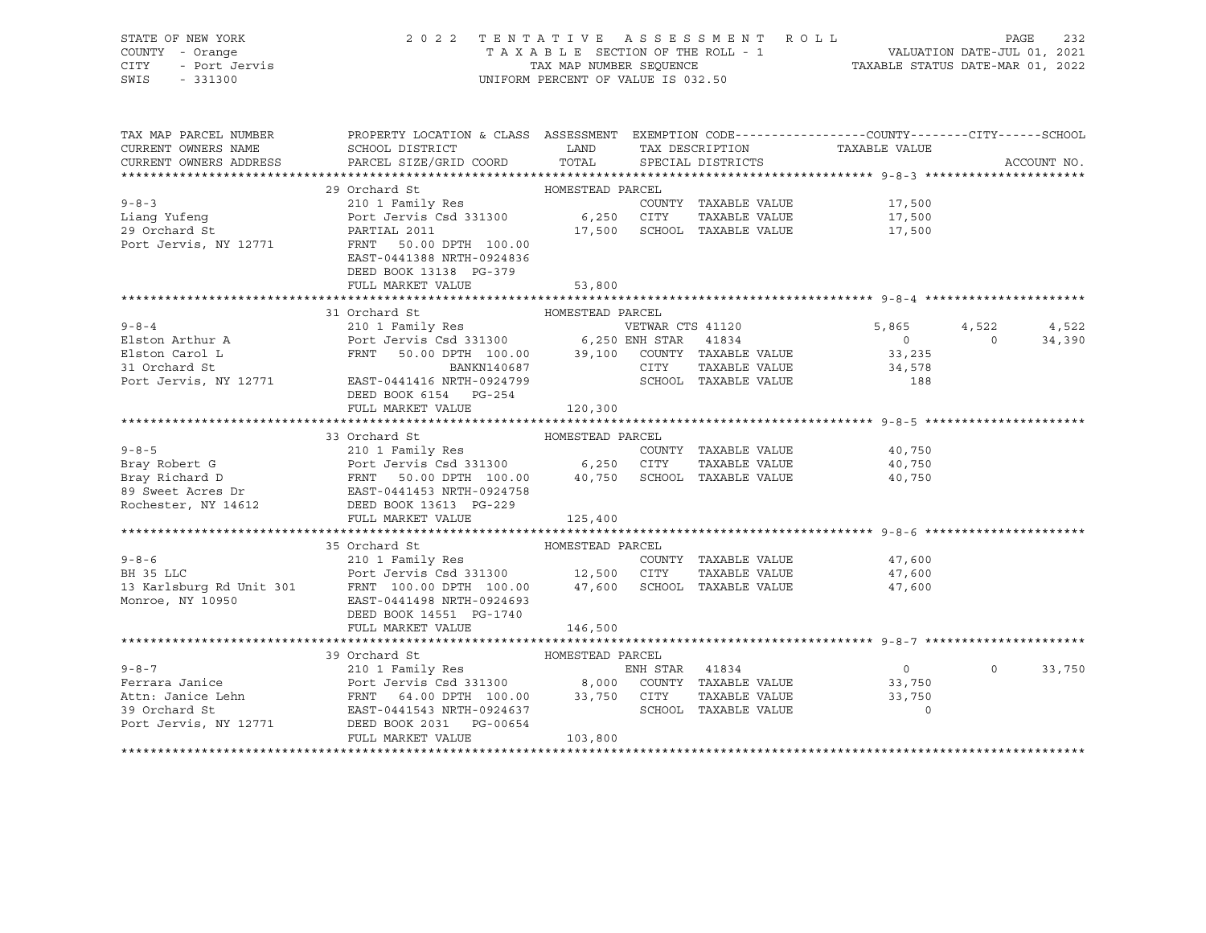| STATE OF NEW YORK<br>STATE OF NEW YORK<br>COUNTY - Orange<br>CITY - Port Jervis<br>SWIS - 331300 |                                                                                                                                                                                                                                                       | UNIFORM PERCENT OF VALUE IS 032.50 |                             | 2022 TENTATIVE ASSESSMENT ROLL PAGE 232<br>TAXABLE SECTION OF THE ROLL - 1<br>TAX MAP NUMBER SEQUENCE TAXABLE STATUS DATE-MAR 01, 2022 |          |             |
|--------------------------------------------------------------------------------------------------|-------------------------------------------------------------------------------------------------------------------------------------------------------------------------------------------------------------------------------------------------------|------------------------------------|-----------------------------|----------------------------------------------------------------------------------------------------------------------------------------|----------|-------------|
| TAX MAP PARCEL NUMBER<br>CURRENT OWNERS NAME<br>CURRENT OWNERS ADDRESS                           | PROPERTY LOCATION & CLASS ASSESSMENT EXEMPTION CODE----------------COUNTY-------CITY------SCHOOL<br>SCHOOL DISTRICT                         LAND         TAX DESCRIPTION                   TAXABLE VALUE<br>PARCEL SIZE/GRID COORD                    | TOTAL                              | SPECIAL DISTRICTS           |                                                                                                                                        |          | ACCOUNT NO. |
|                                                                                                  | 29 Orchard St                                                                                                                                                                                                                                         | HOMESTEAD PARCEL                   |                             |                                                                                                                                        |          |             |
| $9 - 8 - 3$                                                                                      |                                                                                                                                                                                                                                                       |                                    |                             |                                                                                                                                        |          |             |
|                                                                                                  |                                                                                                                                                                                                                                                       |                                    |                             |                                                                                                                                        |          |             |
| Liang Yufeng<br>29 Orchard St                                                                    |                                                                                                                                                                                                                                                       |                                    | 17,500 SCHOOL TAXABLE VALUE |                                                                                                                                        |          |             |
|                                                                                                  | Port Jervis, NY 12771 FRNT 50.00 DPTH 100.00<br>EAST-0441388 NRTH-0924836                                                                                                                                                                             |                                    |                             |                                                                                                                                        |          |             |
|                                                                                                  | DEED BOOK 13138 PG-379                                                                                                                                                                                                                                |                                    |                             |                                                                                                                                        |          |             |
|                                                                                                  | FULL MARKET VALUE                                                                                                                                                                                                                                     | 53,800                             |                             |                                                                                                                                        |          |             |
|                                                                                                  |                                                                                                                                                                                                                                                       |                                    |                             |                                                                                                                                        |          |             |
|                                                                                                  | 31 Orchard St                                                                                                                                                                                                                                         | HOMESTEAD PARCEL                   |                             |                                                                                                                                        |          |             |
| $9 - 8 - 4$                                                                                      | oronara su<br>210 1 Family Res                                                                                                                                                                                                                        |                                    | VETWAR CTS 41120            | $5,865$ $4,522$ $4,522$<br>0 0 34,390                                                                                                  |          |             |
|                                                                                                  |                                                                                                                                                                                                                                                       |                                    |                             |                                                                                                                                        |          |             |
|                                                                                                  |                                                                                                                                                                                                                                                       |                                    |                             | 33,235                                                                                                                                 |          |             |
|                                                                                                  |                                                                                                                                                                                                                                                       |                                    |                             | 34,578                                                                                                                                 |          |             |
|                                                                                                  | 31 Orchard St<br>Port Jervis, NY 12771 EAST-0441416 NRTH-0924799 SCHOOL TAXABLE VALUE                                                                                                                                                                 |                                    |                             | 188                                                                                                                                    |          |             |
|                                                                                                  | DEED BOOK 6154 PG-254                                                                                                                                                                                                                                 |                                    |                             |                                                                                                                                        |          |             |
|                                                                                                  | FULL MARKET VALUE 120,300                                                                                                                                                                                                                             |                                    |                             |                                                                                                                                        |          |             |
|                                                                                                  |                                                                                                                                                                                                                                                       |                                    |                             |                                                                                                                                        |          |             |
|                                                                                                  | 9-8-5<br>Bray Robert G<br>Bray Robert G<br>Bray Richard D<br>Bray Richard D<br>Bray Richard D<br>Bray Richard D<br>ERNT 50.00 DPTH 100.00<br>Bray Rochester, NY 14612<br>Rochester, NY 14612<br>PEED BOOK 13613 PG-229<br>PHILL MAPVPT VALUE<br>PHILL |                                    |                             | 40,750                                                                                                                                 |          |             |
|                                                                                                  |                                                                                                                                                                                                                                                       |                                    |                             | 40,750                                                                                                                                 |          |             |
|                                                                                                  |                                                                                                                                                                                                                                                       |                                    |                             | 40,750                                                                                                                                 |          |             |
|                                                                                                  |                                                                                                                                                                                                                                                       |                                    |                             |                                                                                                                                        |          |             |
|                                                                                                  |                                                                                                                                                                                                                                                       |                                    |                             |                                                                                                                                        |          |             |
|                                                                                                  |                                                                                                                                                                                                                                                       | 125,400                            |                             |                                                                                                                                        |          |             |
|                                                                                                  |                                                                                                                                                                                                                                                       |                                    |                             |                                                                                                                                        |          |             |
|                                                                                                  | 35 Orchard St<br>Example 2000 of the country that the country of the country of the country of the country of the country of the country of the country of the country of the country of the country of the country of the country of the count       | HOMESTEAD PARCEL                   |                             |                                                                                                                                        |          |             |
|                                                                                                  |                                                                                                                                                                                                                                                       |                                    |                             | 47,600                                                                                                                                 |          |             |
|                                                                                                  |                                                                                                                                                                                                                                                       |                                    |                             | 47,600                                                                                                                                 |          |             |
|                                                                                                  |                                                                                                                                                                                                                                                       |                                    |                             | 47,600                                                                                                                                 |          |             |
|                                                                                                  |                                                                                                                                                                                                                                                       |                                    |                             |                                                                                                                                        |          |             |
|                                                                                                  |                                                                                                                                                                                                                                                       |                                    |                             |                                                                                                                                        |          |             |
|                                                                                                  | FULL MARKET VALUE                                                                                                                                                                                                                                     | 146,500                            |                             |                                                                                                                                        |          |             |
|                                                                                                  | 39 Orchard St                                                                                                                                                                                                                                         | HOMESTEAD PARCEL                   |                             |                                                                                                                                        |          |             |
| $9 - 8 - 7$                                                                                      |                                                                                                                                                                                                                                                       |                                    |                             | $\overline{0}$                                                                                                                         | $\Omega$ | 33,750      |
| Ferrara Janice                                                                                   | 210 1 Family Res<br>210 1 Family Res<br>Port Jervis Csd 331300 8,000 COUNTY TAXABLE VALUE<br>FRNT 64.00 DPTH 100.00 33,750 CITY TAXABLE VALUE<br>ERST-0441543 NRTH-0924637 SCHOOL TAXABLE VALUE<br>FRNT DOOL OF DE 00654                              |                                    |                             | 33,750                                                                                                                                 |          |             |
|                                                                                                  |                                                                                                                                                                                                                                                       |                                    |                             | 33,750                                                                                                                                 |          |             |
| Attn: Janice Lehn<br>39 Orchard St                                                               |                                                                                                                                                                                                                                                       |                                    |                             | $\Omega$                                                                                                                               |          |             |
| Port Jervis, NY 12771                                                                            | DEED BOOK 2031 PG-00654                                                                                                                                                                                                                               |                                    |                             |                                                                                                                                        |          |             |
|                                                                                                  | FULL MARKET VALUE                                                                                                                                                                                                                                     | 103,800                            |                             |                                                                                                                                        |          |             |
|                                                                                                  |                                                                                                                                                                                                                                                       |                                    |                             |                                                                                                                                        |          |             |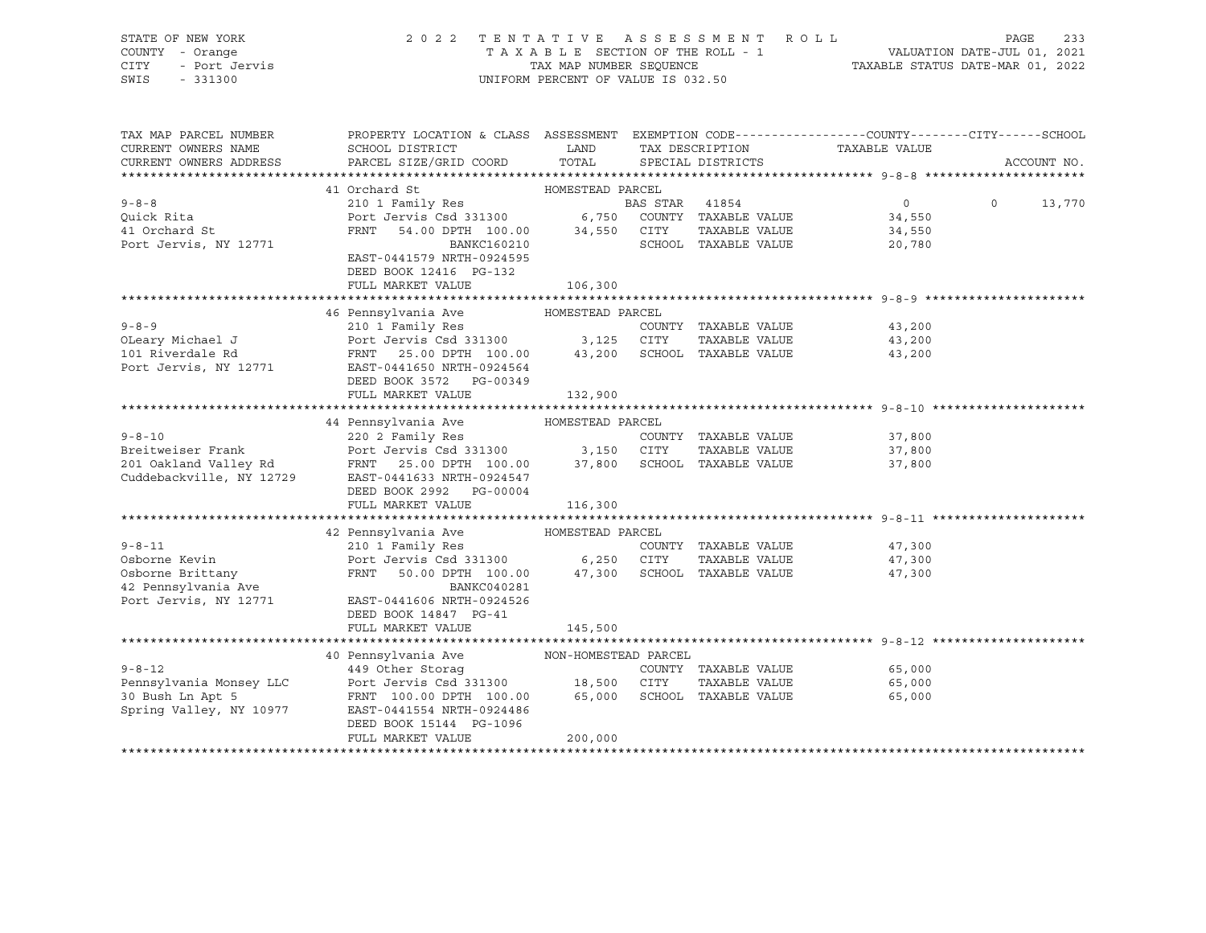| STATE OF NEW YORK<br>COUNTY - Orange<br>CITY - Port Jervis<br>SWIS<br>$-331300$ | 2022                                                                                                                                         | UNIFORM PERCENT OF VALUE IS 032.50 | TENTATIVE ASSESSMENT ROLL            | $\begin{array}{cccccccccccccc} \text{I} & \text{E} & \text{n} & \text{I} & \text{A} & \text{I} & \text{I} & \text{V} & \text{E} & \text{A} & \text{B} & \text{B} & \text{B} & \text{B} & \text{B} & \text{C} & \text{A} & \text{I} & \text{A} & \text{A} & \text{A} & \text{A} & \text{A} & \text{A} & \text{A} & \text{A} & \text{A} & \text{A} & \text{B} & \text{B} & \text{B} & \text{B} & \text{B} & \text{C} & \text{C} & \$ | PAGE<br>233        |
|---------------------------------------------------------------------------------|----------------------------------------------------------------------------------------------------------------------------------------------|------------------------------------|--------------------------------------|------------------------------------------------------------------------------------------------------------------------------------------------------------------------------------------------------------------------------------------------------------------------------------------------------------------------------------------------------------------------------------------------------------------------------------|--------------------|
| TAX MAP PARCEL NUMBER<br>CURRENT OWNERS NAME<br>CURRENT OWNERS ADDRESS          | PROPERTY LOCATION & CLASS ASSESSMENT EXEMPTION CODE---------------COUNTY-------CITY------SCHOOL<br>SCHOOL DISTRICT<br>PARCEL SIZE/GRID COORD | LAND<br>TOTAL                      | TAX DESCRIPTION<br>SPECIAL DISTRICTS | TAXABLE VALUE                                                                                                                                                                                                                                                                                                                                                                                                                      | ACCOUNT NO.        |
|                                                                                 | 41 Orchard St                                                                                                                                | HOMESTEAD PARCEL                   |                                      |                                                                                                                                                                                                                                                                                                                                                                                                                                    |                    |
| $9 - 8 - 8$                                                                     | 210 1 Family Res                                                                                                                             | <b>BAS STAR 41854</b>              |                                      | 0                                                                                                                                                                                                                                                                                                                                                                                                                                  | $\Omega$<br>13,770 |
| Quick Rita                                                                      | Port Jervis Csd 331300 6,750 COUNTY TAXABLE VALUE                                                                                            |                                    |                                      | 34,550                                                                                                                                                                                                                                                                                                                                                                                                                             |                    |
| 41 Orchard St                                                                   | FRNT 54.00 DPTH 100.00 34,550 CITY                                                                                                           |                                    | TAXABLE VALUE                        | 34,550                                                                                                                                                                                                                                                                                                                                                                                                                             |                    |
| Port Jervis, NY 12771                                                           | <b>BANKC160210</b>                                                                                                                           |                                    | SCHOOL TAXABLE VALUE                 | 20,780                                                                                                                                                                                                                                                                                                                                                                                                                             |                    |
|                                                                                 | EAST-0441579 NRTH-0924595                                                                                                                    |                                    |                                      |                                                                                                                                                                                                                                                                                                                                                                                                                                    |                    |
|                                                                                 | DEED BOOK 12416 PG-132                                                                                                                       |                                    |                                      |                                                                                                                                                                                                                                                                                                                                                                                                                                    |                    |
|                                                                                 | FULL MARKET VALUE                                                                                                                            | 106,300                            |                                      |                                                                                                                                                                                                                                                                                                                                                                                                                                    |                    |
|                                                                                 |                                                                                                                                              |                                    |                                      |                                                                                                                                                                                                                                                                                                                                                                                                                                    |                    |
|                                                                                 | 46 Pennsylvania Ave MOMESTEAD PARCEL                                                                                                         |                                    |                                      |                                                                                                                                                                                                                                                                                                                                                                                                                                    |                    |
| $9 - 8 - 9$                                                                     | 210 1 Family Res                                                                                                                             |                                    | COUNTY TAXABLE VALUE                 | 43,200                                                                                                                                                                                                                                                                                                                                                                                                                             |                    |
|                                                                                 |                                                                                                                                              |                                    |                                      | 43,200                                                                                                                                                                                                                                                                                                                                                                                                                             |                    |
|                                                                                 | EAST-0441650 NRTH-0924564                                                                                                                    |                                    |                                      | 43,200                                                                                                                                                                                                                                                                                                                                                                                                                             |                    |
| Port Jervis, NY 12771                                                           | DEED BOOK 3572 PG-00349                                                                                                                      |                                    |                                      |                                                                                                                                                                                                                                                                                                                                                                                                                                    |                    |
|                                                                                 | FULL MARKET VALUE                                                                                                                            | 132,900                            |                                      |                                                                                                                                                                                                                                                                                                                                                                                                                                    |                    |
|                                                                                 |                                                                                                                                              |                                    |                                      |                                                                                                                                                                                                                                                                                                                                                                                                                                    |                    |
|                                                                                 | 44 Pennsylvania Ave                                                                                                                          | HOMESTEAD PARCEL                   |                                      |                                                                                                                                                                                                                                                                                                                                                                                                                                    |                    |
| $9 - 8 - 10$                                                                    | 220 2 Family Res                                                                                                                             |                                    | COUNTY TAXABLE VALUE                 | 37,800                                                                                                                                                                                                                                                                                                                                                                                                                             |                    |
|                                                                                 |                                                                                                                                              |                                    |                                      | 37,800                                                                                                                                                                                                                                                                                                                                                                                                                             |                    |
|                                                                                 |                                                                                                                                              |                                    |                                      | 37,800                                                                                                                                                                                                                                                                                                                                                                                                                             |                    |
|                                                                                 |                                                                                                                                              |                                    |                                      |                                                                                                                                                                                                                                                                                                                                                                                                                                    |                    |
|                                                                                 | DEED BOOK 2992 PG-00004                                                                                                                      |                                    |                                      |                                                                                                                                                                                                                                                                                                                                                                                                                                    |                    |
|                                                                                 | FULL MARKET VALUE                                                                                                                            | 116,300                            |                                      |                                                                                                                                                                                                                                                                                                                                                                                                                                    |                    |
|                                                                                 |                                                                                                                                              |                                    |                                      |                                                                                                                                                                                                                                                                                                                                                                                                                                    |                    |
|                                                                                 | 42 Pennsylvania Ave                                                                                                                          | HOMESTEAD PARCEL                   |                                      |                                                                                                                                                                                                                                                                                                                                                                                                                                    |                    |
| $9 - 8 - 11$                                                                    | 210 1 Family Res<br>Port Jervis Csd 331300 6,250 CITY                                                                                        |                                    | COUNTY TAXABLE VALUE                 | 47,300                                                                                                                                                                                                                                                                                                                                                                                                                             |                    |
| Osborne Kevin                                                                   |                                                                                                                                              |                                    | TAXABLE VALUE                        | 47,300                                                                                                                                                                                                                                                                                                                                                                                                                             |                    |
| Osborne Brittany                                                                | FRNT 50.00 DPTH 100.00 47,300 SCHOOL TAXABLE VALUE                                                                                           |                                    |                                      | 47,300                                                                                                                                                                                                                                                                                                                                                                                                                             |                    |
| 42 Pennsylvania Ave<br>Port Jervis, NY 12771                                    | BANKC040281<br>EAST-0441606 NRTH-0924526                                                                                                     |                                    |                                      |                                                                                                                                                                                                                                                                                                                                                                                                                                    |                    |
|                                                                                 | DEED BOOK 14847 PG-41                                                                                                                        |                                    |                                      |                                                                                                                                                                                                                                                                                                                                                                                                                                    |                    |
|                                                                                 | FULL MARKET VALUE                                                                                                                            | 145,500                            |                                      |                                                                                                                                                                                                                                                                                                                                                                                                                                    |                    |
|                                                                                 |                                                                                                                                              |                                    |                                      |                                                                                                                                                                                                                                                                                                                                                                                                                                    |                    |
|                                                                                 | 40 Pennsylvania Ave                                                                                                                          | NON-HOMESTEAD PARCEL               |                                      |                                                                                                                                                                                                                                                                                                                                                                                                                                    |                    |
| $9 - 8 - 12$                                                                    | 449 Other Storag                                                                                                                             |                                    | COUNTY TAXABLE VALUE                 | 65,000                                                                                                                                                                                                                                                                                                                                                                                                                             |                    |
| Pennsylvania Monsey LLC                                                         | Port Jervis Csd 331300 18,500 CITY                                                                                                           |                                    | TAXABLE VALUE                        | 65,000                                                                                                                                                                                                                                                                                                                                                                                                                             |                    |
| 30 Bush Ln Apt 5                                                                | FRNT 100.00 DPTH 100.00 65,000                                                                                                               |                                    | SCHOOL TAXABLE VALUE                 | 65,000                                                                                                                                                                                                                                                                                                                                                                                                                             |                    |
| Spring Valley, NY 10977                                                         | EAST-0441554 NRTH-0924486                                                                                                                    |                                    |                                      |                                                                                                                                                                                                                                                                                                                                                                                                                                    |                    |
|                                                                                 | DEED BOOK 15144 PG-1096                                                                                                                      |                                    |                                      |                                                                                                                                                                                                                                                                                                                                                                                                                                    |                    |
|                                                                                 | FULL MARKET VALUE                                                                                                                            | 200,000                            |                                      |                                                                                                                                                                                                                                                                                                                                                                                                                                    |                    |
|                                                                                 |                                                                                                                                              |                                    |                                      |                                                                                                                                                                                                                                                                                                                                                                                                                                    |                    |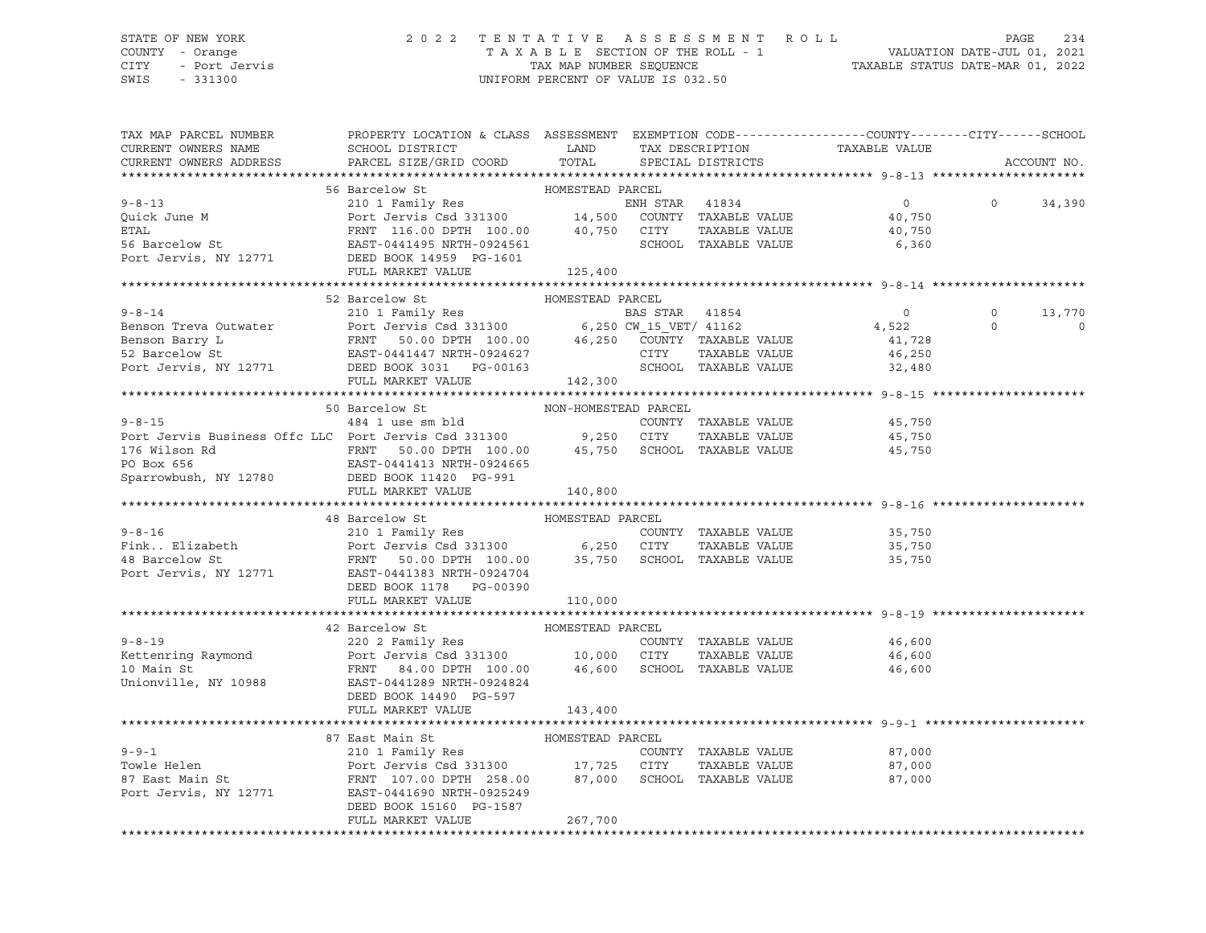### STATE OF NEW YORK 2 0 2 2 T E N T A T I V E A S S E S S M E N T R O L L PAGE 234 COUNTY - Orange T A X A B L E SECTION OF THE ROLL - 1 VALUATION DATE-JUL 01, 2021 CITY - Port Jervis TAX MAP NUMBER SEQUENCE TAXABLE STATUS DATE-MAR 01, 2022

SWIS - 331300 UNIFORM PERCENT OF VALUE IS 032.50

| TAX MAP PARCEL NUMBER<br>CURRENT OWNERS NAME<br>CURRENT OWNERS ADDRESS | PROPERTY LOCATION & CLASS ASSESSMENT EXEMPTION CODE----------------COUNTY-------CITY------SCHOOL<br>SCHOOL DISTRICT LAND<br>PARCEL SIZE/GRID COORD                                                                                                                                                                                                                                                                                                   | TOTAL            | TAX DESCRIPTION<br>SPECIAL DISTRICTS | TAXABLE VALUE                           |         | ACCOUNT NO.              |
|------------------------------------------------------------------------|------------------------------------------------------------------------------------------------------------------------------------------------------------------------------------------------------------------------------------------------------------------------------------------------------------------------------------------------------------------------------------------------------------------------------------------------------|------------------|--------------------------------------|-----------------------------------------|---------|--------------------------|
|                                                                        |                                                                                                                                                                                                                                                                                                                                                                                                                                                      |                  |                                      |                                         |         |                          |
|                                                                        |                                                                                                                                                                                                                                                                                                                                                                                                                                                      |                  |                                      |                                         |         |                          |
|                                                                        |                                                                                                                                                                                                                                                                                                                                                                                                                                                      |                  |                                      |                                         | $\circ$ | 34,390                   |
|                                                                        |                                                                                                                                                                                                                                                                                                                                                                                                                                                      |                  |                                      |                                         |         |                          |
|                                                                        |                                                                                                                                                                                                                                                                                                                                                                                                                                                      |                  |                                      |                                         |         |                          |
|                                                                        |                                                                                                                                                                                                                                                                                                                                                                                                                                                      |                  |                                      |                                         |         |                          |
|                                                                        |                                                                                                                                                                                                                                                                                                                                                                                                                                                      |                  |                                      |                                         |         |                          |
|                                                                        | 9-8-13<br>210 1 Family Res<br>210 1 Family Res<br>210 1 Family Res<br>210 1 Family Res<br>210 1 Family Res<br>210 1 Family Res<br>210 1 Family Res<br>210 1 Family Res<br>210 1 Family Res<br>210 1 Family Res<br>210 1 Family Res<br>210 1 Family Res                                                                                                                                                                                               |                  |                                      |                                         |         |                          |
|                                                                        |                                                                                                                                                                                                                                                                                                                                                                                                                                                      |                  |                                      |                                         |         |                          |
|                                                                        | 52 Barcelow St                                                                                                                                                                                                                                                                                                                                                                                                                                       | HOMESTEAD PARCEL |                                      |                                         |         |                          |
|                                                                        |                                                                                                                                                                                                                                                                                                                                                                                                                                                      |                  |                                      | $\overline{0}$<br>$4,522$ 0<br>$41,728$ | $\circ$ | 13,770                   |
|                                                                        |                                                                                                                                                                                                                                                                                                                                                                                                                                                      |                  |                                      |                                         |         | $\overline{\phantom{0}}$ |
|                                                                        |                                                                                                                                                                                                                                                                                                                                                                                                                                                      |                  |                                      |                                         |         |                          |
|                                                                        |                                                                                                                                                                                                                                                                                                                                                                                                                                                      |                  |                                      | 46,250                                  |         |                          |
|                                                                        |                                                                                                                                                                                                                                                                                                                                                                                                                                                      |                  |                                      | SCHOOL TAXABLE VALUE 32,480             |         |                          |
|                                                                        | 9-8-14<br>BAS STAR 41854<br>BAS STAR 41854<br>BAS STAR 41854<br>BAS STAR 41854<br>BAS STAR 41854<br>BAS STAR 41854<br>BAS STAR 41854<br>BAS STAR 41854<br>6,250 CW_15_VET/41162<br>EAST-0441447 NRTH-0924627<br>POTT TAXABLE VALUE<br>POTT JEXABLE VAL                                                                                                                                                                                               |                  |                                      |                                         |         |                          |
|                                                                        |                                                                                                                                                                                                                                                                                                                                                                                                                                                      |                  |                                      |                                         |         |                          |
|                                                                        | 50 Barcelow St NON-HOMESTEAD PARCEL                                                                                                                                                                                                                                                                                                                                                                                                                  |                  |                                      |                                         |         |                          |
|                                                                        | 9-8-15<br>484 1 use sm bld<br>Port Jervis Business Offc LLC Port Jervis Csd 331300 9,250 CITY                                                                                                                                                                                                                                                                                                                                                        |                  | COUNTY TAXABLE VALUE                 | 45,750<br>45,750                        |         |                          |
|                                                                        |                                                                                                                                                                                                                                                                                                                                                                                                                                                      |                  | TAXABLE VALUE                        |                                         |         |                          |
|                                                                        | 176 Wilson Rd<br>PO Box 656 EAST-0441413 NRTH-0924665<br>Sparrowbush, NY 12780 DEED BOOK 11420 PG-991                                                                                                                                                                                                                                                                                                                                                |                  |                                      |                                         |         |                          |
|                                                                        |                                                                                                                                                                                                                                                                                                                                                                                                                                                      |                  |                                      |                                         |         |                          |
|                                                                        |                                                                                                                                                                                                                                                                                                                                                                                                                                                      |                  |                                      |                                         |         |                          |
|                                                                        | FULL MARKET VALUE                                                                                                                                                                                                                                                                                                                                                                                                                                    | 140,800          |                                      |                                         |         |                          |
|                                                                        | % And CONESTEAD PARCEL<br>Fink. Elizabeth 210 1 Family Res COUNTY TAXABLE VALUE<br>Port Jervis Csd 331300 6,250 CITY TAXABLE VALUE<br>Port Jervis, NY 12771 EAST-0441383 NRTH-0924704<br>DEED BOOK 1178 PG-002900                                                                                                                                                                                                                                    |                  |                                      |                                         |         |                          |
|                                                                        |                                                                                                                                                                                                                                                                                                                                                                                                                                                      |                  |                                      |                                         |         |                          |
|                                                                        |                                                                                                                                                                                                                                                                                                                                                                                                                                                      |                  |                                      | 35,750                                  |         |                          |
|                                                                        |                                                                                                                                                                                                                                                                                                                                                                                                                                                      |                  |                                      | 35,750<br>35,750                        |         |                          |
|                                                                        |                                                                                                                                                                                                                                                                                                                                                                                                                                                      |                  |                                      |                                         |         |                          |
|                                                                        |                                                                                                                                                                                                                                                                                                                                                                                                                                                      |                  |                                      |                                         |         |                          |
|                                                                        |                                                                                                                                                                                                                                                                                                                                                                                                                                                      |                  |                                      |                                         |         |                          |
|                                                                        | FULL MARKET VALUE                                                                                                                                                                                                                                                                                                                                                                                                                                    | 110,000          |                                      |                                         |         |                          |
|                                                                        |                                                                                                                                                                                                                                                                                                                                                                                                                                                      |                  |                                      |                                         |         |                          |
|                                                                        | $\small \begin{tabular}{lcccccc} \texttt{9-8-19} & \texttt{42 Barcelona St} & \texttt{HOMESTEAD PARCEL} \\ \texttt{9-8-19} & \texttt{220 2 Family Res} & \texttt{COUNTY TAXABLE VALUE} & \texttt{46,600} \\ \texttt{Kettening Raymond} & \texttt{Port Jervis Csd 331300} & \texttt{10,000 CITY TAXABLE VALUE} & \texttt{46,600} \\ \texttt{10 Main St} & \texttt{FRNT} & \texttt{84.00 DPTH} & \texttt{100.00} & \texttt{46,600} & \texttt{SCHOOL T$ |                  |                                      |                                         |         |                          |
|                                                                        |                                                                                                                                                                                                                                                                                                                                                                                                                                                      |                  |                                      |                                         |         |                          |
|                                                                        |                                                                                                                                                                                                                                                                                                                                                                                                                                                      |                  |                                      |                                         |         |                          |
|                                                                        |                                                                                                                                                                                                                                                                                                                                                                                                                                                      |                  |                                      |                                         |         |                          |
|                                                                        |                                                                                                                                                                                                                                                                                                                                                                                                                                                      |                  |                                      |                                         |         |                          |
|                                                                        | DEED BOOK 14490 PG-597                                                                                                                                                                                                                                                                                                                                                                                                                               |                  |                                      |                                         |         |                          |
|                                                                        | FULL MARKET VALUE                                                                                                                                                                                                                                                                                                                                                                                                                                    | 143,400          |                                      |                                         |         |                          |
|                                                                        |                                                                                                                                                                                                                                                                                                                                                                                                                                                      |                  |                                      |                                         |         |                          |
|                                                                        |                                                                                                                                                                                                                                                                                                                                                                                                                                                      |                  |                                      |                                         |         |                          |
|                                                                        | $\begin{array}{ccccccccc} 9-9-1 & & & & 87\text{ East Main St} & & & & \text{HOMESTEAD PARCEL} \\ 210 1 Family Res & & & & & & \text{COUNTY TAXABLE VALUE} \\ \text{Towle Helen} & & & & \text{Port Jervis Csd 331300} & & & 17,725 & \text{CITY} & \text{TAXABLE VALUE} \\ 87 \text{ East Main St} & & & & \text{FRNT} & 107.00 & \text{DFNI} & 258.00 & & 87,000 & \text{SCHOOL TAXABLE VALUE} \\ \end{array}$                                     |                  |                                      | 87,000                                  |         |                          |
|                                                                        |                                                                                                                                                                                                                                                                                                                                                                                                                                                      |                  |                                      | 87,000                                  |         |                          |
|                                                                        |                                                                                                                                                                                                                                                                                                                                                                                                                                                      |                  |                                      | 87,000                                  |         |                          |
|                                                                        | Port Jervis, NY 12771 EAST-0441690 NRTH-0925249                                                                                                                                                                                                                                                                                                                                                                                                      |                  |                                      |                                         |         |                          |
|                                                                        | DEED BOOK 15160 PG-1587                                                                                                                                                                                                                                                                                                                                                                                                                              |                  |                                      |                                         |         |                          |
|                                                                        | FULL MARKET VALUE                                                                                                                                                                                                                                                                                                                                                                                                                                    | 267,700          |                                      |                                         |         |                          |
|                                                                        |                                                                                                                                                                                                                                                                                                                                                                                                                                                      |                  |                                      |                                         |         |                          |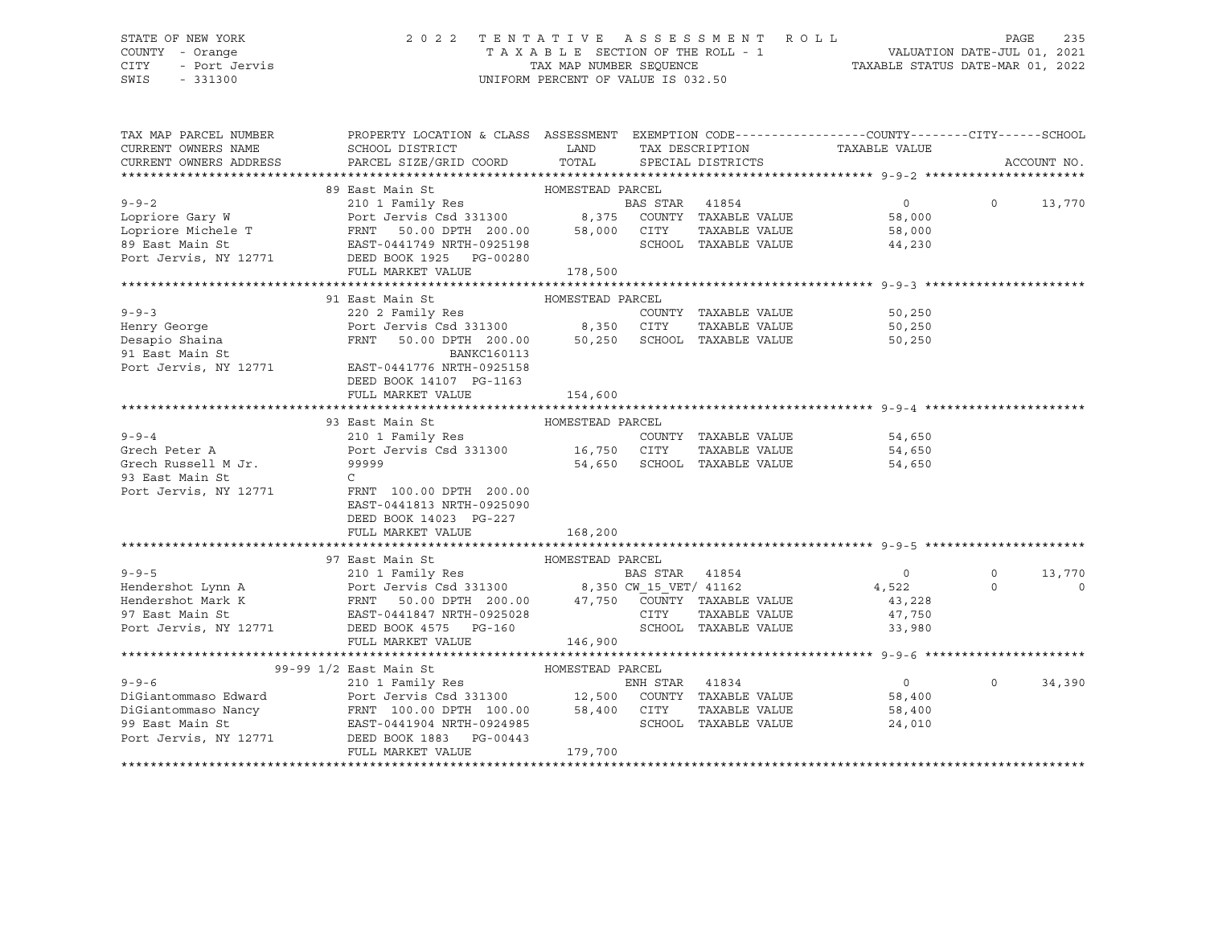# STATE OF NEW YORK 2 0 2 2 T E N T A T I V E A S S E S S M E N T R O L L PAGE 235 COUNTY - Orange T A X A B L E SECTION OF THE ROLL - 1 VALUATION DATE-JUL 01, 2021 CITY - Port Jervis TAX MAP NUMBER SEQUENCE TAXABLE STATUS DATE-MAR 01, 2022

| TAX MAP PARCEL NUMBER<br>CURRENT OWNERS NAME<br>CURRENT OWNERS ADDRESS                                                                                                                                                                              | PROPERTY LOCATION & CLASS ASSESSMENT EXEMPTION CODE----------------COUNTY-------CITY------SCHOOL<br>SCHOOL DISTRICT<br>PARCEL SIZE/GRID COORD | <b>EXAMPLE STATE STATE</b><br>TOTAL |                      | SPECIAL DISTRICTS    | TAX DESCRIPTION TAXABLE VALUE SPECIAL DISTRICTS |          | ACCOUNT NO. |
|-----------------------------------------------------------------------------------------------------------------------------------------------------------------------------------------------------------------------------------------------------|-----------------------------------------------------------------------------------------------------------------------------------------------|-------------------------------------|----------------------|----------------------|-------------------------------------------------|----------|-------------|
|                                                                                                                                                                                                                                                     |                                                                                                                                               |                                     |                      |                      |                                                 |          |             |
|                                                                                                                                                                                                                                                     | HOMESTEAD PARCEL<br>89 East Main St                                                                                                           |                                     |                      |                      |                                                 |          |             |
| 9-9-2<br>Lopriore Gary W<br>Lopriore Michele T<br>Exact Main St<br>Port Jervis Csd 331300<br>Exact Main St<br>Port Jervis Csd 331300<br>Exact Main St<br>Exact Main St<br>Port Jervis, NY 12771<br>DEED BOOK 1978 BOOK 1978 BAS STAR<br>Port Jervis |                                                                                                                                               |                                     |                      |                      | $\overline{0}$                                  | $\Omega$ | 13,770      |
|                                                                                                                                                                                                                                                     |                                                                                                                                               |                                     |                      |                      | 58,000                                          |          |             |
|                                                                                                                                                                                                                                                     |                                                                                                                                               |                                     |                      |                      | TAXABLE VALUE 58,000                            |          |             |
|                                                                                                                                                                                                                                                     |                                                                                                                                               |                                     | SCHOOL TAXABLE VALUE |                      | 44,230                                          |          |             |
|                                                                                                                                                                                                                                                     |                                                                                                                                               |                                     |                      |                      |                                                 |          |             |
|                                                                                                                                                                                                                                                     | FULL MARKET VALUE                                                                                                                             | 178,500                             |                      |                      |                                                 |          |             |
|                                                                                                                                                                                                                                                     |                                                                                                                                               |                                     |                      |                      |                                                 |          |             |
|                                                                                                                                                                                                                                                     | 91 East Main St                                                                                                                               | HOMESTEAD PARCEL                    |                      |                      |                                                 |          |             |
| $9 - 9 - 3$                                                                                                                                                                                                                                         | 220 2 Family Res<br>Port Jervis Csd 331300 8,350 CITY                                                                                         |                                     |                      | COUNTY TAXABLE VALUE | 50,250                                          |          |             |
|                                                                                                                                                                                                                                                     |                                                                                                                                               |                                     |                      |                      | TAXABLE VALUE 50,250                            |          |             |
| you<br>Beapio Shaina<br>91 East Main St                                                                                                                                                                                                             | FRNT 50.00 DPTH 200.00 50,250 SCHOOL TAXABLE VALUE 50,250                                                                                     |                                     |                      |                      |                                                 |          |             |
|                                                                                                                                                                                                                                                     | <b>BANKC160113</b>                                                                                                                            |                                     |                      |                      |                                                 |          |             |
| Port Jervis, NY 12771 EAST-0441776 NRTH-0925158                                                                                                                                                                                                     |                                                                                                                                               |                                     |                      |                      |                                                 |          |             |
|                                                                                                                                                                                                                                                     | DEED BOOK 14107 PG-1163                                                                                                                       |                                     |                      |                      |                                                 |          |             |
|                                                                                                                                                                                                                                                     | FULL MARKET VALUE                                                                                                                             | 154,600                             |                      |                      |                                                 |          |             |
|                                                                                                                                                                                                                                                     |                                                                                                                                               |                                     |                      |                      |                                                 |          |             |
|                                                                                                                                                                                                                                                     | 93 East Main St                                                                                                                               | HOMESTEAD PARCEL                    |                      |                      |                                                 |          |             |
| $9 - 9 - 4$                                                                                                                                                                                                                                         |                                                                                                                                               |                                     |                      |                      | COUNTY TAXABLE VALUE 54,650                     |          |             |
| Grech Peter A                                                                                                                                                                                                                                       |                                                                                                                                               |                                     |                      | TAXABLE VALUE        | 54,650                                          |          |             |
| Grech Russell M Jr. 99999                                                                                                                                                                                                                           |                                                                                                                                               |                                     |                      |                      | 54,650 SCHOOL TAXABLE VALUE<br>54,650           |          |             |
| 93 East Main St                                                                                                                                                                                                                                     | $\mathsf{C}$                                                                                                                                  |                                     |                      |                      |                                                 |          |             |
| Port Jervis, NY 12771 FRNT 100.00 DPTH 200.00                                                                                                                                                                                                       |                                                                                                                                               |                                     |                      |                      |                                                 |          |             |
|                                                                                                                                                                                                                                                     | EAST-0441813 NRTH-0925090                                                                                                                     |                                     |                      |                      |                                                 |          |             |
|                                                                                                                                                                                                                                                     | DEED BOOK 14023 PG-227                                                                                                                        |                                     |                      |                      |                                                 |          |             |
|                                                                                                                                                                                                                                                     | FULL MARKET VALUE                                                                                                                             | 168, 200                            |                      |                      |                                                 |          |             |
|                                                                                                                                                                                                                                                     |                                                                                                                                               |                                     |                      |                      |                                                 |          |             |
|                                                                                                                                                                                                                                                     | 97 East Main St<br>HOMESTEAD PARCEL                                                                                                           |                                     |                      |                      |                                                 | $\circ$  | 13,770      |
|                                                                                                                                                                                                                                                     |                                                                                                                                               |                                     |                      |                      | $0$<br>4,522                                    | $\Omega$ | $\circ$     |
|                                                                                                                                                                                                                                                     |                                                                                                                                               |                                     |                      |                      |                                                 |          |             |
| 9-9-5 210 1 Family Res BAS STAR 41854<br>Hendershot Lynn A Port Jervis Csd 331300 8,350 CW_15_VET/41162<br>Hendershot Mark K FRNT 50.00 DPTH 200.00 47,750 COUNTY TAXABLE VALUE<br>97 East Main St EAST-0441847 NRTH-0925028 CITY TA                |                                                                                                                                               |                                     |                      |                      | 43,228<br>47,750                                |          |             |
| Port Jervis, NY 12771 DEED BOOK 4575 PG-160                                                                                                                                                                                                         |                                                                                                                                               |                                     | SCHOOL TAXABLE VALUE |                      | 33,980                                          |          |             |
|                                                                                                                                                                                                                                                     | FULL MARKET VALUE                                                                                                                             | 146,900                             |                      |                      |                                                 |          |             |
|                                                                                                                                                                                                                                                     |                                                                                                                                               |                                     |                      |                      |                                                 |          |             |
|                                                                                                                                                                                                                                                     | 99-99 1/2 East Main St                                                                                                                        |                                     |                      |                      |                                                 |          |             |
| $9 - 9 - 6$                                                                                                                                                                                                                                         |                                                                                                                                               |                                     | ENH STAR 41834       |                      | $\overline{0}$                                  | $\Omega$ | 34,390      |
|                                                                                                                                                                                                                                                     |                                                                                                                                               |                                     |                      |                      |                                                 |          |             |
| DiGiantommaso Edward<br>DiGiantommaso Nancy<br>Port Jervis Csd 331300 12,500 COUNTY TAXABLE VALUE 58,400<br>99 East Main St EAST-0441904 NRTH-0924985 SCHOOL TAXABLE VALUE 58,400<br>PORT SCHOOL TAXABLE VALUE 58,400<br>24,010                     |                                                                                                                                               |                                     |                      |                      |                                                 |          |             |
|                                                                                                                                                                                                                                                     |                                                                                                                                               |                                     |                      |                      |                                                 |          |             |
| Port Jervis, NY 12771 DEED BOOK 1883 PG-00443                                                                                                                                                                                                       |                                                                                                                                               |                                     |                      |                      |                                                 |          |             |
|                                                                                                                                                                                                                                                     | FULL MARKET VALUE                                                                                                                             | 179,700                             |                      |                      |                                                 |          |             |
|                                                                                                                                                                                                                                                     |                                                                                                                                               |                                     |                      |                      |                                                 |          |             |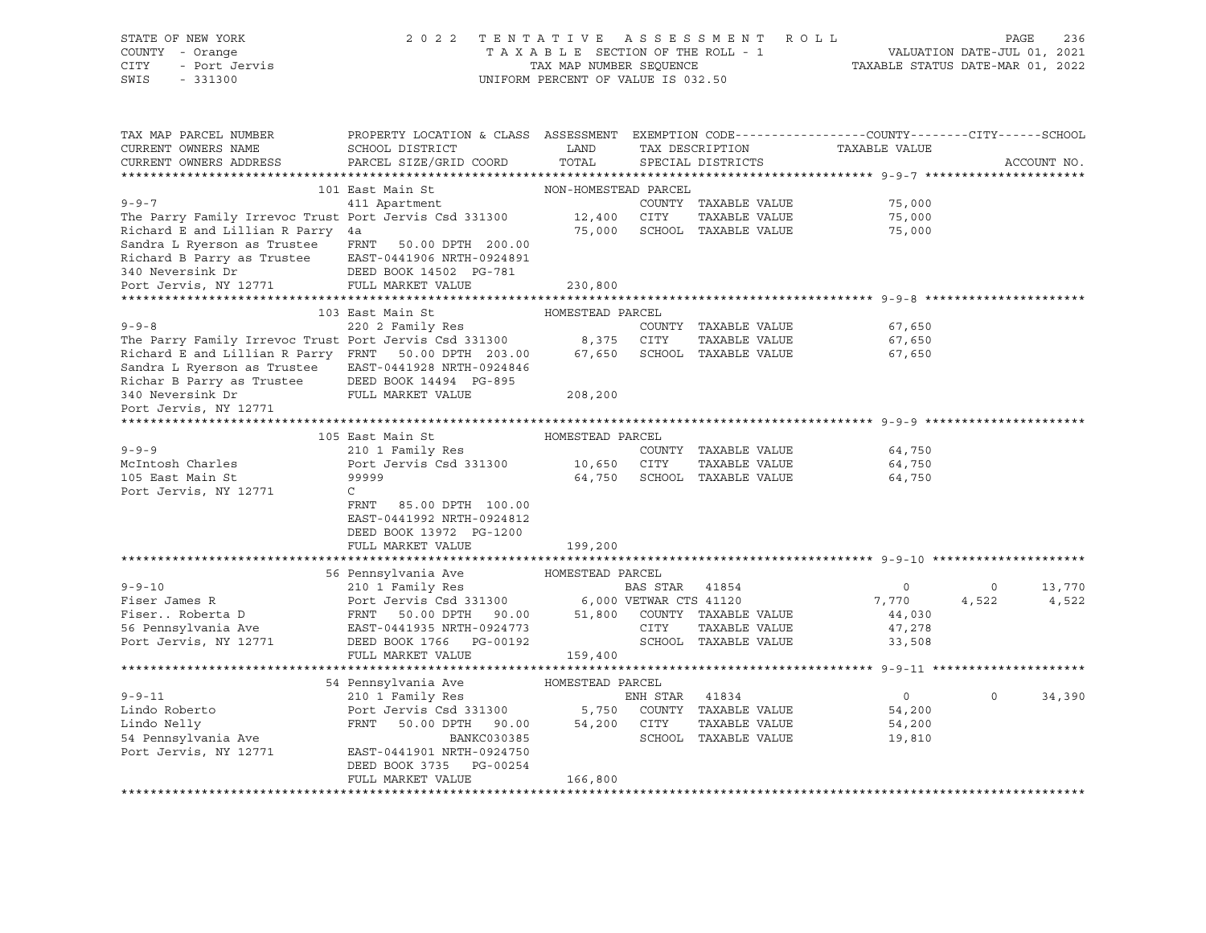| STATE OF NEW YORK<br>COUNTY - Orange<br>- Orange<br>- Port Jervis<br>CITY<br>SWIS<br>$-331300$                                                                                                                                        | 2022 TENTATIVE ASSESSMENT ROLL                                                                   | UNIFORM PERCENT OF VALUE IS 032.50 |                             | TENTATIVE ASSESSMENT ROLL PAGE 236<br>TAXABLE SECTION OF THE ROLL - 1 VALUATION DATE-JUL 01, 2021<br>TAX MAP NUMBER SEQUENCE TAXABLE STATUS DATE-MAR 01, 2022<br>INIEOPM DEPCENT OF VALUE IS 022 FA |                   |             |
|---------------------------------------------------------------------------------------------------------------------------------------------------------------------------------------------------------------------------------------|--------------------------------------------------------------------------------------------------|------------------------------------|-----------------------------|-----------------------------------------------------------------------------------------------------------------------------------------------------------------------------------------------------|-------------------|-------------|
|                                                                                                                                                                                                                                       |                                                                                                  |                                    |                             |                                                                                                                                                                                                     |                   |             |
| TAX MAP PARCEL NUMBER                                                                                                                                                                                                                 | PROPERTY LOCATION & CLASS ASSESSMENT EXEMPTION CODE----------------COUNTY-------CITY------SCHOOL |                                    |                             |                                                                                                                                                                                                     |                   |             |
| CURRENT OWNERS NAME                                                                                                                                                                                                                   | SCHOOL DISTRICT                                                                                  |                                    |                             | LAND TAX DESCRIPTION TAXABLE VALUE                                                                                                                                                                  |                   |             |
| CURRENT OWNERS ADDRESS                                                                                                                                                                                                                | PARCEL SIZE/GRID COORD                                                                           |                                    | TOTAL SPECIAL DISTRICTS     |                                                                                                                                                                                                     |                   | ACCOUNT NO. |
|                                                                                                                                                                                                                                       |                                                                                                  |                                    |                             |                                                                                                                                                                                                     |                   |             |
|                                                                                                                                                                                                                                       | 101 East Main St MON-HOMESTEAD PARCEL                                                            |                                    |                             |                                                                                                                                                                                                     |                   |             |
|                                                                                                                                                                                                                                       |                                                                                                  |                                    |                             |                                                                                                                                                                                                     |                   |             |
| 9-9-7 411 Apartment COUNTY TAXABLE VALUE 75,000<br>The Parry Family Irrevoc Trust Port Jervis Csd 331300 12,400 CITY TAXABLE VALUE 75,000<br>Richard E and Lillian R Parry 4a 75,000 5CHOOL TAXABLE VALUE 75,000                      |                                                                                                  |                                    |                             |                                                                                                                                                                                                     |                   |             |
| Sandra L Ryerson as Trustee                                                                                                                                                                                                           | FRNT 50.00 DPTH 200.00                                                                           |                                    |                             |                                                                                                                                                                                                     |                   |             |
|                                                                                                                                                                                                                                       |                                                                                                  |                                    |                             |                                                                                                                                                                                                     |                   |             |
|                                                                                                                                                                                                                                       |                                                                                                  |                                    |                             |                                                                                                                                                                                                     |                   |             |
| Port Jervis, NY 12771                                                                                                                                                                                                                 | FULL MARKET VALUE                                                                                | 230,800                            |                             |                                                                                                                                                                                                     |                   |             |
|                                                                                                                                                                                                                                       |                                                                                                  |                                    |                             |                                                                                                                                                                                                     |                   |             |
|                                                                                                                                                                                                                                       | 103 East Main St                                                                                 | HOMESTEAD PARCEL                   |                             |                                                                                                                                                                                                     |                   |             |
|                                                                                                                                                                                                                                       |                                                                                                  |                                    |                             | 67,650                                                                                                                                                                                              |                   |             |
|                                                                                                                                                                                                                                       |                                                                                                  |                                    | TAXABLE VALUE               | 67,650<br>67,650                                                                                                                                                                                    |                   |             |
|                                                                                                                                                                                                                                       |                                                                                                  |                                    |                             |                                                                                                                                                                                                     |                   |             |
| Sandra L Ryerson as Trustee EAST-0441928 NRTH-0924846                                                                                                                                                                                 |                                                                                                  |                                    |                             |                                                                                                                                                                                                     |                   |             |
| Richar B Parry as Trustee DEED BOOK 14494 PG-895<br>340 Neversink Dr FULL MARKET VALUE                                                                                                                                                |                                                                                                  |                                    |                             |                                                                                                                                                                                                     |                   |             |
|                                                                                                                                                                                                                                       |                                                                                                  | 208,200                            |                             |                                                                                                                                                                                                     |                   |             |
| Port Jervis, NY 12771                                                                                                                                                                                                                 |                                                                                                  |                                    |                             |                                                                                                                                                                                                     |                   |             |
|                                                                                                                                                                                                                                       | 105 East Main St Management HOMESTEAD PARCEL                                                     |                                    |                             |                                                                                                                                                                                                     |                   |             |
| $9 - 9 - 9$                                                                                                                                                                                                                           | 210 1 Family Res                                                                                 |                                    | COUNTY TAXABLE VALUE        | 64,750                                                                                                                                                                                              |                   |             |
|                                                                                                                                                                                                                                       |                                                                                                  |                                    | TAXABLE VALUE               | 64,750                                                                                                                                                                                              |                   |             |
|                                                                                                                                                                                                                                       |                                                                                                  |                                    | 64,750 SCHOOL TAXABLE VALUE | 64,750                                                                                                                                                                                              |                   |             |
| Port Jervis, NY 12771                                                                                                                                                                                                                 | $\mathbb{C}$                                                                                     |                                    |                             |                                                                                                                                                                                                     |                   |             |
|                                                                                                                                                                                                                                       | FRNT 85.00 DPTH 100.00                                                                           |                                    |                             |                                                                                                                                                                                                     |                   |             |
|                                                                                                                                                                                                                                       | EAST-0441992 NRTH-0924812                                                                        |                                    |                             |                                                                                                                                                                                                     |                   |             |
|                                                                                                                                                                                                                                       | DEED BOOK 13972 PG-1200                                                                          |                                    |                             |                                                                                                                                                                                                     |                   |             |
|                                                                                                                                                                                                                                       | FULL MARKET VALUE                                                                                | 199,200                            |                             |                                                                                                                                                                                                     |                   |             |
|                                                                                                                                                                                                                                       |                                                                                                  |                                    |                             |                                                                                                                                                                                                     |                   |             |
|                                                                                                                                                                                                                                       |                                                                                                  |                                    |                             |                                                                                                                                                                                                     |                   |             |
|                                                                                                                                                                                                                                       |                                                                                                  |                                    |                             | $\overline{0}$                                                                                                                                                                                      | $0 \t 13,770$     |             |
|                                                                                                                                                                                                                                       |                                                                                                  |                                    |                             | 7,770                                                                                                                                                                                               | 4,522             | 4,522       |
|                                                                                                                                                                                                                                       |                                                                                                  |                                    |                             | 44,030                                                                                                                                                                                              |                   |             |
|                                                                                                                                                                                                                                       |                                                                                                  |                                    |                             | 47,278                                                                                                                                                                                              |                   |             |
| 56 Pennsylvania Ave MOMESTEAD PARCEL<br>Fiser James R<br>Fiser James R<br>Fiser Roberta D<br>Fiser Roberta D<br>FRIT 50.00 DPTH 90.00 51,800 COUNTY TAXABLE VALUE<br>PORT JEED BAS STAR 41854<br>FISER Roberta D<br>FRIT 50.00 DPTH 9 | FULL MARKET VALUE 159,400                                                                        |                                    |                             | 33,508                                                                                                                                                                                              |                   |             |
|                                                                                                                                                                                                                                       |                                                                                                  |                                    |                             |                                                                                                                                                                                                     |                   |             |
|                                                                                                                                                                                                                                       |                                                                                                  | HOMESTEAD PARCEL                   |                             |                                                                                                                                                                                                     |                   |             |
|                                                                                                                                                                                                                                       |                                                                                                  |                                    |                             | $0 \qquad \qquad$                                                                                                                                                                                   | $0 \qquad \qquad$ | 34,390      |
|                                                                                                                                                                                                                                       |                                                                                                  |                                    |                             |                                                                                                                                                                                                     |                   |             |
|                                                                                                                                                                                                                                       |                                                                                                  |                                    |                             |                                                                                                                                                                                                     |                   |             |
|                                                                                                                                                                                                                                       |                                                                                                  |                                    |                             |                                                                                                                                                                                                     |                   |             |
|                                                                                                                                                                                                                                       |                                                                                                  |                                    |                             |                                                                                                                                                                                                     |                   |             |
|                                                                                                                                                                                                                                       | DEED BOOK 3735 PG-00254                                                                          |                                    |                             |                                                                                                                                                                                                     |                   |             |
|                                                                                                                                                                                                                                       | FULL MARKET VALUE                                                                                | 166,800                            |                             |                                                                                                                                                                                                     |                   |             |
|                                                                                                                                                                                                                                       |                                                                                                  |                                    |                             |                                                                                                                                                                                                     |                   |             |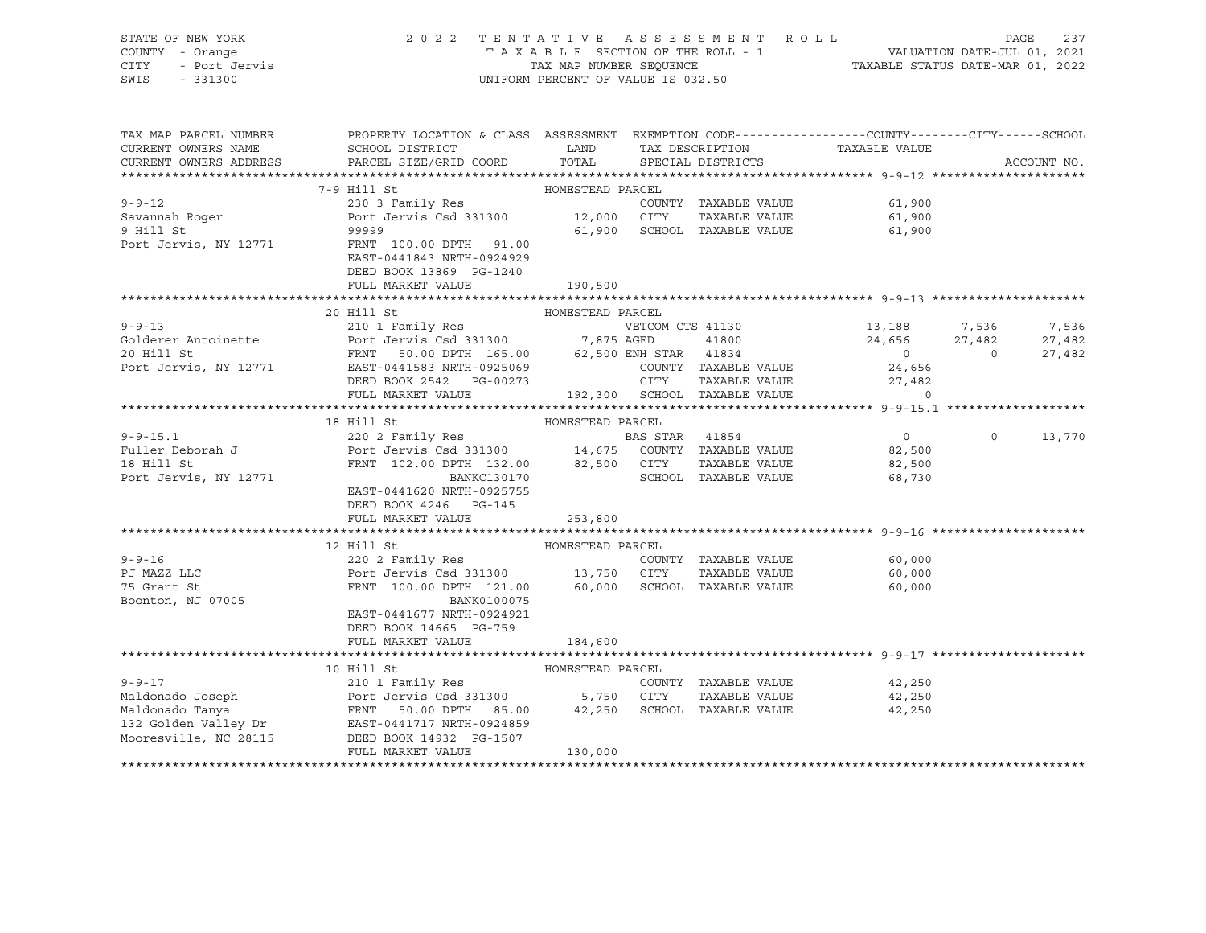STATE OF NEW YORK 2 0 2 2 T E N T A T I V E A S S E S S M E N T R O L L PAGE 237 COUNTY - Orange T A X A B L E SECTION OF THE ROLL - 1 VALUATION DATE-JUL 01, 2021 CITY - Port Jervis TAX MAP NUMBER SEQUENCE TAXABLE STATUS DATE-MAR 01, 2022 SWIS - 331300 UNIFORM PERCENT OF VALUE IS 032.50

| TAX MAP PARCEL NUMBER<br>CURRENT OWNERS NAME<br>CURRENT OWNERS ADDRESS                                                                                                                | PROPERTY LOCATION & CLASS ASSESSMENT EXEMPTION CODE----------------COUNTY-------CITY------SCHOOL<br>SCHOOL DISTRICT<br>PARCEL SIZE/GRID COORD | <b>EXAMPLE THE STATE OF STATE OF STATE</b><br>TOTAL |                             | TAX DESCRIPTION TAXABLE VALUE SPECIAL DISTRICTS                                                                                                                                |          |             |
|---------------------------------------------------------------------------------------------------------------------------------------------------------------------------------------|-----------------------------------------------------------------------------------------------------------------------------------------------|-----------------------------------------------------|-----------------------------|--------------------------------------------------------------------------------------------------------------------------------------------------------------------------------|----------|-------------|
|                                                                                                                                                                                       |                                                                                                                                               |                                                     | SPECIAL DISTRICTS           |                                                                                                                                                                                |          | ACCOUNT NO. |
|                                                                                                                                                                                       | HOMESTEAD PARCEL<br>7-9 Hill St                                                                                                               |                                                     |                             |                                                                                                                                                                                |          |             |
| $9 - 9 - 12$                                                                                                                                                                          | 230 3 Family Res                                                                                                                              |                                                     | COUNTY TAXABLE VALUE        | 61,900                                                                                                                                                                         |          |             |
|                                                                                                                                                                                       |                                                                                                                                               |                                                     | TAXABLE VALUE               | 61,900                                                                                                                                                                         |          |             |
| Savannah Roger<br>9 Hill St                                                                                                                                                           |                                                                                                                                               |                                                     | 61,900 SCHOOL TAXABLE VALUE | 61,900                                                                                                                                                                         |          |             |
| Port Jervis, NY 12771                                                                                                                                                                 | FRNT 100.00 DPTH 91.00                                                                                                                        |                                                     |                             |                                                                                                                                                                                |          |             |
|                                                                                                                                                                                       | EAST-0441843 NRTH-0924929                                                                                                                     |                                                     |                             |                                                                                                                                                                                |          |             |
|                                                                                                                                                                                       | DEED BOOK 13869 PG-1240                                                                                                                       |                                                     |                             |                                                                                                                                                                                |          |             |
|                                                                                                                                                                                       | FULL MARKET VALUE                                                                                                                             | 190,500                                             |                             |                                                                                                                                                                                |          |             |
|                                                                                                                                                                                       |                                                                                                                                               |                                                     |                             |                                                                                                                                                                                |          |             |
|                                                                                                                                                                                       | 20 Hill St                                                                                                                                    | HOMESTEAD PARCEL                                    |                             |                                                                                                                                                                                |          |             |
| $9 - 9 - 13$                                                                                                                                                                          | 210 1 Family Res                                                                                                                              |                                                     |                             | VETCOM CTS 41130 13,188 7,536 7,536                                                                                                                                            |          |             |
|                                                                                                                                                                                       |                                                                                                                                               |                                                     |                             |                                                                                                                                                                                |          | 27,482      |
|                                                                                                                                                                                       |                                                                                                                                               |                                                     |                             | $24,656$ $27,482$<br>0 0<br>$\overline{0}$                                                                                                                                     |          | 27,482      |
| Port Jervis, NY 12771 EAST-0441583 NRTH-0925069                                                                                                                                       |                                                                                                                                               |                                                     | COUNTY TAXABLE VALUE        | 24,656                                                                                                                                                                         |          |             |
|                                                                                                                                                                                       |                                                                                                                                               |                                                     |                             |                                                                                                                                                                                |          |             |
|                                                                                                                                                                                       | FULL MARKET VALUE                                                                                                                             |                                                     |                             | ${\tt O0273}\qquad \qquad {\tt CITY}\qquad {\tt TAXABLE\ VALUE}\qquad \qquad {\tt 27,482} \\ {\tt 192,300}\qquad {\tt SCHOOL}\qquad {\tt TAXABLE\ VALUE}\qquad \qquad {\tt 0}$ |          |             |
|                                                                                                                                                                                       |                                                                                                                                               |                                                     |                             |                                                                                                                                                                                |          |             |
|                                                                                                                                                                                       | HOMESTEAD PARCEL<br>220 2 Family Res<br>Port Jervis Csd 331300<br>FRNT 102.00 DPTH 132.00<br>2271                                             |                                                     |                             |                                                                                                                                                                                |          |             |
| $9 - 9 - 15.1$                                                                                                                                                                        |                                                                                                                                               |                                                     |                             | $\overline{0}$                                                                                                                                                                 | $\Omega$ | 13,770      |
| Fuller Deborah J                                                                                                                                                                      |                                                                                                                                               |                                                     |                             | 82,500                                                                                                                                                                         |          |             |
| 18 Hill St                                                                                                                                                                            |                                                                                                                                               |                                                     |                             | TAXABLE VALUE 82,500                                                                                                                                                           |          |             |
| Port Jervis, NY 12771                                                                                                                                                                 | FRNT 102.00 DPTH 132.00 82,500 CITY<br>BANKC130170 SCHOO!                                                                                     |                                                     | SCHOOL TAXABLE VALUE        | 68,730                                                                                                                                                                         |          |             |
|                                                                                                                                                                                       | EAST-0441620 NRTH-0925755                                                                                                                     |                                                     |                             |                                                                                                                                                                                |          |             |
|                                                                                                                                                                                       | DEED BOOK 4246 PG-145                                                                                                                         |                                                     |                             |                                                                                                                                                                                |          |             |
|                                                                                                                                                                                       | FULL MARKET VALUE                                                                                                                             | 253,800                                             |                             |                                                                                                                                                                                |          |             |
|                                                                                                                                                                                       |                                                                                                                                               |                                                     |                             |                                                                                                                                                                                |          |             |
|                                                                                                                                                                                       | 12 Hill St                                                                                                                                    | HOMESTEAD PARCEL                                    |                             |                                                                                                                                                                                |          |             |
| $9 - 9 - 16$                                                                                                                                                                          | 220 2 Family Res                                                                                                                              |                                                     |                             | COUNTY TAXABLE VALUE 60,000                                                                                                                                                    |          |             |
|                                                                                                                                                                                       | Port Jervis Csd 331300 13,750 CITY TAXABLE VALUE<br>FRNT 100.00 DPTH 121.00 60,000 SCHOOL TAXABLE VALUE                                       |                                                     |                             | 60,000<br>60.000                                                                                                                                                               |          |             |
| PJ MAZZ LLC<br>75 Grant St<br>Boonton, NJ 07005                                                                                                                                       |                                                                                                                                               |                                                     |                             | 60,000                                                                                                                                                                         |          |             |
|                                                                                                                                                                                       | BANK0100075                                                                                                                                   |                                                     |                             |                                                                                                                                                                                |          |             |
|                                                                                                                                                                                       | EAST-0441677 NRTH-0924921                                                                                                                     |                                                     |                             |                                                                                                                                                                                |          |             |
|                                                                                                                                                                                       | DEED BOOK 14665 PG-759<br>FULL MARKET VALUE                                                                                                   |                                                     |                             |                                                                                                                                                                                |          |             |
|                                                                                                                                                                                       |                                                                                                                                               | 184,600                                             |                             |                                                                                                                                                                                |          |             |
|                                                                                                                                                                                       | 10 Hill St                                                                                                                                    | HOMESTEAD PARCEL                                    |                             |                                                                                                                                                                                |          |             |
| $9 - 9 - 17$                                                                                                                                                                          |                                                                                                                                               |                                                     | COUNTY TAXABLE VALUE        | 42,250                                                                                                                                                                         |          |             |
|                                                                                                                                                                                       |                                                                                                                                               |                                                     |                             | TAXABLE VALUE 42,250                                                                                                                                                           |          |             |
|                                                                                                                                                                                       |                                                                                                                                               |                                                     |                             | 42,250                                                                                                                                                                         |          |             |
| Maldonado Joseph Port Jervis Csd 331300 5,750 CITY TAXABLE VALUE<br>Maldonado Tanya Port Jervis Csd 331300 5,750 CITY TAXABLE VALUE<br>132 Golden Valley Dr EAST-0441717 NRTH-0924859 |                                                                                                                                               |                                                     |                             |                                                                                                                                                                                |          |             |
| Mooresville, NC 28115 DEED BOOK 14932 PG-1507                                                                                                                                         |                                                                                                                                               |                                                     |                             |                                                                                                                                                                                |          |             |
|                                                                                                                                                                                       | FULL MARKET VALUE                                                                                                                             | 130,000                                             |                             |                                                                                                                                                                                |          |             |
|                                                                                                                                                                                       |                                                                                                                                               |                                                     |                             |                                                                                                                                                                                |          |             |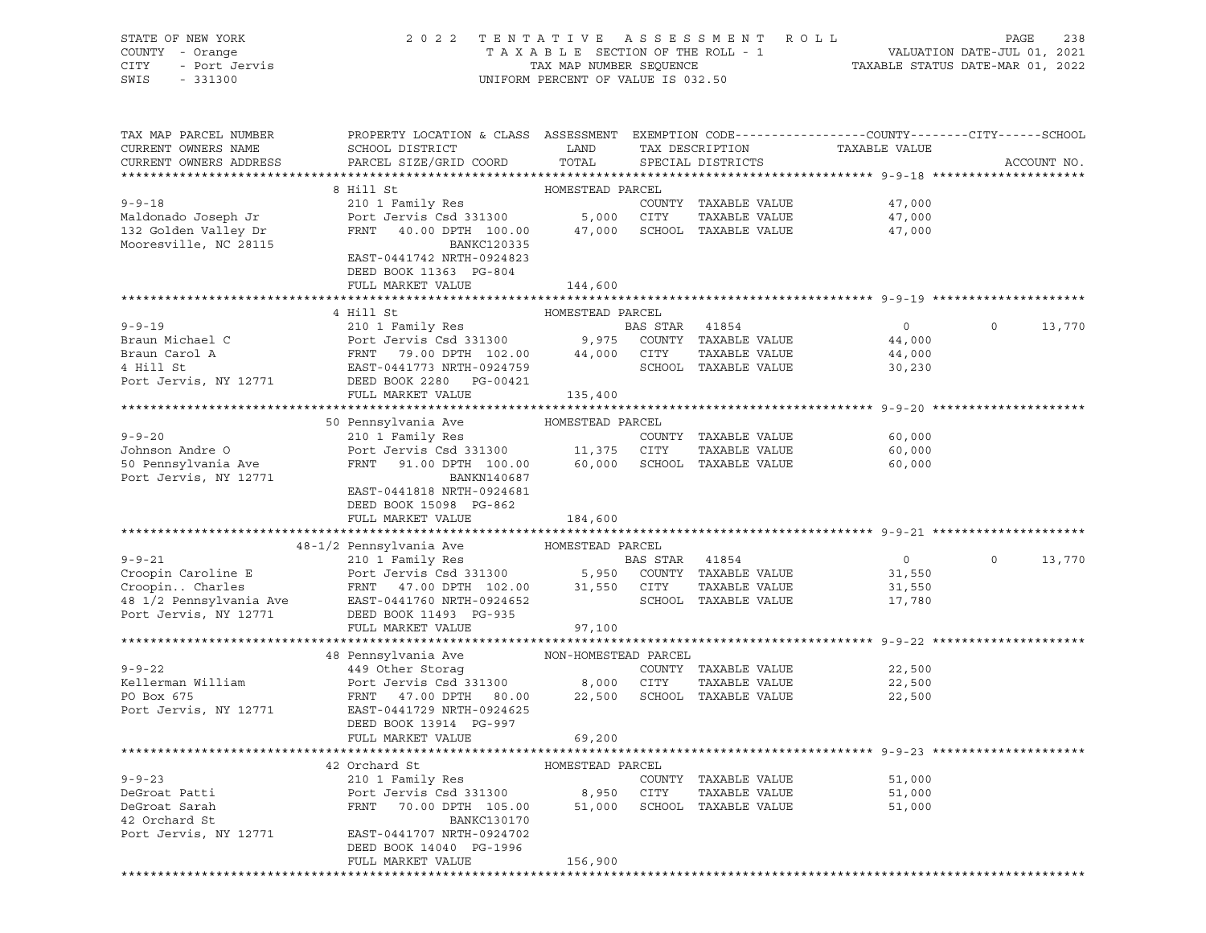|      | STATE OF NEW YORK | 2022 TENTATIVE ASSESSMENT ROLL     | 238<br>PAGE                      |
|------|-------------------|------------------------------------|----------------------------------|
|      | COUNTY - Orange   | TAXABLE SECTION OF THE ROLL - 1    | VALUATION DATE-JUL 01, 2021      |
| CITY | - Port Jervis     | TAX MAP NUMBER SEOUENCE            | TAXABLE STATUS DATE-MAR 01, 2022 |
| SWIS | $-331300$         | UNIFORM PERCENT OF VALUE IS 032.50 |                                  |

| GΕ | 238 |
|----|-----|

| TAX MAP PARCEL NUMBER<br>CURRENT OWNERS NAME                                                                                                                                                                                                           | PROPERTY LOCATION & CLASS ASSESSMENT EXEMPTION CODE---------------COUNTY-------CITY------SCHOOL<br>SCHOOL DISTRICT<br><b>Example 12</b> |                  | TAX DESCRIPTION      | TAXABLE VALUE               |          |             |
|--------------------------------------------------------------------------------------------------------------------------------------------------------------------------------------------------------------------------------------------------------|-----------------------------------------------------------------------------------------------------------------------------------------|------------------|----------------------|-----------------------------|----------|-------------|
| CURRENT OWNERS ADDRESS                                                                                                                                                                                                                                 | PARCEL SIZE/GRID COORD                                                                                                                  | TOTAL            | SPECIAL DISTRICTS    |                             |          | ACCOUNT NO. |
|                                                                                                                                                                                                                                                        |                                                                                                                                         |                  |                      |                             |          |             |
|                                                                                                                                                                                                                                                        | 8 Hill St                                                                                                                               | HOMESTEAD PARCEL |                      |                             |          |             |
| $9 - 9 - 18$                                                                                                                                                                                                                                           | 210 1 Family Res                                                                                                                        |                  | COUNTY TAXABLE VALUE | 47,000                      |          |             |
| Maldonado Joseph Jr                                                                                                                                                                                                                                    |                                                                                                                                         |                  |                      | 47,000                      |          |             |
| 132 Golden Valley Dr                                                                                                                                                                                                                                   |                                                                                                                                         |                  |                      | 47,000                      |          |             |
| Mooresville, NC 28115                                                                                                                                                                                                                                  | BANKC120335                                                                                                                             |                  |                      |                             |          |             |
|                                                                                                                                                                                                                                                        | EAST-0441742 NRTH-0924823                                                                                                               |                  |                      |                             |          |             |
|                                                                                                                                                                                                                                                        | DEED BOOK 11363 PG-804                                                                                                                  |                  |                      |                             |          |             |
|                                                                                                                                                                                                                                                        | FULL MARKET VALUE                                                                                                                       | 144,600          |                      |                             |          |             |
|                                                                                                                                                                                                                                                        |                                                                                                                                         |                  |                      |                             |          |             |
|                                                                                                                                                                                                                                                        | 4 Hill St                                                                                                                               | HOMESTEAD PARCEL |                      |                             |          |             |
| 9-9-19<br>BAS STAR 41854<br>BAS STAR 41854<br>BAS STAR 41854<br>BAS STAR 41854<br>BAS STAR 41854<br>BAS STAR 41854<br>BAS STAR 41854<br>BAS STAR 41854<br>POTT JERNIT 79.00 DPTH 102.00<br>44,000 CITY TAXABLE VALUE<br>TULL MARKET VALUE<br>POTT JERD |                                                                                                                                         |                  |                      | $\overline{0}$              | $\circ$  | 13,770      |
|                                                                                                                                                                                                                                                        |                                                                                                                                         |                  |                      | 44,000<br>44,000            |          |             |
|                                                                                                                                                                                                                                                        |                                                                                                                                         |                  |                      |                             |          |             |
|                                                                                                                                                                                                                                                        |                                                                                                                                         |                  |                      | 30,230                      |          |             |
|                                                                                                                                                                                                                                                        |                                                                                                                                         |                  |                      |                             |          |             |
|                                                                                                                                                                                                                                                        |                                                                                                                                         |                  |                      |                             |          |             |
|                                                                                                                                                                                                                                                        |                                                                                                                                         |                  |                      |                             |          |             |
|                                                                                                                                                                                                                                                        | 50 Pennsylvania Ave MOMESTEAD PARCEL                                                                                                    |                  |                      |                             |          |             |
| $9 - 9 - 20$                                                                                                                                                                                                                                           | 210 1 Family Res                                                                                                                        |                  | COUNTY TAXABLE VALUE | 60,000                      |          |             |
|                                                                                                                                                                                                                                                        |                                                                                                                                         |                  | TAXABLE VALUE        |                             |          |             |
| Johnson Andre O<br>50 Pennsylvania Ave                                                                                                                                                                                                                 | Port Jervis Csd 331300 11,375 CITY TAXABLE VALUE<br>FRNT 91.00 DPTH 100.00 60,000 SCHOOL TAXABLE VALUE                                  |                  |                      | 60,000<br>60,000            |          |             |
| Port Jervis, NY 12771                                                                                                                                                                                                                                  | BANKN140687                                                                                                                             |                  |                      |                             |          |             |
|                                                                                                                                                                                                                                                        | EAST-0441818 NRTH-0924681                                                                                                               |                  |                      |                             |          |             |
|                                                                                                                                                                                                                                                        | DEED BOOK 15098 PG-862                                                                                                                  |                  |                      |                             |          |             |
|                                                                                                                                                                                                                                                        | FULL MARKET VALUE 184,600                                                                                                               |                  |                      |                             |          |             |
|                                                                                                                                                                                                                                                        |                                                                                                                                         |                  |                      |                             |          |             |
|                                                                                                                                                                                                                                                        | 48-1/2 Pennsylvania Ave MOMESTEAD PARCEL                                                                                                |                  |                      |                             |          |             |
| 9-9-21<br>Croopin Caroline E<br>CroopinCharles<br>CroopinCharles<br>FRNT 47.00 DPTH 102.00<br>EAST-0441760 NRTH-0924652<br>Port Jervis, NY 12771<br>DEED POOS 11,550 CUNTY TAXABLE VALUE<br>Port Jervis, NY 12771<br>DEED BOOK 11493 PG-93             |                                                                                                                                         |                  |                      | $\overline{0}$              | $\Omega$ | 13,770      |
|                                                                                                                                                                                                                                                        |                                                                                                                                         |                  |                      | 31,550                      |          |             |
|                                                                                                                                                                                                                                                        |                                                                                                                                         |                  |                      | 31,550                      |          |             |
|                                                                                                                                                                                                                                                        |                                                                                                                                         |                  |                      | SCHOOL TAXABLE VALUE 17,780 |          |             |
|                                                                                                                                                                                                                                                        |                                                                                                                                         |                  |                      |                             |          |             |
|                                                                                                                                                                                                                                                        | FULL MARKET VALUE                                                                                                                       | 97,100           |                      |                             |          |             |
|                                                                                                                                                                                                                                                        |                                                                                                                                         |                  |                      |                             |          |             |
| 9-9-22<br>48 Pennsylvania Ave MON-HOMESTEAD PARCEL<br>49 Other Storag COUNTY<br>Fort Jervis Csd 331300 8,000 CITY<br>PO Box 675                                                                                                                        |                                                                                                                                         |                  |                      |                             |          |             |
|                                                                                                                                                                                                                                                        |                                                                                                                                         |                  | COUNTY TAXABLE VALUE | 22,500                      |          |             |
|                                                                                                                                                                                                                                                        |                                                                                                                                         |                  | TAXABLE VALUE        | 22,500                      |          |             |
| PO Box 675                                                                                                                                                                                                                                             | FRNT 47.00 DPTH 80.00 22,500 SCHOOL TAXABLE VALUE                                                                                       |                  |                      | 22,500                      |          |             |
| Port Jervis, NY 12771                                                                                                                                                                                                                                  | EAST-0441729 NRTH-0924625                                                                                                               |                  |                      |                             |          |             |
|                                                                                                                                                                                                                                                        | DEED BOOK 13914 PG-997                                                                                                                  |                  |                      |                             |          |             |
|                                                                                                                                                                                                                                                        | FULL MARKET VALUE                                                                                                                       | 69,200           |                      |                             |          |             |
|                                                                                                                                                                                                                                                        |                                                                                                                                         |                  |                      |                             |          |             |
|                                                                                                                                                                                                                                                        | 42 Orchard St                                                                                                                           | HOMESTEAD PARCEL |                      |                             |          |             |
| $9 - 9 - 23$                                                                                                                                                                                                                                           | 210 1 Family Res                                                                                                                        |                  | COUNTY TAXABLE VALUE | 51,000                      |          |             |
|                                                                                                                                                                                                                                                        |                                                                                                                                         |                  |                      | TAXABLE VALUE 51,000        |          |             |
| J-J-23<br>DeGroat Patti<br>DeGroat Sarah                                                                                                                                                                                                               | 210 1 ramily nes<br>Port Jervis Csd 331300 8,950 CITY TAXABLE VALUE<br>FRNT 70.00 DPTH 105.00 51,000 SCHOOL TAXABLE VALUE               |                  |                      | 51,000                      |          |             |
| 42 Orchard St                                                                                                                                                                                                                                          | BANKC130170                                                                                                                             |                  |                      |                             |          |             |
| Port Jervis, NY 12771                                                                                                                                                                                                                                  | EAST-0441707 NRTH-0924702                                                                                                               |                  |                      |                             |          |             |
|                                                                                                                                                                                                                                                        | DEED BOOK 14040 PG-1996                                                                                                                 |                  |                      |                             |          |             |
|                                                                                                                                                                                                                                                        | FULL MARKET VALUE                                                                                                                       | 156,900          |                      |                             |          |             |
|                                                                                                                                                                                                                                                        |                                                                                                                                         |                  |                      |                             |          |             |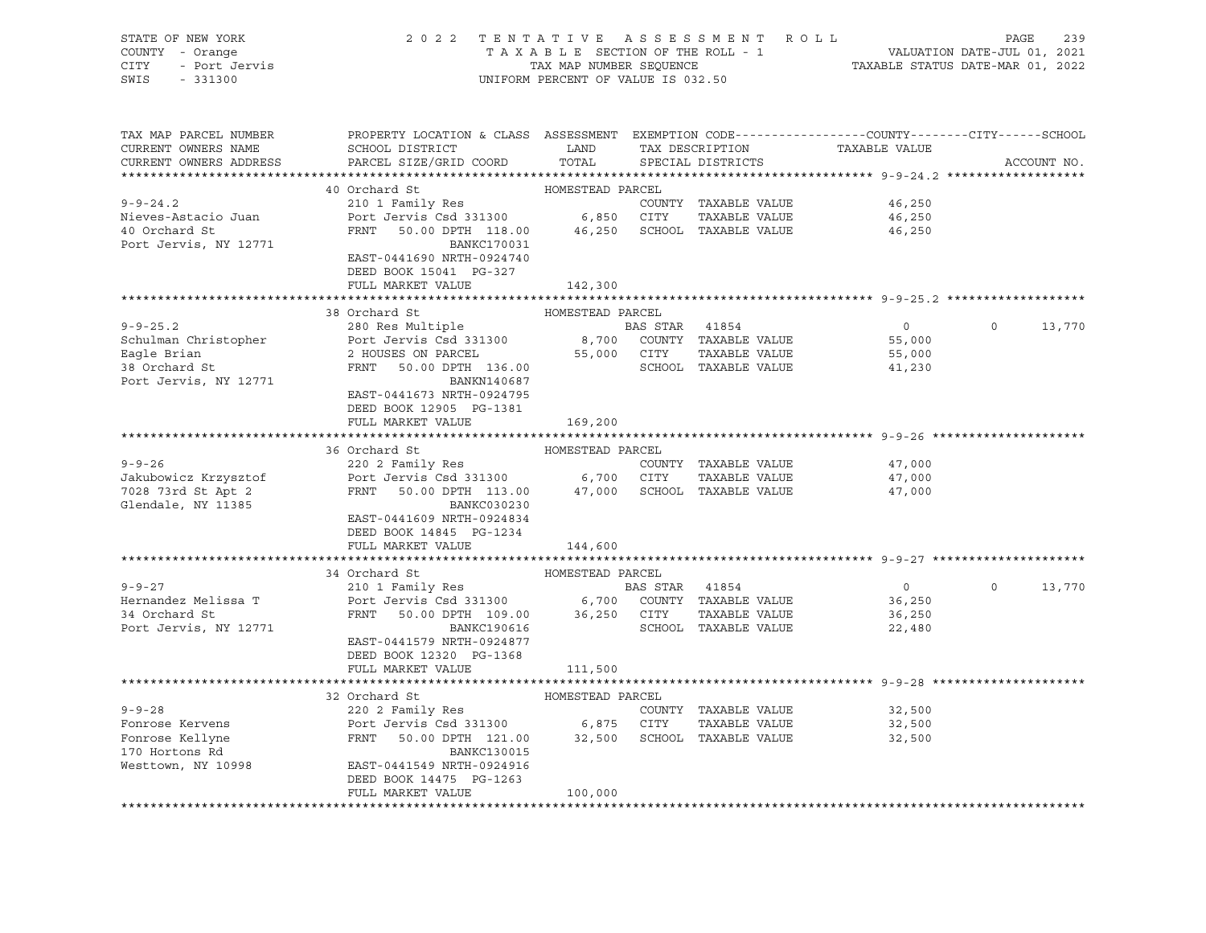| STATE OF NEW YORK<br>COUNTY - Orange<br>- Port Jervis<br>CITY<br>SWIS<br>$-331300$ | 2 0 2 2<br>ASSESSMENT ROLL<br>TENTATIVE<br>TAXABLE SECTION OF THE ROLL - 1<br>TAX MAP NUMBER SEQUENCE<br>UNIFORM PERCENT OF VALUE IS 032.50   |                  |                |                                      | VALUATION DATE-JUL 01, 2021<br>TAXABLE STATUS DATE-MAR 01, 2022 | PAGE     | 239         |
|------------------------------------------------------------------------------------|-----------------------------------------------------------------------------------------------------------------------------------------------|------------------|----------------|--------------------------------------|-----------------------------------------------------------------|----------|-------------|
| TAX MAP PARCEL NUMBER<br>CURRENT OWNERS NAME<br>CURRENT OWNERS ADDRESS             | PROPERTY LOCATION & CLASS ASSESSMENT EXEMPTION CODE----------------COUNTY-------CITY------SCHOOL<br>SCHOOL DISTRICT<br>PARCEL SIZE/GRID COORD | LAND<br>TOTAL    |                | TAX DESCRIPTION<br>SPECIAL DISTRICTS | TAXABLE VALUE                                                   |          | ACCOUNT NO. |
|                                                                                    |                                                                                                                                               |                  |                |                                      |                                                                 |          |             |
|                                                                                    | 40 Orchard St                                                                                                                                 | HOMESTEAD PARCEL |                |                                      |                                                                 |          |             |
| $9 - 9 - 24.2$                                                                     |                                                                                                                                               |                  |                | COUNTY TAXABLE VALUE                 | 46,250                                                          |          |             |
| Nieves-Astacio Juan                                                                |                                                                                                                                               |                  |                | TAXABLE VALUE                        | 46,250                                                          |          |             |
| 40 Orchard St<br>Port Jervis, NY 12771                                             | FRNT 50.00 DPTH 118.00 46,250 SCHOOL TAXABLE VALUE<br><b>BANKC170031</b><br>EAST-0441690 NRTH-0924740<br>DEED BOOK 15041 PG-327               |                  |                |                                      | 46,250                                                          |          |             |
|                                                                                    | FULL MARKET VALUE                                                                                                                             | 142,300          |                |                                      |                                                                 |          |             |
|                                                                                    |                                                                                                                                               |                  |                |                                      |                                                                 |          |             |
|                                                                                    | 38 Orchard St                                                                                                                                 | HOMESTEAD PARCEL |                |                                      |                                                                 |          |             |
| $9 - 9 - 25.2$                                                                     | 280 Res Multiple<br>280 Res Multiple<br>Port Jervis Csd 331300 8,700 COUNTY TAXABLE VALUE                                                     |                  |                |                                      | $\overline{0}$                                                  | $\Omega$ | 13,770      |
| Schulman Christopher                                                               |                                                                                                                                               |                  |                |                                      | 55,000                                                          |          |             |
| Eagle Brian                                                                        | 2 HOUSES ON PARCEL                                                                                                                            | 55,000 CITY      |                | TAXABLE VALUE                        | 55,000                                                          |          |             |
| 38 Orchard St<br>Port Jervis, NY 12771                                             | FRNT<br>50.00 DPTH 136.00<br>BANKN140687<br>EAST-0441673 NRTH-0924795                                                                         |                  |                | SCHOOL TAXABLE VALUE                 | 41,230                                                          |          |             |
|                                                                                    | DEED BOOK 12905 PG-1381                                                                                                                       |                  |                |                                      |                                                                 |          |             |
|                                                                                    | FULL MARKET VALUE                                                                                                                             | 169,200          |                |                                      |                                                                 |          |             |
|                                                                                    | 36 Orchard St                                                                                                                                 | HOMESTEAD PARCEL |                |                                      |                                                                 |          |             |
| $9 - 9 - 26$                                                                       | 220 2 Family Res                                                                                                                              |                  |                | COUNTY TAXABLE VALUE                 | 47,000                                                          |          |             |
| Jakubowicz Krzysztof                                                               | 220 2 Family Res<br>Port Jervis Csd 331300 6,700 CITY TAXABLE VALUE                                                                           |                  |                |                                      | 47,000                                                          |          |             |
| 7028 73rd St Apt 2                                                                 | FRNT 50.00 DPTH 113.00 47,000 SCHOOL TAXABLE VALUE                                                                                            |                  |                |                                      | 47,000                                                          |          |             |
| Glendale, NY 11385                                                                 | BANKC030230<br>EAST-0441609 NRTH-0924834<br>DEED BOOK 14845 PG-1234                                                                           |                  |                |                                      |                                                                 |          |             |
|                                                                                    | FULL MARKET VALUE                                                                                                                             | 144,600          |                |                                      |                                                                 |          |             |
|                                                                                    |                                                                                                                                               |                  |                |                                      |                                                                 |          |             |
|                                                                                    | 34 Orchard St                                                                                                                                 | HOMESTEAD PARCEL |                |                                      |                                                                 |          |             |
| $9 - 9 - 27$                                                                       | 210 1 Family Res                                                                                                                              |                  | BAS STAR 41854 |                                      | $\overline{0}$                                                  | $\circ$  | 13,770      |
| Hernandez Melissa T                                                                | Port Jervis Csd 331300 6,700 COUNTY TAXABLE VALUE                                                                                             |                  |                |                                      | 36,250                                                          |          |             |
| 34 Orchard St                                                                      | FRNT 50.00 DPTH 109.00 36,250 CITY<br>BANKC190616 SCHOOL                                                                                      |                  |                | TAXABLE VALUE                        | 36,250                                                          |          |             |
| Port Jervis, NY 12771                                                              |                                                                                                                                               |                  |                | SCHOOL TAXABLE VALUE                 | 22,480                                                          |          |             |
|                                                                                    | EAST-0441579 NRTH-0924877<br>DEED BOOK 12320 PG-1368                                                                                          |                  |                |                                      |                                                                 |          |             |
|                                                                                    | FULL MARKET VALUE                                                                                                                             | 111,500          |                |                                      |                                                                 |          |             |
|                                                                                    |                                                                                                                                               |                  |                |                                      |                                                                 |          |             |
|                                                                                    | 32 Orchard St                                                                                                                                 | HOMESTEAD PARCEL |                |                                      |                                                                 |          |             |
| $9 - 9 - 28$                                                                       | 220 2 Family Res                                                                                                                              |                  |                | COUNTY TAXABLE VALUE                 | 32,500                                                          |          |             |
| Fonrose Kervens                                                                    | Port Jervis Csd 331300 6,875 CITY TAXABLE VALUE<br>FRNT 50.00 DPTH 121.00 32,500 SCHOOL TAXABLE VALUE                                         |                  |                |                                      | 32,500                                                          |          |             |
| Fonrose Kellyne                                                                    |                                                                                                                                               |                  |                |                                      | 32,500                                                          |          |             |
| 170 Hortons Rd                                                                     | BANKC130015                                                                                                                                   |                  |                |                                      |                                                                 |          |             |
| Westtown, NY 10998                                                                 | EAST-0441549 NRTH-0924916                                                                                                                     |                  |                |                                      |                                                                 |          |             |
|                                                                                    | DEED BOOK 14475 PG-1263                                                                                                                       |                  |                |                                      |                                                                 |          |             |
|                                                                                    | FULL MARKET VALUE                                                                                                                             | 100,000          |                |                                      |                                                                 |          |             |
|                                                                                    |                                                                                                                                               |                  |                |                                      |                                                                 |          |             |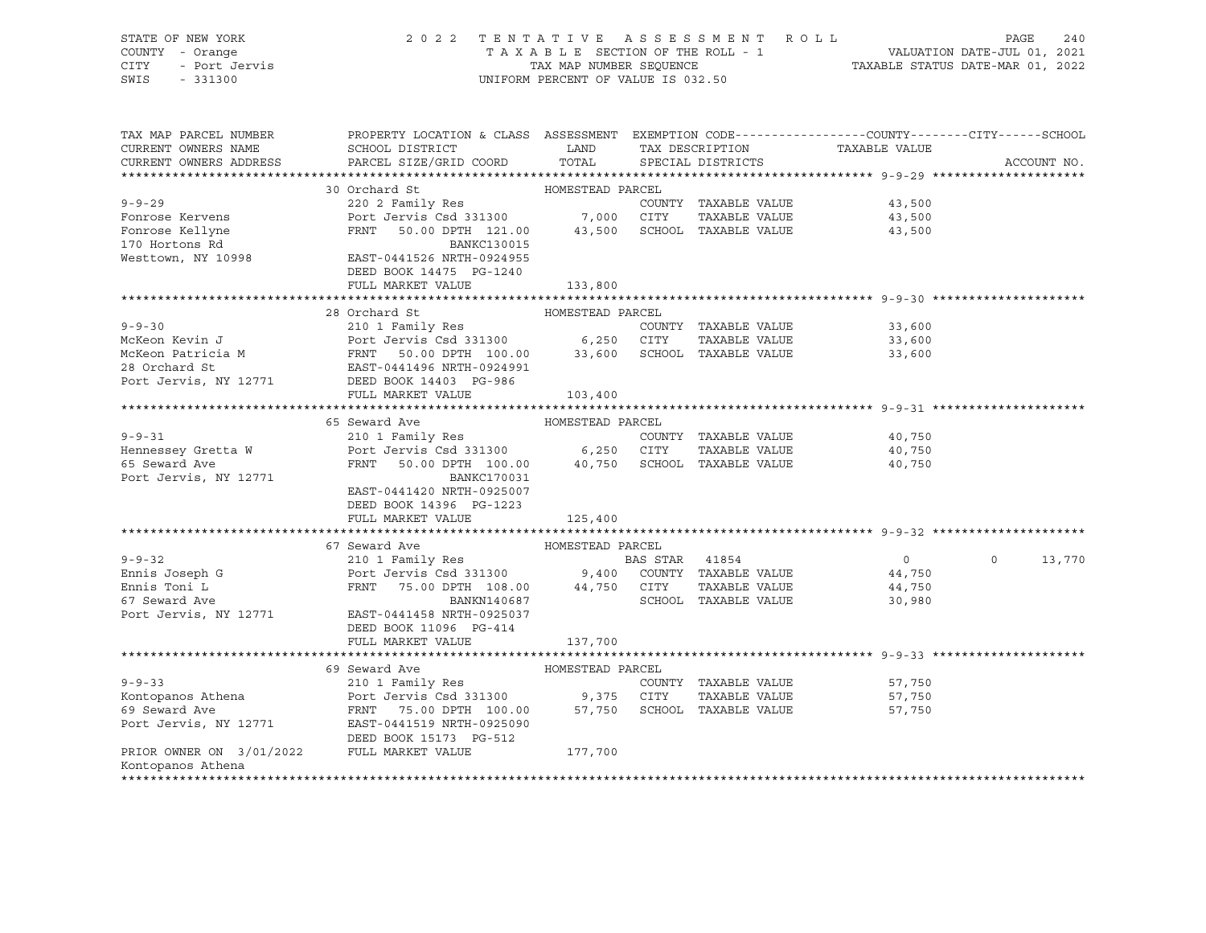| STATE OF NEW YORK                          | 2022 TENTATIVE ASSESSMENT ROLL                                                                                                                                                                                                                                                                                                                                                                                                                                                                                     |                                    |  |                      |                               | PAGE     | 240         |
|--------------------------------------------|--------------------------------------------------------------------------------------------------------------------------------------------------------------------------------------------------------------------------------------------------------------------------------------------------------------------------------------------------------------------------------------------------------------------------------------------------------------------------------------------------------------------|------------------------------------|--|----------------------|-------------------------------|----------|-------------|
| COUNTY - Orange                            |                                                                                                                                                                                                                                                                                                                                                                                                                                                                                                                    |                                    |  |                      |                               |          |             |
| - Oldings<br>- Port Jervis<br>CITY         |                                                                                                                                                                                                                                                                                                                                                                                                                                                                                                                    |                                    |  |                      |                               |          |             |
| SWIS<br>$-331300$                          |                                                                                                                                                                                                                                                                                                                                                                                                                                                                                                                    | UNIFORM PERCENT OF VALUE IS 032.50 |  |                      |                               |          |             |
|                                            |                                                                                                                                                                                                                                                                                                                                                                                                                                                                                                                    |                                    |  |                      |                               |          |             |
|                                            |                                                                                                                                                                                                                                                                                                                                                                                                                                                                                                                    |                                    |  |                      |                               |          |             |
|                                            |                                                                                                                                                                                                                                                                                                                                                                                                                                                                                                                    |                                    |  |                      |                               |          |             |
| TAX MAP PARCEL NUMBER                      | PROPERTY LOCATION & CLASS ASSESSMENT EXEMPTION CODE---------------COUNTY-------CITY------SCHOOL                                                                                                                                                                                                                                                                                                                                                                                                                    |                                    |  |                      |                               |          |             |
| CURRENT OWNERS NAME                        | SCHOOL DISTRICT LAND                                                                                                                                                                                                                                                                                                                                                                                                                                                                                               |                                    |  |                      | TAX DESCRIPTION TAXABLE VALUE |          |             |
| CURRENT OWNERS ADDRESS                     | PARCEL SIZE/GRID COORD TOTAL                                                                                                                                                                                                                                                                                                                                                                                                                                                                                       |                                    |  | SPECIAL DISTRICTS    |                               |          | ACCOUNT NO. |
|                                            |                                                                                                                                                                                                                                                                                                                                                                                                                                                                                                                    |                                    |  |                      |                               |          |             |
|                                            | HOMESTEAD PARCEL<br>220 2 Family Res<br>Port Jervis Csd 331300 7,000 CITY<br>FRNT 50.00 DPTH 121.00 43 500                                                                                                                                                                                                                                                                                                                                                                                                         |                                    |  |                      |                               |          |             |
| $9 - 9 - 29$                               |                                                                                                                                                                                                                                                                                                                                                                                                                                                                                                                    |                                    |  | COUNTY TAXABLE VALUE | 43,500                        |          |             |
| Fonrose Kervens                            |                                                                                                                                                                                                                                                                                                                                                                                                                                                                                                                    |                                    |  | TAXABLE VALUE        | 43,500                        |          |             |
|                                            | FRNT 50.00 DPTH 121.00 43,500 SCHOOL TAXABLE VALUE                                                                                                                                                                                                                                                                                                                                                                                                                                                                 |                                    |  |                      | 43,500                        |          |             |
| Fonrose Kellyne<br>170 Hortons Rd          | BANKC130015                                                                                                                                                                                                                                                                                                                                                                                                                                                                                                        |                                    |  |                      |                               |          |             |
| Westtown, NY 10998                         | EAST-0441526 NRTH-0924955                                                                                                                                                                                                                                                                                                                                                                                                                                                                                          |                                    |  |                      |                               |          |             |
|                                            | DEED BOOK 14475 PG-1240                                                                                                                                                                                                                                                                                                                                                                                                                                                                                            |                                    |  |                      |                               |          |             |
|                                            | FULL MARKET VALUE                                                                                                                                                                                                                                                                                                                                                                                                                                                                                                  | 133,800                            |  |                      |                               |          |             |
|                                            |                                                                                                                                                                                                                                                                                                                                                                                                                                                                                                                    |                                    |  |                      |                               |          |             |
|                                            | 28 Orchard St                                                                                                                                                                                                                                                                                                                                                                                                                                                                                                      | HOMESTEAD PARCEL                   |  |                      |                               |          |             |
| $9 - 9 - 30$                               |                                                                                                                                                                                                                                                                                                                                                                                                                                                                                                                    |                                    |  |                      |                               |          |             |
|                                            | 210 1 Family Res                                                                                                                                                                                                                                                                                                                                                                                                                                                                                                   |                                    |  | COUNTY TAXABLE VALUE | 33,600                        |          |             |
|                                            |                                                                                                                                                                                                                                                                                                                                                                                                                                                                                                                    |                                    |  |                      | 33,600                        |          |             |
|                                            | McKeon Kevin J<br>McKeon Patricia M<br>McKeon Patricia M<br>McKeon Patricia M<br>Port Jervis Csd 331300<br>FRNT 50.00 DPTH 100.00 33,600 SCHOOL TAXABLE VALUE<br>28 Orchard Structure Castle BAST-0441496 NRTH-0924991                                                                                                                                                                                                                                                                                             |                                    |  |                      | 33,600                        |          |             |
|                                            | 28 Orchard St<br>Port Jervis, NY 12771 DEED BOOK 14403 PG-986                                                                                                                                                                                                                                                                                                                                                                                                                                                      |                                    |  |                      |                               |          |             |
|                                            |                                                                                                                                                                                                                                                                                                                                                                                                                                                                                                                    |                                    |  |                      |                               |          |             |
|                                            | FULL MARKET VALUE                                                                                                                                                                                                                                                                                                                                                                                                                                                                                                  | 103,400                            |  |                      |                               |          |             |
|                                            |                                                                                                                                                                                                                                                                                                                                                                                                                                                                                                                    |                                    |  |                      |                               |          |             |
|                                            |                                                                                                                                                                                                                                                                                                                                                                                                                                                                                                                    |                                    |  |                      |                               |          |             |
|                                            | 65 Seward Ave Manuel HOMESTEAD PARCEL                                                                                                                                                                                                                                                                                                                                                                                                                                                                              |                                    |  |                      |                               |          |             |
| $9 - 9 - 31$                               | 210 1 Family Res                                                                                                                                                                                                                                                                                                                                                                                                                                                                                                   |                                    |  | COUNTY TAXABLE VALUE | 40,750                        |          |             |
|                                            |                                                                                                                                                                                                                                                                                                                                                                                                                                                                                                                    |                                    |  | TAXABLE VALUE        | 40,750                        |          |             |
|                                            | Port Jervis Csd 331300 6,250 CITY<br>FRNT 50.00 DPTH 100.00 40,750 SCHOOL TAXABLE VALUE                                                                                                                                                                                                                                                                                                                                                                                                                            |                                    |  |                      | 40,750                        |          |             |
| Hennessey Gretta W<br>65 Seward Ave        | BANKC170031                                                                                                                                                                                                                                                                                                                                                                                                                                                                                                        |                                    |  |                      |                               |          |             |
| Port Jervis, NY 12771                      |                                                                                                                                                                                                                                                                                                                                                                                                                                                                                                                    |                                    |  |                      |                               |          |             |
|                                            | EAST-0441420 NRTH-0925007                                                                                                                                                                                                                                                                                                                                                                                                                                                                                          |                                    |  |                      |                               |          |             |
|                                            | DEED BOOK 14396 PG-1223                                                                                                                                                                                                                                                                                                                                                                                                                                                                                            |                                    |  |                      |                               |          |             |
|                                            | FULL MARKET VALUE                                                                                                                                                                                                                                                                                                                                                                                                                                                                                                  | 125,400                            |  |                      |                               |          |             |
|                                            |                                                                                                                                                                                                                                                                                                                                                                                                                                                                                                                    |                                    |  |                      |                               |          |             |
|                                            |                                                                                                                                                                                                                                                                                                                                                                                                                                                                                                                    |                                    |  |                      |                               |          |             |
|                                            |                                                                                                                                                                                                                                                                                                                                                                                                                                                                                                                    |                                    |  |                      | $\overline{0}$                | $\Omega$ | 13,770      |
|                                            |                                                                                                                                                                                                                                                                                                                                                                                                                                                                                                                    |                                    |  |                      | 44,750                        |          |             |
|                                            |                                                                                                                                                                                                                                                                                                                                                                                                                                                                                                                    |                                    |  |                      | 44,750                        |          |             |
|                                            |                                                                                                                                                                                                                                                                                                                                                                                                                                                                                                                    |                                    |  |                      | 30,980                        |          |             |
|                                            | $\begin{tabular}{lllllllllllll} $\text{\small{5-5-52}}$ & $ \text{\small{5-5-52}}$ & $ \text{\small{210 1 Family Res}}$ & $ \text{\small{HOMESTEAD PARCH}}$ & $ \text{\small{BAS STR}}$ & $ \text{\small{41854}}$ \\ & $ \text{\small{210 1 Family Res}}$ & $ \text{\small{BAS STR}}$ & $ \text{\small{41854}}$ \\ & $ \text{\small{Ennis} 1085} $ & $ \text{\small{67} 186} $ \\ \text{\small{Ennis} 1085} & $ \text{\small{68} 186} $ \\ \text{\small{67} 10$<br>Port Jervis, NY 12771 EAST-0441458 NRTH-0925037 |                                    |  |                      |                               |          |             |
|                                            | DEED BOOK 11096 PG-414                                                                                                                                                                                                                                                                                                                                                                                                                                                                                             |                                    |  |                      |                               |          |             |
|                                            | FULL MARKET VALUE                                                                                                                                                                                                                                                                                                                                                                                                                                                                                                  | 137,700                            |  |                      |                               |          |             |
|                                            |                                                                                                                                                                                                                                                                                                                                                                                                                                                                                                                    |                                    |  |                      |                               |          |             |
|                                            | 69 Seward Ave                                                                                                                                                                                                                                                                                                                                                                                                                                                                                                      | HOMESTEAD PARCEL                   |  |                      |                               |          |             |
| $9 - 9 - 33$                               | 210 1 Family Res                                                                                                                                                                                                                                                                                                                                                                                                                                                                                                   |                                    |  | COUNTY TAXABLE VALUE | 57,750                        |          |             |
|                                            |                                                                                                                                                                                                                                                                                                                                                                                                                                                                                                                    |                                    |  | TAXABLE VALUE        | 57,750                        |          |             |
|                                            |                                                                                                                                                                                                                                                                                                                                                                                                                                                                                                                    |                                    |  |                      | 57,750                        |          |             |
|                                            |                                                                                                                                                                                                                                                                                                                                                                                                                                                                                                                    |                                    |  |                      |                               |          |             |
|                                            | Port Jervis, NY 12771 EAST-0441519 NRTH-0925090                                                                                                                                                                                                                                                                                                                                                                                                                                                                    |                                    |  |                      |                               |          |             |
| PRIOR OWNER ON 3/01/2022 FULL MARKET VALUE | DEED BOOK 15173 PG-512                                                                                                                                                                                                                                                                                                                                                                                                                                                                                             | 177,700                            |  |                      |                               |          |             |

\*\*\*\*\*\*\*\*\*\*\*\*\*\*\*\*\*\*\*\*\*\*\*\*\*\*\*\*\*\*\*\*\*\*\*\*\*\*\*\*\*\*\*\*\*\*\*\*\*\*\*\*\*\*\*\*\*\*\*\*\*\*\*\*\*\*\*\*\*\*\*\*\*\*\*\*\*\*\*\*\*\*\*\*\*\*\*\*\*\*\*\*\*\*\*\*\*\*\*\*\*\*\*\*\*\*\*\*\*\*\*\*\*\*\*\*\*\*\*\*\*\*\*\*\*\*\*\*\*\*\*\*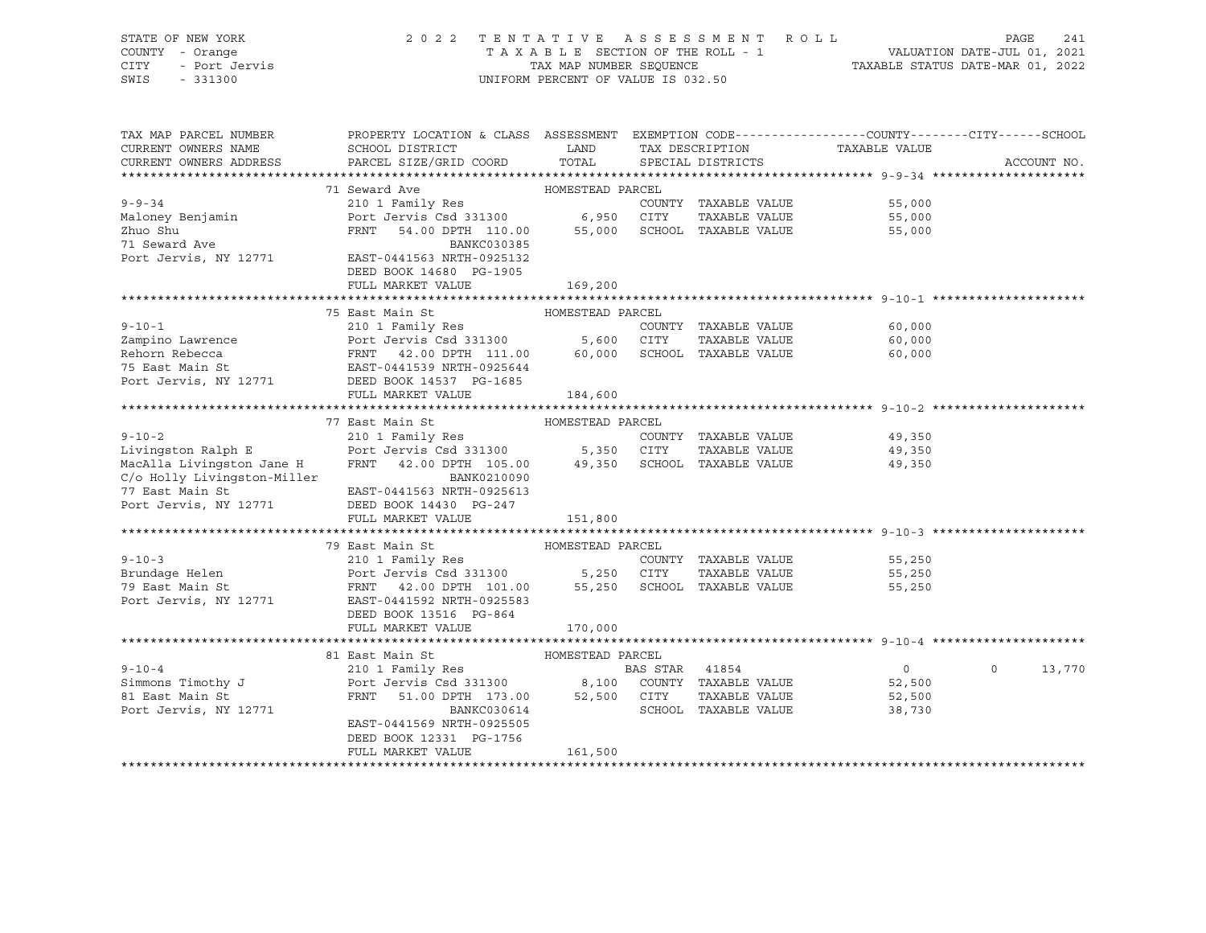STATE OF NEW YORK 2 0 2 2 T E N T A T I V E A S S E S S M E N T R O L L PAGE 241 COUNTY - Orange T A X A B L E SECTION OF THE ROLL - 1 VALUATION DATE-JUL 01, 2021 CITY - Port Jervis TAX MAP NUMBER SEQUENCE TAXABLE STATUS DATE-MAR 01, 2022 SWIS - 331300 UNIFORM PERCENT OF VALUE IS 032.50

| TAX MAP PARCEL NUMBER                                                                                                                                                                                                                                | PROPERTY LOCATION & CLASS ASSESSMENT EXEMPTION CODE---------------COUNTY-------CITY------SCHOOL |                  |                      |                             |                    |
|------------------------------------------------------------------------------------------------------------------------------------------------------------------------------------------------------------------------------------------------------|-------------------------------------------------------------------------------------------------|------------------|----------------------|-----------------------------|--------------------|
| CURRENT OWNERS NAME                                                                                                                                                                                                                                  | SCHOOL DISTRICT                                                                                 | LAND             | TAX DESCRIPTION      | TAXABLE VALUE               |                    |
| CURRENT OWNERS ADDRESS                                                                                                                                                                                                                               | PARCEL SIZE/GRID COORD                                                                          | TOTAL            | SPECIAL DISTRICTS    |                             | ACCOUNT NO.        |
|                                                                                                                                                                                                                                                      |                                                                                                 |                  |                      |                             |                    |
|                                                                                                                                                                                                                                                      | 71 Seward Ave                                                                                   |                  |                      |                             |                    |
| $9 - 9 - 34$                                                                                                                                                                                                                                         |                                                                                                 |                  | COUNTY TAXABLE VALUE | 55,000                      |                    |
| Maloney Benjamin                                                                                                                                                                                                                                     | Port Jervis Csd 331300 6,950 CITY                                                               |                  |                      | TAXABLE VALUE 55,000        |                    |
| Zhuo Shu                                                                                                                                                                                                                                             | FRNT 54.00 DPTH 110.00 55,000 SCHOOL TAXABLE VALUE                                              |                  |                      | 55,000                      |                    |
| 71 Seward Ave                                                                                                                                                                                                                                        | BANKC030385                                                                                     |                  |                      |                             |                    |
| Port Jervis, NY 12771 EAST-0441563 NRTH-0925132                                                                                                                                                                                                      |                                                                                                 |                  |                      |                             |                    |
|                                                                                                                                                                                                                                                      | DEED BOOK 14680 PG-1905                                                                         |                  |                      |                             |                    |
|                                                                                                                                                                                                                                                      | FULL MARKET VALUE                                                                               | 169,200          |                      |                             |                    |
|                                                                                                                                                                                                                                                      |                                                                                                 |                  |                      |                             |                    |
|                                                                                                                                                                                                                                                      | HOMESTEAD PARCEL<br>75 East Main St                                                             |                  |                      |                             |                    |
|                                                                                                                                                                                                                                                      |                                                                                                 |                  |                      | 60,000                      |                    |
|                                                                                                                                                                                                                                                      |                                                                                                 |                  |                      | 60,000                      |                    |
|                                                                                                                                                                                                                                                      |                                                                                                 |                  |                      | 60,000                      |                    |
|                                                                                                                                                                                                                                                      |                                                                                                 |                  |                      |                             |                    |
| 9-10-1<br>Zampino Lawrence<br>Exampino Lawrence<br>Rehorn Rebecca<br>Port Jervis Cod 331300<br>FRNT 42.00 DPTH 111.00<br>TAXABLE VALUE<br>FRNT 42.00 DPTH 111.00<br>FRNT 42.00 DPTH 111.00<br>FRNT 42.00 DPTH 111.00<br>FRNT 42.00 DPTH 111.00<br>FR |                                                                                                 |                  |                      |                             |                    |
|                                                                                                                                                                                                                                                      | FULL MARKET VALUE                                                                               | 184,600          |                      |                             |                    |
|                                                                                                                                                                                                                                                      |                                                                                                 |                  |                      |                             |                    |
|                                                                                                                                                                                                                                                      | 77 East Main St                                                                                 | HOMESTEAD PARCEL |                      |                             |                    |
|                                                                                                                                                                                                                                                      |                                                                                                 |                  |                      |                             |                    |
|                                                                                                                                                                                                                                                      |                                                                                                 |                  |                      |                             |                    |
| MacAlla Livingston Jane H FRNT 42.00 DPTH 105.00 49,350 SCHOOL TAXABLE VALUE 49,350                                                                                                                                                                  |                                                                                                 |                  |                      |                             |                    |
| C/o Holly Livingston-Miller                                                                                                                                                                                                                          | BANK0210090                                                                                     |                  |                      |                             |                    |
| 77 East Main St                                                                                                                                                                                                                                      | EAST-0441563 NRTH-0925613                                                                       |                  |                      |                             |                    |
| Port Jervis, NY 12771                                                                                                                                                                                                                                | DEED BOOK 14430 PG-247                                                                          |                  |                      |                             |                    |
|                                                                                                                                                                                                                                                      | FULL MARKET VALUE                                                                               | 151,800          |                      |                             |                    |
|                                                                                                                                                                                                                                                      |                                                                                                 |                  |                      |                             |                    |
|                                                                                                                                                                                                                                                      | 79 East Main St 67 6 6 6 6 6 6 6 79 EARCEL                                                      |                  |                      |                             |                    |
|                                                                                                                                                                                                                                                      |                                                                                                 |                  |                      | COUNTY TAXABLE VALUE 55,250 |                    |
| 9-10-3 210 1 Family Res COUNTY TAXABLE VALUE<br>Brundage Helen Port Jervis Csd 331300 5,250 CITY TAXABLE VALUE<br>79 East Main St FRNT 42.00 DPTH 101.00 55,250 SCHOOL TAXABLE VALUE                                                                 |                                                                                                 |                  |                      | 55,250                      |                    |
|                                                                                                                                                                                                                                                      |                                                                                                 |                  |                      | 55,250                      |                    |
| Port Jervis, NY 12771 EAST-0441592 NRTH-0925583                                                                                                                                                                                                      |                                                                                                 |                  |                      |                             |                    |
|                                                                                                                                                                                                                                                      | DEED BOOK 13516 PG-864                                                                          |                  |                      |                             |                    |
|                                                                                                                                                                                                                                                      | FULL MARKET VALUE                                                                               | 170,000          |                      |                             |                    |
|                                                                                                                                                                                                                                                      | 81 East Main St                                                                                 |                  |                      |                             |                    |
|                                                                                                                                                                                                                                                      |                                                                                                 | HOMESTEAD PARCEL |                      | $\overline{0}$              | 13,770<br>$\Omega$ |
|                                                                                                                                                                                                                                                      |                                                                                                 |                  |                      | 52,500                      |                    |
| 81 East Main St                                                                                                                                                                                                                                      | FRNT 51.00 DPTH 173.00 52,500 CITY                                                              |                  |                      |                             |                    |
|                                                                                                                                                                                                                                                      |                                                                                                 |                  |                      | TAXABLE VALUE 52,500        |                    |
| Port Jervis, NY 12771                                                                                                                                                                                                                                | BANKC030614<br>EAST-0441569 NRTH-0925505                                                        |                  | SCHOOL TAXABLE VALUE | 38,730                      |                    |
|                                                                                                                                                                                                                                                      |                                                                                                 |                  |                      |                             |                    |
|                                                                                                                                                                                                                                                      | DEED BOOK 12331 PG-1756<br>FULL MARKET VALUE                                                    | 161,500          |                      |                             |                    |
|                                                                                                                                                                                                                                                      |                                                                                                 |                  |                      |                             |                    |
|                                                                                                                                                                                                                                                      |                                                                                                 |                  |                      |                             |                    |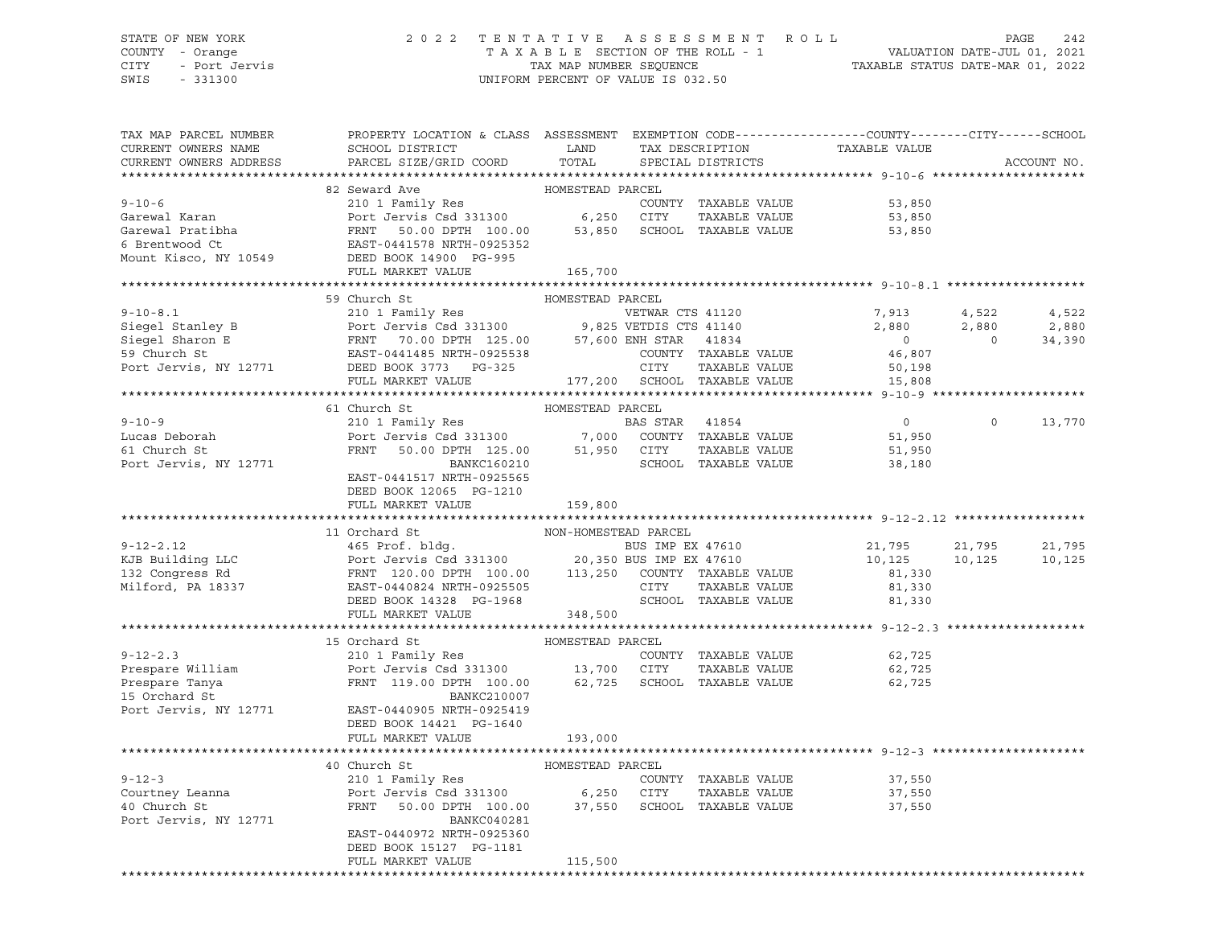CITY - Port Jervis TAX MAP NUMBER SEQUENCE TAXABLE STATUS DATE-MAR 01, 2022

### STATE OF NEW YORK 2 0 2 2 T E N T A T I V E A S S E S S M E N T R O L L PAGE 242 COUNTY - Orange T A X A B L E SECTION OF THE ROLL - 1 VALUATION DATE-JUL 01, 2021

UNIFORM PERCENT OF VALUE IS 032.50

| TAX MAP PARCEL NUMBER         | PROPERTY LOCATION & CLASS ASSESSMENT EXEMPTION CODE----------------COUNTY-------CITY------SCHOOL                                                                                                                                                          |                      |                      |                                                                  |          |             |
|-------------------------------|-----------------------------------------------------------------------------------------------------------------------------------------------------------------------------------------------------------------------------------------------------------|----------------------|----------------------|------------------------------------------------------------------|----------|-------------|
| CURRENT OWNERS NAME           |                                                                                                                                                                                                                                                           |                      |                      |                                                                  |          |             |
| CURRENT OWNERS ADDRESS        | SCHOOL DISTRICT LAND<br>PARCEL SIZE/GRID COORD TOTAL                                                                                                                                                                                                      |                      |                      | TAX DESCRIPTION TAXABLE VALUE<br>SPECTAL DISTRICTS TAXABLE VALUE |          | ACCOUNT NO. |
|                               |                                                                                                                                                                                                                                                           |                      |                      |                                                                  |          |             |
|                               |                                                                                                                                                                                                                                                           |                      |                      |                                                                  |          |             |
|                               | 9-10-6<br>Garewal Karan Marti 210 1 Family Res COUNTY TAXABLE VALUE<br>Garewal Karan Port Jervis Csd 331300 6,250 CITY TAXABLE VALUE<br>Garewal Pratibha FRNT 50.00 DPTH 100.00 53,850 SCHOOL TAXABLE VALUE 53,850 53,850 SCHOOL TA                       |                      |                      |                                                                  |          |             |
|                               |                                                                                                                                                                                                                                                           |                      |                      |                                                                  |          |             |
|                               |                                                                                                                                                                                                                                                           |                      |                      |                                                                  |          |             |
|                               |                                                                                                                                                                                                                                                           |                      |                      |                                                                  |          |             |
|                               |                                                                                                                                                                                                                                                           |                      |                      |                                                                  |          |             |
|                               | FULL MARKET VALUE 165,700                                                                                                                                                                                                                                 |                      |                      |                                                                  |          |             |
|                               |                                                                                                                                                                                                                                                           |                      |                      |                                                                  |          |             |
|                               | 59 Church St                                                                                                                                                                                                                                              | HOMESTEAD PARCEL     |                      |                                                                  |          |             |
|                               |                                                                                                                                                                                                                                                           |                      |                      |                                                                  |          |             |
|                               |                                                                                                                                                                                                                                                           |                      |                      | 7,913 4,522 4,522<br>2,880 2,880 2,880<br>0 0 34,390             |          |             |
|                               |                                                                                                                                                                                                                                                           |                      |                      |                                                                  |          |             |
|                               |                                                                                                                                                                                                                                                           |                      |                      |                                                                  |          |             |
|                               |                                                                                                                                                                                                                                                           |                      |                      |                                                                  |          |             |
|                               | 9-10-8.1<br>Siegel Stanley B<br>Siegel Stanley B<br>Siegel Stanley B<br>Siegel Stanley B<br>Port Jervis Csd 331300<br>FRNT 70.00 DPTH 125.00 57,600 ENH STAR 41834 0<br>S9 Church St<br>EAST-0441485 NRTH-0925538 COUNTY TAXABLE VALUE<br>Port            |                      |                      |                                                                  |          |             |
|                               |                                                                                                                                                                                                                                                           |                      |                      |                                                                  |          |             |
|                               | 61 Church St                                                                                                                                                                                                                                              | HOMESTEAD PARCEL     |                      |                                                                  |          |             |
| $9 - 10 - 9$                  | 210 1 Family Res<br>Port Jervis Csd 331300 7,000 COUNTY TAXABLE VALUE<br>FRNT 50.00 DPTH 125.00 51,950 CITY TAXABLE VALUE 51,950<br>BANKC160210 SCHOOL TAXABLE VALUE 38,180<br>PORTER SANKC160210 SCHOOL TAXABLE VALUE 38,180                             |                      |                      |                                                                  | $\Omega$ | 13,770      |
| Lucas Deborah<br>61 Church St |                                                                                                                                                                                                                                                           |                      |                      |                                                                  |          |             |
|                               |                                                                                                                                                                                                                                                           |                      |                      |                                                                  |          |             |
| Port Jervis, NY 12771         |                                                                                                                                                                                                                                                           |                      |                      |                                                                  |          |             |
|                               | EAST-0441517 NRTH-0925565                                                                                                                                                                                                                                 |                      |                      |                                                                  |          |             |
|                               | DEED BOOK 12065 PG-1210                                                                                                                                                                                                                                   |                      |                      |                                                                  |          |             |
|                               | FULL MARKET VALUE                                                                                                                                                                                                                                         | 159,800              |                      |                                                                  |          |             |
|                               | 11 Orchard St                                                                                                                                                                                                                                             |                      |                      |                                                                  |          |             |
|                               | 9-12-2.12 11 Orchard St<br>EXP = 12-2.12<br>EXP = 10.125<br>EXP = 10.125<br>EXP = 10.125<br>EXP = 10.125<br>FRNT 120.00 DPTH 100.00<br>EXP = 10.125<br>FRNT 120.00 DPTH 100.00<br>EXP = 10.125<br>EXP = 10.125<br>EXP = 10.125<br>EXP = 10.125<br>EXP =   | NON-HOMESTEAD PARCEL |                      |                                                                  |          | 21,795      |
|                               |                                                                                                                                                                                                                                                           |                      |                      |                                                                  |          |             |
|                               |                                                                                                                                                                                                                                                           |                      |                      |                                                                  |          | 10,125      |
|                               |                                                                                                                                                                                                                                                           |                      |                      |                                                                  |          |             |
|                               |                                                                                                                                                                                                                                                           |                      |                      |                                                                  |          |             |
|                               |                                                                                                                                                                                                                                                           |                      |                      |                                                                  |          |             |
|                               |                                                                                                                                                                                                                                                           |                      |                      |                                                                  |          |             |
|                               | 9-12-2.3<br>210 1 Family Res<br>Prespare William Port Jervis Csd 331300<br>Prespare Tanya FRNT 119.00 DPTH 100.00<br>210 1 Family Res<br>Prespare Tanya FRNT 119.00 DPTH 100.00<br>22,725<br>22,725<br>22,725<br>22,725<br>22,725<br>23,725<br>23,725<br> |                      |                      |                                                                  |          |             |
|                               |                                                                                                                                                                                                                                                           |                      |                      |                                                                  |          |             |
|                               |                                                                                                                                                                                                                                                           |                      |                      |                                                                  |          |             |
|                               |                                                                                                                                                                                                                                                           |                      |                      |                                                                  |          |             |
|                               |                                                                                                                                                                                                                                                           |                      |                      |                                                                  |          |             |
|                               | Port Jervis, NY 12771 EAST-0440905 NRTH-0925419                                                                                                                                                                                                           |                      |                      |                                                                  |          |             |
|                               | DEED BOOK 14421 PG-1640                                                                                                                                                                                                                                   |                      |                      |                                                                  |          |             |
|                               | FULL MARKET VALUE                                                                                                                                                                                                                                         | 193,000              |                      |                                                                  |          |             |
|                               |                                                                                                                                                                                                                                                           |                      |                      |                                                                  |          |             |
|                               | 40 Church St                                                                                                                                                                                                                                              |                      |                      |                                                                  |          |             |
| $9 - 12 - 3$                  |                                                                                                                                                                                                                                                           |                      | COUNTY TAXABLE VALUE | 37,550                                                           |          |             |
|                               |                                                                                                                                                                                                                                                           |                      |                      |                                                                  |          |             |
|                               |                                                                                                                                                                                                                                                           |                      |                      |                                                                  |          |             |
| Port Jervis, NY 12771         | BANKC040281                                                                                                                                                                                                                                               |                      |                      |                                                                  |          |             |
|                               | EAST-0440972 NRTH-0925360                                                                                                                                                                                                                                 |                      |                      |                                                                  |          |             |
|                               | DEED BOOK 15127 PG-1181                                                                                                                                                                                                                                   |                      |                      |                                                                  |          |             |
|                               | FULL MARKET VALUE                                                                                                                                                                                                                                         | 115,500              |                      |                                                                  |          |             |
|                               |                                                                                                                                                                                                                                                           |                      |                      |                                                                  |          |             |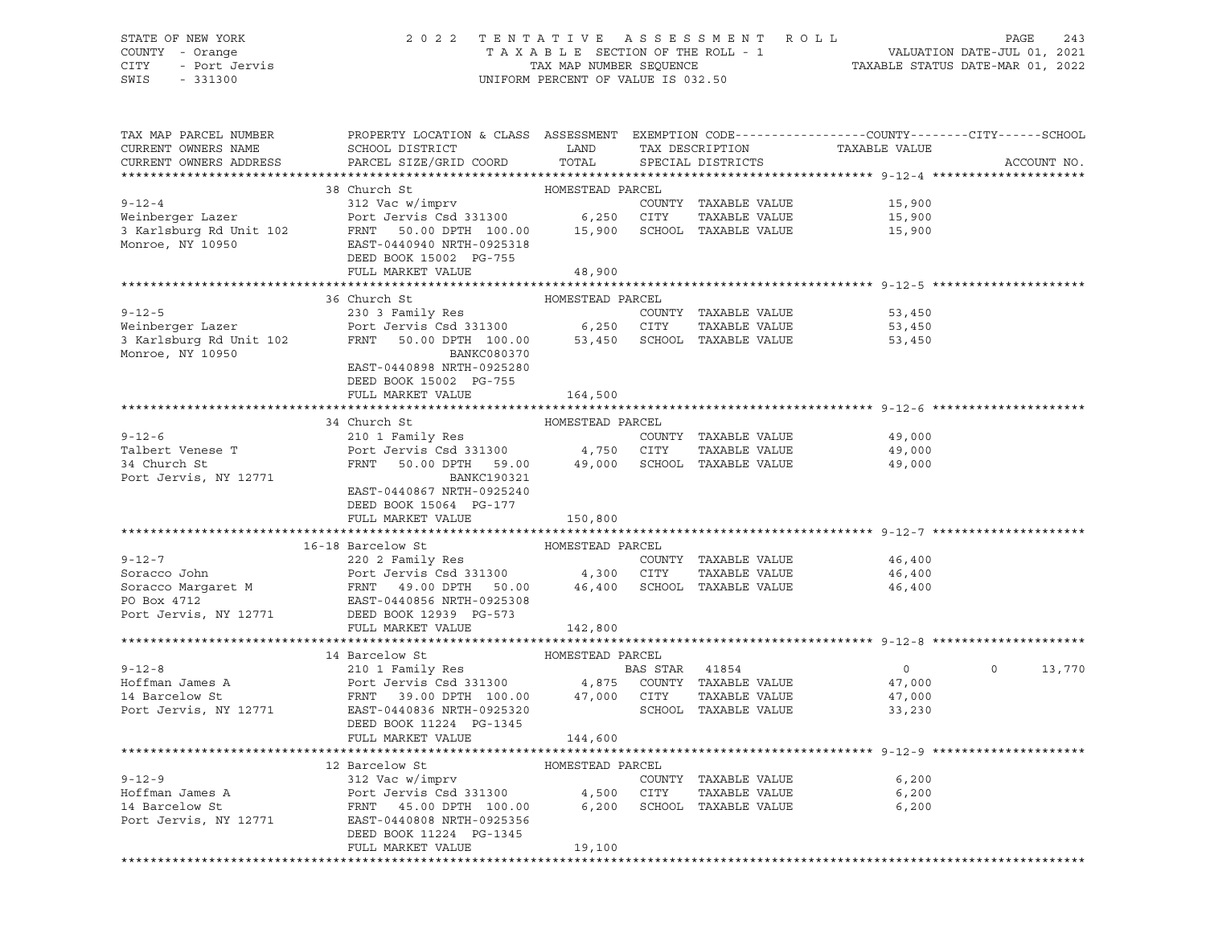### STATE OF NEW YORK 2 0 2 2 T E N T A T I V E A S S E S S M E N T R O L L PAGE 243 COUNTY - Orange T A X A B L E SECTION OF THE ROLL - 1 VALUATION DATE-JUL 01, 2021 CITY - Port Jervis TAX MAP NUMBER SEQUENCE TAXABLE STATUS DATE-MAR 01, 2022

| TAX MAP PARCEL NUMBER<br>CURRENT OWNERS NAME<br>CURRENT OWNERS ADDRESS | PROPERTY LOCATION & CLASS ASSESSMENT EXEMPTION CODE---------------COUNTY-------CITY------SCHOOL<br>SCHOOL DISTRICT TAND TAX DESCRIPTION<br>PARCEL SIZE/GRID COORD TOTAL SPECIAL DISTRICTS                                                                    |                  |  | TAXABLE VALUE                                   | ACCOUNT NO.   |
|------------------------------------------------------------------------|--------------------------------------------------------------------------------------------------------------------------------------------------------------------------------------------------------------------------------------------------------------|------------------|--|-------------------------------------------------|---------------|
|                                                                        |                                                                                                                                                                                                                                                              |                  |  |                                                 |               |
|                                                                        |                                                                                                                                                                                                                                                              |                  |  |                                                 |               |
|                                                                        |                                                                                                                                                                                                                                                              |                  |  | 15,900<br>15,900                                |               |
|                                                                        |                                                                                                                                                                                                                                                              |                  |  |                                                 |               |
|                                                                        |                                                                                                                                                                                                                                                              |                  |  | 15,900                                          |               |
|                                                                        |                                                                                                                                                                                                                                                              |                  |  |                                                 |               |
|                                                                        | FULL MARKET VALUE                                                                                                                                                                                                                                            | 48,900           |  |                                                 |               |
|                                                                        |                                                                                                                                                                                                                                                              |                  |  |                                                 |               |
|                                                                        | 36 Church St                                                                                                                                                                                                                                                 | HOMESTEAD PARCEL |  |                                                 |               |
|                                                                        |                                                                                                                                                                                                                                                              |                  |  | 53,450                                          |               |
|                                                                        |                                                                                                                                                                                                                                                              |                  |  | 53,450                                          |               |
|                                                                        | 9-12-5<br>Weinberger Lazer<br>230 3 Family Res<br>Port Jervis Csd 331300 6,250 CITY TAXABLE VALUE<br>3 Karlsburg Rd Unit 102 FRNT 50.00 DPTH 100.00 53,450 SCHOOL TAXABLE VALUE<br>Monroe NY 10950                                                           |                  |  | 53,450                                          |               |
| Monroe, NY 10950                                                       | BANKC080370                                                                                                                                                                                                                                                  |                  |  |                                                 |               |
|                                                                        | EAST-0440898 NRTH-0925280                                                                                                                                                                                                                                    |                  |  |                                                 |               |
|                                                                        | DEED BOOK 15002 PG-755                                                                                                                                                                                                                                       |                  |  |                                                 |               |
|                                                                        | FULL MARKET VALUE                                                                                                                                                                                                                                            | 164,500          |  |                                                 |               |
|                                                                        | 34 Church St                                                                                                                                                                                                                                                 | HOMESTEAD PARCEL |  |                                                 |               |
| $9 - 12 - 6$                                                           | 210 1 Family Res<br>210 1 Family Res<br>Port Jervis Csd 331300 4,750 CITY TAXABLE VALUE<br>FRNT 50.00 DPTH 59.00 49,000 SCHOOL TAXABLE VALUE 49,000 FRNT 50.00 DPTH 59.00                                                                                    |                  |  |                                                 |               |
|                                                                        |                                                                                                                                                                                                                                                              |                  |  |                                                 |               |
| Talbert Venese T<br>34 Church St                                       |                                                                                                                                                                                                                                                              |                  |  |                                                 |               |
| Port Jervis, NY 12771                                                  | BANKC190321                                                                                                                                                                                                                                                  |                  |  |                                                 |               |
|                                                                        | EAST-0440867 NRTH-0925240                                                                                                                                                                                                                                    |                  |  |                                                 |               |
|                                                                        | DEED BOOK 15064 PG-177                                                                                                                                                                                                                                       |                  |  |                                                 |               |
|                                                                        | FULL MARKET VALUE                                                                                                                                                                                                                                            | 150,800          |  |                                                 |               |
|                                                                        |                                                                                                                                                                                                                                                              |                  |  | ******************************* 9-12-7 ******** |               |
|                                                                        | 16-18 Barcelow St                                                                                                                                                                                                                                            | HOMESTEAD PARCEL |  |                                                 |               |
|                                                                        |                                                                                                                                                                                                                                                              |                  |  | 46,400                                          |               |
|                                                                        |                                                                                                                                                                                                                                                              |                  |  | 46,400                                          |               |
|                                                                        |                                                                                                                                                                                                                                                              |                  |  | 46,400                                          |               |
|                                                                        | 9-12-7<br>Soracco John Port Jervis Csd 331300<br>Soracco Margaret M<br>Port Jervis Csd 331300<br>Port Jervis Csd 331300<br>Port Jervis Port Jervis NY 12771<br>DEED BOX 4712<br>Port Jervis, NY 12771<br>DEED BOX 4712<br>Port Jervis, NY 12771<br>          |                  |  |                                                 |               |
|                                                                        | FULL MARKET VALUE                                                                                                                                                                                                                                            | 142,800          |  |                                                 |               |
|                                                                        |                                                                                                                                                                                                                                                              |                  |  |                                                 |               |
|                                                                        | 14 Barcelow St                                                                                                                                                                                                                                               | HOMESTEAD PARCEL |  |                                                 |               |
|                                                                        |                                                                                                                                                                                                                                                              |                  |  | $\overline{0}$                                  | $0 \t 13,770$ |
|                                                                        |                                                                                                                                                                                                                                                              |                  |  |                                                 |               |
|                                                                        |                                                                                                                                                                                                                                                              |                  |  |                                                 |               |
|                                                                        | 9-12-8<br>Hoffman James A<br>210 1 Family Res<br>Port Jervis Csd 331300<br>Port Jervis Csd 331300<br>Port Jervis Csd 331300<br>210 Family Res<br>Port Jervis Csd 331300<br>47,000<br>47,000<br>217 TAXABLE VALUE<br>27,000<br>27,000<br>27,000<br>27,000<br> |                  |  |                                                 |               |
|                                                                        | DEED BOOK 11224 PG-1345                                                                                                                                                                                                                                      |                  |  |                                                 |               |
|                                                                        | FULL MARKET VALUE                                                                                                                                                                                                                                            | 144,600          |  |                                                 |               |
|                                                                        |                                                                                                                                                                                                                                                              |                  |  |                                                 |               |
|                                                                        | 12 Barcelow St                                                                                                                                                                                                                                               | HOMESTEAD PARCEL |  |                                                 |               |
|                                                                        |                                                                                                                                                                                                                                                              |                  |  |                                                 |               |
|                                                                        |                                                                                                                                                                                                                                                              |                  |  |                                                 |               |
|                                                                        | 9-12-9<br>Hoffman James A<br>Hoffman James A<br>2000 EDT Jervis Csd 331300<br>2000 ERXABLE VALUE<br>2000 ERXABLE VALUE<br>2000 ERXABLE VALUE<br>2000 ECHOOL TAXABLE VALUE<br>2000 ECHOOL TAXABLE VALUE<br>2000 ECHOOL TAXABLE VALUE<br>2000 ECHOOL           |                  |  |                                                 |               |
|                                                                        | DEED BOOK 11224 PG-1345                                                                                                                                                                                                                                      |                  |  |                                                 |               |
|                                                                        |                                                                                                                                                                                                                                                              |                  |  |                                                 |               |
|                                                                        | FULL MARKET VALUE                                                                                                                                                                                                                                            | 19,100           |  |                                                 |               |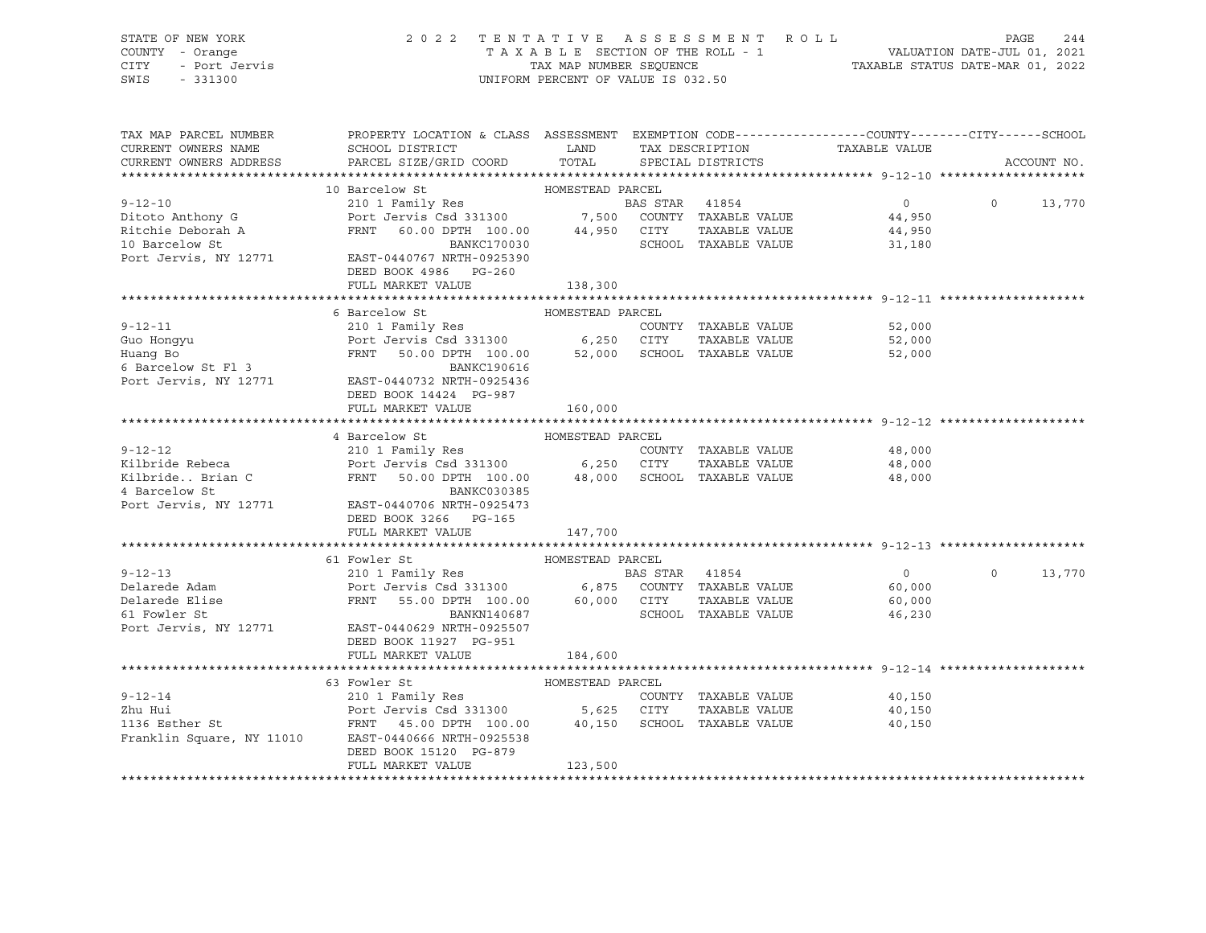| STATE OF NEW YORK<br>COUNTY - Orange<br>CITY - Port Jervis<br>CITY - Port Jervis<br>SWIS<br>$-331300$                                                                                                                                                  | 2022 TENTATIVE ASSESSMENT ROLL                                                                                           | UNIFORM PERCENT OF VALUE IS 032.50 |                         | T A X A B L E SECTION OF THE ROLL - 1 VALUATION DATE-JUL 01, 2021<br>TAX MAP NUMBER SEQUENCE TAXABLE STATUS DATE-MAR 01, 2022 | PAGE          | 244         |
|--------------------------------------------------------------------------------------------------------------------------------------------------------------------------------------------------------------------------------------------------------|--------------------------------------------------------------------------------------------------------------------------|------------------------------------|-------------------------|-------------------------------------------------------------------------------------------------------------------------------|---------------|-------------|
|                                                                                                                                                                                                                                                        |                                                                                                                          |                                    |                         |                                                                                                                               |               |             |
| TAX MAP PARCEL NUMBER                                                                                                                                                                                                                                  | PROPERTY LOCATION & CLASS ASSESSMENT EXEMPTION CODE---------------COUNTY-------CITY------SCHOOL                          |                                    |                         |                                                                                                                               |               |             |
| CURRENT OWNERS NAME                                                                                                                                                                                                                                    | SCHOOL DISTRICT LAND                                                                                                     |                                    | TAX DESCRIPTION         | TAXABLE VALUE                                                                                                                 |               |             |
| CURRENT OWNERS ADDRESS                                                                                                                                                                                                                                 | PARCEL SIZE/GRID COORD                                                                                                   |                                    | TOTAL SPECIAL DISTRICTS |                                                                                                                               |               | ACCOUNT NO. |
| 10 Barcelow St<br>210 1 Family Res<br>210 1 Family Res<br>210 1 Family Res<br>210 1 Family Res<br>210 21 Family Res<br>210 21 Family Res<br>210 21 Family Res<br>210 21 Family Res<br>210 21 Family Res<br>210 21 Family Res<br>210 21 Family Res<br>2 |                                                                                                                          |                                    |                         |                                                                                                                               |               |             |
|                                                                                                                                                                                                                                                        |                                                                                                                          |                                    |                         | $0 \qquad \qquad$                                                                                                             | $0 \t 13,770$ |             |
|                                                                                                                                                                                                                                                        |                                                                                                                          |                                    |                         |                                                                                                                               |               |             |
|                                                                                                                                                                                                                                                        |                                                                                                                          |                                    |                         |                                                                                                                               |               |             |
|                                                                                                                                                                                                                                                        |                                                                                                                          |                                    |                         |                                                                                                                               |               |             |
| Port Jervis, NY 12771 EAST-0440767 NRTH-0925390                                                                                                                                                                                                        |                                                                                                                          |                                    |                         |                                                                                                                               |               |             |
|                                                                                                                                                                                                                                                        | DEED BOOK 4986 PG-260                                                                                                    |                                    |                         |                                                                                                                               |               |             |
|                                                                                                                                                                                                                                                        | FULL MARKET VALUE                                                                                                        | 138,300                            |                         |                                                                                                                               |               |             |
|                                                                                                                                                                                                                                                        |                                                                                                                          |                                    |                         |                                                                                                                               |               |             |
|                                                                                                                                                                                                                                                        | 6 Barcelow St                                                                                                            | HOMESTEAD PARCEL                   |                         |                                                                                                                               |               |             |
| $9 - 12 - 11$                                                                                                                                                                                                                                          |                                                                                                                          |                                    |                         | 52,000                                                                                                                        |               |             |
|                                                                                                                                                                                                                                                        |                                                                                                                          |                                    |                         | 52,000                                                                                                                        |               |             |
|                                                                                                                                                                                                                                                        | 210 1 Family Res<br>Port Jervis Csd 331300 6,250 CITY TAXABLE VALUE<br>FRNT 50.00 DTH 100.00 52,000 SCHOOL TAXABLE VALUE |                                    |                         | 52,000                                                                                                                        |               |             |
| Guo Hongyu<br>Huang Bo<br>6 Barcelow St Fl 3                                                                                                                                                                                                           | BANKC190616                                                                                                              |                                    |                         |                                                                                                                               |               |             |
| Port Jervis, NY 12771                                                                                                                                                                                                                                  | EAST-0440732 NRTH-0925436                                                                                                |                                    |                         |                                                                                                                               |               |             |
|                                                                                                                                                                                                                                                        | DEED BOOK 14424 PG-987                                                                                                   |                                    |                         |                                                                                                                               |               |             |
|                                                                                                                                                                                                                                                        | FULL MARKET VALUE                                                                                                        | 160,000                            |                         |                                                                                                                               |               |             |
|                                                                                                                                                                                                                                                        |                                                                                                                          |                                    |                         |                                                                                                                               |               |             |
|                                                                                                                                                                                                                                                        |                                                                                                                          | HOMESTEAD PARCEL                   |                         |                                                                                                                               |               |             |
|                                                                                                                                                                                                                                                        |                                                                                                                          |                                    |                         | 48,000                                                                                                                        |               |             |
|                                                                                                                                                                                                                                                        |                                                                                                                          |                                    |                         | 48,000                                                                                                                        |               |             |
| 9-12-12<br>9-12-12<br>Exilbride Rebeca Port Jervis Csd 331300<br>Exilibride Rebeca Port Jervis Csd 331300<br>EXILORE DEVIS COUNTY TAXABLE VALUE<br>EXILORE DEVIS COUNTY AND TAXABLE VALUE<br>EXILORE DEVIS COUNTY AND TAXABLE VALUE<br>EXILO           |                                                                                                                          |                                    |                         | 48,000                                                                                                                        |               |             |
|                                                                                                                                                                                                                                                        |                                                                                                                          |                                    |                         |                                                                                                                               |               |             |
| Port Jervis, NY 12771 EAST-0440706 NRTH-0925473                                                                                                                                                                                                        |                                                                                                                          |                                    |                         |                                                                                                                               |               |             |
|                                                                                                                                                                                                                                                        | DEED BOOK 3266 PG-165                                                                                                    |                                    |                         |                                                                                                                               |               |             |
|                                                                                                                                                                                                                                                        | FULL MARKET VALUE                                                                                                        | 147,700                            |                         |                                                                                                                               |               |             |
|                                                                                                                                                                                                                                                        |                                                                                                                          |                                    |                         |                                                                                                                               |               |             |
| $9 - 12 - 13$                                                                                                                                                                                                                                          | 61 Fowler St<br>210 1 Family Res 60 8 BAS STAR 41854                                                                     | HOMESTEAD PARCEL                   |                         | $\overline{0}$                                                                                                                | $\circ$       | 13,770      |
| Delarede Adam                                                                                                                                                                                                                                          |                                                                                                                          |                                    |                         | 60,000                                                                                                                        |               |             |
|                                                                                                                                                                                                                                                        | Port Jervis Csd 331300 6,875 COUNTY TAXABLE VALUE<br>FRNT 55.00 DPTH 100.00 60,000 CITY TAXABLE VALUE                    |                                    |                         | 60,000                                                                                                                        |               |             |
|                                                                                                                                                                                                                                                        | BANKN140687                                                                                                              |                                    | SCHOOL TAXABLE VALUE    | 46,230                                                                                                                        |               |             |
| Compared to the St.<br>61 Fowler St.<br>Port Jervis Number<br>Port Jervis, NY 12771 EAST-0440629 NRTH-0925507                                                                                                                                          |                                                                                                                          |                                    |                         |                                                                                                                               |               |             |
|                                                                                                                                                                                                                                                        | DEED BOOK 11927 PG-951                                                                                                   |                                    |                         |                                                                                                                               |               |             |
|                                                                                                                                                                                                                                                        | FULL MARKET VALUE                                                                                                        | 184,600                            |                         |                                                                                                                               |               |             |
|                                                                                                                                                                                                                                                        |                                                                                                                          |                                    |                         |                                                                                                                               |               |             |
|                                                                                                                                                                                                                                                        | 63 Fowler St                                                                                                             | HOMESTEAD PARCEL                   |                         |                                                                                                                               |               |             |
|                                                                                                                                                                                                                                                        |                                                                                                                          |                                    |                         | 40,150                                                                                                                        |               |             |
|                                                                                                                                                                                                                                                        |                                                                                                                          |                                    |                         | 40,150                                                                                                                        |               |             |
|                                                                                                                                                                                                                                                        |                                                                                                                          |                                    |                         | 40,150                                                                                                                        |               |             |
| 9-12-14<br>210 1 Family Res<br>210 1 Family Res<br>210 1 Family Res<br>210 1 Family Res<br>210 1 Family Res<br>210 1 Family Res<br>210 1 Family Res<br>210 1 Family Res<br>210 1 Family Res<br>210 1 Family Res<br>210 1 Family Res<br>210 1 Family Re |                                                                                                                          |                                    |                         |                                                                                                                               |               |             |
|                                                                                                                                                                                                                                                        | DEED BOOK 15120 PG-879                                                                                                   |                                    |                         |                                                                                                                               |               |             |
|                                                                                                                                                                                                                                                        |                                                                                                                          |                                    |                         |                                                                                                                               |               |             |
|                                                                                                                                                                                                                                                        | FULL MARKET VALUE                                                                                                        | 123,500                            |                         |                                                                                                                               |               |             |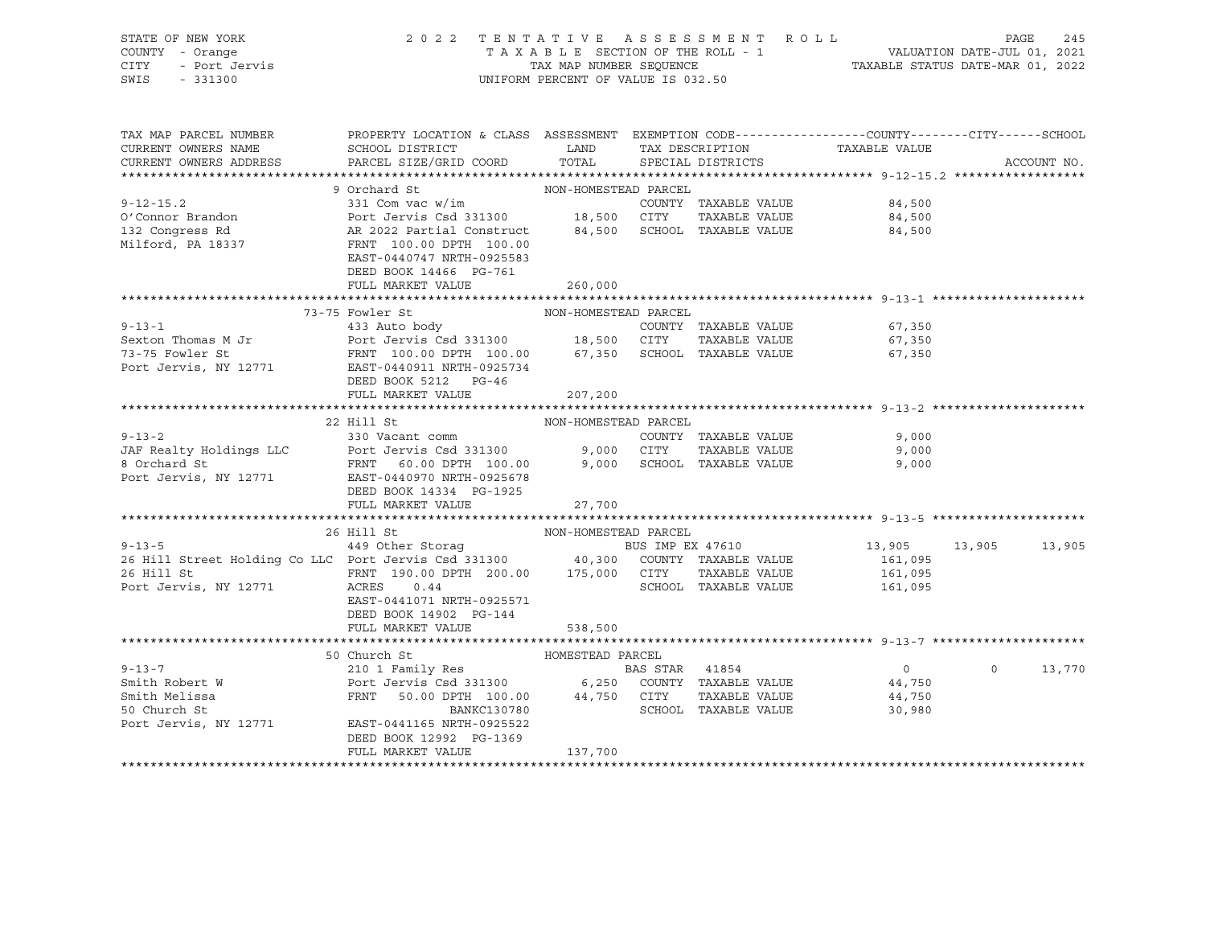| STATE OF NEW YORK                                                                                                                                                                                                                                                                                          |                                                                                                                                                                    |                                    |  |                      |                                                                |  |             |
|------------------------------------------------------------------------------------------------------------------------------------------------------------------------------------------------------------------------------------------------------------------------------------------------------------|--------------------------------------------------------------------------------------------------------------------------------------------------------------------|------------------------------------|--|----------------------|----------------------------------------------------------------|--|-------------|
| COUNTY - Orange                                                                                                                                                                                                                                                                                            | 2022 TENTATIVE ASSESSMENT ROLL PAGE 245<br>TAXABLE SECTION OF THE ROLL - 1 VALUATION DATE-JUL 01, 2021<br>TAX MAP NUMBER SEQUENCE TAXABLE STATUS DATE-MAR 01, 2022 |                                    |  |                      |                                                                |  |             |
| CITY                                                                                                                                                                                                                                                                                                       |                                                                                                                                                                    |                                    |  |                      |                                                                |  |             |
| SWIS - 331300                                                                                                                                                                                                                                                                                              |                                                                                                                                                                    | UNIFORM PERCENT OF VALUE IS 032.50 |  |                      |                                                                |  |             |
|                                                                                                                                                                                                                                                                                                            |                                                                                                                                                                    |                                    |  |                      |                                                                |  |             |
|                                                                                                                                                                                                                                                                                                            |                                                                                                                                                                    |                                    |  |                      |                                                                |  |             |
|                                                                                                                                                                                                                                                                                                            |                                                                                                                                                                    |                                    |  |                      |                                                                |  |             |
| TAX MAP PARCEL NUMBER                                                                                                                                                                                                                                                                                      | PROPERTY LOCATION & CLASS ASSESSMENT EXEMPTION CODE---------------COUNTY-------CITY------SCHOOL                                                                    |                                    |  |                      |                                                                |  |             |
| CURRENT OWNERS NAME                                                                                                                                                                                                                                                                                        | SCHOOL DISTRICT                           LAND         TAX DESCRIPTION                   TAXABLE VALUE                                                             |                                    |  |                      |                                                                |  |             |
| CURRENT OWNERS ADDRESS                                                                                                                                                                                                                                                                                     | PARCEL SIZE/GRID COORD TOTAL SPECIAL DISTRICTS                                                                                                                     |                                    |  |                      |                                                                |  | ACCOUNT NO. |
|                                                                                                                                                                                                                                                                                                            |                                                                                                                                                                    |                                    |  |                      |                                                                |  |             |
|                                                                                                                                                                                                                                                                                                            | 9 Orchard St                                                                                                                                                       | NON-HOMESTEAD PARCEL               |  |                      |                                                                |  |             |
| $9 - 12 - 15.2$                                                                                                                                                                                                                                                                                            | 331 Com vac w/im<br>Port Jervis Csd 331300<br>AR 2022 Partial Construct<br>FRNT 100.00 DPTH 100.00                                                                 |                                    |  |                      | 84,500                                                         |  |             |
|                                                                                                                                                                                                                                                                                                            |                                                                                                                                                                    |                                    |  |                      |                                                                |  |             |
| O'Connor Brandon<br>132 Congress Rd                                                                                                                                                                                                                                                                        |                                                                                                                                                                    |                                    |  |                      | 84,500                                                         |  |             |
|                                                                                                                                                                                                                                                                                                            |                                                                                                                                                                    |                                    |  |                      | 84,500                                                         |  |             |
| Milford, PA 18337                                                                                                                                                                                                                                                                                          |                                                                                                                                                                    |                                    |  |                      |                                                                |  |             |
|                                                                                                                                                                                                                                                                                                            | EAST-0440747 NRTH-0925583                                                                                                                                          |                                    |  |                      |                                                                |  |             |
|                                                                                                                                                                                                                                                                                                            | DEED BOOK 14466 PG-761                                                                                                                                             |                                    |  |                      |                                                                |  |             |
|                                                                                                                                                                                                                                                                                                            | FULL MARKET VALUE                                                                                                                                                  | 260,000                            |  |                      |                                                                |  |             |
|                                                                                                                                                                                                                                                                                                            |                                                                                                                                                                    |                                    |  |                      |                                                                |  |             |
|                                                                                                                                                                                                                                                                                                            | 73-75 Fowler St                                                                                                                                                    | NON-HOMESTEAD PARCEL               |  |                      |                                                                |  |             |
|                                                                                                                                                                                                                                                                                                            |                                                                                                                                                                    |                                    |  |                      | 67,350                                                         |  |             |
|                                                                                                                                                                                                                                                                                                            |                                                                                                                                                                    |                                    |  |                      | 67,350                                                         |  |             |
|                                                                                                                                                                                                                                                                                                            |                                                                                                                                                                    |                                    |  |                      | 67,350                                                         |  |             |
| 9-13-1<br>Sexton Thomas M Jr<br>TAXABLE VALUE<br>TOOUNTY TAXABLE VALUE<br>TOOUNTY TAXABLE VALUE<br>TOOUNTY TAXABLE VALUE<br>TOOUNTY TAXABLE VALUE<br>TOOUNTY TAXABLE VALUE<br>TOOUNTY TAXABLE VALUE<br>TOOUNTY TAXABLE VALUE<br>TAXABLE VALUE<br>POT                                                       |                                                                                                                                                                    |                                    |  |                      |                                                                |  |             |
|                                                                                                                                                                                                                                                                                                            |                                                                                                                                                                    |                                    |  |                      |                                                                |  |             |
|                                                                                                                                                                                                                                                                                                            | FULL MARKET VALUE                                                                                                                                                  | 207,200                            |  |                      |                                                                |  |             |
|                                                                                                                                                                                                                                                                                                            |                                                                                                                                                                    |                                    |  |                      |                                                                |  |             |
|                                                                                                                                                                                                                                                                                                            |                                                                                                                                                                    |                                    |  |                      |                                                                |  |             |
|                                                                                                                                                                                                                                                                                                            |                                                                                                                                                                    |                                    |  |                      |                                                                |  |             |
|                                                                                                                                                                                                                                                                                                            | 22 Hill St                                                                                                                                                         | NON-HOMESTEAD PARCEL               |  |                      |                                                                |  |             |
| $9 - 13 - 2$                                                                                                                                                                                                                                                                                               | 330 Vacant comm                                                                                                                                                    |                                    |  | COUNTY TAXABLE VALUE | 9,000                                                          |  |             |
|                                                                                                                                                                                                                                                                                                            |                                                                                                                                                                    |                                    |  | TAXABLE VALUE        | 9,000                                                          |  |             |
|                                                                                                                                                                                                                                                                                                            |                                                                                                                                                                    |                                    |  |                      | 9,000                                                          |  |             |
|                                                                                                                                                                                                                                                                                                            |                                                                                                                                                                    |                                    |  |                      |                                                                |  |             |
| JAF Realty Holdings LLC<br>8 Orchard St<br>Port Jervis Csd 331300<br>8 Orchard St<br>Port Jervis, NY 12771<br>EAST-0440970 NRTH-0925678<br>FRNT 60.00 DPTH 100.00<br>9,000 SCHOOL TAXABLE VALUE<br>Port Jervis, NY 12771<br>EAST-0440970 NRTH-09                                                           | DEED BOOK 14334 PG-1925                                                                                                                                            |                                    |  |                      |                                                                |  |             |
|                                                                                                                                                                                                                                                                                                            | FULL MARKET VALUE                                                                                                                                                  | 27,700                             |  |                      |                                                                |  |             |
|                                                                                                                                                                                                                                                                                                            |                                                                                                                                                                    |                                    |  |                      | ********************************* 9-13-5 ********************* |  |             |
|                                                                                                                                                                                                                                                                                                            | 26 Hill St                                                                                                                                                         | NON-HOMESTEAD PARCEL               |  |                      |                                                                |  |             |
|                                                                                                                                                                                                                                                                                                            |                                                                                                                                                                    |                                    |  |                      | 13,905 13,905 13,905                                           |  |             |
|                                                                                                                                                                                                                                                                                                            |                                                                                                                                                                    |                                    |  |                      |                                                                |  |             |
|                                                                                                                                                                                                                                                                                                            |                                                                                                                                                                    |                                    |  |                      | 161,095                                                        |  |             |
|                                                                                                                                                                                                                                                                                                            |                                                                                                                                                                    |                                    |  |                      | 161,095                                                        |  |             |
| 9-13-5<br>26 Hill Street Holding Co LLC Port Jervis Csd 331300<br>26 Hill St<br>26 Hill St<br>26 Hill St<br>26 Hill St<br>26 Hill St<br>26 Hill St<br>26 Hill St<br>26 Hill St<br>26 Hill St<br>26 Hill St<br>26 Hill St<br>26 GODATY<br>200.00 DPTH<br>200.                                               |                                                                                                                                                                    |                                    |  |                      | 161,095                                                        |  |             |
|                                                                                                                                                                                                                                                                                                            | EAST-0441071 NRTH-0925571                                                                                                                                          |                                    |  |                      |                                                                |  |             |
|                                                                                                                                                                                                                                                                                                            | DEED BOOK 14902 PG-144                                                                                                                                             |                                    |  |                      |                                                                |  |             |
|                                                                                                                                                                                                                                                                                                            | FULL MARKET VALUE                                                                                                                                                  | 538,500                            |  |                      |                                                                |  |             |
|                                                                                                                                                                                                                                                                                                            |                                                                                                                                                                    |                                    |  |                      |                                                                |  |             |
|                                                                                                                                                                                                                                                                                                            |                                                                                                                                                                    |                                    |  |                      |                                                                |  |             |
|                                                                                                                                                                                                                                                                                                            |                                                                                                                                                                    |                                    |  |                      | $0 \t 0 \t 13,770$                                             |  |             |
|                                                                                                                                                                                                                                                                                                            |                                                                                                                                                                    |                                    |  |                      | 44,750                                                         |  |             |
|                                                                                                                                                                                                                                                                                                            |                                                                                                                                                                    |                                    |  | TAXABLE VALUE        | 44,750                                                         |  |             |
|                                                                                                                                                                                                                                                                                                            |                                                                                                                                                                    |                                    |  |                      | 30,980                                                         |  |             |
| 9-13-7<br>9-13-7<br>Smith Robert W Port Jervis Csd 331300<br>Smith Melissa FRNT 50.00 DPTH 100.00<br>Smith Melissa FRNT 50.00 DPTH 100.00<br>So Church St<br>BANKC130780<br>BANKC130780<br>BANKC130780<br>BANKC130780<br>BANKC130780<br>BANKC130780<br><br>Port Jervis, NY 12771 EAST-0441165 NRTH-0925522 |                                                                                                                                                                    |                                    |  |                      |                                                                |  |             |
|                                                                                                                                                                                                                                                                                                            | DEED BOOK 12992 PG-1369                                                                                                                                            |                                    |  |                      |                                                                |  |             |
|                                                                                                                                                                                                                                                                                                            | FULL MARKET VALUE                                                                                                                                                  | 137,700                            |  |                      |                                                                |  |             |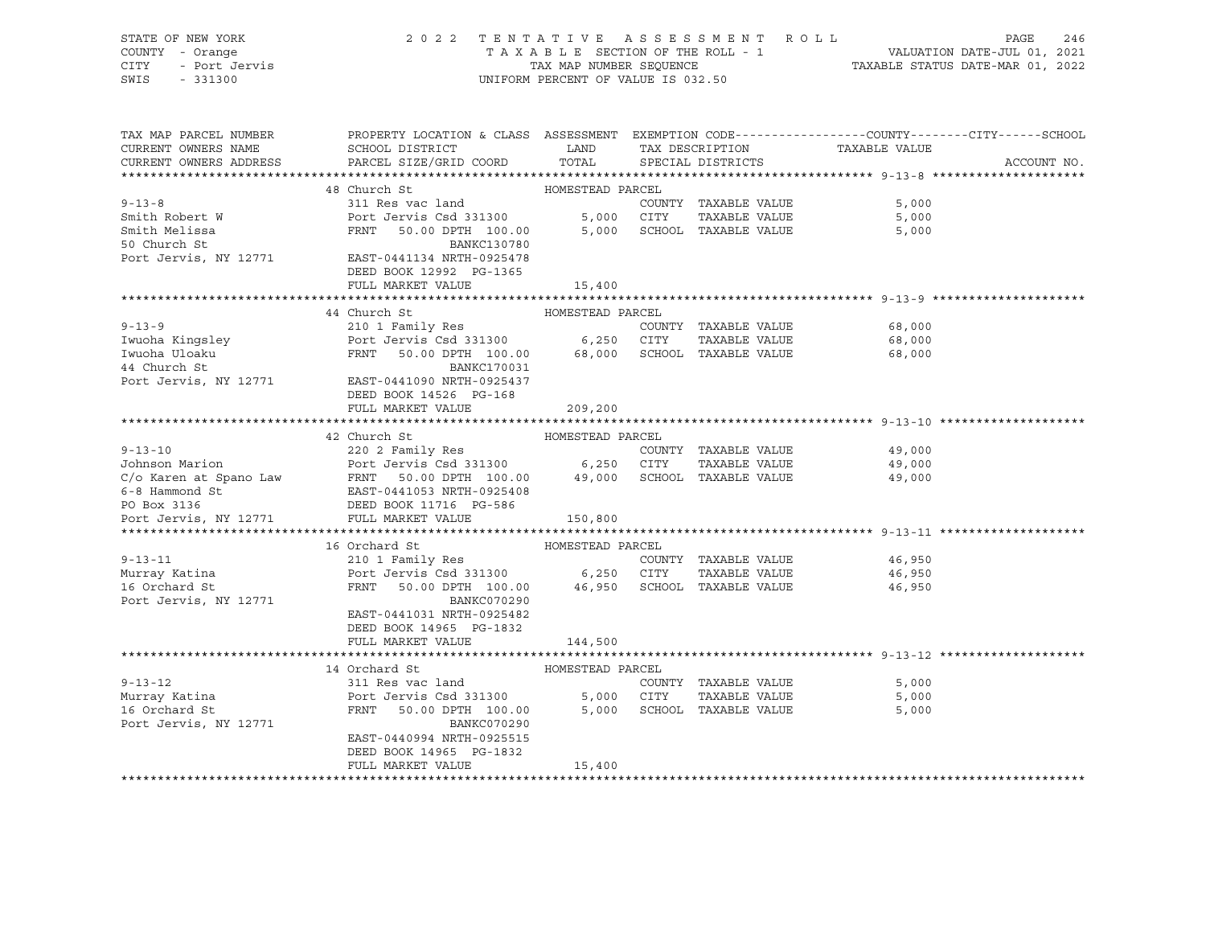| STATE OF NEW YORK<br>COUNTY - Orange<br>CITY<br>- Port Jervis<br>SWIS<br>$-331300$ | 2022 TENTATIVE ASSESSMENT ROLL                                                                                     | UNIFORM PERCENT OF VALUE IS 032.50 |      |                                            | TAXABLE SECTION OF THE ROLL - 1<br>TAXABLE SECTION OF THE ROLL - 1<br>TAXABLE STATUS DATE-MAR 01, 2022 | PAGE<br>246 |
|------------------------------------------------------------------------------------|--------------------------------------------------------------------------------------------------------------------|------------------------------------|------|--------------------------------------------|--------------------------------------------------------------------------------------------------------|-------------|
| TAX MAP PARCEL NUMBER<br>CURRENT OWNERS NAME                                       | PROPERTY LOCATION & CLASS ASSESSMENT EXEMPTION CODE---------------COUNTY-------CITY------SCHOOL<br>SCHOOL DISTRICT | LAND                               |      | TAX DESCRIPTION                            | TAXABLE VALUE                                                                                          |             |
| CURRENT OWNERS ADDRESS                                                             | PARCEL SIZE/GRID COORD                                                                                             | TOTAL                              |      | SPECIAL DISTRICTS                          |                                                                                                        | ACCOUNT NO. |
|                                                                                    |                                                                                                                    |                                    |      |                                            |                                                                                                        |             |
|                                                                                    | 48 Church St                                                                                                       | HOMESTEAD PARCEL                   |      |                                            |                                                                                                        |             |
| $9 - 13 - 8$                                                                       | 311 Res vac land                                                                                                   |                                    |      | COUNTY TAXABLE VALUE                       | 5,000                                                                                                  |             |
| Smith Robert W                                                                     | Port Jervis Csd 331300                                                                                             | 5,000 CITY                         |      | TAXABLE VALUE                              | 5,000                                                                                                  |             |
| Smith Melissa                                                                      | FRNT 50.00 DPTH 100.00                                                                                             |                                    |      | 5,000 SCHOOL TAXABLE VALUE                 | 5,000                                                                                                  |             |
| 50 Church St<br>Port Jervis, NY 12771                                              | BANKC130780<br>EAST-0441134 NRTH-0925478<br>DEED BOOK 12992 PG-1365                                                |                                    |      |                                            |                                                                                                        |             |
|                                                                                    | FULL MARKET VALUE                                                                                                  | 15,400                             |      |                                            |                                                                                                        |             |
|                                                                                    |                                                                                                                    |                                    |      |                                            |                                                                                                        |             |
|                                                                                    | 44 Church St                                                                                                       | HOMESTEAD PARCEL                   |      |                                            |                                                                                                        |             |
| $9 - 13 - 9$<br>Iwuoha Kingsley                                                    | 210 1 Family Res<br>Port Jervis Csd 331300                                                                         | 6,250                              |      | COUNTY TAXABLE VALUE<br>CITY TAXABLE VALUE | 68,000<br>68,000                                                                                       |             |
|                                                                                    | FRNT 50.00 DPTH 100.00                                                                                             | 68,000                             |      | SCHOOL TAXABLE VALUE                       | 68,000                                                                                                 |             |
| Iwuoha Uloaku<br>44 Church St                                                      | BANKC170031                                                                                                        |                                    |      |                                            |                                                                                                        |             |
|                                                                                    | Port Jervis, NY 12771 EAST-0441090 NRTH-0925437                                                                    |                                    |      |                                            |                                                                                                        |             |
|                                                                                    | DEED BOOK 14526 PG-168                                                                                             |                                    |      |                                            |                                                                                                        |             |
|                                                                                    | FULL MARKET VALUE                                                                                                  | 209,200                            |      |                                            |                                                                                                        |             |
|                                                                                    |                                                                                                                    |                                    |      |                                            |                                                                                                        |             |
|                                                                                    | 42 Church St                                                                                                       | HOMESTEAD PARCEL                   |      |                                            |                                                                                                        |             |
| $9 - 13 - 10$<br>Johnson Marion                                                    | 220 2 Family Res                                                                                                   |                                    |      | COUNTY TAXABLE VALUE<br>TAXABLE VALUE      | 49,000<br>49,000                                                                                       |             |
| C/o Karen at Spano Law                                                             | FRNT 50.00 DPTH 100.00 49,000 SCHOOL TAXABLE VALUE                                                                 |                                    |      |                                            | 49,000                                                                                                 |             |
|                                                                                    | FRNT 50.00 DPTH 100.00<br>EAST-0441053 NRTH-0925408                                                                |                                    |      |                                            |                                                                                                        |             |
| 6-8 Hammond St<br>PO Box 3136                                                      | DEED BOOK 11716 PG-586                                                                                             |                                    |      |                                            |                                                                                                        |             |
| Port Jervis, NY 12771                                                              | FULL MARKET VALUE                                                                                                  | 150,800                            |      |                                            |                                                                                                        |             |
|                                                                                    |                                                                                                                    |                                    |      |                                            |                                                                                                        |             |
|                                                                                    | 16 Orchard St                                                                                                      | HOMESTEAD PARCEL                   |      |                                            |                                                                                                        |             |
| $9 - 13 - 11$                                                                      | 210 1 Family Res<br>Port Jervis Csd 331300 6,250 CITY                                                              |                                    |      | COUNTY TAXABLE VALUE                       | 46,950                                                                                                 |             |
| Murray Katina                                                                      |                                                                                                                    |                                    |      | TAXABLE VALUE                              | 46,950                                                                                                 |             |
| 16 Orchard St                                                                      | FRNT 50.00 DPTH 100.00<br>BANKC070290                                                                              |                                    |      | 46,950 SCHOOL TAXABLE VALUE                | 46,950                                                                                                 |             |
| Port Jervis, NY 12771                                                              | EAST-0441031 NRTH-0925482                                                                                          |                                    |      |                                            |                                                                                                        |             |
|                                                                                    | DEED BOOK 14965 PG-1832                                                                                            |                                    |      |                                            |                                                                                                        |             |
|                                                                                    | FULL MARKET VALUE                                                                                                  | 144,500                            |      |                                            |                                                                                                        |             |
|                                                                                    |                                                                                                                    |                                    |      |                                            |                                                                                                        |             |
|                                                                                    | 14 Orchard St                                                                                                      | HOMESTEAD PARCEL                   |      |                                            |                                                                                                        |             |
| $9 - 13 - 12$                                                                      | 311 Res vac land                                                                                                   |                                    |      | COUNTY TAXABLE VALUE                       | 5,000                                                                                                  |             |
| Murray Katina<br>16 Orchard St                                                     | Port Jervis Csd 331300                                                                                             | 5,000                              | CITY | TAXABLE VALUE                              | 5,000                                                                                                  |             |
| Port Jervis, NY 12771                                                              | FRNT 50.00 DPTH 100.00<br>BANKC070290                                                                              | 5,000                              |      | SCHOOL TAXABLE VALUE                       | 5,000                                                                                                  |             |
|                                                                                    | EAST-0440994 NRTH-0925515                                                                                          |                                    |      |                                            |                                                                                                        |             |
|                                                                                    | DEED BOOK 14965 PG-1832                                                                                            |                                    |      |                                            |                                                                                                        |             |
|                                                                                    | FULL MARKET VALUE                                                                                                  | 15,400                             |      |                                            |                                                                                                        |             |

\*\*\*\*\*\*\*\*\*\*\*\*\*\*\*\*\*\*\*\*\*\*\*\*\*\*\*\*\*\*\*\*\*\*\*\*\*\*\*\*\*\*\*\*\*\*\*\*\*\*\*\*\*\*\*\*\*\*\*\*\*\*\*\*\*\*\*\*\*\*\*\*\*\*\*\*\*\*\*\*\*\*\*\*\*\*\*\*\*\*\*\*\*\*\*\*\*\*\*\*\*\*\*\*\*\*\*\*\*\*\*\*\*\*\*\*\*\*\*\*\*\*\*\*\*\*\*\*\*\*\*\*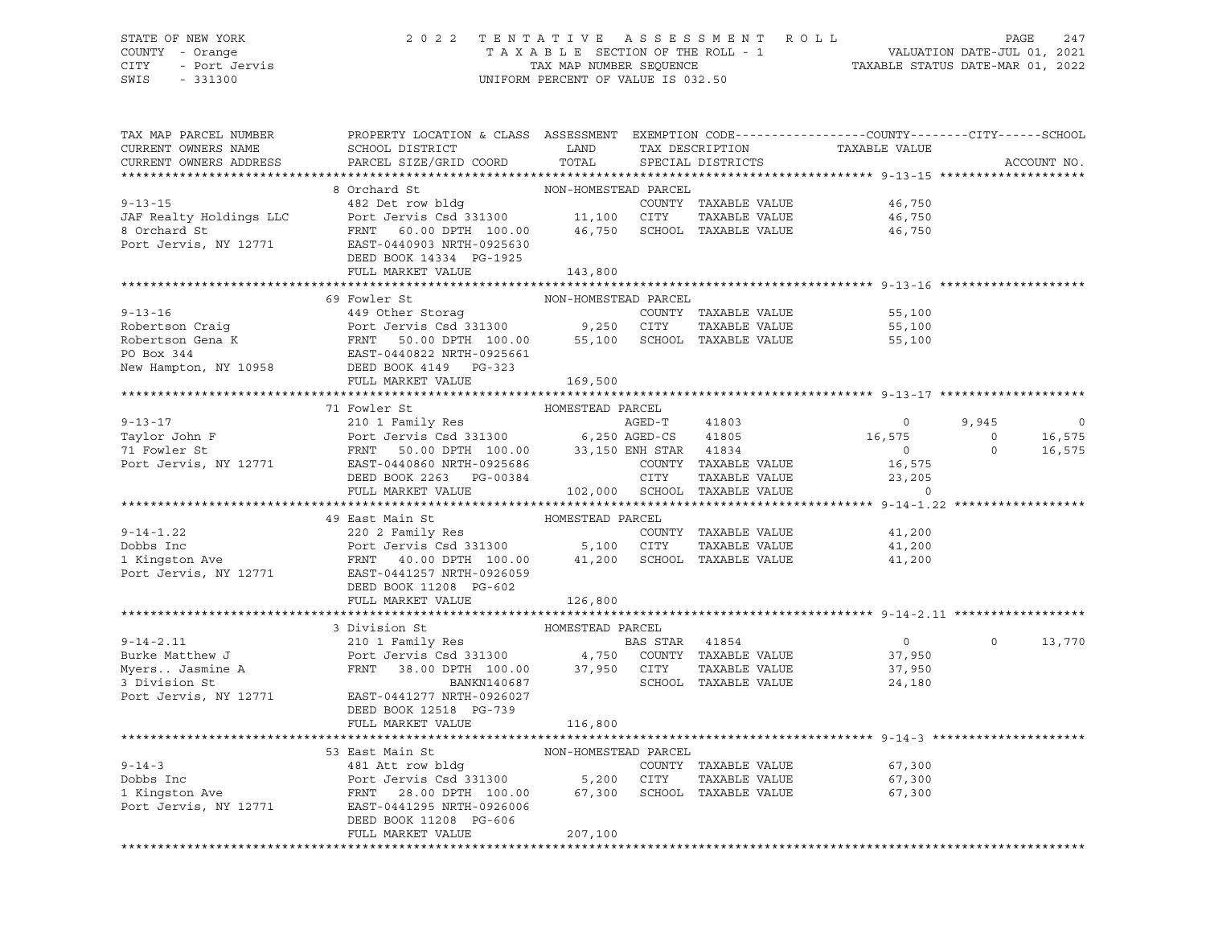# STATE OF NEW YORK 2 0 2 2 T E N T A T I V E A S S E S S M E N T R O L L PAGE 247 COUNTY - Orange T A X A B L E SECTION OF THE ROLL - 1 VALUATION DATE-JUL 01, 2021 CITY - Port Jervis TAX MAP NUMBER SEQUENCE TAXABLE STATUS DATE-MAR 01, 2022

| TAX MAP PARCEL NUMBER<br>CURRENT OWNERS NAME<br>CURRENT OWNERS ADDRESS | PROPERTY LOCATION & CLASS ASSESSMENT EXEMPTION CODE----------------COUNTY-------CITY------SCHOOL<br>SCHOOL DISTRICT<br>PARCEL SIZE/GRID COORD                                                                                                                    | LAND<br>TOTAL        |              | TAX DESCRIPTION<br>SPECIAL DISTRICTS       | TAXABLE VALUE        |                | ACCOUNT NO. |
|------------------------------------------------------------------------|------------------------------------------------------------------------------------------------------------------------------------------------------------------------------------------------------------------------------------------------------------------|----------------------|--------------|--------------------------------------------|----------------------|----------------|-------------|
|                                                                        |                                                                                                                                                                                                                                                                  |                      |              |                                            |                      |                |             |
|                                                                        | 8 Orchard St                                                                                                                                                                                                                                                     | NON-HOMESTEAD PARCEL |              |                                            |                      |                |             |
| $9 - 13 - 15$                                                          |                                                                                                                                                                                                                                                                  |                      |              | COUNTY TAXABLE VALUE                       | 46,750               |                |             |
| JAF Realty Holdings LLC                                                |                                                                                                                                                                                                                                                                  |                      |              | TAXABLE VALUE                              | 46,750               |                |             |
| 8 Orchard St                                                           | FRNT 60.00 DPTH 100.00 46,750 SCHOOL TAXABLE VALUE                                                                                                                                                                                                               |                      |              |                                            | 46,750               |                |             |
| Port Jervis, NY 12771                                                  | EAST-0440903 NRTH-0925630                                                                                                                                                                                                                                        |                      |              |                                            |                      |                |             |
|                                                                        | DEED BOOK 14334 PG-1925                                                                                                                                                                                                                                          |                      |              |                                            |                      |                |             |
|                                                                        | FULL MARKET VALUE                                                                                                                                                                                                                                                | 143,800              |              |                                            |                      |                |             |
|                                                                        | 69 Fowler St                                                                                                                                                                                                                                                     | NON-HOMESTEAD PARCEL |              |                                            |                      |                |             |
|                                                                        |                                                                                                                                                                                                                                                                  |                      |              |                                            | 55,100               |                |             |
|                                                                        |                                                                                                                                                                                                                                                                  |                      |              |                                            | 55,100               |                |             |
|                                                                        |                                                                                                                                                                                                                                                                  |                      |              |                                            | 55,100               |                |             |
|                                                                        |                                                                                                                                                                                                                                                                  |                      |              |                                            |                      |                |             |
|                                                                        |                                                                                                                                                                                                                                                                  |                      |              |                                            |                      |                |             |
|                                                                        | 9-13-16<br>MUN-HOMESTEAD PARCEL<br>Robertson Craig<br>Robertson Gena K<br>Port Jervis Csd 331300<br>Port Jervis Csd 331300<br>Port Jervis Csd 331300<br>Port Jervis Csd 331300<br>Port Jervis Csd 331300<br>S5,100 SCHOOL TAXABLE VALUE<br><br>FULL MARKET VALUE | 169,500              |              |                                            |                      |                |             |
|                                                                        |                                                                                                                                                                                                                                                                  |                      |              |                                            |                      |                |             |
|                                                                        | 71 Fowler St                                                                                                                                                                                                                                                     | HOMESTEAD PARCEL     |              |                                            |                      |                |             |
| $9 - 13 - 17$                                                          | 210 1 Family Res                                                                                                                                                                                                                                                 |                      | AGED-T 41803 |                                            | $\overline{0}$       | 9,945          | $\mathbf 0$ |
|                                                                        |                                                                                                                                                                                                                                                                  |                      |              |                                            | 16,575               | $\overline{0}$ | 16,575      |
|                                                                        |                                                                                                                                                                                                                                                                  |                      |              |                                            | $\overline{0}$       | $\circ$        | 16,575      |
|                                                                        | Port Jervis, NY 12771 EAST-0440860 NRTH-0925686                                                                                                                                                                                                                  |                      |              |                                            | 16,575               |                |             |
|                                                                        | DEED BOOK 2263 PG-00384                                                                                                                                                                                                                                          |                      |              | COUNTY TAXABLE VALUE<br>CITY TAXABLE VALUE | TAXABLE VALUE 23,205 |                |             |
|                                                                        | FULL MARKET VALUE                                                                                                                                                                                                                                                |                      |              | 102,000 SCHOOL TAXABLE VALUE               | $\Omega$             |                |             |
|                                                                        |                                                                                                                                                                                                                                                                  |                      |              |                                            |                      |                |             |
|                                                                        | 49 East Main St                                                                                                                                                                                                                                                  | HOMESTEAD PARCEL     |              |                                            |                      |                |             |
| $9 - 14 - 1.22$                                                        |                                                                                                                                                                                                                                                                  |                      |              |                                            | 41,200               |                |             |
| Dobbs Inc<br>Dobbs Inc<br>1 Kingston Ave                               |                                                                                                                                                                                                                                                                  |                      |              |                                            | 41,200               |                |             |
|                                                                        |                                                                                                                                                                                                                                                                  |                      |              |                                            | 41,200               |                |             |
| Port Jervis, NY 12771                                                  | EAST-0441257 NRTH-0926059                                                                                                                                                                                                                                        |                      |              |                                            |                      |                |             |
|                                                                        | DEED BOOK 11208 PG-602                                                                                                                                                                                                                                           |                      |              |                                            |                      |                |             |
|                                                                        | FULL MARKET VALUE                                                                                                                                                                                                                                                | 126,800              |              |                                            |                      |                |             |
|                                                                        |                                                                                                                                                                                                                                                                  |                      |              |                                            |                      |                |             |
|                                                                        | 3 Division St<br>9-14-2.11 210 1 Family Res<br>Burke Matthew J 210 1 Family Res<br>Myers Jasmine A FRNT 38.00 DPTH 100.00 37,950 CITY TAXABLE VALUE<br>3 Division St RANKN140687                                                                                 | HOMESTEAD PARCEL     |              |                                            |                      |                |             |
|                                                                        |                                                                                                                                                                                                                                                                  |                      |              |                                            | $\overline{0}$       | $\Omega$       | 13,770      |
|                                                                        |                                                                                                                                                                                                                                                                  |                      |              |                                            | 37,950               |                |             |
|                                                                        |                                                                                                                                                                                                                                                                  |                      |              |                                            | 37,950               |                |             |
| Port Jervis, NY 12771                                                  |                                                                                                                                                                                                                                                                  |                      |              |                                            | 24,180               |                |             |
|                                                                        | EAST-0441277 NRTH-0926027<br>DEED BOOK 12518 PG-739                                                                                                                                                                                                              |                      |              |                                            |                      |                |             |
|                                                                        | FULL MARKET VALUE                                                                                                                                                                                                                                                | 116,800              |              |                                            |                      |                |             |
|                                                                        |                                                                                                                                                                                                                                                                  |                      |              |                                            |                      |                |             |
|                                                                        | 53 East Main St                                                                                                                                                                                                                                                  | NON-HOMESTEAD PARCEL |              |                                            |                      |                |             |
| $9 - 14 - 3$                                                           | 481 Att row bldg                                                                                                                                                                                                                                                 |                      |              | COUNTY TAXABLE VALUE                       | 67,300               |                |             |
|                                                                        |                                                                                                                                                                                                                                                                  |                      |              | TAXABLE VALUE                              | 67,300               |                |             |
| Dobbs Inc<br>1 Kingston Ave                                            | Port Jervis Csd 331300 5,200 CITY<br>FRNT 28.00 DPTH 100.00 67,300 SCHOO                                                                                                                                                                                         |                      |              | SCHOOL TAXABLE VALUE                       | 67,300               |                |             |
| Port Jervis, NY 12771                                                  | EAST-0441295 NRTH-0926006                                                                                                                                                                                                                                        |                      |              |                                            |                      |                |             |
|                                                                        | DEED BOOK 11208 PG-606                                                                                                                                                                                                                                           |                      |              |                                            |                      |                |             |
|                                                                        | FULL MARKET VALUE                                                                                                                                                                                                                                                | 207,100              |              |                                            |                      |                |             |
|                                                                        |                                                                                                                                                                                                                                                                  |                      |              |                                            |                      |                |             |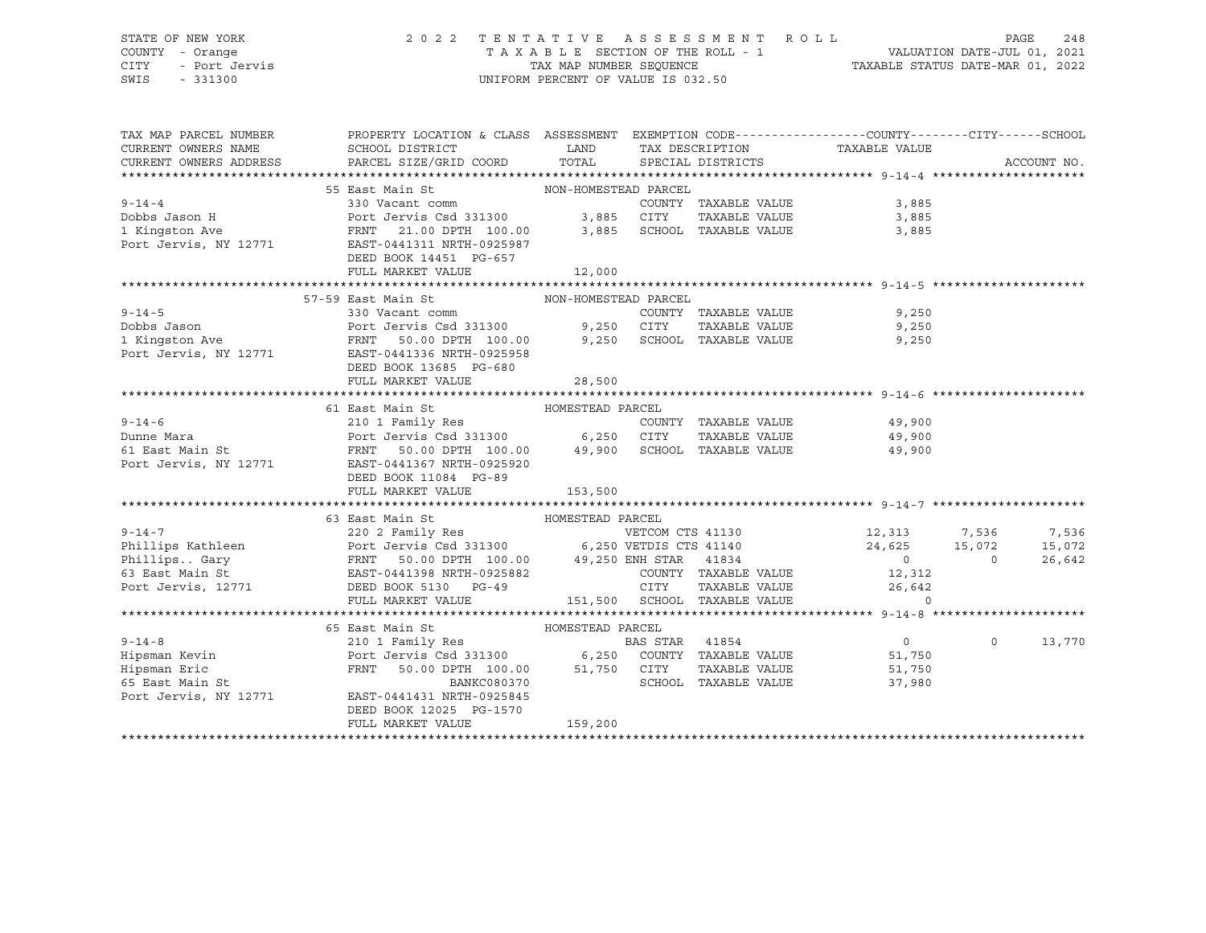# STATE OF NEW YORK 2 0 2 2 T E N T A T I V E A S S E S S M E N T R O L L PAGE 248 COUNTY - Orange T A X A B L E SECTION OF THE ROLL - 1 VALUATION DATE-JUL 01, 2021 CITY - Port Jervis TAX MAP NUMBER SEQUENCE TAXABLE STATUS DATE-MAR 01, 2022

| TAX MAP PARCEL NUMBER<br>CURRENT OWNERS NAME | PROPERTY LOCATION & CLASS ASSESSMENT EXEMPTION CODE---------------COUNTY-------CITY------SCHOOL<br>SCHOOL DISTRICT<br>PARCEL SIZE/GRID COORD TOTAL SPECIAL DISTRICTS                                                                                                                  |                  |                      | LAND TAX DESCRIPTION TAXABLE VALUE COORD TOTAL SPECIAL DISTRICTS                                                                                                                                                                                                                                 |             |
|----------------------------------------------|---------------------------------------------------------------------------------------------------------------------------------------------------------------------------------------------------------------------------------------------------------------------------------------|------------------|----------------------|--------------------------------------------------------------------------------------------------------------------------------------------------------------------------------------------------------------------------------------------------------------------------------------------------|-------------|
| CURRENT OWNERS ADDRESS                       |                                                                                                                                                                                                                                                                                       |                  |                      |                                                                                                                                                                                                                                                                                                  | ACCOUNT NO. |
|                                              | 55 East Main St MON-HOMESTEAD PARCEL                                                                                                                                                                                                                                                  |                  |                      |                                                                                                                                                                                                                                                                                                  |             |
| $9 - 14 - 4$                                 | 330 Vacant comm                                                                                                                                                                                                                                                                       |                  | COUNTY TAXABLE VALUE | 3,885                                                                                                                                                                                                                                                                                            |             |
|                                              |                                                                                                                                                                                                                                                                                       |                  |                      |                                                                                                                                                                                                                                                                                                  |             |
|                                              |                                                                                                                                                                                                                                                                                       |                  |                      | TAXABLE VALUE 3,885<br>3,885                                                                                                                                                                                                                                                                     |             |
|                                              |                                                                                                                                                                                                                                                                                       |                  |                      |                                                                                                                                                                                                                                                                                                  |             |
|                                              | DEED BOOK 14451 PG-657                                                                                                                                                                                                                                                                |                  |                      |                                                                                                                                                                                                                                                                                                  |             |
|                                              | FULL MARKET VALUE                                                                                                                                                                                                                                                                     | 12,000           |                      |                                                                                                                                                                                                                                                                                                  |             |
|                                              |                                                                                                                                                                                                                                                                                       |                  |                      |                                                                                                                                                                                                                                                                                                  |             |
|                                              |                                                                                                                                                                                                                                                                                       |                  |                      |                                                                                                                                                                                                                                                                                                  |             |
| $9 - 14 - 5$                                 |                                                                                                                                                                                                                                                                                       |                  | COUNTY TAXABLE VALUE | 9,250                                                                                                                                                                                                                                                                                            |             |
|                                              |                                                                                                                                                                                                                                                                                       |                  |                      |                                                                                                                                                                                                                                                                                                  |             |
|                                              |                                                                                                                                                                                                                                                                                       |                  |                      |                                                                                                                                                                                                                                                                                                  |             |
|                                              | 9,250 CUUNTY TAXABLE VALUE (9,250 POTT JEVER PARA POTT JEVER PARA POTT SURFACE SED POTT SERVIT SURFACE SED POTT<br>1 Kingston Ave FRIST SOLO DETH 100.00 9,250 SCHOOL TAXABLE VALUE (9,250 POTT JEVER PARA PARA PARA PARA PARA P<br>                                                  |                  |                      |                                                                                                                                                                                                                                                                                                  |             |
|                                              | DEED BOOK 13685 PG-680                                                                                                                                                                                                                                                                |                  |                      |                                                                                                                                                                                                                                                                                                  |             |
|                                              |                                                                                                                                                                                                                                                                                       |                  |                      |                                                                                                                                                                                                                                                                                                  |             |
|                                              |                                                                                                                                                                                                                                                                                       |                  |                      |                                                                                                                                                                                                                                                                                                  |             |
|                                              | HOMESTEAD PARCEL<br>61 East Main St                                                                                                                                                                                                                                                   |                  |                      |                                                                                                                                                                                                                                                                                                  |             |
|                                              |                                                                                                                                                                                                                                                                                       |                  |                      |                                                                                                                                                                                                                                                                                                  |             |
|                                              |                                                                                                                                                                                                                                                                                       |                  |                      |                                                                                                                                                                                                                                                                                                  |             |
|                                              |                                                                                                                                                                                                                                                                                       |                  |                      |                                                                                                                                                                                                                                                                                                  |             |
|                                              | 9-14-6<br>210 1 Family Res<br>Port Jervis Csd 331300<br>FRNT 50.00 DPTH 100.00<br>Port Jervis, NY 12771<br>EAST-0441367 NRTH-0925920<br>Port Jervis, NY 12771<br>EAST-0441367 NRTH-0925920<br>Port Jervis, NY 12771<br>EAST-0441367 NRTH-0925920                                      |                  |                      |                                                                                                                                                                                                                                                                                                  |             |
|                                              | DEED BOOK 11084 PG-89                                                                                                                                                                                                                                                                 |                  |                      |                                                                                                                                                                                                                                                                                                  |             |
|                                              | FULL MARKET VALUE                                                                                                                                                                                                                                                                     | 153,500          |                      |                                                                                                                                                                                                                                                                                                  |             |
|                                              |                                                                                                                                                                                                                                                                                       |                  |                      |                                                                                                                                                                                                                                                                                                  |             |
|                                              | 63 East Main St MoMESTEAD PARCEL<br>9-14-7<br>220 2 Family Res<br>Phillips Kathleen<br>PhillipsGary<br>FRNT 50.00 DPTH 100.00<br>FRNT 50.00 DPTH 100.00<br>99,250 ENH STAR 41834<br>FRNT 50.00 DPTH 100.00<br>99,250 ENH STAR 41834<br>COUNTY TAXABLE VALUE<br>Port Jervis, 12771<br> |                  |                      |                                                                                                                                                                                                                                                                                                  |             |
|                                              |                                                                                                                                                                                                                                                                                       |                  |                      |                                                                                                                                                                                                                                                                                                  |             |
|                                              |                                                                                                                                                                                                                                                                                       |                  |                      | VETCOM CTS 41130<br>VETDIS CTS 41140<br>24,625<br>26,642<br>26,642<br>26,642<br>26,642<br>26,642<br>26,642<br>27,536<br>27,536<br>28,072<br>28,072<br>28,072<br>28,074<br>29,074<br>29,000<br>29,000<br>26,04<br>29,000<br>26,04<br>20,000<br>26,642                                             | 15,072      |
|                                              |                                                                                                                                                                                                                                                                                       |                  |                      |                                                                                                                                                                                                                                                                                                  |             |
|                                              |                                                                                                                                                                                                                                                                                       |                  |                      | $\begin{tabular}{lllllllllll} \multicolumn{4}{c}{\text{COUNTY}} & \text{TAXABLE} & \text{VALUE} & & & 12 \,, 312 \\ \multicolumn{4}{c}{\text{CITY}} & \texttt{maxair} & \texttt{var} & & & 12 \,, 312 \\ \multicolumn{4}{c}{\text{CITY}} & \texttt{maxair} & \texttt{var} & & & 2 \end{tabular}$ |             |
|                                              |                                                                                                                                                                                                                                                                                       |                  |                      | 9 CITY TAXABLE VALUE 26,642<br>151,500 SCHOOL TAXABLE VALUE 26,642                                                                                                                                                                                                                               |             |
|                                              |                                                                                                                                                                                                                                                                                       |                  |                      |                                                                                                                                                                                                                                                                                                  |             |
|                                              |                                                                                                                                                                                                                                                                                       |                  |                      |                                                                                                                                                                                                                                                                                                  |             |
|                                              | 65 East Main St<br>East Main St                         HOMESTEAD<br>210 1 Family Res                                                                                                                                                                                                 | HOMESTEAD PARCEL |                      |                                                                                                                                                                                                                                                                                                  |             |
| $9 - 14 - 8$                                 |                                                                                                                                                                                                                                                                                       |                  | BAS STAR 41854       |                                                                                                                                                                                                                                                                                                  | 13,770      |
|                                              |                                                                                                                                                                                                                                                                                       |                  |                      |                                                                                                                                                                                                                                                                                                  |             |
|                                              |                                                                                                                                                                                                                                                                                       |                  |                      |                                                                                                                                                                                                                                                                                                  |             |
|                                              | Figures Not Jervis Csd 331300 6,250 COUNTY TAXABLE VALUE 51,750<br>Hipsman Eric FRNT 50.00 DPTH 100.00 51,750 CITY TAXABLE VALUE 51,750<br>FRNT 50.00 DPTH 100.00 51,750 CITY TAXABLE VALUE 51,750<br>BANKC080370 SCHOOL TAXABLE VAL                                                  |                  |                      |                                                                                                                                                                                                                                                                                                  |             |
|                                              | DEED BOOK 12025 PG-1570                                                                                                                                                                                                                                                               |                  |                      |                                                                                                                                                                                                                                                                                                  |             |
|                                              | FULL MARKET VALUE                                                                                                                                                                                                                                                                     | 159,200          |                      |                                                                                                                                                                                                                                                                                                  |             |
|                                              |                                                                                                                                                                                                                                                                                       |                  |                      |                                                                                                                                                                                                                                                                                                  |             |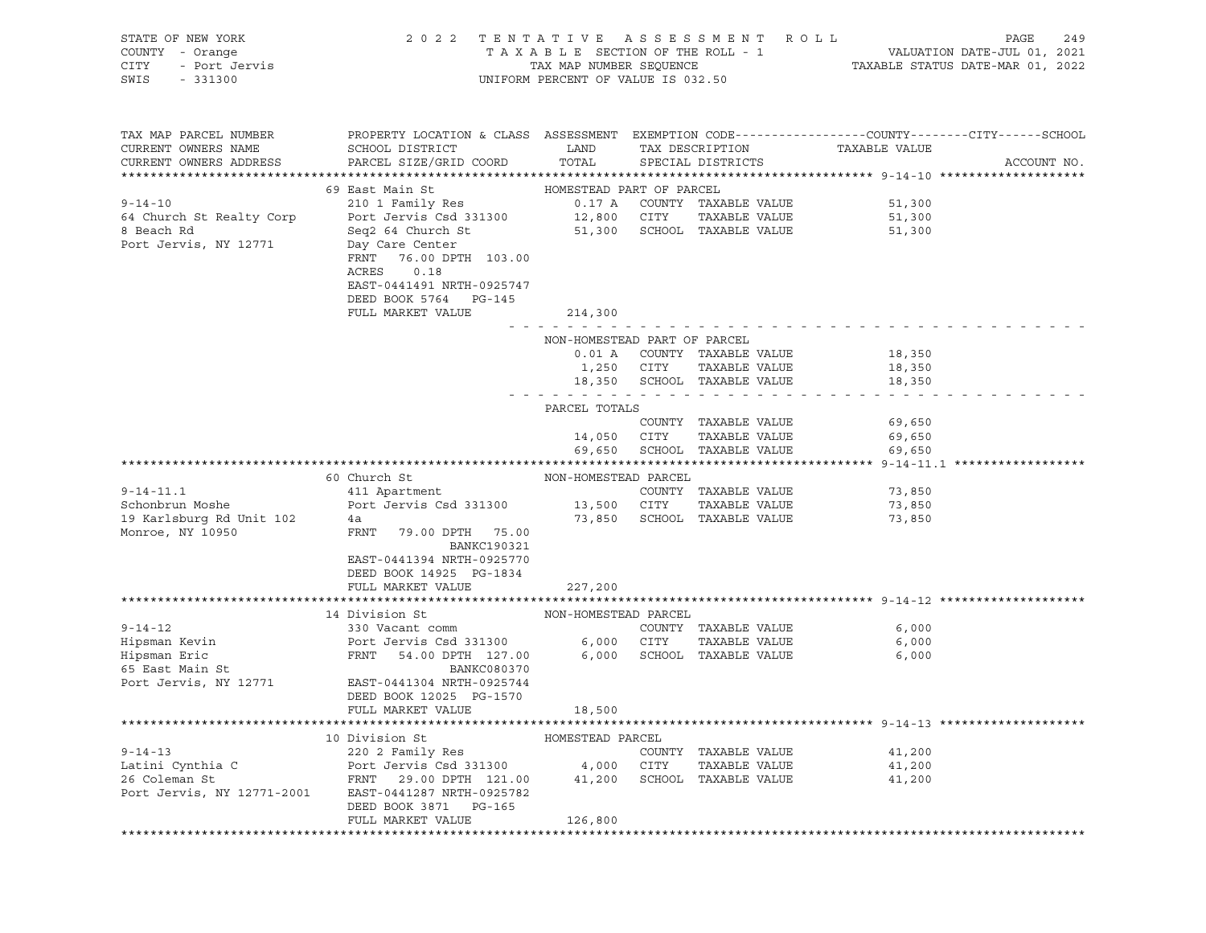| STATE OF NEW YORK<br>COUNTY - Orange<br>CITY<br>- Port Jervis<br>SWIS<br>$-331300$         | 2 0 2 2                                                                                                                                                                                                      | TENTATIVE ASSESSMENT<br>TAXABLE SECTION OF THE ROLL - 1<br>TAX MAP NUMBER SEQUENCE<br>UNIFORM PERCENT OF VALUE IS 032.50 |             | R O L L                                                              |                            | 249<br>PAGE<br>VALUATION DATE-JUL 01, 2021<br>TAXABLE STATUS DATE-MAR 01, 2022 |
|--------------------------------------------------------------------------------------------|--------------------------------------------------------------------------------------------------------------------------------------------------------------------------------------------------------------|--------------------------------------------------------------------------------------------------------------------------|-------------|----------------------------------------------------------------------|----------------------------|--------------------------------------------------------------------------------|
| TAX MAP PARCEL NUMBER<br>CURRENT OWNERS NAME<br>CURRENT OWNERS ADDRESS                     | PROPERTY LOCATION & CLASS ASSESSMENT EXEMPTION CODE---------------COUNTY-------CITY------SCHOOL<br>SCHOOL DISTRICT<br>PARCEL SIZE/GRID COORD                                                                 | LAND<br>TOTAL                                                                                                            |             | TAX DESCRIPTION<br>SPECIAL DISTRICTS                                 | TAXABLE VALUE              | ACCOUNT NO.                                                                    |
| $9 - 14 - 10$<br>64 Church St Realty Corp<br>8 Beach Rd<br>Port Jervis, NY 12771           | 69 East Main St<br>210 1 Family Res<br>Port Jervis Csd 331300<br>Seq2 64 Church St<br>Day Care Center<br>FRNT<br>76.00 DPTH 103.00<br>ACRES<br>0.18<br>EAST-0441491 NRTH-0925747<br>DEED BOOK 5764<br>PG-145 | HOMESTEAD PART OF PARCEL<br>0.17 A                                                                                       | 12,800 CITY | COUNTY TAXABLE VALUE<br>TAXABLE VALUE<br>51,300 SCHOOL TAXABLE VALUE | 51,300<br>51,300<br>51,300 |                                                                                |
|                                                                                            | FULL MARKET VALUE                                                                                                                                                                                            | 214,300                                                                                                                  |             |                                                                      |                            |                                                                                |
|                                                                                            |                                                                                                                                                                                                              | NON-HOMESTEAD PART OF PARCEL<br>0.01 A<br>1,250<br>18,350                                                                | CITY        | COUNTY TAXABLE VALUE<br>TAXABLE VALUE<br>SCHOOL TAXABLE VALUE        | 18,350<br>18,350<br>18,350 |                                                                                |
|                                                                                            |                                                                                                                                                                                                              | PARCEL TOTALS                                                                                                            |             | $\sim$ 100 $\sim$ 100 $\sim$                                         |                            |                                                                                |
|                                                                                            |                                                                                                                                                                                                              | 14,050<br>69,650                                                                                                         | CITY        | COUNTY TAXABLE VALUE<br>TAXABLE VALUE<br>SCHOOL TAXABLE VALUE        | 69,650<br>69,650<br>69,650 |                                                                                |
|                                                                                            |                                                                                                                                                                                                              |                                                                                                                          |             |                                                                      |                            |                                                                                |
| $9 - 14 - 11.1$<br>Schonbrun Moshe<br>19 Karlsburg Rd Unit 102<br>Monroe, NY 10950         | 60 Church St<br>411 Apartment<br>Port Jervis Csd 331300<br>4a<br>FRNT<br>79.00 DPTH 75.00<br><b>BANKC190321</b><br>EAST-0441394 NRTH-0925770<br>DEED BOOK 14925 PG-1834<br>FULL MARKET VALUE                 | NON-HOMESTEAD PARCEL<br>73,850<br>227,200                                                                                | 13,500 CITY | COUNTY TAXABLE VALUE<br>TAXABLE VALUE<br>SCHOOL TAXABLE VALUE        | 73,850<br>73,850<br>73,850 |                                                                                |
|                                                                                            |                                                                                                                                                                                                              |                                                                                                                          |             |                                                                      |                            |                                                                                |
| $9 - 14 - 12$<br>Hipsman Kevin<br>Hipsman Eric<br>65 East Main St<br>Port Jervis, NY 12771 | 14 Division St<br>330 Vacant comm<br>Port Jervis Csd 331300<br>FRNT<br>54.00 DPTH 127.00<br>BANKC080370<br>EAST-0441304 NRTH-0925744<br>DEED BOOK 12025 PG-1570<br>FULL MARKET VALUE                         | NON-HOMESTEAD PARCEL<br>6,000<br>18,500                                                                                  | 6,000 CITY  | COUNTY TAXABLE VALUE<br>TAXABLE VALUE<br>SCHOOL TAXABLE VALUE        | 6,000<br>6,000<br>6,000    |                                                                                |
|                                                                                            |                                                                                                                                                                                                              |                                                                                                                          |             |                                                                      |                            |                                                                                |
| $9 - 14 - 13$<br>Latini Cynthia C<br>26 Coleman St<br>Port Jervis, NY 12771-2001           | 10 Division St<br>220 2 Family Res<br>Port Jervis Csd 331300<br>29.00 DPTH 121.00<br>FRNT<br>EAST-0441287 NRTH-0925782<br>DEED BOOK 3871<br>PG-165<br>FULL MARKET VALUE                                      | HOMESTEAD PARCEL<br>4,000<br>41,200<br>126,800                                                                           | CITY        | COUNTY TAXABLE VALUE<br>TAXABLE VALUE<br>SCHOOL TAXABLE VALUE        | 41,200<br>41,200<br>41,200 |                                                                                |
|                                                                                            |                                                                                                                                                                                                              |                                                                                                                          |             |                                                                      |                            |                                                                                |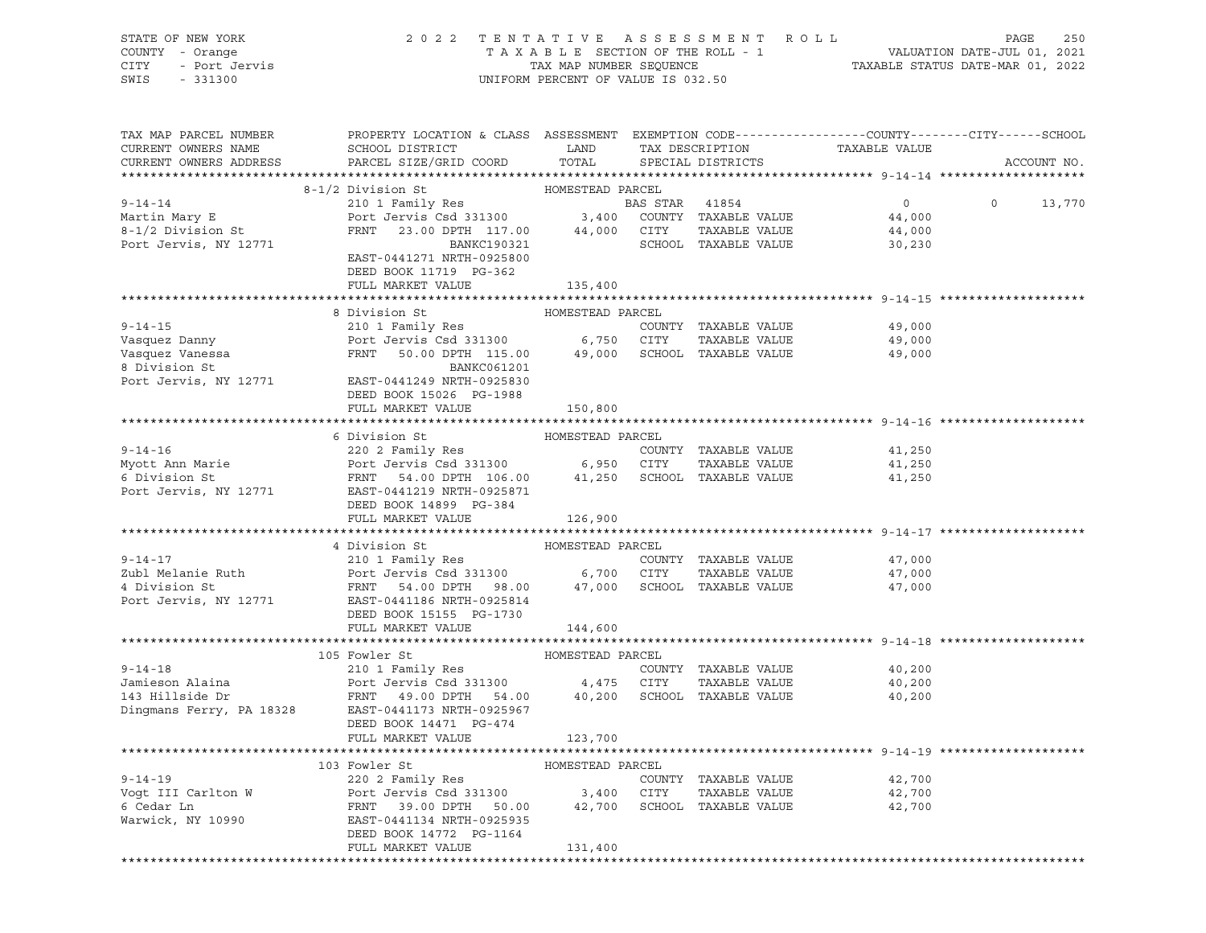| STATE OF NEW YORK<br>COUNTY - Orange<br>CITY - Port Jervis<br>331300 | 2022 TENTATIVE ASSESSMENT ROLL                                                                                                                                                                                                                      | UNIFORM PERCENT OF VALUE IS 032.50 |                |                      |                             | PAGE<br>250<br>TAXABLE SECTION OF THE ROLL - 1<br>TAXABLE STATUS DATE-JUL 01, 2021<br>TAXABLE STATUS DATE-MAR 01, 2022 |
|----------------------------------------------------------------------|-----------------------------------------------------------------------------------------------------------------------------------------------------------------------------------------------------------------------------------------------------|------------------------------------|----------------|----------------------|-----------------------------|------------------------------------------------------------------------------------------------------------------------|
| TAX MAP PARCEL NUMBER<br>CURRENT OWNERS NAME                         | PROPERTY LOCATION & CLASS ASSESSMENT EXEMPTION CODE-----------------COUNTY-------CITY------SCHOOL<br>SCHOOL DISTRICT LAND                                                                                                                           |                                    |                | TAX DESCRIPTION      | TAXABLE VALUE               |                                                                                                                        |
| CURRENT OWNERS ADDRESS                                               | PARCEL SIZE/GRID COORD                                                                                                                                                                                                                              | TOTAL                              |                | SPECIAL DISTRICTS    |                             | ACCOUNT NO.                                                                                                            |
|                                                                      | 8-1/2 Division St MOMESTEAD PARCEL                                                                                                                                                                                                                  |                                    |                |                      |                             |                                                                                                                        |
| $9 - 14 - 14$                                                        | 210 1 Family Res                                                                                                                                                                                                                                    |                                    | BAS STAR 41854 |                      | $\overline{0}$              | $0 \t 13,770$                                                                                                          |
| Martin Mary E<br>8-1/2 Division St<br>Port Jervis, NY 12771          |                                                                                                                                                                                                                                                     |                                    |                |                      |                             |                                                                                                                        |
|                                                                      |                                                                                                                                                                                                                                                     |                                    |                |                      |                             |                                                                                                                        |
|                                                                      | Port Jerus Csd 331300 3,400 COUNTY TAXABLE VALUE 44,000<br>FRNT 23.00 DPTH 117.00 44,000 CITY TAXABLE VALUE 44,000<br>BANKC190321 SCHOOL TAXABLE VALUE 30,230                                                                                       |                                    |                |                      |                             |                                                                                                                        |
|                                                                      | EAST-0441271 NRTH-0925800                                                                                                                                                                                                                           |                                    |                |                      |                             |                                                                                                                        |
|                                                                      | DEED BOOK 11719 PG-362<br>FULL MARKET VALUE                                                                                                                                                                                                         |                                    |                |                      |                             |                                                                                                                        |
|                                                                      |                                                                                                                                                                                                                                                     | 135,400                            |                |                      |                             |                                                                                                                        |
|                                                                      |                                                                                                                                                                                                                                                     |                                    |                |                      |                             |                                                                                                                        |
|                                                                      | 9-14-15<br>Vasquez Danny<br>Vasquez Vanessa<br>Vasquez Vanessa<br>Show and the FRNT 50.00 DPTH 115.00<br>SCHOOL TAXABLE VALUE<br>POINT SANKCO61201<br>POINT TAXABLE VALUE<br>POINT SANKCO61201<br>POINT TAXABLE VALUE<br>POINT SANKCO61201<br>POINT |                                    |                |                      | COUNTY TAXABLE VALUE 49,000 |                                                                                                                        |
|                                                                      |                                                                                                                                                                                                                                                     |                                    |                |                      | 49,000                      |                                                                                                                        |
|                                                                      |                                                                                                                                                                                                                                                     |                                    |                |                      | 49,000                      |                                                                                                                        |
|                                                                      |                                                                                                                                                                                                                                                     |                                    |                |                      |                             |                                                                                                                        |
|                                                                      | Port Jervis, NY 12771 EAST-0441249 NRTH-0925830                                                                                                                                                                                                     |                                    |                |                      |                             |                                                                                                                        |
|                                                                      | DEED BOOK 15026 PG-1988<br>FULL MARKET VALUE                                                                                                                                                                                                        |                                    |                |                      |                             |                                                                                                                        |
|                                                                      |                                                                                                                                                                                                                                                     | 150,800                            |                |                      |                             |                                                                                                                        |
|                                                                      | 6 Division St<br>HOMESTEAD PARCEL                                                                                                                                                                                                                   |                                    |                |                      |                             |                                                                                                                        |
|                                                                      |                                                                                                                                                                                                                                                     |                                    |                |                      | 41,250                      |                                                                                                                        |
|                                                                      |                                                                                                                                                                                                                                                     |                                    |                |                      | TAXABLE VALUE 41,250        |                                                                                                                        |
|                                                                      |                                                                                                                                                                                                                                                     |                                    |                |                      | 41,250                      |                                                                                                                        |
|                                                                      | Port Jervis, NY 12771 EAST-0441219 NRTH-0925871<br>DEED BOOK 14899 PG-384                                                                                                                                                                           |                                    |                |                      |                             |                                                                                                                        |
|                                                                      | FULL MARKET VALUE                                                                                                                                                                                                                                   | 126,900                            |                |                      |                             |                                                                                                                        |
|                                                                      | HOMESTEAD PARCEL<br>4 Division St                                                                                                                                                                                                                   |                                    |                |                      |                             |                                                                                                                        |
|                                                                      |                                                                                                                                                                                                                                                     |                                    |                |                      | 47,000                      |                                                                                                                        |
|                                                                      |                                                                                                                                                                                                                                                     |                                    |                |                      | TAXABLE VALUE 47,000        |                                                                                                                        |
|                                                                      |                                                                                                                                                                                                                                                     |                                    |                |                      | 47,000                      |                                                                                                                        |
|                                                                      | Port Jervis, NY 12771 EAST-0441186 NRTH-0925814                                                                                                                                                                                                     |                                    |                |                      |                             |                                                                                                                        |
|                                                                      | DEED BOOK 15155 PG-1730<br>FULL MARKET VALUE                                                                                                                                                                                                        | 144,600                            |                |                      |                             |                                                                                                                        |
|                                                                      |                                                                                                                                                                                                                                                     |                                    |                |                      |                             |                                                                                                                        |
|                                                                      | 105 Fowler St                                                                                                                                                                                                                                       | HOMESTEAD PARCEL                   |                |                      |                             |                                                                                                                        |
| $9 - 14 - 18$                                                        | 210 1 Family Res                                                                                                                                                                                                                                    |                                    |                | COUNTY TAXABLE VALUE | 40,200                      |                                                                                                                        |
|                                                                      |                                                                                                                                                                                                                                                     |                                    |                |                      | TAXABLE VALUE 40,200        |                                                                                                                        |
|                                                                      |                                                                                                                                                                                                                                                     |                                    |                |                      | 40,200                      |                                                                                                                        |
| Dingmans Ferry, PA 18328                                             | EAST-0441173 NRTH-0925967                                                                                                                                                                                                                           |                                    |                |                      |                             |                                                                                                                        |
|                                                                      | DEED BOOK 14471 PG-474                                                                                                                                                                                                                              |                                    |                |                      |                             |                                                                                                                        |
|                                                                      | FULL MARKET VALUE                                                                                                                                                                                                                                   | 123,700                            |                |                      |                             |                                                                                                                        |
|                                                                      | 103 Fowler St                                                                                                                                                                                                                                       | HOMESTEAD PARCEL                   |                |                      |                             |                                                                                                                        |
| $9 - 14 - 19$                                                        | 220 2 Family Res                                                                                                                                                                                                                                    |                                    |                | COUNTY TAXABLE VALUE | 42,700                      |                                                                                                                        |
| Vogt III Carlton W                                                   | Port Jervis Csd 331300                                                                                                                                                                                                                              | 3,400                              | CITY           | TAXABLE VALUE        | 42,700                      |                                                                                                                        |
| 6 Cedar Ln                                                           | 39.00 DPTH<br>FRNT<br>50.00                                                                                                                                                                                                                         | 42,700                             |                | SCHOOL TAXABLE VALUE | 42,700                      |                                                                                                                        |
| Warwick, NY 10990                                                    | EAST-0441134 NRTH-0925935                                                                                                                                                                                                                           |                                    |                |                      |                             |                                                                                                                        |
|                                                                      | DEED BOOK 14772 PG-1164                                                                                                                                                                                                                             |                                    |                |                      |                             |                                                                                                                        |
|                                                                      | FULL MARKET VALUE                                                                                                                                                                                                                                   | 131,400                            |                |                      |                             |                                                                                                                        |
|                                                                      |                                                                                                                                                                                                                                                     |                                    |                |                      |                             |                                                                                                                        |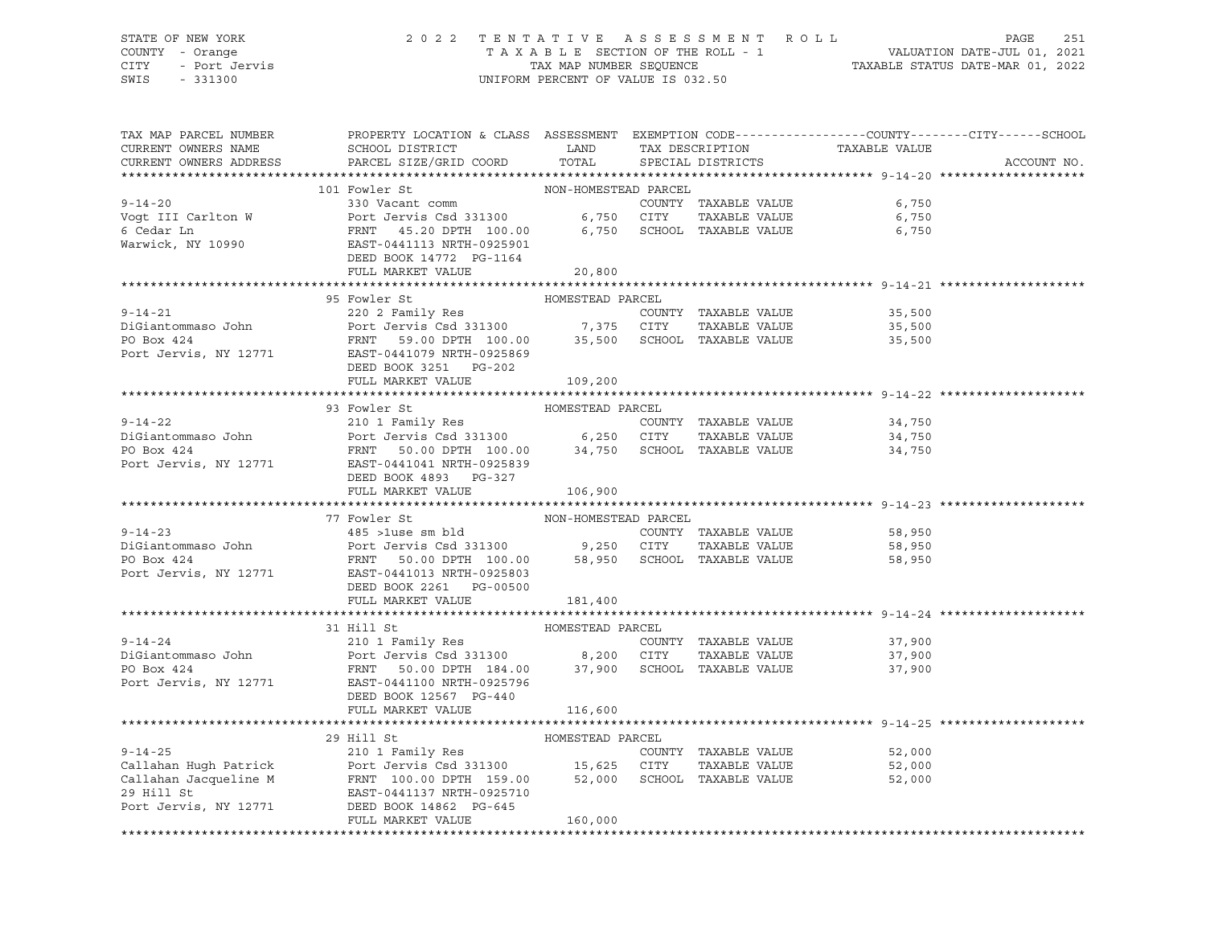## STATE OF NEW YORK 2 0 2 2 T E N T A T I V E A S S E S S M E N T R O L L PAGE 251 COUNTY - Orange T A X A B L E SECTION OF THE ROLL - 1 VALUATION DATE-JUL 01, 2021 CITY - Port Jervis TAX MAP NUMBER SEQUENCE TAXABLE STATUS DATE-MAR 01, 2022

| TAX MAP PARCEL NUMBER                                                                                                                                                                                                                                                                      | PROPERTY LOCATION & CLASS ASSESSMENT EXEMPTION CODE---------------COUNTY-------CITY------SCHOOL |                      |  |                      |                                                    |             |  |  |  |  |  |  |
|--------------------------------------------------------------------------------------------------------------------------------------------------------------------------------------------------------------------------------------------------------------------------------------------|-------------------------------------------------------------------------------------------------|----------------------|--|----------------------|----------------------------------------------------|-------------|--|--|--|--|--|--|
| CURRENT OWNERS NAME                                                                                                                                                                                                                                                                        | SCHOOL DISTRICT LAND                                                                            |                      |  |                      | TAX DESCRIPTION TAXABLE VALUE<br>SPECIAL DISTRICTS |             |  |  |  |  |  |  |
| CURRENT OWNERS ADDRESS                                                                                                                                                                                                                                                                     | PARCEL SIZE/GRID COORD                                                                          | TOTAL                |  |                      |                                                    | ACCOUNT NO. |  |  |  |  |  |  |
| 330 Vacant comm<br>Vogt III Carlton W<br>6,750<br>6 Cedar Ln<br>Warwick, NY 10990<br>Warwick, NY 10990<br>EED BOOK 14772 PG-1164<br>FUILL MAPY TRATE VALUE<br>FUILL MAPY TRATE VALUE<br>FUILL MAPY TRATE VALUE<br>FUILL MAPY TRATE VALUE<br>FUILL MA                                       |                                                                                                 |                      |  |                      |                                                    |             |  |  |  |  |  |  |
|                                                                                                                                                                                                                                                                                            |                                                                                                 |                      |  |                      |                                                    |             |  |  |  |  |  |  |
|                                                                                                                                                                                                                                                                                            |                                                                                                 |                      |  |                      |                                                    |             |  |  |  |  |  |  |
|                                                                                                                                                                                                                                                                                            |                                                                                                 |                      |  |                      |                                                    |             |  |  |  |  |  |  |
|                                                                                                                                                                                                                                                                                            |                                                                                                 |                      |  |                      |                                                    |             |  |  |  |  |  |  |
|                                                                                                                                                                                                                                                                                            |                                                                                                 |                      |  |                      |                                                    |             |  |  |  |  |  |  |
|                                                                                                                                                                                                                                                                                            |                                                                                                 |                      |  |                      |                                                    |             |  |  |  |  |  |  |
|                                                                                                                                                                                                                                                                                            |                                                                                                 |                      |  |                      |                                                    |             |  |  |  |  |  |  |
|                                                                                                                                                                                                                                                                                            | 95 Fowler St                                                                                    | HOMESTEAD PARCEL     |  |                      |                                                    |             |  |  |  |  |  |  |
|                                                                                                                                                                                                                                                                                            |                                                                                                 |                      |  |                      | 35,500                                             |             |  |  |  |  |  |  |
|                                                                                                                                                                                                                                                                                            |                                                                                                 |                      |  |                      | 35,500                                             |             |  |  |  |  |  |  |
|                                                                                                                                                                                                                                                                                            |                                                                                                 |                      |  |                      | 35,500                                             |             |  |  |  |  |  |  |
| 9-14-21 COUNTY TAXABLE VALUE<br>DiGiantommaso John Port Jervis Csd 331300 7,375 CITY TAXABLE VALUE<br>PO Box 424 FRNT 59.00 DPTH 100.00 35,500 SCHOOL TAXABLE VALUE<br>PO BOX 424<br>Port Jervis, NY 12771 EAST-0441079 NRTH-0925869                                                       |                                                                                                 |                      |  |                      |                                                    |             |  |  |  |  |  |  |
|                                                                                                                                                                                                                                                                                            | DEED BOOK 3251 PG-202                                                                           |                      |  |                      |                                                    |             |  |  |  |  |  |  |
|                                                                                                                                                                                                                                                                                            | FULL MARKET VALUE 109,200                                                                       |                      |  |                      |                                                    |             |  |  |  |  |  |  |
|                                                                                                                                                                                                                                                                                            |                                                                                                 |                      |  |                      |                                                    |             |  |  |  |  |  |  |
| HOMESTEAD PARCEL<br>93 Fowler St<br>9-14-22<br>210 1 Family Res<br>210 1 Family Res<br>210 1 Family Res<br>210 1 Family Res<br>210 1 Family Res<br>210 1 Family Res<br>210 1 Family Res<br>210 2000 6,250 CITY<br>6,250 CITY<br>34,750 SCHOOL<br>244 FRNT 50.00 DPTH 100.00<br>24,750 SCHO |                                                                                                 |                      |  |                      |                                                    |             |  |  |  |  |  |  |
|                                                                                                                                                                                                                                                                                            |                                                                                                 |                      |  |                      |                                                    |             |  |  |  |  |  |  |
|                                                                                                                                                                                                                                                                                            |                                                                                                 |                      |  |                      |                                                    |             |  |  |  |  |  |  |
|                                                                                                                                                                                                                                                                                            |                                                                                                 |                      |  |                      |                                                    |             |  |  |  |  |  |  |
|                                                                                                                                                                                                                                                                                            |                                                                                                 |                      |  |                      |                                                    |             |  |  |  |  |  |  |
|                                                                                                                                                                                                                                                                                            | DEED BOOK 4893 PG-327                                                                           |                      |  |                      |                                                    |             |  |  |  |  |  |  |
|                                                                                                                                                                                                                                                                                            | FULL MARKET VALUE                                                                               | 106,900              |  |                      |                                                    |             |  |  |  |  |  |  |
|                                                                                                                                                                                                                                                                                            |                                                                                                 |                      |  |                      |                                                    |             |  |  |  |  |  |  |
|                                                                                                                                                                                                                                                                                            | 77 Fowler St                                                                                    | NON-HOMESTEAD PARCEL |  |                      |                                                    |             |  |  |  |  |  |  |
| $9 - 14 - 23$                                                                                                                                                                                                                                                                              | 485 >1use sm bld                                                                                |                      |  | COUNTY TAXABLE VALUE | 58,950                                             |             |  |  |  |  |  |  |
|                                                                                                                                                                                                                                                                                            |                                                                                                 |                      |  |                      | TAXABLE VALUE 58,950                               |             |  |  |  |  |  |  |
|                                                                                                                                                                                                                                                                                            |                                                                                                 |                      |  |                      | 58,950                                             |             |  |  |  |  |  |  |
| Port Jervis, NY 12771 EAST-0441013 NRTH-0925803                                                                                                                                                                                                                                            |                                                                                                 |                      |  |                      |                                                    |             |  |  |  |  |  |  |
|                                                                                                                                                                                                                                                                                            | DEED BOOK 2261 PG-00500                                                                         |                      |  |                      |                                                    |             |  |  |  |  |  |  |
|                                                                                                                                                                                                                                                                                            | FULL MARKET VALUE                                                                               | 181,400              |  |                      |                                                    |             |  |  |  |  |  |  |
|                                                                                                                                                                                                                                                                                            |                                                                                                 |                      |  |                      |                                                    |             |  |  |  |  |  |  |
|                                                                                                                                                                                                                                                                                            | 31 Hill St                                                                                      | HOMESTEAD PARCEL     |  |                      |                                                    |             |  |  |  |  |  |  |
| 9-14-24<br>210 1 Family Res<br>210 1 Family Res<br>210 1 Family Res<br>210 1 Family Res<br>210 217 211<br>210 200 200 2011 220 200 2011 224<br>2210 2011 224<br>2210 2011 237,900 37,900 2011 248ABLE VALUE<br>225796<br>225796                                                            |                                                                                                 |                      |  |                      | COUNTY TAXABLE VALUE 37,900                        |             |  |  |  |  |  |  |
|                                                                                                                                                                                                                                                                                            |                                                                                                 |                      |  |                      | 37,900                                             |             |  |  |  |  |  |  |
|                                                                                                                                                                                                                                                                                            |                                                                                                 |                      |  |                      | 37,900                                             |             |  |  |  |  |  |  |
|                                                                                                                                                                                                                                                                                            |                                                                                                 |                      |  |                      |                                                    |             |  |  |  |  |  |  |
|                                                                                                                                                                                                                                                                                            | DEED BOOK 12567 PG-440                                                                          |                      |  |                      |                                                    |             |  |  |  |  |  |  |
|                                                                                                                                                                                                                                                                                            | FULL MARKET VALUE                                                                               | 116,600              |  |                      |                                                    |             |  |  |  |  |  |  |
|                                                                                                                                                                                                                                                                                            |                                                                                                 |                      |  |                      |                                                    |             |  |  |  |  |  |  |
|                                                                                                                                                                                                                                                                                            | 29 Hill St                                                                                      | HOMESTEAD PARCEL     |  |                      |                                                    |             |  |  |  |  |  |  |
|                                                                                                                                                                                                                                                                                            |                                                                                                 |                      |  | COUNTY TAXABLE VALUE | 52,000                                             |             |  |  |  |  |  |  |
|                                                                                                                                                                                                                                                                                            |                                                                                                 |                      |  | TAXABLE VALUE        | 52,000                                             |             |  |  |  |  |  |  |
| 9-14-25<br>Callahan Hugh Patrick<br>Callahan Jacqueline M<br>29 Hill St<br>29 Hill St<br>29 Hill St<br>29 Hill St<br>29 Hill St<br>29 Hill St<br>29 Hill St<br>29 Hill St<br>29 Hill St<br>29 Hill St<br>29 Hill St<br>29 Hill St<br>29 Hill St<br>29 Hill St<br>                          |                                                                                                 |                      |  |                      | 52,000                                             |             |  |  |  |  |  |  |
|                                                                                                                                                                                                                                                                                            |                                                                                                 |                      |  |                      |                                                    |             |  |  |  |  |  |  |
|                                                                                                                                                                                                                                                                                            |                                                                                                 |                      |  |                      |                                                    |             |  |  |  |  |  |  |
|                                                                                                                                                                                                                                                                                            | FULL MARKET VALUE                                                                               | 160,000              |  |                      |                                                    |             |  |  |  |  |  |  |
|                                                                                                                                                                                                                                                                                            |                                                                                                 |                      |  |                      |                                                    |             |  |  |  |  |  |  |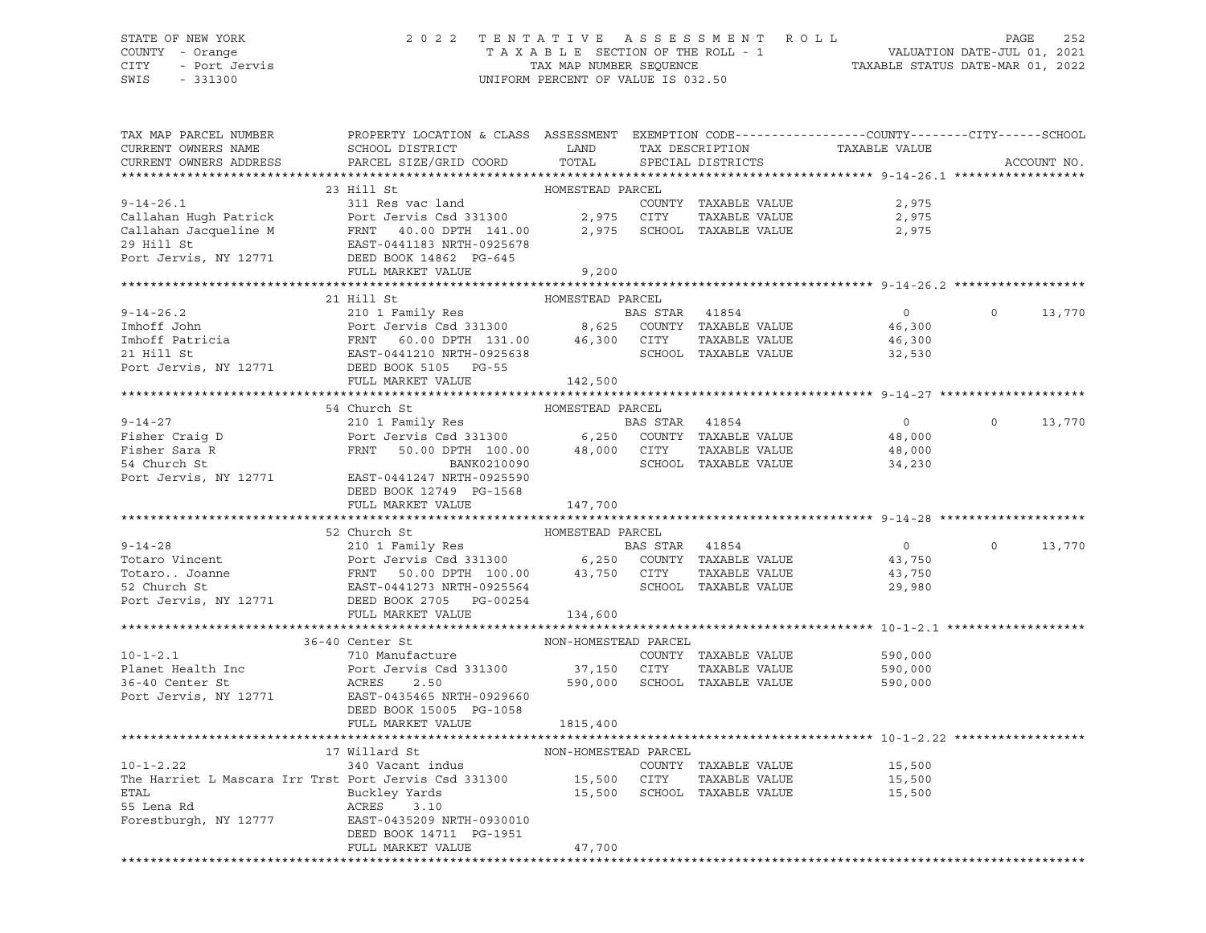### STATE OF NEW YORK 2 0 2 2 T E N T A T I V E A S S E S S M E N T R O L L PAGE 252 COUNTY - Orange T A X A B L E SECTION OF THE ROLL - 1 VALUATION DATE-JUL 01, 2021 CITY - Port Jervis TAX MAP NUMBER SEQUENCE TAXABLE STATUS DATE-MAR 01, 2022

| TAX MAP PARCEL NUMBER<br>CURRENT OWNERS NAME<br>CURRENT OWNERS ADDRESS                                                                                                                                                                                                                                                                                                                                                                             | <b>EXAMPLE SERVICE SERVICE SERVICE SERVICE SERVICE SERVICE SERVICE SERVICE SERVICE SERVICE SERVICE SERVICE SERVICE</b><br>SCHOOL DISTRICT<br>PARCEL SIZE/GRID COORD | TOTAL                                                              | TAX DESCRIPTION<br>SPECIAL DISTRICTS |                      |                      | PROPERTY LOCATION & CLASS ASSESSMENT EXEMPTION CODE----------------COUNTY-------CITY------SCHOOL<br>TAXABLE VALUE |                | ACCOUNT NO. |
|----------------------------------------------------------------------------------------------------------------------------------------------------------------------------------------------------------------------------------------------------------------------------------------------------------------------------------------------------------------------------------------------------------------------------------------------------|---------------------------------------------------------------------------------------------------------------------------------------------------------------------|--------------------------------------------------------------------|--------------------------------------|----------------------|----------------------|-------------------------------------------------------------------------------------------------------------------|----------------|-------------|
|                                                                                                                                                                                                                                                                                                                                                                                                                                                    |                                                                                                                                                                     |                                                                    |                                      |                      |                      |                                                                                                                   |                |             |
|                                                                                                                                                                                                                                                                                                                                                                                                                                                    | 23 Hill St                                                                                                                                                          | HOMESTEAD PARCEL                                                   |                                      |                      |                      |                                                                                                                   |                |             |
|                                                                                                                                                                                                                                                                                                                                                                                                                                                    |                                                                                                                                                                     |                                                                    |                                      |                      | COUNTY TAXABLE VALUE | 2,975                                                                                                             |                |             |
|                                                                                                                                                                                                                                                                                                                                                                                                                                                    |                                                                                                                                                                     |                                                                    |                                      |                      |                      | 2,975                                                                                                             |                |             |
|                                                                                                                                                                                                                                                                                                                                                                                                                                                    |                                                                                                                                                                     |                                                                    |                                      |                      |                      | 2,975                                                                                                             |                |             |
|                                                                                                                                                                                                                                                                                                                                                                                                                                                    |                                                                                                                                                                     |                                                                    |                                      |                      |                      |                                                                                                                   |                |             |
| 9-14-26.1<br>Callahan Hugh Patrick and COUNTY TAXABLE VALUE<br>Callahan Jacqueline M FRNT 40.00 DPTH 141.00 2,975 SCHOOL TAXABLE VALUE<br>29 Hill St EAST-0441183 NRTH-0925678<br>Port Jervis, NY 12771 DEED BOOK 14862 PG-645<br>TAXABL                                                                                                                                                                                                           |                                                                                                                                                                     |                                                                    |                                      |                      |                      |                                                                                                                   |                |             |
|                                                                                                                                                                                                                                                                                                                                                                                                                                                    | FULL MARKET VALUE                                                                                                                                                   | 9,200                                                              |                                      |                      |                      |                                                                                                                   |                |             |
| 1999 - 1999 - 1999 - 1999 - 1999 - 1999 - 1999 - 1999 - 1999 - 1999 - 1999 - 1999 - 1999 - 1999 - 1999 - 1999 - 1999 - 1999 - 1999 - 1999 - 1999 - 1999 - 1999 - 1999 - 1999 - 1999 - 1999 - 1999 - 1999 - 1999 - 1999 - 1999                                                                                                                                                                                                                      |                                                                                                                                                                     |                                                                    |                                      |                      |                      |                                                                                                                   |                |             |
|                                                                                                                                                                                                                                                                                                                                                                                                                                                    |                                                                                                                                                                     |                                                                    |                                      |                      |                      |                                                                                                                   |                |             |
|                                                                                                                                                                                                                                                                                                                                                                                                                                                    |                                                                                                                                                                     |                                                                    |                                      |                      |                      | $\overline{0}$                                                                                                    | $\circ$        | 13,770      |
|                                                                                                                                                                                                                                                                                                                                                                                                                                                    |                                                                                                                                                                     |                                                                    |                                      |                      |                      | 46,300                                                                                                            |                |             |
|                                                                                                                                                                                                                                                                                                                                                                                                                                                    |                                                                                                                                                                     |                                                                    |                                      |                      |                      | 46,300                                                                                                            |                |             |
|                                                                                                                                                                                                                                                                                                                                                                                                                                                    |                                                                                                                                                                     |                                                                    |                                      |                      |                      | 32,530                                                                                                            |                |             |
|                                                                                                                                                                                                                                                                                                                                                                                                                                                    |                                                                                                                                                                     |                                                                    |                                      |                      |                      |                                                                                                                   |                |             |
|                                                                                                                                                                                                                                                                                                                                                                                                                                                    |                                                                                                                                                                     |                                                                    |                                      |                      |                      |                                                                                                                   |                |             |
|                                                                                                                                                                                                                                                                                                                                                                                                                                                    |                                                                                                                                                                     |                                                                    |                                      |                      |                      |                                                                                                                   |                |             |
|                                                                                                                                                                                                                                                                                                                                                                                                                                                    | 54 Church St                                                                                                                                                        | HOMESTEAD PARCEL                                                   |                                      |                      |                      |                                                                                                                   |                |             |
| $9 - 14 - 27$                                                                                                                                                                                                                                                                                                                                                                                                                                      |                                                                                                                                                                     |                                                                    |                                      |                      |                      | $\overline{0}$                                                                                                    | $\circ$        | 13,770      |
|                                                                                                                                                                                                                                                                                                                                                                                                                                                    | 210 1 Family Res<br>Port Jervis Csd 331300 6,250 COUNTY TAXABLE VALUE<br>Port Jervis Csd 331300 6,250 COUNTY TAXABLE VALUE                                          |                                                                    |                                      |                      |                      | 48,000                                                                                                            |                |             |
| Fisher Craig D<br>Fisher Sara R<br>54 Church St                                                                                                                                                                                                                                                                                                                                                                                                    | FRNT 50.00 DPTH 100.00 48,000 CITY TAXABLE VALUE<br>BANK0210090 SCHOOL TAXABLE VALUE                                                                                |                                                                    |                                      |                      |                      | 48,000                                                                                                            |                |             |
| Port Jervis, NY 12771 EAST-0441247 NRTH-0925590                                                                                                                                                                                                                                                                                                                                                                                                    |                                                                                                                                                                     |                                                                    |                                      |                      |                      | 34,230                                                                                                            |                |             |
|                                                                                                                                                                                                                                                                                                                                                                                                                                                    |                                                                                                                                                                     |                                                                    |                                      |                      |                      |                                                                                                                   |                |             |
|                                                                                                                                                                                                                                                                                                                                                                                                                                                    | DEED BOOK 12749 PG-1568<br>FULL MARKET VALUE                                                                                                                        | 147,700                                                            |                                      |                      |                      |                                                                                                                   |                |             |
|                                                                                                                                                                                                                                                                                                                                                                                                                                                    |                                                                                                                                                                     |                                                                    |                                      |                      |                      |                                                                                                                   |                |             |
|                                                                                                                                                                                                                                                                                                                                                                                                                                                    | 52 Church St                                                                                                                                                        | HOMESTEAD PARCEL                                                   |                                      |                      |                      |                                                                                                                   |                |             |
|                                                                                                                                                                                                                                                                                                                                                                                                                                                    |                                                                                                                                                                     |                                                                    |                                      |                      |                      | $\overline{0}$                                                                                                    | $\overline{0}$ | 13,770      |
|                                                                                                                                                                                                                                                                                                                                                                                                                                                    |                                                                                                                                                                     |                                                                    |                                      |                      |                      | 43,750                                                                                                            |                |             |
|                                                                                                                                                                                                                                                                                                                                                                                                                                                    |                                                                                                                                                                     |                                                                    |                                      |                      |                      | 43,750                                                                                                            |                |             |
|                                                                                                                                                                                                                                                                                                                                                                                                                                                    |                                                                                                                                                                     |                                                                    |                                      |                      |                      | 29,980                                                                                                            |                |             |
| $\begin{tabular}{lllllllllllllllllllll} \hline $\mathsf{y}$-14-28 & & & & & & & \text{BAS STAR} & 41854 \\ \hline \texttt{Totaro Vincent} & & & & & \texttt{Port Jervis Csd 331300} & & & \texttt{6,250} & \texttt{COUNTY} & \texttt{TAXABLE VALUE} \\ \texttt{Totaro} \texttt{Joanne} & & & & \texttt{FRNT} & 50.00 DPTH & 100.00 & & 43,750 & \texttt{CITY} & \texttt{TAXABLE VALUE} \\ \texttt{52 Church St} & & & & \texttt{EAST-0441273 NRTH$ |                                                                                                                                                                     |                                                                    |                                      |                      |                      |                                                                                                                   |                |             |
|                                                                                                                                                                                                                                                                                                                                                                                                                                                    | FULL MARKET VALUE                                                                                                                                                   | 134,600                                                            |                                      |                      |                      |                                                                                                                   |                |             |
|                                                                                                                                                                                                                                                                                                                                                                                                                                                    |                                                                                                                                                                     |                                                                    |                                      |                      |                      |                                                                                                                   |                |             |
|                                                                                                                                                                                                                                                                                                                                                                                                                                                    | 36-40 Center St                                                                                                                                                     | NON-HOMESTEAD PARCEL                                               |                                      |                      |                      |                                                                                                                   |                |             |
| $10 - 1 - 2.1$                                                                                                                                                                                                                                                                                                                                                                                                                                     |                                                                                                                                                                     |                                                                    |                                      | COUNTY TAXABLE VALUE |                      | 590,000                                                                                                           |                |             |
| Planet Health Inc                                                                                                                                                                                                                                                                                                                                                                                                                                  | 710 Manufacture<br>Port Jervis Csd 331300<br>ACRES     2.50<br>EAST-0435465 NRTH-0929660                                                                            |                                                                    |                                      | TAXABLE VALUE        |                      | 590,000                                                                                                           |                |             |
| 36-40 Center St                                                                                                                                                                                                                                                                                                                                                                                                                                    |                                                                                                                                                                     | 1 331300 37,150 CITY TAXABLE VALUE<br>590,000 SCHOOL TAXABLE VALUE |                                      |                      |                      | 590,000                                                                                                           |                |             |
| Port Jervis, NY 12771                                                                                                                                                                                                                                                                                                                                                                                                                              |                                                                                                                                                                     |                                                                    |                                      |                      |                      |                                                                                                                   |                |             |
|                                                                                                                                                                                                                                                                                                                                                                                                                                                    | DEED BOOK 15005 PG-1058                                                                                                                                             |                                                                    |                                      |                      |                      |                                                                                                                   |                |             |
|                                                                                                                                                                                                                                                                                                                                                                                                                                                    | FULL MARKET VALUE                                                                                                                                                   | 1815,400                                                           |                                      |                      |                      |                                                                                                                   |                |             |
|                                                                                                                                                                                                                                                                                                                                                                                                                                                    |                                                                                                                                                                     |                                                                    |                                      |                      |                      |                                                                                                                   |                |             |
|                                                                                                                                                                                                                                                                                                                                                                                                                                                    | Willard St<br>340 Vacant indus<br>17 Willard St                                                                                                                     | NON-HOMESTEAD PARCEL                                               |                                      |                      |                      |                                                                                                                   |                |             |
| $10 - 1 - 2.22$                                                                                                                                                                                                                                                                                                                                                                                                                                    |                                                                                                                                                                     |                                                                    |                                      | COUNTY TAXABLE VALUE |                      | 15,500                                                                                                            |                |             |
| The Harriet L Mascara Irr Trst Port Jervis Csd 331300 15,500 CITY TAXABLE VALUE 15,500 15,500<br>ETAL 15,500 Buckley Yards 15,500 15,500 SCHOOL TAXABLE VALUE 15,500                                                                                                                                                                                                                                                                               |                                                                                                                                                                     |                                                                    |                                      |                      |                      |                                                                                                                   |                |             |
|                                                                                                                                                                                                                                                                                                                                                                                                                                                    |                                                                                                                                                                     |                                                                    |                                      |                      |                      |                                                                                                                   |                |             |
| 55 Lena Rd                                                                                                                                                                                                                                                                                                                                                                                                                                         | ACRES 3.10                                                                                                                                                          |                                                                    |                                      |                      |                      |                                                                                                                   |                |             |
| Forestburgh, NY 12777 EAST-0435209 NRTH-0930010                                                                                                                                                                                                                                                                                                                                                                                                    |                                                                                                                                                                     |                                                                    |                                      |                      |                      |                                                                                                                   |                |             |
|                                                                                                                                                                                                                                                                                                                                                                                                                                                    | DEED BOOK 14711 PG-1951                                                                                                                                             |                                                                    |                                      |                      |                      |                                                                                                                   |                |             |
|                                                                                                                                                                                                                                                                                                                                                                                                                                                    | FULL MARKET VALUE                                                                                                                                                   | 47,700                                                             |                                      |                      |                      |                                                                                                                   |                |             |
|                                                                                                                                                                                                                                                                                                                                                                                                                                                    |                                                                                                                                                                     |                                                                    |                                      |                      |                      |                                                                                                                   |                |             |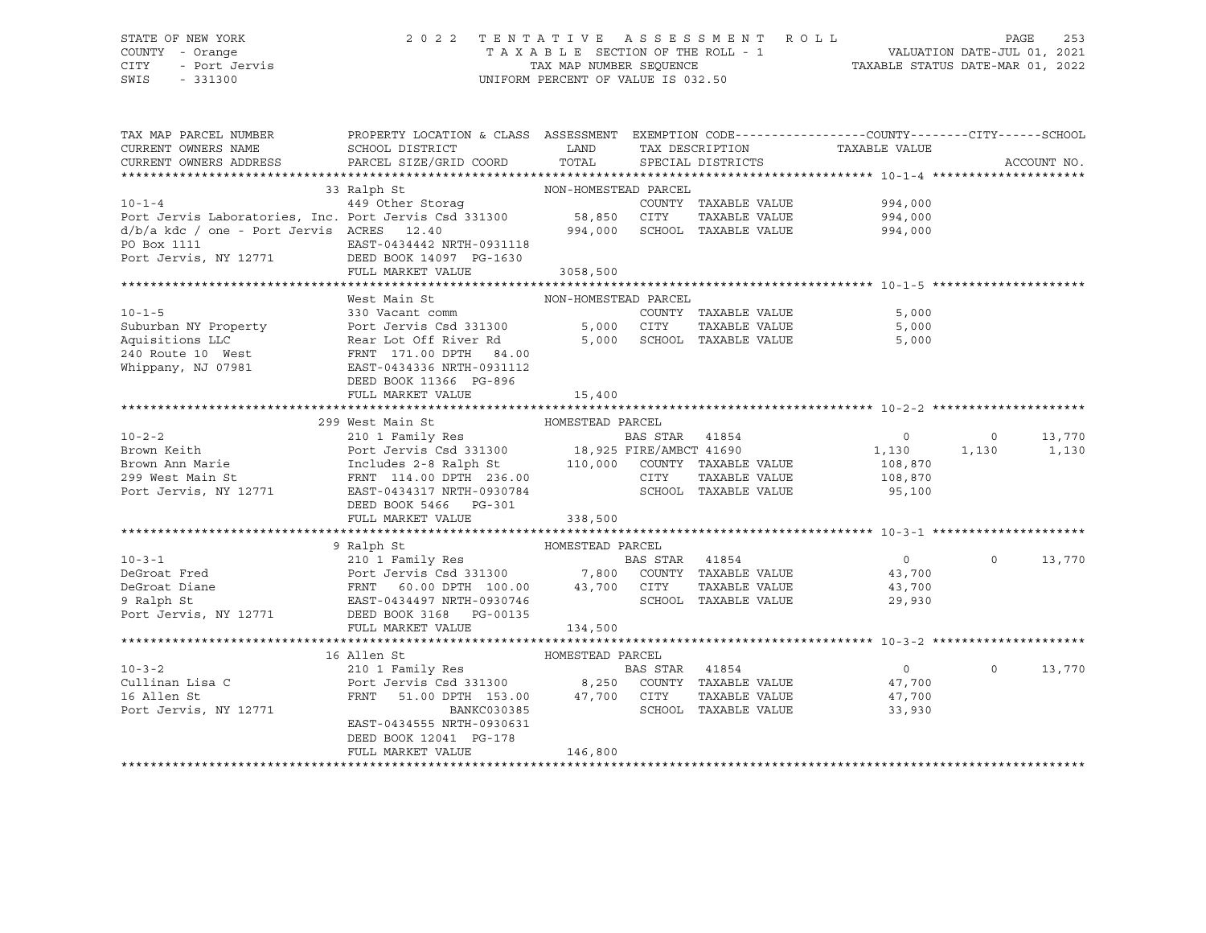# STATE OF NEW YORK 2 0 2 2 T E N T A T I V E A S S E S S M E N T R O L L PAGE 253 COUNTY - Orange T A X A B L E SECTION OF THE ROLL - 1 VALUATION DATE-JUL 01, 2021 CITY - Port Jervis TAX MAP NUMBER SEQUENCE TAXABLE STATUS DATE-MAR 01, 2022

| TAX MAP PARCEL NUMBER                                                                                                                                                                                                                             | PROPERTY LOCATION & CLASS ASSESSMENT EXEMPTION CODE----------------COUNTY-------CITY------SCHOOL |                                                                                                                        |                      |                                      |                |             |
|---------------------------------------------------------------------------------------------------------------------------------------------------------------------------------------------------------------------------------------------------|--------------------------------------------------------------------------------------------------|------------------------------------------------------------------------------------------------------------------------|----------------------|--------------------------------------|----------------|-------------|
| CURRENT OWNERS NAME                                                                                                                                                                                                                               | SCHOOL DISTRICT                                                                                  | <b>EXAMPLE SERVICE SERVICE SERVICE SERVICE SERVICE SERVICE SERVICE SERVICE SERVICE SERVICE SERVICE SERVICE SERVICE</b> | TAX DESCRIPTION      | TAXABLE VALUE                        |                |             |
| CURRENT OWNERS ADDRESS                                                                                                                                                                                                                            | PARCEL SIZE/GRID COORD                                                                           | TOTAL                                                                                                                  | SPECIAL DISTRICTS    |                                      |                | ACCOUNT NO. |
|                                                                                                                                                                                                                                                   |                                                                                                  |                                                                                                                        |                      |                                      |                |             |
|                                                                                                                                                                                                                                                   | 33 Ralph St<br>NON-HOMESTEAD PARCEL                                                              |                                                                                                                        |                      |                                      |                |             |
|                                                                                                                                                                                                                                                   |                                                                                                  |                                                                                                                        | COUNTY TAXABLE VALUE | 994,000                              |                |             |
|                                                                                                                                                                                                                                                   |                                                                                                  |                                                                                                                        | TAXABLE VALUE        | 994,000                              |                |             |
| $d/b/a$ kdc / one - Port Jervis ACRES 12.40                                                                                                                                                                                                       |                                                                                                  |                                                                                                                        |                      | 994,000 SCHOOL TAXABLE VALUE 994,000 |                |             |
| PO Box 1111                                                                                                                                                                                                                                       | EAST-0434442 NRTH-0931118                                                                        |                                                                                                                        |                      |                                      |                |             |
| Port Jervis, NY 12771 DEED BOOK 14097 PG-1630                                                                                                                                                                                                     |                                                                                                  |                                                                                                                        |                      |                                      |                |             |
|                                                                                                                                                                                                                                                   | FULL MARKET VALUE 3058,500                                                                       |                                                                                                                        |                      |                                      |                |             |
|                                                                                                                                                                                                                                                   |                                                                                                  |                                                                                                                        |                      |                                      |                |             |
|                                                                                                                                                                                                                                                   | West Main St                                                                                     | NON-HOMESTEAD PARCEL                                                                                                   |                      |                                      |                |             |
|                                                                                                                                                                                                                                                   |                                                                                                  |                                                                                                                        |                      | 5,000                                |                |             |
|                                                                                                                                                                                                                                                   |                                                                                                  |                                                                                                                        |                      | TAXABLE VALUE<br>5,000               |                |             |
| 10-1-5<br>Suburban NY Property<br>Aquisitions LLC<br>Aquisitions LLC<br>240 Route 10 West<br>240 Rear Lot Off River Rd<br>240 Rear Lot Off River Rd<br>240 Rear Lot Off River Rd<br>240 Rear Lot Off River Rd<br>240 Rear Lot Off River Rd<br>240 |                                                                                                  |                                                                                                                        |                      | 5,000                                |                |             |
|                                                                                                                                                                                                                                                   |                                                                                                  |                                                                                                                        |                      |                                      |                |             |
| Whippany, NJ 07981                                                                                                                                                                                                                                | EAST-0434336 NRTH-0931112                                                                        |                                                                                                                        |                      |                                      |                |             |
|                                                                                                                                                                                                                                                   | DEED BOOK 11366 PG-896                                                                           |                                                                                                                        |                      |                                      |                |             |
|                                                                                                                                                                                                                                                   | FULL MARKET VALUE                                                                                | 15,400                                                                                                                 |                      |                                      |                |             |
|                                                                                                                                                                                                                                                   |                                                                                                  |                                                                                                                        |                      |                                      |                |             |
|                                                                                                                                                                                                                                                   | 299 West Main St<br>HOMESTEAD PARCEL                                                             |                                                                                                                        |                      |                                      |                |             |
|                                                                                                                                                                                                                                                   |                                                                                                  |                                                                                                                        |                      |                                      | $\overline{0}$ | 13,770      |
|                                                                                                                                                                                                                                                   |                                                                                                  |                                                                                                                        |                      |                                      |                | 1,130       |
|                                                                                                                                                                                                                                                   |                                                                                                  |                                                                                                                        |                      | 108,870                              |                |             |
|                                                                                                                                                                                                                                                   |                                                                                                  |                                                                                                                        |                      | 108,870                              |                |             |
| Port Jervis, NY 12771 EAST-0434317 NRTH-0930784                                                                                                                                                                                                   |                                                                                                  |                                                                                                                        | SCHOOL TAXABLE VALUE | 95,100                               |                |             |
|                                                                                                                                                                                                                                                   | DEED BOOK 5466 PG-301                                                                            |                                                                                                                        |                      |                                      |                |             |
|                                                                                                                                                                                                                                                   | FULL MARKET VALUE                                                                                | 338,500                                                                                                                |                      |                                      |                |             |
|                                                                                                                                                                                                                                                   |                                                                                                  |                                                                                                                        |                      |                                      |                |             |
|                                                                                                                                                                                                                                                   | 9 Ralph St                                                                                       | HOMESTEAD PARCEL                                                                                                       |                      |                                      |                |             |
| 10-3-1<br>210 1 Family Res<br>DeGroat Fred<br>Port Jervis Csd 331300<br>PRNT 60.00 DPTH 100.00<br>9 Ralph St<br>Port Jervis, NY 12771<br>DEED BOOK 3168 PG-00135<br>PGT Jervis, NY 12771<br>DEED BOOK 3168 PG-00135                               |                                                                                                  |                                                                                                                        |                      |                                      | $\Omega$       | 13,770      |
|                                                                                                                                                                                                                                                   |                                                                                                  |                                                                                                                        |                      | 43,700                               |                |             |
|                                                                                                                                                                                                                                                   |                                                                                                  |                                                                                                                        |                      | TAXABLE VALUE 43,700                 |                |             |
|                                                                                                                                                                                                                                                   |                                                                                                  |                                                                                                                        |                      | SCHOOL TAXABLE VALUE<br>29,930       |                |             |
|                                                                                                                                                                                                                                                   |                                                                                                  |                                                                                                                        |                      |                                      |                |             |
|                                                                                                                                                                                                                                                   | FULL MARKET VALUE                                                                                | 134,500                                                                                                                |                      |                                      |                |             |
|                                                                                                                                                                                                                                                   |                                                                                                  |                                                                                                                        |                      |                                      |                |             |
|                                                                                                                                                                                                                                                   |                                                                                                  |                                                                                                                        |                      |                                      |                |             |
|                                                                                                                                                                                                                                                   |                                                                                                  |                                                                                                                        |                      | $\overline{0}$                       | $\circ$        | 13,770      |
|                                                                                                                                                                                                                                                   |                                                                                                  |                                                                                                                        |                      | 47,700                               |                |             |
|                                                                                                                                                                                                                                                   |                                                                                                  |                                                                                                                        |                      | TAXABLE VALUE 47,700                 |                |             |
| Port Jervis, NY 12771                                                                                                                                                                                                                             | BANKC030385                                                                                      |                                                                                                                        | SCHOOL TAXABLE VALUE | 33,930                               |                |             |
|                                                                                                                                                                                                                                                   | EAST-0434555 NRTH-0930631                                                                        |                                                                                                                        |                      |                                      |                |             |
|                                                                                                                                                                                                                                                   | DEED BOOK 12041 PG-178                                                                           |                                                                                                                        |                      |                                      |                |             |
|                                                                                                                                                                                                                                                   | FULL MARKET VALUE                                                                                | 146,800                                                                                                                |                      |                                      |                |             |
|                                                                                                                                                                                                                                                   |                                                                                                  |                                                                                                                        |                      |                                      |                |             |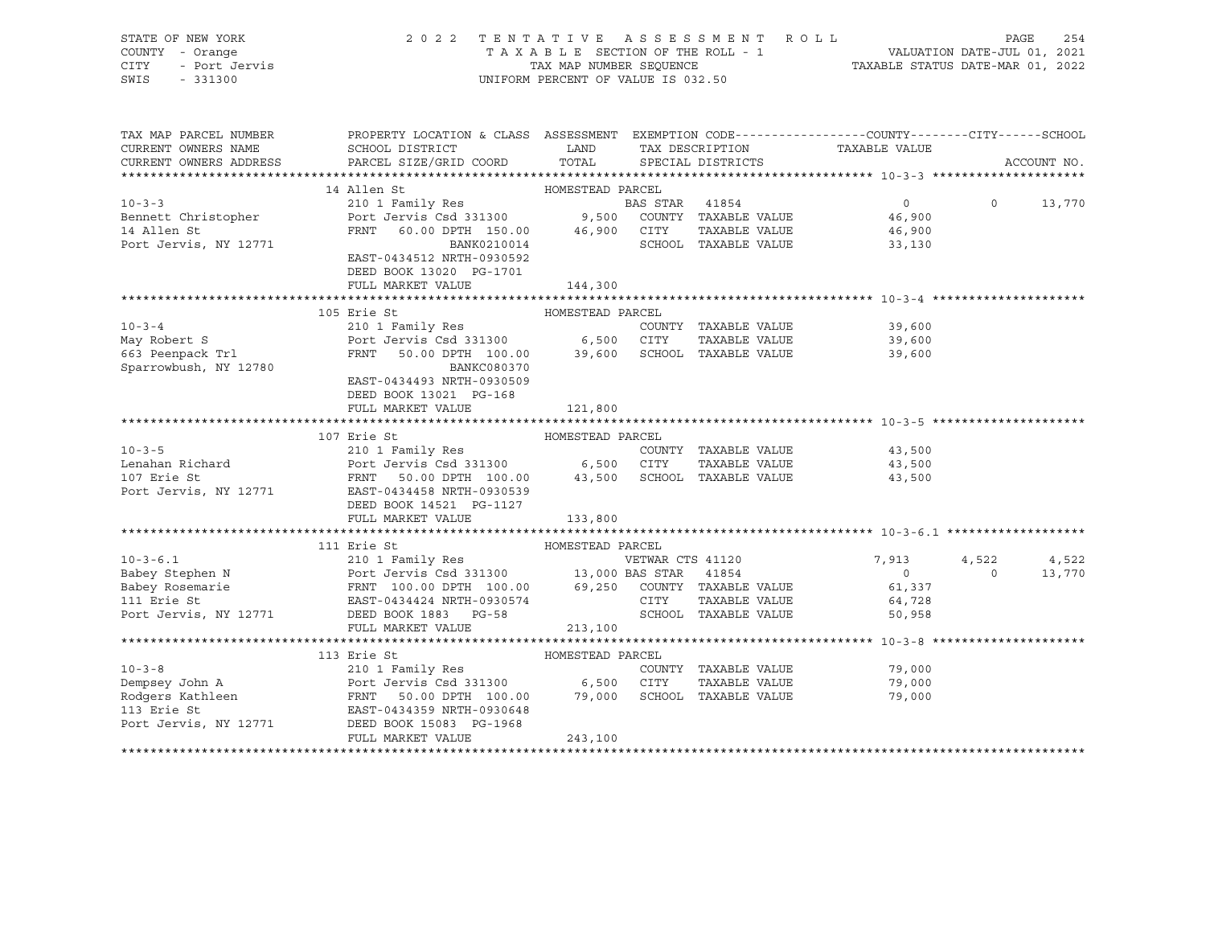| STATE OF NEW YORK<br>UF NEW TOAL<br>T - Orange<br>- Port Jervis<br>- 331300<br>COUNTY - Orange<br>CITY<br>SWIS<br>$-331300$ | 2022 TENTATIVE ASSESSMENT ROLL<br>UNIFORM PERCENT OF VALUE IS 032.50                                                                                                                                                                                     | FENTATIVE ASSESSMENT ROLL PAGE 254<br>TAXABLE SECTION OF THE ROLL - 1 VALUATION DATE-JUL 01, 2021<br>TAX MAP NUMBER SEQUENCE TAXABLE STATUS DATE-MAR 01, 2022 |                       |                               |                |             |
|-----------------------------------------------------------------------------------------------------------------------------|----------------------------------------------------------------------------------------------------------------------------------------------------------------------------------------------------------------------------------------------------------|---------------------------------------------------------------------------------------------------------------------------------------------------------------|-----------------------|-------------------------------|----------------|-------------|
| CURRENT OWNERS NAME<br>CURRENT OWNERS ADDRESS                                                                               | TAX MAP PARCEL NUMBER THE PROPERTY LOCATION & CLASS ASSESSMENT EXEMPTION CODE--------------COUNTY-------CUTY------SCHOOL<br>SCHOOL DISTRICT<br>PARCEL SIZE/GRID COORD                                                                                    | LAND<br>TOTAL                                                                                                                                                 | SPECIAL DISTRICTS     | TAX DESCRIPTION TAXABLE VALUE |                | ACCOUNT NO. |
|                                                                                                                             |                                                                                                                                                                                                                                                          |                                                                                                                                                               |                       |                               |                |             |
|                                                                                                                             | 14 Allen St                                                                                                                                                                                                                                              | HOMESTEAD PARCEL                                                                                                                                              |                       |                               |                |             |
| $10 - 3 - 3$                                                                                                                | 210 1 Family Res                                                                                                                                                                                                                                         |                                                                                                                                                               | <b>BAS STAR</b> 41854 | $\overline{0}$                | $\Omega$       | 13,770      |
| Bennett Christopher<br>14 Allen St                                                                                          | Port Jervis Csd 331300 9,500 COUNTY TAXABLE VALUE<br>FRNT 60.00 DPTH 150.00 46,900 CITY TAXABLE VALUE                                                                                                                                                    |                                                                                                                                                               |                       | 46,900<br>46,900              |                |             |
| Port Jervis, NY 12771                                                                                                       | BANK0210014                                                                                                                                                                                                                                              |                                                                                                                                                               |                       | SCHOOL TAXABLE VALUE 33,130   |                |             |
|                                                                                                                             | EAST-0434512 NRTH-0930592                                                                                                                                                                                                                                |                                                                                                                                                               |                       |                               |                |             |
|                                                                                                                             | DEED BOOK 13020 PG-1701                                                                                                                                                                                                                                  |                                                                                                                                                               |                       |                               |                |             |
|                                                                                                                             | FULL MARKET VALUE                                                                                                                                                                                                                                        | 144,300                                                                                                                                                       |                       |                               |                |             |
|                                                                                                                             |                                                                                                                                                                                                                                                          |                                                                                                                                                               |                       |                               |                |             |
|                                                                                                                             | 105 Erie St                                                                                                                                                                                                                                              | HOMESTEAD PARCEL                                                                                                                                              |                       |                               |                |             |
| $10 - 3 - 4$                                                                                                                | 210 1 Family Res                                                                                                                                                                                                                                         |                                                                                                                                                               | COUNTY TAXABLE VALUE  | 39,600                        |                |             |
| May Robert S<br>663 Peenpack Trl                                                                                            | Port Jervis Csd 331300 6,500 CITY TAXABLE VALUE 39,600<br>FRNT 50.00 DPTH 100.00 39,600 SCHOOL TAXABLE VALUE 39,600                                                                                                                                      |                                                                                                                                                               |                       |                               |                |             |
|                                                                                                                             |                                                                                                                                                                                                                                                          |                                                                                                                                                               |                       |                               |                |             |
| Sparrowbush, NY 12780                                                                                                       | BANKC080370                                                                                                                                                                                                                                              |                                                                                                                                                               |                       |                               |                |             |
|                                                                                                                             | EAST-0434493 NRTH-0930509                                                                                                                                                                                                                                |                                                                                                                                                               |                       |                               |                |             |
|                                                                                                                             | DEED BOOK 13021 PG-168<br>FULL MARKET VALUE                                                                                                                                                                                                              | 121,800                                                                                                                                                       |                       |                               |                |             |
|                                                                                                                             |                                                                                                                                                                                                                                                          |                                                                                                                                                               |                       |                               |                |             |
|                                                                                                                             | 107 Erie St                                                                                                                                                                                                                                              | HOMESTEAD PARCEL                                                                                                                                              |                       |                               |                |             |
|                                                                                                                             |                                                                                                                                                                                                                                                          |                                                                                                                                                               |                       | 43,500                        |                |             |
|                                                                                                                             |                                                                                                                                                                                                                                                          |                                                                                                                                                               |                       | 43,500                        |                |             |
|                                                                                                                             |                                                                                                                                                                                                                                                          |                                                                                                                                                               |                       | 43,500                        |                |             |
|                                                                                                                             | 10-3-5<br>Lenahan Richard<br>107 Erie St<br>210 1 Family Res<br>210 1 Family Res<br>210 1 Family Res<br>210 1 Family Res<br>210 1 Family Res<br>210 1 Family Res<br>210 1 Family Res<br>210 1 Family Res<br>210 1 Family Res<br>210 2001 6,500 CITY<br>6 |                                                                                                                                                               |                       |                               |                |             |
|                                                                                                                             | DEED BOOK 14521 PG-1127                                                                                                                                                                                                                                  |                                                                                                                                                               |                       |                               |                |             |
|                                                                                                                             | FULL MARKET VALUE                                                                                                                                                                                                                                        | 133,800                                                                                                                                                       |                       |                               |                |             |
|                                                                                                                             |                                                                                                                                                                                                                                                          |                                                                                                                                                               |                       |                               |                |             |
|                                                                                                                             | 111 Erie St<br>210 1 Family Res homes had                                                                                                                                                                                                                | HOMESTEAD PARCEL                                                                                                                                              |                       |                               |                |             |
|                                                                                                                             |                                                                                                                                                                                                                                                          |                                                                                                                                                               |                       | 7,913 4,522 4,522             |                |             |
|                                                                                                                             |                                                                                                                                                                                                                                                          |                                                                                                                                                               |                       | $\overline{0}$<br>61,337      | $\overline{0}$ | 13,770      |
|                                                                                                                             |                                                                                                                                                                                                                                                          |                                                                                                                                                               |                       | 64,728                        |                |             |
|                                                                                                                             |                                                                                                                                                                                                                                                          |                                                                                                                                                               |                       | 50,958                        |                |             |
|                                                                                                                             | FULL MARKET VALUE                                                                                                                                                                                                                                        | 213,100                                                                                                                                                       |                       |                               |                |             |
|                                                                                                                             |                                                                                                                                                                                                                                                          |                                                                                                                                                               |                       |                               |                |             |
|                                                                                                                             | 113 Erie St                                                                                                                                                                                                                                              | HOMESTEAD PARCEL                                                                                                                                              |                       |                               |                |             |
|                                                                                                                             |                                                                                                                                                                                                                                                          |                                                                                                                                                               | COUNTY TAXABLE VALUE  | 79,000                        |                |             |
|                                                                                                                             | 10-3-8<br>Dempsey John A<br>Port Jervis Csd 331300 6,500 CITY<br>Rodgers Kathleen<br>FRNT 50.00 DPTH 100.00 79,000 SCHOOL<br>113 Erie St<br>EAST-0434359 NRTH-0930648                                                                                    |                                                                                                                                                               | TAXABLE VALUE         | 79,000                        |                |             |
|                                                                                                                             |                                                                                                                                                                                                                                                          |                                                                                                                                                               | SCHOOL TAXABLE VALUE  | 79,000                        |                |             |
|                                                                                                                             |                                                                                                                                                                                                                                                          |                                                                                                                                                               |                       |                               |                |             |
|                                                                                                                             | Port Jervis, NY 12771 DEED BOOK 15083 PG-1968                                                                                                                                                                                                            |                                                                                                                                                               |                       |                               |                |             |
|                                                                                                                             | FULL MARKET VALUE                                                                                                                                                                                                                                        | 243,100                                                                                                                                                       |                       |                               |                |             |
|                                                                                                                             |                                                                                                                                                                                                                                                          |                                                                                                                                                               |                       |                               |                |             |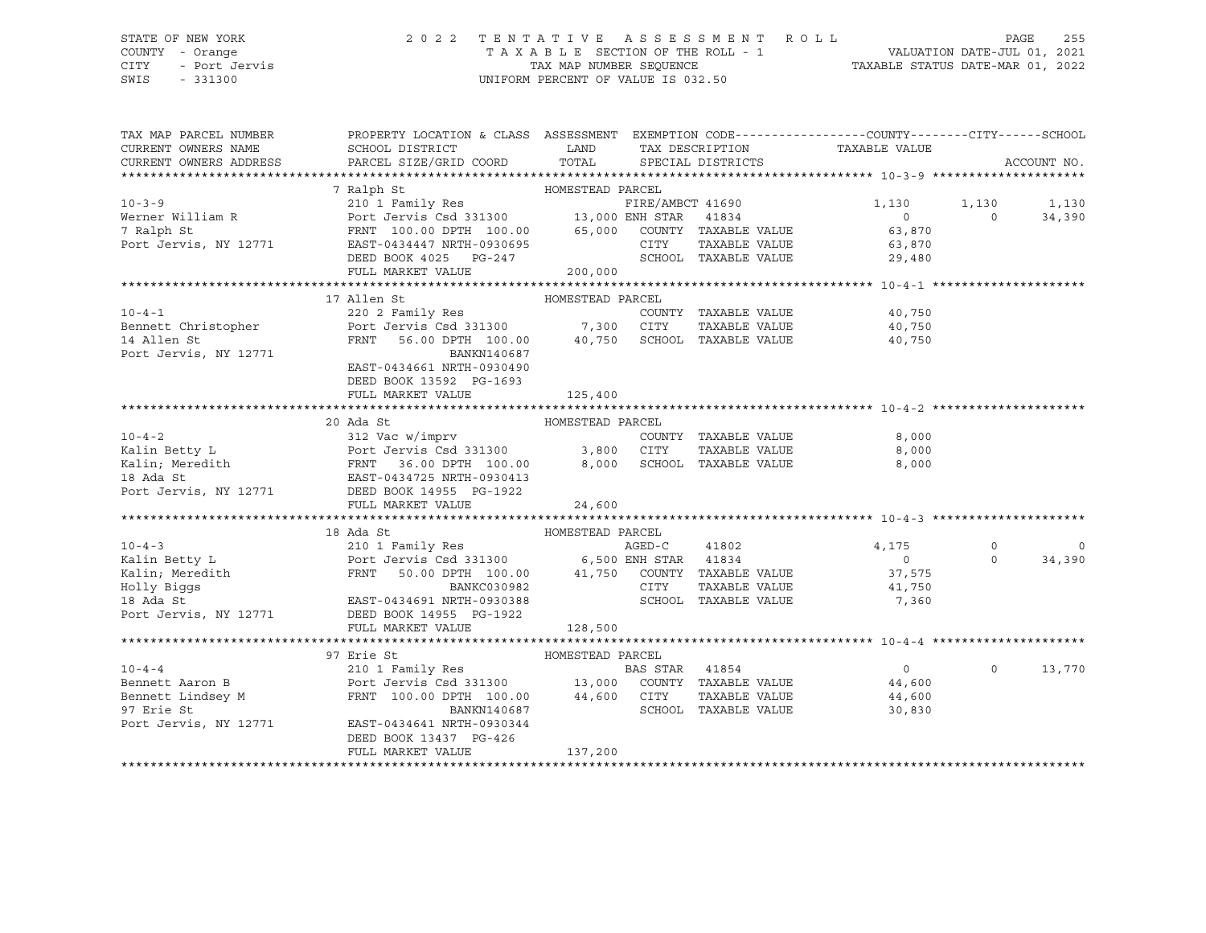# STATE OF NEW YORK 2 0 2 2 T E N T A T I V E A S S E S S M E N T R O L L PAGE 255 COUNTY - Orange T A X A B L E SECTION OF THE ROLL - 1 VALUATION DATE-JUL 01, 2021 CITY - Port Jervis TAX MAP NUMBER SEQUENCE TAXABLE STATUS DATE-MAR 01, 2022

| TAX MAP PARCEL NUMBER<br>CURRENT OWNERS NAME                                                                                                                                                                                             | PROPERTY LOCATION & CLASS ASSESSMENT EXEMPTION CODE---------------COUNTY-------CITY------SCHOOL<br>SCHOOL DISTRICT | LAND             |        |                      | TAX DESCRIPTION TAXABLE VALUE |             |                |
|------------------------------------------------------------------------------------------------------------------------------------------------------------------------------------------------------------------------------------------|--------------------------------------------------------------------------------------------------------------------|------------------|--------|----------------------|-------------------------------|-------------|----------------|
| CURRENT OWNERS ADDRESS                                                                                                                                                                                                                   | PARCEL SIZE/GRID COORD                                                                                             | TOTAL            |        | SPECIAL DISTRICTS    |                               |             | ACCOUNT NO.    |
|                                                                                                                                                                                                                                          |                                                                                                                    |                  |        |                      |                               |             |                |
|                                                                                                                                                                                                                                          |                                                                                                                    |                  |        |                      |                               |             |                |
| $10 - 3 - 9$                                                                                                                                                                                                                             |                                                                                                                    |                  |        |                      | 1,130                         | 1,130       | 1,130          |
| Werner William R<br>7 Ralph St                                                                                                                                                                                                           |                                                                                                                    |                  |        |                      | 0                             | $\Omega$    | 34,390         |
|                                                                                                                                                                                                                                          |                                                                                                                    |                  |        |                      | 63,870                        |             |                |
| Port Jervis, NY 12771                                                                                                                                                                                                                    |                                                                                                                    |                  | CITY   | TAXABLE VALUE        |                               |             |                |
|                                                                                                                                                                                                                                          | EAST-0434447 NRTH-0930695<br>DEED BOOK 4025 PG-247                                                                 |                  |        | SCHOOL TAXABLE VALUE | 63,870<br>29,480              |             |                |
|                                                                                                                                                                                                                                          | FULL MARKET VALUE                                                                                                  | 200,000          |        |                      |                               |             |                |
|                                                                                                                                                                                                                                          |                                                                                                                    |                  |        |                      |                               |             |                |
|                                                                                                                                                                                                                                          | 17 Allen St                                                                                                        | HOMESTEAD PARCEL |        |                      |                               |             |                |
|                                                                                                                                                                                                                                          |                                                                                                                    |                  |        | COUNTY TAXABLE VALUE | 40,750                        |             |                |
| 10-4-1 COUNTY<br>Bennett Christopher 220 2 Family Res 200 1,300 CITY                                                                                                                                                                     |                                                                                                                    |                  |        |                      | TAXABLE VALUE 40,750          |             |                |
| 14 Allen St                                                                                                                                                                                                                              | FRNT<br>56.00 DPTH 100.00  40,750  SCHOOL TAXABLE VALUE  40,750                                                    |                  |        |                      |                               |             |                |
| Port Jervis, NY 12771                                                                                                                                                                                                                    | BANKN140687                                                                                                        |                  |        |                      |                               |             |                |
|                                                                                                                                                                                                                                          | EAST-0434661 NRTH-0930490                                                                                          |                  |        |                      |                               |             |                |
|                                                                                                                                                                                                                                          | DEED BOOK 13592 PG-1693                                                                                            |                  |        |                      |                               |             |                |
|                                                                                                                                                                                                                                          | FULL MARKET VALUE                                                                                                  | 125,400          |        |                      |                               |             |                |
|                                                                                                                                                                                                                                          |                                                                                                                    |                  |        |                      |                               |             |                |
|                                                                                                                                                                                                                                          | 20 Ada St                                                                                                          | HOMESTEAD PARCEL |        |                      |                               |             |                |
|                                                                                                                                                                                                                                          |                                                                                                                    |                  |        |                      |                               |             |                |
|                                                                                                                                                                                                                                          |                                                                                                                    |                  |        |                      |                               |             |                |
| 10-4-2<br>Kalin Betty L 312 Vac w/imprv<br>Kalin Betty L Port Jervis Csd 331300 3,800 CITY TAXABLE VALUE 8,000<br>Kalin, Meredith FRNT 36.00 DPTH 100.00 8,000 SCHOOL TAXABLE VALUE 8,000<br>18 Ada St EAST-0434725 NRTH-0930413<br>Port |                                                                                                                    |                  |        |                      |                               |             |                |
|                                                                                                                                                                                                                                          |                                                                                                                    |                  |        |                      |                               |             |                |
|                                                                                                                                                                                                                                          |                                                                                                                    |                  |        |                      |                               |             |                |
|                                                                                                                                                                                                                                          | FULL MARKET VALUE                                                                                                  | 24,600           |        |                      |                               |             |                |
|                                                                                                                                                                                                                                          |                                                                                                                    |                  |        |                      |                               |             |                |
|                                                                                                                                                                                                                                          | 18 Ada St                                                                                                          |                  |        |                      |                               |             |                |
| $10 - 4 - 3$                                                                                                                                                                                                                             |                                                                                                                    |                  | AGED-C | 41802                | 4,175                         | $\mathbf 0$ | $\overline{0}$ |
| EXAMPLE 210 1 Family Res AGED-C 41802<br>Kalin Betty Land Cort Jervis Csd 331300 6,500 ENH STAR 41834                                                                                                                                    |                                                                                                                    |                  |        |                      | $0 \qquad \qquad$             | $\Omega$    | 34,390         |
|                                                                                                                                                                                                                                          | FRNT 50.00 DPTH 100.00 $41,750$ COUNTY TAXABLE VALUE                                                               |                  |        |                      | 37,575                        |             |                |
|                                                                                                                                                                                                                                          |                                                                                                                    |                  | CITY   | TAXABLE VALUE        | 41,750                        |             |                |
| Xalin; Meredith FRNT 50.00 DPTH 100.00<br>Holly Biggs<br>18 Ada St EAST-0434691 NRTH-0930388<br>Port Jervis, NY 12771 DEED BOOK 14955 PG-1922                                                                                            |                                                                                                                    |                  |        |                      | SCHOOL TAXABLE VALUE 7,360    |             |                |
|                                                                                                                                                                                                                                          |                                                                                                                    |                  |        |                      |                               |             |                |
|                                                                                                                                                                                                                                          | FULL MARKET VALUE                                                                                                  | 128,500          |        |                      |                               |             |                |
|                                                                                                                                                                                                                                          |                                                                                                                    |                  |        |                      |                               |             |                |
|                                                                                                                                                                                                                                          | HOMESTEAD PARCEL<br>97 Erie St                                                                                     |                  |        |                      |                               |             |                |
| $10 - 4 - 4$                                                                                                                                                                                                                             |                                                                                                                    |                  |        |                      | $\overline{0}$                | $\circ$     | 13,770         |
| 10-4-4<br>Bennett Aaron B                                                                                                                                                                                                                |                                                                                                                    |                  |        |                      | 44,600                        |             |                |
| Bennett Lindsey M                                                                                                                                                                                                                        | FRNT 100.00 DPTH 100.00 44,600 CITY                                                                                |                  |        |                      | TAXABLE VALUE 44,600          |             |                |
| 97 Erie St                                                                                                                                                                                                                               | BANKN140687                                                                                                        |                  |        | SCHOOL TAXABLE VALUE | 30,830                        |             |                |
| Port Jervis, NY 12771                                                                                                                                                                                                                    | EAST-0434641 NRTH-0930344                                                                                          |                  |        |                      |                               |             |                |
|                                                                                                                                                                                                                                          | DEED BOOK 13437 PG-426                                                                                             |                  |        |                      |                               |             |                |
|                                                                                                                                                                                                                                          | FULL MARKET VALUE                                                                                                  | 137,200          |        |                      |                               |             |                |
|                                                                                                                                                                                                                                          |                                                                                                                    |                  |        |                      |                               |             |                |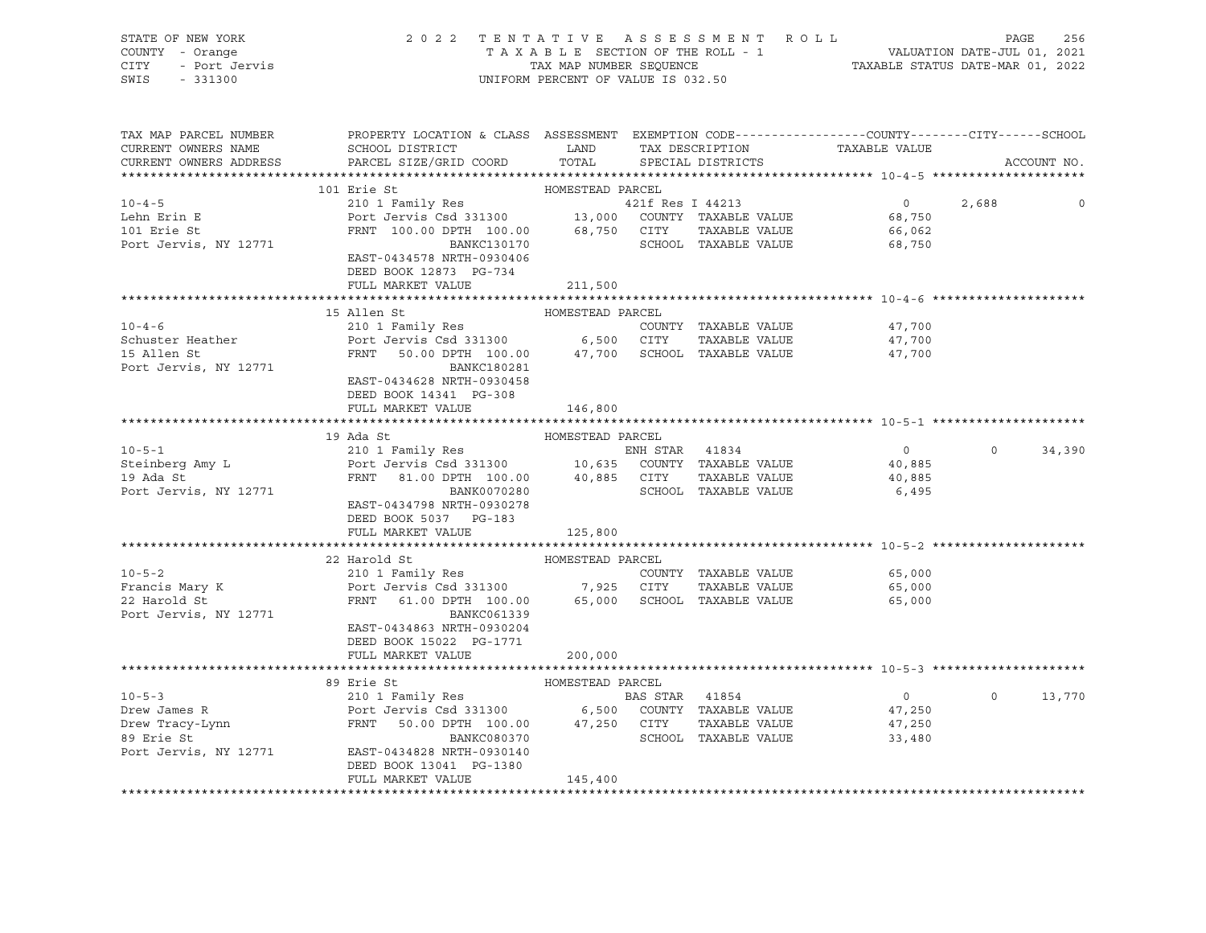| STATE OF NEW YORK<br>COUNTY - Orange<br>Y - Orange<br>- Port Jervis<br><b>CITY</b><br>SWIS<br>$-331300$ | 2022 TENTATIVE ASSESSMENT ROLL                                                                                                                       | UNIFORM PERCENT OF VALUE IS 032.50 |                                              |                   | PAGE     | 256         |
|---------------------------------------------------------------------------------------------------------|------------------------------------------------------------------------------------------------------------------------------------------------------|------------------------------------|----------------------------------------------|-------------------|----------|-------------|
| TAX MAP PARCEL NUMBER<br>CURRENT OWNERS NAME<br>CURRENT OWNERS ADDRESS                                  | PROPERTY LOCATION & CLASS ASSESSMENT EXEMPTION CODE----------------COUNTY-------CITY------SCHOOL                                                     |                                    |                                              |                   |          | ACCOUNT NO. |
|                                                                                                         | 101 Erie St                                                                                                                                          |                                    |                                              |                   |          |             |
| $10 - 4 - 5$                                                                                            |                                                                                                                                                      |                                    |                                              | $\overline{0}$    | 2,688    | $\circ$     |
| Lehn Erin E<br>101 Erie St<br>Port Jervis, NY 12771                                                     | EAST-0434578 NRTH-0930406<br>DEED BOOK 12873 PG-734                                                                                                  |                                    |                                              |                   |          |             |
|                                                                                                         | FULL MARKET VALUE                                                                                                                                    | 211,500                            |                                              |                   |          |             |
|                                                                                                         |                                                                                                                                                      |                                    |                                              |                   |          |             |
|                                                                                                         | 15 Allen St                                                                                                                                          |                                    |                                              |                   |          |             |
| $10 - 4 - 6$<br>Schuster Heather                                                                        | Port Jervis Csd 331300 6,500 CITY                                                                                                                    |                                    | COUNTY TAXABLE VALUE<br>TAXABLE VALUE 47,700 | 47,700            |          |             |
| 15 Allen St<br>Port Jervis, NY 12771                                                                    | FRNT 50.00 DPTH 100.00 47,700 SCHOOL TAXABLE VALUE 47,700<br>BANKC180281<br>EAST-0434628 NRTH-0930458<br>DEED BOOK 14341 PG-308<br>FULL MARKET VALUE | 146,800                            |                                              |                   |          |             |
|                                                                                                         |                                                                                                                                                      |                                    |                                              |                   |          |             |
|                                                                                                         | HOMESTEAD PARCEL<br>19 Ada St                                                                                                                        |                                    |                                              |                   |          |             |
| $10 - 5 - 1$                                                                                            |                                                                                                                                                      |                                    |                                              | $0 \qquad \qquad$ | $\Omega$ | 34,390      |
| Steinberg Amy L<br>19 Ada St                                                                            |                                                                                                                                                      |                                    |                                              | 40,885            |          |             |
| 19 Ada St                                                                                               | FRNT 81.00 DPTH 100.00 40,885 CITY TAXABLE VALUE 40,885                                                                                              |                                    |                                              |                   |          |             |
| Port Jervis, NY 12771                                                                                   | BANK0070280<br>EAST-0434798 NRTH-0930278<br>DEED BOOK 5037 PG-183                                                                                    |                                    | SCHOOL TAXABLE VALUE                         | 6,495             |          |             |
|                                                                                                         | FULL MARKET VALUE                                                                                                                                    | 125,800                            |                                              |                   |          |             |
|                                                                                                         |                                                                                                                                                      |                                    |                                              |                   |          |             |
|                                                                                                         |                                                                                                                                                      |                                    |                                              |                   |          |             |
| $10 - 5 - 2$                                                                                            |                                                                                                                                                      |                                    | COUNTY TAXABLE VALUE                         | 65,000            |          |             |
| Francis Mary K<br>22 Harold St                                                                          |                                                                                                                                                      |                                    | TAXABLE VALUE                                | 65,000            |          |             |
| 22 Harold St<br>Port Jervis, NY 12771                                                                   | BANKC061339<br>EAST-0434863 NRTH-0930204<br>DEED BOOK 15022 PG-1771                                                                                  |                                    |                                              | 65,000            |          |             |
|                                                                                                         | FULL MARKET VALUE                                                                                                                                    | 200,000                            |                                              |                   |          |             |
|                                                                                                         |                                                                                                                                                      |                                    |                                              |                   |          |             |

\*\*\*\*\*\*\*\*\*\*\*\*\*\*\*\*\*\*\*\*\*\*\*\*\*\*\*\*\*\*\*\*\*\*\*\*\*\*\*\*\*\*\*\*\*\*\*\*\*\*\*\*\*\*\*\*\*\*\*\*\*\*\*\*\*\*\*\*\*\*\*\*\*\*\*\*\*\*\*\*\*\*\*\*\*\*\*\*\*\*\*\*\*\*\*\*\*\*\*\*\*\*\* 10-5-3 \*\*\*\*\*\*\*\*\*\*\*\*\*\*\*\*\*\*\*\*\* 89 Erie St HOMESTEAD PARCEL 10-5-3 210 1 Family Res BAS STAR 41854 0 0 13,770 Drew James R Port Jervis Csd 331300 6,500 COUNTY TAXABLE VALUE 47,250

Drew Tracy-Lynn FRNT 50.00 DPTH 100.00 47,250 CITY TAXABLE VALUE 47,250 89 Erie St BANKC080370 SCHOOL TAXABLE VALUE 33,480 Port Jervis, NY 12771 EAST-0434828 NRTH-0930140 DEED BOOK 13041 PG-1380 FULL MARKET VALUE 145,400 \*\*\*\*\*\*\*\*\*\*\*\*\*\*\*\*\*\*\*\*\*\*\*\*\*\*\*\*\*\*\*\*\*\*\*\*\*\*\*\*\*\*\*\*\*\*\*\*\*\*\*\*\*\*\*\*\*\*\*\*\*\*\*\*\*\*\*\*\*\*\*\*\*\*\*\*\*\*\*\*\*\*\*\*\*\*\*\*\*\*\*\*\*\*\*\*\*\*\*\*\*\*\*\*\*\*\*\*\*\*\*\*\*\*\*\*\*\*\*\*\*\*\*\*\*\*\*\*\*\*\*\*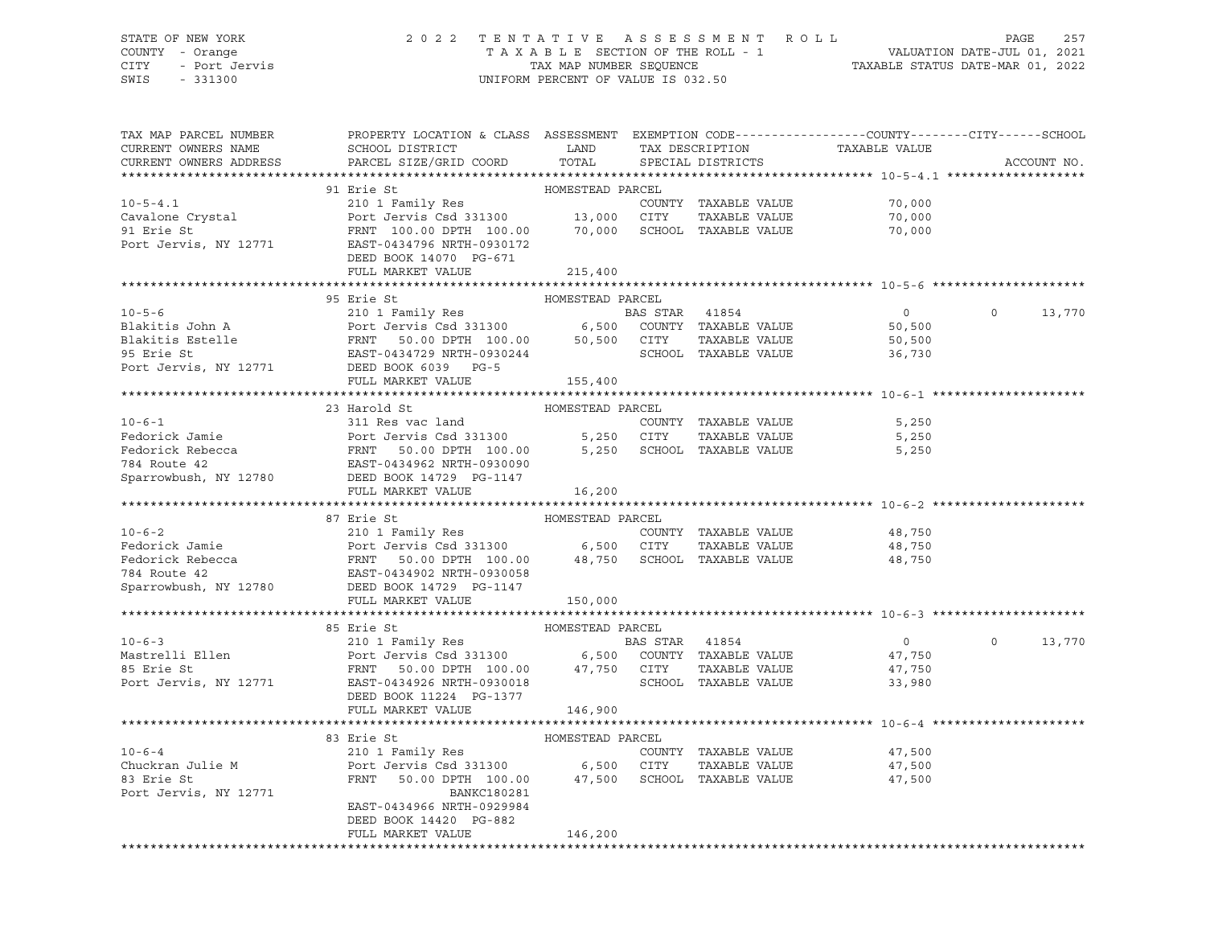## STATE OF NEW YORK 2 0 2 2 T E N T A T I V E A S S E S S M E N T R O L L PAGE 257 COUNTY - Orange T A X A B L E SECTION OF THE ROLL - 1 VALUATION DATE-JUL 01, 2021 CITY - Port Jervis TAX MAP NUMBER SEQUENCE TAXABLE STATUS DATE-MAR 01, 2022

| TAX MAP PARCEL NUMBER<br>CURRENT OWNERS NAME                                                                                                                                                                                                      | PROPERTY LOCATION & CLASS ASSESSMENT EXEMPTION CODE---------------COUNTY-------CITY------SCHOOL<br>SCHOOL DISTRICT LAND<br>PARCEL SIZE/GRID COORD | TOTAL            |                      | TAX DESCRIPTION TAXABLE VALUE SPECIAL DISTRICTS |                    |
|---------------------------------------------------------------------------------------------------------------------------------------------------------------------------------------------------------------------------------------------------|---------------------------------------------------------------------------------------------------------------------------------------------------|------------------|----------------------|-------------------------------------------------|--------------------|
| CURRENT OWNERS ADDRESS                                                                                                                                                                                                                            |                                                                                                                                                   |                  |                      |                                                 | ACCOUNT NO.        |
|                                                                                                                                                                                                                                                   | 91 Erie St                                                                                                                                        |                  |                      |                                                 |                    |
| $10 - 5 - 4.1$                                                                                                                                                                                                                                    |                                                                                                                                                   |                  |                      |                                                 |                    |
|                                                                                                                                                                                                                                                   |                                                                                                                                                   |                  |                      |                                                 |                    |
| Cavalone Crystal<br>91 Erie St                                                                                                                                                                                                                    |                                                                                                                                                   |                  |                      |                                                 |                    |
| Port Jervis, NY 12771                                                                                                                                                                                                                             |                                                                                                                                                   |                  |                      |                                                 |                    |
|                                                                                                                                                                                                                                                   | DEED BOOK 14070 PG-671                                                                                                                            |                  |                      |                                                 |                    |
|                                                                                                                                                                                                                                                   | FULL MARKET VALUE                                                                                                                                 | 215,400          |                      |                                                 |                    |
|                                                                                                                                                                                                                                                   |                                                                                                                                                   |                  |                      |                                                 |                    |
|                                                                                                                                                                                                                                                   | 95 Erie St                                                                                                                                        | HOMESTEAD PARCEL |                      |                                                 |                    |
| 10-5-6<br>Blakitis John A<br>Blakitis Stelle<br>Blakitis Estelle<br>FRNT 50.00 DPTH 100.00<br>FRNT 50.00 DPTH 100.00<br>50,500 CITY TAXABLE VALUE<br>TAXABLE VALUE<br>PORT BLAST-0434729 NRTH-0930244<br>PORT SCHOOL TAXABLE VALUE<br>PORT SCHOOL |                                                                                                                                                   |                  |                      | $\overline{0}$                                  | $\Omega$<br>13,770 |
|                                                                                                                                                                                                                                                   |                                                                                                                                                   |                  |                      |                                                 |                    |
|                                                                                                                                                                                                                                                   |                                                                                                                                                   |                  |                      | 50,500<br>50,500                                |                    |
|                                                                                                                                                                                                                                                   |                                                                                                                                                   |                  |                      | 36,730                                          |                    |
|                                                                                                                                                                                                                                                   |                                                                                                                                                   |                  |                      |                                                 |                    |
|                                                                                                                                                                                                                                                   | FULL MARKET VALUE                                                                                                                                 | 155,400          |                      |                                                 |                    |
|                                                                                                                                                                                                                                                   |                                                                                                                                                   |                  |                      |                                                 |                    |
|                                                                                                                                                                                                                                                   | 23 Harold St                                                                                                                                      | HOMESTEAD PARCEL |                      |                                                 |                    |
| $10 - 6 - 1$                                                                                                                                                                                                                                      | 311 Res vac land                                                                                                                                  |                  | COUNTY TAXABLE VALUE | 5,250                                           |                    |
|                                                                                                                                                                                                                                                   |                                                                                                                                                   |                  | TAXABLE VALUE        | 5,250                                           |                    |
|                                                                                                                                                                                                                                                   |                                                                                                                                                   |                  |                      | 5,250                                           |                    |
|                                                                                                                                                                                                                                                   |                                                                                                                                                   |                  |                      |                                                 |                    |
| Fedorick Jamie<br>Fedorick Rebecca<br>Fedorick Rebecca<br>TRNT 50.00 DPTH 100.00 5,250 SCHOOL TAXABLE VALUE<br>TA4 Route 42 EAST-0434962 NRTH-0930090<br>Sparrowbush, NY 12780 DEED BOOK 14729 PG-1147                                            |                                                                                                                                                   |                  |                      |                                                 |                    |
|                                                                                                                                                                                                                                                   | FULL MARKET VALUE                                                                                                                                 | 16,200           |                      |                                                 |                    |
|                                                                                                                                                                                                                                                   |                                                                                                                                                   |                  |                      |                                                 |                    |
|                                                                                                                                                                                                                                                   | 87 Erie St                                                                                                                                        | HOMESTEAD PARCEL |                      |                                                 |                    |
|                                                                                                                                                                                                                                                   |                                                                                                                                                   |                  | COUNTY TAXABLE VALUE |                                                 |                    |
|                                                                                                                                                                                                                                                   |                                                                                                                                                   |                  | TAXABLE VALUE        | 48,750<br>48,750                                |                    |
| 10-6-2<br>Fedorick Jamie 210 1 Family Res<br>Fedorick TaxaBLE VALUE<br>Fedorick Rebecca FRNT 50.00 DPTH 100.00 48,750 SCHOOL TAXABLE VALUE<br>TAXABLE VALUE<br>Sharrowhush NY 12790 EAST-0434902 NRTH-0930058<br>Sharrowhush NY 12790 EAST        |                                                                                                                                                   |                  |                      | 48,750                                          |                    |
|                                                                                                                                                                                                                                                   |                                                                                                                                                   |                  |                      |                                                 |                    |
| Sparrowbush, NY 12780                                                                                                                                                                                                                             | DEED BOOK 14729 PG-1147                                                                                                                           |                  |                      |                                                 |                    |
|                                                                                                                                                                                                                                                   | FULL MARKET VALUE 150,000                                                                                                                         |                  |                      |                                                 |                    |
|                                                                                                                                                                                                                                                   |                                                                                                                                                   |                  |                      |                                                 |                    |
|                                                                                                                                                                                                                                                   | 85 Erie St                                                                                                                                        | HOMESTEAD PARCEL |                      |                                                 |                    |
|                                                                                                                                                                                                                                                   |                                                                                                                                                   |                  |                      | $\overline{0}$                                  | $\circ$<br>13,770  |
|                                                                                                                                                                                                                                                   |                                                                                                                                                   |                  |                      | 47,750                                          |                    |
|                                                                                                                                                                                                                                                   |                                                                                                                                                   |                  |                      | 47,750                                          |                    |
|                                                                                                                                                                                                                                                   |                                                                                                                                                   |                  |                      | 33,980                                          |                    |
|                                                                                                                                                                                                                                                   | DEED BOOK 11224 PG-1377                                                                                                                           |                  |                      |                                                 |                    |
|                                                                                                                                                                                                                                                   | FULL MARKET VALUE                                                                                                                                 | 146,900          |                      |                                                 |                    |
|                                                                                                                                                                                                                                                   |                                                                                                                                                   |                  |                      |                                                 |                    |
|                                                                                                                                                                                                                                                   | 83 Erie St                                                                                                                                        | HOMESTEAD PARCEL |                      |                                                 |                    |
| $10 - 6 - 4$                                                                                                                                                                                                                                      | Erie St<br>210 1 Family Res                                                                                                                       |                  |                      | COUNTY TAXABLE VALUE 47,500                     |                    |
| Chuckran Julie M<br>22 Erio St                                                                                                                                                                                                                    | Port Jervis Csd 331300 6,500 CITY TAXABLE VALUE 47,500<br>FRNT 50.00 DPTH 100.00 47,500 SCHOOL TAXABLE VALUE 47,500                               |                  |                      |                                                 |                    |
| 83 Erie St                                                                                                                                                                                                                                        |                                                                                                                                                   |                  |                      |                                                 |                    |
| Port Jervis, NY 12771                                                                                                                                                                                                                             | BANKC180281                                                                                                                                       |                  |                      |                                                 |                    |
|                                                                                                                                                                                                                                                   | EAST-0434966 NRTH-0929984                                                                                                                         |                  |                      |                                                 |                    |
|                                                                                                                                                                                                                                                   | DEED BOOK 14420 PG-882                                                                                                                            |                  |                      |                                                 |                    |
|                                                                                                                                                                                                                                                   | FULL MARKET VALUE                                                                                                                                 | 146,200          |                      |                                                 |                    |
|                                                                                                                                                                                                                                                   |                                                                                                                                                   |                  |                      |                                                 |                    |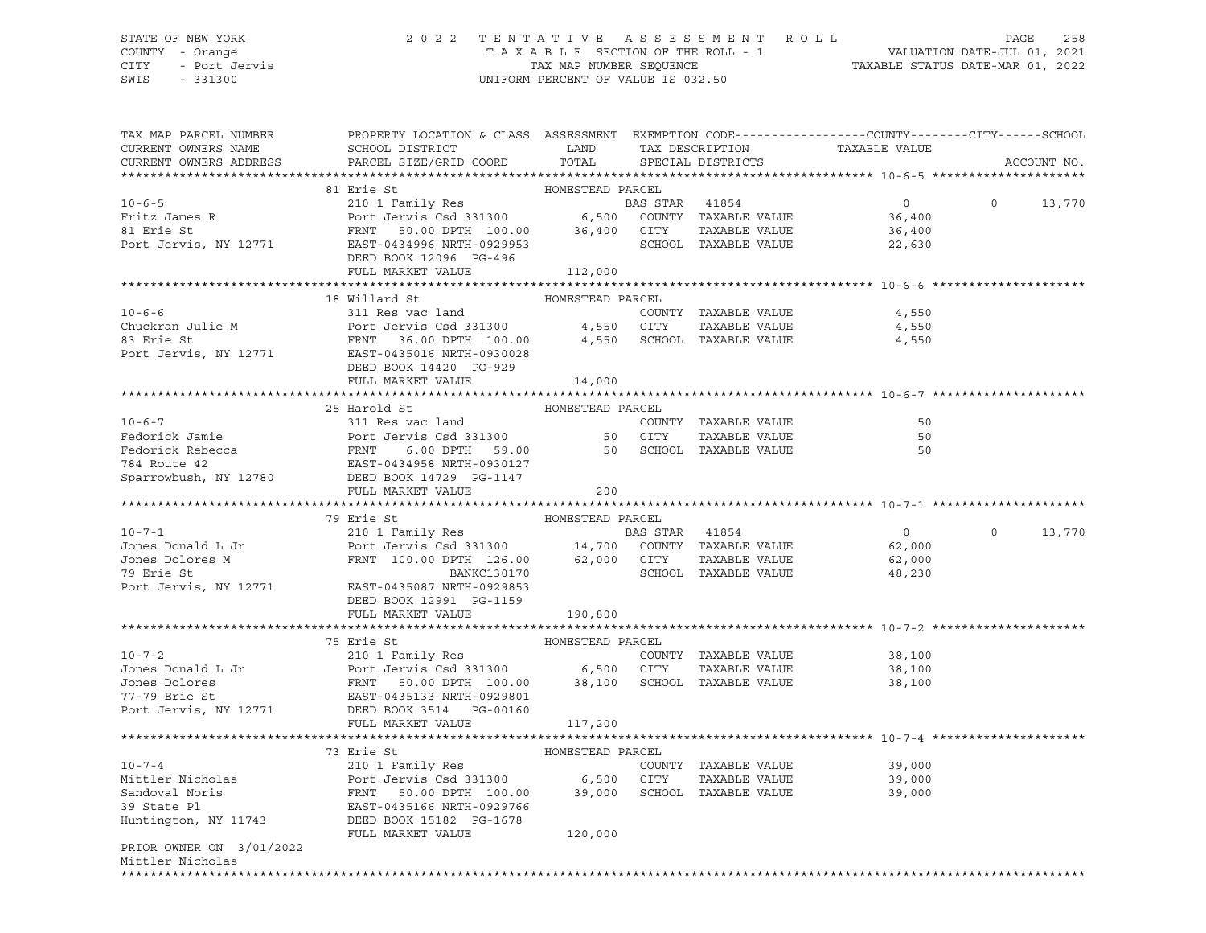## STATE OF NEW YORK 2 0 2 2 T E N T A T I V E A S S E S S M E N T R O L L PAGE 258 COUNTY - Orange T A X A B L E SECTION OF THE ROLL - 1 VALUATION DATE-JUL 01, 2021 CITY - Port Jervis TAX MAP NUMBER SEQUENCE TAXABLE STATUS DATE-MAR 01, 2022

| TAX MAP PARCEL NUMBER<br>CURRENT OWNERS NAME       | PROPERTY LOCATION & CLASS ASSESSMENT EXEMPTION CODE----------------COUNTY-------CITY------SCHOOL<br>SCHOOL DISTRICT                                     | LAND             |                | TAX DESCRIPTION             | TAXABLE VALUE  |          |             |
|----------------------------------------------------|---------------------------------------------------------------------------------------------------------------------------------------------------------|------------------|----------------|-----------------------------|----------------|----------|-------------|
| CURRENT OWNERS ADDRESS                             | PARCEL SIZE/GRID COORD                                                                                                                                  | TOTAL            |                | SPECIAL DISTRICTS           |                |          | ACCOUNT NO. |
|                                                    | 81 Erie St                                                                                                                                              | HOMESTEAD PARCEL |                |                             |                |          |             |
| $10 - 6 - 5$                                       | 210 1 Family Res                                                                                                                                        |                  | BAS STAR 41854 |                             | $\overline{0}$ | $\Omega$ | 13,770      |
| Fritz James R                                      |                                                                                                                                                         |                  |                |                             | 36,400         |          |             |
| 81 Erie St                                         |                                                                                                                                                         |                  |                |                             | 36,400         |          |             |
| Port Jervis, NY 12771                              | Port Jeruis Csd 331300 6,500 COUNTY TAXABLE VALUE<br>FRNT 50.00 DPTH 100.00 36,400 CITY TAXABLE VALUE<br>EAST-0434996 NRTH-0929953 SCHOOL TAXABLE VALUE |                  |                |                             | 22,630         |          |             |
|                                                    | DEED BOOK 12096 PG-496                                                                                                                                  |                  |                |                             |                |          |             |
|                                                    | FULL MARKET VALUE                                                                                                                                       | 112,000          |                |                             |                |          |             |
|                                                    |                                                                                                                                                         |                  |                |                             |                |          |             |
|                                                    | 18 Willard St                                                                                                                                           | HOMESTEAD PARCEL |                |                             |                |          |             |
| $10 - 6 - 6$                                       | 311 Res vac land                                                                                                                                        |                  |                | COUNTY TAXABLE VALUE        | 4,550          |          |             |
|                                                    |                                                                                                                                                         |                  |                | TAXABLE VALUE               | 4,550          |          |             |
| Chuckran Julie M<br>83 Erie St<br>83 Erie St       | Port Jervis Csd 331300      4,550   CITY   TAXABLE VALUE<br>FRNT  36.00 DPTH 100.00     4,550   SCHOOL TAXABLE VALUE                                    |                  |                |                             | 4,550          |          |             |
| Port Jervis, NY 12771                              | EAST-0435016 NRTH-0930028                                                                                                                               |                  |                |                             |                |          |             |
|                                                    | DEED BOOK 14420 PG-929                                                                                                                                  |                  |                |                             |                |          |             |
|                                                    | FULL MARKET VALUE                                                                                                                                       | 14,000           |                |                             |                |          |             |
|                                                    |                                                                                                                                                         |                  |                |                             |                |          |             |
|                                                    | 25 Harold St                                                                                                                                            | HOMESTEAD PARCEL |                |                             |                |          |             |
|                                                    |                                                                                                                                                         |                  |                | COUNTY TAXABLE VALUE        | 50             |          |             |
|                                                    |                                                                                                                                                         |                  | 50 CITY        | TAXABLE VALUE               | 50             |          |             |
|                                                    | 6.00 DPTH 59.00                                                                                                                                         |                  |                | 50 SCHOOL TAXABLE VALUE     | 50             |          |             |
|                                                    |                                                                                                                                                         |                  |                |                             |                |          |             |
| Sparrowbush, NY 12780                              | DEED BOOK 14729 PG-1147                                                                                                                                 |                  |                |                             |                |          |             |
|                                                    | FULL MARKET VALUE                                                                                                                                       | 200              |                |                             |                |          |             |
|                                                    |                                                                                                                                                         |                  |                |                             |                |          |             |
|                                                    |                                                                                                                                                         |                  |                |                             |                |          |             |
|                                                    | 79 Erie St                                                                                                                                              | HOMESTEAD PARCEL |                |                             |                |          |             |
| $10 - 7 - 1$                                       |                                                                                                                                                         |                  |                |                             | $\overline{0}$ | $\circ$  | 13,770      |
|                                                    | 210 1 Family Res<br>Port Jervis Csd 331300 14,700 COUNTY TAXABLE VALUE                                                                                  |                  |                |                             | 62,000         |          |             |
|                                                    |                                                                                                                                                         |                  |                | TAXABLE VALUE               | 62,000         |          |             |
| Jones Donald L Jr<br>Jones Dolores M<br>79 Erie St | FRNT 100.00 DPTH 126.00 62,000 CITY<br>BANKC130170 SCHOOL                                                                                               |                  |                | SCHOOL TAXABLE VALUE        | 48,230         |          |             |
|                                                    | Port Jervis, NY 12771 EAST-0435087 NRTH-0929853                                                                                                         |                  |                |                             |                |          |             |
|                                                    | DEED BOOK 12991 PG-1159                                                                                                                                 |                  |                |                             |                |          |             |
|                                                    | FULL MARKET VALUE                                                                                                                                       | 190,800          |                |                             |                |          |             |
|                                                    |                                                                                                                                                         |                  |                |                             |                |          |             |
|                                                    | 75 Erie St                                                                                                                                              | HOMESTEAD PARCEL |                |                             |                |          |             |
| $10 - 7 - 2$                                       | 210 1 Family Res                                                                                                                                        |                  |                | COUNTY TAXABLE VALUE        | 38,100         |          |             |
|                                                    |                                                                                                                                                         |                  |                | TAXABLE VALUE               | 38,100         |          |             |
|                                                    |                                                                                                                                                         |                  |                | SCHOOL TAXABLE VALUE        | 38,100         |          |             |
|                                                    |                                                                                                                                                         |                  |                |                             |                |          |             |
| Port Jervis, NY 12771                              | DEED BOOK 3514 PG-00160<br>FULL MARKET VALUE                                                                                                            | 117,200          |                |                             |                |          |             |
|                                                    |                                                                                                                                                         |                  |                |                             |                |          |             |
|                                                    | 73 Erie St                                                                                                                                              | HOMESTEAD PARCEL |                |                             |                |          |             |
| $10 - 7 - 4$                                       |                                                                                                                                                         |                  |                | COUNTY TAXABLE VALUE        | 39,000         |          |             |
| Mittler Nicholas                                   |                                                                                                                                                         |                  |                | TAXABLE VALUE               | 39,000         |          |             |
| Sandoval Noris                                     |                                                                                                                                                         |                  |                | 39,000 SCHOOL TAXABLE VALUE | 39,000         |          |             |
|                                                    | 210 1 Family Res<br>Port Jervis Csd 331300 6,500 CITY<br>FRNT 50.00 DPTH 100.00 39,000 SCHOO                                                            |                  |                |                             |                |          |             |
|                                                    |                                                                                                                                                         |                  |                |                             |                |          |             |
|                                                    | FULL MARKET VALUE                                                                                                                                       | 120,000          |                |                             |                |          |             |
| PRIOR OWNER ON 3/01/2022                           |                                                                                                                                                         |                  |                |                             |                |          |             |
| Mittler Nicholas                                   |                                                                                                                                                         |                  |                |                             |                |          |             |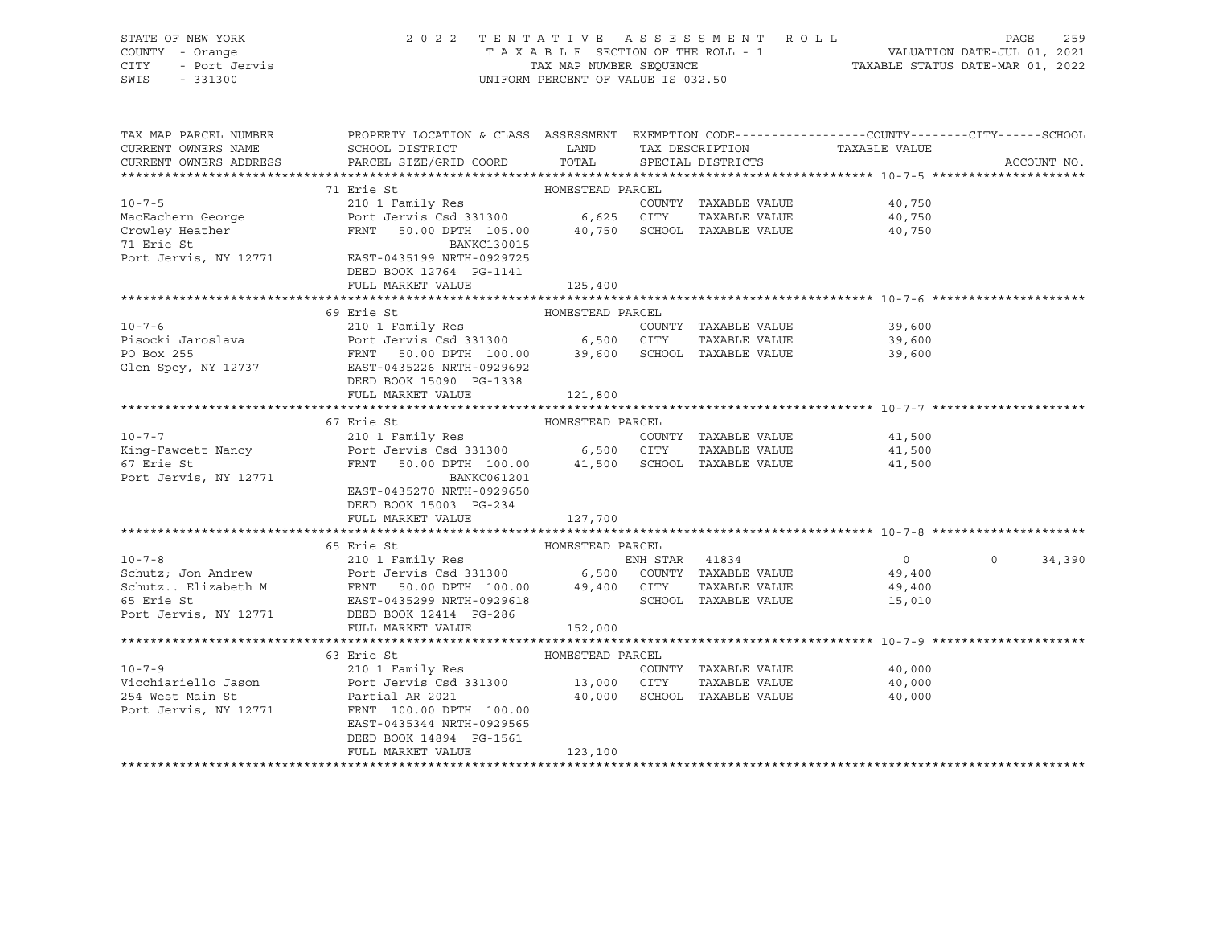| STATE OF NEW YORK     | 2022 TENTATIVE ASSESSMENT ROLL     |                         |  |                                  | PAGE | 259 |
|-----------------------|------------------------------------|-------------------------|--|----------------------------------|------|-----|
| COUNTY - Orange       | TAXABLE SECTION OF THE ROLL - 1    |                         |  | VALUATION DATE-JUL 01, 2021      |      |     |
| CITY<br>- Port Jervis |                                    | TAX MAP NUMBER SEOUENCE |  | TAXABLE STATUS DATE-MAR 01, 2022 |      |     |
| SWIS<br>$-331300$     | UNIFORM PERCENT OF VALUE IS 032.50 |                         |  |                                  |      |     |

| TAX MAP PARCEL NUMBER  | PROPERTY LOCATION & CLASS ASSESSMENT EXEMPTION CODE----------------COUNTY-------CITY------SCHOOL                                                                                                                                         |                  |                             |                                |                    |
|------------------------|------------------------------------------------------------------------------------------------------------------------------------------------------------------------------------------------------------------------------------------|------------------|-----------------------------|--------------------------------|--------------------|
| CURRENT OWNERS NAME    | SCHOOL DISTRICT                                                                                                                                                                                                                          | <b>LAND</b>      | TAX DESCRIPTION             | TAXABLE VALUE                  |                    |
| CURRENT OWNERS ADDRESS | PARCEL SIZE/GRID COORD                                                                                                                                                                                                                   | TOTAL            | SPECIAL DISTRICTS           |                                | ACCOUNT NO.        |
|                        |                                                                                                                                                                                                                                          |                  |                             |                                |                    |
|                        | 71 Erie St                                                                                                                                                                                                                               | HOMESTEAD PARCEL |                             |                                |                    |
| $10 - 7 - 5$           | 210 1 Family Res                                                                                                                                                                                                                         |                  | COUNTY TAXABLE VALUE        | 40,750<br>40.750               |                    |
|                        |                                                                                                                                                                                                                                          |                  | TAXABLE VALUE               |                                |                    |
|                        | FRNT 50.00 DPTH 105.00 40,750 SCHOOL TAXABLE VALUE                                                                                                                                                                                       |                  |                             | 40,750                         |                    |
|                        |                                                                                                                                                                                                                                          |                  |                             |                                |                    |
|                        | 71 Erie St<br>Port Jervis, NY 12771 EAST-0435199 NRTH-0929725                                                                                                                                                                            |                  |                             |                                |                    |
|                        |                                                                                                                                                                                                                                          |                  |                             |                                |                    |
|                        | DEED BOOK 12764 PG-1141                                                                                                                                                                                                                  |                  |                             |                                |                    |
|                        | FULL MARKET VALUE                                                                                                                                                                                                                        | 125,400          |                             |                                |                    |
|                        |                                                                                                                                                                                                                                          |                  |                             |                                |                    |
|                        | 69 Erie St                                                                                                                                                                                                                               | HOMESTEAD PARCEL |                             |                                |                    |
|                        |                                                                                                                                                                                                                                          |                  | COUNTY TAXABLE VALUE 39,600 |                                |                    |
|                        |                                                                                                                                                                                                                                          |                  |                             | 39,600                         |                    |
|                        |                                                                                                                                                                                                                                          |                  |                             | 39,600                         |                    |
|                        | 10-7-6<br>Pisocki Jaroslava<br>Port Jervis Csd 331300 6,500 CITY TAXABLE VALUE<br>PO Box 255<br>FRNT 50.00 DPTH 100.00 39,600 SCHOOL TAXABLE VALUE<br>Glen Spey, NY 12737 EAST-0435226 NRTH-0929692                                      |                  |                             |                                |                    |
|                        | DEED BOOK 15090 PG-1338                                                                                                                                                                                                                  |                  |                             |                                |                    |
|                        | FULL MARKET VALUE                                                                                                                                                                                                                        | 121,800          |                             |                                |                    |
|                        |                                                                                                                                                                                                                                          |                  |                             |                                |                    |
|                        |                                                                                                                                                                                                                                          |                  |                             |                                |                    |
|                        | 67 Erie St                                                                                                                                                                                                                               | HOMESTEAD PARCEL |                             |                                |                    |
| $10 - 7 - 7$           |                                                                                                                                                                                                                                          |                  | COUNTY TAXABLE VALUE        | 41,500<br>41,500               |                    |
| King-Fawcett Nancy     |                                                                                                                                                                                                                                          |                  | TAXABLE VALUE               |                                |                    |
| 67 Erie St             | FRNT 50.00 DPTH 100.00 41,500 SCHOOL TAXABLE VALUE                                                                                                                                                                                       |                  |                             | 41,500                         |                    |
| Port Jervis, NY 12771  | BANKC061201                                                                                                                                                                                                                              |                  |                             |                                |                    |
|                        | EAST-0435270 NRTH-0929650                                                                                                                                                                                                                |                  |                             |                                |                    |
|                        | DEED BOOK 15003 PG-234                                                                                                                                                                                                                   |                  |                             |                                |                    |
|                        | FULL MARKET VALUE                                                                                                                                                                                                                        | 127,700          |                             |                                |                    |
|                        |                                                                                                                                                                                                                                          |                  |                             |                                |                    |
|                        | 65 Erie St                                                                                                                                                                                                                               | HOMESTEAD PARCEL |                             |                                |                    |
|                        |                                                                                                                                                                                                                                          |                  |                             | $\overline{0}$                 | $\Omega$<br>34,390 |
|                        |                                                                                                                                                                                                                                          |                  |                             |                                |                    |
|                        |                                                                                                                                                                                                                                          |                  |                             | 49,400<br>TAXABLE VALUE 49,400 |                    |
|                        | 10-7-8<br>Schutz; Jon Andrew<br>Schutz Elizabeth M<br>Schutz Elizabeth M<br>FRNT 50.00 DPTH 100.00 49,400 CITY TAXABLE VALUE<br>FRNT 50.00 DPTH 100.00 49,400 CITY TAXABLE VALUE<br>FOTT JEXABLE VALUE<br>POTT JEXABLE VALUE<br>POTT JEX |                  |                             |                                |                    |
|                        |                                                                                                                                                                                                                                          |                  | SCHOOL TAXABLE VALUE        | 15,010                         |                    |
|                        |                                                                                                                                                                                                                                          |                  |                             |                                |                    |
|                        | FULL MARKET VALUE                                                                                                                                                                                                                        | 152,000          |                             |                                |                    |
|                        |                                                                                                                                                                                                                                          |                  |                             |                                |                    |
|                        | 63 Erie St                                                                                                                                                                                                                               | HOMESTEAD PARCEL |                             |                                |                    |
|                        |                                                                                                                                                                                                                                          |                  | COUNTY TAXABLE VALUE        |                                |                    |
|                        |                                                                                                                                                                                                                                          |                  | TAXABLE VALUE               | $40,000$<br>$40.000$<br>40,000 |                    |
| 254 West Main St       | Partial AR 2021                                                                                                                                                                                                                          |                  | 40,000 SCHOOL TAXABLE VALUE | 40,000                         |                    |
| Port Jervis, NY 12771  | FRNT 100.00 DPTH 100.00                                                                                                                                                                                                                  |                  |                             |                                |                    |
|                        | EAST-0435344 NRTH-0929565                                                                                                                                                                                                                |                  |                             |                                |                    |
|                        |                                                                                                                                                                                                                                          |                  |                             |                                |                    |
|                        | DEED BOOK 14894 PG-1561                                                                                                                                                                                                                  |                  |                             |                                |                    |
|                        | FULL MARKET VALUE                                                                                                                                                                                                                        | 123,100          |                             |                                |                    |
|                        |                                                                                                                                                                                                                                          |                  |                             |                                |                    |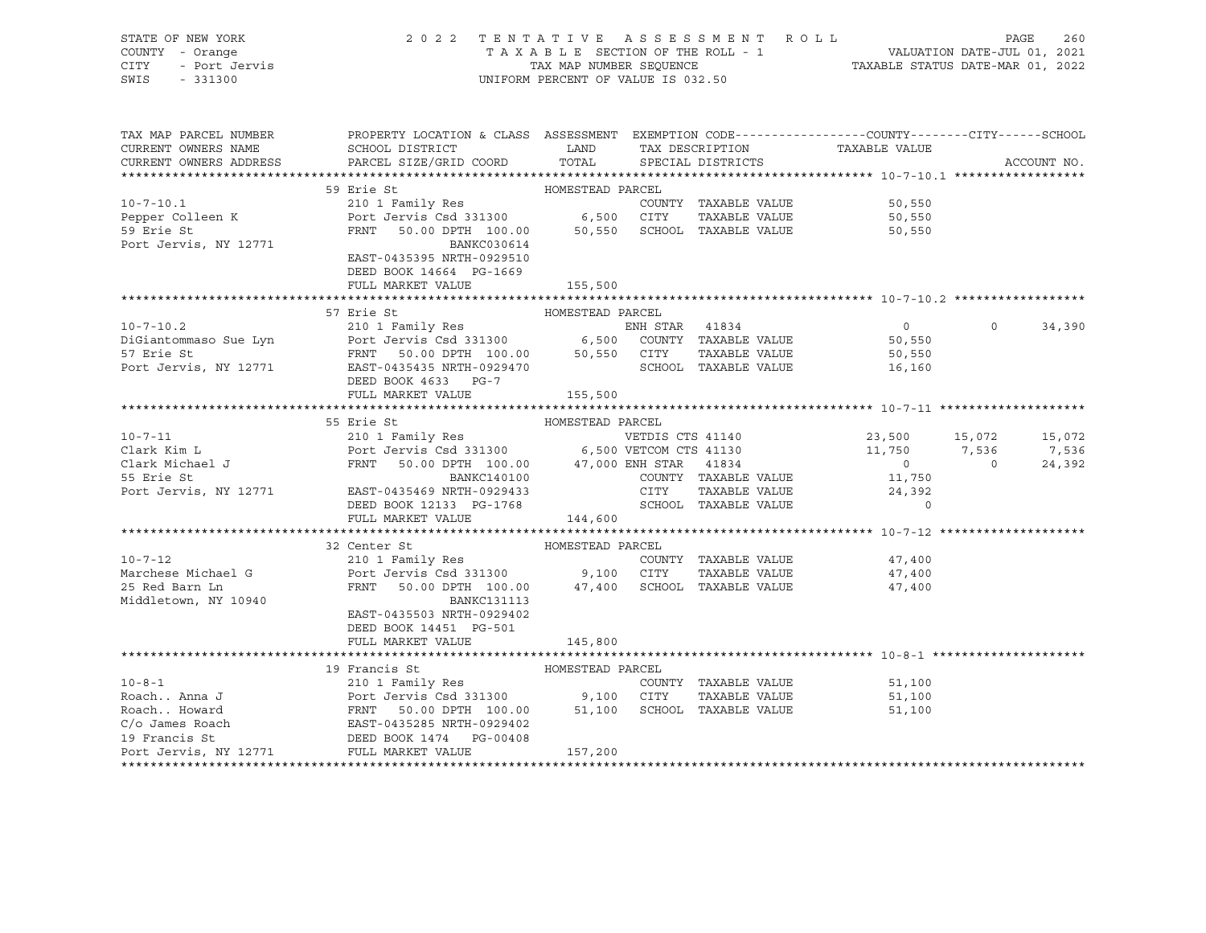| STATE OF NEW YORK     | 2022 TENTATIVE ASSESSMENT ROLL     | 260<br>PAGE                      |
|-----------------------|------------------------------------|----------------------------------|
| COUNTY - Orange       | TAXABLE SECTION OF THE ROLL - 1    | VALUATION DATE-JUL 01, 2021      |
| CITY<br>- Port Jervis | TAX MAP NUMBER SEOUENCE            | TAXABLE STATUS DATE-MAR 01, 2022 |
| SWIS<br>$-331300$     | UNIFORM PERCENT OF VALUE IS 032.50 |                                  |

| TAX MAP PARCEL NUMBER  | PROPERTY LOCATION & CLASS ASSESSMENT EXEMPTION CODE---------------COUNTY-------CITY------SCHOOL                                                                                                                                                                                                                                                                                                                                                  |                  |                                                          |                                            |                          |
|------------------------|--------------------------------------------------------------------------------------------------------------------------------------------------------------------------------------------------------------------------------------------------------------------------------------------------------------------------------------------------------------------------------------------------------------------------------------------------|------------------|----------------------------------------------------------|--------------------------------------------|--------------------------|
| CURRENT OWNERS NAME    | SCHOOL DISTRICT LAND                                                                                                                                                                                                                                                                                                                                                                                                                             |                  | TAX DESCRIPTION                                          | TAXABLE VALUE                              |                          |
| CURRENT OWNERS ADDRESS | PARCEL SIZE/GRID COORD                                                                                                                                                                                                                                                                                                                                                                                                                           | TOTAL            | SPECIAL DISTRICTS                                        |                                            | ACCOUNT NO.              |
|                        |                                                                                                                                                                                                                                                                                                                                                                                                                                                  |                  |                                                          |                                            |                          |
|                        |                                                                                                                                                                                                                                                                                                                                                                                                                                                  |                  |                                                          |                                            |                          |
|                        |                                                                                                                                                                                                                                                                                                                                                                                                                                                  |                  | COUNTY TAXABLE VALUE                                     | 50,550                                     |                          |
|                        |                                                                                                                                                                                                                                                                                                                                                                                                                                                  |                  |                                                          | TAXABLE VALUE 50,550                       |                          |
| 59 Erie St             | FRNT 50.00 DPTH 100.00 50,550 SCHOOL TAXABLE VALUE                                                                                                                                                                                                                                                                                                                                                                                               |                  |                                                          | 50,550                                     |                          |
| Port Jervis, NY 12771  | BANKC030614                                                                                                                                                                                                                                                                                                                                                                                                                                      |                  |                                                          |                                            |                          |
|                        | EAST-0435395 NRTH-0929510                                                                                                                                                                                                                                                                                                                                                                                                                        |                  |                                                          |                                            |                          |
|                        | DEED BOOK 14664 PG-1669                                                                                                                                                                                                                                                                                                                                                                                                                          |                  |                                                          |                                            |                          |
|                        | FULL MARKET VALUE                                                                                                                                                                                                                                                                                                                                                                                                                                | 155,500          |                                                          |                                            |                          |
|                        |                                                                                                                                                                                                                                                                                                                                                                                                                                                  |                  |                                                          |                                            |                          |
|                        | 57 Erie St                                                                                                                                                                                                                                                                                                                                                                                                                                       | HOMESTEAD PARCEL |                                                          |                                            |                          |
|                        |                                                                                                                                                                                                                                                                                                                                                                                                                                                  |                  |                                                          | $\overline{0}$                             | $0 \t34,390$             |
|                        | 10-7-10.2<br>210 1 Family Res<br>DiGiantommaso Sue Lyn<br>57 Erie St<br>FRNT 50.00 DPTH 100.00 50,550 CITY TAXABLE VALUE<br>Port Jervis, NY 12771 EAST-0435435 NRTH-0929470 SCHOOL TAXABLE VALUE<br>RESP POOK 4623 NRTH-0929470 SCHOOL TAX                                                                                                                                                                                                       |                  |                                                          | 50,550                                     |                          |
|                        |                                                                                                                                                                                                                                                                                                                                                                                                                                                  |                  |                                                          | TAXABLE VALUE 50,550                       |                          |
|                        |                                                                                                                                                                                                                                                                                                                                                                                                                                                  |                  | SCHOOL TAXABLE VALUE 16,160                              |                                            |                          |
|                        | DEED BOOK 4633 PG-7                                                                                                                                                                                                                                                                                                                                                                                                                              |                  |                                                          |                                            |                          |
|                        | FULL MARKET VALUE                                                                                                                                                                                                                                                                                                                                                                                                                                | 155,500          |                                                          |                                            |                          |
|                        |                                                                                                                                                                                                                                                                                                                                                                                                                                                  |                  |                                                          |                                            |                          |
|                        | HOMESTEAD PARCEL<br>55 Erie St                                                                                                                                                                                                                                                                                                                                                                                                                   |                  |                                                          |                                            |                          |
|                        |                                                                                                                                                                                                                                                                                                                                                                                                                                                  |                  |                                                          |                                            |                          |
|                        |                                                                                                                                                                                                                                                                                                                                                                                                                                                  |                  |                                                          |                                            |                          |
|                        |                                                                                                                                                                                                                                                                                                                                                                                                                                                  |                  |                                                          |                                            | $\overline{0}$<br>24,392 |
|                        | 10-7-11<br>210 1 Family Res<br>Clark Kim L<br>210 1 Family Res<br>Port Jervis Csd 331300<br>210 1 Family Res<br>Port Jervis Csd 331300<br>210 1 Family Res<br>210 1 Family Res<br>210 1 Family Res<br>210 1 Family Res<br>210 1 Family Res<br>210 1 Fa                                                                                                                                                                                           |                  |                                                          | $\begin{array}{c} 0 \\ 11,750 \end{array}$ |                          |
|                        |                                                                                                                                                                                                                                                                                                                                                                                                                                                  |                  |                                                          |                                            |                          |
|                        | DEED BOOK 12133 PG-1768                                                                                                                                                                                                                                                                                                                                                                                                                          |                  | CITY TAXABLE VALUE 24,392<br>SCHOOL TAXABLE VALUE 24,392 |                                            |                          |
|                        | FULL MARKET VALUE                                                                                                                                                                                                                                                                                                                                                                                                                                | 144,600          |                                                          |                                            |                          |
|                        |                                                                                                                                                                                                                                                                                                                                                                                                                                                  |                  |                                                          |                                            |                          |
|                        | 32 Center St                                                                                                                                                                                                                                                                                                                                                                                                                                     | HOMESTEAD PARCEL |                                                          |                                            |                          |
|                        |                                                                                                                                                                                                                                                                                                                                                                                                                                                  |                  |                                                          |                                            |                          |
|                        |                                                                                                                                                                                                                                                                                                                                                                                                                                                  |                  | TAXABLE VALUE                                            | COUNTY TAXABLE VALUE 47,400                |                          |
|                        | FRNT 50.00 DPTH 100.00 $47,400$ SCHOOL TAXABLE VALUE                                                                                                                                                                                                                                                                                                                                                                                             |                  |                                                          | 47,400                                     |                          |
|                        |                                                                                                                                                                                                                                                                                                                                                                                                                                                  |                  |                                                          | 47,400                                     |                          |
| Middletown, NY 10940   | <b>BANKC131113</b>                                                                                                                                                                                                                                                                                                                                                                                                                               |                  |                                                          |                                            |                          |
|                        | EAST-0435503 NRTH-0929402                                                                                                                                                                                                                                                                                                                                                                                                                        |                  |                                                          |                                            |                          |
|                        | DEED BOOK 14451 PG-501                                                                                                                                                                                                                                                                                                                                                                                                                           |                  |                                                          |                                            |                          |
|                        | FULL MARKET VALUE                                                                                                                                                                                                                                                                                                                                                                                                                                | 145,800          |                                                          |                                            |                          |
|                        |                                                                                                                                                                                                                                                                                                                                                                                                                                                  |                  |                                                          |                                            |                          |
|                        |                                                                                                                                                                                                                                                                                                                                                                                                                                                  |                  |                                                          |                                            |                          |
|                        |                                                                                                                                                                                                                                                                                                                                                                                                                                                  |                  | COUNTY TAXABLE VALUE                                     | 51,100                                     |                          |
|                        |                                                                                                                                                                                                                                                                                                                                                                                                                                                  |                  |                                                          | TAXABLE VALUE<br>51,100                    |                          |
|                        |                                                                                                                                                                                                                                                                                                                                                                                                                                                  |                  |                                                          | 51,100                                     |                          |
|                        |                                                                                                                                                                                                                                                                                                                                                                                                                                                  |                  |                                                          |                                            |                          |
|                        |                                                                                                                                                                                                                                                                                                                                                                                                                                                  |                  |                                                          |                                            |                          |
|                        | $\begin{tabular}{lcccc} 10-8-1 & & & 19 & Francis St & & & & & 100ESTEAD PARCH \\ & 210 & I Family Res & & & 200 INTY & TAXABLE VALUE \\ \text{\textit{Roach}}. Howard & & & \textit{FENT} & 50.00 DPHI & 100.00 & 51,100 & SCHOOL TAXABLE VALUE \\ C/O James Road & & & \textit{FENT} & 50.00 DPHI & 100.00 & 51,100 & SCHOOL TAXABLE VALUE \\ C/O James Road & & & \textit{EAST-043525 NRF1-0929402} \\ 19 Francis St & & & \textit{DEED BOK $ |                  |                                                          |                                            |                          |
|                        |                                                                                                                                                                                                                                                                                                                                                                                                                                                  |                  |                                                          |                                            |                          |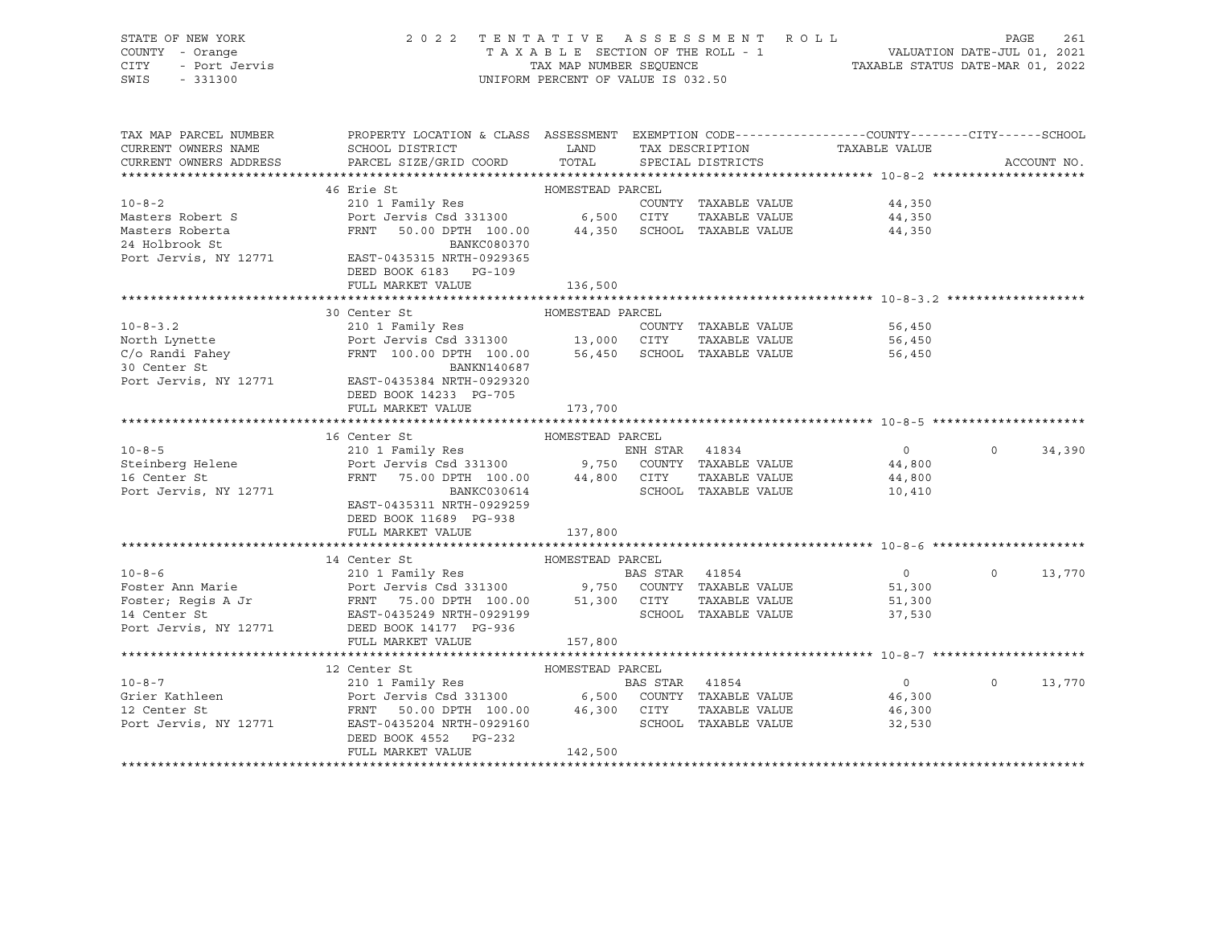|      | STATE OF NEW YORK | 2022 TENTATIVE ASSESSMENT ROLL     | 261<br>PAGE                      |
|------|-------------------|------------------------------------|----------------------------------|
|      | COUNTY - Orange   | TAXABLE SECTION OF THE ROLL - 1    | VALUATION DATE-JUL 01, 2021      |
| CITY | - Port Jervis     | TAX MAP NUMBER SEOUENCE            | TAXABLE STATUS DATE-MAR 01, 2022 |
| SWIS | $-331300$         | UNIFORM PERCENT OF VALUE IS 032.50 |                                  |

| TAX MAP PARCEL NUMBER<br>CURRENT OWNERS NAME | PROPERTY LOCATION & CLASS ASSESSMENT EXEMPTION CODE----------------COUNTY-------CITY------SCHOOL<br>SCHOOL DISTRICT                                                                                                                                        | <b>LAND</b> | TAX DESCRIPTION             | TAXABLE VALUE  |          |             |
|----------------------------------------------|------------------------------------------------------------------------------------------------------------------------------------------------------------------------------------------------------------------------------------------------------------|-------------|-----------------------------|----------------|----------|-------------|
| CURRENT OWNERS ADDRESS                       | PARCEL SIZE/GRID COORD TOTAL                                                                                                                                                                                                                               |             | SPECIAL DISTRICTS           |                |          | ACCOUNT NO. |
|                                              |                                                                                                                                                                                                                                                            |             |                             |                |          |             |
|                                              |                                                                                                                                                                                                                                                            |             |                             |                |          |             |
|                                              | 10-8-2<br>10-8-2<br>Masters Robert S<br>Masters Robert S<br>Masters Robert S<br>2001 Tamily Res<br>Port Jervis Csd 331300<br>6,500 CITY                                                                                                                    |             | COUNTY TAXABLE VALUE        | 44,350         |          |             |
|                                              |                                                                                                                                                                                                                                                            |             |                             | 44,350         |          |             |
| Masters Roberta                              |                                                                                                                                                                                                                                                            |             |                             |                |          |             |
|                                              | EXAMPLE VALUE 44,350 CITY TAXABLE VALUE 44,350 FRNT 50.00 DPTH 100.00 44,350 SCHOOL TAXABLE VALUE 44,350                                                                                                                                                   |             |                             |                |          |             |
|                                              | 24 Holbrook St<br>Port Jervis, NY 12771 EAST-0435315 NRTH-0929365                                                                                                                                                                                          |             |                             |                |          |             |
|                                              | DEED BOOK 6183 PG-109                                                                                                                                                                                                                                      |             |                             |                |          |             |
|                                              | FULL MARKET VALUE                                                                                                                                                                                                                                          | 136,500     |                             |                |          |             |
|                                              |                                                                                                                                                                                                                                                            |             |                             |                |          |             |
|                                              | HOMESTEAD PARCEL<br>30 Center St                                                                                                                                                                                                                           |             |                             |                |          |             |
|                                              |                                                                                                                                                                                                                                                            |             | COUNTY TAXABLE VALUE 56,450 |                |          |             |
|                                              |                                                                                                                                                                                                                                                            |             |                             | 56,450         |          |             |
|                                              |                                                                                                                                                                                                                                                            |             |                             | 56,450         |          |             |
|                                              |                                                                                                                                                                                                                                                            |             |                             |                |          |             |
|                                              | 10-8-3.2<br>North Lynette<br>North Lynette<br>North Lynette<br>Port Jervis Csd 331300<br>C/o Randi Fahey<br>Port Jervis FRNT 100.00 DPTH 100.00<br>30 Center St<br>Port Jervis, NY 12771<br>EAST-0435384 NRTH-0929320                                      |             |                             |                |          |             |
|                                              | DEED BOOK 14233 PG-705                                                                                                                                                                                                                                     |             |                             |                |          |             |
|                                              | FULL MARKET VALUE 173,700                                                                                                                                                                                                                                  |             |                             |                |          |             |
|                                              |                                                                                                                                                                                                                                                            |             |                             |                |          |             |
|                                              |                                                                                                                                                                                                                                                            |             |                             |                |          |             |
|                                              |                                                                                                                                                                                                                                                            |             |                             |                | $\Omega$ | 34,390      |
|                                              |                                                                                                                                                                                                                                                            |             |                             |                |          |             |
|                                              |                                                                                                                                                                                                                                                            |             |                             |                |          |             |
|                                              |                                                                                                                                                                                                                                                            |             |                             |                |          |             |
|                                              | EAST-0435311 NRTH-0929259                                                                                                                                                                                                                                  |             |                             |                |          |             |
|                                              | DEED BOOK 11689 PG-938                                                                                                                                                                                                                                     |             |                             |                |          |             |
|                                              | FULL MARKET VALUE                                                                                                                                                                                                                                          | 137,800     |                             |                |          |             |
|                                              |                                                                                                                                                                                                                                                            |             |                             |                |          |             |
|                                              | 14 Center St<br>HOMESTEAD PARCEL                                                                                                                                                                                                                           |             |                             |                |          |             |
|                                              |                                                                                                                                                                                                                                                            |             |                             | $\overline{0}$ | $\circ$  | 13,770      |
|                                              |                                                                                                                                                                                                                                                            |             |                             |                |          |             |
|                                              |                                                                                                                                                                                                                                                            |             |                             |                |          |             |
|                                              |                                                                                                                                                                                                                                                            |             |                             |                |          |             |
|                                              | Port Jervis, NY 12771 DEED BOOK 14177 PG-936                                                                                                                                                                                                               |             |                             |                |          |             |
|                                              | FULL MARKET VALUE                                                                                                                                                                                                                                          | 157,800     |                             |                |          |             |
|                                              |                                                                                                                                                                                                                                                            |             |                             |                |          |             |
|                                              |                                                                                                                                                                                                                                                            |             |                             |                |          |             |
|                                              |                                                                                                                                                                                                                                                            |             |                             |                |          | 13,770      |
|                                              | 10-8-7<br>10-8-7<br>210 1 Family Res<br>Grier Kathleen<br>210 1 Family Res<br>Port Jervis Csd 331300<br>210 Family Res<br>Port Jervis Csd 331300<br>26,500 COUNTY TAXABLE VALUE<br>26,300<br>26,500 COUNTY TAXABLE VALUE<br>26,300<br>26,300<br>26,300<br> |             |                             |                |          |             |
|                                              |                                                                                                                                                                                                                                                            |             |                             |                |          |             |
|                                              |                                                                                                                                                                                                                                                            |             |                             |                |          |             |
|                                              | DEED BOOK 4552 PG-232                                                                                                                                                                                                                                      | 142,500     |                             |                |          |             |
|                                              | FULL MARKET VALUE                                                                                                                                                                                                                                          |             |                             |                |          |             |
|                                              |                                                                                                                                                                                                                                                            |             |                             |                |          |             |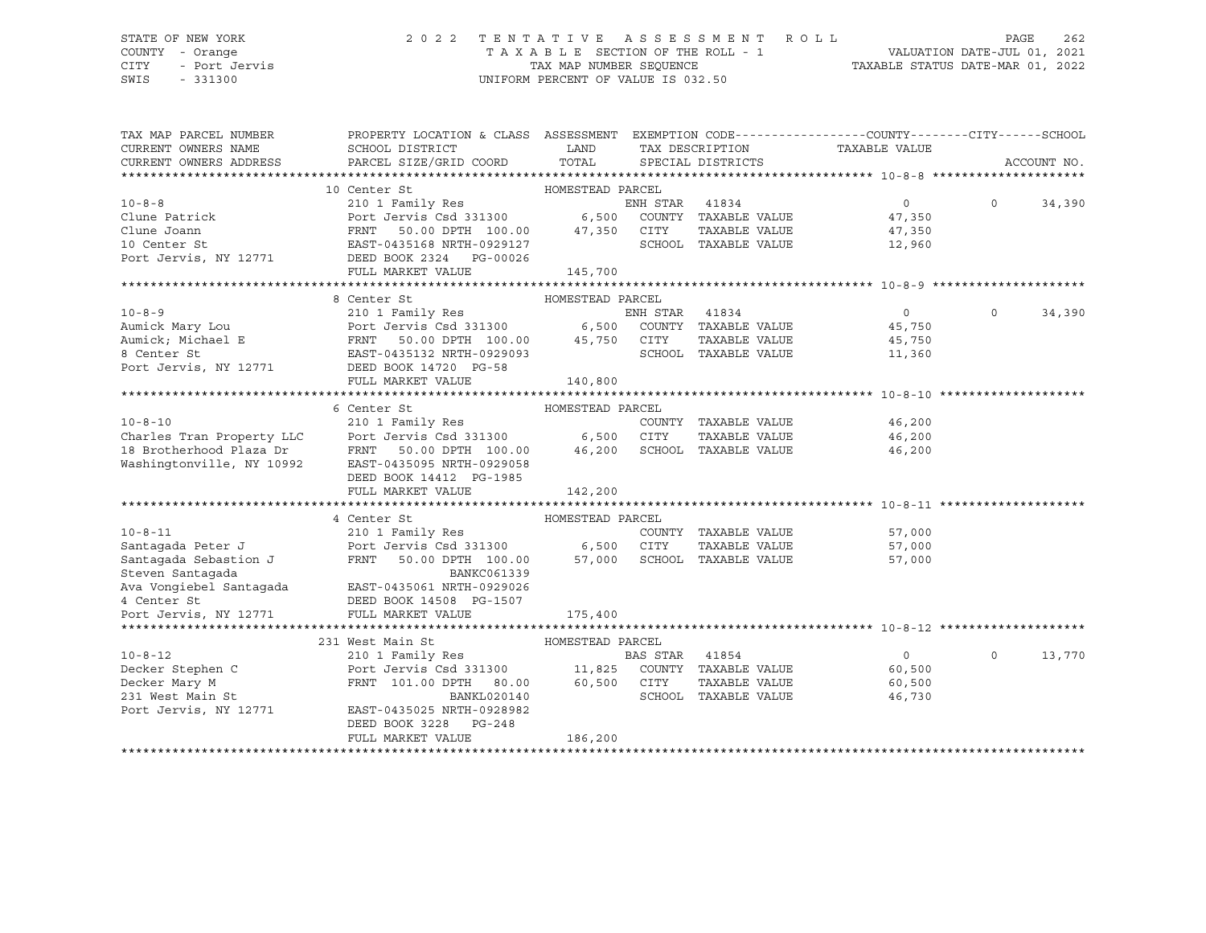## STATE OF NEW YORK 2 0 2 2 T E N T A T I V E A S S E S S M E N T R O L L PAGE 262 COUNTY - Orange T A X A B L E SECTION OF THE ROLL - 1 VALUATION DATE-JUL 01, 2021 CITY - Port Jervis TAX MAP NUMBER SEQUENCE TAXABLE STATUS DATE-MAR 01, 2022

| TAX MAP PARCEL NUMBER<br>CURRENT OWNERS NAME<br>CURRENT OWNERS ADDRESS | PROPERTY LOCATION & CLASS ASSESSMENT EXEMPTION CODE----------------COUNTY-------CITY------SCHOOL<br>SCHOOL DISTRICT<br>PARCEL SIZE/GRID COORD                                                                                          | LAND<br>TOTAL    |                | SPECIAL DISTRICTS    | TAX DESCRIPTION TAXABLE VALUE |          | ACCOUNT NO. |
|------------------------------------------------------------------------|----------------------------------------------------------------------------------------------------------------------------------------------------------------------------------------------------------------------------------------|------------------|----------------|----------------------|-------------------------------|----------|-------------|
|                                                                        |                                                                                                                                                                                                                                        |                  |                |                      |                               |          |             |
|                                                                        |                                                                                                                                                                                                                                        |                  |                |                      | $\overline{0}$                | $\Omega$ |             |
|                                                                        |                                                                                                                                                                                                                                        |                  |                |                      |                               |          | 34,390      |
|                                                                        |                                                                                                                                                                                                                                        |                  |                |                      | $47,350$<br>$47,350$          |          |             |
|                                                                        | 10 Center St HOMESTEAD PARCEL<br>210 1 Family Res ENH STAR 41834<br>Clune Patrick Port Jervis Csd 331300 6,500 COUNTY TAXABLE VALUE<br>Clune Joann FRNT 50.00 DPTH 100.00 47,350 CITY TAXABLE VALUE<br>10 Center St EAST-0435168 NRTH- |                  |                |                      | 47,350                        |          |             |
|                                                                        |                                                                                                                                                                                                                                        |                  |                |                      | 12,960                        |          |             |
|                                                                        | Port Jervis, NY 12771 DEED BOOK 2324 PG-00026                                                                                                                                                                                          |                  |                |                      |                               |          |             |
|                                                                        | FULL MARKET VALUE                                                                                                                                                                                                                      | 145,700          |                |                      |                               |          |             |
|                                                                        |                                                                                                                                                                                                                                        |                  |                |                      |                               |          |             |
|                                                                        | 8 Center St                                                                                                                                                                                                                            | HOMESTEAD PARCEL |                |                      |                               |          |             |
| $10 - 8 - 9$                                                           | 210 1 Family Res                                                                                                                                                                                                                       |                  | ENH STAR       | 41834                | $\overline{0}$                | $\Omega$ | 34,390      |
|                                                                        | Aumick Mary Lou <b>Port Jervis Csd 331300</b><br>Aumick, Michael E FRNT 50.00 DPTH 100.00 45,750 CUNTY TAXABLE VALUE<br>8 Center St EAST-0435132 NRTH-0929093 SCHOOL TAXABLE VALUE                                                     |                  |                |                      | 45,750                        |          |             |
|                                                                        |                                                                                                                                                                                                                                        |                  |                |                      | 45,750                        |          |             |
|                                                                        |                                                                                                                                                                                                                                        |                  |                |                      | 11,360                        |          |             |
| Port Jervis, NY 12771 DEED BOOK 14720 PG-58                            |                                                                                                                                                                                                                                        |                  |                |                      |                               |          |             |
|                                                                        | FULL MARKET VALUE                                                                                                                                                                                                                      | 140,800          |                |                      |                               |          |             |
|                                                                        |                                                                                                                                                                                                                                        |                  |                |                      |                               |          |             |
|                                                                        | 6 Center St                                                                                                                                                                                                                            | HOMESTEAD PARCEL |                |                      |                               |          |             |
|                                                                        | 210 1 Family Res                                                                                                                                                                                                                       |                  |                |                      | 46,200                        |          |             |
|                                                                        |                                                                                                                                                                                                                                        |                  |                | TAXABLE VALUE        | 46,200                        |          |             |
|                                                                        |                                                                                                                                                                                                                                        |                  |                |                      | 46,200                        |          |             |
| Washingtonville, NY 10992                                              | EAST-0435095 NRTH-0929058                                                                                                                                                                                                              |                  |                |                      |                               |          |             |
|                                                                        | DEED BOOK 14412 PG-1985                                                                                                                                                                                                                |                  |                |                      |                               |          |             |
|                                                                        | FULL MARKET VALUE                                                                                                                                                                                                                      | 142,200          |                |                      |                               |          |             |
|                                                                        |                                                                                                                                                                                                                                        |                  |                |                      |                               |          |             |
|                                                                        | 4 Center St                                                                                                                                                                                                                            | HOMESTEAD PARCEL |                |                      |                               |          |             |
| $10 - 8 - 11$                                                          |                                                                                                                                                                                                                                        |                  |                |                      | COUNTY TAXABLE VALUE 57,000   |          |             |
| Santagada Peter J<br>Santagada Sebastion J                             |                                                                                                                                                                                                                                        |                  |                | TAXABLE VALUE        | 57,000                        |          |             |
|                                                                        |                                                                                                                                                                                                                                        |                  |                |                      | 57,000                        |          |             |
| Steven Santaqada                                                       | BANKC061339<br>Ava Vongiebel Santagada EAST-0435061 NRTH-0929026                                                                                                                                                                       |                  |                |                      |                               |          |             |
|                                                                        |                                                                                                                                                                                                                                        |                  |                |                      |                               |          |             |
| 4 Center St                                                            | -<br>DEED BOOK 14508 PG-1507                                                                                                                                                                                                           |                  |                |                      |                               |          |             |
| Port Jervis, NY 12771                                                  | FULL MARKET VALUE                                                                                                                                                                                                                      | 175,400          |                |                      |                               |          |             |
|                                                                        |                                                                                                                                                                                                                                        |                  |                |                      |                               |          |             |
|                                                                        | 231 West Main St                                                                                                                                                                                                                       | HOMESTEAD PARCEL |                |                      |                               |          |             |
| $10 - 8 - 12$                                                          | 210 1 Family Res                                                                                                                                                                                                                       |                  | BAS STAR 41854 |                      | $\overline{0}$                | $\Omega$ | 13,770      |
| Decker Stephen C                                                       | Port Jervis Csd 331300 11,825 COUNTY TAXABLE VALUE                                                                                                                                                                                     |                  |                |                      | 60,500                        |          |             |
| Decker Mary M                                                          | FRNT 101.00 DPTH 80.00 60,500 CITY                                                                                                                                                                                                     |                  |                | TAXABLE VALUE        | 60,500                        |          |             |
| 231 West Main St                                                       | BANKL020140                                                                                                                                                                                                                            |                  |                | SCHOOL TAXABLE VALUE | 46,730                        |          |             |
| Port Jervis, NY 12771                                                  | EAST-0435025 NRTH-0928982                                                                                                                                                                                                              |                  |                |                      |                               |          |             |
|                                                                        | DEED BOOK 3228 PG-248                                                                                                                                                                                                                  |                  |                |                      |                               |          |             |
|                                                                        | FULL MARKET VALUE                                                                                                                                                                                                                      | 186,200          |                |                      |                               |          |             |
|                                                                        |                                                                                                                                                                                                                                        |                  |                |                      |                               |          |             |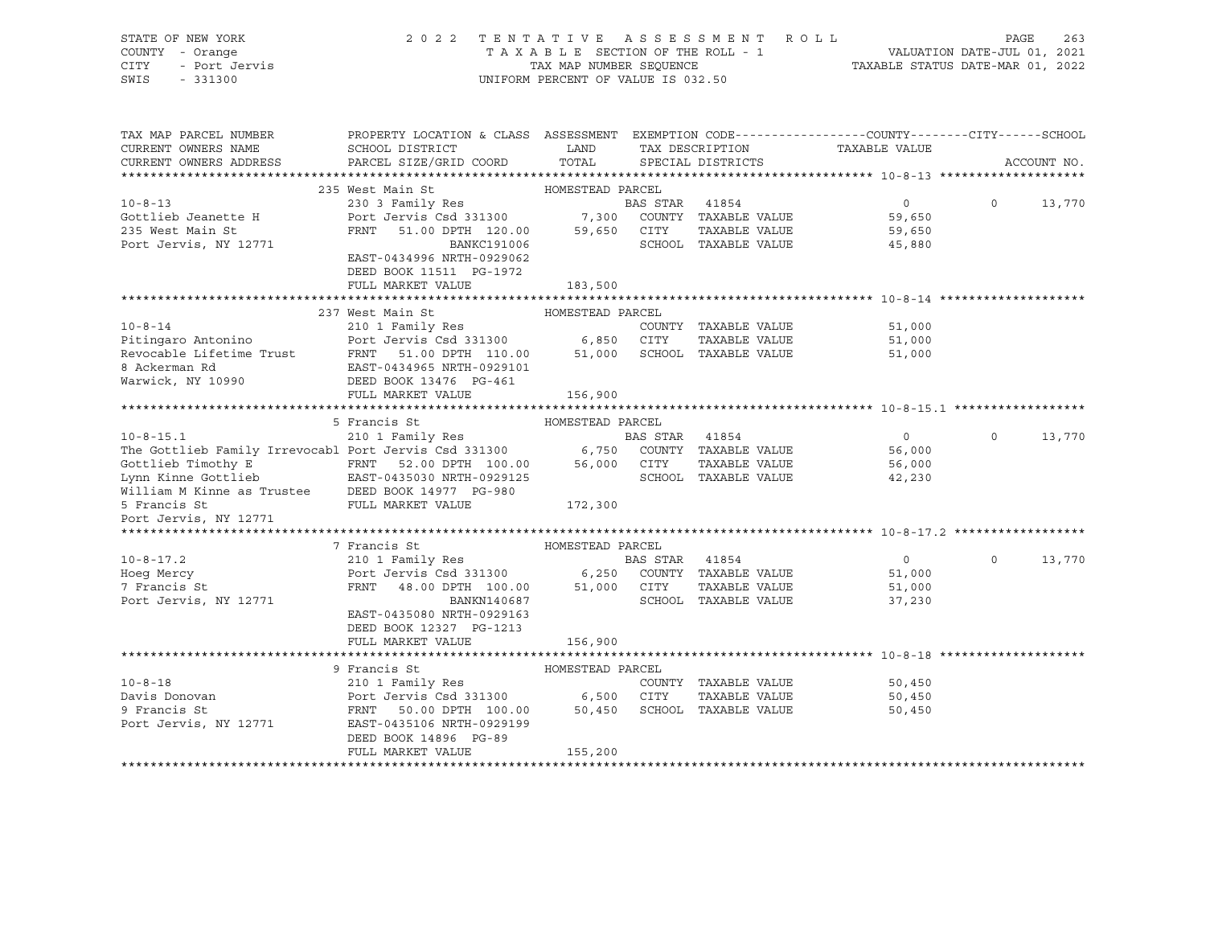| STATE OF NEW YORK<br>COUNTY - Orange<br><b>CITY</b><br>- Port Jervis<br>SWIS<br>$-331300$                                                                                                                                     | 2 0 2 2                                                                                         | TAXABLE SECTION OF THE ROLL - 1<br>TAX MAP NUMBER SEOUENCE<br>UNIFORM PERCENT OF VALUE IS 032.50 |                | TENTATIVE ASSESSMENT ROLL   | VALUATION DATE-JUL 01, 2021<br>TAXABLE STATUS DATE-MAR 01, 2022 | PAGE     | 263         |
|-------------------------------------------------------------------------------------------------------------------------------------------------------------------------------------------------------------------------------|-------------------------------------------------------------------------------------------------|--------------------------------------------------------------------------------------------------|----------------|-----------------------------|-----------------------------------------------------------------|----------|-------------|
| TAX MAP PARCEL NUMBER                                                                                                                                                                                                         | PROPERTY LOCATION & CLASS ASSESSMENT EXEMPTION CODE---------------COUNTY-------CITY------SCHOOL |                                                                                                  |                |                             |                                                                 |          |             |
| CURRENT OWNERS NAME                                                                                                                                                                                                           | SCHOOL DISTRICT                                                                                 | LAND                                                                                             |                | TAX DESCRIPTION             | TAXABLE VALUE                                                   |          |             |
| CURRENT OWNERS ADDRESS                                                                                                                                                                                                        | PARCEL SIZE/GRID COORD                                                                          | TOTAL                                                                                            |                | SPECIAL DISTRICTS           |                                                                 |          | ACCOUNT NO. |
|                                                                                                                                                                                                                               | 235 West Main St                                                                                | HOMESTEAD PARCEL                                                                                 |                |                             |                                                                 |          |             |
| $10 - 8 - 13$                                                                                                                                                                                                                 | 230 3 Family Res                                                                                |                                                                                                  | BAS STAR 41854 |                             | 0                                                               | $\Omega$ | 13,770      |
| Gottlieb Jeanette H                                                                                                                                                                                                           | Port Jervis Csd 331300                                                                          |                                                                                                  |                | 7,300 COUNTY TAXABLE VALUE  | 59,650                                                          |          |             |
| 235 West Main St                                                                                                                                                                                                              | FRNT<br>51.00 DPTH 120.00                                                                       | 59,650 CITY                                                                                      |                | TAXABLE VALUE               | 59,650                                                          |          |             |
| Port Jervis, NY 12771                                                                                                                                                                                                         | <b>BANKC191006</b>                                                                              |                                                                                                  |                | SCHOOL TAXABLE VALUE        | 45,880                                                          |          |             |
|                                                                                                                                                                                                                               | EAST-0434996 NRTH-0929062                                                                       |                                                                                                  |                |                             |                                                                 |          |             |
|                                                                                                                                                                                                                               | DEED BOOK 11511 PG-1972                                                                         |                                                                                                  |                |                             |                                                                 |          |             |
|                                                                                                                                                                                                                               | FULL MARKET VALUE                                                                               | 183,500                                                                                          |                |                             |                                                                 |          |             |
|                                                                                                                                                                                                                               |                                                                                                 |                                                                                                  |                |                             |                                                                 |          |             |
|                                                                                                                                                                                                                               | 237 West Main St                                                                                | HOMESTEAD PARCEL                                                                                 |                |                             |                                                                 |          |             |
| $10 - 8 - 14$                                                                                                                                                                                                                 | 210 1 Family Res                                                                                |                                                                                                  |                | COUNTY TAXABLE VALUE        | 51,000                                                          |          |             |
| Pitingaro Antonino                                                                                                                                                                                                            | Port Jervis Csd 331300                                                                          | 6,850 CITY                                                                                       |                | TAXABLE VALUE               | 51,000                                                          |          |             |
| Revocable Lifetime Trust                                                                                                                                                                                                      | FRNT 51.00 DPTH 110.00                                                                          |                                                                                                  |                | 51,000 SCHOOL TAXABLE VALUE | 51,000                                                          |          |             |
| 8 Ackerman Rd                                                                                                                                                                                                                 | EAST-0434965 NRTH-0929101                                                                       |                                                                                                  |                |                             |                                                                 |          |             |
| Warwick, NY 10990                                                                                                                                                                                                             | DEED BOOK 13476 PG-461                                                                          |                                                                                                  |                |                             |                                                                 |          |             |
|                                                                                                                                                                                                                               | FULL MARKET VALUE                                                                               | 156,900                                                                                          |                |                             |                                                                 |          |             |
|                                                                                                                                                                                                                               |                                                                                                 |                                                                                                  |                |                             |                                                                 |          |             |
|                                                                                                                                                                                                                               | 5 Francis St                                                                                    | HOMESTEAD PARCEL                                                                                 |                |                             |                                                                 |          |             |
| $10 - 8 - 15.1$                                                                                                                                                                                                               | 210 1 Family Res                                                                                |                                                                                                  | BAS STAR 41854 |                             | $\circ$                                                         | $\Omega$ | 13,770      |
|                                                                                                                                                                                                                               |                                                                                                 |                                                                                                  |                |                             | 56,000                                                          |          |             |
| The Gottlieb Family Irrevocabl Port Jervis Csd 331300 6,750 COUNTY TAXABLE VALUE<br>Gottlieb Timothy E FRNT 52.00 DPTH 100.00 56,000 CITY TAXABLE VALUE<br>Lynn Kinne Gottlieb EAST-0435030 NRTH-0929125 SCHOOL TAXABLE VALUE |                                                                                                 |                                                                                                  |                | TAXABLE VALUE               | 56,000                                                          |          |             |
|                                                                                                                                                                                                                               |                                                                                                 |                                                                                                  |                |                             | 42,230                                                          |          |             |
| William M Kinne as Trustee DEED BOOK 14977 PG-980                                                                                                                                                                             |                                                                                                 |                                                                                                  |                |                             |                                                                 |          |             |
| 5 Francis St                                                                                                                                                                                                                  | FULL MARKET VALUE                                                                               | 172,300                                                                                          |                |                             |                                                                 |          |             |
| Port Jervis, NY 12771                                                                                                                                                                                                         |                                                                                                 |                                                                                                  |                |                             |                                                                 |          |             |
|                                                                                                                                                                                                                               | 7 Francis St                                                                                    | HOMESTEAD PARCEL                                                                                 |                |                             |                                                                 |          |             |
| $10 - 8 - 17.2$                                                                                                                                                                                                               | 210 1 Family Res                                                                                |                                                                                                  | BAS STAR 41854 |                             | $\overline{0}$                                                  | $\Omega$ | 13,770      |
| Hoeg Mercy                                                                                                                                                                                                                    | Port Jervis Csd 331300                                                                          | 6,250                                                                                            |                | COUNTY TAXABLE VALUE        | 51,000                                                          |          |             |
| 7 Francis St                                                                                                                                                                                                                  | FRNT<br>48.00 DPTH 100.00                                                                       | 51,000 CITY                                                                                      |                | TAXABLE VALUE               | 51,000                                                          |          |             |
| Port Jervis, NY 12771                                                                                                                                                                                                         | BANKN140687                                                                                     |                                                                                                  |                | SCHOOL TAXABLE VALUE        | 37,230                                                          |          |             |
|                                                                                                                                                                                                                               | EAST-0435080 NRTH-0929163                                                                       |                                                                                                  |                |                             |                                                                 |          |             |
|                                                                                                                                                                                                                               | DEED BOOK 12327 PG-1213                                                                         |                                                                                                  |                |                             |                                                                 |          |             |
|                                                                                                                                                                                                                               | FULL MARKET VALUE                                                                               | 156,900                                                                                          |                |                             |                                                                 |          |             |
|                                                                                                                                                                                                                               |                                                                                                 |                                                                                                  |                |                             |                                                                 |          |             |
|                                                                                                                                                                                                                               | 9 Francis St                                                                                    | HOMESTEAD PARCEL                                                                                 |                |                             |                                                                 |          |             |
| $10 - 8 - 18$                                                                                                                                                                                                                 | 210 1 Family Res                                                                                |                                                                                                  |                | COUNTY TAXABLE VALUE        | 50,450                                                          |          |             |
| Davis Donovan                                                                                                                                                                                                                 | Port Jervis Csd 331300 6,500 CITY                                                               |                                                                                                  |                | TAXABLE VALUE               | 50,450                                                          |          |             |
| 9 Francis St                                                                                                                                                                                                                  | FRNT 50.00 DPTH 100.00                                                                          | 50,450                                                                                           |                | SCHOOL TAXABLE VALUE        | 50,450                                                          |          |             |
| Port Jervis, NY 12771                                                                                                                                                                                                         | EAST-0435106 NRTH-0929199                                                                       |                                                                                                  |                |                             |                                                                 |          |             |
|                                                                                                                                                                                                                               | DEED BOOK 14896 PG-89                                                                           |                                                                                                  |                |                             |                                                                 |          |             |
|                                                                                                                                                                                                                               | FULL MARKET VALUE                                                                               | 155,200                                                                                          |                |                             |                                                                 |          |             |

\*\*\*\*\*\*\*\*\*\*\*\*\*\*\*\*\*\*\*\*\*\*\*\*\*\*\*\*\*\*\*\*\*\*\*\*\*\*\*\*\*\*\*\*\*\*\*\*\*\*\*\*\*\*\*\*\*\*\*\*\*\*\*\*\*\*\*\*\*\*\*\*\*\*\*\*\*\*\*\*\*\*\*\*\*\*\*\*\*\*\*\*\*\*\*\*\*\*\*\*\*\*\*\*\*\*\*\*\*\*\*\*\*\*\*\*\*\*\*\*\*\*\*\*\*\*\*\*\*\*\*\*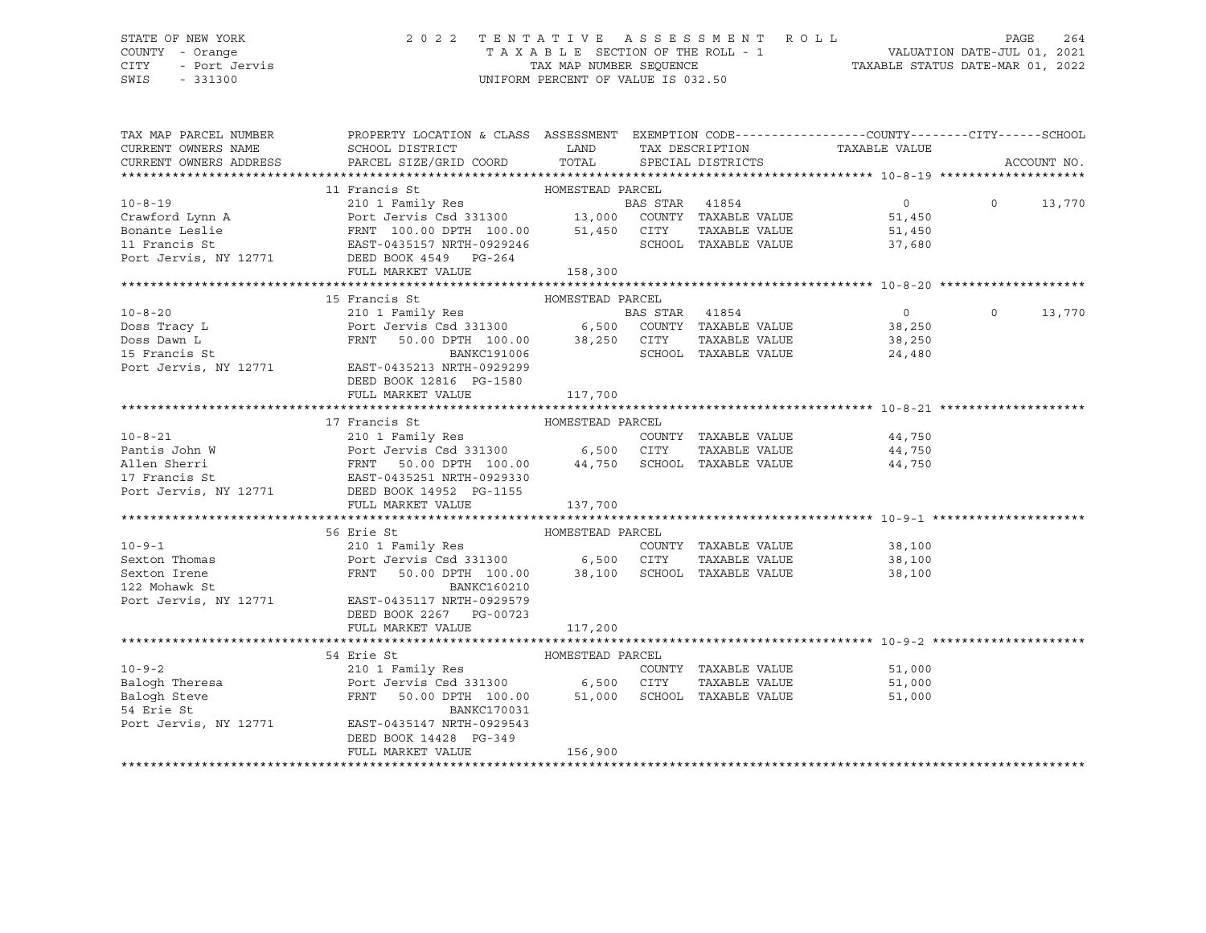# STATE OF NEW YORK 2 0 2 2 T E N T A T I V E A S S E S S M E N T R O L L PAGE 264 COUNTY - Orange T A X A B L E SECTION OF THE ROLL - 1 VALUATION DATE-JUL 01, 2021 CITY - Port Jervis TAX MAP NUMBER SEQUENCE TAXABLE STATUS DATE-MAR 01, 2022

| TAX MAP PARCEL NUMBER<br>CURRENT OWNERS NAME                                                                                                                                                                                                           | PROPERTY LOCATION & CLASS ASSESSMENT EXEMPTION CODE---------------COUNTY-------CITY------SCHOOL<br>SCHOOL DISTRICT |                  |                      |                             |               |        |
|--------------------------------------------------------------------------------------------------------------------------------------------------------------------------------------------------------------------------------------------------------|--------------------------------------------------------------------------------------------------------------------|------------------|----------------------|-----------------------------|---------------|--------|
| CURRENT OWNERS ADDRESS                                                                                                                                                                                                                                 |                                                                                                                    |                  |                      |                             | ACCOUNT NO.   |        |
| 10-8-19<br>210 I Francis St<br>210 I Family Res<br>210 I Family Res<br>210 I Family Res<br>210 I Family Res<br>210 I Family Res<br>210 I Family Res<br>210 I Family Res<br>210 I Family Res<br>210 I Family Res<br>210 I Family Res<br>210 I Family Re |                                                                                                                    |                  |                      |                             |               |        |
|                                                                                                                                                                                                                                                        |                                                                                                                    |                  |                      | $\overline{0}$              | $0 \t 13,770$ |        |
|                                                                                                                                                                                                                                                        |                                                                                                                    |                  |                      | 51,450                      |               |        |
|                                                                                                                                                                                                                                                        |                                                                                                                    |                  |                      | TAXABLE VALUE 51,450        |               |        |
|                                                                                                                                                                                                                                                        |                                                                                                                    |                  | SCHOOL TAXABLE VALUE | 37,680                      |               |        |
|                                                                                                                                                                                                                                                        |                                                                                                                    |                  |                      |                             |               |        |
|                                                                                                                                                                                                                                                        | FULL MARKET VALUE 158,300                                                                                          |                  |                      |                             |               |        |
|                                                                                                                                                                                                                                                        |                                                                                                                    |                  |                      |                             |               |        |
|                                                                                                                                                                                                                                                        | 15 Francis St                                                                                                      | HOMESTEAD PARCEL |                      |                             |               |        |
|                                                                                                                                                                                                                                                        |                                                                                                                    |                  |                      |                             | $\Omega$      | 13,770 |
|                                                                                                                                                                                                                                                        |                                                                                                                    |                  |                      |                             |               |        |
|                                                                                                                                                                                                                                                        |                                                                                                                    |                  |                      |                             |               |        |
|                                                                                                                                                                                                                                                        |                                                                                                                    |                  |                      |                             |               |        |
| 10-8-20<br>Doss Tracy L<br>Doss Dawn L<br>Doss Dawn L<br>Doss Dawn L<br>ERST-0435213 NRTH-0929299<br>MARC191006<br>24,480<br>POT JERST-0435213 NRTH-0929299<br>MARC191006<br>POT JERST-0435213 NRTH-0929299<br>POT JERST-0435213 NRTH-0929299<br>POT J |                                                                                                                    |                  |                      |                             |               |        |
|                                                                                                                                                                                                                                                        | DEED BOOK 12816 PG-1580                                                                                            |                  |                      |                             |               |        |
|                                                                                                                                                                                                                                                        | FULL MARKET VALUE                                                                                                  | 117,700          |                      |                             |               |        |
|                                                                                                                                                                                                                                                        |                                                                                                                    |                  |                      |                             |               |        |
|                                                                                                                                                                                                                                                        | 17 Francis St<br>HOMESTEAD PARCEL                                                                                  |                  |                      |                             |               |        |
|                                                                                                                                                                                                                                                        |                                                                                                                    |                  |                      |                             |               |        |
|                                                                                                                                                                                                                                                        |                                                                                                                    |                  |                      |                             |               |        |
|                                                                                                                                                                                                                                                        |                                                                                                                    |                  |                      |                             |               |        |
|                                                                                                                                                                                                                                                        |                                                                                                                    |                  |                      |                             |               |        |
| 10-8-21<br>Pantis John W<br>Pantis John W<br>Port Jervis Csd 331300<br>Port Jervis Csd 331300<br>FRNT 50.00 DPTH 100.00<br>Port 44,750<br>SCHOOL TAXABLE VALUE<br>TAXABLE VALUE<br>44,750<br>Port Jervis St<br>RAST-0435251 NRTH-0929330<br>Port Jervi |                                                                                                                    |                  |                      |                             |               |        |
|                                                                                                                                                                                                                                                        | FULL MARKET VALUE                                                                                                  | 137,700          |                      |                             |               |        |
|                                                                                                                                                                                                                                                        |                                                                                                                    |                  |                      |                             |               |        |
|                                                                                                                                                                                                                                                        | 56 Erie St<br>Erie St<br>210 1 Family Res<br>Family Res<br>Resember 210 1 Ramily Res<br>COUN                       |                  |                      |                             |               |        |
| $10 - 9 - 1$                                                                                                                                                                                                                                           |                                                                                                                    |                  |                      | COUNTY TAXABLE VALUE 38,100 |               |        |
|                                                                                                                                                                                                                                                        |                                                                                                                    |                  |                      | TAXABLE VALUE 38,100        |               |        |
|                                                                                                                                                                                                                                                        | FRNT 50.00 DPTH 100.00 38,100 SCHOOL TAXABLE VALUE                                                                 |                  |                      | 38,100                      |               |        |
|                                                                                                                                                                                                                                                        |                                                                                                                    |                  |                      |                             |               |        |
| Port Jervis, NY 12771 EAST-0435117 NRTH-0929579                                                                                                                                                                                                        |                                                                                                                    |                  |                      |                             |               |        |
|                                                                                                                                                                                                                                                        | DEED BOOK 2267 PG-00723<br>FULL MARKET VALUE                                                                       |                  |                      |                             |               |        |
|                                                                                                                                                                                                                                                        |                                                                                                                    | 117,200          |                      |                             |               |        |
|                                                                                                                                                                                                                                                        |                                                                                                                    |                  |                      |                             |               |        |
|                                                                                                                                                                                                                                                        |                                                                                                                    |                  | COUNTY TAXABLE VALUE |                             |               |        |
|                                                                                                                                                                                                                                                        |                                                                                                                    |                  | TAXABLE VALUE        | 51,000<br>51,000<br>51,000  |               |        |
| HOMESTEAD PARCENT MOMESTEAD PARCENT COUNT<br>Balogh Theresa<br>Balogh Steve PRNT 50.00 DPTH 100.00 51,000 SCHOOL<br>FRNT 50.00 DPTH 100.00 51,000 SCHOOL<br>PANDATICALLY                                                                               | FRNT 50.00 DPTH 100.00 51,000 SCHOOL TAXABLE VALUE                                                                 |                  |                      | 51,000                      |               |        |
|                                                                                                                                                                                                                                                        |                                                                                                                    |                  |                      |                             |               |        |
| Port Jervis, NY 12771                                                                                                                                                                                                                                  | EAST-0435147 NRTH-0929543                                                                                          |                  |                      |                             |               |        |
|                                                                                                                                                                                                                                                        | DEED BOOK 14428 PG-349                                                                                             |                  |                      |                             |               |        |
|                                                                                                                                                                                                                                                        | FULL MARKET VALUE                                                                                                  | 156,900          |                      |                             |               |        |
|                                                                                                                                                                                                                                                        |                                                                                                                    |                  |                      |                             |               |        |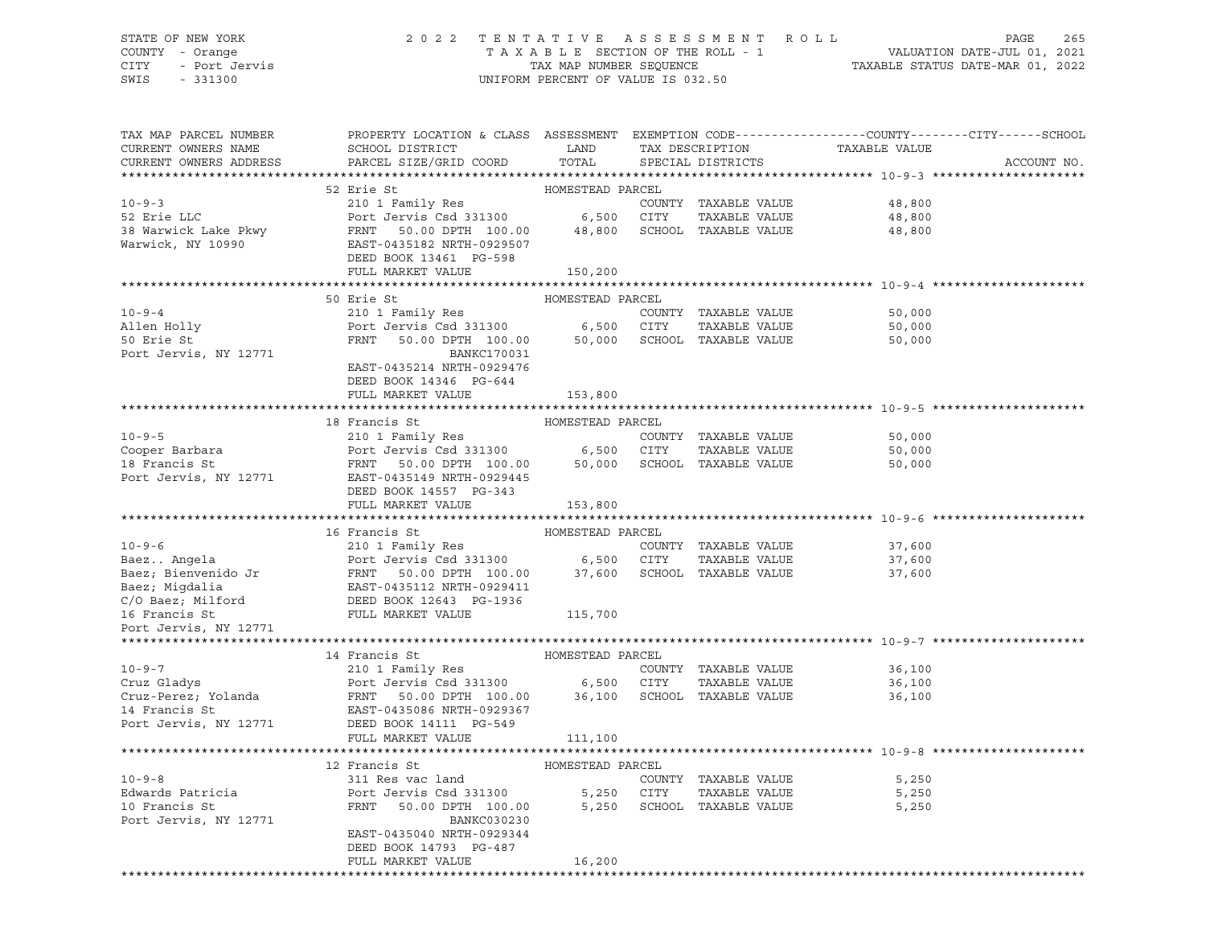# STATE OF NEW YORK 2 0 2 2 T E N T A T I V E A S S E S S M E N T R O L L PAGE 265 COUNTY - Orange T A X A B L E SECTION OF THE ROLL - 1 VALUATION DATE-JUL 01, 2021 CITY - Port Jervis TAX MAP NUMBER SEQUENCE TAXABLE STATUS DATE-MAR 01, 2022

| TAX MAP PARCEL NUMBER  | PROPERTY LOCATION & CLASS ASSESSMENT EXEMPTION CODE---------------COUNTY-------CITY------SCHOOL                                                                                                                                                                |                  |                                                                    |                                              |             |
|------------------------|----------------------------------------------------------------------------------------------------------------------------------------------------------------------------------------------------------------------------------------------------------------|------------------|--------------------------------------------------------------------|----------------------------------------------|-------------|
| CURRENT OWNERS NAME    | SCHOOL DISTRICT LAND                                                                                                                                                                                                                                           |                  | TAX DESCRIPTION TAXABLE VALUE SPECIAL DISTRICTS<br>TAX DESCRIPTION |                                              |             |
| CURRENT OWNERS ADDRESS | PARCEL SIZE/GRID COORD                                                                                                                                                                                                                                         | TOTAL            |                                                                    |                                              | ACCOUNT NO. |
|                        |                                                                                                                                                                                                                                                                |                  |                                                                    |                                              |             |
|                        | 52 Erie St<br>10-9-3<br>52 Erie St. 210 I Family Res<br>52 Erie LLC 210 I Family Res<br>20 I Family Res<br>20 I Family Res<br>20 I Family Res<br>20 I Family Res<br>20 6,500 CITY TAXABLE VALUE<br>38 Warwick Lake Pkwy<br>FRNT 50.00 DPTH 100.00 48,800 SCHOO | HOMESTEAD PARCEL |                                                                    |                                              |             |
|                        |                                                                                                                                                                                                                                                                |                  |                                                                    | 48,800<br>48,800                             |             |
|                        |                                                                                                                                                                                                                                                                |                  |                                                                    |                                              |             |
|                        |                                                                                                                                                                                                                                                                |                  |                                                                    | 48,800                                       |             |
|                        |                                                                                                                                                                                                                                                                |                  |                                                                    |                                              |             |
|                        |                                                                                                                                                                                                                                                                |                  |                                                                    |                                              |             |
|                        | FULL MARKET VALUE 150,200                                                                                                                                                                                                                                      |                  |                                                                    |                                              |             |
|                        | 50 Erie St                                                                                                                                                                                                                                                     | HOMESTEAD PARCEL |                                                                    |                                              |             |
|                        |                                                                                                                                                                                                                                                                |                  |                                                                    |                                              |             |
| $10 - 9 - 4$           | 210 1 Family Res                                                                                                                                                                                                                                               |                  | COUNTY TAXABLE VALUE                                               | 50,000                                       |             |
|                        | Allen Holly<br>Port Jervis Csd 331300 6,500 CITY TAXABLE VALUE<br>FRNT 50.00 DPTH 100.00 50,000 SCHOOL TAXABLE VALUE<br>Port Jervis, NY 12771 BANKC170031                                                                                                      |                  |                                                                    | TAXABLE VALUE 50,000<br>TAXABLE VALUE 50,000 |             |
|                        |                                                                                                                                                                                                                                                                |                  |                                                                    |                                              |             |
|                        |                                                                                                                                                                                                                                                                |                  |                                                                    |                                              |             |
|                        | EAST-0435214 NRTH-0929476                                                                                                                                                                                                                                      |                  |                                                                    |                                              |             |
|                        | DEED BOOK 14346 PG-644                                                                                                                                                                                                                                         |                  |                                                                    |                                              |             |
|                        | FULL MARKET VALUE                                                                                                                                                                                                                                              | 153,800          |                                                                    |                                              |             |
|                        | 18 Francis St MOMESTEAD PARCEL                                                                                                                                                                                                                                 |                  |                                                                    |                                              |             |
|                        | 10-9-5<br>Cooper Barbara<br>Cooper Barbara<br>Port Jervis Csd 331300<br>Port Jervis Csd 331300<br>Port Jervis, NY 12771<br>EAST-0435149 NRTH-0929445<br>Port Jervis, NY 12771<br>EAST-0435149 NRTH-0929445<br>Port Jervis, NY 12771<br>Port Jervis             |                  |                                                                    |                                              |             |
|                        |                                                                                                                                                                                                                                                                |                  |                                                                    | 50,000<br>50,000                             |             |
|                        |                                                                                                                                                                                                                                                                |                  |                                                                    |                                              |             |
|                        |                                                                                                                                                                                                                                                                |                  |                                                                    | 50,000                                       |             |
|                        |                                                                                                                                                                                                                                                                |                  |                                                                    |                                              |             |
|                        | DEED BOOK 14557 PG-343<br>FULL MARKET VALUE                                                                                                                                                                                                                    |                  |                                                                    |                                              |             |
|                        |                                                                                                                                                                                                                                                                | 153,800          |                                                                    |                                              |             |
|                        | 16 Francis St                                                                                                                                                                                                                                                  | HOMESTEAD PARCEL |                                                                    |                                              |             |
|                        | 10-9-6<br>Baez Angela<br>210 1 Family Res<br>Port Jervis Csd 331300 6,500 CITY TAXABLE VALUE<br>Baez; Bienvenido Jr FRNT 50.00 DPTH 100.00 37,600 SCHOOL TAXABLE VALUE<br>Baez; Migdalia<br>C/O Baez; Milford DEED BOOK 12643 PG-1936<br>1                     |                  |                                                                    | 37,600                                       |             |
|                        |                                                                                                                                                                                                                                                                |                  |                                                                    |                                              |             |
|                        |                                                                                                                                                                                                                                                                |                  |                                                                    | 37,600<br>37,600                             |             |
|                        |                                                                                                                                                                                                                                                                |                  |                                                                    |                                              |             |
|                        |                                                                                                                                                                                                                                                                |                  |                                                                    |                                              |             |
|                        |                                                                                                                                                                                                                                                                |                  |                                                                    |                                              |             |
| Port Jervis, NY 12771  |                                                                                                                                                                                                                                                                |                  |                                                                    |                                              |             |
|                        |                                                                                                                                                                                                                                                                |                  |                                                                    |                                              |             |
|                        |                                                                                                                                                                                                                                                                |                  |                                                                    |                                              |             |
|                        |                                                                                                                                                                                                                                                                |                  |                                                                    | 36,100                                       |             |
|                        |                                                                                                                                                                                                                                                                |                  |                                                                    | 36,100                                       |             |
|                        |                                                                                                                                                                                                                                                                |                  |                                                                    | 36,100                                       |             |
|                        |                                                                                                                                                                                                                                                                |                  |                                                                    |                                              |             |
|                        |                                                                                                                                                                                                                                                                |                  |                                                                    |                                              |             |
|                        | FULL MARKET VALUE                                                                                                                                                                                                                                              | 111,100          |                                                                    |                                              |             |
|                        |                                                                                                                                                                                                                                                                |                  |                                                                    |                                              |             |
|                        | 12 Francis St MOMESTEAD PARCEL                                                                                                                                                                                                                                 |                  |                                                                    |                                              |             |
| $10 - 9 - 8$           | 311 Res vac land                                                                                                                                                                                                                                               |                  | COUNTY TAXABLE VALUE                                               | 5,250                                        |             |
|                        |                                                                                                                                                                                                                                                                |                  |                                                                    |                                              |             |
|                        | Edwards Patricia<br>Port Jervis Csd 331300 5,250 CITY TAXABLE VALUE<br>10 Francis St<br>FRNT 50.00 DPTH 100.00 5,250 SCHOOL TAXABLE VALUE                                                                                                                      |                  |                                                                    | 5,250<br>5,250                               |             |
| Port Jervis, NY 12771  | BANKC030230                                                                                                                                                                                                                                                    |                  |                                                                    |                                              |             |
|                        | EAST-0435040 NRTH-0929344                                                                                                                                                                                                                                      |                  |                                                                    |                                              |             |
|                        | DEED BOOK 14793 PG-487                                                                                                                                                                                                                                         |                  |                                                                    |                                              |             |
|                        | FULL MARKET VALUE                                                                                                                                                                                                                                              | 16,200           |                                                                    |                                              |             |
|                        |                                                                                                                                                                                                                                                                |                  |                                                                    |                                              |             |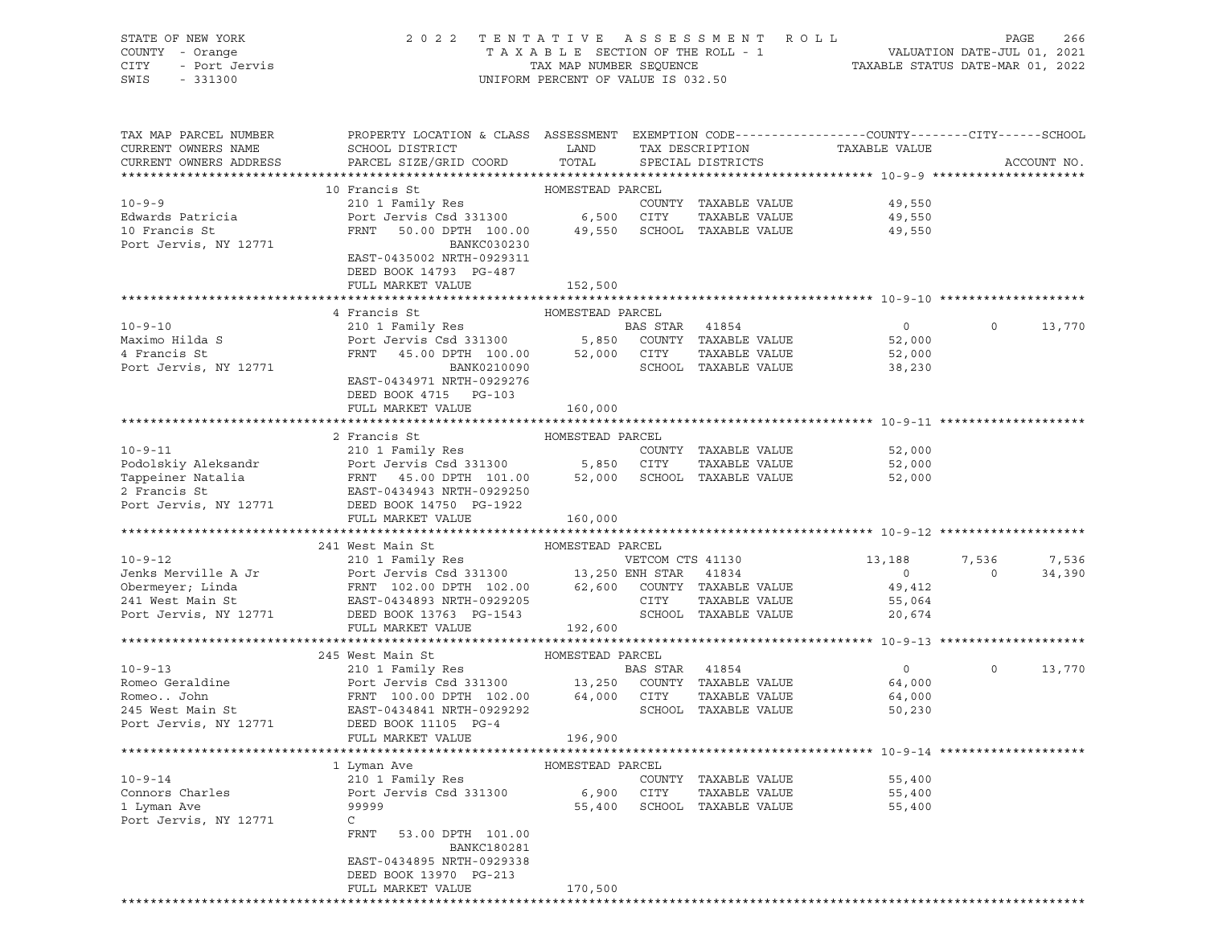| STATE OF NEW YORK<br>COUNTY - Orange<br>OF NEW YORK<br>I - Orange<br>- Port Jervis<br>Concept<br>CITY<br>SWIS                                                                                                                               | 2022 TENTATIVE ASSESSMENT ROLL PAGE 266<br>TAXABLE SECTION OF THE ROLL - 1 VALUATION DATE-JUL 01, 2021<br>TAX MAP NUMBER SEQUENCE TAXABLE STATUS DATE-MAR 01, 2022 | UNIFORM PERCENT OF VALUE IS 032.50 |        |                                       |                                              |                |             |
|---------------------------------------------------------------------------------------------------------------------------------------------------------------------------------------------------------------------------------------------|--------------------------------------------------------------------------------------------------------------------------------------------------------------------|------------------------------------|--------|---------------------------------------|----------------------------------------------|----------------|-------------|
|                                                                                                                                                                                                                                             |                                                                                                                                                                    |                                    |        |                                       |                                              |                |             |
| TAX MAP PARCEL NUMBER PROPERTY LOCATION & CLASS ASSESSMENT EXEMPTION CODE---------------COUNTY-------CITY------SCHOOL<br>CURRENT OWNERS NAME                                                                                                | SCHOOL DISTRICT<br><b>EXAMPLE SERVICE SERVICE SERVICE SERVICE SERVICE SERVICE SERVICE SERVICE SERVICE SERVICE SERVICE SERVICE SERVICE</b>                          |                                    |        | TAX DESCRIPTION                       | TAXABLE VALUE                                |                |             |
| CURRENT OWNERS ADDRESS                                                                                                                                                                                                                      | PARCEL SIZE/GRID COORD                                                                                                                                             | TOTAL                              |        | SPECIAL DISTRICTS                     |                                              |                | ACCOUNT NO. |
|                                                                                                                                                                                                                                             | 10 Francis St                                                                                                                                                      |                                    |        |                                       |                                              |                |             |
| $10 - 9 - 9$                                                                                                                                                                                                                                | HOMESTEAD PARCEL<br>210 1 Family Res                                                                                                                               |                                    |        |                                       | COUNTY TAXABLE VALUE 49,550                  |                |             |
| Edwards Patricia                                                                                                                                                                                                                            |                                                                                                                                                                    |                                    |        |                                       |                                              |                |             |
| 10 Francis St<br>Port Jervis, NY 12771                                                                                                                                                                                                      | Port Jervis Csd 331300 6,500 CITY TAXABLE VALUE 49,550<br>FRNT 50.00 DPTH 100.00 49,550 SCHOOL TAXABLE VALUE 49,550                                                |                                    |        |                                       |                                              |                |             |
|                                                                                                                                                                                                                                             | BANKC030230                                                                                                                                                        |                                    |        |                                       |                                              |                |             |
|                                                                                                                                                                                                                                             | EAST-0435002 NRTH-0929311                                                                                                                                          |                                    |        |                                       |                                              |                |             |
|                                                                                                                                                                                                                                             | DEED BOOK 14793 PG-487                                                                                                                                             |                                    |        |                                       |                                              |                |             |
|                                                                                                                                                                                                                                             | FULL MARKET VALUE                                                                                                                                                  | 152,500                            |        |                                       |                                              |                |             |
|                                                                                                                                                                                                                                             | 4 Francis St                                                                                                                                                       | HOMESTEAD PARCEL                   |        |                                       |                                              |                |             |
| $10 - 9 - 10$                                                                                                                                                                                                                               |                                                                                                                                                                    |                                    |        |                                       | $\overline{0}$                               | $\circ$        | 13,770      |
| Maximo Hilda S                                                                                                                                                                                                                              |                                                                                                                                                                    |                                    |        |                                       | 52,000                                       |                |             |
| 4 Francis St                                                                                                                                                                                                                                | FRNT 45.00 DPTH 100.00 52,000 CITY<br>BANK0210090 SCHOOL                                                                                                           |                                    |        |                                       | TAXABLE VALUE 52,000<br>TAXABLE VALUE 38,230 |                |             |
| Port Jervis, NY 12771                                                                                                                                                                                                                       |                                                                                                                                                                    |                                    |        | SCHOOL TAXABLE VALUE                  |                                              |                |             |
|                                                                                                                                                                                                                                             | EAST-0434971 NRTH-0929276                                                                                                                                          |                                    |        |                                       |                                              |                |             |
|                                                                                                                                                                                                                                             | DEED BOOK 4715 PG-103                                                                                                                                              |                                    |        |                                       |                                              |                |             |
|                                                                                                                                                                                                                                             | FULL MARKET VALUE                                                                                                                                                  | 160,000                            |        |                                       |                                              |                |             |
|                                                                                                                                                                                                                                             | 2 Francis St                                                                                                                                                       | HOMESTEAD PARCEL                   |        |                                       |                                              |                |             |
|                                                                                                                                                                                                                                             |                                                                                                                                                                    |                                    |        |                                       |                                              |                |             |
|                                                                                                                                                                                                                                             |                                                                                                                                                                    |                                    |        |                                       |                                              |                |             |
| 10-9-11<br>Podolskiy Aleksandr Port Jervis Csd 331300 5,850 CITY TAXABLE VALUE<br>Tappeiner Natalia FRNT 45.00 DPTH 101.00 52,000 SCHOOL TAXABLE VALUE 52,000<br>2 Francis St EAST-0434943 NRTH-0929250<br>Port Jervis, NY 12771 DEED       |                                                                                                                                                                    |                                    |        |                                       |                                              |                |             |
|                                                                                                                                                                                                                                             |                                                                                                                                                                    |                                    |        |                                       |                                              |                |             |
|                                                                                                                                                                                                                                             |                                                                                                                                                                    |                                    |        |                                       |                                              |                |             |
|                                                                                                                                                                                                                                             | FULL MARKET VALUE                                                                                                                                                  | 160,000                            |        |                                       |                                              |                |             |
|                                                                                                                                                                                                                                             |                                                                                                                                                                    |                                    |        |                                       |                                              |                |             |
|                                                                                                                                                                                                                                             |                                                                                                                                                                    |                                    |        |                                       | 13,188 7,536 7,536                           |                |             |
|                                                                                                                                                                                                                                             |                                                                                                                                                                    |                                    |        |                                       |                                              | $\overline{0}$ | 34,390      |
|                                                                                                                                                                                                                                             |                                                                                                                                                                    |                                    |        |                                       | $\begin{array}{c}0\\49,412\end{array}$       |                |             |
|                                                                                                                                                                                                                                             |                                                                                                                                                                    |                                    |        |                                       |                                              |                |             |
|                                                                                                                                                                                                                                             |                                                                                                                                                                    |                                    |        |                                       |                                              |                |             |
|                                                                                                                                                                                                                                             | FULL MARKET VALUE                                                                                                                                                  | 192,600                            |        |                                       |                                              |                |             |
|                                                                                                                                                                                                                                             |                                                                                                                                                                    |                                    |        |                                       |                                              |                |             |
| 245 West Main St<br>245 West Main St<br>210 1 Family Res<br>Port Jervis Csd 331300 13,250 COUNTY TAXABLE VALUE<br>210 1 Family Res<br>210 13,250 COUNTY TAXABLE VALUE<br>210 19 13,250 COUNTY TAXABLE VALUE<br>210 19 13,250 COUNTY TAXABLE |                                                                                                                                                                    |                                    |        |                                       |                                              | $\circ$        |             |
|                                                                                                                                                                                                                                             |                                                                                                                                                                    |                                    |        |                                       |                                              |                | 13,770      |
| Romeo John                                                                                                                                                                                                                                  | FRNT 100.00 DPTH 102.00 64,000 CITY                                                                                                                                |                                    |        | TAXABLE VALUE                         | 64,000                                       |                |             |
| 245 West Main St                                                                                                                                                                                                                            | EAST-0434841 NRTH-0929292                                                                                                                                          |                                    |        | SCHOOL TAXABLE VALUE                  | 50,230                                       |                |             |
| Port Jervis, NY 12771                                                                                                                                                                                                                       | DEED BOOK 11105 PG-4                                                                                                                                               |                                    |        |                                       |                                              |                |             |
|                                                                                                                                                                                                                                             | FULL MARKET VALUE                                                                                                                                                  | 196,900                            |        |                                       |                                              |                |             |
| *********************************                                                                                                                                                                                                           |                                                                                                                                                                    |                                    |        |                                       |                                              |                |             |
|                                                                                                                                                                                                                                             | 1 Lyman Ave                                                                                                                                                        | HOMESTEAD PARCEL                   |        |                                       |                                              |                |             |
| $10 - 9 - 14$                                                                                                                                                                                                                               | 210 1 Family Res<br>Port Jervis Csd 331300                                                                                                                         |                                    | COUNTY | TAXABLE VALUE                         | 55,400                                       |                |             |
| Connors Charles<br>1 Lyman Ave                                                                                                                                                                                                              | 99999                                                                                                                                                              | 6,900<br>55,400                    | CITY   | TAXABLE VALUE<br>SCHOOL TAXABLE VALUE | 55,400<br>55,400                             |                |             |
| Port Jervis, NY 12771                                                                                                                                                                                                                       | C                                                                                                                                                                  |                                    |        |                                       |                                              |                |             |
|                                                                                                                                                                                                                                             | FRNT<br>53.00 DPTH 101.00<br><b>BANKC180281</b>                                                                                                                    |                                    |        |                                       |                                              |                |             |
|                                                                                                                                                                                                                                             | EAST-0434895 NRTH-0929338<br>DEED BOOK 13970 PG-213                                                                                                                |                                    |        |                                       |                                              |                |             |

FULL MARKET VALUE 170,500

\*\*\*\*\*\*\*\*\*\*\*\*\*\*\*\*\*\*\*\*\*\*\*\*\*\*\*\*\*\*\*\*\*\*\*\*\*\*\*\*\*\*\*\*\*\*\*\*\*\*\*\*\*\*\*\*\*\*\*\*\*\*\*\*\*\*\*\*\*\*\*\*\*\*\*\*\*\*\*\*\*\*\*\*\*\*\*\*\*\*\*\*\*\*\*\*\*\*\*\*\*\*\*\*\*\*\*\*\*\*\*\*\*\*\*\*\*\*\*\*\*\*\*\*\*\*\*\*\*\*\*\*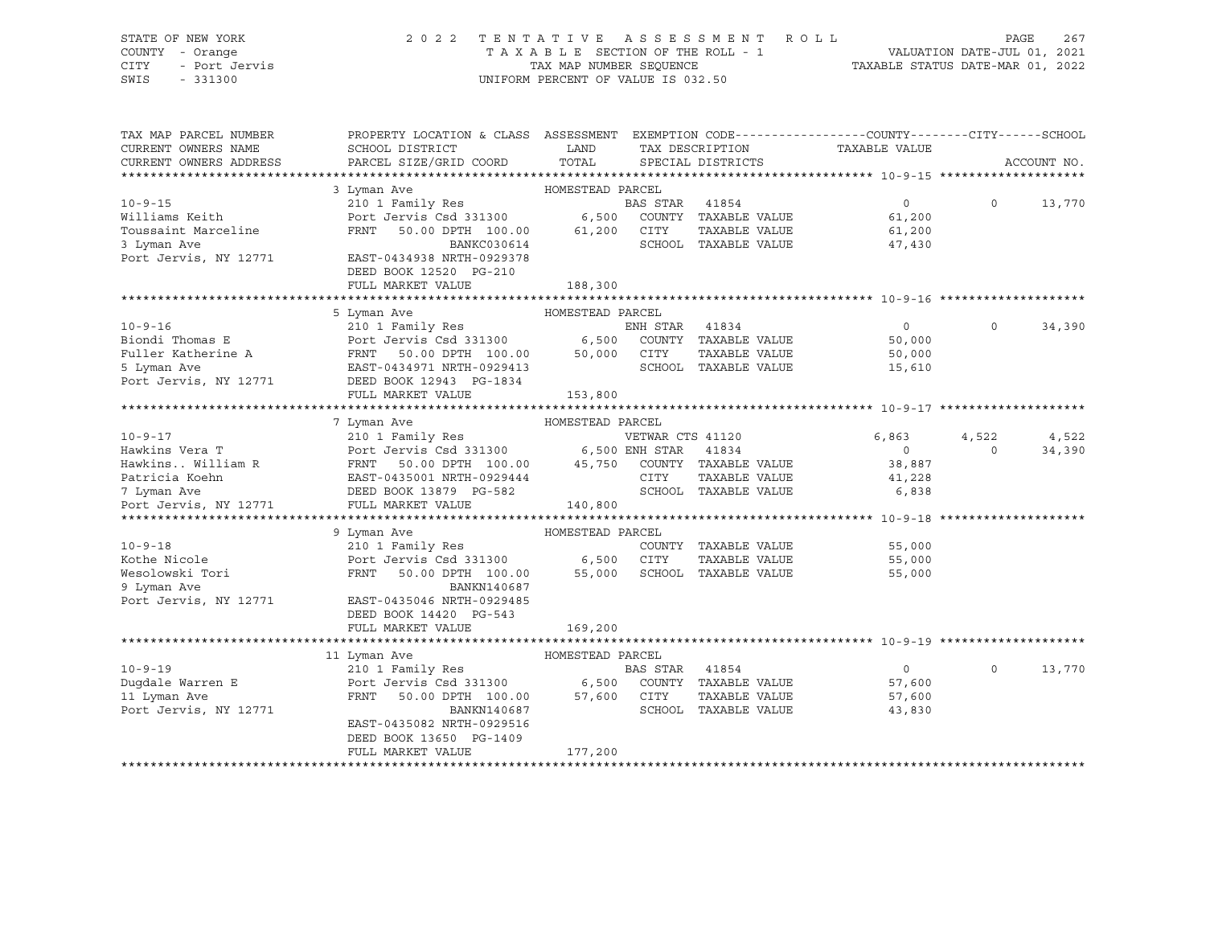## STATE OF NEW YORK 2 0 2 2 T E N T A T I V E A S S E S S M E N T R O L L PAGE 267 COUNTY - Orange T A X A B L E SECTION OF THE ROLL - 1 VALUATION DATE-JUL 01, 2021 CITY - Port Jervis TAX MAP NUMBER SEQUENCE TAXABLE STATUS DATE-MAR 01, 2022

| TAX MAP PARCEL NUMBER<br>CURRENT OWNERS NAME<br>CURRENT OWNERS ADDRESS | PROPERTY LOCATION & CLASS ASSESSMENT EXEMPTION CODE----------------COUNTY-------CITY------SCHOOL<br>SCHOOL DISTRICT<br>PARCEL SIZE/GRID COORD | LAND<br>TOTAL    |                  | TAX DESCRIPTION<br>SPECIAL DISTRICTS | TAXABLE VALUE  |          | ACCOUNT NO. |
|------------------------------------------------------------------------|-----------------------------------------------------------------------------------------------------------------------------------------------|------------------|------------------|--------------------------------------|----------------|----------|-------------|
|                                                                        |                                                                                                                                               | HOMESTEAD PARCEL |                  |                                      |                |          |             |
|                                                                        | 3 Lyman Ave                                                                                                                                   |                  |                  |                                      |                |          |             |
| $10 - 9 - 15$                                                          | 210 1 Family Res                                                                                                                              |                  | <b>BAS STAR</b>  | 41854                                | $\overline{0}$ | $\Omega$ | 13,770      |
| Williams Keith                                                         | Port Jervis Csd 331300                                                                                                                        | 6,500            |                  | COUNTY TAXABLE VALUE                 | 61,200         |          |             |
| Toussaint Marceline                                                    | FRNT<br>50.00 DPTH 100.00                                                                                                                     | 61,200           | CITY             | TAXABLE VALUE                        | 61,200         |          |             |
| 3 Lyman Ave                                                            | BANKC030614                                                                                                                                   |                  |                  | SCHOOL TAXABLE VALUE                 | 47,430         |          |             |
| Port Jervis, NY 12771                                                  | EAST-0434938 NRTH-0929378                                                                                                                     |                  |                  |                                      |                |          |             |
|                                                                        | DEED BOOK 12520 PG-210                                                                                                                        |                  |                  |                                      |                |          |             |
|                                                                        | FULL MARKET VALUE                                                                                                                             | 188,300          |                  |                                      |                |          |             |
|                                                                        |                                                                                                                                               |                  |                  |                                      |                |          |             |
|                                                                        | 5 Lyman Ave                                                                                                                                   | HOMESTEAD PARCEL |                  |                                      |                |          |             |
| $10 - 9 - 16$                                                          | 210 1 Family Res                                                                                                                              |                  | ENH STAR         | 41834                                | $\circ$        | $\Omega$ | 34,390      |
| Biondi Thomas E                                                        | Port Jervis Csd 331300                                                                                                                        | 6,500            |                  | COUNTY TAXABLE VALUE                 | 50,000         |          |             |
| Fuller Katherine A                                                     | FRNT<br>50.00 DPTH 100.00                                                                                                                     | 50,000           | CITY             | TAXABLE VALUE                        | 50,000         |          |             |
| 5 Lyman Ave                                                            | EAST-0434971 NRTH-0929413                                                                                                                     |                  |                  | SCHOOL TAXABLE VALUE                 | 15,610         |          |             |
| Port Jervis, NY 12771                                                  | DEED BOOK 12943 PG-1834                                                                                                                       |                  |                  |                                      |                |          |             |
|                                                                        | FULL MARKET VALUE                                                                                                                             | 153,800          |                  |                                      |                |          |             |
|                                                                        |                                                                                                                                               |                  |                  |                                      |                |          |             |
|                                                                        | 7 Lyman Ave                                                                                                                                   | HOMESTEAD PARCEL |                  |                                      |                |          |             |
| $10 - 9 - 17$                                                          | 210 1 Family Res                                                                                                                              |                  | VETWAR CTS 41120 |                                      | 6,863          | 4,522    | 4,522       |
| Hawkins Vera T                                                         | Port Jervis Csd 331300 6,500 ENH STAR                                                                                                         |                  |                  | 41834                                | $\overline{0}$ | $\Omega$ | 34,390      |
| Hawkins William R                                                      | FRNT<br>50.00 DPTH 100.00                                                                                                                     | 45,750           |                  | COUNTY TAXABLE VALUE                 | 38,887         |          |             |
| Patricia Koehn                                                         | EAST-0435001 NRTH-0929444                                                                                                                     |                  | CITY             | TAXABLE VALUE                        | 41,228         |          |             |
| 7 Lyman Ave                                                            | DEED BOOK 13879 PG-582                                                                                                                        |                  |                  | SCHOOL TAXABLE VALUE                 | 6,838          |          |             |
| Port Jervis, NY 12771                                                  | FULL MARKET VALUE                                                                                                                             | 140,800          |                  |                                      |                |          |             |
|                                                                        |                                                                                                                                               |                  |                  |                                      |                |          |             |
|                                                                        | 9 Lyman Ave                                                                                                                                   | HOMESTEAD PARCEL |                  |                                      |                |          |             |
| $10 - 9 - 18$                                                          | 210 1 Family Res                                                                                                                              |                  |                  | COUNTY TAXABLE VALUE                 | 55,000         |          |             |
| Kothe Nicole                                                           | Port Jervis Csd 331300 6,500                                                                                                                  |                  | CITY             | TAXABLE VALUE                        | 55,000         |          |             |
| Wesolowski Tori                                                        | FRNT<br>50.00 DPTH 100.00                                                                                                                     | 55,000           |                  | SCHOOL TAXABLE VALUE                 | 55,000         |          |             |
| 9 Lyman Ave                                                            | BANKN140687                                                                                                                                   |                  |                  |                                      |                |          |             |
|                                                                        |                                                                                                                                               |                  |                  |                                      |                |          |             |
| Port Jervis, NY 12771                                                  | EAST-0435046 NRTH-0929485                                                                                                                     |                  |                  |                                      |                |          |             |
|                                                                        | DEED BOOK 14420 PG-543                                                                                                                        |                  |                  |                                      |                |          |             |
|                                                                        | FULL MARKET VALUE                                                                                                                             | 169,200          |                  |                                      |                |          |             |
|                                                                        |                                                                                                                                               |                  |                  |                                      |                |          |             |
|                                                                        | 11 Lyman Ave                                                                                                                                  | HOMESTEAD PARCEL |                  |                                      |                |          |             |
| $10 - 9 - 19$                                                          | 210 1 Family Res                                                                                                                              |                  | BAS STAR         | 41854                                | $\overline{0}$ | $\Omega$ | 13,770      |
| Dugdale Warren E                                                       | Port Jervis Csd 331300                                                                                                                        | 6,500            |                  | COUNTY TAXABLE VALUE                 | 57,600         |          |             |
| 11 Lyman Ave                                                           | FRNT<br>50.00 DPTH 100.00                                                                                                                     | 57,600           | CITY             | TAXABLE VALUE                        | 57,600         |          |             |
| Port Jervis, NY 12771                                                  | BANKN140687                                                                                                                                   |                  |                  | SCHOOL TAXABLE VALUE                 | 43,830         |          |             |
|                                                                        | EAST-0435082 NRTH-0929516                                                                                                                     |                  |                  |                                      |                |          |             |
|                                                                        | DEED BOOK 13650 PG-1409                                                                                                                       |                  |                  |                                      |                |          |             |
|                                                                        | FULL MARKET VALUE                                                                                                                             | 177,200          |                  |                                      |                |          |             |
|                                                                        | ************************                                                                                                                      |                  |                  |                                      |                |          |             |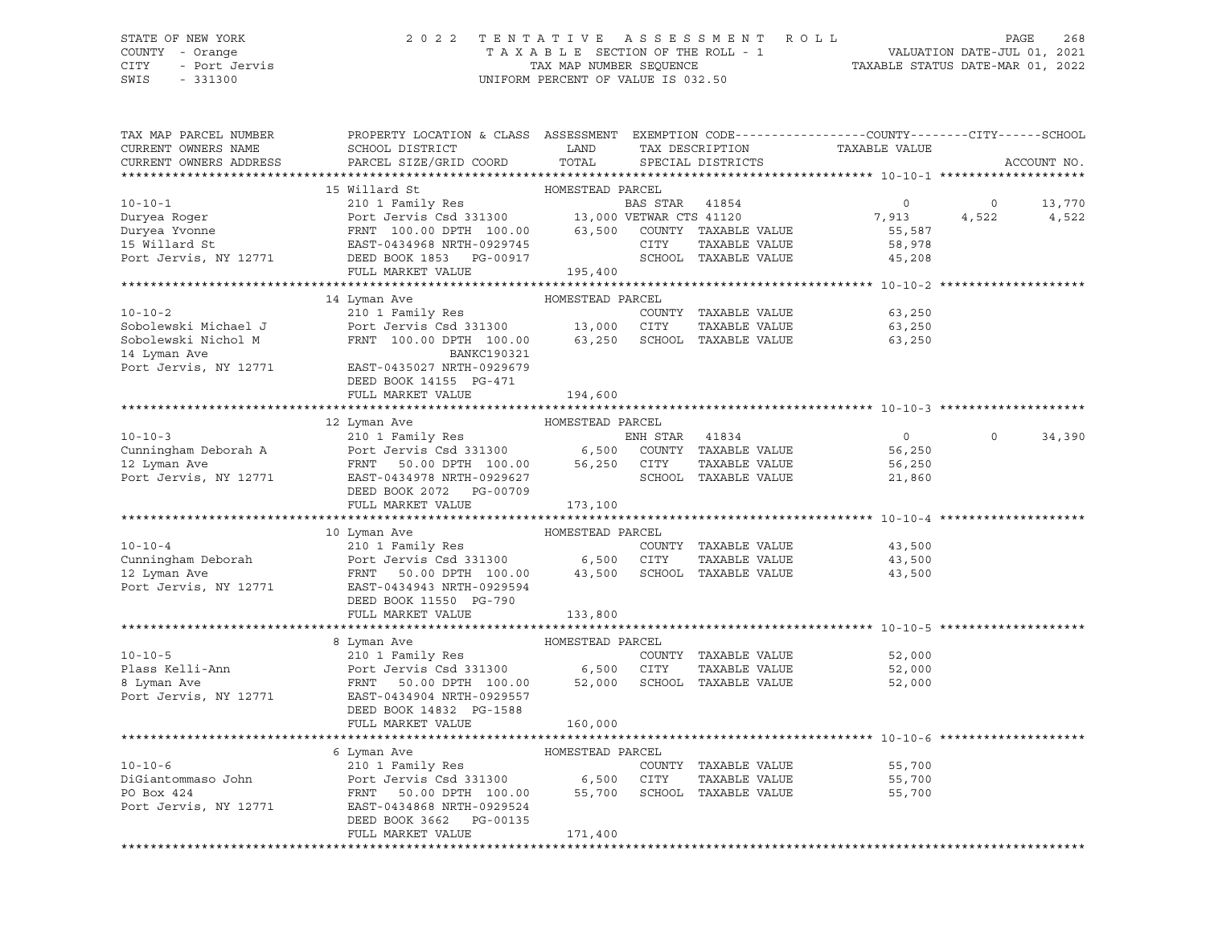## STATE OF NEW YORK 2 0 2 2 T E N T A T I V E A S S E S S M E N T R O L L PAGE 268 COUNTY - Orange T A X A B L E SECTION OF THE ROLL - 1 VALUATION DATE-JUL 01, 2021 CITY - Port Jervis TAX MAP NUMBER SEQUENCE TAXABLE STATUS DATE-MAR 01, 2022

| TAX MAP PARCEL NUMBER                           | PROPERTY LOCATION & CLASS ASSESSMENT EXEMPTION CODE----------------COUNTY-------CITY------SCHOOL                                                                                                                          |                  |                |                                       |                               |                |             |
|-------------------------------------------------|---------------------------------------------------------------------------------------------------------------------------------------------------------------------------------------------------------------------------|------------------|----------------|---------------------------------------|-------------------------------|----------------|-------------|
| CURRENT OWNERS NAME                             | SCHOOL DISTRICT                                                                                                                                                                                                           | LAND             |                |                                       | TAX DESCRIPTION TAXABLE VALUE |                |             |
| CURRENT OWNERS ADDRESS                          | PARCEL SIZE/GRID COORD                                                                                                                                                                                                    | TOTAL            |                | SPECIAL DISTRICTS                     |                               |                | ACCOUNT NO. |
|                                                 |                                                                                                                                                                                                                           |                  |                |                                       |                               |                |             |
|                                                 | 15 Willard St                                                                                                                                                                                                             | HOMESTEAD PARCEL |                |                                       |                               |                |             |
| $10 - 10 - 1$                                   | 210 1 Family Res<br>Port Jervis Csd 331300 13,000 VETWAR CTS 41120<br>FRNT 100.00 DPTH 100.00 63,500 COUNTY TAXABLE VALUE<br>EAST-0434968 NRTH-0929745 CITY TAXABLE VALUE<br>DEED BOOK 1853 PG-00917 SCHOOL TAXABLE VALUE |                  |                |                                       | $\overline{0}$                | $\overline{0}$ | 13,770      |
| Duryea Roger                                    |                                                                                                                                                                                                                           |                  |                |                                       | 7,913                         | 4,522          | 4,522       |
| Duryea Yvonne                                   |                                                                                                                                                                                                                           |                  |                |                                       | 55,587                        |                |             |
| 15 Willard St                                   |                                                                                                                                                                                                                           |                  |                |                                       | 58,978                        |                |             |
| Port Jervis, NY 12771                           |                                                                                                                                                                                                                           |                  |                |                                       | 45,208                        |                |             |
|                                                 | FULL MARKET VALUE                                                                                                                                                                                                         | 195,400          |                |                                       |                               |                |             |
|                                                 |                                                                                                                                                                                                                           |                  |                |                                       |                               |                |             |
|                                                 | 14 Lyman Ave                                                                                                                                                                                                              | HOMESTEAD PARCEL |                |                                       |                               |                |             |
| $10 - 10 - 2$                                   |                                                                                                                                                                                                                           |                  |                | COUNTY TAXABLE VALUE                  | 63,250                        |                |             |
| Sobolewski Michael J                            |                                                                                                                                                                                                                           |                  |                | TAXABLE VALUE                         | 63,250                        |                |             |
| Sobolewski Nichol M                             | 210 1 Family Res<br>Port Jervis Csd 331300 13,000 CITY TAXABLE VALUE<br>FRNT 100.00 DPTH 100.00 63,250 SCHOOL TAXABLE VALUE                                                                                               |                  |                |                                       | 63,250                        |                |             |
| 14 Lyman Ave                                    | BANKC190321                                                                                                                                                                                                               |                  |                |                                       |                               |                |             |
| Port Jervis, NY 12771 EAST-0435027 NRTH-0929679 |                                                                                                                                                                                                                           |                  |                |                                       |                               |                |             |
|                                                 | DEED BOOK 14155 PG-471                                                                                                                                                                                                    |                  |                |                                       |                               |                |             |
|                                                 | FULL MARKET VALUE                                                                                                                                                                                                         | 194,600          |                |                                       |                               |                |             |
|                                                 |                                                                                                                                                                                                                           |                  |                |                                       |                               |                |             |
|                                                 | 12 Lyman Ave                                                                                                                                                                                                              | HOMESTEAD PARCEL |                |                                       |                               |                |             |
| $10 - 10 - 3$                                   | 210 1 Family Res                                                                                                                                                                                                          |                  | ENH STAR 41834 |                                       | $\overline{0}$                | $\Omega$       | 34,390      |
| Cunningham Deborah A                            | Port Jervis Csd 331300 6,500 COUNTY TAXABLE VALUE<br>FRNT 50.00 DPTH 100.00 56,250 CITY TAXABLE VALUE                                                                                                                     |                  |                |                                       | 56,250                        |                |             |
| 12 Lyman Ave                                    |                                                                                                                                                                                                                           |                  |                |                                       | 56,250                        |                |             |
| Port Jervis, NY 12771                           | EAST-0434978 NRTH-0929627                                                                                                                                                                                                 |                  |                | SCHOOL TAXABLE VALUE                  | 21,860                        |                |             |
|                                                 | DEED BOOK 2072 PG-00709                                                                                                                                                                                                   |                  |                |                                       |                               |                |             |
|                                                 | FULL MARKET VALUE                                                                                                                                                                                                         | 173,100          |                |                                       |                               |                |             |
|                                                 |                                                                                                                                                                                                                           |                  |                |                                       |                               |                |             |
|                                                 | 10 Lyman Ave                                                                                                                                                                                                              | HOMESTEAD PARCEL |                |                                       |                               |                |             |
| $10 - 10 - 4$                                   | 210 1 Family Res                                                                                                                                                                                                          |                  |                | COUNTY TAXABLE VALUE                  | 43,500                        |                |             |
| Cunningham Deborah                              |                                                                                                                                                                                                                           |                  |                |                                       | 43,500                        |                |             |
| 12 Lyman Ave                                    |                                                                                                                                                                                                                           |                  |                |                                       | 43,500                        |                |             |
| Port Jervis, NY 12771                           | EAST-0434943 NRTH-0929594                                                                                                                                                                                                 |                  |                |                                       |                               |                |             |
|                                                 | DEED BOOK 11550 PG-790                                                                                                                                                                                                    |                  |                |                                       |                               |                |             |
|                                                 | FULL MARKET VALUE                                                                                                                                                                                                         | 133,800          |                |                                       |                               |                |             |
|                                                 |                                                                                                                                                                                                                           |                  |                |                                       |                               |                |             |
|                                                 | 8 Lyman Ave                                                                                                                                                                                                               | HOMESTEAD PARCEL |                |                                       |                               |                |             |
| $10 - 10 - 5$                                   | 210 1 Family Res                                                                                                                                                                                                          |                  |                | COUNTY TAXABLE VALUE                  | 52,000                        |                |             |
| Plass Kelli-Ann                                 |                                                                                                                                                                                                                           |                  |                |                                       | 52,000                        |                |             |
| 8 Lyman Ave                                     |                                                                                                                                                                                                                           |                  |                |                                       | 52,000                        |                |             |
| Port Jervis, NY 12771 EAST-0434904 NRTH-0929557 |                                                                                                                                                                                                                           |                  |                |                                       |                               |                |             |
|                                                 | DEED BOOK 14832 PG-1588                                                                                                                                                                                                   |                  |                |                                       |                               |                |             |
|                                                 | FULL MARKET VALUE                                                                                                                                                                                                         | 160,000          |                |                                       |                               |                |             |
|                                                 |                                                                                                                                                                                                                           |                  |                |                                       |                               |                |             |
|                                                 | 6 Lyman Ave                                                                                                                                                                                                               | HOMESTEAD PARCEL |                |                                       |                               |                |             |
| $10 - 10 - 6$<br>DiGiantommaso John             | 6 Lyman Ave (210 1 Family Res (210 1 Family Res (2000)<br>Port Jervis Csd 331300 (2000) 6,500 CITY<br>FRNT 50.00 DPTH 100.00 (255,700 SCHOC                                                                               |                  |                | COUNTY TAXABLE VALUE<br>TAXABLE VALUE | 55,700<br>55,700              |                |             |
| PO Box 424                                      |                                                                                                                                                                                                                           |                  |                |                                       |                               |                |             |
| Port Jervis, NY 12771                           | EAST-0434868 NRTH-0929524                                                                                                                                                                                                 |                  |                | SCHOOL TAXABLE VALUE                  | 55,700                        |                |             |
|                                                 | DEED BOOK 3662 PG-00135                                                                                                                                                                                                   |                  |                |                                       |                               |                |             |
|                                                 | FULL MARKET VALUE                                                                                                                                                                                                         | 171,400          |                |                                       |                               |                |             |
|                                                 |                                                                                                                                                                                                                           |                  |                |                                       |                               |                |             |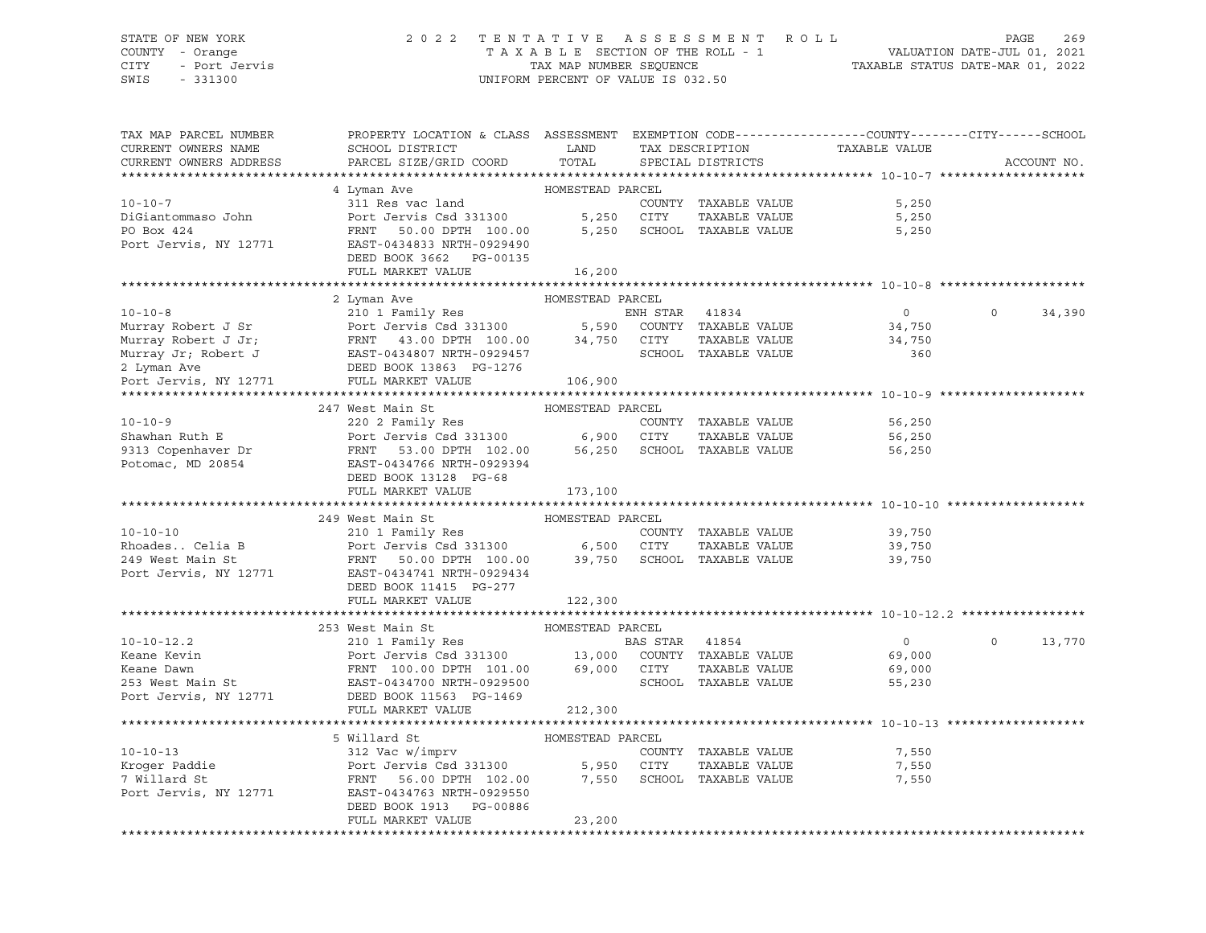## STATE OF NEW YORK 2 0 2 2 T E N T A T I V E A S S E S S M E N T R O L L PAGE 269 COUNTY - Orange T A X A B L E SECTION OF THE ROLL - 1 VALUATION DATE-JUL 01, 2021 CITY - Port Jervis TAX MAP NUMBER SEQUENCE TAXABLE STATUS DATE-MAR 01, 2022

| TAX MAP PARCEL NUMBER                         | PROPERTY LOCATION & CLASS ASSESSMENT EXEMPTION CODE---------------COUNTY-------CITY------SCHOOL                                                                                                                                                                                                                                                                                                                                              |                  |                      |                                                 |                    |
|-----------------------------------------------|----------------------------------------------------------------------------------------------------------------------------------------------------------------------------------------------------------------------------------------------------------------------------------------------------------------------------------------------------------------------------------------------------------------------------------------------|------------------|----------------------|-------------------------------------------------|--------------------|
| CURRENT OWNERS NAME                           | SCHOOL DISTRICT                                                                                                                                                                                                                                                                                                                                                                                                                              | LAND             |                      |                                                 |                    |
| CURRENT OWNERS ADDRESS                        | PARCEL SIZE/GRID COORD                                                                                                                                                                                                                                                                                                                                                                                                                       | TOTAL            |                      | TAX DESCRIPTION TAXABLE VALUE SPECIAL DISTRICTS | ACCOUNT NO.        |
|                                               |                                                                                                                                                                                                                                                                                                                                                                                                                                              |                  |                      |                                                 |                    |
|                                               | 4 Lyman Ave                                                                                                                                                                                                                                                                                                                                                                                                                                  | HOMESTEAD PARCEL |                      |                                                 |                    |
| $10 - 10 - 7$                                 | 311 Res vac land                                                                                                                                                                                                                                                                                                                                                                                                                             |                  | COUNTY TAXABLE VALUE | 5,250                                           |                    |
| DiGiantommaso John                            |                                                                                                                                                                                                                                                                                                                                                                                                                                              |                  | TAXABLE VALUE        | 5,250                                           |                    |
| PO Box 424                                    | Port Jervis Csd 331300 5,250 CITY TAXABLE VALUE<br>FRNT 50.00 DPTH 100.00 5,250 SCHOOL TAXABLE VALUE                                                                                                                                                                                                                                                                                                                                         |                  |                      | 5,250                                           |                    |
| Port Jervis, NY 12771                         | EAST-0434833 NRTH-0929490                                                                                                                                                                                                                                                                                                                                                                                                                    |                  |                      |                                                 |                    |
|                                               | DEED BOOK 3662 PG-00135                                                                                                                                                                                                                                                                                                                                                                                                                      |                  |                      |                                                 |                    |
|                                               | FULL MARKET VALUE                                                                                                                                                                                                                                                                                                                                                                                                                            |                  |                      |                                                 |                    |
|                                               |                                                                                                                                                                                                                                                                                                                                                                                                                                              | 16,200           |                      |                                                 |                    |
|                                               | 2 Lyman Ave                                                                                                                                                                                                                                                                                                                                                                                                                                  | HOMESTEAD PARCEL |                      |                                                 |                    |
|                                               |                                                                                                                                                                                                                                                                                                                                                                                                                                              |                  |                      |                                                 | $\Omega$<br>34,390 |
|                                               |                                                                                                                                                                                                                                                                                                                                                                                                                                              |                  |                      |                                                 |                    |
|                                               |                                                                                                                                                                                                                                                                                                                                                                                                                                              |                  |                      |                                                 |                    |
|                                               | 10-10-8<br>Murray Robert J Sr<br>Murray Robert J Jr;<br>Murray Robert J Jr;<br>Murray Jr;<br>Murray Jr;<br>Robert J General Murray Jr;<br>EAST-0434807 NRTH-0929457<br>2 Lyman Ave DEED BOOK 13863 PG-1276<br>2 Lyman Ave DEED BOOK 13863 PG-127                                                                                                                                                                                             |                  |                      |                                                 |                    |
|                                               |                                                                                                                                                                                                                                                                                                                                                                                                                                              |                  |                      |                                                 |                    |
| Port Jervis, NY 12771 FULL MARKET VALUE       |                                                                                                                                                                                                                                                                                                                                                                                                                                              |                  |                      |                                                 |                    |
|                                               |                                                                                                                                                                                                                                                                                                                                                                                                                                              | 106,900          |                      |                                                 |                    |
|                                               |                                                                                                                                                                                                                                                                                                                                                                                                                                              |                  |                      |                                                 |                    |
|                                               | $\begin{tabular}{lllllllllllll} \multicolumn{3}{c l} \multicolumn{3}{c l} \multicolumn{3}{c l} \multicolumn{3}{c l} \multicolumn{3}{c l} \multicolumn{3}{c l} \multicolumn{3}{c l} \multicolumn{3}{c l} \multicolumn{3}{c l} \multicolumn{3}{c l} \multicolumn{3}{c l} \multicolumn{3}{c l} \multicolumn{3}{c l} \multicolumn{3}{c l} \multicolumn{3}{c l} \multicolumn{3}{c l} \multicolumn{3}{c l} \multicolumn{3}{c l} \multicolumn{3}{c$ |                  |                      |                                                 |                    |
|                                               |                                                                                                                                                                                                                                                                                                                                                                                                                                              |                  |                      | 56,250                                          |                    |
|                                               |                                                                                                                                                                                                                                                                                                                                                                                                                                              |                  |                      | 56,250                                          |                    |
|                                               |                                                                                                                                                                                                                                                                                                                                                                                                                                              |                  |                      | 56,250                                          |                    |
|                                               |                                                                                                                                                                                                                                                                                                                                                                                                                                              |                  |                      |                                                 |                    |
|                                               | DEED BOOK 13128 PG-68                                                                                                                                                                                                                                                                                                                                                                                                                        |                  |                      |                                                 |                    |
|                                               | FULL MARKET VALUE                                                                                                                                                                                                                                                                                                                                                                                                                            | 173,100          |                      |                                                 |                    |
|                                               | 249 West Main St                                                                                                                                                                                                                                                                                                                                                                                                                             | HOMESTEAD PARCEL |                      |                                                 |                    |
| $10 - 10 - 10$                                |                                                                                                                                                                                                                                                                                                                                                                                                                                              |                  |                      |                                                 |                    |
|                                               | 210 1 Family Res                                                                                                                                                                                                                                                                                                                                                                                                                             |                  | COUNTY TAXABLE VALUE | 39,750                                          |                    |
|                                               |                                                                                                                                                                                                                                                                                                                                                                                                                                              |                  |                      | TAXABLE VALUE 39,750                            |                    |
|                                               | Port Jervis, NY 12771 EAST-0434741 NRTH-0929434                                                                                                                                                                                                                                                                                                                                                                                              |                  |                      | 39,750                                          |                    |
|                                               |                                                                                                                                                                                                                                                                                                                                                                                                                                              |                  |                      |                                                 |                    |
|                                               | DEED BOOK 11415 PG-277                                                                                                                                                                                                                                                                                                                                                                                                                       |                  |                      |                                                 |                    |
|                                               | FULL MARKET VALUE                                                                                                                                                                                                                                                                                                                                                                                                                            | 122,300          |                      |                                                 |                    |
|                                               |                                                                                                                                                                                                                                                                                                                                                                                                                                              |                  |                      |                                                 |                    |
|                                               | 253 West Main St<br>10-10-12.2<br>Example 210 1 Family Res<br>Example 210 1 Family Res<br>FRNT 100.00 DPTH 101.00<br>EXAMPLE VALUE<br>EXAMPLE VALUE<br>EXAMPLE VALUE<br>253 West Main St<br>253 West Main St<br>253 West Main St<br>253 West Main St<br>253 West Main St                                                                                                                                                                     | HOMESTEAD PARCEL |                      |                                                 |                    |
|                                               |                                                                                                                                                                                                                                                                                                                                                                                                                                              |                  |                      | $\overline{0}$                                  | 13,770<br>$\circ$  |
|                                               |                                                                                                                                                                                                                                                                                                                                                                                                                                              |                  |                      | 69,000                                          |                    |
|                                               |                                                                                                                                                                                                                                                                                                                                                                                                                                              |                  |                      | 69,000                                          |                    |
|                                               |                                                                                                                                                                                                                                                                                                                                                                                                                                              |                  |                      | 55,230                                          |                    |
| Port Jervis, NY 12771 DEED BOOK 11563 PG-1469 |                                                                                                                                                                                                                                                                                                                                                                                                                                              |                  |                      |                                                 |                    |
|                                               | FULL MARKET VALUE                                                                                                                                                                                                                                                                                                                                                                                                                            | 212,300          |                      |                                                 |                    |
|                                               |                                                                                                                                                                                                                                                                                                                                                                                                                                              |                  |                      |                                                 |                    |
|                                               | 5 Willard St                                                                                                                                                                                                                                                                                                                                                                                                                                 | HOMESTEAD PARCEL |                      |                                                 |                    |
| $10 - 10 - 13$                                |                                                                                                                                                                                                                                                                                                                                                                                                                                              |                  | COUNTY TAXABLE VALUE | 7,550                                           |                    |
| Kroger Paddie<br>7 Willard St                 | Port Jervis Csd 331300 5,950 CITY<br>FRNT 56.00 DPTH 102.00 7,550 SCHOC                                                                                                                                                                                                                                                                                                                                                                      |                  | TAXABLE VALUE        | 7,550                                           |                    |
| 7 Willard St<br>Port Jervis, NY 12771         |                                                                                                                                                                                                                                                                                                                                                                                                                                              |                  | SCHOOL TAXABLE VALUE | 7,550                                           |                    |
|                                               | EAST-0434763 NRTH-0929550<br>DEED BOOK 1913 PG-00886                                                                                                                                                                                                                                                                                                                                                                                         |                  |                      |                                                 |                    |
|                                               | FULL MARKET VALUE                                                                                                                                                                                                                                                                                                                                                                                                                            | 23,200           |                      |                                                 |                    |
|                                               |                                                                                                                                                                                                                                                                                                                                                                                                                                              |                  |                      |                                                 |                    |
|                                               |                                                                                                                                                                                                                                                                                                                                                                                                                                              |                  |                      |                                                 |                    |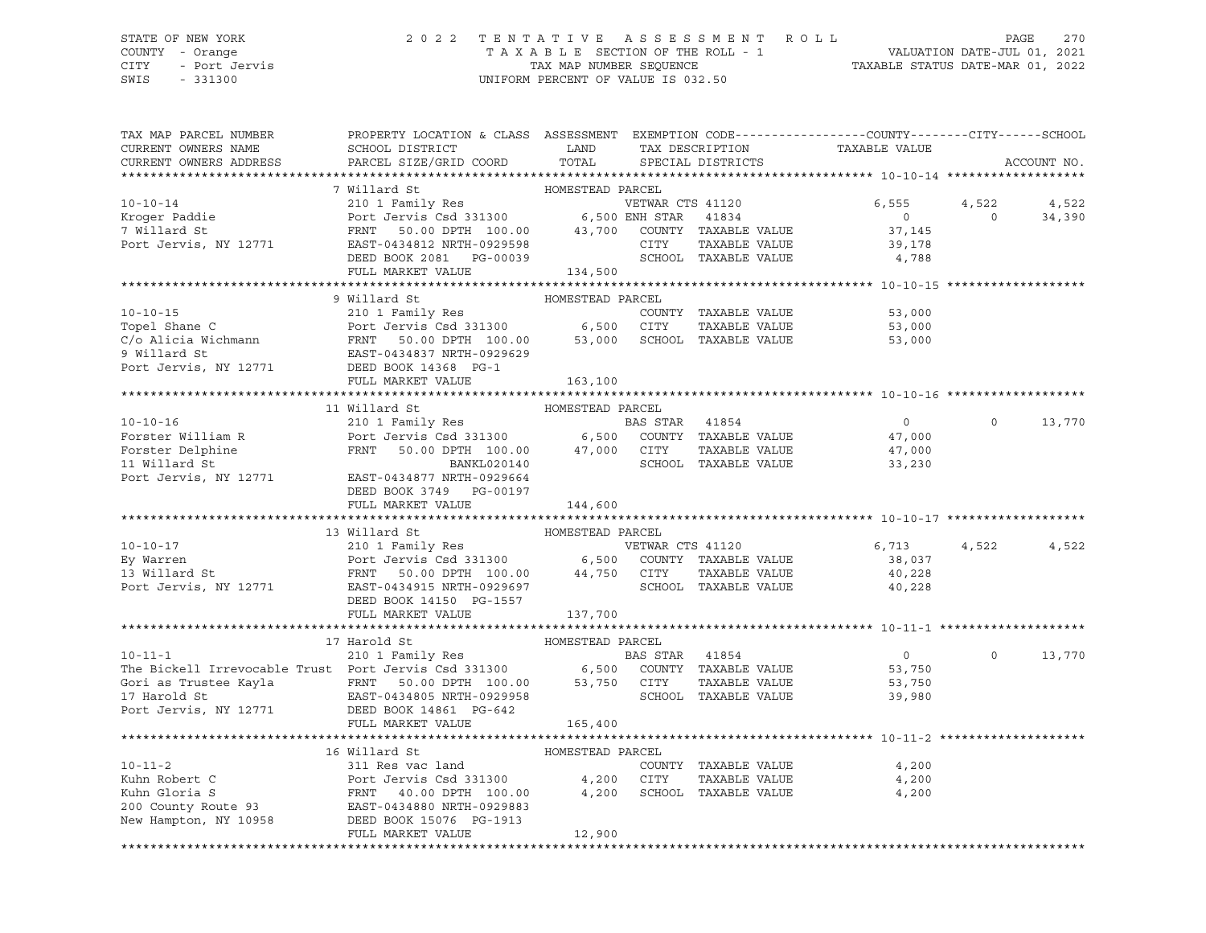## STATE OF NEW YORK 2 0 2 2 T E N T A T I V E A S S E S S M E N T R O L L PAGE 270 COUNTY - Orange T A X A B L E SECTION OF THE ROLL - 1 VALUATION DATE-JUL 01, 2021 CITY - Port Jervis TAX MAP NUMBER SEQUENCE TAXABLE STATUS DATE-MAR 01, 2022

| TAX MAP PARCEL NUMBER<br>CURRENT OWNERS NAME<br>CURRENT OWNERS ADDRESS                                                                                                                                                                                                                                               | PROPERTY LOCATION & CLASS ASSESSMENT EXEMPTION CODE----------------COUNTY-------CITY------SCHOOL<br>SCHOOL DISTRICT<br>PARCEL SIZE/GRID COORD      | LAND<br>TOTAL    |                | TAX DESCRIPTION<br>SPECIAL DISTRICTS | TAXABLE VALUE        |                  |                   | ACCOUNT NO. |
|----------------------------------------------------------------------------------------------------------------------------------------------------------------------------------------------------------------------------------------------------------------------------------------------------------------------|----------------------------------------------------------------------------------------------------------------------------------------------------|------------------|----------------|--------------------------------------|----------------------|------------------|-------------------|-------------|
|                                                                                                                                                                                                                                                                                                                      |                                                                                                                                                    |                  |                |                                      |                      |                  |                   |             |
|                                                                                                                                                                                                                                                                                                                      | 7 Willard St                                                                                                                                       | HOMESTEAD PARCEL |                |                                      |                      |                  |                   |             |
| $10 - 10 - 14$<br>10-10-11<br>Kroger Paddie<br>11 March St.                                                                                                                                                                                                                                                          | 210 1 Family Res<br>Port Jervis Csd 331300 6,500 ENH STAR 41834<br>Port Jervis Csd 331300 6,500 ENH STAR 41834                                     |                  |                | VETWAR CTS 41120                     |                      | 6,555            | 4,522             | 4,522       |
|                                                                                                                                                                                                                                                                                                                      |                                                                                                                                                    |                  |                |                                      |                      | $\overline{0}$   | $\overline{0}$    | 34,390      |
|                                                                                                                                                                                                                                                                                                                      |                                                                                                                                                    |                  |                |                                      |                      | 37,145           |                   |             |
| Port Jervis, NY 12771                                                                                                                                                                                                                                                                                                | FRNT 50.00 DPTH 100.00 43,700 COUNTY TAXABLE VALUE<br>EAST-0434812 NRTH-0929598 CITY TAXABLE VALUE<br>DEED BOOK 2081 PG-00039 SCHOOL TAXABLE VALUE |                  |                |                                      |                      | 39,178           |                   |             |
|                                                                                                                                                                                                                                                                                                                      |                                                                                                                                                    |                  |                |                                      |                      | 4,788            |                   |             |
|                                                                                                                                                                                                                                                                                                                      | FULL MARKET VALUE                                                                                                                                  | 134,500          |                |                                      |                      |                  |                   |             |
|                                                                                                                                                                                                                                                                                                                      | 9 Willard St                                                                                                                                       | HOMESTEAD PARCEL |                |                                      |                      |                  |                   |             |
|                                                                                                                                                                                                                                                                                                                      |                                                                                                                                                    |                  |                |                                      |                      | 53,000           |                   |             |
|                                                                                                                                                                                                                                                                                                                      |                                                                                                                                                    |                  |                |                                      |                      | 53,000           |                   |             |
|                                                                                                                                                                                                                                                                                                                      |                                                                                                                                                    |                  |                |                                      |                      | 53,000           |                   |             |
|                                                                                                                                                                                                                                                                                                                      |                                                                                                                                                    |                  |                |                                      |                      |                  |                   |             |
| Topel Shane C<br>Country TAXABLE VALUE<br>Country TAXABLE VALUE<br>C/o Alicia Wichmann<br>PRIT 50.00 DPTH 100.00 53,000 SCHOOL TAXABLE VALUE<br>9 Willard St<br>Port Jervis, NY 12771 DEED BOOK 14366 DE<br>9 Willard St<br>Port Jervis, NY 12771 DEED BOOK 14368 PG-1<br>Port Jervis, NY 12771 DEED BOOK 14368 PG-1 |                                                                                                                                                    |                  |                |                                      |                      |                  |                   |             |
|                                                                                                                                                                                                                                                                                                                      | FULL MARKET VALUE                                                                                                                                  | 163,100          |                |                                      |                      |                  |                   |             |
|                                                                                                                                                                                                                                                                                                                      |                                                                                                                                                    |                  |                |                                      |                      |                  |                   |             |
|                                                                                                                                                                                                                                                                                                                      | 11 Willard St                                                                                                                                      | HOMESTEAD PARCEL |                |                                      |                      |                  |                   |             |
| $10 - 10 - 16$                                                                                                                                                                                                                                                                                                       | 210 1 Family Res                                                                                                                                   |                  | BAS STAR 41854 |                                      |                      | $\overline{0}$   | $0 \qquad \qquad$ | 13,770      |
|                                                                                                                                                                                                                                                                                                                      |                                                                                                                                                    |                  |                |                                      |                      |                  |                   |             |
|                                                                                                                                                                                                                                                                                                                      |                                                                                                                                                    |                  |                |                                      |                      | 47,000<br>47,000 |                   |             |
|                                                                                                                                                                                                                                                                                                                      |                                                                                                                                                    |                  |                |                                      | SCHOOL TAXABLE VALUE | 33,230           |                   |             |
| Port Jervis, NY 12771                                                                                                                                                                                                                                                                                                | EAST-0434877 NRTH-0929664                                                                                                                          |                  |                |                                      |                      |                  |                   |             |
|                                                                                                                                                                                                                                                                                                                      | DEED BOOK 3749 PG-00197                                                                                                                            |                  |                |                                      |                      |                  |                   |             |
|                                                                                                                                                                                                                                                                                                                      | FULL MARKET VALUE                                                                                                                                  | 144,600          |                |                                      |                      |                  |                   |             |
|                                                                                                                                                                                                                                                                                                                      |                                                                                                                                                    |                  |                |                                      |                      |                  |                   |             |
| 10-10-17<br>210 1 Family Res<br>Ey Warren Port Jervis Csd 331300 6,500 COUNTY TAXABLE VALUE<br>13 Willard St<br>Port Jervis, NY 12771 EAST-0434915 NRTH-0929697 SCHOOL TAXABLE VALUE<br>Port Jervis, NY 12771 EAST-0434915 NRTH-0929697                                                                              | 13 Willard St                                                                                                                                      | HOMESTEAD PARCEL |                |                                      |                      |                  |                   |             |
|                                                                                                                                                                                                                                                                                                                      |                                                                                                                                                    |                  |                |                                      |                      | 6,713            | 4,522             | 4,522       |
|                                                                                                                                                                                                                                                                                                                      |                                                                                                                                                    |                  |                |                                      |                      | 38,037           |                   |             |
|                                                                                                                                                                                                                                                                                                                      |                                                                                                                                                    |                  |                |                                      |                      | 40,228           |                   |             |
|                                                                                                                                                                                                                                                                                                                      |                                                                                                                                                    |                  |                |                                      |                      | 40,228           |                   |             |
|                                                                                                                                                                                                                                                                                                                      | DEED BOOK 14150 PG-1557                                                                                                                            | 137,700          |                |                                      |                      |                  |                   |             |
|                                                                                                                                                                                                                                                                                                                      | FULL MARKET VALUE                                                                                                                                  |                  |                |                                      |                      |                  |                   |             |
|                                                                                                                                                                                                                                                                                                                      | 17 Harold St                                                                                                                                       | HOMESTEAD PARCEL |                |                                      |                      |                  |                   |             |
| $10 - 11 - 1$                                                                                                                                                                                                                                                                                                        |                                                                                                                                                    |                  | BAS STAR 41854 |                                      |                      | $\overline{0}$   | $\circ$           | 13,770      |
|                                                                                                                                                                                                                                                                                                                      |                                                                                                                                                    |                  |                |                                      |                      | 53,750           |                   |             |
|                                                                                                                                                                                                                                                                                                                      |                                                                                                                                                    |                  |                | TAXABLE VALUE                        |                      | 53,750           |                   |             |
|                                                                                                                                                                                                                                                                                                                      |                                                                                                                                                    |                  |                |                                      |                      | 39,980           |                   |             |
| EXAMPLE 2021<br>17 Harold St<br>Port Jervis, NY 12771 DEED BOOK 14861 PG-642                                                                                                                                                                                                                                         |                                                                                                                                                    |                  |                |                                      |                      |                  |                   |             |
|                                                                                                                                                                                                                                                                                                                      | FULL MARKET VALUE                                                                                                                                  | 165,400          |                |                                      |                      |                  |                   |             |
|                                                                                                                                                                                                                                                                                                                      |                                                                                                                                                    |                  |                |                                      |                      |                  |                   |             |
|                                                                                                                                                                                                                                                                                                                      | 16 Willard St                                                                                                                                      | HOMESTEAD PARCEL |                |                                      |                      |                  |                   |             |
| $10 - 11 - 2$                                                                                                                                                                                                                                                                                                        | 311 Res vac land                                                                                                                                   |                  |                | COUNTY TAXABLE VALUE                 |                      | 4,200            |                   |             |
|                                                                                                                                                                                                                                                                                                                      |                                                                                                                                                    |                  |                | TAXABLE VALUE                        |                      | 4,200            |                   |             |
|                                                                                                                                                                                                                                                                                                                      |                                                                                                                                                    |                  |                | SCHOOL TAXABLE VALUE                 |                      | 4,200            |                   |             |
|                                                                                                                                                                                                                                                                                                                      |                                                                                                                                                    |                  |                |                                      |                      |                  |                   |             |
| 10-11-2 311 Res vac land COUNT<br>Kuhn Robert C Port Jervis Csd 331300 4,200 CITY<br>Kuhn Gloria S FRNT 40.00 DPTH 100.00 4,200 SCHOO<br>200 County Route 93 EAST-0434880 NRTH-0929883<br>New Hampton, NY 10958 DEED BOOK 15076 PG-191                                                                               |                                                                                                                                                    |                  |                |                                      |                      |                  |                   |             |
|                                                                                                                                                                                                                                                                                                                      | FULL MARKET VALUE                                                                                                                                  | 12,900           |                |                                      |                      |                  |                   |             |
|                                                                                                                                                                                                                                                                                                                      |                                                                                                                                                    |                  |                |                                      |                      |                  |                   |             |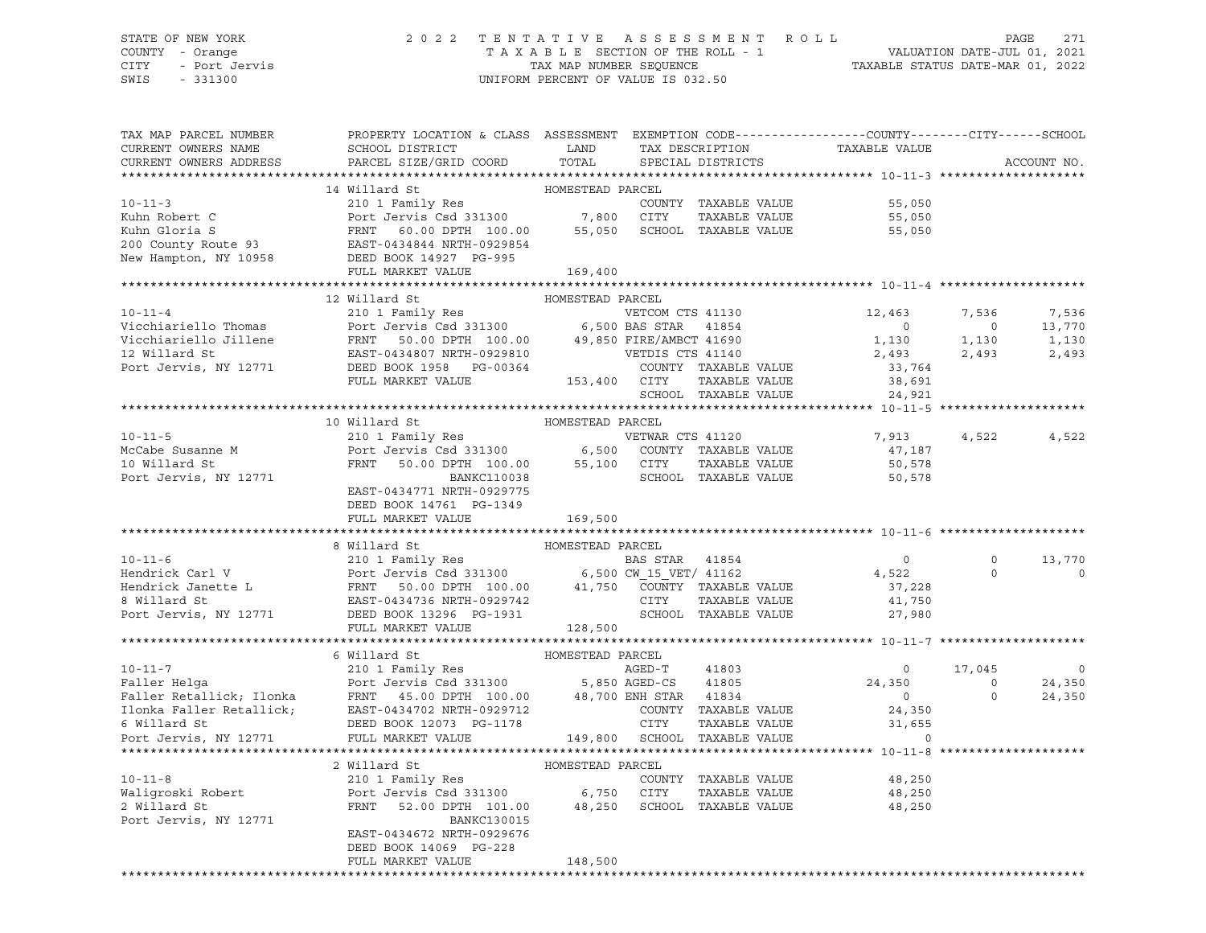# STATE OF NEW YORK 2 0 2 2 T E N T A T I V E A S S E S S M E N T R O L L PAGE 271 COUNTY - Orange T A X A B L E SECTION OF THE ROLL - 1 VALUATION DATE-JUL 01, 2021

SWIS - 331300 UNIFORM PERCENT OF VALUE IS 032.50

CITY - Port Jervis TAX MAP NUMBER SEQUENCE TAXABLE STATUS DATE-MAR 01, 2022

| TAX MAP PARCEL NUMBER<br>CURRENT OWNERS NAME<br>CURRENT OWNERS ADDRESS | PROPERTY LOCATION & CLASS ASSESSMENT EXEMPTION CODE---------------COUNTY-------CITY------SCHOOL<br>SCHOOL DISTRICT<br>PARCEL SIZE/GRID COORD                                                                                                               | LAND<br>TOTAL    | TAX DESCRIPTION  | SPECIAL DISTRICTS    | TAXABLE VALUE                                                  |                | ACCOUNT NO.     |
|------------------------------------------------------------------------|------------------------------------------------------------------------------------------------------------------------------------------------------------------------------------------------------------------------------------------------------------|------------------|------------------|----------------------|----------------------------------------------------------------|----------------|-----------------|
| *********************                                                  |                                                                                                                                                                                                                                                            |                  |                  |                      |                                                                |                |                 |
|                                                                        | 14 Willard St                                                                                                                                                                                                                                              | HOMESTEAD PARCEL |                  |                      |                                                                |                |                 |
| $10 - 11 - 3$                                                          | 210 1 Family Res                                                                                                                                                                                                                                           |                  |                  | COUNTY TAXABLE VALUE | 55,050                                                         |                |                 |
|                                                                        |                                                                                                                                                                                                                                                            |                  |                  | TAXABLE VALUE        | 55,050                                                         |                |                 |
|                                                                        |                                                                                                                                                                                                                                                            |                  |                  |                      | 55,050                                                         |                |                 |
|                                                                        |                                                                                                                                                                                                                                                            |                  |                  |                      |                                                                |                |                 |
|                                                                        | EXAMPLE VALUE<br>Kuhn Robert C<br>Kuhn Gloria S<br>EXAMPLE VALUE<br>200 County Route 93<br>EXAMPLE VALUE<br>EXAMPLE VALUE<br>EXAMPLE VALUE<br>EXAMPLE VALUE<br>EXAMPLE VALUE<br>EXAMPLE VALUE<br>EXAMPLE VALUE<br>EXAMPLE VALUE<br>EXAMPLE VALUE<br>EXAMPL |                  |                  |                      |                                                                |                |                 |
| **********************                                                 | FULL MARKET VALUE                                                                                                                                                                                                                                          | 169,400          |                  |                      |                                                                |                |                 |
|                                                                        |                                                                                                                                                                                                                                                            |                  |                  |                      |                                                                |                |                 |
| $10 - 11 - 4$                                                          | 12 Willard St<br>210 1 Family Res                                                                                                                                                                                                                          | HOMESTEAD PARCEL | VETCOM CTS 41130 |                      | 12,463                                                         | 7,536          |                 |
|                                                                        | Vicchiariello Thomas<br>Vicchiariello Thomas<br>Vicchiariello Jillene<br>PRNT 50.00 DPTH 100.00 49,850 FIRE/AMBCT 41690<br>12 Willard St<br>Port Jervis, NY 12771 DEED BOOK 1958 PG-00364 COUNTY TAXABLE VALUE<br>PULL MARKET VALUE<br>PULL                |                  |                  |                      | $\sim$ 0                                                       | $\overline{0}$ | 7,536<br>13,770 |
|                                                                        |                                                                                                                                                                                                                                                            |                  |                  |                      | $\begin{array}{c}0\\1,130\end{array}$                          | 1,130          | 1,130           |
|                                                                        |                                                                                                                                                                                                                                                            |                  |                  |                      | 2,493                                                          | 2,493          | 2,493           |
|                                                                        |                                                                                                                                                                                                                                                            |                  |                  |                      | 33,764                                                         |                |                 |
|                                                                        |                                                                                                                                                                                                                                                            |                  |                  |                      |                                                                |                |                 |
|                                                                        |                                                                                                                                                                                                                                                            |                  |                  | SCHOOL TAXABLE VALUE | $38,691$<br>$24,921$                                           |                |                 |
|                                                                        |                                                                                                                                                                                                                                                            |                  |                  |                      |                                                                |                |                 |
|                                                                        | 10 Willard St                                                                                                                                                                                                                                              | HOMESTEAD PARCEL |                  |                      |                                                                |                |                 |
| $10 - 11 - 5$                                                          | 210 1 Family Res                                                                                                                                                                                                                                           |                  | VETWAR CTS 41120 |                      | 7,913                                                          | 4,522          | 4,522           |
|                                                                        |                                                                                                                                                                                                                                                            |                  |                  |                      | 47,187                                                         |                |                 |
|                                                                        |                                                                                                                                                                                                                                                            |                  |                  |                      | 50,578                                                         |                |                 |
|                                                                        | Nocabe Susanne M<br>Nocabe Susanne M<br>10 Willard St<br>Port Jervis Csd 331300<br>FRNT 50.00 DPTH 100.00 55,100 CITY TAXABLE VALUE<br>BANKC110038 SCHOOL TAXABLE VALUE                                                                                    |                  |                  |                      | 50,578                                                         |                |                 |
|                                                                        | EAST-0434771 NRTH-0929775                                                                                                                                                                                                                                  |                  |                  |                      |                                                                |                |                 |
|                                                                        | DEED BOOK 14761 PG-1349                                                                                                                                                                                                                                    |                  |                  |                      |                                                                |                |                 |
|                                                                        | FULL MARKET VALUE                                                                                                                                                                                                                                          | 169,500          |                  |                      |                                                                |                |                 |
|                                                                        |                                                                                                                                                                                                                                                            |                  |                  |                      |                                                                |                |                 |
|                                                                        | 8 Willard St                                                                                                                                                                                                                                               | HOMESTEAD PARCEL |                  |                      |                                                                |                |                 |
|                                                                        |                                                                                                                                                                                                                                                            |                  |                  |                      | $\overline{0}$                                                 | $\circ$        | 13,770          |
|                                                                        |                                                                                                                                                                                                                                                            |                  |                  |                      | 4,522                                                          | $\Omega$       | $\mathbf 0$     |
|                                                                        |                                                                                                                                                                                                                                                            |                  |                  |                      | 37,228                                                         |                |                 |
|                                                                        |                                                                                                                                                                                                                                                            |                  |                  |                      | 41,750                                                         |                |                 |
|                                                                        | 10-11-6<br>Hendrick Carl V<br>Hendrick Janette L<br>BAS STAR 41854<br>Hendrick Janette L<br>ERNT 50.00 DPTH 100.00<br>ERST-0434736 NRTH-0929742<br>Port Jervis, NY 12771<br>DEED BOOK 13296 PG-1931<br>PG-1931<br>SCHOOL TAXABLE VALUE                     |                  |                  |                      | 27,980                                                         |                |                 |
|                                                                        | FULL MARKET VALUE                                                                                                                                                                                                                                          | 128,500          |                  |                      |                                                                |                |                 |
|                                                                        |                                                                                                                                                                                                                                                            |                  |                  |                      |                                                                |                |                 |
|                                                                        | 6 Willard St                                                                                                                                                                                                                                               | HOMESTEAD PARCEL |                  |                      |                                                                |                |                 |
| $10 - 11 - 7$                                                          | 210 1 Family Res AGED-T                                                                                                                                                                                                                                    |                  |                  | 41803                | $\overline{\phantom{0}}$                                       | 17,045         | $\circ$         |
|                                                                        |                                                                                                                                                                                                                                                            |                  |                  |                      | 24,350                                                         | $\overline{0}$ | 24,350          |
|                                                                        |                                                                                                                                                                                                                                                            |                  |                  |                      | $\begin{array}{c}0\\24,350\end{array}$                         | $\circ$        | 24,350          |
|                                                                        |                                                                                                                                                                                                                                                            |                  |                  |                      |                                                                |                |                 |
|                                                                        |                                                                                                                                                                                                                                                            |                  |                  |                      | TAXABLE VALUE 31,6!<br>TAXABLE VALUE<br>31,655                 |                |                 |
|                                                                        | -11-7<br>Faller Retallick; Ilonka<br>Faller Retallick; Ilonka<br>FRNT 45.00 DPTH 100.00 48,700 ENH STAR 41805<br>Faller Retallick; EAST-0434702 NRTH-0929712 COUNTY TAXABLE VALUE<br>FULL MARKET VALUE<br>POTT JEVIL MARKET VALUE<br>POTT ST               |                  |                  |                      | $\overline{0}$                                                 |                |                 |
|                                                                        |                                                                                                                                                                                                                                                            |                  |                  |                      |                                                                |                |                 |
|                                                                        | 2 Willard St<br>210 1 Family Res                                                                                                                                                                                                                           | HOMESTEAD PARCEL |                  |                      |                                                                |                |                 |
| $10 - 11 - 8$                                                          |                                                                                                                                                                                                                                                            |                  |                  | COUNTY TAXABLE VALUE | 48,250                                                         |                |                 |
|                                                                        |                                                                                                                                                                                                                                                            |                  |                  | TAXABLE VALUE        | 48,250<br>52.00 DPTH 101.00 48,250 SCHOOL TAXABLE VALUE 48,250 |                |                 |
|                                                                        |                                                                                                                                                                                                                                                            |                  |                  |                      |                                                                |                |                 |
| Port Jervis, NY 12771                                                  | BANKC130015                                                                                                                                                                                                                                                |                  |                  |                      |                                                                |                |                 |
|                                                                        | EAST-0434672 NRTH-0929676<br>DEED BOOK 14069 PG-228                                                                                                                                                                                                        |                  |                  |                      |                                                                |                |                 |
|                                                                        | FULL MARKET VALUE                                                                                                                                                                                                                                          | 148,500          |                  |                      |                                                                |                |                 |
|                                                                        |                                                                                                                                                                                                                                                            |                  |                  |                      |                                                                |                |                 |
|                                                                        |                                                                                                                                                                                                                                                            |                  |                  |                      |                                                                |                |                 |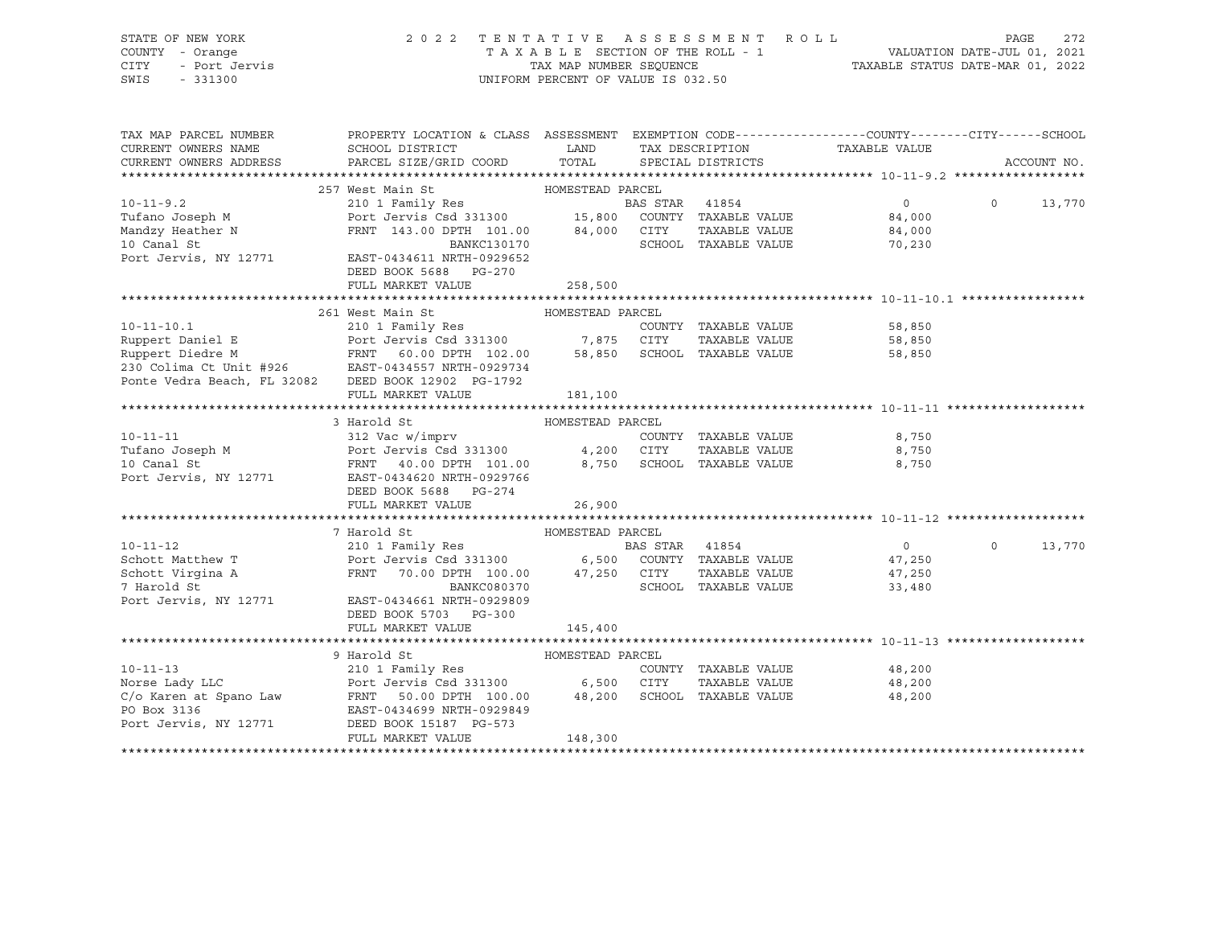| STATE OF NEW YORK<br>TENTATIVE ASSESSMENT ROLL<br>2 0 2 2<br>TAXABLE SECTION OF THE ROLL - 1<br>TAXABLE SECTION OF THE ROLL - 1<br>TAXABLE STATUS DATE-MAR 01, 2022<br>COUNTY - Orange<br>- Port Jervis<br>CITY<br>UNIFORM PERCENT OF VALUE IS 032.50<br>SWIS<br>$-331300$ | PAGE<br>272 |
|----------------------------------------------------------------------------------------------------------------------------------------------------------------------------------------------------------------------------------------------------------------------------|-------------|
| PROPERTY LOCATION & CLASS ASSESSMENT EXEMPTION CODE----------------COUNTY--------CITY------SCHOOL<br>TAX MAP PARCEL NUMBER                                                                                                                                                 |             |
| <b>EXAMPLE THE STATE OF STATE OF STATE</b><br>CURRENT OWNERS NAME<br>SCHOOL DISTRICT<br>TAX DESCRIPTION<br>TAXABLE VALUE<br>PARCEL SIZE/GRID COORD<br>TOTAL<br>CURRENT OWNERS ADDRESS                                                                                      |             |
| SPECIAL DISTRICTS                                                                                                                                                                                                                                                          | ACCOUNT NO. |
| 257 West Main St<br>HOMESTEAD PARCEL                                                                                                                                                                                                                                       |             |
| $10 - 11 - 9.2$<br>210 1 Family Res<br>BAS STAR 41854<br>$\circ$<br>$\mathbf 0$                                                                                                                                                                                            | 13,770      |
| Port Jervis Csd 331300 15,800 COUNTY TAXABLE VALUE<br>Tufano Joseph M<br>84,000                                                                                                                                                                                            |             |
| 84,000 CITY TAXABLE VALUE<br>FRNT 143.00 DPTH 101.00<br>84,000                                                                                                                                                                                                             |             |
| SCHOOL TAXABLE VALUE<br>BANKC130170<br>70,230                                                                                                                                                                                                                              |             |
| Mandzy Heather N<br>10 Canal St<br>Port Jervis, NY 12771<br>EAST-0434611 NRTH-0929652                                                                                                                                                                                      |             |
| DEED BOOK 5688 PG-270                                                                                                                                                                                                                                                      |             |
| FULL MARKET VALUE<br>258,500                                                                                                                                                                                                                                               |             |
|                                                                                                                                                                                                                                                                            |             |
| 261 West Main St<br>HOMESTEAD PARCEL                                                                                                                                                                                                                                       |             |
| 210 1 Family Res<br>$10 - 11 - 10.1$<br>COUNTY TAXABLE VALUE<br>58,850                                                                                                                                                                                                     |             |
| 58,850                                                                                                                                                                                                                                                                     |             |
| 58,850                                                                                                                                                                                                                                                                     |             |
| Ruppert Daniel E<br>Ruppert Diedre M<br>Ruppert Diedre M<br>RENT 60.00 DPTH 102.00 58,850 SCHOOL TAXABLE VALUE<br>230 Colima Ct Unit #926 EAST-0434557 NRTH-0929734<br>Ponte Vedra Beach, FL 32082 DEED BOOK 12902 PG-1792                                                 |             |
| FULL MARKET VALUE<br>181,100                                                                                                                                                                                                                                               |             |
|                                                                                                                                                                                                                                                                            |             |
| 3 Harold St<br>HOMESTEAD PARCEL                                                                                                                                                                                                                                            |             |
| 312 Vac w/imprv<br>8,750<br>$10 - 11 - 11$<br>COUNTY TAXABLE VALUE                                                                                                                                                                                                         |             |
| Tufano Joseph M<br>10 Canal St<br>TAXABLE VALUE<br>8,750                                                                                                                                                                                                                   |             |
| Port Jervis Csd 331300 4,200 CITY<br>FRNT 40.00 DPTH 101.00 8,750 SCHOC<br>10 Canal St<br>SCHOOL TAXABLE VALUE<br>8,750                                                                                                                                                    |             |
| Port Jervis, NY 12771<br>EAST-0434620 NRTH-0929766                                                                                                                                                                                                                         |             |
| DEED BOOK 5688 PG-274                                                                                                                                                                                                                                                      |             |
| FULL MARKET VALUE<br>26,900                                                                                                                                                                                                                                                |             |
|                                                                                                                                                                                                                                                                            |             |
| HOMESTEAD PARCEL<br>7 Harold St                                                                                                                                                                                                                                            |             |
| $10 - 11 - 12$<br>$\overline{0}$<br>$\circ$                                                                                                                                                                                                                                | 13,770      |
| Schott Matthew T<br>47,250                                                                                                                                                                                                                                                 |             |
| FRNT 70.00 DPTH 100.00 47,250 CITY TAXABLE VALUE<br>Schott Virgina A<br>47,250<br>7 Harold St<br>BANKC080370<br>SCHOOL TAXABLE VALUE                                                                                                                                       |             |
| 33,480<br>Port Jervis, NY 12771<br>EAST-0434661 NRTH-0929809                                                                                                                                                                                                               |             |
| DEED BOOK 5703 PG-300                                                                                                                                                                                                                                                      |             |
| FULL MARKET VALUE<br>145,400                                                                                                                                                                                                                                               |             |
|                                                                                                                                                                                                                                                                            |             |
| 9 Harold St<br>HOMESTEAD PARCEL                                                                                                                                                                                                                                            |             |
| 210 1 Family Res<br>$10 - 11 - 13$<br>COUNTY TAXABLE VALUE<br>48,200                                                                                                                                                                                                       |             |
| Port Jervis Csd 331300 6,500 CITY<br>Norse Lady LLC<br>TAXABLE VALUE<br>48,200                                                                                                                                                                                             |             |
| C/o Karen at Spano Law FRNT 50.00 DPTH $100.00$ $48,200$<br>PO Box 3136 $200$ EAST-0434699 NRTH-0929849<br>SCHOOL TAXABLE VALUE<br>48,200                                                                                                                                  |             |
|                                                                                                                                                                                                                                                                            |             |
| Port Jervis, NY 12771<br>DEED BOOK 15187 PG-573                                                                                                                                                                                                                            |             |
| FULL MARKET VALUE<br>148,300                                                                                                                                                                                                                                               |             |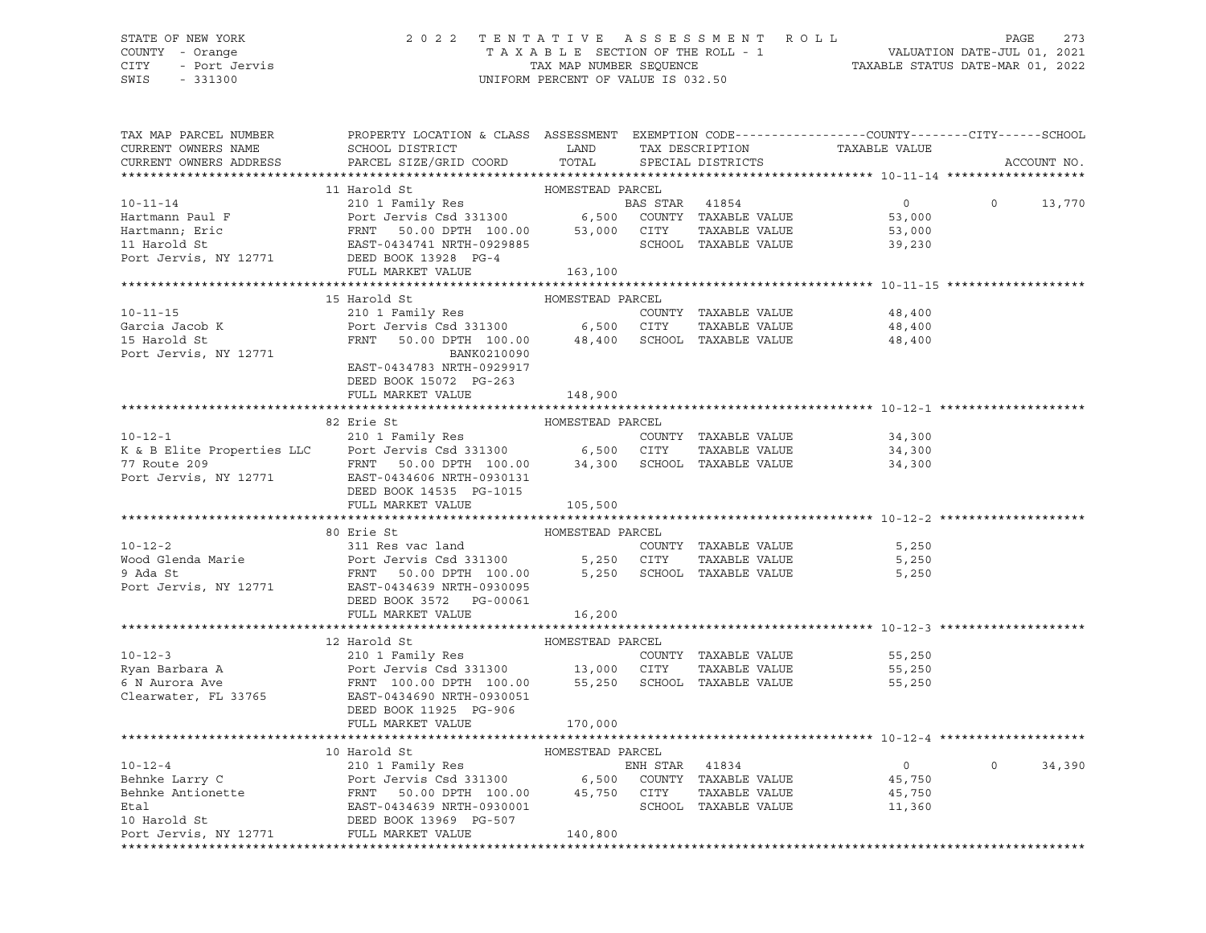## STATE OF NEW YORK 2 0 2 2 T E N T A T I V E A S S E S S M E N T R O L L PAGE 273 COUNTY - Orange T A X A B L E SECTION OF THE ROLL - 1 VALUATION DATE-JUL 01, 2021 CITY - Port Jervis TAX MAP NUMBER SEQUENCE TAXABLE STATUS DATE-MAR 01, 2022

| TAX MAP PARCEL NUMBER<br>CURRENT OWNERS NAME<br>CURRENT OWNERS ADDRESS | PROPERTY LOCATION & CLASS ASSESSMENT EXEMPTION CODE----------------COUNTY-------CITY------SCHOOL<br>SCHOOL DISTRICT LAND<br>PARCEL SIZE/GRID COORD                                                                                                                                                                                                                                                | TOTAL            |                | TAX DESCRIPTION TAXABLE VALUE<br>SPECIAL DISTRICTS |          | ACCOUNT NO. |
|------------------------------------------------------------------------|---------------------------------------------------------------------------------------------------------------------------------------------------------------------------------------------------------------------------------------------------------------------------------------------------------------------------------------------------------------------------------------------------|------------------|----------------|----------------------------------------------------|----------|-------------|
|                                                                        |                                                                                                                                                                                                                                                                                                                                                                                                   |                  |                |                                                    |          |             |
|                                                                        |                                                                                                                                                                                                                                                                                                                                                                                                   |                  |                |                                                    |          |             |
|                                                                        |                                                                                                                                                                                                                                                                                                                                                                                                   |                  | BAS STAR 41854 | $\overline{0}$                                     | $\Omega$ | 13,770      |
|                                                                        |                                                                                                                                                                                                                                                                                                                                                                                                   |                  |                | 53,000                                             |          |             |
|                                                                        |                                                                                                                                                                                                                                                                                                                                                                                                   |                  | TAXABLE VALUE  |                                                    |          |             |
|                                                                        |                                                                                                                                                                                                                                                                                                                                                                                                   |                  |                | 53,000<br>39,230                                   |          |             |
|                                                                        |                                                                                                                                                                                                                                                                                                                                                                                                   |                  |                |                                                    |          |             |
|                                                                        |                                                                                                                                                                                                                                                                                                                                                                                                   |                  |                |                                                    |          |             |
|                                                                        |                                                                                                                                                                                                                                                                                                                                                                                                   |                  |                |                                                    |          |             |
|                                                                        | 15 Harold St                                                                                                                                                                                                                                                                                                                                                                                      | HOMESTEAD PARCEL |                |                                                    |          |             |
|                                                                        |                                                                                                                                                                                                                                                                                                                                                                                                   |                  |                | 48,400                                             |          |             |
|                                                                        |                                                                                                                                                                                                                                                                                                                                                                                                   |                  |                | 48,400                                             |          |             |
|                                                                        |                                                                                                                                                                                                                                                                                                                                                                                                   |                  |                | 48,400                                             |          |             |
| Port Jervis, NY 12771                                                  | BANK0210090                                                                                                                                                                                                                                                                                                                                                                                       |                  |                |                                                    |          |             |
|                                                                        | EAST-0434783 NRTH-0929917                                                                                                                                                                                                                                                                                                                                                                         |                  |                |                                                    |          |             |
|                                                                        | DEED BOOK 15072 PG-263                                                                                                                                                                                                                                                                                                                                                                            |                  |                |                                                    |          |             |
|                                                                        | FULL MARKET VALUE                                                                                                                                                                                                                                                                                                                                                                                 | 148,900          |                |                                                    |          |             |
|                                                                        |                                                                                                                                                                                                                                                                                                                                                                                                   |                  |                |                                                    |          |             |
|                                                                        | 82 Erie St<br>10-12-1<br>210 1 Family Res<br>210 1 Family Res<br>210 1 Family Res<br>210 1 Family Res<br>210 1 Family Res<br>210 1 Family Res<br>210 1 Family Res<br>210 1 Family Res<br>210 1 Family Res<br>210 6,500 CITY TAXABLE VALUE<br>24,300<br>24,300<br>24,30                                                                                                                            | HOMESTEAD PARCEL |                |                                                    |          |             |
|                                                                        |                                                                                                                                                                                                                                                                                                                                                                                                   |                  |                |                                                    |          |             |
|                                                                        |                                                                                                                                                                                                                                                                                                                                                                                                   |                  |                |                                                    |          |             |
|                                                                        |                                                                                                                                                                                                                                                                                                                                                                                                   |                  |                |                                                    |          |             |
|                                                                        |                                                                                                                                                                                                                                                                                                                                                                                                   |                  |                |                                                    |          |             |
|                                                                        | DEED BOOK 14535 PG-1015<br>FULL MARKET VALUE                                                                                                                                                                                                                                                                                                                                                      | 105,500          |                |                                                    |          |             |
|                                                                        |                                                                                                                                                                                                                                                                                                                                                                                                   |                  |                |                                                    |          |             |
|                                                                        |                                                                                                                                                                                                                                                                                                                                                                                                   | HOMESTEAD PARCEL |                |                                                    |          |             |
|                                                                        | 10-12-2<br>311 Res vac land<br>Wood Glenda Marie<br>9 Ada St<br>Port Jervis Csd 331300<br>9 Ada St<br>Port Jervis, NY 12771<br>EXABLE VALUE<br>Port Jervis Csd 331300<br>5,250 CITY<br>5,250 SCHOOL<br>5,250 SCHOOL<br>TAXABLE VALUE<br>Port Jervis, NY                                                                                                                                           |                  |                | 5,250                                              |          |             |
|                                                                        |                                                                                                                                                                                                                                                                                                                                                                                                   |                  |                | 5,250                                              |          |             |
|                                                                        |                                                                                                                                                                                                                                                                                                                                                                                                   |                  |                | 5,250                                              |          |             |
|                                                                        |                                                                                                                                                                                                                                                                                                                                                                                                   |                  |                |                                                    |          |             |
|                                                                        | DEED BOOK 3572 PG-00061                                                                                                                                                                                                                                                                                                                                                                           |                  |                |                                                    |          |             |
|                                                                        | FULL MARKET VALUE 16,200                                                                                                                                                                                                                                                                                                                                                                          |                  |                |                                                    |          |             |
|                                                                        |                                                                                                                                                                                                                                                                                                                                                                                                   |                  |                |                                                    |          |             |
|                                                                        |                                                                                                                                                                                                                                                                                                                                                                                                   |                  |                |                                                    |          |             |
|                                                                        |                                                                                                                                                                                                                                                                                                                                                                                                   |                  |                | 55,250                                             |          |             |
|                                                                        |                                                                                                                                                                                                                                                                                                                                                                                                   |                  | TAXABLE VALUE  | 55,250                                             |          |             |
|                                                                        |                                                                                                                                                                                                                                                                                                                                                                                                   |                  |                | 55,250                                             |          |             |
|                                                                        |                                                                                                                                                                                                                                                                                                                                                                                                   |                  |                |                                                    |          |             |
|                                                                        |                                                                                                                                                                                                                                                                                                                                                                                                   |                  |                |                                                    |          |             |
|                                                                        |                                                                                                                                                                                                                                                                                                                                                                                                   |                  |                |                                                    |          |             |
|                                                                        |                                                                                                                                                                                                                                                                                                                                                                                                   |                  |                |                                                    |          |             |
|                                                                        |                                                                                                                                                                                                                                                                                                                                                                                                   |                  |                |                                                    |          |             |
|                                                                        |                                                                                                                                                                                                                                                                                                                                                                                                   |                  |                | $\overline{0}$                                     | $\circ$  | 34,390      |
|                                                                        |                                                                                                                                                                                                                                                                                                                                                                                                   |                  |                |                                                    |          |             |
|                                                                        |                                                                                                                                                                                                                                                                                                                                                                                                   |                  |                |                                                    |          |             |
|                                                                        |                                                                                                                                                                                                                                                                                                                                                                                                   |                  |                |                                                    |          |             |
|                                                                        |                                                                                                                                                                                                                                                                                                                                                                                                   |                  |                |                                                    |          |             |
|                                                                        | $\begin{tabular}{lllllllllllll} $\begin{array}{l} \texttt{10-12-4} & \texttt{HOMESTEAD PARCH} & \texttt{HOMESTEAD PARCH} & \texttt{HOMESTEAD PARCH} & \texttt{10-12-4} & \texttt{HOMESTEAD PARCH} & \texttt{EANR} & \texttt{10-12-4} & \texttt{HOMESTEAD PARCH} & \texttt{10-12-4} & \texttt{10-12-4} & \texttt{10-12-4} & \texttt{10-12-4} & \texttt{10-12-4} & \texttt{10-12-4} & \texttt{10-1$ |                  |                |                                                    |          |             |
|                                                                        |                                                                                                                                                                                                                                                                                                                                                                                                   |                  |                |                                                    |          |             |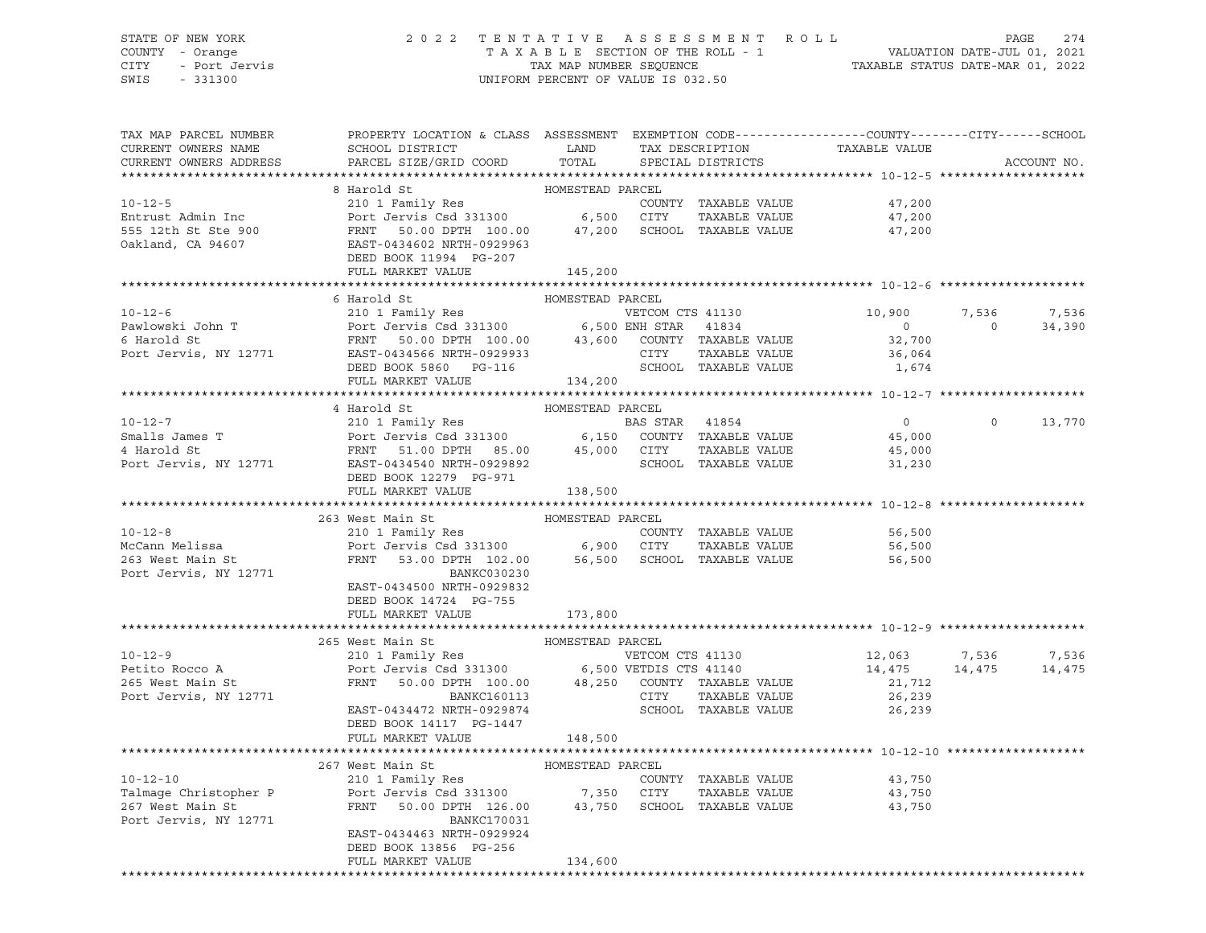## STATE OF NEW YORK 2 0 2 2 T E N T A T I V E A S S E S S M E N T R O L L PAGE 274 COUNTY - Orange T A X A B L E SECTION OF THE ROLL - 1 VALUATION DATE-JUL 01, 2021 CITY - Port Jervis TAX MAP NUMBER SEQUENCE TAXABLE STATUS DATE-MAR 01, 2022

| TAX MAP PARCEL NUMBER  | PROPERTY LOCATION & CLASS ASSESSMENT EXEMPTION CODE---------------COUNTY-------CITY------SCHOOL                                                                                                                                                                     |                  |                      |                                                                                      |                |             |
|------------------------|---------------------------------------------------------------------------------------------------------------------------------------------------------------------------------------------------------------------------------------------------------------------|------------------|----------------------|--------------------------------------------------------------------------------------|----------------|-------------|
| CURRENT OWNERS NAME    |                                                                                                                                                                                                                                                                     |                  |                      |                                                                                      |                |             |
| CURRENT OWNERS ADDRESS |                                                                                                                                                                                                                                                                     |                  |                      |                                                                                      |                | ACCOUNT NO. |
|                        |                                                                                                                                                                                                                                                                     |                  |                      |                                                                                      |                |             |
|                        | 8 Harold St                                                                                                                                                                                                                                                         | HOMESTEAD PARCEL |                      |                                                                                      |                |             |
|                        | 10-12-5<br>Entrust Admin Inc 210 1 Family Res COUNTY TAXABLE VALUE<br>555 12th St Ste 900 FRNT 50.00 DPTH 100.00 47,200 SCHOOL TAXABLE VALUE<br>210 1 Family Res COUNTY TAXABLE VALUE<br>555 12th St Ste 900 FRNT 50.00 DPTH 100.00 47                              |                  |                      |                                                                                      |                |             |
|                        |                                                                                                                                                                                                                                                                     |                  |                      |                                                                                      |                |             |
|                        |                                                                                                                                                                                                                                                                     |                  |                      |                                                                                      |                |             |
|                        |                                                                                                                                                                                                                                                                     |                  |                      |                                                                                      |                |             |
|                        | DEED BOOK 11994 PG-207                                                                                                                                                                                                                                              |                  |                      |                                                                                      |                |             |
|                        | FULL MARKET VALUE 145,200                                                                                                                                                                                                                                           |                  |                      |                                                                                      |                |             |
|                        |                                                                                                                                                                                                                                                                     |                  |                      |                                                                                      |                |             |
|                        |                                                                                                                                                                                                                                                                     |                  |                      |                                                                                      |                |             |
|                        |                                                                                                                                                                                                                                                                     |                  |                      | 10,900                                                                               | 7,536          | 7,536       |
|                        |                                                                                                                                                                                                                                                                     |                  |                      |                                                                                      | $\overline{0}$ | 34,390      |
|                        |                                                                                                                                                                                                                                                                     |                  |                      |                                                                                      |                |             |
|                        |                                                                                                                                                                                                                                                                     |                  |                      |                                                                                      |                |             |
|                        |                                                                                                                                                                                                                                                                     |                  |                      |                                                                                      |                |             |
|                        | FULL MARKET VALUE                                                                                                                                                                                                                                                   | 134,200          |                      |                                                                                      |                |             |
|                        |                                                                                                                                                                                                                                                                     |                  |                      |                                                                                      |                |             |
|                        | 4 Harold St                                                                                                                                                                                                                                                         | HOMESTEAD PARCEL |                      |                                                                                      |                |             |
|                        |                                                                                                                                                                                                                                                                     |                  |                      |                                                                                      | $\Omega$       | 13,770      |
|                        |                                                                                                                                                                                                                                                                     |                  |                      |                                                                                      |                |             |
|                        | 10-12-7<br>Smalls James T<br>210 1 Family Res<br>Port Jervis Csd 331300 6,150 COUNTY TAXABLE VALUE<br>45,000 CITY TAXABLE VALUE<br>Port Jervis, NY 12771 EAST-0434540 NRTH-0929892 SCHOOL TAXABLE VALUE<br>Port Jervis, NY 12771 EAST-0434                          |                  |                      |                                                                                      |                |             |
|                        |                                                                                                                                                                                                                                                                     |                  |                      |                                                                                      |                |             |
|                        | DEED BOOK 12279 PG-971                                                                                                                                                                                                                                              |                  |                      |                                                                                      |                |             |
|                        | FULL MARKET VALUE                                                                                                                                                                                                                                                   |                  |                      |                                                                                      |                |             |
|                        |                                                                                                                                                                                                                                                                     |                  |                      |                                                                                      |                |             |
|                        |                                                                                                                                                                                                                                                                     | 138,500          |                      |                                                                                      |                |             |
|                        |                                                                                                                                                                                                                                                                     |                  |                      |                                                                                      |                |             |
|                        |                                                                                                                                                                                                                                                                     |                  |                      |                                                                                      |                |             |
|                        |                                                                                                                                                                                                                                                                     |                  |                      |                                                                                      |                |             |
|                        |                                                                                                                                                                                                                                                                     |                  |                      |                                                                                      |                |             |
| Port Jervis, NY 12771  | 263 West Main St<br>263 West Main St<br>210 1 Family Res<br>2001 Family Res<br>263 West Main St<br>263 West Main St<br>263 West Main St<br>263 West Main St<br>263 West Main St<br>263 West Main St<br>263 West Main St<br>264 School SCHOOL TAXABLE<br>BANKC030230 |                  |                      |                                                                                      |                |             |
|                        | EAST-0434500 NRTH-0929832                                                                                                                                                                                                                                           |                  |                      |                                                                                      |                |             |
|                        | DEED BOOK 14724 PG-755                                                                                                                                                                                                                                              |                  |                      |                                                                                      |                |             |
|                        | FULL MARKET VALUE                                                                                                                                                                                                                                                   | 173,800          |                      |                                                                                      |                |             |
|                        |                                                                                                                                                                                                                                                                     |                  |                      |                                                                                      |                |             |
|                        |                                                                                                                                                                                                                                                                     |                  |                      |                                                                                      |                |             |
|                        |                                                                                                                                                                                                                                                                     |                  |                      |                                                                                      |                | 7,536       |
|                        |                                                                                                                                                                                                                                                                     |                  |                      |                                                                                      |                | 14,475      |
|                        |                                                                                                                                                                                                                                                                     |                  |                      |                                                                                      |                |             |
|                        |                                                                                                                                                                                                                                                                     |                  |                      | $\begin{array}{cc} 12,063 & 7,536 \\ 14,475 & 14,475 \\ 21,712 & 26,239 \end{array}$ |                |             |
|                        |                                                                                                                                                                                                                                                                     |                  |                      | 26, 239                                                                              |                |             |
|                        | DEED BOOK 14117 PG-1447                                                                                                                                                                                                                                             |                  |                      |                                                                                      |                |             |
|                        | FULL MARKET VALUE 148,500                                                                                                                                                                                                                                           |                  |                      |                                                                                      |                |             |
|                        |                                                                                                                                                                                                                                                                     |                  |                      |                                                                                      |                |             |
|                        |                                                                                                                                                                                                                                                                     |                  |                      |                                                                                      |                |             |
| $10 - 12 - 10$         |                                                                                                                                                                                                                                                                     |                  | COUNTY TAXABLE VALUE | 43,750                                                                               |                |             |
|                        |                                                                                                                                                                                                                                                                     |                  |                      |                                                                                      |                |             |
|                        | Talmage Christopher P and Port Jervis Csd 331300 7,350 CITY TAXABLE VALUE 43,750<br>267 West Main St 267 FRNT 50.00 DPTH 126.00 43,750 SCHOOL TAXABLE VALUE 43,750<br>BANKC170031                                                                                   |                  |                      |                                                                                      |                |             |
| Port Jervis, NY 12771  | EAST-0434463 NRTH-0929924                                                                                                                                                                                                                                           |                  |                      |                                                                                      |                |             |
|                        | DEED BOOK 13856 PG-256                                                                                                                                                                                                                                              |                  |                      |                                                                                      |                |             |
|                        | FULL MARKET VALUE                                                                                                                                                                                                                                                   | 134,600          |                      |                                                                                      |                |             |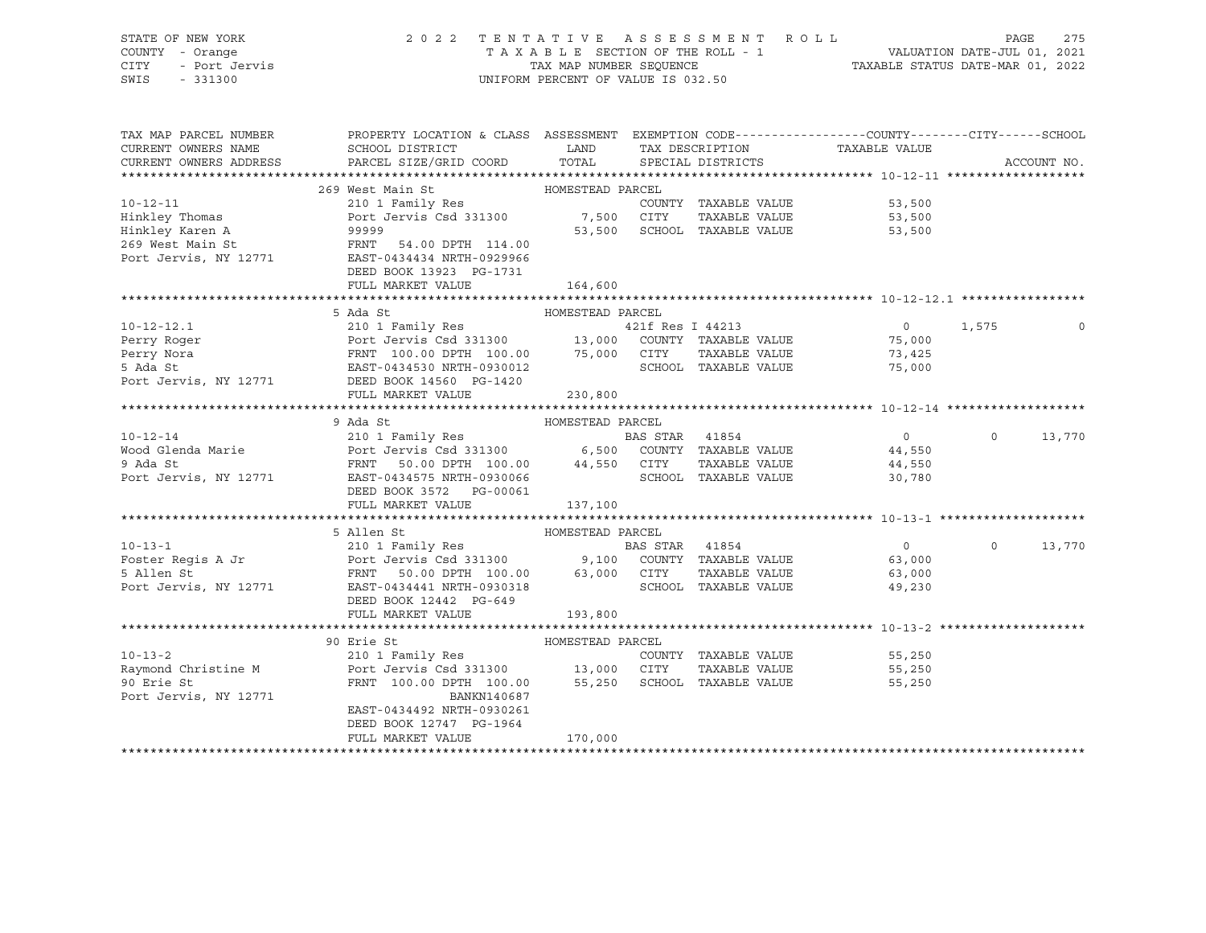| STATE OF NEW YORK<br>COUNTY - Orange<br>- Orange<br>- Port Jervis<br>CITY<br>SWIS<br>$-331300$ | 2022 TENTATIVE ASSESSMENT ROLL                                                                                                                                      | TAX MAP NUMBER SEOUENCE<br>UNIFORM PERCENT OF VALUE IS 032.50 |                | TAXABLE SECTION OF THE ROLL - 1      | PAGE 275<br>VALUATION DATE-JUL 01, 2021<br>TAXABLE STATIIS DATE WILL |          |             |
|------------------------------------------------------------------------------------------------|---------------------------------------------------------------------------------------------------------------------------------------------------------------------|---------------------------------------------------------------|----------------|--------------------------------------|----------------------------------------------------------------------|----------|-------------|
| TAX MAP PARCEL NUMBER                                                                          | PROPERTY LOCATION & CLASS ASSESSMENT EXEMPTION CODE----------------COUNTY--------CITY------SCHOOL                                                                   |                                                               |                |                                      |                                                                      |          |             |
| CURRENT OWNERS NAME<br>CURRENT OWNERS ADDRESS                                                  | <b>EXAMPLE SERVICE SERVICE SERVICE SERVICE SERVICE SERVICE SERVICE SERVICE SERVICE SERVICE SERVICE SERVICE SERVICE</b><br>SCHOOL DISTRICT<br>PARCEL SIZE/GRID COORD | TOTAL                                                         |                | TAX DESCRIPTION<br>SPECIAL DISTRICTS | TAXABLE VALUE                                                        |          | ACCOUNT NO. |
|                                                                                                |                                                                                                                                                                     |                                                               |                |                                      |                                                                      |          |             |
|                                                                                                | 269 West Main St                                                                                                                                                    | HOMESTEAD PARCEL                                              |                |                                      |                                                                      |          |             |
| $10 - 12 - 11$                                                                                 | 210 1 Family Res                                                                                                                                                    |                                                               |                | COUNTY TAXABLE VALUE                 | 53,500                                                               |          |             |
| Hinkley Thomas                                                                                 | Port Jervis Csd 331300 7,500 CITY                                                                                                                                   |                                                               |                | TAXABLE VALUE                        | 53,500                                                               |          |             |
| Hinkley Karen A                                                                                | 99999                                                                                                                                                               | 53,500                                                        |                | SCHOOL TAXABLE VALUE                 | 53,500                                                               |          |             |
| 269 West Main St<br>Port Jervis, NY 12771                                                      | FRNT<br>54.00 DPTH 114.00                                                                                                                                           |                                                               |                |                                      |                                                                      |          |             |
|                                                                                                | EAST-0434434 NRTH-0929966                                                                                                                                           |                                                               |                |                                      |                                                                      |          |             |
|                                                                                                | DEED BOOK 13923 PG-1731                                                                                                                                             |                                                               |                |                                      |                                                                      |          |             |
|                                                                                                | FULL MARKET VALUE                                                                                                                                                   | 164,600                                                       |                |                                      |                                                                      |          |             |
|                                                                                                |                                                                                                                                                                     |                                                               |                |                                      |                                                                      |          |             |
|                                                                                                | 5 Ada St                                                                                                                                                            | HOMESTEAD PARCEL                                              |                |                                      |                                                                      |          |             |
| $10 - 12 - 12.1$                                                                               | 210 1 Family Res                                                                                                                                                    |                                                               |                | 421f Res I 44213                     | $\overline{0}$                                                       | 1,575    | $\Omega$    |
| Perry Roger<br>Perry Nora                                                                      | Port Jervis Csd 331300 13,000 COUNTY TAXABLE VALUE<br>FRNT 100.00 DPTH 100.00 75,000 CITY TAXABLE VALUE<br>EAST-0434530 NRTH-0930012 SCHOOL TAXABLE VALUE           |                                                               |                |                                      | 75,000<br>73,425                                                     |          |             |
| 5 Ada St                                                                                       |                                                                                                                                                                     |                                                               |                |                                      | 75,000                                                               |          |             |
|                                                                                                | Port Jervis, NY 12771 DEED BOOK 14560 PG-1420                                                                                                                       |                                                               |                |                                      |                                                                      |          |             |
|                                                                                                | FULL MARKET VALUE                                                                                                                                                   | 230,800                                                       |                |                                      |                                                                      |          |             |
|                                                                                                |                                                                                                                                                                     |                                                               |                |                                      |                                                                      |          |             |
|                                                                                                | 9 Ada St                                                                                                                                                            | HOMESTEAD PARCEL                                              |                |                                      |                                                                      |          |             |
| $10 - 12 - 14$                                                                                 | 210 1 Family Res                                                                                                                                                    |                                                               | BAS STAR 41854 |                                      | $\overline{0}$                                                       | $\Omega$ | 13,770      |
| Wood Glenda Marie                                                                              |                                                                                                                                                                     |                                                               |                |                                      | 44,550                                                               |          |             |
| 9 Ada St                                                                                       | Port Jervis Csd 331300 6,500 COUNTY TAXABLE VALUE<br>FRNT 50.00 DPTH 100.00 44,550 CITY TAXABLE VALUE                                                               |                                                               |                |                                      | 44,550                                                               |          |             |
| Port Jervis, NY 12771                                                                          | -<br>EAST-0434575 NRTH-0930066                                                                                                                                      |                                                               |                | SCHOOL TAXABLE VALUE                 | 30,780                                                               |          |             |
|                                                                                                | DEED BOOK 3572 PG-00061                                                                                                                                             |                                                               |                |                                      |                                                                      |          |             |
|                                                                                                | FULL MARKET VALUE                                                                                                                                                   | 137,100                                                       |                |                                      |                                                                      |          |             |
|                                                                                                |                                                                                                                                                                     |                                                               |                |                                      |                                                                      |          |             |
|                                                                                                | 5 Allen St                                                                                                                                                          | HOMESTEAD PARCEL                                              |                |                                      |                                                                      |          |             |
| $10 - 13 - 1$                                                                                  | 210 1 Family Res                                                                                                                                                    |                                                               | BAS STAR 41854 |                                      | $0 \qquad \qquad$<br>63,000                                          | $\circ$  | 13,770      |
| Foster Regis A Jr<br>5 Allen St                                                                |                                                                                                                                                                     |                                                               |                |                                      | 63,000                                                               |          |             |
| Port Jervis, NY 12771                                                                          |                                                                                                                                                                     |                                                               |                |                                      | 49,230                                                               |          |             |
|                                                                                                | DEED BOOK 12442 PG-649                                                                                                                                              |                                                               |                |                                      |                                                                      |          |             |
|                                                                                                | FULL MARKET VALUE                                                                                                                                                   | 193,800                                                       |                |                                      |                                                                      |          |             |
|                                                                                                |                                                                                                                                                                     |                                                               |                |                                      |                                                                      |          |             |
|                                                                                                | 90 Erie St                                                                                                                                                          | HOMESTEAD PARCEL                                              |                |                                      |                                                                      |          |             |
| $10 - 13 - 2$                                                                                  | 210 1 Family Res                                                                                                                                                    |                                                               |                | COUNTY TAXABLE VALUE                 | 55,250                                                               |          |             |
| Raymond Christine M                                                                            | Port Jervis Csd 331300 13,000 CITY TAXABLE VALUE<br>FRNT 100.00 DPTH 100.00 55,250 SCHOOL TAXABLE VALUE                                                             |                                                               |                |                                      | 55,250                                                               |          |             |
| 90 Erie St                                                                                     |                                                                                                                                                                     |                                                               |                |                                      | 55,250                                                               |          |             |
| Port Jervis, NY 12771                                                                          | BANKN140687                                                                                                                                                         |                                                               |                |                                      |                                                                      |          |             |
|                                                                                                | EAST-0434492 NRTH-0930261                                                                                                                                           |                                                               |                |                                      |                                                                      |          |             |
|                                                                                                | DEED BOOK 12747 PG-1964                                                                                                                                             |                                                               |                |                                      |                                                                      |          |             |
|                                                                                                | FULL MARKET VALUE                                                                                                                                                   | 170,000                                                       |                |                                      |                                                                      |          |             |
|                                                                                                |                                                                                                                                                                     |                                                               |                |                                      |                                                                      |          |             |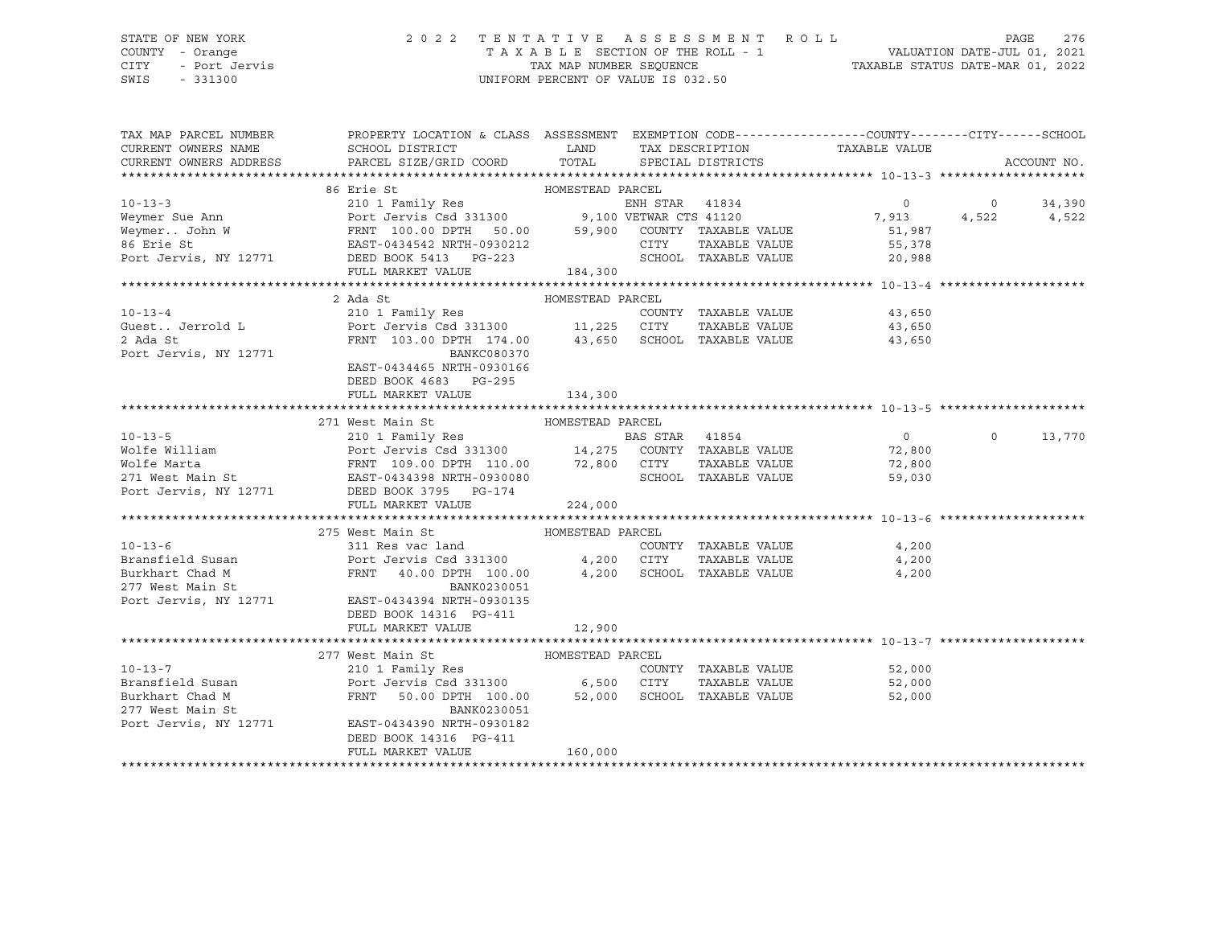CITY - Port Jervis TAX MAP NUMBER SEQUENCE TAXABLE STATUS DATE-MAR 01, 2022 SWIS - 331300 UNIFORM PERCENT OF VALUE IS 032.50

#### STATE OF NEW YORK 2 0 2 2 T E N T A T I V E A S S E S S M E N T R O L L PAGE 276 COUNTY - Orange T A X A B L E SECTION OF THE ROLL - 1 VALUATION DATE-JUL 01, 2021

| TAX MAP PARCEL NUMBER  | PROPERTY LOCATION & CLASS ASSESSMENT EXEMPTION CODE---------------COUNTY-------CITY------SCHOOL                                                                                                                                          |                  |                |                             |                |         |             |
|------------------------|------------------------------------------------------------------------------------------------------------------------------------------------------------------------------------------------------------------------------------------|------------------|----------------|-----------------------------|----------------|---------|-------------|
| CURRENT OWNERS NAME    | SCHOOL DISTRICT                                                                                                                                                                                                                          | <b>LAND</b>      |                | TAX DESCRIPTION             | TAXABLE VALUE  |         |             |
| CURRENT OWNERS ADDRESS | PARCEL SIZE/GRID COORD                                                                                                                                                                                                                   |                  |                | TOTAL SPECIAL DISTRICTS     |                |         | ACCOUNT NO. |
|                        |                                                                                                                                                                                                                                          |                  |                |                             |                |         |             |
|                        | 86 Erie St                                                                                                                                                                                                                               | HOMESTEAD PARCEL |                |                             |                |         |             |
|                        |                                                                                                                                                                                                                                          |                  |                |                             | $\circ$        | $\circ$ | 34,390      |
|                        |                                                                                                                                                                                                                                          |                  |                |                             | 7,913          | 4,522   | 4,522       |
|                        |                                                                                                                                                                                                                                          |                  |                |                             | 51,987         |         |             |
|                        |                                                                                                                                                                                                                                          |                  |                |                             | 55,378         |         |             |
|                        | 10-13-3<br>Weymer Sue Ann 210 1 Family Res<br>Weymer. John W FRNT 100.00 DPTH 50.00 59,900 COUNTY TAXABLE VALUE<br>FRNT 100.00 DPTH 50.00 59,900 COUNTY TAXABLE VALUE<br>Port Jervis, NY 12771 DEED BOOK 5413 PG-223<br>THE STAR CITY TA |                  |                |                             | 20,988         |         |             |
|                        | FULL MARKET VALUE                                                                                                                                                                                                                        | 184,300          |                |                             |                |         |             |
|                        |                                                                                                                                                                                                                                          |                  |                |                             |                |         |             |
|                        | 2 Ada St                                                                                                                                                                                                                                 | HOMESTEAD PARCEL |                |                             |                |         |             |
| $10 - 13 - 4$          | 210 1 Family Res                                                                                                                                                                                                                         |                  |                | COUNTY TAXABLE VALUE 43,650 |                |         |             |
| Guest Jerrold L        | Port Jervis Csd 331300 11,225 CITY TAXABLE VALUE<br>FRNT 103.00 DPTH 174.00 43,650 SCHOOL TAXABLE VALUE                                                                                                                                  |                  |                | TAXABLE VALUE               | 43,650         |         |             |
| 2 Ada St               |                                                                                                                                                                                                                                          |                  |                |                             | 43,650         |         |             |
| Port Jervis, NY 12771  | BANKC080370                                                                                                                                                                                                                              |                  |                |                             |                |         |             |
|                        | EAST-0434465 NRTH-0930166                                                                                                                                                                                                                |                  |                |                             |                |         |             |
|                        | DEED BOOK 4683 PG-295                                                                                                                                                                                                                    |                  |                |                             |                |         |             |
|                        | FULL MARKET VALUE                                                                                                                                                                                                                        | 134,300          |                |                             |                |         |             |
|                        |                                                                                                                                                                                                                                          |                  |                |                             |                |         |             |
|                        | 271 West Main St                                                                                                                                                                                                                         | HOMESTEAD PARCEL |                |                             |                |         |             |
| $10 - 13 - 5$          | $210$ 1 Family Res                                                                                                                                                                                                                       |                  | BAS STAR 41854 |                             | $\overline{0}$ | $\circ$ | 13,770      |
|                        |                                                                                                                                                                                                                                          |                  |                |                             | 72,800         |         |             |
|                        |                                                                                                                                                                                                                                          |                  |                |                             | 72,800         |         |             |
| Port Jervis, NY 12771  | DEED BOOK 3795 PG-174                                                                                                                                                                                                                    |                  |                |                             | 59,030         |         |             |
|                        | FULL MARKET VALUE                                                                                                                                                                                                                        | 224,000          |                |                             |                |         |             |
|                        |                                                                                                                                                                                                                                          |                  |                |                             |                |         |             |
|                        | 275 West Main St                                                                                                                                                                                                                         | HOMESTEAD PARCEL |                |                             |                |         |             |
| $10 - 13 - 6$          | 311 Res vac land                                                                                                                                                                                                                         |                  |                | COUNTY TAXABLE VALUE        | 4,200          |         |             |
| Bransfield Susan       | Port Jervis Csd 331300 4,200 CITY                                                                                                                                                                                                        |                  |                | TAXABLE VALUE               | 4,200          |         |             |
| Burkhart Chad M        | FRNT 40.00 DPTH 100.00 4,200 SCHOOL TAXABLE VALUE                                                                                                                                                                                        |                  |                |                             | 4,200          |         |             |
| 277 West Main St       | BANK0230051                                                                                                                                                                                                                              |                  |                |                             |                |         |             |
| Port Jervis, NY 12771  | EAST-0434394 NRTH-0930135                                                                                                                                                                                                                |                  |                |                             |                |         |             |
|                        | DEED BOOK 14316 PG-411                                                                                                                                                                                                                   |                  |                |                             |                |         |             |
|                        | FULL MARKET VALUE                                                                                                                                                                                                                        | 12,900           |                |                             |                |         |             |
|                        |                                                                                                                                                                                                                                          |                  |                |                             |                |         |             |
|                        | 277 West Main St                                                                                                                                                                                                                         | HOMESTEAD PARCEL |                |                             |                |         |             |
| $10 - 13 - 7$          |                                                                                                                                                                                                                                          |                  |                | COUNTY TAXABLE VALUE        | 52,000         |         |             |
| Bransfield Susan       | 210 1 Family Res COUNT COUNT<br>Port Jervis Csd 331300 6,500 CITY                                                                                                                                                                        |                  |                | TAXABLE VALUE               | 52,000         |         |             |
| Burkhart Chad M        | 50.00 DPTH 100.00 52,000 SCHOOL TAXABLE VALUE<br>FRNT                                                                                                                                                                                    |                  |                |                             | 52,000         |         |             |
| 277 West Main St       | BANK0230051                                                                                                                                                                                                                              |                  |                |                             |                |         |             |
| Port Jervis, NY 12771  | EAST-0434390 NRTH-0930182                                                                                                                                                                                                                |                  |                |                             |                |         |             |
|                        | DEED BOOK 14316 PG-411                                                                                                                                                                                                                   |                  |                |                             |                |         |             |
|                        | FULL MARKET VALUE                                                                                                                                                                                                                        | 160,000          |                |                             |                |         |             |
|                        |                                                                                                                                                                                                                                          |                  |                |                             |                |         |             |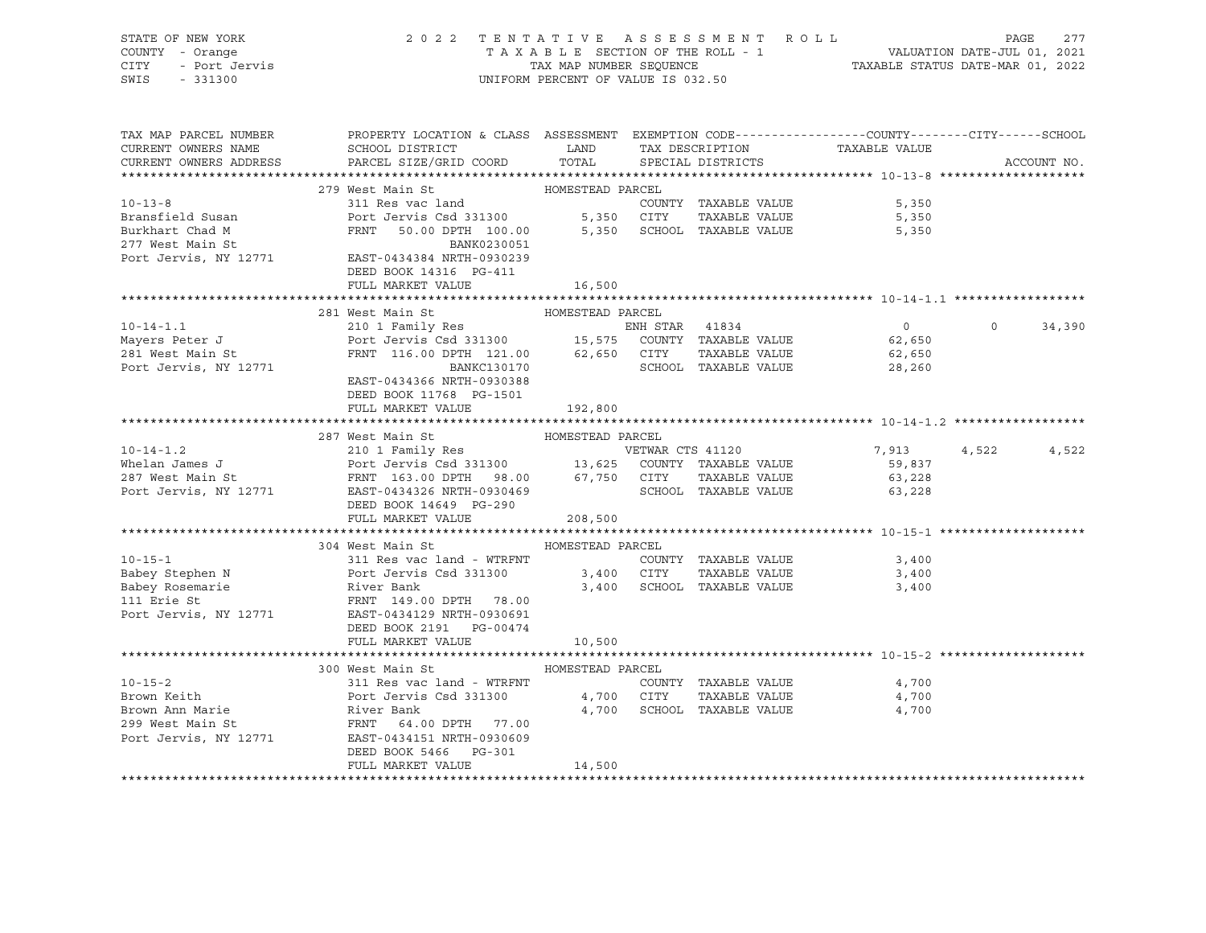| STATE OF NEW YORK 277<br>COUNTY - Orange 277<br>COUNTY - Port Jervis 2022 TENTATIVE ASSESSMENT ROLL - 1<br>CITY - Port Jervis 2022<br>CITY - Port Jervis 2022<br>CITY - Port Jervis 2022<br>SWIS - 331300                                                  |                                                                                                                                                                                                                                                                                            |                  |  |                      |                   |              |
|------------------------------------------------------------------------------------------------------------------------------------------------------------------------------------------------------------------------------------------------------------|--------------------------------------------------------------------------------------------------------------------------------------------------------------------------------------------------------------------------------------------------------------------------------------------|------------------|--|----------------------|-------------------|--------------|
|                                                                                                                                                                                                                                                            |                                                                                                                                                                                                                                                                                            |                  |  |                      |                   |              |
| TAX MAP PARCEL NUMBER                                                                                                                                                                                                                                      | PROPERTY LOCATION & CLASS ASSESSMENT EXEMPTION CODE----------------COUNTY-------CITY------SCHOOL                                                                                                                                                                                           |                  |  |                      |                   |              |
| CURRENT OWNERS NAME                                                                                                                                                                                                                                        | SCHOOL DISTRICT LAND TAX DESCRIPTION TAXABLE VALUE<br>SCHOOL DISTRICT LAND TAX DESCRIPTION TAXABLE VALUE                                                                                                                                                                                   |                  |  |                      |                   |              |
| CURRENT OWNERS ADDRESS                                                                                                                                                                                                                                     | PARCEL SIZE/GRID COORD TOTAL SPECIAL DISTRICTS                                                                                                                                                                                                                                             |                  |  |                      |                   | ACCOUNT NO.  |
|                                                                                                                                                                                                                                                            |                                                                                                                                                                                                                                                                                            |                  |  |                      |                   |              |
| $10 - 13 - 8$                                                                                                                                                                                                                                              |                                                                                                                                                                                                                                                                                            |                  |  | COUNTY TAXABLE VALUE | 5,350             |              |
|                                                                                                                                                                                                                                                            |                                                                                                                                                                                                                                                                                            |                  |  |                      |                   |              |
|                                                                                                                                                                                                                                                            |                                                                                                                                                                                                                                                                                            |                  |  |                      |                   |              |
|                                                                                                                                                                                                                                                            |                                                                                                                                                                                                                                                                                            |                  |  |                      |                   |              |
| Port Jervis, NY 12771 EAST-0434384 NRTH-0930239                                                                                                                                                                                                            |                                                                                                                                                                                                                                                                                            |                  |  |                      |                   |              |
|                                                                                                                                                                                                                                                            | DEED BOOK 14316 PG-411                                                                                                                                                                                                                                                                     |                  |  |                      |                   |              |
|                                                                                                                                                                                                                                                            | FULL MARKET VALUE 16,500                                                                                                                                                                                                                                                                   |                  |  |                      |                   |              |
|                                                                                                                                                                                                                                                            |                                                                                                                                                                                                                                                                                            |                  |  |                      |                   |              |
|                                                                                                                                                                                                                                                            | 281 West Main St                                                                                                                                                                                                                                                                           | HOMESTEAD PARCEL |  |                      |                   |              |
|                                                                                                                                                                                                                                                            |                                                                                                                                                                                                                                                                                            |                  |  |                      | $\overline{0}$    | $0 \t34,390$ |
|                                                                                                                                                                                                                                                            |                                                                                                                                                                                                                                                                                            |                  |  |                      |                   |              |
|                                                                                                                                                                                                                                                            |                                                                                                                                                                                                                                                                                            |                  |  |                      |                   |              |
| 10-14-1.1<br>Mayers Peter J<br>201 Family Res<br>201 Family Res<br>201 Family Res<br>201 Family Res<br>201 Family Res<br>201 Family Res<br>201 Family Res<br>201 Family Res<br>201 Family Res<br>201 Family Res<br>201 Family Res<br>201 Family Res<br>201 | EAST-0434366 NRTH-0930388                                                                                                                                                                                                                                                                  |                  |  |                      |                   |              |
|                                                                                                                                                                                                                                                            | DEED BOOK 11768 PG-1501                                                                                                                                                                                                                                                                    |                  |  |                      |                   |              |
|                                                                                                                                                                                                                                                            | FULL MARKET VALUE                                                                                                                                                                                                                                                                          | 192,800          |  |                      |                   |              |
|                                                                                                                                                                                                                                                            |                                                                                                                                                                                                                                                                                            |                  |  |                      |                   |              |
|                                                                                                                                                                                                                                                            |                                                                                                                                                                                                                                                                                            |                  |  |                      |                   |              |
|                                                                                                                                                                                                                                                            |                                                                                                                                                                                                                                                                                            |                  |  |                      | 7,913 4,522 4,522 |              |
|                                                                                                                                                                                                                                                            |                                                                                                                                                                                                                                                                                            |                  |  |                      | 59,837            |              |
|                                                                                                                                                                                                                                                            |                                                                                                                                                                                                                                                                                            |                  |  |                      | 63,228            |              |
|                                                                                                                                                                                                                                                            |                                                                                                                                                                                                                                                                                            |                  |  |                      | 63,228            |              |
|                                                                                                                                                                                                                                                            |                                                                                                                                                                                                                                                                                            |                  |  |                      |                   |              |
|                                                                                                                                                                                                                                                            | FULL MARKET VALUE 208,500                                                                                                                                                                                                                                                                  |                  |  |                      |                   |              |
|                                                                                                                                                                                                                                                            |                                                                                                                                                                                                                                                                                            |                  |  |                      |                   |              |
| $10 - 15 - 1$                                                                                                                                                                                                                                              | 304 West Main St                                                                                                                                                                                                                                                                           | HOMESTEAD PARCEL |  |                      |                   |              |
|                                                                                                                                                                                                                                                            | 304 West mail St.<br>3,400 S11 Res vac land - WTRFNT COUNTY TAXABLE VALUE<br>- 2,400 CUTY TAXABLE VALUE 3,400 CUTY TAXABLE VALUE                                                                                                                                                           |                  |  |                      |                   |              |
|                                                                                                                                                                                                                                                            | Port Jervis Csd 331300                3,400   CITY     TAXABLE VALUE                          3,400<br>River Bank                                   3,400    SCHOOL  TAXABLE VALUE                       3,400                                                                             |                  |  |                      |                   |              |
|                                                                                                                                                                                                                                                            |                                                                                                                                                                                                                                                                                            |                  |  |                      |                   |              |
| Example of Dabey Stephen N<br>Babey Rosemarie<br>111 Erie St<br>111 Erie St<br>111 Erie St<br>12771 EAST-0434129 NRTH-0930691<br>12771 EAST-0434129 NRTH-0930691<br>1271 EAST-0434129 NRTH-0930691<br>121 PC-00474                                         |                                                                                                                                                                                                                                                                                            |                  |  |                      |                   |              |
|                                                                                                                                                                                                                                                            | DEED BOOK 2191    PG-00474                                                                                                                                                                                                                                                                 |                  |  |                      |                   |              |
|                                                                                                                                                                                                                                                            | FULL MARKET VALUE 10,500                                                                                                                                                                                                                                                                   |                  |  |                      |                   |              |
|                                                                                                                                                                                                                                                            |                                                                                                                                                                                                                                                                                            |                  |  |                      |                   |              |
|                                                                                                                                                                                                                                                            | 300 West Main St Manager HOMESTEAD PARCEL                                                                                                                                                                                                                                                  |                  |  |                      |                   |              |
|                                                                                                                                                                                                                                                            |                                                                                                                                                                                                                                                                                            |                  |  |                      |                   |              |
|                                                                                                                                                                                                                                                            |                                                                                                                                                                                                                                                                                            |                  |  |                      |                   |              |
|                                                                                                                                                                                                                                                            |                                                                                                                                                                                                                                                                                            |                  |  |                      |                   |              |
|                                                                                                                                                                                                                                                            |                                                                                                                                                                                                                                                                                            |                  |  |                      |                   |              |
|                                                                                                                                                                                                                                                            |                                                                                                                                                                                                                                                                                            |                  |  |                      |                   |              |
|                                                                                                                                                                                                                                                            |                                                                                                                                                                                                                                                                                            |                  |  |                      |                   |              |
|                                                                                                                                                                                                                                                            | 10-15-2<br>Brown Keith Port Jervis Csd 331300<br>Brown Ann Marie River Bank<br>299 West Main St FRNT 64.00 DPTH 77.00<br>Port Jervis, NY 12771 EAST-0434151 NKTH-0930609<br>River Bank<br>299 West Main St FRNT 64.00 DPTH 77.00<br>Port Jer<br>DEED BOOK 5466 PG-301<br>FULL MARKET VALUE | 14,500           |  |                      |                   |              |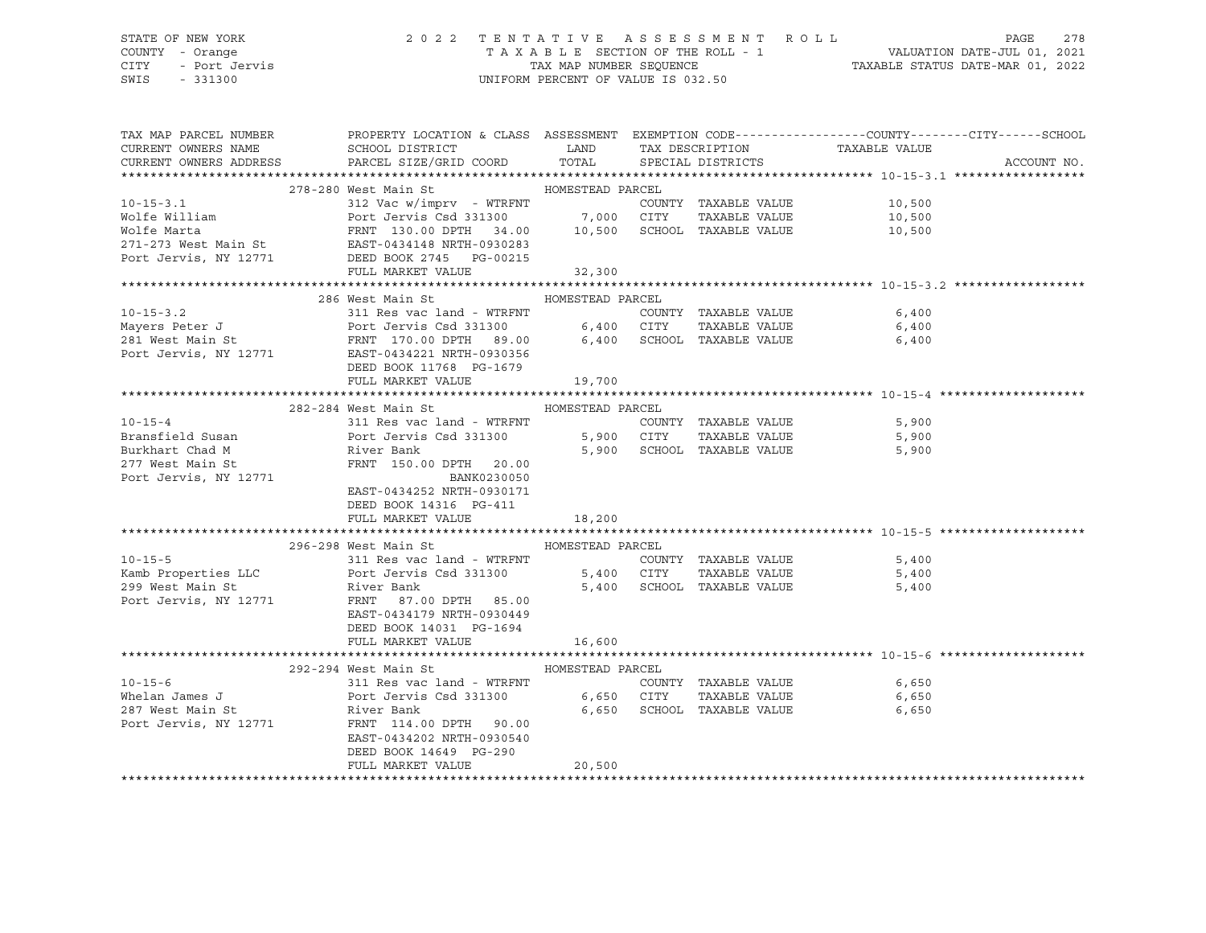## STATE OF NEW YORK 2 0 2 2 T E N T A T I V E A S S E S S M E N T R O L L PAGE 278 COUNTY - Orange T A X A B L E SECTION OF THE ROLL - 1 VALUATION DATE-JUL 01, 2021 CITY - Port Jervis TAX MAP NUMBER SEQUENCE TAXABLE STATUS DATE-MAR 01, 2022

|                                    | TAX MAP PARCEL NUMBER THE PROPERTY LOCATION & CLASS ASSESSMENT EXEMPTION CODE--------------COUNTY-------CITY------SCHOOL                                                                                                                               |                  |  |                                    |             |
|------------------------------------|--------------------------------------------------------------------------------------------------------------------------------------------------------------------------------------------------------------------------------------------------------|------------------|--|------------------------------------|-------------|
|                                    | CURRENT OWNERS NAME SCHOOL DISTRICT                                                                                                                                                                                                                    |                  |  | LAND TAX DESCRIPTION TAXABLE VALUE |             |
|                                    | CURRENT OWNERS ADDRESS PARCEL SIZE/GRID COORD TOTAL SPECIAL DISTRICTS                                                                                                                                                                                  |                  |  |                                    | ACCOUNT NO. |
|                                    |                                                                                                                                                                                                                                                        |                  |  |                                    |             |
|                                    |                                                                                                                                                                                                                                                        |                  |  |                                    |             |
|                                    |                                                                                                                                                                                                                                                        |                  |  |                                    |             |
|                                    |                                                                                                                                                                                                                                                        |                  |  |                                    |             |
|                                    |                                                                                                                                                                                                                                                        |                  |  |                                    |             |
|                                    |                                                                                                                                                                                                                                                        |                  |  |                                    |             |
|                                    |                                                                                                                                                                                                                                                        |                  |  |                                    |             |
|                                    |                                                                                                                                                                                                                                                        |                  |  |                                    |             |
|                                    | 10-15-3.1<br>Volfe William St HOMESTEAD PARCEL<br>312 Vac w/imprv - WTRFNT COUNTY TAXABLE VALUE 10,500<br>Volfe Marta FRNT 130.00 DPTH 34.00 10,500 SCHOOL TAXABLE VALUE 10,500<br>271-273 West Main St EAST-0434148 NRTH-0930283<br>Por               |                  |  |                                    |             |
|                                    | 286 West Main St                                                                                                                                                                                                                                       | HOMESTEAD PARCEL |  |                                    |             |
|                                    |                                                                                                                                                                                                                                                        |                  |  |                                    |             |
|                                    |                                                                                                                                                                                                                                                        |                  |  |                                    |             |
|                                    | 10-15-3.2<br>Mayers Peter J<br>281 West Main St<br>281 West Main St<br>281 West Main St<br>281 West Main St<br>281 West Main St<br>281 West Main St<br>281 West Main St<br>281 West Main St<br>281 West Main St<br>281 West Main St<br>281 West Main S |                  |  |                                    |             |
|                                    |                                                                                                                                                                                                                                                        |                  |  |                                    |             |
|                                    | DEED BOOK 11768 PG-1679                                                                                                                                                                                                                                |                  |  |                                    |             |
|                                    | FULL MARKET VALUE                                                                                                                                                                                                                                      | 19,700           |  |                                    |             |
|                                    |                                                                                                                                                                                                                                                        |                  |  |                                    |             |
|                                    | 282-284 West Main St Manuel HOMESTEAD PARCEL                                                                                                                                                                                                           |                  |  |                                    |             |
| $10 - 15 - 4$                      |                                                                                                                                                                                                                                                        |                  |  |                                    |             |
| Bransfield Susan                   |                                                                                                                                                                                                                                                        |                  |  |                                    |             |
|                                    | Exercise to the River Bank<br>277 West Main St<br>277 West Main St<br>277 West Main St<br>277 West Main St<br>277 West Main St<br>277 West Main St<br>277 West Main St<br>277 West Main St<br>277 West Main St<br>2885-0434252 NRTH-0930171            |                  |  | 5,900 SCHOOL TAXABLE VALUE 5,900   |             |
|                                    |                                                                                                                                                                                                                                                        |                  |  |                                    |             |
|                                    |                                                                                                                                                                                                                                                        |                  |  |                                    |             |
|                                    | EAST-0434252 NRTH-0930171                                                                                                                                                                                                                              |                  |  |                                    |             |
|                                    | DEED BOOK 14316 PG-411                                                                                                                                                                                                                                 |                  |  |                                    |             |
|                                    | FULL MARKET VALUE 18,200                                                                                                                                                                                                                               |                  |  |                                    |             |
|                                    |                                                                                                                                                                                                                                                        |                  |  |                                    |             |
|                                    | 296-298 West Main St Manuel HOMESTEAD PARCEL                                                                                                                                                                                                           |                  |  |                                    |             |
|                                    |                                                                                                                                                                                                                                                        |                  |  |                                    |             |
|                                    |                                                                                                                                                                                                                                                        |                  |  |                                    |             |
|                                    | 10-15-5<br>Kamb Properties LLC Port Jervis Csd 331300<br>299 West Main St River Bank<br>299 West Main St River Bank<br>299 West Main St River Bank<br>299 West Main St River Bank<br>299 West Main St River Bank<br>299 West Main St S,400<br>         |                  |  |                                    |             |
|                                    |                                                                                                                                                                                                                                                        |                  |  |                                    |             |
|                                    | EAST-0434179 NRTH-0930449                                                                                                                                                                                                                              |                  |  |                                    |             |
|                                    | DEED BOOK 14031 PG-1694                                                                                                                                                                                                                                |                  |  |                                    |             |
|                                    | FULL MARKET VALUE 16,600                                                                                                                                                                                                                               |                  |  |                                    |             |
|                                    |                                                                                                                                                                                                                                                        |                  |  |                                    |             |
|                                    | 292-294 West Main St MoMESTEAD PARCEL                                                                                                                                                                                                                  |                  |  |                                    |             |
| $10 - 15 - 6$                      |                                                                                                                                                                                                                                                        |                  |  | COUNTY TAXABLE VALUE 6,650         |             |
| Whelan James J<br>287 West Main St |                                                                                                                                                                                                                                                        |                  |  | 6,650                              |             |
|                                    | 292-294 West Main St.<br>311 Res vac land - WTRFNT<br>Port Jervis Csd 331300 6,650 CITY TAXABLE VALUE<br>River Bank 6,650 SCHOOL TAXABLE VALUE                                                                                                         |                  |  | 6,650                              |             |
|                                    | Port Jervis, NY 12771 FRNT 114.00 DPTH 90.00                                                                                                                                                                                                           |                  |  |                                    |             |
|                                    | EAST-0434202 NRTH-0930540                                                                                                                                                                                                                              |                  |  |                                    |             |
|                                    | DEED BOOK 14649 PG-290                                                                                                                                                                                                                                 | 20,500           |  |                                    |             |
|                                    | FULL MARKET VALUE                                                                                                                                                                                                                                      |                  |  |                                    |             |
|                                    |                                                                                                                                                                                                                                                        |                  |  |                                    |             |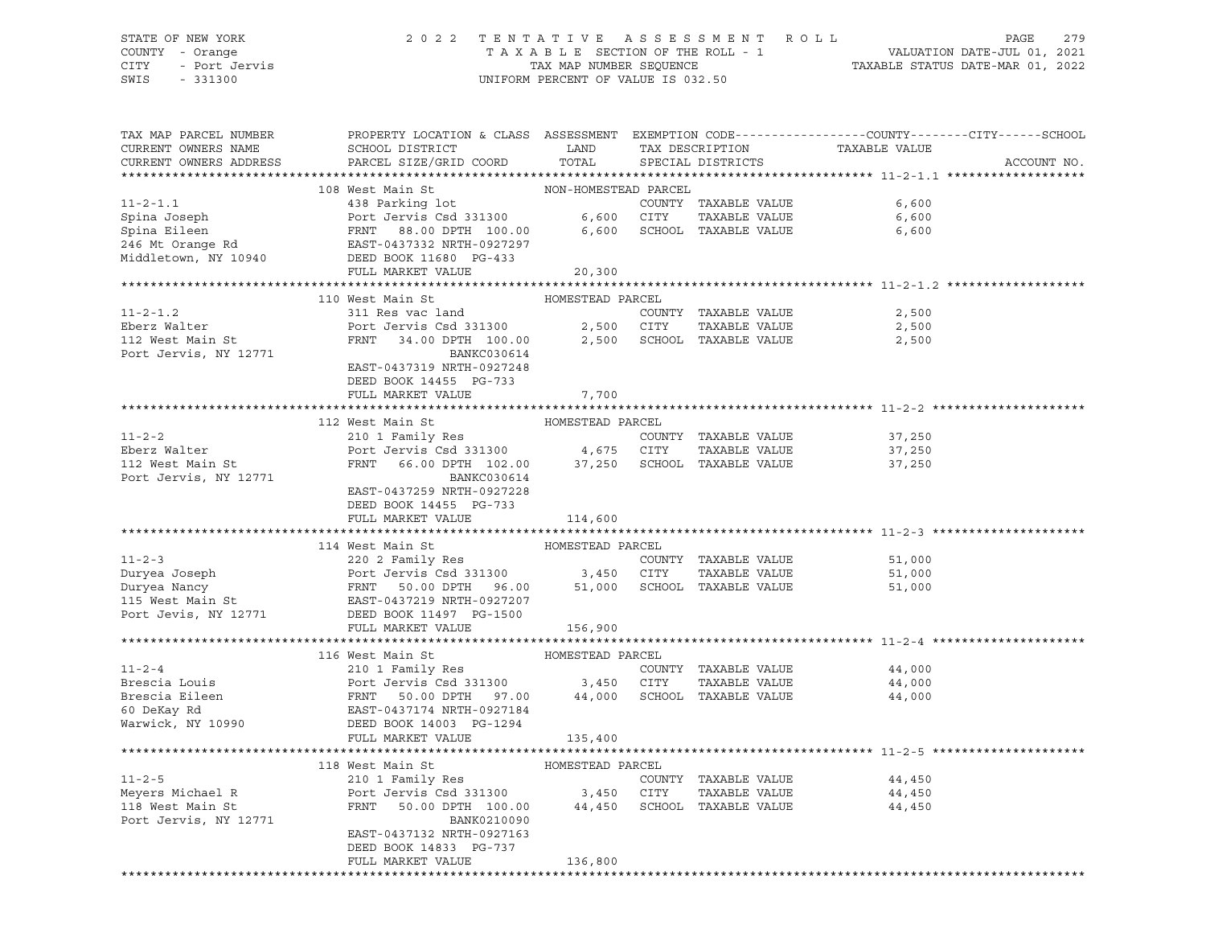# STATE OF NEW YORK 2 0 2 2 T E N T A T I V E A S S E S S M E N T R O L L PAGE 279 COUNTY - Orange T A X A B L E SECTION OF THE ROLL - 1 VALUATION DATE-JUL 01, 2021 CITY - Port Jervis TAX MAP NUMBER SEQUENCE TAXABLE STATUS DATE-MAR 01, 2022

| TAX MAP PARCEL NUMBER                      | PROPERTY LOCATION & CLASS ASSESSMENT EXEMPTION CODE----------------COUNTY-------CITY------SCHOOL                                                                                                                                                       |                      |                            |                  |             |
|--------------------------------------------|--------------------------------------------------------------------------------------------------------------------------------------------------------------------------------------------------------------------------------------------------------|----------------------|----------------------------|------------------|-------------|
| CURRENT OWNERS NAME                        | SCHOOL DISTRICT LAND                                                                                                                                                                                                                                   |                      | TAX DESCRIPTION            | TAXABLE VALUE    |             |
| CURRENT OWNERS ADDRESS                     | PARCEL SIZE/GRID COORD                                                                                                                                                                                                                                 | TOTAL                | SPECIAL DISTRICTS          |                  | ACCOUNT NO. |
|                                            |                                                                                                                                                                                                                                                        |                      |                            |                  |             |
|                                            | 108 West Main St                                                                                                                                                                                                                                       | NON-HOMESTEAD PARCEL |                            |                  |             |
| $11 - 2 - 1.1$                             | 438 Parking lot                                                                                                                                                                                                                                        |                      | COUNTY TAXABLE VALUE       | 6,600            |             |
|                                            |                                                                                                                                                                                                                                                        |                      | TAXABLE VALUE              | 6,600            |             |
|                                            |                                                                                                                                                                                                                                                        |                      | 6,600 SCHOOL TAXABLE VALUE | 6,600            |             |
|                                            |                                                                                                                                                                                                                                                        |                      |                            |                  |             |
|                                            | Spina Joseph<br>Spina Eileen<br>246 Mt Orange Rd<br>246 Mt Orange Rd<br>246 Mt Orange Rd<br>246 Mt Orange Rd<br>246 Mt Orange Rd<br>246 Mt Orange Rd<br>246 Mt Orange Rd<br>246 Mt Orange Rd<br>246 Mt Orange Rd<br>246 Mt Orange Rd<br>250 Middletown |                      |                            |                  |             |
|                                            | FULL MARKET VALUE                                                                                                                                                                                                                                      | 20,300               |                            |                  |             |
|                                            |                                                                                                                                                                                                                                                        |                      |                            |                  |             |
|                                            | 110 West Main St                                                                                                                                                                                                                                       | HOMESTEAD PARCEL     |                            |                  |             |
| $11 - 2 - 1.2$                             | 311 Res vac land                                                                                                                                                                                                                                       |                      | COUNTY TAXABLE VALUE       | 2,500            |             |
| Eberz Walter<br>112 West Main St           | Port Jervis Csd 331300 2,500 CITY TAXABLE VALUE<br>FRNT 34.00 DPTH 100.00 2,500 SCHOOL TAXABLE VALUE                                                                                                                                                   |                      | TAXABLE VALUE              | 2,500<br>2,500   |             |
|                                            |                                                                                                                                                                                                                                                        |                      |                            |                  |             |
| Port Jervis, NY 12771                      | BANKC030614                                                                                                                                                                                                                                            |                      |                            |                  |             |
|                                            | EAST-0437319 NRTH-0927248                                                                                                                                                                                                                              |                      |                            |                  |             |
|                                            | DEED BOOK 14455 PG-733                                                                                                                                                                                                                                 |                      |                            |                  |             |
|                                            | FULL MARKET VALUE                                                                                                                                                                                                                                      | 7,700                |                            |                  |             |
|                                            | 112 West Main St MoMESTEAD PARCEL                                                                                                                                                                                                                      |                      |                            |                  |             |
| $11 - 2 - 2$                               | 210 1 Family Res                                                                                                                                                                                                                                       |                      |                            |                  |             |
|                                            |                                                                                                                                                                                                                                                        |                      | COUNTY TAXABLE VALUE       | 37,250<br>37,250 |             |
| Li 2 2<br>Eberz Walter<br>112 West Main St | Port Jenning Rob<br>Port Jervis Csd 331300 4,675 CITY TAXABLE VALUE<br>FRNT 66.00 DPTH 102.00 37,250 SCHOOL TAXABLE VALUE                                                                                                                              |                      | TAXABLE VALUE              |                  |             |
| Port Jervis, NY 12771                      | BANKC030614                                                                                                                                                                                                                                            |                      |                            | 37,250           |             |
|                                            | EAST-0437259 NRTH-0927228                                                                                                                                                                                                                              |                      |                            |                  |             |
|                                            | DEED BOOK 14455 PG-733                                                                                                                                                                                                                                 |                      |                            |                  |             |
|                                            | FULL MARKET VALUE 114,600                                                                                                                                                                                                                              |                      |                            |                  |             |
|                                            |                                                                                                                                                                                                                                                        |                      |                            |                  |             |
|                                            | 114 West Main St                                                                                                                                                                                                                                       | HOMESTEAD PARCEL     |                            |                  |             |
|                                            | 11-2-3<br>Duryea Joseph 220 2 Family Res<br>Duryea Nancy Port Jervis Csd 331300<br>Duryea Nancy FRNT 50.00 DPTH 96.00 50000 SCHOOL TAXABLE VALUE<br>115 West Main St<br>Port Jevis, NY 12771 DEED BOOK 11497 PO-1500<br>PORT 16927207<br>Por           |                      |                            | 51,000           |             |
|                                            |                                                                                                                                                                                                                                                        |                      |                            | 51,000           |             |
|                                            |                                                                                                                                                                                                                                                        |                      |                            | 51,000           |             |
|                                            |                                                                                                                                                                                                                                                        |                      |                            |                  |             |
|                                            |                                                                                                                                                                                                                                                        |                      |                            |                  |             |
|                                            | FULL MARKET VALUE                                                                                                                                                                                                                                      | 156,900              |                            |                  |             |
|                                            |                                                                                                                                                                                                                                                        |                      |                            |                  |             |
|                                            | 116 West Main St                                                                                                                                                                                                                                       | HOMESTEAD PARCEL     |                            |                  |             |
| $11 - 2 - 4$                               | 210 1 Family Res                                                                                                                                                                                                                                       |                      | COUNTY TAXABLE VALUE       | 44,000           |             |
|                                            |                                                                                                                                                                                                                                                        |                      | TAXABLE VALUE              | 44,000           |             |
|                                            | Exercise Louis<br>Brescia Louis<br>Brescia Eileen<br>Exercise Colombin 3,450 CITY TAXABLE VALUE<br>FRNT 50.00 DPTH 97.00 44,000 SCHOOL TAXABLE VALUE<br>60 DeKay Rd<br>Warwick, NY 10990 DEED BOOK 14003 PG-1294                                       |                      |                            | 44,000           |             |
|                                            |                                                                                                                                                                                                                                                        |                      |                            |                  |             |
|                                            |                                                                                                                                                                                                                                                        |                      |                            |                  |             |
|                                            | FULL MARKET VALUE                                                                                                                                                                                                                                      | 135,400              |                            |                  |             |
|                                            |                                                                                                                                                                                                                                                        |                      |                            |                  |             |
|                                            |                                                                                                                                                                                                                                                        |                      |                            |                  |             |
| $11 - 2 - 5$                               |                                                                                                                                                                                                                                                        |                      | COUNTY TAXABLE VALUE       | 44,450           |             |
|                                            |                                                                                                                                                                                                                                                        |                      | TAXABLE VALUE              | 44,450           |             |
|                                            |                                                                                                                                                                                                                                                        |                      |                            | 44,450           |             |
| Port Jervis, NY 12771                      | BANK0210090                                                                                                                                                                                                                                            |                      |                            |                  |             |
|                                            | EAST-0437132 NRTH-0927163                                                                                                                                                                                                                              |                      |                            |                  |             |
|                                            | DEED BOOK 14833 PG-737                                                                                                                                                                                                                                 |                      |                            |                  |             |
|                                            | FULL MARKET VALUE                                                                                                                                                                                                                                      | 136,800              |                            |                  |             |
|                                            |                                                                                                                                                                                                                                                        |                      |                            |                  |             |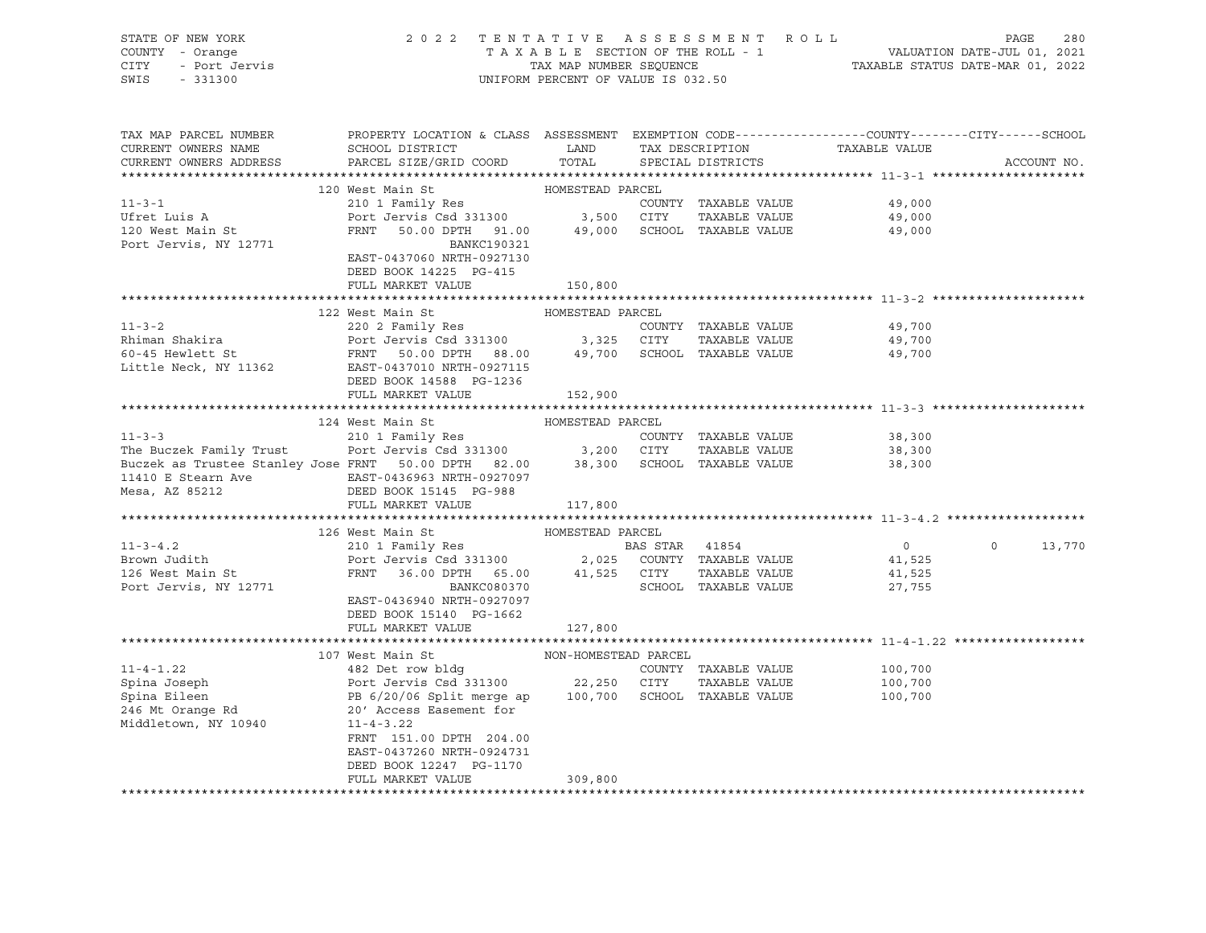| STATE OF NEW YORK       | 2 0 2 2                                                                                                                                                                                                                                                                                                                                                                                                                                  |                                                                 |                   | TENTATIVE ASSESSMENT ROLL |                | PAGE    | 280         |
|-------------------------|------------------------------------------------------------------------------------------------------------------------------------------------------------------------------------------------------------------------------------------------------------------------------------------------------------------------------------------------------------------------------------------------------------------------------------------|-----------------------------------------------------------------|-------------------|---------------------------|----------------|---------|-------------|
| COUNTY - Orange         | TAXABLE SECTION OF THE ROLL - 1                                                                                                                                                                                                                                                                                                                                                                                                          | VALUATION DATE-JUL 01, 2021<br>TAXABLE STATUS DATE-MAR 01, 2022 |                   |                           |                |         |             |
| - Port Jervis<br>CITY   |                                                                                                                                                                                                                                                                                                                                                                                                                                          | TAX MAP NUMBER SEQUENCE                                         |                   |                           |                |         |             |
| SWIS<br>$-331300$       |                                                                                                                                                                                                                                                                                                                                                                                                                                          | UNIFORM PERCENT OF VALUE IS 032.50                              |                   |                           |                |         |             |
|                         |                                                                                                                                                                                                                                                                                                                                                                                                                                          |                                                                 |                   |                           |                |         |             |
|                         |                                                                                                                                                                                                                                                                                                                                                                                                                                          |                                                                 |                   |                           |                |         |             |
|                         |                                                                                                                                                                                                                                                                                                                                                                                                                                          |                                                                 |                   |                           |                |         |             |
| TAX MAP PARCEL NUMBER   | PROPERTY LOCATION & CLASS ASSESSMENT EXEMPTION CODE---------------COUNTY-------CITY------SCHOOL                                                                                                                                                                                                                                                                                                                                          |                                                                 |                   |                           |                |         |             |
| CURRENT OWNERS NAME     | SCHOOL DISTRICT                                                                                                                                                                                                                                                                                                                                                                                                                          | <b>LAND</b>                                                     |                   | TAX DESCRIPTION           | TAXABLE VALUE  |         |             |
| CURRENT OWNERS ADDRESS  | PARCEL SIZE/GRID COORD                                                                                                                                                                                                                                                                                                                                                                                                                   | TOTAL                                                           | SPECIAL DISTRICTS |                           |                |         | ACCOUNT NO. |
|                         |                                                                                                                                                                                                                                                                                                                                                                                                                                          |                                                                 |                   |                           |                |         |             |
|                         | 120 West Main St                                                                                                                                                                                                                                                                                                                                                                                                                         | HOMESTEAD PARCEL                                                |                   |                           |                |         |             |
| $11 - 3 - 1$            | 210 1 Family Res                                                                                                                                                                                                                                                                                                                                                                                                                         |                                                                 |                   | COUNTY TAXABLE VALUE      | 49,000         |         |             |
| Ufret Luis A            |                                                                                                                                                                                                                                                                                                                                                                                                                                          |                                                                 |                   |                           | 49,000         |         |             |
| 120 West Main St        | Port Jervis Csd 331300 3,500 CITY TAXABLE VALUE<br>FRNT 50.00 DPTH 91.00 49,000 SCHOOL TAXABLE VALUE                                                                                                                                                                                                                                                                                                                                     |                                                                 |                   |                           | 49,000         |         |             |
| Port Jervis, NY 12771   | BANKC190321                                                                                                                                                                                                                                                                                                                                                                                                                              |                                                                 |                   |                           |                |         |             |
|                         | EAST-0437060 NRTH-0927130                                                                                                                                                                                                                                                                                                                                                                                                                |                                                                 |                   |                           |                |         |             |
|                         | DEED BOOK 14225 PG-415                                                                                                                                                                                                                                                                                                                                                                                                                   |                                                                 |                   |                           |                |         |             |
|                         | FULL MARKET VALUE                                                                                                                                                                                                                                                                                                                                                                                                                        | 150,800                                                         |                   |                           |                |         |             |
|                         |                                                                                                                                                                                                                                                                                                                                                                                                                                          |                                                                 |                   |                           |                |         |             |
|                         | 122 West Main St                                                                                                                                                                                                                                                                                                                                                                                                                         | HOMESTEAD PARCEL                                                |                   |                           |                |         |             |
| $11 - 3 - 2$            | 220 2 Family Res                                                                                                                                                                                                                                                                                                                                                                                                                         |                                                                 |                   | COUNTY TAXABLE VALUE      | 49,700         |         |             |
|                         |                                                                                                                                                                                                                                                                                                                                                                                                                                          |                                                                 |                   |                           | 49,700         |         |             |
|                         |                                                                                                                                                                                                                                                                                                                                                                                                                                          |                                                                 |                   |                           | 49,700         |         |             |
| Little Neck, NY 11362   | EAST-0437010 NRTH-0927115                                                                                                                                                                                                                                                                                                                                                                                                                |                                                                 |                   |                           |                |         |             |
|                         | DEED BOOK 14588 PG-1236                                                                                                                                                                                                                                                                                                                                                                                                                  |                                                                 |                   |                           |                |         |             |
|                         | FULL MARKET VALUE                                                                                                                                                                                                                                                                                                                                                                                                                        |                                                                 |                   |                           |                |         |             |
|                         |                                                                                                                                                                                                                                                                                                                                                                                                                                          | 152,900                                                         |                   |                           |                |         |             |
|                         | 124 West Main St                                                                                                                                                                                                                                                                                                                                                                                                                         | HOMESTEAD PARCEL                                                |                   |                           |                |         |             |
| $11 - 3 - 3$            | 210 1 Family Res                                                                                                                                                                                                                                                                                                                                                                                                                         |                                                                 |                   |                           |                |         |             |
|                         | Port Jervis Csd 331300                                                                                                                                                                                                                                                                                                                                                                                                                   |                                                                 | 3,200 CITY        | COUNTY TAXABLE VALUE      | 38,300         |         |             |
| The Buczek Family Trust | Buczek as Trustee Stanley Jose FRNT 50.00 DPTH 82.00 38,300 SCHOOL TAXABLE VALUE                                                                                                                                                                                                                                                                                                                                                         |                                                                 |                   | TAXABLE VALUE             | 38,300         |         |             |
|                         |                                                                                                                                                                                                                                                                                                                                                                                                                                          |                                                                 |                   |                           | 38,300         |         |             |
|                         | 11410 E Stearn Ave               EAST-0436963 NRTH-0927097                                                                                                                                                                                                                                                                                                                                                                               |                                                                 |                   |                           |                |         |             |
| Mesa, AZ 85212          | DEED BOOK 15145 PG-988                                                                                                                                                                                                                                                                                                                                                                                                                   |                                                                 |                   |                           |                |         |             |
|                         | FULL MARKET VALUE                                                                                                                                                                                                                                                                                                                                                                                                                        | 117,800                                                         |                   |                           |                |         |             |
|                         |                                                                                                                                                                                                                                                                                                                                                                                                                                          |                                                                 |                   |                           |                |         |             |
|                         | 126 West Main St                                                                                                                                                                                                                                                                                                                                                                                                                         | HOMESTEAD PARCEL                                                |                   |                           |                |         |             |
| $11 - 3 - 4.2$          | $210 1 Family ResPort Jervis Csd 3313002,025 COUNTY TXABLE VALUE$                                                                                                                                                                                                                                                                                                                                                                        |                                                                 |                   |                           | $\overline{0}$ | $\circ$ | 13,770      |
| Brown Judith            |                                                                                                                                                                                                                                                                                                                                                                                                                                          |                                                                 |                   |                           | 41,525         |         |             |
| 126 West Main St        | $\begin{tabular}{lllllll} \multicolumn{2}{c}{\textbf{FRNT}} & \multicolumn{2}{c}{36.00} & \multicolumn{2}{c}{\textbf{DPTH}} & \multicolumn{2}{c}{65.00} & \multicolumn{2}{c}{41,525} & \multicolumn{2}{c}{\textbf{CITY}} \\ & \multicolumn{2}{c}{\textbf{BANKC080370}} & & & & & \\ \multicolumn{2}{c}{\textbf{BANKC080370}} & & & & & \\ \multicolumn{2}{c}{\textbf{SCHOOL}} & & & & & \\ \multicolumn{2}{c}{\textbf{BANKC080370}} & &$ |                                                                 |                   | TAXABLE VALUE             | 41,525         |         |             |
| Port Jervis, NY 12771   |                                                                                                                                                                                                                                                                                                                                                                                                                                          |                                                                 |                   | SCHOOL TAXABLE VALUE      | 27,755         |         |             |
|                         | EAST-0436940 NRTH-0927097                                                                                                                                                                                                                                                                                                                                                                                                                |                                                                 |                   |                           |                |         |             |
|                         | DEED BOOK 15140 PG-1662                                                                                                                                                                                                                                                                                                                                                                                                                  |                                                                 |                   |                           |                |         |             |
|                         | FULL MARKET VALUE                                                                                                                                                                                                                                                                                                                                                                                                                        | 127,800                                                         |                   |                           |                |         |             |
|                         |                                                                                                                                                                                                                                                                                                                                                                                                                                          |                                                                 |                   |                           |                |         |             |
|                         | 107 West Main St                                                                                                                                                                                                                                                                                                                                                                                                                         | NON-HOMESTEAD PARCEL                                            |                   |                           |                |         |             |
| $11 - 4 - 1.22$         | 482 Det row bldg                                                                                                                                                                                                                                                                                                                                                                                                                         |                                                                 |                   | COUNTY TAXABLE VALUE      | 100,700        |         |             |
| Spina Joseph            | Port Jervis Csd 331300 22,250 CITY                                                                                                                                                                                                                                                                                                                                                                                                       |                                                                 |                   | TAXABLE VALUE             | 100,700        |         |             |
| Spina Eileen            | PB 6/20/06 Split merge ap 100,700 SCHOOL TAXABLE VALUE                                                                                                                                                                                                                                                                                                                                                                                   |                                                                 |                   |                           | 100,700        |         |             |
| 246 Mt Orange Rd        | 20' Access Easement for                                                                                                                                                                                                                                                                                                                                                                                                                  |                                                                 |                   |                           |                |         |             |
| Middletown, NY 10940    | $11 - 4 - 3.22$                                                                                                                                                                                                                                                                                                                                                                                                                          |                                                                 |                   |                           |                |         |             |
|                         | FRNT 151.00 DPTH 204.00                                                                                                                                                                                                                                                                                                                                                                                                                  |                                                                 |                   |                           |                |         |             |
|                         | EAST-0437260 NRTH-0924731                                                                                                                                                                                                                                                                                                                                                                                                                |                                                                 |                   |                           |                |         |             |
|                         | DEED BOOK 12247 PG-1170                                                                                                                                                                                                                                                                                                                                                                                                                  |                                                                 |                   |                           |                |         |             |
|                         | FULL MARKET VALUE                                                                                                                                                                                                                                                                                                                                                                                                                        | 309,800                                                         |                   |                           |                |         |             |
|                         |                                                                                                                                                                                                                                                                                                                                                                                                                                          |                                                                 |                   |                           |                |         |             |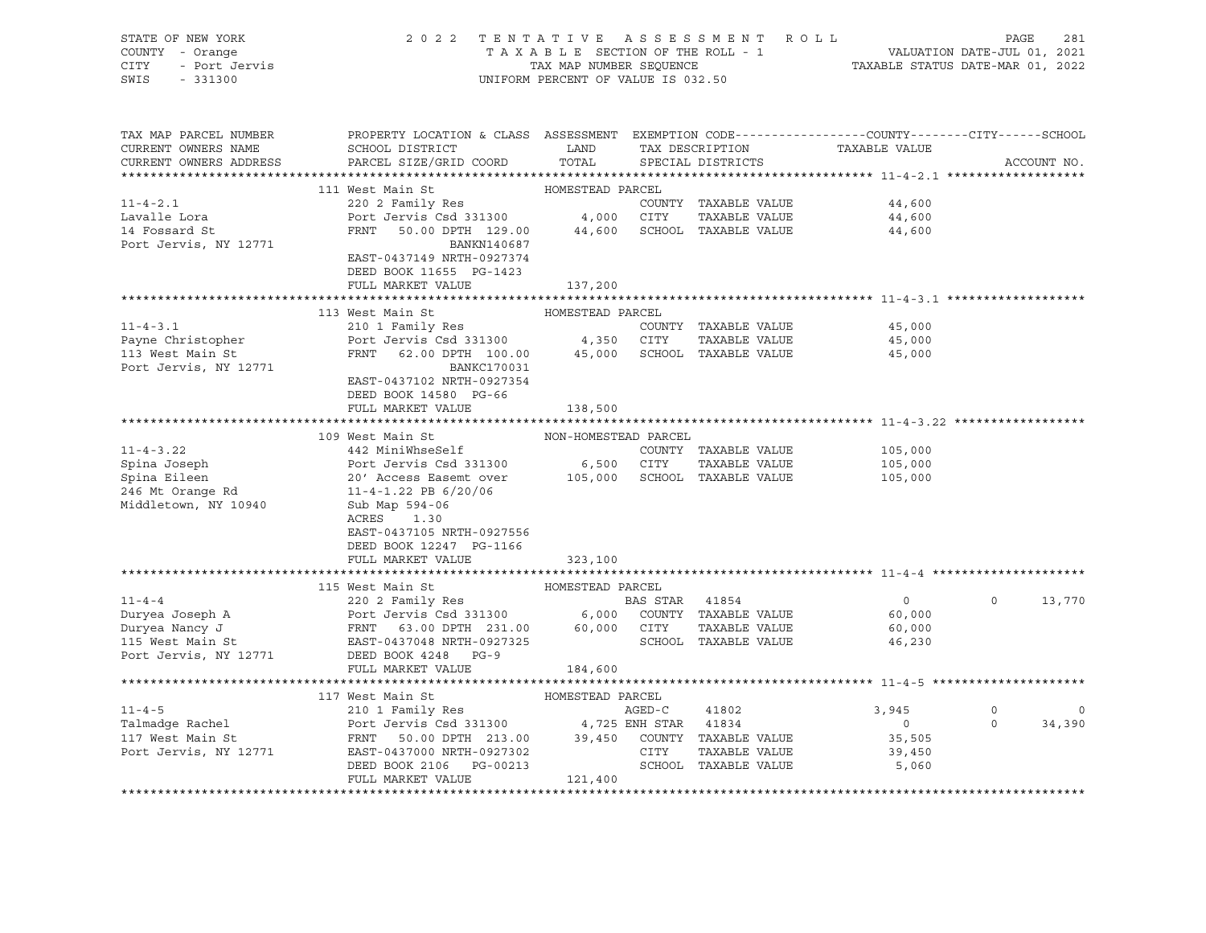| STATE OF NEW YORK<br>COUNTY - Orange<br><b>CITY</b><br>- Port Jervis<br>SWIS<br>$-331300$                                                 | 2 0 2 2                                                                                                                                                                                                                                                                                                                                                                                                                                          | TENTATIVE ASSESSMENT ROLL<br>TAXABLE SECTION OF THE ROLL - 1<br>TAX MAP NUMBER SEQUENCE<br>UNIFORM PERCENT OF VALUE IS 032.50 | PAGE<br>281<br>VALUATION DATE-JUL 01, 2021<br>TAXABLE STATUS DATE-MAR 01, 2022 |                                                                       |                                             |                     |                       |
|-------------------------------------------------------------------------------------------------------------------------------------------|--------------------------------------------------------------------------------------------------------------------------------------------------------------------------------------------------------------------------------------------------------------------------------------------------------------------------------------------------------------------------------------------------------------------------------------------------|-------------------------------------------------------------------------------------------------------------------------------|--------------------------------------------------------------------------------|-----------------------------------------------------------------------|---------------------------------------------|---------------------|-----------------------|
| TAX MAP PARCEL NUMBER<br>CURRENT OWNERS NAME<br>CURRENT OWNERS ADDRESS                                                                    | PROPERTY LOCATION & CLASS ASSESSMENT EXEMPTION CODE----------------COUNTY-------CITY------SCHOOL<br>SCHOOL DISTRICT<br>PARCEL SIZE/GRID COORD                                                                                                                                                                                                                                                                                                    | LAND<br>TOTAL                                                                                                                 |                                                                                | TAX DESCRIPTION<br>SPECIAL DISTRICTS                                  | TAXABLE VALUE                               |                     | ACCOUNT NO.           |
|                                                                                                                                           |                                                                                                                                                                                                                                                                                                                                                                                                                                                  | HOMESTEAD PARCEL                                                                                                              |                                                                                |                                                                       |                                             |                     |                       |
| $11 - 4 - 2.1$                                                                                                                            | 111 West Main St<br>220 2 Family Res                                                                                                                                                                                                                                                                                                                                                                                                             |                                                                                                                               |                                                                                | COUNTY TAXABLE VALUE                                                  | 44,600                                      |                     |                       |
| Lavalle Lora                                                                                                                              | Port Jervis Csd 331300 4,000 CITY                                                                                                                                                                                                                                                                                                                                                                                                                |                                                                                                                               |                                                                                | TAXABLE VALUE                                                         | 44,600                                      |                     |                       |
| 14 Fossard St<br>Port Jervis, NY 12771                                                                                                    | 50.00 DPTH 129.00 44,600 SCHOOL TAXABLE VALUE<br>FRNT<br>BANKN140687<br>EAST-0437149 NRTH-0927374<br>DEED BOOK 11655 PG-1423                                                                                                                                                                                                                                                                                                                     |                                                                                                                               |                                                                                |                                                                       | 44,600                                      |                     |                       |
|                                                                                                                                           | FULL MARKET VALUE                                                                                                                                                                                                                                                                                                                                                                                                                                | 137,200                                                                                                                       |                                                                                |                                                                       |                                             |                     |                       |
|                                                                                                                                           |                                                                                                                                                                                                                                                                                                                                                                                                                                                  |                                                                                                                               |                                                                                |                                                                       |                                             |                     |                       |
|                                                                                                                                           | 113 West Main St                                                                                                                                                                                                                                                                                                                                                                                                                                 | HOMESTEAD PARCEL                                                                                                              |                                                                                |                                                                       |                                             |                     |                       |
| $11 - 4 - 3.1$                                                                                                                            | 210 1 Family Res                                                                                                                                                                                                                                                                                                                                                                                                                                 |                                                                                                                               |                                                                                | COUNTY TAXABLE VALUE                                                  | 45,000                                      |                     |                       |
| Payne Christopher<br>113 West Main St<br>Port Jervis, NY 12771                                                                            | Port Jervis Csd 331300 4,350 CITY TAXABLE VALUE<br>FRNT 62.00 DPTH 100.00 45,000 SCHOOL TAXABLE VALUE<br><b>BANKC170031</b><br>EAST-0437102 NRTH-0927354<br>DEED BOOK 14580 PG-66                                                                                                                                                                                                                                                                |                                                                                                                               |                                                                                |                                                                       | 45,000<br>45,000                            |                     |                       |
|                                                                                                                                           | FULL MARKET VALUE                                                                                                                                                                                                                                                                                                                                                                                                                                | 138,500                                                                                                                       |                                                                                |                                                                       |                                             |                     |                       |
|                                                                                                                                           |                                                                                                                                                                                                                                                                                                                                                                                                                                                  |                                                                                                                               |                                                                                |                                                                       |                                             |                     |                       |
|                                                                                                                                           | 109 West Main St                                                                                                                                                                                                                                                                                                                                                                                                                                 | NON-HOMESTEAD PARCEL                                                                                                          |                                                                                |                                                                       |                                             |                     |                       |
| $11 - 4 - 3.22$<br>Spina Joseph<br>Spina Eileen<br>246 Mt Orange Rd<br>Middletown, NY 10940                                               | 442 MiniWhseSelf<br>Port Jervis Csd 331300<br>20' Access Easemt over<br>$11 - 4 - 1.22$ PB $6/20/06$<br>Sub Map 594-06<br>ACRES<br>1.30<br>EAST-0437105 NRTH-0927556<br>DEED BOOK 12247 PG-1166<br>FULL MARKET VALUE                                                                                                                                                                                                                             | 6,500 CITY<br>323,100                                                                                                         |                                                                                | COUNTY TAXABLE VALUE<br>TAXABLE VALUE<br>105,000 SCHOOL TAXABLE VALUE | 105,000<br>105,000<br>105,000               |                     |                       |
|                                                                                                                                           |                                                                                                                                                                                                                                                                                                                                                                                                                                                  |                                                                                                                               |                                                                                |                                                                       |                                             |                     |                       |
| Duryea Joseph A<br>Duryea Nancy J<br>Duryea Nancy J<br>Duryea Nancy J<br>TERNT 63.00 DPTH 231.00 60,000 CITY<br>EAST-0437048 NRTH-0977225 | 115 West Main St                                                                                                                                                                                                                                                                                                                                                                                                                                 | HOMESTEAD PARCEL                                                                                                              | BAS STAR 41854                                                                 | 6,000 COUNTY TAXABLE VALUE                                            | $\overline{0}$<br>60,000                    | $\circ$             | 13,770                |
| Port Jervis, NY 12771                                                                                                                     | DEED BOOK 4248 PG-9<br>FULL MARKET VALUE                                                                                                                                                                                                                                                                                                                                                                                                         | 184,600                                                                                                                       |                                                                                | TAXABLE VALUE<br>SCHOOL TAXABLE VALUE                                 | 60,000<br>46,230                            |                     |                       |
|                                                                                                                                           |                                                                                                                                                                                                                                                                                                                                                                                                                                                  |                                                                                                                               |                                                                                |                                                                       |                                             |                     |                       |
| $11 - 4 - 5$<br>Talmadge Rachel<br>117 West Main St<br>Port Jervis, NY 12771                                                              | 117 West Main St<br>210 1 Family Res<br>$\begin{tabular}{lllllllllllllllllllll} \hline 210&1 & Family Res & & & & & & & & & & & \\ \hline \hline \text{Port} &Jervis & Csd & 331300 & & & 4,725 & ENH & STAR & 41834 \\ \text{FRNT} & 50.00 & DPTH & 213.00 & & 39,450 & COUNTY & TAXABLE VALUE \\ \text{EAST-0437000 NRTH-0927302 & & & & & & & & \\ \text{RATT} & p\alpha\alpha\gamma & 2106 & pG-00213 & & & & & & & \\ \hline \end{tabular}$ | HOMESTEAD PARCEL                                                                                                              | AGED-C                                                                         | 41802                                                                 | 3,945<br>$\overline{0}$<br>35,505<br>39,450 | $\circ$<br>$\Omega$ | $\mathbf 0$<br>34,390 |
|                                                                                                                                           | FULL MARKET VALUE                                                                                                                                                                                                                                                                                                                                                                                                                                | 121,400                                                                                                                       |                                                                                |                                                                       | 5,060                                       |                     |                       |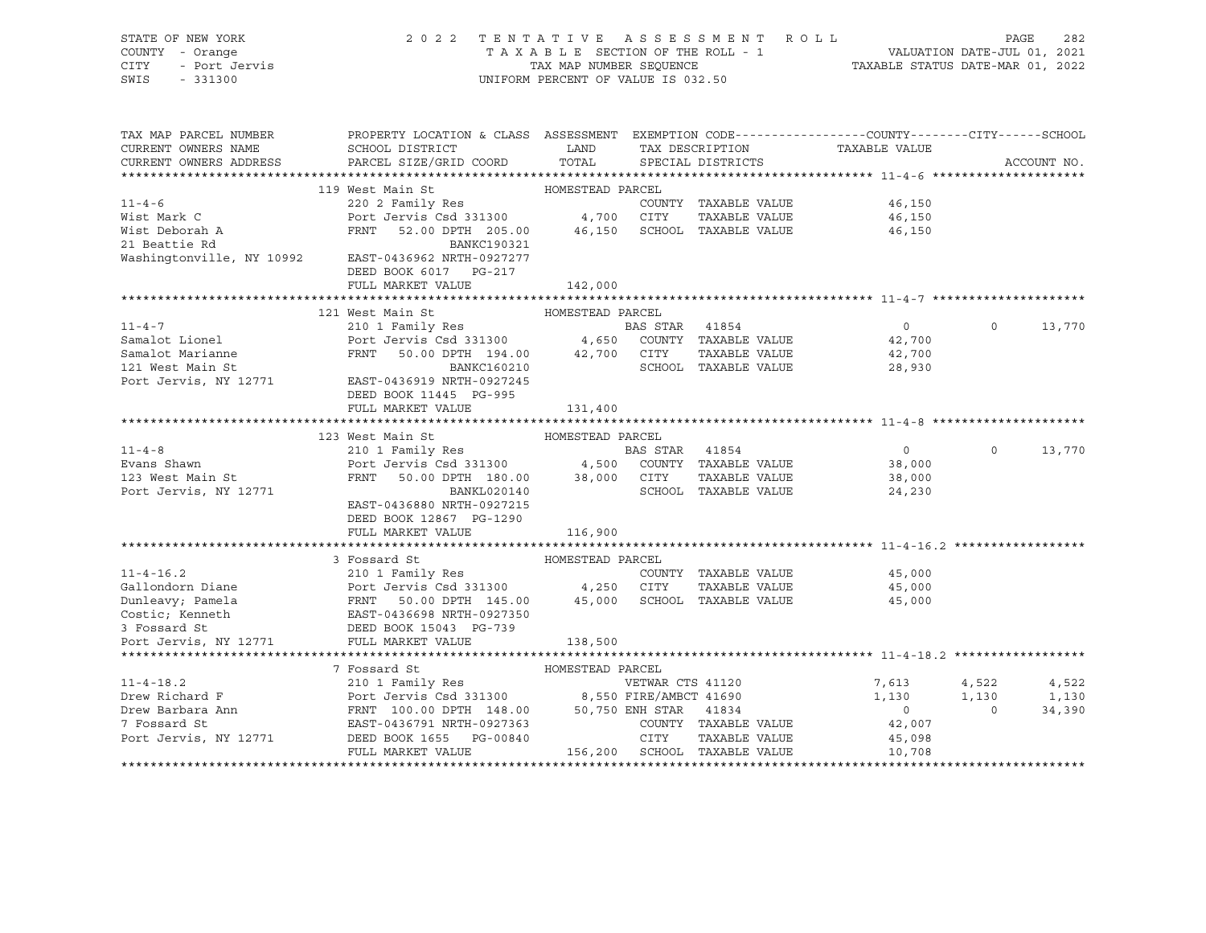| STATE OF NEW YORK<br>COUNTY - Orange<br>restant.<br>1 - Orange<br>- Port Jervis<br>CITY<br>SWIS |                                                                                                                                                                                                                                                |                  | 2022 TENTATIVE ASSESSMENT ROLL<br>UNIFORM PERCENT OF VALUE IS 032.50 | T A X A B L E SECTION OF THE ROLL - 1<br>T A X A B L E SECTION OF THE ROLL - 1<br>TAX MAP NUMBER SEQUENCE TAXABLE STATUS DATE-MAR 01, 2022 | PAGE<br>282                      |
|-------------------------------------------------------------------------------------------------|------------------------------------------------------------------------------------------------------------------------------------------------------------------------------------------------------------------------------------------------|------------------|----------------------------------------------------------------------|--------------------------------------------------------------------------------------------------------------------------------------------|----------------------------------|
| TAX MAP PARCEL NUMBER<br>CURRENT OWNERS NAME                                                    | PROPERTY LOCATION & CLASS ASSESSMENT EXEMPTION CODE---------------COUNTY-------CITY------SCHOOL<br>SCHOOL DISTRICT                                                                                                                             | <b>LAND</b>      | TAX DESCRIPTION                                                      | TAXABLE VALUE                                                                                                                              |                                  |
| CURRENT OWNERS ADDRESS                                                                          | PARCEL SIZE/GRID COORD                                                                                                                                                                                                                         | TOTAL            | SPECIAL DISTRICTS                                                    |                                                                                                                                            | ACCOUNT NO.                      |
|                                                                                                 |                                                                                                                                                                                                                                                |                  |                                                                      |                                                                                                                                            |                                  |
|                                                                                                 | 119 West Main St                                                                                                                                                                                                                               | HOMESTEAD PARCEL |                                                                      |                                                                                                                                            |                                  |
| $11 - 4 - 6$                                                                                    | 220 2 Family Res<br>220 2 Family Res<br>Port Jervis Csd 331300 4,700 CITY                                                                                                                                                                      |                  | COUNTY TAXABLE VALUE                                                 | 46,150                                                                                                                                     |                                  |
| Wist Mark C                                                                                     | FRNT 52.00 DPTH 205.00 46,150 SCHOOL TAXABLE VALUE                                                                                                                                                                                             |                  | TAXABLE VALUE                                                        | 46,150                                                                                                                                     |                                  |
| Wist Deborah A<br>21 Beattie Rd<br>21 Beattie Rd                                                | BANKC190321                                                                                                                                                                                                                                    |                  |                                                                      | 46,150                                                                                                                                     |                                  |
|                                                                                                 | Washingtonville, NY 10992 EAST-0436962 NRTH-0927277                                                                                                                                                                                            |                  |                                                                      |                                                                                                                                            |                                  |
|                                                                                                 | DEED BOOK 6017 PG-217                                                                                                                                                                                                                          |                  |                                                                      |                                                                                                                                            |                                  |
|                                                                                                 | FULL MARKET VALUE                                                                                                                                                                                                                              | 142,000          |                                                                      |                                                                                                                                            |                                  |
|                                                                                                 |                                                                                                                                                                                                                                                |                  |                                                                      | ******************************* 11-4-7 *******************                                                                                 |                                  |
|                                                                                                 | 121 West Main St                                                                                                                                                                                                                               | HOMESTEAD PARCEL |                                                                      |                                                                                                                                            |                                  |
| $11 - 4 - 7$                                                                                    | 210 1 Family Res                                                                                                                                                                                                                               |                  | <b>BAS STAR</b> 41854                                                | 0                                                                                                                                          | $\Omega$<br>13,770               |
| Samalot Lionel                                                                                  | 210 1 Family Res<br>Port Jervis Csd 331300 4,650 COUNTY TAXABLE VALUE                                                                                                                                                                          |                  |                                                                      | 42,700                                                                                                                                     |                                  |
| Samalot Marianne                                                                                | FRNT 50.00 DPTH 194.00 42,700 CITY<br>BANKC160210 SCHOOL                                                                                                                                                                                       |                  | TAXABLE VALUE                                                        | 42,700                                                                                                                                     |                                  |
| 121 West Main St                                                                                |                                                                                                                                                                                                                                                |                  | SCHOOL TAXABLE VALUE                                                 | 28,930                                                                                                                                     |                                  |
| Port Jervis, NY 12771                                                                           | EAST-0436919 NRTH-0927245                                                                                                                                                                                                                      |                  |                                                                      |                                                                                                                                            |                                  |
|                                                                                                 | DEED BOOK 11445 PG-995                                                                                                                                                                                                                         |                  |                                                                      |                                                                                                                                            |                                  |
|                                                                                                 | FULL MARKET VALUE                                                                                                                                                                                                                              | 131,400          |                                                                      |                                                                                                                                            |                                  |
|                                                                                                 |                                                                                                                                                                                                                                                |                  |                                                                      |                                                                                                                                            |                                  |
|                                                                                                 | 123 West Main St                                                                                                                                                                                                                               | HOMESTEAD PARCEL |                                                                      |                                                                                                                                            |                                  |
| $11 - 4 - 8$                                                                                    | 210 1 Family Res                                                                                                                                                                                                                               |                  | BAS STAR 41854                                                       | $\overline{0}$                                                                                                                             | $\Omega$<br>13,770               |
| Evans Shawn<br>123 West Main St                                                                 | Port Jervis Csd 331300 4,500 COUNTY TAXABLE VALUE<br>FRNT 50.00 DPTH 180.00 38,000 CITY TAXABLE VALUE                                                                                                                                          |                  | TAXABLE VALUE                                                        | 38,000<br>38,000                                                                                                                           |                                  |
| Port Jervis, NY 12771                                                                           | BANKL020140                                                                                                                                                                                                                                    |                  | SCHOOL TAXABLE VALUE                                                 | 24,230                                                                                                                                     |                                  |
|                                                                                                 | EAST-0436880 NRTH-0927215                                                                                                                                                                                                                      |                  |                                                                      |                                                                                                                                            |                                  |
|                                                                                                 | DEED BOOK 12867 PG-1290                                                                                                                                                                                                                        |                  |                                                                      |                                                                                                                                            |                                  |
|                                                                                                 | FULL MARKET VALUE                                                                                                                                                                                                                              | 116,900          |                                                                      |                                                                                                                                            |                                  |
|                                                                                                 |                                                                                                                                                                                                                                                |                  |                                                                      |                                                                                                                                            |                                  |
|                                                                                                 | 3 Fossard St                                                                                                                                                                                                                                   | HOMESTEAD PARCEL |                                                                      |                                                                                                                                            |                                  |
|                                                                                                 |                                                                                                                                                                                                                                                |                  | COUNTY TAXABLE VALUE                                                 | 45,000                                                                                                                                     |                                  |
|                                                                                                 |                                                                                                                                                                                                                                                |                  | TAXABLE VALUE                                                        | 45,000                                                                                                                                     |                                  |
|                                                                                                 | COUNT<br>COUNT<br>Dunleavy; Pamela<br>Count Dunleavy; Pamela<br>Count Count Count Count Count<br>Count Count Count Count Count Count<br>Count: Account Count Count Count Count<br>Count Count Count Count Count Count Count<br>Count Count Cou |                  | 45,000 SCHOOL TAXABLE VALUE                                          | 45,000                                                                                                                                     |                                  |
|                                                                                                 |                                                                                                                                                                                                                                                |                  |                                                                      |                                                                                                                                            |                                  |
|                                                                                                 |                                                                                                                                                                                                                                                |                  |                                                                      |                                                                                                                                            |                                  |
| Port Jervis, NY 12771                                                                           | FULL MARKET VALUE                                                                                                                                                                                                                              | 138,500          |                                                                      |                                                                                                                                            |                                  |
|                                                                                                 |                                                                                                                                                                                                                                                |                  |                                                                      |                                                                                                                                            |                                  |
|                                                                                                 | 7 Fossard St                                                                                                                                                                                                                                   | HOMESTEAD PARCEL |                                                                      |                                                                                                                                            |                                  |
| $11 - 4 - 18.2$<br>Drew Richard F                                                               |                                                                                                                                                                                                                                                |                  | PARCEL<br>VETWAR CTS 41120<br>Comparent 41690                        | 7,613<br>1,130                                                                                                                             | 4,522<br>4,522<br>1,130<br>1,130 |
|                                                                                                 |                                                                                                                                                                                                                                                |                  |                                                                      | $\overline{0}$                                                                                                                             | 34,390<br>$\overline{0}$         |
| Drew Barbara Ann<br>7 Fossard St                                                                |                                                                                                                                                                                                                                                |                  | COUNTY TAXABLE VALUE                                                 | 42,007                                                                                                                                     |                                  |
| Port Jervis, NY 12771                                                                           | 7 Fossard St Monderland Christman (1120)<br>210 1 Family Res VETWAR CTS 41120<br>POT Jervis Csd 331300 8,550 FIRE/AMBCT 41690<br>FRNT 100.00 DPTH 148.00 50,750 ENH STAR 41834<br>EAST-0436791 NRTH-0927363 COUNTY TAXABLE VA<br>NERD RO       |                  | TAXABLE VALUE                                                        | 45,098                                                                                                                                     |                                  |
|                                                                                                 | FULL MARKET VALUE                                                                                                                                                                                                                              |                  | 156,200 SCHOOL TAXABLE VALUE                                         | 10,708                                                                                                                                     |                                  |
|                                                                                                 |                                                                                                                                                                                                                                                |                  |                                                                      |                                                                                                                                            |                                  |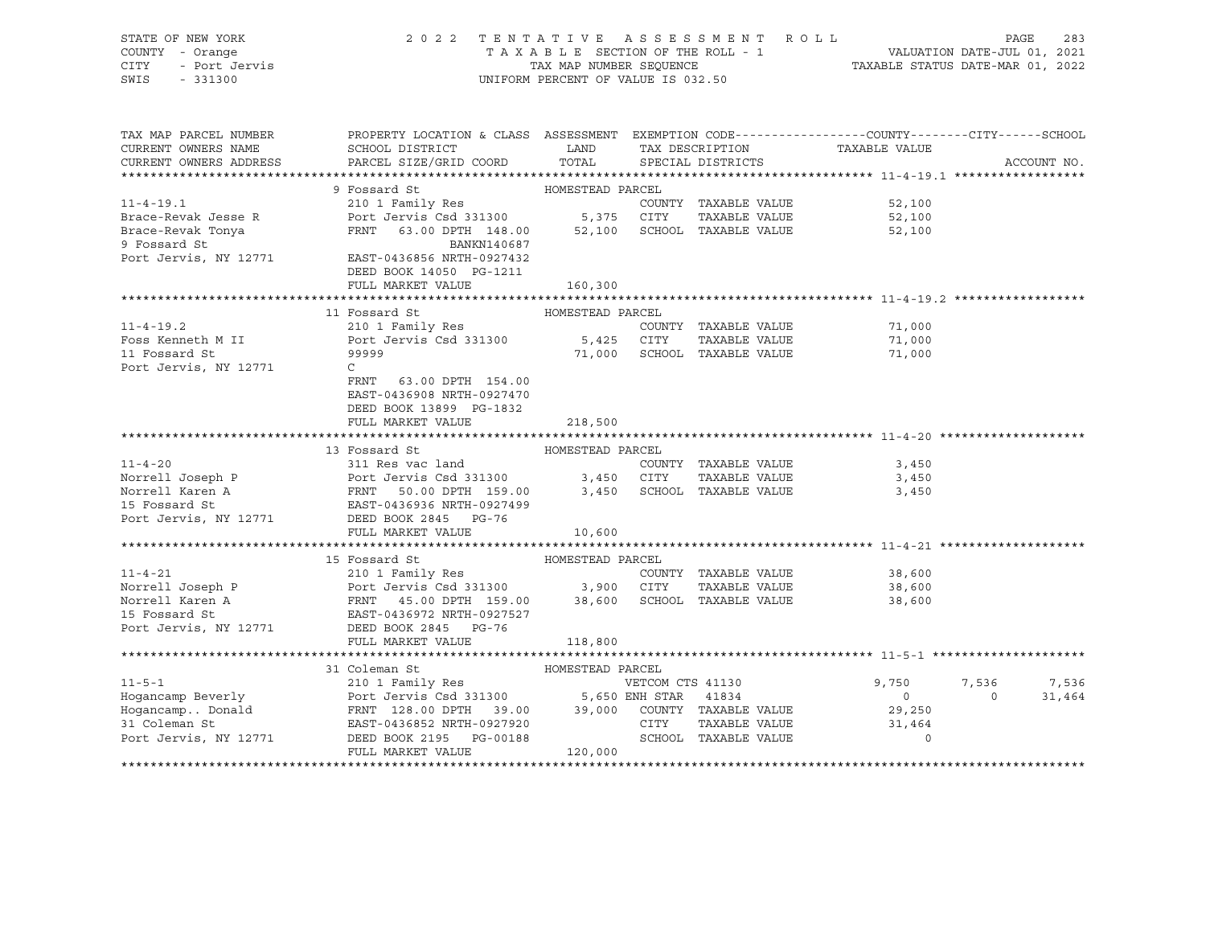| STATE OF NEW YORK                              |                                                                                                                                                                                                                                                         |                  |                                    |                  |                |             |  |  |  |
|------------------------------------------------|---------------------------------------------------------------------------------------------------------------------------------------------------------------------------------------------------------------------------------------------------------|------------------|------------------------------------|------------------|----------------|-------------|--|--|--|
| COUNTY - Orange<br>Y - Orange<br>- Port Jervis | 2022 TENTATIVE ASSESSMENT ROLL PAGE 283<br>TAXABLE SECTION OF THE ROLL - 1<br>TAX MAP NUMBER SEQUENCE TAXABLE STATUS DATE-MAR 01, 2022                                                                                                                  |                  |                                    |                  |                |             |  |  |  |
| CITY                                           |                                                                                                                                                                                                                                                         |                  |                                    |                  |                |             |  |  |  |
| SWIS - 331300                                  |                                                                                                                                                                                                                                                         |                  | UNIFORM PERCENT OF VALUE IS 032.50 |                  |                |             |  |  |  |
|                                                |                                                                                                                                                                                                                                                         |                  |                                    |                  |                |             |  |  |  |
|                                                |                                                                                                                                                                                                                                                         |                  |                                    |                  |                |             |  |  |  |
|                                                |                                                                                                                                                                                                                                                         |                  |                                    |                  |                |             |  |  |  |
| TAX MAP PARCEL NUMBER                          | PROPERTY LOCATION & CLASS ASSESSMENT EXEMPTION CODE----------------COUNTY-------CITY------SCHOOL                                                                                                                                                        |                  |                                    |                  |                |             |  |  |  |
| CURRENT OWNERS NAME                            | ${\tt SCH OOL\ DISTRICT} \hspace{2.5cm} {\tt LAND} \hspace{2.5cm} {\tt TAX\ DESCRIFTION} \hspace{2.5cm} {\tt TAXABLE\ VALUE}$                                                                                                                           |                  |                                    |                  |                |             |  |  |  |
| CURRENT OWNERS ADDRESS                         | PARCEL SIZE/GRID COORD TOTAL                                                                                                                                                                                                                            |                  | SPECIAL DISTRICTS                  |                  |                | ACCOUNT NO. |  |  |  |
|                                                |                                                                                                                                                                                                                                                         |                  |                                    |                  |                |             |  |  |  |
|                                                | 9 Fossard St MOMESTEAD PARCEL                                                                                                                                                                                                                           |                  |                                    |                  |                |             |  |  |  |
|                                                | 11-4-19.1 210 1 Family Res<br>Brace-Revak Jesse R Port Jervis Csd 331300 5,375 CITY TAXABLE VALUE<br>Brace-Revak Tonya FRNT 63.00 DPTH 148.00 52,100 SCHOOL TAXABLE VALUE<br>9 Fossard St BANKN140687                                                   |                  |                                    |                  |                |             |  |  |  |
|                                                |                                                                                                                                                                                                                                                         |                  |                                    | 52,100           |                |             |  |  |  |
|                                                |                                                                                                                                                                                                                                                         |                  |                                    | 52,100           |                |             |  |  |  |
|                                                |                                                                                                                                                                                                                                                         |                  |                                    | 52,100           |                |             |  |  |  |
|                                                |                                                                                                                                                                                                                                                         |                  |                                    |                  |                |             |  |  |  |
|                                                | Port Jervis, NY 12771 EAST-0436856 NRTH-0927432                                                                                                                                                                                                         |                  |                                    |                  |                |             |  |  |  |
|                                                | DEED BOOK 14050 PG-1211                                                                                                                                                                                                                                 |                  |                                    |                  |                |             |  |  |  |
|                                                | FULL MARKET VALUE                                                                                                                                                                                                                                       | 160,300          |                                    |                  |                |             |  |  |  |
|                                                |                                                                                                                                                                                                                                                         |                  |                                    |                  |                |             |  |  |  |
|                                                | 11 Fossard St                                                                                                                                                                                                                                           | HOMESTEAD PARCEL |                                    |                  |                |             |  |  |  |
| $11 - 4 - 19.2$                                |                                                                                                                                                                                                                                                         |                  |                                    | 71,000           |                |             |  |  |  |
|                                                |                                                                                                                                                                                                                                                         |                  |                                    | 71,000           |                |             |  |  |  |
| Foss Kenneth M II<br>11 Fossard St             |                                                                                                                                                                                                                                                         |                  |                                    | 71,000           |                |             |  |  |  |
|                                                |                                                                                                                                                                                                                                                         |                  |                                    |                  |                |             |  |  |  |
| Port Jervis, NY 12771                          | $\mathsf{C}$                                                                                                                                                                                                                                            |                  |                                    |                  |                |             |  |  |  |
|                                                | FRNT<br>63.00 DPTH 154.00                                                                                                                                                                                                                               |                  |                                    |                  |                |             |  |  |  |
|                                                | EAST-0436908 NRTH-0927470                                                                                                                                                                                                                               |                  |                                    |                  |                |             |  |  |  |
|                                                | DEED BOOK 13899 PG-1832                                                                                                                                                                                                                                 |                  |                                    |                  |                |             |  |  |  |
|                                                | FULL MARKET VALUE                                                                                                                                                                                                                                       | 218,500          |                                    |                  |                |             |  |  |  |
|                                                |                                                                                                                                                                                                                                                         |                  |                                    |                  |                |             |  |  |  |
|                                                |                                                                                                                                                                                                                                                         |                  |                                    |                  |                |             |  |  |  |
|                                                |                                                                                                                                                                                                                                                         |                  |                                    | 3,450            |                |             |  |  |  |
|                                                |                                                                                                                                                                                                                                                         |                  |                                    | 3,450            |                |             |  |  |  |
|                                                |                                                                                                                                                                                                                                                         |                  |                                    | 3,450            |                |             |  |  |  |
|                                                |                                                                                                                                                                                                                                                         |                  |                                    |                  |                |             |  |  |  |
|                                                |                                                                                                                                                                                                                                                         |                  |                                    |                  |                |             |  |  |  |
|                                                |                                                                                                                                                                                                                                                         |                  |                                    |                  |                |             |  |  |  |
|                                                | FULL MARKET VALUE                                                                                                                                                                                                                                       | 10,600           |                                    |                  |                |             |  |  |  |
|                                                | 11-4-21<br>15 Fossard St<br>210 1 Family Res<br>Norrell Joseph P<br>Norrell Karen A<br>15 Fossard St<br>210 1 Family Res<br>210 1 Family Res<br>210 1 Family Res<br>210 1 Family Res<br>210 1 Family Res<br>210 1 Family Res<br>210 1 Family Res<br>210 |                  |                                    |                  |                |             |  |  |  |
|                                                |                                                                                                                                                                                                                                                         |                  |                                    |                  |                |             |  |  |  |
|                                                |                                                                                                                                                                                                                                                         |                  |                                    | 38,600           |                |             |  |  |  |
|                                                |                                                                                                                                                                                                                                                         |                  | TAXABLE VALUE                      |                  |                |             |  |  |  |
|                                                |                                                                                                                                                                                                                                                         |                  |                                    | 38,600<br>38,600 |                |             |  |  |  |
|                                                |                                                                                                                                                                                                                                                         |                  |                                    |                  |                |             |  |  |  |
|                                                |                                                                                                                                                                                                                                                         |                  |                                    |                  |                |             |  |  |  |
|                                                | FULL MARKET VALUE                                                                                                                                                                                                                                       | 118,800          |                                    |                  |                |             |  |  |  |
|                                                |                                                                                                                                                                                                                                                         |                  |                                    |                  |                |             |  |  |  |
|                                                |                                                                                                                                                                                                                                                         |                  |                                    |                  |                |             |  |  |  |
|                                                | 31 Coleman St<br>11-5-1 210 1 Family Res<br>HomesTEAD PARCEL PARCEL<br>FOMESTEAD PARCEL PARCEL<br>VETCOM CTS 41130 9,750<br>9,750<br>11-5-1 210 1 Family Res<br>Port Jervis Csd 331300 5,650 ENH STAR 41834 0<br>FRNT 128.00 DPTH 39.00 39,000          |                  |                                    |                  |                |             |  |  |  |
|                                                |                                                                                                                                                                                                                                                         |                  |                                    | 9,750            | 7,536          | 7,536       |  |  |  |
|                                                |                                                                                                                                                                                                                                                         |                  |                                    |                  | $\overline{0}$ | 31,464      |  |  |  |
|                                                |                                                                                                                                                                                                                                                         |                  |                                    |                  |                |             |  |  |  |
|                                                |                                                                                                                                                                                                                                                         |                  |                                    |                  |                |             |  |  |  |
|                                                |                                                                                                                                                                                                                                                         |                  |                                    |                  |                |             |  |  |  |
|                                                |                                                                                                                                                                                                                                                         |                  |                                    |                  |                |             |  |  |  |
|                                                |                                                                                                                                                                                                                                                         |                  |                                    |                  |                |             |  |  |  |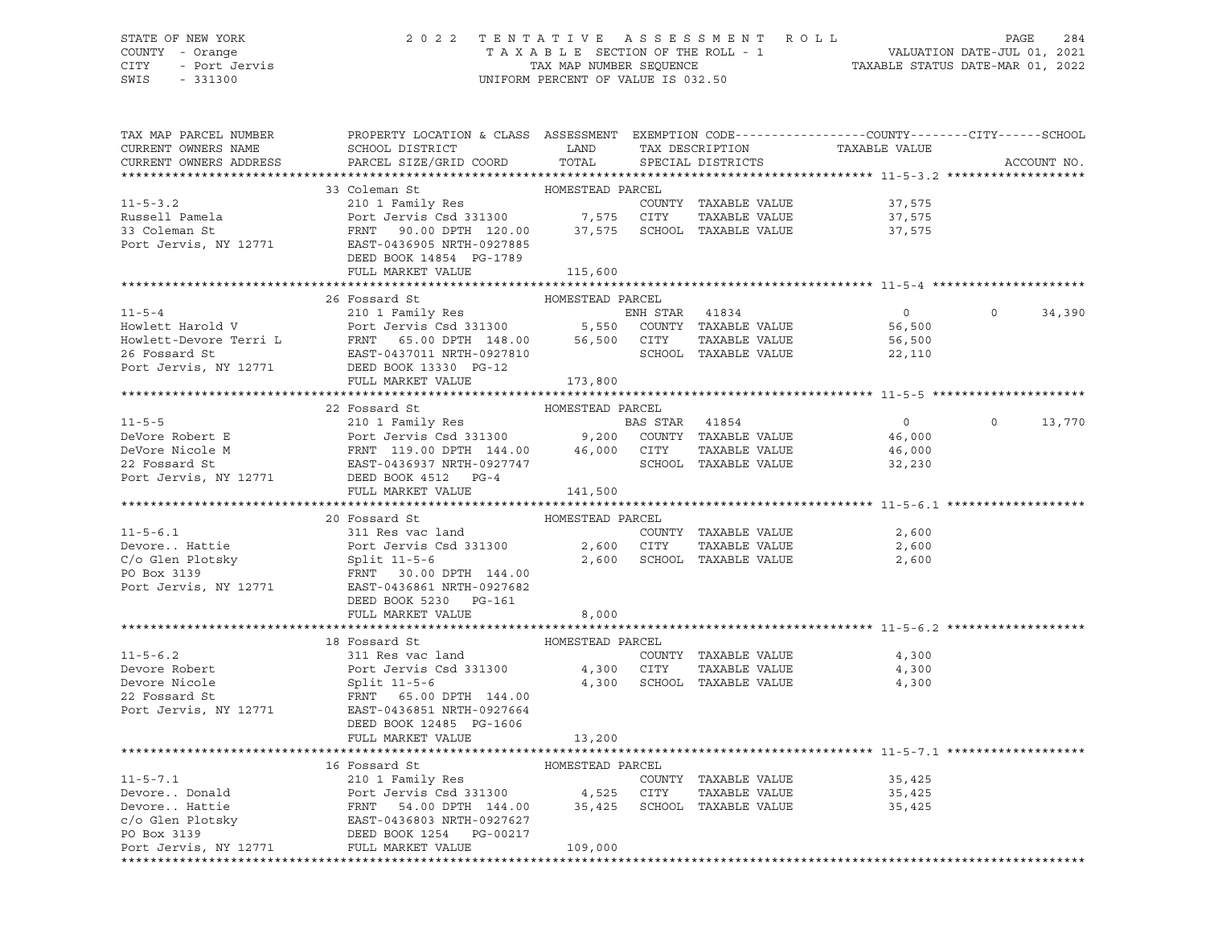## STATE OF NEW YORK 2 0 2 2 T E N T A T I V E A S S E S S M E N T R O L L PAGE 284 COUNTY - Orange T A X A B L E SECTION OF THE ROLL - 1 VALUATION DATE-JUL 01, 2021 CITY - Port Jervis TAX MAP NUMBER SEQUENCE TAXABLE STATUS DATE-MAR 01, 2022

| TAX MAP PARCEL NUMBER<br>CURRENT OWNERS NAME<br>CURRENT OWNERS ADDRESS | PROPERTY LOCATION & CLASS ASSESSMENT EXEMPTION CODE----------------COUNTY-------CITY------SCHOOL<br>SCHOOL DISTRICT LAND TAX DESCRIPTION<br>PARCEL SIZE/GRID COORD TOTAL SPECIAL DISTRICTS                                                                                                                                                           |                  |                            | TAXABLE VALUE              |          | ACCOUNT NO. |
|------------------------------------------------------------------------|------------------------------------------------------------------------------------------------------------------------------------------------------------------------------------------------------------------------------------------------------------------------------------------------------------------------------------------------------|------------------|----------------------------|----------------------------|----------|-------------|
|                                                                        |                                                                                                                                                                                                                                                                                                                                                      |                  |                            |                            |          |             |
|                                                                        | 11-5-3.2<br>Russell Pamela<br>210 1 Family Res<br>Port Jervis Csd 331300<br>210 1 Family Res<br>Port Jervis County<br>210 1 Family Res<br>210 1 Family Res<br>210 1 Family Res<br>210 21 Family Res<br>210 21 Family Res<br>213 31300<br>27,575 CITY<br>                                                                                             | HOMESTEAD PARCEL |                            | 37,575<br>37,575<br>37,575 |          |             |
|                                                                        | DEED BOOK 14854 PG-1789<br>FULL MARKET VALUE 115,600                                                                                                                                                                                                                                                                                                 |                  |                            |                            |          |             |
|                                                                        |                                                                                                                                                                                                                                                                                                                                                      |                  |                            |                            |          |             |
|                                                                        | 26 Fossard St                                                                                                                                                                                                                                                                                                                                        | HOMESTEAD PARCEL |                            |                            |          |             |
|                                                                        | 11-5-4<br>210 1 Family Res<br>Howlett Harold V Port Jervis Csd 331300<br>26 Fossard St EAST-0437011 NRTH-0927810<br>26 Fossard St EAST-0437011 NRTH-0927810<br>26 Fossard St EAST-0437011 NRTH-0927810<br>22,110<br>22,110<br>22,110<br>22,110<br>                                                                                                   |                  |                            | $\overline{0}$             | $\Omega$ | 34,390      |
|                                                                        | FULL MARKET VALUE                                                                                                                                                                                                                                                                                                                                    | 173,800          |                            |                            |          |             |
|                                                                        |                                                                                                                                                                                                                                                                                                                                                      |                  |                            |                            |          |             |
| $11 - 5 - 5$<br>DeVore Robert E                                        | 22 Fossard St                                                                                                                                                                                                                                                                                                                                        |                  |                            | $\overline{0}$             | $\Omega$ | 13,770      |
| DeVore Nicole M<br>22 Fossard St<br>Port Jervis, NY 12771              |                                                                                                                                                                                                                                                                                                                                                      |                  |                            |                            |          |             |
|                                                                        | FULL MARKET VALUE 141,500                                                                                                                                                                                                                                                                                                                            |                  |                            |                            |          |             |
|                                                                        |                                                                                                                                                                                                                                                                                                                                                      |                  |                            |                            |          |             |
|                                                                        |                                                                                                                                                                                                                                                                                                                                                      |                  |                            | 2,600                      |          |             |
|                                                                        | 11-5-6.1 $\begin{array}{l} \text{23.13.20}\ \text{311} \text{ Res } \text{vac } \text{land} \\\text{Devore.} \text{ Hott Jervis } \text{Cdd } \text{ 313.00} \end{array}$ HOMESTEAD PARCEL<br>Port Jervis Csd 331300 $\begin{array}{l} 2,600 \text{ CITY} \end{array}$ TAXABLE VALUE<br>C/o Glen Plotsky Split 11-5-6 $\begin{array}{l} 2,600 \text$ |                  | 2,600 SCHOOL TAXABLE VALUE | 2,600<br>2,600             |          |             |
|                                                                        |                                                                                                                                                                                                                                                                                                                                                      |                  |                            |                            |          |             |
|                                                                        |                                                                                                                                                                                                                                                                                                                                                      |                  |                            |                            |          |             |
|                                                                        | 11-5-6.2<br>22 Fossard St<br>22 Fossard St<br>22 Fossard St<br>22 Fossard St<br>22 Fossard St<br>22 Fossard St<br>22 Fossard St<br>22 Fossard St<br>22 Fossard St<br>22 Fossard St<br>22 Fossard St<br>22 Fossard St<br>22 Fossard St<br>22 Fossard St<br>22<br>DEED BOOK 12485 PG-1606                                                              |                  |                            | 4,300<br>4,300<br>4,300    |          |             |
|                                                                        | FULL MARKET VALUE                                                                                                                                                                                                                                                                                                                                    | 13,200           |                            |                            |          |             |
|                                                                        |                                                                                                                                                                                                                                                                                                                                                      |                  |                            |                            |          |             |
| Port Jervis, NY 12771 FULL MARKET VALUE                                | Are provided as the mail of the second of the country that is a series of the country of the country of the country of the country of the country of the country of the country of the country of the country of the country o                                                                                                                       | 109,000          |                            | 35,425<br>35,425<br>35,425 |          |             |
|                                                                        |                                                                                                                                                                                                                                                                                                                                                      |                  |                            |                            |          |             |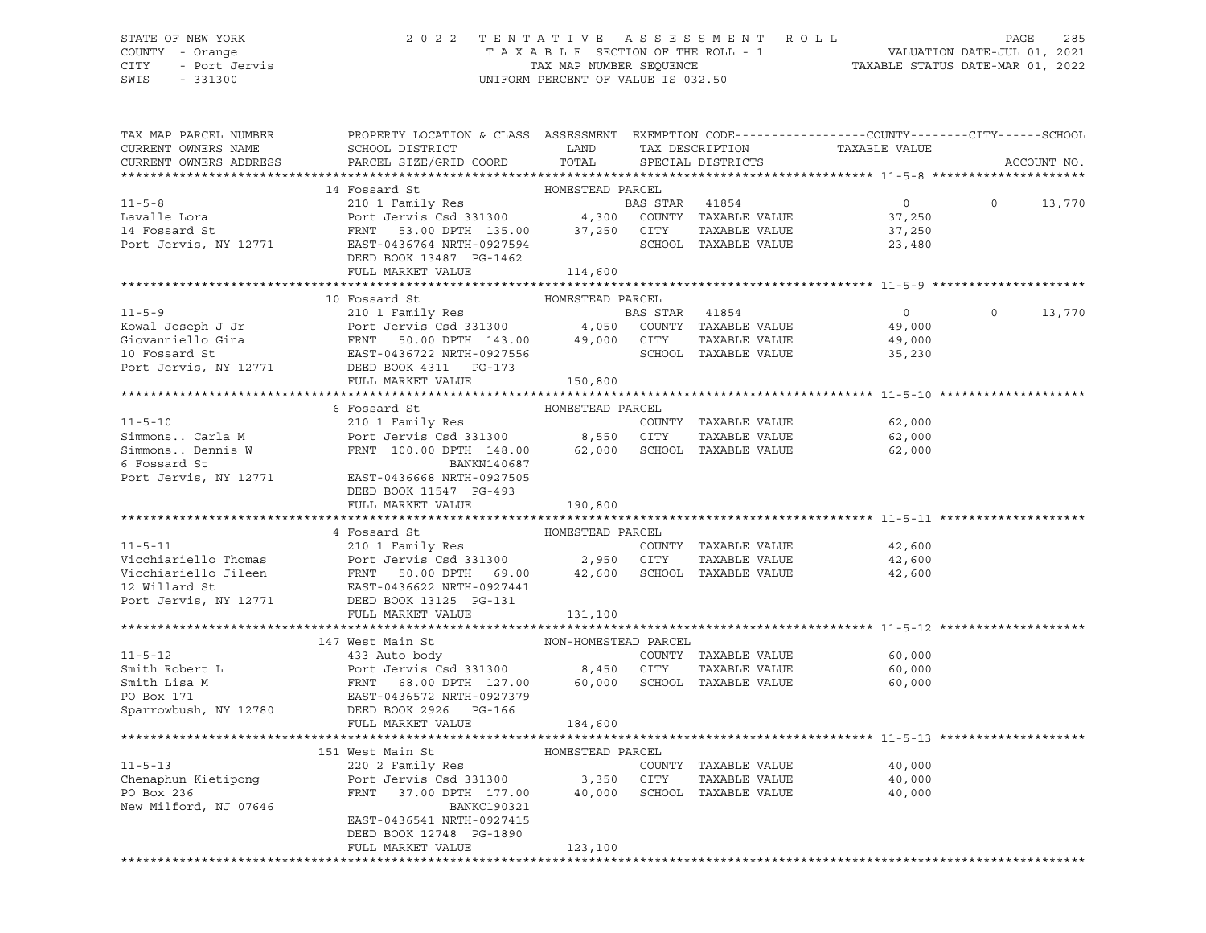## STATE OF NEW YORK 2 0 2 2 T E N T A T I V E A S S E S S M E N T R O L L PAGE 285 COUNTY - Orange T A X A B L E SECTION OF THE ROLL - 1 VALUATION DATE-JUL 01, 2021 CITY - Port Jervis TAX MAP NUMBER SEQUENCE TAXABLE STATUS DATE-MAR 01, 2022

| TAX MAP PARCEL NUMBER<br>CURRENT OWNERS NAME<br>CURRENT OWNERS ADDRESS | PROPERTY LOCATION & CLASS ASSESSMENT EXEMPTION CODE----------------COUNTY-------CITY------SCHOOL<br>SCHOOL DISTRICT<br>PARCEL SIZE/GRID COORD                                                                                                | LAND<br>TOTAL        | TAX DESCRIPTION<br>SPECIAL DISTRICTS   | TAXABLE VALUE                                   |          | ACCOUNT NO. |
|------------------------------------------------------------------------|----------------------------------------------------------------------------------------------------------------------------------------------------------------------------------------------------------------------------------------------|----------------------|----------------------------------------|-------------------------------------------------|----------|-------------|
|                                                                        |                                                                                                                                                                                                                                              |                      |                                        |                                                 |          |             |
| $11 - 5 - 8$<br>Lavalle Lora<br>14 Fossard St<br>Port Jervis, NY 12771 | 14 Fossard St<br>210 1 Family Res<br>210 1 Family Res<br>Port Jervis Csd 331300                  4,300  COUNTY TAXABLE VALUE<br>FRNT 53.00 DPTH 135.00 37,250 CITY<br>EAST-0436764 NRTH-0927594 SCHOC<br>DEED BOOK 13487 PG-1462             | HOMESTEAD PARCEL     | TAXABLE VALUE<br>SCHOOL TAXABLE VALUE  | $0 \qquad \qquad$<br>37,250<br>37,250<br>23,480 | $\circ$  | 13,770      |
|                                                                        | FULL MARKET VALUE                                                                                                                                                                                                                            | 114,600              |                                        |                                                 |          |             |
|                                                                        |                                                                                                                                                                                                                                              |                      |                                        |                                                 |          |             |
|                                                                        |                                                                                                                                                                                                                                              | HOMESTEAD PARCEL     |                                        |                                                 |          |             |
|                                                                        |                                                                                                                                                                                                                                              |                      |                                        | 0<br>49,000<br>49,000                           | $\Omega$ | 13,770      |
|                                                                        | EXECUTE 210 1 Family Res<br>EXECUTE 210 1 Family Res<br>EXECUTE 210 1 Family Res<br>FONT 143.00 4,050 COUNTY TAXABLE VALUE<br>Giovanniello Gina<br>FRNT 50.00 DPTH 143.00 49,000 CITY TAXABLE VALUE<br>TO FOSSard St<br>POTT JERST-0436722 N |                      |                                        | 35,230                                          |          |             |
|                                                                        |                                                                                                                                                                                                                                              |                      |                                        |                                                 |          |             |
|                                                                        |                                                                                                                                                                                                                                              |                      |                                        |                                                 |          |             |
| $11 - 5 - 10$                                                          | 6 Fossard St                                                                                                                                                                                                                                 | HOMESTEAD PARCEL     | COUNTY TAXABLE VALUE                   | 62,000                                          |          |             |
| Simmons Carla M<br>Simmons Dennis W<br>6 Fossard St<br>6 Fossard St    | FRNT 100.00 DPTH 148.00 62,000 SCHOOL TAXABLE VALUE<br>BANKN140687                                                                                                                                                                           |                      | TAXABLE VALUE                          | 62,000<br>62,000                                |          |             |
| Port Jervis, NY 12771                                                  | EAST-0436668 NRTH-0927505<br>DEED BOOK 11547 PG-493<br>FULL MARKET VALUE                                                                                                                                                                     | 190,800              |                                        |                                                 |          |             |
|                                                                        |                                                                                                                                                                                                                                              |                      |                                        |                                                 |          |             |
|                                                                        | 4 Fossard St                                                                                                                                                                                                                                 | HOMESTEAD PARCEL     |                                        |                                                 |          |             |
| $11 - 5 - 11$                                                          | 210 1 Family Res                                                                                                                                                                                                                             |                      | COUNTY TAXABLE VALUE                   | 42,600                                          |          |             |
| Vicchiariello Thomas                                                   | Port Jervis Csd 331300 2,950 CITY                                                                                                                                                                                                            |                      | TAXABLE VALUE                          | 42,600                                          |          |             |
| Vicchiariello Jileen<br>12 Willard St                                  | Port Jervis Csu 2000<br>FRNT 50.00 DPTH 69.00<br>EAST-0436622 NRTH-0927441<br>Port Jervis, NY 12771 DEED BOOK 13125 PG-131                                                                                                                   |                      | 42,600 SCHOOL TAXABLE VALUE            | 42,600                                          |          |             |
|                                                                        | FULL MARKET VALUE                                                                                                                                                                                                                            | 131,100              |                                        |                                                 |          |             |
|                                                                        |                                                                                                                                                                                                                                              |                      |                                        |                                                 |          |             |
|                                                                        | 147 West Main St                                                                                                                                                                                                                             | NON-HOMESTEAD PARCEL |                                        |                                                 |          |             |
| $11 - 5 - 12$                                                          | 433 Auto body                                                                                                                                                                                                                                |                      | COUNTY TAXABLE VALUE                   | 60,000                                          |          |             |
| Smith Robert L                                                         |                                                                                                                                                                                                                                              |                      | TAXABLE VALUE                          | 60,000                                          |          |             |
| Smith Lisa M<br>PO Box 171<br>Sparrowbush, NY 12780                    | Port Jervis Csd 331300 8,450 CITY<br>FRNT 68.00 DPTH 127.00 60,000 SCHOOL<br>EAST-0436572 NRTH-0927379<br>DEED BOOK 2926 PG-166                                                                                                              |                      | 60,000 SCHOOL TAXABLE VALUE            | 60,000                                          |          |             |
|                                                                        | FULL MARKET VALUE                                                                                                                                                                                                                            | 184,600              |                                        |                                                 |          |             |
|                                                                        |                                                                                                                                                                                                                                              |                      |                                        |                                                 |          |             |
|                                                                        | 151 West Main St                                                                                                                                                                                                                             | HOMESTEAD PARCEL     |                                        |                                                 |          |             |
| $11 - 5 - 13$                                                          | 220 2 Family Res                                                                                                                                                                                                                             |                      | COUNTY TAXABLE VALUE                   | 40,000                                          |          |             |
| Chenaphun Kietipong                                                    |                                                                                                                                                                                                                                              |                      |                                        | 40,000                                          |          |             |
| PO Box 236<br>New Milford, NJ 07646                                    | Port Jervis Csd 331300 3,350 CITY TAXABLE VALUE<br>FRNT 37.00 DPTH 177.00 40,000 SCHOOL TAXABLE VALUE<br><b>BANKC190321</b>                                                                                                                  |                      |                                        | 40,000                                          |          |             |
|                                                                        | EAST-0436541 NRTH-0927415<br>DEED BOOK 12748 PG-1890                                                                                                                                                                                         |                      |                                        |                                                 |          |             |
|                                                                        | FULL MARKET VALUE                                                                                                                                                                                                                            | 123,100              | ************************************** |                                                 |          |             |
|                                                                        |                                                                                                                                                                                                                                              |                      |                                        |                                                 |          |             |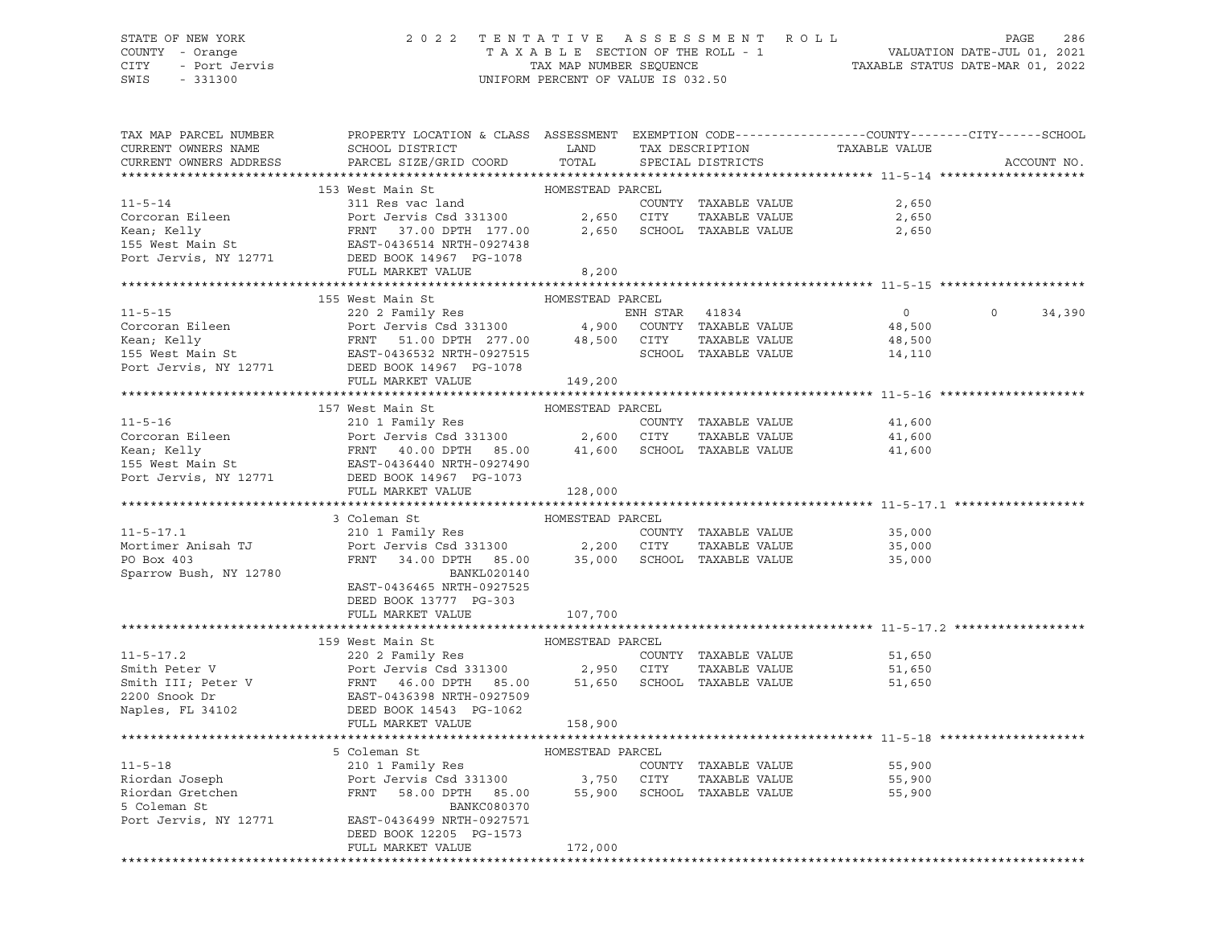# STATE OF NEW YORK 2 0 2 2 T E N T A T I V E A S S E S S M E N T R O L L PAGE 286 COUNTY - Orange T A X A B L E SECTION OF THE ROLL - 1 VALUATION DATE-JUL 01, 2021 CITY - Port Jervis TAX MAP NUMBER SEQUENCE TAXABLE STATUS DATE-MAR 01, 2022

UNIFORM PERCENT OF VALUE IS 032.50

| TAX MAP PARCEL NUMBER<br>CURRENT OWNERS NAME<br>CURRENT OWNERS ADDRESS                                                                                                                                                                               | PROPERTY LOCATION & CLASS ASSESSMENT EXEMPTION CODE---------------COUNTY-------CITY------SCHOOL<br>SCHOOL DISTRICT LAND<br>PARCEL SIZE/GRID COORD TOTAL |                  | TAX DESCRIPTION TAXABLE VALUE SPECIAL DISTRICTS |                | ACCOUNT NO.       |
|------------------------------------------------------------------------------------------------------------------------------------------------------------------------------------------------------------------------------------------------------|---------------------------------------------------------------------------------------------------------------------------------------------------------|------------------|-------------------------------------------------|----------------|-------------------|
|                                                                                                                                                                                                                                                      |                                                                                                                                                         |                  |                                                 |                |                   |
|                                                                                                                                                                                                                                                      | 153 West Main St                                                                                                                                        | HOMESTEAD PARCEL |                                                 |                |                   |
| 11-5-14<br>Corcoran Eileen 311 Res vac land COUNTY TAXABLE VALUE<br>Corcoran Eileen Port Jervis Csd 331300 2,650 CITY TAXABLE VALUE 2,650<br>Xean; Kelly FRNT 37.00 DPTH 177.00 2,650 SCHOOL TAXABLE VALUE 2,650<br>155 Mest Main St E               |                                                                                                                                                         |                  |                                                 |                |                   |
|                                                                                                                                                                                                                                                      |                                                                                                                                                         |                  |                                                 |                |                   |
|                                                                                                                                                                                                                                                      |                                                                                                                                                         |                  |                                                 |                |                   |
|                                                                                                                                                                                                                                                      |                                                                                                                                                         |                  |                                                 |                |                   |
| Port Jervis, NY 12771                                                                                                                                                                                                                                | DEED BOOK 14967 PG-1078                                                                                                                                 |                  |                                                 |                |                   |
|                                                                                                                                                                                                                                                      | FULL MARKET VALUE                                                                                                                                       | 8,200            |                                                 |                |                   |
|                                                                                                                                                                                                                                                      |                                                                                                                                                         |                  |                                                 |                |                   |
| 11-5-15<br>Corcoran Eileen<br>Eileen PARCEL 220 2 Family Res ENH STAR 41834<br>Fort Jervis Csd 331300 4,900 COUNTY TAXABLE VALUE<br>Kean, Kelly FRNT 51.00 DPTH 277.00 48,500 CITY TAXABLE VALUE<br>155 West Main St EAST-0436532 NRTH-0             |                                                                                                                                                         |                  |                                                 |                |                   |
|                                                                                                                                                                                                                                                      |                                                                                                                                                         |                  |                                                 | $\overline{0}$ | $\circ$<br>34,390 |
|                                                                                                                                                                                                                                                      |                                                                                                                                                         |                  |                                                 | 48,500         |                   |
|                                                                                                                                                                                                                                                      |                                                                                                                                                         |                  |                                                 | 48,500         |                   |
|                                                                                                                                                                                                                                                      |                                                                                                                                                         |                  |                                                 | 14,110         |                   |
|                                                                                                                                                                                                                                                      |                                                                                                                                                         | 149,200          |                                                 |                |                   |
|                                                                                                                                                                                                                                                      |                                                                                                                                                         |                  |                                                 |                |                   |
|                                                                                                                                                                                                                                                      | 157 West Main St                                                                                                                                        | HOMESTEAD PARCEL |                                                 |                |                   |
| 11-5-16<br>Corcoran Eileen 210 1 Family Res COUNTY TAXABLE VALUE<br>Corcoran Eileen Port Jervis Csd 331300 2,600 CITY TAXABLE VALUE 41,600<br>Kean; Kelly FRNT 40.00 DPTH 85.00 41,600 SCHOOL TAXABLE VALUE 41,600<br>155 West Main St               |                                                                                                                                                         |                  |                                                 |                |                   |
|                                                                                                                                                                                                                                                      |                                                                                                                                                         |                  |                                                 |                |                   |
|                                                                                                                                                                                                                                                      |                                                                                                                                                         |                  |                                                 |                |                   |
|                                                                                                                                                                                                                                                      |                                                                                                                                                         |                  |                                                 |                |                   |
| Port Jervis, NY 12771 DEED BOOK 14967 PG-1073                                                                                                                                                                                                        |                                                                                                                                                         |                  |                                                 |                |                   |
|                                                                                                                                                                                                                                                      | FULL MARKET VALUE                                                                                                                                       | 128,000          |                                                 |                |                   |
|                                                                                                                                                                                                                                                      |                                                                                                                                                         |                  |                                                 |                |                   |
|                                                                                                                                                                                                                                                      | 3 Coleman St                                                                                                                                            | HOMESTEAD PARCEL |                                                 |                |                   |
| $11 - 5 - 17.1$                                                                                                                                                                                                                                      |                                                                                                                                                         |                  | COUNTY TAXABLE VALUE 35,000                     |                |                   |
| Mortimer Anisah TJ<br>PO Box 403                                                                                                                                                                                                                     | 210 1 Family Res<br>Port Jervis Csd 331300 2,200 CITY TAXABLE VALUE<br>FRNT 34.00 DPTH 85.00 35,000 SCHOOL TAXABLE VALUE                                |                  | TAXABLE VALUE                                   | 35,000         |                   |
|                                                                                                                                                                                                                                                      |                                                                                                                                                         |                  |                                                 | 35,000         |                   |
| Sparrow Bush, NY 12780                                                                                                                                                                                                                               | BANKL020140                                                                                                                                             |                  |                                                 |                |                   |
|                                                                                                                                                                                                                                                      | EAST-0436465 NRTH-0927525                                                                                                                               |                  |                                                 |                |                   |
|                                                                                                                                                                                                                                                      | DEED BOOK 13777 PG-303                                                                                                                                  |                  |                                                 |                |                   |
|                                                                                                                                                                                                                                                      | FULL MARKET VALUE                                                                                                                                       | 107,700          |                                                 |                |                   |
|                                                                                                                                                                                                                                                      | 159 West Main St                                                                                                                                        |                  |                                                 |                |                   |
|                                                                                                                                                                                                                                                      | 220 2 Family Res COUNTY TAXABLE VALUE                                                                                                                   | HOMESTEAD PARCEL |                                                 | 51,650         |                   |
|                                                                                                                                                                                                                                                      |                                                                                                                                                         |                  |                                                 | 51,650         |                   |
|                                                                                                                                                                                                                                                      |                                                                                                                                                         |                  |                                                 | 51,650         |                   |
|                                                                                                                                                                                                                                                      |                                                                                                                                                         |                  |                                                 |                |                   |
|                                                                                                                                                                                                                                                      |                                                                                                                                                         |                  |                                                 |                |                   |
| 11-5-17.2<br>Smith Peter V<br>Smith III; Peter V<br>Port Jervis Csd 331300<br>Port Jervis Csd 331300<br>2,950 CITY TAXABLE VALUE<br>2200 Snook Dr<br>EAST-0436398 NRTH-0927509<br>Naples, FL 34102<br>DEED BOOK 14543 PG-1062<br>TAXABLE VALUE<br>DE |                                                                                                                                                         |                  |                                                 |                |                   |
|                                                                                                                                                                                                                                                      |                                                                                                                                                         |                  |                                                 |                |                   |
|                                                                                                                                                                                                                                                      | 5 Coleman St MOMESTEAD PARCEL                                                                                                                           |                  |                                                 |                |                   |
| $11 - 5 - 18$                                                                                                                                                                                                                                        | 210 1 Family Res                                                                                                                                        |                  | COUNTY TAXABLE VALUE                            | 55,900         |                   |
|                                                                                                                                                                                                                                                      |                                                                                                                                                         |                  | TAXABLE VALUE                                   | 55,900         |                   |
|                                                                                                                                                                                                                                                      |                                                                                                                                                         |                  |                                                 | 55,900         |                   |
|                                                                                                                                                                                                                                                      |                                                                                                                                                         |                  |                                                 |                |                   |
| Port Jervis, NY 12771 EAST-0436499 NRTH-0927571                                                                                                                                                                                                      |                                                                                                                                                         |                  |                                                 |                |                   |
|                                                                                                                                                                                                                                                      | DEED BOOK 12205 PG-1573                                                                                                                                 |                  |                                                 |                |                   |
|                                                                                                                                                                                                                                                      | FULL MARKET VALUE                                                                                                                                       | 172,000          |                                                 |                |                   |
|                                                                                                                                                                                                                                                      |                                                                                                                                                         |                  |                                                 |                |                   |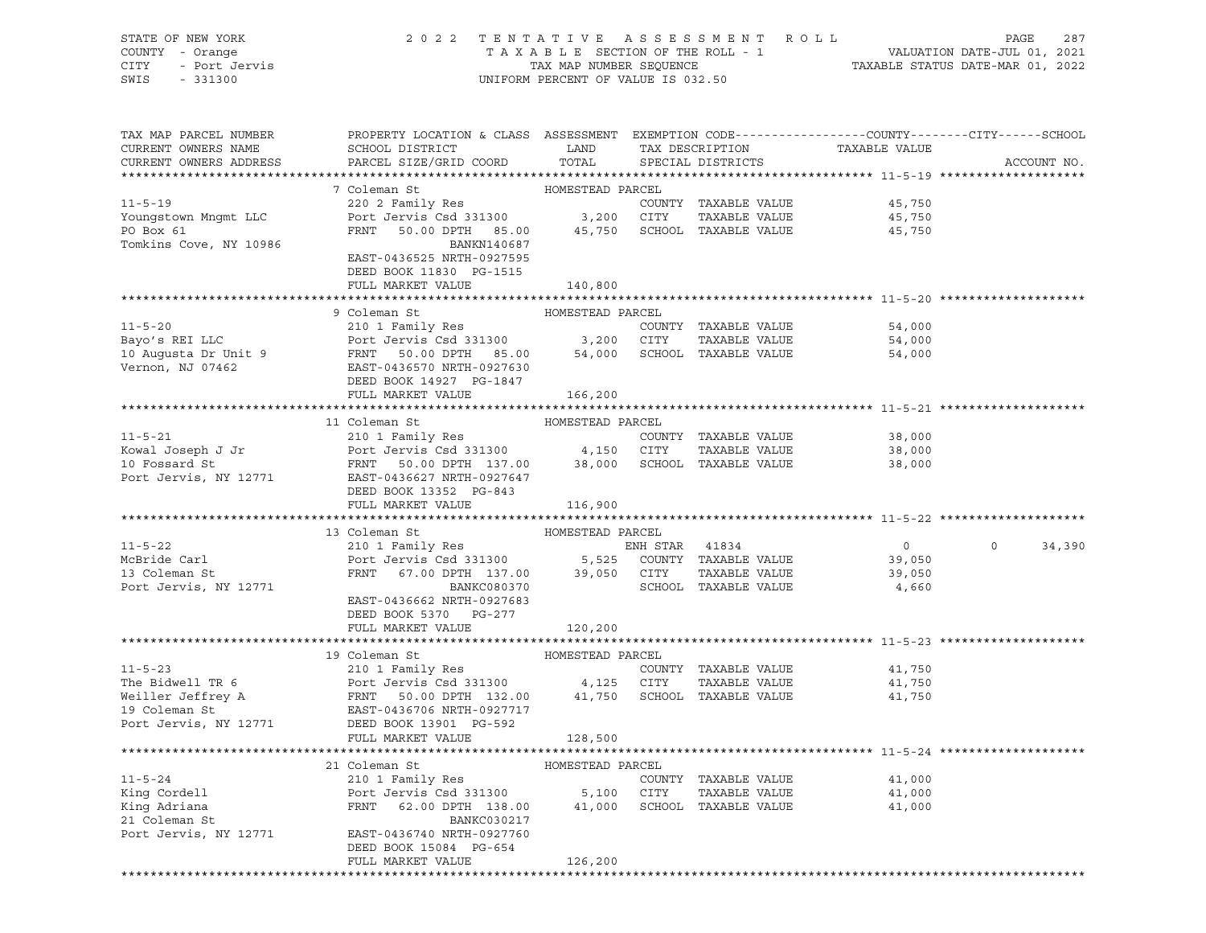| STATE OF NEW YORK<br>COUNTY - Orange<br>7 - Orange<br>- Port Jervis<br>CITY<br>SWIS<br>$-331300$ | 2022 TENTATIVE ASSESSMENT ROLL<br>UNIFORM PERCENT OF VALUE IS 032.50                                                                                                                                                                                   | FENTATIVE ASSESSMENT ROLL PAGE 287<br>TAXABLE SECTION OF THE ROLL - 1 VALUATION DATE-JUL 01, 2021<br>TAX MAP NUMBER SEQUENCE TAXABLE STATUS DATE-MAR 01, 2022 |                      |                |                   |
|--------------------------------------------------------------------------------------------------|--------------------------------------------------------------------------------------------------------------------------------------------------------------------------------------------------------------------------------------------------------|---------------------------------------------------------------------------------------------------------------------------------------------------------------|----------------------|----------------|-------------------|
| TAX MAP PARCEL NUMBER<br>CURRENT OWNERS NAME                                                     | PROPERTY LOCATION & CLASS ASSESSMENT EXEMPTION CODE---------------COUNTY-------CITY------SCHOOL<br>SCHOOL DISTRICT                                                                                                                                     | <b>EXAMPLE THE STATE OF STATE OF STATE</b>                                                                                                                    | TAX DESCRIPTION      | TAXABLE VALUE  |                   |
| CURRENT OWNERS ADDRESS                                                                           | PARCEL SIZE/GRID COORD TOTAL                                                                                                                                                                                                                           |                                                                                                                                                               | SPECIAL DISTRICTS    |                | ACCOUNT NO.       |
|                                                                                                  |                                                                                                                                                                                                                                                        |                                                                                                                                                               |                      |                |                   |
|                                                                                                  | 7 Coleman St                                                                                                                                                                                                                                           | HOMESTEAD PARCEL                                                                                                                                              |                      |                |                   |
| $11 - 5 - 19$                                                                                    | COLEMAN DE<br>220 2 Family Res<br>Port Jervis Csd 331300 3,200 CITY                                                                                                                                                                                    |                                                                                                                                                               | COUNTY TAXABLE VALUE | 45,750         |                   |
| Youngstown Mngmt LLC                                                                             |                                                                                                                                                                                                                                                        |                                                                                                                                                               | TAXABLE VALUE        | 45,750         |                   |
| PO Box 61                                                                                        | FRNT 50.00 DPTH 85.00 45,750 SCHOOL TAXABLE VALUE                                                                                                                                                                                                      |                                                                                                                                                               |                      | 45,750         |                   |
| Tomkins Cove, NY 10986                                                                           | BANKN140687<br>EAST-0436525 NRTH-0927595<br>DEED BOOK 11830 PG-1515<br>FULL MARKET VALUE                                                                                                                                                               | 140,800                                                                                                                                                       |                      |                |                   |
|                                                                                                  |                                                                                                                                                                                                                                                        |                                                                                                                                                               |                      |                |                   |
|                                                                                                  | 9 Coleman St                                                                                                                                                                                                                                           | HOMESTEAD PARCEL                                                                                                                                              |                      |                |                   |
| $11 - 5 - 20$                                                                                    | 210 1 Family Res                                                                                                                                                                                                                                       |                                                                                                                                                               | COUNTY TAXABLE VALUE | 54,000         |                   |
|                                                                                                  |                                                                                                                                                                                                                                                        |                                                                                                                                                               |                      | 54,000         |                   |
|                                                                                                  | Bayo's REI LLC<br>10 Augusta Dr Unit 9<br>10 Augusta Dr Unit 9<br>FRNT 50.00 DPTH 85.00<br>EAST -0436570 NRTH-0927630<br>TAXABLE VALUE<br>TAXABLE VALUE<br>TAXABLE VALUE<br>TAXABLE VALUE<br>TAXABLE VALUE<br>TAXABLE VALUE<br>TAXABLE VALUE<br>TAXABL |                                                                                                                                                               |                      | 54,000         |                   |
|                                                                                                  |                                                                                                                                                                                                                                                        |                                                                                                                                                               |                      |                |                   |
|                                                                                                  | DEED BOOK 14927 PG-1847                                                                                                                                                                                                                                |                                                                                                                                                               |                      |                |                   |
|                                                                                                  | FULL MARKET VALUE                                                                                                                                                                                                                                      | 166,200                                                                                                                                                       |                      |                |                   |
|                                                                                                  |                                                                                                                                                                                                                                                        |                                                                                                                                                               |                      |                |                   |
|                                                                                                  | 11 Coleman St                                                                                                                                                                                                                                          | HOMESTEAD PARCEL                                                                                                                                              |                      |                |                   |
| $11 - 5 - 21$                                                                                    | 210 1 Family Res                                                                                                                                                                                                                                       |                                                                                                                                                               | COUNTY TAXABLE VALUE | 38,000         |                   |
|                                                                                                  | Port Jervis Csd 331300 4,150 CITY<br>FRNT 50.00 DPTH 137.00 38,000 SCHOOL TAXABLE VALUE 38,000                                                                                                                                                         |                                                                                                                                                               | TAXABLE VALUE        | 38,000         |                   |
| Kowal Joseph J Jr<br>10 Fossard St<br>Port Jervis, NY 12771                                      | EAST-0436627 NRTH-0927647                                                                                                                                                                                                                              |                                                                                                                                                               |                      |                |                   |
|                                                                                                  | DEED BOOK 13352 PG-843                                                                                                                                                                                                                                 |                                                                                                                                                               |                      |                |                   |
|                                                                                                  | FULL MARKET VALUE                                                                                                                                                                                                                                      | 116,900                                                                                                                                                       |                      |                |                   |
|                                                                                                  |                                                                                                                                                                                                                                                        |                                                                                                                                                               |                      |                |                   |
|                                                                                                  | 13 Coleman St                                                                                                                                                                                                                                          | HOMESTEAD PARCEL                                                                                                                                              |                      |                |                   |
| $11 - 5 - 22$                                                                                    |                                                                                                                                                                                                                                                        |                                                                                                                                                               |                      | $\overline{0}$ | $\circ$<br>34,390 |
| McBride Carl                                                                                     |                                                                                                                                                                                                                                                        |                                                                                                                                                               |                      | 39,050         |                   |
| 13 Coleman St                                                                                    |                                                                                                                                                                                                                                                        |                                                                                                                                                               |                      | 39,050         |                   |
| Port Jervis, NY 12771                                                                            | Coleman Strait of The Coleman Strait (210 1 Family Res ENH STAR 41834<br>Port Jervis Csd 331300 5,525 COUNTY TAXABLE VALUE<br>FRNT 67.00 DPTH 137.00 39,050 CITY TAXABLE VALUE<br>BANKC080370                                                          |                                                                                                                                                               | SCHOOL TAXABLE VALUE | 4,660          |                   |
|                                                                                                  | EAST-0436662 NRTH-0927683                                                                                                                                                                                                                              |                                                                                                                                                               |                      |                |                   |
|                                                                                                  | DEED BOOK 5370 PG-277                                                                                                                                                                                                                                  |                                                                                                                                                               |                      |                |                   |
|                                                                                                  | FULL MARKET VALUE                                                                                                                                                                                                                                      | 120,200                                                                                                                                                       |                      |                |                   |
|                                                                                                  |                                                                                                                                                                                                                                                        |                                                                                                                                                               |                      |                |                   |
|                                                                                                  | 19 Coleman St                                                                                                                                                                                                                                          | HOMESTEAD PARCEL                                                                                                                                              |                      |                |                   |
|                                                                                                  | 11-5-23<br>The Bidwell TR 6<br>The Bidwell TR 6<br>Weiller Jeffrey A<br>The Bidwell TR 6<br>The Bidwell TR 6<br>Port Jervis Csd 331300<br>FRNT 50.00 DPTH 132.00<br>41,750<br>SCHOOL TAXABLE VALUE<br>19 Coleman St<br>Port Jervis, NY 12771<br>DEED B |                                                                                                                                                               |                      | 41,750         |                   |
|                                                                                                  |                                                                                                                                                                                                                                                        |                                                                                                                                                               |                      | 41,750         |                   |
|                                                                                                  |                                                                                                                                                                                                                                                        |                                                                                                                                                               |                      | 41,750         |                   |
|                                                                                                  |                                                                                                                                                                                                                                                        |                                                                                                                                                               |                      |                |                   |
|                                                                                                  |                                                                                                                                                                                                                                                        |                                                                                                                                                               |                      |                |                   |
|                                                                                                  | FULL MARKET VALUE                                                                                                                                                                                                                                      | 128,500                                                                                                                                                       |                      |                |                   |
|                                                                                                  |                                                                                                                                                                                                                                                        |                                                                                                                                                               |                      |                |                   |
| $11 - 5 - 24$                                                                                    | 21 Coleman St<br>210 1 Family Res                                                                                                                                                                                                                      | HOMESTEAD PARCEL                                                                                                                                              | COUNTY TAXARLE VALUE | 41 000         |                   |
|                                                                                                  |                                                                                                                                                                                                                                                        |                                                                                                                                                               |                      |                |                   |

11-5-24 210 1 Family Res COUNTY TAXABLE VALUE 41,000 King Cordell Port Jervis Csd 331300 5,100 CITY TAXABLE VALUE 41,000 King Adriana FRNT 62.00 DPTH 138.00 41,000 SCHOOL TAXABLE VALUE 41,000 21 Coleman St<br>
Port Jervis, NY 12771 EAST-0436740 NRTH-0927760 EAST-0436740 NRTH-0927760 DEED BOOK 15084 PG-654 FULL MARKET VALUE 126,200 \*\*\*\*\*\*\*\*\*\*\*\*\*\*\*\*\*\*\*\*\*\*\*\*\*\*\*\*\*\*\*\*\*\*\*\*\*\*\*\*\*\*\*\*\*\*\*\*\*\*\*\*\*\*\*\*\*\*\*\*\*\*\*\*\*\*\*\*\*\*\*\*\*\*\*\*\*\*\*\*\*\*\*\*\*\*\*\*\*\*\*\*\*\*\*\*\*\*\*\*\*\*\*\*\*\*\*\*\*\*\*\*\*\*\*\*\*\*\*\*\*\*\*\*\*\*\*\*\*\*\*\*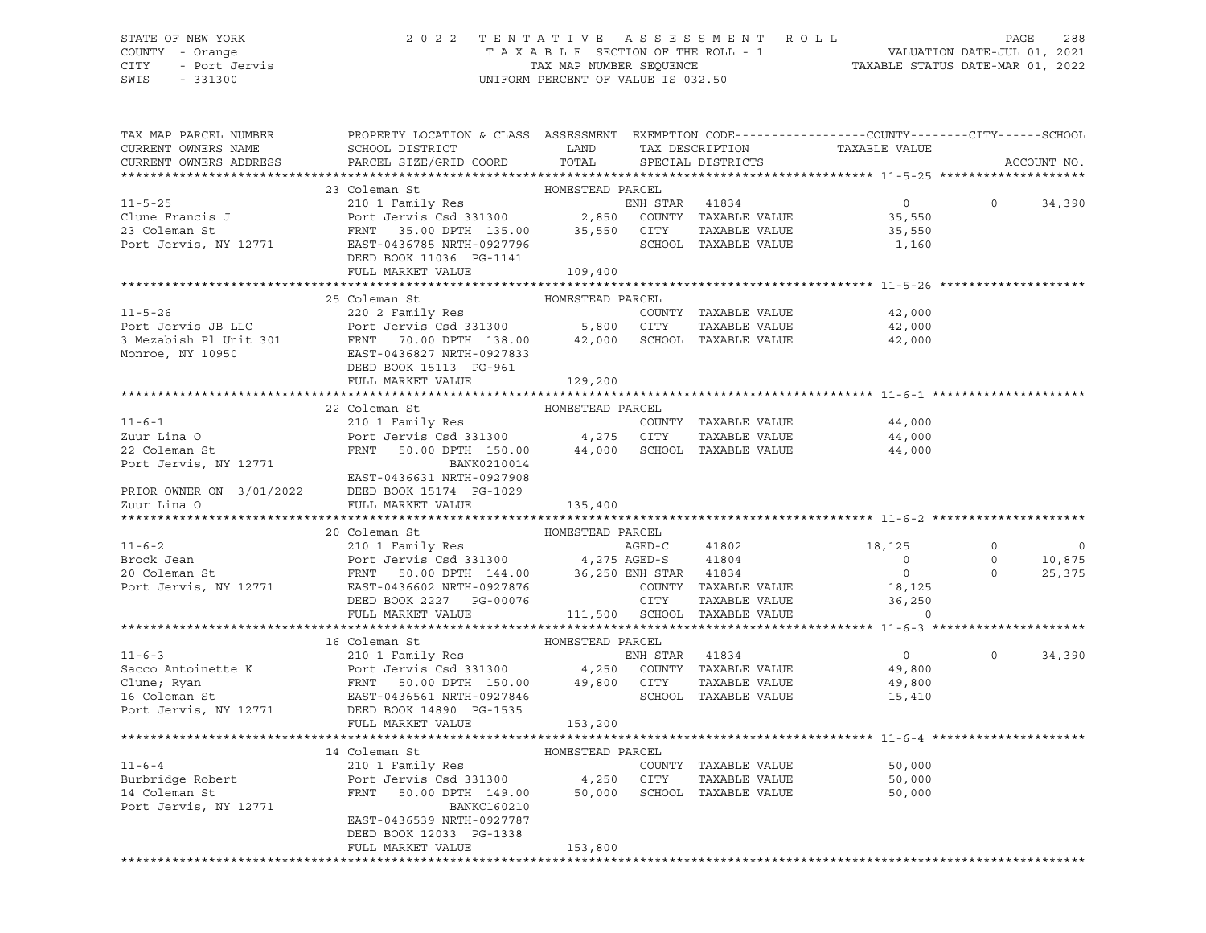# STATE OF NEW YORK 2 0 2 2 T E N T A T I V E A S S E S S M E N T R O L L PAGE 288 COUNTY - Orange T A X A B L E SECTION OF THE ROLL - 1 VALUATION DATE-JUL 01, 2021 CITY - Port Jervis TAX MAP NUMBER SEQUENCE TAXABLE STATUS DATE-MAR 01, 2022

| TAX MAP PARCEL NUMBER<br>CURRENT OWNERS NAME<br>CURRENT OWNERS ADDRESS | PROPERTY LOCATION & CLASS ASSESSMENT EXEMPTION CODE---------------COUNTY-------CITY------SCHOOL<br>SCHOOL DISTRICT LAND<br>PARCEL SIZE/GRID COORD                                                                                                                                                                                                                                                                                             | TOTAL                      | TAX DESCRIPTION<br>SPECIAL DISTRICTS           | TAXABLE VALUE                           |                                                   | ACCOUNT NO. |
|------------------------------------------------------------------------|-----------------------------------------------------------------------------------------------------------------------------------------------------------------------------------------------------------------------------------------------------------------------------------------------------------------------------------------------------------------------------------------------------------------------------------------------|----------------------------|------------------------------------------------|-----------------------------------------|---------------------------------------------------|-------------|
|                                                                        |                                                                                                                                                                                                                                                                                                                                                                                                                                               |                            |                                                |                                         |                                                   |             |
|                                                                        | 23 Coleman St                                                                                                                                                                                                                                                                                                                                                                                                                                 | HOMESTEAD PARCEL           |                                                |                                         |                                                   |             |
|                                                                        | 23 Coleman St<br>23 Coleman St<br>210 1 Family Res<br>210 1 Family Res<br>23 Coleman St<br>23 Coleman St<br>23 Coleman St<br>23 Coleman St<br>24 Port Jervis Csd 331300<br>27 Port TAXABLE VALUE<br>25,550<br>27 Port Jervis, NY 12771<br>27 Port Jerv                                                                                                                                                                                        |                            |                                                |                                         | $\circ$                                           | 34,390      |
|                                                                        |                                                                                                                                                                                                                                                                                                                                                                                                                                               |                            |                                                |                                         |                                                   |             |
|                                                                        |                                                                                                                                                                                                                                                                                                                                                                                                                                               |                            |                                                |                                         |                                                   |             |
|                                                                        |                                                                                                                                                                                                                                                                                                                                                                                                                                               |                            |                                                |                                         |                                                   |             |
|                                                                        | DEED BOOK 11036 PG-1141                                                                                                                                                                                                                                                                                                                                                                                                                       |                            |                                                |                                         |                                                   |             |
|                                                                        | FULL MARKET VALUE 109,400                                                                                                                                                                                                                                                                                                                                                                                                                     |                            |                                                |                                         |                                                   |             |
|                                                                        |                                                                                                                                                                                                                                                                                                                                                                                                                                               |                            |                                                |                                         |                                                   |             |
|                                                                        | 25 Coleman St<br>11-5-26<br>Port Jervis JB LLC<br>20 2 Family Res<br>20 2 Family Res<br>20 2 Family Res<br>20 2 Family Res<br>20 2 Family Res<br>20 2 Family Res<br>20 3 Section 11 138.00<br>5,800 CITY<br>5,800 CITY<br>220 2 Family Res<br>5,800 CITY<br>220 2 Family                                                                                                                                                                      | HOMESTEAD PARCEL           |                                                |                                         |                                                   |             |
|                                                                        |                                                                                                                                                                                                                                                                                                                                                                                                                                               |                            |                                                | 42,000<br>42,000                        |                                                   |             |
|                                                                        |                                                                                                                                                                                                                                                                                                                                                                                                                                               |                            |                                                | 42,000                                  |                                                   |             |
|                                                                        |                                                                                                                                                                                                                                                                                                                                                                                                                                               |                            |                                                |                                         |                                                   |             |
|                                                                        |                                                                                                                                                                                                                                                                                                                                                                                                                                               |                            |                                                |                                         |                                                   |             |
|                                                                        | FULL MARKET VALUE                                                                                                                                                                                                                                                                                                                                                                                                                             | 129,200                    |                                                |                                         |                                                   |             |
|                                                                        |                                                                                                                                                                                                                                                                                                                                                                                                                                               |                            |                                                |                                         |                                                   |             |
|                                                                        | 22 Coleman St                                                                                                                                                                                                                                                                                                                                                                                                                                 | HOMESTEAD PARCEL           |                                                |                                         |                                                   |             |
|                                                                        |                                                                                                                                                                                                                                                                                                                                                                                                                                               |                            | COUNTY TAXABLE VALUE                           |                                         |                                                   |             |
|                                                                        |                                                                                                                                                                                                                                                                                                                                                                                                                                               |                            | TAXABLE VALUE                                  | 44,000<br>44,000                        |                                                   |             |
|                                                                        | FRNT 50.00 DPTH 150.00 44,000 SCHOOL TAXABLE VALUE                                                                                                                                                                                                                                                                                                                                                                                            |                            |                                                | 44,000                                  |                                                   |             |
|                                                                        | 11-6-1<br>210 1 Family Res<br>210 1 Family Res<br>Port Jervis Csd 331300 4,275 CITY<br>22 Coleman St<br>22 Coleman St<br>Port Jervis, NY 12771 BANK0210014<br>EAST-0436631 NRTH-0927908                                                                                                                                                                                                                                                       |                            |                                                |                                         |                                                   |             |
|                                                                        |                                                                                                                                                                                                                                                                                                                                                                                                                                               |                            |                                                |                                         |                                                   |             |
|                                                                        |                                                                                                                                                                                                                                                                                                                                                                                                                                               |                            |                                                |                                         |                                                   |             |
|                                                                        | PRIOR OWNER ON $3/01/2022$ DEED BOOK 15174 PG-1029<br>Zuur Lina O FULL MARKET VALUE                                                                                                                                                                                                                                                                                                                                                           | 135,400                    |                                                |                                         |                                                   |             |
|                                                                        |                                                                                                                                                                                                                                                                                                                                                                                                                                               |                            |                                                |                                         |                                                   |             |
|                                                                        | 20 Coleman St                                                                                                                                                                                                                                                                                                                                                                                                                                 | HOMESTEAD PARCEL<br>AGED-C |                                                |                                         |                                                   |             |
| $11 - 6 - 2$                                                           | 210 1 Family Res                                                                                                                                                                                                                                                                                                                                                                                                                              |                            | AGED-C 41802                                   | 18,125                                  | $\begin{matrix}0&&&&\\&0&&&1\\&0&&&2\end{matrix}$ | $\circ$     |
|                                                                        |                                                                                                                                                                                                                                                                                                                                                                                                                                               |                            |                                                | $\overline{0}$                          |                                                   | 10,875      |
|                                                                        |                                                                                                                                                                                                                                                                                                                                                                                                                                               |                            |                                                | $\overline{0}$                          |                                                   | 25,375      |
|                                                                        |                                                                                                                                                                                                                                                                                                                                                                                                                                               |                            | COUNTY TAXABLE VALUE<br>CITY     TAXABLE VALUE | 18,125                                  |                                                   |             |
|                                                                        |                                                                                                                                                                                                                                                                                                                                                                                                                                               |                            |                                                | TAXABLE VALUE 36,250<br>TAXABLE VALUE 0 |                                                   |             |
|                                                                        | FULL MARKET VALUE 111,500 SCHOOL TAXABLE VALUE                                                                                                                                                                                                                                                                                                                                                                                                |                            |                                                |                                         |                                                   |             |
|                                                                        | $\begin{tabular}{lcccc} \texttt{11-6-3} & & & & \texttt{16 Coleman St} & & & \texttt{HOMESTEAD} & \texttt{PARCH} & \\ & & 210 & 1 & Family Res & & & \texttt{EMH} & \texttt{STAR} & 41834 \\ \texttt{Clune; Ryan} & & & \texttt{Port} & \texttt{Jervis} & \texttt{Csd} & 331300 & & 4,250 & \texttt{COUNTY} & \texttt{TAXABLE VALUE} \\ & & & \texttt{FNNT} & & \texttt{FNNT} & 50.00 & 49,800 & \texttt{CTTY} & \texttt{TAXABLE VALUE} \\ \$ |                            |                                                |                                         |                                                   |             |
|                                                                        |                                                                                                                                                                                                                                                                                                                                                                                                                                               |                            |                                                | $\overline{0}$                          | $\circ$                                           | 34,390      |
|                                                                        |                                                                                                                                                                                                                                                                                                                                                                                                                                               |                            |                                                | 49,800                                  |                                                   |             |
|                                                                        |                                                                                                                                                                                                                                                                                                                                                                                                                                               |                            |                                                | 49,800                                  |                                                   |             |
|                                                                        |                                                                                                                                                                                                                                                                                                                                                                                                                                               |                            |                                                | 15,410                                  |                                                   |             |
|                                                                        |                                                                                                                                                                                                                                                                                                                                                                                                                                               |                            |                                                |                                         |                                                   |             |
|                                                                        | FULL MARKET VALUE                                                                                                                                                                                                                                                                                                                                                                                                                             | 153,200                    |                                                |                                         |                                                   |             |
|                                                                        |                                                                                                                                                                                                                                                                                                                                                                                                                                               |                            |                                                |                                         |                                                   |             |
|                                                                        | 14 Coleman St                                                                                                                                                                                                                                                                                                                                                                                                                                 |                            |                                                |                                         |                                                   |             |
| $11 - 6 - 4$                                                           |                                                                                                                                                                                                                                                                                                                                                                                                                                               |                            | COUNTY TAXABLE VALUE                           | 50,000                                  |                                                   |             |
|                                                                        |                                                                                                                                                                                                                                                                                                                                                                                                                                               |                            |                                                | 50,000                                  |                                                   |             |
|                                                                        |                                                                                                                                                                                                                                                                                                                                                                                                                                               |                            |                                                | 50,000                                  |                                                   |             |
| Port Jervis, NY 12771                                                  | BANKC160210                                                                                                                                                                                                                                                                                                                                                                                                                                   |                            |                                                |                                         |                                                   |             |
|                                                                        | EAST-0436539 NRTH-0927787                                                                                                                                                                                                                                                                                                                                                                                                                     |                            |                                                |                                         |                                                   |             |
|                                                                        | DEED BOOK 12033 PG-1338                                                                                                                                                                                                                                                                                                                                                                                                                       |                            |                                                |                                         |                                                   |             |
|                                                                        | FULL MARKET VALUE                                                                                                                                                                                                                                                                                                                                                                                                                             | 153,800                    |                                                |                                         |                                                   |             |
|                                                                        |                                                                                                                                                                                                                                                                                                                                                                                                                                               |                            |                                                |                                         |                                                   |             |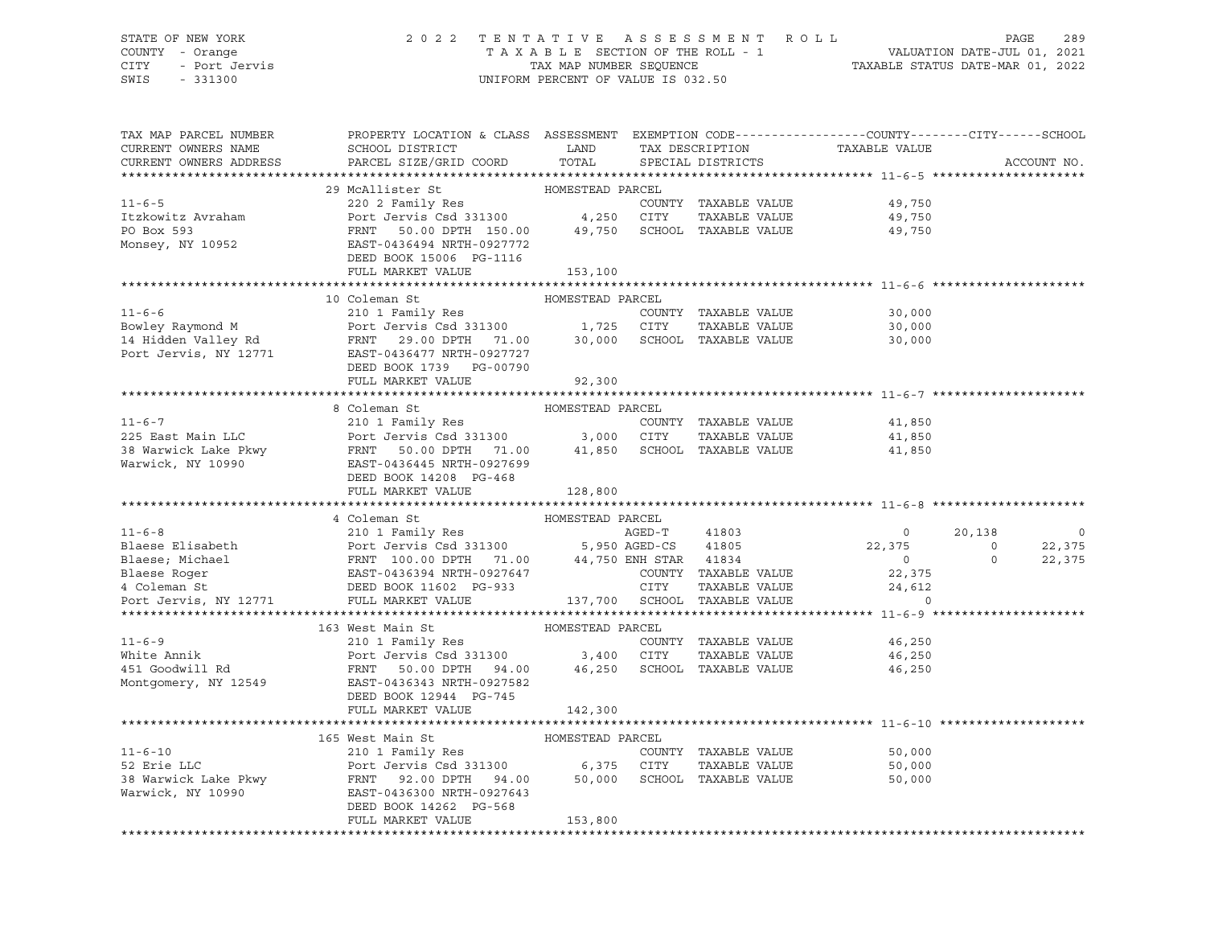### STATE OF NEW YORK 2 0 2 2 T E N T A T I V E A S S E S S M E N T R O L L PAGE 289 COUNTY - Orange T A X A B L E SECTION OF THE ROLL - 1 VALUATION DATE-JUL 01, 2021 CITY - Port Jervis TAX MAP NUMBER SEQUENCE TAXABLE STATUS DATE-MAR 01, 2022

| 29 McAllister St<br>220 2 Family Res<br>Port Jervis Csd 331300 4,250 CITY<br>$11 - 6 - 5$<br>COUNTY TAXABLE VALUE<br>49,750<br>Itzkowitz Avraham<br>TAXABLE VALUE<br>49,750<br>FRNT 50.00 DPTH 150.00 49,750 SCHOOL TAXABLE VALUE 49,750<br>PO Box 593<br>FANI 50<br>EAST-0436494 NRTH-0927772<br>Monsey, NY 10952<br>DEED BOOK 15006 PG-1116<br>FULL MARKET VALUE<br>153,100<br>10 Coleman St<br>HOMESTEAD PARCEL<br>$11 - 6 - 6$<br>210 1 Family Res<br>COUNTY TAXABLE VALUE<br>30,000<br>Bowley Raymond M<br>Bowley Raymond M<br>1,725 CITY TAXABLE VALUE<br>14 Hidden Valley Rd<br>Port Jervis, NY 12771 EAST-0436477 NRTH-0927727<br>EAST-0436477 NRTH-0927727<br>TAXABLE VALUE<br>30,000<br>30,000<br>DEED BOOK 1739 PG-00790<br>FULL MARKET VALUE<br>92,300<br>HOMESTEAD PARCEL<br>8 Coleman St<br>$11 - 6 - 7$<br>COUNTY TAXABLE VALUE<br>41,850<br>225 East Main LLC<br>TAXABLE VALUE<br>41,850<br>41,850<br>DEED BOOK 14208 PG-468<br>FULL MARKET VALUE<br>128,800<br>4 Coleman St<br>HOMESTEAD PARCEL<br>AGED-T<br>$11 - 6 - 8$<br>AGED-T 41803<br>20,138<br>210 1 Family Res<br>$\overline{0}$<br>$\circ$<br>Part Jeruis Cad 331300 5,950 AGED-CS 41805<br>Blaese; Michael FRNT 100.00 DPTH 71.00 44,750 ENH STAR 41834<br>Blaese Roger EAST-0436394 NRTH-0927647 COUNTY TAXABLE VALUE<br>4 Coleman St DEED BOOK 11602 PG-933 CITY TAXABLE VALUE<br>22,375<br>22,375<br>$\overline{0}$<br>$\overline{0}$<br>$\Omega$<br>22,375<br>COUNTY TAXABLE VALUE<br>22,375<br>24,612<br>TAXABLE VALUE<br>Port Jervis, NY 12771<br>137,700 SCHOOL TAXABLE VALUE<br>FULL MARKET VALUE<br>$\Omega$<br>163 West Main St<br>HOMESTEAD PARCEL<br>210 1 Family Res<br>Port Jeruis Country<br>Port Jervis Csd 331300 3,400 CITY<br>$11 - 6 - 9$<br>COUNTY TAXABLE VALUE<br>46,250<br>White Annik<br>TAXABLE VALUE<br>46,250<br>451 Goodwill Rd<br>FRNT 50.00 DPTH 94.00 46,250 SCHOOL TAXABLE VALUE 46,250<br>EAST-0436343 NRTH-0927582<br>Montgomery, NY 12549<br>DEED BOOK 12944 PG-745<br>FULL MARKET VALUE<br>142,300<br>165 West Main St<br>HOMESTEAD PARCEL<br>210 1 Family Res<br>$11 - 6 - 10$<br>COUNTY TAXABLE VALUE<br>50,000<br>TAXABLE VALUE<br>50,000<br>SCHOOL TAXABLE VALUE<br>50,000<br>Warwick, NY 10990<br>EAST-0436300 NRTH-0927643<br>DEED BOOK 14262 PG-568<br>FULL MARKET VALUE<br>153,800 | TAX MAP PARCEL NUMBER<br>CURRENT OWNERS NAME<br>CURRENT OWNERS ADDRESS | PROPERTY LOCATION & CLASS ASSESSMENT EXEMPTION CODE---------------COUNTY-------CITY------SCHOOL<br>SCHOOL DISTRICT<br>PARCEL SIZE/GRID COORD | LAND<br>TOTAL | TAX DESCRIPTION<br>SPECIAL DISTRICTS | TAXABLE VALUE | ACCOUNT NO. |
|-------------------------------------------------------------------------------------------------------------------------------------------------------------------------------------------------------------------------------------------------------------------------------------------------------------------------------------------------------------------------------------------------------------------------------------------------------------------------------------------------------------------------------------------------------------------------------------------------------------------------------------------------------------------------------------------------------------------------------------------------------------------------------------------------------------------------------------------------------------------------------------------------------------------------------------------------------------------------------------------------------------------------------------------------------------------------------------------------------------------------------------------------------------------------------------------------------------------------------------------------------------------------------------------------------------------------------------------------------------------------------------------------------------------------------------------------------------------------------------------------------------------------------------------------------------------------------------------------------------------------------------------------------------------------------------------------------------------------------------------------------------------------------------------------------------------------------------------------------------------------------------------------------------------------------------------------------------------------------------------------------------------------------------------------------------------------------------------------------------------------------------------------------------------------------------------------------------------------------------------------------------------------------------------------------------|------------------------------------------------------------------------|----------------------------------------------------------------------------------------------------------------------------------------------|---------------|--------------------------------------|---------------|-------------|
|                                                                                                                                                                                                                                                                                                                                                                                                                                                                                                                                                                                                                                                                                                                                                                                                                                                                                                                                                                                                                                                                                                                                                                                                                                                                                                                                                                                                                                                                                                                                                                                                                                                                                                                                                                                                                                                                                                                                                                                                                                                                                                                                                                                                                                                                                                             |                                                                        |                                                                                                                                              |               |                                      |               |             |
|                                                                                                                                                                                                                                                                                                                                                                                                                                                                                                                                                                                                                                                                                                                                                                                                                                                                                                                                                                                                                                                                                                                                                                                                                                                                                                                                                                                                                                                                                                                                                                                                                                                                                                                                                                                                                                                                                                                                                                                                                                                                                                                                                                                                                                                                                                             |                                                                        |                                                                                                                                              |               |                                      |               |             |
|                                                                                                                                                                                                                                                                                                                                                                                                                                                                                                                                                                                                                                                                                                                                                                                                                                                                                                                                                                                                                                                                                                                                                                                                                                                                                                                                                                                                                                                                                                                                                                                                                                                                                                                                                                                                                                                                                                                                                                                                                                                                                                                                                                                                                                                                                                             |                                                                        |                                                                                                                                              |               |                                      |               |             |
|                                                                                                                                                                                                                                                                                                                                                                                                                                                                                                                                                                                                                                                                                                                                                                                                                                                                                                                                                                                                                                                                                                                                                                                                                                                                                                                                                                                                                                                                                                                                                                                                                                                                                                                                                                                                                                                                                                                                                                                                                                                                                                                                                                                                                                                                                                             |                                                                        |                                                                                                                                              |               |                                      |               |             |
|                                                                                                                                                                                                                                                                                                                                                                                                                                                                                                                                                                                                                                                                                                                                                                                                                                                                                                                                                                                                                                                                                                                                                                                                                                                                                                                                                                                                                                                                                                                                                                                                                                                                                                                                                                                                                                                                                                                                                                                                                                                                                                                                                                                                                                                                                                             |                                                                        |                                                                                                                                              |               |                                      |               |             |
|                                                                                                                                                                                                                                                                                                                                                                                                                                                                                                                                                                                                                                                                                                                                                                                                                                                                                                                                                                                                                                                                                                                                                                                                                                                                                                                                                                                                                                                                                                                                                                                                                                                                                                                                                                                                                                                                                                                                                                                                                                                                                                                                                                                                                                                                                                             |                                                                        |                                                                                                                                              |               |                                      |               |             |
|                                                                                                                                                                                                                                                                                                                                                                                                                                                                                                                                                                                                                                                                                                                                                                                                                                                                                                                                                                                                                                                                                                                                                                                                                                                                                                                                                                                                                                                                                                                                                                                                                                                                                                                                                                                                                                                                                                                                                                                                                                                                                                                                                                                                                                                                                                             |                                                                        |                                                                                                                                              |               |                                      |               |             |
|                                                                                                                                                                                                                                                                                                                                                                                                                                                                                                                                                                                                                                                                                                                                                                                                                                                                                                                                                                                                                                                                                                                                                                                                                                                                                                                                                                                                                                                                                                                                                                                                                                                                                                                                                                                                                                                                                                                                                                                                                                                                                                                                                                                                                                                                                                             |                                                                        |                                                                                                                                              |               |                                      |               |             |
|                                                                                                                                                                                                                                                                                                                                                                                                                                                                                                                                                                                                                                                                                                                                                                                                                                                                                                                                                                                                                                                                                                                                                                                                                                                                                                                                                                                                                                                                                                                                                                                                                                                                                                                                                                                                                                                                                                                                                                                                                                                                                                                                                                                                                                                                                                             |                                                                        |                                                                                                                                              |               |                                      |               |             |
|                                                                                                                                                                                                                                                                                                                                                                                                                                                                                                                                                                                                                                                                                                                                                                                                                                                                                                                                                                                                                                                                                                                                                                                                                                                                                                                                                                                                                                                                                                                                                                                                                                                                                                                                                                                                                                                                                                                                                                                                                                                                                                                                                                                                                                                                                                             |                                                                        |                                                                                                                                              |               |                                      |               |             |
|                                                                                                                                                                                                                                                                                                                                                                                                                                                                                                                                                                                                                                                                                                                                                                                                                                                                                                                                                                                                                                                                                                                                                                                                                                                                                                                                                                                                                                                                                                                                                                                                                                                                                                                                                                                                                                                                                                                                                                                                                                                                                                                                                                                                                                                                                                             |                                                                        |                                                                                                                                              |               |                                      |               |             |
|                                                                                                                                                                                                                                                                                                                                                                                                                                                                                                                                                                                                                                                                                                                                                                                                                                                                                                                                                                                                                                                                                                                                                                                                                                                                                                                                                                                                                                                                                                                                                                                                                                                                                                                                                                                                                                                                                                                                                                                                                                                                                                                                                                                                                                                                                                             |                                                                        |                                                                                                                                              |               |                                      |               |             |
|                                                                                                                                                                                                                                                                                                                                                                                                                                                                                                                                                                                                                                                                                                                                                                                                                                                                                                                                                                                                                                                                                                                                                                                                                                                                                                                                                                                                                                                                                                                                                                                                                                                                                                                                                                                                                                                                                                                                                                                                                                                                                                                                                                                                                                                                                                             |                                                                        |                                                                                                                                              |               |                                      |               |             |
|                                                                                                                                                                                                                                                                                                                                                                                                                                                                                                                                                                                                                                                                                                                                                                                                                                                                                                                                                                                                                                                                                                                                                                                                                                                                                                                                                                                                                                                                                                                                                                                                                                                                                                                                                                                                                                                                                                                                                                                                                                                                                                                                                                                                                                                                                                             |                                                                        |                                                                                                                                              |               |                                      |               |             |
|                                                                                                                                                                                                                                                                                                                                                                                                                                                                                                                                                                                                                                                                                                                                                                                                                                                                                                                                                                                                                                                                                                                                                                                                                                                                                                                                                                                                                                                                                                                                                                                                                                                                                                                                                                                                                                                                                                                                                                                                                                                                                                                                                                                                                                                                                                             |                                                                        |                                                                                                                                              |               |                                      |               |             |
|                                                                                                                                                                                                                                                                                                                                                                                                                                                                                                                                                                                                                                                                                                                                                                                                                                                                                                                                                                                                                                                                                                                                                                                                                                                                                                                                                                                                                                                                                                                                                                                                                                                                                                                                                                                                                                                                                                                                                                                                                                                                                                                                                                                                                                                                                                             |                                                                        |                                                                                                                                              |               |                                      |               |             |
|                                                                                                                                                                                                                                                                                                                                                                                                                                                                                                                                                                                                                                                                                                                                                                                                                                                                                                                                                                                                                                                                                                                                                                                                                                                                                                                                                                                                                                                                                                                                                                                                                                                                                                                                                                                                                                                                                                                                                                                                                                                                                                                                                                                                                                                                                                             |                                                                        |                                                                                                                                              |               |                                      |               |             |
|                                                                                                                                                                                                                                                                                                                                                                                                                                                                                                                                                                                                                                                                                                                                                                                                                                                                                                                                                                                                                                                                                                                                                                                                                                                                                                                                                                                                                                                                                                                                                                                                                                                                                                                                                                                                                                                                                                                                                                                                                                                                                                                                                                                                                                                                                                             |                                                                        |                                                                                                                                              |               |                                      |               |             |
|                                                                                                                                                                                                                                                                                                                                                                                                                                                                                                                                                                                                                                                                                                                                                                                                                                                                                                                                                                                                                                                                                                                                                                                                                                                                                                                                                                                                                                                                                                                                                                                                                                                                                                                                                                                                                                                                                                                                                                                                                                                                                                                                                                                                                                                                                                             |                                                                        |                                                                                                                                              |               |                                      |               |             |
|                                                                                                                                                                                                                                                                                                                                                                                                                                                                                                                                                                                                                                                                                                                                                                                                                                                                                                                                                                                                                                                                                                                                                                                                                                                                                                                                                                                                                                                                                                                                                                                                                                                                                                                                                                                                                                                                                                                                                                                                                                                                                                                                                                                                                                                                                                             |                                                                        |                                                                                                                                              |               |                                      |               |             |
|                                                                                                                                                                                                                                                                                                                                                                                                                                                                                                                                                                                                                                                                                                                                                                                                                                                                                                                                                                                                                                                                                                                                                                                                                                                                                                                                                                                                                                                                                                                                                                                                                                                                                                                                                                                                                                                                                                                                                                                                                                                                                                                                                                                                                                                                                                             |                                                                        |                                                                                                                                              |               |                                      |               |             |
|                                                                                                                                                                                                                                                                                                                                                                                                                                                                                                                                                                                                                                                                                                                                                                                                                                                                                                                                                                                                                                                                                                                                                                                                                                                                                                                                                                                                                                                                                                                                                                                                                                                                                                                                                                                                                                                                                                                                                                                                                                                                                                                                                                                                                                                                                                             |                                                                        |                                                                                                                                              |               |                                      |               |             |
|                                                                                                                                                                                                                                                                                                                                                                                                                                                                                                                                                                                                                                                                                                                                                                                                                                                                                                                                                                                                                                                                                                                                                                                                                                                                                                                                                                                                                                                                                                                                                                                                                                                                                                                                                                                                                                                                                                                                                                                                                                                                                                                                                                                                                                                                                                             |                                                                        |                                                                                                                                              |               |                                      |               |             |
|                                                                                                                                                                                                                                                                                                                                                                                                                                                                                                                                                                                                                                                                                                                                                                                                                                                                                                                                                                                                                                                                                                                                                                                                                                                                                                                                                                                                                                                                                                                                                                                                                                                                                                                                                                                                                                                                                                                                                                                                                                                                                                                                                                                                                                                                                                             |                                                                        |                                                                                                                                              |               |                                      |               |             |
|                                                                                                                                                                                                                                                                                                                                                                                                                                                                                                                                                                                                                                                                                                                                                                                                                                                                                                                                                                                                                                                                                                                                                                                                                                                                                                                                                                                                                                                                                                                                                                                                                                                                                                                                                                                                                                                                                                                                                                                                                                                                                                                                                                                                                                                                                                             |                                                                        |                                                                                                                                              |               |                                      |               |             |
|                                                                                                                                                                                                                                                                                                                                                                                                                                                                                                                                                                                                                                                                                                                                                                                                                                                                                                                                                                                                                                                                                                                                                                                                                                                                                                                                                                                                                                                                                                                                                                                                                                                                                                                                                                                                                                                                                                                                                                                                                                                                                                                                                                                                                                                                                                             |                                                                        |                                                                                                                                              |               |                                      |               |             |
|                                                                                                                                                                                                                                                                                                                                                                                                                                                                                                                                                                                                                                                                                                                                                                                                                                                                                                                                                                                                                                                                                                                                                                                                                                                                                                                                                                                                                                                                                                                                                                                                                                                                                                                                                                                                                                                                                                                                                                                                                                                                                                                                                                                                                                                                                                             |                                                                        |                                                                                                                                              |               |                                      |               |             |
|                                                                                                                                                                                                                                                                                                                                                                                                                                                                                                                                                                                                                                                                                                                                                                                                                                                                                                                                                                                                                                                                                                                                                                                                                                                                                                                                                                                                                                                                                                                                                                                                                                                                                                                                                                                                                                                                                                                                                                                                                                                                                                                                                                                                                                                                                                             |                                                                        |                                                                                                                                              |               |                                      |               |             |
|                                                                                                                                                                                                                                                                                                                                                                                                                                                                                                                                                                                                                                                                                                                                                                                                                                                                                                                                                                                                                                                                                                                                                                                                                                                                                                                                                                                                                                                                                                                                                                                                                                                                                                                                                                                                                                                                                                                                                                                                                                                                                                                                                                                                                                                                                                             |                                                                        |                                                                                                                                              |               |                                      |               |             |
|                                                                                                                                                                                                                                                                                                                                                                                                                                                                                                                                                                                                                                                                                                                                                                                                                                                                                                                                                                                                                                                                                                                                                                                                                                                                                                                                                                                                                                                                                                                                                                                                                                                                                                                                                                                                                                                                                                                                                                                                                                                                                                                                                                                                                                                                                                             |                                                                        |                                                                                                                                              |               |                                      |               |             |
|                                                                                                                                                                                                                                                                                                                                                                                                                                                                                                                                                                                                                                                                                                                                                                                                                                                                                                                                                                                                                                                                                                                                                                                                                                                                                                                                                                                                                                                                                                                                                                                                                                                                                                                                                                                                                                                                                                                                                                                                                                                                                                                                                                                                                                                                                                             |                                                                        |                                                                                                                                              |               |                                      |               |             |
|                                                                                                                                                                                                                                                                                                                                                                                                                                                                                                                                                                                                                                                                                                                                                                                                                                                                                                                                                                                                                                                                                                                                                                                                                                                                                                                                                                                                                                                                                                                                                                                                                                                                                                                                                                                                                                                                                                                                                                                                                                                                                                                                                                                                                                                                                                             |                                                                        |                                                                                                                                              |               |                                      |               |             |
|                                                                                                                                                                                                                                                                                                                                                                                                                                                                                                                                                                                                                                                                                                                                                                                                                                                                                                                                                                                                                                                                                                                                                                                                                                                                                                                                                                                                                                                                                                                                                                                                                                                                                                                                                                                                                                                                                                                                                                                                                                                                                                                                                                                                                                                                                                             |                                                                        |                                                                                                                                              |               |                                      |               |             |
|                                                                                                                                                                                                                                                                                                                                                                                                                                                                                                                                                                                                                                                                                                                                                                                                                                                                                                                                                                                                                                                                                                                                                                                                                                                                                                                                                                                                                                                                                                                                                                                                                                                                                                                                                                                                                                                                                                                                                                                                                                                                                                                                                                                                                                                                                                             |                                                                        |                                                                                                                                              |               |                                      |               |             |
|                                                                                                                                                                                                                                                                                                                                                                                                                                                                                                                                                                                                                                                                                                                                                                                                                                                                                                                                                                                                                                                                                                                                                                                                                                                                                                                                                                                                                                                                                                                                                                                                                                                                                                                                                                                                                                                                                                                                                                                                                                                                                                                                                                                                                                                                                                             |                                                                        |                                                                                                                                              |               |                                      |               |             |
|                                                                                                                                                                                                                                                                                                                                                                                                                                                                                                                                                                                                                                                                                                                                                                                                                                                                                                                                                                                                                                                                                                                                                                                                                                                                                                                                                                                                                                                                                                                                                                                                                                                                                                                                                                                                                                                                                                                                                                                                                                                                                                                                                                                                                                                                                                             |                                                                        |                                                                                                                                              |               |                                      |               |             |
|                                                                                                                                                                                                                                                                                                                                                                                                                                                                                                                                                                                                                                                                                                                                                                                                                                                                                                                                                                                                                                                                                                                                                                                                                                                                                                                                                                                                                                                                                                                                                                                                                                                                                                                                                                                                                                                                                                                                                                                                                                                                                                                                                                                                                                                                                                             |                                                                        |                                                                                                                                              |               |                                      |               |             |
|                                                                                                                                                                                                                                                                                                                                                                                                                                                                                                                                                                                                                                                                                                                                                                                                                                                                                                                                                                                                                                                                                                                                                                                                                                                                                                                                                                                                                                                                                                                                                                                                                                                                                                                                                                                                                                                                                                                                                                                                                                                                                                                                                                                                                                                                                                             |                                                                        |                                                                                                                                              |               |                                      |               |             |
|                                                                                                                                                                                                                                                                                                                                                                                                                                                                                                                                                                                                                                                                                                                                                                                                                                                                                                                                                                                                                                                                                                                                                                                                                                                                                                                                                                                                                                                                                                                                                                                                                                                                                                                                                                                                                                                                                                                                                                                                                                                                                                                                                                                                                                                                                                             |                                                                        |                                                                                                                                              |               |                                      |               |             |
|                                                                                                                                                                                                                                                                                                                                                                                                                                                                                                                                                                                                                                                                                                                                                                                                                                                                                                                                                                                                                                                                                                                                                                                                                                                                                                                                                                                                                                                                                                                                                                                                                                                                                                                                                                                                                                                                                                                                                                                                                                                                                                                                                                                                                                                                                                             |                                                                        |                                                                                                                                              |               |                                      |               |             |
|                                                                                                                                                                                                                                                                                                                                                                                                                                                                                                                                                                                                                                                                                                                                                                                                                                                                                                                                                                                                                                                                                                                                                                                                                                                                                                                                                                                                                                                                                                                                                                                                                                                                                                                                                                                                                                                                                                                                                                                                                                                                                                                                                                                                                                                                                                             |                                                                        |                                                                                                                                              |               |                                      |               |             |
|                                                                                                                                                                                                                                                                                                                                                                                                                                                                                                                                                                                                                                                                                                                                                                                                                                                                                                                                                                                                                                                                                                                                                                                                                                                                                                                                                                                                                                                                                                                                                                                                                                                                                                                                                                                                                                                                                                                                                                                                                                                                                                                                                                                                                                                                                                             |                                                                        |                                                                                                                                              |               |                                      |               |             |
|                                                                                                                                                                                                                                                                                                                                                                                                                                                                                                                                                                                                                                                                                                                                                                                                                                                                                                                                                                                                                                                                                                                                                                                                                                                                                                                                                                                                                                                                                                                                                                                                                                                                                                                                                                                                                                                                                                                                                                                                                                                                                                                                                                                                                                                                                                             |                                                                        |                                                                                                                                              |               |                                      |               |             |
|                                                                                                                                                                                                                                                                                                                                                                                                                                                                                                                                                                                                                                                                                                                                                                                                                                                                                                                                                                                                                                                                                                                                                                                                                                                                                                                                                                                                                                                                                                                                                                                                                                                                                                                                                                                                                                                                                                                                                                                                                                                                                                                                                                                                                                                                                                             |                                                                        |                                                                                                                                              |               |                                      |               |             |
|                                                                                                                                                                                                                                                                                                                                                                                                                                                                                                                                                                                                                                                                                                                                                                                                                                                                                                                                                                                                                                                                                                                                                                                                                                                                                                                                                                                                                                                                                                                                                                                                                                                                                                                                                                                                                                                                                                                                                                                                                                                                                                                                                                                                                                                                                                             |                                                                        |                                                                                                                                              |               |                                      |               |             |
|                                                                                                                                                                                                                                                                                                                                                                                                                                                                                                                                                                                                                                                                                                                                                                                                                                                                                                                                                                                                                                                                                                                                                                                                                                                                                                                                                                                                                                                                                                                                                                                                                                                                                                                                                                                                                                                                                                                                                                                                                                                                                                                                                                                                                                                                                                             |                                                                        |                                                                                                                                              |               |                                      |               |             |
|                                                                                                                                                                                                                                                                                                                                                                                                                                                                                                                                                                                                                                                                                                                                                                                                                                                                                                                                                                                                                                                                                                                                                                                                                                                                                                                                                                                                                                                                                                                                                                                                                                                                                                                                                                                                                                                                                                                                                                                                                                                                                                                                                                                                                                                                                                             |                                                                        |                                                                                                                                              |               |                                      |               |             |
|                                                                                                                                                                                                                                                                                                                                                                                                                                                                                                                                                                                                                                                                                                                                                                                                                                                                                                                                                                                                                                                                                                                                                                                                                                                                                                                                                                                                                                                                                                                                                                                                                                                                                                                                                                                                                                                                                                                                                                                                                                                                                                                                                                                                                                                                                                             |                                                                        |                                                                                                                                              |               |                                      |               |             |
|                                                                                                                                                                                                                                                                                                                                                                                                                                                                                                                                                                                                                                                                                                                                                                                                                                                                                                                                                                                                                                                                                                                                                                                                                                                                                                                                                                                                                                                                                                                                                                                                                                                                                                                                                                                                                                                                                                                                                                                                                                                                                                                                                                                                                                                                                                             |                                                                        |                                                                                                                                              |               |                                      |               |             |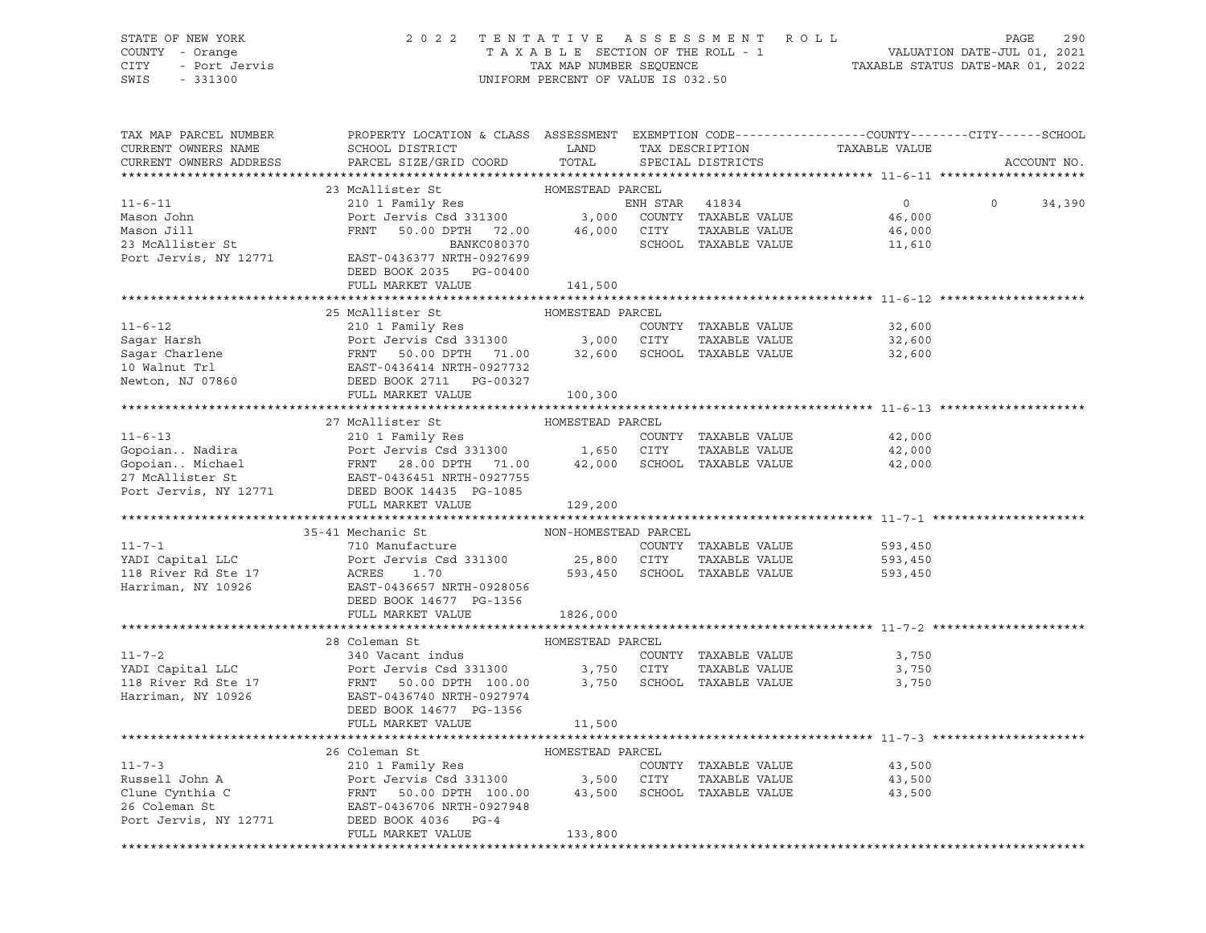| STATE OF NEW YORK<br>COUNTY - Orange<br>CITY<br>- Port Jervis<br>SWIS<br>$-331300$ | 2 0 2 2<br>TENTATIVE                                                                                                                         | TAXABLE SECTION OF THE ROLL - 1<br>TAX MAP NUMBER SEQUENCE<br>UNIFORM PERCENT OF VALUE IS 032.50 |                | ASSESSMENT ROLL                               |                    | 290<br>PAGE<br>VALUATION DATE-JUL 01, 2021<br>TAXABLE STATUS DATE-MAR 01, 2022 |
|------------------------------------------------------------------------------------|----------------------------------------------------------------------------------------------------------------------------------------------|--------------------------------------------------------------------------------------------------|----------------|-----------------------------------------------|--------------------|--------------------------------------------------------------------------------|
| TAX MAP PARCEL NUMBER<br>CURRENT OWNERS NAME<br>CURRENT OWNERS ADDRESS             | PROPERTY LOCATION & CLASS ASSESSMENT EXEMPTION CODE---------------COUNTY-------CITY------SCHOOL<br>SCHOOL DISTRICT<br>PARCEL SIZE/GRID COORD | LAND<br>TOTAL                                                                                    |                | TAX DESCRIPTION<br>SPECIAL DISTRICTS          | TAXABLE VALUE      | ACCOUNT NO.                                                                    |
|                                                                                    |                                                                                                                                              |                                                                                                  |                |                                               |                    |                                                                                |
|                                                                                    | 23 McAllister St                                                                                                                             | HOMESTEAD PARCEL                                                                                 |                |                                               |                    |                                                                                |
| $11 - 6 - 11$                                                                      | 210 1 Family Res                                                                                                                             |                                                                                                  | ENH STAR 41834 |                                               | $0 \qquad \qquad$  | $\circ$<br>34,390                                                              |
| Mason John                                                                         | Port Jervis Csd 331300 3,000 COUNTY TAXABLE VALUE                                                                                            |                                                                                                  |                |                                               | 46,000             |                                                                                |
| Mason Jill                                                                         | FRNT 50.00 DPTH 72.00 46,000 CITY<br>BANKC080370 SCHOOL                                                                                      |                                                                                                  |                | TAXABLE VALUE                                 | 46,000             |                                                                                |
| 23 McAllister St                                                                   | BANKC080370                                                                                                                                  |                                                                                                  |                | SCHOOL TAXABLE VALUE                          | 11,610             |                                                                                |
| Port Jervis, NY 12771                                                              | EAST-0436377 NRTH-0927699<br>DEED BOOK 2035 PG-00400                                                                                         |                                                                                                  |                |                                               |                    |                                                                                |
|                                                                                    | FULL MARKET VALUE                                                                                                                            | 141,500                                                                                          |                |                                               |                    |                                                                                |
|                                                                                    |                                                                                                                                              |                                                                                                  |                |                                               |                    |                                                                                |
|                                                                                    | 25 McAllister St                                                                                                                             | HOMESTEAD PARCEL                                                                                 |                |                                               |                    |                                                                                |
| $11 - 6 - 12$                                                                      | 210 1 Family Res                                                                                                                             |                                                                                                  |                | COUNTY TAXABLE VALUE                          | 32,600             |                                                                                |
| Sagar Harsh                                                                        | Port Jervis Csd 331300 3,000 CITY                                                                                                            |                                                                                                  |                | TAXABLE VALUE                                 | 32,600             |                                                                                |
|                                                                                    |                                                                                                                                              |                                                                                                  |                | 32,600 SCHOOL TAXABLE VALUE                   | 32,600             |                                                                                |
| 10 Walnut Trl                                                                      | EAST-0436414 NRTH-0927732                                                                                                                    |                                                                                                  |                |                                               |                    |                                                                                |
| Newton, NJ 07860                                                                   | DEED BOOK 2711 PG-00327                                                                                                                      |                                                                                                  |                |                                               |                    |                                                                                |
|                                                                                    | FULL MARKET VALUE                                                                                                                            | 100,300                                                                                          |                |                                               |                    |                                                                                |
|                                                                                    | 27 McAllister St                                                                                                                             | HOMESTEAD PARCEL                                                                                 |                |                                               |                    |                                                                                |
| $11 - 6 - 13$                                                                      | 210 1 Family Res                                                                                                                             |                                                                                                  |                | COUNTY TAXABLE VALUE                          | 42,000             |                                                                                |
|                                                                                    | Port Jervis Csd 331300 1,650 CITY                                                                                                            |                                                                                                  |                | TAXABLE VALUE                                 | 42,000             |                                                                                |
|                                                                                    |                                                                                                                                              |                                                                                                  |                | 42,000 SCHOOL TAXABLE VALUE                   | 42,000             |                                                                                |
| 27 McAllister St                                                                   | EAST-0436451 NRTH-0927755                                                                                                                    |                                                                                                  |                |                                               |                    |                                                                                |
| Port Jervis, NY 12771                                                              | DEED BOOK 14435 PG-1085                                                                                                                      |                                                                                                  |                |                                               |                    |                                                                                |
|                                                                                    | FULL MARKET VALUE                                                                                                                            | 129,200                                                                                          |                |                                               |                    |                                                                                |
|                                                                                    |                                                                                                                                              |                                                                                                  |                |                                               |                    |                                                                                |
|                                                                                    | 35-41 Mechanic St                                                                                                                            | NON-HOMESTEAD PARCEL                                                                             |                |                                               |                    |                                                                                |
| $11 - 7 - 1$                                                                       | 710 Manufacture                                                                                                                              |                                                                                                  |                | COUNTY TAXABLE VALUE                          | 593,450            |                                                                                |
| YADI Capital LLC<br>118 River Rd Ste 17                                            | Port Jervis Csd 331300<br>ACRES<br>1.70                                                                                                      | 25,800 CITY                                                                                      |                | TAXABLE VALUE<br>593,450 SCHOOL TAXABLE VALUE | 593,450<br>593,450 |                                                                                |
| Harriman, NY 10926                                                                 | EAST-0436657 NRTH-0928056                                                                                                                    |                                                                                                  |                |                                               |                    |                                                                                |
|                                                                                    | DEED BOOK 14677 PG-1356                                                                                                                      |                                                                                                  |                |                                               |                    |                                                                                |
|                                                                                    | FULL MARKET VALUE                                                                                                                            | 1826,000                                                                                         |                |                                               |                    |                                                                                |
|                                                                                    |                                                                                                                                              |                                                                                                  |                |                                               |                    |                                                                                |
|                                                                                    | 28 Coleman St                                                                                                                                | HOMESTEAD PARCEL                                                                                 |                |                                               |                    |                                                                                |
| $11 - 7 - 2$                                                                       | 340 Vacant indus                                                                                                                             |                                                                                                  |                | COUNTY TAXABLE VALUE                          | 3,750              |                                                                                |
| YADI Capital LLC                                                                   | Port Jervis Csd 331300                                                                                                                       | 3,750 CITY                                                                                       |                | TAXABLE VALUE                                 | 3,750              |                                                                                |
| 118 River Rd Ste 17                                                                | FRNT 50.00 DPTH 100.00                                                                                                                       | 3,750                                                                                            |                | SCHOOL TAXABLE VALUE                          | 3,750              |                                                                                |
| Harriman, NY 10926                                                                 | EAST-0436740 NRTH-0927974<br>DEED BOOK 14677 PG-1356                                                                                         |                                                                                                  |                |                                               |                    |                                                                                |
|                                                                                    | FULL MARKET VALUE                                                                                                                            | 11,500                                                                                           |                |                                               |                    |                                                                                |
|                                                                                    |                                                                                                                                              |                                                                                                  |                |                                               |                    |                                                                                |
|                                                                                    | 26 Coleman St                                                                                                                                | HOMESTEAD PARCEL                                                                                 |                |                                               |                    |                                                                                |
| $11 - 7 - 3$                                                                       | 210 1 Family Res                                                                                                                             |                                                                                                  | COUNTY         | TAXABLE VALUE                                 | 43,500             |                                                                                |
| Russell John A                                                                     | Port Jervis Csd 331300                                                                                                                       | 3,500                                                                                            | CITY           | TAXABLE VALUE                                 | 43,500             |                                                                                |
| Clune Cynthia C                                                                    | 50.00 DPTH 100.00<br>FRNT                                                                                                                    | 43,500                                                                                           | SCHOOL         | TAXABLE VALUE                                 | 43,500             |                                                                                |
| 26 Coleman St                                                                      | EAST-0436706 NRTH-0927948                                                                                                                    |                                                                                                  |                |                                               |                    |                                                                                |
| Port Jervis, NY 12771                                                              | DEED BOOK 4036<br>$PG-4$<br>FULL MARKET VALUE                                                                                                | 133,800                                                                                          |                |                                               |                    |                                                                                |

\*\*\*\*\*\*\*\*\*\*\*\*\*\*\*\*\*\*\*\*\*\*\*\*\*\*\*\*\*\*\*\*\*\*\*\*\*\*\*\*\*\*\*\*\*\*\*\*\*\*\*\*\*\*\*\*\*\*\*\*\*\*\*\*\*\*\*\*\*\*\*\*\*\*\*\*\*\*\*\*\*\*\*\*\*\*\*\*\*\*\*\*\*\*\*\*\*\*\*\*\*\*\*\*\*\*\*\*\*\*\*\*\*\*\*\*\*\*\*\*\*\*\*\*\*\*\*\*\*\*\*\*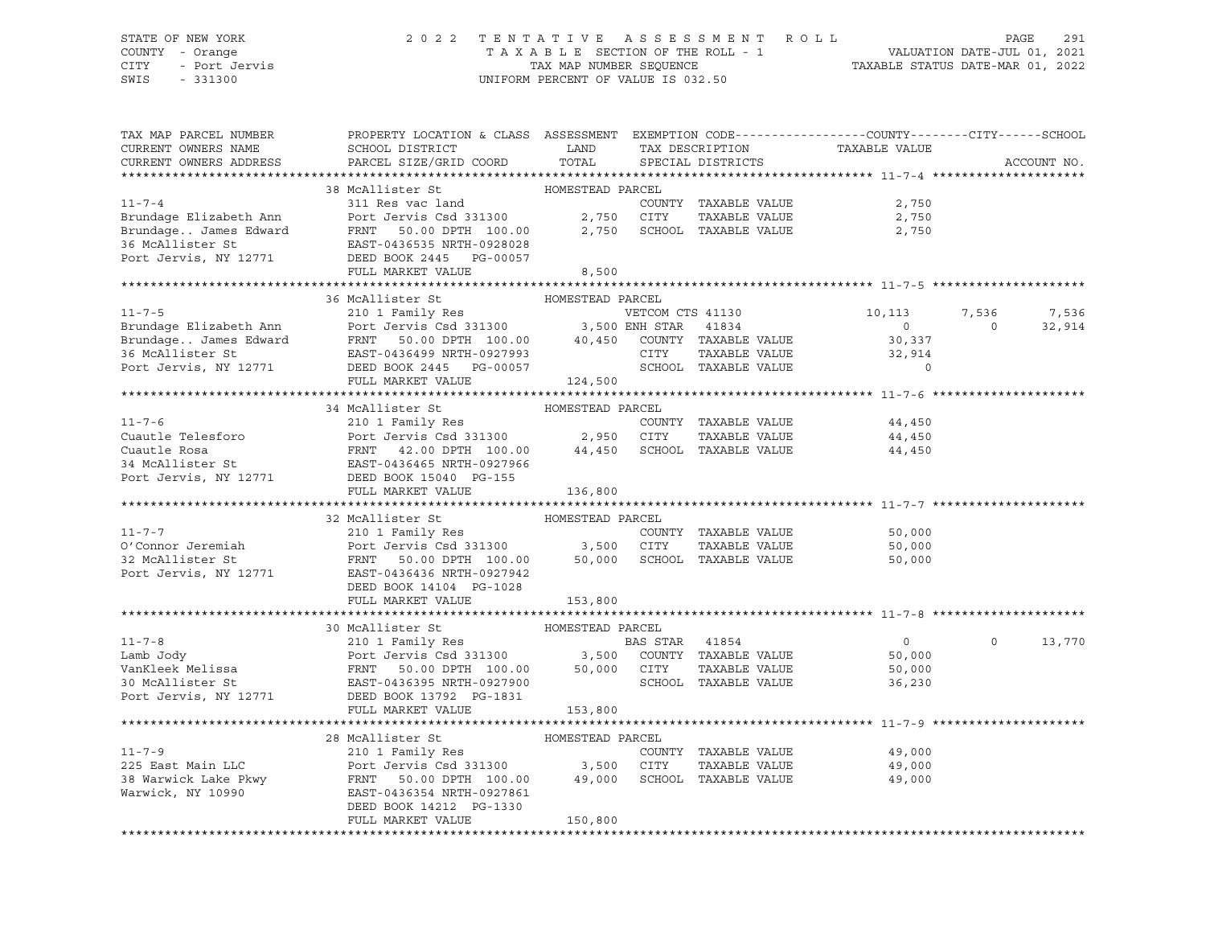### STATE OF NEW YORK 2 0 2 2 T E N T A T I V E A S S E S S M E N T R O L L PAGE 291 COUNTY - Orange T A X A B L E SECTION OF THE ROLL - 1 VALUATION DATE-JUL 01, 2021 CITY - Port Jervis TAX MAP NUMBER SEQUENCE TAXABLE STATUS DATE-MAR 01, 2022

| TAX MAP PARCEL NUMBER                                                                                                                                                                                                                        | PROPERTY LOCATION & CLASS ASSESSMENT EXEMPTION CODE---------------COUNTY-------CITY------SCHOOL |                  |                |                             |                  |                         |             |
|----------------------------------------------------------------------------------------------------------------------------------------------------------------------------------------------------------------------------------------------|-------------------------------------------------------------------------------------------------|------------------|----------------|-----------------------------|------------------|-------------------------|-------------|
| CURRENT OWNERS NAME                                                                                                                                                                                                                          | SCHOOL DISTRICT                                                                                 | LAND             |                | TAX DESCRIPTION             | TAXABLE VALUE    |                         |             |
| CURRENT OWNERS ADDRESS                                                                                                                                                                                                                       | PARCEL SIZE/GRID COORD TOTAL                                                                    |                  |                | SPECIAL DISTRICTS           |                  |                         | ACCOUNT NO. |
|                                                                                                                                                                                                                                              |                                                                                                 |                  |                |                             |                  |                         |             |
|                                                                                                                                                                                                                                              | 38 McAllister St MOMESTEAD PARCEL                                                               |                  |                |                             |                  |                         |             |
| $11 - 7 - 4$                                                                                                                                                                                                                                 | 311 Res vac land                                                                                |                  |                | COUNTY TAXABLE VALUE        | 2,750            |                         |             |
| Brundage Elizabeth Ann                                                                                                                                                                                                                       | Port Jervis Csd 331300 2,750 CITY                                                               |                  |                | TAXABLE VALUE               | 2,750            |                         |             |
| Brundage James Edward                                                                                                                                                                                                                        | FRNT 50.00 DPTH 100.00<br>EAST-0436535 NRTH-0928028                                             |                  |                | 2,750 SCHOOL TAXABLE VALUE  | 2,750            |                         |             |
| 36 McAllister St                                                                                                                                                                                                                             | EAST-0436535 NRTH-0928028                                                                       |                  |                |                             |                  |                         |             |
| Port Jervis, NY 12771                                                                                                                                                                                                                        | DEED BOOK 2445 PG-00057                                                                         |                  |                |                             |                  |                         |             |
|                                                                                                                                                                                                                                              | FULL MARKET VALUE                                                                               | 8,500            |                |                             |                  |                         |             |
|                                                                                                                                                                                                                                              | 36 McAllister St                                                                                |                  |                |                             |                  |                         |             |
|                                                                                                                                                                                                                                              |                                                                                                 | HOMESTEAD PARCEL |                |                             |                  |                         |             |
| $11 - 7 - 5$                                                                                                                                                                                                                                 | 210 1 Family Res<br>Port Jervis Csd 331300 3,500 ENH STAR 41834                                 |                  |                |                             | 10, 113          | 7,536<br>$\overline{0}$ | 7,536       |
| 11-7,<br>Brundage Elizabeth Ann Mort Jervis Csd 331300 (10.00 - 10,450 COUNTY TAXABLE VALUE<br>Brundage James Edward FRNT 50.00 DPTH 100.00 (10,450 COUNTY TAXABLE VALUE<br>36 McAllister St (10.00 - 10.0007) (10.000 - 10.0000 SCHO        |                                                                                                 |                  |                |                             | $\overline{0}$   |                         | 32,914      |
|                                                                                                                                                                                                                                              |                                                                                                 |                  |                |                             | 30,337<br>32,914 |                         |             |
|                                                                                                                                                                                                                                              |                                                                                                 |                  |                |                             | $\Omega$         |                         |             |
| Port Jervis, NY 12771 DEED BOOK 2445 PG-00057                                                                                                                                                                                                |                                                                                                 | 124,500          |                |                             |                  |                         |             |
|                                                                                                                                                                                                                                              | FULL MARKET VALUE                                                                               |                  |                |                             |                  |                         |             |
|                                                                                                                                                                                                                                              |                                                                                                 |                  |                |                             |                  |                         |             |
|                                                                                                                                                                                                                                              | 34 McAllister St                                                                                | HOMESTEAD PARCEL |                |                             |                  |                         |             |
|                                                                                                                                                                                                                                              |                                                                                                 |                  |                |                             | 44,450           |                         |             |
|                                                                                                                                                                                                                                              |                                                                                                 |                  |                |                             | 44,450           |                         |             |
|                                                                                                                                                                                                                                              |                                                                                                 |                  |                |                             | 44,450           |                         |             |
|                                                                                                                                                                                                                                              |                                                                                                 |                  |                |                             |                  |                         |             |
| Cuautle Telesforo<br>Cuautle Rosa<br>Cuautle Rosa<br>FRNT 42.00 DPTH 100.00 44,450 SCHOOL TAXABLE VALUE<br>POTT JERST-0436465 NRTH-0927966<br>POTT JERST-0436465 NRTH-0927966<br>POTT JERST-0436465 NRTH-0927966<br>POTT JERST-0436465 NRTH- |                                                                                                 |                  |                |                             |                  |                         |             |
|                                                                                                                                                                                                                                              |                                                                                                 |                  |                |                             |                  |                         |             |
|                                                                                                                                                                                                                                              | 32 McAllister St                                                                                | HOMESTEAD PARCEL |                |                             |                  |                         |             |
| $11 - 7 - 7$                                                                                                                                                                                                                                 | 210 1 Family Res                                                                                |                  |                | COUNTY TAXABLE VALUE        | 50,000           |                         |             |
|                                                                                                                                                                                                                                              |                                                                                                 |                  |                | TAXABLE VALUE               | 50,000           |                         |             |
|                                                                                                                                                                                                                                              |                                                                                                 |                  |                | 50,000 SCHOOL TAXABLE VALUE | 50,000           |                         |             |
| 32 McAllister St<br>Port Jervis, NY 12771 EAST-0436436 NRTH-0927942<br>EAST-0436436 NRTH-0927942                                                                                                                                             |                                                                                                 |                  |                |                             |                  |                         |             |
|                                                                                                                                                                                                                                              | DEED BOOK 14104 PG-1028                                                                         |                  |                |                             |                  |                         |             |
|                                                                                                                                                                                                                                              | FULL MARKET VALUE                                                                               | 153,800          |                |                             |                  |                         |             |
|                                                                                                                                                                                                                                              |                                                                                                 |                  |                |                             |                  |                         |             |
|                                                                                                                                                                                                                                              | 30 McAllister St                                                                                | HOMESTEAD PARCEL |                |                             |                  |                         |             |
| $11 - 7 - 8$                                                                                                                                                                                                                                 | 210 1 Family Res                                                                                |                  | BAS STAR 41854 |                             | $\overline{0}$   | $\circ$                 | 13,770      |
|                                                                                                                                                                                                                                              |                                                                                                 |                  |                | COUNTY TAXABLE VALUE        | 50,000           |                         |             |
|                                                                                                                                                                                                                                              |                                                                                                 |                  |                | TAXABLE VALUE               | 50,000           |                         |             |
|                                                                                                                                                                                                                                              |                                                                                                 |                  |                | SCHOOL TAXABLE VALUE        | 36,230           |                         |             |
|                                                                                                                                                                                                                                              |                                                                                                 |                  |                |                             |                  |                         |             |
|                                                                                                                                                                                                                                              | FULL MARKET VALUE                                                                               | 153,800          |                |                             |                  |                         |             |
|                                                                                                                                                                                                                                              |                                                                                                 |                  |                |                             |                  |                         |             |
|                                                                                                                                                                                                                                              | 28 McAllister St                                                                                | HOMESTEAD PARCEL |                |                             |                  |                         |             |
| $11 - 7 - 9$                                                                                                                                                                                                                                 | 210 1 Family Res                                                                                |                  |                | COUNTY TAXABLE VALUE        | 49,000           |                         |             |
| 225 East Main LLC                                                                                                                                                                                                                            |                                                                                                 |                  |                | TAXABLE VALUE               | 49,000           |                         |             |
| 38 Warwick Lake Pkwy                                                                                                                                                                                                                         | Port Jervis Csd 331300 3,500 CITY<br>FRNT 50.00 DPTH 100.00 49,000 SCHOO                        |                  |                | SCHOOL TAXABLE VALUE        | 49,000           |                         |             |
| Warwick, NY 10990                                                                                                                                                                                                                            | EAST-0436354 NRTH-0927861                                                                       |                  |                |                             |                  |                         |             |
|                                                                                                                                                                                                                                              | DEED BOOK 14212 PG-1330                                                                         |                  |                |                             |                  |                         |             |
|                                                                                                                                                                                                                                              | FULL MARKET VALUE                                                                               | 150,800          |                |                             |                  |                         |             |
|                                                                                                                                                                                                                                              |                                                                                                 |                  |                |                             |                  |                         |             |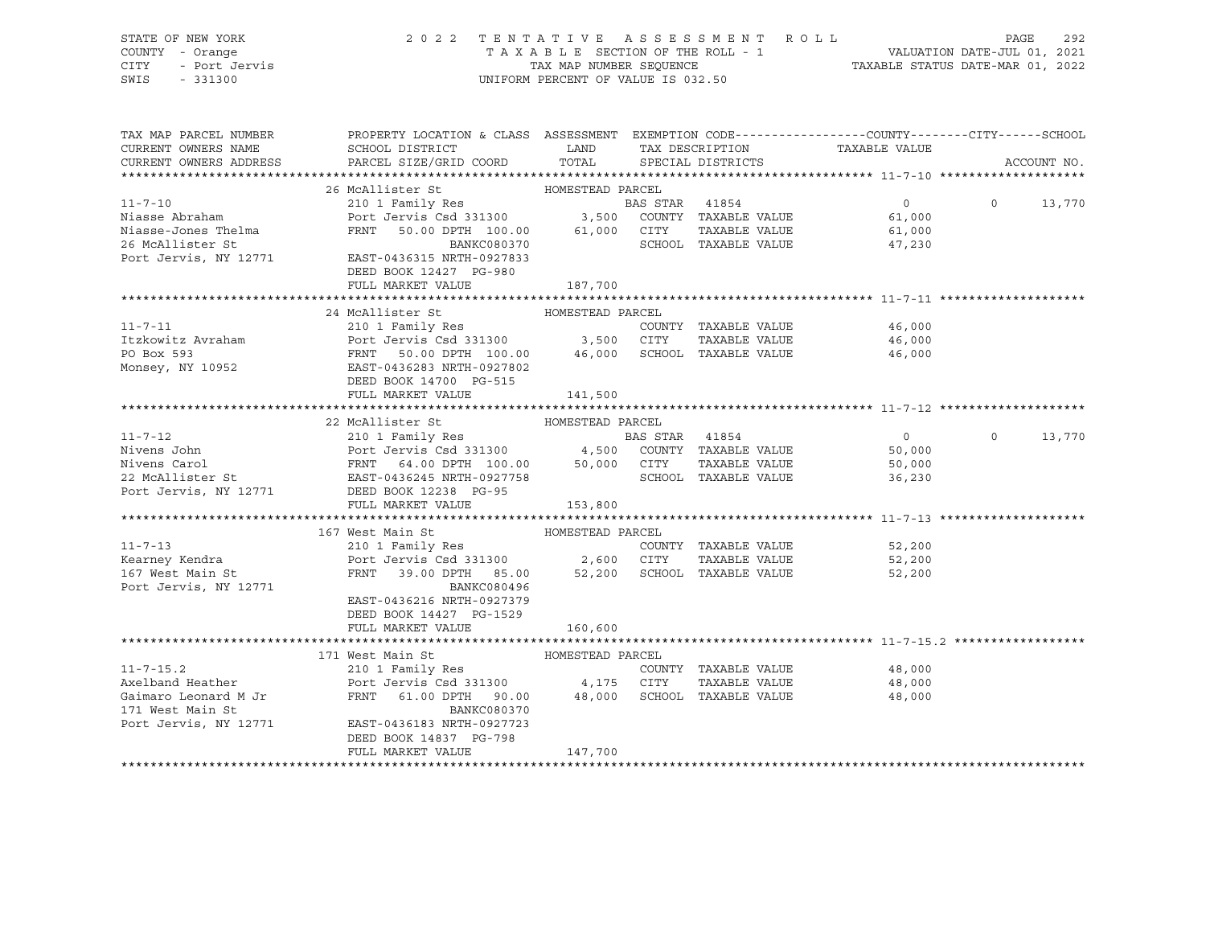| STATE OF NEW YORK<br>COUNTY - Orange<br>OF NEW IONA<br>Y - Orange<br>- Port Jervis<br>1990<br>CITY<br>SWIS - 331300 | 2022 TENTATIVE ASSESSMENT ROLL                                                                                                                                                                                             | UNIFORM PERCENT OF VALUE IS 032.50 |                      | TAXABLE SECTION OF THE ROLL - 1<br>TAXABLE SECTION OF THE ROLL - 1<br>TAXABLE STATUS DATE-MAR 01, 2022 | PAGE<br>292        |
|---------------------------------------------------------------------------------------------------------------------|----------------------------------------------------------------------------------------------------------------------------------------------------------------------------------------------------------------------------|------------------------------------|----------------------|--------------------------------------------------------------------------------------------------------|--------------------|
| TAX MAP PARCEL NUMBER<br>CURRENT OWNERS NAME                                                                        | PROPERTY LOCATION & CLASS ASSESSMENT EXEMPTION CODE---------------COUNTY-------CITY------SCHOOL                                                                                                                            |                                    |                      | TAXABLE VALUE                                                                                          |                    |
| CURRENT OWNERS ADDRESS                                                                                              | PARCEL SIZE/GRID COORD                                                                                                                                                                                                     | TOTAL                              | SPECIAL DISTRICTS    |                                                                                                        | ACCOUNT NO.        |
|                                                                                                                     | 26 McAllister St                                                                                                                                                                                                           |                                    |                      |                                                                                                        |                    |
| $11 - 7 - 10$                                                                                                       |                                                                                                                                                                                                                            |                                    |                      | $\overline{0}$                                                                                         | $\circ$<br>13,770  |
| Niasse Abraham                                                                                                      |                                                                                                                                                                                                                            |                                    |                      | 61,000                                                                                                 |                    |
| Niasse-Jones Thelma                                                                                                 |                                                                                                                                                                                                                            |                                    |                      | 61,000                                                                                                 |                    |
| 26 McAllister St                                                                                                    | BANKC080370                                                                                                                                                                                                                |                                    | SCHOOL TAXABLE VALUE | 47,230                                                                                                 |                    |
| Port Jervis, NY 12771                                                                                               | EAST-0436315 NRTH-0927833                                                                                                                                                                                                  |                                    |                      |                                                                                                        |                    |
|                                                                                                                     | DEED BOOK 12427 PG-980                                                                                                                                                                                                     |                                    |                      |                                                                                                        |                    |
|                                                                                                                     | FULL MARKET VALUE                                                                                                                                                                                                          | 187,700                            |                      |                                                                                                        |                    |
|                                                                                                                     |                                                                                                                                                                                                                            |                                    |                      |                                                                                                        |                    |
|                                                                                                                     | 24 McAllister St                                                                                                                                                                                                           | HOMESTEAD PARCEL                   | COUNTY TAXABLE VALUE | 46,000                                                                                                 |                    |
|                                                                                                                     |                                                                                                                                                                                                                            |                                    | TAXABLE VALUE        | 46,000                                                                                                 |                    |
|                                                                                                                     |                                                                                                                                                                                                                            |                                    |                      | 46,000                                                                                                 |                    |
|                                                                                                                     |                                                                                                                                                                                                                            |                                    |                      |                                                                                                        |                    |
|                                                                                                                     | DEED BOOK 14700 PG-515                                                                                                                                                                                                     |                                    |                      |                                                                                                        |                    |
|                                                                                                                     | FULL MARKET VALUE                                                                                                                                                                                                          | 141,500                            |                      |                                                                                                        |                    |
|                                                                                                                     |                                                                                                                                                                                                                            |                                    |                      |                                                                                                        |                    |
|                                                                                                                     | 22 McAllister St                                                                                                                                                                                                           | HOMESTEAD PARCEL                   |                      |                                                                                                        |                    |
|                                                                                                                     |                                                                                                                                                                                                                            |                                    |                      | $\overline{0}$                                                                                         | $\Omega$<br>13,770 |
|                                                                                                                     |                                                                                                                                                                                                                            |                                    |                      | 50,000                                                                                                 |                    |
|                                                                                                                     |                                                                                                                                                                                                                            |                                    |                      | 50,000<br>36,230                                                                                       |                    |
|                                                                                                                     | Nivens John Minimage of BAS STAR 41854<br>Nivens Carol Port Jervis Cad 331300 4,500 COUNTY TAXABLE VALUE<br>22 McAllister St EAST-0436245 NRTH-0927758 SCHOOL TAXABLE VALUE<br>Port Jervis, NY 12771 DEED BOOK 12238 PG-95 |                                    |                      |                                                                                                        |                    |
|                                                                                                                     | FULL MARKET VALUE                                                                                                                                                                                                          | 153,800                            |                      |                                                                                                        |                    |
|                                                                                                                     |                                                                                                                                                                                                                            |                                    |                      |                                                                                                        |                    |
|                                                                                                                     | 167 West Main St                                                                                                                                                                                                           | HOMESTEAD PARCEL                   |                      |                                                                                                        |                    |
| $11 - 7 - 13$                                                                                                       | 210 1 Family Res                                                                                                                                                                                                           |                                    | COUNTY TAXABLE VALUE | 52,200                                                                                                 |                    |
| Kearney Kendra                                                                                                      | 210 1 Family Res<br>Port Jervis Csd 331300 2,600 CITY                                                                                                                                                                      |                                    | TAXABLE VALUE        | 52,200                                                                                                 |                    |
| 167 West Main St                                                                                                    | FRNT 39.00 DPTH 85.00 52,200 SCHOOL TAXABLE VALUE                                                                                                                                                                          |                                    |                      | 52,200                                                                                                 |                    |
| Port Jervis, NY 12771                                                                                               | BANKC080496<br>EAST-0436216 NRTH-0927379                                                                                                                                                                                   |                                    |                      |                                                                                                        |                    |
|                                                                                                                     | DEED BOOK 14427 PG-1529                                                                                                                                                                                                    |                                    |                      |                                                                                                        |                    |
|                                                                                                                     | FULL MARKET VALUE                                                                                                                                                                                                          | 160,600                            |                      |                                                                                                        |                    |
|                                                                                                                     |                                                                                                                                                                                                                            |                                    |                      |                                                                                                        |                    |
|                                                                                                                     | 171 West Main St                                                                                                                                                                                                           | HOMESTEAD PARCEL                   |                      |                                                                                                        |                    |
| $11 - 7 - 15.2$                                                                                                     | عد المسين<br>210 1 Family Res<br>Port James                                                                                                                                                                                |                                    | COUNTY TAXABLE VALUE | 48,000                                                                                                 |                    |
| Axelband Heather                                                                                                    | Port Jervis Csd 331300 $\,$ 4,175 $\,$ CITY TAXABLE VALUE<br>FRNT 61.00 DPTH 90.00 48,000 SCHOOL TAXABLE VALUE                                                                                                             |                                    |                      | 48,000                                                                                                 |                    |
| Gaimaro Leonard M Jr                                                                                                |                                                                                                                                                                                                                            |                                    |                      | 48,000                                                                                                 |                    |
| 171 West Main St                                                                                                    | BANKC080370                                                                                                                                                                                                                |                                    |                      |                                                                                                        |                    |
| Port Jervis, NY 12771                                                                                               | EAST-0436183 NRTH-0927723<br>DEED BOOK 14837 PG-798                                                                                                                                                                        |                                    |                      |                                                                                                        |                    |
|                                                                                                                     | FULL MARKET VALUE                                                                                                                                                                                                          | 147,700                            |                      |                                                                                                        |                    |
|                                                                                                                     |                                                                                                                                                                                                                            |                                    |                      |                                                                                                        |                    |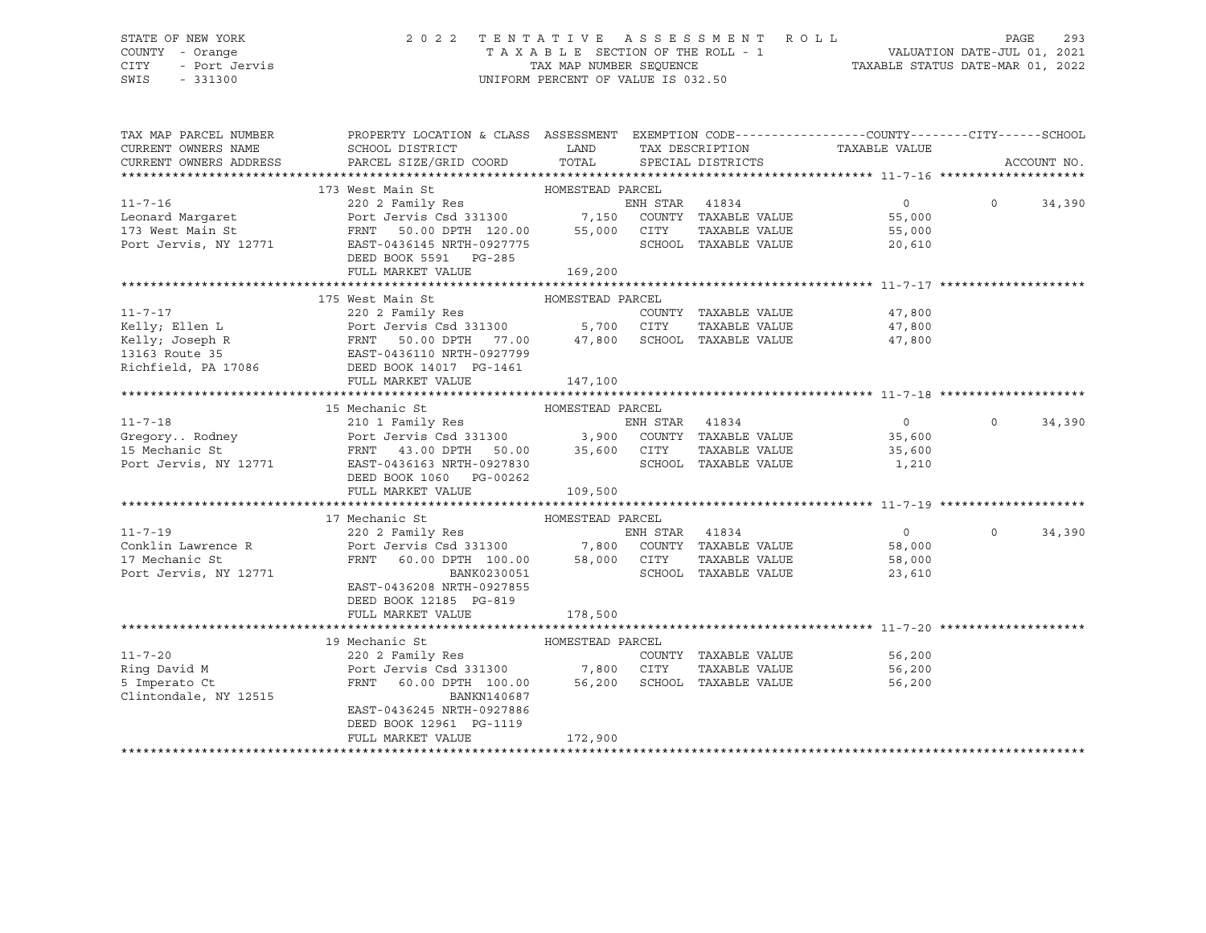### STATE OF NEW YORK 2 0 2 2 T E N T A T I V E A S S E S S M E N T R O L L PAGE 293 COUNTY - Orange T A X A B L E SECTION OF THE ROLL - 1 VALUATION DATE-JUL 01, 2021 CITY - Port Jervis TAX MAP NUMBER SEQUENCE TAXABLE STATUS DATE-MAR 01, 2022

| TAX MAP PARCEL NUMBER<br>CURRENT OWNERS NAME                                                                                                                                                                                                             | PROPERTY LOCATION & CLASS ASSESSMENT EXEMPTION CODE---------------COUNTY-------CITY------SCHOOL                                                               |                  |                      | TAX DESCRIPTION TAXABLE VALUE                |          |             |
|----------------------------------------------------------------------------------------------------------------------------------------------------------------------------------------------------------------------------------------------------------|---------------------------------------------------------------------------------------------------------------------------------------------------------------|------------------|----------------------|----------------------------------------------|----------|-------------|
| CURRENT OWNERS ADDRESS                                                                                                                                                                                                                                   |                                                                                                                                                               |                  |                      |                                              |          | ACCOUNT NO. |
|                                                                                                                                                                                                                                                          |                                                                                                                                                               |                  |                      |                                              |          |             |
| 173 West Main St<br>173 West Main St<br>220 2 Family Res<br>220 2 Family Res<br>220 2 Family Res<br>220 2 Family Res<br>220 2 Family Res<br>220 2 Family Res<br>220 2 Family Res<br>220 2 Family Res<br>220 2 Family Res<br>220 2 Family Res<br>220 2    |                                                                                                                                                               |                  |                      |                                              |          |             |
|                                                                                                                                                                                                                                                          |                                                                                                                                                               |                  |                      | $\overline{0}$                               | $\Omega$ | 34,390      |
|                                                                                                                                                                                                                                                          |                                                                                                                                                               |                  |                      | 55,000                                       |          |             |
|                                                                                                                                                                                                                                                          |                                                                                                                                                               |                  |                      | 55,000                                       |          |             |
|                                                                                                                                                                                                                                                          |                                                                                                                                                               |                  |                      | 20,610                                       |          |             |
|                                                                                                                                                                                                                                                          | DEED BOOK 5591 PG-285                                                                                                                                         |                  |                      |                                              |          |             |
|                                                                                                                                                                                                                                                          | FULL MARKET VALUE                                                                                                                                             | 169,200          |                      |                                              |          |             |
|                                                                                                                                                                                                                                                          |                                                                                                                                                               |                  |                      |                                              |          |             |
|                                                                                                                                                                                                                                                          |                                                                                                                                                               |                  |                      |                                              |          |             |
|                                                                                                                                                                                                                                                          |                                                                                                                                                               |                  |                      | COUNTY TAXABLE VALUE 47,800                  |          |             |
|                                                                                                                                                                                                                                                          |                                                                                                                                                               |                  |                      | TAXABLE VALUE 47,800<br>TAXABLE VALUE 47,800 |          |             |
|                                                                                                                                                                                                                                                          |                                                                                                                                                               |                  |                      |                                              |          |             |
|                                                                                                                                                                                                                                                          |                                                                                                                                                               |                  |                      |                                              |          |             |
|                                                                                                                                                                                                                                                          |                                                                                                                                                               |                  |                      |                                              |          |             |
| 11-7-17<br>220 2 Family Res<br>Ellen L<br>220 2 Family Res<br>Fort Jervis Csd 331300<br>230 2 Family Res<br>220 2 Family Res<br>220 2 Family Res<br>220 2 Family Res<br>220 2 Family Res<br>220 2 Family Res<br>220 2 Family Res<br>220 2 Family Res<br> |                                                                                                                                                               |                  |                      |                                              |          |             |
|                                                                                                                                                                                                                                                          |                                                                                                                                                               |                  |                      |                                              |          |             |
|                                                                                                                                                                                                                                                          | 15 Mechanic St                                                                                                                                                | HOMESTEAD PARCEL |                      |                                              |          |             |
|                                                                                                                                                                                                                                                          |                                                                                                                                                               |                  |                      | $\overline{0}$                               | $\Omega$ | 34,390      |
|                                                                                                                                                                                                                                                          |                                                                                                                                                               |                  |                      | 35,600<br>35,600                             |          |             |
|                                                                                                                                                                                                                                                          |                                                                                                                                                               |                  |                      |                                              |          |             |
| Port Jervis, NY 12771 EAST-0436163 NRTH-0927830                                                                                                                                                                                                          |                                                                                                                                                               |                  | SCHOOL TAXABLE VALUE | 1,210                                        |          |             |
|                                                                                                                                                                                                                                                          | DEED BOOK 1060 PG-00262                                                                                                                                       |                  |                      |                                              |          |             |
|                                                                                                                                                                                                                                                          | FULL MARKET VALUE                                                                                                                                             | 109,500          |                      |                                              |          |             |
|                                                                                                                                                                                                                                                          |                                                                                                                                                               |                  |                      |                                              |          |             |
|                                                                                                                                                                                                                                                          | 17 Mechanic St<br>HOMESTEAD PARCEL                                                                                                                            |                  |                      |                                              |          |             |
| $11 - 7 - 19$                                                                                                                                                                                                                                            |                                                                                                                                                               |                  |                      | $\sim$ 0 $\sim$                              | $\Omega$ | 34,390      |
| Conklin Lawrence R<br>17 Mechanic St                                                                                                                                                                                                                     |                                                                                                                                                               |                  |                      | 58,000                                       |          |             |
| 17 Mechanic St                                                                                                                                                                                                                                           |                                                                                                                                                               |                  |                      | TAXABLE VALUE<br>58,000                      |          |             |
| Port Jervis, NY 12771                                                                                                                                                                                                                                    | 220 2 Family Res<br>Port Jervis Csd 331300 7,800 COUNTY TAXABLE VALUE<br>FRNT 60.00 DPTH 100.00 58,000 CITY TAXABLE VALUE<br>BANK0230051 SCHOOL TAXABLE VALUE |                  |                      | 23,610                                       |          |             |
|                                                                                                                                                                                                                                                          | EAST-0436208 NRTH-0927855                                                                                                                                     |                  |                      |                                              |          |             |
|                                                                                                                                                                                                                                                          | DEED BOOK 12185 PG-819                                                                                                                                        |                  |                      |                                              |          |             |
|                                                                                                                                                                                                                                                          | FULL MARKET VALUE                                                                                                                                             | 178,500          |                      |                                              |          |             |
|                                                                                                                                                                                                                                                          |                                                                                                                                                               |                  |                      |                                              |          |             |
|                                                                                                                                                                                                                                                          | 19 Mechanic St                                                                                                                                                |                  |                      |                                              |          |             |
| $11 - 7 - 20$                                                                                                                                                                                                                                            |                                                                                                                                                               |                  |                      | COUNTY TAXABLE VALUE<br>56,200               |          |             |
| Ring David M                                                                                                                                                                                                                                             | Port Jervis Csd 331300 7,800 CITY                                                                                                                             |                  |                      | TAXABLE VALUE<br>56,200                      |          |             |
| 5 Imperato Ct                                                                                                                                                                                                                                            | FRNT 60.00 DPTH 100.00 56,200 SCHOOL TAXABLE VALUE                                                                                                            |                  |                      | 56,200                                       |          |             |
| Clintondale, NY 12515                                                                                                                                                                                                                                    | BANKN140687                                                                                                                                                   |                  |                      |                                              |          |             |
|                                                                                                                                                                                                                                                          | EAST-0436245 NRTH-0927886                                                                                                                                     |                  |                      |                                              |          |             |
|                                                                                                                                                                                                                                                          | DEED BOOK 12961 PG-1119                                                                                                                                       |                  |                      |                                              |          |             |
|                                                                                                                                                                                                                                                          | FULL MARKET VALUE                                                                                                                                             | 172,900          |                      |                                              |          |             |
|                                                                                                                                                                                                                                                          |                                                                                                                                                               |                  |                      |                                              |          |             |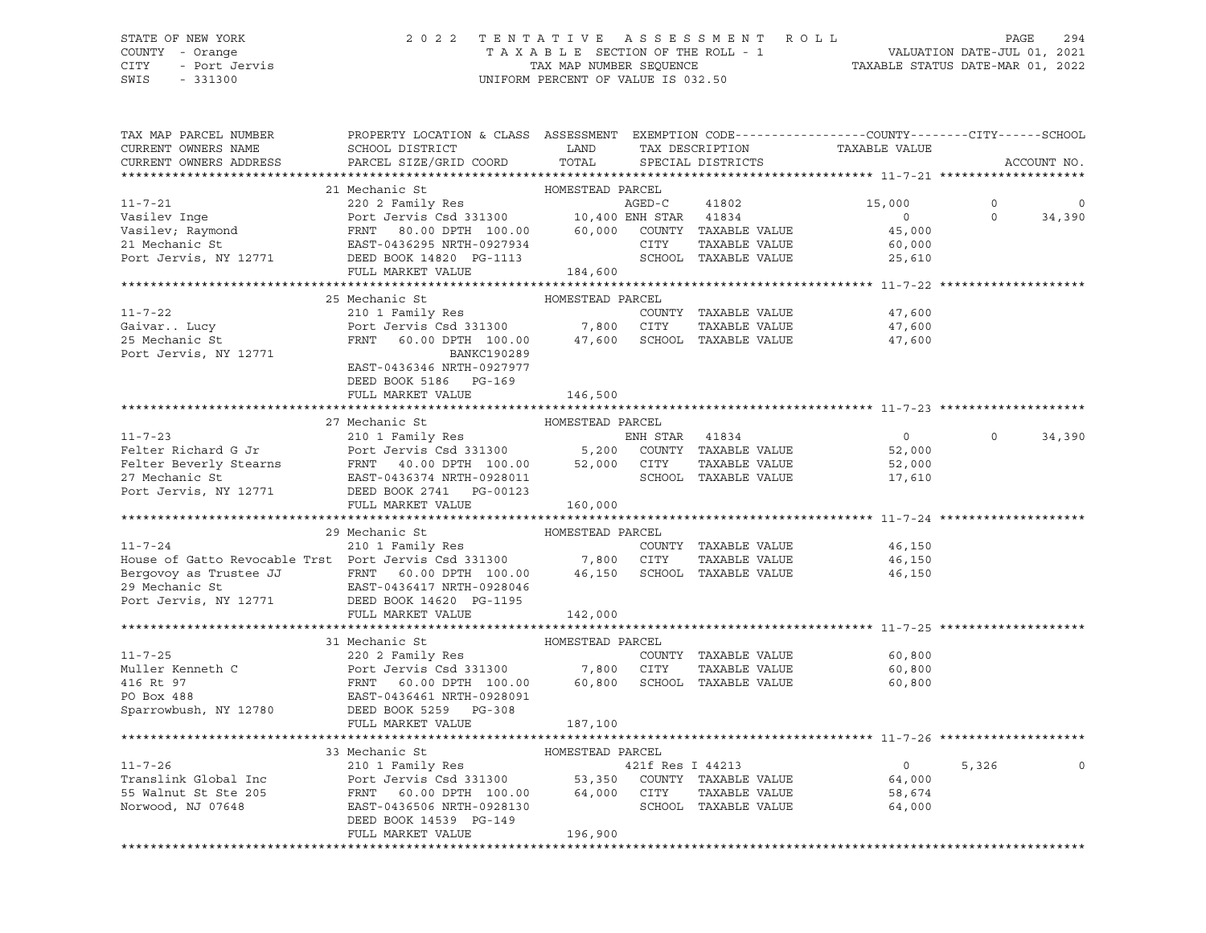### STATE OF NEW YORK 2 0 2 2 T E N T A T I V E A S S E S S M E N T R O L L PAGE 294 COUNTY - Orange T A X A B L E SECTION OF THE ROLL - 1 VALUATION DATE-JUL 01, 2021 CITY - Port Jervis TAX MAP NUMBER SEQUENCE TAXABLE STATUS DATE-MAR 01, 2022

| TAX MAP PARCEL NUMBER<br>CURRENT OWNERS NAME<br>CURRENT OWNERS ADDRESS                                                                                                                                                                               | PROPERTY LOCATION & CLASS ASSESSMENT EXEMPTION CODE----------------COUNTY-------CITY------SCHOOL<br>SCHOOL DISTRICT<br>PARCEL SIZE/GRID COORD                                | LAND<br>TOTAL    | TAX DESCRIPTION<br>SPECIAL DISTRICTS | TAXABLE VALUE  |          | ACCOUNT NO.  |
|------------------------------------------------------------------------------------------------------------------------------------------------------------------------------------------------------------------------------------------------------|------------------------------------------------------------------------------------------------------------------------------------------------------------------------------|------------------|--------------------------------------|----------------|----------|--------------|
|                                                                                                                                                                                                                                                      |                                                                                                                                                                              |                  |                                      |                |          |              |
|                                                                                                                                                                                                                                                      | 21 Mechanic St                                                                                                                                                               | HOMESTEAD PARCEL |                                      |                |          |              |
|                                                                                                                                                                                                                                                      | 220 2 Family Res<br>Port Jervis Csd 331300 10,400 ENH STAR 41834                                                                                                             |                  |                                      | 15,000         | $\circ$  | 0            |
|                                                                                                                                                                                                                                                      |                                                                                                                                                                              |                  |                                      | $\overline{0}$ | $\circ$  | 34,390       |
|                                                                                                                                                                                                                                                      |                                                                                                                                                                              |                  |                                      | 45,000         |          |              |
|                                                                                                                                                                                                                                                      |                                                                                                                                                                              |                  |                                      | 60,000         |          |              |
|                                                                                                                                                                                                                                                      |                                                                                                                                                                              |                  |                                      | 25,610         |          |              |
| Vasilev Inge Port Jervis Csd 331300 MORED-C 41802<br>Vasilev; Raymond Port Jervis Csd 331300 10,400 ENH STAR 41834<br>Vasilev; Raymond PRNT 80.00 DPTH 100.00 60,000 COUNTY TAXABLE VALUE<br>21 Mechanic St EAST-0436295 NRTH-092793                 |                                                                                                                                                                              | 184,600          |                                      |                |          |              |
|                                                                                                                                                                                                                                                      |                                                                                                                                                                              |                  |                                      |                |          |              |
|                                                                                                                                                                                                                                                      | 25 Mechanic St                                                                                                                                                               | HOMESTEAD PARCEL |                                      |                |          |              |
| $11 - 7 - 22$                                                                                                                                                                                                                                        | 210 1 Family Res                                                                                                                                                             |                  | COUNTY TAXABLE VALUE                 | 47,600         |          |              |
| Gaivar Lucy                                                                                                                                                                                                                                          |                                                                                                                                                                              |                  |                                      | 47,600         |          |              |
| 25 Mechanic St                                                                                                                                                                                                                                       |                                                                                                                                                                              |                  |                                      | 47,600         |          |              |
| Port Jervis, NY 12771                                                                                                                                                                                                                                | BANKC190289                                                                                                                                                                  |                  |                                      |                |          |              |
|                                                                                                                                                                                                                                                      | EAST-0436346 NRTH-0927977                                                                                                                                                    |                  |                                      |                |          |              |
|                                                                                                                                                                                                                                                      | DEED BOOK 5186 PG-169                                                                                                                                                        |                  |                                      |                |          |              |
|                                                                                                                                                                                                                                                      | FULL MARKET VALUE                                                                                                                                                            | 146,500          |                                      |                |          |              |
|                                                                                                                                                                                                                                                      |                                                                                                                                                                              |                  |                                      |                |          |              |
|                                                                                                                                                                                                                                                      | 27 Mechanic St                                                                                                                                                               | HOMESTEAD PARCEL |                                      |                |          |              |
| 11-7-23<br>Felter Richard G Jr<br>Felter Beverly Stearns<br>FRNT 40.00 DPTH 100.00 52,000 CUNTY TAXABLE VALUE<br>FRNT 40.00 DPTH 100.00 52,000 CITY TAXABLE VALUE<br>FAST CONTROL SCHOOL TAXABLE VALUE<br>THE SCHOOL TAXABLE VALUE<br>TAXABL         |                                                                                                                                                                              |                  |                                      | $\overline{0}$ | $\Omega$ | 34,390       |
|                                                                                                                                                                                                                                                      |                                                                                                                                                                              |                  |                                      | 52,000         |          |              |
|                                                                                                                                                                                                                                                      |                                                                                                                                                                              |                  |                                      | 52,000         |          |              |
|                                                                                                                                                                                                                                                      |                                                                                                                                                                              |                  |                                      | 17,610         |          |              |
| Port Jervis, NY 12771                                                                                                                                                                                                                                | ----<br>DEED BOOK 2741 PG-00123                                                                                                                                              |                  |                                      |                |          |              |
|                                                                                                                                                                                                                                                      | FULL MARKET VALUE                                                                                                                                                            | 160,000          |                                      |                |          |              |
|                                                                                                                                                                                                                                                      |                                                                                                                                                                              |                  |                                      |                |          |              |
|                                                                                                                                                                                                                                                      | 29 Mechanic St                                                                                                                                                               | HOMESTEAD PARCEL |                                      |                |          |              |
| 11-7-24<br>210 1 Family Res COUNTY<br>House of Gatto Revocable Trst Port Jervis Csd 331300 7,800 CITY                                                                                                                                                |                                                                                                                                                                              |                  | COUNTY TAXABLE VALUE                 | 46,150         |          |              |
|                                                                                                                                                                                                                                                      |                                                                                                                                                                              |                  | TAXABLE VALUE                        | 46,150         |          |              |
|                                                                                                                                                                                                                                                      |                                                                                                                                                                              |                  |                                      | 46,150         |          |              |
|                                                                                                                                                                                                                                                      |                                                                                                                                                                              |                  |                                      |                |          |              |
| Bergovoy as Trustee JJ<br>29 Mechanic St<br>PERNT 60.00 DPTH 100.00 46,150 SCHOOL TAXABLE VALUE<br>POOK 14620 PC-1195<br>POOK 14620 PC-1195<br>DEED BOOK 14620 PC-1195                                                                               | FULL MARKET VALUE                                                                                                                                                            |                  |                                      |                |          |              |
|                                                                                                                                                                                                                                                      |                                                                                                                                                                              | 142,000          |                                      |                |          |              |
|                                                                                                                                                                                                                                                      | 31 Mechanic St                                                                                                                                                               | HOMESTEAD PARCEL |                                      |                |          |              |
| 11-7-25<br>Muller Kenneth C<br>220 2 Family Res<br>Port Jervis Csd 331300<br>27,800 CITY TAXABLE VALUE<br>220 2 Family Res<br>COUNTY TAXABLE VALUE<br>220 2 Family Res<br>220 2 Family Res<br>220 2 Family Res<br>220 2 Family Res<br>220 2 Family R | 220 2 Family Res                                                                                                                                                             |                  |                                      | 60,800         |          |              |
|                                                                                                                                                                                                                                                      |                                                                                                                                                                              |                  |                                      | 60,800         |          |              |
|                                                                                                                                                                                                                                                      |                                                                                                                                                                              |                  |                                      | 60,800         |          |              |
|                                                                                                                                                                                                                                                      |                                                                                                                                                                              |                  |                                      |                |          |              |
|                                                                                                                                                                                                                                                      |                                                                                                                                                                              |                  |                                      |                |          |              |
|                                                                                                                                                                                                                                                      | FULL MARKET VALUE                                                                                                                                                            | 187,100          |                                      |                |          |              |
|                                                                                                                                                                                                                                                      |                                                                                                                                                                              |                  |                                      |                |          |              |
|                                                                                                                                                                                                                                                      | 33 Mechanic St                                                                                                                                                               | HOMESTEAD PARCEL |                                      |                |          |              |
| $11 - 7 - 26$                                                                                                                                                                                                                                        | 210 1 Family Res 6421f Res I 44213                                                                                                                                           |                  |                                      | $\overline{0}$ | 5,326    | $\mathsf{O}$ |
| Translink Global Inc                                                                                                                                                                                                                                 |                                                                                                                                                                              |                  |                                      | 64,000         |          |              |
| 55 Walnut St Ste 205                                                                                                                                                                                                                                 |                                                                                                                                                                              |                  |                                      | 58,674         |          |              |
| Norwood, NJ 07648                                                                                                                                                                                                                                    | Port Jeruiny Res<br>Port Jervis Csd 331300 53,350 COUNTY TAXABLE VALUE<br>FRNT 60.00 DPTH 100.00 64,000 CITY TAXABLE VALUE<br>EAST-0436506 NRTH-0923130 SCHOOL TAXABLE VALUE |                  |                                      | 64,000         |          |              |
|                                                                                                                                                                                                                                                      | DEED BOOK 14539 PG-149                                                                                                                                                       |                  |                                      |                |          |              |
|                                                                                                                                                                                                                                                      | FULL MARKET VALUE                                                                                                                                                            | 196,900          |                                      |                |          |              |
|                                                                                                                                                                                                                                                      |                                                                                                                                                                              |                  |                                      |                |          |              |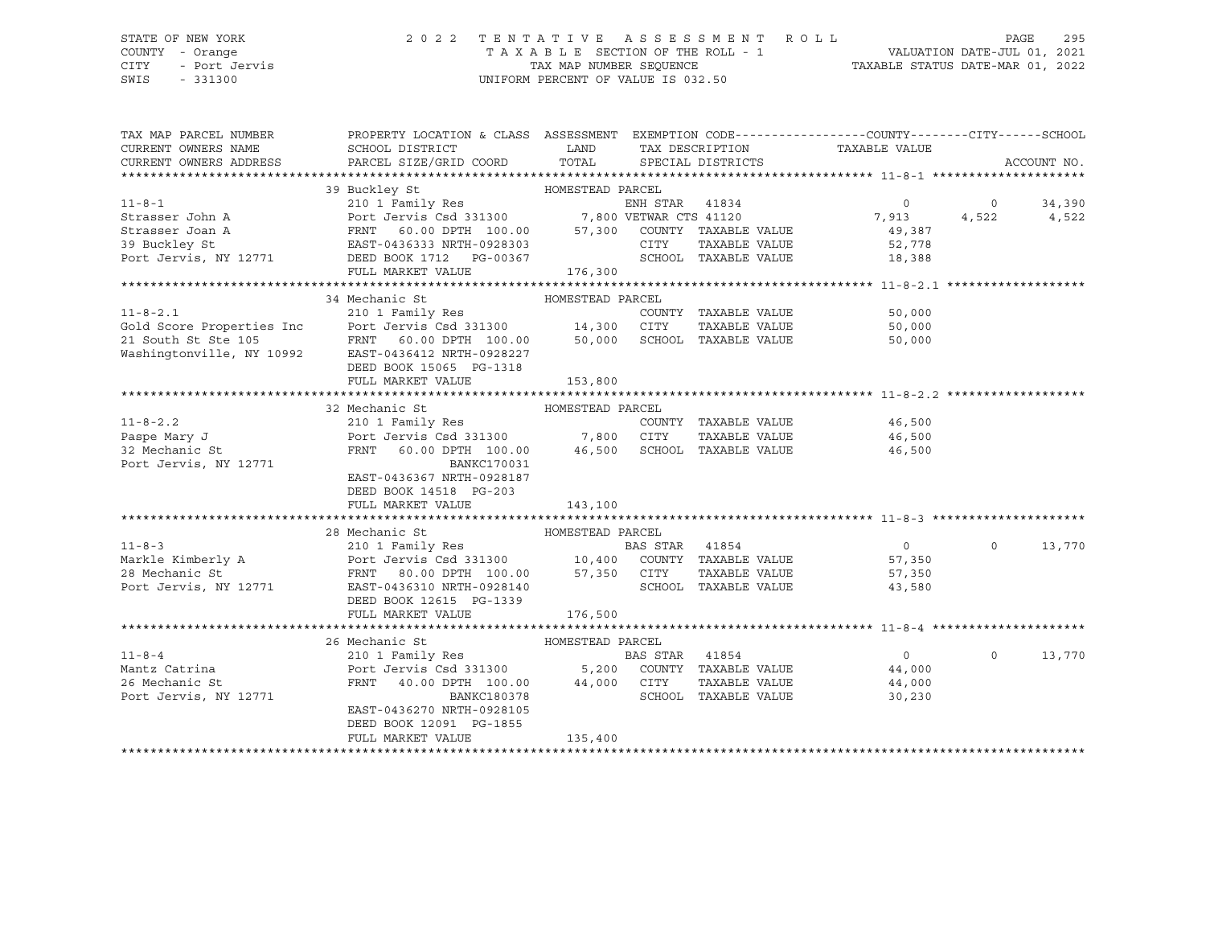# STATE OF NEW YORK 2 0 2 2 T E N T A T I V E A S S E S S M E N T R O L L PAGE 295 COUNTY - Orange T A X A B L E SECTION OF THE ROLL - 1 VALUATION DATE-JUL 01, 2021

CITY - Port Jervis TAX MAP NUMBER SEQUENCE TAXABLE STATUS DATE-MAR 01, 2022

| TAX MAP PARCEL NUMBER<br>CURRENT OWNERS NAME | PROPERTY LOCATION & CLASS ASSESSMENT EXEMPTION CODE----------------COUNTY-------CITY------SCHOOL<br>SCHOOL DISTRICT                                                                                                                  | LAND             | TAX DESCRIPTION      |               | TAXABLE VALUE  |          |             |
|----------------------------------------------|--------------------------------------------------------------------------------------------------------------------------------------------------------------------------------------------------------------------------------------|------------------|----------------------|---------------|----------------|----------|-------------|
| CURRENT OWNERS ADDRESS                       | PARCEL SIZE/GRID COORD TOTAL SPECIAL DISTRICTS                                                                                                                                                                                       |                  |                      |               |                |          | ACCOUNT NO. |
|                                              |                                                                                                                                                                                                                                      |                  |                      |               |                |          |             |
|                                              | 39 Buckley St                                                                                                                                                                                                                        | HOMESTEAD PARCEL |                      |               |                |          |             |
| $11 - 8 - 1$                                 | 210 1 Family Res                                                                                                                                                                                                                     |                  | ENH STAR 41834       |               | $\circ$        | $\circ$  | 34,390      |
| Strasser John A                              | Port Jervis Csd 331300 7,800 VETWAR CTS 41120                                                                                                                                                                                        |                  |                      |               | 7,913          | 4,522    | 4,522       |
| Strasser Joan A                              |                                                                                                                                                                                                                                      |                  |                      |               | 49,387         |          |             |
| 39 Buckley St                                |                                                                                                                                                                                                                                      |                  |                      |               | 52,778         |          |             |
| Port Jervis, NY 12771                        | DEED BOOK 1712 PG-00367                                                                                                                                                                                                              |                  | SCHOOL TAXABLE VALUE |               | 18,388         |          |             |
|                                              | FULL MARKET VALUE                                                                                                                                                                                                                    | 176,300          |                      |               |                |          |             |
|                                              |                                                                                                                                                                                                                                      |                  |                      |               |                |          |             |
|                                              | 34 Mechanic St                                                                                                                                                                                                                       | HOMESTEAD PARCEL |                      |               |                |          |             |
| $11 - 8 - 2.1$                               | 210 1 Family Res                                                                                                                                                                                                                     |                  | COUNTY TAXABLE VALUE |               | 50,000         |          |             |
|                                              |                                                                                                                                                                                                                                      |                  |                      | TAXABLE VALUE | 50,000         |          |             |
|                                              | Gold Score Properties Inc Port Jervis Csd 331300 14,300 CITY<br>21 South St Ste 105 FRNT 60.00 DPTH 100.00 50,000 SCHOC<br>Washingtonville, NY 10992 EAST-0436412 NRTH-0928227<br>FRNT 60.00 DPTH 100.00 50,000 SCHOOL TAXABLE VALUE |                  |                      |               | 50,000         |          |             |
|                                              |                                                                                                                                                                                                                                      |                  |                      |               |                |          |             |
|                                              | DEED BOOK 15065 PG-1318                                                                                                                                                                                                              |                  |                      |               |                |          |             |
|                                              | FULL MARKET VALUE                                                                                                                                                                                                                    | 153,800          |                      |               |                |          |             |
|                                              |                                                                                                                                                                                                                                      |                  |                      |               |                |          |             |
|                                              | 32 Mechanic St<br>210 1 Family Res                                                                                                                                                                                                   | HOMESTEAD PARCEL |                      |               |                |          |             |
| $11 - 8 - 2.2$                               |                                                                                                                                                                                                                                      |                  | COUNTY TAXABLE VALUE |               | 46,500         |          |             |
| Paspe Mary J                                 | Port Jervis Csd 331300 7,800 CITY TAXABLE VALUE<br>FRNT 60.00 DPTH 100.00 46,500 SCHOOL TAXABLE VALUE                                                                                                                                |                  |                      |               | 46,500         |          |             |
| 32 Mechanic St                               | <b>BANKC170031</b>                                                                                                                                                                                                                   |                  |                      |               | 46,500         |          |             |
| Port Jervis, NY 12771                        | EAST-0436367 NRTH-0928187                                                                                                                                                                                                            |                  |                      |               |                |          |             |
|                                              | DEED BOOK 14518 PG-203                                                                                                                                                                                                               |                  |                      |               |                |          |             |
|                                              | FULL MARKET VALUE                                                                                                                                                                                                                    | 143,100          |                      |               |                |          |             |
|                                              |                                                                                                                                                                                                                                      |                  |                      |               |                |          |             |
|                                              | 28 Mechanic St                                                                                                                                                                                                                       | HOMESTEAD PARCEL |                      |               |                |          |             |
|                                              |                                                                                                                                                                                                                                      |                  |                      |               | $\overline{0}$ | $\circ$  | 13,770      |
|                                              |                                                                                                                                                                                                                                      |                  |                      |               | 57,350         |          |             |
| 28 Mechanic St                               | FRNT 80.00 DPTH 100.00 57,350 CITY                                                                                                                                                                                                   |                  |                      | TAXABLE VALUE | 57,350         |          |             |
| Port Jervis, NY 12771                        | EAST-0436310 NRTH-0928140                                                                                                                                                                                                            |                  | SCHOOL TAXABLE VALUE |               | 43,580         |          |             |
|                                              | DEED BOOK 12615 PG-1339                                                                                                                                                                                                              |                  |                      |               |                |          |             |
|                                              | FULL MARKET VALUE                                                                                                                                                                                                                    | 176,500          |                      |               |                |          |             |
|                                              |                                                                                                                                                                                                                                      |                  |                      |               |                |          |             |
|                                              | 26 Mechanic St                                                                                                                                                                                                                       | HOMESTEAD PARCEL |                      |               |                |          |             |
| $11 - 8 - 4$                                 | 210 1 Family Res                                                                                                                                                                                                                     |                  | BAS STAR 41854       |               | $\Omega$       | $\Omega$ | 13,770      |
| Mantz Catrina                                | Port Jervis Csd 331300 5,200 COUNTY TAXABLE VALUE                                                                                                                                                                                    |                  |                      |               | 44,000         |          |             |
| 26 Mechanic St                               | 40.00 DPTH 100.00 44,000 CITY<br>FRNT                                                                                                                                                                                                |                  |                      | TAXABLE VALUE | 44,000         |          |             |
| Port Jervis, NY 12771                        | BANKC180378                                                                                                                                                                                                                          |                  | SCHOOL TAXABLE VALUE |               | 30,230         |          |             |
|                                              | EAST-0436270 NRTH-0928105                                                                                                                                                                                                            |                  |                      |               |                |          |             |
|                                              | DEED BOOK 12091 PG-1855                                                                                                                                                                                                              |                  |                      |               |                |          |             |
|                                              | FULL MARKET VALUE                                                                                                                                                                                                                    | 135,400          |                      |               |                |          |             |
|                                              |                                                                                                                                                                                                                                      |                  |                      |               |                |          |             |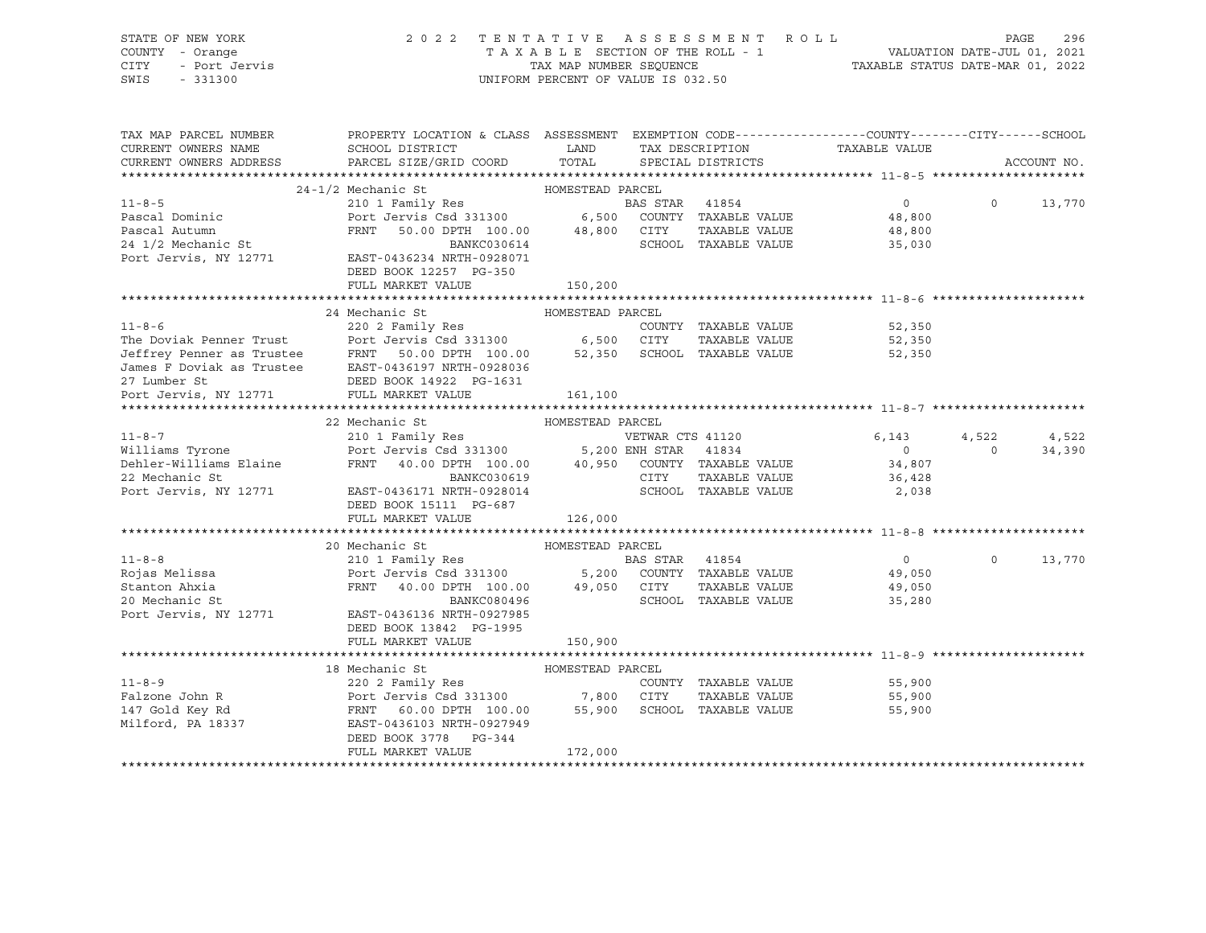| STATE OF NEW YORK<br>COUNTY - Orange<br>OF NEW IONS<br>I - Orange<br>- Port Jervis<br>- Canon<br>CITY<br>SWIS | 2022 TENTATIVE ASSESSMENT ROLL                                                                                                                                                                                                                   | UNIFORM PERCENT OF VALUE IS 032.50 |                |                      |                   | PAGE              | 296         |
|---------------------------------------------------------------------------------------------------------------|--------------------------------------------------------------------------------------------------------------------------------------------------------------------------------------------------------------------------------------------------|------------------------------------|----------------|----------------------|-------------------|-------------------|-------------|
| TAX MAP PARCEL NUMBER                                                                                         | PROPERTY LOCATION & CLASS ASSESSMENT EXEMPTION CODE----------------COUNTY-------CITY------SCHOOL                                                                                                                                                 |                                    |                |                      |                   |                   |             |
| CURRENT OWNERS NAME                                                                                           | SCHOOL DISTRICT                                                                                                                                                                                                                                  | <b>LAND</b>                        |                | TAX DESCRIPTION      | TAXABLE VALUE     |                   |             |
| CURRENT OWNERS ADDRESS                                                                                        | PARCEL SIZE/GRID COORD                                                                                                                                                                                                                           | TOTAL                              |                | SPECIAL DISTRICTS    |                   |                   | ACCOUNT NO. |
|                                                                                                               |                                                                                                                                                                                                                                                  |                                    |                |                      |                   |                   |             |
| $11 - 8 - 5$                                                                                                  | 24-1/2 Mechanic St                                                                                                                                                                                                                               | HOMESTEAD PARCEL                   |                |                      | $0 \qquad \qquad$ | $\Omega$          | 13,770      |
| Pascal Dominic                                                                                                | 210 1 Family Res<br>Port Jervis Csd 331300 6,500 COUNTY TAXABLE VALUE                                                                                                                                                                            |                                    |                |                      | 48,800            |                   |             |
| Pascal Autumn                                                                                                 | FRNT 50.00 DPTH 100.00 48,800 CITY                                                                                                                                                                                                               |                                    |                | TAXABLE VALUE        | 48,800            |                   |             |
| 24 1/2 Mechanic St                                                                                            | BANKC030614                                                                                                                                                                                                                                      |                                    |                | SCHOOL TAXABLE VALUE | 35,030            |                   |             |
|                                                                                                               | Port Jervis, NY 12771 EAST-0436234 NRTH-0928071                                                                                                                                                                                                  |                                    |                |                      |                   |                   |             |
|                                                                                                               | DEED BOOK 12257 PG-350                                                                                                                                                                                                                           |                                    |                |                      |                   |                   |             |
|                                                                                                               | FULL MARKET VALUE                                                                                                                                                                                                                                | 150,200                            |                |                      |                   |                   |             |
|                                                                                                               |                                                                                                                                                                                                                                                  |                                    |                |                      |                   |                   |             |
|                                                                                                               | 11-8-6<br>The Doviak Penner Trust<br>The Doviak Penner Trust<br>The Doviak Penner Trust<br>The Doviak Penner Trust<br>Terry Solo DPTH 100.00<br>The St Dovial as Trustee<br>Text Country Solo DPTH 100.00<br>The St Dovial as Trustee<br>Text CA |                                    |                |                      |                   |                   |             |
|                                                                                                               |                                                                                                                                                                                                                                                  |                                    |                |                      | 52,350            |                   |             |
|                                                                                                               |                                                                                                                                                                                                                                                  |                                    |                | TAXABLE VALUE        | 52,350            |                   |             |
|                                                                                                               |                                                                                                                                                                                                                                                  |                                    |                |                      | 52,350            |                   |             |
|                                                                                                               |                                                                                                                                                                                                                                                  |                                    |                |                      |                   |                   |             |
|                                                                                                               |                                                                                                                                                                                                                                                  |                                    |                |                      |                   |                   |             |
| Port Jervis, NY 12771 FULL MARKET VALUE                                                                       |                                                                                                                                                                                                                                                  | 161,100                            |                |                      |                   |                   |             |
|                                                                                                               |                                                                                                                                                                                                                                                  |                                    |                |                      |                   |                   |             |
|                                                                                                               | 22 Mechanic St                                                                                                                                                                                                                                   | HOMESTEAD PARCEL                   |                |                      |                   |                   |             |
| $11 - 8 - 7$                                                                                                  | 22 Medianic De Marily Res<br>210 1 Family Res<br>Port Jervis Csd 331300 5,200 ENH STAR 41834<br>FRNT 40.00 DPTH 100.00 40,950 COUNTY TAXABLE VALUE                                                                                               |                                    |                | VETWAR CTS 41120     | 6,143             | 4,522             | 4,522       |
| 11-8-7<br>Williams Tyrone                                                                                     |                                                                                                                                                                                                                                                  |                                    |                |                      | $\circ$           | $\overline{0}$    | 34,390      |
| Dehler-Williams Elaine                                                                                        |                                                                                                                                                                                                                                                  |                                    |                |                      | 34,807            |                   |             |
| 22 Mechanic St                                                                                                | BANKC030619                                                                                                                                                                                                                                      |                                    |                | CITY TAXABLE VALUE   | 36,428            |                   |             |
| Port Jervis, NY 12771                                                                                         | EAST-0436171 NRTH-0928014                                                                                                                                                                                                                        |                                    |                | SCHOOL TAXABLE VALUE | 2,038             |                   |             |
|                                                                                                               | DEED BOOK 15111 PG-687                                                                                                                                                                                                                           |                                    |                |                      |                   |                   |             |
|                                                                                                               | FULL MARKET VALUE                                                                                                                                                                                                                                | 126,000                            |                |                      |                   |                   |             |
|                                                                                                               |                                                                                                                                                                                                                                                  |                                    |                |                      |                   |                   |             |
|                                                                                                               | 20 Mechanic St<br>Mechanic St<br>210 1 Family Res                                                                                                                                                                                                | HOMESTEAD PARCEL                   |                |                      |                   |                   |             |
| $11 - 8 - 8$                                                                                                  |                                                                                                                                                                                                                                                  |                                    | BAS STAR 41854 |                      | $\overline{0}$    | $0 \qquad \qquad$ | 13,770      |
| -<br>Rojas Melissa<br>Stanton Ahxia                                                                           | Port Jervis Csd 331300 5,200 COUNTY TAXABLE VALUE<br>FRNT 40.00 DPTH 100.00 49,050 CITY TAXABLE VALUE                                                                                                                                            |                                    |                |                      | 49,050            |                   |             |
|                                                                                                               |                                                                                                                                                                                                                                                  |                                    |                |                      | 49,050            |                   |             |
| 20 Mechanic St                                                                                                | BANKC080496                                                                                                                                                                                                                                      |                                    |                | SCHOOL TAXABLE VALUE | 35,280            |                   |             |
| Port Jervis, NY 12771                                                                                         | EAST-0436136 NRTH-0927985                                                                                                                                                                                                                        |                                    |                |                      |                   |                   |             |
|                                                                                                               | DEED BOOK 13842 PG-1995                                                                                                                                                                                                                          |                                    |                |                      |                   |                   |             |
|                                                                                                               | FULL MARKET VALUE                                                                                                                                                                                                                                | 150,900                            |                |                      |                   |                   |             |
|                                                                                                               |                                                                                                                                                                                                                                                  |                                    |                |                      |                   |                   |             |
|                                                                                                               | 18 Mechanic St                                                                                                                                                                                                                                   | HOMESTEAD PARCEL                   |                |                      |                   |                   |             |
| $11 - 8 - 9$                                                                                                  | 220 2 Family Res                                                                                                                                                                                                                                 |                                    |                | COUNTY TAXABLE VALUE | 55,900            |                   |             |
| Falzone John R                                                                                                | Port Jervis Csd 331300 7,800 CITY<br>FRNT 60.00 DPTH 100.00 55,900 SCHOO                                                                                                                                                                         |                                    |                | TAXABLE VALUE        | 55,900            |                   |             |
| ⊥≖، ⊌o⊥d Key Rd<br>Milford, PA 18337                                                                          | EAST-0436103 NRTH-0927949                                                                                                                                                                                                                        |                                    |                | SCHOOL TAXABLE VALUE | 55,900            |                   |             |

\*\*\*\*\*\*\*\*\*\*\*\*\*\*\*\*\*\*\*\*\*\*\*\*\*\*\*\*\*\*\*\*\*\*\*\*\*\*\*\*\*\*\*\*\*\*\*\*\*\*\*\*\*\*\*\*\*\*\*\*\*\*\*\*\*\*\*\*\*\*\*\*\*\*\*\*\*\*\*\*\*\*\*\*\*\*\*\*\*\*\*\*\*\*\*\*\*\*\*\*\*\*\*\*\*\*\*\*\*\*\*\*\*\*\*\*\*\*\*\*\*\*\*\*\*\*\*\*\*\*\*\*

DEED BOOK 3778 PG-344<br>FULL MARKET VALUE 172,000

FULL MARKET VALUE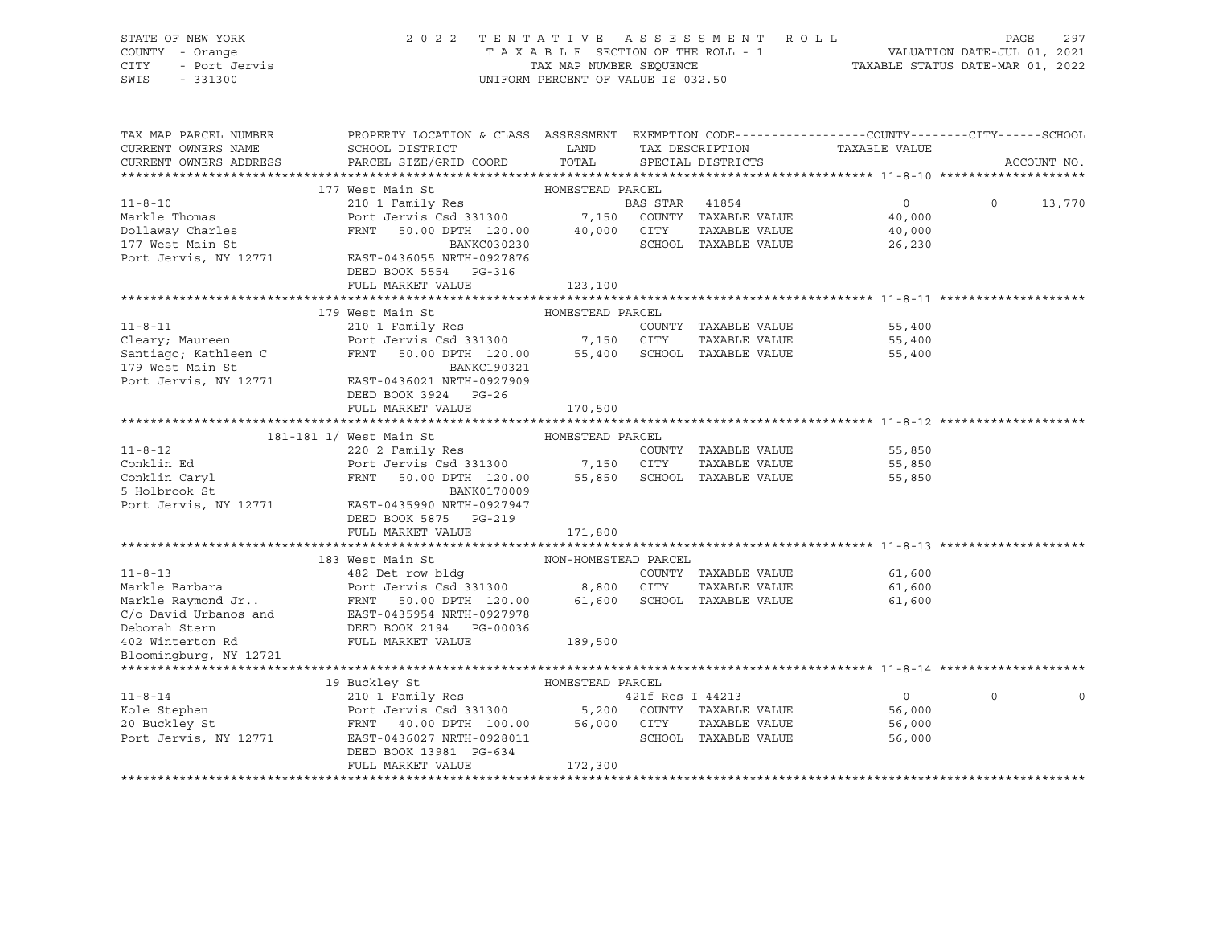| STATE OF NEW YORK              | 2022 TENTATIVE ASSESSMENT ROLL                                                                                                                                                             |                                    |                  |                                 |                                                                             | PAGE         | 297         |
|--------------------------------|--------------------------------------------------------------------------------------------------------------------------------------------------------------------------------------------|------------------------------------|------------------|---------------------------------|-----------------------------------------------------------------------------|--------------|-------------|
| COUNTY - Orange                |                                                                                                                                                                                            |                                    |                  | TAXABLE SECTION OF THE ROLL - 1 | ROLL - 1<br>VALUATION DATE-JUL 01, 2021<br>TAXABLE STATUS DATE-MAR 01, 2022 |              |             |
| CITY<br>- Port Jervis          |                                                                                                                                                                                            | TAX MAP NUMBER SEQUENCE            |                  |                                 |                                                                             |              |             |
| SWIS<br>$-331300$              |                                                                                                                                                                                            | UNIFORM PERCENT OF VALUE IS 032.50 |                  |                                 |                                                                             |              |             |
|                                |                                                                                                                                                                                            |                                    |                  |                                 |                                                                             |              |             |
|                                |                                                                                                                                                                                            |                                    |                  |                                 |                                                                             |              |             |
| TAX MAP PARCEL NUMBER          | PROPERTY LOCATION & CLASS ASSESSMENT EXEMPTION CODE----------------COUNTY-------CITY------SCHOOL                                                                                           |                                    |                  |                                 |                                                                             |              |             |
| CURRENT OWNERS NAME            | SCHOOL DISTRICT                                                                                                                                                                            | LAND                               |                  | TAX DESCRIPTION                 | TAXABLE VALUE                                                               |              |             |
| CURRENT OWNERS ADDRESS         | PARCEL SIZE/GRID COORD                                                                                                                                                                     | TOTAL                              |                  | SPECIAL DISTRICTS               |                                                                             |              | ACCOUNT NO. |
|                                |                                                                                                                                                                                            |                                    |                  |                                 |                                                                             |              |             |
|                                | 177 West Main St                                                                                                                                                                           | HOMESTEAD PARCEL                   |                  |                                 |                                                                             |              |             |
| $11 - 8 - 10$                  | 210 1 Family Res                                                                                                                                                                           |                                    | BAS STAR 41854   |                                 | 0                                                                           | $\mathsf{O}$ | 13,770      |
| Markle Thomas                  | Port Jervis Csd 331300 $\begin{array}{ccc} 7,150 & \text{COUNTY} & \text{TAXABLE VALUE} \\ -\end{array}$                                                                                   |                                    |                  |                                 | 40,000                                                                      |              |             |
| Dollaway Charles               | FRNT 50.00 DPTH 120.00 40,000 CITY                                                                                                                                                         |                                    |                  | TAXABLE VALUE                   | 40,000                                                                      |              |             |
| 177 West Main St               | BANKC030230                                                                                                                                                                                |                                    |                  | SCHOOL TAXABLE VALUE            | 26,230                                                                      |              |             |
| Port Jervis, NY 12771          | EAST-0436055 NRTH-0927876                                                                                                                                                                  |                                    |                  |                                 |                                                                             |              |             |
|                                | DEED BOOK 5554 PG-316                                                                                                                                                                      |                                    |                  |                                 |                                                                             |              |             |
|                                | FULL MARKET VALUE                                                                                                                                                                          | 123,100                            |                  |                                 |                                                                             |              |             |
|                                |                                                                                                                                                                                            |                                    |                  |                                 |                                                                             |              |             |
|                                | 179 West Main St                                                                                                                                                                           | HOMESTEAD PARCEL                   |                  |                                 |                                                                             |              |             |
| $11 - 8 - 11$                  | 210 1 Family Res                                                                                                                                                                           |                                    |                  | COUNTY TAXABLE VALUE            | 55,400                                                                      |              |             |
| Cleary; Maureen                | Port Jervis Csd 331300 7,150 CITY                                                                                                                                                          |                                    |                  | TAXABLE VALUE                   | 55,400                                                                      |              |             |
| Santiago; Kathleen C           | FRNT 50.00 DPTH 120.00                                                                                                                                                                     |                                    |                  | 55,400 SCHOOL TAXABLE VALUE     | 55,400                                                                      |              |             |
| 179 West Main St               | <b>BANKC190321</b>                                                                                                                                                                         |                                    |                  |                                 |                                                                             |              |             |
| Port Jervis, NY 12771          | EAST-0436021 NRTH-0927909                                                                                                                                                                  |                                    |                  |                                 |                                                                             |              |             |
|                                | DEED BOOK 3924 PG-26                                                                                                                                                                       |                                    |                  |                                 |                                                                             |              |             |
|                                | FULL MARKET VALUE                                                                                                                                                                          | 170,500                            |                  |                                 |                                                                             |              |             |
|                                |                                                                                                                                                                                            |                                    |                  |                                 |                                                                             |              |             |
|                                | 181-181 1/ West Main St                                                                                                                                                                    | HOMESTEAD PARCEL                   |                  |                                 |                                                                             |              |             |
| $11 - 8 - 12$                  |                                                                                                                                                                                            |                                    |                  | COUNTY TAXABLE VALUE            | 55,850                                                                      |              |             |
| Conklin Ed                     |                                                                                                                                                                                            |                                    |                  | TAXABLE VALUE                   | 55,850                                                                      |              |             |
| Conklin Caryl<br>- "Release St | West Main St<br>220 2 Family Res<br>Port Jervis Csd 331300 7,150 CITY TAXABLE VALUE<br>The Company 120.00 55,850 SCHOOL TAXABLE VALUE                                                      |                                    |                  |                                 | 55,850                                                                      |              |             |
| 5 Holbrook St                  |                                                                                                                                                                                            |                                    |                  |                                 |                                                                             |              |             |
| Port Jervis, NY 12771          | EAST-0435990 NRTH-0927947                                                                                                                                                                  |                                    |                  |                                 |                                                                             |              |             |
|                                | DEED BOOK 5875 PG-219                                                                                                                                                                      |                                    |                  |                                 |                                                                             |              |             |
|                                | FULL MARKET VALUE                                                                                                                                                                          | 171,800                            |                  |                                 |                                                                             |              |             |
|                                |                                                                                                                                                                                            |                                    |                  |                                 |                                                                             |              |             |
|                                | 183 West Main St                                                                                                                                                                           | NON-HOMESTEAD PARCEL               |                  |                                 |                                                                             |              |             |
| $11 - 8 - 13$                  | 482 Det row bldg                                                                                                                                                                           |                                    |                  | COUNTY TAXABLE VALUE            | 61,600                                                                      |              |             |
| Markle Barbara                 | Port Jervis Csd 331300                                                                                                                                                                     | 8,800 CITY                         |                  | TAXABLE VALUE                   | 61,600                                                                      |              |             |
| Markle Raymond Jr              | FOLU UULILE 1.00<br>FRNT 50.00 DPTH 120.00                                                                                                                                                 |                                    |                  | 61,600 SCHOOL TAXABLE VALUE     | 61,600                                                                      |              |             |
| C/o David Urbanos and          | EAST-0435954 NRTH-0927978                                                                                                                                                                  |                                    |                  |                                 |                                                                             |              |             |
| Deborah Stern                  | DEED BOOK 2194    PG-00036                                                                                                                                                                 |                                    |                  |                                 |                                                                             |              |             |
| 402 Winterton Rd               | FULL MARKET VALUE                                                                                                                                                                          | 189,500                            |                  |                                 |                                                                             |              |             |
| Bloomingburg, NY 12721         |                                                                                                                                                                                            |                                    |                  |                                 |                                                                             |              |             |
|                                |                                                                                                                                                                                            |                                    |                  |                                 |                                                                             |              |             |
|                                | 19 Buckley St                                                                                                                                                                              | HOMESTEAD PARCEL                   |                  |                                 |                                                                             |              |             |
| $11 - 8 - 14$                  | 210 1 Family Res                                                                                                                                                                           |                                    | 421f Res I 44213 |                                 | $\overline{0}$                                                              | $\Omega$     |             |
| Kole Stephen                   |                                                                                                                                                                                            |                                    |                  |                                 | 56,000                                                                      |              |             |
| 20 Buckley St                  |                                                                                                                                                                                            |                                    |                  |                                 | 56,000                                                                      |              |             |
| Port Jervis, NY 12771          | 210 1 Family Res (1998)<br>Port Jervis Csd 331300 (2000) 5,200 COUNTY TAXABLE VALUE<br>FRNT 40.00 DPTH 100.00 56,000 CITY TAXABLE VALUE<br>EAST-0436027 NRTH-0928011 (SCHOOL TAXABLE VALUE |                                    |                  |                                 | 56,000                                                                      |              |             |
|                                | DEED BOOK 13981 PG-634                                                                                                                                                                     |                                    |                  |                                 |                                                                             |              |             |
|                                | FULL MARKET VALUE                                                                                                                                                                          | 172,300                            |                  |                                 |                                                                             |              |             |
|                                |                                                                                                                                                                                            |                                    |                  |                                 |                                                                             |              |             |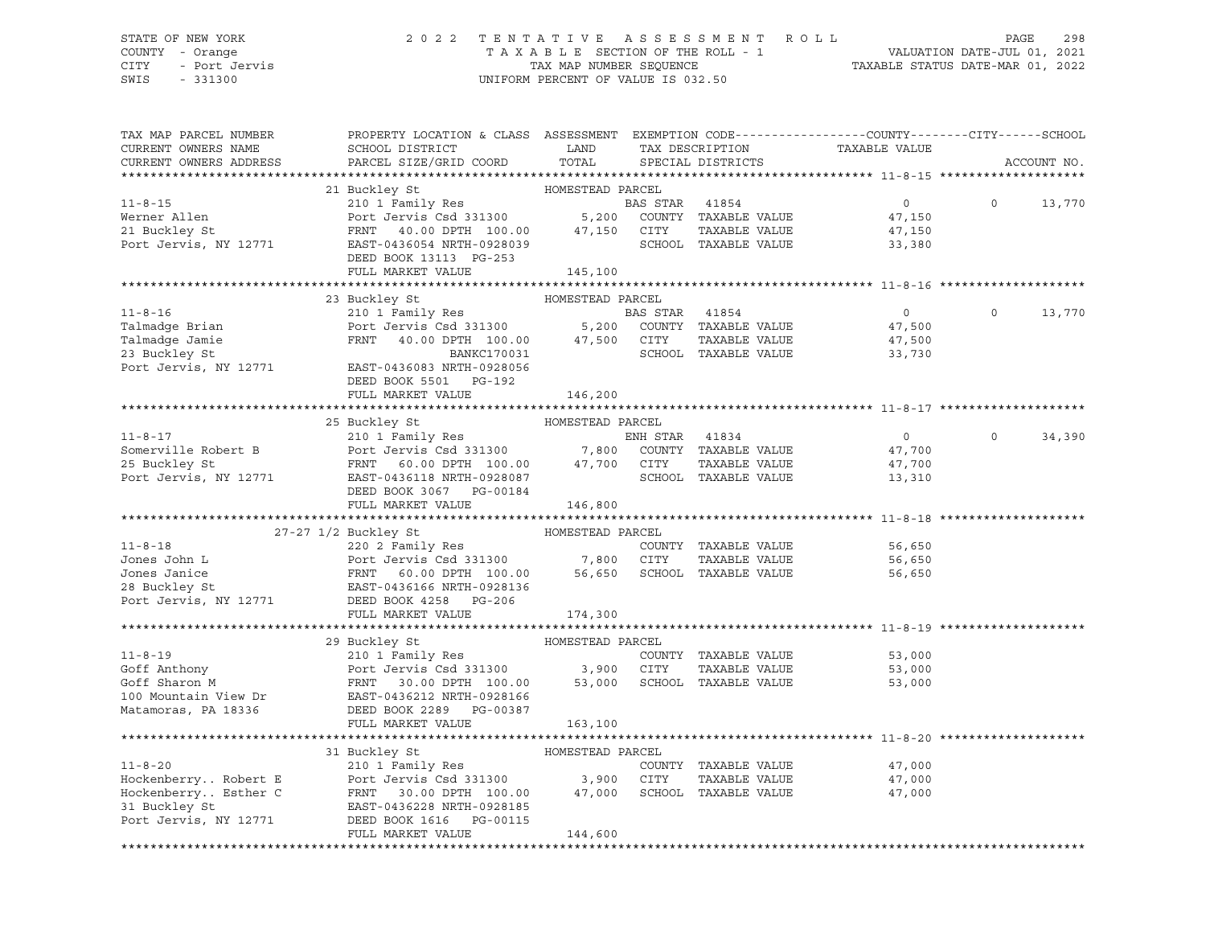### STATE OF NEW YORK 2 0 2 2 T E N T A T I V E A S S E S S M E N T R O L L PAGE 298 COUNTY - Orange T A X A B L E SECTION OF THE ROLL - 1 VALUATION DATE-JUL 01, 2021 CITY - Port Jervis TAX MAP NUMBER SEQUENCE TAXABLE STATUS DATE-MAR 01, 2022

| TAX MAP PARCEL NUMBER<br>CURRENT OWNERS NAME<br>CURRENT OWNERS ADDRESS                                                                                                                                                                                                                                                                                                                                                                                                                    | PROPERTY LOCATION & CLASS ASSESSMENT EXEMPTION CODE----------------COUNTY-------CITY------SCHOOL<br>SCHOOL DISTRICT LAND<br>PARCEL SIZE/GRID COORD | TOTAL            | TAX DESCRIPTION<br>SPECIAL DISTRICTS | TAXABLE VALUE                                | ACCOUNT NO. |        |
|-------------------------------------------------------------------------------------------------------------------------------------------------------------------------------------------------------------------------------------------------------------------------------------------------------------------------------------------------------------------------------------------------------------------------------------------------------------------------------------------|----------------------------------------------------------------------------------------------------------------------------------------------------|------------------|--------------------------------------|----------------------------------------------|-------------|--------|
|                                                                                                                                                                                                                                                                                                                                                                                                                                                                                           |                                                                                                                                                    |                  |                                      |                                              |             |        |
|                                                                                                                                                                                                                                                                                                                                                                                                                                                                                           |                                                                                                                                                    |                  |                                      |                                              |             |        |
| $11 - 8 - 15$                                                                                                                                                                                                                                                                                                                                                                                                                                                                             |                                                                                                                                                    |                  | BAS STAR 41854                       | $\overline{0}$                               | $\circ$     | 13,770 |
| Werner Allen                                                                                                                                                                                                                                                                                                                                                                                                                                                                              |                                                                                                                                                    |                  |                                      | 47,150                                       |             |        |
|                                                                                                                                                                                                                                                                                                                                                                                                                                                                                           |                                                                                                                                                    |                  |                                      | 47,150                                       |             |        |
| 21 Buckley St<br>Port Jervis, NY 12771                                                                                                                                                                                                                                                                                                                                                                                                                                                    | FRNT 40.00 DPTH 100.00 47,150 CITY<br>EAST-0436054 NRTH-0928039 SCHOOL                                                                             |                  |                                      | 33,380                                       |             |        |
|                                                                                                                                                                                                                                                                                                                                                                                                                                                                                           | DEED BOOK 13113 PG-253                                                                                                                             |                  |                                      |                                              |             |        |
|                                                                                                                                                                                                                                                                                                                                                                                                                                                                                           | FULL MARKET VALUE                                                                                                                                  | 145,100          |                                      |                                              |             |        |
|                                                                                                                                                                                                                                                                                                                                                                                                                                                                                           |                                                                                                                                                    |                  |                                      |                                              |             |        |
| 11-8-16<br>Talmadge Brian and Part Jennify Res BAS STAR 41854<br>Talmadge Jamie Port Jervis Csd 331300 5,200 COUNTY TAXABLE VALUE<br>23 Buckley St<br>Port Jervis, NY 12771 EAST-0436083 NRTH-0928056<br>Port Port Port Port Port Port P                                                                                                                                                                                                                                                  | 23 Buckley St                                                                                                                                      | HOMESTEAD PARCEL |                                      |                                              |             |        |
|                                                                                                                                                                                                                                                                                                                                                                                                                                                                                           |                                                                                                                                                    |                  |                                      | $\overline{0}$                               | $\Omega$    | 13,770 |
|                                                                                                                                                                                                                                                                                                                                                                                                                                                                                           |                                                                                                                                                    |                  |                                      | 47,500<br>47,500                             |             |        |
|                                                                                                                                                                                                                                                                                                                                                                                                                                                                                           |                                                                                                                                                    |                  | TAXABLE VALUE                        |                                              |             |        |
|                                                                                                                                                                                                                                                                                                                                                                                                                                                                                           |                                                                                                                                                    |                  | SCHOOL TAXABLE VALUE                 | 33,730                                       |             |        |
|                                                                                                                                                                                                                                                                                                                                                                                                                                                                                           |                                                                                                                                                    |                  |                                      |                                              |             |        |
|                                                                                                                                                                                                                                                                                                                                                                                                                                                                                           | DEED BOOK 5501 PG-192<br>FULL MARKET VALUE                                                                                                         | 146,200          |                                      |                                              |             |        |
|                                                                                                                                                                                                                                                                                                                                                                                                                                                                                           |                                                                                                                                                    |                  |                                      |                                              |             |        |
|                                                                                                                                                                                                                                                                                                                                                                                                                                                                                           | 25 Buckley St                                                                                                                                      | HOMESTEAD PARCEL |                                      |                                              |             |        |
| 11-8-17<br>Somerville Robert B<br>20 Duckley St<br>25 Buckley St<br>25 Buckley St<br>25 Buckley St<br>25 Buckley St<br>25 Buckley St<br>25 Buckley St<br>25 Buckley St<br>27 Port Jervis 60.00 DPTH 100.00<br>27,700 CITY<br>27,700 CITY<br>27,700 CITY<br>                                                                                                                                                                                                                               |                                                                                                                                                    |                  |                                      | $\overline{0}$                               | $\circ$     | 34,390 |
|                                                                                                                                                                                                                                                                                                                                                                                                                                                                                           |                                                                                                                                                    |                  |                                      | 47,700                                       |             |        |
|                                                                                                                                                                                                                                                                                                                                                                                                                                                                                           |                                                                                                                                                    |                  |                                      | 47,700                                       |             |        |
|                                                                                                                                                                                                                                                                                                                                                                                                                                                                                           |                                                                                                                                                    |                  | SCHOOL TAXABLE VALUE                 | 13,310                                       |             |        |
|                                                                                                                                                                                                                                                                                                                                                                                                                                                                                           | DEED BOOK 3067 PG-00184                                                                                                                            |                  |                                      |                                              |             |        |
|                                                                                                                                                                                                                                                                                                                                                                                                                                                                                           | FULL MARKET VALUE                                                                                                                                  | 146,800          |                                      |                                              |             |        |
| $\begin{tabular}{lllllllllll} \multicolumn{3}{l}{{\small \begin{tabular}{l} \multicolumn{3}{l}{\multicolumn{3}{l}{\multicolumn{3}{l}{\multicolumn{3}{l}{\multicolumn{3}{l}{\multicolumn{3}{l}{\multicolumn{3}{l}{\multicolumn{3}{l}{\multicolumn{3}{l}{\multicolumn{3}{l}{\multicolumn{3}{l}{\multicolumn{3}{l}{\multicolumn{3}{l}{\multicolumn{3}{l}{\multicolumn{3}{l}{\multicolumn{3}{l}{\multicolumn{3}{l}{\multicolumn{3}{l}{\multicolumn{3}{l}{\multicolumn{3}{l}{\multicolumn{3}{$ |                                                                                                                                                    |                  |                                      |                                              |             |        |
|                                                                                                                                                                                                                                                                                                                                                                                                                                                                                           |                                                                                                                                                    |                  |                                      |                                              |             |        |
|                                                                                                                                                                                                                                                                                                                                                                                                                                                                                           |                                                                                                                                                    |                  |                                      | 56,650                                       |             |        |
|                                                                                                                                                                                                                                                                                                                                                                                                                                                                                           |                                                                                                                                                    |                  |                                      | 56,650                                       |             |        |
|                                                                                                                                                                                                                                                                                                                                                                                                                                                                                           |                                                                                                                                                    |                  |                                      | 56,650                                       |             |        |
|                                                                                                                                                                                                                                                                                                                                                                                                                                                                                           |                                                                                                                                                    |                  |                                      |                                              |             |        |
|                                                                                                                                                                                                                                                                                                                                                                                                                                                                                           |                                                                                                                                                    |                  |                                      |                                              |             |        |
|                                                                                                                                                                                                                                                                                                                                                                                                                                                                                           |                                                                                                                                                    |                  |                                      |                                              |             |        |
|                                                                                                                                                                                                                                                                                                                                                                                                                                                                                           |                                                                                                                                                    |                  |                                      |                                              |             |        |
|                                                                                                                                                                                                                                                                                                                                                                                                                                                                                           |                                                                                                                                                    |                  |                                      |                                              |             |        |
| $11 - 8 - 19$                                                                                                                                                                                                                                                                                                                                                                                                                                                                             |                                                                                                                                                    |                  | COUNTY TAXABLE VALUE                 | 53,000                                       |             |        |
|                                                                                                                                                                                                                                                                                                                                                                                                                                                                                           |                                                                                                                                                    |                  |                                      | TAXABLE VALUE 53,000<br>TAXABLE VALUE 53,000 |             |        |
|                                                                                                                                                                                                                                                                                                                                                                                                                                                                                           |                                                                                                                                                    |                  |                                      | 53,000                                       |             |        |
|                                                                                                                                                                                                                                                                                                                                                                                                                                                                                           |                                                                                                                                                    |                  |                                      |                                              |             |        |
| 11-8-19 210 1 Family Res COUNTY TAXABLE VALUE<br>Goff Anthony Port Jervis Csd 331300 3,900 CITY TAXABLE VALUE<br>Goff Sharon M FRNT 30.00 DPTH 100.00 53,000 SCHOOL TAXABLE VALUE<br>100 Mountain View Dr EAST-0436212 NRTH-0928166<br>                                                                                                                                                                                                                                                   |                                                                                                                                                    |                  |                                      |                                              |             |        |
|                                                                                                                                                                                                                                                                                                                                                                                                                                                                                           | FULL MARKET VALUE                                                                                                                                  | 163,100          |                                      |                                              |             |        |
|                                                                                                                                                                                                                                                                                                                                                                                                                                                                                           |                                                                                                                                                    |                  |                                      |                                              |             |        |
|                                                                                                                                                                                                                                                                                                                                                                                                                                                                                           |                                                                                                                                                    |                  |                                      |                                              |             |        |
|                                                                                                                                                                                                                                                                                                                                                                                                                                                                                           |                                                                                                                                                    |                  |                                      | 47,000                                       |             |        |
|                                                                                                                                                                                                                                                                                                                                                                                                                                                                                           |                                                                                                                                                    |                  | TAXABLE VALUE                        | 47,000                                       |             |        |
|                                                                                                                                                                                                                                                                                                                                                                                                                                                                                           |                                                                                                                                                    |                  |                                      | 47,000                                       |             |        |
|                                                                                                                                                                                                                                                                                                                                                                                                                                                                                           |                                                                                                                                                    |                  |                                      |                                              |             |        |
| $\begin{tabular}{lllllllllll} \multicolumn{4}{c}{11-8-20} & & & & & & & & & \\ & & & & & & & & & & & \\ \multicolumn{4}{c}{210} & 1 & Family Res & & & & & & & \\ \multicolumn{4}{c}{Bockenberg.} & Bobert & E & Port Jervis CSd 331300} & & & & & & & \\ \multicolumn{4}{c}{Bockenberg.} & Bobert & FNT & 30.00 DPTH & 100.00 & & 47,000 & SCHOOL TAXABLE VALUE \\ \multicolumn{4}{c}{Bockeubery.} & Esther & FRTT & 30.00 DPTH & 100.00 & &$                                            | FULL MARKET VALUE                                                                                                                                  | 144,600          |                                      |                                              |             |        |
|                                                                                                                                                                                                                                                                                                                                                                                                                                                                                           |                                                                                                                                                    |                  |                                      |                                              |             |        |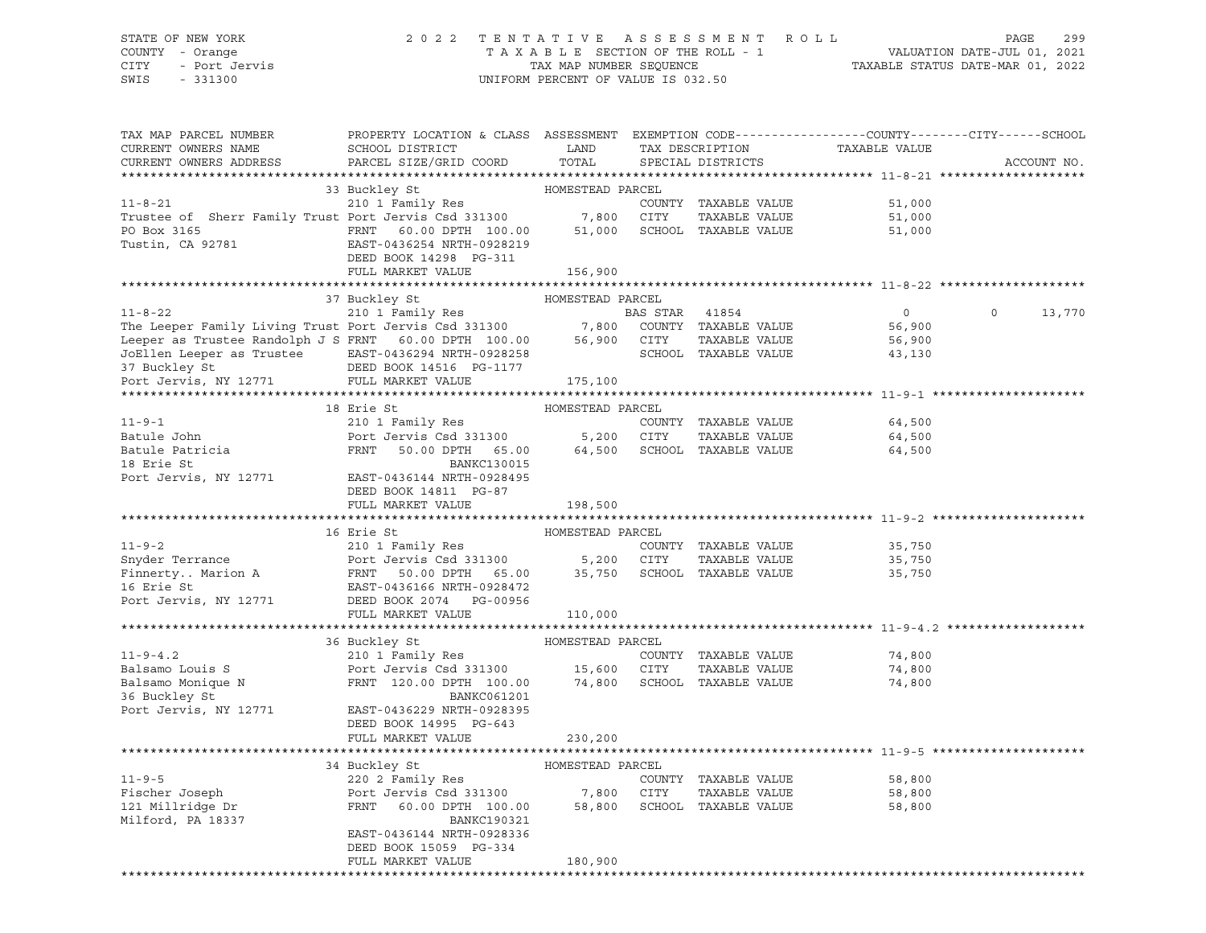### STATE OF NEW YORK 2 0 2 2 T E N T A T I V E A S S E S S M E N T R O L L PAGE 299 COUNTY - Orange T A X A B L E SECTION OF THE ROLL - 1 VALUATION DATE-JUL 01, 2021 CITY - Port Jervis TAX MAP NUMBER SEQUENCE TAXABLE STATUS DATE-MAR 01, 2022

| TAX MAP PARCEL NUMBER<br>CURRENT OWNERS NAME<br>CURRENT OWNERS ADDRESS                                                                                                                                                       | PROPERTY LOCATION & CLASS ASSESSMENT<br>SCHOOL DISTRICT<br>PARCEL SIZE/GRID COORD                     | LAND<br>TOTAL    |                | TAX DESCRIPTION<br>SPECIAL DISTRICTS | TAXABLE VALUE    | EXEMPTION CODE-----------------COUNTY-------CITY------SCHOOL<br>ACCOUNT NO. |
|------------------------------------------------------------------------------------------------------------------------------------------------------------------------------------------------------------------------------|-------------------------------------------------------------------------------------------------------|------------------|----------------|--------------------------------------|------------------|-----------------------------------------------------------------------------|
| **********************                                                                                                                                                                                                       |                                                                                                       |                  |                |                                      |                  |                                                                             |
|                                                                                                                                                                                                                              | 33 Buckley St                                                                                         | HOMESTEAD PARCEL |                |                                      |                  |                                                                             |
| $11 - 8 - 21$                                                                                                                                                                                                                | 210 1 Family Res                                                                                      |                  |                | COUNTY TAXABLE VALUE                 | 51,000           |                                                                             |
|                                                                                                                                                                                                                              |                                                                                                       |                  |                | TAXABLE VALUE                        | 51,000           |                                                                             |
| Trustee of Sherr Family Trust Port Jervis Csd 331300 7,800 CITY TAXABLE VALUE                                                                                                                                                |                                                                                                       |                  |                |                                      | 51,000           |                                                                             |
| Tustin, CA 92781                                                                                                                                                                                                             | EAST-0436254 NRTH-0928219                                                                             |                  |                |                                      |                  |                                                                             |
|                                                                                                                                                                                                                              | DEED BOOK 14298 PG-311                                                                                |                  |                |                                      |                  |                                                                             |
|                                                                                                                                                                                                                              | FULL MARKET VALUE                                                                                     | 156,900          |                |                                      |                  |                                                                             |
|                                                                                                                                                                                                                              |                                                                                                       |                  |                |                                      |                  |                                                                             |
|                                                                                                                                                                                                                              | 37 Buckley St MOMESTEAD PARCEL                                                                        |                  |                |                                      |                  |                                                                             |
| $11 - 8 - 22$                                                                                                                                                                                                                | 210 1 Family Res                                                                                      |                  | BAS STAR 41854 |                                      | $\overline{0}$   | $\overline{0}$<br>13,770                                                    |
| The Leeper Family Living Trust Port Jervis Csd 331300<br>The Leeper Family Living Trust Port Jervis Csd 331300 7,800 COUNTY TAXABLE VALUE<br>Leeper as Trustee Randolph J S FRNT 60.00 DPTH 100.00 56,900 CITY TAXABLE VALUE |                                                                                                       |                  |                |                                      | 56,900           |                                                                             |
|                                                                                                                                                                                                                              |                                                                                                       |                  |                |                                      | 56,900           |                                                                             |
|                                                                                                                                                                                                                              |                                                                                                       |                  |                | SCHOOL TAXABLE VALUE                 | 43,130           |                                                                             |
|                                                                                                                                                                                                                              |                                                                                                       |                  |                |                                      |                  |                                                                             |
|                                                                                                                                                                                                                              |                                                                                                       | 175,100          |                |                                      |                  |                                                                             |
|                                                                                                                                                                                                                              |                                                                                                       |                  |                |                                      |                  |                                                                             |
|                                                                                                                                                                                                                              | 18 Erie St                                                                                            | HOMESTEAD PARCEL |                |                                      |                  |                                                                             |
| $11 - 9 - 1$                                                                                                                                                                                                                 | 210 1 Family Res                                                                                      |                  |                | COUNTY TAXABLE VALUE                 | 64,500           |                                                                             |
| Batule John                                                                                                                                                                                                                  | Port Jervis Csd 331300 5,200 CITY                                                                     |                  |                | TAXABLE VALUE                        | 64,500           |                                                                             |
| Batule Patricia<br>18 Erie St                                                                                                                                                                                                | FRNT<br>50.00 DPTH 65.00                                                                              |                  |                | 64,500 SCHOOL TAXABLE VALUE          | 64,500           |                                                                             |
| 18 Erie St                                                                                                                                                                                                                   | BANKC130015                                                                                           |                  |                |                                      |                  |                                                                             |
| Port Jervis, NY 12771                                                                                                                                                                                                        | EAST-0436144 NRTH-0928495                                                                             |                  |                |                                      |                  |                                                                             |
|                                                                                                                                                                                                                              | DEED BOOK 14811 PG-87                                                                                 |                  |                |                                      |                  |                                                                             |
|                                                                                                                                                                                                                              | FULL MARKET VALUE                                                                                     | 198,500          |                |                                      |                  |                                                                             |
|                                                                                                                                                                                                                              | 16 Erie St                                                                                            | HOMESTEAD PARCEL |                |                                      |                  |                                                                             |
| $11 - 9 - 2$                                                                                                                                                                                                                 | 210 1 Family Res                                                                                      |                  |                | COUNTY TAXABLE VALUE                 |                  |                                                                             |
|                                                                                                                                                                                                                              |                                                                                                       |                  |                | TAXABLE VALUE                        | 35,750<br>35,750 |                                                                             |
|                                                                                                                                                                                                                              |                                                                                                       |                  |                | 35,750 SCHOOL TAXABLE VALUE          | 35,750           |                                                                             |
|                                                                                                                                                                                                                              |                                                                                                       |                  |                |                                      |                  |                                                                             |
| Port Jervis, NY 12771 DEED BOOK 2074 PG-00956                                                                                                                                                                                |                                                                                                       |                  |                |                                      |                  |                                                                             |
|                                                                                                                                                                                                                              | FULL MARKET VALUE                                                                                     | 110,000          |                |                                      |                  |                                                                             |
|                                                                                                                                                                                                                              |                                                                                                       |                  |                |                                      |                  |                                                                             |
|                                                                                                                                                                                                                              | 36 Buckley St                                                                                         | HOMESTEAD PARCEL |                |                                      |                  |                                                                             |
| $11 - 9 - 4.2$                                                                                                                                                                                                               | 210 1 Family Res                                                                                      |                  |                | COUNTY TAXABLE VALUE                 | 74,800           |                                                                             |
| Balsamo Louis S                                                                                                                                                                                                              | Port Jervis Csd 331300 15,600 CITY                                                                    |                  |                | TAXABLE VALUE                        | 74,800           |                                                                             |
| Balsamo Monique N<br>36 Buckley St                                                                                                                                                                                           | FRNT 120.00 DPTH 100.00 74,800 SCHOOL TAXABLE VALUE                                                   |                  |                |                                      | 74,800           |                                                                             |
|                                                                                                                                                                                                                              | BANKC061201                                                                                           |                  |                |                                      |                  |                                                                             |
| Port Jervis, NY 12771                                                                                                                                                                                                        | EAST-0436229 NRTH-0928395                                                                             |                  |                |                                      |                  |                                                                             |
|                                                                                                                                                                                                                              | DEED BOOK 14995 PG-643                                                                                |                  |                |                                      |                  |                                                                             |
|                                                                                                                                                                                                                              | FULL MARKET VALUE                                                                                     | 230,200          |                |                                      |                  |                                                                             |
|                                                                                                                                                                                                                              |                                                                                                       |                  |                |                                      |                  |                                                                             |
|                                                                                                                                                                                                                              | 34 Buckley St MOMESTEAD PARCEL                                                                        |                  |                |                                      |                  |                                                                             |
| $11 - 9 - 5$                                                                                                                                                                                                                 | 220 2 Family Res                                                                                      |                  |                | COUNTY TAXABLE VALUE                 | 58,800           |                                                                             |
|                                                                                                                                                                                                                              | Port Jervis Csd 331300 7,800 CITY TAXABLE VALUE<br>FRNT 60.00 DPTH 100.00 58,800 SCHOOL TAXABLE VALUE |                  |                |                                      | 58,800           |                                                                             |
| rischer Joseph<br>121 Millridge Dr                                                                                                                                                                                           |                                                                                                       |                  |                |                                      | 58,800           |                                                                             |
| Milford, PA 18337                                                                                                                                                                                                            | BANKC190321                                                                                           |                  |                |                                      |                  |                                                                             |
|                                                                                                                                                                                                                              | EAST-0436144 NRTH-0928336                                                                             |                  |                |                                      |                  |                                                                             |
|                                                                                                                                                                                                                              | DEED BOOK 15059 PG-334                                                                                |                  |                |                                      |                  |                                                                             |
|                                                                                                                                                                                                                              | FULL MARKET VALUE                                                                                     | 180,900          |                |                                      |                  |                                                                             |
|                                                                                                                                                                                                                              |                                                                                                       |                  |                |                                      |                  |                                                                             |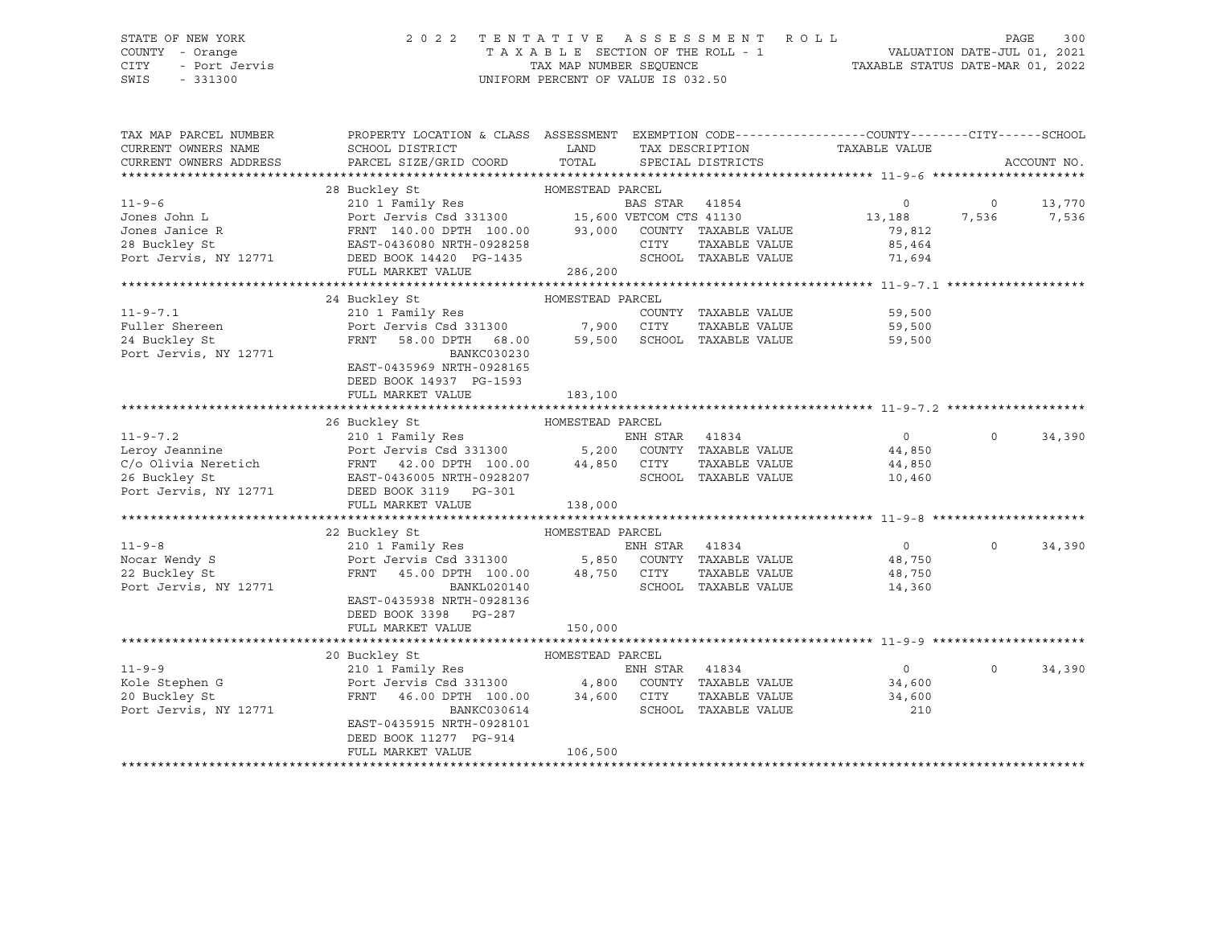# STATE OF NEW YORK 2 0 2 2 T E N T A T I V E A S S E S S M E N T R O L L PAGE 300 COUNTY - Orange T A X A B L E SECTION OF THE ROLL - 1 VALUATION DATE-JUL 01, 2021

CITY - Port Jervis TAX MAP NUMBER SEQUENCE TAXABLE STATUS DATE-MAR 01, 2022

| CURRENT OWNERS NAME<br>SCHOOL DISTRICT<br>LAND<br>TAX DESCRIPTION TAXABLE VALUE<br>PARCEL SIZE/GRID COORD TOTAL SPECIAL DISTRICTS<br>CURRENT OWNERS ADDRESS<br>ACCOUNT NO.<br>28 Buckley St<br>$11 - 9 - 6$<br>BAS STAR 41854<br>$\circ$<br>$\circ$<br>13,770<br>Port Jervis Csd 331300 15,600 VETCOM CTS 41130<br>Port Jervis Csd 331300 15,600 VETCOM CTS 41130<br>FRNT 140.00 DPTH 100.00 93,000 COUNTY TAXABLE VALUE<br>13, 188<br>Jones John L<br>7,536<br>7,536<br>Jones Janice R<br>79,812<br>EAST-0436080 NRTH-0928258<br>CITY<br>28 Buckley St<br>TAXABLE VALUE<br>85,464<br>SCHOOL TAXABLE VALUE<br>Port Jervis, NY 12771<br>DEED BOOK 14420 PG-1435<br>71,694<br>286, 200<br>FULL MARKET VALUE<br>24 Buckley St<br>HOMESTEAD PARCEL<br>$11 - 9 - 7.1$<br>COUNTY TAXABLE VALUE 59,500<br>11-9- $\ldots$<br>Fuller Shereen<br>- $\frac{1}{2}$ av St.<br>59,500<br>59,500<br>Port Jervis, NY 12771<br>BANKC030230<br>EAST-0435969 NRTH-0928165<br>DEED BOOK 14937 PG-1593<br>FULL MARKET VALUE<br>183,100<br>26 Buckley St<br>HOMESTEAD PARCEL<br>11-9-7.2<br>Leroy Jeannine<br>C/o Olivia Neretich<br>26 Buckley St<br>26 Buckley St<br>26 Buckley St<br>26 Buckley St<br>26 Buckley St<br>26 Buckley St<br>26 Buckley St<br>26 Buckley St<br>26 Buckley St<br>26 Buckley St<br>26 Buckley St<br>26 Buckley<br>$\overline{0}$<br>$\Omega$<br>34,390<br>44,850<br>44,850<br>10,460<br>FULL MARKET VALUE<br>138,000<br>HOMESTEAD PARCEL<br>22 Buckley St<br>210 1 Family Res<br>$\overline{0}$<br>$11 - 9 - 8$<br>ENH STAR 41834<br>$\Omega$<br>34,390<br>Port Jervis Csd 331300 5,850 COUNTY TAXABLE VALUE<br>FRNT 45.00 DPTH 100.00 48,750 CITY TAXABLE VALUE<br>48,750<br>Nocar Wendy S<br>22 Buckley St<br>TAXABLE VALUE 48,750<br>SCHOOL TAXABLE VALUE<br>Port Jervis, NY 12771<br>BANKL020140<br>14,360<br>EAST-0435938 NRTH-0928136<br>DEED BOOK 3398 PG-287<br>150,000<br>FULL MARKET VALUE<br>HOMESTEAD PARCEL<br>20 Buckley St<br>210 1 Family Res<br>Port Jervis Csd 331300 4,800 COUNTY TAXABLE VALUE<br>FRNT 46.00 DPTH 100.00 34,600 CITY TAXABLE VALUE<br>$11 - 9 - 9$<br>$\overline{0}$<br>$\Omega$<br>34,390<br>34,600<br>Kole Stephen G<br>TAXABLE VALUE 34,600<br>20 Buckley St<br>Port Jervis, NY 12771<br>SCHOOL TAXABLE VALUE<br>BANKC030614<br>210<br>EAST-0435915 NRTH-0928101<br>DEED BOOK 11277 PG-914<br>106,500<br>FULL MARKET VALUE | TAX MAP PARCEL NUMBER | PROPERTY LOCATION & CLASS ASSESSMENT EXEMPTION CODE---------------COUNTY-------CITY------SCHOOL |  |  |  |
|-------------------------------------------------------------------------------------------------------------------------------------------------------------------------------------------------------------------------------------------------------------------------------------------------------------------------------------------------------------------------------------------------------------------------------------------------------------------------------------------------------------------------------------------------------------------------------------------------------------------------------------------------------------------------------------------------------------------------------------------------------------------------------------------------------------------------------------------------------------------------------------------------------------------------------------------------------------------------------------------------------------------------------------------------------------------------------------------------------------------------------------------------------------------------------------------------------------------------------------------------------------------------------------------------------------------------------------------------------------------------------------------------------------------------------------------------------------------------------------------------------------------------------------------------------------------------------------------------------------------------------------------------------------------------------------------------------------------------------------------------------------------------------------------------------------------------------------------------------------------------------------------------------------------------------------------------------------------------------------------------------------------------------------------------------------------------------------------------------------------------------------------------------------------------------------------------------------------------------------------------------------------------------------------------------------------------------------------------------------------------|-----------------------|-------------------------------------------------------------------------------------------------|--|--|--|
|                                                                                                                                                                                                                                                                                                                                                                                                                                                                                                                                                                                                                                                                                                                                                                                                                                                                                                                                                                                                                                                                                                                                                                                                                                                                                                                                                                                                                                                                                                                                                                                                                                                                                                                                                                                                                                                                                                                                                                                                                                                                                                                                                                                                                                                                                                                                                                         |                       |                                                                                                 |  |  |  |
|                                                                                                                                                                                                                                                                                                                                                                                                                                                                                                                                                                                                                                                                                                                                                                                                                                                                                                                                                                                                                                                                                                                                                                                                                                                                                                                                                                                                                                                                                                                                                                                                                                                                                                                                                                                                                                                                                                                                                                                                                                                                                                                                                                                                                                                                                                                                                                         |                       |                                                                                                 |  |  |  |
|                                                                                                                                                                                                                                                                                                                                                                                                                                                                                                                                                                                                                                                                                                                                                                                                                                                                                                                                                                                                                                                                                                                                                                                                                                                                                                                                                                                                                                                                                                                                                                                                                                                                                                                                                                                                                                                                                                                                                                                                                                                                                                                                                                                                                                                                                                                                                                         |                       |                                                                                                 |  |  |  |
|                                                                                                                                                                                                                                                                                                                                                                                                                                                                                                                                                                                                                                                                                                                                                                                                                                                                                                                                                                                                                                                                                                                                                                                                                                                                                                                                                                                                                                                                                                                                                                                                                                                                                                                                                                                                                                                                                                                                                                                                                                                                                                                                                                                                                                                                                                                                                                         |                       |                                                                                                 |  |  |  |
|                                                                                                                                                                                                                                                                                                                                                                                                                                                                                                                                                                                                                                                                                                                                                                                                                                                                                                                                                                                                                                                                                                                                                                                                                                                                                                                                                                                                                                                                                                                                                                                                                                                                                                                                                                                                                                                                                                                                                                                                                                                                                                                                                                                                                                                                                                                                                                         |                       |                                                                                                 |  |  |  |
|                                                                                                                                                                                                                                                                                                                                                                                                                                                                                                                                                                                                                                                                                                                                                                                                                                                                                                                                                                                                                                                                                                                                                                                                                                                                                                                                                                                                                                                                                                                                                                                                                                                                                                                                                                                                                                                                                                                                                                                                                                                                                                                                                                                                                                                                                                                                                                         |                       |                                                                                                 |  |  |  |
|                                                                                                                                                                                                                                                                                                                                                                                                                                                                                                                                                                                                                                                                                                                                                                                                                                                                                                                                                                                                                                                                                                                                                                                                                                                                                                                                                                                                                                                                                                                                                                                                                                                                                                                                                                                                                                                                                                                                                                                                                                                                                                                                                                                                                                                                                                                                                                         |                       |                                                                                                 |  |  |  |
|                                                                                                                                                                                                                                                                                                                                                                                                                                                                                                                                                                                                                                                                                                                                                                                                                                                                                                                                                                                                                                                                                                                                                                                                                                                                                                                                                                                                                                                                                                                                                                                                                                                                                                                                                                                                                                                                                                                                                                                                                                                                                                                                                                                                                                                                                                                                                                         |                       |                                                                                                 |  |  |  |
|                                                                                                                                                                                                                                                                                                                                                                                                                                                                                                                                                                                                                                                                                                                                                                                                                                                                                                                                                                                                                                                                                                                                                                                                                                                                                                                                                                                                                                                                                                                                                                                                                                                                                                                                                                                                                                                                                                                                                                                                                                                                                                                                                                                                                                                                                                                                                                         |                       |                                                                                                 |  |  |  |
|                                                                                                                                                                                                                                                                                                                                                                                                                                                                                                                                                                                                                                                                                                                                                                                                                                                                                                                                                                                                                                                                                                                                                                                                                                                                                                                                                                                                                                                                                                                                                                                                                                                                                                                                                                                                                                                                                                                                                                                                                                                                                                                                                                                                                                                                                                                                                                         |                       |                                                                                                 |  |  |  |
|                                                                                                                                                                                                                                                                                                                                                                                                                                                                                                                                                                                                                                                                                                                                                                                                                                                                                                                                                                                                                                                                                                                                                                                                                                                                                                                                                                                                                                                                                                                                                                                                                                                                                                                                                                                                                                                                                                                                                                                                                                                                                                                                                                                                                                                                                                                                                                         |                       |                                                                                                 |  |  |  |
|                                                                                                                                                                                                                                                                                                                                                                                                                                                                                                                                                                                                                                                                                                                                                                                                                                                                                                                                                                                                                                                                                                                                                                                                                                                                                                                                                                                                                                                                                                                                                                                                                                                                                                                                                                                                                                                                                                                                                                                                                                                                                                                                                                                                                                                                                                                                                                         |                       |                                                                                                 |  |  |  |
|                                                                                                                                                                                                                                                                                                                                                                                                                                                                                                                                                                                                                                                                                                                                                                                                                                                                                                                                                                                                                                                                                                                                                                                                                                                                                                                                                                                                                                                                                                                                                                                                                                                                                                                                                                                                                                                                                                                                                                                                                                                                                                                                                                                                                                                                                                                                                                         |                       |                                                                                                 |  |  |  |
|                                                                                                                                                                                                                                                                                                                                                                                                                                                                                                                                                                                                                                                                                                                                                                                                                                                                                                                                                                                                                                                                                                                                                                                                                                                                                                                                                                                                                                                                                                                                                                                                                                                                                                                                                                                                                                                                                                                                                                                                                                                                                                                                                                                                                                                                                                                                                                         |                       |                                                                                                 |  |  |  |
|                                                                                                                                                                                                                                                                                                                                                                                                                                                                                                                                                                                                                                                                                                                                                                                                                                                                                                                                                                                                                                                                                                                                                                                                                                                                                                                                                                                                                                                                                                                                                                                                                                                                                                                                                                                                                                                                                                                                                                                                                                                                                                                                                                                                                                                                                                                                                                         |                       |                                                                                                 |  |  |  |
|                                                                                                                                                                                                                                                                                                                                                                                                                                                                                                                                                                                                                                                                                                                                                                                                                                                                                                                                                                                                                                                                                                                                                                                                                                                                                                                                                                                                                                                                                                                                                                                                                                                                                                                                                                                                                                                                                                                                                                                                                                                                                                                                                                                                                                                                                                                                                                         |                       |                                                                                                 |  |  |  |
|                                                                                                                                                                                                                                                                                                                                                                                                                                                                                                                                                                                                                                                                                                                                                                                                                                                                                                                                                                                                                                                                                                                                                                                                                                                                                                                                                                                                                                                                                                                                                                                                                                                                                                                                                                                                                                                                                                                                                                                                                                                                                                                                                                                                                                                                                                                                                                         |                       |                                                                                                 |  |  |  |
|                                                                                                                                                                                                                                                                                                                                                                                                                                                                                                                                                                                                                                                                                                                                                                                                                                                                                                                                                                                                                                                                                                                                                                                                                                                                                                                                                                                                                                                                                                                                                                                                                                                                                                                                                                                                                                                                                                                                                                                                                                                                                                                                                                                                                                                                                                                                                                         |                       |                                                                                                 |  |  |  |
|                                                                                                                                                                                                                                                                                                                                                                                                                                                                                                                                                                                                                                                                                                                                                                                                                                                                                                                                                                                                                                                                                                                                                                                                                                                                                                                                                                                                                                                                                                                                                                                                                                                                                                                                                                                                                                                                                                                                                                                                                                                                                                                                                                                                                                                                                                                                                                         |                       |                                                                                                 |  |  |  |
|                                                                                                                                                                                                                                                                                                                                                                                                                                                                                                                                                                                                                                                                                                                                                                                                                                                                                                                                                                                                                                                                                                                                                                                                                                                                                                                                                                                                                                                                                                                                                                                                                                                                                                                                                                                                                                                                                                                                                                                                                                                                                                                                                                                                                                                                                                                                                                         |                       |                                                                                                 |  |  |  |
|                                                                                                                                                                                                                                                                                                                                                                                                                                                                                                                                                                                                                                                                                                                                                                                                                                                                                                                                                                                                                                                                                                                                                                                                                                                                                                                                                                                                                                                                                                                                                                                                                                                                                                                                                                                                                                                                                                                                                                                                                                                                                                                                                                                                                                                                                                                                                                         |                       |                                                                                                 |  |  |  |
|                                                                                                                                                                                                                                                                                                                                                                                                                                                                                                                                                                                                                                                                                                                                                                                                                                                                                                                                                                                                                                                                                                                                                                                                                                                                                                                                                                                                                                                                                                                                                                                                                                                                                                                                                                                                                                                                                                                                                                                                                                                                                                                                                                                                                                                                                                                                                                         |                       |                                                                                                 |  |  |  |
|                                                                                                                                                                                                                                                                                                                                                                                                                                                                                                                                                                                                                                                                                                                                                                                                                                                                                                                                                                                                                                                                                                                                                                                                                                                                                                                                                                                                                                                                                                                                                                                                                                                                                                                                                                                                                                                                                                                                                                                                                                                                                                                                                                                                                                                                                                                                                                         |                       |                                                                                                 |  |  |  |
|                                                                                                                                                                                                                                                                                                                                                                                                                                                                                                                                                                                                                                                                                                                                                                                                                                                                                                                                                                                                                                                                                                                                                                                                                                                                                                                                                                                                                                                                                                                                                                                                                                                                                                                                                                                                                                                                                                                                                                                                                                                                                                                                                                                                                                                                                                                                                                         |                       |                                                                                                 |  |  |  |
|                                                                                                                                                                                                                                                                                                                                                                                                                                                                                                                                                                                                                                                                                                                                                                                                                                                                                                                                                                                                                                                                                                                                                                                                                                                                                                                                                                                                                                                                                                                                                                                                                                                                                                                                                                                                                                                                                                                                                                                                                                                                                                                                                                                                                                                                                                                                                                         |                       |                                                                                                 |  |  |  |
|                                                                                                                                                                                                                                                                                                                                                                                                                                                                                                                                                                                                                                                                                                                                                                                                                                                                                                                                                                                                                                                                                                                                                                                                                                                                                                                                                                                                                                                                                                                                                                                                                                                                                                                                                                                                                                                                                                                                                                                                                                                                                                                                                                                                                                                                                                                                                                         |                       |                                                                                                 |  |  |  |
|                                                                                                                                                                                                                                                                                                                                                                                                                                                                                                                                                                                                                                                                                                                                                                                                                                                                                                                                                                                                                                                                                                                                                                                                                                                                                                                                                                                                                                                                                                                                                                                                                                                                                                                                                                                                                                                                                                                                                                                                                                                                                                                                                                                                                                                                                                                                                                         |                       |                                                                                                 |  |  |  |
|                                                                                                                                                                                                                                                                                                                                                                                                                                                                                                                                                                                                                                                                                                                                                                                                                                                                                                                                                                                                                                                                                                                                                                                                                                                                                                                                                                                                                                                                                                                                                                                                                                                                                                                                                                                                                                                                                                                                                                                                                                                                                                                                                                                                                                                                                                                                                                         |                       |                                                                                                 |  |  |  |
|                                                                                                                                                                                                                                                                                                                                                                                                                                                                                                                                                                                                                                                                                                                                                                                                                                                                                                                                                                                                                                                                                                                                                                                                                                                                                                                                                                                                                                                                                                                                                                                                                                                                                                                                                                                                                                                                                                                                                                                                                                                                                                                                                                                                                                                                                                                                                                         |                       |                                                                                                 |  |  |  |
|                                                                                                                                                                                                                                                                                                                                                                                                                                                                                                                                                                                                                                                                                                                                                                                                                                                                                                                                                                                                                                                                                                                                                                                                                                                                                                                                                                                                                                                                                                                                                                                                                                                                                                                                                                                                                                                                                                                                                                                                                                                                                                                                                                                                                                                                                                                                                                         |                       |                                                                                                 |  |  |  |
|                                                                                                                                                                                                                                                                                                                                                                                                                                                                                                                                                                                                                                                                                                                                                                                                                                                                                                                                                                                                                                                                                                                                                                                                                                                                                                                                                                                                                                                                                                                                                                                                                                                                                                                                                                                                                                                                                                                                                                                                                                                                                                                                                                                                                                                                                                                                                                         |                       |                                                                                                 |  |  |  |
|                                                                                                                                                                                                                                                                                                                                                                                                                                                                                                                                                                                                                                                                                                                                                                                                                                                                                                                                                                                                                                                                                                                                                                                                                                                                                                                                                                                                                                                                                                                                                                                                                                                                                                                                                                                                                                                                                                                                                                                                                                                                                                                                                                                                                                                                                                                                                                         |                       |                                                                                                 |  |  |  |
|                                                                                                                                                                                                                                                                                                                                                                                                                                                                                                                                                                                                                                                                                                                                                                                                                                                                                                                                                                                                                                                                                                                                                                                                                                                                                                                                                                                                                                                                                                                                                                                                                                                                                                                                                                                                                                                                                                                                                                                                                                                                                                                                                                                                                                                                                                                                                                         |                       |                                                                                                 |  |  |  |
|                                                                                                                                                                                                                                                                                                                                                                                                                                                                                                                                                                                                                                                                                                                                                                                                                                                                                                                                                                                                                                                                                                                                                                                                                                                                                                                                                                                                                                                                                                                                                                                                                                                                                                                                                                                                                                                                                                                                                                                                                                                                                                                                                                                                                                                                                                                                                                         |                       |                                                                                                 |  |  |  |
|                                                                                                                                                                                                                                                                                                                                                                                                                                                                                                                                                                                                                                                                                                                                                                                                                                                                                                                                                                                                                                                                                                                                                                                                                                                                                                                                                                                                                                                                                                                                                                                                                                                                                                                                                                                                                                                                                                                                                                                                                                                                                                                                                                                                                                                                                                                                                                         |                       |                                                                                                 |  |  |  |
|                                                                                                                                                                                                                                                                                                                                                                                                                                                                                                                                                                                                                                                                                                                                                                                                                                                                                                                                                                                                                                                                                                                                                                                                                                                                                                                                                                                                                                                                                                                                                                                                                                                                                                                                                                                                                                                                                                                                                                                                                                                                                                                                                                                                                                                                                                                                                                         |                       |                                                                                                 |  |  |  |
|                                                                                                                                                                                                                                                                                                                                                                                                                                                                                                                                                                                                                                                                                                                                                                                                                                                                                                                                                                                                                                                                                                                                                                                                                                                                                                                                                                                                                                                                                                                                                                                                                                                                                                                                                                                                                                                                                                                                                                                                                                                                                                                                                                                                                                                                                                                                                                         |                       |                                                                                                 |  |  |  |
|                                                                                                                                                                                                                                                                                                                                                                                                                                                                                                                                                                                                                                                                                                                                                                                                                                                                                                                                                                                                                                                                                                                                                                                                                                                                                                                                                                                                                                                                                                                                                                                                                                                                                                                                                                                                                                                                                                                                                                                                                                                                                                                                                                                                                                                                                                                                                                         |                       |                                                                                                 |  |  |  |
|                                                                                                                                                                                                                                                                                                                                                                                                                                                                                                                                                                                                                                                                                                                                                                                                                                                                                                                                                                                                                                                                                                                                                                                                                                                                                                                                                                                                                                                                                                                                                                                                                                                                                                                                                                                                                                                                                                                                                                                                                                                                                                                                                                                                                                                                                                                                                                         |                       |                                                                                                 |  |  |  |
|                                                                                                                                                                                                                                                                                                                                                                                                                                                                                                                                                                                                                                                                                                                                                                                                                                                                                                                                                                                                                                                                                                                                                                                                                                                                                                                                                                                                                                                                                                                                                                                                                                                                                                                                                                                                                                                                                                                                                                                                                                                                                                                                                                                                                                                                                                                                                                         |                       |                                                                                                 |  |  |  |
|                                                                                                                                                                                                                                                                                                                                                                                                                                                                                                                                                                                                                                                                                                                                                                                                                                                                                                                                                                                                                                                                                                                                                                                                                                                                                                                                                                                                                                                                                                                                                                                                                                                                                                                                                                                                                                                                                                                                                                                                                                                                                                                                                                                                                                                                                                                                                                         |                       |                                                                                                 |  |  |  |
|                                                                                                                                                                                                                                                                                                                                                                                                                                                                                                                                                                                                                                                                                                                                                                                                                                                                                                                                                                                                                                                                                                                                                                                                                                                                                                                                                                                                                                                                                                                                                                                                                                                                                                                                                                                                                                                                                                                                                                                                                                                                                                                                                                                                                                                                                                                                                                         |                       |                                                                                                 |  |  |  |
|                                                                                                                                                                                                                                                                                                                                                                                                                                                                                                                                                                                                                                                                                                                                                                                                                                                                                                                                                                                                                                                                                                                                                                                                                                                                                                                                                                                                                                                                                                                                                                                                                                                                                                                                                                                                                                                                                                                                                                                                                                                                                                                                                                                                                                                                                                                                                                         |                       |                                                                                                 |  |  |  |
|                                                                                                                                                                                                                                                                                                                                                                                                                                                                                                                                                                                                                                                                                                                                                                                                                                                                                                                                                                                                                                                                                                                                                                                                                                                                                                                                                                                                                                                                                                                                                                                                                                                                                                                                                                                                                                                                                                                                                                                                                                                                                                                                                                                                                                                                                                                                                                         |                       |                                                                                                 |  |  |  |
|                                                                                                                                                                                                                                                                                                                                                                                                                                                                                                                                                                                                                                                                                                                                                                                                                                                                                                                                                                                                                                                                                                                                                                                                                                                                                                                                                                                                                                                                                                                                                                                                                                                                                                                                                                                                                                                                                                                                                                                                                                                                                                                                                                                                                                                                                                                                                                         |                       |                                                                                                 |  |  |  |
|                                                                                                                                                                                                                                                                                                                                                                                                                                                                                                                                                                                                                                                                                                                                                                                                                                                                                                                                                                                                                                                                                                                                                                                                                                                                                                                                                                                                                                                                                                                                                                                                                                                                                                                                                                                                                                                                                                                                                                                                                                                                                                                                                                                                                                                                                                                                                                         |                       |                                                                                                 |  |  |  |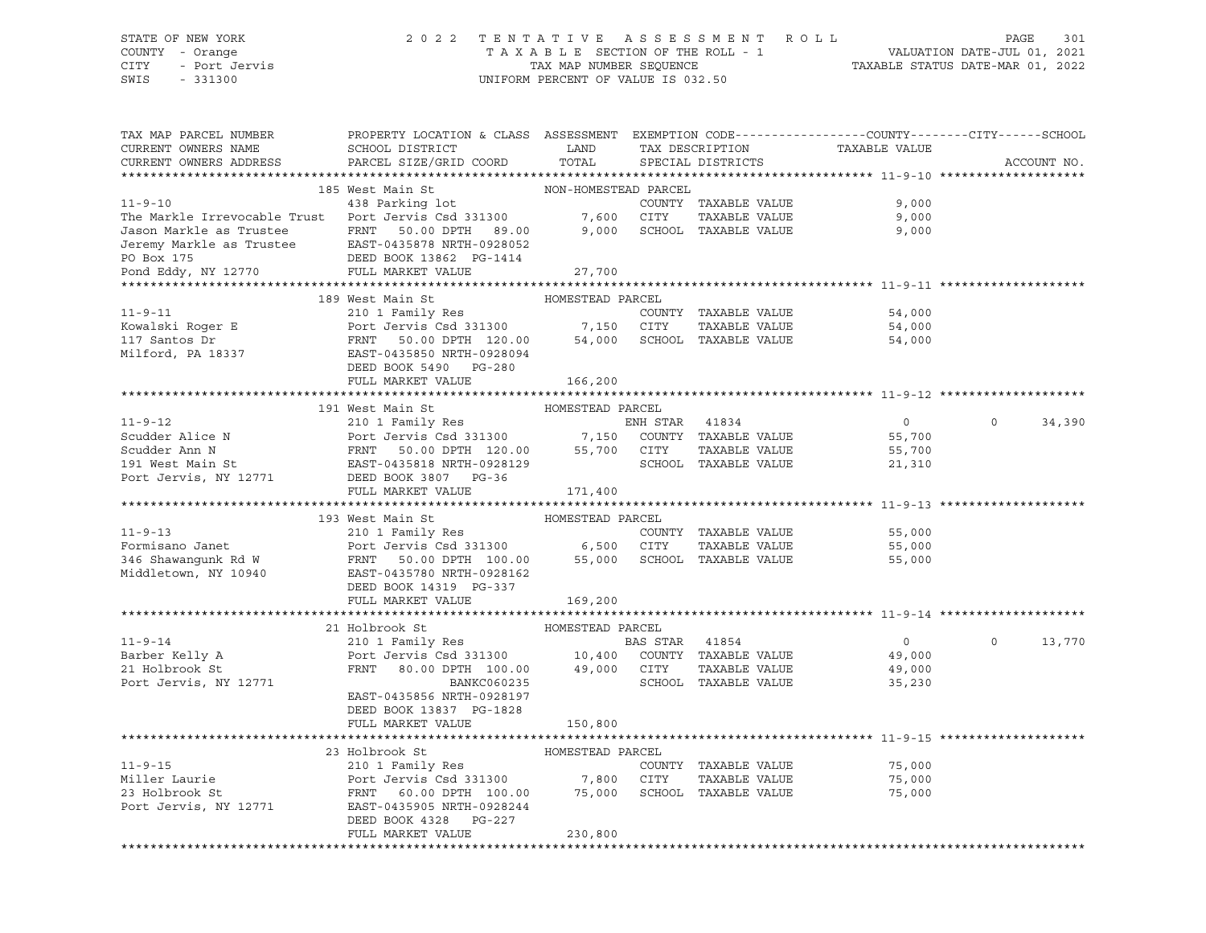### STATE OF NEW YORK 2 0 2 2 T E N T A T I V E A S S E S S M E N T R O L L PAGE 301 COUNTY - Orange T A X A B L E SECTION OF THE ROLL - 1 VALUATION DATE-JUL 01, 2021 CITY - Port Jervis TAX MAP NUMBER SEQUENCE TAXABLE STATUS DATE-MAR 01, 2022

| TAX MAP PARCEL NUMBER<br>CURRENT OWNERS NAME<br>CURRENT OWNERS ADDRESS                                                                                                                                                                             | PROPERTY LOCATION & CLASS ASSESSMENT EXEMPTION CODE----------------COUNTY-------CITY------SCHOOL<br>SCHOOL DISTRICT<br>PARCEL SIZE/GRID COORD              | LAND<br>TOTAL        |                |                      | TAX DESCRIPTION TAXABLE VALUE SPECIAL DISTRICTS | ACCOUNT NO.        |
|----------------------------------------------------------------------------------------------------------------------------------------------------------------------------------------------------------------------------------------------------|------------------------------------------------------------------------------------------------------------------------------------------------------------|----------------------|----------------|----------------------|-------------------------------------------------|--------------------|
|                                                                                                                                                                                                                                                    |                                                                                                                                                            |                      |                |                      |                                                 |                    |
|                                                                                                                                                                                                                                                    | 185 West Main St                                                                                                                                           | NON-HOMESTEAD PARCEL |                |                      |                                                 |                    |
| $11 - 9 - 10$                                                                                                                                                                                                                                      | 438 Parking lot                                                                                                                                            |                      |                | COUNTY TAXABLE VALUE | 9,000                                           |                    |
| The Markle Irrevocable Trust Port Jervis Csd 331300 7,600 CITY                                                                                                                                                                                     |                                                                                                                                                            |                      |                | TAXABLE VALUE        | 9,000                                           |                    |
|                                                                                                                                                                                                                                                    |                                                                                                                                                            |                      |                |                      |                                                 |                    |
|                                                                                                                                                                                                                                                    |                                                                                                                                                            |                      |                |                      |                                                 |                    |
| 3,000 Jason Markle as Trustee FRNT 50.00 DPTH 89.00 9,000 SCHOOL TAXABLE VALUE 9,000<br>Jeremy Markle as Trustee EAST-0435878 NRTH-0928052<br>PO Box 175 DEED BOOK 13862 PG-1414<br>Pond Eddy, NY 12770 FULL MARKET VALUE 27,700                   |                                                                                                                                                            |                      |                |                      |                                                 |                    |
|                                                                                                                                                                                                                                                    |                                                                                                                                                            |                      |                |                      |                                                 |                    |
|                                                                                                                                                                                                                                                    |                                                                                                                                                            |                      |                |                      |                                                 |                    |
|                                                                                                                                                                                                                                                    | 189 West Main St                                                                                                                                           | HOMESTEAD PARCEL     |                |                      |                                                 |                    |
| Xowalski Roger E<br>Xowalski Roger E<br>210 1 Family Res<br>Port Jervis Csd 331300<br>FRNT 50.00 DPTH 120.00<br>54,000 SCHOOL TAXABLE VALUE<br>Milford, PA 18337<br>EAST-0435850 NRTH-0928094<br>RESP 120.00<br>TAXABLE VALUE<br>Nilford, PA 18337 |                                                                                                                                                            |                      |                |                      | 54,000                                          |                    |
|                                                                                                                                                                                                                                                    |                                                                                                                                                            |                      |                |                      | 54,000                                          |                    |
|                                                                                                                                                                                                                                                    |                                                                                                                                                            |                      |                |                      | 54,000                                          |                    |
|                                                                                                                                                                                                                                                    |                                                                                                                                                            |                      |                |                      |                                                 |                    |
|                                                                                                                                                                                                                                                    | DEED BOOK 5490 PG-280                                                                                                                                      |                      |                |                      |                                                 |                    |
|                                                                                                                                                                                                                                                    | FULL MARKET VALUE                                                                                                                                          | 166,200              |                |                      |                                                 |                    |
|                                                                                                                                                                                                                                                    |                                                                                                                                                            |                      |                |                      |                                                 |                    |
|                                                                                                                                                                                                                                                    | HOMESTEAD PARCEL<br>191 West Main St                                                                                                                       |                      |                |                      |                                                 |                    |
| $11 - 9 - 12$                                                                                                                                                                                                                                      | 210 1 Family Res                                                                                                                                           |                      | ENH STAR 41834 |                      | $\overline{0}$                                  | $\Omega$<br>34,390 |
|                                                                                                                                                                                                                                                    |                                                                                                                                                            |                      |                |                      | 55,700                                          |                    |
|                                                                                                                                                                                                                                                    |                                                                                                                                                            |                      |                |                      |                                                 |                    |
|                                                                                                                                                                                                                                                    |                                                                                                                                                            |                      |                |                      | 55,700                                          |                    |
|                                                                                                                                                                                                                                                    |                                                                                                                                                            |                      |                | SCHOOL TAXABLE VALUE | 21,310                                          |                    |
| ENH STAR 41834<br>Scudder Alice N<br>Scudder Ann N<br>Scudder Ann N<br>FRNT 50.00 DPTH 120.00 55,700 CITY TAXABLE VALUE<br>FRNT 50.00 DPTH 120.00 55,700 CITY TAXABLE VALUE<br>Port Jervis, NY 12771 DEED BOOK 3807 PG-36<br>THE SCHOOL TAXA       |                                                                                                                                                            |                      |                |                      |                                                 |                    |
|                                                                                                                                                                                                                                                    | FULL MARKET VALUE                                                                                                                                          | 171,400              |                |                      |                                                 |                    |
|                                                                                                                                                                                                                                                    | 193 West Main St                                                                                                                                           |                      |                |                      |                                                 |                    |
|                                                                                                                                                                                                                                                    |                                                                                                                                                            | HOMESTEAD PARCEL     |                |                      |                                                 |                    |
|                                                                                                                                                                                                                                                    |                                                                                                                                                            |                      |                | COUNTY TAXABLE VALUE | 55,000                                          |                    |
| 11-9-13<br>Port Jervis Collection (1000)<br>210 1 Family Res<br>Port Jervis Csd 331300<br>216 Shawangunk Rd W<br>FRNT 50.00 DPTH 100.00 55,000 SCHOOL TAXABLE VALUE<br>Middletown, NY 10940 EAST-0435780 NRTH-0928162                              |                                                                                                                                                            |                      |                | TAXABLE VALUE        | 55,000                                          |                    |
|                                                                                                                                                                                                                                                    |                                                                                                                                                            |                      |                |                      | 55,000                                          |                    |
|                                                                                                                                                                                                                                                    |                                                                                                                                                            |                      |                |                      |                                                 |                    |
|                                                                                                                                                                                                                                                    | DEED BOOK 14319 PG-337                                                                                                                                     |                      |                |                      |                                                 |                    |
|                                                                                                                                                                                                                                                    | FULL MARKET VALUE                                                                                                                                          | 169,200              |                |                      |                                                 |                    |
|                                                                                                                                                                                                                                                    |                                                                                                                                                            | HOMESTEAD PARCEL     |                |                      |                                                 |                    |
|                                                                                                                                                                                                                                                    | 21 Holbrook St<br>21 HOLDLOOK SC<br>210 1 Family Res<br>Port Jervis Csd 331300<br>FRNT 80.00 DPTH 100.00 49,000 CITY TAXABLE VALUE<br>SCHOOL TAXABLE VALUE |                      |                |                      | $\overline{0}$                                  | $\Omega$<br>13,770 |
| 11-9-14<br>Barber Kelly A<br>21 Holbrook St                                                                                                                                                                                                        |                                                                                                                                                            |                      |                |                      |                                                 |                    |
|                                                                                                                                                                                                                                                    |                                                                                                                                                            |                      |                |                      | 49,000                                          |                    |
|                                                                                                                                                                                                                                                    |                                                                                                                                                            |                      |                |                      | 49,000                                          |                    |
| Port Jervis, NY 12771                                                                                                                                                                                                                              | BANKC060235                                                                                                                                                |                      |                | SCHOOL TAXABLE VALUE | 35,230                                          |                    |
|                                                                                                                                                                                                                                                    | EAST-0435856 NRTH-0928197                                                                                                                                  |                      |                |                      |                                                 |                    |
|                                                                                                                                                                                                                                                    | DEED BOOK 13837 PG-1828                                                                                                                                    |                      |                |                      |                                                 |                    |
|                                                                                                                                                                                                                                                    | FULL MARKET VALUE                                                                                                                                          | 150,800              |                |                      |                                                 |                    |
|                                                                                                                                                                                                                                                    |                                                                                                                                                            |                      |                |                      |                                                 |                    |
|                                                                                                                                                                                                                                                    | 23 Holbrook St                                                                                                                                             | HOMESTEAD PARCEL     |                |                      |                                                 |                    |
| $11 - 9 - 15$                                                                                                                                                                                                                                      | 210 1 Family Res                                                                                                                                           |                      |                | COUNTY TAXABLE VALUE | 75,000                                          |                    |
| Miller Laurie<br>23 Holbrook St                                                                                                                                                                                                                    | Port Jervis Csd 331300 7,800 CITY TAXABLE VALUE<br>FRNT 60.00 DPTH 100.00 75,000 SCHOOL TAXABLE VALUE                                                      |                      |                | TAXABLE VALUE        | 75,000                                          |                    |
| 23 Holbrook St                                                                                                                                                                                                                                     |                                                                                                                                                            |                      |                |                      | 75,000                                          |                    |
| Port Jervis, NY 12771                                                                                                                                                                                                                              | EAST-0435905 NRTH-0928244                                                                                                                                  |                      |                |                      |                                                 |                    |
|                                                                                                                                                                                                                                                    | DEED BOOK 4328 PG-227                                                                                                                                      |                      |                |                      |                                                 |                    |
|                                                                                                                                                                                                                                                    | FULL MARKET VALUE                                                                                                                                          | 230,800              |                |                      |                                                 |                    |
|                                                                                                                                                                                                                                                    |                                                                                                                                                            |                      |                |                      |                                                 |                    |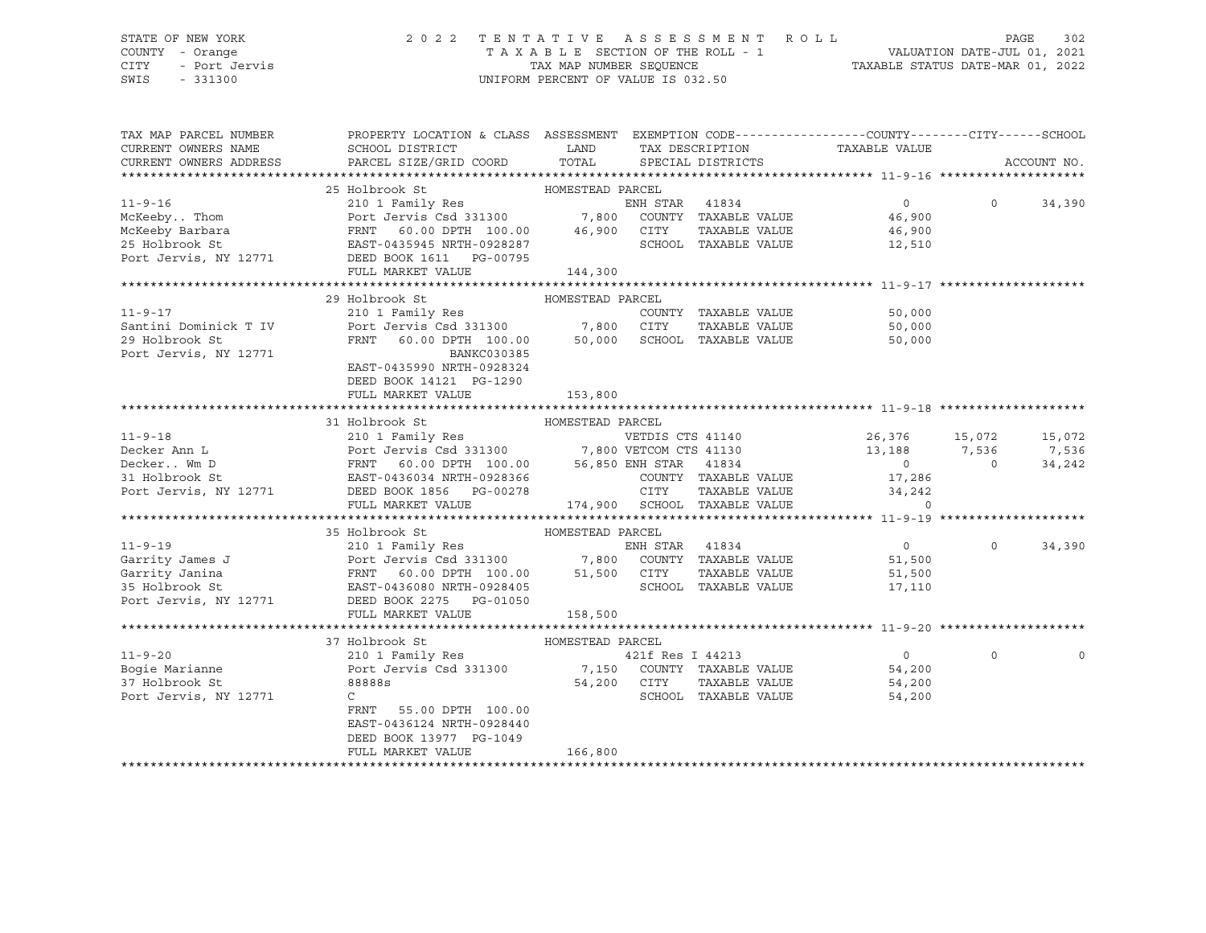### STATE OF NEW YORK 2 0 2 2 T E N T A T I V E A S S E S S M E N T R O L L PAGE 302 COUNTY - Orange T A X A B L E SECTION OF THE ROLL - 1 VALUATION DATE-JUL 01, 2021 CITY - Port Jervis TAX MAP NUMBER SEQUENCE TAXABLE STATUS DATE-MAR 01, 2022

| TAX MAP PARCEL NUMBER  | PROPERTY LOCATION & CLASS ASSESSMENT EXEMPTION CODE----------------COUNTY-------CITY------SCHOOL                                                                                                                                                               |                  |                              |                                                          |                          |
|------------------------|----------------------------------------------------------------------------------------------------------------------------------------------------------------------------------------------------------------------------------------------------------------|------------------|------------------------------|----------------------------------------------------------|--------------------------|
| CURRENT OWNERS NAME    | SCHOOL DISTRICT                                                                                                                                                                                                                                                | LAND             |                              | TAX DESCRIPTION TAXABLE VALUE                            |                          |
| CURRENT OWNERS ADDRESS | PARCEL SIZE/GRID COORD TOTAL SPECIAL DISTRICTS                                                                                                                                                                                                                 |                  |                              |                                                          | ACCOUNT NO.              |
|                        |                                                                                                                                                                                                                                                                |                  |                              |                                                          |                          |
|                        | 25 Holbrook St<br>210 1 Family Res<br>Port Jervis Csd 331300 7,800 COUNTY TAXABLE VALUE<br>FRNT 60.00 DPTH 100.00 46,900 CITY TAXABLE VALUE<br>EAST-0435945 NRTH-0928287 SCHOOL TAXABLE VALUE<br>10771 PERT SCHOOL TAXABLE VALUE                               |                  |                              |                                                          |                          |
| $11 - 9 - 16$          |                                                                                                                                                                                                                                                                |                  |                              | $\overline{0}$                                           | $\circ$<br>34,390        |
| McKeeby Thom           |                                                                                                                                                                                                                                                                |                  |                              | 46,900<br>46,900                                         |                          |
| McKeeby Barbara        |                                                                                                                                                                                                                                                                |                  |                              |                                                          |                          |
| 25 Holbrook St         |                                                                                                                                                                                                                                                                |                  |                              | 12,510                                                   |                          |
|                        | Port Jervis, NY 12771 DEED BOOK 1611 PG-00795                                                                                                                                                                                                                  |                  |                              |                                                          |                          |
|                        | FULL MARKET VALUE                                                                                                                                                                                                                                              | 144,300          |                              |                                                          |                          |
|                        |                                                                                                                                                                                                                                                                |                  |                              |                                                          |                          |
|                        | 29 Holbrook St                                                                                                                                                                                                                                                 | HOMESTEAD PARCEL |                              |                                                          |                          |
| $11 - 9 - 17$          |                                                                                                                                                                                                                                                                |                  |                              | COUNTY TAXABLE VALUE 50,000<br>CITY TAXABLE VALUE 50,000 |                          |
| Santini Dominick T IV  |                                                                                                                                                                                                                                                                |                  |                              |                                                          |                          |
| 29 Holbrook St         |                                                                                                                                                                                                                                                                |                  |                              | 50,000                                                   |                          |
| Port Jervis, NY 12771  | BANKC030385                                                                                                                                                                                                                                                    |                  |                              |                                                          |                          |
|                        | EAST-0435990 NRTH-0928324                                                                                                                                                                                                                                      |                  |                              |                                                          |                          |
|                        | DEED BOOK 14121 PG-1290                                                                                                                                                                                                                                        |                  |                              |                                                          |                          |
|                        | FULL MARKET VALUE                                                                                                                                                                                                                                              | 153,800          |                              |                                                          |                          |
|                        |                                                                                                                                                                                                                                                                |                  |                              |                                                          |                          |
|                        | 31 Holbrook St                                                                                                                                                                                                                                                 | HOMESTEAD PARCEL |                              |                                                          |                          |
|                        |                                                                                                                                                                                                                                                                |                  |                              | VETDIS CTS 41140 26,376 15,072                           | 15,072                   |
|                        |                                                                                                                                                                                                                                                                |                  |                              | 13,188 7,536                                             | 7,536                    |
|                        |                                                                                                                                                                                                                                                                |                  |                              | $\overline{0}$                                           | $\overline{0}$<br>34,242 |
|                        |                                                                                                                                                                                                                                                                |                  |                              | 17,286                                                   |                          |
|                        | 11-9-18<br>Decker Ann L<br>Decker Ann L<br>Decker Wm D<br>STEDES CTS 41140<br>Port Jervis Csd 331300<br>PORT 100.00<br>FRNT 60.00 DPTH 100.00<br>56,850 ENH STAR 41834<br>COUNTY TAXABLE VALUE<br>PORT JERS PORT DEED BOOK 1856<br>PORT COUNTY TA              |                  |                              | 34,242                                                   |                          |
|                        | FULL MARKET VALUE                                                                                                                                                                                                                                              |                  | 174,900 SCHOOL TAXABLE VALUE | $\Omega$                                                 |                          |
|                        |                                                                                                                                                                                                                                                                |                  |                              |                                                          |                          |
|                        | 35 Holbrook St                                                                                                                                                                                                                                                 | HOMESTEAD PARCEL |                              |                                                          |                          |
|                        | 210 1 Family Res<br>11-9-19<br>Garrity James J<br>Garrity Jamina (Port Jervis Csd 331300 1,800 COUNTY TAXABLE VALUE<br>State of the Carrio Country of the Carrier of the Country of the Country of Taxable Value<br>25 Holbrook St<br>25 Holbrook St<br>25 Hol |                  |                              | $\overline{0}$                                           | $\Omega$<br>34,390       |
|                        |                                                                                                                                                                                                                                                                |                  |                              | 51,500                                                   |                          |
|                        |                                                                                                                                                                                                                                                                |                  |                              | 51,500<br>17.110                                         |                          |
|                        |                                                                                                                                                                                                                                                                |                  |                              | 17,110                                                   |                          |
|                        | Port Jervis, NY 12771 DEED BOOK 2275 PG-01050                                                                                                                                                                                                                  |                  |                              |                                                          |                          |
|                        | FULL MARKET VALUE                                                                                                                                                                                                                                              | 158,500          |                              |                                                          |                          |
|                        |                                                                                                                                                                                                                                                                |                  |                              |                                                          |                          |
|                        | 11-9-20<br>37 Holbrook St<br>210 1 Family Res<br>Port Jervis Csd 331300<br>37 Holbrook St<br>88888s<br>37 Holbrook St<br>88888s<br>54 200<br>54 200<br>54 200<br>54 200<br>54 200<br>54 200<br>54 200<br>54 200                                                |                  |                              |                                                          |                          |
|                        |                                                                                                                                                                                                                                                                |                  |                              |                                                          | $\Omega$                 |
|                        |                                                                                                                                                                                                                                                                |                  |                              |                                                          |                          |
| 37 Holbrook St         | 88888s                                                                                                                                                                                                                                                         | $54,200$ $CITY$  | TAXABLE VALUE                | 54,200                                                   |                          |
| Port Jervis, NY 12771  | $\mathsf{C}$                                                                                                                                                                                                                                                   |                  | SCHOOL TAXABLE VALUE         | 54,200                                                   |                          |
|                        | FRNT 55.00 DPTH 100.00                                                                                                                                                                                                                                         |                  |                              |                                                          |                          |
|                        | EAST-0436124 NRTH-0928440                                                                                                                                                                                                                                      |                  |                              |                                                          |                          |
|                        | DEED BOOK 13977 PG-1049                                                                                                                                                                                                                                        |                  |                              |                                                          |                          |
|                        | FULL MARKET VALUE                                                                                                                                                                                                                                              | 166,800          |                              |                                                          |                          |
|                        |                                                                                                                                                                                                                                                                |                  |                              |                                                          |                          |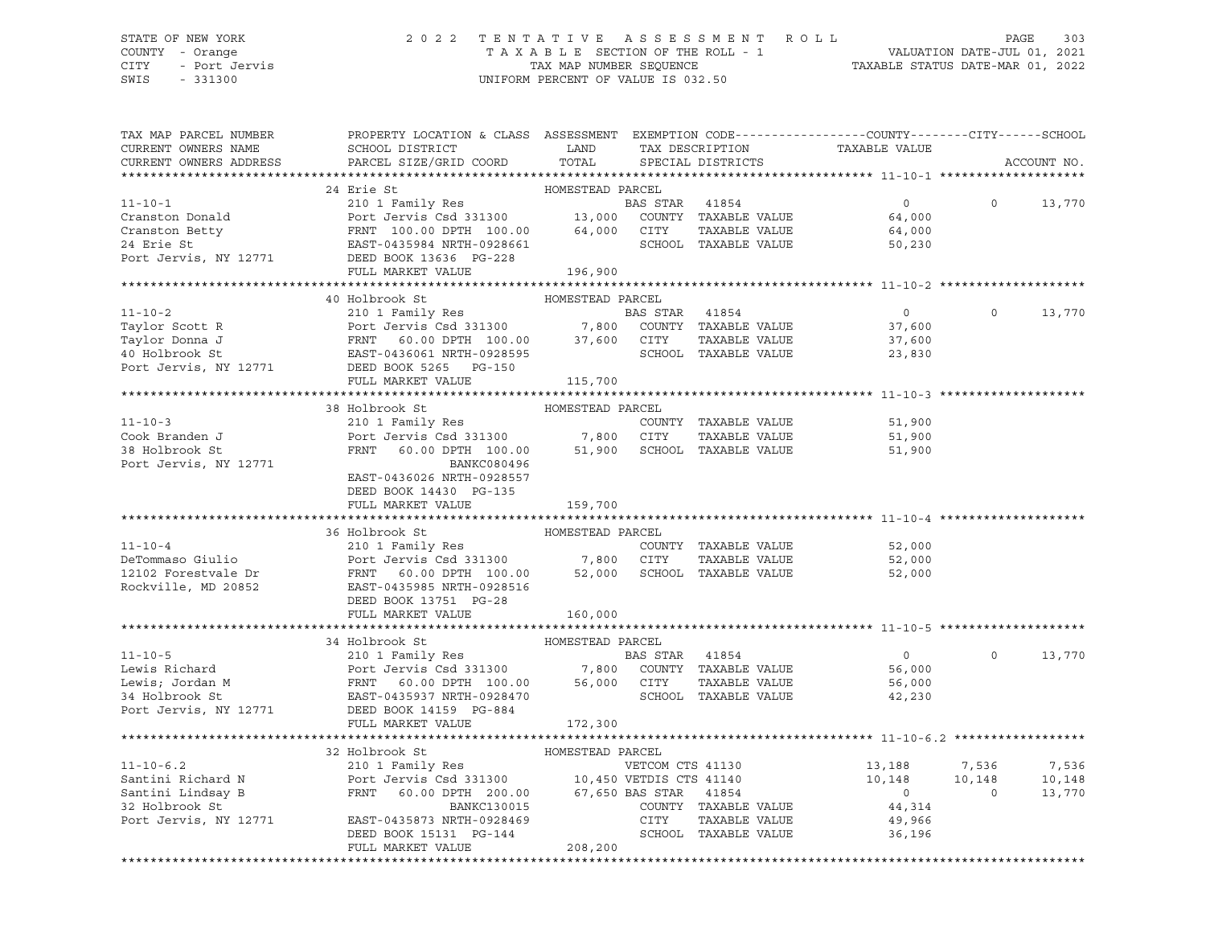# STATE OF NEW YORK 2 0 2 2 T E N T A T I V E A S S E S S M E N T R O L L PAGE 303 COUNTY - Orange T A X A B L E SECTION OF THE ROLL - 1 VALUATION DATE-JUL 01, 2021 CITY - Port Jervis TAX MAP NUMBER SEQUENCE THE THE THEORY OF THE THEORY OF THE TAXABLE STATUS DATE-MAR 01, 2022<br>SWIS - 331300 - SWIS - 331300 - SWIS - 331300 - SWIS - 331300 - SWIS - 331300 - SWIS - 331300 - SWIS - 331300

UNIFORM PERCENT OF VALUE IS 032.50

| TAX MAP PARCEL NUMBER<br>CURRENT OWNERS NAME                                                                                                                                                                                                         | PROPERTY LOCATION & CLASS ASSESSMENT EXEMPTION CODE----------------COUNTY-------CITY------SCHOOL |                  |                      | TAX DESCRIPTION TAXABLE VALUE<br>SPECIAL DISTRICTS |          |             |
|------------------------------------------------------------------------------------------------------------------------------------------------------------------------------------------------------------------------------------------------------|--------------------------------------------------------------------------------------------------|------------------|----------------------|----------------------------------------------------|----------|-------------|
| CURRENT OWNERS ADDRESS                                                                                                                                                                                                                               |                                                                                                  |                  |                      |                                                    |          | ACCOUNT NO. |
|                                                                                                                                                                                                                                                      |                                                                                                  |                  |                      |                                                    |          |             |
|                                                                                                                                                                                                                                                      |                                                                                                  |                  |                      |                                                    |          |             |
|                                                                                                                                                                                                                                                      |                                                                                                  |                  |                      | $0$ 0 13,770<br>64,000                             |          |             |
|                                                                                                                                                                                                                                                      |                                                                                                  |                  |                      |                                                    |          |             |
|                                                                                                                                                                                                                                                      |                                                                                                  |                  |                      | 64,000<br>50,230                                   |          |             |
|                                                                                                                                                                                                                                                      |                                                                                                  |                  |                      |                                                    |          |             |
|                                                                                                                                                                                                                                                      |                                                                                                  |                  |                      |                                                    |          |             |
|                                                                                                                                                                                                                                                      |                                                                                                  |                  |                      |                                                    |          |             |
|                                                                                                                                                                                                                                                      | 40 Holbrook St                                                                                   | HOMESTEAD PARCEL |                      |                                                    |          |             |
|                                                                                                                                                                                                                                                      |                                                                                                  |                  |                      | $\overline{0}$                                     | $\Omega$ | 13,770      |
|                                                                                                                                                                                                                                                      |                                                                                                  |                  |                      | 37,600                                             |          |             |
|                                                                                                                                                                                                                                                      |                                                                                                  |                  |                      |                                                    |          |             |
|                                                                                                                                                                                                                                                      |                                                                                                  |                  |                      | 37,600<br>23,830                                   |          |             |
|                                                                                                                                                                                                                                                      |                                                                                                  |                  |                      |                                                    |          |             |
| 11-10-2<br>Taylor Scott R<br>Taylor Donna J<br>Taylor Donna J<br>Pert Jervis Csd 331300<br>Pert Jervis Csd 331300<br>Pert Jervis, NY 12771<br>DEED BOOK 5265 PG-150<br>PULL MARKET VALUE<br>PULL MARKET VALUE<br>PULL MARKET VALUE<br>PULL MARKET VA | FULL MARKET VALUE                                                                                | 115,700          |                      |                                                    |          |             |
|                                                                                                                                                                                                                                                      |                                                                                                  |                  |                      |                                                    |          |             |
|                                                                                                                                                                                                                                                      |                                                                                                  |                  |                      |                                                    |          |             |
|                                                                                                                                                                                                                                                      |                                                                                                  |                  |                      |                                                    |          |             |
|                                                                                                                                                                                                                                                      |                                                                                                  |                  |                      |                                                    |          |             |
|                                                                                                                                                                                                                                                      |                                                                                                  |                  |                      |                                                    |          |             |
| Port Jervis, NY 12771                                                                                                                                                                                                                                | <b>BANKC080496</b>                                                                               |                  |                      |                                                    |          |             |
|                                                                                                                                                                                                                                                      | EAST-0436026 NRTH-0928557                                                                        |                  |                      |                                                    |          |             |
|                                                                                                                                                                                                                                                      | DEED BOOK 14430 PG-135                                                                           |                  |                      |                                                    |          |             |
|                                                                                                                                                                                                                                                      | FULL MARKET VALUE                                                                                | 159,700          |                      |                                                    |          |             |
|                                                                                                                                                                                                                                                      |                                                                                                  |                  |                      |                                                    |          |             |
|                                                                                                                                                                                                                                                      |                                                                                                  |                  |                      |                                                    |          |             |
| $11 - 10 - 4$                                                                                                                                                                                                                                        |                                                                                                  |                  | COUNTY TAXABLE VALUE | 52,000                                             |          |             |
|                                                                                                                                                                                                                                                      |                                                                                                  |                  |                      |                                                    |          |             |
|                                                                                                                                                                                                                                                      |                                                                                                  |                  |                      |                                                    |          |             |
|                                                                                                                                                                                                                                                      |                                                                                                  |                  |                      |                                                    |          |             |
|                                                                                                                                                                                                                                                      |                                                                                                  |                  |                      |                                                    |          |             |
|                                                                                                                                                                                                                                                      | FULL MARKET VALUE                                                                                | 160,000          |                      |                                                    |          |             |
|                                                                                                                                                                                                                                                      |                                                                                                  |                  |                      |                                                    |          |             |
|                                                                                                                                                                                                                                                      | 34 Holbrook St                                                                                   | HOMESTEAD PARCEL |                      |                                                    |          |             |
| 11-10-5<br>Lewis Richard 210 1 Family Res BAS STAR 41854<br>Lewis; Jordan M FRNT 60.00 DPTH 100.00 56,000 COUNTY TAXABLE VALUE 56,000<br>34 Holbrook St EAST-0435937 NRTH-0928470 SCHOOL TAXABLE VALUE 56,000<br>Port Jervis, NY 12771               |                                                                                                  |                  |                      |                                                    | $\circ$  | 13,770      |
|                                                                                                                                                                                                                                                      |                                                                                                  |                  |                      |                                                    |          |             |
|                                                                                                                                                                                                                                                      |                                                                                                  |                  |                      |                                                    |          |             |
|                                                                                                                                                                                                                                                      |                                                                                                  |                  |                      |                                                    |          |             |
|                                                                                                                                                                                                                                                      |                                                                                                  |                  |                      |                                                    |          |             |
|                                                                                                                                                                                                                                                      | FULL MARKET VALUE                                                                                | 172,300          |                      |                                                    |          |             |
|                                                                                                                                                                                                                                                      |                                                                                                  |                  |                      |                                                    |          |             |
|                                                                                                                                                                                                                                                      |                                                                                                  |                  |                      |                                                    |          |             |
|                                                                                                                                                                                                                                                      |                                                                                                  |                  |                      |                                                    |          | 7,536       |
|                                                                                                                                                                                                                                                      |                                                                                                  |                  |                      |                                                    |          | 10,148      |
|                                                                                                                                                                                                                                                      |                                                                                                  |                  |                      |                                                    |          | 13,770      |
|                                                                                                                                                                                                                                                      |                                                                                                  |                  |                      |                                                    |          |             |
|                                                                                                                                                                                                                                                      |                                                                                                  |                  |                      |                                                    |          |             |
| 32 HONESTEAD PROMESTER ALLO ENTERTY AND MANUSON SERIES ON THE MANUSON SERIES ON THE MANUSON SERIES ON THE MANUSON CONTRAL AND THE SANTON CONTRAL AND SANTHOLOGY SERIES ON THE MANUSON CONTRAL AND SANTHOLOGY SERIES ON THE MAN                       |                                                                                                  |                  |                      |                                                    |          |             |
|                                                                                                                                                                                                                                                      | FULL MARKET VALUE                                                                                | 208,200          |                      |                                                    |          |             |
|                                                                                                                                                                                                                                                      |                                                                                                  |                  |                      |                                                    |          |             |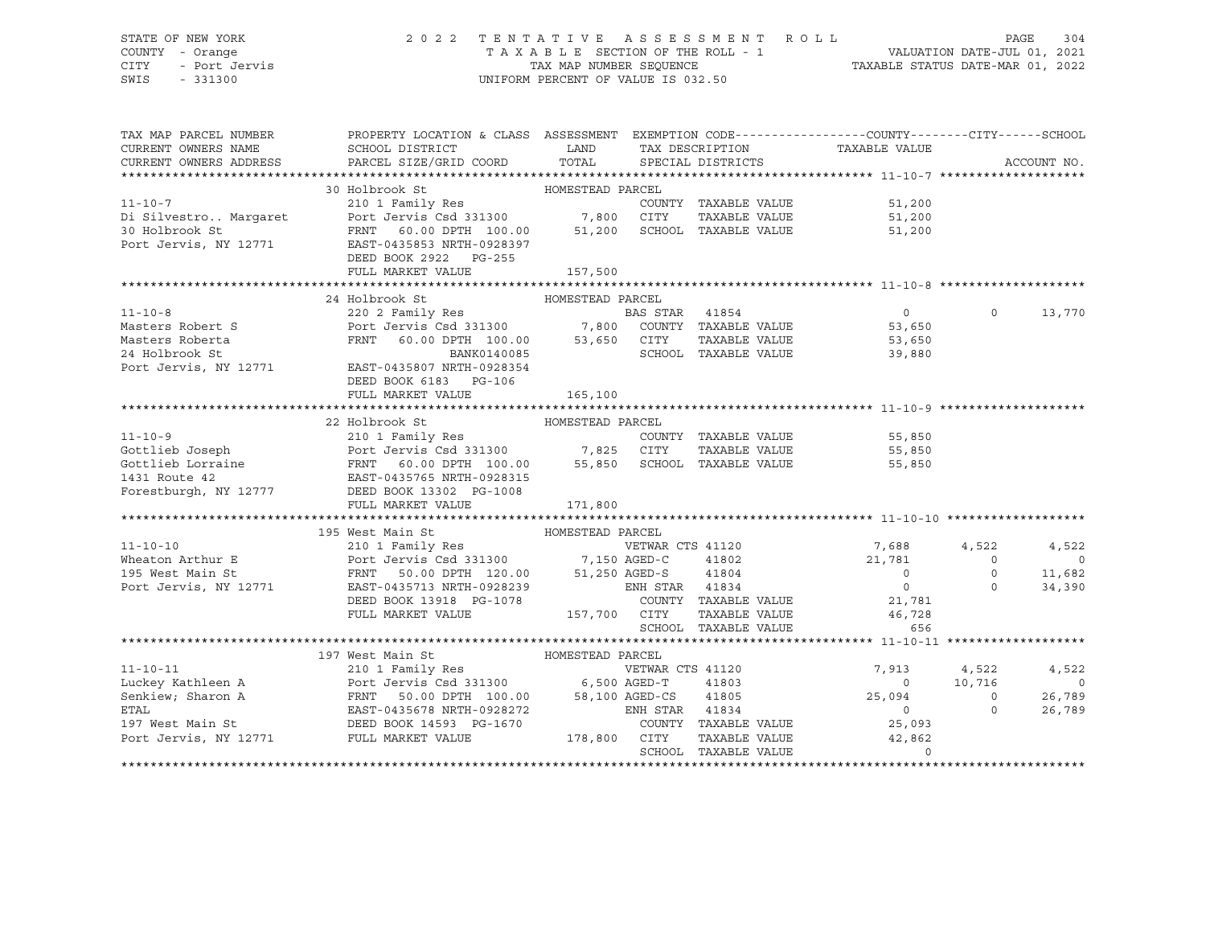# STATE OF NEW YORK 2 0 2 2 T E N T A T I V E A S S E S S M E N T R O L L PAGE 304 COUNTY - Orange T A X A B L E SECTION OF THE ROLL - 1 VALUATION DATE-JUL 01, 2021 CITY - Port Jervis TAX MAP NUMBER SEQUENCE TAXABLE STATUS DATE-MAR 01, 2022

| TAX MAP PARCEL NUMBER<br>CURRENT OWNERS NAME<br>CURRENT OWNERS ADDRESS | PROPERTY LOCATION & CLASS ASSESSMENT EXEMPTION CODE----------------COUNTY-------CITY------SCHOOL<br>SCHOOL DISTRICT<br>PARCEL SIZE/GRID COORD TOTAL                                                                                                                                                                                                                                                                                                                             | <b>LAND</b>      |                  |                                                                        | TAX DESCRIPTION TAXABLE VALUE SPECIAL DISTRICTS          |                | ACCOUNT NO.    |
|------------------------------------------------------------------------|---------------------------------------------------------------------------------------------------------------------------------------------------------------------------------------------------------------------------------------------------------------------------------------------------------------------------------------------------------------------------------------------------------------------------------------------------------------------------------|------------------|------------------|------------------------------------------------------------------------|----------------------------------------------------------|----------------|----------------|
|                                                                        |                                                                                                                                                                                                                                                                                                                                                                                                                                                                                 |                  |                  |                                                                        |                                                          |                |                |
|                                                                        |                                                                                                                                                                                                                                                                                                                                                                                                                                                                                 |                  |                  |                                                                        |                                                          |                |                |
|                                                                        |                                                                                                                                                                                                                                                                                                                                                                                                                                                                                 |                  |                  |                                                                        | 51,200                                                   |                |                |
|                                                                        |                                                                                                                                                                                                                                                                                                                                                                                                                                                                                 |                  |                  |                                                                        | 51,200                                                   |                |                |
|                                                                        |                                                                                                                                                                                                                                                                                                                                                                                                                                                                                 |                  |                  |                                                                        | 51,200                                                   |                |                |
|                                                                        |                                                                                                                                                                                                                                                                                                                                                                                                                                                                                 |                  |                  |                                                                        |                                                          |                |                |
|                                                                        | $\begin{tabular}{lcccc} \texttt{11-10-7} & & & 30\text{ Holbrook St} & & \texttt{HOMESTEAD PARCEL} \\ & & 30\text{ Holbrook St} & & \texttt{COMESTEAD PARCEL} \\ \texttt{Di Silver TAXABLE VALUE} & & \texttt{COUNTY TAXABLE VALUE} \\ \texttt{30 Holbrook St} & & \texttt{FENT 60.00 DPTH 100.00} & & 51,200\text{ SCHOOL TAXABLE VALUE} \\ \texttt{Port Jervis, NY 12771} & & \texttt{EAST-0435853 NRTH-0928397} & & \\ & & \texttt{DOPT} & & \text$<br>DEED BOOK 2922 PG-255 |                  |                  |                                                                        |                                                          |                |                |
|                                                                        | FULL MARKET VALUE                                                                                                                                                                                                                                                                                                                                                                                                                                                               | 157,500          |                  |                                                                        |                                                          |                |                |
|                                                                        |                                                                                                                                                                                                                                                                                                                                                                                                                                                                                 |                  |                  |                                                                        |                                                          |                |                |
|                                                                        |                                                                                                                                                                                                                                                                                                                                                                                                                                                                                 |                  |                  |                                                                        |                                                          |                |                |
|                                                                        | 24 Holbrook St                                                                                                                                                                                                                                                                                                                                                                                                                                                                  | HOMESTEAD PARCEL |                  |                                                                        |                                                          |                |                |
|                                                                        |                                                                                                                                                                                                                                                                                                                                                                                                                                                                                 |                  |                  |                                                                        | $\overline{0}$                                           | $\Omega$       | 13,770         |
|                                                                        |                                                                                                                                                                                                                                                                                                                                                                                                                                                                                 |                  |                  |                                                                        | 53,650                                                   |                |                |
|                                                                        |                                                                                                                                                                                                                                                                                                                                                                                                                                                                                 |                  |                  | TAXABLE VALUE                                                          | 53,650<br>39.880                                         |                |                |
|                                                                        | FRNT 60.00 DPTH 100.00 53,650 CITY<br>BANK0140085 SCHOOL                                                                                                                                                                                                                                                                                                                                                                                                                        |                  |                  | SCHOOL TAXABLE VALUE                                                   |                                                          |                |                |
|                                                                        | Masters Roberta<br>24 Holbrook St<br>24 Holbrook St<br>24 Holbrook St<br>24 Holbrook St<br>2771 EAST-0435807 NRTH-0928354                                                                                                                                                                                                                                                                                                                                                       |                  |                  |                                                                        |                                                          |                |                |
|                                                                        | DEED BOOK 6183 PG-106                                                                                                                                                                                                                                                                                                                                                                                                                                                           |                  |                  |                                                                        |                                                          |                |                |
|                                                                        | FULL MARKET VALUE                                                                                                                                                                                                                                                                                                                                                                                                                                                               | 165,100          |                  |                                                                        |                                                          |                |                |
|                                                                        |                                                                                                                                                                                                                                                                                                                                                                                                                                                                                 |                  |                  |                                                                        |                                                          |                |                |
|                                                                        | 22 Holbrook St                                                                                                                                                                                                                                                                                                                                                                                                                                                                  | HOMESTEAD PARCEL |                  |                                                                        |                                                          |                |                |
|                                                                        |                                                                                                                                                                                                                                                                                                                                                                                                                                                                                 |                  |                  |                                                                        |                                                          |                |                |
|                                                                        |                                                                                                                                                                                                                                                                                                                                                                                                                                                                                 |                  |                  |                                                                        | COUNTY TAXABLE VALUE 55,850<br>CITY TAXABLE VALUE 55,850 |                |                |
|                                                                        | 11-10-9<br>Gottlieb Joseph<br>Gottlieb Lorraine<br>FRNT 60.00 DPTH 100.00<br>FRNT 60.00 DPTH 100.00<br>55,850<br>SCHOOL TAXABLE VALUE<br>FRNT 60.00 DPTH 100.00<br>55,850<br>SCHOOL TAXABLE VALUE<br>FOREST PORTS NAMELY DEED BOOK 13302<br>PG-1008                                                                                                                                                                                                                             |                  |                  |                                                                        |                                                          |                |                |
|                                                                        |                                                                                                                                                                                                                                                                                                                                                                                                                                                                                 |                  |                  |                                                                        | 55,850                                                   |                |                |
|                                                                        |                                                                                                                                                                                                                                                                                                                                                                                                                                                                                 |                  |                  |                                                                        |                                                          |                |                |
|                                                                        |                                                                                                                                                                                                                                                                                                                                                                                                                                                                                 |                  |                  |                                                                        |                                                          |                |                |
|                                                                        | FULL MARKET VALUE                                                                                                                                                                                                                                                                                                                                                                                                                                                               | 171,800          |                  |                                                                        |                                                          |                |                |
|                                                                        |                                                                                                                                                                                                                                                                                                                                                                                                                                                                                 |                  |                  |                                                                        |                                                          |                |                |
|                                                                        | 195 West Main St                                                                                                                                                                                                                                                                                                                                                                                                                                                                |                  |                  |                                                                        |                                                          |                |                |
| $11 - 10 - 10$                                                         |                                                                                                                                                                                                                                                                                                                                                                                                                                                                                 |                  | VETWAR CTS 41120 |                                                                        | 7,688 4,522                                              |                | 4,522          |
|                                                                        |                                                                                                                                                                                                                                                                                                                                                                                                                                                                                 |                  |                  |                                                                        | 41802 21,781                                             | $\Omega$       | $\overline{0}$ |
|                                                                        |                                                                                                                                                                                                                                                                                                                                                                                                                                                                                 |                  |                  |                                                                        |                                                          | $\circ$        | 11,682         |
|                                                                        |                                                                                                                                                                                                                                                                                                                                                                                                                                                                                 |                  |                  |                                                                        | $\begin{array}{c} 0 \\ 0 \end{array}$                    | $\Omega$       | 34,390         |
|                                                                        | DEED BOOK 13918 PG-1078                                                                                                                                                                                                                                                                                                                                                                                                                                                         |                  |                  |                                                                        |                                                          |                |                |
|                                                                        | FULL MARKET VALUE                                                                                                                                                                                                                                                                                                                                                                                                                                                               |                  |                  |                                                                        |                                                          |                |                |
|                                                                        |                                                                                                                                                                                                                                                                                                                                                                                                                                                                                 |                  |                  | TAXABLE VAL.<br>TAXABLE VALUE<br>TIVANIE VALUE<br>SCHOOL TAXABLE VALUE | 656                                                      |                |                |
|                                                                        |                                                                                                                                                                                                                                                                                                                                                                                                                                                                                 |                  |                  |                                                                        |                                                          |                |                |
|                                                                        |                                                                                                                                                                                                                                                                                                                                                                                                                                                                                 |                  |                  |                                                                        |                                                          |                |                |
|                                                                        |                                                                                                                                                                                                                                                                                                                                                                                                                                                                                 |                  |                  |                                                                        |                                                          |                |                |
|                                                                        |                                                                                                                                                                                                                                                                                                                                                                                                                                                                                 |                  |                  |                                                                        | 7,913 4,522<br>0 10,716                                  |                | 4,522          |
|                                                                        |                                                                                                                                                                                                                                                                                                                                                                                                                                                                                 |                  |                  |                                                                        |                                                          |                | $\overline{0}$ |
|                                                                        |                                                                                                                                                                                                                                                                                                                                                                                                                                                                                 |                  |                  |                                                                        | 25,094                                                   | $\overline{0}$ | 26,789         |
|                                                                        |                                                                                                                                                                                                                                                                                                                                                                                                                                                                                 |                  |                  |                                                                        | $\overline{0}$                                           | $\Omega$       | 26,789         |
|                                                                        |                                                                                                                                                                                                                                                                                                                                                                                                                                                                                 |                  |                  |                                                                        | COUNTY TAXABLE VALUE 25,093                              |                |                |
| Port Jervis, NY 12771 FULL MARKET VALUE                                |                                                                                                                                                                                                                                                                                                                                                                                                                                                                                 | 178,800 CITY     |                  |                                                                        | TAXABLE VALUE 42,862<br>TAXABLE VALUE 0                  |                |                |
|                                                                        |                                                                                                                                                                                                                                                                                                                                                                                                                                                                                 |                  |                  | SCHOOL TAXABLE VALUE                                                   |                                                          |                |                |
|                                                                        |                                                                                                                                                                                                                                                                                                                                                                                                                                                                                 |                  |                  |                                                                        |                                                          |                |                |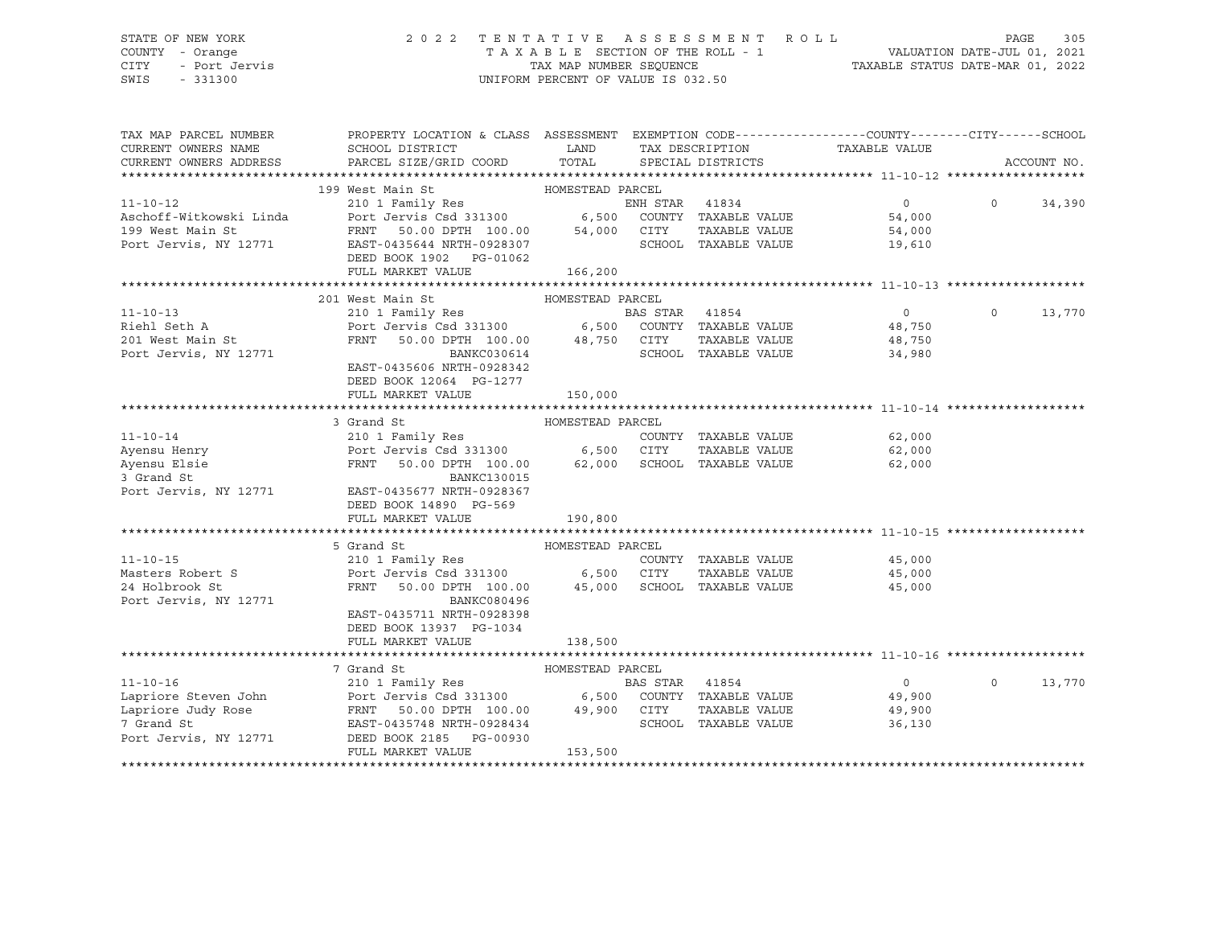# STATE OF NEW YORK 2 0 2 2 T E N T A T I V E A S S E S S M E N T R O L L PAGE 305 COUNTY - Orange T A X A B L E SECTION OF THE ROLL - 1 VALUATION DATE-JUL 01, 2021 CITY - Port Jervis TAX MAP NUMBER SEQUENCE TAXABLE STATUS DATE-MAR 01, 2022

| TAX MAP PARCEL NUMBER<br>CURRENT OWNERS NAME<br>CURRENT OWNERS ADDRESS | PROPERTY LOCATION & CLASS ASSESSMENT EXEMPTION CODE----------------COUNTY-------CITY------SCHOOL<br>SCHOOL DISTRICT<br>PARCEL SIZE/GRID COORD                        | LAND<br>TOTAL    |                | TAX DESCRIPTION<br>SPECIAL DISTRICTS | TAXABLE VALUE  |          | ACCOUNT NO. |
|------------------------------------------------------------------------|----------------------------------------------------------------------------------------------------------------------------------------------------------------------|------------------|----------------|--------------------------------------|----------------|----------|-------------|
|                                                                        |                                                                                                                                                                      |                  |                |                                      |                |          |             |
|                                                                        | HOMESTEAD PARCEL<br>199 West Main St                                                                                                                                 |                  |                |                                      |                |          |             |
| $11 - 10 - 12$                                                         | 210 1 Family Res<br>Port Jervis Csd 331300 6,500 COUNTY TAXABLE VALUE<br>FRNT 50.00 DPTH 100.00 54,000 CITY TAXABLE VALUE                                            |                  |                |                                      | $\overline{0}$ | $\Omega$ | 34,390      |
| Aschoff-Witkowski Linda                                                |                                                                                                                                                                      |                  |                |                                      | 54,000         |          |             |
| 199 West Main St                                                       |                                                                                                                                                                      |                  |                |                                      | 54,000         |          |             |
| Port Jervis, NY 12771                                                  | EAST-0435644 NRTH-0928307                                                                                                                                            |                  |                | SCHOOL TAXABLE VALUE                 | 19,610         |          |             |
|                                                                        | DEED BOOK 1902 PG-01062                                                                                                                                              |                  |                |                                      |                |          |             |
|                                                                        | FULL MARKET VALUE                                                                                                                                                    | 166,200          |                |                                      |                |          |             |
|                                                                        |                                                                                                                                                                      |                  |                |                                      |                |          |             |
|                                                                        | 201 West Main St                                                                                                                                                     | HOMESTEAD PARCEL |                |                                      |                |          |             |
| $11 - 10 - 13$                                                         |                                                                                                                                                                      |                  |                |                                      | $\Omega$       | $\Omega$ | 13,770      |
| Riehl Seth A                                                           |                                                                                                                                                                      |                  |                |                                      | 48,750         |          |             |
| 201 West Main St                                                       | FRNT                                                                                                                                                                 |                  |                | TAXABLE VALUE                        | 48,750         |          |             |
| Port Jervis, NY 12771                                                  | 50.00 DPTH 100.00 48,750 CITY<br>BANKC030614 SCHOOL<br>BANKC030614                                                                                                   |                  |                | SCHOOL TAXABLE VALUE                 | 34,980         |          |             |
|                                                                        | EAST-0435606 NRTH-0928342                                                                                                                                            |                  |                |                                      |                |          |             |
|                                                                        | DEED BOOK 12064 PG-1277                                                                                                                                              |                  |                |                                      |                |          |             |
|                                                                        |                                                                                                                                                                      |                  |                |                                      |                |          |             |
|                                                                        | FULL MARKET VALUE                                                                                                                                                    | 150,000          |                |                                      |                |          |             |
|                                                                        |                                                                                                                                                                      |                  |                |                                      |                |          |             |
|                                                                        | 3 Grand St                                                                                                                                                           | HOMESTEAD PARCEL |                |                                      |                |          |             |
| $11 - 10 - 14$                                                         |                                                                                                                                                                      |                  |                | COUNTY TAXABLE VALUE                 | 62,000         |          |             |
| Ayensu Henry                                                           |                                                                                                                                                                      |                  |                | TAXABLE VALUE                        | 62,000         |          |             |
| Ayensu Elsie                                                           | FRNT<br>50.00 DPTH 100.00                                                                                                                                            |                  |                | 62,000 SCHOOL TAXABLE VALUE          | 62,000         |          |             |
| 3 Grand St                                                             | <b>BANKC130015</b>                                                                                                                                                   |                  |                |                                      |                |          |             |
| Port Jervis, NY 12771                                                  | EAST-0435677 NRTH-0928367                                                                                                                                            |                  |                |                                      |                |          |             |
|                                                                        | DEED BOOK 14890 PG-569                                                                                                                                               |                  |                |                                      |                |          |             |
|                                                                        | FULL MARKET VALUE                                                                                                                                                    | 190,800          |                |                                      |                |          |             |
|                                                                        |                                                                                                                                                                      |                  |                |                                      |                |          |             |
|                                                                        | 5 Grand St                                                                                                                                                           | HOMESTEAD PARCEL |                |                                      |                |          |             |
| $11 - 10 - 15$                                                         | 210 1 Family Res                                                                                                                                                     |                  |                | COUNTY TAXABLE VALUE                 | 45,000         |          |             |
| Masters Robert S                                                       | Port Jervis Csd 331300 6,500 CITY TAXABLE VALUE<br>FRNT 50.00 DPTH 100.00 45,000 SCHOOL TAXABLE VALUE                                                                |                  |                | TAXABLE VALUE                        | 45,000         |          |             |
| 24 Holbrook St                                                         |                                                                                                                                                                      |                  |                |                                      | 45,000         |          |             |
| Port Jervis, NY 12771                                                  | BANKC080496                                                                                                                                                          |                  |                |                                      |                |          |             |
|                                                                        | EAST-0435711 NRTH-0928398                                                                                                                                            |                  |                |                                      |                |          |             |
|                                                                        | DEED BOOK 13937 PG-1034                                                                                                                                              |                  |                |                                      |                |          |             |
|                                                                        | FULL MARKET VALUE                                                                                                                                                    | 138,500          |                |                                      |                |          |             |
|                                                                        |                                                                                                                                                                      |                  |                |                                      |                |          |             |
|                                                                        | 7 Grand St                                                                                                                                                           | HOMESTEAD PARCEL |                |                                      |                |          |             |
| $11 - 10 - 16$                                                         |                                                                                                                                                                      |                  | BAS STAR 41854 |                                      | $\overline{0}$ | $\Omega$ | 13,770      |
| Lapriore Steven John                                                   | --- --- -<br>Port Jervis Csd 331300 6,500 COUNTY TAXABLE VALUE<br>FRNT 50.00 DPTH 100.00 49,900 CITY TAXABLE VALUE<br>EAST-0435748 NRTH-0928434 SCHOOL TAXABLE VALUE |                  |                |                                      | 49,900         |          |             |
| Lapriore Judy Rose                                                     |                                                                                                                                                                      |                  |                | TAXABLE VALUE                        | 49,900         |          |             |
| 7 Grand St                                                             |                                                                                                                                                                      |                  |                |                                      | 36,130         |          |             |
| Port Jervis, NY 12771                                                  | DEED BOOK 2185 PG-00930                                                                                                                                              |                  |                |                                      |                |          |             |
|                                                                        | FULL MARKET VALUE                                                                                                                                                    | 153,500          |                |                                      |                |          |             |
|                                                                        |                                                                                                                                                                      |                  |                |                                      |                |          |             |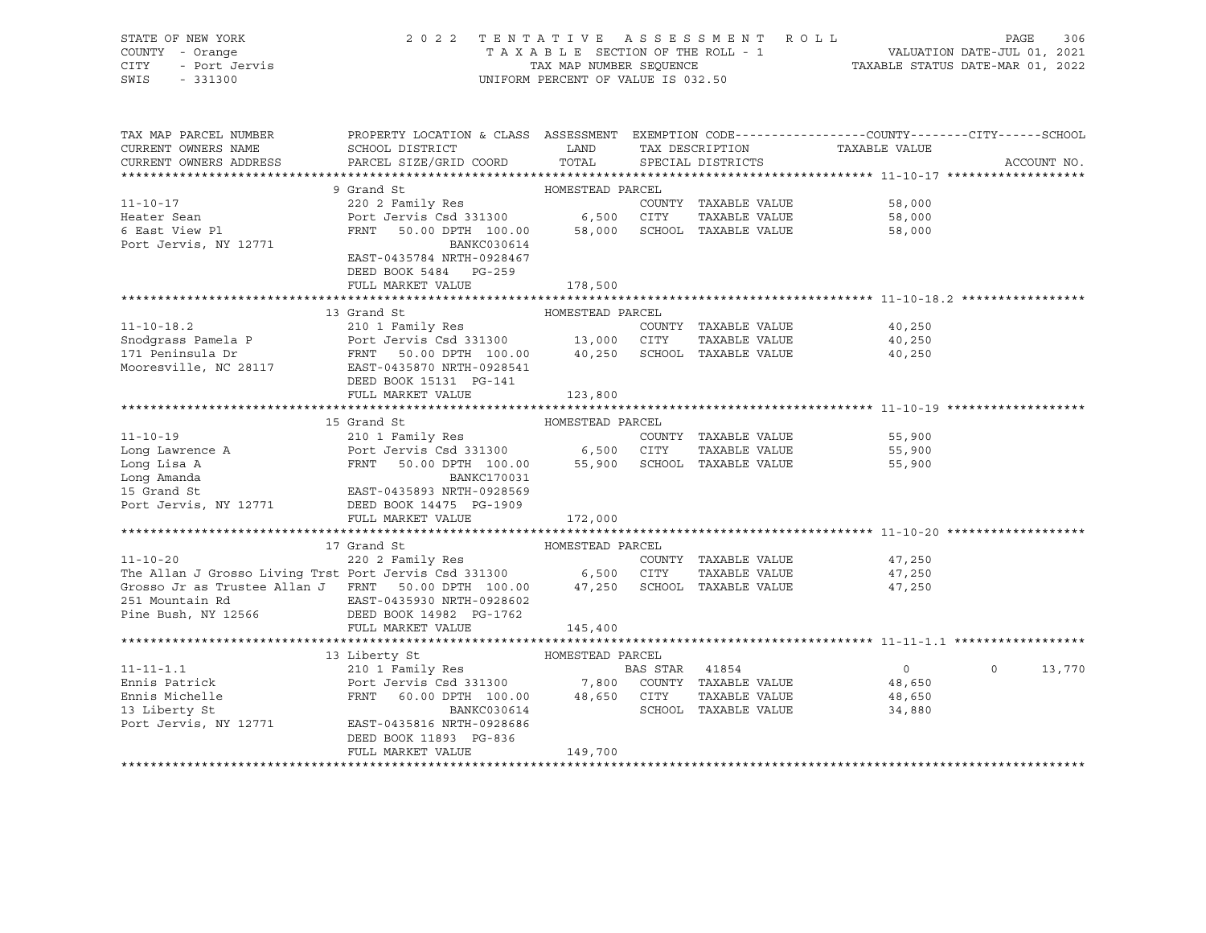| STATE OF NEW YORK<br>COUNTY - Orange<br>CITY<br>- Port Jervis<br>SWIS<br>$-331300$                                                                                                                                                                              | 2022 TENTATIVE ASSESSMENT ROLL                                                                                                            | UNIFORM PERCENT OF VALUE IS 032.50 |                |                             | TAXABLE SECTION OF THE ROLL - 1 VALUATION DATE-JUL 01, 2021<br>TAXABLE STATUS DATE-MAR 01, 2021 | PAGE     | 306         |
|-----------------------------------------------------------------------------------------------------------------------------------------------------------------------------------------------------------------------------------------------------------------|-------------------------------------------------------------------------------------------------------------------------------------------|------------------------------------|----------------|-----------------------------|-------------------------------------------------------------------------------------------------|----------|-------------|
| TAX MAP PARCEL NUMBER<br>CURRENT OWNERS NAME                                                                                                                                                                                                                    | PROPERTY LOCATION & CLASS ASSESSMENT EXEMPTION CODE----------------COUNTY-------CITY------SCHOOL<br>SCHOOL DISTRICT                       | LAND TAX DESCRIPTION               |                |                             | TAXABLE VALUE                                                                                   |          |             |
| CURRENT OWNERS ADDRESS                                                                                                                                                                                                                                          | PARCEL SIZE/GRID COORD TOTAL                                                                                                              |                                    |                | SPECIAL DISTRICTS           |                                                                                                 |          | ACCOUNT NO. |
|                                                                                                                                                                                                                                                                 |                                                                                                                                           |                                    |                |                             |                                                                                                 |          |             |
|                                                                                                                                                                                                                                                                 | 9 Grand St                                                                                                                                | HOMESTEAD PARCEL                   |                |                             |                                                                                                 |          |             |
| $11 - 10 - 17$                                                                                                                                                                                                                                                  | 220 2 Family Res                                                                                                                          |                                    |                | COUNTY TAXABLE VALUE        | 58,000                                                                                          |          |             |
| Heater Sean                                                                                                                                                                                                                                                     | Port Jervis Csd 331300 6,500 CITY TAXABLE VALUE<br>FRNT 50.00 DPTH 100.00 58,000 SCHOOL TAXABLE VALUE                                     |                                    |                |                             | 58,000                                                                                          |          |             |
| 6 East View Pl                                                                                                                                                                                                                                                  |                                                                                                                                           |                                    |                |                             | 58,000                                                                                          |          |             |
| Port Jervis, NY 12771                                                                                                                                                                                                                                           | BANKC030614                                                                                                                               |                                    |                |                             |                                                                                                 |          |             |
|                                                                                                                                                                                                                                                                 | EAST-0435784 NRTH-0928467                                                                                                                 |                                    |                |                             |                                                                                                 |          |             |
|                                                                                                                                                                                                                                                                 | DEED BOOK 5484 PG-259                                                                                                                     |                                    |                |                             |                                                                                                 |          |             |
|                                                                                                                                                                                                                                                                 | FULL MARKET VALUE                                                                                                                         | 178,500                            |                |                             |                                                                                                 |          |             |
|                                                                                                                                                                                                                                                                 | 13 Grand St                                                                                                                               | HOMESTEAD PARCEL                   |                |                             |                                                                                                 |          |             |
| $11 - 10 - 18.2$                                                                                                                                                                                                                                                | 210 1 Family Res                                                                                                                          |                                    |                | COUNTY TAXABLE VALUE        | 40,250                                                                                          |          |             |
| Snodgrass Pamela P                                                                                                                                                                                                                                              |                                                                                                                                           |                                    |                | TAXABLE VALUE               | 40,250                                                                                          |          |             |
| 171 Peninsula Dr                                                                                                                                                                                                                                                | Port Jervis Csd 331300 13,000 CITY TAXABLE VALUE<br>FRNT 50.00 DPTH 100.00 40,250 SCHOOL TAXABLE VALUE                                    |                                    |                |                             | 40,250                                                                                          |          |             |
| Mooresville, NC 28117 EAST-0435870 NRTH-0928541                                                                                                                                                                                                                 |                                                                                                                                           |                                    |                |                             |                                                                                                 |          |             |
|                                                                                                                                                                                                                                                                 | DEED BOOK 15131 PG-141                                                                                                                    |                                    |                |                             |                                                                                                 |          |             |
|                                                                                                                                                                                                                                                                 | FULL MARKET VALUE                                                                                                                         | 123,800                            |                |                             |                                                                                                 |          |             |
|                                                                                                                                                                                                                                                                 |                                                                                                                                           |                                    |                |                             |                                                                                                 |          |             |
|                                                                                                                                                                                                                                                                 | 15 Grand St                                                                                                                               | HOMESTEAD PARCEL                   |                |                             |                                                                                                 |          |             |
|                                                                                                                                                                                                                                                                 |                                                                                                                                           |                                    |                | COUNTY TAXABLE VALUE        | 55,900                                                                                          |          |             |
|                                                                                                                                                                                                                                                                 |                                                                                                                                           |                                    |                | TAXABLE VALUE               | 55,900                                                                                          |          |             |
| COUNTY<br>Long Lawrence A<br>Long Lisa A<br>Long Amanda<br>Long Amanda<br>Long Amanda<br>Long Amanda<br>Long Amanda<br>Long Amanda<br>Long Amanda<br>BANKC170031<br>BANKC170031<br>BANKC170031<br>BANKC170031<br>POT LETT CALLER BANKC170031<br>BANKC170031<br> |                                                                                                                                           |                                    |                | 55,900 SCHOOL TAXABLE VALUE | 55,900                                                                                          |          |             |
|                                                                                                                                                                                                                                                                 |                                                                                                                                           |                                    |                |                             |                                                                                                 |          |             |
|                                                                                                                                                                                                                                                                 |                                                                                                                                           |                                    |                |                             |                                                                                                 |          |             |
| Port Jervis, NY 12771 DEED BOOK 14475 PG-1909                                                                                                                                                                                                                   |                                                                                                                                           |                                    |                |                             |                                                                                                 |          |             |
|                                                                                                                                                                                                                                                                 | FULL MARKET VALUE                                                                                                                         | 172,000                            |                |                             |                                                                                                 |          |             |
|                                                                                                                                                                                                                                                                 | 17 Grand St                                                                                                                               | HOMESTEAD PARCEL                   |                |                             |                                                                                                 |          |             |
| $11 - 10 - 20$                                                                                                                                                                                                                                                  | 220 2 Family Res                                                                                                                          |                                    |                | COUNTY TAXABLE VALUE        | 47,250                                                                                          |          |             |
|                                                                                                                                                                                                                                                                 |                                                                                                                                           |                                    |                | TAXABLE VALUE               | 47,250                                                                                          |          |             |
| The Allan J Grosso Living Trst Port Jervis Csd 331300 6,500 CITY TAXABLE VALUE<br>Grosso Jr as Trustee Allan J FRNT 50.00 DPTH 100.00 47,250 SCHOOL TAXABLE VALUE                                                                                               |                                                                                                                                           |                                    |                |                             | 47,250                                                                                          |          |             |
| 251 Mountain Rd                                                                                                                                                                                                                                                 | EAST-0435930 NRTH-0928602                                                                                                                 |                                    |                |                             |                                                                                                 |          |             |
| Pine Bush, NY 12566                                                                                                                                                                                                                                             | DEED BOOK 14982 PG-1762                                                                                                                   |                                    |                |                             |                                                                                                 |          |             |
|                                                                                                                                                                                                                                                                 | FULL MARKET VALUE                                                                                                                         | 145,400                            |                |                             |                                                                                                 |          |             |
|                                                                                                                                                                                                                                                                 |                                                                                                                                           |                                    |                |                             |                                                                                                 |          |             |
|                                                                                                                                                                                                                                                                 | 13 Liberty St                                                                                                                             | HOMESTEAD PARCEL                   |                |                             |                                                                                                 |          |             |
| $11 - 11 - 1.1$                                                                                                                                                                                                                                                 | 210 1 Family Res                                                                                                                          |                                    | BAS STAR 41854 |                             | $\overline{0}$                                                                                  | $\Omega$ | 13,770      |
| Ennis Patrick                                                                                                                                                                                                                                                   | Port Jervis Csd 331300 7,800 COUNTY TAXABLE VALUE<br>FRNT 60.00 DPTH 100.00 48,650 CITY TAXABLE VALUE<br>BANKC030614 SCHOOL TAXABLE VALUE |                                    |                |                             | 48,650                                                                                          |          |             |
| Ennis Michelle                                                                                                                                                                                                                                                  |                                                                                                                                           |                                    |                |                             | 48,650                                                                                          |          |             |
| 13 Liberty St                                                                                                                                                                                                                                                   |                                                                                                                                           |                                    |                | SCHOOL TAXABLE VALUE        | 34,880                                                                                          |          |             |
| Port Jervis, NY 12771                                                                                                                                                                                                                                           | EAST-0435816 NRTH-0928686                                                                                                                 |                                    |                |                             |                                                                                                 |          |             |
|                                                                                                                                                                                                                                                                 | DEED BOOK 11893 PG-836                                                                                                                    |                                    |                |                             |                                                                                                 |          |             |
|                                                                                                                                                                                                                                                                 | FULL MARKET VALUE                                                                                                                         | 149,700                            |                |                             |                                                                                                 |          |             |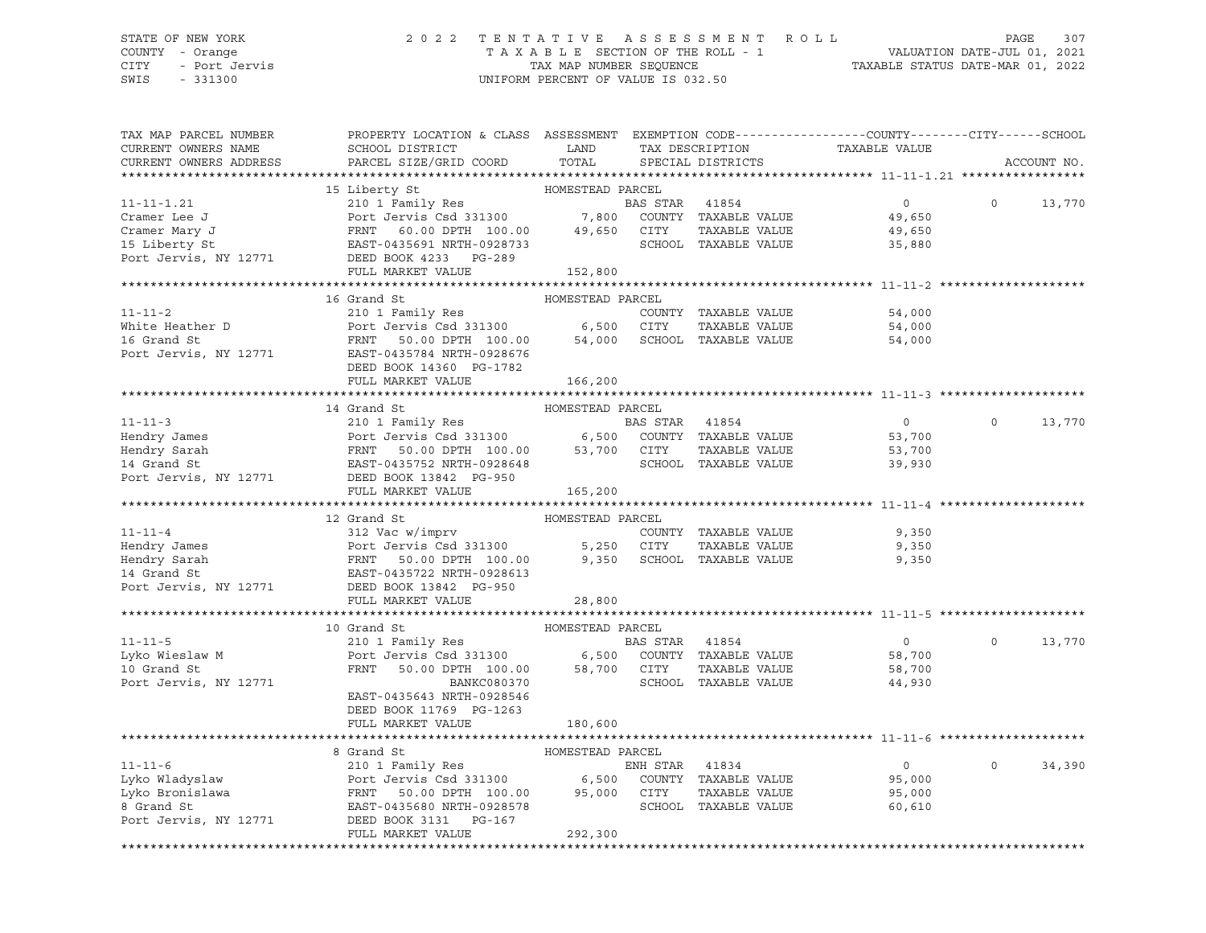### STATE OF NEW YORK 2 0 2 2 T E N T A T I V E A S S E S S M E N T R O L L PAGE 307 COUNTY - Orange T A X A B L E SECTION OF THE ROLL - 1 VALUATION DATE-JUL 01, 2021 CITY - Port Jervis TAX MAP NUMBER SEQUENCE TAXABLE STATUS DATE-MAR 01, 2022

| TAX MAP PARCEL NUMBER                                                                                                                                                                                                                  | PROPERTY LOCATION & CLASS ASSESSMENT EXEMPTION CODE----------------COUNTY-------CITY------SCHOOL                                                                          |                  |                |                      |                                                 |          |             |
|----------------------------------------------------------------------------------------------------------------------------------------------------------------------------------------------------------------------------------------|---------------------------------------------------------------------------------------------------------------------------------------------------------------------------|------------------|----------------|----------------------|-------------------------------------------------|----------|-------------|
| CURRENT OWNERS NAME                                                                                                                                                                                                                    | SCHOOL DISTRICT                                                                                                                                                           | LAND             |                |                      |                                                 |          |             |
| CURRENT OWNERS ADDRESS                                                                                                                                                                                                                 | PARCEL SIZE/GRID COORD                                                                                                                                                    | TOTAL            |                |                      | TAX DESCRIPTION TAXABLE VALUE SPECIAL DISTRICTS |          | ACCOUNT NO. |
|                                                                                                                                                                                                                                        |                                                                                                                                                                           |                  |                |                      |                                                 |          |             |
|                                                                                                                                                                                                                                        | 15 Liberty St                                                                                                                                                             | HOMESTEAD PARCEL |                |                      |                                                 |          |             |
| $11 - 11 - 1.21$                                                                                                                                                                                                                       |                                                                                                                                                                           |                  | BAS STAR 41854 |                      | $\overline{0}$                                  | $\Omega$ | 13,770      |
|                                                                                                                                                                                                                                        |                                                                                                                                                                           |                  |                |                      | 49,650                                          |          |             |
|                                                                                                                                                                                                                                        |                                                                                                                                                                           |                  |                |                      | 49,650                                          |          |             |
|                                                                                                                                                                                                                                        |                                                                                                                                                                           |                  |                |                      | 35,880                                          |          |             |
|                                                                                                                                                                                                                                        |                                                                                                                                                                           |                  |                |                      |                                                 |          |             |
|                                                                                                                                                                                                                                        | FULL MARKET VALUE                                                                                                                                                         |                  |                |                      |                                                 |          |             |
|                                                                                                                                                                                                                                        |                                                                                                                                                                           | 152,800          |                |                      |                                                 |          |             |
|                                                                                                                                                                                                                                        | 16 Grand St                                                                                                                                                               |                  |                |                      |                                                 |          |             |
|                                                                                                                                                                                                                                        |                                                                                                                                                                           | HOMESTEAD PARCEL |                |                      |                                                 |          |             |
| $11 - 11 - 2$                                                                                                                                                                                                                          | 210 1 Family Res                                                                                                                                                          |                  |                | COUNTY TAXABLE VALUE | 54,000                                          |          |             |
| White Heather D<br>16 Grand St<br>16 Grand St<br>16 Grand St<br>12771 EAST-0435784 NRTH-0928676<br>2000 54,000 SCHOO<br>2000 54,000 SCHOO                                                                                              |                                                                                                                                                                           |                  |                | TAXABLE VALUE        | 54,000                                          |          |             |
|                                                                                                                                                                                                                                        |                                                                                                                                                                           |                  |                | SCHOOL TAXABLE VALUE | 54,000                                          |          |             |
|                                                                                                                                                                                                                                        |                                                                                                                                                                           |                  |                |                      |                                                 |          |             |
|                                                                                                                                                                                                                                        | DEED BOOK 14360 PG-1782                                                                                                                                                   |                  |                |                      |                                                 |          |             |
|                                                                                                                                                                                                                                        | FULL MARKET VALUE                                                                                                                                                         | 166,200          |                |                      |                                                 |          |             |
|                                                                                                                                                                                                                                        |                                                                                                                                                                           |                  |                |                      |                                                 |          |             |
|                                                                                                                                                                                                                                        | 14 Grand St                                                                                                                                                               | HOMESTEAD PARCEL |                |                      |                                                 |          |             |
| $11 - 11 - 3$                                                                                                                                                                                                                          | 210 1 Family Res                                                                                                                                                          |                  | BAS STAR 41854 |                      | $\overline{0}$                                  | $\Omega$ | 13,770      |
|                                                                                                                                                                                                                                        |                                                                                                                                                                           |                  |                |                      | 53,700                                          |          |             |
|                                                                                                                                                                                                                                        |                                                                                                                                                                           |                  |                |                      | 53,700                                          |          |             |
| Hendry James<br>Hendry Sarah Port Jervis Csd 331300 6,500 COUNTY TAXABLE VALUE<br>Hendry Sarah FRNT 50.00 DPTH 100.00 53,700 CITY TAXABLE VALUE<br>14 Grand St EAST-0435752 NRTH-0928648 SCHOOL TAXABLE VALUE<br>Port Jervis, NY 12771 |                                                                                                                                                                           |                  |                |                      | 39,930                                          |          |             |
|                                                                                                                                                                                                                                        |                                                                                                                                                                           |                  |                |                      |                                                 |          |             |
|                                                                                                                                                                                                                                        | FULL MARKET VALUE                                                                                                                                                         | 165,200          |                |                      |                                                 |          |             |
|                                                                                                                                                                                                                                        |                                                                                                                                                                           |                  |                |                      |                                                 |          |             |
|                                                                                                                                                                                                                                        | 12 Grand St                                                                                                                                                               | HOMESTEAD PARCEL |                |                      |                                                 |          |             |
| $11 - 11 - 4$                                                                                                                                                                                                                          |                                                                                                                                                                           |                  |                | COUNTY TAXABLE VALUE | 9,350                                           |          |             |
| Hendry James                                                                                                                                                                                                                           |                                                                                                                                                                           |                  |                | TAXABLE VALUE        | 9,350                                           |          |             |
| Hendry Sarah                                                                                                                                                                                                                           | 312 Vac w/imprv<br>Port Jervis Csd 331300 5,250 CITY<br>FRNT 50.00 DPTH 100.00 9,350 SCHOC<br>EAST-0435722 NRTH-0928613                                                   |                  |                | SCHOOL TAXABLE VALUE | 9,350                                           |          |             |
| 14 Grand St                                                                                                                                                                                                                            |                                                                                                                                                                           |                  |                |                      |                                                 |          |             |
| Port Jervis, NY 12771                                                                                                                                                                                                                  | DEED BOOK 13842 PG-950                                                                                                                                                    |                  |                |                      |                                                 |          |             |
|                                                                                                                                                                                                                                        | FULL MARKET VALUE                                                                                                                                                         | 28,800           |                |                      |                                                 |          |             |
|                                                                                                                                                                                                                                        |                                                                                                                                                                           |                  |                |                      |                                                 |          |             |
|                                                                                                                                                                                                                                        | 10 Grand St                                                                                                                                                               | HOMESTEAD PARCEL |                |                      |                                                 |          |             |
| $11 - 11 - 5$                                                                                                                                                                                                                          | 10 Grand St<br>210 1 Family Res<br>Port Jervis Csd 331300 6,500 COUNTY TAXABLE VALUE<br>FRNT 50.00 DPTH 100.00 58,700 CITY TAXABLE VALUE<br>SCHOOL STRNT SOLUE            |                  |                |                      | $\overline{0}$                                  | $\Omega$ | 13,770      |
|                                                                                                                                                                                                                                        |                                                                                                                                                                           |                  |                |                      | 58,700                                          |          |             |
| Lyko Wieslaw M<br>Lyko Wieslaw M                                                                                                                                                                                                       |                                                                                                                                                                           |                  |                |                      | 58,700                                          |          |             |
| Port Jervis, NY 12771                                                                                                                                                                                                                  | BANKC080370                                                                                                                                                               |                  |                | SCHOOL TAXABLE VALUE | 44,930                                          |          |             |
|                                                                                                                                                                                                                                        | EAST-0435643 NRTH-0928546                                                                                                                                                 |                  |                |                      |                                                 |          |             |
|                                                                                                                                                                                                                                        |                                                                                                                                                                           |                  |                |                      |                                                 |          |             |
|                                                                                                                                                                                                                                        | DEED BOOK 11769 PG-1263                                                                                                                                                   |                  |                |                      |                                                 |          |             |
|                                                                                                                                                                                                                                        | FULL MARKET VALUE                                                                                                                                                         | 180,600          |                |                      |                                                 |          |             |
|                                                                                                                                                                                                                                        |                                                                                                                                                                           |                  |                |                      |                                                 |          |             |
|                                                                                                                                                                                                                                        | 8 Grand St                                                                                                                                                                | HOMESTEAD PARCEL |                |                      |                                                 |          |             |
| $11 - 11 - 6$                                                                                                                                                                                                                          |                                                                                                                                                                           |                  |                |                      | $\overline{0}$                                  | $\Omega$ | 34,390      |
| Lyko Wladyslaw                                                                                                                                                                                                                         |                                                                                                                                                                           |                  |                |                      | 95,000                                          |          |             |
| Lyko Bronislawa                                                                                                                                                                                                                        |                                                                                                                                                                           |                  |                |                      | 95,000                                          |          |             |
|                                                                                                                                                                                                                                        | ENH STAR 41834<br>Port Jervis Csd 331300 6,500 COUNTY TAXABLE VALUE<br>FRNT 50.00 DPTH 100.00 95,000 CITY TAXABLE VALUE<br>EAST-0435680 NRTH-0928578 SCHOOL TAXABLE VALUE |                  |                |                      | 60,610                                          |          |             |
|                                                                                                                                                                                                                                        |                                                                                                                                                                           |                  |                |                      |                                                 |          |             |
|                                                                                                                                                                                                                                        | FULL MARKET VALUE                                                                                                                                                         | 292,300          |                |                      |                                                 |          |             |
|                                                                                                                                                                                                                                        |                                                                                                                                                                           |                  |                |                      |                                                 |          |             |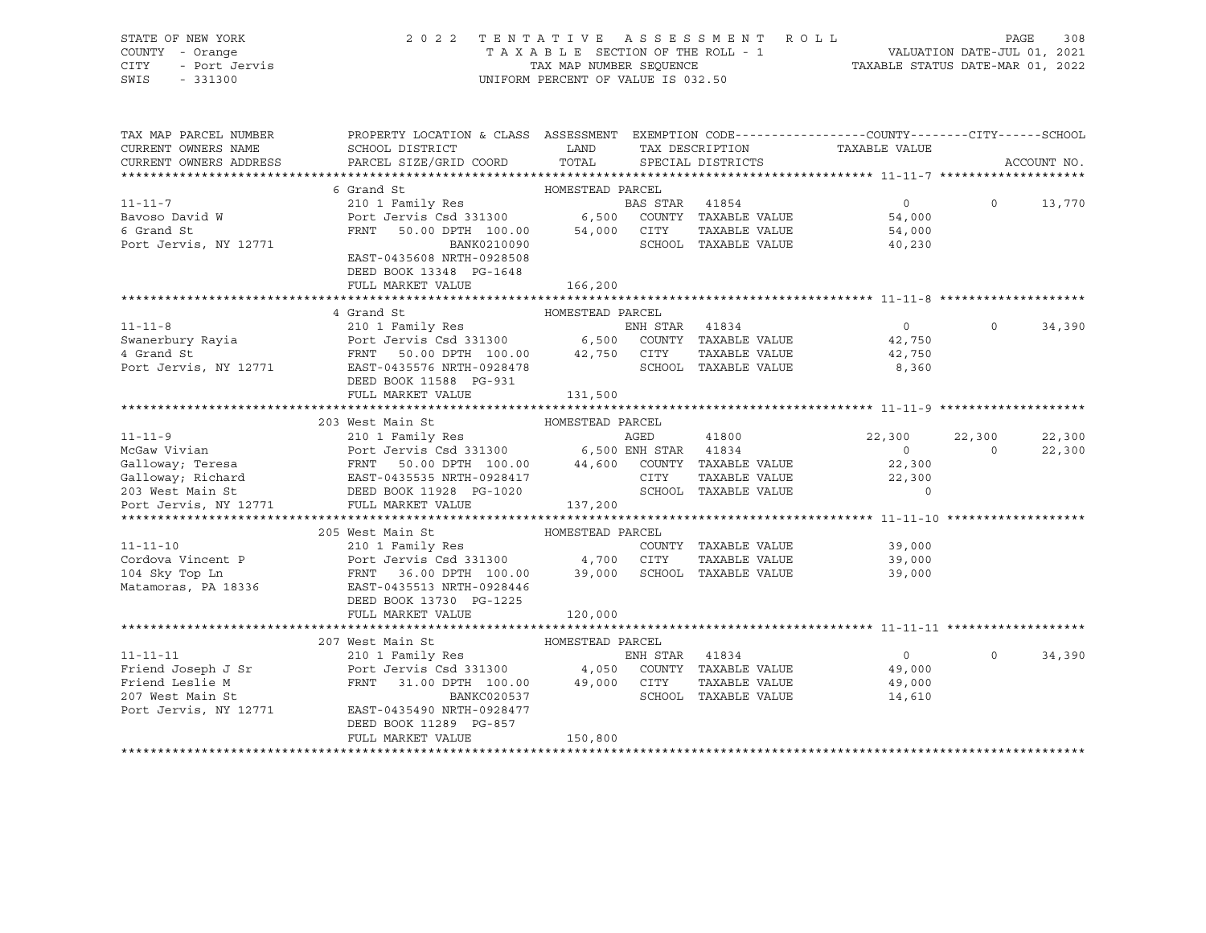# STATE OF NEW YORK 2 0 2 2 T E N T A T I V E A S S E S S M E N T R O L L PAGE 308 COUNTY - Orange T A X A B L E SECTION OF THE ROLL - 1 VALUATION DATE-JUL 01, 2021 CITY - Port Jervis TAX MAP NUMBER SEQUENCE TAXABLE STATUS DATE-MAR 01, 2022

| TAX MAP PARCEL NUMBER<br>CURRENT OWNERS NAME<br>CURRENT OWNERS ADDRESS | PROPERTY LOCATION & CLASS ASSESSMENT EXEMPTION CODE----------------COUNTY-------CITY------SCHOOL<br>SCHOOL DISTRICT<br>PARCEL SIZE/GRID COORD | LAND<br>TOTAL    |                | SPECIAL DISTRICTS                            | TAX DESCRIPTION TAXABLE VALUE |          | ACCOUNT NO. |
|------------------------------------------------------------------------|-----------------------------------------------------------------------------------------------------------------------------------------------|------------------|----------------|----------------------------------------------|-------------------------------|----------|-------------|
|                                                                        |                                                                                                                                               |                  |                |                                              |                               |          |             |
|                                                                        | 6 Grand St                                                                                                                                    | HOMESTEAD PARCEL |                |                                              |                               |          |             |
| $11 - 11 - 7$                                                          | 210 1 Family Res                                                                                                                              |                  | BAS STAR 41854 |                                              | $\overline{0}$                | $\Omega$ | 13,770      |
| Bavoso David W                                                         |                                                                                                                                               |                  |                |                                              | 54,000                        |          |             |
| 6 Grand St                                                             | Port Jervis Csd 331300 6,500 COUNTY TAXABLE VALUE<br>FRNT 50.00 DPTH 100.00 54,000 CITY TAXABLE VALUE                                         |                  |                |                                              | 54,000                        |          |             |
| Port Jervis, NY 12771                                                  | BANK0210090                                                                                                                                   |                  |                | SCHOOL TAXABLE VALUE                         | 40,230                        |          |             |
|                                                                        | EAST-0435608 NRTH-0928508                                                                                                                     |                  |                |                                              |                               |          |             |
|                                                                        | DEED BOOK 13348 PG-1648                                                                                                                       |                  |                |                                              |                               |          |             |
|                                                                        | FULL MARKET VALUE                                                                                                                             | 166,200          |                |                                              |                               |          |             |
|                                                                        |                                                                                                                                               |                  |                |                                              |                               |          |             |
|                                                                        | 4 Grand St                                                                                                                                    | HOMESTEAD PARCEL |                |                                              |                               |          |             |
| $11 - 11 - 8$                                                          |                                                                                                                                               |                  |                |                                              | $\overline{0}$                | $\Omega$ | 34,390      |
| Swanerbury Rayia                                                       |                                                                                                                                               |                  |                |                                              | 42,750                        |          |             |
| 4 Grand St                                                             | FRNT 50.00 DPTH 100.00 42,750 CITY                                                                                                            |                  |                | TAXABLE VALUE                                | 42,750                        |          |             |
| Port Jervis, NY 12771                                                  | EAST-0435576 NRTH-0928478                                                                                                                     |                  |                | SCHOOL TAXABLE VALUE                         | 8,360                         |          |             |
|                                                                        | DEED BOOK 11588 PG-931                                                                                                                        |                  |                |                                              |                               |          |             |
|                                                                        | FULL MARKET VALUE                                                                                                                             | 131,500          |                |                                              |                               |          |             |
|                                                                        |                                                                                                                                               |                  |                |                                              |                               |          |             |
|                                                                        | 203 West Main St                                                                                                                              | HOMESTEAD PARCEL |                |                                              |                               |          |             |
| $11 - 11 - 9$                                                          | 210 1 Family Res                                                                                                                              |                  | AGED           | 41800                                        | 22,300 22,300                 |          | 22,300      |
| McGaw Vivian                                                           | Port Jervis Csd 331300 6,500 ENH STAR 41834                                                                                                   |                  |                |                                              | $\Omega$                      | $\Omega$ | 22,300      |
|                                                                        |                                                                                                                                               |                  |                | TAXABLE VALUE<br>TAXABLE VALUE<br>ALUE VALUE | 22,300                        |          |             |
|                                                                        |                                                                                                                                               |                  |                |                                              | 22,300                        |          |             |
|                                                                        |                                                                                                                                               |                  |                |                                              | $\Omega$                      |          |             |
| Port Jervis, NY 12771 FULL MARKET VALUE                                |                                                                                                                                               | 137,200          |                |                                              |                               |          |             |
|                                                                        |                                                                                                                                               |                  |                |                                              |                               |          |             |
|                                                                        | 205 West Main St                                                                                                                              | HOMESTEAD PARCEL |                |                                              |                               |          |             |
| $11 - 11 - 10$                                                         | 210 1 Family Res                                                                                                                              |                  |                | COUNTY TAXABLE VALUE                         | 39,000                        |          |             |
|                                                                        | Cordova Vincent P Port Jervis Csd 331300 4,700 CITY                                                                                           |                  |                |                                              | TAXABLE VALUE 39,000          |          |             |
| 104 Sky Top Ln                                                         | FRNT 36.00 DPTH 100.00                                                                                                                        | 39,000           |                | SCHOOL TAXABLE VALUE                         | 39,000                        |          |             |
| Matamoras, PA 18336                                                    | EAST-0435513 NRTH-0928446                                                                                                                     |                  |                |                                              |                               |          |             |
|                                                                        | DEED BOOK 13730 PG-1225                                                                                                                       |                  |                |                                              |                               |          |             |
|                                                                        | FULL MARKET VALUE                                                                                                                             | 120,000          |                |                                              |                               |          |             |
|                                                                        | 207 West Main St                                                                                                                              |                  |                |                                              |                               |          |             |
|                                                                        |                                                                                                                                               | HOMESTEAD PARCEL | ENH STAR 41834 |                                              | $\Omega$                      | $\Omega$ | 34,390      |
| $11 - 11 - 11$<br>Friend Joseph J Sr                                   | 210 1 Family Res<br>Port Jervis Csd 331300 4,050 COUNTY TAXABLE VALUE 49,000                                                                  |                  |                |                                              |                               |          |             |
| Friend Leslie M                                                        |                                                                                                                                               |                  |                | TAXABLE VALUE                                |                               |          |             |
| 207 West Main St                                                       | FRNT 31.00 DPTH 100.00 49,000 CITY<br>BANKC020537                                                                                             |                  |                | SCHOOL TAXABLE VALUE                         | 49,000<br>14,610              |          |             |
| Port Jervis, NY 12771                                                  | EAST-0435490 NRTH-0928477                                                                                                                     |                  |                |                                              |                               |          |             |
|                                                                        | DEED BOOK 11289 PG-857                                                                                                                        |                  |                |                                              |                               |          |             |
|                                                                        | FULL MARKET VALUE                                                                                                                             | 150,800          |                |                                              |                               |          |             |
|                                                                        |                                                                                                                                               |                  |                |                                              |                               |          |             |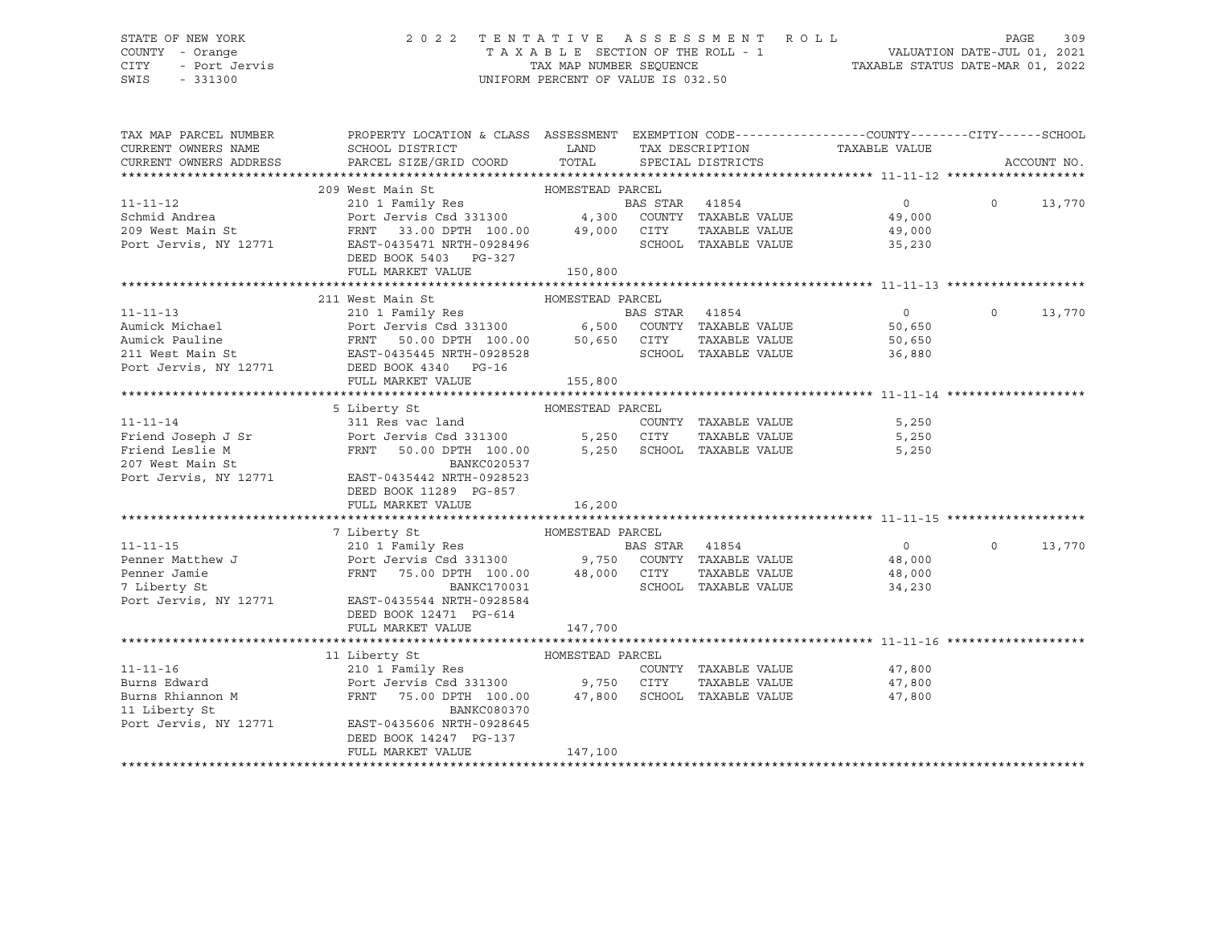### STATE OF NEW YORK 2 0 2 2 T E N T A T I V E A S S E S S M E N T R O L L PAGE 309 COUNTY - Orange T A X A B L E SECTION OF THE ROLL - 1 VALUATION DATE-JUL 01, 2021 CITY - Port Jervis TAX MAP NUMBER SEQUENCE TAXABLE STATUS DATE-MAR 01, 2022

| TAX MAP PARCEL NUMBER                                                                                                                                                                                                                | PROPERTY LOCATION & CLASS ASSESSMENT EXEMPTION CODE---------------COUNTY-------CITY-----SCHOOL |                      |                |                      |                                                          |                   |             |
|--------------------------------------------------------------------------------------------------------------------------------------------------------------------------------------------------------------------------------------|------------------------------------------------------------------------------------------------|----------------------|----------------|----------------------|----------------------------------------------------------|-------------------|-------------|
| CURRENT OWNERS NAME                                                                                                                                                                                                                  | SCHOOL DISTRICT                                                                                | LAND TAX DESCRIPTION |                |                      | TAXABLE VALUE                                            |                   |             |
| CURRENT OWNERS ADDRESS                                                                                                                                                                                                               | PARCEL SIZE/GRID COORD                                                                         | TOTAL                |                | SPECIAL DISTRICTS    |                                                          |                   | ACCOUNT NO. |
|                                                                                                                                                                                                                                      |                                                                                                |                      |                |                      |                                                          |                   |             |
|                                                                                                                                                                                                                                      | 209 West Main St                                                                               |                      |                |                      |                                                          |                   |             |
| $11 - 11 - 12$                                                                                                                                                                                                                       |                                                                                                |                      |                |                      | $\overline{0}$                                           | $0 \qquad \qquad$ | 13,770      |
| Schmid Andrea                                                                                                                                                                                                                        |                                                                                                |                      |                |                      | 49,000                                                   |                   |             |
|                                                                                                                                                                                                                                      |                                                                                                |                      |                |                      | TAXABLE VALUE 49,000<br>TAXABLE VALUE 35,230             |                   |             |
|                                                                                                                                                                                                                                      |                                                                                                |                      |                | SCHOOL TAXABLE VALUE |                                                          |                   |             |
|                                                                                                                                                                                                                                      | DEED BOOK 5403 PG-327                                                                          |                      |                |                      |                                                          |                   |             |
|                                                                                                                                                                                                                                      | FULL MARKET VALUE 150,800                                                                      |                      |                |                      |                                                          |                   |             |
|                                                                                                                                                                                                                                      |                                                                                                |                      |                |                      |                                                          |                   |             |
|                                                                                                                                                                                                                                      | 211 West Main St                                                                               | HOMESTEAD PARCEL     |                |                      |                                                          |                   |             |
|                                                                                                                                                                                                                                      |                                                                                                |                      |                |                      |                                                          | $\Omega$          | 13,770      |
|                                                                                                                                                                                                                                      |                                                                                                |                      |                |                      |                                                          |                   |             |
|                                                                                                                                                                                                                                      |                                                                                                |                      |                |                      |                                                          |                   |             |
| 11-11-13 210 1 Family Res BAS STAR 41854 0<br>Aumick Michael Port Jervis Csd 331300 6,500 COUNTY TAXABLE VALUE 50,650<br>Aumick Pauline FRNT 50.00 DPTH 100.00 50,650 CITY TAXABLE VALUE 50,650<br>211 West Main St EAST-0435445 NRT |                                                                                                |                      |                |                      |                                                          |                   |             |
| Port Jervis, NY 12771 DEED BOOK 4340 PG-16                                                                                                                                                                                           |                                                                                                |                      |                |                      |                                                          |                   |             |
|                                                                                                                                                                                                                                      | FULL MARKET VALUE                                                                              | 155,800              |                |                      |                                                          |                   |             |
|                                                                                                                                                                                                                                      |                                                                                                |                      |                |                      |                                                          |                   |             |
|                                                                                                                                                                                                                                      | 5 Liberty St                                                                                   | HOMESTEAD PARCEL     |                |                      |                                                          |                   |             |
| $11 - 11 - 14$                                                                                                                                                                                                                       | 311 Res vac land                                                                               |                      |                |                      | COUNTY TAXABLE VALUE 5,250                               |                   |             |
| Friend Joseph J Sr<br>Friend Leslie M<br>Friend Leslie M<br>207 West Main St<br>Port Jervis Csd 331300<br>207 West Main St<br>BANKC020537<br>Port Jervis, NY 12771<br>EAST-0435442 NRTH-0928523                                      |                                                                                                |                      |                |                      | 5,250                                                    |                   |             |
|                                                                                                                                                                                                                                      |                                                                                                |                      |                |                      | 5,250                                                    |                   |             |
|                                                                                                                                                                                                                                      |                                                                                                |                      |                |                      |                                                          |                   |             |
|                                                                                                                                                                                                                                      |                                                                                                |                      |                |                      |                                                          |                   |             |
|                                                                                                                                                                                                                                      | DEED BOOK 11289 PG-857                                                                         |                      |                |                      |                                                          |                   |             |
|                                                                                                                                                                                                                                      | FULL MARKET VALUE                                                                              | 16,200               |                |                      |                                                          |                   |             |
|                                                                                                                                                                                                                                      |                                                                                                |                      |                |                      |                                                          |                   |             |
|                                                                                                                                                                                                                                      | 7 Liberty St                                                                                   |                      |                |                      |                                                          |                   |             |
| $11 - 11 - 15$                                                                                                                                                                                                                       |                                                                                                |                      | BAS STAR 41854 |                      | $\overline{0}$                                           | $\Omega$          | 13,770      |
|                                                                                                                                                                                                                                      |                                                                                                |                      |                |                      |                                                          |                   |             |
|                                                                                                                                                                                                                                      |                                                                                                |                      |                |                      |                                                          |                   |             |
| 7 Liberty St                                                                                                                                                                                                                         | BANKC170031                                                                                    |                      |                |                      | CALL TAXABLE VALUE 48,000<br>SCHOOL TAXABLE VALUE 34,230 |                   |             |
| Port Jervis, NY 12771                                                                                                                                                                                                                | EAST-0435544 NRTH-0928584                                                                      |                      |                |                      |                                                          |                   |             |
|                                                                                                                                                                                                                                      | DEED BOOK 12471 PG-614                                                                         |                      |                |                      |                                                          |                   |             |
|                                                                                                                                                                                                                                      | FULL MARKET VALUE                                                                              | 147,700              |                |                      |                                                          |                   |             |
|                                                                                                                                                                                                                                      |                                                                                                |                      |                |                      |                                                          |                   |             |
|                                                                                                                                                                                                                                      | HOMESTEAD PARCEL<br>11 Liberty St                                                              |                      |                |                      |                                                          |                   |             |
| $11 - 11 - 16$                                                                                                                                                                                                                       | 210 1 Family Res                                                                               |                      |                | COUNTY TAXABLE VALUE | 47,800<br>47.800                                         |                   |             |
| Burns Edward                                                                                                                                                                                                                         |                                                                                                |                      |                | TAXABLE VALUE        | 47,800                                                   |                   |             |
| Burns Rhiannon M                                                                                                                                                                                                                     | FRNT 75.00 DPTH 100.00 47,800 SCHOOL TAXABLE VALUE                                             |                      |                |                      | 47,800                                                   |                   |             |
|                                                                                                                                                                                                                                      | BANKC080370                                                                                    |                      |                |                      |                                                          |                   |             |
| 11 Liberty St<br>Port Jervis, NY 12771                                                                                                                                                                                               | EAST-0435606 NRTH-0928645                                                                      |                      |                |                      |                                                          |                   |             |
|                                                                                                                                                                                                                                      | DEED BOOK 14247 PG-137                                                                         |                      |                |                      |                                                          |                   |             |
|                                                                                                                                                                                                                                      | FULL MARKET VALUE                                                                              | 147,100              |                |                      |                                                          |                   |             |
|                                                                                                                                                                                                                                      |                                                                                                |                      |                |                      |                                                          |                   |             |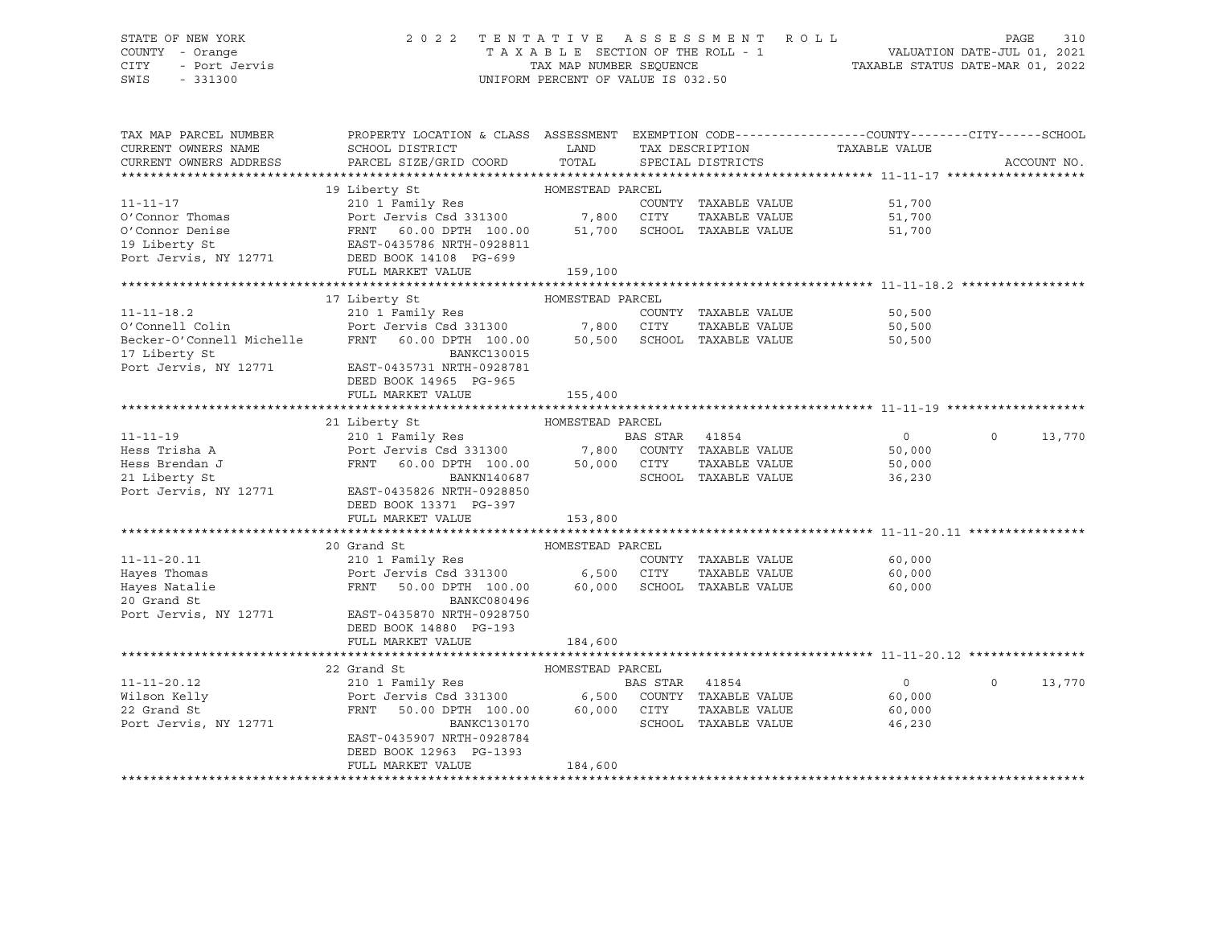# STATE OF NEW YORK 2 0 2 2 T E N T A T I V E A S S E S S M E N T R O L L PAGE 310 COUNTY - Orange T A X A B L E SECTION OF THE ROLL - 1 VALUATION DATE-JUL 01, 2021 CITY - Port Jervis TAX MAP NUMBER SEQUENCE TAXABLE STATUS DATE-MAR 01, 2022

| TAX MAP PARCEL NUMBER     | PROPERTY LOCATION & CLASS ASSESSMENT EXEMPTION CODE----------------COUNTY-------CITY------SCHOOL |                  |          |                                      |                |              |             |
|---------------------------|--------------------------------------------------------------------------------------------------|------------------|----------|--------------------------------------|----------------|--------------|-------------|
| CURRENT OWNERS NAME       | SCHOOL DISTRICT                                                                                  | LAND             |          |                                      | TAXABLE VALUE  |              |             |
|                           |                                                                                                  | TOTAL            |          | TAX DESCRIPTION<br>SPECIAL DISTRICTS |                |              | ACCOUNT NO. |
| CURRENT OWNERS ADDRESS    | PARCEL SIZE/GRID COORD                                                                           |                  |          |                                      |                |              |             |
|                           |                                                                                                  |                  |          |                                      |                |              |             |
|                           | 19 Liberty St                                                                                    | HOMESTEAD PARCEL |          |                                      |                |              |             |
| $11 - 11 - 17$            | 210 1 Family Res                                                                                 |                  |          | COUNTY TAXABLE VALUE                 | 51,700         |              |             |
| O'Connor Thomas           | Port Jervis Csd 331300                                                                           | 7,800            | CITY     | TAXABLE VALUE                        | 51,700         |              |             |
| O'Connor Denise           | FRNT<br>60.00 DPTH 100.00                                                                        | 51,700           |          | SCHOOL TAXABLE VALUE                 | 51,700         |              |             |
| 19 Liberty St             | EAST-0435786 NRTH-0928811                                                                        |                  |          |                                      |                |              |             |
| Port Jervis, NY 12771     | DEED BOOK 14108 PG-699                                                                           |                  |          |                                      |                |              |             |
|                           | FULL MARKET VALUE                                                                                | 159,100          |          |                                      |                |              |             |
|                           |                                                                                                  |                  |          |                                      |                |              |             |
|                           | 17 Liberty St                                                                                    | HOMESTEAD PARCEL |          |                                      |                |              |             |
| $11 - 11 - 18.2$          | 210 1 Family Res                                                                                 |                  |          | COUNTY TAXABLE VALUE                 | 50,500         |              |             |
| O'Connell Colin           |                                                                                                  |                  | CITY     | TAXABLE VALUE                        | 50,500         |              |             |
| Becker-O'Connell Michelle | Port Jervis Csd 331300 7,800<br>FRNT 60.00 DPTH 100.00 50,500<br>FRNT 60.00 DPTH 100.00          | 50,500           |          | SCHOOL TAXABLE VALUE                 | 50,500         |              |             |
|                           |                                                                                                  |                  |          |                                      |                |              |             |
| 17 Liberty St             | <b>BANKC130015</b>                                                                               |                  |          |                                      |                |              |             |
| Port Jervis, NY 12771     | EAST-0435731 NRTH-0928781                                                                        |                  |          |                                      |                |              |             |
|                           | DEED BOOK 14965 PG-965                                                                           |                  |          |                                      |                |              |             |
|                           | FULL MARKET VALUE                                                                                | 155,400          |          |                                      |                |              |             |
|                           |                                                                                                  |                  |          |                                      |                |              |             |
|                           | 21 Liberty St                                                                                    | HOMESTEAD PARCEL |          |                                      |                |              |             |
| $11 - 11 - 19$            | 210 1 Family Res                                                                                 |                  | BAS STAR | 41854                                | $\circ$        | $\mathsf{O}$ | 13,770      |
| Hess Trisha A             | Port Jervis Csd 331300 7,800                                                                     |                  |          | COUNTY TAXABLE VALUE                 | 50,000         |              |             |
| Hess Brendan J            | FRNT<br>60.00 DPTH 100.00                                                                        | 50,000           | CITY     | TAXABLE VALUE                        | 50,000         |              |             |
| 21 Liberty St             | BANKN140687                                                                                      |                  |          | SCHOOL TAXABLE VALUE                 | 36,230         |              |             |
| Port Jervis, NY 12771     | EAST-0435826 NRTH-0928850                                                                        |                  |          |                                      |                |              |             |
|                           | DEED BOOK 13371 PG-397                                                                           |                  |          |                                      |                |              |             |
|                           |                                                                                                  |                  |          |                                      |                |              |             |
|                           | FULL MARKET VALUE                                                                                | 153,800          |          |                                      |                |              |             |
|                           |                                                                                                  |                  |          |                                      |                |              |             |
|                           | 20 Grand St                                                                                      | HOMESTEAD PARCEL |          |                                      |                |              |             |
| $11 - 11 - 20.11$         | 210 1 Family Res                                                                                 |                  |          | COUNTY TAXABLE VALUE                 | 60,000         |              |             |
| Hayes Thomas              | Port Jervis Csd 331300                                                                           | 6,500            | CITY     | TAXABLE VALUE                        | 60,000         |              |             |
| Hayes Natalie             | FRNT<br>50.00 DPTH 100.00                                                                        | 60,000           |          | SCHOOL TAXABLE VALUE                 | 60,000         |              |             |
| 20 Grand St               | BANKC080496                                                                                      |                  |          |                                      |                |              |             |
| Port Jervis, NY 12771     | EAST-0435870 NRTH-0928750                                                                        |                  |          |                                      |                |              |             |
|                           | DEED BOOK 14880 PG-193                                                                           |                  |          |                                      |                |              |             |
|                           | FULL MARKET VALUE                                                                                | 184,600          |          |                                      |                |              |             |
|                           |                                                                                                  |                  |          |                                      |                |              |             |
|                           | 22 Grand St                                                                                      | HOMESTEAD PARCEL |          |                                      |                |              |             |
| $11 - 11 - 20.12$         | 210 1 Family Res                                                                                 |                  | BAS STAR | 41854                                | $\overline{0}$ | $\Omega$     | 13,770      |
| Wilson Kelly              | Port Jervis Csd 331300 6,500                                                                     |                  |          | COUNTY TAXABLE VALUE                 | 60,000         |              |             |
| 22 Grand St               | FRNT                                                                                             | 60,000           | CITY     | TAXABLE VALUE                        |                |              |             |
|                           | 50.00 DPTH 100.00                                                                                |                  |          |                                      | 60,000         |              |             |
| Port Jervis, NY 12771     | BANKC130170                                                                                      |                  |          | SCHOOL TAXABLE VALUE                 | 46,230         |              |             |
|                           | EAST-0435907 NRTH-0928784                                                                        |                  |          |                                      |                |              |             |
|                           | DEED BOOK 12963 PG-1393                                                                          |                  |          |                                      |                |              |             |
|                           | FULL MARKET VALUE                                                                                | 184,600          |          |                                      |                |              |             |
|                           |                                                                                                  |                  |          |                                      |                |              |             |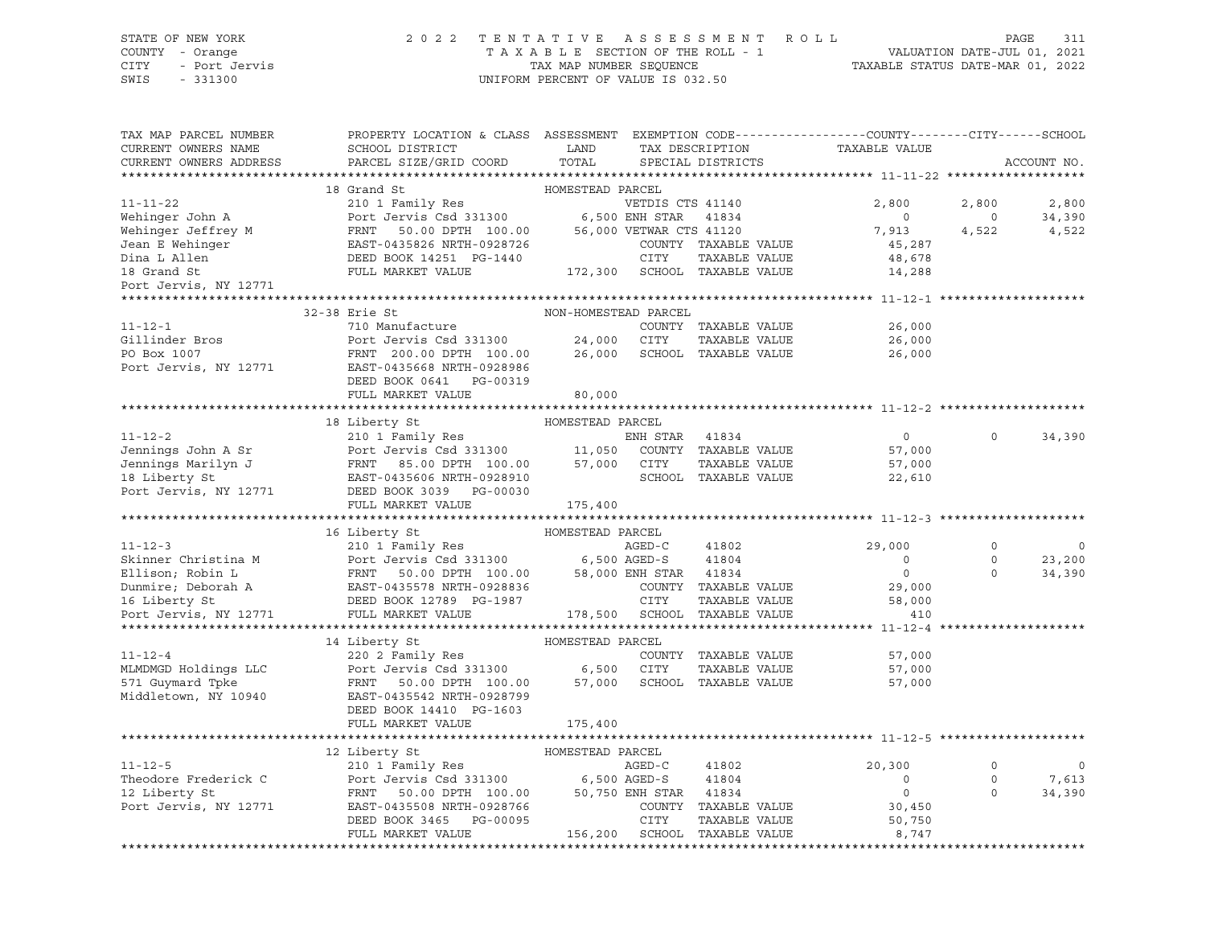### STATE OF NEW YORK 2 0 2 2 T E N T A T I V E A S S E S S M E N T R O L L PAGE 311 COUNTY - Orange T A X A B L E SECTION OF THE ROLL - 1 VALUATION DATE-JUL 01, 2021 CITY - Port Jervis TAX MAP NUMBER SEQUENCE TAXABLE STATUS DATE-MAR 01, 2022

| TAX MAP PARCEL NUMBER  | PROPERTY LOCATION & CLASS ASSESSMENT EXEMPTION CODE----------------COUNTY-------CITY------SCHOOL                                                                                                                                                     |                      |                  |                                |                                                    |                |             |
|------------------------|------------------------------------------------------------------------------------------------------------------------------------------------------------------------------------------------------------------------------------------------------|----------------------|------------------|--------------------------------|----------------------------------------------------|----------------|-------------|
| CURRENT OWNERS NAME    | SCHOOL DISTRICT<br><b>Example 12</b> LAND                                                                                                                                                                                                            |                      |                  |                                | TAX DESCRIPTION TAXABLE VALUE<br>SPECIAL DISTRICTS |                |             |
| CURRENT OWNERS ADDRESS | PARCEL SIZE/GRID COORD                                                                                                                                                                                                                               | TOTAL                |                  | SPECIAL DISTRICTS              |                                                    |                | ACCOUNT NO. |
|                        |                                                                                                                                                                                                                                                      |                      |                  |                                |                                                    |                |             |
|                        | 18 Grand St                                                                                                                                                                                                                                          | HOMESTEAD PARCEL     |                  |                                |                                                    |                |             |
| $11 - 11 - 22$         | 210 1 Family Res                                                                                                                                                                                                                                     |                      | VETDIS CTS 41140 |                                | 2,800                                              | 2,800          | 2,800       |
|                        |                                                                                                                                                                                                                                                      |                      |                  |                                | $\overline{0}$                                     | $\overline{0}$ | 34,390      |
|                        |                                                                                                                                                                                                                                                      |                      |                  |                                | 7,913                                              | 4,522          | 4,522       |
|                        |                                                                                                                                                                                                                                                      |                      |                  | COUNTY TAXABLE VALUE           | 45,287                                             |                |             |
|                        |                                                                                                                                                                                                                                                      |                      |                  |                                | 48,678<br>14,288                                   |                |             |
|                        |                                                                                                                                                                                                                                                      |                      |                  |                                |                                                    |                |             |
| Port Jervis, NY 12771  |                                                                                                                                                                                                                                                      |                      |                  |                                |                                                    |                |             |
|                        |                                                                                                                                                                                                                                                      |                      |                  |                                |                                                    |                |             |
|                        | 32-38 Erie St                                                                                                                                                                                                                                        | NON-HOMESTEAD PARCEL |                  |                                |                                                    |                |             |
| $11 - 12 - 1$          | 710 Manufacture                                                                                                                                                                                                                                      |                      |                  | COUNTY TAXABLE VALUE           | 26,000                                             |                |             |
| Gillinder Bros         | Port Jervis Csd 331300<br>Port Jervis Csd 331300 24,000 CITY TAXABLE VALUE<br>FRNT 200.00 DPTH 100.00 26,000 SCHOOL TAXABLE VALUE                                                                                                                    |                      |                  | TAXABLE VALUE                  | 26,000                                             |                |             |
|                        | PO Box 1007<br>PO Box 1007<br>PO Box 1007<br>POTT Jervis, NY 12771<br>EAST-0435668 NRTH-0928986                                                                                                                                                      |                      |                  |                                | 26,000                                             |                |             |
|                        |                                                                                                                                                                                                                                                      |                      |                  |                                |                                                    |                |             |
|                        | DEED BOOK 0641 PG-00319                                                                                                                                                                                                                              |                      |                  |                                |                                                    |                |             |
|                        | FULL MARKET VALUE                                                                                                                                                                                                                                    | 80,000               |                  |                                |                                                    |                |             |
|                        |                                                                                                                                                                                                                                                      |                      |                  |                                |                                                    |                |             |
|                        | 18 Liberty St                                                                                                                                                                                                                                        | HOMESTEAD PARCEL     |                  |                                |                                                    |                |             |
| $11 - 12 - 2$          | 210 1 Family Res                                                                                                                                                                                                                                     |                      | ENH STAR         | 41834                          | $\overline{0}$                                     | $\Omega$       | 34,390      |
|                        |                                                                                                                                                                                                                                                      |                      |                  | COUNTY TAXABLE VALUE           | 57,000                                             |                |             |
|                        |                                                                                                                                                                                                                                                      |                      |                  | TAXABLE VALUE                  | 57,000                                             |                |             |
|                        | 11-12-2<br>Jennings John A Sr<br>Jennings Marilyn J<br>Tennings Marilyn J<br>Tennings Marilyn J<br>Therty St<br>CAST-0435606 NRTH-0928910<br>Therty St<br>CAST-0435606 NRTH-0928910<br>CAST-0435606 NRTH-0928910<br>CAST-0435606 NRTH-0928910<br>CAS |                      |                  | SCHOOL TAXABLE VALUE           | 22,610                                             |                |             |
|                        | 18 LIDETLY SL<br>Port Jervis, NY 12771 DEED BOOK 3039 PG-00030                                                                                                                                                                                       |                      |                  |                                |                                                    |                |             |
|                        | FULL MARKET VALUE                                                                                                                                                                                                                                    | 175,400              |                  |                                |                                                    |                |             |
|                        |                                                                                                                                                                                                                                                      |                      |                  |                                |                                                    |                |             |
|                        | 16 Liberty St                                                                                                                                                                                                                                        | HOMESTEAD PARCEL     |                  |                                |                                                    |                |             |
|                        |                                                                                                                                                                                                                                                      |                      |                  |                                | 29,000                                             | $\mathbf 0$    | $\circ$     |
|                        | 11-12-3<br>Skinner Christina M<br>Ellison; Robin L<br>Dummire; Deborah A<br>POINT SEED BOOK 12789 PG-1987<br>POINT MARKET VALUE<br>POINT SEED BOOK 12789 PG-1987<br>POINT SEED BOOK 12789 PG-1987<br>POINT TAXABLE VALUE<br>POINT TAXABLE VALUE<br>  |                      |                  |                                | $\overline{\phantom{0}}$                           | $\circ$        | 23,200      |
|                        |                                                                                                                                                                                                                                                      |                      |                  |                                | $\overline{0}$                                     | $\Omega$       | 34,390      |
|                        |                                                                                                                                                                                                                                                      |                      |                  | COUNTY TAXABLE VALUE           | 29,000                                             |                |             |
|                        |                                                                                                                                                                                                                                                      |                      |                  | TAXABLE VALUE<br>TAXABLE VALUE | 58,000                                             |                |             |
|                        |                                                                                                                                                                                                                                                      |                      |                  |                                | 410                                                |                |             |
|                        |                                                                                                                                                                                                                                                      |                      |                  |                                |                                                    |                |             |
|                        | 14 Liberty St                                                                                                                                                                                                                                        | HOMESTEAD PARCEL     |                  |                                |                                                    |                |             |
| $11 - 12 - 4$          | 220 2 Family Res                                                                                                                                                                                                                                     |                      |                  | COUNTY TAXABLE VALUE           | 57,000                                             |                |             |
| MLMDMGD Holdings LLC   | Port Jervis Csd 331300 6,500 CITY TAXABLE VALUE<br>FRNT 50.00 DPTH 100.00 57,000 SCHOOL TAXABLE VALUE                                                                                                                                                |                      |                  | TAXABLE VALUE                  | 57,000                                             |                |             |
| 571 Guymard Tpke       | FRNT 50.00 DPTH 100.00                                                                                                                                                                                                                               |                      |                  |                                | 57,000                                             |                |             |
| Middletown, NY 10940   | EAST-0435542 NRTH-0928799                                                                                                                                                                                                                            |                      |                  |                                |                                                    |                |             |
|                        | DEED BOOK 14410 PG-1603                                                                                                                                                                                                                              |                      |                  |                                |                                                    |                |             |
|                        | FULL MARKET VALUE                                                                                                                                                                                                                                    | 175,400              |                  |                                |                                                    |                |             |
|                        |                                                                                                                                                                                                                                                      |                      |                  |                                |                                                    |                |             |
|                        | 12 Liberty St                                                                                                                                                                                                                                        | HOMESTEAD PARCEL     |                  |                                |                                                    |                |             |
| $11 - 12 - 5$          |                                                                                                                                                                                                                                                      |                      |                  | 41802                          | 20,300                                             | $\mathbf 0$    | $\mathbf 0$ |
| Theodore Frederick C   |                                                                                                                                                                                                                                                      |                      |                  |                                | $\circ$                                            | $\circ$        | 7,613       |
| 12 Liberty St          |                                                                                                                                                                                                                                                      |                      |                  |                                | $\overline{0}$                                     | $\Omega$       | 34,390      |
| Port Jervis, NY 12771  | 12 LIDERLY States 100 MONDELLAR MONDELLAR MARED-C<br>210 1 Family Res<br>Port Jervis Csd 331300 6,500 AGED-S 41804<br>FRNT 50.00 DPTH 100.00 50,750 ENH STAR 41834<br>EAST-0435508 NRTH-0928766 COUNTY TAXABLE<br>DEED BOOK 3465 PG-0009             |                      |                  | COUNTY TAXABLE VALUE           | 30,450                                             |                |             |
|                        |                                                                                                                                                                                                                                                      |                      |                  | TAXABLE VALUE                  | 50,750                                             |                |             |
|                        | FULL MARKET VALUE                                                                                                                                                                                                                                    |                      |                  | 156,200 SCHOOL TAXABLE VALUE   | 8,747                                              |                |             |
|                        |                                                                                                                                                                                                                                                      |                      |                  |                                |                                                    |                |             |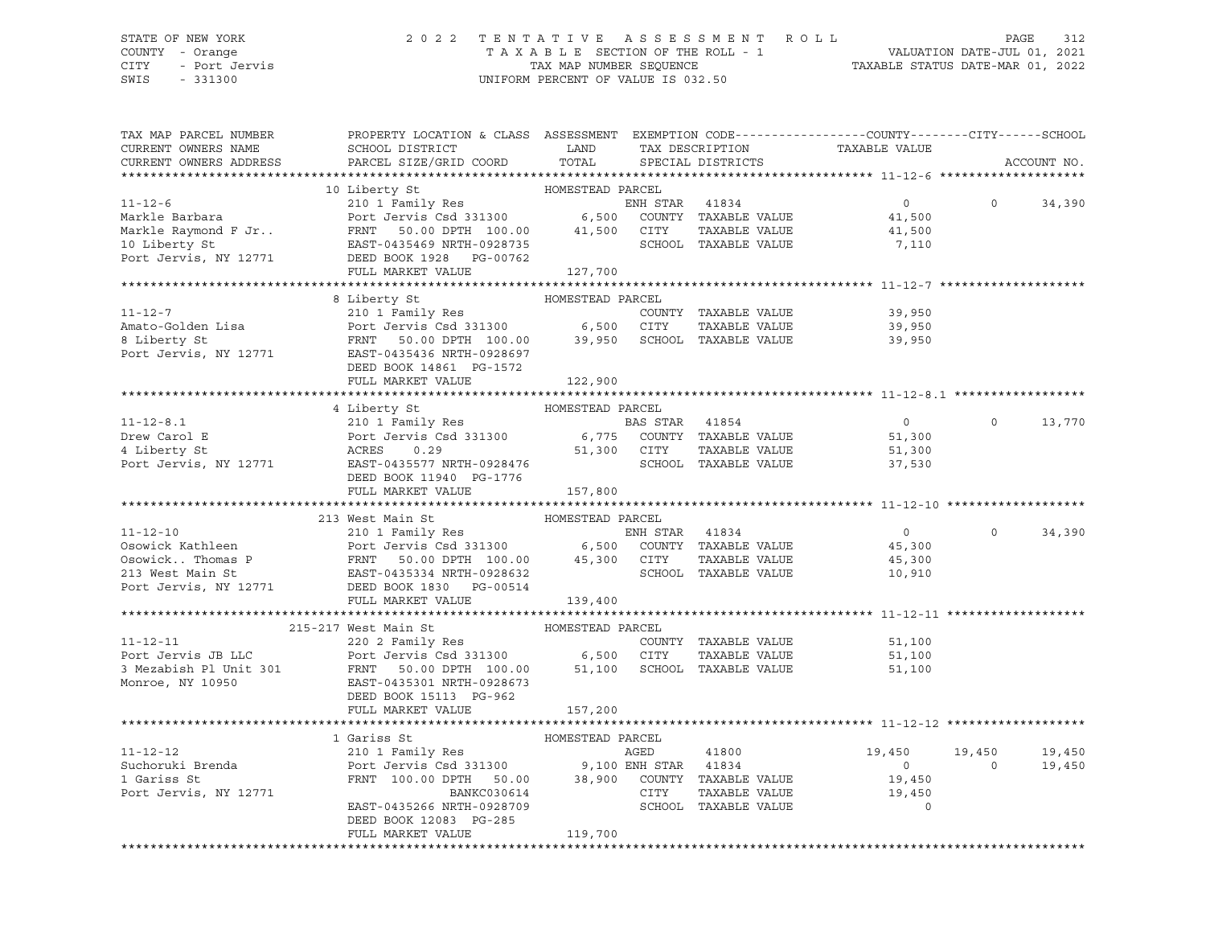### STATE OF NEW YORK 2 0 2 2 T E N T A T I V E A S S E S S M E N T R O L L PAGE 312 COUNTY - Orange T A X A B L E SECTION OF THE ROLL - 1 VALUATION DATE-JUL 01, 2021 CITY - Port Jervis TAX MAP NUMBER SEQUENCE TAXABLE STATUS DATE-MAR 01, 2022

| TAX MAP PARCEL NUMBER<br>CURRENT OWNERS NAME                                                                                                                                                                                                                                                                                                                                                                                                                      | PROPERTY LOCATION & CLASS ASSESSMENT EXEMPTION CODE----------------COUNTY-------CITY------SCHOOL<br>SCHOOL DISTRICT LAND<br>PARCEL SIZE/GRID COORD |                  |      |                                | TAX DESCRIPTION TAXABLE VALUE SPECIAL DISTRICTS |                      |                  |
|-------------------------------------------------------------------------------------------------------------------------------------------------------------------------------------------------------------------------------------------------------------------------------------------------------------------------------------------------------------------------------------------------------------------------------------------------------------------|----------------------------------------------------------------------------------------------------------------------------------------------------|------------------|------|--------------------------------|-------------------------------------------------|----------------------|------------------|
| CURRENT OWNERS ADDRESS                                                                                                                                                                                                                                                                                                                                                                                                                                            |                                                                                                                                                    | TOTAL            |      |                                |                                                 |                      | ACCOUNT NO.      |
| $\begin{tabular}{lcccc} \texttt{11-12-6} & & & & 10 \text{ Library St} & & & \texttt{HOMESTEAD} \texttt{PARCH} \\ \texttt{Markle Barbara} & & & & 210 1 \texttt{ Family Res} & & & \texttt{EMM STAR} & 41834 \\ \texttt{Markle Raymond F Jr.}. & & & & & \texttt{FPNT} & 50.0 \texttt{ CONTTY} & \texttt{TAXABLE VALUE} \\ \texttt{10 Liberty St} & & & & \texttt{FRNT} & 50.0 \texttt{DPTH} & 100.00 & 41,500 & \texttt{CTTY} & \texttt{TAXABLE VALUE} \\ \text$ |                                                                                                                                                    |                  |      |                                |                                                 |                      |                  |
|                                                                                                                                                                                                                                                                                                                                                                                                                                                                   |                                                                                                                                                    |                  |      |                                | $\overline{0}$                                  |                      | $0 \t34,390$     |
|                                                                                                                                                                                                                                                                                                                                                                                                                                                                   |                                                                                                                                                    |                  |      |                                | 41,500                                          |                      |                  |
|                                                                                                                                                                                                                                                                                                                                                                                                                                                                   |                                                                                                                                                    |                  |      | TAXABLE VALUE                  | 41,500                                          |                      |                  |
|                                                                                                                                                                                                                                                                                                                                                                                                                                                                   |                                                                                                                                                    |                  |      |                                | 7,110                                           |                      |                  |
|                                                                                                                                                                                                                                                                                                                                                                                                                                                                   |                                                                                                                                                    |                  |      |                                |                                                 |                      |                  |
|                                                                                                                                                                                                                                                                                                                                                                                                                                                                   | FULL MARKET VALUE                                                                                                                                  | 127,700          |      |                                |                                                 |                      |                  |
|                                                                                                                                                                                                                                                                                                                                                                                                                                                                   |                                                                                                                                                    |                  |      |                                |                                                 |                      |                  |
|                                                                                                                                                                                                                                                                                                                                                                                                                                                                   | 8 Liberty St                                                                                                                                       | HOMESTEAD PARCEL |      |                                |                                                 |                      |                  |
| $11 - 12 - 7$                                                                                                                                                                                                                                                                                                                                                                                                                                                     | 210 1 Family Res                                                                                                                                   |                  |      | COUNTY TAXABLE VALUE           | 39,950                                          |                      |                  |
|                                                                                                                                                                                                                                                                                                                                                                                                                                                                   |                                                                                                                                                    |                  |      | TAXABLE VALUE                  | 39,950                                          |                      |                  |
|                                                                                                                                                                                                                                                                                                                                                                                                                                                                   |                                                                                                                                                    |                  |      |                                | 39,950                                          |                      |                  |
|                                                                                                                                                                                                                                                                                                                                                                                                                                                                   |                                                                                                                                                    |                  |      |                                |                                                 |                      |                  |
|                                                                                                                                                                                                                                                                                                                                                                                                                                                                   | DEED BOOK 14861 PG-1572                                                                                                                            |                  |      |                                |                                                 |                      |                  |
|                                                                                                                                                                                                                                                                                                                                                                                                                                                                   | FULL MARKET VALUE                                                                                                                                  | 122,900          |      |                                |                                                 |                      |                  |
|                                                                                                                                                                                                                                                                                                                                                                                                                                                                   |                                                                                                                                                    |                  |      |                                |                                                 |                      |                  |
|                                                                                                                                                                                                                                                                                                                                                                                                                                                                   | 4 Liberty St                                                                                                                                       | HOMESTEAD PARCEL |      |                                |                                                 |                      |                  |
|                                                                                                                                                                                                                                                                                                                                                                                                                                                                   |                                                                                                                                                    |                  |      |                                |                                                 | $\Omega$             | 13,770           |
|                                                                                                                                                                                                                                                                                                                                                                                                                                                                   |                                                                                                                                                    |                  |      |                                |                                                 |                      |                  |
|                                                                                                                                                                                                                                                                                                                                                                                                                                                                   |                                                                                                                                                    |                  |      |                                |                                                 |                      |                  |
| 11-12-8.1<br>Drew Carol E 210 1 Family Res<br>Port Jervis Csd 331300 6,775 COUNTY TAXABLE VALUE 51,300<br>4 Liberty St ACRES 0.29 51,300 CITY TAXABLE VALUE 51,300<br>Port Jervis, NY 12771 EAST-0435577 NRTH-0928476 SCHOOL TAXABLE                                                                                                                                                                                                                              |                                                                                                                                                    |                  |      |                                |                                                 |                      |                  |
|                                                                                                                                                                                                                                                                                                                                                                                                                                                                   | DEED BOOK 11940 PG-1776                                                                                                                            |                  |      |                                |                                                 |                      |                  |
|                                                                                                                                                                                                                                                                                                                                                                                                                                                                   | FULL MARKET VALUE                                                                                                                                  | 157,800          |      |                                |                                                 |                      |                  |
|                                                                                                                                                                                                                                                                                                                                                                                                                                                                   |                                                                                                                                                    |                  |      |                                |                                                 |                      |                  |
|                                                                                                                                                                                                                                                                                                                                                                                                                                                                   | 213 West Main St                                                                                                                                   | HOMESTEAD PARCEL |      |                                |                                                 |                      |                  |
|                                                                                                                                                                                                                                                                                                                                                                                                                                                                   |                                                                                                                                                    |                  |      |                                | $\overline{0}$                                  | $\Omega$             | 34,390           |
|                                                                                                                                                                                                                                                                                                                                                                                                                                                                   |                                                                                                                                                    |                  |      |                                | 45,300                                          |                      |                  |
|                                                                                                                                                                                                                                                                                                                                                                                                                                                                   |                                                                                                                                                    |                  |      |                                | 45,300                                          |                      |                  |
| 11-12-10<br>213 West Main St<br>210 1 Family Res<br>210 1 Family Res<br>210 1 Family Res<br>213 West Main St<br>213 West Main St<br>213 West Main St<br>213 West Main St<br>213 West Main St<br>213 West Main St<br>213 West Main St<br>213 West Main                                                                                                                                                                                                             |                                                                                                                                                    |                  |      |                                | 10,910                                          |                      |                  |
| Port Jervis, NY 12771 DEED BOOK 1830 PG-00514                                                                                                                                                                                                                                                                                                                                                                                                                     |                                                                                                                                                    |                  |      |                                |                                                 |                      |                  |
|                                                                                                                                                                                                                                                                                                                                                                                                                                                                   | FULL MARKET VALUE                                                                                                                                  | 139,400          |      |                                |                                                 |                      |                  |
|                                                                                                                                                                                                                                                                                                                                                                                                                                                                   |                                                                                                                                                    |                  |      |                                |                                                 |                      |                  |
|                                                                                                                                                                                                                                                                                                                                                                                                                                                                   |                                                                                                                                                    | HOMESTEAD PARCEL |      |                                |                                                 |                      |                  |
|                                                                                                                                                                                                                                                                                                                                                                                                                                                                   |                                                                                                                                                    |                  |      | COUNTY TAXABLE VALUE           | 51,100                                          |                      |                  |
|                                                                                                                                                                                                                                                                                                                                                                                                                                                                   |                                                                                                                                                    |                  |      |                                | 51,100                                          |                      |                  |
| 219-217 WESTEAD PARCEL<br>220 2 Family Res<br>Port Jervis JB LLC<br>220 2 Family Res<br>220 2 Family Res<br>220 2 Family Res<br>220 2 Family Res<br>220 2 Family Res<br>6,500 CITY<br>6,500 CITY<br>TAXABLE VALUE<br>220 2 Family Res<br>6,500 CITY<br>2                                                                                                                                                                                                          |                                                                                                                                                    |                  |      |                                | 51,100                                          |                      |                  |
|                                                                                                                                                                                                                                                                                                                                                                                                                                                                   |                                                                                                                                                    |                  |      |                                |                                                 |                      |                  |
|                                                                                                                                                                                                                                                                                                                                                                                                                                                                   | DEED BOOK 15113 PG-962                                                                                                                             |                  |      |                                |                                                 |                      |                  |
|                                                                                                                                                                                                                                                                                                                                                                                                                                                                   | FULL MARKET VALUE                                                                                                                                  | 157,200          |      |                                |                                                 |                      |                  |
|                                                                                                                                                                                                                                                                                                                                                                                                                                                                   | 1 Gariss St                                                                                                                                        |                  |      |                                |                                                 |                      |                  |
|                                                                                                                                                                                                                                                                                                                                                                                                                                                                   |                                                                                                                                                    |                  |      |                                |                                                 |                      |                  |
| $11 - 12 - 12$                                                                                                                                                                                                                                                                                                                                                                                                                                                    | 210 1 Family Acs<br>Port Jervis Csd 331300 9,100 ENH STAR 41834<br>FRNT 100.00 DPTH 50.00 38,900 COUNTY TAXABLE VALUE                              |                  |      | 41800                          | 19,450<br>$\overline{0}$                        | 19,450<br>$\bigcirc$ | 19,450<br>19,450 |
| Suchoruki Brenda<br>1 Gariss St<br>1 Gariss St                                                                                                                                                                                                                                                                                                                                                                                                                    |                                                                                                                                                    |                  |      |                                | 19,450                                          |                      |                  |
| Port Jervis, NY 12771                                                                                                                                                                                                                                                                                                                                                                                                                                             |                                                                                                                                                    |                  | CITY | TAXABLE VALUE<br>TAXABLE VALUE | 19,450                                          |                      |                  |
|                                                                                                                                                                                                                                                                                                                                                                                                                                                                   | EAST-0435266 NRTH-0928709<br>DEED BOOK 12083 DOC 2055                                                                                              |                  |      | SCHOOL TAXABLE VALUE           | $\mathbf{0}$                                    |                      |                  |
|                                                                                                                                                                                                                                                                                                                                                                                                                                                                   |                                                                                                                                                    |                  |      |                                |                                                 |                      |                  |
|                                                                                                                                                                                                                                                                                                                                                                                                                                                                   | FULL MARKET VALUE                                                                                                                                  | 119,700          |      |                                |                                                 |                      |                  |
|                                                                                                                                                                                                                                                                                                                                                                                                                                                                   |                                                                                                                                                    |                  |      |                                |                                                 |                      |                  |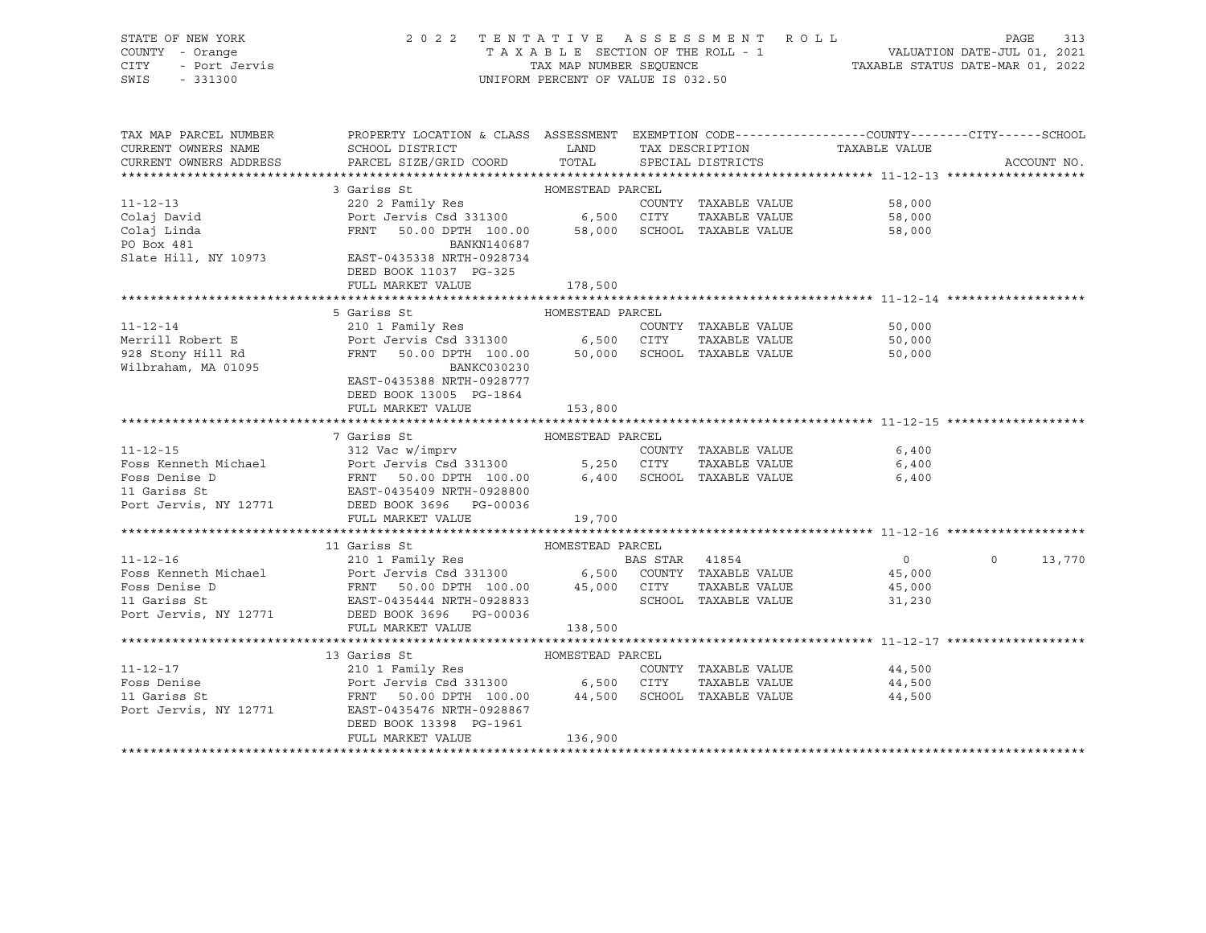| STATE OF NEW YORK<br>COUNTY - Orange<br>- Port Jervis<br><b>CITY</b><br>SWIS<br>$-331300$ | 2022                                                                                            | TAXABLE SECTION OF THE ROLL - 1<br>TAX MAP NUMBER SEQUENCE<br>UNIFORM PERCENT OF VALUE IS 032.50 |                | TENTATIVE ASSESSMENT ROLL | VALUATION DATE-JUL 01, 2021<br>TAXABLE STATUS DATE-MAR 01, 2022 | PAGE<br>313       |  |
|-------------------------------------------------------------------------------------------|-------------------------------------------------------------------------------------------------|--------------------------------------------------------------------------------------------------|----------------|---------------------------|-----------------------------------------------------------------|-------------------|--|
| TAX MAP PARCEL NUMBER                                                                     | PROPERTY LOCATION & CLASS ASSESSMENT EXEMPTION CODE---------------COUNTY-------CITY------SCHOOL |                                                                                                  |                |                           |                                                                 |                   |  |
| CURRENT OWNERS NAME                                                                       | SCHOOL DISTRICT                                                                                 | LAND                                                                                             |                | TAX DESCRIPTION           | TAXABLE VALUE                                                   |                   |  |
| CURRENT OWNERS ADDRESS                                                                    | PARCEL SIZE/GRID COORD                                                                          | TOTAL                                                                                            |                | SPECIAL DISTRICTS         |                                                                 | ACCOUNT NO.       |  |
|                                                                                           |                                                                                                 |                                                                                                  |                |                           |                                                                 |                   |  |
|                                                                                           | HOMESTEAD PARCEL<br>3 Gariss St                                                                 |                                                                                                  |                |                           |                                                                 |                   |  |
| $11 - 12 - 13$                                                                            | 220 2 Family Res                                                                                |                                                                                                  |                | COUNTY TAXABLE VALUE      | 58,000                                                          |                   |  |
| Colaj David                                                                               | Port Jervis Csd 331300 6,500<br>FRNT 50.00 DPTH 100.00 58,000                                   |                                                                                                  | CITY           | TAXABLE VALUE             | 58,000                                                          |                   |  |
| Colaj Linda<br>PO Box 481                                                                 | FRNT<br>50.00 DPTH 100.00<br>BANKN140687                                                        | 58,000                                                                                           |                | SCHOOL TAXABLE VALUE      | 58,000                                                          |                   |  |
| Slate Hill, NY 10973                                                                      | EAST-0435338 NRTH-0928734                                                                       |                                                                                                  |                |                           |                                                                 |                   |  |
|                                                                                           | DEED BOOK 11037 PG-325                                                                          |                                                                                                  |                |                           |                                                                 |                   |  |
|                                                                                           | FULL MARKET VALUE                                                                               | 178,500                                                                                          |                |                           |                                                                 |                   |  |
|                                                                                           |                                                                                                 |                                                                                                  |                |                           |                                                                 |                   |  |
|                                                                                           | 5 Gariss St                                                                                     | HOMESTEAD PARCEL                                                                                 |                |                           |                                                                 |                   |  |
| $11 - 12 - 14$                                                                            | 210 1 Family Res                                                                                |                                                                                                  |                | COUNTY TAXABLE VALUE      | 50,000                                                          |                   |  |
| Merrill Robert E                                                                          | Port Jervis Csd 331300 6,500 CITY                                                               |                                                                                                  |                | TAXABLE VALUE             | 50,000                                                          |                   |  |
| 928 Stony Hill Rd                                                                         | FRNT<br>50.00 DPTH 100.00                                                                       | 50,000                                                                                           |                | SCHOOL TAXABLE VALUE      | 50,000                                                          |                   |  |
| Wilbraham, MA 01095                                                                       | BANKC030230                                                                                     |                                                                                                  |                |                           |                                                                 |                   |  |
|                                                                                           | EAST-0435388 NRTH-0928777                                                                       |                                                                                                  |                |                           |                                                                 |                   |  |
|                                                                                           | DEED BOOK 13005 PG-1864                                                                         |                                                                                                  |                |                           |                                                                 |                   |  |
|                                                                                           | FULL MARKET VALUE                                                                               | 153,800                                                                                          |                |                           |                                                                 |                   |  |
|                                                                                           | 7 Gariss St                                                                                     | HOMESTEAD PARCEL                                                                                 |                |                           |                                                                 |                   |  |
| $11 - 12 - 15$                                                                            | 312 Vac w/imprv                                                                                 |                                                                                                  |                | COUNTY TAXABLE VALUE      | 6,400                                                           |                   |  |
| Foss Kenneth Michael                                                                      | 312 vac w/imprv<br>Port Jervis Csd 331300<br>FRNT 50.00 DPTH 100.00                             |                                                                                                  | 5,250 CITY     | TAXABLE VALUE             | 6,400                                                           |                   |  |
| Foss Denise D                                                                             |                                                                                                 | 6,400                                                                                            |                | SCHOOL TAXABLE VALUE      | 6,400                                                           |                   |  |
| 11 Gariss St                                                                              | EAST-0435409 NRTH-0928800                                                                       |                                                                                                  |                |                           |                                                                 |                   |  |
| Port Jervis, NY 12771                                                                     | DEED BOOK 3696 PG-00036                                                                         |                                                                                                  |                |                           |                                                                 |                   |  |
|                                                                                           | FULL MARKET VALUE                                                                               | 19,700                                                                                           |                |                           |                                                                 |                   |  |
|                                                                                           |                                                                                                 |                                                                                                  |                |                           |                                                                 |                   |  |
|                                                                                           | 11 Gariss St                                                                                    |                                                                                                  |                |                           |                                                                 |                   |  |
| $11 - 12 - 16$                                                                            |                                                                                                 |                                                                                                  | BAS STAR 41854 |                           | $\overline{0}$                                                  | $\circ$<br>13,770 |  |
| Foss Kenneth Michael                                                                      | Port Jervis Csd 331300 6,500 COUNTY TAXABLE VALUE 45,000                                        |                                                                                                  |                |                           |                                                                 |                   |  |
| Foss Denise D                                                                             | 50.00 DPTH 100.00 45,000<br>FRNT                                                                |                                                                                                  | CITY           | TAXABLE VALUE             | 45,000                                                          |                   |  |
| 11 Gariss St                                                                              | EAST-0435444 NRTH-0928833                                                                       |                                                                                                  |                | SCHOOL TAXABLE VALUE      | 31,230                                                          |                   |  |
| Port Jervis, NY 12771                                                                     | DEED BOOK 3696 PG-00036                                                                         |                                                                                                  |                |                           |                                                                 |                   |  |
|                                                                                           | FULL MARKET VALUE                                                                               | 138,500                                                                                          |                |                           |                                                                 |                   |  |

\*\*\*\*\*\*\*\*\*\*\*\*\*\*\*\*\*\*\*\*\*\*\*\*\*\*\*\*\*\*\*\*\*\*\*\*\*\*\*\*\*\*\*\*\*\*\*\*\*\*\*\*\*\*\*\*\*\*\*\*\*\*\*\*\*\*\*\*\*\*\*\*\*\*\*\*\*\*\*\*\*\*\*\*\*\*\*\*\*\*\*\*\*\*\*\*\*\*\*\*\*\*\* 11-12-17 \*\*\*\*\*\*\*\*\*\*\*\*\*\*\*\*\*\*\* 13 Gariss St<br/>
11-12-17<br>
11-12-17<br>
210 1 Family Res $$\tt COMESTEAD \quad PARCEL\atop COUNT\,$ 11-12-17 210 1 Family Res COUNTY TAXABLE VALUE 44,500 Foss Denise Port Jervis Csd 331300 6,500 CITY TAXABLE VALUE 44,500 11 Gariss St FRNT 50.00 DPTH 100.00 44,500 SCHOOL TAXABLE VALUE 44,500

| --- ------- -         | -----<br>---------------  | ------  |  | ------ |
|-----------------------|---------------------------|---------|--|--------|
| Port Jervis, NY 12771 | EAST-0435476 NRTH-0928867 |         |  |        |
|                       | DEED BOOK 13398 PG-1961   |         |  |        |
|                       | FULL MARKET VALUE         | 136,900 |  |        |
|                       |                           |         |  |        |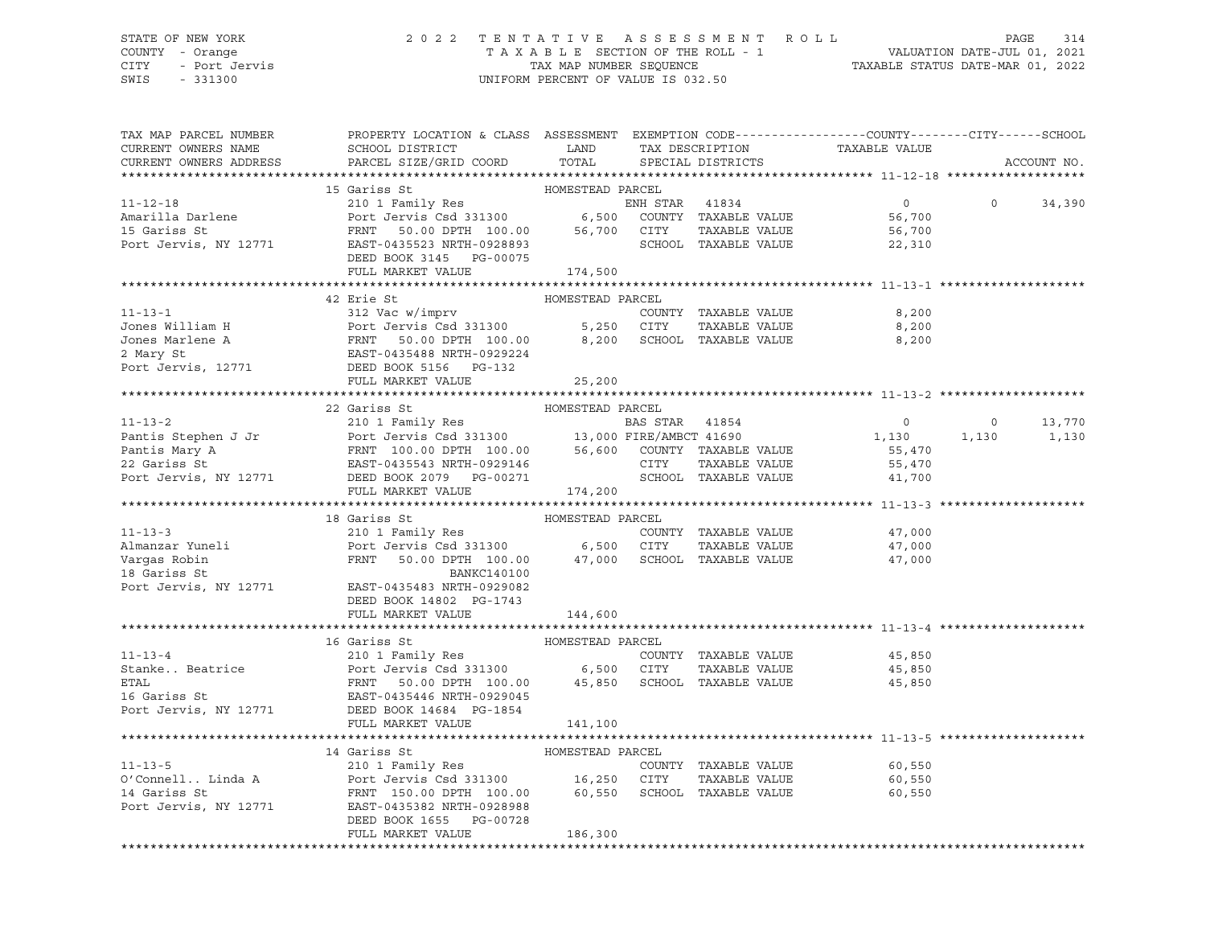### STATE OF NEW YORK 2 0 2 2 T E N T A T I V E A S S E S S M E N T R O L L PAGE 314 COUNTY - Orange T A X A B L E SECTION OF THE ROLL - 1 VALUATION DATE-JUL 01, 2021 CITY - Port Jervis TAX MAP NUMBER SEQUENCE TAXABLE STATUS DATE-MAR 01, 2022

| TAX MAP PARCEL NUMBER<br>CURRENT OWNERS NAME                                                                                                                                                                                                           | PROPERTY LOCATION & CLASS ASSESSMENT EXEMPTION CODE---------------COUNTY-------CITY------SCHOOL<br>SCHOOL DISTRICT LAND                                                                     |                  |                      | TAX DESCRIPTION TAXABLE VALUE<br>SPECIAL DISTRICTS |                |             |
|--------------------------------------------------------------------------------------------------------------------------------------------------------------------------------------------------------------------------------------------------------|---------------------------------------------------------------------------------------------------------------------------------------------------------------------------------------------|------------------|----------------------|----------------------------------------------------|----------------|-------------|
| CURRENT OWNERS ADDRESS                                                                                                                                                                                                                                 | PARCEL SIZE/GRID COORD                                                                                                                                                                      | TOTAL            |                      |                                                    |                | ACCOUNT NO. |
|                                                                                                                                                                                                                                                        | 15 Gariss St                                                                                                                                                                                | HOMESTEAD PARCEL |                      |                                                    |                |             |
| $11 - 12 - 18$                                                                                                                                                                                                                                         | 15 Gariss St<br>210 1 Family Res<br>Port Jervis Csd 331300 6,500 COUNTY TAXABLE VALUE<br>FRNT 50.00 DPTH 100.00 56,700 CITY TAXABLE VALUE<br>EAST-0435523 NRTH-0928893 SCHOOL TAXABLE VALUE |                  | ENH STAR 41834       | $\overline{0}$                                     | $\Omega$       | 34,390      |
|                                                                                                                                                                                                                                                        |                                                                                                                                                                                             |                  |                      | 56,700                                             |                |             |
|                                                                                                                                                                                                                                                        |                                                                                                                                                                                             |                  |                      | 56,700                                             |                |             |
| Amarilla Darlene<br>15 Gariss St<br>Port Jervis, NY 12771                                                                                                                                                                                              |                                                                                                                                                                                             |                  |                      | 22,310                                             |                |             |
|                                                                                                                                                                                                                                                        | DEED BOOK 3145 PG-00075                                                                                                                                                                     |                  |                      |                                                    |                |             |
|                                                                                                                                                                                                                                                        | FULL MARKET VALUE                                                                                                                                                                           | 174,500          |                      |                                                    |                |             |
|                                                                                                                                                                                                                                                        |                                                                                                                                                                                             |                  |                      |                                                    |                |             |
|                                                                                                                                                                                                                                                        | 42 Erie St                                                                                                                                                                                  | HOMESTEAD PARCEL |                      |                                                    |                |             |
|                                                                                                                                                                                                                                                        |                                                                                                                                                                                             |                  |                      | 8,200                                              |                |             |
|                                                                                                                                                                                                                                                        |                                                                                                                                                                                             |                  |                      | 8,200                                              |                |             |
|                                                                                                                                                                                                                                                        |                                                                                                                                                                                             |                  |                      | 8,200                                              |                |             |
|                                                                                                                                                                                                                                                        |                                                                                                                                                                                             |                  |                      |                                                    |                |             |
| 11-13-1<br>Jones William H<br>Jones Marlene A Port Jervis Csd 331300 5,250 CITY TAXABLE VALUE<br>Jones Marlene A FRNT 50.00 DPTH 100.00 8,200 SCHOOL TAXABLE VALUE<br>2 Mary St EAST-04354888 NRTH-0929224<br>Port Jervis, 12771 DEED                  |                                                                                                                                                                                             |                  |                      |                                                    |                |             |
|                                                                                                                                                                                                                                                        | FULL MARKET VALUE                                                                                                                                                                           | 25,200           |                      |                                                    |                |             |
|                                                                                                                                                                                                                                                        |                                                                                                                                                                                             |                  |                      |                                                    |                |             |
|                                                                                                                                                                                                                                                        |                                                                                                                                                                                             |                  |                      |                                                    |                |             |
|                                                                                                                                                                                                                                                        |                                                                                                                                                                                             |                  |                      | $\overline{0}$                                     | $\overline{0}$ | 13,770      |
|                                                                                                                                                                                                                                                        |                                                                                                                                                                                             |                  |                      | 1,130                                              |                | 1,130 1,130 |
|                                                                                                                                                                                                                                                        |                                                                                                                                                                                             |                  |                      | 55,470                                             |                |             |
|                                                                                                                                                                                                                                                        |                                                                                                                                                                                             |                  |                      | 55,470                                             |                |             |
|                                                                                                                                                                                                                                                        |                                                                                                                                                                                             |                  |                      | 41,700                                             |                |             |
|                                                                                                                                                                                                                                                        |                                                                                                                                                                                             |                  |                      |                                                    |                |             |
|                                                                                                                                                                                                                                                        |                                                                                                                                                                                             |                  |                      |                                                    |                |             |
| 11-13-3<br>210 1 Family Res<br>210 1 Family Res<br>210 1 Family Res<br>210 1 Family Res<br>210 1 Family Res<br>210 1 Family Res<br>210 1 Family Res<br>210 1 Family Res<br>210 1 Family Res<br>210 1 Family Res<br>210 1 Family Res<br>210 1 Family Re | 18 Gariss St                                                                                                                                                                                | HOMESTEAD PARCEL |                      |                                                    |                |             |
|                                                                                                                                                                                                                                                        |                                                                                                                                                                                             |                  |                      | 47,000                                             |                |             |
|                                                                                                                                                                                                                                                        |                                                                                                                                                                                             |                  |                      | 47,000                                             |                |             |
|                                                                                                                                                                                                                                                        |                                                                                                                                                                                             |                  |                      | 47,000                                             |                |             |
|                                                                                                                                                                                                                                                        |                                                                                                                                                                                             |                  |                      |                                                    |                |             |
|                                                                                                                                                                                                                                                        |                                                                                                                                                                                             |                  |                      |                                                    |                |             |
|                                                                                                                                                                                                                                                        | DEED BOOK 14802 PG-1743                                                                                                                                                                     |                  |                      |                                                    |                |             |
|                                                                                                                                                                                                                                                        | FULL MARKET VALUE                                                                                                                                                                           | 144,600          |                      |                                                    |                |             |
|                                                                                                                                                                                                                                                        |                                                                                                                                                                                             |                  |                      |                                                    |                |             |
| 11-13-4<br>Stanke Beatrice Port Jervis Csd 331300<br>FRAT 50.00 DPTH 100.00 45,850 SCHOOL TAXABLE VALUE 45,850<br>FRAT 50.00 DPTH 100.00 45,850 SCHOOL TAXABLE VALUE 45,850<br>Port Jervis, NY 12771 DEED BOOK 1464 PG-1854<br>Port Je                 | 16 Gariss St                                                                                                                                                                                |                  |                      |                                                    |                |             |
|                                                                                                                                                                                                                                                        |                                                                                                                                                                                             |                  |                      |                                                    |                |             |
|                                                                                                                                                                                                                                                        |                                                                                                                                                                                             |                  |                      |                                                    |                |             |
|                                                                                                                                                                                                                                                        |                                                                                                                                                                                             |                  |                      |                                                    |                |             |
|                                                                                                                                                                                                                                                        |                                                                                                                                                                                             |                  |                      |                                                    |                |             |
|                                                                                                                                                                                                                                                        | FULL MARKET VALUE                                                                                                                                                                           | 141,100          |                      |                                                    |                |             |
|                                                                                                                                                                                                                                                        |                                                                                                                                                                                             |                  |                      |                                                    |                |             |
|                                                                                                                                                                                                                                                        | 14 Gariss St                                                                                                                                                                                | HOMESTEAD PARCEL |                      |                                                    |                |             |
| $11 - 13 - 5$                                                                                                                                                                                                                                          | 210 1 Family Res                                                                                                                                                                            |                  | COUNTY TAXABLE VALUE | 60,550                                             |                |             |
|                                                                                                                                                                                                                                                        |                                                                                                                                                                                             |                  | TAXABLE VALUE        | 60,550                                             |                |             |
|                                                                                                                                                                                                                                                        |                                                                                                                                                                                             |                  |                      | 60,550                                             |                |             |
| Port Jervis, NY 12771                                                                                                                                                                                                                                  | EAST-0435382 NRTH-0928988                                                                                                                                                                   |                  |                      |                                                    |                |             |
|                                                                                                                                                                                                                                                        | DEED BOOK 1655 PG-00728                                                                                                                                                                     |                  |                      |                                                    |                |             |
|                                                                                                                                                                                                                                                        | FULL MARKET VALUE                                                                                                                                                                           | 186,300          |                      |                                                    |                |             |
|                                                                                                                                                                                                                                                        |                                                                                                                                                                                             |                  |                      |                                                    |                |             |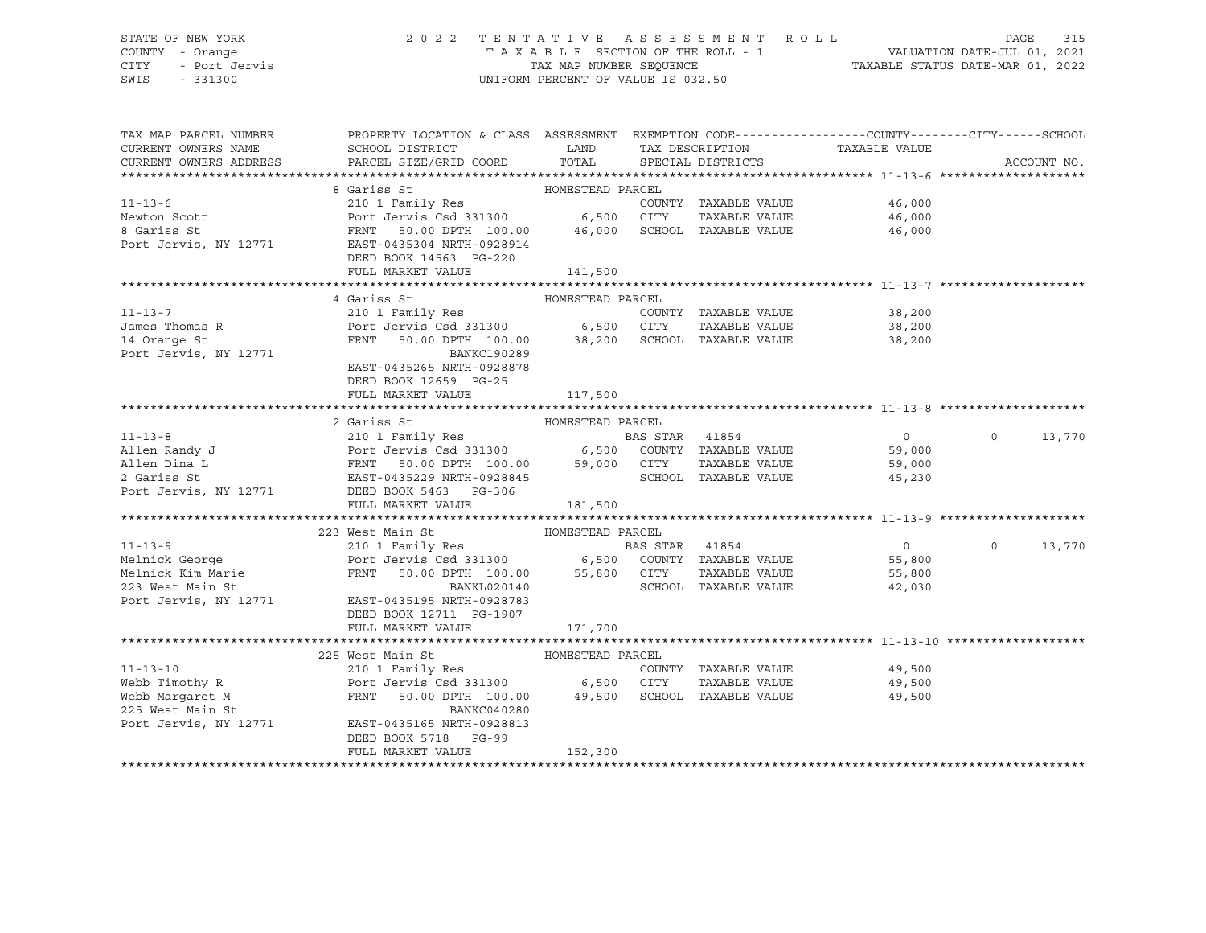# STATE OF NEW YORK 2 0 2 2 T E N T A T I V E A S S E S S M E N T R O L L PAGE 315 COUNTY - Orange T A X A B L E SECTION OF THE ROLL - 1 VALUATION DATE-JUL 01, 2021 CITY - Port Jervis TAX MAP NUMBER SEQUENCE TAXABLE STATUS DATE-MAR 01, 2022

| TAX MAP PARCEL NUMBER<br>CURRENT OWNERS NAME<br>CURRENT OWNERS ADDRESS                                                                                                                                                                                     | PROPERTY LOCATION & CLASS ASSESSMENT EXEMPTION CODE----------------COUNTY-------CITY------SCHOOL<br>SCHOOL DISTRICT<br>PARCEL SIZE/GRID COORD | <b>LAND</b><br>TOTAL |                | SPECIAL DISTRICTS    | TAX DESCRIPTION TAXABLE VALUE SPECIAL DISTRICTS | ACCOUNT NO.        |
|------------------------------------------------------------------------------------------------------------------------------------------------------------------------------------------------------------------------------------------------------------|-----------------------------------------------------------------------------------------------------------------------------------------------|----------------------|----------------|----------------------|-------------------------------------------------|--------------------|
| 3 Gariss St<br>210 1 Family Res<br>Newton Scott<br>8 Gariss St<br>210 1 Family Res<br>Port Jervis Csd 331300<br>6,500 CITY<br>210 1 Family Res<br>Port Jervis Csd 331300<br>6,500 CITY<br>210 1 Family Res<br>210 1 Family Res<br>210 1 Family Res<br>21   |                                                                                                                                               |                      |                |                      |                                                 |                    |
|                                                                                                                                                                                                                                                            |                                                                                                                                               |                      |                |                      | COUNTY TAXABLE VALUE<br>46,000                  |                    |
|                                                                                                                                                                                                                                                            |                                                                                                                                               |                      |                | TAXABLE VALUE        | 46,000                                          |                    |
|                                                                                                                                                                                                                                                            | 50.00 DPTH 100.00  46,000  SCHOOL TAXABLE VALUE                                                                                               |                      |                |                      | 46,000                                          |                    |
|                                                                                                                                                                                                                                                            |                                                                                                                                               |                      |                |                      |                                                 |                    |
|                                                                                                                                                                                                                                                            | DEED BOOK 14563 PG-220                                                                                                                        |                      |                |                      |                                                 |                    |
|                                                                                                                                                                                                                                                            | FULL MARKET VALUE                                                                                                                             | 141,500              |                |                      |                                                 |                    |
|                                                                                                                                                                                                                                                            |                                                                                                                                               |                      |                |                      |                                                 |                    |
| HOMESTEAD PARCEL<br>James Thomas R<br>James Thomas R<br>210 1 Family Res<br>Port Jervis Csd 331300<br>26,500 CITY TAXABLE VALUE<br>28,200<br>28,200<br>28,200<br>Port Jervis, NY 12771<br>BANKCLARE COMPTH 100.00<br>BANKCLARE COMPTH 200.00<br>28,200     |                                                                                                                                               |                      |                |                      |                                                 |                    |
|                                                                                                                                                                                                                                                            |                                                                                                                                               |                      |                |                      |                                                 |                    |
|                                                                                                                                                                                                                                                            |                                                                                                                                               |                      |                |                      |                                                 |                    |
|                                                                                                                                                                                                                                                            |                                                                                                                                               |                      |                |                      |                                                 |                    |
|                                                                                                                                                                                                                                                            |                                                                                                                                               |                      |                |                      |                                                 |                    |
|                                                                                                                                                                                                                                                            | EAST-0435265 NRTH-0928878                                                                                                                     |                      |                |                      |                                                 |                    |
|                                                                                                                                                                                                                                                            | DEED BOOK 12659 PG-25                                                                                                                         |                      |                |                      |                                                 |                    |
|                                                                                                                                                                                                                                                            | FULL MARKET VALUE                                                                                                                             | 117,500              |                |                      |                                                 |                    |
|                                                                                                                                                                                                                                                            |                                                                                                                                               |                      |                |                      |                                                 |                    |
|                                                                                                                                                                                                                                                            | 2 Gariss St                                                                                                                                   | HOMESTEAD PARCEL     |                |                      |                                                 |                    |
|                                                                                                                                                                                                                                                            |                                                                                                                                               |                      |                |                      | $\overline{0}$                                  | $\circ$<br>13,770  |
|                                                                                                                                                                                                                                                            |                                                                                                                                               |                      |                |                      | 59,000                                          |                    |
|                                                                                                                                                                                                                                                            |                                                                                                                                               |                      |                |                      | TAXABLE VALUE 59,000                            |                    |
| 11-13-8<br>210 1 Family Res<br>210 1 Family Res<br>Port Jervis Csd 331300<br>210 1 Family Res<br>Port Jervis Csd 331300<br>2 Gariss St<br>2 Gariss St<br>2 Gariss St<br>2 Gariss St<br>2 Gariss St<br>2 Gariss St<br>2 Gariss St<br>2 Gariss St<br>2 Garis |                                                                                                                                               |                      |                | SCHOOL TAXABLE VALUE | 45,230                                          |                    |
|                                                                                                                                                                                                                                                            |                                                                                                                                               |                      |                |                      |                                                 |                    |
|                                                                                                                                                                                                                                                            | FULL MARKET VALUE                                                                                                                             | 181,500              |                |                      |                                                 |                    |
|                                                                                                                                                                                                                                                            |                                                                                                                                               |                      |                |                      |                                                 |                    |
|                                                                                                                                                                                                                                                            | 223 West Main St                                                                                                                              |                      |                |                      |                                                 |                    |
| $11 - 13 - 9$                                                                                                                                                                                                                                              |                                                                                                                                               |                      | BAS STAR 41854 |                      | $\overline{0}$                                  | $\Omega$<br>13,770 |
|                                                                                                                                                                                                                                                            |                                                                                                                                               |                      |                |                      |                                                 |                    |
|                                                                                                                                                                                                                                                            |                                                                                                                                               |                      |                |                      |                                                 |                    |
|                                                                                                                                                                                                                                                            |                                                                                                                                               |                      |                |                      |                                                 |                    |
| Port Jervis, NY 12771 EAST-0435195 NRTH-0928783                                                                                                                                                                                                            |                                                                                                                                               |                      |                |                      |                                                 |                    |
|                                                                                                                                                                                                                                                            | DEED BOOK 12711 PG-1907                                                                                                                       |                      |                |                      |                                                 |                    |
|                                                                                                                                                                                                                                                            | FULL MARKET VALUE                                                                                                                             | 171,700              |                |                      |                                                 |                    |
|                                                                                                                                                                                                                                                            |                                                                                                                                               |                      |                |                      |                                                 |                    |
|                                                                                                                                                                                                                                                            | HOMESTEAD PARCEL<br>225 West Main St                                                                                                          |                      |                |                      |                                                 |                    |
| $11 - 13 - 10$                                                                                                                                                                                                                                             | 210 1 Family Res                                                                                                                              |                      |                | COUNTY TAXABLE VALUE | 49,500<br>49,500                                |                    |
|                                                                                                                                                                                                                                                            |                                                                                                                                               |                      |                | TAXABLE VALUE        |                                                 |                    |
| Webb Margaret M<br>225 West Main St<br>Port Jervis, NY 12771 EAST-043516                                                                                                                                                                                   | FRNT 50.00 DPTH 100.00 49,500 SCHOOL TAXABLE VALUE                                                                                            |                      |                |                      | 49,500                                          |                    |
|                                                                                                                                                                                                                                                            | BANKC040280                                                                                                                                   |                      |                |                      |                                                 |                    |
|                                                                                                                                                                                                                                                            | EAST-0435165 NRTH-0928813                                                                                                                     |                      |                |                      |                                                 |                    |
|                                                                                                                                                                                                                                                            | DEED BOOK 5718 PG-99                                                                                                                          |                      |                |                      |                                                 |                    |
|                                                                                                                                                                                                                                                            | FULL MARKET VALUE                                                                                                                             | 152,300              |                |                      |                                                 |                    |
|                                                                                                                                                                                                                                                            |                                                                                                                                               |                      |                |                      |                                                 |                    |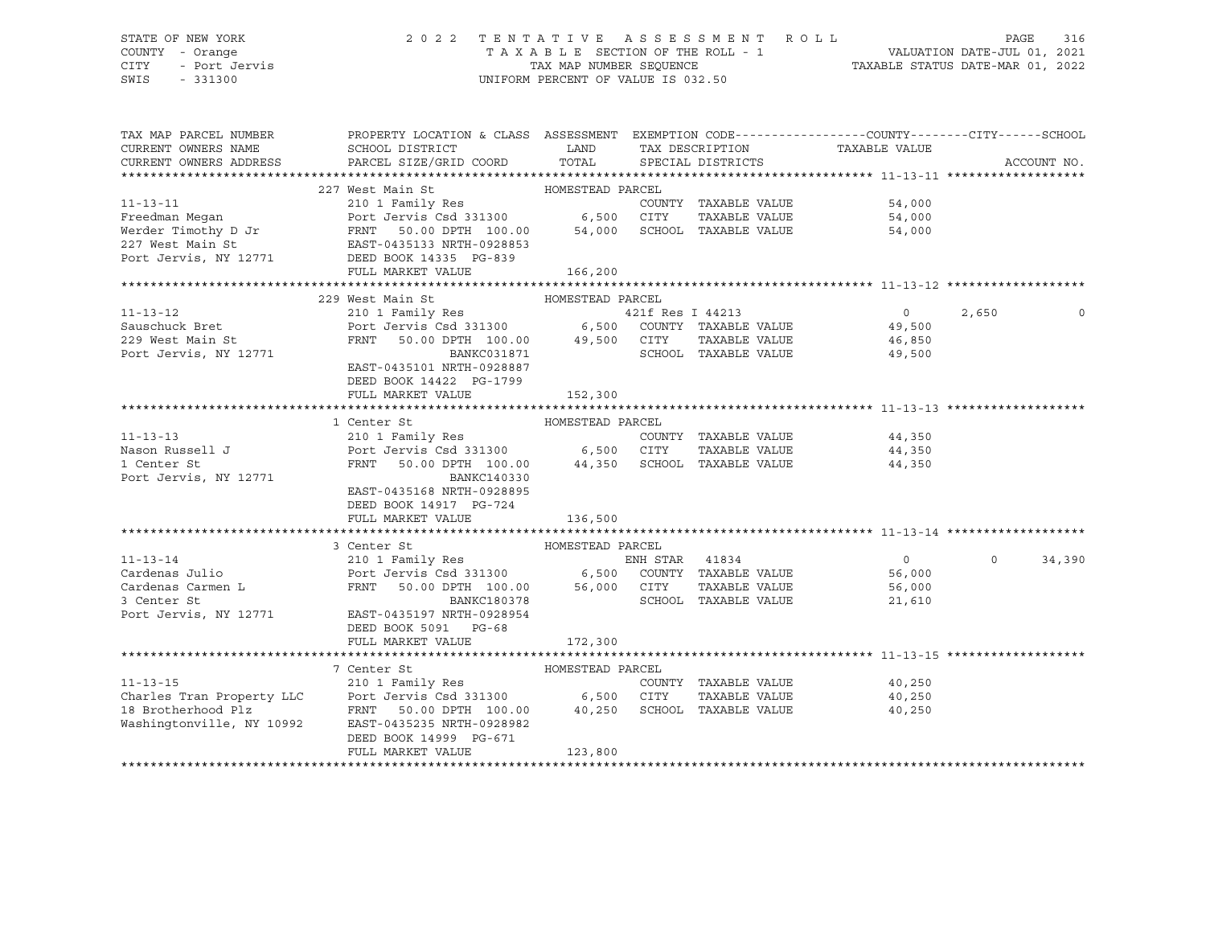### STATE OF NEW YORK 2 0 2 2 T E N T A T I V E A S S E S S M E N T R O L L PAGE 316 COUNTY - Orange T A X A B L E SECTION OF THE ROLL - 1 VALUATION DATE-JUL 01, 2021 CITY - Port Jervis TAX MAP NUMBER SEQUENCE TAXABLE STATUS DATE-MAR 01, 2022

| TAX MAP PARCEL NUMBER<br>CURRENT OWNERS NAME<br>CURRENT OWNERS ADDRESS                                                                                                                                                                | PROPERTY LOCATION & CLASS ASSESSMENT EXEMPTION CODE----------------COUNTY-------CITY------SCHOOL<br>SCHOOL DISTRICT<br>PARCEL SIZE/GRID COORD TOTAL | <b>EXAMPLE THE STATE OF STATE OF STATE</b> |                      | TAX DESCRIPTION TAXABLE VALUE SPECIAL DISTRICTS          |                  | ACCOUNT NO.        |
|---------------------------------------------------------------------------------------------------------------------------------------------------------------------------------------------------------------------------------------|-----------------------------------------------------------------------------------------------------------------------------------------------------|--------------------------------------------|----------------------|----------------------------------------------------------|------------------|--------------------|
|                                                                                                                                                                                                                                       |                                                                                                                                                     |                                            |                      |                                                          |                  |                    |
|                                                                                                                                                                                                                                       | 227 West Main St Management HOMESTEAD PARCEL                                                                                                        |                                            |                      |                                                          |                  |                    |
| 11-13-11<br>Preedman Megan Port Jervis Csd 331300 6,500 CITY TAXABLE VALUE<br>Werder Timothy D Jr FRNT 50.00 DPTH 100.00 54,000 SCHOOL TAXABLE VALUE<br>227 West Main St EAST-0435133 NRTH-0928853<br>Port Jervis, NY 12771 DEED BOOK |                                                                                                                                                     |                                            |                      |                                                          |                  |                    |
|                                                                                                                                                                                                                                       |                                                                                                                                                     |                                            |                      | COUNTY TAXABLE VALUE 54,000<br>CITY TAXABLE VALUE 54,000 | 54,000           |                    |
|                                                                                                                                                                                                                                       |                                                                                                                                                     |                                            |                      |                                                          | 54,000           |                    |
|                                                                                                                                                                                                                                       |                                                                                                                                                     |                                            |                      |                                                          |                  |                    |
|                                                                                                                                                                                                                                       |                                                                                                                                                     |                                            |                      |                                                          |                  |                    |
|                                                                                                                                                                                                                                       | FULL MARKET VALUE                                                                                                                                   | 166, 200                                   |                      |                                                          |                  |                    |
|                                                                                                                                                                                                                                       |                                                                                                                                                     |                                            |                      |                                                          |                  |                    |
|                                                                                                                                                                                                                                       | HOMESTEAD PARCEL<br>229 West Main St                                                                                                                |                                            |                      |                                                          |                  |                    |
|                                                                                                                                                                                                                                       |                                                                                                                                                     |                                            |                      |                                                          | $\overline{0}$   | 2,650              |
|                                                                                                                                                                                                                                       |                                                                                                                                                     |                                            |                      |                                                          |                  |                    |
| 229 West Main St<br>-                                                                                                                                                                                                                 | FRNT                                                                                                                                                |                                            |                      | TAXABLE VALUE                                            |                  |                    |
| Port Jervis, NY 12771                                                                                                                                                                                                                 | 50.00 DPTH 100.00 49,500 CITY<br>BANKC031871 SCHOOL                                                                                                 |                                            | SCHOOL TAXABLE VALUE |                                                          | 46,850<br>49.500 |                    |
|                                                                                                                                                                                                                                       | EAST-0435101 NRTH-0928887                                                                                                                           |                                            |                      |                                                          |                  |                    |
|                                                                                                                                                                                                                                       | DEED BOOK 14422 PG-1799                                                                                                                             |                                            |                      |                                                          |                  |                    |
|                                                                                                                                                                                                                                       | FULL MARKET VALUE                                                                                                                                   | 152,300                                    |                      |                                                          |                  |                    |
|                                                                                                                                                                                                                                       |                                                                                                                                                     |                                            |                      |                                                          |                  |                    |
|                                                                                                                                                                                                                                       | HOMESTEAD PARCEL<br>210 1 Family Res<br>Port Jervis Csd 331300 6,500 CITY<br>FRNT 50.00 DPTH 100.00 2117                                            |                                            |                      |                                                          |                  |                    |
| $11 - 13 - 13$                                                                                                                                                                                                                        |                                                                                                                                                     |                                            |                      | COUNTY TAXABLE VALUE 44,350                              |                  |                    |
| Nason Russell J                                                                                                                                                                                                                       |                                                                                                                                                     |                                            | TAXABLE VALUE        |                                                          | 44,350           |                    |
| 1 Center St                                                                                                                                                                                                                           | 50.00 DPTH 100.00 44,350 SCHOOL TAXABLE VALUE 44,350                                                                                                |                                            |                      |                                                          |                  |                    |
| Port Jervis, NY 12771                                                                                                                                                                                                                 | BANKC140330                                                                                                                                         |                                            |                      |                                                          |                  |                    |
|                                                                                                                                                                                                                                       | EAST-0435168 NRTH-0928895                                                                                                                           |                                            |                      |                                                          |                  |                    |
|                                                                                                                                                                                                                                       | DEED BOOK 14917 PG-724                                                                                                                              |                                            |                      |                                                          |                  |                    |
|                                                                                                                                                                                                                                       | FULL MARKET VALUE                                                                                                                                   | 136,500                                    |                      |                                                          |                  |                    |
|                                                                                                                                                                                                                                       |                                                                                                                                                     |                                            |                      |                                                          |                  |                    |
|                                                                                                                                                                                                                                       | 3 Center St                                                                                                                                         | HOMESTEAD PARCEL                           |                      |                                                          |                  |                    |
|                                                                                                                                                                                                                                       |                                                                                                                                                     |                                            |                      |                                                          | $\overline{0}$   | $\Omega$<br>34,390 |
|                                                                                                                                                                                                                                       |                                                                                                                                                     |                                            |                      |                                                          | 56,000           |                    |
|                                                                                                                                                                                                                                       |                                                                                                                                                     |                                            |                      | TAXABLE VALUE 56,000                                     |                  |                    |
| 11-13-14<br>Cardenas Julio<br>Cardenas Carmen L<br>Cardenas Carmen L<br>Cardenas Carmen L<br>Cardenas Carmen L<br>Cardenas Carmen L<br>FRNT 50.00 DPTH 100.00 56,000 CITY TAXABLE VALUE<br>BANKC180378 SCHOOL TAXABLE VALUE           |                                                                                                                                                     |                                            |                      | SCHOOL TAXABLE VALUE                                     | 21,610           |                    |
| Port Jervis, NY 12771 EAST-0435197 NRTH-0928954                                                                                                                                                                                       |                                                                                                                                                     |                                            |                      |                                                          |                  |                    |
|                                                                                                                                                                                                                                       | DEED BOOK 5091 PG-68                                                                                                                                |                                            |                      |                                                          |                  |                    |
|                                                                                                                                                                                                                                       | FULL MARKET VALUE                                                                                                                                   | 172,300                                    |                      |                                                          |                  |                    |
|                                                                                                                                                                                                                                       |                                                                                                                                                     |                                            |                      |                                                          |                  |                    |
|                                                                                                                                                                                                                                       | 7 Center St                                                                                                                                         | HOMESTEAD PARCEL                           |                      |                                                          |                  |                    |
| $11 - 13 - 15$                                                                                                                                                                                                                        |                                                                                                                                                     |                                            | COUNTY TAXABLE VALUE | 40,250                                                   |                  |                    |
| Charles Tran Property LLC<br>18 Brotherhood Plz<br>Washingtonville, NY 10992 EAST-0435235 NRTH-0928982<br>2011 - Mashingtonville, NY 10992 EAST-0435235 NRTH-0928982                                                                  |                                                                                                                                                     |                                            |                      | TAXABLE VALUE 40,250                                     |                  |                    |
|                                                                                                                                                                                                                                       |                                                                                                                                                     |                                            |                      |                                                          | 40,250           |                    |
|                                                                                                                                                                                                                                       |                                                                                                                                                     |                                            |                      |                                                          |                  |                    |
|                                                                                                                                                                                                                                       | DEED BOOK 14999 PG-671                                                                                                                              |                                            |                      |                                                          |                  |                    |
|                                                                                                                                                                                                                                       | FULL MARKET VALUE                                                                                                                                   | 123,800                                    |                      |                                                          |                  |                    |
|                                                                                                                                                                                                                                       |                                                                                                                                                     |                                            |                      |                                                          |                  |                    |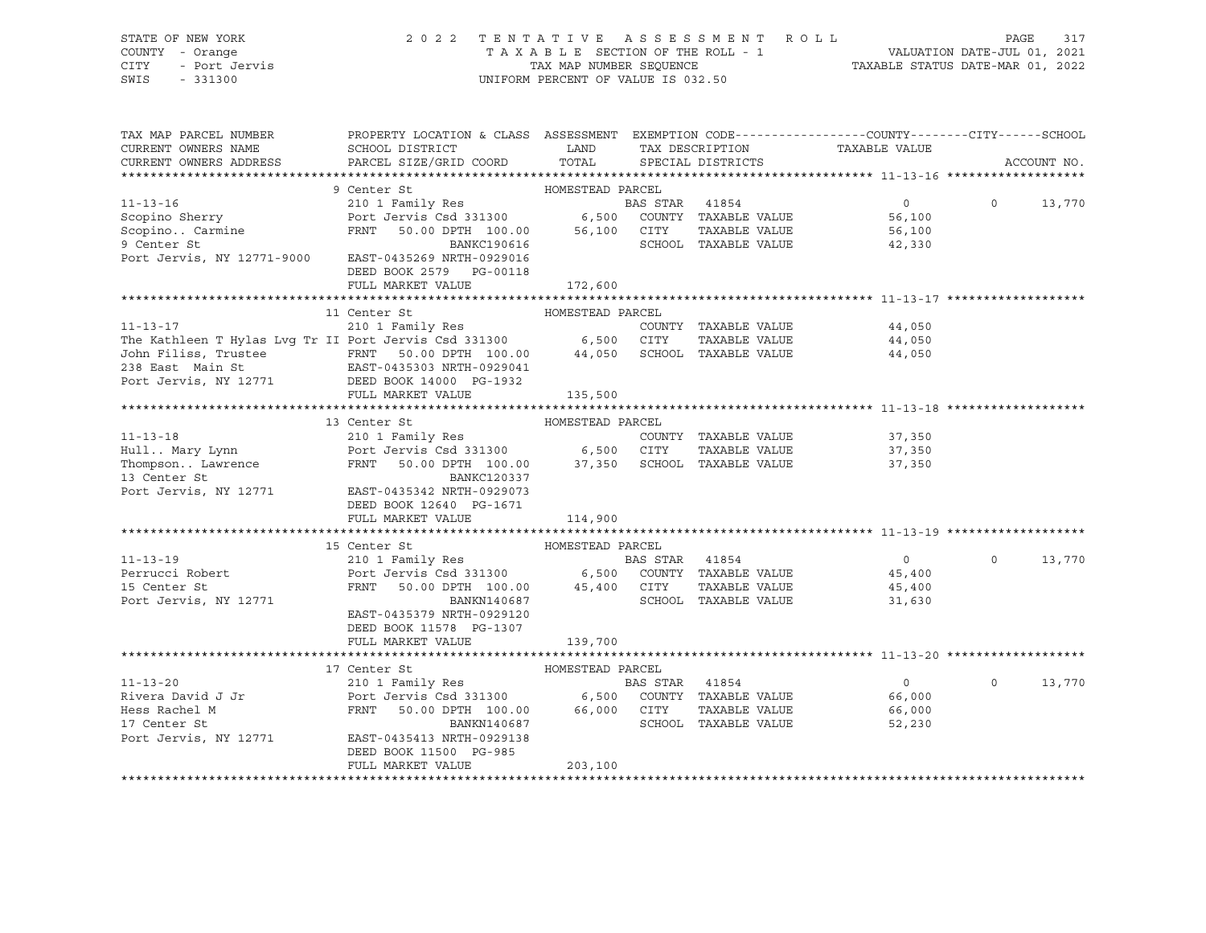| STATE OF NEW YORK<br>COUNTY - Orange<br><b>CITY</b><br>- Port Jervis<br>SWIS<br>$-331300$                                                                            | 2 0 2 2                                                                                                                                         | TENTATIVE<br>UNIFORM PERCENT OF VALUE IS 032.50 |                | ASSESSMENT ROLL      | T A X A B L E SECTION OF THE ROLL - 1<br>T A X A B L E SECTION OF THE ROLL - 1<br>TAXABLE STATUS DATE-MAR 01, 2022 | PAGE     | 317         |
|----------------------------------------------------------------------------------------------------------------------------------------------------------------------|-------------------------------------------------------------------------------------------------------------------------------------------------|-------------------------------------------------|----------------|----------------------|--------------------------------------------------------------------------------------------------------------------|----------|-------------|
| TAX MAP PARCEL NUMBER<br>CURRENT OWNERS NAME                                                                                                                         | PROPERTY LOCATION & CLASS ASSESSMENT EXEMPTION CODE----------------COUNTY-------CITY------SCHOOL<br>SCHOOL DISTRICT                             | LAND                                            |                | TAX DESCRIPTION      | TAXABLE VALUE                                                                                                      |          |             |
| CURRENT OWNERS ADDRESS                                                                                                                                               | PARCEL SIZE/GRID COORD                                                                                                                          | TOTAL                                           |                | SPECIAL DISTRICTS    |                                                                                                                    |          | ACCOUNT NO. |
|                                                                                                                                                                      | 9 Center St                                                                                                                                     | HOMESTEAD PARCEL                                |                |                      |                                                                                                                    |          |             |
| $11 - 13 - 16$                                                                                                                                                       | 210 1 Family Res                                                                                                                                |                                                 | BAS STAR 41854 |                      | $0 \qquad \qquad$                                                                                                  | $\Omega$ | 13,770      |
| Scopino Sherry                                                                                                                                                       |                                                                                                                                                 |                                                 |                | COUNTY TAXABLE VALUE | 56,100                                                                                                             |          |             |
| Scopino Carmine                                                                                                                                                      | EXEMPT FAILLY RESERVED FOR THE POTT JET THAT THE POST SERVED OF STATE THAT THE POST OF THE POST OF THE POST OF<br>FRNT 50.00 DPTH 100.00 56,100 |                                                 |                | CITY TAXABLE VALUE   | 56,100                                                                                                             |          |             |
| 9 Center St                                                                                                                                                          | BANKC190616                                                                                                                                     |                                                 |                | SCHOOL TAXABLE VALUE | 42,330                                                                                                             |          |             |
| Port Jervis, NY 12771-9000 EAST-0435269 NRTH-0929016                                                                                                                 | DEED BOOK 2579 PG-00118                                                                                                                         |                                                 |                |                      |                                                                                                                    |          |             |
|                                                                                                                                                                      | FULL MARKET VALUE                                                                                                                               | 172,600                                         |                |                      |                                                                                                                    |          |             |
|                                                                                                                                                                      |                                                                                                                                                 |                                                 |                |                      |                                                                                                                    |          |             |
|                                                                                                                                                                      | 11 Center St                                                                                                                                    | HOMESTEAD PARCEL                                |                |                      |                                                                                                                    |          |             |
| $11 - 13 - 17$                                                                                                                                                       | 210 1 Family Res                                                                                                                                |                                                 |                | COUNTY TAXABLE VALUE | 44,050                                                                                                             |          |             |
| The Kathleen T Hylas Lvg Tr II Port Jervis Csd 331300 6,500                                                                                                          |                                                                                                                                                 |                                                 | CITY           | TAXABLE VALUE        | 44,050                                                                                                             |          |             |
| John Filiss, Trustee               FRNT     50.00 DPTH  100.00<br>238 East Main St               EAST-0435303 NRTH-0929041                                           |                                                                                                                                                 | 44,050                                          |                | SCHOOL TAXABLE VALUE | 44,050                                                                                                             |          |             |
| Port Jervis, NY 12771                                                                                                                                                |                                                                                                                                                 |                                                 |                |                      |                                                                                                                    |          |             |
|                                                                                                                                                                      | DEED BOOK 14000 PG-1932<br>FULL MARKET VALUE                                                                                                    | 135,500                                         |                |                      |                                                                                                                    |          |             |
|                                                                                                                                                                      |                                                                                                                                                 |                                                 |                |                      |                                                                                                                    |          |             |
|                                                                                                                                                                      | 13 Center St                                                                                                                                    | HOMESTEAD PARCEL                                |                |                      |                                                                                                                    |          |             |
| Hull Mary Lynn<br>Hull Mary Lynn<br>Thompson Lawrence<br>13 Center St<br>13 Center St<br>210 1 Family Res<br>Port Jervis Csd 331300<br>FRNT 50.00 DPTH 100.00 37,350 |                                                                                                                                                 |                                                 |                | COUNTY TAXABLE VALUE | 37,350                                                                                                             |          |             |
|                                                                                                                                                                      |                                                                                                                                                 |                                                 | CITY           | TAXABLE VALUE        | 37,350                                                                                                             |          |             |
|                                                                                                                                                                      |                                                                                                                                                 |                                                 |                | SCHOOL TAXABLE VALUE | 37,350                                                                                                             |          |             |
|                                                                                                                                                                      |                                                                                                                                                 |                                                 |                |                      |                                                                                                                    |          |             |
| Port Jervis, NY 12771 EAST-0435342 NRTH-0929073                                                                                                                      |                                                                                                                                                 |                                                 |                |                      |                                                                                                                    |          |             |
|                                                                                                                                                                      | DEED BOOK 12640 PG-1671                                                                                                                         |                                                 |                |                      |                                                                                                                    |          |             |
|                                                                                                                                                                      | FULL MARKET VALUE                                                                                                                               | 114,900                                         |                |                      |                                                                                                                    |          |             |
|                                                                                                                                                                      |                                                                                                                                                 |                                                 |                |                      |                                                                                                                    |          |             |
|                                                                                                                                                                      | 15 Center St                                                                                                                                    | HOMESTEAD PARCEL                                |                |                      |                                                                                                                    |          |             |
| $11 - 13 - 19$                                                                                                                                                       | 210 1 Family Res                                                                                                                                |                                                 | BAS STAR 41854 |                      | $\overline{0}$                                                                                                     | $\circ$  | 13,770      |
| Perrucci Robert                                                                                                                                                      | Port Jervis Csd 331300                                                                                                                          | 6,500                                           |                | COUNTY TAXABLE VALUE | 45,400                                                                                                             |          |             |
| 15 Center St                                                                                                                                                         | 50.00 DPTH 100.00 45,400 CITY<br>FRNT                                                                                                           |                                                 |                | TAXABLE VALUE        | 45,400                                                                                                             |          |             |
| Port Jervis, NY 12771                                                                                                                                                | BANKN140687                                                                                                                                     |                                                 |                | SCHOOL TAXABLE VALUE | 31,630                                                                                                             |          |             |
|                                                                                                                                                                      | EAST-0435379 NRTH-0929120<br>DEED BOOK 11578 PG-1307                                                                                            |                                                 |                |                      |                                                                                                                    |          |             |
|                                                                                                                                                                      | FULL MARKET VALUE                                                                                                                               | 139,700                                         |                |                      |                                                                                                                    |          |             |
|                                                                                                                                                                      |                                                                                                                                                 |                                                 |                |                      |                                                                                                                    |          |             |
|                                                                                                                                                                      | 17 Center St                                                                                                                                    | HOMESTEAD PARCEL                                |                |                      |                                                                                                                    |          |             |
| $11 - 13 - 20$                                                                                                                                                       | 210 1 Family Res                                                                                                                                |                                                 | BAS STAR 41854 |                      | $\overline{0}$                                                                                                     | $\Omega$ | 13,770      |
|                                                                                                                                                                      |                                                                                                                                                 |                                                 |                | COUNTY TAXABLE VALUE | 66,000                                                                                                             |          |             |
| Rivera David J Jr<br>Hess Rachel M                                                                                                                                   | Port Jervis Csd 331300 6,500<br>FRNT 50.00 DPTH 100.00 66,000                                                                                   |                                                 | CITY           | TAXABLE VALUE        | 66,000                                                                                                             |          |             |
| 17 Center St                                                                                                                                                         | BANKN140687                                                                                                                                     |                                                 |                | SCHOOL TAXABLE VALUE | 52,230                                                                                                             |          |             |
| Port Jervis, NY 12771                                                                                                                                                | EAST-0435413 NRTH-0929138                                                                                                                       |                                                 |                |                      |                                                                                                                    |          |             |
|                                                                                                                                                                      | DEED BOOK 11500 PG-985                                                                                                                          |                                                 |                |                      |                                                                                                                    |          |             |
|                                                                                                                                                                      | FULL MARKET VALUE                                                                                                                               | 203,100                                         |                |                      |                                                                                                                    |          |             |
|                                                                                                                                                                      |                                                                                                                                                 |                                                 |                |                      |                                                                                                                    |          |             |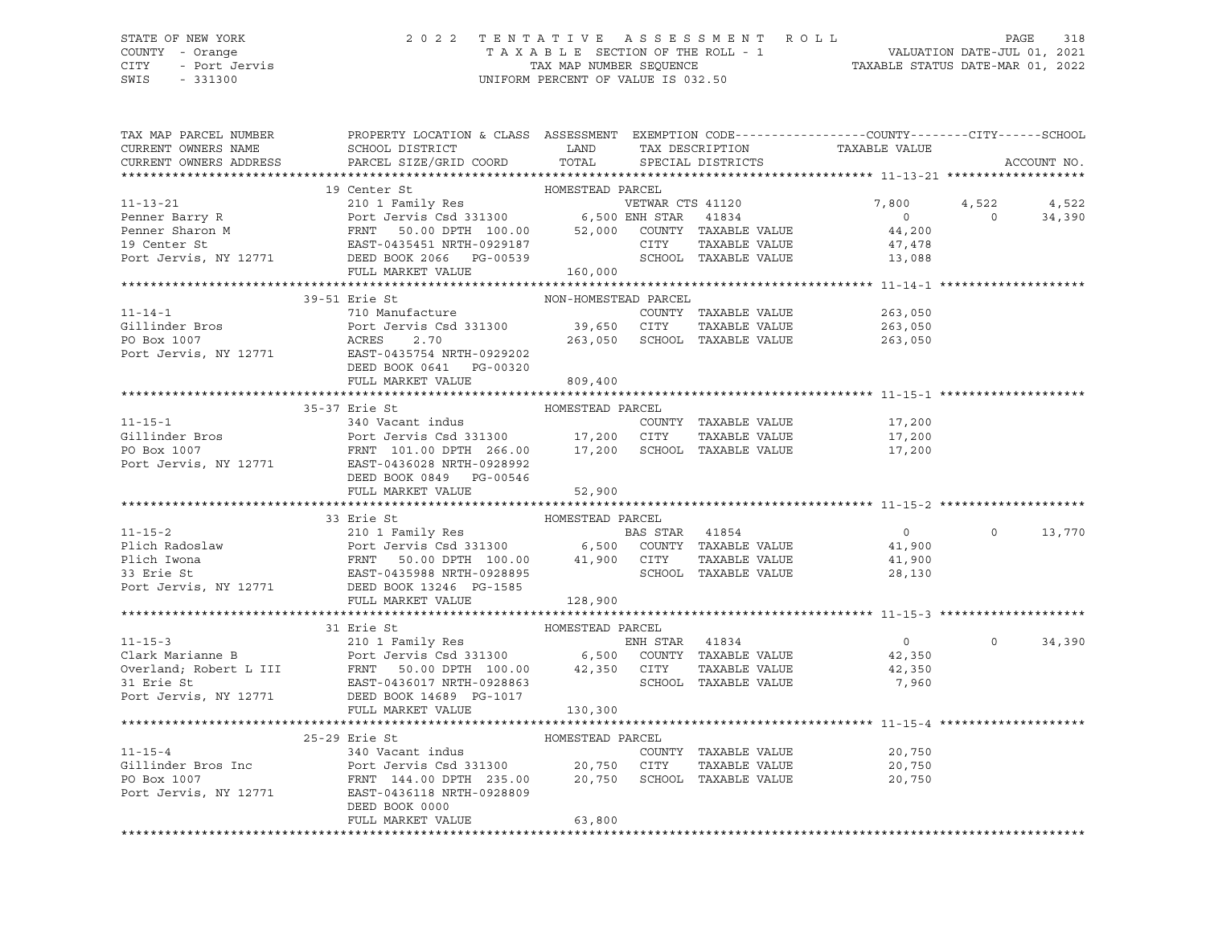## STATE OF NEW YORK 2 0 2 2 T E N T A T I V E A S S E S S M E N T R O L L PAGE 318 COUNTY - Orange T A X A B L E SECTION OF THE ROLL - 1 VALUATION DATE-JUL 01, 2021 CITY - Port Jervis TAX MAP NUMBER SEQUENCE TAXABLE STATUS DATE-MAR 01, 2022

| TAX MAP PARCEL NUMBER  | PROPERTY LOCATION & CLASS ASSESSMENT EXEMPTION CODE----------------COUNTY-------CITY------SCHOOL                                                                                                                                                                                                                                                                                                                                             |                      |                                                                |                            |                |             |
|------------------------|----------------------------------------------------------------------------------------------------------------------------------------------------------------------------------------------------------------------------------------------------------------------------------------------------------------------------------------------------------------------------------------------------------------------------------------------|----------------------|----------------------------------------------------------------|----------------------------|----------------|-------------|
| CURRENT OWNERS NAME    | SCHOOL DISTRICT LAND                                                                                                                                                                                                                                                                                                                                                                                                                         |                      |                                                                |                            |                |             |
| CURRENT OWNERS ADDRESS | PARCEL SIZE/GRID COORD                                                                                                                                                                                                                                                                                                                                                                                                                       |                      |                                                                |                            |                | ACCOUNT NO. |
|                        |                                                                                                                                                                                                                                                                                                                                                                                                                                              |                      |                                                                |                            |                |             |
|                        |                                                                                                                                                                                                                                                                                                                                                                                                                                              |                      |                                                                |                            |                |             |
|                        |                                                                                                                                                                                                                                                                                                                                                                                                                                              |                      |                                                                | 7,800 4,522                |                | 4,522       |
|                        |                                                                                                                                                                                                                                                                                                                                                                                                                                              |                      |                                                                | $\overline{0}$             | $\overline{0}$ | 34,390      |
|                        |                                                                                                                                                                                                                                                                                                                                                                                                                                              |                      |                                                                | 44,200                     |                |             |
|                        |                                                                                                                                                                                                                                                                                                                                                                                                                                              |                      |                                                                | 47,478                     |                |             |
|                        |                                                                                                                                                                                                                                                                                                                                                                                                                                              |                      | SCHOOL TAXABLE VALUE 13,088                                    |                            |                |             |
|                        | $\begin{tabular}{lcccc} & & 11-13-21 & & 19 Center St & & \text{HOMESTEAD PARCEL} \\ & & 210 1 Family Res & & VETWAR CTS 41120 \\ & & Port Jerris Csd 331300 & & 6,500 ENH STAR & 41834 \\ & & FRNT & 50.00 DPTH 100.00 & & 52,000 COUNTY TAXABLE VALUE \\ 19 Center St & & EAST-0435451 NRTH-0929187 & & CITY TAXABLE VALUE \\ & & FULL MARKET VALUE & & & 160,000 \\ & & & FULL MARKET VALUE & & & 160,000 \\ & & & &$                     |                      |                                                                |                            |                |             |
|                        |                                                                                                                                                                                                                                                                                                                                                                                                                                              |                      |                                                                |                            |                |             |
|                        | 39-51 Erie St                                                                                                                                                                                                                                                                                                                                                                                                                                | NON-HOMESTEAD PARCEL |                                                                |                            |                |             |
|                        |                                                                                                                                                                                                                                                                                                                                                                                                                                              |                      | COUNTY TAXABLE VALUE $263,050$<br>CITY TAXABLE VALUE $263,050$ |                            |                |             |
|                        |                                                                                                                                                                                                                                                                                                                                                                                                                                              |                      |                                                                |                            |                |             |
|                        |                                                                                                                                                                                                                                                                                                                                                                                                                                              |                      | 263,050 SCHOOL TAXABLE VALUE 263,050                           |                            |                |             |
|                        | 11-14-1<br>Gillinder Bros<br>FARCEN<br>FARCEN<br>COUNTY<br>PO Box 1007<br>Port Jervis, NY 12771<br>EAST-0435754 NRTH-0929202<br>Port Jervis, NY 12771<br>EAST-0435754 NRTH-0929202<br>Port Jervis, NY 12771                                                                                                                                                                                                                                  |                      |                                                                |                            |                |             |
|                        | DEED BOOK 0641 PG-00320                                                                                                                                                                                                                                                                                                                                                                                                                      |                      |                                                                |                            |                |             |
|                        | FULL MARKET VALUE                                                                                                                                                                                                                                                                                                                                                                                                                            | 809,400              |                                                                |                            |                |             |
|                        |                                                                                                                                                                                                                                                                                                                                                                                                                                              |                      |                                                                |                            |                |             |
|                        | 35-37 Erie St<br>11-15-1<br>340 Vacant indus<br>340 Vacant indus<br>266.00 17,200 CITY TAXABLE VALUE<br>266.00 17,200 SCHOOL TAXABLE VALUE<br>266.00 17,200 SCHOOL TAXABLE VALUE<br>267.1007 FRNT 101.00 DPTH 266.00 17,200 SCHOOL TAXABLE VALUE<br>277.200 P                                                                                                                                                                                | HOMESTEAD PARCEL     |                                                                |                            |                |             |
|                        |                                                                                                                                                                                                                                                                                                                                                                                                                                              |                      |                                                                |                            |                |             |
|                        |                                                                                                                                                                                                                                                                                                                                                                                                                                              |                      |                                                                |                            |                |             |
|                        |                                                                                                                                                                                                                                                                                                                                                                                                                                              |                      |                                                                |                            |                |             |
|                        |                                                                                                                                                                                                                                                                                                                                                                                                                                              |                      |                                                                |                            |                |             |
|                        | DEED BOOK 0849 PG-00546                                                                                                                                                                                                                                                                                                                                                                                                                      |                      |                                                                |                            |                |             |
|                        | FULL MARKET VALUE 52,900                                                                                                                                                                                                                                                                                                                                                                                                                     |                      |                                                                |                            |                |             |
|                        |                                                                                                                                                                                                                                                                                                                                                                                                                                              |                      |                                                                |                            |                |             |
|                        | 33 Erie St HOMESTEAD PARCEL<br>210 1 Family Res BAS STAR 41854 0<br>Plich Radoslaw Port Jervis Csd 331300 6,500 COUNTY TAXABLE VALUE<br>216 IWona FRNT 50.00 DPTH 100.00 41,900 CITY TAXABLE VALUE 41,900<br>33 Erie St EAST-0435988 N                                                                                                                                                                                                       |                      |                                                                |                            |                |             |
|                        |                                                                                                                                                                                                                                                                                                                                                                                                                                              |                      |                                                                |                            | $\Omega$       | 13,770      |
|                        |                                                                                                                                                                                                                                                                                                                                                                                                                                              |                      |                                                                |                            |                |             |
|                        |                                                                                                                                                                                                                                                                                                                                                                                                                                              |                      |                                                                |                            |                |             |
|                        |                                                                                                                                                                                                                                                                                                                                                                                                                                              |                      |                                                                |                            |                |             |
|                        |                                                                                                                                                                                                                                                                                                                                                                                                                                              |                      |                                                                |                            |                |             |
|                        | FULL MARKET VALUE                                                                                                                                                                                                                                                                                                                                                                                                                            | 128,900              |                                                                |                            |                |             |
|                        |                                                                                                                                                                                                                                                                                                                                                                                                                                              |                      |                                                                |                            |                |             |
|                        | 31 Erie St                                                                                                                                                                                                                                                                                                                                                                                                                                   | HOMESTEAD PARCEL     |                                                                |                            |                |             |
|                        | 11-15-3<br>Clark Marianne B<br>Clark Marianne B<br>Clark Marianne B<br>Clark Marianne B<br>Clark Marianne B<br>Clark Marianne B<br>Clark Marianne B<br>Clark Marianne B<br>Clark Marianne B<br>Clark Marianne B<br>Clark Marianne B<br>Clark Marianne                                                                                                                                                                                        |                      | ENH STAR 41834                                                 | $\overline{0}$             | $\Omega$       | 34,390      |
|                        |                                                                                                                                                                                                                                                                                                                                                                                                                                              |                      |                                                                | $0$<br>42,350              |                |             |
|                        |                                                                                                                                                                                                                                                                                                                                                                                                                                              |                      | TAXABLE VALUE                                                  | 42,350                     |                |             |
|                        |                                                                                                                                                                                                                                                                                                                                                                                                                                              |                      |                                                                | 7,960                      |                |             |
|                        | Port Jervis, NY 12771 DEED BOOK 14689 PG-1017                                                                                                                                                                                                                                                                                                                                                                                                |                      |                                                                |                            |                |             |
|                        | FULL MARKET VALUE                                                                                                                                                                                                                                                                                                                                                                                                                            | 130, 300             |                                                                |                            |                |             |
|                        |                                                                                                                                                                                                                                                                                                                                                                                                                                              |                      |                                                                |                            |                |             |
|                        |                                                                                                                                                                                                                                                                                                                                                                                                                                              |                      |                                                                |                            |                |             |
|                        | $\begin{tabular}{lcccc} \multicolumn{1}{c}{25-29 &\text{Erie St}} & \text{HOMESTEAD PARCH} \\ & 340\text{ Vacant} \text{ indus} & \text{COUNTY} & \text{TAXABLE VALUE} \\ \text{Gillinder Bros Inc} & \text{Port Jervis Csd 331300} & 20,750\text{ CITY} & \text{TAXABLE VALUE} \\ \text{PO Box 1007} & \text{FRNT 144.00 DPTH 235.00} & 20,750\text{ SCHOOL TAXABLE VALUE} \\ \text{Port Jervis, NY 12771} & \text{EAST-0436118 NRTH-09288$ |                      | COUNTY TAXABLE VALUE                                           | 20,750                     |                |             |
|                        |                                                                                                                                                                                                                                                                                                                                                                                                                                              |                      | TAXABLE VALUE                                                  |                            |                |             |
|                        |                                                                                                                                                                                                                                                                                                                                                                                                                                              |                      |                                                                | 20,750<br>20.750<br>20,750 |                |             |
|                        |                                                                                                                                                                                                                                                                                                                                                                                                                                              |                      |                                                                |                            |                |             |
|                        | DEED BOOK 0000                                                                                                                                                                                                                                                                                                                                                                                                                               |                      |                                                                |                            |                |             |
|                        | FULL MARKET VALUE                                                                                                                                                                                                                                                                                                                                                                                                                            | 63,800               |                                                                |                            |                |             |
|                        |                                                                                                                                                                                                                                                                                                                                                                                                                                              |                      |                                                                |                            |                |             |
|                        |                                                                                                                                                                                                                                                                                                                                                                                                                                              |                      |                                                                |                            |                |             |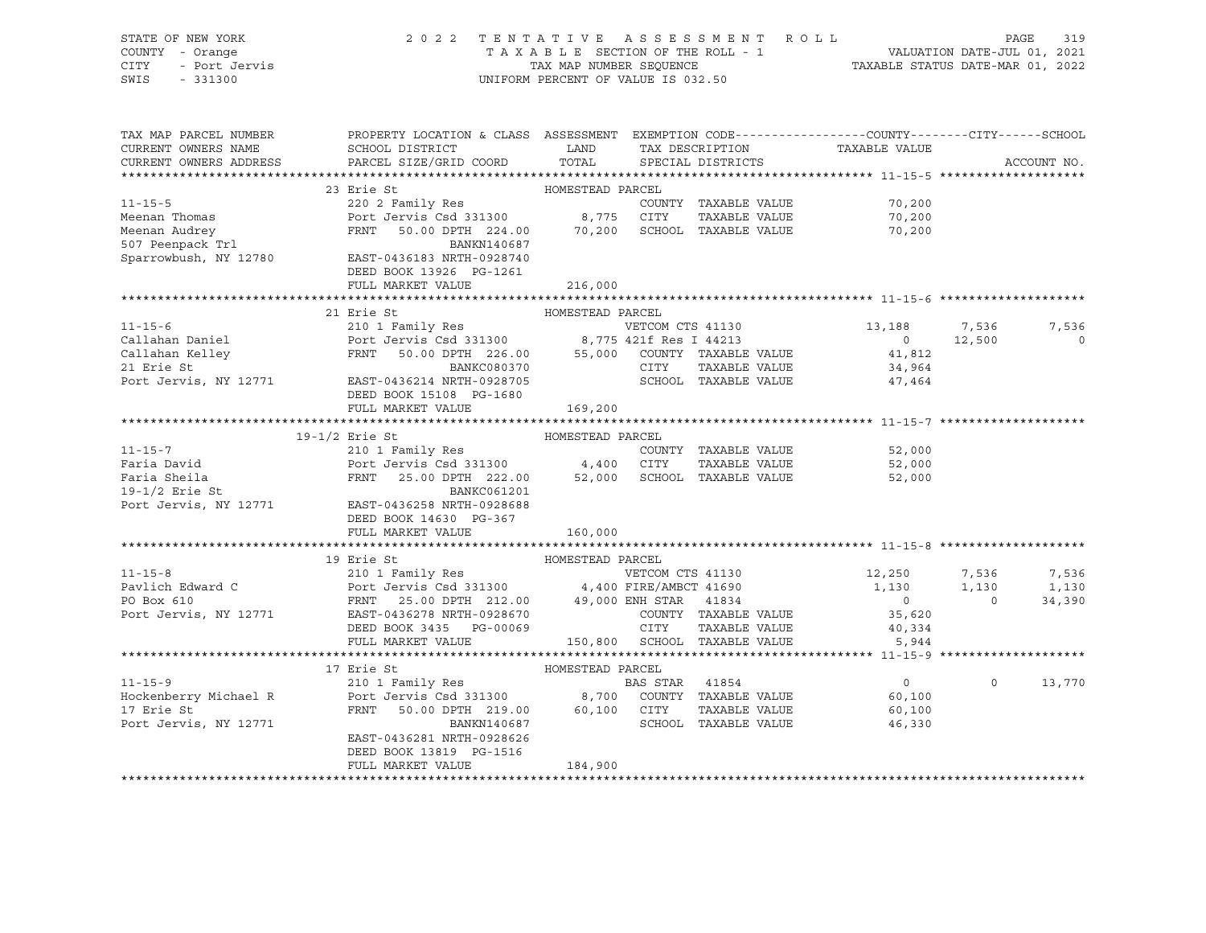| SWIS | STATE OF NEW YORK<br>COUNTY - Orange<br>CITY - Port Jervis<br>$-331300$ | 2 0 2 2                                                 | TAX MAP NUMBER SEOUENCE | TENTATIVE ASSESSMENT ROLL<br>TAXABLE SECTION OF THE ROLL - 1<br>UNIFORM PERCENT OF VALUE IS 032.50 | VALUATION DATE-JUL 01, 2021<br>TAXABLE STATUS DATE-MAR 01, 2022 | PAGE | 319 |
|------|-------------------------------------------------------------------------|---------------------------------------------------------|-------------------------|----------------------------------------------------------------------------------------------------|-----------------------------------------------------------------|------|-----|
|      | TAX MAP PARCEL NUMBER<br>CURRENT OWNERS NAME                            | PROPERTY LOCATION & CLASS ASSESSMENT<br>SCHOOL DISTRICT | LAND                    | EXEMPTION CODE-----------------COUNTY-------CITY------SCHOOL<br>TAX DESCRIPTION                    | TAXABLE VALUE                                                   |      |     |

| CURRENT OWNERS ADDRESS                    | PARCEL SIZE/GRID COORD TOTAL                                                                                                   |                  |                  | SPECIAL DISTRICTS            |                   |                | ACCOUNT NO.    |
|-------------------------------------------|--------------------------------------------------------------------------------------------------------------------------------|------------------|------------------|------------------------------|-------------------|----------------|----------------|
|                                           |                                                                                                                                |                  |                  |                              |                   |                |                |
|                                           | 23 Erie St                                                                                                                     | HOMESTEAD PARCEL |                  |                              |                   |                |                |
| $11 - 15 - 5$                             |                                                                                                                                |                  |                  | COUNTY TAXABLE VALUE         | 70,200            |                |                |
| Meenan Thomas                             |                                                                                                                                |                  |                  | TAXABLE VALUE                | 70,200            |                |                |
| Meenan Audrey                             | 50.00 DPTH 224.00 70,200 SCHOOL TAXABLE VALUE<br>FRNT                                                                          |                  |                  |                              | 70,200            |                |                |
|                                           | BANKN140687                                                                                                                    |                  |                  |                              |                   |                |                |
| 507 Peenpack Trl<br>Sparrowbush, NY 12780 | EAST-0436183 NRTH-0928740                                                                                                      |                  |                  |                              |                   |                |                |
|                                           | DEED BOOK 13926 PG-1261                                                                                                        |                  |                  |                              |                   |                |                |
|                                           | FULL MARKET VALUE                                                                                                              | 216,000          |                  |                              |                   |                |                |
|                                           |                                                                                                                                |                  |                  |                              |                   |                |                |
|                                           | 21 Erie St                                                                                                                     | HOMESTEAD PARCEL |                  |                              |                   |                |                |
| $11 - 15 - 6$                             | 210 1 Family Res                                 VETCOM CTS 41130<br>Port Jervis Csd 331300             8,775 421f Res I 44213 |                  |                  |                              | 13,188 7,536      |                | 7,536          |
| Callahan Daniel                           |                                                                                                                                |                  |                  |                              | $\Omega$          | 12,500         | $\overline{0}$ |
| Callahan Kelley                           | 50.00 DPTH 226.00 55,000 COUNTY TAXABLE VALUE 41,812<br>FRNT                                                                   |                  |                  |                              |                   |                |                |
| 21 Erie St                                |                                                                                                                                |                  |                  | CITY TAXABLE VALUE           | 34,964            |                |                |
| Port Jervis, NY 12771                     | BANKC080370<br>EAST-0436214 NRTH-0928705                                                                                       |                  |                  | SCHOOL TAXABLE VALUE         | 47,464            |                |                |
|                                           | DEED BOOK 15108 PG-1680                                                                                                        |                  |                  |                              |                   |                |                |
|                                           | FULL MARKET VALUE                                                                                                              | 169, 200         |                  |                              |                   |                |                |
|                                           |                                                                                                                                |                  |                  |                              |                   |                |                |
|                                           | 19-1/2 Erie St                                                                                                                 | HOMESTEAD PARCEL |                  |                              |                   |                |                |
| $11 - 15 - 7$                             | 210 1 Family Res COUNT<br>Port Jervis Csd 331300 4,400 CITY                                                                    |                  |                  | COUNTY TAXABLE VALUE         | 52,000            |                |                |
| Faria David                               |                                                                                                                                |                  |                  | TAXABLE VALUE                | 52,000            |                |                |
| Faria Sheila                              | 25.00 DPTH 222.00 52,000 SCHOOL TAXABLE VALUE<br>FRNT                                                                          |                  |                  |                              | 52,000            |                |                |
| $19-1/2$ Erie St                          | <b>BANKC061201</b>                                                                                                             |                  |                  |                              |                   |                |                |
| Port Jervis, NY 12771                     | EAST-0436258 NRTH-0928688                                                                                                      |                  |                  |                              |                   |                |                |
|                                           | DEED BOOK 14630 PG-367                                                                                                         |                  |                  |                              |                   |                |                |
|                                           | FULL MARKET VALUE                                                                                                              | 160,000          |                  |                              |                   |                |                |
|                                           |                                                                                                                                |                  |                  |                              |                   |                |                |
|                                           | 19 Erie St                                                                                                                     | HOMESTEAD PARCEL |                  |                              |                   |                |                |
| $11 - 15 - 8$                             | 210 1 Family Res                                                                                                               |                  | VETCOM CTS 41130 |                              | 12,250 7,536      |                | 7,536          |
| Pavlich Edward C                          | Port Jervis Csd 331300 4,400 FIRE/AMBCT 41690                                                                                  |                  |                  |                              | 1,130             | 1,130          | 1,130          |
| PO Box 610                                | FRNT 25.00 DPTH 212.00 49,000 ENH STAR 41834                                                                                   |                  |                  |                              | $\overline{0}$    | $\overline{0}$ | 34,390         |
| Port Jervis, NY 12771                     | EAST-0436278 NRTH-0928670                                                                                                      |                  |                  | COUNTY TAXABLE VALUE         | 35,620            |                |                |
|                                           | DEED BOOK 3435 PG-00069                                                                                                        |                  | CITY<br>CUUNII   | TAXABLE VALUE                | 40,334            |                |                |
|                                           | FULL MARKET VALUE                                                                                                              |                  |                  | 150,800 SCHOOL TAXABLE VALUE | 5,944             |                |                |
|                                           |                                                                                                                                |                  |                  |                              |                   |                |                |
|                                           | 17 Erie St                                                                                                                     | HOMESTEAD PARCEL |                  |                              |                   |                |                |
| $11 - 15 - 9$                             |                                                                                                                                |                  |                  |                              | $0 \qquad \qquad$ | $\Omega$       | 13,770         |
| Hockenberry Michael R                     |                                                                                                                                |                  |                  |                              | 60,100            |                |                |
| 17 Erie St                                | 50.00 DPTH 219.00 60,100 CITY<br>FRNT                                                                                          |                  |                  | TAXABLE VALUE                | 60,100            |                |                |
| Port Jervis, NY 12771                     | BANKN140687                                                                                                                    |                  |                  | SCHOOL TAXABLE VALUE         | 46,330            |                |                |
|                                           | EAST-0436281 NRTH-0928626                                                                                                      |                  |                  |                              |                   |                |                |
|                                           | DEED BOOK 13819 PG-1516                                                                                                        |                  |                  |                              |                   |                |                |
|                                           | FULL MARKET VALUE                                                                                                              | 184,900          |                  |                              |                   |                |                |

\*\*\*\*\*\*\*\*\*\*\*\*\*\*\*\*\*\*\*\*\*\*\*\*\*\*\*\*\*\*\*\*\*\*\*\*\*\*\*\*\*\*\*\*\*\*\*\*\*\*\*\*\*\*\*\*\*\*\*\*\*\*\*\*\*\*\*\*\*\*\*\*\*\*\*\*\*\*\*\*\*\*\*\*\*\*\*\*\*\*\*\*\*\*\*\*\*\*\*\*\*\*\*\*\*\*\*\*\*\*\*\*\*\*\*\*\*\*\*\*\*\*\*\*\*\*\*\*\*\*\*\*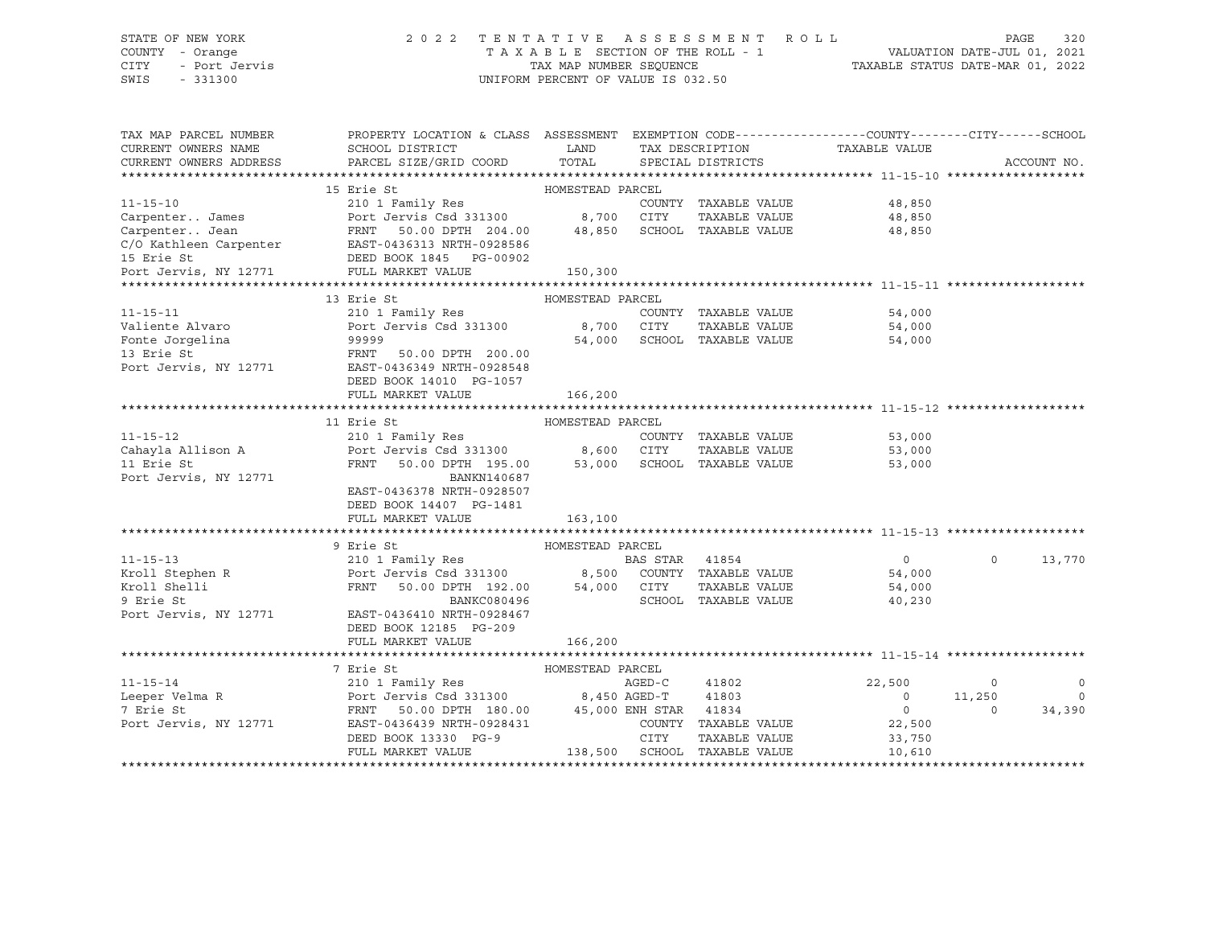# STATE OF NEW YORK 2 0 2 2 T E N T A T I V E A S S E S S M E N T R O L L PAGE 320 COUNTY - Orange T A X A B L E SECTION OF THE ROLL - 1 VALUATION DATE-JUL 01, 2021 CITY - Port Jervis TAX MAP NUMBER SEQUENCE TAXABLE STATUS DATE-MAR 01, 2022

| CURRENT OWNERS ADDRESS<br>PARCEL SIZE/GRID COORD<br>TOTAL<br>SPECIAL DISTRICTS                                                                                                                                                            | ACCOUNT NO.    |
|-------------------------------------------------------------------------------------------------------------------------------------------------------------------------------------------------------------------------------------------|----------------|
|                                                                                                                                                                                                                                           |                |
|                                                                                                                                                                                                                                           |                |
| 15 Erie St<br>HOMESTEAD PARCEL<br>$11 - 15 - 10$<br>48,850                                                                                                                                                                                |                |
| COUNTY TAXABLE VALUE<br>TAXABLE VALUE<br>48,850<br>Carpenter James                                                                                                                                                                        |                |
|                                                                                                                                                                                                                                           |                |
| 48,850                                                                                                                                                                                                                                    |                |
|                                                                                                                                                                                                                                           |                |
| CarpenterJean<br>C/O Kathleen Carpenter<br>EAST-0436313 NRTH-0928586<br>TAXABLE VALUE<br>EAST-0436313 NRTH-0928586<br>TAXABLE VALUE<br>DEED BOOK 1845 PG-00902<br>Port Jervis, NY 12771 FULL MARKET VALUE<br>FULL MARKET VALUE<br>250,300 |                |
|                                                                                                                                                                                                                                           |                |
| 13 Erie St<br>HOMESTEAD PARCEL                                                                                                                                                                                                            |                |
| $11 - 15 - 11$<br>210 1 Family Res<br>COUNTY TAXABLE VALUE<br>54,000                                                                                                                                                                      |                |
| Port Jervis Csd 331300 8,700 CITY<br>Valiente Alvaro<br>TAXABLE VALUE<br>54,000                                                                                                                                                           |                |
| Fonte Jorgelina<br>54,000 SCHOOL TAXABLE VALUE<br>54,000                                                                                                                                                                                  |                |
| na 1999999<br>FRNT 50.00 DPTH 200.00<br>13 Erie St                                                                                                                                                                                        |                |
| EAST-0436349 NRTH-0928548                                                                                                                                                                                                                 |                |
| Port Jervis, NY 12771<br>DEED BOOK 14010 PG-1057                                                                                                                                                                                          |                |
|                                                                                                                                                                                                                                           |                |
| FULL MARKET VALUE<br>166,200                                                                                                                                                                                                              |                |
| 11 Erie St<br>HOMESTEAD PARCEL                                                                                                                                                                                                            |                |
| $11 - 15 - 12$<br>53,000                                                                                                                                                                                                                  |                |
| COUNTY TAXABLE VALUE<br>TAXABLE VALUE<br>Cahayla Allison A<br>53,000                                                                                                                                                                      |                |
| 50.00 DPTH 195.00 53,000 SCHOOL TAXABLE VALUE<br>11 Erie St<br>FRNT                                                                                                                                                                       |                |
| 53,000<br>Port Jervis, NY 12771<br>BANKN140687                                                                                                                                                                                            |                |
| EAST-0436378 NRTH-0928507                                                                                                                                                                                                                 |                |
|                                                                                                                                                                                                                                           |                |
| DEED BOOK 14407 PG-1481<br>FULL MARKET VALUE                                                                                                                                                                                              |                |
| 163,100                                                                                                                                                                                                                                   |                |
| 9 Erie St<br>HOMESTEAD PARCEL                                                                                                                                                                                                             |                |
| $11 - 15 - 13$<br>$\overline{0}$<br>$\Omega$                                                                                                                                                                                              | 13,770         |
| 54,000                                                                                                                                                                                                                                    |                |
| Kroll Stephen R<br>Kroll Shelli<br>TAXABLE VALUE<br>54,000                                                                                                                                                                                |                |
| SCHOOL TAXABLE VALUE<br>9 Erie St                                                                                                                                                                                                         |                |
| BANKC080496<br>40,230<br>Port Jervis, NY 12771<br>EAST-0436410 NRTH-0928467                                                                                                                                                               |                |
| DEED BOOK 12185 PG-209                                                                                                                                                                                                                    |                |
|                                                                                                                                                                                                                                           |                |
| FULL MARKET VALUE<br>166,200                                                                                                                                                                                                              |                |
| 7 Erie St<br>HOMESTEAD PARCEL                                                                                                                                                                                                             |                |
| $11 - 15 - 14$<br>AGED-C<br>41802<br>22,500<br>$\sim$ 0                                                                                                                                                                                   | $\overline{0}$ |
| Leeper Velma R<br>11,250<br>$\overline{\phantom{0}}$                                                                                                                                                                                      | $\circ$        |
| Port Jerus Csd 331300 8,450 AGED-T 41803<br>Port Jervis Csd 331300 8,450 AGED-T 41834<br>FRNT 50.00 DPTH 180.00 45,000 ENH STAR 41834<br>COUNTY TAXABLE COUNTY TRANGERS<br>7 Erie St<br>$\overline{0}$<br>$\Omega$                        | 34,390         |
| Port Jervis, NY 12771<br>COUNTY TAXABLE VALUE 22,500                                                                                                                                                                                      |                |
| DEED BOOK 13330 PG-9<br>CITY<br>TAXABLE VALUE<br>33,750                                                                                                                                                                                   |                |
| 138,500 SCHOOL TAXABLE VALUE<br>FULL MARKET VALUE<br>10,610                                                                                                                                                                               |                |
|                                                                                                                                                                                                                                           |                |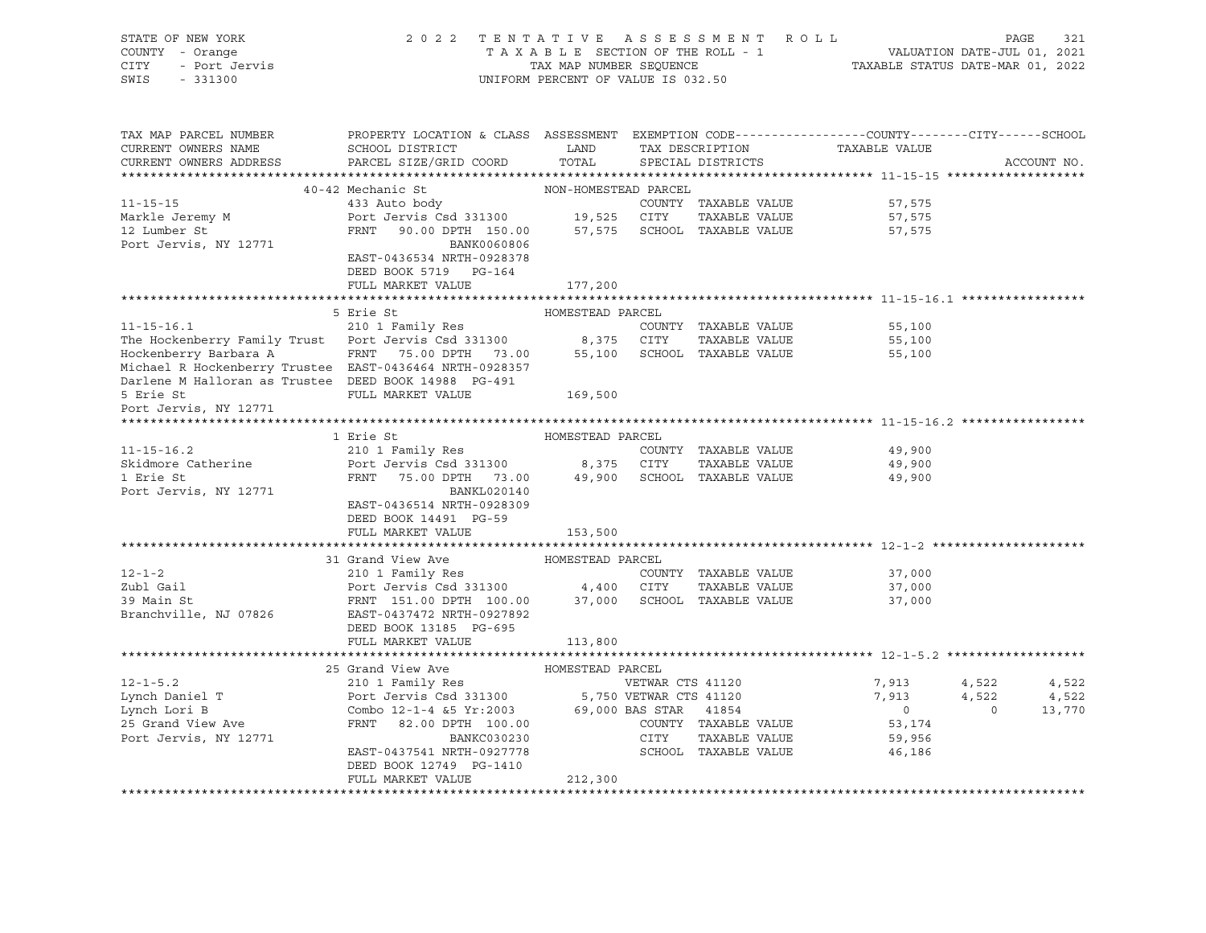| STATE OF NEW YORK<br>OF NEW YORK<br>I - Orange<br>- Port Jervis<br>19900<br>COUNTY - Orange<br>CITY<br>SWIS - 331300                                                                                                | 2022 TENTATIVE ASSESSMENT ROLL<br>TAXABLE SECTION OF THE ROLL - 1 VALUATION DATE-JUL 01, 2021<br>TAX MAP NUMBER SEQUENCE (TAXABLE STATUS DATE-MAR 01, 2022                                                                                                                                                                                                                                                                                                                                                                                                                               | UNIFORM PERCENT OF VALUE IS 032.50 |                      |                                  |             |
|---------------------------------------------------------------------------------------------------------------------------------------------------------------------------------------------------------------------|------------------------------------------------------------------------------------------------------------------------------------------------------------------------------------------------------------------------------------------------------------------------------------------------------------------------------------------------------------------------------------------------------------------------------------------------------------------------------------------------------------------------------------------------------------------------------------------|------------------------------------|----------------------|----------------------------------|-------------|
| TAX MAP PARCEL NUMBER<br>CURRENT OWNERS NAME                                                                                                                                                                        | PROPERTY LOCATION & CLASS ASSESSMENT EXEMPTION CODE---------------COUNTY-------CITY------SCHOOL                                                                                                                                                                                                                                                                                                                                                                                                                                                                                          |                                    |                      |                                  |             |
| CURRENT OWNERS ADDRESS                                                                                                                                                                                              | PARCEL SIZE/GRID COORD                                                                                                                                                                                                                                                                                                                                                                                                                                                                                                                                                                   |                                    |                      |                                  | ACCOUNT NO. |
|                                                                                                                                                                                                                     |                                                                                                                                                                                                                                                                                                                                                                                                                                                                                                                                                                                          |                                    |                      |                                  |             |
|                                                                                                                                                                                                                     |                                                                                                                                                                                                                                                                                                                                                                                                                                                                                                                                                                                          |                                    |                      |                                  |             |
| 40-42 Mechanic St MON-HOMESTEAD PARCEL<br>433 Auto body COUNTY TAXABLE VALUE<br>Markle Jeremy M Port Jervis Csd 331300 19,525 CITY TAXABLE VALUE<br>12 Lumber St FRNT 90.00 DPTH 150.00 57,575 SCHOOL TAXABLE VALUE |                                                                                                                                                                                                                                                                                                                                                                                                                                                                                                                                                                                          |                                    |                      | 57,575                           |             |
|                                                                                                                                                                                                                     |                                                                                                                                                                                                                                                                                                                                                                                                                                                                                                                                                                                          |                                    |                      | 57,575                           |             |
| Port Jervis, NY 12771                                                                                                                                                                                               | BANK0060806                                                                                                                                                                                                                                                                                                                                                                                                                                                                                                                                                                              |                                    |                      | 57,575                           |             |
|                                                                                                                                                                                                                     | EAST-0436534 NRTH-0928378<br>DEED BOOK 5719 PG-164<br>FULL MARKET VALUE                                                                                                                                                                                                                                                                                                                                                                                                                                                                                                                  | 177,200                            |                      |                                  |             |
|                                                                                                                                                                                                                     |                                                                                                                                                                                                                                                                                                                                                                                                                                                                                                                                                                                          |                                    |                      |                                  |             |
|                                                                                                                                                                                                                     | 5 Erie St                                                                                                                                                                                                                                                                                                                                                                                                                                                                                                                                                                                |                                    |                      |                                  |             |
| $11 - 15 - 16.1$                                                                                                                                                                                                    | Erie St<br>210 1 Family Res<br>210 1 Family Res<br>COUN                                                                                                                                                                                                                                                                                                                                                                                                                                                                                                                                  |                                    | COUNTY TAXABLE VALUE | 55,100                           |             |
| The Hockenberry Family Trust Port Jervis Csd 331300 8,375 CITY TAXABLE VALUE 55,100<br>Hockenberry Barbara A FRNT 75.00 DPTH 73.00 55,100 SCHOOL TAXABLE VALUE 55,100                                               |                                                                                                                                                                                                                                                                                                                                                                                                                                                                                                                                                                                          |                                    |                      |                                  |             |
|                                                                                                                                                                                                                     |                                                                                                                                                                                                                                                                                                                                                                                                                                                                                                                                                                                          |                                    |                      |                                  |             |
| Michael R Hockenberry Trustee EAST-0436464 NRTH-0928357                                                                                                                                                             |                                                                                                                                                                                                                                                                                                                                                                                                                                                                                                                                                                                          |                                    |                      |                                  |             |
| Darlene M Halloran as Trustee DEED BOOK 14988 PG-491                                                                                                                                                                |                                                                                                                                                                                                                                                                                                                                                                                                                                                                                                                                                                                          |                                    |                      |                                  |             |
| 5 Erie St                                                                                                                                                                                                           | FULL MARKET VALUE                                                                                                                                                                                                                                                                                                                                                                                                                                                                                                                                                                        | 169,500                            |                      |                                  |             |
| Port Jervis, NY 12771                                                                                                                                                                                               |                                                                                                                                                                                                                                                                                                                                                                                                                                                                                                                                                                                          |                                    |                      |                                  |             |
|                                                                                                                                                                                                                     |                                                                                                                                                                                                                                                                                                                                                                                                                                                                                                                                                                                          |                                    |                      |                                  |             |
|                                                                                                                                                                                                                     | 1 Erie St                                                                                                                                                                                                                                                                                                                                                                                                                                                                                                                                                                                | HOMESTEAD PARCEL                   |                      |                                  |             |
| $11 - 15 - 16.2$                                                                                                                                                                                                    | 210 1 Family Res                                                                                                                                                                                                                                                                                                                                                                                                                                                                                                                                                                         |                                    | COUNTY TAXABLE VALUE | 49,900                           |             |
|                                                                                                                                                                                                                     |                                                                                                                                                                                                                                                                                                                                                                                                                                                                                                                                                                                          |                                    |                      | 49,900<br>49,900                 |             |
|                                                                                                                                                                                                                     |                                                                                                                                                                                                                                                                                                                                                                                                                                                                                                                                                                                          |                                    |                      |                                  |             |
| Port Jervis, NY 12771                                                                                                                                                                                               | BANKL020140<br>EAST-0436514 NRTH-0928309                                                                                                                                                                                                                                                                                                                                                                                                                                                                                                                                                 |                                    |                      |                                  |             |
|                                                                                                                                                                                                                     | DEED BOOK 14491 PG-59                                                                                                                                                                                                                                                                                                                                                                                                                                                                                                                                                                    |                                    |                      |                                  |             |
|                                                                                                                                                                                                                     | FULL MARKET VALUE                                                                                                                                                                                                                                                                                                                                                                                                                                                                                                                                                                        | 153,500                            |                      |                                  |             |
|                                                                                                                                                                                                                     |                                                                                                                                                                                                                                                                                                                                                                                                                                                                                                                                                                                          |                                    |                      |                                  |             |
|                                                                                                                                                                                                                     |                                                                                                                                                                                                                                                                                                                                                                                                                                                                                                                                                                                          |                                    |                      |                                  |             |
|                                                                                                                                                                                                                     |                                                                                                                                                                                                                                                                                                                                                                                                                                                                                                                                                                                          |                                    |                      |                                  |             |
|                                                                                                                                                                                                                     |                                                                                                                                                                                                                                                                                                                                                                                                                                                                                                                                                                                          |                                    |                      | 37,000                           |             |
|                                                                                                                                                                                                                     |                                                                                                                                                                                                                                                                                                                                                                                                                                                                                                                                                                                          |                                    | TAXABLE VALUE        |                                  |             |
|                                                                                                                                                                                                                     |                                                                                                                                                                                                                                                                                                                                                                                                                                                                                                                                                                                          |                                    |                      | 37,000<br>37,000                 |             |
|                                                                                                                                                                                                                     | 12-1-2<br>210 1 Family Res<br>2001 Family Res<br>2001 Family Res<br>2001 Family Res<br>2001 Family Res<br>2001 Family Res<br>210 1 Family Res<br>210 1 Family Res<br>210 1 Family Res<br>210 1 Family Res<br>210 1 Family Res<br>210 1 Family Res<br>210<br>FULL MARKET VALUE                                                                                                                                                                                                                                                                                                            | 113,800                            |                      |                                  |             |
|                                                                                                                                                                                                                     |                                                                                                                                                                                                                                                                                                                                                                                                                                                                                                                                                                                          |                                    |                      |                                  |             |
|                                                                                                                                                                                                                     |                                                                                                                                                                                                                                                                                                                                                                                                                                                                                                                                                                                          |                                    |                      |                                  |             |
| $12 - 1 - 5.2$                                                                                                                                                                                                      |                                                                                                                                                                                                                                                                                                                                                                                                                                                                                                                                                                                          |                                    |                      | 7,913 4,522 4,522                |             |
|                                                                                                                                                                                                                     |                                                                                                                                                                                                                                                                                                                                                                                                                                                                                                                                                                                          |                                    |                      |                                  | 4,522       |
|                                                                                                                                                                                                                     |                                                                                                                                                                                                                                                                                                                                                                                                                                                                                                                                                                                          |                                    |                      |                                  | 13,770      |
| Lynch Daniel T<br>Lynch Lori B<br>25 Grand View Ave                                                                                                                                                                 |                                                                                                                                                                                                                                                                                                                                                                                                                                                                                                                                                                                          |                                    |                      |                                  |             |
| Port Jervis, NY 12771                                                                                                                                                                                               |                                                                                                                                                                                                                                                                                                                                                                                                                                                                                                                                                                                          |                                    |                      | $7,913$ 4,522<br>0 0 0<br>53,174 |             |
|                                                                                                                                                                                                                     | $\begin{tabular}{lllllllllllll} \multicolumn{4}{c }{\textbf{25 Grand View Ave}} & \multicolumn{4}{c }{\textbf{HOMESTEAD PARCEL}} \\ \multicolumn{4}{c }{\textbf{210 1 Family Res}} & \multicolumn{4}{c }{\textbf{WENAR CTS 41120}} \\ \multicolumn{4}{c }{\textbf{Port Jerwix CSS 331300}} & \multicolumn{4}{c }{\textbf{5,750 VETWAR CTS 41120}} \\ \multicolumn{4}{c }{\textbf{Cont Jerwix CSS 331300}} & \multicolumn{4}{c }{\textbf{5,750 VETWAR$<br>BANKC030230<br>EAST-0437541 NRTH-0930230<br>EAST-0437541 NRTH-0927778<br>SCHOOL TAXABLE VALUE 46,186<br>DEED BOOK 12749 PG-1410 |                                    |                      |                                  |             |
|                                                                                                                                                                                                                     | FULL MARKET VALUE                                                                                                                                                                                                                                                                                                                                                                                                                                                                                                                                                                        | 212,300                            |                      |                                  |             |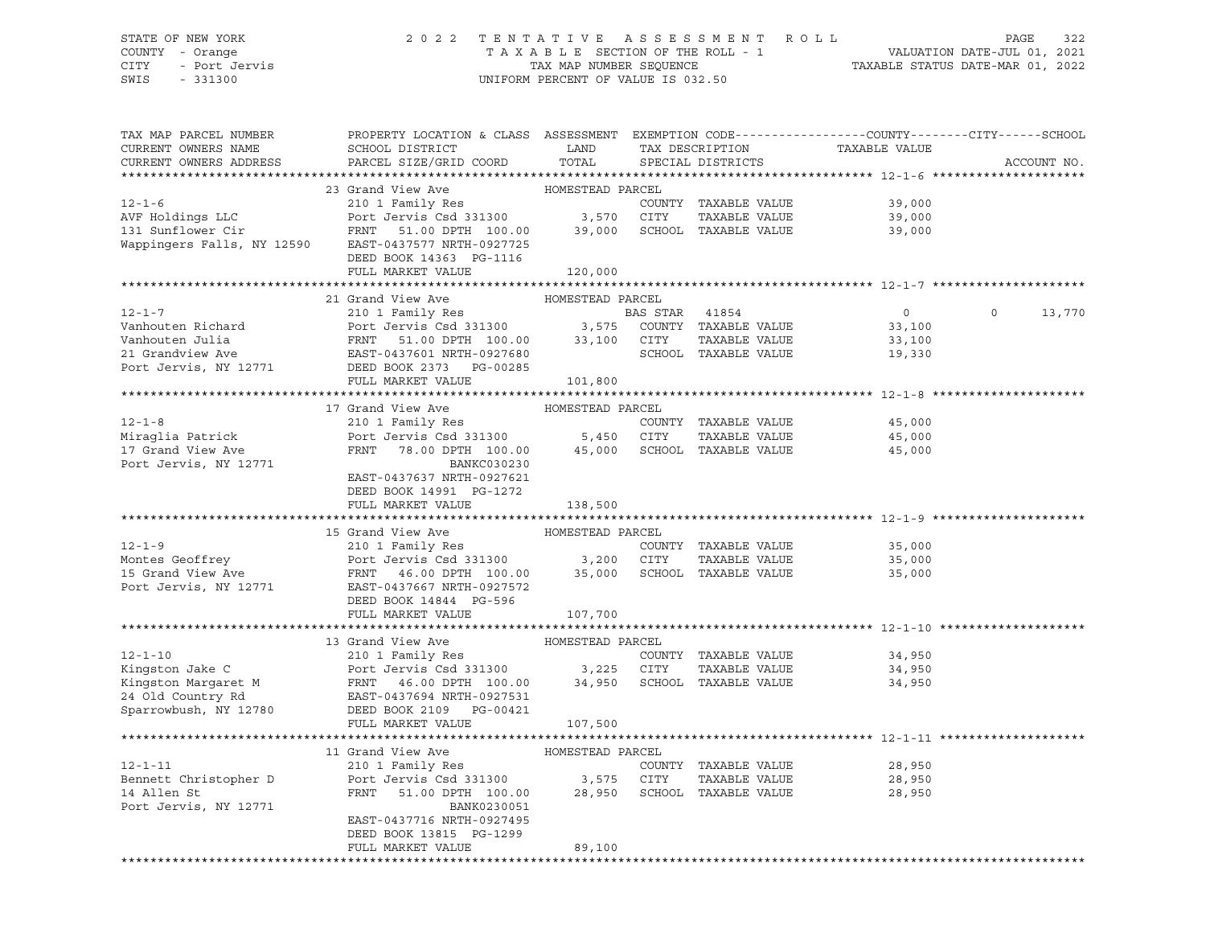## STATE OF NEW YORK 2 0 2 2 T E N T A T I V E A S S E S S M E N T R O L L PAGE 322 COUNTY - Orange T A X A B L E SECTION OF THE ROLL - 1 VALUATION DATE-JUL 01, 2021 CITY - Port Jervis TAX MAP NUMBER SEQUENCE TAXABLE STATUS DATE-MAR 01, 2022

| 23 Grand View Ave<br>HOMESTEAD PARCEL<br>210 1 Family Res<br>$12 - 1 - 6$<br>COUNTY TAXABLE VALUE<br>39,000<br>Port Jervis Csd 331300 3,570 CITY<br>AVF Holdings LLC<br>TAXABLE VALUE<br>39,000<br>AVF Holdings LLC<br>131 Sunflower Cir<br>FRNT 51.00 DPTH 100.00<br>SCHOOL TAXABLE VALUE<br>39,000<br>39,000<br>Wappingers Falls, NY 12590 EAST-0437577 NRTH-0927725<br>DEED BOOK 14363 PG-1116<br>FULL MARKET VALUE<br>120,000<br>13,770<br>$12 - 1 - 7$<br>$\overline{0}$<br>$\Omega$<br>EXECUTE: THE SERIES AND THE SERIES TO THE SERIES THAT SAY OF THE SASS TO THE SASS TO THE SASS TO THE SAST COUNTY TAXABLE VALUE THAT THE SAST-0437601 NRTH-0927680<br>THE SAST-0437601 NRTH-0927680<br>THE SAST-0437601 NRTH-092768<br>Vanhouten Richard<br>33,100<br>Vanhouten Julia<br>33,100<br>21 Grandview Ave<br>19,330<br>Port Jervis, NY 12771<br>DEED BOOK 2373 PG-00285<br>FULL MARKET VALUE<br>101,800<br>17 Grand View Ave<br>HOMESTEAD PARCEL<br>210 1 Family Res<br>$12 - 1 - 8$<br>COUNTY TAXABLE VALUE<br>45,000<br>Port Jervis Csd 331300 5,450 CITY<br>Miraqlia Patrick<br>TAXABLE VALUE<br>45,000<br>17 Grand View Ave<br>FRNT 78.00 DPTH 100.00 45,000 SCHOOL TAXABLE VALUE<br>45,000<br>Port Jervis, NY 12771<br>BANKC030230<br>EAST-0437637 NRTH-0927621<br>DEED BOOK 14991 PG-1272<br>FULL MARKET VALUE<br>138,500<br>15 Grand View Ave<br>HOMESTEAD PARCEL<br>$12 - 1 - 9$<br>210 1 Family Res<br>COUNTY TAXABLE VALUE<br>35,000<br>3,200 CITY<br>TAXABLE VALUE<br>Port Jervis Csd 331300<br>35,000<br>15 Grand View Ave<br>35,000 SCHOOL TAXABLE VALUE<br>FRNT 46.00 DPTH 100.00<br>35,000<br>Port Jervis, NY 12771<br>EAST-0437667 NRTH-0927572<br>DEED BOOK 14844 PG-596<br>FULL MARKET VALUE<br>107,700<br>13 Grand View Ave<br>HOMESTEAD PARCEL<br>$12 - 1 - 10$<br>210 1 Family Res<br>COUNTY TAXABLE VALUE<br>34,950<br>Port Jervis Csd 331300<br>Kingston Jake C<br>3,225 CITY<br>TAXABLE VALUE<br>34,950<br>Kingston Margaret M<br>EDIC DETVIS CSQ 331300<br>FRNT 46.00 DPTH 100.00<br>34,950 SCHOOL TAXABLE VALUE<br>34,950<br>24 Old Country Rd<br>EAST-0437694 NRTH-0927531<br>Sparrowbush, NY 12780<br>DEED BOOK 2109 PG-00421<br>FULL MARKET VALUE<br>107,500<br>11 Grand View Ave<br>HOMESTEAD PARCEL<br>$12 - 1 - 11$<br>210 1 Family Res<br>COUNTY TAXABLE VALUE<br>28,950<br>Bennett Christopher D<br>Port Jervis Csd 331300 3,575 CITY<br>FRNT 51.00 DPTH 100.00 28,950 SCHOC<br>TAXABLE VALUE<br>28,950<br>14 Allen St<br>51.00 DPTH 100.00<br>28,950 SCHOOL TAXABLE VALUE<br>28,950<br>Port Jervis, NY 12771<br>BANK0230051<br>EAST-0437716 NRTH-0927495<br>DEED BOOK 13815 PG-1299<br>FULL MARKET VALUE<br>89,100<br>******************************** | TAX MAP PARCEL NUMBER<br>CURRENT OWNERS NAME<br>CURRENT OWNERS ADDRESS | PROPERTY LOCATION & CLASS ASSESSMENT EXEMPTION CODE----------------COUNTY-------CITY------SCHOOL<br>SCHOOL DISTRICT<br>PARCEL SIZE/GRID COORD | LAND<br>TOTAL | TAX DESCRIPTION<br>SPECIAL DISTRICTS | TAXABLE VALUE | ACCOUNT NO. |
|-------------------------------------------------------------------------------------------------------------------------------------------------------------------------------------------------------------------------------------------------------------------------------------------------------------------------------------------------------------------------------------------------------------------------------------------------------------------------------------------------------------------------------------------------------------------------------------------------------------------------------------------------------------------------------------------------------------------------------------------------------------------------------------------------------------------------------------------------------------------------------------------------------------------------------------------------------------------------------------------------------------------------------------------------------------------------------------------------------------------------------------------------------------------------------------------------------------------------------------------------------------------------------------------------------------------------------------------------------------------------------------------------------------------------------------------------------------------------------------------------------------------------------------------------------------------------------------------------------------------------------------------------------------------------------------------------------------------------------------------------------------------------------------------------------------------------------------------------------------------------------------------------------------------------------------------------------------------------------------------------------------------------------------------------------------------------------------------------------------------------------------------------------------------------------------------------------------------------------------------------------------------------------------------------------------------------------------------------------------------------------------------------------------------------------------------------------------------------------------------------------------------------------------------------------------------------------------------------------------------------------------------------------------------------------------------------|------------------------------------------------------------------------|-----------------------------------------------------------------------------------------------------------------------------------------------|---------------|--------------------------------------|---------------|-------------|
|                                                                                                                                                                                                                                                                                                                                                                                                                                                                                                                                                                                                                                                                                                                                                                                                                                                                                                                                                                                                                                                                                                                                                                                                                                                                                                                                                                                                                                                                                                                                                                                                                                                                                                                                                                                                                                                                                                                                                                                                                                                                                                                                                                                                                                                                                                                                                                                                                                                                                                                                                                                                                                                                                                 |                                                                        |                                                                                                                                               |               |                                      |               |             |
|                                                                                                                                                                                                                                                                                                                                                                                                                                                                                                                                                                                                                                                                                                                                                                                                                                                                                                                                                                                                                                                                                                                                                                                                                                                                                                                                                                                                                                                                                                                                                                                                                                                                                                                                                                                                                                                                                                                                                                                                                                                                                                                                                                                                                                                                                                                                                                                                                                                                                                                                                                                                                                                                                                 |                                                                        |                                                                                                                                               |               |                                      |               |             |
|                                                                                                                                                                                                                                                                                                                                                                                                                                                                                                                                                                                                                                                                                                                                                                                                                                                                                                                                                                                                                                                                                                                                                                                                                                                                                                                                                                                                                                                                                                                                                                                                                                                                                                                                                                                                                                                                                                                                                                                                                                                                                                                                                                                                                                                                                                                                                                                                                                                                                                                                                                                                                                                                                                 |                                                                        |                                                                                                                                               |               |                                      |               |             |
|                                                                                                                                                                                                                                                                                                                                                                                                                                                                                                                                                                                                                                                                                                                                                                                                                                                                                                                                                                                                                                                                                                                                                                                                                                                                                                                                                                                                                                                                                                                                                                                                                                                                                                                                                                                                                                                                                                                                                                                                                                                                                                                                                                                                                                                                                                                                                                                                                                                                                                                                                                                                                                                                                                 |                                                                        |                                                                                                                                               |               |                                      |               |             |
|                                                                                                                                                                                                                                                                                                                                                                                                                                                                                                                                                                                                                                                                                                                                                                                                                                                                                                                                                                                                                                                                                                                                                                                                                                                                                                                                                                                                                                                                                                                                                                                                                                                                                                                                                                                                                                                                                                                                                                                                                                                                                                                                                                                                                                                                                                                                                                                                                                                                                                                                                                                                                                                                                                 |                                                                        |                                                                                                                                               |               |                                      |               |             |
|                                                                                                                                                                                                                                                                                                                                                                                                                                                                                                                                                                                                                                                                                                                                                                                                                                                                                                                                                                                                                                                                                                                                                                                                                                                                                                                                                                                                                                                                                                                                                                                                                                                                                                                                                                                                                                                                                                                                                                                                                                                                                                                                                                                                                                                                                                                                                                                                                                                                                                                                                                                                                                                                                                 |                                                                        |                                                                                                                                               |               |                                      |               |             |
|                                                                                                                                                                                                                                                                                                                                                                                                                                                                                                                                                                                                                                                                                                                                                                                                                                                                                                                                                                                                                                                                                                                                                                                                                                                                                                                                                                                                                                                                                                                                                                                                                                                                                                                                                                                                                                                                                                                                                                                                                                                                                                                                                                                                                                                                                                                                                                                                                                                                                                                                                                                                                                                                                                 |                                                                        |                                                                                                                                               |               |                                      |               |             |
|                                                                                                                                                                                                                                                                                                                                                                                                                                                                                                                                                                                                                                                                                                                                                                                                                                                                                                                                                                                                                                                                                                                                                                                                                                                                                                                                                                                                                                                                                                                                                                                                                                                                                                                                                                                                                                                                                                                                                                                                                                                                                                                                                                                                                                                                                                                                                                                                                                                                                                                                                                                                                                                                                                 |                                                                        |                                                                                                                                               |               |                                      |               |             |
|                                                                                                                                                                                                                                                                                                                                                                                                                                                                                                                                                                                                                                                                                                                                                                                                                                                                                                                                                                                                                                                                                                                                                                                                                                                                                                                                                                                                                                                                                                                                                                                                                                                                                                                                                                                                                                                                                                                                                                                                                                                                                                                                                                                                                                                                                                                                                                                                                                                                                                                                                                                                                                                                                                 |                                                                        |                                                                                                                                               |               |                                      |               |             |
|                                                                                                                                                                                                                                                                                                                                                                                                                                                                                                                                                                                                                                                                                                                                                                                                                                                                                                                                                                                                                                                                                                                                                                                                                                                                                                                                                                                                                                                                                                                                                                                                                                                                                                                                                                                                                                                                                                                                                                                                                                                                                                                                                                                                                                                                                                                                                                                                                                                                                                                                                                                                                                                                                                 |                                                                        |                                                                                                                                               |               |                                      |               |             |
|                                                                                                                                                                                                                                                                                                                                                                                                                                                                                                                                                                                                                                                                                                                                                                                                                                                                                                                                                                                                                                                                                                                                                                                                                                                                                                                                                                                                                                                                                                                                                                                                                                                                                                                                                                                                                                                                                                                                                                                                                                                                                                                                                                                                                                                                                                                                                                                                                                                                                                                                                                                                                                                                                                 |                                                                        |                                                                                                                                               |               |                                      |               |             |
|                                                                                                                                                                                                                                                                                                                                                                                                                                                                                                                                                                                                                                                                                                                                                                                                                                                                                                                                                                                                                                                                                                                                                                                                                                                                                                                                                                                                                                                                                                                                                                                                                                                                                                                                                                                                                                                                                                                                                                                                                                                                                                                                                                                                                                                                                                                                                                                                                                                                                                                                                                                                                                                                                                 |                                                                        |                                                                                                                                               |               |                                      |               |             |
|                                                                                                                                                                                                                                                                                                                                                                                                                                                                                                                                                                                                                                                                                                                                                                                                                                                                                                                                                                                                                                                                                                                                                                                                                                                                                                                                                                                                                                                                                                                                                                                                                                                                                                                                                                                                                                                                                                                                                                                                                                                                                                                                                                                                                                                                                                                                                                                                                                                                                                                                                                                                                                                                                                 |                                                                        |                                                                                                                                               |               |                                      |               |             |
|                                                                                                                                                                                                                                                                                                                                                                                                                                                                                                                                                                                                                                                                                                                                                                                                                                                                                                                                                                                                                                                                                                                                                                                                                                                                                                                                                                                                                                                                                                                                                                                                                                                                                                                                                                                                                                                                                                                                                                                                                                                                                                                                                                                                                                                                                                                                                                                                                                                                                                                                                                                                                                                                                                 |                                                                        |                                                                                                                                               |               |                                      |               |             |
|                                                                                                                                                                                                                                                                                                                                                                                                                                                                                                                                                                                                                                                                                                                                                                                                                                                                                                                                                                                                                                                                                                                                                                                                                                                                                                                                                                                                                                                                                                                                                                                                                                                                                                                                                                                                                                                                                                                                                                                                                                                                                                                                                                                                                                                                                                                                                                                                                                                                                                                                                                                                                                                                                                 |                                                                        |                                                                                                                                               |               |                                      |               |             |
|                                                                                                                                                                                                                                                                                                                                                                                                                                                                                                                                                                                                                                                                                                                                                                                                                                                                                                                                                                                                                                                                                                                                                                                                                                                                                                                                                                                                                                                                                                                                                                                                                                                                                                                                                                                                                                                                                                                                                                                                                                                                                                                                                                                                                                                                                                                                                                                                                                                                                                                                                                                                                                                                                                 |                                                                        |                                                                                                                                               |               |                                      |               |             |
|                                                                                                                                                                                                                                                                                                                                                                                                                                                                                                                                                                                                                                                                                                                                                                                                                                                                                                                                                                                                                                                                                                                                                                                                                                                                                                                                                                                                                                                                                                                                                                                                                                                                                                                                                                                                                                                                                                                                                                                                                                                                                                                                                                                                                                                                                                                                                                                                                                                                                                                                                                                                                                                                                                 |                                                                        |                                                                                                                                               |               |                                      |               |             |
|                                                                                                                                                                                                                                                                                                                                                                                                                                                                                                                                                                                                                                                                                                                                                                                                                                                                                                                                                                                                                                                                                                                                                                                                                                                                                                                                                                                                                                                                                                                                                                                                                                                                                                                                                                                                                                                                                                                                                                                                                                                                                                                                                                                                                                                                                                                                                                                                                                                                                                                                                                                                                                                                                                 |                                                                        |                                                                                                                                               |               |                                      |               |             |
|                                                                                                                                                                                                                                                                                                                                                                                                                                                                                                                                                                                                                                                                                                                                                                                                                                                                                                                                                                                                                                                                                                                                                                                                                                                                                                                                                                                                                                                                                                                                                                                                                                                                                                                                                                                                                                                                                                                                                                                                                                                                                                                                                                                                                                                                                                                                                                                                                                                                                                                                                                                                                                                                                                 |                                                                        |                                                                                                                                               |               |                                      |               |             |
|                                                                                                                                                                                                                                                                                                                                                                                                                                                                                                                                                                                                                                                                                                                                                                                                                                                                                                                                                                                                                                                                                                                                                                                                                                                                                                                                                                                                                                                                                                                                                                                                                                                                                                                                                                                                                                                                                                                                                                                                                                                                                                                                                                                                                                                                                                                                                                                                                                                                                                                                                                                                                                                                                                 |                                                                        |                                                                                                                                               |               |                                      |               |             |
|                                                                                                                                                                                                                                                                                                                                                                                                                                                                                                                                                                                                                                                                                                                                                                                                                                                                                                                                                                                                                                                                                                                                                                                                                                                                                                                                                                                                                                                                                                                                                                                                                                                                                                                                                                                                                                                                                                                                                                                                                                                                                                                                                                                                                                                                                                                                                                                                                                                                                                                                                                                                                                                                                                 |                                                                        |                                                                                                                                               |               |                                      |               |             |
|                                                                                                                                                                                                                                                                                                                                                                                                                                                                                                                                                                                                                                                                                                                                                                                                                                                                                                                                                                                                                                                                                                                                                                                                                                                                                                                                                                                                                                                                                                                                                                                                                                                                                                                                                                                                                                                                                                                                                                                                                                                                                                                                                                                                                                                                                                                                                                                                                                                                                                                                                                                                                                                                                                 |                                                                        |                                                                                                                                               |               |                                      |               |             |
|                                                                                                                                                                                                                                                                                                                                                                                                                                                                                                                                                                                                                                                                                                                                                                                                                                                                                                                                                                                                                                                                                                                                                                                                                                                                                                                                                                                                                                                                                                                                                                                                                                                                                                                                                                                                                                                                                                                                                                                                                                                                                                                                                                                                                                                                                                                                                                                                                                                                                                                                                                                                                                                                                                 |                                                                        |                                                                                                                                               |               |                                      |               |             |
|                                                                                                                                                                                                                                                                                                                                                                                                                                                                                                                                                                                                                                                                                                                                                                                                                                                                                                                                                                                                                                                                                                                                                                                                                                                                                                                                                                                                                                                                                                                                                                                                                                                                                                                                                                                                                                                                                                                                                                                                                                                                                                                                                                                                                                                                                                                                                                                                                                                                                                                                                                                                                                                                                                 |                                                                        |                                                                                                                                               |               |                                      |               |             |
|                                                                                                                                                                                                                                                                                                                                                                                                                                                                                                                                                                                                                                                                                                                                                                                                                                                                                                                                                                                                                                                                                                                                                                                                                                                                                                                                                                                                                                                                                                                                                                                                                                                                                                                                                                                                                                                                                                                                                                                                                                                                                                                                                                                                                                                                                                                                                                                                                                                                                                                                                                                                                                                                                                 |                                                                        |                                                                                                                                               |               |                                      |               |             |
|                                                                                                                                                                                                                                                                                                                                                                                                                                                                                                                                                                                                                                                                                                                                                                                                                                                                                                                                                                                                                                                                                                                                                                                                                                                                                                                                                                                                                                                                                                                                                                                                                                                                                                                                                                                                                                                                                                                                                                                                                                                                                                                                                                                                                                                                                                                                                                                                                                                                                                                                                                                                                                                                                                 |                                                                        |                                                                                                                                               |               |                                      |               |             |
|                                                                                                                                                                                                                                                                                                                                                                                                                                                                                                                                                                                                                                                                                                                                                                                                                                                                                                                                                                                                                                                                                                                                                                                                                                                                                                                                                                                                                                                                                                                                                                                                                                                                                                                                                                                                                                                                                                                                                                                                                                                                                                                                                                                                                                                                                                                                                                                                                                                                                                                                                                                                                                                                                                 | Montes Geoffrey                                                        |                                                                                                                                               |               |                                      |               |             |
|                                                                                                                                                                                                                                                                                                                                                                                                                                                                                                                                                                                                                                                                                                                                                                                                                                                                                                                                                                                                                                                                                                                                                                                                                                                                                                                                                                                                                                                                                                                                                                                                                                                                                                                                                                                                                                                                                                                                                                                                                                                                                                                                                                                                                                                                                                                                                                                                                                                                                                                                                                                                                                                                                                 |                                                                        |                                                                                                                                               |               |                                      |               |             |
|                                                                                                                                                                                                                                                                                                                                                                                                                                                                                                                                                                                                                                                                                                                                                                                                                                                                                                                                                                                                                                                                                                                                                                                                                                                                                                                                                                                                                                                                                                                                                                                                                                                                                                                                                                                                                                                                                                                                                                                                                                                                                                                                                                                                                                                                                                                                                                                                                                                                                                                                                                                                                                                                                                 |                                                                        |                                                                                                                                               |               |                                      |               |             |
|                                                                                                                                                                                                                                                                                                                                                                                                                                                                                                                                                                                                                                                                                                                                                                                                                                                                                                                                                                                                                                                                                                                                                                                                                                                                                                                                                                                                                                                                                                                                                                                                                                                                                                                                                                                                                                                                                                                                                                                                                                                                                                                                                                                                                                                                                                                                                                                                                                                                                                                                                                                                                                                                                                 |                                                                        |                                                                                                                                               |               |                                      |               |             |
|                                                                                                                                                                                                                                                                                                                                                                                                                                                                                                                                                                                                                                                                                                                                                                                                                                                                                                                                                                                                                                                                                                                                                                                                                                                                                                                                                                                                                                                                                                                                                                                                                                                                                                                                                                                                                                                                                                                                                                                                                                                                                                                                                                                                                                                                                                                                                                                                                                                                                                                                                                                                                                                                                                 |                                                                        |                                                                                                                                               |               |                                      |               |             |
|                                                                                                                                                                                                                                                                                                                                                                                                                                                                                                                                                                                                                                                                                                                                                                                                                                                                                                                                                                                                                                                                                                                                                                                                                                                                                                                                                                                                                                                                                                                                                                                                                                                                                                                                                                                                                                                                                                                                                                                                                                                                                                                                                                                                                                                                                                                                                                                                                                                                                                                                                                                                                                                                                                 |                                                                        |                                                                                                                                               |               |                                      |               |             |
|                                                                                                                                                                                                                                                                                                                                                                                                                                                                                                                                                                                                                                                                                                                                                                                                                                                                                                                                                                                                                                                                                                                                                                                                                                                                                                                                                                                                                                                                                                                                                                                                                                                                                                                                                                                                                                                                                                                                                                                                                                                                                                                                                                                                                                                                                                                                                                                                                                                                                                                                                                                                                                                                                                 |                                                                        |                                                                                                                                               |               |                                      |               |             |
|                                                                                                                                                                                                                                                                                                                                                                                                                                                                                                                                                                                                                                                                                                                                                                                                                                                                                                                                                                                                                                                                                                                                                                                                                                                                                                                                                                                                                                                                                                                                                                                                                                                                                                                                                                                                                                                                                                                                                                                                                                                                                                                                                                                                                                                                                                                                                                                                                                                                                                                                                                                                                                                                                                 |                                                                        |                                                                                                                                               |               |                                      |               |             |
|                                                                                                                                                                                                                                                                                                                                                                                                                                                                                                                                                                                                                                                                                                                                                                                                                                                                                                                                                                                                                                                                                                                                                                                                                                                                                                                                                                                                                                                                                                                                                                                                                                                                                                                                                                                                                                                                                                                                                                                                                                                                                                                                                                                                                                                                                                                                                                                                                                                                                                                                                                                                                                                                                                 |                                                                        |                                                                                                                                               |               |                                      |               |             |
|                                                                                                                                                                                                                                                                                                                                                                                                                                                                                                                                                                                                                                                                                                                                                                                                                                                                                                                                                                                                                                                                                                                                                                                                                                                                                                                                                                                                                                                                                                                                                                                                                                                                                                                                                                                                                                                                                                                                                                                                                                                                                                                                                                                                                                                                                                                                                                                                                                                                                                                                                                                                                                                                                                 |                                                                        |                                                                                                                                               |               |                                      |               |             |
|                                                                                                                                                                                                                                                                                                                                                                                                                                                                                                                                                                                                                                                                                                                                                                                                                                                                                                                                                                                                                                                                                                                                                                                                                                                                                                                                                                                                                                                                                                                                                                                                                                                                                                                                                                                                                                                                                                                                                                                                                                                                                                                                                                                                                                                                                                                                                                                                                                                                                                                                                                                                                                                                                                 |                                                                        |                                                                                                                                               |               |                                      |               |             |
|                                                                                                                                                                                                                                                                                                                                                                                                                                                                                                                                                                                                                                                                                                                                                                                                                                                                                                                                                                                                                                                                                                                                                                                                                                                                                                                                                                                                                                                                                                                                                                                                                                                                                                                                                                                                                                                                                                                                                                                                                                                                                                                                                                                                                                                                                                                                                                                                                                                                                                                                                                                                                                                                                                 |                                                                        |                                                                                                                                               |               |                                      |               |             |
|                                                                                                                                                                                                                                                                                                                                                                                                                                                                                                                                                                                                                                                                                                                                                                                                                                                                                                                                                                                                                                                                                                                                                                                                                                                                                                                                                                                                                                                                                                                                                                                                                                                                                                                                                                                                                                                                                                                                                                                                                                                                                                                                                                                                                                                                                                                                                                                                                                                                                                                                                                                                                                                                                                 |                                                                        |                                                                                                                                               |               |                                      |               |             |
|                                                                                                                                                                                                                                                                                                                                                                                                                                                                                                                                                                                                                                                                                                                                                                                                                                                                                                                                                                                                                                                                                                                                                                                                                                                                                                                                                                                                                                                                                                                                                                                                                                                                                                                                                                                                                                                                                                                                                                                                                                                                                                                                                                                                                                                                                                                                                                                                                                                                                                                                                                                                                                                                                                 |                                                                        |                                                                                                                                               |               |                                      |               |             |
|                                                                                                                                                                                                                                                                                                                                                                                                                                                                                                                                                                                                                                                                                                                                                                                                                                                                                                                                                                                                                                                                                                                                                                                                                                                                                                                                                                                                                                                                                                                                                                                                                                                                                                                                                                                                                                                                                                                                                                                                                                                                                                                                                                                                                                                                                                                                                                                                                                                                                                                                                                                                                                                                                                 |                                                                        |                                                                                                                                               |               |                                      |               |             |
|                                                                                                                                                                                                                                                                                                                                                                                                                                                                                                                                                                                                                                                                                                                                                                                                                                                                                                                                                                                                                                                                                                                                                                                                                                                                                                                                                                                                                                                                                                                                                                                                                                                                                                                                                                                                                                                                                                                                                                                                                                                                                                                                                                                                                                                                                                                                                                                                                                                                                                                                                                                                                                                                                                 |                                                                        |                                                                                                                                               |               |                                      |               |             |
|                                                                                                                                                                                                                                                                                                                                                                                                                                                                                                                                                                                                                                                                                                                                                                                                                                                                                                                                                                                                                                                                                                                                                                                                                                                                                                                                                                                                                                                                                                                                                                                                                                                                                                                                                                                                                                                                                                                                                                                                                                                                                                                                                                                                                                                                                                                                                                                                                                                                                                                                                                                                                                                                                                 |                                                                        |                                                                                                                                               |               |                                      |               |             |
|                                                                                                                                                                                                                                                                                                                                                                                                                                                                                                                                                                                                                                                                                                                                                                                                                                                                                                                                                                                                                                                                                                                                                                                                                                                                                                                                                                                                                                                                                                                                                                                                                                                                                                                                                                                                                                                                                                                                                                                                                                                                                                                                                                                                                                                                                                                                                                                                                                                                                                                                                                                                                                                                                                 |                                                                        |                                                                                                                                               |               |                                      |               |             |
|                                                                                                                                                                                                                                                                                                                                                                                                                                                                                                                                                                                                                                                                                                                                                                                                                                                                                                                                                                                                                                                                                                                                                                                                                                                                                                                                                                                                                                                                                                                                                                                                                                                                                                                                                                                                                                                                                                                                                                                                                                                                                                                                                                                                                                                                                                                                                                                                                                                                                                                                                                                                                                                                                                 |                                                                        |                                                                                                                                               |               |                                      |               |             |
|                                                                                                                                                                                                                                                                                                                                                                                                                                                                                                                                                                                                                                                                                                                                                                                                                                                                                                                                                                                                                                                                                                                                                                                                                                                                                                                                                                                                                                                                                                                                                                                                                                                                                                                                                                                                                                                                                                                                                                                                                                                                                                                                                                                                                                                                                                                                                                                                                                                                                                                                                                                                                                                                                                 |                                                                        |                                                                                                                                               |               |                                      |               |             |
|                                                                                                                                                                                                                                                                                                                                                                                                                                                                                                                                                                                                                                                                                                                                                                                                                                                                                                                                                                                                                                                                                                                                                                                                                                                                                                                                                                                                                                                                                                                                                                                                                                                                                                                                                                                                                                                                                                                                                                                                                                                                                                                                                                                                                                                                                                                                                                                                                                                                                                                                                                                                                                                                                                 |                                                                        |                                                                                                                                               |               |                                      |               |             |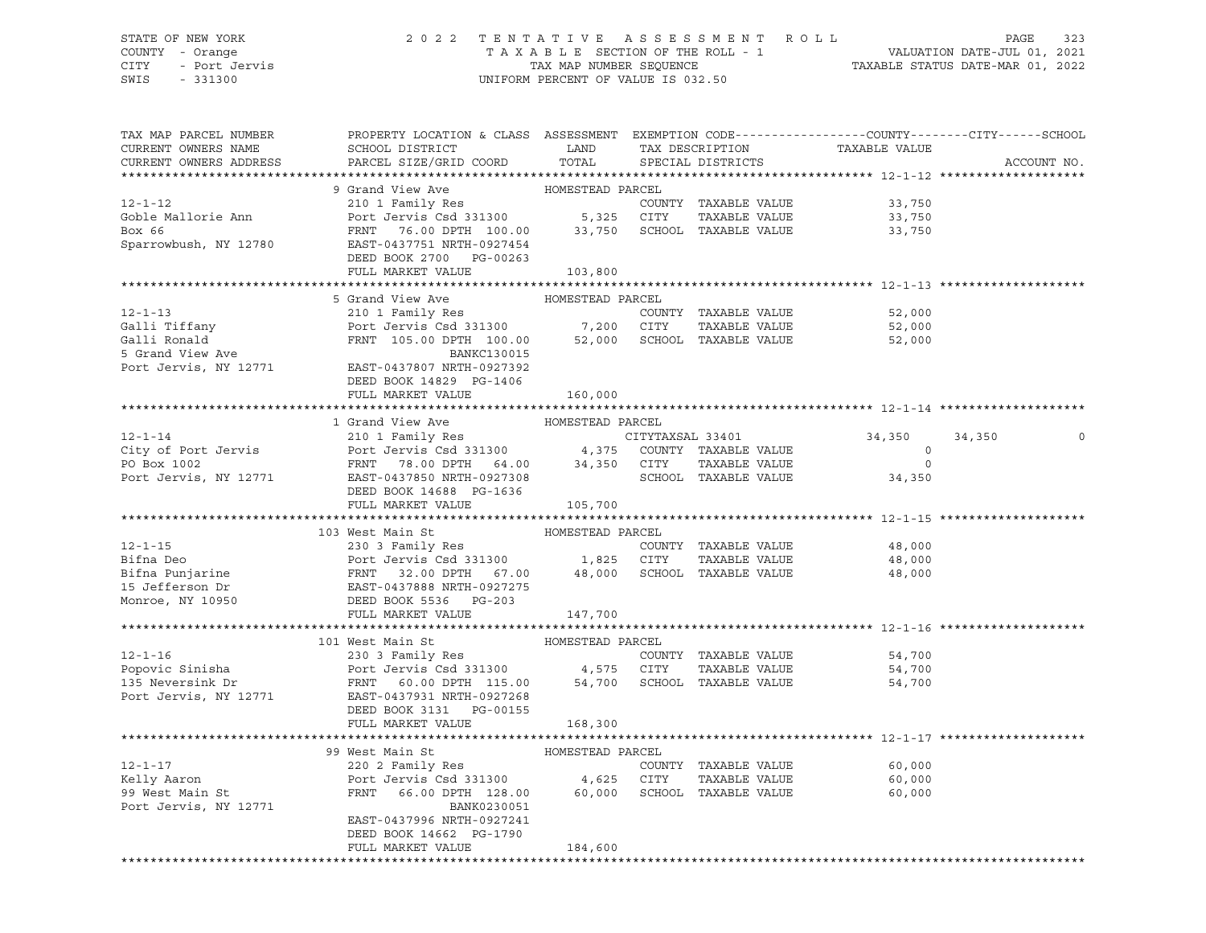### STATE OF NEW YORK 2 0 2 2 T E N T A T I V E A S S E S S M E N T R O L L PAGE 323 COUNTY - Orange T A X A B L E SECTION OF THE ROLL - 1 VALUATION DATE-JUL 01, 2021 CITY - Port Jervis TAX MAP NUMBER SEQUENCE TAXABLE STATUS DATE-MAR 01, 2022 UNIFORM PERCENT OF VALUE IS 032.50

| TAX MAP PARCEL NUMBER<br>CURRENT OWNERS NAME<br>CURRENT OWNERS ADDRESS | PROPERTY LOCATION & CLASS ASSESSMENT EXEMPTION CODE----------------COUNTY-------CITY------SCHOOL<br>SCHOOL DISTRICT<br>PARCEL SIZE/GRID COORD          | LAND<br>TOTAL    | TAX DESCRIPTION<br>SPECIAL DISTRICTS |               | TAXABLE VALUE | ACCOUNT NO.       |  |  |
|------------------------------------------------------------------------|--------------------------------------------------------------------------------------------------------------------------------------------------------|------------------|--------------------------------------|---------------|---------------|-------------------|--|--|
|                                                                        |                                                                                                                                                        |                  |                                      |               |               |                   |  |  |
|                                                                        | 9 Grand View Ave                                                                                                                                       | HOMESTEAD PARCEL |                                      |               |               |                   |  |  |
| $12 - 1 - 12$                                                          | 210 1 Family Res                                                                                                                                       |                  | COUNTY TAXABLE VALUE                 |               | 33,750        |                   |  |  |
| Goble Mallorie Ann                                                     | Port Jervis Csd 331300 5,325 CITY                                                                                                                      |                  |                                      | TAXABLE VALUE | 33,750        |                   |  |  |
| Box 66                                                                 | FRNT 76.00 DPTH 100.00                                                                                                                                 | 33,750           | SCHOOL TAXABLE VALUE                 |               | 33,750        |                   |  |  |
| Sparrowbush, NY 12780                                                  | EAST-0437751 NRTH-0927454                                                                                                                              |                  |                                      |               |               |                   |  |  |
|                                                                        | DEED BOOK 2700 PG-00263                                                                                                                                |                  |                                      |               |               |                   |  |  |
|                                                                        | FULL MARKET VALUE                                                                                                                                      | 103,800          |                                      |               |               |                   |  |  |
|                                                                        |                                                                                                                                                        |                  |                                      |               |               |                   |  |  |
|                                                                        | 5 Grand View Ave                                                                                                                                       | HOMESTEAD PARCEL |                                      |               |               |                   |  |  |
| $12 - 1 - 13$                                                          | 210 1 Family Res<br>Port Jervis Csd 331300 7,200 CITY                                                                                                  |                  | COUNTY TAXABLE VALUE                 | TAXABLE VALUE | 52,000        |                   |  |  |
| Galli Tiffany<br>Galli Ronald                                          | FRNT 105.00 DPTH 100.00 52,000 SCHOOL TAXABLE VALUE                                                                                                    |                  |                                      |               | 52,000        |                   |  |  |
| 5 Grand View Ave                                                       | BANKC130015                                                                                                                                            |                  |                                      |               | 52,000        |                   |  |  |
| Port Jervis, NY 12771                                                  | EAST-0437807 NRTH-0927392                                                                                                                              |                  |                                      |               |               |                   |  |  |
|                                                                        | DEED BOOK 14829 PG-1406                                                                                                                                |                  |                                      |               |               |                   |  |  |
|                                                                        | FULL MARKET VALUE                                                                                                                                      | 160,000          |                                      |               |               |                   |  |  |
|                                                                        |                                                                                                                                                        |                  |                                      |               |               |                   |  |  |
|                                                                        | 1 Grand View Ave                                                                                                                                       | HOMESTEAD PARCEL |                                      |               |               |                   |  |  |
| $12 - 1 - 14$                                                          | 210 1 Family Res                                                                                                                                       |                  | CITYTAXSAL 33401                     |               | 34,350        | 34,350<br>$\circ$ |  |  |
| City of Port Jervis                                                    |                                                                                                                                                        |                  |                                      |               | $\circ$       |                   |  |  |
| PO Box 1002                                                            |                                                                                                                                                        |                  |                                      | TAXABLE VALUE | $\circ$       |                   |  |  |
| Port Jervis, NY 12771                                                  | Port Jervis Csd 331300 4,375 COUNTY TAXABLE VALUE<br>FRNT 78.00 DPTH 64.00 34,350 CITY TAXABLE VALUE<br>EAST-0437850 NRTH-0927308 SCHOOL TAXABLE VALUE |                  |                                      |               | 34,350        |                   |  |  |
|                                                                        | DEED BOOK 14688 PG-1636                                                                                                                                |                  |                                      |               |               |                   |  |  |
|                                                                        | FULL MARKET VALUE                                                                                                                                      | 105,700          |                                      |               |               |                   |  |  |
|                                                                        |                                                                                                                                                        |                  |                                      |               |               |                   |  |  |
|                                                                        | 103 West Main St                                                                                                                                       | HOMESTEAD PARCEL |                                      |               |               |                   |  |  |
|                                                                        |                                                                                                                                                        |                  | COUNTY TAXABLE VALUE                 |               | 48,000        |                   |  |  |
|                                                                        |                                                                                                                                                        |                  |                                      | TAXABLE VALUE | 48,000        |                   |  |  |
|                                                                        |                                                                                                                                                        |                  |                                      |               | 48,000        |                   |  |  |
|                                                                        |                                                                                                                                                        |                  |                                      |               |               |                   |  |  |
|                                                                        |                                                                                                                                                        |                  |                                      |               |               |                   |  |  |
|                                                                        | FULL MARKET VALUE                                                                                                                                      | 147,700          |                                      |               |               |                   |  |  |
|                                                                        |                                                                                                                                                        |                  |                                      |               |               |                   |  |  |
|                                                                        | 101 West Main St                                                                                                                                       | HOMESTEAD PARCEL |                                      |               |               |                   |  |  |
| $12 - 1 - 16$                                                          | 230 3 Family Res                                                                                                                                       |                  | COUNTY TAXABLE VALUE                 |               | 54,700        |                   |  |  |
| Popovic Sinisha                                                        | Port Jervis Csd 331300   4,575   CITY<br>FRNT   60.00   DPTH   115.00   54,700   SCHOOL                                                                |                  |                                      | TAXABLE VALUE | 54,700        |                   |  |  |
| $135$ Neversink Dr                                                     |                                                                                                                                                        |                  | 54,700 SCHOOL TAXABLE VALUE          |               | 54,700        |                   |  |  |
| Port Jervis, NY 12771                                                  | EAST-0437931 NRTH-0927268                                                                                                                              |                  |                                      |               |               |                   |  |  |
|                                                                        | DEED BOOK 3131 PG-00155                                                                                                                                |                  |                                      |               |               |                   |  |  |
|                                                                        | FULL MARKET VALUE                                                                                                                                      | 168,300          |                                      |               |               |                   |  |  |
|                                                                        |                                                                                                                                                        |                  |                                      |               |               |                   |  |  |
|                                                                        | 99 West Main St                                                                                                                                        | HOMESTEAD PARCEL |                                      |               |               |                   |  |  |
| 12-1-17                                                                | 220 2 Family Res                                                                                                                                       |                  | COUNTY TAXABLE VALUE                 |               | 60,000        |                   |  |  |
| Kelly Aaron                                                            | Port Jervis Csd 331300 $4,625$ CITY<br>FRNT                                                                                                            |                  |                                      | TAXABLE VALUE | 60,000        |                   |  |  |
| 99 West Main St                                                        | 66.00 DPTH 128.00<br>BANK0230051                                                                                                                       |                  | 60,000 SCHOOL TAXABLE VALUE          |               | 60,000        |                   |  |  |
| Port Jervis, NY 12771                                                  | EAST-0437996 NRTH-0927241                                                                                                                              |                  |                                      |               |               |                   |  |  |
|                                                                        | DEED BOOK 14662 PG-1790                                                                                                                                |                  |                                      |               |               |                   |  |  |
|                                                                        | FULL MARKET VALUE                                                                                                                                      | 184,600          |                                      |               |               |                   |  |  |
|                                                                        |                                                                                                                                                        |                  |                                      |               |               |                   |  |  |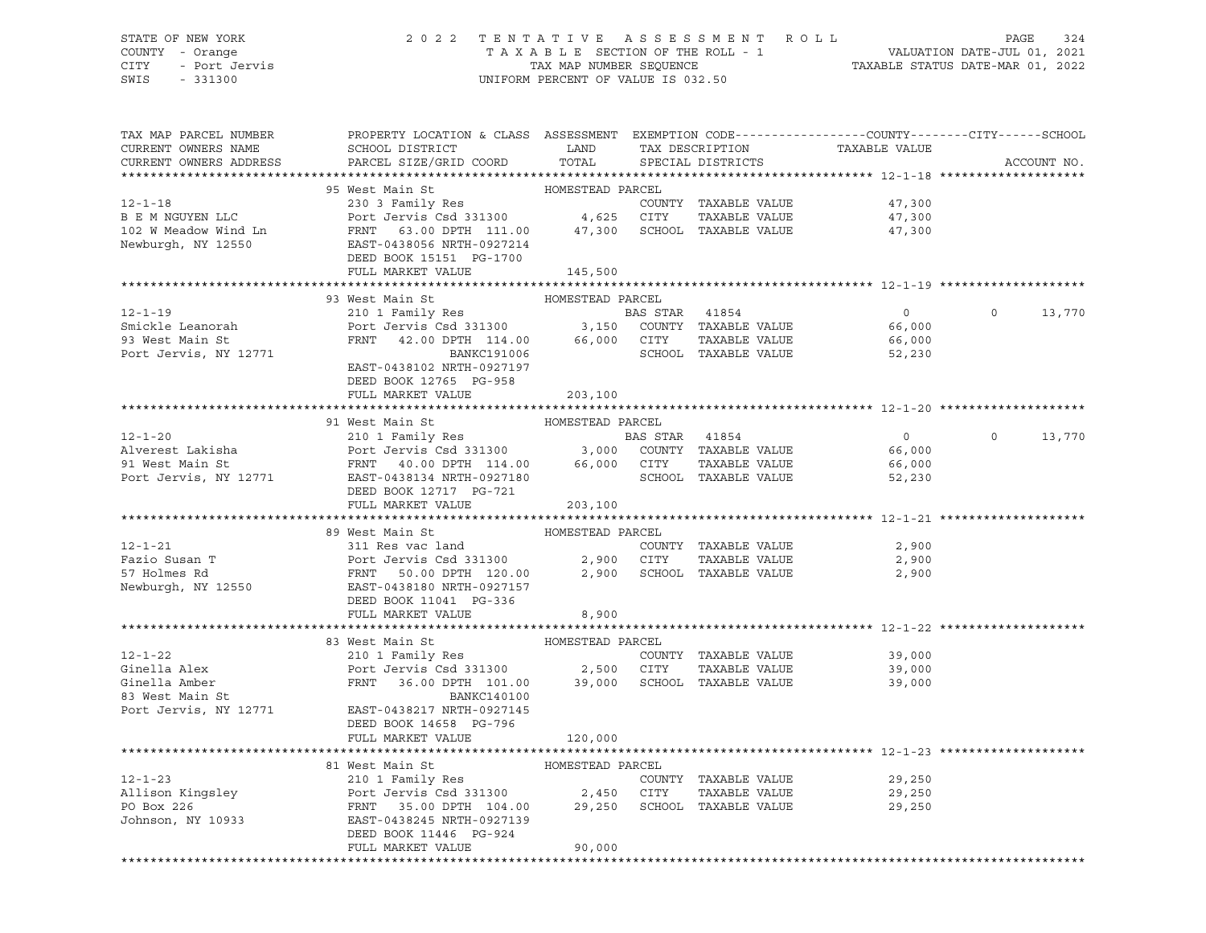# STATE OF NEW YORK 2 0 2 2 T E N T A T I V E A S S E S S M E N T R O L L PAGE 324 COUNTY - Orange T A X A B L E SECTION OF THE ROLL - 1 VALUATION DATE-JUL 01, 2021 CITY - Port Jervis TAX MAP NUMBER SEQUENCE TAXABLE STATUS DATE-MAR 01, 2022

| TAX MAP PARCEL NUMBER<br>CURRENT OWNERS NAME<br>CURRENT OWNERS ADDRESS | PROPERTY LOCATION & CLASS ASSESSMENT EXEMPTION CODE----------------COUNTY-------CITY------SCHOOL<br>SCHOOL DISTRICT LAND<br>PARCEL SIZE/GRID COORD TOTAL                                                                                                               |                  | TAX DESCRIPTION<br>SPECIAL DISTRICTS | TAXABLE VALUE                                      | ACCOUNT NO.              |
|------------------------------------------------------------------------|------------------------------------------------------------------------------------------------------------------------------------------------------------------------------------------------------------------------------------------------------------------------|------------------|--------------------------------------|----------------------------------------------------|--------------------------|
|                                                                        |                                                                                                                                                                                                                                                                        |                  |                                      |                                                    |                          |
|                                                                        | 12-1-18<br>230 3 Family Res<br>230 3 Family Res<br>230 3 Family Res<br>230 3 Family Res<br>230 3 Family Res<br>230 3 Family Res<br>230 3 Family Res<br>230 3 Family Res<br>230 3 74 111.00<br>24 1,300 SCHOOL TAXABLE VALUE<br>247,300 SCHOOL TAXAB                    |                  |                                      |                                                    |                          |
|                                                                        |                                                                                                                                                                                                                                                                        |                  |                                      | 47,300                                             |                          |
|                                                                        |                                                                                                                                                                                                                                                                        |                  |                                      | 47,300                                             |                          |
|                                                                        |                                                                                                                                                                                                                                                                        |                  |                                      | 47,300                                             |                          |
|                                                                        |                                                                                                                                                                                                                                                                        |                  |                                      |                                                    |                          |
|                                                                        | DEED BOOK 15151 PG-1700                                                                                                                                                                                                                                                |                  |                                      |                                                    |                          |
|                                                                        | FULL MARKET VALUE 145,500                                                                                                                                                                                                                                              |                  |                                      |                                                    |                          |
|                                                                        |                                                                                                                                                                                                                                                                        |                  |                                      |                                                    |                          |
|                                                                        | 93 West Main St                                                                                                                                                                                                                                                        | HOMESTEAD PARCEL |                                      |                                                    |                          |
| $12 - 1 - 19$                                                          | 210 1 Family Res<br>210 1 Family Res<br>Port Jervis Csd 331300 3,150 COUNTY TAXABLE VALUE<br>FRNT 42.00 DPTH 114.00 66,000 CITY TAXABLE VALUE 66,000<br>BANKC191006 SCHOOL TAXABLE VALUE 52,230<br>PAST 0428102 NPTH 0927197                                           |                  |                                      | $\overline{0}$                                     | $\overline{0}$<br>13,770 |
| Smickle Leanorah                                                       |                                                                                                                                                                                                                                                                        |                  |                                      |                                                    |                          |
| 93 West Main St<br>Port Jervis, NY 12771                               |                                                                                                                                                                                                                                                                        |                  |                                      |                                                    |                          |
|                                                                        |                                                                                                                                                                                                                                                                        |                  |                                      |                                                    |                          |
|                                                                        | EAST-0438102 NRTH-0927197                                                                                                                                                                                                                                              |                  |                                      |                                                    |                          |
|                                                                        | DEED BOOK 12765 PG-958                                                                                                                                                                                                                                                 |                  |                                      |                                                    |                          |
|                                                                        | FULL MARKET VALUE                                                                                                                                                                                                                                                      | 203,100          |                                      |                                                    |                          |
|                                                                        |                                                                                                                                                                                                                                                                        |                  |                                      |                                                    |                          |
|                                                                        | 91 West Main St<br>12-1-20<br>210 1 Family Res<br>210 1 Family Res<br>210 1 Family Res<br>210 1 Family Res<br>210 1 Family Res<br>210 210 1 Family Res<br>210 2131300<br>21 3,000 COUNTY TAXABLE VALUE<br>3,000 COUNTY TAXABLE VALUE<br>21 BAS STAR<br>2185"-042831340 | HOMESTEAD PARCEL |                                      |                                                    | $\circ$                  |
|                                                                        |                                                                                                                                                                                                                                                                        |                  |                                      | $\overline{0}$                                     | 13,770                   |
|                                                                        |                                                                                                                                                                                                                                                                        |                  |                                      | 66,000                                             |                          |
|                                                                        |                                                                                                                                                                                                                                                                        |                  |                                      | 66,000                                             |                          |
|                                                                        | DEED BOOK 12717 PG-721                                                                                                                                                                                                                                                 |                  | SCHOOL TAXABLE VALUE                 | 52,230                                             |                          |
|                                                                        | FULL MARKET VALUE                                                                                                                                                                                                                                                      | 203,100          |                                      |                                                    |                          |
|                                                                        |                                                                                                                                                                                                                                                                        |                  |                                      |                                                    |                          |
|                                                                        | 89 West Main St                                                                                                                                                                                                                                                        | HOMESTEAD PARCEL |                                      |                                                    |                          |
| $12 - 1 - 21$                                                          | 311 Res vac land                                                                                                                                                                                                                                                       |                  | COUNTY TAXABLE VALUE                 | 2,900                                              |                          |
|                                                                        |                                                                                                                                                                                                                                                                        |                  |                                      |                                                    |                          |
|                                                                        |                                                                                                                                                                                                                                                                        |                  |                                      |                                                    |                          |
|                                                                        | Fazio Susan T<br>Port Jervis Csd 331300<br>FRNT 50.00 DPTH 120.00<br>Newburgh, NY 12550<br>Newburgh, NY 12550<br>PORT 120.00 DPTH 120.00<br>EAST-0432187<br>PORT 12027157<br>PORT 12027157<br>PORT 12027157                                                            |                  |                                      |                                                    |                          |
|                                                                        | DEED BOOK 11041 PG-336                                                                                                                                                                                                                                                 |                  |                                      |                                                    |                          |
|                                                                        | FULL MARKET VALUE                                                                                                                                                                                                                                                      | 8,900            |                                      |                                                    |                          |
|                                                                        |                                                                                                                                                                                                                                                                        |                  |                                      |                                                    |                          |
|                                                                        | 33 West Main St<br>210 1 Family Res<br>210 1 Family Res<br>210 1 Family Res<br>210 1 Family Res<br>2,500 CITY TAXABLE VALUE<br>2,500 CITY TAXABLE VALUE<br>39,000 SCHOOL TAXABLE VALUE<br>39,000 SCHOOL TAXABLE VALUE<br>2011 FAMILY RANEL VALUE                       |                  |                                      |                                                    |                          |
|                                                                        |                                                                                                                                                                                                                                                                        |                  |                                      | 39,000                                             |                          |
|                                                                        |                                                                                                                                                                                                                                                                        |                  |                                      | 39,000                                             |                          |
|                                                                        |                                                                                                                                                                                                                                                                        |                  |                                      | 39,000                                             |                          |
|                                                                        |                                                                                                                                                                                                                                                                        |                  |                                      |                                                    |                          |
|                                                                        | Port Jervis, NY 12771 EAST-0438217 NRTH-0927145                                                                                                                                                                                                                        |                  |                                      |                                                    |                          |
|                                                                        | DEED BOOK 14658 PG-796                                                                                                                                                                                                                                                 |                  |                                      |                                                    |                          |
|                                                                        | FULL MARKET VALUE                                                                                                                                                                                                                                                      | 120,000          |                                      |                                                    |                          |
|                                                                        |                                                                                                                                                                                                                                                                        |                  |                                      | *********************************** 12-1-23 ****** |                          |
|                                                                        |                                                                                                                                                                                                                                                                        |                  |                                      |                                                    |                          |
|                                                                        |                                                                                                                                                                                                                                                                        |                  | COUNTY TAXABLE VALUE                 | 29,250                                             |                          |
|                                                                        |                                                                                                                                                                                                                                                                        |                  |                                      | 29,250                                             |                          |
|                                                                        |                                                                                                                                                                                                                                                                        |                  |                                      | 29,250                                             |                          |
|                                                                        | 12-1-23<br>210 1 Family Res<br>210 1 Family Res<br>210 1 Family Res<br>210 1 Family Res<br>210 1 Family Res<br>2450 CUNTY TAXABLE VALUE<br>29,250 CITY TAXABLE VALUE<br>29,250 SCHOOL TAXABLE VALUE<br>35.00 DPTH 104.00 29,250 SCHOOL TAXABLE V                       |                  |                                      |                                                    |                          |
|                                                                        | DEED BOOK 11446 PG-924                                                                                                                                                                                                                                                 |                  |                                      |                                                    |                          |
|                                                                        | FULL MARKET VALUE                                                                                                                                                                                                                                                      | 90,000           |                                      |                                                    |                          |
|                                                                        |                                                                                                                                                                                                                                                                        |                  |                                      |                                                    |                          |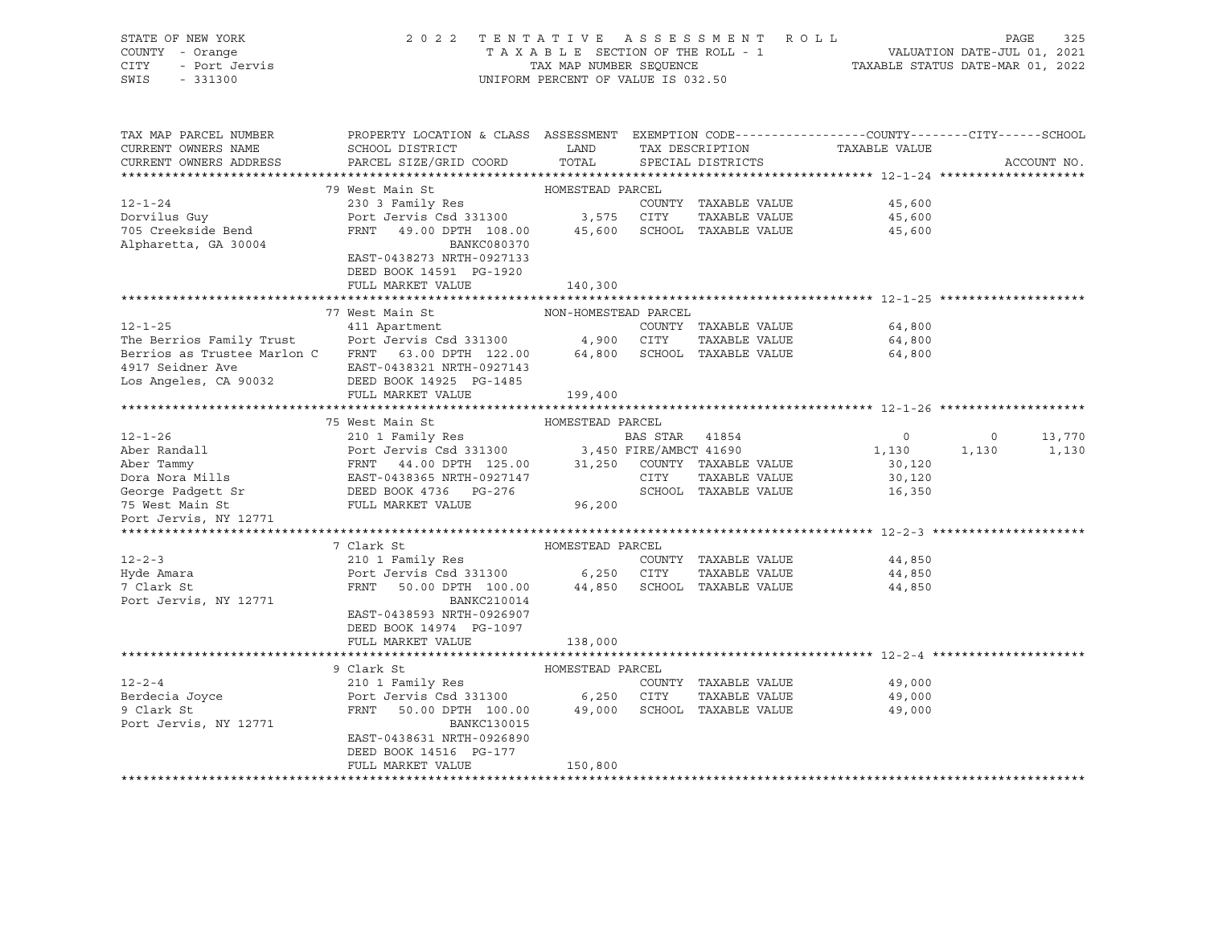| STATE OF NEW YORK                                                                                                                                                                                                                                      |                                                                                                                               |                                    |  |                      | 2022 TENTATIVE ASSESSMENT ROLL                                    |                | PAGE<br>325 |
|--------------------------------------------------------------------------------------------------------------------------------------------------------------------------------------------------------------------------------------------------------|-------------------------------------------------------------------------------------------------------------------------------|------------------------------------|--|----------------------|-------------------------------------------------------------------|----------------|-------------|
| COUNTY - Orange                                                                                                                                                                                                                                        | T A X A B L E SECTION OF THE ROLL - 1 VALUATION DATE-JUL 01, 2021<br>TAX MAP NUMBER SEQUENCE TAXABLE STATUS DATE-MAR 01, 2022 |                                    |  |                      |                                                                   |                |             |
| - Orange<br>- Port Jervis<br>CITY                                                                                                                                                                                                                      |                                                                                                                               |                                    |  |                      |                                                                   |                |             |
| SWIS<br>$-331300$                                                                                                                                                                                                                                      |                                                                                                                               | UNIFORM PERCENT OF VALUE IS 032.50 |  |                      |                                                                   |                |             |
|                                                                                                                                                                                                                                                        |                                                                                                                               |                                    |  |                      |                                                                   |                |             |
|                                                                                                                                                                                                                                                        |                                                                                                                               |                                    |  |                      |                                                                   |                |             |
|                                                                                                                                                                                                                                                        |                                                                                                                               |                                    |  |                      |                                                                   |                |             |
| TAX MAP PARCEL NUMBER                                                                                                                                                                                                                                  | PROPERTY LOCATION & CLASS ASSESSMENT EXEMPTION CODE----------------COUNTY-------CITY------SCHOOL                              |                                    |  |                      |                                                                   |                |             |
| CURRENT OWNERS NAME                                                                                                                                                                                                                                    | SCHOOL DISTRICT                                                                                                               | LAND                               |  |                      | TAX DESCRIPTION TAXABLE VALUE                                     |                |             |
| CURRENT OWNERS ADDRESS                                                                                                                                                                                                                                 | PARCEL SIZE/GRID COORD                                                                                                        | TOTAL                              |  | SPECIAL DISTRICTS    |                                                                   |                | ACCOUNT NO. |
|                                                                                                                                                                                                                                                        |                                                                                                                               |                                    |  |                      |                                                                   |                |             |
|                                                                                                                                                                                                                                                        | 79 West Main St                                                                                                               | HOMESTEAD PARCEL                   |  |                      |                                                                   |                |             |
| $12 - 1 - 24$                                                                                                                                                                                                                                          | 230 3 Family Res                                                                                                              |                                    |  | COUNTY TAXABLE VALUE | 45,600                                                            |                |             |
| -- -<br>Dorvilus Guy                                                                                                                                                                                                                                   | Port Jervis Csd 331300 3,575 CITY TAXABLE VALUE<br>FRNT 49.00 DPTH 108.00 45,600 SCHOOL TAXABLE VALUE                         |                                    |  | TAXABLE VALUE        | 45,600                                                            |                |             |
| 705 Creekside Bend                                                                                                                                                                                                                                     |                                                                                                                               |                                    |  |                      | 45,600                                                            |                |             |
| Alpharetta, GA 30004                                                                                                                                                                                                                                   | BANKC080370                                                                                                                   |                                    |  |                      |                                                                   |                |             |
|                                                                                                                                                                                                                                                        | EAST-0438273 NRTH-0927133                                                                                                     |                                    |  |                      |                                                                   |                |             |
|                                                                                                                                                                                                                                                        | DEED BOOK 14591 PG-1920                                                                                                       |                                    |  |                      |                                                                   |                |             |
|                                                                                                                                                                                                                                                        | FULL MARKET VALUE                                                                                                             | 140,300                            |  |                      |                                                                   |                |             |
|                                                                                                                                                                                                                                                        |                                                                                                                               |                                    |  |                      |                                                                   |                |             |
|                                                                                                                                                                                                                                                        | 77 West Main St                                                                                                               | NON-HOMESTEAD PARCEL               |  |                      |                                                                   |                |             |
| $12 - 1 - 25$                                                                                                                                                                                                                                          | 411 Apartment                                                                                                                 |                                    |  | COUNTY TAXABLE VALUE | 64,800                                                            |                |             |
| The Berrios Family Trust<br>The Berrios Family Trust<br>Berrios as Trustee Marlon C FRNT 63.00 DPTH 122.00 64,800 SCHOOL TAXABLE VALUE                                                                                                                 |                                                                                                                               |                                    |  | TAXABLE VALUE        | 64,800                                                            |                |             |
|                                                                                                                                                                                                                                                        |                                                                                                                               |                                    |  |                      | 64,800                                                            |                |             |
|                                                                                                                                                                                                                                                        |                                                                                                                               |                                    |  |                      |                                                                   |                |             |
|                                                                                                                                                                                                                                                        |                                                                                                                               |                                    |  |                      |                                                                   |                |             |
|                                                                                                                                                                                                                                                        | FULL MARKET VALUE                                                                                                             | 199,400                            |  |                      |                                                                   |                |             |
|                                                                                                                                                                                                                                                        |                                                                                                                               |                                    |  |                      |                                                                   |                |             |
|                                                                                                                                                                                                                                                        | 75 West Main St                                                                                                               | HOMESTEAD PARCEL                   |  |                      |                                                                   |                |             |
|                                                                                                                                                                                                                                                        |                                                                                                                               |                                    |  |                      | $\overline{0}$<br>$\begin{smallmatrix}&&0\1,130\end{smallmatrix}$ | $\overline{0}$ | 13,770      |
|                                                                                                                                                                                                                                                        |                                                                                                                               |                                    |  |                      |                                                                   | 1,130          | 1,130       |
|                                                                                                                                                                                                                                                        |                                                                                                                               |                                    |  |                      | 30,120                                                            |                |             |
|                                                                                                                                                                                                                                                        |                                                                                                                               |                                    |  |                      | 30,120                                                            |                |             |
|                                                                                                                                                                                                                                                        |                                                                                                                               |                                    |  |                      | 16,350                                                            |                |             |
| 12-1-26<br>210 12-1-26<br>Aber Randall<br>210 1 Family Res<br>210 1 Family Res<br>210 1 Family Res<br>210 1 Family Res<br>210 1 Family Res<br>21,250 TATE/AMBCT 41690<br>31,250 COUNTY TAXABLE VALUE<br>Dora Nora Mills<br>25 Tammy<br>25 Mest Main St |                                                                                                                               |                                    |  |                      |                                                                   |                |             |
| Port Jervis, NY 12771                                                                                                                                                                                                                                  |                                                                                                                               |                                    |  |                      |                                                                   |                |             |
|                                                                                                                                                                                                                                                        |                                                                                                                               |                                    |  |                      |                                                                   |                |             |
|                                                                                                                                                                                                                                                        | 7 Clark St                                                                                                                    | HOMESTEAD PARCEL                   |  |                      |                                                                   |                |             |
| $12 - 2 - 3$                                                                                                                                                                                                                                           |                                                                                                                               |                                    |  |                      | 44,850                                                            |                |             |
| Hyde Amara                                                                                                                                                                                                                                             | 210 1 Family Res<br>Port Jervis Csd 331300 6,250 CITY TAXABLE VALUE<br>FRNT 50.00 DPTH 100.00 44,850 SCHOOL TAXABLE VALUE     |                                    |  |                      | 44,850                                                            |                |             |
| 7 Clark St                                                                                                                                                                                                                                             |                                                                                                                               |                                    |  |                      | 44,850                                                            |                |             |
| Port Jervis, NY 12771                                                                                                                                                                                                                                  | BANKC210014                                                                                                                   |                                    |  |                      |                                                                   |                |             |
|                                                                                                                                                                                                                                                        | EAST-0438593 NRTH-0926907                                                                                                     |                                    |  |                      |                                                                   |                |             |
|                                                                                                                                                                                                                                                        | DEED BOOK 14974 PG-1097                                                                                                       |                                    |  |                      |                                                                   |                |             |
|                                                                                                                                                                                                                                                        | FULL MARKET VALUE                                                                                                             | 138,000                            |  |                      |                                                                   |                |             |
|                                                                                                                                                                                                                                                        |                                                                                                                               |                                    |  |                      |                                                                   |                |             |
|                                                                                                                                                                                                                                                        | HOMESTEAD PARCEL<br>COUN<br>9 Clark St                                                                                        |                                    |  |                      |                                                                   |                |             |
| $12 - 2 - 4$                                                                                                                                                                                                                                           | 210 1 Family Res                                                                                                              |                                    |  | COUNTY TAXABLE VALUE | 49,000                                                            |                |             |
| Berdecia Joyce<br>9 Clark St                                                                                                                                                                                                                           | Port Jervis Csd 331300 6,250 CITY TAXABLE VALUE<br>FRNT 50.00 DPTH 100.00 49,000 SCHOOL TAXABLE VALUE                         |                                    |  |                      | 49,000                                                            |                |             |
| 9 Clark St                                                                                                                                                                                                                                             |                                                                                                                               |                                    |  |                      | 49,000                                                            |                |             |
| Port Jervis, NY 12771                                                                                                                                                                                                                                  | BANKC130015                                                                                                                   |                                    |  |                      |                                                                   |                |             |
|                                                                                                                                                                                                                                                        | EAST-0438631 NRTH-0926890                                                                                                     |                                    |  |                      |                                                                   |                |             |
|                                                                                                                                                                                                                                                        | DEED BOOK 14516 PG-177                                                                                                        |                                    |  |                      |                                                                   |                |             |
|                                                                                                                                                                                                                                                        | FULL MARKET VALUE                                                                                                             | 150,800                            |  |                      |                                                                   |                |             |
|                                                                                                                                                                                                                                                        |                                                                                                                               |                                    |  |                      |                                                                   |                |             |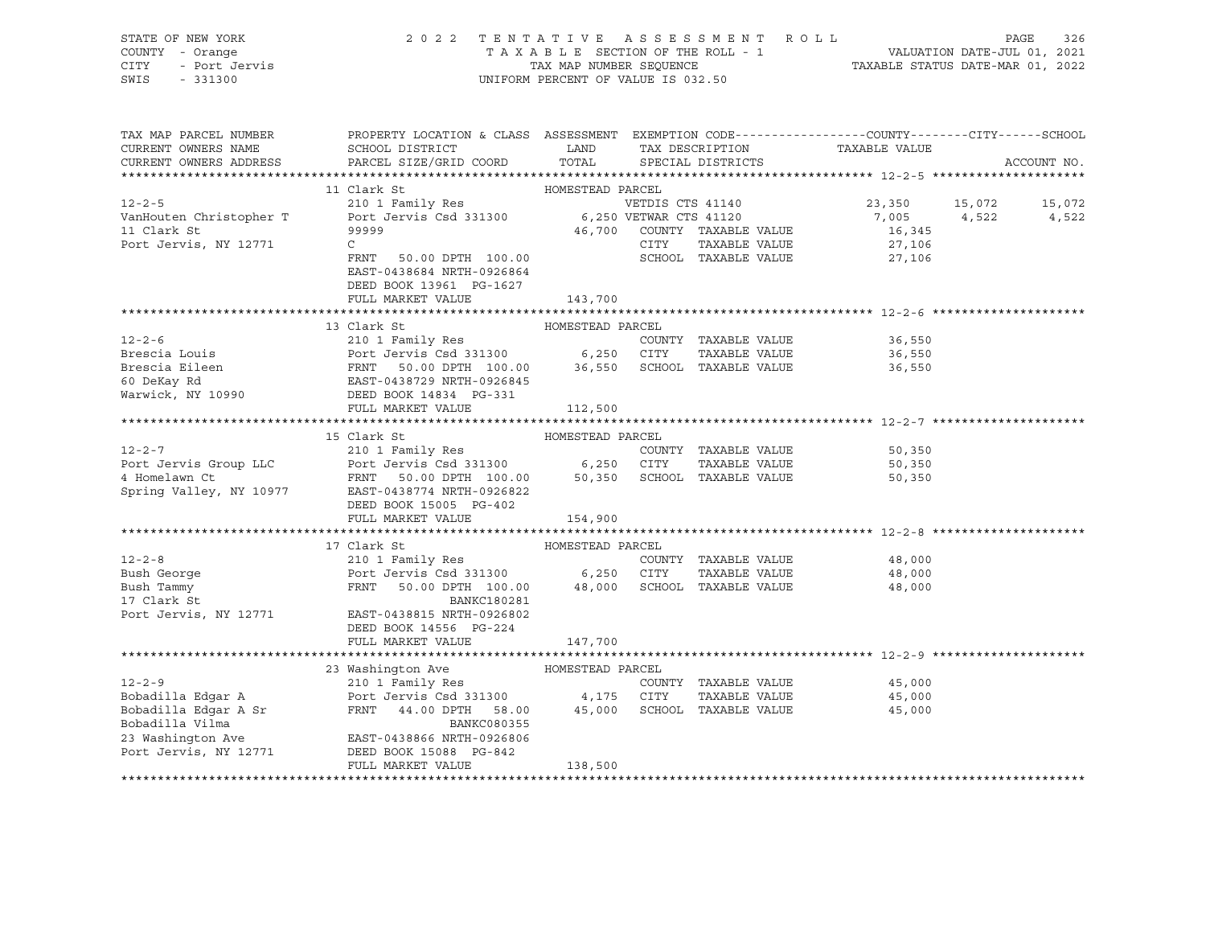| STATE OF NEW YORK     | 2022 TENTATIVE ASSESSMENT ROLL     | 326<br>PAGE                      |
|-----------------------|------------------------------------|----------------------------------|
| COUNTY - Orange       | TAXABLE SECTION OF THE ROLL - 1    | VALUATION DATE-JUL 01, 2021      |
| CITY<br>- Port Jervis | TAX MAP NUMBER SEOUENCE            | TAXABLE STATUS DATE-MAR 01, 2022 |
| SWIS<br>$-331300$     | UNIFORM PERCENT OF VALUE IS 032.50 |                                  |

| TAX MAP PARCEL NUMBER                     | PROPERTY LOCATION & CLASS ASSESSMENT EXEMPTION CODE----------------COUNTY-------CITY------SCHOOL                                                                                                         |                  |      |                             |                               |       |             |
|-------------------------------------------|----------------------------------------------------------------------------------------------------------------------------------------------------------------------------------------------------------|------------------|------|-----------------------------|-------------------------------|-------|-------------|
| CURRENT OWNERS NAME                       | SCHOOL DISTRICT                                                                                                                                                                                          | LAND             |      |                             | TAX DESCRIPTION TAXABLE VALUE |       |             |
| CURRENT OWNERS ADDRESS                    | PARCEL SIZE/GRID COORD                                                                                                                                                                                   | TOTAL            |      | SPECIAL DISTRICTS           |                               |       | ACCOUNT NO. |
|                                           |                                                                                                                                                                                                          |                  |      |                             |                               |       |             |
|                                           |                                                                                                                                                                                                          |                  |      |                             |                               |       |             |
|                                           |                                                                                                                                                                                                          |                  |      |                             | 23,350 15,072                 |       | 15,072      |
|                                           |                                                                                                                                                                                                          |                  |      |                             | 7,005                         | 4,522 | 4,522       |
| 11 Clark St                               | 99999                                                                                                                                                                                                    |                  |      | 46,700 COUNTY TAXABLE VALUE | 16,345                        |       |             |
| Port Jervis, NY 12771                     | $\mathsf{C}$                                                                                                                                                                                             |                  | CITY | TAXABLE VALUE               | 27,106                        |       |             |
|                                           | 50.00 DPTH 100.00<br>FRNT                                                                                                                                                                                |                  |      | SCHOOL TAXABLE VALUE        | 27,106                        |       |             |
|                                           | EAST-0438684 NRTH-0926864                                                                                                                                                                                |                  |      |                             |                               |       |             |
|                                           | DEED BOOK 13961 PG-1627                                                                                                                                                                                  |                  |      |                             |                               |       |             |
|                                           | FULL MARKET VALUE                                                                                                                                                                                        | 143,700          |      |                             |                               |       |             |
|                                           |                                                                                                                                                                                                          |                  |      |                             |                               |       |             |
|                                           | 13 Clark St                                                                                                                                                                                              | HOMESTEAD PARCEL |      |                             |                               |       |             |
| $12 - 2 - 6$                              | 210 1 Family Res                                                                                                                                                                                         |                  |      | COUNTY TAXABLE VALUE        | 36,550                        |       |             |
|                                           |                                                                                                                                                                                                          |                  |      |                             | TAXABLE VALUE 36,550          |       |             |
|                                           | Brescia Louis<br>Brescia Eileen (EXAMPLE VALUE FRAT 100.00) 6,250 CITY TAXABLE VALUE<br>FRAT 50.00 DPTH 100.00 36,550 SCHOOL TAXABLE VALUE<br>Warwick, NY 10990 DEED BOOK 14834 PG-331                   |                  |      |                             | 36,550                        |       |             |
|                                           |                                                                                                                                                                                                          |                  |      |                             |                               |       |             |
|                                           |                                                                                                                                                                                                          |                  |      |                             |                               |       |             |
|                                           | FULL MARKET VALUE                                                                                                                                                                                        | 112,500          |      |                             |                               |       |             |
|                                           | 15 Clark St                                                                                                                                                                                              | HOMESTEAD PARCEL |      |                             |                               |       |             |
|                                           |                                                                                                                                                                                                          |                  |      |                             | 50,350                        |       |             |
|                                           |                                                                                                                                                                                                          |                  |      |                             | 50,350                        |       |             |
|                                           | 12-2-7<br>Port Jervis Group LLC Port Jervis Csd 331300 6,250 CITY TAXABLE VALUE<br>4 Homelawn Ct FRNT 50.00 DPTH 100.00 50,350 SCHOOL TAXABLE VALUE<br>Spring Valley, NY 10977 EAST-0438774 NRTH-0926822 |                  |      |                             | 50,350                        |       |             |
|                                           |                                                                                                                                                                                                          |                  |      |                             |                               |       |             |
|                                           | DEED BOOK 15005 PG-402                                                                                                                                                                                   |                  |      |                             |                               |       |             |
|                                           | FULL MARKET VALUE                                                                                                                                                                                        | 154,900          |      |                             |                               |       |             |
|                                           |                                                                                                                                                                                                          |                  |      |                             |                               |       |             |
|                                           | HOMESTEAD PART<br>210 1 Family Res<br>Port Jervis Csd 331300 6,250<br>FRNT 50.00 DPTH 100.00                                                                                                             | HOMESTEAD PARCEL |      |                             |                               |       |             |
| $12 - 2 - 8$                              |                                                                                                                                                                                                          |                  |      | COUNTY TAXABLE VALUE        | 48,000                        |       |             |
|                                           |                                                                                                                                                                                                          |                  | CITY | TAXABLE VALUE               | 48,000                        |       |             |
| Bush George<br>Bush Tammy<br>17 Clark St  |                                                                                                                                                                                                          |                  |      | SCHOOL TAXABLE VALUE        | 48,000                        |       |             |
|                                           | <b>BANKC180281</b>                                                                                                                                                                                       |                  |      |                             |                               |       |             |
| Port Jervis, NY 12771                     | EAST-0438815 NRTH-0926802                                                                                                                                                                                |                  |      |                             |                               |       |             |
|                                           | DEED BOOK 14556 PG-224                                                                                                                                                                                   |                  |      |                             |                               |       |             |
|                                           | FULL MARKET VALUE                                                                                                                                                                                        | 147,700          |      |                             |                               |       |             |
|                                           |                                                                                                                                                                                                          |                  |      |                             |                               |       |             |
|                                           | 23 Washington Ave                                                                                                                                                                                        | HOMESTEAD PARCEL |      |                             |                               |       |             |
| $12 - 2 - 9$                              | 210 1 Family Res                                                                                                                                                                                         |                  |      | COUNTY TAXABLE VALUE        | 45,000                        |       |             |
| Bobadilla Edgar A<br>Bobadilla Edgar A Sr | Port Jervis Csd 331300 4,175                                                                                                                                                                             |                  | CITY | TAXABLE VALUE               | 45,000                        |       |             |
|                                           | FRNT 44.00 DPTH 58.00                                                                                                                                                                                    | 45,000           |      | SCHOOL TAXABLE VALUE        | 45,000                        |       |             |
| Bobadilla Vilma                           | BANKC080355                                                                                                                                                                                              |                  |      |                             |                               |       |             |
| 23 Washington Ave                         | EAST-0438866 NRTH-0926806                                                                                                                                                                                |                  |      |                             |                               |       |             |
| Port Jervis, NY 12771                     | DEED BOOK 15088 PG-842                                                                                                                                                                                   |                  |      |                             |                               |       |             |
|                                           | FULL MARKET VALUE                                                                                                                                                                                        | 138,500          |      |                             |                               |       |             |
|                                           |                                                                                                                                                                                                          |                  |      |                             |                               |       |             |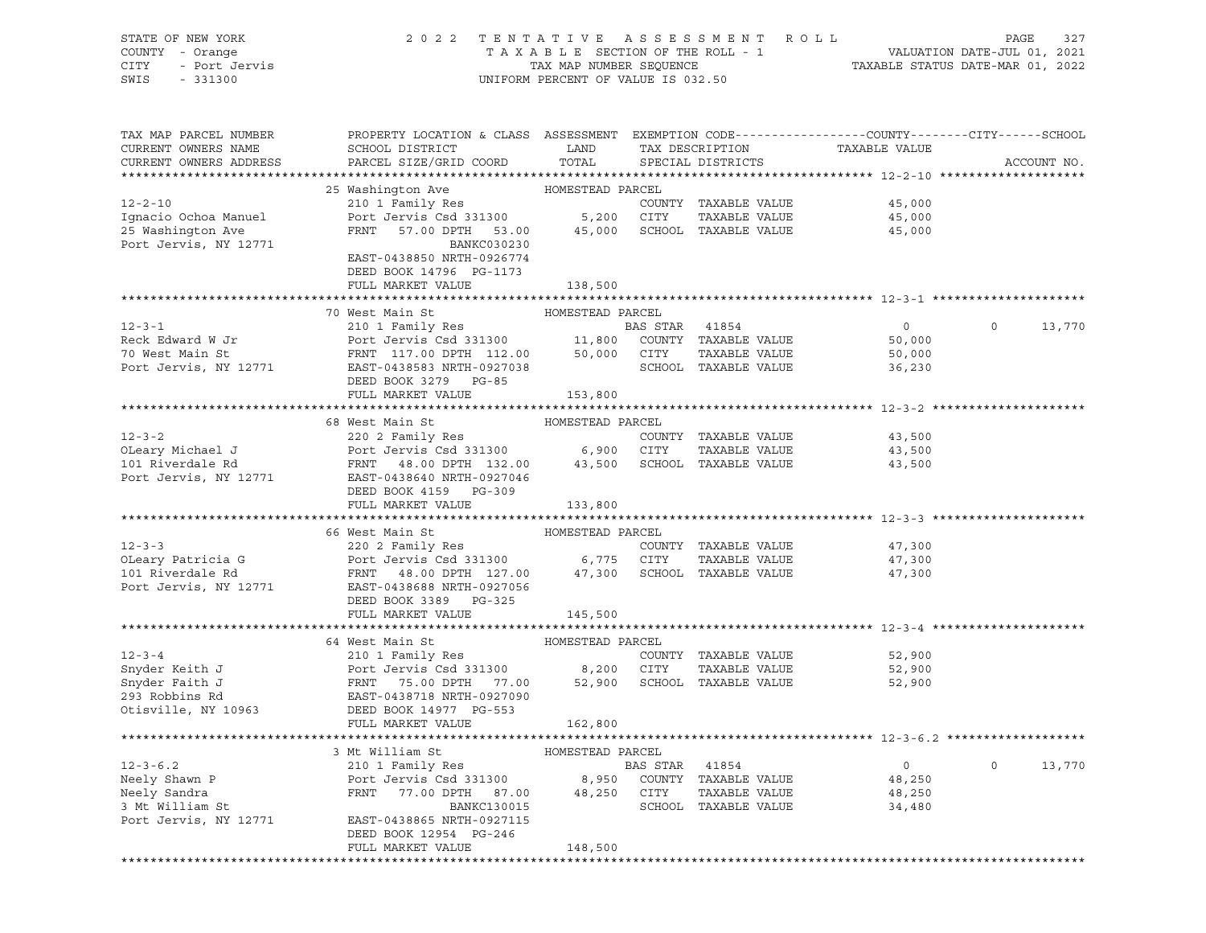| STATE OF NEW YORK<br>COUNTY - Orange<br><b>CITY</b><br>- Port Jervis<br>SWIS<br>$-331300$ | 2 0 2 2                                                                                          | TAXABLE SECTION OF THE ROLL - 1<br>TAX MAP NUMBER SEQUENCE<br>UNIFORM PERCENT OF VALUE IS 032.50 |                | TENTATIVE ASSESSMENT ROLL             |                  | PAGE<br>VALUATION DATE-JUL 01, 2021<br>TAXABLE STATUS DATE-MAR 01, 2022 | 327    |
|-------------------------------------------------------------------------------------------|--------------------------------------------------------------------------------------------------|--------------------------------------------------------------------------------------------------|----------------|---------------------------------------|------------------|-------------------------------------------------------------------------|--------|
|                                                                                           |                                                                                                  |                                                                                                  |                |                                       |                  |                                                                         |        |
| TAX MAP PARCEL NUMBER                                                                     | PROPERTY LOCATION & CLASS ASSESSMENT EXEMPTION CODE----------------COUNTY-------CITY------SCHOOL |                                                                                                  |                |                                       |                  |                                                                         |        |
| CURRENT OWNERS NAME                                                                       | SCHOOL DISTRICT                                                                                  | LAND                                                                                             |                | TAX DESCRIPTION                       | TAXABLE VALUE    |                                                                         |        |
| CURRENT OWNERS ADDRESS                                                                    | PARCEL SIZE/GRID COORD                                                                           | TOTAL                                                                                            |                | SPECIAL DISTRICTS                     |                  | ACCOUNT NO.                                                             |        |
|                                                                                           |                                                                                                  |                                                                                                  |                |                                       |                  |                                                                         |        |
| $12 - 2 - 10$                                                                             | 25 Washington Ave<br>210 1 Family Res                                                            | HOMESTEAD PARCEL                                                                                 |                | COUNTY TAXABLE VALUE                  | 45,000           |                                                                         |        |
| Ignacio Ochoa Manuel                                                                      | Port Jervis Csd 331300                                                                           | 5,200 CITY                                                                                       |                | TAXABLE VALUE                         | 45,000           |                                                                         |        |
| 25 Washington Ave                                                                         | FRNT<br>57.00 DPTH 53.00                                                                         | 45,000                                                                                           |                | SCHOOL TAXABLE VALUE                  | 45,000           |                                                                         |        |
| Port Jervis, NY 12771                                                                     | BANKC030230                                                                                      |                                                                                                  |                |                                       |                  |                                                                         |        |
|                                                                                           | EAST-0438850 NRTH-0926774                                                                        |                                                                                                  |                |                                       |                  |                                                                         |        |
|                                                                                           | DEED BOOK 14796 PG-1173                                                                          |                                                                                                  |                |                                       |                  |                                                                         |        |
|                                                                                           | FULL MARKET VALUE                                                                                | 138,500                                                                                          |                |                                       |                  |                                                                         |        |
|                                                                                           |                                                                                                  |                                                                                                  |                |                                       |                  |                                                                         |        |
|                                                                                           | 70 West Main St                                                                                  | HOMESTEAD PARCEL                                                                                 |                |                                       |                  |                                                                         |        |
| $12 - 3 - 1$                                                                              | 210 1 Family Res                                                                                 |                                                                                                  | BAS STAR 41854 |                                       | $\overline{0}$   | $\circ$                                                                 | 13,770 |
| Reck Edward W Jr                                                                          | Port Jervis Csd 331300                                                                           | 11,800                                                                                           |                | COUNTY TAXABLE VALUE                  | 50,000           |                                                                         |        |
| 70 West Main St                                                                           | FRNT 117.00 DPTH 112.00                                                                          | 50,000                                                                                           | CITY           | TAXABLE VALUE                         | 50,000           |                                                                         |        |
| Port Jervis, NY 12771                                                                     | EAST-0438583 NRTH-0927038<br>DEED BOOK 3279 PG-85                                                |                                                                                                  |                | SCHOOL TAXABLE VALUE                  | 36,230           |                                                                         |        |
|                                                                                           | FULL MARKET VALUE                                                                                | 153,800                                                                                          |                |                                       |                  |                                                                         |        |
|                                                                                           |                                                                                                  |                                                                                                  |                |                                       |                  |                                                                         |        |
|                                                                                           | 68 West Main St                                                                                  | HOMESTEAD PARCEL                                                                                 |                |                                       |                  |                                                                         |        |
| $12 - 3 - 2$                                                                              | 220 2 Family Res                                                                                 |                                                                                                  |                | COUNTY TAXABLE VALUE                  | 43,500           |                                                                         |        |
| OLeary Michael J                                                                          | Port Jervis Csd 331300                                                                           | 6,900                                                                                            | CITY           | TAXABLE VALUE                         | 43,500           |                                                                         |        |
| 101 Riverdale Rd                                                                          | FRNT 48.00 DPTH 132.00                                                                           |                                                                                                  |                | 43,500 SCHOOL TAXABLE VALUE           | 43,500           |                                                                         |        |
| Port Jervis, NY 12771                                                                     | EAST-0438640 NRTH-0927046                                                                        |                                                                                                  |                |                                       |                  |                                                                         |        |
|                                                                                           | DEED BOOK 4159 PG-309                                                                            |                                                                                                  |                |                                       |                  |                                                                         |        |
|                                                                                           | FULL MARKET VALUE                                                                                | 133,800                                                                                          |                |                                       |                  |                                                                         |        |
|                                                                                           |                                                                                                  |                                                                                                  |                |                                       |                  |                                                                         |        |
|                                                                                           | 66 West Main St                                                                                  | HOMESTEAD PARCEL                                                                                 |                |                                       |                  |                                                                         |        |
| $12 - 3 - 3$                                                                              | 220 2 Family Res                                                                                 |                                                                                                  |                | COUNTY TAXABLE VALUE                  | 47,300           |                                                                         |        |
| OLeary Patricia G<br>101 Riverdale Rd                                                     | Port Jervis Csd 331300                                                                           | 6,775 CITY                                                                                       |                | TAXABLE VALUE                         | 47,300           |                                                                         |        |
| Port Jervis, NY 12771                                                                     | FRNT<br>48.00 DPTH 127.00<br>EAST-0438688 NRTH-0927056                                           |                                                                                                  |                | 47,300 SCHOOL TAXABLE VALUE           | 47,300           |                                                                         |        |
|                                                                                           | DEED BOOK 3389 PG-325                                                                            |                                                                                                  |                |                                       |                  |                                                                         |        |
|                                                                                           | FULL MARKET VALUE                                                                                | 145,500                                                                                          |                |                                       |                  |                                                                         |        |
|                                                                                           |                                                                                                  |                                                                                                  |                |                                       |                  |                                                                         |        |
|                                                                                           | 64 West Main St                                                                                  | HOMESTEAD PARCEL                                                                                 |                |                                       |                  |                                                                         |        |
| $12 - 3 - 4$                                                                              | 210 1 Family Res                                                                                 |                                                                                                  |                | COUNTY TAXABLE VALUE                  | 52,900           |                                                                         |        |
| Snyder Keith J                                                                            | Port Jervis Csd 331300                                                                           | 8,200                                                                                            | CITY           | TAXABLE VALUE                         | 52,900           |                                                                         |        |
| Snyder Faith J                                                                            | FRNT<br>75.00 DPTH<br>77.00                                                                      | 52,900                                                                                           |                | SCHOOL TAXABLE VALUE                  | 52,900           |                                                                         |        |
| 293 Robbins Rd                                                                            | EAST-0438718 NRTH-0927090                                                                        |                                                                                                  |                |                                       |                  |                                                                         |        |
| Otisville, NY 10963                                                                       | DEED BOOK 14977 PG-553                                                                           |                                                                                                  |                |                                       |                  |                                                                         |        |
|                                                                                           | FULL MARKET VALUE                                                                                | 162,800                                                                                          |                |                                       |                  |                                                                         |        |
|                                                                                           |                                                                                                  |                                                                                                  |                |                                       |                  |                                                                         |        |
|                                                                                           | 3 Mt William St                                                                                  | HOMESTEAD PARCEL                                                                                 |                |                                       |                  | $\mathsf{O}$                                                            |        |
| $12 - 3 - 6.2$<br>Neely Shawn P                                                           | 210 1 Family Res<br>Port Jervis Csd 331300                                                       |                                                                                                  | BAS STAR       | 41854                                 | 0                |                                                                         | 13,770 |
| Neely Sandra                                                                              | FRNT<br>77.00 DPTH<br>87.00                                                                      | 8,950<br>48,250                                                                                  | CITY           | COUNTY TAXABLE VALUE<br>TAXABLE VALUE | 48,250<br>48,250 |                                                                         |        |
| 3 Mt William St                                                                           | BANKC130015                                                                                      |                                                                                                  |                | SCHOOL TAXABLE VALUE                  | 34,480           |                                                                         |        |
| Port Jervis, NY 12771                                                                     | EAST-0438865 NRTH-0927115                                                                        |                                                                                                  |                |                                       |                  |                                                                         |        |
|                                                                                           | DEED BOOK 12954 PG-246                                                                           |                                                                                                  |                |                                       |                  |                                                                         |        |
|                                                                                           | FULL MARKET VALUE                                                                                | 148,500                                                                                          |                |                                       |                  |                                                                         |        |
|                                                                                           |                                                                                                  |                                                                                                  |                |                                       |                  |                                                                         |        |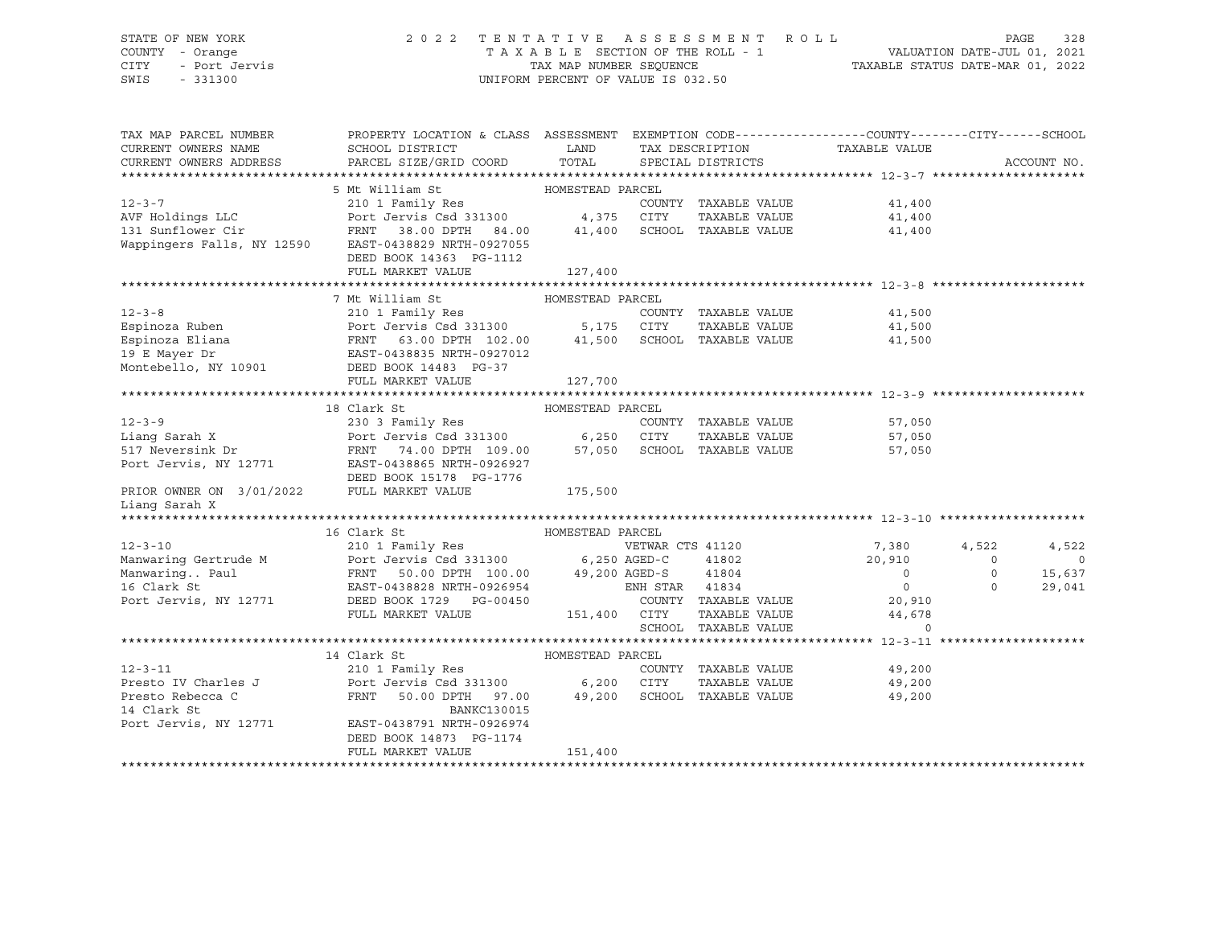# STATE OF NEW YORK 2 0 2 2 T E N T A T I V E A S S E S S M E N T R O L L PAGE 328 COUNTY - Orange T A X A B L E SECTION OF THE ROLL - 1 VALUATION DATE-JUL 01, 2021 CITY - Port Jervis TAX MAP NUMBER SEQUENCE TAXABLE STATUS DATE-MAR 01, 2022

| TAX MAP PARCEL NUMBER<br>CURRENT OWNERS NAME<br>CURRENT OWNERS ADDRESS | PROPERTY LOCATION & CLASS ASSESSMENT<br>SCHOOL DISTRICT<br>PARCEL SIZE/GRID COORD                     | LAND<br>TOTAL    | TAX DESCRIPTION<br>SPECIAL DISTRICTS |               | EXEMPTION CODE-----------------COUNTY-------CITY------SCHOOL<br>TAXABLE VALUE |          | ACCOUNT NO. |
|------------------------------------------------------------------------|-------------------------------------------------------------------------------------------------------|------------------|--------------------------------------|---------------|-------------------------------------------------------------------------------|----------|-------------|
|                                                                        |                                                                                                       |                  |                                      |               |                                                                               |          |             |
|                                                                        | 5 Mt William St                                                                                       | HOMESTEAD PARCEL |                                      |               |                                                                               |          |             |
| $12 - 3 - 7$                                                           | 210 1 Family Res                                                                                      |                  | COUNTY TAXABLE VALUE                 |               | 41,400                                                                        |          |             |
| AVF Holdings LLC                                                       | Port Jervis Csd 331300 4,375 CITY                                                                     |                  |                                      | TAXABLE VALUE | 41,400                                                                        |          |             |
| 131 Sunflower Cir                                                      | FRNT 38.00 DPTH 84.00 41,400                                                                          |                  | SCHOOL TAXABLE VALUE                 |               | 41,400                                                                        |          |             |
|                                                                        | Wappingers Falls, NY 12590 EAST-0438829 NRTH-0927055                                                  |                  |                                      |               |                                                                               |          |             |
|                                                                        | DEED BOOK 14363 PG-1112                                                                               |                  |                                      |               |                                                                               |          |             |
|                                                                        | FULL MARKET VALUE                                                                                     | 127,400          |                                      |               |                                                                               |          |             |
|                                                                        |                                                                                                       |                  |                                      |               |                                                                               |          |             |
|                                                                        | 7 Mt William St                                                                                       | HOMESTEAD PARCEL |                                      |               |                                                                               |          |             |
| $12 - 3 - 8$                                                           | 210 1 Family Res                                                                                      |                  | COUNTY TAXABLE VALUE                 |               | 41,500                                                                        |          |             |
| Espinoza Ruben                                                         |                                                                                                       |                  |                                      | TAXABLE VALUE | 41,500                                                                        |          |             |
| Espinoza Eliana                                                        |                                                                                                       |                  | SCHOOL TAXABLE VALUE                 |               | 41,500                                                                        |          |             |
| 19 E Mayer Dr                                                          | Port Jervis Csd 331300 5,175 CITY<br>FRNT 63.00 DPTH 102.00 41,500 SCHOC<br>EAST-0438835 NRTH-0927012 |                  |                                      |               |                                                                               |          |             |
| Montebello, NY 10901                                                   | DEED BOOK 14483 PG-37                                                                                 |                  |                                      |               |                                                                               |          |             |
|                                                                        | FULL MARKET VALUE                                                                                     | 127,700          |                                      |               |                                                                               |          |             |
|                                                                        |                                                                                                       |                  |                                      |               |                                                                               |          |             |
|                                                                        | 18 Clark St                                                                                           | HOMESTEAD PARCEL |                                      |               |                                                                               |          |             |
| $12 - 3 - 9$                                                           | 230 3 Family Res                                                                                      |                  | COUNTY TAXABLE VALUE                 |               | 57,050                                                                        |          |             |
| Liang Sarah X                                                          | Port Jervis Csd 331300 6,250 CITY<br>FRNT 74.00 DPTH 109.00 57,050 SCHOO                              |                  |                                      | TAXABLE VALUE | 57,050                                                                        |          |             |
| 517 Neversink Dr                                                       |                                                                                                       |                  | 57,050 SCHOOL TAXABLE VALUE          |               | 57,050                                                                        |          |             |
|                                                                        | Port Jervis, NY 12771 EAST-0438865 NRTH-0926927                                                       |                  |                                      |               |                                                                               |          |             |
|                                                                        | DEED BOOK 15178 PG-1776                                                                               |                  |                                      |               |                                                                               |          |             |
| PRIOR OWNER ON 3/01/2022 FULL MARKET VALUE                             |                                                                                                       | 175,500          |                                      |               |                                                                               |          |             |
| Liang Sarah X                                                          |                                                                                                       |                  |                                      |               |                                                                               |          |             |
|                                                                        |                                                                                                       |                  |                                      |               |                                                                               |          |             |
|                                                                        | 16 Clark St                                                                                           | HOMESTEAD PARCEL |                                      |               |                                                                               |          |             |
| $12 - 3 - 10$                                                          | 210 1 Family Res                                                                                      |                  | VETWAR CTS 41120                     |               | 7,380                                                                         | 4,522    | 4,522       |
| Manwaring Gertrude M                                                   | Port Jervis Csd 331300 6,250 AGED-C                                                                   |                  |                                      | 41802 2002    | 20,910                                                                        | $\Omega$ | $\mathbf 0$ |
| Manwaring Paul                                                         | FRNT 50.00 DPTH 100.00 49,200 AGED-S                                                                  |                  |                                      | 41804         | $\Omega$                                                                      | $\circ$  | 15,637      |
| 16 Clark St                                                            | EAST-0438828 NRTH-0926954                                                                             |                  | ENH STAR 41834                       |               | $\overline{0}$                                                                | $\Omega$ | 29,041      |
| Port Jervis, NY 12771                                                  | DEED BOOK 1729 PG-00450                                                                               |                  | COUNTY TAXABLE VALUE                 |               | 20,910                                                                        |          |             |
|                                                                        | FULL MARKET VALUE                                                                                     | 151,400 CITY     |                                      | TAXABLE VALUE | 44,678                                                                        |          |             |
|                                                                        |                                                                                                       |                  | SCHOOL TAXABLE VALUE                 |               | $\circ$                                                                       |          |             |
|                                                                        |                                                                                                       |                  |                                      |               |                                                                               |          |             |
|                                                                        | 14 Clark St                                                                                           | HOMESTEAD PARCEL |                                      |               |                                                                               |          |             |
| $12 - 3 - 11$                                                          | 210 1 Family Res                                                                                      |                  | COUNTY TAXABLE VALUE                 |               | 49,200                                                                        |          |             |
| Presto IV Charles J                                                    | Port Jervis Csd 331300 6,200 CITY                                                                     |                  |                                      | TAXABLE VALUE | 49,200                                                                        |          |             |
| Presto Rebecca C<br>14 Clark St                                        | FRNT<br>50.00 DPTH 97.00<br><b>BANKC130015</b>                                                        | 49,200           | SCHOOL TAXABLE VALUE                 |               | 49,200                                                                        |          |             |
| Port Jervis, NY 12771                                                  | EAST-0438791 NRTH-0926974                                                                             |                  |                                      |               |                                                                               |          |             |
|                                                                        | DEED BOOK 14873 PG-1174                                                                               |                  |                                      |               |                                                                               |          |             |
|                                                                        | FULL MARKET VALUE                                                                                     | 151,400          |                                      |               |                                                                               |          |             |
|                                                                        |                                                                                                       |                  |                                      |               |                                                                               |          |             |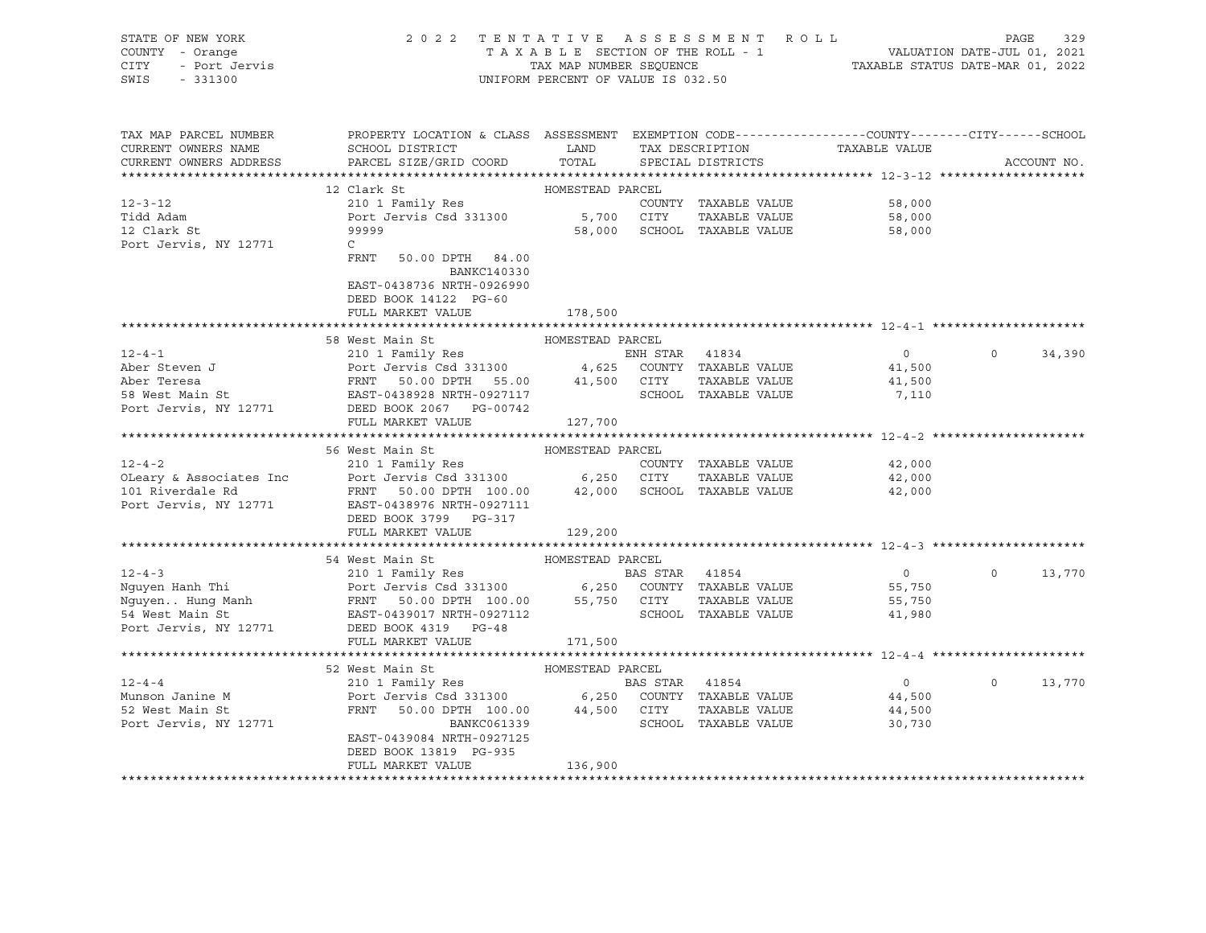| STATE OF NEW YORK<br>COUNTY - Orange<br>OF NEW 10<br>Y - Orange<br>- Port Jervis<br>Y - 200<br>CITY<br>SWIS - 331300 | 2022 TENTATIVE ASSESSMENT ROLL PAGE 329<br>TAXABLE SECTION OF THE ROLL - 1 VALUATION DATE-JUL 01, 2021<br>TAX MAP NUMBER SEQUENCE TAXABLE STATUS DATE-MAR 01, 2022<br>UNIFORM PERCENT OF VALUE IS 032.50                                     |                  |                                                               |                    |          |             |
|----------------------------------------------------------------------------------------------------------------------|----------------------------------------------------------------------------------------------------------------------------------------------------------------------------------------------------------------------------------------------|------------------|---------------------------------------------------------------|--------------------|----------|-------------|
| TAX MAP PARCEL NUMBER<br>CURRENT OWNERS NAME<br>CURRENT OWNERS ADDRESS                                               | PROPERTY LOCATION & CLASS ASSESSMENT EXEMPTION CODE---------------COUNTY-------CITY------SCHOOL<br>SCHOOL DISTRICT<br>PARCEL SIZE/GRID COORD                                                                                                 |                  | LAND TAX DESCRIPTION TAXABLE VALUE<br>TOTAL SPECIAL DISTRICTS |                    |          | ACCOUNT NO. |
|                                                                                                                      |                                                                                                                                                                                                                                              |                  |                                                               |                    |          |             |
|                                                                                                                      | 12 Clark St                                                                                                                                                                                                                                  | HOMESTEAD PARCEL |                                                               |                    |          |             |
| $12 - 3 - 12$                                                                                                        | 210 1 Family Res                                                                                                                                                                                                                             |                  | COUNTY TAXABLE VALUE                                          | 58,000             |          |             |
| Tidd Adam<br>12 Clark St                                                                                             | Port Jervis Csd 331300<br>Port Jervis Csd 331300 5,700 CITY TAXABLE VALUE<br>99999                                                                                                                                                           |                  |                                                               | 58,000<br>58,000   |          |             |
|                                                                                                                      |                                                                                                                                                                                                                                              |                  |                                                               | 58,000             |          |             |
| Port Jervis, NY 12771                                                                                                | $\mathbb C$<br>FRNT 50.00 DPTH 84.00<br>BANKC140330<br>EAST-0438736 NRTH-0926990<br>DEED BOOK 14122 PG-60<br>FULL MARKET VALUE                                                                                                               | 178,500          |                                                               |                    |          |             |
|                                                                                                                      |                                                                                                                                                                                                                                              |                  |                                                               |                    |          |             |
|                                                                                                                      | 58 West Main St                                                                                                                                                                                                                              | HOMESTEAD PARCEL |                                                               |                    |          |             |
|                                                                                                                      |                                                                                                                                                                                                                                              |                  |                                                               | $\overline{0}$     | $\Omega$ | 34,390      |
|                                                                                                                      |                                                                                                                                                                                                                                              |                  |                                                               | 41,500<br>41,500   |          |             |
|                                                                                                                      |                                                                                                                                                                                                                                              |                  |                                                               |                    |          |             |
|                                                                                                                      |                                                                                                                                                                                                                                              |                  |                                                               | 7,110              |          |             |
|                                                                                                                      |                                                                                                                                                                                                                                              |                  |                                                               |                    |          |             |
|                                                                                                                      | 210 1 Family Res<br>Aber Steven J<br>Aber Teresa<br>Aber Teresa<br>FRNT 50.00 DPTH 55.00 41,500 CITY TAXABLE VALUE<br>FRNT 50.00 DPTH 55.00 41,500 CITY TAXABLE VALUE<br>FRNT 50.00 DPTH 55.00 41,500 CITY TAXABLE VALUE<br>FORT JERS BOOK 2 |                  |                                                               |                    |          |             |
|                                                                                                                      |                                                                                                                                                                                                                                              |                  |                                                               |                    |          |             |
|                                                                                                                      | 56 West Main St Management HOMESTEAD PARCEL                                                                                                                                                                                                  |                  |                                                               |                    |          |             |
| $12 - 4 - 2$                                                                                                         | 210 1 Family Res                                                                                                                                                                                                                             |                  | COUNTY TAXABLE VALUE                                          | 42,000             |          |             |
|                                                                                                                      |                                                                                                                                                                                                                                              |                  | TAXABLE VALUE                                                 | 42,000<br>42,000   |          |             |
| Port Jervis, NY 12771                                                                                                | EAST-0438976 NRTH-0927111<br>DEED BOOK 3799 PG-317                                                                                                                                                                                           |                  |                                                               |                    |          |             |
|                                                                                                                      | FULL MARKET VALUE                                                                                                                                                                                                                            | 129,200          |                                                               |                    |          |             |
|                                                                                                                      |                                                                                                                                                                                                                                              |                  |                                                               |                    |          |             |
| $12 - 4 - 3$                                                                                                         | 54 West Main St MoMESTEAD PARCEL                                                                                                                                                                                                             |                  |                                                               |                    |          |             |
|                                                                                                                      |                                                                                                                                                                                                                                              |                  |                                                               | $\overline{0}$     | $\circ$  | 13,770      |
|                                                                                                                      |                                                                                                                                                                                                                                              |                  |                                                               | 55,750             |          |             |
|                                                                                                                      | 12-4-3<br>Nguyen Hanh Thi 2101 Family Res<br>Nguyen Hung Manh FRNT 50.00 DPTH 100.00 55,750 CITY TAXABLE VALUE<br>Nguyen Hung Manh FRNT 50.00 DPTH 100.00 55,750 CITY TAXABLE VALUE<br>54 West Main St EAST-0439017 NRTH-0927112             |                  |                                                               | 55,750             |          |             |
|                                                                                                                      |                                                                                                                                                                                                                                              |                  |                                                               | 41,980             |          |             |
|                                                                                                                      | Port Jervis, NY 12771 DEED BOOK 4319 PG-48                                                                                                                                                                                                   |                  |                                                               |                    |          |             |
|                                                                                                                      | FULL MARKET VALUE                                                                                                                                                                                                                            | 171,500          |                                                               |                    |          |             |
|                                                                                                                      |                                                                                                                                                                                                                                              |                  |                                                               |                    |          |             |
| $12 - 4 - 4$                                                                                                         |                                                                                                                                                                                                                                              |                  |                                                               | $0 \t 0 \t 13,770$ |          |             |
|                                                                                                                      |                                                                                                                                                                                                                                              |                  |                                                               |                    |          |             |
|                                                                                                                      | 12-4-4<br>Munson Janine M<br>52 West Main St<br>FRNT 50.00 DPTH 100.00 44,500 COUNTY TAXABLE VALUE<br>FRNT 50.00 DPTH 100.00 44,500 CITY TAXABLE VALUE<br>SCHOOL TAXABLE VALUE<br>SCHOOL TAXABLE VALUE                                       |                  |                                                               | 44,500<br>44,500   |          |             |
|                                                                                                                      |                                                                                                                                                                                                                                              |                  |                                                               | 30,730             |          |             |
|                                                                                                                      | EAST-0439084 NRTH-0927125                                                                                                                                                                                                                    |                  |                                                               |                    |          |             |
|                                                                                                                      | DEED BOOK 13819 PG-935                                                                                                                                                                                                                       |                  |                                                               |                    |          |             |
|                                                                                                                      | FULL MARKET VALUE                                                                                                                                                                                                                            | 136,900          |                                                               |                    |          |             |
|                                                                                                                      |                                                                                                                                                                                                                                              |                  |                                                               |                    |          |             |
|                                                                                                                      |                                                                                                                                                                                                                                              |                  |                                                               |                    |          |             |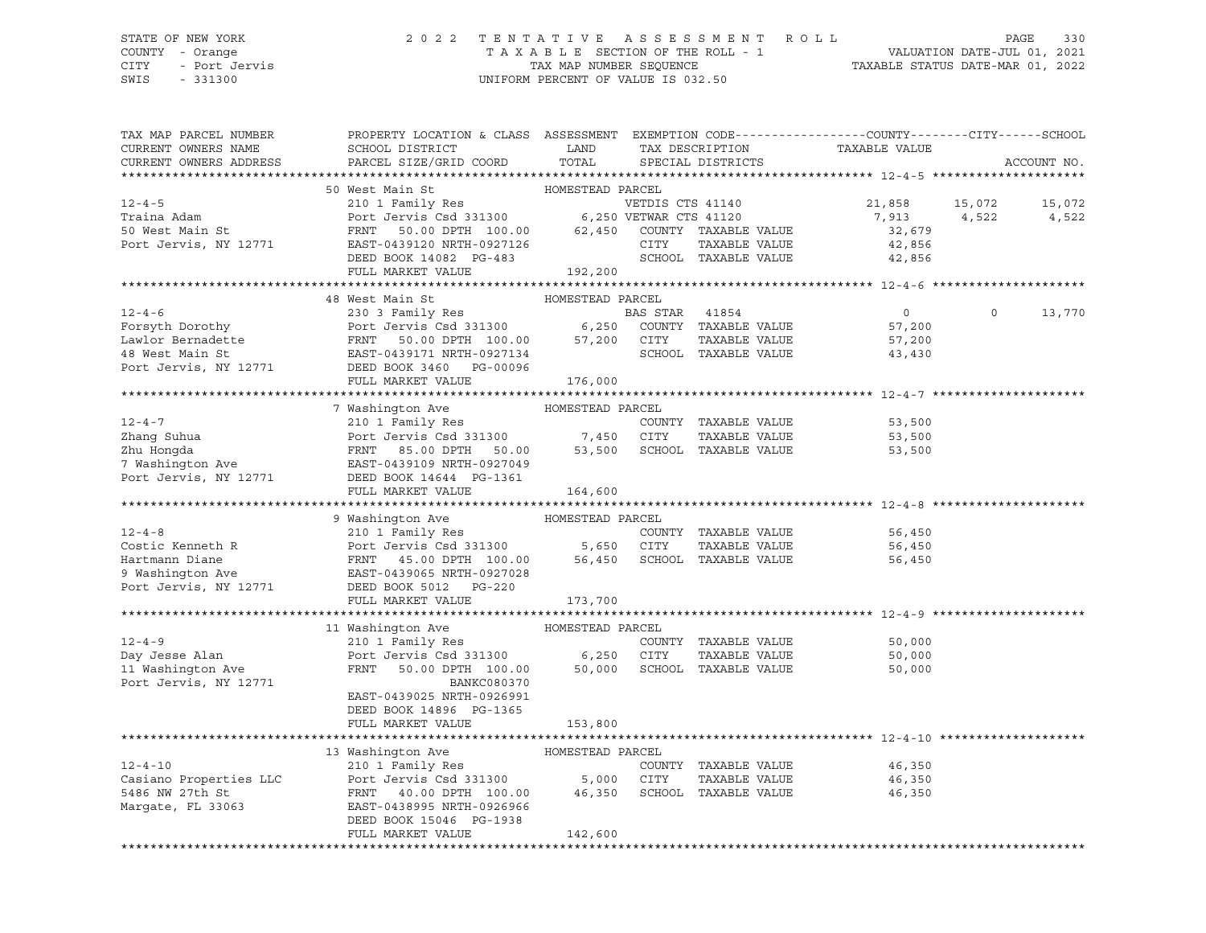CITY - Port Jervis TAX MAP NUMBER SEQUENCE TAXABLE STATUS DATE-MAR 01, 2022 SWIS - 331300 UNIFORM PERCENT OF VALUE IS 032.50

### STATE OF NEW YORK 2 0 2 2 T E N T A T I V E A S S E S S M E N T R O L L PAGE 330 COUNTY - Orange T A X A B L E SECTION OF THE ROLL - 1 VALUATION DATE-JUL 01, 2021

| TAX MAP PARCEL NUMBER                       | PROPERTY LOCATION & CLASS ASSESSMENT EXEMPTION CODE---------------COUNTY-------CITY------SCHOOL                                                                                                       |                  |                  |                      |                |          |             |
|---------------------------------------------|-------------------------------------------------------------------------------------------------------------------------------------------------------------------------------------------------------|------------------|------------------|----------------------|----------------|----------|-------------|
| CURRENT OWNERS NAME                         | SCHOOL DISTRICT                                                                                                                                                                                       | LAND             |                  | TAX DESCRIPTION      | TAXABLE VALUE  |          |             |
| CURRENT OWNERS ADDRESS                      | PARCEL SIZE/GRID COORD                                                                                                                                                                                | TOTAL            |                  | SPECIAL DISTRICTS    |                |          | ACCOUNT NO. |
|                                             |                                                                                                                                                                                                       |                  |                  |                      |                |          |             |
|                                             | 50 West Main St                                                                                                                                                                                       | HOMESTEAD PARCEL |                  |                      |                |          |             |
| $12 - 4 - 5$                                | 210 1 Family Res                                                                                                                                                                                      |                  | VETDIS CTS 41140 |                      | 21,858 15,072  |          | 15,072      |
| Traina Adam                                 | Port Jervis Csd 331300 6,250 VETWAR CTS 41120<br>FRNT 50.00 DPTH 100.00 62,450 COUNTY TAXABLE VALUE                                                                                                   |                  |                  |                      | 7,913 4,522    |          | 4,522       |
| 50 West Main St                             |                                                                                                                                                                                                       |                  |                  |                      | 32,679         |          |             |
| Port Jervis, NY 12771                       | EAST-0439120 NRTH-0927126                                                                                                                                                                             |                  | CITY             | TAXABLE VALUE        | 42,856         |          |             |
|                                             | DEED BOOK 14082 PG-483                                                                                                                                                                                |                  |                  | SCHOOL TAXABLE VALUE | 42,856         |          |             |
|                                             | FULL MARKET VALUE                                                                                                                                                                                     | 192,200          |                  |                      |                |          |             |
|                                             |                                                                                                                                                                                                       |                  |                  |                      |                |          |             |
|                                             | 48 West Main St                                                                                                                                                                                       | HOMESTEAD PARCEL |                  |                      |                |          |             |
| $12 - 4 - 6$                                |                                                                                                                                                                                                       |                  |                  |                      | $\overline{0}$ | $\Omega$ | 13,770      |
| Forsyth Dorothy                             |                                                                                                                                                                                                       |                  |                  |                      | 57,200         |          |             |
| Lawlor Bernadette<br>48 West Main St        |                                                                                                                                                                                                       |                  |                  |                      | 57,200         |          |             |
|                                             | 230 3 Family Res<br>Port Jervis Csd 331300 6,250 COUNTY TAXABLE VALUE<br>FRNT 50.00 DPTH 100.00 57,200 CITY TAXABLE VALUE<br>EAST-0439171 NRTH-0927134 SCHOOL TAXABLE VALUE<br>THE POOL TAXABLE VALUE |                  |                  |                      | 43,430         |          |             |
| Port Jervis, NY 12771                       | DEED BOOK 3460 PG-00096                                                                                                                                                                               |                  |                  |                      |                |          |             |
|                                             | FULL MARKET VALUE                                                                                                                                                                                     | 176,000          |                  |                      |                |          |             |
|                                             |                                                                                                                                                                                                       |                  |                  |                      |                |          |             |
|                                             | 7 Washington Ave                                                                                                                                                                                      | HOMESTEAD PARCEL |                  |                      |                |          |             |
|                                             |                                                                                                                                                                                                       |                  |                  |                      | 53,500         |          |             |
|                                             |                                                                                                                                                                                                       |                  |                  | TAXABLE VALUE        | 53,500         |          |             |
|                                             |                                                                                                                                                                                                       |                  |                  |                      | 53,500         |          |             |
|                                             |                                                                                                                                                                                                       |                  |                  |                      |                |          |             |
| Port Jervis, NY 12771                       | DEED BOOK 14644 PG-1361                                                                                                                                                                               |                  |                  |                      |                |          |             |
|                                             | FULL MARKET VALUE                                                                                                                                                                                     | 164,600          |                  |                      |                |          |             |
|                                             |                                                                                                                                                                                                       |                  |                  |                      |                |          |             |
|                                             | 9 Washington Ave                                                                                                                                                                                      | HOMESTEAD PARCEL |                  |                      |                |          |             |
| $12 - 4 - 8$                                | 210 1 Family Res                                                                                                                                                                                      |                  |                  | COUNTY TAXABLE VALUE | 56,450         |          |             |
| Costic Kenneth R                            | Port Jervis Csd 331300 5,650 CITY<br>Port Jervis Csd 331300<br>FRNT 45.00 DPTH 100.00 56,450 SCHOOL TAXABLE VALUE                                                                                     |                  |                  |                      | 56,450         |          |             |
|                                             |                                                                                                                                                                                                       |                  |                  |                      | 56,450         |          |             |
| www.ulane<br>9 Washington Ave<br>Port Jerus | EAST-0439065 NRTH-0927028                                                                                                                                                                             |                  |                  |                      |                |          |             |
| Port Jervis, NY 12771                       | DEED BOOK 5012 PG-220                                                                                                                                                                                 |                  |                  |                      |                |          |             |
|                                             | FULL MARKET VALUE                                                                                                                                                                                     | 173,700          |                  |                      |                |          |             |
|                                             |                                                                                                                                                                                                       |                  |                  |                      |                |          |             |
|                                             | 11 Washington Ave                                                                                                                                                                                     | HOMESTEAD PARCEL |                  |                      |                |          |             |
| $12 - 4 - 9$                                | 210 1 Family Res                                                                                                                                                                                      |                  |                  | COUNTY TAXABLE VALUE | 50,000         |          |             |
| Day Jesse Alan                              | Port Jervis Csd 331300 6,250 CITY                                                                                                                                                                     |                  |                  | TAXABLE VALUE        | 50,000         |          |             |
| 11 Washington Ave                           | FRNT<br>50.00 DPTH 100.00                                                                                                                                                                             | 50,000           |                  | SCHOOL TAXABLE VALUE | 50,000         |          |             |
| Port Jervis, NY 12771                       | BANKC080370                                                                                                                                                                                           |                  |                  |                      |                |          |             |
|                                             | EAST-0439025 NRTH-0926991                                                                                                                                                                             |                  |                  |                      |                |          |             |
|                                             | DEED BOOK 14896 PG-1365                                                                                                                                                                               |                  |                  |                      |                |          |             |
|                                             | FULL MARKET VALUE                                                                                                                                                                                     | 153,800          |                  |                      |                |          |             |
|                                             |                                                                                                                                                                                                       |                  |                  |                      |                |          |             |
|                                             |                                                                                                                                                                                                       |                  |                  |                      |                |          |             |
| $12 - 4 - 10$                               |                                                                                                                                                                                                       |                  |                  | COUNTY TAXABLE VALUE | 46,350         |          |             |
| Casiano Properties LLC                      |                                                                                                                                                                                                       |                  |                  | TAXABLE VALUE        | 46,350         |          |             |
| 5486 NW 27th St                             | FRNT 40.00 DPTH 100.00 46,350                                                                                                                                                                         |                  |                  | SCHOOL TAXABLE VALUE | 46,350         |          |             |
| Margate, FL 33063                           | EAST-0438995 NRTH-0926966                                                                                                                                                                             |                  |                  |                      |                |          |             |
|                                             | DEED BOOK 15046 PG-1938                                                                                                                                                                               |                  |                  |                      |                |          |             |
|                                             | FULL MARKET VALUE                                                                                                                                                                                     | 142,600          |                  |                      |                |          |             |
|                                             |                                                                                                                                                                                                       |                  |                  |                      |                |          |             |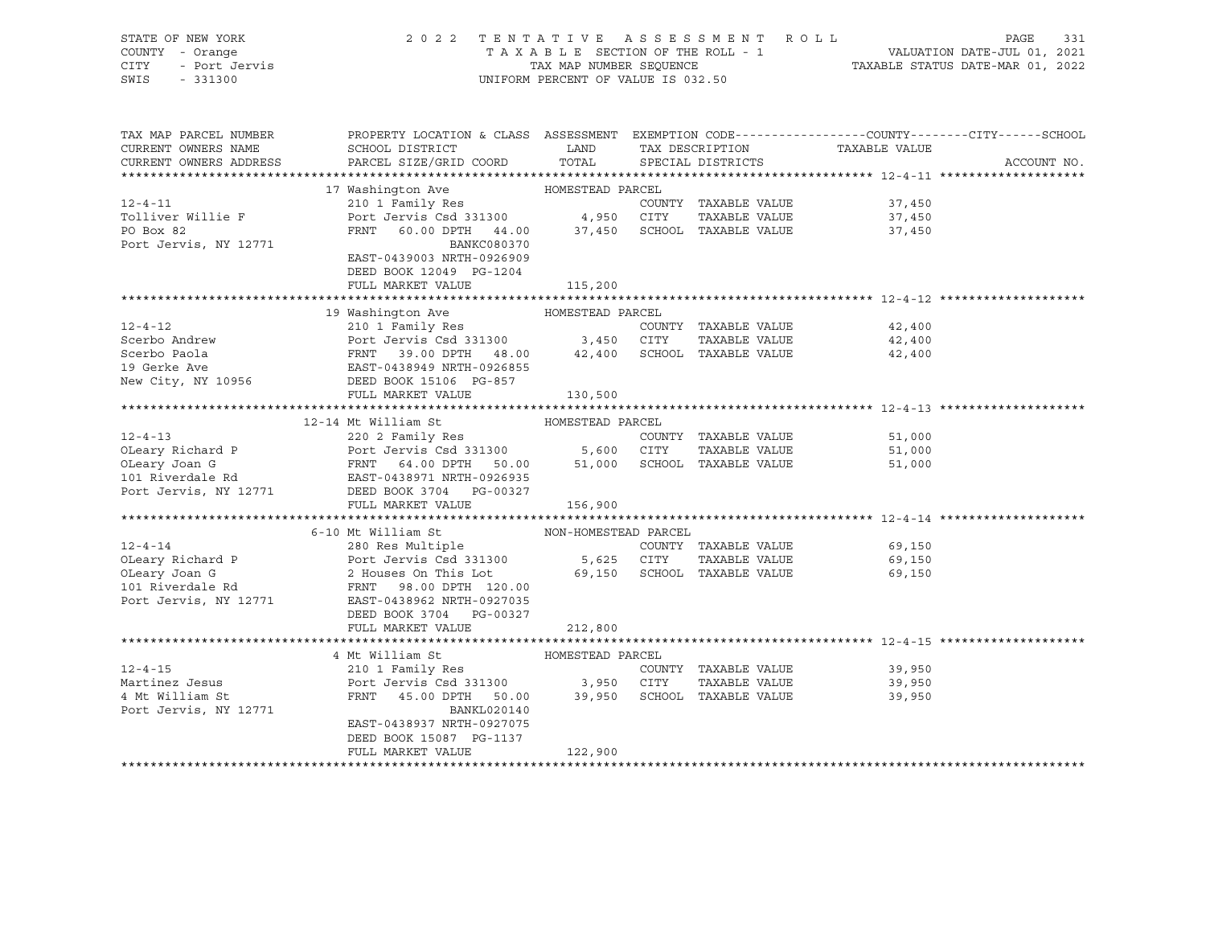| STATE OF NEW YORK<br>COUNTY - Orange<br>CITY<br>- Port Jervis<br>SWIS<br>$-331300$ | 2 0 2 2                                                                                                                                      | UNIFORM PERCENT OF VALUE IS 032.50 | TENTATIVE ASSESSMENT ROLL            |               | PAGE<br>331 |
|------------------------------------------------------------------------------------|----------------------------------------------------------------------------------------------------------------------------------------------|------------------------------------|--------------------------------------|---------------|-------------|
| TAX MAP PARCEL NUMBER<br>CURRENT OWNERS NAME<br>CURRENT OWNERS ADDRESS             | PROPERTY LOCATION & CLASS ASSESSMENT EXEMPTION CODE---------------COUNTY-------CITY------SCHOOL<br>SCHOOL DISTRICT<br>PARCEL SIZE/GRID COORD | LAND<br>TOTAL                      | TAX DESCRIPTION<br>SPECIAL DISTRICTS | TAXABLE VALUE | ACCOUNT NO. |
|                                                                                    |                                                                                                                                              |                                    |                                      |               |             |
|                                                                                    | 17 Washington Ave                                                                                                                            | HOMESTEAD PARCEL                   |                                      |               |             |
| $12 - 4 - 11$                                                                      | 210 1 Family Res                                                                                                                             |                                    | COUNTY TAXABLE VALUE                 | 37,450        |             |
| Tolliver Willie F                                                                  | Port Jervis Csd 331300                                                                                                                       | 4,950 CITY                         | TAXABLE VALUE                        | 37,450        |             |
| PO Box 82                                                                          | FRNT<br>60.00 DPTH 44.00                                                                                                                     |                                    | 37,450 SCHOOL TAXABLE VALUE          | 37,450        |             |
| Port Jervis, NY 12771                                                              | BANKC080370<br>EAST-0439003 NRTH-0926909                                                                                                     |                                    |                                      |               |             |
|                                                                                    | DEED BOOK 12049 PG-1204                                                                                                                      |                                    |                                      |               |             |
|                                                                                    | FULL MARKET VALUE                                                                                                                            | 115,200                            |                                      |               |             |
|                                                                                    |                                                                                                                                              |                                    |                                      |               |             |
|                                                                                    | 19 Washington Ave                                                                                                                            | HOMESTEAD PARCEL                   |                                      |               |             |
| $12 - 4 - 12$                                                                      | 210 1 Family Res                                                                                                                             |                                    | COUNTY TAXABLE VALUE                 | 42,400        |             |
| Scerbo Andrew                                                                      | Port Jervis Csd 331300 3,450 CITY<br>Port Jervis Csd 331300 3,450<br>FRNT 39.00 DPTH 48.00 42,400                                            |                                    | TAXABLE VALUE                        | 42,400        |             |
| Scerbo Paola<br>19 Gerke Ave                                                       | EAST-0438949 NRTH-0926855                                                                                                                    |                                    | SCHOOL TAXABLE VALUE                 | 42,400        |             |
| New City, NY 10956                                                                 | DEED BOOK 15106 PG-857                                                                                                                       |                                    |                                      |               |             |
|                                                                                    | FULL MARKET VALUE                                                                                                                            | 130,500                            |                                      |               |             |
|                                                                                    |                                                                                                                                              |                                    |                                      |               |             |
|                                                                                    | 12-14 Mt William St                                                                                                                          | HOMESTEAD PARCEL                   |                                      |               |             |
| $12 - 4 - 13$                                                                      | 220 2 Family Res                                                                                                                             |                                    | COUNTY TAXABLE VALUE                 | 51,000        |             |
| OLeary Richard P                                                                   |                                                                                                                                              |                                    | TAXABLE VALUE                        | 51,000        |             |
| OLeary Joan G                                                                      |                                                                                                                                              |                                    | 51,000 SCHOOL TAXABLE VALUE          | 51,000        |             |
| 101 Riverdale Rd<br>Port Jervis, NY 12771                                          | DEED BOOK 3704 PG-00327                                                                                                                      |                                    |                                      |               |             |
|                                                                                    | FULL MARKET VALUE                                                                                                                            | 156,900                            |                                      |               |             |
|                                                                                    |                                                                                                                                              |                                    |                                      |               |             |
|                                                                                    | 6-10 Mt William St                                                                                                                           | NON-HOMESTEAD PARCEL               |                                      |               |             |
| $12 - 4 - 14$                                                                      | 280 Res Multiple Manuscript                                                                                                                  |                                    | COUNTY TAXABLE VALUE                 | 69,150        |             |
| OLeary Richard P                                                                   | Port Jervis Csd 331300                                                                                                                       | 5,625 CITY                         | TAXABLE VALUE                        | 69,150        |             |
| OLeary Joan G                                                                      | 2 Houses On This Lot                                                                                                                         |                                    | 69,150 SCHOOL TAXABLE VALUE          | 69,150        |             |
| 101 Riverdale Rd<br>Port Jervis, NY 12771                                          | FRNT 98.00 DPTH 120.00<br>EAST-0438962 NRTH-0927035                                                                                          |                                    |                                      |               |             |
|                                                                                    | DEED BOOK 3704 PG-00327                                                                                                                      |                                    |                                      |               |             |
|                                                                                    | FULL MARKET VALUE                                                                                                                            | 212,800                            |                                      |               |             |
|                                                                                    |                                                                                                                                              |                                    |                                      |               |             |
|                                                                                    | 4 Mt William St                                                                                                                              | HOMESTEAD PARCEL                   |                                      |               |             |
| $12 - 4 - 15$                                                                      | 210 1 Family Res                                                                                                                             |                                    | COUNTY TAXABLE VALUE                 | 39,950        |             |
| Martinez Jesus                                                                     | Port Jervis Csd 331300                                                                                                                       | 3,950 CITY                         | TAXABLE VALUE                        | 39,950        |             |
| 4 Mt William St                                                                    | FRNT<br>45.00 DPTH 50.00                                                                                                                     |                                    | 39,950 SCHOOL TAXABLE VALUE          | 39,950        |             |
| Port Jervis, NY 12771                                                              | BANKL020140<br>EAST-0438937 NRTH-0927075                                                                                                     |                                    |                                      |               |             |
|                                                                                    | DEED BOOK 15087 PG-1137                                                                                                                      |                                    |                                      |               |             |
|                                                                                    | FULL MARKET VALUE                                                                                                                            | 122,900                            |                                      |               |             |
|                                                                                    |                                                                                                                                              |                                    |                                      |               |             |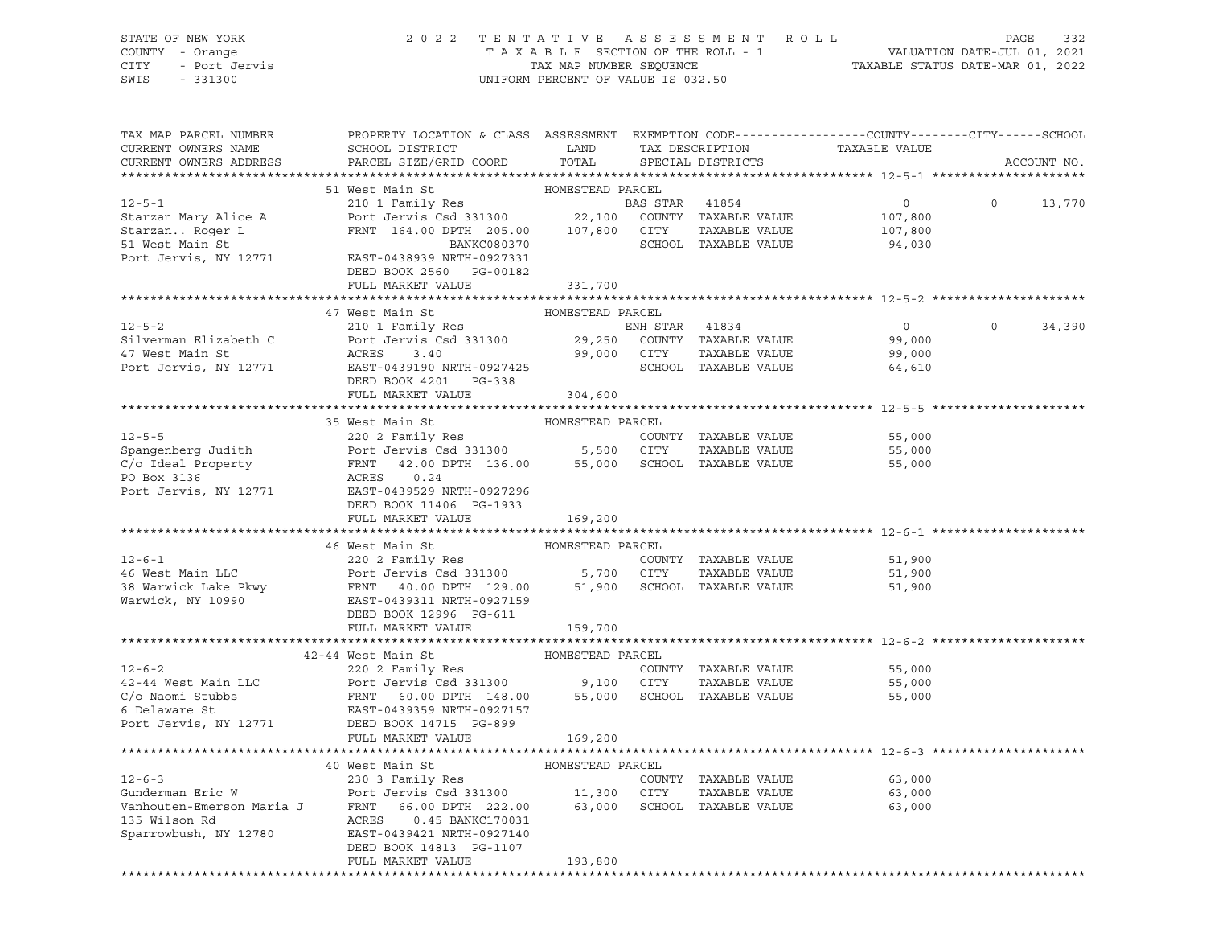STATE OF NEW YORK 2 0 2 2 T E N T A T I V E A S S E S S M E N T R O L L PAGE 332 COUNTY - Orange T A X A B L E SECTION OF THE ROLL - 1 VALUATION DATE-JUL 01, 2021 CITY - Port Jervis TAX MAP NUMBER SEQUENCE TAXABLE STATUS DATE-MAR 01, 2022 SWIS - 331300 UNIFORM PERCENT OF VALUE IS 032.50

| TAX MAP PARCEL NUMBER                          | PROPERTY LOCATION & CLASS ASSESSMENT EXEMPTION CODE----------------COUNTY-------CITY------SCHOOL |                  |                |                                       |                  |          |             |
|------------------------------------------------|--------------------------------------------------------------------------------------------------|------------------|----------------|---------------------------------------|------------------|----------|-------------|
| CURRENT OWNERS NAME                            | SCHOOL DISTRICT                                                                                  | LAND             |                | TAX DESCRIPTION                       | TAXABLE VALUE    |          |             |
| CURRENT OWNERS ADDRESS                         | PARCEL SIZE/GRID COORD                                                                           | TOTAL            |                | SPECIAL DISTRICTS                     |                  |          | ACCOUNT NO. |
|                                                |                                                                                                  |                  |                |                                       |                  |          |             |
|                                                | 51 West Main St                                                                                  | HOMESTEAD PARCEL |                |                                       |                  |          |             |
| $12 - 5 - 1$                                   | 210 1 Family Res                                                                                 |                  | BAS STAR 41854 |                                       | $\circ$          | $\Omega$ | 13,770      |
| Starzan Mary Alice A                           | Port Jervis Csd 331300                                                                           | 22,100           |                | COUNTY TAXABLE VALUE                  | 107,800          |          |             |
| Starzan Roger L                                | FRNT 164.00 DPTH 205.00                                                                          | 107,800          | CITY           | TAXABLE VALUE                         | 107,800          |          |             |
| 51 West Main St                                | BANKC080370                                                                                      |                  |                | SCHOOL TAXABLE VALUE                  | 94,030           |          |             |
| Port Jervis, NY 12771                          | EAST-0438939 NRTH-0927331                                                                        |                  |                |                                       |                  |          |             |
|                                                | DEED BOOK 2560 PG-00182                                                                          |                  |                |                                       |                  |          |             |
|                                                | FULL MARKET VALUE                                                                                | 331,700          |                |                                       |                  |          |             |
|                                                |                                                                                                  |                  |                |                                       |                  |          |             |
|                                                | 47 West Main St                                                                                  | HOMESTEAD PARCEL |                |                                       |                  |          |             |
| $12 - 5 - 2$                                   | 210 1 Family Res                                                                                 |                  | ENH STAR       | 41834                                 | $\overline{0}$   | $\Omega$ | 34,390      |
| Silverman Elizabeth C                          | Port Jervis Csd 331300                                                                           | 29,250           |                | COUNTY TAXABLE VALUE                  | 99,000           |          |             |
| 47 West Main St                                | ACRES<br>3.40                                                                                    | 99,000           | CITY           | TAXABLE VALUE                         | 99,000           |          |             |
| Port Jervis, NY 12771                          | EAST-0439190 NRTH-0927425                                                                        |                  |                | SCHOOL TAXABLE VALUE                  | 64,610           |          |             |
|                                                | DEED BOOK 4201 PG-338                                                                            |                  |                |                                       |                  |          |             |
|                                                | FULL MARKET VALUE                                                                                | 304,600          |                |                                       |                  |          |             |
|                                                |                                                                                                  | HOMESTEAD PARCEL |                |                                       |                  |          |             |
| $12 - 5 - 5$                                   | 35 West Main St<br>220 2 Family Res                                                              |                  |                |                                       |                  |          |             |
| Spangenberg Judith                             | Port Jervis Csd 331300 5,500 CITY                                                                |                  |                | COUNTY TAXABLE VALUE<br>TAXABLE VALUE | 55,000<br>55,000 |          |             |
| C/o Ideal Property                             | 42.00 DPTH 136.00 55,000 SCHOOL TAXABLE VALUE<br>FRNT                                            |                  |                |                                       | 55,000           |          |             |
| PO Box 3136                                    | ACRES<br>0.24                                                                                    |                  |                |                                       |                  |          |             |
| Port Jervis, NY 12771                          | EAST-0439529 NRTH-0927296                                                                        |                  |                |                                       |                  |          |             |
|                                                | DEED BOOK 11406 PG-1933                                                                          |                  |                |                                       |                  |          |             |
|                                                | FULL MARKET VALUE                                                                                | 169,200          |                |                                       |                  |          |             |
|                                                |                                                                                                  |                  |                |                                       |                  |          |             |
|                                                | 46 West Main St                                                                                  | HOMESTEAD PARCEL |                |                                       |                  |          |             |
| $12 - 6 - 1$                                   | 220 2 Family Res                                                                                 |                  |                | COUNTY TAXABLE VALUE                  | 51,900           |          |             |
| 46 West Main LLC                               | Port Jervis Csd 331300 5,700 CITY                                                                |                  |                | TAXABLE VALUE                         | 51,900           |          |             |
| 38 Warwick Lake Pkwy                           | FRNT 40.00 DPTH 129.00                                                                           |                  |                | 51,900 SCHOOL TAXABLE VALUE           | 51,900           |          |             |
| Warwick, NY 10990                              | EAST-0439311 NRTH-0927159                                                                        |                  |                |                                       |                  |          |             |
|                                                | DEED BOOK 12996 PG-611                                                                           |                  |                |                                       |                  |          |             |
|                                                | FULL MARKET VALUE                                                                                | 159,700          |                |                                       |                  |          |             |
|                                                |                                                                                                  |                  |                |                                       |                  |          |             |
|                                                | 42-44 West Main St                                                                               | HOMESTEAD PARCEL |                |                                       |                  |          |             |
| $12 - 6 - 2$                                   | 220 2 Family Res                                                                                 |                  |                | COUNTY TAXABLE VALUE                  | 55,000           |          |             |
| 42-44 West Main LLC                            | Port Jervis Csd 331300 9,100 CITY                                                                |                  |                | TAXABLE VALUE                         | 55,000           |          |             |
| C/o Naomi Stubbs                               | FRNT 60.00 DPTH 148.00                                                                           | 55,000           |                | SCHOOL TAXABLE VALUE                  | 55,000           |          |             |
| 6 Delaware St                                  | EAST-0439359 NRTH-0927157                                                                        |                  |                |                                       |                  |          |             |
| Port Jervis, NY 12771                          | DEED BOOK 14715 PG-899                                                                           |                  |                |                                       |                  |          |             |
|                                                | FULL MARKET VALUE                                                                                | 169,200          |                |                                       |                  |          |             |
|                                                |                                                                                                  |                  |                |                                       |                  |          |             |
|                                                | 40 West Main St                                                                                  | HOMESTEAD PARCEL |                |                                       |                  |          |             |
| $12 - 6 - 3$                                   | 230 3 Family Res                                                                                 |                  |                | COUNTY TAXABLE VALUE                  | 63,000           |          |             |
| Polu<br>FRNT<br>ACRES<br>T<br>Gunderman Eric W | Port Jervis Csd 331300 11,300 CITY                                                               |                  |                | TAXABLE VALUE                         | 63,000           |          |             |
| Vanhouten-Emerson Maria J                      | 66.00 DPTH 222.00                                                                                |                  |                | 63,000 SCHOOL TAXABLE VALUE           | 63,000           |          |             |
| 135 Wilson Rd                                  | 0.45 BANKC170031                                                                                 |                  |                |                                       |                  |          |             |
| Sparrowbush, NY 12780                          | EAST-0439421 NRTH-0927140                                                                        |                  |                |                                       |                  |          |             |
|                                                | DEED BOOK 14813 PG-1107                                                                          |                  |                |                                       |                  |          |             |
|                                                | FULL MARKET VALUE                                                                                | 193,800          |                |                                       |                  |          |             |
|                                                |                                                                                                  |                  |                |                                       |                  |          |             |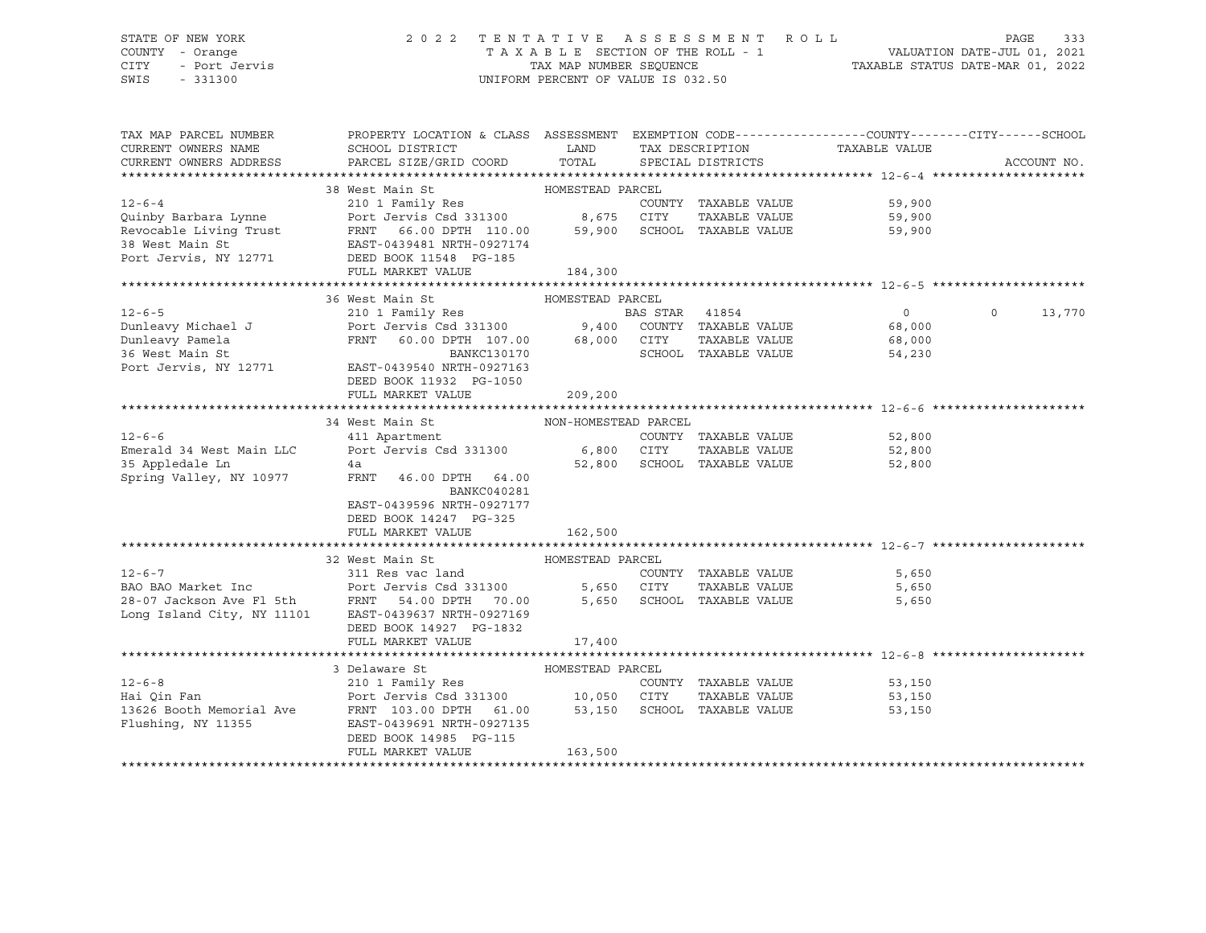### STATE OF NEW YORK 2 0 2 2 T E N T A T I V E A S S E S S M E N T R O L L PAGE 333 COUNTY - Orange T A X A B L E SECTION OF THE ROLL - 1 VALUATION DATE-JUL 01, 2021 CITY - Port Jervis TAX MAP NUMBER SEQUENCE TAXABLE STATUS DATE-MAR 01, 2022

| TAX MAP PARCEL NUMBER<br>CURRENT OWNERS NAME | PROPERTY LOCATION & CLASS ASSESSMENT EXEMPTION CODE----------------COUNTY-------CITY------SCHOOL<br>SCHOOL DISTRICT    | LAND                 |                | TAX DESCRIPTION             | TAXABLE VALUE  |                   |
|----------------------------------------------|------------------------------------------------------------------------------------------------------------------------|----------------------|----------------|-----------------------------|----------------|-------------------|
| CURRENT OWNERS ADDRESS                       | PARCEL SIZE/GRID COORD                                                                                                 | TOTAL                |                | SPECIAL DISTRICTS           |                | ACCOUNT NO.       |
|                                              |                                                                                                                        |                      |                |                             |                |                   |
|                                              | 38 West Main St                                                                                                        | HOMESTEAD PARCEL     |                |                             |                |                   |
| $12 - 6 - 4$                                 | 210 1 Family Res                                                                                                       |                      |                | COUNTY TAXABLE VALUE        | 59,900         |                   |
| Quinby Barbara Lynne                         | Port Jervis Csd 331300 8,675 CITY                                                                                      |                      |                | TAXABLE VALUE               | 59,900         |                   |
|                                              | Revocable Living Trust FRNT 66.00 DPTH 110.00 59,900 SCHOOL TAXABLE VALUE<br>38 West Main St EAST-0439481 NRTH-0927174 |                      |                |                             | 59,900         |                   |
| 38 West Main St                              | EAST-0439481 NRTH-0927174                                                                                              |                      |                |                             |                |                   |
| Port Jervis, NY 12771 DEED BOOK 11548 PG-185 |                                                                                                                        |                      |                |                             |                |                   |
|                                              | FULL MARKET VALUE                                                                                                      | 184,300              |                |                             |                |                   |
|                                              |                                                                                                                        |                      |                |                             |                |                   |
|                                              | 36 West Main St                                                                                                        | HOMESTEAD PARCEL     |                |                             |                |                   |
| $12 - 6 - 5$                                 | 210 1 Family Res                                                                                                       |                      | BAS STAR 41854 |                             | $\overline{0}$ | $\circ$<br>13,770 |
| Dunleavy Michael J                           | Port Jervis Csd 331300 9,400                                                                                           |                      |                | COUNTY TAXABLE VALUE        | 68,000         |                   |
| Dunleavy Pamela                              | FRNT 60.00 DPTH 107.00 68,000 CITY                                                                                     |                      |                | TAXABLE VALUE               | 68,000         |                   |
| 36 West Main St                              | BANKC130170                                                                                                            |                      |                | SCHOOL TAXABLE VALUE        | 54,230         |                   |
| Port Jervis, NY 12771                        | EAST-0439540 NRTH-0927163                                                                                              |                      |                |                             |                |                   |
|                                              | DEED BOOK 11932 PG-1050                                                                                                |                      |                |                             |                |                   |
|                                              | FULL MARKET VALUE                                                                                                      | 209,200              |                |                             |                |                   |
|                                              |                                                                                                                        |                      |                |                             |                |                   |
|                                              | 34 West Main St                                                                                                        | NON-HOMESTEAD PARCEL |                |                             |                |                   |
| $12 - 6 - 6$                                 | 411 Apartment                                                                                                          |                      |                | COUNTY TAXABLE VALUE        | 52,800         |                   |
| Emerald 34 West Main LLC                     | Port Jervis Csd 331300 6,800 CITY                                                                                      |                      |                | TAXABLE VALUE               | 52,800         |                   |
| 35 Appledale Ln                              | 4a                                                                                                                     |                      |                | 52,800 SCHOOL TAXABLE VALUE | 52,800         |                   |
| Spring Valley, NY 10977                      | FRNT 46.00 DPTH 64.00                                                                                                  |                      |                |                             |                |                   |
|                                              | BANKC040281                                                                                                            |                      |                |                             |                |                   |
|                                              | EAST-0439596 NRTH-0927177                                                                                              |                      |                |                             |                |                   |
|                                              |                                                                                                                        |                      |                |                             |                |                   |
|                                              | DEED BOOK 14247 PG-325                                                                                                 |                      |                |                             |                |                   |
|                                              | FULL MARKET VALUE                                                                                                      | 162,500              |                |                             |                |                   |
|                                              |                                                                                                                        |                      |                |                             |                |                   |
| $12 - 6 - 7$                                 | 32 West Main St                                                                                                        | HOMESTEAD PARCEL     |                |                             | 5,650          |                   |
|                                              | 311 Res vac land<br>Port Jervis Csd 331300                                                                             |                      |                | COUNTY TAXABLE VALUE        |                |                   |
| BAO BAO Market Inc                           |                                                                                                                        | 5,650 CITY           |                | TAXABLE VALUE               | 5,650          |                   |
|                                              | 28-07 Jackson Ave Fl 5th FRNT 54.00 DPTH 70.00<br>Long Island City, NY 11101 EAST-0439637 NRTH-0927169                 | 5,650                |                | SCHOOL TAXABLE VALUE        | 5,650          |                   |
|                                              |                                                                                                                        |                      |                |                             |                |                   |
|                                              | DEED BOOK 14927 PG-1832                                                                                                |                      |                |                             |                |                   |
|                                              | FULL MARKET VALUE                                                                                                      | 17,400               |                |                             |                |                   |
|                                              |                                                                                                                        |                      |                |                             |                |                   |
|                                              | 3 Delaware St                                                                                                          | HOMESTEAD PARCEL     |                |                             |                |                   |
| $12 - 6 - 8$                                 | 210 1 Family Res                                                                                                       |                      |                | COUNTY TAXABLE VALUE        | 53,150         |                   |
|                                              | Port Jervis Csd 331300 10,050 CITY                                                                                     |                      |                | TAXABLE VALUE               | 53,150         |                   |
|                                              |                                                                                                                        |                      |                | 53,150 SCHOOL TAXABLE VALUE | 53,150         |                   |
| Flushing, NY 11355                           | EAST-0439691 NRTH-0927135                                                                                              |                      |                |                             |                |                   |
|                                              | DEED BOOK 14985 PG-115                                                                                                 |                      |                |                             |                |                   |
|                                              | FULL MARKET VALUE                                                                                                      | 163,500              |                |                             |                |                   |
|                                              |                                                                                                                        |                      |                |                             |                |                   |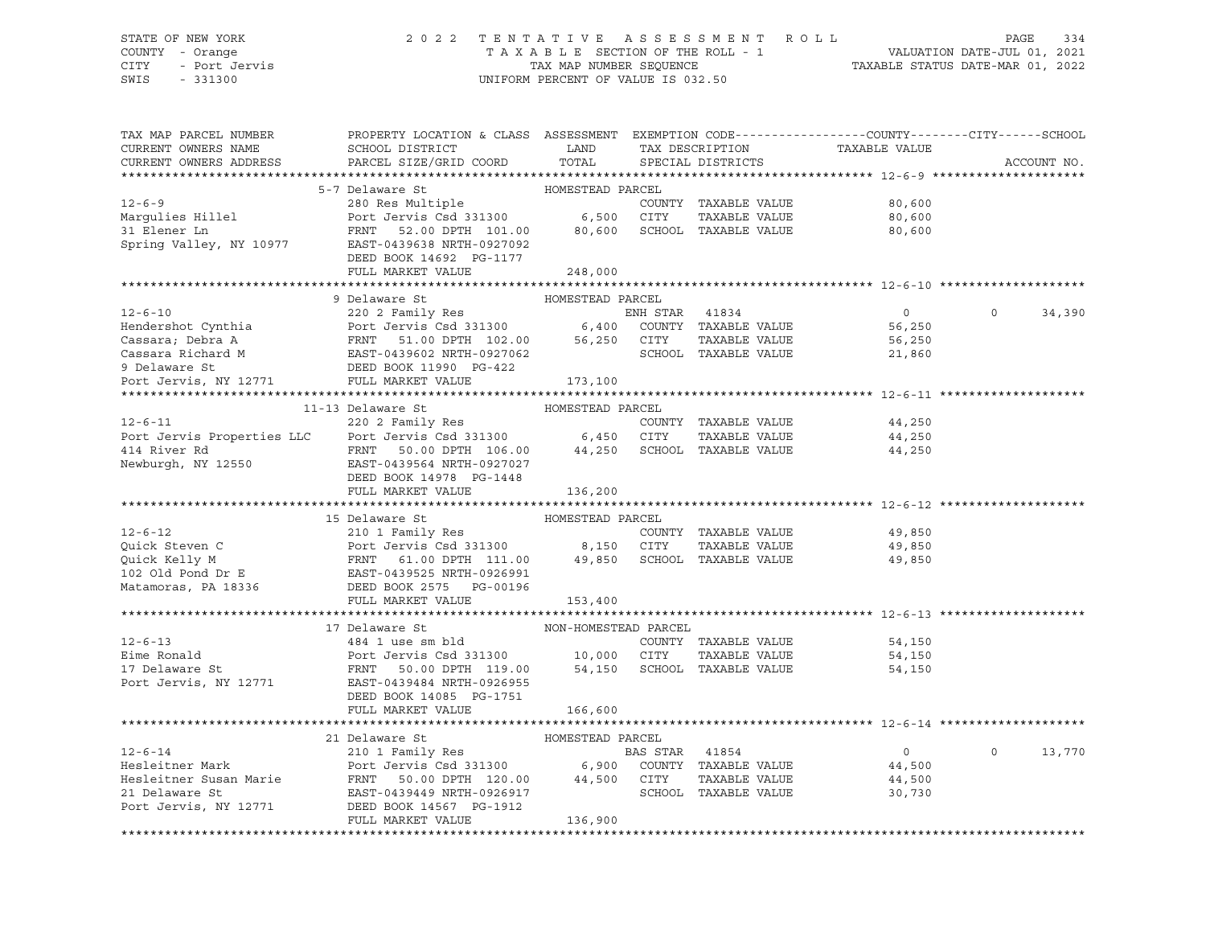### STATE OF NEW YORK 2 0 2 2 T E N T A T I V E A S S E S S M E N T R O L L PAGE 334 COUNTY - Orange T A X A B L E SECTION OF THE ROLL - 1 VALUATION DATE-JUL 01, 2021 CITY - Port Jervis TAX MAP NUMBER SEQUENCE TAXABLE STATUS DATE-MAR 01, 2022

| TAX MAP PARCEL NUMBER<br>CURRENT OWNERS NAME<br>CURRENT OWNERS ADDRESS                                                                                                                                                                               | PROPERTY LOCATION & CLASS ASSESSMENT EXEMPTION CODE---------------COUNTY-------CITY------SCHOOL<br>SCHOOL DISTRICT<br>PARCEL SIZE/GRID COORD | LAND<br>TOTAL        |                | TAX DESCRIPTION<br>SPECIAL DISTRICTS | TAXABLE VALUE  | ACCOUNT NO.        |
|------------------------------------------------------------------------------------------------------------------------------------------------------------------------------------------------------------------------------------------------------|----------------------------------------------------------------------------------------------------------------------------------------------|----------------------|----------------|--------------------------------------|----------------|--------------------|
|                                                                                                                                                                                                                                                      |                                                                                                                                              |                      |                |                                      |                |                    |
|                                                                                                                                                                                                                                                      | 5-7 Delaware St                                                                                                                              | HOMESTEAD PARCEL     |                |                                      |                |                    |
| $12 - 6 - 9$                                                                                                                                                                                                                                         | 280 Res Multiple<br>Port Jervis Csd 331300 6,500 CITY                                                                                        |                      |                | COUNTY TAXABLE VALUE                 | 80,600         |                    |
| Margulies Hillel                                                                                                                                                                                                                                     |                                                                                                                                              |                      |                | TAXABLE VALUE                        | 80,600         |                    |
| 31 Elener Ln                                                                                                                                                                                                                                         | FRNT 52.00 DPTH 101.00 80,600 SCHOOL TAXABLE VALUE                                                                                           |                      |                |                                      | 80,600         |                    |
| Spring Valley, NY 10977                                                                                                                                                                                                                              | EAST-0439638 NRTH-0927092                                                                                                                    |                      |                |                                      |                |                    |
|                                                                                                                                                                                                                                                      | DEED BOOK 14692 PG-1177                                                                                                                      |                      |                |                                      |                |                    |
|                                                                                                                                                                                                                                                      | FULL MARKET VALUE                                                                                                                            | 248,000              |                |                                      |                |                    |
|                                                                                                                                                                                                                                                      |                                                                                                                                              |                      |                |                                      |                |                    |
|                                                                                                                                                                                                                                                      | 9 Delaware St                                                                                                                                | HOMESTEAD PARCEL     |                |                                      |                |                    |
| $12 - 6 - 10$                                                                                                                                                                                                                                        | 220 2 Family Res                                                                                                                             |                      | ENH STAR 41834 |                                      | $\overline{0}$ | $\Omega$<br>34,390 |
|                                                                                                                                                                                                                                                      |                                                                                                                                              |                      |                |                                      | 56,250         |                    |
|                                                                                                                                                                                                                                                      |                                                                                                                                              |                      |                |                                      | 56,250         |                    |
| Exercised 331300<br>Cassara; Debra A<br>Cassara Richard M<br>Cassara Richard M<br>Cassara Richard M<br>Cassara Richard M<br>Cassara Richard M<br>DEED BOOK 11990 PG-422<br>DEED BOOK 11990 PG-422                                                    |                                                                                                                                              |                      |                |                                      | 21,860         |                    |
|                                                                                                                                                                                                                                                      |                                                                                                                                              |                      |                |                                      |                |                    |
| Port Jervis, NY 12771 FULL MARKET VALUE 173,100                                                                                                                                                                                                      |                                                                                                                                              |                      |                |                                      |                |                    |
|                                                                                                                                                                                                                                                      |                                                                                                                                              |                      |                |                                      |                |                    |
|                                                                                                                                                                                                                                                      | 11-13 Delaware St                                                                                                                            | HOMESTEAD PARCEL     |                |                                      |                |                    |
|                                                                                                                                                                                                                                                      |                                                                                                                                              |                      |                |                                      | 44,250         |                    |
|                                                                                                                                                                                                                                                      |                                                                                                                                              |                      |                |                                      | 44,250         |                    |
|                                                                                                                                                                                                                                                      |                                                                                                                                              |                      |                |                                      | 44,250         |                    |
| 220 2 Family Res<br>Port Jervis Properties LLC<br>220 2 Family Res<br>220 2 Family Res<br>220 2 Family Res<br>220 2 Family Res<br>220 2 Family Res<br>220 2 Family Res<br>220 2 Family Res<br>220 2 Family Res<br>220 3 Family Res<br>220 3 Family R |                                                                                                                                              |                      |                |                                      |                |                    |
|                                                                                                                                                                                                                                                      | DEED BOOK 14978 PG-1448                                                                                                                      |                      |                |                                      |                |                    |
|                                                                                                                                                                                                                                                      | FULL MARKET VALUE                                                                                                                            | 136,200              |                |                                      |                |                    |
|                                                                                                                                                                                                                                                      |                                                                                                                                              |                      |                |                                      |                |                    |
|                                                                                                                                                                                                                                                      | HOMESTEAD PARCEL<br>15 Delaware St                                                                                                           |                      |                |                                      |                |                    |
| $12 - 6 - 12$                                                                                                                                                                                                                                        | 210 1 Family Res                                                                                                                             |                      |                | COUNTY TAXABLE VALUE                 | 49,850         |                    |
|                                                                                                                                                                                                                                                      |                                                                                                                                              |                      |                | TAXABLE VALUE                        | 49,850         |                    |
|                                                                                                                                                                                                                                                      |                                                                                                                                              |                      |                |                                      | 49,850         |                    |
| Port Jervis Csd 331300 8,150 CITY TAXABLE VALUE<br>Quick Kelly M FRNT 61.00 DPTH 111.00 49,850 SCHOOL TAXABLE VALUE<br>102 Old Pond Dr E EAST-0439525 NRTH-0926991<br>Matamoras, PA 18336 DEED BOOK 2575 PG-00196                                    |                                                                                                                                              |                      |                |                                      |                |                    |
|                                                                                                                                                                                                                                                      |                                                                                                                                              |                      |                |                                      |                |                    |
|                                                                                                                                                                                                                                                      | FULL MARKET VALUE                                                                                                                            | 153,400              |                |                                      |                |                    |
|                                                                                                                                                                                                                                                      |                                                                                                                                              |                      |                |                                      |                |                    |
|                                                                                                                                                                                                                                                      | 17 Delaware St                                                                                                                               | NON-HOMESTEAD PARCEL |                |                                      |                |                    |
| $12 - 6 - 13$                                                                                                                                                                                                                                        |                                                                                                                                              |                      |                | COUNTY TAXABLE VALUE                 | 54,150         |                    |
| Eime Ronald                                                                                                                                                                                                                                          | 484 1 use sm bld<br>Port Jervis Csd 331300 10,000 CITY                                                                                       |                      |                | TAXABLE VALUE                        | 54,150         |                    |
| 17 Delaware St<br>Port Jervis, NY 12771                                                                                                                                                                                                              | FRNT 50.00 DPTH 119.00 54,150 SCHOOL TAXABLE VALUE                                                                                           |                      |                |                                      | 54,150         |                    |
|                                                                                                                                                                                                                                                      | EAST-0439484 NRTH-0926955                                                                                                                    |                      |                |                                      |                |                    |
|                                                                                                                                                                                                                                                      | DEED BOOK 14085 PG-1751                                                                                                                      |                      |                |                                      |                |                    |
|                                                                                                                                                                                                                                                      | FULL MARKET VALUE                                                                                                                            | 166,600              |                |                                      |                |                    |
|                                                                                                                                                                                                                                                      |                                                                                                                                              |                      |                |                                      |                |                    |
|                                                                                                                                                                                                                                                      |                                                                                                                                              |                      |                |                                      |                |                    |
|                                                                                                                                                                                                                                                      |                                                                                                                                              |                      |                |                                      | $\overline{0}$ | $\circ$<br>13,770  |
|                                                                                                                                                                                                                                                      |                                                                                                                                              |                      |                |                                      | 44,500         |                    |
|                                                                                                                                                                                                                                                      |                                                                                                                                              |                      |                |                                      | 44,500         |                    |
|                                                                                                                                                                                                                                                      |                                                                                                                                              |                      |                |                                      | 30,730         |                    |
| Port Jervis, NY 12771                                                                                                                                                                                                                                | DEED BOOK 14567 PG-1912                                                                                                                      |                      |                |                                      |                |                    |
|                                                                                                                                                                                                                                                      | FULL MARKET VALUE                                                                                                                            | 136,900              |                |                                      |                |                    |
|                                                                                                                                                                                                                                                      |                                                                                                                                              |                      |                |                                      |                |                    |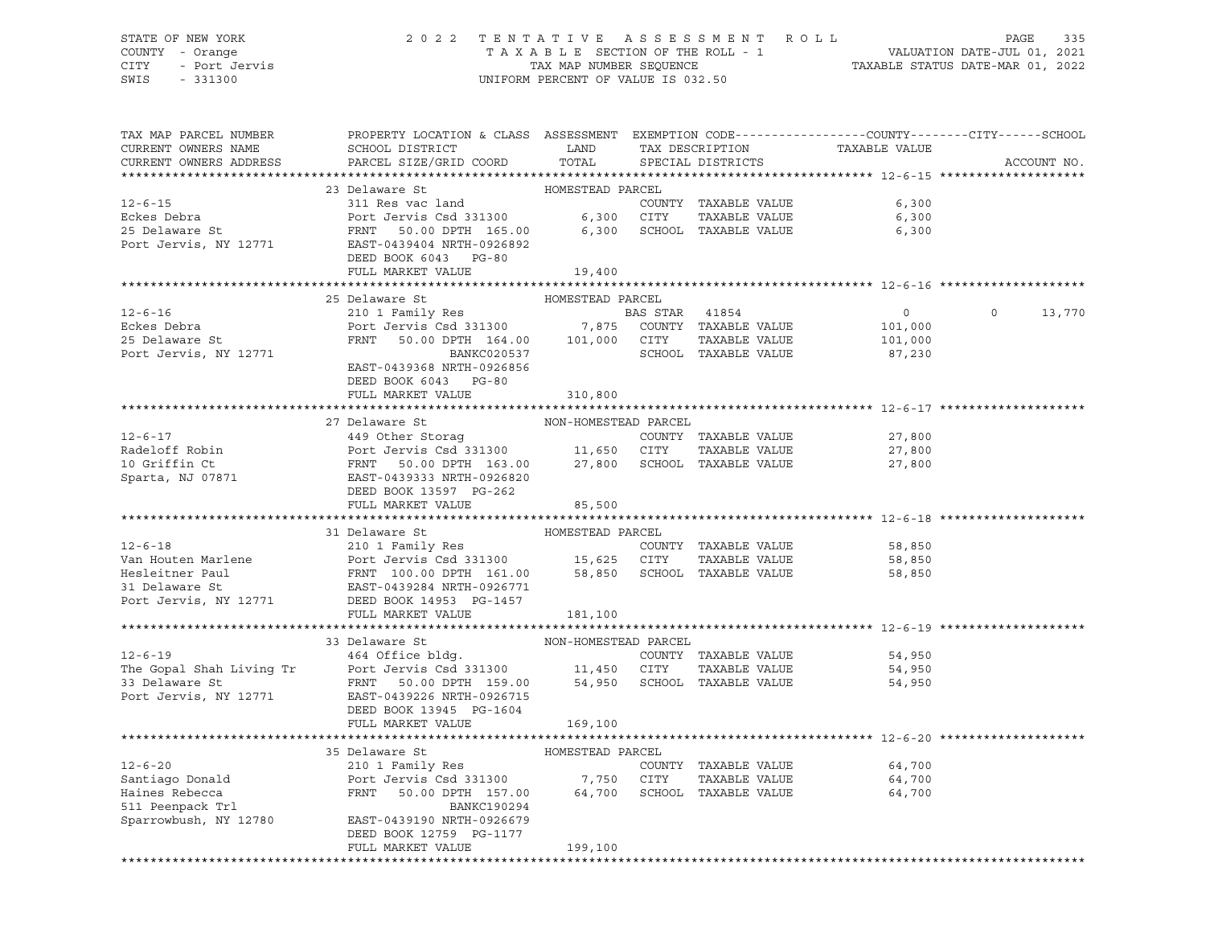# STATE OF NEW YORK 2 0 2 2 T E N T A T I V E A S S E S S M E N T R O L L PAGE 335 COUNTY - Orange T A X A B L E SECTION OF THE ROLL - 1 VALUATION DATE-JUL 01, 2021 CITY - Port Jervis CHA CHA CHAR MAR NUMBER SEQUENCE TAT TAXABLE STATUS DATE-MAR 01, 2022<br>TAXABLE STATUS DATE-MAR 01, 2022

UNIFORM PERCENT OF VALUE IS 032.50

| TAX MAP PARCEL NUMBER<br>CURRENT OWNERS NAME<br>CURRENT OWNERS ADDRESS | PROPERTY LOCATION & CLASS ASSESSMENT EXEMPTION CODE----------------COUNTY-------CITY------SCHOOL                                                                                                                                                                                                                                                                                                                                                         |                      |                      |                  |               |
|------------------------------------------------------------------------|----------------------------------------------------------------------------------------------------------------------------------------------------------------------------------------------------------------------------------------------------------------------------------------------------------------------------------------------------------------------------------------------------------------------------------------------------------|----------------------|----------------------|------------------|---------------|
|                                                                        |                                                                                                                                                                                                                                                                                                                                                                                                                                                          |                      |                      |                  | ACCOUNT NO.   |
|                                                                        | $\begin{tabular}{lcccccc} \bf 12-6-15 & 23 \textit{ Delaware St} & \textit{HOMESTEAD PARCEL} \\ & 311 \textit{Res vac land} & \textit{COMESTEAD PARCEL} \\ & 511 \textit{Res vac land} & \textit{COUNTY} & \textit{TAXABLE VALUE} & 6,300 \\ & 525 \textit{Delaware St} & \textit{FRNT} & 50.00 \textit{DPTH} & 165.00 & 6,300 & \textit{SCHOOL TAXABLE VALUE} & 6,300 \\ & 525 \textit{Delaware St} & \textit{FRNT} & 50.00 \textit$                    |                      |                      |                  |               |
|                                                                        |                                                                                                                                                                                                                                                                                                                                                                                                                                                          |                      |                      |                  |               |
|                                                                        |                                                                                                                                                                                                                                                                                                                                                                                                                                                          |                      |                      |                  |               |
|                                                                        |                                                                                                                                                                                                                                                                                                                                                                                                                                                          |                      |                      |                  |               |
|                                                                        |                                                                                                                                                                                                                                                                                                                                                                                                                                                          |                      |                      |                  |               |
|                                                                        |                                                                                                                                                                                                                                                                                                                                                                                                                                                          |                      |                      |                  |               |
|                                                                        | FULL MARKET VALUE                                                                                                                                                                                                                                                                                                                                                                                                                                        | 19,400               |                      |                  |               |
|                                                                        |                                                                                                                                                                                                                                                                                                                                                                                                                                                          |                      |                      |                  |               |
|                                                                        | 25 Delaware St                                                                                                                                                                                                                                                                                                                                                                                                                                           | HOMESTEAD PARCEL     |                      |                  |               |
|                                                                        | 25 Detaware St<br>210 1 Family Res<br>210 1 Family Res<br>210 1 Family Res<br>210 1 Family Res<br>25 Detaware St<br>25 Detaware St<br>25 Detaware St<br>25 Detaware St<br>25 Detaware St<br>25 Detaware St<br>25 Detaware St<br>25 Detaware St<br>25 Det                                                                                                                                                                                                 |                      |                      |                  | $0 \t 13,770$ |
|                                                                        |                                                                                                                                                                                                                                                                                                                                                                                                                                                          |                      |                      |                  |               |
|                                                                        |                                                                                                                                                                                                                                                                                                                                                                                                                                                          |                      |                      |                  |               |
| Port Jervis, NY 12771                                                  | BANKC020537                                                                                                                                                                                                                                                                                                                                                                                                                                              |                      | SCHOOL TAXABLE VALUE | 87,230           |               |
|                                                                        | EAST-0439368 NRTH-0926856                                                                                                                                                                                                                                                                                                                                                                                                                                |                      |                      |                  |               |
|                                                                        | DEED BOOK 6043 PG-80                                                                                                                                                                                                                                                                                                                                                                                                                                     |                      |                      |                  |               |
|                                                                        | FULL MARKET VALUE                                                                                                                                                                                                                                                                                                                                                                                                                                        | 310,800              |                      |                  |               |
|                                                                        |                                                                                                                                                                                                                                                                                                                                                                                                                                                          |                      |                      |                  |               |
|                                                                        | 27 Delaware St                                                                                                                                                                                                                                                                                                                                                                                                                                           | NON-HOMESTEAD PARCEL |                      |                  |               |
|                                                                        |                                                                                                                                                                                                                                                                                                                                                                                                                                                          |                      |                      | 27,800           |               |
|                                                                        |                                                                                                                                                                                                                                                                                                                                                                                                                                                          |                      |                      |                  |               |
|                                                                        |                                                                                                                                                                                                                                                                                                                                                                                                                                                          |                      |                      | 27,800<br>27,800 |               |
|                                                                        | 12-6-17<br>Radeloff Robin<br>2000 11,650 CITY TAXABLE VALUE<br>27,800 SCHOOL TAXABLE VALUE<br>27,800 SCHOOL TAXABLE VALUE<br>27,800 SCHOOL TAXABLE VALUE<br>27,800 SCHOOL TAXABLE VALUE<br>27,800 SCHOOL TAXABLE VALUE<br>27,800 SCHOOL TAXABL                                                                                                                                                                                                           |                      |                      |                  |               |
|                                                                        |                                                                                                                                                                                                                                                                                                                                                                                                                                                          |                      |                      |                  |               |
|                                                                        | FULL MARKET VALUE                                                                                                                                                                                                                                                                                                                                                                                                                                        | 85,500               |                      |                  |               |
|                                                                        |                                                                                                                                                                                                                                                                                                                                                                                                                                                          |                      |                      |                  |               |
|                                                                        | $\begin{tabular}{lllllllllllllllllllll} \multicolumn{3}{c}{12-6-18} & 31 \text{ Delaware St} & \text{HOMESTEAD PARCEL} & \text{COMESTEAD PARCEL} & 58,850 \\ & 31 \text{Delaware St} & 210 1 \text{ Family Res} & \text{COUNTY} & \text{TAXABLE VALUE} & 58,850 \\ & 210 1 \text{ Family Res} & \text{COUNTY} & \text{TAXABLE VALUE} & 58,850 \\ & 15,625 & \text{CITY} & \text{TAXABLE VALUE} & 58,850 \\ & 15,625 & \text{CITY} & \text{TAXABLE VALUE$ |                      |                      |                  |               |
|                                                                        |                                                                                                                                                                                                                                                                                                                                                                                                                                                          |                      |                      |                  |               |
|                                                                        |                                                                                                                                                                                                                                                                                                                                                                                                                                                          |                      |                      |                  |               |
|                                                                        |                                                                                                                                                                                                                                                                                                                                                                                                                                                          |                      |                      |                  |               |
|                                                                        |                                                                                                                                                                                                                                                                                                                                                                                                                                                          |                      |                      |                  |               |
|                                                                        |                                                                                                                                                                                                                                                                                                                                                                                                                                                          |                      |                      |                  |               |
|                                                                        | FULL MARKET VALUE                                                                                                                                                                                                                                                                                                                                                                                                                                        | 181,100              |                      |                  |               |
|                                                                        |                                                                                                                                                                                                                                                                                                                                                                                                                                                          |                      |                      |                  |               |
|                                                                        | 12-6-19<br>The Gopal Shah Living Tr<br>The Gopal Shah Living Tr<br>Port Jervis Csd 331300<br>The Gopal Shah Living Tr<br>Port Jervis Csd 331300<br>Trave 159.00<br>Port Jervis, NY 12771<br>DEED ROOK 12945<br>DEED ROOK 12945<br>Trave Commute St                                                                                                                                                                                                       |                      |                      |                  |               |
|                                                                        |                                                                                                                                                                                                                                                                                                                                                                                                                                                          |                      |                      | 54,950           |               |
|                                                                        |                                                                                                                                                                                                                                                                                                                                                                                                                                                          |                      |                      | 54,950           |               |
|                                                                        |                                                                                                                                                                                                                                                                                                                                                                                                                                                          |                      |                      | 54,950           |               |
|                                                                        |                                                                                                                                                                                                                                                                                                                                                                                                                                                          |                      |                      |                  |               |
|                                                                        |                                                                                                                                                                                                                                                                                                                                                                                                                                                          |                      |                      |                  |               |
|                                                                        | FULL MARKET VALUE 169,100                                                                                                                                                                                                                                                                                                                                                                                                                                |                      |                      |                  |               |
|                                                                        |                                                                                                                                                                                                                                                                                                                                                                                                                                                          |                      |                      |                  |               |
|                                                                        |                                                                                                                                                                                                                                                                                                                                                                                                                                                          |                      |                      |                  |               |
|                                                                        |                                                                                                                                                                                                                                                                                                                                                                                                                                                          |                      |                      |                  |               |
|                                                                        |                                                                                                                                                                                                                                                                                                                                                                                                                                                          |                      |                      |                  |               |
|                                                                        |                                                                                                                                                                                                                                                                                                                                                                                                                                                          |                      |                      |                  |               |
|                                                                        |                                                                                                                                                                                                                                                                                                                                                                                                                                                          |                      |                      |                  |               |
|                                                                        | Sparrowbush, NY 12780 EAST-0439190 NRTH-0926679                                                                                                                                                                                                                                                                                                                                                                                                          |                      |                      |                  |               |
|                                                                        | DEED BOOK 12759 PG-1177                                                                                                                                                                                                                                                                                                                                                                                                                                  |                      |                      |                  |               |
|                                                                        | FULL MARKET VALUE                                                                                                                                                                                                                                                                                                                                                                                                                                        | 199,100              |                      |                  |               |
|                                                                        |                                                                                                                                                                                                                                                                                                                                                                                                                                                          |                      |                      |                  |               |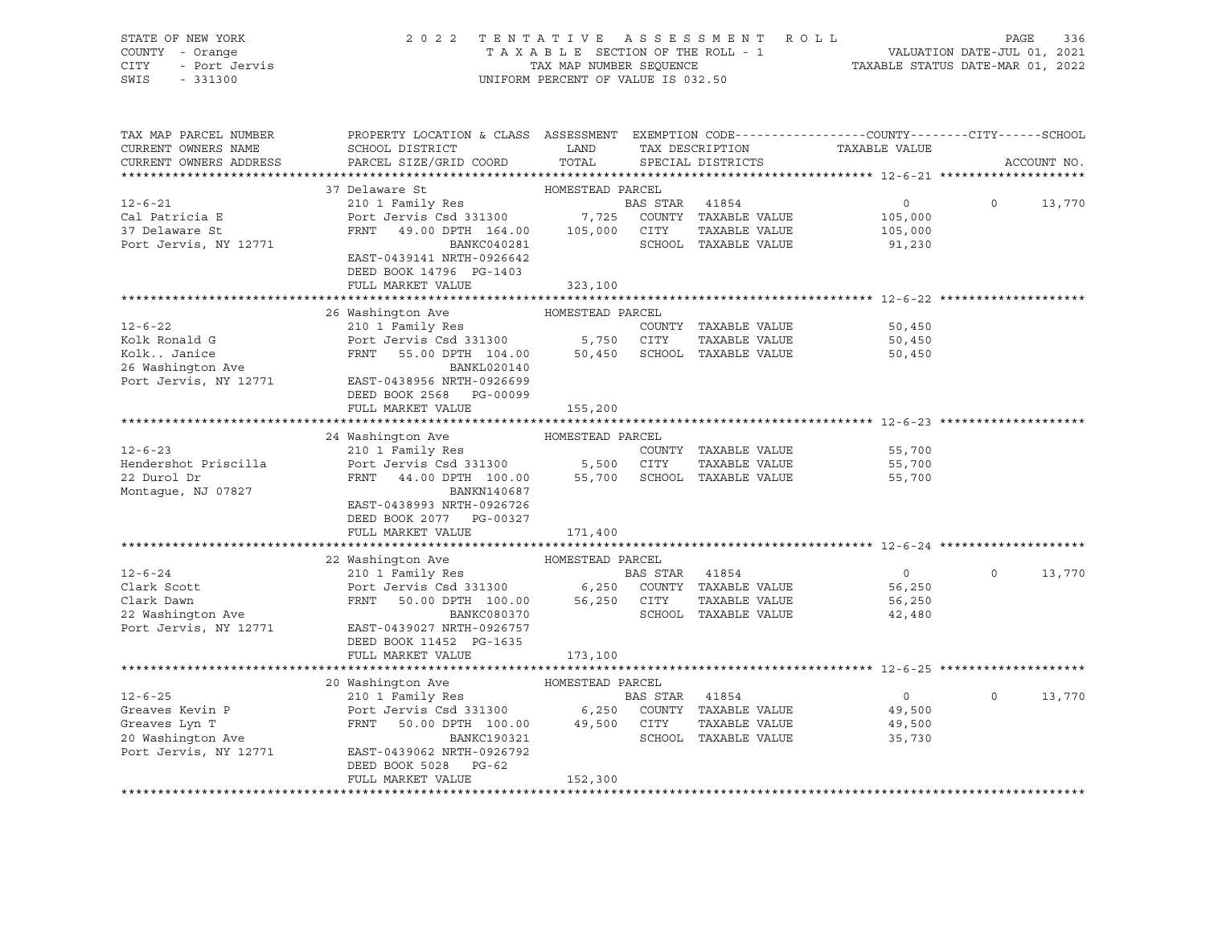| PROPERTY LOCATION & CLASS ASSESSMENT EXEMPTION CODE----------------COUNTY-------CITY------SCHOOL<br>TAX MAP PARCEL NUMBER<br>TAX DESCRIPTION<br>CURRENT OWNERS NAME<br>LAND<br>TAXABLE VALUE<br>SCHOOL DISTRICT<br>TOTAL<br>PARCEL SIZE/GRID COORD<br>CURRENT OWNERS ADDRESS<br>SPECIAL DISTRICTS<br>ACCOUNT NO.<br>HOMESTEAD PARCEL<br>37 Delaware St<br>$12 - 6 - 21$<br>210 1 Family Res<br>BAS STAR 41854<br>$\overline{0}$<br>$0 \t 13,770$<br>Port Jervis Csd 331300 7,725 COUNTY TAXABLE VALUE<br>Cal Patricia E<br>105,000<br>FRNT 49.00 DPTH 164.00 105,000 CITY<br>TAXABLE VALUE<br>37 Delaware St<br>105,000<br>Port Jervis, NY 12771<br>BANKC040281<br>SCHOOL TAXABLE VALUE<br>91,230<br>EAST-0439141 NRTH-0926642<br>DEED BOOK 14796 PG-1403<br>FULL MARKET VALUE<br>323,100<br>26 Washington Ave MOMESTEAD PARCEL<br>$12 - 6 - 22$<br>210 1 Family Res<br>COUNTY TAXABLE VALUE<br>50,450<br>Kolk Ronald G<br>Port Jervis Csd 331300 5,750 CITY TAXABLE VALUE<br>FRNT 55.00 DPTH 104.00 50,450 SCHOOL TAXABLE VALUE<br>50,450<br>KolkJanice<br>XolkJanice<br>50,450<br>26 Washington Ave<br>BANKL020140<br>Port Jervis, NY 12771<br>EAST-0438956 NRTH-0926699<br>DEED BOOK 2568 PG-00099<br>FULL MARKET VALUE<br>155,200<br>24 Washington Ave MOMESTEAD PARCEL<br>$12 - 6 - 23$<br>210 1 Family Res<br>COUNTY TAXABLE VALUE<br>55,700<br>Port Jervis Csd 331300 5,500 CITY TAXABLE VALUE<br>FRNT 44.00 DPTH 100.00 55,700 SCHOOL TAXABLE VALUE<br>Hendershot Priscilla<br>55,700<br>22 Durol Dr<br>55,700<br>Montague, NJ 07827<br>BANKN140687<br>EAST-0438993 NRTH-0926726<br>DEED BOOK 2077 PG-00327<br>FULL MARKET VALUE<br>171,400<br>22 Washington Ave MOMESTEAD PARCEL<br>$\overline{0}$<br>$12 - 6 - 24$<br>210 1 Family Res<br>BAS STAR 41854<br>$\Omega$<br>13,770<br>Port Jervis Csd 331300 6,250 COUNTY TAXABLE VALUE<br>FRNT 50.00 DPTH 100.00 56,250 CITY TAXABLE VALUE<br>Clark Scott<br>Clark Dawn<br>22 Washington Ave<br>56,250<br>56,250<br>SCHOOL TAXABLE VALUE<br>BANKC080370<br>42,480<br>Port Jervis, NY 12771<br>EAST-0439027 NRTH-0926757<br>DEED BOOK 11452 PG-1635<br>FULL MARKET VALUE<br>173,100<br>20 Washington Ave MOMESTEAD PARCEL<br>210 1 Family Res<br>$\overline{0}$<br>$12 - 6 - 25$<br>BAS STAR 41854<br>$\Omega$<br>13,770<br>49,500<br>49,500<br>SCHOOL TAXABLE VALUE<br>35,730<br>Port Jervis, NY 12771<br>EAST-0439062 NRTH-0926792<br>DEED BOOK 5028 PG-62<br>FULL MARKET VALUE<br>152,300 | STATE OF NEW YORK<br>COUNTY - Orange<br>- Port Jervis<br><b>CITY</b><br>SWIS<br>$-331300$ | TENTATIVE ASSESSMENT ROLL<br>2 0 2 2<br>T A X A B L E SECTION OF THE ROLL - 1 VALUATION DATE-JUL 01, 2021<br>TAX MAP NUMBER SEQUENCE TAXABLE STATUS DATE-MAR 01, 2022<br>UNIFORM PERCENT OF VALUE IS 032.50 |  |  |  | PAGE | 336 |
|----------------------------------------------------------------------------------------------------------------------------------------------------------------------------------------------------------------------------------------------------------------------------------------------------------------------------------------------------------------------------------------------------------------------------------------------------------------------------------------------------------------------------------------------------------------------------------------------------------------------------------------------------------------------------------------------------------------------------------------------------------------------------------------------------------------------------------------------------------------------------------------------------------------------------------------------------------------------------------------------------------------------------------------------------------------------------------------------------------------------------------------------------------------------------------------------------------------------------------------------------------------------------------------------------------------------------------------------------------------------------------------------------------------------------------------------------------------------------------------------------------------------------------------------------------------------------------------------------------------------------------------------------------------------------------------------------------------------------------------------------------------------------------------------------------------------------------------------------------------------------------------------------------------------------------------------------------------------------------------------------------------------------------------------------------------------------------------------------------------------------------------------------------------------------------------------------------------------------------------------------------------------------------------------------------------------------------------------------------------------------------------------------------------------------------------------------|-------------------------------------------------------------------------------------------|-------------------------------------------------------------------------------------------------------------------------------------------------------------------------------------------------------------|--|--|--|------|-----|
|                                                                                                                                                                                                                                                                                                                                                                                                                                                                                                                                                                                                                                                                                                                                                                                                                                                                                                                                                                                                                                                                                                                                                                                                                                                                                                                                                                                                                                                                                                                                                                                                                                                                                                                                                                                                                                                                                                                                                                                                                                                                                                                                                                                                                                                                                                                                                                                                                                                    |                                                                                           |                                                                                                                                                                                                             |  |  |  |      |     |
|                                                                                                                                                                                                                                                                                                                                                                                                                                                                                                                                                                                                                                                                                                                                                                                                                                                                                                                                                                                                                                                                                                                                                                                                                                                                                                                                                                                                                                                                                                                                                                                                                                                                                                                                                                                                                                                                                                                                                                                                                                                                                                                                                                                                                                                                                                                                                                                                                                                    |                                                                                           |                                                                                                                                                                                                             |  |  |  |      |     |
|                                                                                                                                                                                                                                                                                                                                                                                                                                                                                                                                                                                                                                                                                                                                                                                                                                                                                                                                                                                                                                                                                                                                                                                                                                                                                                                                                                                                                                                                                                                                                                                                                                                                                                                                                                                                                                                                                                                                                                                                                                                                                                                                                                                                                                                                                                                                                                                                                                                    |                                                                                           |                                                                                                                                                                                                             |  |  |  |      |     |
|                                                                                                                                                                                                                                                                                                                                                                                                                                                                                                                                                                                                                                                                                                                                                                                                                                                                                                                                                                                                                                                                                                                                                                                                                                                                                                                                                                                                                                                                                                                                                                                                                                                                                                                                                                                                                                                                                                                                                                                                                                                                                                                                                                                                                                                                                                                                                                                                                                                    |                                                                                           |                                                                                                                                                                                                             |  |  |  |      |     |
|                                                                                                                                                                                                                                                                                                                                                                                                                                                                                                                                                                                                                                                                                                                                                                                                                                                                                                                                                                                                                                                                                                                                                                                                                                                                                                                                                                                                                                                                                                                                                                                                                                                                                                                                                                                                                                                                                                                                                                                                                                                                                                                                                                                                                                                                                                                                                                                                                                                    |                                                                                           |                                                                                                                                                                                                             |  |  |  |      |     |
|                                                                                                                                                                                                                                                                                                                                                                                                                                                                                                                                                                                                                                                                                                                                                                                                                                                                                                                                                                                                                                                                                                                                                                                                                                                                                                                                                                                                                                                                                                                                                                                                                                                                                                                                                                                                                                                                                                                                                                                                                                                                                                                                                                                                                                                                                                                                                                                                                                                    |                                                                                           |                                                                                                                                                                                                             |  |  |  |      |     |
|                                                                                                                                                                                                                                                                                                                                                                                                                                                                                                                                                                                                                                                                                                                                                                                                                                                                                                                                                                                                                                                                                                                                                                                                                                                                                                                                                                                                                                                                                                                                                                                                                                                                                                                                                                                                                                                                                                                                                                                                                                                                                                                                                                                                                                                                                                                                                                                                                                                    |                                                                                           |                                                                                                                                                                                                             |  |  |  |      |     |
|                                                                                                                                                                                                                                                                                                                                                                                                                                                                                                                                                                                                                                                                                                                                                                                                                                                                                                                                                                                                                                                                                                                                                                                                                                                                                                                                                                                                                                                                                                                                                                                                                                                                                                                                                                                                                                                                                                                                                                                                                                                                                                                                                                                                                                                                                                                                                                                                                                                    |                                                                                           |                                                                                                                                                                                                             |  |  |  |      |     |
|                                                                                                                                                                                                                                                                                                                                                                                                                                                                                                                                                                                                                                                                                                                                                                                                                                                                                                                                                                                                                                                                                                                                                                                                                                                                                                                                                                                                                                                                                                                                                                                                                                                                                                                                                                                                                                                                                                                                                                                                                                                                                                                                                                                                                                                                                                                                                                                                                                                    |                                                                                           |                                                                                                                                                                                                             |  |  |  |      |     |
|                                                                                                                                                                                                                                                                                                                                                                                                                                                                                                                                                                                                                                                                                                                                                                                                                                                                                                                                                                                                                                                                                                                                                                                                                                                                                                                                                                                                                                                                                                                                                                                                                                                                                                                                                                                                                                                                                                                                                                                                                                                                                                                                                                                                                                                                                                                                                                                                                                                    |                                                                                           |                                                                                                                                                                                                             |  |  |  |      |     |
|                                                                                                                                                                                                                                                                                                                                                                                                                                                                                                                                                                                                                                                                                                                                                                                                                                                                                                                                                                                                                                                                                                                                                                                                                                                                                                                                                                                                                                                                                                                                                                                                                                                                                                                                                                                                                                                                                                                                                                                                                                                                                                                                                                                                                                                                                                                                                                                                                                                    |                                                                                           |                                                                                                                                                                                                             |  |  |  |      |     |
|                                                                                                                                                                                                                                                                                                                                                                                                                                                                                                                                                                                                                                                                                                                                                                                                                                                                                                                                                                                                                                                                                                                                                                                                                                                                                                                                                                                                                                                                                                                                                                                                                                                                                                                                                                                                                                                                                                                                                                                                                                                                                                                                                                                                                                                                                                                                                                                                                                                    |                                                                                           |                                                                                                                                                                                                             |  |  |  |      |     |
|                                                                                                                                                                                                                                                                                                                                                                                                                                                                                                                                                                                                                                                                                                                                                                                                                                                                                                                                                                                                                                                                                                                                                                                                                                                                                                                                                                                                                                                                                                                                                                                                                                                                                                                                                                                                                                                                                                                                                                                                                                                                                                                                                                                                                                                                                                                                                                                                                                                    |                                                                                           |                                                                                                                                                                                                             |  |  |  |      |     |
|                                                                                                                                                                                                                                                                                                                                                                                                                                                                                                                                                                                                                                                                                                                                                                                                                                                                                                                                                                                                                                                                                                                                                                                                                                                                                                                                                                                                                                                                                                                                                                                                                                                                                                                                                                                                                                                                                                                                                                                                                                                                                                                                                                                                                                                                                                                                                                                                                                                    |                                                                                           |                                                                                                                                                                                                             |  |  |  |      |     |
|                                                                                                                                                                                                                                                                                                                                                                                                                                                                                                                                                                                                                                                                                                                                                                                                                                                                                                                                                                                                                                                                                                                                                                                                                                                                                                                                                                                                                                                                                                                                                                                                                                                                                                                                                                                                                                                                                                                                                                                                                                                                                                                                                                                                                                                                                                                                                                                                                                                    |                                                                                           |                                                                                                                                                                                                             |  |  |  |      |     |
|                                                                                                                                                                                                                                                                                                                                                                                                                                                                                                                                                                                                                                                                                                                                                                                                                                                                                                                                                                                                                                                                                                                                                                                                                                                                                                                                                                                                                                                                                                                                                                                                                                                                                                                                                                                                                                                                                                                                                                                                                                                                                                                                                                                                                                                                                                                                                                                                                                                    |                                                                                           |                                                                                                                                                                                                             |  |  |  |      |     |
|                                                                                                                                                                                                                                                                                                                                                                                                                                                                                                                                                                                                                                                                                                                                                                                                                                                                                                                                                                                                                                                                                                                                                                                                                                                                                                                                                                                                                                                                                                                                                                                                                                                                                                                                                                                                                                                                                                                                                                                                                                                                                                                                                                                                                                                                                                                                                                                                                                                    |                                                                                           |                                                                                                                                                                                                             |  |  |  |      |     |
|                                                                                                                                                                                                                                                                                                                                                                                                                                                                                                                                                                                                                                                                                                                                                                                                                                                                                                                                                                                                                                                                                                                                                                                                                                                                                                                                                                                                                                                                                                                                                                                                                                                                                                                                                                                                                                                                                                                                                                                                                                                                                                                                                                                                                                                                                                                                                                                                                                                    |                                                                                           |                                                                                                                                                                                                             |  |  |  |      |     |
|                                                                                                                                                                                                                                                                                                                                                                                                                                                                                                                                                                                                                                                                                                                                                                                                                                                                                                                                                                                                                                                                                                                                                                                                                                                                                                                                                                                                                                                                                                                                                                                                                                                                                                                                                                                                                                                                                                                                                                                                                                                                                                                                                                                                                                                                                                                                                                                                                                                    |                                                                                           |                                                                                                                                                                                                             |  |  |  |      |     |
|                                                                                                                                                                                                                                                                                                                                                                                                                                                                                                                                                                                                                                                                                                                                                                                                                                                                                                                                                                                                                                                                                                                                                                                                                                                                                                                                                                                                                                                                                                                                                                                                                                                                                                                                                                                                                                                                                                                                                                                                                                                                                                                                                                                                                                                                                                                                                                                                                                                    |                                                                                           |                                                                                                                                                                                                             |  |  |  |      |     |
|                                                                                                                                                                                                                                                                                                                                                                                                                                                                                                                                                                                                                                                                                                                                                                                                                                                                                                                                                                                                                                                                                                                                                                                                                                                                                                                                                                                                                                                                                                                                                                                                                                                                                                                                                                                                                                                                                                                                                                                                                                                                                                                                                                                                                                                                                                                                                                                                                                                    |                                                                                           |                                                                                                                                                                                                             |  |  |  |      |     |
|                                                                                                                                                                                                                                                                                                                                                                                                                                                                                                                                                                                                                                                                                                                                                                                                                                                                                                                                                                                                                                                                                                                                                                                                                                                                                                                                                                                                                                                                                                                                                                                                                                                                                                                                                                                                                                                                                                                                                                                                                                                                                                                                                                                                                                                                                                                                                                                                                                                    |                                                                                           |                                                                                                                                                                                                             |  |  |  |      |     |
|                                                                                                                                                                                                                                                                                                                                                                                                                                                                                                                                                                                                                                                                                                                                                                                                                                                                                                                                                                                                                                                                                                                                                                                                                                                                                                                                                                                                                                                                                                                                                                                                                                                                                                                                                                                                                                                                                                                                                                                                                                                                                                                                                                                                                                                                                                                                                                                                                                                    |                                                                                           |                                                                                                                                                                                                             |  |  |  |      |     |
|                                                                                                                                                                                                                                                                                                                                                                                                                                                                                                                                                                                                                                                                                                                                                                                                                                                                                                                                                                                                                                                                                                                                                                                                                                                                                                                                                                                                                                                                                                                                                                                                                                                                                                                                                                                                                                                                                                                                                                                                                                                                                                                                                                                                                                                                                                                                                                                                                                                    |                                                                                           |                                                                                                                                                                                                             |  |  |  |      |     |
|                                                                                                                                                                                                                                                                                                                                                                                                                                                                                                                                                                                                                                                                                                                                                                                                                                                                                                                                                                                                                                                                                                                                                                                                                                                                                                                                                                                                                                                                                                                                                                                                                                                                                                                                                                                                                                                                                                                                                                                                                                                                                                                                                                                                                                                                                                                                                                                                                                                    |                                                                                           |                                                                                                                                                                                                             |  |  |  |      |     |
|                                                                                                                                                                                                                                                                                                                                                                                                                                                                                                                                                                                                                                                                                                                                                                                                                                                                                                                                                                                                                                                                                                                                                                                                                                                                                                                                                                                                                                                                                                                                                                                                                                                                                                                                                                                                                                                                                                                                                                                                                                                                                                                                                                                                                                                                                                                                                                                                                                                    |                                                                                           |                                                                                                                                                                                                             |  |  |  |      |     |
|                                                                                                                                                                                                                                                                                                                                                                                                                                                                                                                                                                                                                                                                                                                                                                                                                                                                                                                                                                                                                                                                                                                                                                                                                                                                                                                                                                                                                                                                                                                                                                                                                                                                                                                                                                                                                                                                                                                                                                                                                                                                                                                                                                                                                                                                                                                                                                                                                                                    |                                                                                           |                                                                                                                                                                                                             |  |  |  |      |     |
|                                                                                                                                                                                                                                                                                                                                                                                                                                                                                                                                                                                                                                                                                                                                                                                                                                                                                                                                                                                                                                                                                                                                                                                                                                                                                                                                                                                                                                                                                                                                                                                                                                                                                                                                                                                                                                                                                                                                                                                                                                                                                                                                                                                                                                                                                                                                                                                                                                                    |                                                                                           |                                                                                                                                                                                                             |  |  |  |      |     |
|                                                                                                                                                                                                                                                                                                                                                                                                                                                                                                                                                                                                                                                                                                                                                                                                                                                                                                                                                                                                                                                                                                                                                                                                                                                                                                                                                                                                                                                                                                                                                                                                                                                                                                                                                                                                                                                                                                                                                                                                                                                                                                                                                                                                                                                                                                                                                                                                                                                    |                                                                                           |                                                                                                                                                                                                             |  |  |  |      |     |
|                                                                                                                                                                                                                                                                                                                                                                                                                                                                                                                                                                                                                                                                                                                                                                                                                                                                                                                                                                                                                                                                                                                                                                                                                                                                                                                                                                                                                                                                                                                                                                                                                                                                                                                                                                                                                                                                                                                                                                                                                                                                                                                                                                                                                                                                                                                                                                                                                                                    |                                                                                           |                                                                                                                                                                                                             |  |  |  |      |     |
|                                                                                                                                                                                                                                                                                                                                                                                                                                                                                                                                                                                                                                                                                                                                                                                                                                                                                                                                                                                                                                                                                                                                                                                                                                                                                                                                                                                                                                                                                                                                                                                                                                                                                                                                                                                                                                                                                                                                                                                                                                                                                                                                                                                                                                                                                                                                                                                                                                                    |                                                                                           |                                                                                                                                                                                                             |  |  |  |      |     |
|                                                                                                                                                                                                                                                                                                                                                                                                                                                                                                                                                                                                                                                                                                                                                                                                                                                                                                                                                                                                                                                                                                                                                                                                                                                                                                                                                                                                                                                                                                                                                                                                                                                                                                                                                                                                                                                                                                                                                                                                                                                                                                                                                                                                                                                                                                                                                                                                                                                    |                                                                                           |                                                                                                                                                                                                             |  |  |  |      |     |
|                                                                                                                                                                                                                                                                                                                                                                                                                                                                                                                                                                                                                                                                                                                                                                                                                                                                                                                                                                                                                                                                                                                                                                                                                                                                                                                                                                                                                                                                                                                                                                                                                                                                                                                                                                                                                                                                                                                                                                                                                                                                                                                                                                                                                                                                                                                                                                                                                                                    |                                                                                           |                                                                                                                                                                                                             |  |  |  |      |     |
|                                                                                                                                                                                                                                                                                                                                                                                                                                                                                                                                                                                                                                                                                                                                                                                                                                                                                                                                                                                                                                                                                                                                                                                                                                                                                                                                                                                                                                                                                                                                                                                                                                                                                                                                                                                                                                                                                                                                                                                                                                                                                                                                                                                                                                                                                                                                                                                                                                                    |                                                                                           |                                                                                                                                                                                                             |  |  |  |      |     |
|                                                                                                                                                                                                                                                                                                                                                                                                                                                                                                                                                                                                                                                                                                                                                                                                                                                                                                                                                                                                                                                                                                                                                                                                                                                                                                                                                                                                                                                                                                                                                                                                                                                                                                                                                                                                                                                                                                                                                                                                                                                                                                                                                                                                                                                                                                                                                                                                                                                    |                                                                                           |                                                                                                                                                                                                             |  |  |  |      |     |
|                                                                                                                                                                                                                                                                                                                                                                                                                                                                                                                                                                                                                                                                                                                                                                                                                                                                                                                                                                                                                                                                                                                                                                                                                                                                                                                                                                                                                                                                                                                                                                                                                                                                                                                                                                                                                                                                                                                                                                                                                                                                                                                                                                                                                                                                                                                                                                                                                                                    |                                                                                           |                                                                                                                                                                                                             |  |  |  |      |     |
|                                                                                                                                                                                                                                                                                                                                                                                                                                                                                                                                                                                                                                                                                                                                                                                                                                                                                                                                                                                                                                                                                                                                                                                                                                                                                                                                                                                                                                                                                                                                                                                                                                                                                                                                                                                                                                                                                                                                                                                                                                                                                                                                                                                                                                                                                                                                                                                                                                                    |                                                                                           |                                                                                                                                                                                                             |  |  |  |      |     |
|                                                                                                                                                                                                                                                                                                                                                                                                                                                                                                                                                                                                                                                                                                                                                                                                                                                                                                                                                                                                                                                                                                                                                                                                                                                                                                                                                                                                                                                                                                                                                                                                                                                                                                                                                                                                                                                                                                                                                                                                                                                                                                                                                                                                                                                                                                                                                                                                                                                    |                                                                                           |                                                                                                                                                                                                             |  |  |  |      |     |
|                                                                                                                                                                                                                                                                                                                                                                                                                                                                                                                                                                                                                                                                                                                                                                                                                                                                                                                                                                                                                                                                                                                                                                                                                                                                                                                                                                                                                                                                                                                                                                                                                                                                                                                                                                                                                                                                                                                                                                                                                                                                                                                                                                                                                                                                                                                                                                                                                                                    |                                                                                           |                                                                                                                                                                                                             |  |  |  |      |     |
|                                                                                                                                                                                                                                                                                                                                                                                                                                                                                                                                                                                                                                                                                                                                                                                                                                                                                                                                                                                                                                                                                                                                                                                                                                                                                                                                                                                                                                                                                                                                                                                                                                                                                                                                                                                                                                                                                                                                                                                                                                                                                                                                                                                                                                                                                                                                                                                                                                                    |                                                                                           |                                                                                                                                                                                                             |  |  |  |      |     |
|                                                                                                                                                                                                                                                                                                                                                                                                                                                                                                                                                                                                                                                                                                                                                                                                                                                                                                                                                                                                                                                                                                                                                                                                                                                                                                                                                                                                                                                                                                                                                                                                                                                                                                                                                                                                                                                                                                                                                                                                                                                                                                                                                                                                                                                                                                                                                                                                                                                    |                                                                                           |                                                                                                                                                                                                             |  |  |  |      |     |
|                                                                                                                                                                                                                                                                                                                                                                                                                                                                                                                                                                                                                                                                                                                                                                                                                                                                                                                                                                                                                                                                                                                                                                                                                                                                                                                                                                                                                                                                                                                                                                                                                                                                                                                                                                                                                                                                                                                                                                                                                                                                                                                                                                                                                                                                                                                                                                                                                                                    |                                                                                           |                                                                                                                                                                                                             |  |  |  |      |     |
|                                                                                                                                                                                                                                                                                                                                                                                                                                                                                                                                                                                                                                                                                                                                                                                                                                                                                                                                                                                                                                                                                                                                                                                                                                                                                                                                                                                                                                                                                                                                                                                                                                                                                                                                                                                                                                                                                                                                                                                                                                                                                                                                                                                                                                                                                                                                                                                                                                                    |                                                                                           |                                                                                                                                                                                                             |  |  |  |      |     |
|                                                                                                                                                                                                                                                                                                                                                                                                                                                                                                                                                                                                                                                                                                                                                                                                                                                                                                                                                                                                                                                                                                                                                                                                                                                                                                                                                                                                                                                                                                                                                                                                                                                                                                                                                                                                                                                                                                                                                                                                                                                                                                                                                                                                                                                                                                                                                                                                                                                    |                                                                                           |                                                                                                                                                                                                             |  |  |  |      |     |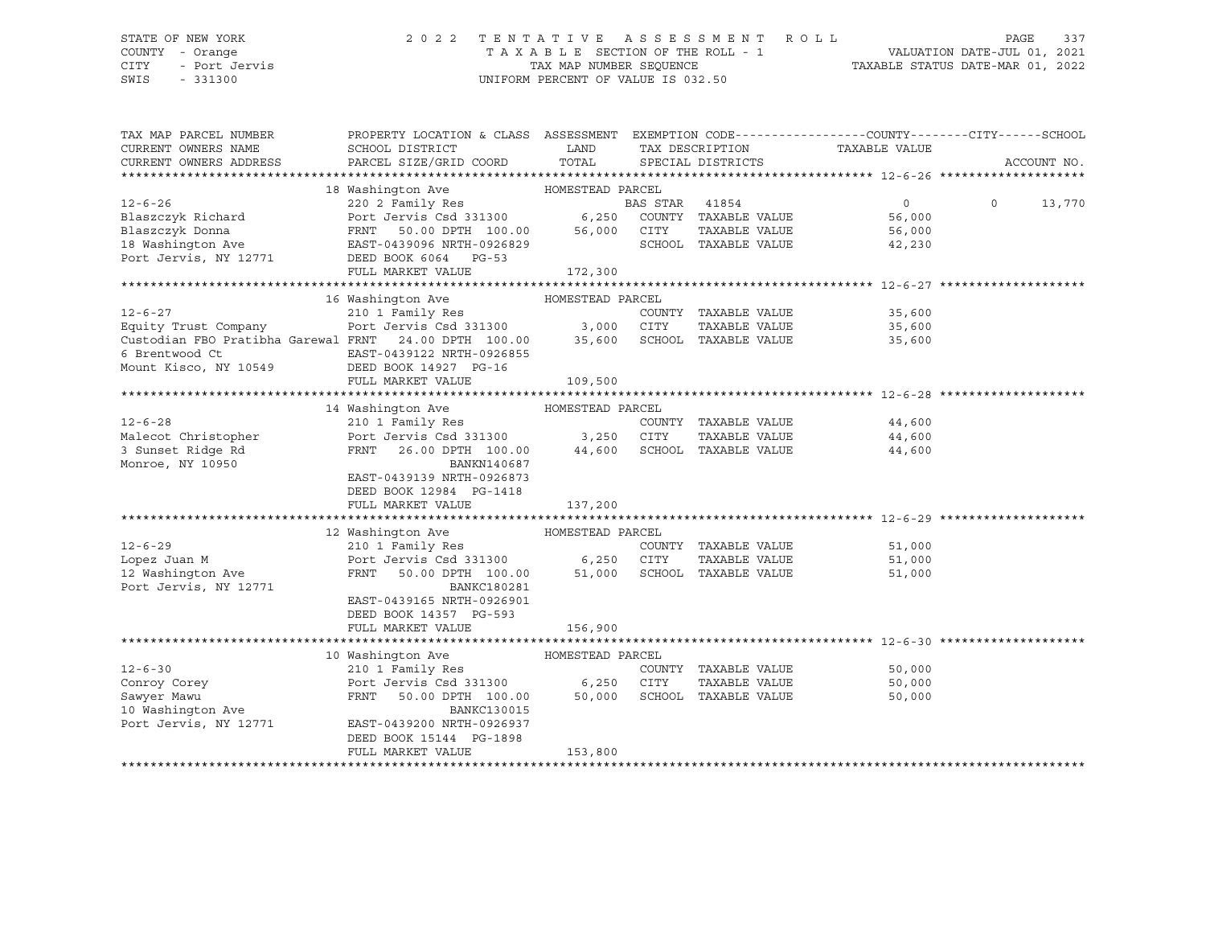### STATE OF NEW YORK 2 0 2 2 T E N T A T I V E A S S E S S M E N T R O L L PAGE 337 COUNTY - Orange T A X A B L E SECTION OF THE ROLL - 1 VALUATION DATE-JUL 01, 2021 CITY - Port Jervis TAX MAP NUMBER SEQUENCE TAXABLE STATUS DATE-MAR 01, 2022

| TAX MAP PARCEL NUMBER<br>CURRENT OWNERS NAME                    | PROPERTY LOCATION & CLASS ASSESSMENT<br>SCHOOL DISTRICT  | LAND             |                |                                       | EXEMPTION CODE-----------------COUNTY-------CITY------SCHOOL<br>TAX DESCRIPTION TAXABLE VALUE |          |             |
|-----------------------------------------------------------------|----------------------------------------------------------|------------------|----------------|---------------------------------------|-----------------------------------------------------------------------------------------------|----------|-------------|
| CURRENT OWNERS ADDRESS                                          | PARCEL SIZE/GRID COORD                                   | TOTAL            |                | SPECIAL DISTRICTS                     |                                                                                               |          | ACCOUNT NO. |
|                                                                 |                                                          |                  |                |                                       |                                                                                               |          |             |
|                                                                 | 18 Washington Ave                                        | HOMESTEAD PARCEL |                |                                       |                                                                                               |          |             |
| $12 - 6 - 26$                                                   | 220 2 Family Res                                         |                  | BAS STAR 41854 |                                       | $\Omega$                                                                                      | $\Omega$ | 13,770      |
| Blaszczyk Richard                                               | Port Jervis Csd 331300 6,250                             |                  |                | COUNTY TAXABLE VALUE                  | 56,000                                                                                        |          |             |
| Blaszczyk Donna                                                 | Port Jervis Csd 331300<br>FRNT 50.00 DPTH 100.00         | 56,000           | CITY           | TAXABLE VALUE                         | 56,000                                                                                        |          |             |
|                                                                 |                                                          |                  |                | SCHOOL TAXABLE VALUE                  | 42,230                                                                                        |          |             |
| 18 Washington Ave<br>Port Jervis, NY 12771 DEED BOOK 6064 PG-53 |                                                          |                  |                |                                       |                                                                                               |          |             |
|                                                                 | FULL MARKET VALUE                                        | 172,300          |                |                                       |                                                                                               |          |             |
|                                                                 |                                                          |                  |                |                                       |                                                                                               |          |             |
|                                                                 | 16 Washington Ave                                        | HOMESTEAD PARCEL |                |                                       |                                                                                               |          |             |
| $12 - 6 - 27$                                                   | 210 1 Family Res COUNT Port Jervis Csd 331300 3,000 CITY |                  |                | COUNTY TAXABLE VALUE                  | 35,600                                                                                        |          |             |
| Equity Trust Company                                            |                                                          |                  |                | TAXABLE VALUE                         | 35,600                                                                                        |          |             |
| Custodian FBO Pratibha Garewal FRNT 24.00 DPTH 100.00           |                                                          | 35,600           |                | SCHOOL TAXABLE VALUE                  | 35,600                                                                                        |          |             |
| 6 Brentwood Ct                                                  | EAST-0439122 NRTH-0926855                                |                  |                |                                       |                                                                                               |          |             |
| Mount Kisco, NY 10549                                           | DEED BOOK 14927 PG-16                                    |                  |                |                                       |                                                                                               |          |             |
|                                                                 | FULL MARKET VALUE                                        | 109,500          |                |                                       |                                                                                               |          |             |
|                                                                 |                                                          |                  |                |                                       |                                                                                               |          |             |
|                                                                 | 14 Washington Ave                                        | HOMESTEAD PARCEL |                |                                       |                                                                                               |          |             |
| $12 - 6 - 28$                                                   | 210 1 Family Res                                         |                  |                | COUNTY TAXABLE VALUE                  | 44,600                                                                                        |          |             |
| Malecot Christopher                                             | Port Jervis Csd 331300 3,250                             |                  | CITY           | TAXABLE VALUE                         | 44,600                                                                                        |          |             |
| 3 Sunset Ridge Rd                                               | FRNT<br>26.00 DPTH 100.00                                | 44,600           |                | SCHOOL TAXABLE VALUE                  | 44,600                                                                                        |          |             |
| Monroe, NY 10950                                                | BANKN140687                                              |                  |                |                                       |                                                                                               |          |             |
|                                                                 | EAST-0439139 NRTH-0926873                                |                  |                |                                       |                                                                                               |          |             |
|                                                                 | DEED BOOK 12984 PG-1418                                  |                  |                |                                       |                                                                                               |          |             |
|                                                                 | FULL MARKET VALUE                                        | 137,200          |                |                                       |                                                                                               |          |             |
|                                                                 |                                                          |                  |                |                                       |                                                                                               |          |             |
| $12 - 6 - 29$                                                   | 12 Washington Ave MOMESTEAD PARCEL                       |                  |                |                                       |                                                                                               |          |             |
| Lopez Juan M                                                    | 210 1 Family Res<br>Port Jervis Csd 331300 6,250         |                  | CITY           | COUNTY TAXABLE VALUE<br>TAXABLE VALUE | 51,000<br>51,000                                                                              |          |             |
|                                                                 | FRNT                                                     |                  |                | SCHOOL TAXABLE VALUE                  |                                                                                               |          |             |
| 12 Washington Ave<br>Port Jervis, NY 12771                      | 50.00 DPTH 100.00 51,000<br>BANKC180281                  |                  |                |                                       | 51,000                                                                                        |          |             |
|                                                                 | EAST-0439165 NRTH-0926901                                |                  |                |                                       |                                                                                               |          |             |
|                                                                 | DEED BOOK 14357 PG-593                                   |                  |                |                                       |                                                                                               |          |             |
|                                                                 | FULL MARKET VALUE                                        | 156,900          |                |                                       |                                                                                               |          |             |
|                                                                 |                                                          |                  |                |                                       |                                                                                               |          |             |
|                                                                 | 10 Washington Ave                                        | HOMESTEAD PARCEL |                |                                       |                                                                                               |          |             |
| $12 - 6 - 30$                                                   | 210 1 Family Res                                         |                  |                | COUNTY TAXABLE VALUE                  | 50,000                                                                                        |          |             |
| Conroy Corey                                                    | Port Jervis Csd 331300 6,250                             |                  | CITY           | TAXABLE VALUE                         | 50,000                                                                                        |          |             |
| Sawyer Mawu                                                     | FRNT<br>50.00 DPTH 100.00                                | 50,000           |                | SCHOOL TAXABLE VALUE                  | 50,000                                                                                        |          |             |
| 10 Washington Ave                                               | BANKC130015                                              |                  |                |                                       |                                                                                               |          |             |
| Port Jervis, NY 12771                                           | EAST-0439200 NRTH-0926937                                |                  |                |                                       |                                                                                               |          |             |
|                                                                 | DEED BOOK 15144 PG-1898                                  |                  |                |                                       |                                                                                               |          |             |
|                                                                 | FULL MARKET VALUE                                        | 153,800          |                |                                       |                                                                                               |          |             |
|                                                                 |                                                          |                  |                |                                       |                                                                                               |          |             |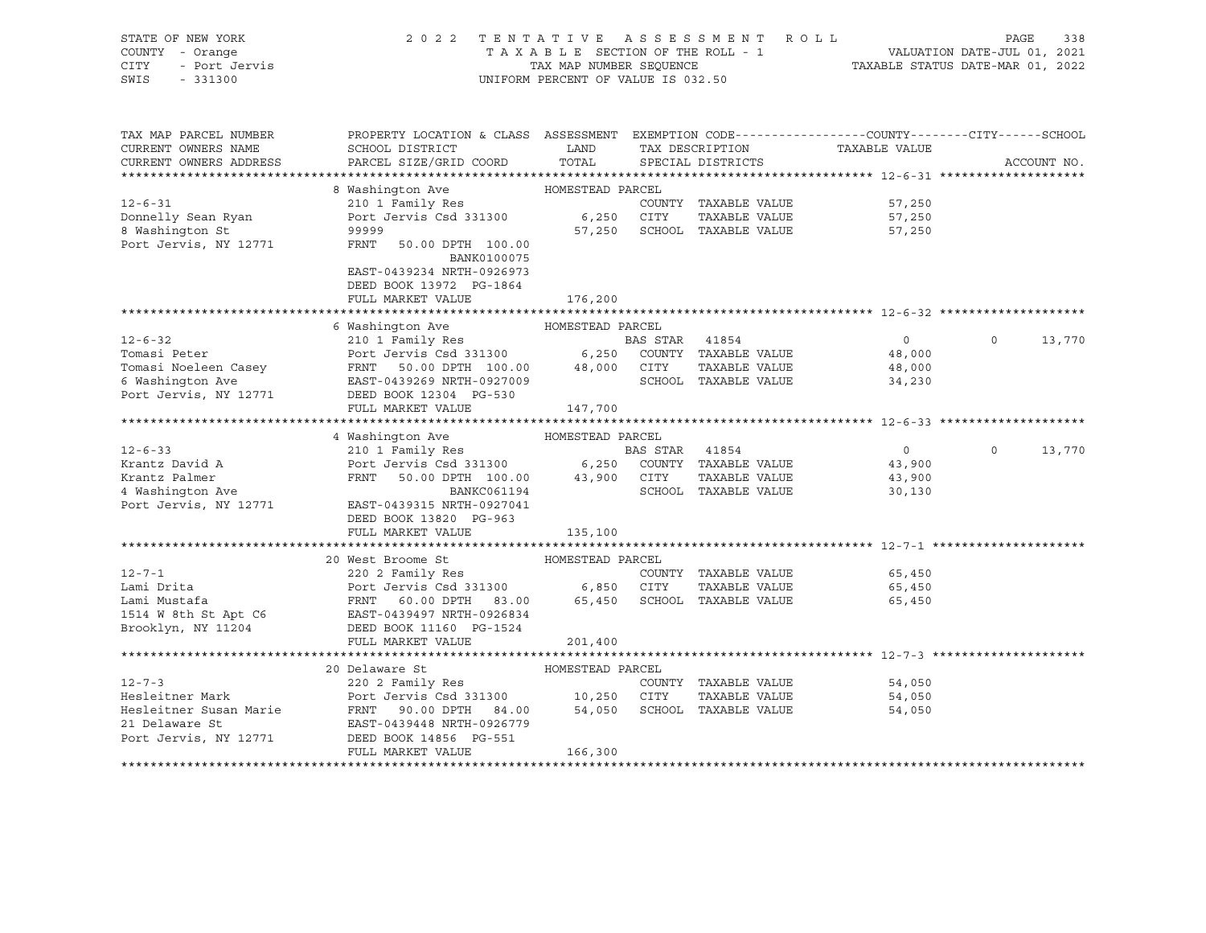| STATE OF NEW YORK<br>COUNTY - Orange<br>CITY<br>- Port Jervis<br>SWIS<br>$-331300$ | 2 0 2 2<br>TENTATIVE ASSESSMENT ROLL<br>TAXABLE SECTION OF THE ROLL - 1<br>TAX MAP NUMBER SEQUENCE<br>UNIFORM PERCENT OF VALUE IS 032.50                                    | 1 VALUATION DATE-JUL 01, 2021<br>TAXABLE STATUS DATE-MAR 01, 2022 | PAGE           | 338                         |                               |             |        |
|------------------------------------------------------------------------------------|-----------------------------------------------------------------------------------------------------------------------------------------------------------------------------|-------------------------------------------------------------------|----------------|-----------------------------|-------------------------------|-------------|--------|
| TAX MAP PARCEL NUMBER                                                              | PROPERTY LOCATION & CLASS ASSESSMENT EXEMPTION CODE---------------COUNTY-------CITY------SCHOOL                                                                             |                                                                   |                |                             |                               |             |        |
| CURRENT OWNERS NAME                                                                | SCHOOL DISTRICT                                                                                                                                                             | <b>LAND</b>                                                       |                |                             | TAX DESCRIPTION TAXABLE VALUE |             |        |
| CURRENT OWNERS ADDRESS                                                             | PARCEL SIZE/GRID COORD                                                                                                                                                      | TOTAL                                                             |                | SPECIAL DISTRICTS           |                               | ACCOUNT NO. |        |
|                                                                                    |                                                                                                                                                                             |                                                                   |                |                             |                               |             |        |
|                                                                                    | 8 Washington Ave                                                                                                                                                            | HOMESTEAD PARCEL                                                  |                |                             |                               |             |        |
| $12 - 6 - 31$                                                                      | 210 1 Family Res                                                                                                                                                            |                                                                   |                | COUNTY TAXABLE VALUE        | 57,250                        |             |        |
| Donnelly Sean Ryan                                                                 | Port Jervis Csd 331300 6,250 CITY                                                                                                                                           |                                                                   |                | TAXABLE VALUE               | 57,250                        |             |        |
| 8 Washington St                                                                    | 99999                                                                                                                                                                       |                                                                   |                | 57,250 SCHOOL TAXABLE VALUE | 57,250                        |             |        |
| Port Jervis, NY 12771                                                              | FRNT<br>50.00 DPTH 100.00                                                                                                                                                   |                                                                   |                |                             |                               |             |        |
|                                                                                    | BANK0100075                                                                                                                                                                 |                                                                   |                |                             |                               |             |        |
|                                                                                    | EAST-0439234 NRTH-0926973<br>DEED BOOK 13972 PG-1864                                                                                                                        |                                                                   |                |                             |                               |             |        |
|                                                                                    | FULL MARKET VALUE                                                                                                                                                           | 176,200                                                           |                |                             |                               |             |        |
|                                                                                    |                                                                                                                                                                             |                                                                   |                |                             |                               |             |        |
|                                                                                    | 6 Washington Ave                                                                                                                                                            | HOMESTEAD PARCEL                                                  |                |                             |                               |             |        |
| $12 - 6 - 32$                                                                      | 210 1 Family Res                                                                                                                                                            |                                                                   | BAS STAR 41854 |                             | $\overline{0}$                | $\circ$     | 13,770 |
| Tomasi Peter                                                                       |                                                                                                                                                                             |                                                                   |                |                             | 48,000                        |             |        |
| Tomasi Noeleen Casey                                                               |                                                                                                                                                                             |                                                                   |                |                             | 48,000                        |             |        |
| 6 Washington Ave                                                                   |                                                                                                                                                                             |                                                                   |                |                             | 34,230                        |             |        |
| Port Jervis, NY 12771                                                              | DEED BOOK 12304 PG-530                                                                                                                                                      |                                                                   |                |                             |                               |             |        |
|                                                                                    | FULL MARKET VALUE                                                                                                                                                           | 147,700                                                           |                |                             |                               |             |        |
|                                                                                    |                                                                                                                                                                             |                                                                   |                |                             |                               |             |        |
| $12 - 6 - 33$                                                                      | 4 Washington Ave                                                                                                                                                            | HOMESTEAD PARCEL                                                  |                |                             |                               | $\circ$     |        |
| Krantz David A                                                                     |                                                                                                                                                                             |                                                                   |                |                             | $\overline{0}$<br>43,900      |             | 13,770 |
| Krantz Palmer                                                                      |                                                                                                                                                                             |                                                                   |                |                             | 43,900                        |             |        |
| 4 Washington Ave                                                                   | MASHIHIGLOIL AVE (210 1 Family Res )<br>210 1 Family Res (250 COUNTY TAXABLE VALUE POTT JERNT 100.00 43,900 CITY TAXABLE VALUE (20.00 DPTH 100.00 43,900 CITY TAXABLE VALUE |                                                                   |                |                             | 30,130                        |             |        |
| Port Jervis, NY 12771                                                              | EAST-0439315 NRTH-0927041                                                                                                                                                   |                                                                   |                |                             |                               |             |        |
|                                                                                    | DEED BOOK 13820 PG-963                                                                                                                                                      |                                                                   |                |                             |                               |             |        |
|                                                                                    | FULL MARKET VALUE                                                                                                                                                           | 135,100                                                           |                |                             |                               |             |        |
|                                                                                    |                                                                                                                                                                             |                                                                   |                |                             |                               |             |        |
|                                                                                    | 20 West Broome St                                                                                                                                                           | HOMESTEAD PARCEL                                                  |                |                             |                               |             |        |
| $12 - 7 - 1$                                                                       | 220 2 Family Res                                                                                                                                                            |                                                                   |                | COUNTY TAXABLE VALUE        | 65,450                        |             |        |
| Lami Drita                                                                         | Port Jervis Csd 331300 6,850 CITY TAXABLE VALUE<br>FRNT 60.00 DPTH 83.00 65,450 SCHOOL TAXABLE VALUE                                                                        |                                                                   |                |                             | 65,450                        |             |        |
| Lami Mustafa                                                                       |                                                                                                                                                                             |                                                                   |                |                             | 65,450                        |             |        |
| 1514 W 8th St Apt C6<br>Brooklyn, NY 11204                                         | EAST-0439497 NRTH-0926834<br>DEED BOOK 11160 PG-1524                                                                                                                        |                                                                   |                |                             |                               |             |        |
|                                                                                    | FULL MARKET VALUE                                                                                                                                                           | 201,400                                                           |                |                             |                               |             |        |
|                                                                                    |                                                                                                                                                                             |                                                                   |                |                             |                               |             |        |
|                                                                                    | 20 Delaware St                                                                                                                                                              | HOMESTEAD PARCEL                                                  |                |                             |                               |             |        |
| $12 - 7 - 3$                                                                       | 220 2 Family Res                                                                                                                                                            |                                                                   |                | COUNTY TAXABLE VALUE        | 54,050                        |             |        |
| Hesleitner Mark                                                                    | Port Jervis Csd 331300 10,250 CITY                                                                                                                                          |                                                                   |                | TAXABLE VALUE               | 54,050                        |             |        |
| Hesleitner Susan Marie                                                             | FRNT 90.00 DPTH 84.00                                                                                                                                                       |                                                                   |                | 54,050 SCHOOL TAXABLE VALUE | 54,050                        |             |        |
| 21 Delaware St                                                                     | EAST-0439448 NRTH-0926779                                                                                                                                                   |                                                                   |                |                             |                               |             |        |
| Port Jervis, NY 12771                                                              | DEED BOOK 14856 PG-551                                                                                                                                                      |                                                                   |                |                             |                               |             |        |
|                                                                                    | FULL MARKET VALUE                                                                                                                                                           | 166,300                                                           |                |                             |                               |             |        |
|                                                                                    |                                                                                                                                                                             |                                                                   |                |                             |                               |             |        |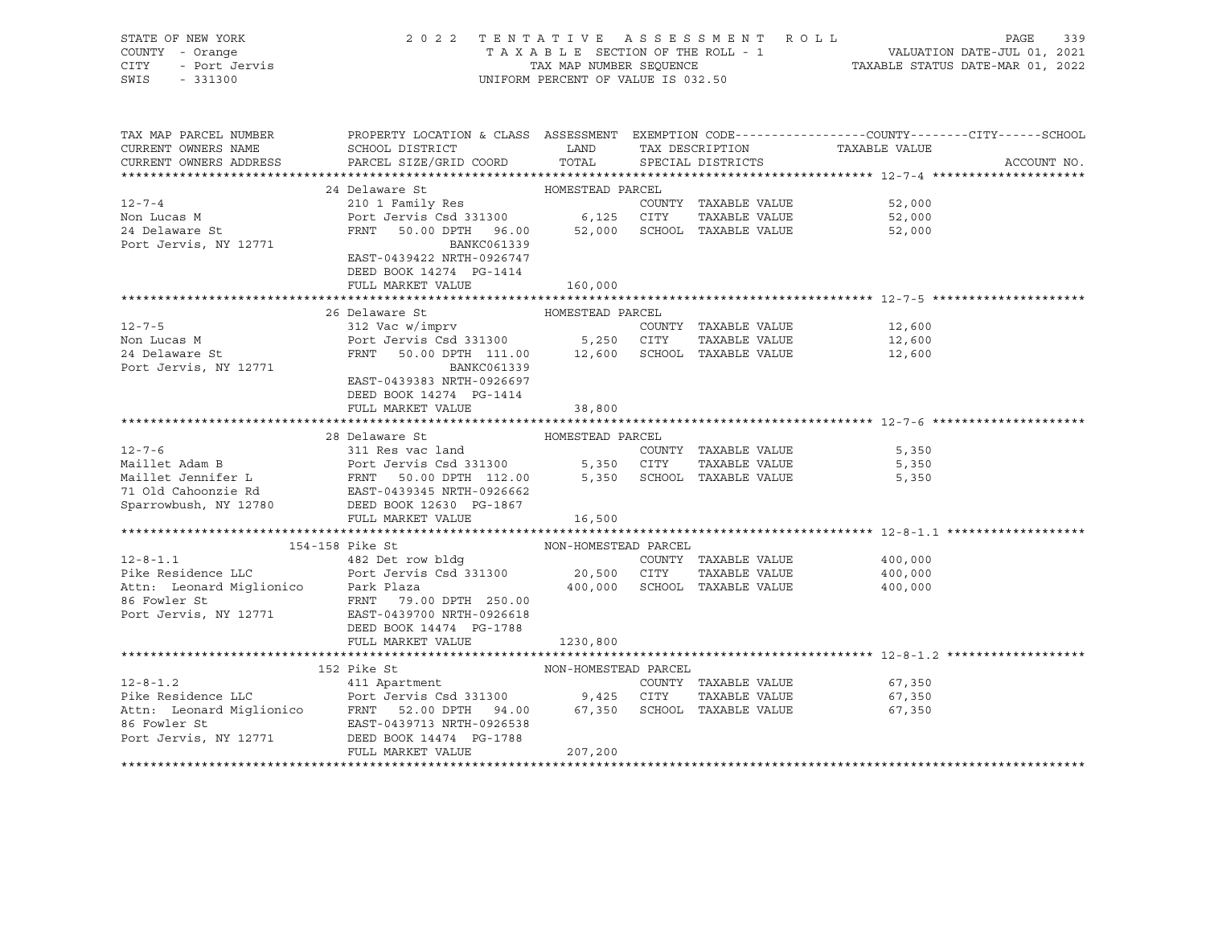| STATE OF NEW YORK<br>COUNTY - Orange<br>V - Orange<br>- Port Jervis<br>- Port Jervis<br>CITY<br>SWIS - 331300 | UNIFORM PERCENT OF VALUE IS 032.50                                                                                                                                                                                                                              | 2022 TENTATIVE ASSESSMENT ROLL PAGE 339<br>TAXABLE SECTION OF THE ROLL - 1<br>TAX MAP NUMBER SEQUENCE TAXABLE STATUS DATE-MAR 01, 2021<br>TAX MAP NUMBER SEQUENCE TAXABLE STATUS DATE-MAR 01, 2022 |                                    |                  |             |
|---------------------------------------------------------------------------------------------------------------|-----------------------------------------------------------------------------------------------------------------------------------------------------------------------------------------------------------------------------------------------------------------|----------------------------------------------------------------------------------------------------------------------------------------------------------------------------------------------------|------------------------------------|------------------|-------------|
| TAX MAP PARCEL NUMBER<br>CURRENT OWNERS NAME                                                                  | PROPERTY LOCATION & CLASS ASSESSMENT EXEMPTION CODE---------------COUNTY-------CITY------SCHOOL<br>SCHOOL DISTRICT                                                                                                                                              |                                                                                                                                                                                                    | LAND TAX DESCRIPTION TAXABLE VALUE |                  |             |
|                                                                                                               | CURRENT OWNERS ADDRESS FARCEL SIZE/GRID COORD TOTAL                                                                                                                                                                                                             |                                                                                                                                                                                                    | SPECIAL DISTRICTS                  |                  | ACCOUNT NO. |
|                                                                                                               | 24 Delaware St MOMESTEAD PARCEL                                                                                                                                                                                                                                 |                                                                                                                                                                                                    |                                    |                  |             |
| $12 - 7 - 4$                                                                                                  | 24 Detaware DC<br>210 1 Family Res<br>Port Jervis Csd 331300 6,125 CITY TAXABLE VALUE<br>FRNT 50.00 DPTH 96.00 52,000 SCHOOL TAXABLE VALUE                                                                                                                      |                                                                                                                                                                                                    | COUNTY TAXABLE VALUE               | 52,000           |             |
| Non Lucas M                                                                                                   |                                                                                                                                                                                                                                                                 |                                                                                                                                                                                                    |                                    | 52,000           |             |
| 24 Delaware St                                                                                                |                                                                                                                                                                                                                                                                 |                                                                                                                                                                                                    |                                    | 52,000           |             |
| Port Jervis, NY 12771                                                                                         | BANKC061339                                                                                                                                                                                                                                                     |                                                                                                                                                                                                    |                                    |                  |             |
|                                                                                                               | EAST-0439422 NRTH-0926747                                                                                                                                                                                                                                       |                                                                                                                                                                                                    |                                    |                  |             |
|                                                                                                               | DEED BOOK 14274 PG-1414                                                                                                                                                                                                                                         |                                                                                                                                                                                                    |                                    |                  |             |
|                                                                                                               | FULL MARKET VALUE                                                                                                                                                                                                                                               | 160,000                                                                                                                                                                                            |                                    |                  |             |
|                                                                                                               | 26 Delaware St                                                                                                                                                                                                                                                  | HOMESTEAD PARCEL                                                                                                                                                                                   |                                    |                  |             |
| $12 - 7 - 5$                                                                                                  | 312 Vac w/imprv                                                                                                                                                                                                                                                 |                                                                                                                                                                                                    | COUNTY TAXABLE VALUE               | 12,600           |             |
|                                                                                                               | Port Jervis Csd 331300 5,250 CUTY TAXABLE VALUE<br>FRNT 50.00 DPTH 111.00 12,600 SCHOOL TAXABLE VALUE                                                                                                                                                           |                                                                                                                                                                                                    |                                    | 12,600           |             |
| Non Lucas M<br>24 Delaware St                                                                                 |                                                                                                                                                                                                                                                                 |                                                                                                                                                                                                    |                                    | 12,600           |             |
| Port Jervis, NY 12771                                                                                         | BANKC061339                                                                                                                                                                                                                                                     |                                                                                                                                                                                                    |                                    |                  |             |
|                                                                                                               | EAST-0439383 NRTH-0926697                                                                                                                                                                                                                                       |                                                                                                                                                                                                    |                                    |                  |             |
|                                                                                                               | DEED BOOK 14274 PG-1414                                                                                                                                                                                                                                         |                                                                                                                                                                                                    |                                    |                  |             |
|                                                                                                               | FULL MARKET VALUE                                                                                                                                                                                                                                               | 38,800                                                                                                                                                                                             |                                    |                  |             |
|                                                                                                               |                                                                                                                                                                                                                                                                 |                                                                                                                                                                                                    |                                    |                  |             |
|                                                                                                               |                                                                                                                                                                                                                                                                 |                                                                                                                                                                                                    |                                    |                  |             |
|                                                                                                               |                                                                                                                                                                                                                                                                 |                                                                                                                                                                                                    |                                    |                  |             |
|                                                                                                               |                                                                                                                                                                                                                                                                 |                                                                                                                                                                                                    |                                    |                  |             |
|                                                                                                               | 12-7-6<br>12-7-6<br>Maillet Adam B<br>Maillet Jennifer L<br>FRNT 50.00 DPTH 112.00<br>TAXABLE VALUE<br>FRNT 50.00 DPTH 112.00<br>5,350 SCHOOL TAXABLE VALUE<br>5,350 SCHOOL TAXABLE VALUE<br>5,350 SCHOOL TAXABLE VALUE<br>5,350 SCHOOL TAXABLE VA              |                                                                                                                                                                                                    |                                    |                  |             |
| Sparrowbush, NY 12780                                                                                         | DEED BOOK 12630 PG-1867                                                                                                                                                                                                                                         |                                                                                                                                                                                                    |                                    |                  |             |
|                                                                                                               | FULL MARKET VALUE                                                                                                                                                                                                                                               | 16,500                                                                                                                                                                                             |                                    |                  |             |
|                                                                                                               |                                                                                                                                                                                                                                                                 |                                                                                                                                                                                                    |                                    |                  |             |
|                                                                                                               | 154-158 Pike St<br>12-8-1.1<br>482 Det row bldg<br>20,500 CITY TAXABLE VALUE<br>20,500 CITY TAXABLE VALUE<br>400,000 Ath: Leonard Miglionico Park Plaza<br>20,500 CITY TAXABLE VALUE<br>400,000 Ath: Leonard Miglionico Park Plaza<br>20,000 SCHOOL TAXABLE VAL | NON-HOMESTEAD PARCEL                                                                                                                                                                               |                                    |                  |             |
|                                                                                                               |                                                                                                                                                                                                                                                                 |                                                                                                                                                                                                    |                                    |                  |             |
|                                                                                                               |                                                                                                                                                                                                                                                                 |                                                                                                                                                                                                    |                                    |                  |             |
|                                                                                                               |                                                                                                                                                                                                                                                                 |                                                                                                                                                                                                    |                                    |                  |             |
|                                                                                                               | 86 Fowler St FRNT 79.00 DPTH 250.00<br>Port Jervis, NY 12771 EAST-0439700 NRTH-0926618                                                                                                                                                                          |                                                                                                                                                                                                    |                                    |                  |             |
|                                                                                                               | DEED BOOK 14474 PG-1788                                                                                                                                                                                                                                         |                                                                                                                                                                                                    |                                    |                  |             |
|                                                                                                               | FULL MARKET VALUE                                                                                                                                                                                                                                               | 1230,800                                                                                                                                                                                           |                                    |                  |             |
|                                                                                                               |                                                                                                                                                                                                                                                                 |                                                                                                                                                                                                    |                                    |                  |             |
|                                                                                                               | 152 Pike St                                                                                                                                                                                                                                                     | NON-HOMESTEAD PARCEL                                                                                                                                                                               |                                    |                  |             |
|                                                                                                               |                                                                                                                                                                                                                                                                 |                                                                                                                                                                                                    |                                    | 67,350           |             |
|                                                                                                               |                                                                                                                                                                                                                                                                 |                                                                                                                                                                                                    |                                    | 67,350<br>67,350 |             |
|                                                                                                               | 12-8-1.2<br>Pike Residence LLC<br>Port Jervis Csd 331300<br>Attn: Leonard Miglionico<br>FRNT 52.00 DPTH 94.00<br>FRNT 52.00 DPTH 94.00<br>67,350 SCHOOL TAXABLE VALUE<br>FRNT 52.00 DPTH 94.00<br>67,350 SCHOOL TAXABLE VALUE<br>Port Jervis, NY                |                                                                                                                                                                                                    |                                    |                  |             |
|                                                                                                               |                                                                                                                                                                                                                                                                 |                                                                                                                                                                                                    |                                    |                  |             |
|                                                                                                               | FULL MARKET VALUE                                                                                                                                                                                                                                               | 207,200                                                                                                                                                                                            |                                    |                  |             |
|                                                                                                               |                                                                                                                                                                                                                                                                 |                                                                                                                                                                                                    |                                    |                  |             |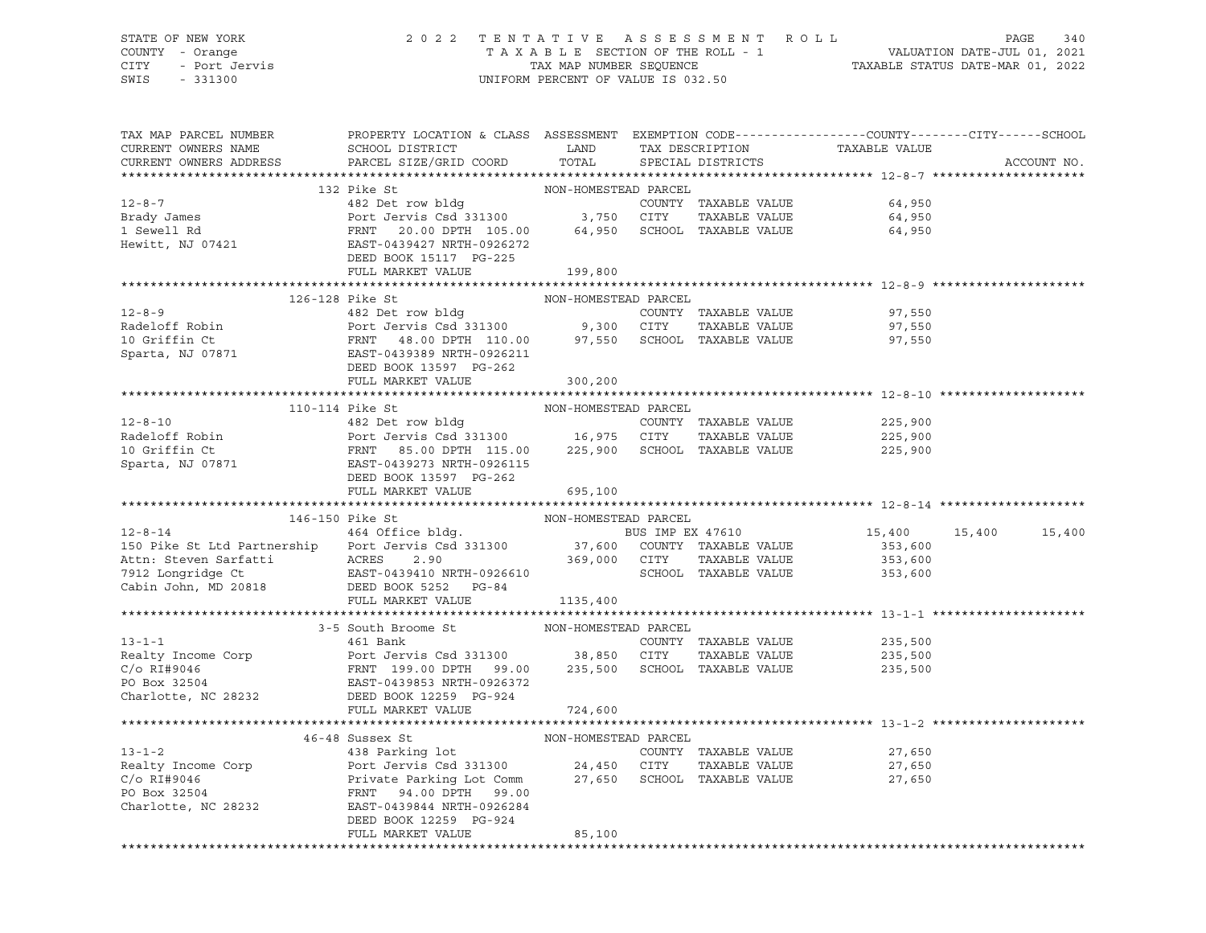# STATE OF NEW YORK 2 0 2 2 T E N T A T I V E A S S E S S M E N T R O L L PAGE 340 COUNTY - Orange T A X A B L E SECTION OF THE ROLL - 1 VALUATION DATE-JUL 01, 2021 CITY - Port Jervis TAX MAP NUMBER SEQUENCE TAXABLE STATUS DATE-MAR 01, 2022

| TAX MAP PARCEL NUMBER<br>CURRENT OWNERS NAME                                                                                                                                                                                                           | PROPERTY LOCATION & CLASS ASSESSMENT EXEMPTION CODE---------------COUNTY-------CITY------SCHOOL<br>SCHOOL DISTRICT LAND |                      | TAX DESCRIPTION   | TAXABLE VALUE                           |                      |
|--------------------------------------------------------------------------------------------------------------------------------------------------------------------------------------------------------------------------------------------------------|-------------------------------------------------------------------------------------------------------------------------|----------------------|-------------------|-----------------------------------------|----------------------|
| CURRENT OWNERS ADDRESS                                                                                                                                                                                                                                 | PARCEL SIZE/GRID COORD                                                                                                  | TOTAL                | SPECIAL DISTRICTS |                                         | ACCOUNT NO.          |
|                                                                                                                                                                                                                                                        | 132 Pike St                                                                                                             |                      |                   |                                         |                      |
|                                                                                                                                                                                                                                                        |                                                                                                                         | NON-HOMESTEAD PARCEL |                   |                                         |                      |
|                                                                                                                                                                                                                                                        |                                                                                                                         |                      |                   |                                         |                      |
|                                                                                                                                                                                                                                                        |                                                                                                                         |                      |                   |                                         |                      |
|                                                                                                                                                                                                                                                        |                                                                                                                         |                      |                   |                                         |                      |
|                                                                                                                                                                                                                                                        |                                                                                                                         |                      |                   |                                         |                      |
|                                                                                                                                                                                                                                                        | DEED BOOK 15117 PG-225                                                                                                  |                      |                   |                                         |                      |
|                                                                                                                                                                                                                                                        | FULL MARKET VALUE                                                                                                       | 199,800              |                   |                                         |                      |
|                                                                                                                                                                                                                                                        |                                                                                                                         |                      |                   |                                         |                      |
| 12-8-9<br>Radeloff Robin<br>2010 Ext Jervis Csd 331300<br>2010 ETY TAXABLE VALUE<br>2010 ETY TAXABLE VALUE<br>2010 ETY TAXABLE VALUE<br>2010 ETY TAXABLE VALUE<br>2010 ETY TAXABLE VALUE<br>2010 ETY TAXABLE VALUE<br>2010 ETY TAXABLE VALUE<br>20     | 126-128 Pike St                                                                                                         | NON-HOMESTEAD PARCEL |                   |                                         |                      |
|                                                                                                                                                                                                                                                        |                                                                                                                         |                      |                   | 97,550                                  |                      |
|                                                                                                                                                                                                                                                        |                                                                                                                         |                      |                   | 97,550                                  |                      |
|                                                                                                                                                                                                                                                        |                                                                                                                         |                      |                   | 97,550                                  |                      |
|                                                                                                                                                                                                                                                        |                                                                                                                         |                      |                   |                                         |                      |
|                                                                                                                                                                                                                                                        | DEED BOOK 13597 PG-262                                                                                                  |                      |                   |                                         |                      |
|                                                                                                                                                                                                                                                        | FULL MARKET VALUE                                                                                                       | 300,200              |                   |                                         |                      |
|                                                                                                                                                                                                                                                        |                                                                                                                         |                      |                   |                                         |                      |
|                                                                                                                                                                                                                                                        |                                                                                                                         |                      |                   |                                         |                      |
|                                                                                                                                                                                                                                                        |                                                                                                                         |                      |                   | 225,900                                 |                      |
|                                                                                                                                                                                                                                                        |                                                                                                                         |                      |                   |                                         |                      |
|                                                                                                                                                                                                                                                        |                                                                                                                         |                      |                   |                                         |                      |
|                                                                                                                                                                                                                                                        |                                                                                                                         |                      |                   |                                         |                      |
|                                                                                                                                                                                                                                                        |                                                                                                                         |                      |                   |                                         |                      |
|                                                                                                                                                                                                                                                        |                                                                                                                         |                      |                   |                                         |                      |
|                                                                                                                                                                                                                                                        |                                                                                                                         |                      |                   |                                         |                      |
|                                                                                                                                                                                                                                                        | 146-150 Pike St                                                                                                         | NON-HOMESTEAD PARCEL |                   |                                         |                      |
| 12-8-14<br>150 Pike St Ltd Partnership Port Jervis Csd 331300<br>150 Pike St Ltd Partnership Port Jervis Csd 331300 37,600 COUNTY TAXABLE VALUE                                                                                                        |                                                                                                                         |                      |                   |                                         | 15,400 15,400 15,400 |
|                                                                                                                                                                                                                                                        |                                                                                                                         |                      |                   | 353,600                                 |                      |
|                                                                                                                                                                                                                                                        |                                                                                                                         |                      | TAXABLE VALUE     | 353,600<br>SCHOOL TAXABLE VALUE 353,600 |                      |
| Actn: Steven Sarfatti (ACRES 2.90 369,000 CITY<br>7912 Longridge Ct EAST-0439410 NRTH-0926610 SCHOOL<br>Cabin John, MD 20818 DEED BOOK 5252 PG-84                                                                                                      |                                                                                                                         |                      |                   |                                         |                      |
|                                                                                                                                                                                                                                                        |                                                                                                                         |                      |                   |                                         |                      |
|                                                                                                                                                                                                                                                        | FULL MARKET VALUE 1135,400                                                                                              |                      |                   |                                         |                      |
|                                                                                                                                                                                                                                                        |                                                                                                                         |                      |                   |                                         |                      |
| $13 - 1 - 1$                                                                                                                                                                                                                                           | 3-5 South Broome St $461$ Bank (CONETEAD PARCEL)<br>461 Bank                                                            |                      |                   |                                         |                      |
|                                                                                                                                                                                                                                                        |                                                                                                                         |                      |                   | COUNTY TAXABLE VALUE 235,500            |                      |
|                                                                                                                                                                                                                                                        |                                                                                                                         |                      |                   |                                         |                      |
|                                                                                                                                                                                                                                                        |                                                                                                                         |                      |                   |                                         |                      |
|                                                                                                                                                                                                                                                        |                                                                                                                         |                      |                   |                                         |                      |
| Realty Income Corp<br>Corp<br>C/o RI#9046<br>PO Box 32504<br>PO Box 32504<br>Charlotte, NC 28232<br>Charlotte, NC 28232<br>PERSED BOOK 12259 PG-924<br>PUILL MARKET VALUE<br>PUILL MARKET VALUE<br>PUILL MARKET VALUE<br>PUILL MARKET VALUE<br>PUILL M |                                                                                                                         |                      |                   |                                         |                      |
|                                                                                                                                                                                                                                                        | FULL MARKET VALUE                                                                                                       | 724,600              |                   |                                         |                      |
|                                                                                                                                                                                                                                                        |                                                                                                                         |                      |                   |                                         |                      |
|                                                                                                                                                                                                                                                        |                                                                                                                         |                      |                   | 27,650                                  |                      |
|                                                                                                                                                                                                                                                        |                                                                                                                         |                      |                   |                                         |                      |
| 46-48 Sussex St MON-HOMESTEAD PARCEL<br>438 Parking lot<br>Port Jervis Csd 331300 24,450 CITY TAXABLE VALUE<br>C/O RI#9046 Private Parking Lot Comm PORCEL<br>PO Box 32504 FRNT 94.00 DPTH 99.00<br>Charlotte, NC 28232 PARCEL<br>PO BOX 3             |                                                                                                                         |                      |                   | 27,650                                  |                      |
|                                                                                                                                                                                                                                                        |                                                                                                                         |                      |                   | 27,650                                  |                      |
|                                                                                                                                                                                                                                                        |                                                                                                                         |                      |                   |                                         |                      |
| Charlotte, NC 28232 EAST-0439844 NRTH-0926284                                                                                                                                                                                                          |                                                                                                                         |                      |                   |                                         |                      |
|                                                                                                                                                                                                                                                        | DEED BOOK 12259 PG-924<br>FULL MARKET VALUE                                                                             | 85,100               |                   |                                         |                      |
|                                                                                                                                                                                                                                                        |                                                                                                                         |                      |                   |                                         |                      |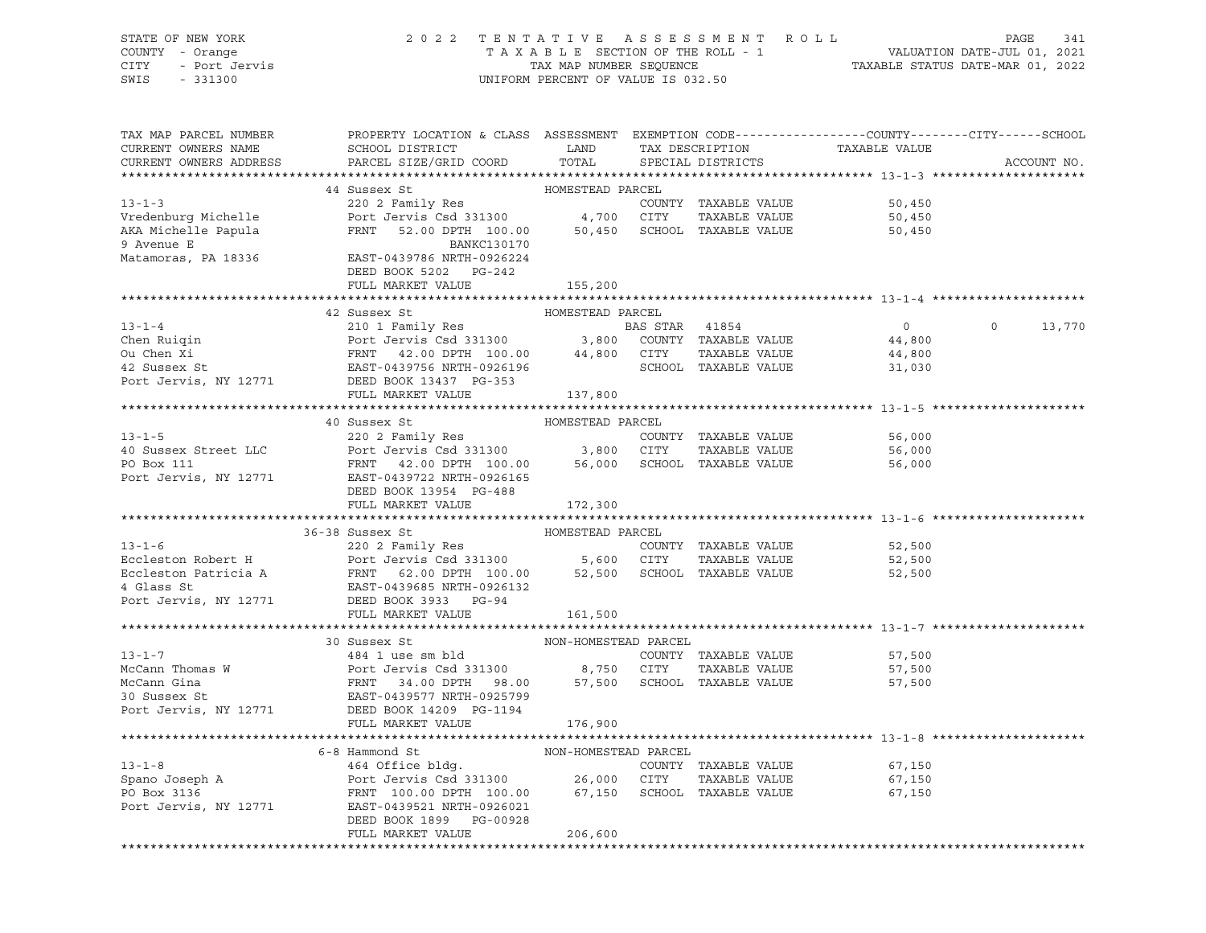STATE OF NEW YORK 2 0 2 2 T E N T A T I V E A S S E S S M E N T R O L L PAGE 341 COUNTY - Orange T A X A B L E SECTION OF THE ROLL - 1 VALUATION DATE-JUL 01, 2021 CITY - Port Jervis TAX MAP NUMBER SEQUENCE TAXABLE STATUS DATE-MAR 01, 2022 SWIS - 331300 UNIFORM PERCENT OF VALUE IS 032.50

| PROPERTY LOCATION & CLASS ASSESSMENT EXEMPTION CODE----------------COUNTY-------CITY------SCHOOL<br>TAX MAP PARCEL NUMBER<br>TAXABLE VALUE<br>SCHOOL DISTRICT LAND<br>CURRENT OWNERS NAME<br>TAX DESCRIPTION<br>TOTAL<br>PARCEL SIZE/GRID COORD<br>CURRENT OWNERS ADDRESS<br>SPECIAL DISTRICTS | ACCOUNT NO.              |
|------------------------------------------------------------------------------------------------------------------------------------------------------------------------------------------------------------------------------------------------------------------------------------------------|--------------------------|
| HOMESTEAD PARCEL                                                                                                                                                                                                                                                                               |                          |
| 44 Sussex St<br>13-1-3<br>Vredenburg Michelle<br>Port Jervis Csd 331300<br>Port Jervis Csd 331300<br>Port Jervis Csd 331300<br>Port Jervis Csd 331300<br>FRNT 52.00 DPTH 100.00<br>DANICION 2170<br>DANICION 2170<br>DANICION 2170<br>DANICION 2170<br>DANICION 2170                           |                          |
| 50,450                                                                                                                                                                                                                                                                                         |                          |
| 50,450                                                                                                                                                                                                                                                                                         |                          |
| 50,450<br>9 Avenue E<br>BANKC130170                                                                                                                                                                                                                                                            |                          |
|                                                                                                                                                                                                                                                                                                |                          |
| DEED BOOK 5202 PG-242                                                                                                                                                                                                                                                                          |                          |
| FULL MARKET VALUE<br>155,200                                                                                                                                                                                                                                                                   |                          |
|                                                                                                                                                                                                                                                                                                |                          |
|                                                                                                                                                                                                                                                                                                |                          |
|                                                                                                                                                                                                                                                                                                | $\overline{0}$<br>13,770 |
|                                                                                                                                                                                                                                                                                                |                          |
|                                                                                                                                                                                                                                                                                                |                          |
|                                                                                                                                                                                                                                                                                                |                          |
|                                                                                                                                                                                                                                                                                                |                          |
| FULL MARKET VALUE<br>137,800                                                                                                                                                                                                                                                                   |                          |
| ********************************** 13-1-5 ********                                                                                                                                                                                                                                             |                          |
| 40 Sussex St<br>HOMESTEAD PARCEL                                                                                                                                                                                                                                                               |                          |
| 56,000                                                                                                                                                                                                                                                                                         |                          |
| 56,000                                                                                                                                                                                                                                                                                         |                          |
| 56,000                                                                                                                                                                                                                                                                                         |                          |
| 13-1-5<br>220 2 Family Res<br>220 2 Family Res<br>220 2 Family Res<br>220 2 Family Res<br>220 2 Family Res<br>220 2 Family Res<br>220 2 Family Res<br>220 3,800 CITY TAXABLE VALUE<br>220 DPTH 100.00<br>3,800 CITY TAXABLE VALUE<br>26,000 SCHOOL T                                           |                          |
| DEED BOOK 13954 PG-488                                                                                                                                                                                                                                                                         |                          |
| FULL MARKET VALUE 172,300                                                                                                                                                                                                                                                                      |                          |
|                                                                                                                                                                                                                                                                                                |                          |
| 13-1-6<br>220 2 Family Res<br>Eccleston Robert H<br>Eccleston Patricia A<br>Eccleston Patricia A<br>FRNT 62.00 DPTH 100.00<br>4 Glass St<br>220 2 Family Res<br>Port Jervis Csd 331300<br>5,600 CITY<br>5,600 CITY<br>52,500 SCHOOL<br>TAXABLE VALUE<br>                                       |                          |
| 52,500                                                                                                                                                                                                                                                                                         |                          |
| 52,500                                                                                                                                                                                                                                                                                         |                          |
| 52,500                                                                                                                                                                                                                                                                                         |                          |
|                                                                                                                                                                                                                                                                                                |                          |
|                                                                                                                                                                                                                                                                                                |                          |
| FULL MARKET VALUE<br>161,500                                                                                                                                                                                                                                                                   |                          |
|                                                                                                                                                                                                                                                                                                |                          |
| 30 Sussex St<br>NON-HOMESTEAD PARCEL<br>$13 - 1 - 7$                                                                                                                                                                                                                                           |                          |
| $484$ 1 use sm bld<br>Port<br>COUNTY TAXABLE VALUE 57,500                                                                                                                                                                                                                                      |                          |
| 57,500                                                                                                                                                                                                                                                                                         |                          |
| 57,500                                                                                                                                                                                                                                                                                         |                          |
|                                                                                                                                                                                                                                                                                                |                          |
| 13-1-7<br>McCann Thomas W<br>McCann Gina<br>McCann Gina<br>McCann Gina<br>McCann Gina<br>McCann Gina<br>EAST-0439577 NRTH-0925799<br>Port Jervis, NY 12771<br>DEED BOOK 14209 PG-1194<br>FRIT MCNTT-0925799<br>Port Jervis, NY 12771<br>DEED BOOK 142                                          |                          |
| FULL MARKET VALUE<br>176,900                                                                                                                                                                                                                                                                   |                          |
|                                                                                                                                                                                                                                                                                                |                          |
| NON-HOMESTEAD PARCEL<br>6-8 Hammond St                                                                                                                                                                                                                                                         |                          |
| 67,150                                                                                                                                                                                                                                                                                         |                          |
| TAXABLE VALUE<br>67,150                                                                                                                                                                                                                                                                        |                          |
| 67,150<br>Port Jervis, NY 12771 EAST-0439521 NRTH-0926021                                                                                                                                                                                                                                      |                          |
| DEED BOOK 1899 PG-00928                                                                                                                                                                                                                                                                        |                          |
| FULL MARKET VALUE<br>206,600                                                                                                                                                                                                                                                                   |                          |
|                                                                                                                                                                                                                                                                                                |                          |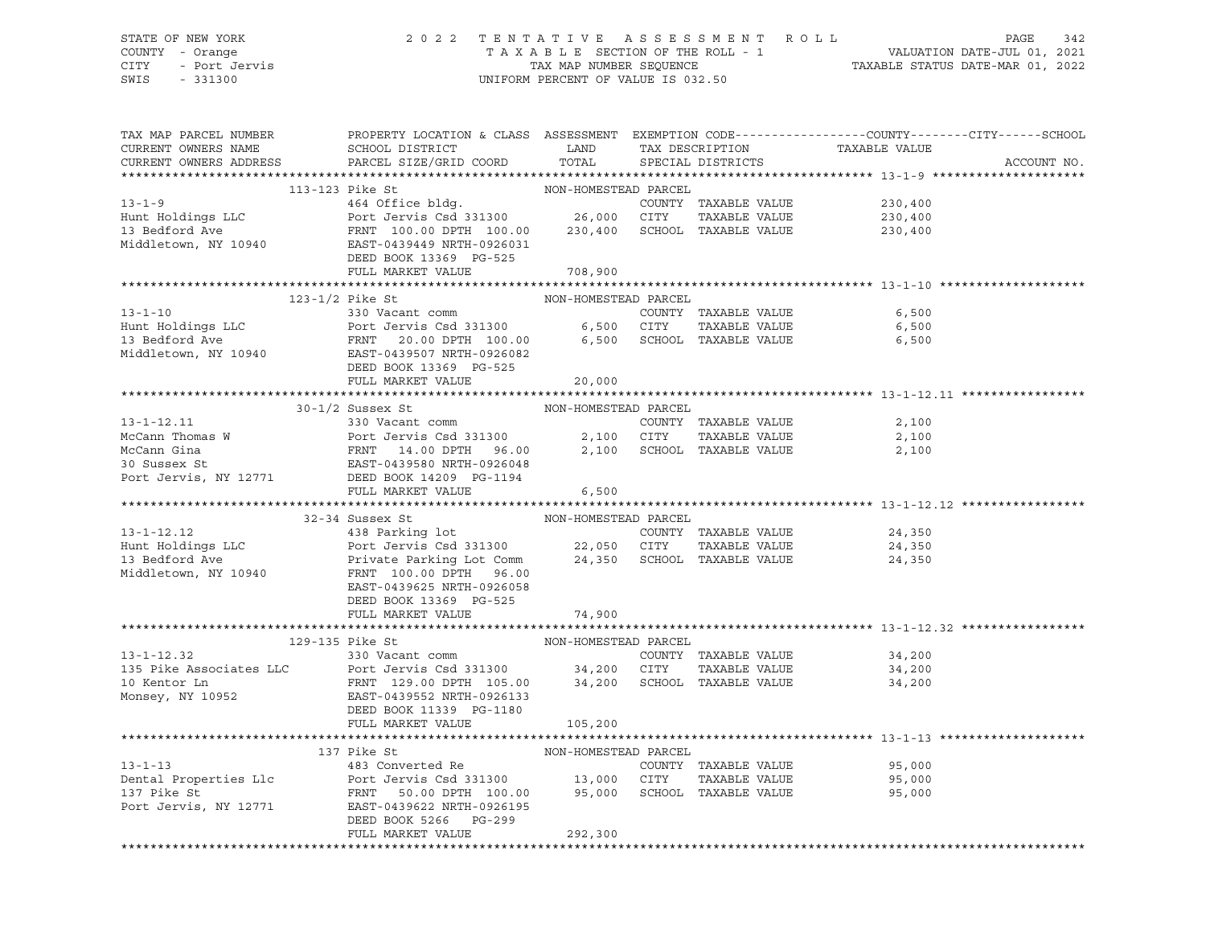### STATE OF NEW YORK 2 0 2 2 T E N T A T I V E A S S E S S M E N T R O L L PAGE 342 COUNTY - Orange T A X A B L E SECTION OF THE ROLL - 1 VALUATION DATE-JUL 01, 2021 CITY - Port Jervis TAX MAP NUMBER SEQUENCE TAXABLE STATUS DATE-MAR 01, 2022 SWIS - 331300 UNIFORM PERCENT OF VALUE IS 032.50

| TAX MAP PARCEL NUMBER<br>CURRENT OWNERS NAME<br>CURRENT OWNERS ADDRESS | PROPERTY LOCATION & CLASS ASSESSMENT EXEMPTION CODE---------------COUNTY-------CITY------SCHOOL<br>SCHOOL DISTRICT TAND TAX DESCRIPTION<br>PARCEL SIZE/GRID COORD                                                                                                                                                                                                                                                    | TOTAL                | SPECIAL DISTRICTS |                      | TAXABLE VALUE                  | ACCOUNT NO. |
|------------------------------------------------------------------------|----------------------------------------------------------------------------------------------------------------------------------------------------------------------------------------------------------------------------------------------------------------------------------------------------------------------------------------------------------------------------------------------------------------------|----------------------|-------------------|----------------------|--------------------------------|-------------|
|                                                                        | $\begin{tabular}{lcccc} 13-1-9 & 13-123 \end{tabular} \begin{tabular}{lcccc} 13-123 & 13-123 & 13-123 & 13-123 & 13-123 & 13-123 & 13-123 & 13-123 & 13-123 & 13-123 & 13-123 & 13-123 & 13-123 & 13-123 & 13-123 & 13-123 & 13-123 & 13-123 & 13-123 & 13-123 & 13-123 & 13-123 & 13-1$                                                                                                                             |                      |                   |                      |                                |             |
|                                                                        |                                                                                                                                                                                                                                                                                                                                                                                                                      |                      |                   |                      |                                |             |
|                                                                        |                                                                                                                                                                                                                                                                                                                                                                                                                      |                      |                   |                      |                                |             |
|                                                                        |                                                                                                                                                                                                                                                                                                                                                                                                                      |                      |                   |                      |                                |             |
|                                                                        |                                                                                                                                                                                                                                                                                                                                                                                                                      |                      |                   |                      |                                |             |
|                                                                        |                                                                                                                                                                                                                                                                                                                                                                                                                      |                      |                   |                      |                                |             |
|                                                                        | DEED BOOK 13369 PG-525<br>FULL MARKET VALUE                                                                                                                                                                                                                                                                                                                                                                          | 708,900              |                   |                      |                                |             |
|                                                                        |                                                                                                                                                                                                                                                                                                                                                                                                                      |                      |                   |                      |                                |             |
|                                                                        |                                                                                                                                                                                                                                                                                                                                                                                                                      | NON-HOMESTEAD PARCEL |                   |                      |                                |             |
|                                                                        |                                                                                                                                                                                                                                                                                                                                                                                                                      |                      |                   |                      |                                |             |
|                                                                        |                                                                                                                                                                                                                                                                                                                                                                                                                      |                      |                   |                      |                                |             |
|                                                                        |                                                                                                                                                                                                                                                                                                                                                                                                                      |                      |                   |                      |                                |             |
|                                                                        |                                                                                                                                                                                                                                                                                                                                                                                                                      |                      |                   |                      |                                |             |
|                                                                        | DEED BOOK 13369 PG-525                                                                                                                                                                                                                                                                                                                                                                                               |                      |                   |                      |                                |             |
|                                                                        | FULL MARKET VALUE                                                                                                                                                                                                                                                                                                                                                                                                    | 20,000               |                   |                      |                                |             |
|                                                                        |                                                                                                                                                                                                                                                                                                                                                                                                                      |                      |                   |                      |                                |             |
|                                                                        | NON-HOMESTEAD PARCEL<br>$30-1/2$ Sussex St                                                                                                                                                                                                                                                                                                                                                                           |                      |                   |                      |                                |             |
|                                                                        |                                                                                                                                                                                                                                                                                                                                                                                                                      |                      |                   |                      | 2,100                          |             |
|                                                                        |                                                                                                                                                                                                                                                                                                                                                                                                                      |                      |                   |                      | TAXABLE VALUE 2,100            |             |
|                                                                        | 13-1-12.11<br>McCann Thomas W Port Jervis Csd 331300<br>McCann Gina PRNT 14.00 DPTH 96.00 2,100 CITY TAXABLE VALUE<br>McCann Gina FRNT 14.00 DPTH 96.00 2,100 SCHOOL TAXABLE VALUE<br>30 Sussex St EAST-0439580 NRTH-0926048<br>Port J                                                                                                                                                                               |                      |                   |                      | 2,100                          |             |
|                                                                        |                                                                                                                                                                                                                                                                                                                                                                                                                      |                      |                   |                      |                                |             |
|                                                                        |                                                                                                                                                                                                                                                                                                                                                                                                                      |                      |                   |                      |                                |             |
|                                                                        | FULL MARKET VALUE                                                                                                                                                                                                                                                                                                                                                                                                    | 6,500                |                   |                      |                                |             |
|                                                                        | $\begin{tabular}{lllllllllll} \multicolumn{3.5cm}{0.5cm} \multicolumn{3.5cm}{0.5cm} \multicolumn{3.5cm}{0.5cm} \multicolumn{3.5cm}{0.5cm} \multicolumn{3.5cm}{0.5cm} \multicolumn{3.5cm}{0.5cm} \multicolumn{3.5cm}{0.5cm} \multicolumn{3.5cm}{0.5cm} \multicolumn{3.5cm}{0.5cm} \multicolumn{3.5cm}{0.5cm} \multicolumn{3.5cm}{0.5cm} \multicolumn{3.5cm}{0.5cm} \multicolumn{3.5cm}{0.5cm} \multicolumn{3.5cm}{0.$ |                      |                   |                      |                                |             |
|                                                                        |                                                                                                                                                                                                                                                                                                                                                                                                                      |                      |                   |                      | 24,350                         |             |
|                                                                        |                                                                                                                                                                                                                                                                                                                                                                                                                      |                      |                   |                      | 24,350                         |             |
|                                                                        |                                                                                                                                                                                                                                                                                                                                                                                                                      |                      |                   |                      | 24,350                         |             |
|                                                                        |                                                                                                                                                                                                                                                                                                                                                                                                                      |                      |                   |                      |                                |             |
|                                                                        |                                                                                                                                                                                                                                                                                                                                                                                                                      |                      |                   |                      |                                |             |
|                                                                        | DEED BOOK 13369 PG-525                                                                                                                                                                                                                                                                                                                                                                                               |                      |                   |                      |                                |             |
|                                                                        | FULL MARKET VALUE                                                                                                                                                                                                                                                                                                                                                                                                    | 74,900               |                   |                      |                                |             |
|                                                                        |                                                                                                                                                                                                                                                                                                                                                                                                                      |                      |                   |                      |                                |             |
|                                                                        | NON-HOMESTEAD PARCEL<br>COUNTY<br>129-135 Pike St                                                                                                                                                                                                                                                                                                                                                                    |                      |                   |                      |                                |             |
|                                                                        | $13 - 1 - 12.32$ 330 Vacant comm                                                                                                                                                                                                                                                                                                                                                                                     |                      |                   | COUNTY TAXABLE VALUE | 34,200                         |             |
|                                                                        |                                                                                                                                                                                                                                                                                                                                                                                                                      |                      |                   | TAXABLE VALUE        | 34,200<br>34,200               |             |
|                                                                        |                                                                                                                                                                                                                                                                                                                                                                                                                      |                      |                   |                      | 34,200                         |             |
|                                                                        |                                                                                                                                                                                                                                                                                                                                                                                                                      |                      |                   |                      |                                |             |
|                                                                        | 135 Pike Associates LLC<br>135 Pike Associates LLC<br>10 Kentor Ln<br>14 Monsey, NY 10952<br>26 Monsey, NY 10952<br>26 Monsey, NY 10952<br>26 Monsey, NY 10952<br>26 Monsey, NY 10952<br>26 Monsey, NY 10952<br>26 Monsey, NY 10952<br>26 Monsey,                                                                                                                                                                    |                      |                   |                      |                                |             |
|                                                                        | FULL MARKET VALUE                                                                                                                                                                                                                                                                                                                                                                                                    | 105,200              |                   |                      |                                |             |
|                                                                        |                                                                                                                                                                                                                                                                                                                                                                                                                      |                      |                   |                      |                                |             |
|                                                                        | 137 Pike St                                                                                                                                                                                                                                                                                                                                                                                                          | NON-HOMESTEAD PARCEL |                   |                      |                                |             |
|                                                                        | 13-1-13<br>13-1-13<br>Dental Properties Llc<br>137 Pike St<br>137 Pike St<br>137 Pike St<br>137 Pike St<br>137 Pike St<br>137 Pike St<br>137 Pike St<br>137 Pike St<br>137 Pike St<br>137 Pike St<br>1380 Dental Properties Llc<br>137 Pike St<br>1380 Denta                                                                                                                                                         |                      |                   |                      | 95,000<br>TAXABLE VALUE 95,000 |             |
|                                                                        |                                                                                                                                                                                                                                                                                                                                                                                                                      |                      |                   |                      |                                |             |
|                                                                        |                                                                                                                                                                                                                                                                                                                                                                                                                      |                      |                   |                      | 95,000                         |             |
|                                                                        | Port Jervis, NY 12771 EAST-0439622 NRTH-0926195                                                                                                                                                                                                                                                                                                                                                                      |                      |                   |                      |                                |             |
|                                                                        | DEED BOOK 5266 PG-299<br>FULL MARKET VALUE                                                                                                                                                                                                                                                                                                                                                                           | 292,300              |                   |                      |                                |             |
|                                                                        |                                                                                                                                                                                                                                                                                                                                                                                                                      |                      |                   |                      |                                |             |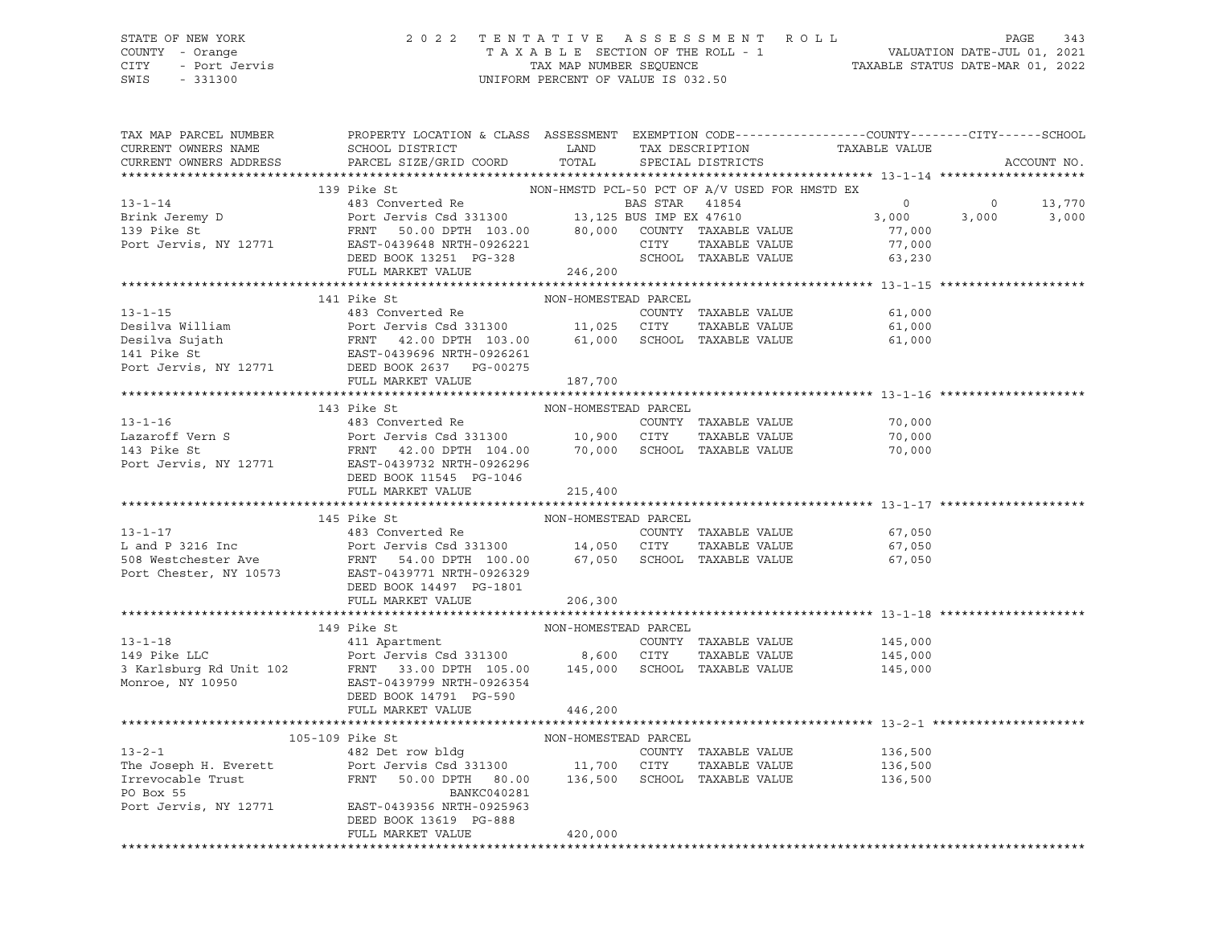### STATE OF NEW YORK 2 0 2 2 T E N T A T I V E A S S E S S M E N T R O L L PAGE 343 COUNTY - Orange T A X A B L E SECTION OF THE ROLL - 1 VALUATION DATE-JUL 01, 2021 CITY - Port Jervis TAX MAP NUMBER SEQUENCE TAXABLE STATUS DATE-MAR 01, 2022 SWIS - 331300 UNIFORM PERCENT OF VALUE IS 032.50

| TAX MAP PARCEL NUMBER<br>CURRENT OWNERS NAME<br>CURRENT OWNERS ADDRESS                                                                                                                                                                                                                                                                                          | PROPERTY LOCATION & CLASS ASSESSMENT EXEMPTION CODE----------------COUNTY-------CITY------SCHOOL<br>SCHOOL DISTRICT<br>PARCEL SIZE/GRID COORD | TOTAL                                         | LAND TAX DESCRIPTION<br>SPECIAL DISTRICTS | TAXABLE VALUE               |                                                                                             | ACCOUNT NO. |
|-----------------------------------------------------------------------------------------------------------------------------------------------------------------------------------------------------------------------------------------------------------------------------------------------------------------------------------------------------------------|-----------------------------------------------------------------------------------------------------------------------------------------------|-----------------------------------------------|-------------------------------------------|-----------------------------|---------------------------------------------------------------------------------------------|-------------|
|                                                                                                                                                                                                                                                                                                                                                                 |                                                                                                                                               |                                               |                                           |                             |                                                                                             |             |
|                                                                                                                                                                                                                                                                                                                                                                 | 139 Pike St                                                                                                                                   | NON-HMSTD PCL-50 PCT OF A/V USED FOR HMSTD EX |                                           |                             |                                                                                             |             |
|                                                                                                                                                                                                                                                                                                                                                                 |                                                                                                                                               |                                               |                                           | $\overline{0}$              | $\begin{array}{ccc} & 0 & \quad & 13\, , 770 \ & 3\, , 000 & \quad & 3\, , 000 \end{array}$ |             |
|                                                                                                                                                                                                                                                                                                                                                                 |                                                                                                                                               |                                               |                                           | 3,000                       |                                                                                             |             |
|                                                                                                                                                                                                                                                                                                                                                                 |                                                                                                                                               |                                               |                                           | 77,000                      |                                                                                             |             |
|                                                                                                                                                                                                                                                                                                                                                                 |                                                                                                                                               |                                               |                                           | 77,000                      |                                                                                             |             |
| 139 Pike St<br>13-1-14<br>139 Pike St<br>268 Converted Re<br>268 STAR 41854<br>2771 Port Jervis Csd 331300<br>29 Pike St<br>2771 EAST-0439648 NRTH-0926221 CITY TAXABLE VALUE<br>246,200 COUNTY TAXABLE VALUE<br>246,200 EVED BOOK 13251 PG-328<br>                                                                                                             |                                                                                                                                               |                                               |                                           | 63,230                      |                                                                                             |             |
|                                                                                                                                                                                                                                                                                                                                                                 |                                                                                                                                               |                                               |                                           |                             |                                                                                             |             |
| 13-1-15<br>13-1-15<br>23 Converted Re<br>23 Converted Re<br>23 Converted Re<br>23 Converted Re<br>23 Converted Re<br>23 Converted Re<br>23 Converted Re<br>24 2.00 DPTH 103.00<br>261,000 SCHOOL TAXABLE VALUE<br>241 Pike St<br>25 CITY TAXABLE VALUE                                                                                                          |                                                                                                                                               |                                               |                                           |                             |                                                                                             |             |
|                                                                                                                                                                                                                                                                                                                                                                 |                                                                                                                                               |                                               |                                           | COUNTY TAXABLE VALUE 61,000 |                                                                                             |             |
|                                                                                                                                                                                                                                                                                                                                                                 |                                                                                                                                               |                                               |                                           | 61,000                      |                                                                                             |             |
|                                                                                                                                                                                                                                                                                                                                                                 |                                                                                                                                               |                                               |                                           | 61,000                      |                                                                                             |             |
|                                                                                                                                                                                                                                                                                                                                                                 |                                                                                                                                               |                                               |                                           |                             |                                                                                             |             |
|                                                                                                                                                                                                                                                                                                                                                                 |                                                                                                                                               |                                               |                                           |                             |                                                                                             |             |
|                                                                                                                                                                                                                                                                                                                                                                 | FULL MARKET VALUE 187,700                                                                                                                     |                                               |                                           |                             |                                                                                             |             |
|                                                                                                                                                                                                                                                                                                                                                                 |                                                                                                                                               |                                               |                                           |                             |                                                                                             |             |
| 1.3-1-16<br>1.3-1-16<br>Lazaroff Vern S<br>100N-HOMESTEAD PARCEL<br>283 Converted Re<br>2000NTY TAXABLE VALUE<br>2000NTY TAXABLE VALUE<br>2000NTY TAXABLE VALUE<br>2000 PPTH 104.00<br>20000 PPTH 104.00<br>20000 PPTH 104.00<br>20000 PPTH 104.00<br>                                                                                                          |                                                                                                                                               |                                               |                                           |                             |                                                                                             |             |
|                                                                                                                                                                                                                                                                                                                                                                 |                                                                                                                                               |                                               |                                           | 70,000                      |                                                                                             |             |
|                                                                                                                                                                                                                                                                                                                                                                 |                                                                                                                                               |                                               |                                           |                             |                                                                                             |             |
|                                                                                                                                                                                                                                                                                                                                                                 |                                                                                                                                               |                                               |                                           | 70,000                      |                                                                                             |             |
|                                                                                                                                                                                                                                                                                                                                                                 |                                                                                                                                               |                                               |                                           |                             |                                                                                             |             |
|                                                                                                                                                                                                                                                                                                                                                                 |                                                                                                                                               |                                               |                                           |                             |                                                                                             |             |
|                                                                                                                                                                                                                                                                                                                                                                 |                                                                                                                                               | 215,400                                       |                                           |                             |                                                                                             |             |
|                                                                                                                                                                                                                                                                                                                                                                 |                                                                                                                                               |                                               |                                           |                             |                                                                                             |             |
|                                                                                                                                                                                                                                                                                                                                                                 | 145 Pike St                                                                                                                                   | NON-HOMESTEAD PARCEL                          |                                           |                             |                                                                                             |             |
|                                                                                                                                                                                                                                                                                                                                                                 |                                                                                                                                               |                                               |                                           |                             |                                                                                             |             |
|                                                                                                                                                                                                                                                                                                                                                                 |                                                                                                                                               |                                               |                                           |                             |                                                                                             |             |
|                                                                                                                                                                                                                                                                                                                                                                 |                                                                                                                                               |                                               |                                           |                             |                                                                                             |             |
| 13-1-17<br>L and P 3216 Inc and P 3216 Inc and P 3216 Inc and P 3216 Inc and P 3216 Inc and P 3216 Inc and P 3216 Inc<br>Extra Section of ASS CONTECT AND PERSITE AND THE SET AND A SECT AND SERVE ALLOCATE AND A SATTLE SET AND A                                                                                                                              |                                                                                                                                               |                                               |                                           |                             |                                                                                             |             |
|                                                                                                                                                                                                                                                                                                                                                                 | DEED BOOK 14497 PG-1801                                                                                                                       |                                               |                                           |                             |                                                                                             |             |
|                                                                                                                                                                                                                                                                                                                                                                 | FULL MARKET VALUE 206,300                                                                                                                     |                                               |                                           |                             |                                                                                             |             |
|                                                                                                                                                                                                                                                                                                                                                                 |                                                                                                                                               |                                               |                                           |                             |                                                                                             |             |
| 13-1-18<br>145,000 149 Pike LLC<br>245,000 Port Jervis Csd 331300 21TY TAXABLE VALUE<br>245,000 21TY TAXABLE VALUE<br>245,000 PORT 105.00 145,000 SCHOOL TAXABLE VALUE<br>245,000 EMONT PORT 10950 245,000 EMONDER ALUE<br>245,000 EMONDER                                                                                                                      | 149 Pike St                                                                                                                                   | NON-HOMESTEAD PARCEL                          |                                           |                             |                                                                                             |             |
|                                                                                                                                                                                                                                                                                                                                                                 |                                                                                                                                               |                                               |                                           |                             |                                                                                             |             |
|                                                                                                                                                                                                                                                                                                                                                                 |                                                                                                                                               |                                               |                                           |                             |                                                                                             |             |
|                                                                                                                                                                                                                                                                                                                                                                 |                                                                                                                                               |                                               |                                           |                             |                                                                                             |             |
|                                                                                                                                                                                                                                                                                                                                                                 |                                                                                                                                               |                                               |                                           |                             |                                                                                             |             |
|                                                                                                                                                                                                                                                                                                                                                                 | DEED BOOK 14791 PG-590                                                                                                                        |                                               |                                           |                             |                                                                                             |             |
|                                                                                                                                                                                                                                                                                                                                                                 | FULL MARKET VALUE                                                                                                                             | 446,200                                       |                                           |                             |                                                                                             |             |
|                                                                                                                                                                                                                                                                                                                                                                 |                                                                                                                                               |                                               |                                           |                             |                                                                                             |             |
|                                                                                                                                                                                                                                                                                                                                                                 |                                                                                                                                               |                                               |                                           |                             |                                                                                             |             |
|                                                                                                                                                                                                                                                                                                                                                                 |                                                                                                                                               |                                               |                                           |                             |                                                                                             |             |
| $\begin{tabular}{lcccccc} \bf 13-2-1 & 13-2-1 & 13-2-1 \\ 13-2-1 & 482 Det row bldg & 11,700 & CITY & TAXABLE VALUE \\ \hline & ForU & TAXABLE VALUE \\ \bf 136,500 & 11,700 & CITY & TAXABLE VALUE \\ \bf 136,500 & 136,500 & 136,500 \\ \bf 1482 Det row bldg & 11,700 & CITY & TAXABLE VALUE \\ \bf 136,500 & 136,500 & 136,500 \\ \bf 156,500 & 136,500 & $ |                                                                                                                                               |                                               |                                           |                             |                                                                                             |             |
|                                                                                                                                                                                                                                                                                                                                                                 |                                                                                                                                               |                                               |                                           |                             |                                                                                             |             |
| Port Jervis, NY 12771 EAST-0439356 NRTH-0925963                                                                                                                                                                                                                                                                                                                 |                                                                                                                                               |                                               |                                           |                             |                                                                                             |             |
|                                                                                                                                                                                                                                                                                                                                                                 | DEED BOOK 13619 PG-888                                                                                                                        |                                               |                                           |                             |                                                                                             |             |
|                                                                                                                                                                                                                                                                                                                                                                 | FULL MARKET VALUE                                                                                                                             | 420,000                                       |                                           |                             |                                                                                             |             |
|                                                                                                                                                                                                                                                                                                                                                                 |                                                                                                                                               |                                               |                                           |                             |                                                                                             |             |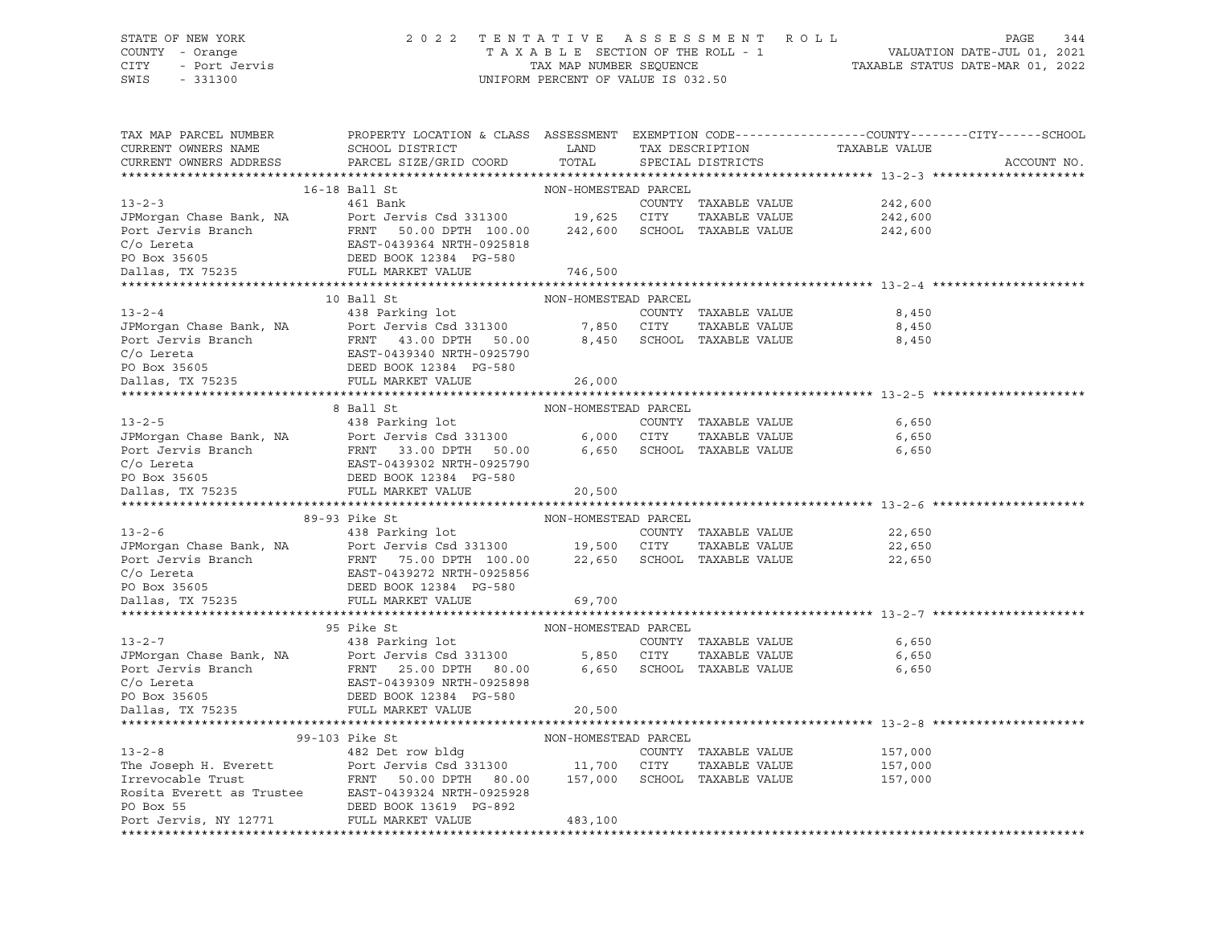# STATE OF NEW YORK 2 0 2 2 T E N T A T I V E A S S E S S M E N T R O L L PAGE 344 COUNTY - Orange T A X A B L E SECTION OF THE ROLL - 1 VALUATION DATE-JUL 01, 2021 CITY - Port Jervis TAX MAP NUMBER SEQUENCE TAXABLE STATUS DATE-MAR 01, 2022

| TAX MAP PARCEL NUMBER<br>CURRENT OWNERS NAME<br>CURRENT OWNERS ADDRESS                                                                                                                                                                                                                                                                                                                                                                                                                                         | PROPERTY LOCATION & CLASS ASSESSMENT EXEMPTION CODE----------------COUNTY-------CITY------SCHOOL<br>SCHOOL DISTRICT<br>PARCEL SIZE/GRID COORD | LAND<br>TOTAL        |            | TAX DESCRIPTION<br>SPECIAL DISTRICTS | TAXABLE VALUE                    | ACCOUNT NO. |
|----------------------------------------------------------------------------------------------------------------------------------------------------------------------------------------------------------------------------------------------------------------------------------------------------------------------------------------------------------------------------------------------------------------------------------------------------------------------------------------------------------------|-----------------------------------------------------------------------------------------------------------------------------------------------|----------------------|------------|--------------------------------------|----------------------------------|-------------|
|                                                                                                                                                                                                                                                                                                                                                                                                                                                                                                                |                                                                                                                                               |                      |            |                                      |                                  |             |
|                                                                                                                                                                                                                                                                                                                                                                                                                                                                                                                | 16-18 Ball St                                                                                                                                 | NON-HOMESTEAD PARCEL |            |                                      |                                  |             |
|                                                                                                                                                                                                                                                                                                                                                                                                                                                                                                                |                                                                                                                                               |                      |            |                                      |                                  |             |
|                                                                                                                                                                                                                                                                                                                                                                                                                                                                                                                |                                                                                                                                               |                      |            |                                      |                                  |             |
|                                                                                                                                                                                                                                                                                                                                                                                                                                                                                                                |                                                                                                                                               |                      |            |                                      |                                  |             |
|                                                                                                                                                                                                                                                                                                                                                                                                                                                                                                                |                                                                                                                                               |                      |            |                                      |                                  |             |
|                                                                                                                                                                                                                                                                                                                                                                                                                                                                                                                |                                                                                                                                               |                      |            |                                      |                                  |             |
| 3<br>JPMorgan Chase Bank, NA<br>Dent Jervis Csd 331300 19,625 CITY TAXABLE VALUE 242,600<br>Port Jervis Branch FRNT 50.00 DPTH 100.00 242,600 SCHOOL TAXABLE VALUE 242,600<br>C/o Lereta EAST-0439364 NRTH-0925818<br>PO Box 35605 DEED                                                                                                                                                                                                                                                                        |                                                                                                                                               |                      |            |                                      |                                  |             |
|                                                                                                                                                                                                                                                                                                                                                                                                                                                                                                                |                                                                                                                                               |                      |            |                                      |                                  |             |
|                                                                                                                                                                                                                                                                                                                                                                                                                                                                                                                | 10 Ball St                                                                                                                                    | NON-HOMESTEAD PARCEL |            |                                      |                                  |             |
| $13 - 2 - 4$                                                                                                                                                                                                                                                                                                                                                                                                                                                                                                   | 438 Parking lot                                                                                                                               |                      |            | COUNTY TAXABLE VALUE                 | 8,450                            |             |
|                                                                                                                                                                                                                                                                                                                                                                                                                                                                                                                |                                                                                                                                               |                      |            | TAXABLE VALUE                        | 8,450                            |             |
| 1972-7<br>1980 TM Port Jerus Branch<br>Port Jervis Branch<br>Port Jervis Branch<br>Port Jervis Branch<br>C/o Lereta<br>EAST-0439340 NRTH-0925790<br>PO Box 35605<br>DEED BOOK 12384<br>PG-580<br>DAllas, TX 75235<br>PULL MARKET VALUE<br>26,000                                                                                                                                                                                                                                                               |                                                                                                                                               |                      |            | 8,450 SCHOOL TAXABLE VALUE           | 8,450                            |             |
|                                                                                                                                                                                                                                                                                                                                                                                                                                                                                                                |                                                                                                                                               |                      |            |                                      |                                  |             |
|                                                                                                                                                                                                                                                                                                                                                                                                                                                                                                                |                                                                                                                                               |                      |            |                                      |                                  |             |
|                                                                                                                                                                                                                                                                                                                                                                                                                                                                                                                |                                                                                                                                               |                      |            |                                      |                                  |             |
|                                                                                                                                                                                                                                                                                                                                                                                                                                                                                                                |                                                                                                                                               |                      |            |                                      |                                  |             |
|                                                                                                                                                                                                                                                                                                                                                                                                                                                                                                                |                                                                                                                                               |                      |            |                                      |                                  |             |
|                                                                                                                                                                                                                                                                                                                                                                                                                                                                                                                |                                                                                                                                               |                      |            |                                      |                                  |             |
|                                                                                                                                                                                                                                                                                                                                                                                                                                                                                                                |                                                                                                                                               |                      |            |                                      |                                  |             |
|                                                                                                                                                                                                                                                                                                                                                                                                                                                                                                                |                                                                                                                                               |                      |            |                                      |                                  |             |
|                                                                                                                                                                                                                                                                                                                                                                                                                                                                                                                |                                                                                                                                               |                      |            |                                      |                                  |             |
|                                                                                                                                                                                                                                                                                                                                                                                                                                                                                                                |                                                                                                                                               |                      |            |                                      |                                  |             |
| $\begin{tabular}{lllllllllll} \multicolumn{3}{c}{\begin{tabular}{l} \multicolumn{3}{c}{\begin{tabular}{l} \multicolumn{3}{c}{\begin{tabular}{l} \multicolumn{3}{c}{\begin{tabular}{l} \multicolumn{3}{c}{\begin{tabular}{l} \multicolumn{3}{c}{\begin{tabular}{l} \multicolumn{3}{c}{\begin{tabular}{l} \multicolumn{3}{c}{\begin{tabular}{l} \multicolumn{3}{c}{\begin{tabular}{l} \multicolumn{3}{c}{\begin{tabular}{l} \multicolumn{3}{c}{\begin{tabular}{l} \multicolumn{3}{c}{\begin{tabular}{l} \multic$ |                                                                                                                                               |                      |            |                                      |                                  |             |
|                                                                                                                                                                                                                                                                                                                                                                                                                                                                                                                | 89-93 Pike St                                                                                                                                 |                      |            |                                      |                                  |             |
| $13 - 2 - 6$                                                                                                                                                                                                                                                                                                                                                                                                                                                                                                   |                                                                                                                                               |                      |            | COUNTY TAXABLE VALUE                 | 22,650                           |             |
|                                                                                                                                                                                                                                                                                                                                                                                                                                                                                                                |                                                                                                                                               |                      |            | TAXABLE VALUE                        | 22,650                           |             |
|                                                                                                                                                                                                                                                                                                                                                                                                                                                                                                                |                                                                                                                                               |                      |            |                                      | 22,650                           |             |
|                                                                                                                                                                                                                                                                                                                                                                                                                                                                                                                |                                                                                                                                               |                      |            |                                      |                                  |             |
|                                                                                                                                                                                                                                                                                                                                                                                                                                                                                                                |                                                                                                                                               |                      |            |                                      |                                  |             |
| 1998 Control of TAXABLE VALUE<br>TENGTS and the FRNT 15.00 DPTH 100.00 19,500 CITY TAXABLE VALUE<br>Port Jervis Branch FRNT 75.00 DPTH 100.00 22,650 SCHOOL TAXABLE VALUE<br>C/O Lereta EAST-0439272 NRTH-0925856<br>PO Box 35605 DEED                                                                                                                                                                                                                                                                         |                                                                                                                                               |                      |            |                                      |                                  |             |
|                                                                                                                                                                                                                                                                                                                                                                                                                                                                                                                |                                                                                                                                               |                      |            |                                      |                                  |             |
|                                                                                                                                                                                                                                                                                                                                                                                                                                                                                                                | 95 Pike St                                                                                                                                    | NON-HOMESTEAD PARCEL |            |                                      |                                  |             |
|                                                                                                                                                                                                                                                                                                                                                                                                                                                                                                                |                                                                                                                                               |                      |            | COUNTY TAXABLE VALUE                 | 6,650                            |             |
|                                                                                                                                                                                                                                                                                                                                                                                                                                                                                                                |                                                                                                                                               |                      | 5,850 CITY | TAXABLE VALUE                        | 6,650                            |             |
|                                                                                                                                                                                                                                                                                                                                                                                                                                                                                                                |                                                                                                                                               |                      |            |                                      | 6,650 SCHOOL TAXABLE VALUE 6,650 |             |
|                                                                                                                                                                                                                                                                                                                                                                                                                                                                                                                |                                                                                                                                               |                      |            |                                      |                                  |             |
|                                                                                                                                                                                                                                                                                                                                                                                                                                                                                                                |                                                                                                                                               |                      |            |                                      |                                  |             |
| 13-2-7<br>JPMorgan Chase Bank, NA<br>253 Parking lot<br>25.00 DPTH 80.00<br>Port Jervis Branch<br>25.00 DPTH 80.00<br>C/o Lereta<br>25.00 DPTH 80.00<br>C/o Lereta<br>25.00 DPTH 80.00<br>C/o Lereta<br>25.00 DPTH 80.00<br>C/o Lereta<br>25.00 DPTH 80.                                                                                                                                                                                                                                                       |                                                                                                                                               | 20,500               |            |                                      |                                  |             |
|                                                                                                                                                                                                                                                                                                                                                                                                                                                                                                                |                                                                                                                                               |                      |            |                                      |                                  |             |
|                                                                                                                                                                                                                                                                                                                                                                                                                                                                                                                | 99-103 Pike St                                                                                                                                | NON-HOMESTEAD PARCEL |            |                                      |                                  |             |
| $13 - 2 - 8$                                                                                                                                                                                                                                                                                                                                                                                                                                                                                                   | Address and the set of the set of the set of the set of the set of the set of the set of the set of the set of<br>482 Det row bldg            |                      |            | COUNTY TAXABLE VALUE                 | 157,000                          |             |
|                                                                                                                                                                                                                                                                                                                                                                                                                                                                                                                |                                                                                                                                               |                      |            | TAXABLE VALUE                        | 157,000                          |             |
|                                                                                                                                                                                                                                                                                                                                                                                                                                                                                                                |                                                                                                                                               |                      |            |                                      | 157,000                          |             |
|                                                                                                                                                                                                                                                                                                                                                                                                                                                                                                                |                                                                                                                                               |                      |            |                                      |                                  |             |
| Irrevocable Trust<br>Rosita Evants is Trustee FRNT 50.00 DPTH 80.00 157,000 SCHOOL TAXABLE VALUE<br>ROSITA EXAMPLE PO BOX 55<br>PO Box 55 DRED BOOK 13619 PG-892<br>PO BOX 10777                                                                                                                                                                                                                                                                                                                               |                                                                                                                                               |                      |            |                                      |                                  |             |
| Port Jervis, NY 12771 FULL MARKET VALUE                                                                                                                                                                                                                                                                                                                                                                                                                                                                        |                                                                                                                                               | 483,100              |            |                                      |                                  |             |
|                                                                                                                                                                                                                                                                                                                                                                                                                                                                                                                |                                                                                                                                               |                      |            |                                      |                                  |             |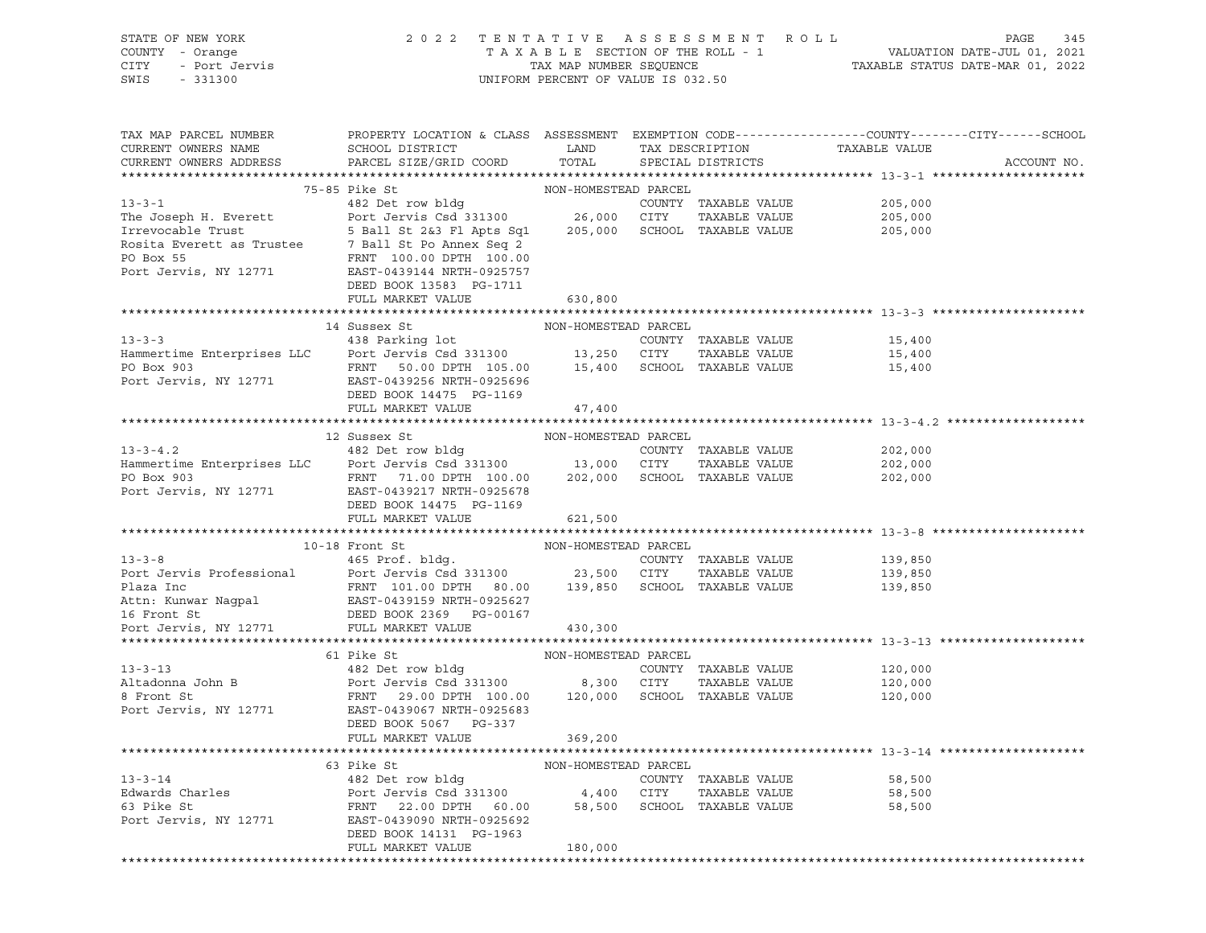| STATE OF NEW YORK<br>COUNTY - Orange<br>COUNTY - Orange<br>CITY - Port Jervis<br>SWIS - 331300                                                                                                                                                     | 2022 TENTATIVE ASSESSMENT ROLL<br>PAGE<br>345<br>$\begin{tabular}{lllllllllllllllllll} \multicolumn{2}{c l} \multicolumn{2}{c l} \multicolumn{2}{c l} \multicolumn{2}{c l} \multicolumn{2}{c l} \multicolumn{2}{c l} \multicolumn{2}{c l} \multicolumn{2}{c l} \multicolumn{2}{c l} \multicolumn{2}{c l} \multicolumn{2}{c l} \multicolumn{2}{c l} \multicolumn{2}{c l} \multicolumn{2}{c l} \multicolumn{2}{c l} \multicolumn{2}{c l} \multicolumn{2}{c l} \multicolumn{2}{c l} \multicolumn{$ |                      |      |                                       |                               |             |  |
|----------------------------------------------------------------------------------------------------------------------------------------------------------------------------------------------------------------------------------------------------|-------------------------------------------------------------------------------------------------------------------------------------------------------------------------------------------------------------------------------------------------------------------------------------------------------------------------------------------------------------------------------------------------------------------------------------------------------------------------------------------------|----------------------|------|---------------------------------------|-------------------------------|-------------|--|
| TAX MAP PARCEL NUMBER THE PROPERTY LOCATION & CLASS ASSESSMENT EXEMPTION CODE--------------COUNTY-------CUTY------SCHOOL                                                                                                                           |                                                                                                                                                                                                                                                                                                                                                                                                                                                                                                 |                      |      |                                       |                               |             |  |
| CURRENT OWNERS NAME<br>CURRENT OWNERS ADDRESS                                                                                                                                                                                                      | SCHOOL DISTRICT<br>PARCEL SIZE/GRID COORD TOTAL                                                                                                                                                                                                                                                                                                                                                                                                                                                 | LAND                 |      | SPECIAL DISTRICTS                     | TAX DESCRIPTION TAXABLE VALUE | ACCOUNT NO. |  |
|                                                                                                                                                                                                                                                    |                                                                                                                                                                                                                                                                                                                                                                                                                                                                                                 |                      |      |                                       |                               |             |  |
|                                                                                                                                                                                                                                                    |                                                                                                                                                                                                                                                                                                                                                                                                                                                                                                 |                      |      |                                       |                               |             |  |
|                                                                                                                                                                                                                                                    |                                                                                                                                                                                                                                                                                                                                                                                                                                                                                                 |                      |      | COUNTY TAXABLE VALUE                  | 205,000<br>205,000            |             |  |
|                                                                                                                                                                                                                                                    |                                                                                                                                                                                                                                                                                                                                                                                                                                                                                                 |                      |      |                                       |                               |             |  |
|                                                                                                                                                                                                                                                    |                                                                                                                                                                                                                                                                                                                                                                                                                                                                                                 |                      |      |                                       |                               |             |  |
| Exercise 1.1 September 2013 1203,000 CITY 1.1 AAADDE VADGE VALUE<br>Rosita Everett as Trustee 7 Ball St 2&3 Fl Apts Sq1 205,000 SCHOOL TAXABLE VALUE 205,000<br>PO Box 55 FRNT 100.00 DPTH 100.00<br>POT Jervis, NY 12771 EAST-04391               |                                                                                                                                                                                                                                                                                                                                                                                                                                                                                                 |                      |      |                                       |                               |             |  |
|                                                                                                                                                                                                                                                    |                                                                                                                                                                                                                                                                                                                                                                                                                                                                                                 |                      |      |                                       |                               |             |  |
|                                                                                                                                                                                                                                                    | DEED BOOK 13583 PG-1711                                                                                                                                                                                                                                                                                                                                                                                                                                                                         |                      |      |                                       |                               |             |  |
|                                                                                                                                                                                                                                                    | FULL MARKET VALUE                                                                                                                                                                                                                                                                                                                                                                                                                                                                               | 630,800              |      |                                       |                               |             |  |
|                                                                                                                                                                                                                                                    |                                                                                                                                                                                                                                                                                                                                                                                                                                                                                                 |                      |      |                                       |                               |             |  |
| 13-3-3<br>13-3-3<br>438 Parking lot<br>Hammertime Enterprises LLC Port Jervis Csd 331300<br>PO Box 903<br>PO Box 903<br>PO Box 12771<br>EAST-0439256 NRTH-0925696<br>PO TELL PORTER PORTER PORTER PORTER PARABLE VALUE<br>215,400<br>PO TELL PORTE |                                                                                                                                                                                                                                                                                                                                                                                                                                                                                                 |                      |      |                                       |                               |             |  |
|                                                                                                                                                                                                                                                    |                                                                                                                                                                                                                                                                                                                                                                                                                                                                                                 |                      |      |                                       |                               |             |  |
|                                                                                                                                                                                                                                                    |                                                                                                                                                                                                                                                                                                                                                                                                                                                                                                 |                      |      |                                       |                               |             |  |
|                                                                                                                                                                                                                                                    |                                                                                                                                                                                                                                                                                                                                                                                                                                                                                                 |                      |      |                                       |                               |             |  |
|                                                                                                                                                                                                                                                    | DEED BOOK 14475 PG-1169                                                                                                                                                                                                                                                                                                                                                                                                                                                                         |                      |      |                                       |                               |             |  |
|                                                                                                                                                                                                                                                    | FULL MARKET VALUE                                                                                                                                                                                                                                                                                                                                                                                                                                                                               | 47,400               |      |                                       |                               |             |  |
| 13-3-4.2<br>13-3-4.2<br>Hammertime Enterprises LLC<br>Port Jervis Csd 331300<br>TAXABLE VALUE<br>PO Box 902<br>PO Box 902                                                                                                                          |                                                                                                                                                                                                                                                                                                                                                                                                                                                                                                 |                      |      |                                       |                               |             |  |
|                                                                                                                                                                                                                                                    |                                                                                                                                                                                                                                                                                                                                                                                                                                                                                                 |                      |      |                                       |                               |             |  |
|                                                                                                                                                                                                                                                    |                                                                                                                                                                                                                                                                                                                                                                                                                                                                                                 |                      |      | COUNTY TAXABLE VALUE                  | 202,000<br>202,000            |             |  |
|                                                                                                                                                                                                                                                    |                                                                                                                                                                                                                                                                                                                                                                                                                                                                                                 |                      |      |                                       |                               |             |  |
| PO Box 903 FRNT 71.00 DPTH 100.00 202,000 SCHOOL TAXABLE VALUE 202,000 POTT JETTIS, NY 12771 EAST-0439217 NRTH-0925678                                                                                                                             |                                                                                                                                                                                                                                                                                                                                                                                                                                                                                                 |                      |      |                                       |                               |             |  |
|                                                                                                                                                                                                                                                    | DEED BOOK 14475 PG-1169                                                                                                                                                                                                                                                                                                                                                                                                                                                                         |                      |      |                                       |                               |             |  |
|                                                                                                                                                                                                                                                    | FULL MARKET VALUE                                                                                                                                                                                                                                                                                                                                                                                                                                                                               | 621,500              |      |                                       |                               |             |  |
|                                                                                                                                                                                                                                                    |                                                                                                                                                                                                                                                                                                                                                                                                                                                                                                 |                      |      |                                       |                               |             |  |
|                                                                                                                                                                                                                                                    |                                                                                                                                                                                                                                                                                                                                                                                                                                                                                                 |                      |      |                                       |                               |             |  |
|                                                                                                                                                                                                                                                    |                                                                                                                                                                                                                                                                                                                                                                                                                                                                                                 |                      |      | COUNTY TAXABLE VALUE                  | 139,850<br>139,850            |             |  |
|                                                                                                                                                                                                                                                    |                                                                                                                                                                                                                                                                                                                                                                                                                                                                                                 |                      |      |                                       |                               |             |  |
|                                                                                                                                                                                                                                                    |                                                                                                                                                                                                                                                                                                                                                                                                                                                                                                 |                      |      |                                       |                               |             |  |
| Plaza Inc RNT 101.00 DPTH 80.00 139,850 SCHOOL TAXABLE VALUE 139,850<br>Attn: Kunwar Nagpal EAST-0439159 NRTH-0925627<br>16 Front St DEED BOOK 2369 PG-00167<br>Port Jervis, NY 12771 FULL MARKET VALUE 430,300                                    |                                                                                                                                                                                                                                                                                                                                                                                                                                                                                                 |                      |      |                                       |                               |             |  |
|                                                                                                                                                                                                                                                    |                                                                                                                                                                                                                                                                                                                                                                                                                                                                                                 |                      |      |                                       |                               |             |  |
|                                                                                                                                                                                                                                                    |                                                                                                                                                                                                                                                                                                                                                                                                                                                                                                 |                      |      |                                       |                               |             |  |
|                                                                                                                                                                                                                                                    | 61 Pike St                                                                                                                                                                                                                                                                                                                                                                                                                                                                                      | NON-HOMESTEAD PARCEL |      |                                       |                               |             |  |
| $13 - 3 - 13$<br>Altadonna John B                                                                                                                                                                                                                  | 482 Det row bldg<br>Port Jervis Csd 331300                   8,300    CITY     TAXABLE VALUE                                                                                                                                                                                                                                                                                                                                                                                                    |                      |      | COUNTY TAXABLE VALUE                  | 120,000<br>120,000            |             |  |
| 8 Front St                                                                                                                                                                                                                                         | FRNT 29.00 DPTH 100.00 120,000 SCHOOL TAXABLE VALUE 120,000                                                                                                                                                                                                                                                                                                                                                                                                                                     |                      |      |                                       |                               |             |  |
| Port Jervis, NY 12771                                                                                                                                                                                                                              | EAST-0439067 NRTH-0925683                                                                                                                                                                                                                                                                                                                                                                                                                                                                       |                      |      |                                       |                               |             |  |
|                                                                                                                                                                                                                                                    | DEED BOOK 5067 PG-337                                                                                                                                                                                                                                                                                                                                                                                                                                                                           |                      |      |                                       |                               |             |  |
|                                                                                                                                                                                                                                                    | FULL MARKET VALUE                                                                                                                                                                                                                                                                                                                                                                                                                                                                               | 369,200              |      |                                       |                               |             |  |
|                                                                                                                                                                                                                                                    |                                                                                                                                                                                                                                                                                                                                                                                                                                                                                                 |                      |      |                                       |                               |             |  |
|                                                                                                                                                                                                                                                    | 63 Pike St                                                                                                                                                                                                                                                                                                                                                                                                                                                                                      | NON-HOMESTEAD PARCEL |      |                                       |                               |             |  |
| $13 - 3 - 14$<br>Edwards Charles                                                                                                                                                                                                                   | 482 Det row bldg<br>Port Jervis Csd 331300                                                                                                                                                                                                                                                                                                                                                                                                                                                      | 4,400                |      | COUNTY TAXABLE VALUE                  | 58,500                        |             |  |
| 63 Pike St                                                                                                                                                                                                                                         | 22.00 DPTH 60.00<br>FRNT                                                                                                                                                                                                                                                                                                                                                                                                                                                                        | 58,500               | CITY | TAXABLE VALUE<br>SCHOOL TAXABLE VALUE | 58,500<br>58,500              |             |  |
| Port Jervis, NY 12771                                                                                                                                                                                                                              | EAST-0439090 NRTH-0925692                                                                                                                                                                                                                                                                                                                                                                                                                                                                       |                      |      |                                       |                               |             |  |
|                                                                                                                                                                                                                                                    | DEED BOOK 14131 PG-1963                                                                                                                                                                                                                                                                                                                                                                                                                                                                         |                      |      |                                       |                               |             |  |
|                                                                                                                                                                                                                                                    | FULL MARKET VALUE                                                                                                                                                                                                                                                                                                                                                                                                                                                                               | 180,000              |      |                                       |                               |             |  |
|                                                                                                                                                                                                                                                    |                                                                                                                                                                                                                                                                                                                                                                                                                                                                                                 |                      |      |                                       |                               |             |  |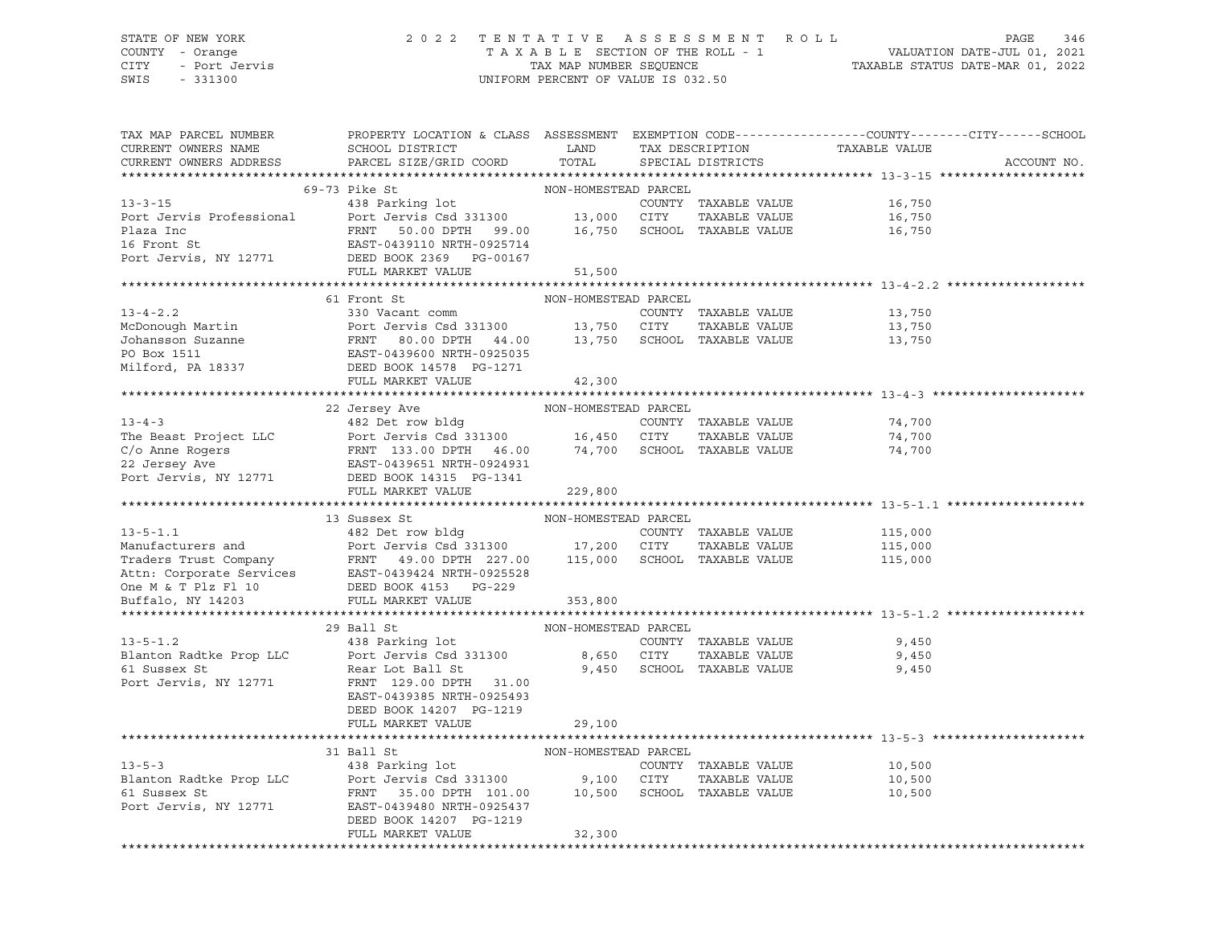## STATE OF NEW YORK 2 0 2 2 T E N T A T I V E A S S E S S M E N T R O L L PAGE 346 COUNTY - Orange T A X A B L E SECTION OF THE ROLL - 1 VALUATION DATE-JUL 01, 2021 CITY - Port Jervis TAX MAP NUMBER SEQUENCE TAXABLE STATUS DATE-MAR 01, 2022

| TAX MAP PARCEL NUMBER<br>CURRENT OWNERS NAME<br>CURRENT OWNERS ADDRESS | PROPERTY LOCATION & CLASS ASSESSMENT EXEMPTION CODE---------------COUNTY-------CITY------SCHOOL<br>SCHOOL DISTRICT<br><b>Example 12</b><br>PARCEL SIZE/GRID COORD                                                                                                                                                                                                                                                                                              | TOTAL                | TAX DESCRIPTION<br>SPECIAL DISTRICTS | TAXABLE VALUE                                | ACCOUNT NO. |
|------------------------------------------------------------------------|----------------------------------------------------------------------------------------------------------------------------------------------------------------------------------------------------------------------------------------------------------------------------------------------------------------------------------------------------------------------------------------------------------------------------------------------------------------|----------------------|--------------------------------------|----------------------------------------------|-------------|
|                                                                        |                                                                                                                                                                                                                                                                                                                                                                                                                                                                |                      |                                      |                                              |             |
|                                                                        | 69-73 Pike St                                                                                                                                                                                                                                                                                                                                                                                                                                                  | NON-HOMESTEAD PARCEL |                                      |                                              |             |
|                                                                        | 09-13 Fine St.<br>438 Parking lot<br>238 Parking lot<br>238 Parking lot<br>2000 CITY<br>2000 CITY<br>2010-2011 2010-2011 2010-2011 2010-2011 2010-2011                                                                                                                                                                                                                                                                                                         |                      |                                      | COUNTY TAXABLE VALUE 16,750                  |             |
|                                                                        |                                                                                                                                                                                                                                                                                                                                                                                                                                                                |                      | TAXABLE VALUE                        | 16,750                                       |             |
|                                                                        | FRNT 50.00 DPTH 99.00 16,750 SCHOOL TAXABLE VALUE 16,750                                                                                                                                                                                                                                                                                                                                                                                                       |                      |                                      |                                              |             |
| Plaza Inc<br>16 Front St                                               | EAST-0439110 NRTH-0925714                                                                                                                                                                                                                                                                                                                                                                                                                                      |                      |                                      |                                              |             |
|                                                                        |                                                                                                                                                                                                                                                                                                                                                                                                                                                                |                      |                                      |                                              |             |
|                                                                        | Port Jervis, NY 12771 DEED BOOK 2369 PG-00167<br>FULL MARKET VALUE                                                                                                                                                                                                                                                                                                                                                                                             | 51,500               |                                      |                                              |             |
|                                                                        |                                                                                                                                                                                                                                                                                                                                                                                                                                                                |                      |                                      |                                              |             |
|                                                                        | 61 Front St                                                                                                                                                                                                                                                                                                                                                                                                                                                    | NON-HOMESTEAD PARCEL |                                      |                                              |             |
| $13 - 4 - 2.2$                                                         | 330 Vacant comm                                                                                                                                                                                                                                                                                                                                                                                                                                                |                      | COUNTY TAXABLE VALUE                 | 13,750                                       |             |
|                                                                        |                                                                                                                                                                                                                                                                                                                                                                                                                                                                |                      |                                      |                                              |             |
|                                                                        |                                                                                                                                                                                                                                                                                                                                                                                                                                                                |                      |                                      |                                              |             |
|                                                                        |                                                                                                                                                                                                                                                                                                                                                                                                                                                                |                      |                                      |                                              |             |
|                                                                        |                                                                                                                                                                                                                                                                                                                                                                                                                                                                |                      |                                      |                                              |             |
|                                                                        | FULL MARKET VALUE                                                                                                                                                                                                                                                                                                                                                                                                                                              |                      |                                      |                                              |             |
|                                                                        |                                                                                                                                                                                                                                                                                                                                                                                                                                                                | 42,300               |                                      |                                              |             |
|                                                                        | $\begin{tabular}{lcccc} \texttt{13-4-3} & \texttt{22 Jersey Ave} & \texttt{NON-HOMESTEAD PARCEL} \\ \texttt{The Beast Project LLC} & \texttt{482 Det row bldg} & \texttt{COM-NOMESTEAD PARCEL} \\ \texttt{C/o Anne Rogers} & \texttt{Port Jervis Csd 331300} & \texttt{16,450 CITY TAXABLE VALUE} \\ \texttt{22 Jersey Ave} & \texttt{EAST-0439651 NRTH-0924931} \\ \texttt{Port Jervis, NY 12771} & \texttt{DEED BOK 14315 PC-1341} \\ \texttt{DETD} & \text$ |                      |                                      |                                              |             |
|                                                                        |                                                                                                                                                                                                                                                                                                                                                                                                                                                                |                      |                                      |                                              |             |
|                                                                        |                                                                                                                                                                                                                                                                                                                                                                                                                                                                |                      |                                      | 74,700                                       |             |
|                                                                        |                                                                                                                                                                                                                                                                                                                                                                                                                                                                |                      |                                      | TAXABLE VALUE 74,700<br>TAXABLE VALUE 74,700 |             |
|                                                                        |                                                                                                                                                                                                                                                                                                                                                                                                                                                                |                      |                                      | 74,700                                       |             |
|                                                                        |                                                                                                                                                                                                                                                                                                                                                                                                                                                                |                      |                                      |                                              |             |
|                                                                        |                                                                                                                                                                                                                                                                                                                                                                                                                                                                |                      |                                      |                                              |             |
|                                                                        | FULL MARKET VALUE                                                                                                                                                                                                                                                                                                                                                                                                                                              | 229,800              |                                      |                                              |             |
|                                                                        |                                                                                                                                                                                                                                                                                                                                                                                                                                                                |                      |                                      |                                              |             |
|                                                                        | 13 Sussex St                                                                                                                                                                                                                                                                                                                                                                                                                                                   | NON-HOMESTEAD PARCEL |                                      |                                              |             |
|                                                                        |                                                                                                                                                                                                                                                                                                                                                                                                                                                                |                      | COUNTY TAXABLE VALUE                 | 115,000<br>115,000                           |             |
|                                                                        |                                                                                                                                                                                                                                                                                                                                                                                                                                                                |                      | TAXABLE VALUE                        |                                              |             |
|                                                                        |                                                                                                                                                                                                                                                                                                                                                                                                                                                                |                      |                                      | 115,000                                      |             |
|                                                                        |                                                                                                                                                                                                                                                                                                                                                                                                                                                                |                      |                                      |                                              |             |
|                                                                        |                                                                                                                                                                                                                                                                                                                                                                                                                                                                |                      |                                      |                                              |             |
|                                                                        | 13-5-1.1<br>Manufacturers and<br>Traders Trust Company<br>Traders Trust Company<br>Traders Trust Company<br>Traders Trust Company<br>TRARE VALUE<br>Traders Trust Company<br>TRARE VALUE<br>Traders Trust Company<br>TRARE VALUE<br>TRARE VALUE<br>Att                                                                                                                                                                                                         |                      |                                      |                                              |             |
|                                                                        |                                                                                                                                                                                                                                                                                                                                                                                                                                                                |                      |                                      |                                              |             |
|                                                                        | 29 Ball St                                                                                                                                                                                                                                                                                                                                                                                                                                                     | NON-HOMESTEAD PARCEL |                                      |                                              |             |
|                                                                        |                                                                                                                                                                                                                                                                                                                                                                                                                                                                |                      | COUNTY TAXABLE VALUE                 | 9,450                                        |             |
|                                                                        |                                                                                                                                                                                                                                                                                                                                                                                                                                                                |                      | TAXABLE VALUE                        | 9,450                                        |             |
|                                                                        | 13-5-1.2<br>Blanton Radtke Prop LLC<br>Blanton Radtke Prop LLC<br>Port Jervis Csd 331300<br>Rear Lot Ball St<br>Port Jervis NY 19553<br>Port Jervis NY 19553<br>Port Jervis NY 19553<br>Port Jervis Call St<br>Port Jervis NY 19553<br>Port Jervis                                                                                                                                                                                                             |                      | 9,450 SCHOOL TAXABLE VALUE           | 9,450                                        |             |
|                                                                        | Port Jervis, NY 12771 FRNT 129.00 DPTH 31.00                                                                                                                                                                                                                                                                                                                                                                                                                   |                      |                                      |                                              |             |
|                                                                        | EAST-0439385 NRTH-0925493                                                                                                                                                                                                                                                                                                                                                                                                                                      |                      |                                      |                                              |             |
|                                                                        | DEED BOOK 14207 PG-1219                                                                                                                                                                                                                                                                                                                                                                                                                                        |                      |                                      |                                              |             |
|                                                                        | FULL MARKET VALUE                                                                                                                                                                                                                                                                                                                                                                                                                                              | 29,100               |                                      |                                              |             |
|                                                                        |                                                                                                                                                                                                                                                                                                                                                                                                                                                                |                      |                                      |                                              |             |
|                                                                        | 31 Ball St                                                                                                                                                                                                                                                                                                                                                                                                                                                     | NON-HOMESTEAD PARCEL |                                      |                                              |             |
| $13 - 5 - 3$                                                           | 438 Parking lot                                                                                                                                                                                                                                                                                                                                                                                                                                                |                      | COUNTY TAXABLE VALUE                 | 10,500                                       |             |
| Blanton Radtke Prop LLC                                                |                                                                                                                                                                                                                                                                                                                                                                                                                                                                |                      | TAXABLE VALUE                        | 10,500                                       |             |
| 61 Sussex St                                                           | Port Jervis Csd 331300 9,100 CITY TAXABLE VALUE<br>FRNT 35.00 DPTH 101.00 10,500 SCHOOL TAXABLE VALUE                                                                                                                                                                                                                                                                                                                                                          |                      |                                      | 10,500                                       |             |
| Port Jervis, NY 12771                                                  | EAST-0439480 NRTH-0925437                                                                                                                                                                                                                                                                                                                                                                                                                                      |                      |                                      |                                              |             |
|                                                                        | DEED BOOK 14207 PG-1219                                                                                                                                                                                                                                                                                                                                                                                                                                        |                      |                                      |                                              |             |
|                                                                        | FULL MARKET VALUE                                                                                                                                                                                                                                                                                                                                                                                                                                              | 32,300               |                                      |                                              |             |
|                                                                        |                                                                                                                                                                                                                                                                                                                                                                                                                                                                |                      |                                      |                                              |             |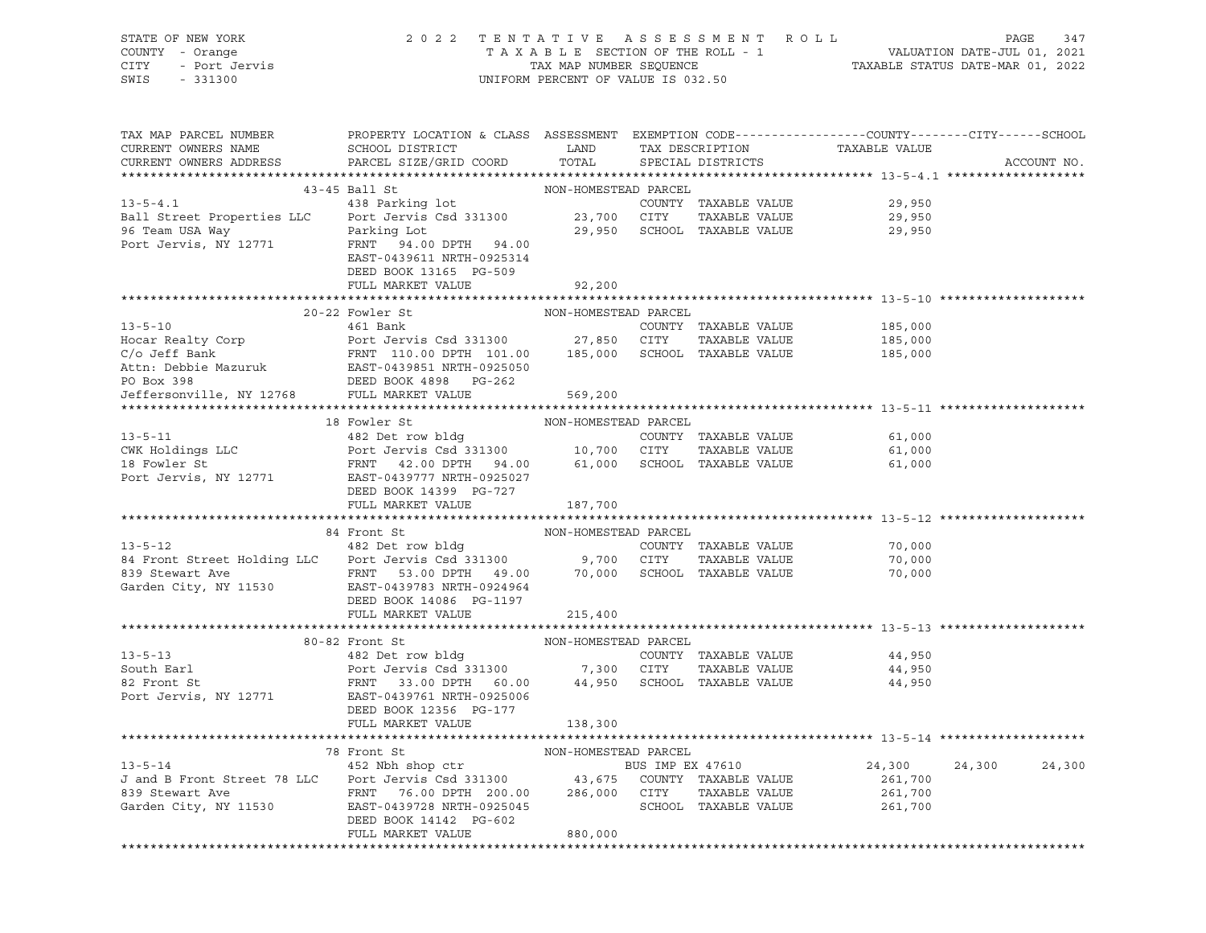| STATE OF NEW YORK<br>COUNTY - Orange<br>CITY<br>- Port Jervis<br>SWIS<br>$-331300$                              | 2 0 2 2                                                                                                                                                            | UNIFORM PERCENT OF VALUE IS 032.50                   |                          | TENTATIVE ASSESSMENT ROLL                                             |                                         | PAGE<br>347      |
|-----------------------------------------------------------------------------------------------------------------|--------------------------------------------------------------------------------------------------------------------------------------------------------------------|------------------------------------------------------|--------------------------|-----------------------------------------------------------------------|-----------------------------------------|------------------|
| TAX MAP PARCEL NUMBER<br>CURRENT OWNERS NAME<br>CURRENT OWNERS ADDRESS                                          | PROPERTY LOCATION & CLASS ASSESSMENT EXEMPTION CODE----------------COUNTY-------CITY------SCHOOL<br>SCHOOL DISTRICT<br>PARCEL SIZE/GRID COORD                      | LAND<br>TOTAL                                        |                          | TAX DESCRIPTION<br>SPECIAL DISTRICTS                                  | TAXABLE VALUE                           | ACCOUNT NO.      |
|                                                                                                                 | 43-45 Ball St                                                                                                                                                      | NON-HOMESTEAD PARCEL                                 |                          |                                                                       |                                         |                  |
| $13 - 5 - 4.1$<br>Ball Street Properties LLC<br>96 Team USA Way<br>Port Jervis, NY 12771                        | 438 Parking lot<br>Port Jervis Csd 331300<br>Parking Lot<br>FRNT 94.00 DPTH 94.00<br>EAST-0439611 NRTH-0925314<br>DEED BOOK 13165 PG-509<br>FULL MARKET VALUE      | 23,700 CITY<br>92,200                                |                          | COUNTY TAXABLE VALUE<br>TAXABLE VALUE<br>29,950 SCHOOL TAXABLE VALUE  | 29,950<br>29,950<br>29,950              |                  |
|                                                                                                                 |                                                                                                                                                                    |                                                      |                          |                                                                       |                                         |                  |
| $13 - 5 - 10$<br>Hocar Realty Corp<br>C/o Jeff Bank<br>Attn: Debbie Mazuruk<br>PO Box 398                       | 20-22 Fowler St<br>461 Bank<br>Port Jervis Csd 331300<br>FRNT 110.00 DPTH 101.00<br>EAST-0439851 NRTH-0925050<br>DEED BOOK 4898 PG-262                             | NON-HOMESTEAD PARCEL<br>27,850                       | CITY                     | COUNTY TAXABLE VALUE<br>TAXABLE VALUE<br>185,000 SCHOOL TAXABLE VALUE | 185,000<br>185,000<br>185,000           |                  |
| Jeffersonville, NY 12768                                                                                        | FULL MARKET VALUE                                                                                                                                                  | 569,200                                              |                          |                                                                       |                                         |                  |
|                                                                                                                 |                                                                                                                                                                    |                                                      |                          |                                                                       |                                         |                  |
| $13 - 5 - 11$<br>CWK Holdings LLC<br>18 Fowler St<br>18 Fowler St<br>Port Jervis, NY 12771                      | 18 Fowler St<br>482 Det row bldg<br>Port Jervis Csd 331300<br>FRNT 42.00 DPTH 94.00<br>EAST-0439777 NRTH-0925027<br>DEED BOOK 14399 PG-727<br>FULL MARKET VALUE    | NON-HOMESTEAD PARCEL<br>10,700<br>187,700            | CITY                     | COUNTY TAXABLE VALUE<br>TAXABLE VALUE<br>61,000 SCHOOL TAXABLE VALUE  | 61,000<br>61,000<br>61,000              |                  |
|                                                                                                                 |                                                                                                                                                                    |                                                      |                          |                                                                       |                                         |                  |
| $13 - 5 - 12$<br>84 Front Street Holding LLC Port Jervis Csd 331300<br>839 Stewart Ave<br>Garden City, NY 11530 | 84 Front St<br>482 Det row bldg<br>FRNT 53.00 DPTH 49.00<br>EAST-0439783 NRTH-0924964<br>DEED BOOK 14086 PG-1197<br>FULL MARKET VALUE                              | NON-HOMESTEAD PARCEL<br>9,700<br>70,000<br>215,400   | CITY                     | COUNTY TAXABLE VALUE<br>TAXABLE VALUE<br>SCHOOL TAXABLE VALUE         | 70,000<br>70,000<br>70,000              |                  |
|                                                                                                                 |                                                                                                                                                                    |                                                      |                          |                                                                       |                                         |                  |
| $13 - 5 - 13$<br>South Earl<br>82 Front St<br>Port Jervis, NY 12771                                             | 80-82 Front St<br>482 Det row bldg<br>Port Jervis Csd 331300<br>FRNT 33.00 DPTH 60.00<br>EAST-0439761 NRTH-0925006<br>DEED BOOK 12356 PG-177<br>FULL MARKET VALUE  | NON-HOMESTEAD PARCEL<br>7,300<br>44,950<br>138,300   | CITY                     | COUNTY TAXABLE VALUE<br>TAXABLE VALUE<br>SCHOOL TAXABLE VALUE         | 44,950<br>44,950<br>44,950              |                  |
|                                                                                                                 |                                                                                                                                                                    |                                                      |                          |                                                                       |                                         |                  |
| $13 - 5 - 14$<br>J and B Front Street 78 LLC<br>839 Stewart Ave<br>Garden City, NY 11530                        | 78 Front St<br>452 Nbh shop ctr<br>Port Jervis Csd 331300<br>FRNT<br>76.00 DPTH 200.00<br>EAST-0439728 NRTH-0925045<br>DEED BOOK 14142 PG-602<br>FULL MARKET VALUE | NON-HOMESTEAD PARCEL<br>43,675<br>286,000<br>880,000 | BUS IMP EX 47610<br>CITY | COUNTY TAXABLE VALUE<br>TAXABLE VALUE<br>SCHOOL TAXABLE VALUE         | 24,300<br>261,700<br>261,700<br>261,700 | 24,300<br>24,300 |

\*\*\*\*\*\*\*\*\*\*\*\*\*\*\*\*\*\*\*\*\*\*\*\*\*\*\*\*\*\*\*\*\*\*\*\*\*\*\*\*\*\*\*\*\*\*\*\*\*\*\*\*\*\*\*\*\*\*\*\*\*\*\*\*\*\*\*\*\*\*\*\*\*\*\*\*\*\*\*\*\*\*\*\*\*\*\*\*\*\*\*\*\*\*\*\*\*\*\*\*\*\*\*\*\*\*\*\*\*\*\*\*\*\*\*\*\*\*\*\*\*\*\*\*\*\*\*\*\*\*\*\*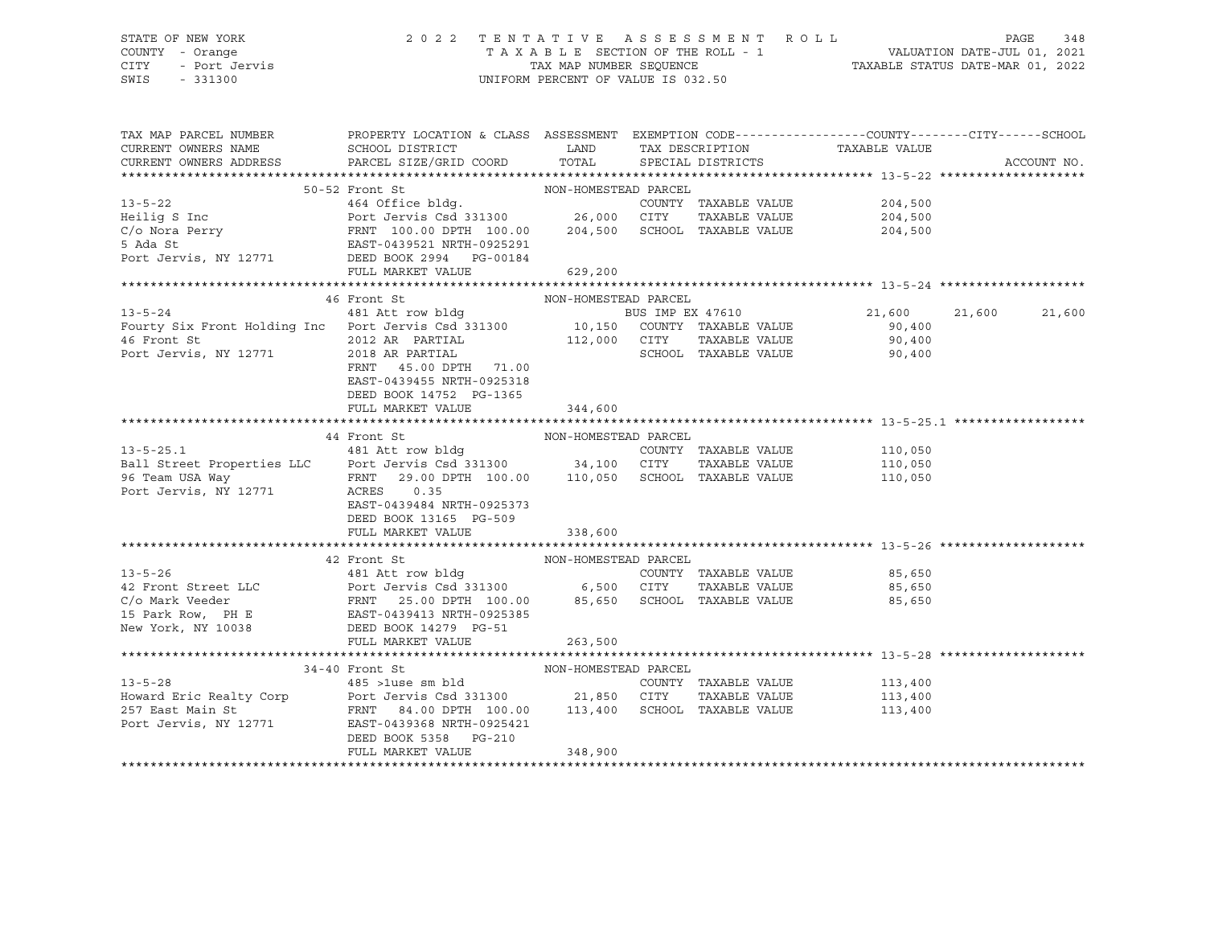### STATE OF NEW YORK 2 0 2 2 T E N T A T I V E A S S E S S M E N T R O L L PAGE 348 COUNTY - Orange T A X A B L E SECTION OF THE ROLL - 1 VALUATION DATE-JUL 01, 2021 CITY - Port Jervis TAX MAP NUMBER SEQUENCE TAXABLE STATUS DATE-MAR 01, 2022 SWIS - 331300 UNIFORM PERCENT OF VALUE IS 032.50

| TAX MAP PARCEL NUMBER<br>CURRENT OWNERS NAME                                                                                                                                                                                                                                                                                                                                                                           | PROPERTY LOCATION & CLASS ASSESSMENT EXEMPTION CODE----------------COUNTY-------CITY-----SCHOOL<br>SCHOOL DISTRICT | LAND TAX DESCRIPTION   |                   | TAXABLE VALUE                |         |        |             |
|------------------------------------------------------------------------------------------------------------------------------------------------------------------------------------------------------------------------------------------------------------------------------------------------------------------------------------------------------------------------------------------------------------------------|--------------------------------------------------------------------------------------------------------------------|------------------------|-------------------|------------------------------|---------|--------|-------------|
| CURRENT OWNERS ADDRESS PARCEL SIZE/GRID COORD                                                                                                                                                                                                                                                                                                                                                                          |                                                                                                                    | TOTAL                  | SPECIAL DISTRICTS |                              |         |        | ACCOUNT NO. |
|                                                                                                                                                                                                                                                                                                                                                                                                                        |                                                                                                                    |                        |                   |                              |         |        |             |
| $\begin{tabular}{lllllllllllllllllll} \multicolumn{3.5cm}{0.5cm} \multicolumn{3.5cm}{0.5cm} \multicolumn{3.5cm}{0.5cm} \multicolumn{3.5cm}{0.5cm} \multicolumn{3.5cm}{0.5cm} \multicolumn{3.5cm}{0.5cm} \multicolumn{3.5cm}{0.5cm} \multicolumn{3.5cm}{0.5cm} \multicolumn{3.5cm}{0.5cm} \multicolumn{3.5cm}{0.5cm} \multicolumn{3.5cm}{0.5cm} \multicolumn{3.5cm}{0.5cm} \multicolumn{3.5cm}{0.5cm} \multicolumn{3.5$ |                                                                                                                    |                        |                   |                              |         |        |             |
|                                                                                                                                                                                                                                                                                                                                                                                                                        |                                                                                                                    |                        |                   |                              |         |        |             |
|                                                                                                                                                                                                                                                                                                                                                                                                                        |                                                                                                                    |                        |                   |                              |         |        |             |
|                                                                                                                                                                                                                                                                                                                                                                                                                        |                                                                                                                    |                        |                   |                              |         |        |             |
|                                                                                                                                                                                                                                                                                                                                                                                                                        |                                                                                                                    |                        |                   |                              |         |        |             |
|                                                                                                                                                                                                                                                                                                                                                                                                                        |                                                                                                                    |                        |                   |                              |         |        |             |
|                                                                                                                                                                                                                                                                                                                                                                                                                        | FULL MARKET VALUE 629,200                                                                                          |                        |                   |                              |         |        |             |
|                                                                                                                                                                                                                                                                                                                                                                                                                        |                                                                                                                    |                        |                   |                              |         |        |             |
|                                                                                                                                                                                                                                                                                                                                                                                                                        |                                                                                                                    |                        |                   |                              |         |        |             |
|                                                                                                                                                                                                                                                                                                                                                                                                                        |                                                                                                                    |                        |                   |                              | 21,600  | 21,600 | 21,600      |
|                                                                                                                                                                                                                                                                                                                                                                                                                        |                                                                                                                    |                        |                   |                              |         |        |             |
| 46 Front St                                                                                                                                                                                                                                                                                                                                                                                                            | 2012 AR PARTIAL<br>$\mathbf{r} = \mathbf{r} \times \mathbf{r}$                                                     | 112,000 CITY<br>SCHOOL | TAXABLE VALUE     |                              | 90,400  |        |             |
| Port Jervis, NY 12771                                                                                                                                                                                                                                                                                                                                                                                                  | 2018 AR PARTIAL                                                                                                    |                        |                   | SCHOOL TAXABLE VALUE         | 90,400  |        |             |
|                                                                                                                                                                                                                                                                                                                                                                                                                        | FRNT 45.00 DPTH 71.00                                                                                              |                        |                   |                              |         |        |             |
|                                                                                                                                                                                                                                                                                                                                                                                                                        | EAST-0439455 NRTH-0925318                                                                                          |                        |                   |                              |         |        |             |
|                                                                                                                                                                                                                                                                                                                                                                                                                        | DEED BOOK 14752 PG-1365                                                                                            |                        |                   |                              |         |        |             |
|                                                                                                                                                                                                                                                                                                                                                                                                                        | FULL MARKET VALUE                                                                                                  | 344,600                |                   |                              |         |        |             |
|                                                                                                                                                                                                                                                                                                                                                                                                                        |                                                                                                                    |                        |                   |                              |         |        |             |
|                                                                                                                                                                                                                                                                                                                                                                                                                        |                                                                                                                    |                        |                   |                              |         |        |             |
|                                                                                                                                                                                                                                                                                                                                                                                                                        |                                                                                                                    |                        |                   | COUNTY TAXABLE VALUE 110,050 |         |        |             |
|                                                                                                                                                                                                                                                                                                                                                                                                                        |                                                                                                                    |                        |                   | TAXABLE VALUE 110,050        |         |        |             |
|                                                                                                                                                                                                                                                                                                                                                                                                                        |                                                                                                                    |                        |                   |                              | 110,050 |        |             |
|                                                                                                                                                                                                                                                                                                                                                                                                                        | EAST-0439484 NRTH-0925373                                                                                          |                        |                   |                              |         |        |             |
|                                                                                                                                                                                                                                                                                                                                                                                                                        | DEED BOOK 13165 PG-509                                                                                             |                        |                   |                              |         |        |             |
|                                                                                                                                                                                                                                                                                                                                                                                                                        | FULL MARKET VALUE                                                                                                  | 338,600                |                   |                              |         |        |             |
|                                                                                                                                                                                                                                                                                                                                                                                                                        |                                                                                                                    |                        |                   |                              |         |        |             |
| 42 Front St<br>481 Att row bldg<br>481 Att row bldg<br>491 Att row bldg<br>491 Att row bldg<br>491 Att row bldg<br>491 Att row bldg<br>491 Att row bldg<br>491 Att row bldg<br>493 Att row bldg<br>493 Att row bldg<br>493 Att row bldg<br>493 Att row                                                                                                                                                                 |                                                                                                                    |                        |                   |                              |         |        |             |
|                                                                                                                                                                                                                                                                                                                                                                                                                        |                                                                                                                    |                        |                   |                              |         |        |             |
|                                                                                                                                                                                                                                                                                                                                                                                                                        |                                                                                                                    |                        |                   |                              |         |        |             |
|                                                                                                                                                                                                                                                                                                                                                                                                                        |                                                                                                                    |                        |                   |                              |         |        |             |
|                                                                                                                                                                                                                                                                                                                                                                                                                        |                                                                                                                    |                        |                   |                              |         |        |             |
| New York, NY 10038 DEED BOOK 14279 PG-51                                                                                                                                                                                                                                                                                                                                                                               |                                                                                                                    |                        |                   |                              |         |        |             |
|                                                                                                                                                                                                                                                                                                                                                                                                                        | FULL MARKET VALUE                                                                                                  | 263,500                |                   |                              |         |        |             |
|                                                                                                                                                                                                                                                                                                                                                                                                                        |                                                                                                                    |                        |                   |                              |         |        |             |
|                                                                                                                                                                                                                                                                                                                                                                                                                        | 34-40 Front St                                                                                                     | NON-HOMESTEAD PARCEL   |                   |                              |         |        |             |
| $13 - 5 - 28$                                                                                                                                                                                                                                                                                                                                                                                                          |                                                                                                                    |                        |                   | COUNTY TAXABLE VALUE 113,400 |         |        |             |
|                                                                                                                                                                                                                                                                                                                                                                                                                        |                                                                                                                    |                        |                   | TAXABLE VALUE 113,400        |         |        |             |
| Howard Eric Realty Corp Port Jervis Csd 331300 21,850 CITY TAXABLE VALUE<br>257 East Main St FRNT 84.00 DPTH 100.00 113,400 SCHOOL TAXABLE VALUE<br>Port Jervis, NY 12771 EAST-0439368 NRTH-0925421                                                                                                                                                                                                                    |                                                                                                                    |                        |                   |                              | 113,400 |        |             |
|                                                                                                                                                                                                                                                                                                                                                                                                                        |                                                                                                                    |                        |                   |                              |         |        |             |
|                                                                                                                                                                                                                                                                                                                                                                                                                        | DEED BOOK 5358 PG-210                                                                                              |                        |                   |                              |         |        |             |
|                                                                                                                                                                                                                                                                                                                                                                                                                        | FULL MARKET VALUE                                                                                                  | 348,900                |                   |                              |         |        |             |
|                                                                                                                                                                                                                                                                                                                                                                                                                        |                                                                                                                    |                        |                   |                              |         |        |             |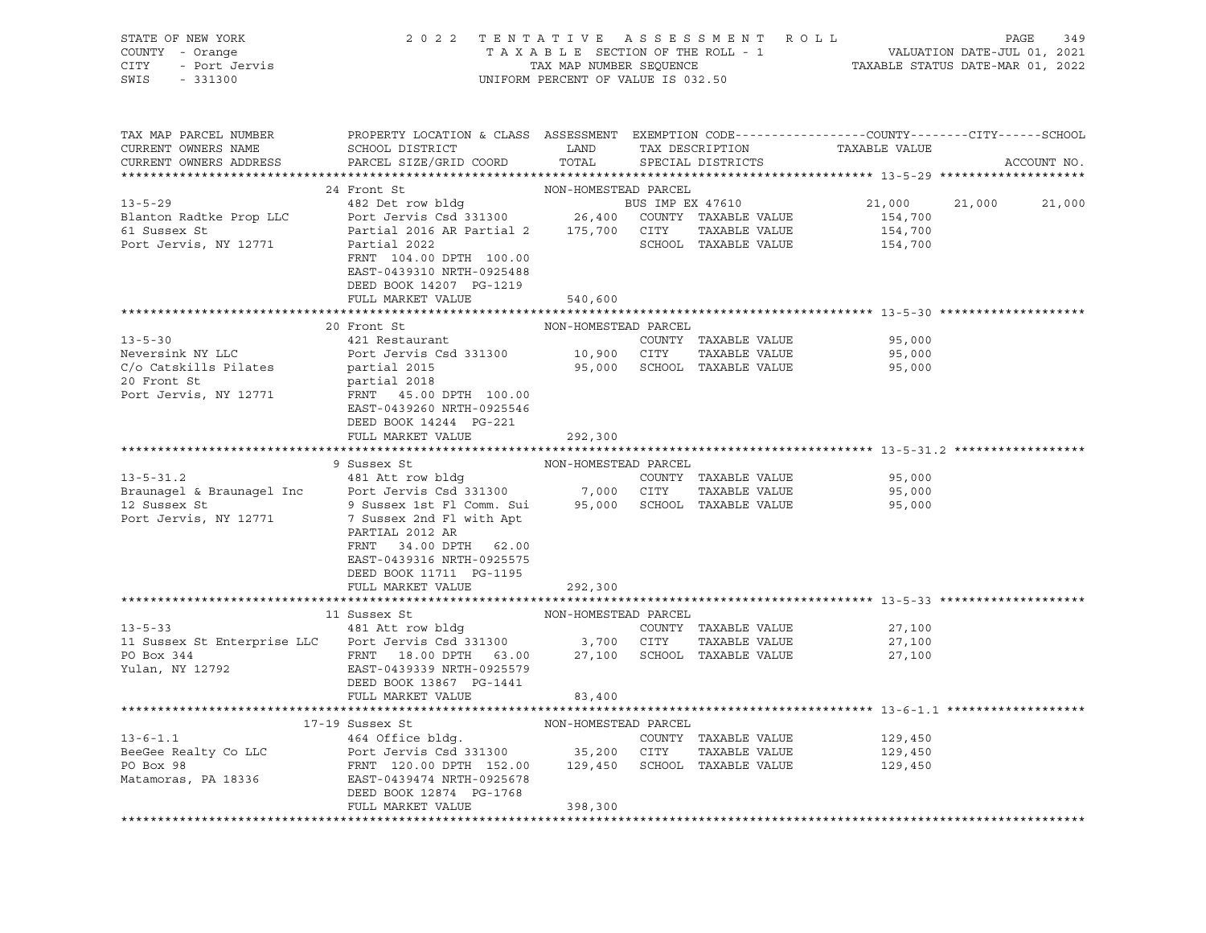| STATE OF NEW YORK<br>COUNTY - Orange<br>CITY<br>- Port Jervis<br>SWIS<br>$-331300$ |                                                                                                                                                              | 2022 TENTATIVE ASSESSMENT ROLL<br>TAXABLE SECTION OF THE ROLL - 1<br>TAX MAP NUMBER SEQUENCE<br>UNIFORM PERCENT OF VALUE IS 032.50 |  |                                      | PAGE<br>349<br>VALUATION DATE-JUL 01, 2021<br>TAXABLE STATUS DATE-MAR 01, 2022 |        |             |  |
|------------------------------------------------------------------------------------|--------------------------------------------------------------------------------------------------------------------------------------------------------------|------------------------------------------------------------------------------------------------------------------------------------|--|--------------------------------------|--------------------------------------------------------------------------------|--------|-------------|--|
| TAX MAP PARCEL NUMBER<br>CURRENT OWNERS NAME<br>CURRENT OWNERS ADDRESS             | PROPERTY LOCATION & CLASS ASSESSMENT EXEMPTION CODE----------------COUNTY-------CITY------SCHOOL<br>SCHOOL DISTRICT<br>PARCEL SIZE/GRID COORD                | LAND<br>TOTAL                                                                                                                      |  | TAX DESCRIPTION<br>SPECIAL DISTRICTS | TAXABLE VALUE                                                                  |        | ACCOUNT NO. |  |
|                                                                                    |                                                                                                                                                              |                                                                                                                                    |  |                                      |                                                                                |        |             |  |
| $13 - 5 - 29$                                                                      | 24 Front St<br>482 Det row bldg                                                                                                                              | NON-HOMESTEAD PARCEL                                                                                                               |  | BUS IMP EX 47610                     | 21,000                                                                         | 21,000 | 21,000      |  |
| Blanton Radtke Prop LLC                                                            | Port Jervis Csd 331300 26,400 COUNTY TAXABLE VALUE                                                                                                           |                                                                                                                                    |  |                                      | 154,700                                                                        |        |             |  |
| 61 Sussex St                                                                       | Partial 2016 AR Partial 2 175,700 CITY                                                                                                                       |                                                                                                                                    |  | TAXABLE VALUE                        | 154,700                                                                        |        |             |  |
| Port Jervis, NY 12771                                                              | Partial 2022<br>FRNT 104.00 DPTH 100.00<br>EAST-0439310 NRTH-0925488<br>DEED BOOK 14207 PG-1219                                                              |                                                                                                                                    |  | SCHOOL TAXABLE VALUE                 | 154,700                                                                        |        |             |  |
|                                                                                    | FULL MARKET VALUE                                                                                                                                            | 540,600                                                                                                                            |  |                                      |                                                                                |        |             |  |
|                                                                                    |                                                                                                                                                              |                                                                                                                                    |  |                                      |                                                                                |        |             |  |
|                                                                                    | 20 Front St                                                                                                                                                  | NON-HOMESTEAD PARCEL                                                                                                               |  |                                      |                                                                                |        |             |  |
| $13 - 5 - 30$                                                                      | 421 Restaurant                                                                                                                                               |                                                                                                                                    |  | COUNTY TAXABLE VALUE                 | 95,000                                                                         |        |             |  |
| Neversink NY LLC                                                                   | Port Jervis Csd 331300 10,900 CITY                                                                                                                           |                                                                                                                                    |  | TAXABLE VALUE                        | 95,000                                                                         |        |             |  |
| C/o Catskills Pilates<br>20 Front St                                               | partial 2015                                                                                                                                                 |                                                                                                                                    |  | 95,000 SCHOOL TAXABLE VALUE          | 95,000                                                                         |        |             |  |
| Port Jervis, NY 12771                                                              | partial 2018<br>FRNT 45.00 DPTH 100.00                                                                                                                       |                                                                                                                                    |  |                                      |                                                                                |        |             |  |
|                                                                                    | EAST-0439260 NRTH-0925546                                                                                                                                    |                                                                                                                                    |  |                                      |                                                                                |        |             |  |
|                                                                                    | DEED BOOK 14244 PG-221                                                                                                                                       |                                                                                                                                    |  |                                      |                                                                                |        |             |  |
|                                                                                    | FULL MARKET VALUE                                                                                                                                            | 292,300                                                                                                                            |  |                                      |                                                                                |        |             |  |
|                                                                                    |                                                                                                                                                              |                                                                                                                                    |  |                                      |                                                                                |        |             |  |
|                                                                                    | 9 Sussex St                                                                                                                                                  | NON-HOMESTEAD PARCEL                                                                                                               |  |                                      |                                                                                |        |             |  |
| $13 - 5 - 31.2$                                                                    | 481 Att row bldg                                                                                                                                             |                                                                                                                                    |  | COUNTY TAXABLE VALUE                 | 95,000                                                                         |        |             |  |
| Braunagel & Braunagel Inc                                                          | Port Jervis Csd 331300 7,000 CITY                                                                                                                            |                                                                                                                                    |  | TAXABLE VALUE                        | 95,000                                                                         |        |             |  |
| 12 Sussex St<br>Port Jervis, NY 12771                                              | 9 Sussex 1st Fl Comm. Sui<br>7 Sussex 2nd Fl with Apt<br>PARTIAL 2012 AR<br>34.00 DPTH 62.00<br>FRNT<br>EAST-0439316 NRTH-0925575<br>DEED BOOK 11711 PG-1195 |                                                                                                                                    |  | 95,000 SCHOOL TAXABLE VALUE          | 95,000                                                                         |        |             |  |
|                                                                                    | FULL MARKET VALUE                                                                                                                                            | 292,300                                                                                                                            |  |                                      |                                                                                |        |             |  |
|                                                                                    |                                                                                                                                                              |                                                                                                                                    |  |                                      |                                                                                |        |             |  |
|                                                                                    | 11 Sussex St                                                                                                                                                 | NON-HOMESTEAD PARCEL                                                                                                               |  |                                      |                                                                                |        |             |  |
| $13 - 5 - 33$                                                                      | 481 Att row bldg                                                                                                                                             |                                                                                                                                    |  | COUNTY TAXABLE VALUE                 | 27,100                                                                         |        |             |  |
| 11 Sussex St Enterprise LLC Port Jervis Csd 331300 3,700 CITY                      |                                                                                                                                                              |                                                                                                                                    |  | TAXABLE VALUE                        | 27,100                                                                         |        |             |  |
| PO Box 344                                                                         | FRNT 18.00 DPTH 63.00                                                                                                                                        | 27,100                                                                                                                             |  | SCHOOL TAXABLE VALUE                 | 27,100                                                                         |        |             |  |
| Yulan, NY 12792                                                                    | EAST-0439339 NRTH-0925579<br>DEED BOOK 13867 PG-1441                                                                                                         |                                                                                                                                    |  |                                      |                                                                                |        |             |  |
|                                                                                    | FULL MARKET VALUE                                                                                                                                            | 83,400                                                                                                                             |  |                                      |                                                                                |        |             |  |
|                                                                                    | 17-19 Sussex St                                                                                                                                              | NON-HOMESTEAD PARCEL                                                                                                               |  |                                      |                                                                                |        |             |  |
| $13 - 6 - 1.1$                                                                     | 464 Office bldg.                                                                                                                                             |                                                                                                                                    |  | COUNTY TAXABLE VALUE                 | 129,450                                                                        |        |             |  |
| BeeGee Realty Co LLC                                                               | Port Jervis Csd 331300 35,200 CITY                                                                                                                           |                                                                                                                                    |  | TAXABLE VALUE                        | 129,450                                                                        |        |             |  |
| PO Box 98                                                                          | FRNT 120.00 DPTH 152.00 129,450 SCHOOL TAXABLE VALUE                                                                                                         |                                                                                                                                    |  |                                      | 129,450                                                                        |        |             |  |
| Matamoras, PA 18336                                                                | EAST-0439474 NRTH-0925678                                                                                                                                    |                                                                                                                                    |  |                                      |                                                                                |        |             |  |
|                                                                                    | DEED BOOK 12874 PG-1768                                                                                                                                      |                                                                                                                                    |  |                                      |                                                                                |        |             |  |
|                                                                                    | FULL MARKET VALUE                                                                                                                                            | 398,300                                                                                                                            |  |                                      |                                                                                |        |             |  |
|                                                                                    |                                                                                                                                                              |                                                                                                                                    |  |                                      |                                                                                |        |             |  |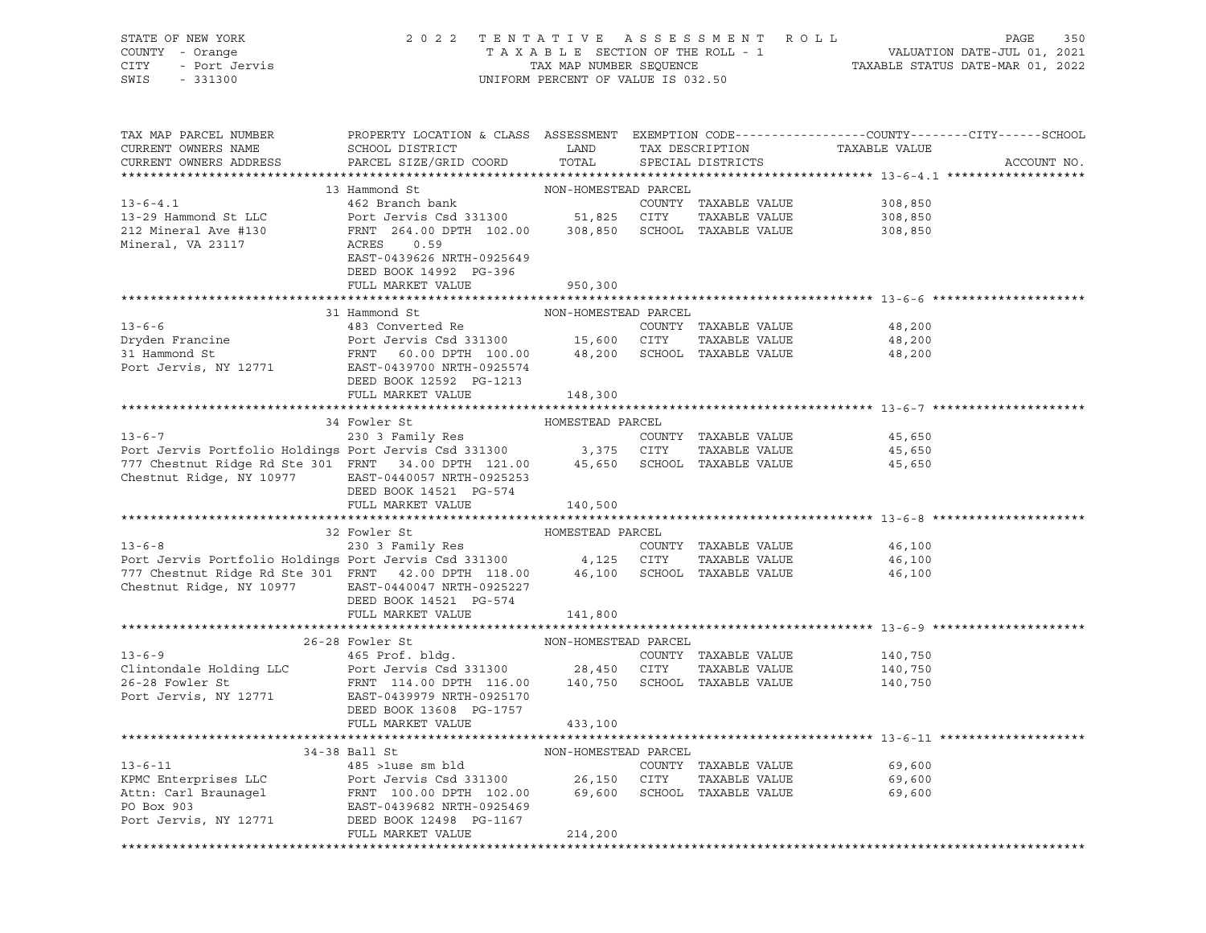| STATE OF NEW YORK<br>COUNTY - Orange<br>CITY<br>- Port Jervis<br>SWIS<br>$-331300$ | 2 0 2 2                                                 | TAX MAP NUMBER SEQUENCE<br>UNIFORM PERCENT OF VALUE IS 032.50 |        | TENTATIVE ASSESSMENT ROLL<br>TAXABLE SECTION OF THE ROLL - 1 | PAGE<br>350<br>VALUATION DATE-JUL 01, 2021<br>TAXABLE STATUS DATE-MAR 01, 2022                 |
|------------------------------------------------------------------------------------|---------------------------------------------------------|---------------------------------------------------------------|--------|--------------------------------------------------------------|------------------------------------------------------------------------------------------------|
| TAX MAP PARCEL NUMBER                                                              |                                                         |                                                               |        |                                                              | PROPERTY LOCATION & CLASS ASSESSMENT EXEMPTION CODE---------------COUNTY-------CITY-----SCHOOL |
| CURRENT OWNERS NAME                                                                | SCHOOL DISTRICT                                         | LAND                                                          |        | TAX DESCRIPTION                                              | TAXABLE VALUE                                                                                  |
| CURRENT OWNERS ADDRESS                                                             | PARCEL SIZE/GRID COORD                                  | TOTAL                                                         |        | SPECIAL DISTRICTS                                            | ACCOUNT NO.                                                                                    |
|                                                                                    | 13 Hammond St                                           | NON-HOMESTEAD PARCEL                                          |        |                                                              |                                                                                                |
| $13 - 6 - 4.1$                                                                     | 462 Branch bank                                         |                                                               |        | COUNTY TAXABLE VALUE                                         | 308,850                                                                                        |
| 13-29 Hammond St LLC                                                               | Port Jervis Csd 331300 51,825 CITY                      |                                                               |        | TAXABLE VALUE                                                | 308,850                                                                                        |
| 212 Mineral Ave #130                                                               | FRNT 264.00 DPTH 102.00 308,850 SCHOOL TAXABLE VALUE    |                                                               |        |                                                              | 308,850                                                                                        |
| Mineral, VA 23117                                                                  | ACRES<br>0.59<br>EAST-0439626 NRTH-0925649              |                                                               |        |                                                              |                                                                                                |
|                                                                                    | DEED BOOK 14992 PG-396                                  |                                                               |        |                                                              |                                                                                                |
|                                                                                    | FULL MARKET VALUE                                       | 950,300                                                       |        |                                                              |                                                                                                |
|                                                                                    |                                                         |                                                               |        |                                                              |                                                                                                |
|                                                                                    | 31 Hammond St                                           | NON-HOMESTEAD PARCEL                                          |        |                                                              |                                                                                                |
| $13 - 6 - 6$<br>Dryden Francine                                                    | 483 Converted Re                                        |                                                               | CITY   | COUNTY TAXABLE VALUE<br>TAXABLE VALUE                        | 48,200<br>48,200                                                                               |
| 31 Hammond St                                                                      | Port Jervis Csd 331300 15,600<br>FRNT 60.00 DPTH 100.00 | 48,200                                                        |        | SCHOOL TAXABLE VALUE                                         | 48,200                                                                                         |
| Port Jervis, NY 12771                                                              | EAST-0439700 NRTH-0925574                               |                                                               |        |                                                              |                                                                                                |
|                                                                                    | DEED BOOK 12592 PG-1213                                 |                                                               |        |                                                              |                                                                                                |
|                                                                                    | FULL MARKET VALUE                                       | 148,300                                                       |        |                                                              |                                                                                                |
|                                                                                    |                                                         |                                                               |        |                                                              |                                                                                                |
|                                                                                    | 34 Fowler St                                            | HOMESTEAD PARCEL                                              |        |                                                              |                                                                                                |
| $13 - 6 - 7$<br>Port Jervis Portfolio Holdings Port Jervis Csd 331300 3,375 CITY   | 230 3 Family Res                                        |                                                               |        | COUNTY TAXABLE VALUE<br>TAXABLE VALUE                        | 45,650                                                                                         |
| 777 Chestnut Ridge Rd Ste 301 FRNT 34.00 DPTH 121.00                               |                                                         | 45,650                                                        |        | SCHOOL TAXABLE VALUE                                         | 45,650<br>45,650                                                                               |
| Chestnut Ridge, NY 10977                                                           | EAST-0440057 NRTH-0925253                               |                                                               |        |                                                              |                                                                                                |
|                                                                                    | DEED BOOK 14521 PG-574                                  |                                                               |        |                                                              |                                                                                                |
|                                                                                    | FULL MARKET VALUE                                       | 140,500                                                       |        |                                                              |                                                                                                |
|                                                                                    |                                                         |                                                               |        |                                                              |                                                                                                |
| $13 - 6 - 8$                                                                       | 32 Fowler St<br>230 3 Family Res                        | HOMESTEAD PARCEL                                              |        | COUNTY TAXABLE VALUE                                         | 46,100                                                                                         |
| Port Jervis Portfolio Holdings Port Jervis Csd 331300                              |                                                         | 4,125 CITY                                                    |        | TAXABLE VALUE                                                | 46,100                                                                                         |
| 777 Chestnut Ridge Rd Ste 301 FRNT 42.00 DPTH 118.00                               |                                                         | 46,100                                                        |        | SCHOOL TAXABLE VALUE                                         | 46,100                                                                                         |
| Chestnut Ridge, NY 10977                                                           | EAST-0440047 NRTH-0925227                               |                                                               |        |                                                              |                                                                                                |
|                                                                                    | DEED BOOK 14521 PG-574                                  |                                                               |        |                                                              |                                                                                                |
|                                                                                    | FULL MARKET VALUE                                       | 141,800                                                       |        |                                                              |                                                                                                |
|                                                                                    | 26-28 Fowler St                                         |                                                               |        |                                                              |                                                                                                |
| $13 - 6 - 9$                                                                       | 465 Prof. bldg.                                         | NON-HOMESTEAD PARCEL                                          |        | COUNTY TAXABLE VALUE                                         | 140,750                                                                                        |
| Clintondale Holding LLC                                                            | Port Jervis Csd 331300 28,450                           |                                                               | CITY   | TAXABLE VALUE                                                | 140,750                                                                                        |
| 26-28 Fowler St                                                                    | FRNT 114.00 DPTH 116.00                                 | 140,750                                                       |        | SCHOOL TAXABLE VALUE                                         | 140,750                                                                                        |
| Port Jervis, NY 12771                                                              | EAST-0439979 NRTH-0925170                               |                                                               |        |                                                              |                                                                                                |
|                                                                                    | DEED BOOK 13608 PG-1757                                 |                                                               |        |                                                              |                                                                                                |
|                                                                                    | FULL MARKET VALUE                                       | 433,100                                                       |        |                                                              |                                                                                                |
|                                                                                    | 34-38 Ball St                                           | NON-HOMESTEAD PARCEL                                          |        |                                                              |                                                                                                |
| $13 - 6 - 11$                                                                      | 485 >luse sm bld                                        |                                                               |        | COUNTY TAXABLE VALUE                                         | 69,600                                                                                         |
| KPMC Enterprises LLC                                                               | Port Jervis Csd 331300                                  | 26,150                                                        | CITY   | TAXABLE VALUE                                                | 69,600                                                                                         |
| Attn: Carl Braunagel                                                               | FRNT 100.00 DPTH 102.00                                 | 69,600                                                        | SCHOOL | TAXABLE VALUE                                                | 69,600                                                                                         |
| PO Box 903                                                                         | EAST-0439682 NRTH-0925469                               |                                                               |        |                                                              |                                                                                                |
| Port Jervis, NY 12771                                                              | DEED BOOK 12498 PG-1167                                 |                                                               |        |                                                              |                                                                                                |
|                                                                                    | FULL MARKET VALUE                                       | 214,200                                                       |        |                                                              |                                                                                                |
|                                                                                    |                                                         |                                                               |        |                                                              |                                                                                                |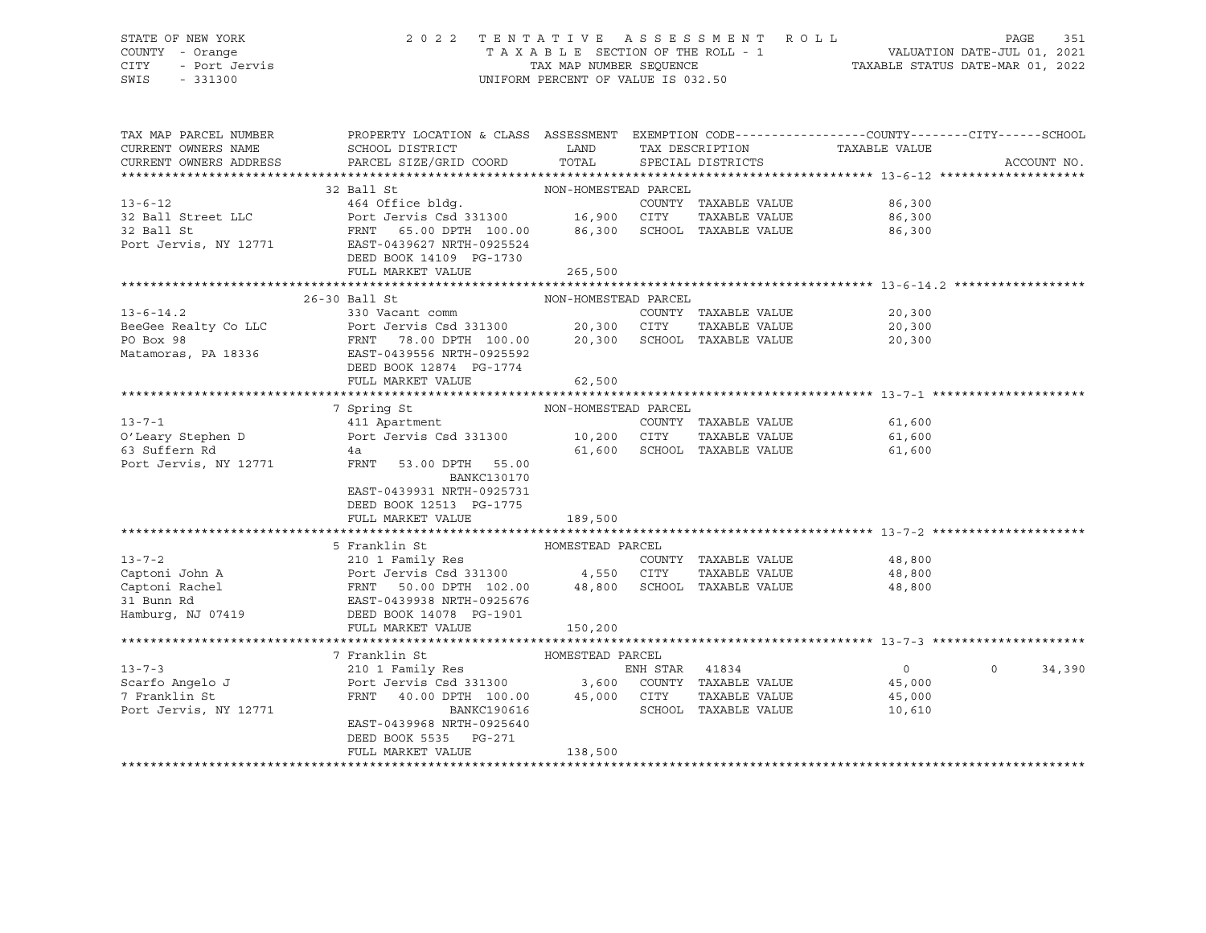### STATE OF NEW YORK 2 0 2 2 T E N T A T I V E A S S E S S M E N T R O L L PAGE 351 COUNTY - Orange T A X A B L E SECTION OF THE ROLL - 1 VALUATION DATE-JUL 01, 2021 CITY - Port Jervis TAX MAP NUMBER SEQUENCE TAXABLE STATUS DATE-MAR 01, 2022 SWIS - 331300 UNIFORM PERCENT OF VALUE IS 032.50

| TAX MAP PARCEL NUMBER<br>CURRENT OWNERS NAME<br>CURRENT OWNERS ADDRESS | PROPERTY LOCATION & CLASS ASSESSMENT EXEMPTION CODE----------------COUNTY-------CITY------SCHOOL<br>SCHOOL DISTRICT<br>PARCEL SIZE/GRID COORD | LAND<br>TOTAL        |                | TAX DESCRIPTION<br>SPECIAL DISTRICTS | TAXABLE VALUE               | ACCOUNT NO.       |
|------------------------------------------------------------------------|-----------------------------------------------------------------------------------------------------------------------------------------------|----------------------|----------------|--------------------------------------|-----------------------------|-------------------|
|                                                                        |                                                                                                                                               |                      |                |                                      |                             |                   |
|                                                                        | 32 Ball St                                                                                                                                    | NON-HOMESTEAD PARCEL |                |                                      |                             |                   |
| $13 - 6 - 12$                                                          | 464 Office bldg.                                                                                                                              |                      |                | COUNTY TAXABLE VALUE                 | 86,300                      |                   |
| 32 Ball Street LLC                                                     |                                                                                                                                               |                      |                | TAXABLE VALUE                        | 86,300                      |                   |
| 32 Ball St                                                             | FRNT 65.00 DPTH 100.00 $86,300$ SCHOOL TAXABLE VALUE<br>EAST-0439627 NRTH-0925524                                                             |                      |                |                                      | 86,300                      |                   |
| Port Jervis, NY 12771                                                  |                                                                                                                                               |                      |                |                                      |                             |                   |
|                                                                        | DEED BOOK 14109 PG-1730                                                                                                                       |                      |                |                                      |                             |                   |
|                                                                        | FULL MARKET VALUE                                                                                                                             | 265,500              |                |                                      |                             |                   |
|                                                                        |                                                                                                                                               |                      |                |                                      |                             |                   |
|                                                                        | 26-30 Ball St                                                                                                                                 | NON-HOMESTEAD PARCEL |                |                                      |                             |                   |
| $13 - 6 - 14.2$                                                        | 330 Vacant comm                                                                                                                               |                      |                | COUNTY TAXABLE VALUE                 | 20,300                      |                   |
| BeeGee Realty Co LLC                                                   | Port Jervis Csd 331300                                                                                                                        | 20,300 CITY          |                | TAXABLE VALUE                        | 20,300                      |                   |
| PO Box 98                                                              | FRNT 78.00 DPTH 100.00 20,300 SCHOOL TAXABLE VALUE                                                                                            |                      |                |                                      | 20,300                      |                   |
|                                                                        | Matamoras, PA 18336 EAST-0439556 NRTH-0925592                                                                                                 |                      |                |                                      |                             |                   |
|                                                                        | DEED BOOK 12874 PG-1774                                                                                                                       |                      |                |                                      |                             |                   |
|                                                                        | FULL MARKET VALUE                                                                                                                             | 62,500               |                |                                      |                             |                   |
|                                                                        |                                                                                                                                               |                      |                |                                      |                             |                   |
|                                                                        | 7 Spring St                                                                                                                                   | NON-HOMESTEAD PARCEL |                |                                      |                             |                   |
| $13 - 7 - 1$                                                           | 411 Apartment                                                                                                                                 |                      |                |                                      | COUNTY TAXABLE VALUE 61,600 |                   |
|                                                                        | 0'Leary Stephen D Port Jervis Csd 331300 10,200 CITY                                                                                          |                      |                | TAXABLE VALUE                        | 61,600                      |                   |
| 63 Suffern Rd                                                          | 4a                                                                                                                                            |                      |                | 61,600 SCHOOL TAXABLE VALUE          | 61,600                      |                   |
| Port Jervis, NY 12771                                                  | FRNT<br>53.00 DPTH 55.00<br><b>BANKC130170</b>                                                                                                |                      |                |                                      |                             |                   |
|                                                                        | EAST-0439931 NRTH-0925731                                                                                                                     |                      |                |                                      |                             |                   |
|                                                                        | DEED BOOK 12513 PG-1775                                                                                                                       |                      |                |                                      |                             |                   |
|                                                                        | FULL MARKET VALUE                                                                                                                             | 189,500              |                |                                      |                             |                   |
|                                                                        |                                                                                                                                               |                      |                |                                      |                             |                   |
|                                                                        | 5 Franklin St                                                                                                                                 | HOMESTEAD PARCEL     |                |                                      |                             |                   |
| $13 - 7 - 2$                                                           | 210 1 Family Res                                                                                                                              |                      |                |                                      | COUNTY TAXABLE VALUE 48,800 |                   |
|                                                                        |                                                                                                                                               |                      |                |                                      | 48,800                      |                   |
|                                                                        |                                                                                                                                               |                      |                |                                      | 48,800                      |                   |
|                                                                        |                                                                                                                                               |                      |                |                                      |                             |                   |
|                                                                        |                                                                                                                                               |                      |                |                                      |                             |                   |
|                                                                        | FULL MARKET VALUE                                                                                                                             | 150,200              |                |                                      |                             |                   |
|                                                                        |                                                                                                                                               |                      |                |                                      |                             |                   |
|                                                                        | 7 Franklin St                                                                                                                                 | HOMESTEAD PARCEL     |                |                                      |                             |                   |
| $13 - 7 - 3$                                                           | 210 1 Family Res                                                                                                                              |                      | ENH STAR 41834 |                                      | $\overline{0}$              | 34,390<br>$\circ$ |
| Scarfo Angelo J                                                        | Port Jervis Csd 331300 3,600 COUNTY TAXABLE VALUE                                                                                             |                      |                |                                      | 45,000                      |                   |
| 7 Franklin St                                                          | FRNT 40.00 DPTH 100.00 45,000 CITY                                                                                                            |                      |                | TAXABLE VALUE                        | 45,000                      |                   |
| Port Jervis, NY 12771                                                  | BANKC190616                                                                                                                                   |                      |                | SCHOOL TAXABLE VALUE                 | 10,610                      |                   |
|                                                                        | EAST-0439968 NRTH-0925640                                                                                                                     |                      |                |                                      |                             |                   |
|                                                                        | DEED BOOK 5535 PG-271                                                                                                                         |                      |                |                                      |                             |                   |
|                                                                        | FULL MARKET VALUE                                                                                                                             | 138,500              |                |                                      |                             |                   |
|                                                                        |                                                                                                                                               |                      |                |                                      |                             |                   |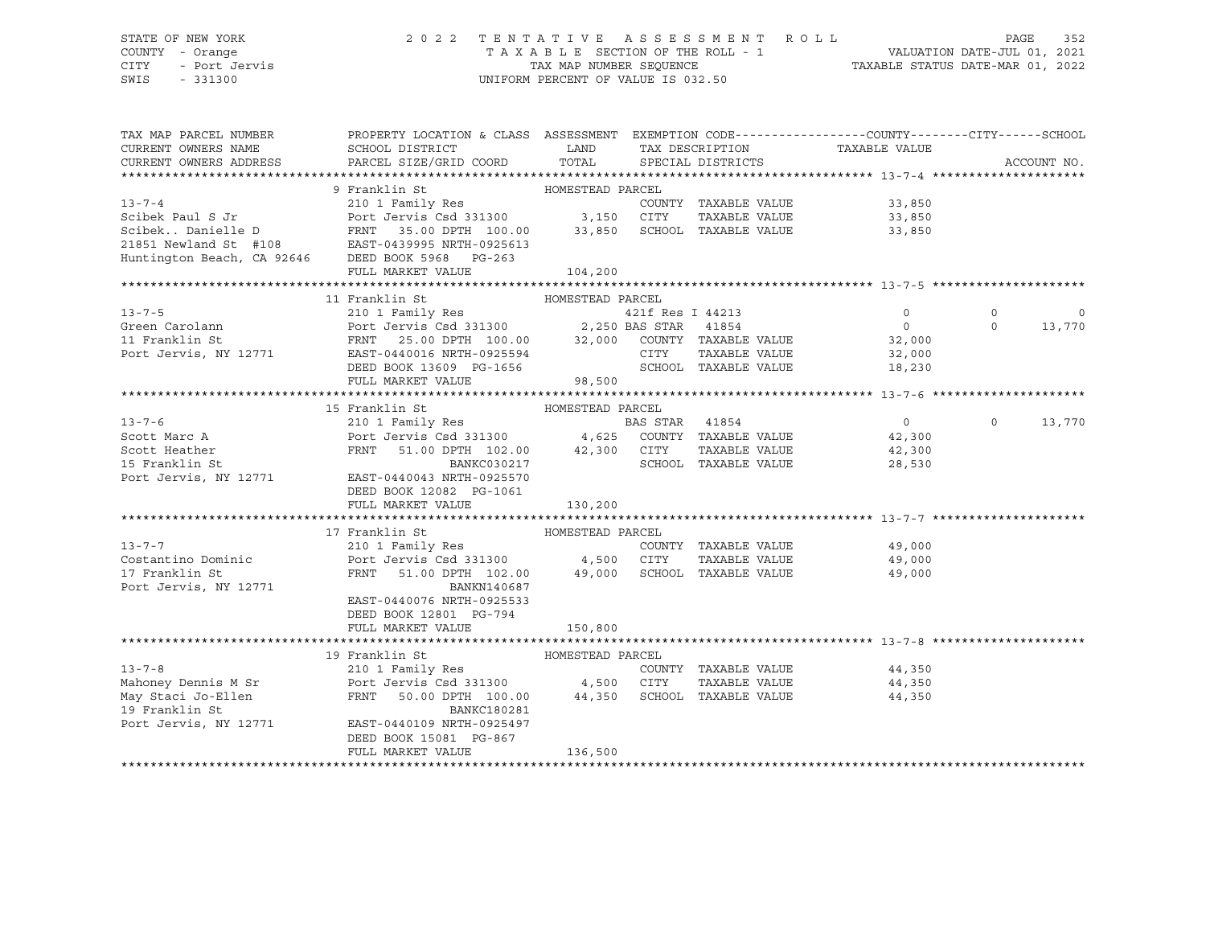### STATE OF NEW YORK 2 0 2 2 T E N T A T I V E A S S E S S M E N T R O L L PAGE 352 COUNTY - Orange T A X A B L E SECTION OF THE ROLL - 1 VALUATION DATE-JUL 01, 2021 CITY - Port Jervis TAX MAP NUMBER SEQUENCE TAXABLE STATUS DATE-MAR 01, 2022

| TAX MAP PARCEL NUMBER                   | PROPERTY LOCATION & CLASS ASSESSMENT EXEMPTION CODE---------------COUNTY-------CITY------SCHOOL                                                                                                                               |                  |                |                      |                      |                   |             |
|-----------------------------------------|-------------------------------------------------------------------------------------------------------------------------------------------------------------------------------------------------------------------------------|------------------|----------------|----------------------|----------------------|-------------------|-------------|
| CURRENT OWNERS NAME                     |                                                                                                                                                                                                                               |                  |                |                      |                      |                   |             |
| CURRENT OWNERS ADDRESS                  |                                                                                                                                                                                                                               |                  |                |                      |                      |                   | ACCOUNT NO. |
|                                         |                                                                                                                                                                                                                               |                  |                |                      |                      |                   |             |
|                                         | 9 Franklin St                                                                                                                                                                                                                 | HOMESTEAD PARCEL |                |                      |                      |                   |             |
| $13 - 7 - 4$                            | 210 1 Family Res                                                                                                                                                                                                              |                  |                | COUNTY TAXABLE VALUE | 33,850               |                   |             |
|                                         |                                                                                                                                                                                                                               |                  |                | --<br>TAXABLE VALUE  | 33,850<br>33,850     |                   |             |
|                                         |                                                                                                                                                                                                                               |                  |                |                      | 33,850               |                   |             |
|                                         |                                                                                                                                                                                                                               |                  |                |                      |                      |                   |             |
|                                         | Scibek Paul S Jr<br>ScibekDanielle D<br>ScibekDanielle D<br>POPEL Jervis Csd 331300 3,150 CITY TAXABLE VALUE<br>21851 Newland St #108 EAST-0439995 NRTH-0925613<br>Huntington Beach, CA 92646 DEED BOOK 5968 PG-263           |                  |                |                      |                      |                   |             |
|                                         | FULL MARKET VALUE                                                                                                                                                                                                             | 104, 200         |                |                      |                      |                   |             |
|                                         |                                                                                                                                                                                                                               |                  |                |                      |                      |                   |             |
|                                         | 11 Franklin St                                                                                                                                                                                                                | HOMESTEAD PARCEL |                |                      |                      |                   |             |
|                                         |                                                                                                                                                                                                                               |                  |                |                      |                      | $\circ$           | $\Omega$    |
|                                         |                                                                                                                                                                                                                               |                  |                |                      |                      | $\Omega$          | 13,770      |
|                                         |                                                                                                                                                                                                                               |                  |                |                      |                      |                   |             |
|                                         |                                                                                                                                                                                                                               |                  |                |                      |                      |                   |             |
|                                         | DEED BOOK 13609 PG-1656 SCHOOL TAXABLE VALUE                                                                                                                                                                                  |                  |                |                      |                      |                   |             |
|                                         |                                                                                                                                                                                                                               |                  |                |                      | 18,230               |                   |             |
|                                         | FULL MARKET VALUE                                                                                                                                                                                                             | 98,500           |                |                      |                      |                   |             |
|                                         |                                                                                                                                                                                                                               |                  |                |                      |                      |                   |             |
|                                         | 15 Franklin St                                                                                                                                                                                                                |                  |                |                      |                      |                   |             |
| $13 - 7 - 6$                            |                                                                                                                                                                                                                               |                  | BAS STAR 41854 |                      | $\overline{0}$       | $0 \qquad \qquad$ | 13,770      |
|                                         |                                                                                                                                                                                                                               |                  |                |                      |                      |                   |             |
|                                         |                                                                                                                                                                                                                               |                  |                |                      |                      |                   |             |
|                                         | Scott Marc A<br>Scott Heather Port Jervis Csd 331300 4,625 COUNTY TAXABLE VALUE 42,300<br>Scott Heather FRNT 51.00 DPTH 102.00 42,300 CITY TAXABLE VALUE 42,300<br>SCHOOL TAXABLE VALUE 28,530<br>SCHOOL TAXABLE VALUE 28,530 |                  |                |                      |                      |                   |             |
|                                         | Port Jervis, NY 12771 EAST-0440043 NRTH-0925570                                                                                                                                                                               |                  |                |                      |                      |                   |             |
|                                         | DEED BOOK 12082 PG-1061                                                                                                                                                                                                       |                  |                |                      |                      |                   |             |
|                                         | FULL MARKET VALUE                                                                                                                                                                                                             | 130,200          |                |                      |                      |                   |             |
|                                         |                                                                                                                                                                                                                               |                  |                |                      |                      |                   |             |
|                                         | 17 Franklin St<br>HOMESTEAD PARCEL                                                                                                                                                                                            |                  |                |                      |                      |                   |             |
| $13 - 7 - 7$                            | 210 1 Family Res                                                                                                                                                                                                              |                  |                | COUNTY TAXABLE VALUE | 49,000               |                   |             |
|                                         | Costantino Dominic <b>Port Jervis</b> Csd 331300 4,500 CITY                                                                                                                                                                   |                  |                |                      | TAXABLE VALUE 49,000 |                   |             |
| 17 Franklin St                          | FRNT 51.00 DPTH 102.00 49,000 SCHOOL TAXABLE VALUE 49,000                                                                                                                                                                     |                  |                |                      |                      |                   |             |
| Port Jervis, NY 12771                   | BANKN140687                                                                                                                                                                                                                   |                  |                |                      |                      |                   |             |
|                                         | EAST-0440076 NRTH-0925533                                                                                                                                                                                                     |                  |                |                      |                      |                   |             |
|                                         | DEED BOOK 12801 PG-794                                                                                                                                                                                                        |                  |                |                      |                      |                   |             |
|                                         | FULL MARKET VALUE                                                                                                                                                                                                             | 150,800          |                |                      |                      |                   |             |
|                                         |                                                                                                                                                                                                                               |                  |                |                      |                      |                   |             |
|                                         | 19 Franklin St                                                                                                                                                                                                                | HOMESTEAD PARCEL |                |                      |                      |                   |             |
|                                         |                                                                                                                                                                                                                               |                  |                | COUNTY TAXABLE VALUE |                      |                   |             |
|                                         |                                                                                                                                                                                                                               |                  |                | TAXABLE VALUE        | 44,350<br>44,350     |                   |             |
| May Staci Jo-Ellen                      | FRNT 50.00 DPTH 100.00 44,350 SCHOOL TAXABLE VALUE                                                                                                                                                                            |                  |                |                      | 44,350               |                   |             |
|                                         |                                                                                                                                                                                                                               |                  |                |                      |                      |                   |             |
| 19 Franklin St<br>Port Jervis, NY 12771 | BANKC180281                                                                                                                                                                                                                   |                  |                |                      |                      |                   |             |
|                                         | EAST-0440109 NRTH-0925497                                                                                                                                                                                                     |                  |                |                      |                      |                   |             |
|                                         | DEED BOOK 15081 PG-867                                                                                                                                                                                                        |                  |                |                      |                      |                   |             |
|                                         | FULL MARKET VALUE                                                                                                                                                                                                             | 136,500          |                |                      |                      |                   |             |
|                                         |                                                                                                                                                                                                                               |                  |                |                      |                      |                   |             |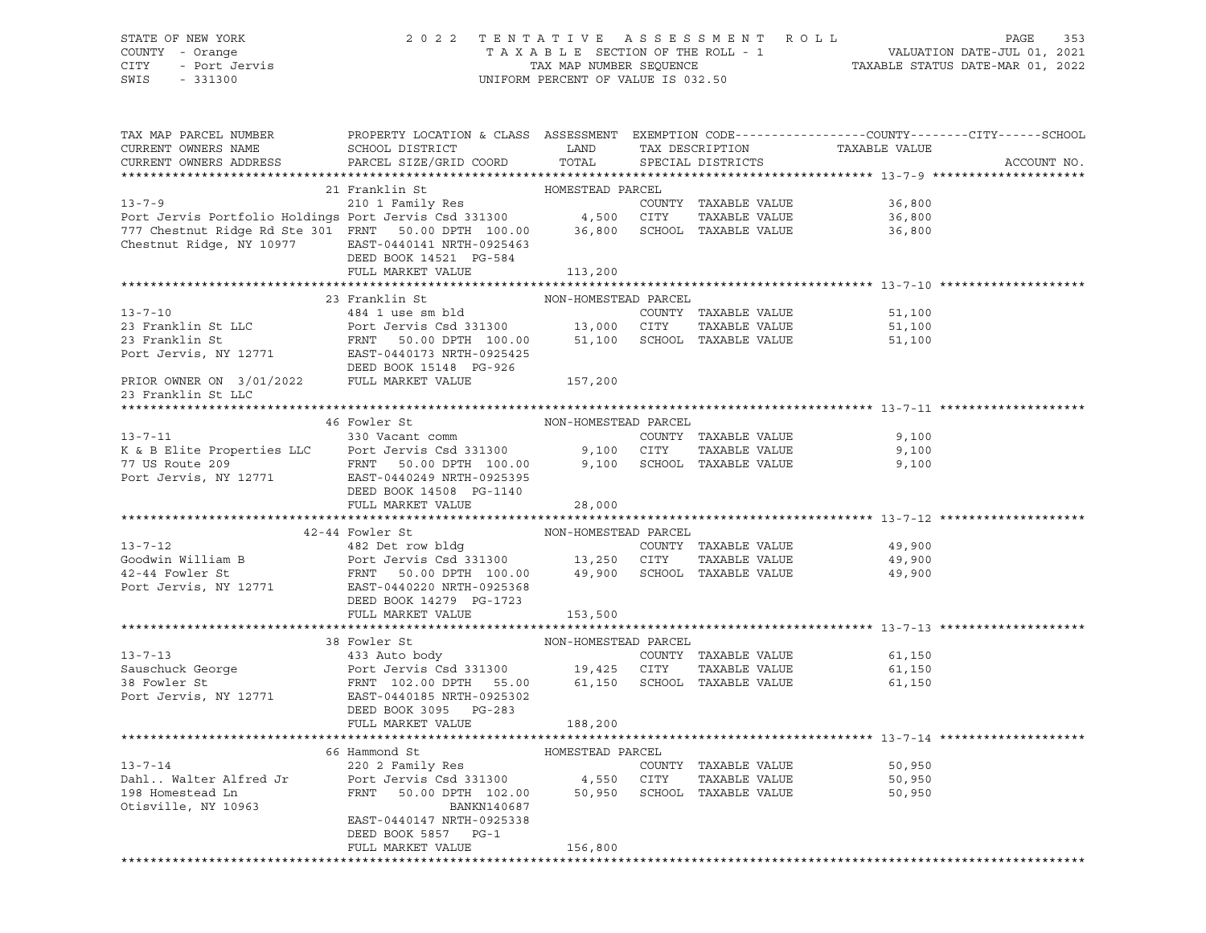### STATE OF NEW YORK 2 0 2 2 T E N T A T I V E A S S E S S M E N T R O L L PAGE 353 COUNTY - Orange T A X A B L E SECTION OF THE ROLL - 1 VALUATION DATE-JUL 01, 2021 CITY - Port Jervis TAX MAP NUMBER SEQUENCE TAXABLE STATUS DATE-MAR 01, 2022

| TAX MAP PARCEL NUMBER<br>CURRENT OWNERS NAME<br>CURRENT OWNERS ADDRESS                                                                                                                                                                                     | PROPERTY LOCATION & CLASS ASSESSMENT EXEMPTION CODE----------------COUNTY-------CITY------SCHOOL<br>SCHOOL DISTRICT LAND<br>PARCEL SIZE/GRID COORD | TOTAL                | TAX DESCRIPTION<br>SPECIAL DISTRICTS |                      | TAXABLE VALUE | ACCOUNT NO. |
|------------------------------------------------------------------------------------------------------------------------------------------------------------------------------------------------------------------------------------------------------------|----------------------------------------------------------------------------------------------------------------------------------------------------|----------------------|--------------------------------------|----------------------|---------------|-------------|
|                                                                                                                                                                                                                                                            |                                                                                                                                                    |                      |                                      |                      |               |             |
|                                                                                                                                                                                                                                                            |                                                                                                                                                    |                      |                                      |                      |               |             |
|                                                                                                                                                                                                                                                            |                                                                                                                                                    |                      |                                      | COUNTY TAXABLE VALUE | 36,800        |             |
|                                                                                                                                                                                                                                                            |                                                                                                                                                    |                      |                                      | TAXABLE VALUE        | 36,800        |             |
|                                                                                                                                                                                                                                                            |                                                                                                                                                    |                      |                                      |                      | 36,800        |             |
| Chestnut Ridge, NY 10977 EAST-0440141 NRTH-0925463                                                                                                                                                                                                         |                                                                                                                                                    |                      |                                      |                      |               |             |
|                                                                                                                                                                                                                                                            | DEED BOOK 14521 PG-584<br>FULL MARKET VALUE 113,200                                                                                                |                      |                                      |                      |               |             |
|                                                                                                                                                                                                                                                            |                                                                                                                                                    |                      |                                      |                      |               |             |
|                                                                                                                                                                                                                                                            | 23 Franklin St                                                                                                                                     | NON-HOMESTEAD PARCEL |                                      |                      |               |             |
| Franklin St LLC<br>23 Franklin St LLC<br>23 Franklin St ERNT 50.00 DPTH 100.00 13,000 CITY TAXABLE VALUE<br>23 Franklin St FRNT 50.00 DPTH 100.00 51,100 SCHOOL TAXABLE VALUE<br>23 Franklin St FRNT 50.00 DPTH 100.00 51,100 SCHOOL T                     |                                                                                                                                                    |                      |                                      |                      | 51,100        |             |
|                                                                                                                                                                                                                                                            |                                                                                                                                                    |                      |                                      |                      | 51,100        |             |
|                                                                                                                                                                                                                                                            |                                                                                                                                                    |                      |                                      |                      | 51,100        |             |
|                                                                                                                                                                                                                                                            |                                                                                                                                                    |                      |                                      |                      |               |             |
|                                                                                                                                                                                                                                                            |                                                                                                                                                    |                      |                                      |                      |               |             |
|                                                                                                                                                                                                                                                            |                                                                                                                                                    | 157,200              |                                      |                      |               |             |
| DEED BOOK 15148 PG-926<br>PRIOR OWNER ON 3/01/2022 PULL MARKET VALUE<br>23 Franklin St LLC<br>23 Franklin St LLC                                                                                                                                           |                                                                                                                                                    |                      |                                      |                      |               |             |
|                                                                                                                                                                                                                                                            |                                                                                                                                                    |                      |                                      |                      |               |             |
|                                                                                                                                                                                                                                                            | 46 Fowler St                                                                                                                                       | NON-HOMESTEAD PARCEL |                                      |                      |               |             |
| $13 - 7 - 11$                                                                                                                                                                                                                                              | 330 Vacant comm                                                                                                                                    |                      |                                      | COUNTY TAXABLE VALUE | 9,100         |             |
|                                                                                                                                                                                                                                                            |                                                                                                                                                    |                      |                                      |                      | 9,100         |             |
| Example 1990 Material Country TAXABLE VALUE<br>To Be and the Country of Country TAXABLE VALUE<br>To Be a Tenar Country of City TAXABLE VALUE<br>Port Jervis, NY 12771 EAST-0440249 NRTH-0925395<br>Port Jervis, NY 12771 EAST-0440249                      |                                                                                                                                                    |                      |                                      |                      | 9,100         |             |
|                                                                                                                                                                                                                                                            |                                                                                                                                                    |                      |                                      |                      |               |             |
|                                                                                                                                                                                                                                                            | DEED BOOK 14508 PG-1140                                                                                                                            |                      |                                      |                      |               |             |
|                                                                                                                                                                                                                                                            | FULL MARKET VALUE                                                                                                                                  | 28,000               |                                      |                      |               |             |
|                                                                                                                                                                                                                                                            |                                                                                                                                                    |                      |                                      |                      |               |             |
| 42-44 Fowler St<br>42-44 Fowler St<br>482 Det row bldg<br>Goodwin William B<br>49,900<br>42-44 Fowler St<br>49,900<br>42-44 Fowler St<br>FRNT 50.00 DPTH 100.00<br>49,900<br>2000 BCHOOL TAXABLE VALUE<br>49,900<br>5CHOOL TAXABLE VALUE<br>49,900<br>49,9 |                                                                                                                                                    |                      |                                      |                      |               |             |
|                                                                                                                                                                                                                                                            |                                                                                                                                                    |                      |                                      |                      |               |             |
|                                                                                                                                                                                                                                                            |                                                                                                                                                    |                      |                                      |                      |               |             |
|                                                                                                                                                                                                                                                            |                                                                                                                                                    |                      |                                      |                      |               |             |
|                                                                                                                                                                                                                                                            |                                                                                                                                                    |                      |                                      |                      |               |             |
|                                                                                                                                                                                                                                                            |                                                                                                                                                    | 153,500              |                                      |                      |               |             |
|                                                                                                                                                                                                                                                            | FULL MARKET VALUE                                                                                                                                  |                      |                                      |                      |               |             |
|                                                                                                                                                                                                                                                            |                                                                                                                                                    |                      |                                      |                      |               |             |
|                                                                                                                                                                                                                                                            |                                                                                                                                                    |                      |                                      |                      | 61,150        |             |
|                                                                                                                                                                                                                                                            |                                                                                                                                                    |                      |                                      |                      | 61,150        |             |
|                                                                                                                                                                                                                                                            |                                                                                                                                                    |                      |                                      |                      | 61,150        |             |
|                                                                                                                                                                                                                                                            |                                                                                                                                                    |                      |                                      |                      |               |             |
|                                                                                                                                                                                                                                                            | DEED BOOK 3095 PG-283                                                                                                                              |                      |                                      |                      |               |             |
|                                                                                                                                                                                                                                                            | FULL MARKET VALUE                                                                                                                                  | 188,200              |                                      |                      |               |             |
|                                                                                                                                                                                                                                                            |                                                                                                                                                    |                      |                                      |                      |               |             |
|                                                                                                                                                                                                                                                            | 66 Hammond St                                                                                                                                      |                      |                                      |                      |               |             |
| $13 - 7 - 14$                                                                                                                                                                                                                                              |                                                                                                                                                    |                      |                                      |                      | 50,950        |             |
|                                                                                                                                                                                                                                                            |                                                                                                                                                    |                      |                                      |                      | 50,950        |             |
| Dahl Walter Alfred Jr<br>198 Homestead Ln                                                                                                                                                                                                                  |                                                                                                                                                    |                      |                                      |                      | 50,950        |             |
| Otisville, NY 10963                                                                                                                                                                                                                                        | BANKN140687                                                                                                                                        |                      |                                      |                      |               |             |
|                                                                                                                                                                                                                                                            | EAST-0440147 NRTH-0925338                                                                                                                          |                      |                                      |                      |               |             |
|                                                                                                                                                                                                                                                            | DEED BOOK 5857 PG-1                                                                                                                                |                      |                                      |                      |               |             |
|                                                                                                                                                                                                                                                            | FULL MARKET VALUE                                                                                                                                  | 156,800              |                                      |                      |               |             |
|                                                                                                                                                                                                                                                            |                                                                                                                                                    |                      |                                      |                      |               |             |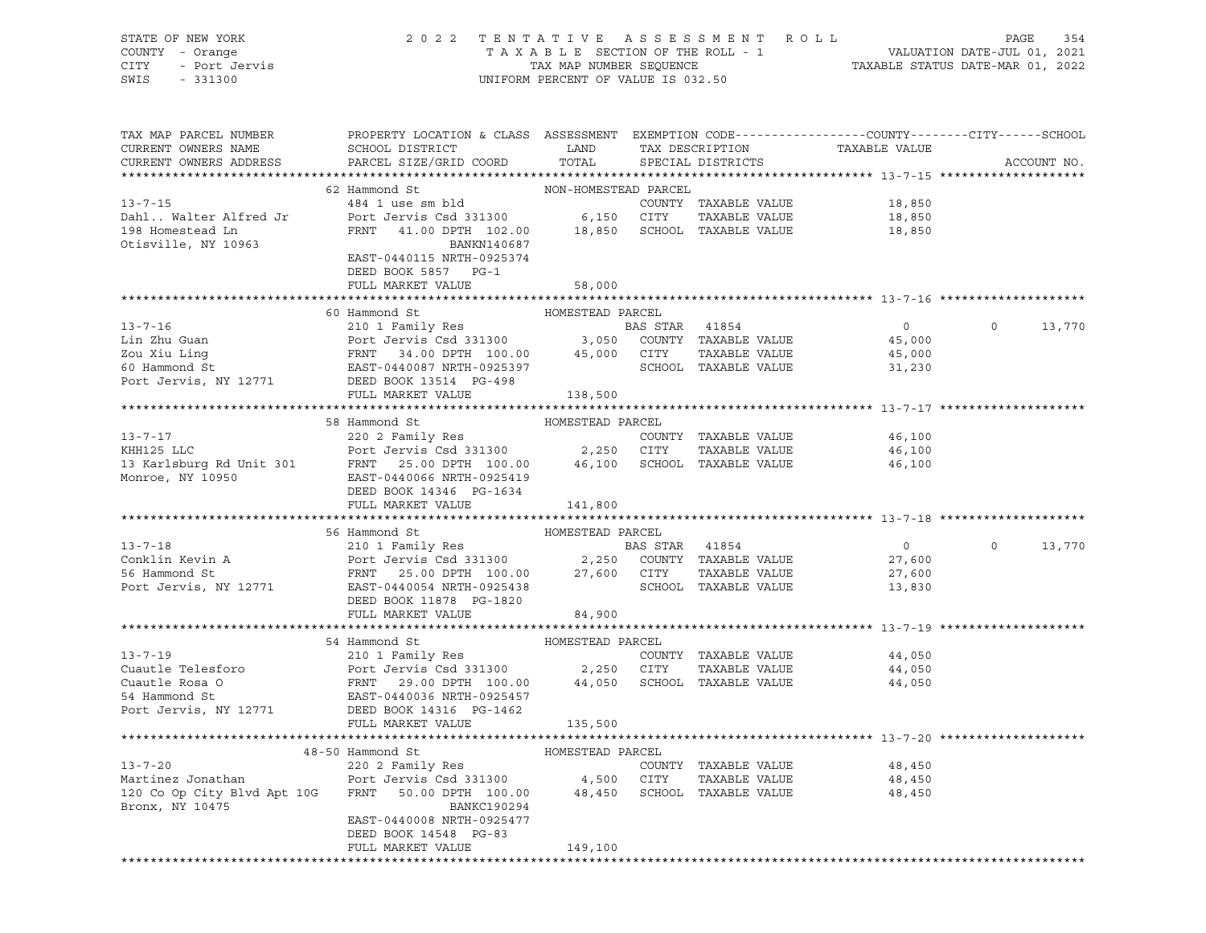| STATE OF NEW YORK<br>STATE OF NEW TOOLS<br>COUNTY - Orange<br>CITY - Port Jervis | 2022 TENTATIVE ASSESSMENT ROLL                                                                                                                                                                                                                                                                                                                                                                                                                              | UNIFORM PERCENT OF VALUE IS 032.50 |                      | TAXABLE SECTION OF THE ROLL - 1 VALUATION DATE-JUL 01, 2021<br>TAX MAP NUMBER SEQUENCE TAXABLE STATUS DATE-MAR 01, 2022<br>JNIFORM PERCENT OF VALUE IS 032 50 | PAGE               | 354    |
|----------------------------------------------------------------------------------|-------------------------------------------------------------------------------------------------------------------------------------------------------------------------------------------------------------------------------------------------------------------------------------------------------------------------------------------------------------------------------------------------------------------------------------------------------------|------------------------------------|----------------------|---------------------------------------------------------------------------------------------------------------------------------------------------------------|--------------------|--------|
|                                                                                  | TAX MAP PARCEL NUMBER THE PROPERTY LOCATION & CLASS ASSESSMENT EXEMPTION CODE--------------COUNTY-------CITY------SCHOOL                                                                                                                                                                                                                                                                                                                                    |                                    |                      |                                                                                                                                                               |                    |        |
| CURRENT OWNERS NAME                                                              | ${\tt SCHOOD\,\, \, {\tt DISTRTCT}} {\small\hbox{\tt LAND}} {\small\hbox{\tt TAX\,\, \, {\tt DESCRIPTION}} {\small\hbox{\tt TAXABLE\,\, \, {VALUE}} }$                                                                                                                                                                                                                                                                                                      |                                    |                      |                                                                                                                                                               |                    |        |
| CURRENT OWNERS ADDRESS                                                           | PARCEL SIZE/GRID COORD TOTAL                                                                                                                                                                                                                                                                                                                                                                                                                                |                                    | SPECIAL DISTRICTS    |                                                                                                                                                               | ACCOUNT NO.        |        |
|                                                                                  |                                                                                                                                                                                                                                                                                                                                                                                                                                                             |                                    |                      |                                                                                                                                                               |                    |        |
|                                                                                  | 62 Hammond St                                                                                                                                                                                                                                                                                                                                                                                                                                               | NON-HOMESTEAD PARCEL               |                      |                                                                                                                                                               |                    |        |
| $13 - 7 - 15$                                                                    |                                                                                                                                                                                                                                                                                                                                                                                                                                                             |                                    |                      |                                                                                                                                                               |                    |        |
| Dahl Walter Alfred Jr                                                            |                                                                                                                                                                                                                                                                                                                                                                                                                                                             |                                    |                      |                                                                                                                                                               |                    |        |
| 198 Homestead Ln<br>Otisville, NY 10963                                          | 484 1 use sm bld<br>484 1 use sm bld<br>Port Jervis Csd 331300 6,150 CITY TAXABLE VALUE<br>FRNT 41.00 DPTH 102.00 18,850 SCHOOL TAXABLE VALUE 18,850 FRNT 41.00 DPTH 102.00                                                                                                                                                                                                                                                                                 |                                    |                      |                                                                                                                                                               |                    |        |
|                                                                                  | BANKN140687                                                                                                                                                                                                                                                                                                                                                                                                                                                 |                                    |                      |                                                                                                                                                               |                    |        |
|                                                                                  | EAST-0440115 NRTH-0925374<br>DEED BOOK 5857 PG-1                                                                                                                                                                                                                                                                                                                                                                                                            |                                    |                      |                                                                                                                                                               |                    |        |
|                                                                                  | FULL MARKET VALUE                                                                                                                                                                                                                                                                                                                                                                                                                                           |                                    |                      |                                                                                                                                                               |                    |        |
|                                                                                  |                                                                                                                                                                                                                                                                                                                                                                                                                                                             | 58,000                             |                      |                                                                                                                                                               |                    |        |
|                                                                                  | 60 Hammond St MOMESTEAD PARCEL                                                                                                                                                                                                                                                                                                                                                                                                                              |                                    |                      |                                                                                                                                                               |                    |        |
|                                                                                  | 13-7-16<br>Lin Zhu Guan<br>2010 I Family Res<br>2010 I Family Res<br>2010 I Family Res<br>2010 I Family Res<br>2010 I Family Res<br>2010 I Family Res<br>2010 I Family Res<br>2010 I Family Res<br>2010 3,050 COUNTY TAXABLE VALUE<br>2010 AS STAR<br>                                                                                                                                                                                                      |                                    |                      |                                                                                                                                                               | $0 \t 0 \t 13,770$ |        |
|                                                                                  |                                                                                                                                                                                                                                                                                                                                                                                                                                                             |                                    |                      |                                                                                                                                                               |                    |        |
|                                                                                  |                                                                                                                                                                                                                                                                                                                                                                                                                                                             |                                    |                      |                                                                                                                                                               |                    |        |
|                                                                                  |                                                                                                                                                                                                                                                                                                                                                                                                                                                             |                                    |                      |                                                                                                                                                               |                    |        |
|                                                                                  |                                                                                                                                                                                                                                                                                                                                                                                                                                                             |                                    |                      |                                                                                                                                                               |                    |        |
|                                                                                  | FULL MARKET VALUE 138,500                                                                                                                                                                                                                                                                                                                                                                                                                                   |                                    |                      |                                                                                                                                                               |                    |        |
|                                                                                  |                                                                                                                                                                                                                                                                                                                                                                                                                                                             |                                    |                      |                                                                                                                                                               |                    |        |
|                                                                                  |                                                                                                                                                                                                                                                                                                                                                                                                                                                             |                                    |                      |                                                                                                                                                               |                    |        |
|                                                                                  |                                                                                                                                                                                                                                                                                                                                                                                                                                                             |                                    |                      |                                                                                                                                                               |                    |        |
|                                                                                  |                                                                                                                                                                                                                                                                                                                                                                                                                                                             |                                    |                      |                                                                                                                                                               |                    |        |
|                                                                                  | 13-7-17<br>13-7-17<br>220 2 Family Res<br>EXEL EXAMPLE VALUE<br>220 2 Family Res<br>Port Jervis Csd 331300<br>2,250 CITY TAXABLE VALUE<br>25.00 DPTH 100.00<br>46,100<br>Monroe, NY 10950<br>Monroe, NY 10950<br>2,250 CITY TAXABLE VALUE<br>46,100<br>2                                                                                                                                                                                                    |                                    |                      |                                                                                                                                                               |                    |        |
|                                                                                  |                                                                                                                                                                                                                                                                                                                                                                                                                                                             |                                    |                      |                                                                                                                                                               |                    |        |
|                                                                                  |                                                                                                                                                                                                                                                                                                                                                                                                                                                             |                                    |                      |                                                                                                                                                               |                    |        |
|                                                                                  | FULL MARKET VALUE                                                                                                                                                                                                                                                                                                                                                                                                                                           | 141,800                            |                      |                                                                                                                                                               |                    |        |
|                                                                                  |                                                                                                                                                                                                                                                                                                                                                                                                                                                             |                                    |                      |                                                                                                                                                               |                    |        |
|                                                                                  |                                                                                                                                                                                                                                                                                                                                                                                                                                                             |                                    |                      |                                                                                                                                                               |                    |        |
|                                                                                  |                                                                                                                                                                                                                                                                                                                                                                                                                                                             |                                    |                      | $\overline{0}$                                                                                                                                                | $0 \qquad \qquad$  | 13,770 |
|                                                                                  |                                                                                                                                                                                                                                                                                                                                                                                                                                                             |                                    |                      | 27,600                                                                                                                                                        |                    |        |
|                                                                                  | 56 Hammond St MOMESTEAD PARCEL<br>210 1 Family Res BAS STAR 41854<br>210 1 Family Res BAS STAR 41854<br>27,600 CONTY TAXABLE VALUE<br>27,600 CITY TAXABLE VALUE<br>Port Jervis, NY 12771 EAT-0440054 NRTH-0925438<br>27,600 CITY TAXABLE V                                                                                                                                                                                                                  |                                    |                      | 27,600<br>13,830                                                                                                                                              |                    |        |
|                                                                                  | DEED BOOK 11878 PG-1820                                                                                                                                                                                                                                                                                                                                                                                                                                     |                                    | SCHOOL TAXABLE VALUE |                                                                                                                                                               |                    |        |
|                                                                                  | FULL MARKET VALUE 84,900                                                                                                                                                                                                                                                                                                                                                                                                                                    |                                    |                      |                                                                                                                                                               |                    |        |
|                                                                                  |                                                                                                                                                                                                                                                                                                                                                                                                                                                             |                                    |                      |                                                                                                                                                               |                    |        |
|                                                                                  |                                                                                                                                                                                                                                                                                                                                                                                                                                                             |                                    |                      |                                                                                                                                                               |                    |        |
|                                                                                  |                                                                                                                                                                                                                                                                                                                                                                                                                                                             |                                    |                      | 44,050                                                                                                                                                        |                    |        |
|                                                                                  |                                                                                                                                                                                                                                                                                                                                                                                                                                                             |                                    |                      | TAXABLE VALUE 44,050                                                                                                                                          |                    |        |
|                                                                                  | $\begin{tabular}{lcccccc} 54\text{ Hammond St}&\text{HOMESTEAD PARCEL}\\ \text{Cuantle Telescope}&\text{210 1 Family Res}&\text{COMESTEAD PARCEL}&\text{COMISTEUL}\\ \text{Cuantle Rosa O}&\text{Port Jervis Csd 331300}&\text{2,250 CITY} &\text{TAXABLE VALUE}\\ \text{Cuantle Rosa O}&\text{FRNT}&\text{29.00 DPTH} &\text{100.00}&\text{44,050} &\text{SCHOOL} &\text{TAXABLE VALUE}\\ \text{54 Hammond St}&\text{EAST-0440036 NRTH-0925457} &\text{10$ |                                    |                      | 44,050                                                                                                                                                        |                    |        |
|                                                                                  |                                                                                                                                                                                                                                                                                                                                                                                                                                                             |                                    |                      |                                                                                                                                                               |                    |        |
|                                                                                  |                                                                                                                                                                                                                                                                                                                                                                                                                                                             |                                    |                      |                                                                                                                                                               |                    |        |
|                                                                                  | FULL MARKET VALUE                                                                                                                                                                                                                                                                                                                                                                                                                                           | 135,500                            |                      |                                                                                                                                                               |                    |        |
|                                                                                  |                                                                                                                                                                                                                                                                                                                                                                                                                                                             |                                    |                      |                                                                                                                                                               |                    |        |
|                                                                                  | $10 F1$ En Usymond $C+$                                                                                                                                                                                                                                                                                                                                                                                                                                     | UOMECTEAD DADCEL                   |                      |                                                                                                                                                               |                    |        |

|                             | 48-50 Hammond St          | HOMESTEAD PARCEL |               |        |
|-----------------------------|---------------------------|------------------|---------------|--------|
| $13 - 7 - 20$               | 220 2 Family Res          | COUNTY           | TAXABLE VALUE | 48,450 |
| Martinez Jonathan           | Port Jervis Csd 331300    | 4,500<br>CITY    | TAXABLE VALUE | 48,450 |
| 120 Co Op City Blvd Apt 10G | FRNT<br>50.00 DPTH 100.00 | 48,450<br>SCHOOL | TAXABLE VALUE | 48,450 |
| Bronx, NY 10475             | BANKC190294               |                  |               |        |
|                             | EAST-0440008 NRTH-0925477 |                  |               |        |
|                             | DEED BOOK 14548 PG-83     |                  |               |        |
|                             | FULL MARKET VALUE         | 149,100          |               |        |
|                             |                           |                  |               |        |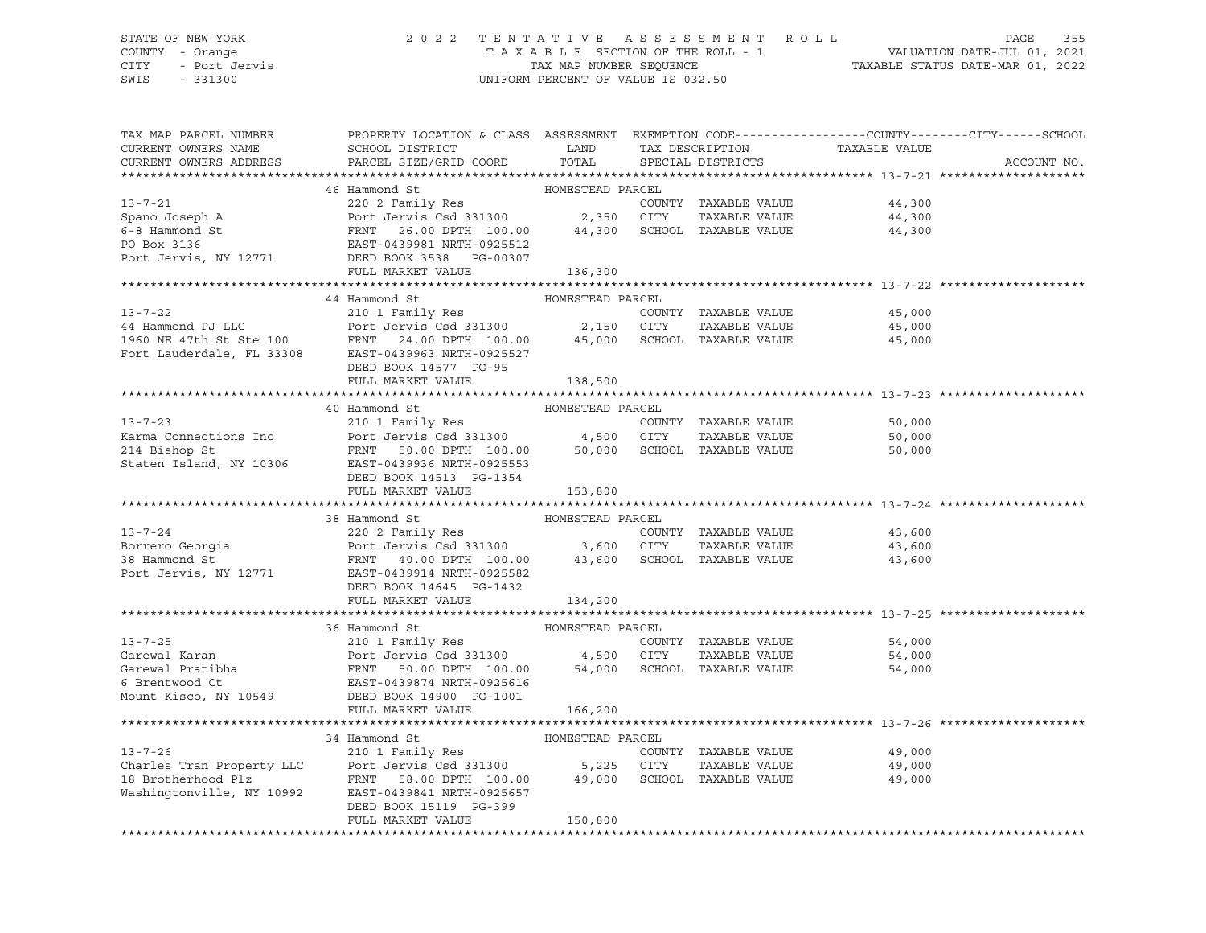### STATE OF NEW YORK 2 0 2 2 T E N T A T I V E A S S E S S M E N T R O L L PAGE 355 COUNTY - Orange T A X A B L E SECTION OF THE ROLL - 1 VALUATION DATE-JUL 01, 2021 CITY - Port Jervis TAX MAP NUMBER SEQUENCE TAXABLE STATUS DATE-MAR 01, 2022

| TAX MAP PARCEL NUMBER<br>CURRENT OWNERS NAME<br>CURRENT OWNERS ADDRESS | PROPERTY LOCATION & CLASS ASSESSMENT EXEMPTION CODE---------------COUNTY-------CITY------SCHOOL<br>SCHOOL DISTRICT<br><b>EXAMPLE DESCRIPTION OF STREET AND LAND</b><br>PARCEL SIZE/GRID COORD                                                          | TOTAL            |                             | AN DESCRIPTION TAXABLE VALUE SPECIAL DISTRICTS | ACCOUNT NO. |
|------------------------------------------------------------------------|--------------------------------------------------------------------------------------------------------------------------------------------------------------------------------------------------------------------------------------------------------|------------------|-----------------------------|------------------------------------------------|-------------|
|                                                                        |                                                                                                                                                                                                                                                        |                  |                             |                                                |             |
|                                                                        | 46 Hammond St                                                                                                                                                                                                                                          | HOMESTEAD PARCEL |                             |                                                |             |
| $13 - 7 - 21$                                                          | 220 2 Family Res                                                                                                                                                                                                                                       |                  | COUNTY TAXABLE VALUE        | 44,300                                         |             |
| Spano Joseph A                                                         |                                                                                                                                                                                                                                                        |                  | TAXABLE VALUE               | 44,300                                         |             |
| 6-8 Hammond St                                                         | Port Jervis Csd 331300<br>FRNT - 26.00 DPTH - 100.00<br>EAST-0439981 NRTH-0925512<br>FRNT 26.00 DPTH 100.00 44,300 SCHOOL TAXABLE VALUE                                                                                                                |                  |                             | 44,300                                         |             |
| PO Box 3136                                                            |                                                                                                                                                                                                                                                        |                  |                             |                                                |             |
|                                                                        | Port Jervis, NY 12771 DEED BOOK 3538 PG-00307                                                                                                                                                                                                          |                  |                             |                                                |             |
|                                                                        | FULL MARKET VALUE                                                                                                                                                                                                                                      | 136,300          |                             |                                                |             |
|                                                                        |                                                                                                                                                                                                                                                        |                  |                             |                                                |             |
|                                                                        | 44 Hammond St                                                                                                                                                                                                                                          | HOMESTEAD PARCEL |                             |                                                |             |
| $13 - 7 - 22$                                                          | 210 1 Family Res                                                                                                                                                                                                                                       |                  | COUNTY TAXABLE VALUE        | 45,000                                         |             |
|                                                                        | Port Jervis Csd 331300 2,150 CITY                                                                                                                                                                                                                      |                  | TAXABLE VALUE               | 45,000                                         |             |
|                                                                        |                                                                                                                                                                                                                                                        |                  |                             | 45,000                                         |             |
|                                                                        |                                                                                                                                                                                                                                                        |                  |                             |                                                |             |
|                                                                        |                                                                                                                                                                                                                                                        |                  |                             |                                                |             |
|                                                                        | DEED BOOK 14577 PG-95                                                                                                                                                                                                                                  |                  |                             |                                                |             |
|                                                                        | FULL MARKET VALUE                                                                                                                                                                                                                                      | 138,500          |                             |                                                |             |
|                                                                        |                                                                                                                                                                                                                                                        |                  |                             |                                                |             |
|                                                                        | 40 Hammond St                                                                                                                                                                                                                                          | HOMESTEAD PARCEL |                             |                                                |             |
| $13 - 7 - 23$                                                          |                                                                                                                                                                                                                                                        |                  | COUNTY TAXABLE VALUE        | 50,000                                         |             |
| Karma Connections Inc                                                  |                                                                                                                                                                                                                                                        |                  | TAXABLE VALUE               | 50,000                                         |             |
| 214 Bishop St                                                          | 210 1 Family Res<br>Port Jervis Csd 331300 4,500 CITY<br>FRNT 50.00 DPTH 100.00 50,000 SCHOOL<br>EAST-0439936 NRTH-0925553                                                                                                                             |                  | 50,000 SCHOOL TAXABLE VALUE | 50,000                                         |             |
| Staten Island, NY 10306                                                |                                                                                                                                                                                                                                                        |                  |                             |                                                |             |
|                                                                        | DEED BOOK 14513 PG-1354                                                                                                                                                                                                                                |                  |                             |                                                |             |
|                                                                        | FULL MARKET VALUE                                                                                                                                                                                                                                      | 153,800          |                             |                                                |             |
|                                                                        |                                                                                                                                                                                                                                                        |                  |                             |                                                |             |
|                                                                        | 38 Hammond St                                                                                                                                                                                                                                          |                  |                             |                                                |             |
| $13 - 7 - 24$                                                          |                                                                                                                                                                                                                                                        |                  | COUNTY TAXABLE VALUE        | 43,600                                         |             |
|                                                                        |                                                                                                                                                                                                                                                        |                  |                             | TAXABLE VALUE 43,600                           |             |
|                                                                        | Port Jervis Csd 331300 3,600 CITY TAXABLE VALUE<br>38 Hammond St FRNT 40.00 DPTH 100.00 43,600 SCHOOL TAXABLE VALUE<br>Port Jervis, NY 12771 EAST-0439914 NRTH-0925582                                                                                 |                  |                             | 43,600                                         |             |
|                                                                        |                                                                                                                                                                                                                                                        |                  |                             |                                                |             |
|                                                                        | DEED BOOK 14645 PG-1432                                                                                                                                                                                                                                |                  |                             |                                                |             |
|                                                                        | FULL MARKET VALUE                                                                                                                                                                                                                                      | 134,200          |                             |                                                |             |
|                                                                        |                                                                                                                                                                                                                                                        |                  |                             |                                                |             |
|                                                                        | 36 Hammond St                                                                                                                                                                                                                                          | HOMESTEAD PARCEL |                             |                                                |             |
|                                                                        |                                                                                                                                                                                                                                                        |                  |                             | 54,000                                         |             |
|                                                                        |                                                                                                                                                                                                                                                        |                  |                             | 54,000                                         |             |
|                                                                        |                                                                                                                                                                                                                                                        |                  |                             | 54,000                                         |             |
|                                                                        |                                                                                                                                                                                                                                                        |                  |                             |                                                |             |
|                                                                        | Mount Kisco, NY 10549 DEED BOOK 14900 PG-1001                                                                                                                                                                                                          |                  |                             |                                                |             |
|                                                                        |                                                                                                                                                                                                                                                        |                  |                             |                                                |             |
|                                                                        | FULL MARKET VALUE                                                                                                                                                                                                                                      | 166,200          |                             |                                                |             |
|                                                                        |                                                                                                                                                                                                                                                        |                  |                             |                                                |             |
|                                                                        |                                                                                                                                                                                                                                                        |                  |                             |                                                |             |
|                                                                        |                                                                                                                                                                                                                                                        |                  | COUNTY TAXABLE VALUE        | 49,000                                         |             |
|                                                                        |                                                                                                                                                                                                                                                        |                  | TAXABLE VALUE               | 49,000                                         |             |
|                                                                        | EXECUTE:<br>Charles Tran Property LLC<br>210 1 Family Res<br>210 1 Family Res<br>210 1 Family Res<br>210 1 Family Res<br>210 1 Family Res<br>210 1 Family Res<br>210 1 Family Res<br>210 1 Family Res<br>210 1 Family Res<br>210 1 Family Res<br>210 1 |                  | SCHOOL TAXABLE VALUE        | 49,000                                         |             |
|                                                                        |                                                                                                                                                                                                                                                        |                  |                             |                                                |             |
|                                                                        |                                                                                                                                                                                                                                                        |                  |                             |                                                |             |
|                                                                        | FULL MARKET VALUE                                                                                                                                                                                                                                      | 150,800          |                             |                                                |             |
|                                                                        |                                                                                                                                                                                                                                                        |                  |                             |                                                |             |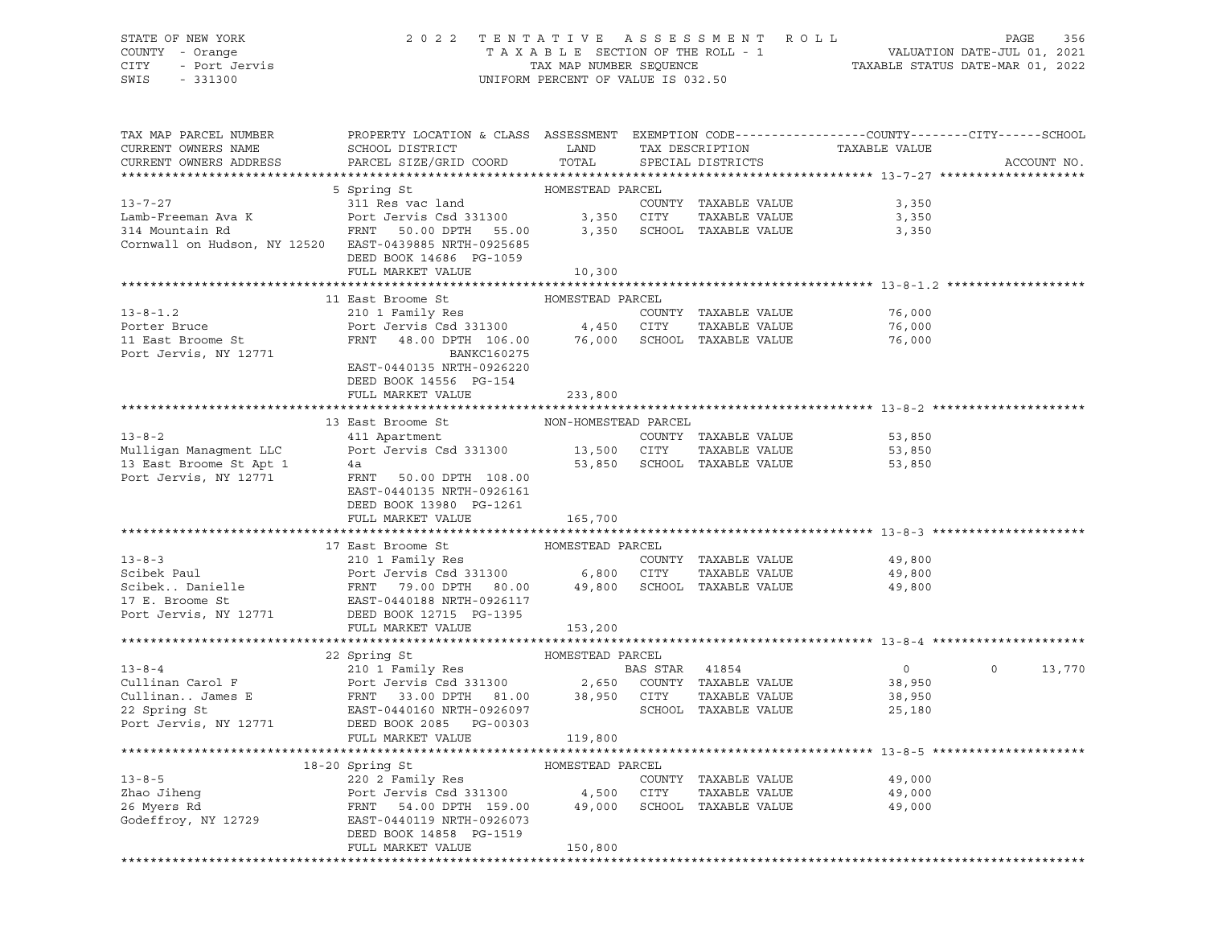# STATE OF NEW YORK 2 0 2 2 T E N T A T I V E A S S E S S M E N T R O L L PAGE 356 COUNTY - Orange T A X A B L E SECTION OF THE ROLL - 1 VALUATION DATE-JUL 01, 2021 CITY - Port Jervis TAX MAP NUMBER SEQUENCE TAXABLE STATUS DATE-MAR 01, 2022

| TAX MAP PARCEL NUMBER<br>CURRENT OWNERS NAME<br>CURRENT OWNERS ADDRESS                                                                                                                                                                                 | PROPERTY LOCATION & CLASS ASSESSMENT EXEMPTION CODE----------------COUNTY-------CITY------SCHOOL<br>${\tt SCHOOL\,\,\, DISTRICT}\qquad \qquad {\tt LAND}\qquad \qquad {\tt TAX\,\,\, DESCRIPTION}\qquad \qquad {\tt TAXABLE\,\,\, VALUE}$<br>PARCEL SIZE/GRID COORD TOTAL SPECIAL DISTRICTS |                  |  |                                                     |                |               | ACCOUNT NO. |
|--------------------------------------------------------------------------------------------------------------------------------------------------------------------------------------------------------------------------------------------------------|---------------------------------------------------------------------------------------------------------------------------------------------------------------------------------------------------------------------------------------------------------------------------------------------|------------------|--|-----------------------------------------------------|----------------|---------------|-------------|
|                                                                                                                                                                                                                                                        |                                                                                                                                                                                                                                                                                             |                  |  |                                                     |                |               |             |
| 5 Spring St<br>5 Spring St<br>311 Res vac land<br>23.31300 3,350 CITY TAXABLE VALUE<br>3,350 SCHOOL TAXABLE VALUE<br>3,350 SCHOOL TAXABLE VALUE<br>3,350 SCHOOL TAXABLE VALUE<br>3,350 SCHOOL TAXABLE VALUE<br>3,350 SCHOOL TAXABLE VALUE<br>3,3       |                                                                                                                                                                                                                                                                                             |                  |  |                                                     |                |               |             |
|                                                                                                                                                                                                                                                        |                                                                                                                                                                                                                                                                                             |                  |  |                                                     |                |               |             |
|                                                                                                                                                                                                                                                        |                                                                                                                                                                                                                                                                                             |                  |  |                                                     |                |               |             |
|                                                                                                                                                                                                                                                        |                                                                                                                                                                                                                                                                                             |                  |  |                                                     |                |               |             |
| Cornwall on Hudson, NY 12520 EAST-0439885 NRTH-0925685                                                                                                                                                                                                 |                                                                                                                                                                                                                                                                                             |                  |  |                                                     |                |               |             |
|                                                                                                                                                                                                                                                        | DEED BOOK 14686 PG-1059                                                                                                                                                                                                                                                                     |                  |  |                                                     |                |               |             |
|                                                                                                                                                                                                                                                        | FULL MARKET VALUE 10,300                                                                                                                                                                                                                                                                    |                  |  |                                                     |                |               |             |
|                                                                                                                                                                                                                                                        |                                                                                                                                                                                                                                                                                             |                  |  |                                                     |                |               |             |
|                                                                                                                                                                                                                                                        | 11 East Broome St MOMESTEAD PARCEL                                                                                                                                                                                                                                                          |                  |  |                                                     |                |               |             |
|                                                                                                                                                                                                                                                        |                                                                                                                                                                                                                                                                                             |                  |  |                                                     | 76,000         |               |             |
|                                                                                                                                                                                                                                                        |                                                                                                                                                                                                                                                                                             |                  |  | TAXABLE VALUE 76,000<br>TAXABLE VALUE 76,000        |                |               |             |
| 13-8-1.2<br>Porter Bruce<br>Port Bruce<br>Port Jervis Csd 331300<br>11 East Broome St<br>Port Jervis, NY 12771<br>EAST-0440135 NRTH-0926220<br>EAST-0440135 NRTH-0926220                                                                               |                                                                                                                                                                                                                                                                                             |                  |  |                                                     | 76,000         |               |             |
|                                                                                                                                                                                                                                                        |                                                                                                                                                                                                                                                                                             |                  |  |                                                     |                |               |             |
|                                                                                                                                                                                                                                                        |                                                                                                                                                                                                                                                                                             |                  |  |                                                     |                |               |             |
|                                                                                                                                                                                                                                                        | DEED BOOK 14556 PG-154                                                                                                                                                                                                                                                                      |                  |  |                                                     |                |               |             |
|                                                                                                                                                                                                                                                        | FULL MARKET VALUE                                                                                                                                                                                                                                                                           | 233,800          |  |                                                     |                |               |             |
|                                                                                                                                                                                                                                                        |                                                                                                                                                                                                                                                                                             |                  |  |                                                     |                |               |             |
| 13-8-2<br>13-8-2<br>Mulligan Managment LLC<br>Mulligan Managment LLC<br>13 East Broome St Apt 1<br>13 East Broome St Apt 1<br>13 East Broome St Apt 1<br>13 East Broome St Apt 1<br>4a<br>Port Jervis, NY 12771<br>EAST-0440135 NRTH-0926161<br>EAST   |                                                                                                                                                                                                                                                                                             |                  |  |                                                     |                |               |             |
|                                                                                                                                                                                                                                                        |                                                                                                                                                                                                                                                                                             |                  |  |                                                     |                |               |             |
|                                                                                                                                                                                                                                                        |                                                                                                                                                                                                                                                                                             |                  |  |                                                     |                |               |             |
|                                                                                                                                                                                                                                                        |                                                                                                                                                                                                                                                                                             |                  |  |                                                     |                |               |             |
|                                                                                                                                                                                                                                                        |                                                                                                                                                                                                                                                                                             |                  |  |                                                     |                |               |             |
|                                                                                                                                                                                                                                                        |                                                                                                                                                                                                                                                                                             |                  |  |                                                     |                |               |             |
|                                                                                                                                                                                                                                                        | DEED BOOK 13980 PG-1261                                                                                                                                                                                                                                                                     |                  |  |                                                     |                |               |             |
|                                                                                                                                                                                                                                                        | FULL MARKET VALUE                                                                                                                                                                                                                                                                           | 165,700          |  |                                                     |                |               |             |
|                                                                                                                                                                                                                                                        |                                                                                                                                                                                                                                                                                             |                  |  |                                                     |                |               |             |
|                                                                                                                                                                                                                                                        | 17 East Broome St                                                                                                                                                                                                                                                                           | HOMESTEAD PARCEL |  |                                                     |                |               |             |
|                                                                                                                                                                                                                                                        |                                                                                                                                                                                                                                                                                             |                  |  |                                                     |                |               |             |
| 13-8-3<br>Scibek Paul<br>Scibek Paul<br>Scibek Danielle<br>Scibek Danielle<br>FRNT 79.00 DPTH 80.00<br>FRNT 79.00 DPTH 80.00<br>17 E. Broome St<br>EAST-0440188 NRTH-0926117<br>POTT JERED BOOK 12771<br>DEED BOOK 12771<br>DEED BOOK 12771<br>DEED BO |                                                                                                                                                                                                                                                                                             |                  |  |                                                     |                |               |             |
|                                                                                                                                                                                                                                                        |                                                                                                                                                                                                                                                                                             |                  |  |                                                     |                |               |             |
|                                                                                                                                                                                                                                                        |                                                                                                                                                                                                                                                                                             |                  |  |                                                     |                |               |             |
|                                                                                                                                                                                                                                                        |                                                                                                                                                                                                                                                                                             |                  |  |                                                     |                |               |             |
|                                                                                                                                                                                                                                                        | FULL MARKET VALUE 153,200                                                                                                                                                                                                                                                                   |                  |  |                                                     |                |               |             |
|                                                                                                                                                                                                                                                        |                                                                                                                                                                                                                                                                                             |                  |  |                                                     |                |               |             |
|                                                                                                                                                                                                                                                        |                                                                                                                                                                                                                                                                                             |                  |  |                                                     | $\overline{0}$ |               |             |
|                                                                                                                                                                                                                                                        |                                                                                                                                                                                                                                                                                             |                  |  |                                                     |                | $0 \t 13,770$ |             |
|                                                                                                                                                                                                                                                        |                                                                                                                                                                                                                                                                                             |                  |  |                                                     |                |               |             |
|                                                                                                                                                                                                                                                        |                                                                                                                                                                                                                                                                                             |                  |  |                                                     |                |               |             |
|                                                                                                                                                                                                                                                        |                                                                                                                                                                                                                                                                                             |                  |  |                                                     |                |               |             |
|                                                                                                                                                                                                                                                        |                                                                                                                                                                                                                                                                                             |                  |  |                                                     |                |               |             |
|                                                                                                                                                                                                                                                        | FULL MARKET VALUE 119,800                                                                                                                                                                                                                                                                   |                  |  | ********************************** 13-8-5 ********* |                |               |             |
|                                                                                                                                                                                                                                                        |                                                                                                                                                                                                                                                                                             |                  |  |                                                     |                |               |             |
|                                                                                                                                                                                                                                                        |                                                                                                                                                                                                                                                                                             |                  |  |                                                     |                |               |             |
|                                                                                                                                                                                                                                                        |                                                                                                                                                                                                                                                                                             |                  |  | TAXABLE VALUE 49,000                                | 49,000         |               |             |
|                                                                                                                                                                                                                                                        |                                                                                                                                                                                                                                                                                             |                  |  |                                                     |                |               |             |
|                                                                                                                                                                                                                                                        |                                                                                                                                                                                                                                                                                             |                  |  |                                                     | 49,000         |               |             |
|                                                                                                                                                                                                                                                        |                                                                                                                                                                                                                                                                                             |                  |  |                                                     |                |               |             |
|                                                                                                                                                                                                                                                        |                                                                                                                                                                                                                                                                                             |                  |  |                                                     |                |               |             |
|                                                                                                                                                                                                                                                        |                                                                                                                                                                                                                                                                                             |                  |  |                                                     |                |               |             |
|                                                                                                                                                                                                                                                        |                                                                                                                                                                                                                                                                                             |                  |  |                                                     |                |               |             |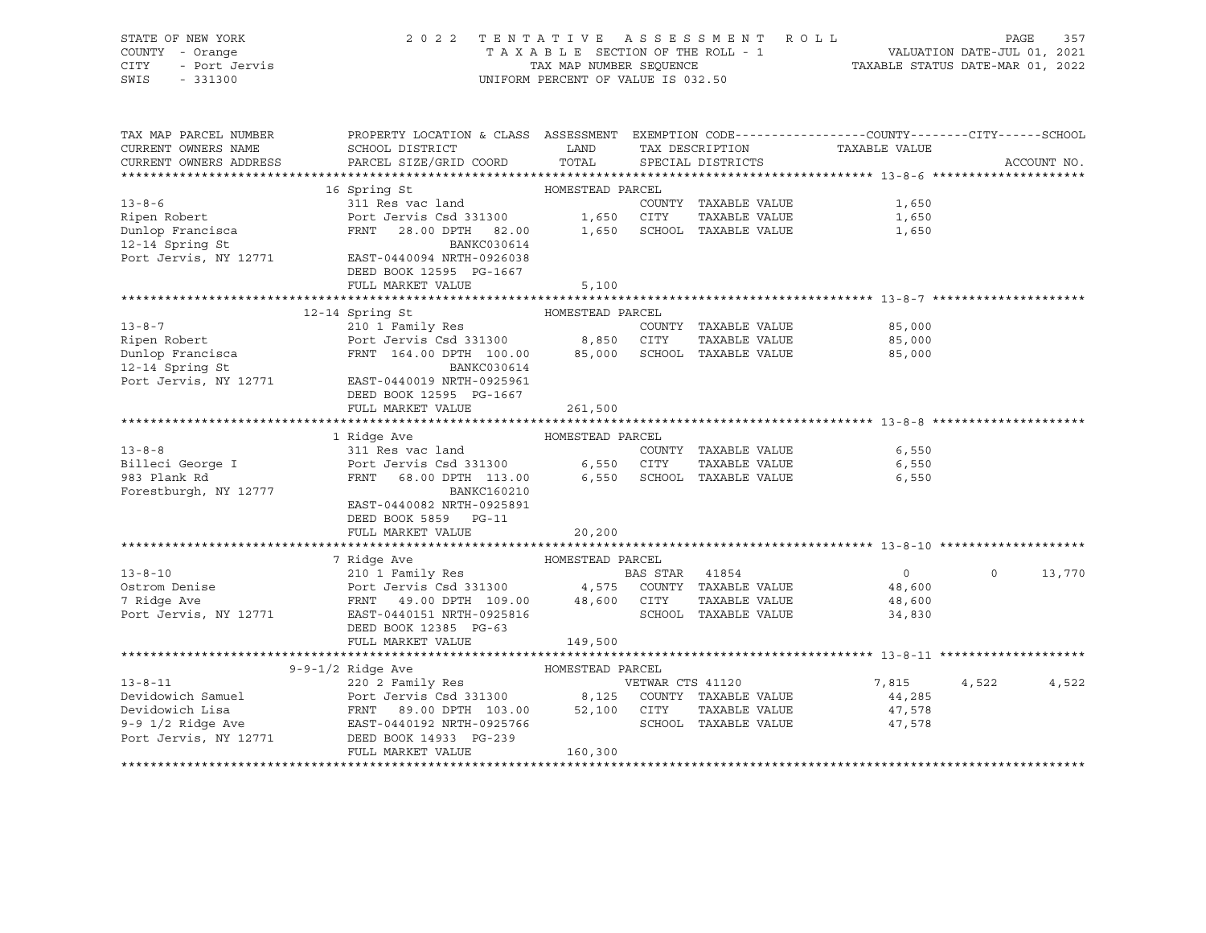| STATE OF NEW YORK                   |                                                                                                                                                                                                                                  |                                            | 2022 TENTATIVE ASSESSMENT ROLL               |                                                                          | PAGE     | 357         |
|-------------------------------------|----------------------------------------------------------------------------------------------------------------------------------------------------------------------------------------------------------------------------------|--------------------------------------------|----------------------------------------------|--------------------------------------------------------------------------|----------|-------------|
| COUNTY - Orange                     |                                                                                                                                                                                                                                  |                                            | TAXABLE SECTION OF THE ROLL - 1              | ROLL - 1 VALUATION DATE-JUL 01, 2021<br>TAXABLE STATUS DATE-MAR 01, 2022 |          |             |
| - Port Jervis<br>CITY               |                                                                                                                                                                                                                                  | TAX MAP NUMBER SEQUENCE                    |                                              |                                                                          |          |             |
| SWIS<br>$-331300$                   |                                                                                                                                                                                                                                  |                                            | UNIFORM PERCENT OF VALUE IS 032.50           |                                                                          |          |             |
|                                     |                                                                                                                                                                                                                                  |                                            |                                              |                                                                          |          |             |
|                                     |                                                                                                                                                                                                                                  |                                            |                                              |                                                                          |          |             |
|                                     |                                                                                                                                                                                                                                  |                                            |                                              |                                                                          |          |             |
| TAX MAP PARCEL NUMBER               | PROPERTY LOCATION & CLASS ASSESSMENT EXEMPTION CODE---------------COUNTY-------CITY------SCHOOL                                                                                                                                  |                                            |                                              |                                                                          |          |             |
| CURRENT OWNERS NAME                 | SCHOOL DISTRICT                                                                                                                                                                                                                  | <b>EXAMPLE THE STATE OF STATE OF STATE</b> | TAX DESCRIPTION TAXABLE VALUE                |                                                                          |          |             |
| CURRENT OWNERS ADDRESS              | PARCEL SIZE/GRID COORD TOTAL                                                                                                                                                                                                     |                                            | SPECIAL DISTRICTS                            |                                                                          |          | ACCOUNT NO. |
|                                     |                                                                                                                                                                                                                                  |                                            |                                              |                                                                          |          |             |
|                                     | 16 Spring St                                                                                                                                                                                                                     | HOMESTEAD PARCEL                           |                                              |                                                                          |          |             |
| $13 - 8 - 6$                        | 311 Res vac land                                                                                                                                                                                                                 |                                            | COUNTY TAXABLE VALUE                         | 1,650                                                                    |          |             |
|                                     | Port Jervis Csd 331300 1,650 CITY                                                                                                                                                                                                |                                            |                                              |                                                                          |          |             |
| Ripen Robert                        |                                                                                                                                                                                                                                  |                                            | TAXABLE VALUE                                | 1,650                                                                    |          |             |
| Dunlop Francisca<br>12-14 Spring St | FRNT 28.00 DPTH 82.00 1,650 SCHOOL TAXABLE VALUE                                                                                                                                                                                 |                                            |                                              | 1,650                                                                    |          |             |
|                                     | BANKC030614                                                                                                                                                                                                                      |                                            |                                              |                                                                          |          |             |
| Port Jervis, NY 12771               | EAST-0440094 NRTH-0926038                                                                                                                                                                                                        |                                            |                                              |                                                                          |          |             |
|                                     | DEED BOOK 12595 PG-1667                                                                                                                                                                                                          |                                            |                                              |                                                                          |          |             |
|                                     | FULL MARKET VALUE                                                                                                                                                                                                                | 5,100                                      |                                              |                                                                          |          |             |
|                                     |                                                                                                                                                                                                                                  |                                            |                                              |                                                                          |          |             |
|                                     | 12-14 Spring St                                                                                                                                                                                                                  | HOMESTEAD PARCEL                           |                                              |                                                                          |          |             |
| $13 - 8 - 7$                        | 210 1 Family Res                                                                                                                                                                                                                 |                                            | COUNTY TAXABLE VALUE                         | 85,000                                                                   |          |             |
| Ripen Robert                        | Port Jervis Csd 331300 8,850 CITY TAXABLE VALUE<br>FRNT 164.00 DPTH 100.00 85,000 SCHOOL TAXABLE VALUE                                                                                                                           |                                            | TAXABLE VALUE                                | 85,000                                                                   |          |             |
|                                     |                                                                                                                                                                                                                                  |                                            |                                              | 85,000                                                                   |          |             |
| Dunlop Francisca<br>12-14 Spring St | BANKC030614                                                                                                                                                                                                                      |                                            |                                              |                                                                          |          |             |
| Port Jervis, NY 12771               | EAST-0440019 NRTH-0925961                                                                                                                                                                                                        |                                            |                                              |                                                                          |          |             |
|                                     |                                                                                                                                                                                                                                  |                                            |                                              |                                                                          |          |             |
|                                     | DEED BOOK 12595 PG-1667                                                                                                                                                                                                          |                                            |                                              |                                                                          |          |             |
|                                     | FULL MARKET VALUE                                                                                                                                                                                                                | 261,500                                    |                                              |                                                                          |          |             |
|                                     |                                                                                                                                                                                                                                  |                                            |                                              |                                                                          |          |             |
|                                     | 1 Ridge Ave                                                                                                                                                                                                                      | HOMESTEAD PARCEL                           |                                              |                                                                          |          |             |
| $13 - 8 - 8$                        | 311 Res vac land                                                                                                                                                                                                                 |                                            | COUNTY TAXABLE VALUE                         | 6,550                                                                    |          |             |
| Billeci George I                    | Port Jervis Csd 331300 6,550 CITY                                                                                                                                                                                                |                                            | TAXABLE VALUE                                | 6,550                                                                    |          |             |
| 983 Plank Rd                        | FRNT                                                                                                                                                                                                                             |                                            | 68.00 DPTH 113.00 6,550 SCHOOL TAXABLE VALUE | 6,550                                                                    |          |             |
| Forestburgh, NY 12777               | BANKC160210                                                                                                                                                                                                                      |                                            |                                              |                                                                          |          |             |
|                                     | EAST-0440082 NRTH-0925891                                                                                                                                                                                                        |                                            |                                              |                                                                          |          |             |
|                                     | DEED BOOK 5859 PG-11                                                                                                                                                                                                             |                                            |                                              |                                                                          |          |             |
|                                     | FULL MARKET VALUE                                                                                                                                                                                                                | 20,200                                     |                                              |                                                                          |          |             |
|                                     |                                                                                                                                                                                                                                  |                                            |                                              |                                                                          |          |             |
|                                     | 7 Ridge Ave                                                                                                                                                                                                                      | HOMESTEAD PARCEL                           |                                              |                                                                          |          |             |
| $13 - 8 - 10$                       | 210 1 Family Res                                                                                                                                                                                                                 |                                            | BAS STAR 41854                               | $\overline{0}$                                                           | $\Omega$ | 13,770      |
| Ostrom Denise                       |                                                                                                                                                                                                                                  |                                            |                                              | 48,600                                                                   |          |             |
|                                     |                                                                                                                                                                                                                                  |                                            |                                              |                                                                          |          |             |
| 7 Ridge Ave                         | Port Jervis Csd 331300<br>FRNT 49.00 DPTH 109.00 48,600 CITY TAXABLE VALUE<br>EAST-0440151 NRTH-0925816 SCHOOL TAXABLE VALUE                                                                                                     |                                            |                                              | 48,600                                                                   |          |             |
| Port Jervis, NY 12771               | EAST-0440151 NRTH-0925816                                                                                                                                                                                                        |                                            | SCHOOL TAXABLE VALUE                         | 34,830                                                                   |          |             |
|                                     | DEED BOOK 12385 PG-63                                                                                                                                                                                                            |                                            |                                              |                                                                          |          |             |
|                                     | FULL MARKET VALUE                                                                                                                                                                                                                | 149,500                                    |                                              |                                                                          |          |             |
|                                     |                                                                                                                                                                                                                                  |                                            |                                              |                                                                          |          |             |
|                                     | $9-9-1/2$ Ridge Ave                                                                                                                                                                                                              | HOMESTEAD PARCEL                           |                                              |                                                                          |          |             |
| $13 - 8 - 11$                       | 9-9-1/2 Kinge Ave (1990)<br>220 2 Family Res (220 2 Family Res (220 2 Family Res (220 2 Family Res (220 2 Family Res (220 2 Family Res (220 2 Family Res (220 2 Family Res (220 2 Family Res (220 2 Family Reserved 220 2 Family |                                            |                                              | 7,815                                                                    | 4,522    | 4,522       |
| Devidowich Samuel                   |                                                                                                                                                                                                                                  |                                            |                                              | 44,285                                                                   |          |             |
| Devidowich Lisa                     |                                                                                                                                                                                                                                  |                                            |                                              | 47,578                                                                   |          |             |
| $9-9$ $1/2$ Ridge Ave               |                                                                                                                                                                                                                                  |                                            |                                              | 47,578                                                                   |          |             |
| Port Jervis, NY 12771               | DEED BOOK 14933 PG-239                                                                                                                                                                                                           |                                            |                                              |                                                                          |          |             |
|                                     | FULL MARKET VALUE                                                                                                                                                                                                                | 160,300                                    |                                              |                                                                          |          |             |
|                                     |                                                                                                                                                                                                                                  |                                            |                                              |                                                                          |          |             |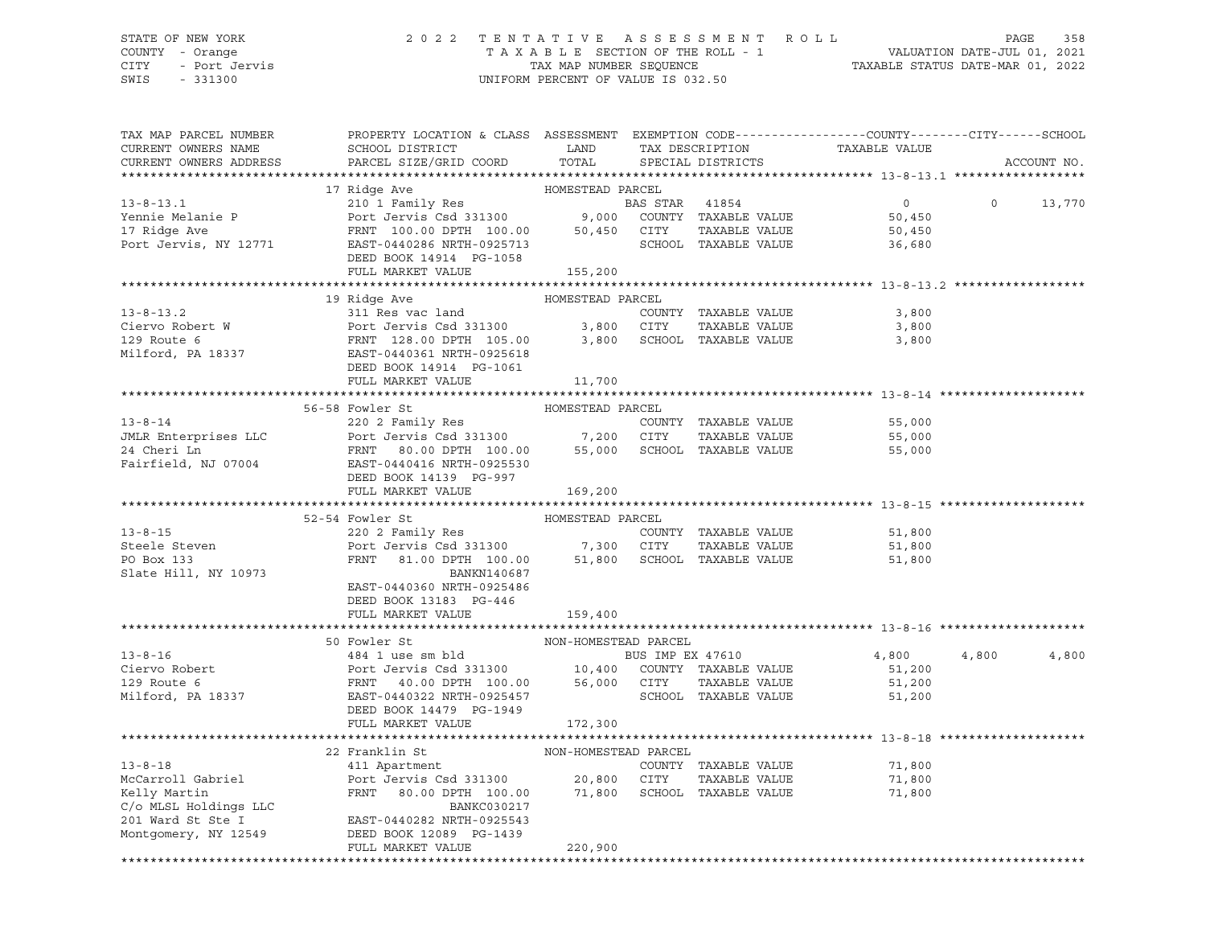### STATE OF NEW YORK 2 0 2 2 T E N T A T I V E A S S E S S M E N T R O L L PAGE 358 COUNTY - Orange T A X A B L E SECTION OF THE ROLL - 1 VALUATION DATE-JUL 01, 2021 CITY - Port Jervis TAX MAP NUMBER SEQUENCE TAXABLE STATUS DATE-MAR 01, 2022

| TAX MAP PARCEL NUMBER<br>CURRENT OWNERS NAME<br>CURRENT OWNERS ADDRESS | PROPERTY LOCATION & CLASS ASSESSMENT EXEMPTION CODE----------------COUNTY-------CITY------SCHOOL<br>SCHOOL DISTRICT<br><b>LAND</b><br>PARCEL SIZE/GRID COORD                                                                                                       | TOTAL                | TAX DESCRIPTION<br>SPECIAL DISTRICTS | TAXABLE VALUE  |         | ACCOUNT NO. |
|------------------------------------------------------------------------|--------------------------------------------------------------------------------------------------------------------------------------------------------------------------------------------------------------------------------------------------------------------|----------------------|--------------------------------------|----------------|---------|-------------|
|                                                                        |                                                                                                                                                                                                                                                                    |                      |                                      |                |         |             |
|                                                                        | 17 Ridge Ave                                                                                                                                                                                                                                                       | HOMESTEAD PARCEL     |                                      |                |         |             |
|                                                                        |                                                                                                                                                                                                                                                                    |                      |                                      | $\overline{0}$ | $\circ$ | 13,770      |
|                                                                        |                                                                                                                                                                                                                                                                    |                      |                                      | 50,450         |         |             |
|                                                                        |                                                                                                                                                                                                                                                                    |                      |                                      | 50,450         |         |             |
|                                                                        |                                                                                                                                                                                                                                                                    |                      |                                      | 36,680         |         |             |
|                                                                        | DEED BOOK 14914 PG-1058                                                                                                                                                                                                                                            |                      |                                      |                |         |             |
|                                                                        | FULL MARKET VALUE                                                                                                                                                                                                                                                  | 155,200              |                                      |                |         |             |
|                                                                        |                                                                                                                                                                                                                                                                    |                      |                                      |                |         |             |
|                                                                        | 19 Ridge Ave                                                                                                                                                                                                                                                       | HOMESTEAD PARCEL     |                                      |                |         |             |
|                                                                        |                                                                                                                                                                                                                                                                    |                      |                                      | 3,800          |         |             |
|                                                                        | 13-8-13.2<br>Ciervo Robert W<br>29 Route 6<br>29 Route 6<br>29 Route 6<br>29 Route 6<br>29 Route 6<br>29 Route 6<br>29 Route 6<br>29 Route 6<br>29 Route 6<br>29 Route 6<br>29 Route 6<br>29 Route 6<br>29 Route 6<br>29 Route 6<br>29 Route 6<br>29 Route 6<br>29 |                      | TAXABLE VALUE                        | 3,800          |         |             |
|                                                                        |                                                                                                                                                                                                                                                                    |                      |                                      | 3,800          |         |             |
|                                                                        |                                                                                                                                                                                                                                                                    |                      |                                      |                |         |             |
|                                                                        | DEED BOOK 14914 PG-1061                                                                                                                                                                                                                                            |                      |                                      |                |         |             |
|                                                                        | FULL MARKET VALUE                                                                                                                                                                                                                                                  | 11,700               |                                      |                |         |             |
|                                                                        |                                                                                                                                                                                                                                                                    |                      |                                      |                |         |             |
|                                                                        | 56-58 Fowler St                                                                                                                                                                                                                                                    | HOMESTEAD PARCEL     |                                      |                |         |             |
| $13 - 8 - 14$                                                          | 220 2 Family Res<br>Port Jervis Csd 331300 7,200 CITY                                                                                                                                                                                                              |                      | COUNTY TAXABLE VALUE                 | 55,000         |         |             |
| JMLR Enterprises LLC                                                   |                                                                                                                                                                                                                                                                    |                      | TAXABLE VALUE                        | 55,000         |         |             |
| 24 Cheri Ln                                                            | FRNT 80.00 DPTH 100.00 55,000 SCHOOL TAXABLE VALUE                                                                                                                                                                                                                 |                      |                                      | 55,000         |         |             |
| Fairfield, NJ 07004                                                    | EAST-0440416 NRTH-0925530                                                                                                                                                                                                                                          |                      |                                      |                |         |             |
|                                                                        | DEED BOOK 14139 PG-997                                                                                                                                                                                                                                             |                      |                                      |                |         |             |
|                                                                        | FULL MARKET VALUE                                                                                                                                                                                                                                                  | 169,200              |                                      |                |         |             |
|                                                                        | 52-54 Fowler St                                                                                                                                                                                                                                                    | HOMESTEAD PARCEL     |                                      |                |         |             |
| $13 - 8 - 15$                                                          | 220 2 Family Res                                                                                                                                                                                                                                                   |                      | COUNTY TAXABLE VALUE                 | 51,800         |         |             |
| Steele Steven                                                          |                                                                                                                                                                                                                                                                    |                      | TAXABLE VALUE                        | 51,800         |         |             |
| PO Box 133                                                             | 220 2 Family Res<br>Port Jervis Csd 331300 7,300 CITY TAXABLE VALUE<br>FRNT 81.00 DPTH 100.00 51,800 SCHOOL TAXABLE VALUE                                                                                                                                          |                      |                                      | 51,800         |         |             |
| Slate Hill, NY 10973                                                   | BANKN140687                                                                                                                                                                                                                                                        |                      |                                      |                |         |             |
|                                                                        | EAST-0440360 NRTH-0925486                                                                                                                                                                                                                                          |                      |                                      |                |         |             |
|                                                                        | DEED BOOK 13183 PG-446                                                                                                                                                                                                                                             |                      |                                      |                |         |             |
|                                                                        | FULL MARKET VALUE                                                                                                                                                                                                                                                  | 159,400              |                                      |                |         |             |
|                                                                        |                                                                                                                                                                                                                                                                    |                      |                                      |                |         |             |
|                                                                        | 50 Fowler St                                                                                                                                                                                                                                                       | NON-HOMESTEAD PARCEL |                                      |                |         |             |
| $13 - 8 - 16$                                                          | FOWIET ST<br>484 1 use sm bld<br>POTT Jervis Csd 331300<br>FRNT 40.00 DPTH 100.00 56,000 CITY TAXABLE VALUE<br>EAST-0440322 NRTH-0925457 SCHOOL TAXABLE VALUE                                                                                                      |                      |                                      | 4,800          | 4,800   | 4,800       |
| Ciervo Robert                                                          |                                                                                                                                                                                                                                                                    |                      |                                      | 51,200         |         |             |
| 129 Route 6                                                            |                                                                                                                                                                                                                                                                    |                      |                                      | 51,200         |         |             |
| Milford, PA 18337                                                      |                                                                                                                                                                                                                                                                    |                      | SCHOOL TAXABLE VALUE                 | 51,200         |         |             |
|                                                                        | DEED BOOK 14479 PG-1949                                                                                                                                                                                                                                            |                      |                                      |                |         |             |
|                                                                        | FULL MARKET VALUE                                                                                                                                                                                                                                                  | 172,300              |                                      |                |         |             |
|                                                                        |                                                                                                                                                                                                                                                                    |                      |                                      |                |         |             |
|                                                                        | $\begin{minipage}{.4\linewidth} \begin{tabular}{lcccc} \bf 22 \textit{ Franklin St} & \textit{NON-HOMESTEAD PARCEL} \\ \bf 411 \textit{Apartment} & \textit{COUNTY} \end{tabular} \end{minipage}$                                                                  |                      |                                      |                |         |             |
|                                                                        |                                                                                                                                                                                                                                                                    |                      | COUNTY TAXABLE VALUE                 | 71,800         |         |             |
| 13-8-18<br>McCarroll Gabriel<br>Contin                                 | Port Jervis Csd 331300 20,800 CITY TAXABLE VALUE<br>FRNT 80.00 DPTH 100.00 71,800 SCHOOL TAXABLE VALUE                                                                                                                                                             |                      |                                      | 71,800         |         |             |
|                                                                        |                                                                                                                                                                                                                                                                    |                      |                                      | 71,800         |         |             |
| C/o MLSL Holdings LLC                                                  | BANKC030217                                                                                                                                                                                                                                                        |                      |                                      |                |         |             |
| 201 Ward St Ste I                                                      | EAST-0440282 NRTH-0925543                                                                                                                                                                                                                                          |                      |                                      |                |         |             |
| Montgomery, NY 12549                                                   | DEED BOOK 12089 PG-1439                                                                                                                                                                                                                                            |                      |                                      |                |         |             |
|                                                                        | FULL MARKET VALUE                                                                                                                                                                                                                                                  | 220,900              |                                      |                |         |             |
|                                                                        |                                                                                                                                                                                                                                                                    |                      |                                      |                |         |             |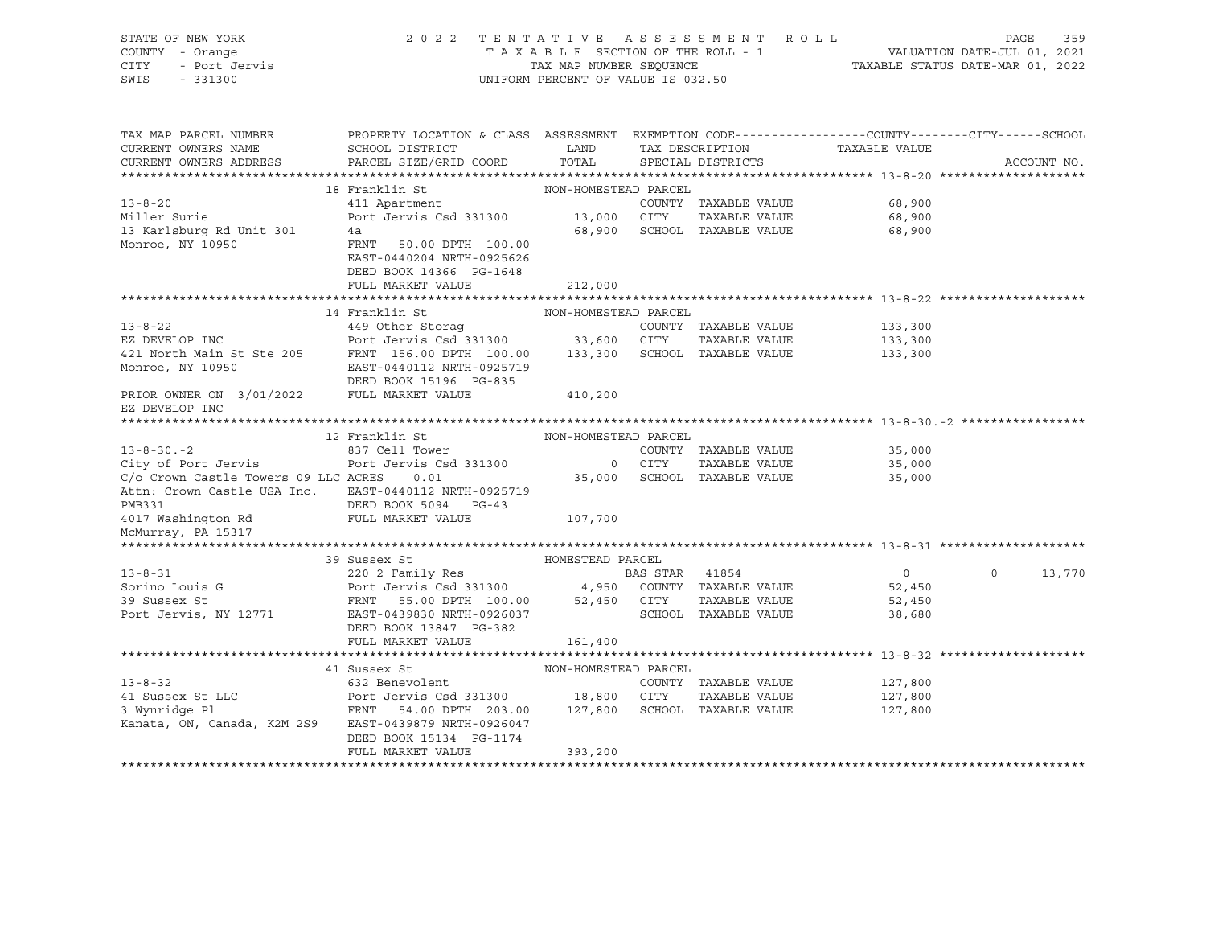| STATE OF NEW YORK<br>COUNTY - Orange<br>- Port Jervis<br>CITY<br>SWIS<br>$-331300$                                                                                                                                                |                                                                                                                                                                                                                                                                  | UNIFORM PERCENT OF VALUE IS 032.50 |                                              | 2022 TENTATIVE ASSESSMENT ROLL<br>T A X A B L E SECTION OF THE ROLL - 1 VALUATION DATE-JUL 01, 2021<br>TAX MAP NUMBER SEQUENCE TAXABLE STATUS DATE-MAR 01, 2022 | 359<br>PAGE   |
|-----------------------------------------------------------------------------------------------------------------------------------------------------------------------------------------------------------------------------------|------------------------------------------------------------------------------------------------------------------------------------------------------------------------------------------------------------------------------------------------------------------|------------------------------------|----------------------------------------------|-----------------------------------------------------------------------------------------------------------------------------------------------------------------|---------------|
| TAX MAP PARCEL NUMBER<br>CURRENT OWNERS NAME                                                                                                                                                                                      | PROPERTY LOCATION & CLASS ASSESSMENT EXEMPTION CODE----------------COUNTY-------CITY------SCHOOL<br>${\tt SCHOOD\,\, \, {\tt DISTRTCT}} {\small\quad \, {\tt LAND}} {\small\quad \, {\tt TAX\,\, \, {\tt DESCRIPTION}} {\small\quad \, {\tt TAXABLE\,\, VALUE}}$ |                                    |                                              |                                                                                                                                                                 |               |
| CURRENT OWNERS ADDRESS                                                                                                                                                                                                            | PARCEL SIZE/GRID COORD TOTAL SPECIAL DISTRICTS                                                                                                                                                                                                                   |                                    |                                              |                                                                                                                                                                 | ACCOUNT NO.   |
|                                                                                                                                                                                                                                   |                                                                                                                                                                                                                                                                  |                                    |                                              |                                                                                                                                                                 |               |
|                                                                                                                                                                                                                                   | 18 Franklin St                                                                                                                                                                                                                                                   | NON-HOMESTEAD PARCEL               |                                              |                                                                                                                                                                 |               |
| COUNTY<br>13 Karlsburg Rd Unit 301<br>Monroe, NY 10950<br>2000 CITY<br>2000 CITY<br>2000 CITY<br>2000 CITY<br>2000 CITY<br>2000 CITY<br>2000 CITY<br>2000 CITY<br>2000 CITY<br>2000 CITY<br>2000 CITY                             |                                                                                                                                                                                                                                                                  |                                    | COUNTY TAXABLE VALUE                         | 68,900                                                                                                                                                          |               |
|                                                                                                                                                                                                                                   |                                                                                                                                                                                                                                                                  |                                    | TAXABLE VALUE<br>68,900 SCHOOL TAXABLE VALUE | 68,900                                                                                                                                                          |               |
|                                                                                                                                                                                                                                   |                                                                                                                                                                                                                                                                  |                                    |                                              | 68,900                                                                                                                                                          |               |
|                                                                                                                                                                                                                                   | EAST-0440204 NRTH-0925626                                                                                                                                                                                                                                        |                                    |                                              |                                                                                                                                                                 |               |
|                                                                                                                                                                                                                                   | DEED BOOK 14366 PG-1648                                                                                                                                                                                                                                          |                                    |                                              |                                                                                                                                                                 |               |
|                                                                                                                                                                                                                                   | FULL MARKET VALUE                                                                                                                                                                                                                                                | 212,000                            |                                              |                                                                                                                                                                 |               |
|                                                                                                                                                                                                                                   |                                                                                                                                                                                                                                                                  |                                    |                                              |                                                                                                                                                                 |               |
|                                                                                                                                                                                                                                   | 14 Franklin St                                                                                                                                                                                                                                                   | NON-HOMESTEAD PARCEL               |                                              |                                                                                                                                                                 |               |
| $13 - 8 - 22$                                                                                                                                                                                                                     | 449 Other Storag                                                                                                                                                                                                                                                 |                                    | COUNTY TAXABLE VALUE                         | 133,300                                                                                                                                                         |               |
|                                                                                                                                                                                                                                   |                                                                                                                                                                                                                                                                  |                                    |                                              | 133,300<br>133,300                                                                                                                                              |               |
|                                                                                                                                                                                                                                   |                                                                                                                                                                                                                                                                  |                                    |                                              |                                                                                                                                                                 |               |
|                                                                                                                                                                                                                                   |                                                                                                                                                                                                                                                                  |                                    |                                              |                                                                                                                                                                 |               |
| EZ DEVELOP INC<br>421 North Main St Ste 205<br>421 North Main St Ste 205<br>421 North Main St Ste 205<br>421 North Main St Ste 205<br>431 North Main St Ste 205<br>433,300<br>433,300<br>433,300<br>410,200<br>410,200<br>410,200 |                                                                                                                                                                                                                                                                  |                                    |                                              |                                                                                                                                                                 |               |
| EZ DEVELOP INC                                                                                                                                                                                                                    |                                                                                                                                                                                                                                                                  |                                    |                                              |                                                                                                                                                                 |               |
|                                                                                                                                                                                                                                   |                                                                                                                                                                                                                                                                  |                                    |                                              |                                                                                                                                                                 |               |
|                                                                                                                                                                                                                                   | 12 Franklin St NON-HOMESTEAD PARCEL                                                                                                                                                                                                                              |                                    |                                              |                                                                                                                                                                 |               |
| $13 - 8 - 30 - 2$                                                                                                                                                                                                                 |                                                                                                                                                                                                                                                                  |                                    |                                              | COUNTY TAXABLE VALUE 35,000                                                                                                                                     |               |
|                                                                                                                                                                                                                                   |                                                                                                                                                                                                                                                                  |                                    | TAXABLE VALUE                                | 35,000                                                                                                                                                          |               |
| C/o Crown Castle Towers 09 LLC ACRES 0.01                                                                                                                                                                                         |                                                                                                                                                                                                                                                                  |                                    | 35,000 SCHOOL TAXABLE VALUE                  | 35,000                                                                                                                                                          |               |
|                                                                                                                                                                                                                                   | Attn: Crown Castle USA Inc. EAST-0440112 NRTH-0925719                                                                                                                                                                                                            |                                    |                                              |                                                                                                                                                                 |               |
| PMB331<br>4017 Washington Rd                                                                                                                                                                                                      | DEED BOOK 5094 PG-43                                                                                                                                                                                                                                             |                                    |                                              |                                                                                                                                                                 |               |
|                                                                                                                                                                                                                                   | FULL MARKET VALUE 107,700                                                                                                                                                                                                                                        |                                    |                                              |                                                                                                                                                                 |               |
| McMurray, PA 15317                                                                                                                                                                                                                |                                                                                                                                                                                                                                                                  |                                    |                                              |                                                                                                                                                                 |               |
|                                                                                                                                                                                                                                   |                                                                                                                                                                                                                                                                  |                                    |                                              |                                                                                                                                                                 |               |
| $13 - 8 - 31$                                                                                                                                                                                                                     | HOMESTEAD PARCEL<br>39 Sussex St                                                                                                                                                                                                                                 | <b>BAS STAR 41854</b>              |                                              | $\overline{0}$                                                                                                                                                  | $0 \t 13,770$ |
|                                                                                                                                                                                                                                   | 220 2 Family Res                                                                                                                                                                                                                                                 |                                    |                                              | 52,450                                                                                                                                                          |               |
|                                                                                                                                                                                                                                   |                                                                                                                                                                                                                                                                  |                                    |                                              | 52,450                                                                                                                                                          |               |
| Port Jervis, NY 12771                                                                                                                                                                                                             | EAST-0439830 NRTH-0926037                                                                                                                                                                                                                                        |                                    | SCHOOL TAXABLE VALUE                         | 38,680                                                                                                                                                          |               |
|                                                                                                                                                                                                                                   | DEED BOOK 13847 PG-382                                                                                                                                                                                                                                           |                                    |                                              |                                                                                                                                                                 |               |
|                                                                                                                                                                                                                                   | FULL MARKET VALUE                                                                                                                                                                                                                                                | 161,400                            |                                              |                                                                                                                                                                 |               |
|                                                                                                                                                                                                                                   |                                                                                                                                                                                                                                                                  |                                    |                                              |                                                                                                                                                                 |               |
|                                                                                                                                                                                                                                   | 41 Sussex St                                                                                                                                                                                                                                                     | NON-HOMESTEAD PARCEL               |                                              |                                                                                                                                                                 |               |
| $13 - 8 - 32$                                                                                                                                                                                                                     | 632 Benevolent                                                                                                                                                                                                                                                   |                                    | COUNTY TAXABLE VALUE                         | 127,800                                                                                                                                                         |               |
|                                                                                                                                                                                                                                   |                                                                                                                                                                                                                                                                  |                                    | TAXABLE VALUE                                | 127,800                                                                                                                                                         |               |
|                                                                                                                                                                                                                                   |                                                                                                                                                                                                                                                                  |                                    |                                              | 127,800                                                                                                                                                         |               |
|                                                                                                                                                                                                                                   | Kanata, ON, Canada, K2M 2S9 EAST-0439879 NRTH-0926047                                                                                                                                                                                                            |                                    |                                              |                                                                                                                                                                 |               |
|                                                                                                                                                                                                                                   | DEED BOOK 15134 PG-1174                                                                                                                                                                                                                                          |                                    |                                              |                                                                                                                                                                 |               |
|                                                                                                                                                                                                                                   | FULL MARKET VALUE                                                                                                                                                                                                                                                | 393,200                            |                                              |                                                                                                                                                                 |               |
|                                                                                                                                                                                                                                   |                                                                                                                                                                                                                                                                  |                                    |                                              |                                                                                                                                                                 |               |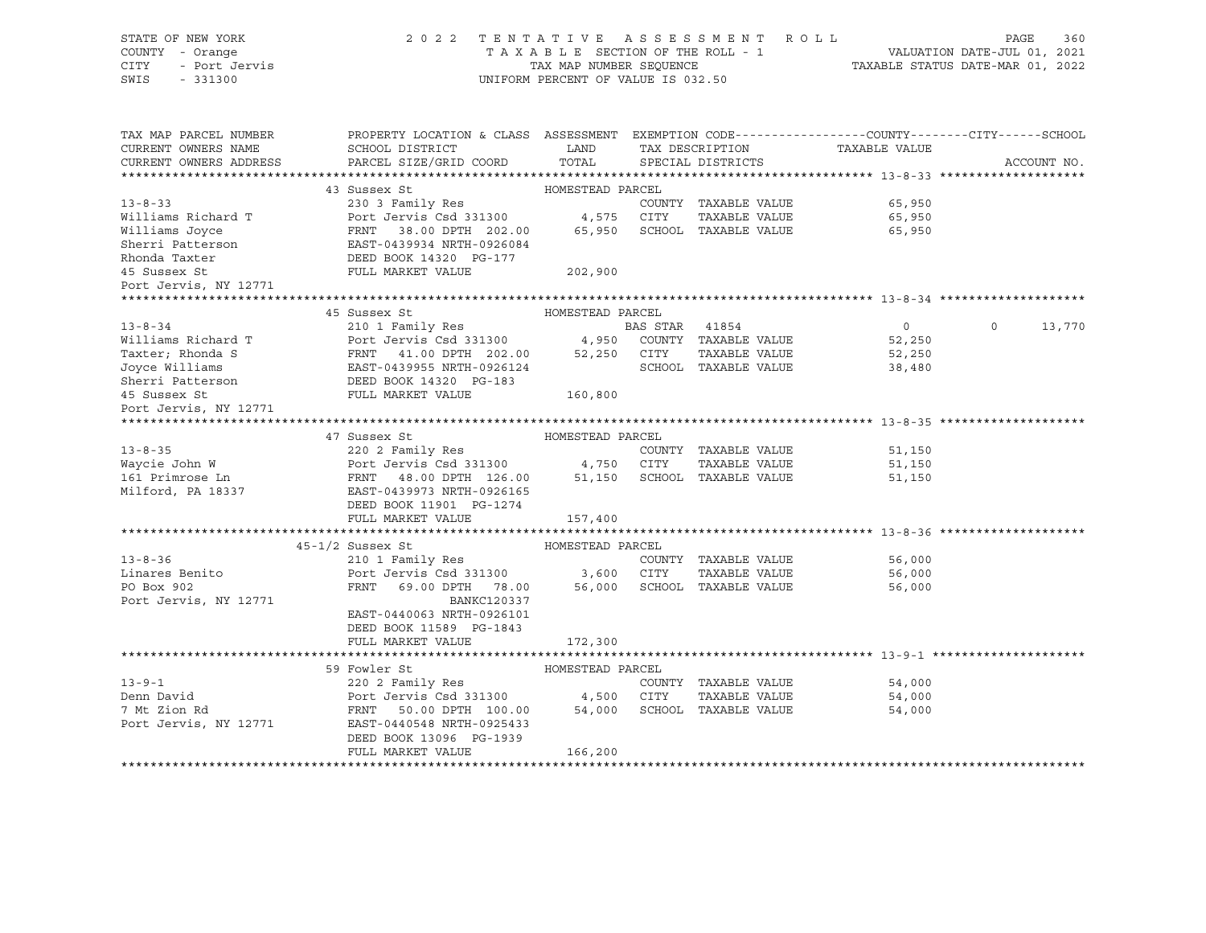| STATE OF NEW YORK<br>COUNTY - Orange<br>CITY<br>- Port Jervis<br>SWIS<br>$-331300$ | 2 0 2 2<br>TENTATIVE ASSESSMENT ROLL<br>TAXABLE SECTION OF THE ROLL - 1<br>TAX MAP NUMBER SEQUENCE<br>UNIFORM PERCENT OF VALUE IS 032.50             | TAXABLE STATUS DATE-MAR 01, 2022 | PAGE<br>360<br>VALUATION DATE-JUL 01, 2021 |                |                   |
|------------------------------------------------------------------------------------|------------------------------------------------------------------------------------------------------------------------------------------------------|----------------------------------|--------------------------------------------|----------------|-------------------|
| TAX MAP PARCEL NUMBER<br>CURRENT OWNERS NAME<br>CURRENT OWNERS ADDRESS             | PROPERTY LOCATION & CLASS ASSESSMENT EXEMPTION CODE----------------COUNTY-------CITY------SCHOOL<br>SCHOOL DISTRICT<br>PARCEL SIZE/GRID COORD        | LAND<br>TOTAL                    | TAX DESCRIPTION<br>SPECIAL DISTRICTS       | TAXABLE VALUE  | ACCOUNT NO.       |
|                                                                                    |                                                                                                                                                      |                                  |                                            |                |                   |
|                                                                                    | 43 Sussex St                                                                                                                                         | HOMESTEAD PARCEL                 |                                            |                |                   |
| $13 - 8 - 33$                                                                      | 230 3 Family Res                                                                                                                                     |                                  | COUNTY TAXABLE VALUE                       | 65,950         |                   |
| Williams Richard T                                                                 | Port Jervis Csd 331300                                                                                                                               | 4,575 CITY                       | TAXABLE VALUE                              | 65,950         |                   |
| Williams Joyce                                                                     | FRNT 38.00 DPTH 202.00<br>EAST-0439934 NRTH-0926084                                                                                                  |                                  | 65,950 SCHOOL TAXABLE VALUE                | 65,950         |                   |
| Sherri Patterson                                                                   |                                                                                                                                                      |                                  |                                            |                |                   |
| Rhonda Taxter                                                                      | DEED BOOK 14320 PG-177                                                                                                                               |                                  |                                            |                |                   |
| 45 Sussex St                                                                       | FULL MARKET VALUE                                                                                                                                    | 202,900                          |                                            |                |                   |
| Port Jervis, NY 12771                                                              |                                                                                                                                                      |                                  |                                            |                |                   |
|                                                                                    |                                                                                                                                                      |                                  |                                            |                |                   |
|                                                                                    | 45 Sussex St                                                                                                                                         | HOMESTEAD PARCEL                 |                                            |                |                   |
| $13 - 8 - 34$                                                                      |                                                                                                                                                      |                                  |                                            | $\overline{0}$ | $\circ$<br>13,770 |
| Williams Richard T                                                                 |                                                                                                                                                      |                                  |                                            | 52,250         |                   |
| Taxter; Rhonda S                                                                   | BAS STAR 41854<br>Port Jervis Csd 331300 4,950 COUNTY TAXABLE VALUE<br>FRNT 41.00 DPTH 202.00 52,250 CITY TAXABLE VALUE<br>EAST-0439955 NRTH-0925104 |                                  |                                            | 52,250         |                   |
| Joyce Williams                                                                     | EAST-0439955 NRTH-0926124                                                                                                                            |                                  | SCHOOL TAXABLE VALUE                       | 38,480         |                   |
| Sherri Patterson                                                                   | DEED BOOK 14320 PG-183                                                                                                                               |                                  |                                            |                |                   |
| 45 Sussex St                                                                       | FULL MARKET VALUE                                                                                                                                    | 160,800                          |                                            |                |                   |
| Port Jervis, NY 12771                                                              |                                                                                                                                                      |                                  |                                            |                |                   |
|                                                                                    |                                                                                                                                                      |                                  |                                            |                |                   |
|                                                                                    | 47 Sussex St                                                                                                                                         | HOMESTEAD PARCEL                 |                                            |                |                   |
| $13 - 8 - 35$                                                                      | 220 2 Family Res                                                                                                                                     |                                  | COUNTY TAXABLE VALUE                       | 51,150         |                   |
| Waycie John W                                                                      | Port Jervis Csd 331300              4,750   CITY    TAXABLE VALUE<br>FRNT    48.00 DPTH   126.00          51,150    SCHOOL   TAXABLE VALUE           |                                  |                                            | 51,150         |                   |
| 161 Primrose Ln<br>Milford, PA 18337                                               |                                                                                                                                                      |                                  |                                            | 51,150         |                   |
|                                                                                    | -----<br>EAST-0439973 NRTH-0926165                                                                                                                   |                                  |                                            |                |                   |
|                                                                                    | DEED BOOK 11901 PG-1274                                                                                                                              |                                  |                                            |                |                   |
|                                                                                    | FULL MARKET VALUE                                                                                                                                    | 157,400                          |                                            |                |                   |
|                                                                                    |                                                                                                                                                      |                                  |                                            |                |                   |
|                                                                                    | $45 - 1/2$ Sussex St                                                                                                                                 | HOMESTEAD PARCEL                 |                                            |                |                   |
| $13 - 8 - 36$                                                                      | 210 1 Family Res                                                                                                                                     |                                  | COUNTY TAXABLE VALUE                       | 56,000         |                   |
| Linares Benito                                                                     | Port Jervis Csd 331300                                                                                                                               | 3,600 CITY                       | TAXABLE VALUE                              | 56,000         |                   |
| PO Box 902                                                                         | FRNT<br>69.00 DPTH 78.00                                                                                                                             |                                  | 56,000 SCHOOL TAXABLE VALUE                | 56,000         |                   |
| Port Jervis, NY 12771                                                              | <b>BANKC120337</b>                                                                                                                                   |                                  |                                            |                |                   |
|                                                                                    | EAST-0440063 NRTH-0926101                                                                                                                            |                                  |                                            |                |                   |
|                                                                                    | DEED BOOK 11589 PG-1843                                                                                                                              |                                  |                                            |                |                   |
|                                                                                    | FULL MARKET VALUE                                                                                                                                    | 172,300                          |                                            |                |                   |
|                                                                                    |                                                                                                                                                      |                                  |                                            |                |                   |
|                                                                                    | 59 Fowler St                                                                                                                                         | HOMESTEAD PARCEL                 |                                            |                |                   |
| $13 - 9 - 1$                                                                       | 220 2 Family Res                                                                                                                                     |                                  | COUNTY TAXABLE VALUE                       | 54,000         |                   |
| Denn David                                                                         | Port Jervis Csd 331300 4,500 CITY                                                                                                                    |                                  | TAXABLE VALUE                              | 54,000         |                   |
| 7 Mt Zion Rd                                                                       | FRNT 50.00 DPTH 100.00                                                                                                                               |                                  | 54,000 SCHOOL TAXABLE VALUE                | 54,000         |                   |
| Port Jervis, NY 12771                                                              | EAST-0440548 NRTH-0925433                                                                                                                            |                                  |                                            |                |                   |
|                                                                                    | DEED BOOK 13096 PG-1939                                                                                                                              |                                  |                                            |                |                   |
|                                                                                    | FULL MARKET VALUE                                                                                                                                    | 166,200                          |                                            |                |                   |
|                                                                                    |                                                                                                                                                      |                                  |                                            |                |                   |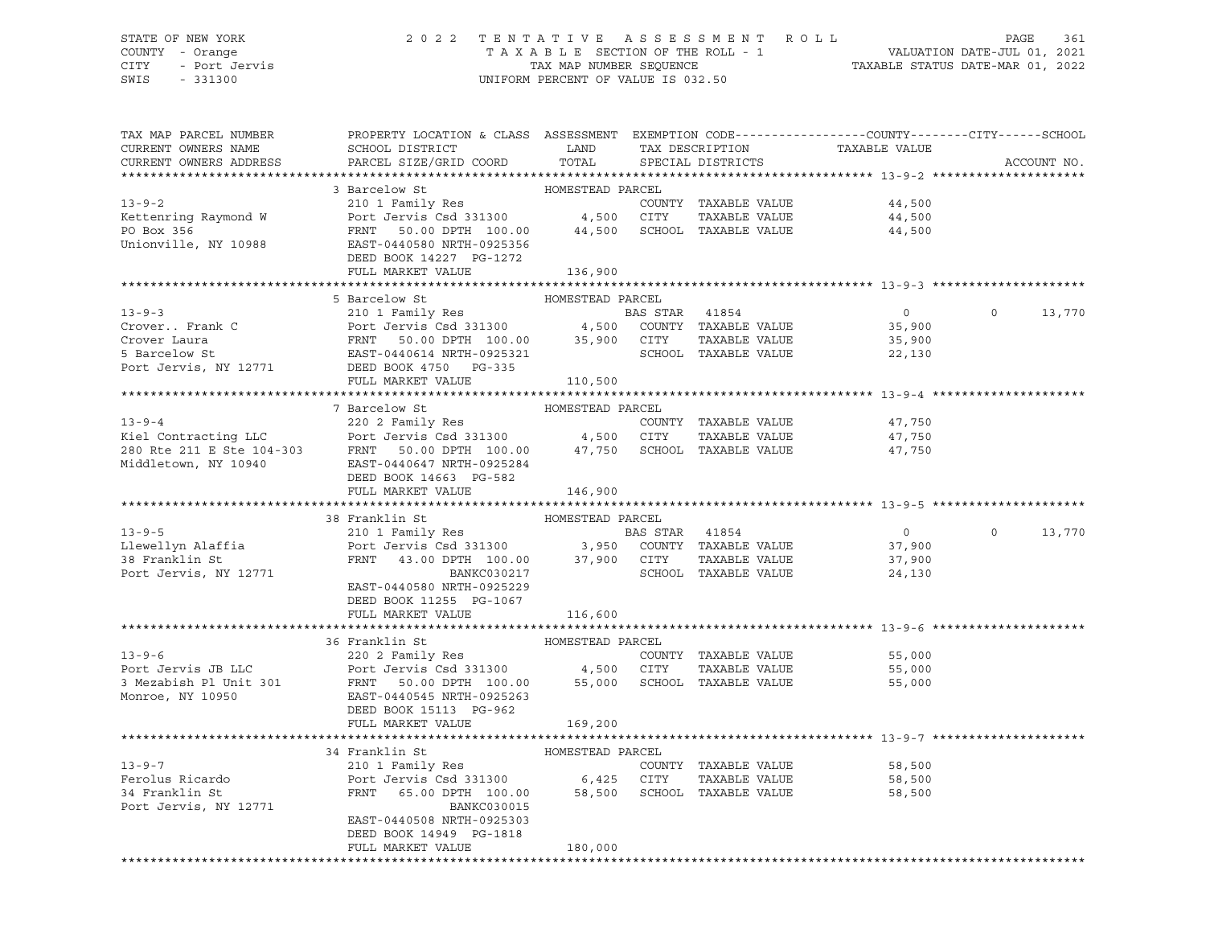# STATE OF NEW YORK 2 0 2 2 T E N T A T I V E A S S E S S M E N T R O L L PAGE 361 COUNTY - Orange T A X A B L E SECTION OF THE ROLL - 1 VALUATION DATE-JUL 01, 2021 CITY - Port Jervis TAX MAP NUMBER SEQUENCE TAXABLE STATUS DATE-MAR 01, 2022

| TAX MAP PARCEL NUMBER<br>CURRENT OWNERS NAME<br>CURRENT OWNERS ADDRESS                                            | PROPERTY LOCATION & CLASS ASSESSMENT<br>SCHOOL DISTRICT<br>PARCEL SIZE/GRID COORD                                                                                                                                                | LAND<br>TOTAL               |                | TAX DESCRIPTION<br>SPECIAL DISTRICTS                                 | EXEMPTION CODE-----------------COUNTY-------CITY------SCHOOL<br>TAXABLE VALUE |          | ACCOUNT NO. |
|-------------------------------------------------------------------------------------------------------------------|----------------------------------------------------------------------------------------------------------------------------------------------------------------------------------------------------------------------------------|-----------------------------|----------------|----------------------------------------------------------------------|-------------------------------------------------------------------------------|----------|-------------|
|                                                                                                                   |                                                                                                                                                                                                                                  |                             |                |                                                                      |                                                                               |          |             |
| $13 - 9 - 2$<br>Kettenring Raymond W<br>PO Box 356<br>Unionville, NY 10988                                        | 3 Barcelow St<br>210 1 Family Res<br>Port Jervis Csd 331300 4,500 CITY<br>FRNT 50.00 DPTH 100.00<br>EAST-0440580 NRTH-0925356<br>DEED BOOK 14227 PG-1272                                                                         | HOMESTEAD PARCEL<br>44,500  |                | COUNTY TAXABLE VALUE<br>TAXABLE VALUE<br>SCHOOL TAXABLE VALUE        | 44,500<br>44,500<br>44,500                                                    |          |             |
|                                                                                                                   | FULL MARKET VALUE                                                                                                                                                                                                                | 136,900                     |                |                                                                      |                                                                               |          |             |
|                                                                                                                   |                                                                                                                                                                                                                                  |                             |                |                                                                      |                                                                               |          |             |
| $13 - 9 - 3$<br>Crover Frank C<br>Crover Laura<br>5 Barcelow St<br>Port Jervis, NY 12771                          | 5 Barcelow St<br>210 1 Family Res<br>Port Jervis Csd 331300 4,500 COUNTY TAXABLE VALUE<br>FRNT 50.00 DPTH 100.00 35,900 CITY<br>EAST-0440614 NRTH-0925321<br>DEED BOOK 4750 PG-335                                               | HOMESTEAD PARCEL            | BAS STAR 41854 | TAXABLE VALUE<br>SCHOOL TAXABLE VALUE                                | $\overline{0}$<br>35,900<br>35,900<br>22,130                                  | $\Omega$ | 13,770      |
|                                                                                                                   | FULL MARKET VALUE                                                                                                                                                                                                                | 110,500                     |                |                                                                      |                                                                               |          |             |
|                                                                                                                   |                                                                                                                                                                                                                                  |                             |                |                                                                      |                                                                               |          |             |
| $13 - 9 - 4$<br>Kiel Contracting LLC<br>280 Rte 211 E Ste 104-303<br>Middletown, NY 10940<br>Middletown, NY 10940 | 7 Barcelow St<br>220 2 Family Res<br>Port Jervis Csd 331300 4,500 CITY<br>FRNT 50.00 DPTH 100.00 47,750<br>EAST-0440647 NRTH-0925284<br>DEED BOOK 14663 PG-582                                                                   | HOMESTEAD PARCEL            |                | COUNTY TAXABLE VALUE<br>TAXABLE VALUE<br>SCHOOL TAXABLE VALUE        | 47,750<br>47,750<br>47,750                                                    |          |             |
|                                                                                                                   | FULL MARKET VALUE                                                                                                                                                                                                                | 146,900                     |                |                                                                      |                                                                               |          |             |
|                                                                                                                   | 38 Franklin St                                                                                                                                                                                                                   | HOMESTEAD PARCEL            |                |                                                                      |                                                                               |          |             |
| $13 - 9 - 5$<br>Llewellyn Alaffia<br>38 Franklin St<br>Port Jervis, NY 12771                                      | 210 1 Family Res<br>210 1 Family Res<br>Port Jervis Csd 331300 3,950 COUNTY TAXABLE VALUE<br>FRNT 43.00 DPTH 100.00 37,900 CITY TAXABLE VALUE<br>BANKC030217<br>EAST-0440580 NRTH-0925229<br>DEED BOOK 11255 PG-1067             |                             | BAS STAR 41854 | SCHOOL TAXABLE VALUE                                                 | $\overline{0}$<br>37,900<br>37,900<br>24,130                                  | $\Omega$ | 13,770      |
|                                                                                                                   | FULL MARKET VALUE                                                                                                                                                                                                                | 116,600                     |                |                                                                      |                                                                               |          |             |
| $13 - 9 - 6$<br>Port Jervis JB LLC<br>3 Mezabish Pl Unit 301<br>Monroe, NY 10950                                  | 36 Franklin St<br>220 2 Family Res<br>Port Jervis Csd 331300<br>FRNT 50.00 DPTH 100.00<br>EAST-0440545 NRTH-0925263<br>DEED BOOK 15113 PG-962<br>FULL MARKET VALUE                                                               | HOMESTEAD PARCEL<br>169,200 | 4,500 CITY     | COUNTY TAXABLE VALUE<br>TAXABLE VALUE<br>55,000 SCHOOL TAXABLE VALUE | 55,000<br>55,000<br>55,000                                                    |          |             |
|                                                                                                                   |                                                                                                                                                                                                                                  |                             |                |                                                                      |                                                                               |          |             |
| $13 - 9 - 7$<br>Ferolus Ricardo<br>34 Franklin St<br>Port Jervis, NY 12771                                        | 34 Franklin St<br>210 1 Family Res<br>Port Jervis Csd 331300 6,425 CITY<br>FRNT 65.00 DPTH 100.00 58,500 SCHOOL<br>65.00 DPTH 100.00<br>BANKC030015<br>EAST-0440508 NRTH-0925303<br>DEED BOOK 14949 PG-1818<br>FULL MARKET VALUE | HOMESTEAD PARCEL<br>180,000 |                | COUNTY TAXABLE VALUE<br>TAXABLE VALUE<br>58,500 SCHOOL TAXABLE VALUE | 58,500<br>58,500<br>58,500                                                    |          |             |
|                                                                                                                   |                                                                                                                                                                                                                                  |                             |                |                                                                      |                                                                               |          |             |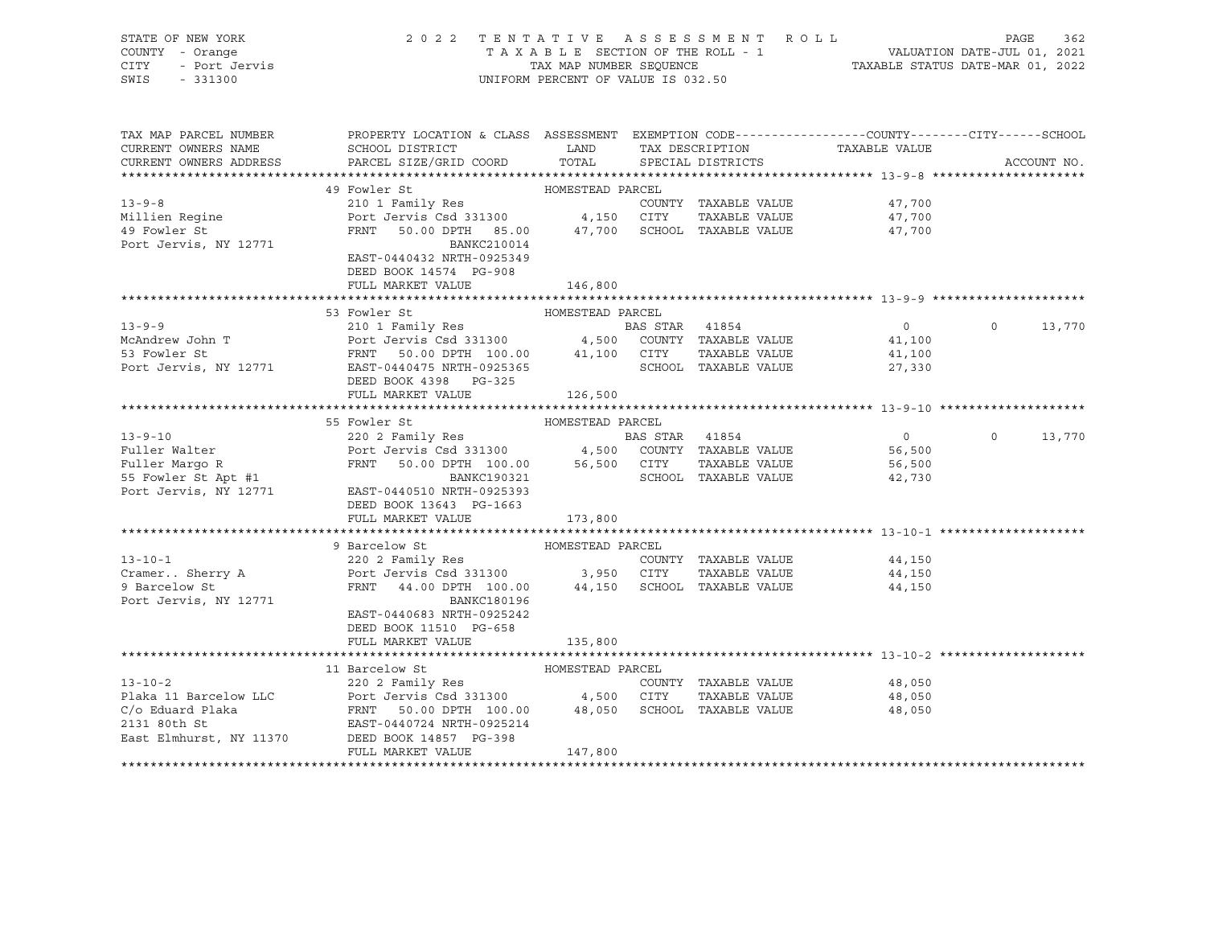| STATE OF NEW YORK<br>COUNTY - Orange<br>CITY<br>- Port Jervis<br>SWIS<br>$-331300$ | 2022 TENTATIVE ASSESSMENT ROLL<br>PAGE<br>362<br>T A X A B L E SECTION OF THE ROLL - 1<br>T A X A B L E SECTION OF THE ROLL - 1<br>TAXABLE STATUS DATE-MAR 01, 2022<br>UNIFORM PERCENT OF VALUE IS 032.50                                              |                                       |                |                                      |                  |         |             |  |  |
|------------------------------------------------------------------------------------|--------------------------------------------------------------------------------------------------------------------------------------------------------------------------------------------------------------------------------------------------------|---------------------------------------|----------------|--------------------------------------|------------------|---------|-------------|--|--|
| TAX MAP PARCEL NUMBER                                                              | PROPERTY LOCATION & CLASS ASSESSMENT EXEMPTION CODE----------------COUNTY--------CITY------SCHOOL                                                                                                                                                      |                                       |                |                                      |                  |         |             |  |  |
| CURRENT OWNERS NAME<br>CURRENT OWNERS ADDRESS                                      | SCHOOL DISTRICT<br>PARCEL SIZE/GRID COORD                                                                                                                                                                                                              | <b>EXAMPLE SETTING STATE</b><br>TOTAL |                | TAX DESCRIPTION<br>SPECIAL DISTRICTS | TAXABLE VALUE    |         | ACCOUNT NO. |  |  |
|                                                                                    |                                                                                                                                                                                                                                                        |                                       |                |                                      |                  |         |             |  |  |
|                                                                                    | 49 Fowler St                                                                                                                                                                                                                                           | HOMESTEAD PARCEL                      |                |                                      |                  |         |             |  |  |
| $13 - 9 - 8$                                                                       | 210 1 Family Res                                                                                                                                                                                                                                       |                                       |                | COUNTY TAXABLE VALUE                 | 47,700           |         |             |  |  |
| Millien Regine                                                                     | Port Jervis Csd 331300 4,150 CITY TAXABLE VALUE                                                                                                                                                                                                        |                                       |                |                                      | 47,700           |         |             |  |  |
| 49 Fowler St                                                                       | FRNT 50.00 DPTH 85.00 47,700 SCHOOL TAXABLE VALUE                                                                                                                                                                                                      |                                       |                |                                      | 47,700           |         |             |  |  |
| Port Jervis, NY 12771                                                              | BANKC210014                                                                                                                                                                                                                                            |                                       |                |                                      |                  |         |             |  |  |
|                                                                                    | EAST-0440432 NRTH-0925349<br>DEED BOOK 14574 PG-908                                                                                                                                                                                                    |                                       |                |                                      |                  |         |             |  |  |
|                                                                                    | FULL MARKET VALUE                                                                                                                                                                                                                                      | 146,800                               |                |                                      |                  |         |             |  |  |
|                                                                                    |                                                                                                                                                                                                                                                        |                                       |                |                                      |                  |         |             |  |  |
|                                                                                    | 53 Fowler St                                                                                                                                                                                                                                           | HOMESTEAD PARCEL                      |                |                                      |                  |         |             |  |  |
|                                                                                    |                                                                                                                                                                                                                                                        |                                       |                |                                      | $\overline{0}$   | $\circ$ | 13,770      |  |  |
|                                                                                    |                                                                                                                                                                                                                                                        |                                       |                |                                      | 41,100           |         |             |  |  |
|                                                                                    | 13-9-9<br>McAndrew John T<br>210 1 Family Res<br>Port Jervis Csd 331300<br>FRNT 50.00 DPTH 100.00<br>PORT 100.00<br>EXS STAR 41854<br>4,500 COUNTY TAXABLE VALUE<br>210 1 Family Res<br>210 1 Family Res<br>210 1 Family Res<br>210 1 Family Res<br>21 |                                       |                |                                      | 41,100           |         |             |  |  |
|                                                                                    | DEED BOOK 4398 PG-325                                                                                                                                                                                                                                  |                                       |                |                                      | 27,330           |         |             |  |  |
|                                                                                    | FULL MARKET VALUE                                                                                                                                                                                                                                      | 126,500                               |                |                                      |                  |         |             |  |  |
|                                                                                    |                                                                                                                                                                                                                                                        |                                       |                |                                      |                  |         |             |  |  |
|                                                                                    | 55 Fowler St                                                                                                                                                                                                                                           | HOMESTEAD PARCEL                      |                |                                      |                  |         |             |  |  |
| $13 - 9 - 10$                                                                      | 220 2 Family Res                                                                                                                                                                                                                                       |                                       | BAS STAR 41854 |                                      | $\overline{0}$   | $\circ$ | 13,770      |  |  |
| Fuller Walter                                                                      |                                                                                                                                                                                                                                                        |                                       |                |                                      | 56,500           |         |             |  |  |
| Fuller Margo R<br>55 Fowler St Apt #1                                              | 220 2 Family Res<br>Port Jervis Csd 331300 4,500 COUNTY TAXABLE VALUE<br>FRNT 50.00 DPTH 100.00 56,500 CITY TAXABLE VALUE<br>SCHOOL TAXABLE VALUE                                                                                                      |                                       |                | SCHOOL TAXABLE VALUE                 | 56,500<br>42,730 |         |             |  |  |
| Port Jervis, NY 12771                                                              | EAST-0440510 NRTH-0925393                                                                                                                                                                                                                              |                                       |                |                                      |                  |         |             |  |  |
|                                                                                    | DEED BOOK 13643 PG-1663                                                                                                                                                                                                                                |                                       |                |                                      |                  |         |             |  |  |
|                                                                                    | FULL MARKET VALUE                                                                                                                                                                                                                                      | 173,800                               |                |                                      |                  |         |             |  |  |
|                                                                                    |                                                                                                                                                                                                                                                        |                                       |                |                                      |                  |         |             |  |  |
|                                                                                    | 9 Barcelow St                                                                                                                                                                                                                                          | HOMESTEAD PARCEL                      |                |                                      |                  |         |             |  |  |
| $13 - 10 - 1$                                                                      | 220 2 Family Res                                                                                                                                                                                                                                       |                                       |                | COUNTY TAXABLE VALUE                 | 44,150           |         |             |  |  |
| Cramer Sherry A                                                                    | Port Jervis Csd 331300 3,950 CITY TAXABLE VALUE<br>FRNT 44.00 DPTH 100.00 44,150 SCHOOL TAXABLE VALUE                                                                                                                                                  |                                       |                |                                      | 44,150           |         |             |  |  |
| 9 Barcelow St<br>Port Jervis, NY 12771                                             | BANKC180196                                                                                                                                                                                                                                            |                                       |                |                                      | 44,150           |         |             |  |  |
|                                                                                    | EAST-0440683 NRTH-0925242                                                                                                                                                                                                                              |                                       |                |                                      |                  |         |             |  |  |
|                                                                                    | DEED BOOK 11510 PG-658                                                                                                                                                                                                                                 |                                       |                |                                      |                  |         |             |  |  |
|                                                                                    | FULL MARKET VALUE                                                                                                                                                                                                                                      | 135,800                               |                |                                      |                  |         |             |  |  |
|                                                                                    |                                                                                                                                                                                                                                                        |                                       |                |                                      |                  |         |             |  |  |
|                                                                                    | 11 Barcelow St                                                                                                                                                                                                                                         | HOMESTEAD PARCEL                      |                |                                      |                  |         |             |  |  |
| $13 - 10 - 2$                                                                      | 220 2 Family Res<br>Port Jervis Csd 331300 4,500 CITY                                                                                                                                                                                                  |                                       |                | COUNTY TAXABLE VALUE                 | 48,050           |         |             |  |  |
| Plaka 11 Barcelow LLC                                                              | FRNT 50.00 DPTH 100.00 48,050 SCHOOL TAXABLE VALUE                                                                                                                                                                                                     |                                       |                | TAXABLE VALUE                        | 48,050<br>48,050 |         |             |  |  |
| C/o Eduard Plaka<br>2131 80th St                                                   | EAST-0440724 NRTH-0925214                                                                                                                                                                                                                              |                                       |                |                                      |                  |         |             |  |  |
| East Elmhurst, NY 11370                                                            | DEED BOOK 14857 PG-398                                                                                                                                                                                                                                 |                                       |                |                                      |                  |         |             |  |  |
|                                                                                    | FULL MARKET VALUE                                                                                                                                                                                                                                      | 147,800                               |                |                                      |                  |         |             |  |  |
|                                                                                    |                                                                                                                                                                                                                                                        |                                       |                |                                      |                  |         |             |  |  |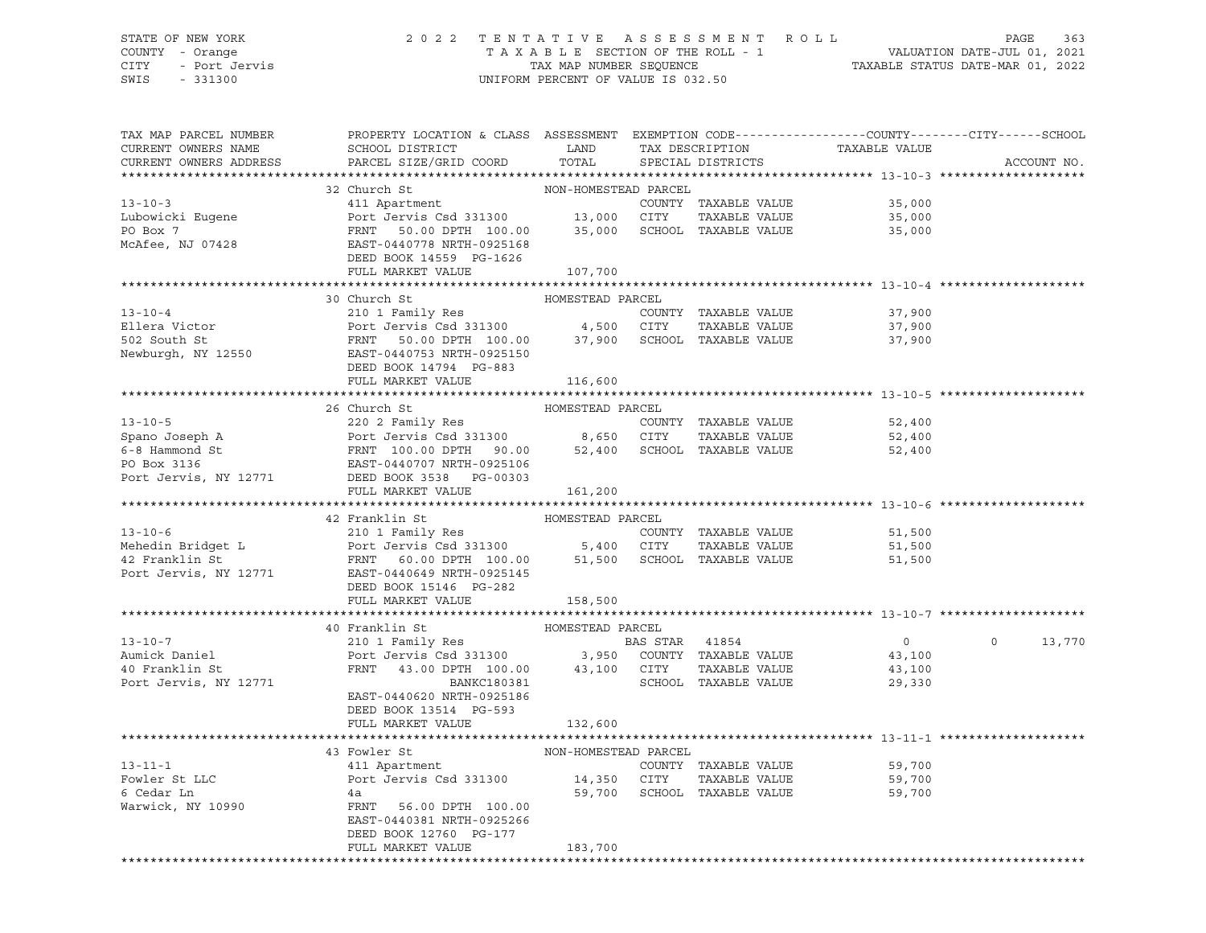## STATE OF NEW YORK 2 0 2 2 T E N T A T I V E A S S E S S M E N T R O L L PAGE 363 COUNTY - Orange T A X A B L E SECTION OF THE ROLL - 1 VALUATION DATE-JUL 01, 2021 CITY - Port Jervis TAX MAP NUMBER SEQUENCE TAXABLE STATUS DATE-MAR 01, 2022 SWIS - 331300 UNIFORM PERCENT OF VALUE IS 032.50

| TAX MAP PARCEL NUMBER<br>CURRENT OWNERS NAME    | PROPERTY LOCATION & CLASS ASSESSMENT EXEMPTION CODE---------------COUNTY-------CITY------SCHOOL<br>SCHOOL DISTRICT                                                                                                                                                                                                                                                                                                                   | LAND<br>TOTAL        | TAX DESCRIPTION                       | TAXABLE VALUE    |                    |
|-------------------------------------------------|--------------------------------------------------------------------------------------------------------------------------------------------------------------------------------------------------------------------------------------------------------------------------------------------------------------------------------------------------------------------------------------------------------------------------------------|----------------------|---------------------------------------|------------------|--------------------|
| CURRENT OWNERS ADDRESS                          | PARCEL SIZE/GRID COORD                                                                                                                                                                                                                                                                                                                                                                                                               |                      | SPECIAL DISTRICTS                     |                  | ACCOUNT NO.        |
|                                                 | 32 Church St                                                                                                                                                                                                                                                                                                                                                                                                                         | NON-HOMESTEAD PARCEL |                                       |                  |                    |
| $13 - 10 - 3$                                   | 411 Apartment                                                                                                                                                                                                                                                                                                                                                                                                                        |                      | COUNTY TAXABLE VALUE                  | 35,000           |                    |
| Lubowicki Eugene                                |                                                                                                                                                                                                                                                                                                                                                                                                                                      |                      | TAXABLE VALUE                         | 35,000           |                    |
| PO Box 7                                        | Port Jervis Csd 331300 13,000 CITY<br>FRNT 50.00 DPTH 100.00 35,000 SCHOOL                                                                                                                                                                                                                                                                                                                                                           |                      | SCHOOL TAXABLE VALUE                  | 35,000           |                    |
| McAfee, NJ 07428                                | EAST-0440778 NRTH-0925168                                                                                                                                                                                                                                                                                                                                                                                                            |                      |                                       |                  |                    |
|                                                 | DEED BOOK 14559 PG-1626                                                                                                                                                                                                                                                                                                                                                                                                              |                      |                                       |                  |                    |
|                                                 | FULL MARKET VALUE                                                                                                                                                                                                                                                                                                                                                                                                                    | 107,700              |                                       |                  |                    |
|                                                 |                                                                                                                                                                                                                                                                                                                                                                                                                                      |                      |                                       |                  |                    |
|                                                 | 30 Church St                                                                                                                                                                                                                                                                                                                                                                                                                         | HOMESTEAD PARCEL     |                                       |                  |                    |
| $13 - 10 - 4$                                   | 210 1 Family Res                                                                                                                                                                                                                                                                                                                                                                                                                     |                      | COUNTY TAXABLE VALUE                  | 37,900           |                    |
| Ellera Victor                                   |                                                                                                                                                                                                                                                                                                                                                                                                                                      |                      | TAXABLE VALUE                         | 37,900           |                    |
| 502 South St                                    | Port Jeruis Csd 331300<br>Port Jervis Csd 331300 4,500 CITY TAXABLE VALUE<br>FRNT 50.00 DPTH 100.00 37,900 SCHOOL TAXABLE VALUE<br>EAST-0440753 NRTH-0925150                                                                                                                                                                                                                                                                         |                      |                                       | 37,900           |                    |
| Newburgh, NY 12550                              |                                                                                                                                                                                                                                                                                                                                                                                                                                      |                      |                                       |                  |                    |
|                                                 | DEED BOOK 14794 PG-883                                                                                                                                                                                                                                                                                                                                                                                                               |                      |                                       |                  |                    |
|                                                 | FULL MARKET VALUE                                                                                                                                                                                                                                                                                                                                                                                                                    | 116,600              |                                       |                  |                    |
|                                                 |                                                                                                                                                                                                                                                                                                                                                                                                                                      |                      |                                       |                  |                    |
| $13 - 10 - 5$                                   | 26 Church St<br>220 2 Family Res<br>Port Jervis Csd 331300 8,650 CITY TAXABLE VALUE<br>FRNT 100.00 DPTH 90.00 52,400 SCHOOL TAXABLE VALUE                                                                                                                                                                                                                                                                                            | HOMESTEAD PARCEL     |                                       |                  |                    |
|                                                 |                                                                                                                                                                                                                                                                                                                                                                                                                                      |                      | COUNTY TAXABLE VALUE<br>TAXABLE VALUE | 52,400<br>52,400 |                    |
|                                                 |                                                                                                                                                                                                                                                                                                                                                                                                                                      |                      |                                       | 52,400           |                    |
| Spano Joseph A<br>6-8 Hammond St<br>PO Box 3136 |                                                                                                                                                                                                                                                                                                                                                                                                                                      |                      |                                       |                  |                    |
| Port Jervis, NY 12771                           | EAST-0440707 NRTH-0925106<br>DEED BOOK 3538 PG-00303                                                                                                                                                                                                                                                                                                                                                                                 |                      |                                       |                  |                    |
|                                                 | FULL MARKET VALUE                                                                                                                                                                                                                                                                                                                                                                                                                    | 161,200              |                                       |                  |                    |
|                                                 |                                                                                                                                                                                                                                                                                                                                                                                                                                      |                      |                                       |                  |                    |
|                                                 | 42 Franklin St                                                                                                                                                                                                                                                                                                                                                                                                                       | HOMESTEAD PARCEL     |                                       |                  |                    |
|                                                 |                                                                                                                                                                                                                                                                                                                                                                                                                                      |                      | COUNTY TAXABLE VALUE                  | 51,500           |                    |
|                                                 |                                                                                                                                                                                                                                                                                                                                                                                                                                      |                      | TAXABLE VALUE                         | 51,500           |                    |
|                                                 |                                                                                                                                                                                                                                                                                                                                                                                                                                      |                      | 51,500 SCHOOL TAXABLE VALUE           | 51,500           |                    |
|                                                 | 13-10-6<br>Mehedin Bridget L<br>Mehedin Bridget L<br>Port Jervis Csd 331300 5,400 CITY<br>Port Jervis Csd 331300 5,400 CITY<br>Port Jervis, NY 12771 EAST-0440649 NRTH-0925145<br>PORT COMPTH 100.00 51,500 SCHOC<br>PORT COMPTH 100.00 51,5                                                                                                                                                                                         |                      |                                       |                  |                    |
|                                                 | DEED BOOK 15146 PG-282                                                                                                                                                                                                                                                                                                                                                                                                               |                      |                                       |                  |                    |
|                                                 | FULL MARKET VALUE                                                                                                                                                                                                                                                                                                                                                                                                                    | 158,500              |                                       |                  |                    |
|                                                 |                                                                                                                                                                                                                                                                                                                                                                                                                                      |                      |                                       |                  |                    |
| $13 - 10 - 7$                                   | 40 Franklin St                                                                                                                                                                                                                                                                                                                                                                                                                       | HOMESTEAD PARCEL     |                                       | $\overline{0}$   | 13,770<br>$\Omega$ |
| Aumick Daniel                                   | 210 1 Family Res<br>Port Jervis Csd 331300 3,950 COUNTY TAXABLE VALUE                                                                                                                                                                                                                                                                                                                                                                |                      |                                       | 43,100           |                    |
| 40 Franklin St                                  |                                                                                                                                                                                                                                                                                                                                                                                                                                      |                      | TAXABLE VALUE                         | 43,100           |                    |
| Port Jervis, NY 12771                           | $\begin{tabular}{lllllll} \multicolumn{2}{c}{\textbf{FRNT}} & \multicolumn{2}{c}{\textbf{43.00 DPTH}} & \multicolumn{2}{c}{\textbf{100.00}} & \multicolumn{2}{c}{\textbf{43.100}} & \multicolumn{2}{c}{\textbf{CITY}} \\ & \multicolumn{2}{c}{\textbf{BANKC180381}} & & \multicolumn{2}{c}{\textbf{5.000}} \\ \multicolumn{2}{c}{\textbf{BANKC180381}} & & \multicolumn{2}{c}{\textbf{5.000}} \\ \multicolumn{2}{c}{\textbf{BANKC18$ |                      | SCHOOL TAXABLE VALUE                  | 29,330           |                    |
|                                                 | EAST-0440620 NRTH-0925186                                                                                                                                                                                                                                                                                                                                                                                                            |                      |                                       |                  |                    |
|                                                 | DEED BOOK 13514 PG-593                                                                                                                                                                                                                                                                                                                                                                                                               |                      |                                       |                  |                    |
|                                                 | FULL MARKET VALUE                                                                                                                                                                                                                                                                                                                                                                                                                    | 132,600              |                                       |                  |                    |
|                                                 |                                                                                                                                                                                                                                                                                                                                                                                                                                      |                      |                                       |                  |                    |
|                                                 | 43 Fowler St<br>FOWLer St<br>411 Apartment                                                                                                                                                                                                                                                                                                                                                                                           | NON-HOMESTEAD PARCEL |                                       |                  |                    |
| $13 - 11 - 1$                                   |                                                                                                                                                                                                                                                                                                                                                                                                                                      |                      | COUNTY TAXABLE VALUE                  | 59,700           |                    |
| Fowler St LLC                                   | Port Jervis Csd 331300                                                                                                                                                                                                                                                                                                                                                                                                               | 14,350 CITY          | TAXABLE VALUE                         | 59,700           |                    |
| 6 Cedar Ln                                      | 4a<br>FRNT                                                                                                                                                                                                                                                                                                                                                                                                                           |                      | 59,700 SCHOOL TAXABLE VALUE           | 59,700           |                    |
| Warwick, NY 10990                               | 56.00 DPTH 100.00                                                                                                                                                                                                                                                                                                                                                                                                                    |                      |                                       |                  |                    |
|                                                 | EAST-0440381 NRTH-0925266                                                                                                                                                                                                                                                                                                                                                                                                            |                      |                                       |                  |                    |
|                                                 | DEED BOOK 12760 PG-177                                                                                                                                                                                                                                                                                                                                                                                                               |                      |                                       |                  |                    |
|                                                 | FULL MARKET VALUE                                                                                                                                                                                                                                                                                                                                                                                                                    | 183,700              |                                       |                  |                    |
|                                                 |                                                                                                                                                                                                                                                                                                                                                                                                                                      |                      |                                       |                  |                    |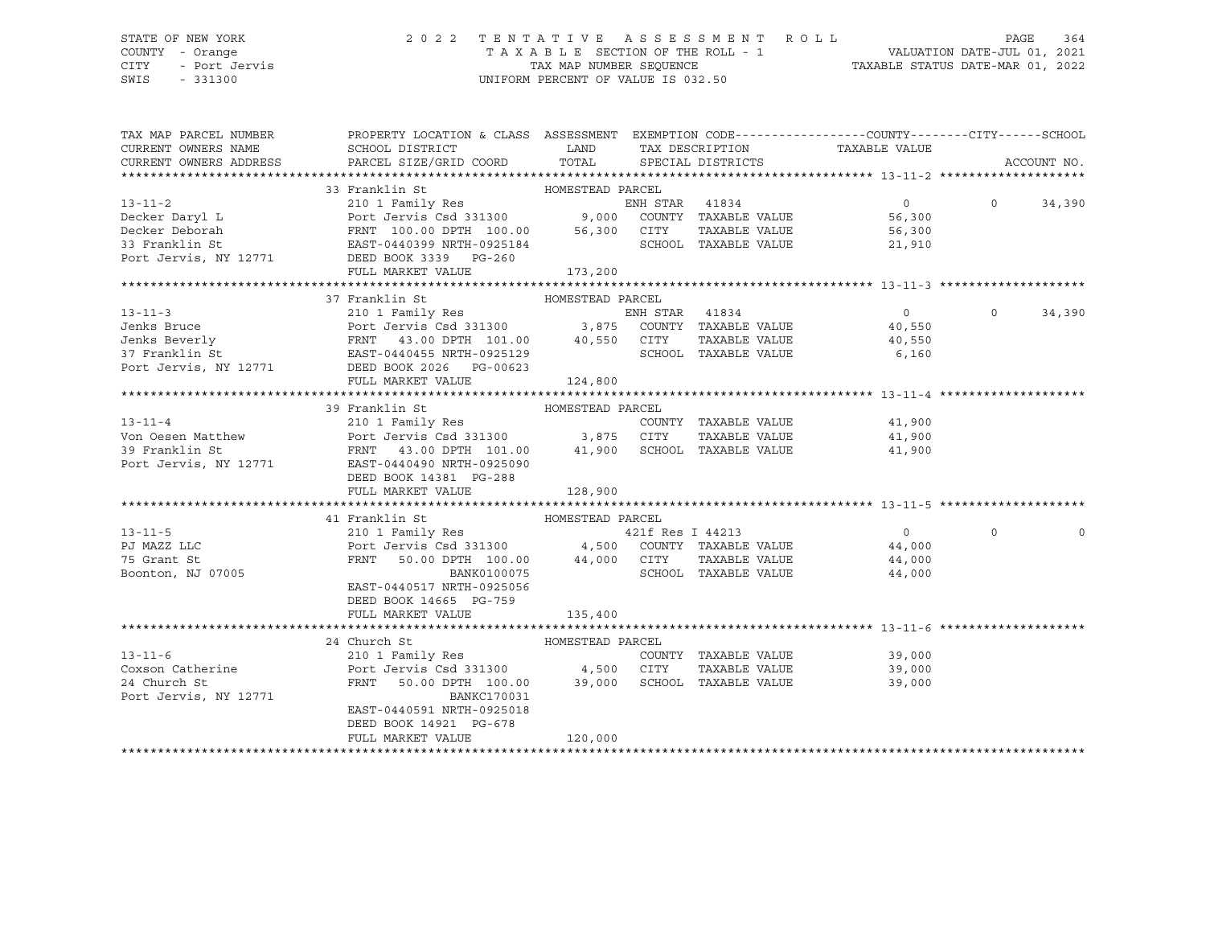## STATE OF NEW YORK 2 0 2 2 T E N T A T I V E A S S E S S M E N T R O L L PAGE 364 COUNTY - Orange T A X A B L E SECTION OF THE ROLL - 1 VALUATION DATE-JUL 01, 2021 CITY - Port Jervis TAX MAP NUMBER SEQUENCE TAXABLE STATUS DATE-MAR 01, 2022

| TAX MAP PARCEL NUMBER<br>CURRENT OWNERS NAME<br>CURRENT OWNERS ADDRESS | PROPERTY LOCATION & CLASS ASSESSMENT EXEMPTION CODE----------------COUNTY-------CITY------SCHOOL<br>SCHOOL DISTRICT<br>PARCEL SIZE/GRID COORD TOTAL SPECIAL DISTRICTS                                                                                              | <b>EXAMPLE THE STATE OF STATE OF STATE OF STATE OF STATE OF STATE OF STATE OF STATE OF STATE OF STATE</b> |  | TAX DESCRIPTION TAXABLE VALUE |          | ACCOUNT NO. |
|------------------------------------------------------------------------|--------------------------------------------------------------------------------------------------------------------------------------------------------------------------------------------------------------------------------------------------------------------|-----------------------------------------------------------------------------------------------------------|--|-------------------------------|----------|-------------|
|                                                                        |                                                                                                                                                                                                                                                                    |                                                                                                           |  |                               |          |             |
|                                                                        | 33 Franklin St MOMESTEAD PARCEL                                                                                                                                                                                                                                    |                                                                                                           |  |                               |          |             |
|                                                                        |                                                                                                                                                                                                                                                                    |                                                                                                           |  | $\overline{0}$                | $\Omega$ | 34,390      |
|                                                                        |                                                                                                                                                                                                                                                                    |                                                                                                           |  | 56,300<br>56,300              |          |             |
|                                                                        |                                                                                                                                                                                                                                                                    |                                                                                                           |  |                               |          |             |
|                                                                        |                                                                                                                                                                                                                                                                    |                                                                                                           |  | 21,910                        |          |             |
|                                                                        | 13-11-2<br>Decker Daryl L<br>Decker Daryl L<br>Decker Deborah<br>210 1 Family Res<br>Port Jervis Csd 331300<br>FRNT 100.00 DPTH 100.00<br>FRNT 100.00 PTH 100.00<br>56,300 CITY TAXABLE VALUE<br>23 Franklin St<br>216 PRNT 100.00 DPTH 100.00<br>25               |                                                                                                           |  |                               |          |             |
|                                                                        | FULL MARKET VALUE                                                                                                                                                                                                                                                  | 173,200                                                                                                   |  |                               |          |             |
|                                                                        |                                                                                                                                                                                                                                                                    |                                                                                                           |  |                               |          |             |
|                                                                        | 37 Franklin St<br>13-11-3<br>Jenks Bruce 210 1 Family Res<br>Jenks Beverly FRNT 43.00 DPTH 101.00<br>3,875 COUNTY TAXABLE VALUE<br>37 Franklin St<br>Port Jervis Csd 331300<br>210 1 Family Res<br>Port Jervis Csd 331300<br>FRNT 43.00 DPTH 101.00<br>40,550 CITY | HOMESTEAD PARCEL                                                                                          |  |                               |          |             |
|                                                                        |                                                                                                                                                                                                                                                                    |                                                                                                           |  | $\overline{0}$                | $\Omega$ | 34,390      |
|                                                                        |                                                                                                                                                                                                                                                                    |                                                                                                           |  | 40,550                        |          |             |
|                                                                        |                                                                                                                                                                                                                                                                    |                                                                                                           |  | 40,550                        |          |             |
|                                                                        |                                                                                                                                                                                                                                                                    |                                                                                                           |  | SCHOOL TAXABLE VALUE 6,160    |          |             |
|                                                                        |                                                                                                                                                                                                                                                                    |                                                                                                           |  |                               |          |             |
|                                                                        | FULL MARKET VALUE                                                                                                                                                                                                                                                  | 124,800                                                                                                   |  |                               |          |             |
|                                                                        |                                                                                                                                                                                                                                                                    |                                                                                                           |  |                               |          |             |
|                                                                        | 39 Franklin St MOMESTEAD PARCEL                                                                                                                                                                                                                                    |                                                                                                           |  |                               |          |             |
|                                                                        | 210 1 Family Res                                                                                                                                                                                                                                                   |                                                                                                           |  | COUNTY TAXABLE VALUE 41,900   |          |             |
|                                                                        |                                                                                                                                                                                                                                                                    |                                                                                                           |  | 41,900                        |          |             |
|                                                                        |                                                                                                                                                                                                                                                                    |                                                                                                           |  | 41,900                        |          |             |
|                                                                        | Port Jervis, NY 12771 EAST-0440490 NRTH-0925090                                                                                                                                                                                                                    |                                                                                                           |  |                               |          |             |
|                                                                        | DEED BOOK 14381 PG-288                                                                                                                                                                                                                                             |                                                                                                           |  |                               |          |             |
|                                                                        | FULL MARKET VALUE                                                                                                                                                                                                                                                  | 128,900                                                                                                   |  |                               |          |             |
|                                                                        |                                                                                                                                                                                                                                                                    |                                                                                                           |  |                               |          |             |
|                                                                        | 41 Franklin St<br>13-11-5<br>PJ MAZZ LLC 210 1 Family Res<br>PJ MAZZ LLC POrt Jervis Csd 331300<br>210 1 Family Res<br>PORT 50.00 DPTH 100.00 44,000 CITY TAXABLE VALUE 44,000<br>244,000 CITY TAXABLE VALUE 44,000<br>244,000 CITY TAXABLE VALUE 44,000<br>24     |                                                                                                           |  |                               |          |             |
|                                                                        |                                                                                                                                                                                                                                                                    |                                                                                                           |  |                               | $\Omega$ |             |
|                                                                        |                                                                                                                                                                                                                                                                    |                                                                                                           |  |                               |          |             |
|                                                                        |                                                                                                                                                                                                                                                                    |                                                                                                           |  |                               |          |             |
|                                                                        |                                                                                                                                                                                                                                                                    |                                                                                                           |  |                               |          |             |
|                                                                        | EAST-0440517 NRTH-0925056                                                                                                                                                                                                                                          |                                                                                                           |  |                               |          |             |
|                                                                        | DEED BOOK 14665 PG-759                                                                                                                                                                                                                                             |                                                                                                           |  |                               |          |             |
|                                                                        | FULL MARKET VALUE                                                                                                                                                                                                                                                  | 135,400                                                                                                   |  |                               |          |             |
|                                                                        |                                                                                                                                                                                                                                                                    |                                                                                                           |  |                               |          |             |
|                                                                        | 24 Church St                                                                                                                                                                                                                                                       |                                                                                                           |  |                               |          |             |
| $13 - 11 - 6$                                                          |                                                                                                                                                                                                                                                                    |                                                                                                           |  | COUNTY TAXABLE VALUE 39,000   |          |             |
|                                                                        | Coxson Catherine Port Jervis Csd 331300 4,500 CITY                                                                                                                                                                                                                 |                                                                                                           |  | TAXABLE VALUE 39,000          |          |             |
| 24 Church St                                                           | FRNT 50.00 DPTH 100.00 39,000 SCHOOL TAXABLE VALUE                                                                                                                                                                                                                 |                                                                                                           |  | 39,000                        |          |             |
| Port Jervis, NY 12771                                                  | BANKC170031                                                                                                                                                                                                                                                        |                                                                                                           |  |                               |          |             |
|                                                                        | EAST-0440591 NRTH-0925018                                                                                                                                                                                                                                          |                                                                                                           |  |                               |          |             |
|                                                                        | DEED BOOK 14921 PG-678                                                                                                                                                                                                                                             |                                                                                                           |  |                               |          |             |
|                                                                        | FULL MARKET VALUE                                                                                                                                                                                                                                                  | 120,000                                                                                                   |  |                               |          |             |
|                                                                        |                                                                                                                                                                                                                                                                    |                                                                                                           |  |                               |          |             |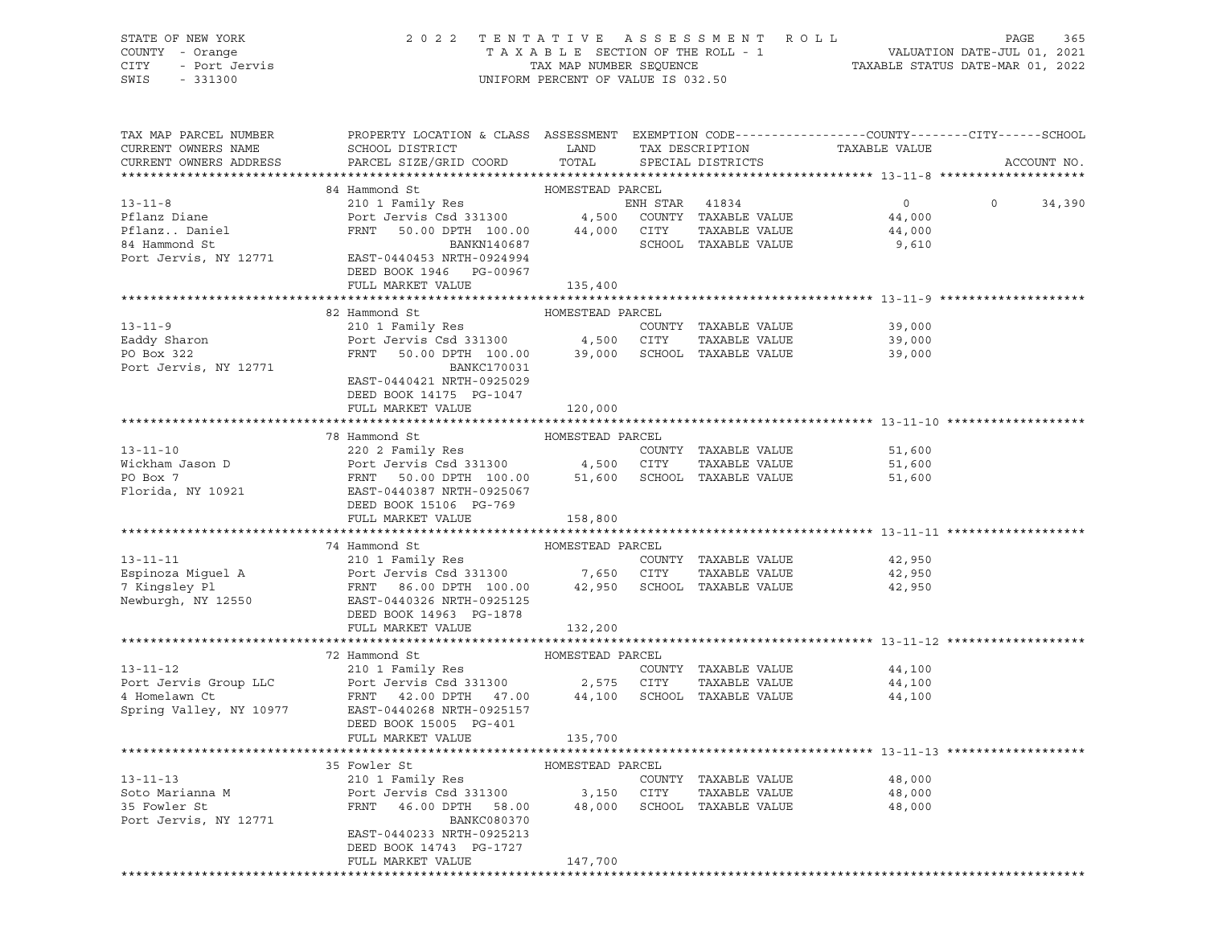| STATE OF NEW YORK<br>COUNTY - Orange<br>- Port Jervis<br><b>CITY</b><br>SWIS<br>$-331300$ | 2022 TENTATIVE ASSESSMENT ROLL                                                                        | UNIFORM PERCENT OF VALUE IS 032.50 |                |                                      |               | PAGE     | 365         |
|-------------------------------------------------------------------------------------------|-------------------------------------------------------------------------------------------------------|------------------------------------|----------------|--------------------------------------|---------------|----------|-------------|
| TAX MAP PARCEL NUMBER                                                                     | PROPERTY LOCATION & CLASS ASSESSMENT EXEMPTION CODE----------------COUNTY-------CITY------SCHOOL      |                                    |                |                                      |               |          |             |
| CURRENT OWNERS NAME<br>CURRENT OWNERS ADDRESS                                             | SCHOOL DISTRICT<br>PARCEL SIZE/GRID COORD                                                             | LAND<br>TOTAL                      |                | TAX DESCRIPTION<br>SPECIAL DISTRICTS | TAXABLE VALUE |          | ACCOUNT NO. |
|                                                                                           |                                                                                                       |                                    |                |                                      |               |          |             |
|                                                                                           | 84 Hammond St                                                                                         | HOMESTEAD PARCEL                   |                |                                      |               |          |             |
| $13 - 11 - 8$                                                                             | 210 1 Family Res                                                                                      |                                    | ENH STAR 41834 |                                      | $\Omega$      | $\Omega$ | 34,390      |
| Pflanz Diane                                                                              | Port Jervis Csd 331300 4,500 COUNTY TAXABLE VALUE<br>FRNT 50.00 DPTH 100.00 44,000 CITY TAXABLE VALUE |                                    |                |                                      | 44,000        |          |             |
| Pflanz Daniel                                                                             |                                                                                                       |                                    |                |                                      | 44,000        |          |             |
| 84 Hammond St                                                                             | BANKN140687                                                                                           |                                    |                | SCHOOL TAXABLE VALUE                 | 9,610         |          |             |
| Port Jervis, NY 12771                                                                     | EAST-0440453 NRTH-0924994                                                                             |                                    |                |                                      |               |          |             |
|                                                                                           | DEED BOOK 1946 PG-00967                                                                               |                                    |                |                                      |               |          |             |
|                                                                                           | FULL MARKET VALUE                                                                                     | 135,400                            |                |                                      |               |          |             |
|                                                                                           | 82 Hammond St                                                                                         | HOMESTEAD PARCEL                   |                |                                      |               |          |             |
| $13 - 11 - 9$                                                                             | 210 1 Family Res                                                                                      |                                    |                | COUNTY TAXABLE VALUE                 | 39,000        |          |             |
| Eaddy Sharon                                                                              |                                                                                                       |                                    |                | TAXABLE VALUE                        | 39,000        |          |             |
| PO Box 322                                                                                | Port Jervis Csd 331300 4,500 CITY TAXABLE VALUE FRNT 50.00 DPTH 100.00 39,000 SCHOOL TAXABLE VALUE    |                                    |                |                                      | 39,000        |          |             |
| Port Jervis, NY 12771                                                                     | <b>BANKC170031</b>                                                                                    |                                    |                |                                      |               |          |             |
|                                                                                           | EAST-0440421 NRTH-0925029                                                                             |                                    |                |                                      |               |          |             |
|                                                                                           | DEED BOOK 14175 PG-1047                                                                               |                                    |                |                                      |               |          |             |
|                                                                                           | FULL MARKET VALUE                                                                                     | 120,000                            |                |                                      |               |          |             |
|                                                                                           |                                                                                                       |                                    |                |                                      |               |          |             |
|                                                                                           | 78 Hammond St                                                                                         | HOMESTEAD PARCEL                   |                |                                      |               |          |             |
| $13 - 11 - 10$                                                                            | 220 2 Family Res                                                                                      |                                    |                | COUNTY TAXABLE VALUE                 | 51,600        |          |             |
| Wickham Jason D                                                                           | Port Jervis Csd 331300 4,500 CITY                                                                     |                                    |                | TAXABLE VALUE                        | 51,600        |          |             |
| PO Box 7                                                                                  | FRNT<br>50.00 DPTH 100.00                                                                             |                                    |                | 51,600 SCHOOL TAXABLE VALUE          | 51,600        |          |             |
| Florida, NY 10921                                                                         | EAST-0440387 NRTH-0925067                                                                             |                                    |                |                                      |               |          |             |
|                                                                                           | DEED BOOK 15106 PG-769                                                                                |                                    |                |                                      |               |          |             |
|                                                                                           | FULL MARKET VALUE                                                                                     | 158,800                            |                |                                      |               |          |             |
|                                                                                           |                                                                                                       |                                    |                |                                      |               |          |             |
|                                                                                           | 74 Hammond St                                                                                         | HOMESTEAD PARCEL                   |                |                                      |               |          |             |
| $13 - 11 - 11$                                                                            | 210 1 Family Res                                                                                      |                                    |                | COUNTY TAXABLE VALUE                 | 42,950        |          |             |
| Espinoza Miguel A                                                                         | Port Jervis Csd 331300 7,650 CITY                                                                     |                                    |                | TAXABLE VALUE                        | 42,950        |          |             |
| 7 Kingsley Pl                                                                             | FRNT 86.00 DPTH 100.00                                                                                |                                    |                | 42,950 SCHOOL TAXABLE VALUE          | 42,950        |          |             |
| Newburgh, NY 12550                                                                        | EAST-0440326 NRTH-0925125                                                                             |                                    |                |                                      |               |          |             |
|                                                                                           | DEED BOOK 14963 PG-1878                                                                               |                                    |                |                                      |               |          |             |
|                                                                                           | FULL MARKET VALUE                                                                                     | 132,200                            |                |                                      |               |          |             |
|                                                                                           |                                                                                                       |                                    |                |                                      |               |          |             |
|                                                                                           | 72 Hammond St                                                                                         | HOMESTEAD PARCEL                   |                |                                      |               |          |             |
| $13 - 11 - 12$                                                                            | 210 1 Family Res                                                                                      |                                    |                | COUNTY TAXABLE VALUE                 | 44,100        |          |             |
| Port Jervis Group LLC                                                                     | Port Jervis Csd 331300                                                                                | 2,575 CITY                         |                | TAXABLE VALUE                        | 44,100        |          |             |
| 4 Homelawn Ct                                                                             | FRNT 42.00 DPTH 47.00                                                                                 | 44,100                             |                | SCHOOL TAXABLE VALUE                 | 44,100        |          |             |
| Spring Valley, NY 10977                                                                   | EAST-0440268 NRTH-0925157<br>DEED BOOK 15005 PG-401                                                   |                                    |                |                                      |               |          |             |

FULL MARKET VALUE 135,700 \*\*\*\*\*\*\*\*\*\*\*\*\*\*\*\*\*\*\*\*\*\*\*\*\*\*\*\*\*\*\*\*\*\*\*\*\*\*\*\*\*\*\*\*\*\*\*\*\*\*\*\*\*\*\*\*\*\*\*\*\*\*\*\*\*\*\*\*\*\*\*\*\*\*\*\*\*\*\*\*\*\*\*\*\*\*\*\*\*\*\*\*\*\*\*\*\*\*\*\*\*\*\* 13-11-13 \*\*\*\*\*\*\*\*\*\*\*\*\*\*\*\*\*\*\* 35 Fowler St HOMESTEAD PARCEL<br>210 1 Eamily Per 13-11-13 210 1 Family Res COUNTY TAXABLE VALUE 48,000 Soto Marianna M **Port Jervis Csd 331300** 3,150 CITY TAXABLE VALUE 48,000 35 Fowler St FRNT 46.00 DPTH 58.00 48,000 SCHOOL TAXABLE VALUE 48,000 Port Jervis, NY 12771 BANKC080370 EAST-0440233 NRTH-0925213 DEED BOOK 14743 PG-1727 FULL MARKET VALUE 147,700 \*\*\*\*\*\*\*\*\*\*\*\*\*\*\*\*\*\*\*\*\*\*\*\*\*\*\*\*\*\*\*\*\*\*\*\*\*\*\*\*\*\*\*\*\*\*\*\*\*\*\*\*\*\*\*\*\*\*\*\*\*\*\*\*\*\*\*\*\*\*\*\*\*\*\*\*\*\*\*\*\*\*\*\*\*\*\*\*\*\*\*\*\*\*\*\*\*\*\*\*\*\*\*\*\*\*\*\*\*\*\*\*\*\*\*\*\*\*\*\*\*\*\*\*\*\*\*\*\*\*\*\*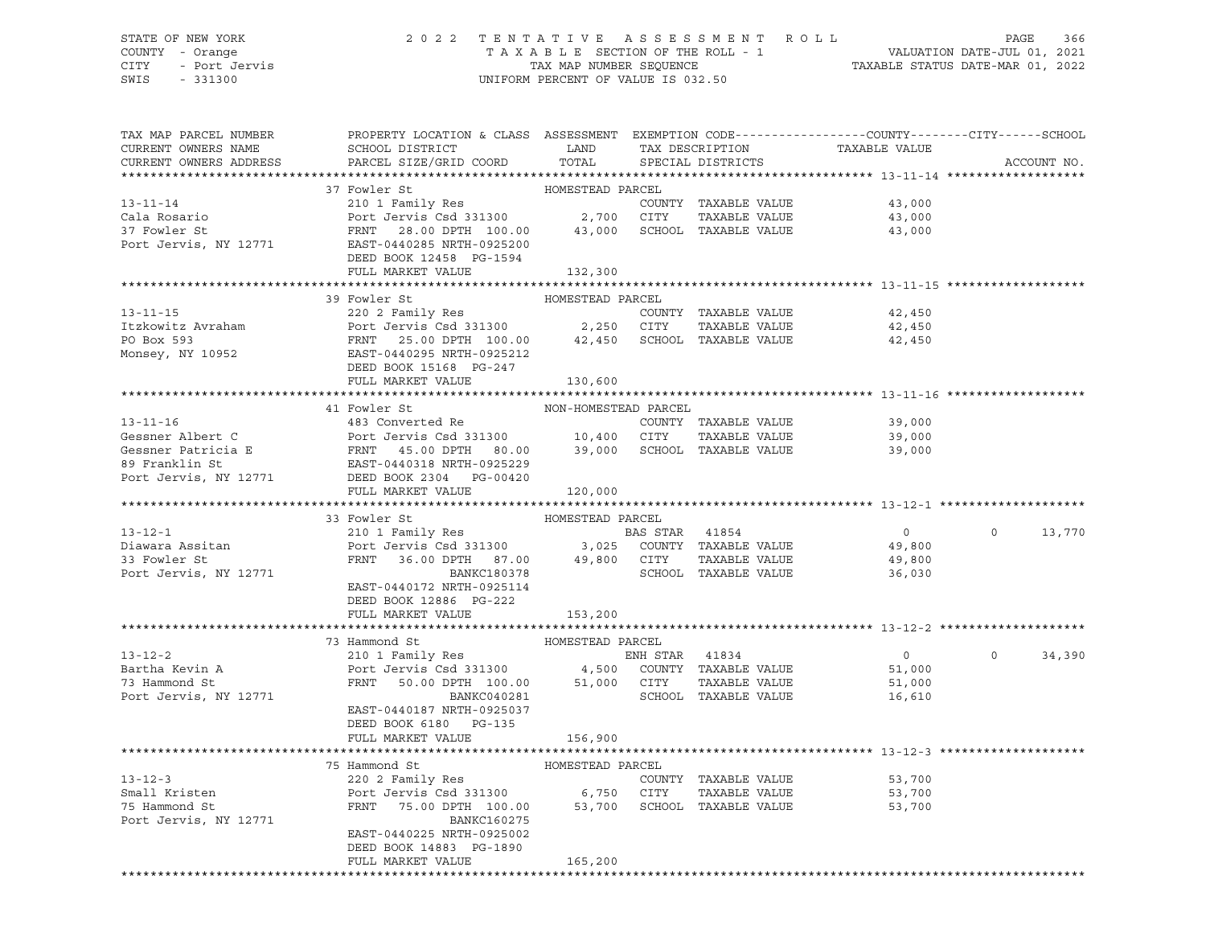## STATE OF NEW YORK 2 0 2 2 T E N T A T I V E A S S E S S M E N T R O L L PAGE 366 COUNTY - Orange T A X A B L E SECTION OF THE ROLL - 1 VALUATION DATE-JUL 01, 2021 CITY - Port Jervis TAX MAP NUMBER SEQUENCE TAXABLE STATUS DATE-MAR 01, 2022

| TAX MAP PARCEL NUMBER<br>CURRENT OWNERS NAME | PROPERTY LOCATION & CLASS ASSESSMENT EXEMPTION CODE----------------COUNTY-------CITY------SCHOOL<br>SCHOOL DISTRICT                                                                                                                              | LAND                 |                | TAX DESCRIPTION      | TAXABLE VALUE  |                    |
|----------------------------------------------|--------------------------------------------------------------------------------------------------------------------------------------------------------------------------------------------------------------------------------------------------|----------------------|----------------|----------------------|----------------|--------------------|
| CURRENT OWNERS ADDRESS                       | PARCEL SIZE/GRID COORD                                                                                                                                                                                                                           | TOTAL                |                | SPECIAL DISTRICTS    |                | ACCOUNT NO.        |
|                                              |                                                                                                                                                                                                                                                  |                      |                |                      |                |                    |
|                                              | 37 Fowler St                                                                                                                                                                                                                                     | HOMESTEAD PARCEL     |                |                      |                |                    |
| $13 - 11 - 14$                               | 210 1 Family Res                                                                                                                                                                                                                                 |                      |                | COUNTY TAXABLE VALUE | 43,000         |                    |
|                                              |                                                                                                                                                                                                                                                  |                      |                | TAXABLE VALUE        | 43,000         |                    |
|                                              | COUNTRES<br>Cala Rosario (2,700 CITY TAXABLE VALUE)<br>37 Fowler St FRNT 28.00 DPTH 100.00 43,000 SCHOOL TAXABLE VALUE<br>Port Jervis, NY 12771 EAST-0440285 NRTH-0925200                                                                        |                      |                |                      | 43,000         |                    |
|                                              |                                                                                                                                                                                                                                                  |                      |                |                      |                |                    |
|                                              | DEED BOOK 12458 PG-1594                                                                                                                                                                                                                          |                      |                |                      |                |                    |
|                                              | FULL MARKET VALUE                                                                                                                                                                                                                                | 132,300              |                |                      |                |                    |
|                                              |                                                                                                                                                                                                                                                  |                      |                |                      |                |                    |
|                                              | 39 Fowler St                                                                                                                                                                                                                                     | HOMESTEAD PARCEL     |                |                      |                |                    |
| $13 - 11 - 15$                               | 220 2 Family Res                                                                                                                                                                                                                                 |                      |                | COUNTY TAXABLE VALUE | 42,450         |                    |
| Itzkowitz Avraham                            |                                                                                                                                                                                                                                                  |                      |                |                      | 42,450         |                    |
| PO Box 593                                   | Port Jervis Csd 331300<br>Port Jervis Csd 331300<br>FRNT 25.00 DPTH 100.00 42,450 SCHOOL TAXABLE VALUE<br>EAST-0440295 NRTH-0925212<br>DEED BOOK 15168 PG-247<br>THE RESON CONSISTENT OF TAXABLE VALUE                                           |                      |                |                      | 42,450         |                    |
| Monsey, NY 10952                             |                                                                                                                                                                                                                                                  |                      |                |                      |                |                    |
|                                              |                                                                                                                                                                                                                                                  |                      |                |                      |                |                    |
|                                              | FULL MARKET VALUE                                                                                                                                                                                                                                | 130,600              |                |                      |                |                    |
|                                              |                                                                                                                                                                                                                                                  | NON-HOMESTEAD PARCEL |                |                      |                |                    |
|                                              | 13-11-16<br>Gessner Albert C<br>Gessner Patricia E<br>Sesner Patricia E<br>FRNT 45.00 DPTH 80.00<br>SCHOOL TAXABLE VALUE<br>POTT JEED POOK 2304 PG-00420<br>POTT JEED POOK 2304 PG-00420<br>POTT JEED POOK 2304 PG-00420<br>POTT MANAGE COMPRESS |                      |                |                      | 39,000         |                    |
|                                              |                                                                                                                                                                                                                                                  |                      |                |                      | 39,000         |                    |
|                                              |                                                                                                                                                                                                                                                  |                      |                |                      | 39,000         |                    |
|                                              |                                                                                                                                                                                                                                                  |                      |                |                      |                |                    |
|                                              |                                                                                                                                                                                                                                                  |                      |                |                      |                |                    |
|                                              | FULL MARKET VALUE                                                                                                                                                                                                                                | 120,000              |                |                      |                |                    |
|                                              |                                                                                                                                                                                                                                                  |                      |                |                      |                |                    |
|                                              |                                                                                                                                                                                                                                                  |                      |                |                      |                |                    |
|                                              | 33 Fowler St                                                                                                                                                                                                                                     | HOMESTEAD PARCEL     |                |                      |                |                    |
| $13 - 12 - 1$                                | 210 1 Family Res                                                                                                                                                                                                                                 |                      |                |                      | $\overline{0}$ | $0 \t 13,770$      |
|                                              |                                                                                                                                                                                                                                                  |                      |                |                      | 49,800         |                    |
| Diawara Assitan<br>33 Fowler St              |                                                                                                                                                                                                                                                  |                      |                |                      | 49,800         |                    |
| Port Jervis, NY 12771                        |                                                                                                                                                                                                                                                  |                      |                |                      | 36,030         |                    |
|                                              | EAST-0440172 NRTH-0925114                                                                                                                                                                                                                        |                      |                |                      |                |                    |
|                                              | DEED BOOK 12886 PG-222                                                                                                                                                                                                                           |                      |                |                      |                |                    |
|                                              | FULL MARKET VALUE                                                                                                                                                                                                                                | 153,200              |                |                      |                |                    |
|                                              |                                                                                                                                                                                                                                                  |                      |                |                      |                |                    |
|                                              | 73 Hammond St                                                                                                                                                                                                                                    | HOMESTEAD PARCEL     |                |                      |                |                    |
| $13 - 12 - 2$                                | Hammond St<br>210 1 Family Res                                                                                                                                                                                                                   |                      | ENH STAR 41834 |                      | $\overline{0}$ | $\Omega$<br>34,390 |
| Bartha Kevin A                               |                                                                                                                                                                                                                                                  |                      |                |                      | 51,000         |                    |
| 73 Hammond St                                | Port Jervis Csd 331300 4,500 COUNTY TAXABLE VALUE<br>FRNT 50.00 DPTH 100.00 51,000 CITY TAXABLE VALUE                                                                                                                                            |                      |                | TAXABLE VALUE        | 51,000         |                    |
| Port Jervis, NY 12771                        | BANKC040281                                                                                                                                                                                                                                      |                      |                | SCHOOL TAXABLE VALUE | 16,610         |                    |
|                                              | EAST-0440187 NRTH-0925037                                                                                                                                                                                                                        |                      |                |                      |                |                    |
|                                              | DEED BOOK 6180 PG-135                                                                                                                                                                                                                            |                      |                |                      |                |                    |
|                                              | FULL MARKET VALUE                                                                                                                                                                                                                                | 156,900              |                |                      |                |                    |
|                                              | 75 Hammond St                                                                                                                                                                                                                                    |                      |                |                      |                |                    |
| $13 - 12 - 3$                                | HOMESTEAD PARCEL<br>220 2 Family Res                                                                                                                                                                                                             |                      |                | COUNTY TAXABLE VALUE | 53,700         |                    |
| Small Kristen                                |                                                                                                                                                                                                                                                  |                      |                |                      | 53,700         |                    |
| 75 Hammond St                                | Port Jervis Csd 331300 6,750 CITY TAXABLE VALUE<br>FRNT 75.00 DPTH 100.00 53,700 SCHOOL TAXABLE VALUE                                                                                                                                            |                      |                |                      | 53,700         |                    |
| Port Jervis, NY 12771                        | BANKC160275                                                                                                                                                                                                                                      |                      |                |                      |                |                    |
|                                              | EAST-0440225 NRTH-0925002                                                                                                                                                                                                                        |                      |                |                      |                |                    |
|                                              | DEED BOOK 14883 PG-1890                                                                                                                                                                                                                          |                      |                |                      |                |                    |
|                                              | FULL MARKET VALUE                                                                                                                                                                                                                                | 165,200              |                |                      |                |                    |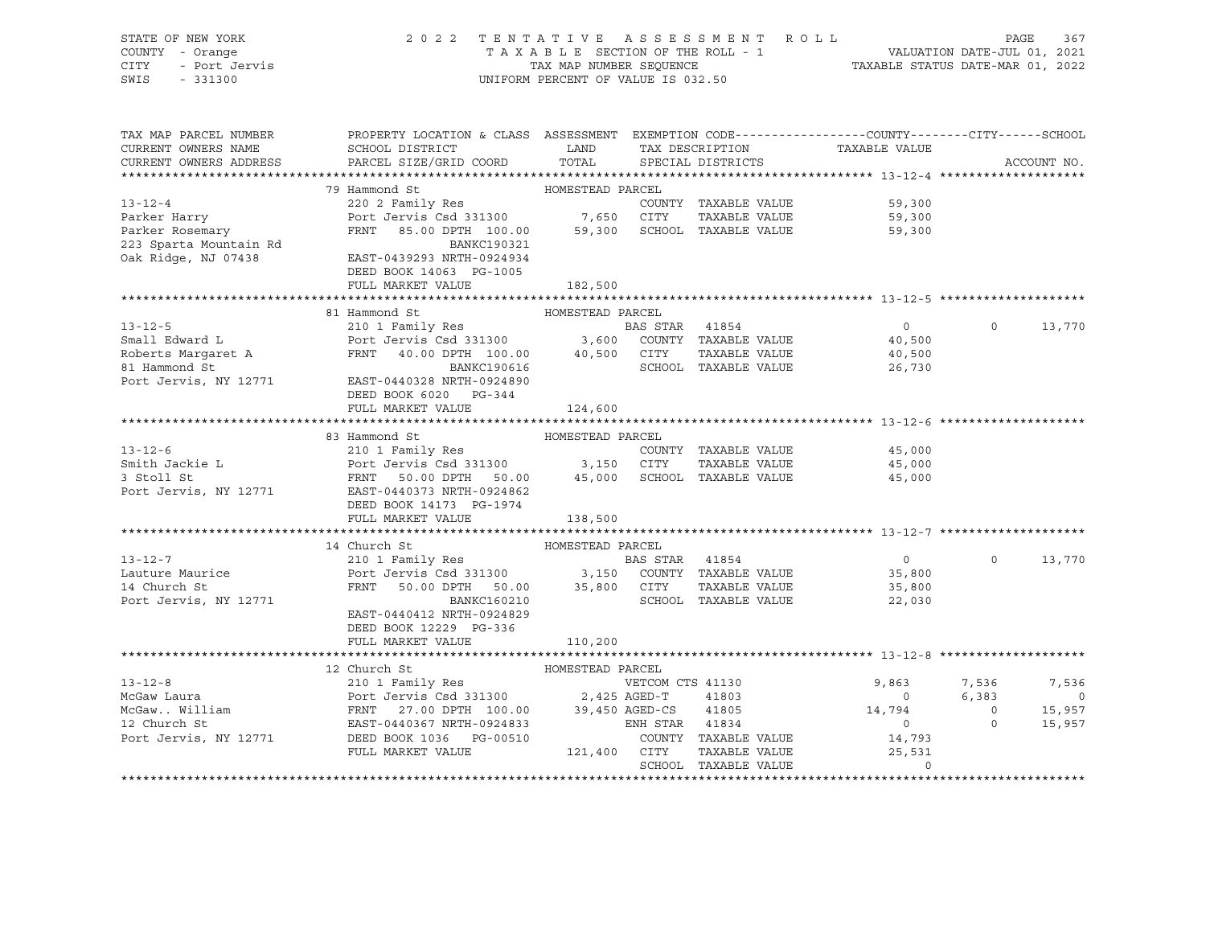| STATE OF NEW YORK<br>COUNTY - Orange<br>CITY<br>SWIS             | 2022 TENTATIVE ASSESSMENT ROLL<br>UNIFORM PERCENT OF VALUE IS 032.50                                                                                                                                                                                                          |                  |  |                                        |                          |                |                |  |
|------------------------------------------------------------------|-------------------------------------------------------------------------------------------------------------------------------------------------------------------------------------------------------------------------------------------------------------------------------|------------------|--|----------------------------------------|--------------------------|----------------|----------------|--|
| CURRENT OWNERS NAME                                              | TAX MAP PARCEL NUMBER THE PROPERTY LOCATION & CLASS ASSESSMENT EXEMPTION CODE--------------COUNTY-------CUTY------SCHOOL<br>SCHOOL DISTRICT                     LAND         TAX DESCRIPTION                   TAXABLE VALUE<br>CURRENT OWNERS ADDRESS PARCEL SIZE/GRID COORD | TOTAL            |  |                                        |                          | ACCOUNT NO.    |                |  |
|                                                                  |                                                                                                                                                                                                                                                                               |                  |  | SPECIAL DISTRICTS                      |                          |                |                |  |
|                                                                  | 79 Hammond St                                                                                                                                                                                                                                                                 | HOMESTEAD PARCEL |  |                                        |                          |                |                |  |
| $13 - 12 - 4$                                                    | 220 2 Family Res                                                                                                                                                                                                                                                              |                  |  | COUNTY TAXABLE VALUE                   | 59,300                   |                |                |  |
| Parker Harry                                                     |                                                                                                                                                                                                                                                                               |                  |  |                                        | 59,300                   |                |                |  |
| Parker Rosemary<br>223 Sparta Mountain Rd<br>Oak Ridge, NJ 07438 | 220 2 Family Res<br>Port Jervis Csd 331300 7,650 CITY TAXABLE VALUE<br>FRNT 85.00 DPTH 100.00 59,300 SCHOOL TAXABLE VALUE<br>BANKC190321<br>EAST-0439293 NRTH-0924934                                                                                                         |                  |  |                                        | 59,300                   |                |                |  |
|                                                                  | DEED BOOK 14063 PG-1005                                                                                                                                                                                                                                                       |                  |  |                                        |                          |                |                |  |
|                                                                  | FULL MARKET VALUE                                                                                                                                                                                                                                                             | 182,500          |  |                                        |                          |                |                |  |
|                                                                  | 81 Hammond St                                                                                                                                                                                                                                                                 | HOMESTEAD PARCEL |  |                                        |                          |                |                |  |
|                                                                  |                                                                                                                                                                                                                                                                               |                  |  |                                        |                          | $\Omega$       | 13,770         |  |
|                                                                  |                                                                                                                                                                                                                                                                               |                  |  |                                        |                          |                |                |  |
|                                                                  |                                                                                                                                                                                                                                                                               |                  |  |                                        |                          |                |                |  |
|                                                                  |                                                                                                                                                                                                                                                                               |                  |  |                                        |                          |                |                |  |
|                                                                  | 13-12-5<br>Small Edward L<br>Edward L<br>Edward L<br>Port Jervis Csd 331300<br>Roberts Margaret A<br>FRNT 40.00 DPTH 100.00<br>SL BANKC190616<br>Port Jervis, NY 12771<br>EAST-0440328 NRTH-09248980<br>Port Jervis Csd 331300<br>Port Jervis Csd 33<br>DEED BOOK 6020 PG-344 |                  |  |                                        |                          |                |                |  |
|                                                                  | FULL MARKET VALUE                                                                                                                                                                                                                                                             | 124,600          |  |                                        |                          |                |                |  |
|                                                                  | 83 Hammond St                                                                                                                                                                                                                                                                 | HOMESTEAD PARCEL |  |                                        |                          |                |                |  |
| $13 - 12 - 6$                                                    |                                                                                                                                                                                                                                                                               |                  |  |                                        |                          |                |                |  |
|                                                                  |                                                                                                                                                                                                                                                                               |                  |  |                                        |                          |                |                |  |
|                                                                  | 83 Hammond St<br>210 1 Family Res<br>Port Jervis Csd 331300 3,150 CITY TAXABLE VALUE<br>FRNT 50.00 DPTH 50.00 45,000 SCHOOL TAXABLE VALUE<br>45,000 45,000 SCHOOL TAXABLE VALUE                                                                                               |                  |  |                                        |                          |                |                |  |
| Smith Jackie L<br>3 Stoll St<br>Port Jervis, NY 12771            | EAST-0440373 NRTH-0924862                                                                                                                                                                                                                                                     |                  |  |                                        |                          |                |                |  |
|                                                                  | DEED BOOK 14173 PG-1974                                                                                                                                                                                                                                                       |                  |  |                                        |                          |                |                |  |
|                                                                  | FULL MARKET VALUE                                                                                                                                                                                                                                                             | 138,500          |  |                                        |                          |                |                |  |
|                                                                  |                                                                                                                                                                                                                                                                               |                  |  |                                        |                          |                |                |  |
|                                                                  | 14 Church St                                                                                                                                                                                                                                                                  | HOMESTEAD PARCEL |  |                                        |                          |                |                |  |
| $13 - 12 - 7$                                                    |                                                                                                                                                                                                                                                                               |                  |  |                                        | $\overline{0}$           | $\Omega$       | 13,770         |  |
| Lauture Maurice<br>14 Church St                                  | 14 Church St<br>210 1 Family Res<br>Port Jervis Csd 331300 3,150 COUNTY TAXABLE VALUE<br>FRNT 50.00 DPTH 50.00 35,800 CITY TAXABLE VALUE<br>FRNT 50.00 DPTH 50.00 35,800 CITY TAXABLE VALUE                                                                                   |                  |  |                                        | 35,800<br>35,800         |                |                |  |
| Port Jervis, NY 12771                                            | BANKC160210                                                                                                                                                                                                                                                                   |                  |  | SCHOOL TAXABLE VALUE                   | 22,030                   |                |                |  |
|                                                                  | EAST-0440412 NRTH-0924829                                                                                                                                                                                                                                                     |                  |  |                                        |                          |                |                |  |
|                                                                  | DEED BOOK 12229 PG-336                                                                                                                                                                                                                                                        |                  |  |                                        |                          |                |                |  |
|                                                                  | FULL MARKET VALUE                                                                                                                                                                                                                                                             | 110,200          |  |                                        |                          |                |                |  |
|                                                                  |                                                                                                                                                                                                                                                                               |                  |  |                                        |                          |                |                |  |
|                                                                  | 12 Church St                                                                                                                                                                                                                                                                  | HOMESTEAD PARCEL |  |                                        |                          |                |                |  |
| $13 - 12 - 8$                                                    | 210 1 Family Res<br>Port Jervis Csd 331300 2,425 AGED-T 41803<br>FRNT 27.00 DPTH 100.00 39,450 AGED-CS 41805<br>EAST-0440367 NRTH-0924833 ENH STAR 41834                                                                                                                      |                  |  |                                        | 9,863                    | 7,536          | 7,536          |  |
|                                                                  |                                                                                                                                                                                                                                                                               |                  |  |                                        | $\overline{0}$           | 6,383          | $\overline{0}$ |  |
|                                                                  |                                                                                                                                                                                                                                                                               |                  |  |                                        | 14,794                   | $\overline{0}$ | 15,957         |  |
|                                                                  |                                                                                                                                                                                                                                                                               |                  |  | ENH STAR 41834<br>COUNTY TAXABLE VALUE | $\overline{0}$<br>14,793 | $\circ$        | 15,957         |  |
|                                                                  | FULL MARKET VALUE                                                                                                                                                                                                                                                             | 121,400 CITY     |  | TAXABLE VALUE                          | 25,531                   |                |                |  |
|                                                                  |                                                                                                                                                                                                                                                                               |                  |  | SCHOOL TAXABLE VALUE                   | $\Omega$                 |                |                |  |

\*\*\*\*\*\*\*\*\*\*\*\*\*\*\*\*\*\*\*\*\*\*\*\*\*\*\*\*\*\*\*\*\*\*\*\*\*\*\*\*\*\*\*\*\*\*\*\*\*\*\*\*\*\*\*\*\*\*\*\*\*\*\*\*\*\*\*\*\*\*\*\*\*\*\*\*\*\*\*\*\*\*\*\*\*\*\*\*\*\*\*\*\*\*\*\*\*\*\*\*\*\*\*\*\*\*\*\*\*\*\*\*\*\*\*\*\*\*\*\*\*\*\*\*\*\*\*\*\*\*\*\*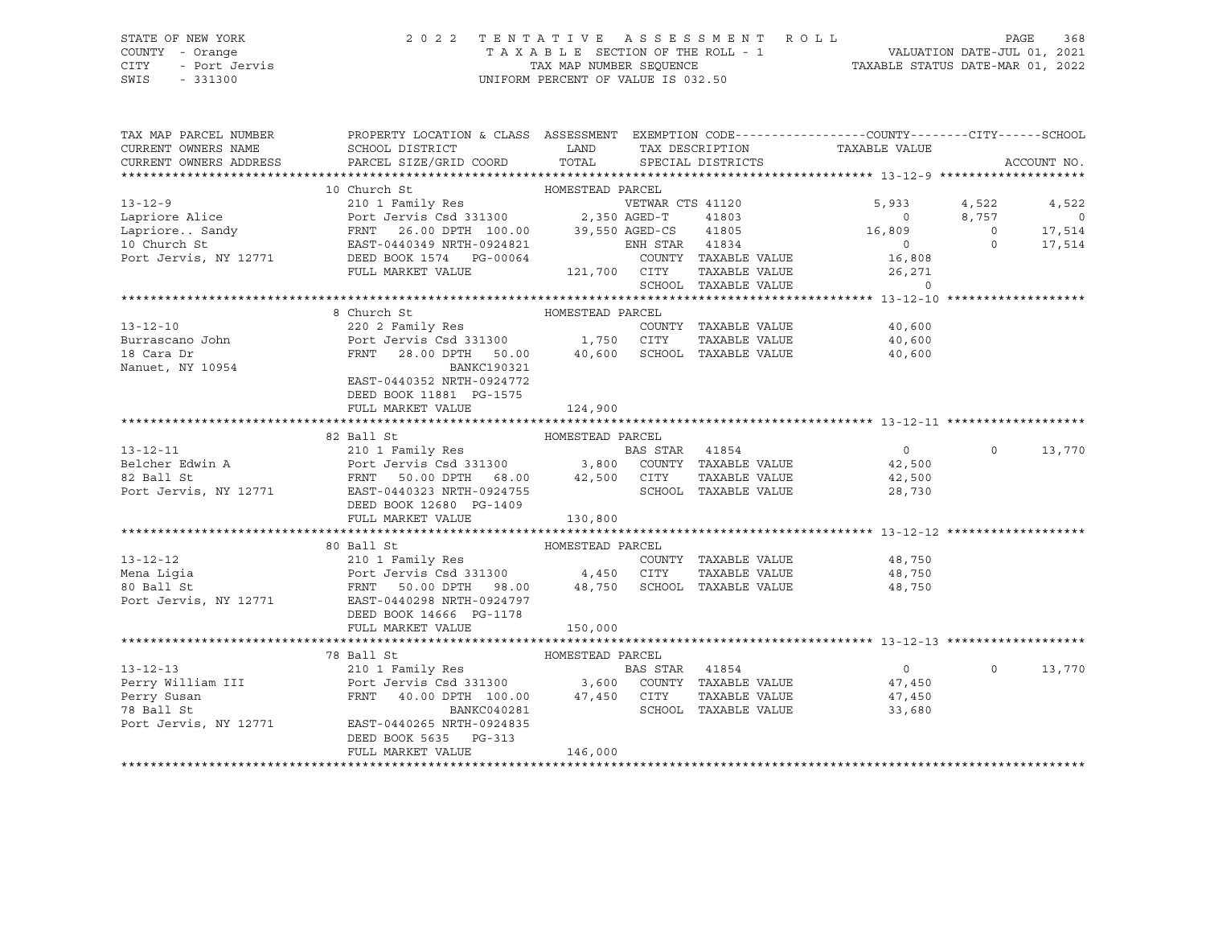## STATE OF NEW YORK 2 0 2 2 T E N T A T I V E A S S E S S M E N T R O L L PAGE 368 COUNTY - Orange T A X A B L E SECTION OF THE ROLL - 1 VALUATION DATE-JUL 01, 2021 CITY - Port Jervis TAX MAP NUMBER SEQUENCE TAXABLE STATUS DATE-MAR 01, 2022 SWIS - 331300 UNIFORM PERCENT OF VALUE IS 032.50

| TAX MAP PARCEL NUMBER<br>CURRENT OWNERS NAME<br>CURRENT OWNERS ADDRESS                                                                                                                                                                                   | PROPERTY LOCATION & CLASS ASSESSMENT EXEMPTION CODE----------------CUNTY-------CITY------SCHOOL<br>SCHOOL DISTRICT<br>PARCEL SIZE/GRID COORD |                  |                      | LAND TAX DESCRIPTION TAXABLE VALUE COORD TOTAL SPECIAL DISTRICTS                                                                                                                                                                                                                                                                                                                                                                                                                                  |          | ACCOUNT NO.    |
|----------------------------------------------------------------------------------------------------------------------------------------------------------------------------------------------------------------------------------------------------------|----------------------------------------------------------------------------------------------------------------------------------------------|------------------|----------------------|---------------------------------------------------------------------------------------------------------------------------------------------------------------------------------------------------------------------------------------------------------------------------------------------------------------------------------------------------------------------------------------------------------------------------------------------------------------------------------------------------|----------|----------------|
|                                                                                                                                                                                                                                                          |                                                                                                                                              |                  |                      |                                                                                                                                                                                                                                                                                                                                                                                                                                                                                                   |          |                |
| 13-12-9<br>10 Church St<br>210 1 Family Res<br>Lapriore Alice Port Jervis Csd 331300<br>FRNT 26.00 DPTH 100.00<br>10 Church St<br>FRNT 26.00 DPTH 100.00<br>39,550 AGED-CS 41805<br>16,809<br>16,809<br>16,809<br>2.350 AGED-CS 41805<br>16,809<br>16,80 |                                                                                                                                              |                  |                      |                                                                                                                                                                                                                                                                                                                                                                                                                                                                                                   |          |                |
|                                                                                                                                                                                                                                                          |                                                                                                                                              |                  |                      |                                                                                                                                                                                                                                                                                                                                                                                                                                                                                                   |          | 4,522          |
|                                                                                                                                                                                                                                                          |                                                                                                                                              |                  |                      |                                                                                                                                                                                                                                                                                                                                                                                                                                                                                                   |          | $\overline{0}$ |
|                                                                                                                                                                                                                                                          |                                                                                                                                              |                  |                      |                                                                                                                                                                                                                                                                                                                                                                                                                                                                                                   |          | 17,514         |
|                                                                                                                                                                                                                                                          |                                                                                                                                              |                  |                      |                                                                                                                                                                                                                                                                                                                                                                                                                                                                                                   |          | 17,514         |
|                                                                                                                                                                                                                                                          |                                                                                                                                              |                  |                      |                                                                                                                                                                                                                                                                                                                                                                                                                                                                                                   |          |                |
|                                                                                                                                                                                                                                                          | FULL MARKET VALUE                                                                                                                            | 121,700 CITY     |                      |                                                                                                                                                                                                                                                                                                                                                                                                                                                                                                   |          |                |
|                                                                                                                                                                                                                                                          |                                                                                                                                              |                  |                      | $\begin{tabular}{llllll} \multicolumn{2}{c}{\text{CITY}} & \multicolumn{2}{c}{\text{TAXABLE VALUE}} & \multicolumn{2}{c}{\text{YALUE}} & \multicolumn{2}{c}{\text{XCAV}} \\ & & & & & & \\ \multicolumn{2}{c}{\text{SCHOOL}} & \multicolumn{2}{c}{\text{TAXABLE VALUE}} & \multicolumn{2}{c}{\text{YALUE}} & \multicolumn{2}{c}{\text{YCAV}} \\ \multicolumn{2}{c}{\text{SCHOOL}} & \multicolumn{2}{c}{\text{TAXABLE VALUE}} & \multicolumn{2}{c}{\text{YACV}} & \multicolumn{2}{c}{\text{YACV}}$ |          |                |
| 3 -12-10<br>8 Church St<br>220 2 Family Res<br>Burrascano John<br>230 2 Family Res<br>230 2 Family Res<br>230 2 Family Res<br>230 2 Family Res<br>230 2 Family Res<br>230 2 Family Res<br>230 0 2 -1,750 CITY<br>23.00 DPH 50.00<br>240,600 SCHOOL TAX   |                                                                                                                                              |                  |                      |                                                                                                                                                                                                                                                                                                                                                                                                                                                                                                   |          |                |
|                                                                                                                                                                                                                                                          |                                                                                                                                              |                  |                      |                                                                                                                                                                                                                                                                                                                                                                                                                                                                                                   |          |                |
|                                                                                                                                                                                                                                                          |                                                                                                                                              |                  |                      | COUNTY TAXABLE VALUE 40,600                                                                                                                                                                                                                                                                                                                                                                                                                                                                       |          |                |
|                                                                                                                                                                                                                                                          |                                                                                                                                              |                  |                      | 40,600<br>40,600                                                                                                                                                                                                                                                                                                                                                                                                                                                                                  |          |                |
|                                                                                                                                                                                                                                                          |                                                                                                                                              |                  |                      |                                                                                                                                                                                                                                                                                                                                                                                                                                                                                                   |          |                |
|                                                                                                                                                                                                                                                          |                                                                                                                                              |                  |                      |                                                                                                                                                                                                                                                                                                                                                                                                                                                                                                   |          |                |
|                                                                                                                                                                                                                                                          |                                                                                                                                              |                  |                      |                                                                                                                                                                                                                                                                                                                                                                                                                                                                                                   |          |                |
|                                                                                                                                                                                                                                                          | DEED BOOK 11881 PG-1575                                                                                                                      |                  |                      |                                                                                                                                                                                                                                                                                                                                                                                                                                                                                                   |          |                |
|                                                                                                                                                                                                                                                          | FULL MARKET VALUE                                                                                                                            | 124,900          |                      |                                                                                                                                                                                                                                                                                                                                                                                                                                                                                                   |          |                |
|                                                                                                                                                                                                                                                          |                                                                                                                                              |                  |                      |                                                                                                                                                                                                                                                                                                                                                                                                                                                                                                   |          |                |
|                                                                                                                                                                                                                                                          |                                                                                                                                              |                  |                      |                                                                                                                                                                                                                                                                                                                                                                                                                                                                                                   |          |                |
|                                                                                                                                                                                                                                                          |                                                                                                                                              |                  |                      |                                                                                                                                                                                                                                                                                                                                                                                                                                                                                                   | $\Omega$ | 13,770         |
|                                                                                                                                                                                                                                                          |                                                                                                                                              |                  |                      |                                                                                                                                                                                                                                                                                                                                                                                                                                                                                                   |          |                |
|                                                                                                                                                                                                                                                          |                                                                                                                                              |                  |                      |                                                                                                                                                                                                                                                                                                                                                                                                                                                                                                   |          |                |
|                                                                                                                                                                                                                                                          |                                                                                                                                              |                  |                      |                                                                                                                                                                                                                                                                                                                                                                                                                                                                                                   |          |                |
|                                                                                                                                                                                                                                                          | DEED BOOK 12680 PG-1409<br>FULL MARKET VALUE<br>FULL MARKET VALUE                                                                            | 130,800          |                      |                                                                                                                                                                                                                                                                                                                                                                                                                                                                                                   |          |                |
|                                                                                                                                                                                                                                                          |                                                                                                                                              |                  |                      |                                                                                                                                                                                                                                                                                                                                                                                                                                                                                                   |          |                |
|                                                                                                                                                                                                                                                          | 80 Ball St                                                                                                                                   | HOMESTEAD PARCEL |                      |                                                                                                                                                                                                                                                                                                                                                                                                                                                                                                   |          |                |
|                                                                                                                                                                                                                                                          |                                                                                                                                              |                  |                      |                                                                                                                                                                                                                                                                                                                                                                                                                                                                                                   |          |                |
|                                                                                                                                                                                                                                                          |                                                                                                                                              |                  |                      |                                                                                                                                                                                                                                                                                                                                                                                                                                                                                                   |          |                |
|                                                                                                                                                                                                                                                          |                                                                                                                                              |                  |                      |                                                                                                                                                                                                                                                                                                                                                                                                                                                                                                   |          |                |
| Port Jervis, NY 12771 EAST-0440298 NRTH-0924797                                                                                                                                                                                                          |                                                                                                                                              |                  |                      |                                                                                                                                                                                                                                                                                                                                                                                                                                                                                                   |          |                |
|                                                                                                                                                                                                                                                          | DEED BOOK 14666 PG-1178                                                                                                                      |                  |                      |                                                                                                                                                                                                                                                                                                                                                                                                                                                                                                   |          |                |
|                                                                                                                                                                                                                                                          | FULL MARKET VALUE                                                                                                                            | 150,000          |                      |                                                                                                                                                                                                                                                                                                                                                                                                                                                                                                   |          |                |
|                                                                                                                                                                                                                                                          |                                                                                                                                              |                  |                      |                                                                                                                                                                                                                                                                                                                                                                                                                                                                                                   |          |                |
|                                                                                                                                                                                                                                                          |                                                                                                                                              |                  |                      |                                                                                                                                                                                                                                                                                                                                                                                                                                                                                                   |          |                |
|                                                                                                                                                                                                                                                          |                                                                                                                                              |                  |                      | $\overline{0}$                                                                                                                                                                                                                                                                                                                                                                                                                                                                                    | $\Omega$ | 13,770         |
|                                                                                                                                                                                                                                                          |                                                                                                                                              |                  |                      | 47,450                                                                                                                                                                                                                                                                                                                                                                                                                                                                                            |          |                |
|                                                                                                                                                                                                                                                          |                                                                                                                                              |                  |                      | TAXABLE VALUE 47,450                                                                                                                                                                                                                                                                                                                                                                                                                                                                              |          |                |
|                                                                                                                                                                                                                                                          |                                                                                                                                              |                  | SCHOOL TAXABLE VALUE | 33,680                                                                                                                                                                                                                                                                                                                                                                                                                                                                                            |          |                |
|                                                                                                                                                                                                                                                          |                                                                                                                                              |                  |                      |                                                                                                                                                                                                                                                                                                                                                                                                                                                                                                   |          |                |
|                                                                                                                                                                                                                                                          | DEED BOOK 5635 PG-313                                                                                                                        |                  |                      |                                                                                                                                                                                                                                                                                                                                                                                                                                                                                                   |          |                |
|                                                                                                                                                                                                                                                          | FULL MARKET VALUE                                                                                                                            | 146,000          |                      |                                                                                                                                                                                                                                                                                                                                                                                                                                                                                                   |          |                |
|                                                                                                                                                                                                                                                          |                                                                                                                                              |                  |                      |                                                                                                                                                                                                                                                                                                                                                                                                                                                                                                   |          |                |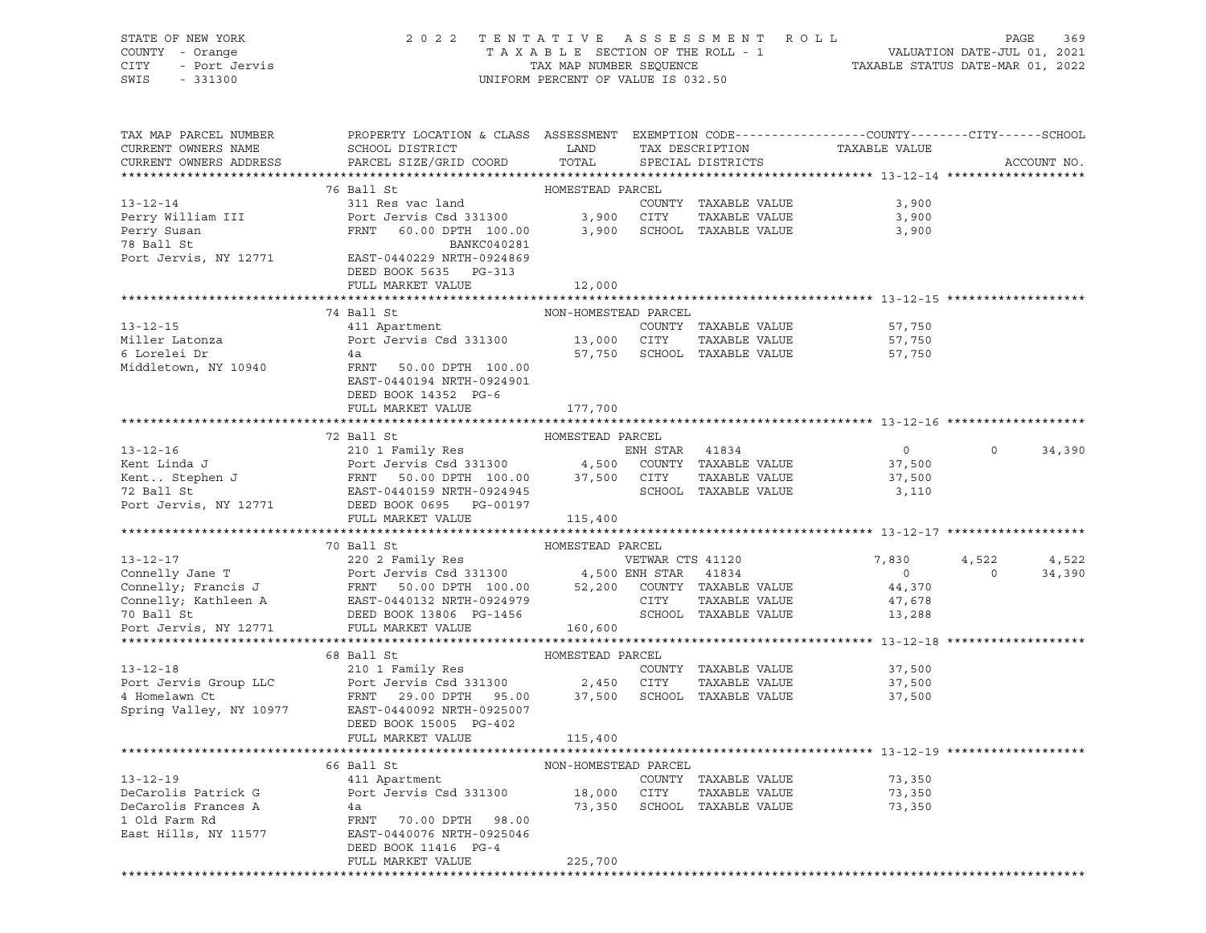STATE OF NEW YORK 2 0 2 2 T E N T A T I V E A S S E S S M E N T R O L L PAGE 369 COUNTY - Orange T A X A B L E SECTION OF THE ROLL - 1 VALUATION DATE-JUL 01, 2021 CITY - Port Jervis TAX MAP NUMBER SEQUENCE TAXABLE STATUS DATE-MAR 01, 2022 SWIS - 331300 UNIFORM PERCENT OF VALUE IS 032.50

| TAX MAP PARCEL NUMBER<br>CURRENT OWNERS NAME<br>CURRENT OWNERS ADDRESS                                                                                                                                                                               | PROPERTY LOCATION & CLASS ASSESSMENT EXEMPTION CODE----------------COUNTY-------CITY------SCHOOL<br>SCHOOL DISTRICT<br>PARCEL SIZE/GRID COORD | LAND                 | TAX DESCRIPTION<br>TOTAL SPECIAL DISTRICTS                           | TAXABLE VALUE              |          | ACCOUNT NO. |
|------------------------------------------------------------------------------------------------------------------------------------------------------------------------------------------------------------------------------------------------------|-----------------------------------------------------------------------------------------------------------------------------------------------|----------------------|----------------------------------------------------------------------|----------------------------|----------|-------------|
|                                                                                                                                                                                                                                                      |                                                                                                                                               |                      |                                                                      |                            |          |             |
|                                                                                                                                                                                                                                                      | 76 Ball St                                                                                                                                    | HOMESTEAD PARCEL     |                                                                      |                            |          |             |
| $13 - 12 - 14$<br>Perry William III and Port Jervis Csd 331300 3,900 CITY TAXABLE VALUE<br>Perry Susan FRNT 60.00 DPTH 100.00 3,900 SCHOOL TAXABLE VALUE<br>78 Ball St BANKC040281                                                                   | 311 Res vac land                                                                                                                              |                      | COUNTY TAXABLE VALUE                                                 | 3,900<br>3,900<br>3,900    |          |             |
| Port Jervis, NY 12771 EAST-0440229 NRTH-0924869                                                                                                                                                                                                      | DEED BOOK 5635 PG-313<br>FULL MARKET VALUE                                                                                                    | 12,000               |                                                                      |                            |          |             |
|                                                                                                                                                                                                                                                      |                                                                                                                                               |                      |                                                                      |                            |          |             |
|                                                                                                                                                                                                                                                      | 74 Ball St                                                                                                                                    | NON-HOMESTEAD PARCEL |                                                                      |                            |          |             |
| $13 - 12 - 15$<br>Miller Latonza<br>6 Lorelei Dr                                                                                                                                                                                                     | 411 Apartment<br>Port Jervis Csd 331300 13,000 CITY<br>4a                                                                                     |                      | COUNTY TAXABLE VALUE<br>TAXABLE VALUE<br>57,750 SCHOOL TAXABLE VALUE | 57,750<br>57,750<br>57,750 |          |             |
| Middletown, NY 10940                                                                                                                                                                                                                                 | FRNT 50.00 DPTH 100.00<br>EAST-0440194 NRTH-0924901<br>DEED BOOK 14352 PG-6<br>FULL MARKET VALUE                                              | 177,700              |                                                                      |                            |          |             |
|                                                                                                                                                                                                                                                      |                                                                                                                                               |                      |                                                                      |                            |          |             |
|                                                                                                                                                                                                                                                      | 72 Ball St                                                                                                                                    | HOMESTEAD PARCEL     |                                                                      |                            |          |             |
|                                                                                                                                                                                                                                                      |                                                                                                                                               |                      |                                                                      | $\overline{0}$             | $\Omega$ | 34,390      |
|                                                                                                                                                                                                                                                      |                                                                                                                                               |                      |                                                                      | 37,500                     |          |             |
|                                                                                                                                                                                                                                                      |                                                                                                                                               |                      |                                                                      | 37,500                     |          |             |
|                                                                                                                                                                                                                                                      |                                                                                                                                               |                      |                                                                      | 3,110                      |          |             |
| 13-12-16<br>Kent Linda J<br>Kent Linda J<br>ENH STAR 41834<br>Kent Linda J<br>FRNT 50.00 DPTH 100.00 37,500 COUNTY TAXABLE VALUE<br>TARABLE VALUE<br>TARABLE VALUE<br>TARABLE VALUE<br>POTT JERST-0440159 NRTH-0924945<br>POTT JERST-0440159 NRTH-   | FULL MARKET VALUE 115,400                                                                                                                     |                      |                                                                      |                            |          |             |
|                                                                                                                                                                                                                                                      |                                                                                                                                               |                      |                                                                      |                            |          |             |
|                                                                                                                                                                                                                                                      | 70 Ball St                                                                                                                                    | HOMESTEAD PARCEL     |                                                                      |                            |          |             |
|                                                                                                                                                                                                                                                      |                                                                                                                                               |                      |                                                                      | 7,830                      | 4,522    | 4,522       |
|                                                                                                                                                                                                                                                      |                                                                                                                                               |                      |                                                                      | $\overline{0}$             | $\sim$ 0 | 34,390      |
| 13-12-17<br>Connelly Jane T<br>Connelly Francis J<br>Connelly, Francis J<br>Connelly, Francis J<br>Connelly, Kathleen A<br>ERST-0440132 NRTH-0924979<br>TO Ball St<br>DEED BOOK 13806 PG-1456<br>TO Ball St<br>PEED BOOK 13806 PG-1456<br>TO BALLY S |                                                                                                                                               |                      |                                                                      | 44,370                     |          |             |
|                                                                                                                                                                                                                                                      |                                                                                                                                               |                      |                                                                      | 47,678<br>13,288           |          |             |
|                                                                                                                                                                                                                                                      |                                                                                                                                               |                      |                                                                      |                            |          |             |
|                                                                                                                                                                                                                                                      |                                                                                                                                               |                      |                                                                      |                            |          |             |
|                                                                                                                                                                                                                                                      |                                                                                                                                               |                      |                                                                      |                            |          |             |
|                                                                                                                                                                                                                                                      |                                                                                                                                               |                      | COUNTY TAXABLE VALUE                                                 | 37,500                     |          |             |
|                                                                                                                                                                                                                                                      |                                                                                                                                               |                      | TAXABLE VALUE                                                        | 37,500                     |          |             |
| 4 Homelawn Ct ERST-0440092 NRTH-0925007<br>Family Res (210 1 Family Res (210 1 Family Res (210 1 Family Res (210 1 Family Res (210 1 Family Res (210 1 Family Res (216 2,450 CITY TAXABLE VALUE PORT CHANGE PARCEL)<br>4 Homelawn                    | DEED BOOK 15005 PG-402                                                                                                                        |                      |                                                                      | 37,500                     |          |             |
|                                                                                                                                                                                                                                                      | FULL MARKET VALUE                                                                                                                             | 115,400              |                                                                      |                            |          |             |
|                                                                                                                                                                                                                                                      | 66 Ball St                                                                                                                                    | NON-HOMESTEAD PARCEL |                                                                      |                            |          |             |
| $13 - 12 - 19$                                                                                                                                                                                                                                       | Ball St<br>411 Apartment                                                                                                                      |                      | COUNTY TAXABLE VALUE                                                 | 73,350                     |          |             |
| DeCarolis Patrick G                                                                                                                                                                                                                                  |                                                                                                                                               | 18,000 CITY          | TAXABLE VALUE                                                        | 73,350                     |          |             |
| DeCarolis Frances A                                                                                                                                                                                                                                  |                                                                                                                                               |                      | 73,350 SCHOOL TAXABLE VALUE                                          | 73,350                     |          |             |
| 1 Old Farm Rd                                                                                                                                                                                                                                        | POIL UL.<br>4a<br>FRNT 70.00 DPTH 98.00<br>→↑↑™-0440076 NRTH-0925046                                                                          |                      |                                                                      |                            |          |             |
| East Hills, NY 11577                                                                                                                                                                                                                                 | DEED BOOK 11416 PG-4                                                                                                                          |                      |                                                                      |                            |          |             |
|                                                                                                                                                                                                                                                      | FULL MARKET VALUE                                                                                                                             | 225,700              |                                                                      |                            |          |             |
|                                                                                                                                                                                                                                                      |                                                                                                                                               |                      |                                                                      |                            |          |             |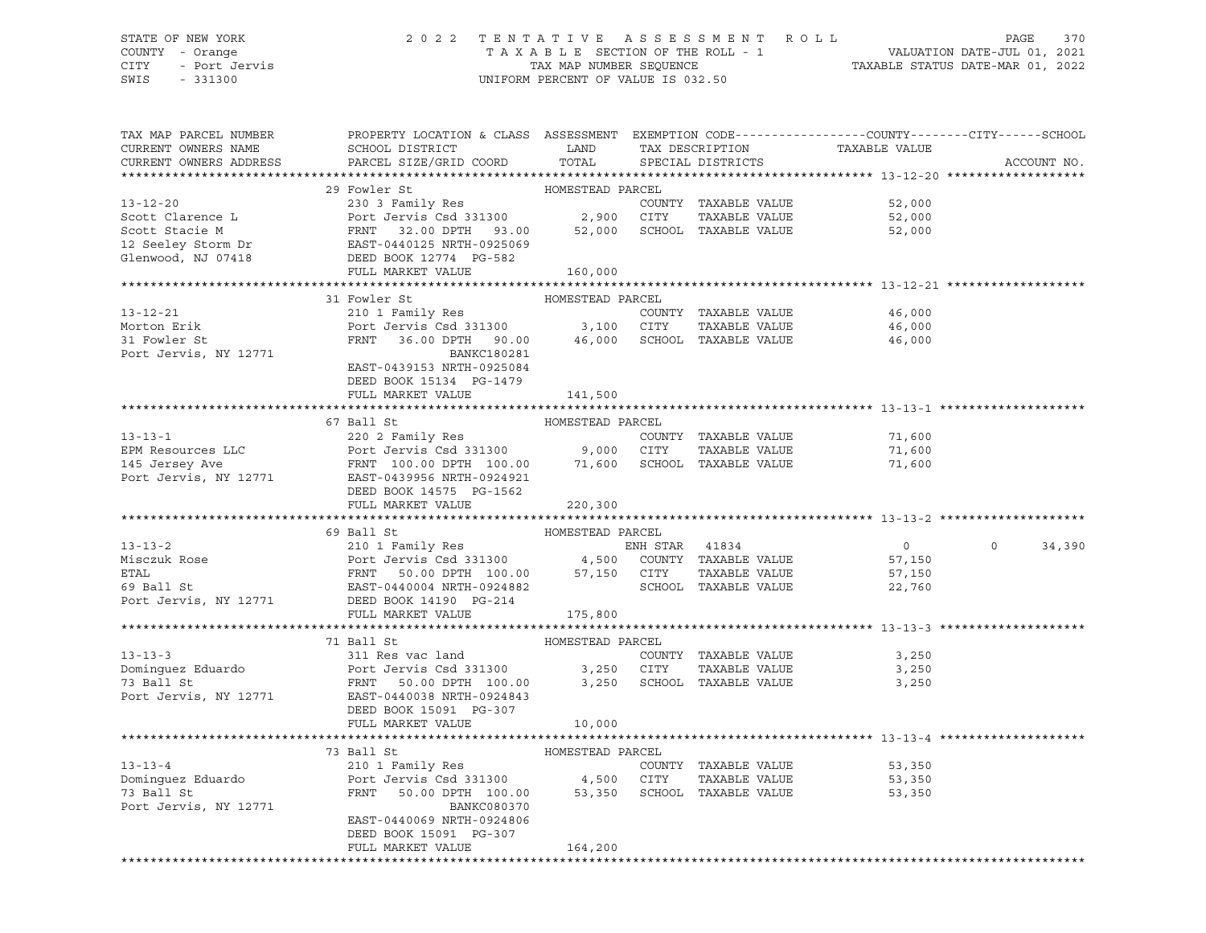# STATE OF NEW YORK 2 0 2 2 T E N T A T I V E A S S E S S M E N T R O L L PAGE 370 COUNTY - Orange T A X A B L E SECTION OF THE ROLL - 1 VALUATION DATE-JUL 01, 2021 CITY - Port Jervis TAX MAP NUMBER SEQUENCE TAXABLE STATUS DATE-MAR 01, 2022

| TAX MAP PARCEL NUMBER           | PROPERTY LOCATION & CLASS ASSESSMENT EXEMPTION CODE---------------COUNTY-------CITY------SCHOOL                                                                                                                                                   |                  |                      |                |             |
|---------------------------------|---------------------------------------------------------------------------------------------------------------------------------------------------------------------------------------------------------------------------------------------------|------------------|----------------------|----------------|-------------|
| CURRENT OWNERS NAME             | SCHOOL DISTRICT LAND                                                                                                                                                                                                                              |                  | TAX DESCRIPTION      | TAXABLE VALUE  |             |
| CURRENT OWNERS ADDRESS          | PARCEL SIZE/GRID COORD                                                                                                                                                                                                                            | TOTAL            | SPECIAL DISTRICTS    |                | ACCOUNT NO. |
|                                 |                                                                                                                                                                                                                                                   |                  |                      |                |             |
|                                 |                                                                                                                                                                                                                                                   |                  |                      |                |             |
|                                 |                                                                                                                                                                                                                                                   |                  | COUNTY TAXABLE VALUE | 52,000         |             |
|                                 |                                                                                                                                                                                                                                                   |                  |                      | 52,000         |             |
|                                 |                                                                                                                                                                                                                                                   |                  |                      | 52,000         |             |
|                                 |                                                                                                                                                                                                                                                   |                  |                      |                |             |
|                                 |                                                                                                                                                                                                                                                   |                  |                      |                |             |
|                                 |                                                                                                                                                                                                                                                   |                  |                      |                |             |
|                                 |                                                                                                                                                                                                                                                   |                  |                      |                |             |
|                                 | 31 Fowler St                                                                                                                                                                                                                                      | HOMESTEAD PARCEL |                      |                |             |
| $13 - 12 - 21$                  | 210 1 Family Res                                                                                                                                                                                                                                  |                  | COUNTY TAXABLE VALUE | 46,000         |             |
| Morton Erik                     |                                                                                                                                                                                                                                                   |                  |                      | 46,000         |             |
| 31 Fowler St                    | Port Jerwis Csd 331300 3,100 CITY TAXABLE VALUE<br>FRNT 36.00 DPTH 90.00 46,000 SCHOOL TAXABLE VALUE                                                                                                                                              |                  |                      | 46,000         |             |
| Port Jervis, NY 12771           | BANKC180281                                                                                                                                                                                                                                       |                  |                      |                |             |
|                                 | EAST-0439153 NRTH-0925084                                                                                                                                                                                                                         |                  |                      |                |             |
|                                 | DEED BOOK 15134 PG-1479                                                                                                                                                                                                                           |                  |                      |                |             |
|                                 | FULL MARKET VALUE                                                                                                                                                                                                                                 | 141,500          |                      |                |             |
|                                 |                                                                                                                                                                                                                                                   |                  |                      |                |             |
|                                 | 67 Ball St                                                                                                                                                                                                                                        | HOMESTEAD PARCEL |                      |                |             |
|                                 |                                                                                                                                                                                                                                                   |                  |                      | 71,600         |             |
|                                 |                                                                                                                                                                                                                                                   |                  |                      | 71,600         |             |
|                                 | 13-13-1<br>EPM Resources LLC<br>EPM Resources LLC<br>EPM Resources LLC<br>Port Jervis Csd 331300<br>Port Jervis Csd 331300<br>Port Jervis Csd 331300<br>Port Jervis Csd 331300<br>Port Jervis Csd 331300<br>Port Jervis Csd 331300<br>Port Jervis |                  |                      | 71,600         |             |
|                                 |                                                                                                                                                                                                                                                   |                  |                      |                |             |
|                                 |                                                                                                                                                                                                                                                   |                  |                      |                |             |
|                                 | DEED BOOK 14575 PG-1562<br>FULL MARKET VALUE                                                                                                                                                                                                      |                  |                      |                |             |
|                                 |                                                                                                                                                                                                                                                   | 220,300          |                      |                |             |
|                                 |                                                                                                                                                                                                                                                   |                  |                      |                |             |
|                                 | 69 Ball St<br>69 Bail St<br>210 1 Family Res<br>Port Jervis Csd 331300 4,500 COUNTY TAXABLE VALUE<br>FRNT 50.00 DPTH 100.00 57,150 CITY TAXABLE VALUE<br>EAST-0440004 NRTH-0924882 SCHOOL TAXABLE VALUE                                           | HOMESTEAD PARCEL |                      |                | $\sim$ 0    |
| $13 - 13 - 2$                   |                                                                                                                                                                                                                                                   |                  |                      | $\overline{0}$ | 34,390      |
| Misczuk Rose<br>Emai            |                                                                                                                                                                                                                                                   |                  |                      | 57,150         |             |
|                                 | ETAL FRIM FRIM SOLOOM NRTH-0924882<br>FAST-0440004 NRTH-0924882<br>Port Jervis, NY 12771 DEED BOOK 14190 PG-214                                                                                                                                   |                  | TAXABLE VALUE        | 57,150         |             |
|                                 |                                                                                                                                                                                                                                                   |                  |                      | 22,760         |             |
|                                 |                                                                                                                                                                                                                                                   |                  |                      |                |             |
|                                 | FULL MARKET VALUE                                                                                                                                                                                                                                 | 175,800          |                      |                |             |
|                                 |                                                                                                                                                                                                                                                   |                  |                      |                |             |
|                                 | 71 Ball St                                                                                                                                                                                                                                        | HOMESTEAD PARCEL |                      |                |             |
| $13 - 13 - 3$                   |                                                                                                                                                                                                                                                   |                  |                      | 3,250          |             |
| Dominguez Eduardo<br>73 Ball St | 311 Res vac land<br>Port Jervis Csd 331300 3,250 CITY TAXABLE VALUE<br>FRNT 50.00 DPTH 100.00 3,250 SCHOOL TAXABLE VALUE<br>EAST-0440038 NRTH-0924843                                                                                             |                  |                      | 3,250          |             |
| 73 Ball St                      |                                                                                                                                                                                                                                                   |                  |                      | 3,250          |             |
| Port Jervis, NY 12771           |                                                                                                                                                                                                                                                   |                  |                      |                |             |
|                                 | DEED BOOK 15091 PG-307                                                                                                                                                                                                                            |                  |                      |                |             |
|                                 | FULL MARKET VALUE                                                                                                                                                                                                                                 | 10,000           |                      |                |             |
|                                 |                                                                                                                                                                                                                                                   |                  |                      |                |             |
|                                 | 73 Ball St                                                                                                                                                                                                                                        | HOMESTEAD PARCEL |                      |                |             |
| $13 - 13 - 4$                   |                                                                                                                                                                                                                                                   |                  | COUNTY TAXABLE VALUE | 53,350         |             |
| Dominguez Eduardo<br>73 Ball St | Port Jerus (2002)<br>Port Jervis Csd 331300 (1999) A SOUTY TAXABLE VALUE<br>FRNT 50.00 DPTH 100.00 53,350 SCHOOL TAXABLE VALUE                                                                                                                    |                  |                      | 53,350         |             |
| 73 Ball St                      |                                                                                                                                                                                                                                                   |                  |                      | 53,350         |             |
| Port Jervis, NY 12771           | BANKC080370                                                                                                                                                                                                                                       |                  |                      |                |             |
|                                 | EAST-0440069 NRTH-0924806                                                                                                                                                                                                                         |                  |                      |                |             |
|                                 | DEED BOOK 15091 PG-307                                                                                                                                                                                                                            |                  |                      |                |             |
|                                 | FULL MARKET VALUE                                                                                                                                                                                                                                 | 164,200          |                      |                |             |
|                                 |                                                                                                                                                                                                                                                   |                  |                      |                |             |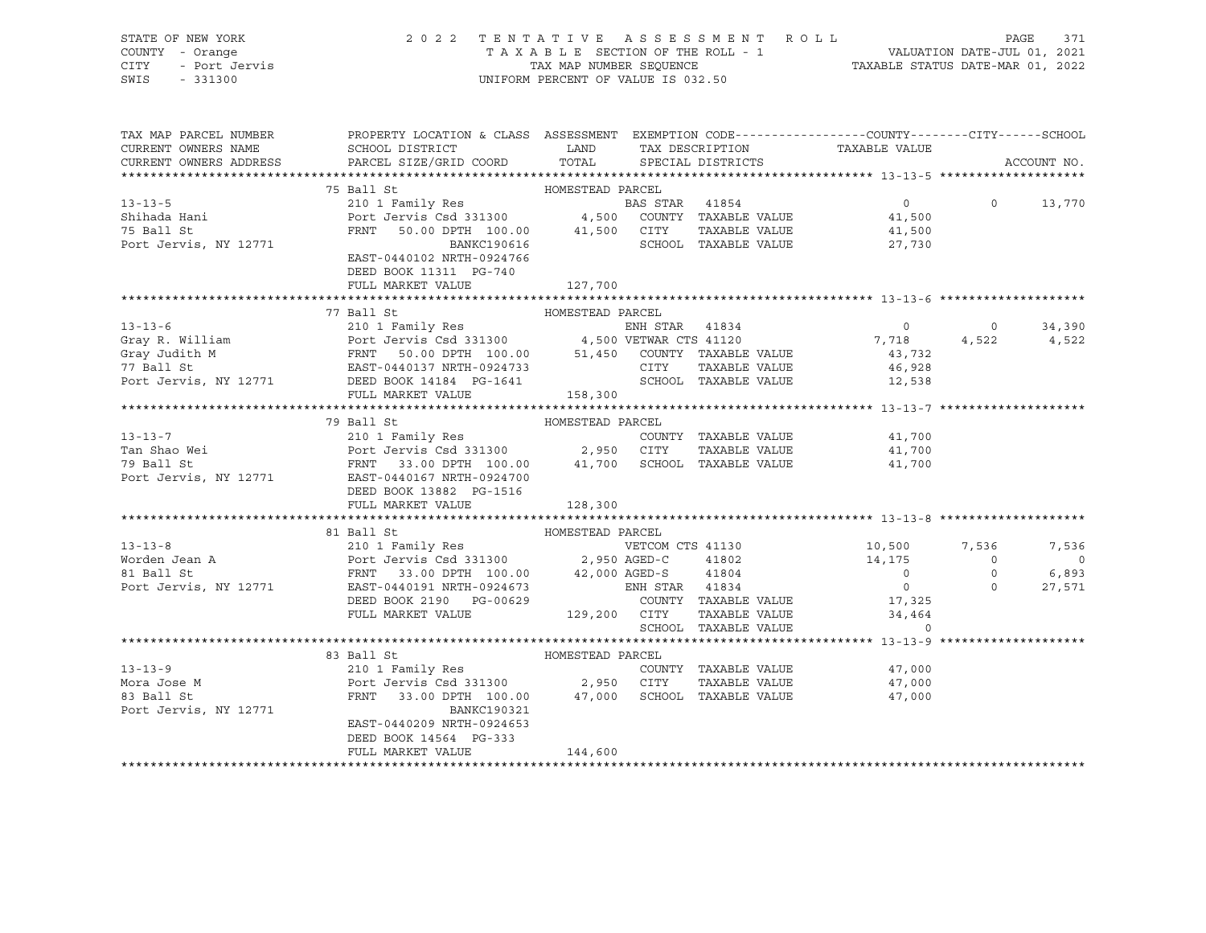|      | STATE OF NEW YORK | 2022 TENTATIVE ASSESSMENT ROLL                              | PAGE                        | 371 |
|------|-------------------|-------------------------------------------------------------|-----------------------------|-----|
|      | COUNTY - Orange   | TAXABLE SECTION OF THE ROLL - 1                             | VALUATION DATE-JUL 01, 2021 |     |
| CITY | - Port Jervis     | TAXABLE STATUS DATE-MAR 01, 2022<br>TAX MAP NUMBER SEOUENCE |                             |     |
| SWIS | - 331300          | UNIFORM PERCENT OF VALUE IS 032.50                          |                             |     |
|      |                   |                                                             |                             |     |

| TAX MAP PARCEL NUMBER               | PROPERTY LOCATION & CLASS ASSESSMENT EXEMPTION CODE---------------COUNTY-------CITY------SCHOOL                                                                                                                                                                                                                                                                                                                                                      |         |  |                               |             |
|-------------------------------------|------------------------------------------------------------------------------------------------------------------------------------------------------------------------------------------------------------------------------------------------------------------------------------------------------------------------------------------------------------------------------------------------------------------------------------------------------|---------|--|-------------------------------|-------------|
|                                     | CURRENT OWNERS NAME SCHOOL DISTRICT LAND                                                                                                                                                                                                                                                                                                                                                                                                             |         |  | TAX DESCRIPTION TAXABLE VALUE |             |
| CURRENT OWNERS ADDRESS              | PARCEL SIZE/GRID COORD TOTAL                                                                                                                                                                                                                                                                                                                                                                                                                         |         |  | SPECIAL DISTRICTS             | ACCOUNT NO. |
|                                     | 75 Ball St<br>75 Ball St<br>210 1 Family Res<br>210 1 Family Res<br>210 1 Family Res<br>210 1 Family Res<br>210 1 Family Res<br>210 1 Family Res<br>210 1 Family Res<br>210 1 Family Res<br>210 1 Family Res<br>210 1 Family Res<br>210 1 Family Res<br>                                                                                                                                                                                             |         |  |                               |             |
|                                     |                                                                                                                                                                                                                                                                                                                                                                                                                                                      |         |  |                               |             |
|                                     |                                                                                                                                                                                                                                                                                                                                                                                                                                                      |         |  |                               |             |
|                                     |                                                                                                                                                                                                                                                                                                                                                                                                                                                      |         |  |                               |             |
|                                     |                                                                                                                                                                                                                                                                                                                                                                                                                                                      |         |  |                               |             |
| 75 Ball St<br>Port Jervis, NY 12771 | $\begin{tabular}{lllllllllll} \multicolumn{2}{c}{\textbf{FRNT}} & \multicolumn{2}{c}{\textbf{50.00 DPTH}} & \multicolumn{2}{c}{\textbf{100.00}} & \multicolumn{2}{c}{\textbf{41,500}} & \multicolumn{2}{c}{\textbf{CITY}} & \multicolumn{2}{c}{\textbf{TAXABLE VALUE}} & \multicolumn{2}{c}{\textbf{41,500}} \\ & \multicolumn{2}{c}{\textbf{BANKC190616}} & \multicolumn{2}{c}{\textbf{41,500}} & \multicolumn{2}{c}{\textbf{STY}} & \multicolumn{$ |         |  |                               |             |
|                                     | EAST-0440102 NRTH-0924766                                                                                                                                                                                                                                                                                                                                                                                                                            |         |  |                               |             |
|                                     | DEED BOOK 11311 PG-740                                                                                                                                                                                                                                                                                                                                                                                                                               |         |  |                               |             |
|                                     | FULL MARKET VALUE                                                                                                                                                                                                                                                                                                                                                                                                                                    | 127,700 |  |                               |             |
|                                     |                                                                                                                                                                                                                                                                                                                                                                                                                                                      |         |  |                               |             |
|                                     | 37 Ball St<br>31-13-6 210 1 Family Res<br>310 1 Family Res<br>6 210 1 Family Res<br>6 210 1 Family Res<br>6 210 1 Family Res<br>8 20 2 34,390<br>6 210 20 34,390<br>4 500 VETWAR CTS 41120<br>4 500 VETWAR CTS 41120<br>37 718 4,522<br>77 Ball St<br>                                                                                                                                                                                               |         |  |                               |             |
|                                     |                                                                                                                                                                                                                                                                                                                                                                                                                                                      |         |  |                               |             |
|                                     |                                                                                                                                                                                                                                                                                                                                                                                                                                                      |         |  |                               |             |
|                                     |                                                                                                                                                                                                                                                                                                                                                                                                                                                      |         |  |                               |             |
|                                     |                                                                                                                                                                                                                                                                                                                                                                                                                                                      |         |  |                               |             |
|                                     |                                                                                                                                                                                                                                                                                                                                                                                                                                                      |         |  |                               |             |
|                                     | FULL MARKET VALUE 158,300                                                                                                                                                                                                                                                                                                                                                                                                                            |         |  |                               |             |
|                                     |                                                                                                                                                                                                                                                                                                                                                                                                                                                      |         |  |                               |             |
|                                     | 79 Ball St<br>HOMESTEAD PARCEL                                                                                                                                                                                                                                                                                                                                                                                                                       |         |  |                               |             |
|                                     |                                                                                                                                                                                                                                                                                                                                                                                                                                                      |         |  |                               |             |
|                                     |                                                                                                                                                                                                                                                                                                                                                                                                                                                      |         |  |                               |             |
|                                     |                                                                                                                                                                                                                                                                                                                                                                                                                                                      |         |  |                               |             |
|                                     |                                                                                                                                                                                                                                                                                                                                                                                                                                                      |         |  |                               |             |
|                                     | DEED BOOK 13882 PG-1516                                                                                                                                                                                                                                                                                                                                                                                                                              |         |  |                               |             |
|                                     | FULL MARKET VALUE                                                                                                                                                                                                                                                                                                                                                                                                                                    | 128,300 |  |                               |             |
|                                     |                                                                                                                                                                                                                                                                                                                                                                                                                                                      |         |  |                               |             |
|                                     |                                                                                                                                                                                                                                                                                                                                                                                                                                                      |         |  |                               |             |
|                                     |                                                                                                                                                                                                                                                                                                                                                                                                                                                      |         |  |                               | 7,536       |
|                                     |                                                                                                                                                                                                                                                                                                                                                                                                                                                      |         |  |                               | $\sim$ 0    |
|                                     |                                                                                                                                                                                                                                                                                                                                                                                                                                                      |         |  |                               | 6,893       |
|                                     |                                                                                                                                                                                                                                                                                                                                                                                                                                                      |         |  |                               | 27,571      |
|                                     |                                                                                                                                                                                                                                                                                                                                                                                                                                                      |         |  |                               |             |
|                                     |                                                                                                                                                                                                                                                                                                                                                                                                                                                      |         |  |                               |             |
|                                     |                                                                                                                                                                                                                                                                                                                                                                                                                                                      |         |  |                               |             |
|                                     |                                                                                                                                                                                                                                                                                                                                                                                                                                                      |         |  |                               |             |
|                                     |                                                                                                                                                                                                                                                                                                                                                                                                                                                      |         |  |                               |             |
|                                     |                                                                                                                                                                                                                                                                                                                                                                                                                                                      |         |  |                               |             |
|                                     |                                                                                                                                                                                                                                                                                                                                                                                                                                                      |         |  |                               |             |
|                                     | 33 Ball St<br>MOMESTEAD PARCEL<br>210 1 Family Res<br>Mora Jose M<br>210 1 Family Res<br>POMESTEAD PARCEL<br>210 1 Family Res<br>2,950 CITY TAXABLE VALUE<br>2,950 CITY TAXABLE VALUE<br>47,000<br>2,950 CITY TAXABLE VALUE<br>47,000<br>2,950 CITY TA                                                                                                                                                                                               |         |  |                               |             |
|                                     |                                                                                                                                                                                                                                                                                                                                                                                                                                                      |         |  |                               |             |
|                                     |                                                                                                                                                                                                                                                                                                                                                                                                                                                      |         |  |                               |             |
|                                     | DEED BOOK 14564 PG-333                                                                                                                                                                                                                                                                                                                                                                                                                               |         |  |                               |             |
|                                     | FULL MARKET VALUE                                                                                                                                                                                                                                                                                                                                                                                                                                    | 144,600 |  |                               |             |
|                                     |                                                                                                                                                                                                                                                                                                                                                                                                                                                      |         |  |                               |             |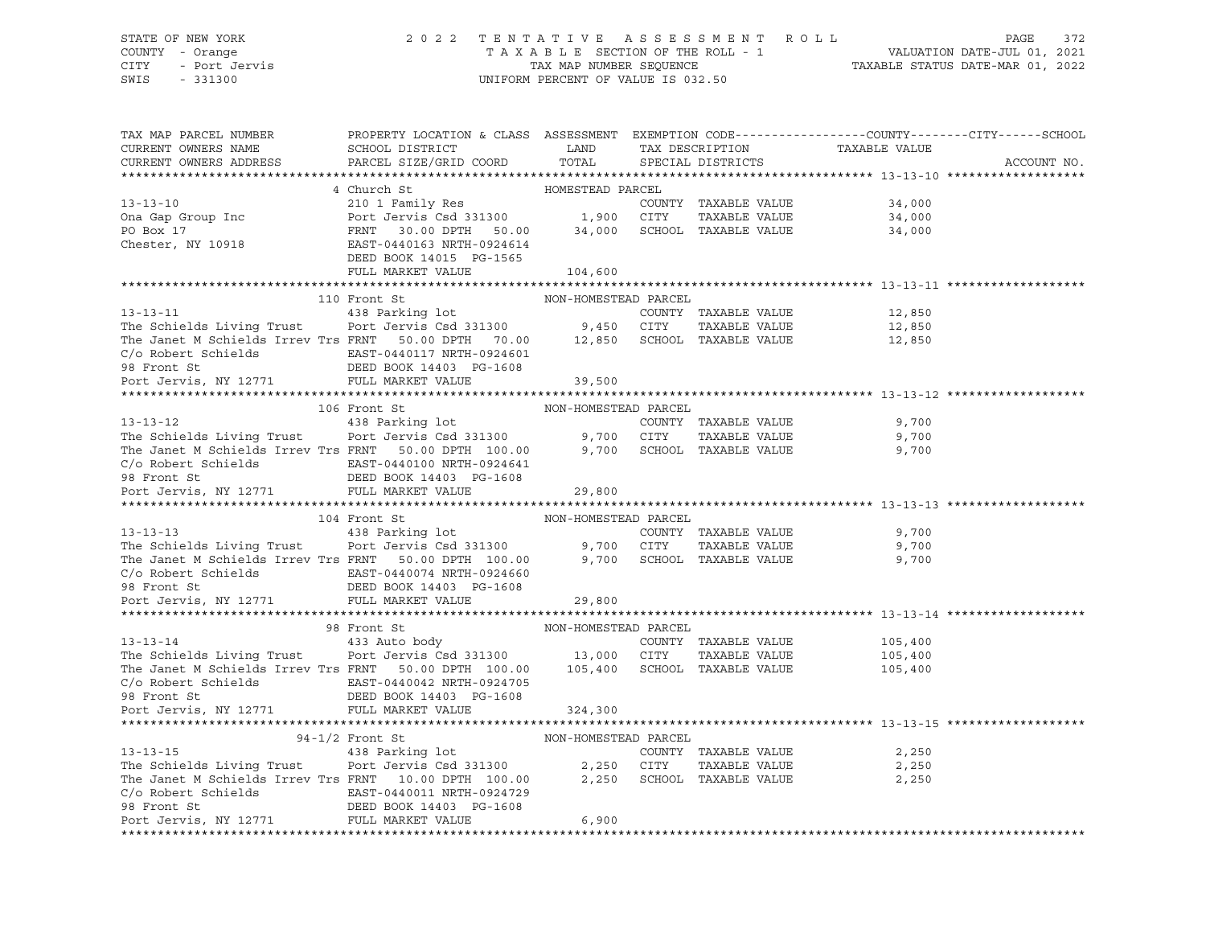# STATE OF NEW YORK 2 0 2 2 T E N T A T I V E A S S E S S M E N T R O L L PAGE 372 COUNTY - Orange T A X A B L E SECTION OF THE ROLL - 1 VALUATION DATE-JUL 01, 2021 CITY - Port Jervis TAX MAP NUMBER SEQUENCE TAXABLE STATUS DATE-MAR 01, 2022

| TAX MAP PARCEL NUMBER<br>CURRENT OWNERS NAME<br>CURRENT OWNERS ADDRESS                                                                                                        | PROPERTY LOCATION & CLASS ASSESSMENT EXEMPTION CODE----------------COUNTY-------CITY------SCHOOL<br>SCHOOL DISTRICT<br>PARCEL SIZE/GRID COORD                          | LAND<br>TOTAL        | TAX DESCRIPTION<br>SPECIAL DISTRICTS | TAXABLE VALUE                                              | ACCOUNT NO. |
|-------------------------------------------------------------------------------------------------------------------------------------------------------------------------------|------------------------------------------------------------------------------------------------------------------------------------------------------------------------|----------------------|--------------------------------------|------------------------------------------------------------|-------------|
|                                                                                                                                                                               |                                                                                                                                                                        |                      |                                      |                                                            |             |
|                                                                                                                                                                               | 4 Church St                                                                                                                                                            | HOMESTEAD PARCEL     |                                      |                                                            |             |
| $13 - 13 - 10$                                                                                                                                                                | EXAMPLE VALUE<br>210 1 Family Res<br>Port Jervis Csd 331300 1,900 CITY TAXABLE VALUE<br>FRNT 30.00 DPTH 50.00 34,000 SCHOOL TAXABLE VALUE<br>EAST-0440163 NRTH-0924614 |                      |                                      |                                                            |             |
|                                                                                                                                                                               |                                                                                                                                                                        |                      |                                      |                                                            |             |
|                                                                                                                                                                               |                                                                                                                                                                        |                      |                                      |                                                            |             |
| Ona Gap Group Inc<br>PO Box 17<br>Chester, NY 10918                                                                                                                           |                                                                                                                                                                        |                      |                                      |                                                            |             |
|                                                                                                                                                                               | DEED BOOK 14015 PG-1565                                                                                                                                                |                      |                                      |                                                            |             |
|                                                                                                                                                                               | FULL MARKET VALUE                                                                                                                                                      | 104,600              |                                      |                                                            |             |
|                                                                                                                                                                               |                                                                                                                                                                        |                      |                                      |                                                            |             |
|                                                                                                                                                                               | 110 Front St                                                                                                                                                           | NON-HOMESTEAD PARCEL |                                      |                                                            |             |
| $13 - 13 - 11$                                                                                                                                                                | 438 Parking lot                                                                                                                                                        |                      | COUNTY TAXABLE VALUE                 | 12,850                                                     |             |
|                                                                                                                                                                               |                                                                                                                                                                        |                      | TAXABLE VALUE                        | 12,850                                                     |             |
| The Schields Living Trust Port Jervis Csd 331300 9,450 CITY TAXABLE VALUE<br>The Janet M Schields Irrev Trs FRNT 50.00 DPTH 70.00 12,850 SCHOOL TAXABLE VALUE                 |                                                                                                                                                                        |                      |                                      | 12,850                                                     |             |
|                                                                                                                                                                               |                                                                                                                                                                        |                      |                                      |                                                            |             |
|                                                                                                                                                                               |                                                                                                                                                                        |                      |                                      |                                                            |             |
| Port Jervis, NY 12771 FULL MARKET VALUE                                                                                                                                       |                                                                                                                                                                        | 39,500               |                                      |                                                            |             |
|                                                                                                                                                                               |                                                                                                                                                                        |                      |                                      |                                                            |             |
|                                                                                                                                                                               |                                                                                                                                                                        | NON-HOMESTEAD PARCEL |                                      |                                                            |             |
| 106 Front St MON-HOMESTEAD PARCEL<br>438 Parking lot COUNTY<br>The Schields Living Trust Port Jervis Csd 331300 9,700 CITY                                                    |                                                                                                                                                                        |                      | COUNTY TAXABLE VALUE                 | 9,700                                                      |             |
|                                                                                                                                                                               |                                                                                                                                                                        |                      | TAXABLE VALUE                        | 9,700                                                      |             |
| The Janet M Schields Irrev Trs FRNT 50.00 DPTH 100.00 9,700 SCHOOL TAXABLE VALUE                                                                                              |                                                                                                                                                                        |                      |                                      | 9,700                                                      |             |
|                                                                                                                                                                               |                                                                                                                                                                        |                      |                                      |                                                            |             |
| $\begin{tabular}{lllllllllll} C/o & \text{Robert Schields} & \text{EAST-0440100 NRTH-0924641} \\ \textbf{98 Front St} & \text{DEED BOK 14403} & \text{PG-1608} \end{tabular}$ |                                                                                                                                                                        |                      |                                      |                                                            |             |
| 98 Front St<br>Port Jervis, NY 12771                                                                                                                                          | FULL MARKET VALUE                                                                                                                                                      | 29,800               |                                      |                                                            |             |
|                                                                                                                                                                               |                                                                                                                                                                        |                      |                                      |                                                            |             |
|                                                                                                                                                                               | 104 Front St                                                                                                                                                           |                      |                                      |                                                            |             |
| $13 - 13 - 13$                                                                                                                                                                |                                                                                                                                                                        |                      | COUNTY TAXABLE VALUE                 | 9,700                                                      |             |
| The Schields Living Trust Port Jervis Csd 331300 9,700 CITY TAXABLE VALUE<br>The Janet M Schields Irrev Trs FRNT 50.00 DPTH 100.00 9,700 SCHOOL TAXABLE VALUE                 |                                                                                                                                                                        |                      | TAXABLE VALUE                        | 9,700                                                      |             |
|                                                                                                                                                                               |                                                                                                                                                                        |                      |                                      | 9,700                                                      |             |
|                                                                                                                                                                               |                                                                                                                                                                        |                      |                                      |                                                            |             |
|                                                                                                                                                                               |                                                                                                                                                                        |                      |                                      |                                                            |             |
| Port Jervis, NY 12771                                                                                                                                                         | FULL MARKET VALUE                                                                                                                                                      | 29,800               |                                      |                                                            |             |
|                                                                                                                                                                               |                                                                                                                                                                        |                      |                                      |                                                            |             |
|                                                                                                                                                                               |                                                                                                                                                                        |                      |                                      |                                                            |             |
|                                                                                                                                                                               |                                                                                                                                                                        |                      |                                      | COUNTY TAXABLE VALUE 105,400<br>CITY TAXABLE VALUE 105,400 |             |
|                                                                                                                                                                               |                                                                                                                                                                        |                      |                                      |                                                            |             |
| The Janet M Schields Irrev Trs FRNT 50.00 DPTH 100.00 105,400 SCHOOL TAXABLE VALUE 105,400                                                                                    |                                                                                                                                                                        |                      |                                      |                                                            |             |
|                                                                                                                                                                               |                                                                                                                                                                        |                      |                                      |                                                            |             |
|                                                                                                                                                                               |                                                                                                                                                                        |                      |                                      |                                                            |             |
|                                                                                                                                                                               |                                                                                                                                                                        | 324,300              |                                      |                                                            |             |
|                                                                                                                                                                               |                                                                                                                                                                        |                      |                                      |                                                            |             |
|                                                                                                                                                                               |                                                                                                                                                                        |                      |                                      |                                                            |             |
|                                                                                                                                                                               |                                                                                                                                                                        |                      | COUNTY TAXABLE VALUE                 | 2,250                                                      |             |
| The Schields Living Trust Port Jervis Csd 331300 2,250 CITY<br>The Janet M Schields Irrev Trs FRNT 10.00 DPTH 100.00 2,250 SCHOOL                                             |                                                                                                                                                                        |                      | TAXABLE VALUE                        | 2,250                                                      |             |
|                                                                                                                                                                               |                                                                                                                                                                        |                      | SCHOOL TAXABLE VALUE                 | 2,250                                                      |             |
| $C/O$ Robert Schields<br>98 Front St<br>198 Front St<br>198 Front St<br>198 BOOK 14403 PG-1608                                                                                |                                                                                                                                                                        |                      |                                      |                                                            |             |
|                                                                                                                                                                               |                                                                                                                                                                        |                      |                                      |                                                            |             |
| Port Jervis, NY 12771 FULL MARKET VALUE                                                                                                                                       |                                                                                                                                                                        | 6,900                |                                      |                                                            |             |
|                                                                                                                                                                               |                                                                                                                                                                        |                      |                                      |                                                            |             |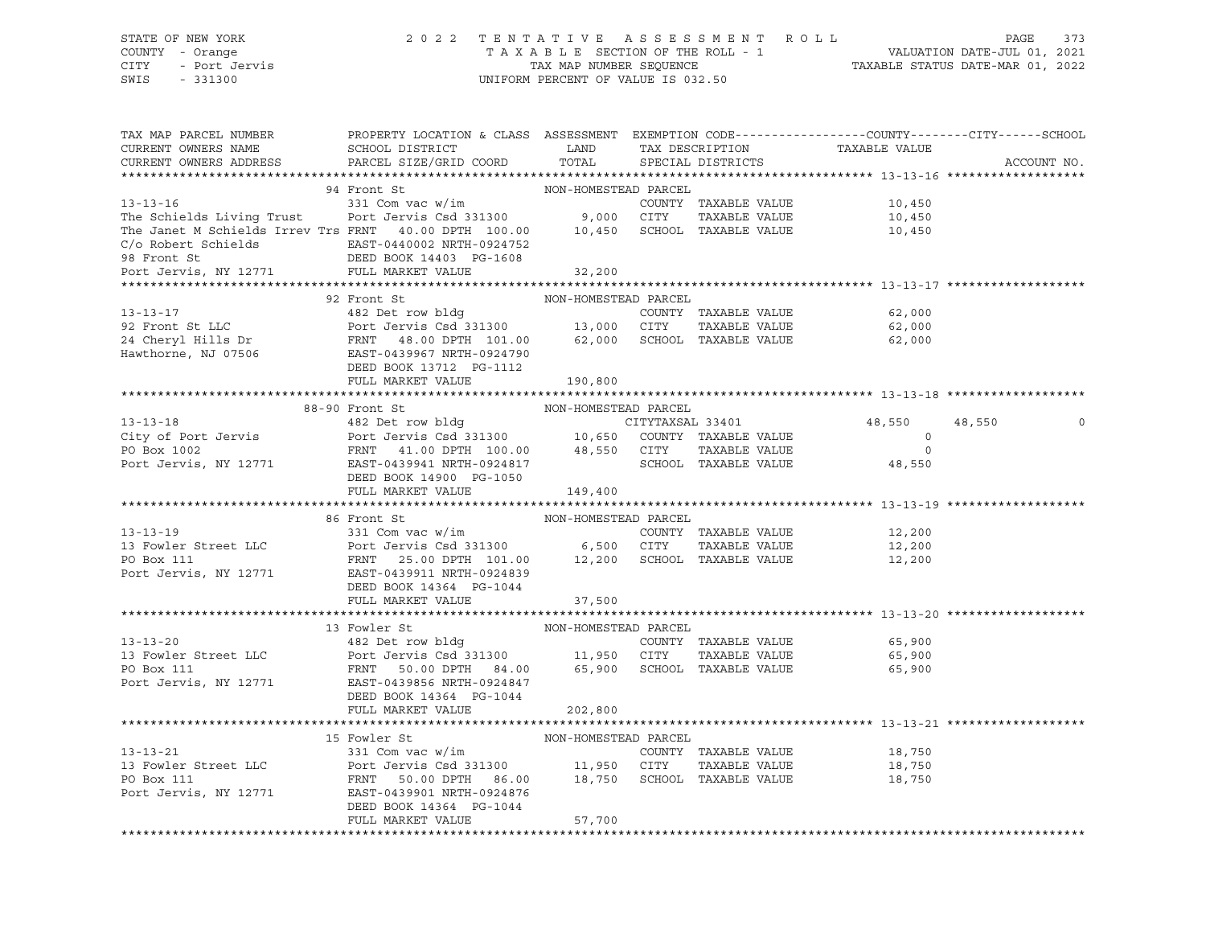## STATE OF NEW YORK 2 0 2 2 T E N T A T I V E A S S E S S M E N T R O L L PAGE 373 COUNTY - Orange T A X A B L E SECTION OF THE ROLL - 1 VALUATION DATE-JUL 01, 2021 CITY - Port Jervis TAX MAP NUMBER SEQUENCE TAXABLE STATUS DATE-MAR 01, 2022

| TAX MAP PARCEL NUMBER                                                                                                                                                                                                                                  | PROPERTY LOCATION & CLASS ASSESSMENT EXEMPTION CODE---------------COUNTY-------CITY------SCHOOL                                                                               |                      |                      |                                                     |                   |
|--------------------------------------------------------------------------------------------------------------------------------------------------------------------------------------------------------------------------------------------------------|-------------------------------------------------------------------------------------------------------------------------------------------------------------------------------|----------------------|----------------------|-----------------------------------------------------|-------------------|
| CURRENT OWNERS NAME                                                                                                                                                                                                                                    | SCHOOL DISTRICT LAND                                                                                                                                                          |                      |                      |                                                     |                   |
| CURRENT OWNERS ADDRESS                                                                                                                                                                                                                                 | PARCEL SIZE/GRID COORD                                                                                                                                                        | TOTAL                |                      | TAX DESCRIPTION TAXABLE VALUE SPECIAL DISTRICTS     | ACCOUNT NO.       |
|                                                                                                                                                                                                                                                        |                                                                                                                                                                               |                      |                      |                                                     |                   |
|                                                                                                                                                                                                                                                        | 94 Front St                                                                                                                                                                   | NON-HOMESTEAD PARCEL |                      |                                                     |                   |
| $13 - 13 - 16$                                                                                                                                                                                                                                         | 331 Com vac w/im                                                                                                                                                              |                      | COUNTY TAXABLE VALUE | 10,450                                              |                   |
|                                                                                                                                                                                                                                                        |                                                                                                                                                                               |                      | TAXABLE VALUE        |                                                     |                   |
| The Schields Living Trust Port Jervis Csd 331300 9,000 CITY TAXABLE VALUE<br>The Janet M Schields Irrev Trs FRNT 40.00 DPTH 100.00 10,450 SCHOOL TAXABLE VALUE                                                                                         |                                                                                                                                                                               |                      |                      | 10,450<br>10,450                                    |                   |
|                                                                                                                                                                                                                                                        |                                                                                                                                                                               |                      |                      |                                                     |                   |
|                                                                                                                                                                                                                                                        |                                                                                                                                                                               |                      |                      |                                                     |                   |
| C/O Robert Schields<br>28 Front St BAST-0440002 NRTH-0924752<br>28 Front St BEED BOOK 14403 PG-1608<br>28 Front Jervis, NY 12771 FULL MARKET VALUE                                                                                                     |                                                                                                                                                                               | 32,200               |                      |                                                     |                   |
|                                                                                                                                                                                                                                                        |                                                                                                                                                                               |                      |                      | ********************************** 13-13-17 ******* |                   |
|                                                                                                                                                                                                                                                        | 92 Front St                                                                                                                                                                   | NON-HOMESTEAD PARCEL |                      |                                                     |                   |
| 13-13-17<br>92 Front St LLC<br>24 Cheryl Hills Dr<br>24 Cheryl Hills Dr<br>24 Cheryl Hills Dr<br>24 Cheryl Hills Dr<br>24 Cheryl Hills Dr<br>24 Cheryl Hills Dr<br>24 Cheryl Hills Dr<br>24 Cheryl Hills Dr<br>2506<br>27 CHOOL TAXABLE VALUE<br>27 CH |                                                                                                                                                                               |                      |                      | 62,000                                              |                   |
|                                                                                                                                                                                                                                                        |                                                                                                                                                                               |                      |                      | TAXABLE VALUE 62,000                                |                   |
|                                                                                                                                                                                                                                                        |                                                                                                                                                                               |                      |                      |                                                     |                   |
|                                                                                                                                                                                                                                                        |                                                                                                                                                                               |                      |                      | 62,000                                              |                   |
|                                                                                                                                                                                                                                                        |                                                                                                                                                                               |                      |                      |                                                     |                   |
|                                                                                                                                                                                                                                                        | DEED BOOK 13712 PG-1112                                                                                                                                                       |                      |                      |                                                     |                   |
|                                                                                                                                                                                                                                                        | FULL MARKET VALUE                                                                                                                                                             | 190,800              |                      |                                                     |                   |
|                                                                                                                                                                                                                                                        |                                                                                                                                                                               |                      |                      |                                                     |                   |
|                                                                                                                                                                                                                                                        | 88-90 Front St                                                                                                                                                                | NON-HOMESTEAD PARCEL |                      |                                                     |                   |
|                                                                                                                                                                                                                                                        |                                                                                                                                                                               |                      |                      | 48,550                                              | 48,550<br>$\circ$ |
|                                                                                                                                                                                                                                                        |                                                                                                                                                                               |                      |                      | $\circ$                                             |                   |
|                                                                                                                                                                                                                                                        |                                                                                                                                                                               |                      |                      | $\circ$                                             |                   |
|                                                                                                                                                                                                                                                        |                                                                                                                                                                               |                      |                      | 48,550                                              |                   |
|                                                                                                                                                                                                                                                        | DEED BOOK 14900 PG-1050                                                                                                                                                       |                      |                      |                                                     |                   |
|                                                                                                                                                                                                                                                        | FULL MARKET VALUE 149,400                                                                                                                                                     |                      |                      |                                                     |                   |
|                                                                                                                                                                                                                                                        |                                                                                                                                                                               |                      |                      |                                                     |                   |
|                                                                                                                                                                                                                                                        | 86 Front St                                                                                                                                                                   | NON-HOMESTEAD PARCEL |                      |                                                     |                   |
| $13 - 13 - 19$                                                                                                                                                                                                                                         | 331 Com vac w/im                                                                                                                                                              |                      | COUNTY TAXABLE VALUE | 12,200                                              |                   |
| 13 Fowler Street LLC<br>Port Jervis Csd 331300 6,500 CITY TAXABLE VALUE<br>PO Box 111 FRNT 25.00 DPTH 101.00 12,200 SCHOOL TAXABLE VALUE<br>Port Jervis, NY 12771 EAST-0439911 NRTH-0924839                                                            |                                                                                                                                                                               |                      |                      | TAXABLE VALUE 12,200                                |                   |
|                                                                                                                                                                                                                                                        |                                                                                                                                                                               |                      |                      | 12,200                                              |                   |
|                                                                                                                                                                                                                                                        |                                                                                                                                                                               |                      |                      |                                                     |                   |
|                                                                                                                                                                                                                                                        | DEED BOOK 14364 PG-1044                                                                                                                                                       |                      |                      |                                                     |                   |
|                                                                                                                                                                                                                                                        | FULL MARKET VALUE                                                                                                                                                             | 37,500               |                      |                                                     |                   |
|                                                                                                                                                                                                                                                        |                                                                                                                                                                               |                      |                      |                                                     |                   |
|                                                                                                                                                                                                                                                        | 13 Fowler St                                                                                                                                                                  | NON-HOMESTEAD PARCEL |                      |                                                     |                   |
| $13 - 13 - 20$                                                                                                                                                                                                                                         |                                                                                                                                                                               |                      |                      |                                                     |                   |
| 13 Fowler Street LLC                                                                                                                                                                                                                                   | 13 Fowler St<br>482 Det row bldg<br>Port Jervis Csd 331300 11,950 CITY TAXABLE VALUE<br>FRNT 50.00 DPTH 84.00 65,900 SCHOOL TAXABLE VALUE 65,900 FRNT 50.00 DPTH 84.00 65,900 |                      |                      |                                                     |                   |
| PO Box 111                                                                                                                                                                                                                                             |                                                                                                                                                                               |                      |                      |                                                     |                   |
| Port Jervis, NY 12771 EAST-0439856 NRTH-0924847                                                                                                                                                                                                        |                                                                                                                                                                               |                      |                      |                                                     |                   |
|                                                                                                                                                                                                                                                        | DEED BOOK 14364 PG-1044                                                                                                                                                       |                      |                      |                                                     |                   |
|                                                                                                                                                                                                                                                        | FULL MARKET VALUE                                                                                                                                                             | 202,800              |                      |                                                     |                   |
|                                                                                                                                                                                                                                                        |                                                                                                                                                                               |                      |                      |                                                     |                   |
|                                                                                                                                                                                                                                                        | 15 Fowler St                                                                                                                                                                  | NON-HOMESTEAD PARCEL |                      |                                                     |                   |
|                                                                                                                                                                                                                                                        |                                                                                                                                                                               |                      | COUNTY TAXABLE VALUE | 18,750                                              |                   |
|                                                                                                                                                                                                                                                        |                                                                                                                                                                               |                      | TAXABLE VALUE        | 18,750                                              |                   |
| 13-13-21 13-13-21<br>13-21 13-21 13-21 15 Fowler St<br>13 Fowler Street LLC 13 Port Jervis Csd 331300 11,950 CITY TAXABLE VALUE<br>18,750 SCHOOL TAXABLE VALUE<br>18,750 SCHOOL TAXABLE VALUE                                                          |                                                                                                                                                                               |                      |                      | 18,750                                              |                   |
| Port Jervis, NY 12771                                                                                                                                                                                                                                  | EAST-0439901 NRTH-0924876                                                                                                                                                     |                      |                      |                                                     |                   |
|                                                                                                                                                                                                                                                        | DEED BOOK 14364 PG-1044                                                                                                                                                       |                      |                      |                                                     |                   |
|                                                                                                                                                                                                                                                        | FULL MARKET VALUE                                                                                                                                                             | 57,700               |                      |                                                     |                   |
|                                                                                                                                                                                                                                                        |                                                                                                                                                                               |                      |                      |                                                     |                   |
|                                                                                                                                                                                                                                                        |                                                                                                                                                                               |                      |                      |                                                     |                   |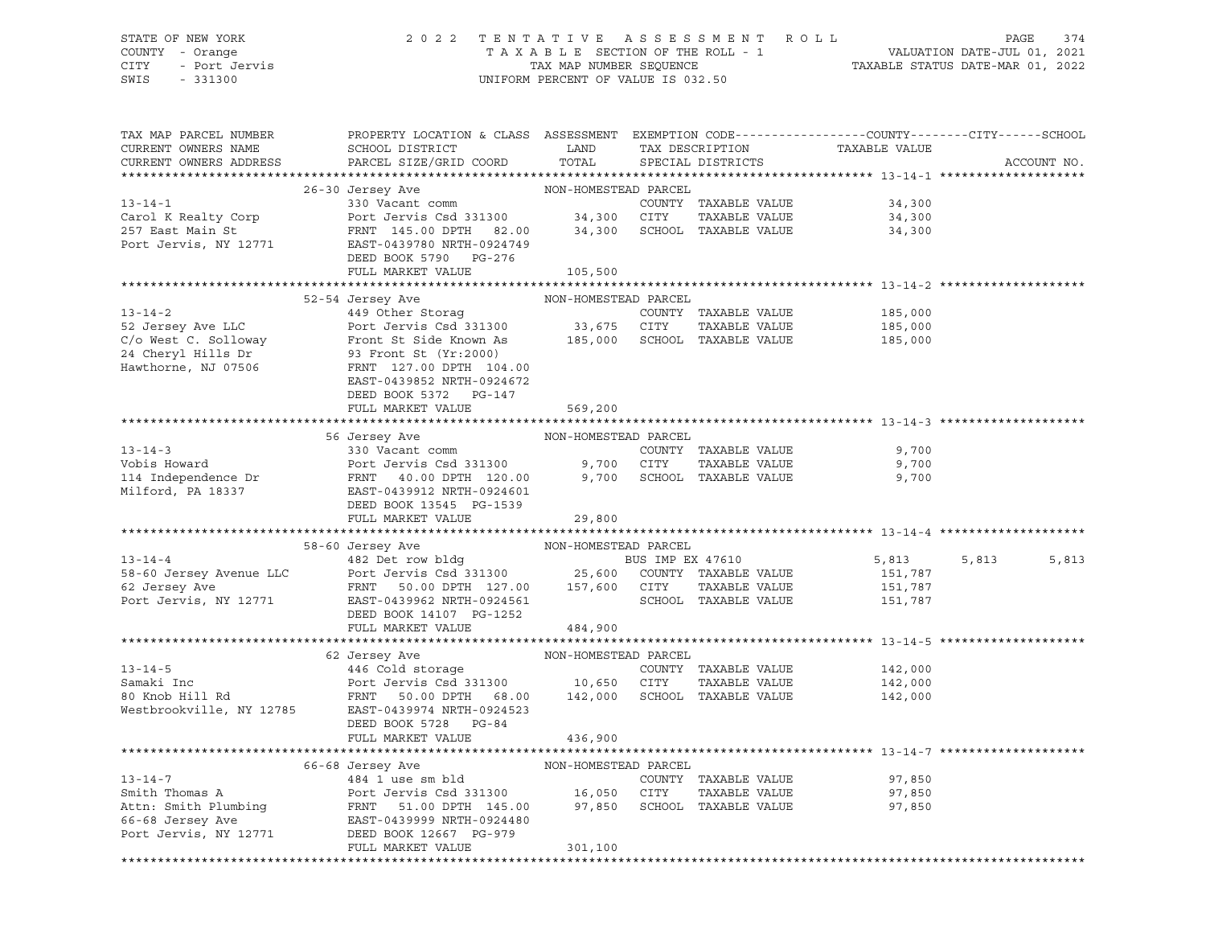# STATE OF NEW YORK 2 0 2 2 T E N T A T I V E A S S E S S M E N T R O L L PAGE 374 COUNTY - Orange T A X A B L E SECTION OF THE ROLL - 1 VALUATION DATE-JUL 01, 2021 CITY - Port Jervis TAX MAP NUMBER SEQUENCE TAXABLE STATUS DATE-MAR 01, 2022

| TAX MAP PARCEL NUMBER | PROPERTY LOCATION & CLASS ASSESSMENT EXEMPTION CODE----------------COUNTY-------CITY------SCHOOL                                                                                                                                                                                                                                                                                                                                                                                    |          |                                                                                    |                |
|-----------------------|-------------------------------------------------------------------------------------------------------------------------------------------------------------------------------------------------------------------------------------------------------------------------------------------------------------------------------------------------------------------------------------------------------------------------------------------------------------------------------------|----------|------------------------------------------------------------------------------------|----------------|
|                       |                                                                                                                                                                                                                                                                                                                                                                                                                                                                                     |          |                                                                                    | ACCOUNT NO.    |
|                       | 26-30 Jersey Ave MON-HOMESTEAD PARCEL<br>26-30 Jersey Ave MON-HOMESTEAD PARCEL<br>26-30 Jersey Ave MON-HOMESTEAD PARCEL<br>26-30 Vacant comm<br>26-30 Vacant comm<br>26-30 Vacant comm<br>26-30 Vacant comm<br>26-30 Vacant comm<br>26-30 Vaca                                                                                                                                                                                                                                      |          |                                                                                    |                |
|                       |                                                                                                                                                                                                                                                                                                                                                                                                                                                                                     |          |                                                                                    |                |
|                       |                                                                                                                                                                                                                                                                                                                                                                                                                                                                                     |          |                                                                                    |                |
|                       |                                                                                                                                                                                                                                                                                                                                                                                                                                                                                     |          |                                                                                    |                |
|                       |                                                                                                                                                                                                                                                                                                                                                                                                                                                                                     |          |                                                                                    |                |
|                       |                                                                                                                                                                                                                                                                                                                                                                                                                                                                                     |          |                                                                                    |                |
|                       | DEED BOOK 5790 PG-276                                                                                                                                                                                                                                                                                                                                                                                                                                                               |          |                                                                                    |                |
|                       | FULL MARKET VALUE                                                                                                                                                                                                                                                                                                                                                                                                                                                                   | 105,500  |                                                                                    |                |
|                       | 52-54 Jersey Ave LLC<br>52-54 Jersey Ave NON-HOMESTEAD PARABLE VALUE<br>24 Cheryl Hills Dr (NJ 07506 FRNT 127.00 DPTH 104.00<br>EAST-0439852 NRTH-0924672                                                                                                                                                                                                                                                                                                                           |          |                                                                                    |                |
|                       |                                                                                                                                                                                                                                                                                                                                                                                                                                                                                     |          |                                                                                    |                |
|                       |                                                                                                                                                                                                                                                                                                                                                                                                                                                                                     |          | 185,000<br>TAXABLE VALUE 185,000<br>TAXABLE VALUE 185,000<br>TAXABLE VALUE 185,000 |                |
|                       |                                                                                                                                                                                                                                                                                                                                                                                                                                                                                     |          |                                                                                    |                |
|                       |                                                                                                                                                                                                                                                                                                                                                                                                                                                                                     |          |                                                                                    |                |
|                       |                                                                                                                                                                                                                                                                                                                                                                                                                                                                                     |          |                                                                                    |                |
|                       |                                                                                                                                                                                                                                                                                                                                                                                                                                                                                     |          |                                                                                    |                |
|                       |                                                                                                                                                                                                                                                                                                                                                                                                                                                                                     |          |                                                                                    |                |
|                       | DEED BOOK 5372 PG-147                                                                                                                                                                                                                                                                                                                                                                                                                                                               |          |                                                                                    |                |
|                       | FULL MARKET VALUE                                                                                                                                                                                                                                                                                                                                                                                                                                                                   | 569,200  |                                                                                    |                |
|                       |                                                                                                                                                                                                                                                                                                                                                                                                                                                                                     |          |                                                                                    |                |
|                       |                                                                                                                                                                                                                                                                                                                                                                                                                                                                                     |          |                                                                                    |                |
|                       |                                                                                                                                                                                                                                                                                                                                                                                                                                                                                     |          |                                                                                    |                |
|                       |                                                                                                                                                                                                                                                                                                                                                                                                                                                                                     |          |                                                                                    |                |
|                       |                                                                                                                                                                                                                                                                                                                                                                                                                                                                                     |          |                                                                                    |                |
|                       |                                                                                                                                                                                                                                                                                                                                                                                                                                                                                     |          |                                                                                    |                |
|                       |                                                                                                                                                                                                                                                                                                                                                                                                                                                                                     |          |                                                                                    |                |
|                       |                                                                                                                                                                                                                                                                                                                                                                                                                                                                                     |          |                                                                                    |                |
|                       | 58-60 Jersey Avenue LLC<br>58-60 Jersey Avenue LLC<br>EAST-0439962 NRTH-0924561<br>PORT EAST-0439962 NRTH-0924561<br>PORT JERNIT 50.00 DPTH 127.00<br>DEED BOOK 14107 PG-1252<br>THE VALUE<br>TAXABLE VALUE<br>TAXABLE VALUE<br>SCHOOL TAXABLE V                                                                                                                                                                                                                                    |          |                                                                                    |                |
|                       |                                                                                                                                                                                                                                                                                                                                                                                                                                                                                     |          | 5,813                                                                              | 5,813<br>5,813 |
|                       |                                                                                                                                                                                                                                                                                                                                                                                                                                                                                     |          |                                                                                    |                |
|                       |                                                                                                                                                                                                                                                                                                                                                                                                                                                                                     |          |                                                                                    |                |
|                       |                                                                                                                                                                                                                                                                                                                                                                                                                                                                                     |          |                                                                                    |                |
|                       |                                                                                                                                                                                                                                                                                                                                                                                                                                                                                     |          |                                                                                    |                |
|                       |                                                                                                                                                                                                                                                                                                                                                                                                                                                                                     |          |                                                                                    |                |
|                       |                                                                                                                                                                                                                                                                                                                                                                                                                                                                                     |          |                                                                                    |                |
|                       | $\begin{tabular}{lllllllllll} \multicolumn{2}{c }{\multicolumn{2}{c}{\multicolumn{2}{c}{\multicolumn{2}{c}{\multicolumn{2}{c}{\multicolumn{2}{c}{\multicolumn{2}{c}{\multicolumn{2}{c}{\multicolumn{2}{c}{\multicolumn{2}{c}{\multicolumn{2}{c}{\multicolumn{2}{c}{\multicolumn{2}{c}{\multicolumn{2}{c}{\multicolumn{2}{c}{\multicolumn{2}{c}{\multicolumn{2}{c}{\multicolumn{2}{c}{\multicolumn{2}{c}{\multicolumn{2}{c}{\multicolumn{2}{c}{\multicolumn{2}{c}{\multicolumn{2}{c$ |          |                                                                                    |                |
|                       |                                                                                                                                                                                                                                                                                                                                                                                                                                                                                     |          | 142,000                                                                            |                |
|                       |                                                                                                                                                                                                                                                                                                                                                                                                                                                                                     |          | TAXABLE VALUE 142,000                                                              |                |
|                       |                                                                                                                                                                                                                                                                                                                                                                                                                                                                                     |          | 142,000                                                                            |                |
|                       |                                                                                                                                                                                                                                                                                                                                                                                                                                                                                     |          |                                                                                    |                |
|                       | DEED BOOK 5728 PG-84                                                                                                                                                                                                                                                                                                                                                                                                                                                                |          |                                                                                    |                |
|                       | FULL MARKET VALUE                                                                                                                                                                                                                                                                                                                                                                                                                                                                   | 436,900  |                                                                                    |                |
|                       |                                                                                                                                                                                                                                                                                                                                                                                                                                                                                     |          |                                                                                    |                |
|                       |                                                                                                                                                                                                                                                                                                                                                                                                                                                                                     |          |                                                                                    |                |
|                       |                                                                                                                                                                                                                                                                                                                                                                                                                                                                                     |          |                                                                                    |                |
|                       |                                                                                                                                                                                                                                                                                                                                                                                                                                                                                     |          |                                                                                    |                |
|                       |                                                                                                                                                                                                                                                                                                                                                                                                                                                                                     |          |                                                                                    |                |
|                       |                                                                                                                                                                                                                                                                                                                                                                                                                                                                                     |          |                                                                                    |                |
|                       |                                                                                                                                                                                                                                                                                                                                                                                                                                                                                     |          |                                                                                    |                |
|                       | FULL MARKET VALUE                                                                                                                                                                                                                                                                                                                                                                                                                                                                   | 301, 100 |                                                                                    |                |
|                       |                                                                                                                                                                                                                                                                                                                                                                                                                                                                                     |          |                                                                                    |                |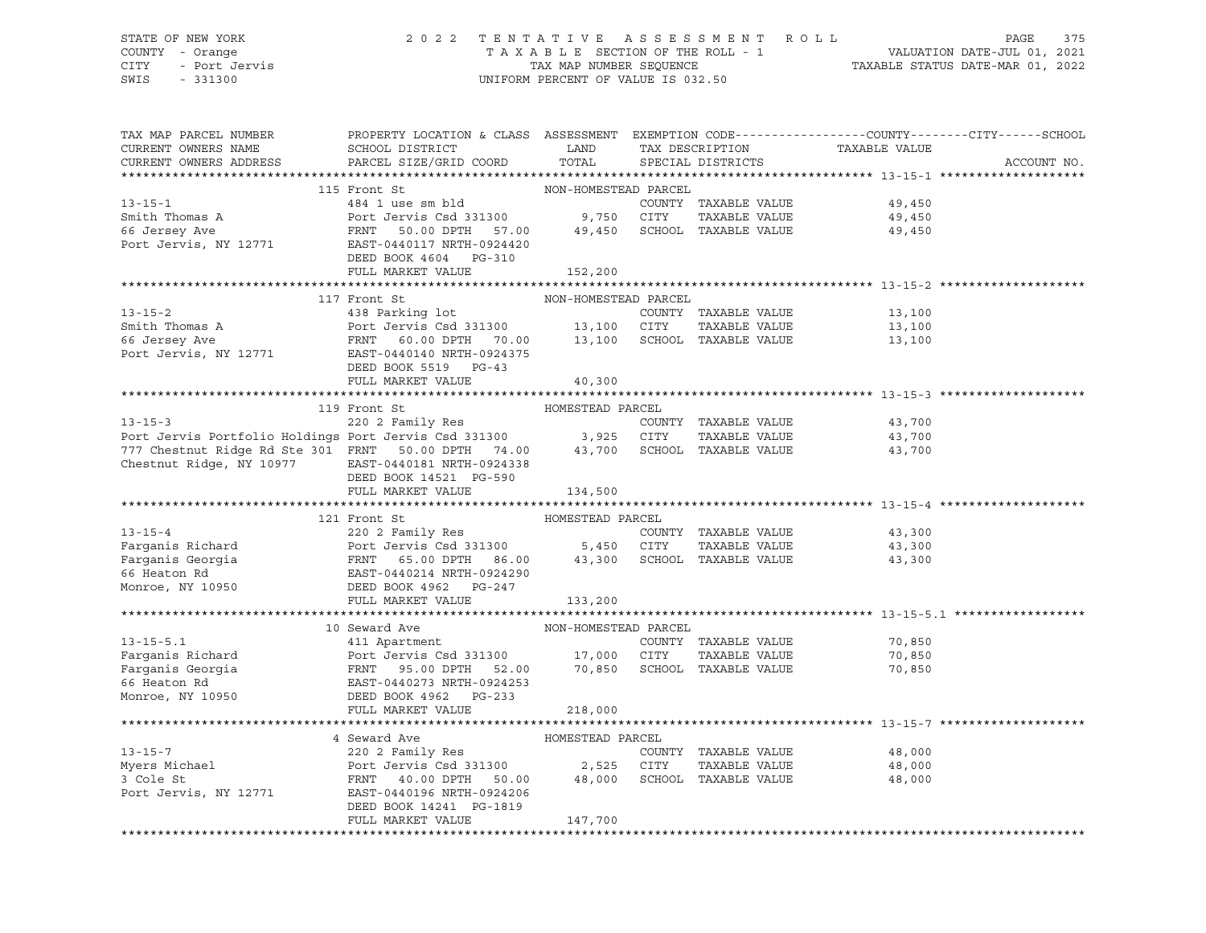# STATE OF NEW YORK 2 0 2 2 T E N T A T I V E A S S E S S M E N T R O L L PAGE 375 COUNTY - Orange T A X A B L E SECTION OF THE ROLL - 1 VALUATION DATE-JUL 01, 2021 CITY - Port Jervis TAX MAP NUMBER SEQUENCE TAXABLE STATUS DATE-MAR 01, 2022

| TAX MAP PARCEL NUMBER<br>CURRENT OWNERS NAME<br>CURRENT OWNERS ADDRESS                                                                                                                                                                                                                                             | PROPERTY LOCATION & CLASS ASSESSMENT EXEMPTION CODE----------------COUNTY-------CITY------SCHOOL<br>SCHOOL DISTRICT LAND<br>PARCEL SIZE/GRID COORD | TOTAL                | TAX DESCRIPTION<br>SPECIAL DISTRICTS | TAXABLE VALUE                         | ACCOUNT NO. |
|--------------------------------------------------------------------------------------------------------------------------------------------------------------------------------------------------------------------------------------------------------------------------------------------------------------------|----------------------------------------------------------------------------------------------------------------------------------------------------|----------------------|--------------------------------------|---------------------------------------|-------------|
|                                                                                                                                                                                                                                                                                                                    |                                                                                                                                                    |                      |                                      |                                       |             |
|                                                                                                                                                                                                                                                                                                                    | 115 Front St                                                                                                                                       | NON-HOMESTEAD PARCEL |                                      |                                       |             |
| $13 - 15 - 1$                                                                                                                                                                                                                                                                                                      | 484 1 use sm bld<br>Port Jervis Csd 331300 9,750 CITY                                                                                              |                      |                                      | COUNTY TAXABLE VALUE 49,450           |             |
|                                                                                                                                                                                                                                                                                                                    |                                                                                                                                                    |                      |                                      |                                       |             |
|                                                                                                                                                                                                                                                                                                                    |                                                                                                                                                    |                      |                                      |                                       |             |
| Smith Thomas A<br>66 Jersey Ave<br>Port Jervis, NY 12771                                                                                                                                                                                                                                                           | Port Jervis Csd 331300 9,750 CITY TAXABLE VALUE 49,450<br>FRNT 50.00 DPTH 57.00 49,450 SCHOOL TAXABLE VALUE 49,450<br>EAST-0440117 NRTH-0924420    |                      |                                      |                                       |             |
|                                                                                                                                                                                                                                                                                                                    | DEED BOOK 4604 PG-310                                                                                                                              |                      |                                      |                                       |             |
|                                                                                                                                                                                                                                                                                                                    | FULL MARKET VALUE                                                                                                                                  | 152,200              |                                      |                                       |             |
|                                                                                                                                                                                                                                                                                                                    |                                                                                                                                                    |                      |                                      |                                       |             |
|                                                                                                                                                                                                                                                                                                                    | 117 Front St                                                                                                                                       | NON-HOMESTEAD PARCEL |                                      |                                       |             |
| $13 - 15 - 2$                                                                                                                                                                                                                                                                                                      | 438 Parking lot                                                                                                                                    |                      | COUNTY TAXABLE VALUE                 | 13,100                                |             |
|                                                                                                                                                                                                                                                                                                                    |                                                                                                                                                    |                      | TAXABLE VALUE                        | 13,100                                |             |
| Smith Thomas A<br>66 Jersey Ave                                                                                                                                                                                                                                                                                    | Port Jervis Csd 331300 13,100 CITY TAXABLE VALUE<br>FRNT 60.00 DPTH 70.00 13,100 SCHOOL TAXABLE VALUE                                              |                      |                                      | 13,100                                |             |
| Port Jervis, NY 12771 EAST-0440140 NRTH-0924375                                                                                                                                                                                                                                                                    |                                                                                                                                                    |                      |                                      |                                       |             |
|                                                                                                                                                                                                                                                                                                                    | DEED BOOK 5519 PG-43                                                                                                                               |                      |                                      |                                       |             |
|                                                                                                                                                                                                                                                                                                                    | FULL MARKET VALUE                                                                                                                                  | 40,300               |                                      |                                       |             |
|                                                                                                                                                                                                                                                                                                                    |                                                                                                                                                    |                      |                                      |                                       |             |
|                                                                                                                                                                                                                                                                                                                    | 119 Front St                                                                                                                                       | HOMESTEAD PARCEL     |                                      |                                       |             |
|                                                                                                                                                                                                                                                                                                                    |                                                                                                                                                    |                      |                                      |                                       |             |
|                                                                                                                                                                                                                                                                                                                    |                                                                                                                                                    |                      |                                      | COUNTY TAXABLE VALUE 43,700<br>43,700 |             |
| COUNTY TAXABLE VALUE<br>Port Jervis Portfolio Holdings Port Jervis Csd 331300 (COUNTY TAXABLE VALUE<br>777 Chestnut Ridge Rd Ste 301 FRNT 50.00 DPTH 74.00 43,700 SCHOOL TAXABLE VALUE                                                                                                                             |                                                                                                                                                    |                      |                                      | 43,700                                |             |
| Chestnut Ridge, NY 10977 EAST-0440181 NRTH-0924338                                                                                                                                                                                                                                                                 |                                                                                                                                                    |                      |                                      |                                       |             |
|                                                                                                                                                                                                                                                                                                                    |                                                                                                                                                    |                      |                                      |                                       |             |
|                                                                                                                                                                                                                                                                                                                    | DEED BOOK 14521 PG-590<br>FULL MARKET VALUE                                                                                                        |                      |                                      |                                       |             |
|                                                                                                                                                                                                                                                                                                                    |                                                                                                                                                    | 134,500              |                                      |                                       |             |
|                                                                                                                                                                                                                                                                                                                    |                                                                                                                                                    |                      |                                      |                                       |             |
| $13 - 15 - 4$                                                                                                                                                                                                                                                                                                      | 121 Front St                                                                                                                                       |                      |                                      |                                       |             |
|                                                                                                                                                                                                                                                                                                                    |                                                                                                                                                    |                      | COUNTY TAXABLE VALUE                 | 43,300                                |             |
| Earganis Richard 220 2 Family Res<br>Farganis Georgia Port Jervis Csd 331300 5,450 CITY TAXABLE VALUE<br>Farganis Georgia FRNT 65.00 DPTH 86.00 43,300 SCHOOL TAXABLE VALUE<br>FRNT 65.00 DPTH 86.00 43,300 SCHOOL TAXABLE VALUE<br>Mo                                                                             |                                                                                                                                                    |                      | TAXABLE VALUE                        | 43,300                                |             |
|                                                                                                                                                                                                                                                                                                                    |                                                                                                                                                    |                      |                                      | 43,300                                |             |
|                                                                                                                                                                                                                                                                                                                    |                                                                                                                                                    |                      |                                      |                                       |             |
|                                                                                                                                                                                                                                                                                                                    |                                                                                                                                                    |                      |                                      |                                       |             |
|                                                                                                                                                                                                                                                                                                                    | FULL MARKET VALUE                                                                                                                                  | 133,200              |                                      |                                       |             |
|                                                                                                                                                                                                                                                                                                                    |                                                                                                                                                    |                      |                                      |                                       |             |
|                                                                                                                                                                                                                                                                                                                    |                                                                                                                                                    |                      |                                      |                                       |             |
|                                                                                                                                                                                                                                                                                                                    |                                                                                                                                                    |                      |                                      | 70,850<br>70,850                      |             |
|                                                                                                                                                                                                                                                                                                                    |                                                                                                                                                    |                      |                                      |                                       |             |
|                                                                                                                                                                                                                                                                                                                    |                                                                                                                                                    |                      |                                      | 70,850                                |             |
|                                                                                                                                                                                                                                                                                                                    |                                                                                                                                                    |                      |                                      |                                       |             |
|                                                                                                                                                                                                                                                                                                                    |                                                                                                                                                    |                      |                                      |                                       |             |
|                                                                                                                                                                                                                                                                                                                    |                                                                                                                                                    |                      |                                      |                                       |             |
|                                                                                                                                                                                                                                                                                                                    |                                                                                                                                                    |                      |                                      |                                       |             |
|                                                                                                                                                                                                                                                                                                                    | 4 Seward Ave                                                                                                                                       | HOMESTEAD PARCEL     |                                      |                                       |             |
| $13 - 15 - 7$                                                                                                                                                                                                                                                                                                      |                                                                                                                                                    |                      | COUNTY TAXABLE VALUE                 | 48,000                                |             |
|                                                                                                                                                                                                                                                                                                                    |                                                                                                                                                    |                      | TAXABLE VALUE                        | 48,000                                |             |
| $\begin{array}{ccccccccc} \texttt{Myers Michael} & \texttt{Myers Michael} & \texttt{Port Jervis Csd 331300} & 2,525 & \texttt{CITY} & \texttt{TAXABLE VALUE} \\ 3. \texttt{Cole St} & \texttt{St} & \texttt{FRNT} & 40.00 & \texttt{DFTH} & 50.00 & 48,000 & \texttt{SCHOOL} & \texttt{TAXABLE VALUE} \end{array}$ |                                                                                                                                                    |                      |                                      | 48,000                                |             |
| Port Jervis, NY 12771                                                                                                                                                                                                                                                                                              |                                                                                                                                                    |                      |                                      |                                       |             |
|                                                                                                                                                                                                                                                                                                                    | EAST-0440196 NRTH-0924206                                                                                                                          |                      |                                      |                                       |             |
|                                                                                                                                                                                                                                                                                                                    | DEED BOOK 14241 PG-1819                                                                                                                            |                      |                                      |                                       |             |
|                                                                                                                                                                                                                                                                                                                    | FULL MARKET VALUE                                                                                                                                  | 147,700              |                                      |                                       |             |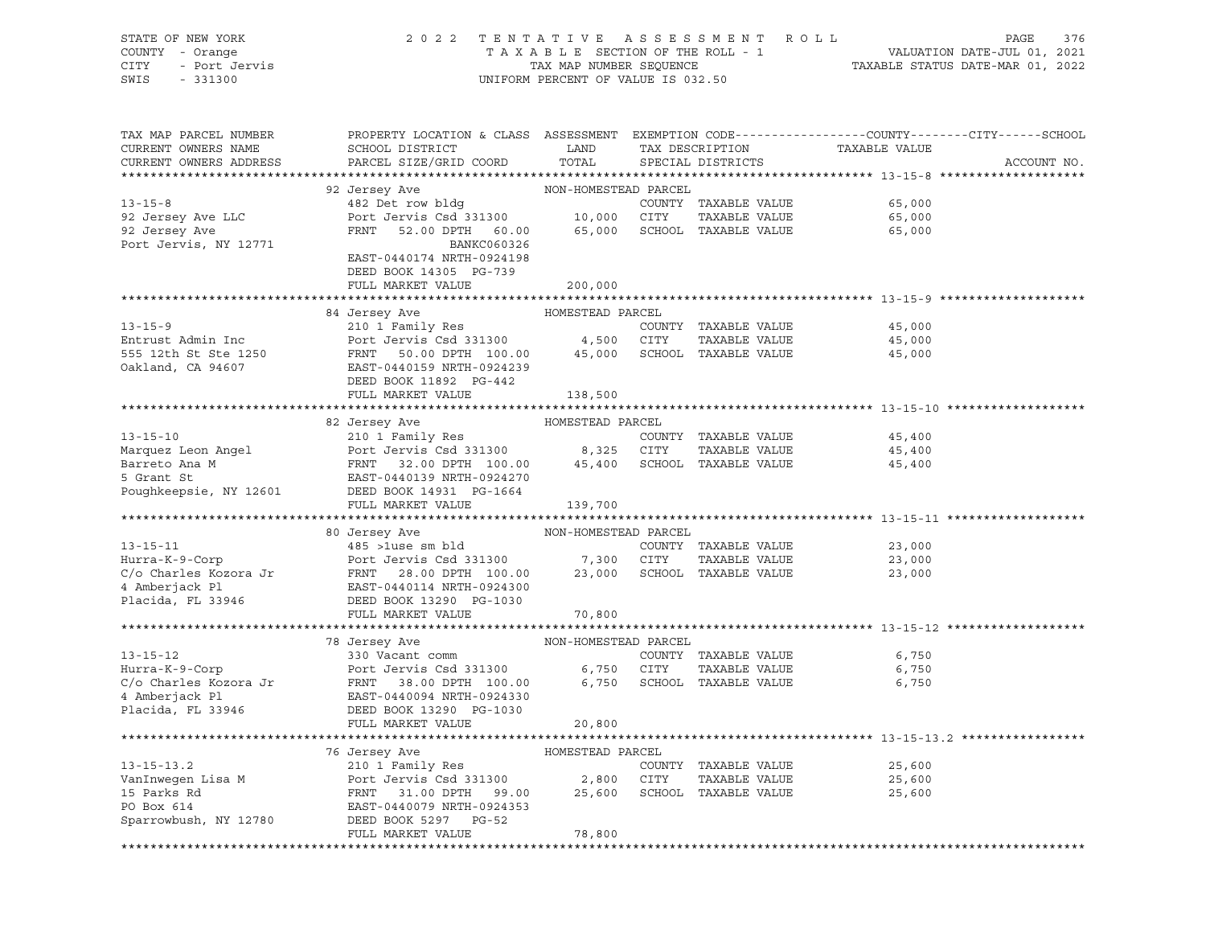| STATE OF NEW YORK<br>COUNTY - Orange<br><b>CITY</b><br>- Port Jervis<br>SWIS<br>$-331300$        | 2 0 2 2                                                                                                                                                              | TAXABLE SECTION OF THE ROLL - 1<br>TAX MAP NUMBER SEQUENCE<br>UNIFORM PERCENT OF VALUE IS 032.50 |                | TENTATIVE ASSESSMENT<br>R O L L                               | PAGE<br>376<br>VALUATION DATE-JUL 01, 2021<br>TAXABLE STATUS DATE-MAR 01, 2022                                                   |
|--------------------------------------------------------------------------------------------------|----------------------------------------------------------------------------------------------------------------------------------------------------------------------|--------------------------------------------------------------------------------------------------|----------------|---------------------------------------------------------------|----------------------------------------------------------------------------------------------------------------------------------|
| TAX MAP PARCEL NUMBER<br>CURRENT OWNERS NAME<br>CURRENT OWNERS ADDRESS                           | SCHOOL DISTRICT<br>PARCEL SIZE/GRID COORD                                                                                                                            | LAND<br>TOTAL                                                                                    |                | TAX DESCRIPTION<br>SPECIAL DISTRICTS                          | PROPERTY LOCATION & CLASS ASSESSMENT EXEMPTION CODE----------------COUNTY-------CITY------SCHOOL<br>TAXABLE VALUE<br>ACCOUNT NO. |
|                                                                                                  | 92 Jersey Ave                                                                                                                                                        | NON-HOMESTEAD PARCEL                                                                             |                |                                                               |                                                                                                                                  |
| $13 - 15 - 8$<br>92 Jersey Ave LLC<br>92 Jersey Ave<br>Port Jervis, NY 12771                     | 482 Det row bldg<br>Port Jervis Csd 331300<br>FRNT<br>52.00 DPTH 60.00<br>BANKC060326<br>EAST-0440174 NRTH-0924198<br>DEED BOOK 14305 PG-739                         | 10,000<br>65,000                                                                                 | CITY           | COUNTY TAXABLE VALUE<br>TAXABLE VALUE<br>SCHOOL TAXABLE VALUE | 65,000<br>65,000<br>65,000                                                                                                       |
|                                                                                                  | FULL MARKET VALUE                                                                                                                                                    | 200,000                                                                                          |                |                                                               |                                                                                                                                  |
|                                                                                                  |                                                                                                                                                                      |                                                                                                  |                |                                                               |                                                                                                                                  |
|                                                                                                  | 84 Jersey Ave                                                                                                                                                        | HOMESTEAD PARCEL                                                                                 |                |                                                               |                                                                                                                                  |
| $13 - 15 - 9$<br>Entrust Admin Inc<br>555 12th St Ste 1250<br>Oakland, CA 94607                  | 210 1 Family Res<br>Port Jervis Csd 331300<br>FRNT<br>50.00 DPTH 100.00<br>EAST-0440159 NRTH-0924239<br>DEED BOOK 11892 PG-442                                       | 4,500<br>45,000                                                                                  | CITY           | COUNTY TAXABLE VALUE<br>TAXABLE VALUE<br>SCHOOL TAXABLE VALUE | 45,000<br>45,000<br>45,000                                                                                                       |
|                                                                                                  | FULL MARKET VALUE                                                                                                                                                    | 138,500                                                                                          |                |                                                               |                                                                                                                                  |
|                                                                                                  |                                                                                                                                                                      |                                                                                                  |                |                                                               |                                                                                                                                  |
|                                                                                                  | 82 Jersey Ave                                                                                                                                                        | HOMESTEAD PARCEL                                                                                 |                |                                                               |                                                                                                                                  |
| $13 - 15 - 10$                                                                                   | 210 1 Family Res                                                                                                                                                     |                                                                                                  |                | COUNTY TAXABLE VALUE                                          | 45,400                                                                                                                           |
| Marquez Leon Angel                                                                               | Port Jervis Csd 331300                                                                                                                                               | 8,325                                                                                            | CITY           | TAXABLE VALUE                                                 | 45,400                                                                                                                           |
| Barreto Ana M<br>5 Grant St<br>Poughkeepsie, NY 12601                                            | FRNT<br>32.00 DPTH 100.00<br>EAST-0440139 NRTH-0924270<br>DEED BOOK 14931 PG-1664                                                                                    | 45,400                                                                                           |                | SCHOOL TAXABLE VALUE                                          | 45,400                                                                                                                           |
|                                                                                                  | FULL MARKET VALUE                                                                                                                                                    | 139,700                                                                                          |                |                                                               |                                                                                                                                  |
|                                                                                                  | 80 Jersey Ave                                                                                                                                                        | NON-HOMESTEAD PARCEL                                                                             |                |                                                               |                                                                                                                                  |
| $13 - 15 - 11$                                                                                   | $485$ >luse sm bld                                                                                                                                                   |                                                                                                  |                | COUNTY TAXABLE VALUE                                          | 23,000                                                                                                                           |
| Hurra-K-9-Corp                                                                                   | Port Jervis Csd 331300                                                                                                                                               | 7,300                                                                                            | CITY           | TAXABLE VALUE                                                 | 23,000                                                                                                                           |
| C/o Charles Kozora Jr<br>4 Amberjack Pl<br>Placida, FL 33946                                     | FRNT 28.00 DPTH 100.00<br>EAST-0440114 NRTH-0924300<br>DEED BOOK 13290 PG-1030<br>FULL MARKET VALUE                                                                  | 23,000<br>70,800                                                                                 |                | SCHOOL TAXABLE VALUE                                          | 23,000                                                                                                                           |
|                                                                                                  |                                                                                                                                                                      |                                                                                                  |                |                                                               |                                                                                                                                  |
|                                                                                                  | 78 Jersey Ave                                                                                                                                                        | NON-HOMESTEAD PARCEL                                                                             |                |                                                               |                                                                                                                                  |
| $13 - 15 - 12$<br>Hurra-K-9-Corp<br>C/o Charles Kozora Jr<br>4 Amberjack Pl<br>Placida, FL 33946 | 330 Vacant comm<br>Port Jervis Csd 331300<br>FRNT<br>38.00 DPTH 100.00<br>EAST-0440094 NRTH-0924330<br>DEED BOOK 13290 PG-1030<br>FULL MARKET VALUE                  | 6,750<br>6,750<br>20,800                                                                         | CITY           | COUNTY TAXABLE VALUE<br>TAXABLE VALUE<br>SCHOOL TAXABLE VALUE | 6,750<br>6,750<br>6,750                                                                                                          |
|                                                                                                  |                                                                                                                                                                      |                                                                                                  |                |                                                               |                                                                                                                                  |
| $13 - 15 - 13.2$<br>VanInwegen Lisa M<br>15 Parks Rd<br>PO Box 614<br>Sparrowbush, NY 12780      | 76 Jersey Ave<br>210 1 Family Res<br>Port Jervis Csd 331300<br>FRNT<br>31.00 DPTH<br>99.00<br>EAST-0440079 NRTH-0924353<br>DEED BOOK 5297 PG-52<br>FULL MARKET VALUE | HOMESTEAD PARCEL<br>2,800<br>25,600<br>78,800                                                    | CITY<br>SCHOOL | COUNTY TAXABLE VALUE<br>TAXABLE VALUE<br>TAXABLE VALUE        | 25,600<br>25,600<br>25,600                                                                                                       |
|                                                                                                  |                                                                                                                                                                      |                                                                                                  |                |                                                               |                                                                                                                                  |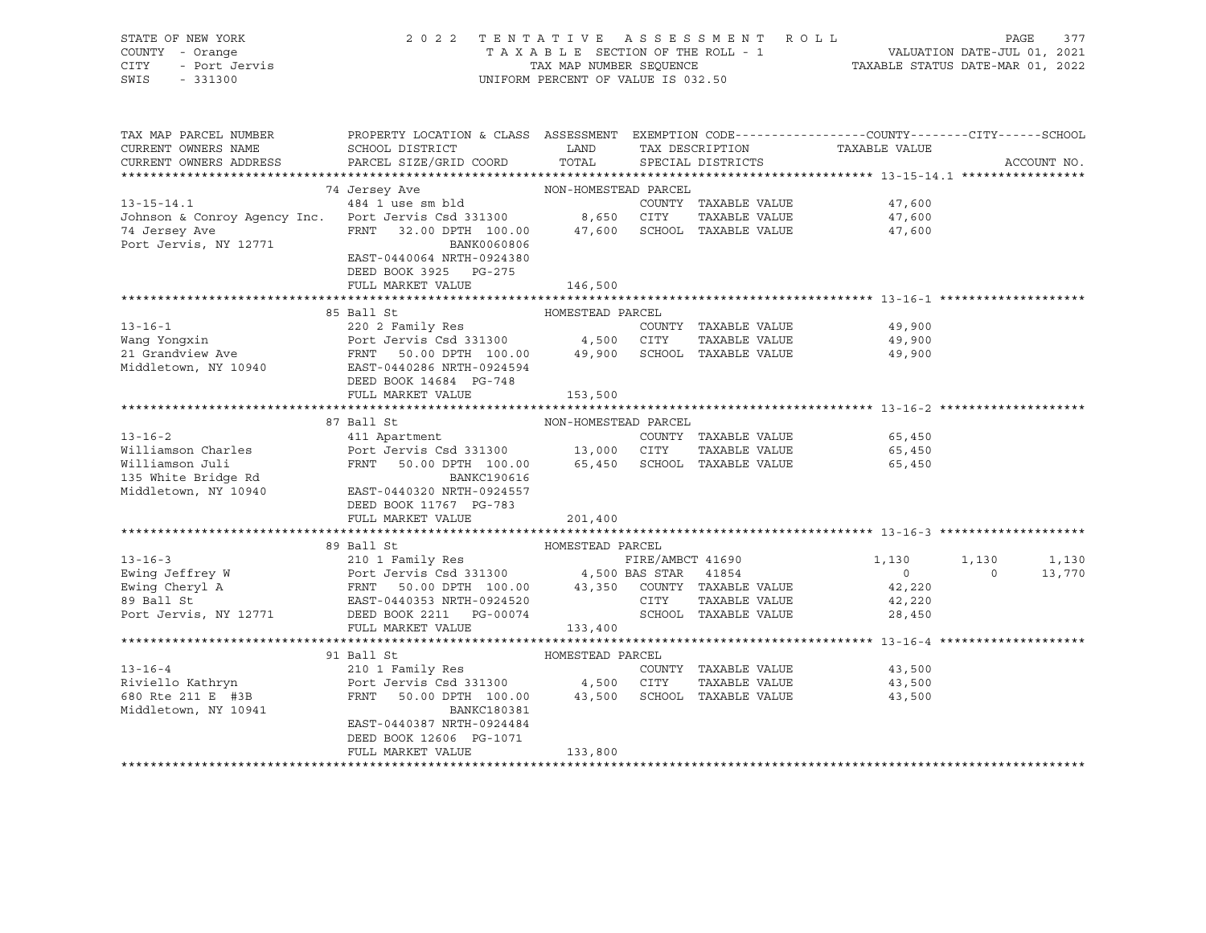| STATE OF NEW YORK<br>COUNTY - Orange<br>- Port Jervis<br>- 331300<br><b>CITY</b><br>SWIS<br>$-331300$ | 2022 TENTATIVE ASSESSMENT ROLL                                                                  | UNIFORM PERCENT OF VALUE IS 032.50         |                  |                      |                               | PAGE  | 377         |
|-------------------------------------------------------------------------------------------------------|-------------------------------------------------------------------------------------------------|--------------------------------------------|------------------|----------------------|-------------------------------|-------|-------------|
| TAX MAP PARCEL NUMBER                                                                                 | PROPERTY LOCATION & CLASS ASSESSMENT EXEMPTION CODE---------------COUNTY-------CITY------SCHOOL |                                            |                  |                      |                               |       |             |
| CURRENT OWNERS NAME                                                                                   | SCHOOL DISTRICT                                                                                 | <b>EXAMPLE THE STATE OF STATE OF STATE</b> |                  |                      | TAX DESCRIPTION TAXABLE VALUE |       |             |
| CURRENT OWNERS ADDRESS                                                                                | PARCEL SIZE/GRID COORD TOTAL SPECIAL DISTRICTS                                                  |                                            |                  |                      |                               |       | ACCOUNT NO. |
|                                                                                                       |                                                                                                 |                                            |                  |                      |                               |       |             |
|                                                                                                       | NON-HOMESTEAD PARCEL<br>74 Jersey Ave                                                           |                                            |                  |                      |                               |       |             |
| $13 - 15 - 14.1$                                                                                      | 484 1 use sm bld                                                                                |                                            |                  | COUNTY TAXABLE VALUE | 47,600                        |       |             |
| Johnson & Conroy Agency Inc. Port Jervis Csd 331300 8,650 CITY                                        |                                                                                                 |                                            |                  | TAXABLE VALUE        | 47,600                        |       |             |
| 74 Jersey Ave                                                                                         | FRNT 32.00 DPTH 100.00 47,600                                                                   |                                            |                  | SCHOOL TAXABLE VALUE | 47,600                        |       |             |
| Port Jervis, NY 12771                                                                                 | BANK0060806                                                                                     |                                            |                  |                      |                               |       |             |
|                                                                                                       | EAST-0440064 NRTH-0924380                                                                       |                                            |                  |                      |                               |       |             |
|                                                                                                       | DEED BOOK 3925 PG-275                                                                           |                                            |                  |                      |                               |       |             |
|                                                                                                       | FULL MARKET VALUE                                                                               | 146,500                                    |                  |                      |                               |       |             |
|                                                                                                       |                                                                                                 |                                            |                  |                      |                               |       |             |
|                                                                                                       | HOMESTEAD PARCEL<br>85 Ball St                                                                  |                                            |                  |                      |                               |       |             |
| $13 - 16 - 1$                                                                                         | 220 2 Family Res                                                                                |                                            |                  | COUNTY TAXABLE VALUE | 49,900                        |       |             |
| Wang Yongxin<br>21 Grandview Ave FRNT                                                                 | Port Jervis Csd 331300 4,500 CITY                                                               |                                            |                  | TAXABLE VALUE        | 49,900                        |       |             |
|                                                                                                       | 50.00 DPTH 100.00 49,900                                                                        |                                            |                  | SCHOOL TAXABLE VALUE | 49,900                        |       |             |
| Middletown, NY 10940                                                                                  | EAST-0440286 NRTH-0924594<br>DEED BOOK 14684 PG-748                                             |                                            |                  |                      |                               |       |             |
|                                                                                                       | FULL MARKET VALUE                                                                               | 153,500                                    |                  |                      |                               |       |             |
|                                                                                                       |                                                                                                 |                                            |                  |                      |                               |       |             |
|                                                                                                       | 87 Ball St                                                                                      | NON-HOMESTEAD PARCEL                       |                  |                      |                               |       |             |
| $13 - 16 - 2$                                                                                         | 411 Apartment                                                                                   |                                            |                  | COUNTY TAXABLE VALUE | 65,450                        |       |             |
| Williamson Charles                                                                                    | Port Jervis Csd 331300 13,000 CITY                                                              |                                            |                  | TAXABLE VALUE        | 65,450                        |       |             |
| Williamson Juli                                                                                       | FRNT 50.00 DPTH 100.00 65,450                                                                   |                                            |                  | SCHOOL TAXABLE VALUE | 65,450                        |       |             |
| 135 White Bridge Rd                                                                                   | <b>BANKC190616</b>                                                                              |                                            |                  |                      |                               |       |             |
| Middletown, NY 10940                                                                                  | EAST-0440320 NRTH-0924557                                                                       |                                            |                  |                      |                               |       |             |
|                                                                                                       | DEED BOOK 11767 PG-783                                                                          |                                            |                  |                      |                               |       |             |
|                                                                                                       | FULL MARKET VALUE                                                                               | 201,400                                    |                  |                      |                               |       |             |
|                                                                                                       |                                                                                                 |                                            |                  |                      |                               |       |             |
|                                                                                                       | 89 Ball St                                                                                      | HOMESTEAD PARCEL                           |                  |                      |                               |       |             |
| $13 - 16 - 3$                                                                                         | 210 1 Family Res                                                                                |                                            | FIRE/AMBCT 41690 |                      | 1,130                         | 1,130 | 1,130       |

Ewing Jeffrey W Port Jervis Csd 331300 4,500 BAS STAR 41854 0 0 13,770 Ewing Cheryl A FRNT 50.00 DPTH 100.00 43,350 COUNTY TAXABLE VALUE 42,220 89 Ball St EAST-0440353 NRTH-0924520 CITY TAXABLE VALUE 42,220 Port Jervis, NY 12771 DEED BOOK 2211 PG-00074 SCHOOL TAXABLE VALUE 28,450 FULL MARKET VALUE 133,400 \*\*\*\*\*\*\*\*\*\*\*\*\*\*\*\*\*\*\*\*\*\*\*\*\*\*\*\*\*\*\*\*\*\*\*\*\*\*\*\*\*\*\*\*\*\*\*\*\*\*\*\*\*\*\*\*\*\*\*\*\*\*\*\*\*\*\*\*\*\*\*\*\*\*\*\*\*\*\*\*\*\*\*\*\*\*\*\*\*\*\*\*\*\*\*\*\*\*\*\*\*\*\* 13-16-4 \*\*\*\*\*\*\*\*\*\*\*\*\*\*\*\*\*\*\*\* 91 Ball St HOMESTEAD PARCEL 13-16-4 210 1 Family Res COUNTY TAXABLE VALUE 43,500 Riviello Kathryn Port Jervis Csd 331300 4,500 CITY TAXABLE VALUE 43,500 680 Rte 211 E #3B FRNT 50.00 DPTH 100.00 43,500 SCHOOL TAXABLE VALUE 43,500 Middletown, NY 10941 BANKC180381 EAST-0440387 NRTH-0924484 DEED BOOK 12606 PG-1071 FULL MARKET VALUE 133,800

\*\*\*\*\*\*\*\*\*\*\*\*\*\*\*\*\*\*\*\*\*\*\*\*\*\*\*\*\*\*\*\*\*\*\*\*\*\*\*\*\*\*\*\*\*\*\*\*\*\*\*\*\*\*\*\*\*\*\*\*\*\*\*\*\*\*\*\*\*\*\*\*\*\*\*\*\*\*\*\*\*\*\*\*\*\*\*\*\*\*\*\*\*\*\*\*\*\*\*\*\*\*\*\*\*\*\*\*\*\*\*\*\*\*\*\*\*\*\*\*\*\*\*\*\*\*\*\*\*\*\*\*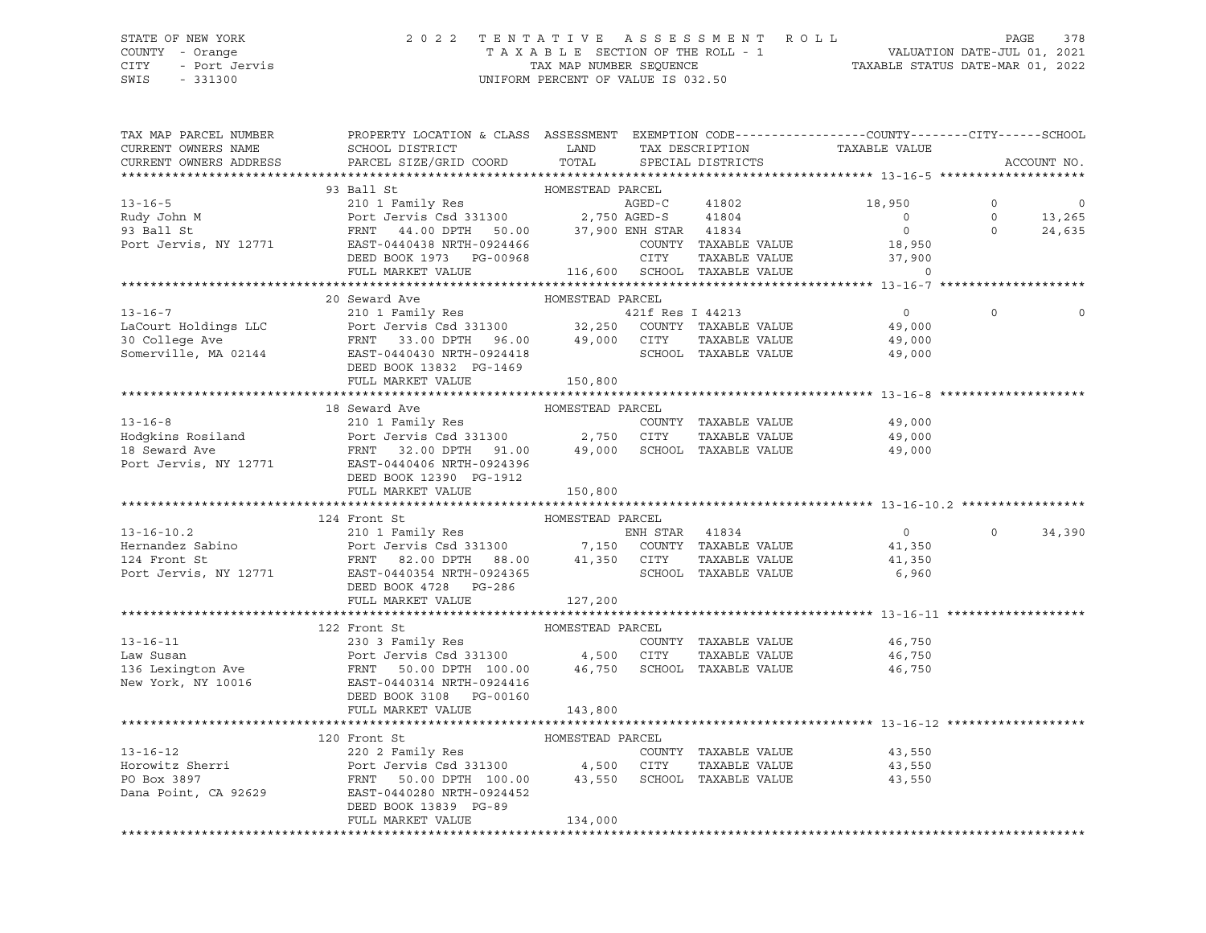## STATE OF NEW YORK 2 0 2 2 T E N T A T I V E A S S E S S M E N T R O L L PAGE 378 COUNTY - Orange T A X A B L E SECTION OF THE ROLL - 1 VALUATION DATE-JUL 01, 2021 CITY - Port Jervis TAX MAP NUMBER SEQUENCE TAXABLE STATUS DATE-MAR 01, 2022 SWIS - 331300 UNIFORM PERCENT OF VALUE IS 032.50

| TAX MAP PARCEL NUMBER<br>CURRENT OWNERS NAME<br>CURRENT OWNERS ADDRESS | PROPERTY LOCATION & CLASS ASSESSMENT EXEMPTION CODE---------------COUNTY-------CITY------SCHOOL<br>SCHOOL DISTRICT LAND<br>PARCEL SIZE/GRID COORD                                                                                                                          | TOTAL            | TAX DESCRIPTION<br>SPECIAL DISTRICTS           | TAXABLE VALUE              |          | ACCOUNT NO.                                                                        |
|------------------------------------------------------------------------|----------------------------------------------------------------------------------------------------------------------------------------------------------------------------------------------------------------------------------------------------------------------------|------------------|------------------------------------------------|----------------------------|----------|------------------------------------------------------------------------------------|
|                                                                        |                                                                                                                                                                                                                                                                            |                  |                                                |                            |          |                                                                                    |
|                                                                        | 93 Ball St                                                                                                                                                                                                                                                                 | HOMESTEAD PARCEL |                                                |                            |          |                                                                                    |
| $13 - 16 - 5$                                                          | 210 1 Family Res<br>Port Jervis Csd 331300 2,750 AGED-S 41804                                                                                                                                                                                                              |                  | AGED-C 41802                                   | 18,950                     |          |                                                                                    |
|                                                                        |                                                                                                                                                                                                                                                                            |                  |                                                | $\overline{0}$             |          |                                                                                    |
| Rudy John M<br>93 Ball St                                              |                                                                                                                                                                                                                                                                            |                  |                                                | $\overline{0}$             |          | $\begin{array}{ccc} 0 & & & 0 \\ 0 & & & 13\,,265 \\ 0 & & & 24\,,635 \end{array}$ |
| Port Jervis, NY 12771                                                  |                                                                                                                                                                                                                                                                            |                  |                                                |                            |          |                                                                                    |
|                                                                        | DEED BOOK 1973 PG-00968                                                                                                                                                                                                                                                    |                  | COUNTY TAXABLE VALUE<br>CITY     TAXABLE VALUE | $18,950$<br>$-7,900$       |          |                                                                                    |
|                                                                        | FULL MARKET VALUE                                                                                                                                                                                                                                                          |                  |                                                |                            |          |                                                                                    |
|                                                                        |                                                                                                                                                                                                                                                                            |                  |                                                |                            |          |                                                                                    |
|                                                                        | 20 Seward Ave                                                                                                                                                                                                                                                              | HOMESTEAD PARCEL |                                                |                            |          |                                                                                    |
|                                                                        |                                                                                                                                                                                                                                                                            |                  |                                                |                            | $\Omega$ |                                                                                    |
|                                                                        |                                                                                                                                                                                                                                                                            |                  |                                                |                            |          |                                                                                    |
|                                                                        |                                                                                                                                                                                                                                                                            |                  |                                                |                            |          |                                                                                    |
|                                                                        |                                                                                                                                                                                                                                                                            |                  |                                                |                            |          |                                                                                    |
|                                                                        | 13-16-7<br>LaCourt Holdings LLC 210 1 Family Res<br>210 1 Family Res<br>Port Jervis Csd 331300 32,250 COUNTY TAXABLE VALUE 49,000<br>30 College Ave FRNT 33.00 DPTH 96.00 49,000 CITY TAXABLE VALUE 49,000<br>Somerville, MA 02144 EAST-<br>DEED BOOK 13832 PG-1469        |                  |                                                |                            |          |                                                                                    |
|                                                                        | FULL MARKET VALUE 150,800                                                                                                                                                                                                                                                  |                  |                                                |                            |          |                                                                                    |
|                                                                        |                                                                                                                                                                                                                                                                            |                  |                                                |                            |          |                                                                                    |
|                                                                        | 18 Seward Ave                                                                                                                                                                                                                                                              | HOMESTEAD PARCEL |                                                |                            |          |                                                                                    |
|                                                                        |                                                                                                                                                                                                                                                                            |                  |                                                |                            |          |                                                                                    |
|                                                                        |                                                                                                                                                                                                                                                                            |                  |                                                |                            |          |                                                                                    |
|                                                                        |                                                                                                                                                                                                                                                                            |                  |                                                |                            |          |                                                                                    |
|                                                                        |                                                                                                                                                                                                                                                                            |                  |                                                |                            |          |                                                                                    |
|                                                                        |                                                                                                                                                                                                                                                                            |                  |                                                |                            |          |                                                                                    |
|                                                                        | DEED BOOK 12390 PG-1912                                                                                                                                                                                                                                                    |                  |                                                |                            |          |                                                                                    |
|                                                                        | FULL MARKET VALUE                                                                                                                                                                                                                                                          | 150,800          |                                                |                            |          |                                                                                    |
|                                                                        |                                                                                                                                                                                                                                                                            |                  |                                                |                            |          |                                                                                    |
|                                                                        |                                                                                                                                                                                                                                                                            |                  |                                                |                            |          |                                                                                    |
|                                                                        |                                                                                                                                                                                                                                                                            |                  |                                                | $\sim$ 0                   |          | $0 \t34,390$                                                                       |
|                                                                        |                                                                                                                                                                                                                                                                            |                  |                                                | 41,350<br>41,350           |          |                                                                                    |
|                                                                        |                                                                                                                                                                                                                                                                            |                  |                                                |                            |          |                                                                                    |
|                                                                        |                                                                                                                                                                                                                                                                            |                  |                                                | SCHOOL TAXABLE VALUE 6,960 |          |                                                                                    |
|                                                                        | DEED BOOK 4728 PG-286                                                                                                                                                                                                                                                      |                  |                                                |                            |          |                                                                                    |
|                                                                        | FULL MARKET VALUE                                                                                                                                                                                                                                                          | 127,200          |                                                |                            |          |                                                                                    |
|                                                                        |                                                                                                                                                                                                                                                                            |                  |                                                |                            |          |                                                                                    |
|                                                                        | 122 Front St                                                                                                                                                                                                                                                               | HOMESTEAD PARCEL |                                                |                            |          |                                                                                    |
|                                                                        |                                                                                                                                                                                                                                                                            |                  |                                                |                            |          |                                                                                    |
|                                                                        |                                                                                                                                                                                                                                                                            |                  |                                                |                            |          |                                                                                    |
|                                                                        | 13-16-11 230 3 Family Res<br>Law Susan Port Jervis Csd 331300 4,500 CITY TAXABLE VALUE<br>136 Lexington Ave FRNT 50.00 DPTH 100.00 46,750 SCHOOL TAXABLE VALUE<br>New York, NY 10016 EAST-0440314 NRTH-0924416<br>The Same Port School                                     |                  |                                                |                            |          |                                                                                    |
|                                                                        |                                                                                                                                                                                                                                                                            |                  |                                                |                            |          |                                                                                    |
|                                                                        | DEED BOOK 3108 PG-00160                                                                                                                                                                                                                                                    |                  |                                                |                            |          |                                                                                    |
|                                                                        | FULL MARKET VALUE                                                                                                                                                                                                                                                          | 143,800          |                                                |                            |          |                                                                                    |
|                                                                        |                                                                                                                                                                                                                                                                            |                  |                                                |                            |          |                                                                                    |
|                                                                        |                                                                                                                                                                                                                                                                            |                  |                                                |                            |          |                                                                                    |
|                                                                        |                                                                                                                                                                                                                                                                            |                  |                                                | 43,550                     |          |                                                                                    |
|                                                                        |                                                                                                                                                                                                                                                                            |                  |                                                | 43,550                     |          |                                                                                    |
|                                                                        |                                                                                                                                                                                                                                                                            |                  |                                                |                            |          |                                                                                    |
|                                                                        |                                                                                                                                                                                                                                                                            |                  |                                                | 43,550                     |          |                                                                                    |
|                                                                        |                                                                                                                                                                                                                                                                            |                  |                                                |                            |          |                                                                                    |
|                                                                        | DEED BOOK 13839 PG-89                                                                                                                                                                                                                                                      |                  |                                                |                            |          |                                                                                    |
|                                                                        | 13-16-12<br>13-16-12<br>Homesteri<br>220 2 Family Res<br>Forowitz Sherri<br>Port Jervis Csd 331300<br>PO Box 3897<br>FRNT 50.00 DPTH 100.00<br>230 PTH 100.00<br>43,550 SCHOOL TAXABLE VALUE<br>230 PTH 100.00<br>43,550 SCHOOL TAXABLE VALUE<br>Dana<br>FULL MARKET VALUE | 134,000          |                                                |                            |          |                                                                                    |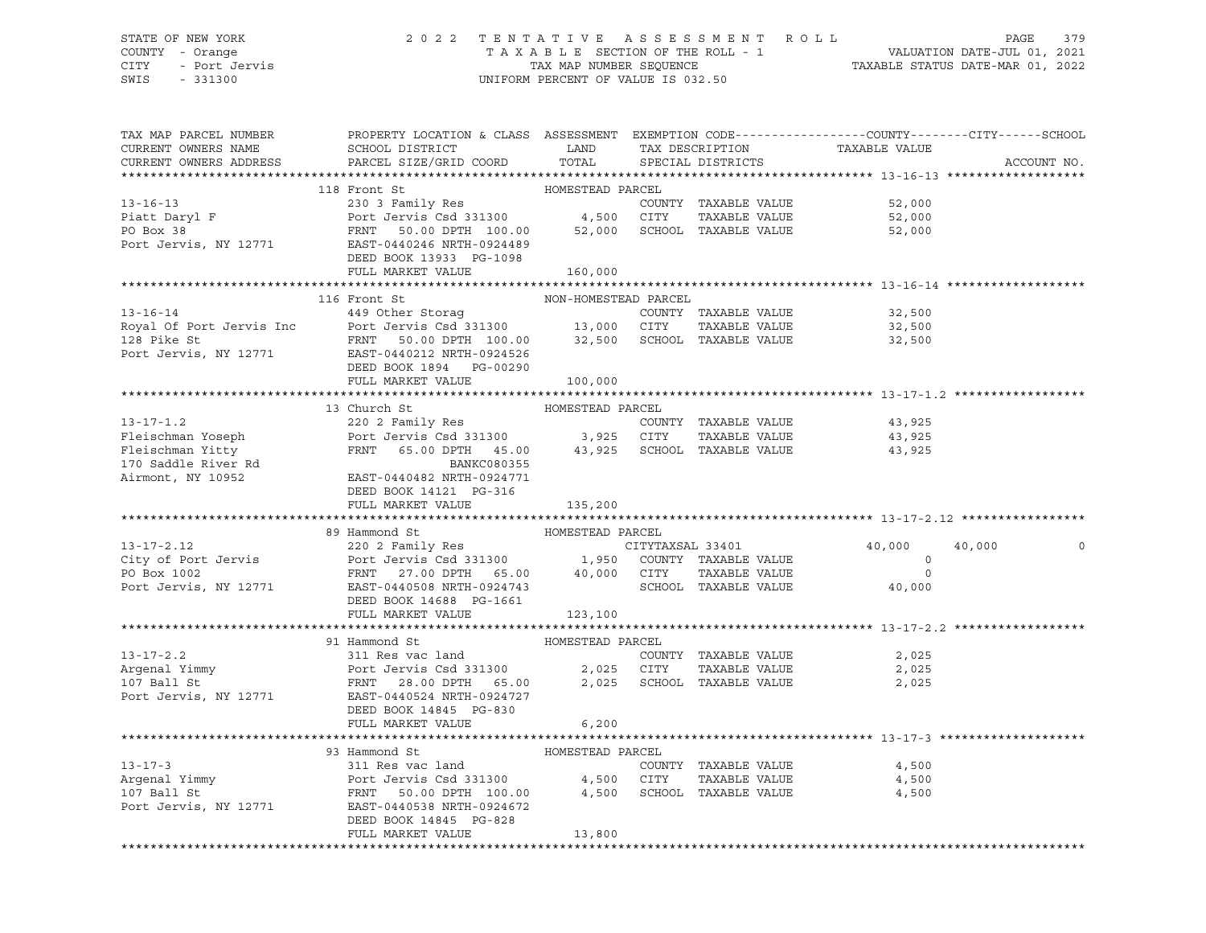## STATE OF NEW YORK 2 0 2 2 T E N T A T I V E A S S E S S M E N T R O L L PAGE 379 COUNTY - Orange T A X A B L E SECTION OF THE ROLL - 1 VALUATION DATE-JUL 01, 2021 CITY - Port Jervis TAX MAP NUMBER SEQUENCE TAXABLE STATUS DATE-MAR 01, 2022

| TAX MAP PARCEL NUMBER<br>CURRENT OWNERS NAME<br>CURRENT OWNERS ADDRESS | PROPERTY LOCATION & CLASS ASSESSMENT EXEMPTION CODE----------------COUNTY-------CITY------SCHOOL<br>SCHOOL DISTRICT TAND TAX DESCRIPTION<br>PARCEL SIZE/GRID COORD TOTAL                                                                                                                                                                                                                                           |                      | SPECIAL DISTRICTS    | TAXABLE VALUE                                    | ACCOUNT NO.           |
|------------------------------------------------------------------------|--------------------------------------------------------------------------------------------------------------------------------------------------------------------------------------------------------------------------------------------------------------------------------------------------------------------------------------------------------------------------------------------------------------------|----------------------|----------------------|--------------------------------------------------|-----------------------|
|                                                                        |                                                                                                                                                                                                                                                                                                                                                                                                                    |                      |                      |                                                  |                       |
|                                                                        | 118 Front St                                                                                                                                                                                                                                                                                                                                                                                                       | HOMESTEAD PARCEL     |                      |                                                  |                       |
|                                                                        | 13-16-13<br>230 3 Family Res<br>230 3 Family Res<br>Port Jervis Csd 331300<br>230 FRNT 50.00 DPTH 100.00<br>25,000<br>27,000<br>27,000<br>27,000<br>27,000<br>27,000<br>27,000<br>27,000<br>27,000<br>27,000<br>27,000<br>27,000<br>27,000<br>27,000<br>27,000<br>27,0                                                                                                                                             |                      |                      |                                                  |                       |
|                                                                        |                                                                                                                                                                                                                                                                                                                                                                                                                    |                      |                      |                                                  |                       |
|                                                                        |                                                                                                                                                                                                                                                                                                                                                                                                                    |                      |                      |                                                  |                       |
|                                                                        |                                                                                                                                                                                                                                                                                                                                                                                                                    |                      |                      |                                                  |                       |
|                                                                        | DEED BOOK 13933 PG-1098                                                                                                                                                                                                                                                                                                                                                                                            |                      |                      |                                                  |                       |
|                                                                        | FULL MARKET VALUE                                                                                                                                                                                                                                                                                                                                                                                                  | 160,000              |                      |                                                  |                       |
|                                                                        |                                                                                                                                                                                                                                                                                                                                                                                                                    |                      |                      |                                                  |                       |
|                                                                        | 116 Front St<br>13-16-14<br>149 Other Storag<br>22,500<br>Royal Of Port Jervis Inc Port Jervis Csd 331300<br>13,000 CITY TAXABLE VALUE<br>22,500<br>13,000 CITY TAXABLE VALUE<br>22,500<br>22,500<br>Port Jervis, NY 12771<br>EXABLE VALUE<br>22,500<br>Port Jervis, N                                                                                                                                             | NON-HOMESTEAD PARCEL |                      |                                                  |                       |
|                                                                        |                                                                                                                                                                                                                                                                                                                                                                                                                    |                      |                      |                                                  |                       |
|                                                                        |                                                                                                                                                                                                                                                                                                                                                                                                                    |                      |                      |                                                  |                       |
|                                                                        |                                                                                                                                                                                                                                                                                                                                                                                                                    |                      |                      |                                                  |                       |
|                                                                        |                                                                                                                                                                                                                                                                                                                                                                                                                    |                      |                      |                                                  |                       |
|                                                                        | DEED BOOK 1894 PG-00290<br>FULL MARKET VALUE 100,000                                                                                                                                                                                                                                                                                                                                                               |                      |                      |                                                  |                       |
|                                                                        |                                                                                                                                                                                                                                                                                                                                                                                                                    |                      |                      |                                                  |                       |
|                                                                        | 13 Church St                                                                                                                                                                                                                                                                                                                                                                                                       |                      |                      |                                                  |                       |
| $13 - 17 - 1.2$                                                        |                                                                                                                                                                                                                                                                                                                                                                                                                    |                      | COUNTY TAXABLE VALUE | 43,925                                           |                       |
|                                                                        | Fleischman Yoseph Port Jervis Csd 331300 3,925 CITY TAXABLE VALUE<br>Fleischman Yitty FRNT 65.00 DPTH 45.00 3,925 CHOOL TAXABLE VALUE<br>170 Saddle River Rd BANKC080355<br>Airmont, NY 10952 EAST-0440482 NRTH-0924771                                                                                                                                                                                            |                      | TAXABLE VALUE        |                                                  |                       |
|                                                                        |                                                                                                                                                                                                                                                                                                                                                                                                                    |                      |                      | 43,925<br>43,925                                 |                       |
|                                                                        |                                                                                                                                                                                                                                                                                                                                                                                                                    |                      |                      |                                                  |                       |
|                                                                        |                                                                                                                                                                                                                                                                                                                                                                                                                    |                      |                      |                                                  |                       |
|                                                                        | DEED BOOK 14121 PG-316                                                                                                                                                                                                                                                                                                                                                                                             |                      |                      |                                                  |                       |
|                                                                        | FULL MARKET VALUE 135,200                                                                                                                                                                                                                                                                                                                                                                                          |                      |                      |                                                  |                       |
|                                                                        |                                                                                                                                                                                                                                                                                                                                                                                                                    |                      |                      |                                                  |                       |
|                                                                        |                                                                                                                                                                                                                                                                                                                                                                                                                    |                      |                      |                                                  |                       |
|                                                                        |                                                                                                                                                                                                                                                                                                                                                                                                                    |                      |                      | 40,000                                           | 40,000<br>$\mathsf O$ |
|                                                                        |                                                                                                                                                                                                                                                                                                                                                                                                                    |                      |                      |                                                  |                       |
|                                                                        |                                                                                                                                                                                                                                                                                                                                                                                                                    |                      |                      | $\begin{array}{c}0\\0\\0\\40\,,\,000\end{array}$ |                       |
|                                                                        |                                                                                                                                                                                                                                                                                                                                                                                                                    |                      |                      |                                                  |                       |
|                                                                        |                                                                                                                                                                                                                                                                                                                                                                                                                    |                      |                      |                                                  |                       |
|                                                                        | FULL MARKET VALUE 123,100                                                                                                                                                                                                                                                                                                                                                                                          |                      |                      |                                                  |                       |
|                                                                        |                                                                                                                                                                                                                                                                                                                                                                                                                    |                      |                      |                                                  |                       |
|                                                                        | 91 Hammond St                                                                                                                                                                                                                                                                                                                                                                                                      |                      |                      |                                                  |                       |
|                                                                        |                                                                                                                                                                                                                                                                                                                                                                                                                    |                      |                      |                                                  |                       |
|                                                                        |                                                                                                                                                                                                                                                                                                                                                                                                                    |                      |                      |                                                  |                       |
|                                                                        |                                                                                                                                                                                                                                                                                                                                                                                                                    |                      |                      |                                                  |                       |
|                                                                        |                                                                                                                                                                                                                                                                                                                                                                                                                    |                      |                      |                                                  |                       |
|                                                                        | 13-17-2.2 311 Res vac land<br>Argenal Yimmy Port Jervis Csd 331300 2,025 CITY TAXABLE VALUE 2,025<br>107 Ball St FRNT 28.00 DPTH 65.00 2,025 SCHOOL TAXABLE VALUE 2,025<br>Port Jervis, NY 12771 EAST-0440524 NRTH-0924727<br>DEED BOO                                                                                                                                                                             |                      |                      |                                                  |                       |
|                                                                        |                                                                                                                                                                                                                                                                                                                                                                                                                    | 6,200                |                      |                                                  |                       |
|                                                                        |                                                                                                                                                                                                                                                                                                                                                                                                                    |                      |                      |                                                  |                       |
|                                                                        |                                                                                                                                                                                                                                                                                                                                                                                                                    |                      |                      | 4,500                                            |                       |
|                                                                        |                                                                                                                                                                                                                                                                                                                                                                                                                    |                      |                      | TAXABLE VALUE 4,500                              |                       |
|                                                                        | $\begin{tabular}{lllllllllllll} \textbf{13--17--3} & \textbf{93-Hammond St} & \textbf{HOMESTEAD PARCEL} \\ \textbf{Argenal Yimmy} & \textbf{POTL Jervis Csd 331300} & \textbf{4,500 CITY TAXABLE VALUE} \\ \textbf{107 Ball St} & \textbf{FRNT} & \textbf{50.00 DPTH} & \textbf{100.00} & \textbf{4,500 CHCY} & \textbf{TAXABLE VALUE} \\ \textbf{2018\_PRT} & \textbf{12771} & \textbf{EAST-0440538 NRTH-0924672$ |                      |                      | 4,500                                            |                       |
|                                                                        |                                                                                                                                                                                                                                                                                                                                                                                                                    |                      |                      |                                                  |                       |
|                                                                        |                                                                                                                                                                                                                                                                                                                                                                                                                    |                      |                      |                                                  |                       |
|                                                                        | FULL MARKET VALUE                                                                                                                                                                                                                                                                                                                                                                                                  | 13,800               |                      |                                                  |                       |
|                                                                        |                                                                                                                                                                                                                                                                                                                                                                                                                    |                      |                      |                                                  |                       |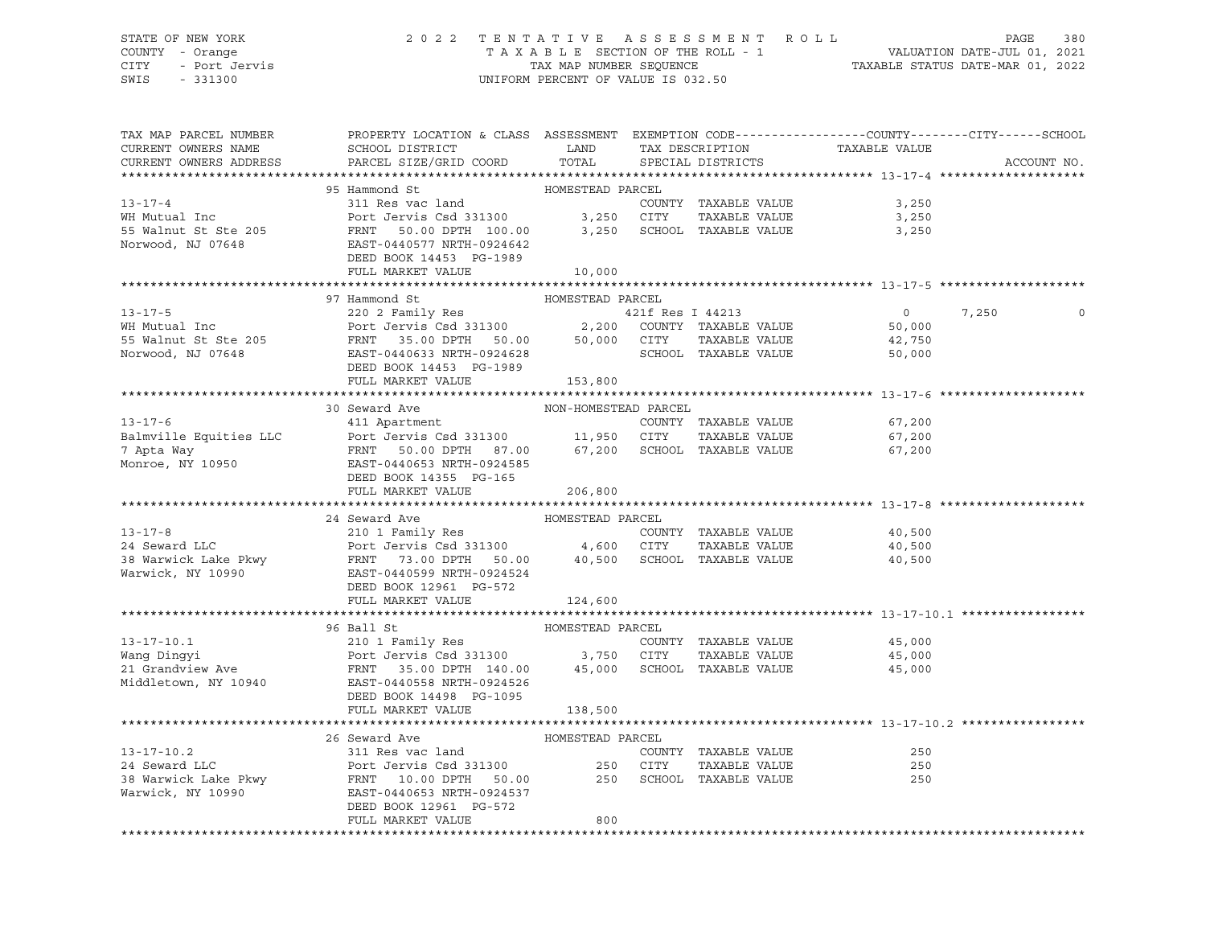## STATE OF NEW YORK 2 0 2 2 T E N T A T I V E A S S E S S M E N T R O L L PAGE 380 COUNTY - Orange T A X A B L E SECTION OF THE ROLL - 1 VALUATION DATE-JUL 01, 2021 CITY - Port Jervis TAX MAP NUMBER SEQUENCE TAXABLE STATUS DATE-MAR 01, 2022

| TAX MAP PARCEL NUMBER<br>CURRENT OWNERS NAME<br>CURRENT OWNERS ADDRESS | PROPERTY LOCATION & CLASS ASSESSMENT EXEMPTION CODE---------------COUNTY-------CITY------SCHOOL<br>SCHOOL DISTRICT<br><b>Example 12 The LAND</b><br>PARCEL SIZE/GRID COORD                                | TOTAL                |                      | TAX DESCRIPTION TAXABLE VALUE SPECIAL DISTRICTS          | ACCOUNT NO. |
|------------------------------------------------------------------------|-----------------------------------------------------------------------------------------------------------------------------------------------------------------------------------------------------------|----------------------|----------------------|----------------------------------------------------------|-------------|
|                                                                        |                                                                                                                                                                                                           |                      |                      |                                                          |             |
|                                                                        | 95 Hammond St                                                                                                                                                                                             | HOMESTEAD PARCEL     |                      |                                                          |             |
| $13 - 17 - 4$                                                          | Bannon St.<br>311 Res vac land                                                                                                                                                                            |                      |                      | COUNTY TAXABLE VALUE 3,250                               |             |
| WH Mutual Inc                                                          | Port Jervis Csd 331300 3,250 CITY                                                                                                                                                                         |                      | TAXABLE VALUE        | 3,250                                                    |             |
|                                                                        |                                                                                                                                                                                                           |                      |                      |                                                          |             |
|                                                                        |                                                                                                                                                                                                           |                      |                      |                                                          |             |
|                                                                        | DEED BOOK 14453 PG-1989                                                                                                                                                                                   |                      |                      |                                                          |             |
|                                                                        | FULL MARKET VALUE                                                                                                                                                                                         | 10,000               |                      |                                                          |             |
|                                                                        |                                                                                                                                                                                                           |                      |                      |                                                          |             |
|                                                                        | 97 Hammond St                                                                                                                                                                                             | HOMESTEAD PARCEL     |                      |                                                          |             |
| $13 - 17 - 5$                                                          | 220 2 Family Res                                                                                                                                                                                          |                      | 421f Res I 44213     | $\overline{0}$                                           | 7,250<br>0  |
| WH Mutual Inc                                                          | 220 2 Family Res 331300<br>Port Jervis Csd 331300 2,200 COUNTY TAXABLE VALUE<br>FRNT 35.00 DPTH 50.00 50,000 CITY TAXABLE VALUE<br>EAST-0440633 NRTH-0924628 SCHOOL TAXABLE VALUE<br>SCHOOL TAXABLE VALUE |                      |                      | 50,000                                                   |             |
| 55 Walnut St Ste 205                                                   |                                                                                                                                                                                                           |                      |                      |                                                          |             |
|                                                                        |                                                                                                                                                                                                           |                      |                      | 42,750                                                   |             |
| Norwood, NJ 07648                                                      |                                                                                                                                                                                                           |                      |                      | 50,000                                                   |             |
|                                                                        | DEED BOOK 14453 PG-1989                                                                                                                                                                                   |                      |                      |                                                          |             |
|                                                                        | FULL MARKET VALUE 153,800                                                                                                                                                                                 |                      |                      |                                                          |             |
|                                                                        |                                                                                                                                                                                                           |                      |                      |                                                          |             |
|                                                                        | 30 Seward Ave                                                                                                                                                                                             | NON-HOMESTEAD PARCEL |                      |                                                          |             |
|                                                                        |                                                                                                                                                                                                           |                      |                      | 67,200                                                   |             |
|                                                                        |                                                                                                                                                                                                           |                      |                      | 67,200                                                   |             |
|                                                                        | 13-17-6<br>Balmville Equities LLC<br>Port Jervis Csd 331300<br>7 Apta Way<br>Monroe, NY 10950<br>Monroe, NY 10950<br>Port Jervis Csd 331300<br>FRNT 50.00 DPTH 87.00<br>EXET-0440653 NRTH-0924585         |                      |                      | 67,200                                                   |             |
|                                                                        |                                                                                                                                                                                                           |                      |                      |                                                          |             |
|                                                                        | DEED BOOK 14355 PG-165                                                                                                                                                                                    |                      |                      |                                                          |             |
|                                                                        | FULL MARKET VALUE                                                                                                                                                                                         | 206,800              |                      |                                                          |             |
|                                                                        |                                                                                                                                                                                                           |                      |                      |                                                          |             |
|                                                                        | 24 Seward Ave                                                                                                                                                                                             |                      |                      |                                                          |             |
| $13 - 17 - 8$                                                          |                                                                                                                                                                                                           |                      | COUNTY TAXABLE VALUE | 40,500                                                   |             |
|                                                                        |                                                                                                                                                                                                           |                      |                      | TAXABLE VALUE 40,500                                     |             |
|                                                                        | 24 Seward LLC<br>24 Seward LLC<br>38 Warwick Lake Pkwy FRNT 73.00 DPTH 50.00 40,500 SCHOOL TAXABLE VALUE<br>24 Warwick, NY 10990 EAST-0440599 NRTH-0924524<br>DEED BOOK 12961 PG-572                      |                      |                      | 40,500                                                   |             |
|                                                                        |                                                                                                                                                                                                           |                      |                      |                                                          |             |
|                                                                        | DEED BOOK 12961 PG-572                                                                                                                                                                                    |                      |                      |                                                          |             |
|                                                                        | FULL MARKET VALUE                                                                                                                                                                                         | 124,600              |                      |                                                          |             |
|                                                                        |                                                                                                                                                                                                           |                      |                      |                                                          |             |
|                                                                        | 96 Ball St                                                                                                                                                                                                | HOMESTEAD PARCEL     |                      |                                                          |             |
| $13 - 17 - 10.1$                                                       |                                                                                                                                                                                                           |                      |                      |                                                          |             |
|                                                                        | 210 1 Family Res COUNTY<br>Port Jervis Csd 331300 3,750 CITY                                                                                                                                              |                      |                      | COUNTY TAXABLE VALUE 45,000<br>CITY TAXABLE VALUE 45,000 |             |
|                                                                        |                                                                                                                                                                                                           |                      |                      |                                                          |             |
|                                                                        |                                                                                                                                                                                                           |                      |                      |                                                          |             |
|                                                                        | DEED BOOK 14498 PG-1095                                                                                                                                                                                   |                      |                      |                                                          |             |
|                                                                        | FULL MARKET VALUE                                                                                                                                                                                         | 138,500              |                      |                                                          |             |
|                                                                        |                                                                                                                                                                                                           |                      |                      |                                                          |             |
|                                                                        | 26 Seward Ave MOMESTEAD PARCEL                                                                                                                                                                            |                      |                      |                                                          |             |
| $13 - 17 - 10.2$                                                       | 311 Res vac land                                                                                                                                                                                          |                      | COUNTY TAXABLE VALUE | 250                                                      |             |
| 24 Seward LLC                                                          |                                                                                                                                                                                                           |                      |                      | 250                                                      |             |
|                                                                        |                                                                                                                                                                                                           |                      |                      | 250                                                      |             |
| ---<br>38 Warwick Lake Pkwy<br>Warwick - NV 10000<br>Warwick, NY 10990 | EAST-0440653 NRTH-0924537                                                                                                                                                                                 |                      |                      |                                                          |             |
|                                                                        | DEED BOOK 12961 PG-572                                                                                                                                                                                    |                      |                      |                                                          |             |
|                                                                        | FULL MARKET VALUE                                                                                                                                                                                         | 800                  |                      |                                                          |             |
|                                                                        |                                                                                                                                                                                                           |                      |                      |                                                          |             |
|                                                                        |                                                                                                                                                                                                           |                      |                      |                                                          |             |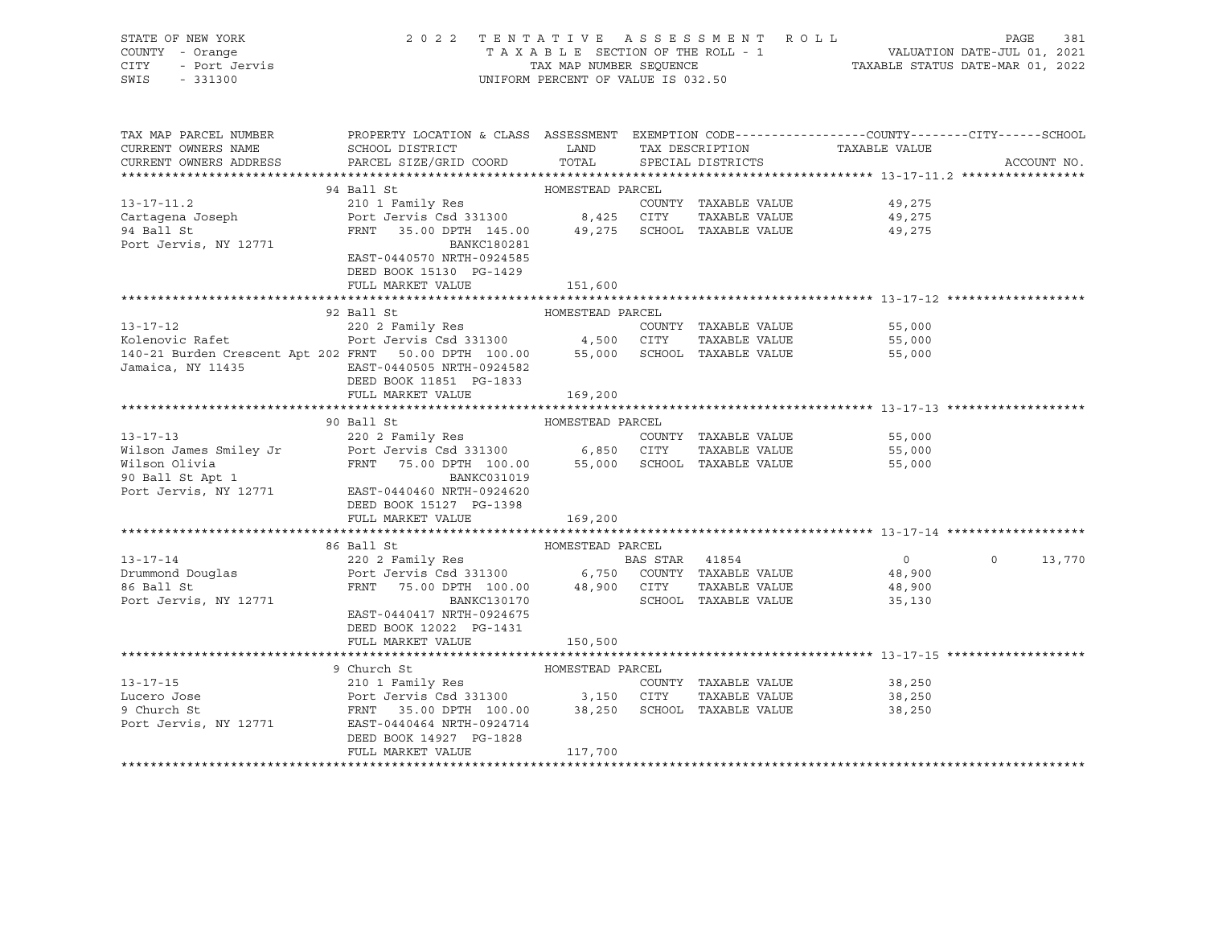| TAX MAP PARCEL NUMBER<br>PROPERTY LOCATION & CLASS ASSESSMENT EXEMPTION CODE----------------COUNTY--------CITY------SCHOOL<br>SCHOOL DISTRICT TAND TAX DESCRIPTION<br>CURRENT OWNERS NAME<br>TAXABLE VALUE<br>PARCEL SIZE/GRID COORD<br>TOTAL<br>CURRENT OWNERS ADDRESS<br>SPECIAL DISTRICTS<br>ACCOUNT NO.<br>94 Ball St<br>HOMESTEAD PARCEL<br>$13 - 17 - 11.2$<br>210 1 Family Res<br>COUNTY TAXABLE VALUE<br>49,275<br>Port Jervis Csd 331300 8,425 CITY TAXABLE VALUE<br>FRNT 35.00 DPTH 145.00 49,275 SCHOOL TAXABLE VALUE<br>Cartagena Joseph<br>94 Ball St<br>49,275<br>49,275<br>Port Jervis, NY 12771<br>BANKC180281<br>EAST-0440570 NRTH-0924585<br>DEED BOOK 15130 PG-1429<br>FULL MARKET VALUE<br>151,600<br>92 Ball St<br>HOMESTEAD PARCEL<br>220 2 Family Res<br>Port Jervis Csd 331300 4,500 CITY TAXABLE VALUE<br>$13 - 17 - 12$<br>55,000<br>Kolenovic Rafet<br>55,000<br>140-21 Burden Crescent Apt 202 FRNT 50.00 DPTH 100.00 55,000 SCHOOL TAXABLE VALUE<br>55,000<br>Jamaica, NY 11435<br>EAST-0440505 NRTH-0924582<br>DEED BOOK 11851 PG-1833<br>FULL MARKET VALUE<br>169,200<br>55,000<br>55,000<br>55,000<br>FULL MARKET VALUE<br>169,200<br>86 Ball St<br>HOMESTEAD PARCEL<br>220 2 Family Res 60 8 8 BAS STAR 41854<br>$13 - 17 - 14$<br>13,770<br>$\overline{0}$<br>$\Omega$<br>Port Jervis Csd 331300 6,750 COUNTY TAXABLE VALUE<br>FRNT 75.00 DPTH 100.00 48,900 CITY TAXABLE VALUE<br>Drummond Douglas<br>86 Ball St<br>48,900<br>86 Ball St<br>48,900<br>SCHOOL TAXABLE VALUE<br>Port Jervis, NY 12771<br>BANKC130170<br>35,130<br>EAST-0440417 NRTH-0924675<br>DEED BOOK 12022 PG-1431<br>FULL MARKET VALUE<br>150,500<br>HOMESTEAD PARCEL<br>9 Church St<br>210 1 Family Res<br>210 1 Family Res<br>Port Jervis Csd 331300 3,150 CITY TAXABLE VALUE<br>FRNT 35.00 DPTH 100.00 38,250 SCHOOL TAXABLE VALUE<br>$13 - 17 - 15$<br>38,250<br>Lucero Jose<br>38,250<br>9 Church St<br>38,250<br>Port Jervis, NY 12771 EAST-0440464 NRTH-0924714<br>DEED BOOK 14927 PG-1828 | STATE OF NEW YORK<br>COUNTY - Orange<br>CITY - Port Jervis<br>SWIS - 331300<br>SWIS - 331300 | 2022 TENTATIVE ASSESSMENT ROLL | UNIFORM PERCENT OF VALUE IS 032.50 |  | TENTATIVE ASSESSMENT ROLL<br>TAXABLE SECTION OF THE ROLL - 1 VALUATION DATE-JUL 01, 2021<br>TAX MAP NUMBER SEQUENCE TAXABLE STATUS DATE-MAR 01, 2022 |  |
|---------------------------------------------------------------------------------------------------------------------------------------------------------------------------------------------------------------------------------------------------------------------------------------------------------------------------------------------------------------------------------------------------------------------------------------------------------------------------------------------------------------------------------------------------------------------------------------------------------------------------------------------------------------------------------------------------------------------------------------------------------------------------------------------------------------------------------------------------------------------------------------------------------------------------------------------------------------------------------------------------------------------------------------------------------------------------------------------------------------------------------------------------------------------------------------------------------------------------------------------------------------------------------------------------------------------------------------------------------------------------------------------------------------------------------------------------------------------------------------------------------------------------------------------------------------------------------------------------------------------------------------------------------------------------------------------------------------------------------------------------------------------------------------------------------------------------------------------------------------------------------------------------------------------------------------------------------------------------------------------------------|----------------------------------------------------------------------------------------------|--------------------------------|------------------------------------|--|------------------------------------------------------------------------------------------------------------------------------------------------------|--|
|                                                                                                                                                                                                                                                                                                                                                                                                                                                                                                                                                                                                                                                                                                                                                                                                                                                                                                                                                                                                                                                                                                                                                                                                                                                                                                                                                                                                                                                                                                                                                                                                                                                                                                                                                                                                                                                                                                                                                                                                         |                                                                                              |                                |                                    |  |                                                                                                                                                      |  |
|                                                                                                                                                                                                                                                                                                                                                                                                                                                                                                                                                                                                                                                                                                                                                                                                                                                                                                                                                                                                                                                                                                                                                                                                                                                                                                                                                                                                                                                                                                                                                                                                                                                                                                                                                                                                                                                                                                                                                                                                         |                                                                                              |                                |                                    |  |                                                                                                                                                      |  |
|                                                                                                                                                                                                                                                                                                                                                                                                                                                                                                                                                                                                                                                                                                                                                                                                                                                                                                                                                                                                                                                                                                                                                                                                                                                                                                                                                                                                                                                                                                                                                                                                                                                                                                                                                                                                                                                                                                                                                                                                         |                                                                                              |                                |                                    |  |                                                                                                                                                      |  |
|                                                                                                                                                                                                                                                                                                                                                                                                                                                                                                                                                                                                                                                                                                                                                                                                                                                                                                                                                                                                                                                                                                                                                                                                                                                                                                                                                                                                                                                                                                                                                                                                                                                                                                                                                                                                                                                                                                                                                                                                         |                                                                                              |                                |                                    |  |                                                                                                                                                      |  |
|                                                                                                                                                                                                                                                                                                                                                                                                                                                                                                                                                                                                                                                                                                                                                                                                                                                                                                                                                                                                                                                                                                                                                                                                                                                                                                                                                                                                                                                                                                                                                                                                                                                                                                                                                                                                                                                                                                                                                                                                         |                                                                                              |                                |                                    |  |                                                                                                                                                      |  |
|                                                                                                                                                                                                                                                                                                                                                                                                                                                                                                                                                                                                                                                                                                                                                                                                                                                                                                                                                                                                                                                                                                                                                                                                                                                                                                                                                                                                                                                                                                                                                                                                                                                                                                                                                                                                                                                                                                                                                                                                         |                                                                                              |                                |                                    |  |                                                                                                                                                      |  |
|                                                                                                                                                                                                                                                                                                                                                                                                                                                                                                                                                                                                                                                                                                                                                                                                                                                                                                                                                                                                                                                                                                                                                                                                                                                                                                                                                                                                                                                                                                                                                                                                                                                                                                                                                                                                                                                                                                                                                                                                         |                                                                                              |                                |                                    |  |                                                                                                                                                      |  |
|                                                                                                                                                                                                                                                                                                                                                                                                                                                                                                                                                                                                                                                                                                                                                                                                                                                                                                                                                                                                                                                                                                                                                                                                                                                                                                                                                                                                                                                                                                                                                                                                                                                                                                                                                                                                                                                                                                                                                                                                         |                                                                                              |                                |                                    |  |                                                                                                                                                      |  |
|                                                                                                                                                                                                                                                                                                                                                                                                                                                                                                                                                                                                                                                                                                                                                                                                                                                                                                                                                                                                                                                                                                                                                                                                                                                                                                                                                                                                                                                                                                                                                                                                                                                                                                                                                                                                                                                                                                                                                                                                         |                                                                                              |                                |                                    |  |                                                                                                                                                      |  |
|                                                                                                                                                                                                                                                                                                                                                                                                                                                                                                                                                                                                                                                                                                                                                                                                                                                                                                                                                                                                                                                                                                                                                                                                                                                                                                                                                                                                                                                                                                                                                                                                                                                                                                                                                                                                                                                                                                                                                                                                         |                                                                                              |                                |                                    |  |                                                                                                                                                      |  |
|                                                                                                                                                                                                                                                                                                                                                                                                                                                                                                                                                                                                                                                                                                                                                                                                                                                                                                                                                                                                                                                                                                                                                                                                                                                                                                                                                                                                                                                                                                                                                                                                                                                                                                                                                                                                                                                                                                                                                                                                         |                                                                                              |                                |                                    |  |                                                                                                                                                      |  |
|                                                                                                                                                                                                                                                                                                                                                                                                                                                                                                                                                                                                                                                                                                                                                                                                                                                                                                                                                                                                                                                                                                                                                                                                                                                                                                                                                                                                                                                                                                                                                                                                                                                                                                                                                                                                                                                                                                                                                                                                         |                                                                                              |                                |                                    |  |                                                                                                                                                      |  |
|                                                                                                                                                                                                                                                                                                                                                                                                                                                                                                                                                                                                                                                                                                                                                                                                                                                                                                                                                                                                                                                                                                                                                                                                                                                                                                                                                                                                                                                                                                                                                                                                                                                                                                                                                                                                                                                                                                                                                                                                         |                                                                                              |                                |                                    |  |                                                                                                                                                      |  |
|                                                                                                                                                                                                                                                                                                                                                                                                                                                                                                                                                                                                                                                                                                                                                                                                                                                                                                                                                                                                                                                                                                                                                                                                                                                                                                                                                                                                                                                                                                                                                                                                                                                                                                                                                                                                                                                                                                                                                                                                         |                                                                                              |                                |                                    |  |                                                                                                                                                      |  |
|                                                                                                                                                                                                                                                                                                                                                                                                                                                                                                                                                                                                                                                                                                                                                                                                                                                                                                                                                                                                                                                                                                                                                                                                                                                                                                                                                                                                                                                                                                                                                                                                                                                                                                                                                                                                                                                                                                                                                                                                         |                                                                                              |                                |                                    |  |                                                                                                                                                      |  |
|                                                                                                                                                                                                                                                                                                                                                                                                                                                                                                                                                                                                                                                                                                                                                                                                                                                                                                                                                                                                                                                                                                                                                                                                                                                                                                                                                                                                                                                                                                                                                                                                                                                                                                                                                                                                                                                                                                                                                                                                         |                                                                                              |                                |                                    |  |                                                                                                                                                      |  |
|                                                                                                                                                                                                                                                                                                                                                                                                                                                                                                                                                                                                                                                                                                                                                                                                                                                                                                                                                                                                                                                                                                                                                                                                                                                                                                                                                                                                                                                                                                                                                                                                                                                                                                                                                                                                                                                                                                                                                                                                         |                                                                                              |                                |                                    |  |                                                                                                                                                      |  |
|                                                                                                                                                                                                                                                                                                                                                                                                                                                                                                                                                                                                                                                                                                                                                                                                                                                                                                                                                                                                                                                                                                                                                                                                                                                                                                                                                                                                                                                                                                                                                                                                                                                                                                                                                                                                                                                                                                                                                                                                         |                                                                                              |                                |                                    |  |                                                                                                                                                      |  |
|                                                                                                                                                                                                                                                                                                                                                                                                                                                                                                                                                                                                                                                                                                                                                                                                                                                                                                                                                                                                                                                                                                                                                                                                                                                                                                                                                                                                                                                                                                                                                                                                                                                                                                                                                                                                                                                                                                                                                                                                         |                                                                                              |                                |                                    |  |                                                                                                                                                      |  |
|                                                                                                                                                                                                                                                                                                                                                                                                                                                                                                                                                                                                                                                                                                                                                                                                                                                                                                                                                                                                                                                                                                                                                                                                                                                                                                                                                                                                                                                                                                                                                                                                                                                                                                                                                                                                                                                                                                                                                                                                         |                                                                                              |                                |                                    |  |                                                                                                                                                      |  |
|                                                                                                                                                                                                                                                                                                                                                                                                                                                                                                                                                                                                                                                                                                                                                                                                                                                                                                                                                                                                                                                                                                                                                                                                                                                                                                                                                                                                                                                                                                                                                                                                                                                                                                                                                                                                                                                                                                                                                                                                         |                                                                                              |                                |                                    |  |                                                                                                                                                      |  |
|                                                                                                                                                                                                                                                                                                                                                                                                                                                                                                                                                                                                                                                                                                                                                                                                                                                                                                                                                                                                                                                                                                                                                                                                                                                                                                                                                                                                                                                                                                                                                                                                                                                                                                                                                                                                                                                                                                                                                                                                         |                                                                                              |                                |                                    |  |                                                                                                                                                      |  |
|                                                                                                                                                                                                                                                                                                                                                                                                                                                                                                                                                                                                                                                                                                                                                                                                                                                                                                                                                                                                                                                                                                                                                                                                                                                                                                                                                                                                                                                                                                                                                                                                                                                                                                                                                                                                                                                                                                                                                                                                         |                                                                                              |                                |                                    |  |                                                                                                                                                      |  |
|                                                                                                                                                                                                                                                                                                                                                                                                                                                                                                                                                                                                                                                                                                                                                                                                                                                                                                                                                                                                                                                                                                                                                                                                                                                                                                                                                                                                                                                                                                                                                                                                                                                                                                                                                                                                                                                                                                                                                                                                         |                                                                                              |                                |                                    |  |                                                                                                                                                      |  |
|                                                                                                                                                                                                                                                                                                                                                                                                                                                                                                                                                                                                                                                                                                                                                                                                                                                                                                                                                                                                                                                                                                                                                                                                                                                                                                                                                                                                                                                                                                                                                                                                                                                                                                                                                                                                                                                                                                                                                                                                         |                                                                                              |                                |                                    |  |                                                                                                                                                      |  |
|                                                                                                                                                                                                                                                                                                                                                                                                                                                                                                                                                                                                                                                                                                                                                                                                                                                                                                                                                                                                                                                                                                                                                                                                                                                                                                                                                                                                                                                                                                                                                                                                                                                                                                                                                                                                                                                                                                                                                                                                         |                                                                                              |                                |                                    |  |                                                                                                                                                      |  |
|                                                                                                                                                                                                                                                                                                                                                                                                                                                                                                                                                                                                                                                                                                                                                                                                                                                                                                                                                                                                                                                                                                                                                                                                                                                                                                                                                                                                                                                                                                                                                                                                                                                                                                                                                                                                                                                                                                                                                                                                         |                                                                                              |                                |                                    |  |                                                                                                                                                      |  |
|                                                                                                                                                                                                                                                                                                                                                                                                                                                                                                                                                                                                                                                                                                                                                                                                                                                                                                                                                                                                                                                                                                                                                                                                                                                                                                                                                                                                                                                                                                                                                                                                                                                                                                                                                                                                                                                                                                                                                                                                         |                                                                                              |                                |                                    |  |                                                                                                                                                      |  |
|                                                                                                                                                                                                                                                                                                                                                                                                                                                                                                                                                                                                                                                                                                                                                                                                                                                                                                                                                                                                                                                                                                                                                                                                                                                                                                                                                                                                                                                                                                                                                                                                                                                                                                                                                                                                                                                                                                                                                                                                         |                                                                                              |                                |                                    |  |                                                                                                                                                      |  |
|                                                                                                                                                                                                                                                                                                                                                                                                                                                                                                                                                                                                                                                                                                                                                                                                                                                                                                                                                                                                                                                                                                                                                                                                                                                                                                                                                                                                                                                                                                                                                                                                                                                                                                                                                                                                                                                                                                                                                                                                         |                                                                                              |                                |                                    |  |                                                                                                                                                      |  |
|                                                                                                                                                                                                                                                                                                                                                                                                                                                                                                                                                                                                                                                                                                                                                                                                                                                                                                                                                                                                                                                                                                                                                                                                                                                                                                                                                                                                                                                                                                                                                                                                                                                                                                                                                                                                                                                                                                                                                                                                         |                                                                                              |                                |                                    |  |                                                                                                                                                      |  |
|                                                                                                                                                                                                                                                                                                                                                                                                                                                                                                                                                                                                                                                                                                                                                                                                                                                                                                                                                                                                                                                                                                                                                                                                                                                                                                                                                                                                                                                                                                                                                                                                                                                                                                                                                                                                                                                                                                                                                                                                         |                                                                                              |                                |                                    |  |                                                                                                                                                      |  |
|                                                                                                                                                                                                                                                                                                                                                                                                                                                                                                                                                                                                                                                                                                                                                                                                                                                                                                                                                                                                                                                                                                                                                                                                                                                                                                                                                                                                                                                                                                                                                                                                                                                                                                                                                                                                                                                                                                                                                                                                         |                                                                                              |                                |                                    |  |                                                                                                                                                      |  |
|                                                                                                                                                                                                                                                                                                                                                                                                                                                                                                                                                                                                                                                                                                                                                                                                                                                                                                                                                                                                                                                                                                                                                                                                                                                                                                                                                                                                                                                                                                                                                                                                                                                                                                                                                                                                                                                                                                                                                                                                         |                                                                                              |                                |                                    |  |                                                                                                                                                      |  |
|                                                                                                                                                                                                                                                                                                                                                                                                                                                                                                                                                                                                                                                                                                                                                                                                                                                                                                                                                                                                                                                                                                                                                                                                                                                                                                                                                                                                                                                                                                                                                                                                                                                                                                                                                                                                                                                                                                                                                                                                         |                                                                                              |                                |                                    |  |                                                                                                                                                      |  |
|                                                                                                                                                                                                                                                                                                                                                                                                                                                                                                                                                                                                                                                                                                                                                                                                                                                                                                                                                                                                                                                                                                                                                                                                                                                                                                                                                                                                                                                                                                                                                                                                                                                                                                                                                                                                                                                                                                                                                                                                         |                                                                                              |                                |                                    |  |                                                                                                                                                      |  |
|                                                                                                                                                                                                                                                                                                                                                                                                                                                                                                                                                                                                                                                                                                                                                                                                                                                                                                                                                                                                                                                                                                                                                                                                                                                                                                                                                                                                                                                                                                                                                                                                                                                                                                                                                                                                                                                                                                                                                                                                         |                                                                                              |                                |                                    |  |                                                                                                                                                      |  |
|                                                                                                                                                                                                                                                                                                                                                                                                                                                                                                                                                                                                                                                                                                                                                                                                                                                                                                                                                                                                                                                                                                                                                                                                                                                                                                                                                                                                                                                                                                                                                                                                                                                                                                                                                                                                                                                                                                                                                                                                         |                                                                                              |                                |                                    |  |                                                                                                                                                      |  |
|                                                                                                                                                                                                                                                                                                                                                                                                                                                                                                                                                                                                                                                                                                                                                                                                                                                                                                                                                                                                                                                                                                                                                                                                                                                                                                                                                                                                                                                                                                                                                                                                                                                                                                                                                                                                                                                                                                                                                                                                         |                                                                                              |                                |                                    |  |                                                                                                                                                      |  |
|                                                                                                                                                                                                                                                                                                                                                                                                                                                                                                                                                                                                                                                                                                                                                                                                                                                                                                                                                                                                                                                                                                                                                                                                                                                                                                                                                                                                                                                                                                                                                                                                                                                                                                                                                                                                                                                                                                                                                                                                         |                                                                                              |                                |                                    |  |                                                                                                                                                      |  |
|                                                                                                                                                                                                                                                                                                                                                                                                                                                                                                                                                                                                                                                                                                                                                                                                                                                                                                                                                                                                                                                                                                                                                                                                                                                                                                                                                                                                                                                                                                                                                                                                                                                                                                                                                                                                                                                                                                                                                                                                         |                                                                                              |                                |                                    |  |                                                                                                                                                      |  |
|                                                                                                                                                                                                                                                                                                                                                                                                                                                                                                                                                                                                                                                                                                                                                                                                                                                                                                                                                                                                                                                                                                                                                                                                                                                                                                                                                                                                                                                                                                                                                                                                                                                                                                                                                                                                                                                                                                                                                                                                         |                                                                                              |                                |                                    |  |                                                                                                                                                      |  |
| 117,700<br>FULL MARKET VALUE                                                                                                                                                                                                                                                                                                                                                                                                                                                                                                                                                                                                                                                                                                                                                                                                                                                                                                                                                                                                                                                                                                                                                                                                                                                                                                                                                                                                                                                                                                                                                                                                                                                                                                                                                                                                                                                                                                                                                                            |                                                                                              |                                |                                    |  |                                                                                                                                                      |  |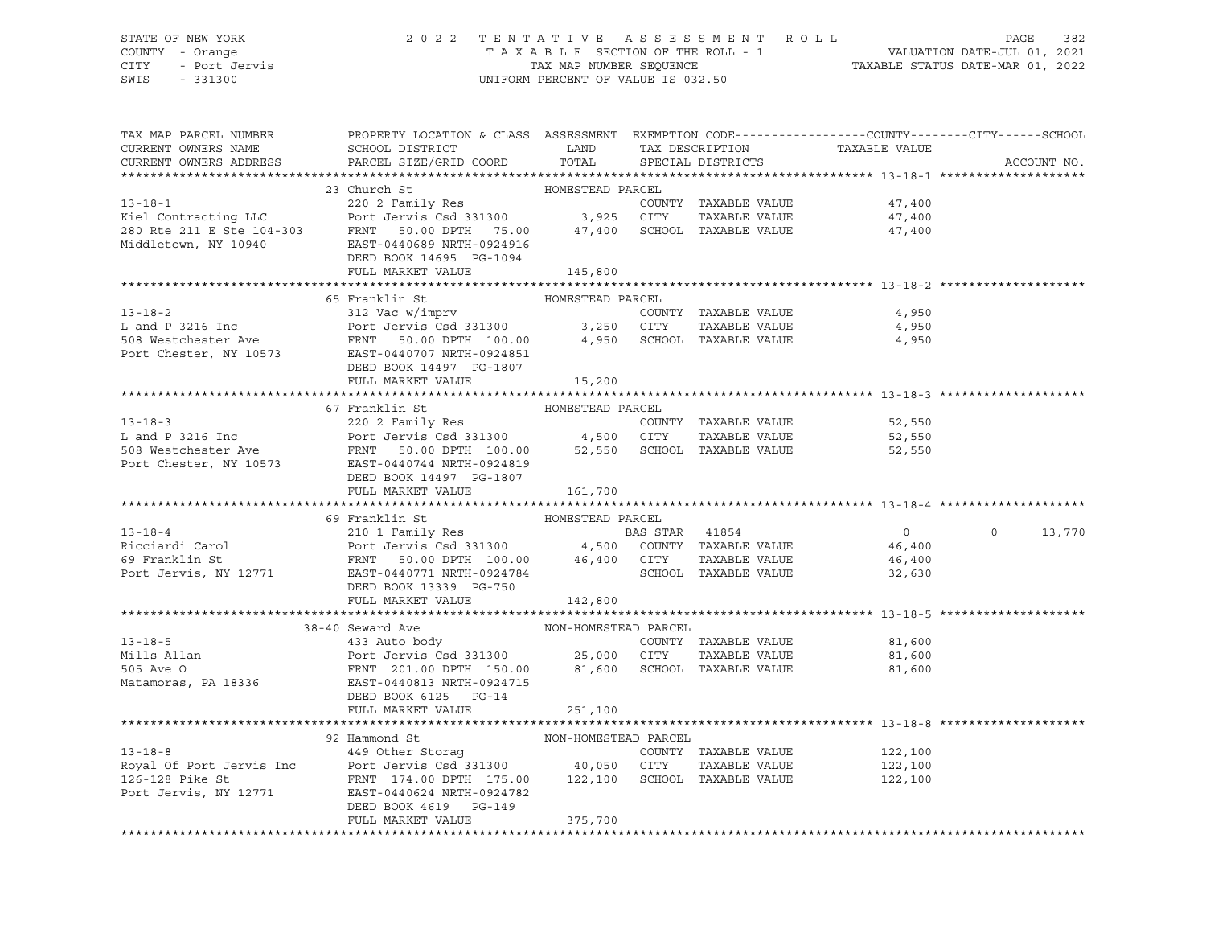# STATE OF NEW YORK 2 0 2 2 T E N T A T I V E A S S E S S M E N T R O L L PAGE 382 COUNTY - Orange T A X A B L E SECTION OF THE ROLL - 1 VALUATION DATE-JUL 01, 2021 CITY - Port Jervis TAX MAP NUMBER SEQUENCE TAXABLE STATUS DATE-MAR 01, 2022

| TAX MAP PARCEL NUMBER<br>CURRENT OWNERS NAME<br>CURRENT OWNERS ADDRESS | PROPERTY LOCATION & CLASS ASSESSMENT EXEMPTION CODE---------------COUNTY-------CITY------SCHOOL<br>SCHOOL DISTRICT LAND<br>PARCEL SIZE/GRID COORD                                                                                                                    | TOTAL                | TAX DESCRIPTION<br>SPECIAL DISTRICTS | TAXABLE VALUE               | ACCOUNT NO.   |
|------------------------------------------------------------------------|----------------------------------------------------------------------------------------------------------------------------------------------------------------------------------------------------------------------------------------------------------------------|----------------------|--------------------------------------|-----------------------------|---------------|
|                                                                        |                                                                                                                                                                                                                                                                      |                      |                                      |                             |               |
|                                                                        | HOWESTEAD PARCEL<br>220 2 Family Res<br>220 2 Family Res<br>230 2 Family Res<br>230 2 Family Res<br>220 2 Family Res<br>220 2 Family Res<br>220 2 Family Res<br>220 2 Family Res<br>220 2 Family Res<br>220 2 Family Res<br>220 3,925 CITY TAXABLE V                 |                      |                                      |                             |               |
|                                                                        |                                                                                                                                                                                                                                                                      |                      |                                      |                             |               |
|                                                                        |                                                                                                                                                                                                                                                                      |                      |                                      |                             |               |
|                                                                        |                                                                                                                                                                                                                                                                      |                      |                                      |                             |               |
|                                                                        |                                                                                                                                                                                                                                                                      |                      |                                      |                             |               |
|                                                                        | DEED BOOK 14695 PG-1094                                                                                                                                                                                                                                              |                      |                                      |                             |               |
|                                                                        | FULL MARKET VALUE                                                                                                                                                                                                                                                    | 145,800              |                                      |                             |               |
|                                                                        |                                                                                                                                                                                                                                                                      |                      |                                      |                             |               |
|                                                                        | 65 Franklin St                                                                                                                                                                                                                                                       | HOMESTEAD PARCEL     |                                      |                             |               |
| $13 - 18 - 2$                                                          | 312 Vac w/imprv                                                                                                                                                                                                                                                      |                      | COUNTY TAXABLE VALUE                 | 4,950                       |               |
|                                                                        |                                                                                                                                                                                                                                                                      |                      | TAXABLE VALUE                        | 4,950                       |               |
|                                                                        | L and P 3216 Inc<br>L and P 3216 Inc<br>FRNT 50.00 DPTH 100.00 3,250 CITY TAXABLE VALUE<br>Port Chester, NY 10573 EAST-0440707 NRTH-0924851<br>EAST-0440707 NRTH-0924851                                                                                             |                      |                                      | 4,950                       |               |
|                                                                        |                                                                                                                                                                                                                                                                      |                      |                                      |                             |               |
|                                                                        | DEED BOOK 14497 PG-1807                                                                                                                                                                                                                                              |                      |                                      |                             |               |
|                                                                        | FULL MARKET VALUE                                                                                                                                                                                                                                                    | 15,200               |                                      |                             |               |
|                                                                        |                                                                                                                                                                                                                                                                      |                      |                                      |                             |               |
|                                                                        | 67 Franklin St<br>13-18-3<br>13-18-3<br>L and P 3216 Inc<br>508 Westchester Ave FRNT<br>FRNT 50.00 DPTH 100.00<br>FRNT 50.00 DPTH 100.00<br>52,550 SCHOOL TAXABLE VALUE<br>FRNT 50.00 DPTH 100.00<br>52,550 SCHOOL TAXABLE VALUE<br>FRNT 50.00 DPTH 100.00<br>FRNT 5 | HOMESTEAD PARCEL     |                                      |                             |               |
|                                                                        |                                                                                                                                                                                                                                                                      |                      |                                      | 52,550                      |               |
|                                                                        |                                                                                                                                                                                                                                                                      |                      |                                      | 52,550                      |               |
|                                                                        |                                                                                                                                                                                                                                                                      |                      |                                      | 52,550                      |               |
|                                                                        |                                                                                                                                                                                                                                                                      |                      |                                      |                             |               |
|                                                                        | DEED BOOK 14497 PG-1807                                                                                                                                                                                                                                              |                      |                                      |                             |               |
|                                                                        | FULL MARKET VALUE                                                                                                                                                                                                                                                    | 161,700              |                                      |                             |               |
|                                                                        |                                                                                                                                                                                                                                                                      |                      |                                      |                             |               |
| $13 - 18 - 4$                                                          | 69 Franklin St                                                                                                                                                                                                                                                       |                      |                                      |                             |               |
|                                                                        |                                                                                                                                                                                                                                                                      |                      |                                      | $\overline{0}$              | $0 \t 13,770$ |
|                                                                        |                                                                                                                                                                                                                                                                      |                      |                                      | 46,400                      |               |
|                                                                        |                                                                                                                                                                                                                                                                      |                      |                                      | 46,400                      |               |
|                                                                        | DEED BOOK 13339 PG-750                                                                                                                                                                                                                                               |                      |                                      | SCHOOL TAXABLE VALUE 32,630 |               |
|                                                                        | FULL MARKET VALUE                                                                                                                                                                                                                                                    |                      |                                      |                             |               |
|                                                                        |                                                                                                                                                                                                                                                                      | 142,800              |                                      |                             |               |
|                                                                        | 38-40 Seward Ave                                                                                                                                                                                                                                                     | NON-HOMESTEAD PARCEL |                                      |                             |               |
| $13 - 18 - 5$                                                          |                                                                                                                                                                                                                                                                      |                      |                                      |                             |               |
| Mills Allan                                                            | 433 Auto body<br>433 Auto body<br>Port Jervis Csd 331300 25,000 CITY TAXABLE VALUE<br>FRNT 201.00 DPTH 150.00 81,600 SCHOOL TAXABLE VALUE 81,600<br>81,600                                                                                                           |                      |                                      |                             |               |
| 505 Ave 0                                                              |                                                                                                                                                                                                                                                                      |                      |                                      |                             |               |
|                                                                        | Matamoras, PA 18336 EAST-0440813 NRTH-0924715                                                                                                                                                                                                                        |                      |                                      |                             |               |
|                                                                        | DEED BOOK 6125 PG-14                                                                                                                                                                                                                                                 |                      |                                      |                             |               |
|                                                                        | FULL MARKET VALUE                                                                                                                                                                                                                                                    | 251,100              |                                      |                             |               |
|                                                                        |                                                                                                                                                                                                                                                                      |                      |                                      |                             |               |
|                                                                        | 92 Hammond St                                                                                                                                                                                                                                                        | NON-HOMESTEAD PARCEL |                                      |                             |               |
|                                                                        |                                                                                                                                                                                                                                                                      |                      |                                      | 122,100                     |               |
|                                                                        |                                                                                                                                                                                                                                                                      |                      |                                      | 122,100                     |               |
|                                                                        | 13-18-8 (COUNTY TAXABLE VALUE)<br>Royal Of Port Jervis Inc Port Jervis Csd 331300 (179 - 179 100 111 1420 126-128 Pike St (179 126-128 Pike St                                                                                                                       |                      |                                      | 122,100                     |               |
|                                                                        | Port Jervis, NY 12771 EAST-0440624 NRTH-0924782                                                                                                                                                                                                                      |                      |                                      |                             |               |
|                                                                        | DEED BOOK 4619 PG-149                                                                                                                                                                                                                                                |                      |                                      |                             |               |
|                                                                        | FULL MARKET VALUE                                                                                                                                                                                                                                                    | 375,700              |                                      |                             |               |
|                                                                        |                                                                                                                                                                                                                                                                      |                      |                                      |                             |               |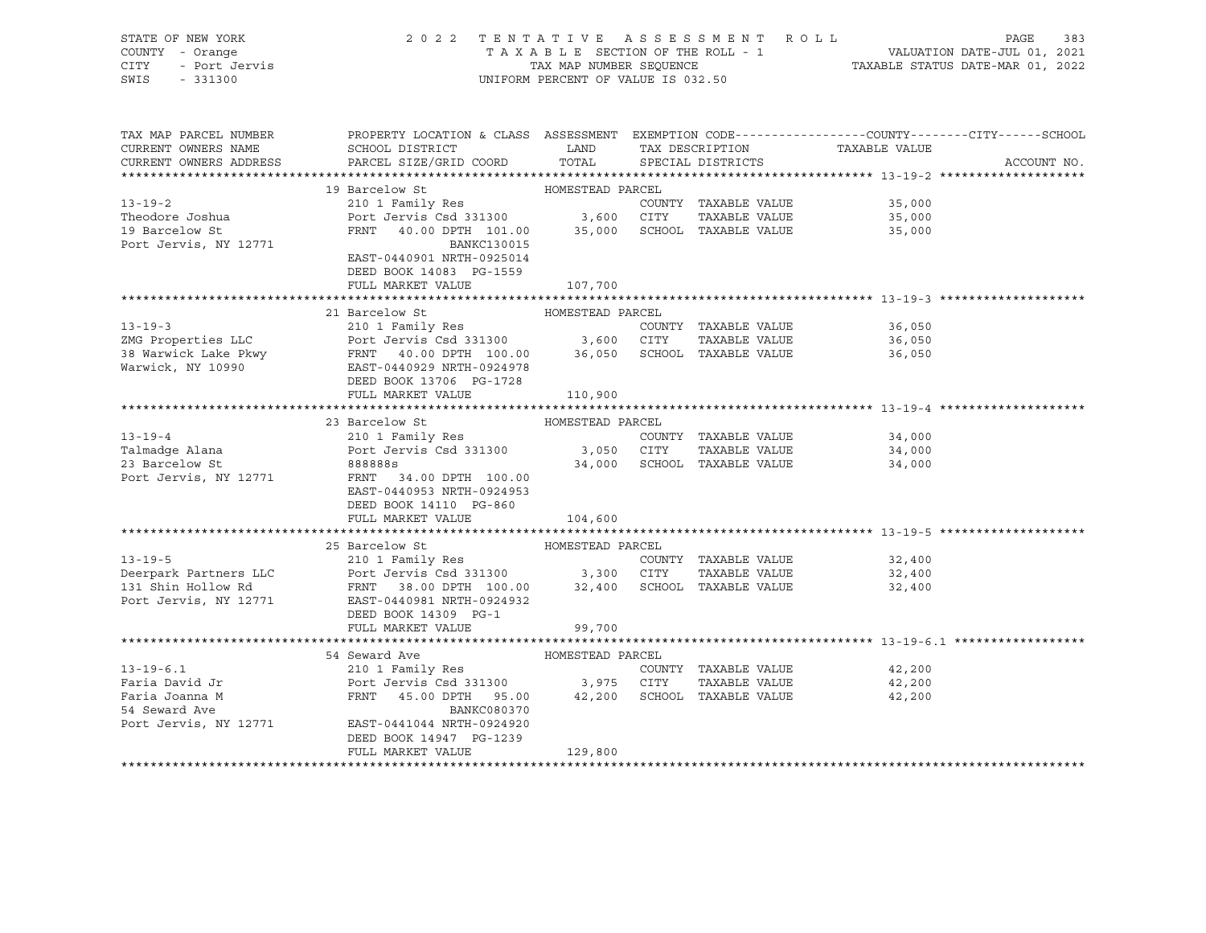| STATE OF NEW YORK<br>COUNTY - Orange<br>CITY<br>- Port Jervis<br>SWIS<br>$-331300$ | 2022 TENTATIVE ASSESSMENT ROLL                                                                | UNIFORM PERCENT OF VALUE IS 032.50 |                                      | PAGE<br>T A X A B L E SECTION OF THE ROLL - 1<br>T A X A B L E SECTION OF THE ROLL - 1<br>TAXABLE STATUS DATE-MAR 01, 2022 | 383         |
|------------------------------------------------------------------------------------|-----------------------------------------------------------------------------------------------|------------------------------------|--------------------------------------|----------------------------------------------------------------------------------------------------------------------------|-------------|
| TAX MAP PARCEL NUMBER<br>CURRENT OWNERS NAME<br>CURRENT OWNERS ADDRESS             | SCHOOL DISTRICT<br>PARCEL SIZE/GRID COORD                                                     | LAND<br>TOTAL                      | TAX DESCRIPTION<br>SPECIAL DISTRICTS | PROPERTY LOCATION & CLASS ASSESSMENT EXEMPTION CODE---------------COUNTY-------CITY------SCHOOL<br>TAXABLE VALUE           | ACCOUNT NO. |
|                                                                                    |                                                                                               |                                    |                                      |                                                                                                                            |             |
|                                                                                    | 19 Barcelow St                                                                                | HOMESTEAD PARCEL                   |                                      |                                                                                                                            |             |
| $13 - 19 - 2$                                                                      | 210 1 Family Res                                                                              |                                    | COUNTY TAXABLE VALUE                 | 35,000                                                                                                                     |             |
| Theodore Joshua                                                                    | Port Jervis Csd 331300 3,600 CITY TAXABLE VALUE                                               |                                    |                                      | 35,000                                                                                                                     |             |
| 19 Barcelow St<br>Port Jervis, NY 12771                                            | FRNT 40.00 DPTH 101.00<br>BANKC130015<br>EAST-0440901 NRTH-0925014<br>DEED BOOK 14083 PG-1559 |                                    | 35,000 SCHOOL TAXABLE VALUE          | 35,000                                                                                                                     |             |
|                                                                                    | FULL MARKET VALUE                                                                             | 107,700                            |                                      |                                                                                                                            |             |
|                                                                                    |                                                                                               |                                    |                                      |                                                                                                                            |             |
|                                                                                    | 21 Barcelow St                                                                                | HOMESTEAD PARCEL                   |                                      |                                                                                                                            |             |
| $13 - 19 - 3$                                                                      | 210 1 Family Res<br>Port Jervis Csd 331300 3,600 CITY                                         |                                    | COUNTY TAXABLE VALUE                 | 36,050                                                                                                                     |             |
| ZMG Properties LLC                                                                 |                                                                                               |                                    | TAXABLE VALUE                        | 36,050                                                                                                                     |             |
| 38 Warwick Lake Pkwy<br>Warwick, NY 10990                                          | FRNT 40.00 DPTH 100.00 36,050<br>EAST-0440929 NRTH-0924978<br>DEED BOOK 13706 PG-1728         |                                    | SCHOOL TAXABLE VALUE                 | 36,050                                                                                                                     |             |
|                                                                                    | FULL MARKET VALUE                                                                             | 110,900                            |                                      |                                                                                                                            |             |
|                                                                                    | 23 Barcelow St                                                                                | HOMESTEAD PARCEL                   |                                      |                                                                                                                            |             |
| $13 - 19 - 4$                                                                      | 210 1 Family Res                                                                              |                                    | COUNTY TAXABLE VALUE                 | 34,000                                                                                                                     |             |
| Talmadge Alana                                                                     | Port Jervis Csd 331300 3,050 CITY                                                             |                                    | TAXABLE VALUE                        | 34,000                                                                                                                     |             |
| 23 Barcelow St                                                                     | 8888885                                                                                       |                                    | 34,000 SCHOOL TAXABLE VALUE          | 34,000                                                                                                                     |             |
| Port Jervis, NY 12771                                                              | FRNT 34.00 DPTH 100.00<br>EAST-0440953 NRTH-0924953<br>DEED BOOK 14110 PG-860                 |                                    |                                      |                                                                                                                            |             |
|                                                                                    | FULL MARKET VALUE                                                                             | 104,600                            |                                      |                                                                                                                            |             |
|                                                                                    | 25 Barcelow St                                                                                | HOMESTEAD PARCEL                   |                                      |                                                                                                                            |             |
| $13 - 19 - 5$                                                                      | 210 1 Family Res                                                                              |                                    | COUNTY TAXABLE VALUE                 | 32,400                                                                                                                     |             |
| Deerpark Partners LLC                                                              | Port Jervis Csd 331300 3,300 CITY                                                             |                                    | TAXABLE VALUE                        | 32,400                                                                                                                     |             |
| 131 Shin Hollow Rd<br>Port Jervis, NY 12771                                        | FRNT 38.00 DPTH 100.00 32,400<br>EAST-0440981 NRTH-0924932                                    |                                    | SCHOOL TAXABLE VALUE                 | 32,400                                                                                                                     |             |
|                                                                                    | DEED BOOK 14309 PG-1                                                                          |                                    |                                      |                                                                                                                            |             |
|                                                                                    | FULL MARKET VALUE                                                                             | 99,700                             |                                      |                                                                                                                            |             |
|                                                                                    |                                                                                               |                                    |                                      |                                                                                                                            |             |
|                                                                                    | 54 Seward Ave                                                                                 | HOMESTEAD PARCEL                   |                                      |                                                                                                                            |             |
| $13 - 19 - 6.1$<br>Faria David Jr                                                  | 210 1 Family Res                                                                              |                                    | COUNTY TAXABLE VALUE                 | 42,200                                                                                                                     |             |
| Faria Joanna M                                                                     | Port Jervis Csd 331300 3,975 CITY<br>FRNT<br>45.00 DPTH 95.00                                 |                                    | TAXABLE VALUE                        | 42,200<br>42,200                                                                                                           |             |
| 54 Seward Ave                                                                      | BANKC080370                                                                                   |                                    | 42,200 SCHOOL TAXABLE VALUE          |                                                                                                                            |             |
| Port Jervis, NY 12771                                                              | EAST-0441044 NRTH-0924920                                                                     |                                    |                                      |                                                                                                                            |             |
|                                                                                    | DEED BOOK 14947 PG-1239<br>FULL MARKET VALUE                                                  | 129,800                            |                                      |                                                                                                                            |             |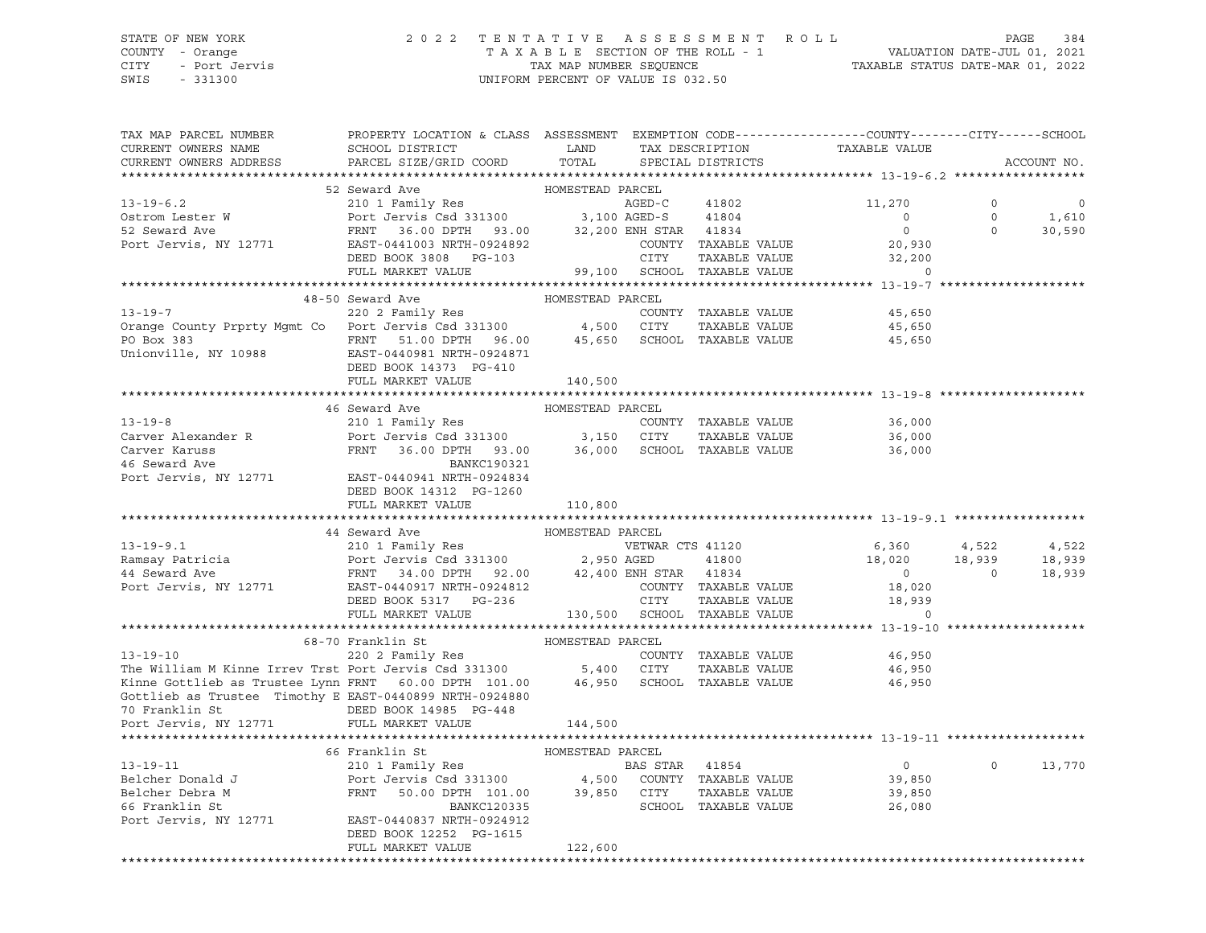## STATE OF NEW YORK 2 0 2 2 T E N T A T I V E A S S E S S M E N T R O L L PAGE 384 COUNTY - Orange T A X A B L E SECTION OF THE ROLL - 1 VALUATION DATE-JUL 01, 2021 CITY - Port Jervis TAX MAP NUMBER SEQUENCE TAXABLE STATUS DATE-MAR 01, 2022 SWIS - 331300 UNIFORM PERCENT OF VALUE IS 032.50

| TAX MAP PARCEL NUMBER<br>CURRENT OWNERS NAME<br>CURRENT OWNERS ADDRESS                                                                                                                                                                                                                                                                                                                                                                                            | PROPERTY LOCATION & CLASS ASSESSMENT EXEMPTION CODE---------------COUNTY-------CITY------SCHOOL<br>SCHOOL DISTRICT LAND TAX DESCRIPTION<br>PARCEL SIZE/GRID COORD TOTAL SPECIAL DISTRICTS |                  |  | TAXABLE VALUE                                                                                                        |         | ACCOUNT NO.           |
|-------------------------------------------------------------------------------------------------------------------------------------------------------------------------------------------------------------------------------------------------------------------------------------------------------------------------------------------------------------------------------------------------------------------------------------------------------------------|-------------------------------------------------------------------------------------------------------------------------------------------------------------------------------------------|------------------|--|----------------------------------------------------------------------------------------------------------------------|---------|-----------------------|
|                                                                                                                                                                                                                                                                                                                                                                                                                                                                   |                                                                                                                                                                                           |                  |  |                                                                                                                      |         |                       |
|                                                                                                                                                                                                                                                                                                                                                                                                                                                                   | 52 Seward Ave                                                                                                                                                                             | HOMESTEAD PARCEL |  |                                                                                                                      |         |                       |
| 33-19-6.2<br>Ostrom Lester W<br>52 Seward Ave Port Jervis Csd 331300<br>52 Seward Ave FRNT 36.00 DPTH 93.00<br>Port Jervis, NY 12771<br>EAST-0441003 NRTH-0924892<br>DEED BOOK 38,200 ENH STAR 41834<br>DEED BOOK 38,200 ENH STAR 41834<br>COU                                                                                                                                                                                                                    |                                                                                                                                                                                           |                  |  | 11,270                                                                                                               | $\circ$ | $\mathbf{0}$          |
|                                                                                                                                                                                                                                                                                                                                                                                                                                                                   |                                                                                                                                                                                           |                  |  | $\overline{0}$                                                                                                       |         | $0$ 1,610<br>0 30,590 |
|                                                                                                                                                                                                                                                                                                                                                                                                                                                                   |                                                                                                                                                                                           |                  |  | $\overline{0}$                                                                                                       |         |                       |
|                                                                                                                                                                                                                                                                                                                                                                                                                                                                   |                                                                                                                                                                                           |                  |  |                                                                                                                      |         |                       |
|                                                                                                                                                                                                                                                                                                                                                                                                                                                                   | FULL MARKET VALUE                                                                                                                                                                         |                  |  | 32,200 ENH STAR 41834 0<br>COUNTY TAXABLE VALUE 20,930<br>CITY TAXABLE VALUE 32,200<br>99,100 SCHOOL TAXABLE VALUE 0 |         |                       |
|                                                                                                                                                                                                                                                                                                                                                                                                                                                                   |                                                                                                                                                                                           |                  |  |                                                                                                                      |         |                       |
| 13-19-7<br>220 2 Family Res<br>220 2 Family Res<br>220 2 Family Res<br>220 2 Family Res<br>220 2 Family Res<br>220 2 Family Res<br>220 2 Family Res<br>220 2 Family Res<br>220 2 Family Res<br>220 2 Family Res<br>220 2 Family Res<br>220 2 Family Re                                                                                                                                                                                                            |                                                                                                                                                                                           |                  |  |                                                                                                                      |         |                       |
|                                                                                                                                                                                                                                                                                                                                                                                                                                                                   |                                                                                                                                                                                           |                  |  | 45,650                                                                                                               |         |                       |
|                                                                                                                                                                                                                                                                                                                                                                                                                                                                   |                                                                                                                                                                                           |                  |  | TAXABLE VALUE 45,650                                                                                                 |         |                       |
|                                                                                                                                                                                                                                                                                                                                                                                                                                                                   |                                                                                                                                                                                           |                  |  | 45,650                                                                                                               |         |                       |
|                                                                                                                                                                                                                                                                                                                                                                                                                                                                   |                                                                                                                                                                                           |                  |  |                                                                                                                      |         |                       |
|                                                                                                                                                                                                                                                                                                                                                                                                                                                                   |                                                                                                                                                                                           |                  |  |                                                                                                                      |         |                       |
|                                                                                                                                                                                                                                                                                                                                                                                                                                                                   | FULL MARKET VALUE                                                                                                                                                                         | 140,500          |  |                                                                                                                      |         |                       |
|                                                                                                                                                                                                                                                                                                                                                                                                                                                                   |                                                                                                                                                                                           |                  |  |                                                                                                                      |         |                       |
| 13-19-8<br>Carver Alexander R<br>Carver Karuss (210 1 Family Res<br>Carver Karuss (210 1 Family Res<br>Carver Karuss (210 1 Family Res<br>Port Jervis Csd 331300 3,150 CITY TAXABLE VALUE<br>26,000 SCHOOL TAXABLE VALUE<br>26,000 SCHOOL TA                                                                                                                                                                                                                      | 46 Seward Ave                                                                                                                                                                             | HOMESTEAD PARCEL |  |                                                                                                                      |         |                       |
|                                                                                                                                                                                                                                                                                                                                                                                                                                                                   |                                                                                                                                                                                           |                  |  |                                                                                                                      |         |                       |
|                                                                                                                                                                                                                                                                                                                                                                                                                                                                   |                                                                                                                                                                                           |                  |  |                                                                                                                      |         |                       |
|                                                                                                                                                                                                                                                                                                                                                                                                                                                                   |                                                                                                                                                                                           |                  |  |                                                                                                                      |         |                       |
|                                                                                                                                                                                                                                                                                                                                                                                                                                                                   |                                                                                                                                                                                           |                  |  |                                                                                                                      |         |                       |
|                                                                                                                                                                                                                                                                                                                                                                                                                                                                   |                                                                                                                                                                                           |                  |  |                                                                                                                      |         |                       |
|                                                                                                                                                                                                                                                                                                                                                                                                                                                                   | DEED BOOK 14312 PG-1260                                                                                                                                                                   |                  |  |                                                                                                                      |         |                       |
|                                                                                                                                                                                                                                                                                                                                                                                                                                                                   | FULL MARKET VALUE                                                                                                                                                                         | 110,800          |  |                                                                                                                      |         |                       |
|                                                                                                                                                                                                                                                                                                                                                                                                                                                                   |                                                                                                                                                                                           |                  |  |                                                                                                                      |         |                       |
|                                                                                                                                                                                                                                                                                                                                                                                                                                                                   |                                                                                                                                                                                           |                  |  |                                                                                                                      |         |                       |
|                                                                                                                                                                                                                                                                                                                                                                                                                                                                   |                                                                                                                                                                                           |                  |  |                                                                                                                      |         |                       |
|                                                                                                                                                                                                                                                                                                                                                                                                                                                                   |                                                                                                                                                                                           |                  |  |                                                                                                                      |         |                       |
|                                                                                                                                                                                                                                                                                                                                                                                                                                                                   |                                                                                                                                                                                           |                  |  |                                                                                                                      |         |                       |
|                                                                                                                                                                                                                                                                                                                                                                                                                                                                   |                                                                                                                                                                                           |                  |  |                                                                                                                      |         |                       |
| $\begin{tabular}{cccccc} \textbf{13--19--9.1} & \textbf{44} \textbf{Seward Ave} & \textbf{HOMESTEAD PARCHL} \\ \textbf{13--19--9.1} & \textbf{210 1 Family Res} & \textbf{VETWAR} CTS & 41120 & 6,360 & 4,522 & 4,522 \\ \textbf{Ramsay Patricia} & \textbf{Port Jervis Csd 331300} & 2,950 AGED & 41800 & 18,020 & 18,939 & 18,939 \\ \textbf{44} \textbf{Seward Ave} & \textbf{FRNT} & 34.0$                                                                    |                                                                                                                                                                                           |                  |  |                                                                                                                      |         |                       |
|                                                                                                                                                                                                                                                                                                                                                                                                                                                                   |                                                                                                                                                                                           |                  |  |                                                                                                                      |         |                       |
| 68-70 Franklin St<br>2002 Family Res<br>The William M Kinne Irrev Trst Port Jervis Csd 331300<br>2002 Family Res<br>2002 Family Res<br>2002 Family Res<br>5,400 CITY TAXABLE VALUE<br>26,950<br>26,950<br>26,950<br>26,950<br>26,950<br>26,950<br>26,950                                                                                                                                                                                                          |                                                                                                                                                                                           |                  |  |                                                                                                                      |         |                       |
|                                                                                                                                                                                                                                                                                                                                                                                                                                                                   |                                                                                                                                                                                           |                  |  |                                                                                                                      |         |                       |
|                                                                                                                                                                                                                                                                                                                                                                                                                                                                   |                                                                                                                                                                                           |                  |  |                                                                                                                      |         |                       |
|                                                                                                                                                                                                                                                                                                                                                                                                                                                                   |                                                                                                                                                                                           |                  |  |                                                                                                                      |         |                       |
| Gottlieb as Trustee Timothy E EAST-0440899 NRTH-0924880                                                                                                                                                                                                                                                                                                                                                                                                           |                                                                                                                                                                                           |                  |  |                                                                                                                      |         |                       |
| 70 Franklin St<br>Port Jervis, NY 12771 PULL MARKET VALUE                                                                                                                                                                                                                                                                                                                                                                                                         |                                                                                                                                                                                           |                  |  |                                                                                                                      |         |                       |
|                                                                                                                                                                                                                                                                                                                                                                                                                                                                   | FULL MARKET VALUE                                                                                                                                                                         | 144,500          |  |                                                                                                                      |         |                       |
|                                                                                                                                                                                                                                                                                                                                                                                                                                                                   |                                                                                                                                                                                           |                  |  |                                                                                                                      |         |                       |
|                                                                                                                                                                                                                                                                                                                                                                                                                                                                   |                                                                                                                                                                                           |                  |  |                                                                                                                      |         |                       |
|                                                                                                                                                                                                                                                                                                                                                                                                                                                                   |                                                                                                                                                                                           |                  |  | 39,850                                                                                                               |         | $0 \t 0 \t 13,770$    |
| ${\small \begin{tabular}{lcccc} \texttt{13--19--11} & \texttt{66 Franklin St} & \texttt{HOMESTEAD} & \texttt{PARCEL} & \texttt{BRACEL} \\ \texttt{Belcher Donald J} & \texttt{210 1 Family Res} & \texttt{BAS STAR} & \texttt{41854} \\ \texttt{Belcher Debra M} & \texttt{Port Jervis Csd 331300} & \texttt{4,500} & \texttt{COUNTY} & \texttt{TAXABLE VALUE} \\ \texttt{66 Franklin St} & \texttt{FRNT} & \texttt{50.00 DPTH} & \texttt{101.00} & \texttt{39,8$ |                                                                                                                                                                                           |                  |  | TAXABLE VALUE 39,850                                                                                                 |         |                       |
|                                                                                                                                                                                                                                                                                                                                                                                                                                                                   |                                                                                                                                                                                           |                  |  | 26,080                                                                                                               |         |                       |
|                                                                                                                                                                                                                                                                                                                                                                                                                                                                   |                                                                                                                                                                                           |                  |  |                                                                                                                      |         |                       |
|                                                                                                                                                                                                                                                                                                                                                                                                                                                                   | DEED BOOK 12252 PG-1615                                                                                                                                                                   |                  |  |                                                                                                                      |         |                       |
|                                                                                                                                                                                                                                                                                                                                                                                                                                                                   | FULL MARKET VALUE                                                                                                                                                                         | 122,600          |  |                                                                                                                      |         |                       |
|                                                                                                                                                                                                                                                                                                                                                                                                                                                                   |                                                                                                                                                                                           |                  |  |                                                                                                                      |         |                       |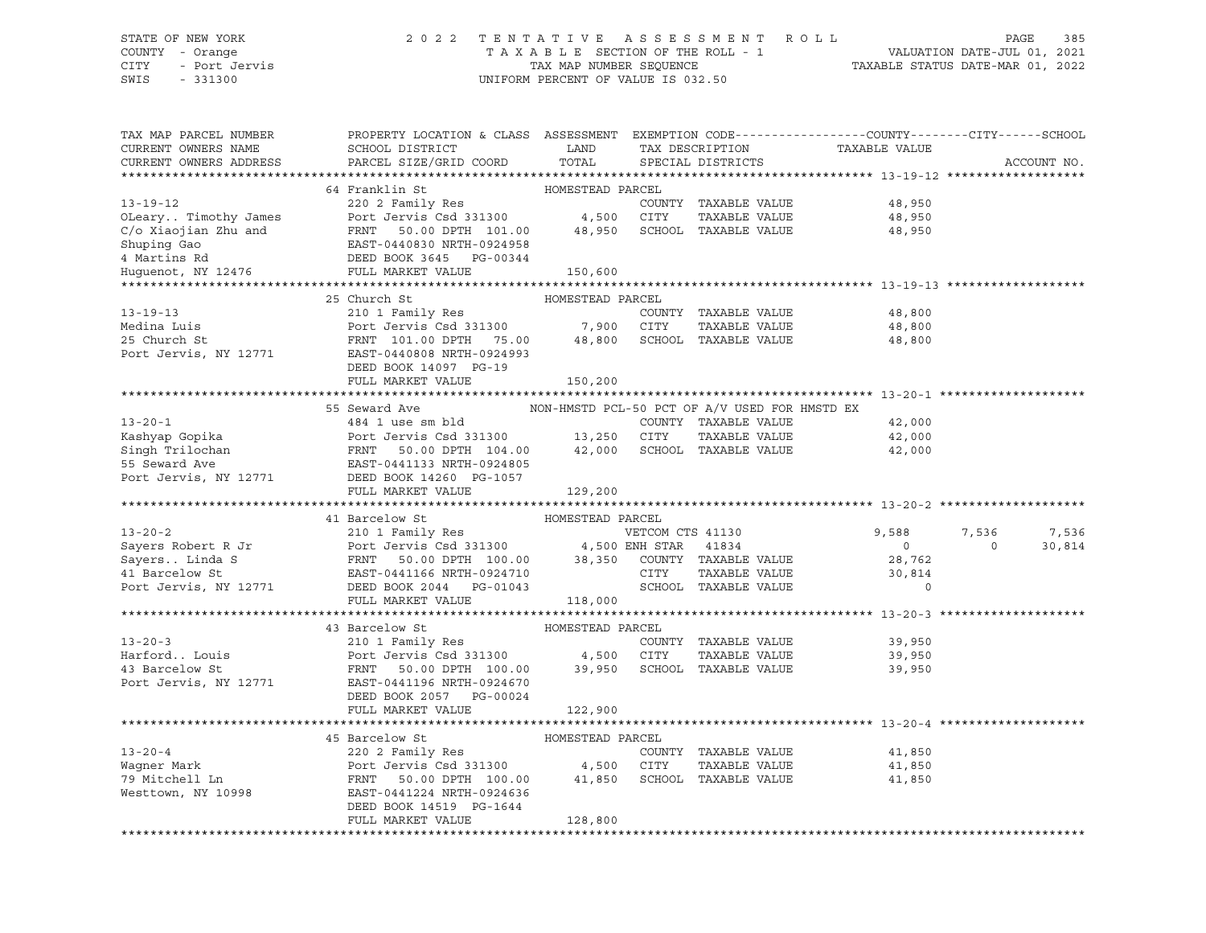## STATE OF NEW YORK 2 0 2 2 T E N T A T I V E A S S E S S M E N T R O L L PAGE 385 COUNTY - Orange T A X A B L E SECTION OF THE ROLL - 1 VALUATION DATE-JUL 01, 2021 CITY - Port Jervis TAX MAP NUMBER SEQUENCE TAXABLE STATUS DATE-MAR 01, 2022

| TAX MAP PARCEL NUMBER<br>CURRENT OWNERS NAME<br>CURRENT OWNERS ADDRESS                                                                                                                                              | PROPERTY LOCATION & CLASS ASSESSMENT EXEMPTION CODE----------------COUNTY-------CITY------SCHOOL<br>SCHOOL DISTRICT<br>PARCEL SIZE/GRID COORD | LAND<br>TOTAL    |                  | TAX DESCRIPTION<br>SPECIAL DISTRICTS          | TAXABLE VALUE               |          | ACCOUNT NO. |
|---------------------------------------------------------------------------------------------------------------------------------------------------------------------------------------------------------------------|-----------------------------------------------------------------------------------------------------------------------------------------------|------------------|------------------|-----------------------------------------------|-----------------------------|----------|-------------|
|                                                                                                                                                                                                                     |                                                                                                                                               |                  |                  |                                               |                             |          |             |
|                                                                                                                                                                                                                     | 64 Franklin St                                                                                                                                | HOMESTEAD PARCEL |                  |                                               |                             |          |             |
| $13 - 19 - 12$                                                                                                                                                                                                      | 220 2 Family Res                                                                                                                              |                  |                  |                                               | COUNTY TAXABLE VALUE 48,950 |          |             |
|                                                                                                                                                                                                                     | Port Jervis Csd 331300 4,500 CITY                                                                                                             |                  |                  | TAXABLE VALUE                                 | 48,950                      |          |             |
|                                                                                                                                                                                                                     | FRNT 50.00 DPTH 101.00 48,950 SCHOOL TAXABLE VALUE                                                                                            |                  |                  |                                               | 48,950                      |          |             |
|                                                                                                                                                                                                                     |                                                                                                                                               |                  |                  |                                               |                             |          |             |
|                                                                                                                                                                                                                     |                                                                                                                                               |                  |                  |                                               |                             |          |             |
| OLeary Timothy James Port Jervis Csd 331300<br>C/o Xiaojian Zhu and FRNT 50.00 DPTH 101.00<br>Shuping Gao EAST-0440830 NRTH-0924958<br>4 Martins Rd DEED BOOK 3645 PG-00344<br>Huguenot, NY 12476 FULL MARKET VALUE |                                                                                                                                               | 150,600          |                  |                                               |                             |          |             |
|                                                                                                                                                                                                                     |                                                                                                                                               |                  |                  |                                               |                             |          |             |
|                                                                                                                                                                                                                     | 25 Church St                                                                                                                                  | HOMESTEAD PARCEL |                  |                                               |                             |          |             |
| $13 - 19 - 13$                                                                                                                                                                                                      | 210 1 Family Res                                                                                                                              |                  |                  | COUNTY TAXABLE VALUE                          | 48,800                      |          |             |
| Medina Luis                                                                                                                                                                                                         | Port Jervis Csd 331300 7,900                                                                                                                  |                  | CITY             | TAXABLE VALUE                                 | 48,800                      |          |             |
| 25 Church St                                                                                                                                                                                                        | FRNT 101.00 DPTH 75.00 48,800                                                                                                                 |                  |                  | SCHOOL TAXABLE VALUE                          | 48,800                      |          |             |
| Port Jervis, NY 12771                                                                                                                                                                                               | EAST-0440808 NRTH-0924993                                                                                                                     |                  |                  |                                               |                             |          |             |
|                                                                                                                                                                                                                     | DEED BOOK 14097 PG-19                                                                                                                         |                  |                  |                                               |                             |          |             |
|                                                                                                                                                                                                                     | FULL MARKET VALUE                                                                                                                             | 150,200          |                  |                                               |                             |          |             |
|                                                                                                                                                                                                                     |                                                                                                                                               |                  |                  |                                               |                             |          |             |
|                                                                                                                                                                                                                     | 55 Seward Ave                                                                                                                                 |                  |                  | NON-HMSTD PCL-50 PCT OF A/V USED FOR HMSTD EX |                             |          |             |
| $13 - 20 - 1$                                                                                                                                                                                                       | 484 1 use sm bld                                                                                                                              |                  |                  | COUNTY TAXABLE VALUE                          | 42,000                      |          |             |
|                                                                                                                                                                                                                     | Port Jervis Csd 331300 13,250 CITY                                                                                                            |                  |                  | TAXABLE VALUE                                 | 42,000                      |          |             |
|                                                                                                                                                                                                                     |                                                                                                                                               |                  |                  | 42,000 SCHOOL TAXABLE VALUE                   | 42,000                      |          |             |
| Example Trilochan Mort Jervis Csd 331300<br>Singh Trilochan Mort Jervis Csd 331300<br>55 Seward Ave EAST-0441133 NRTH-0924805<br>Port Jervis, NY 12771 DEED BOOK 14260 PG-1057                                      |                                                                                                                                               |                  |                  |                                               |                             |          |             |
|                                                                                                                                                                                                                     |                                                                                                                                               |                  |                  |                                               |                             |          |             |
|                                                                                                                                                                                                                     | FULL MARKET VALUE                                                                                                                             | 129,200          |                  |                                               |                             |          |             |
|                                                                                                                                                                                                                     |                                                                                                                                               |                  |                  |                                               |                             |          |             |
|                                                                                                                                                                                                                     | 41 Barcelow St                                                                                                                                | HOMESTEAD PARCEL |                  |                                               |                             |          |             |
| $13 - 20 - 2$                                                                                                                                                                                                       | 210 1 Family Res                                                                                                                              |                  | VETCOM CTS 41130 |                                               | 9,588                       | 7,536    | 7,536       |
|                                                                                                                                                                                                                     |                                                                                                                                               |                  |                  |                                               | $\overline{0}$              | $\Omega$ | 30,814      |
|                                                                                                                                                                                                                     |                                                                                                                                               |                  |                  |                                               | 28,762                      |          |             |
| Sayers Linda S<br>41 Barcelow St<br>Port Jervis, NY 12771                                                                                                                                                           | EAST-0441166 NRTH-0924710                                                                                                                     |                  | CITY             | TAXABLE VALUE                                 | 30,814                      |          |             |
|                                                                                                                                                                                                                     |                                                                                                                                               |                  |                  | SCHOOL TAXABLE VALUE                          | $\circ$                     |          |             |
|                                                                                                                                                                                                                     | FULL MARKET VALUE                                                                                                                             | 118,000          |                  |                                               |                             |          |             |
|                                                                                                                                                                                                                     |                                                                                                                                               |                  |                  |                                               |                             |          |             |
|                                                                                                                                                                                                                     | 43 Barcelow St                                                                                                                                | HOMESTEAD PARCEL |                  |                                               |                             |          |             |
| $13 - 20 - 3$                                                                                                                                                                                                       | 210 1 Family Res                                                                                                                              |                  |                  | COUNTY TAXABLE VALUE                          | 39,950                      |          |             |
| Harford Louis                                                                                                                                                                                                       | Port Jervis Csd 331300 4,500 CITY                                                                                                             |                  |                  | TAXABLE VALUE                                 | 39,950                      |          |             |
| 43 Barcelow St                                                                                                                                                                                                      | FRNT 50.00 DPTH 100.00 39,950                                                                                                                 |                  |                  | SCHOOL TAXABLE VALUE                          | 39,950                      |          |             |
| Port Jervis, NY 12771                                                                                                                                                                                               | EAST-0441196 NRTH-0924670                                                                                                                     |                  |                  |                                               |                             |          |             |
|                                                                                                                                                                                                                     | DEED BOOK 2057 PG-00024                                                                                                                       |                  |                  |                                               |                             |          |             |
|                                                                                                                                                                                                                     | FULL MARKET VALUE                                                                                                                             | 122,900          |                  |                                               |                             |          |             |
|                                                                                                                                                                                                                     |                                                                                                                                               |                  |                  |                                               |                             |          |             |
|                                                                                                                                                                                                                     | 45 Barcelow St                                                                                                                                | HOMESTEAD PARCEL |                  |                                               |                             |          |             |
| $13 - 20 - 4$                                                                                                                                                                                                       | 220 2 Family Res                                                                                                                              |                  |                  | COUNTY TAXABLE VALUE                          | 41,850                      |          |             |
|                                                                                                                                                                                                                     |                                                                                                                                               |                  | CITY             | TAXABLE VALUE                                 | 41,850                      |          |             |
| wayner Mark<br>79 Mitchell Ln<br>Mesti                                                                                                                                                                              | Port Jervis Csd 331300 4,500<br>FRNT 50.00 DPTH 100.00 41,850                                                                                 |                  |                  | SCHOOL TAXABLE VALUE                          | 41,850                      |          |             |
| Westtown, NY 10998                                                                                                                                                                                                  | EAST-0441224 NRTH-0924636                                                                                                                     |                  |                  |                                               |                             |          |             |
|                                                                                                                                                                                                                     | DEED BOOK 14519 PG-1644                                                                                                                       |                  |                  |                                               |                             |          |             |
|                                                                                                                                                                                                                     | FULL MARKET VALUE                                                                                                                             | 128,800          |                  |                                               |                             |          |             |
|                                                                                                                                                                                                                     |                                                                                                                                               |                  |                  |                                               |                             |          |             |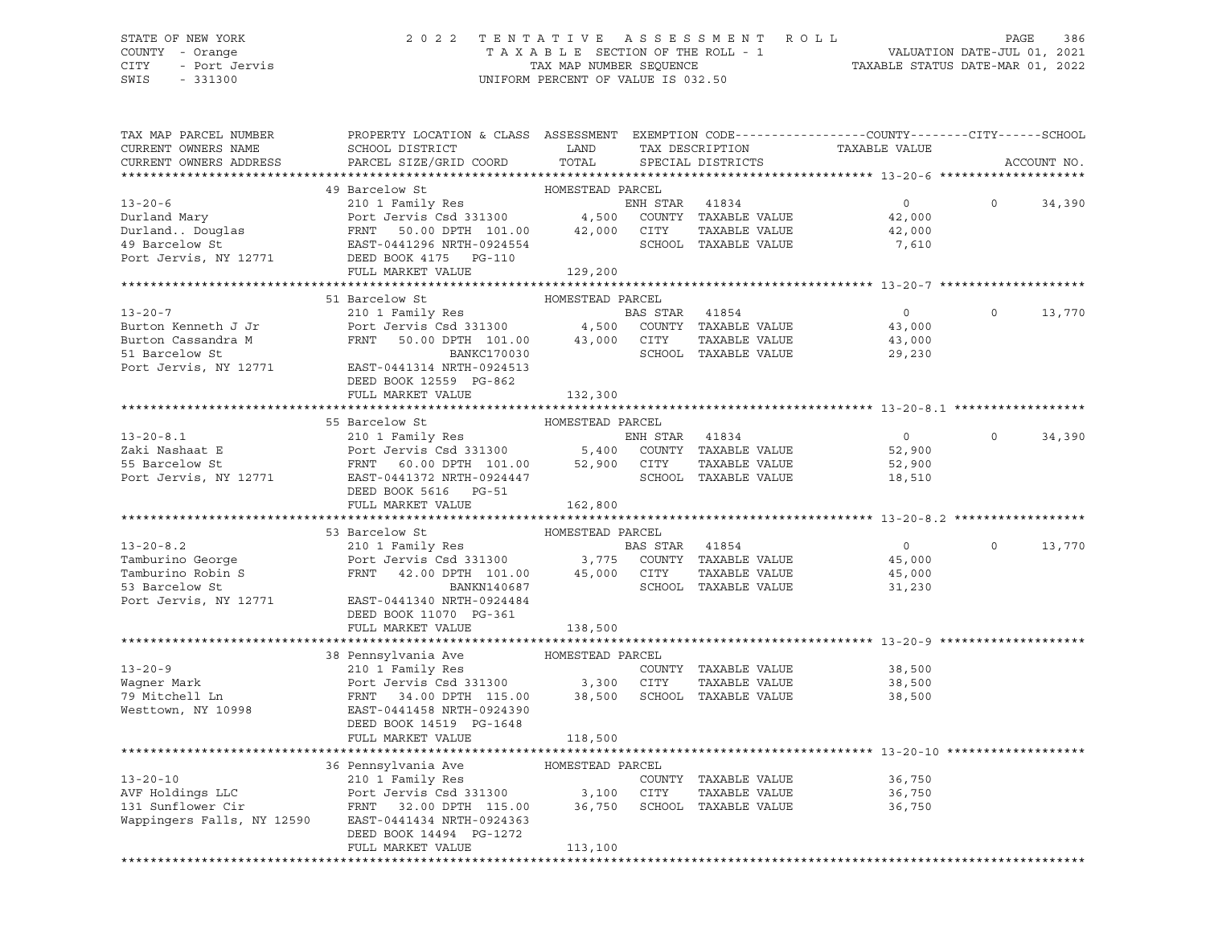## STATE OF NEW YORK 2 0 2 2 T E N T A T I V E A S S E S S M E N T R O L L PAGE 386 COUNTY - Orange T A X A B L E SECTION OF THE ROLL - 1 VALUATION DATE-JUL 01, 2021 CITY - Port Jervis TAX MAP NUMBER SEQUENCE TAXABLE STATUS DATE-MAR 01, 2022

| TAX MAP PARCEL NUMBER<br>CURRENT OWNERS NAME<br>CURRENT OWNERS ADDRESS | PROPERTY LOCATION & CLASS ASSESSMENT EXEMPTION CODE---------------COUNTY-------CITY------SCHOOL<br>SCHOOL DISTRICT LAND<br>PARCEL SIZE/GRID COORD TOTAL SPECIAL DISTRICTS                                                                                                                                                                                |                             | TAX DESCRIPTION                 | TAXABLE VALUE                                          |          | ACCOUNT NO.   |
|------------------------------------------------------------------------|----------------------------------------------------------------------------------------------------------------------------------------------------------------------------------------------------------------------------------------------------------------------------------------------------------------------------------------------------------|-----------------------------|---------------------------------|--------------------------------------------------------|----------|---------------|
|                                                                        |                                                                                                                                                                                                                                                                                                                                                          |                             |                                 |                                                        |          |               |
|                                                                        | 49 Barcelow St<br>13-20-6<br>210 1 Family Res<br>210 1 Family Res<br>210 1 Family Res<br>210 1 Family Res<br>210 1 Family Res<br>210 1 Family Res<br>210 1 Family Res<br>210 200<br>210 200<br>210 200<br>210 200<br>210 200<br>21,000<br>22,000<br>22,000<br>22,000<br>22,000<br>22                                                                     | HOMESTEAD PARCEL            |                                 |                                                        | $\Omega$ | 34,390        |
|                                                                        | FULL MARKET VALUE                                                                                                                                                                                                                                                                                                                                        | 129,200                     |                                 |                                                        |          |               |
|                                                                        | 51 Barcelow St<br>Purton Cassandra M<br>Surton Cassandra M<br>SI Barcelow St<br>Port Jervis, NY 12771<br>BAST-0441314 NRTH-0924513<br>Port Jervis, NY 12771<br>BAST-0441314 NRTH-0924513<br>DEED BOOK 12559 PG-862<br>FULL MARKET VALUE                                                                                                                  | HOMESTEAD PARCEL<br>132,300 |                                 | $\overline{0}$                                         | $\Omega$ | 13,770        |
|                                                                        |                                                                                                                                                                                                                                                                                                                                                          |                             |                                 |                                                        |          |               |
|                                                                        | 55 Barcelow St                                                                                                                                                                                                                                                                                                                                           | HOMESTEAD PARCEL            |                                 |                                                        |          |               |
|                                                                        | 55 Barcelow St (13-20-8.1)<br>210 1 Family Res (210 1 Family Res (210 1 Family Res (210 1 Family Res (210 1 Family Res (210 1 Family Res (210 1 Family Res (210 1 Family Res (210 1 Family Res (210 1 Family Res (210 2014)<br>210                                                                                                                       |                             |                                 | $\overline{0}$<br>52,900<br>52,900<br>18,510<br>18,510 | $\Omega$ | 34,390        |
|                                                                        | FULL MARKET VALUE                                                                                                                                                                                                                                                                                                                                        | 162,800                     |                                 |                                                        |          |               |
|                                                                        |                                                                                                                                                                                                                                                                                                                                                          |                             |                                 |                                                        |          |               |
|                                                                        | 53 Barcelow St<br>210 1 Family Res<br>Tamburino George<br>Tamburino Robin S<br>Tamburino Robin S<br>ERNT 42.00 DPTH 101.00<br>BANKN140687<br>BANKN140687<br>BANKN140687<br>SCHOOL TAXABLE VALUE<br>SCHOOL TAXABLE VALUE<br>BANKN140687<br>SCHOOL TAXAB<br>Port Jervis, NY 12771 EAST-0441340 NRTH-0924484<br>DEED BOOK 11070 PG-361<br>FULL MARKET VALUE | 138,500                     | BAS STAR 41854<br>TAXABLE VALUE | $\overline{0}$<br>45,000<br>45,000<br>31,230           |          | $0 \t 13,770$ |
|                                                                        |                                                                                                                                                                                                                                                                                                                                                          |                             |                                 |                                                        |          |               |
|                                                                        | 13-20-9<br>Wagner Mark and Dent Jeruis California Ave HOMESTEAD PARCEL<br>Wagner Mark Port Jeruis Csd 331300 3,300 CITY TAXABLE VALUE<br>79 Mitchell Ln FRNT 34.00 DPTH 115.00 38,500 SCHOOL TAXABLE VALUE<br>Westtown, NY 10998 BAST-                                                                                                                   |                             |                                 | 38,500<br>TAXABLE VALUE 38,500<br>38,500               |          |               |
|                                                                        | FULL MARKET VALUE                                                                                                                                                                                                                                                                                                                                        | 118,500                     |                                 | ********************************** 13-20-10 ******     |          |               |
|                                                                        | 36 Pennsylvania Ave MOMESTEAD PARCEL<br>210 1 Family Res<br>AVF Holdings LLC Port Jervis Csd 331300 3,100 CITY TAXABLE VALUE<br>131 Sunflower Cir FRNT 32.00 DPTH 115.00 36,750 SCHOOL TAXABLE VALUE<br>Wappingers Falls, NY 12590 EAS<br>DEED BOOK 14494 PG-1272<br>FULL MARKET VALUE                                                                   | 113,100                     | COUNTY TAXABLE VALUE            | 36,750<br>TAXABLE VALUE 36,750<br>36,750               |          |               |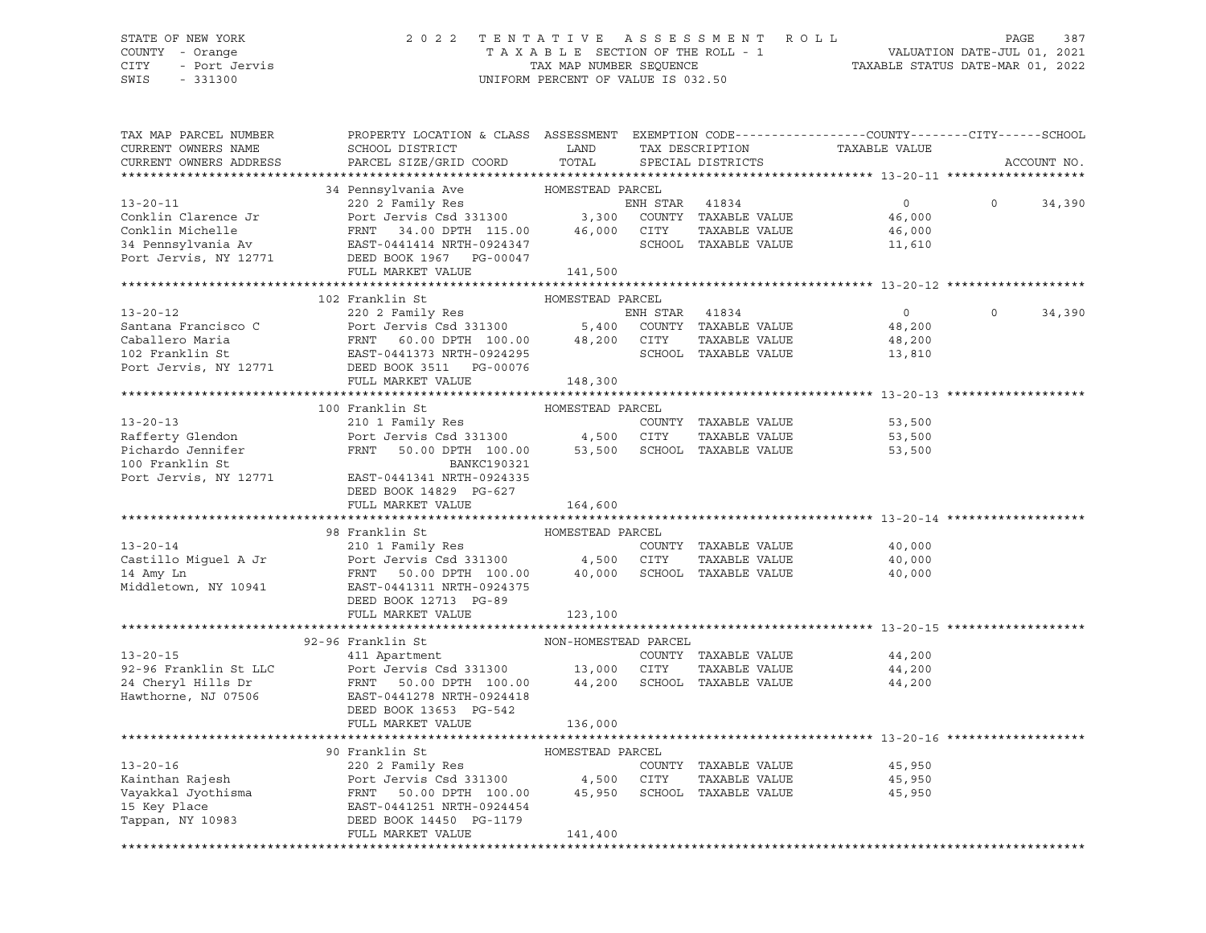## STATE OF NEW YORK 2 0 2 2 T E N T A T I V E A S S E S S M E N T R O L L PAGE 387 COUNTY - Orange T A X A B L E SECTION OF THE ROLL - 1 VALUATION DATE-JUL 01, 2021 CITY - Port Jervis TAX MAP NUMBER SEQUENCE TAXABLE STATUS DATE-MAR 01, 2022

| TAX MAP PARCEL NUMBER<br>CURRENT OWNERS NAME<br>CURRENT OWNERS ADDRESS                                                                                                                                                                                                                                                                                                                                                                      | PROPERTY LOCATION & CLASS ASSESSMENT EXEMPTION CODE----------------COUNTY-------CITY------SCHOOL<br>SCHOOL DISTRICT LAND<br>PARCEL SIZE/GRID COORD TOTAL |                  | TAX DESCRIPTION<br>SPECIAL DISTRICTS |                                                | TAXABLE VALUE    |          | ACCOUNT NO. |
|---------------------------------------------------------------------------------------------------------------------------------------------------------------------------------------------------------------------------------------------------------------------------------------------------------------------------------------------------------------------------------------------------------------------------------------------|----------------------------------------------------------------------------------------------------------------------------------------------------------|------------------|--------------------------------------|------------------------------------------------|------------------|----------|-------------|
|                                                                                                                                                                                                                                                                                                                                                                                                                                             |                                                                                                                                                          |                  |                                      |                                                |                  |          |             |
| $\begin{tabular}{lcccccc} \textbf{34} & \textbf{Pansylvania Ave} & \textbf{HOMESTEAD PARCH} \\ \textbf{13-20-11} & 34 & \textbf{Pennsylvania Ave} & \textbf{HOMESTEAD PARCH} \\ \textbf{Coklin Clarence Jr} & \textbf{Port Jervis Csd 331300} & 3,300 & \textbf{COUNTY} & TAXABLE VALUE \\ \textbf{Coklin Michaelle} & \textbf{FRNT} & 34.00 DPTH & 115.00 & 46,000 & \textbf{CTTY} &$                                                      |                                                                                                                                                          |                  |                                      |                                                |                  |          |             |
|                                                                                                                                                                                                                                                                                                                                                                                                                                             |                                                                                                                                                          |                  |                                      |                                                | $\overline{0}$   | $\Omega$ | 34,390      |
|                                                                                                                                                                                                                                                                                                                                                                                                                                             |                                                                                                                                                          |                  |                                      |                                                | 46,000           |          |             |
|                                                                                                                                                                                                                                                                                                                                                                                                                                             |                                                                                                                                                          |                  |                                      |                                                | 46,000           |          |             |
|                                                                                                                                                                                                                                                                                                                                                                                                                                             |                                                                                                                                                          |                  |                                      |                                                | 11,610           |          |             |
| Port Jervis, NY 12771                                                                                                                                                                                                                                                                                                                                                                                                                       | DEED BOOK 1967 PG-00047                                                                                                                                  |                  |                                      |                                                |                  |          |             |
|                                                                                                                                                                                                                                                                                                                                                                                                                                             | FULL MARKET VALUE                                                                                                                                        | 141,500          |                                      |                                                |                  |          |             |
|                                                                                                                                                                                                                                                                                                                                                                                                                                             | 102 Franklin St                                                                                                                                          | HOMESTEAD PARCEL |                                      |                                                |                  |          |             |
|                                                                                                                                                                                                                                                                                                                                                                                                                                             |                                                                                                                                                          |                  |                                      |                                                | $\overline{0}$   | $\Omega$ | 34,390      |
|                                                                                                                                                                                                                                                                                                                                                                                                                                             |                                                                                                                                                          |                  |                                      |                                                | 48,200           |          |             |
|                                                                                                                                                                                                                                                                                                                                                                                                                                             |                                                                                                                                                          |                  |                                      | TAXABLE VALUE                                  | 48,200           |          |             |
|                                                                                                                                                                                                                                                                                                                                                                                                                                             |                                                                                                                                                          |                  |                                      |                                                | 13,810           |          |             |
|                                                                                                                                                                                                                                                                                                                                                                                                                                             |                                                                                                                                                          |                  |                                      |                                                |                  |          |             |
| $\begin{tabular}{lllllllllllll} \multicolumn{1.0}{l} \multicolumn{1.0}{l} \multicolumn{1.0}{l} \multicolumn{1.0}{l} \multicolumn{1.0}{l} \multicolumn{1.0}{l} \multicolumn{1.0}{l} \multicolumn{1.0}{l} \multicolumn{1.0}{l} \multicolumn{1.0}{l} \multicolumn{1.0}{l} \multicolumn{1.0}{l} \multicolumn{1.0}{l} \multicolumn{1.0}{l} \multicolumn{1.0}{l} \multicolumn{1.0}{l} \multicolumn{1.0}{l} \multicolumn{1.0}{l} \multicolumn{1.0$ |                                                                                                                                                          |                  |                                      |                                                |                  |          |             |
|                                                                                                                                                                                                                                                                                                                                                                                                                                             |                                                                                                                                                          |                  |                                      |                                                |                  |          |             |
|                                                                                                                                                                                                                                                                                                                                                                                                                                             | 100 Franklin St                                                                                                                                          |                  |                                      |                                                |                  |          |             |
| $13 - 20 - 13$                                                                                                                                                                                                                                                                                                                                                                                                                              |                                                                                                                                                          |                  | COUNTY TAXABLE VALUE                 |                                                | 53,500           |          |             |
|                                                                                                                                                                                                                                                                                                                                                                                                                                             |                                                                                                                                                          |                  |                                      | TAXABLE VALUE 53,500<br>TAXABLE VALUE 53,500   |                  |          |             |
| Rafferty Glendon<br>Port Jervis Csd 331300 4,500 CITY TAXABLE VALUE<br>Pichardo Jennifer FRNT 50.00 DPTH 100.00 53,500 SCHOOL TAXABLE VALUE<br>BANKC190321                                                                                                                                                                                                                                                                                  |                                                                                                                                                          |                  |                                      |                                                | 53,500           |          |             |
|                                                                                                                                                                                                                                                                                                                                                                                                                                             |                                                                                                                                                          |                  |                                      |                                                |                  |          |             |
| Port Jervis, NY 12771                                                                                                                                                                                                                                                                                                                                                                                                                       | EAST-0441341 NRTH-0924335                                                                                                                                |                  |                                      |                                                |                  |          |             |
|                                                                                                                                                                                                                                                                                                                                                                                                                                             | DEED BOOK 14829 PG-627                                                                                                                                   |                  |                                      |                                                |                  |          |             |
|                                                                                                                                                                                                                                                                                                                                                                                                                                             | FULL MARKET VALUE                                                                                                                                        | 164,600          |                                      |                                                |                  |          |             |
|                                                                                                                                                                                                                                                                                                                                                                                                                                             |                                                                                                                                                          |                  |                                      |                                                |                  |          |             |
| 13-20-14<br>210 1 Family Res<br>COUNTY TAXABLE VALUE<br>210 1 Family Res<br>Port Jervis Csd 331300<br>210 Port Jervis Csd 331300<br>4,500 CITY TAXABLE VALUE<br>210 Port Jervis Csd 331300<br>210 000 SCHOOL TAXABLE VALUE<br>210 PORT 50.00 DPT                                                                                                                                                                                            | 98 Franklin St                                                                                                                                           | HOMESTEAD PARCEL |                                      |                                                |                  |          |             |
|                                                                                                                                                                                                                                                                                                                                                                                                                                             |                                                                                                                                                          |                  |                                      |                                                | 40,000           |          |             |
|                                                                                                                                                                                                                                                                                                                                                                                                                                             |                                                                                                                                                          |                  |                                      |                                                | 40,000<br>40,000 |          |             |
|                                                                                                                                                                                                                                                                                                                                                                                                                                             |                                                                                                                                                          |                  |                                      |                                                |                  |          |             |
|                                                                                                                                                                                                                                                                                                                                                                                                                                             | DEED BOOK 12713 PG-89                                                                                                                                    |                  |                                      |                                                |                  |          |             |
|                                                                                                                                                                                                                                                                                                                                                                                                                                             | FULL MARKET VALUE                                                                                                                                        | 123,100          |                                      |                                                |                  |          |             |
|                                                                                                                                                                                                                                                                                                                                                                                                                                             |                                                                                                                                                          |                  |                                      |                                                |                  |          |             |
|                                                                                                                                                                                                                                                                                                                                                                                                                                             | 92-96 Franklin St NON-HOMESTEAD PARCEL                                                                                                                   |                  |                                      |                                                |                  |          |             |
|                                                                                                                                                                                                                                                                                                                                                                                                                                             |                                                                                                                                                          |                  |                                      |                                                | 44,200           |          |             |
|                                                                                                                                                                                                                                                                                                                                                                                                                                             |                                                                                                                                                          |                  |                                      | TAXABLE VALUE                                  |                  |          |             |
|                                                                                                                                                                                                                                                                                                                                                                                                                                             |                                                                                                                                                          |                  |                                      |                                                | 44,200<br>44,200 |          |             |
|                                                                                                                                                                                                                                                                                                                                                                                                                                             |                                                                                                                                                          |                  |                                      |                                                |                  |          |             |
|                                                                                                                                                                                                                                                                                                                                                                                                                                             | DEED BOOK 13653 PG-542                                                                                                                                   |                  |                                      |                                                |                  |          |             |
|                                                                                                                                                                                                                                                                                                                                                                                                                                             | FULL MARKET VALUE                                                                                                                                        | 136,000          |                                      |                                                |                  |          |             |
|                                                                                                                                                                                                                                                                                                                                                                                                                                             |                                                                                                                                                          |                  |                                      | ****************************** 13-20-16 ****** |                  |          |             |
|                                                                                                                                                                                                                                                                                                                                                                                                                                             |                                                                                                                                                          |                  |                                      |                                                |                  |          |             |
|                                                                                                                                                                                                                                                                                                                                                                                                                                             |                                                                                                                                                          |                  |                                      |                                                | 45,950           |          |             |
|                                                                                                                                                                                                                                                                                                                                                                                                                                             |                                                                                                                                                          |                  |                                      | TAXABLE VALUE 45,950                           |                  |          |             |
|                                                                                                                                                                                                                                                                                                                                                                                                                                             |                                                                                                                                                          |                  |                                      |                                                | 45,950           |          |             |
|                                                                                                                                                                                                                                                                                                                                                                                                                                             |                                                                                                                                                          |                  |                                      |                                                |                  |          |             |
|                                                                                                                                                                                                                                                                                                                                                                                                                                             |                                                                                                                                                          |                  |                                      |                                                |                  |          |             |
| 13-20-16<br>220 2 Family Res<br>Kainthan Rajesh Port Jervis Csd 331300<br>Vayakkal Jyothisma FRNT 50.00 DPTH 100.00 45,950 SCHOOL TAXABLE VALUE<br>220 2 Family Res<br>220 2 Family Res<br>220 2 Family Res<br>220 2 Family Res<br>220 2 Famil                                                                                                                                                                                              |                                                                                                                                                          |                  |                                      |                                                |                  |          |             |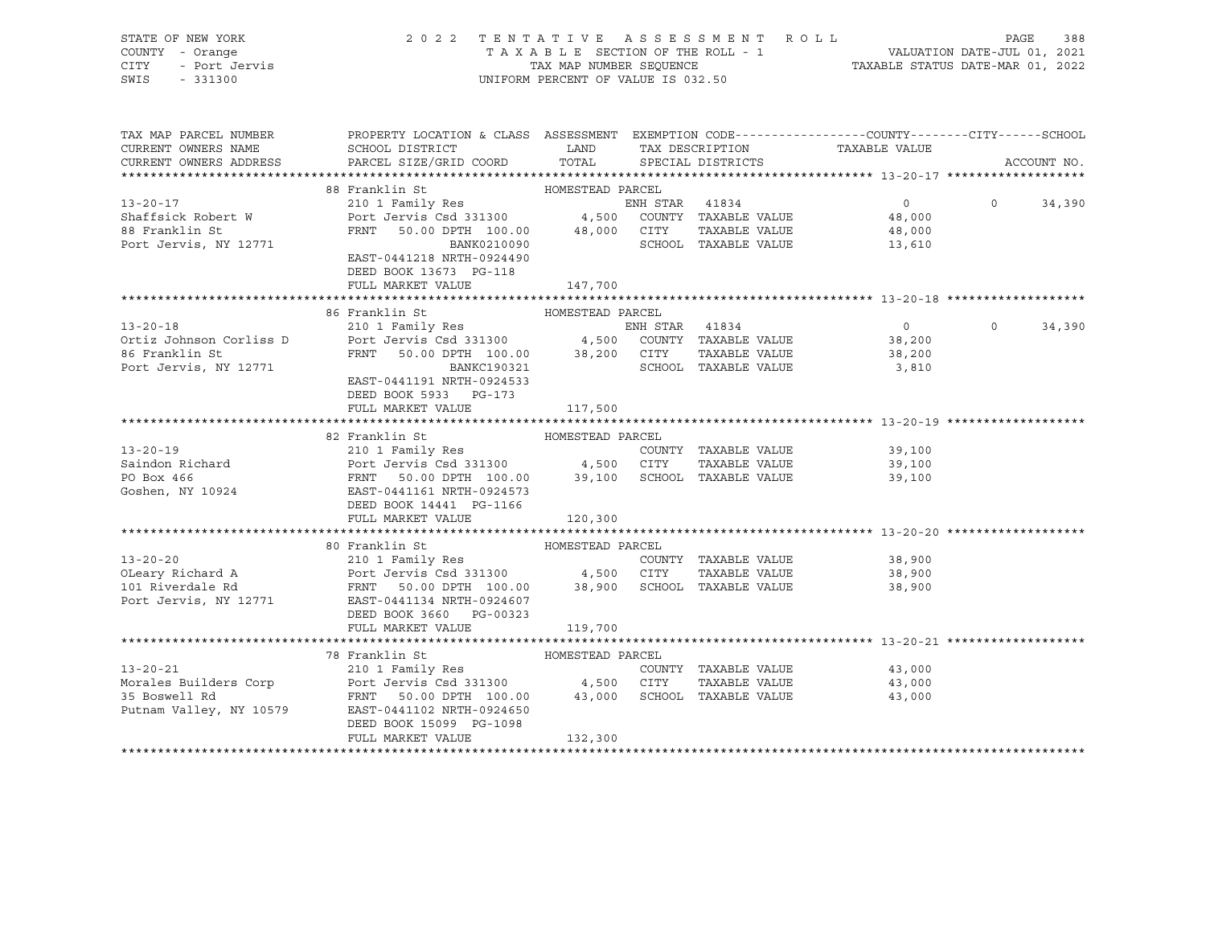| STATE OF NEW YORK<br>COUNTY - Orange<br>CITY<br>SWIS<br>$-331300$      | 2022 TENTATIVE ASSESSMENT ROLL                                                                                                                                                                                                                                                                         | UNIFORM PERCENT OF VALUE IS 032.50 |                |                      | TAXABLE SECTION OF THE ROLL - 1<br>TAXABLE STATUS DATE-JUL 01, 2021<br>TAXABLE STATUS DATE-MAR 01, 2022 | PAGE         | 388         |
|------------------------------------------------------------------------|--------------------------------------------------------------------------------------------------------------------------------------------------------------------------------------------------------------------------------------------------------------------------------------------------------|------------------------------------|----------------|----------------------|---------------------------------------------------------------------------------------------------------|--------------|-------------|
| TAX MAP PARCEL NUMBER<br>CURRENT OWNERS NAME<br>CURRENT OWNERS ADDRESS | PROPERTY LOCATION & CLASS ASSESSMENT EXEMPTION CODE---------------COUNTY-------CITY------SCHOOL<br>SCHOOL DISTRICT LAND TAX DESCRIPTION<br>PARCEL SIZE/GRID COORD                                                                                                                                      | TOTAL SPECIAL DISTRICTS            |                |                      | TAXABLE VALUE                                                                                           |              | ACCOUNT NO. |
|                                                                        |                                                                                                                                                                                                                                                                                                        |                                    |                |                      |                                                                                                         |              |             |
|                                                                        | 88 Franklin St                                                                                                                                                                                                                                                                                         | HOMESTEAD PARCEL                   |                |                      |                                                                                                         |              |             |
| $13 - 20 - 17$                                                         | 210 1 Family Res<br>Port Jervis Csd 331300 $\begin{array}{cccc} 4,500 & \text{CONITY} & \text{TAXABLE VALUE} \\ \text{FRNT} & 50.00 \text{ DPTH} & 100.00 & 48,000 & \text{CTTY} & \text{TAXABLE VALUE} \\ \text{BART} & 0.00 & \text{BINTU} & 0.024400 & 95000 & \text{TAXABLE VALUE} \\ \end{array}$ |                                    |                |                      | $\overline{0}$                                                                                          | $\Omega$     | 34,390      |
| Shaffsick Robert W                                                     |                                                                                                                                                                                                                                                                                                        |                                    |                |                      | 48,000                                                                                                  |              |             |
| 88 Franklin St                                                         |                                                                                                                                                                                                                                                                                                        |                                    |                |                      | 48,000                                                                                                  |              |             |
| Port Jervis, NY 12771                                                  | EAST-0441218 NRTH-0924490                                                                                                                                                                                                                                                                              |                                    |                |                      | 13,610                                                                                                  |              |             |
|                                                                        | DEED BOOK 13673 PG-118                                                                                                                                                                                                                                                                                 |                                    |                |                      |                                                                                                         |              |             |
|                                                                        | FULL MARKET VALUE                                                                                                                                                                                                                                                                                      | 147,700                            |                |                      |                                                                                                         |              |             |
|                                                                        |                                                                                                                                                                                                                                                                                                        |                                    |                |                      |                                                                                                         |              |             |
|                                                                        | 86 Franklin St                                                                                                                                                                                                                                                                                         | HOMESTEAD PARCEL                   |                |                      |                                                                                                         |              |             |
| $13 - 20 - 18$                                                         | 210 1 Family Res                                                                                                                                                                                                                                                                                       |                                    | ENH STAR 41834 |                      | $\overline{0}$                                                                                          | $0 \t34,390$ |             |
| Ortiz Johnson Corliss D                                                |                                                                                                                                                                                                                                                                                                        |                                    |                |                      | 38,200                                                                                                  |              |             |
| 86 Franklin St                                                         |                                                                                                                                                                                                                                                                                                        |                                    |                | TAXABLE VALUE        | 38,200                                                                                                  |              |             |
| Port Jervis, NY 12771                                                  | Port Jervis Csd 331300 $\begin{array}{cccc} 4,500 & \text{COUNTY} & \text{TAXABLE VALUE} \\ \text{FRNT} & 50.00 \text{ DPTH} & 100.00 & 38,200 & \text{CITY} & \text{TAXABLE VALUE} \\ \text{BANKC190321} & \text{SCHOOL} & \text{TAXABLE VALUE} \end{array}$                                          |                                    |                |                      | 3,810                                                                                                   |              |             |
|                                                                        | EAST-0441191 NRTH-0924533                                                                                                                                                                                                                                                                              |                                    |                |                      |                                                                                                         |              |             |
|                                                                        | DEED BOOK 5933 PG-173                                                                                                                                                                                                                                                                                  |                                    |                |                      |                                                                                                         |              |             |
|                                                                        | FULL MARKET VALUE                                                                                                                                                                                                                                                                                      | 117,500                            |                |                      |                                                                                                         |              |             |
|                                                                        |                                                                                                                                                                                                                                                                                                        |                                    |                |                      |                                                                                                         |              |             |
|                                                                        | 82 Franklin St                                                                                                                                                                                                                                                                                         | HOMESTEAD PARCEL                   |                |                      |                                                                                                         |              |             |
| $13 - 20 - 19$                                                         |                                                                                                                                                                                                                                                                                                        |                                    |                |                      | 39,100                                                                                                  |              |             |
|                                                                        |                                                                                                                                                                                                                                                                                                        |                                    |                | TAXABLE VALUE        | 39,100                                                                                                  |              |             |
| Saindon Richard<br>PO Box 466<br>Goshen, NY 10924                      |                                                                                                                                                                                                                                                                                                        |                                    |                |                      | 39,100                                                                                                  |              |             |
|                                                                        | 210 1 Family Res<br>Port Jervis Csd 331300 4,500 CITY TAXABLE VALUE<br>FRNT 50.00 DPTH 100.00 39,100 SCHOOL TAXABLE VALUE<br>EAST-0441161 NRTH-0924573                                                                                                                                                 |                                    |                |                      |                                                                                                         |              |             |
|                                                                        | DEED BOOK 14441 PG-1166                                                                                                                                                                                                                                                                                |                                    |                |                      |                                                                                                         |              |             |
|                                                                        | FULL MARKET VALUE                                                                                                                                                                                                                                                                                      | 120,300                            |                |                      |                                                                                                         |              |             |
|                                                                        |                                                                                                                                                                                                                                                                                                        |                                    |                |                      |                                                                                                         |              |             |
|                                                                        | 80 Franklin St                                                                                                                                                                                                                                                                                         | HOMESTEAD PARCEL                   |                |                      |                                                                                                         |              |             |
| $13 - 20 - 20$                                                         | 210 1 Family Res                                                                                                                                                                                                                                                                                       |                                    |                | COUNTY TAXABLE VALUE | 38,900                                                                                                  |              |             |
|                                                                        |                                                                                                                                                                                                                                                                                                        |                                    |                |                      | 38,900                                                                                                  |              |             |
|                                                                        |                                                                                                                                                                                                                                                                                                        |                                    |                |                      | 38,900                                                                                                  |              |             |
| Port Jervis, NY 12771                                                  | EAST-0441134 NRTH-0924607                                                                                                                                                                                                                                                                              |                                    |                |                      |                                                                                                         |              |             |
|                                                                        | DEED BOOK 3660 PG-00323<br>FULL MARKET VALUE                                                                                                                                                                                                                                                           |                                    |                |                      |                                                                                                         |              |             |
|                                                                        |                                                                                                                                                                                                                                                                                                        | 119,700                            |                |                      |                                                                                                         |              |             |
|                                                                        | 78 Franklin St                                                                                                                                                                                                                                                                                         | HOMESTEAD PARCEL                   |                |                      |                                                                                                         |              |             |
| $13 - 20 - 21$                                                         |                                                                                                                                                                                                                                                                                                        |                                    |                | COUNTY TAXABLE VALUE | 43,000                                                                                                  |              |             |
| Morales Builders Corp                                                  |                                                                                                                                                                                                                                                                                                        |                                    |                | TAXABLE VALUE        | 43,000                                                                                                  |              |             |
| 35 Boswell Rd                                                          |                                                                                                                                                                                                                                                                                                        |                                    |                |                      | 43,000                                                                                                  |              |             |
| Putnam Valley, NY 10579                                                | EAST-0441102 NRTH-0924650                                                                                                                                                                                                                                                                              |                                    |                |                      |                                                                                                         |              |             |
|                                                                        | DEED BOOK 15099 PG-1098                                                                                                                                                                                                                                                                                |                                    |                |                      |                                                                                                         |              |             |
|                                                                        | FULL MARKET VALUE                                                                                                                                                                                                                                                                                      | 132,300                            |                |                      |                                                                                                         |              |             |
|                                                                        |                                                                                                                                                                                                                                                                                                        |                                    |                |                      |                                                                                                         |              |             |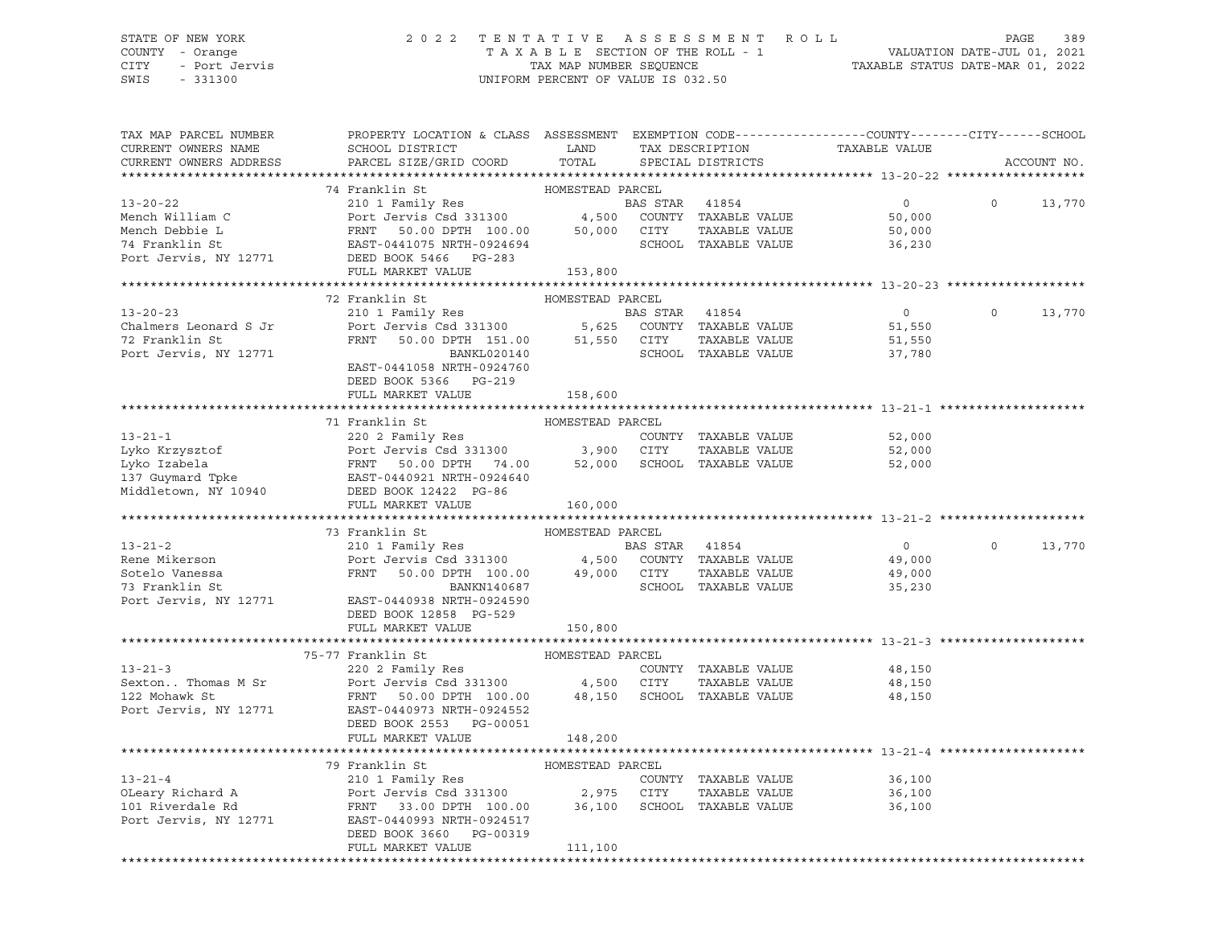## STATE OF NEW YORK 2 0 2 2 T E N T A T I V E A S S E S S M E N T R O L L PAGE 389 COUNTY - Orange T A X A B L E SECTION OF THE ROLL - 1 VALUATION DATE-JUL 01, 2021 CITY - Port Jervis TAX MAP NUMBER SEQUENCE TAXABLE STATUS DATE-MAR 01, 2022

| TAX MAP PARCEL NUMBER<br>CURRENT OWNERS NAME<br>CURRENT OWNERS ADDRESS | PROPERTY LOCATION & CLASS ASSESSMENT EXEMPTION CODE---------------COUNTY-------CITY------SCHOOL<br>SCHOOL DISTRICT TAND TAX DESCRIPTION<br>PARCEL SIZE/GRID COORD                                                                                                                                                                                                                                                                                                         | TOTAL            | SPECIAL DISTRICTS    | TAXABLE VALUE                                      |                | ACCOUNT NO. |
|------------------------------------------------------------------------|---------------------------------------------------------------------------------------------------------------------------------------------------------------------------------------------------------------------------------------------------------------------------------------------------------------------------------------------------------------------------------------------------------------------------------------------------------------------------|------------------|----------------------|----------------------------------------------------|----------------|-------------|
|                                                                        |                                                                                                                                                                                                                                                                                                                                                                                                                                                                           |                  |                      |                                                    |                |             |
|                                                                        | 74 Franklin St<br>FRIERD PARCEL<br>210 1 Family Res<br>210 1 Family Res<br>210 1 Family Res<br>210 1 Family Res<br>210 1 Family Res<br>210 1 Family Res<br>2131300<br>2131300<br>21450 2000 COUNTY TAXABLE VALUE<br>2000 50,000<br>2287-0441075 NRTH-0924694<br>26,000<br>                                                                                                                                                                                                |                  |                      |                                                    |                |             |
| $13 - 20 - 22$                                                         |                                                                                                                                                                                                                                                                                                                                                                                                                                                                           |                  |                      |                                                    | $\circ$        | 13,770      |
| Mench William C                                                        |                                                                                                                                                                                                                                                                                                                                                                                                                                                                           |                  |                      |                                                    |                |             |
|                                                                        |                                                                                                                                                                                                                                                                                                                                                                                                                                                                           |                  |                      |                                                    |                |             |
|                                                                        |                                                                                                                                                                                                                                                                                                                                                                                                                                                                           |                  |                      |                                                    |                |             |
| Mench Debbie L<br>74 Franklin St<br>Port Jervis, NY 12771              |                                                                                                                                                                                                                                                                                                                                                                                                                                                                           |                  |                      |                                                    |                |             |
|                                                                        | FULL MARKET VALUE 153,800                                                                                                                                                                                                                                                                                                                                                                                                                                                 |                  |                      |                                                    |                |             |
|                                                                        |                                                                                                                                                                                                                                                                                                                                                                                                                                                                           |                  |                      |                                                    |                |             |
|                                                                        | 72 Franklin St                                                                                                                                                                                                                                                                                                                                                                                                                                                            | HOMESTEAD PARCEL |                      |                                                    |                |             |
| $13 - 20 - 23$                                                         |                                                                                                                                                                                                                                                                                                                                                                                                                                                                           |                  |                      | $\overline{0}$                                     | $\Omega$       | 13,770      |
| Chalmers Leonard S Jr                                                  |                                                                                                                                                                                                                                                                                                                                                                                                                                                                           |                  |                      | 51,550                                             |                |             |
| 72 Franklin St                                                         |                                                                                                                                                                                                                                                                                                                                                                                                                                                                           |                  |                      | 51,550                                             |                |             |
| Port Jervis, NY 12771                                                  |                                                                                                                                                                                                                                                                                                                                                                                                                                                                           |                  |                      | 37,780                                             |                |             |
|                                                                        | EAST-0441058 NRTH-0924760                                                                                                                                                                                                                                                                                                                                                                                                                                                 |                  |                      |                                                    |                |             |
|                                                                        | DEED BOOK 5366 PG-219                                                                                                                                                                                                                                                                                                                                                                                                                                                     |                  |                      |                                                    |                |             |
|                                                                        | FULL MARKET VALUE                                                                                                                                                                                                                                                                                                                                                                                                                                                         | 158,600          |                      |                                                    |                |             |
|                                                                        |                                                                                                                                                                                                                                                                                                                                                                                                                                                                           |                  |                      |                                                    |                |             |
|                                                                        |                                                                                                                                                                                                                                                                                                                                                                                                                                                                           |                  |                      |                                                    |                |             |
|                                                                        |                                                                                                                                                                                                                                                                                                                                                                                                                                                                           |                  |                      | 52,000                                             |                |             |
|                                                                        |                                                                                                                                                                                                                                                                                                                                                                                                                                                                           |                  |                      | 52,000                                             |                |             |
|                                                                        |                                                                                                                                                                                                                                                                                                                                                                                                                                                                           |                  |                      | 52,000                                             |                |             |
|                                                                        |                                                                                                                                                                                                                                                                                                                                                                                                                                                                           |                  |                      |                                                    |                |             |
|                                                                        |                                                                                                                                                                                                                                                                                                                                                                                                                                                                           | 160,000          |                      |                                                    |                |             |
|                                                                        |                                                                                                                                                                                                                                                                                                                                                                                                                                                                           |                  |                      |                                                    |                |             |
|                                                                        |                                                                                                                                                                                                                                                                                                                                                                                                                                                                           |                  |                      |                                                    |                |             |
|                                                                        | $\begin{array}{cccc} \text{73 Franklin St} & \text{HOMESTEAD PARCH} \\ \text{210 1 Family Res} & \text{BAS STAR} & \text{41854} \\ \text{Rene Mikerson} & \text{Port Jervis Csd 331300} & \text{4,500} & \text{COUNTY TAXABLE VALUE} \\ \text{Sotelo Vanessa} & \text{FRNT} & \text{50.00 DPTH} & \text{100.00} & \text{49,000} & \text{CITY} & \text{TAXABLE VALUE} \\ \text{73 Franklin St} & \text{STAR} & \text{SCABUE} & \text{SCABUE} & \text{STAR} \\ \end{array}$ |                  |                      | $\overline{0}$                                     | $\overline{0}$ | 13,770      |
|                                                                        |                                                                                                                                                                                                                                                                                                                                                                                                                                                                           |                  |                      | 49,000                                             |                |             |
|                                                                        |                                                                                                                                                                                                                                                                                                                                                                                                                                                                           |                  | TAXABLE VALUE        | 49,000                                             |                |             |
|                                                                        |                                                                                                                                                                                                                                                                                                                                                                                                                                                                           |                  |                      | 35,230                                             |                |             |
|                                                                        | Port Jervis, NY 12771 EAST-0440938 NRTH-0924590                                                                                                                                                                                                                                                                                                                                                                                                                           |                  |                      |                                                    |                |             |
|                                                                        | DEED BOOK 12858 PG-529                                                                                                                                                                                                                                                                                                                                                                                                                                                    |                  |                      |                                                    |                |             |
|                                                                        | FULL MARKET VALUE                                                                                                                                                                                                                                                                                                                                                                                                                                                         | 150,800          |                      |                                                    |                |             |
|                                                                        |                                                                                                                                                                                                                                                                                                                                                                                                                                                                           |                  |                      |                                                    |                |             |
|                                                                        | 75-77 Franklin St                                                                                                                                                                                                                                                                                                                                                                                                                                                         | HOMESTEAD PARCEL |                      |                                                    |                |             |
|                                                                        |                                                                                                                                                                                                                                                                                                                                                                                                                                                                           |                  |                      | 48,150                                             |                |             |
|                                                                        |                                                                                                                                                                                                                                                                                                                                                                                                                                                                           |                  |                      | TAXABLE VALUE 48,150                               |                |             |
|                                                                        |                                                                                                                                                                                                                                                                                                                                                                                                                                                                           |                  |                      | 48,150                                             |                |             |
|                                                                        | Port Jervis, NY 12771 EAST-0440973 NRTH-0924552                                                                                                                                                                                                                                                                                                                                                                                                                           |                  |                      |                                                    |                |             |
|                                                                        | DEED BOOK 2553 PG-00051                                                                                                                                                                                                                                                                                                                                                                                                                                                   |                  |                      |                                                    |                |             |
|                                                                        | FULL MARKET VALUE                                                                                                                                                                                                                                                                                                                                                                                                                                                         | 148,200          |                      |                                                    |                |             |
|                                                                        |                                                                                                                                                                                                                                                                                                                                                                                                                                                                           |                  |                      | ********************************** 13-21-4 ******* |                |             |
|                                                                        | 79 Franklin St                                                                                                                                                                                                                                                                                                                                                                                                                                                            | HOMESTEAD PARCEL |                      |                                                    |                |             |
|                                                                        |                                                                                                                                                                                                                                                                                                                                                                                                                                                                           |                  | COUNTY TAXABLE VALUE | 36,100                                             |                |             |
|                                                                        | 13-21-4<br>OLeary Richard A<br>210 1 Family Res<br>210 1 Family Res<br>Port Jervis Csd 331300<br>2,975 CITY TAXABLE VALUE<br>2000 2,975 CITY TAXABLE VALUE<br>Port Jervis, NY 12771<br>EART-0440993 NRTH-0924517                                                                                                                                                                                                                                                          |                  | TAXABLE VALUE        | 36,100                                             |                |             |
|                                                                        |                                                                                                                                                                                                                                                                                                                                                                                                                                                                           |                  |                      | 36,100                                             |                |             |
|                                                                        |                                                                                                                                                                                                                                                                                                                                                                                                                                                                           |                  |                      |                                                    |                |             |
|                                                                        | DEED BOOK 3660 PG-00319                                                                                                                                                                                                                                                                                                                                                                                                                                                   |                  |                      |                                                    |                |             |
|                                                                        | FULL MARKET VALUE                                                                                                                                                                                                                                                                                                                                                                                                                                                         | 111,100          |                      |                                                    |                |             |
|                                                                        |                                                                                                                                                                                                                                                                                                                                                                                                                                                                           |                  |                      |                                                    |                |             |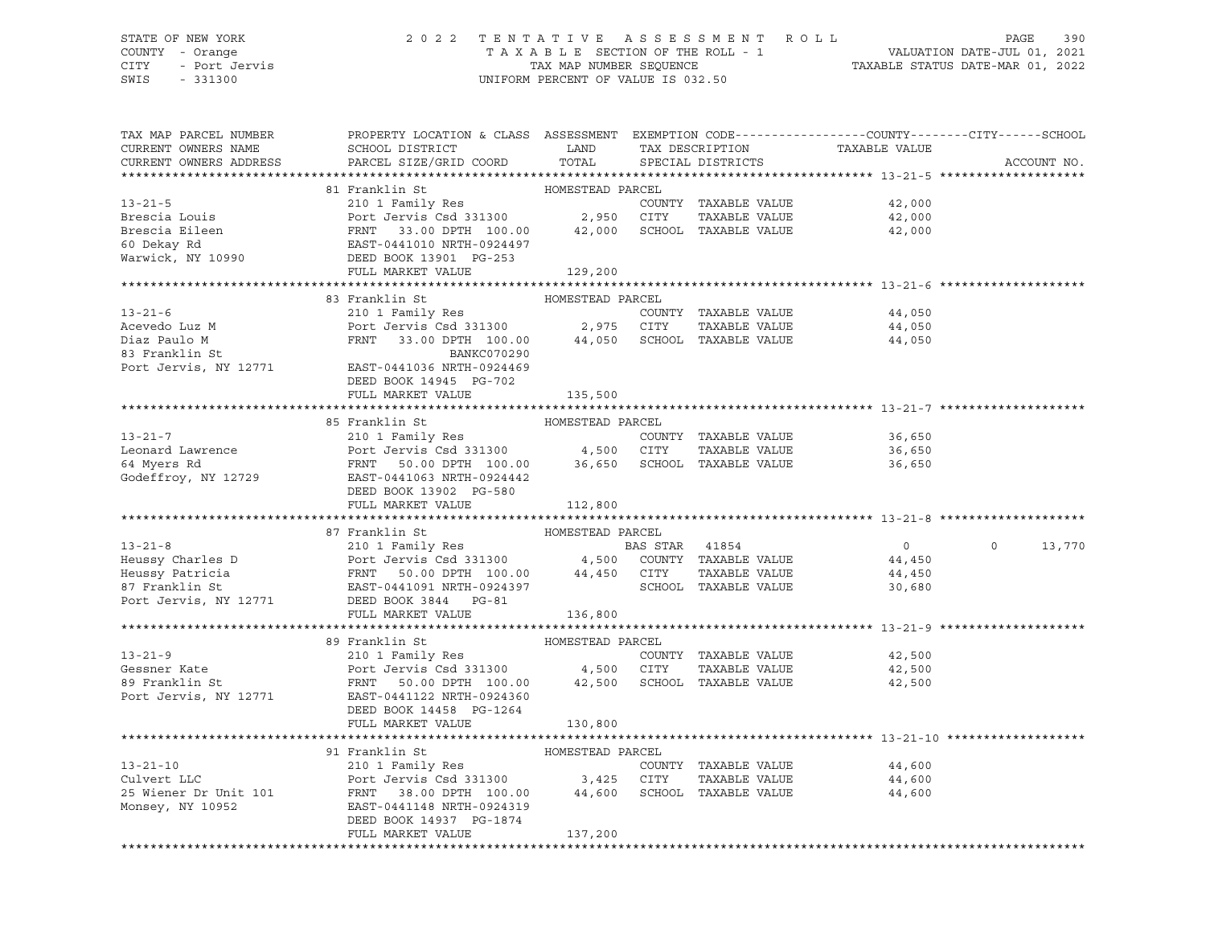## STATE OF NEW YORK 2 0 2 2 T E N T A T I V E A S S E S S M E N T R O L L PAGE 390 COUNTY - Orange T A X A B L E SECTION OF THE ROLL - 1 VALUATION DATE-JUL 01, 2021 CITY - Port Jervis TAX MAP NUMBER SEQUENCE TAXABLE STATUS DATE-MAR 01, 2022

| TAX MAP PARCEL NUMBER<br>CURRENT OWNERS NAME<br>CURRENT OWNERS ADDRESS | PROPERTY LOCATION & CLASS ASSESSMENT EXEMPTION CODE----------------COUNTY-------CITY------SCHOOL<br>SCHOOL DISTRICT<br>PARCEL SIZE/GRID COORD                                | LAND<br>TOTAL    | TAX DESCRIPTION<br>SPECIAL DISTRICTS | TAXABLE VALUE  | ACCOUNT NO.        |
|------------------------------------------------------------------------|------------------------------------------------------------------------------------------------------------------------------------------------------------------------------|------------------|--------------------------------------|----------------|--------------------|
|                                                                        |                                                                                                                                                                              |                  |                                      |                |                    |
|                                                                        | 81 Franklin St                                                                                                                                                               | HOMESTEAD PARCEL |                                      |                |                    |
| $13 - 21 - 5$                                                          |                                                                                                                                                                              |                  | COUNTY TAXABLE VALUE                 | 42,000         |                    |
| Brescia Louis                                                          | 210 1 Family Res<br>Port Jervis Csd 331300 2,950 CITY                                                                                                                        |                  | TAXABLE VALUE                        | 42,000         |                    |
| Brescia Eileen                                                         |                                                                                                                                                                              |                  | SCHOOL TAXABLE VALUE                 | 42,000         |                    |
| 60 Dekay Rd                                                            |                                                                                                                                                                              |                  |                                      |                |                    |
| $\frac{60 \text{ Lcm}}{2}$ In 10990                                    |                                                                                                                                                                              |                  |                                      |                |                    |
|                                                                        | Port Jervis Csd 331300<br>FRNT 33.00 DPTH 100.00 42,000<br>EAST-0441010 NRTH-0924497<br>DEED BOOK 13901 PG-253<br>129,200<br>FULL MARKET VALUE                               | 129,200          |                                      |                |                    |
|                                                                        |                                                                                                                                                                              |                  |                                      |                |                    |
|                                                                        | 83 Franklin St                                                                                                                                                               | HOMESTEAD PARCEL |                                      |                |                    |
| $13 - 21 - 6$                                                          | 210 1 Family Res                                                                                                                                                             |                  | COUNTY TAXABLE VALUE                 | 44,050         |                    |
| Acevedo Luz M                                                          | Port Jervis Csd 331300 2,975 CITY                                                                                                                                            |                  | TAXABLE VALUE                        | 44,050         |                    |
| Diaz Paulo M                                                           | FRNT 33.00 DPTH 100.00                                                                                                                                                       |                  | 44,050 SCHOOL TAXABLE VALUE          | 44,050         |                    |
| 83 Franklin St                                                         | BANKC070290                                                                                                                                                                  |                  |                                      |                |                    |
| Port Jervis, NY 12771                                                  | EAST-0441036 NRTH-0924469                                                                                                                                                    |                  |                                      |                |                    |
|                                                                        | DEED BOOK 14945 PG-702                                                                                                                                                       |                  |                                      |                |                    |
|                                                                        | FULL MARKET VALUE                                                                                                                                                            | 135,500          |                                      |                |                    |
|                                                                        |                                                                                                                                                                              |                  |                                      |                |                    |
|                                                                        | 85 Franklin St                                                                                                                                                               | HOMESTEAD PARCEL |                                      |                |                    |
| $13 - 21 - 7$                                                          | 210 1 Family Res<br>210 1 Family Kes<br>Port Jervis Csd 331300               4,500   CITY    TAXABLE VALUE<br>FRNT   50.00 DPTH  100.00       36,650   SCHOOL  TAXABLE VALUE |                  | COUNTY TAXABLE VALUE                 | 36,650         |                    |
| Leonard Lawrence                                                       |                                                                                                                                                                              |                  | TAXABLE VALUE                        | 36,650         |                    |
| 64 Myers Rd                                                            |                                                                                                                                                                              |                  |                                      | 36,650         |                    |
| Godeffroy, NY 12729                                                    | EAST-0441063 NRTH-0924442                                                                                                                                                    |                  |                                      |                |                    |
|                                                                        | DEED BOOK 13902 PG-580<br>FULL MARKET VALUE                                                                                                                                  | 112,800          |                                      |                |                    |
|                                                                        |                                                                                                                                                                              |                  |                                      |                |                    |
|                                                                        | 87 Franklin St                                                                                                                                                               | HOMESTEAD PARCEL |                                      |                |                    |
| $13 - 21 - 8$                                                          |                                                                                                                                                                              |                  |                                      | $\overline{0}$ | $\Omega$<br>13,770 |
| Heussy Charles D                                                       | 210 1 Family Res<br>Port Jervis Csd 331300                      4,500   COUNTY TAXABLE VALUE                                                                                 |                  |                                      | 44,450         |                    |
|                                                                        |                                                                                                                                                                              |                  | TAXABLE VALUE                        | 44,450         |                    |
|                                                                        |                                                                                                                                                                              |                  | SCHOOL TAXABLE VALUE                 | 30,680         |                    |
|                                                                        | Heussy Patricia<br>Heussy Patricia<br>87 Franklin St<br>BERNT 50.00 DPTH 100.00 44,450 CITY<br>87 Franklin St<br>BERD BOOK 3844 PG-81<br>POTT JERD BOOK 3844 PG-81           |                  |                                      |                |                    |
|                                                                        | FULL MARKET VALUE                                                                                                                                                            | 136,800          |                                      |                |                    |
|                                                                        |                                                                                                                                                                              |                  |                                      |                |                    |
|                                                                        | 89 Franklin St                                                                                                                                                               | HOMESTEAD PARCEL |                                      |                |                    |
| $13 - 21 - 9$                                                          | 210 1 Family Res                                                                                                                                                             |                  | COUNTY TAXABLE VALUE                 | 42,500         |                    |
| Gessner Kate                                                           | Port Jervis Csd 331300 4,500 CITY                                                                                                                                            |                  | TAXABLE VALUE                        | 42,500         |                    |
| 89 Franklin St                                                         | FRNT 50.00 DPTH 100.00 42,500 SCHOOL TAXABLE VALUE                                                                                                                           |                  |                                      | 42,500         |                    |
| Port Jervis, NY 12771                                                  | EAST-0441122 NRTH-0924360                                                                                                                                                    |                  |                                      |                |                    |
|                                                                        | DEED BOOK 14458 PG-1264                                                                                                                                                      |                  |                                      |                |                    |
|                                                                        | FULL MARKET VALUE                                                                                                                                                            | 130,800          |                                      |                |                    |
|                                                                        |                                                                                                                                                                              |                  |                                      |                |                    |
|                                                                        | 91 Franklin St                                                                                                                                                               | HOMESTEAD PARCEL |                                      |                |                    |
| $13 - 21 - 10$                                                         | 210 1 Family Res                                                                                                                                                             |                  | COUNTY TAXABLE VALUE                 | 44,600         |                    |
| Culvert LLC                                                            | Port Jervis Csd 331300 3,425 CITY                                                                                                                                            |                  | TAXABLE VALUE                        | 44,600         |                    |
| 25 Wiener Dr Unit 101                                                  | FRNT 38.00 DPTH 100.00                                                                                                                                                       |                  | 44,600 SCHOOL TAXABLE VALUE          | 44,600         |                    |
| Monsey, NY 10952                                                       | EAST-0441148 NRTH-0924319                                                                                                                                                    |                  |                                      |                |                    |
|                                                                        | DEED BOOK 14937 PG-1874<br>FULL MARKET VALUE                                                                                                                                 |                  |                                      |                |                    |
|                                                                        |                                                                                                                                                                              | 137,200          |                                      |                |                    |
|                                                                        |                                                                                                                                                                              |                  |                                      |                |                    |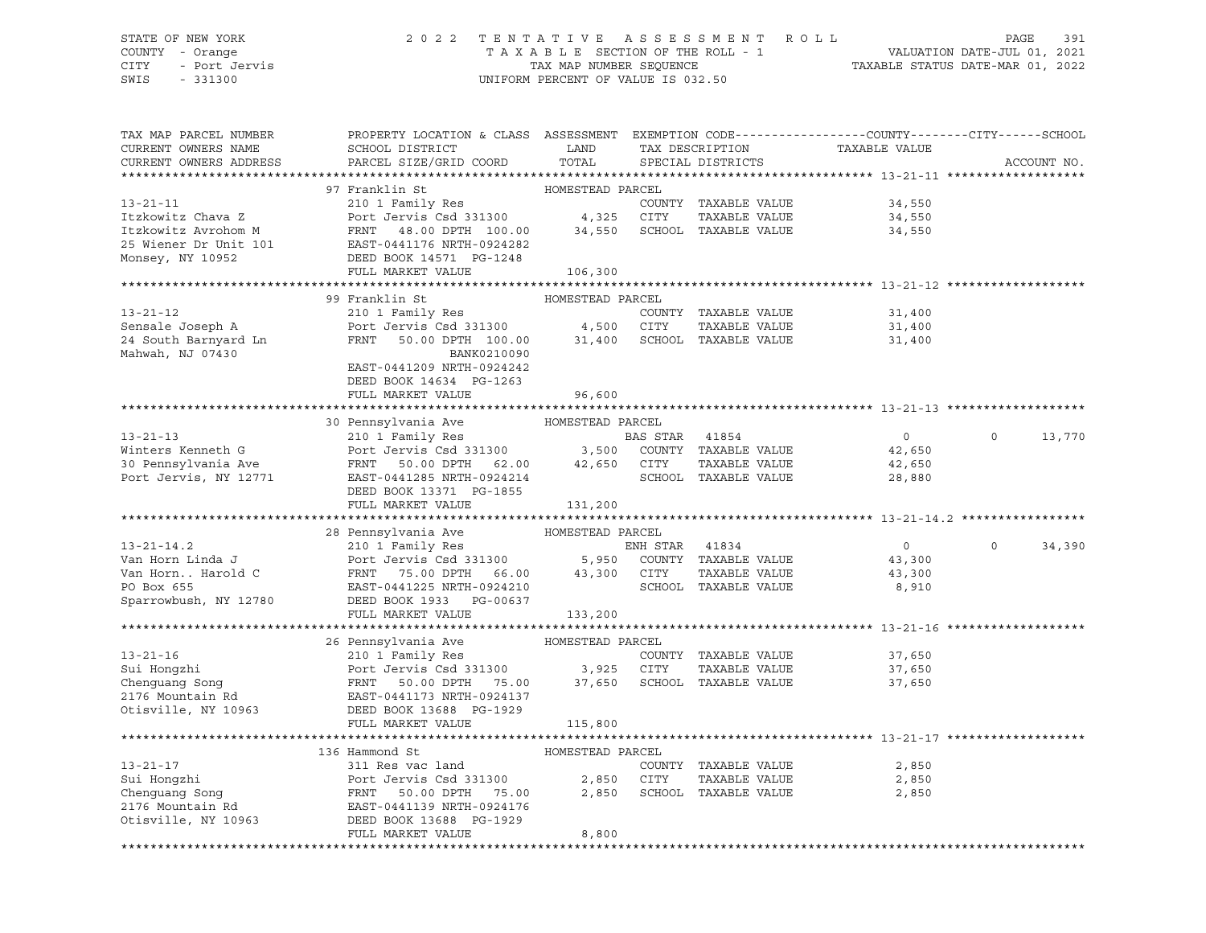## STATE OF NEW YORK 2 0 2 2 T E N T A T I V E A S S E S S M E N T R O L L PAGE 391 COUNTY - Orange T A X A B L E SECTION OF THE ROLL - 1 VALUATION DATE-JUL 01, 2021 CITY - Port Jervis TAX MAP NUMBER SEQUENCE TAXABLE STATUS DATE-MAR 01, 2022

| TAX MAP PARCEL NUMBER<br>CURRENT OWNERS NAME<br>CURRENT OWNERS ADDRESS | PROPERTY LOCATION & CLASS ASSESSMENT EXEMPTION CODE---------------COUNTY-------CITY------SCHOOL<br>SCHOOL DISTRICT<br>PARCEL SIZE/GRID COORD | LAND<br>TOTAL    |      | TAX DESCRIPTION<br>SPECIAL DISTRICTS | TAXABLE VALUE  | ACCOUNT NO.        |
|------------------------------------------------------------------------|----------------------------------------------------------------------------------------------------------------------------------------------|------------------|------|--------------------------------------|----------------|--------------------|
|                                                                        |                                                                                                                                              |                  |      |                                      |                |                    |
|                                                                        | 97 Franklin St                                                                                                                               | HOMESTEAD PARCEL |      |                                      |                |                    |
| $13 - 21 - 11$                                                         | 210 1 Family Res                                                                                                                             |                  |      | COUNTY TAXABLE VALUE                 | 34,550         |                    |
| Itzkowitz Chava Z                                                      | Ziu I ramily Res<br>Port Jervis Csd 331300                                                                                                   | 4,325            | CITY | TAXABLE VALUE                        | 34,550         |                    |
| Itzkowitz Avrohom M                                                    | FRNT 48.00 DPTH 100.00 34,550 SCHOOL TAXABLE VALUE                                                                                           |                  |      |                                      | 34,550         |                    |
| 25 Wiener Dr Unit 101                                                  | EAST-0441176 NRTH-0924282                                                                                                                    |                  |      |                                      |                |                    |
| Monsey, NY 10952                                                       | DEED BOOK 14571 PG-1248                                                                                                                      |                  |      |                                      |                |                    |
|                                                                        | FULL MARKET VALUE                                                                                                                            | 106,300          |      |                                      |                |                    |
|                                                                        |                                                                                                                                              |                  |      |                                      |                |                    |
|                                                                        | 99 Franklin St                                                                                                                               | HOMESTEAD PARCEL |      |                                      |                |                    |
| $13 - 21 - 12$                                                         | 210 1 Family Res                                                                                                                             |                  |      | COUNTY TAXABLE VALUE                 | 31,400         |                    |
| Sensale Joseph A                                                       | Port Jervis Csd 331300<br>FRNT 50.00 DPTH 100.00                                                                                             | 4,500 CITY       |      | TAXABLE VALUE                        | 31,400         |                    |
| 24 South Barnyard Ln                                                   |                                                                                                                                              |                  |      | 31,400 SCHOOL TAXABLE VALUE          | 31,400         |                    |
| Mahwah, NJ 07430                                                       | BANK0210090                                                                                                                                  |                  |      |                                      |                |                    |
|                                                                        | EAST-0441209 NRTH-0924242                                                                                                                    |                  |      |                                      |                |                    |
|                                                                        | DEED BOOK 14634 PG-1263                                                                                                                      |                  |      |                                      |                |                    |
|                                                                        | FULL MARKET VALUE                                                                                                                            | 96,600           |      |                                      |                |                    |
|                                                                        |                                                                                                                                              |                  |      |                                      |                |                    |
|                                                                        | 30 Pennsylvania Ave                                                                                                                          | HOMESTEAD PARCEL |      |                                      |                |                    |
| $13 - 21 - 13$                                                         | 210 1 Family Res<br>Port Jeruis Csd 331300 3,500 COUNTY TAXABLE VALUE                                                                        |                  |      |                                      | $\overline{0}$ | $\circ$<br>13,770  |
| Winters Kenneth G                                                      | FRNT 50.00 DPTH 62.00                                                                                                                        |                  |      | TAXABLE VALUE                        | 42,650         |                    |
| 30 Pennsylvania Ave                                                    |                                                                                                                                              | 42,650           | CITY |                                      | 42,650         |                    |
| Port Jervis, NY 12771                                                  | EAST-0441285 NRTH-0924214<br>DEED BOOK 13371 PG-1855                                                                                         |                  |      | SCHOOL TAXABLE VALUE                 | 28,880         |                    |
|                                                                        | FULL MARKET VALUE                                                                                                                            | 131,200          |      |                                      |                |                    |
|                                                                        |                                                                                                                                              |                  |      |                                      |                |                    |
|                                                                        | 28 Pennsylvania Ave                                                                                                                          | HOMESTEAD PARCEL |      |                                      |                |                    |
| $13 - 21 - 14.2$                                                       | 210 1 Family Res<br>Port Jervis Csd 331300 5,950 COUNTY TAXABLE VALUE<br>FRNT 75.00 DPTH 66.00 43,300 CITY TAXABLE VALUE                     |                  |      |                                      | $\circ$        | $\Omega$<br>34,390 |
| Van Horn Linda J                                                       |                                                                                                                                              |                  |      |                                      | 43,300         |                    |
| Van Horn Harold C                                                      |                                                                                                                                              |                  |      |                                      | 43,300         |                    |
| PO Box 655                                                             | EAST-0441225 NRTH-0924210                                                                                                                    |                  |      | SCHOOL TAXABLE VALUE                 | 8,910          |                    |
| Sparrowbush, NY 12780                                                  | DEED BOOK 1933 PG-00637                                                                                                                      |                  |      |                                      |                |                    |
|                                                                        | FULL MARKET VALUE                                                                                                                            | 133,200          |      |                                      |                |                    |
|                                                                        |                                                                                                                                              |                  |      |                                      |                |                    |
|                                                                        | 26 Pennsylvania Ave                                                                                                                          | HOMESTEAD PARCEL |      |                                      |                |                    |
| $13 - 21 - 16$                                                         | 210 1 Family Res                                                                                                                             |                  |      | COUNTY TAXABLE VALUE                 | 37,650         |                    |
| Sui Hongzhi                                                            |                                                                                                                                              |                  |      | TAXABLE VALUE                        | 37,650         |                    |
| Chenguang Song                                                         | Port Jervis Csd 331300 3,925 CITY<br>FRNT 50.00 DPTH 75.00 37,650 SCHOO<br>Port Je<br>FRNT<br>EAST-04                                        |                  |      | 37,650 SCHOOL TAXABLE VALUE          | 37,650         |                    |
| 2176 Mountain Rd                                                       | EAST-0441173 NRTH-0924137                                                                                                                    |                  |      |                                      |                |                    |
| Otisville, NY 10963                                                    | DEED BOOK 13688 PG-1929                                                                                                                      |                  |      |                                      |                |                    |
|                                                                        | FULL MARKET VALUE                                                                                                                            | 115,800          |      |                                      |                |                    |
|                                                                        |                                                                                                                                              |                  |      |                                      |                |                    |
|                                                                        | 136 Hammond St                                                                                                                               | HOMESTEAD PARCEL |      |                                      |                |                    |
| $13 - 21 - 17$                                                         | 311 Res vac land                                                                                                                             |                  |      | COUNTY TAXABLE VALUE                 | 2,850          |                    |
| Sui Hongzhi<br>$\frac{1}{3}$                                           | Port Jervis Csd 331300                                                                                                                       | 2,850            | CITY | TAXABLE VALUE                        | 2,850          |                    |
| Chenquang Song                                                         | FRNT<br>50.00 DPTH 75.00                                                                                                                     | 2,850            |      | SCHOOL TAXABLE VALUE                 | 2,850          |                    |
| 2176 Mountain Rd                                                       | EAST-0441139 NRTH-0924176                                                                                                                    |                  |      |                                      |                |                    |
| Otisville, NY 10963                                                    | DEED BOOK 13688 PG-1929                                                                                                                      |                  |      |                                      |                |                    |
|                                                                        | FULL MARKET VALUE                                                                                                                            | 8,800            |      |                                      |                |                    |
|                                                                        |                                                                                                                                              |                  |      |                                      |                |                    |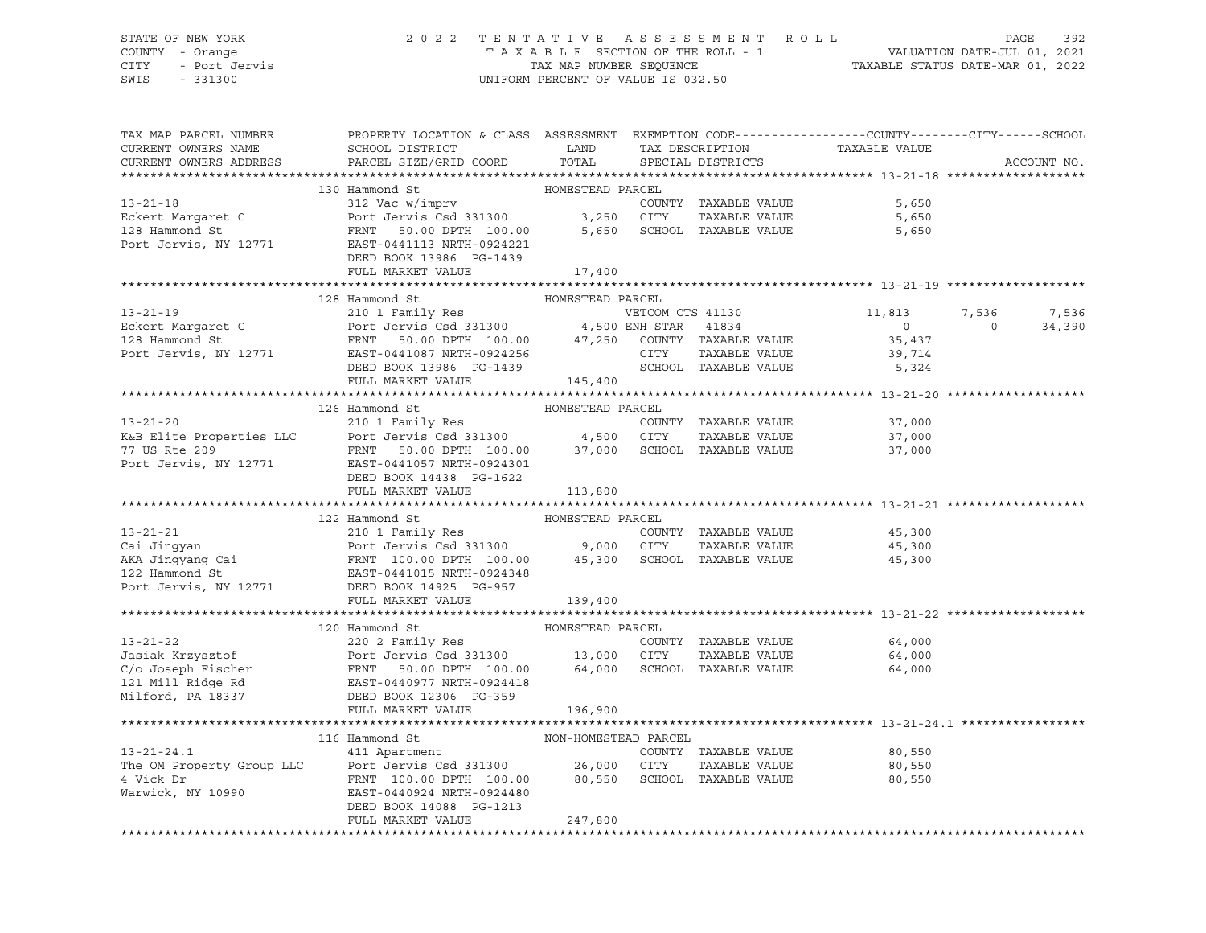## STATE OF NEW YORK 2 0 2 2 T E N T A T I V E A S S E S S M E N T R O L L PAGE 392 COUNTY - Orange T A X A B L E SECTION OF THE ROLL - 1 VALUATION DATE-JUL 01, 2021 CITY - Port Jervis TAX MAP NUMBER SEQUENCE TAXABLE STATUS DATE-MAR 01, 2022

SWIS - 331300 UNIFORM PERCENT OF VALUE IS 032.50

| ACCOUNT NO.<br>DEED BOOK 13986 PG-1439<br>---<br>FULL MARKET VALUE<br>17,400<br>13-21-19<br>128 Hammond St<br>220 1 Family Res<br>Eckert Margaret C<br>238 Hammond St<br>238 Hammond St<br>238 Hammond St<br>238 Hammond St<br>238 Hammond St<br>238 Hammond St<br>238 Hammond St<br>238 Hammond St<br>239 Hammond St<br>239 Hammond St<br><br>13-21-20<br>126 Hammond St<br>210 1 Family Res<br>K&B Elite Properties LLC<br>POTT Jervis Csd 331300<br>210 1 Family Res<br>FRNT 50.00 DPTH 100.00<br>217 100.00<br>27,000<br>27,000<br>27,000<br>27,000<br>27,000<br>27,000<br>27,000<br>27,000<br>27,000<br>27<br>FULL MARKET VALUE 113,800<br>13-21-21<br>13-21-21<br>210 1 Family Res<br>Cai Jingyan Port Jervis Csd 331300<br>210 1 Family Res<br>Port Jervis Csd 331300<br>212 Hammond St<br>22 Hammond St<br>22 Hammond St<br>22 Hammond St<br>22 Hammond St<br>22 Hammond St<br>22 Hammond St<br><br>FULL MARKET VALUE<br>139,400<br>********************************** 13-21-22 ********<br>13-21-22<br>13-21-22<br>20 Hammond St<br>20 Hammond St<br>20 2 Family Res<br>331300<br>C/o Joseph Fischer FRNT 50.00 DPTH 100.00 64,000 SCHOOL TAXABLE VALUE<br>21 Mill Ridge Rd<br>21 Mill Ridge Rd<br>22 Mill Ridge Rd<br>22 Mill Ridge Rd<br>22 M<br>196,900 | TAX MAP PARCEL NUMBER | PROPERTY LOCATION & CLASS ASSESSMENT EXEMPTION CODE----------------COUNTY-------CITY------SCHOOL |  |  |  |
|---------------------------------------------------------------------------------------------------------------------------------------------------------------------------------------------------------------------------------------------------------------------------------------------------------------------------------------------------------------------------------------------------------------------------------------------------------------------------------------------------------------------------------------------------------------------------------------------------------------------------------------------------------------------------------------------------------------------------------------------------------------------------------------------------------------------------------------------------------------------------------------------------------------------------------------------------------------------------------------------------------------------------------------------------------------------------------------------------------------------------------------------------------------------------------------------------------------------------------------------------------------------|-----------------------|--------------------------------------------------------------------------------------------------|--|--|--|
|                                                                                                                                                                                                                                                                                                                                                                                                                                                                                                                                                                                                                                                                                                                                                                                                                                                                                                                                                                                                                                                                                                                                                                                                                                                                     |                       |                                                                                                  |  |  |  |
|                                                                                                                                                                                                                                                                                                                                                                                                                                                                                                                                                                                                                                                                                                                                                                                                                                                                                                                                                                                                                                                                                                                                                                                                                                                                     |                       |                                                                                                  |  |  |  |
|                                                                                                                                                                                                                                                                                                                                                                                                                                                                                                                                                                                                                                                                                                                                                                                                                                                                                                                                                                                                                                                                                                                                                                                                                                                                     |                       |                                                                                                  |  |  |  |
|                                                                                                                                                                                                                                                                                                                                                                                                                                                                                                                                                                                                                                                                                                                                                                                                                                                                                                                                                                                                                                                                                                                                                                                                                                                                     |                       |                                                                                                  |  |  |  |
|                                                                                                                                                                                                                                                                                                                                                                                                                                                                                                                                                                                                                                                                                                                                                                                                                                                                                                                                                                                                                                                                                                                                                                                                                                                                     |                       |                                                                                                  |  |  |  |
|                                                                                                                                                                                                                                                                                                                                                                                                                                                                                                                                                                                                                                                                                                                                                                                                                                                                                                                                                                                                                                                                                                                                                                                                                                                                     |                       |                                                                                                  |  |  |  |
|                                                                                                                                                                                                                                                                                                                                                                                                                                                                                                                                                                                                                                                                                                                                                                                                                                                                                                                                                                                                                                                                                                                                                                                                                                                                     |                       |                                                                                                  |  |  |  |
|                                                                                                                                                                                                                                                                                                                                                                                                                                                                                                                                                                                                                                                                                                                                                                                                                                                                                                                                                                                                                                                                                                                                                                                                                                                                     |                       |                                                                                                  |  |  |  |
|                                                                                                                                                                                                                                                                                                                                                                                                                                                                                                                                                                                                                                                                                                                                                                                                                                                                                                                                                                                                                                                                                                                                                                                                                                                                     |                       |                                                                                                  |  |  |  |
|                                                                                                                                                                                                                                                                                                                                                                                                                                                                                                                                                                                                                                                                                                                                                                                                                                                                                                                                                                                                                                                                                                                                                                                                                                                                     |                       |                                                                                                  |  |  |  |
|                                                                                                                                                                                                                                                                                                                                                                                                                                                                                                                                                                                                                                                                                                                                                                                                                                                                                                                                                                                                                                                                                                                                                                                                                                                                     |                       |                                                                                                  |  |  |  |
|                                                                                                                                                                                                                                                                                                                                                                                                                                                                                                                                                                                                                                                                                                                                                                                                                                                                                                                                                                                                                                                                                                                                                                                                                                                                     |                       |                                                                                                  |  |  |  |
|                                                                                                                                                                                                                                                                                                                                                                                                                                                                                                                                                                                                                                                                                                                                                                                                                                                                                                                                                                                                                                                                                                                                                                                                                                                                     |                       |                                                                                                  |  |  |  |
|                                                                                                                                                                                                                                                                                                                                                                                                                                                                                                                                                                                                                                                                                                                                                                                                                                                                                                                                                                                                                                                                                                                                                                                                                                                                     |                       |                                                                                                  |  |  |  |
|                                                                                                                                                                                                                                                                                                                                                                                                                                                                                                                                                                                                                                                                                                                                                                                                                                                                                                                                                                                                                                                                                                                                                                                                                                                                     |                       |                                                                                                  |  |  |  |
|                                                                                                                                                                                                                                                                                                                                                                                                                                                                                                                                                                                                                                                                                                                                                                                                                                                                                                                                                                                                                                                                                                                                                                                                                                                                     |                       |                                                                                                  |  |  |  |
|                                                                                                                                                                                                                                                                                                                                                                                                                                                                                                                                                                                                                                                                                                                                                                                                                                                                                                                                                                                                                                                                                                                                                                                                                                                                     |                       |                                                                                                  |  |  |  |
|                                                                                                                                                                                                                                                                                                                                                                                                                                                                                                                                                                                                                                                                                                                                                                                                                                                                                                                                                                                                                                                                                                                                                                                                                                                                     |                       |                                                                                                  |  |  |  |
|                                                                                                                                                                                                                                                                                                                                                                                                                                                                                                                                                                                                                                                                                                                                                                                                                                                                                                                                                                                                                                                                                                                                                                                                                                                                     |                       |                                                                                                  |  |  |  |
|                                                                                                                                                                                                                                                                                                                                                                                                                                                                                                                                                                                                                                                                                                                                                                                                                                                                                                                                                                                                                                                                                                                                                                                                                                                                     |                       |                                                                                                  |  |  |  |
|                                                                                                                                                                                                                                                                                                                                                                                                                                                                                                                                                                                                                                                                                                                                                                                                                                                                                                                                                                                                                                                                                                                                                                                                                                                                     |                       |                                                                                                  |  |  |  |
|                                                                                                                                                                                                                                                                                                                                                                                                                                                                                                                                                                                                                                                                                                                                                                                                                                                                                                                                                                                                                                                                                                                                                                                                                                                                     |                       |                                                                                                  |  |  |  |
|                                                                                                                                                                                                                                                                                                                                                                                                                                                                                                                                                                                                                                                                                                                                                                                                                                                                                                                                                                                                                                                                                                                                                                                                                                                                     |                       |                                                                                                  |  |  |  |
|                                                                                                                                                                                                                                                                                                                                                                                                                                                                                                                                                                                                                                                                                                                                                                                                                                                                                                                                                                                                                                                                                                                                                                                                                                                                     |                       |                                                                                                  |  |  |  |
|                                                                                                                                                                                                                                                                                                                                                                                                                                                                                                                                                                                                                                                                                                                                                                                                                                                                                                                                                                                                                                                                                                                                                                                                                                                                     |                       |                                                                                                  |  |  |  |
|                                                                                                                                                                                                                                                                                                                                                                                                                                                                                                                                                                                                                                                                                                                                                                                                                                                                                                                                                                                                                                                                                                                                                                                                                                                                     |                       |                                                                                                  |  |  |  |
|                                                                                                                                                                                                                                                                                                                                                                                                                                                                                                                                                                                                                                                                                                                                                                                                                                                                                                                                                                                                                                                                                                                                                                                                                                                                     |                       |                                                                                                  |  |  |  |
|                                                                                                                                                                                                                                                                                                                                                                                                                                                                                                                                                                                                                                                                                                                                                                                                                                                                                                                                                                                                                                                                                                                                                                                                                                                                     |                       |                                                                                                  |  |  |  |
|                                                                                                                                                                                                                                                                                                                                                                                                                                                                                                                                                                                                                                                                                                                                                                                                                                                                                                                                                                                                                                                                                                                                                                                                                                                                     |                       |                                                                                                  |  |  |  |
|                                                                                                                                                                                                                                                                                                                                                                                                                                                                                                                                                                                                                                                                                                                                                                                                                                                                                                                                                                                                                                                                                                                                                                                                                                                                     |                       |                                                                                                  |  |  |  |
|                                                                                                                                                                                                                                                                                                                                                                                                                                                                                                                                                                                                                                                                                                                                                                                                                                                                                                                                                                                                                                                                                                                                                                                                                                                                     |                       |                                                                                                  |  |  |  |
|                                                                                                                                                                                                                                                                                                                                                                                                                                                                                                                                                                                                                                                                                                                                                                                                                                                                                                                                                                                                                                                                                                                                                                                                                                                                     |                       |                                                                                                  |  |  |  |
|                                                                                                                                                                                                                                                                                                                                                                                                                                                                                                                                                                                                                                                                                                                                                                                                                                                                                                                                                                                                                                                                                                                                                                                                                                                                     |                       |                                                                                                  |  |  |  |
|                                                                                                                                                                                                                                                                                                                                                                                                                                                                                                                                                                                                                                                                                                                                                                                                                                                                                                                                                                                                                                                                                                                                                                                                                                                                     |                       |                                                                                                  |  |  |  |
|                                                                                                                                                                                                                                                                                                                                                                                                                                                                                                                                                                                                                                                                                                                                                                                                                                                                                                                                                                                                                                                                                                                                                                                                                                                                     |                       |                                                                                                  |  |  |  |
|                                                                                                                                                                                                                                                                                                                                                                                                                                                                                                                                                                                                                                                                                                                                                                                                                                                                                                                                                                                                                                                                                                                                                                                                                                                                     |                       |                                                                                                  |  |  |  |
|                                                                                                                                                                                                                                                                                                                                                                                                                                                                                                                                                                                                                                                                                                                                                                                                                                                                                                                                                                                                                                                                                                                                                                                                                                                                     |                       |                                                                                                  |  |  |  |
|                                                                                                                                                                                                                                                                                                                                                                                                                                                                                                                                                                                                                                                                                                                                                                                                                                                                                                                                                                                                                                                                                                                                                                                                                                                                     |                       |                                                                                                  |  |  |  |
|                                                                                                                                                                                                                                                                                                                                                                                                                                                                                                                                                                                                                                                                                                                                                                                                                                                                                                                                                                                                                                                                                                                                                                                                                                                                     |                       |                                                                                                  |  |  |  |
|                                                                                                                                                                                                                                                                                                                                                                                                                                                                                                                                                                                                                                                                                                                                                                                                                                                                                                                                                                                                                                                                                                                                                                                                                                                                     |                       |                                                                                                  |  |  |  |
|                                                                                                                                                                                                                                                                                                                                                                                                                                                                                                                                                                                                                                                                                                                                                                                                                                                                                                                                                                                                                                                                                                                                                                                                                                                                     |                       |                                                                                                  |  |  |  |
|                                                                                                                                                                                                                                                                                                                                                                                                                                                                                                                                                                                                                                                                                                                                                                                                                                                                                                                                                                                                                                                                                                                                                                                                                                                                     |                       |                                                                                                  |  |  |  |
|                                                                                                                                                                                                                                                                                                                                                                                                                                                                                                                                                                                                                                                                                                                                                                                                                                                                                                                                                                                                                                                                                                                                                                                                                                                                     |                       |                                                                                                  |  |  |  |
|                                                                                                                                                                                                                                                                                                                                                                                                                                                                                                                                                                                                                                                                                                                                                                                                                                                                                                                                                                                                                                                                                                                                                                                                                                                                     |                       |                                                                                                  |  |  |  |
|                                                                                                                                                                                                                                                                                                                                                                                                                                                                                                                                                                                                                                                                                                                                                                                                                                                                                                                                                                                                                                                                                                                                                                                                                                                                     |                       |                                                                                                  |  |  |  |
|                                                                                                                                                                                                                                                                                                                                                                                                                                                                                                                                                                                                                                                                                                                                                                                                                                                                                                                                                                                                                                                                                                                                                                                                                                                                     |                       |                                                                                                  |  |  |  |
|                                                                                                                                                                                                                                                                                                                                                                                                                                                                                                                                                                                                                                                                                                                                                                                                                                                                                                                                                                                                                                                                                                                                                                                                                                                                     |                       |                                                                                                  |  |  |  |
|                                                                                                                                                                                                                                                                                                                                                                                                                                                                                                                                                                                                                                                                                                                                                                                                                                                                                                                                                                                                                                                                                                                                                                                                                                                                     |                       |                                                                                                  |  |  |  |
|                                                                                                                                                                                                                                                                                                                                                                                                                                                                                                                                                                                                                                                                                                                                                                                                                                                                                                                                                                                                                                                                                                                                                                                                                                                                     |                       |                                                                                                  |  |  |  |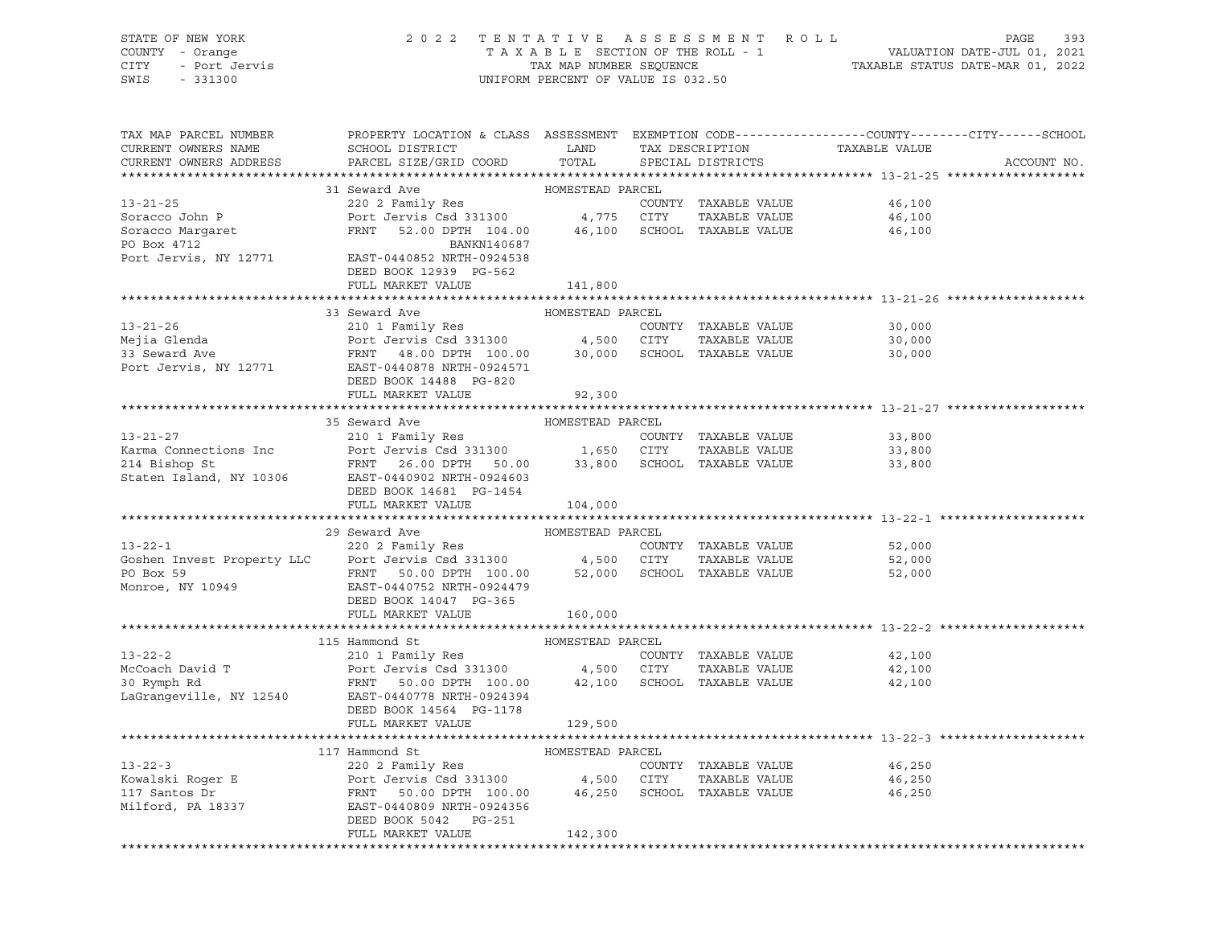| STATE OF NEW YORK<br>COUNTY - Orange<br>CITY<br>- Port Jervis<br>SWIS<br>$-331300$ | 2 0 2 2                                                                                          | UNIFORM PERCENT OF VALUE IS 032.50 |      | TENTATIVE ASSESSMENT ROLL   |               | PAGE<br>393<br>T A X A B L E SECTION OF THE ROLL - 1 VALUATION DATE-JUL 01, 2021<br>TAX MAP NUMBER SEQUENCE TAXABLE STATUS DATE-MAR 01, 2022 |
|------------------------------------------------------------------------------------|--------------------------------------------------------------------------------------------------|------------------------------------|------|-----------------------------|---------------|----------------------------------------------------------------------------------------------------------------------------------------------|
|                                                                                    |                                                                                                  |                                    |      |                             |               |                                                                                                                                              |
| TAX MAP PARCEL NUMBER                                                              | PROPERTY LOCATION & CLASS ASSESSMENT EXEMPTION CODE----------------COUNTY-------CITY------SCHOOL |                                    |      |                             |               |                                                                                                                                              |
| CURRENT OWNERS NAME                                                                | SCHOOL DISTRICT                                                                                  | LAND                               |      | TAX DESCRIPTION             | TAXABLE VALUE |                                                                                                                                              |
| CURRENT OWNERS ADDRESS                                                             | PARCEL SIZE/GRID COORD                                                                           | TOTAL                              |      | SPECIAL DISTRICTS           |               | ACCOUNT NO.                                                                                                                                  |
|                                                                                    |                                                                                                  |                                    |      |                             |               |                                                                                                                                              |
|                                                                                    | 31 Seward Ave                                                                                    | HOMESTEAD PARCEL                   |      |                             |               |                                                                                                                                              |
| $13 - 21 - 25$                                                                     | 220 2 Family Res                                                                                 |                                    |      | COUNTY TAXABLE VALUE        | 46,100        |                                                                                                                                              |
| Soracco John P                                                                     | Port Jervis Csd 331300 4,775 CITY<br>52.00 DPTH 104.00 46,100 SCHOOL TAXABLE VALUE               |                                    |      | TAXABLE VALUE               | 46,100        |                                                                                                                                              |
| Soracco Margaret<br>PO Box 4712<br>PO Box 4712                                     | FRNT<br>BANKN140687                                                                              |                                    |      |                             | 46,100        |                                                                                                                                              |
| Port Jervis, NY 12771                                                              | EAST-0440852 NRTH-0924538                                                                        |                                    |      |                             |               |                                                                                                                                              |
|                                                                                    | DEED BOOK 12939 PG-562                                                                           |                                    |      |                             |               |                                                                                                                                              |
|                                                                                    | FULL MARKET VALUE                                                                                | 141,800                            |      |                             |               |                                                                                                                                              |
|                                                                                    |                                                                                                  |                                    |      |                             |               |                                                                                                                                              |
|                                                                                    | 33 Seward Ave                                                                                    | HOMESTEAD PARCEL                   |      |                             |               |                                                                                                                                              |
| $13 - 21 - 26$                                                                     | 210 1 Family Res                                                                                 |                                    |      | COUNTY TAXABLE VALUE        | 30,000        |                                                                                                                                              |
| Mejia Glenda                                                                       | Port Jervis Csd 331300 4,500 CITY                                                                |                                    |      | TAXABLE VALUE               | 30,000        |                                                                                                                                              |
| 33 Seward Ave                                                                      | FRNT 48.00 DPTH 100.00 30,000 SCHOOL TAXABLE VALUE                                               |                                    |      |                             | 30,000        |                                                                                                                                              |
| Port Jervis, NY 12771                                                              | EAST-0440878 NRTH-0924571                                                                        |                                    |      |                             |               |                                                                                                                                              |
|                                                                                    | DEED BOOK 14488 PG-820<br>FULL MARKET VALUE                                                      | 92,300                             |      |                             |               |                                                                                                                                              |
|                                                                                    |                                                                                                  |                                    |      |                             |               |                                                                                                                                              |
|                                                                                    | 35 Seward Ave                                                                                    | HOMESTEAD PARCEL                   |      |                             |               |                                                                                                                                              |
| $13 - 21 - 27$                                                                     | 210 1 Family Res                                                                                 |                                    |      | COUNTY TAXABLE VALUE        | 33,800        |                                                                                                                                              |
| Karma Connections Inc                                                              | Port Jervis Csd 331300 1,650 CITY                                                                |                                    |      | TAXABLE VALUE               | 33,800        |                                                                                                                                              |
| 214 Bishop St                                                                      | FRNT 26.00 DPTH 50.00                                                                            |                                    |      | 33,800 SCHOOL TAXABLE VALUE | 33,800        |                                                                                                                                              |
| Staten Island, NY 10306                                                            | EAST-0440902 NRTH-0924603                                                                        |                                    |      |                             |               |                                                                                                                                              |
|                                                                                    | DEED BOOK 14681 PG-1454                                                                          |                                    |      |                             |               |                                                                                                                                              |
|                                                                                    | FULL MARKET VALUE                                                                                | 104,000                            |      |                             |               |                                                                                                                                              |
|                                                                                    | 29 Seward Ave                                                                                    | HOMESTEAD PARCEL                   |      |                             |               |                                                                                                                                              |
| $13 - 22 - 1$                                                                      | 220 2 Family Res                                                                                 |                                    |      | COUNTY TAXABLE VALUE        | 52,000        |                                                                                                                                              |
| Goshen Invest Property LLC                                                         | Port Jervis Csd 331300 4,500 CITY                                                                |                                    |      | TAXABLE VALUE               | 52,000        |                                                                                                                                              |
| PO Box 59                                                                          | FRNT<br>50.00 DPTH 100.00                                                                        |                                    |      | 52,000 SCHOOL TAXABLE VALUE | 52,000        |                                                                                                                                              |
| Monroe, NY 10949                                                                   | EAST-0440752 NRTH-0924479                                                                        |                                    |      |                             |               |                                                                                                                                              |
|                                                                                    | DEED BOOK 14047 PG-365                                                                           |                                    |      |                             |               |                                                                                                                                              |
|                                                                                    | FULL MARKET VALUE                                                                                | 160,000                            |      |                             |               |                                                                                                                                              |
|                                                                                    |                                                                                                  |                                    |      |                             |               |                                                                                                                                              |
| $13 - 22 - 2$                                                                      | 115 Hammond St<br>210 1 Family Res                                                               | HOMESTEAD PARCEL                   |      | COUNTY TAXABLE VALUE        | 42,100        |                                                                                                                                              |
| McCoach David T                                                                    | Port Jervis Csd 331300 4,500 CITY                                                                |                                    |      | TAXABLE VALUE               | 42,100        |                                                                                                                                              |
| 30 Rymph Rd                                                                        | FRNT 50.00 DPTH 100.00 42,100 SCHOOL TAXABLE VALUE                                               |                                    |      |                             | 42,100        |                                                                                                                                              |
| LaGrangeville, NY 12540                                                            | EAST-0440778 NRTH-0924394                                                                        |                                    |      |                             |               |                                                                                                                                              |
|                                                                                    | DEED BOOK 14564 PG-1178                                                                          |                                    |      |                             |               |                                                                                                                                              |
|                                                                                    | FULL MARKET VALUE                                                                                | 129,500                            |      |                             |               |                                                                                                                                              |
|                                                                                    |                                                                                                  |                                    |      |                             |               |                                                                                                                                              |
|                                                                                    | 117 Hammond St                                                                                   | HOMESTEAD PARCEL                   |      |                             |               |                                                                                                                                              |
| $13 - 22 - 3$                                                                      | 220 2 Family Res                                                                                 |                                    |      | COUNTY TAXABLE VALUE        | 46,250        |                                                                                                                                              |
| Kowalski Roger E                                                                   | Port Jervis Csd 331300                                                                           | 4,500                              | CITY | TAXABLE VALUE               | 46,250        |                                                                                                                                              |
| 117 Santos Dr                                                                      | 50.00 DPTH 100.00<br>FRNT<br>EAST-0440809 NRTH-0924356                                           | 46,250                             |      | SCHOOL TAXABLE VALUE        | 46,250        |                                                                                                                                              |
| Milford, PA 18337                                                                  | DEED BOOK 5042<br>PG-251                                                                         |                                    |      |                             |               |                                                                                                                                              |
|                                                                                    | FULL MARKET VALUE                                                                                | 142,300                            |      |                             |               |                                                                                                                                              |
|                                                                                    |                                                                                                  |                                    |      |                             |               |                                                                                                                                              |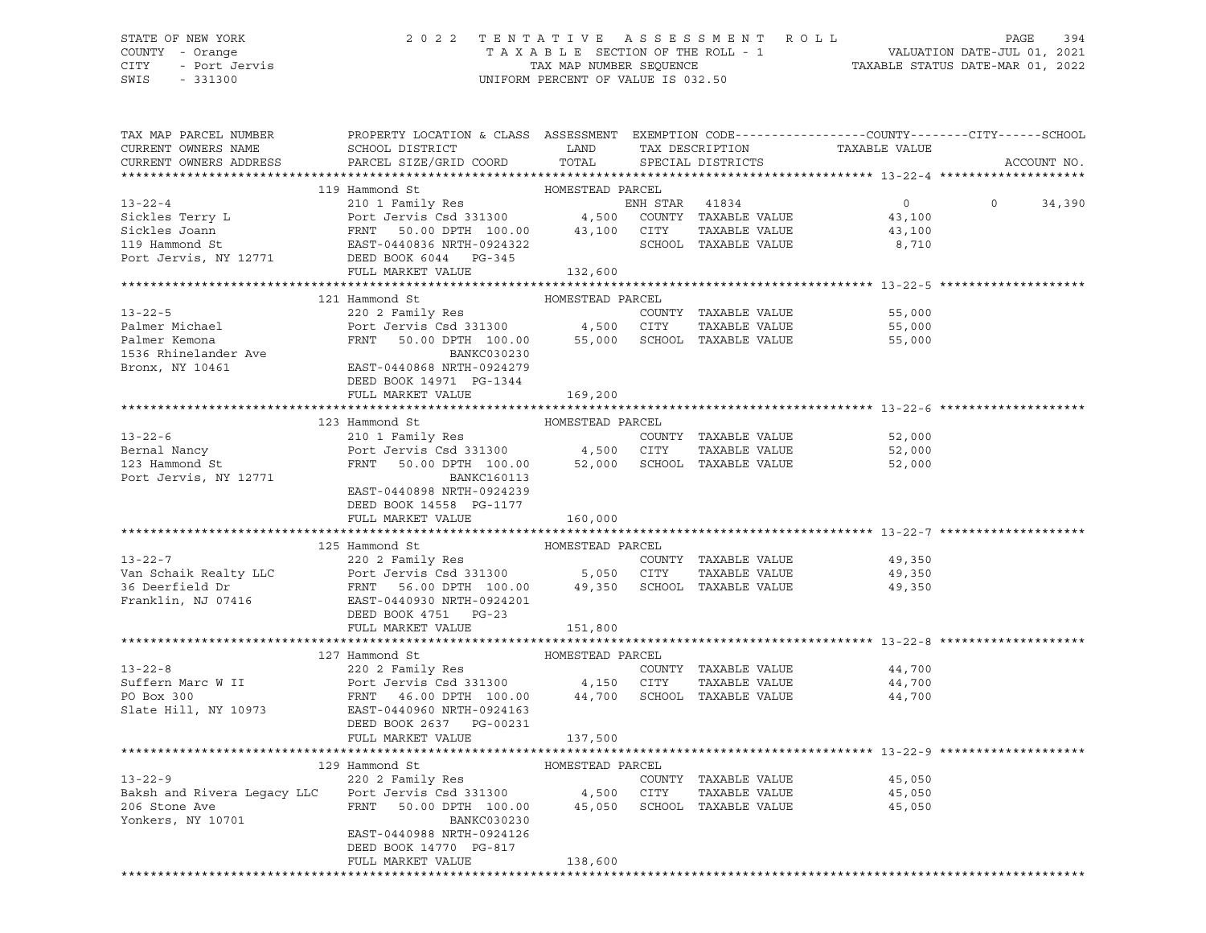## STATE OF NEW YORK 2 0 2 2 T E N T A T I V E A S S E S S M E N T R O L L PAGE 394 COUNTY - Orange T A X A B L E SECTION OF THE ROLL - 1 VALUATION DATE-JUL 01, 2021 CITY - Port Jervis TAX MAP NUMBER SEQUENCE TAXABLE STATUS DATE-MAR 01, 2022

| TAX MAP PARCEL NUMBER<br>CURRENT OWNERS NAME                                                                                                                                                                                                           | PROPERTY LOCATION & CLASS ASSESSMENT EXEMPTION CODE----------------COUNTY-------CITY------SCHOOL<br>SCHOOL DISTRICT LAND |                  | TAX DESCRIPTION      | TAXABLE VALUE              |                    |
|--------------------------------------------------------------------------------------------------------------------------------------------------------------------------------------------------------------------------------------------------------|--------------------------------------------------------------------------------------------------------------------------|------------------|----------------------|----------------------------|--------------------|
| CURRENT OWNERS ADDRESS                                                                                                                                                                                                                                 | PARCEL SIZE/GRID COORD                                                                                                   | TOTAL            | SPECIAL DISTRICTS    |                            | ACCOUNT NO.        |
|                                                                                                                                                                                                                                                        |                                                                                                                          |                  |                      |                            |                    |
|                                                                                                                                                                                                                                                        | 119 Hammond St                                                                                                           | HOMESTEAD PARCEL |                      |                            |                    |
| 13-22-4<br>Sickles Terry L<br>Sickles Joann FRNT 50.00 DPTH 100.00 43,100 CUNTY TAXABLE VALUE 43,100<br>Sickles Joann FRNT 50.00 DPTH 100.00 43,100 CITY TAXABLE VALUE 43,100<br>119 Hammond St<br>Port Jervis, NY 12771 DEED BOOK 6044                |                                                                                                                          |                  |                      |                            | $\Omega$<br>34,390 |
|                                                                                                                                                                                                                                                        |                                                                                                                          |                  |                      |                            |                    |
|                                                                                                                                                                                                                                                        |                                                                                                                          |                  |                      |                            |                    |
|                                                                                                                                                                                                                                                        |                                                                                                                          |                  |                      |                            |                    |
|                                                                                                                                                                                                                                                        |                                                                                                                          |                  |                      |                            |                    |
|                                                                                                                                                                                                                                                        | FULL MARKET VALUE                                                                                                        | 132,600          |                      |                            |                    |
|                                                                                                                                                                                                                                                        |                                                                                                                          |                  |                      |                            |                    |
|                                                                                                                                                                                                                                                        |                                                                                                                          |                  |                      |                            |                    |
|                                                                                                                                                                                                                                                        |                                                                                                                          |                  |                      | 55,000                     |                    |
|                                                                                                                                                                                                                                                        |                                                                                                                          |                  | TAXABLE VALUE        |                            |                    |
|                                                                                                                                                                                                                                                        |                                                                                                                          |                  |                      | 55,000<br>55,000<br>55,000 |                    |
|                                                                                                                                                                                                                                                        | BANKC030230                                                                                                              |                  |                      |                            |                    |
| 1536 Rhinelander Ave FANI 50.00 DFTH 100.00<br>BANKC030230<br>Bronx, NY 10461 EAST-0440868 NRTH-0924279                                                                                                                                                |                                                                                                                          |                  |                      |                            |                    |
|                                                                                                                                                                                                                                                        | DEED BOOK 14971 PG-1344                                                                                                  |                  |                      |                            |                    |
|                                                                                                                                                                                                                                                        | FULL MARKET VALUE                                                                                                        | 169,200          |                      |                            |                    |
|                                                                                                                                                                                                                                                        |                                                                                                                          |                  |                      |                            |                    |
|                                                                                                                                                                                                                                                        | HOMESTEAD PARCEL<br>123 Hammond St                                                                                       |                  |                      |                            |                    |
| $13 - 22 - 6$                                                                                                                                                                                                                                          | 210 1 Family Res                                                                                                         |                  | COUNTY TAXABLE VALUE | 52,000                     |                    |
|                                                                                                                                                                                                                                                        |                                                                                                                          |                  |                      | TAXABLE VALUE 52,000       |                    |
|                                                                                                                                                                                                                                                        |                                                                                                                          |                  |                      | 52,000                     |                    |
| Port Jervis, NY 12771                                                                                                                                                                                                                                  | BANKC160113                                                                                                              |                  |                      |                            |                    |
|                                                                                                                                                                                                                                                        | EAST-0440898 NRTH-0924239                                                                                                |                  |                      |                            |                    |
|                                                                                                                                                                                                                                                        | DEED BOOK 14558 PG-1177                                                                                                  |                  |                      |                            |                    |
|                                                                                                                                                                                                                                                        | FULL MARKET VALUE                                                                                                        | 160,000          |                      |                            |                    |
|                                                                                                                                                                                                                                                        |                                                                                                                          |                  |                      |                            |                    |
| MOMESTEAD PARCEL<br>13-22-7<br>220 2 Family Res<br>220 2 Family Res<br>220 2 Family Res<br>220 2 Family Res<br>220 2 Family Res<br>220 2 Family Res<br>220 2 Family Res<br>220 2 Family Res<br>220 2 Family Res<br>220 2 Family Res<br>220 2 Family Re |                                                                                                                          | HOMESTEAD PARCEL |                      |                            |                    |
|                                                                                                                                                                                                                                                        |                                                                                                                          |                  |                      |                            |                    |
|                                                                                                                                                                                                                                                        |                                                                                                                          |                  |                      | 49,350<br>49,350           |                    |
|                                                                                                                                                                                                                                                        |                                                                                                                          |                  |                      | 49,350                     |                    |
|                                                                                                                                                                                                                                                        |                                                                                                                          |                  |                      |                            |                    |
|                                                                                                                                                                                                                                                        | DEED BOOK 4751 PG-23                                                                                                     |                  |                      |                            |                    |
|                                                                                                                                                                                                                                                        | FULL MARKET VALUE                                                                                                        | 151,800          |                      |                            |                    |
|                                                                                                                                                                                                                                                        |                                                                                                                          |                  |                      |                            |                    |
|                                                                                                                                                                                                                                                        | 127 Hammond St                                                                                                           | HOMESTEAD PARCEL |                      |                            |                    |
|                                                                                                                                                                                                                                                        |                                                                                                                          |                  | COUNTY TAXABLE VALUE | 44,700                     |                    |
|                                                                                                                                                                                                                                                        |                                                                                                                          |                  | TAXABLE VALUE        | 44,700                     |                    |
|                                                                                                                                                                                                                                                        |                                                                                                                          |                  |                      | 44,700                     |                    |
|                                                                                                                                                                                                                                                        |                                                                                                                          |                  |                      |                            |                    |
|                                                                                                                                                                                                                                                        | DEED BOOK 2637 PG-00231                                                                                                  |                  |                      |                            |                    |
|                                                                                                                                                                                                                                                        | FULL MARKET VALUE 137,500                                                                                                |                  |                      |                            |                    |
|                                                                                                                                                                                                                                                        |                                                                                                                          |                  |                      |                            |                    |
|                                                                                                                                                                                                                                                        | Hammond St<br>220 2 Family Res<br>COUN<br>129 Hammond St                                                                 |                  |                      |                            |                    |
| $13 - 22 - 9$                                                                                                                                                                                                                                          |                                                                                                                          |                  | COUNTY TAXABLE VALUE | 45,050                     |                    |
|                                                                                                                                                                                                                                                        |                                                                                                                          |                  | TAXABLE VALUE        | 45,050<br>45,050           |                    |
|                                                                                                                                                                                                                                                        |                                                                                                                          |                  |                      |                            |                    |
| Yonkers, NY 10701                                                                                                                                                                                                                                      | BANKC030230                                                                                                              |                  |                      |                            |                    |
|                                                                                                                                                                                                                                                        | EAST-0440988 NRTH-0924126                                                                                                |                  |                      |                            |                    |
|                                                                                                                                                                                                                                                        | DEED BOOK 14770 PG-817                                                                                                   |                  |                      |                            |                    |
|                                                                                                                                                                                                                                                        | FULL MARKET VALUE                                                                                                        | 138,600          |                      |                            |                    |
|                                                                                                                                                                                                                                                        |                                                                                                                          |                  |                      |                            |                    |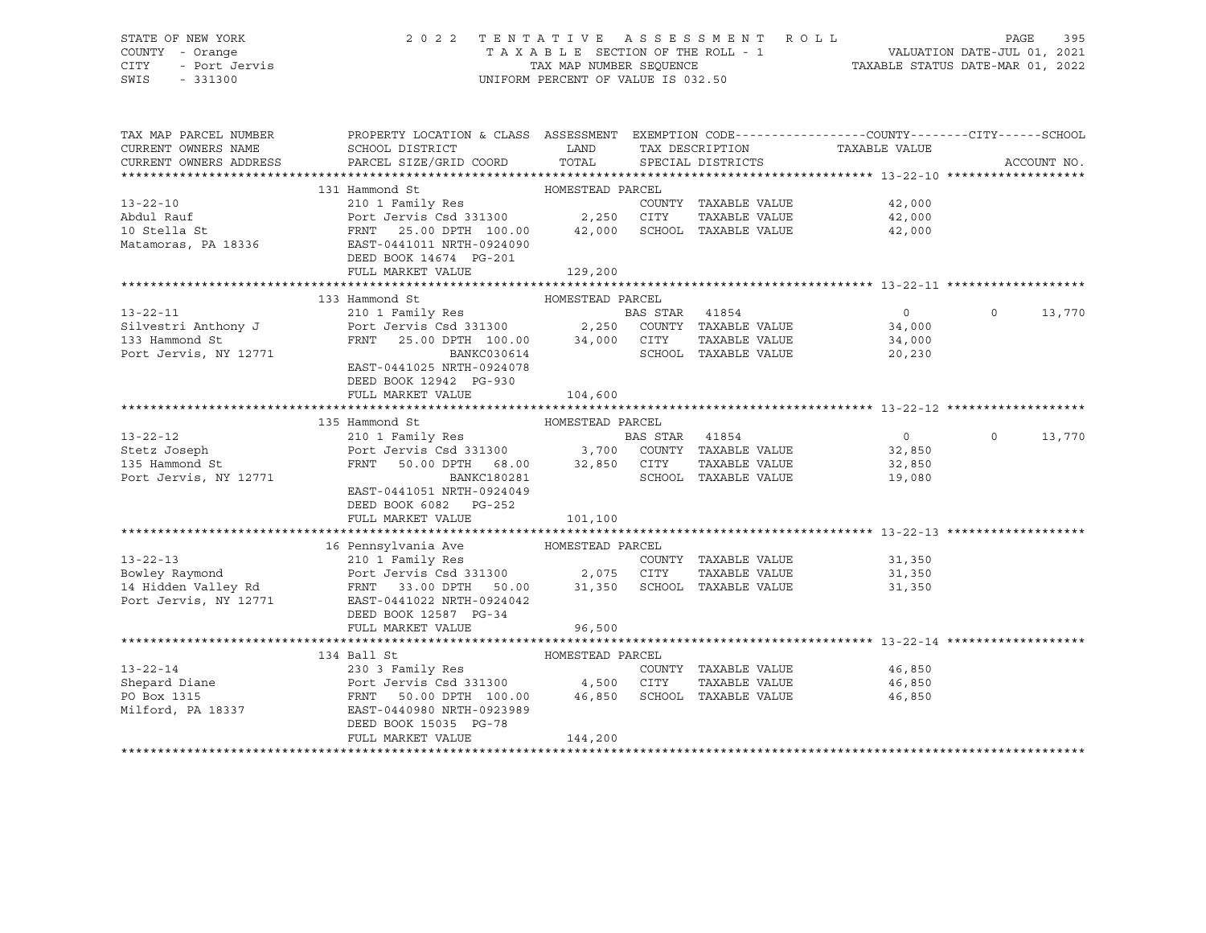## STATE OF NEW YORK 2 0 2 2 T E N T A T I V E A S S E S S M E N T R O L L PAGE 395 COUNTY - Orange T A X A B L E SECTION OF THE ROLL - 1 VALUATION DATE-JUL 01, 2021 CITY - Port Jervis TAX MAP NUMBER SEQUENCE TAXABLE STATUS DATE-MAR 01, 2022

| TAX MAP PARCEL NUMBER<br>CURRENT OWNERS NAME<br>CURRENT OWNERS ADDRESS | PROPERTY LOCATION & CLASS ASSESSMENT EXEMPTION CODE---------------COUNTY-------CITY------SCHOOL<br>SCHOOL DISTRICT<br>PARCEL SIZE/GRID COORD                                                                                         | <b>EXAMPLE SETTING STATE</b><br>TOTAL |                      | TAX DESCRIPTION TAXABLE VALUE SPECIAL DISTRICTS | ACCOUNT NO.              |
|------------------------------------------------------------------------|--------------------------------------------------------------------------------------------------------------------------------------------------------------------------------------------------------------------------------------|---------------------------------------|----------------------|-------------------------------------------------|--------------------------|
|                                                                        |                                                                                                                                                                                                                                      |                                       |                      |                                                 |                          |
|                                                                        | 131 Hammond St MOMESTEAD PARCEL                                                                                                                                                                                                      |                                       |                      |                                                 |                          |
| $13 - 22 - 10$                                                         | 210 1 Family Res                                                                                                                                                                                                                     |                                       |                      | COUNTY TAXABLE VALUE 42,000                     |                          |
| Abdul Rauf                                                             |                                                                                                                                                                                                                                      |                                       |                      | 42,000                                          |                          |
| 10 Stella St                                                           |                                                                                                                                                                                                                                      |                                       |                      | 42,000                                          |                          |
| Matamoras, PA 18336                                                    | EAST-0441011 NRTH-0924090                                                                                                                                                                                                            |                                       |                      |                                                 |                          |
|                                                                        | DEED BOOK 14674 PG-201                                                                                                                                                                                                               |                                       |                      |                                                 |                          |
|                                                                        | FULL MARKET VALUE                                                                                                                                                                                                                    | 129,200                               |                      |                                                 |                          |
|                                                                        |                                                                                                                                                                                                                                      |                                       |                      |                                                 |                          |
|                                                                        | 133 Hammond St                                                                                                                                                                                                                       | HOMESTEAD PARCEL                      |                      |                                                 |                          |
|                                                                        |                                                                                                                                                                                                                                      |                                       |                      | $\overline{0}$                                  | $\Omega$<br>13,770       |
|                                                                        |                                                                                                                                                                                                                                      |                                       |                      | 34,000                                          |                          |
|                                                                        |                                                                                                                                                                                                                                      |                                       |                      | TAXABLE VALUE 34,000                            |                          |
|                                                                        | 13-22-11 210 1 Family Res BAS STAR 41854<br>Silvestri Anthony J Port Jervis Csd 331300 2,250 COUNTY TAXABLE VALUE<br>133 Hammond St FRNT 25.00 DPTH 100.00 34,000 CITY TAXABLE VALUE<br>Port Jervis, NY 12771 BANKC030614 SCHOOL TAX |                                       | SCHOOL TAXABLE VALUE | 20,230                                          |                          |
|                                                                        | EAST-0441025 NRTH-0924078                                                                                                                                                                                                            |                                       |                      |                                                 |                          |
|                                                                        | DEED BOOK 12942 PG-930                                                                                                                                                                                                               |                                       |                      |                                                 |                          |
|                                                                        | FULL MARKET VALUE                                                                                                                                                                                                                    | 104,600                               |                      |                                                 |                          |
|                                                                        |                                                                                                                                                                                                                                      |                                       |                      |                                                 |                          |
|                                                                        | 135 Hammond St                                                                                                                                                                                                                       |                                       |                      |                                                 |                          |
| $13 - 22 - 12$                                                         |                                                                                                                                                                                                                                      |                                       |                      | $\overline{0}$                                  | $\overline{0}$<br>13,770 |
| 13-22-12<br>Stetz Joseph                                               |                                                                                                                                                                                                                                      |                                       |                      |                                                 |                          |
| 135 Hammond St                                                         |                                                                                                                                                                                                                                      |                                       |                      |                                                 |                          |
| Port Jervis, NY 12771                                                  | BANKC180281                                                                                                                                                                                                                          |                                       | SCHOOL TAXABLE VALUE | 19,080                                          |                          |
|                                                                        | EAST-0441051 NRTH-0924049                                                                                                                                                                                                            |                                       |                      |                                                 |                          |
|                                                                        | DEED BOOK 6082 PG-252                                                                                                                                                                                                                |                                       |                      |                                                 |                          |
|                                                                        | FULL MARKET VALUE                                                                                                                                                                                                                    | 101,100                               |                      |                                                 |                          |
|                                                                        |                                                                                                                                                                                                                                      |                                       |                      |                                                 |                          |
|                                                                        | 16 Pennsylvania Ave MOMESTEAD PARCEL                                                                                                                                                                                                 |                                       |                      |                                                 |                          |
|                                                                        |                                                                                                                                                                                                                                      |                                       | COUNTY TAXABLE VALUE | 31,350                                          |                          |
|                                                                        | 13-22-13<br>210 1 Family Res<br>Bowley Raymond<br>Port Jervis Csd 331300 2,075 CITY TAXABLE VALUE<br>14 Hidden Valley Rd<br>14 Hidden Valley Rd<br>PRNT 33.00 DPTH 50.00 31,350 SCHOOL TAXABLE VALUE                                 |                                       | TAXABLE VALUE        | 31,350                                          |                          |
|                                                                        |                                                                                                                                                                                                                                      |                                       |                      | 31,350                                          |                          |
|                                                                        | Port Jervis, NY 12771 EAST-0441022 NRTH-0924042                                                                                                                                                                                      |                                       |                      |                                                 |                          |
|                                                                        | DEED BOOK 12587 PG-34                                                                                                                                                                                                                |                                       |                      |                                                 |                          |
|                                                                        | FULL MARKET VALUE                                                                                                                                                                                                                    | 96,500                                |                      |                                                 |                          |
|                                                                        |                                                                                                                                                                                                                                      |                                       |                      |                                                 |                          |
|                                                                        | 134 Ball St                                                                                                                                                                                                                          | HOMESTEAD PARCEL                      |                      |                                                 |                          |
|                                                                        | 230 3 Family Res                                                                                                                                                                                                                     |                                       |                      | COUNTY TAXABLE VALUE 46,850                     |                          |
|                                                                        |                                                                                                                                                                                                                                      |                                       | TAXABLE VALUE        | 46,850                                          |                          |
|                                                                        |                                                                                                                                                                                                                                      |                                       |                      | 46,850                                          |                          |
| Milford, PA 18337                                                      | EAST-0440980 NRTH-0923989                                                                                                                                                                                                            |                                       |                      |                                                 |                          |
|                                                                        | DEED BOOK 15035 PG-78                                                                                                                                                                                                                |                                       |                      |                                                 |                          |
|                                                                        | FULL MARKET VALUE                                                                                                                                                                                                                    | 144,200                               |                      |                                                 |                          |
|                                                                        |                                                                                                                                                                                                                                      |                                       |                      |                                                 |                          |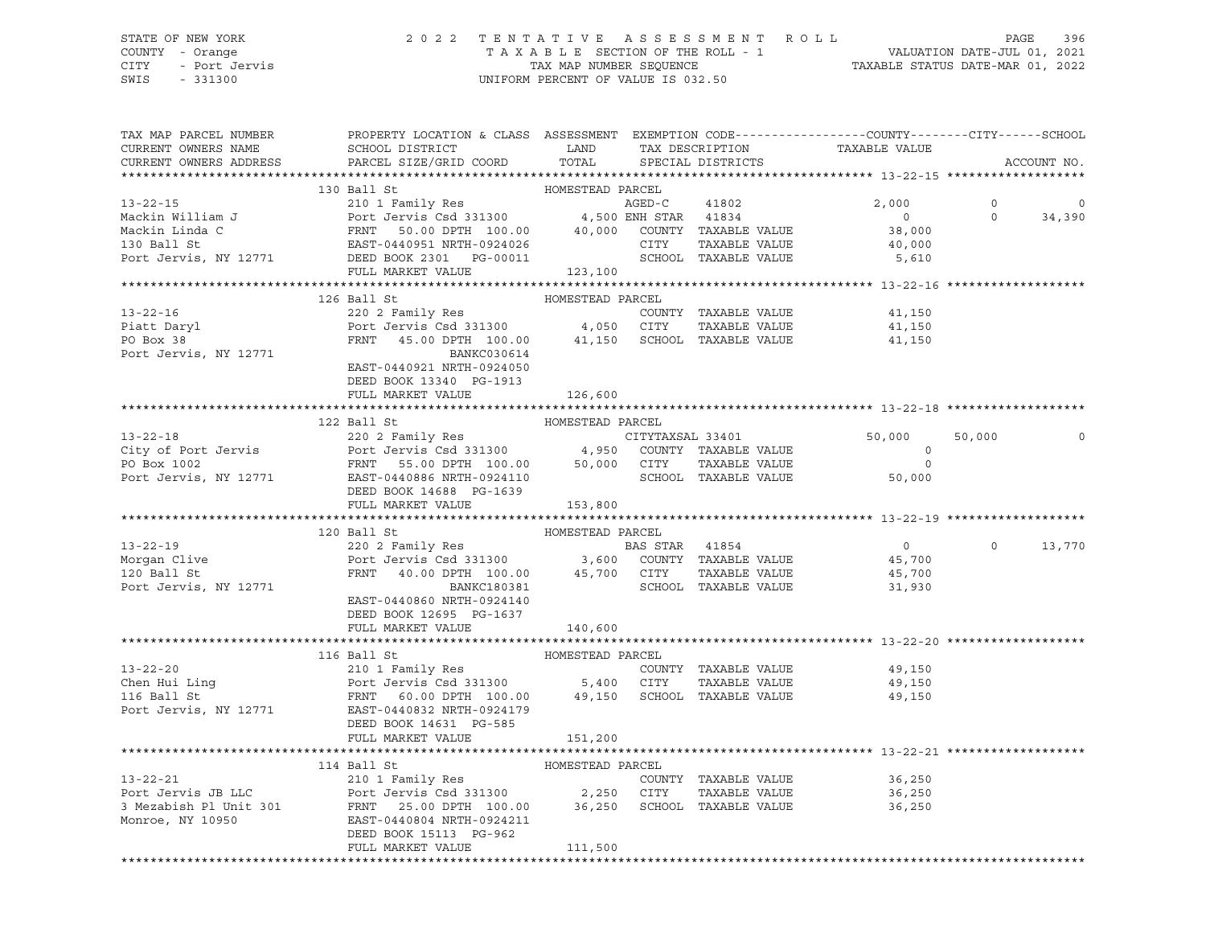# STATE OF NEW YORK 2 0 2 2 T E N T A T I V E A S S E S S M E N T R O L L PAGE 396 COUNTY - Orange T A X A B L E SECTION OF THE ROLL - 1 VALUATION DATE-JUL 01, 2021 CITY - Port Jervis TAX MAP NUMBER SEQUENCE TAXABLE STATUS DATE-MAR 01, 2022

| TAX MAP PARCEL NUMBER<br>CURRENT OWNERS NAME<br>CURRENT OWNERS ADDRESS | PROPERTY LOCATION & CLASS ASSESSMENT EXEMPTION CODE----------------COUNTY-------CITY------SCHOOL<br>SCHOOL DISTRICT LAND TAX DESCRIPTION<br>PARCEL SIZE/GRID COORD                                                                                                                 |                  | TOTAL SPECIAL DISTRICTS | TAXABLE VALUE                                         |          | ACCOUNT NO.     |
|------------------------------------------------------------------------|------------------------------------------------------------------------------------------------------------------------------------------------------------------------------------------------------------------------------------------------------------------------------------|------------------|-------------------------|-------------------------------------------------------|----------|-----------------|
|                                                                        |                                                                                                                                                                                                                                                                                    |                  |                         |                                                       |          |                 |
|                                                                        | 130 Ball St                                                                                                                                                                                                                                                                        | HOMESTEAD PARCEL |                         |                                                       |          |                 |
|                                                                        |                                                                                                                                                                                                                                                                                    |                  |                         |                                                       | $\Omega$ | 0<br>$0$ 34,390 |
|                                                                        |                                                                                                                                                                                                                                                                                    |                  |                         | $\begin{array}{c} 0 \\ 38,000 \end{array}$            |          |                 |
|                                                                        |                                                                                                                                                                                                                                                                                    |                  |                         |                                                       |          |                 |
|                                                                        |                                                                                                                                                                                                                                                                                    |                  |                         |                                                       |          |                 |
|                                                                        |                                                                                                                                                                                                                                                                                    |                  |                         |                                                       |          |                 |
|                                                                        | 130 Ball St 2,000<br>Mackin William J<br>Mackin Linda C<br>Mackin Linda C<br>Mackin Linda C<br>POTT JOUNTY 100.00 40,000 COUNTY TAXABLE VALUE<br>2,000<br>Mackin Linda C<br>POTT 50.00 DPTH 100.00 40,000 COUNTY TAXABLE VALUE<br>28,000<br>POTT J                                 |                  |                         |                                                       |          |                 |
|                                                                        |                                                                                                                                                                                                                                                                                    |                  |                         |                                                       |          |                 |
|                                                                        | 126 Ball St                                                                                                                                                                                                                                                                        | HOMESTEAD PARCEL |                         |                                                       |          |                 |
|                                                                        |                                                                                                                                                                                                                                                                                    |                  |                         | 41,150                                                |          |                 |
|                                                                        |                                                                                                                                                                                                                                                                                    |                  |                         | 41,150                                                |          |                 |
|                                                                        | 13-22-16<br>Piatt Daryl<br>Powers 1.2002 Family Res<br>Powers COUNTY TAXABLE VALUE<br>PO Box 38<br>PO Box 38<br>PO Box 38<br>PO Box 38<br>PO Box 38<br>PO Box 38<br>PO Box 38<br>PO Box 38<br>PO Box 38<br>PO BOX 38<br>PO BOX 38<br>PO BOX 38<br>PO BOX 38<br>P                   |                  |                         | 41,150                                                |          |                 |
|                                                                        |                                                                                                                                                                                                                                                                                    |                  |                         |                                                       |          |                 |
|                                                                        |                                                                                                                                                                                                                                                                                    |                  |                         |                                                       |          |                 |
|                                                                        | DEED BOOK 13340 PG-1913                                                                                                                                                                                                                                                            |                  |                         |                                                       |          |                 |
|                                                                        | FULL MARKET VALUE                                                                                                                                                                                                                                                                  | 126,600          |                         |                                                       |          |                 |
|                                                                        |                                                                                                                                                                                                                                                                                    |                  |                         |                                                       |          |                 |
|                                                                        | 122 Ball St                                                                                                                                                                                                                                                                        | HOMESTEAD PARCEL |                         |                                                       |          |                 |
|                                                                        |                                                                                                                                                                                                                                                                                    |                  |                         | 50,000                                                | 50,000   | $\mathbf 0$     |
|                                                                        |                                                                                                                                                                                                                                                                                    |                  |                         | $\begin{bmatrix} 0 \\ 0 \\ 50,000 \end{bmatrix}$      |          |                 |
|                                                                        |                                                                                                                                                                                                                                                                                    |                  |                         |                                                       |          |                 |
|                                                                        |                                                                                                                                                                                                                                                                                    |                  |                         |                                                       |          |                 |
|                                                                        |                                                                                                                                                                                                                                                                                    |                  |                         |                                                       |          |                 |
|                                                                        | 13-22-18<br>22-18<br>22-218<br>22-218<br>22-211<br>22-211<br>22-211<br>22-211<br>22-211<br>22-211<br>22-211<br>22-211<br>22-211<br>22-211<br>22-211<br>22-211<br>22-211<br>22-211<br>22-211<br>22-211<br>22-2110<br>22-2110<br>22-2110<br>22-2110<br>22-2110<br>22-2110<br>22-2110 |                  |                         |                                                       |          |                 |
|                                                                        |                                                                                                                                                                                                                                                                                    |                  |                         |                                                       |          |                 |
|                                                                        | MOMESTEAD PARCEL<br>13-22-19<br>Morgan Clive Port Jervis Csd 331300<br>20 Ball St<br>Port Jervis Csd 331300<br>Port Jervis Csd 331300<br>20 Ball St<br>Port Jervis, NY 12771<br>20 Ball St<br>Port Jervis, NY 12771<br>20 Ball St<br>20 Ball St<br>20                              |                  |                         |                                                       |          |                 |
|                                                                        |                                                                                                                                                                                                                                                                                    |                  |                         | $\begin{array}{c} 0 \\ 45,700 \end{array}$            |          | $0 \t 13,770$   |
|                                                                        |                                                                                                                                                                                                                                                                                    |                  |                         | 45,700                                                |          |                 |
|                                                                        |                                                                                                                                                                                                                                                                                    |                  |                         | 45,700<br>31,930                                      |          |                 |
|                                                                        | EAST-0440860 NRTH-0924140                                                                                                                                                                                                                                                          |                  |                         |                                                       |          |                 |
|                                                                        |                                                                                                                                                                                                                                                                                    |                  |                         |                                                       |          |                 |
|                                                                        | DEED BOOK 12695 PG-1637                                                                                                                                                                                                                                                            |                  |                         |                                                       |          |                 |
|                                                                        | FULL MARKET VALUE 140,600                                                                                                                                                                                                                                                          |                  |                         |                                                       |          |                 |
|                                                                        |                                                                                                                                                                                                                                                                                    |                  |                         |                                                       |          |                 |
|                                                                        | HOMESTEAD PARCEL<br>116 Ball St                                                                                                                                                                                                                                                    |                  |                         |                                                       |          |                 |
|                                                                        |                                                                                                                                                                                                                                                                                    |                  |                         | 49,150                                                |          |                 |
|                                                                        |                                                                                                                                                                                                                                                                                    |                  |                         | TAXABLE VALUE 49,150                                  |          |                 |
|                                                                        | 13-22-20<br>COUNTY TAXABLE VALUE<br>COUNTY TAXABLE VALUE<br>The COUNTY TAXABLE VALUE<br>POTT JERN TAXABLE VALUE<br>POTT JERN TAXABLE VALUE<br>POTT JERN TAXABLE VALUE<br>POTT JERN PORT 100.00<br>TAXABLE VALUE<br>POTT JERN PORT PORT PORT POSS                                   |                  |                         | 49,150                                                |          |                 |
|                                                                        |                                                                                                                                                                                                                                                                                    |                  |                         |                                                       |          |                 |
|                                                                        | DEED BOOK 14631 PG-585                                                                                                                                                                                                                                                             |                  |                         |                                                       |          |                 |
|                                                                        | FULL MARKET VALUE                                                                                                                                                                                                                                                                  | 151,200          |                         |                                                       |          |                 |
|                                                                        |                                                                                                                                                                                                                                                                                    |                  |                         | ********************************** 13-22-21 ********* |          |                 |
|                                                                        | 114 Ball St                                                                                                                                                                                                                                                                        | HOMESTEAD PARCEL |                         |                                                       |          |                 |
|                                                                        |                                                                                                                                                                                                                                                                                    |                  |                         |                                                       |          |                 |
|                                                                        |                                                                                                                                                                                                                                                                                    |                  |                         |                                                       |          |                 |
|                                                                        | 13-22-21<br>210 1 Family Res<br>Port Jervis JB LLC<br>3 Mezabish P1 Unit 301<br>Monroe, NY 10950<br>250 CITY TAXABLE VALUE<br>250 CITY TAXABLE VALUE<br>27.250 CITY TAXABLE VALUE<br>27.250 CITY TAXABLE VALUE<br>27.250 CITY TAXABLE VALUE<br>26,                                 |                  |                         |                                                       |          |                 |
|                                                                        |                                                                                                                                                                                                                                                                                    |                  |                         |                                                       |          |                 |
|                                                                        |                                                                                                                                                                                                                                                                                    |                  |                         |                                                       |          |                 |
|                                                                        | FULL MARKET VALUE                                                                                                                                                                                                                                                                  | 111,500          |                         |                                                       |          |                 |
|                                                                        |                                                                                                                                                                                                                                                                                    |                  |                         |                                                       |          |                 |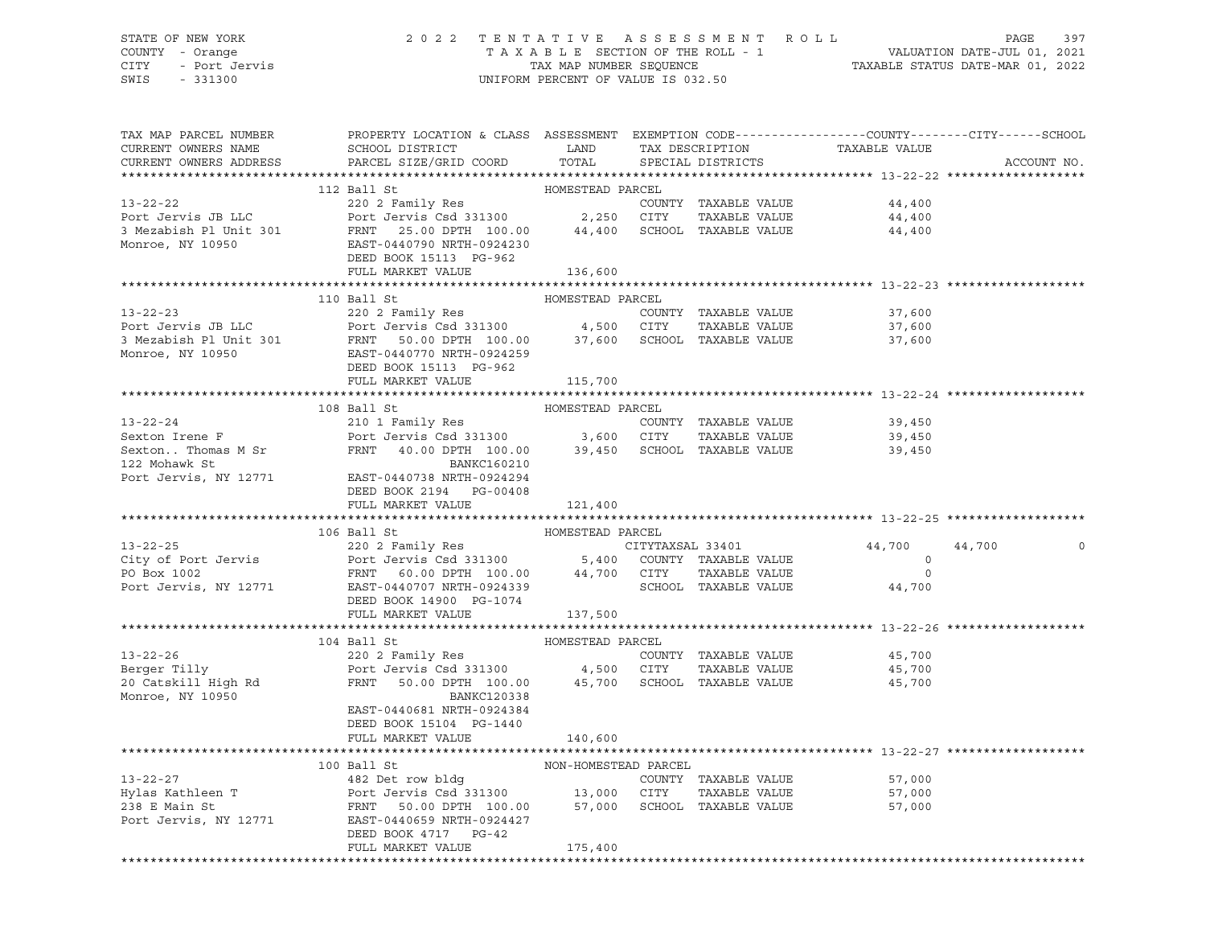#### STATE OF NEW YORK 2 0 2 2 T E N T A T I V E A S S E S S M E N T R O L L PAGE 397 COUNTY - Orange T A X A B L E SECTION OF THE ROLL - 1 VALUATION DATE-JUL 01, 2021 CITY - Port Jervis TAX MAP NUMBER SEQUENCE TAXABLE STATUS DATE-MAR 01, 2022

| TAX MAP PARCEL NUMBER<br>CURRENT OWNERS NAME<br>CURRENT OWNERS ADDRESS | PROPERTY LOCATION & CLASS ASSESSMENT EXEMPTION CODE---------------COUNTY-------CITY------SCHOOL<br>SCHOOL DISTRICT LAND<br>PARCEL SIZE/GRID COORD TOTAL                                                                                                  |                      | TAX DESCRIPTION TAXABLE VALUE<br>SPECIAL DISTRICTS |                                       | ACCOUNT NO. |
|------------------------------------------------------------------------|----------------------------------------------------------------------------------------------------------------------------------------------------------------------------------------------------------------------------------------------------------|----------------------|----------------------------------------------------|---------------------------------------|-------------|
|                                                                        |                                                                                                                                                                                                                                                          |                      |                                                    |                                       |             |
|                                                                        | 112 Ball St                                                                                                                                                                                                                                              | HOMESTEAD PARCEL     |                                                    |                                       |             |
|                                                                        | 13-22-22<br>Port Jervis JB LLC<br>2002 Family Res<br>Port Jervis JB LLC<br>2002 Family Res<br>Port Jervis Csd 331300<br>2,250 CITY TAXABLE VALUE<br>2,250 CITY TAXABLE VALUE<br>44,400<br>Monroe. NY 10950<br>Monroe. NY 10950<br>2,250 CITY TAXABLE     |                      |                                                    |                                       |             |
|                                                                        |                                                                                                                                                                                                                                                          |                      |                                                    |                                       |             |
|                                                                        |                                                                                                                                                                                                                                                          |                      |                                                    |                                       |             |
| Monroe, NY 10950                                                       | EAST-0440790 NRTH-0924230                                                                                                                                                                                                                                |                      |                                                    |                                       |             |
|                                                                        | DEED BOOK 15113 PG-962                                                                                                                                                                                                                                   |                      |                                                    |                                       |             |
|                                                                        | FULL MARKET VALUE                                                                                                                                                                                                                                        | 136,600              |                                                    |                                       |             |
|                                                                        |                                                                                                                                                                                                                                                          |                      |                                                    |                                       |             |
|                                                                        | 110 Ball St                                                                                                                                                                                                                                              | HOMESTEAD PARCEL     |                                                    |                                       |             |
|                                                                        |                                                                                                                                                                                                                                                          |                      |                                                    | 37,600                                |             |
|                                                                        | 220 2 Family Res<br>Port Jervis JB LLC<br>220 2 Family Res<br>220 2 Family Res<br>220 2 Family Res<br>220 2 Family Res<br>220 2 Family Res<br>220 2 Family Res<br>220 2 Family Res<br>220 2 Family Res<br>220 2 Family Res<br>220 2 Family Res<br>220    |                      |                                                    | 37,600                                |             |
|                                                                        |                                                                                                                                                                                                                                                          |                      |                                                    | 37,600                                |             |
|                                                                        |                                                                                                                                                                                                                                                          |                      |                                                    |                                       |             |
|                                                                        | DEED BOOK 15113 PG-962<br>FULL MARKET VALUE                                                                                                                                                                                                              |                      |                                                    |                                       |             |
|                                                                        |                                                                                                                                                                                                                                                          | 115,700              |                                                    |                                       |             |
|                                                                        |                                                                                                                                                                                                                                                          |                      |                                                    |                                       |             |
|                                                                        | 13-22-24<br>210 1 Family Res<br>Sexton Irene F<br>Sexton. Thomas M Sr<br>FRNT 40.00 DPTH 100.00 39,450 SCHOOL TAXABLE VALUE<br>22 Mohawk St<br>22 Mohawk St<br>22 Mohawk St<br>22 Mohawk St<br>23 Mohawk St<br>23 Mohawk St<br>23 Mohawk St<br>23 Moha   |                      |                                                    |                                       |             |
|                                                                        |                                                                                                                                                                                                                                                          |                      |                                                    |                                       |             |
|                                                                        |                                                                                                                                                                                                                                                          |                      |                                                    |                                       |             |
|                                                                        |                                                                                                                                                                                                                                                          |                      |                                                    |                                       |             |
|                                                                        | Port Jervis, NY 12771 EAST-0440738 NRTH-0924294                                                                                                                                                                                                          |                      |                                                    |                                       |             |
|                                                                        | DEED BOOK 2194    PG-00408                                                                                                                                                                                                                               |                      |                                                    |                                       |             |
|                                                                        | FULL MARKET VALUE                                                                                                                                                                                                                                        | 121,400              |                                                    |                                       |             |
|                                                                        |                                                                                                                                                                                                                                                          |                      |                                                    |                                       |             |
|                                                                        |                                                                                                                                                                                                                                                          |                      |                                                    |                                       |             |
|                                                                        |                                                                                                                                                                                                                                                          |                      |                                                    | 44,700                                | 44,700<br>0 |
|                                                                        |                                                                                                                                                                                                                                                          |                      |                                                    | $\begin{array}{c} 0 \\ 0 \end{array}$ |             |
|                                                                        |                                                                                                                                                                                                                                                          |                      |                                                    |                                       |             |
|                                                                        |                                                                                                                                                                                                                                                          |                      |                                                    | 44,700                                |             |
|                                                                        | DEED BOOK 14900 PG-1074                                                                                                                                                                                                                                  |                      |                                                    |                                       |             |
|                                                                        | FULL MARKET VALUE                                                                                                                                                                                                                                        | 137,500              |                                                    |                                       |             |
|                                                                        | 104 Ball St                                                                                                                                                                                                                                              | HOMESTEAD PARCEL     |                                                    |                                       |             |
|                                                                        |                                                                                                                                                                                                                                                          |                      |                                                    | 45,700                                |             |
|                                                                        |                                                                                                                                                                                                                                                          |                      |                                                    | 45,700                                |             |
|                                                                        |                                                                                                                                                                                                                                                          |                      |                                                    | 45,700                                |             |
| Monroe, NY 10950                                                       | BANKC120338                                                                                                                                                                                                                                              |                      |                                                    |                                       |             |
|                                                                        | EAST-0440681 NRTH-0924384                                                                                                                                                                                                                                |                      |                                                    |                                       |             |
|                                                                        | DEED BOOK 15104 PG-1440                                                                                                                                                                                                                                  |                      |                                                    |                                       |             |
|                                                                        | FULL MARKET VALUE                                                                                                                                                                                                                                        | 140,600              |                                                    |                                       |             |
|                                                                        |                                                                                                                                                                                                                                                          |                      |                                                    |                                       |             |
|                                                                        | 100 Ball St                                                                                                                                                                                                                                              | NON-HOMESTEAD PARCEL |                                                    |                                       |             |
|                                                                        |                                                                                                                                                                                                                                                          |                      |                                                    |                                       |             |
|                                                                        |                                                                                                                                                                                                                                                          |                      |                                                    |                                       |             |
|                                                                        | 13-22-27<br>Hylas Kathleen T<br>238 E Main St<br>Port Jervis Csd 331300<br>238 E Main St<br>Port Jervis, NY 12771<br>238 E Main St<br>238 E Main St<br>239 E Main St<br>239 E Main St<br>239 E Main St<br>239 E Main St<br>239 E Main St<br>239 E Main S |                      |                                                    |                                       |             |
|                                                                        |                                                                                                                                                                                                                                                          |                      |                                                    |                                       |             |
|                                                                        | DEED BOOK 4717 PG-42                                                                                                                                                                                                                                     |                      |                                                    |                                       |             |
|                                                                        | FULL MARKET VALUE                                                                                                                                                                                                                                        | 175,400              |                                                    |                                       |             |
|                                                                        |                                                                                                                                                                                                                                                          |                      |                                                    |                                       |             |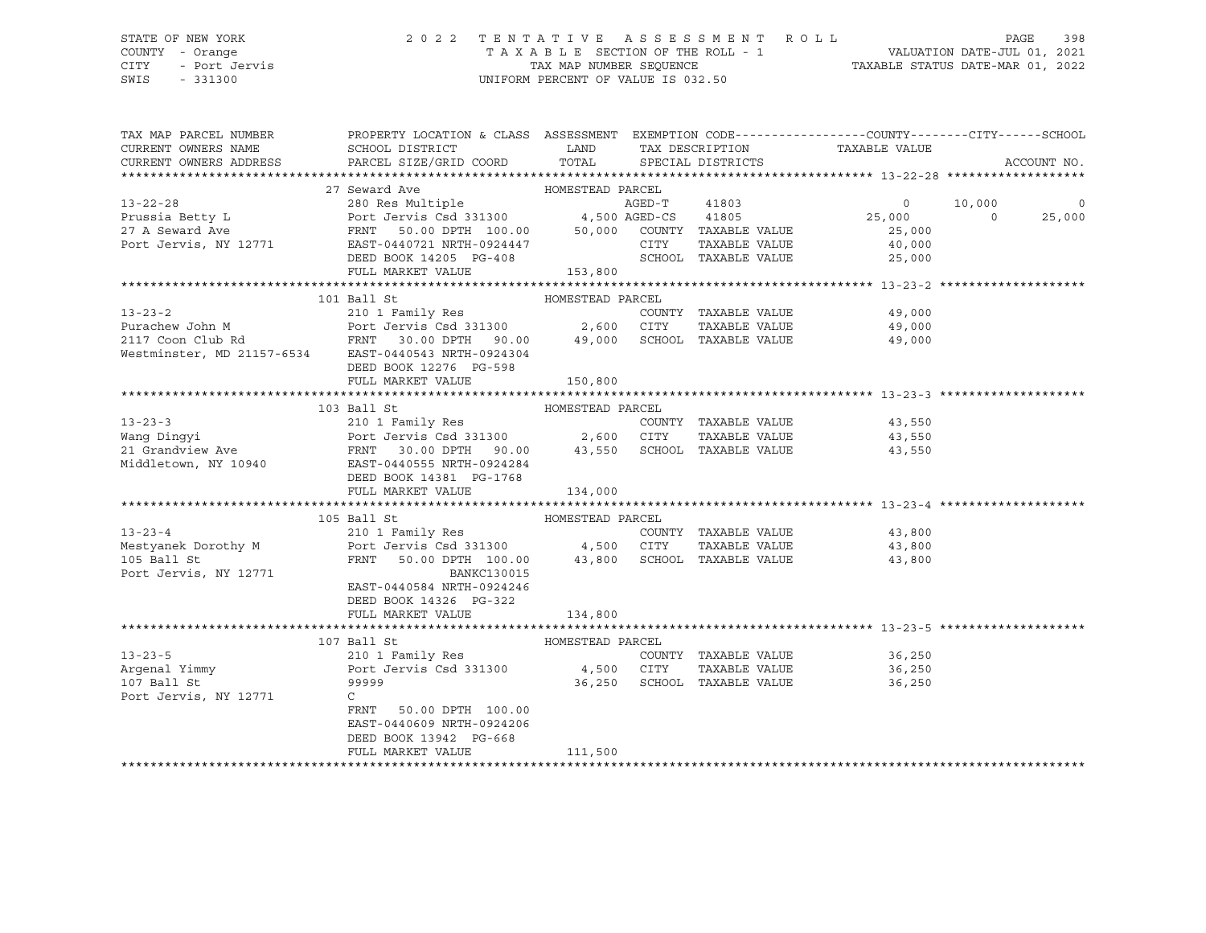#### STATE OF NEW YORK 2 0 2 2 T E N T A T I V E A S S E S S M E N T R O L L PAGE 398 COUNTY - Orange T A X A B L E SECTION OF THE ROLL - 1 VALUATION DATE-JUL 01, 2021 CITY - Port Jervis TAX MAP NUMBER SEQUENCE TAXABLE STATUS DATE-MAR 01, 2022

| TAX MAP PARCEL NUMBER  | PROPERTY LOCATION & CLASS ASSESSMENT EXEMPTION CODE---------------COUNTY-------CITY------SCHOOL                                                                                                                                                      |                  |                             |                             |             |
|------------------------|------------------------------------------------------------------------------------------------------------------------------------------------------------------------------------------------------------------------------------------------------|------------------|-----------------------------|-----------------------------|-------------|
| CURRENT OWNERS NAME    |                                                                                                                                                                                                                                                      |                  |                             |                             |             |
| CURRENT OWNERS ADDRESS |                                                                                                                                                                                                                                                      |                  |                             |                             | ACCOUNT NO. |
|                        |                                                                                                                                                                                                                                                      |                  |                             |                             |             |
|                        |                                                                                                                                                                                                                                                      |                  |                             |                             |             |
|                        |                                                                                                                                                                                                                                                      |                  |                             |                             | $\circ$     |
|                        |                                                                                                                                                                                                                                                      |                  |                             |                             | 25,000      |
|                        |                                                                                                                                                                                                                                                      |                  |                             |                             |             |
|                        |                                                                                                                                                                                                                                                      |                  |                             |                             |             |
|                        |                                                                                                                                                                                                                                                      |                  |                             |                             |             |
|                        | FULL MARKET VALUE                                                                                                                                                                                                                                    | 153,800          |                             |                             |             |
|                        |                                                                                                                                                                                                                                                      |                  |                             |                             |             |
|                        | 101 Ball St                                                                                                                                                                                                                                          | HOMESTEAD PARCEL |                             |                             |             |
|                        | 13-23-2<br>Purachew John M<br>210 1 Family Res<br>Port Jervis Csd 331300<br>2,600 CITY TAXABLE VALUE<br>2,600 CITY TAXABLE VALUE<br>49,000<br>SCHOOL TAXABLE VALUE<br>49,000<br>Westminster, MD 21157-6534<br>EAST-0440543 NRTH-0924304<br>TAXABLE V |                  |                             |                             |             |
|                        |                                                                                                                                                                                                                                                      |                  |                             |                             |             |
|                        |                                                                                                                                                                                                                                                      |                  |                             |                             |             |
|                        |                                                                                                                                                                                                                                                      |                  |                             |                             |             |
|                        |                                                                                                                                                                                                                                                      |                  |                             |                             |             |
|                        | DEED BOOK 12276 PG-598                                                                                                                                                                                                                               |                  |                             |                             |             |
|                        | FULL MARKET VALUE                                                                                                                                                                                                                                    | 150,800          |                             |                             |             |
|                        |                                                                                                                                                                                                                                                      |                  |                             |                             |             |
|                        | 103 Ball St                                                                                                                                                                                                                                          |                  |                             |                             |             |
| $13 - 23 - 3$          |                                                                                                                                                                                                                                                      |                  |                             | COUNTY TAXABLE VALUE 43,550 |             |
|                        |                                                                                                                                                                                                                                                      |                  |                             | TAXABLE VALUE 43,550        |             |
|                        | Example of the state of the state of the state of the state of the state of the state of the state of the state of the state of the state of the state of the state of the state of the state of the state of the state of the                       |                  |                             | 43,550                      |             |
|                        |                                                                                                                                                                                                                                                      |                  |                             |                             |             |
|                        | DEED BOOK 14381 PG-1768                                                                                                                                                                                                                              |                  |                             |                             |             |
|                        | FULL MARKET VALUE                                                                                                                                                                                                                                    | 134,000          |                             |                             |             |
|                        |                                                                                                                                                                                                                                                      |                  |                             |                             |             |
|                        | 105 Ball St 600 BONESTEAD PARCEL                                                                                                                                                                                                                     |                  |                             |                             |             |
|                        |                                                                                                                                                                                                                                                      |                  |                             |                             |             |
|                        | 13-23-4<br>210 1 Family Res<br>Mestyanek Dorothy M Port Jervis Csd 331300 4,500 CITY TAXABLE VALUE<br>105 Ball St PRNT 50.00 DPTH 100.00 43,800 SCHOOL TAXABLE VALUE 43,800                                                                          |                  |                             |                             |             |
|                        |                                                                                                                                                                                                                                                      |                  |                             |                             |             |
| Port Jervis, NY 12771  | BANKC130015                                                                                                                                                                                                                                          |                  |                             |                             |             |
|                        | EAST-0440584 NRTH-0924246                                                                                                                                                                                                                            |                  |                             |                             |             |
|                        | DEED BOOK 14326 PG-322                                                                                                                                                                                                                               |                  |                             |                             |             |
|                        | FULL MARKET VALUE 134,800                                                                                                                                                                                                                            |                  |                             |                             |             |
|                        |                                                                                                                                                                                                                                                      |                  |                             |                             |             |
|                        | 107 Ball St<br>13-23-5 210 1 Family Res<br>Argenal Yimmy Port Jervis Csd 331300 4,500 CUTY<br>107 Ball St 99999                                                                                                                                      |                  |                             |                             |             |
|                        |                                                                                                                                                                                                                                                      |                  |                             | COUNTY TAXABLE VALUE 36,250 |             |
|                        |                                                                                                                                                                                                                                                      |                  |                             | TAXABLE VALUE 36,250        |             |
|                        |                                                                                                                                                                                                                                                      |                  | 36,250 SCHOOL TAXABLE VALUE | 36,250                      |             |
| Port Jervis, NY 12771  | $\mathsf{C}$                                                                                                                                                                                                                                         |                  |                             |                             |             |
|                        | FRNT<br>50.00 DPTH 100.00                                                                                                                                                                                                                            |                  |                             |                             |             |
|                        | EAST-0440609 NRTH-0924206                                                                                                                                                                                                                            |                  |                             |                             |             |
|                        | DEED BOOK 13942 PG-668                                                                                                                                                                                                                               |                  |                             |                             |             |
|                        | FULL MARKET VALUE                                                                                                                                                                                                                                    | 111,500          |                             |                             |             |
|                        |                                                                                                                                                                                                                                                      |                  |                             |                             |             |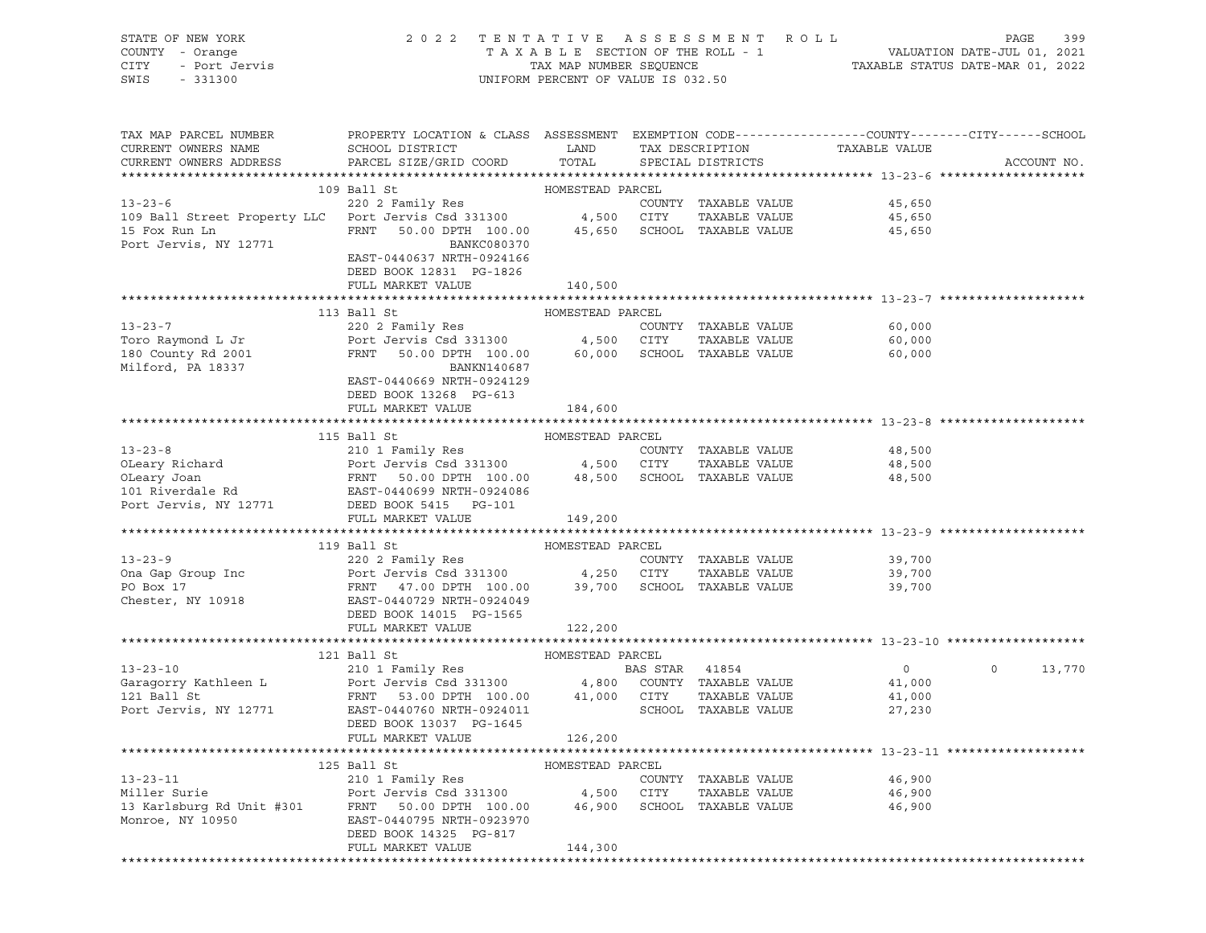| PROPERTY LOCATION & CLASS ASSESSMENT EXEMPTION CODE---------------COUNTY-------CITY------SCHOOL<br>TAX MAP PARCEL NUMBER<br>TAX DESCRIPTION TAXABLE VALUE<br>CURRENT OWNERS NAME<br>SCHOOL DISTRICT<br>LAND<br>PARCEL SIZE/GRID COORD TOTAL<br>CURRENT OWNERS ADDRESS<br>SPECIAL DISTRICTS<br>ACCOUNT NO.<br>109 Ball St<br>$13 - 23 - 6$<br>COUNTY TAXABLE VALUE<br>45,650<br>13-23-6<br>109 Ball Street Property LLC Port Jervis Csd 331300 4,500 CITY TAXABLE VALUE<br>15 Fox Run Ln FRNT 50.00 DPTH 100.00 45,650 SCHOOL TAXABLE VALUE<br>TAXABLE VALUE 45,650<br>45,650<br>Port Jervis, NY 12771<br>BANKC080370<br>EAST-0440637 NRTH-0924166<br>DEED BOOK 12831 PG-1826<br>FULL MARKET VALUE<br>140,500<br>113 Ball St<br>HOMESTEAD PARCEL<br>220 2 Family Res<br>$13 - 23 - 7$<br>COUNTY TAXABLE VALUE 60,000<br>Port Jervis Csd 331300 $\begin{array}{cccc} 4,500 & CITY & TAXABLE & VALUE & 60,000\\ FRNT & 50.00 & DPTH & 100.00 & 60,000 & SCHOOL & TAXABLE & VALUE & 60,000 \end{array}$<br>Toro Raymond L Jr<br>180 County Rd 2001<br>Milford, PA 18337<br>BANKN140687<br>EAST-0440669 NRTH-0924129<br>DEED BOOK 13268 PG-613<br>FULL MARKET VALUE<br>184,600<br>115 Ball St<br>HOMESTEAD PARCEL<br>Port Jervis, NY 12771<br>DEED BOOK 5415 PG-101<br>FULL MARKET VALUE<br>149,200<br>119 Ball St<br>HOMESTEAD PARCEL<br>13-23-9<br>230 2 Family Res<br>220 2 Family Res<br>220 2 Family Res<br>220 2 Family Res<br>220 2 Family Res<br>220 2 Family Res<br>220 2 Family Res<br>220 2 Family Res<br>220 3 700<br>24,250 CITY TAXABLE VALUE<br>27.00 DPTH 100.00<br>39,700 SCHOO<br>39,700<br>TAXABLE VALUE 39,700<br>39,700<br>Chester, NY 10918 EAST-0440729 NRTH-0924049<br>DEED BOOK 14015 PG-1565<br>FULL MARKET VALUE<br>122,200<br>121 Ball St<br>HOMESTEAD PARCEL<br>13-23-10<br>13-23-10<br>210 1 Family Res<br>Garagorry Kathleen L Port Jervis Csd 331300<br>PERNT 53.00 DPTH 100.00 41,000 CITY TAXABLE VALUE 41,000<br>27,230<br>27,230<br>PACT-0440760 NRTH-0924011<br>EXT-0440760 NRTH-0924011<br>PACT-0440760<br>$\circ$<br>13,770<br>DEED BOOK 13037 PG-1645<br>FULL MARKET VALUE<br>126,200<br>125 Ball St<br>HOMESTEAD PARCEL<br>$13 - 23 - 11$<br>210 1 Family Res<br>COUNTY TAXABLE VALUE<br>46,900<br>Miller Surie<br>46,900<br>Port Jervis Csd 331300<br>4,500<br>CITY<br>TAXABLE VALUE<br>13 Karlsburg Rd Unit #301<br>50.00 DPTH 100.00<br>46,900<br>SCHOOL TAXABLE VALUE<br>46,900<br>FRNT<br>Monroe, NY 10950<br>EAST-0440795 NRTH-0923970<br>DEED BOOK 14325 PG-817<br>FULL MARKET VALUE<br>144,300 | STATE OF NEW YORK<br>OF NEW YORK<br>f - Orange<br>- Port Jervis<br>Allen Control<br>COUNTY - Orange<br>CITY<br>SWIS | 2022 TENTATIVE ASSESSMENT ROLL |  | $\begin{tabular}{lllllllllllll} \multicolumn{2}{c l} \multicolumn{2}{c l} \multicolumn{2}{c l} \multicolumn{2}{c l} \multicolumn{2}{c l} \multicolumn{2}{c l} \multicolumn{2}{c l} \multicolumn{2}{c l} \multicolumn{2}{c l} \multicolumn{2}{c l} \multicolumn{2}{c l} \multicolumn{2}{c l} \multicolumn{2}{c l} \multicolumn{2}{c l} \multicolumn{2}{c l} \multicolumn{2}{c l} \multicolumn{2}{c l} \multicolumn{2}{c l} \multicolumn{2}{c$ | PAGE<br>399 |
|--------------------------------------------------------------------------------------------------------------------------------------------------------------------------------------------------------------------------------------------------------------------------------------------------------------------------------------------------------------------------------------------------------------------------------------------------------------------------------------------------------------------------------------------------------------------------------------------------------------------------------------------------------------------------------------------------------------------------------------------------------------------------------------------------------------------------------------------------------------------------------------------------------------------------------------------------------------------------------------------------------------------------------------------------------------------------------------------------------------------------------------------------------------------------------------------------------------------------------------------------------------------------------------------------------------------------------------------------------------------------------------------------------------------------------------------------------------------------------------------------------------------------------------------------------------------------------------------------------------------------------------------------------------------------------------------------------------------------------------------------------------------------------------------------------------------------------------------------------------------------------------------------------------------------------------------------------------------------------------------------------------------------------------------------------------------------------------------------------------------------------------------------------------------------------------------------------------------------------------------------------------------------------------------------------------------------------------------------------------------------------------------------------------------------------------------------------------------------------------------------------------------------------------------|---------------------------------------------------------------------------------------------------------------------|--------------------------------|--|----------------------------------------------------------------------------------------------------------------------------------------------------------------------------------------------------------------------------------------------------------------------------------------------------------------------------------------------------------------------------------------------------------------------------------------------|-------------|
|                                                                                                                                                                                                                                                                                                                                                                                                                                                                                                                                                                                                                                                                                                                                                                                                                                                                                                                                                                                                                                                                                                                                                                                                                                                                                                                                                                                                                                                                                                                                                                                                                                                                                                                                                                                                                                                                                                                                                                                                                                                                                                                                                                                                                                                                                                                                                                                                                                                                                                                                            |                                                                                                                     |                                |  |                                                                                                                                                                                                                                                                                                                                                                                                                                              |             |
|                                                                                                                                                                                                                                                                                                                                                                                                                                                                                                                                                                                                                                                                                                                                                                                                                                                                                                                                                                                                                                                                                                                                                                                                                                                                                                                                                                                                                                                                                                                                                                                                                                                                                                                                                                                                                                                                                                                                                                                                                                                                                                                                                                                                                                                                                                                                                                                                                                                                                                                                            |                                                                                                                     |                                |  |                                                                                                                                                                                                                                                                                                                                                                                                                                              |             |
|                                                                                                                                                                                                                                                                                                                                                                                                                                                                                                                                                                                                                                                                                                                                                                                                                                                                                                                                                                                                                                                                                                                                                                                                                                                                                                                                                                                                                                                                                                                                                                                                                                                                                                                                                                                                                                                                                                                                                                                                                                                                                                                                                                                                                                                                                                                                                                                                                                                                                                                                            |                                                                                                                     |                                |  |                                                                                                                                                                                                                                                                                                                                                                                                                                              |             |
|                                                                                                                                                                                                                                                                                                                                                                                                                                                                                                                                                                                                                                                                                                                                                                                                                                                                                                                                                                                                                                                                                                                                                                                                                                                                                                                                                                                                                                                                                                                                                                                                                                                                                                                                                                                                                                                                                                                                                                                                                                                                                                                                                                                                                                                                                                                                                                                                                                                                                                                                            |                                                                                                                     |                                |  |                                                                                                                                                                                                                                                                                                                                                                                                                                              |             |
|                                                                                                                                                                                                                                                                                                                                                                                                                                                                                                                                                                                                                                                                                                                                                                                                                                                                                                                                                                                                                                                                                                                                                                                                                                                                                                                                                                                                                                                                                                                                                                                                                                                                                                                                                                                                                                                                                                                                                                                                                                                                                                                                                                                                                                                                                                                                                                                                                                                                                                                                            |                                                                                                                     |                                |  |                                                                                                                                                                                                                                                                                                                                                                                                                                              |             |
|                                                                                                                                                                                                                                                                                                                                                                                                                                                                                                                                                                                                                                                                                                                                                                                                                                                                                                                                                                                                                                                                                                                                                                                                                                                                                                                                                                                                                                                                                                                                                                                                                                                                                                                                                                                                                                                                                                                                                                                                                                                                                                                                                                                                                                                                                                                                                                                                                                                                                                                                            |                                                                                                                     |                                |  |                                                                                                                                                                                                                                                                                                                                                                                                                                              |             |
|                                                                                                                                                                                                                                                                                                                                                                                                                                                                                                                                                                                                                                                                                                                                                                                                                                                                                                                                                                                                                                                                                                                                                                                                                                                                                                                                                                                                                                                                                                                                                                                                                                                                                                                                                                                                                                                                                                                                                                                                                                                                                                                                                                                                                                                                                                                                                                                                                                                                                                                                            |                                                                                                                     |                                |  |                                                                                                                                                                                                                                                                                                                                                                                                                                              |             |
|                                                                                                                                                                                                                                                                                                                                                                                                                                                                                                                                                                                                                                                                                                                                                                                                                                                                                                                                                                                                                                                                                                                                                                                                                                                                                                                                                                                                                                                                                                                                                                                                                                                                                                                                                                                                                                                                                                                                                                                                                                                                                                                                                                                                                                                                                                                                                                                                                                                                                                                                            |                                                                                                                     |                                |  |                                                                                                                                                                                                                                                                                                                                                                                                                                              |             |
|                                                                                                                                                                                                                                                                                                                                                                                                                                                                                                                                                                                                                                                                                                                                                                                                                                                                                                                                                                                                                                                                                                                                                                                                                                                                                                                                                                                                                                                                                                                                                                                                                                                                                                                                                                                                                                                                                                                                                                                                                                                                                                                                                                                                                                                                                                                                                                                                                                                                                                                                            |                                                                                                                     |                                |  |                                                                                                                                                                                                                                                                                                                                                                                                                                              |             |
|                                                                                                                                                                                                                                                                                                                                                                                                                                                                                                                                                                                                                                                                                                                                                                                                                                                                                                                                                                                                                                                                                                                                                                                                                                                                                                                                                                                                                                                                                                                                                                                                                                                                                                                                                                                                                                                                                                                                                                                                                                                                                                                                                                                                                                                                                                                                                                                                                                                                                                                                            |                                                                                                                     |                                |  |                                                                                                                                                                                                                                                                                                                                                                                                                                              |             |
|                                                                                                                                                                                                                                                                                                                                                                                                                                                                                                                                                                                                                                                                                                                                                                                                                                                                                                                                                                                                                                                                                                                                                                                                                                                                                                                                                                                                                                                                                                                                                                                                                                                                                                                                                                                                                                                                                                                                                                                                                                                                                                                                                                                                                                                                                                                                                                                                                                                                                                                                            |                                                                                                                     |                                |  |                                                                                                                                                                                                                                                                                                                                                                                                                                              |             |
|                                                                                                                                                                                                                                                                                                                                                                                                                                                                                                                                                                                                                                                                                                                                                                                                                                                                                                                                                                                                                                                                                                                                                                                                                                                                                                                                                                                                                                                                                                                                                                                                                                                                                                                                                                                                                                                                                                                                                                                                                                                                                                                                                                                                                                                                                                                                                                                                                                                                                                                                            |                                                                                                                     |                                |  |                                                                                                                                                                                                                                                                                                                                                                                                                                              |             |
|                                                                                                                                                                                                                                                                                                                                                                                                                                                                                                                                                                                                                                                                                                                                                                                                                                                                                                                                                                                                                                                                                                                                                                                                                                                                                                                                                                                                                                                                                                                                                                                                                                                                                                                                                                                                                                                                                                                                                                                                                                                                                                                                                                                                                                                                                                                                                                                                                                                                                                                                            |                                                                                                                     |                                |  |                                                                                                                                                                                                                                                                                                                                                                                                                                              |             |
|                                                                                                                                                                                                                                                                                                                                                                                                                                                                                                                                                                                                                                                                                                                                                                                                                                                                                                                                                                                                                                                                                                                                                                                                                                                                                                                                                                                                                                                                                                                                                                                                                                                                                                                                                                                                                                                                                                                                                                                                                                                                                                                                                                                                                                                                                                                                                                                                                                                                                                                                            |                                                                                                                     |                                |  |                                                                                                                                                                                                                                                                                                                                                                                                                                              |             |
|                                                                                                                                                                                                                                                                                                                                                                                                                                                                                                                                                                                                                                                                                                                                                                                                                                                                                                                                                                                                                                                                                                                                                                                                                                                                                                                                                                                                                                                                                                                                                                                                                                                                                                                                                                                                                                                                                                                                                                                                                                                                                                                                                                                                                                                                                                                                                                                                                                                                                                                                            |                                                                                                                     |                                |  |                                                                                                                                                                                                                                                                                                                                                                                                                                              |             |
|                                                                                                                                                                                                                                                                                                                                                                                                                                                                                                                                                                                                                                                                                                                                                                                                                                                                                                                                                                                                                                                                                                                                                                                                                                                                                                                                                                                                                                                                                                                                                                                                                                                                                                                                                                                                                                                                                                                                                                                                                                                                                                                                                                                                                                                                                                                                                                                                                                                                                                                                            |                                                                                                                     |                                |  |                                                                                                                                                                                                                                                                                                                                                                                                                                              |             |
|                                                                                                                                                                                                                                                                                                                                                                                                                                                                                                                                                                                                                                                                                                                                                                                                                                                                                                                                                                                                                                                                                                                                                                                                                                                                                                                                                                                                                                                                                                                                                                                                                                                                                                                                                                                                                                                                                                                                                                                                                                                                                                                                                                                                                                                                                                                                                                                                                                                                                                                                            |                                                                                                                     |                                |  |                                                                                                                                                                                                                                                                                                                                                                                                                                              |             |
|                                                                                                                                                                                                                                                                                                                                                                                                                                                                                                                                                                                                                                                                                                                                                                                                                                                                                                                                                                                                                                                                                                                                                                                                                                                                                                                                                                                                                                                                                                                                                                                                                                                                                                                                                                                                                                                                                                                                                                                                                                                                                                                                                                                                                                                                                                                                                                                                                                                                                                                                            |                                                                                                                     |                                |  |                                                                                                                                                                                                                                                                                                                                                                                                                                              |             |
|                                                                                                                                                                                                                                                                                                                                                                                                                                                                                                                                                                                                                                                                                                                                                                                                                                                                                                                                                                                                                                                                                                                                                                                                                                                                                                                                                                                                                                                                                                                                                                                                                                                                                                                                                                                                                                                                                                                                                                                                                                                                                                                                                                                                                                                                                                                                                                                                                                                                                                                                            |                                                                                                                     |                                |  |                                                                                                                                                                                                                                                                                                                                                                                                                                              |             |
|                                                                                                                                                                                                                                                                                                                                                                                                                                                                                                                                                                                                                                                                                                                                                                                                                                                                                                                                                                                                                                                                                                                                                                                                                                                                                                                                                                                                                                                                                                                                                                                                                                                                                                                                                                                                                                                                                                                                                                                                                                                                                                                                                                                                                                                                                                                                                                                                                                                                                                                                            |                                                                                                                     |                                |  |                                                                                                                                                                                                                                                                                                                                                                                                                                              |             |
|                                                                                                                                                                                                                                                                                                                                                                                                                                                                                                                                                                                                                                                                                                                                                                                                                                                                                                                                                                                                                                                                                                                                                                                                                                                                                                                                                                                                                                                                                                                                                                                                                                                                                                                                                                                                                                                                                                                                                                                                                                                                                                                                                                                                                                                                                                                                                                                                                                                                                                                                            |                                                                                                                     |                                |  |                                                                                                                                                                                                                                                                                                                                                                                                                                              |             |
|                                                                                                                                                                                                                                                                                                                                                                                                                                                                                                                                                                                                                                                                                                                                                                                                                                                                                                                                                                                                                                                                                                                                                                                                                                                                                                                                                                                                                                                                                                                                                                                                                                                                                                                                                                                                                                                                                                                                                                                                                                                                                                                                                                                                                                                                                                                                                                                                                                                                                                                                            |                                                                                                                     |                                |  |                                                                                                                                                                                                                                                                                                                                                                                                                                              |             |
|                                                                                                                                                                                                                                                                                                                                                                                                                                                                                                                                                                                                                                                                                                                                                                                                                                                                                                                                                                                                                                                                                                                                                                                                                                                                                                                                                                                                                                                                                                                                                                                                                                                                                                                                                                                                                                                                                                                                                                                                                                                                                                                                                                                                                                                                                                                                                                                                                                                                                                                                            |                                                                                                                     |                                |  |                                                                                                                                                                                                                                                                                                                                                                                                                                              |             |
|                                                                                                                                                                                                                                                                                                                                                                                                                                                                                                                                                                                                                                                                                                                                                                                                                                                                                                                                                                                                                                                                                                                                                                                                                                                                                                                                                                                                                                                                                                                                                                                                                                                                                                                                                                                                                                                                                                                                                                                                                                                                                                                                                                                                                                                                                                                                                                                                                                                                                                                                            |                                                                                                                     |                                |  |                                                                                                                                                                                                                                                                                                                                                                                                                                              |             |
|                                                                                                                                                                                                                                                                                                                                                                                                                                                                                                                                                                                                                                                                                                                                                                                                                                                                                                                                                                                                                                                                                                                                                                                                                                                                                                                                                                                                                                                                                                                                                                                                                                                                                                                                                                                                                                                                                                                                                                                                                                                                                                                                                                                                                                                                                                                                                                                                                                                                                                                                            |                                                                                                                     |                                |  |                                                                                                                                                                                                                                                                                                                                                                                                                                              |             |
|                                                                                                                                                                                                                                                                                                                                                                                                                                                                                                                                                                                                                                                                                                                                                                                                                                                                                                                                                                                                                                                                                                                                                                                                                                                                                                                                                                                                                                                                                                                                                                                                                                                                                                                                                                                                                                                                                                                                                                                                                                                                                                                                                                                                                                                                                                                                                                                                                                                                                                                                            |                                                                                                                     |                                |  |                                                                                                                                                                                                                                                                                                                                                                                                                                              |             |
|                                                                                                                                                                                                                                                                                                                                                                                                                                                                                                                                                                                                                                                                                                                                                                                                                                                                                                                                                                                                                                                                                                                                                                                                                                                                                                                                                                                                                                                                                                                                                                                                                                                                                                                                                                                                                                                                                                                                                                                                                                                                                                                                                                                                                                                                                                                                                                                                                                                                                                                                            |                                                                                                                     |                                |  |                                                                                                                                                                                                                                                                                                                                                                                                                                              |             |
|                                                                                                                                                                                                                                                                                                                                                                                                                                                                                                                                                                                                                                                                                                                                                                                                                                                                                                                                                                                                                                                                                                                                                                                                                                                                                                                                                                                                                                                                                                                                                                                                                                                                                                                                                                                                                                                                                                                                                                                                                                                                                                                                                                                                                                                                                                                                                                                                                                                                                                                                            |                                                                                                                     |                                |  |                                                                                                                                                                                                                                                                                                                                                                                                                                              |             |
|                                                                                                                                                                                                                                                                                                                                                                                                                                                                                                                                                                                                                                                                                                                                                                                                                                                                                                                                                                                                                                                                                                                                                                                                                                                                                                                                                                                                                                                                                                                                                                                                                                                                                                                                                                                                                                                                                                                                                                                                                                                                                                                                                                                                                                                                                                                                                                                                                                                                                                                                            |                                                                                                                     |                                |  |                                                                                                                                                                                                                                                                                                                                                                                                                                              |             |
|                                                                                                                                                                                                                                                                                                                                                                                                                                                                                                                                                                                                                                                                                                                                                                                                                                                                                                                                                                                                                                                                                                                                                                                                                                                                                                                                                                                                                                                                                                                                                                                                                                                                                                                                                                                                                                                                                                                                                                                                                                                                                                                                                                                                                                                                                                                                                                                                                                                                                                                                            |                                                                                                                     |                                |  |                                                                                                                                                                                                                                                                                                                                                                                                                                              |             |
|                                                                                                                                                                                                                                                                                                                                                                                                                                                                                                                                                                                                                                                                                                                                                                                                                                                                                                                                                                                                                                                                                                                                                                                                                                                                                                                                                                                                                                                                                                                                                                                                                                                                                                                                                                                                                                                                                                                                                                                                                                                                                                                                                                                                                                                                                                                                                                                                                                                                                                                                            |                                                                                                                     |                                |  |                                                                                                                                                                                                                                                                                                                                                                                                                                              |             |
|                                                                                                                                                                                                                                                                                                                                                                                                                                                                                                                                                                                                                                                                                                                                                                                                                                                                                                                                                                                                                                                                                                                                                                                                                                                                                                                                                                                                                                                                                                                                                                                                                                                                                                                                                                                                                                                                                                                                                                                                                                                                                                                                                                                                                                                                                                                                                                                                                                                                                                                                            |                                                                                                                     |                                |  |                                                                                                                                                                                                                                                                                                                                                                                                                                              |             |
|                                                                                                                                                                                                                                                                                                                                                                                                                                                                                                                                                                                                                                                                                                                                                                                                                                                                                                                                                                                                                                                                                                                                                                                                                                                                                                                                                                                                                                                                                                                                                                                                                                                                                                                                                                                                                                                                                                                                                                                                                                                                                                                                                                                                                                                                                                                                                                                                                                                                                                                                            |                                                                                                                     |                                |  |                                                                                                                                                                                                                                                                                                                                                                                                                                              |             |
|                                                                                                                                                                                                                                                                                                                                                                                                                                                                                                                                                                                                                                                                                                                                                                                                                                                                                                                                                                                                                                                                                                                                                                                                                                                                                                                                                                                                                                                                                                                                                                                                                                                                                                                                                                                                                                                                                                                                                                                                                                                                                                                                                                                                                                                                                                                                                                                                                                                                                                                                            |                                                                                                                     |                                |  |                                                                                                                                                                                                                                                                                                                                                                                                                                              |             |
|                                                                                                                                                                                                                                                                                                                                                                                                                                                                                                                                                                                                                                                                                                                                                                                                                                                                                                                                                                                                                                                                                                                                                                                                                                                                                                                                                                                                                                                                                                                                                                                                                                                                                                                                                                                                                                                                                                                                                                                                                                                                                                                                                                                                                                                                                                                                                                                                                                                                                                                                            |                                                                                                                     |                                |  |                                                                                                                                                                                                                                                                                                                                                                                                                                              |             |
|                                                                                                                                                                                                                                                                                                                                                                                                                                                                                                                                                                                                                                                                                                                                                                                                                                                                                                                                                                                                                                                                                                                                                                                                                                                                                                                                                                                                                                                                                                                                                                                                                                                                                                                                                                                                                                                                                                                                                                                                                                                                                                                                                                                                                                                                                                                                                                                                                                                                                                                                            |                                                                                                                     |                                |  |                                                                                                                                                                                                                                                                                                                                                                                                                                              |             |
|                                                                                                                                                                                                                                                                                                                                                                                                                                                                                                                                                                                                                                                                                                                                                                                                                                                                                                                                                                                                                                                                                                                                                                                                                                                                                                                                                                                                                                                                                                                                                                                                                                                                                                                                                                                                                                                                                                                                                                                                                                                                                                                                                                                                                                                                                                                                                                                                                                                                                                                                            |                                                                                                                     |                                |  |                                                                                                                                                                                                                                                                                                                                                                                                                                              |             |
|                                                                                                                                                                                                                                                                                                                                                                                                                                                                                                                                                                                                                                                                                                                                                                                                                                                                                                                                                                                                                                                                                                                                                                                                                                                                                                                                                                                                                                                                                                                                                                                                                                                                                                                                                                                                                                                                                                                                                                                                                                                                                                                                                                                                                                                                                                                                                                                                                                                                                                                                            |                                                                                                                     |                                |  |                                                                                                                                                                                                                                                                                                                                                                                                                                              |             |
|                                                                                                                                                                                                                                                                                                                                                                                                                                                                                                                                                                                                                                                                                                                                                                                                                                                                                                                                                                                                                                                                                                                                                                                                                                                                                                                                                                                                                                                                                                                                                                                                                                                                                                                                                                                                                                                                                                                                                                                                                                                                                                                                                                                                                                                                                                                                                                                                                                                                                                                                            |                                                                                                                     |                                |  |                                                                                                                                                                                                                                                                                                                                                                                                                                              |             |
|                                                                                                                                                                                                                                                                                                                                                                                                                                                                                                                                                                                                                                                                                                                                                                                                                                                                                                                                                                                                                                                                                                                                                                                                                                                                                                                                                                                                                                                                                                                                                                                                                                                                                                                                                                                                                                                                                                                                                                                                                                                                                                                                                                                                                                                                                                                                                                                                                                                                                                                                            |                                                                                                                     |                                |  |                                                                                                                                                                                                                                                                                                                                                                                                                                              |             |
|                                                                                                                                                                                                                                                                                                                                                                                                                                                                                                                                                                                                                                                                                                                                                                                                                                                                                                                                                                                                                                                                                                                                                                                                                                                                                                                                                                                                                                                                                                                                                                                                                                                                                                                                                                                                                                                                                                                                                                                                                                                                                                                                                                                                                                                                                                                                                                                                                                                                                                                                            |                                                                                                                     |                                |  |                                                                                                                                                                                                                                                                                                                                                                                                                                              |             |
|                                                                                                                                                                                                                                                                                                                                                                                                                                                                                                                                                                                                                                                                                                                                                                                                                                                                                                                                                                                                                                                                                                                                                                                                                                                                                                                                                                                                                                                                                                                                                                                                                                                                                                                                                                                                                                                                                                                                                                                                                                                                                                                                                                                                                                                                                                                                                                                                                                                                                                                                            |                                                                                                                     |                                |  |                                                                                                                                                                                                                                                                                                                                                                                                                                              |             |
|                                                                                                                                                                                                                                                                                                                                                                                                                                                                                                                                                                                                                                                                                                                                                                                                                                                                                                                                                                                                                                                                                                                                                                                                                                                                                                                                                                                                                                                                                                                                                                                                                                                                                                                                                                                                                                                                                                                                                                                                                                                                                                                                                                                                                                                                                                                                                                                                                                                                                                                                            |                                                                                                                     |                                |  |                                                                                                                                                                                                                                                                                                                                                                                                                                              |             |
|                                                                                                                                                                                                                                                                                                                                                                                                                                                                                                                                                                                                                                                                                                                                                                                                                                                                                                                                                                                                                                                                                                                                                                                                                                                                                                                                                                                                                                                                                                                                                                                                                                                                                                                                                                                                                                                                                                                                                                                                                                                                                                                                                                                                                                                                                                                                                                                                                                                                                                                                            |                                                                                                                     |                                |  |                                                                                                                                                                                                                                                                                                                                                                                                                                              |             |
| ***************                                                                                                                                                                                                                                                                                                                                                                                                                                                                                                                                                                                                                                                                                                                                                                                                                                                                                                                                                                                                                                                                                                                                                                                                                                                                                                                                                                                                                                                                                                                                                                                                                                                                                                                                                                                                                                                                                                                                                                                                                                                                                                                                                                                                                                                                                                                                                                                                                                                                                                                            |                                                                                                                     | ****************************   |  |                                                                                                                                                                                                                                                                                                                                                                                                                                              |             |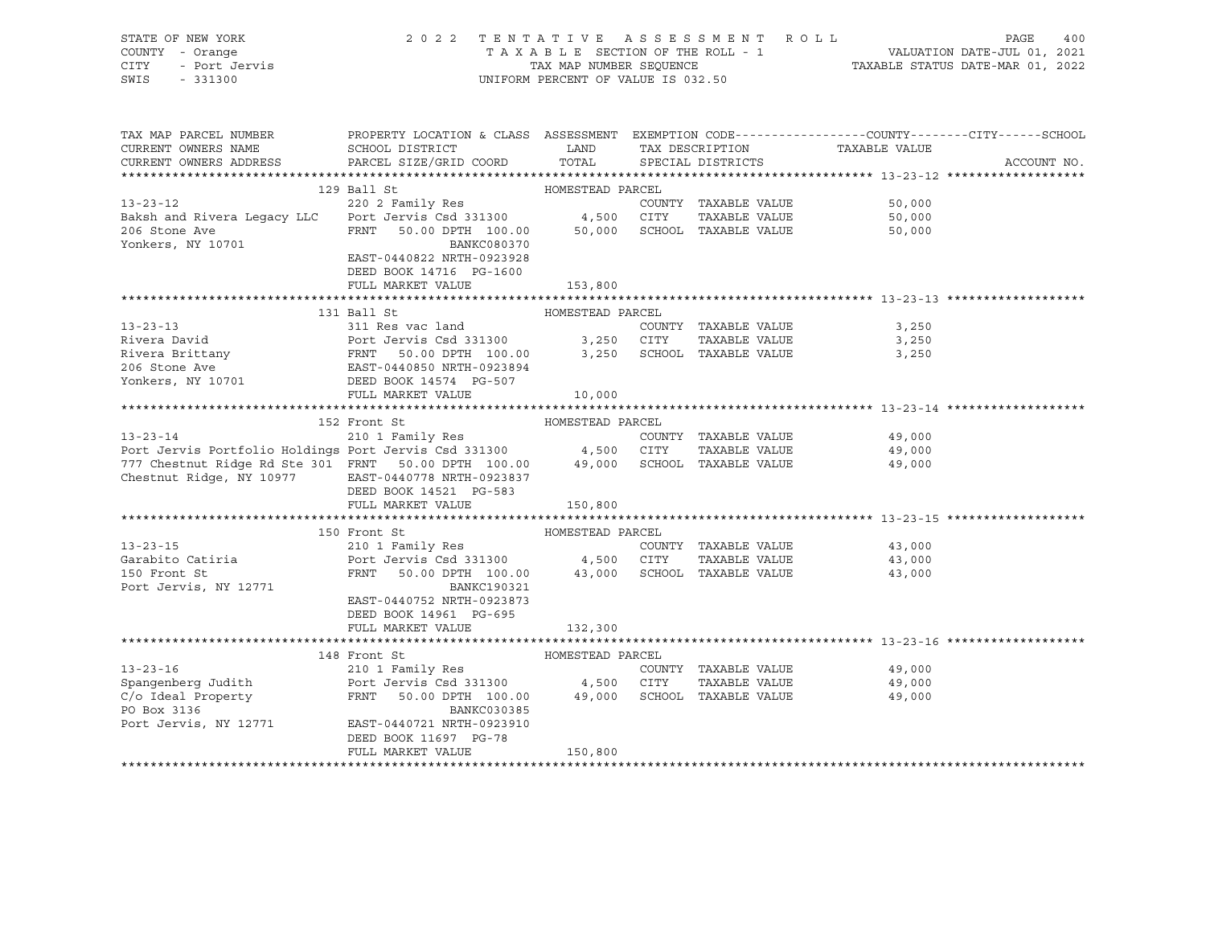| STATE OF NEW YORK<br>COUNTY - Orange<br>7 - Orange<br>- Port Jervis<br>CITY<br>SWIS<br>$-331300$                                                                                             | 2022 TENTATIVE ASSESSMENT ROLL                                                                                                  | UNIFORM PERCENT OF VALUE IS 032.50 |                                       | T A X A B L E SECTION OF THE ROLL - 1 WALUATION DATE-JUL 01, 2021 TAX MAP NUMBER SEQUENCE TAXABLE STATUS DATE-MAR 01, 2022 | PAGE<br>400 |
|----------------------------------------------------------------------------------------------------------------------------------------------------------------------------------------------|---------------------------------------------------------------------------------------------------------------------------------|------------------------------------|---------------------------------------|----------------------------------------------------------------------------------------------------------------------------|-------------|
| TAX MAP PARCEL NUMBER THE PROPERTY LOCATION & CLASS ASSESSMENT EXEMPTION CODE--------------COUNTY-------CUTY------SCHOOL<br>CURRENT OWNERS NAME                                              | SCHOOL DISTRICT LAND                                                                                                            |                                    | TAX DESCRIPTION                       | TAXABLE VALUE                                                                                                              |             |
| CURRENT OWNERS ADDRESS                                                                                                                                                                       | PARCEL SIZE/GRID COORD                                                                                                          | TOTAL                              | SPECIAL DISTRICTS                     |                                                                                                                            | ACCOUNT NO. |
|                                                                                                                                                                                              |                                                                                                                                 |                                    |                                       |                                                                                                                            |             |
|                                                                                                                                                                                              | 129 Ball St                                                                                                                     | HOMESTEAD PARCEL                   |                                       |                                                                                                                            |             |
| $13 - 23 - 12$                                                                                                                                                                               | 220 2 Family Res                                                                                                                |                                    | COUNTY TAXABLE VALUE                  | 50,000                                                                                                                     |             |
| Baksh and Rivera Legacy LLC                                                                                                                                                                  | Port Jervis Csd 331300 4,500 CITY TAXABLE VALUE                                                                                 |                                    | 50,000 SCHOOL TAXABLE VALUE           | 50,000                                                                                                                     |             |
| 206 Stone Ave<br>Yonkers, NY 10701                                                                                                                                                           | FRNT 50.00 DPTH 100.00<br>BANKC080370                                                                                           |                                    |                                       | 50,000                                                                                                                     |             |
|                                                                                                                                                                                              | EAST-0440822 NRTH-0923928                                                                                                       |                                    |                                       |                                                                                                                            |             |
|                                                                                                                                                                                              | DEED BOOK 14716 PG-1600                                                                                                         |                                    |                                       |                                                                                                                            |             |
|                                                                                                                                                                                              | FULL MARKET VALUE                                                                                                               | 153,800                            |                                       |                                                                                                                            |             |
|                                                                                                                                                                                              |                                                                                                                                 |                                    |                                       |                                                                                                                            |             |
|                                                                                                                                                                                              | 131 Ball St                                                                                                                     | HOMESTEAD PARCEL                   |                                       |                                                                                                                            |             |
| $13 - 23 - 13$                                                                                                                                                                               | 311 Res vac land                                                                                                                |                                    | COUNTY TAXABLE VALUE                  | 3,250                                                                                                                      |             |
| Rivera David                                                                                                                                                                                 |                                                                                                                                 |                                    | TAXABLE VALUE<br>SCHOOL TAXABLE VALUE | 3,250<br>3,250                                                                                                             |             |
| Rivera Brittany<br>206 Stone Ave<br>Yonkers, NY 10701                                                                                                                                        | Port Jervis Csd 331300 3,250 CITY<br>FRNT 50.00 DPTH 100.00 3,250 SCHOOL<br>EAST-0440850 NRTH-0923894<br>DEED BOOK 14574 PG-507 |                                    |                                       |                                                                                                                            |             |
|                                                                                                                                                                                              |                                                                                                                                 |                                    |                                       |                                                                                                                            |             |
|                                                                                                                                                                                              | FULL MARKET VALUE                                                                                                               | 10,000                             |                                       |                                                                                                                            |             |
|                                                                                                                                                                                              |                                                                                                                                 |                                    |                                       |                                                                                                                            |             |
|                                                                                                                                                                                              | 152 Front St                                                                                                                    | HOMESTEAD PARCEL                   |                                       |                                                                                                                            |             |
| 13-23-14 210 1 Family Res COUNTY<br>Port Jervis Portfolio Holdings Port Jervis Csd 331300 4,500 CITY                                                                                         |                                                                                                                                 |                                    | COUNTY TAXABLE VALUE                  | 49,000                                                                                                                     |             |
| 777 Chestnut Ridge Rd Ste 301 FRNT 50.00 DPTH 100.00 49,000 SCHOOL TAXABLE VALUE                                                                                                             |                                                                                                                                 |                                    | TAXABLE VALUE                         | 49,000                                                                                                                     |             |
|                                                                                                                                                                                              |                                                                                                                                 |                                    |                                       |                                                                                                                            |             |
|                                                                                                                                                                                              |                                                                                                                                 |                                    |                                       | 49,000                                                                                                                     |             |
|                                                                                                                                                                                              | Chestnut Ridge, NY 10977 EAST-0440778 NRTH-0923837                                                                              |                                    |                                       |                                                                                                                            |             |
|                                                                                                                                                                                              | DEED BOOK 14521 PG-583<br>FULL MARKET VALUE                                                                                     | 150,800                            |                                       |                                                                                                                            |             |
|                                                                                                                                                                                              |                                                                                                                                 |                                    |                                       |                                                                                                                            |             |
|                                                                                                                                                                                              | 150 Front St                                                                                                                    | HOMESTEAD PARCEL                   |                                       |                                                                                                                            |             |
| $13 - 23 - 15$                                                                                                                                                                               |                                                                                                                                 |                                    | COUNTY TAXABLE VALUE                  | 43,000                                                                                                                     |             |
|                                                                                                                                                                                              | 210 1 Family Res<br>Port Jervis Csd 331300 4,500 CITY                                                                           |                                    | TAXABLE VALUE                         | 43,000                                                                                                                     |             |
| 13-23-12<br>Garabito Catiria<br>150 Front St                                                                                                                                                 | $50.00$ DPTH $100.00$ $43,000$ SCHOOL TAXABLE VALUE<br>FRNT                                                                     |                                    |                                       | 43,000                                                                                                                     |             |
| Port Jervis, NY 12771                                                                                                                                                                        | BANKC190321<br>EAST-0440752 NRTH-0923873                                                                                        |                                    |                                       |                                                                                                                            |             |
|                                                                                                                                                                                              | DEED BOOK 14961 PG-695                                                                                                          |                                    |                                       |                                                                                                                            |             |
|                                                                                                                                                                                              | FULL MARKET VALUE                                                                                                               | 132,300                            |                                       |                                                                                                                            |             |
|                                                                                                                                                                                              |                                                                                                                                 |                                    |                                       |                                                                                                                            |             |
|                                                                                                                                                                                              | 148 Front St                                                                                                                    | HOMESTEAD PARCEL                   |                                       |                                                                                                                            |             |
| $13 - 23 - 16$                                                                                                                                                                               | 210 1 Family Res                                                                                                                |                                    | COUNTY TAXABLE VALUE                  | 49,000                                                                                                                     |             |
|                                                                                                                                                                                              |                                                                                                                                 |                                    | TAXABLE VALUE                         | 49,000<br>49,000                                                                                                           |             |
| Spangenberg Judith $V = V + 1$<br>Spangenberg Judith Port Jervis Csd 331300 4,500 CITY TAXABLE VALUE<br>C/O Ideal Property FRNT 50.00 DPTH 100.00 49,000 SCHOOL TAXABLE VALUE<br>PO Box 3136 | BANKC030385                                                                                                                     |                                    |                                       |                                                                                                                            |             |
| Port Jervis, NY 12771                                                                                                                                                                        | EAST-0440721 NRTH-0923910                                                                                                       |                                    |                                       |                                                                                                                            |             |
|                                                                                                                                                                                              | DEED BOOK 11697 PG-78<br>FULL MARKET VALUE                                                                                      | 150,800                            |                                       |                                                                                                                            |             |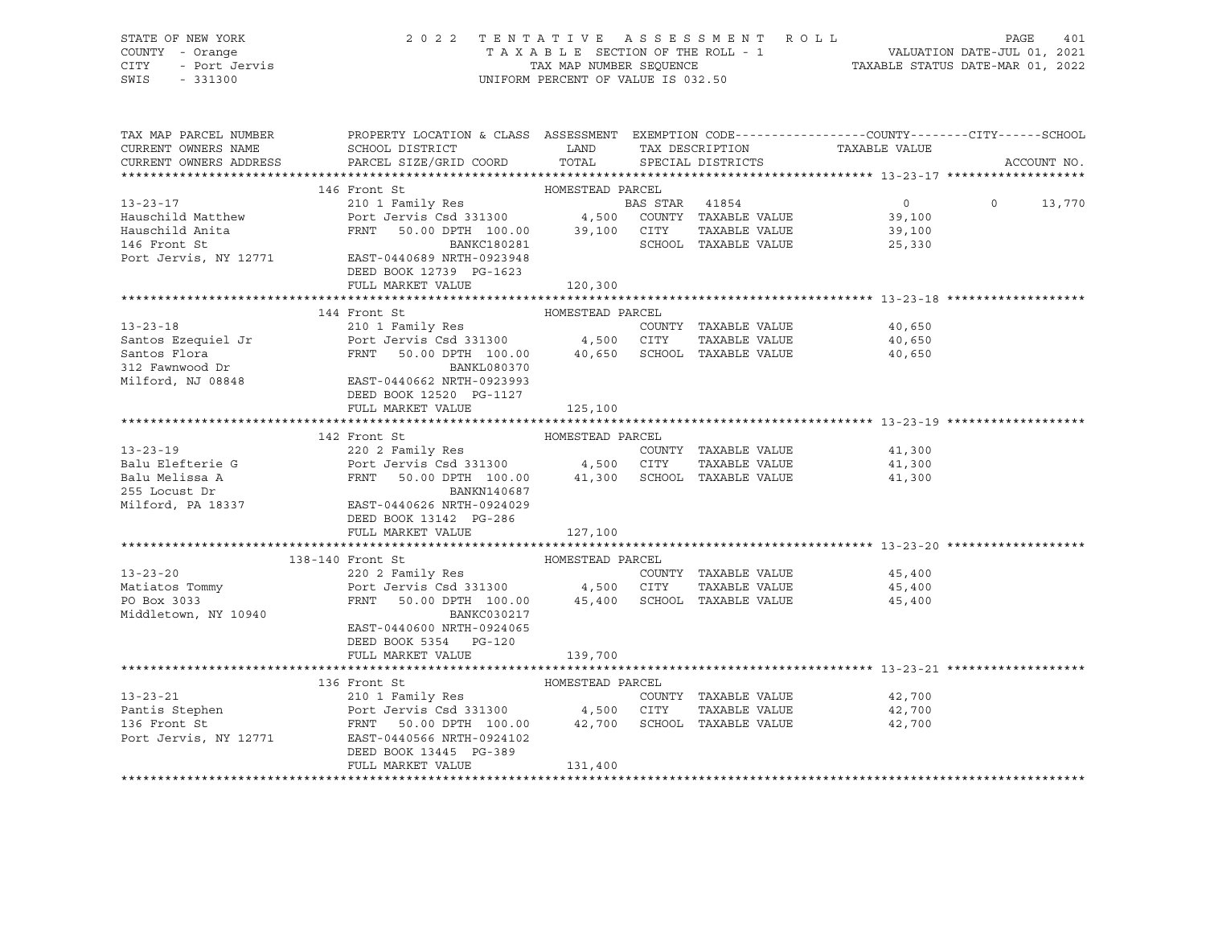| STATE OF NEW YORK<br>STATE OF NEW JORN<br>COUNTY - Orange<br>CITY - Port Jervis                                                                                                                                                                      | 2022 TENTATIVE ASSESSMENT ROLL PAGE 401<br>TAXABLE SECTION OF THE ROLL - 1 VALUATION DATE-JUL 01, 2021<br>TAX MAP NUMBER SEQUENCE TAXABLE STATUS DATE-MAR 01, 2022<br>UNIFORM PERCENT OF VALUE IS 032.50 |                  |                   |                                                         |                    |             |
|------------------------------------------------------------------------------------------------------------------------------------------------------------------------------------------------------------------------------------------------------|----------------------------------------------------------------------------------------------------------------------------------------------------------------------------------------------------------|------------------|-------------------|---------------------------------------------------------|--------------------|-------------|
|                                                                                                                                                                                                                                                      |                                                                                                                                                                                                          |                  |                   |                                                         |                    |             |
|                                                                                                                                                                                                                                                      |                                                                                                                                                                                                          |                  |                   |                                                         |                    |             |
|                                                                                                                                                                                                                                                      |                                                                                                                                                                                                          |                  |                   |                                                         |                    |             |
|                                                                                                                                                                                                                                                      |                                                                                                                                                                                                          |                  |                   |                                                         |                    |             |
|                                                                                                                                                                                                                                                      |                                                                                                                                                                                                          |                  |                   |                                                         |                    |             |
| TAX MAP PARCEL NUMBER                                                                                                                                                                                                                                | PROPERTY LOCATION & CLASS ASSESSMENT EXEMPTION CODE----------------COUNTY-------CITY------SCHOOL                                                                                                         |                  |                   |                                                         |                    |             |
| CURRENT OWNERS NAME                                                                                                                                                                                                                                  | SCHOOL DISTRICT LAND                                                                                                                                                                                     |                  |                   |                                                         |                    |             |
| CURRENT OWNERS ADDRESS                                                                                                                                                                                                                               | PARCEL SIZE/GRID COORD                                                                                                                                                                                   | TOTAL            | SPECIAL DISTRICTS | -<br>TAX DESCRIPTION TAXABLE VALUE<br>SPECIAL DISTRICTS |                    | ACCOUNT NO. |
|                                                                                                                                                                                                                                                      |                                                                                                                                                                                                          |                  |                   |                                                         |                    |             |
|                                                                                                                                                                                                                                                      |                                                                                                                                                                                                          |                  |                   |                                                         |                    |             |
|                                                                                                                                                                                                                                                      |                                                                                                                                                                                                          |                  |                   |                                                         | $0 \t 0 \t 13,770$ |             |
|                                                                                                                                                                                                                                                      |                                                                                                                                                                                                          |                  |                   |                                                         |                    |             |
|                                                                                                                                                                                                                                                      |                                                                                                                                                                                                          |                  |                   |                                                         |                    |             |
|                                                                                                                                                                                                                                                      |                                                                                                                                                                                                          |                  |                   |                                                         |                    |             |
|                                                                                                                                                                                                                                                      |                                                                                                                                                                                                          |                  |                   |                                                         |                    |             |
|                                                                                                                                                                                                                                                      | DEED BOOK 12739 PG-1623                                                                                                                                                                                  |                  |                   |                                                         |                    |             |
|                                                                                                                                                                                                                                                      | FULL MARKET VALUE 120,300                                                                                                                                                                                |                  |                   |                                                         |                    |             |
|                                                                                                                                                                                                                                                      |                                                                                                                                                                                                          |                  |                   |                                                         |                    |             |
|                                                                                                                                                                                                                                                      | 144 Front St                                                                                                                                                                                             | HOMESTEAD PARCEL |                   |                                                         |                    |             |
|                                                                                                                                                                                                                                                      |                                                                                                                                                                                                          |                  |                   | 40,650                                                  |                    |             |
|                                                                                                                                                                                                                                                      |                                                                                                                                                                                                          |                  |                   | 40,650                                                  |                    |             |
|                                                                                                                                                                                                                                                      |                                                                                                                                                                                                          |                  |                   | 40,650                                                  |                    |             |
| 13-23-18<br>Santos Ezequiel Jr<br>Santos Ezequiel Jr<br>Santos Ezequiel Jr<br>Part Jervis Csd 331300<br>PERNT 50.00 DPTH 100.00<br>BANKL080370<br>BANKL080370<br>HIST-0440662 NRTH-0923993<br>DEED BOOK 12520 PG-1127                                |                                                                                                                                                                                                          |                  |                   |                                                         |                    |             |
|                                                                                                                                                                                                                                                      |                                                                                                                                                                                                          |                  |                   |                                                         |                    |             |
|                                                                                                                                                                                                                                                      |                                                                                                                                                                                                          |                  |                   |                                                         |                    |             |
|                                                                                                                                                                                                                                                      | FULL MARKET VALUE                                                                                                                                                                                        | 125,100          |                   |                                                         |                    |             |
|                                                                                                                                                                                                                                                      |                                                                                                                                                                                                          |                  |                   |                                                         |                    |             |
|                                                                                                                                                                                                                                                      |                                                                                                                                                                                                          |                  |                   |                                                         |                    |             |
|                                                                                                                                                                                                                                                      |                                                                                                                                                                                                          |                  |                   |                                                         |                    |             |
|                                                                                                                                                                                                                                                      |                                                                                                                                                                                                          |                  |                   |                                                         |                    |             |
|                                                                                                                                                                                                                                                      |                                                                                                                                                                                                          |                  |                   |                                                         |                    |             |
| EANKN140687<br>255 Locust Dr<br>Milford, PA 18337 EAST-0440626 NRTH-0924029<br>DEED BOOK 13142 PG-286                                                                                                                                                |                                                                                                                                                                                                          |                  |                   |                                                         |                    |             |
|                                                                                                                                                                                                                                                      |                                                                                                                                                                                                          |                  |                   |                                                         |                    |             |
|                                                                                                                                                                                                                                                      |                                                                                                                                                                                                          |                  |                   |                                                         |                    |             |
|                                                                                                                                                                                                                                                      | FULL MARKET VALUE                                                                                                                                                                                        | 127,100          |                   |                                                         |                    |             |
|                                                                                                                                                                                                                                                      |                                                                                                                                                                                                          |                  |                   |                                                         |                    |             |
|                                                                                                                                                                                                                                                      | 138-140 Front St                                                                                                                                                                                         | HOMESTEAD PARCEL |                   |                                                         |                    |             |
| $13 - 23 - 20$                                                                                                                                                                                                                                       |                                                                                                                                                                                                          |                  |                   | 45,400                                                  |                    |             |
| Matiatos Tommy<br>PO Box 3033                                                                                                                                                                                                                        |                                                                                                                                                                                                          |                  |                   | 45,400                                                  |                    |             |
|                                                                                                                                                                                                                                                      |                                                                                                                                                                                                          |                  |                   | 45,400                                                  |                    |             |
| Middletown, NY 10940                                                                                                                                                                                                                                 | BANKC030217                                                                                                                                                                                              |                  |                   |                                                         |                    |             |
|                                                                                                                                                                                                                                                      | EAST-0440600 NRTH-0924065                                                                                                                                                                                |                  |                   |                                                         |                    |             |
|                                                                                                                                                                                                                                                      | DEED BOOK 5354 PG-120                                                                                                                                                                                    |                  |                   |                                                         |                    |             |
|                                                                                                                                                                                                                                                      | FULL MARKET VALUE                                                                                                                                                                                        | 139,700          |                   |                                                         |                    |             |
|                                                                                                                                                                                                                                                      |                                                                                                                                                                                                          |                  |                   |                                                         |                    |             |
|                                                                                                                                                                                                                                                      | 136 Front St                                                                                                                                                                                             | HOMESTEAD PARCEL |                   |                                                         |                    |             |
| 13-23-21<br>Pantis Stephen<br>210 1 Family Res<br>Pantis Stephen<br>210 1 Family Res<br>Port Jervis Csd 331300<br>216 Front St<br>FRNT 50.00 DPTH 100.00<br>22,700 SCHOOL TAXABLE VALUE<br>Port Jervis, NY 12771<br>EAST-044102<br>Port Jervis, NY 1 |                                                                                                                                                                                                          |                  |                   | 42,700                                                  |                    |             |
|                                                                                                                                                                                                                                                      |                                                                                                                                                                                                          |                  |                   | 42,700                                                  |                    |             |
|                                                                                                                                                                                                                                                      |                                                                                                                                                                                                          |                  |                   | 42,700                                                  |                    |             |
|                                                                                                                                                                                                                                                      |                                                                                                                                                                                                          |                  |                   |                                                         |                    |             |
|                                                                                                                                                                                                                                                      | DEED BOOK 13445 PG-389                                                                                                                                                                                   |                  |                   |                                                         |                    |             |
|                                                                                                                                                                                                                                                      | FULL MARKET VALUE                                                                                                                                                                                        | 131,400          |                   |                                                         |                    |             |
|                                                                                                                                                                                                                                                      |                                                                                                                                                                                                          |                  |                   |                                                         |                    |             |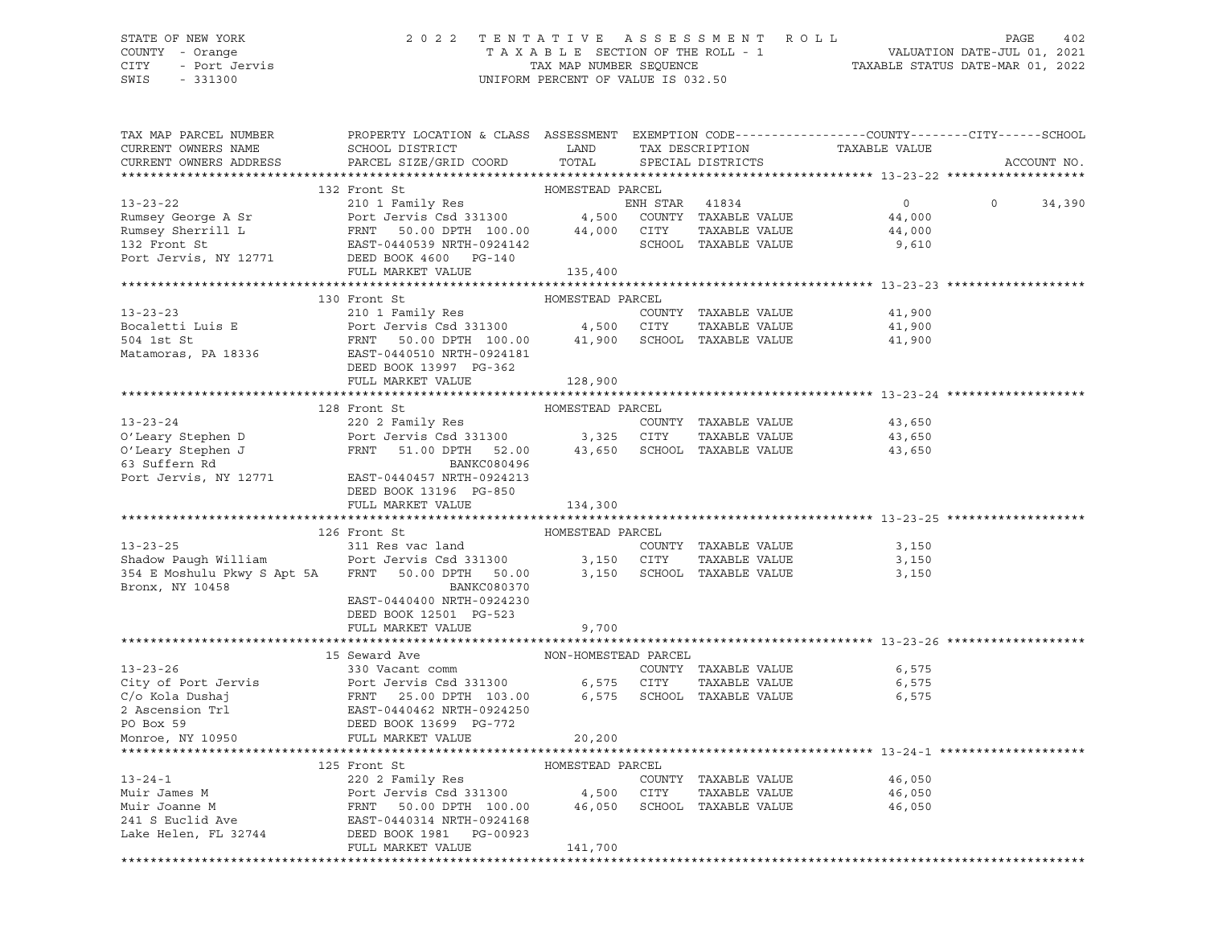# STATE OF NEW YORK 2 0 2 2 T E N T A T I V E A S S E S S M E N T R O L L PAGE 402 COUNTY - Orange T A X A B L E SECTION OF THE ROLL - 1 VALUATION DATE-JUL 01, 2021 CITY - Port Jervis TAX MAP NUMBER SEQUENCE TAXABLE STATUS DATE-MAR 01, 2022

| TAX MAP PARCEL NUMBER<br>CURRENT OWNERS NAME<br>CURRENT OWNERS ADDRESS | PROPERTY LOCATION & CLASS ASSESSMENT EXEMPTION CODE----------------COUNTY-------CITY------SCHOOL<br>SCHOOL DISTRICT LAND<br>PARCEL SIZE/GRID COORD TOTAL                                                                                                   |                          | TAX DESCRIPTION<br>SPECIAL DISTRICTS | TAXABLE VALUE                                    | ACCOUNT NO.        |
|------------------------------------------------------------------------|------------------------------------------------------------------------------------------------------------------------------------------------------------------------------------------------------------------------------------------------------------|--------------------------|--------------------------------------|--------------------------------------------------|--------------------|
|                                                                        |                                                                                                                                                                                                                                                            |                          |                                      |                                                  |                    |
|                                                                        | 132 Front St                                                                                                                                                                                                                                               | HOMESTEAD PARCEL         |                                      |                                                  |                    |
|                                                                        |                                                                                                                                                                                                                                                            |                          |                                      |                                                  | $\Omega$<br>34,390 |
|                                                                        |                                                                                                                                                                                                                                                            |                          |                                      |                                                  |                    |
|                                                                        |                                                                                                                                                                                                                                                            |                          |                                      |                                                  |                    |
|                                                                        | 13-23-22<br>Rumsey George A Sr<br>Rumsey Sherrill L<br>Rumsey Sherrill L<br>FRNT 50.00 DPTH 100.00<br>ENN STAR 41834<br>4,500 COUNTY TAXABLE VALUE<br>44,000<br>CITY TAXABLE VALUE<br>44,000<br>132 Front St<br>Port Jervis, NY 12771<br>DEED BOOK 465     |                          |                                      |                                                  |                    |
|                                                                        | FULL MARKET VALUE 135,400                                                                                                                                                                                                                                  |                          |                                      |                                                  |                    |
|                                                                        |                                                                                                                                                                                                                                                            |                          |                                      |                                                  |                    |
|                                                                        | 13-23-23<br>210 1 Family Res<br>210 1 Family Res<br>210 1 Family Res<br>210 1 Family Res<br>210 1 Family Res<br>210 1 Family Res<br>210 1 Family Res<br>210 2 Family Res<br>210 2 Family Res<br>210 2007<br>2131300<br>21,900 CITY<br>21,900 SCHOOL<br>21, |                          |                                      |                                                  |                    |
|                                                                        |                                                                                                                                                                                                                                                            |                          |                                      | 41,900                                           |                    |
|                                                                        |                                                                                                                                                                                                                                                            |                          |                                      | TAXABLE VALUE 41,900                             |                    |
|                                                                        |                                                                                                                                                                                                                                                            |                          |                                      | 41,900                                           |                    |
|                                                                        |                                                                                                                                                                                                                                                            |                          |                                      |                                                  |                    |
|                                                                        |                                                                                                                                                                                                                                                            |                          |                                      |                                                  |                    |
|                                                                        | FULL MARKET VALUE                                                                                                                                                                                                                                          | 128,900                  |                                      |                                                  |                    |
|                                                                        | 128 Front St                                                                                                                                                                                                                                               | HOMESTEAD PARCEL         |                                      |                                                  |                    |
|                                                                        |                                                                                                                                                                                                                                                            |                          |                                      | 43,650                                           |                    |
|                                                                        |                                                                                                                                                                                                                                                            |                          |                                      | 43,650                                           |                    |
|                                                                        |                                                                                                                                                                                                                                                            |                          |                                      | 43,650                                           |                    |
|                                                                        |                                                                                                                                                                                                                                                            |                          |                                      |                                                  |                    |
|                                                                        | 13-23-24<br>220 2 Family Res<br>COUNTY TAXABLE VALUE<br>COUNTY TAXABLE VALUE<br>COUNTY TAXABLE VALUE<br>COUNTY TAXABLE VALUE<br>COUNTY TAXABLE VALUE<br>COUNTY TAXABLE VALUE<br>COUNTY TAXABLE VALUE<br>COUNTY TAXABLE VALUE<br>COUNTY TAXABLE VAL         |                          |                                      |                                                  |                    |
|                                                                        | DEED BOOK 13196 PG-850                                                                                                                                                                                                                                     |                          |                                      |                                                  |                    |
|                                                                        | FULL MARKET VALUE                                                                                                                                                                                                                                          | 134,300                  |                                      |                                                  |                    |
|                                                                        |                                                                                                                                                                                                                                                            |                          |                                      |                                                  |                    |
| $13 - 23 - 25$                                                         | 126 Front St                                                                                                                                                                                                                                               | HOMESTEAD PARCEL<br>COUN |                                      |                                                  |                    |
|                                                                        | 311 Res vac land<br>Shadow Paugh William Port Jervis Csd 331300 3,150 CITY                                                                                                                                                                                 |                          | COUNTY TAXABLE VALUE                 | 3,150<br>3,150                                   |                    |
|                                                                        | 354 E Moshulu Pkwy S Apt 5A FRNT 50.00 DPTH 50.00 3,150 SCHOOL TAXABLE VALUE 3,150 3,150                                                                                                                                                                   |                          | TAXABLE VALUE                        |                                                  |                    |
| Bronx, NY 10458                                                        | BANKC080370                                                                                                                                                                                                                                                |                          |                                      |                                                  |                    |
|                                                                        | EAST-0440400 NRTH-0924230                                                                                                                                                                                                                                  |                          |                                      |                                                  |                    |
|                                                                        | DEED BOOK 12501 PG-523                                                                                                                                                                                                                                     |                          |                                      |                                                  |                    |
|                                                                        | FULL MARKET VALUE                                                                                                                                                                                                                                          | 9,700                    |                                      |                                                  |                    |
|                                                                        |                                                                                                                                                                                                                                                            |                          |                                      |                                                  |                    |
|                                                                        | 15 Seward Ave                                                                                                                                                                                                                                              | NON-HOMESTEAD PARCEL     |                                      |                                                  |                    |
| $13 - 23 - 26$                                                         | 330 Vacant comm                                                                                                                                                                                                                                            |                          | COUNTY TAXABLE VALUE                 | 6,575                                            |                    |
|                                                                        |                                                                                                                                                                                                                                                            |                          |                                      | TAXABLE VALUE 6,575                              |                    |
|                                                                        |                                                                                                                                                                                                                                                            |                          |                                      | 6,575                                            |                    |
|                                                                        |                                                                                                                                                                                                                                                            |                          |                                      |                                                  |                    |
|                                                                        | 13-23-26<br>COUNTY TAXABLE VALUE<br>City of Port Jervis Sales (1992)<br>Country TAXABLE VALUE<br>Country TAXABLE VALUE<br>COUNTY TAXABLE VALUE<br>COUNTY TAXABLE VALUE<br>COUNTY TAXABLE VALUE<br>COUNTY TAXABLE VALUE<br>COUNTY TAXABLE VALUE<br>         |                          |                                      |                                                  |                    |
|                                                                        |                                                                                                                                                                                                                                                            |                          |                                      | ******************************** 13-24-1 ******* |                    |
|                                                                        | 125 Front St                                                                                                                                                                                                                                               | HOMESTEAD PARCEL         |                                      |                                                  |                    |
|                                                                        |                                                                                                                                                                                                                                                            |                          |                                      | 46,050                                           |                    |
|                                                                        |                                                                                                                                                                                                                                                            |                          |                                      | TAXABLE VALUE 46,050                             |                    |
|                                                                        |                                                                                                                                                                                                                                                            |                          |                                      | 46,050                                           |                    |
|                                                                        |                                                                                                                                                                                                                                                            |                          |                                      |                                                  |                    |
|                                                                        | 13-24-1<br>220 2 Family Res<br>Muir James M<br>Muir Joanne M<br>Muir Joanne M<br>220 2 Family Res<br>220 2 Family Res<br>220 2 Family Res<br>220 2 Family Res<br>220 2 Family Res<br>241 6 Euclid Ave<br>241 S Euclid Ave<br>241 S Euclid Ave<br>241 S E   |                          |                                      |                                                  |                    |
|                                                                        | FULL MARKET VALUE                                                                                                                                                                                                                                          | 141,700                  |                                      |                                                  |                    |
|                                                                        |                                                                                                                                                                                                                                                            |                          |                                      |                                                  |                    |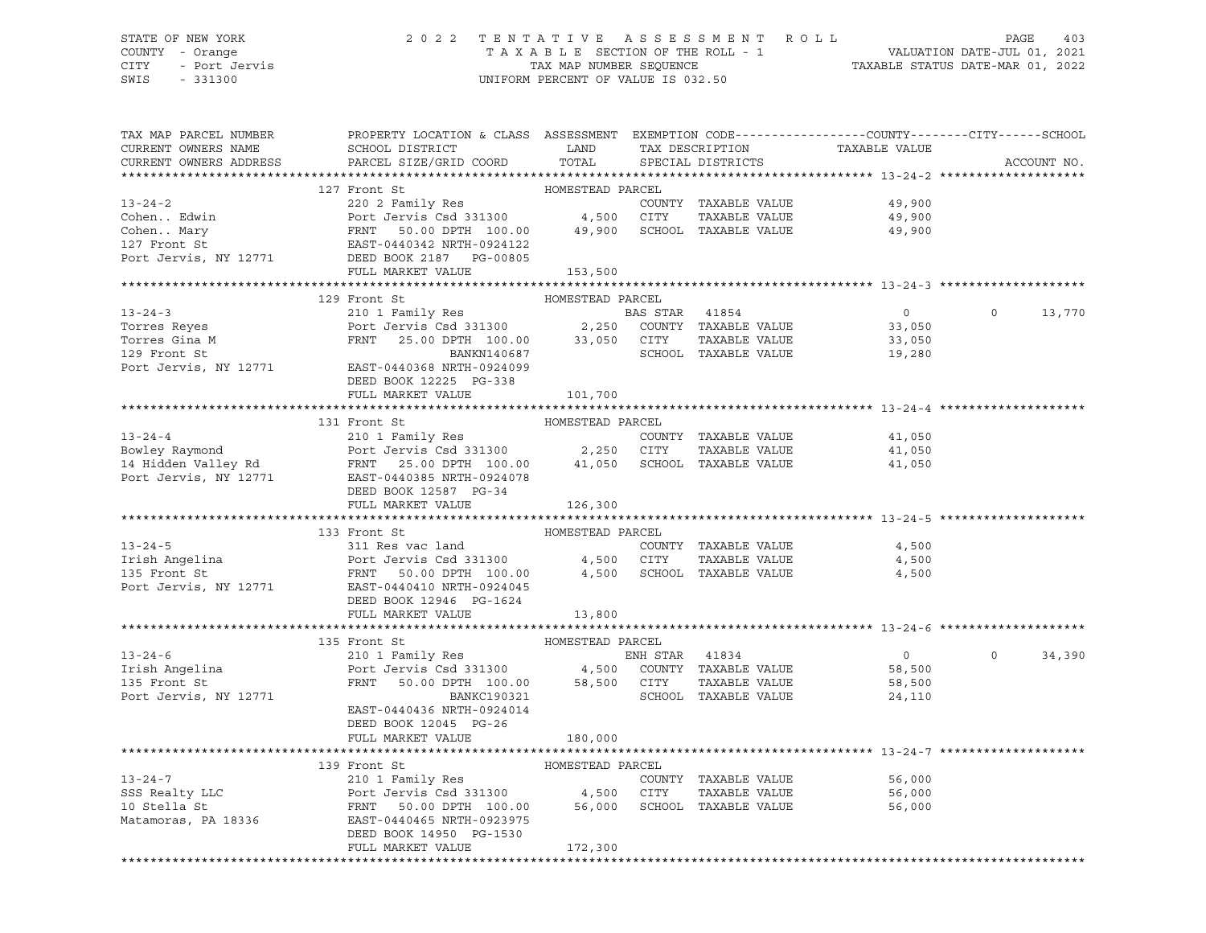# STATE OF NEW YORK 2 0 2 2 T E N T A T I V E A S S E S S M E N T R O L L PAGE 403 COUNTY - Orange T A X A B L E SECTION OF THE ROLL - 1 VALUATION DATE-JUL 01, 2021 CITY - Port Jervis TAX MAP NUMBER SEQUENCE TAXABLE STATUS DATE-MAR 01, 2022

| TAX MAP PARCEL NUMBER<br>CURRENT OWNERS NAME<br>CURRENT OWNERS ADDRESS | PROPERTY LOCATION & CLASS ASSESSMENT EXEMPTION CODE----------------COUNTY-------CITY------SCHOOL<br>SCHOOL DISTRICT LAND<br>PARCEL SIZE/GRID COORD TOTAL                                                                                                                                                                                                                                                                                               |                  | TAX DESCRIPTION<br>SPECIAL DISTRICTS | TAXABLE VALUE                                     | ACCOUNT NO. |
|------------------------------------------------------------------------|--------------------------------------------------------------------------------------------------------------------------------------------------------------------------------------------------------------------------------------------------------------------------------------------------------------------------------------------------------------------------------------------------------------------------------------------------------|------------------|--------------------------------------|---------------------------------------------------|-------------|
|                                                                        |                                                                                                                                                                                                                                                                                                                                                                                                                                                        |                  |                                      |                                                   |             |
|                                                                        | 127 Front St                                                                                                                                                                                                                                                                                                                                                                                                                                           | HOMESTEAD PARCEL |                                      |                                                   |             |
|                                                                        |                                                                                                                                                                                                                                                                                                                                                                                                                                                        |                  |                                      |                                                   |             |
|                                                                        |                                                                                                                                                                                                                                                                                                                                                                                                                                                        |                  |                                      |                                                   |             |
|                                                                        |                                                                                                                                                                                                                                                                                                                                                                                                                                                        |                  |                                      |                                                   |             |
|                                                                        | 13-24-2<br>Cohen Edwin 220 2 Family Res<br>Cohen Mary FRNT 50.00 DPTH 100.00 49,900 SCHOOL TAXABLE VALUE<br>27 Front St<br>Port Jervis CSd 331300 49,900 SCHOOL TAXABLE VALUE<br>29,900 FRNT 50.00 DPTH 100.00 49,900 SCHOOL TAXABLE                                                                                                                                                                                                                   |                  |                                      |                                                   |             |
|                                                                        |                                                                                                                                                                                                                                                                                                                                                                                                                                                        |                  |                                      |                                                   |             |
|                                                                        | FULL MARKET VALUE 153,500                                                                                                                                                                                                                                                                                                                                                                                                                              |                  |                                      |                                                   |             |
|                                                                        |                                                                                                                                                                                                                                                                                                                                                                                                                                                        |                  |                                      |                                                   |             |
|                                                                        | 129 Front St                                                                                                                                                                                                                                                                                                                                                                                                                                           | HOMESTEAD PARCEL |                                      |                                                   |             |
|                                                                        |                                                                                                                                                                                                                                                                                                                                                                                                                                                        |                  |                                      |                                                   | 0 0 13,770  |
|                                                                        |                                                                                                                                                                                                                                                                                                                                                                                                                                                        |                  |                                      |                                                   |             |
|                                                                        |                                                                                                                                                                                                                                                                                                                                                                                                                                                        |                  |                                      |                                                   |             |
|                                                                        | 13-24-3<br>Torres Reyes<br>Torres Gina M<br>129 Front Jerus Csd 331300<br>129 Front St<br>25.00 DPTH 100.00<br>2,250 COUNTY TAXABLE VALUE<br>33,050<br>2,250 COUNTY TAXABLE VALUE<br>33,050<br>2,250 COUNTY TAXABLE VALUE<br>33,050<br>2,250 COUNTY TA                                                                                                                                                                                                 |                  |                                      |                                                   |             |
|                                                                        | Port Jervis, NY 12771 EAST-0440368 NRTH-0924099                                                                                                                                                                                                                                                                                                                                                                                                        |                  |                                      |                                                   |             |
|                                                                        | DEED BOOK 12225 PG-338                                                                                                                                                                                                                                                                                                                                                                                                                                 |                  |                                      |                                                   |             |
|                                                                        | FULL MARKET VALUE                                                                                                                                                                                                                                                                                                                                                                                                                                      | 101,700          |                                      |                                                   |             |
|                                                                        | 13-24-4<br>210 1 Family Res<br>210 1 Family Res<br>210 1 Family Res<br>210 1 Family Res<br>2250 CITY TAXABLE VALUE<br>25.00 DPTH 100.00<br>2250 CITY TAXABLE VALUE<br>2250 CITY TAXABLE VALUE<br>2250 CITY TAXABLE VALUE<br>41,050<br>2250 CITY TAXA                                                                                                                                                                                                   |                  |                                      |                                                   |             |
|                                                                        |                                                                                                                                                                                                                                                                                                                                                                                                                                                        |                  |                                      |                                                   |             |
|                                                                        |                                                                                                                                                                                                                                                                                                                                                                                                                                                        |                  |                                      |                                                   |             |
|                                                                        |                                                                                                                                                                                                                                                                                                                                                                                                                                                        |                  |                                      |                                                   |             |
|                                                                        |                                                                                                                                                                                                                                                                                                                                                                                                                                                        |                  |                                      |                                                   |             |
|                                                                        |                                                                                                                                                                                                                                                                                                                                                                                                                                                        |                  |                                      |                                                   |             |
|                                                                        |                                                                                                                                                                                                                                                                                                                                                                                                                                                        |                  |                                      |                                                   |             |
|                                                                        | FULL MARKET VALUE                                                                                                                                                                                                                                                                                                                                                                                                                                      | 126,300          |                                      |                                                   |             |
|                                                                        |                                                                                                                                                                                                                                                                                                                                                                                                                                                        |                  |                                      |                                                   |             |
|                                                                        |                                                                                                                                                                                                                                                                                                                                                                                                                                                        |                  |                                      |                                                   |             |
|                                                                        |                                                                                                                                                                                                                                                                                                                                                                                                                                                        |                  |                                      |                                                   |             |
|                                                                        |                                                                                                                                                                                                                                                                                                                                                                                                                                                        |                  |                                      |                                                   |             |
|                                                                        |                                                                                                                                                                                                                                                                                                                                                                                                                                                        |                  |                                      |                                                   |             |
|                                                                        |                                                                                                                                                                                                                                                                                                                                                                                                                                                        |                  |                                      |                                                   |             |
|                                                                        |                                                                                                                                                                                                                                                                                                                                                                                                                                                        |                  |                                      |                                                   |             |
|                                                                        |                                                                                                                                                                                                                                                                                                                                                                                                                                                        |                  |                                      |                                                   |             |
|                                                                        |                                                                                                                                                                                                                                                                                                                                                                                                                                                        |                  |                                      |                                                   |             |
|                                                                        | $13-24-6 \qquad \qquad 135 \text{ Front St} \qquad \qquad \text{HOMESTEAD PARCH} \qquad \qquad \text{ENH STR} \qquad 41834 \qquad \qquad \text{PNH STR} \qquad 41834 \qquad \qquad \text{Port Jerris Csd 331300} \qquad \qquad \text{4,500}\qquad \text{COUNTY} \qquad \text{TAXABLE VALUE} \qquad \text{TAXABLE VALUE} \qquad \text{TRNT} \qquad 50.00 \text{ DPTH} \qquad 100.00 \qquad \qquad 58,500 \qquad \text{CITY} \qquad \text{TAXABLE VALUE$ |                  |                                      |                                                   | $\Omega$    |
|                                                                        |                                                                                                                                                                                                                                                                                                                                                                                                                                                        |                  |                                      | $\overline{0}$                                    | 34,390      |
|                                                                        |                                                                                                                                                                                                                                                                                                                                                                                                                                                        |                  |                                      | 58,500<br>58,500                                  |             |
|                                                                        |                                                                                                                                                                                                                                                                                                                                                                                                                                                        |                  |                                      |                                                   |             |
| Port Jervis, NY 12771                                                  | BANKC190321                                                                                                                                                                                                                                                                                                                                                                                                                                            |                  | SCHOOL TAXABLE VALUE                 | 24,110                                            |             |
|                                                                        | EAST-0440436 NRTH-0924014                                                                                                                                                                                                                                                                                                                                                                                                                              |                  |                                      |                                                   |             |
|                                                                        | DEED BOOK 12045 PG-26                                                                                                                                                                                                                                                                                                                                                                                                                                  |                  |                                      |                                                   |             |
|                                                                        | FULL MARKET VALUE                                                                                                                                                                                                                                                                                                                                                                                                                                      | 180,000          |                                      |                                                   |             |
|                                                                        |                                                                                                                                                                                                                                                                                                                                                                                                                                                        |                  |                                      | ********************************* 13-24-7 ******* |             |
|                                                                        | 139 Front St                                                                                                                                                                                                                                                                                                                                                                                                                                           | HOMESTEAD PARCEL |                                      |                                                   |             |
|                                                                        |                                                                                                                                                                                                                                                                                                                                                                                                                                                        |                  |                                      |                                                   |             |
|                                                                        |                                                                                                                                                                                                                                                                                                                                                                                                                                                        |                  |                                      |                                                   |             |
|                                                                        | 13-24-7<br>210 1 Family Res<br>SSS Realty LLC<br>210 1 Family Res<br>Port Jervis Csd 331300<br>210 Stella St<br>210 1 Family Res<br>210 1 Family Res<br>210 1 Family Res<br>210 1 Family Res<br>210 1 Family Res<br>210 200 4,500 CITY<br>26,000 SCHOO                                                                                                                                                                                                 |                  |                                      |                                                   |             |
|                                                                        |                                                                                                                                                                                                                                                                                                                                                                                                                                                        |                  |                                      |                                                   |             |
|                                                                        | DEED BOOK 14950 PG-1530<br>FULL MARKET VALUE                                                                                                                                                                                                                                                                                                                                                                                                           | 172,300          |                                      |                                                   |             |
|                                                                        |                                                                                                                                                                                                                                                                                                                                                                                                                                                        |                  |                                      |                                                   |             |
|                                                                        |                                                                                                                                                                                                                                                                                                                                                                                                                                                        |                  |                                      |                                                   |             |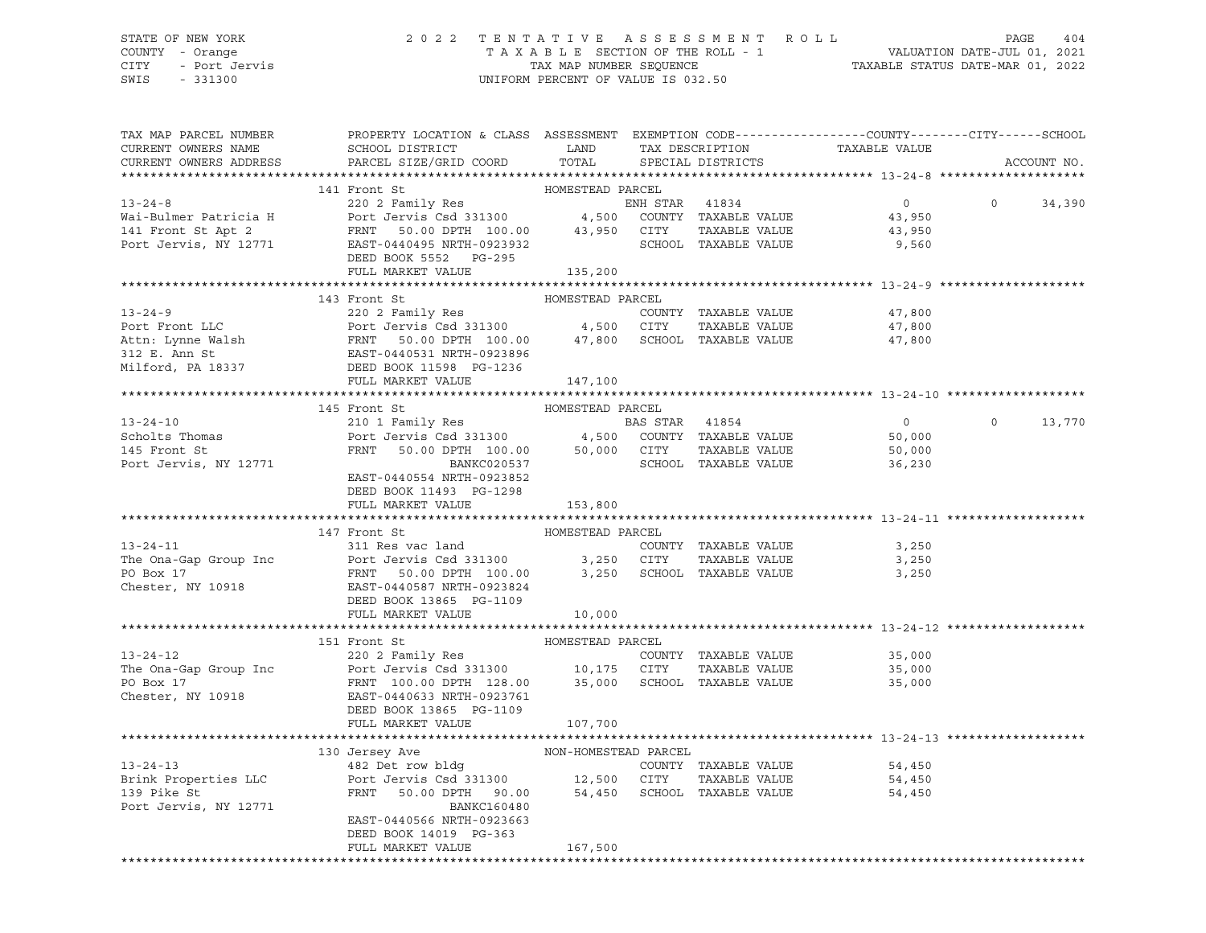## STATE OF NEW YORK 2 0 2 2 T E N T A T I V E A S S E S S M E N T R O L L PAGE 404 COUNTY - Orange T A X A B L E SECTION OF THE ROLL - 1 VALUATION DATE-JUL 01, 2021 CITY - Port Jervis TAX MAP NUMBER SEQUENCE TAXABLE STATUS DATE-MAR 01, 2022

| TAX MAP PARCEL NUMBER<br>CURRENT OWNERS NAME<br>CURRENT OWNERS ADDRESS | PROPERTY LOCATION & CLASS ASSESSMENT EXEMPTION CODE---------------COUNTY-------CITY------SCHOOL<br>SCHOOL DISTRICT LAND<br>PARCEL SIZE/GRID COORD                                                                                                                                                        | TOTAL            | TAX DESCRIPTION<br>SPECIAL DISTRICTS | TAXABLE VALUE                               |                | ACCOUNT NO. |
|------------------------------------------------------------------------|----------------------------------------------------------------------------------------------------------------------------------------------------------------------------------------------------------------------------------------------------------------------------------------------------------|------------------|--------------------------------------|---------------------------------------------|----------------|-------------|
|                                                                        |                                                                                                                                                                                                                                                                                                          |                  |                                      |                                             |                |             |
|                                                                        | 141 Front St<br>13-24-8<br>220 2 Family Res<br>220 2 Family Res<br>220 2 Family Res<br>220 2 Family Res<br>220 2 Family Res<br>220 2 Family Res<br>220 2 Family Res<br>220 2 Family Res<br>220 2 Family Res<br>220 2 Family Res<br>220 2 Family Res<br>220 2 Family Re<br>DEED BOOK 5552 PG-295          | HOMESTEAD PARCEL |                                      | $\overline{0}$<br>43,950<br>43,950<br>9,560 | $\overline{0}$ | 34,390      |
|                                                                        | FULL MARKET VALUE                                                                                                                                                                                                                                                                                        | 135,200          |                                      |                                             |                |             |
|                                                                        |                                                                                                                                                                                                                                                                                                          |                  |                                      |                                             |                |             |
|                                                                        | 143 Front St                                                                                                                                                                                                                                                                                             | HOMESTEAD PARCEL |                                      |                                             |                |             |
|                                                                        |                                                                                                                                                                                                                                                                                                          |                  |                                      | 47,800                                      |                |             |
|                                                                        |                                                                                                                                                                                                                                                                                                          |                  | TAXABLE VALUE                        | 47,800                                      |                |             |
|                                                                        |                                                                                                                                                                                                                                                                                                          |                  |                                      | 47,800                                      |                |             |
|                                                                        | FULL MARKET VALUE                                                                                                                                                                                                                                                                                        | 147,100          |                                      |                                             |                |             |
|                                                                        |                                                                                                                                                                                                                                                                                                          |                  |                                      |                                             |                |             |
|                                                                        | 145 Front St                                                                                                                                                                                                                                                                                             | HOMESTEAD PARCEL |                                      |                                             |                |             |
| $13 - 24 - 10$                                                         |                                                                                                                                                                                                                                                                                                          |                  |                                      | $\overline{0}$                              | $\circ$        | 13,770      |
| $13-24-10$<br>Scholts Thomas                                           |                                                                                                                                                                                                                                                                                                          |                  |                                      | 50,000                                      |                |             |
|                                                                        |                                                                                                                                                                                                                                                                                                          |                  |                                      | 50,000                                      |                |             |
| Port Jervis, NY 12771                                                  | Pront Strainly Res<br>Port Jervis Csd 331300 4,500 COUNTY TAXABLE VALUE<br>FRNT 50.00 DPTH 100.00 50,000 CITY TAXABLE VALUE<br>BAS STAR 41854<br>BANCCO205737<br>SCHOOL TAXABLE VALUE<br>BANCCO205737<br>SCHOOL TAXABLE VALUE<br>EAST-0440554 NRTH-0923852<br>DEED BOOK 11493 PG-1298                    |                  | SCHOOL TAXABLE VALUE                 | 36,230                                      |                |             |
|                                                                        | FULL MARKET VALUE                                                                                                                                                                                                                                                                                        | 153,800          |                                      |                                             |                |             |
|                                                                        |                                                                                                                                                                                                                                                                                                          |                  |                                      |                                             |                |             |
|                                                                        | 147 Front St                                                                                                                                                                                                                                                                                             | HOMESTEAD PARCEL |                                      |                                             |                |             |
| $13 - 24 - 11$                                                         | 311 Res vac land                                                                                                                                                                                                                                                                                         |                  | COUNTY TAXABLE VALUE                 | 3,250                                       |                |             |
|                                                                        |                                                                                                                                                                                                                                                                                                          |                  |                                      |                                             |                |             |
|                                                                        | The Ona-Gap Group Inc and Fort Jervis Csd 331300<br>PO Box 17<br>CO Box 17<br>Chester, NY 10918<br>Chester, NY 10918<br>Chester, NY 10918<br>Chester, NY 10918<br>Chester, NY 10918<br>Chester, NY 10918<br>Chester, NY 10918<br>Chester, NY 10918                                                       |                  |                                      |                                             |                |             |
|                                                                        | FULL MARKET VALUE                                                                                                                                                                                                                                                                                        | 10,000           |                                      |                                             |                |             |
|                                                                        |                                                                                                                                                                                                                                                                                                          |                  |                                      |                                             |                |             |
|                                                                        |                                                                                                                                                                                                                                                                                                          |                  |                                      |                                             |                |             |
|                                                                        |                                                                                                                                                                                                                                                                                                          |                  | COUNTY TAXABLE VALUE                 | 35,000                                      |                |             |
|                                                                        | 13-24-12<br>13-24-12<br>220 2 Family Res<br>The Ona-Gap Group Inc<br>PO Box 17<br>COUNTY TAXABLE VALUE<br>PO Box 17<br>Chester, NY 10918<br>Chester, NY 10918<br>Chester, NY 10918<br>PO BOR 10,105<br>EAST-0440633<br>NRTH-0923761<br>PO BOR 12600 SCHO<br>DEED BOOK 13865 PG-1109<br>FULL MARKET VALUE | 107,700          |                                      | 35,000<br>35,000                            |                |             |
|                                                                        |                                                                                                                                                                                                                                                                                                          |                  |                                      |                                             |                |             |
|                                                                        |                                                                                                                                                                                                                                                                                                          |                  |                                      |                                             |                |             |
| $13 - 24 - 13$                                                         |                                                                                                                                                                                                                                                                                                          |                  | COUNTY TAXABLE VALUE                 | 54,450                                      |                |             |
|                                                                        |                                                                                                                                                                                                                                                                                                          |                  |                                      |                                             |                |             |
| Brink Properties LLC<br>129 Bike St<br>139 Pike St                     | Port Jervis Csd 331300 12,500 CITY TAXABLE VALUE 54,450<br>FRNT 50.00 DPTH 90.00 54,450 SCHOOL TAXABLE VALUE 54,450                                                                                                                                                                                      |                  |                                      |                                             |                |             |
| Port Jervis, NY 12771                                                  | BANKC160480<br>EAST-0440566 NRTH-0923663<br>DEED BOOK 14019 PG-363                                                                                                                                                                                                                                       |                  |                                      |                                             |                |             |
|                                                                        | FULL MARKET VALUE                                                                                                                                                                                                                                                                                        | 167,500          |                                      |                                             |                |             |
|                                                                        |                                                                                                                                                                                                                                                                                                          |                  |                                      |                                             |                |             |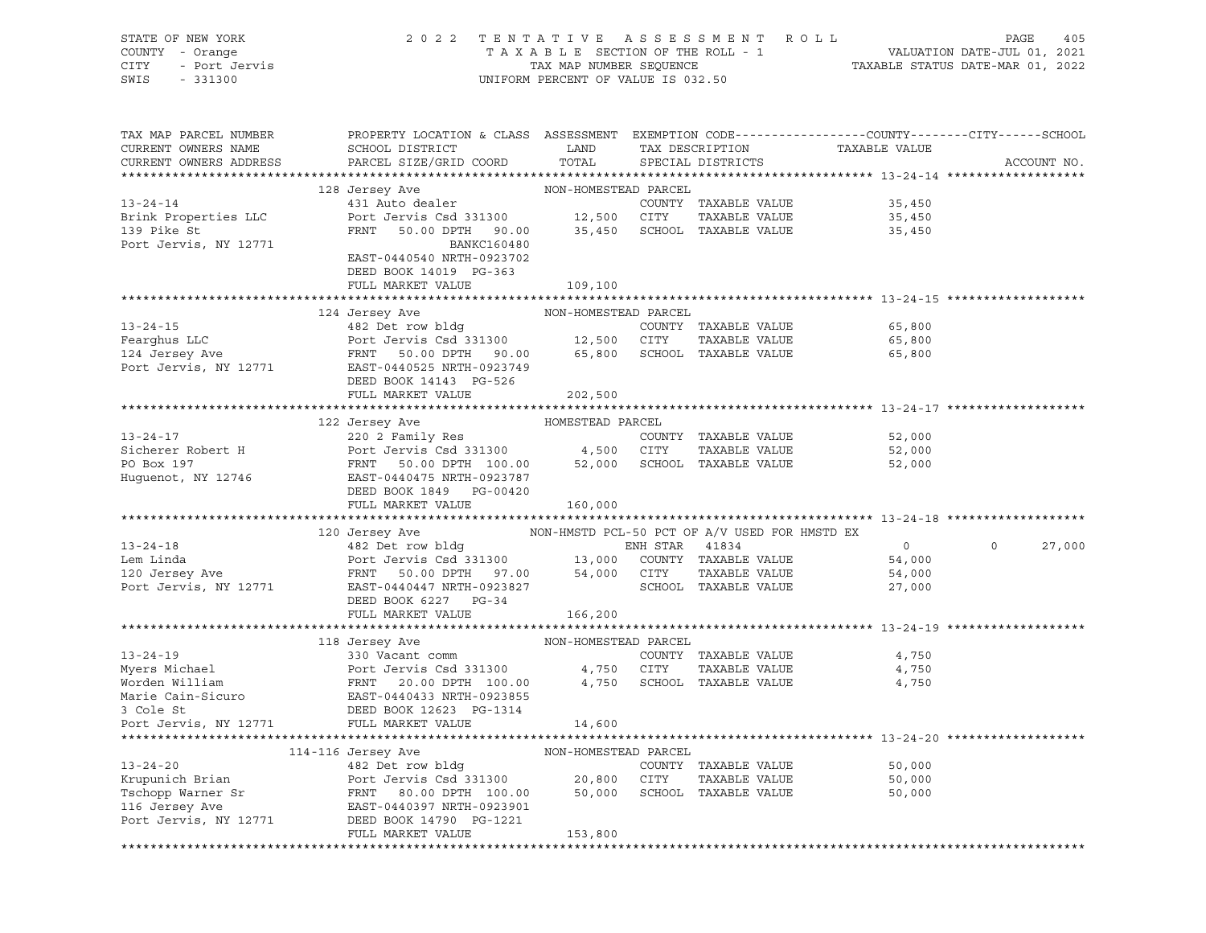| STATE OF NEW YORK<br>COUNTY - Orange<br>- Port Jervis<br>CITY<br>SWIS<br>$-331300$ | 2 0 2 2                                                                                                                                      | TAXABLE SECTION OF THE ROLL - 1<br>TAX MAP NUMBER SEQUENCE<br>UNIFORM PERCENT OF VALUE IS 032.50 |                | TENTATIVE ASSESSMENT                          | R O L L       | PAGE<br>405<br>VALUATION DATE-JUL 01, 2021<br>TAXABLE STATUS DATE-MAR 01, 2022 |
|------------------------------------------------------------------------------------|----------------------------------------------------------------------------------------------------------------------------------------------|--------------------------------------------------------------------------------------------------|----------------|-----------------------------------------------|---------------|--------------------------------------------------------------------------------|
| TAX MAP PARCEL NUMBER<br>CURRENT OWNERS NAME<br>CURRENT OWNERS ADDRESS             | PROPERTY LOCATION & CLASS ASSESSMENT EXEMPTION CODE---------------COUNTY-------CITY------SCHOOL<br>SCHOOL DISTRICT<br>PARCEL SIZE/GRID COORD | LAND<br>TOTAL                                                                                    |                | TAX DESCRIPTION<br>SPECIAL DISTRICTS          | TAXABLE VALUE | ACCOUNT NO.                                                                    |
| $13 - 24 - 14$                                                                     | 128 Jersey Ave<br>431 Auto dealer                                                                                                            | NON-HOMESTEAD PARCEL                                                                             |                | COUNTY TAXABLE VALUE                          | 35,450        |                                                                                |
| Brink Properties LLC                                                               | Port Jervis Csd 331300                                                                                                                       | 12,500 CITY                                                                                      |                | TAXABLE VALUE                                 | 35,450        |                                                                                |
| 139 Pike St                                                                        | FRNT<br>50.00 DPTH 90.00                                                                                                                     | 35,450                                                                                           |                | SCHOOL TAXABLE VALUE                          | 35,450        |                                                                                |
| Port Jervis, NY 12771                                                              | BANKC160480                                                                                                                                  |                                                                                                  |                |                                               |               |                                                                                |
|                                                                                    | EAST-0440540 NRTH-0923702                                                                                                                    |                                                                                                  |                |                                               |               |                                                                                |
|                                                                                    | DEED BOOK 14019 PG-363<br>FULL MARKET VALUE                                                                                                  | 109,100                                                                                          |                |                                               |               |                                                                                |
|                                                                                    |                                                                                                                                              |                                                                                                  |                |                                               |               |                                                                                |
|                                                                                    | 124 Jersey Ave                                                                                                                               | NON-HOMESTEAD PARCEL                                                                             |                |                                               |               |                                                                                |
| $13 - 24 - 15$                                                                     | 482 Det row bldg                                                                                                                             |                                                                                                  |                | COUNTY TAXABLE VALUE                          | 65,800        |                                                                                |
| Fearghus LLC                                                                       | Port Jervis Csd 331300                                                                                                                       | 12,500                                                                                           | CITY           | TAXABLE VALUE                                 | 65,800        |                                                                                |
| 124 Jersey Ave                                                                     | FRNT<br>50.00 DPTH 90.00                                                                                                                     | 65,800                                                                                           |                | SCHOOL TAXABLE VALUE                          | 65,800        |                                                                                |
| Port Jervis, NY 12771                                                              | EAST-0440525 NRTH-0923749<br>DEED BOOK 14143 PG-526                                                                                          |                                                                                                  |                |                                               |               |                                                                                |
|                                                                                    | FULL MARKET VALUE                                                                                                                            | 202,500                                                                                          |                |                                               |               |                                                                                |
|                                                                                    |                                                                                                                                              |                                                                                                  |                |                                               |               |                                                                                |
|                                                                                    | 122 Jersey Ave                                                                                                                               | HOMESTEAD PARCEL                                                                                 |                |                                               |               |                                                                                |
| $13 - 24 - 17$                                                                     | 220 2 Family Res                                                                                                                             |                                                                                                  |                | COUNTY TAXABLE VALUE                          | 52,000        |                                                                                |
| Sicherer Robert H                                                                  | Port Jervis Csd 331300                                                                                                                       | 4,500 CITY                                                                                       |                | TAXABLE VALUE                                 | 52,000        |                                                                                |
| PO Box 197                                                                         | FRNT<br>50.00 DPTH 100.00                                                                                                                    | 52,000                                                                                           |                | SCHOOL TAXABLE VALUE                          | 52,000        |                                                                                |
| Huguenot, NY 12746                                                                 | EAST-0440475 NRTH-0923787                                                                                                                    |                                                                                                  |                |                                               |               |                                                                                |
|                                                                                    | DEED BOOK 1849 PG-00420<br>FULL MARKET VALUE                                                                                                 | 160,000                                                                                          |                |                                               |               |                                                                                |
|                                                                                    |                                                                                                                                              |                                                                                                  |                |                                               |               |                                                                                |
|                                                                                    | 120 Jersey Ave                                                                                                                               |                                                                                                  |                | NON-HMSTD PCL-50 PCT OF A/V USED FOR HMSTD EX |               |                                                                                |
| $13 - 24 - 18$                                                                     | 482 Det row bldg                                                                                                                             |                                                                                                  | ENH STAR 41834 |                                               | $\circ$       | $\circ$<br>27,000                                                              |
| Lem Linda                                                                          | Port Jervis Csd 331300                                                                                                                       | 13,000                                                                                           |                | COUNTY TAXABLE VALUE                          | 54,000        |                                                                                |
| 120 Jersey Ave                                                                     | FRNT<br>50.00 DPTH 97.00                                                                                                                     | 54,000                                                                                           | CITY           | TAXABLE VALUE                                 | 54,000        |                                                                                |
| Port Jervis, NY 12771                                                              | EAST-0440447 NRTH-0923827<br>DEED BOOK 6227 PG-34                                                                                            |                                                                                                  |                | SCHOOL TAXABLE VALUE                          | 27,000        |                                                                                |
|                                                                                    | FULL MARKET VALUE                                                                                                                            | 166,200                                                                                          |                |                                               |               |                                                                                |
|                                                                                    |                                                                                                                                              |                                                                                                  |                |                                               |               |                                                                                |
|                                                                                    | 118 Jersey Ave                                                                                                                               | NON-HOMESTEAD PARCEL                                                                             |                |                                               |               |                                                                                |
| $13 - 24 - 19$                                                                     | 330 Vacant comm                                                                                                                              |                                                                                                  |                | COUNTY TAXABLE VALUE                          | 4,750         |                                                                                |
| Myers Michael                                                                      | Port Jervis Csd 331300                                                                                                                       | 4,750                                                                                            | CITY           | TAXABLE VALUE                                 | 4,750         |                                                                                |
| Worden William                                                                     | FRNT<br>20.00 DPTH 100.00                                                                                                                    | 4,750                                                                                            |                | SCHOOL TAXABLE VALUE                          | 4,750         |                                                                                |
| Marie Cain-Sicuro                                                                  | EAST-0440433 NRTH-0923855<br>DEED BOOK 12623 PG-1314                                                                                         |                                                                                                  |                |                                               |               |                                                                                |
| 3 Cole St<br>Port Jervis, NY 12771                                                 | FULL MARKET VALUE                                                                                                                            | 14,600                                                                                           |                |                                               |               |                                                                                |
|                                                                                    |                                                                                                                                              |                                                                                                  |                |                                               |               |                                                                                |
|                                                                                    | 114-116 Jersey Ave                                                                                                                           | NON-HOMESTEAD PARCEL                                                                             |                |                                               |               |                                                                                |
| $13 - 24 - 20$                                                                     | 482 Det row bldg                                                                                                                             |                                                                                                  |                | COUNTY TAXABLE VALUE                          | 50,000        |                                                                                |
| Krupunich Brian                                                                    | Port Jervis Csd 331300                                                                                                                       | 20,800                                                                                           | CITY           | TAXABLE VALUE                                 | 50,000        |                                                                                |
| Tschopp Warner Sr                                                                  | FRNT<br>80.00 DPTH 100.00                                                                                                                    | 50,000                                                                                           | SCHOOL         | TAXABLE VALUE                                 | 50,000        |                                                                                |
| 116 Jersey Ave                                                                     | EAST-0440397 NRTH-0923901                                                                                                                    |                                                                                                  |                |                                               |               |                                                                                |
| Port Jervis, NY 12771                                                              | DEED BOOK 14790 PG-1221<br>FULL MARKET VALUE                                                                                                 | 153,800                                                                                          |                |                                               |               |                                                                                |
|                                                                                    |                                                                                                                                              |                                                                                                  |                |                                               |               |                                                                                |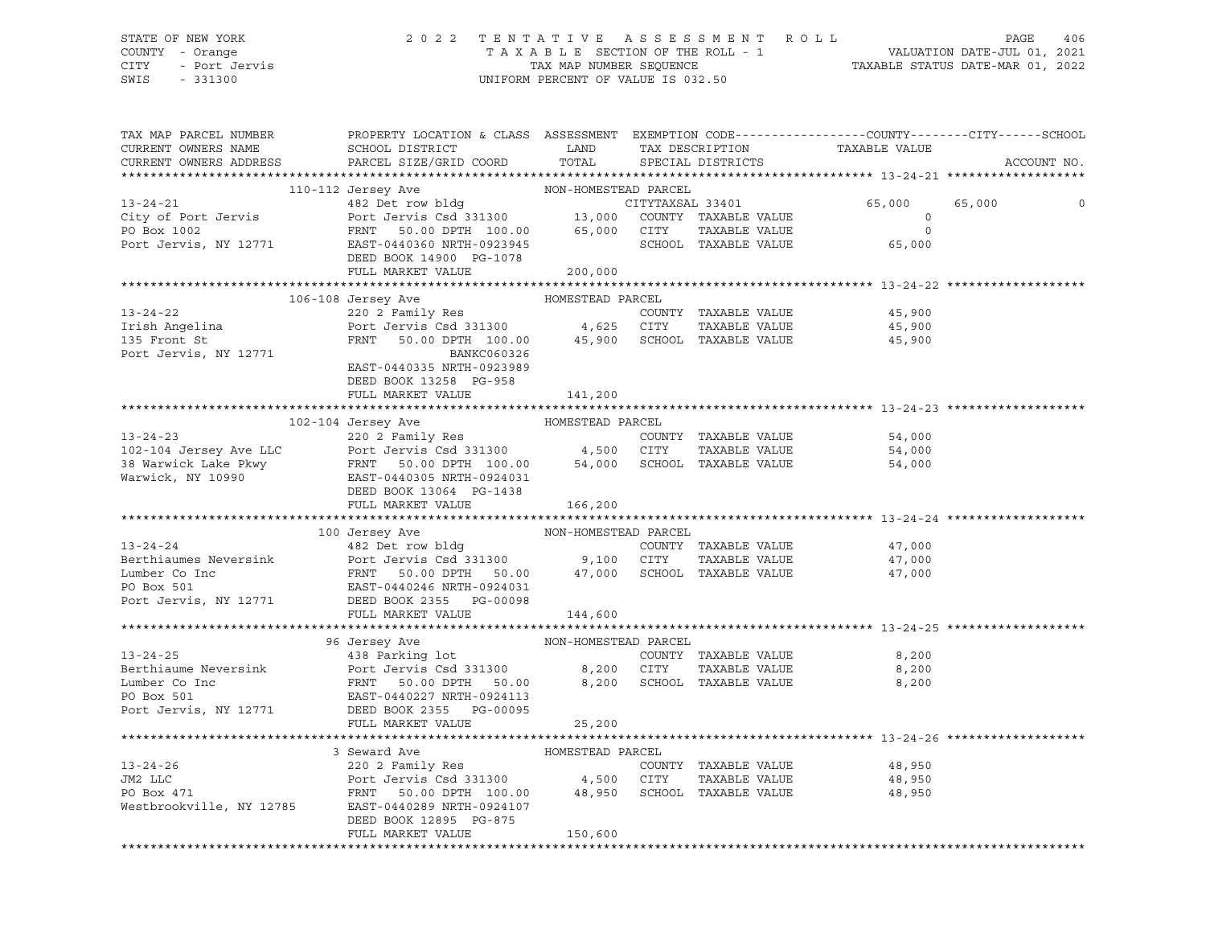# STATE OF NEW YORK 2 0 2 2 T E N T A T I V E A S S E S S M E N T R O L L PAGE 406 COUNTY - Orange T A X A B L E SECTION OF THE ROLL - 1 VALUATION DATE-JUL 01, 2021 CITY - Port Jervis TAX MAP NUMBER SEQUENCE TAXABLE STATUS DATE-MAR 01, 2022

| TAX MAP PARCEL NUMBER<br>CURRENT OWNERS NAME<br>CURRENT OWNERS ADDRESS | PROPERTY LOCATION & CLASS ASSESSMENT EXEMPTION CODE----------------COUNTY-------CITY------SCHOOL<br>SCHOOL DISTRICT LAND<br>PARCEL SIZE/GRID COORD                                                                                                                                                                                                                                                                                                                     | TOTAL   | TAX DESCRIPTION<br>SPECIAL DISTRICTS | TAXABLE VALUE                                                                                                   | ACCOUNT NO. |
|------------------------------------------------------------------------|------------------------------------------------------------------------------------------------------------------------------------------------------------------------------------------------------------------------------------------------------------------------------------------------------------------------------------------------------------------------------------------------------------------------------------------------------------------------|---------|--------------------------------------|-----------------------------------------------------------------------------------------------------------------|-------------|
|                                                                        |                                                                                                                                                                                                                                                                                                                                                                                                                                                                        |         |                                      |                                                                                                                 |             |
|                                                                        | 110-112 Jersey Ave<br>110-112 Jersey Ave<br>482 Det row bldg<br>2011 City of Port Jervis Bort Jervis Csd 331300 13,000 COUNTY TAXABLE VALUE<br>20 Box 1002 FRNT 50.00 DPTH 100.00 65,000 CITY TAXABLE VALUE<br>2011 Port Jervis, NY 12<br>DEED BOOK 14900 PG-1078                                                                                                                                                                                                      |         |                                      | ---<br>CITYTAXSAL 33401 65,000<br>COUNTY TAXABLE VALUE 0<br>CITY TAXABLE VALUE 0<br>SCHOOL TAXABLE VALUE 65,000 | 65,000<br>0 |
|                                                                        | FULL MARKET VALUE                                                                                                                                                                                                                                                                                                                                                                                                                                                      | 200,000 |                                      |                                                                                                                 |             |
|                                                                        |                                                                                                                                                                                                                                                                                                                                                                                                                                                                        |         |                                      |                                                                                                                 |             |
|                                                                        | $\begin{tabular}{lllllllllll} \multicolumn{3}{c c c c c} \multicolumn{3}{c c c c} \multicolumn{3}{c c c} \multicolumn{3}{c c c} \multicolumn{3}{c c c} \multicolumn{3}{c c c} \multicolumn{3}{c c c} \multicolumn{3}{c c} \multicolumn{3}{c c} \multicolumn{3}{c c} \multicolumn{3}{c c} \multicolumn{3}{c c} \multicolumn{3}{c c} \multicolumn{3}{c c} \multicolumn{3}{c c} \multicolumn{3}{c c} \multicolumn{3}{c c}$<br>DEED BOOK 13258 PG-958<br>FULL MARKET VALUE | 141,200 |                                      |                                                                                                                 |             |
|                                                                        |                                                                                                                                                                                                                                                                                                                                                                                                                                                                        |         |                                      |                                                                                                                 |             |
|                                                                        |                                                                                                                                                                                                                                                                                                                                                                                                                                                                        |         |                                      |                                                                                                                 |             |
|                                                                        | FULL MARKET VALUE 166,200                                                                                                                                                                                                                                                                                                                                                                                                                                              |         |                                      |                                                                                                                 |             |
|                                                                        |                                                                                                                                                                                                                                                                                                                                                                                                                                                                        |         |                                      |                                                                                                                 |             |
|                                                                        | 13-24-24<br>13-24-24<br>13-24-24<br>1482 Det row bldg<br>2000 Der Jervis Csd 331300<br>2000 Der Jervis Csd 331300<br>2100 CITY TAXABLE VALUE<br>2000 Der Jervis Csd 331300<br>2100 CITY TAXABLE VALUE<br>2000 Der FRNT 50.00 DPTH 50.00<br>217,000                                                                                                                                                                                                                     |         |                                      | 47,000<br>47,000<br>47,000                                                                                      |             |
|                                                                        |                                                                                                                                                                                                                                                                                                                                                                                                                                                                        |         |                                      |                                                                                                                 |             |
|                                                                        | FULL MARKET VALUE                                                                                                                                                                                                                                                                                                                                                                                                                                                      | 25,200  |                                      |                                                                                                                 |             |
|                                                                        |                                                                                                                                                                                                                                                                                                                                                                                                                                                                        |         |                                      |                                                                                                                 |             |
|                                                                        | 3 Seward Ave HOMESTEAD PARCEL<br>3 3 Seward Ave HOMESTEAD PARCEL<br>220 2 Family Res COUNTY TAXABLE VALUE<br>PO Box 471 FRNT 50.00 DPTH 100.00 48,950 SCHOOL TAXABLE VALUE<br>Westbrookville, NY 12785 EAST-0440289 NRTH-0924107<br>DEED<br>FULL MARKET VALUE                                                                                                                                                                                                          | 150,600 | TAXABLE VALUE                        | 48,950<br>48,950<br>48,950                                                                                      |             |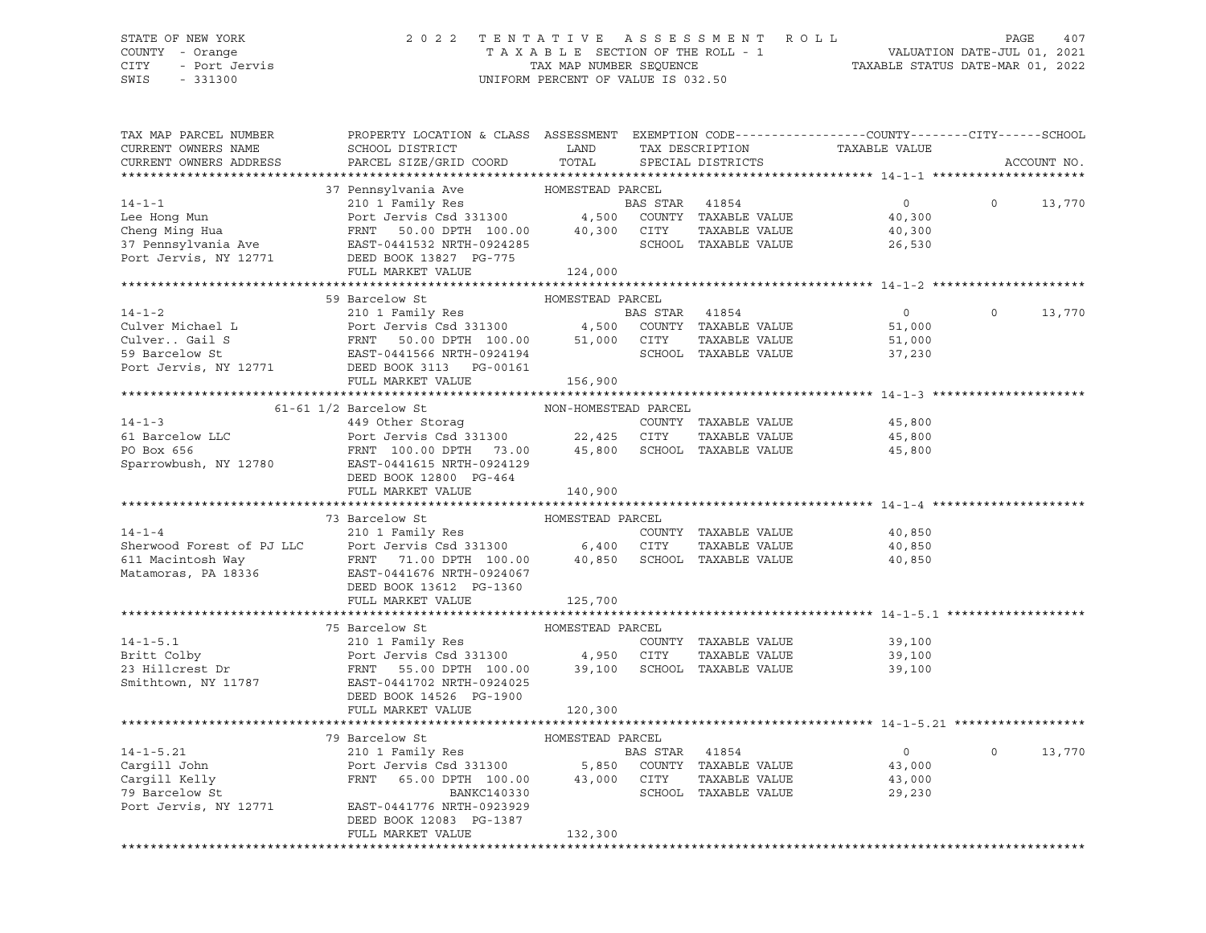#### STATE OF NEW YORK 2 0 2 2 T E N T A T I V E A S S E S S M E N T R O L L PAGE 407 COUNTY - Orange T A X A B L E SECTION OF THE ROLL - 1 VALUATION DATE-JUL 01, 2021 CITY - Port Jervis TAX MAP NUMBER SEQUENCE TAXABLE STATUS DATE-MAR 01, 2022

| TAX MAP PARCEL NUMBER<br>CURRENT OWNERS NAME<br>CURRENT OWNERS ADDRESS                                                                                                                       | PROPERTY LOCATION & CLASS ASSESSMENT EXEMPTION CODE---------------COUNTY-------CITY------SCHOOL<br>SCHOOL DISTRICT<br>PARCEL SIZE/GRID COORD          | LAND<br>TOTAL        |                | TAX DESCRIPTION<br>SPECIAL DISTRICTS | TAXABLE VALUE  |          | ACCOUNT NO. |
|----------------------------------------------------------------------------------------------------------------------------------------------------------------------------------------------|-------------------------------------------------------------------------------------------------------------------------------------------------------|----------------------|----------------|--------------------------------------|----------------|----------|-------------|
|                                                                                                                                                                                              |                                                                                                                                                       |                      |                |                                      |                |          |             |
|                                                                                                                                                                                              |                                                                                                                                                       |                      |                |                                      |                |          |             |
| $14 - 1 - 1$                                                                                                                                                                                 |                                                                                                                                                       |                      | BAS STAR 41854 |                                      | $\circ$        | $\Omega$ | 13,770      |
| Lee Hong Mun                                                                                                                                                                                 | Port Jervis Csd 331300                                                                                                                                | 4,500                |                | COUNTY TAXABLE VALUE                 | 40,300         |          |             |
| Cheng Ming Hua                                                                                                                                                                               | FRNT 50.00 DPTH 100.00                                                                                                                                | 40,300               | CITY           | TAXABLE VALUE                        | 40,300         |          |             |
| 37 Pennsylvania Ave                                                                                                                                                                          | EAST-0441532 NRTH-0924285                                                                                                                             |                      |                | SCHOOL TAXABLE VALUE                 | 26,530         |          |             |
| Port Jervis, NY 12771                                                                                                                                                                        | DEED BOOK 13827 PG-775                                                                                                                                |                      |                |                                      |                |          |             |
|                                                                                                                                                                                              | FULL MARKET VALUE                                                                                                                                     | 124,000              |                |                                      |                |          |             |
|                                                                                                                                                                                              |                                                                                                                                                       |                      |                |                                      |                |          |             |
|                                                                                                                                                                                              | 59 Barcelow St                                                                                                                                        | HOMESTEAD PARCEL     |                |                                      |                |          |             |
| $14 - 1 - 2$                                                                                                                                                                                 | BAS STAR 41854<br>Port Jervis Csd 331300 (4,500 COUNTY TAXABLE VALUE<br>FRNT 50.00 DPTH 100.00 51,000 CITY TAXABLE VALUE<br>EAST-0441566 NRTH-0924194 |                      |                |                                      | $\overline{0}$ | $\circ$  | 13,770      |
| Culver Michael L                                                                                                                                                                             |                                                                                                                                                       |                      |                |                                      | 51,000         |          |             |
| Culver Gail S                                                                                                                                                                                |                                                                                                                                                       |                      |                | TAXABLE VALUE                        | 51,000         |          |             |
| 59 Barcelow St                                                                                                                                                                               |                                                                                                                                                       |                      |                |                                      | 37,230         |          |             |
| Port Jervis, NY 12771 DEED BOOK 3113 PG-00161                                                                                                                                                |                                                                                                                                                       |                      |                |                                      |                |          |             |
|                                                                                                                                                                                              | FULL MARKET VALUE                                                                                                                                     | 156,900              |                |                                      |                |          |             |
|                                                                                                                                                                                              |                                                                                                                                                       |                      |                |                                      |                |          |             |
|                                                                                                                                                                                              | $61-61$ $1/2$ Barcelow St                                                                                                                             | NON-HOMESTEAD PARCEL |                |                                      |                |          |             |
| $14 - 1 - 3$                                                                                                                                                                                 | 449 Other Storaq                                                                                                                                      |                      |                | COUNTY TAXABLE VALUE                 | 45,800         |          |             |
| 61 Barcelow LLC                                                                                                                                                                              | Port Jervis Csd 331300 22,425 CITY                                                                                                                    |                      |                | TAXABLE VALUE                        | 45,800         |          |             |
| PO Box 656                                                                                                                                                                                   | FRNT 100.00 DPTH 73.00                                                                                                                                |                      |                | 45,800 SCHOOL TAXABLE VALUE          | 45,800         |          |             |
| Sparrowbush, NY 12780                                                                                                                                                                        | EAST-0441615 NRTH-0924129                                                                                                                             |                      |                |                                      |                |          |             |
|                                                                                                                                                                                              | DEED BOOK 12800 PG-464                                                                                                                                |                      |                |                                      |                |          |             |
|                                                                                                                                                                                              | FULL MARKET VALUE                                                                                                                                     | 140,900              |                |                                      |                |          |             |
|                                                                                                                                                                                              |                                                                                                                                                       |                      |                |                                      |                |          |             |
|                                                                                                                                                                                              | 73 Barcelow St                                                                                                                                        | HOMESTEAD PARCEL     |                |                                      |                |          |             |
| $14 - 1 - 4$                                                                                                                                                                                 | 210 1 Family Res                                                                                                                                      |                      |                | COUNTY TAXABLE VALUE                 | 40,850         |          |             |
|                                                                                                                                                                                              |                                                                                                                                                       |                      |                | TAXABLE VALUE                        | 40,850         |          |             |
|                                                                                                                                                                                              |                                                                                                                                                       |                      |                | SCHOOL TAXABLE VALUE                 | 40,850         |          |             |
| Sherwood Forest of PJ LLC Port Jervis Csd 331300 6,400 CITY<br>611 Macintosh Way FRNT 71.00 DPTH 100.00 40,850 SCHOC<br>Matamoras, PA 18336 EAST-0441676 NRTH-0924067<br>Matamoras, PA 18336 |                                                                                                                                                       |                      |                |                                      |                |          |             |
|                                                                                                                                                                                              | DEED BOOK 13612 PG-1360                                                                                                                               |                      |                |                                      |                |          |             |
|                                                                                                                                                                                              | FULL MARKET VALUE                                                                                                                                     | 125,700              |                |                                      |                |          |             |
|                                                                                                                                                                                              |                                                                                                                                                       |                      |                |                                      |                |          |             |
|                                                                                                                                                                                              | 75 Barcelow St                                                                                                                                        | HOMESTEAD PARCEL     |                |                                      |                |          |             |
| $14 - 1 - 5.1$                                                                                                                                                                               | 210 1 Family Res<br>Port Jervis Csd 331300                                                                                                            |                      |                | COUNTY TAXABLE VALUE                 | 39,100         |          |             |
| Britt Colby                                                                                                                                                                                  |                                                                                                                                                       | 4,950 CITY           |                | TAXABLE VALUE                        | 39,100         |          |             |
| 23 Hillcrest Dr                                                                                                                                                                              | FRNT 55.00 DPTH 100.00                                                                                                                                |                      |                | 39,100 SCHOOL TAXABLE VALUE          | 39,100         |          |             |
| Smithtown, NY 11787                                                                                                                                                                          | EAST-0441702 NRTH-0924025                                                                                                                             |                      |                |                                      |                |          |             |
|                                                                                                                                                                                              | DEED BOOK 14526 PG-1900                                                                                                                               |                      |                |                                      |                |          |             |
|                                                                                                                                                                                              | FULL MARKET VALUE                                                                                                                                     | 120,300              |                |                                      |                |          |             |
|                                                                                                                                                                                              |                                                                                                                                                       |                      |                |                                      |                |          |             |
|                                                                                                                                                                                              | 79 Barcelow St                                                                                                                                        | HOMESTEAD PARCEL     |                |                                      |                |          |             |
| $14 - 1 - 5.21$                                                                                                                                                                              | 210 1 Family Res                                                                                                                                      |                      | BAS STAR 41854 |                                      | $\overline{0}$ | $\Omega$ | 13,770      |
| Cargill John                                                                                                                                                                                 |                                                                                                                                                       |                      |                | COUNTY TAXABLE VALUE                 | 43,000         |          |             |
| Cargill Kelly                                                                                                                                                                                | Port Jervis Csd 331300 5,850<br>FRNT 65.00 DPTH 100.00 43,000                                                                                         | 43,000 CITY          |                | TAXABLE VALUE                        | 43,000         |          |             |
| 79 Barcelow St                                                                                                                                                                               | BANKC140330                                                                                                                                           |                      |                | SCHOOL TAXABLE VALUE                 | 29,230         |          |             |
| Port Jervis, NY 12771                                                                                                                                                                        | EAST-0441776 NRTH-0923929                                                                                                                             |                      |                |                                      |                |          |             |
|                                                                                                                                                                                              | DEED BOOK 12083 PG-1387                                                                                                                               |                      |                |                                      |                |          |             |
|                                                                                                                                                                                              | FULL MARKET VALUE                                                                                                                                     | 132,300              |                |                                      |                |          |             |
|                                                                                                                                                                                              |                                                                                                                                                       |                      |                |                                      |                |          |             |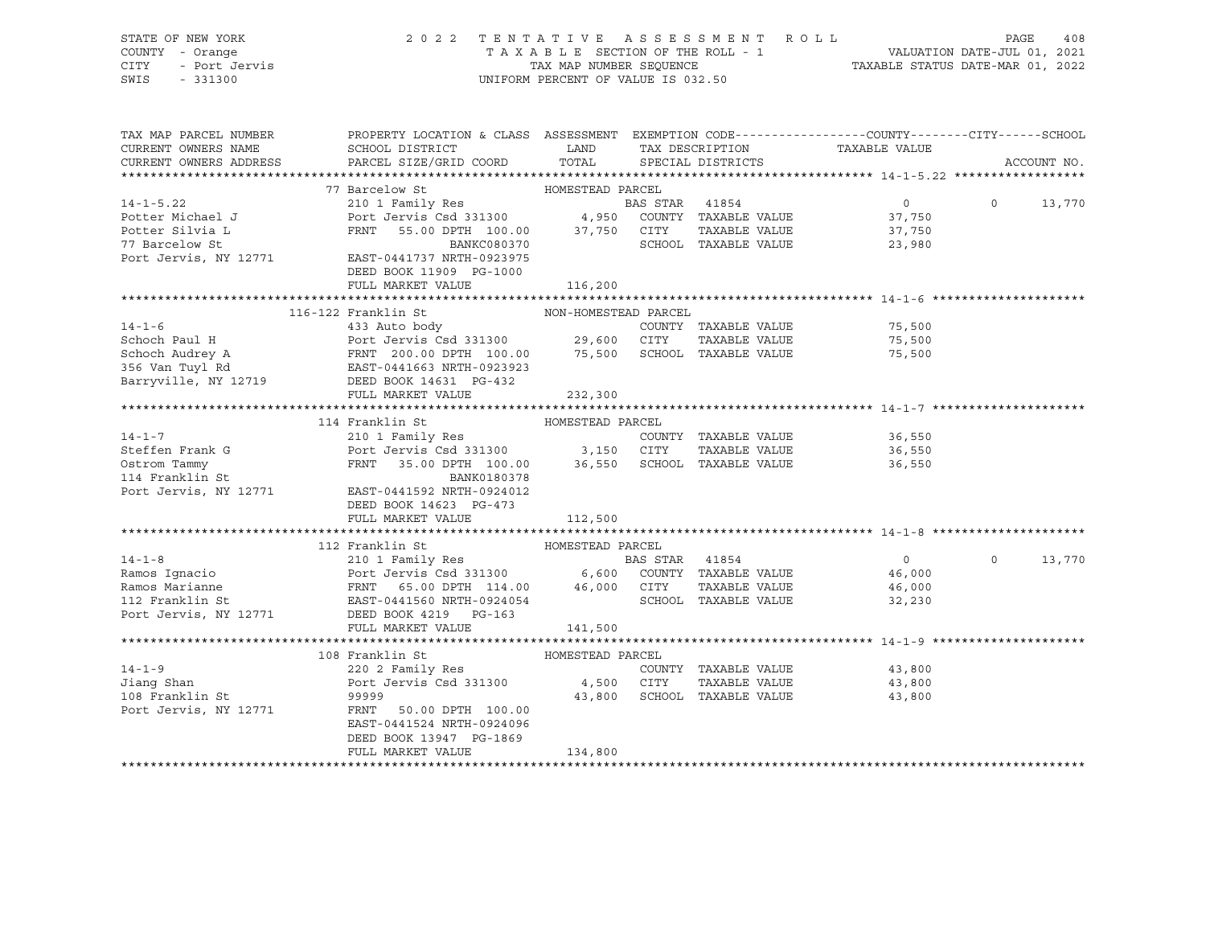| PROPERTY LOCATION & CLASS ASSESSMENT EXEMPTION CODE----------------COUNTY-------CITY------SCHOOL<br>TAX MAP PARCEL NUMBER<br>ACCOUNT NO.<br>BAS STAR 41854<br>$14 - 1 - 5.22$<br>$\overline{0}$<br>$\Omega$<br>13,770<br>Port Jervis Csd 331300<br>Port Jervis Csd 331300 4,950 COUNTY TAXABLE VALUE<br>FRNT 55.00 DELINE 100.00 37,750 CITY TAXABLE VALUE<br>Potter Michael J<br>37,750<br>37,750<br>Potter Silvia L<br>SCHOOL TAXABLE VALUE<br>BANKC080370<br>23,980<br>77 Barcelow St<br>Port Jervis, NY 12771 EAST-0441737 NRTH-0923975<br>Fort 11000 Politics NY 12771<br>DEED BOOK 11909 PG-1000<br>FULL MARKET VALUE<br>116,200<br>116-122 Franklin St<br>NON-HOMESTEAD PARCEL<br>75,500<br>75,500<br>TAXABLE VALUE<br>75,500<br>FULL MARKET VALUE<br>232,300<br>HOMESTEAD PARCEL<br>114 Franklin St<br>14-1-7<br>Steffen Frank G<br>Steffen Frank G<br>Port Jervis Csd 331300 3,150 CITY TAXABLE VALUE<br>OStrom Tammy FRNT 35.00 DPTH 100.00 36,550 SCHOOL TAXABLE VALUE<br>114 Franklin St.<br>36,550<br>36,550<br>Ostrom Tammy<br>114 Franklin St<br>36,550<br>BANK0180378 |
|---------------------------------------------------------------------------------------------------------------------------------------------------------------------------------------------------------------------------------------------------------------------------------------------------------------------------------------------------------------------------------------------------------------------------------------------------------------------------------------------------------------------------------------------------------------------------------------------------------------------------------------------------------------------------------------------------------------------------------------------------------------------------------------------------------------------------------------------------------------------------------------------------------------------------------------------------------------------------------------------------------------------------------------------------------------------------------------|
|                                                                                                                                                                                                                                                                                                                                                                                                                                                                                                                                                                                                                                                                                                                                                                                                                                                                                                                                                                                                                                                                                       |
|                                                                                                                                                                                                                                                                                                                                                                                                                                                                                                                                                                                                                                                                                                                                                                                                                                                                                                                                                                                                                                                                                       |
|                                                                                                                                                                                                                                                                                                                                                                                                                                                                                                                                                                                                                                                                                                                                                                                                                                                                                                                                                                                                                                                                                       |
|                                                                                                                                                                                                                                                                                                                                                                                                                                                                                                                                                                                                                                                                                                                                                                                                                                                                                                                                                                                                                                                                                       |
|                                                                                                                                                                                                                                                                                                                                                                                                                                                                                                                                                                                                                                                                                                                                                                                                                                                                                                                                                                                                                                                                                       |
|                                                                                                                                                                                                                                                                                                                                                                                                                                                                                                                                                                                                                                                                                                                                                                                                                                                                                                                                                                                                                                                                                       |
|                                                                                                                                                                                                                                                                                                                                                                                                                                                                                                                                                                                                                                                                                                                                                                                                                                                                                                                                                                                                                                                                                       |
|                                                                                                                                                                                                                                                                                                                                                                                                                                                                                                                                                                                                                                                                                                                                                                                                                                                                                                                                                                                                                                                                                       |
|                                                                                                                                                                                                                                                                                                                                                                                                                                                                                                                                                                                                                                                                                                                                                                                                                                                                                                                                                                                                                                                                                       |
|                                                                                                                                                                                                                                                                                                                                                                                                                                                                                                                                                                                                                                                                                                                                                                                                                                                                                                                                                                                                                                                                                       |
|                                                                                                                                                                                                                                                                                                                                                                                                                                                                                                                                                                                                                                                                                                                                                                                                                                                                                                                                                                                                                                                                                       |
|                                                                                                                                                                                                                                                                                                                                                                                                                                                                                                                                                                                                                                                                                                                                                                                                                                                                                                                                                                                                                                                                                       |
|                                                                                                                                                                                                                                                                                                                                                                                                                                                                                                                                                                                                                                                                                                                                                                                                                                                                                                                                                                                                                                                                                       |
|                                                                                                                                                                                                                                                                                                                                                                                                                                                                                                                                                                                                                                                                                                                                                                                                                                                                                                                                                                                                                                                                                       |
|                                                                                                                                                                                                                                                                                                                                                                                                                                                                                                                                                                                                                                                                                                                                                                                                                                                                                                                                                                                                                                                                                       |
|                                                                                                                                                                                                                                                                                                                                                                                                                                                                                                                                                                                                                                                                                                                                                                                                                                                                                                                                                                                                                                                                                       |
|                                                                                                                                                                                                                                                                                                                                                                                                                                                                                                                                                                                                                                                                                                                                                                                                                                                                                                                                                                                                                                                                                       |
|                                                                                                                                                                                                                                                                                                                                                                                                                                                                                                                                                                                                                                                                                                                                                                                                                                                                                                                                                                                                                                                                                       |
|                                                                                                                                                                                                                                                                                                                                                                                                                                                                                                                                                                                                                                                                                                                                                                                                                                                                                                                                                                                                                                                                                       |
|                                                                                                                                                                                                                                                                                                                                                                                                                                                                                                                                                                                                                                                                                                                                                                                                                                                                                                                                                                                                                                                                                       |
|                                                                                                                                                                                                                                                                                                                                                                                                                                                                                                                                                                                                                                                                                                                                                                                                                                                                                                                                                                                                                                                                                       |
|                                                                                                                                                                                                                                                                                                                                                                                                                                                                                                                                                                                                                                                                                                                                                                                                                                                                                                                                                                                                                                                                                       |
| Port Jervis, NY 12771 EAST-0441592 NRTH-0924012                                                                                                                                                                                                                                                                                                                                                                                                                                                                                                                                                                                                                                                                                                                                                                                                                                                                                                                                                                                                                                       |
| DEED BOOK 14623 PG-473                                                                                                                                                                                                                                                                                                                                                                                                                                                                                                                                                                                                                                                                                                                                                                                                                                                                                                                                                                                                                                                                |
| FULL MARKET VALUE<br>112,500                                                                                                                                                                                                                                                                                                                                                                                                                                                                                                                                                                                                                                                                                                                                                                                                                                                                                                                                                                                                                                                          |
|                                                                                                                                                                                                                                                                                                                                                                                                                                                                                                                                                                                                                                                                                                                                                                                                                                                                                                                                                                                                                                                                                       |
| 14-1-8<br>210 1 Family Res<br>Ramos Ignacio<br>Ramos Marianne<br>FRNT 65.00 DPTH 114.00<br>FRNT 65.00 DPTH 114.00<br>212 Franklin St<br>FRNT 65.00 DPTH 114.00<br>213 Franklin St<br>213 Franklin St<br>213 FRNT 65.00 DPTH 114.00<br>246,000 CITY T                                                                                                                                                                                                                                                                                                                                                                                                                                                                                                                                                                                                                                                                                                                                                                                                                                  |
| $\overline{0}$<br>13,770<br>$\overline{O}$                                                                                                                                                                                                                                                                                                                                                                                                                                                                                                                                                                                                                                                                                                                                                                                                                                                                                                                                                                                                                                            |
| 46,000                                                                                                                                                                                                                                                                                                                                                                                                                                                                                                                                                                                                                                                                                                                                                                                                                                                                                                                                                                                                                                                                                |
| 46,000                                                                                                                                                                                                                                                                                                                                                                                                                                                                                                                                                                                                                                                                                                                                                                                                                                                                                                                                                                                                                                                                                |
| 32,230                                                                                                                                                                                                                                                                                                                                                                                                                                                                                                                                                                                                                                                                                                                                                                                                                                                                                                                                                                                                                                                                                |
| 141,500                                                                                                                                                                                                                                                                                                                                                                                                                                                                                                                                                                                                                                                                                                                                                                                                                                                                                                                                                                                                                                                                               |
|                                                                                                                                                                                                                                                                                                                                                                                                                                                                                                                                                                                                                                                                                                                                                                                                                                                                                                                                                                                                                                                                                       |
|                                                                                                                                                                                                                                                                                                                                                                                                                                                                                                                                                                                                                                                                                                                                                                                                                                                                                                                                                                                                                                                                                       |
|                                                                                                                                                                                                                                                                                                                                                                                                                                                                                                                                                                                                                                                                                                                                                                                                                                                                                                                                                                                                                                                                                       |
|                                                                                                                                                                                                                                                                                                                                                                                                                                                                                                                                                                                                                                                                                                                                                                                                                                                                                                                                                                                                                                                                                       |
|                                                                                                                                                                                                                                                                                                                                                                                                                                                                                                                                                                                                                                                                                                                                                                                                                                                                                                                                                                                                                                                                                       |
|                                                                                                                                                                                                                                                                                                                                                                                                                                                                                                                                                                                                                                                                                                                                                                                                                                                                                                                                                                                                                                                                                       |
| 14-1-9<br>108 Franklin St<br>220 2 Family Res<br>220 2 Family Res<br>Port Jervis Csd 331300<br>230 2 Family Res<br>220 2 Family Res<br>220 2 Family Res<br>220 2 Family Res<br>220 2 Family Res<br>220 2 Family Res<br>220 2 Family Res<br>220 2 Famil<br>Port Jervis, NY 12771<br>FRNT 50.00 DPTH 100.00                                                                                                                                                                                                                                                                                                                                                                                                                                                                                                                                                                                                                                                                                                                                                                             |
| EAST-0441524 NRTH-0924096                                                                                                                                                                                                                                                                                                                                                                                                                                                                                                                                                                                                                                                                                                                                                                                                                                                                                                                                                                                                                                                             |
| DEED BOOK 13947 PG-1869<br>FULL MARKET VALUE<br>134,800                                                                                                                                                                                                                                                                                                                                                                                                                                                                                                                                                                                                                                                                                                                                                                                                                                                                                                                                                                                                                               |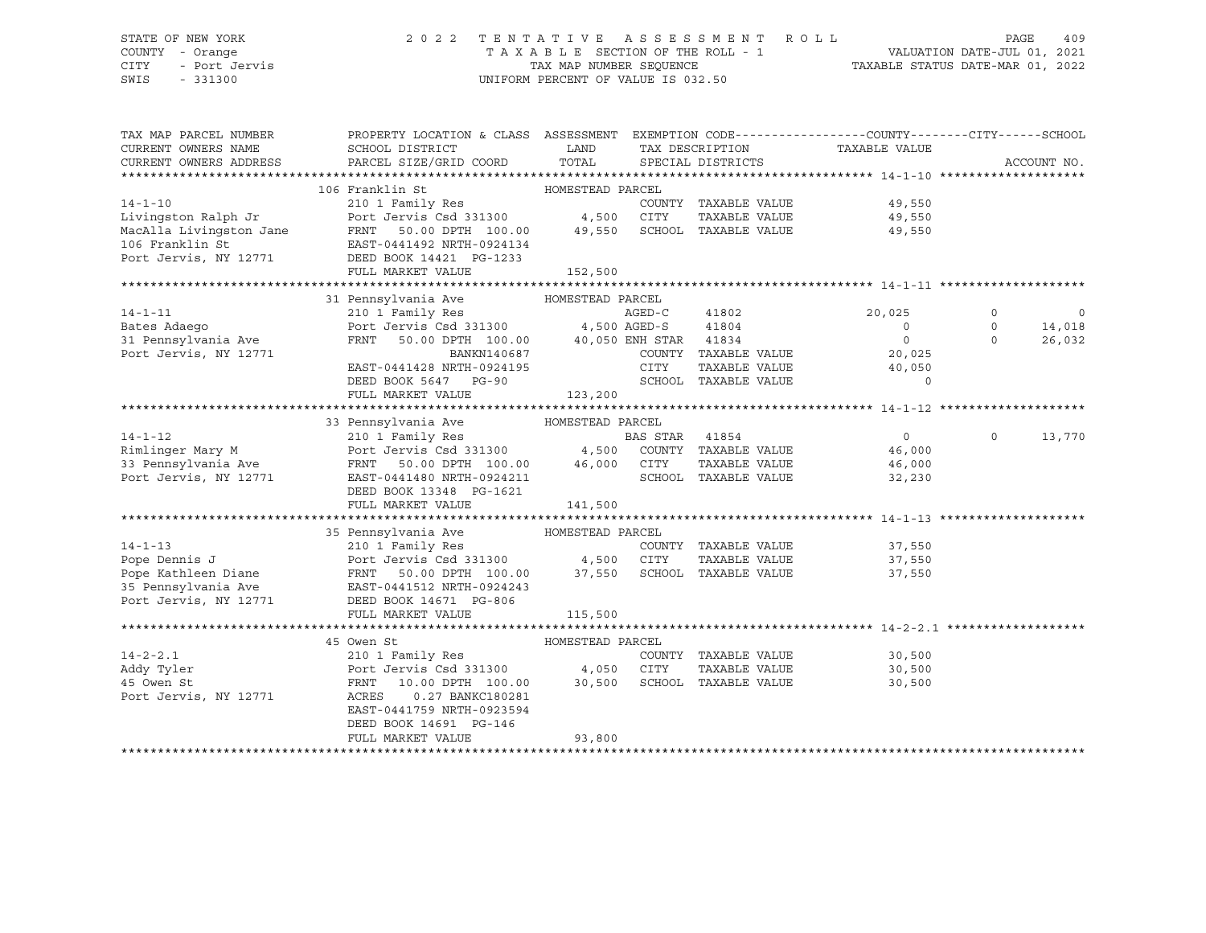# STATE OF NEW YORK 2 0 2 2 T E N T A T I V E A S S E S S M E N T R O L L PAGE 409 COUNTY - Orange T A X A B L E SECTION OF THE ROLL - 1 VALUATION DATE-JUL 01, 2021

SWIS - 331300 UNIFORM PERCENT OF VALUE IS 032.50

CITY - Port Jervis TAX MAP NUMBER SEQUENCE TAXABLE STATUS DATE-MAR 01, 2022

| TAX MAP PARCEL NUMBER  | PROPERTY LOCATION & CLASS ASSESSMENT EXEMPTION CODE----------------COUNTY-------CITY------SCHOOL                                                                                                                                                   |                  |                |                                                   |                             |          |                          |
|------------------------|----------------------------------------------------------------------------------------------------------------------------------------------------------------------------------------------------------------------------------------------------|------------------|----------------|---------------------------------------------------|-----------------------------|----------|--------------------------|
| CURRENT OWNERS NAME    | SCHOOL DISTRICT                                                                                                                                                                                                                                    | <b>LAND</b>      |                | TAX DESCRIPTION                                   | TAXABLE VALUE               |          |                          |
| CURRENT OWNERS ADDRESS | PARCEL SIZE/GRID COORD                                                                                                                                                                                                                             | TOTAL            |                | SPECIAL DISTRICTS                                 |                             |          | ACCOUNT NO.              |
|                        |                                                                                                                                                                                                                                                    |                  |                |                                                   |                             |          |                          |
|                        |                                                                                                                                                                                                                                                    |                  |                |                                                   |                             |          |                          |
|                        |                                                                                                                                                                                                                                                    |                  |                | COUNTY TAXABLE VALUE                              | 49,550<br>49,550            |          |                          |
|                        |                                                                                                                                                                                                                                                    |                  |                | TAXABLE VALUE                                     |                             |          |                          |
|                        |                                                                                                                                                                                                                                                    |                  |                |                                                   | 49,550                      |          |                          |
|                        |                                                                                                                                                                                                                                                    |                  |                |                                                   |                             |          |                          |
|                        | MacAlla Livingston Jane<br>MacAlla Livingston Jane<br>FRNT 50.00 DPTH 100.00 49,550 SCHOOL TAXABLE VALUE<br>Port Jervis, NY 12771 DEED BOOK 14421 PG-1233                                                                                          |                  |                |                                                   |                             |          |                          |
|                        | FULL MARKET VALUE                                                                                                                                                                                                                                  | 152,500          |                |                                                   |                             |          |                          |
|                        |                                                                                                                                                                                                                                                    |                  |                |                                                   |                             |          |                          |
|                        | 31 Pennsylvania Ave MOMESTEAD PARCEL                                                                                                                                                                                                               |                  |                |                                                   |                             |          |                          |
| $14 - 1 - 11$          |                                                                                                                                                                                                                                                    |                  |                | AGED-C 41802                                      | 20,025                      | 0        | $\overline{\phantom{0}}$ |
| Bates Adaego           |                                                                                                                                                                                                                                                    |                  |                |                                                   | $\overline{0}$              | $\circ$  | 14,018                   |
| 31 Pennsylvania Ave    | FRNT 50.00 DPTH 100.00 40,050 ENH STAR 41834                                                                                                                                                                                                       |                  |                |                                                   | $\overline{0}$              | $\Omega$ | 26,032                   |
| Port Jervis, NY 12771  | BANKN140687<br>EAST-0441428 NRTH-0924195                                                                                                                                                                                                           |                  |                | COUNTY TAXABLE VALUE                              | 20,025<br>40,050            |          |                          |
|                        |                                                                                                                                                                                                                                                    |                  | CITY           | TAXABLE VALUE                                     |                             |          |                          |
|                        | DEED BOOK 5647 PG-90                                                                                                                                                                                                                               |                  |                | SCHOOL TAXABLE VALUE                              | $\circ$                     |          |                          |
|                        | FULL MARKET VALUE                                                                                                                                                                                                                                  | 123,200          |                |                                                   |                             |          |                          |
|                        |                                                                                                                                                                                                                                                    |                  |                |                                                   |                             |          |                          |
|                        |                                                                                                                                                                                                                                                    |                  |                |                                                   |                             |          |                          |
| $14 - 1 - 12$          | 210 1 Family Res                                                                                                                                                                                                                                   |                  | BAS STAR 41854 |                                                   | $\overline{0}$              | $\Omega$ | 13,770                   |
|                        | Rimlinger Mary M <b>Example 2018</b> Port Jervis Csd 331300 4,500 COUNTY TAXABLE VALUE 46,000                                                                                                                                                      |                  |                |                                                   |                             |          |                          |
|                        |                                                                                                                                                                                                                                                    |                  |                | CITY      TAXABLE VALUE<br>SCHOOL   TAXABLE VALUE | 46,000<br>32.230            |          |                          |
|                        |                                                                                                                                                                                                                                                    |                  |                |                                                   | 32,230                      |          |                          |
|                        | DEED BOOK 13348 PG-1621                                                                                                                                                                                                                            |                  |                |                                                   |                             |          |                          |
|                        |                                                                                                                                                                                                                                                    |                  |                |                                                   |                             |          |                          |
|                        |                                                                                                                                                                                                                                                    |                  |                |                                                   |                             |          |                          |
|                        | 35 Pennsylvania Ave                     HOMESTEAD PARCEL                                                                                                                                                                                           |                  |                |                                                   |                             |          |                          |
|                        |                                                                                                                                                                                                                                                    |                  |                |                                                   | 37,550                      |          |                          |
|                        |                                                                                                                                                                                                                                                    |                  |                |                                                   | TAXABLE VALUE 37,550        |          |                          |
|                        | 14-1-13<br>Pope Dennis J<br>Port Jervis Csd 331300<br>Port Jervis Csd 331300<br>Port Jervis Csd 331300<br>4,500 CITY TAXABLE VALUE<br>TAXABLE VALUE<br>Pope Kathleen Diane<br>FRNT 50.00 DPTH 100.00<br>27,550 SCHOOL TAXABLE VALUE<br>Pope Kathle |                  |                |                                                   | 37,550                      |          |                          |
|                        |                                                                                                                                                                                                                                                    |                  |                |                                                   |                             |          |                          |
|                        | Port Jervis, NY 12771 DEED BOOK 14671 PG-806                                                                                                                                                                                                       |                  |                |                                                   |                             |          |                          |
|                        | FULL MARKET VALUE                                                                                                                                                                                                                                  | 115,500          |                |                                                   |                             |          |                          |
|                        |                                                                                                                                                                                                                                                    |                  |                |                                                   |                             |          |                          |
| $14 - 2 - 2.1$         | 45 Owen St                                                                                                                                                                                                                                         | HOMESTEAD PARCEL |                |                                                   | COUNTY TAXABLE VALUE 30,500 |          |                          |
|                        |                                                                                                                                                                                                                                                    |                  |                |                                                   |                             |          |                          |
| Addy Tyler             | Port Jervis Csd 331300 4,050 CITY                                                                                                                                                                                                                  |                  |                |                                                   | TAXABLE VALUE<br>30,500     |          |                          |
| 45 Owen St             | FRNT 10.00 DPTH 100.00 30,500<br>ACPES 0.27 BANKC180281                                                                                                                                                                                            |                  |                | SCHOOL TAXABLE VALUE                              | 30,500                      |          |                          |
| Port Jervis, NY 12771  | ACRES<br>0.27 BANKC180281                                                                                                                                                                                                                          |                  |                |                                                   |                             |          |                          |
|                        | EAST-0441759 NRTH-0923594                                                                                                                                                                                                                          |                  |                |                                                   |                             |          |                          |
|                        | DEED BOOK 14691 PG-146                                                                                                                                                                                                                             |                  |                |                                                   |                             |          |                          |
|                        | FULL MARKET VALUE                                                                                                                                                                                                                                  | 93,800           |                |                                                   |                             |          |                          |
|                        |                                                                                                                                                                                                                                                    |                  |                |                                                   |                             |          |                          |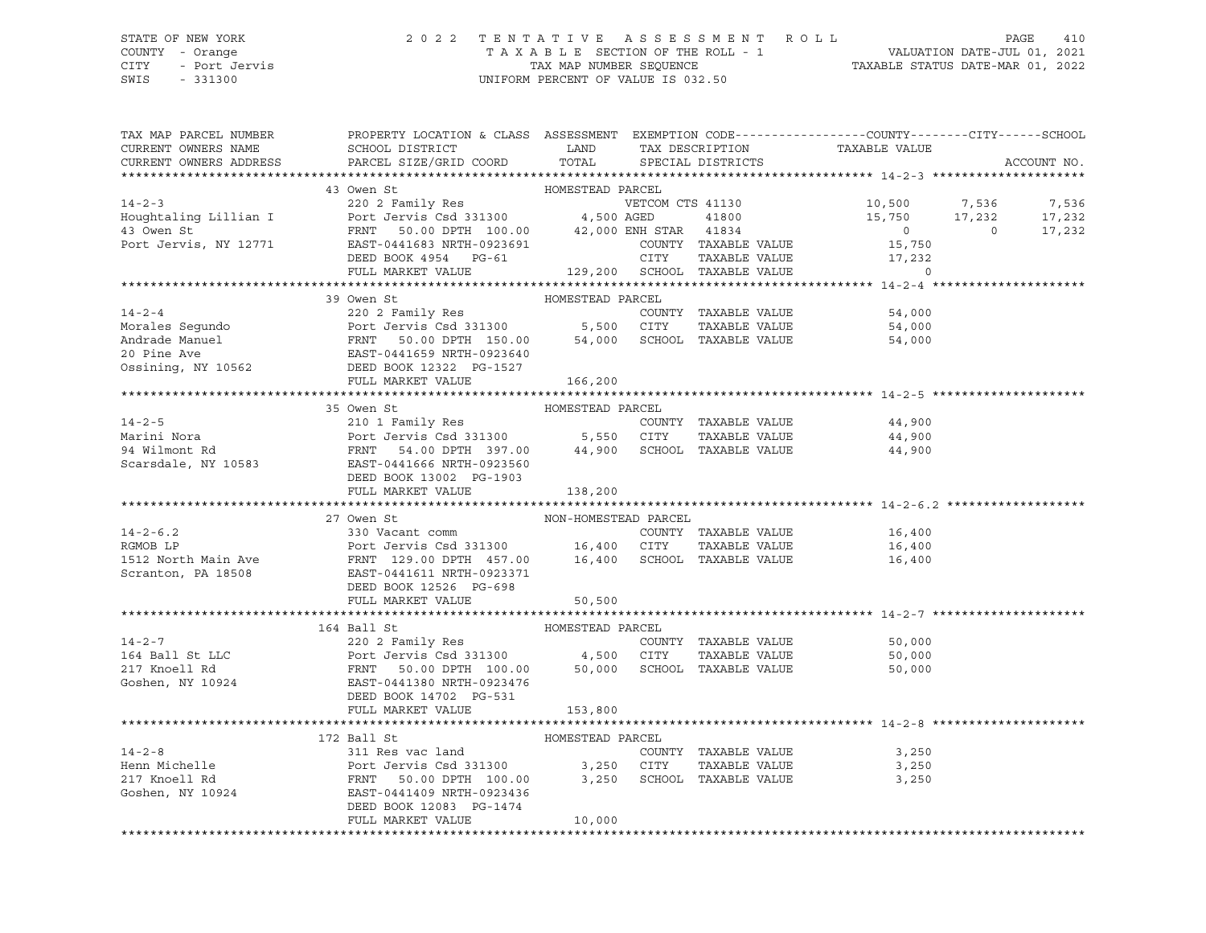# STATE OF NEW YORK 2 0 2 2 T E N T A T I V E A S S E S S M E N T R O L L PAGE 410 COUNTY - Orange T A X A B L E SECTION OF THE ROLL - 1 VALUATION DATE-JUL 01, 2021 CITY - Port Jervis TAX MAP NUMBER SEQUENCE TAXABLE STATUS DATE-MAR 01, 2022

| TAX MAP PARCEL NUMBER<br>CURRENT OWNERS NAME<br>CURRENT OWNERS ADDRESS                                                                                                                                                                                   | PROPERTY LOCATION & CLASS ASSESSMENT EXEMPTION CODE---------------COUNTY-------CITY------SCHOOL<br>SCHOOL DISTRICT TAND TAX DESCRIPTION<br>PARCEL SIZE/GRID COORD | TOTAL                                    |                      | TAX DESCRIPTION TAXABLE VALUE SPECIAL DISTRICTS                                                                                                                                                                                                                                      | ACCOUNT NO. |
|----------------------------------------------------------------------------------------------------------------------------------------------------------------------------------------------------------------------------------------------------------|-------------------------------------------------------------------------------------------------------------------------------------------------------------------|------------------------------------------|----------------------|--------------------------------------------------------------------------------------------------------------------------------------------------------------------------------------------------------------------------------------------------------------------------------------|-------------|
|                                                                                                                                                                                                                                                          |                                                                                                                                                                   |                                          |                      |                                                                                                                                                                                                                                                                                      |             |
| 43 OWER Straing Lillian I<br>43 OWER Straing Lillian I<br>45 ORE Moughtaling Lillian I<br>45 Ort Jervis Csd 331300<br>47,500 AGED<br>47,000 ENH STAR 41834<br>47,000 ENH STAR 41834<br>15,750<br>200 ENH STAR 41834<br>29 OCUNTY TAXABLE VALUE<br>       | 43 Owen St                                                                                                                                                        | HOMESTEAD PARCEL                         |                      | $\begin{tabular}{lcccccc} \tt VETCOM & CTS & 41130 & & & & & 10,500 & & 7,536 & & 7,536 \\ \tt AGED & & 41800 & & & 15,750 & & 17,232 & & 17,232 \\ \tt ENH & STAR & 41834 & & & & 0 & & 0 & 17,232 \\ \tt COUNT & TAXABLE & VALUE & & & 15,750 & & & 0 & & 17,232 \\ \end{tabular}$ |             |
|                                                                                                                                                                                                                                                          |                                                                                                                                                                   |                                          |                      |                                                                                                                                                                                                                                                                                      |             |
| 14-2-4<br>Morales Segundo<br>Morales Segundo<br>Morales Segundo<br>20 Port Jervis Csd 331300<br>Port Jervis Csd 331300<br>FRNT 50.00 DPTH 150.00<br>54,000<br>54,000<br>54,000<br>SCHOOL TAXABLE VALUE<br>20 Pine Ave<br>EAST-0441659 NRTH-0923640<br>Os | 39 Owen St<br>FULL MARKET VALUE 166,200                                                                                                                           | HOMESTEAD PARCEL                         |                      |                                                                                                                                                                                                                                                                                      |             |
|                                                                                                                                                                                                                                                          |                                                                                                                                                                   |                                          |                      |                                                                                                                                                                                                                                                                                      |             |
|                                                                                                                                                                                                                                                          | 35 Owen St                                                                                                                                                        | HOMESTEAD PARCEL                         |                      |                                                                                                                                                                                                                                                                                      |             |
| 14-2-5<br>Marini Nora (1990) 210 1 Family Res<br>Marini Nora (210 1 Family Res<br>Port Jervis Csd 331300 5,550 CITY TAXABLE VALUE<br>94 Wilmont Rd FRNT 54.00 DPTH 397.00 44,900 SCHOOL TAXABLE VALUE<br>Scarsdale, NY 10583 EAST-044166                 |                                                                                                                                                                   |                                          |                      |                                                                                                                                                                                                                                                                                      |             |
|                                                                                                                                                                                                                                                          | FULL MARKET VALUE                                                                                                                                                 | 138,200                                  |                      |                                                                                                                                                                                                                                                                                      |             |
|                                                                                                                                                                                                                                                          | 27 Owen St                                                                                                                                                        |                                          |                      |                                                                                                                                                                                                                                                                                      |             |
| $14 - 2 - 6.2$<br>RGMOB LP<br>RGMOB LP<br>RGMOB LP<br>16,400 CITY TAXABLE VALUE<br>16,400 CITY TAXABLE VALUE<br>Scranton, PA 18508<br>2008 EAST-0441611 NRTH-0923371<br>DEED BOOK 12526 PG-698                                                           | 330 Vacant comm<br>FULL MARKET VALUE                                                                                                                              | NON-HOMESTEAD PARCEL<br>COUNTY<br>50,500 | COUNTY TAXABLE VALUE | 16,400<br>TAXABLE VALUE 16,400<br>TAXABLE VALUE 16,400                                                                                                                                                                                                                               |             |
|                                                                                                                                                                                                                                                          |                                                                                                                                                                   |                                          |                      |                                                                                                                                                                                                                                                                                      |             |
| 14-2-7<br>164 Ball St LLC<br>2002 Family Res<br>2002 Family Res<br>2002 Family Res<br>2002 Family Res<br>2002 Family Res<br>2002 Family Res<br>2003 Family Res<br>2003 Family Res<br>2003 Family Res<br>2003 Family Res<br>2003 Family Res<br>2003 Famil | 164 Ball St<br>DEED BOOK 14702 PG-531<br>FULL MARKET VALUE                                                                                                        | HOMESTEAD PARCEL<br>153,800              |                      | COUNTY TAXABLE VALUE 50,000<br>CITY TAXABLE VALUE 50,000<br>50,000                                                                                                                                                                                                                   |             |
|                                                                                                                                                                                                                                                          |                                                                                                                                                                   |                                          |                      |                                                                                                                                                                                                                                                                                      |             |
|                                                                                                                                                                                                                                                          | FULL MARKET VALUE                                                                                                                                                 | 10,000                                   |                      | 3,250<br>3,250<br>3,250                                                                                                                                                                                                                                                              |             |
|                                                                                                                                                                                                                                                          |                                                                                                                                                                   |                                          |                      |                                                                                                                                                                                                                                                                                      |             |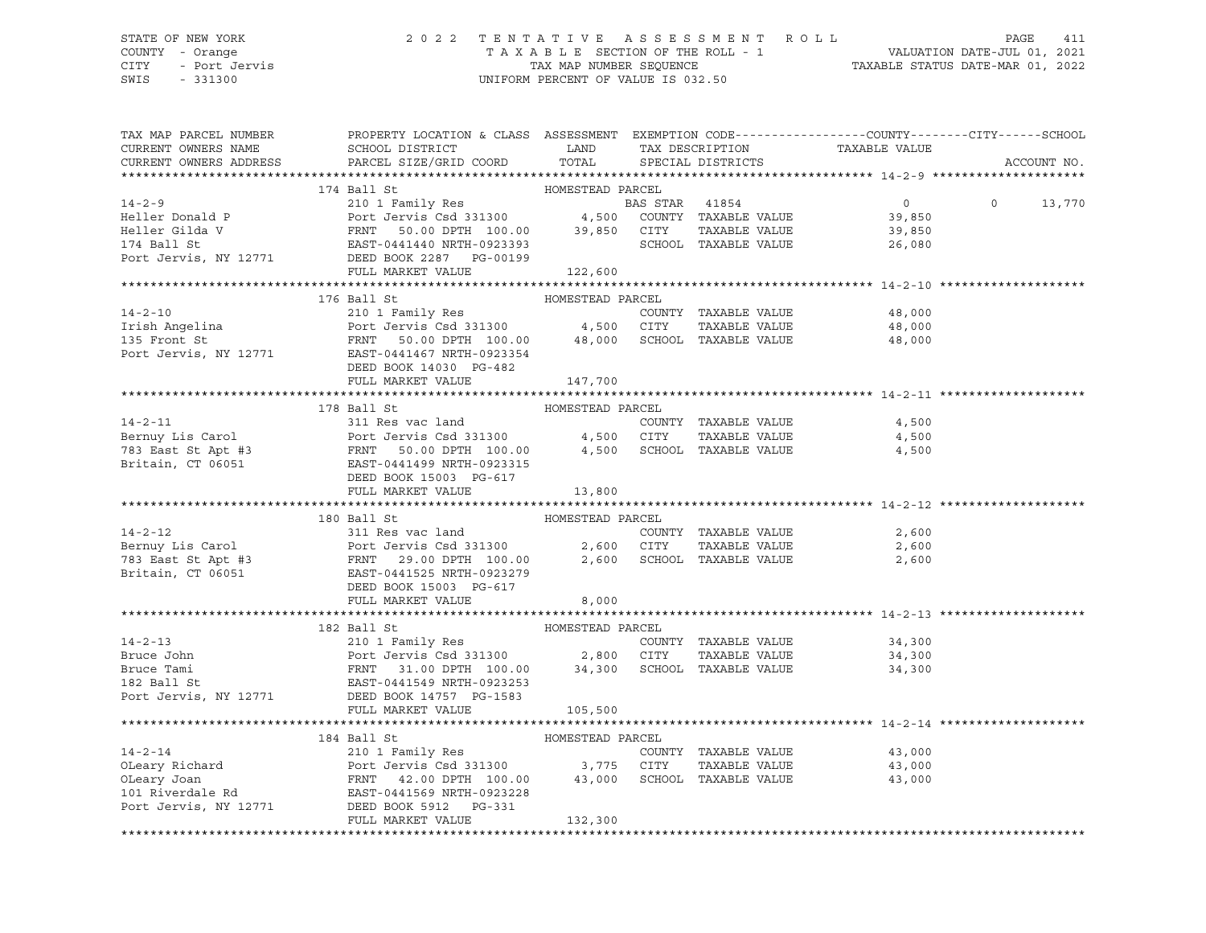# STATE OF NEW YORK 2 0 2 2 T E N T A T I V E A S S E S S M E N T R O L L PAGE 411 COUNTY - Orange T A X A B L E SECTION OF THE ROLL - 1 VALUATION DATE-JUL 01, 2021 CITY - Port Jervis TAX MAP NUMBER SEQUENCE TAXABLE STATUS DATE-MAR 01, 2022

| TAX MAP PARCEL NUMBER<br>CURRENT OWNERS NAME<br>CURRENT OWNERS ADDRESS                                                                                                                                                                                                                                                                                                                                                                     | PROPERTY LOCATION & CLASS ASSESSMENT EXEMPTION CODE---------------COUNTY-------CITY------SCHOOL<br>SCHOOL DISTRICT LAND<br>PARCEL SIZE/GRID COORD TOTAL |                  | TAX DESCRIPTION TAXABLE VALUE<br>SPECIAL DISTRICTS |                                           | ACCOUNT NO.   |
|--------------------------------------------------------------------------------------------------------------------------------------------------------------------------------------------------------------------------------------------------------------------------------------------------------------------------------------------------------------------------------------------------------------------------------------------|---------------------------------------------------------------------------------------------------------------------------------------------------------|------------------|----------------------------------------------------|-------------------------------------------|---------------|
| 17-2-9<br>17-2-9<br>Heller Donald P<br>Heller Gilda V<br>Heller Gilda V<br>FRNT 50.00 DPTH 100.00<br>Heller Gilda V<br>FRNT 50.00 DPTH 100.00<br>239,850 CITY TAXABLE VALUE<br>210 1 Family Res<br>210 1 Family Res<br>POTT 4154<br>210 PCT JERNT 50.0                                                                                                                                                                                     |                                                                                                                                                         |                  |                                                    |                                           |               |
|                                                                                                                                                                                                                                                                                                                                                                                                                                            |                                                                                                                                                         |                  |                                                    |                                           |               |
|                                                                                                                                                                                                                                                                                                                                                                                                                                            |                                                                                                                                                         |                  | BAS STAR 41854                                     | $\begin{array}{c} 0 \ 39,850 \end{array}$ | $0 \t 13,770$ |
|                                                                                                                                                                                                                                                                                                                                                                                                                                            |                                                                                                                                                         |                  |                                                    |                                           |               |
|                                                                                                                                                                                                                                                                                                                                                                                                                                            |                                                                                                                                                         |                  | TAXABLE VALUE                                      | 39,850                                    |               |
|                                                                                                                                                                                                                                                                                                                                                                                                                                            |                                                                                                                                                         |                  | SCHOOL TAXABLE VALUE                               | 26,080                                    |               |
|                                                                                                                                                                                                                                                                                                                                                                                                                                            |                                                                                                                                                         |                  |                                                    |                                           |               |
|                                                                                                                                                                                                                                                                                                                                                                                                                                            |                                                                                                                                                         |                  |                                                    |                                           |               |
|                                                                                                                                                                                                                                                                                                                                                                                                                                            |                                                                                                                                                         |                  |                                                    |                                           |               |
|                                                                                                                                                                                                                                                                                                                                                                                                                                            | 176 Ball St                                                                                                                                             | HOMESTEAD PARCEL |                                                    |                                           |               |
|                                                                                                                                                                                                                                                                                                                                                                                                                                            |                                                                                                                                                         |                  |                                                    |                                           |               |
|                                                                                                                                                                                                                                                                                                                                                                                                                                            |                                                                                                                                                         |                  |                                                    |                                           |               |
|                                                                                                                                                                                                                                                                                                                                                                                                                                            |                                                                                                                                                         |                  |                                                    |                                           |               |
| 14-2-10<br>14-2-10<br>135 Front St<br>210 1 Family Res<br>210 1 Family Res<br>210 1 Family Res<br>210 1 Family Res<br>210 1 Family Res<br>210 1 Family Res<br>210 1 Family Res<br>210 1 Family Res<br>210 1 Family Res<br>210 1 Family Res<br>210 1 Fami                                                                                                                                                                                   |                                                                                                                                                         |                  |                                                    |                                           |               |
|                                                                                                                                                                                                                                                                                                                                                                                                                                            | DEED BOOK 14030 PG-482                                                                                                                                  |                  |                                                    |                                           |               |
|                                                                                                                                                                                                                                                                                                                                                                                                                                            | FULL MARKET VALUE 147,700                                                                                                                               |                  |                                                    |                                           |               |
|                                                                                                                                                                                                                                                                                                                                                                                                                                            |                                                                                                                                                         |                  |                                                    |                                           |               |
|                                                                                                                                                                                                                                                                                                                                                                                                                                            |                                                                                                                                                         |                  |                                                    |                                           |               |
|                                                                                                                                                                                                                                                                                                                                                                                                                                            |                                                                                                                                                         |                  |                                                    |                                           |               |
|                                                                                                                                                                                                                                                                                                                                                                                                                                            |                                                                                                                                                         |                  |                                                    |                                           |               |
|                                                                                                                                                                                                                                                                                                                                                                                                                                            |                                                                                                                                                         |                  |                                                    |                                           |               |
|                                                                                                                                                                                                                                                                                                                                                                                                                                            |                                                                                                                                                         |                  |                                                    |                                           |               |
|                                                                                                                                                                                                                                                                                                                                                                                                                                            |                                                                                                                                                         |                  |                                                    |                                           |               |
| 14-2-11<br>14-2-11<br>14-2-11<br>14-2-11<br>14-2-11<br>2000 East St Apt #3<br>2000 EAST DRIVE<br>2000 EAST DRIVE<br>2000 EAST DRIVE<br>2000 EAST DRIVE<br>2000 EAST DRIVE<br>2000 EAST DRIVE<br>2000 EAST DRIVE<br>2000 EAST DRIVE<br>2000 EAST DRIVE<br>200                                                                                                                                                                               |                                                                                                                                                         |                  |                                                    |                                           |               |
|                                                                                                                                                                                                                                                                                                                                                                                                                                            |                                                                                                                                                         |                  |                                                    |                                           |               |
|                                                                                                                                                                                                                                                                                                                                                                                                                                            |                                                                                                                                                         |                  |                                                    |                                           |               |
|                                                                                                                                                                                                                                                                                                                                                                                                                                            |                                                                                                                                                         |                  |                                                    | 2,600                                     |               |
|                                                                                                                                                                                                                                                                                                                                                                                                                                            |                                                                                                                                                         |                  | TAXABLE VALUE 2,600                                |                                           |               |
|                                                                                                                                                                                                                                                                                                                                                                                                                                            |                                                                                                                                                         |                  |                                                    | 2,600                                     |               |
|                                                                                                                                                                                                                                                                                                                                                                                                                                            |                                                                                                                                                         |                  |                                                    |                                           |               |
|                                                                                                                                                                                                                                                                                                                                                                                                                                            |                                                                                                                                                         |                  |                                                    |                                           |               |
|                                                                                                                                                                                                                                                                                                                                                                                                                                            | FULL MARKET VALUE                                                                                                                                       | 8,000            |                                                    |                                           |               |
|                                                                                                                                                                                                                                                                                                                                                                                                                                            |                                                                                                                                                         |                  |                                                    |                                           |               |
|                                                                                                                                                                                                                                                                                                                                                                                                                                            |                                                                                                                                                         |                  |                                                    |                                           |               |
|                                                                                                                                                                                                                                                                                                                                                                                                                                            |                                                                                                                                                         |                  |                                                    |                                           |               |
|                                                                                                                                                                                                                                                                                                                                                                                                                                            |                                                                                                                                                         |                  |                                                    |                                           |               |
|                                                                                                                                                                                                                                                                                                                                                                                                                                            |                                                                                                                                                         |                  |                                                    |                                           |               |
|                                                                                                                                                                                                                                                                                                                                                                                                                                            |                                                                                                                                                         |                  |                                                    |                                           |               |
|                                                                                                                                                                                                                                                                                                                                                                                                                                            |                                                                                                                                                         |                  |                                                    |                                           |               |
| Port Jervis, NY 12771 DEED BOOK 14757 PG-1583                                                                                                                                                                                                                                                                                                                                                                                              |                                                                                                                                                         | 105,500          |                                                    |                                           |               |
|                                                                                                                                                                                                                                                                                                                                                                                                                                            | FULL MARKET VALUE                                                                                                                                       |                  |                                                    |                                           |               |
|                                                                                                                                                                                                                                                                                                                                                                                                                                            |                                                                                                                                                         |                  |                                                    |                                           |               |
|                                                                                                                                                                                                                                                                                                                                                                                                                                            |                                                                                                                                                         |                  |                                                    |                                           |               |
|                                                                                                                                                                                                                                                                                                                                                                                                                                            |                                                                                                                                                         |                  |                                                    | 43,000                                    |               |
|                                                                                                                                                                                                                                                                                                                                                                                                                                            |                                                                                                                                                         |                  |                                                    | 43,000<br>43.000                          |               |
|                                                                                                                                                                                                                                                                                                                                                                                                                                            |                                                                                                                                                         |                  |                                                    | 43,000                                    |               |
|                                                                                                                                                                                                                                                                                                                                                                                                                                            |                                                                                                                                                         |                  |                                                    |                                           |               |
| $\begin{tabular}{lcccc} & & 184\text{ Ball St} & & & \text{HOMESTEAD PARCH} \\ 14-2-14 & & 2101 Family Res & & \text{COMESTEAD PARCH} \\ 0 \text{Leary Richard} & & \text{Port Jervis Csd 331300} & & 3,775 & \text{CITY} & \text{TAXABLE VALUE} \\ 0 \text{Deary Joan} & & \text{FRNT} & 42.00 DPH1 100.00 & & 43,000 & \text{SCHOOL TAXABLE VALUE} \\ 101 Riverdale Rd & & \text{EAST-0441569 NRH-0923228} & & & \\ 2 \text{Port Jervis$ |                                                                                                                                                         |                  |                                                    |                                           |               |
|                                                                                                                                                                                                                                                                                                                                                                                                                                            | FULL MARKET VALUE                                                                                                                                       | 132,300          |                                                    |                                           |               |
|                                                                                                                                                                                                                                                                                                                                                                                                                                            |                                                                                                                                                         |                  |                                                    |                                           |               |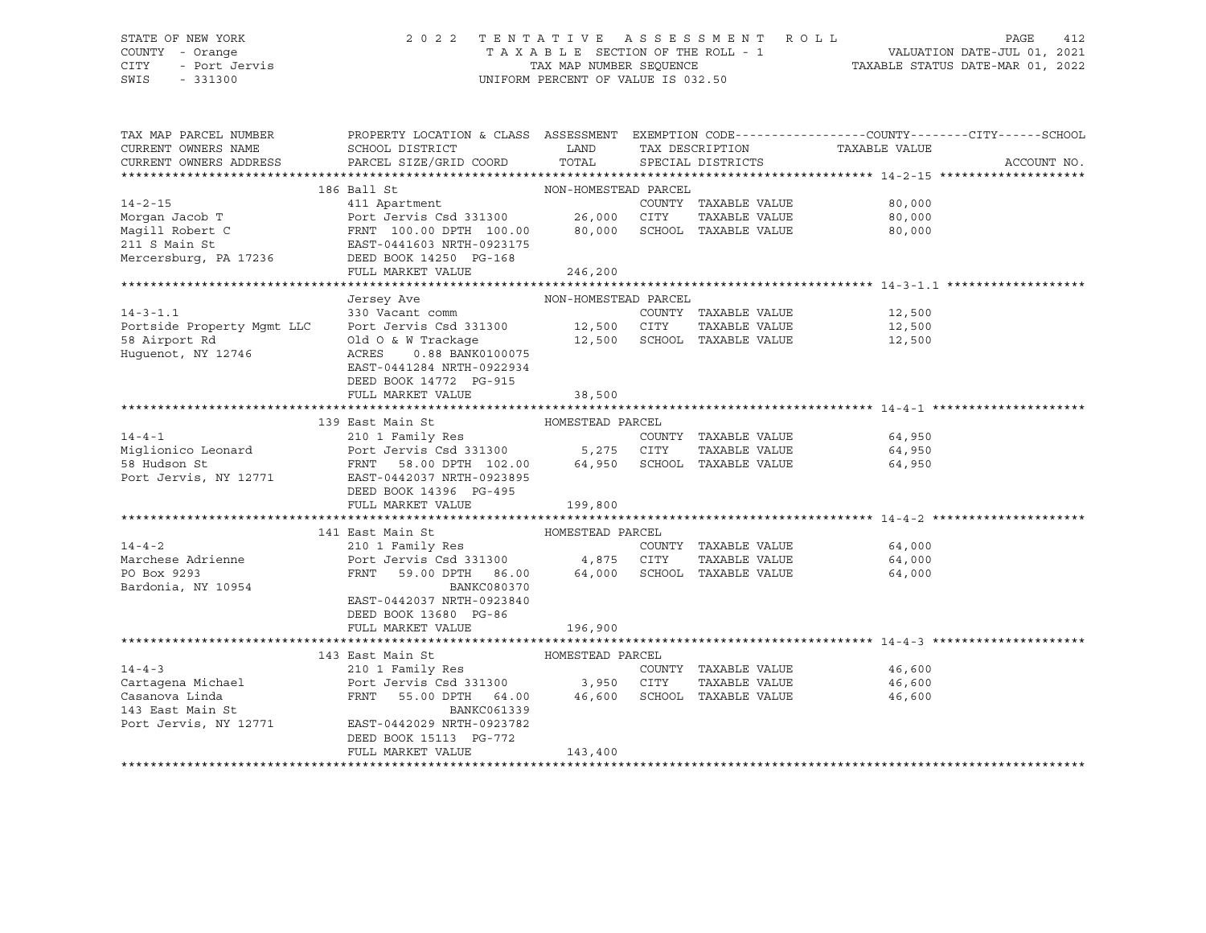#### STATE OF NEW YORK 2 0 2 2 T E N T A T I V E A S S E S S M E N T R O L L PAGE 412 COUNTY - Orange T A X A B L E SECTION OF THE ROLL - 1 VALUATION DATE-JUL 01, 2021 CITY - Port Jervis TAX MAP NUMBER SEQUENCE TAXABLE STATUS DATE-MAR 01, 2022 SWIS - 331300 UNIFORM PERCENT OF VALUE IS 032.50

| TAX MAP PARCEL NUMBER<br>CURRENT OWNERS NAME<br>CURRENT OWNERS ADDRESS         | PROPERTY LOCATION & CLASS ASSESSMENT EXEMPTION CODE----------------COUNTY-------CITY------SCHOOL<br>SCHOOL DISTRICT<br>PARCEL SIZE/GRID COORD | <b>LAND</b><br>TOTAL | TAX DESCRIPTION<br>SPECIAL DISTRICTS | TAXABLE VALUE        | ACCOUNT NO. |
|--------------------------------------------------------------------------------|-----------------------------------------------------------------------------------------------------------------------------------------------|----------------------|--------------------------------------|----------------------|-------------|
|                                                                                |                                                                                                                                               |                      |                                      |                      |             |
|                                                                                | 186 Ball St                                                                                                                                   | NON-HOMESTEAD PARCEL |                                      |                      |             |
| $14 - 2 - 15$                                                                  | 411 Apartment                                                                                                                                 |                      |                                      | 80,000               |             |
| Morgan Jacob T                                                                 |                                                                                                                                               |                      |                                      | 80,000               |             |
| Magill Robert C                                                                |                                                                                                                                               |                      |                                      | 80,000               |             |
| 211 S Main St                                                                  |                                                                                                                                               |                      |                                      |                      |             |
| 211 S Main St<br>Mercersburg, PA 17236           DEED BOOK 14250 PG-168        |                                                                                                                                               |                      |                                      |                      |             |
|                                                                                | FULL MARKET VALUE                                                                                                                             | 246, 200             |                                      |                      |             |
|                                                                                |                                                                                                                                               |                      |                                      |                      |             |
|                                                                                | Jersey Ave                                                                                                                                    | NON-HOMESTEAD PARCEL |                                      |                      |             |
|                                                                                |                                                                                                                                               |                      | COUNTY TAXABLE VALUE                 | 12,500               |             |
| 14-3-1.1 (COUNTY Portside Property Mgmt LLC Port Jervis Csd 331300 12,500 CITY |                                                                                                                                               |                      |                                      | TAXABLE VALUE 12,500 |             |
|                                                                                |                                                                                                                                               |                      |                                      |                      |             |
|                                                                                |                                                                                                                                               |                      |                                      |                      |             |
|                                                                                | EAST-0441284 NRTH-0922934                                                                                                                     |                      |                                      |                      |             |
|                                                                                | DEED BOOK 14772 PG-915                                                                                                                        |                      |                                      |                      |             |
|                                                                                | FULL MARKET VALUE                                                                                                                             | 38,500               |                                      |                      |             |
|                                                                                |                                                                                                                                               |                      |                                      |                      |             |
|                                                                                | 139 East Main St                                                                                                                              | HOMESTEAD PARCEL     |                                      |                      |             |
| $14 - 4 - 1$                                                                   |                                                                                                                                               |                      |                                      | 64,950               |             |
| Miglionico Leonard                                                             |                                                                                                                                               |                      |                                      | 64,950               |             |
| 58 Hudson St                                                                   |                                                                                                                                               |                      |                                      | 64,950               |             |
| Port Jervis, NY 12771                                                          | EAST-0442037 NRTH-0923895                                                                                                                     |                      |                                      |                      |             |
|                                                                                | DEED BOOK 14396 PG-495<br>FULL MARKET VALUE                                                                                                   |                      |                                      |                      |             |
|                                                                                |                                                                                                                                               | 199,800              |                                      |                      |             |
|                                                                                | 141 East Main St<br>HOMESTEAD PARCEL                                                                                                          |                      |                                      |                      |             |
| $14 - 4 - 2$                                                                   | 210 1 Family Res                                                                                                                              |                      | COUNTY TAXABLE VALUE                 | 64,000               |             |
| Marchese Adrienne                                                              | Port Jervis Csd 331300 4,875 CITY                                                                                                             |                      |                                      | TAXABLE VALUE 64,000 |             |
| PO Box 9293                                                                    | FRNT 59.00 DPTH 86.00 64,000 SCHOOL TAXABLE VALUE                                                                                             |                      |                                      | 64,000               |             |
| Bardonia, NY 10954                                                             | BANKC080370                                                                                                                                   |                      |                                      |                      |             |
|                                                                                | EAST-0442037 NRTH-0923840                                                                                                                     |                      |                                      |                      |             |
|                                                                                | DEED BOOK 13680 PG-86                                                                                                                         |                      |                                      |                      |             |
|                                                                                | FULL MARKET VALUE                                                                                                                             | 196,900              |                                      |                      |             |
|                                                                                |                                                                                                                                               |                      |                                      |                      |             |
|                                                                                | HOMESTEAD PARCEL<br>143 East Main St                                                                                                          |                      |                                      |                      |             |
| $14 - 4 - 3$                                                                   | 210 1 Family Res                                                                                                                              |                      | COUNTY TAXABLE VALUE                 | 46,600               |             |
| Cartagena Michael                                                              |                                                                                                                                               |                      | TAXABLE VALUE                        | 46,600               |             |
| Casanova Linda                                                                 | FRNT 55.00 DPTH 64.00 46,600 SCHOOL TAXABLE VALUE                                                                                             |                      |                                      | 46,600               |             |
| 143 East Main St                                                               | BANKC061339                                                                                                                                   |                      |                                      |                      |             |
| Port Jervis, NY 12771                                                          | EAST-0442029 NRTH-0923782                                                                                                                     |                      |                                      |                      |             |
|                                                                                | DEED BOOK 15113 PG-772                                                                                                                        |                      |                                      |                      |             |
|                                                                                | FULL MARKET VALUE                                                                                                                             | 143,400              |                                      |                      |             |
|                                                                                |                                                                                                                                               |                      |                                      |                      |             |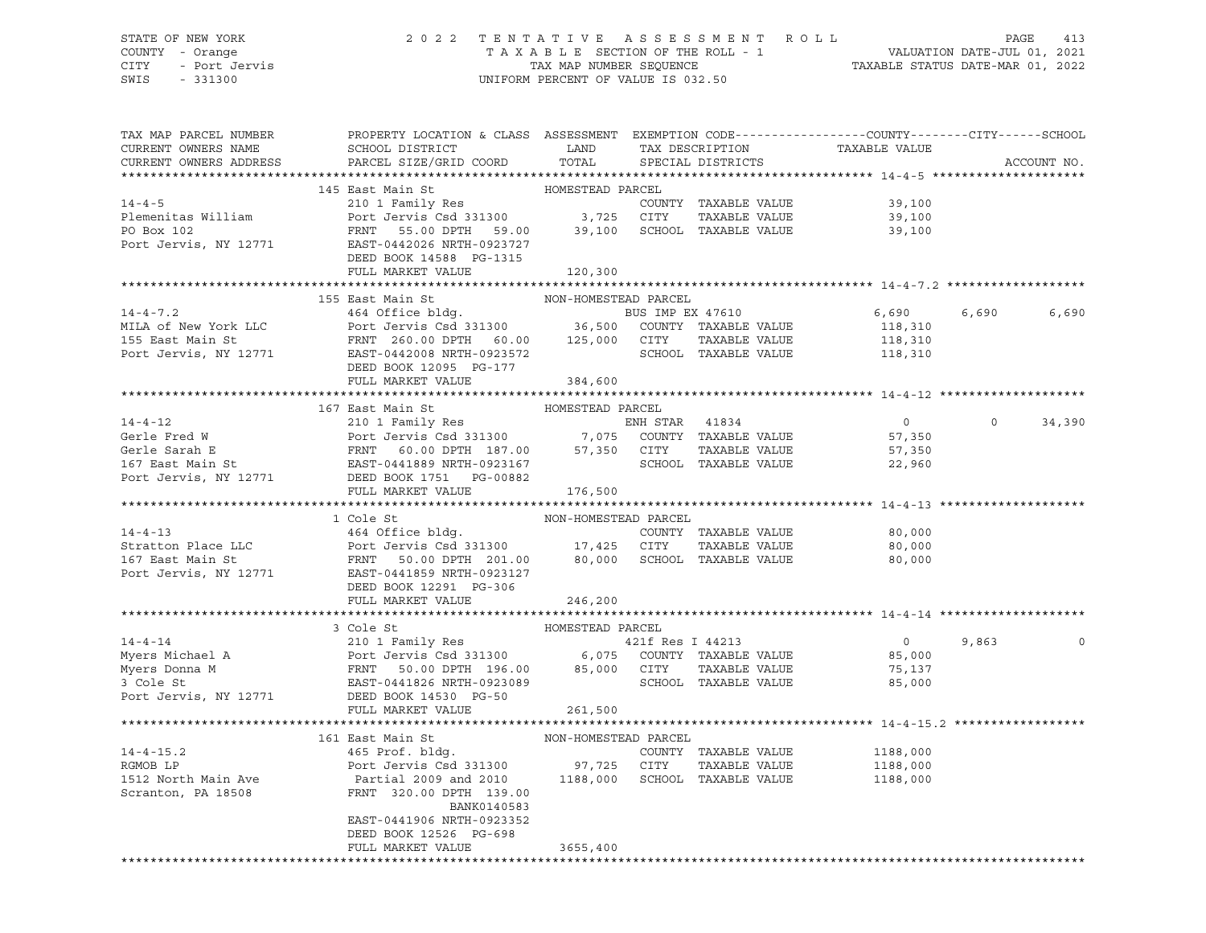# STATE OF NEW YORK 2 0 2 2 T E N T A T I V E A S S E S S M E N T R O L L PAGE 413 COUNTY - Orange T A X A B L E SECTION OF THE ROLL - 1 VALUATION DATE-JUL 01, 2021

CITY - Port Jervis TAX MAP NUMBER SEQUENCE TAXABLE STATUS DATE-MAR 01, 2022

| TAX MAP PARCEL NUMBER<br>CURRENT OWNERS NAME | PROPERTY LOCATION & CLASS ASSESSMENT EXEMPTION CODE----------------COUNTY-------CITY------SCHOOL<br>SCHOOL DISTRICT                                                                                                                                                               | LAND                 | TAX DESCRIPTION      | TAXABLE VALUE                                                                                                                                                                                                                   |         |             |
|----------------------------------------------|-----------------------------------------------------------------------------------------------------------------------------------------------------------------------------------------------------------------------------------------------------------------------------------|----------------------|----------------------|---------------------------------------------------------------------------------------------------------------------------------------------------------------------------------------------------------------------------------|---------|-------------|
| CURRENT OWNERS ADDRESS                       | PARCEL SIZE/GRID COORD                                                                                                                                                                                                                                                            | TOTAL                | SPECIAL DISTRICTS    |                                                                                                                                                                                                                                 |         | ACCOUNT NO. |
|                                              | 145 East Main St                                                                                                                                                                                                                                                                  | HOMESTEAD PARCEL     |                      |                                                                                                                                                                                                                                 |         |             |
| $14 - 4 - 5$                                 | 210 1 Family Res<br>Port Jervis Csd 331300 3,725 CITY                                                                                                                                                                                                                             |                      | COUNTY TAXABLE VALUE | 39,100                                                                                                                                                                                                                          |         |             |
| Plemenitas William                           |                                                                                                                                                                                                                                                                                   |                      | TAXABLE VALUE        | 39,100                                                                                                                                                                                                                          |         |             |
| PO Box 102                                   | FRNT 55.00 DPTH 59.00 39,100 SCHOOL TAXABLE VALUE                                                                                                                                                                                                                                 |                      |                      | 39,100                                                                                                                                                                                                                          |         |             |
|                                              | Port Jervis, NY 12771 EAST-0442026 NRTH-0923727                                                                                                                                                                                                                                   |                      |                      |                                                                                                                                                                                                                                 |         |             |
|                                              | DEED BOOK 14588 PG-1315                                                                                                                                                                                                                                                           |                      |                      |                                                                                                                                                                                                                                 |         |             |
|                                              | FULL MARKET VALUE 120,300                                                                                                                                                                                                                                                         |                      |                      |                                                                                                                                                                                                                                 |         |             |
|                                              | 155 East Main St                                                                                                                                                                                                                                                                  | NON-HOMESTEAD PARCEL |                      |                                                                                                                                                                                                                                 |         |             |
|                                              | 14-4-7.2<br>MILA of New York LLC<br>155 East Main St<br>Port Jervis Csd 331300<br>Port Jervis Csd 331300<br>FRNT 260.00 DPTH 60.00<br>26.00 DPTH 60.00<br>26.00 CUNTY TAXABLE VALUE<br>Port Jervis, NY 12771<br>260.00 DPTH 60.00<br>275,000 CITY<br>                             |                      |                      | 6,690 5,500 6,500 6,500 6,500 6,500 6,500 6,500 6,500 6,500 6,500 6,500 6,500 6,500 6,500 6,500 6,500 6,500 6,500 6,500 6,500 6,500 6,500 6,500 6,500 6,500 6,500 6,500 6,500 6,500 6,500 6,500 6,500 6,500 6,500 6,500 6,500 6 | 6,690   | 6,690       |
|                                              |                                                                                                                                                                                                                                                                                   |                      |                      | 118,310                                                                                                                                                                                                                         |         |             |
|                                              |                                                                                                                                                                                                                                                                                   |                      |                      | 118,310                                                                                                                                                                                                                         |         |             |
|                                              |                                                                                                                                                                                                                                                                                   |                      |                      | SCHOOL TAXABLE VALUE 118,310                                                                                                                                                                                                    |         |             |
|                                              | DEED BOOK 12095 PG-177                                                                                                                                                                                                                                                            |                      |                      |                                                                                                                                                                                                                                 |         |             |
|                                              | FULL MARKET VALUE                                                                                                                                                                                                                                                                 | 384,600              |                      |                                                                                                                                                                                                                                 |         |             |
|                                              |                                                                                                                                                                                                                                                                                   |                      |                      |                                                                                                                                                                                                                                 |         |             |
|                                              | 167 East Main St                                                                                                                                                                                                                                                                  | HOMESTEAD PARCEL     |                      |                                                                                                                                                                                                                                 |         |             |
| $14 - 4 - 12$                                | 210 1 Family Res<br>Port Jervis Csd 331300 7,075 COUNTY TAXABLE VALUE                                                                                                                                                                                                             |                      |                      | $\overline{0}$                                                                                                                                                                                                                  | $\circ$ | 34,390      |
|                                              |                                                                                                                                                                                                                                                                                   |                      | TAXABLE VALUE        | 57,350<br>57,350                                                                                                                                                                                                                |         |             |
|                                              |                                                                                                                                                                                                                                                                                   |                      | SCHOOL TAXABLE VALUE | 22,960                                                                                                                                                                                                                          |         |             |
|                                              | Gerle Fred W<br>Gerle Sarah E<br>Gerle Sarah E<br>167 East Main St<br>2000 EPTH 187.00 7,075 COUNTY<br>2011 EAST-0441889 NRTH-0923167 57,350 CITY<br>2013 EAST-0441889 NRTH-0923167 SCHOOL<br>2013 POE BED BOOK 1751 DEG-00882<br>2014 DESD BO                                    |                      |                      |                                                                                                                                                                                                                                 |         |             |
|                                              | FULL MARKET VALUE                                                                                                                                                                                                                                                                 | 176,500              |                      |                                                                                                                                                                                                                                 |         |             |
|                                              |                                                                                                                                                                                                                                                                                   |                      |                      |                                                                                                                                                                                                                                 |         |             |
|                                              | 1 Cole St                                                                                                                                                                                                                                                                         | NON-HOMESTEAD PARCEL |                      |                                                                                                                                                                                                                                 |         |             |
|                                              |                                                                                                                                                                                                                                                                                   |                      | COUNTY TAXABLE VALUE | 80,000                                                                                                                                                                                                                          |         |             |
|                                              |                                                                                                                                                                                                                                                                                   |                      | TAXABLE VALUE        | 80,000                                                                                                                                                                                                                          |         |             |
|                                              |                                                                                                                                                                                                                                                                                   |                      |                      | 80,000                                                                                                                                                                                                                          |         |             |
|                                              | 14-4-13<br>Stratton Place LLC<br>164 Office bldg.<br>201.00<br>201.00<br>201.00<br>201.00<br>201.00<br>201.00<br>201.00<br>201.00<br>201.00<br>201.00<br>201.00<br>201.00<br>201.00<br>201.00<br>201.00<br>201.00<br>201.00<br>201.00<br>201.00<br>201.00<br>201.00<br>201.00<br> |                      |                      |                                                                                                                                                                                                                                 |         |             |
|                                              | DEED BOOK 12291 PG-306<br>FULL MARKET VALUE                                                                                                                                                                                                                                       | 246,200              |                      |                                                                                                                                                                                                                                 |         |             |
|                                              |                                                                                                                                                                                                                                                                                   |                      |                      |                                                                                                                                                                                                                                 |         |             |
|                                              | 3 Cole St                                                                                                                                                                                                                                                                         | HOMESTEAD PARCEL     |                      |                                                                                                                                                                                                                                 |         |             |
|                                              | 14-4-14<br>Myers Michael A 210 1 Family Res<br>Myers Donna M FRNT 50.00 DPTH 196.00 85,000 CITY TAXABLE VALUE<br>3 Cole St EAST-0441826 NRTH-0923089 SCHOOL TAXABLE VALUE                                                                                                         |                      |                      | $\overline{0}$                                                                                                                                                                                                                  | 9,863   | $\circ$     |
|                                              |                                                                                                                                                                                                                                                                                   |                      |                      | 85,000                                                                                                                                                                                                                          |         |             |
|                                              |                                                                                                                                                                                                                                                                                   |                      |                      | 75,137                                                                                                                                                                                                                          |         |             |
|                                              |                                                                                                                                                                                                                                                                                   |                      |                      | 85,000                                                                                                                                                                                                                          |         |             |
| Port Jervis, NY 12771                        | DEED BOOK 14530 PG-50                                                                                                                                                                                                                                                             |                      |                      |                                                                                                                                                                                                                                 |         |             |
|                                              | FULL MARKET VALUE                                                                                                                                                                                                                                                                 | 261,500              |                      |                                                                                                                                                                                                                                 |         |             |
|                                              |                                                                                                                                                                                                                                                                                   |                      |                      |                                                                                                                                                                                                                                 |         |             |
| $14 - 4 - 15.2$                              | 161 East Main St                                                                                                                                                                                                                                                                  | NON-HOMESTEAD PARCEL | COUNTY TAXABLE VALUE |                                                                                                                                                                                                                                 |         |             |
| RGMOB LP                                     |                                                                                                                                                                                                                                                                                   |                      | TAXABLE VALUE        | $1100,$<br>1188,000                                                                                                                                                                                                             |         |             |
|                                              | Partial 2009 and 2010 1188,000 SCHOOL TAXABLE VALUE                                                                                                                                                                                                                               |                      |                      | 1188,000                                                                                                                                                                                                                        |         |             |
| 1512 North Main Ave<br>Scranton, PA 18508    | FRNT 320.00 DPTH 139.00                                                                                                                                                                                                                                                           |                      |                      |                                                                                                                                                                                                                                 |         |             |
|                                              | BANK0140583                                                                                                                                                                                                                                                                       |                      |                      |                                                                                                                                                                                                                                 |         |             |
|                                              | EAST-0441906 NRTH-0923352                                                                                                                                                                                                                                                         |                      |                      |                                                                                                                                                                                                                                 |         |             |
|                                              | DEED BOOK 12526 PG-698                                                                                                                                                                                                                                                            |                      |                      |                                                                                                                                                                                                                                 |         |             |
|                                              | FULL MARKET VALUE                                                                                                                                                                                                                                                                 | 3655,400             |                      |                                                                                                                                                                                                                                 |         |             |
|                                              |                                                                                                                                                                                                                                                                                   |                      |                      |                                                                                                                                                                                                                                 |         |             |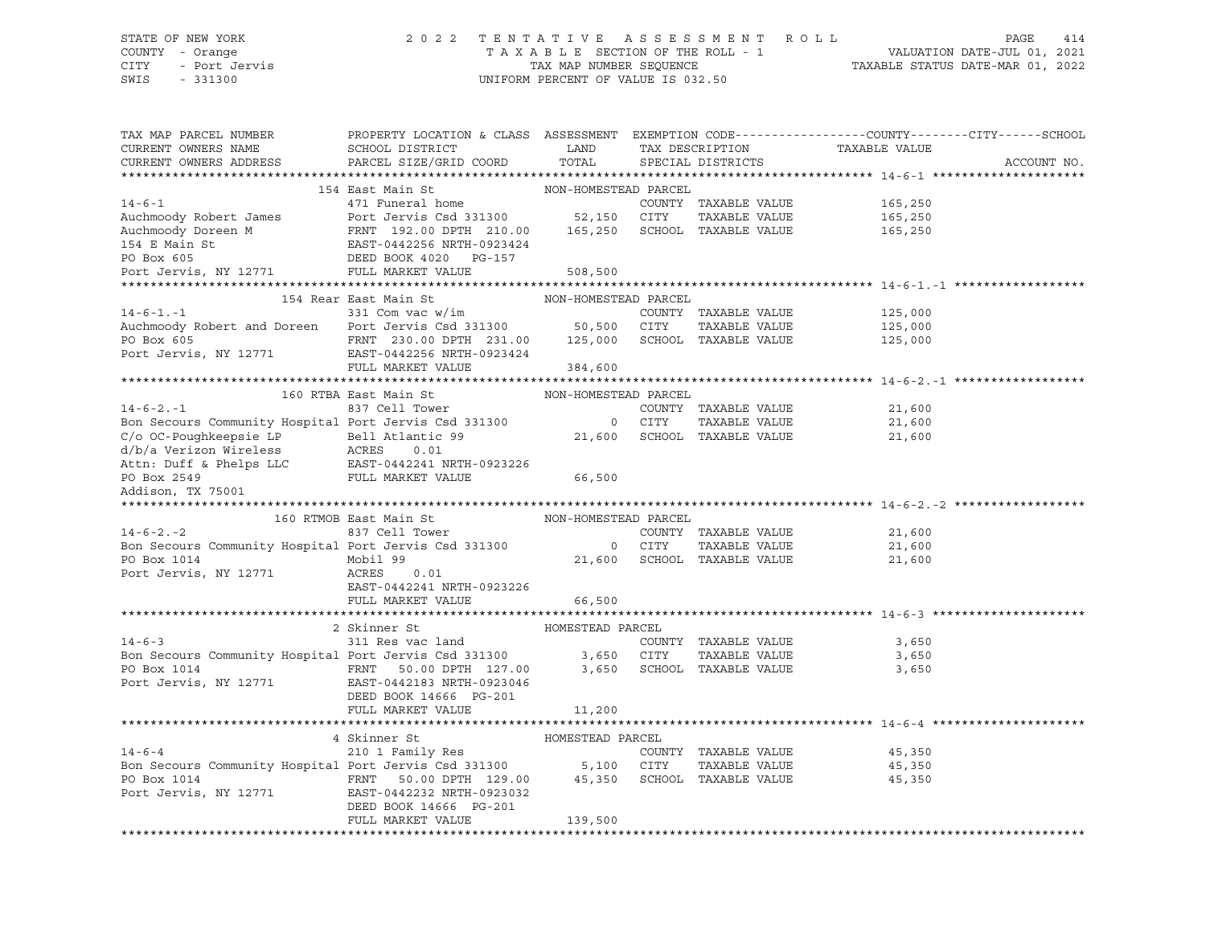STATE OF NEW YORK 2 0 2 2 T E N T A T I V E A S S E S S M E N T R O L L PAGE 414 COUNTY - Orange T A X A B L E SECTION OF THE ROLL - 1 CITY - Port Jervis COMPUS CITY - Port Jervis COMPUS CITY - Port Jervis COMPUS COMPUS CHARABLE STATUS DATE-MAR 01, 2022<br>CNIS - 331300 UNIFORM PERCENT OF VALUE IS 032.50 TAX MAP PARCEL NUMBER PROPERTY LOCATION & CLASS ASSESSMENT EXEMPTION CODE------------------COUNTY--------CITY------SCHOOL CURRENT OWNERS NAME SCHOOL DISTRICT LAND TAX DESCRIPTION TAXABLE VALUE CURRENT OWNERS ADDRESS PARCEL SIZE/GRID COORD TOTAL SPECIAL DISTRICTS ACCOUNT NO. \*\*\*\*\*\*\*\*\*\*\*\*\*\*\*\*\*\*\*\*\*\*\*\*\*\*\*\*\*\*\*\*\*\*\*\*\*\*\*\*\*\*\*\*\*\*\*\*\*\*\*\*\*\*\*\*\*\*\*\*\*\*\*\*\*\*\*\*\*\*\*\*\*\*\*\*\*\*\*\*\*\*\*\*\*\*\*\*\*\*\*\*\*\*\*\*\*\*\*\*\*\*\* 14-6-1 \*\*\*\*\*\*\*\*\*\*\*\*\*\*\*\*\*\*\*\*\* 154 East Main St NON-HOMESTEAD PARCEL 14-6-1 471 Funeral home COUNTY TAXABLE VALUE 165,250 Auchmoody Robert James Port Jervis Csd 331300 52,150 CITY TAXABLE VALUE 165,250 Auchmoody Doreen M FRNT 192.00 DPTH 210.00 165,250 SCHOOL TAXABLE VALUE 165,250 154 E Main St EAST-0442256 NRTH-0923424 DEED BOOK 4020 PG-157 Port Jervis, NY 12771 FULL MARKET VALUE 508,500 \*\*\*\*\*\*\*\*\*\*\*\*\*\*\*\*\*\*\*\*\*\*\*\*\*\*\*\*\*\*\*\*\*\*\*\*\*\*\*\*\*\*\*\*\*\*\*\*\*\*\*\*\*\*\*\*\*\*\*\*\*\*\*\*\*\*\*\*\*\*\*\*\*\*\*\*\*\*\*\*\*\*\*\*\*\*\*\*\*\*\*\*\*\*\*\*\*\*\*\*\*\*\* 14-6-1.-1 \*\*\*\*\*\*\*\*\*\*\*\*\*\*\*\*\*\* 154 Rear East Main St NON-HOMESTEAD PARCEL 14-6-1.-1 331 Com vac w/im COUNTY TAXABLE VALUE 125,000 Auchmoody Robert and Doreen Port Jervis Csd 331300 50,500 CITY TAXABLE VALUE 125,000 PO Box 605 FRNT 230.00 DPTH 231.00 125,000 SCHOOL TAXABLE VALUE 125,000 Port Jervis, NY 12771 EAST-0442256 NRTH-0923424 FULL MARKET VALUE 384,600 \*\*\*\*\*\*\*\*\*\*\*\*\*\*\*\*\*\*\*\*\*\*\*\*\*\*\*\*\*\*\*\*\*\*\*\*\*\*\*\*\*\*\*\*\*\*\*\*\*\*\*\*\*\*\*\*\*\*\*\*\*\*\*\*\*\*\*\*\*\*\*\*\*\*\*\*\*\*\*\*\*\*\*\*\*\*\*\*\*\*\*\*\*\*\*\*\*\*\*\*\*\*\* 14-6-2.-1 \*\*\*\*\*\*\*\*\*\*\*\*\*\*\*\*\*\* 160 RTBA East Main St NON-HOMESTEAD PARCEL 14-6-2.-1 837 Cell Tower COUNTY TAXABLE VALUE 21,600 Bon Secours Community Hospital Port Jervis Csd 331300 0 CITY TAXABLE VALUE 21,600 C/o OC-Poughkeepsie LP Bell Atlantic 99 21,600 SCHOOL TAXABLE VALUE 21,600 d/b/a Verizon Wireless ACRES 0.01 Attn: Duff & Phelps LLC EAST-0442241 NRTH-0923226 PO Box 2549 FULL MARKET VALUE 66,500 Addison, TX 75001 \*\*\*\*\*\*\*\*\*\*\*\*\*\*\*\*\*\*\*\*\*\*\*\*\*\*\*\*\*\*\*\*\*\*\*\*\*\*\*\*\*\*\*\*\*\*\*\*\*\*\*\*\*\*\*\*\*\*\*\*\*\*\*\*\*\*\*\*\*\*\*\*\*\*\*\*\*\*\*\*\*\*\*\*\*\*\*\*\*\*\*\*\*\*\*\*\*\*\*\*\*\*\* 14-6-2.-2 \*\*\*\*\*\*\*\*\*\*\*\*\*\*\*\*\*\* 160 RTMOB East Main St NON-HOMESTEAD PARCEL 14-6-2.-2 837 Cell Tower COUNTY TAXABLE VALUE 21,600 Bon Secours Community Hospital Port Jervis Csd 331300 0 CITY TAXABLE VALUE 21,600 PO Box 1014 Mobil 99 21,600 SCHOOL TAXABLE VALUE 21,600 Port Jervis, NY 12771 ACRES 0.01 EAST-0442241 NRTH-0923226 FULL MARKET VALUE 66,500 \*\*\*\*\*\*\*\*\*\*\*\*\*\*\*\*\*\*\*\*\*\*\*\*\*\*\*\*\*\*\*\*\*\*\*\*\*\*\*\*\*\*\*\*\*\*\*\*\*\*\*\*\*\*\*\*\*\*\*\*\*\*\*\*\*\*\*\*\*\*\*\*\*\*\*\*\*\*\*\*\*\*\*\*\*\*\*\*\*\*\*\*\*\*\*\*\*\*\*\*\*\*\* 14-6-3 \*\*\*\*\*\*\*\*\*\*\*\*\*\*\*\*\*\*\*\*\* 2 Skinner St HOMESTEAD PARCEL 14-6-3 311 Res vac land COUNTY TAXABLE VALUE 3,650 Bon Secours Community Hospital Port Jervis Csd 331300 3,650 CITY TAXABLE VALUE 3,650 PO Box 1014 **FRNT 50.00 DPTH 127.00** 3,650 SCHOOL TAXABLE VALUE 3,650 3,650 Port Jervis, NY 12771 EAST-0442183 NRTH-0923046 DEED BOOK 14666 PG-201 FULL MARKET VALUE 11,200 \*\*\*\*\*\*\*\*\*\*\*\*\*\*\*\*\*\*\*\*\*\*\*\*\*\*\*\*\*\*\*\*\*\*\*\*\*\*\*\*\*\*\*\*\*\*\*\*\*\*\*\*\*\*\*\*\*\*\*\*\*\*\*\*\*\*\*\*\*\*\*\*\*\*\*\*\*\*\*\*\*\*\*\*\*\*\*\*\*\*\*\*\*\*\*\*\*\*\*\*\*\*\* 14-6-4 \*\*\*\*\*\*\*\*\*\*\*\*\*\*\*\*\*\*\*\*\* 4 Skinner St HOMESTEAD PARCEL 14-6-4 210 1 Family Res COUNTY TAXABLE VALUE 45,350 Bon Secours Community Hospital Port Jervis Csd 331300 5,100 CITY TAXABLE VALUE 45,350 PO Box 1014 **FRNT 50.00 DPTH 129.00** 45,350 SCHOOL TAXABLE VALUE 45,350 Port Jervis, NY 12771 EAST-0442232 NRTH-0923032 DEED BOOK 14666 PG-201 FULL MARKET VALUE 139,500 \*\*\*\*\*\*\*\*\*\*\*\*\*\*\*\*\*\*\*\*\*\*\*\*\*\*\*\*\*\*\*\*\*\*\*\*\*\*\*\*\*\*\*\*\*\*\*\*\*\*\*\*\*\*\*\*\*\*\*\*\*\*\*\*\*\*\*\*\*\*\*\*\*\*\*\*\*\*\*\*\*\*\*\*\*\*\*\*\*\*\*\*\*\*\*\*\*\*\*\*\*\*\*\*\*\*\*\*\*\*\*\*\*\*\*\*\*\*\*\*\*\*\*\*\*\*\*\*\*\*\*\*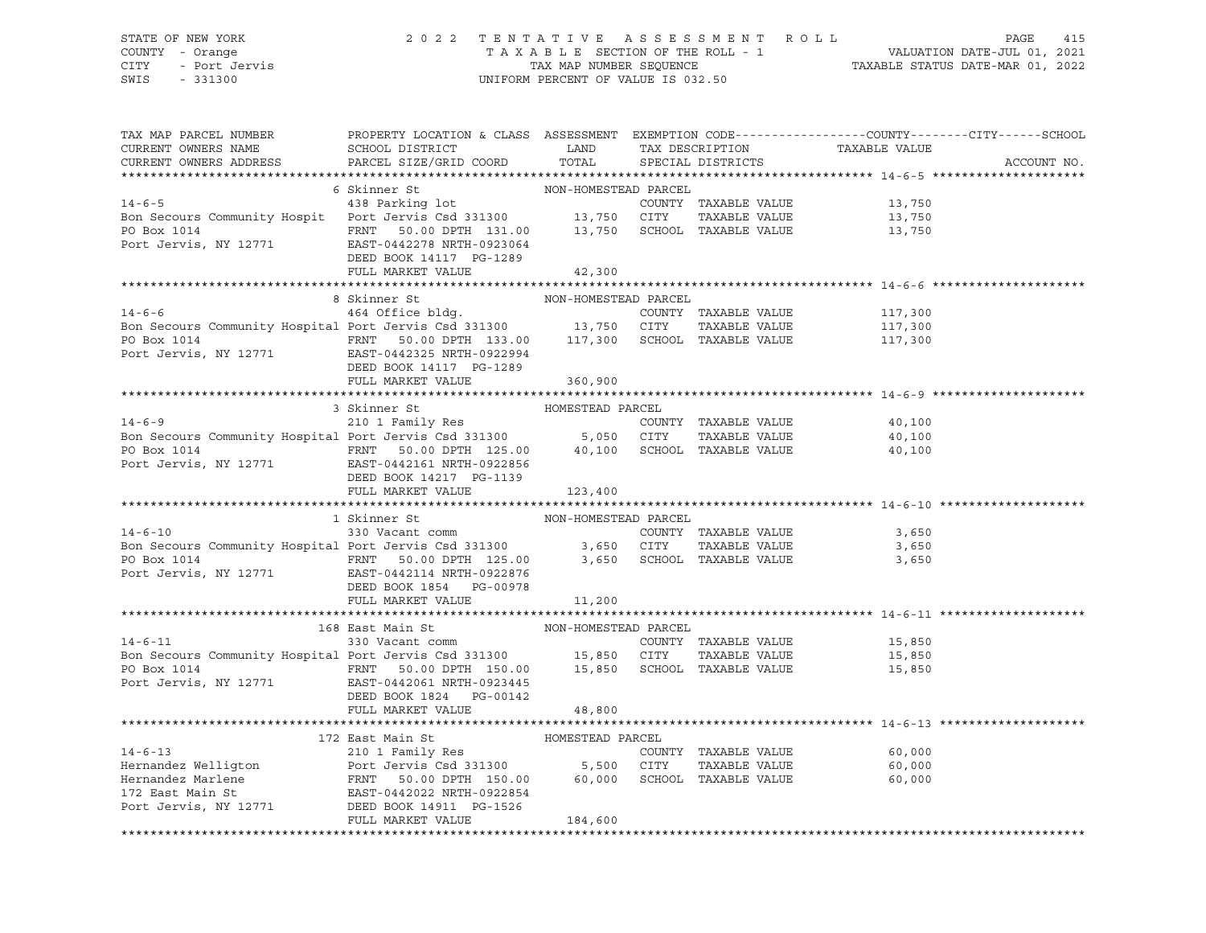#### STATE OF NEW YORK 2 0 2 2 T E N T A T I V E A S S E S S M E N T R O L L PAGE 415 COUNTY - Orange T A X A B L E SECTION OF THE ROLL - 1 VALUATION DATE-JUL 01, 2021 CITY - Port Jervis TAX MAP NUMBER SEQUENCE TAXABLE STATUS DATE-MAR 01, 2022 SWIS - 331300 UNIFORM PERCENT OF VALUE IS 032.50

| TAX MAP PARCEL NUMBER<br>CURRENT OWNERS NAME<br>CURRENT OWNERS ADDRESS                                                                                                                                                                                                                         | PROPERTY LOCATION & CLASS ASSESSMENT EXEMPTION CODE---------------COUNTY-------CITY------SCHOOL |                  |                      |                  | ACCOUNT NO. |
|------------------------------------------------------------------------------------------------------------------------------------------------------------------------------------------------------------------------------------------------------------------------------------------------|-------------------------------------------------------------------------------------------------|------------------|----------------------|------------------|-------------|
| $\begin{tabular}{lcccc} 14-6-5 & 6 Skinner St & 14-6-5 \\ 14-6-5 & 438 Parking lot & 13,750 \\ 13,750 & 13,750 & 13,750 \\ 13,750 & 13,750 & 13,750 \\ 13,750 & 13,750 & 13,750 \\ 13,750 & 13,750 & 13,750 \\ 13,750 & 13,750 & 13,750 \\ 13,750 & 13,750 & 13,750 \\ 13,750 & 13,750 & 13,7$ |                                                                                                 |                  |                      |                  |             |
|                                                                                                                                                                                                                                                                                                |                                                                                                 |                  |                      |                  |             |
|                                                                                                                                                                                                                                                                                                |                                                                                                 |                  |                      |                  |             |
|                                                                                                                                                                                                                                                                                                |                                                                                                 |                  |                      |                  |             |
|                                                                                                                                                                                                                                                                                                |                                                                                                 |                  |                      |                  |             |
|                                                                                                                                                                                                                                                                                                |                                                                                                 |                  |                      |                  |             |
|                                                                                                                                                                                                                                                                                                |                                                                                                 |                  |                      |                  |             |
|                                                                                                                                                                                                                                                                                                | FULL MARKET VALUE                                                                               | 42,300           |                      |                  |             |
|                                                                                                                                                                                                                                                                                                |                                                                                                 |                  |                      |                  |             |
|                                                                                                                                                                                                                                                                                                | NON-HOMESTEAD PARCEL<br>8 Skinner St                                                            |                  |                      |                  |             |
|                                                                                                                                                                                                                                                                                                |                                                                                                 |                  |                      |                  |             |
| 14-6-6<br>How-novies-like PAKCEL<br>2000 EONNTY TAXABLE VALUE<br>2000 EO Box 1014<br>2010 ENT 50.00 DPTH 133.00<br>2010 PO Box 1014<br>2117,300<br>2010 ENT 50.00 DPTH 133.00<br>2117,300<br>2010 EATH-0922994<br>2117,300<br>2011 EAST-0442325 NRTH                                           |                                                                                                 |                  |                      |                  |             |
|                                                                                                                                                                                                                                                                                                |                                                                                                 |                  |                      |                  |             |
|                                                                                                                                                                                                                                                                                                |                                                                                                 |                  |                      |                  |             |
|                                                                                                                                                                                                                                                                                                | DEED BOOK 14117 PG-1289                                                                         |                  |                      |                  |             |
|                                                                                                                                                                                                                                                                                                | FULL MARKET VALUE                                                                               | 360,900          |                      |                  |             |
|                                                                                                                                                                                                                                                                                                |                                                                                                 |                  |                      |                  |             |
|                                                                                                                                                                                                                                                                                                | 3 Skinner St                                                                                    | HOMESTEAD PARCEL |                      |                  |             |
|                                                                                                                                                                                                                                                                                                |                                                                                                 |                  |                      |                  |             |
|                                                                                                                                                                                                                                                                                                |                                                                                                 |                  |                      |                  |             |
|                                                                                                                                                                                                                                                                                                |                                                                                                 |                  |                      |                  |             |
| 14-6-9<br>210 1 Family Res<br>210 1 Family Res<br>210 1 Family Res<br>210 1 Family Res<br>210 1 Family Res<br>210 1 Family Res<br>210 1 Family Res<br>210 1 Family Res<br>210 1 Family Res<br>210 1 Family Res<br>210 1 Family Res<br>210 1 Family Res                                         |                                                                                                 |                  |                      |                  |             |
|                                                                                                                                                                                                                                                                                                | DEED BOOK 14217 PG-1139                                                                         |                  |                      |                  |             |
|                                                                                                                                                                                                                                                                                                | FULL MARKET VALUE                                                                               | 123,400          |                      |                  |             |
|                                                                                                                                                                                                                                                                                                |                                                                                                 |                  |                      |                  |             |
|                                                                                                                                                                                                                                                                                                | 1 Skinner St                                                                                    |                  |                      |                  |             |
| $14 - 6 - 10$                                                                                                                                                                                                                                                                                  | Skinner St<br>$\verb NON-HOMESTEAD PARCEL 330 Vacant comm $                                     |                  | COUNTY TAXABLE VALUE | 3,650            |             |
|                                                                                                                                                                                                                                                                                                |                                                                                                 |                  |                      |                  |             |
| Bon Secours Community Hospital Port Jervis Csd 331300<br>PO Box 1014<br>Port Jervis, NY 12771<br>EXECOURD PORT 125.00<br>Port Jervis, NY 12771<br>EXECOURD PORT 125.00<br>Port Jervis, NY 12771<br>EXECOURD PORT 125.00<br>Port Jervis, NY 127                                                 |                                                                                                 |                  |                      |                  |             |
|                                                                                                                                                                                                                                                                                                |                                                                                                 |                  |                      |                  |             |
|                                                                                                                                                                                                                                                                                                | DEED BOOK 1854 PG-00978                                                                         |                  |                      |                  |             |
|                                                                                                                                                                                                                                                                                                | FULL MARKET VALUE                                                                               | 11,200           |                      |                  |             |
|                                                                                                                                                                                                                                                                                                |                                                                                                 |                  |                      |                  |             |
|                                                                                                                                                                                                                                                                                                |                                                                                                 |                  |                      |                  |             |
|                                                                                                                                                                                                                                                                                                |                                                                                                 |                  |                      |                  |             |
| 168 East Main St<br>19,850 NON-HOMESTEAD PARCEL<br>15,850 EOUNTY TAXABLE VALUE<br>15,850 ETTY TAXABLE VALUE And Scrours Community Hospital Port Jervis Csd 331300 15,850 CITY TAXABLE VALUE                                                                                                    |                                                                                                 |                  |                      |                  |             |
|                                                                                                                                                                                                                                                                                                | FRNT 50.00 DPTH 150.00 15,850 SCHOOL TAXABLE VALUE 15,850                                       |                  |                      |                  |             |
| PO Box 1014<br>Port Jervis, NY 12771<br>EAST-0442061 NRTH-0923445                                                                                                                                                                                                                              |                                                                                                 |                  |                      |                  |             |
|                                                                                                                                                                                                                                                                                                | DEED BOOK 1824   PG-00142                                                                       |                  |                      |                  |             |
|                                                                                                                                                                                                                                                                                                | FULL MARKET VALUE                                                                               | 48,800           |                      |                  |             |
|                                                                                                                                                                                                                                                                                                |                                                                                                 |                  |                      |                  |             |
|                                                                                                                                                                                                                                                                                                |                                                                                                 |                  |                      |                  |             |
| 172 East Main St<br>210 1 Family Res<br>Hernandez Welligton<br>Hernandez Marlene<br>172 East Main St<br>210 1 Family Res<br>Port Jervis Csd 331300<br>5,500 CITY<br>5,500 CITY<br>2171 East Main St<br>22 East Main St<br>22 East Main St<br>22 East M                                         |                                                                                                 |                  |                      |                  |             |
|                                                                                                                                                                                                                                                                                                |                                                                                                 |                  |                      | 60,000           |             |
|                                                                                                                                                                                                                                                                                                |                                                                                                 |                  |                      | 60,000<br>60.000 |             |
|                                                                                                                                                                                                                                                                                                |                                                                                                 |                  |                      | 60,000           |             |
|                                                                                                                                                                                                                                                                                                |                                                                                                 |                  |                      |                  |             |
|                                                                                                                                                                                                                                                                                                |                                                                                                 |                  |                      |                  |             |
|                                                                                                                                                                                                                                                                                                | FULL MARKET VALUE                                                                               | 184,600          |                      |                  |             |
|                                                                                                                                                                                                                                                                                                |                                                                                                 |                  |                      |                  |             |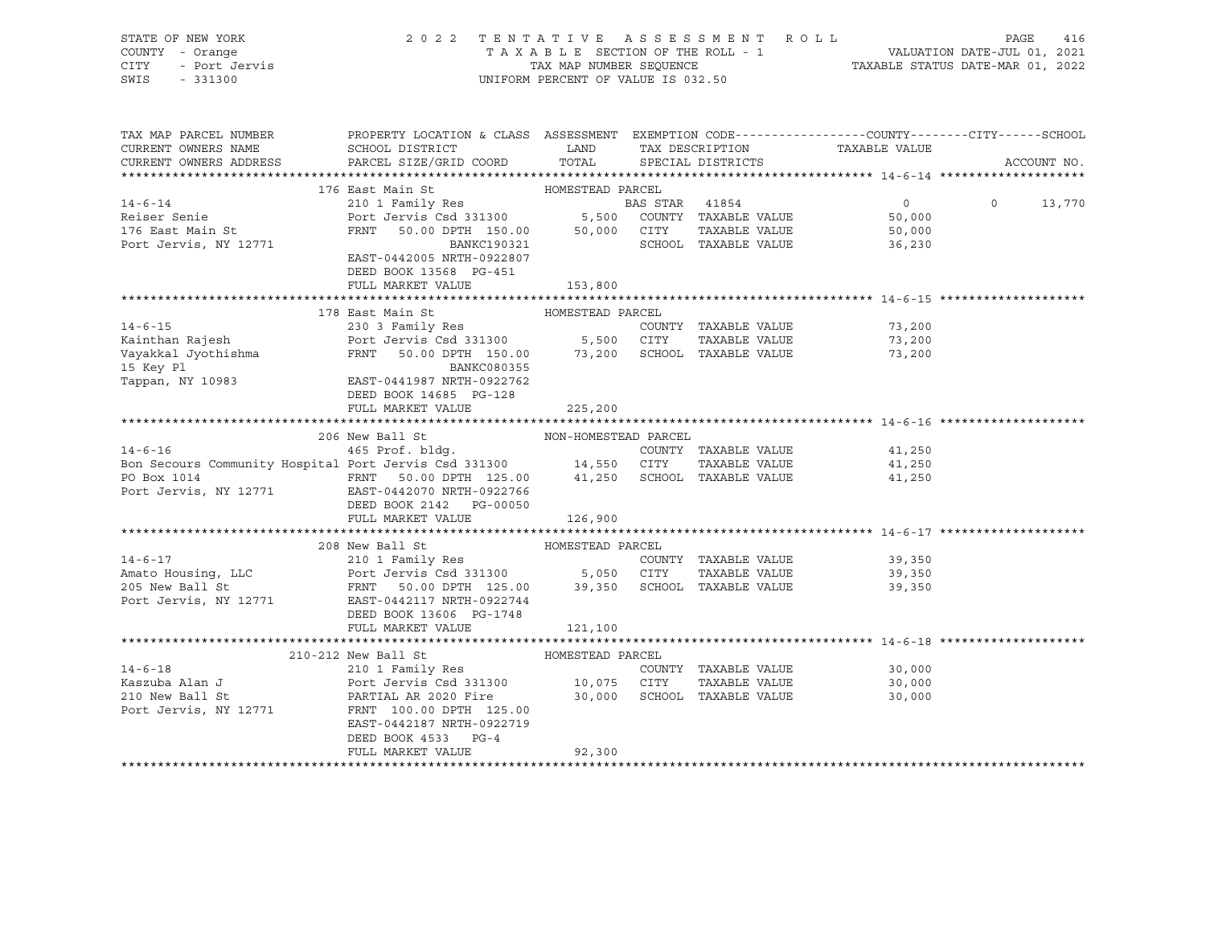| STATE OF NEW YORK<br>COUNTY - Orange<br>Y - Orange<br>- Port Jervis<br>- 331300<br>CITY<br>SWIS - 331300                                                                                                                                                                                                                                                                                | 2022 TENTATIVE ASSESSMENT ROLL PAGE 416<br>TAXABLE SECTION OF THE ROLL - 1 VALUATION DATE-JUL 01, 2021<br>TAX MAP NUMBER SEQUENCE TAXABLE STATUS DATE-MAR 01, 2022                                                                                                       | UNIFORM PERCENT OF VALUE IS 032.50 |                   |                |               |
|-----------------------------------------------------------------------------------------------------------------------------------------------------------------------------------------------------------------------------------------------------------------------------------------------------------------------------------------------------------------------------------------|--------------------------------------------------------------------------------------------------------------------------------------------------------------------------------------------------------------------------------------------------------------------------|------------------------------------|-------------------|----------------|---------------|
| TAX MAP PARCEL NUMBER<br>CURRENT OWNERS NAME                                                                                                                                                                                                                                                                                                                                            | PROPERTY LOCATION & CLASS ASSESSMENT EXEMPTION CODE---------------COUNTY-------CITY------SCHOOL<br>${\tt SCHOOD\,\, \, {\tt DISTRTCT}} {\small\quad \, {\tt LAND}} {\small\quad \, {\tt TAX\,\, \, {\tt DESCRIPTION}} {\small\quad \, {\tt TAXABLE\,\, VALUE}}$          |                                    |                   |                |               |
| $\verb CURRENT ~OWNERS ~\verb ADDRESS ~ \verb PARCEL ~\verb SIZE/GRID ~ \verb COORD ~ \verb TOTAL ~ \verb CORD ~ \verb CORD ~ \verb CORD ~ \verb CORD ~ \verb CORD ~ \verb CORD ~ \verb CARCEL ~ \verb SIZE/GRID ~ \verb CORD ~ \verb CORD ~ \verb CORD ~ \verb CARCEL ~ \verb CARCEL ~ \verb CARCEL ~ \verb CARCEL ~ \verb CORD ~ \verb CARCEL ~ \verb CARCEL ~ \verb CARCLE ~ \verb $ |                                                                                                                                                                                                                                                                          |                                    | SPECIAL DISTRICTS |                | ACCOUNT NO.   |
|                                                                                                                                                                                                                                                                                                                                                                                         |                                                                                                                                                                                                                                                                          |                                    |                   |                |               |
| $14 - 6 - 14$                                                                                                                                                                                                                                                                                                                                                                           | 176 East Main St<br>210 1 Family Res<br>210 1 Family Res<br>210 1 Family Res<br>210 1 Family Res<br>210 1 Family Res<br>210 2000 50,000 CITY<br>210 2000 FRNT<br>210 2000 50,000 CITY<br>2210 2010 EANKC190321<br>2210 2010 2011 2012<br>2210 2010 2012<br>2210 2010 201 | HOMESTEAD PARCEL                   |                   | $\overline{0}$ | $0 \t 13,770$ |
| Reiser Senie                                                                                                                                                                                                                                                                                                                                                                            |                                                                                                                                                                                                                                                                          |                                    |                   | 50,000         |               |
| 176 East Main St                                                                                                                                                                                                                                                                                                                                                                        |                                                                                                                                                                                                                                                                          |                                    |                   | 50,000         |               |
| Port Jervis, NY 12771                                                                                                                                                                                                                                                                                                                                                                   |                                                                                                                                                                                                                                                                          |                                    |                   | 36,230         |               |
|                                                                                                                                                                                                                                                                                                                                                                                         | EAST-0442005 NRTH-0922807<br>DEED BOOK 13568 PG-451                                                                                                                                                                                                                      |                                    |                   |                |               |
|                                                                                                                                                                                                                                                                                                                                                                                         | FULL MARKET VALUE                                                                                                                                                                                                                                                        | 153,800                            |                   |                |               |
|                                                                                                                                                                                                                                                                                                                                                                                         |                                                                                                                                                                                                                                                                          |                                    |                   |                |               |
|                                                                                                                                                                                                                                                                                                                                                                                         | 178 East Main St                                                                                                                                                                                                                                                         | HOMESTEAD PARCEL                   |                   | 73,200         |               |
|                                                                                                                                                                                                                                                                                                                                                                                         |                                                                                                                                                                                                                                                                          |                                    |                   | 73,200         |               |
|                                                                                                                                                                                                                                                                                                                                                                                         |                                                                                                                                                                                                                                                                          |                                    |                   | 73,200         |               |
|                                                                                                                                                                                                                                                                                                                                                                                         |                                                                                                                                                                                                                                                                          |                                    |                   |                |               |
| 14-6-15<br>Kainthan Rajesh 230 3 Family Res COUNTY TAXABLE VALUE<br>Vayakkal Jyothishma FRNT 50.00 DPTH 150.00 73,200 SCHOOL TAXABLE VALUE<br>Tappan, NY 10983 EAST-0441987 NETER PO2Z7142<br>FRNT 50.00 PTH 150.00 73,200 SCHOOL TAXA                                                                                                                                                  |                                                                                                                                                                                                                                                                          |                                    |                   |                |               |
|                                                                                                                                                                                                                                                                                                                                                                                         | DEED BOOK 14685 PG-128                                                                                                                                                                                                                                                   |                                    |                   |                |               |
|                                                                                                                                                                                                                                                                                                                                                                                         | FULL MARKET VALUE                                                                                                                                                                                                                                                        | 225,200                            |                   |                |               |
|                                                                                                                                                                                                                                                                                                                                                                                         |                                                                                                                                                                                                                                                                          |                                    |                   |                |               |
| 206 New Ball St MON-HOMESTEAD PARCEL<br>14-6-16 465 Prof. bldg. COUNTY TAXABLE VALUE<br>14,250 CUNTY TAXABLE VALUE 41,250 APP 41,250 APP 41,250 CITY ANABLE VALUE                                                                                                                                                                                                                       |                                                                                                                                                                                                                                                                          |                                    |                   |                |               |
|                                                                                                                                                                                                                                                                                                                                                                                         |                                                                                                                                                                                                                                                                          |                                    |                   |                |               |
|                                                                                                                                                                                                                                                                                                                                                                                         |                                                                                                                                                                                                                                                                          |                                    |                   |                |               |
|                                                                                                                                                                                                                                                                                                                                                                                         |                                                                                                                                                                                                                                                                          |                                    |                   |                |               |
|                                                                                                                                                                                                                                                                                                                                                                                         | DEED BOOK 2142    PG-00050                                                                                                                                                                                                                                               |                                    |                   |                |               |
|                                                                                                                                                                                                                                                                                                                                                                                         | FULL MARKET VALUE 126,900                                                                                                                                                                                                                                                |                                    |                   |                |               |
|                                                                                                                                                                                                                                                                                                                                                                                         | 208 New Ball St                                                                                                                                                                                                                                                          | HOMESTEAD PARCEL                   |                   |                |               |
|                                                                                                                                                                                                                                                                                                                                                                                         |                                                                                                                                                                                                                                                                          |                                    |                   |                |               |
|                                                                                                                                                                                                                                                                                                                                                                                         |                                                                                                                                                                                                                                                                          |                                    |                   |                |               |
|                                                                                                                                                                                                                                                                                                                                                                                         |                                                                                                                                                                                                                                                                          |                                    |                   |                |               |
| 14-6-17<br>210 1 Family Res<br>210 1 Family Res<br>205 New Ball St<br>205 New Ball St<br>205 New Ball St<br>205 New Ball St<br>205 New Ball St<br>205 New Ball St<br>205 New Ball St<br>205 New Ball St<br>205 New Ball St<br>205 New Ball St<br>205 New                                                                                                                                |                                                                                                                                                                                                                                                                          |                                    |                   |                |               |
|                                                                                                                                                                                                                                                                                                                                                                                         | DEED BOOK 13606 PG-1748                                                                                                                                                                                                                                                  |                                    |                   |                |               |
|                                                                                                                                                                                                                                                                                                                                                                                         | FULL MARKET VALUE                                                                                                                                                                                                                                                        | 121,100                            |                   |                |               |
|                                                                                                                                                                                                                                                                                                                                                                                         |                                                                                                                                                                                                                                                                          |                                    |                   |                |               |
|                                                                                                                                                                                                                                                                                                                                                                                         |                                                                                                                                                                                                                                                                          |                                    |                   |                |               |
|                                                                                                                                                                                                                                                                                                                                                                                         |                                                                                                                                                                                                                                                                          |                                    |                   |                |               |
|                                                                                                                                                                                                                                                                                                                                                                                         |                                                                                                                                                                                                                                                                          |                                    |                   |                |               |
| Port Jervis, NY 12771                                                                                                                                                                                                                                                                                                                                                                   | FRNT 100.00 DPTH 125.00                                                                                                                                                                                                                                                  |                                    |                   |                |               |
|                                                                                                                                                                                                                                                                                                                                                                                         | EAST-0442187 NRTH-0922719                                                                                                                                                                                                                                                |                                    |                   |                |               |
|                                                                                                                                                                                                                                                                                                                                                                                         | DEED BOOK 4533 PG-4                                                                                                                                                                                                                                                      |                                    |                   |                |               |
|                                                                                                                                                                                                                                                                                                                                                                                         | FULL MARKET VALUE                                                                                                                                                                                                                                                        | 92,300                             |                   |                |               |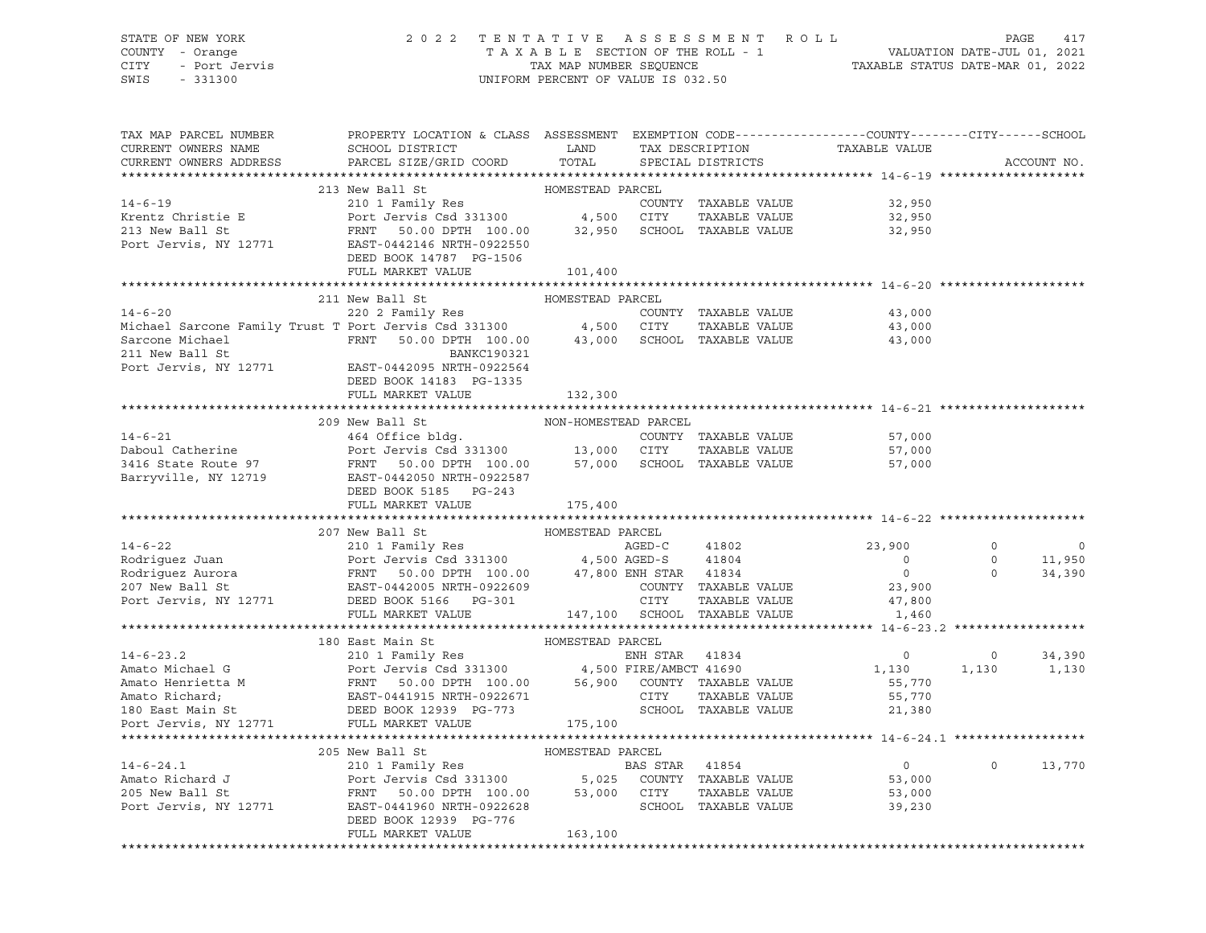### STATE OF NEW YORK 2 0 2 2 T E N T A T I V E A S S E S S M E N T R O L L PAGE 417 COUNTY - Orange T A X A B L E SECTION OF THE ROLL - 1 VALUATION DATE-JUL 01, 2021 CITY - Port Jervis TAX MAP NUMBER SEQUENCE TAXABLE STATUS DATE-MAR 01, 2022

| TAX MAP PARCEL NUMBER<br>CURRENT OWNERS NAME<br>CURRENT OWNERS ADDRESS                                                                                                                                                                                         | PROPERTY LOCATION & CLASS ASSESSMENT EXEMPTION CODE---------------COUNTY-------CITY------SCHOOL<br><b>EXAMPLE STATE SERVICE STATE</b><br>SCHOOL DISTRICT<br>PARCEL SIZE/GRID COORD | TOTAL            |  | TAX DESCRIPTION TAXABLE VALUE SPECIAL DISTRICTS |                | ACCOUNT NO.    |
|----------------------------------------------------------------------------------------------------------------------------------------------------------------------------------------------------------------------------------------------------------------|------------------------------------------------------------------------------------------------------------------------------------------------------------------------------------|------------------|--|-------------------------------------------------|----------------|----------------|
|                                                                                                                                                                                                                                                                |                                                                                                                                                                                    |                  |  |                                                 |                |                |
|                                                                                                                                                                                                                                                                | 213 New Ball St                                                                                                                                                                    | HOMESTEAD PARCEL |  |                                                 |                |                |
| 14-6-19<br>14-6-19<br>Krentz Christie E 210 1 Family Res<br>213 New Ball St<br>213 New Ball St<br>213 New Ball St<br>213 New Ball St<br>213 New Ball St<br>213 New Ball St<br>22,950<br>223 New Ball St<br>22,950<br>23,950<br>23,950<br>23,950<br>23,950<br>2 |                                                                                                                                                                                    |                  |  |                                                 |                |                |
|                                                                                                                                                                                                                                                                |                                                                                                                                                                                    |                  |  |                                                 |                |                |
|                                                                                                                                                                                                                                                                |                                                                                                                                                                                    |                  |  |                                                 |                |                |
|                                                                                                                                                                                                                                                                |                                                                                                                                                                                    |                  |  |                                                 |                |                |
|                                                                                                                                                                                                                                                                | DEED BOOK 14787 PG-1506                                                                                                                                                            |                  |  |                                                 |                |                |
|                                                                                                                                                                                                                                                                | FULL MARKET VALUE                                                                                                                                                                  | 101,400          |  |                                                 |                |                |
|                                                                                                                                                                                                                                                                |                                                                                                                                                                                    |                  |  |                                                 |                |                |
| 14-6-20<br>220 2 Family Res<br>220 2 Family Res<br>220 2 Family Res<br>220 2 Family Res<br>220 2 Family Res<br>220 2 Family Res<br>220 2 Family Res<br>220 2 Family Res<br>220 2 Family Res<br>24,500 CITY<br>24,500 CITY<br>211 New Ball St<br>211 New        | 211 New Ball St                                                                                                                                                                    | HOMESTEAD PARCEL |  |                                                 |                |                |
|                                                                                                                                                                                                                                                                |                                                                                                                                                                                    |                  |  | 43,000                                          |                |                |
|                                                                                                                                                                                                                                                                |                                                                                                                                                                                    |                  |  | 43,000                                          |                |                |
|                                                                                                                                                                                                                                                                |                                                                                                                                                                                    |                  |  | 43,000                                          |                |                |
|                                                                                                                                                                                                                                                                |                                                                                                                                                                                    |                  |  |                                                 |                |                |
|                                                                                                                                                                                                                                                                |                                                                                                                                                                                    |                  |  |                                                 |                |                |
|                                                                                                                                                                                                                                                                | DEED BOOK 14183 PG-1335                                                                                                                                                            |                  |  |                                                 |                |                |
|                                                                                                                                                                                                                                                                | FULL MARKET VALUE                                                                                                                                                                  | 132,300          |  |                                                 |                |                |
|                                                                                                                                                                                                                                                                |                                                                                                                                                                                    |                  |  |                                                 |                |                |
| 209 New Ball St MON-HOMESTEAD PARCEL<br>209 New Ball St MON-HOMESTEAD PARCEL<br>464 Office bldg.<br>209 New Ball St COUNTY TAXABLE VALUE<br>209 New Ball St<br>464 Office bldg.<br>209 New Ball St<br>464 Office bldg.<br>209 New Ball St<br>464               |                                                                                                                                                                                    |                  |  |                                                 |                |                |
|                                                                                                                                                                                                                                                                |                                                                                                                                                                                    |                  |  |                                                 |                |                |
|                                                                                                                                                                                                                                                                |                                                                                                                                                                                    |                  |  |                                                 |                |                |
|                                                                                                                                                                                                                                                                |                                                                                                                                                                                    |                  |  |                                                 |                |                |
|                                                                                                                                                                                                                                                                |                                                                                                                                                                                    |                  |  |                                                 |                |                |
|                                                                                                                                                                                                                                                                | DEED BOOK 5185 PG-243                                                                                                                                                              |                  |  |                                                 |                |                |
|                                                                                                                                                                                                                                                                | FULL MARKET VALUE                                                                                                                                                                  | 175,400          |  |                                                 |                |                |
|                                                                                                                                                                                                                                                                |                                                                                                                                                                                    |                  |  |                                                 |                |                |
|                                                                                                                                                                                                                                                                | 207 New Ball St                                                                                                                                                                    | HOMESTEAD PARCEL |  |                                                 |                |                |
|                                                                                                                                                                                                                                                                |                                                                                                                                                                                    |                  |  |                                                 | $\Omega$       | $\overline{0}$ |
|                                                                                                                                                                                                                                                                |                                                                                                                                                                                    |                  |  |                                                 | $\circ$        | 11,950         |
|                                                                                                                                                                                                                                                                |                                                                                                                                                                                    |                  |  | $\overline{0}$                                  | $\overline{0}$ | 34,390         |
|                                                                                                                                                                                                                                                                |                                                                                                                                                                                    |                  |  |                                                 |                |                |
|                                                                                                                                                                                                                                                                |                                                                                                                                                                                    |                  |  |                                                 |                |                |
| 207 New Ball St<br>Rodriguez Juan Port Jervis Csd 331300 4,500 AGED-C 41802 23,900<br>Rodriguez Aurora FRNT 50.00 DPTH 100.00 47,800 ENH STAR 41834 0<br>207 New Ball St<br>207 New Ball St<br>207 New Ball St<br>207 New Ball St<br>23,900<br>                |                                                                                                                                                                                    |                  |  |                                                 |                |                |
|                                                                                                                                                                                                                                                                |                                                                                                                                                                                    |                  |  |                                                 |                |                |
| 180 East Main St<br>210 1 Family Res<br>210 1 Family Res<br>210 1 Family Res<br>210 1 Family Res<br>210 1 Family Res<br>210 1 Family Res<br>210 1 Family Res<br>210 1 Family Res<br>210 1 Family Res<br>210 1 Family Res<br>210 1 Family Res<br>210 1          |                                                                                                                                                                                    |                  |  |                                                 |                |                |
|                                                                                                                                                                                                                                                                |                                                                                                                                                                                    |                  |  | $\begin{array}{c}0\\1,130\end{array}$           |                | $0 \t34,390$   |
|                                                                                                                                                                                                                                                                |                                                                                                                                                                                    |                  |  |                                                 |                | 1,130 1,130    |
|                                                                                                                                                                                                                                                                |                                                                                                                                                                                    |                  |  | 55,770                                          |                |                |
|                                                                                                                                                                                                                                                                |                                                                                                                                                                                    |                  |  | 55,770                                          |                |                |
|                                                                                                                                                                                                                                                                |                                                                                                                                                                                    |                  |  | 21,380                                          |                |                |
|                                                                                                                                                                                                                                                                |                                                                                                                                                                                    |                  |  |                                                 |                |                |
|                                                                                                                                                                                                                                                                |                                                                                                                                                                                    |                  |  |                                                 |                |                |
|                                                                                                                                                                                                                                                                |                                                                                                                                                                                    |                  |  |                                                 |                |                |
|                                                                                                                                                                                                                                                                |                                                                                                                                                                                    |                  |  |                                                 | $\circ$        | 13,770         |
|                                                                                                                                                                                                                                                                |                                                                                                                                                                                    |                  |  |                                                 |                |                |
|                                                                                                                                                                                                                                                                |                                                                                                                                                                                    |                  |  |                                                 |                |                |
| 205 New Ball St<br>205 New Ball St<br>205 New Ball St<br>205 New Ball St<br>205 New Ball St<br>205 New Ball St<br>205 New Ball St<br>205 New Ball St<br>205 New Ball St<br>205 New Ball St<br>205 New Ball St<br>205 New Ball St<br>205 New Ball St<br>2       |                                                                                                                                                                                    |                  |  |                                                 |                |                |
|                                                                                                                                                                                                                                                                | DEED BOOK 12939 PG-776                                                                                                                                                             |                  |  |                                                 |                |                |
|                                                                                                                                                                                                                                                                | FULL MARKET VALUE                                                                                                                                                                  | 163, 100         |  |                                                 |                |                |
|                                                                                                                                                                                                                                                                |                                                                                                                                                                                    |                  |  |                                                 |                |                |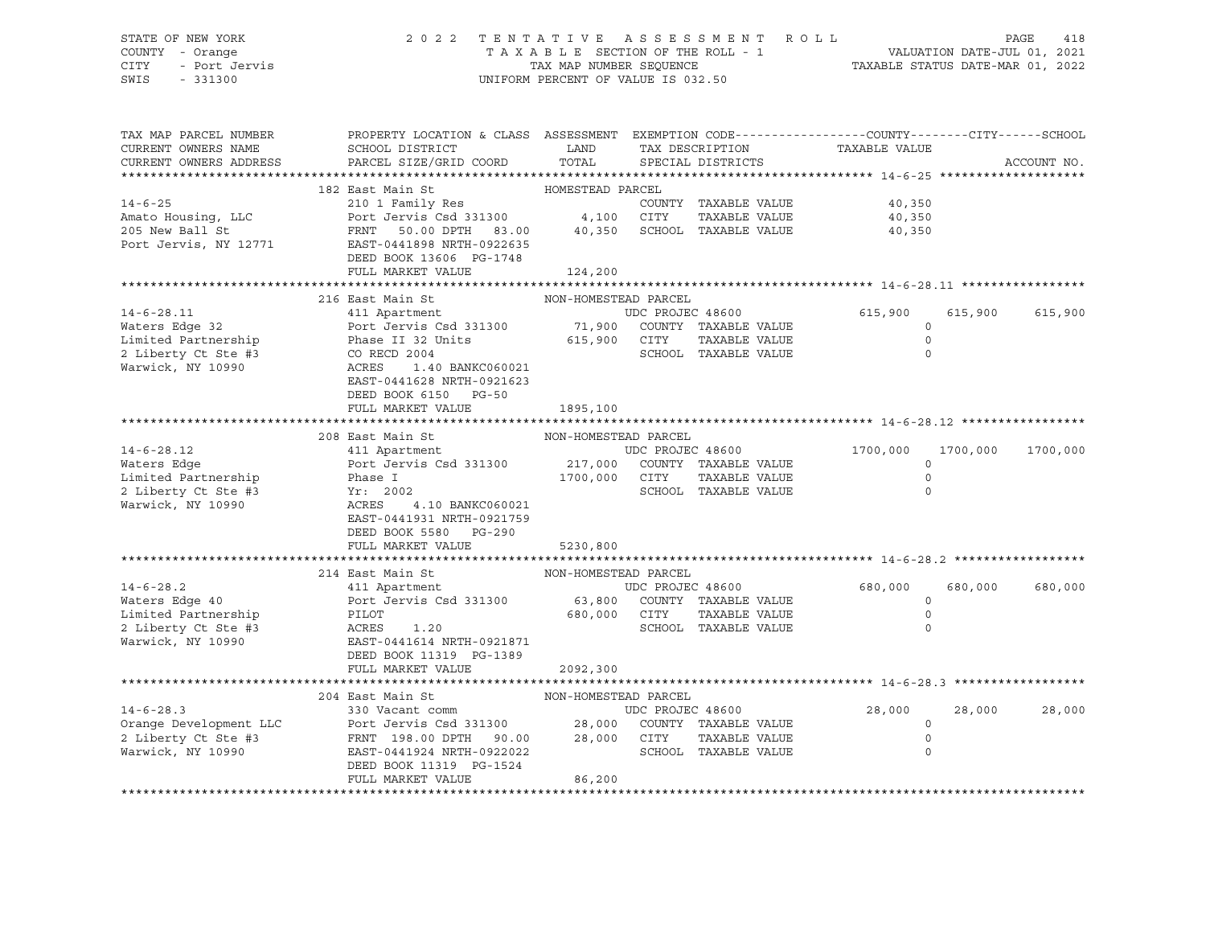#### STATE OF NEW YORK 2 0 2 2 T E N T A T I V E A S S E S S M E N T R O L L PAGE 418 COUNTY - Orange T A X A B L E SECTION OF THE ROLL - 1 VALUATION DATE-JUL 01, 2021 CITY - Port Jervis TAX MAP NUMBER SEQUENCE TAXABLE STATUS DATE-MAR 01, 2022

| TAX MAP PARCEL NUMBER<br>CURRENT OWNERS NAME<br>CURRENT OWNERS ADDRESS | PROPERTY LOCATION & CLASS ASSESSMENT EXEMPTION CODE----------------COUNTY-------CITY------SCHOOL<br>SCHOOL DISTRICT<br>PARCEL SIZE/GRID COORD | LAND<br>TOTAL        | TAX DESCRIPTION<br>SPECIAL DISTRICTS | TAXABLE VALUE | ACCOUNT NO.          |
|------------------------------------------------------------------------|-----------------------------------------------------------------------------------------------------------------------------------------------|----------------------|--------------------------------------|---------------|----------------------|
|                                                                        |                                                                                                                                               |                      |                                      |               |                      |
|                                                                        | 182 East Main St                                                                                                                              | HOMESTEAD PARCEL     |                                      |               |                      |
| $14 - 6 - 25$                                                          | 210 1 Family Res                                                                                                                              |                      | COUNTY TAXABLE VALUE                 | 40,350        |                      |
| Amato Housing, LLC                                                     | Port Jervis Csd 331300 4,100                                                                                                                  |                      | CITY<br>TAXABLE VALUE                | 40,350        |                      |
| 205 New Ball St                                                        | FRNT 50.00 DPTH 83.00                                                                                                                         |                      | 40,350 SCHOOL TAXABLE VALUE          | 40,350        |                      |
| Port Jervis, NY 12771                                                  | EAST-0441898 NRTH-0922635                                                                                                                     |                      |                                      |               |                      |
|                                                                        | DEED BOOK 13606 PG-1748                                                                                                                       |                      |                                      |               |                      |
|                                                                        | FULL MARKET VALUE                                                                                                                             | 124,200              |                                      |               |                      |
|                                                                        |                                                                                                                                               |                      |                                      |               |                      |
|                                                                        | 216 East Main St                                                                                                                              | NON-HOMESTEAD PARCEL |                                      |               |                      |
| $14 - 6 - 28.11$                                                       | 411 Apartment                                                                                                                                 |                      | UDC PROJEC 48600                     | 615,900       | 615,900<br>615,900   |
| Waters Edge 32                                                         | Port Jervis Csd 331300 71,900                                                                                                                 |                      | COUNTY TAXABLE VALUE                 | $\mathbf 0$   |                      |
| Limited Partnership                                                    | Phase II 32 Units                                                                                                                             | 615,900 CITY         | TAXABLE VALUE                        | $\circ$       |                      |
| 2 Liberty Ct Ste #3                                                    | CO RECD 2004                                                                                                                                  |                      | SCHOOL TAXABLE VALUE                 | $\Omega$      |                      |
| Warwick, NY 10990                                                      | ACRES<br>1.40 BANKC060021                                                                                                                     |                      |                                      |               |                      |
|                                                                        | EAST-0441628 NRTH-0921623                                                                                                                     |                      |                                      |               |                      |
|                                                                        | DEED BOOK 6150 PG-50                                                                                                                          |                      |                                      |               |                      |
|                                                                        | FULL MARKET VALUE                                                                                                                             | 1895,100             |                                      |               |                      |
|                                                                        |                                                                                                                                               |                      |                                      |               |                      |
|                                                                        | 208 East Main St                                                                                                                              | NON-HOMESTEAD PARCEL |                                      |               |                      |
| $14 - 6 - 28.12$                                                       | 411 Apartment                                                                                                                                 |                      |                                      | 1700,000      | 1700,000<br>1700,000 |
| Waters Edge                                                            |                                                                                                                                               |                      |                                      | 0             |                      |
| Limited Partnership                                                    | Phase I                                                                                                                                       | 1700,000 CITY        | TAXABLE VALUE                        | $\circ$       |                      |
| 2 Liberty Ct Ste #3                                                    | Yr: 2002                                                                                                                                      |                      | SCHOOL TAXABLE VALUE                 | $\circ$       |                      |
| Warwick, NY 10990                                                      | ACRES<br>4.10 BANKC060021                                                                                                                     |                      |                                      |               |                      |
|                                                                        | EAST-0441931 NRTH-0921759                                                                                                                     |                      |                                      |               |                      |
|                                                                        | DEED BOOK 5580 PG-290                                                                                                                         |                      |                                      |               |                      |
|                                                                        | FULL MARKET VALUE                                                                                                                             | 5230,800             |                                      |               |                      |
|                                                                        |                                                                                                                                               |                      |                                      |               |                      |
|                                                                        | 214 East Main St                                                                                                                              | NON-HOMESTEAD PARCEL |                                      |               |                      |
| $14 - 6 - 28.2$                                                        | 411 Apartment                                                                                                                                 |                      | UDC PROJEC 48600                     | 680,000       | 680,000<br>680,000   |
| Waters Edge 40                                                         | Port Jervis Csd 331300                                                                                                                        |                      | 63,800 COUNTY TAXABLE VALUE          | $\circ$       |                      |
| Limited Partnership                                                    | PILOT                                                                                                                                         | 680,000 CITY         | TAXABLE VALUE                        | $\circ$       |                      |
| 2 Liberty Ct Ste #3                                                    | ACRES<br>1.20                                                                                                                                 |                      | SCHOOL TAXABLE VALUE                 | $\Omega$      |                      |
| Warwick, NY 10990                                                      | EAST-0441614 NRTH-0921871                                                                                                                     |                      |                                      |               |                      |
|                                                                        | DEED BOOK 11319 PG-1389                                                                                                                       |                      |                                      |               |                      |
|                                                                        | FULL MARKET VALUE                                                                                                                             | 2092,300             |                                      |               |                      |
|                                                                        |                                                                                                                                               |                      |                                      |               |                      |
|                                                                        | NON-HOMESTEAD PARCEL<br>204 East Main St                                                                                                      |                      |                                      |               |                      |
| $14 - 6 - 28.3$                                                        | 330 Vacant comm                                                                                                                               |                      | UDC PROJEC 48600                     | 28,000        | 28,000<br>28,000     |
| Orange Development LLC                                                 | Port Jervis Csd 331300 28,000 COUNTY TAXABLE VALUE                                                                                            |                      |                                      | $\circ$       |                      |
| 2 Liberty Ct Ste #3                                                    | FRNT 198.00 DPTH 90.00                                                                                                                        |                      | 28,000 CITY<br>TAXABLE VALUE         | $\circ$       |                      |
| Warwick, NY 10990                                                      | EAST-0441924 NRTH-0922022                                                                                                                     |                      | SCHOOL TAXABLE VALUE                 | $\circ$       |                      |
|                                                                        | DEED BOOK 11319 PG-1524                                                                                                                       |                      |                                      |               |                      |
|                                                                        | FULL MARKET VALUE                                                                                                                             | 86,200               |                                      |               |                      |
|                                                                        |                                                                                                                                               |                      |                                      |               |                      |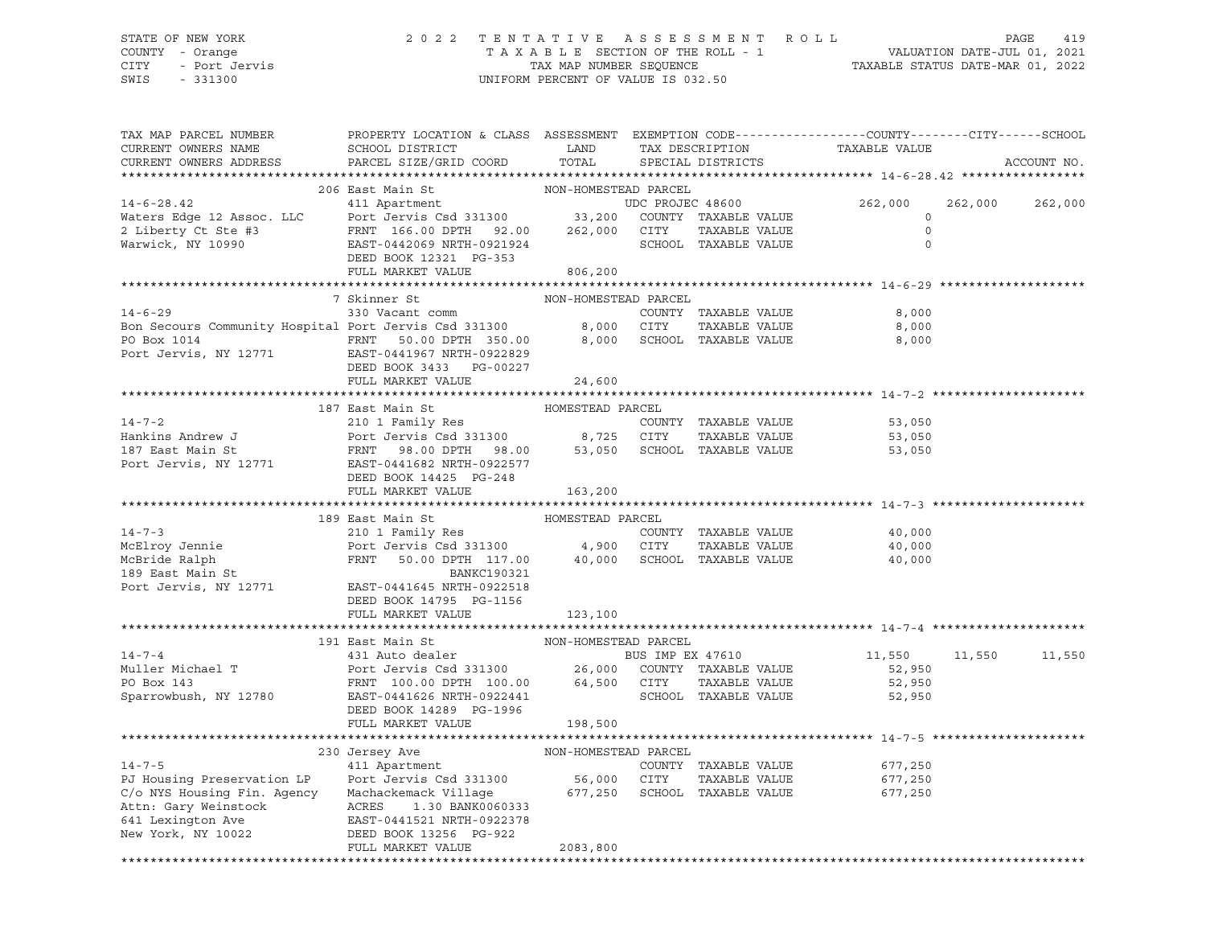# STATE OF NEW YORK 2 0 2 2 T E N T A T I V E A S S E S S M E N T R O L L PAGE 419 COUNTY - Orange T A X A B L E SECTION OF THE ROLL - 1 VALUATION DATE-JUL 01, 2021 CITY - Port Jervis TAX MAP NUMBER SEQUENCE TAXABLE STATUS DATE-MAR 01, 2022

| TAX MAP PARCEL NUMBER<br>CURRENT OWNERS NAME<br>CURRENT OWNERS ADDRESS | PROPERTY LOCATION & CLASS ASSESSMENT EXEMPTION CODE----------------COUNTY-------CITY------SCHOOL<br>SCHOOL DISTRICT<br>PARCEL SIZE/GRID COORD                                                                                                                                   | LAND                 | TAX DESCRIPTION<br>TOTAL SPECIAL DISTRICTS | TAXABLE VALUE        |         | ACCOUNT NO. |
|------------------------------------------------------------------------|---------------------------------------------------------------------------------------------------------------------------------------------------------------------------------------------------------------------------------------------------------------------------------|----------------------|--------------------------------------------|----------------------|---------|-------------|
|                                                                        |                                                                                                                                                                                                                                                                                 |                      |                                            |                      |         |             |
|                                                                        | 206 East Main St                                                                                                                                                                                                                                                                | NON-HOMESTEAD PARCEL |                                            |                      | 262,000 | 262,000     |
|                                                                        |                                                                                                                                                                                                                                                                                 |                      |                                            | 262,000              |         |             |
|                                                                        |                                                                                                                                                                                                                                                                                 |                      |                                            | $\overline{0}$       |         |             |
|                                                                        |                                                                                                                                                                                                                                                                                 |                      |                                            | $\mathbf 0$          |         |             |
|                                                                        | 14-6-28.42<br>Waters Edge 12 Assoc. LLC<br>2 Liberty Ct Ste #3<br>Warwick, NY 10990<br>Marwick, NY 10990<br>Marwick, NY 10990<br>Marwick, NY 10990<br>Marwick, NY 10990<br>Marwick, NY 10990<br>Marwick, NY 10990<br>Marwick, NY 10990<br>Marwick, N                            |                      |                                            |                      |         |             |
|                                                                        | FULL MARKET VALUE                                                                                                                                                                                                                                                               | 806,200              |                                            |                      |         |             |
|                                                                        |                                                                                                                                                                                                                                                                                 |                      |                                            |                      |         |             |
|                                                                        | 7 Skinner St                                                                                                                                                                                                                                                                    | NON-HOMESTEAD PARCEL |                                            |                      |         |             |
| $14 - 6 - 29$                                                          | 330 Vacant comm                                                                                                                                                                                                                                                                 |                      | COUNTY TAXABLE VALUE                       | 8,000                |         |             |
|                                                                        | Bon Secours Community Hospital Port Jervis Csd 331300<br>PO Box 1014<br>PO Box 1014<br>Port Jervis, NY 12771<br>EXEST-0441967 NRTH-0922829<br>Port Jervis, NY 12771<br>EXEST-0441967 NRTH-0922829<br>Port Jervis, NY 12771<br>EXEST-0441967 NR                                  |                      |                                            | TAXABLE VALUE 8,000  |         |             |
|                                                                        |                                                                                                                                                                                                                                                                                 |                      |                                            | 8,000                |         |             |
|                                                                        |                                                                                                                                                                                                                                                                                 |                      |                                            |                      |         |             |
|                                                                        | DEED BOOK 3433 PG-00227                                                                                                                                                                                                                                                         |                      |                                            |                      |         |             |
|                                                                        | FULL MARKET VALUE                                                                                                                                                                                                                                                               | 24,600               |                                            |                      |         |             |
|                                                                        | 187 East Main St                                                                                                                                                                                                                                                                | HOMESTEAD PARCEL     |                                            |                      |         |             |
|                                                                        | 14-7-2<br>Hankins Andrew J<br>16/ East Main St<br>210 1 Family Res<br>210 1 Family Res<br>210 1 Family Res<br>210 1 Family Res<br>210 1 Family Res<br>210 1 Family Res<br>210 1 Family Res<br>210 1 Family Res<br>210 1 Family Res<br>210 1 Family Res                          |                      |                                            | 53,050               |         |             |
|                                                                        |                                                                                                                                                                                                                                                                                 |                      |                                            | 53,050               |         |             |
|                                                                        |                                                                                                                                                                                                                                                                                 |                      |                                            | 53,050               |         |             |
|                                                                        | 187 East Main St<br>187 East Main St<br>Port Jervis, NY 12771 EAST-0441682 NRTH-0922577                                                                                                                                                                                         |                      |                                            |                      |         |             |
|                                                                        | DEED BOOK 14425 PG-248                                                                                                                                                                                                                                                          |                      |                                            |                      |         |             |
|                                                                        | FULL MARKET VALUE                                                                                                                                                                                                                                                               | 163,200              |                                            |                      |         |             |
|                                                                        |                                                                                                                                                                                                                                                                                 |                      |                                            |                      |         |             |
|                                                                        |                                                                                                                                                                                                                                                                                 |                      |                                            |                      |         |             |
|                                                                        | 189 East Main St                                                                                                                                                                                                                                                                | HOMESTEAD PARCEL     |                                            |                      |         |             |
|                                                                        |                                                                                                                                                                                                                                                                                 |                      |                                            | 40,000               |         |             |
|                                                                        |                                                                                                                                                                                                                                                                                 |                      |                                            | TAXABLE VALUE 40,000 |         |             |
|                                                                        |                                                                                                                                                                                                                                                                                 |                      |                                            | 40,000               |         |             |
|                                                                        | 14-7-3<br>McElroy Jennie 210 1 Family Res<br>McElroy Jennie Port Jervis Csd 331300 4,900 CITY TAXABLE VALUE<br>McBride Ralph FRNT 50.00 DPTH 117.00 40,000 SCHOOL TAXABLE VALUE<br>189 East Main St<br>EANKC190321                                                              |                      |                                            |                      |         |             |
|                                                                        | Port Jervis, NY 12771 EAST-0441645 NRTH-0922518                                                                                                                                                                                                                                 |                      |                                            |                      |         |             |
|                                                                        | DEED BOOK 14795 PG-1156                                                                                                                                                                                                                                                         |                      |                                            |                      |         |             |
|                                                                        | FULL MARKET VALUE                                                                                                                                                                                                                                                               | 123,100              |                                            |                      |         |             |
|                                                                        |                                                                                                                                                                                                                                                                                 |                      |                                            |                      |         |             |
|                                                                        |                                                                                                                                                                                                                                                                                 |                      |                                            | 11,550 11,550 11,550 |         |             |
|                                                                        |                                                                                                                                                                                                                                                                                 |                      |                                            | 52,950               |         |             |
|                                                                        |                                                                                                                                                                                                                                                                                 |                      |                                            | 52,950               |         |             |
|                                                                        |                                                                                                                                                                                                                                                                                 |                      |                                            | 52,950               |         |             |
|                                                                        | 191 East Main St<br>191 East Main St<br>191 East Main St<br>191 East Main St<br>191 East Main St<br>191 East Main St<br>191 East Main St<br>191 East Main St<br>191 East Main St<br>191 East Main St<br>1926 26,000 COUNTY TAXABLE VALUE<br>1926 26,<br>DEED BOOK 14289 PG-1996 |                      |                                            |                      |         |             |
|                                                                        | FULL MARKET VALUE 198,500                                                                                                                                                                                                                                                       |                      |                                            |                      |         |             |
|                                                                        |                                                                                                                                                                                                                                                                                 |                      |                                            |                      |         |             |
|                                                                        |                                                                                                                                                                                                                                                                                 |                      |                                            |                      |         |             |
| $14 - 7 - 5$                                                           | ${\small \begin{tabular}{lcl} \bf 230 Jersey Ave & & & & \bf 10N-HOMESTEAD PARCEL \\ 411 Apartment & & & & \bf 1000WSTED & & \\ & & & & \bf 2200WSTSE & & \\ \hline \end{tabular}}$                                                                                             |                      | COUNTY TAXABLE VALUE                       | 677,250              |         |             |
|                                                                        |                                                                                                                                                                                                                                                                                 |                      |                                            |                      |         |             |
|                                                                        | PJ Housing Preservation LP Port Jervis Csd 331300 56,000 CITY TAXABLE VALUE 677,250 C/o NYS Housing Fin. Agency Machackemack Village 677,250 SCHOOL TAXABLE VALUE 677,250                                                                                                       |                      |                                            |                      |         |             |
|                                                                        |                                                                                                                                                                                                                                                                                 |                      |                                            |                      |         |             |
|                                                                        |                                                                                                                                                                                                                                                                                 |                      |                                            |                      |         |             |
|                                                                        | Attn: Gary Weinstock (ACRES 1.30 BANK0060333<br>641 Lexington Ave (BAST-0441521 NRTH-0922378<br>New York, NY 10022 (DEED BOOK 13256 PG-922<br>FULL MARKET VALUE                                                                                                                 | 2083,800             |                                            |                      |         |             |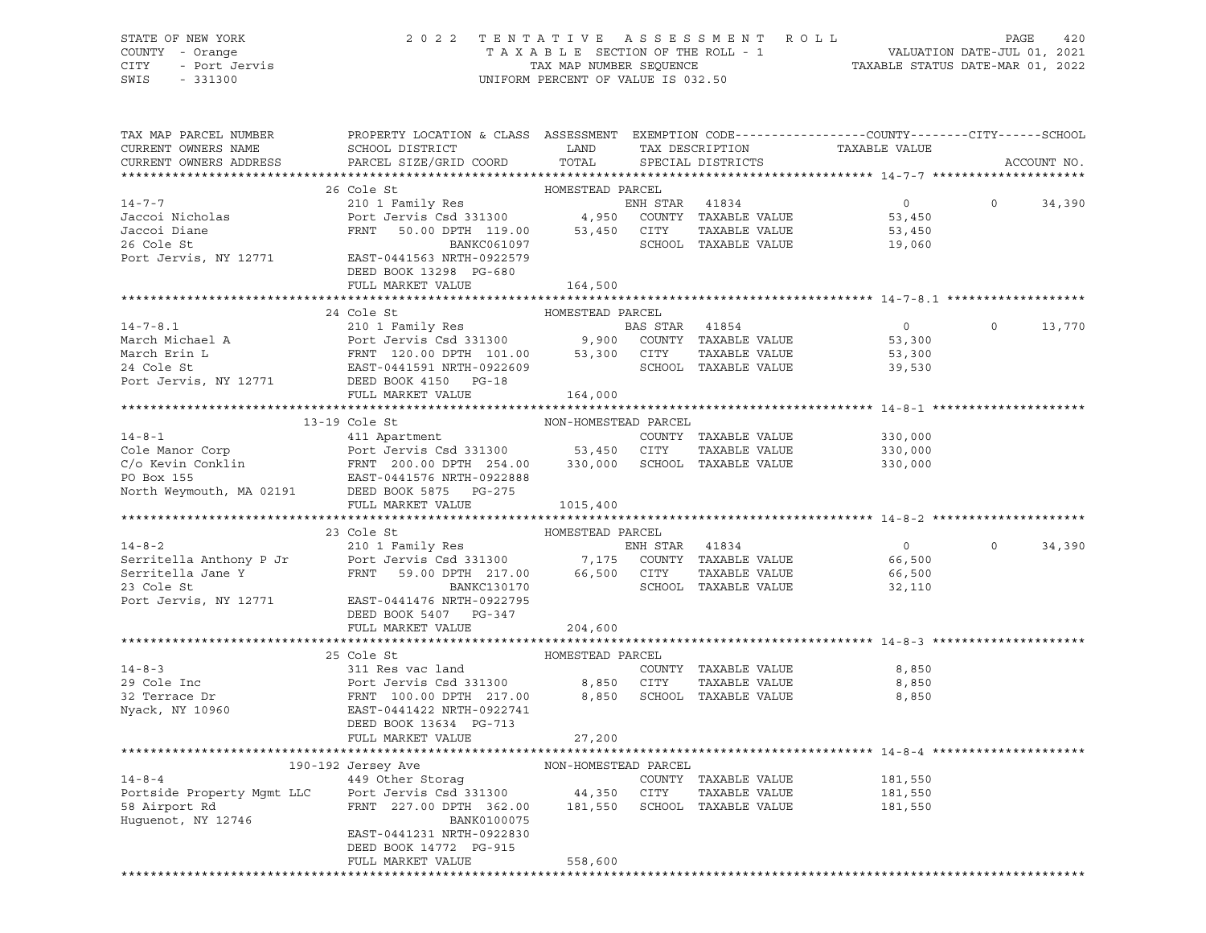STATE OF NEW YORK 2 0 2 2 T E N T A T I V E A S S E S S M E N T R O L L PAGE 420 SWIS - 331300 UNIFORM PERCENT OF VALUE IS 032.50

# COUNTY - Orange T A X A B L E SECTION OF THE ROLL - 1 VALUATION DATE-JUL 01, 2021 CITY - Port Jervis TAX MAP NUMBER SEQUENCE TAXABLE STATUS DATE-MAR 01, 2022

| TAX MAP PARCEL NUMBER<br>CURRENT OWNERS NAME                                                                                                                                                                                                                                                                                                                                                                                                                      | PROPERTY LOCATION & CLASS ASSESSMENT EXEMPTION CODE---------------COUNTY-------CITY------SCHOOL<br>SCHOOL DISTRICT LAND                                                                                                       |                  |                      | TAX DESCRIPTION TAXABLE VALUE |          |             |
|-------------------------------------------------------------------------------------------------------------------------------------------------------------------------------------------------------------------------------------------------------------------------------------------------------------------------------------------------------------------------------------------------------------------------------------------------------------------|-------------------------------------------------------------------------------------------------------------------------------------------------------------------------------------------------------------------------------|------------------|----------------------|-------------------------------|----------|-------------|
| CURRENT OWNERS ADDRESS                                                                                                                                                                                                                                                                                                                                                                                                                                            | PARCEL SIZE/GRID COORD TOTAL                                                                                                                                                                                                  |                  | SPECIAL DISTRICTS    |                               |          | ACCOUNT NO. |
|                                                                                                                                                                                                                                                                                                                                                                                                                                                                   | 26 Cole St                                                                                                                                                                                                                    | HOMESTEAD PARCEL |                      |                               |          |             |
| $14 - 7 - 7$                                                                                                                                                                                                                                                                                                                                                                                                                                                      | ACTED MARKLED FRAME ON THE STAR 41834 ON THE STAR 41834 ON THE STAR 41834 ON THE STAR 41834 ON THE STAR STAR 41834 ON THE STAR STAR 4.950 COUNTY TAXABLE VALUE 53,450 COUNTY TAXABLE VALUE 53,450 COUNTY TAXABLE VALUE 53,450 |                  |                      |                               | $\Omega$ | 34,390      |
| Jaccoi Nicholas                                                                                                                                                                                                                                                                                                                                                                                                                                                   |                                                                                                                                                                                                                               |                  |                      |                               |          |             |
|                                                                                                                                                                                                                                                                                                                                                                                                                                                                   |                                                                                                                                                                                                                               |                  |                      |                               |          |             |
| Jaccoi Diane<br>26 Cole St                                                                                                                                                                                                                                                                                                                                                                                                                                        | <b>BANKC061097</b>                                                                                                                                                                                                            |                  | SCHOOL TAXABLE VALUE | 19,060                        |          |             |
| Port Jervis, NY 12771 EAST-0441563 NRTH-0922579                                                                                                                                                                                                                                                                                                                                                                                                                   | DEED BOOK 13298 PG-680                                                                                                                                                                                                        |                  |                      |                               |          |             |
|                                                                                                                                                                                                                                                                                                                                                                                                                                                                   | FULL MARKET VALUE                                                                                                                                                                                                             | 164,500          |                      |                               |          |             |
|                                                                                                                                                                                                                                                                                                                                                                                                                                                                   |                                                                                                                                                                                                                               |                  |                      |                               |          |             |
|                                                                                                                                                                                                                                                                                                                                                                                                                                                                   | 24 Cole St                                                                                                                                                                                                                    | HOMESTEAD PARCEL |                      |                               |          |             |
| 14-7-8.1<br>March Michael A<br>March Michael A<br>March Erin L<br>March Erin L<br>Port Jervis Csd 331300<br>FRNT 120.00 DPTH 101.00<br>FRNT 120.00 DPTH 101.00<br>53,300 CITY TAXABLE VALUE<br>SCHOOL TAXABLE VALUE<br>SCHOOL TAXABLE VALUE<br>SCHOO                                                                                                                                                                                                              |                                                                                                                                                                                                                               |                  |                      | $\overline{0}$                | $\Omega$ | 13,770      |
|                                                                                                                                                                                                                                                                                                                                                                                                                                                                   |                                                                                                                                                                                                                               |                  |                      |                               |          |             |
|                                                                                                                                                                                                                                                                                                                                                                                                                                                                   |                                                                                                                                                                                                                               |                  |                      |                               |          |             |
|                                                                                                                                                                                                                                                                                                                                                                                                                                                                   |                                                                                                                                                                                                                               |                  |                      |                               |          |             |
|                                                                                                                                                                                                                                                                                                                                                                                                                                                                   |                                                                                                                                                                                                                               |                  |                      |                               |          |             |
|                                                                                                                                                                                                                                                                                                                                                                                                                                                                   | FULL MARKET VALUE 164,000                                                                                                                                                                                                     |                  |                      |                               |          |             |
|                                                                                                                                                                                                                                                                                                                                                                                                                                                                   |                                                                                                                                                                                                                               |                  |                      |                               |          |             |
|                                                                                                                                                                                                                                                                                                                                                                                                                                                                   |                                                                                                                                                                                                                               |                  |                      |                               |          |             |
|                                                                                                                                                                                                                                                                                                                                                                                                                                                                   |                                                                                                                                                                                                                               |                  |                      | 330,000                       |          |             |
|                                                                                                                                                                                                                                                                                                                                                                                                                                                                   |                                                                                                                                                                                                                               |                  |                      | TAXABLE VALUE 330,000         |          |             |
|                                                                                                                                                                                                                                                                                                                                                                                                                                                                   |                                                                                                                                                                                                                               |                  |                      | 330,000                       |          |             |
|                                                                                                                                                                                                                                                                                                                                                                                                                                                                   |                                                                                                                                                                                                                               |                  |                      |                               |          |             |
|                                                                                                                                                                                                                                                                                                                                                                                                                                                                   |                                                                                                                                                                                                                               |                  |                      |                               |          |             |
|                                                                                                                                                                                                                                                                                                                                                                                                                                                                   | FULL MARKET VALUE                                                                                                                                                                                                             | 1015,400         |                      |                               |          |             |
|                                                                                                                                                                                                                                                                                                                                                                                                                                                                   |                                                                                                                                                                                                                               |                  |                      |                               |          |             |
| HOMESTEAD PARCEL<br>14-8-2<br>Serritella Anthony P Jr<br>Serritella Jane Y<br>FRNT 59.00 DPTH 217.00<br>23 Cole St<br>Port Jervis, NY 12771<br>EAST-0441476 NRTH-0922795<br>Port Service Care Cole St<br>Port Jervis, NY 12771<br>EAST-0441476 NRT                                                                                                                                                                                                                |                                                                                                                                                                                                                               |                  |                      |                               |          |             |
|                                                                                                                                                                                                                                                                                                                                                                                                                                                                   |                                                                                                                                                                                                                               |                  |                      |                               | $\circ$  | 34,390      |
|                                                                                                                                                                                                                                                                                                                                                                                                                                                                   |                                                                                                                                                                                                                               |                  |                      |                               |          |             |
|                                                                                                                                                                                                                                                                                                                                                                                                                                                                   |                                                                                                                                                                                                                               |                  |                      |                               |          |             |
|                                                                                                                                                                                                                                                                                                                                                                                                                                                                   |                                                                                                                                                                                                                               |                  |                      |                               |          |             |
|                                                                                                                                                                                                                                                                                                                                                                                                                                                                   | DEED BOOK 5407 PG-347                                                                                                                                                                                                         |                  |                      |                               |          |             |
|                                                                                                                                                                                                                                                                                                                                                                                                                                                                   | FULL MARKET VALUE                                                                                                                                                                                                             | 204,600          |                      |                               |          |             |
|                                                                                                                                                                                                                                                                                                                                                                                                                                                                   |                                                                                                                                                                                                                               |                  |                      |                               |          |             |
|                                                                                                                                                                                                                                                                                                                                                                                                                                                                   |                                                                                                                                                                                                                               |                  |                      |                               |          |             |
|                                                                                                                                                                                                                                                                                                                                                                                                                                                                   |                                                                                                                                                                                                                               |                  | COUNTY TAXABLE VALUE | 8,850                         |          |             |
|                                                                                                                                                                                                                                                                                                                                                                                                                                                                   |                                                                                                                                                                                                                               |                  |                      | TAXABLE VALUE 8,850           |          |             |
| $\begin{tabular}{lllllllllllllllll} \multicolumn{3}{c }{\multicolumn{3}{c }{\multicolumn{3}{c }{\multicolumn{3}{c }{\multicolumn{3}{c }{\multicolumn{3}{c }{\multicolumn{3}{c }{\multicolumn{3}{c }{\multicolumn{3}{c }{\multicolumn{3}{c }{\multicolumn{3}{c }{\multicolumn{3}{c }{\multicolumn{3}{c }{\multicolumn{3}{c }{\multicolumn{3}{c }{\multicolumn{3}{c }{\multicolumn{3}{c }{\multicolumn{3}{c }{\multicolumn{3}{c }{\multicolumn{3}{c }{\multicolumn$ |                                                                                                                                                                                                                               |                  |                      | 8,850                         |          |             |
|                                                                                                                                                                                                                                                                                                                                                                                                                                                                   |                                                                                                                                                                                                                               |                  |                      |                               |          |             |
|                                                                                                                                                                                                                                                                                                                                                                                                                                                                   | DEED BOOK 13634 PG-713                                                                                                                                                                                                        |                  |                      |                               |          |             |
|                                                                                                                                                                                                                                                                                                                                                                                                                                                                   | FULL MARKET VALUE                                                                                                                                                                                                             | 27,200           |                      |                               |          |             |
|                                                                                                                                                                                                                                                                                                                                                                                                                                                                   |                                                                                                                                                                                                                               |                  |                      |                               |          |             |
|                                                                                                                                                                                                                                                                                                                                                                                                                                                                   |                                                                                                                                                                                                                               |                  |                      |                               |          |             |
|                                                                                                                                                                                                                                                                                                                                                                                                                                                                   |                                                                                                                                                                                                                               |                  |                      |                               |          |             |
|                                                                                                                                                                                                                                                                                                                                                                                                                                                                   |                                                                                                                                                                                                                               |                  |                      |                               |          |             |
|                                                                                                                                                                                                                                                                                                                                                                                                                                                                   |                                                                                                                                                                                                                               |                  |                      |                               |          |             |
|                                                                                                                                                                                                                                                                                                                                                                                                                                                                   |                                                                                                                                                                                                                               |                  |                      |                               |          |             |
|                                                                                                                                                                                                                                                                                                                                                                                                                                                                   | EAST-0441231 NRTH-0922830                                                                                                                                                                                                     |                  |                      |                               |          |             |
|                                                                                                                                                                                                                                                                                                                                                                                                                                                                   | DEED BOOK 14772 PG-915                                                                                                                                                                                                        |                  |                      |                               |          |             |
|                                                                                                                                                                                                                                                                                                                                                                                                                                                                   | FULL MARKET VALUE                                                                                                                                                                                                             | 558,600          |                      |                               |          |             |
|                                                                                                                                                                                                                                                                                                                                                                                                                                                                   |                                                                                                                                                                                                                               |                  |                      |                               |          |             |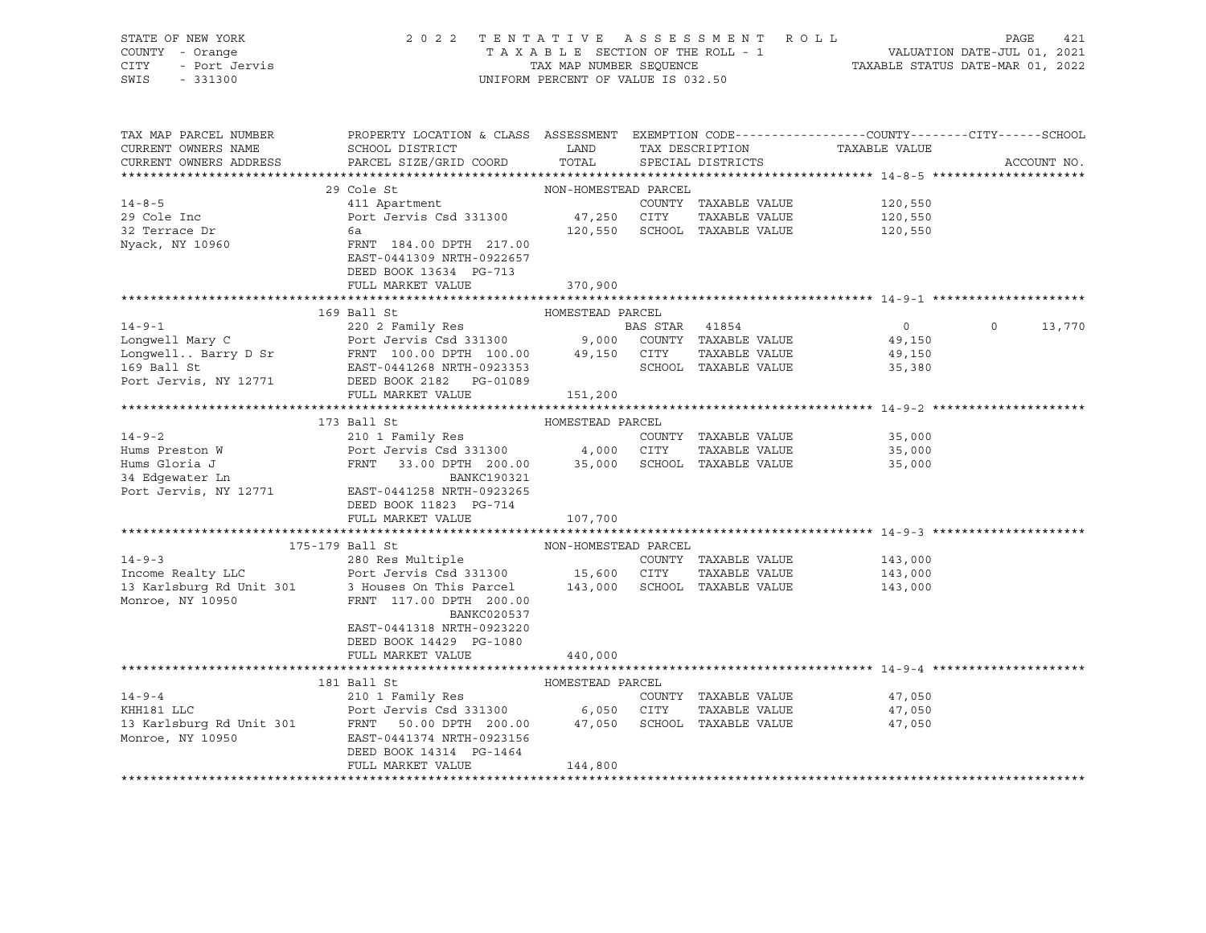| STATE OF NEW YORK<br>COUNTY - Orange<br>CITY<br>- Port Jervis<br>SWIS<br>$-331300$ | 2022 TENTATIVE ASSESSMENT ROLL                                                                                                                                                                                                                                            | UNIFORM PERCENT OF VALUE IS 032.50 |                              | TAXABLE SECTION OF THE ROLL - 1<br>TAXABLE SECTION OF THE ROLL - 1<br>TAXABLE STATUS DATE-MAR 01, 2022 | PAGE<br>421       |
|------------------------------------------------------------------------------------|---------------------------------------------------------------------------------------------------------------------------------------------------------------------------------------------------------------------------------------------------------------------------|------------------------------------|------------------------------|--------------------------------------------------------------------------------------------------------|-------------------|
| TAX MAP PARCEL NUMBER<br>CURRENT OWNERS NAME                                       | PROPERTY LOCATION & CLASS ASSESSMENT EXEMPTION CODE---------------COUNTY-------CITY------SCHOOL<br>SCHOOL DISTRICT LAND                                                                                                                                                   |                                    |                              | TAX DESCRIPTION TAXABLE VALUE                                                                          |                   |
| CURRENT OWNERS ADDRESS                                                             | PARCEL SIZE/GRID COORD                                                                                                                                                                                                                                                    | TOTAL                              | SPECIAL DISTRICTS            |                                                                                                        | ACCOUNT NO.       |
|                                                                                    |                                                                                                                                                                                                                                                                           |                                    |                              |                                                                                                        |                   |
|                                                                                    | 29 Cole St                                                                                                                                                                                                                                                                | NON-HOMESTEAD PARCEL               |                              |                                                                                                        |                   |
| $14 - 8 - 5$                                                                       | 411 Apartment                                                                                                                                                                                                                                                             |                                    | COUNTY TAXABLE VALUE         | 120,550                                                                                                |                   |
| 29 Cole Inc                                                                        | Port Jervis Csd 331300                                                                                                                                                                                                                                                    | 47,250 CITY                        | TAXABLE VALUE                | 120,550                                                                                                |                   |
| 32 Terrace Dr                                                                      | 6a                                                                                                                                                                                                                                                                        |                                    | 120,550 SCHOOL TAXABLE VALUE | 120,550                                                                                                |                   |
| Nyack, NY 10960                                                                    | FRNT 184.00 DPTH 217.00<br>EAST-0441309 NRTH-0922657<br>DEED BOOK 13634 PG-713                                                                                                                                                                                            |                                    |                              |                                                                                                        |                   |
|                                                                                    | FULL MARKET VALUE                                                                                                                                                                                                                                                         | 370,900                            |                              |                                                                                                        |                   |
|                                                                                    |                                                                                                                                                                                                                                                                           |                                    |                              |                                                                                                        |                   |
|                                                                                    | 14-9-1<br>14-9-1<br>Longwell Mary C<br>Longwell . Barry D Sr<br>ERS TAR 41854<br>220 2 Family Res<br>Port Jervis Csd 331300<br>9,000 COUNTY TAXABLE VALUE<br>169 Ball St<br>28 FRNT 100.00 DPTH 100.00<br>29,150 CITY TAXABLE VALUE<br>28 FRNT 100.0                      |                                    |                              | $\overline{0}$                                                                                         | $\circ$<br>13,770 |
|                                                                                    |                                                                                                                                                                                                                                                                           |                                    |                              | 49,150                                                                                                 |                   |
|                                                                                    |                                                                                                                                                                                                                                                                           |                                    |                              | 49,150                                                                                                 |                   |
|                                                                                    |                                                                                                                                                                                                                                                                           |                                    |                              | 35,380                                                                                                 |                   |
| Port Jervis, NY 12771                                                              | DEED BOOK 2182    PG-01089                                                                                                                                                                                                                                                |                                    |                              |                                                                                                        |                   |
|                                                                                    | FULL MARKET VALUE                                                                                                                                                                                                                                                         | 151,200                            |                              |                                                                                                        |                   |
|                                                                                    |                                                                                                                                                                                                                                                                           |                                    |                              |                                                                                                        |                   |
|                                                                                    | 173 Ball St                                                                                                                                                                                                                                                               | HOMESTEAD PARCEL                   |                              |                                                                                                        |                   |
| $14 - 9 - 2$                                                                       | 210 1 Family Res COUNTY<br>Port Jervis Csd 331300 4,000 CITY                                                                                                                                                                                                              |                                    | COUNTY TAXABLE VALUE         | 35,000                                                                                                 |                   |
|                                                                                    |                                                                                                                                                                                                                                                                           |                                    | TAXABLE VALUE                | 35,000                                                                                                 |                   |
|                                                                                    | FRNT 33.00 DPTH 200.00 35,000 SCHOOL TAXABLE VALUE                                                                                                                                                                                                                        |                                    |                              | 35,000                                                                                                 |                   |
|                                                                                    | BANKC190321                                                                                                                                                                                                                                                               |                                    |                              |                                                                                                        |                   |
| Addus Gloria J<br>34 Edgewater Ln<br>Port Jervis Anno -                            | Port Jervis, NY 12771 EAST-0441258 NRTH-0923265                                                                                                                                                                                                                           |                                    |                              |                                                                                                        |                   |
|                                                                                    | DEED BOOK 11823 PG-714                                                                                                                                                                                                                                                    |                                    |                              |                                                                                                        |                   |
|                                                                                    | FULL MARKET VALUE                                                                                                                                                                                                                                                         | 107,700                            |                              |                                                                                                        |                   |
|                                                                                    |                                                                                                                                                                                                                                                                           |                                    |                              |                                                                                                        |                   |
|                                                                                    | 175-179 Ball St<br>14-9-3<br>280 Res Multiple<br>280 Res Multiple<br>280 Res Multiple<br>280 Res Multiple<br>280 Res Multiple<br>280 Res Multiple<br>280 Res Multiple<br>280 Res Multiple<br>280 Res Multiple<br>280 Res Multiple<br>280 Res Multiple<br>280 Res Multiple | NON-HOMESTEAD PARCEL               |                              |                                                                                                        |                   |
|                                                                                    |                                                                                                                                                                                                                                                                           |                                    |                              |                                                                                                        |                   |
|                                                                                    |                                                                                                                                                                                                                                                                           |                                    |                              |                                                                                                        |                   |
| Monroe, NY 10950                                                                   | FRNT 117.00 DPTH 200.00<br>BANKC020537<br>EAST-0441318 NRTH-0923220                                                                                                                                                                                                       |                                    |                              |                                                                                                        |                   |
|                                                                                    | DEED BOOK 14429 PG-1080                                                                                                                                                                                                                                                   |                                    |                              |                                                                                                        |                   |
|                                                                                    | FULL MARKET VALUE                                                                                                                                                                                                                                                         | 440,000                            |                              |                                                                                                        |                   |
|                                                                                    |                                                                                                                                                                                                                                                                           |                                    |                              |                                                                                                        |                   |
|                                                                                    | 181 Ball St                                                                                                                                                                                                                                                               | HOMESTEAD PARCEL                   |                              |                                                                                                        |                   |
| $14 - 9 - 4$                                                                       | 210 1 Family Res<br>Port Jervis Csd 331300 6,050 CITY                                                                                                                                                                                                                     |                                    | COUNTY TAXABLE VALUE         | 47,050                                                                                                 |                   |
|                                                                                    |                                                                                                                                                                                                                                                                           |                                    | TAXABLE VALUE                | 47,050                                                                                                 |                   |
|                                                                                    | Port Jervis Csd 331300 6,050<br>13 Karlsburg Rd Unit 301 FRNT 50.00 DPTH 200.00 47,050<br>200.00 EAST-0441374 NRTH-092156                                                                                                                                                 |                                    | SCHOOL TAXABLE VALUE         | 47,050                                                                                                 |                   |
|                                                                                    | DEED BOOK 14314 PG-1464                                                                                                                                                                                                                                                   |                                    |                              |                                                                                                        |                   |
|                                                                                    | FULL MARKET VALUE                                                                                                                                                                                                                                                         | 144,800                            |                              |                                                                                                        |                   |
|                                                                                    |                                                                                                                                                                                                                                                                           |                                    |                              |                                                                                                        |                   |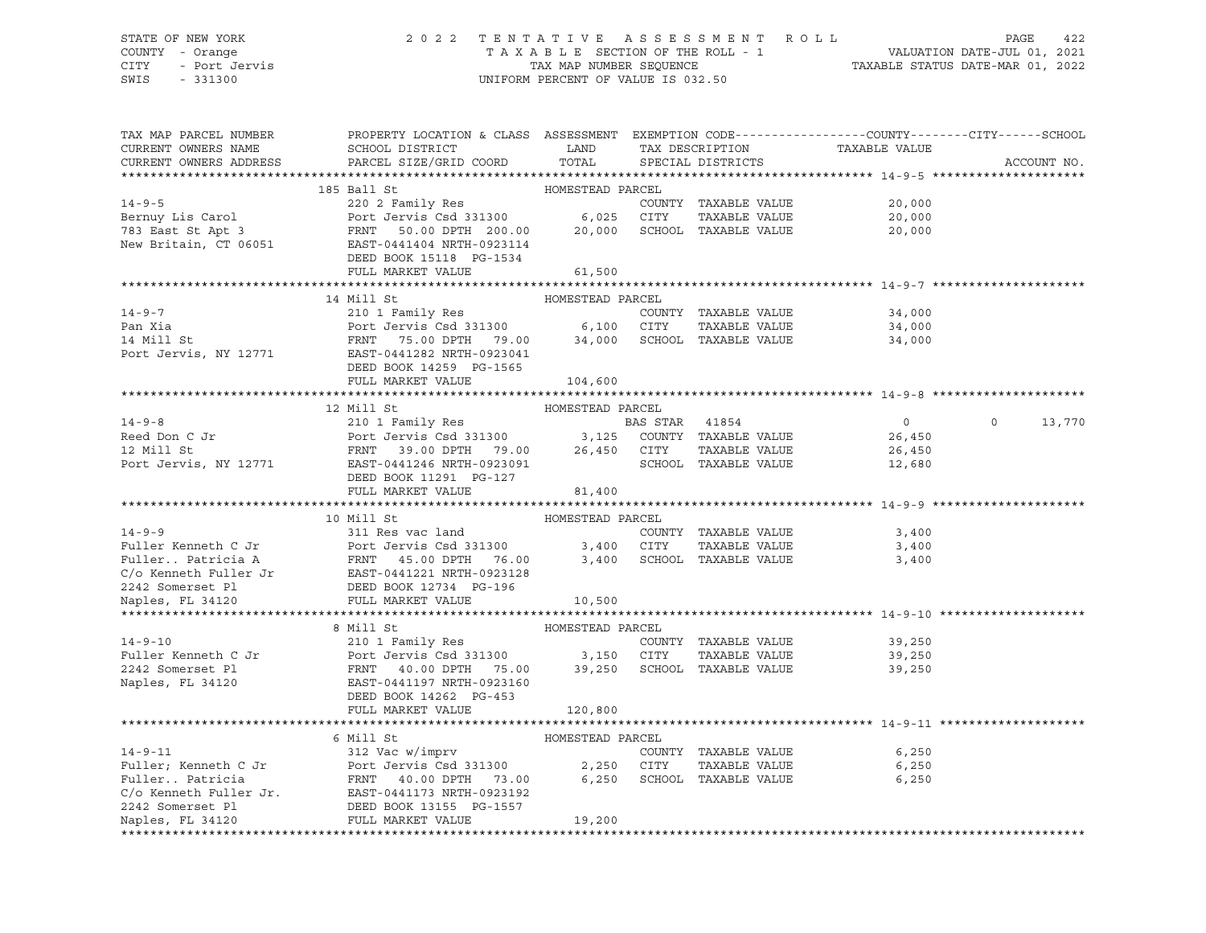# STATE OF NEW YORK 2 0 2 2 T E N T A T I V E A S S E S S M E N T R O L L PAGE 422 COUNTY - Orange T A X A B L E SECTION OF THE ROLL - 1 VALUATION DATE-JUL 01, 2021 CITY - Port Jervis TAX MAP NUMBER SEQUENCE TAXABLE STATUS DATE-MAR 01, 2022

| TAX MAP PARCEL NUMBER<br>CURRENT OWNERS NAME<br>CURRENT OWNERS ADDRESS                                                                                                                                                                                             | PROPERTY LOCATION & CLASS ASSESSMENT EXEMPTION CODE---------------COUNTY-------CITY------SCHOOL<br>SCHOOL DISTRICT LAND<br>PARCEL SIZE/GRID COORD | TOTAL            |                      | TAX DESCRIPTION TAXABLE VALUE SPECIAL DISTRICTS | ACCOUNT NO.        |
|--------------------------------------------------------------------------------------------------------------------------------------------------------------------------------------------------------------------------------------------------------------------|---------------------------------------------------------------------------------------------------------------------------------------------------|------------------|----------------------|-------------------------------------------------|--------------------|
|                                                                                                                                                                                                                                                                    |                                                                                                                                                   |                  |                      |                                                 |                    |
| 14-9-5<br>14-9-5<br>220 2 Family Res<br>220 2 Family Res<br>220 2 Family Res<br>220 2 Family Res<br>220 2 Family Res<br>220 2 Family Res<br>20,000 6,025 CITY<br>6,025 CITY<br>20,000 SCHOOL TAXABLE VALUE<br>20,000 SCHOOL TAXABLE VALUE<br>New Brita             |                                                                                                                                                   |                  |                      |                                                 |                    |
|                                                                                                                                                                                                                                                                    |                                                                                                                                                   |                  |                      | COUNTY TAXABLE VALUE 20,000                     |                    |
|                                                                                                                                                                                                                                                                    |                                                                                                                                                   |                  |                      | 20,000                                          |                    |
|                                                                                                                                                                                                                                                                    |                                                                                                                                                   |                  |                      | 20,000                                          |                    |
|                                                                                                                                                                                                                                                                    |                                                                                                                                                   |                  |                      |                                                 |                    |
|                                                                                                                                                                                                                                                                    |                                                                                                                                                   |                  |                      |                                                 |                    |
|                                                                                                                                                                                                                                                                    | FULL MARKET VALUE                                                                                                                                 | 61,500           |                      |                                                 |                    |
|                                                                                                                                                                                                                                                                    |                                                                                                                                                   |                  |                      |                                                 |                    |
|                                                                                                                                                                                                                                                                    | 14 Mill St                                                                                                                                        | HOMESTEAD PARCEL |                      |                                                 |                    |
| $14 - 9 - 7$                                                                                                                                                                                                                                                       | 210 1 Family Res                                                                                                                                  |                  | COUNTY TAXABLE VALUE | 34,000                                          |                    |
|                                                                                                                                                                                                                                                                    |                                                                                                                                                   |                  |                      | TAXABLE VALUE 34,000                            |                    |
|                                                                                                                                                                                                                                                                    |                                                                                                                                                   |                  |                      | 34,000                                          |                    |
|                                                                                                                                                                                                                                                                    |                                                                                                                                                   |                  |                      |                                                 |                    |
|                                                                                                                                                                                                                                                                    | DEED BOOK 14259 PG-1565                                                                                                                           |                  |                      |                                                 |                    |
|                                                                                                                                                                                                                                                                    | FULL MARKET VALUE                                                                                                                                 | 104,600          |                      |                                                 |                    |
|                                                                                                                                                                                                                                                                    |                                                                                                                                                   |                  |                      |                                                 |                    |
| Are a comparison of the Magnetic Comparison of the Magnetic Companies of the Companies of the Companies of the Companies of the Companies of the Companies of the Companies of the Companies of the Companies of the Companies                                     | 12 Mill St                                                                                                                                        | HOMESTEAD PARCEL |                      |                                                 |                    |
|                                                                                                                                                                                                                                                                    |                                                                                                                                                   |                  |                      | $\overline{0}$                                  | $\Omega$<br>13,770 |
|                                                                                                                                                                                                                                                                    |                                                                                                                                                   |                  |                      | 26,450                                          |                    |
|                                                                                                                                                                                                                                                                    |                                                                                                                                                   |                  | TAXABLE VALUE        | 26,450                                          |                    |
|                                                                                                                                                                                                                                                                    |                                                                                                                                                   |                  |                      | 12,680                                          |                    |
|                                                                                                                                                                                                                                                                    | DEED BOOK 11291 PG-127<br>FULL MARKET VALUE                                                                                                       | 81,400           |                      |                                                 |                    |
|                                                                                                                                                                                                                                                                    |                                                                                                                                                   |                  |                      |                                                 |                    |
|                                                                                                                                                                                                                                                                    | 10 Mill St                                                                                                                                        | HOMESTEAD PARCEL |                      |                                                 |                    |
| $14 - 9 - 9$                                                                                                                                                                                                                                                       | 311 Res vac land                                                                                                                                  |                  | COUNTY TAXABLE VALUE | 3,400                                           |                    |
|                                                                                                                                                                                                                                                                    |                                                                                                                                                   |                  |                      | TAXABLE VALUE 3,400                             |                    |
|                                                                                                                                                                                                                                                                    |                                                                                                                                                   |                  |                      | 3,400                                           |                    |
|                                                                                                                                                                                                                                                                    |                                                                                                                                                   |                  |                      |                                                 |                    |
| Fuller Kenneth C Jr<br>Fuller . Patricia A FRNT 45.00 DPTH 76.00 3,400 CITY TAXABLE VALUE<br>C/o Kenneth Fuller Jr EAST-0441221 NRTH-0923128<br>2242 Somerset Pl DEED BOOK 12734 PG-196                                                                            |                                                                                                                                                   |                  |                      |                                                 |                    |
| Naples, FL 34120                                                                                                                                                                                                                                                   | FULL MARKET VALUE                                                                                                                                 | 10,500           |                      |                                                 |                    |
|                                                                                                                                                                                                                                                                    |                                                                                                                                                   |                  |                      |                                                 |                    |
|                                                                                                                                                                                                                                                                    | 8 Mill St                                                                                                                                         | HOMESTEAD PARCEL |                      |                                                 |                    |
|                                                                                                                                                                                                                                                                    |                                                                                                                                                   |                  |                      |                                                 |                    |
| 14-9-10<br>210 1 Family Res<br>210 1 Family Res<br>2242 Somerset Pl<br>2242 Somerset Pl<br>239,250<br>2242 Somerset Pl<br>239,250<br>2242 Somerset Pl<br>239,250<br>239,250<br>239,250<br>239,250<br>239,250<br>239,250<br>239,250<br>239,250<br>239,250<br>239,25 |                                                                                                                                                   |                  |                      |                                                 |                    |
|                                                                                                                                                                                                                                                                    |                                                                                                                                                   |                  |                      |                                                 |                    |
|                                                                                                                                                                                                                                                                    |                                                                                                                                                   |                  |                      |                                                 |                    |
|                                                                                                                                                                                                                                                                    | DEED BOOK 14262 PG-453                                                                                                                            |                  |                      |                                                 |                    |
|                                                                                                                                                                                                                                                                    | FULL MARKET VALUE                                                                                                                                 | 120,800          |                      |                                                 |                    |
|                                                                                                                                                                                                                                                                    |                                                                                                                                                   |                  |                      |                                                 |                    |
|                                                                                                                                                                                                                                                                    |                                                                                                                                                   |                  |                      |                                                 |                    |
|                                                                                                                                                                                                                                                                    |                                                                                                                                                   |                  | COUNTY TAXABLE VALUE | 6,250                                           |                    |
|                                                                                                                                                                                                                                                                    |                                                                                                                                                   |                  | TAXABLE VALUE        | 6,250                                           |                    |
|                                                                                                                                                                                                                                                                    |                                                                                                                                                   |                  | SCHOOL TAXABLE VALUE | 6,250                                           |                    |
|                                                                                                                                                                                                                                                                    |                                                                                                                                                   |                  |                      |                                                 |                    |
|                                                                                                                                                                                                                                                                    |                                                                                                                                                   |                  |                      |                                                 |                    |
| 14-9-11<br>Fuller; Kenneth C Jr<br>Fuller, Eeneth C Jr<br>Fuller. Patricia<br>Fuller  Patricia<br>Fuller Jr. EAST-0441173 NRTH-0923192<br>2242 Somerset Pl<br>Naples, FL 34120<br>FULL MARKET VALUE<br>FULL MARKET VALUE<br>FULL MARKET VALUE<br>                  |                                                                                                                                                   |                  |                      |                                                 |                    |
|                                                                                                                                                                                                                                                                    |                                                                                                                                                   |                  |                      |                                                 |                    |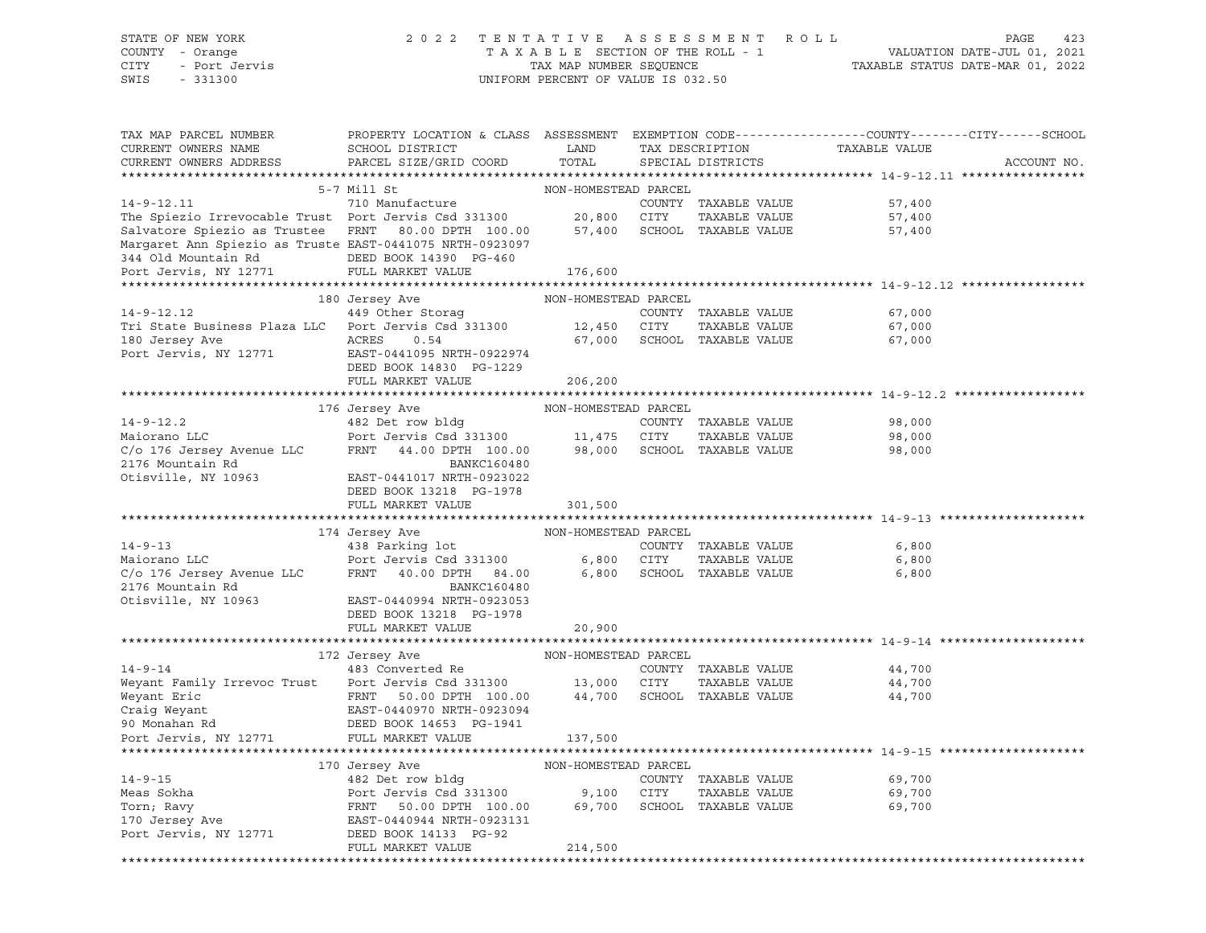#### STATE OF NEW YORK 2 0 2 2 T E N T A T I V E A S S E S S M E N T R O L L PAGE 423 COUNTY - Orange T A X A B L E SECTION OF THE ROLL - 1 VALUATION DATE-JUL 01, 2021 CITY - Port Jervis TAX MAP NUMBER SEQUENCE TAXABLE STATUS DATE-MAR 01, 2022

| TAX MAP PARCEL NUMBER<br>CURRENT OWNERS NAME                                                                                                                                                                                                           | PROPERTY LOCATION & CLASS ASSESSMENT<br>SCHOOL DISTRICT | LAND                 | TAX DESCRIPTION                       | EXEMPTION CODE-----------------COUNTY-------CITY------SCHOOL<br>TAXABLE VALUE |             |
|--------------------------------------------------------------------------------------------------------------------------------------------------------------------------------------------------------------------------------------------------------|---------------------------------------------------------|----------------------|---------------------------------------|-------------------------------------------------------------------------------|-------------|
| CURRENT OWNERS ADDRESS                                                                                                                                                                                                                                 | PARCEL SIZE/GRID COORD                                  | TOTAL                | SPECIAL DISTRICTS                     |                                                                               | ACCOUNT NO. |
|                                                                                                                                                                                                                                                        |                                                         |                      |                                       |                                                                               |             |
| $14 - 9 - 12.11$                                                                                                                                                                                                                                       | 5-7 Mill St<br>710 Manufacture                          | NON-HOMESTEAD PARCEL |                                       |                                                                               |             |
| The Spiezio Irrevocable Trust Port Jervis Csd 331300                                                                                                                                                                                                   |                                                         | 20,800 CITY          | COUNTY TAXABLE VALUE<br>TAXABLE VALUE | 57,400<br>57,400                                                              |             |
| Salvatore Spiezio as Trustee FRNT 80.00 DPTH 100.00 57,400 SCHOOL TAXABLE VALUE                                                                                                                                                                        |                                                         |                      |                                       | 57,400                                                                        |             |
| Margaret Ann Spiezio as Truste EAST-0441075 NRTH-0923097                                                                                                                                                                                               |                                                         |                      |                                       |                                                                               |             |
| 344 Old Mountain Rd DEED BOOK 14390 PG-460                                                                                                                                                                                                             |                                                         |                      |                                       |                                                                               |             |
| Port Jervis, NY 12771                                                                                                                                                                                                                                  | FULL MARKET VALUE                                       | 176,600              |                                       |                                                                               |             |
|                                                                                                                                                                                                                                                        |                                                         |                      |                                       |                                                                               |             |
|                                                                                                                                                                                                                                                        | 180 Jersey Ave                                          | NON-HOMESTEAD PARCEL |                                       |                                                                               |             |
| 14-9-12.12 (OUNT 449 Other Storag COUNT<br>Tri State Business Plaza LLC Port Jervis Csd 331300 12,450 CITY                                                                                                                                             |                                                         |                      | COUNTY TAXABLE VALUE                  | 67,000                                                                        |             |
|                                                                                                                                                                                                                                                        |                                                         |                      | TAXABLE VALUE                         | 67,000                                                                        |             |
| 180 Jersey Ave                                                                                                                                                                                                                                         | 0.54<br>ACRES                                           |                      | 67,000 SCHOOL TAXABLE VALUE           | 67,000                                                                        |             |
| Port Jervis, NY 12771 EAST-0441095 NRTH-0922974                                                                                                                                                                                                        |                                                         |                      |                                       |                                                                               |             |
|                                                                                                                                                                                                                                                        | DEED BOOK 14830 PG-1229                                 |                      |                                       |                                                                               |             |
|                                                                                                                                                                                                                                                        | FULL MARKET VALUE                                       | 206,200              |                                       |                                                                               |             |
|                                                                                                                                                                                                                                                        |                                                         |                      |                                       |                                                                               |             |
|                                                                                                                                                                                                                                                        | 176 Jersey Ave                                          | NON-HOMESTEAD PARCEL |                                       |                                                                               |             |
| $14 - 9 - 12.2$                                                                                                                                                                                                                                        | 482 Det row bldg<br>Port Jervis Csd 331300 11,475 CITY  |                      | COUNTY TAXABLE VALUE                  | 98,000                                                                        |             |
| Maiorano LLC                                                                                                                                                                                                                                           |                                                         |                      | TAXABLE VALUE                         | 98,000                                                                        |             |
| C/o 176 Jersey Avenue LLC                                                                                                                                                                                                                              | FRNT 44.00 DPTH 100.00                                  |                      | 98,000 SCHOOL TAXABLE VALUE           | 98,000                                                                        |             |
| 2176 Mountain Rd<br>Otisville, NY 10963                                                                                                                                                                                                                | BANKC160480                                             |                      |                                       |                                                                               |             |
|                                                                                                                                                                                                                                                        | EAST-0441017 NRTH-0923022                               |                      |                                       |                                                                               |             |
|                                                                                                                                                                                                                                                        | DEED BOOK 13218 PG-1978                                 |                      |                                       |                                                                               |             |
|                                                                                                                                                                                                                                                        | FULL MARKET VALUE                                       | 301,500              |                                       |                                                                               |             |
|                                                                                                                                                                                                                                                        | 174 Jersey Ave                                          | NON-HOMESTEAD PARCEL |                                       |                                                                               |             |
| $14 - 9 - 13$                                                                                                                                                                                                                                          | 438 Parking lot                                         |                      | COUNTY TAXABLE VALUE                  | 6,800                                                                         |             |
| Maiorano LLC                                                                                                                                                                                                                                           | Port Jervis Csd 331300                                  | 6,800 CITY           | TAXABLE VALUE                         | 6,800                                                                         |             |
| C/o 176 Jersey Avenue LLC FRNT 40.00 DPTH 84.00 6,800 SCHOOL TAXABLE VALUE 6,800 6,800                                                                                                                                                                 |                                                         |                      |                                       |                                                                               |             |
|                                                                                                                                                                                                                                                        | BANKC160480                                             |                      |                                       |                                                                               |             |
| 2176 Mountain Rd<br>Otisville, NY 10963                                                                                                                                                                                                                | EAST-0440994 NRTH-0923053                               |                      |                                       |                                                                               |             |
|                                                                                                                                                                                                                                                        | DEED BOOK 13218 PG-1978                                 |                      |                                       |                                                                               |             |
|                                                                                                                                                                                                                                                        | FULL MARKET VALUE                                       | 20,900               |                                       |                                                                               |             |
|                                                                                                                                                                                                                                                        |                                                         |                      |                                       |                                                                               |             |
|                                                                                                                                                                                                                                                        | 172 Jersey Ave                                          | NON-HOMESTEAD PARCEL |                                       |                                                                               |             |
| $14 - 9 - 14$                                                                                                                                                                                                                                          | 483 Converted Re                                        |                      | COUNTY TAXABLE VALUE                  | 44,700                                                                        |             |
| Weyant Family Irrevoc Trust Port Jervis Csd 331300 13,000 CITY                                                                                                                                                                                         |                                                         |                      | TAXABLE VALUE                         | 44,700                                                                        |             |
| Weyant Eric Communic Changes (Mayant ERNT 50.00 DPTH 100.00<br>Craig Weyant Changes EAST-0440970 NRTH-0923094<br>Monahan Rd CDEED BOOK 14653 PG-1941                                                                                                   |                                                         |                      | 44,700 SCHOOL TAXABLE VALUE           | 44,700                                                                        |             |
|                                                                                                                                                                                                                                                        |                                                         |                      |                                       |                                                                               |             |
|                                                                                                                                                                                                                                                        |                                                         |                      |                                       |                                                                               |             |
| Port Jervis, NY 12771                                                                                                                                                                                                                                  | FULL MARKET VALUE                                       | 137,500              |                                       |                                                                               |             |
|                                                                                                                                                                                                                                                        |                                                         | NON-HOMESTEAD PARCEL |                                       | ********************************* 14-9-15 *****                               |             |
|                                                                                                                                                                                                                                                        | 170 Jersey Ave<br>482 Det row bldg                      |                      |                                       | 69,700                                                                        |             |
|                                                                                                                                                                                                                                                        |                                                         |                      | COUNTY TAXABLE VALUE<br>TAXABLE VALUE | 69,700                                                                        |             |
| 14-9-15<br>Meas Sokha<br>Meas Sokha<br>Meas Sokha<br>Meas Sokha<br>Port Jervis Csd 331300<br>Port Jervis Csd 331300<br>Port Jervis Csd 331300<br>9,100 CITY<br>SCHOOL TAXABLE VALUE<br>TO Jersey Ave<br>EAST-0440944 NRTH-0923131<br>Port Jervis, NY 1 |                                                         |                      |                                       | 69,700                                                                        |             |
|                                                                                                                                                                                                                                                        |                                                         |                      |                                       |                                                                               |             |
|                                                                                                                                                                                                                                                        |                                                         |                      |                                       |                                                                               |             |
|                                                                                                                                                                                                                                                        | FULL MARKET VALUE                                       | 214,500              |                                       |                                                                               |             |
|                                                                                                                                                                                                                                                        |                                                         |                      |                                       |                                                                               |             |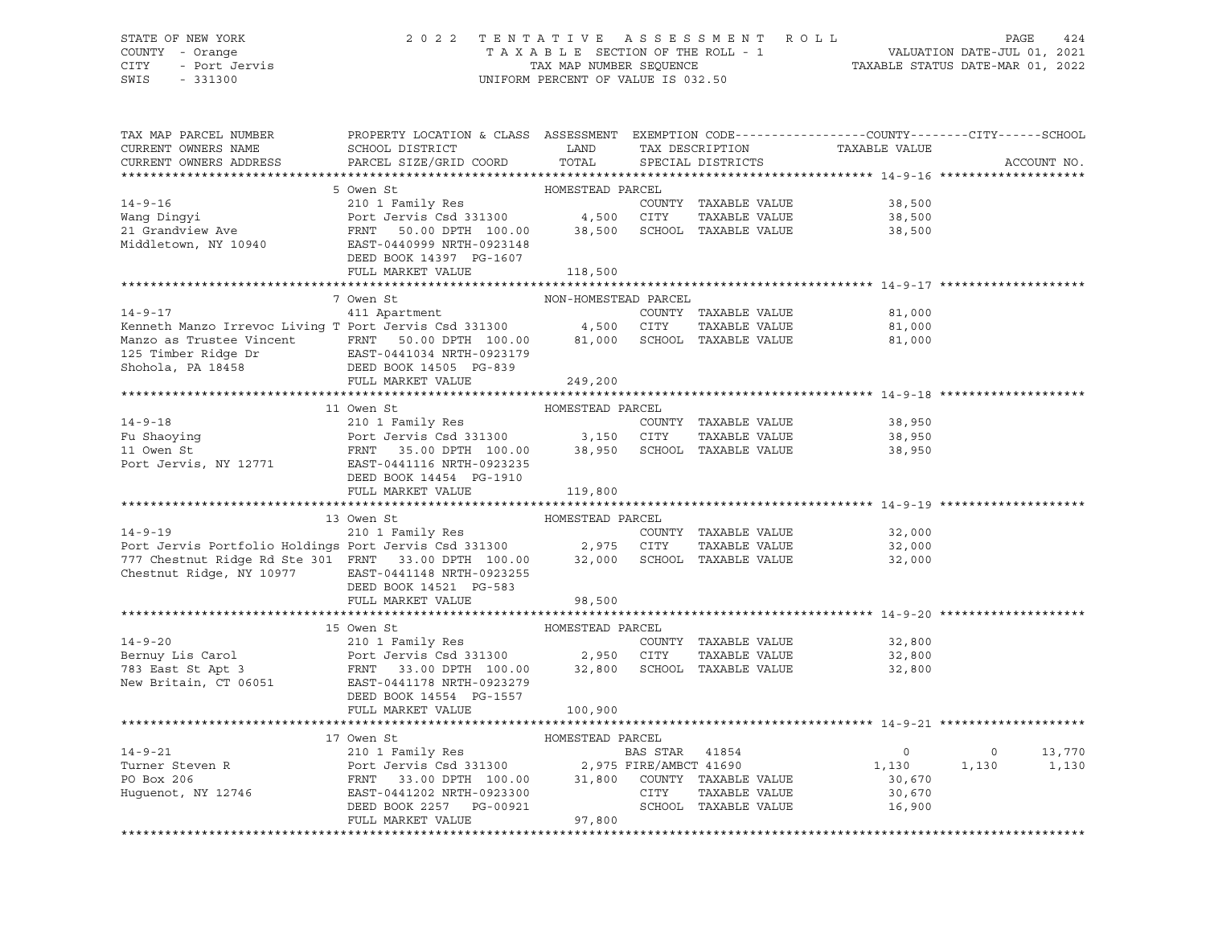#### STATE OF NEW YORK 2 0 2 2 T E N T A T I V E A S S E S S M E N T R O L L PAGE 424 COUNTY - Orange T A X A B L E SECTION OF THE ROLL - 1 VALUATION DATE-JUL 01, 2021 CITY - Port Jervis TAX MAP NUMBER SEQUENCE TAXABLE STATUS DATE-MAR 01, 2022 SWIS - 331300 UNIFORM PERCENT OF VALUE IS 032.50

| TAX MAP PARCEL NUMBER<br>CURRENT OWNERS NAME                                                                                                                                                                                                           | PROPERTY LOCATION & CLASS ASSESSMENT EXEMPTION CODE----------------COUNTY-------CITY------SCHOOL<br>${\tt SCHOOL\,\, DISTRICT}\qquad \qquad {\tt LAND}\qquad \qquad {\tt TAX\,\, DESCRIPTION}\qquad \qquad {\tt TAXABLE\,\, VALUE}$ |                      |                   |                             |                                                                                                                   |
|--------------------------------------------------------------------------------------------------------------------------------------------------------------------------------------------------------------------------------------------------------|-------------------------------------------------------------------------------------------------------------------------------------------------------------------------------------------------------------------------------------|----------------------|-------------------|-----------------------------|-------------------------------------------------------------------------------------------------------------------|
| CURRENT OWNERS ADDRESS                                                                                                                                                                                                                                 | PARCEL SIZE/GRID COORD TOTAL                                                                                                                                                                                                        |                      | SPECIAL DISTRICTS |                             | ACCOUNT NO.                                                                                                       |
|                                                                                                                                                                                                                                                        | 5 Owen St                                                                                                                                                                                                                           | HOMESTEAD PARCEL     |                   |                             |                                                                                                                   |
| 14-9-16<br>Wang Dingyi<br>210 1 Family Res<br>210 1 Family Res<br>210 1 Family Res<br>210 1 Family Res<br>210 1 Family Res<br>210 1 Family Res<br>210 21 GUNTY TAXABLE VALUE<br>28,500<br>4,500 CITY TAXABLE VALUE<br>28,500<br>21 GUNTY TAXABLE VALUE |                                                                                                                                                                                                                                     |                      |                   |                             |                                                                                                                   |
|                                                                                                                                                                                                                                                        |                                                                                                                                                                                                                                     |                      |                   |                             |                                                                                                                   |
|                                                                                                                                                                                                                                                        |                                                                                                                                                                                                                                     |                      |                   |                             |                                                                                                                   |
|                                                                                                                                                                                                                                                        |                                                                                                                                                                                                                                     |                      |                   |                             |                                                                                                                   |
|                                                                                                                                                                                                                                                        | DEED BOOK 14397 PG-1607                                                                                                                                                                                                             |                      |                   |                             |                                                                                                                   |
|                                                                                                                                                                                                                                                        | FULL MARKET VALUE                                                                                                                                                                                                                   | 118,500              |                   |                             |                                                                                                                   |
|                                                                                                                                                                                                                                                        |                                                                                                                                                                                                                                     |                      |                   |                             |                                                                                                                   |
|                                                                                                                                                                                                                                                        | 7 Owen St                                                                                                                                                                                                                           | NON-HOMESTEAD PARCEL |                   |                             |                                                                                                                   |
| 411 Apartment<br>EXECTION TRAVABLE VALUE<br>Manzo as Trustee Vincent<br>Manzo as Trustee Vincent<br>Manzo as Trustee Vincent<br>FRNT 50.00 DPTH 100.00 81,000 SCHOOL TAXABLE VALUE<br>125 Timber Ridge Dr<br>Shohola, PA 18458<br>DEED BOOK 14         |                                                                                                                                                                                                                                     |                      |                   | 81,000                      |                                                                                                                   |
|                                                                                                                                                                                                                                                        |                                                                                                                                                                                                                                     |                      |                   |                             |                                                                                                                   |
|                                                                                                                                                                                                                                                        |                                                                                                                                                                                                                                     |                      |                   | 81,000<br>81,000            |                                                                                                                   |
|                                                                                                                                                                                                                                                        |                                                                                                                                                                                                                                     |                      |                   |                             |                                                                                                                   |
|                                                                                                                                                                                                                                                        |                                                                                                                                                                                                                                     |                      |                   |                             |                                                                                                                   |
|                                                                                                                                                                                                                                                        | FULL MARKET VALUE                                                                                                                                                                                                                   | 249,200              |                   |                             |                                                                                                                   |
|                                                                                                                                                                                                                                                        |                                                                                                                                                                                                                                     |                      |                   |                             |                                                                                                                   |
|                                                                                                                                                                                                                                                        | 11 Owen St                                                                                                                                                                                                                          | HOMESTEAD PARCEL     |                   |                             |                                                                                                                   |
|                                                                                                                                                                                                                                                        |                                                                                                                                                                                                                                     |                      |                   |                             |                                                                                                                   |
|                                                                                                                                                                                                                                                        |                                                                                                                                                                                                                                     |                      |                   |                             |                                                                                                                   |
|                                                                                                                                                                                                                                                        |                                                                                                                                                                                                                                     |                      |                   |                             |                                                                                                                   |
| 14-9-18<br>Fu Shaoying<br>Port Jervis Csd 331300<br>Port Jervis Csd 331300<br>Port Jervis Csd 331300<br>Port Jervis Csd 331300<br>Port Jervis Csd 331300<br>Port Jervis Csd 331300<br>Port Jervis Csd 331300<br>Port Jervis Csd 331300<br>Port Jer     |                                                                                                                                                                                                                                     |                      |                   |                             |                                                                                                                   |
|                                                                                                                                                                                                                                                        | DEED BOOK 14454 PG-1910                                                                                                                                                                                                             |                      |                   |                             |                                                                                                                   |
|                                                                                                                                                                                                                                                        | FULL MARKET VALUE 119,800                                                                                                                                                                                                           |                      |                   |                             |                                                                                                                   |
|                                                                                                                                                                                                                                                        |                                                                                                                                                                                                                                     |                      |                   |                             |                                                                                                                   |
| 13 Owen St<br>210 1 Family Res<br>210 1 Family Res<br>210 1 Family Res<br>29,000 COUNTY TAXABLE VALUE<br>277 Chestnut Ridge Rd Ste 301 FRNT 33.00 DPTH 100.00 32,000 SCHOOL TAXABLE VALUE<br>32,000 32,000 SCHOOL TAXABLE VALUE<br>32,000 32           |                                                                                                                                                                                                                                     |                      |                   |                             |                                                                                                                   |
|                                                                                                                                                                                                                                                        |                                                                                                                                                                                                                                     |                      |                   |                             |                                                                                                                   |
|                                                                                                                                                                                                                                                        |                                                                                                                                                                                                                                     |                      |                   |                             |                                                                                                                   |
|                                                                                                                                                                                                                                                        |                                                                                                                                                                                                                                     |                      |                   |                             |                                                                                                                   |
| Chestnut Ridge, NY 10977 EAST-0441148 NRTH-0923255                                                                                                                                                                                                     |                                                                                                                                                                                                                                     |                      |                   |                             |                                                                                                                   |
|                                                                                                                                                                                                                                                        | DEED BOOK 14521 PG-583                                                                                                                                                                                                              |                      |                   |                             |                                                                                                                   |
|                                                                                                                                                                                                                                                        | FULL MARKET VALUE                                                                                                                                                                                                                   | 98,500               |                   |                             |                                                                                                                   |
|                                                                                                                                                                                                                                                        |                                                                                                                                                                                                                                     |                      |                   |                             |                                                                                                                   |
|                                                                                                                                                                                                                                                        | 15 Owen St                                                                                                                                                                                                                          | HOMESTEAD PARCEL     |                   |                             |                                                                                                                   |
| 14-9-20<br>Bernuy Lis Carol 210 1 Family Res<br>Port Jervis Csd 331300 2,950 CITY TAXABLE VALUE 32,800<br>783 East St Apt 3 FRNT 33.00 DPTH 100.00 32,800 SCHOOL TAXABLE VALUE 32,800<br>New Britain, CT 06051 EAST-0441178 NRTH-09232                 |                                                                                                                                                                                                                                     |                      |                   |                             |                                                                                                                   |
|                                                                                                                                                                                                                                                        |                                                                                                                                                                                                                                     |                      |                   |                             |                                                                                                                   |
|                                                                                                                                                                                                                                                        |                                                                                                                                                                                                                                     |                      |                   |                             |                                                                                                                   |
|                                                                                                                                                                                                                                                        |                                                                                                                                                                                                                                     |                      |                   |                             |                                                                                                                   |
|                                                                                                                                                                                                                                                        | DEED BOOK 14554 PG-1557                                                                                                                                                                                                             |                      |                   |                             |                                                                                                                   |
|                                                                                                                                                                                                                                                        | FULL MARKET VALUE                                                                                                                                                                                                                   | 100,900              |                   |                             |                                                                                                                   |
|                                                                                                                                                                                                                                                        |                                                                                                                                                                                                                                     |                      |                   |                             |                                                                                                                   |
|                                                                                                                                                                                                                                                        |                                                                                                                                                                                                                                     |                      |                   |                             |                                                                                                                   |
|                                                                                                                                                                                                                                                        |                                                                                                                                                                                                                                     |                      |                   |                             | $\begin{array}{cccc} & 0 & & 0 & & 13\,,770 \\ 1\,,130 & & 1\,,130 & & 1\,,130 \\ & 30\,,670 & & & & \end{array}$ |
|                                                                                                                                                                                                                                                        |                                                                                                                                                                                                                                     |                      |                   |                             |                                                                                                                   |
|                                                                                                                                                                                                                                                        |                                                                                                                                                                                                                                     |                      |                   | 30,670                      |                                                                                                                   |
|                                                                                                                                                                                                                                                        |                                                                                                                                                                                                                                     |                      |                   | SCHOOL TAXABLE VALUE 16,900 |                                                                                                                   |
|                                                                                                                                                                                                                                                        |                                                                                                                                                                                                                                     |                      |                   |                             |                                                                                                                   |
|                                                                                                                                                                                                                                                        |                                                                                                                                                                                                                                     |                      |                   |                             |                                                                                                                   |
|                                                                                                                                                                                                                                                        |                                                                                                                                                                                                                                     |                      |                   |                             |                                                                                                                   |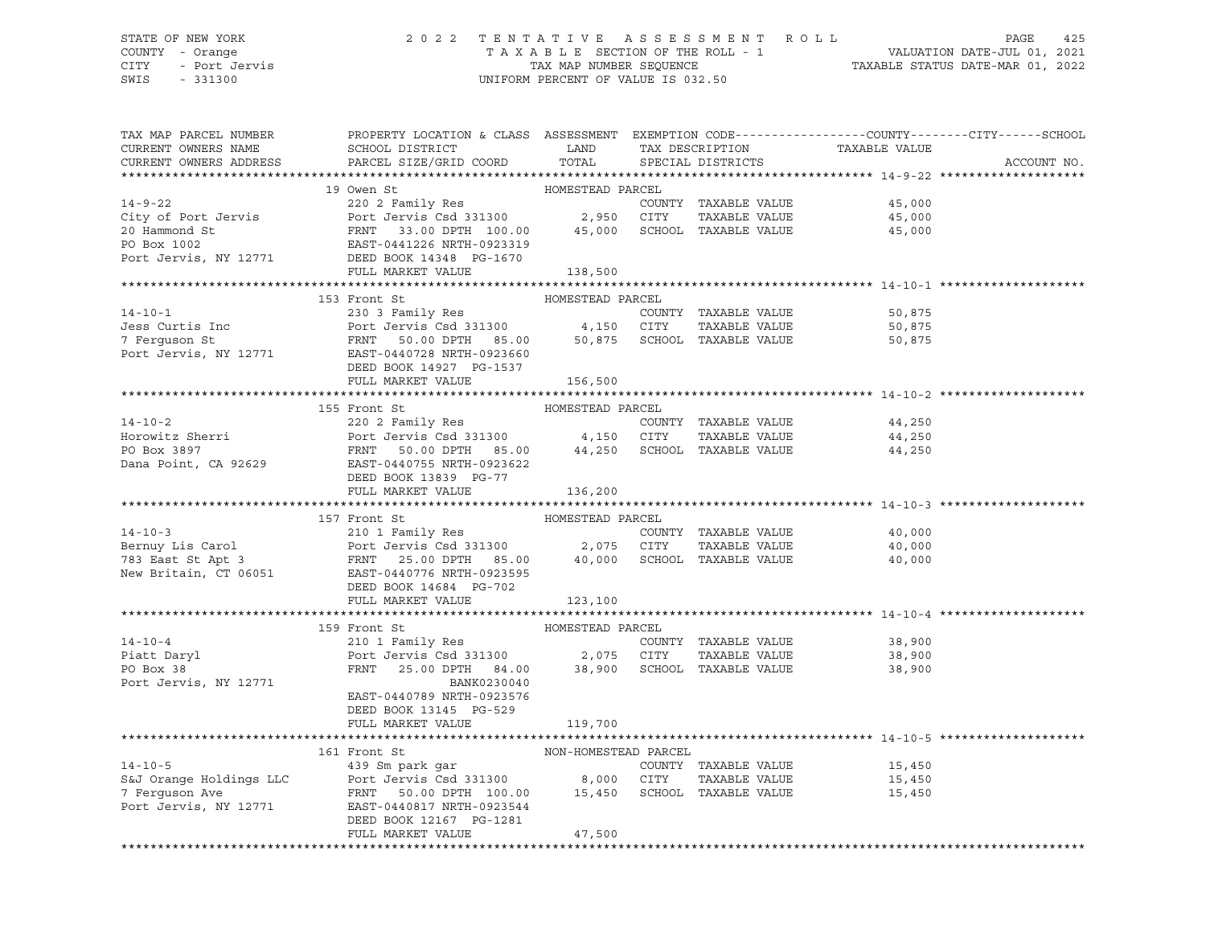# STATE OF NEW YORK 2 0 2 2 T E N T A T I V E A S S E S S M E N T R O L L PAGE 425 COUNTY - Orange T A X A B L E SECTION OF THE ROLL - 1 VALUATION DATE-JUL 01, 2021 CITY - Port Jervis TAX MAP NUMBER SEQUENCE TAXABLE STATUS DATE-MAR 01, 2022

| TAX MAP PARCEL NUMBER<br>CURRENT OWNERS NAME<br>CURRENT OWNERS ADDRESS                                                                                                                                                                                 | PROPERTY LOCATION & CLASS ASSESSMENT EXEMPTION CODE----------------COUNTY-------CITY------SCHOOL<br><b>Example 12 TEAMPLE 12 TEAMPLE</b><br>SCHOOL DISTRICT<br>PARCEL SIZE/GRID COORD | TOTAL            | TAX DESCRIPTION<br>SPECIAL DISTRICTS | TAXABLE VALUE                         | ACCOUNT NO. |
|--------------------------------------------------------------------------------------------------------------------------------------------------------------------------------------------------------------------------------------------------------|---------------------------------------------------------------------------------------------------------------------------------------------------------------------------------------|------------------|--------------------------------------|---------------------------------------|-------------|
|                                                                                                                                                                                                                                                        |                                                                                                                                                                                       |                  |                                      |                                       |             |
|                                                                                                                                                                                                                                                        | 19 Owen St                                                                                                                                                                            | HOMESTEAD PARCEL |                                      |                                       |             |
| 14-9-22<br>2002 Family Res<br>2002 Family Res<br>2002 Family Res<br>2002 Family Res<br>2003 Family Res<br>2003 Family Res<br>2003 Family Res<br>2003 FaxABLE VALUE<br>2003 FAXABLE VALUE<br>2003 FAXABLE VALUE<br>2003 FAXABLE VALUE<br>2003 CHOOL TAX |                                                                                                                                                                                       |                  |                                      |                                       |             |
|                                                                                                                                                                                                                                                        |                                                                                                                                                                                       |                  |                                      |                                       |             |
|                                                                                                                                                                                                                                                        |                                                                                                                                                                                       |                  |                                      |                                       |             |
|                                                                                                                                                                                                                                                        |                                                                                                                                                                                       |                  |                                      |                                       |             |
| Port Jervis, NY 12771 DEED BOOK 14348 PG-1670                                                                                                                                                                                                          |                                                                                                                                                                                       |                  |                                      |                                       |             |
|                                                                                                                                                                                                                                                        | FULL MARKET VALUE                                                                                                                                                                     | 138,500          |                                      |                                       |             |
|                                                                                                                                                                                                                                                        |                                                                                                                                                                                       |                  |                                      |                                       |             |
|                                                                                                                                                                                                                                                        | 153 Front St                                                                                                                                                                          | HOMESTEAD PARCEL |                                      |                                       |             |
| $14 - 10 - 1$                                                                                                                                                                                                                                          | 230 3 Family Res                                                                                                                                                                      |                  | COUNTY TAXABLE VALUE                 | 50,875                                |             |
|                                                                                                                                                                                                                                                        |                                                                                                                                                                                       |                  |                                      | 50,875                                |             |
|                                                                                                                                                                                                                                                        |                                                                                                                                                                                       |                  |                                      | 50,875                                |             |
| Jess Curtis Inc<br>7 Ferguson St<br>Port Jervis Csd 331300 4,150 CITY TAXABLE VALUE<br>Port Jervis, NY 12771 EAST-0440728 NRTH-0923660                                                                                                                 |                                                                                                                                                                                       |                  |                                      |                                       |             |
|                                                                                                                                                                                                                                                        | DEED BOOK 14927 PG-1537                                                                                                                                                               |                  |                                      |                                       |             |
|                                                                                                                                                                                                                                                        | FULL MARKET VALUE                                                                                                                                                                     | 156,500          |                                      |                                       |             |
|                                                                                                                                                                                                                                                        |                                                                                                                                                                                       |                  |                                      |                                       |             |
|                                                                                                                                                                                                                                                        | HOMESTEAD PARCEL<br>155 Front St                                                                                                                                                      |                  |                                      |                                       |             |
| $14 - 10 - 2$                                                                                                                                                                                                                                          | 220 2 Family Res                                                                                                                                                                      |                  | COUNTY TAXABLE VALUE                 | 44,250                                |             |
|                                                                                                                                                                                                                                                        |                                                                                                                                                                                       |                  | TAXABLE VALUE                        | 44,250                                |             |
|                                                                                                                                                                                                                                                        |                                                                                                                                                                                       |                  |                                      | 44,250                                |             |
| PO Box 3897<br>Dana Point, CA 92629<br>Dana Point, CA 92629<br>Point Poor 13830, PO-77                                                                                                                                                                 |                                                                                                                                                                                       |                  |                                      |                                       |             |
|                                                                                                                                                                                                                                                        | DEED BOOK 13839 PG-77                                                                                                                                                                 |                  |                                      |                                       |             |
|                                                                                                                                                                                                                                                        | FULL MARKET VALUE                                                                                                                                                                     | 136,200          |                                      |                                       |             |
|                                                                                                                                                                                                                                                        |                                                                                                                                                                                       |                  |                                      |                                       |             |
|                                                                                                                                                                                                                                                        | 157 Front St                                                                                                                                                                          | HOMESTEAD PARCEL |                                      |                                       |             |
|                                                                                                                                                                                                                                                        |                                                                                                                                                                                       |                  |                                      |                                       |             |
|                                                                                                                                                                                                                                                        |                                                                                                                                                                                       |                  |                                      |                                       |             |
|                                                                                                                                                                                                                                                        |                                                                                                                                                                                       |                  |                                      |                                       |             |
| 14-10-3<br>210 1 Family Res<br>210 1 Family Res<br>210 1 Family Res<br>210 1 Family Res<br>210 1 Family Res<br>210 1 Family Res<br>27.075 CITY TAXABLE VALUE<br>27.075 CITY TAXABLE VALUE<br>40,000<br>27.075 CITY TAXABLE VALUE<br>40,000<br>27.075 C |                                                                                                                                                                                       |                  |                                      |                                       |             |
|                                                                                                                                                                                                                                                        | DEED BOOK 14684 PG-702                                                                                                                                                                |                  |                                      |                                       |             |
|                                                                                                                                                                                                                                                        | FULL MARKET VALUE                                                                                                                                                                     | 123,100          |                                      |                                       |             |
|                                                                                                                                                                                                                                                        |                                                                                                                                                                                       |                  |                                      |                                       |             |
|                                                                                                                                                                                                                                                        | 159 Front St                                                                                                                                                                          | HOMESTEAD PARCEL |                                      |                                       |             |
|                                                                                                                                                                                                                                                        |                                                                                                                                                                                       |                  |                                      | 38,900                                |             |
|                                                                                                                                                                                                                                                        |                                                                                                                                                                                       |                  |                                      | 38,900                                |             |
| 14-10-4<br>14-10-4<br>210 1 Family Res<br>Piatt Daryl Port Jervis Csd 331300<br>Port Jervis Csd 331300<br>PO Box 38<br>PRNT 25.00 DPTH 84.00 38,900 SCHOOL TAXABLE VALUE                                                                               |                                                                                                                                                                                       |                  |                                      | 38,900                                |             |
| Port Jervis, NY 12771                                                                                                                                                                                                                                  | BANK0230040                                                                                                                                                                           |                  |                                      |                                       |             |
|                                                                                                                                                                                                                                                        | EAST-0440789 NRTH-0923576                                                                                                                                                             |                  |                                      |                                       |             |
|                                                                                                                                                                                                                                                        | DEED BOOK 13145 PG-529                                                                                                                                                                |                  |                                      |                                       |             |
|                                                                                                                                                                                                                                                        | FULL MARKET VALUE                                                                                                                                                                     | 119,700          |                                      |                                       |             |
|                                                                                                                                                                                                                                                        |                                                                                                                                                                                       |                  |                                      |                                       |             |
|                                                                                                                                                                                                                                                        |                                                                                                                                                                                       |                  |                                      |                                       |             |
|                                                                                                                                                                                                                                                        |                                                                                                                                                                                       |                  |                                      |                                       |             |
|                                                                                                                                                                                                                                                        |                                                                                                                                                                                       |                  |                                      | COUNTY TAXABLE VALUE 15,450<br>15,450 |             |
|                                                                                                                                                                                                                                                        |                                                                                                                                                                                       |                  |                                      | 15,450                                |             |
|                                                                                                                                                                                                                                                        |                                                                                                                                                                                       |                  |                                      |                                       |             |
|                                                                                                                                                                                                                                                        | DEED BOOK 12167 PG-1281                                                                                                                                                               |                  |                                      |                                       |             |
|                                                                                                                                                                                                                                                        | FULL MARKET VALUE                                                                                                                                                                     | 47,500           |                                      |                                       |             |
|                                                                                                                                                                                                                                                        |                                                                                                                                                                                       |                  |                                      |                                       |             |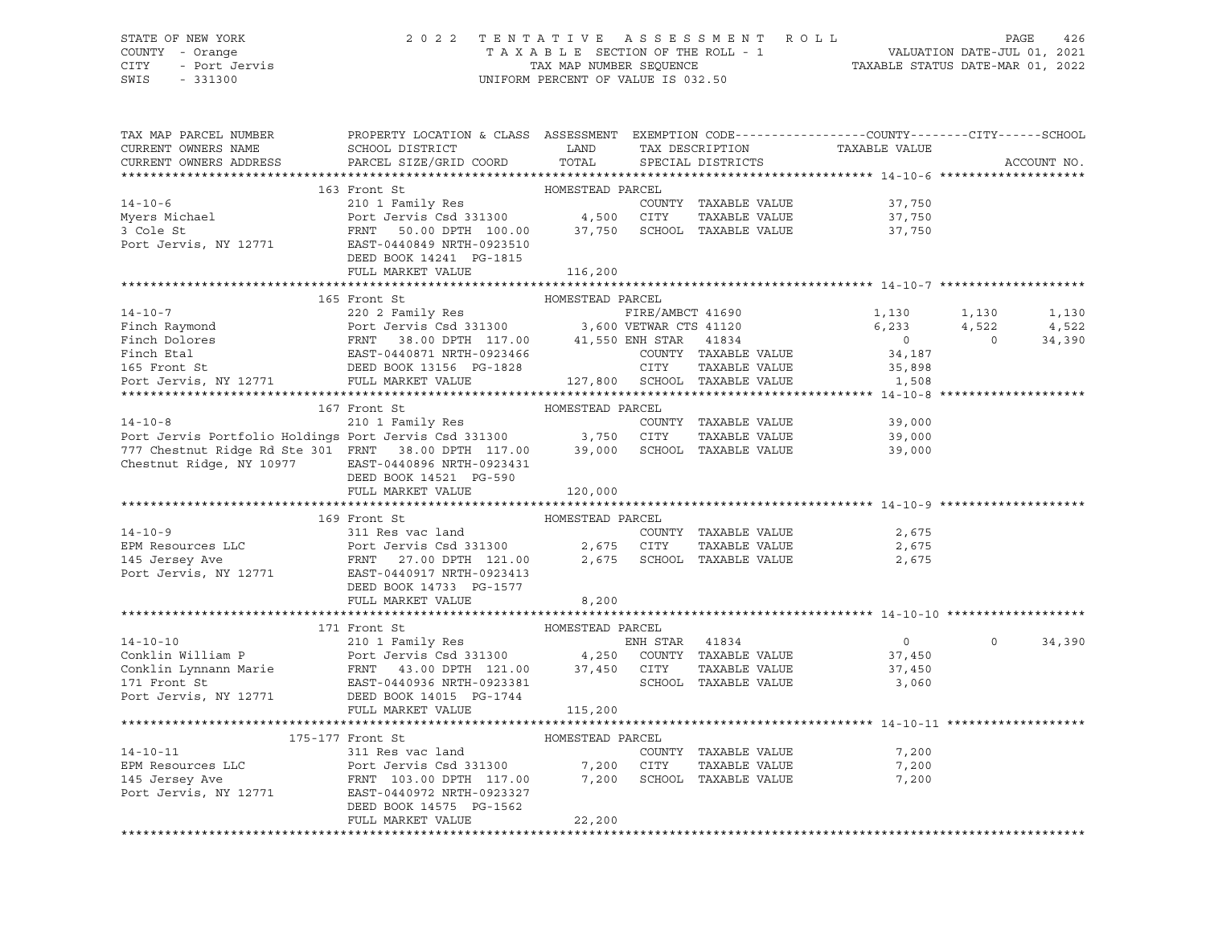#### STATE OF NEW YORK 2 0 2 2 T E N T A T I V E A S S E S S M E N T R O L L PAGE 426 COUNTY - Orange T A X A B L E SECTION OF THE ROLL - 1 VALUATION DATE-JUL 01, 2021 CITY - Port Jervis TAX MAP NUMBER SEQUENCE TAXABLE STATUS DATE-MAR 01, 2022

| TAX MAP PARCEL NUMBER                                                                                                                                                                                                                                    | PROPERTY LOCATION & CLASS ASSESSMENT EXEMPTION CODE----------------COUNTY-------CITY------SCHOOL |                  |                      |                                                 |                |             |
|----------------------------------------------------------------------------------------------------------------------------------------------------------------------------------------------------------------------------------------------------------|--------------------------------------------------------------------------------------------------|------------------|----------------------|-------------------------------------------------|----------------|-------------|
| CURRENT OWNERS NAME                                                                                                                                                                                                                                      | <b>LAND</b><br>SCHOOL DISTRICT                                                                   |                  |                      | TAX DESCRIPTION TAXABLE VALUE SPECIAL DISTRICTS |                |             |
| CURRENT OWNERS ADDRESS                                                                                                                                                                                                                                   | PARCEL SIZE/GRID COORD                                                                           | TOTAL            |                      |                                                 |                | ACCOUNT NO. |
|                                                                                                                                                                                                                                                          |                                                                                                  |                  |                      |                                                 |                |             |
|                                                                                                                                                                                                                                                          | 163 Front St                                                                                     |                  |                      |                                                 |                |             |
|                                                                                                                                                                                                                                                          |                                                                                                  |                  | COUNTY TAXABLE VALUE | 37,750                                          |                |             |
|                                                                                                                                                                                                                                                          |                                                                                                  |                  |                      | TAXABLE VALUE 37,750<br>TAXABLE VALUE 37,750    |                |             |
|                                                                                                                                                                                                                                                          |                                                                                                  |                  |                      |                                                 |                |             |
| Port Jervis, NY 12771 EAST-0440849 NRTH-0923510                                                                                                                                                                                                          |                                                                                                  |                  |                      |                                                 |                |             |
|                                                                                                                                                                                                                                                          | DEED BOOK 14241 PG-1815                                                                          |                  |                      |                                                 |                |             |
|                                                                                                                                                                                                                                                          | FULL MARKET VALUE                                                                                | 116,200          |                      |                                                 |                |             |
|                                                                                                                                                                                                                                                          |                                                                                                  |                  |                      |                                                 |                |             |
|                                                                                                                                                                                                                                                          | 165 Front St                                                                                     | HOMESTEAD PARCEL |                      |                                                 |                |             |
|                                                                                                                                                                                                                                                          |                                                                                                  |                  |                      | 1,130<br>6,233                                  | 1,130          | 1,130       |
| 14-10-7<br>Finch Raymond<br>Finch Dolores<br>Finch Dolores<br>FRNT 38.00 DPTH 117.00<br>FIRE/AMBCT 41690<br>FIRE/AMBCT 41690<br>FIRE/AMBCT 41690<br>FIRE/AMBCT 41690<br>FIRE/AMBCT 41690<br>FIRE/AMBCT 41690<br>FIRE/AMBCT 41690<br>220 2 Family Res<br> |                                                                                                  |                  |                      |                                                 | 4,522          | 4,522       |
|                                                                                                                                                                                                                                                          |                                                                                                  |                  |                      | $\overline{0}$                                  | $\overline{0}$ | 34,390      |
|                                                                                                                                                                                                                                                          |                                                                                                  |                  | COUNTY TAXABLE VALUE | 34,187                                          |                |             |
|                                                                                                                                                                                                                                                          |                                                                                                  |                  |                      | 35,898                                          |                |             |
|                                                                                                                                                                                                                                                          |                                                                                                  |                  |                      | 1,508                                           |                |             |
|                                                                                                                                                                                                                                                          |                                                                                                  |                  |                      |                                                 |                |             |
|                                                                                                                                                                                                                                                          | 167 Front St                                                                                     | HOMESTEAD PARCEL |                      |                                                 |                |             |
|                                                                                                                                                                                                                                                          |                                                                                                  |                  |                      | COUNTY TAXABLE VALUE 39,000                     |                |             |
| 197 FIGHT ST<br>210 1 Family Res<br>Port Jervis Portfolio Holdings Port Jervis Csd 331300 3,750 CITY TAXABLE VALUE<br>777 Chestnut Ridge Rd Ste 301 FRNT 38.00 DPTH 117.00 39,000 SCHOOL TAXABLE VALUE                                                   |                                                                                                  |                  |                      | 39,000                                          |                |             |
|                                                                                                                                                                                                                                                          |                                                                                                  |                  |                      | 39,000                                          |                |             |
| Chestnut Ridge, NY 10977 EAST-0440896 NRTH-0923431                                                                                                                                                                                                       |                                                                                                  |                  |                      |                                                 |                |             |
|                                                                                                                                                                                                                                                          | DEED BOOK 14521 PG-590                                                                           |                  |                      |                                                 |                |             |
|                                                                                                                                                                                                                                                          | FULL MARKET VALUE                                                                                | 120,000          |                      |                                                 |                |             |
|                                                                                                                                                                                                                                                          |                                                                                                  |                  |                      |                                                 |                |             |
|                                                                                                                                                                                                                                                          | 169 Front St                                                                                     | HOMESTEAD PARCEL |                      |                                                 |                |             |
| $14 - 10 - 9$                                                                                                                                                                                                                                            | 311 Res vac land                                                                                 |                  | COUNTY TAXABLE VALUE | 2,675                                           |                |             |
|                                                                                                                                                                                                                                                          |                                                                                                  |                  |                      | TAXABLE VALUE 2,675                             |                |             |
|                                                                                                                                                                                                                                                          |                                                                                                  |                  |                      | 2,675                                           |                |             |
|                                                                                                                                                                                                                                                          |                                                                                                  |                  |                      |                                                 |                |             |
|                                                                                                                                                                                                                                                          | DEED BOOK 14733 PG-1577                                                                          |                  |                      |                                                 |                |             |
|                                                                                                                                                                                                                                                          | FULL MARKET VALUE                                                                                | 8,200            |                      |                                                 |                |             |
|                                                                                                                                                                                                                                                          |                                                                                                  |                  |                      |                                                 |                |             |
|                                                                                                                                                                                                                                                          | 171 Front St                                                                                     | HOMESTEAD PARCEL |                      |                                                 |                |             |
|                                                                                                                                                                                                                                                          |                                                                                                  |                  |                      | $\overline{0}$                                  | $\circ$        | 34,390      |
|                                                                                                                                                                                                                                                          |                                                                                                  |                  |                      | 37,450                                          |                |             |
| 1/1 Front St<br>210 1 Family Res<br>Conklin William P Port Jervis Csd 331300 4,250 COUNTY TAXABLE VALUE<br>Conklin Lynnann Marie FRNT 43.00 DPTH 121.00 37,450 CITY TAXABLE VALUE<br>171 Front St<br>EAST-0440936 NRTH-0923381 SCHOOL TA                 |                                                                                                  |                  | TAXABLE VALUE        | 37,450                                          |                |             |
|                                                                                                                                                                                                                                                          |                                                                                                  |                  |                      | 3,060                                           |                |             |
| Port Jervis, NY 12771 DEED BOOK 14015 PG-1744                                                                                                                                                                                                            |                                                                                                  |                  |                      |                                                 |                |             |
|                                                                                                                                                                                                                                                          | FULL MARKET VALUE                                                                                | 115,200          |                      |                                                 |                |             |
|                                                                                                                                                                                                                                                          |                                                                                                  |                  |                      |                                                 |                |             |
|                                                                                                                                                                                                                                                          | 175-177 Front St                                                                                 | HOMESTEAD PARCEL |                      |                                                 |                |             |
| $14 - 10 - 11$                                                                                                                                                                                                                                           | 311 Res vac land                                                                                 |                  | COUNTY TAXABLE VALUE | 7,200                                           |                |             |
|                                                                                                                                                                                                                                                          |                                                                                                  |                  | TAXABLE VALUE        | 7,200                                           |                |             |
|                                                                                                                                                                                                                                                          |                                                                                                  |                  | SCHOOL TAXABLE VALUE | 7,200                                           |                |             |
| Port Jervis, NY 12771                                                                                                                                                                                                                                    | EAST-0440972 NRTH-0923327                                                                        |                  |                      |                                                 |                |             |
|                                                                                                                                                                                                                                                          | DEED BOOK 14575 PG-1562                                                                          |                  |                      |                                                 |                |             |
|                                                                                                                                                                                                                                                          | FULL MARKET VALUE                                                                                | 22,200           |                      |                                                 |                |             |
|                                                                                                                                                                                                                                                          |                                                                                                  |                  |                      |                                                 |                |             |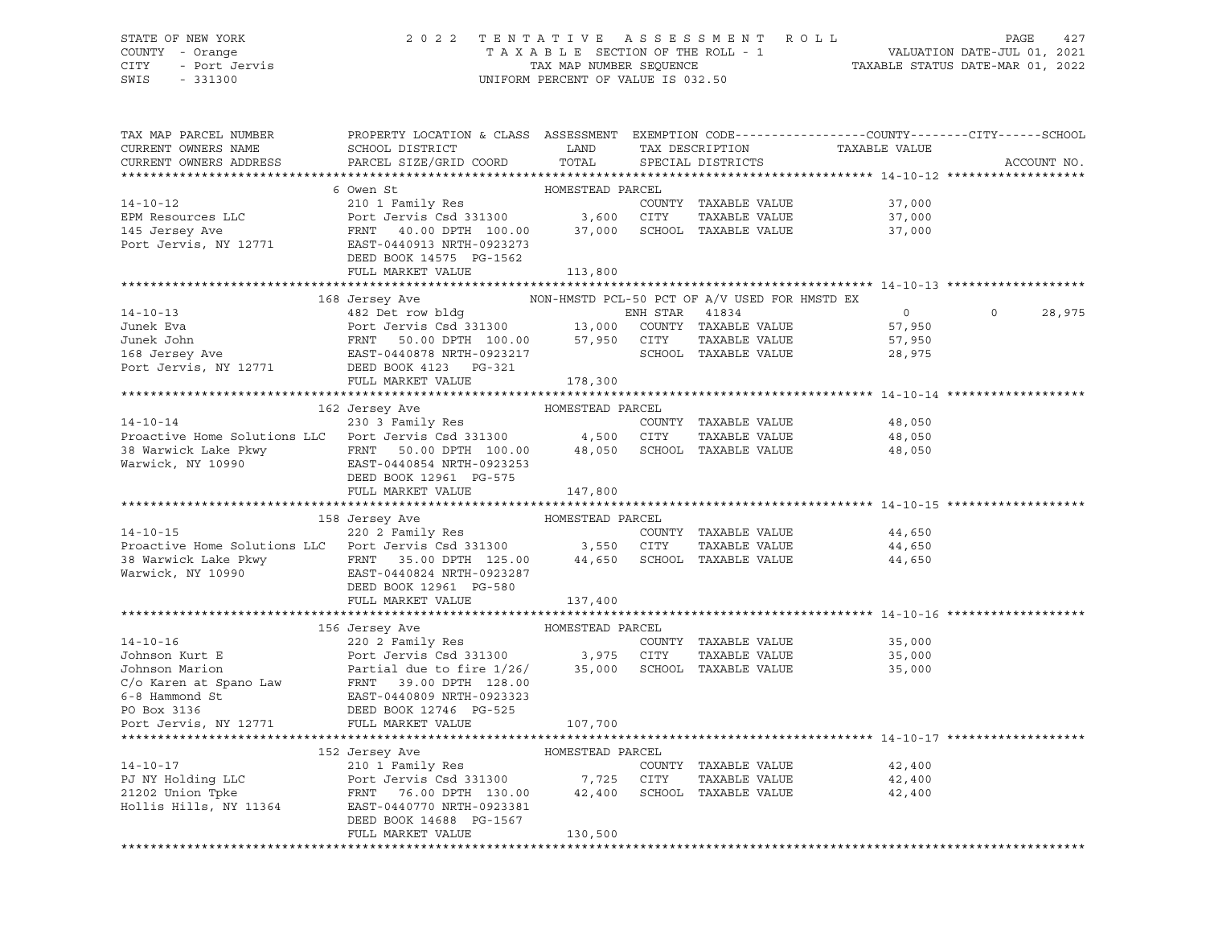## STATE OF NEW YORK 2 0 2 2 T E N T A T I V E A S S E S S M E N T R O L L PAGE 427 COUNTY - Orange T A X A B L E SECTION OF THE ROLL - 1 VALUATION DATE-JUL 01, 2021 CITY - Port Jervis TAX MAP NUMBER SEQUENCE TAXABLE STATUS DATE-MAR 01, 2022

| TAX MAP PARCEL NUMBER<br>CURRENT OWNERS NAME<br>CURRENT OWNERS ADDRESS                                                                                                                                                                                                                                                                                                                                                                           | PROPERTY LOCATION & CLASS ASSESSMENT EXEMPTION CODE----------------COUNTY-------CITY------SCHOOL<br><b>EXAMPLE SERVICE SERVICE SERVICE SERVICE SERVICE SERVICE SERVICE SERVICE SERVICE SERVICE SERVICE SERVICE SERVICE</b><br>SCHOOL DISTRICT<br>PARCEL SIZE/GRID COORD | TOTAL            | TAX DESCRIPTION<br>SPECIAL DISTRICTS          | TAXABLE VALUE                                     | ACCOUNT NO. |
|--------------------------------------------------------------------------------------------------------------------------------------------------------------------------------------------------------------------------------------------------------------------------------------------------------------------------------------------------------------------------------------------------------------------------------------------------|-------------------------------------------------------------------------------------------------------------------------------------------------------------------------------------------------------------------------------------------------------------------------|------------------|-----------------------------------------------|---------------------------------------------------|-------------|
|                                                                                                                                                                                                                                                                                                                                                                                                                                                  |                                                                                                                                                                                                                                                                         |                  |                                               |                                                   |             |
|                                                                                                                                                                                                                                                                                                                                                                                                                                                  | 6 Owen St                                                                                                                                                                                                                                                               | HOMESTEAD PARCEL |                                               |                                                   |             |
| $14 - 10 - 12$                                                                                                                                                                                                                                                                                                                                                                                                                                   | 210 1 Family Res<br>Port Jervis Csd 331300 3,600 CITY                                                                                                                                                                                                                   |                  |                                               | COUNTY TAXABLE VALUE 37,000                       |             |
| EPM Resources LLC                                                                                                                                                                                                                                                                                                                                                                                                                                |                                                                                                                                                                                                                                                                         |                  | TAXABLE VALUE                                 | 37,000                                            |             |
| 145 Jersey Ave                                                                                                                                                                                                                                                                                                                                                                                                                                   | FRNT 40.00 DPTH 100.00 37,000 SCHOOL TAXABLE VALUE                                                                                                                                                                                                                      |                  |                                               | 37,000                                            |             |
| Port Jervis, NY 12771                                                                                                                                                                                                                                                                                                                                                                                                                            | EAST-0440913 NRTH-0923273                                                                                                                                                                                                                                               |                  |                                               |                                                   |             |
|                                                                                                                                                                                                                                                                                                                                                                                                                                                  | DEED BOOK 14575 PG-1562                                                                                                                                                                                                                                                 |                  |                                               |                                                   |             |
|                                                                                                                                                                                                                                                                                                                                                                                                                                                  | FULL MARKET VALUE                                                                                                                                                                                                                                                       | 113,800          |                                               |                                                   |             |
| $\begin{tabular}{lcccc} 14-10-13 & 168 Jersey Ave & NON-HMSTD PCL-50 PCT OF A/V USED FOR \\ \hline & 482 Det row bldg & ENH STAR & 41834 \\ \hline & Junek Eva & Port Jervis Csd 331300 & 13,000 COUNTY TAXABLE VALUE \\ \hline & FNNT & FNNTT & 50.00 DPTH & 100.00 & 57,950 CITY TAXABLE VALUE \\ \hline & 168 Jersey Ave & EAST-0440878 NRTH-0923217 & SCHOOL TAXABLE VALUE \\ \hline & 168 Jersey Ave & EAST-0440878 NRTH-0$                 |                                                                                                                                                                                                                                                                         |                  |                                               |                                                   |             |
|                                                                                                                                                                                                                                                                                                                                                                                                                                                  |                                                                                                                                                                                                                                                                         |                  | NON-HMSTD PCL-50 PCT OF A/V USED FOR HMSTD EX |                                                   |             |
|                                                                                                                                                                                                                                                                                                                                                                                                                                                  |                                                                                                                                                                                                                                                                         |                  |                                               | $\overline{0}$                                    | 28,975      |
|                                                                                                                                                                                                                                                                                                                                                                                                                                                  |                                                                                                                                                                                                                                                                         |                  |                                               | 57,950                                            |             |
|                                                                                                                                                                                                                                                                                                                                                                                                                                                  |                                                                                                                                                                                                                                                                         |                  | TAXABLE VALUE                                 | 57,950                                            |             |
|                                                                                                                                                                                                                                                                                                                                                                                                                                                  |                                                                                                                                                                                                                                                                         |                  | SCHOOL TAXABLE VALUE                          | 28,975                                            |             |
|                                                                                                                                                                                                                                                                                                                                                                                                                                                  |                                                                                                                                                                                                                                                                         |                  |                                               |                                                   |             |
|                                                                                                                                                                                                                                                                                                                                                                                                                                                  | FULL MARKET VALUE                                                                                                                                                                                                                                                       | 178,300          |                                               |                                                   |             |
|                                                                                                                                                                                                                                                                                                                                                                                                                                                  | HOMESTEAD PARCEL<br>162 Jersey Ave                                                                                                                                                                                                                                      |                  |                                               |                                                   |             |
| $14 - 10 - 14$                                                                                                                                                                                                                                                                                                                                                                                                                                   | 230 3 Family Res                                                                                                                                                                                                                                                        |                  | COUNTY TAXABLE VALUE                          | 48,050                                            |             |
| Proactive Home Solutions LLC Port Jervis Csd 331300 4,500 CITY                                                                                                                                                                                                                                                                                                                                                                                   |                                                                                                                                                                                                                                                                         |                  | TAXABLE VALUE                                 | 48,050                                            |             |
|                                                                                                                                                                                                                                                                                                                                                                                                                                                  |                                                                                                                                                                                                                                                                         |                  | 48,050 SCHOOL TAXABLE VALUE                   | 48,050                                            |             |
|                                                                                                                                                                                                                                                                                                                                                                                                                                                  |                                                                                                                                                                                                                                                                         |                  |                                               |                                                   |             |
|                                                                                                                                                                                                                                                                                                                                                                                                                                                  | DEED BOOK 12961 PG-575                                                                                                                                                                                                                                                  |                  |                                               |                                                   |             |
|                                                                                                                                                                                                                                                                                                                                                                                                                                                  | FULL MARKET VALUE                                                                                                                                                                                                                                                       | 147,800          |                                               |                                                   |             |
|                                                                                                                                                                                                                                                                                                                                                                                                                                                  |                                                                                                                                                                                                                                                                         |                  |                                               |                                                   |             |
|                                                                                                                                                                                                                                                                                                                                                                                                                                                  | 158 Jersey Ave                                                                                                                                                                                                                                                          | HOMESTEAD PARCEL |                                               |                                                   |             |
| 14-10-15<br>220 2 Family Res COUNT<br>220 2 Family Res COUNTER COUNTER COUNTER                                                                                                                                                                                                                                                                                                                                                                   |                                                                                                                                                                                                                                                                         |                  | COUNTY TAXABLE VALUE                          | 44,650                                            |             |
|                                                                                                                                                                                                                                                                                                                                                                                                                                                  |                                                                                                                                                                                                                                                                         |                  | TAXABLE VALUE                                 | 44,650                                            |             |
|                                                                                                                                                                                                                                                                                                                                                                                                                                                  |                                                                                                                                                                                                                                                                         |                  |                                               | 44,650                                            |             |
|                                                                                                                                                                                                                                                                                                                                                                                                                                                  |                                                                                                                                                                                                                                                                         |                  |                                               |                                                   |             |
|                                                                                                                                                                                                                                                                                                                                                                                                                                                  | DEED BOOK 12961 PG-580                                                                                                                                                                                                                                                  |                  |                                               |                                                   |             |
|                                                                                                                                                                                                                                                                                                                                                                                                                                                  | FULL MARKET VALUE                                                                                                                                                                                                                                                       | 137,400          |                                               |                                                   |             |
|                                                                                                                                                                                                                                                                                                                                                                                                                                                  |                                                                                                                                                                                                                                                                         |                  |                                               |                                                   |             |
| $\begin{tabular}{lllllllllll} & \multicolumn{3}{c }{\text{\small{1-1}}}\hspace{1.2cm} & \multicolumn{3}{c }{\text{\small{1-1}}}\hspace{1.2cm} & \multicolumn{3}{c }{\text{\small{1-1}}}\hspace{1.2cm} & \multicolumn{3}{c }{\text{\small{1-1}}}\hspace{1.2cm} & \multicolumn{3}{c }{\text{\small{1-1}}}\hspace{1.2cm} & \multicolumn{3}{c }{\text{\small{1-1}}}\hspace{1.2cm} & \multicolumn{3}{c }{\text{\small{1-1}}}\hspace{1.2cm} & \multic$ |                                                                                                                                                                                                                                                                         |                  |                                               |                                                   |             |
|                                                                                                                                                                                                                                                                                                                                                                                                                                                  |                                                                                                                                                                                                                                                                         |                  | COUNTY TAXABLE VALUE                          | 35,000                                            |             |
|                                                                                                                                                                                                                                                                                                                                                                                                                                                  |                                                                                                                                                                                                                                                                         |                  | TAXABLE VALUE                                 | 35,000                                            |             |
|                                                                                                                                                                                                                                                                                                                                                                                                                                                  |                                                                                                                                                                                                                                                                         |                  |                                               | 35,000                                            |             |
|                                                                                                                                                                                                                                                                                                                                                                                                                                                  |                                                                                                                                                                                                                                                                         |                  |                                               |                                                   |             |
|                                                                                                                                                                                                                                                                                                                                                                                                                                                  |                                                                                                                                                                                                                                                                         |                  |                                               |                                                   |             |
|                                                                                                                                                                                                                                                                                                                                                                                                                                                  |                                                                                                                                                                                                                                                                         |                  |                                               |                                                   |             |
|                                                                                                                                                                                                                                                                                                                                                                                                                                                  |                                                                                                                                                                                                                                                                         |                  |                                               |                                                   |             |
|                                                                                                                                                                                                                                                                                                                                                                                                                                                  |                                                                                                                                                                                                                                                                         |                  |                                               | ******************************** 14-10-17 ******* |             |
|                                                                                                                                                                                                                                                                                                                                                                                                                                                  | 152 Jersey Ave                                                                                                                                                                                                                                                          | HOMESTEAD PARCEL |                                               |                                                   |             |
|                                                                                                                                                                                                                                                                                                                                                                                                                                                  |                                                                                                                                                                                                                                                                         |                  | COUNTY TAXABLE VALUE                          | 42,400                                            |             |
| 14-10-17<br>PJ NY Holding LLC<br>PJ NY Holding LLC<br>PD NY Holding LLC<br>PD NY Holding LLC<br>PD TERNT<br>POT JETTY<br>POT JETTY<br>POT JETTY<br>POT SCHOPTH 130.00<br>21202 Union Tpke<br>SCHOO!                                                                                                                                                                                                                                              |                                                                                                                                                                                                                                                                         |                  | TAXABLE VALUE                                 | 42,400                                            |             |
| Hollis Hills, NY 11364 EAST-0440770 NRTH-0923381                                                                                                                                                                                                                                                                                                                                                                                                 |                                                                                                                                                                                                                                                                         |                  | SCHOOL TAXABLE VALUE                          | 42,400                                            |             |
|                                                                                                                                                                                                                                                                                                                                                                                                                                                  |                                                                                                                                                                                                                                                                         |                  |                                               |                                                   |             |
|                                                                                                                                                                                                                                                                                                                                                                                                                                                  | DEED BOOK 14688 PG-1567<br>FULL MARKET VALUE                                                                                                                                                                                                                            |                  |                                               |                                                   |             |
|                                                                                                                                                                                                                                                                                                                                                                                                                                                  |                                                                                                                                                                                                                                                                         | 130,500          |                                               |                                                   |             |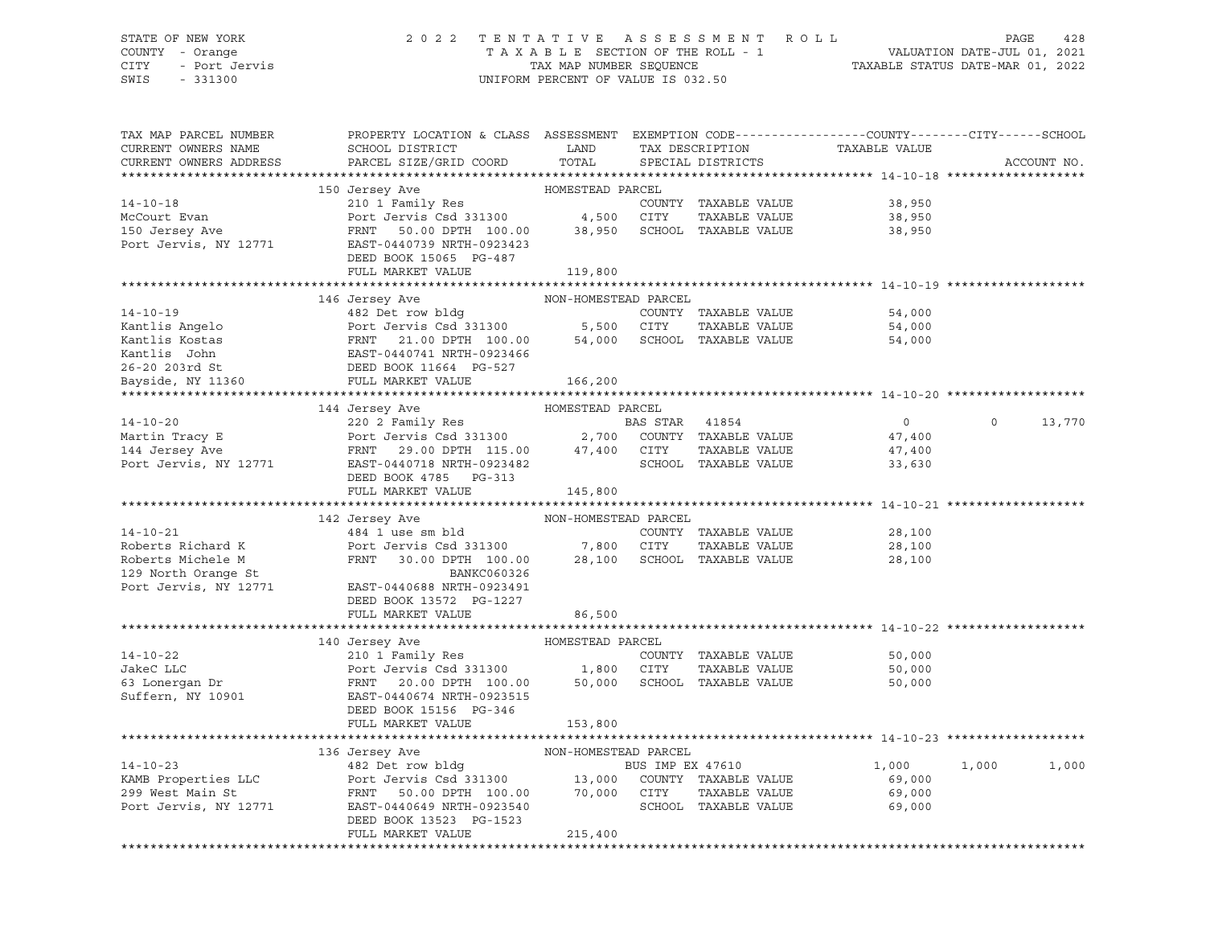#### STATE OF NEW YORK 2 0 2 2 T E N T A T I V E A S S E S S M E N T R O L L PAGE 428 COUNTY - Orange T A X A B L E SECTION OF THE ROLL - 1 VALUATION DATE-JUL 01, 2021 CITY - Port Jervis TAX MAP NUMBER SEQUENCE TAXABLE STATUS DATE-MAR 01, 2022

| TAX MAP PARCEL NUMBER<br>CURRENT OWNERS NAME<br>CURRENT OWNERS ADDRESS                                                                                                                                                                                     | PROPERTY LOCATION & CLASS ASSESSMENT EXEMPTION CODE---------------COUNTY-------CITY------SCHOOL<br>SCHOOL DISTRICT LAND<br>PARCEL SIZE/GRID COORD | TOTAL                | TAX DESCRIPTION<br>SPECIAL DISTRICTS | TAXABLE VALUE               |       | ACCOUNT NO.   |
|------------------------------------------------------------------------------------------------------------------------------------------------------------------------------------------------------------------------------------------------------------|---------------------------------------------------------------------------------------------------------------------------------------------------|----------------------|--------------------------------------|-----------------------------|-------|---------------|
| 14-10-18<br>150 Jersey Ave HOMESTEAD PARCEL<br>210 1 Family Res<br>McCourt Evan Port Jervis Csd 331300<br>150 Jersey Ave Port Jervis Csd 331300<br>150 Jersey Ave FRNT 50.00 DPTH 100.00<br>28,950 SCHOOL TAXABLE VALUE<br>28,950 SCHOOL TAX               |                                                                                                                                                   |                      |                                      |                             |       |               |
|                                                                                                                                                                                                                                                            |                                                                                                                                                   |                      |                                      |                             |       |               |
|                                                                                                                                                                                                                                                            |                                                                                                                                                   |                      |                                      |                             |       |               |
|                                                                                                                                                                                                                                                            |                                                                                                                                                   |                      |                                      |                             |       |               |
|                                                                                                                                                                                                                                                            |                                                                                                                                                   |                      |                                      |                             |       |               |
|                                                                                                                                                                                                                                                            |                                                                                                                                                   |                      |                                      |                             |       |               |
|                                                                                                                                                                                                                                                            |                                                                                                                                                   |                      |                                      |                             |       |               |
|                                                                                                                                                                                                                                                            | FULL MARKET VALUE                                                                                                                                 | 119,800              |                                      |                             |       |               |
|                                                                                                                                                                                                                                                            |                                                                                                                                                   |                      |                                      |                             |       |               |
|                                                                                                                                                                                                                                                            | 146 Jersey Ave                                                                                                                                    | NON-HOMESTEAD PARCEL |                                      |                             |       |               |
|                                                                                                                                                                                                                                                            |                                                                                                                                                   |                      |                                      | 54,000                      |       |               |
|                                                                                                                                                                                                                                                            |                                                                                                                                                   |                      |                                      | 54,000                      |       |               |
|                                                                                                                                                                                                                                                            |                                                                                                                                                   |                      |                                      | 54,000                      |       |               |
|                                                                                                                                                                                                                                                            |                                                                                                                                                   |                      |                                      |                             |       |               |
| 14-10-19<br>14-10-19<br>Kantlis Angelo<br>26-20 203rd St<br>26-20 203rd St<br>26-20 203rd St<br>26-20 203rd St<br>26-20 203rd St<br>26-20 203rd St<br>26-20 203rd St<br>26-20 203rd St<br>26-20 203rd St<br>26-20 203rd St<br>26-20 203rd St<br>26-20 203r |                                                                                                                                                   |                      |                                      |                             |       |               |
|                                                                                                                                                                                                                                                            |                                                                                                                                                   |                      |                                      |                             |       |               |
| 14-10-20<br>144 Jersey Ave HOMESTEAD PARCEL<br>220 2 Family Res<br>220 2 Family Res<br>220 2 Family Res<br>220 2 Family Res<br>220 2 Family Res<br>220 2 Family Res<br>220 2 Family Res<br>220 2 Family Res<br>220 2 Family Res<br>220 2 Family Res<br>    |                                                                                                                                                   |                      |                                      |                             |       |               |
|                                                                                                                                                                                                                                                            |                                                                                                                                                   |                      |                                      | $\overline{0}$              |       | $0 \t 13,770$ |
|                                                                                                                                                                                                                                                            |                                                                                                                                                   |                      |                                      |                             |       |               |
|                                                                                                                                                                                                                                                            |                                                                                                                                                   |                      |                                      | 47,400<br>47,400            |       |               |
|                                                                                                                                                                                                                                                            |                                                                                                                                                   |                      | SCHOOL TAXABLE VALUE                 | 33,630                      |       |               |
|                                                                                                                                                                                                                                                            | DEED BOOK 4785 PG-313                                                                                                                             |                      |                                      |                             |       |               |
|                                                                                                                                                                                                                                                            | FULL MARKET VALUE                                                                                                                                 | 145,800              |                                      |                             |       |               |
|                                                                                                                                                                                                                                                            |                                                                                                                                                   |                      |                                      |                             |       |               |
|                                                                                                                                                                                                                                                            | 142 Jersey Ave                                                                                                                                    | NON-HOMESTEAD PARCEL |                                      |                             |       |               |
|                                                                                                                                                                                                                                                            |                                                                                                                                                   |                      | COUNTY TAXABLE VALUE                 | 28,100                      |       |               |
|                                                                                                                                                                                                                                                            |                                                                                                                                                   |                      | TAXABLE VALUE                        | 28,100                      |       |               |
|                                                                                                                                                                                                                                                            | FRNT 30.00 DPTH 100.00 28,100 SCHOOL TAXABLE VALUE                                                                                                |                      |                                      | 28,100                      |       |               |
|                                                                                                                                                                                                                                                            |                                                                                                                                                   |                      |                                      |                             |       |               |
| 14-10-21<br>Roberts Richard K<br>Roberts Michele M<br>Roberts Michele M<br>Port Jervis Csd 331300<br>Port Jervis Csd 331300<br>7,800 CITY<br>7,800 CITY<br>28,100 SCHOOL<br>29 North Orange St<br>Port Jervis, NY 12771<br>EAST-0440688 NRTH-0923491       |                                                                                                                                                   |                      |                                      |                             |       |               |
|                                                                                                                                                                                                                                                            | DEED BOOK 13572 PG-1227                                                                                                                           |                      |                                      |                             |       |               |
|                                                                                                                                                                                                                                                            | FULL MARKET VALUE                                                                                                                                 | 86,500               |                                      |                             |       |               |
|                                                                                                                                                                                                                                                            |                                                                                                                                                   |                      |                                      |                             |       |               |
|                                                                                                                                                                                                                                                            |                                                                                                                                                   |                      |                                      |                             |       |               |
|                                                                                                                                                                                                                                                            |                                                                                                                                                   |                      |                                      | 50,000                      |       |               |
|                                                                                                                                                                                                                                                            |                                                                                                                                                   |                      |                                      | 50,000<br>50,000            |       |               |
|                                                                                                                                                                                                                                                            |                                                                                                                                                   |                      |                                      | 50,000                      |       |               |
|                                                                                                                                                                                                                                                            |                                                                                                                                                   |                      |                                      |                             |       |               |
|                                                                                                                                                                                                                                                            |                                                                                                                                                   |                      |                                      |                             |       |               |
|                                                                                                                                                                                                                                                            | FULL MARKET VALUE                                                                                                                                 | 153,800              |                                      |                             |       |               |
|                                                                                                                                                                                                                                                            |                                                                                                                                                   |                      |                                      |                             |       |               |
|                                                                                                                                                                                                                                                            |                                                                                                                                                   |                      |                                      |                             |       |               |
|                                                                                                                                                                                                                                                            |                                                                                                                                                   |                      |                                      | 1,000                       | 1,000 | 1,000         |
|                                                                                                                                                                                                                                                            |                                                                                                                                                   |                      |                                      | 69,000<br>69,000            |       |               |
| 136 Jersey Ave MON-HOMESTEAD PARCEL<br>482 Det row bldg BUS IMP EX 47610<br>EX 47610<br>EX 47610<br>EX 47610<br>299 West Main St FRNT 50.00 DPTH 100.00 70,000 CUNTY TAXABLE VALUE<br>POTT Jervis, NY 12771<br>EX 12771<br>EX 12771<br>EX 12771<br>        |                                                                                                                                                   |                      |                                      | SCHOOL TAXABLE VALUE 69,000 |       |               |
|                                                                                                                                                                                                                                                            | DEED BOOK 13523 PG-1523                                                                                                                           |                      |                                      |                             |       |               |
|                                                                                                                                                                                                                                                            | FULL MARKET VALUE                                                                                                                                 | 215,400              |                                      |                             |       |               |
|                                                                                                                                                                                                                                                            |                                                                                                                                                   |                      |                                      |                             |       |               |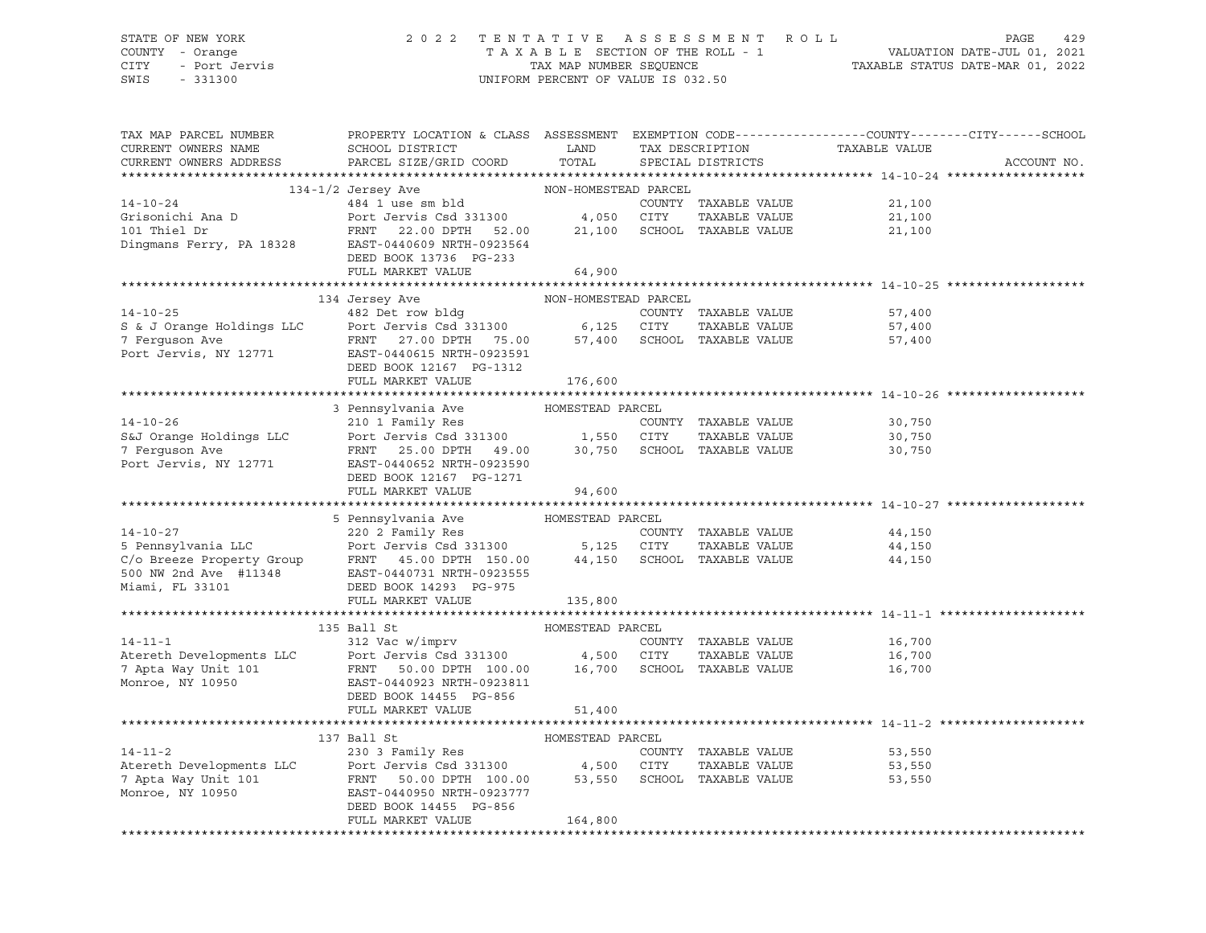# STATE OF NEW YORK 2 0 2 2 T E N T A T I V E A S S E S S M E N T R O L L PAGE 429 COUNTY - Orange T A X A B L E SECTION OF THE ROLL - 1 VALUATION DATE-JUL 01, 2021 CITY - Port Jervis TAX MAP NUMBER SEQUENCE TAXABLE STATUS DATE-MAR 01, 2022

| TAX MAP PARCEL NUMBER<br>CURRENT OWNERS NAME<br>CURRENT OWNERS ADDRESS                                                                                                                                                                                       | PROPERTY LOCATION & CLASS ASSESSMENT EXEMPTION CODE---------------COUNTY-------CITY------SCHOOL<br>SCHOOL DISTRICT<br>PARCEL SIZE/GRID COORD      | LAND<br>TOTAL |                                | TAX DESCRIPTION TAXABLE VALUE<br>SPECIAL DISTRICTS       | ACCOUNT NO. |
|--------------------------------------------------------------------------------------------------------------------------------------------------------------------------------------------------------------------------------------------------------------|---------------------------------------------------------------------------------------------------------------------------------------------------|---------------|--------------------------------|----------------------------------------------------------|-------------|
|                                                                                                                                                                                                                                                              |                                                                                                                                                   |               |                                |                                                          |             |
|                                                                                                                                                                                                                                                              | $134 - 1/2 \text{ Jersey Ave} \hspace{2.5cm} \text{NON-HOMESTEAD PARCEL} \label{eq:134-1/2}$<br>$484$ 1 use sm bld $\hspace{2.5cm} \text{COUNTY}$ |               |                                |                                                          |             |
| 14-10-24<br>Grisonichi Ana D<br>101 Thiel Dr<br>101 Thiel Dr<br>101 Thiel Dr<br>101 Thiel Dr<br>101 Thiel Dr<br>101 Thiel Dr<br>101 Thiel Dr<br>101 Thiel Dr<br>101 Thiel Dr<br>101 Thiel Dr<br>10328<br>10328<br>10440609 NRTH-0923564<br>1046609 NRTH-0923 |                                                                                                                                                   |               |                                | COUNTY TAXABLE VALUE 21,100                              |             |
|                                                                                                                                                                                                                                                              |                                                                                                                                                   |               |                                | 21,100                                                   |             |
|                                                                                                                                                                                                                                                              |                                                                                                                                                   |               |                                | 21,100                                                   |             |
|                                                                                                                                                                                                                                                              |                                                                                                                                                   |               |                                |                                                          |             |
|                                                                                                                                                                                                                                                              | DEED BOOK 13736 PG-233                                                                                                                            |               |                                |                                                          |             |
|                                                                                                                                                                                                                                                              | FULL MARKET VALUE                                                                                                                                 | 64,900        |                                |                                                          |             |
|                                                                                                                                                                                                                                                              |                                                                                                                                                   |               |                                |                                                          |             |
| 14-10-25<br>S & J Orange Holdings LLC<br>Terguson Ave FRNT 27.00 DPTH 75.00<br>POTT JERNE TRNT 27.00 DPTH 75.00<br>POTT 57,400 SCHOOL TAXABLE VALUE<br>POTT JERNE POTT PORT 1923591<br>POTT SCHOOL TAXABLE VALUE<br>POTT JERNE PORT 1923591                  | 134 Jersey Ave NON-HOMESTEAD PARCEL                                                                                                               |               |                                |                                                          |             |
|                                                                                                                                                                                                                                                              |                                                                                                                                                   |               |                                | 57,400                                                   |             |
|                                                                                                                                                                                                                                                              |                                                                                                                                                   |               | TAXABLE VALUE                  | 57,400                                                   |             |
|                                                                                                                                                                                                                                                              |                                                                                                                                                   |               |                                | 57,400                                                   |             |
|                                                                                                                                                                                                                                                              |                                                                                                                                                   |               |                                |                                                          |             |
|                                                                                                                                                                                                                                                              | DEED BOOK 12167 PG-1312                                                                                                                           |               |                                |                                                          |             |
|                                                                                                                                                                                                                                                              | FULL MARKET VALUE                                                                                                                                 | 176,600       |                                |                                                          |             |
|                                                                                                                                                                                                                                                              |                                                                                                                                                   |               |                                |                                                          |             |
|                                                                                                                                                                                                                                                              | 3 Pennsylvania Ave         HOMESTEAD PARCEL                                                                                                       |               |                                |                                                          |             |
|                                                                                                                                                                                                                                                              |                                                                                                                                                   |               |                                | 30,750                                                   |             |
|                                                                                                                                                                                                                                                              |                                                                                                                                                   |               |                                | 30,750                                                   |             |
|                                                                                                                                                                                                                                                              |                                                                                                                                                   |               |                                | 30,750                                                   |             |
|                                                                                                                                                                                                                                                              |                                                                                                                                                   |               |                                |                                                          |             |
|                                                                                                                                                                                                                                                              | DEED BOOK 12167 PG-1271<br>FULL MARKET VALUE 94,600                                                                                               |               |                                |                                                          |             |
|                                                                                                                                                                                                                                                              |                                                                                                                                                   |               |                                |                                                          |             |
| Xoronusydania Ave Alman Homestead PARCEL<br>220 2 Family Res COUNTY TAXABLE VALUE<br>220 2 Family Res COUNTY TAXABLE VALUE<br>220 2 Family Res COUNTY TAXABLE VALUE<br>220 2 Family Res COUNTY TAXABLE VALUE<br>220 2 Family Res COUNTY                      |                                                                                                                                                   |               |                                |                                                          |             |
|                                                                                                                                                                                                                                                              |                                                                                                                                                   |               |                                | 44,150                                                   |             |
|                                                                                                                                                                                                                                                              |                                                                                                                                                   |               |                                |                                                          |             |
|                                                                                                                                                                                                                                                              |                                                                                                                                                   |               |                                | TAXABLE VALUE 44,150<br>44,150                           |             |
|                                                                                                                                                                                                                                                              |                                                                                                                                                   |               |                                |                                                          |             |
|                                                                                                                                                                                                                                                              |                                                                                                                                                   |               |                                |                                                          |             |
|                                                                                                                                                                                                                                                              | FULL MARKET VALUE                                                                                                                                 | 135,800       |                                |                                                          |             |
|                                                                                                                                                                                                                                                              |                                                                                                                                                   |               |                                |                                                          |             |
|                                                                                                                                                                                                                                                              |                                                                                                                                                   |               |                                |                                                          |             |
|                                                                                                                                                                                                                                                              |                                                                                                                                                   |               |                                |                                                          |             |
|                                                                                                                                                                                                                                                              |                                                                                                                                                   |               |                                | COUNTY TAXABLE VALUE 16,700<br>CITY TAXABLE VALUE 16,700 |             |
|                                                                                                                                                                                                                                                              |                                                                                                                                                   |               |                                | 16,700                                                   |             |
|                                                                                                                                                                                                                                                              |                                                                                                                                                   |               |                                |                                                          |             |
|                                                                                                                                                                                                                                                              | DEED BOOK 14455 PG-856                                                                                                                            |               |                                |                                                          |             |
|                                                                                                                                                                                                                                                              | FULL MARKET VALUE                                                                                                                                 | 51,400        |                                |                                                          |             |
|                                                                                                                                                                                                                                                              |                                                                                                                                                   |               |                                |                                                          |             |
|                                                                                                                                                                                                                                                              |                                                                                                                                                   |               |                                |                                                          |             |
|                                                                                                                                                                                                                                                              |                                                                                                                                                   |               | COUNTY TAXABLE VALUE           | 53,550                                                   |             |
| 14-11-2<br>230 3 Family Res<br>Atereth Developments LLC<br>230 3 Family Res<br>230 3 Family Res<br>230 3 Family Res<br>230 3 Family Res<br>230 3 Family Res<br>230 3 Family Res<br>230 3 Family Res<br>230 3 Family Res<br>230 3 Family Res<br>230 3 F       |                                                                                                                                                   |               |                                | 53,550                                                   |             |
|                                                                                                                                                                                                                                                              |                                                                                                                                                   |               | TAXABLE VALUE<br>TAXARLE VALUE | 53,550                                                   |             |
|                                                                                                                                                                                                                                                              |                                                                                                                                                   |               |                                |                                                          |             |
|                                                                                                                                                                                                                                                              | DEED BOOK 14455 PG-856                                                                                                                            |               |                                |                                                          |             |
|                                                                                                                                                                                                                                                              | FULL MARKET VALUE                                                                                                                                 | 164,800       |                                |                                                          |             |
|                                                                                                                                                                                                                                                              |                                                                                                                                                   |               |                                |                                                          |             |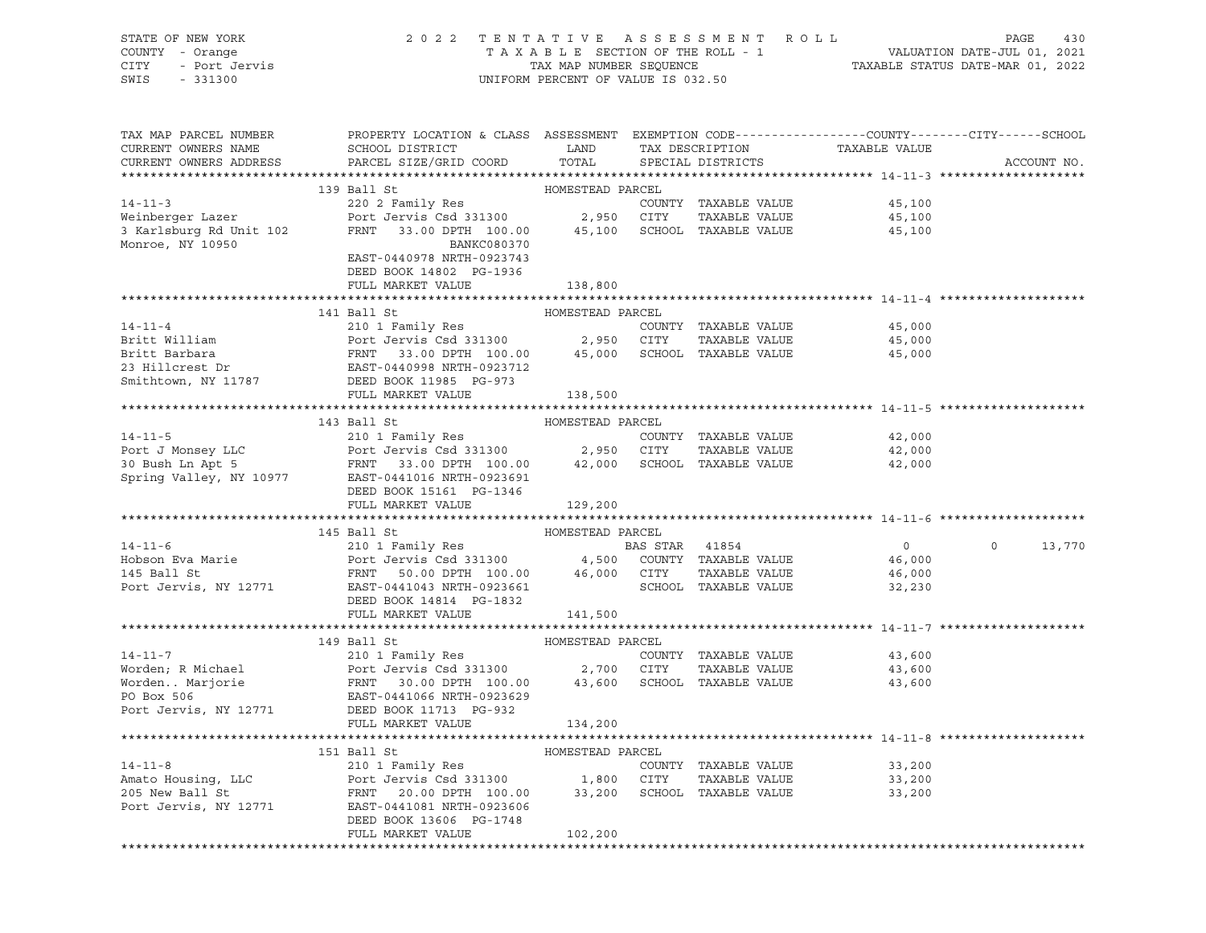STATE OF NEW YORK 2 0 2 2 T E N T A T I V E A S S E S S M E N T R O L L PAGE 430 COUNTY - Orange T A X A B L E SECTION OF THE ROLL - 1 VALUATION DATE-JUL 01, 2021 CITY - Port Jervis TAX MAP NUMBER SEQUENCE TAXABLE STATUS DATE-MAR 01, 2022 SWIS - 331300 UNIFORM PERCENT OF VALUE IS 032.50

| TAX MAP PARCEL NUMBER<br>CURRENT OWNERS NAME<br>CURRENT OWNERS ADDRESS | PROPERTY LOCATION & CLASS ASSESSMENT<br>SCHOOL DISTRICT<br>PARCEL SIZE/GRID COORD                                                                                                                                                                                                                                                                                                                                                    | LAND<br>TOTAL    |                | TAX DESCRIPTION<br>SPECIAL DISTRICTS  | TAXABLE VALUE    | EXEMPTION CODE-----------------COUNTY-------CITY------SCHOOL<br>ACCOUNT NO. |
|------------------------------------------------------------------------|--------------------------------------------------------------------------------------------------------------------------------------------------------------------------------------------------------------------------------------------------------------------------------------------------------------------------------------------------------------------------------------------------------------------------------------|------------------|----------------|---------------------------------------|------------------|-----------------------------------------------------------------------------|
|                                                                        |                                                                                                                                                                                                                                                                                                                                                                                                                                      |                  |                |                                       |                  |                                                                             |
|                                                                        | 139 Ball St                                                                                                                                                                                                                                                                                                                                                                                                                          | HOMESTEAD PARCEL |                |                                       |                  |                                                                             |
| $14 - 11 - 3$                                                          | 220 2 Family Res<br>Port Jervis Csd 331300 2,950 CITY                                                                                                                                                                                                                                                                                                                                                                                |                  |                | COUNTY TAXABLE VALUE                  | 45,100           |                                                                             |
| Weinberger Lazer                                                       |                                                                                                                                                                                                                                                                                                                                                                                                                                      |                  |                | TAXABLE VALUE                         | 45,100           |                                                                             |
| 3 Karlsburg Rd Unit 102                                                | FRNT 33.00 DPTH 100.00 45,100 SCHOOL TAXABLE VALUE                                                                                                                                                                                                                                                                                                                                                                                   |                  |                |                                       | 45,100           |                                                                             |
| Monroe, NY 10950                                                       | <b>BANKC080370</b>                                                                                                                                                                                                                                                                                                                                                                                                                   |                  |                |                                       |                  |                                                                             |
|                                                                        | EAST-0440978 NRTH-0923743                                                                                                                                                                                                                                                                                                                                                                                                            |                  |                |                                       |                  |                                                                             |
|                                                                        | DEED BOOK 14802 PG-1936                                                                                                                                                                                                                                                                                                                                                                                                              |                  |                |                                       |                  |                                                                             |
|                                                                        | FULL MARKET VALUE                                                                                                                                                                                                                                                                                                                                                                                                                    | 138,800          |                |                                       |                  |                                                                             |
|                                                                        |                                                                                                                                                                                                                                                                                                                                                                                                                                      |                  |                |                                       |                  |                                                                             |
|                                                                        | 141 Ball St                                                                                                                                                                                                                                                                                                                                                                                                                          | HOMESTEAD PARCEL |                |                                       |                  |                                                                             |
| $14 - 11 - 4$                                                          | 210 1 Family Res                                                                                                                                                                                                                                                                                                                                                                                                                     |                  |                | COUNTY TAXABLE VALUE                  | 45,000           |                                                                             |
|                                                                        |                                                                                                                                                                                                                                                                                                                                                                                                                                      |                  |                | TAXABLE VALUE                         | 45,000           |                                                                             |
|                                                                        |                                                                                                                                                                                                                                                                                                                                                                                                                                      |                  |                | 45,000 SCHOOL TAXABLE VALUE           | 45,000           |                                                                             |
|                                                                        |                                                                                                                                                                                                                                                                                                                                                                                                                                      |                  |                |                                       |                  |                                                                             |
|                                                                        |                                                                                                                                                                                                                                                                                                                                                                                                                                      |                  |                |                                       |                  |                                                                             |
|                                                                        | FULL MARKET VALUE                                                                                                                                                                                                                                                                                                                                                                                                                    | 138,500          |                |                                       |                  |                                                                             |
|                                                                        |                                                                                                                                                                                                                                                                                                                                                                                                                                      |                  |                |                                       |                  |                                                                             |
|                                                                        | 143 Ball St                                                                                                                                                                                                                                                                                                                                                                                                                          | HOMESTEAD PARCEL |                |                                       |                  |                                                                             |
|                                                                        | $\begin{array}{cccccccc} \texttt{14-11-5} & \texttt{210 1 Family Res} & \texttt{COUNTY} & \texttt{TAXABLE VALUE} \\ \texttt{Port J Money LLC} & \texttt{Port J errors} & \texttt{Cold} & \texttt{331300} & \texttt{2,950} & \texttt{CITY} & \texttt{TAXABLE VALUE} \\ \texttt{30 Bush Ln Apt 5} & \texttt{FRNT} & \texttt{33.00 DPTH} & \texttt{100.00} & \texttt{42,000} & \texttt{SCHOOL} & \texttt{TAXABLE VALUE} \\ \end{array}$ |                  |                | COUNTY TAXABLE VALUE<br>TAXABLE VALUE | 42,000<br>42,000 |                                                                             |
|                                                                        |                                                                                                                                                                                                                                                                                                                                                                                                                                      |                  |                |                                       | 42,000           |                                                                             |
|                                                                        | Spring Valley, NY 10977 EAST-0441016 NRTH-0923691                                                                                                                                                                                                                                                                                                                                                                                    |                  |                |                                       |                  |                                                                             |
|                                                                        | DEED BOOK 15161 PG-1346                                                                                                                                                                                                                                                                                                                                                                                                              |                  |                |                                       |                  |                                                                             |
|                                                                        | FULL MARKET VALUE                                                                                                                                                                                                                                                                                                                                                                                                                    | 129,200          |                |                                       |                  |                                                                             |
|                                                                        |                                                                                                                                                                                                                                                                                                                                                                                                                                      |                  |                |                                       |                  |                                                                             |
|                                                                        | 145 Ball St                                                                                                                                                                                                                                                                                                                                                                                                                          | HOMESTEAD PARCEL |                |                                       |                  |                                                                             |
| $14 - 11 - 6$                                                          | 210 1 Family Res                                                                                                                                                                                                                                                                                                                                                                                                                     |                  | BAS STAR 41854 |                                       | $\Omega$         | $\Omega$<br>13,770                                                          |
| Hobson Eva Marie                                                       |                                                                                                                                                                                                                                                                                                                                                                                                                                      |                  |                |                                       | 46,000           |                                                                             |
|                                                                        |                                                                                                                                                                                                                                                                                                                                                                                                                                      |                  |                |                                       | 46,000           |                                                                             |
| 145 Ball St<br>Port Jervis, NY 12771                                   |                                                                                                                                                                                                                                                                                                                                                                                                                                      |                  |                |                                       | 32,230           |                                                                             |
|                                                                        | DEED BOOK 14814 PG-1832                                                                                                                                                                                                                                                                                                                                                                                                              |                  |                |                                       |                  |                                                                             |
|                                                                        | FULL MARKET VALUE                                                                                                                                                                                                                                                                                                                                                                                                                    | 141,500          |                |                                       |                  |                                                                             |
|                                                                        |                                                                                                                                                                                                                                                                                                                                                                                                                                      |                  |                |                                       |                  |                                                                             |
|                                                                        | 149 Ball St                                                                                                                                                                                                                                                                                                                                                                                                                          | HOMESTEAD PARCEL |                |                                       |                  |                                                                             |
|                                                                        | 14-11-7<br>Worden; R Michael Port Jervis Csd 331300<br>Worden Marjorie FRNT 30.00 DPTH 100.00<br>EAST-0441066 NRTH-0923629<br>EAST-0441066 NRTH-0923629                                                                                                                                                                                                                                                                              |                  |                | COUNTY TAXABLE VALUE                  | 43,600           |                                                                             |
|                                                                        | Port Jervis Csd 331300 2,700 CITY                                                                                                                                                                                                                                                                                                                                                                                                    |                  |                | TAXABLE VALUE                         | 43,600           |                                                                             |
|                                                                        |                                                                                                                                                                                                                                                                                                                                                                                                                                      |                  |                | 43,600 SCHOOL TAXABLE VALUE           | 43,600           |                                                                             |
|                                                                        |                                                                                                                                                                                                                                                                                                                                                                                                                                      |                  |                |                                       |                  |                                                                             |
|                                                                        | Port Jervis, NY 12771 DEED BOOK 11713 PG-932                                                                                                                                                                                                                                                                                                                                                                                         |                  |                |                                       |                  |                                                                             |
|                                                                        | FULL MARKET VALUE                                                                                                                                                                                                                                                                                                                                                                                                                    | 134,200          |                |                                       |                  |                                                                             |
|                                                                        |                                                                                                                                                                                                                                                                                                                                                                                                                                      |                  |                |                                       |                  |                                                                             |
|                                                                        | 151 Ball St                                                                                                                                                                                                                                                                                                                                                                                                                          | HOMESTEAD PARCEL |                |                                       |                  |                                                                             |
| $14 - 11 - 8$                                                          | 210 1 Family Res                                                                                                                                                                                                                                                                                                                                                                                                                     |                  |                | COUNTY TAXABLE VALUE                  | 33,200           |                                                                             |
| Amato Housing, LLC                                                     | Port Jervis Csd 331300 1,800 CITY<br>FRNT 20.00 DPTH 100.00 33,200 SCHOO                                                                                                                                                                                                                                                                                                                                                             |                  |                | TAXABLE VALUE                         | 33,200           |                                                                             |
| 205 New Ball St                                                        |                                                                                                                                                                                                                                                                                                                                                                                                                                      |                  |                | SCHOOL TAXABLE VALUE                  | 33,200           |                                                                             |
| Port Jervis, NY 12771                                                  | EAST-0441081 NRTH-0923606                                                                                                                                                                                                                                                                                                                                                                                                            |                  |                |                                       |                  |                                                                             |
|                                                                        | DEED BOOK 13606 PG-1748                                                                                                                                                                                                                                                                                                                                                                                                              |                  |                |                                       |                  |                                                                             |
|                                                                        | FULL MARKET VALUE                                                                                                                                                                                                                                                                                                                                                                                                                    | 102,200          |                |                                       |                  |                                                                             |
|                                                                        |                                                                                                                                                                                                                                                                                                                                                                                                                                      |                  |                |                                       |                  |                                                                             |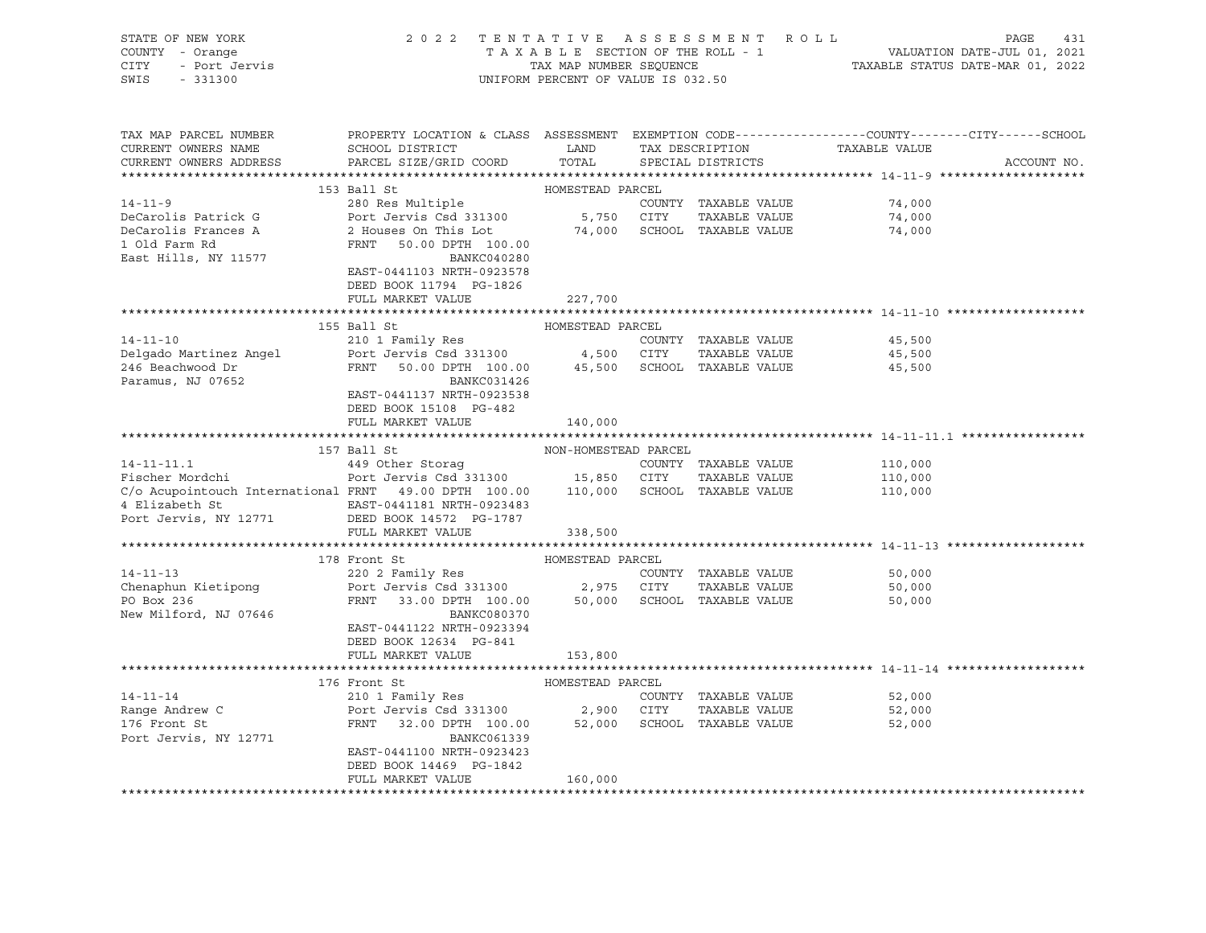| STATE OF NEW YORK<br>COUNTY - Orange<br>Y - Orange<br>- Port Jervis<br>CITY<br>SWIS<br>$-331300$ | 2022 TENTATIVE ASSESSMENT ROLL                                                                                                                    | UNIFORM PERCENT OF VALUE IS 032.50 |                      | TAXABLE SECTION OF THE ROLL - 1<br>TAXABLE SECTION OF THE ROLL - 1<br>TAXABLE STATUS DATE-MAR 01, 2022 | PAGE<br>431 |
|--------------------------------------------------------------------------------------------------|---------------------------------------------------------------------------------------------------------------------------------------------------|------------------------------------|----------------------|--------------------------------------------------------------------------------------------------------|-------------|
| TAX MAP PARCEL NUMBER<br>CURRENT OWNERS NAME<br>CURRENT OWNERS ADDRESS                           | PROPERTY LOCATION & CLASS ASSESSMENT EXEMPTION CODE---------------COUNTY-------CITY------SCHOOL<br>SCHOOL DISTRICT LAND<br>PARCEL SIZE/GRID COORD | TOTAL                              | SPECIAL DISTRICTS    | TAX DESCRIPTION TAXABLE VALUE                                                                          | ACCOUNT NO. |
|                                                                                                  | 153 Ball St                                                                                                                                       | HOMESTEAD PARCEL                   |                      |                                                                                                        |             |
| $14 - 11 - 9$                                                                                    | 280 Res Multiple                                                                                                                                  |                                    | COUNTY TAXABLE VALUE | 74,000                                                                                                 |             |
| DeCarolis Patrick G                                                                              |                                                                                                                                                   |                                    | TAXABLE VALUE        | 74,000                                                                                                 |             |
| DeCarolis Frances A                                                                              | Port Jervis Csd 331300 5,750 CITY TAXABLE VALUE<br>2 Houses On This Lot 574,000 SCHOOL TAXABLE VALUE                                              |                                    |                      | 74,000                                                                                                 |             |
| 1 Old Farm Rd                                                                                    | FRNT 50.00 DPTH 100.00                                                                                                                            |                                    |                      |                                                                                                        |             |
| East Hills, NY 11577                                                                             | BANKC040280                                                                                                                                       |                                    |                      |                                                                                                        |             |
|                                                                                                  | EAST-0441103 NRTH-0923578                                                                                                                         |                                    |                      |                                                                                                        |             |
|                                                                                                  | DEED BOOK 11794 PG-1826                                                                                                                           |                                    |                      |                                                                                                        |             |
|                                                                                                  | FULL MARKET VALUE                                                                                                                                 | 227,700                            |                      |                                                                                                        |             |
|                                                                                                  |                                                                                                                                                   |                                    |                      |                                                                                                        |             |
| $14 - 11 - 10$                                                                                   | 155 Ball St                                                                                                                                       | HOMESTEAD PARCEL                   |                      |                                                                                                        |             |
|                                                                                                  |                                                                                                                                                   |                                    |                      | 45,500<br>45,500                                                                                       |             |
| Delgado Martinez Angel<br>246 Beachwood Dr                                                       | 210 1 Family Res<br>Port Jervis Csd 331300 4,500 CITY TAXABLE VALUE<br>FRNT 50.00 DPTH 100.00 45,500 SCHOOL TAXABLE VALUE                         |                                    |                      | 45,500                                                                                                 |             |
| Paramus, NJ 07652                                                                                | BANKC031426                                                                                                                                       |                                    |                      |                                                                                                        |             |
|                                                                                                  | EAST-0441137 NRTH-0923538                                                                                                                         |                                    |                      |                                                                                                        |             |
|                                                                                                  | DEED BOOK 15108 PG-482                                                                                                                            |                                    |                      |                                                                                                        |             |
|                                                                                                  | FULL MARKET VALUE                                                                                                                                 | 140,000                            |                      |                                                                                                        |             |
|                                                                                                  |                                                                                                                                                   |                                    |                      |                                                                                                        |             |
|                                                                                                  | 157 Ball St                                                                                                                                       | NON-HOMESTEAD PARCEL               |                      |                                                                                                        |             |
|                                                                                                  |                                                                                                                                                   |                                    | COUNTY TAXABLE VALUE | 110,000                                                                                                |             |
| Fischer Mordchi<br>C/o Acupainteur' -                                                            |                                                                                                                                                   |                                    |                      | 110,000                                                                                                |             |
| C/o Acupointouch International FRNT 49.00 DPTH 100.00 110,000 SCHOOL TAXABLE VALUE               |                                                                                                                                                   |                                    |                      | 110,000                                                                                                |             |
|                                                                                                  |                                                                                                                                                   |                                    |                      |                                                                                                        |             |
|                                                                                                  | FULL MARKET VALUE                                                                                                                                 | 338,500                            |                      |                                                                                                        |             |
|                                                                                                  |                                                                                                                                                   |                                    |                      |                                                                                                        |             |
|                                                                                                  | 178 Front St                                                                                                                                      | HOMESTEAD PARCEL                   |                      |                                                                                                        |             |
| $14 - 11 - 13$                                                                                   | 220 2 Family Res                                                                                                                                  |                                    | COUNTY TAXABLE VALUE | 50,000                                                                                                 |             |
| Chenaphun Kietipong                                                                              | Port Jervis Csd 331300 2,975 CITY TAXABLE VALUE<br>FRNT 33.00 DPTH 100.00 50,000 SCHOOL TAXABLE VALUE                                             |                                    | TAXABLE VALUE        | 50,000                                                                                                 |             |
| PO Box 236                                                                                       |                                                                                                                                                   |                                    |                      | 50,000                                                                                                 |             |
| New Milford, NJ 07646                                                                            | BANKC080370                                                                                                                                       |                                    |                      |                                                                                                        |             |
|                                                                                                  | EAST-0441122 NRTH-0923394                                                                                                                         |                                    |                      |                                                                                                        |             |
|                                                                                                  | DEED BOOK 12634 PG-841                                                                                                                            |                                    |                      |                                                                                                        |             |
|                                                                                                  | FULL MARKET VALUE                                                                                                                                 | 153,800                            |                      |                                                                                                        |             |
|                                                                                                  |                                                                                                                                                   | HOMESTEAD PARCEL                   |                      |                                                                                                        |             |
| $14 - 11 - 14$                                                                                   | 176 Front St<br>210 1 Family Res                                                                                                                  |                                    | COUNTY TAXABLE VALUE | 52,000                                                                                                 |             |
|                                                                                                  |                                                                                                                                                   |                                    | TAXABLE VALUE        | 52,000                                                                                                 |             |
| Range Andrew C<br>176 Front St<br>176 Front St                                                   | Port Jervis Csd 331300 2,900 CITY TAXABLE VALUE<br>FRNT 32.00 DPTH 100.00 52,000 SCHOOL TAXABLE VALUE                                             |                                    |                      | 52,000                                                                                                 |             |
| Port Jervis, NY 12771                                                                            | BANKC061339                                                                                                                                       |                                    |                      |                                                                                                        |             |
|                                                                                                  | EAST-0441100 NRTH-0923423                                                                                                                         |                                    |                      |                                                                                                        |             |
|                                                                                                  | DEED BOOK 14469 PG-1842                                                                                                                           |                                    |                      |                                                                                                        |             |
|                                                                                                  | FULL MARKET VALUE                                                                                                                                 | 160,000                            |                      |                                                                                                        |             |
|                                                                                                  |                                                                                                                                                   |                                    |                      |                                                                                                        |             |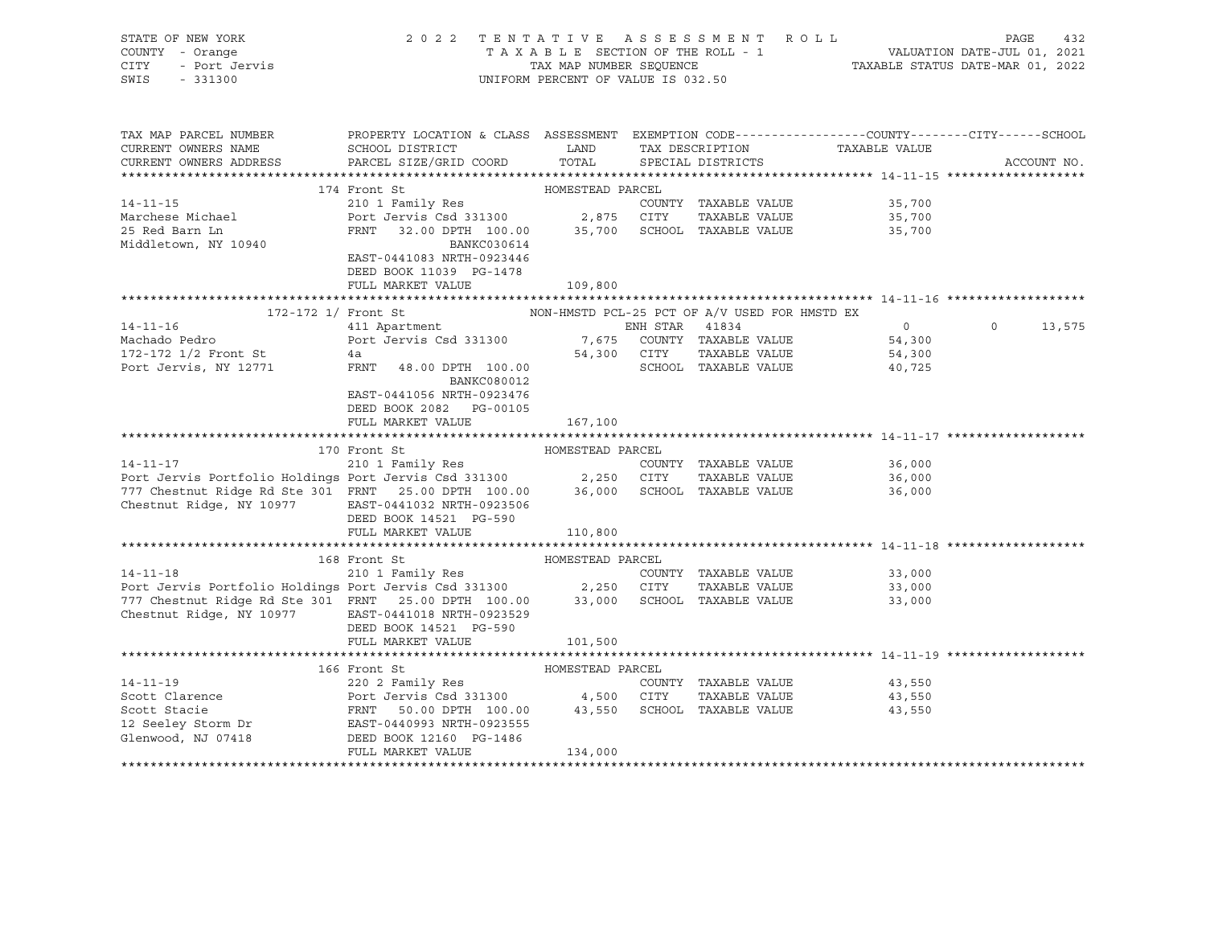| STATE OF NEW YORK<br>COUNTY - Orange<br>CITY - Port Jervis<br>SWIS - 331300                                                                                                                                                                          | 2022 TENTATIVE ASSESSMENT ROLL PAGE 432<br>TAXABLE SECTION OF THE ROLL - 1 VALUATION DATE-JUL 01, 2021<br>TAXABLE STATUS DATE-MAR 01, 2022<br>TAXABLE STATUS DATE-MAR 01, 2022                                                                              | UNIFORM PERCENT OF VALUE IS 032.50 |                      |                                              |                    |
|------------------------------------------------------------------------------------------------------------------------------------------------------------------------------------------------------------------------------------------------------|-------------------------------------------------------------------------------------------------------------------------------------------------------------------------------------------------------------------------------------------------------------|------------------------------------|----------------------|----------------------------------------------|--------------------|
| TAX MAP PARCEL NUMBER<br>CURRENT OWNERS NAME                                                                                                                                                                                                         | PROPERTY LOCATION & CLASS ASSESSMENT EXEMPTION CODE----------------COUNTY-------CITY------SCHOOL<br>SCHOOL DISTRICT                       LAND        TAX DESCRIPTION                  TAXABLE VALUE                                                        |                                    |                      |                                              |                    |
| CURRENT OWNERS ADDRESS PARCEL SIZE/GRID COORD TOTAL SPECIAL DISTRICTS                                                                                                                                                                                |                                                                                                                                                                                                                                                             |                                    |                      |                                              | ACCOUNT NO.        |
|                                                                                                                                                                                                                                                      |                                                                                                                                                                                                                                                             |                                    |                      |                                              |                    |
|                                                                                                                                                                                                                                                      | The montrate of the HOMESTEAD PARCEL<br>210 1 Family Res<br>210 1 Family Res<br>210 1 Family Res<br>210 2,875 CITY TAXABLE VALUE<br>200 2,875 CITY TAXABLE VALUE<br>23,700 2,875 CITY TAXABLE VALUE<br>23,700 235,700 25,700 SCHOOL TAXABLE<br>174 Front St |                                    |                      |                                              |                    |
| $14 - 11 - 15$                                                                                                                                                                                                                                       |                                                                                                                                                                                                                                                             |                                    |                      |                                              |                    |
| Marchese Michael                                                                                                                                                                                                                                     |                                                                                                                                                                                                                                                             |                                    |                      |                                              |                    |
| 25 Red Barn Ln                                                                                                                                                                                                                                       |                                                                                                                                                                                                                                                             |                                    |                      |                                              |                    |
| Middletown, NY 10940                                                                                                                                                                                                                                 | BANKC030614                                                                                                                                                                                                                                                 |                                    |                      |                                              |                    |
|                                                                                                                                                                                                                                                      | EAST-0441083 NRTH-0923446                                                                                                                                                                                                                                   |                                    |                      |                                              |                    |
|                                                                                                                                                                                                                                                      | DEED BOOK 11039 PG-1478                                                                                                                                                                                                                                     |                                    |                      |                                              |                    |
|                                                                                                                                                                                                                                                      | FULL MARKET VALUE                                                                                                                                                                                                                                           | 109,800                            |                      |                                              |                    |
|                                                                                                                                                                                                                                                      | 172-172 1/ Front St $$\tt{NON-HMSTD}$ PCL-25 PCT OF A/V USED FOR HMSTD EX                                                                                                                                                                                   |                                    |                      |                                              |                    |
|                                                                                                                                                                                                                                                      | 411 Apartment Communications of the STAR 41834                                                                                                                                                                                                              |                                    |                      |                                              | $\Omega$<br>13,575 |
|                                                                                                                                                                                                                                                      |                                                                                                                                                                                                                                                             |                                    |                      |                                              |                    |
|                                                                                                                                                                                                                                                      |                                                                                                                                                                                                                                                             |                                    |                      |                                              |                    |
| Port Jervis, NY 12771                                                                                                                                                                                                                                | FRNT 48.00 DPTH 100.00 SCHOOL TAXABLE VALUE                                                                                                                                                                                                                 |                                    |                      | 40,725                                       |                    |
|                                                                                                                                                                                                                                                      | BANKC080012                                                                                                                                                                                                                                                 |                                    |                      |                                              |                    |
|                                                                                                                                                                                                                                                      | EAST-0441056 NRTH-0923476                                                                                                                                                                                                                                   |                                    |                      |                                              |                    |
|                                                                                                                                                                                                                                                      | DEED BOOK 2082    PG-00105                                                                                                                                                                                                                                  |                                    |                      |                                              |                    |
|                                                                                                                                                                                                                                                      | FULL MARKET VALUE                                                                                                                                                                                                                                           | 167,100                            |                      |                                              |                    |
|                                                                                                                                                                                                                                                      |                                                                                                                                                                                                                                                             |                                    |                      |                                              |                    |
| 170 Front St<br>210 1 Family Res<br>Port Jervis Portfolio Holdings Port Jervis Csd 331300<br>2,250 CITY TAXABLE VALUE<br>2577 Chestnut Ridge Rd Ste 301 FRNT 25.00 DPTH 100.00 36,000 SCHOOL TAXABLE VALUE                                           |                                                                                                                                                                                                                                                             |                                    |                      |                                              |                    |
|                                                                                                                                                                                                                                                      |                                                                                                                                                                                                                                                             |                                    |                      | 36,000<br>36,000                             |                    |
|                                                                                                                                                                                                                                                      |                                                                                                                                                                                                                                                             |                                    |                      | 36,000                                       |                    |
| Chestnut Ridge, NY 10977 EAST-0441032 NRTH-0923506                                                                                                                                                                                                   |                                                                                                                                                                                                                                                             |                                    |                      |                                              |                    |
|                                                                                                                                                                                                                                                      | DEED BOOK 14521 PG-590                                                                                                                                                                                                                                      |                                    |                      |                                              |                    |
|                                                                                                                                                                                                                                                      | FULL MARKET VALUE                                                                                                                                                                                                                                           | 110,800                            |                      |                                              |                    |
|                                                                                                                                                                                                                                                      |                                                                                                                                                                                                                                                             |                                    |                      |                                              |                    |
|                                                                                                                                                                                                                                                      | 168 Front St                                                                                                                                                                                                                                                |                                    |                      |                                              |                    |
| $14 - 11 - 18$                                                                                                                                                                                                                                       |                                                                                                                                                                                                                                                             |                                    | COUNTY TAXABLE VALUE | 33,000                                       |                    |
| Port Jervis Portfolio Holdings Port Jervis Csd 331300 2,250 CITY TAXABLE VALUE<br>777 Chestnut Ridge Rd Ste 301 FRNT 25.00 DPTH 100.00 33,000 SCHOOL TAXABLE VALUE                                                                                   |                                                                                                                                                                                                                                                             |                                    |                      | TAXABLE VALUE 33,000<br>TAXABLE VALUE 33,000 |                    |
|                                                                                                                                                                                                                                                      |                                                                                                                                                                                                                                                             |                                    |                      |                                              |                    |
| Chestnut Ridge, NY 10977 EAST-0441018 NRTH-0923529                                                                                                                                                                                                   |                                                                                                                                                                                                                                                             |                                    |                      |                                              |                    |
|                                                                                                                                                                                                                                                      | DEED BOOK 14521 PG-590                                                                                                                                                                                                                                      |                                    |                      |                                              |                    |
|                                                                                                                                                                                                                                                      | FULL MARKET VALUE                                                                                                                                                                                                                                           | 101,500                            |                      |                                              |                    |
|                                                                                                                                                                                                                                                      |                                                                                                                                                                                                                                                             |                                    |                      |                                              |                    |
| 14-11-19<br>Scott Clarence<br>Scott Clarence<br>Scott Stacie<br>Scott Stacie<br>FRNT 50.00 DPTH 100.00 43,550 SCHOOL TAXABLE VALUE<br>2202 Family Res<br>POTT JERES 2202 Family Res<br>2202 Family Res<br>2202 Family Res<br>2202 Family Res<br>2202 | 166 Front St                                                                                                                                                                                                                                                | HOMESTEAD PARCEL                   |                      | 43,550                                       |                    |
|                                                                                                                                                                                                                                                      |                                                                                                                                                                                                                                                             |                                    |                      | TAXABLE VALUE 43,550                         |                    |
|                                                                                                                                                                                                                                                      |                                                                                                                                                                                                                                                             |                                    |                      | 43,550                                       |                    |
|                                                                                                                                                                                                                                                      |                                                                                                                                                                                                                                                             |                                    |                      |                                              |                    |
|                                                                                                                                                                                                                                                      |                                                                                                                                                                                                                                                             |                                    |                      |                                              |                    |
|                                                                                                                                                                                                                                                      | FULL MARKET VALUE                                                                                                                                                                                                                                           | 134,000                            |                      |                                              |                    |
|                                                                                                                                                                                                                                                      |                                                                                                                                                                                                                                                             |                                    |                      |                                              |                    |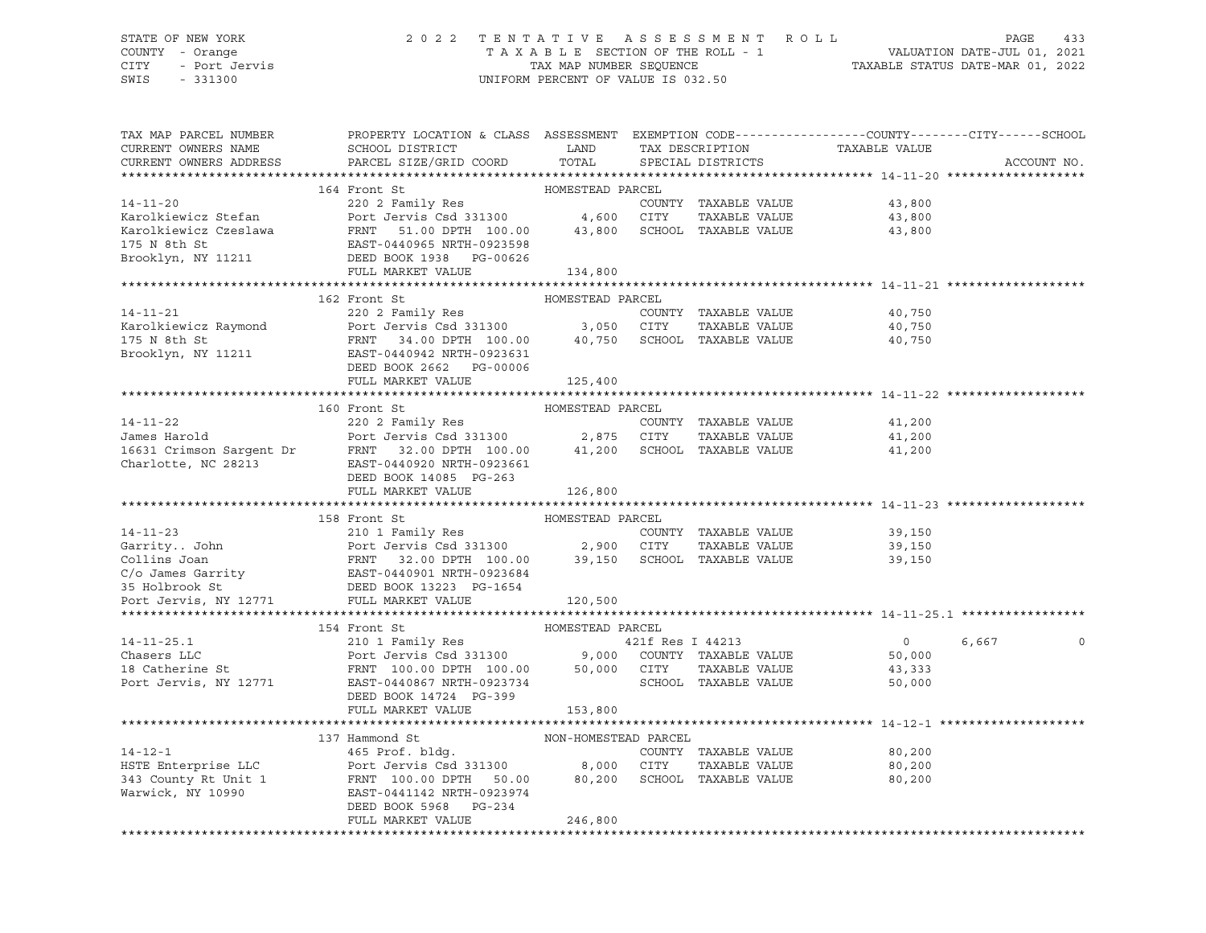### STATE OF NEW YORK 2 0 2 2 T E N T A T I V E A S S E S S M E N T R O L L PAGE 433 COUNTY - Orange T A X A B L E SECTION OF THE ROLL - 1 VALUATION DATE-JUL 01, 2021 CITY - Port Jervis TAX MAP NUMBER SEQUENCE TAXABLE STATUS DATE-MAR 01, 2022

| TAX MAP PARCEL NUMBER                                   | PROPERTY LOCATION & CLASS ASSESSMENT EXEMPTION CODE---------------COUNTY-------CITY------SCHOOL                                                                                                                                                                    |                      |                                |                                                 |             |  |
|---------------------------------------------------------|--------------------------------------------------------------------------------------------------------------------------------------------------------------------------------------------------------------------------------------------------------------------|----------------------|--------------------------------|-------------------------------------------------|-------------|--|
| CURRENT OWNERS NAME                                     | SCHOOL DISTRICT<br><b>EXAMPLE EXAMPLE EXAMPLE EXAMPLE EXAMPLE EXAMPLE EXAMPLE EXAMPLE EXAMPLE EXAMPLE EXAMPLE EXAMPLE EXAMPLE EXAMPLE E</b>                                                                                                                        |                      |                                |                                                 |             |  |
| CURRENT OWNERS ADDRESS                                  | PARCEL SIZE/GRID COORD                                                                                                                                                                                                                                             | TOTAL                |                                | TAX DESCRIPTION TAXABLE VALUE SPECIAL DISTRICTS | ACCOUNT NO. |  |
|                                                         |                                                                                                                                                                                                                                                                    |                      |                                |                                                 |             |  |
|                                                         | 164 Front St                                                                                                                                                                                                                                                       | HOMESTEAD PARCEL     |                                |                                                 |             |  |
|                                                         | 14-11-20<br>14-11-20<br>2002 Family Res<br>2002 Family Res<br>2002 Family Res<br>2002 Family Res<br>2002 Family Res<br>2002 Family Res<br>2002 Family Res<br>2003 Family Res<br>2003 Family Res<br>2003 Family Res<br>2003 Family Res<br>2003 Family Res           |                      |                                |                                                 |             |  |
|                                                         |                                                                                                                                                                                                                                                                    |                      |                                |                                                 |             |  |
|                                                         |                                                                                                                                                                                                                                                                    |                      |                                |                                                 |             |  |
|                                                         |                                                                                                                                                                                                                                                                    |                      |                                |                                                 |             |  |
|                                                         |                                                                                                                                                                                                                                                                    |                      |                                |                                                 |             |  |
|                                                         | Brooklyn, NY 11211 DEED BOOK 1938 PG-00626                                                                                                                                                                                                                         |                      |                                |                                                 |             |  |
|                                                         | FULL MARKET VALUE                                                                                                                                                                                                                                                  | 134,800              |                                |                                                 |             |  |
|                                                         |                                                                                                                                                                                                                                                                    |                      |                                |                                                 |             |  |
|                                                         | 162 Front St                                                                                                                                                                                                                                                       | HOMESTEAD PARCEL     |                                |                                                 |             |  |
|                                                         | 14-11-21 220 2 Family Res<br>220 2 Family Res<br>220 2 Family Res<br>220 2 Family Res<br>220 2 Family Res<br>220 2 Family Res<br>220 2 Family Res<br>231300 3,050 CITY TAXABLE VALUE<br>34.00 DPTH 100.00 40,750 SCHOOL TAXABLE VALUE                              |                      |                                | 40,750                                          |             |  |
|                                                         |                                                                                                                                                                                                                                                                    |                      |                                | TAXABLE VALUE 40,750                            |             |  |
|                                                         |                                                                                                                                                                                                                                                                    |                      |                                | 40,750                                          |             |  |
|                                                         | $\begin{tabular}{lllllll} \bf 175 $N$ & \tt 8th $St$ & \tt 75 $N$ & \tt 8th $St$ \\ \bf 275 $N$ & \tt 8th $St$ & \tt 8th $St$ & \tt 8th $St$ & \tt 940942 $ NRTH-0923631 \\ \end{tabular}$                                                                         |                      |                                |                                                 |             |  |
|                                                         |                                                                                                                                                                                                                                                                    |                      |                                |                                                 |             |  |
|                                                         | DEED BOOK 2662 PG-00006                                                                                                                                                                                                                                            |                      |                                |                                                 |             |  |
|                                                         | FULL MARKET VALUE                                                                                                                                                                                                                                                  | 125,400              |                                |                                                 |             |  |
|                                                         |                                                                                                                                                                                                                                                                    |                      |                                |                                                 |             |  |
|                                                         | 160 Front St<br>14-11-22<br>James Harold<br>16631 Crimson Sargent Dr<br>COUNTY TAXABLE VALUE<br>Port Jervis Csd 331300<br>Port Jervis Csd 331300<br>2,875 CITY TAXABLE VALUE<br>2,875 CITY TAXABLE VALUE<br>Charlotte, NC 28213<br>EAST-0449220 NRTH-0923661<br>EA | HOMESTEAD PARCEL     |                                |                                                 |             |  |
|                                                         |                                                                                                                                                                                                                                                                    |                      |                                | 41,200                                          |             |  |
|                                                         |                                                                                                                                                                                                                                                                    |                      |                                | 41,200                                          |             |  |
|                                                         |                                                                                                                                                                                                                                                                    |                      |                                | 41,200                                          |             |  |
|                                                         |                                                                                                                                                                                                                                                                    |                      |                                |                                                 |             |  |
|                                                         | DEED BOOK 14085 PG-263                                                                                                                                                                                                                                             |                      |                                |                                                 |             |  |
|                                                         | FULL MARKET VALUE                                                                                                                                                                                                                                                  | 126,800              |                                |                                                 |             |  |
|                                                         |                                                                                                                                                                                                                                                                    |                      |                                |                                                 |             |  |
|                                                         | 158 Front St                                                                                                                                                                                                                                                       |                      |                                |                                                 |             |  |
| $14 - 11 - 23$                                          |                                                                                                                                                                                                                                                                    |                      |                                |                                                 |             |  |
|                                                         |                                                                                                                                                                                                                                                                    |                      | COUNTY TAXABLE VALUE           | 39,150                                          |             |  |
|                                                         |                                                                                                                                                                                                                                                                    |                      |                                | TAXABLE VALUE 39,150                            |             |  |
|                                                         |                                                                                                                                                                                                                                                                    |                      |                                | 39,150                                          |             |  |
|                                                         |                                                                                                                                                                                                                                                                    |                      |                                |                                                 |             |  |
|                                                         | 14-11-23 210 1 Family Res<br>COUNTY TAXABLE VALUE<br>Collins Joan FRNT 32.00 DPTH 100.00 39,150 SCHOOL TAXABLE VALUE<br>C/o James Garrity EAST-0440901 NRTH-0923684<br>35 Holbrook St. DEED BOOK 13223 PG-1654<br>TAXABLE VALUE<br>DEED BO                         |                      |                                |                                                 |             |  |
| Port Jervis, NY 12771                                   | FULL MARKET VALUE                                                                                                                                                                                                                                                  | 120,500              |                                |                                                 |             |  |
|                                                         |                                                                                                                                                                                                                                                                    |                      |                                |                                                 |             |  |
|                                                         | 154 Front St                                                                                                                                                                                                                                                       | HOMESTEAD PARCEL     |                                |                                                 |             |  |
| $14 - 11 - 25.1$                                        | 154 Front St<br>210 1 Family Res<br>Port Jervis Csd 331300 9,000 COUNTY TAXABLE VALUE<br>FRNT 100.00 DPTH 100.00 50,000 CITY TAXABLE VALUE<br>EAST-0440867 NRTH-0923734 SCHOOL TAXABLE VALUE                                                                       |                      | 421f Res I 44213               | $\overline{0}$                                  | 6,667       |  |
| Chasers LLC                                             |                                                                                                                                                                                                                                                                    |                      |                                | 50,000                                          |             |  |
|                                                         |                                                                                                                                                                                                                                                                    |                      |                                | 43,333                                          |             |  |
| Chasers LLC<br>18 Catherine St<br>Port Jervis, NY 12771 |                                                                                                                                                                                                                                                                    |                      |                                | 50,000                                          |             |  |
|                                                         |                                                                                                                                                                                                                                                                    |                      |                                |                                                 |             |  |
|                                                         | DEED BOOK 14724 PG-399                                                                                                                                                                                                                                             |                      |                                |                                                 |             |  |
|                                                         | FULL MARKET VALUE                                                                                                                                                                                                                                                  | 153,800              |                                |                                                 |             |  |
|                                                         |                                                                                                                                                                                                                                                                    |                      |                                |                                                 |             |  |
|                                                         | 137 Hammond St                                                                                                                                                                                                                                                     | NON-HOMESTEAD PARCEL |                                |                                                 |             |  |
|                                                         |                                                                                                                                                                                                                                                                    |                      | COUNTY TAXABLE VALUE           | 80,200                                          |             |  |
|                                                         | 137 Hammond St<br>14-12-1 12-1 12-1<br>HSTE Enterprise LLC 165 Prof. bldg. COUNTY TAXABLE VALUE<br>143 County Rt Unit 1 1 100.00 DPTH 50.00 180,200 SCHOOL TAXABLE VALUE                                                                                           |                      | TAXABLE VALUE<br>TAXABLE VALUE | 80,200                                          |             |  |
|                                                         |                                                                                                                                                                                                                                                                    |                      |                                | 80,200                                          |             |  |
| Warwick, NY 10990                                       | EAST-0441142 NRTH-0923974                                                                                                                                                                                                                                          |                      |                                |                                                 |             |  |
|                                                         | DEED BOOK 5968 PG-234                                                                                                                                                                                                                                              |                      |                                |                                                 |             |  |
|                                                         | FULL MARKET VALUE                                                                                                                                                                                                                                                  | 246,800              |                                |                                                 |             |  |
|                                                         |                                                                                                                                                                                                                                                                    |                      |                                |                                                 |             |  |
|                                                         |                                                                                                                                                                                                                                                                    |                      |                                |                                                 |             |  |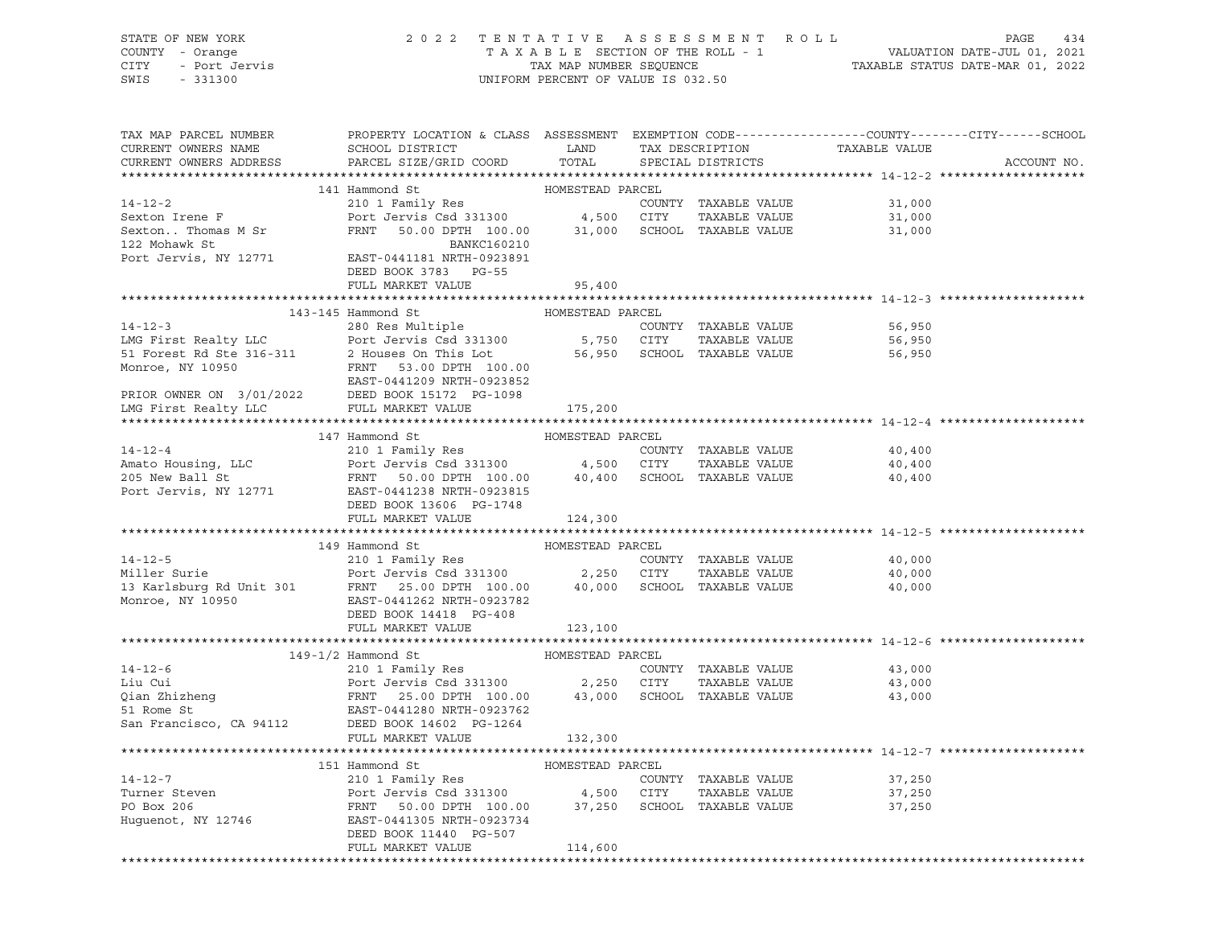| STATE OF NEW YORK<br>COUNTY - Orange<br>CITY - Port Jervis<br>331300 |                                                                                                                                                                                                                                                          | UNIFORM PERCENT OF VALUE IS 032.50 |      |                      |                                                 | 2022 TENTATIVE ASSESSMENT ROLL PAGE 434<br>TAXABLE SECTION OF THE ROLL - 1 VALUATION DATE-JUL 01, 2021<br>TAX MAP NUMBER SEQUENCE TAXABLE STATUS DATE-MAR 01, 2022 |
|----------------------------------------------------------------------|----------------------------------------------------------------------------------------------------------------------------------------------------------------------------------------------------------------------------------------------------------|------------------------------------|------|----------------------|-------------------------------------------------|--------------------------------------------------------------------------------------------------------------------------------------------------------------------|
| CURRENT OWNERS NAME<br>CURRENT OWNERS ADDRESS                        | TAX MAP PARCEL NUMBER THE PROPERTY LOCATION & CLASS ASSESSMENT EXEMPTION CODE--------------COUNTY-------CITY------SCHOOL<br>SCHOOL DISTRICT LAND<br>PARCEL SIZE/GRID COORD TOTAL                                                                         |                                    |      |                      | TAX DESCRIPTION TAXABLE VALUE SPECIAL DISTRICTS | ACCOUNT NO.                                                                                                                                                        |
|                                                                      | 141 Hammond St                                                                                                                                                                                                                                           |                                    |      |                      |                                                 |                                                                                                                                                                    |
| $14 - 12 - 2$                                                        |                                                                                                                                                                                                                                                          |                                    |      | COUNTY TAXABLE VALUE | 31,000                                          |                                                                                                                                                                    |
|                                                                      |                                                                                                                                                                                                                                                          |                                    |      |                      | TAXABLE VALUE 31,000                            |                                                                                                                                                                    |
|                                                                      | Sexton Irene F<br>Sexton Thomas M Sr<br>Sexton Thomas M Sr<br>TRAXABLE VALUE<br>TRAXABLE VALUE<br>TRAXABLE VALUE<br>TRAXABLE VALUE<br>TRAXABLE VALUE<br>TRAXABLE VALUE<br>TRAXABLE VALUE<br>TRAXABLE VALUE<br>TRAXABLE VALUE<br>TRAXABLE VALUE<br>       |                                    |      |                      | 31,000                                          |                                                                                                                                                                    |
|                                                                      |                                                                                                                                                                                                                                                          |                                    |      |                      |                                                 |                                                                                                                                                                    |
|                                                                      |                                                                                                                                                                                                                                                          |                                    |      |                      |                                                 |                                                                                                                                                                    |
|                                                                      | DEED BOOK 3783 PG-55                                                                                                                                                                                                                                     |                                    |      |                      |                                                 |                                                                                                                                                                    |
|                                                                      | FULL MARKET VALUE                                                                                                                                                                                                                                        | 95,400                             |      |                      |                                                 |                                                                                                                                                                    |
|                                                                      |                                                                                                                                                                                                                                                          |                                    |      |                      |                                                 |                                                                                                                                                                    |
|                                                                      |                                                                                                                                                                                                                                                          |                                    |      |                      |                                                 |                                                                                                                                                                    |
|                                                                      |                                                                                                                                                                                                                                                          |                                    |      |                      | COUNTY TAXABLE VALUE 56,950                     |                                                                                                                                                                    |
|                                                                      |                                                                                                                                                                                                                                                          |                                    |      |                      | 56,950                                          |                                                                                                                                                                    |
|                                                                      |                                                                                                                                                                                                                                                          |                                    |      |                      | 56,950                                          |                                                                                                                                                                    |
|                                                                      |                                                                                                                                                                                                                                                          |                                    |      |                      |                                                 |                                                                                                                                                                    |
|                                                                      |                                                                                                                                                                                                                                                          |                                    |      |                      |                                                 |                                                                                                                                                                    |
|                                                                      |                                                                                                                                                                                                                                                          |                                    |      |                      |                                                 |                                                                                                                                                                    |
|                                                                      |                                                                                                                                                                                                                                                          |                                    |      |                      |                                                 |                                                                                                                                                                    |
|                                                                      | 147 Hammond St                                                                                                                                                                                                                                           |                                    |      |                      |                                                 |                                                                                                                                                                    |
| $14 - 12 - 4$                                                        | HOMESTEAD PARCEL                                                                                                                                                                                                                                         |                                    |      |                      | 40,400                                          |                                                                                                                                                                    |
|                                                                      |                                                                                                                                                                                                                                                          |                                    |      |                      | TAXABLE VALUE 40,400                            |                                                                                                                                                                    |
|                                                                      |                                                                                                                                                                                                                                                          |                                    |      |                      | 40,400                                          |                                                                                                                                                                    |
|                                                                      | 14-12-4<br>Amato Housing, LLC<br>205 New Ball St<br>205 New Ball St<br>205 New Ball St<br>205 New Ball St<br>205 New Ball St<br>205 New Ball St<br>205 New Ball St<br>205 New Ball St<br>205 New Ball St<br>205 New Ball St<br>205 New Ball St<br>205 Ne |                                    |      |                      |                                                 |                                                                                                                                                                    |
|                                                                      | DEED BOOK 13606 PG-1748                                                                                                                                                                                                                                  |                                    |      |                      |                                                 |                                                                                                                                                                    |
|                                                                      | FULL MARKET VALUE                                                                                                                                                                                                                                        | 124,300                            |      |                      |                                                 |                                                                                                                                                                    |
|                                                                      | 14-12-5<br>Miller Surie 210 1 Family Res<br>Miller Surie Port Jervis Csd 331300<br>13 Karlsburg Rd Unit 301<br>Monroe, NY 10950<br>2.250 DEED BOOK 14418 PG-408<br>2.250 CITY TAXABLE VALUE<br>Monroe, NY 10950<br>2.250 CITY TAXABLE VALUE<br>M         |                                    |      |                      |                                                 |                                                                                                                                                                    |
|                                                                      |                                                                                                                                                                                                                                                          |                                    |      |                      |                                                 |                                                                                                                                                                    |
|                                                                      |                                                                                                                                                                                                                                                          |                                    |      |                      | 40,000                                          |                                                                                                                                                                    |
|                                                                      |                                                                                                                                                                                                                                                          |                                    |      |                      | TAXABLE VALUE 40,000                            |                                                                                                                                                                    |
|                                                                      |                                                                                                                                                                                                                                                          |                                    |      |                      | 40,000                                          |                                                                                                                                                                    |
|                                                                      |                                                                                                                                                                                                                                                          |                                    |      |                      |                                                 |                                                                                                                                                                    |
|                                                                      |                                                                                                                                                                                                                                                          |                                    |      |                      |                                                 |                                                                                                                                                                    |
|                                                                      |                                                                                                                                                                                                                                                          |                                    |      |                      |                                                 |                                                                                                                                                                    |
|                                                                      |                                                                                                                                                                                                                                                          |                                    |      |                      |                                                 |                                                                                                                                                                    |
|                                                                      | 149-1/2 Hammond St MOMESTEAD PARCEL                                                                                                                                                                                                                      |                                    |      |                      |                                                 |                                                                                                                                                                    |
| $14 - 12 - 6$                                                        | 210 1 Family Res                                                                                                                                                                                                                                         |                                    |      | COUNTY TAXABLE VALUE | 43,000                                          |                                                                                                                                                                    |
| Liu Cui                                                              |                                                                                                                                                                                                                                                          |                                    |      |                      | TAXABLE VALUE 43,000                            |                                                                                                                                                                    |
| Liu cui<br>Qian Zhizheng                                             | Port Jervis Csd 331300<br>Port Jervis Csd 331300 2,250 CITY TAXABLE VALUE<br>FRNT 25.00 DPTH 100.00 43,000 SCHOOL TAXABLE VALUE                                                                                                                          |                                    |      |                      | 43,000                                          |                                                                                                                                                                    |
| 51 Rome St                                                           | EAST-0441280 NRTH-0923762                                                                                                                                                                                                                                |                                    |      |                      |                                                 |                                                                                                                                                                    |
| San Francisco, CA 94112                                              | DEED BOOK 14602 PG-1264                                                                                                                                                                                                                                  |                                    |      |                      |                                                 |                                                                                                                                                                    |
|                                                                      | FULL MARKET VALUE                                                                                                                                                                                                                                        | 132,300                            |      |                      |                                                 |                                                                                                                                                                    |
|                                                                      |                                                                                                                                                                                                                                                          |                                    |      |                      |                                                 |                                                                                                                                                                    |
|                                                                      | 151 Hammond St                                                                                                                                                                                                                                           | HOMESTEAD PARCEL                   |      |                      |                                                 |                                                                                                                                                                    |
| $14 - 12 - 7$                                                        | 210 1 Family Res                                                                                                                                                                                                                                         |                                    |      | COUNTY TAXABLE VALUE | 37,250                                          |                                                                                                                                                                    |
| Turner Steven                                                        | Port Jervis Csd 331300                                                                                                                                                                                                                                   | 4,500                              | CITY | TAXABLE VALUE        | 37,250                                          |                                                                                                                                                                    |
| PO Box 206                                                           | 50.00 DPTH 100.00<br>FRNT                                                                                                                                                                                                                                | 37,250                             |      | SCHOOL TAXABLE VALUE | 37,250                                          |                                                                                                                                                                    |
| Huguenot, NY 12746                                                   | EAST-0441305 NRTH-0923734                                                                                                                                                                                                                                |                                    |      |                      |                                                 |                                                                                                                                                                    |
|                                                                      | DEED BOOK 11440 PG-507                                                                                                                                                                                                                                   |                                    |      |                      |                                                 |                                                                                                                                                                    |
|                                                                      | FULL MARKET VALUE                                                                                                                                                                                                                                        | 114,600                            |      |                      |                                                 |                                                                                                                                                                    |
|                                                                      |                                                                                                                                                                                                                                                          |                                    |      |                      |                                                 |                                                                                                                                                                    |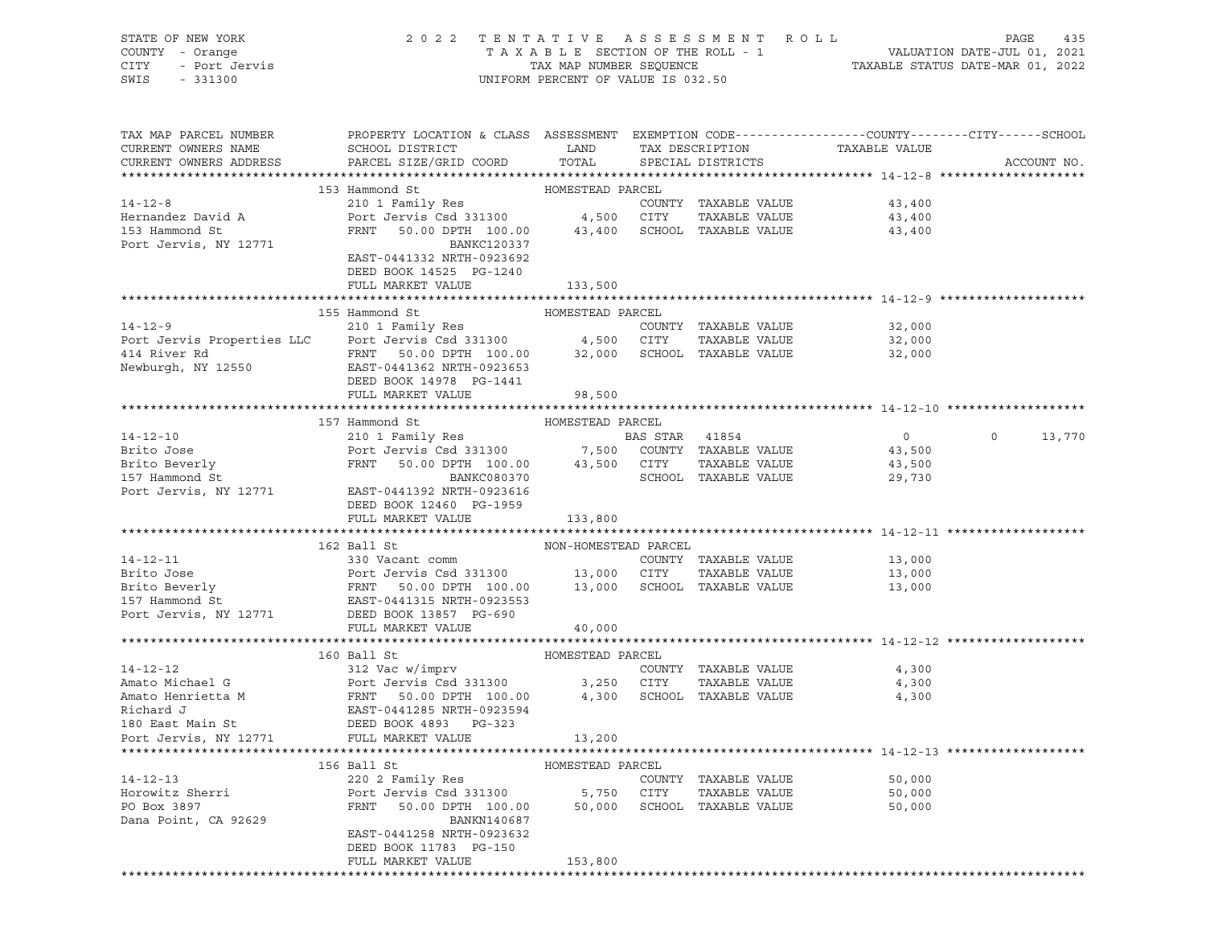| STATE OF NEW YORK<br>COUNTY - Orange<br>- Port Jervis<br>- 331300<br>CITY<br>SWIS<br>$-331300$ | 2022 TENTATIVE ASSESSMENT ROLL                                                                        | UNIFORM PERCENT OF VALUE IS 032.50 |                |                      |                               | PAGE<br>435<br>TAXABLE SECTION OF THE ROLL - 1 VALUATION DATE-JUL 01, 2021<br>TAX MAP NUMBER SEQUENCE TAXABLE STATUS DATE-MAR 01, 2022 |
|------------------------------------------------------------------------------------------------|-------------------------------------------------------------------------------------------------------|------------------------------------|----------------|----------------------|-------------------------------|----------------------------------------------------------------------------------------------------------------------------------------|
| TAX MAP PARCEL NUMBER                                                                          | PROPERTY LOCATION & CLASS ASSESSMENT EXEMPTION CODE---------------COUNTY-------CITY------SCHOOL       |                                    |                |                      |                               |                                                                                                                                        |
| CURRENT OWNERS NAME<br>CURRENT OWNERS ADDRESS                                                  | SCHOOL DISTRICT<br>PARCEL SIZE/GRID COORD TOTAL                                                       | LAND                               |                | SPECIAL DISTRICTS    | TAX DESCRIPTION TAXABLE VALUE | ACCOUNT NO.                                                                                                                            |
|                                                                                                |                                                                                                       |                                    |                |                      |                               |                                                                                                                                        |
|                                                                                                | 153 Hammond St                                                                                        | HOMESTEAD PARCEL                   |                |                      |                               |                                                                                                                                        |
| $14 - 12 - 8$                                                                                  | 210 1 Family Res                                                                                      |                                    |                | COUNTY TAXABLE VALUE | 43,400                        |                                                                                                                                        |
| Hernandez David A                                                                              | Port Jervis Csd 331300 4,500 CITY                                                                     |                                    |                | TAXABLE VALUE        | 43,400                        |                                                                                                                                        |
| 153 Hammond St                                                                                 | FRNT 50.00 DPTH 100.00 43,400 SCHOOL TAXABLE VALUE                                                    |                                    |                |                      | 43,400                        |                                                                                                                                        |
| Port Jervis, NY 12771                                                                          | BANKC120337                                                                                           |                                    |                |                      |                               |                                                                                                                                        |
|                                                                                                | EAST-0441332 NRTH-0923692                                                                             |                                    |                |                      |                               |                                                                                                                                        |
|                                                                                                | DEED BOOK 14525 PG-1240                                                                               |                                    |                |                      |                               |                                                                                                                                        |
|                                                                                                | FULL MARKET VALUE                                                                                     | 133,500                            |                |                      |                               |                                                                                                                                        |
|                                                                                                |                                                                                                       |                                    |                |                      |                               |                                                                                                                                        |
| $14 - 12 - 9$                                                                                  | 155 Hammond St<br>210 1 Family Res                                                                    | HOMESTEAD PARCEL                   |                |                      |                               |                                                                                                                                        |
|                                                                                                |                                                                                                       |                                    |                |                      | COUNTY TAXABLE VALUE 32,000   |                                                                                                                                        |
|                                                                                                |                                                                                                       |                                    |                | TAXABLE VALUE        | 32,000                        |                                                                                                                                        |
| 414 River Rd<br>Newburgh, NY 12550                                                             | EAST-0441362 NRTH-0923653                                                                             |                                    |                |                      | 32,000                        |                                                                                                                                        |
|                                                                                                | DEED BOOK 14978 PG-1441                                                                               |                                    |                |                      |                               |                                                                                                                                        |
|                                                                                                | FULL MARKET VALUE                                                                                     | 98,500                             |                |                      |                               |                                                                                                                                        |
|                                                                                                |                                                                                                       |                                    |                |                      |                               |                                                                                                                                        |
|                                                                                                | 157 Hammond St                                                                                        | HOMESTEAD PARCEL                   |                |                      |                               |                                                                                                                                        |
| $14 - 12 - 10$                                                                                 |                                                                                                       |                                    | BAS STAR 41854 |                      | $\overline{0}$                | $\circ$<br>13,770                                                                                                                      |
|                                                                                                |                                                                                                       |                                    |                |                      | 43,500                        |                                                                                                                                        |
| Brito Jose<br>Brito Beverly                                                                    | Port Jervis Csd 331300 7,500 COUNTY TAXABLE VALUE<br>FRNT 50.00 DPTH 100.00 43,500 CITY TAXABLE VALUE |                                    |                |                      | 43,500                        |                                                                                                                                        |
| 157 Hammond St                                                                                 | <b>BANKC080370</b>                                                                                    |                                    |                | SCHOOL TAXABLE VALUE | 29,730                        |                                                                                                                                        |
| Port Jervis, NY 12771                                                                          | EAST-0441392 NRTH-0923616                                                                             |                                    |                |                      |                               |                                                                                                                                        |
|                                                                                                | DEED BOOK 12460 PG-1959                                                                               |                                    |                |                      |                               |                                                                                                                                        |
|                                                                                                | FULL MARKET VALUE                                                                                     | 133,800                            |                |                      |                               |                                                                                                                                        |
|                                                                                                |                                                                                                       |                                    |                |                      |                               |                                                                                                                                        |
|                                                                                                | 162 Ball St                                                                                           | NON-HOMESTEAD PARCEL               |                |                      |                               |                                                                                                                                        |
| $14 - 12 - 11$                                                                                 | 330 Vacant comm                                                                                       |                                    |                | COUNTY TAXABLE VALUE | 13,000                        |                                                                                                                                        |
|                                                                                                |                                                                                                       |                                    |                |                      | 13,000                        |                                                                                                                                        |
|                                                                                                |                                                                                                       |                                    |                |                      | 13,000                        |                                                                                                                                        |
|                                                                                                |                                                                                                       |                                    |                |                      |                               |                                                                                                                                        |
| Port Jervis, NY 12771                                                                          | DEED BOOK 13857 PG-690                                                                                |                                    |                |                      |                               |                                                                                                                                        |
|                                                                                                | FULL MARKET VALUE                                                                                     | 40,000                             |                |                      |                               |                                                                                                                                        |
|                                                                                                |                                                                                                       |                                    |                |                      |                               |                                                                                                                                        |
|                                                                                                | 160 Ball St                                                                                           | HOMESTEAD PARCEL                   |                |                      |                               |                                                                                                                                        |
| $14 - 12 - 12$                                                                                 | 312 Vac w/imprv                                                                                       |                                    |                | COUNTY TAXABLE VALUE | 4,300                         |                                                                                                                                        |
| Amato Michael G                                                                                | Port Jervis Csd 331300 3,250 CITY                                                                     |                                    |                | TAXABLE VALUE        | 4,300                         |                                                                                                                                        |
| Amato Henrietta M                                                                              | FRNT 50.00 DPTH 100.00                                                                                | 4,300                              |                | SCHOOL TAXABLE VALUE | 4,300                         |                                                                                                                                        |
| Richard J                                                                                      | EAST-0441285 NRTH-0923594                                                                             |                                    |                |                      |                               |                                                                                                                                        |
| 180 East Main St<br>Port Jervis, NY 12771                                                      | DEED BOOK 4893 PG-323<br>FULL MARKET VALUE                                                            | 13,200                             |                |                      |                               |                                                                                                                                        |
|                                                                                                |                                                                                                       |                                    |                |                      |                               |                                                                                                                                        |
|                                                                                                | 156 Ball St                                                                                           | HOMESTEAD PARCEL                   |                |                      |                               |                                                                                                                                        |
| $14 - 12 - 13$                                                                                 | 220 2 Family Res                                                                                      |                                    |                | COUNTY TAXABLE VALUE | 50,000                        |                                                                                                                                        |
| Horowitz Sherri                                                                                | Port Jervis Csd 331300                                                                                | 5,750                              | CITY           | TAXABLE VALUE        | 50,000                        |                                                                                                                                        |
| PO Box 3897                                                                                    | FRNT<br>50.00 DPTH 100.00                                                                             | 50,000                             |                | SCHOOL TAXABLE VALUE | 50,000                        |                                                                                                                                        |
| Dana Point, CA 92629                                                                           | BANKN140687                                                                                           |                                    |                |                      |                               |                                                                                                                                        |
|                                                                                                | EAST-0441258 NRTH-0923632                                                                             |                                    |                |                      |                               |                                                                                                                                        |
|                                                                                                | DEED BOOK 11783 PG-150                                                                                |                                    |                |                      |                               |                                                                                                                                        |
|                                                                                                | FULL MARKET VALUE                                                                                     | 153,800                            |                |                      |                               |                                                                                                                                        |
|                                                                                                |                                                                                                       |                                    |                |                      |                               |                                                                                                                                        |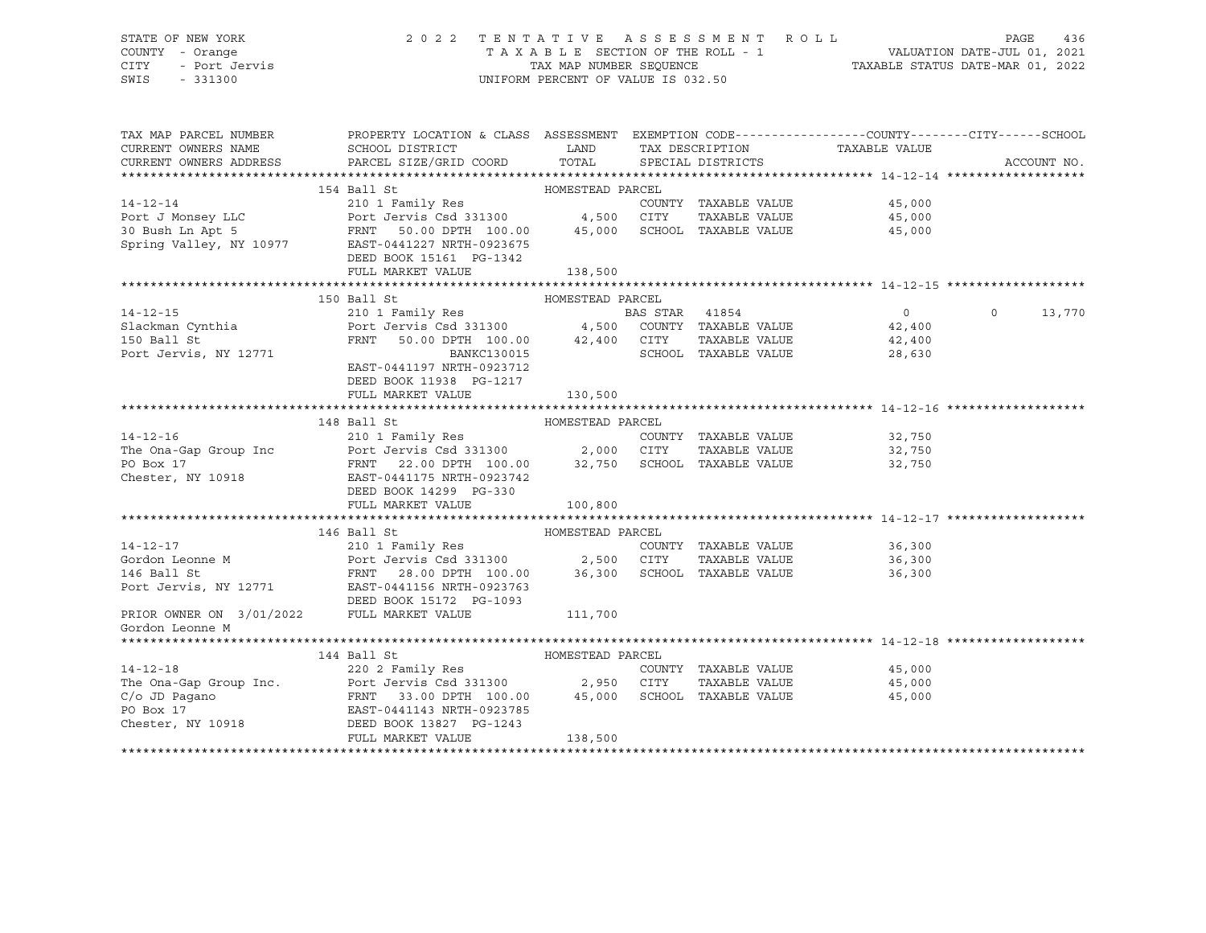# STATE OF NEW YORK 2 0 2 2 T E N T A T I V E A S S E S S M E N T R O L L PAGE 436 COUNTY - Orange T A X A B L E SECTION OF THE ROLL - 1 VALUATION DATE-JUL 01, 2021 CITY - Port Jervis TAX MAP NUMBER SEQUENCE TAXABLE STATUS DATE-MAR 01, 2022

| TAX MAP PARCEL NUMBER | PROPERTY LOCATION & CLASS ASSESSMENT EXEMPTION CODE---------------COUNTY-------CITY------SCHOOL                                                                                                                                                                                                                                                                                                                                                           |                  |                             |                                                        | ACCOUNT NO.              |
|-----------------------|-----------------------------------------------------------------------------------------------------------------------------------------------------------------------------------------------------------------------------------------------------------------------------------------------------------------------------------------------------------------------------------------------------------------------------------------------------------|------------------|-----------------------------|--------------------------------------------------------|--------------------------|
|                       | DEED BOOK 15161 PG-1342<br>FULL MARKET VALUE                                                                                                                                                                                                                                                                                                                                                                                                              | 138,500          |                             |                                                        |                          |
|                       | 150 Ball St                                                                                                                                                                                                                                                                                                                                                                                                                                               | HOMESTEAD PARCEL |                             |                                                        |                          |
|                       | 14-12-15<br>210 1 Family Res<br>210 1 Family Res<br>210 1 Family Res<br>Port Jervis Csd 331300<br>22,400<br>22,400<br>22,400<br>22,400<br>22,400<br>22,400<br>22,400<br>22,400<br>22,400<br>22,400<br>22,400<br>22,400<br>22,630<br>22,630<br>22,630<br>22,630<br>22,630<br>EAST-0441197 NRTH-0923712<br>DEED BOOK 11938 PG-1217<br>FULL MARKET VALUE                                                                                                     | 130,500          |                             |                                                        | $\overline{0}$<br>13,770 |
|                       |                                                                                                                                                                                                                                                                                                                                                                                                                                                           |                  |                             |                                                        |                          |
|                       | $\begin{tabular}{ccccc} 14-12-16 & 148 Ball St & HOMESTEAD PARCHC & 14-12-16 & 210 1 Family Res & 210 1 Family Res & 210 1 Family Res & 210 1 Family Res & 210 1 Family Res & 210 1 Family Res & 210 1 Family Res & 210 1 Family Res & 210 1 Family Res & 210 1 Family Res & 210 1 Family Res & 210 1 Family Res & 210 1 Family Res & 210 1, 211 2, 20 2, 21, 22, 250 & 21, 20 1, 21, 22, 250 & 2$<br>DEED BOOK 14299 PG-330<br>FULL MARKET VALUE 100,800 |                  |                             |                                                        |                          |
|                       |                                                                                                                                                                                                                                                                                                                                                                                                                                                           |                  |                             |                                                        |                          |
|                       |                                                                                                                                                                                                                                                                                                                                                                                                                                                           |                  |                             |                                                        |                          |
| Gordon Leonne M       |                                                                                                                                                                                                                                                                                                                                                                                                                                                           |                  |                             |                                                        |                          |
|                       |                                                                                                                                                                                                                                                                                                                                                                                                                                                           |                  |                             |                                                        |                          |
| $14 - 12 - 18$        | 144 Ball St<br>$C/O$ and $C/O$ and $C/O$ and $C/O$ and $C/O$ and $C/O$ and $C/O$ and $C/O$ and $C/O$ and $C/O$ and $C/O$ and $C/O$ and $C/O$ and $C/O$ and $C/O$ and $RNTF$ 33.00 $DPTF$ 100.00 $45,000$ SCHOOL TAXABLE VALUE<br>PO Box 17 $RAST$ -0441143 NRTH-0                                                                                                                                                                                         |                  | COUNTY TAXABLE VALUE 45,000 | TAXABLE VALUE 45,000<br>TAXABLE VALUE 45,000<br>45,000 |                          |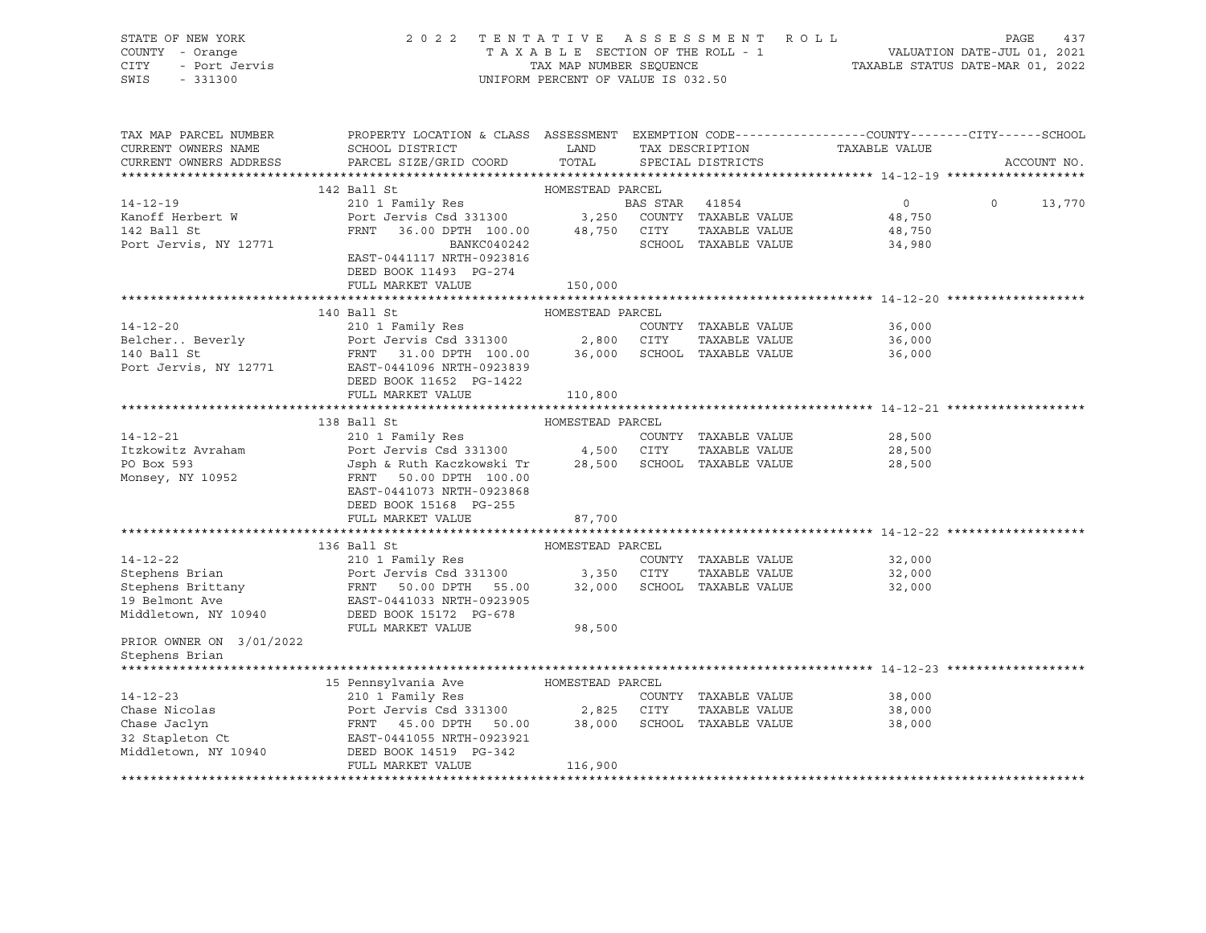|      | STATE OF NEW YORK | 2022 TENTATIVE ASSESSMENT ROLL     | PAGE                             | 437 |
|------|-------------------|------------------------------------|----------------------------------|-----|
|      | COUNTY - Orange   | TAXABLE SECTION OF THE ROLL - 1    | VALUATION DATE-JUL 01, 2021      |     |
| CITY | - Port Jervis     | TAX MAP NUMBER SEOUENCE            | TAXABLE STATUS DATE-MAR 01, 2022 |     |
| SWIS | - 331300          | UNIFORM PERCENT OF VALUE IS 032.50 |                                  |     |
|      |                   |                                    |                                  |     |

| TAX MAP PARCEL NUMBER<br>CURRENT OWNERS NAME<br>CURRENT OWNERS ADDRESS | PROPERTY LOCATION & CLASS ASSESSMENT EXEMPTION CODE---------------COUNTY-------CITY------SCHOOL<br>SCHOOL DISTRICT LAND<br>PARCEL SIZE/GRID COORD                                                                                                    | TOTAL            | TAX DESCRIPTION<br>SPECIAL DISTRICTS                     | TAXABLE VALUE | ACCOUNT NO. |
|------------------------------------------------------------------------|------------------------------------------------------------------------------------------------------------------------------------------------------------------------------------------------------------------------------------------------------|------------------|----------------------------------------------------------|---------------|-------------|
|                                                                        |                                                                                                                                                                                                                                                      |                  |                                                          |               |             |
|                                                                        | 142 Ball St                                                                                                                                                                                                                                          | HOMESTEAD PARCEL |                                                          |               |             |
| $14 - 12 - 19$                                                         |                                                                                                                                                                                                                                                      |                  | BAS STAR 41854                                           | 0 0 13,770    |             |
|                                                                        |                                                                                                                                                                                                                                                      |                  |                                                          |               |             |
|                                                                        |                                                                                                                                                                                                                                                      |                  |                                                          |               |             |
|                                                                        |                                                                                                                                                                                                                                                      |                  | SCHOOL TAXABLE VALUE                                     |               |             |
|                                                                        | EAST-0441117 NRTH-0923816                                                                                                                                                                                                                            |                  |                                                          |               |             |
|                                                                        | DEED BOOK 11493 PG-274                                                                                                                                                                                                                               |                  |                                                          |               |             |
|                                                                        | FULL MARKET VALUE                                                                                                                                                                                                                                    | 150,000          |                                                          |               |             |
|                                                                        | 140 Ball St                                                                                                                                                                                                                                          | HOMESTEAD PARCEL |                                                          |               |             |
| $14 - 12 - 20$                                                         | 210 1 Family Res                                                                                                                                                                                                                                     |                  | COUNTY TAXABLE VALUE                                     | 36,000        |             |
|                                                                        | Facture 2.1 1 and 2.800 CITY TAXABLE VALUE<br>140 Ball St FRNT 31.00 DPTH 100.00 36,000 SCHOOL TAXABLE VALUE<br>Port Jervis, NY 12771 EAST-0441096 NRTH-0923839                                                                                      |                  | TAXABLE VALUE 36,000                                     |               |             |
|                                                                        |                                                                                                                                                                                                                                                      |                  |                                                          | 36,000        |             |
|                                                                        |                                                                                                                                                                                                                                                      |                  |                                                          |               |             |
|                                                                        | DEED BOOK 11652 PG-1422                                                                                                                                                                                                                              |                  |                                                          |               |             |
|                                                                        | FULL MARKET VALUE                                                                                                                                                                                                                                    | 110,800          |                                                          |               |             |
|                                                                        |                                                                                                                                                                                                                                                      |                  |                                                          |               |             |
|                                                                        | HOMESTEAD PARCEL<br>138 Ball St                                                                                                                                                                                                                      |                  |                                                          |               |             |
| $14 - 12 - 21$                                                         |                                                                                                                                                                                                                                                      |                  |                                                          | 28,500        |             |
| Itzkowitz Avraham                                                      |                                                                                                                                                                                                                                                      |                  |                                                          | 28,500        |             |
| PO Box 593                                                             | 210 1 Family Res<br>210 1 Family Res<br>Port Jervis Csd 331300 4,500 CITY TAXABLE VALUE<br>Jsph & Ruth Kaczkowski Tr 28,500 SCHOOL TAXABLE VALUE<br>PRNT 50.00 DPTH 100.00                                                                           |                  |                                                          | 28,500        |             |
| Monsey, NY 10952                                                       | EAST-0441073 NRTH-0923868                                                                                                                                                                                                                            |                  |                                                          |               |             |
|                                                                        | DEED BOOK 15168 PG-255                                                                                                                                                                                                                               |                  |                                                          |               |             |
|                                                                        | FULL MARKET VALUE                                                                                                                                                                                                                                    | 87,700           |                                                          |               |             |
|                                                                        |                                                                                                                                                                                                                                                      |                  |                                                          |               |             |
|                                                                        | 136 Ball St MOMESTEAD PARCEL                                                                                                                                                                                                                         |                  |                                                          |               |             |
|                                                                        | 14-12-22<br>Stephens Brian<br>Stephens Brittany<br>Stephens Brittany<br>Stephens Brittany<br>Stephens Brittany<br>FRNT 50.00 DPTH 55.00<br>22,000 SCHOOL TAXABLE VALUE<br>19 Belmont Ave<br>EAST-0441033 NRTH-0923905<br>Middletown, NY 10940<br>DEE |                  | COUNTY TAXABLE VALUE 32,000<br>CITY TAXABLE VALUE 32.000 |               |             |
|                                                                        |                                                                                                                                                                                                                                                      |                  |                                                          | 32,000        |             |
|                                                                        |                                                                                                                                                                                                                                                      |                  |                                                          | 32,000        |             |
|                                                                        |                                                                                                                                                                                                                                                      |                  |                                                          |               |             |
|                                                                        |                                                                                                                                                                                                                                                      |                  |                                                          |               |             |
|                                                                        | FULL MARKET VALUE 98,500                                                                                                                                                                                                                             |                  |                                                          |               |             |
| PRIOR OWNER ON 3/01/2022                                               |                                                                                                                                                                                                                                                      |                  |                                                          |               |             |
| Stephens Brian                                                         |                                                                                                                                                                                                                                                      |                  |                                                          |               |             |
|                                                                        |                                                                                                                                                                                                                                                      |                  |                                                          |               |             |
|                                                                        | 15 Pennsylvania Ave MOMESTEAD PARCEL                                                                                                                                                                                                                 |                  |                                                          | 38,000        |             |
|                                                                        |                                                                                                                                                                                                                                                      |                  | TAXABLE VALUE                                            | 38,000        |             |
|                                                                        |                                                                                                                                                                                                                                                      |                  |                                                          | 38,000        |             |
|                                                                        |                                                                                                                                                                                                                                                      |                  |                                                          |               |             |
|                                                                        |                                                                                                                                                                                                                                                      |                  |                                                          |               |             |
|                                                                        | FULL MARKET VALUE                                                                                                                                                                                                                                    | 116,900          |                                                          |               |             |
|                                                                        |                                                                                                                                                                                                                                                      |                  |                                                          |               |             |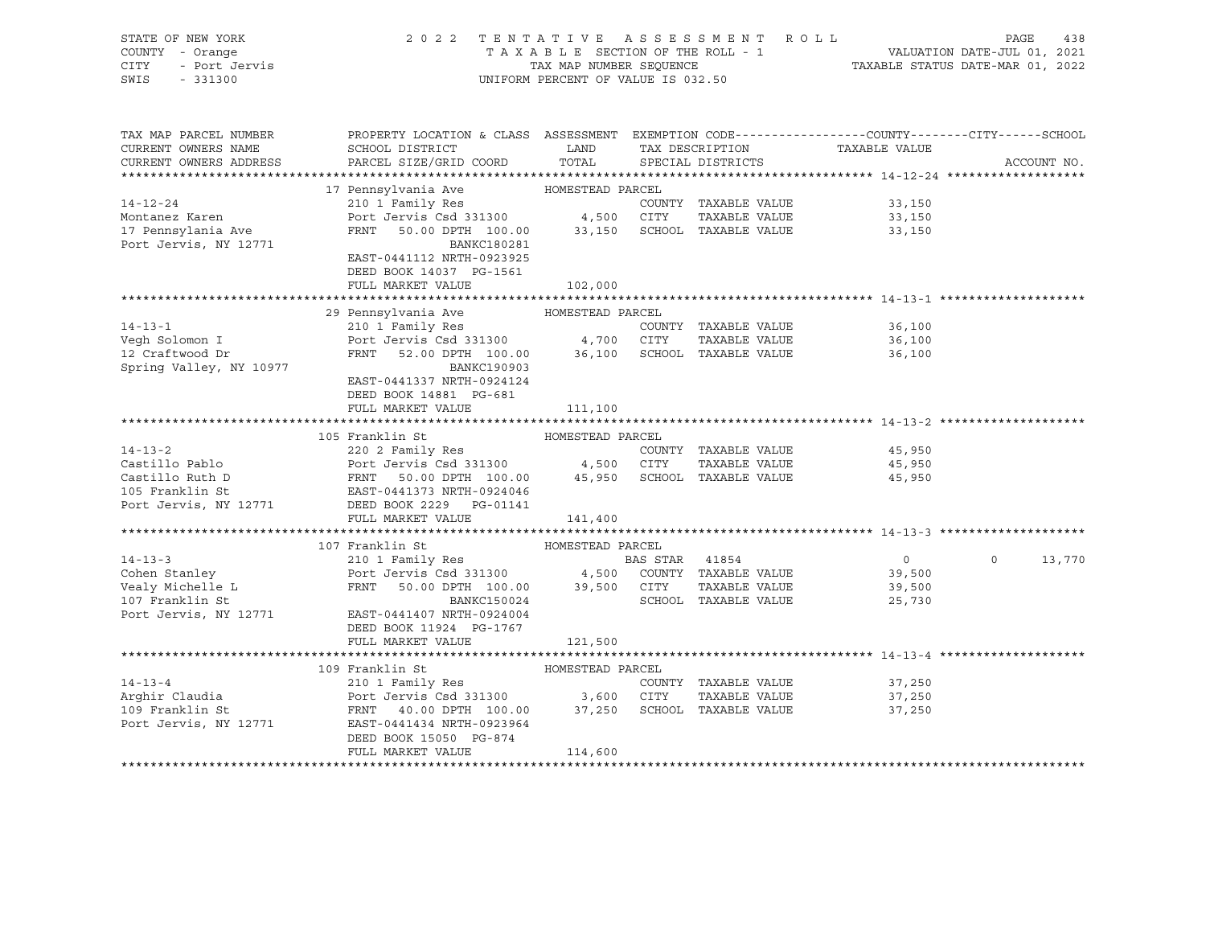| STATE OF NEW YORK<br>COUNTY - Orange<br>CITY<br>- Port Jervis<br>SWIS - 331300 | 2022 TENTATIVE ASSESSMENT ROLL                                                                                      | UNIFORM PERCENT OF VALUE IS 032.50 |                |                      | TAXABLE SECTION OF THE ROLL - 1<br>TAXABLE SECTION OF THE ROLL - 1<br>TAXABLE STATUS DATE-MAR 01, 2022 | PAGE    | 438         |
|--------------------------------------------------------------------------------|---------------------------------------------------------------------------------------------------------------------|------------------------------------|----------------|----------------------|--------------------------------------------------------------------------------------------------------|---------|-------------|
| TAX MAP PARCEL NUMBER<br>CURRENT OWNERS NAME                                   | PROPERTY LOCATION & CLASS ASSESSMENT EXEMPTION CODE----------------COUNTY-------CITY------SCHOOL<br>SCHOOL DISTRICT | <b>LAND</b>                        |                | TAX DESCRIPTION      | TAXABLE VALUE                                                                                          |         |             |
| CURRENT OWNERS ADDRESS                                                         | PARCEL SIZE/GRID COORD                                                                                              | TOTAL                              |                | SPECIAL DISTRICTS    |                                                                                                        |         | ACCOUNT NO. |
|                                                                                | 17 Pennsylvania Ave                                                                                                 | HOMESTEAD PARCEL                   |                |                      |                                                                                                        |         |             |
| $14 - 12 - 24$                                                                 | 210 1 Family Res                                                                                                    |                                    |                | COUNTY TAXABLE VALUE | 33,150                                                                                                 |         |             |
| Montanez Karen                                                                 | Port Jervis Csd 331300 4,500 CITY TAXABLE VALUE                                                                     |                                    |                |                      | 33,150                                                                                                 |         |             |
| 17 Pennsylania Ave                                                             | FRNT 50.00 DPTH 100.00 33,150 SCHOOL TAXABLE VALUE                                                                  |                                    |                |                      | 33,150                                                                                                 |         |             |
| Port Jervis, NY 12771                                                          | BANKC180281                                                                                                         |                                    |                |                      |                                                                                                        |         |             |
|                                                                                | EAST-0441112 NRTH-0923925                                                                                           |                                    |                |                      |                                                                                                        |         |             |
|                                                                                | DEED BOOK 14037 PG-1561                                                                                             |                                    |                |                      |                                                                                                        |         |             |
|                                                                                | FULL MARKET VALUE                                                                                                   | 102,000                            |                |                      |                                                                                                        |         |             |
|                                                                                |                                                                                                                     |                                    |                |                      |                                                                                                        |         |             |
|                                                                                | 29 Pennsylvania Ave                                                                                                 | HOMESTEAD PARCEL                   |                |                      |                                                                                                        |         |             |
| $14 - 13 - 1$                                                                  | 210 1 Family Res<br>210 1 Family Res<br>Port Jervis Csd 331300 4,700 CITY                                           |                                    |                | COUNTY TAXABLE VALUE | 36,100                                                                                                 |         |             |
| Vegh Solomon I                                                                 |                                                                                                                     |                                    |                | TAXABLE VALUE        | 36,100                                                                                                 |         |             |
| 12 Craftwood Dr<br>Spring Valley, NY 10977                                     | FRNT 52.00 DPTH 100.00 36,100 SCHOOL TAXABLE VALUE<br>BANKC190903                                                   |                                    |                |                      | 36,100                                                                                                 |         |             |
|                                                                                | EAST-0441337 NRTH-0924124                                                                                           |                                    |                |                      |                                                                                                        |         |             |
|                                                                                | DEED BOOK 14881 PG-681                                                                                              |                                    |                |                      |                                                                                                        |         |             |
|                                                                                | FULL MARKET VALUE                                                                                                   | 111,100                            |                |                      |                                                                                                        |         |             |
|                                                                                |                                                                                                                     |                                    |                |                      |                                                                                                        |         |             |
|                                                                                | 105 Franklin St                                                                                                     | HOMESTEAD PARCEL                   |                |                      |                                                                                                        |         |             |
| $14 - 13 - 2$                                                                  | 220 2 Family Res                                                                                                    |                                    |                | COUNTY TAXABLE VALUE | 45,950                                                                                                 |         |             |
|                                                                                |                                                                                                                     |                                    |                |                      |                                                                                                        |         |             |
|                                                                                |                                                                                                                     |                                    |                |                      |                                                                                                        |         |             |
|                                                                                |                                                                                                                     |                                    |                |                      |                                                                                                        |         |             |
|                                                                                | Port Jervis, NY 12771 DEED BOOK 2229 PG-01141                                                                       |                                    |                |                      |                                                                                                        |         |             |
|                                                                                | FULL MARKET VALUE                                                                                                   | 141,400                            |                |                      |                                                                                                        |         |             |
|                                                                                | 107 Franklin St                                                                                                     | HOMESTEAD PARCEL                   |                |                      |                                                                                                        |         |             |
| $14 - 13 - 3$                                                                  | 210 1 Family Res                                                                                                    |                                    | BAS STAR 41854 |                      | $\overline{0}$                                                                                         | $\circ$ | 13,770      |
|                                                                                | Port Jervis Csd 331300 4,500 COUNTY TAXABLE VALUE                                                                   |                                    |                |                      | 39,500                                                                                                 |         |             |
| comen Stanley<br>Vealy Michelle L<br>107 Franklin St                           | FRNT 50.00 DPTH 100.00 39,500 CITY                                                                                  |                                    |                | TAXABLE VALUE        | 39,500                                                                                                 |         |             |
|                                                                                | BANKC150024                                                                                                         |                                    |                | SCHOOL TAXABLE VALUE | 25,730                                                                                                 |         |             |
| Port Jervis, NY 12771                                                          | EAST-0441407 NRTH-0924004                                                                                           |                                    |                |                      |                                                                                                        |         |             |
|                                                                                | DEED BOOK 11924 PG-1767                                                                                             |                                    |                |                      |                                                                                                        |         |             |
|                                                                                | FULL MARKET VALUE                                                                                                   | 121,500                            |                |                      |                                                                                                        |         |             |
|                                                                                |                                                                                                                     |                                    |                |                      |                                                                                                        |         |             |
|                                                                                | 109 Franklin St                                                                                                     | HOMESTEAD PARCEL                   |                |                      |                                                                                                        |         |             |
| $14 - 13 - 4$                                                                  | 210 1 Family Res                                                                                                    |                                    |                | COUNTY TAXABLE VALUE | 37,250                                                                                                 |         |             |
| Arghir Claudia                                                                 | Port Jervis Csd 331300 3,600 CITY<br>FRNT 40.00 DPTH 100.00 37,250 SCHOOL TAXABLE VALUE                             |                                    |                | TAXABLE VALUE        | 37,250                                                                                                 |         |             |
| 109 Franklin St<br>Port Jervis, NY 12771                                       | EAST-0441434 NRTH-0923964                                                                                           |                                    |                |                      | 37,250                                                                                                 |         |             |
|                                                                                | DEED BOOK 15050 PG-874                                                                                              |                                    |                |                      |                                                                                                        |         |             |
|                                                                                | FULL MARKET VALUE                                                                                                   | 114,600                            |                |                      |                                                                                                        |         |             |
|                                                                                |                                                                                                                     |                                    |                |                      |                                                                                                        |         |             |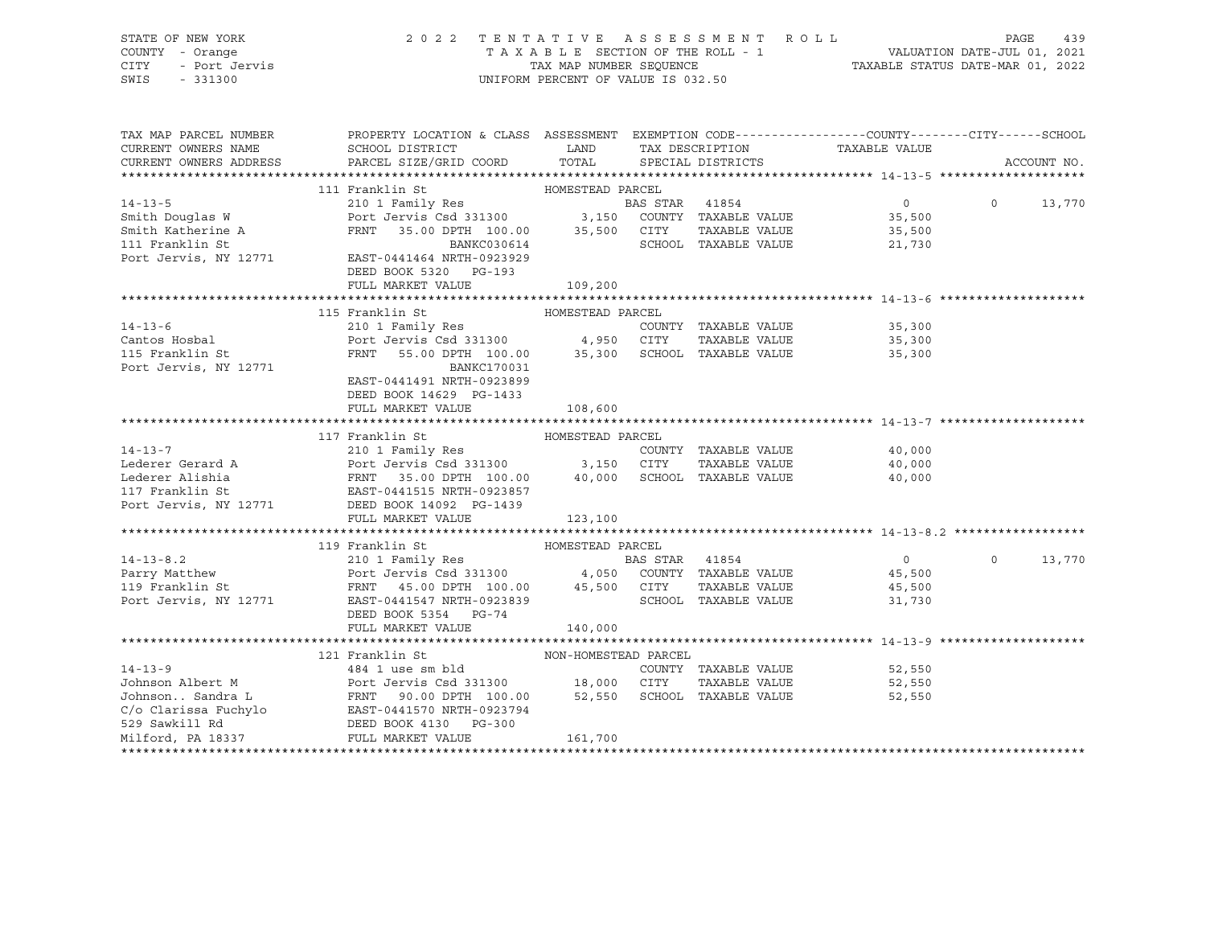| STATE OF NEW YORK<br>COUNTY - Orange<br>CITY<br>- Port Jervis<br>SWIS<br>$-331300$ | 2022 TENTATIVE ASSESSMENT ROLL                                                                                                                               | UNIFORM PERCENT OF VALUE IS 032.50 |                |                                                   | TAXABLE SECTION OF THE ROLL - 1<br>TAXABLE SECTION OF THE ROLL - 1<br>TAXABLE STATUS DATE-MAR 01, 2021 | PAGE              | 439         |
|------------------------------------------------------------------------------------|--------------------------------------------------------------------------------------------------------------------------------------------------------------|------------------------------------|----------------|---------------------------------------------------|--------------------------------------------------------------------------------------------------------|-------------------|-------------|
| TAX MAP PARCEL NUMBER                                                              | PROPERTY LOCATION & CLASS ASSESSMENT EXEMPTION CODE----------------COUNTY-------CITY------SCHOOL                                                             |                                    |                |                                                   |                                                                                                        |                   |             |
| CURRENT OWNERS NAME                                                                | <b>Example 12</b><br>SCHOOL DISTRICT                                                                                                                         |                                    |                | TAX DESCRIPTION                                   | TAXABLE VALUE                                                                                          |                   |             |
| CURRENT OWNERS ADDRESS                                                             | PARCEL SIZE/GRID COORD                                                                                                                                       | TOTAL                              |                | SPECIAL DISTRICTS                                 |                                                                                                        |                   | ACCOUNT NO. |
|                                                                                    |                                                                                                                                                              |                                    |                |                                                   |                                                                                                        |                   |             |
|                                                                                    | 111 Franklin St                                                                                                                                              | HOMESTEAD PARCEL                   |                |                                                   |                                                                                                        |                   |             |
| $14 - 13 - 5$                                                                      | 210 1 Family Res                                                                                                                                             |                                    | BAS STAR 41854 |                                                   | $\overline{0}$                                                                                         | $\Omega$          | 13,770      |
| Smith Douglas W                                                                    | Port Jervis Csd 331300 $\qquad \qquad$ 3,150 COUNTY TAXABLE VALUE                                                                                            |                                    |                |                                                   | 35,500                                                                                                 |                   |             |
| Smith Katherine A<br>111 Franklin St                                               | FRNT 35.00 DPTH 100.00                                                                                                                                       |                                    |                | 35,500 CITY TAXABLE VALUE<br>SCHOOL TAXABLE VALUE | 35,500                                                                                                 |                   |             |
| Port Jervis, NY 12771                                                              | BANKC030614<br>EAST-0441464 NRTH-0923929                                                                                                                     |                                    |                |                                                   | 21,730                                                                                                 |                   |             |
|                                                                                    | DEED BOOK 5320 PG-193                                                                                                                                        |                                    |                |                                                   |                                                                                                        |                   |             |
|                                                                                    | FULL MARKET VALUE                                                                                                                                            | 109,200                            |                |                                                   |                                                                                                        |                   |             |
|                                                                                    |                                                                                                                                                              |                                    |                |                                                   |                                                                                                        |                   |             |
|                                                                                    | 115 Franklin St                                                                                                                                              | HOMESTEAD PARCEL                   |                |                                                   |                                                                                                        |                   |             |
| $14 - 13 - 6$                                                                      | 210 1 Family Res                                                                                                                                             |                                    |                | COUNTY TAXABLE VALUE                              | 35,300                                                                                                 |                   |             |
| Cantos Hosbal                                                                      |                                                                                                                                                              |                                    |                | TAXABLE VALUE                                     | 35,300                                                                                                 |                   |             |
| 115 Franklin St                                                                    | Port Jervis Csd 331300 4,950 CITY TAXABLE VALUE<br>FRNT 55.00 DPTH 100.00 35,300 SCHOOL TAXABLE VALUE                                                        |                                    |                |                                                   | 35,300                                                                                                 |                   |             |
| Port Jervis, NY 12771                                                              | BANKC170031                                                                                                                                                  |                                    |                |                                                   |                                                                                                        |                   |             |
|                                                                                    | EAST-0441491 NRTH-0923899                                                                                                                                    |                                    |                |                                                   |                                                                                                        |                   |             |
|                                                                                    | DEED BOOK 14629 PG-1433                                                                                                                                      |                                    |                |                                                   |                                                                                                        |                   |             |
|                                                                                    | FULL MARKET VALUE                                                                                                                                            | 108,600                            |                |                                                   |                                                                                                        |                   |             |
|                                                                                    |                                                                                                                                                              |                                    |                |                                                   |                                                                                                        |                   |             |
|                                                                                    | 117 Franklin St                                                                                                                                              | HOMESTEAD PARCEL                   |                |                                                   |                                                                                                        |                   |             |
| $14 - 13 - 7$                                                                      | 210 1 Family Res                                                                                                                                             |                                    |                | COUNTY TAXABLE VALUE                              | 40,000                                                                                                 |                   |             |
|                                                                                    | Port Jervis Csd 331300 3,150 CITY                                                                                                                            |                                    |                | TAXABLE VALUE                                     | 40,000                                                                                                 |                   |             |
|                                                                                    |                                                                                                                                                              |                                    |                | 40,000 SCHOOL TAXABLE VALUE                       | 40,000                                                                                                 |                   |             |
|                                                                                    | Port Jervis Csd 331300<br>117 Franklin St (FRNT 35.00 DPTH 100.00<br>Port Jervis, NY 12771 (DEED BOOK 14090 PC                                               |                                    |                |                                                   |                                                                                                        |                   |             |
|                                                                                    |                                                                                                                                                              | 123,100                            |                |                                                   |                                                                                                        |                   |             |
|                                                                                    |                                                                                                                                                              |                                    |                |                                                   |                                                                                                        |                   |             |
|                                                                                    | 119 Franklin St                                                                                                                                              | HOMESTEAD PARCEL                   |                |                                                   |                                                                                                        |                   |             |
| $14 - 13 - 8.2$                                                                    | 210 1 Family Res                                                                                                                                             |                                    | BAS STAR 41854 |                                                   | $\overline{0}$                                                                                         | $0 \qquad \qquad$ | 13,770      |
| Parry Matthew                                                                      |                                                                                                                                                              |                                    |                |                                                   | 45,500                                                                                                 |                   |             |
| 119 Franklin St                                                                    |                                                                                                                                                              |                                    |                |                                                   | 45,500                                                                                                 |                   |             |
| Port Jervis, NY 12771                                                              | EAST-0441547 NRTH-0923839                                                                                                                                    |                                    |                | SCHOOL TAXABLE VALUE                              | 31,730                                                                                                 |                   |             |
|                                                                                    | DEED BOOK 5354 PG-74                                                                                                                                         |                                    |                |                                                   |                                                                                                        |                   |             |
|                                                                                    | FULL MARKET VALUE                                                                                                                                            | 140,000                            |                |                                                   |                                                                                                        |                   |             |
|                                                                                    |                                                                                                                                                              |                                    |                |                                                   |                                                                                                        |                   |             |
|                                                                                    | 121 Franklin St                                                                                                                                              | NON-HOMESTEAD PARCEL               |                |                                                   |                                                                                                        |                   |             |
| $14 - 13 - 9$                                                                      | 484 1 use sm bld                                                                                                                                             |                                    |                | COUNTY TAXABLE VALUE                              | 52,550                                                                                                 |                   |             |
|                                                                                    | Fort Jerus Csd 331300 18,000 CITY TAXABLE VALUE<br>JohnsonSandra L<br>C/o Clarissa Fuchylo EAST-0441570 NRTH-0923794<br>529 Sawkill Rd DEED BOOK 4130 PG-300 |                                    |                | TAXABLE VALUE                                     | 52,550                                                                                                 |                   |             |
|                                                                                    |                                                                                                                                                              |                                    |                |                                                   | 52,550                                                                                                 |                   |             |
|                                                                                    |                                                                                                                                                              |                                    |                |                                                   |                                                                                                        |                   |             |
| Milford, PA 18337                                                                  | FULL MARKET VALUE                                                                                                                                            | 161,700                            |                |                                                   |                                                                                                        |                   |             |
|                                                                                    |                                                                                                                                                              |                                    |                |                                                   |                                                                                                        |                   |             |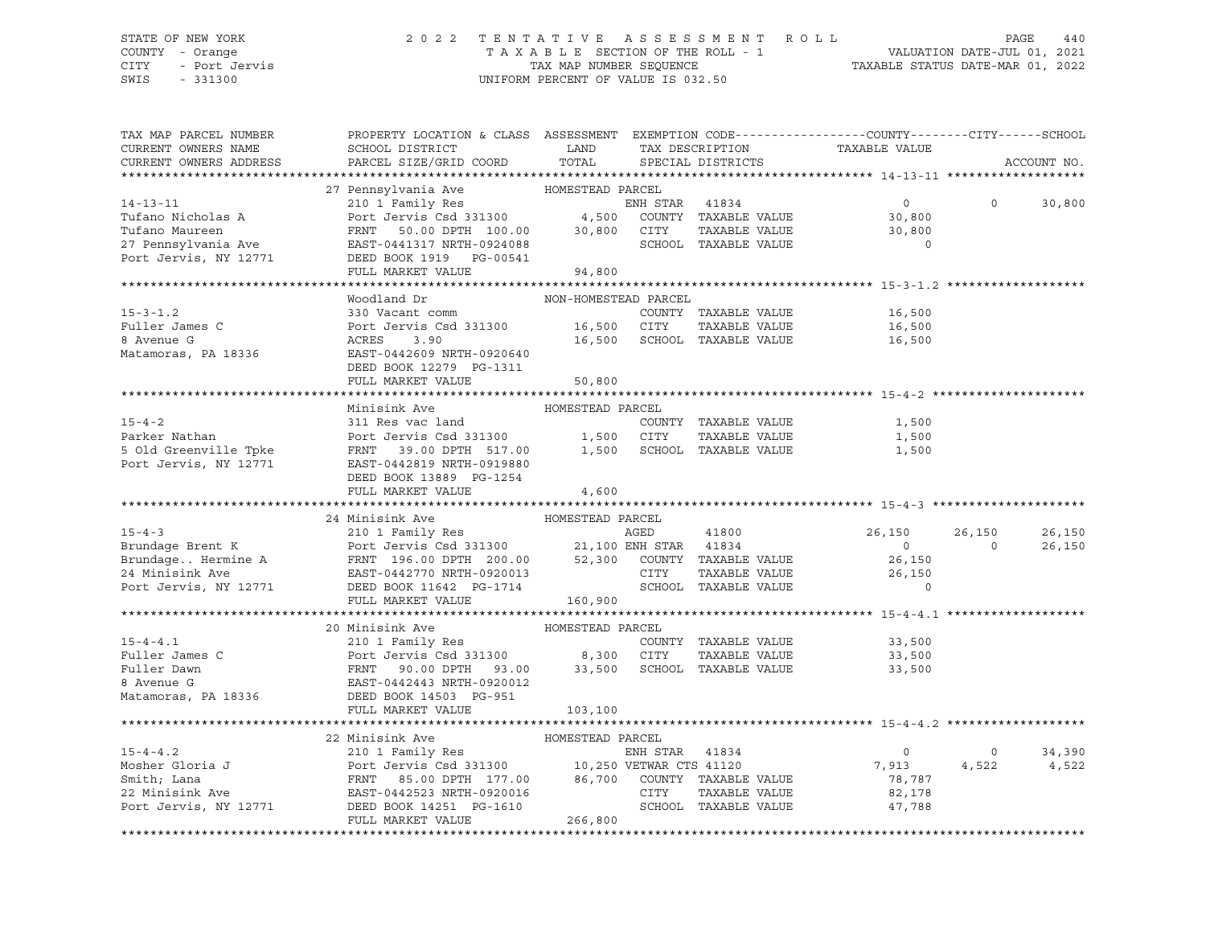# STATE OF NEW YORK 2 0 2 2 T E N T A T I V E A S S E S S M E N T R O L L PAGE 440 COUNTY - Orange T A X A B L E SECTION OF THE ROLL - 1 VALUATION DATE-JUL 01, 2021 CITY - Port Jervis TAX MAP NUMBER SEQUENCE TAXABLE STATUS DATE-MAR 01, 2022

| TAX MAP PARCEL NUMBER<br>CURRENT OWNERS NAME<br>CURRENT OWNERS ADDRESS                                                                                                                                                                                   | PROPERTY LOCATION & CLASS ASSESSMENT EXEMPTION CODE---------------COUNTY-------CITY------SCHOOL<br>SCHOOL DISTRICT<br>PARCEL SIZE/GRID COORD | LAND<br>TOTAL        |                | TAX DESCRIPTION<br>SPECIAL DISTRICTS | TAXABLE VALUE  |          | ACCOUNT NO. |
|----------------------------------------------------------------------------------------------------------------------------------------------------------------------------------------------------------------------------------------------------------|----------------------------------------------------------------------------------------------------------------------------------------------|----------------------|----------------|--------------------------------------|----------------|----------|-------------|
|                                                                                                                                                                                                                                                          |                                                                                                                                              |                      |                |                                      |                |          |             |
|                                                                                                                                                                                                                                                          | 27 Pennsylvania Ave MOMESTEAD PARCEL                                                                                                         |                      |                |                                      |                |          |             |
| $14 - 13 - 11$                                                                                                                                                                                                                                           | 210 1 Family Res<br>Port Jervis Csd 331300 4,500                                                                                             |                      | ENH STAR 41834 |                                      | $\overline{0}$ | $\circ$  | 30,800      |
| Tufano Nicholas A                                                                                                                                                                                                                                        |                                                                                                                                              |                      |                | COUNTY TAXABLE VALUE                 | 30,800         |          |             |
| Tufano Maureen                                                                                                                                                                                                                                           | FRNT 50.00 DPTH 100.00 30,800<br>EAST-0441317 NRTH-0924088                                                                                   |                      | CITY           | TAXABLE VALUE                        | 30,800         |          |             |
| 27 Pennsylvania Ave                                                                                                                                                                                                                                      |                                                                                                                                              |                      |                | SCHOOL TAXABLE VALUE                 | $\overline{0}$ |          |             |
| Port Jervis, NY 12771                                                                                                                                                                                                                                    | DEED BOOK 1919 PG-00541                                                                                                                      |                      |                |                                      |                |          |             |
|                                                                                                                                                                                                                                                          | FULL MARKET VALUE                                                                                                                            | 94,800               |                |                                      |                |          |             |
|                                                                                                                                                                                                                                                          |                                                                                                                                              |                      |                |                                      |                |          |             |
|                                                                                                                                                                                                                                                          | Woodland Dr                                                                                                                                  | NON-HOMESTEAD PARCEL |                |                                      |                |          |             |
| $15 - 3 - 1.2$                                                                                                                                                                                                                                           | 330 Vacant comm                                                                                                                              |                      |                | COUNTY TAXABLE VALUE                 | 16,500         |          |             |
| Fuller James C                                                                                                                                                                                                                                           |                                                                                                                                              |                      |                |                                      | 16,500         |          |             |
| 8 Avenue G                                                                                                                                                                                                                                               |                                                                                                                                              |                      |                |                                      | 16,500         |          |             |
| Matamoras, PA 18336                                                                                                                                                                                                                                      | EAST-0442609 NRTH-0920640                                                                                                                    |                      |                |                                      |                |          |             |
|                                                                                                                                                                                                                                                          | DEED BOOK 12279 PG-1311                                                                                                                      |                      |                |                                      |                |          |             |
|                                                                                                                                                                                                                                                          | FULL MARKET VALUE                                                                                                                            | 50,800               |                |                                      |                |          |             |
|                                                                                                                                                                                                                                                          | Minisink Ave                                                                                                                                 | HOMESTEAD PARCEL     |                |                                      |                |          |             |
| $15 - 4 - 2$                                                                                                                                                                                                                                             | 311 Res vac land                                                                                                                             |                      |                | COUNTY TAXABLE VALUE                 | 1,500          |          |             |
| Parker Nathan                                                                                                                                                                                                                                            | Port Jervis Csd 331300 1,500 CITY                                                                                                            |                      |                | TAXABLE VALUE                        | 1,500          |          |             |
|                                                                                                                                                                                                                                                          | FRNT 39.00 DPTH 517.00 1,500 SCHOOL TAXABLE VALUE                                                                                            |                      |                |                                      | 1,500          |          |             |
| 5 Old Greenville Tpke<br>Port Jervis, NY 12771                                                                                                                                                                                                           | EAST-0442819 NRTH-0919880                                                                                                                    |                      |                |                                      |                |          |             |
|                                                                                                                                                                                                                                                          | DEED BOOK 13889 PG-1254                                                                                                                      |                      |                |                                      |                |          |             |
|                                                                                                                                                                                                                                                          | FULL MARKET VALUE                                                                                                                            | 4,600                |                |                                      |                |          |             |
|                                                                                                                                                                                                                                                          |                                                                                                                                              |                      |                |                                      |                |          |             |
|                                                                                                                                                                                                                                                          | 24 Minisink Ave                                                                                                                              | HOMESTEAD PARCEL     |                |                                      |                |          |             |
| $15 - 4 - 3$                                                                                                                                                                                                                                             | 210 1 Family Res                                                                                                                             |                      | AGED           | 41800                                | 26,150         | 26,150   | 26,150      |
|                                                                                                                                                                                                                                                          |                                                                                                                                              |                      |                |                                      | $\overline{0}$ | $\Omega$ | 26,150      |
|                                                                                                                                                                                                                                                          | Port Jervis Csd 331300 21,100 ENH STAR 41834<br>FRNT 196.00 DPTH 200.00 52,300 COUNTY TAXABLE VALUE                                          |                      |                |                                      | 26,150         |          |             |
|                                                                                                                                                                                                                                                          | EAST-0442770 NRTH-0920013                                                                                                                    |                      | CITY           | TAXABLE VALUE                        | 26,150         |          |             |
| Brundage Brent K<br>Brundage Hermine A<br>24 Minisink Ave<br>Port Jervis, NY 12771                                                                                                                                                                       | DEED BOOK 11642 PG-1714                                                                                                                      |                      |                | SCHOOL TAXABLE VALUE                 | $\Omega$       |          |             |
|                                                                                                                                                                                                                                                          | FULL MARKET VALUE                                                                                                                            | 160,900              |                |                                      |                |          |             |
|                                                                                                                                                                                                                                                          |                                                                                                                                              |                      |                |                                      |                |          |             |
|                                                                                                                                                                                                                                                          | 20 Minisink Ave                                                                                                                              | HOMESTEAD PARCEL     |                |                                      |                |          |             |
| $15 - 4 - 4.1$                                                                                                                                                                                                                                           |                                                                                                                                              |                      |                | COUNTY TAXABLE VALUE                 | 33,500         |          |             |
| Fuller James C<br>Fuller Dawn<br>8 Avenue G                                                                                                                                                                                                              | EXECTIVE AND THE RESERVE THE COUNT<br>POTT Jervis Csd 331300 8,300 CITY<br>FRNT 90.00 DPTH 93.00 33,500 SCHOC<br>EAST-0442443 NRTH-0920012   |                      |                | TAXABLE VALUE                        | 33,500         |          |             |
|                                                                                                                                                                                                                                                          |                                                                                                                                              |                      |                | SCHOOL TAXABLE VALUE                 | 33,500         |          |             |
|                                                                                                                                                                                                                                                          |                                                                                                                                              |                      |                |                                      |                |          |             |
| Matamoras, PA 18336                                                                                                                                                                                                                                      | DEED BOOK 14503 PG-951                                                                                                                       |                      |                |                                      |                |          |             |
|                                                                                                                                                                                                                                                          |                                                                                                                                              |                      |                |                                      |                |          |             |
|                                                                                                                                                                                                                                                          | FULL MARKET VALUE                                                                                                                            | 103,100              |                |                                      |                |          |             |
|                                                                                                                                                                                                                                                          |                                                                                                                                              |                      |                |                                      |                |          |             |
|                                                                                                                                                                                                                                                          | 22 Minisink Ave                                                                                                                              | HOMESTEAD PARCEL     |                |                                      |                |          |             |
|                                                                                                                                                                                                                                                          |                                                                                                                                              |                      |                |                                      | $\overline{0}$ | $\circ$  | 34,390      |
|                                                                                                                                                                                                                                                          |                                                                                                                                              |                      |                |                                      | 7,913          | 4,522    | 4,522       |
|                                                                                                                                                                                                                                                          |                                                                                                                                              |                      |                |                                      | 78,787         |          |             |
| 15-4-4.2<br>Mosher Gloria J<br>Mosher Gloria J<br>210 1 Family Res<br>Port Jervis Csd 331300<br>22 Minisink Ave<br>22 Minisink Ave<br>22 Minisink Ave<br>22 Minisink Ave<br>22 Minisink Ave<br>23 Minisink Ave<br>23 Minisink Ave<br>23 Minisink Ave<br> |                                                                                                                                              |                      |                | TAXABLE VALUE                        | 82,178         |          |             |
| 22 Minisink Ave EAST-0442523 NRTH-0920016<br>Port Jervis, NY 12771 DEED BOOK 14251 PG-1610                                                                                                                                                               |                                                                                                                                              |                      |                | SCHOOL TAXABLE VALUE                 | 47,788         |          |             |
|                                                                                                                                                                                                                                                          | FULL MARKET VALUE                                                                                                                            | 266,800              |                |                                      |                |          |             |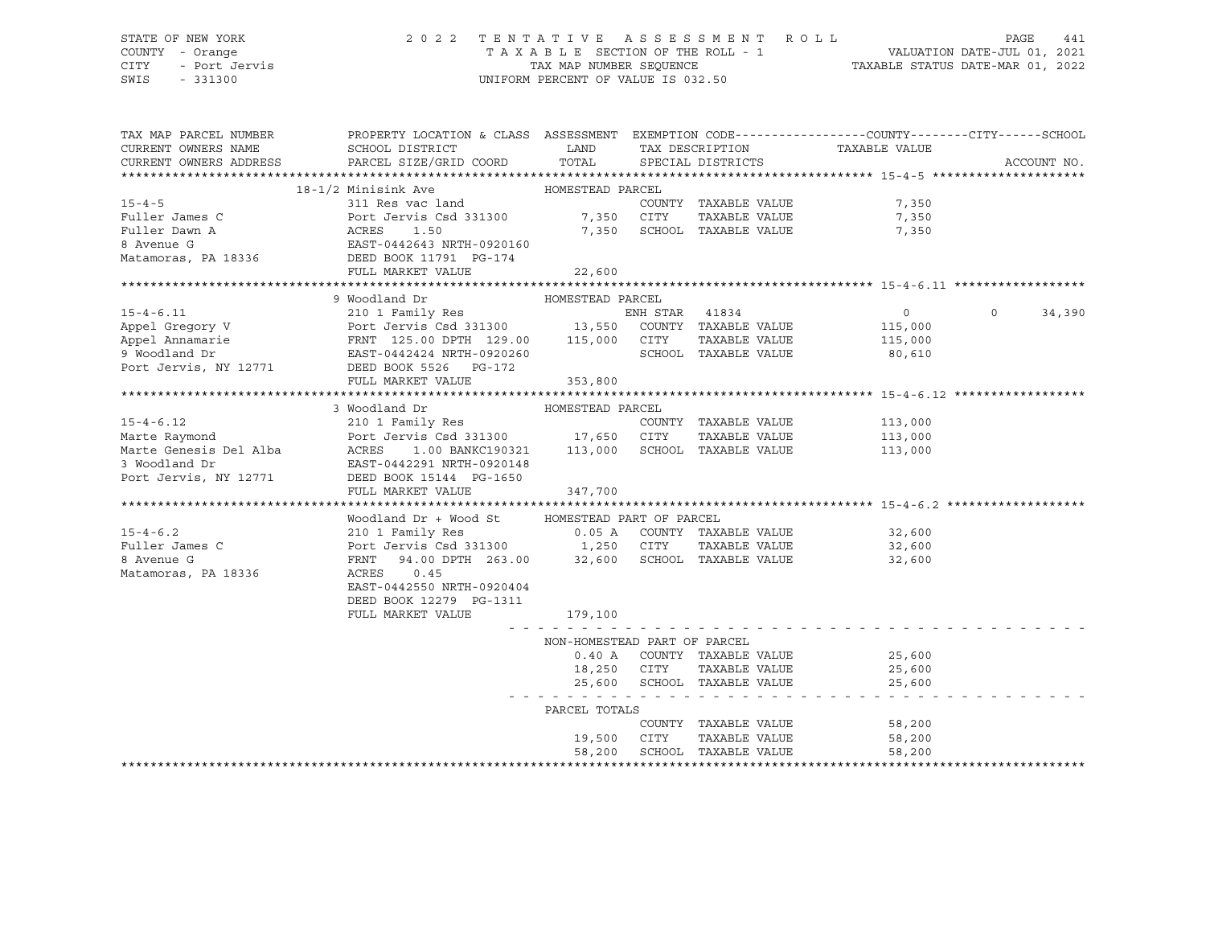# STATE OF NEW YORK 2 0 2 2 T E N T A T I V E A S S E S S M E N T R O L L PAGE 441 COUNTY - Orange T A X A B L E SECTION OF THE ROLL - 1 VALUATION DATE-JUL 01, 2021

CITY - Port Jervis TAX MAP NUMBER SEQUENCE TAXABLE STATUS DATE-MAR 01, 2022

| TAX MAP PARCEL NUMBER                                        | PROPERTY LOCATION & CLASS ASSESSMENT EXEMPTION CODE----------------COUNTY-------CITY------SCHOOL                                                                               |                                       |                             |                      |               |                               |                |         |             |
|--------------------------------------------------------------|--------------------------------------------------------------------------------------------------------------------------------------------------------------------------------|---------------------------------------|-----------------------------|----------------------|---------------|-------------------------------|----------------|---------|-------------|
| CURRENT OWNERS NAME                                          | SCHOOL DISTRICT                                                                                                                                                                | <b>LAND</b>                           |                             |                      |               | TAX DESCRIPTION TAXABLE VALUE |                |         |             |
| CURRENT OWNERS ADDRESS                                       | PARCEL SIZE/GRID COORD TOTAL                                                                                                                                                   |                                       |                             | SPECIAL DISTRICTS    |               |                               |                |         | ACCOUNT NO. |
|                                                              |                                                                                                                                                                                |                                       |                             |                      |               |                               |                |         |             |
|                                                              | 18-1/2 Minisink Ave                                                                                                                                                            | HOMESTEAD PARCEL                      |                             |                      |               |                               |                |         |             |
| $15 - 4 - 5$                                                 | 311 Res vac land                                                                                                                                                               |                                       |                             | COUNTY TAXABLE VALUE |               |                               | 7,350          |         |             |
| Fuller James C                                               |                                                                                                                                                                                |                                       |                             | TAXABLE VALUE        |               |                               | 7,350          |         |             |
| Fuller Dawn A                                                | Port Jervis Csd 331300 7,350 CITY<br>ACRES 1.50 7,350 SCHOO                                                                                                                    |                                       | 7,350 SCHOOL TAXABLE VALUE  |                      |               |                               | 7,350          |         |             |
| 8 Avenue G                                                   |                                                                                                                                                                                |                                       |                             |                      |               |                               |                |         |             |
|                                                              | EAST-0442643 NRTH-0920160<br>DEED BOOK 11791 PG-174                                                                                                                            |                                       |                             |                      |               |                               |                |         |             |
| Matamoras, PA 18336                                          |                                                                                                                                                                                |                                       |                             |                      |               |                               |                |         |             |
|                                                              | FULL MARKET VALUE                                                                                                                                                              | 22,600                                |                             |                      |               |                               |                |         |             |
|                                                              | 9 Woodland Dr                                                                                                                                                                  | HOMESTEAD PARCEL                      |                             |                      |               |                               |                |         |             |
| $15 - 4 - 6.11$                                              |                                                                                                                                                                                |                                       |                             |                      |               |                               |                | $\circ$ |             |
|                                                              |                                                                                                                                                                                |                                       |                             |                      |               |                               | $\overline{0}$ |         | 34,390      |
| Appel Gregory V                                              | 210 1 Family Res<br>Port Jervis Csd 331300 13,550 COUNTY TAXABLE VALUE<br>FRNT 125.00 DPTH 129.00 115,000 CITY TAXABLE VALUE<br>EAST-0442424 NRTH-0920260 SCHOOL TAXABLE VALUE |                                       |                             |                      |               |                               | 115,000        |         |             |
| Appel Annamarie                                              |                                                                                                                                                                                |                                       |                             |                      | TAXABLE VALUE |                               | 115,000        |         |             |
| 9 Woodland Dr<br>Port Jervis, NY 12771 DEED BOOK 5526 PG-172 |                                                                                                                                                                                |                                       |                             |                      |               |                               | 80,610         |         |             |
|                                                              |                                                                                                                                                                                |                                       |                             |                      |               |                               |                |         |             |
|                                                              | FULL MARKET VALUE                                                                                                                                                              | 353,800                               |                             |                      |               |                               |                |         |             |
|                                                              |                                                                                                                                                                                |                                       |                             |                      |               |                               |                |         |             |
|                                                              | 3 Woodland Dr                                                                                                                                                                  | HOMESTEAD PARCEL                      |                             |                      |               |                               |                |         |             |
| $15 - 4 - 6.12$                                              | 210 1 Family Res                                                                                                                                                               |                                       |                             | COUNTY TAXABLE VALUE |               |                               | 113,000        |         |             |
|                                                              |                                                                                                                                                                                |                                       |                             |                      |               | TAXABLE VALUE 113,000         |                |         |             |
|                                                              |                                                                                                                                                                                |                                       |                             |                      |               |                               | 113,000        |         |             |
| 3 Woodland Dr                                                | EAST-0442291 NRTH-0920148                                                                                                                                                      |                                       |                             |                      |               |                               |                |         |             |
| Port Jervis, NY 12771                                        | DEED BOOK 15144 PG-1650                                                                                                                                                        |                                       |                             |                      |               |                               |                |         |             |
|                                                              | FULL MARKET VALUE                                                                                                                                                              | 347,700                               |                             |                      |               |                               |                |         |             |
|                                                              |                                                                                                                                                                                |                                       |                             |                      |               |                               |                |         |             |
|                                                              | Woodland Dr + Wood St                                                                                                                                                          | HOMESTEAD PART OF PARCEL              |                             |                      |               |                               |                |         |             |
| $15 - 4 - 6.2$                                               | 210 1 Family Res                                                                                                                                                               | 0.05 A COUNTY TAXABLE VALUE           |                             |                      |               |                               | 32,600         |         |             |
| Fuller James C                                               | Port Jervis Csd 331300 1,250 CITY TAXABLE VALUE FRNT 94.00 DPTH 263.00 32,600 SCHOOL TAXABLE VALUE                                                                             |                                       |                             |                      |               |                               | 32,600         |         |             |
| 8 Avenue G                                                   |                                                                                                                                                                                |                                       |                             |                      |               |                               | 32,600         |         |             |
| Matamoras, PA 18336                                          | ACRES<br>0.45                                                                                                                                                                  |                                       |                             |                      |               |                               |                |         |             |
|                                                              | EAST-0442550 NRTH-0920404                                                                                                                                                      |                                       |                             |                      |               |                               |                |         |             |
|                                                              | DEED BOOK 12279 PG-1311                                                                                                                                                        |                                       |                             |                      |               |                               |                |         |             |
|                                                              | FULL MARKET VALUE                                                                                                                                                              | 179,100                               |                             |                      |               |                               |                |         |             |
|                                                              |                                                                                                                                                                                |                                       |                             |                      |               |                               |                |         |             |
|                                                              |                                                                                                                                                                                | NON-HOMESTEAD PART OF PARCEL          |                             |                      |               |                               |                |         |             |
|                                                              |                                                                                                                                                                                | $0.40$ A                              | COUNTY TAXABLE VALUE        |                      |               |                               | 25,600         |         |             |
|                                                              |                                                                                                                                                                                | 18,250                                | CITY                        | TAXABLE VALUE        |               |                               | 25,600         |         |             |
|                                                              |                                                                                                                                                                                |                                       | 25,600 SCHOOL TAXABLE VALUE |                      |               |                               | 25,600         |         |             |
|                                                              |                                                                                                                                                                                | المناصر والمراوية والمراوية والمراوية |                             |                      |               |                               |                |         |             |
|                                                              |                                                                                                                                                                                | PARCEL TOTALS                         |                             |                      |               |                               |                |         |             |
|                                                              |                                                                                                                                                                                |                                       |                             | COUNTY TAXABLE VALUE |               |                               | 58,200         |         |             |
|                                                              |                                                                                                                                                                                | 19,500                                | CITY                        | TAXABLE VALUE        |               |                               | 58,200         |         |             |
|                                                              |                                                                                                                                                                                | 58,200                                |                             | SCHOOL TAXABLE VALUE |               |                               | 58,200         |         |             |
|                                                              |                                                                                                                                                                                |                                       |                             |                      |               |                               |                |         |             |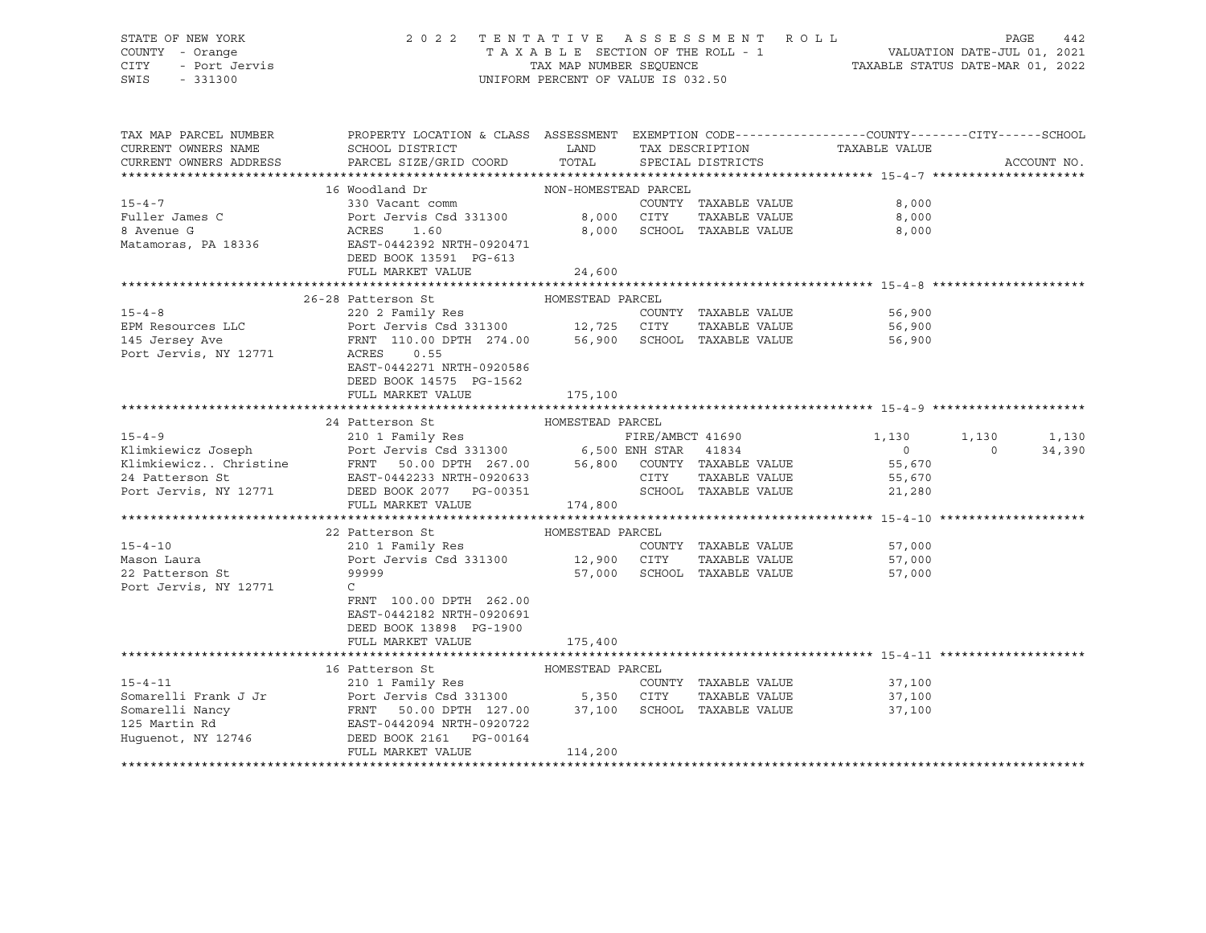# STATE OF NEW YORK 2 0 2 2 T E N T A T I V E A S S E S S M E N T R O L L PAGE 442 COUNTY - Orange T A X A B L E SECTION OF THE ROLL - 1 VALUATION DATE-JUL 01, 2021 CITY - Port Jervis TAX MAP NUMBER SEQUENCE TAXABLE STATUS DATE-MAR 01, 2022

| TAX MAP PARCEL NUMBER<br>CURRENT OWNERS NAME                                        | PROPERTY LOCATION & CLASS ASSESSMENT EXEMPTION CODE----------------COUNTY-------CITY------SCHOOL<br>SCHOOL DISTRICT                       | LAND                 |                  | TAX DESCRIPTION             | TAXABLE VALUE        |          |             |
|-------------------------------------------------------------------------------------|-------------------------------------------------------------------------------------------------------------------------------------------|----------------------|------------------|-----------------------------|----------------------|----------|-------------|
| CURRENT OWNERS ADDRESS                                                              | PARCEL SIZE/GRID COORD                                                                                                                    | TOTAL                |                  | SPECIAL DISTRICTS           |                      |          | ACCOUNT NO. |
|                                                                                     |                                                                                                                                           |                      |                  |                             |                      |          |             |
|                                                                                     | 16 Woodland Dr                                                                                                                            | NON-HOMESTEAD PARCEL |                  |                             |                      |          |             |
| $15 - 4 - 7$                                                                        | 330 Vacant comm                                                                                                                           |                      |                  | COUNTY TAXABLE VALUE        | 8,000                |          |             |
| Fuller James C                                                                      | Port Jervis Csd 331300                                                                                                                    |                      | 8,000 CITY       | TAXABLE VALUE               | 8,000                |          |             |
| 8 Avenue G                                                                          | ACRES<br>1.60                                                                                                                             | 8,000                |                  | SCHOOL TAXABLE VALUE        | 8,000                |          |             |
| Matamoras, PA 18336                                                                 | EAST-0442392 NRTH-0920471                                                                                                                 |                      |                  |                             |                      |          |             |
|                                                                                     | DEED BOOK 13591 PG-613                                                                                                                    |                      |                  |                             |                      |          |             |
|                                                                                     | FULL MARKET VALUE                                                                                                                         | 24,600               |                  |                             |                      |          |             |
|                                                                                     |                                                                                                                                           |                      |                  |                             |                      |          |             |
|                                                                                     | 26-28 Patterson St                                                                                                                        | HOMESTEAD PARCEL     |                  |                             |                      |          |             |
| $15 - 4 - 8$                                                                        | 220 2 Family Res                                                                                                                          |                      |                  | COUNTY TAXABLE VALUE        | 56,900               |          |             |
| EPM Resources LLC                                                                   |                                                                                                                                           |                      |                  |                             | TAXABLE VALUE 56,900 |          |             |
| 145 Jersey Ave<br>Port Jervis, NY 12771                                             | 220 2 Family Res<br>Port Jervis Csd 331300 12,725 CITY TAXABLE VALUE<br>FRNT 110.00 DPTH 274.00 56,900 SCHOOL TAXABLE VALUE<br>ACRES 0.55 |                      |                  |                             | 56,900               |          |             |
|                                                                                     |                                                                                                                                           |                      |                  |                             |                      |          |             |
|                                                                                     | EAST-0442271 NRTH-0920586                                                                                                                 |                      |                  |                             |                      |          |             |
|                                                                                     | DEED BOOK 14575 PG-1562                                                                                                                   |                      |                  |                             |                      |          |             |
|                                                                                     | FULL MARKET VALUE                                                                                                                         | 175,100              |                  |                             |                      |          |             |
|                                                                                     |                                                                                                                                           |                      |                  |                             |                      |          |             |
|                                                                                     | 24 Patterson St                                                                                                                           | HOMESTEAD PARCEL     |                  |                             |                      |          |             |
|                                                                                     |                                                                                                                                           |                      | FIRE/AMBCT 41690 |                             | 1,130                | 1,130    | 1,130       |
| 15-4-9 FIRE/AMBCT 41690<br>Klimkiewicz Joseph 210 1 Family Res 6,500 ENH STAR 41834 |                                                                                                                                           |                      |                  |                             | $\overline{0}$       | $\Omega$ | 34,390      |
|                                                                                     |                                                                                                                                           |                      |                  |                             | 55,670               |          |             |
|                                                                                     |                                                                                                                                           |                      | CITY             | TAXABLE VALUE               | 55,670               |          |             |
|                                                                                     |                                                                                                                                           |                      |                  | SCHOOL TAXABLE VALUE        | 21,280               |          |             |
|                                                                                     | FULL MARKET VALUE                                                                                                                         | 174,800              |                  |                             |                      |          |             |
|                                                                                     |                                                                                                                                           |                      |                  |                             |                      |          |             |
|                                                                                     | 22 Patterson St                                                                                                                           | HOMESTEAD PARCEL     |                  |                             |                      |          |             |
| $15 - 4 - 10$                                                                       | 210 1 Family Res                                                                                                                          |                      |                  | COUNTY TAXABLE VALUE        | 57,000               |          |             |
| Mason Laura                                                                         | Port Jervis Csd 331300 12,900 CITY                                                                                                        |                      |                  | TAXABLE VALUE               | 57,000               |          |             |
| 22 Patterson St                                                                     | 99999                                                                                                                                     |                      |                  | 57,000 SCHOOL TAXABLE VALUE | 57,000               |          |             |
| Port Jervis, NY 12771                                                               | $\mathcal{C}$                                                                                                                             |                      |                  |                             |                      |          |             |
|                                                                                     | FRNT 100.00 DPTH 262.00                                                                                                                   |                      |                  |                             |                      |          |             |
|                                                                                     | EAST-0442182 NRTH-0920691                                                                                                                 |                      |                  |                             |                      |          |             |
|                                                                                     | DEED BOOK 13898 PG-1900                                                                                                                   |                      |                  |                             |                      |          |             |
|                                                                                     | FULL MARKET VALUE                                                                                                                         | 175,400              |                  |                             |                      |          |             |
|                                                                                     |                                                                                                                                           |                      |                  |                             |                      |          |             |
|                                                                                     | 16 Patterson St                                                                                                                           | HOMESTEAD PARCEL     |                  |                             |                      |          |             |
| $15 - 4 - 11$                                                                       | 210 1 Family Res                                                                                                                          |                      |                  | COUNTY TAXABLE VALUE        | 37,100               |          |             |
| Somarelli Frank J Jr                                                                | Port Jervis Csd 331300 5,350 CITY                                                                                                         |                      |                  | TAXABLE VALUE               | 37,100               |          |             |
| Somarelli Nancy                                                                     | FRNT 50.00 DPTH 127.00 37,100 SCHOOL TAXABLE VALUE<br>EAST-0442094 NRTH-0920722                                                           |                      |                  |                             | 37,100               |          |             |
| 125 Martin Rd                                                                       |                                                                                                                                           |                      |                  |                             |                      |          |             |
| Huquenot, NY 12746                                                                  | DEED BOOK 2161    PG-00164                                                                                                                |                      |                  |                             |                      |          |             |
|                                                                                     | FULL MARKET VALUE                                                                                                                         | 114,200              |                  |                             |                      |          |             |
|                                                                                     |                                                                                                                                           |                      |                  |                             |                      |          |             |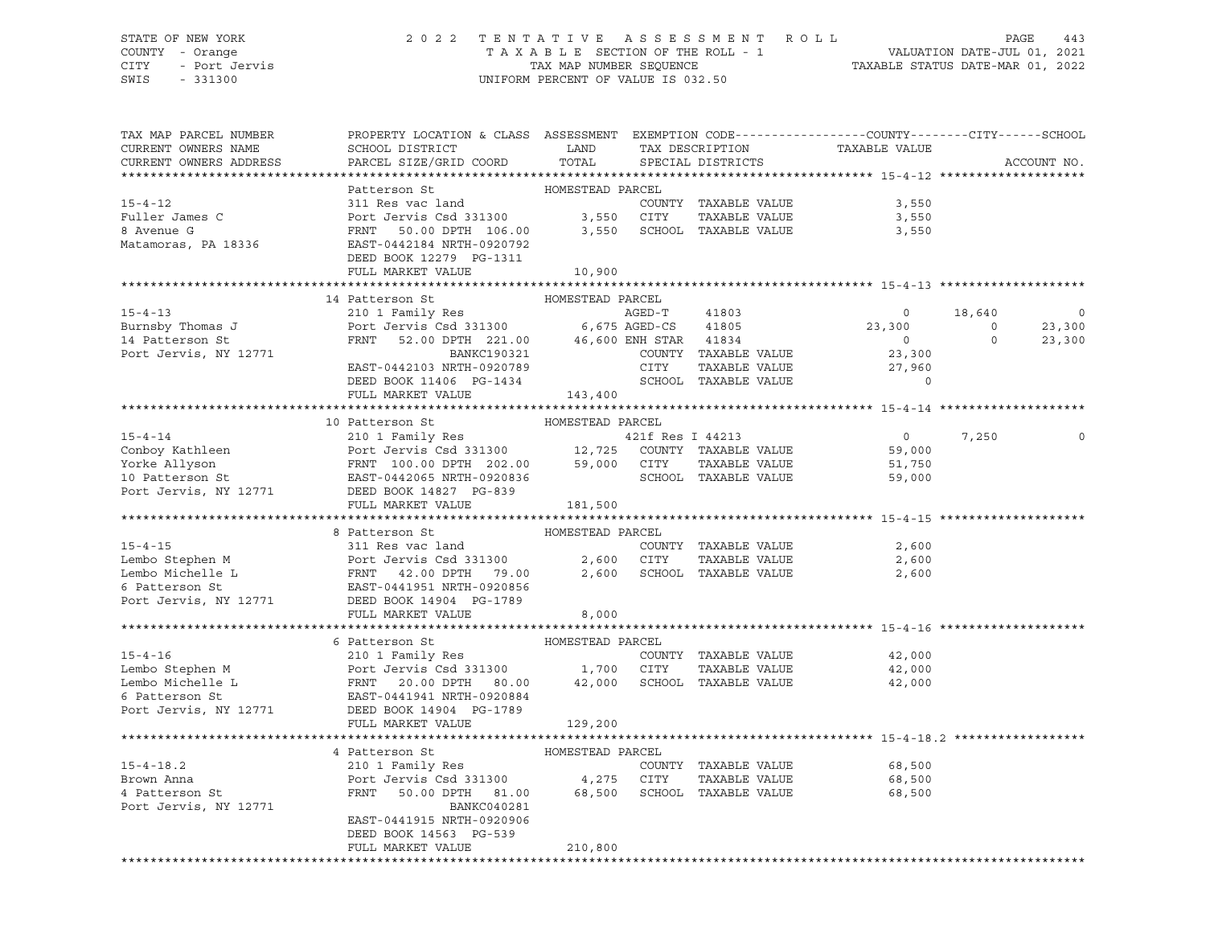# STATE OF NEW YORK 2 0 2 2 T E N T A T I V E A S S E S S M E N T R O L L PAGE 443 COUNTY - Orange T A X A B L E SECTION OF THE ROLL - 1 VALUATION DATE-JUL 01, 2021 CITY - Port Jervis TAX MAP NUMBER SEQUENCE TAXABLE STATUS DATE-MAR 01, 2022

| PARCEL SIZE/GRID COORD<br>ACCOUNT NO.<br>SPECIAL DISTRICTS<br>HOMESTEAD PARCEL<br>Patterson St<br>15-4-12<br>Puller James C<br>Port Jervis Csd 331300<br>8 Avenue G<br>Matamoras, PA 18336<br>Matamoras, PA 18336<br>Port Jervis Csd 331300<br>EXP 106.00<br>EXP 106.00<br>PORT 106.00<br>2,550<br>SCHOOL TAXABLE VALUE<br>Matamoras, PA 18336<br>PORT 144<br>COUNTY TAXABLE VALUE<br>3,550<br>3,550<br>3,550<br>DEED BOOK 12279 PG-1311<br>FULL MARKET VALUE<br>10,900<br>HOMESTEAD PARCEL<br>14 Patterson St<br>210 1 Family Res<br>Port Jervis Csd 331300<br>FRNT 52.00 DPTH 221.00 46,600 ENH STAR 41834<br>BANKC190321 COUNTY TAXABLE VALUE<br>$15 - 4 - 13$<br>18,640<br>$\overline{\phantom{0}}$<br>$\mathbf 0$<br>$23,300$ 0<br>0 0<br>Burnsby Thomas J<br>23,300<br>Burnby nomes .<br>23,300<br>Port Jervis, NY 12771<br>COUNTY TAXABLE VALUE<br>23,300<br>CITY<br>EAST-0442103 NRTH-0920789<br>TAXABLE VALUE<br>27,960<br>SCHOOL TAXABLE VALUE<br>$\mathbf{0}$<br>DEED BOOK 11406 PG-1434<br>143,400<br>FULL MARKET VALUE<br>$\begin{tabular}{lllllllllllll} \multicolumn{4}{c}{15-4-14} & 10 \text{ PatternsOn St} & \multicolumn{4}{c}{\text{HOMESTEAD PARCH}} \\ & 210 1 \text{ Family Res} & 421f \text{ Res I 44213} \\ & \multicolumn{4}{c}{\text{Orboy Kathleen}} & \multicolumn{4}{c}{\text{Port Jervis Csd 331300}} & 12,725 & \text{COUNTY TAXABLE VALUE} \\ & \multicolumn{4}{c}{\text{Yorke Allyson}} & \multicolumn{4}{c}{\text{FRNT 100.00 DPTH 202.00}} & 59$<br>$\overline{0}$<br>7,250<br>0<br>59,000<br>51,750<br>59,000<br>181,500<br>FULL MARKET VALUE<br>8 Patterson St<br>HOMESTEAD PARCEL<br>15-4-15<br>15-4-15<br>Lembo Stephen M<br>Lembo Michelle L<br>Ernbo Michelle L<br>ERST-0441951 NRTH-0920856<br>Port Jervis, NY 12771<br>DEED<br>ERST-0441951 NRTH-0920856<br>Port Jervis, NY 12771<br>DEED<br>ERST-0441951 NRTH-0920856<br>Port Jervis,<br>8,000<br>FULL MARKET VALUE<br>6 Patterson St<br>HOMESTEAD PARCEL<br>15-4-16<br>Lembo Stephen M<br>Lembo Michelle L<br>Exaction Stephen M<br>Lembo Michelle L<br>Exaction Strategy Res<br>Port Jervis Csd 331300<br>FRNT 20.00 DPTH 80.00<br>42,000 SCHOOL TAXABLE VALUE<br>FRNT 20.00 DPTH 80.00<br>42,000 SCHOOL TAXA<br>42,000<br>42,000<br>42,000<br>FULL MARKET VALUE<br>129,200<br>4 Patterson St<br>4 Patterson St<br>210 1 Family Res<br>210 1 Family Res<br>210 1 Family Res<br>210 1 Family Res<br>210 1 Family Res<br>210 1 Family Res<br>210 1 Family Res<br>210 1 Family Res<br>210 1 Family Res<br>210 1 Family Res<br>210 1 Fami<br>Port Jervis, NY 12771<br>BANKC040281<br>EAST-0441915 NRTH-0920906<br>DEED BOOK 14563 PG-539<br>FULL MARKET VALUE<br>210,800 | TAX MAP PARCEL NUMBER<br>CURRENT OWNERS NAME | PROPERTY LOCATION & CLASS ASSESSMENT EXEMPTION CODE----------------COUNTY-------CITY------SCHOOL<br><b>EXAMPLE SERVICE SERVICE SERVICE SERVICE SERVICE SERVICE SERVICE SERVICE SERVICE SERVICE SERVICE SERVICE SERVICE</b><br>SCHOOL DISTRICT |       | TAX DESCRIPTION | TAXABLE VALUE |  |
|-----------------------------------------------------------------------------------------------------------------------------------------------------------------------------------------------------------------------------------------------------------------------------------------------------------------------------------------------------------------------------------------------------------------------------------------------------------------------------------------------------------------------------------------------------------------------------------------------------------------------------------------------------------------------------------------------------------------------------------------------------------------------------------------------------------------------------------------------------------------------------------------------------------------------------------------------------------------------------------------------------------------------------------------------------------------------------------------------------------------------------------------------------------------------------------------------------------------------------------------------------------------------------------------------------------------------------------------------------------------------------------------------------------------------------------------------------------------------------------------------------------------------------------------------------------------------------------------------------------------------------------------------------------------------------------------------------------------------------------------------------------------------------------------------------------------------------------------------------------------------------------------------------------------------------------------------------------------------------------------------------------------------------------------------------------------------------------------------------------------------------------------------------------------------------------------------------------------------------------------------------------------------------------------------------------------------------------------------------------------------------------------------------------------------------------------------------------------------------------------------------------------------------------------------------------------------------------------------------------------------------------------------------------------------|----------------------------------------------|-----------------------------------------------------------------------------------------------------------------------------------------------------------------------------------------------------------------------------------------------|-------|-----------------|---------------|--|
|                                                                                                                                                                                                                                                                                                                                                                                                                                                                                                                                                                                                                                                                                                                                                                                                                                                                                                                                                                                                                                                                                                                                                                                                                                                                                                                                                                                                                                                                                                                                                                                                                                                                                                                                                                                                                                                                                                                                                                                                                                                                                                                                                                                                                                                                                                                                                                                                                                                                                                                                                                                                                                                                       | CURRENT OWNERS ADDRESS                       |                                                                                                                                                                                                                                               | TOTAL |                 |               |  |
|                                                                                                                                                                                                                                                                                                                                                                                                                                                                                                                                                                                                                                                                                                                                                                                                                                                                                                                                                                                                                                                                                                                                                                                                                                                                                                                                                                                                                                                                                                                                                                                                                                                                                                                                                                                                                                                                                                                                                                                                                                                                                                                                                                                                                                                                                                                                                                                                                                                                                                                                                                                                                                                                       |                                              |                                                                                                                                                                                                                                               |       |                 |               |  |
|                                                                                                                                                                                                                                                                                                                                                                                                                                                                                                                                                                                                                                                                                                                                                                                                                                                                                                                                                                                                                                                                                                                                                                                                                                                                                                                                                                                                                                                                                                                                                                                                                                                                                                                                                                                                                                                                                                                                                                                                                                                                                                                                                                                                                                                                                                                                                                                                                                                                                                                                                                                                                                                                       |                                              |                                                                                                                                                                                                                                               |       |                 |               |  |
|                                                                                                                                                                                                                                                                                                                                                                                                                                                                                                                                                                                                                                                                                                                                                                                                                                                                                                                                                                                                                                                                                                                                                                                                                                                                                                                                                                                                                                                                                                                                                                                                                                                                                                                                                                                                                                                                                                                                                                                                                                                                                                                                                                                                                                                                                                                                                                                                                                                                                                                                                                                                                                                                       |                                              |                                                                                                                                                                                                                                               |       |                 |               |  |
|                                                                                                                                                                                                                                                                                                                                                                                                                                                                                                                                                                                                                                                                                                                                                                                                                                                                                                                                                                                                                                                                                                                                                                                                                                                                                                                                                                                                                                                                                                                                                                                                                                                                                                                                                                                                                                                                                                                                                                                                                                                                                                                                                                                                                                                                                                                                                                                                                                                                                                                                                                                                                                                                       |                                              |                                                                                                                                                                                                                                               |       |                 |               |  |
|                                                                                                                                                                                                                                                                                                                                                                                                                                                                                                                                                                                                                                                                                                                                                                                                                                                                                                                                                                                                                                                                                                                                                                                                                                                                                                                                                                                                                                                                                                                                                                                                                                                                                                                                                                                                                                                                                                                                                                                                                                                                                                                                                                                                                                                                                                                                                                                                                                                                                                                                                                                                                                                                       |                                              |                                                                                                                                                                                                                                               |       |                 |               |  |
|                                                                                                                                                                                                                                                                                                                                                                                                                                                                                                                                                                                                                                                                                                                                                                                                                                                                                                                                                                                                                                                                                                                                                                                                                                                                                                                                                                                                                                                                                                                                                                                                                                                                                                                                                                                                                                                                                                                                                                                                                                                                                                                                                                                                                                                                                                                                                                                                                                                                                                                                                                                                                                                                       |                                              |                                                                                                                                                                                                                                               |       |                 |               |  |
|                                                                                                                                                                                                                                                                                                                                                                                                                                                                                                                                                                                                                                                                                                                                                                                                                                                                                                                                                                                                                                                                                                                                                                                                                                                                                                                                                                                                                                                                                                                                                                                                                                                                                                                                                                                                                                                                                                                                                                                                                                                                                                                                                                                                                                                                                                                                                                                                                                                                                                                                                                                                                                                                       |                                              |                                                                                                                                                                                                                                               |       |                 |               |  |
|                                                                                                                                                                                                                                                                                                                                                                                                                                                                                                                                                                                                                                                                                                                                                                                                                                                                                                                                                                                                                                                                                                                                                                                                                                                                                                                                                                                                                                                                                                                                                                                                                                                                                                                                                                                                                                                                                                                                                                                                                                                                                                                                                                                                                                                                                                                                                                                                                                                                                                                                                                                                                                                                       |                                              |                                                                                                                                                                                                                                               |       |                 |               |  |
|                                                                                                                                                                                                                                                                                                                                                                                                                                                                                                                                                                                                                                                                                                                                                                                                                                                                                                                                                                                                                                                                                                                                                                                                                                                                                                                                                                                                                                                                                                                                                                                                                                                                                                                                                                                                                                                                                                                                                                                                                                                                                                                                                                                                                                                                                                                                                                                                                                                                                                                                                                                                                                                                       |                                              |                                                                                                                                                                                                                                               |       |                 |               |  |
|                                                                                                                                                                                                                                                                                                                                                                                                                                                                                                                                                                                                                                                                                                                                                                                                                                                                                                                                                                                                                                                                                                                                                                                                                                                                                                                                                                                                                                                                                                                                                                                                                                                                                                                                                                                                                                                                                                                                                                                                                                                                                                                                                                                                                                                                                                                                                                                                                                                                                                                                                                                                                                                                       |                                              |                                                                                                                                                                                                                                               |       |                 |               |  |
|                                                                                                                                                                                                                                                                                                                                                                                                                                                                                                                                                                                                                                                                                                                                                                                                                                                                                                                                                                                                                                                                                                                                                                                                                                                                                                                                                                                                                                                                                                                                                                                                                                                                                                                                                                                                                                                                                                                                                                                                                                                                                                                                                                                                                                                                                                                                                                                                                                                                                                                                                                                                                                                                       |                                              |                                                                                                                                                                                                                                               |       |                 |               |  |
|                                                                                                                                                                                                                                                                                                                                                                                                                                                                                                                                                                                                                                                                                                                                                                                                                                                                                                                                                                                                                                                                                                                                                                                                                                                                                                                                                                                                                                                                                                                                                                                                                                                                                                                                                                                                                                                                                                                                                                                                                                                                                                                                                                                                                                                                                                                                                                                                                                                                                                                                                                                                                                                                       |                                              |                                                                                                                                                                                                                                               |       |                 |               |  |
|                                                                                                                                                                                                                                                                                                                                                                                                                                                                                                                                                                                                                                                                                                                                                                                                                                                                                                                                                                                                                                                                                                                                                                                                                                                                                                                                                                                                                                                                                                                                                                                                                                                                                                                                                                                                                                                                                                                                                                                                                                                                                                                                                                                                                                                                                                                                                                                                                                                                                                                                                                                                                                                                       |                                              |                                                                                                                                                                                                                                               |       |                 |               |  |
|                                                                                                                                                                                                                                                                                                                                                                                                                                                                                                                                                                                                                                                                                                                                                                                                                                                                                                                                                                                                                                                                                                                                                                                                                                                                                                                                                                                                                                                                                                                                                                                                                                                                                                                                                                                                                                                                                                                                                                                                                                                                                                                                                                                                                                                                                                                                                                                                                                                                                                                                                                                                                                                                       |                                              |                                                                                                                                                                                                                                               |       |                 |               |  |
|                                                                                                                                                                                                                                                                                                                                                                                                                                                                                                                                                                                                                                                                                                                                                                                                                                                                                                                                                                                                                                                                                                                                                                                                                                                                                                                                                                                                                                                                                                                                                                                                                                                                                                                                                                                                                                                                                                                                                                                                                                                                                                                                                                                                                                                                                                                                                                                                                                                                                                                                                                                                                                                                       |                                              |                                                                                                                                                                                                                                               |       |                 |               |  |
|                                                                                                                                                                                                                                                                                                                                                                                                                                                                                                                                                                                                                                                                                                                                                                                                                                                                                                                                                                                                                                                                                                                                                                                                                                                                                                                                                                                                                                                                                                                                                                                                                                                                                                                                                                                                                                                                                                                                                                                                                                                                                                                                                                                                                                                                                                                                                                                                                                                                                                                                                                                                                                                                       |                                              |                                                                                                                                                                                                                                               |       |                 |               |  |
|                                                                                                                                                                                                                                                                                                                                                                                                                                                                                                                                                                                                                                                                                                                                                                                                                                                                                                                                                                                                                                                                                                                                                                                                                                                                                                                                                                                                                                                                                                                                                                                                                                                                                                                                                                                                                                                                                                                                                                                                                                                                                                                                                                                                                                                                                                                                                                                                                                                                                                                                                                                                                                                                       |                                              |                                                                                                                                                                                                                                               |       |                 |               |  |
|                                                                                                                                                                                                                                                                                                                                                                                                                                                                                                                                                                                                                                                                                                                                                                                                                                                                                                                                                                                                                                                                                                                                                                                                                                                                                                                                                                                                                                                                                                                                                                                                                                                                                                                                                                                                                                                                                                                                                                                                                                                                                                                                                                                                                                                                                                                                                                                                                                                                                                                                                                                                                                                                       |                                              |                                                                                                                                                                                                                                               |       |                 |               |  |
|                                                                                                                                                                                                                                                                                                                                                                                                                                                                                                                                                                                                                                                                                                                                                                                                                                                                                                                                                                                                                                                                                                                                                                                                                                                                                                                                                                                                                                                                                                                                                                                                                                                                                                                                                                                                                                                                                                                                                                                                                                                                                                                                                                                                                                                                                                                                                                                                                                                                                                                                                                                                                                                                       |                                              |                                                                                                                                                                                                                                               |       |                 |               |  |
|                                                                                                                                                                                                                                                                                                                                                                                                                                                                                                                                                                                                                                                                                                                                                                                                                                                                                                                                                                                                                                                                                                                                                                                                                                                                                                                                                                                                                                                                                                                                                                                                                                                                                                                                                                                                                                                                                                                                                                                                                                                                                                                                                                                                                                                                                                                                                                                                                                                                                                                                                                                                                                                                       |                                              |                                                                                                                                                                                                                                               |       |                 |               |  |
|                                                                                                                                                                                                                                                                                                                                                                                                                                                                                                                                                                                                                                                                                                                                                                                                                                                                                                                                                                                                                                                                                                                                                                                                                                                                                                                                                                                                                                                                                                                                                                                                                                                                                                                                                                                                                                                                                                                                                                                                                                                                                                                                                                                                                                                                                                                                                                                                                                                                                                                                                                                                                                                                       |                                              |                                                                                                                                                                                                                                               |       |                 |               |  |
|                                                                                                                                                                                                                                                                                                                                                                                                                                                                                                                                                                                                                                                                                                                                                                                                                                                                                                                                                                                                                                                                                                                                                                                                                                                                                                                                                                                                                                                                                                                                                                                                                                                                                                                                                                                                                                                                                                                                                                                                                                                                                                                                                                                                                                                                                                                                                                                                                                                                                                                                                                                                                                                                       |                                              |                                                                                                                                                                                                                                               |       |                 |               |  |
|                                                                                                                                                                                                                                                                                                                                                                                                                                                                                                                                                                                                                                                                                                                                                                                                                                                                                                                                                                                                                                                                                                                                                                                                                                                                                                                                                                                                                                                                                                                                                                                                                                                                                                                                                                                                                                                                                                                                                                                                                                                                                                                                                                                                                                                                                                                                                                                                                                                                                                                                                                                                                                                                       |                                              |                                                                                                                                                                                                                                               |       |                 |               |  |
|                                                                                                                                                                                                                                                                                                                                                                                                                                                                                                                                                                                                                                                                                                                                                                                                                                                                                                                                                                                                                                                                                                                                                                                                                                                                                                                                                                                                                                                                                                                                                                                                                                                                                                                                                                                                                                                                                                                                                                                                                                                                                                                                                                                                                                                                                                                                                                                                                                                                                                                                                                                                                                                                       |                                              |                                                                                                                                                                                                                                               |       |                 |               |  |
|                                                                                                                                                                                                                                                                                                                                                                                                                                                                                                                                                                                                                                                                                                                                                                                                                                                                                                                                                                                                                                                                                                                                                                                                                                                                                                                                                                                                                                                                                                                                                                                                                                                                                                                                                                                                                                                                                                                                                                                                                                                                                                                                                                                                                                                                                                                                                                                                                                                                                                                                                                                                                                                                       |                                              |                                                                                                                                                                                                                                               |       |                 |               |  |
|                                                                                                                                                                                                                                                                                                                                                                                                                                                                                                                                                                                                                                                                                                                                                                                                                                                                                                                                                                                                                                                                                                                                                                                                                                                                                                                                                                                                                                                                                                                                                                                                                                                                                                                                                                                                                                                                                                                                                                                                                                                                                                                                                                                                                                                                                                                                                                                                                                                                                                                                                                                                                                                                       |                                              |                                                                                                                                                                                                                                               |       |                 |               |  |
|                                                                                                                                                                                                                                                                                                                                                                                                                                                                                                                                                                                                                                                                                                                                                                                                                                                                                                                                                                                                                                                                                                                                                                                                                                                                                                                                                                                                                                                                                                                                                                                                                                                                                                                                                                                                                                                                                                                                                                                                                                                                                                                                                                                                                                                                                                                                                                                                                                                                                                                                                                                                                                                                       |                                              |                                                                                                                                                                                                                                               |       |                 |               |  |
|                                                                                                                                                                                                                                                                                                                                                                                                                                                                                                                                                                                                                                                                                                                                                                                                                                                                                                                                                                                                                                                                                                                                                                                                                                                                                                                                                                                                                                                                                                                                                                                                                                                                                                                                                                                                                                                                                                                                                                                                                                                                                                                                                                                                                                                                                                                                                                                                                                                                                                                                                                                                                                                                       |                                              |                                                                                                                                                                                                                                               |       |                 |               |  |
|                                                                                                                                                                                                                                                                                                                                                                                                                                                                                                                                                                                                                                                                                                                                                                                                                                                                                                                                                                                                                                                                                                                                                                                                                                                                                                                                                                                                                                                                                                                                                                                                                                                                                                                                                                                                                                                                                                                                                                                                                                                                                                                                                                                                                                                                                                                                                                                                                                                                                                                                                                                                                                                                       |                                              |                                                                                                                                                                                                                                               |       |                 |               |  |
|                                                                                                                                                                                                                                                                                                                                                                                                                                                                                                                                                                                                                                                                                                                                                                                                                                                                                                                                                                                                                                                                                                                                                                                                                                                                                                                                                                                                                                                                                                                                                                                                                                                                                                                                                                                                                                                                                                                                                                                                                                                                                                                                                                                                                                                                                                                                                                                                                                                                                                                                                                                                                                                                       |                                              |                                                                                                                                                                                                                                               |       |                 |               |  |
|                                                                                                                                                                                                                                                                                                                                                                                                                                                                                                                                                                                                                                                                                                                                                                                                                                                                                                                                                                                                                                                                                                                                                                                                                                                                                                                                                                                                                                                                                                                                                                                                                                                                                                                                                                                                                                                                                                                                                                                                                                                                                                                                                                                                                                                                                                                                                                                                                                                                                                                                                                                                                                                                       |                                              |                                                                                                                                                                                                                                               |       |                 |               |  |
|                                                                                                                                                                                                                                                                                                                                                                                                                                                                                                                                                                                                                                                                                                                                                                                                                                                                                                                                                                                                                                                                                                                                                                                                                                                                                                                                                                                                                                                                                                                                                                                                                                                                                                                                                                                                                                                                                                                                                                                                                                                                                                                                                                                                                                                                                                                                                                                                                                                                                                                                                                                                                                                                       |                                              |                                                                                                                                                                                                                                               |       |                 |               |  |
|                                                                                                                                                                                                                                                                                                                                                                                                                                                                                                                                                                                                                                                                                                                                                                                                                                                                                                                                                                                                                                                                                                                                                                                                                                                                                                                                                                                                                                                                                                                                                                                                                                                                                                                                                                                                                                                                                                                                                                                                                                                                                                                                                                                                                                                                                                                                                                                                                                                                                                                                                                                                                                                                       |                                              |                                                                                                                                                                                                                                               |       |                 |               |  |
|                                                                                                                                                                                                                                                                                                                                                                                                                                                                                                                                                                                                                                                                                                                                                                                                                                                                                                                                                                                                                                                                                                                                                                                                                                                                                                                                                                                                                                                                                                                                                                                                                                                                                                                                                                                                                                                                                                                                                                                                                                                                                                                                                                                                                                                                                                                                                                                                                                                                                                                                                                                                                                                                       |                                              |                                                                                                                                                                                                                                               |       |                 |               |  |
|                                                                                                                                                                                                                                                                                                                                                                                                                                                                                                                                                                                                                                                                                                                                                                                                                                                                                                                                                                                                                                                                                                                                                                                                                                                                                                                                                                                                                                                                                                                                                                                                                                                                                                                                                                                                                                                                                                                                                                                                                                                                                                                                                                                                                                                                                                                                                                                                                                                                                                                                                                                                                                                                       |                                              |                                                                                                                                                                                                                                               |       |                 |               |  |
|                                                                                                                                                                                                                                                                                                                                                                                                                                                                                                                                                                                                                                                                                                                                                                                                                                                                                                                                                                                                                                                                                                                                                                                                                                                                                                                                                                                                                                                                                                                                                                                                                                                                                                                                                                                                                                                                                                                                                                                                                                                                                                                                                                                                                                                                                                                                                                                                                                                                                                                                                                                                                                                                       |                                              |                                                                                                                                                                                                                                               |       |                 |               |  |
|                                                                                                                                                                                                                                                                                                                                                                                                                                                                                                                                                                                                                                                                                                                                                                                                                                                                                                                                                                                                                                                                                                                                                                                                                                                                                                                                                                                                                                                                                                                                                                                                                                                                                                                                                                                                                                                                                                                                                                                                                                                                                                                                                                                                                                                                                                                                                                                                                                                                                                                                                                                                                                                                       |                                              |                                                                                                                                                                                                                                               |       |                 |               |  |
|                                                                                                                                                                                                                                                                                                                                                                                                                                                                                                                                                                                                                                                                                                                                                                                                                                                                                                                                                                                                                                                                                                                                                                                                                                                                                                                                                                                                                                                                                                                                                                                                                                                                                                                                                                                                                                                                                                                                                                                                                                                                                                                                                                                                                                                                                                                                                                                                                                                                                                                                                                                                                                                                       |                                              |                                                                                                                                                                                                                                               |       |                 |               |  |
|                                                                                                                                                                                                                                                                                                                                                                                                                                                                                                                                                                                                                                                                                                                                                                                                                                                                                                                                                                                                                                                                                                                                                                                                                                                                                                                                                                                                                                                                                                                                                                                                                                                                                                                                                                                                                                                                                                                                                                                                                                                                                                                                                                                                                                                                                                                                                                                                                                                                                                                                                                                                                                                                       |                                              |                                                                                                                                                                                                                                               |       |                 |               |  |
|                                                                                                                                                                                                                                                                                                                                                                                                                                                                                                                                                                                                                                                                                                                                                                                                                                                                                                                                                                                                                                                                                                                                                                                                                                                                                                                                                                                                                                                                                                                                                                                                                                                                                                                                                                                                                                                                                                                                                                                                                                                                                                                                                                                                                                                                                                                                                                                                                                                                                                                                                                                                                                                                       |                                              |                                                                                                                                                                                                                                               |       |                 |               |  |
|                                                                                                                                                                                                                                                                                                                                                                                                                                                                                                                                                                                                                                                                                                                                                                                                                                                                                                                                                                                                                                                                                                                                                                                                                                                                                                                                                                                                                                                                                                                                                                                                                                                                                                                                                                                                                                                                                                                                                                                                                                                                                                                                                                                                                                                                                                                                                                                                                                                                                                                                                                                                                                                                       |                                              |                                                                                                                                                                                                                                               |       |                 |               |  |
|                                                                                                                                                                                                                                                                                                                                                                                                                                                                                                                                                                                                                                                                                                                                                                                                                                                                                                                                                                                                                                                                                                                                                                                                                                                                                                                                                                                                                                                                                                                                                                                                                                                                                                                                                                                                                                                                                                                                                                                                                                                                                                                                                                                                                                                                                                                                                                                                                                                                                                                                                                                                                                                                       |                                              |                                                                                                                                                                                                                                               |       |                 |               |  |
|                                                                                                                                                                                                                                                                                                                                                                                                                                                                                                                                                                                                                                                                                                                                                                                                                                                                                                                                                                                                                                                                                                                                                                                                                                                                                                                                                                                                                                                                                                                                                                                                                                                                                                                                                                                                                                                                                                                                                                                                                                                                                                                                                                                                                                                                                                                                                                                                                                                                                                                                                                                                                                                                       |                                              |                                                                                                                                                                                                                                               |       |                 |               |  |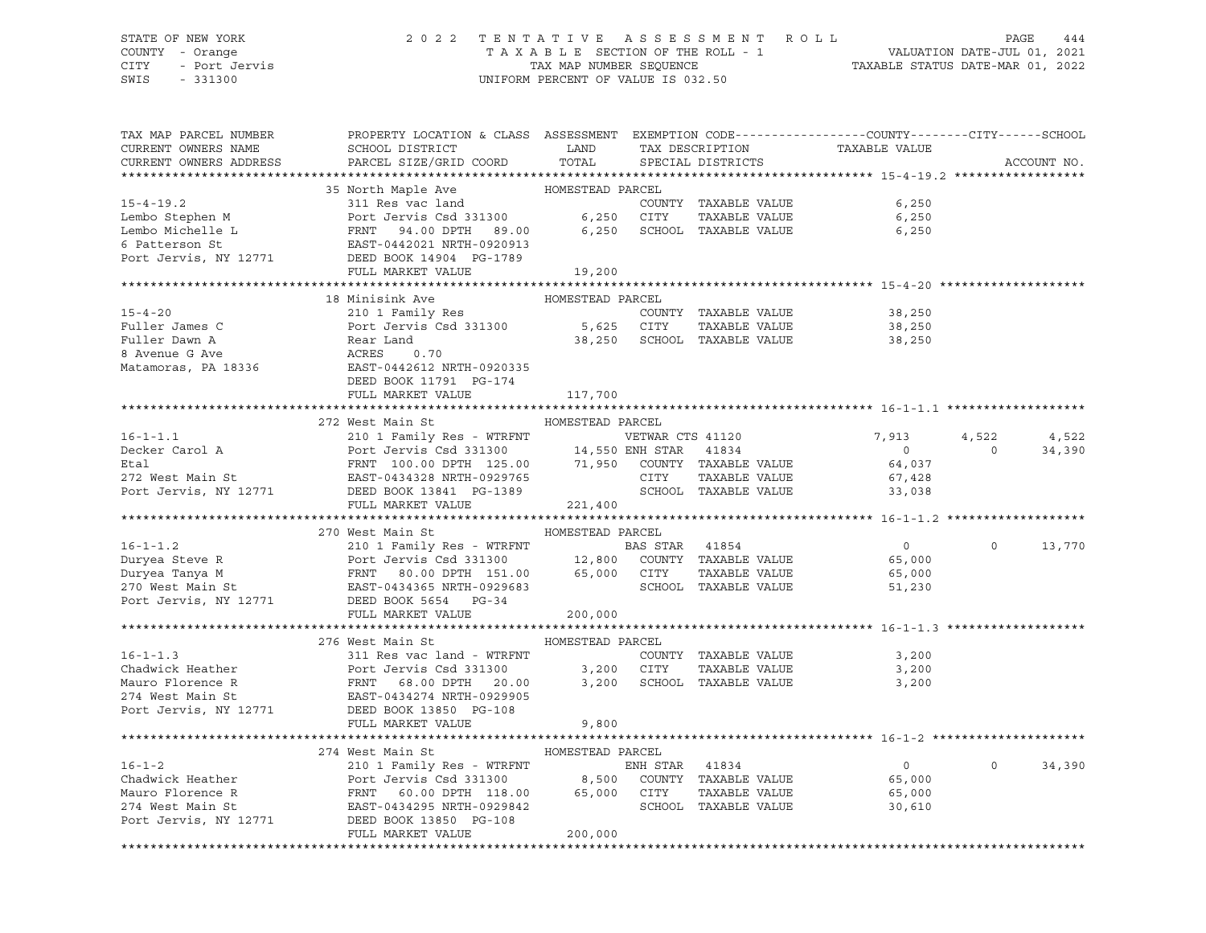#### STATE OF NEW YORK 2 0 2 2 T E N T A T I V E A S S E S S M E N T R O L L PAGE 444 COUNTY - Orange T A X A B L E SECTION OF THE ROLL - 1 VALUATION DATE-JUL 01, 2021 CITY - Port Jervis TAX MAP NUMBER SEQUENCE TAXABLE STATUS DATE-MAR 01, 2022

| TAX MAP PARCEL NUMBER<br>CURRENT OWNERS NAME<br>CURRENT OWNERS ADDRESS | PROPERTY LOCATION & CLASS ASSESSMENT EXEMPTION CODE---------------COUNTY-------CITY------SCHOOL<br>SCHOOL DISTRICT<br>LAND<br>PARCEL SIZE/GRID COORD TOTAL                                                                                                              |                  | TAX DESCRIPTION<br>SPECIAL DISTRICTS | TAXABLE VALUE  |                | ACCOUNT NO. |
|------------------------------------------------------------------------|-------------------------------------------------------------------------------------------------------------------------------------------------------------------------------------------------------------------------------------------------------------------------|------------------|--------------------------------------|----------------|----------------|-------------|
|                                                                        |                                                                                                                                                                                                                                                                         |                  |                                      |                |                |             |
|                                                                        | 35 North Maple Ave MOMESTEAD PARCEL                                                                                                                                                                                                                                     |                  |                                      |                |                |             |
|                                                                        |                                                                                                                                                                                                                                                                         |                  |                                      | 6,250          |                |             |
|                                                                        |                                                                                                                                                                                                                                                                         |                  |                                      | 6,250          |                |             |
|                                                                        |                                                                                                                                                                                                                                                                         |                  |                                      | 6,250          |                |             |
|                                                                        |                                                                                                                                                                                                                                                                         |                  |                                      |                |                |             |
|                                                                        | 15-4-19.2<br>Lembo Stephen M<br>Lembo Michelle L<br>Embo Michelle L<br>FRNT 94.00 DPTH 89.00<br>Embo Michelle L<br>FRNT 94.00 DPTH 89.00<br>6,250 CITY TAXABLE VALUE<br>COUNTY TAXABLE VALUE<br>TAXABLE VALUE<br>FRNT 94.00 DPTH 89.00<br>6,250 SCHO                    |                  |                                      |                |                |             |
|                                                                        | FULL MARKET VALUE                                                                                                                                                                                                                                                       | 19,200           |                                      |                |                |             |
|                                                                        |                                                                                                                                                                                                                                                                         |                  |                                      |                |                |             |
|                                                                        | 18 Minisink Ave                                                                                                                                                                                                                                                         | HOMESTEAD PARCEL |                                      |                |                |             |
| $15 - 4 - 20$                                                          | 210 1 Family Res                                                                                                                                                                                                                                                        |                  | COUNTY TAXABLE VALUE                 | 38,250         |                |             |
|                                                                        |                                                                                                                                                                                                                                                                         |                  |                                      | 38,250         |                |             |
|                                                                        |                                                                                                                                                                                                                                                                         |                  |                                      | 38,250         |                |             |
|                                                                        | 15-4-20 210 1 Family Res COUNTY TAXABLE VALUE<br>Fuller James C Port Jervis Csd 331300 5,625 CITY TAXABLE VALUE<br>Fuller Dawn A Rear Land 38,250 SCHOOL TAXABLE VALUE<br>8 Avenue G Ave ACRES 0.70<br>Matamoras, PA 18336 EAST-044261                                  |                  |                                      |                |                |             |
|                                                                        |                                                                                                                                                                                                                                                                         |                  |                                      |                |                |             |
|                                                                        |                                                                                                                                                                                                                                                                         |                  |                                      |                |                |             |
|                                                                        | FULL MARKET VALUE                                                                                                                                                                                                                                                       | 117,700          |                                      |                |                |             |
|                                                                        | 272 West Main St Manuel HOMESTEAD PARCEL                                                                                                                                                                                                                                |                  |                                      |                |                |             |
|                                                                        |                                                                                                                                                                                                                                                                         |                  |                                      | 7,913          | 4,522          | 4,522       |
|                                                                        |                                                                                                                                                                                                                                                                         |                  |                                      | $\overline{0}$ | $\overline{0}$ | 34,390      |
|                                                                        |                                                                                                                                                                                                                                                                         |                  |                                      | 64,037         |                |             |
|                                                                        |                                                                                                                                                                                                                                                                         |                  | TAXABLE VALUE                        | 67,428         |                |             |
|                                                                        |                                                                                                                                                                                                                                                                         |                  | SCHOOL TAXABLE VALUE                 | 33,038         |                |             |
|                                                                        | 16-1-1.1<br>Decker Carol A 210 1 Family Res - WTRFNT<br>Etal<br>FRNT 100.00 DPTH 125.00 71,950 COUNTY TAXABLE VALUE<br>POTT JERST-0434328 NRTH-0929765 CITY TAXABLE VALUE<br>POTT JERST-0434328 NRTH-0929765 CITY TAXABLE VALUE<br>POTT JE<br>FULL MARKET VALUE 221,400 |                  |                                      |                |                |             |
|                                                                        |                                                                                                                                                                                                                                                                         |                  |                                      |                |                |             |
|                                                                        | 270 West Main St Management HOMESTEAD PARCEL                                                                                                                                                                                                                            |                  |                                      |                |                |             |
|                                                                        |                                                                                                                                                                                                                                                                         |                  |                                      | $\overline{0}$ | $\Omega$       | 13,770      |
|                                                                        |                                                                                                                                                                                                                                                                         |                  |                                      | 65,000         |                |             |
|                                                                        |                                                                                                                                                                                                                                                                         |                  |                                      | 65,000         |                |             |
|                                                                        |                                                                                                                                                                                                                                                                         |                  |                                      | 51,230         |                |             |
|                                                                        | 16-1-1.2<br>Duryea Steve R<br>Duryea Tanya M<br>270 West Main St<br>270 West Main St<br>270 West Main St<br>270 West Main St<br>270 West Main St<br>270 West Main St<br>270 West Main St<br>270 West Main St<br>270 West Main St<br>270 West Main St<br>                |                  |                                      |                |                |             |
|                                                                        | FULL MARKET VALUE                                                                                                                                                                                                                                                       | 200,000          |                                      |                |                |             |
|                                                                        |                                                                                                                                                                                                                                                                         |                  |                                      |                |                |             |
|                                                                        | HOMESTEAD PARCEL<br>276 West Main St                                                                                                                                                                                                                                    |                  |                                      |                |                |             |
|                                                                        |                                                                                                                                                                                                                                                                         |                  |                                      | 3,200          |                |             |
|                                                                        |                                                                                                                                                                                                                                                                         |                  |                                      | 3,200          |                |             |
|                                                                        |                                                                                                                                                                                                                                                                         |                  |                                      | 3,200          |                |             |
|                                                                        |                                                                                                                                                                                                                                                                         |                  |                                      |                |                |             |
|                                                                        | 16-1-1.3<br>Chadwick Heather Port Jervis Cad 331300<br>Mauro Florence R<br>274 West Main St<br>274 West Main St<br>274 West Main St<br>274 West Main St<br>274 West Main St<br>274 West Main St<br>274 West Main St<br>274 West Main St<br>274 West                     |                  |                                      |                |                |             |
|                                                                        | FULL MARKET VALUE                                                                                                                                                                                                                                                       | 9,800            |                                      |                |                |             |
|                                                                        |                                                                                                                                                                                                                                                                         |                  |                                      |                |                |             |
|                                                                        | 274 West Main St                                                                                                                                                                                                                                                        | HOMESTEAD PARCEL |                                      |                |                |             |
|                                                                        |                                                                                                                                                                                                                                                                         |                  |                                      |                | $\Omega$       | 34,390      |
|                                                                        |                                                                                                                                                                                                                                                                         |                  |                                      |                |                |             |
|                                                                        |                                                                                                                                                                                                                                                                         |                  |                                      |                |                |             |
|                                                                        |                                                                                                                                                                                                                                                                         |                  |                                      |                |                |             |
|                                                                        | 16-1-2<br>Chadwick Heather 210 1 Family Res - WTRFNT ENNE STAR 41834<br>Mauro Florence R<br>274 West Main St<br>274 West Main St<br>274 West Main St<br>274 West Main St<br>274 West Main St<br>274 West Main St<br>274 West Main St<br>274 West M                      |                  |                                      |                |                |             |
|                                                                        | FULL MARKET VALUE                                                                                                                                                                                                                                                       | 200,000          |                                      |                |                |             |
|                                                                        |                                                                                                                                                                                                                                                                         |                  |                                      |                |                |             |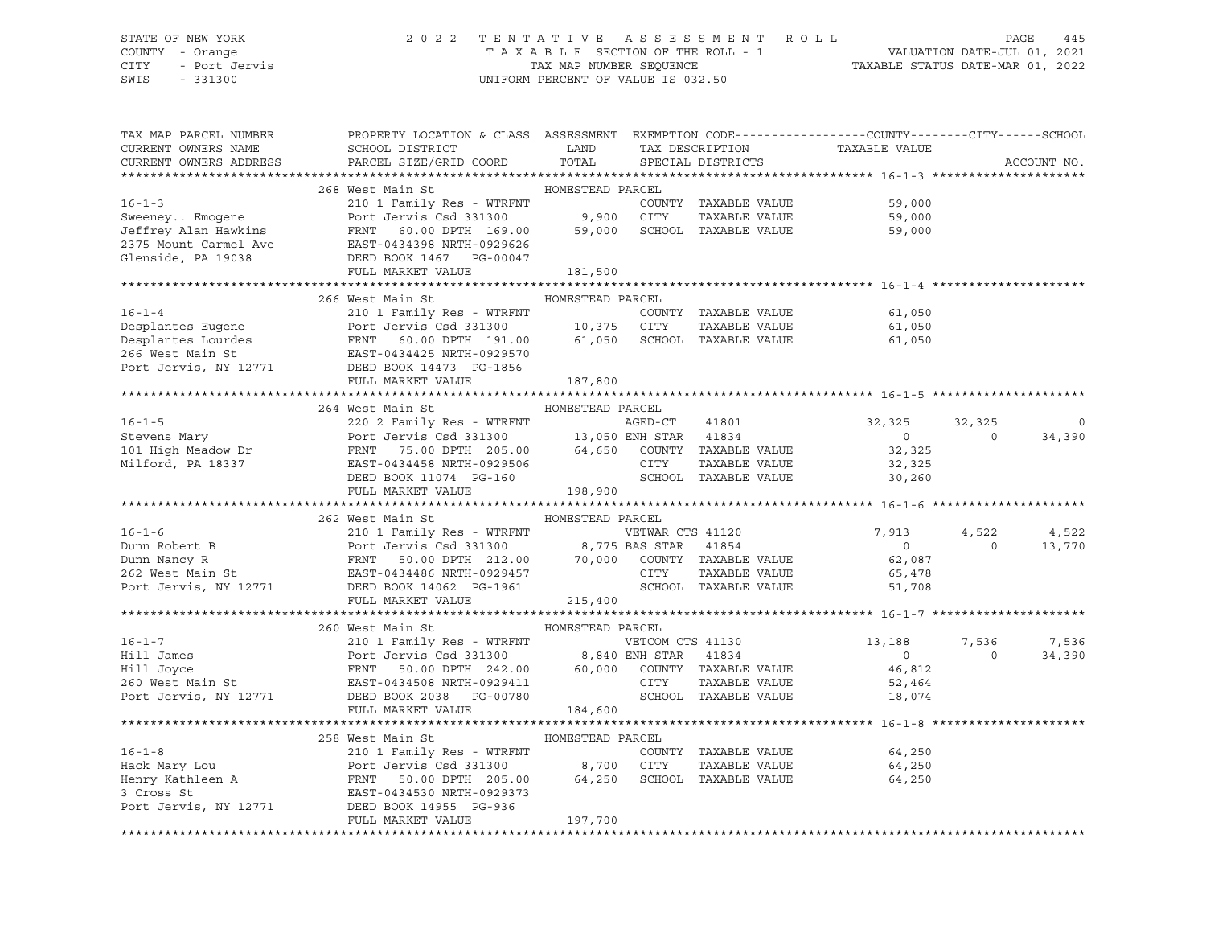#### STATE OF NEW YORK 2 0 2 2 T E N T A T I V E A S S E S S M E N T R O L L PAGE 445 COUNTY - Orange T A X A B L E SECTION OF THE ROLL - 1 VALUATION DATE-JUL 01, 2021 CITY - Port Jervis TAX MAP NUMBER SEQUENCE TAXABLE STATUS DATE-MAR 01, 2022

| TAX MAP PARCEL NUMBER                                                                                                                                                                                                                                                                                                                                                                                                                                                                  | PROPERTY LOCATION & CLASS ASSESSMENT EXEMPTION CODE----------------COUNTY-------CITY------SCHOOL |                  |                      |                                                    |                |             |
|----------------------------------------------------------------------------------------------------------------------------------------------------------------------------------------------------------------------------------------------------------------------------------------------------------------------------------------------------------------------------------------------------------------------------------------------------------------------------------------|--------------------------------------------------------------------------------------------------|------------------|----------------------|----------------------------------------------------|----------------|-------------|
| CURRENT OWNERS NAME                                                                                                                                                                                                                                                                                                                                                                                                                                                                    | <b>Example 12</b> LAND<br>SCHOOL DISTRICT                                                        |                  |                      | TAX DESCRIPTION TAXABLE VALUE<br>SPECIAL DISTRICTS |                |             |
| CURRENT OWNERS ADDRESS                                                                                                                                                                                                                                                                                                                                                                                                                                                                 | PARCEL SIZE/GRID COORD                                                                           | TOTAL            | SPECIAL DISTRICTS    |                                                    |                | ACCOUNT NO. |
|                                                                                                                                                                                                                                                                                                                                                                                                                                                                                        |                                                                                                  |                  |                      |                                                    |                |             |
|                                                                                                                                                                                                                                                                                                                                                                                                                                                                                        | HOMESTEAD PARCEL<br>268 West Main St                                                             |                  |                      |                                                    |                |             |
| $16 - 1 - 3$                                                                                                                                                                                                                                                                                                                                                                                                                                                                           | 210 1 Family Res - WTRFNT                                                                        |                  | COUNTY TAXABLE VALUE | 59,000                                             |                |             |
| Sweeney Emogene<br>Sweeney Emogene<br>Jeffrey Alan Hawkins<br>Port Jervis Csd 331300<br>FRNT 60.00 DPTH 169.00 59,000 SCHOOL TAXABLE VALUE<br>2375 Mount Carmel Ave EAST-0434398 NRTH-0929626<br>Glenside, PA 19038<br>DEED BOOK 1467<br>P                                                                                                                                                                                                                                             |                                                                                                  |                  |                      |                                                    |                |             |
|                                                                                                                                                                                                                                                                                                                                                                                                                                                                                        |                                                                                                  |                  |                      |                                                    |                |             |
|                                                                                                                                                                                                                                                                                                                                                                                                                                                                                        |                                                                                                  |                  |                      |                                                    |                |             |
|                                                                                                                                                                                                                                                                                                                                                                                                                                                                                        |                                                                                                  |                  |                      |                                                    |                |             |
|                                                                                                                                                                                                                                                                                                                                                                                                                                                                                        | FULL MARKET VALUE                                                                                | 181,500          |                      |                                                    |                |             |
|                                                                                                                                                                                                                                                                                                                                                                                                                                                                                        |                                                                                                  |                  |                      |                                                    |                |             |
| 16-1-4<br>210 1 Family Res - WTRFNT<br>Desplantes Eugene<br>Desplantes Lourdes<br>Desplantes Lourdes<br>26 West Main St<br>26 West Main St<br>26 West Main St<br>26 West Main St<br>26 West Main St<br>26 West Main St<br>26 West Main St<br>26 West M                                                                                                                                                                                                                                 |                                                                                                  |                  |                      |                                                    |                |             |
|                                                                                                                                                                                                                                                                                                                                                                                                                                                                                        |                                                                                                  |                  |                      |                                                    |                |             |
|                                                                                                                                                                                                                                                                                                                                                                                                                                                                                        |                                                                                                  |                  |                      | 61,050<br>61,050                                   |                |             |
|                                                                                                                                                                                                                                                                                                                                                                                                                                                                                        |                                                                                                  |                  |                      | 61,050                                             |                |             |
|                                                                                                                                                                                                                                                                                                                                                                                                                                                                                        |                                                                                                  |                  |                      |                                                    |                |             |
|                                                                                                                                                                                                                                                                                                                                                                                                                                                                                        |                                                                                                  |                  |                      |                                                    |                |             |
|                                                                                                                                                                                                                                                                                                                                                                                                                                                                                        |                                                                                                  |                  |                      |                                                    |                |             |
|                                                                                                                                                                                                                                                                                                                                                                                                                                                                                        |                                                                                                  |                  |                      |                                                    |                |             |
|                                                                                                                                                                                                                                                                                                                                                                                                                                                                                        |                                                                                                  |                  |                      |                                                    |                |             |
|                                                                                                                                                                                                                                                                                                                                                                                                                                                                                        |                                                                                                  |                  |                      |                                                    | 32,325         |             |
|                                                                                                                                                                                                                                                                                                                                                                                                                                                                                        |                                                                                                  |                  | 41801                | 32,325<br>$\sim$ 0 $\sim$                          | $\overline{0}$ | $\circ$     |
|                                                                                                                                                                                                                                                                                                                                                                                                                                                                                        |                                                                                                  |                  |                      | 32,325                                             |                | 34,390      |
|                                                                                                                                                                                                                                                                                                                                                                                                                                                                                        |                                                                                                  |                  |                      |                                                    |                |             |
|                                                                                                                                                                                                                                                                                                                                                                                                                                                                                        |                                                                                                  |                  |                      | 32,325                                             |                |             |
|                                                                                                                                                                                                                                                                                                                                                                                                                                                                                        |                                                                                                  |                  |                      | SCHOOL TAXABLE VALUE 30,260                        |                |             |
| $\begin{tabular}{lcccccc} 16-1-5 & 264 West Main St & {\small \texttt{MULTD}{} & \texttt{ACT}{} & \texttt{ACT}{} & \texttt{ACT}{} & \texttt{ACT}{} & \texttt{ACT}{} & \texttt{ACT}{} & \texttt{ACT}{} & \texttt{ACT}{} & \texttt{ACT}{} & \texttt{ACT}{} & \texttt{ACT}{} & \texttt{ACT}{} & \texttt{ACT}{} & \texttt{ACT}{} & \texttt{ACT}{} & \texttt{ACT}{} & \texttt{ACT}{} & \texttt{ACT}{} & \texttt{ACT}{} & \texttt{ACT}{} & \texttt{ACT}{} & \texttt{ACT}{} & \texttt{ACT}{}$ |                                                                                                  |                  |                      |                                                    |                |             |
|                                                                                                                                                                                                                                                                                                                                                                                                                                                                                        |                                                                                                  |                  |                      |                                                    |                |             |
|                                                                                                                                                                                                                                                                                                                                                                                                                                                                                        | 262 West Main St                                                                                 | HOMESTEAD PARCEL |                      |                                                    |                |             |
| $16 - 1 - 6$                                                                                                                                                                                                                                                                                                                                                                                                                                                                           | 210 1 Family Res - WTRFNT                                                                        |                  | VETWAR CTS 41120     | 7,913                                              | 4,522          | 4,522       |
|                                                                                                                                                                                                                                                                                                                                                                                                                                                                                        |                                                                                                  |                  |                      | $\overline{0}$                                     | $\Omega$       | 13,770      |
|                                                                                                                                                                                                                                                                                                                                                                                                                                                                                        |                                                                                                  |                  |                      | 62,087                                             |                |             |
|                                                                                                                                                                                                                                                                                                                                                                                                                                                                                        |                                                                                                  |                  | TAXABLE VALUE        | 65,478<br>51,708                                   |                |             |
| Dunn Robert B<br>Dunn Nancy R<br>262 West Main St<br>262 West Main St<br>262 West Main St<br>262 West Main St<br>262 West Main St<br>262 West Main St<br>262 West Main St<br>262 West Main St<br>262 West Main St<br>262 West Main St<br>262 West Main                                                                                                                                                                                                                                 |                                                                                                  |                  |                      |                                                    |                |             |
|                                                                                                                                                                                                                                                                                                                                                                                                                                                                                        | FULL MARKET VALUE 215,400                                                                        |                  |                      |                                                    |                |             |
|                                                                                                                                                                                                                                                                                                                                                                                                                                                                                        |                                                                                                  |                  |                      |                                                    |                |             |
| 16-1-7<br>16-1-7<br>210 1 Family Res - WTRFNT<br>210 1 Family Res - WTRFNT<br>210 1 Family Res - WTRFNT<br>210 1 Family Res - WTRFNT<br>260 Kest Main St<br>260 West Main St<br>260 West Main St<br>260 West Main St<br>260 West Main St<br>260 West                                                                                                                                                                                                                                   |                                                                                                  |                  |                      |                                                    |                |             |
|                                                                                                                                                                                                                                                                                                                                                                                                                                                                                        |                                                                                                  |                  |                      |                                                    | 7,536          | 7,536       |
|                                                                                                                                                                                                                                                                                                                                                                                                                                                                                        |                                                                                                  |                  |                      |                                                    | $\overline{0}$ | 34,390      |
|                                                                                                                                                                                                                                                                                                                                                                                                                                                                                        |                                                                                                  |                  |                      |                                                    |                |             |
|                                                                                                                                                                                                                                                                                                                                                                                                                                                                                        |                                                                                                  |                  |                      |                                                    |                |             |
|                                                                                                                                                                                                                                                                                                                                                                                                                                                                                        |                                                                                                  |                  |                      |                                                    |                |             |
|                                                                                                                                                                                                                                                                                                                                                                                                                                                                                        | FULL MARKET VALUE                                                                                | 184,600          |                      |                                                    |                |             |
|                                                                                                                                                                                                                                                                                                                                                                                                                                                                                        |                                                                                                  |                  |                      |                                                    |                |             |
|                                                                                                                                                                                                                                                                                                                                                                                                                                                                                        | 258 West Main St                                                                                 | HOMESTEAD PARCEL |                      |                                                    |                |             |
|                                                                                                                                                                                                                                                                                                                                                                                                                                                                                        |                                                                                                  |                  | COUNTY TAXABLE VALUE | 64,250                                             |                |             |
|                                                                                                                                                                                                                                                                                                                                                                                                                                                                                        |                                                                                                  |                  | ---<br>TAXABLE VALUE | 64,250                                             |                |             |
|                                                                                                                                                                                                                                                                                                                                                                                                                                                                                        |                                                                                                  |                  |                      | 64,250                                             |                |             |
|                                                                                                                                                                                                                                                                                                                                                                                                                                                                                        |                                                                                                  |                  |                      |                                                    |                |             |
| 16-1-8 210 1 Family Res - WTRFNT COUNTY TAXABLE VALUE<br>Hack Mary Lou Port Jervis Csd 331300 8,700 CITY TAXABLE VALUE<br>Henry Kathleen A FRNT 50.00 DPTH 205.00 64,250 SCHOOL TAXABLE VALUE<br>3 Cross St EAST-0434530 NRTH-092937                                                                                                                                                                                                                                                   |                                                                                                  |                  |                      |                                                    |                |             |
|                                                                                                                                                                                                                                                                                                                                                                                                                                                                                        | FULL MARKET VALUE                                                                                | 197,700          |                      |                                                    |                |             |
|                                                                                                                                                                                                                                                                                                                                                                                                                                                                                        |                                                                                                  |                  |                      |                                                    |                |             |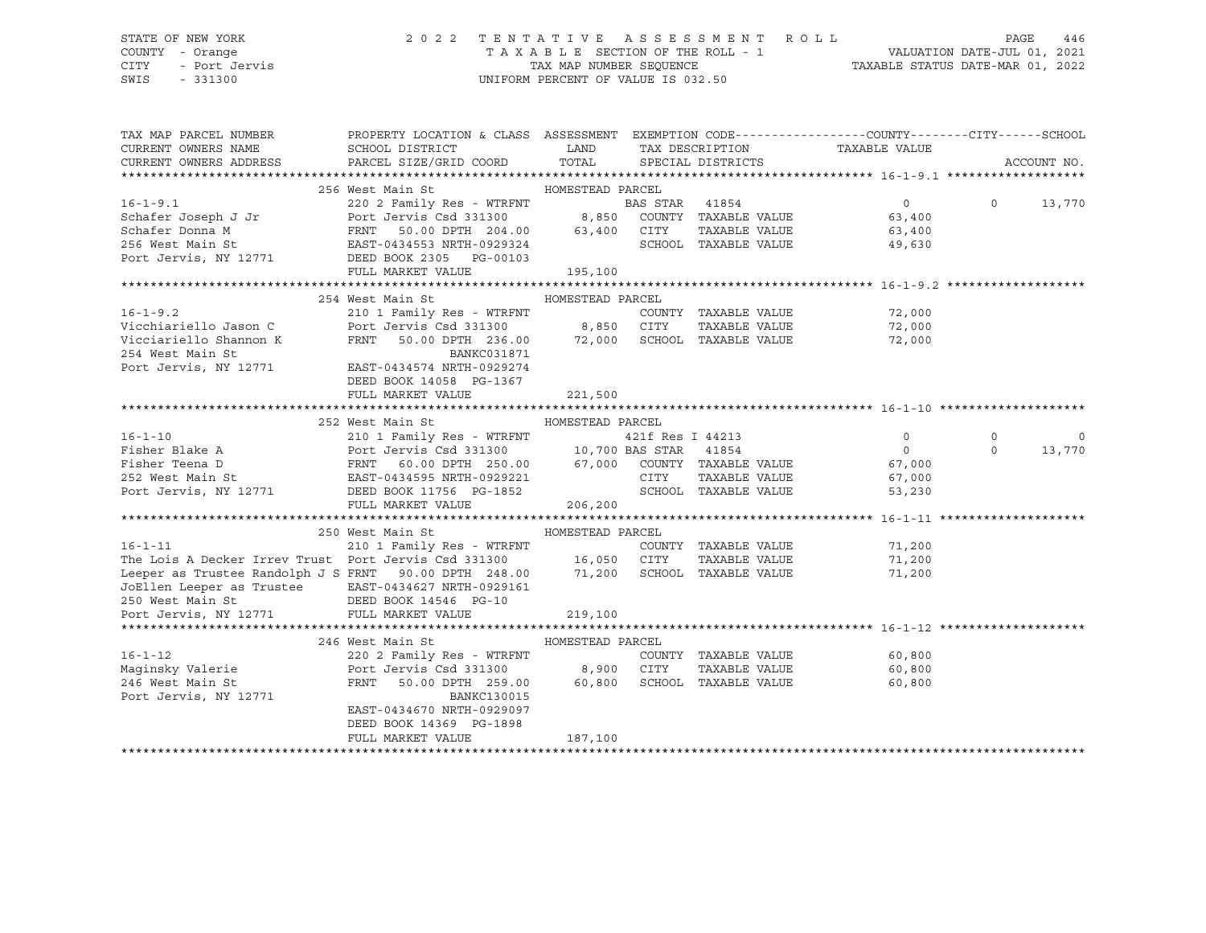#### STATE OF NEW YORK 2 0 2 2 T E N T A T I V E A S S E S S M E N T R O L L PAGE 446 COUNTY - Orange T A X A B L E SECTION OF THE ROLL - 1 VALUATION DATE-JUL 01, 2021 CITY - Port Jervis TAX MAP NUMBER SEQUENCE TAXABLE STATUS DATE-MAR 01, 2022

| TAX MAP PARCEL NUMBER                                                                                                                                                                                                                | PROPERTY LOCATION & CLASS ASSESSMENT EXEMPTION CODE---------------COUNTY-------CITY------SCHOOL |                  |                             |                  |          |             |
|--------------------------------------------------------------------------------------------------------------------------------------------------------------------------------------------------------------------------------------|-------------------------------------------------------------------------------------------------|------------------|-----------------------------|------------------|----------|-------------|
| CURRENT OWNERS NAME                                                                                                                                                                                                                  | SCHOOL DISTRICT                                                                                 | <b>LAND</b>      | TAX DESCRIPTION             | TAXABLE VALUE    |          |             |
| CURRENT OWNERS ADDRESS                                                                                                                                                                                                               | PARCEL SIZE/GRID COORD TOTAL SPECIAL DISTRICTS                                                  |                  |                             |                  |          | ACCOUNT NO. |
|                                                                                                                                                                                                                                      |                                                                                                 |                  |                             |                  |          |             |
|                                                                                                                                                                                                                                      |                                                                                                 |                  |                             |                  |          |             |
|                                                                                                                                                                                                                                      |                                                                                                 |                  |                             | $\overline{0}$   | $\Omega$ | 13,770      |
|                                                                                                                                                                                                                                      |                                                                                                 |                  |                             | 63,400           |          |             |
|                                                                                                                                                                                                                                      |                                                                                                 |                  |                             | 63,400           |          |             |
|                                                                                                                                                                                                                                      |                                                                                                 |                  |                             | 49,630           |          |             |
| EREL 220 2 Family Res - WTRFNT<br>Schafer Joseph J Jr Port Jervis Csd 331300 8,850 COUNTY TAXABLE VALUE<br>Schafer Donna M FRNT 50.00 DPTH 204.00 63,400 CITY TAXABLE VALUE<br>256 West Main St EAST-0434553 NRTH-0929324 SCHOOL TAX |                                                                                                 |                  |                             |                  |          |             |
|                                                                                                                                                                                                                                      | FULL MARKET VALUE                                                                               | 195, 100         |                             |                  |          |             |
|                                                                                                                                                                                                                                      | 254 West Main St                                                                                | HOMESTEAD PARCEL |                             |                  |          |             |
| $16 - 1 - 9.2$                                                                                                                                                                                                                       | 210 1 Family Res - WTRFNT                                                                       |                  | COUNTY TAXABLE VALUE        |                  |          |             |
|                                                                                                                                                                                                                                      |                                                                                                 |                  | TAXABLE VALUE               | 72,000<br>72,000 |          |             |
| Vicciariello Shannon K                                                                                                                                                                                                               | FRNT 50.00 DPTH 236.00 72,000 SCHOOL TAXABLE VALUE                                              |                  |                             | 72,000           |          |             |
| 254 West Main St                                                                                                                                                                                                                     | BANKC031871                                                                                     |                  |                             |                  |          |             |
| Port Jervis, NY 12771                                                                                                                                                                                                                | EAST-0434574 NRTH-0929274                                                                       |                  |                             |                  |          |             |
|                                                                                                                                                                                                                                      | DEED BOOK 14058 PG-1367                                                                         |                  |                             |                  |          |             |
|                                                                                                                                                                                                                                      | FULL MARKET VALUE                                                                               | 221,500          |                             |                  |          |             |
|                                                                                                                                                                                                                                      |                                                                                                 |                  |                             |                  |          |             |
|                                                                                                                                                                                                                                      | 252 West Main St                                                                                | HOMESTEAD PARCEL |                             |                  |          |             |
| 16-1-10 210 1 Family Res - WTRFNT 421f Res I 44213<br>Fisher Blake A Port Jervis Csd 331300 10,700 BAS STAR 41854<br>Fisher Teena D FRNT 60.00 DPTH 250.00 67,000 COUNTY TAXABLE VALUE<br>252 West Main St EAST-0434595 NRTH-0929221 |                                                                                                 |                  |                             | $\circ$          | $\Omega$ | 0           |
|                                                                                                                                                                                                                                      |                                                                                                 |                  |                             | $\overline{0}$   | $\Omega$ | 13,770      |
|                                                                                                                                                                                                                                      |                                                                                                 |                  |                             | 67,000           |          |             |
|                                                                                                                                                                                                                                      |                                                                                                 |                  |                             | 67,000           |          |             |
| Port Jervis, NY 12771 DEED BOOK 11756 PG-1852                                                                                                                                                                                        |                                                                                                 |                  | SCHOOL TAXABLE VALUE        | 53,230           |          |             |
|                                                                                                                                                                                                                                      | FULL MARKET VALUE                                                                               | 206,200          |                             |                  |          |             |
|                                                                                                                                                                                                                                      |                                                                                                 |                  |                             |                  |          |             |
|                                                                                                                                                                                                                                      | 250 West Main St MoMESTEAD PARCEL                                                               |                  |                             |                  |          |             |
|                                                                                                                                                                                                                                      |                                                                                                 |                  |                             |                  |          |             |
| 16-1-11 210 1 Family Res - WTRFNT COUNTY TAXABLE VALUE 71,200<br>The Lois A Decker Irrev Trust Port Jervis Csd 331300 16,050 CITY TAXABLE VALUE 71,200<br>Leeper as Trustee Randolph J S FRNT 90.00 DPTH 248.00 71,200 SCHOOL TAXABL |                                                                                                 |                  |                             |                  |          |             |
|                                                                                                                                                                                                                                      |                                                                                                 |                  |                             |                  |          |             |
| JoEllen Leeper as Trustee EAST-0434627 NRTH-0929161<br>250 West Main St               DEED BOOK 14546 PG-10                                                                                                                          |                                                                                                 |                  |                             |                  |          |             |
| Port Jervis, NY 12771                                                                                                                                                                                                                | FULL MARKET VALUE                                                                               | 219,100          |                             |                  |          |             |
|                                                                                                                                                                                                                                      |                                                                                                 |                  |                             |                  |          |             |
|                                                                                                                                                                                                                                      | 246 West Main St                                                                                | HOMESTEAD PARCEL |                             |                  |          |             |
| $16 - 1 - 12$                                                                                                                                                                                                                        | 220 2 Family Res - WTRFNT                                                                       |                  | COUNTY TAXABLE VALUE        | 60,800           |          |             |
| Maginsky Valerie <b>Example 1998</b> Port Jervis Csd 331300 8,900 CITY                                                                                                                                                               |                                                                                                 |                  | TAXABLE VALUE               | 60,800           |          |             |
| 246 West Main St                                                                                                                                                                                                                     | FRNT<br>50.00 DPTH 259.00                                                                       |                  | 60,800 SCHOOL TAXABLE VALUE | 60,800           |          |             |
| Port Jervis, NY 12771                                                                                                                                                                                                                | BANKC130015                                                                                     |                  |                             |                  |          |             |
|                                                                                                                                                                                                                                      | EAST-0434670 NRTH-0929097                                                                       |                  |                             |                  |          |             |
|                                                                                                                                                                                                                                      | DEED BOOK 14369 PG-1898                                                                         |                  |                             |                  |          |             |
|                                                                                                                                                                                                                                      | FULL MARKET VALUE                                                                               | 187,100          |                             |                  |          |             |
|                                                                                                                                                                                                                                      |                                                                                                 |                  |                             |                  |          |             |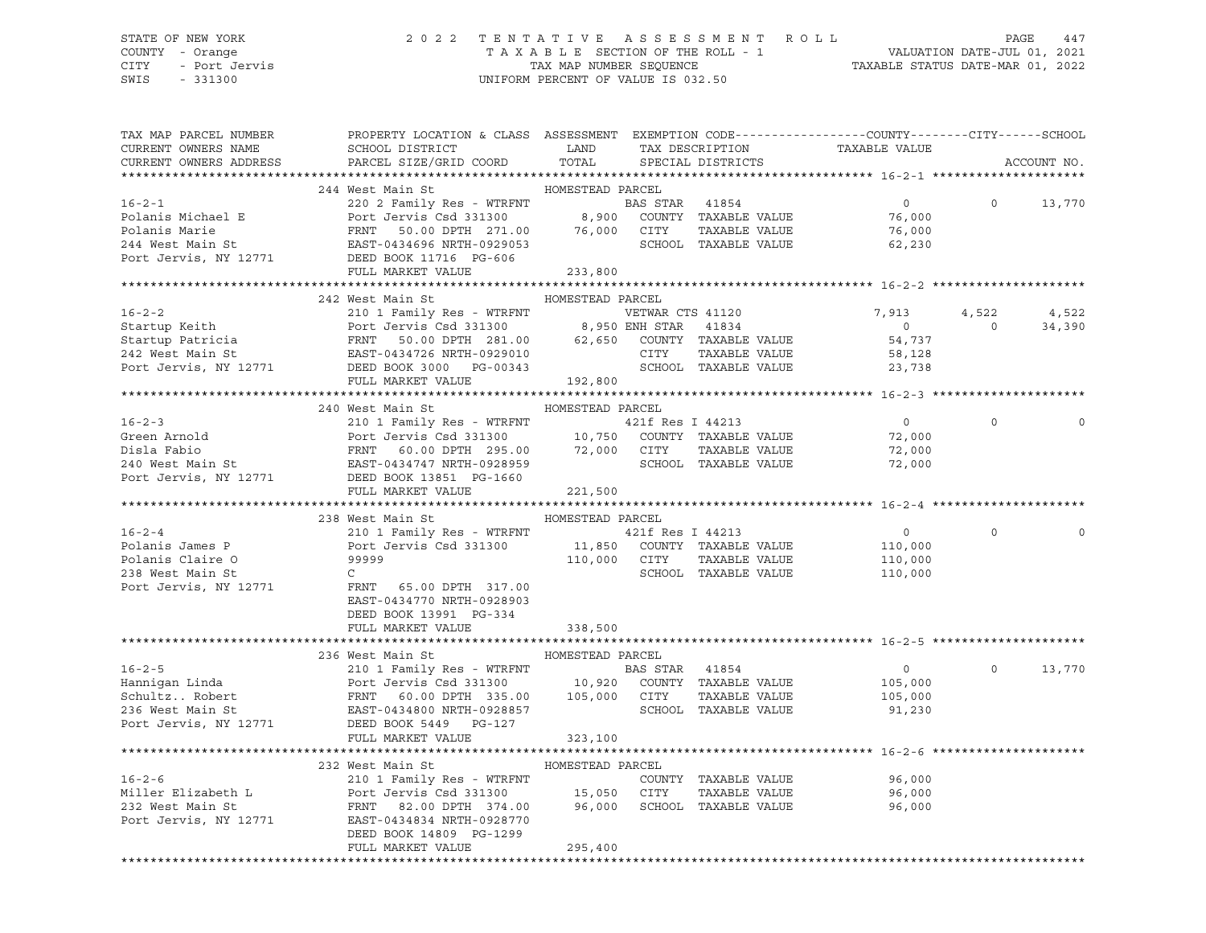CITY - Port Jervis TAX MAP NUMBER SEQUENCE TAXABLE STATUS DATE-MAR 01, 2022 SWIS - 331300 UNIFORM PERCENT OF VALUE IS 032.50

#### STATE OF NEW YORK 2 0 2 2 T E N T A T I V E A S S E S S M E N T R O L L PAGE 447 COUNTY - Orange T A X A B L E SECTION OF THE ROLL - 1 VALUATION DATE-JUL 01, 2021

| TAX MAP PARCEL NUMBER  | PROPERTY LOCATION & CLASS ASSESSMENT EXEMPTION CODE----------------COUNTY-------CITY------SCHOOL                                                                                                                                                                                                                                                                                                                                                                                              |                  |                      |                    |                |             |
|------------------------|-----------------------------------------------------------------------------------------------------------------------------------------------------------------------------------------------------------------------------------------------------------------------------------------------------------------------------------------------------------------------------------------------------------------------------------------------------------------------------------------------|------------------|----------------------|--------------------|----------------|-------------|
| CURRENT OWNERS NAME    |                                                                                                                                                                                                                                                                                                                                                                                                                                                                                               |                  |                      |                    |                |             |
| CURRENT OWNERS ADDRESS |                                                                                                                                                                                                                                                                                                                                                                                                                                                                                               |                  |                      |                    |                | ACCOUNT NO. |
|                        |                                                                                                                                                                                                                                                                                                                                                                                                                                                                                               |                  |                      |                    |                |             |
|                        |                                                                                                                                                                                                                                                                                                                                                                                                                                                                                               |                  |                      |                    |                |             |
|                        |                                                                                                                                                                                                                                                                                                                                                                                                                                                                                               |                  |                      | $\overline{0}$     | $\overline{0}$ | 13,770      |
|                        |                                                                                                                                                                                                                                                                                                                                                                                                                                                                                               |                  |                      | 76,000             |                |             |
|                        |                                                                                                                                                                                                                                                                                                                                                                                                                                                                                               |                  | TAXABLE VALUE        | $76,000$<br>62,230 |                |             |
|                        |                                                                                                                                                                                                                                                                                                                                                                                                                                                                                               |                  |                      |                    |                |             |
|                        |                                                                                                                                                                                                                                                                                                                                                                                                                                                                                               |                  |                      |                    |                |             |
|                        | 16-2-1<br>220 2 Family Res - WTRFNT<br>220 2 Family Res - WTRFNT<br>220 2 Family Res - WTRFNT<br>220 2 Family Res - WTRFNT<br>24 BAS STAR<br>24 West Main St<br>244 West Main St<br>244 West Main St<br>26 EAST-0434696 NRTH-0929053<br>24596 NRTH                                                                                                                                                                                                                                            | 233,800          |                      |                    |                |             |
|                        |                                                                                                                                                                                                                                                                                                                                                                                                                                                                                               |                  |                      |                    |                |             |
|                        | 242 West Main St                                                                                                                                                                                                                                                                                                                                                                                                                                                                              | HOMESTEAD PARCEL |                      |                    |                |             |
|                        |                                                                                                                                                                                                                                                                                                                                                                                                                                                                                               |                  |                      |                    | 4,522 4,522    |             |
|                        |                                                                                                                                                                                                                                                                                                                                                                                                                                                                                               |                  |                      |                    | $\overline{0}$ | 34,390      |
|                        |                                                                                                                                                                                                                                                                                                                                                                                                                                                                                               |                  |                      |                    |                |             |
|                        |                                                                                                                                                                                                                                                                                                                                                                                                                                                                                               |                  |                      |                    |                |             |
|                        |                                                                                                                                                                                                                                                                                                                                                                                                                                                                                               |                  |                      |                    |                |             |
|                        |                                                                                                                                                                                                                                                                                                                                                                                                                                                                                               |                  |                      |                    |                |             |
|                        |                                                                                                                                                                                                                                                                                                                                                                                                                                                                                               |                  |                      |                    |                |             |
|                        |                                                                                                                                                                                                                                                                                                                                                                                                                                                                                               |                  |                      |                    |                |             |
|                        |                                                                                                                                                                                                                                                                                                                                                                                                                                                                                               |                  |                      |                    |                |             |
|                        |                                                                                                                                                                                                                                                                                                                                                                                                                                                                                               |                  |                      | $\overline{0}$     | $\circ$        |             |
|                        |                                                                                                                                                                                                                                                                                                                                                                                                                                                                                               |                  |                      | 72,000             |                |             |
|                        |                                                                                                                                                                                                                                                                                                                                                                                                                                                                                               |                  |                      | 72,000<br>72,000   |                |             |
|                        |                                                                                                                                                                                                                                                                                                                                                                                                                                                                                               |                  |                      |                    |                |             |
|                        |                                                                                                                                                                                                                                                                                                                                                                                                                                                                                               |                  |                      |                    |                |             |
|                        | $\begin{tabular}{lllllllllllll} 16-2-3 & \multicolumn{3}{l}{{\small \hbox{L}}{\small \hbox{L}}{\small \hbox{Green Arnold}} & \multicolumn{3}{l}{{\small \hbox{L}}{\small \hbox{L}}{\small \hbox{L}}{\small \hbox{L}}{\small \hbox{Green Arnold}} & \multicolumn{3}{l}{{\small \hbox{L}}{\small \hbox{L}}{\small \hbox{L}}{\small \hbox{L}}{\small \hbox{L}}{\small \hbox{R}}{\small \hbox{L}}{\small \hbox{L}}{\small \hbox{L}}{\small \hbox{L}}{\small \hbox{L}}{\small \hbox{L}}{\small \h$ | 221,500          |                      |                    |                |             |
|                        |                                                                                                                                                                                                                                                                                                                                                                                                                                                                                               |                  |                      |                    |                |             |
|                        | 238 West Main St                                                                                                                                                                                                                                                                                                                                                                                                                                                                              | HOMESTEAD PARCEL |                      |                    |                |             |
| $16 - 2 - 4$           | 210 1 Family Res - WTRFNT 421f Res I 44213                                                                                                                                                                                                                                                                                                                                                                                                                                                    |                  |                      | $\overline{0}$     | $\Omega$       |             |
| Polanis James P        |                                                                                                                                                                                                                                                                                                                                                                                                                                                                                               |                  |                      | 110,000            |                |             |
|                        | Port Jervis Csd 331300 11,850 COUNTY TAXABLE VALUE<br>99999 110,000 CITY TAXABLE VALUE<br>Polanis Claire 0<br>238 West Main St<br>Port Jervis, NY 12771<br>Port Jervis, NY 12771<br>Port Content of Content 117.00                                                                                                                                                                                                                                                                            |                  |                      |                    |                |             |
|                        |                                                                                                                                                                                                                                                                                                                                                                                                                                                                                               |                  | SCHOOL TAXABLE VALUE | 110,000<br>110,000 |                |             |
|                        |                                                                                                                                                                                                                                                                                                                                                                                                                                                                                               |                  |                      |                    |                |             |
|                        | EAST-0434770 NRTH-0928903                                                                                                                                                                                                                                                                                                                                                                                                                                                                     |                  |                      |                    |                |             |
|                        |                                                                                                                                                                                                                                                                                                                                                                                                                                                                                               |                  |                      |                    |                |             |
|                        | DEED BOOK 13991 PG-334                                                                                                                                                                                                                                                                                                                                                                                                                                                                        |                  |                      |                    |                |             |
|                        | FULL MARKET VALUE 338,500                                                                                                                                                                                                                                                                                                                                                                                                                                                                     |                  |                      |                    |                |             |
|                        |                                                                                                                                                                                                                                                                                                                                                                                                                                                                                               |                  |                      |                    |                |             |
|                        | 236 West Main St<br>16-2-5<br>Hannigan Linda<br>SchultzRobert<br>SchultzRobert<br>SchultzRobert<br>SchultzRobert<br>SchultzRobert<br>SchultzRobert<br>SchultzRobert<br>SchultzRobert<br>SchultzRobert<br>SchultzRobert<br>SchultzRobert<br>                                                                                                                                                                                                                                                   | HOMESTEAD PARCEL |                      |                    |                |             |
|                        |                                                                                                                                                                                                                                                                                                                                                                                                                                                                                               |                  |                      | $\overline{0}$     | $\circ$        | 13,770      |
|                        |                                                                                                                                                                                                                                                                                                                                                                                                                                                                                               |                  |                      |                    |                |             |
|                        |                                                                                                                                                                                                                                                                                                                                                                                                                                                                                               |                  |                      |                    |                |             |
|                        |                                                                                                                                                                                                                                                                                                                                                                                                                                                                                               |                  |                      |                    |                |             |
|                        |                                                                                                                                                                                                                                                                                                                                                                                                                                                                                               |                  |                      |                    |                |             |
|                        | FULL MARKET VALUE                                                                                                                                                                                                                                                                                                                                                                                                                                                                             | 323,100          |                      |                    |                |             |
|                        |                                                                                                                                                                                                                                                                                                                                                                                                                                                                                               |                  |                      |                    |                |             |
|                        | 232 West Main St                                                                                                                                                                                                                                                                                                                                                                                                                                                                              | HOMESTEAD PARCEL |                      |                    |                |             |
|                        |                                                                                                                                                                                                                                                                                                                                                                                                                                                                                               |                  |                      | 96,000             |                |             |
|                        |                                                                                                                                                                                                                                                                                                                                                                                                                                                                                               |                  | TAXABLE VALUE        | 96,000             |                |             |
|                        |                                                                                                                                                                                                                                                                                                                                                                                                                                                                                               |                  |                      | 96,000             |                |             |
|                        | 232 West Main St<br>Port Jervis, NY 12771 EAST-0434834 NRTH-0928770                                                                                                                                                                                                                                                                                                                                                                                                                           |                  |                      |                    |                |             |
|                        | DEED BOOK 14809 PG-1299                                                                                                                                                                                                                                                                                                                                                                                                                                                                       |                  |                      |                    |                |             |
|                        | FULL MARKET VALUE                                                                                                                                                                                                                                                                                                                                                                                                                                                                             | 295,400          |                      |                    |                |             |
|                        |                                                                                                                                                                                                                                                                                                                                                                                                                                                                                               |                  |                      |                    |                |             |
|                        |                                                                                                                                                                                                                                                                                                                                                                                                                                                                                               |                  |                      |                    |                |             |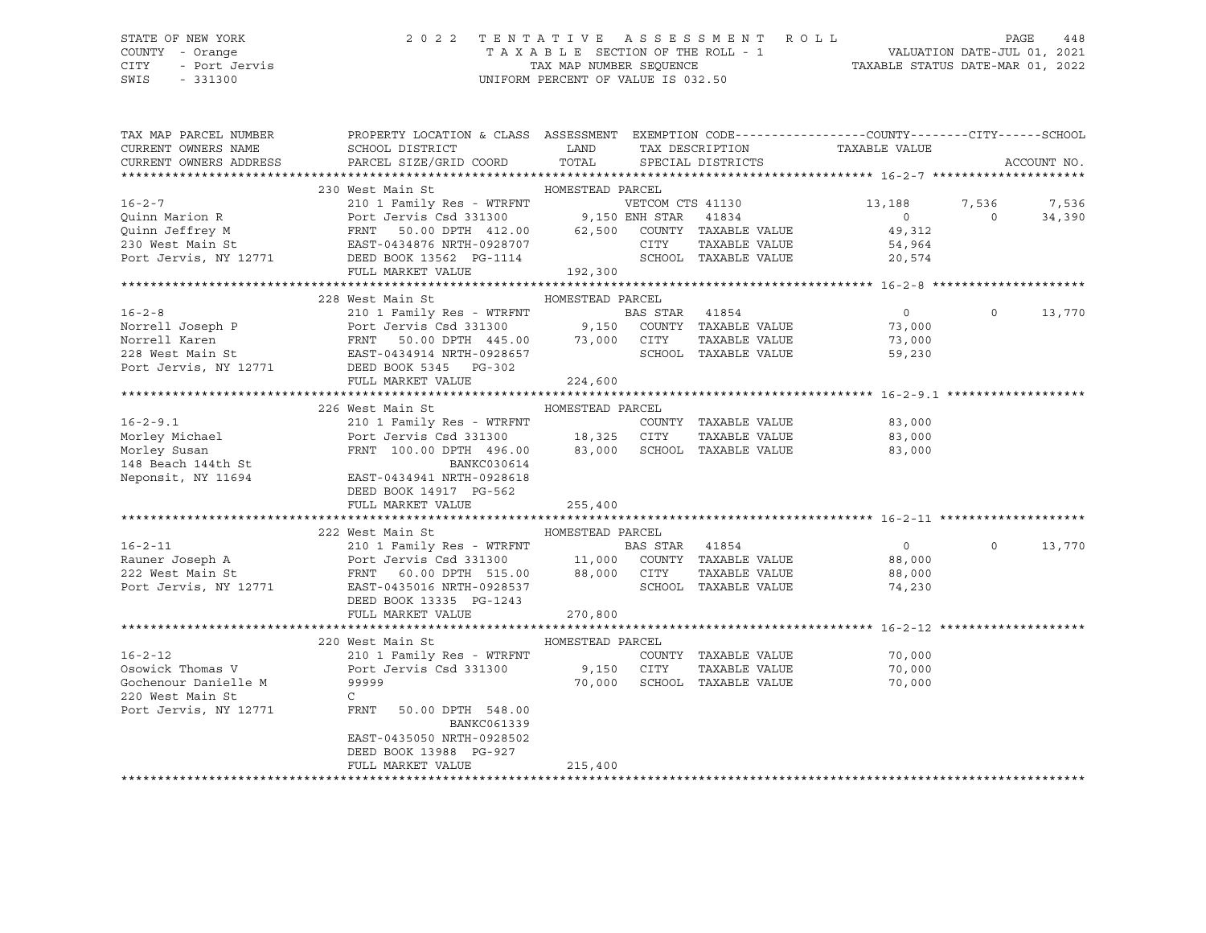# STATE OF NEW YORK 2 0 2 2 T E N T A T I V E A S S E S S M E N T R O L L PAGE 448 COUNTY - Orange T A X A B L E SECTION OF THE ROLL - 1 VALUATION DATE-JUL 01, 2021

CITY - Port Jervis TAX MAP NUMBER SEQUENCE TAXABLE STATUS DATE-MAR 01, 2022

| TAX MAP PARCEL NUMBER  | PROPERTY LOCATION & CLASS ASSESSMENT EXEMPTION CODE----------------COUNTY-------CITY------SCHOOL                                                                                                                                                         |                  |  |                                                                    |          |             |
|------------------------|----------------------------------------------------------------------------------------------------------------------------------------------------------------------------------------------------------------------------------------------------------|------------------|--|--------------------------------------------------------------------|----------|-------------|
| CURRENT OWNERS NAME    |                                                                                                                                                                                                                                                          |                  |  |                                                                    |          |             |
| CURRENT OWNERS ADDRESS |                                                                                                                                                                                                                                                          |                  |  |                                                                    |          | ACCOUNT NO. |
|                        |                                                                                                                                                                                                                                                          |                  |  |                                                                    |          |             |
|                        | 230 West Main St                                                                                                                                                                                                                                         | HOMESTEAD PARCEL |  |                                                                    |          |             |
|                        | 16-2-7<br>Quinn Marion R<br>Quinn Jeffrey M<br>210 1 Family Res - WTRFNT<br>Port Jervis Csd 331300<br>FRNT 50.00 DPTH 412.00<br>230 West Main St<br>230 West Main St<br>24,964<br>Port Jervis, NY 12771<br>20,574<br>20,574<br>Port Jervis, NY 12771<br> |                  |  |                                                                    |          |             |
|                        |                                                                                                                                                                                                                                                          |                  |  | VETCOM CTS 41130<br>ENH STAR 41834<br>ENH STAR 41834<br>0 0 34,390 |          |             |
|                        |                                                                                                                                                                                                                                                          |                  |  |                                                                    |          |             |
|                        |                                                                                                                                                                                                                                                          |                  |  |                                                                    |          |             |
|                        |                                                                                                                                                                                                                                                          |                  |  |                                                                    |          |             |
|                        | FULL MARKET VALUE 192,300                                                                                                                                                                                                                                |                  |  |                                                                    |          |             |
|                        |                                                                                                                                                                                                                                                          |                  |  |                                                                    |          |             |
|                        |                                                                                                                                                                                                                                                          |                  |  |                                                                    |          |             |
|                        | 228 West Main St Manager HOMESTEAD PARCEL                                                                                                                                                                                                                |                  |  |                                                                    |          |             |
|                        | 16-2-8<br>Norrell Joseph P<br>210 1 Family Res - WTRFNT<br>210 1 Family Res - WTRFNT<br>228 West Main St<br>228 West Main St<br>228 West Main St<br>228 West Main St<br>228 West Main St<br>228 West Main St<br>228 West Main St<br>228 West Main St     |                  |  |                                                                    | $\Omega$ | 13,770      |
|                        |                                                                                                                                                                                                                                                          |                  |  |                                                                    |          |             |
|                        |                                                                                                                                                                                                                                                          |                  |  |                                                                    |          |             |
|                        |                                                                                                                                                                                                                                                          |                  |  |                                                                    |          |             |
|                        | Port Jervis, NY 12771 DEED BOOK 5345 PG-302                                                                                                                                                                                                              |                  |  |                                                                    |          |             |
|                        | FULL MARKET VALUE                                                                                                                                                                                                                                        | 224,600          |  |                                                                    |          |             |
|                        |                                                                                                                                                                                                                                                          |                  |  |                                                                    |          |             |
|                        | 226 West Main St                                                                                                                                                                                                                                         | HOMESTEAD PARCEL |  |                                                                    |          |             |
|                        | 16-2-9.1 210 1 Family Res - WTRFNT COUNTY TAXABLE VALUE<br>Morley Michael Port Jervis Csd 331300 18,325 CITY TAXABLE VALUE 83,000<br>Morley Susan FRNT 100.00 DPTH 496.00 83,000 SCHOOL TAXABLE VALUE 83,000<br>148 Beach 144th St B                     |                  |  |                                                                    |          |             |
|                        |                                                                                                                                                                                                                                                          |                  |  |                                                                    |          |             |
|                        |                                                                                                                                                                                                                                                          |                  |  |                                                                    |          |             |
|                        |                                                                                                                                                                                                                                                          |                  |  |                                                                    |          |             |
|                        |                                                                                                                                                                                                                                                          |                  |  |                                                                    |          |             |
|                        |                                                                                                                                                                                                                                                          |                  |  |                                                                    |          |             |
|                        | DEED BOOK 14917 PG-562                                                                                                                                                                                                                                   |                  |  |                                                                    |          |             |
|                        | FULL MARKET VALUE                                                                                                                                                                                                                                        | 255,400          |  |                                                                    |          |             |
|                        |                                                                                                                                                                                                                                                          |                  |  |                                                                    |          |             |
|                        | 222 West Main St                                                                                                                                                                                                                                         | HOMESTEAD PARCEL |  |                                                                    |          |             |
|                        | 16-2-11 210 1 Family Res - WTRFNT BAS STAR 41854 0<br>Rauner Joseph A Port Jervis Csd 331300 11,000 COUNTY TAXABLE VALUE 88,000<br>222 West Main St FRNT 60.00 DPTH 515.00 88,000 CITY TAXABLE VALUE 88,000<br>Port Jervis, NY 12771                     |                  |  | $\overline{0}$                                                     | $\circ$  | 13,770      |
|                        |                                                                                                                                                                                                                                                          |                  |  |                                                                    |          |             |
|                        |                                                                                                                                                                                                                                                          |                  |  |                                                                    |          |             |
|                        |                                                                                                                                                                                                                                                          |                  |  |                                                                    |          |             |
|                        | DEED BOOK 13335 PG-1243                                                                                                                                                                                                                                  |                  |  |                                                                    |          |             |
|                        | FULL MARKET VALUE                                                                                                                                                                                                                                        | 270,800          |  |                                                                    |          |             |
|                        |                                                                                                                                                                                                                                                          |                  |  |                                                                    |          |             |
|                        | 220 West Main St                                                                                                                                                                                                                                         | HOMESTEAD PARCEL |  |                                                                    |          |             |
|                        |                                                                                                                                                                                                                                                          |                  |  |                                                                    |          |             |
|                        |                                                                                                                                                                                                                                                          |                  |  |                                                                    |          |             |
|                        |                                                                                                                                                                                                                                                          |                  |  |                                                                    |          |             |
| 220 West Main St       | $\mathbb{C}$                                                                                                                                                                                                                                             |                  |  |                                                                    |          |             |
|                        | Port Jervis, NY 12771 FRNT 50.00 DPTH 548.00                                                                                                                                                                                                             |                  |  |                                                                    |          |             |
|                        |                                                                                                                                                                                                                                                          |                  |  |                                                                    |          |             |
|                        | BANKC061339                                                                                                                                                                                                                                              |                  |  |                                                                    |          |             |
|                        | EAST-0435050 NRTH-0928502                                                                                                                                                                                                                                |                  |  |                                                                    |          |             |
|                        | DEED BOOK 13988 PG-927                                                                                                                                                                                                                                   |                  |  |                                                                    |          |             |
|                        | FULL MARKET VALUE                                                                                                                                                                                                                                        | 215,400          |  |                                                                    |          |             |
|                        |                                                                                                                                                                                                                                                          |                  |  |                                                                    |          |             |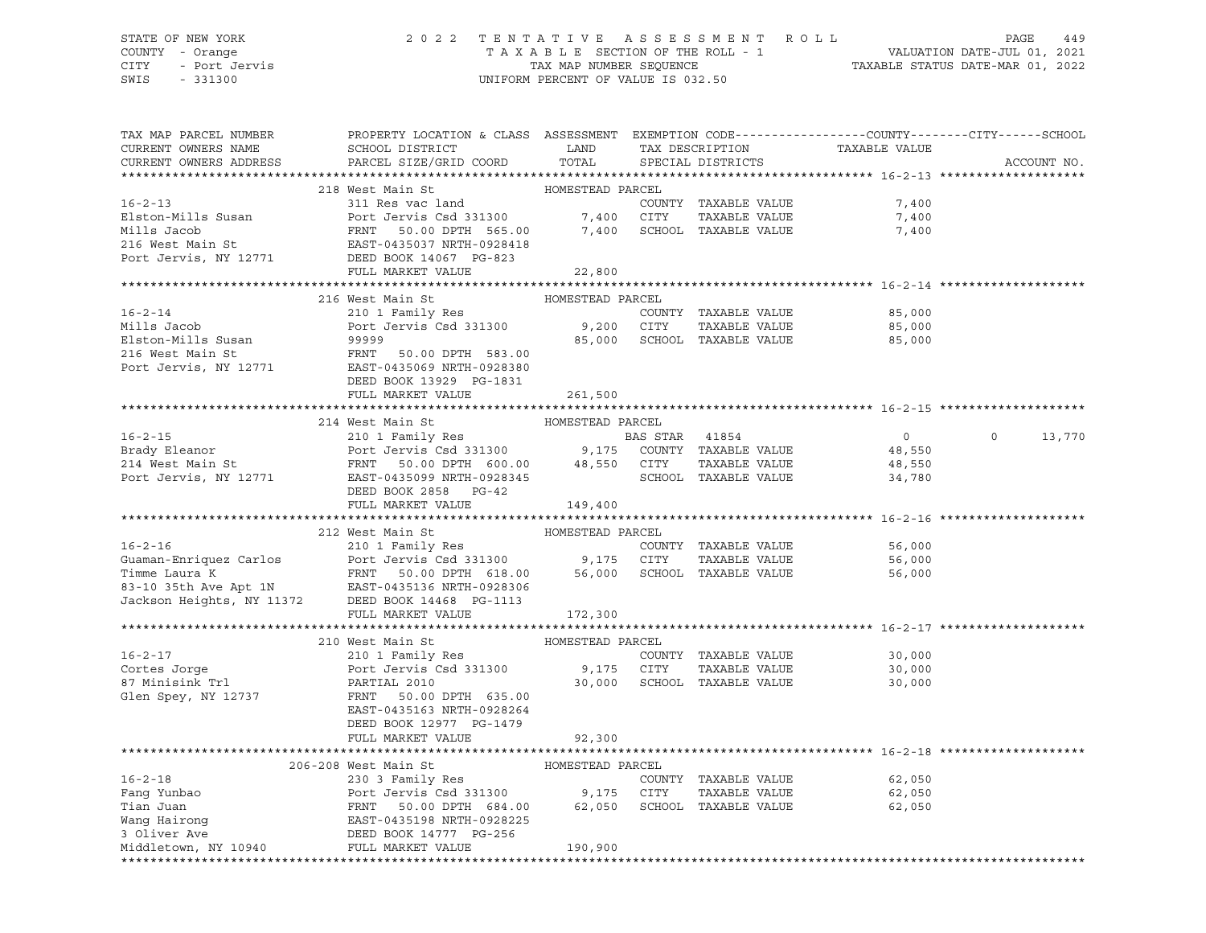#### STATE OF NEW YORK 2 0 2 2 T E N T A T I V E A S S E S S M E N T R O L L PAGE 449 COUNTY - Orange T A X A B L E SECTION OF THE ROLL - 1 VALUATION DATE-JUL 01, 2021 CITY - Port Jervis TAX MAP NUMBER SEQUENCE TAXABLE STATUS DATE-MAR 01, 2022

| TAX MAP PARCEL NUMBER<br>CURRENT OWNERS NAME | PROPERTY LOCATION & CLASS ASSESSMENT EXEMPTION CODE---------------COUNTY-------CITY------SCHOOL<br>SCHOOL DISTRICT LAND                                                                                                                                                          |                  | TAX DESCRIPTION             | TAXABLE VALUE    |                   |
|----------------------------------------------|----------------------------------------------------------------------------------------------------------------------------------------------------------------------------------------------------------------------------------------------------------------------------------|------------------|-----------------------------|------------------|-------------------|
| CURRENT OWNERS ADDRESS                       | PARCEL SIZE/GRID COORD                                                                                                                                                                                                                                                           | TOTAL            | SPECIAL DISTRICTS           |                  | ACCOUNT NO.       |
|                                              | 218 West Main St                                                                                                                                                                                                                                                                 | HOMESTEAD PARCEL |                             |                  |                   |
|                                              | 16-2-13<br>Elston-Mills Susan and COUNTY TAXABLE VALUE<br>Mills Jacob FRNT 50.00 DPTH 565.00 7,400 SCHOOL TAXABLE VALUE<br>216 West Main St EAST-0435037 NRTH-0928418<br>Port Jervis, NY 12771 DEED BOOK 148 FRNT 50.00 DPTH 565.00 7,                                           |                  | COUNTY TAXABLE VALUE        | 7,400            |                   |
|                                              |                                                                                                                                                                                                                                                                                  |                  |                             | 7,400            |                   |
|                                              |                                                                                                                                                                                                                                                                                  |                  |                             | 7,400            |                   |
|                                              |                                                                                                                                                                                                                                                                                  |                  |                             |                  |                   |
|                                              |                                                                                                                                                                                                                                                                                  |                  |                             |                  |                   |
|                                              | FULL MARKET VALUE 22,800                                                                                                                                                                                                                                                         |                  |                             |                  |                   |
|                                              |                                                                                                                                                                                                                                                                                  | HOMESTEAD PARCEL |                             |                  |                   |
|                                              | 216 West Main St<br>16-2-14<br>Mills Jacob 210 1 Family Res COUNTY<br>Elston-Mills Susan 99999<br>216 West Main St Port Jervis Csd 331300 9,200 CITY<br>216 West Main St PRNT 50.00 DPTH 583.00<br>Port Jervis, NY 12771 EAST-0435069 NRTH-0928380<br>NPTH DOW                   |                  | COUNTY TAXABLE VALUE        | 85,000           |                   |
|                                              |                                                                                                                                                                                                                                                                                  |                  | TAXABLE VALUE               | 85,000           |                   |
|                                              |                                                                                                                                                                                                                                                                                  |                  | 85,000 SCHOOL TAXABLE VALUE | 85,000           |                   |
|                                              |                                                                                                                                                                                                                                                                                  |                  |                             |                  |                   |
|                                              |                                                                                                                                                                                                                                                                                  |                  |                             |                  |                   |
|                                              | DEED BOOK 13929 PG-1831                                                                                                                                                                                                                                                          |                  |                             |                  |                   |
|                                              | FULL MARKET VALUE                                                                                                                                                                                                                                                                | 261,500          |                             |                  |                   |
|                                              |                                                                                                                                                                                                                                                                                  |                  |                             |                  |                   |
|                                              | 214 West Main St                                                                                                                                                                                                                                                                 | HOMESTEAD PARCEL |                             |                  |                   |
|                                              |                                                                                                                                                                                                                                                                                  |                  |                             | $\overline{0}$   | $\circ$<br>13,770 |
|                                              |                                                                                                                                                                                                                                                                                  |                  |                             | 48,550           |                   |
|                                              |                                                                                                                                                                                                                                                                                  |                  |                             | 48,550<br>34,780 |                   |
|                                              | 16-2-15<br>BAS STAR 41854<br>BAS STAR 41854<br>214 West Main St<br>214 West Main St<br>216 West Main St<br>214 West Main St<br>214 West Main St<br>214 West Main St<br>214 West Main St<br>214 West Main St<br>214 West Main St<br>214 West Main St<br>2<br>DEED BOOK 2858 PG-42 |                  |                             |                  |                   |
|                                              | FULL MARKET VALUE                                                                                                                                                                                                                                                                | 149,400          |                             |                  |                   |
|                                              |                                                                                                                                                                                                                                                                                  |                  |                             |                  |                   |
|                                              | 212 West Main St<br>And Communist Moment HOMESTEAD PARCEL<br>210 1 Family Res<br>Port Journal Communist Communist Parcel                                                                                                                                                         |                  |                             |                  |                   |
| $16 - 2 - 16$                                |                                                                                                                                                                                                                                                                                  |                  | COUNTY TAXABLE VALUE        | 56,000           |                   |
|                                              |                                                                                                                                                                                                                                                                                  |                  |                             |                  |                   |
|                                              |                                                                                                                                                                                                                                                                                  |                  |                             |                  |                   |
|                                              |                                                                                                                                                                                                                                                                                  |                  |                             |                  |                   |
|                                              | COONTI TANADE VALUE<br>COONTI TANADE VALUE<br>Timme Laura K<br>FRNT 50.00 DPTH 618.00<br>83-10 35th Ave Apt 1N<br>EAST-0435136 NRTH-0928306<br>Jackson Heights, NY 11372<br>DEED BOOK 1486 PG-1113<br>DEED BOOK 1486 PG-1113<br>DEED BOOK 1486 P                                 |                  |                             |                  |                   |
|                                              | FULL MARKET VALUE                                                                                                                                                                                                                                                                | 172,300          |                             |                  |                   |
|                                              |                                                                                                                                                                                                                                                                                  |                  |                             |                  |                   |
| $16 - 2 - 17$                                |                                                                                                                                                                                                                                                                                  |                  |                             | 30,000           |                   |
|                                              |                                                                                                                                                                                                                                                                                  |                  |                             | 30,000           |                   |
| Cortes Jorge<br>87 Minisink Trl              | 210 West Main St<br>210 1 Family Res<br>Port Jervis Csd 331300<br>PARTIAL 2010<br>FRNT 50.00 DPTH 635.00<br>PARTIAL 2010<br>20,000 SCHOOL TAXABLE VALUE<br>PARTIAL 2010<br>20,000 SCHOOL TAXABLE VALUE                                                                           |                  |                             | 30,000           |                   |
| Glen Spey, NY 12737                          |                                                                                                                                                                                                                                                                                  |                  |                             |                  |                   |
|                                              | EAST-0435163 NRTH-0928264                                                                                                                                                                                                                                                        |                  |                             |                  |                   |
|                                              | DEED BOOK 12977 PG-1479                                                                                                                                                                                                                                                          |                  |                             |                  |                   |
|                                              | FULL MARKET VALUE                                                                                                                                                                                                                                                                | 92,300           |                             |                  |                   |
|                                              |                                                                                                                                                                                                                                                                                  |                  |                             |                  |                   |
|                                              | 206-208 West Main St                                                                                                                                                                                                                                                             | HOMESTEAD PARCEL |                             |                  |                   |
|                                              |                                                                                                                                                                                                                                                                                  |                  | COUNTY TAXABLE VALUE        | 62,050           |                   |
|                                              | 16-2-18<br>200-200 West Main Strain Strain Strain Strain Strain Strain Strain Strain Strain Strain Strain Strain Strain Strain Strain Strain Strain Strain Strain Strain Strain Strain Strain Strain Strain Strain Strain Strain                                                 |                  |                             | 62,050<br>62,050 |                   |
|                                              |                                                                                                                                                                                                                                                                                  |                  |                             |                  |                   |
|                                              |                                                                                                                                                                                                                                                                                  |                  |                             |                  |                   |
| Middletown, NY 10940 FULL MARKET VALUE       |                                                                                                                                                                                                                                                                                  | 190,900          |                             |                  |                   |
|                                              |                                                                                                                                                                                                                                                                                  |                  |                             |                  |                   |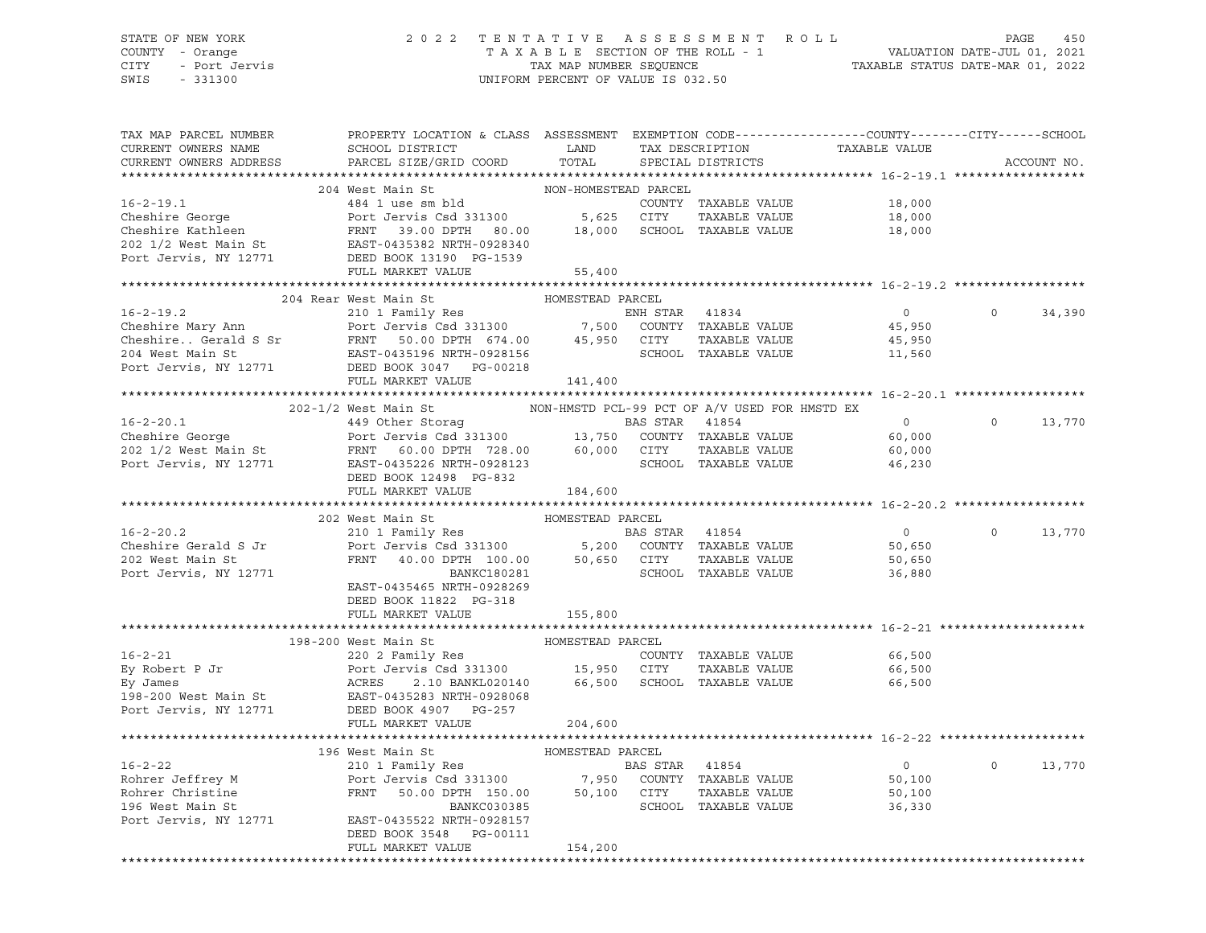#### STATE OF NEW YORK 2 0 2 2 T E N T A T I V E A S S E S S M E N T R O L L PAGE 450 COUNTY - Orange T A X A B L E SECTION OF THE ROLL - 1 VALUATION DATE-JUL 01, 2021 CITY - Port Jervis TAX MAP NUMBER SEQUENCE TAXABLE STATUS DATE-MAR 01, 2022 UNIFORM PERCENT OF VALUE IS 032.50

| TAX MAP PARCEL NUMBER<br>CURRENT OWNERS NAME<br>CURRENT OWNERS ADDRESS                                                                                                                                                                                                             | PROPERTY LOCATION & CLASS ASSESSMENT EXEMPTION CODE----------------COUNTY-------CITY------SCHOOL<br>SCHOOL DISTRICT<br>PARCEL SIZE/GRID COORD                                                                                           | LAND<br>TOTAL               |                | TAX DESCRIPTION<br>SPECIAL DISTRICTS  | TAXABLE VALUE                                |          | ACCOUNT NO. |
|------------------------------------------------------------------------------------------------------------------------------------------------------------------------------------------------------------------------------------------------------------------------------------|-----------------------------------------------------------------------------------------------------------------------------------------------------------------------------------------------------------------------------------------|-----------------------------|----------------|---------------------------------------|----------------------------------------------|----------|-------------|
|                                                                                                                                                                                                                                                                                    |                                                                                                                                                                                                                                         |                             |                |                                       |                                              |          |             |
| 16-2-19.1<br>Cheshire George Port Jervis Csd 331300 5,625 CITY TAXABLE VALUE<br>COUNTY TAXABLE VALUE<br>COUNTY TAXABLE VALUE<br>COUNTY TAXABLE VALUE<br>COUNTY TAXABLE VALUE<br>COUNTY TAXABLE VALUE<br>COUNTY TAXABLE VALUE<br>COUNTY TAXABL                                      | 204 West Main St                                                                                                                                                                                                                        | NON-HOMESTEAD PARCEL        |                |                                       | 18,000<br>18,000<br>18,000                   |          |             |
|                                                                                                                                                                                                                                                                                    | FULL MARKET VALUE                                                                                                                                                                                                                       | 55,400                      |                |                                       |                                              |          |             |
|                                                                                                                                                                                                                                                                                    |                                                                                                                                                                                                                                         |                             |                |                                       |                                              |          |             |
| Cheshire Mary Ann 210 1 Family Res ENH STAR 41834<br>Cheshire Mary Ann Port Jervis Csd 331300 7,500 COUNTY TAXABLE VALUE<br>Cheshire Gerald S Sr FRNT 50.00 DPTH 674.00 45,950 CITY TAXABLE VALUE<br>204 West Main St EAST-043519                                                  | 204 Rear West Main St                                                                                                                                                                                                                   | HOMESTEAD PARCEL            |                |                                       | $\overline{0}$<br>45,950<br>45,950<br>11,560 | $\Omega$ | 34,390      |
|                                                                                                                                                                                                                                                                                    | FULL MARKET VALUE                                                                                                                                                                                                                       | 141,400                     |                |                                       |                                              |          |             |
|                                                                                                                                                                                                                                                                                    | 202-1/2 West Main St MON-HMSTD PCL-99 PCT OF A/V USED FOR HMSTD EX                                                                                                                                                                      |                             |                |                                       |                                              |          |             |
| 2021/2 West Main St<br>2021/2 West Main St<br>2021/2 West Main St<br>2021/2 West Main St<br>2021/2 West Main St<br>2021/2 West Main St<br>2021/2 West Main St<br>2021/2 West Main St<br>2021/2 West Main St<br>2021/2 West Main St<br>2021/2 West                                  | DEED BOOK 12498 PG-832                                                                                                                                                                                                                  |                             |                |                                       | $\overline{0}$<br>60,000<br>60,000<br>46,230 | $\Omega$ | 13,770      |
|                                                                                                                                                                                                                                                                                    | FULL MARKET VALUE                                                                                                                                                                                                                       | 184,600                     |                |                                       |                                              |          |             |
|                                                                                                                                                                                                                                                                                    | 202 West Main St                                                                                                                                                                                                                        | HOMESTEAD PARCEL            |                |                                       |                                              |          |             |
| $16 - 2 - 20.2$<br>Cheshire Gerald S Jr<br>202 West Main St<br>Port Jervis, NY 12771                                                                                                                                                                                               | Nest main St<br>210 1 Family Res<br>Port Jervis Csd 331300 5,200 COUNTY TAXABLE VALUE<br>FRNT 40.00 DPTH 100.00 50,650 CITY TAXABLE VALUE<br>SCHOOL TAXABLE VALUE<br>BANKC180281<br>EAST-0435465 NRTH-0928269<br>DEED BOOK 11822 PG-318 |                             |                | SCHOOL TAXABLE VALUE                  | $\overline{0}$<br>50,650<br>50,650<br>36,880 | $\Omega$ | 13,770      |
|                                                                                                                                                                                                                                                                                    | FULL MARKET VALUE                                                                                                                                                                                                                       | 155,800                     |                |                                       |                                              |          |             |
| 16-2-21<br>Ey Robert P Jr Port Jervis Csd 331300 15,950 CITY TAXABLE VALUE<br>Ey James ACRES 2.10 BANKL020140 66,500 SCHOOL TAXABLE VALUE<br>198-200 West Main St EAST-0435283 NRTH-0928068<br>Port Jervis, NY 12771 DEED BOOK 4907 PG                                             | 198-200 West Main St<br>FULL MARKET VALUE                                                                                                                                                                                               | HOMESTEAD PARCEL<br>204,600 |                | COUNTY TAXABLE VALUE<br>TAXABLE VALUE | 66,500<br>66,500<br>66,500                   |          |             |
|                                                                                                                                                                                                                                                                                    |                                                                                                                                                                                                                                         |                             |                |                                       |                                              |          |             |
| $16 - 2 - 22$<br>16-2-22<br>Rohrer Jeffrey M<br>Rohrer Christine (Port Jervis Csd 331300 1,950 COUNTY TAXABLE VALUE<br>Rohrer Christine (PRNT 50.00 DPTH 150.00 50,100 CITY TAXABLE VALUE<br>216 West Main St<br>22 210 1 ranii New SCROO1 7,950 COUNTY T<br>Port Jervis, NY 12771 | EAST-0435522 NRTH-0928157<br>DEED BOOK 3548 PG-00111<br>FULL MARKET VALUE                                                                                                                                                               | 154,200                     | BAS STAR 41854 | SCHOOL TAXABLE VALUE                  | $\overline{0}$<br>50,100<br>50,100<br>36,330 | $\Omega$ | 13,770      |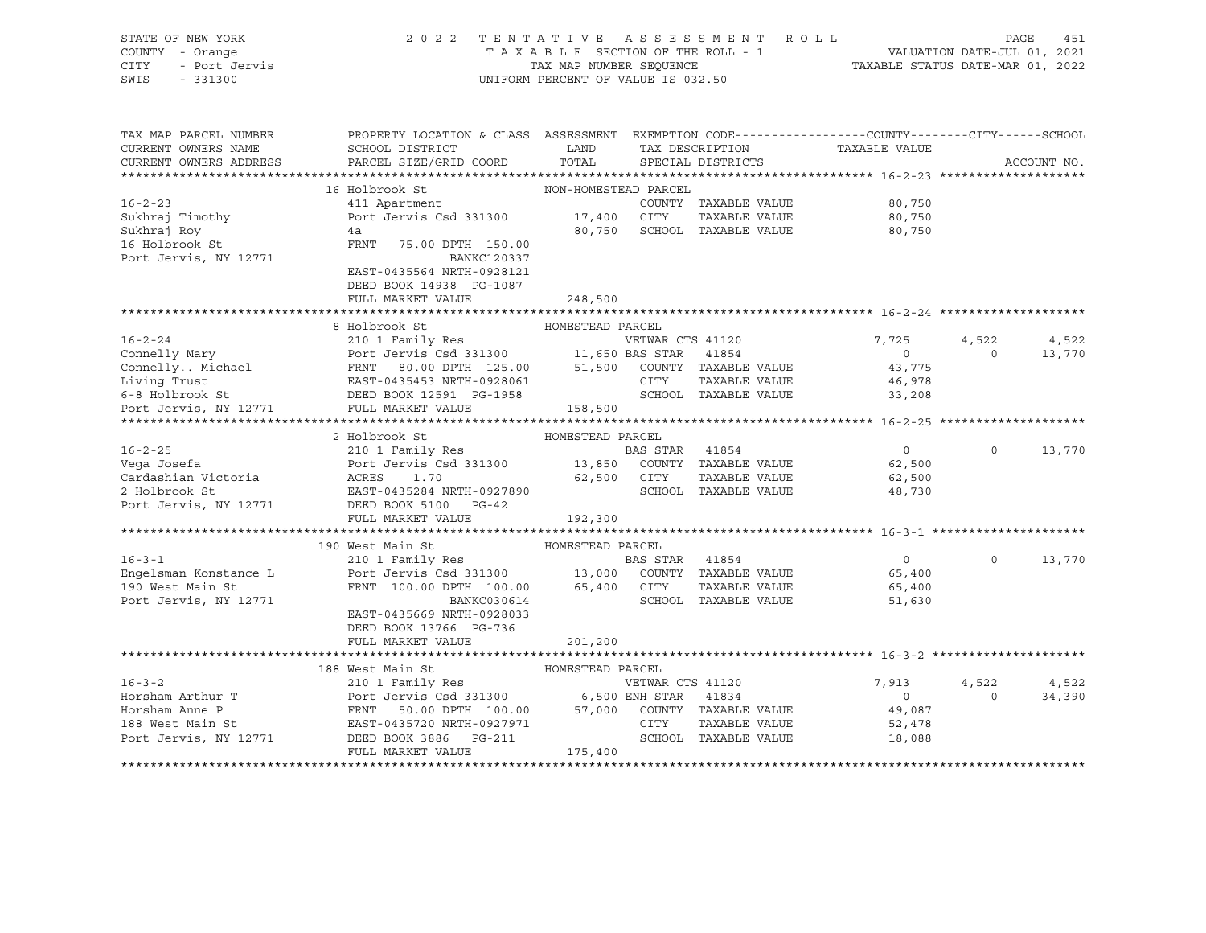| TAX MAP PARCEL NUMBER<br>PROPERTY LOCATION & CLASS ASSESSMENT EXEMPTION CODE---------------COUNTY-------CITY------SCHOOL<br>CURRENT OWNERS NAME<br>SCHOOL DISTRICT LAND<br>TAX DESCRIPTION<br>TAXABLE VALUE<br>PARCEL SIZE/GRID COORD<br>TOTAL<br>CURRENT OWNERS ADDRESS<br>SPECIAL DISTRICTS<br>ACCOUNT NO.<br>16 Holbrook St<br>NON-HOMESTEAD PARCEL<br>$16 - 2 - 23$<br>COUNTY TAXABLE VALUE<br>411 Apartment<br>80,750<br>Port Jervis Csd 331300 17,400 CITY TAXABLE VALUE<br>Sukhraj Timothy<br>80,750<br>80,750 SCHOOL TAXABLE VALUE<br>Sukhraj Roy<br>4a<br>80,750<br>16 Holbrook St<br>FRNT<br>75.00 DPTH 150.00<br>Port Jervis, NY 12771<br>BANKC120337<br>EAST-0435564 NRTH-0928121<br>DEED BOOK 14938 PG-1087<br>FULL MARKET VALUE<br>248,500<br>HOMESTEAD PARCEL<br>8 Holbrook St<br>Connelly Mary and Market (1120)<br>Connelly Mary Port Jervis Csd 331300 11,650 BAS STAR 41854<br>Connelly Michael FRNT 80.00 DPTH 125.00 51,500 COUNTY TAXABLE VALUE<br>Living Trust EAST-0435453 NRTH-0928061 CITY TAXABLE VALUE<br>VETWAR CTS 41120<br>7,725<br>4,522<br>4,522<br>13,770<br>$\overline{0}$<br>$\overline{0}$<br>43,775<br>CITY TAXABLE VALUE 46,978<br>SCHOOL TAXABLE VALUE 33,208<br>Port Jervis, NY 12771<br>2 Holbrook St<br>HOMESTEAD PARCEL<br>210 1 Family Res<br>$16 - 2 - 25$<br>BAS STAR 41854<br>$\overline{0}$<br>13,770<br>$\circ$<br>Port Jervis Csd 331300 13,850 COUNTY TAXABLE VALUE<br>Vega Josefa<br>62,500<br>Cardashian Victoria ACRES<br>$62,500$ CITY<br>SCHOOL<br>TAXABLE VALUE<br>1.70<br>62,500<br>2 Holbrook St<br>EAST-0435284 NRTH-0927890<br>SCHOOL TAXABLE VALUE<br>48,730<br>Port Jervis, NY 12771 DEED BOOK 5100 PG-42<br>FULL MARKET VALUE<br>192,300<br>190 West Main St<br>HOMESTEAD PARCEL<br>$16 - 3 - 1$<br>210 1 Family Res 60 BAS STAR 41854<br>$\overline{0}$<br>$\circ$<br>13,770<br>Port Jervis Csd 331300 13,000 COUNTY TAXABLE VALUE<br>FRNT 100.00 DPTH 100.00 65,400 CITY TAXABLE VALUE<br>Engelsman Konstance L<br>65,400<br>190 West Main St<br>65,400<br>Port Jervis, NY 12771<br>SCHOOL TAXABLE VALUE<br>BANKC030614<br>51,630<br>EAST-0435669 NRTH-0928033<br>DEED BOOK 13766 PG-736<br>FULL MARKET VALUE<br>201,200<br>188 West Main St<br>HOMESTEAD PARCEL<br>West Main St<br>210 1 Family Res<br>Port Jervis Csd 331300 6,500 ENH STAR 41834<br>FRNT 50.00 DPTH 100.00 57,000 COUNTY TAXABLE VALUE<br>EAST-0435720 NRTH-0927971 CITY TAXABLE VALUE<br>DEED BOOK 3886 PG-211 SCHOOL TAXABLE VALUE<br>$16 - 3 - 2$<br>7,913<br>4,522<br>4,522<br>$\overline{0}$<br>Horsham Arthur T<br>$\overline{0}$<br>34,390<br>Horsham Anne P<br>49,087<br>TAXABLE VALUE<br>188 West Main St<br>52,478<br>SCHOOL TAXABLE VALUE<br>Port Jervis, NY 12771<br>18,088<br>175,400<br>FULL MARKET VALUE | STATE OF NEW YORK<br>COUNTY - Orange<br>CITY<br>- Port Jervis<br>SWIS<br>$-331300$ | 2022 TENTATIVE ASSESSMENT ROLL | UNIFORM PERCENT OF VALUE IS 032.50 |  | TAXABLE SECTION OF THE ROLL - 1<br>TAXABLE SECTION OF THE ROLL - 1<br>TAXABLE STATUS DATE-MAR 01, 2022 | PAGE | 451 |
|---------------------------------------------------------------------------------------------------------------------------------------------------------------------------------------------------------------------------------------------------------------------------------------------------------------------------------------------------------------------------------------------------------------------------------------------------------------------------------------------------------------------------------------------------------------------------------------------------------------------------------------------------------------------------------------------------------------------------------------------------------------------------------------------------------------------------------------------------------------------------------------------------------------------------------------------------------------------------------------------------------------------------------------------------------------------------------------------------------------------------------------------------------------------------------------------------------------------------------------------------------------------------------------------------------------------------------------------------------------------------------------------------------------------------------------------------------------------------------------------------------------------------------------------------------------------------------------------------------------------------------------------------------------------------------------------------------------------------------------------------------------------------------------------------------------------------------------------------------------------------------------------------------------------------------------------------------------------------------------------------------------------------------------------------------------------------------------------------------------------------------------------------------------------------------------------------------------------------------------------------------------------------------------------------------------------------------------------------------------------------------------------------------------------------------------------------------------------------------------------------------------------------------------------------------------------------------------------------------------------------------------------------------------------------------------------------------------------------------------------------------------|------------------------------------------------------------------------------------|--------------------------------|------------------------------------|--|--------------------------------------------------------------------------------------------------------|------|-----|
|                                                                                                                                                                                                                                                                                                                                                                                                                                                                                                                                                                                                                                                                                                                                                                                                                                                                                                                                                                                                                                                                                                                                                                                                                                                                                                                                                                                                                                                                                                                                                                                                                                                                                                                                                                                                                                                                                                                                                                                                                                                                                                                                                                                                                                                                                                                                                                                                                                                                                                                                                                                                                                                                                                                                                               |                                                                                    |                                |                                    |  |                                                                                                        |      |     |
|                                                                                                                                                                                                                                                                                                                                                                                                                                                                                                                                                                                                                                                                                                                                                                                                                                                                                                                                                                                                                                                                                                                                                                                                                                                                                                                                                                                                                                                                                                                                                                                                                                                                                                                                                                                                                                                                                                                                                                                                                                                                                                                                                                                                                                                                                                                                                                                                                                                                                                                                                                                                                                                                                                                                                               |                                                                                    |                                |                                    |  |                                                                                                        |      |     |
|                                                                                                                                                                                                                                                                                                                                                                                                                                                                                                                                                                                                                                                                                                                                                                                                                                                                                                                                                                                                                                                                                                                                                                                                                                                                                                                                                                                                                                                                                                                                                                                                                                                                                                                                                                                                                                                                                                                                                                                                                                                                                                                                                                                                                                                                                                                                                                                                                                                                                                                                                                                                                                                                                                                                                               |                                                                                    |                                |                                    |  |                                                                                                        |      |     |
|                                                                                                                                                                                                                                                                                                                                                                                                                                                                                                                                                                                                                                                                                                                                                                                                                                                                                                                                                                                                                                                                                                                                                                                                                                                                                                                                                                                                                                                                                                                                                                                                                                                                                                                                                                                                                                                                                                                                                                                                                                                                                                                                                                                                                                                                                                                                                                                                                                                                                                                                                                                                                                                                                                                                                               |                                                                                    |                                |                                    |  |                                                                                                        |      |     |
|                                                                                                                                                                                                                                                                                                                                                                                                                                                                                                                                                                                                                                                                                                                                                                                                                                                                                                                                                                                                                                                                                                                                                                                                                                                                                                                                                                                                                                                                                                                                                                                                                                                                                                                                                                                                                                                                                                                                                                                                                                                                                                                                                                                                                                                                                                                                                                                                                                                                                                                                                                                                                                                                                                                                                               |                                                                                    |                                |                                    |  |                                                                                                        |      |     |
|                                                                                                                                                                                                                                                                                                                                                                                                                                                                                                                                                                                                                                                                                                                                                                                                                                                                                                                                                                                                                                                                                                                                                                                                                                                                                                                                                                                                                                                                                                                                                                                                                                                                                                                                                                                                                                                                                                                                                                                                                                                                                                                                                                                                                                                                                                                                                                                                                                                                                                                                                                                                                                                                                                                                                               |                                                                                    |                                |                                    |  |                                                                                                        |      |     |
|                                                                                                                                                                                                                                                                                                                                                                                                                                                                                                                                                                                                                                                                                                                                                                                                                                                                                                                                                                                                                                                                                                                                                                                                                                                                                                                                                                                                                                                                                                                                                                                                                                                                                                                                                                                                                                                                                                                                                                                                                                                                                                                                                                                                                                                                                                                                                                                                                                                                                                                                                                                                                                                                                                                                                               |                                                                                    |                                |                                    |  |                                                                                                        |      |     |
|                                                                                                                                                                                                                                                                                                                                                                                                                                                                                                                                                                                                                                                                                                                                                                                                                                                                                                                                                                                                                                                                                                                                                                                                                                                                                                                                                                                                                                                                                                                                                                                                                                                                                                                                                                                                                                                                                                                                                                                                                                                                                                                                                                                                                                                                                                                                                                                                                                                                                                                                                                                                                                                                                                                                                               |                                                                                    |                                |                                    |  |                                                                                                        |      |     |
|                                                                                                                                                                                                                                                                                                                                                                                                                                                                                                                                                                                                                                                                                                                                                                                                                                                                                                                                                                                                                                                                                                                                                                                                                                                                                                                                                                                                                                                                                                                                                                                                                                                                                                                                                                                                                                                                                                                                                                                                                                                                                                                                                                                                                                                                                                                                                                                                                                                                                                                                                                                                                                                                                                                                                               |                                                                                    |                                |                                    |  |                                                                                                        |      |     |
|                                                                                                                                                                                                                                                                                                                                                                                                                                                                                                                                                                                                                                                                                                                                                                                                                                                                                                                                                                                                                                                                                                                                                                                                                                                                                                                                                                                                                                                                                                                                                                                                                                                                                                                                                                                                                                                                                                                                                                                                                                                                                                                                                                                                                                                                                                                                                                                                                                                                                                                                                                                                                                                                                                                                                               |                                                                                    |                                |                                    |  |                                                                                                        |      |     |
|                                                                                                                                                                                                                                                                                                                                                                                                                                                                                                                                                                                                                                                                                                                                                                                                                                                                                                                                                                                                                                                                                                                                                                                                                                                                                                                                                                                                                                                                                                                                                                                                                                                                                                                                                                                                                                                                                                                                                                                                                                                                                                                                                                                                                                                                                                                                                                                                                                                                                                                                                                                                                                                                                                                                                               |                                                                                    |                                |                                    |  |                                                                                                        |      |     |
|                                                                                                                                                                                                                                                                                                                                                                                                                                                                                                                                                                                                                                                                                                                                                                                                                                                                                                                                                                                                                                                                                                                                                                                                                                                                                                                                                                                                                                                                                                                                                                                                                                                                                                                                                                                                                                                                                                                                                                                                                                                                                                                                                                                                                                                                                                                                                                                                                                                                                                                                                                                                                                                                                                                                                               |                                                                                    |                                |                                    |  |                                                                                                        |      |     |
|                                                                                                                                                                                                                                                                                                                                                                                                                                                                                                                                                                                                                                                                                                                                                                                                                                                                                                                                                                                                                                                                                                                                                                                                                                                                                                                                                                                                                                                                                                                                                                                                                                                                                                                                                                                                                                                                                                                                                                                                                                                                                                                                                                                                                                                                                                                                                                                                                                                                                                                                                                                                                                                                                                                                                               |                                                                                    |                                |                                    |  |                                                                                                        |      |     |
|                                                                                                                                                                                                                                                                                                                                                                                                                                                                                                                                                                                                                                                                                                                                                                                                                                                                                                                                                                                                                                                                                                                                                                                                                                                                                                                                                                                                                                                                                                                                                                                                                                                                                                                                                                                                                                                                                                                                                                                                                                                                                                                                                                                                                                                                                                                                                                                                                                                                                                                                                                                                                                                                                                                                                               |                                                                                    |                                |                                    |  |                                                                                                        |      |     |
|                                                                                                                                                                                                                                                                                                                                                                                                                                                                                                                                                                                                                                                                                                                                                                                                                                                                                                                                                                                                                                                                                                                                                                                                                                                                                                                                                                                                                                                                                                                                                                                                                                                                                                                                                                                                                                                                                                                                                                                                                                                                                                                                                                                                                                                                                                                                                                                                                                                                                                                                                                                                                                                                                                                                                               |                                                                                    |                                |                                    |  |                                                                                                        |      |     |
|                                                                                                                                                                                                                                                                                                                                                                                                                                                                                                                                                                                                                                                                                                                                                                                                                                                                                                                                                                                                                                                                                                                                                                                                                                                                                                                                                                                                                                                                                                                                                                                                                                                                                                                                                                                                                                                                                                                                                                                                                                                                                                                                                                                                                                                                                                                                                                                                                                                                                                                                                                                                                                                                                                                                                               |                                                                                    |                                |                                    |  |                                                                                                        |      |     |
|                                                                                                                                                                                                                                                                                                                                                                                                                                                                                                                                                                                                                                                                                                                                                                                                                                                                                                                                                                                                                                                                                                                                                                                                                                                                                                                                                                                                                                                                                                                                                                                                                                                                                                                                                                                                                                                                                                                                                                                                                                                                                                                                                                                                                                                                                                                                                                                                                                                                                                                                                                                                                                                                                                                                                               |                                                                                    |                                |                                    |  |                                                                                                        |      |     |
|                                                                                                                                                                                                                                                                                                                                                                                                                                                                                                                                                                                                                                                                                                                                                                                                                                                                                                                                                                                                                                                                                                                                                                                                                                                                                                                                                                                                                                                                                                                                                                                                                                                                                                                                                                                                                                                                                                                                                                                                                                                                                                                                                                                                                                                                                                                                                                                                                                                                                                                                                                                                                                                                                                                                                               |                                                                                    |                                |                                    |  |                                                                                                        |      |     |
|                                                                                                                                                                                                                                                                                                                                                                                                                                                                                                                                                                                                                                                                                                                                                                                                                                                                                                                                                                                                                                                                                                                                                                                                                                                                                                                                                                                                                                                                                                                                                                                                                                                                                                                                                                                                                                                                                                                                                                                                                                                                                                                                                                                                                                                                                                                                                                                                                                                                                                                                                                                                                                                                                                                                                               |                                                                                    |                                |                                    |  |                                                                                                        |      |     |
|                                                                                                                                                                                                                                                                                                                                                                                                                                                                                                                                                                                                                                                                                                                                                                                                                                                                                                                                                                                                                                                                                                                                                                                                                                                                                                                                                                                                                                                                                                                                                                                                                                                                                                                                                                                                                                                                                                                                                                                                                                                                                                                                                                                                                                                                                                                                                                                                                                                                                                                                                                                                                                                                                                                                                               |                                                                                    |                                |                                    |  |                                                                                                        |      |     |
|                                                                                                                                                                                                                                                                                                                                                                                                                                                                                                                                                                                                                                                                                                                                                                                                                                                                                                                                                                                                                                                                                                                                                                                                                                                                                                                                                                                                                                                                                                                                                                                                                                                                                                                                                                                                                                                                                                                                                                                                                                                                                                                                                                                                                                                                                                                                                                                                                                                                                                                                                                                                                                                                                                                                                               |                                                                                    |                                |                                    |  |                                                                                                        |      |     |
|                                                                                                                                                                                                                                                                                                                                                                                                                                                                                                                                                                                                                                                                                                                                                                                                                                                                                                                                                                                                                                                                                                                                                                                                                                                                                                                                                                                                                                                                                                                                                                                                                                                                                                                                                                                                                                                                                                                                                                                                                                                                                                                                                                                                                                                                                                                                                                                                                                                                                                                                                                                                                                                                                                                                                               |                                                                                    |                                |                                    |  |                                                                                                        |      |     |
|                                                                                                                                                                                                                                                                                                                                                                                                                                                                                                                                                                                                                                                                                                                                                                                                                                                                                                                                                                                                                                                                                                                                                                                                                                                                                                                                                                                                                                                                                                                                                                                                                                                                                                                                                                                                                                                                                                                                                                                                                                                                                                                                                                                                                                                                                                                                                                                                                                                                                                                                                                                                                                                                                                                                                               |                                                                                    |                                |                                    |  |                                                                                                        |      |     |
|                                                                                                                                                                                                                                                                                                                                                                                                                                                                                                                                                                                                                                                                                                                                                                                                                                                                                                                                                                                                                                                                                                                                                                                                                                                                                                                                                                                                                                                                                                                                                                                                                                                                                                                                                                                                                                                                                                                                                                                                                                                                                                                                                                                                                                                                                                                                                                                                                                                                                                                                                                                                                                                                                                                                                               |                                                                                    |                                |                                    |  |                                                                                                        |      |     |
|                                                                                                                                                                                                                                                                                                                                                                                                                                                                                                                                                                                                                                                                                                                                                                                                                                                                                                                                                                                                                                                                                                                                                                                                                                                                                                                                                                                                                                                                                                                                                                                                                                                                                                                                                                                                                                                                                                                                                                                                                                                                                                                                                                                                                                                                                                                                                                                                                                                                                                                                                                                                                                                                                                                                                               |                                                                                    |                                |                                    |  |                                                                                                        |      |     |
|                                                                                                                                                                                                                                                                                                                                                                                                                                                                                                                                                                                                                                                                                                                                                                                                                                                                                                                                                                                                                                                                                                                                                                                                                                                                                                                                                                                                                                                                                                                                                                                                                                                                                                                                                                                                                                                                                                                                                                                                                                                                                                                                                                                                                                                                                                                                                                                                                                                                                                                                                                                                                                                                                                                                                               |                                                                                    |                                |                                    |  |                                                                                                        |      |     |
|                                                                                                                                                                                                                                                                                                                                                                                                                                                                                                                                                                                                                                                                                                                                                                                                                                                                                                                                                                                                                                                                                                                                                                                                                                                                                                                                                                                                                                                                                                                                                                                                                                                                                                                                                                                                                                                                                                                                                                                                                                                                                                                                                                                                                                                                                                                                                                                                                                                                                                                                                                                                                                                                                                                                                               |                                                                                    |                                |                                    |  |                                                                                                        |      |     |
|                                                                                                                                                                                                                                                                                                                                                                                                                                                                                                                                                                                                                                                                                                                                                                                                                                                                                                                                                                                                                                                                                                                                                                                                                                                                                                                                                                                                                                                                                                                                                                                                                                                                                                                                                                                                                                                                                                                                                                                                                                                                                                                                                                                                                                                                                                                                                                                                                                                                                                                                                                                                                                                                                                                                                               |                                                                                    |                                |                                    |  |                                                                                                        |      |     |
|                                                                                                                                                                                                                                                                                                                                                                                                                                                                                                                                                                                                                                                                                                                                                                                                                                                                                                                                                                                                                                                                                                                                                                                                                                                                                                                                                                                                                                                                                                                                                                                                                                                                                                                                                                                                                                                                                                                                                                                                                                                                                                                                                                                                                                                                                                                                                                                                                                                                                                                                                                                                                                                                                                                                                               |                                                                                    |                                |                                    |  |                                                                                                        |      |     |
|                                                                                                                                                                                                                                                                                                                                                                                                                                                                                                                                                                                                                                                                                                                                                                                                                                                                                                                                                                                                                                                                                                                                                                                                                                                                                                                                                                                                                                                                                                                                                                                                                                                                                                                                                                                                                                                                                                                                                                                                                                                                                                                                                                                                                                                                                                                                                                                                                                                                                                                                                                                                                                                                                                                                                               |                                                                                    |                                |                                    |  |                                                                                                        |      |     |
|                                                                                                                                                                                                                                                                                                                                                                                                                                                                                                                                                                                                                                                                                                                                                                                                                                                                                                                                                                                                                                                                                                                                                                                                                                                                                                                                                                                                                                                                                                                                                                                                                                                                                                                                                                                                                                                                                                                                                                                                                                                                                                                                                                                                                                                                                                                                                                                                                                                                                                                                                                                                                                                                                                                                                               |                                                                                    |                                |                                    |  |                                                                                                        |      |     |
|                                                                                                                                                                                                                                                                                                                                                                                                                                                                                                                                                                                                                                                                                                                                                                                                                                                                                                                                                                                                                                                                                                                                                                                                                                                                                                                                                                                                                                                                                                                                                                                                                                                                                                                                                                                                                                                                                                                                                                                                                                                                                                                                                                                                                                                                                                                                                                                                                                                                                                                                                                                                                                                                                                                                                               |                                                                                    |                                |                                    |  |                                                                                                        |      |     |
|                                                                                                                                                                                                                                                                                                                                                                                                                                                                                                                                                                                                                                                                                                                                                                                                                                                                                                                                                                                                                                                                                                                                                                                                                                                                                                                                                                                                                                                                                                                                                                                                                                                                                                                                                                                                                                                                                                                                                                                                                                                                                                                                                                                                                                                                                                                                                                                                                                                                                                                                                                                                                                                                                                                                                               |                                                                                    |                                |                                    |  |                                                                                                        |      |     |
|                                                                                                                                                                                                                                                                                                                                                                                                                                                                                                                                                                                                                                                                                                                                                                                                                                                                                                                                                                                                                                                                                                                                                                                                                                                                                                                                                                                                                                                                                                                                                                                                                                                                                                                                                                                                                                                                                                                                                                                                                                                                                                                                                                                                                                                                                                                                                                                                                                                                                                                                                                                                                                                                                                                                                               |                                                                                    |                                |                                    |  |                                                                                                        |      |     |
|                                                                                                                                                                                                                                                                                                                                                                                                                                                                                                                                                                                                                                                                                                                                                                                                                                                                                                                                                                                                                                                                                                                                                                                                                                                                                                                                                                                                                                                                                                                                                                                                                                                                                                                                                                                                                                                                                                                                                                                                                                                                                                                                                                                                                                                                                                                                                                                                                                                                                                                                                                                                                                                                                                                                                               |                                                                                    |                                |                                    |  |                                                                                                        |      |     |
|                                                                                                                                                                                                                                                                                                                                                                                                                                                                                                                                                                                                                                                                                                                                                                                                                                                                                                                                                                                                                                                                                                                                                                                                                                                                                                                                                                                                                                                                                                                                                                                                                                                                                                                                                                                                                                                                                                                                                                                                                                                                                                                                                                                                                                                                                                                                                                                                                                                                                                                                                                                                                                                                                                                                                               |                                                                                    |                                |                                    |  |                                                                                                        |      |     |
|                                                                                                                                                                                                                                                                                                                                                                                                                                                                                                                                                                                                                                                                                                                                                                                                                                                                                                                                                                                                                                                                                                                                                                                                                                                                                                                                                                                                                                                                                                                                                                                                                                                                                                                                                                                                                                                                                                                                                                                                                                                                                                                                                                                                                                                                                                                                                                                                                                                                                                                                                                                                                                                                                                                                                               |                                                                                    |                                |                                    |  |                                                                                                        |      |     |
|                                                                                                                                                                                                                                                                                                                                                                                                                                                                                                                                                                                                                                                                                                                                                                                                                                                                                                                                                                                                                                                                                                                                                                                                                                                                                                                                                                                                                                                                                                                                                                                                                                                                                                                                                                                                                                                                                                                                                                                                                                                                                                                                                                                                                                                                                                                                                                                                                                                                                                                                                                                                                                                                                                                                                               |                                                                                    |                                |                                    |  |                                                                                                        |      |     |
|                                                                                                                                                                                                                                                                                                                                                                                                                                                                                                                                                                                                                                                                                                                                                                                                                                                                                                                                                                                                                                                                                                                                                                                                                                                                                                                                                                                                                                                                                                                                                                                                                                                                                                                                                                                                                                                                                                                                                                                                                                                                                                                                                                                                                                                                                                                                                                                                                                                                                                                                                                                                                                                                                                                                                               |                                                                                    |                                |                                    |  |                                                                                                        |      |     |
|                                                                                                                                                                                                                                                                                                                                                                                                                                                                                                                                                                                                                                                                                                                                                                                                                                                                                                                                                                                                                                                                                                                                                                                                                                                                                                                                                                                                                                                                                                                                                                                                                                                                                                                                                                                                                                                                                                                                                                                                                                                                                                                                                                                                                                                                                                                                                                                                                                                                                                                                                                                                                                                                                                                                                               |                                                                                    |                                |                                    |  |                                                                                                        |      |     |
|                                                                                                                                                                                                                                                                                                                                                                                                                                                                                                                                                                                                                                                                                                                                                                                                                                                                                                                                                                                                                                                                                                                                                                                                                                                                                                                                                                                                                                                                                                                                                                                                                                                                                                                                                                                                                                                                                                                                                                                                                                                                                                                                                                                                                                                                                                                                                                                                                                                                                                                                                                                                                                                                                                                                                               |                                                                                    |                                |                                    |  |                                                                                                        |      |     |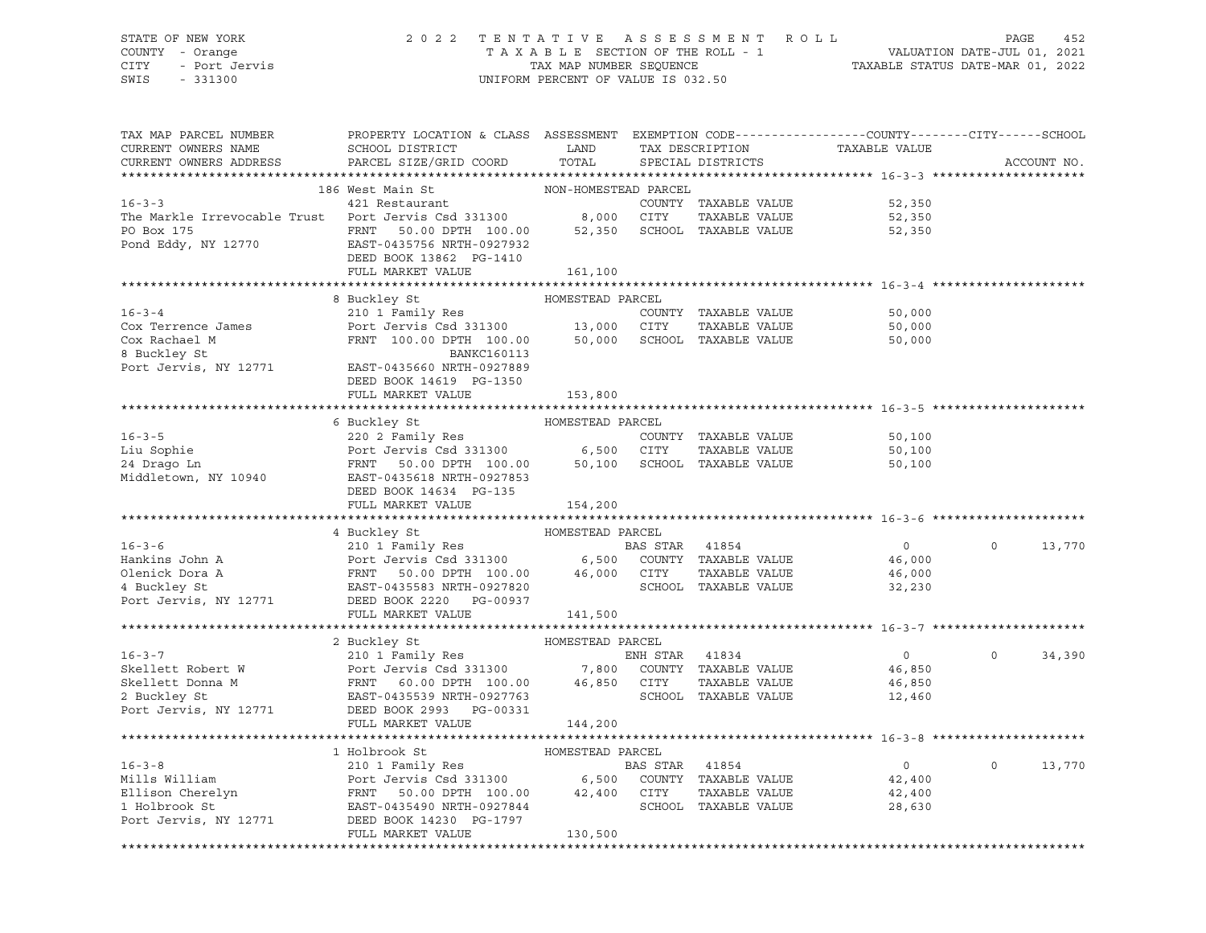# STATE OF NEW YORK 2 0 2 2 T E N T A T I V E A S S E S S M E N T R O L L PAGE 452 COUNTY - Orange T A X A B L E SECTION OF THE ROLL - 1 VALUATION DATE-JUL 01, 2021 CITY - Port Jervis TAX MAP NUMBER SEQUENCE TAXABLE STATUS DATE-MAR 01, 2022

| TAX MAP PARCEL NUMBER<br>CURRENT OWNERS NAME<br>CURRENT OWNERS ADDRESS                                                                                                                                                                     | PROPERTY LOCATION & CLASS ASSESSMENT EXEMPTION CODE----------------COUNTY-------CITY------SCHOOL<br>SCHOOL DISTRICT<br>PARCEL SIZE/GRID COORD | LAND<br>TOTAL        |                | TAX DESCRIPTION<br>SPECIAL DISTRICTS | TAXABLE VALUE    |          | ACCOUNT NO. |
|--------------------------------------------------------------------------------------------------------------------------------------------------------------------------------------------------------------------------------------------|-----------------------------------------------------------------------------------------------------------------------------------------------|----------------------|----------------|--------------------------------------|------------------|----------|-------------|
|                                                                                                                                                                                                                                            |                                                                                                                                               |                      |                |                                      |                  |          |             |
|                                                                                                                                                                                                                                            | 186 West Main St                                                                                                                              | NON-HOMESTEAD PARCEL |                |                                      |                  |          |             |
| 16-3-3   421 Restaurant   COUNTY<br>The Markle Irrevocable Trust   Port Jervis Csd 331300   8,000   CITY                                                                                                                                   |                                                                                                                                               |                      |                | COUNTY TAXABLE VALUE                 | 52,350           |          |             |
|                                                                                                                                                                                                                                            |                                                                                                                                               |                      |                | TAXABLE VALUE                        | 52,350           |          |             |
| PO Box 175                                                                                                                                                                                                                                 | FRNT 50.00 DPTH 100.00 52,350                                                                                                                 |                      |                | SCHOOL TAXABLE VALUE                 | 52,350           |          |             |
| Pond Eddy, NY 12770                                                                                                                                                                                                                        | EAST-0435756 NRTH-0927932                                                                                                                     |                      |                |                                      |                  |          |             |
|                                                                                                                                                                                                                                            | DEED BOOK 13862 PG-1410                                                                                                                       |                      |                |                                      |                  |          |             |
|                                                                                                                                                                                                                                            | FULL MARKET VALUE                                                                                                                             | 161,100              |                |                                      |                  |          |             |
|                                                                                                                                                                                                                                            |                                                                                                                                               |                      |                |                                      |                  |          |             |
|                                                                                                                                                                                                                                            | 8 Buckley St                                                                                                                                  | HOMESTEAD PARCEL     |                |                                      |                  |          |             |
| $16 - 3 - 4$                                                                                                                                                                                                                               | 210 1 Family Res                                                                                                                              |                      |                | COUNTY TAXABLE VALUE                 | 50,000           |          |             |
| Cox Terrence James                                                                                                                                                                                                                         | Port Jervis Csd 331300 13,000 CITY                                                                                                            |                      |                | TAXABLE VALUE                        | 50,000           |          |             |
| Cox Rachael M                                                                                                                                                                                                                              | FRNT 100.00 DPTH 100.00 50,000 SCHOOL TAXABLE VALUE                                                                                           |                      |                |                                      | 50,000           |          |             |
| 8 Buckley St                                                                                                                                                                                                                               | <b>BANKC160113</b>                                                                                                                            |                      |                |                                      |                  |          |             |
| Port Jervis, NY 12771                                                                                                                                                                                                                      | EAST-0435660 NRTH-0927889                                                                                                                     |                      |                |                                      |                  |          |             |
|                                                                                                                                                                                                                                            | DEED BOOK 14619 PG-1350                                                                                                                       |                      |                |                                      |                  |          |             |
|                                                                                                                                                                                                                                            | FULL MARKET VALUE                                                                                                                             | 153,800              |                |                                      |                  |          |             |
|                                                                                                                                                                                                                                            |                                                                                                                                               |                      |                |                                      |                  |          |             |
|                                                                                                                                                                                                                                            | 6 Buckley St                                                                                                                                  | HOMESTEAD PARCEL     |                |                                      |                  |          |             |
| $16 - 3 - 5$                                                                                                                                                                                                                               |                                                                                                                                               |                      |                | COUNTY TAXABLE VALUE                 | 50,100           |          |             |
| Liu Sophie                                                                                                                                                                                                                                 | 220 2 Family Res<br>Port Jervis Csd 331300 6,500 CITY TAXABLE VALUE<br>FRNT 50.00 DPTH 100.00 50,100 SCHOOL TAXABLE VALUE                     |                      |                | TAXABLE VALUE                        | 50,100           |          |             |
| 24 Drago Ln                                                                                                                                                                                                                                |                                                                                                                                               |                      |                |                                      | 50,100           |          |             |
| Middletown, NY 10940 EAST-0435618 NRTH-0927853                                                                                                                                                                                             |                                                                                                                                               |                      |                |                                      |                  |          |             |
|                                                                                                                                                                                                                                            | DEED BOOK 14634 PG-135                                                                                                                        |                      |                |                                      |                  |          |             |
|                                                                                                                                                                                                                                            | FULL MARKET VALUE                                                                                                                             | 154,200              |                |                                      |                  |          |             |
| A BOOK STEAD PARCEL<br>MOMESTEAD PARCEL<br>EXERCEL 210 1 Family Res<br>POTT Jervis Csd 331300 6,500 COUNTY TAXABLE VALUE<br>46,000 CITY TAXABLE VALUE<br>46,000 CITY TAXABLE VALUE<br>POTT JERNT 50.00 DPTH 100.00 46,000 CITY TAXABLE VAL |                                                                                                                                               |                      |                |                                      |                  |          |             |
|                                                                                                                                                                                                                                            |                                                                                                                                               |                      |                |                                      | $\overline{0}$   | $\Omega$ |             |
|                                                                                                                                                                                                                                            |                                                                                                                                               |                      |                |                                      |                  |          | 13,770      |
|                                                                                                                                                                                                                                            |                                                                                                                                               |                      |                |                                      | 46,000<br>46,000 |          |             |
|                                                                                                                                                                                                                                            |                                                                                                                                               |                      |                |                                      | 32,230           |          |             |
|                                                                                                                                                                                                                                            |                                                                                                                                               |                      |                |                                      |                  |          |             |
|                                                                                                                                                                                                                                            |                                                                                                                                               |                      |                |                                      |                  |          |             |
|                                                                                                                                                                                                                                            |                                                                                                                                               |                      |                |                                      |                  |          |             |
|                                                                                                                                                                                                                                            |                                                                                                                                               |                      |                |                                      |                  |          |             |
|                                                                                                                                                                                                                                            |                                                                                                                                               |                      |                |                                      | $\sim$ 0         | $\Omega$ | 34,390      |
|                                                                                                                                                                                                                                            |                                                                                                                                               |                      |                |                                      | 46,850           |          |             |
|                                                                                                                                                                                                                                            |                                                                                                                                               |                      |                | TAXABLE VALUE                        | 46,850           |          |             |
|                                                                                                                                                                                                                                            |                                                                                                                                               |                      |                |                                      | 12,460           |          |             |
| 2 Buckley St<br>Port Jervis, NY 12771 DEED BOOK 2993 PG-00331                                                                                                                                                                              |                                                                                                                                               |                      |                |                                      |                  |          |             |
|                                                                                                                                                                                                                                            | FULL MARKET VALUE                                                                                                                             | 144,200              |                |                                      |                  |          |             |
|                                                                                                                                                                                                                                            |                                                                                                                                               |                      |                |                                      |                  |          |             |
|                                                                                                                                                                                                                                            | 1 Holbrook St                                                                                                                                 | HOMESTEAD PARCEL     |                |                                      |                  |          |             |
| $16 - 3 - 8$                                                                                                                                                                                                                               | 210 1 Family Res                                                                                                                              |                      | BAS STAR 41854 |                                      | $\overline{0}$   | $\Omega$ | 13,770      |
|                                                                                                                                                                                                                                            |                                                                                                                                               |                      |                |                                      | 42,400           |          |             |
|                                                                                                                                                                                                                                            |                                                                                                                                               |                      |                |                                      | 42,400           |          |             |
| Mills William Mills William Port Jervis Csd 331300 6,500 COUNTY TAXABLE VALUE<br>Ellison Cherelyn FRNT 50.00 DPTH 100.00 42,400 CITY TAXABLE VALUE<br>1 Holbrook St EAST-0435490 NRTH-0927844 SCHOOL TAXABLE VALUE<br>Port Jervis, NY 1    |                                                                                                                                               |                      |                |                                      | 28,630           |          |             |
|                                                                                                                                                                                                                                            |                                                                                                                                               |                      |                |                                      |                  |          |             |
|                                                                                                                                                                                                                                            | FULL MARKET VALUE                                                                                                                             | 130,500              |                |                                      |                  |          |             |
|                                                                                                                                                                                                                                            |                                                                                                                                               |                      |                |                                      |                  |          |             |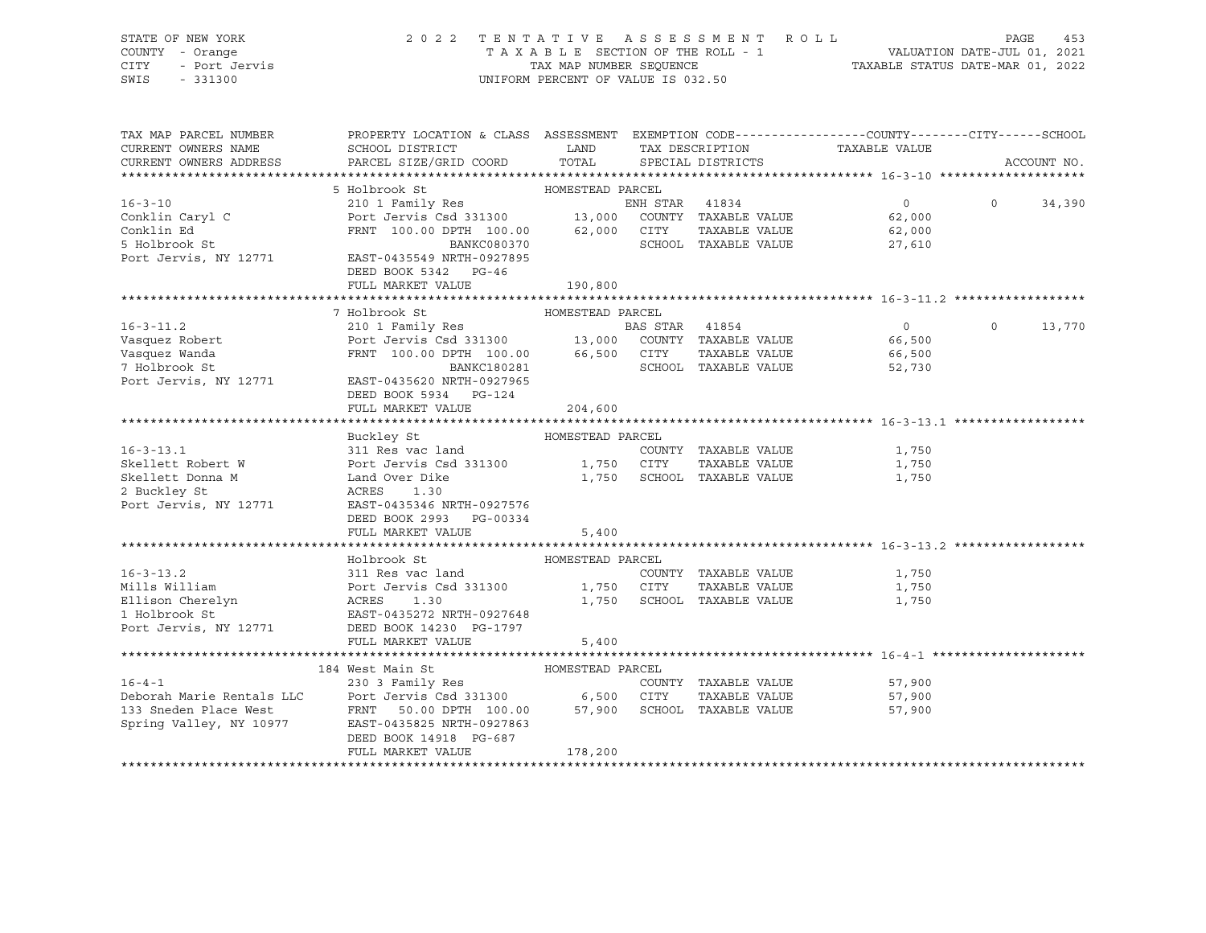| STATE OF NEW YORK<br>COUNTY - Orange<br>Y - Orange<br>- Port Jervis<br>CITY<br>SWIS<br>$-331300$ |                                                                                                                                                                                                                                                                                                                                                                                                                                   | UNIFORM PERCENT OF VALUE IS 032.50 |                                             | 2022 TENTATIVE ASSESSMENT ROLL | PAGE     | 453         |
|--------------------------------------------------------------------------------------------------|-----------------------------------------------------------------------------------------------------------------------------------------------------------------------------------------------------------------------------------------------------------------------------------------------------------------------------------------------------------------------------------------------------------------------------------|------------------------------------|---------------------------------------------|--------------------------------|----------|-------------|
| CURRENT OWNERS NAME                                                                              | TAX MAP PARCEL NUMBER THE PROPERTY LOCATION & CLASS ASSESSMENT EXEMPTION CODE--------------COUNTY-------CITY------SCHOOL<br>SCHOOL DISTRICT                                                                                                                                                                                                                                                                                       | LAND                               |                                             | TAX DESCRIPTION TAXABLE VALUE  |          |             |
| CURRENT OWNERS ADDRESS                                                                           | PARCEL SIZE/GRID COORD                                                                                                                                                                                                                                                                                                                                                                                                            | TOTAL                              | SPECIAL DISTRICTS                           |                                |          | ACCOUNT NO. |
|                                                                                                  |                                                                                                                                                                                                                                                                                                                                                                                                                                   |                                    |                                             |                                |          |             |
|                                                                                                  | 5 Holbrook St<br>210 1 Family Res                                                                                                                                                                                                                                                                                                                                                                                                 | HOMESTEAD PARCEL                   |                                             |                                |          |             |
| $16 - 3 - 10$                                                                                    |                                                                                                                                                                                                                                                                                                                                                                                                                                   |                                    | ENH STAR 41834                              | $\overline{0}$                 | $\Omega$ | 34,390      |
|                                                                                                  |                                                                                                                                                                                                                                                                                                                                                                                                                                   |                                    |                                             | 62,000<br>62,000               |          |             |
|                                                                                                  |                                                                                                                                                                                                                                                                                                                                                                                                                                   |                                    |                                             | 27,610                         |          |             |
| Port Jervis, NY 12771                                                                            | EAST-0435549 NRTH-0927895                                                                                                                                                                                                                                                                                                                                                                                                         |                                    |                                             |                                |          |             |
|                                                                                                  | DEED BOOK 5342 PG-46                                                                                                                                                                                                                                                                                                                                                                                                              |                                    |                                             |                                |          |             |
|                                                                                                  | FULL MARKET VALUE                                                                                                                                                                                                                                                                                                                                                                                                                 | 190,800                            |                                             |                                |          |             |
|                                                                                                  |                                                                                                                                                                                                                                                                                                                                                                                                                                   |                                    |                                             |                                |          |             |
|                                                                                                  | 7 Holbrook St                                                                                                                                                                                                                                                                                                                                                                                                                     | HOMESTEAD PARCEL                   |                                             |                                |          |             |
| $16 - 3 - 11.2$                                                                                  | 210 1 Family Res<br>Port Jervis Csd 331300 13,000 COUNTY TAXABLE VALUE                                                                                                                                                                                                                                                                                                                                                            |                                    |                                             | $\overline{0}$                 | $\circ$  | 13,770      |
| Vasquez Robert                                                                                   |                                                                                                                                                                                                                                                                                                                                                                                                                                   |                                    |                                             | 66,500                         |          |             |
| Vasquez Wanda<br>7 Holbrook St                                                                   | $\begin{tabular}{lllllllllll} \multicolumn{2}{c}{\textbf{FRNT}} & 100.00 & {\textbf{DPTH}} & 100.00 & 66,500 & {\textbf{CITY}} & {\textbf{TAXABLE VALUE}} \\ & \multicolumn{2}{c}{\textbf{BANKC180281}} & & \\ \multicolumn{2}{c}{\textbf{BANKC180281}} & & \\ \multicolumn{2}{c}{\textbf{BANKC180281}} & & \\ \multicolumn{2}{c}{\textbf{BANKC180281}} & & \\ \multicolumn{2}{c}{\textbf{BANKC180281}} & & \\ \multicolumn{2}{c$ |                                    | SCHOOL TAXABLE VALUE                        | 66,500<br>52,730               |          |             |
| Port Jervis, NY 12771                                                                            | EAST-0435620 NRTH-0927965                                                                                                                                                                                                                                                                                                                                                                                                         |                                    |                                             |                                |          |             |
|                                                                                                  | DEED BOOK 5934 PG-124                                                                                                                                                                                                                                                                                                                                                                                                             |                                    |                                             |                                |          |             |
|                                                                                                  | FULL MARKET VALUE                                                                                                                                                                                                                                                                                                                                                                                                                 | 204,600                            |                                             |                                |          |             |
|                                                                                                  |                                                                                                                                                                                                                                                                                                                                                                                                                                   |                                    |                                             |                                |          |             |
|                                                                                                  |                                                                                                                                                                                                                                                                                                                                                                                                                                   |                                    |                                             |                                |          |             |
| $16 - 3 - 13.1$                                                                                  |                                                                                                                                                                                                                                                                                                                                                                                                                                   |                                    | COUNTY TAXABLE VALUE                        | 1,750                          |          |             |
| Skellett Robert W                                                                                |                                                                                                                                                                                                                                                                                                                                                                                                                                   |                                    | TAXABLE VALUE<br>1,750 SCHOOL TAXABLE VALUE | 1,750                          |          |             |
| Skellett Donna M<br>2 Buckley St                                                                 | Example of the HOMESTEAD PARCEL<br>311 Res vac land<br>Port Jervis Csd 331300 1,750 CITY<br>Land Over Dike 1,750 SCHOOL<br>2771 EAST-042536                                                                                                                                                                                                                                                                                       |                                    |                                             | 1,750                          |          |             |
|                                                                                                  | Port Jervis, NY 12771 EAST-0435346 NRTH-0927576                                                                                                                                                                                                                                                                                                                                                                                   |                                    |                                             |                                |          |             |
|                                                                                                  | DEED BOOK 2993 PG-00334                                                                                                                                                                                                                                                                                                                                                                                                           |                                    |                                             |                                |          |             |
|                                                                                                  | FULL MARKET VALUE                                                                                                                                                                                                                                                                                                                                                                                                                 | 5,400                              |                                             |                                |          |             |
|                                                                                                  |                                                                                                                                                                                                                                                                                                                                                                                                                                   |                                    |                                             |                                |          |             |
|                                                                                                  | Holbrook St                                                                                                                                                                                                                                                                                                                                                                                                                       | HOMESTEAD PARCEL                   |                                             |                                |          |             |
| $16 - 3 - 13.2$                                                                                  | 311 Res vac land                                                                                                                                                                                                                                                                                                                                                                                                                  |                                    | COUNTY TAXABLE VALUE                        | 1,750                          |          |             |
| Mills William                                                                                    |                                                                                                                                                                                                                                                                                                                                                                                                                                   |                                    | TAXABLE VALUE                               | 1,750                          |          |             |
| Ellison Cherelyn<br>1 Holbrook St<br>Port Jervis, NY 12771                                       | 311 Res vac land<br>Port Jervis Csd 331300 1,750 CITY<br>ACRES 1.30 1,750 SCHOO:<br>EAST-0435272 NRTH-0927648<br>DEED BOOK 14230 PG-1797 5 400                                                                                                                                                                                                                                                                                    |                                    | 1,750 SCHOOL TAXABLE VALUE                  | 1,750                          |          |             |
|                                                                                                  |                                                                                                                                                                                                                                                                                                                                                                                                                                   |                                    |                                             |                                |          |             |
|                                                                                                  | FULL MARKET VALUE                                                                                                                                                                                                                                                                                                                                                                                                                 | 5,400                              |                                             |                                |          |             |
|                                                                                                  |                                                                                                                                                                                                                                                                                                                                                                                                                                   |                                    |                                             |                                |          |             |
|                                                                                                  |                                                                                                                                                                                                                                                                                                                                                                                                                                   |                                    |                                             |                                |          |             |
|                                                                                                  | 184 West Main St<br>230 3 Family Res<br>230 3 Family Res<br>230 3 Family Res<br>230 3 Family Res<br>230 3 Family Res<br>230 3 Family Res<br>230 3 Family Res<br>230 3 Family Res<br>230 3 Family Res<br>230 3 Family Res<br>230 3 Family Res<br>230 3                                                                                                                                                                             |                                    |                                             | 57,900                         |          |             |
|                                                                                                  |                                                                                                                                                                                                                                                                                                                                                                                                                                   |                                    |                                             | 57,900                         |          |             |
|                                                                                                  |                                                                                                                                                                                                                                                                                                                                                                                                                                   |                                    |                                             | 57,900                         |          |             |
|                                                                                                  |                                                                                                                                                                                                                                                                                                                                                                                                                                   |                                    |                                             |                                |          |             |
|                                                                                                  | DEED BOOK 14918 PG-687                                                                                                                                                                                                                                                                                                                                                                                                            |                                    |                                             |                                |          |             |
|                                                                                                  | FULL MARKET VALUE                                                                                                                                                                                                                                                                                                                                                                                                                 | 178,200                            |                                             |                                |          |             |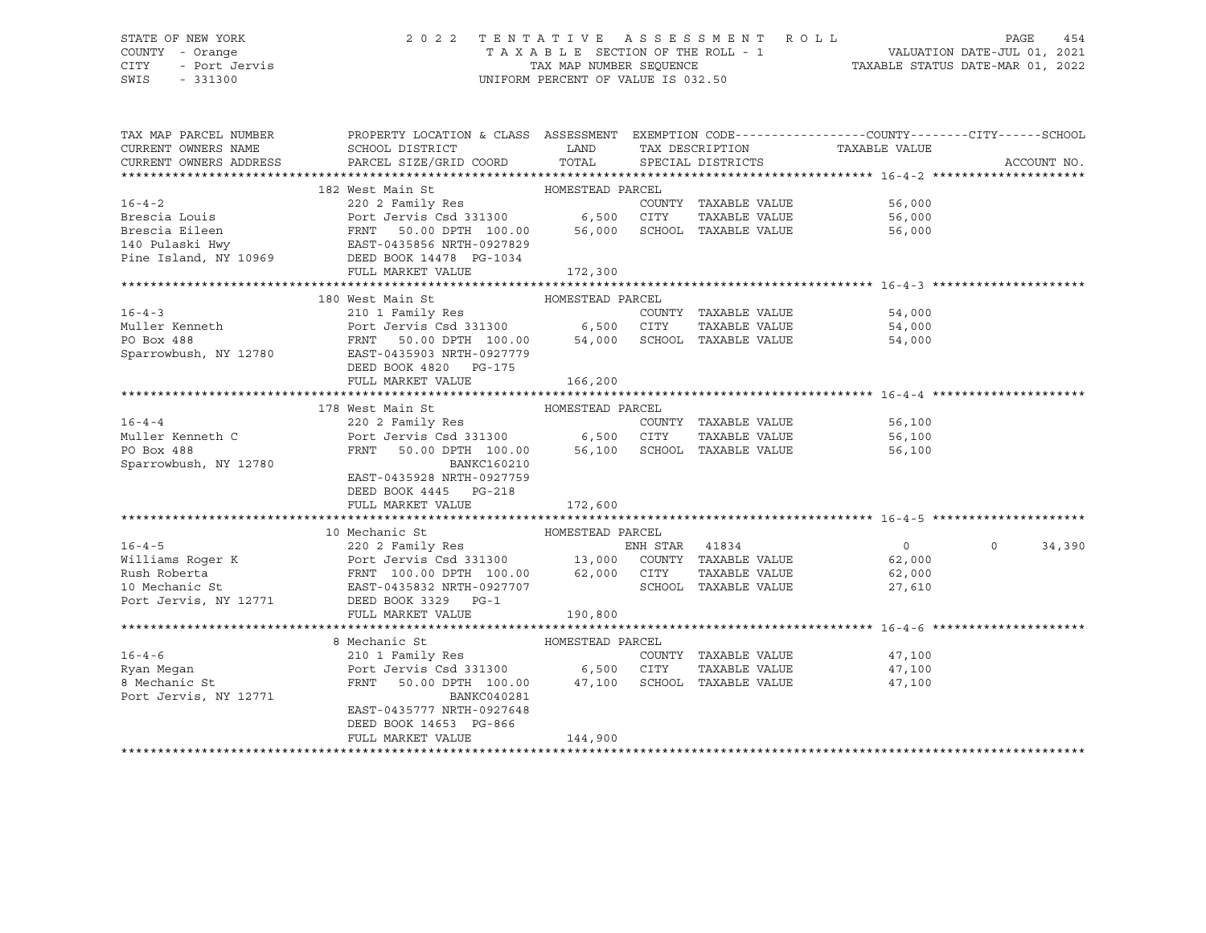# STATE OF NEW YORK 2 0 2 2 T E N T A T I V E A S S E S S M E N T R O L L PAGE 454 COUNTY - Orange T A X A B L E SECTION OF THE ROLL - 1 VALUATION DATE-JUL 01, 2021 CITY - Port Jervis TAX MAP NUMBER SEQUENCE TAXABLE STATUS DATE-MAR 01, 2022

| TAX MAP PARCEL NUMBER                                                                                                                                                                                                                      | PROPERTY LOCATION & CLASS ASSESSMENT EXEMPTION CODE---------------COUNTY-------CITY------SCHOOL                           |                  |                      |                                |         |             |
|--------------------------------------------------------------------------------------------------------------------------------------------------------------------------------------------------------------------------------------------|---------------------------------------------------------------------------------------------------------------------------|------------------|----------------------|--------------------------------|---------|-------------|
| CURRENT OWNERS NAME                                                                                                                                                                                                                        |                                                                                                                           |                  |                      |                                |         |             |
| CURRENT OWNERS ADDRESS                                                                                                                                                                                                                     |                                                                                                                           |                  |                      |                                |         | ACCOUNT NO. |
|                                                                                                                                                                                                                                            |                                                                                                                           |                  |                      |                                |         |             |
|                                                                                                                                                                                                                                            | HOMESTEAD PARCEL<br>182 West Main St                                                                                      |                  |                      |                                |         |             |
| $16 - 4 - 2$                                                                                                                                                                                                                               | 220 2 Family Res                                                                                                          |                  | COUNTY TAXABLE VALUE | 56,000                         |         |             |
|                                                                                                                                                                                                                                            |                                                                                                                           |                  |                      | TAXABLE VALUE 56,000           |         |             |
|                                                                                                                                                                                                                                            |                                                                                                                           |                  |                      | 56,000                         |         |             |
|                                                                                                                                                                                                                                            |                                                                                                                           |                  |                      |                                |         |             |
| Brescia Louis<br>Brescia Eileen<br>FROM FROM FROM FORD PORT SOLOD DPTH 100.00 6,500 CITY TAXABLE VALUE<br>FROM FROM FROM FOR 100.00 5CHOOL TAXABLE VALUE<br>Pine Island, NY 10969 DEED BOOK 14478 PG-1034<br>FROM TAXABLE VALUE<br>FROM TA |                                                                                                                           |                  |                      |                                |         |             |
|                                                                                                                                                                                                                                            | FULL MARKET VALUE                                                                                                         | 172,300          |                      |                                |         |             |
|                                                                                                                                                                                                                                            |                                                                                                                           |                  |                      |                                |         |             |
|                                                                                                                                                                                                                                            | 180 West Main St                                                                                                          | HOMESTEAD PARCEL |                      |                                |         |             |
|                                                                                                                                                                                                                                            |                                                                                                                           |                  |                      | COUNTY TAXABLE VALUE 54,000    |         |             |
|                                                                                                                                                                                                                                            |                                                                                                                           |                  |                      | TAXABLE VALUE 54,000           |         |             |
|                                                                                                                                                                                                                                            |                                                                                                                           |                  |                      | 54,000                         |         |             |
| Sparrowbush, NY 12780                                                                                                                                                                                                                      | EAST-0435903 NRTH-0927779                                                                                                 |                  |                      |                                |         |             |
|                                                                                                                                                                                                                                            | DEED BOOK 4820 PG-175                                                                                                     |                  |                      |                                |         |             |
|                                                                                                                                                                                                                                            | FULL MARKET VALUE                                                                                                         | 166,200          |                      |                                |         |             |
|                                                                                                                                                                                                                                            |                                                                                                                           |                  |                      |                                |         |             |
|                                                                                                                                                                                                                                            | 178 West Main St Manager HOMESTEAD PARCEL                                                                                 |                  |                      |                                |         |             |
| $16 - 4 - 4$                                                                                                                                                                                                                               |                                                                                                                           |                  |                      | 56,100                         |         |             |
| Muller Kenneth C                                                                                                                                                                                                                           |                                                                                                                           |                  | TAXABLE VALUE        |                                |         |             |
| PO Box 488                                                                                                                                                                                                                                 | 220 2 Family Res<br>Port Jervis Csd 331300 6,500 CITY TAXABLE VALUE<br>FRNT 50.00 DPTH 100.00 56,100 SCHOOL TAXABLE VALUE |                  |                      | 56,100<br>56.100<br>56,100     |         |             |
| Sparrowbush, NY 12780                                                                                                                                                                                                                      | BANKC160210                                                                                                               |                  |                      |                                |         |             |
|                                                                                                                                                                                                                                            | EAST-0435928 NRTH-0927759                                                                                                 |                  |                      |                                |         |             |
|                                                                                                                                                                                                                                            | DEED BOOK 4445 PG-218                                                                                                     |                  |                      |                                |         |             |
|                                                                                                                                                                                                                                            | FULL MARKET VALUE                                                                                                         | 172,600          |                      |                                |         |             |
|                                                                                                                                                                                                                                            |                                                                                                                           |                  |                      |                                |         |             |
|                                                                                                                                                                                                                                            | 10 Mechanic St                                                                                                            | HOMESTEAD PARCEL |                      |                                |         |             |
|                                                                                                                                                                                                                                            |                                                                                                                           |                  |                      |                                | $\circ$ | 34,390      |
|                                                                                                                                                                                                                                            |                                                                                                                           |                  |                      |                                |         |             |
|                                                                                                                                                                                                                                            |                                                                                                                           |                  |                      |                                |         |             |
| 16-4-5<br>Williams Roger K 220 2 Family Res<br>Williams Roger K Port Jervis Csd 331300 13,000 COUNTY TAXABLE VALUE 62,000<br>Rush Roberta FRNT 100.00 DPTH 100.00 62,000 CITY TAXABLE VALUE 62,000<br>10 Mechanic St EAST-0435832 NRTH     |                                                                                                                           |                  |                      |                                |         |             |
| Port Jervis, NY 12771 DEED BOOK 3329 PG-1                                                                                                                                                                                                  |                                                                                                                           |                  |                      |                                |         |             |
|                                                                                                                                                                                                                                            | FULL MARKET VALUE                                                                                                         | 190,800          |                      |                                |         |             |
|                                                                                                                                                                                                                                            |                                                                                                                           |                  |                      |                                |         |             |
|                                                                                                                                                                                                                                            | 8 Mechanic St                                                                                                             | HOMESTEAD PARCEL |                      |                                |         |             |
| $16 - 4 - 6$                                                                                                                                                                                                                               | 210 1 Family Res                                                                                                          |                  | COUNTY TAXABLE VALUE |                                |         |             |
| Ryan Megan                                                                                                                                                                                                                                 | Port Jervis Csd 331300 6,500 CITY                                                                                         |                  |                      | 47,100<br>TAXABLE VALUE 47,100 |         |             |
| 8 Mechanic St                                                                                                                                                                                                                              |                                                                                                                           |                  |                      |                                |         |             |
|                                                                                                                                                                                                                                            | FRNT 50.00 DPTH 100.00 47,100 SCHOOL TAXABLE VALUE                                                                        |                  |                      | 47,100                         |         |             |
| Port Jervis, NY 12771                                                                                                                                                                                                                      | BANKC040281<br>EAST-0435777 NRTH-0927648                                                                                  |                  |                      |                                |         |             |
|                                                                                                                                                                                                                                            |                                                                                                                           |                  |                      |                                |         |             |
|                                                                                                                                                                                                                                            | DEED BOOK 14653 PG-866                                                                                                    |                  |                      |                                |         |             |
|                                                                                                                                                                                                                                            | FULL MARKET VALUE                                                                                                         | 144,900          |                      |                                |         |             |
|                                                                                                                                                                                                                                            |                                                                                                                           |                  |                      |                                |         |             |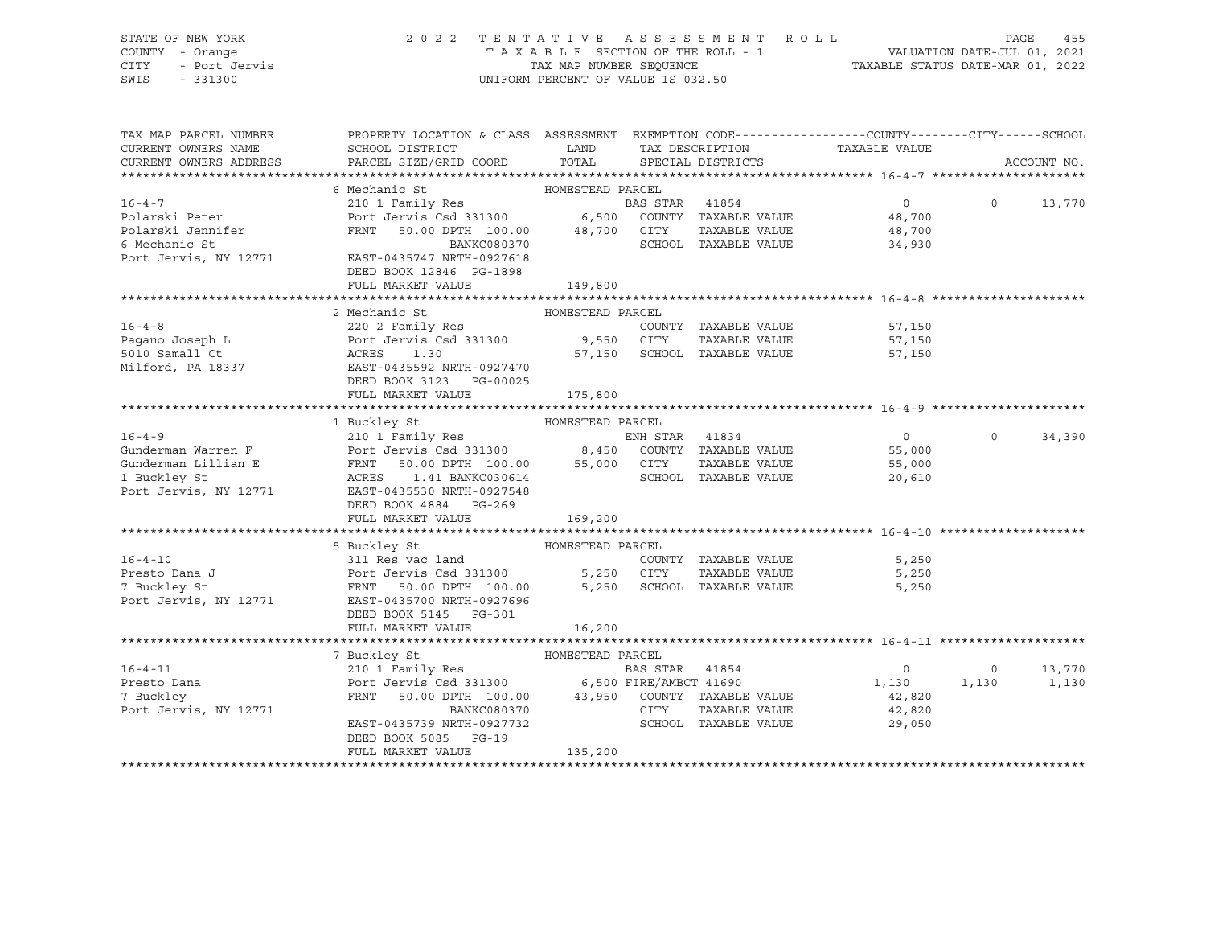STATE OF NEW YORK 2 0 2 2 T E N T A T I V E A S S E S S M E N T R O L L PAGE 455 COUNTY - Orange T A X A B L E SECTION OF THE ROLL - 1 VALUATION DATE-JUL 01, 2021 CITY - Port Jervis TAX MAP NUMBER SEQUENCE TAXABLE STATUS DATE-MAR 01, 2022 SWIS - 331300 UNIFORM PERCENT OF VALUE IS 032.50

| TAX MAP PARCEL NUMBER                                                                                                                                                                                                                                  | PROPERTY LOCATION & CLASS ASSESSMENT EXEMPTION CODE---------------COUNTY-------CITY------SCHOOL |                  |                |                                          |                                              |                |               |
|--------------------------------------------------------------------------------------------------------------------------------------------------------------------------------------------------------------------------------------------------------|-------------------------------------------------------------------------------------------------|------------------|----------------|------------------------------------------|----------------------------------------------|----------------|---------------|
| CURRENT OWNERS NAME                                                                                                                                                                                                                                    | SCHOOL DISTRICT<br><b>LAND</b>                                                                  |                  |                | TAX DESCRIPTION                          | TAXABLE VALUE                                |                |               |
| CURRENT OWNERS ADDRESS                                                                                                                                                                                                                                 | PARCEL SIZE/GRID COORD                                                                          | TOTAL            |                | SPECIAL DISTRICTS                        |                                              |                | ACCOUNT NO.   |
|                                                                                                                                                                                                                                                        |                                                                                                 |                  |                |                                          |                                              |                |               |
|                                                                                                                                                                                                                                                        | 6 Mechanic St                                                                                   |                  |                |                                          |                                              |                |               |
| $16 - 4 - 7$                                                                                                                                                                                                                                           |                                                                                                 |                  | BAS STAR 41854 |                                          | $0 \qquad \qquad$                            |                | $0 \t 13,770$ |
| Polarski Peter                                                                                                                                                                                                                                         | Port Jervis Csd 331300 6,500 COUNTY TAXABLE VALUE 48,700                                        |                  |                |                                          |                                              |                |               |
| Polarski Jennifer                                                                                                                                                                                                                                      | FRNT 50.00 DPTH 100.00 48,700 CITY                                                              |                  |                |                                          | TAXABLE VALUE 48,700<br>TAXABLE VALUE 34,930 |                |               |
| 6 Mechanic St                                                                                                                                                                                                                                          | BANKC080370                                                                                     |                  |                | SCHOOL TAXABLE VALUE                     |                                              |                |               |
| Port Jervis, NY 12771 EAST-0435747 NRTH-0927618                                                                                                                                                                                                        |                                                                                                 |                  |                |                                          |                                              |                |               |
|                                                                                                                                                                                                                                                        | DEED BOOK 12846 PG-1898                                                                         |                  |                |                                          |                                              |                |               |
|                                                                                                                                                                                                                                                        | FULL MARKET VALUE                                                                               | 149,800          |                |                                          |                                              |                |               |
|                                                                                                                                                                                                                                                        |                                                                                                 |                  |                |                                          |                                              |                |               |
|                                                                                                                                                                                                                                                        | 2 Mechanic St                                                                                   | HOMESTEAD PARCEL |                |                                          |                                              |                |               |
|                                                                                                                                                                                                                                                        |                                                                                                 |                  |                | COUNTY TAXABLE VALUE                     | 57,150                                       |                |               |
|                                                                                                                                                                                                                                                        |                                                                                                 |                  |                | TAXABLE VALUE                            | 57,150                                       |                |               |
|                                                                                                                                                                                                                                                        |                                                                                                 |                  |                | 57,150 SCHOOL TAXABLE VALUE              | 57,150                                       |                |               |
| 16-4-8<br>Pagano Joseph L<br>Fort Jervis Csd 331300<br>Fort Jervis Csd 331300<br>9,550 CITY<br>5010 Samall Ct<br>Milford, PA 18337<br>Milford, PA 18337<br>Fort Pagano 3020 NRTH-0927470<br>Example 1.30<br>Fort Pagano 27,150<br>SCHOOI<br>Fort Pagan |                                                                                                 |                  |                |                                          |                                              |                |               |
|                                                                                                                                                                                                                                                        | DEED BOOK 3123 PG-00025                                                                         |                  |                |                                          |                                              |                |               |
|                                                                                                                                                                                                                                                        | FULL MARKET VALUE                                                                               | 175,800          |                |                                          |                                              |                |               |
|                                                                                                                                                                                                                                                        |                                                                                                 |                  |                |                                          |                                              |                |               |
|                                                                                                                                                                                                                                                        | HOMESTEAD PARCEL<br>1 Buckley St                                                                |                  |                |                                          |                                              |                |               |
| 16-4-9 210 1 Pamily Res ENH STAR 41834<br>Gunderman Warren F Port Jervis Csd 331300 8,450 COUNTY TAXABLE VALUE<br>Gunderman Lillian E FRNT 50.00 DPTH 100.00 55,000 CITY TAXABLE VALUE<br>1 Buckley St                                                 |                                                                                                 |                  |                |                                          | $\overline{0}$                               | $\circ$        | 34,390        |
|                                                                                                                                                                                                                                                        |                                                                                                 |                  |                |                                          | 55,000                                       |                |               |
|                                                                                                                                                                                                                                                        |                                                                                                 |                  |                |                                          | TAXABLE VALUE 55,000                         |                |               |
|                                                                                                                                                                                                                                                        |                                                                                                 |                  |                |                                          | 20,610                                       |                |               |
| Port Jervis, NY 12771 EAST-0435530 NRTH-0927548                                                                                                                                                                                                        |                                                                                                 |                  |                |                                          |                                              |                |               |
|                                                                                                                                                                                                                                                        | DEED BOOK 4884 PG-269                                                                           |                  |                |                                          |                                              |                |               |
|                                                                                                                                                                                                                                                        | FULL MARKET VALUE                                                                               | 169,200          |                |                                          |                                              |                |               |
|                                                                                                                                                                                                                                                        |                                                                                                 |                  |                |                                          |                                              |                |               |
|                                                                                                                                                                                                                                                        | 5 Buckley St                                                                                    | HOMESTEAD PARCEL |                |                                          |                                              |                |               |
| $16 - 4 - 10$                                                                                                                                                                                                                                          |                                                                                                 |                  |                |                                          | COUNTY TAXABLE VALUE 5,250                   |                |               |
| Presto Dana J                                                                                                                                                                                                                                          |                                                                                                 |                  |                |                                          | 5,250                                        |                |               |
| 7 Buckley St                                                                                                                                                                                                                                           |                                                                                                 |                  |                |                                          | 5,250                                        |                |               |
| Port Jervis, NY 12771 EAST-0435700 NRTH-0927696                                                                                                                                                                                                        |                                                                                                 |                  |                |                                          |                                              |                |               |
|                                                                                                                                                                                                                                                        | DEED BOOK 5145 PG-301                                                                           |                  |                |                                          |                                              |                |               |
|                                                                                                                                                                                                                                                        | FULL MARKET VALUE                                                                               | 16,200           |                |                                          |                                              |                |               |
|                                                                                                                                                                                                                                                        |                                                                                                 |                  |                |                                          |                                              |                |               |
|                                                                                                                                                                                                                                                        | HOMESTEAD PARCEL<br>7 Buckley St                                                                |                  |                |                                          |                                              |                |               |
| $16 - 4 - 11$                                                                                                                                                                                                                                          |                                                                                                 |                  |                | ARCEL<br>BAS STAR 41854<br>Company 41690 | $\overline{0}$                               | $\overline{0}$ | 13,770        |
| Presto Dana                                                                                                                                                                                                                                            |                                                                                                 |                  |                |                                          | 1,130                                        | 1,130          | 1,130         |
| 7 Buckley                                                                                                                                                                                                                                              | FRNT 50.00 DPTH 100.00 43,950 COUNTY TAXABLE VALUE                                              |                  |                |                                          | 42,820                                       |                |               |
| Port Jervis, NY 12771                                                                                                                                                                                                                                  | BANKC080370                                                                                     |                  | CITY           | TAXABLE VALUE                            | 42,820                                       |                |               |
|                                                                                                                                                                                                                                                        | EAST-0435739 NRTH-0927732                                                                       |                  |                | SCHOOL TAXABLE VALUE                     | 29,050                                       |                |               |
|                                                                                                                                                                                                                                                        | DEED BOOK 5085 PG-19                                                                            |                  |                |                                          |                                              |                |               |
|                                                                                                                                                                                                                                                        | FULL MARKET VALUE                                                                               | 135,200          |                |                                          |                                              |                |               |
|                                                                                                                                                                                                                                                        |                                                                                                 |                  |                |                                          |                                              |                |               |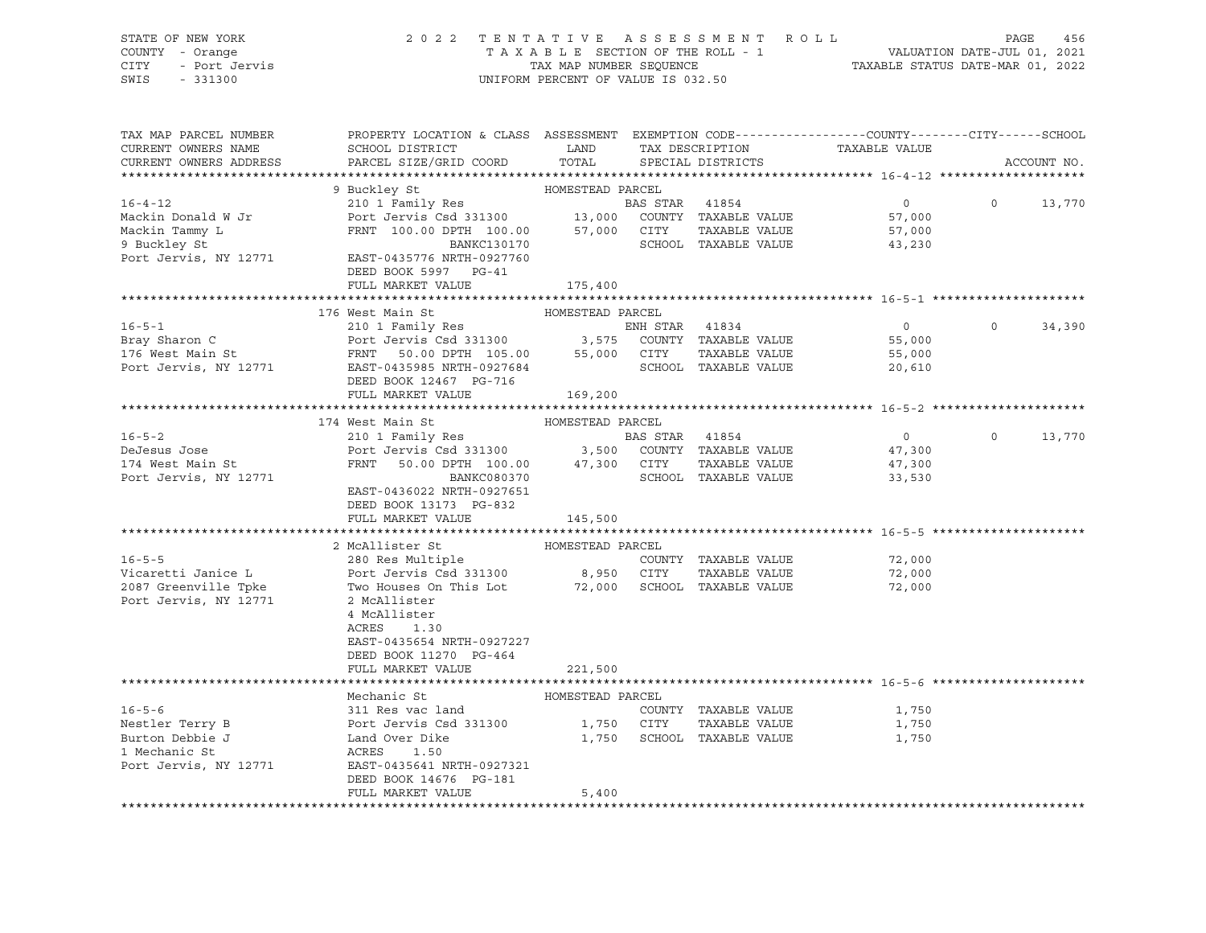STATE OF NEW YORK 2 0 2 2 T E N T A T I V E A S S E S S M E N T R O L L PAGE 456 COUNTY - Orange T A X A B L E SECTION OF THE ROLL - 1 VALUATION DATE-JUL 01, 2021 CITY - Port Jervis TAX MAP NUMBER SEQUENCE TAXABLE STATUS DATE-MAR 01, 2022 SWIS - 331300 UNIFORM PERCENT OF VALUE IS 032.50

| 9 Buckley St<br>HOMESTEAD PARCEL<br>$16 - 4 - 12$<br>210 1 Family Res<br>BAS STAR 41854<br>$\overline{0}$<br>13,770<br>$\Omega$<br>Port Jeruiny New 210 1 Family New 210 1 Family New 210 1 Family New 213 13,000 2000 2000 7AXABLE VALUE<br>FRNT 100.00 DPTH 100.00 57,000 CITY TAXABLE VALUE BANKC130170 SCHOOL TAXABLE VALUE<br>Mackin Donald W Jr<br>57,000<br>Mackin Tammy L<br>57,000<br>SCHOOL TAXABLE VALUE<br>9 Buckley St<br>43,230<br>Port Jervis, NY 12771<br>EAST-0435776 NRTH-0927760<br>DEED BOOK 5997 PG-41<br>FULL MARKET VALUE<br>175,400<br>176 West Main St<br>HOMESTEAD PARCEL<br>$16 - 5 - 1$<br>210 1 Family Res<br>ENH STAR 41834<br>$\overline{0}$<br>$\Omega$<br>34,390<br>Port Jervis Csd 331300 3,575 COUNTY TAXABLE VALUE<br>Bray Sharon C<br>55,000<br>176 West Main St<br>FRNT 50.00 DPTH 105.00 55,000 CITY<br>TAXABLE VALUE<br>55,000<br>Port Jervis, NY 12771<br>EAST-0435985 NRTH-0927684<br>SCHOOL TAXABLE VALUE<br>20,610<br>DEED BOOK 12467 PG-716<br>FULL MARKET VALUE<br>169,200<br>174 West Main St<br>HOMESTEAD PARCEL<br>$16 - 5 - 2$<br>210 1 Family Res<br>$\overline{0}$<br>$\circ$<br>13,770<br>BAS STAR 41854<br>Port Jervis Csd 331300 3,500 COUNTY TAXABLE VALUE<br>47,300<br>TAXABLE VALUE<br>FRNT<br>50.00 DPTH 100.00 47,300 CITY<br>BANKC080370 SCHOOL<br>47,300<br>Port Jervis, NY 12771<br>SCHOOL TAXABLE VALUE<br>33,530<br>EAST-0436022 NRTH-0927651<br>DEED BOOK 13173 PG-832<br>FULL MARKET VALUE<br>145,500<br>2 McAllister St<br>HOMESTEAD PARCEL<br>280 Res Multiple<br>$16 - 5 - 5$<br>COUNTY TAXABLE VALUE<br>72,000<br>280 Res Multipie<br>Port Jervis Csd 331300 8,950 CITY<br>Vicaretti Janice L<br>TAXABLE VALUE<br>72,000<br>Two Houses On This Lot 72,000<br>2087 Greenville Tpke<br>SCHOOL TAXABLE VALUE<br>72,000<br>Port Jervis, NY 12771<br>2 McAllister<br>4 McAllister<br>ACRES<br>1.30<br>EAST-0435654 NRTH-0927227<br>DEED BOOK 11270 PG-464<br>FULL MARKET VALUE<br>221,500<br>Mechanic St<br>HOMESTEAD PARCEL<br>$16 - 5 - 6$<br>311 Res vac land<br>COUNTY TAXABLE VALUE<br>1,750<br>Port Jervis Csd 331300 1,750 CITY<br>Nestler Terry B<br>TAXABLE VALUE<br>1,750<br>Burton Debbie J<br>Land Over Dike<br>1,750 SCHOOL TAXABLE VALUE<br>1,750<br>1 Mechanic St<br>ACRES<br>1.50<br>Port Jervis, NY 12771<br>EAST-0435641 NRTH-0927321<br>DEED BOOK 14676 PG-181<br>FULL MARKET VALUE<br>5,400<br>******************************* | TAX MAP PARCEL NUMBER<br>CURRENT OWNERS NAME<br>CURRENT OWNERS ADDRESS | PROPERTY LOCATION & CLASS ASSESSMENT<br>SCHOOL DISTRICT<br>PARCEL SIZE/GRID COORD | LAND<br>TOTAL | TAX DESCRIPTION<br>SPECIAL DISTRICTS | EXEMPTION CODE------------------COUNTY-------CITY------SCHOOL<br>TAXABLE VALUE | ACCOUNT NO. |
|----------------------------------------------------------------------------------------------------------------------------------------------------------------------------------------------------------------------------------------------------------------------------------------------------------------------------------------------------------------------------------------------------------------------------------------------------------------------------------------------------------------------------------------------------------------------------------------------------------------------------------------------------------------------------------------------------------------------------------------------------------------------------------------------------------------------------------------------------------------------------------------------------------------------------------------------------------------------------------------------------------------------------------------------------------------------------------------------------------------------------------------------------------------------------------------------------------------------------------------------------------------------------------------------------------------------------------------------------------------------------------------------------------------------------------------------------------------------------------------------------------------------------------------------------------------------------------------------------------------------------------------------------------------------------------------------------------------------------------------------------------------------------------------------------------------------------------------------------------------------------------------------------------------------------------------------------------------------------------------------------------------------------------------------------------------------------------------------------------------------------------------------------------------------------------------------------------------------------------------------------------------------------------------------------------------------------------------------------------------------------------------------------------------------|------------------------------------------------------------------------|-----------------------------------------------------------------------------------|---------------|--------------------------------------|--------------------------------------------------------------------------------|-------------|
|                                                                                                                                                                                                                                                                                                                                                                                                                                                                                                                                                                                                                                                                                                                                                                                                                                                                                                                                                                                                                                                                                                                                                                                                                                                                                                                                                                                                                                                                                                                                                                                                                                                                                                                                                                                                                                                                                                                                                                                                                                                                                                                                                                                                                                                                                                                                                                                                                      |                                                                        |                                                                                   |               |                                      |                                                                                |             |
|                                                                                                                                                                                                                                                                                                                                                                                                                                                                                                                                                                                                                                                                                                                                                                                                                                                                                                                                                                                                                                                                                                                                                                                                                                                                                                                                                                                                                                                                                                                                                                                                                                                                                                                                                                                                                                                                                                                                                                                                                                                                                                                                                                                                                                                                                                                                                                                                                      |                                                                        |                                                                                   |               |                                      |                                                                                |             |
|                                                                                                                                                                                                                                                                                                                                                                                                                                                                                                                                                                                                                                                                                                                                                                                                                                                                                                                                                                                                                                                                                                                                                                                                                                                                                                                                                                                                                                                                                                                                                                                                                                                                                                                                                                                                                                                                                                                                                                                                                                                                                                                                                                                                                                                                                                                                                                                                                      |                                                                        |                                                                                   |               |                                      |                                                                                |             |
|                                                                                                                                                                                                                                                                                                                                                                                                                                                                                                                                                                                                                                                                                                                                                                                                                                                                                                                                                                                                                                                                                                                                                                                                                                                                                                                                                                                                                                                                                                                                                                                                                                                                                                                                                                                                                                                                                                                                                                                                                                                                                                                                                                                                                                                                                                                                                                                                                      |                                                                        |                                                                                   |               |                                      |                                                                                |             |
|                                                                                                                                                                                                                                                                                                                                                                                                                                                                                                                                                                                                                                                                                                                                                                                                                                                                                                                                                                                                                                                                                                                                                                                                                                                                                                                                                                                                                                                                                                                                                                                                                                                                                                                                                                                                                                                                                                                                                                                                                                                                                                                                                                                                                                                                                                                                                                                                                      |                                                                        |                                                                                   |               |                                      |                                                                                |             |
|                                                                                                                                                                                                                                                                                                                                                                                                                                                                                                                                                                                                                                                                                                                                                                                                                                                                                                                                                                                                                                                                                                                                                                                                                                                                                                                                                                                                                                                                                                                                                                                                                                                                                                                                                                                                                                                                                                                                                                                                                                                                                                                                                                                                                                                                                                                                                                                                                      |                                                                        |                                                                                   |               |                                      |                                                                                |             |
|                                                                                                                                                                                                                                                                                                                                                                                                                                                                                                                                                                                                                                                                                                                                                                                                                                                                                                                                                                                                                                                                                                                                                                                                                                                                                                                                                                                                                                                                                                                                                                                                                                                                                                                                                                                                                                                                                                                                                                                                                                                                                                                                                                                                                                                                                                                                                                                                                      |                                                                        |                                                                                   |               |                                      |                                                                                |             |
|                                                                                                                                                                                                                                                                                                                                                                                                                                                                                                                                                                                                                                                                                                                                                                                                                                                                                                                                                                                                                                                                                                                                                                                                                                                                                                                                                                                                                                                                                                                                                                                                                                                                                                                                                                                                                                                                                                                                                                                                                                                                                                                                                                                                                                                                                                                                                                                                                      |                                                                        |                                                                                   |               |                                      |                                                                                |             |
|                                                                                                                                                                                                                                                                                                                                                                                                                                                                                                                                                                                                                                                                                                                                                                                                                                                                                                                                                                                                                                                                                                                                                                                                                                                                                                                                                                                                                                                                                                                                                                                                                                                                                                                                                                                                                                                                                                                                                                                                                                                                                                                                                                                                                                                                                                                                                                                                                      |                                                                        |                                                                                   |               |                                      |                                                                                |             |
|                                                                                                                                                                                                                                                                                                                                                                                                                                                                                                                                                                                                                                                                                                                                                                                                                                                                                                                                                                                                                                                                                                                                                                                                                                                                                                                                                                                                                                                                                                                                                                                                                                                                                                                                                                                                                                                                                                                                                                                                                                                                                                                                                                                                                                                                                                                                                                                                                      |                                                                        |                                                                                   |               |                                      |                                                                                |             |
|                                                                                                                                                                                                                                                                                                                                                                                                                                                                                                                                                                                                                                                                                                                                                                                                                                                                                                                                                                                                                                                                                                                                                                                                                                                                                                                                                                                                                                                                                                                                                                                                                                                                                                                                                                                                                                                                                                                                                                                                                                                                                                                                                                                                                                                                                                                                                                                                                      |                                                                        |                                                                                   |               |                                      |                                                                                |             |
|                                                                                                                                                                                                                                                                                                                                                                                                                                                                                                                                                                                                                                                                                                                                                                                                                                                                                                                                                                                                                                                                                                                                                                                                                                                                                                                                                                                                                                                                                                                                                                                                                                                                                                                                                                                                                                                                                                                                                                                                                                                                                                                                                                                                                                                                                                                                                                                                                      |                                                                        |                                                                                   |               |                                      |                                                                                |             |
|                                                                                                                                                                                                                                                                                                                                                                                                                                                                                                                                                                                                                                                                                                                                                                                                                                                                                                                                                                                                                                                                                                                                                                                                                                                                                                                                                                                                                                                                                                                                                                                                                                                                                                                                                                                                                                                                                                                                                                                                                                                                                                                                                                                                                                                                                                                                                                                                                      |                                                                        |                                                                                   |               |                                      |                                                                                |             |
|                                                                                                                                                                                                                                                                                                                                                                                                                                                                                                                                                                                                                                                                                                                                                                                                                                                                                                                                                                                                                                                                                                                                                                                                                                                                                                                                                                                                                                                                                                                                                                                                                                                                                                                                                                                                                                                                                                                                                                                                                                                                                                                                                                                                                                                                                                                                                                                                                      |                                                                        |                                                                                   |               |                                      |                                                                                |             |
|                                                                                                                                                                                                                                                                                                                                                                                                                                                                                                                                                                                                                                                                                                                                                                                                                                                                                                                                                                                                                                                                                                                                                                                                                                                                                                                                                                                                                                                                                                                                                                                                                                                                                                                                                                                                                                                                                                                                                                                                                                                                                                                                                                                                                                                                                                                                                                                                                      |                                                                        |                                                                                   |               |                                      |                                                                                |             |
|                                                                                                                                                                                                                                                                                                                                                                                                                                                                                                                                                                                                                                                                                                                                                                                                                                                                                                                                                                                                                                                                                                                                                                                                                                                                                                                                                                                                                                                                                                                                                                                                                                                                                                                                                                                                                                                                                                                                                                                                                                                                                                                                                                                                                                                                                                                                                                                                                      |                                                                        |                                                                                   |               |                                      |                                                                                |             |
|                                                                                                                                                                                                                                                                                                                                                                                                                                                                                                                                                                                                                                                                                                                                                                                                                                                                                                                                                                                                                                                                                                                                                                                                                                                                                                                                                                                                                                                                                                                                                                                                                                                                                                                                                                                                                                                                                                                                                                                                                                                                                                                                                                                                                                                                                                                                                                                                                      |                                                                        |                                                                                   |               |                                      |                                                                                |             |
|                                                                                                                                                                                                                                                                                                                                                                                                                                                                                                                                                                                                                                                                                                                                                                                                                                                                                                                                                                                                                                                                                                                                                                                                                                                                                                                                                                                                                                                                                                                                                                                                                                                                                                                                                                                                                                                                                                                                                                                                                                                                                                                                                                                                                                                                                                                                                                                                                      |                                                                        |                                                                                   |               |                                      |                                                                                |             |
|                                                                                                                                                                                                                                                                                                                                                                                                                                                                                                                                                                                                                                                                                                                                                                                                                                                                                                                                                                                                                                                                                                                                                                                                                                                                                                                                                                                                                                                                                                                                                                                                                                                                                                                                                                                                                                                                                                                                                                                                                                                                                                                                                                                                                                                                                                                                                                                                                      |                                                                        |                                                                                   |               |                                      |                                                                                |             |
|                                                                                                                                                                                                                                                                                                                                                                                                                                                                                                                                                                                                                                                                                                                                                                                                                                                                                                                                                                                                                                                                                                                                                                                                                                                                                                                                                                                                                                                                                                                                                                                                                                                                                                                                                                                                                                                                                                                                                                                                                                                                                                                                                                                                                                                                                                                                                                                                                      | DeJesus Jose                                                           |                                                                                   |               |                                      |                                                                                |             |
|                                                                                                                                                                                                                                                                                                                                                                                                                                                                                                                                                                                                                                                                                                                                                                                                                                                                                                                                                                                                                                                                                                                                                                                                                                                                                                                                                                                                                                                                                                                                                                                                                                                                                                                                                                                                                                                                                                                                                                                                                                                                                                                                                                                                                                                                                                                                                                                                                      | 174 West Main St                                                       |                                                                                   |               |                                      |                                                                                |             |
|                                                                                                                                                                                                                                                                                                                                                                                                                                                                                                                                                                                                                                                                                                                                                                                                                                                                                                                                                                                                                                                                                                                                                                                                                                                                                                                                                                                                                                                                                                                                                                                                                                                                                                                                                                                                                                                                                                                                                                                                                                                                                                                                                                                                                                                                                                                                                                                                                      |                                                                        |                                                                                   |               |                                      |                                                                                |             |
|                                                                                                                                                                                                                                                                                                                                                                                                                                                                                                                                                                                                                                                                                                                                                                                                                                                                                                                                                                                                                                                                                                                                                                                                                                                                                                                                                                                                                                                                                                                                                                                                                                                                                                                                                                                                                                                                                                                                                                                                                                                                                                                                                                                                                                                                                                                                                                                                                      |                                                                        |                                                                                   |               |                                      |                                                                                |             |
|                                                                                                                                                                                                                                                                                                                                                                                                                                                                                                                                                                                                                                                                                                                                                                                                                                                                                                                                                                                                                                                                                                                                                                                                                                                                                                                                                                                                                                                                                                                                                                                                                                                                                                                                                                                                                                                                                                                                                                                                                                                                                                                                                                                                                                                                                                                                                                                                                      |                                                                        |                                                                                   |               |                                      |                                                                                |             |
|                                                                                                                                                                                                                                                                                                                                                                                                                                                                                                                                                                                                                                                                                                                                                                                                                                                                                                                                                                                                                                                                                                                                                                                                                                                                                                                                                                                                                                                                                                                                                                                                                                                                                                                                                                                                                                                                                                                                                                                                                                                                                                                                                                                                                                                                                                                                                                                                                      |                                                                        |                                                                                   |               |                                      |                                                                                |             |
|                                                                                                                                                                                                                                                                                                                                                                                                                                                                                                                                                                                                                                                                                                                                                                                                                                                                                                                                                                                                                                                                                                                                                                                                                                                                                                                                                                                                                                                                                                                                                                                                                                                                                                                                                                                                                                                                                                                                                                                                                                                                                                                                                                                                                                                                                                                                                                                                                      |                                                                        |                                                                                   |               |                                      |                                                                                |             |
|                                                                                                                                                                                                                                                                                                                                                                                                                                                                                                                                                                                                                                                                                                                                                                                                                                                                                                                                                                                                                                                                                                                                                                                                                                                                                                                                                                                                                                                                                                                                                                                                                                                                                                                                                                                                                                                                                                                                                                                                                                                                                                                                                                                                                                                                                                                                                                                                                      |                                                                        |                                                                                   |               |                                      |                                                                                |             |
|                                                                                                                                                                                                                                                                                                                                                                                                                                                                                                                                                                                                                                                                                                                                                                                                                                                                                                                                                                                                                                                                                                                                                                                                                                                                                                                                                                                                                                                                                                                                                                                                                                                                                                                                                                                                                                                                                                                                                                                                                                                                                                                                                                                                                                                                                                                                                                                                                      |                                                                        |                                                                                   |               |                                      |                                                                                |             |
|                                                                                                                                                                                                                                                                                                                                                                                                                                                                                                                                                                                                                                                                                                                                                                                                                                                                                                                                                                                                                                                                                                                                                                                                                                                                                                                                                                                                                                                                                                                                                                                                                                                                                                                                                                                                                                                                                                                                                                                                                                                                                                                                                                                                                                                                                                                                                                                                                      |                                                                        |                                                                                   |               |                                      |                                                                                |             |
|                                                                                                                                                                                                                                                                                                                                                                                                                                                                                                                                                                                                                                                                                                                                                                                                                                                                                                                                                                                                                                                                                                                                                                                                                                                                                                                                                                                                                                                                                                                                                                                                                                                                                                                                                                                                                                                                                                                                                                                                                                                                                                                                                                                                                                                                                                                                                                                                                      |                                                                        |                                                                                   |               |                                      |                                                                                |             |
|                                                                                                                                                                                                                                                                                                                                                                                                                                                                                                                                                                                                                                                                                                                                                                                                                                                                                                                                                                                                                                                                                                                                                                                                                                                                                                                                                                                                                                                                                                                                                                                                                                                                                                                                                                                                                                                                                                                                                                                                                                                                                                                                                                                                                                                                                                                                                                                                                      |                                                                        |                                                                                   |               |                                      |                                                                                |             |
|                                                                                                                                                                                                                                                                                                                                                                                                                                                                                                                                                                                                                                                                                                                                                                                                                                                                                                                                                                                                                                                                                                                                                                                                                                                                                                                                                                                                                                                                                                                                                                                                                                                                                                                                                                                                                                                                                                                                                                                                                                                                                                                                                                                                                                                                                                                                                                                                                      |                                                                        |                                                                                   |               |                                      |                                                                                |             |
|                                                                                                                                                                                                                                                                                                                                                                                                                                                                                                                                                                                                                                                                                                                                                                                                                                                                                                                                                                                                                                                                                                                                                                                                                                                                                                                                                                                                                                                                                                                                                                                                                                                                                                                                                                                                                                                                                                                                                                                                                                                                                                                                                                                                                                                                                                                                                                                                                      |                                                                        |                                                                                   |               |                                      |                                                                                |             |
|                                                                                                                                                                                                                                                                                                                                                                                                                                                                                                                                                                                                                                                                                                                                                                                                                                                                                                                                                                                                                                                                                                                                                                                                                                                                                                                                                                                                                                                                                                                                                                                                                                                                                                                                                                                                                                                                                                                                                                                                                                                                                                                                                                                                                                                                                                                                                                                                                      |                                                                        |                                                                                   |               |                                      |                                                                                |             |
|                                                                                                                                                                                                                                                                                                                                                                                                                                                                                                                                                                                                                                                                                                                                                                                                                                                                                                                                                                                                                                                                                                                                                                                                                                                                                                                                                                                                                                                                                                                                                                                                                                                                                                                                                                                                                                                                                                                                                                                                                                                                                                                                                                                                                                                                                                                                                                                                                      |                                                                        |                                                                                   |               |                                      |                                                                                |             |
|                                                                                                                                                                                                                                                                                                                                                                                                                                                                                                                                                                                                                                                                                                                                                                                                                                                                                                                                                                                                                                                                                                                                                                                                                                                                                                                                                                                                                                                                                                                                                                                                                                                                                                                                                                                                                                                                                                                                                                                                                                                                                                                                                                                                                                                                                                                                                                                                                      |                                                                        |                                                                                   |               |                                      |                                                                                |             |
|                                                                                                                                                                                                                                                                                                                                                                                                                                                                                                                                                                                                                                                                                                                                                                                                                                                                                                                                                                                                                                                                                                                                                                                                                                                                                                                                                                                                                                                                                                                                                                                                                                                                                                                                                                                                                                                                                                                                                                                                                                                                                                                                                                                                                                                                                                                                                                                                                      |                                                                        |                                                                                   |               |                                      |                                                                                |             |
|                                                                                                                                                                                                                                                                                                                                                                                                                                                                                                                                                                                                                                                                                                                                                                                                                                                                                                                                                                                                                                                                                                                                                                                                                                                                                                                                                                                                                                                                                                                                                                                                                                                                                                                                                                                                                                                                                                                                                                                                                                                                                                                                                                                                                                                                                                                                                                                                                      |                                                                        |                                                                                   |               |                                      |                                                                                |             |
|                                                                                                                                                                                                                                                                                                                                                                                                                                                                                                                                                                                                                                                                                                                                                                                                                                                                                                                                                                                                                                                                                                                                                                                                                                                                                                                                                                                                                                                                                                                                                                                                                                                                                                                                                                                                                                                                                                                                                                                                                                                                                                                                                                                                                                                                                                                                                                                                                      |                                                                        |                                                                                   |               |                                      |                                                                                |             |
|                                                                                                                                                                                                                                                                                                                                                                                                                                                                                                                                                                                                                                                                                                                                                                                                                                                                                                                                                                                                                                                                                                                                                                                                                                                                                                                                                                                                                                                                                                                                                                                                                                                                                                                                                                                                                                                                                                                                                                                                                                                                                                                                                                                                                                                                                                                                                                                                                      |                                                                        |                                                                                   |               |                                      |                                                                                |             |
|                                                                                                                                                                                                                                                                                                                                                                                                                                                                                                                                                                                                                                                                                                                                                                                                                                                                                                                                                                                                                                                                                                                                                                                                                                                                                                                                                                                                                                                                                                                                                                                                                                                                                                                                                                                                                                                                                                                                                                                                                                                                                                                                                                                                                                                                                                                                                                                                                      |                                                                        |                                                                                   |               |                                      |                                                                                |             |
|                                                                                                                                                                                                                                                                                                                                                                                                                                                                                                                                                                                                                                                                                                                                                                                                                                                                                                                                                                                                                                                                                                                                                                                                                                                                                                                                                                                                                                                                                                                                                                                                                                                                                                                                                                                                                                                                                                                                                                                                                                                                                                                                                                                                                                                                                                                                                                                                                      |                                                                        |                                                                                   |               |                                      |                                                                                |             |
|                                                                                                                                                                                                                                                                                                                                                                                                                                                                                                                                                                                                                                                                                                                                                                                                                                                                                                                                                                                                                                                                                                                                                                                                                                                                                                                                                                                                                                                                                                                                                                                                                                                                                                                                                                                                                                                                                                                                                                                                                                                                                                                                                                                                                                                                                                                                                                                                                      |                                                                        |                                                                                   |               |                                      |                                                                                |             |
|                                                                                                                                                                                                                                                                                                                                                                                                                                                                                                                                                                                                                                                                                                                                                                                                                                                                                                                                                                                                                                                                                                                                                                                                                                                                                                                                                                                                                                                                                                                                                                                                                                                                                                                                                                                                                                                                                                                                                                                                                                                                                                                                                                                                                                                                                                                                                                                                                      |                                                                        |                                                                                   |               |                                      |                                                                                |             |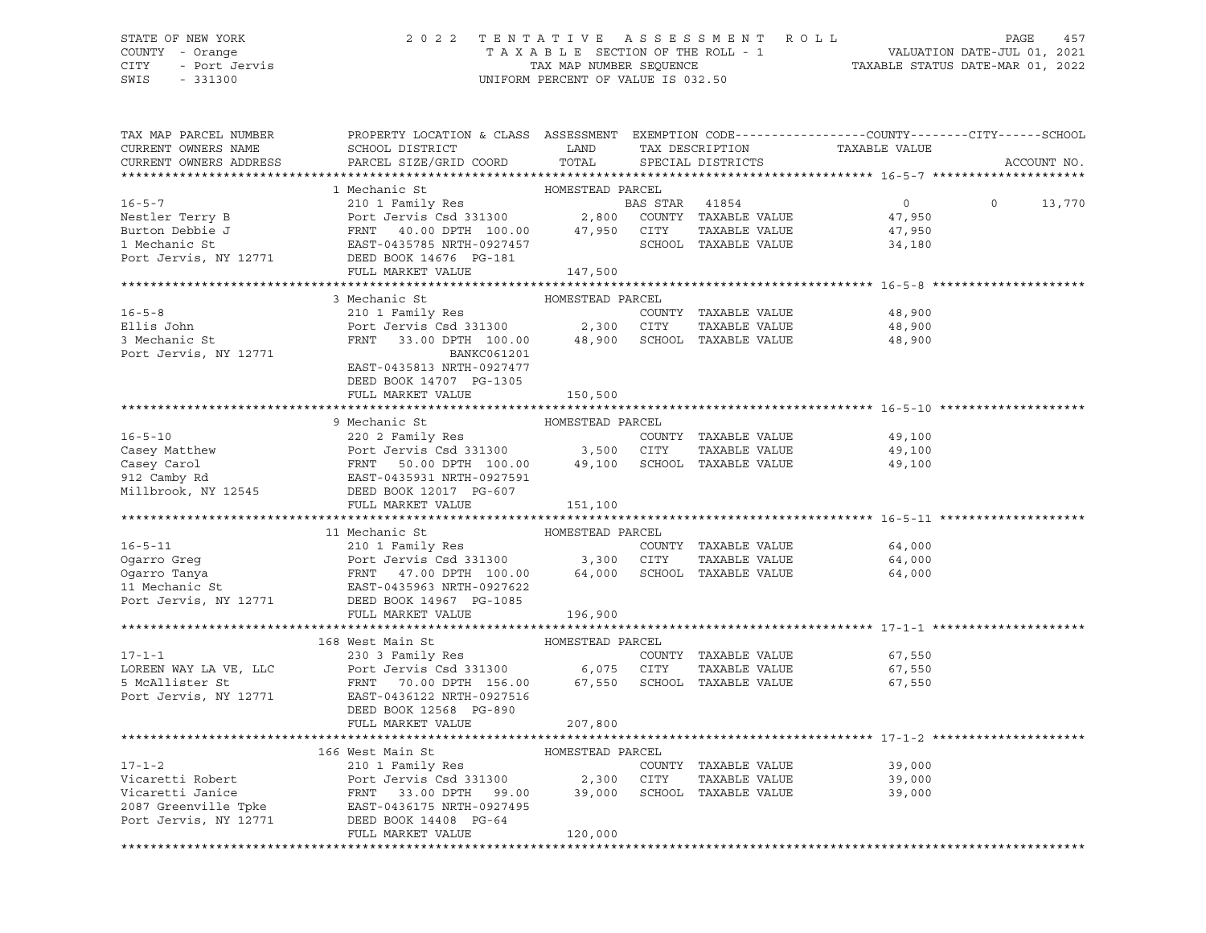# STATE OF NEW YORK 2 0 2 2 T E N T A T I V E A S S E S S M E N T R O L L PAGE 457 COUNTY - Orange T A X A B L E SECTION OF THE ROLL - 1 VALUATION DATE-JUL 01, 2021 CITY - Port Jervis TAX MAP NUMBER SEQUENCE TAXABLE STATUS DATE-MAR 01, 2022

| TAX MAP PARCEL NUMBER       | PROPERTY LOCATION & CLASS ASSESSMENT EXEMPTION CODE---------------COUNTY-------CITY------SCHOOL                                                                                                                                                                                                                                                                                                            |                  |                      |                                                 |               |
|-----------------------------|------------------------------------------------------------------------------------------------------------------------------------------------------------------------------------------------------------------------------------------------------------------------------------------------------------------------------------------------------------------------------------------------------------|------------------|----------------------|-------------------------------------------------|---------------|
| CURRENT OWNERS NAME         | SCHOOL DISTRICT LAND                                                                                                                                                                                                                                                                                                                                                                                       |                  |                      |                                                 |               |
| CURRENT OWNERS ADDRESS      | PARCEL SIZE/GRID COORD TOTAL                                                                                                                                                                                                                                                                                                                                                                               |                  |                      | TAX DESCRIPTION TAXABLE VALUE SPECIAL DISTRICTS | ACCOUNT NO.   |
|                             |                                                                                                                                                                                                                                                                                                                                                                                                            |                  |                      |                                                 |               |
|                             |                                                                                                                                                                                                                                                                                                                                                                                                            |                  |                      |                                                 |               |
|                             |                                                                                                                                                                                                                                                                                                                                                                                                            |                  |                      | $\overline{0}$                                  | $0 \t 13,770$ |
|                             |                                                                                                                                                                                                                                                                                                                                                                                                            |                  |                      | 47,950                                          |               |
|                             |                                                                                                                                                                                                                                                                                                                                                                                                            |                  |                      |                                                 |               |
|                             |                                                                                                                                                                                                                                                                                                                                                                                                            |                  | TAXABLE VALUE        | 47,950                                          |               |
|                             |                                                                                                                                                                                                                                                                                                                                                                                                            |                  |                      | 34,180                                          |               |
|                             |                                                                                                                                                                                                                                                                                                                                                                                                            |                  |                      |                                                 |               |
|                             | $\begin{tabular}{lllllllllllll} \texttt{10--5--}\ \texttt{10--5--}\ \texttt{2101 Family Res} & & & \texttt{HOMESTEAD PARCH} & & & \texttt{10--5--}\ \texttt{2101 Family Res} & & & \texttt{BOMESTEAD PARCH} & & & \texttt{1054} & \texttt{100--101} & \texttt{10154} & \texttt{10154} & \texttt{10154} & \texttt{10154} & \texttt{10154} & \texttt{10154} & \texttt{10154} & \texttt{10154} & \texttt{101$ |                  |                      |                                                 |               |
|                             |                                                                                                                                                                                                                                                                                                                                                                                                            |                  |                      |                                                 |               |
|                             | 3 Mechanic St                                                                                                                                                                                                                                                                                                                                                                                              | HOMESTEAD PARCEL |                      |                                                 |               |
| $16 - 5 - 8$                | 210 1 Family Res                                                                                                                                                                                                                                                                                                                                                                                           |                  | COUNTY TAXABLE VALUE | 48,900                                          |               |
| Ellis John<br>3 Mechanic St |                                                                                                                                                                                                                                                                                                                                                                                                            |                  |                      | 48,900                                          |               |
|                             | Port Jervis Csd 331300<br>Port Jervis Csd 331300 2,300 CITY TAXABLE VALUE<br>FRNT 33.00 DPTH 100.00 48,900 SCHOOL TAXABLE VALUE                                                                                                                                                                                                                                                                            |                  |                      | 48,900                                          |               |
| Port Jervis, NY 12771       | BANKC061201                                                                                                                                                                                                                                                                                                                                                                                                |                  |                      |                                                 |               |
|                             | EAST-0435813 NRTH-0927477                                                                                                                                                                                                                                                                                                                                                                                  |                  |                      |                                                 |               |
|                             | DEED BOOK 14707 PG-1305                                                                                                                                                                                                                                                                                                                                                                                    |                  |                      |                                                 |               |
|                             | FULL MARKET VALUE                                                                                                                                                                                                                                                                                                                                                                                          | 150,500          |                      |                                                 |               |
|                             |                                                                                                                                                                                                                                                                                                                                                                                                            |                  |                      |                                                 |               |
|                             | 9 Mechanic St                                                                                                                                                                                                                                                                                                                                                                                              | HOMESTEAD PARCEL |                      |                                                 |               |
|                             | FRAME COUNTY TAXABLE VALUE<br>COUNTY TAXABLE VALUE<br>COUNTY TAXABLE VALUE<br>COUNTY TAXABLE VALUE<br>COUNTY TAXABLE VALUE<br>COUNTY TAXABLE VALUE<br>220 2 Family Res<br>Port Jervis Csd 331300<br>FRNT 50.00 DPTH 100.00<br>49,100<br>212 Camby                                                                                                                                                          |                  |                      |                                                 |               |
|                             |                                                                                                                                                                                                                                                                                                                                                                                                            |                  |                      |                                                 |               |
|                             |                                                                                                                                                                                                                                                                                                                                                                                                            |                  |                      |                                                 |               |
|                             |                                                                                                                                                                                                                                                                                                                                                                                                            |                  |                      |                                                 |               |
|                             |                                                                                                                                                                                                                                                                                                                                                                                                            |                  |                      |                                                 |               |
|                             |                                                                                                                                                                                                                                                                                                                                                                                                            |                  |                      |                                                 |               |
|                             | FULL MARKET VALUE                                                                                                                                                                                                                                                                                                                                                                                          | 151,100          |                      |                                                 |               |
|                             |                                                                                                                                                                                                                                                                                                                                                                                                            |                  |                      |                                                 |               |
|                             | 16-5-11<br>210 1 Family Res<br>210 1 Family Res<br>210 1 Family Res<br>210 1 Family Res<br>210 1 Family Res<br>210 1 Family Res<br>210 2 Family Res<br>210 2 Family Res<br>210 3,300 CITY<br>3,300 CITY<br>3,300 CITY<br>21 TAXABLE VALUE<br>210 AVABLE                                                                                                                                                    |                  |                      |                                                 |               |
|                             |                                                                                                                                                                                                                                                                                                                                                                                                            |                  |                      | 64,000                                          |               |
|                             |                                                                                                                                                                                                                                                                                                                                                                                                            |                  |                      | 64,000                                          |               |
|                             |                                                                                                                                                                                                                                                                                                                                                                                                            |                  |                      | 64,000                                          |               |
|                             |                                                                                                                                                                                                                                                                                                                                                                                                            |                  |                      |                                                 |               |
|                             |                                                                                                                                                                                                                                                                                                                                                                                                            |                  |                      |                                                 |               |
|                             | FULL MARKET VALUE                                                                                                                                                                                                                                                                                                                                                                                          | 196,900          |                      |                                                 |               |
|                             |                                                                                                                                                                                                                                                                                                                                                                                                            |                  |                      |                                                 |               |
|                             | 168 West Main St                                                                                                                                                                                                                                                                                                                                                                                           |                  |                      |                                                 |               |
| $17 - 1 - 1$                |                                                                                                                                                                                                                                                                                                                                                                                                            |                  |                      |                                                 |               |
|                             |                                                                                                                                                                                                                                                                                                                                                                                                            |                  |                      |                                                 |               |
|                             |                                                                                                                                                                                                                                                                                                                                                                                                            |                  |                      |                                                 |               |
|                             |                                                                                                                                                                                                                                                                                                                                                                                                            |                  |                      |                                                 |               |
|                             |                                                                                                                                                                                                                                                                                                                                                                                                            |                  |                      |                                                 |               |
|                             | DEED BOOK 12568 PG-890                                                                                                                                                                                                                                                                                                                                                                                     |                  |                      |                                                 |               |
|                             | FULL MARKET VALUE                                                                                                                                                                                                                                                                                                                                                                                          | 207,800          |                      |                                                 |               |
|                             |                                                                                                                                                                                                                                                                                                                                                                                                            |                  |                      |                                                 |               |
|                             | 166 West Main St                                                                                                                                                                                                                                                                                                                                                                                           | HOMESTEAD PARCEL |                      |                                                 |               |
|                             | 210 1 Family Res                                                                                                                                                                                                                                                                                                                                                                                           |                  | COUNTY TAXABLE VALUE | 39,000                                          |               |
|                             |                                                                                                                                                                                                                                                                                                                                                                                                            |                  | TAXABLE VALUE        | 39,000                                          |               |
|                             |                                                                                                                                                                                                                                                                                                                                                                                                            |                  |                      | 39,000                                          |               |
|                             |                                                                                                                                                                                                                                                                                                                                                                                                            |                  |                      |                                                 |               |
|                             | 17-1-2 210 1 Family Res COUNTY TAXABLE VALUE<br>Vicaretti Robert Port Jervis Csd 331300 2,300 CITY TAXABLE VALUE<br>Vicaretti Janice FRNT 33.00 DPTH 99.00 39,000 SCHOOL TAXABLE VALUE<br>2087 Greenville Tpke EAST-0436175 NRTH-092                                                                                                                                                                       |                  |                      |                                                 |               |
|                             | FULL MARKET VALUE                                                                                                                                                                                                                                                                                                                                                                                          | 120,000          |                      |                                                 |               |
|                             |                                                                                                                                                                                                                                                                                                                                                                                                            |                  |                      |                                                 |               |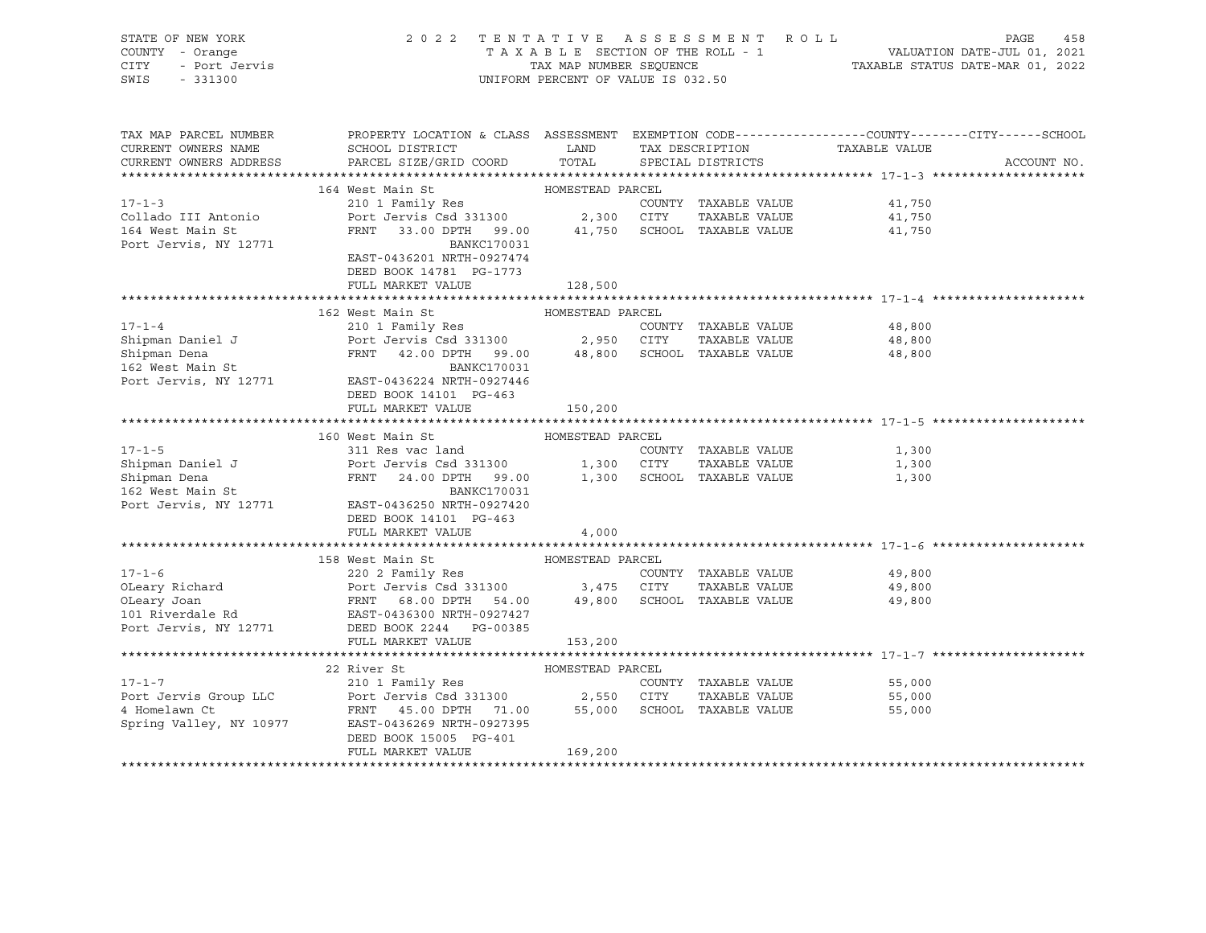| STATE OF NEW YORK      | 2022 TENTATIVE ASSESSMENT ROLL                                                                                                                                                                                                                                       |                                    |  |                      |        | PAGE<br>458 |  |  |
|------------------------|----------------------------------------------------------------------------------------------------------------------------------------------------------------------------------------------------------------------------------------------------------------------|------------------------------------|--|----------------------|--------|-------------|--|--|
| COUNTY - Orange        |                                                                                                                                                                                                                                                                      |                                    |  |                      |        |             |  |  |
| - Port Jervis<br>CITY  |                                                                                                                                                                                                                                                                      |                                    |  |                      |        |             |  |  |
| SWIS<br>$-331300$      |                                                                                                                                                                                                                                                                      | UNIFORM PERCENT OF VALUE IS 032.50 |  |                      |        |             |  |  |
|                        |                                                                                                                                                                                                                                                                      |                                    |  |                      |        |             |  |  |
|                        |                                                                                                                                                                                                                                                                      |                                    |  |                      |        |             |  |  |
|                        |                                                                                                                                                                                                                                                                      |                                    |  |                      |        |             |  |  |
| TAX MAP PARCEL NUMBER  | PROPERTY LOCATION & CLASS ASSESSMENT EXEMPTION CODE---------------COUNTY-------CITY------SCHOOL                                                                                                                                                                      |                                    |  |                      |        |             |  |  |
| CURRENT OWNERS NAME    | ${\tt SCHOOD\,\, \, {\tt DISTRTCT}} {\small\quad \, {\tt LAND}} {\small\quad \, {\tt TAX\,\, \, {\tt DESCRIPTION}} {\small\quad \, {\tt TAXABLE\,\, \, VALUE}}$                                                                                                      |                                    |  |                      |        |             |  |  |
| CURRENT OWNERS ADDRESS | PARCEL SIZE/GRID COORD TOTAL                                                                                                                                                                                                                                         |                                    |  | SPECIAL DISTRICTS    |        | ACCOUNT NO. |  |  |
|                        |                                                                                                                                                                                                                                                                      |                                    |  |                      |        |             |  |  |
|                        | 164 West Main St                                                                                                                                                                                                                                                     | HOMESTEAD PARCEL                   |  |                      |        |             |  |  |
| $17 - 1 - 3$           |                                                                                                                                                                                                                                                                      |                                    |  |                      | 41,750 |             |  |  |
| Collado III Antonio    |                                                                                                                                                                                                                                                                      |                                    |  |                      |        |             |  |  |
|                        | 210 1 Family Res<br>Port Jervis Csd 331300<br>FRNT 33.00 DPTH 99.00 41,750 SCHOOL TAXABLE VALUE                                                                                                                                                                      |                                    |  |                      | 41,750 |             |  |  |
| 164 West Main St       |                                                                                                                                                                                                                                                                      |                                    |  |                      | 41,750 |             |  |  |
| Port Jervis, NY 12771  | BANKC170031                                                                                                                                                                                                                                                          |                                    |  |                      |        |             |  |  |
|                        | EAST-0436201 NRTH-0927474                                                                                                                                                                                                                                            |                                    |  |                      |        |             |  |  |
|                        | DEED BOOK 14781 PG-1773                                                                                                                                                                                                                                              |                                    |  |                      |        |             |  |  |
|                        | FULL MARKET VALUE                                                                                                                                                                                                                                                    | 128,500                            |  |                      |        |             |  |  |
|                        |                                                                                                                                                                                                                                                                      |                                    |  |                      |        |             |  |  |
|                        | 162 West Main St                                                                                                                                                                                                                                                     | HOMESTEAD PARCEL                   |  |                      |        |             |  |  |
| $17 - 1 - 4$           | 210 1 Family Res                                                                                                                                                                                                                                                     |                                    |  | COUNTY TAXABLE VALUE | 48,800 |             |  |  |
|                        |                                                                                                                                                                                                                                                                      |                                    |  |                      | 48,800 |             |  |  |
|                        |                                                                                                                                                                                                                                                                      |                                    |  |                      | 48,800 |             |  |  |
|                        | Shipman Daniel J<br>Shipman Dena<br>Shipman Dena<br>In Bank Dena<br>ERNT 42.00 DPTH 99.00<br>BANKC170031<br>BANKC170031                                                                                                                                              |                                    |  |                      |        |             |  |  |
| Port Jervis, NY 12771  | EAST-0436224 NRTH-0927446                                                                                                                                                                                                                                            |                                    |  |                      |        |             |  |  |
|                        |                                                                                                                                                                                                                                                                      |                                    |  |                      |        |             |  |  |
|                        | DEED BOOK 14101 PG-463                                                                                                                                                                                                                                               |                                    |  |                      |        |             |  |  |
|                        | FULL MARKET VALUE                                                                                                                                                                                                                                                    | 150,200                            |  |                      |        |             |  |  |
|                        |                                                                                                                                                                                                                                                                      |                                    |  |                      |        |             |  |  |
|                        | 160 West Main St<br>17-1-5<br>Shipman Daniel J<br>Shipman Daniel J<br>Shipman Dena<br>Shipman Dena<br>FRNT 24.00 DPTH 99.00 1,300 SCHOOL TAXABLE VALUE<br>1,300 SCHOOL TAXABLE VALUE<br>1,300 SCHOOL TAXABLE VALUE<br>1,300 SCHOOL TAXABLE VALUE<br>1,300 SCHOOL TAX | HOMESTEAD PARCEL                   |  |                      |        |             |  |  |
|                        |                                                                                                                                                                                                                                                                      |                                    |  |                      |        |             |  |  |
|                        |                                                                                                                                                                                                                                                                      |                                    |  |                      |        |             |  |  |
|                        |                                                                                                                                                                                                                                                                      |                                    |  |                      |        |             |  |  |
|                        |                                                                                                                                                                                                                                                                      |                                    |  |                      |        |             |  |  |
|                        | EXAMINENT DE BANKCI70031<br>Port Jervis, NY 12771 EAST-0436250 NRTH-0927420                                                                                                                                                                                          |                                    |  |                      |        |             |  |  |
|                        | DEED BOOK 14101 PG-463                                                                                                                                                                                                                                               |                                    |  |                      |        |             |  |  |
|                        | FULL MARKET VALUE                                                                                                                                                                                                                                                    | 4,000                              |  |                      |        |             |  |  |
|                        |                                                                                                                                                                                                                                                                      |                                    |  |                      |        |             |  |  |
|                        | 158 West Main St Manager (1998) HOMESTEAD PARCEL                                                                                                                                                                                                                     |                                    |  |                      |        |             |  |  |
|                        | 17-1-6<br>OLeary Richard 220 2 Family Res<br>OLeary Joan FRNT 68.00 DPTH 54.00 3,475 CITY TAXABLE VALUE<br>COUNTY TAXABLE VALUE<br>OLeary Joan FRNT 68.00 DPTH 54.00 49,800 SCHOOL TAXABLE VALUE<br>101 Riverdale Rd EAST-0436300 NRTH-0                             |                                    |  |                      | 49,800 |             |  |  |
|                        |                                                                                                                                                                                                                                                                      |                                    |  | TAXABLE VALUE        | 49,800 |             |  |  |
|                        |                                                                                                                                                                                                                                                                      |                                    |  |                      |        |             |  |  |
|                        |                                                                                                                                                                                                                                                                      |                                    |  |                      | 49,800 |             |  |  |
|                        |                                                                                                                                                                                                                                                                      |                                    |  |                      |        |             |  |  |
|                        |                                                                                                                                                                                                                                                                      |                                    |  |                      |        |             |  |  |
|                        | FULL MARKET VALUE                                                                                                                                                                                                                                                    | 153,200                            |  |                      |        |             |  |  |
|                        |                                                                                                                                                                                                                                                                      |                                    |  |                      |        |             |  |  |
|                        | 22 River St                                                                                                                                                                                                                                                          | HOMESTEAD PARCEL                   |  |                      |        |             |  |  |
| $17 - 1 - 7$           | 210 1 Family Res<br>210 1 Family Res<br>Port Jervis Csd 331300 2,550 CITY TAXABLE VALUE<br>FRNT 45.00 DPTH 71.00 55,000 SCHOOL TAXABLE VALUE                                                                                                                         |                                    |  |                      | 55,000 |             |  |  |
| Port Jervis Group LLC  |                                                                                                                                                                                                                                                                      |                                    |  | TAXABLE VALUE        | 55,000 |             |  |  |
| 4 Homelawn Ct          |                                                                                                                                                                                                                                                                      |                                    |  |                      | 55,000 |             |  |  |
|                        | Spring Valley, NY 10977 EAST-0436269 NRTH-0927395                                                                                                                                                                                                                    |                                    |  |                      |        |             |  |  |
|                        | DEED BOOK 15005 PG-401                                                                                                                                                                                                                                               |                                    |  |                      |        |             |  |  |
|                        | FULL MARKET VALUE                                                                                                                                                                                                                                                    | 169,200                            |  |                      |        |             |  |  |
|                        |                                                                                                                                                                                                                                                                      |                                    |  |                      |        |             |  |  |
|                        |                                                                                                                                                                                                                                                                      |                                    |  |                      |        |             |  |  |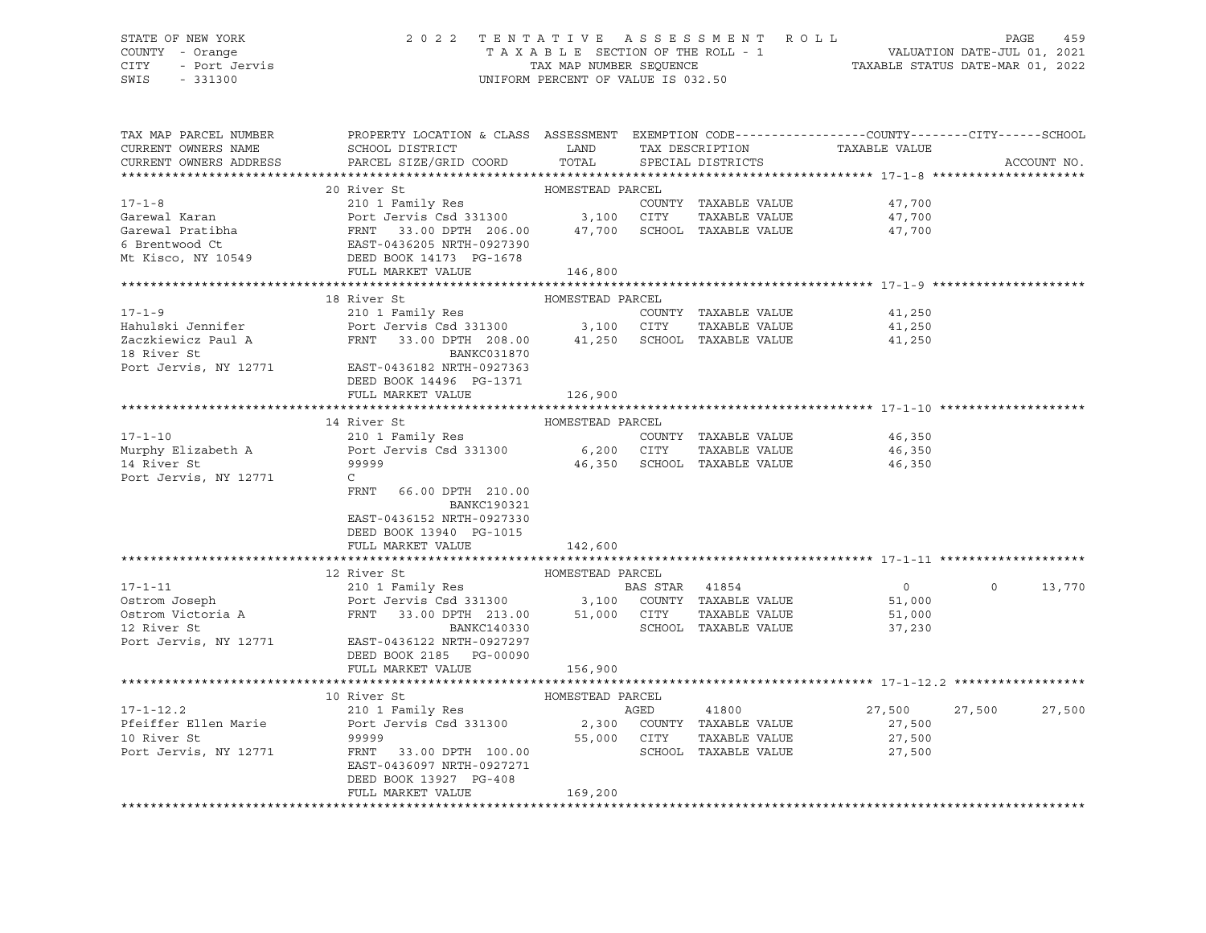# STATE OF NEW YORK 2 0 2 2 T E N T A T I V E A S S E S S M E N T R O L L PAGE 459 COUNTY - Orange T A X A B L E SECTION OF THE ROLL - 1 VALUATION DATE-JUL 01, 2021 CITY - Port Jervis TAX MAP NUMBER SEQUENCE TAXABLE STATUS DATE-MAR 01, 2022

| TAX MAP PARCEL NUMBER<br>CURRENT OWNERS NAME<br>CURRENT OWNERS ADDRESS | PROPERTY LOCATION & CLASS ASSESSMENT EXEMPTION CODE----------------COUNTY-------CITY------SCHOOL<br>SCHOOL DISTRICT<br>PARCEL SIZE/GRID COORD | LAND<br>TOTAL    |                | TAX DESCRIPTION<br>SPECIAL DISTRICTS  | TAXABLE VALUE  |          | ACCOUNT NO. |
|------------------------------------------------------------------------|-----------------------------------------------------------------------------------------------------------------------------------------------|------------------|----------------|---------------------------------------|----------------|----------|-------------|
|                                                                        |                                                                                                                                               |                  |                |                                       |                |          |             |
|                                                                        | 20 River St                                                                                                                                   | HOMESTEAD PARCEL |                |                                       |                |          |             |
| $17 - 1 - 8$                                                           | 210 1 Family Res                                                                                                                              |                  |                | COUNTY TAXABLE VALUE                  | 47,700         |          |             |
| Garewal Karan                                                          | Port Jervis Csd 331300 3,100 CITY                                                                                                             |                  |                | TAXABLE VALUE                         | 47,700         |          |             |
|                                                                        |                                                                                                                                               |                  |                | 47,700 SCHOOL TAXABLE VALUE           | 47,700         |          |             |
|                                                                        |                                                                                                                                               |                  |                |                                       |                |          |             |
|                                                                        |                                                                                                                                               |                  |                |                                       |                |          |             |
|                                                                        | FULL MARKET VALUE                                                                                                                             | 146,800          |                |                                       |                |          |             |
|                                                                        |                                                                                                                                               |                  |                |                                       |                |          |             |
|                                                                        | 18 River St                                                                                                                                   | HOMESTEAD PARCEL |                |                                       |                |          |             |
| $17 - 1 - 9$                                                           | 210 1 Family Res                                                                                                                              |                  |                | COUNTY TAXABLE VALUE                  | 41,250         |          |             |
| Hahulski Jennifer                                                      | Port Jervis Csd 331300 3,100 CITY                                                                                                             |                  |                | TAXABLE VALUE                         | 41,250         |          |             |
| Zaczkiewicz Paul A                                                     | FRNT 33.00 DPTH 208.00                                                                                                                        |                  |                | 41,250 SCHOOL TAXABLE VALUE           | 41,250         |          |             |
| 18 River St                                                            | BANKC031870                                                                                                                                   |                  |                |                                       |                |          |             |
| Port Jervis, NY 12771                                                  | EAST-0436182 NRTH-0927363                                                                                                                     |                  |                |                                       |                |          |             |
|                                                                        | DEED BOOK 14496 PG-1371                                                                                                                       |                  |                |                                       |                |          |             |
|                                                                        | FULL MARKET VALUE                                                                                                                             | 126,900          |                |                                       |                |          |             |
|                                                                        |                                                                                                                                               |                  |                |                                       |                |          |             |
|                                                                        | 14 River St                                                                                                                                   | HOMESTEAD PARCEL |                |                                       |                |          |             |
| $17 - 1 - 10$                                                          | 210 1 Family Res<br>Port Jervis Csd 331300 6,200 CITY                                                                                         |                  |                | COUNTY TAXABLE VALUE<br>TAXABLE VALUE | 46,350         |          |             |
| Murphy Elizabeth A<br>14 River St                                      | 99999                                                                                                                                         |                  |                | SCHOOL TAXABLE VALUE                  | 46,350         |          |             |
| Port Jervis, NY 12771                                                  | C                                                                                                                                             | 46,350           |                |                                       | 46,350         |          |             |
|                                                                        | FRNT<br>66.00 DPTH 210.00                                                                                                                     |                  |                |                                       |                |          |             |
|                                                                        | <b>BANKC190321</b>                                                                                                                            |                  |                |                                       |                |          |             |
|                                                                        | EAST-0436152 NRTH-0927330                                                                                                                     |                  |                |                                       |                |          |             |
|                                                                        | DEED BOOK 13940 PG-1015                                                                                                                       |                  |                |                                       |                |          |             |
|                                                                        | FULL MARKET VALUE                                                                                                                             | 142,600          |                |                                       |                |          |             |
|                                                                        |                                                                                                                                               |                  |                |                                       |                |          |             |
|                                                                        | 12 River St                                                                                                                                   | HOMESTEAD PARCEL |                |                                       |                |          |             |
| $17 - 1 - 11$                                                          | 210 1 Family Res                                                                                                                              |                  | BAS STAR 41854 |                                       | $\overline{0}$ | $\Omega$ | 13,770      |
| Ostrom Joseph<br>Ostrom Victoria A                                     | Port Jervis Csd 331300 3,100 COUNTY TAXABLE VALUE                                                                                             |                  |                |                                       | 51,000         |          |             |
|                                                                        | 33.00 DPTH 213.00 51,000 CITY<br>FRNT                                                                                                         |                  |                | TAXABLE VALUE                         | 51,000         |          |             |
| 12 River St                                                            | BANKC140330                                                                                                                                   |                  |                | SCHOOL TAXABLE VALUE                  | 37,230         |          |             |
| Port Jervis, NY 12771                                                  | EAST-0436122 NRTH-0927297                                                                                                                     |                  |                |                                       |                |          |             |
|                                                                        | DEED BOOK 2185 PG-00090                                                                                                                       |                  |                |                                       |                |          |             |
|                                                                        | FULL MARKET VALUE                                                                                                                             | 156,900          |                |                                       |                |          |             |
|                                                                        |                                                                                                                                               |                  |                |                                       |                |          |             |
|                                                                        | 10 River St                                                                                                                                   | HOMESTEAD PARCEL |                |                                       |                |          |             |
| $17 - 1 - 12.2$                                                        | 210 1 Family Res                                                                                                                              |                  | AGED           | 41800                                 | 27,500         | 27,500   | 27,500      |
| Pfeiffer Ellen Marie                                                   | Port Jervis Csd 331300 2,300 COUNTY TAXABLE VALUE                                                                                             |                  |                |                                       | 27,500         |          |             |
| 10 River St                                                            | 99999                                                                                                                                         | 55,000 CITY      |                | TAXABLE VALUE                         | 27,500         |          |             |
| Port Jervis, NY 12771                                                  | FRNT<br>33.00 DPTH 100.00                                                                                                                     |                  |                | SCHOOL TAXABLE VALUE                  | 27,500         |          |             |
|                                                                        | EAST-0436097 NRTH-0927271                                                                                                                     |                  |                |                                       |                |          |             |
|                                                                        | DEED BOOK 13927 PG-408                                                                                                                        |                  |                |                                       |                |          |             |
|                                                                        | FULL MARKET VALUE                                                                                                                             | 169,200          |                |                                       |                |          |             |
|                                                                        |                                                                                                                                               |                  |                |                                       |                |          |             |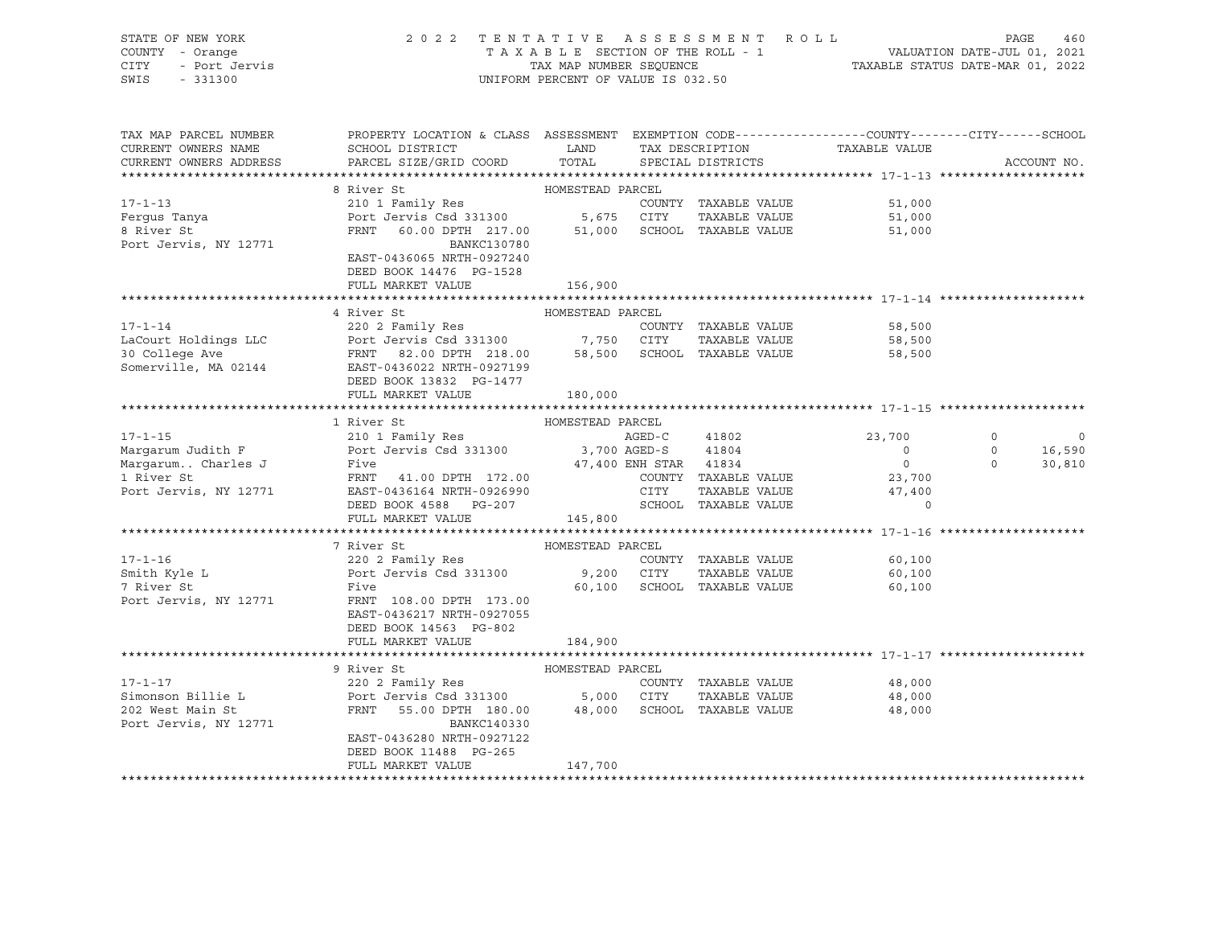| STATE OF NEW YORK<br>COUNTY<br>- Orange<br>CITY<br>- Port Jervis<br>SWIS<br>$-331300$ | 2 0 2 2                                             |                  | TENTATIVE ASSESSMENT ROLL<br>T A X A B L E SECTION OF THE ROLL - 1<br>TAX MAP NUMBER SEQUENCE TAXABLE STATUS DATE-MAR 01, 2022<br>UNIFORM PERCENT OF VALUE IS 032.50 |               | 460<br>PAGE<br>VALUATION DATE-JUL 01, 2021 |
|---------------------------------------------------------------------------------------|-----------------------------------------------------|------------------|----------------------------------------------------------------------------------------------------------------------------------------------------------------------|---------------|--------------------------------------------|
| TAX MAP PARCEL NUMBER                                                                 | PROPERTY LOCATION & CLASS                           | ASSESSMENT       | EXEMPTION CODE-----------------COUNTY-------CITY------SCHOOL                                                                                                         |               |                                            |
| CURRENT OWNERS NAME                                                                   | SCHOOL DISTRICT                                     | LAND             | TAX DESCRIPTION                                                                                                                                                      | TAXABLE VALUE |                                            |
|                                                                                       | CURRENT OWNERS ADDRESS PARCEL SIZE/GRID COORD TOTAL |                  | SPECIAL DISTRICTS                                                                                                                                                    |               | ACCOUNT NO.                                |
|                                                                                       |                                                     |                  |                                                                                                                                                                      |               |                                            |
|                                                                                       | 8 River St                                          | HOMESTEAD PARCEL |                                                                                                                                                                      |               |                                            |
| $17 - 1 - 13$                                                                         | 210 1 Family Res                                    |                  | TAXABLE VALUE<br>COUNTY                                                                                                                                              | 51,000        |                                            |
| Ferqus Tanya                                                                          | Port Jervis Csd 331300                              | 5,675            | CITY<br>TAXABLE VALUE                                                                                                                                                | 51,000        |                                            |
| 8 River St                                                                            | FRNT 60.00 DPTH 217.00                              | 51,000           | SCHOOL<br>TAXABLE VALUE                                                                                                                                              | 51,000        |                                            |
| Port Jervis, NY 12771                                                                 | BANKC130780                                         |                  |                                                                                                                                                                      |               |                                            |
|                                                                                       | EAST-0436065 NRTH-0927240                           |                  |                                                                                                                                                                      |               |                                            |
|                                                                                       | DEED BOOK 14476 PG-1528                             |                  |                                                                                                                                                                      |               |                                            |
|                                                                                       | FULL MARKET VALUE                                   | 156,900          |                                                                                                                                                                      |               |                                            |

|                      | 4 River St                | HOMESTEAD PARCEL            |                      |        |
|----------------------|---------------------------|-----------------------------|----------------------|--------|
| $17 - 1 - 14$        | 220 2 Family Res          |                             | COUNTY TAXABLE VALUE | 58,500 |
| LaCourt Holdings LLC | Port Jervis Csd 331300    | CITY<br>7,750               | TAXABLE VALUE        | 58,500 |
| 30 College Ave       | FRNT 82.00 DPTH 218.00    | 58,500 SCHOOL TAXABLE VALUE |                      | 58,500 |
| Somerville, MA 02144 | EAST-0436022 NRTH-0927199 |                             |                      |        |
|                      | DEED BOOK 13832 PG-1477   |                             |                      |        |

|                       | FULL MARKET VALUE 180,000                             |                             |                      |          |          |         |
|-----------------------|-------------------------------------------------------|-----------------------------|----------------------|----------|----------|---------|
|                       |                                                       |                             |                      |          |          |         |
|                       | 1 River St                                            | HOMESTEAD PARCEL            |                      |          |          |         |
| $17 - 1 - 15$         | 210 1 Family Res                                      | AGED-C                      | 41802                | 23,700   |          | $\circ$ |
|                       | Margarum Judith F Port Jervis Csd 331300 3,700 AGED-S |                             | 41804                | $\Omega$ | $\circ$  | 16,590  |
| Margarum Charles J    | Five                                                  | 47,400 ENH STAR 41834       |                      | $\Omega$ | $\Omega$ | 30,810  |
| 1 River St            | FRNT 41.00 DPTH 172.00                                | COUNTY                      | TAXABLE VALUE        | 23,700   |          |         |
| Port Jervis, NY 12771 |                                                       |                             | TAXABLE VALUE        | 47,400   |          |         |
|                       | DEED BOOK 4588 PG-207 SCHOOL TAXABLE VALUE            |                             |                      | $\Omega$ |          |         |
|                       | FULL MARKET VALUE                                     | 145,800                     |                      |          |          |         |
|                       |                                                       |                             |                      |          |          |         |
|                       | 7 River St                                            | HOMESTEAD PARCEL            |                      |          |          |         |
| $17 - 1 - 16$         | 220 2 Family Res                                      |                             | COUNTY TAXABLE VALUE | 60,100   |          |         |
| Smith Kyle L          | Port Jervis Csd 331300 9,200 CITY                     |                             | TAXABLE VALUE        | 60,100   |          |         |
| 7 River St            | Five                                                  | 60,100 SCHOOL TAXABLE VALUE |                      | 60,100   |          |         |
| Port Jervis, NY 12771 | FRNT 108.00 DPTH 173.00                               |                             |                      |          |          |         |
|                       | EAST-0436217 NRTH-0927055                             |                             |                      |          |          |         |
|                       | DEED BOOK 14563 PG-802                                |                             |                      |          |          |         |
|                       | FULL MARKET VALUE                                     | 184,900                     |                      |          |          |         |
|                       |                                                       |                             |                      |          |          |         |
|                       | 9 River St                                            | HOMESTEAD PARCEL            |                      |          |          |         |
| $17 - 1 - 17$         | 220 2 Family Res                                      |                             | COUNTY TAXABLE VALUE | 48,000   |          |         |
| Simonson Billie L     | Port Jervis Csd 331300 5,000 CITY                     |                             | TAXABLE VALUE        | 48,000   |          |         |
| 202 West Main St      | FRNT 55.00 DPTH 180.00                                | 48,000 SCHOOL TAXABLE VALUE |                      | 48,000   |          |         |
| Port Jervis, NY 12771 | BANKC140330                                           |                             |                      |          |          |         |
|                       | EAST-0436280 NRTH-0927122                             |                             |                      |          |          |         |
|                       | DEED BOOK 11488 PG-265                                |                             |                      |          |          |         |
|                       | FULL MARKET VALUE                                     | 147,700                     |                      |          |          |         |

\*\*\*\*\*\*\*\*\*\*\*\*\*\*\*\*\*\*\*\*\*\*\*\*\*\*\*\*\*\*\*\*\*\*\*\*\*\*\*\*\*\*\*\*\*\*\*\*\*\*\*\*\*\*\*\*\*\*\*\*\*\*\*\*\*\*\*\*\*\*\*\*\*\*\*\*\*\*\*\*\*\*\*\*\*\*\*\*\*\*\*\*\*\*\*\*\*\*\*\*\*\*\*\*\*\*\*\*\*\*\*\*\*\*\*\*\*\*\*\*\*\*\*\*\*\*\*\*\*\*\*\*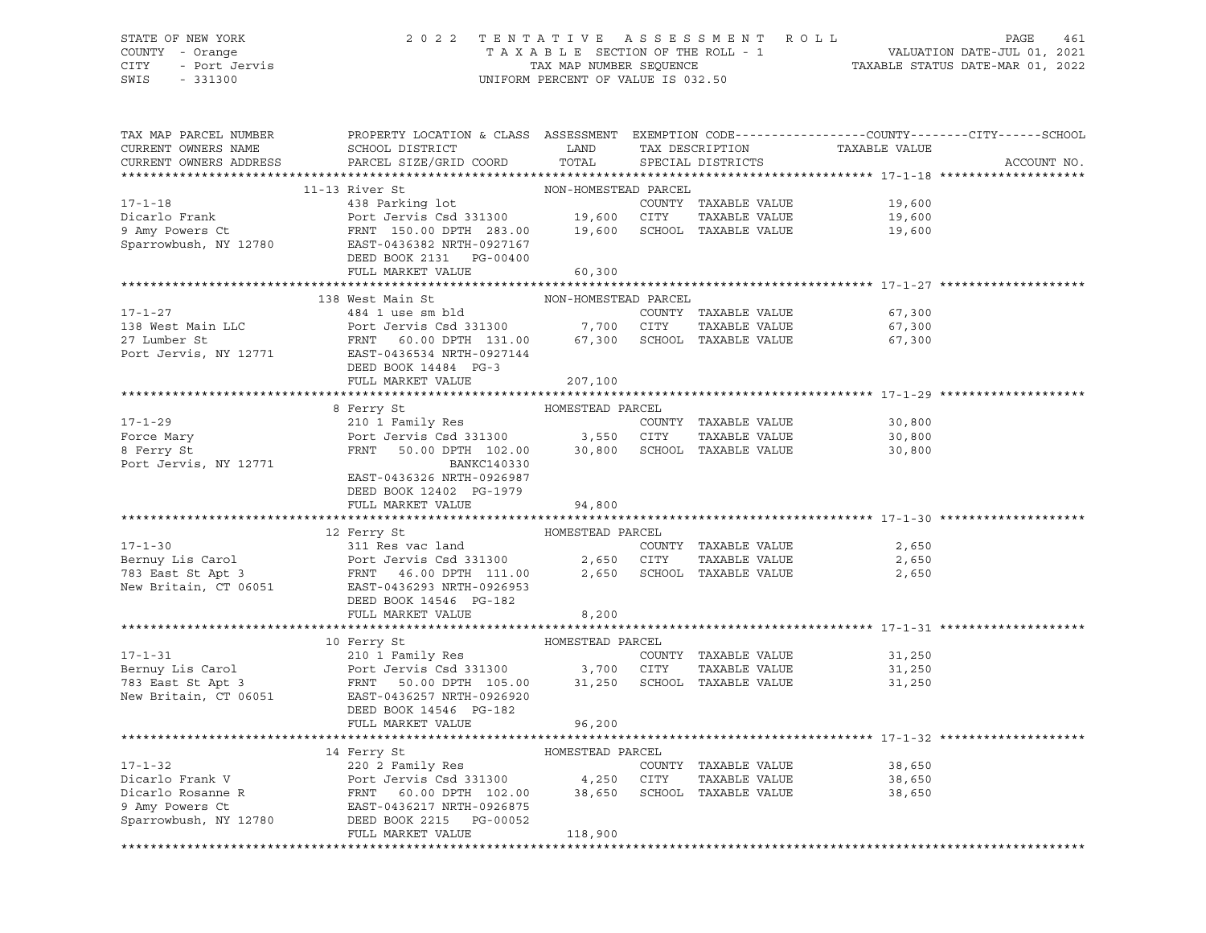### STATE OF NEW YORK 2 0 2 2 T E N T A T I V E A S S E S S M E N T R O L L PAGE 461 COUNTY - Orange T A X A B L E SECTION OF THE ROLL - 1 VALUATION DATE-JUL 01, 2021 CITY - Port Jervis TAX MAP NUMBER SEQUENCE TAXABLE STATUS DATE-MAR 01, 2022 SWIS - 331300 UNIFORM PERCENT OF VALUE IS 032.50

| TAX MAP PARCEL NUMBER<br>CURRENT OWNERS NAME<br>CURRENT OWNERS ADDRESS | PROPERTY LOCATION & CLASS ASSESSMENT EXEMPTION CODE----------------COUNTY-------CITY------SCHOOL<br>SCHOOL DISTRICT<br>PARCEL SIZE/GRID COORD                                                                                                                                                                                                                                                                                            | LAND<br>TOTAL        | TAX DESCRIPTION<br>SPECIAL DISTRICTS | TAXABLE VALUE | ACCOUNT NO. |
|------------------------------------------------------------------------|------------------------------------------------------------------------------------------------------------------------------------------------------------------------------------------------------------------------------------------------------------------------------------------------------------------------------------------------------------------------------------------------------------------------------------------|----------------------|--------------------------------------|---------------|-------------|
|                                                                        |                                                                                                                                                                                                                                                                                                                                                                                                                                          |                      |                                      |               |             |
|                                                                        | 11-13 River St                                                                                                                                                                                                                                                                                                                                                                                                                           | NON-HOMESTEAD PARCEL |                                      |               |             |
| $17 - 1 - 18$                                                          | 438 Parking lot                                                                                                                                                                                                                                                                                                                                                                                                                          |                      | COUNTY TAXABLE VALUE                 | 19,600        |             |
| Dicarlo Frank                                                          | Port Jervis Csd 331300 19,600 CITY                                                                                                                                                                                                                                                                                                                                                                                                       |                      | TAXABLE VALUE                        | 19,600        |             |
| 9 Amy Powers Ct                                                        | FRNT 150.00 DPTH 283.00 19,600 SCHOOL TAXABLE VALUE                                                                                                                                                                                                                                                                                                                                                                                      |                      |                                      | 19,600        |             |
| Sparrowbush, NY 12780                                                  | EAST-0436382 NRTH-0927167                                                                                                                                                                                                                                                                                                                                                                                                                |                      |                                      |               |             |
|                                                                        | DEED BOOK 2131 PG-00400                                                                                                                                                                                                                                                                                                                                                                                                                  |                      |                                      |               |             |
|                                                                        | FULL MARKET VALUE                                                                                                                                                                                                                                                                                                                                                                                                                        | 60,300               |                                      |               |             |
|                                                                        |                                                                                                                                                                                                                                                                                                                                                                                                                                          |                      |                                      |               |             |
|                                                                        | 138 West Main St                                                                                                                                                                                                                                                                                                                                                                                                                         | NON-HOMESTEAD PARCEL |                                      |               |             |
| $17 - 1 - 27$                                                          | 484 1 use sm bld                                                                                                                                                                                                                                                                                                                                                                                                                         |                      | COUNTY TAXABLE VALUE                 | 67,300        |             |
|                                                                        | Port Jervis Csd 331300<br>17 - 17<br>138 West Main LLC<br>27 Lumber St<br>POrt Jervis, NY 12771<br>EAST-0436534 NRTH-0927144<br>FRNT 60.00 DPTH 131.00<br>PORT 14484 PG-3                                                                                                                                                                                                                                                                | 7,700 CITY           | TAXABLE VALUE                        | 67,300        |             |
|                                                                        | FRNT 60.00 DPTH 131.00 67,300 SCHOOL TAXABLE VALUE                                                                                                                                                                                                                                                                                                                                                                                       |                      |                                      | 67,300        |             |
|                                                                        |                                                                                                                                                                                                                                                                                                                                                                                                                                          |                      |                                      |               |             |
|                                                                        | DEED BOOK 14484 PG-3                                                                                                                                                                                                                                                                                                                                                                                                                     |                      |                                      |               |             |
|                                                                        | FULL MARKET VALUE                                                                                                                                                                                                                                                                                                                                                                                                                        | 207,100              |                                      |               |             |
|                                                                        |                                                                                                                                                                                                                                                                                                                                                                                                                                          |                      |                                      |               |             |
|                                                                        | 8 Ferry St                                                                                                                                                                                                                                                                                                                                                                                                                               | HOMESTEAD PARCEL     |                                      |               |             |
| $17 - 1 - 29$                                                          | 210 1 Family Res                                                                                                                                                                                                                                                                                                                                                                                                                         |                      | COUNTY TAXABLE VALUE                 | 30,800        |             |
| Force Mary                                                             | Port Jervis Csd 331300               3,550    CITY      TAXABLE VALUE<br>FRNT    50.00 DPTH  102.00        30,800    SCHOOL  TAXABLE VALUE                                                                                                                                                                                                                                                                                               |                      | TAXABLE VALUE                        | 30,800        |             |
| 8 Ferry St                                                             |                                                                                                                                                                                                                                                                                                                                                                                                                                          |                      |                                      | 30,800        |             |
| Port Jervis, NY 12771                                                  | BANKC140330                                                                                                                                                                                                                                                                                                                                                                                                                              |                      |                                      |               |             |
|                                                                        | EAST-0436326 NRTH-0926987                                                                                                                                                                                                                                                                                                                                                                                                                |                      |                                      |               |             |
|                                                                        | DEED BOOK 12402 PG-1979                                                                                                                                                                                                                                                                                                                                                                                                                  |                      |                                      |               |             |
|                                                                        | FULL MARKET VALUE                                                                                                                                                                                                                                                                                                                                                                                                                        | 94,800               |                                      |               |             |
|                                                                        | 12 Ferry St                                                                                                                                                                                                                                                                                                                                                                                                                              | HOMESTEAD PARCEL     |                                      |               |             |
|                                                                        | 17-1-30<br>Bernuy Lis Carol 2,650<br>783 East St Apt 3<br>New Britain, CT 06051<br>Passet St Apt 3<br>REAGED 2,650<br>REAGED 2,650<br>REAGED 2,650<br>REAGED 2,650<br>REAGED 2,650<br>REAGED 2,650<br>REAGED 2,650<br>REAGED 2,650<br>REAGED 2,650<br>REAG                                                                                                                                                                               |                      | COUNTY TAXABLE VALUE                 | 2,650         |             |
|                                                                        |                                                                                                                                                                                                                                                                                                                                                                                                                                          |                      | TAXABLE VALUE                        | 2,650         |             |
|                                                                        |                                                                                                                                                                                                                                                                                                                                                                                                                                          |                      | 2,650 SCHOOL TAXABLE VALUE           | 2,650         |             |
|                                                                        |                                                                                                                                                                                                                                                                                                                                                                                                                                          |                      |                                      |               |             |
|                                                                        | DEED BOOK 14546 PG-182                                                                                                                                                                                                                                                                                                                                                                                                                   |                      |                                      |               |             |
|                                                                        | FULL MARKET VALUE                                                                                                                                                                                                                                                                                                                                                                                                                        | 8,200                |                                      |               |             |
|                                                                        |                                                                                                                                                                                                                                                                                                                                                                                                                                          |                      |                                      |               |             |
|                                                                        |                                                                                                                                                                                                                                                                                                                                                                                                                                          |                      |                                      |               |             |
|                                                                        | AUPILITY TO PARCEL<br>210 1 Family Res<br>Bernuy Lis Carol Port Jervis Csd 331300 3,700 CITY TAXABLE VALUE<br>783 East St Apt 3 FRNT 50.00 DPTH 105.00 31,250 SCHOOL TAXABLE VALUE<br>New Britain, CT 06051 EAST-0436257 NRTH-0926920                                                                                                                                                                                                    |                      |                                      | 31,250        |             |
|                                                                        |                                                                                                                                                                                                                                                                                                                                                                                                                                          |                      |                                      | 31,250        |             |
|                                                                        |                                                                                                                                                                                                                                                                                                                                                                                                                                          |                      |                                      | 31,250        |             |
|                                                                        |                                                                                                                                                                                                                                                                                                                                                                                                                                          |                      |                                      |               |             |
|                                                                        | DEED BOOK 14546 PG-182                                                                                                                                                                                                                                                                                                                                                                                                                   |                      |                                      |               |             |
|                                                                        | FULL MARKET VALUE                                                                                                                                                                                                                                                                                                                                                                                                                        | 96,200               |                                      |               |             |
|                                                                        |                                                                                                                                                                                                                                                                                                                                                                                                                                          |                      |                                      |               |             |
|                                                                        | 14 Ferry St                                                                                                                                                                                                                                                                                                                                                                                                                              | HOMESTEAD PARCEL     |                                      |               |             |
|                                                                        | 220 2 Family Res                                                                                                                                                                                                                                                                                                                                                                                                                         |                      | COUNTY TAXABLE VALUE                 | 38,650        |             |
|                                                                        | $\begin{tabular}{lllllllllllllllllllll} 17-1-32 & 220\,\,\hat{2} & \text{Family Res} & \text{COUNTY} & \text{TXABLE VALUE} \\ \text{Dicarlo Frank V} & \text{Port Jervis Csd 331300} & 4,250 & \text{CITY} & \text{TAXABLE VALUE} \\ \text{Dicarlo Rosanne R} & \text{FRNT} & 60.00 DPTH & 102.00 & 38,650 & \text{SCHOOL TAXABLE VALUE} \\ \text{9 Amy Powers Ct} & \text{EAST-0436217 NRTH-0926875} \\ \text{Sparrowbush, NY 12780} &$ |                      | TAXABLE VALUE                        | 38,650        |             |
|                                                                        |                                                                                                                                                                                                                                                                                                                                                                                                                                          |                      |                                      | 38,650        |             |
|                                                                        |                                                                                                                                                                                                                                                                                                                                                                                                                                          |                      |                                      |               |             |
|                                                                        |                                                                                                                                                                                                                                                                                                                                                                                                                                          |                      |                                      |               |             |
|                                                                        | FULL MARKET VALUE                                                                                                                                                                                                                                                                                                                                                                                                                        | 118,900              |                                      |               |             |
|                                                                        |                                                                                                                                                                                                                                                                                                                                                                                                                                          |                      |                                      |               |             |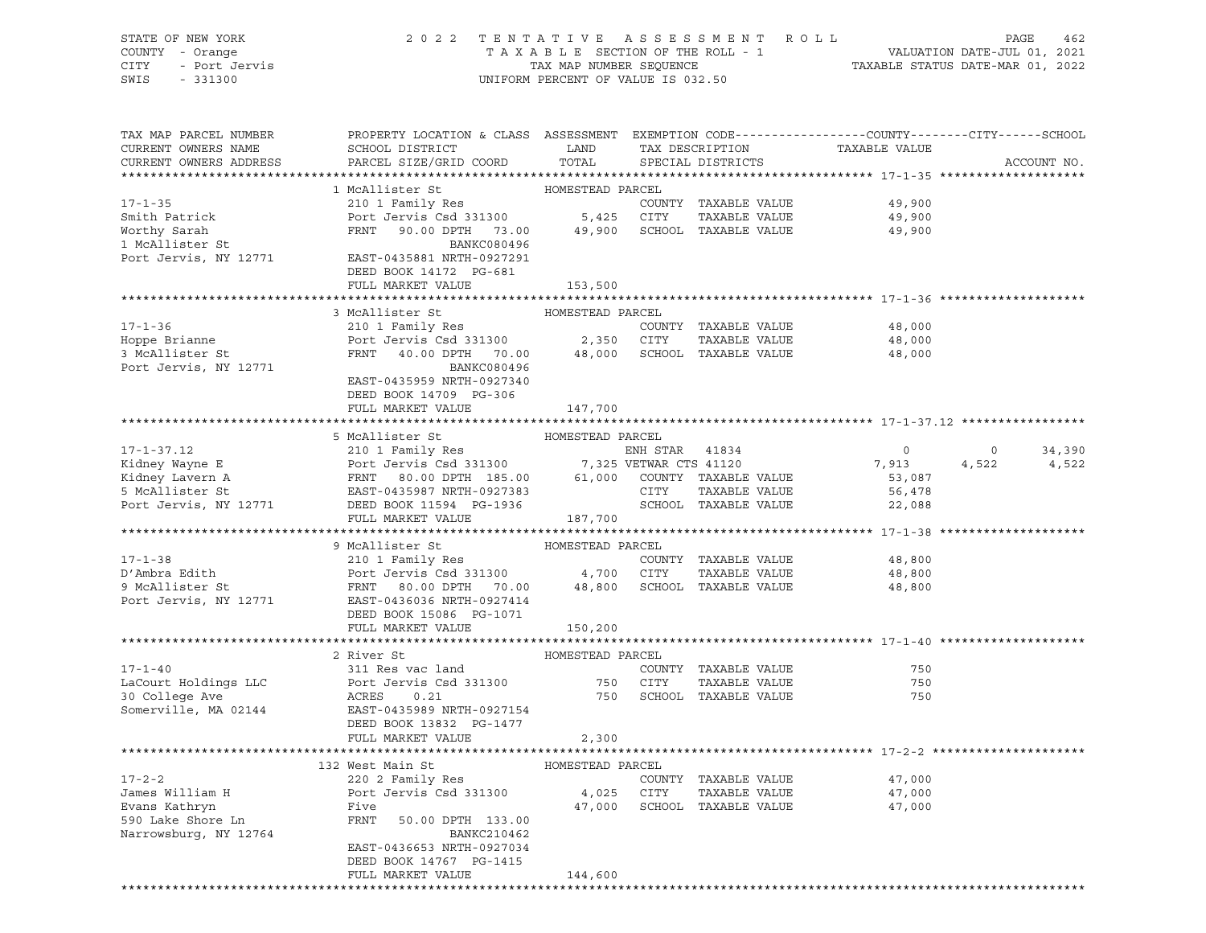| COUNTY - Orange<br><b>CITY</b><br>- Port Jervis<br>SWIS<br>$-331300$ |                                                                                                 | TAXABLE SECTION OF THE ROLL - 1<br>TAX MAP NUMBER SEQUENCE<br>UNIFORM PERCENT OF VALUE IS 032.50 |                        |                             | VALUATION DATE-JUL 01, 2021<br>TAXABLE STATUS DATE-MAR 01, 2022 |         |             |
|----------------------------------------------------------------------|-------------------------------------------------------------------------------------------------|--------------------------------------------------------------------------------------------------|------------------------|-----------------------------|-----------------------------------------------------------------|---------|-------------|
| TAX MAP PARCEL NUMBER                                                | PROPERTY LOCATION & CLASS ASSESSMENT EXEMPTION CODE---------------COUNTY-------CITY------SCHOOL |                                                                                                  |                        |                             |                                                                 |         |             |
| CURRENT OWNERS NAME                                                  | SCHOOL DISTRICT                                                                                 | LAND                                                                                             |                        | TAX DESCRIPTION             | TAXABLE VALUE                                                   |         |             |
| CURRENT OWNERS ADDRESS                                               | PARCEL SIZE/GRID COORD                                                                          | TOTAL                                                                                            |                        | SPECIAL DISTRICTS           |                                                                 |         | ACCOUNT NO. |
|                                                                      |                                                                                                 |                                                                                                  |                        |                             |                                                                 |         |             |
|                                                                      | 1 McAllister St                                                                                 | HOMESTEAD PARCEL                                                                                 |                        |                             |                                                                 |         |             |
| $17 - 1 - 35$                                                        | 210 1 Family Res                                                                                |                                                                                                  |                        | COUNTY TAXABLE VALUE        | 49,900                                                          |         |             |
| Smith Patrick                                                        | Port Jervis Csd 331300                                                                          | 5,425                                                                                            | CITY                   | TAXABLE VALUE               | 49,900                                                          |         |             |
| Worthy Sarah                                                         | FRNT<br>90.00 DPTH 73.00                                                                        | 49,900                                                                                           |                        | SCHOOL TAXABLE VALUE        | 49,900                                                          |         |             |
| 1 McAllister St                                                      | BANKC080496                                                                                     |                                                                                                  |                        |                             |                                                                 |         |             |
| Port Jervis, NY 12771                                                | EAST-0435881 NRTH-0927291<br>DEED BOOK 14172 PG-681                                             |                                                                                                  |                        |                             |                                                                 |         |             |
|                                                                      | FULL MARKET VALUE                                                                               | 153,500                                                                                          |                        |                             |                                                                 |         |             |
|                                                                      |                                                                                                 |                                                                                                  |                        |                             |                                                                 |         |             |
|                                                                      | 3 McAllister St                                                                                 | HOMESTEAD PARCEL                                                                                 |                        |                             |                                                                 |         |             |
| $17 - 1 - 36$                                                        | 210 1 Family Res                                                                                |                                                                                                  |                        | COUNTY TAXABLE VALUE        | 48,000                                                          |         |             |
| Hoppe Brianne                                                        | Port Jervis Csd 331300                                                                          | 2,350                                                                                            | CITY                   | TAXABLE VALUE               | 48,000                                                          |         |             |
| 3 McAllister St                                                      | FRNT<br>40.00 DPTH 70.00                                                                        | 48,000                                                                                           |                        | SCHOOL TAXABLE VALUE        | 48,000                                                          |         |             |
| Port Jervis, NY 12771                                                | BANKC080496<br>EAST-0435959 NRTH-0927340<br>DEED BOOK 14709 PG-306                              |                                                                                                  |                        |                             |                                                                 |         |             |
|                                                                      | FULL MARKET VALUE                                                                               | 147,700                                                                                          |                        |                             |                                                                 |         |             |
|                                                                      |                                                                                                 |                                                                                                  |                        |                             |                                                                 |         |             |
|                                                                      | 5 McAllister St                                                                                 | HOMESTEAD PARCEL                                                                                 |                        |                             |                                                                 |         |             |
| $17 - 1 - 37.12$                                                     | 210 1 Family Res                                                                                |                                                                                                  | ENH STAR 41834         |                             | $\circ$                                                         | $\circ$ | 34,390      |
| Kidney Wayne E                                                       | Port Jervis Csd 331300                                                                          |                                                                                                  | 7,325 VETWAR CTS 41120 |                             | 7,913                                                           | 4,522   | 4,522       |
| Kidney Lavern A                                                      | 80.00 DPTH 185.00<br>FRNT                                                                       |                                                                                                  |                        | 61,000 COUNTY TAXABLE VALUE | 53,087                                                          |         |             |
| 5 McAllister St                                                      | EAST-0435987 NRTH-0927383                                                                       |                                                                                                  | CITY                   | TAXABLE VALUE               | 56,478                                                          |         |             |
| Port Jervis, NY 12771                                                | DEED BOOK 11594 PG-1936                                                                         |                                                                                                  |                        | SCHOOL TAXABLE VALUE        | 22,088                                                          |         |             |
|                                                                      | FULL MARKET VALUE                                                                               | 187,700                                                                                          |                        |                             |                                                                 |         |             |
|                                                                      | 9 McAllister St                                                                                 | HOMESTEAD PARCEL                                                                                 |                        |                             |                                                                 |         |             |
| $17 - 1 - 38$                                                        | 210 1 Family Res                                                                                |                                                                                                  |                        | COUNTY TAXABLE VALUE        | 48,800                                                          |         |             |
| D'Ambra Edith                                                        | Port Jervis Csd 331300                                                                          | 4,700                                                                                            | CITY                   | TAXABLE VALUE               | 48,800                                                          |         |             |
| 9 McAllister St                                                      | FRNT<br>80.00 DPTH<br>70.00                                                                     | 48,800                                                                                           |                        | SCHOOL TAXABLE VALUE        | 48,800                                                          |         |             |
| Port Jervis, NY 12771                                                | EAST-0436036 NRTH-0927414                                                                       |                                                                                                  |                        |                             |                                                                 |         |             |
|                                                                      | DEED BOOK 15086 PG-1071                                                                         |                                                                                                  |                        |                             |                                                                 |         |             |
|                                                                      | FULL MARKET VALUE                                                                               | 150,200                                                                                          |                        |                             |                                                                 |         |             |
|                                                                      |                                                                                                 |                                                                                                  |                        |                             |                                                                 |         |             |
|                                                                      | 2 River St                                                                                      | HOMESTEAD PARCEL                                                                                 |                        |                             |                                                                 |         |             |
| $17 - 1 - 40$                                                        | 311 Res vac land                                                                                |                                                                                                  |                        | COUNTY TAXABLE VALUE        | 750                                                             |         |             |
| LaCourt Holdings LLC                                                 | Port Jervis Csd 331300                                                                          | 750                                                                                              | CITY                   | TAXABLE VALUE               | 750                                                             |         |             |
| 30 College Ave                                                       | ACRES<br>0.21                                                                                   | 750                                                                                              |                        | SCHOOL TAXABLE VALUE        | 750                                                             |         |             |
| Somerville, MA 02144                                                 | EAST-0435989 NRTH-0927154                                                                       |                                                                                                  |                        |                             |                                                                 |         |             |
|                                                                      | DEED BOOK 13832 PG-1477<br>FULL MARKET VALUE                                                    | 2,300                                                                                            |                        |                             |                                                                 |         |             |
|                                                                      |                                                                                                 |                                                                                                  |                        |                             |                                                                 |         |             |
|                                                                      | 132 West Main St                                                                                | HOMESTEAD PARCEL                                                                                 |                        |                             |                                                                 |         |             |
| $17 - 2 - 2$                                                         | 220 2 Family Res                                                                                |                                                                                                  |                        | COUNTY TAXABLE VALUE        | 47,000                                                          |         |             |
| James William H                                                      | Port Jervis Csd 331300                                                                          | 4,025                                                                                            | <b>CITY</b>            | TAXABLE VALUE               | 47,000                                                          |         |             |
| Evans Kathryn                                                        | Five                                                                                            | 47,000                                                                                           | SCHOOL                 | TAXABLE VALUE               | 47,000                                                          |         |             |
| 590 Lake Shore Ln                                                    | FRNT<br>50.00 DPTH 133.00                                                                       |                                                                                                  |                        |                             |                                                                 |         |             |
| Narrowsburg, NY 12764                                                | BANKC210462                                                                                     |                                                                                                  |                        |                             |                                                                 |         |             |
|                                                                      | EAST-0436653 NRTH-0927034                                                                       |                                                                                                  |                        |                             |                                                                 |         |             |
|                                                                      | DEED BOOK 14767 PG-1415                                                                         |                                                                                                  |                        |                             |                                                                 |         |             |
|                                                                      | FULL MARKET VALUE                                                                               | 144,600                                                                                          |                        |                             |                                                                 |         |             |

\*\*\*\*\*\*\*\*\*\*\*\*\*\*\*\*\*\*\*\*\*\*\*\*\*\*\*\*\*\*\*\*\*\*\*\*\*\*\*\*\*\*\*\*\*\*\*\*\*\*\*\*\*\*\*\*\*\*\*\*\*\*\*\*\*\*\*\*\*\*\*\*\*\*\*\*\*\*\*\*\*\*\*\*\*\*\*\*\*\*\*\*\*\*\*\*\*\*\*\*\*\*\*\*\*\*\*\*\*\*\*\*\*\*\*\*\*\*\*\*\*\*\*\*\*\*\*\*\*\*\*\*

# STATE OF NEW YORK 2 0 2 2 2 T E N T A T I V E A S S E S S M E N T R O L L PAGE 462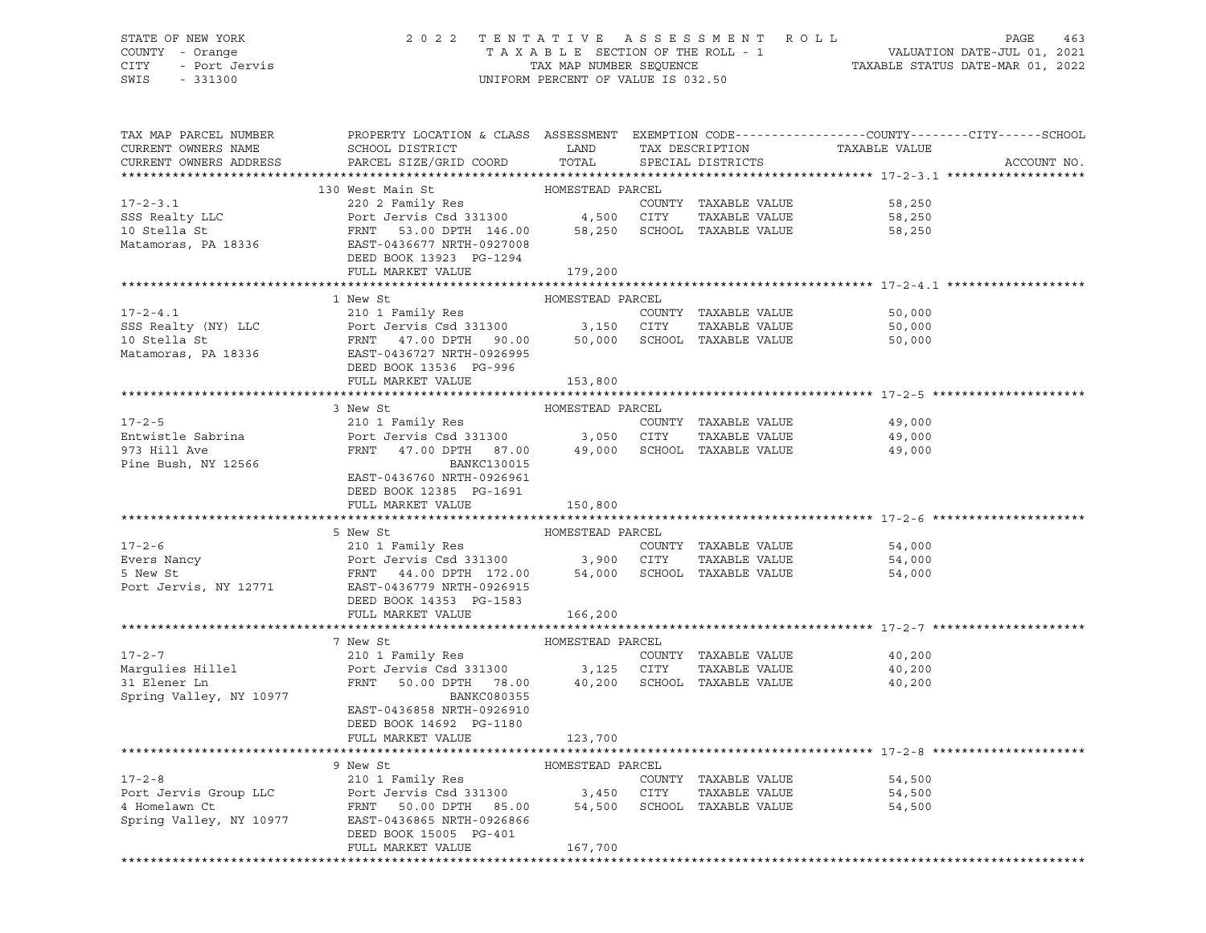# STATE OF NEW YORK 2 0 2 2 T E N T A T I V E A S S E S S M E N T R O L L PAGE 463 COUNTY - Orange T A X A B L E SECTION OF THE ROLL - 1 VALUATION DATE-JUL 01, 2021 CITY - Port Jervis TAX MAP NUMBER SEQUENCE TAXABLE STATUS DATE-MAR 01, 2022

| TAX MAP PARCEL NUMBER<br>CURRENT OWNERS NAME<br>CURRENT OWNERS ADDRESS   | PROPERTY LOCATION & CLASS ASSESSMENT EXEMPTION CODE----------------COUNTY-------CITY------SCHOOL<br>SCHOOL DISTRICT LAND<br>PARCEL SIZE/GRID COORD TOTAL                                                                                                                                |                             | TAX DESCRIPTION<br>SPECIAL DISTRICTS  | TAXABLE VALUE                                 | ACCOUNT NO. |
|--------------------------------------------------------------------------|-----------------------------------------------------------------------------------------------------------------------------------------------------------------------------------------------------------------------------------------------------------------------------------------|-----------------------------|---------------------------------------|-----------------------------------------------|-------------|
|                                                                          |                                                                                                                                                                                                                                                                                         |                             |                                       |                                               |             |
|                                                                          | 17-2-3.1<br>SSS Realty LLC<br>SSS Realty LLC<br>220 2 Family Res<br>PODE Jervis Csd 331300<br>220 2 Family Res<br>PODE TO A 250<br>4,500 CITY<br>4,500 CITY<br>220 2 Family Res<br>220 2 Family Res<br>220 2 Family Res<br>220 2 Family Res<br>220 2 Fam<br>DEED BOOK 13923 PG-1294     | HOMESTEAD PARCEL            |                                       | 58,250<br>58,250<br>58,250                    |             |
|                                                                          | FULL MARKET VALUE 179,200                                                                                                                                                                                                                                                               |                             |                                       |                                               |             |
|                                                                          |                                                                                                                                                                                                                                                                                         |                             |                                       |                                               |             |
| $17 - 2 - 4.1$                                                           | 1 New St<br>210 1 Family Res<br>SSS Realty (NY) LLC<br>SSS Realty (NY) LLC<br>10 Stella St<br>Matamoras, PA 18336<br>Matamoras, PA 18336<br>SCHOOL TAXABLE VALUE<br>Matamoras, PA 18336<br>DEED BOOK 13536<br>PEED BOOK 13536<br>PG-996                                                 | HOMESTEAD PARCEL            | COUNTY TAXABLE VALUE<br>TAXABLE VALUE | 50,000<br>50,000<br>50,000                    |             |
|                                                                          | FULL MARKET VALUE                                                                                                                                                                                                                                                                       | 153,800                     |                                       |                                               |             |
|                                                                          |                                                                                                                                                                                                                                                                                         |                             |                                       |                                               |             |
|                                                                          | 3 New St                                                                                                                                                                                                                                                                                | HOMESTEAD PARCEL            |                                       |                                               |             |
| $17 - 2 - 5$<br>Entwistle Sabrina<br>973 Hill Ave<br>Pine Bush, NY 12566 | BANKC130015<br>EAST-0436760 NRTH-0926961                                                                                                                                                                                                                                                |                             |                                       | 49,000<br>49,000<br>49,000                    |             |
|                                                                          | DEED BOOK 12385 PG-1691<br>FULL MARKET VALUE                                                                                                                                                                                                                                            | 150,800                     |                                       |                                               |             |
|                                                                          |                                                                                                                                                                                                                                                                                         |                             |                                       |                                               |             |
|                                                                          | 5 New St<br>210 1 Family Res<br>Evers Nancy<br>Evers Nancy<br>Evers Nancy<br>210 1 Family Res<br>Port Jervis Csd 331300<br>54,000<br>210 1 Family Res<br>210 1 Family Res<br>210 1 Family Res<br>210 21 Family Res<br>210 21 Family Res<br>24,000<br>3,900<br>DEED BOOK 14353 PG-1583   |                             |                                       |                                               |             |
|                                                                          | FULL MARKET VALUE                                                                                                                                                                                                                                                                       | 166,200                     |                                       |                                               |             |
|                                                                          |                                                                                                                                                                                                                                                                                         |                             |                                       |                                               |             |
| Spring Valley, NY 10977                                                  | 7 New St<br>BANKC080355<br>EAST-0436858 NRTH-0926910<br>DEED BOOK 14692 PG-1180                                                                                                                                                                                                         | HOMESTEAD PARCEL            |                                       | 40,200<br>40,200<br>40,200                    |             |
|                                                                          | FULL MARKET VALUE                                                                                                                                                                                                                                                                       | 123,700                     |                                       |                                               |             |
|                                                                          |                                                                                                                                                                                                                                                                                         |                             |                                       | ****************************** 17-2-8 ******* |             |
|                                                                          | 9 New St<br>17-2-8 COUNTY TAXABLE VALUE<br>Port Jervis Group LLC Port Jervis Csd 331300 3,450 CITY TAXABLE VALUE<br>4 Homelawn Ct FRNT 50.00 DPTH 85.00 54,500 SCHOOL TAXABLE VALUE<br>Spring Valley, NY 10977 EAST-0436865 NRTH-0926866<br>DEED BOOK 15005 PG-401<br>FULL MARKET VALUE | HOMESTEAD PARCEL<br>167,700 |                                       | 54,500<br>54,500<br>54,500                    |             |
|                                                                          |                                                                                                                                                                                                                                                                                         |                             |                                       |                                               |             |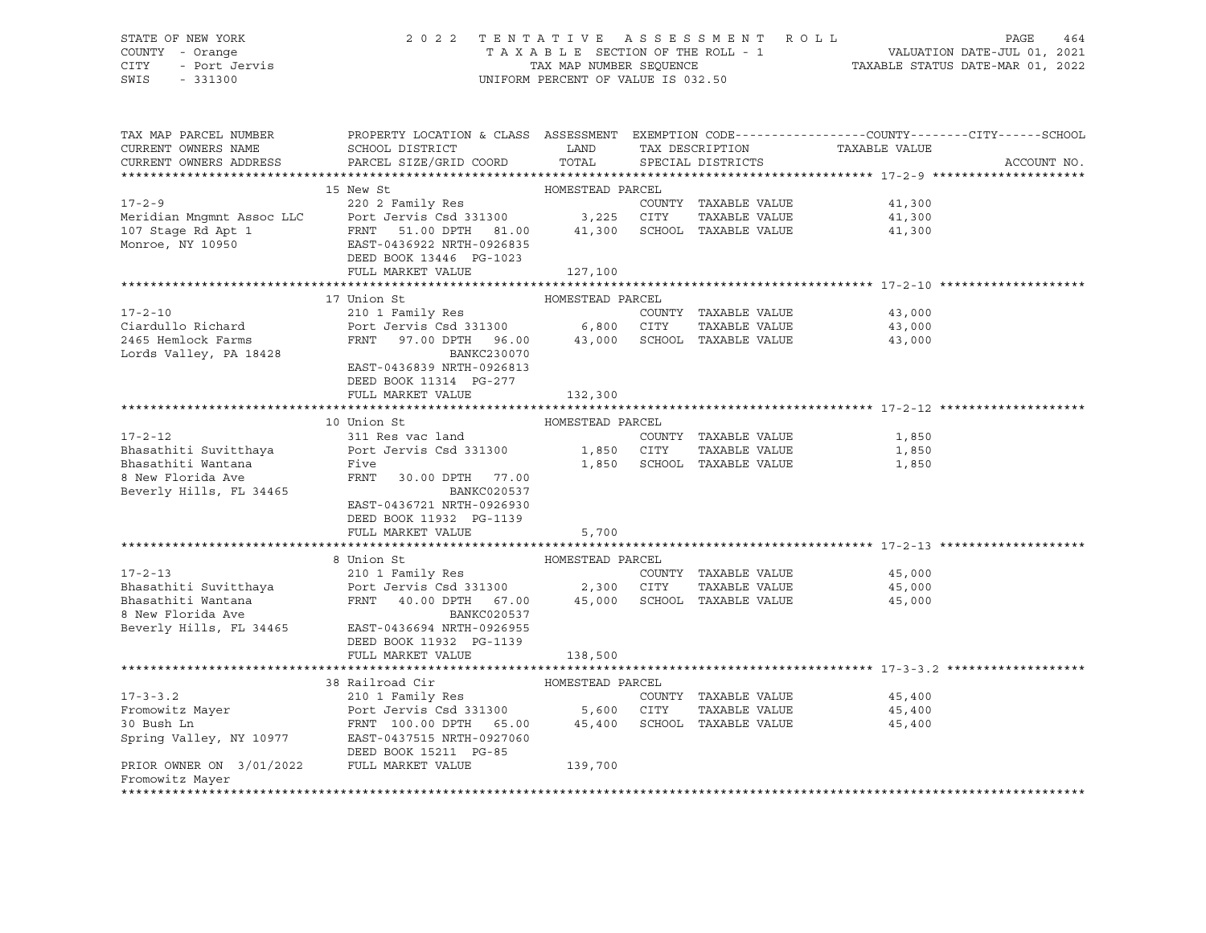# STATE OF NEW YORK 2 0 2 2 T E N T A T I V E A S S E S S M E N T R O L L PAGE 464 COUNTY - Orange T A X A B L E SECTION OF THE ROLL - 1 VALUATION DATE-JUL 01, 2021 CITY - Port Jervis TAX MAP NUMBER SEQUENCE TAXABLE STATUS DATE-MAR 01, 2022

| TAX MAP PARCEL NUMBER<br>CURRENT OWNERS NAME<br>CURRENT OWNERS ADDRESS | PROPERTY LOCATION & CLASS ASSESSMENT EXEMPTION CODE---------------COUNTY-------CITY------SCHOOL<br><b>EXAMPLE SERVICE SERVICE SERVICE SERVICE SERVICE SERVICE SERVICE SERVICE SERVICE SERVICE SERVICE SERVICE SERVICE</b><br>SCHOOL DISTRICT<br>PARCEL SIZE/GRID COORD | TOTAL            | TAX DESCRIPTION<br>SPECIAL DISTRICTS | TAXABLE VALUE | ACCOUNT NO. |
|------------------------------------------------------------------------|------------------------------------------------------------------------------------------------------------------------------------------------------------------------------------------------------------------------------------------------------------------------|------------------|--------------------------------------|---------------|-------------|
|                                                                        |                                                                                                                                                                                                                                                                        |                  |                                      |               |             |
|                                                                        | 15 New St                                                                                                                                                                                                                                                              | HOMESTEAD PARCEL |                                      |               |             |
| $17 - 2 - 9$                                                           | 220 2 Family Res                                                                                                                                                                                                                                                       |                  | COUNTY TAXABLE VALUE                 | 41,300        |             |
|                                                                        |                                                                                                                                                                                                                                                                        |                  | TAXABLE VALUE                        | 41,300        |             |
|                                                                        | Meridian Mngmnt Assoc LLC<br>107 Stage Rd Apt 1 FRNT 51.00 DPTH 81.00 41,300 SCHOC<br>Monroe, NY 10950 EAST-0436922 NRTH-0926835                                                                                                                                       |                  | 41,300 SCHOOL TAXABLE VALUE          | 41,300        |             |
|                                                                        |                                                                                                                                                                                                                                                                        |                  |                                      |               |             |
|                                                                        | DEED BOOK 13446 PG-1023                                                                                                                                                                                                                                                |                  |                                      |               |             |
|                                                                        | FULL MARKET VALUE                                                                                                                                                                                                                                                      | 127,100          |                                      |               |             |
|                                                                        | 17 Union St                                                                                                                                                                                                                                                            |                  |                                      |               |             |
| 17-2-10                                                                | 210 1 Family Res                                                                                                                                                                                                                                                       | HOMESTEAD PARCEL | COUNTY TAXABLE VALUE                 | 43,000        |             |
| Ciardullo Richard                                                      | Port Jervis Csd 331300 6,800 CITY                                                                                                                                                                                                                                      |                  | TAXABLE VALUE                        | 43,000        |             |
| 2465 Hemlock Farms                                                     | FRNT 97.00 DPTH 96.00 43,000 SCHOOL TAXABLE VALUE                                                                                                                                                                                                                      |                  |                                      | 43,000        |             |
| Lords Valley, PA 18428                                                 | BANKC230070                                                                                                                                                                                                                                                            |                  |                                      |               |             |
|                                                                        | EAST-0436839 NRTH-0926813                                                                                                                                                                                                                                              |                  |                                      |               |             |
|                                                                        | DEED BOOK 11314 PG-277                                                                                                                                                                                                                                                 |                  |                                      |               |             |
|                                                                        | FULL MARKET VALUE                                                                                                                                                                                                                                                      | 132,300          |                                      |               |             |
|                                                                        |                                                                                                                                                                                                                                                                        |                  |                                      |               |             |
|                                                                        | 10 Union St                                                                                                                                                                                                                                                            | HOMESTEAD PARCEL |                                      |               |             |
| $17 - 2 - 12$                                                          | 311 Res vac land                                                                                                                                                                                                                                                       |                  | COUNTY TAXABLE VALUE                 | 1,850         |             |
| Bhasathiti Suvitthaya                                                  | Port Jervis Csd 331300                                                                                                                                                                                                                                                 | 1,850 CITY       | TAXABLE VALUE                        | 1,850         |             |
| Bhasathiti Wantana                                                     | Five                                                                                                                                                                                                                                                                   |                  | 1,850 SCHOOL TAXABLE VALUE           | 1,850         |             |
| 8 New Florida Ave                                                      | FRNT<br>30.00 DPTH 77.00                                                                                                                                                                                                                                               |                  |                                      |               |             |
| Beverly Hills, FL 34465                                                | <b>BANKC020537</b>                                                                                                                                                                                                                                                     |                  |                                      |               |             |
|                                                                        | EAST-0436721 NRTH-0926930                                                                                                                                                                                                                                              |                  |                                      |               |             |
|                                                                        | DEED BOOK 11932 PG-1139                                                                                                                                                                                                                                                |                  |                                      |               |             |
|                                                                        | FULL MARKET VALUE                                                                                                                                                                                                                                                      | 5,700            |                                      |               |             |
|                                                                        |                                                                                                                                                                                                                                                                        |                  |                                      |               |             |
|                                                                        | 8 Union St                                                                                                                                                                                                                                                             | HOMESTEAD PARCEL |                                      |               |             |
| $17 - 2 - 13$                                                          | 210 1 Family Res                                                                                                                                                                                                                                                       |                  | COUNTY TAXABLE VALUE                 | 45,000        |             |
| Bhasathiti Suvitthaya                                                  | Port Jervis Csd 331300 2,300 CITY                                                                                                                                                                                                                                      |                  | TAXABLE VALUE                        | 45,000        |             |
| Bhasathiti Wantana<br>8 New Florida Ave                                | FRNT 40.00 DPTH 67.00 45,000 SCHOOL TAXABLE VALUE                                                                                                                                                                                                                      |                  |                                      | 45,000        |             |
| Beverly Hills, FL 34465                                                | BANKC020537<br>EAST-0436694 NRTH-0926955                                                                                                                                                                                                                               |                  |                                      |               |             |
|                                                                        | DEED BOOK 11932 PG-1139                                                                                                                                                                                                                                                |                  |                                      |               |             |
|                                                                        | FULL MARKET VALUE                                                                                                                                                                                                                                                      | 138,500          |                                      |               |             |
|                                                                        |                                                                                                                                                                                                                                                                        |                  |                                      |               |             |
|                                                                        | 38 Railroad Cir                                                                                                                                                                                                                                                        | HOMESTEAD PARCEL |                                      |               |             |
| $17 - 3 - 3.2$                                                         | 210 1 Family Res                                                                                                                                                                                                                                                       |                  | COUNTY TAXABLE VALUE                 | 45,400        |             |
| Fromowitz Mayer                                                        | Port Jervis Csd 331300 5,600 CITY                                                                                                                                                                                                                                      |                  | TAXABLE VALUE                        | 45,400        |             |
| 30 Bush Ln                                                             | FRNT 100.00 DPTH 65.00                                                                                                                                                                                                                                                 | 45,400           | SCHOOL TAXABLE VALUE                 | 45,400        |             |
| Spring Valley, NY 10977                                                | EAST-0437515 NRTH-0927060                                                                                                                                                                                                                                              |                  |                                      |               |             |
|                                                                        | DEED BOOK 15211 PG-85                                                                                                                                                                                                                                                  |                  |                                      |               |             |
| PRIOR OWNER ON 3/01/2022                                               | FULL MARKET VALUE                                                                                                                                                                                                                                                      | 139,700          |                                      |               |             |
| Fromowitz Mayer                                                        |                                                                                                                                                                                                                                                                        |                  |                                      |               |             |
|                                                                        |                                                                                                                                                                                                                                                                        |                  |                                      |               |             |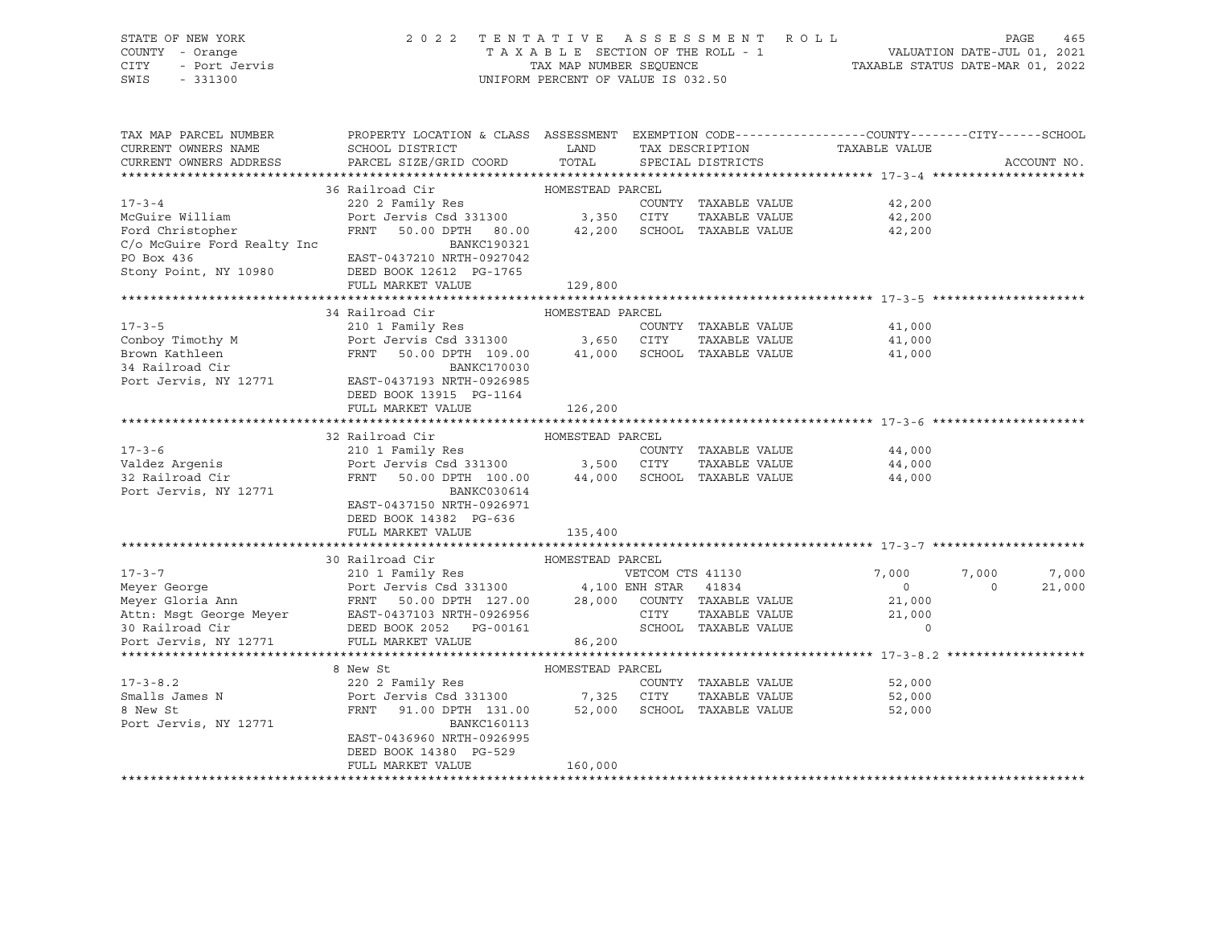| STATE OF NEW YORK<br>r<br>- Orange<br>- Port Jervis<br>COUNTY - Orange<br>CITY<br>SWIS<br>$-331300$                                                                                                                                           | 2022 TENTATIVE ASSESSMENT ROLL                                                                                                                     | UNIFORM PERCENT OF VALUE IS 032.50 |                                      | TAXABLE SECTION OF THE ROLL - 1<br>TAXABLE SECTION OF THE ROLL - 1<br>TAXABLE STATUS DATE-MAR 01, 2022 | PAGE     | 465         |
|-----------------------------------------------------------------------------------------------------------------------------------------------------------------------------------------------------------------------------------------------|----------------------------------------------------------------------------------------------------------------------------------------------------|------------------------------------|--------------------------------------|--------------------------------------------------------------------------------------------------------|----------|-------------|
| TAX MAP PARCEL NUMBER<br>CURRENT OWNERS NAME<br>CURRENT OWNERS ADDRESS                                                                                                                                                                        | PROPERTY LOCATION & CLASS ASSESSMENT EXEMPTION CODE----------------COUNTY-------CITY------SCHOOL<br>SCHOOL DISTRICT LAND<br>PARCEL SIZE/GRID COORD | TOTAL                              | TAX DESCRIPTION<br>SPECIAL DISTRICTS | TAXABLE VALUE                                                                                          |          | ACCOUNT NO. |
|                                                                                                                                                                                                                                               |                                                                                                                                                    |                                    |                                      |                                                                                                        |          |             |
|                                                                                                                                                                                                                                               | 36 Railroad Cir                                                                                                                                    | HOMESTEAD PARCEL                   |                                      |                                                                                                        |          |             |
| $17 - 3 - 4$                                                                                                                                                                                                                                  |                                                                                                                                                    |                                    | COUNTY TAXABLE VALUE                 | 42,200                                                                                                 |          |             |
| McGuire William                                                                                                                                                                                                                               |                                                                                                                                                    |                                    | TAXABLE VALUE                        | 42,200                                                                                                 |          |             |
| Ford Christopher                                                                                                                                                                                                                              | FRNT 50.00 DPTH 80.00 42,200 SCHOOL TAXABLE VALUE                                                                                                  |                                    |                                      | 42,200                                                                                                 |          |             |
| C/o McGuire Ford Realty Inc                                                                                                                                                                                                                   | BANKC190321                                                                                                                                        |                                    |                                      |                                                                                                        |          |             |
| PO Box 436                                                                                                                                                                                                                                    | EAST-0437210 NRTH-0927042                                                                                                                          |                                    |                                      |                                                                                                        |          |             |
| Stony Point, NY 10980                                                                                                                                                                                                                         | DEED BOOK 12612 PG-1765                                                                                                                            |                                    |                                      |                                                                                                        |          |             |
|                                                                                                                                                                                                                                               | FULL MARKET VALUE                                                                                                                                  | 129,800                            |                                      |                                                                                                        |          |             |
|                                                                                                                                                                                                                                               |                                                                                                                                                    |                                    |                                      |                                                                                                        |          |             |
|                                                                                                                                                                                                                                               |                                                                                                                                                    |                                    |                                      | 41,000                                                                                                 |          |             |
|                                                                                                                                                                                                                                               |                                                                                                                                                    |                                    |                                      | 41,000                                                                                                 |          |             |
|                                                                                                                                                                                                                                               | FRNT 50.00 DPTH 109.00 41,000 SCHOOL TAXABLE VALUE 41,000                                                                                          |                                    |                                      |                                                                                                        |          |             |
|                                                                                                                                                                                                                                               |                                                                                                                                                    |                                    |                                      |                                                                                                        |          |             |
| Port Jervis, NY 12771 EAST-0437193 NRTH-0926985                                                                                                                                                                                               |                                                                                                                                                    |                                    |                                      |                                                                                                        |          |             |
|                                                                                                                                                                                                                                               | DEED BOOK 13915 PG-1164                                                                                                                            |                                    |                                      |                                                                                                        |          |             |
|                                                                                                                                                                                                                                               | FULL MARKET VALUE                                                                                                                                  | 126,200                            |                                      |                                                                                                        |          |             |
|                                                                                                                                                                                                                                               |                                                                                                                                                    |                                    |                                      |                                                                                                        |          |             |
|                                                                                                                                                                                                                                               | 32 Railroad Cir                                                                                                                                    | HOMESTEAD PARCEL                   |                                      |                                                                                                        |          |             |
| $17 - 3 - 6$                                                                                                                                                                                                                                  | 210 1 Family Res                                                                                                                                   |                                    | COUNTY TAXABLE VALUE                 | 44,000                                                                                                 |          |             |
| Valdez Argenis<br>32 Railroad Cir<br>-                                                                                                                                                                                                        | Port Jervis Csd 331300 3,500 CITY TAXABLE VALUE<br>FRNT 50.00 DPTH 100.00 44,000 SCHOOL TAXABLE VALUE                                              |                                    |                                      | 44,000                                                                                                 |          |             |
|                                                                                                                                                                                                                                               |                                                                                                                                                    |                                    |                                      | 44,000                                                                                                 |          |             |
| Port Jervis, NY 12771                                                                                                                                                                                                                         | BANKC030614                                                                                                                                        |                                    |                                      |                                                                                                        |          |             |
|                                                                                                                                                                                                                                               | EAST-0437150 NRTH-0926971<br>DEED BOOK 14382 PG-636                                                                                                |                                    |                                      |                                                                                                        |          |             |
|                                                                                                                                                                                                                                               | FULL MARKET VALUE                                                                                                                                  | 135,400                            |                                      |                                                                                                        |          |             |
|                                                                                                                                                                                                                                               |                                                                                                                                                    |                                    |                                      |                                                                                                        |          |             |
|                                                                                                                                                                                                                                               | 30 Railroad Cir                                                                                                                                    | HOMESTEAD PARCEL                   |                                      |                                                                                                        |          |             |
| Meyer George<br>Meyer George 210 1 Family Res<br>Meyer Gloria Ann<br>Meyer Gloria Ann<br>Meyer Gloria Ann<br>RES 2000 28,000 COUNTY TAXABLE VALUE<br>Attn: Msgt George Meyer<br>EAST-0437103 NRTH-0926956 CITY TAXABLE VALUE<br>28,000 COUNTY |                                                                                                                                                    |                                    |                                      | 7,000                                                                                                  | 7,000    | 7,000       |
|                                                                                                                                                                                                                                               |                                                                                                                                                    |                                    |                                      | $\overline{0}$                                                                                         | $\sim$ 0 | 21,000      |
|                                                                                                                                                                                                                                               |                                                                                                                                                    |                                    |                                      | 21,000                                                                                                 |          |             |
|                                                                                                                                                                                                                                               |                                                                                                                                                    |                                    |                                      | 21,000                                                                                                 |          |             |
|                                                                                                                                                                                                                                               |                                                                                                                                                    |                                    | SCHOOL TAXABLE VALUE                 | $\Omega$                                                                                               |          |             |
|                                                                                                                                                                                                                                               |                                                                                                                                                    |                                    |                                      |                                                                                                        |          |             |
|                                                                                                                                                                                                                                               |                                                                                                                                                    |                                    |                                      |                                                                                                        |          |             |
|                                                                                                                                                                                                                                               | 8 New St                                                                                                                                           | HOMESTEAD PARCEL                   |                                      |                                                                                                        |          |             |
| $17 - 3 - 8.2$                                                                                                                                                                                                                                | 220 2 Family Res                                                                                                                                   |                                    | COUNTY TAXABLE VALUE                 | 52,000                                                                                                 |          |             |
| Smalls James N                                                                                                                                                                                                                                | Port Jervis Csd 331300 7,325 CITY TAXABLE VALUE<br>FRNT 91.00 DPTH 131.00 52,000 SCHOOL TAXABLE VALUE                                              |                                    |                                      | 52,000                                                                                                 |          |             |
| 8 New St                                                                                                                                                                                                                                      |                                                                                                                                                    |                                    |                                      | 52,000                                                                                                 |          |             |
| Port Jervis, NY 12771                                                                                                                                                                                                                         | BANKC160113                                                                                                                                        |                                    |                                      |                                                                                                        |          |             |
|                                                                                                                                                                                                                                               | EAST-0436960 NRTH-0926995<br>DEED BOOK 14380 PG-529                                                                                                |                                    |                                      |                                                                                                        |          |             |
|                                                                                                                                                                                                                                               | FULL MARKET VALUE                                                                                                                                  | 160,000                            |                                      |                                                                                                        |          |             |
|                                                                                                                                                                                                                                               |                                                                                                                                                    |                                    |                                      |                                                                                                        |          |             |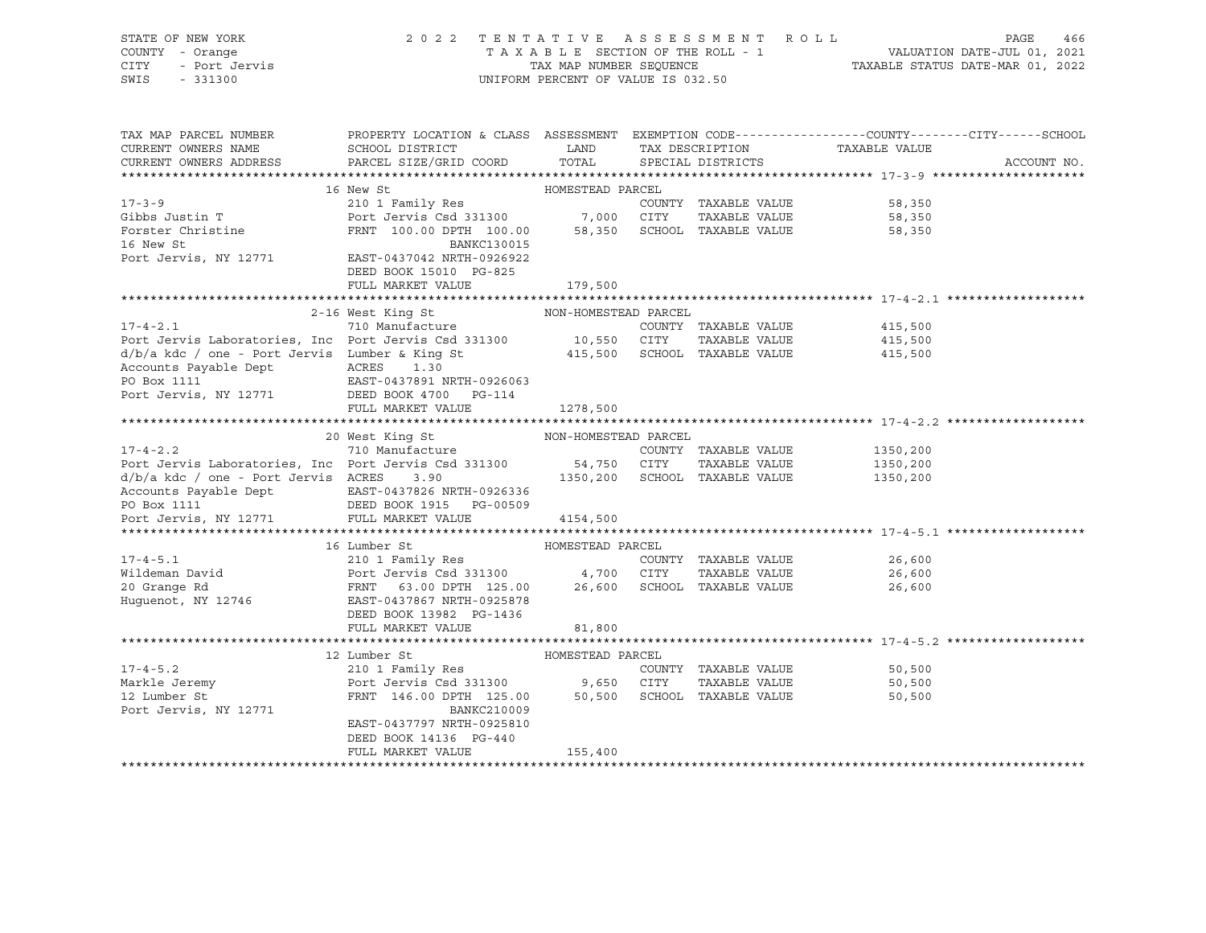| STATE OF NEW YORK<br>COUNTY<br>- Orange<br>CITY<br>- Port Jervis<br>SWIS<br>$-331300$                                                                                                                                                    | 2 0 2 2                                                                                                                   | TAX MAP NUMBER SEQUENCE<br>UNIFORM PERCENT OF VALUE IS 032.50                                             | TENTATIVE ASSESSMENT ROLL             | T A X A B L E SECTION OF THE ROLL - 1 VALUATION DATE-JUL 01, 2021<br>TAXABLE STATUS DATE-MAR 01, 2022 | PAGE<br>466 |
|------------------------------------------------------------------------------------------------------------------------------------------------------------------------------------------------------------------------------------------|---------------------------------------------------------------------------------------------------------------------------|-----------------------------------------------------------------------------------------------------------|---------------------------------------|-------------------------------------------------------------------------------------------------------|-------------|
| TAX MAP PARCEL NUMBER THE PROPERTY LOCATION & CLASS ASSESSMENT EXEMPTION CODE--------------COUNTY-------CITY------SCHOOL<br>CURRENT OWNERS NAME SCHOOL DISTRICT<br>CURRENT OWNERS ADDRESS PARCEL SIZE/GRID COORD TOTAL SPECIAL DISTRICTS |                                                                                                                           | <b>EXAMPLE THE STATE OF STATE OF STATE OF STATE OF STATE OF STATE OF STATE OF STATE OF STATE OF STATE</b> |                                       | TAX DESCRIPTION TAXABLE VALUE                                                                         | ACCOUNT NO. |
|                                                                                                                                                                                                                                          |                                                                                                                           |                                                                                                           |                                       |                                                                                                       |             |
| $17 - 3 - 9$<br>Port Jervis, NY 12771 EAST-0437042 NRTH-0926922                                                                                                                                                                          | HOMESTEAD PARCEL<br>16 New St<br>210 1 Family Res<br>DEED BOOK 15010 PG-825<br>FULL MARKET VALUE                          | 179,500                                                                                                   | COUNTY TAXABLE VALUE<br>TAXABLE VALUE | 58,350<br>58,350<br>58,350                                                                            |             |
|                                                                                                                                                                                                                                          |                                                                                                                           |                                                                                                           |                                       |                                                                                                       |             |
| $17 - 4 - 2.1$<br>Port Jervis Laboratories, Inc Port Jervis Csd 331300 10,550 CITY<br>d/b/a kdc / one - Port Jervis Lumber & King St<br>Accounts Payable Dept<br>PO Box 1111<br>Port Jervis, NY 12771 DEED BOOK 4700 PG-114              | 2-16 West King St NON-HOMESTEAD PARCEL<br>710 Manufacture<br>ACRES 1.30<br>EAST-0437891 NRTH-0926063<br>FULL MARKET VALUE | 1278,500                                                                                                  | 415,500 SCHOOL TAXABLE VALUE          | COUNTY TAXABLE VALUE 415,500<br>TAXABLE VALUE 415,500<br>415,500                                      |             |

|                                                                                                                                                                                                                                                                            | 20 West King St NON-HOMESTEAD PARCEL |         |                      |                               |  |
|----------------------------------------------------------------------------------------------------------------------------------------------------------------------------------------------------------------------------------------------------------------------------|--------------------------------------|---------|----------------------|-------------------------------|--|
| 17-4-2.2 710 Manufacture                                                                                                                                                                                                                                                   |                                      |         |                      | COUNTY TAXABLE VALUE 1350,200 |  |
| Port Jervis Laboratories, Inc Port Jervis Csd 331300 54,750 CITY TAXABLE VALUE                                                                                                                                                                                             |                                      |         |                      | 1350,200                      |  |
| d/b/a kdc / one - Port Jervis ACRES 3.90 1350,200 SCHOOL TAXABLE VALUE                                                                                                                                                                                                     |                                      |         |                      | 1350,200                      |  |
| Accounts Payable Dept EAST-0437826 NRTH-0926336                                                                                                                                                                                                                            |                                      |         |                      |                               |  |
| PO Box 1111 DEED BOOK 1915 PG-00509                                                                                                                                                                                                                                        |                                      |         |                      |                               |  |
| Port Jervis, NY 12771 FULL MARKET VALUE 4154,500                                                                                                                                                                                                                           |                                      |         |                      |                               |  |
|                                                                                                                                                                                                                                                                            |                                      |         |                      |                               |  |
|                                                                                                                                                                                                                                                                            | 16 Lumber St<br>HOMESTEAD PARCEL     |         |                      |                               |  |
| 17-4-5.1 210 1 Family Res<br>Wildeman David 20 0 Family Res<br>26,600<br>26,600<br>26,600<br>26,600<br>26,600<br>26,600<br>26,600<br>26,600<br>26,600<br>26,600<br>26,600<br>26,600<br>26,600<br>26,600<br>26,600<br>26,600<br>26,600<br>26,600<br>26,600<br>26,600<br>26, |                                      |         |                      |                               |  |
|                                                                                                                                                                                                                                                                            |                                      |         |                      |                               |  |
|                                                                                                                                                                                                                                                                            |                                      |         |                      |                               |  |
|                                                                                                                                                                                                                                                                            |                                      |         |                      |                               |  |
|                                                                                                                                                                                                                                                                            | DEED BOOK 13982 PG-1436              |         |                      |                               |  |
|                                                                                                                                                                                                                                                                            | FULL MARKET VALUE 81,800             |         |                      |                               |  |
|                                                                                                                                                                                                                                                                            |                                      |         |                      |                               |  |
|                                                                                                                                                                                                                                                                            | 12 Lumber St<br>HOMESTEAD PARCEL     |         |                      |                               |  |
| 17-4-5.2 210 1 Family Res                                                                                                                                                                                                                                                  |                                      |         | COUNTY TAXABLE VALUE | 50,500                        |  |
|                                                                                                                                                                                                                                                                            |                                      |         |                      | TAXABLE VALUE 50,500          |  |
|                                                                                                                                                                                                                                                                            |                                      |         |                      | 50,500                        |  |
| Port Jervis, NY 12771                                                                                                                                                                                                                                                      | BANKC210009                          |         |                      |                               |  |
|                                                                                                                                                                                                                                                                            | EAST-0437797 NRTH-0925810            |         |                      |                               |  |
|                                                                                                                                                                                                                                                                            | DEED BOOK 14136 PG-440               |         |                      |                               |  |
|                                                                                                                                                                                                                                                                            | FULL MARKET VALUE                    | 155,400 |                      |                               |  |

# \*\*\*\*\*\*\*\*\*\*\*\*\*\*\*\*\*\*\*\*\*\*\*\*\*\*\*\*\*\*\*\*\*\*\*\*\*\*\*\*\*\*\*\*\*\*\*\*\*\*\*\*\*\*\*\*\*\*\*\*\*\*\*\*\*\*\*\*\*\*\*\*\*\*\*\*\*\*\*\*\*\*\*\*\*\*\*\*\*\*\*\*\*\*\*\*\*\*\*\*\*\*\*\*\*\*\*\*\*\*\*\*\*\*\*\*\*\*\*\*\*\*\*\*\*\*\*\*\*\*\*\*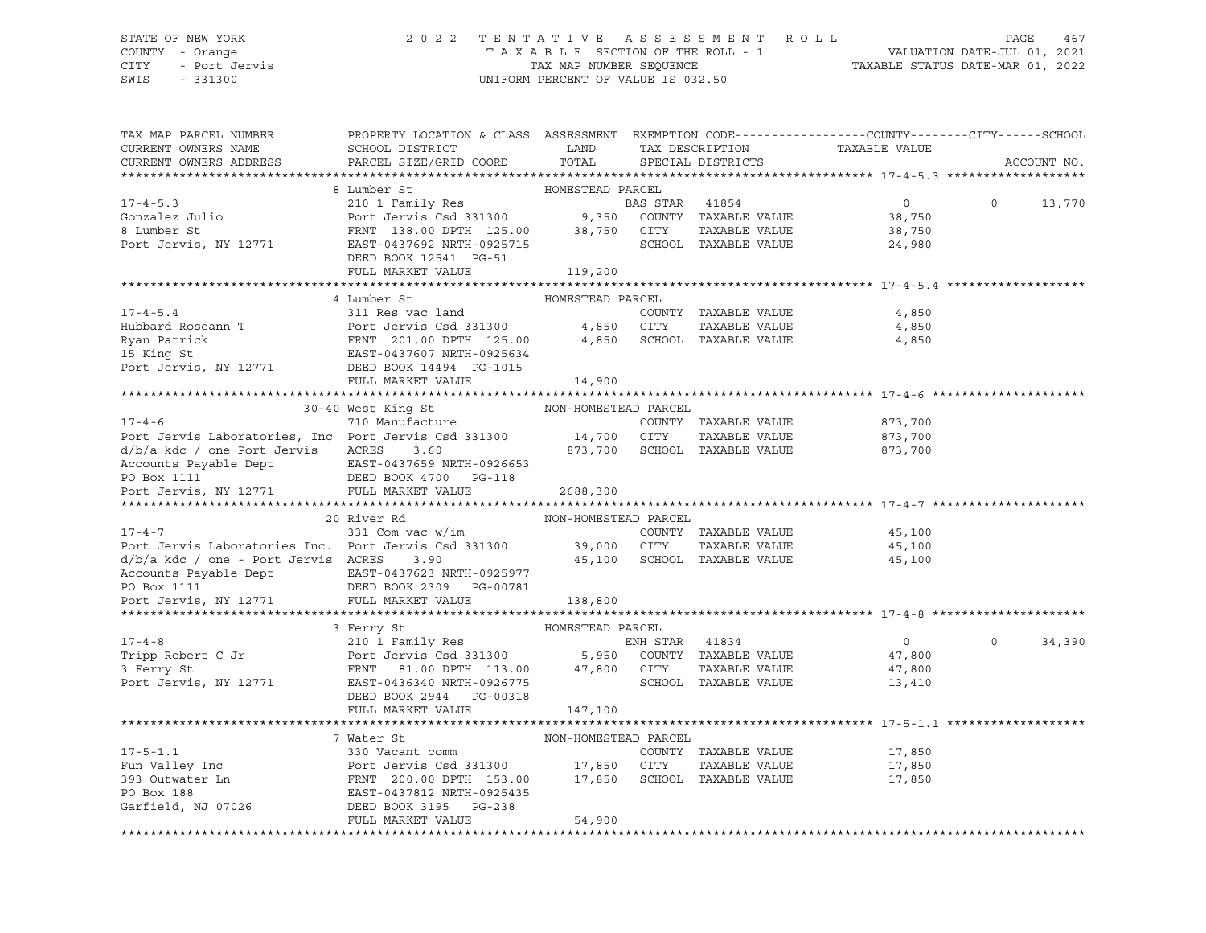# STATE OF NEW YORK 2 0 2 2 T E N T A T I V E A S S E S S M E N T R O L L PAGE 467 COUNTY - Orange T A X A B L E SECTION OF THE ROLL - 1 VALUATION DATE-JUL 01, 2021 CITY - Port Jervis TAX MAP NUMBER SEQUENCE TAXABLE STATUS DATE-MAR 01, 2022

| TAX MAP PARCEL NUMBER<br>CURRENT OWNERS NAME<br>CURRENT OWNERS ADDRESS | PROPERTY LOCATION & CLASS ASSESSMENT EXEMPTION CODE----------------COUNTY-------CITY------SCHOOL<br>SCHOOL DISTRICT<br>PARCEL SIZE/GRID COORD | LAND<br>TOTAL        |                | TAX DESCRIPTION<br>SPECIAL DISTRICTS         | TAXABLE VALUE    |          | ACCOUNT NO. |
|------------------------------------------------------------------------|-----------------------------------------------------------------------------------------------------------------------------------------------|----------------------|----------------|----------------------------------------------|------------------|----------|-------------|
|                                                                        |                                                                                                                                               |                      |                |                                              |                  |          |             |
|                                                                        | 8 Lumber St                                                                                                                                   | HOMESTEAD PARCEL     |                |                                              |                  |          |             |
| $17 - 4 - 5.3$                                                         | 210 1 Family Res                                                                                                                              |                      | BAS STAR 41854 |                                              | $\overline{0}$   | $\Omega$ | 13,770      |
| Gonzalez Julio                                                         | Port Jervis Csd 331300 9,350 COUNTY TAXABLE VALUE                                                                                             |                      |                |                                              | 38,750           |          |             |
| 8 Lumber St                                                            | FRNT 138.00 DPTH 125.00 38,750 CITY                                                                                                           |                      |                | TAXABLE VALUE                                | 38,750           |          |             |
| Port Jervis, NY 12771                                                  | EAST-0437692 NRTH-0925715                                                                                                                     |                      |                | SCHOOL TAXABLE VALUE                         | 24,980           |          |             |
|                                                                        | DEED BOOK 12541 PG-51                                                                                                                         |                      |                |                                              |                  |          |             |
|                                                                        | FULL MARKET VALUE                                                                                                                             | 119,200              |                |                                              |                  |          |             |
|                                                                        |                                                                                                                                               |                      |                |                                              |                  |          |             |
|                                                                        | 4 Lumber St                                                                                                                                   | HOMESTEAD PARCEL     |                |                                              |                  |          |             |
| $17 - 4 - 5.4$                                                         | 311 Res vac land                                                                                                                              |                      |                | COUNTY TAXABLE VALUE                         | 4,850            |          |             |
| Hubbard Roseann T                                                      |                                                                                                                                               |                      |                | TAXABLE VALUE                                | 4,850            |          |             |
| Ryan Patrick<br>$\frac{11}{2}$ $\frac{1}{2}$                           |                                                                                                                                               |                      |                | 4,850 SCHOOL TAXABLE VALUE                   | 4,850            |          |             |
| 15 King St                                                             |                                                                                                                                               |                      |                |                                              |                  |          |             |
| Port Jervis, NY 12771                                                  | Port Jervis Csd 331300 4,850 CITY<br>FRNT 201.00 DPTH 125.00 4,850 SCHOOL<br>EAST-0437607 NRTH-0925634                                        |                      |                |                                              |                  |          |             |
|                                                                        | FULL MARKET VALUE                                                                                                                             | 14,900               |                |                                              |                  |          |             |
|                                                                        |                                                                                                                                               |                      |                |                                              |                  |          |             |
|                                                                        | 30-40 West King St                                                                                                                            | NON-HOMESTEAD PARCEL |                |                                              |                  |          |             |
| $17 - 4 - 6$                                                           | 710 Manufacture                                                                                                                               |                      |                | COUNTY TAXABLE VALUE                         | 873,700          |          |             |
| Port Jervis Laboratories, Inc Port Jervis Csd 331300                   |                                                                                                                                               | 14,700 CITY          |                | TAXABLE VALUE                                | 873,700          |          |             |
| d/b/a kdc / one Port Jervis                                            | ACRES<br>3.60                                                                                                                                 |                      |                | 873,700 SCHOOL TAXABLE VALUE                 | 873,700          |          |             |
| Accounts Payable Dept                                                  | EAST-0437659 NRTH-0926653                                                                                                                     |                      |                |                                              |                  |          |             |
| PO Box 1111<br>Port Jervis, NY 12771                                   | DEED BOOK 4700 PG-118                                                                                                                         |                      |                |                                              |                  |          |             |
|                                                                        | FULL MARKET VALUE                                                                                                                             | 2688,300             |                |                                              |                  |          |             |
|                                                                        |                                                                                                                                               |                      |                |                                              |                  |          |             |
| $17 - 4 - 7$                                                           | 20 River Rd                                                                                                                                   | NON-HOMESTEAD PARCEL |                |                                              |                  |          |             |
| Port Jervis Laboratories Inc. Port Jervis Csd 331300 39,000 CITY       | 331 Com vac w/im                                                                                                                              |                      |                | COUNTY TAXABLE VALUE                         | 45,100<br>45,100 |          |             |
| d/b/a kdc / one - Port Jervis ACRES                                    | 3.90                                                                                                                                          |                      |                | TAXABLE VALUE<br>45,100 SCHOOL TAXABLE VALUE |                  |          |             |
|                                                                        |                                                                                                                                               |                      |                |                                              | 45,100           |          |             |
|                                                                        |                                                                                                                                               |                      |                |                                              |                  |          |             |
| Port Jervis, NY 12771                                                  | FULL MARKET VALUE                                                                                                                             | 138,800              |                |                                              |                  |          |             |
|                                                                        |                                                                                                                                               |                      |                |                                              |                  |          |             |
|                                                                        | 3 Ferry St                                                                                                                                    | HOMESTEAD PARCEL     |                |                                              |                  |          |             |
| $17 - 4 - 8$                                                           |                                                                                                                                               |                      |                |                                              | $\overline{0}$   | $\circ$  | 34,390      |
| Tripp Robert C Jr                                                      |                                                                                                                                               |                      |                |                                              | 47,800           |          |             |
|                                                                        |                                                                                                                                               |                      |                | TAXABLE VALUE                                | 47,800           |          |             |
| Port Jervis, NY 12771                                                  | FRNT 81.00 DPTH 113.00 47,800 CITY<br>EAST-0436340 NRTH-0926775 SCHOO<br>EAST-0436340 NRTH-0926775                                            |                      |                | SCHOOL TAXABLE VALUE                         | 13,410           |          |             |
|                                                                        | DEED BOOK 2944 PG-00318                                                                                                                       |                      |                |                                              |                  |          |             |
|                                                                        | FULL MARKET VALUE                                                                                                                             | 147,100              |                |                                              |                  |          |             |
|                                                                        |                                                                                                                                               |                      |                |                                              |                  |          |             |
|                                                                        | 7 Water St                                                                                                                                    | NON-HOMESTEAD PARCEL |                |                                              |                  |          |             |
| $17 - 5 - 1.1$                                                         | 330 Vacant comm                                                                                                                               |                      |                | COUNTY TAXABLE VALUE                         | 17,850           |          |             |
|                                                                        |                                                                                                                                               |                      |                |                                              | 17,850           |          |             |
|                                                                        |                                                                                                                                               |                      |                |                                              | 17,850           |          |             |
|                                                                        |                                                                                                                                               |                      |                |                                              |                  |          |             |
|                                                                        |                                                                                                                                               |                      |                |                                              |                  |          |             |
|                                                                        | FULL MARKET VALUE                                                                                                                             | 54,900               |                |                                              |                  |          |             |
|                                                                        |                                                                                                                                               |                      |                |                                              |                  |          |             |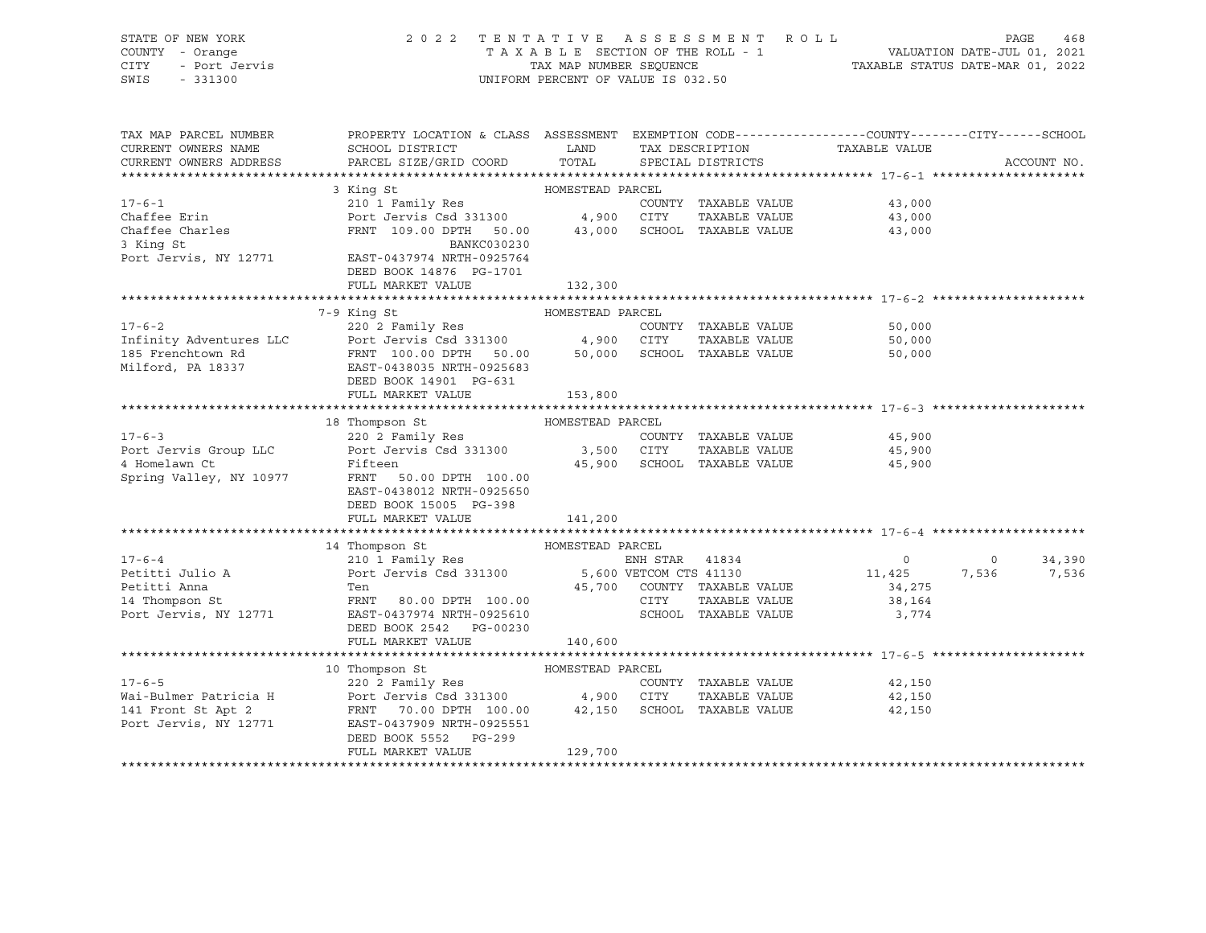| STATE OF NEW YORK<br>COUNTY - Orange<br>- Port Jervis<br>CITY<br>SWIS<br>$-331300$ | 2022 TENTATIVE ASSESSMENT ROLL<br>TAXABLE SECTION OF THE ROLL - 1<br>TAX MAP NUMBER SEOUENCE<br>UNIFORM PERCENT OF VALUE IS 032.50 | PAGE<br>VALUATION DATE-JUL 01, 2021<br>TAXABLE STATUS DATE-MAR 01, 2022 | 468 |
|------------------------------------------------------------------------------------|------------------------------------------------------------------------------------------------------------------------------------|-------------------------------------------------------------------------|-----|
| TAX MAP PARCEL NUMBER                                                              | PROPERTY LOCATION & CLASS ASSESSMENT EXEMPTION CODE----------------COUNTY-------CITY------SCHOOL                                   |                                                                         |     |

| CURRENT OWNERS NAME          | bocht a child<br>SCHOOL DISTRICT                                                                      | .<br>LAND        | 1111111111011001011 | TAX DESCRIPTION             | ~~~ <u>**</u><br>TAXABLE VALUE |                |             |
|------------------------------|-------------------------------------------------------------------------------------------------------|------------------|---------------------|-----------------------------|--------------------------------|----------------|-------------|
| CURRENT OWNERS ADDRESS       | PARCEL SIZE/GRID COORD TOTAL SPECIAL DISTRICTS                                                        |                  |                     |                             |                                |                | ACCOUNT NO. |
|                              |                                                                                                       |                  |                     |                             |                                |                |             |
|                              | 3 King St                                                                                             | HOMESTEAD PARCEL |                     |                             |                                |                |             |
| $17 - 6 - 1$                 | 210 1 Family Res                                                                                      |                  |                     | COUNTY TAXABLE VALUE        | 43,000                         |                |             |
| Chaffee Erin                 | Port Jervis Csd 331300 4,900 CITY                                                                     |                  |                     |                             | TAXABLE VALUE 43,000           |                |             |
| Chaffee Charles<br>3 King St | FRNT 109.00 DPTH 50.00 43,000                                                                         |                  |                     | SCHOOL TAXABLE VALUE        | 43,000                         |                |             |
| 3 King St                    | BANKC030230                                                                                           |                  |                     |                             |                                |                |             |
| Port Jervis, NY 12771        | EAST-0437974 NRTH-0925764                                                                             |                  |                     |                             |                                |                |             |
|                              | DEED BOOK 14876 PG-1701                                                                               |                  |                     |                             |                                |                |             |
|                              | FULL MARKET VALUE                                                                                     | 132,300          |                     |                             |                                |                |             |
|                              |                                                                                                       |                  |                     |                             |                                |                |             |
|                              | 7-9 King St                                                                                           | HOMESTEAD PARCEL |                     |                             |                                |                |             |
| $17 - 6 - 2$                 | 220 2 Family Res                                                                                      |                  |                     | COUNTY TAXABLE VALUE        | 50,000                         |                |             |
|                              |                                                                                                       |                  |                     |                             | 50,000<br>50.000               |                |             |
|                              |                                                                                                       |                  |                     |                             | 50,000                         |                |             |
| Milford, PA 18337            | EAST-0438035 NRTH-0925683                                                                             |                  |                     |                             |                                |                |             |
|                              | DEED BOOK 14901 PG-631                                                                                |                  |                     |                             |                                |                |             |
|                              | FULL MARKET VALUE                                                                                     | 153,800          |                     |                             |                                |                |             |
|                              | 18 Thompson St MOMESTEAD PARCEL                                                                       |                  |                     |                             |                                |                |             |
| $17 - 6 - 3$                 | 220 2 Family Res                                                                                      |                  |                     | COUNTY TAXABLE VALUE        | 45,900                         |                |             |
| Port Jervis Group LLC        |                                                                                                       |                  |                     | TAXABLE VALUE               | 45,900                         |                |             |
| 4 Homelawn Ct                | Port Jervis Csd 331300 3,500 CITY<br>Fifteen 45,900 SCHOC                                             |                  |                     | 45,900 SCHOOL TAXABLE VALUE | 45,900                         |                |             |
| Spring Valley, NY 10977      | FRNT 50.00 DPTH 100.00                                                                                |                  |                     |                             |                                |                |             |
|                              | EAST-0438012 NRTH-0925650                                                                             |                  |                     |                             |                                |                |             |
|                              | DEED BOOK 15005 PG-398                                                                                |                  |                     |                             |                                |                |             |
|                              | FULL MARKET VALUE                                                                                     | 141,200          |                     |                             |                                |                |             |
|                              |                                                                                                       |                  |                     |                             |                                |                |             |
|                              | 14 Thompson St                                                                                        | HOMESTEAD PARCEL |                     |                             |                                |                |             |
| $17 - 6 - 4$                 | 210 I Family Res<br>Port Jervis Csd 331300 5,600 VETCOM CTS 41130                                     |                  |                     |                             | $\overline{0}$                 | $\overline{0}$ | 34,390      |
| Petitti Julio A              |                                                                                                       |                  |                     |                             | 11,425                         | 7,536          | 7,536       |
| Petitti Anna                 | Ten                                                                                                   |                  |                     | 45,700 COUNTY TAXABLE VALUE | 34,275                         |                |             |
| 14 Thompson St               | FRNT 80.00 DPTH 100.00                                                                                |                  | CITY                | TAXABLE VALUE               | 38,164                         |                |             |
| Port Jervis, NY 12771        | EAST-0437974 NRTH-0925610                                                                             |                  |                     | SCHOOL TAXABLE VALUE        | 3,774                          |                |             |
|                              | DEED BOOK 2542 PG-00230                                                                               |                  |                     |                             |                                |                |             |
|                              | FULL MARKET VALUE                                                                                     | 140,600          |                     |                             |                                |                |             |
|                              |                                                                                                       |                  |                     |                             |                                |                |             |
|                              | 10 Thompson St                                                                                        | HOMESTEAD PARCEL |                     |                             |                                |                |             |
| $17 - 6 - 5$                 | 220 2 Family Res                                                                                      |                  |                     |                             | COUNTY TAXABLE VALUE 42,150    |                |             |
| Wai-Bulmer Patricia H        | Port Jervis Csd 331300 4,900 CITY TAXABLE VALUE<br>FRNT 70.00 DPTH 100.00 42,150 SCHOOL TAXABLE VALUE |                  |                     | TAXABLE VALUE               | 42,150                         |                |             |
| 141 Front St Apt 2           |                                                                                                       |                  |                     |                             | 42,150                         |                |             |
| Port Jervis, NY 12771        | EAST-0437909 NRTH-0925551                                                                             |                  |                     |                             |                                |                |             |
|                              | DEED BOOK 5552 PG-299                                                                                 |                  |                     |                             |                                |                |             |
|                              | FULL MARKET VALUE                                                                                     | 129,700          |                     |                             |                                |                |             |
|                              |                                                                                                       |                  |                     |                             |                                |                |             |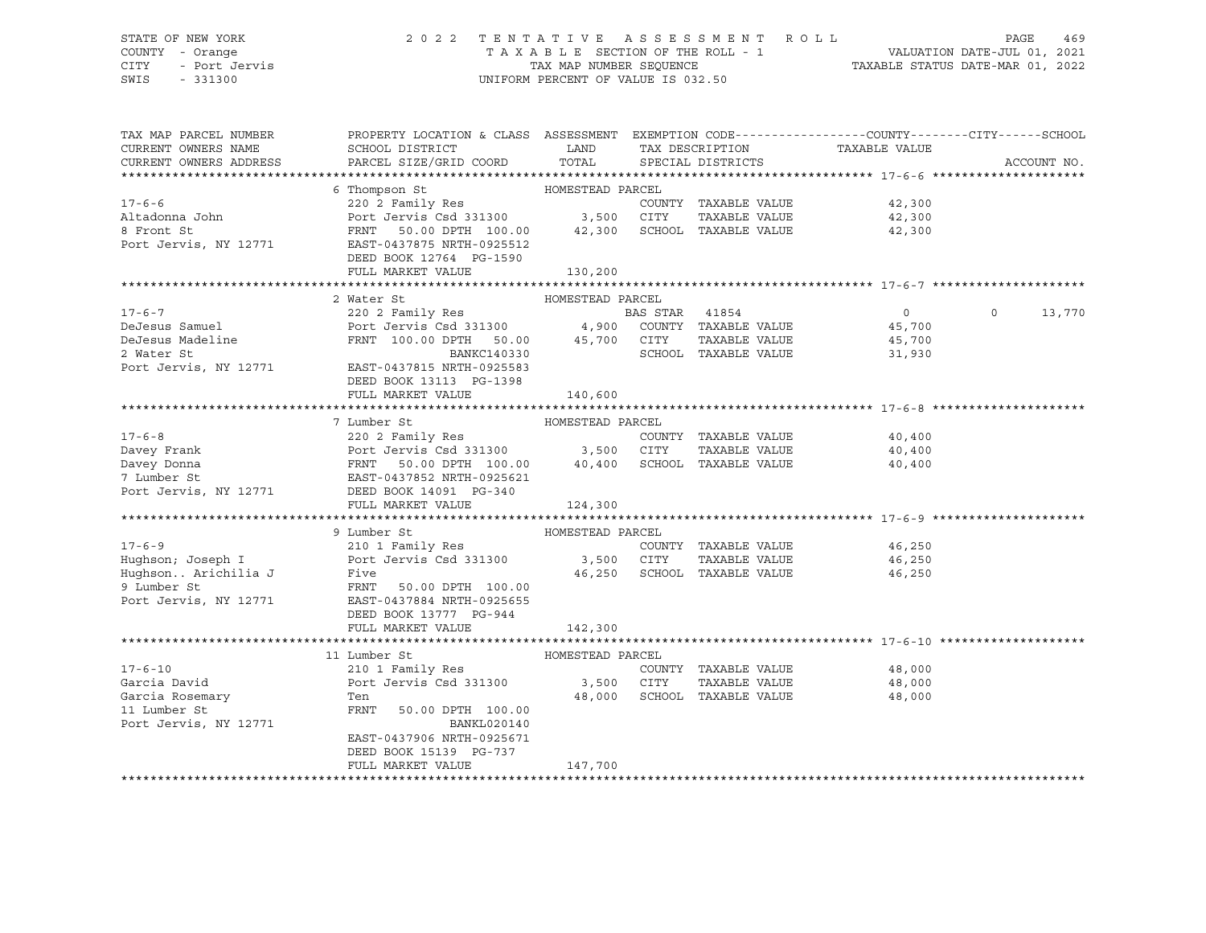# STATE OF NEW YORK 2 0 2 2 T E N T A T I V E A S S E S S M E N T R O L L PAGE 469 COUNTY - Orange T A X A B L E SECTION OF THE ROLL - 1 VALUATION DATE-JUL 01, 2021 CITY - Port Jervis TAX MAP NUMBER SEQUENCE TAXABLE STATUS DATE-MAR 01, 2022

| TAX MAP PARCEL NUMBER<br>CURRENT OWNERS NAME<br>CURRENT OWNERS ADDRESS                       | PROPERTY LOCATION & CLASS ASSESSMENT EXEMPTION CODE----------------COUNTY-------CITY------SCHOOL<br><b>Example 12</b> LAND<br>SCHOOL DISTRICT<br>PARCEL SIZE/GRID COORD                                                                                                                   | TOTAL                       | TAX DESCRIPTION<br>SPECIAL DISTRICTS                                        | TAXABLE VALUE                      | ACCOUNT NO.        |
|----------------------------------------------------------------------------------------------|-------------------------------------------------------------------------------------------------------------------------------------------------------------------------------------------------------------------------------------------------------------------------------------------|-----------------------------|-----------------------------------------------------------------------------|------------------------------------|--------------------|
| $17 - 6 - 6$<br>Altadonna John<br>8 Front St<br>8 Front St<br>Port Jervis, NY 12771          | HOMESTEAD PARCEL<br>6 Thompson St<br>220 2 Family Res<br>Port Jervis Csd 331300 3,500 CITY<br>FRNT 50.00 DPTH 100.00<br>EAST-0437875 NRTH-0925512<br>50.00 DPTH 100.00 42,300 SCHOOL TAXABLE VALUE<br>DEED BOOK 12764 PG-1590<br>FULL MARKET VALUE                                        | 130, 200                    | COUNTY TAXABLE VALUE<br>TAXABLE VALUE                                       | 42,300<br>42,300<br>42,300         |                    |
| $17 - 6 - 7$<br>DeJesus Samuel<br>DeJesus Madeline<br>2 Water St                             | 2 Water St<br>2002 Family Res<br>Port Jervis Csd 331300 (4,900 COUNTY TAXABLE VALUE<br>FRNT 100.00 DPTH 50.00 45,700 CITY TAXABLE VALUE<br>BANKC140330<br>Port Jervis, NY 12771 EAST-0437815 NRTH-0925583<br>DEED BOOK 13113 PG-1398<br>FULL MARKET VALUE                                 | HOMESTEAD PARCEL<br>140,600 | TAXABLE VALUE 45,700<br>SCHOOL TAXABLE VALUE                                | $\overline{0}$<br>45,700<br>31,930 | $\Omega$<br>13,770 |
|                                                                                              | 7 Lumber St<br>220 2 Family Res<br>17-6-8<br>Davey Frank Port Jervis Csd 331300<br>Davey Donna FRNT 50.00 DPTH 100.00<br>7 Lumber St<br>FORT 100.00 PTH 100.00<br>FRNT 50.00 DPTH 100.00 40,400 SCHOOL TAXABLE VALUE<br>Port Jervis, NY 12771 DEED BOOK 14091 PG-340<br>FULL MARKET VALUE | HOMESTEAD PARCEL<br>124,300 | COUNTY TAXABLE VALUE                                                        | 40,400<br>40,400<br>40,400         |                    |
| Hughson Arichilia J Five<br>9 Lumber St FRNT<br>Port Jervis, NY 12771                        | 9 Lumber St<br>FRNT 50.00 DPTH 100.00<br>EAST-0437884 NRTH-0925655<br>DEED BOOK 13777 PG-944<br>FULL MARKET VALUE                                                                                                                                                                         | HOMESTEAD PARCEL<br>142,300 | COUNTY TAXABLE VALUE<br>TAXABLE VALUE 46,250<br>46,250 SCHOOL TAXABLE VALUE | 46,250<br>46,250                   |                    |
| $17 - 6 - 10$<br>Garcia David<br>Garcia Rosemary<br>Carcia Rosemary<br>Port Jervis, NY 12771 | 11 Lumber St<br>210 1 Family Res<br>Port Jervis Csd 331300 3,500 CITY<br>Ten<br>FRNT 50.00 DPTH 100.00<br><b>BANKL020140</b><br>EAST-0437906 NRTH-0925671<br>DEED BOOK 15139 PG-737<br>FULL MARKET VALUE                                                                                  | HOMESTEAD PARCEL<br>147,700 | COUNTY TAXABLE VALUE<br>TAXABLE VALUE 48,000<br>48,000 SCHOOL TAXABLE VALUE | 48,000<br>48,000                   |                    |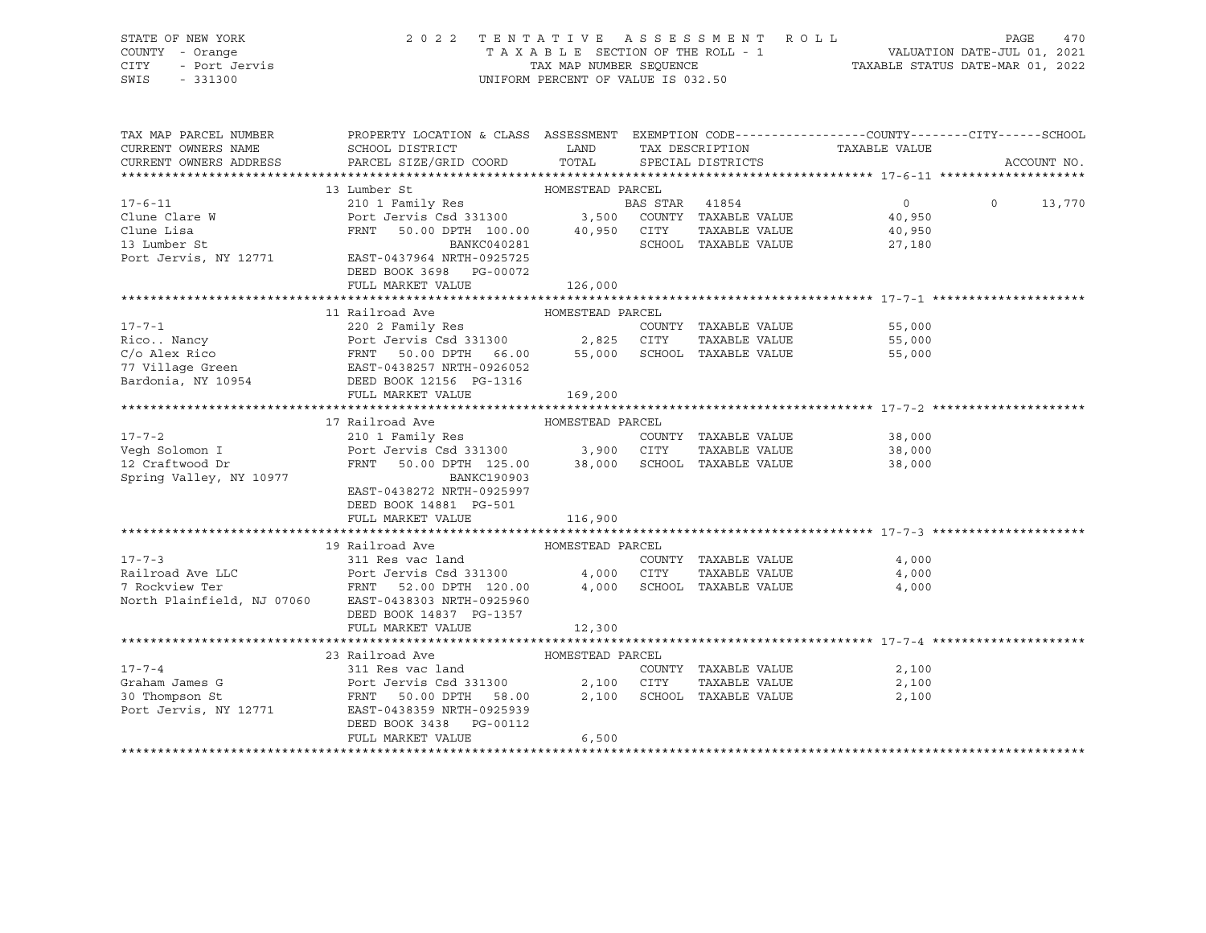STATE OF NEW YORK 2 0 2 2 T E N T A T I V E A S S E S S M E N T R O L L PAGE 470 COUNTY - Orange T A X A B L E SECTION OF THE ROLL - 1 VALUATION DATE-JUL 01, 2021 CITY - Port Jervis TAX MAP NUMBER SEQUENCE TAXABLE STATUS DATE-MAR 01, 2022 SWIS - 331300 UNIFORM PERCENT OF VALUE IS 032.50

| TAX MAP PARCEL NUMBER<br>CURRENT OWNERS NAME<br>CURRENT OWNERS ADDRESS | PROPERTY LOCATION & CLASS ASSESSMENT EXEMPTION CODE----------------COUNTY-------CITY------SCHOOL<br>SCHOOL DISTRICT<br>PARCEL SIZE/GRID COORD                                                                                                        | <b>EXAMPLE SERVICE SERVICE SERVICE SERVICE SERVICE SERVICE SERVICE SERVICE SERVICE SERVICE SERVICE SERVICE SERVICE</b><br>TOTAL | TAX DESCRIPTION<br>SPECIAL DISTRICTS                                | TAXABLE VALUE                  | ACCOUNT NO.        |
|------------------------------------------------------------------------|------------------------------------------------------------------------------------------------------------------------------------------------------------------------------------------------------------------------------------------------------|---------------------------------------------------------------------------------------------------------------------------------|---------------------------------------------------------------------|--------------------------------|--------------------|
|                                                                        |                                                                                                                                                                                                                                                      |                                                                                                                                 |                                                                     |                                |                    |
| $17 - 6 - 11$                                                          | 13 Lumber St<br>210 1 Family Res<br>210 1 Family Res<br>210 1 Family Res<br>216 1 Family Res<br>216 217 EXABLE VALUE<br>216 217 EXABLE VALUE<br>2216 217 222 23 24 24 25 25 26 27 24 24 25 26 27 24 24 25 26 26 27 24 24 25 26 26 27 27 28 2         |                                                                                                                                 |                                                                     | $\overline{0}$                 | $\Omega$<br>13,770 |
|                                                                        |                                                                                                                                                                                                                                                      |                                                                                                                                 |                                                                     | 40,950<br>TAXABLE VALUE 40,950 |                    |
|                                                                        | Clune Clare W Port Jervis Csd 331300<br>Clune Lisa FRNT 50.00 DPTH 100.00<br>13 Lumber St BANKC040281<br>Port Jervis, NY 12771 EAST-0437964 NRTH-0925725<br>BANKC040281<br>DEED BOOK 3698 PG-00072<br>FULL MARKET VALUE                              | 126,000                                                                                                                         | SCHOOL TAXABLE VALUE                                                | 27,180                         |                    |
|                                                                        |                                                                                                                                                                                                                                                      |                                                                                                                                 |                                                                     |                                |                    |
|                                                                        | 11 Railroad Ave                                                                                                                                                                                                                                      | HOMESTEAD PARCEL                                                                                                                |                                                                     |                                |                    |
|                                                                        | 17-7-1<br>Rico Nancy<br>C/o Alex Rico<br>C/o Alex Rico<br>C/o Alex Rico<br>EAST-0438257 NRTH-0926052<br>Bardonia, NY 10954<br>THE VALUE<br>COUNTY TAXABLE VALUE<br>S5,000<br>C/o Alex Rico<br>EAST-0438257 NRTH-0926052<br>DEED BOOK 128257 NRTH-092 |                                                                                                                                 |                                                                     |                                |                    |
|                                                                        |                                                                                                                                                                                                                                                      |                                                                                                                                 |                                                                     |                                |                    |
|                                                                        | FULL MARKET VALUE                                                                                                                                                                                                                                    | 169,200                                                                                                                         |                                                                     |                                |                    |
|                                                                        | 17 Railroad Ave                                                                                                                                                                                                                                      |                                                                                                                                 |                                                                     |                                |                    |
| $17 - 7 - 2$                                                           | 210 1 Family Res                                                                                                                                                                                                                                     | HOMESTEAD PARCEL                                                                                                                | COUNTY TAXABLE VALUE                                                | 38,000                         |                    |
|                                                                        | Vegh Solomon I Port Jervis Csd 331300 3,900 CITY                                                                                                                                                                                                     |                                                                                                                                 |                                                                     | TAXABLE VALUE 38,000           |                    |
| 12 Craftwood Dr<br>Spring Valley, NY 10977                             | FRNT 50.00 DPTH 125.00 38,000 SCHOOL TAXABLE VALUE<br>BANKC190903<br>EAST-0438272 NRTH-0925997                                                                                                                                                       |                                                                                                                                 |                                                                     | 38,000                         |                    |
|                                                                        | DEED BOOK 14881 PG-501<br>FULL MARKET VALUE                                                                                                                                                                                                          | 116,900                                                                                                                         |                                                                     |                                |                    |
|                                                                        |                                                                                                                                                                                                                                                      |                                                                                                                                 |                                                                     |                                |                    |
|                                                                        | 19 Railroad Ave                                                                                                                                                                                                                                      | HOMESTEAD PARCEL                                                                                                                |                                                                     |                                |                    |
| $17 - 7 - 3$                                                           | 311 Res vac land<br>North Plainfield, NJ 07060 EAST-0438303 NRTH-0925960<br>DEED BOOK 14837 PG-1357                                                                                                                                                  |                                                                                                                                 | COUNTY TAXABLE VALUE<br>TAXABLE VALUE<br>4,000 SCHOOL TAXABLE VALUE | 4,000<br>4,000<br>4,000        |                    |
|                                                                        | FULL MARKET VALUE                                                                                                                                                                                                                                    | 12,300                                                                                                                          |                                                                     |                                |                    |
|                                                                        |                                                                                                                                                                                                                                                      |                                                                                                                                 |                                                                     |                                |                    |
|                                                                        | 23 Railroad Ave<br>HOMESTEAD PARCEL                                                                                                                                                                                                                  |                                                                                                                                 |                                                                     |                                |                    |
| $17 - 7 - 4$                                                           | 311 Res vac land                                                                                                                                                                                                                                     |                                                                                                                                 |                                                                     | COUNTY TAXABLE VALUE 2,100     |                    |
|                                                                        |                                                                                                                                                                                                                                                      |                                                                                                                                 |                                                                     | TAXABLE VALUE 2,100            |                    |
|                                                                        | Graham James G<br>30 Thompson St<br>Port Jervis, NY 12771 EAST-0438359 NRTH-0925939<br>EAST-0438359 NRTH-0925939<br>DEED BOOK 3438 PG-00112                                                                                                          |                                                                                                                                 | 2,100 SCHOOL TAXABLE VALUE                                          | 2,100                          |                    |
|                                                                        | FULL MARKET VALUE                                                                                                                                                                                                                                    | 6,500                                                                                                                           |                                                                     |                                |                    |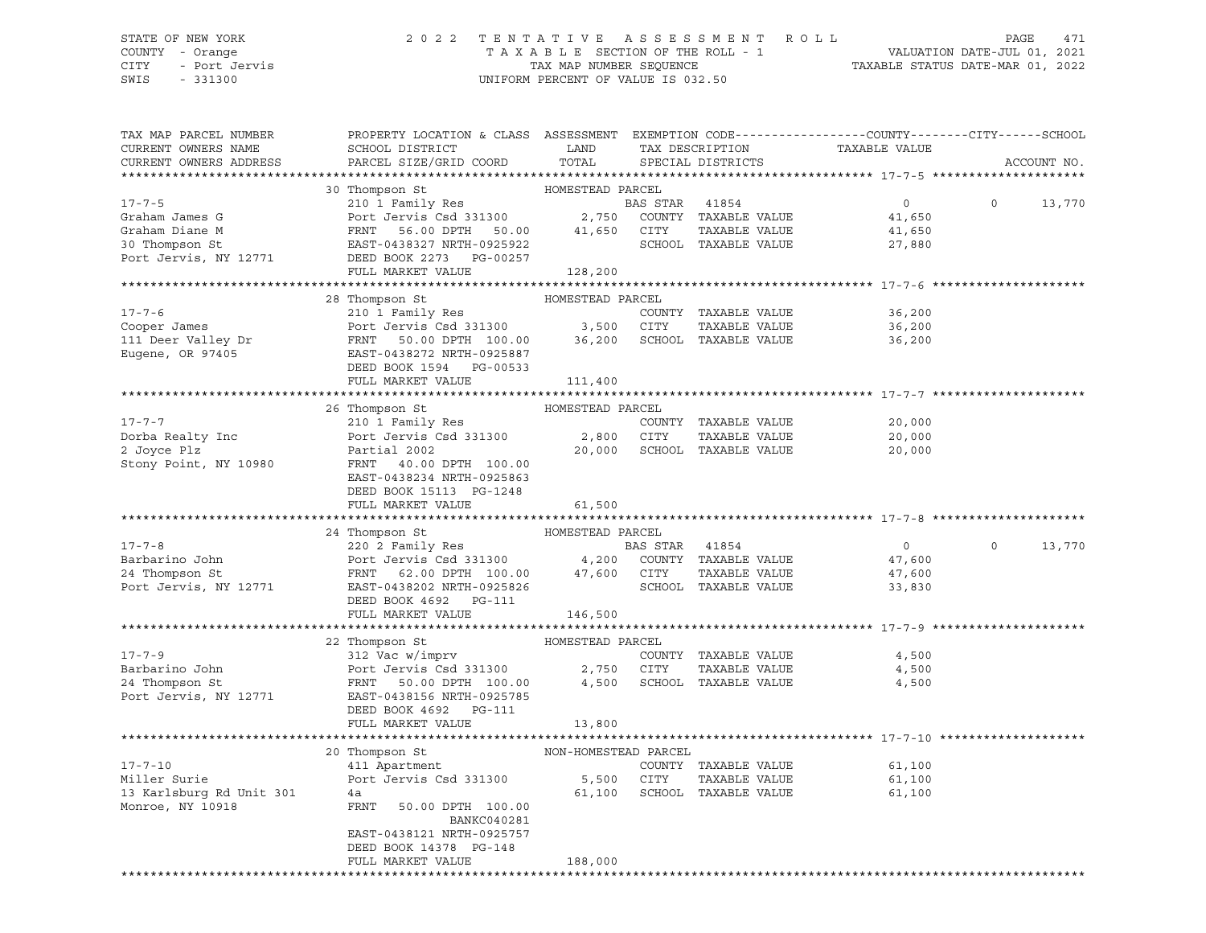## STATE OF NEW YORK 2 0 2 2 T E N T A T I V E A S S E S S M E N T R O L L PAGE 471 COUNTY - Orange T A X A B L E SECTION OF THE ROLL - 1 VALUATION DATE-JUL 01, 2021 CITY - Port Jervis TAX MAP NUMBER SEQUENCE TAXABLE STATUS DATE-MAR 01, 2022

| TAX MAP PARCEL NUMBER                                     | PROPERTY LOCATION & CLASS ASSESSMENT EXEMPTION CODE----------------COUNTY-------CITY------SCHOOL                                                                                                                                                          |                          |                             |                                                 |         |             |
|-----------------------------------------------------------|-----------------------------------------------------------------------------------------------------------------------------------------------------------------------------------------------------------------------------------------------------------|--------------------------|-----------------------------|-------------------------------------------------|---------|-------------|
| CURRENT OWNERS NAME                                       | SCHOOL DISTRICT                                                                                                                                                                                                                                           | LAND                     |                             | TAX DESCRIPTION TAXABLE VALUE SPECIAL DISTRICTS |         |             |
| CURRENT OWNERS ADDRESS                                    | PARCEL SIZE/GRID COORD                                                                                                                                                                                                                                    | TOTAL                    | SPECIAL DISTRICTS           |                                                 |         | ACCOUNT NO. |
|                                                           |                                                                                                                                                                                                                                                           |                          |                             |                                                 |         |             |
|                                                           | 30 Thompson St                                                                                                                                                                                                                                            | HOMESTEAD PARCEL         |                             |                                                 |         |             |
|                                                           |                                                                                                                                                                                                                                                           |                          |                             | 0                                               | $\circ$ | 13,770      |
|                                                           |                                                                                                                                                                                                                                                           |                          |                             | 41,650                                          |         |             |
|                                                           |                                                                                                                                                                                                                                                           |                          |                             | 41,650                                          |         |             |
|                                                           | 30 INOWESTEAD PARCEL<br>310 I Family Res<br>310 1 Family Res<br>310 2,750 COUNTY TAXABLE VALUE<br>30 Thompson St<br>30 Thompson St<br>30 Thompson St<br>310 EAST-0438327 NRTH-0925922<br>2008 POTT STATE SCHOOL TAXABLE VALUE<br>30 Thompson St<br>       |                          |                             | 27,880                                          |         |             |
|                                                           |                                                                                                                                                                                                                                                           |                          |                             |                                                 |         |             |
|                                                           | FULL MARKET VALUE 128,200                                                                                                                                                                                                                                 |                          |                             |                                                 |         |             |
|                                                           |                                                                                                                                                                                                                                                           |                          |                             |                                                 |         |             |
|                                                           | 28 Thompson St                                                                                                                                                                                                                                            | HOMESTEAD PARCEL         |                             |                                                 |         |             |
| $17 - 7 - 6$                                              | 210 1 Family Res                                                                                                                                                                                                                                          |                          | COUNTY TAXABLE VALUE        | 36,200                                          |         |             |
|                                                           |                                                                                                                                                                                                                                                           |                          | TAXABLE VALUE               |                                                 |         |             |
|                                                           | Cooper James<br>Cooper James<br>210 1 1 2003 131300<br>210 1 1 2003 131300<br>210 1 210 1 2003 200 3,500<br>210 210 36,200<br>210 36,200<br>210 36,200<br>210 36,200<br>210 211 225887<br>2210 211 2003 2887<br>2210 2121 2003 2887<br>2210 2212 2003<br> |                          |                             | 36,200<br>36.200<br>36,200                      |         |             |
|                                                           |                                                                                                                                                                                                                                                           |                          |                             |                                                 |         |             |
|                                                           |                                                                                                                                                                                                                                                           |                          |                             |                                                 |         |             |
|                                                           | DEED BOOK 1594 PG-00533                                                                                                                                                                                                                                   |                          |                             |                                                 |         |             |
|                                                           | FULL MARKET VALUE                                                                                                                                                                                                                                         | 111,400                  |                             |                                                 |         |             |
|                                                           |                                                                                                                                                                                                                                                           |                          |                             |                                                 |         |             |
|                                                           | 26 Thompson St                                                                                                                                                                                                                                            | HOMESTEAD PARCEL         |                             |                                                 |         |             |
| $17 - 7 - 7$                                              |                                                                                                                                                                                                                                                           |                          |                             | 20,000                                          |         |             |
| Dorba Realty Inc<br>2 Joyce Plz                           |                                                                                                                                                                                                                                                           |                          |                             | 20,000                                          |         |             |
|                                                           |                                                                                                                                                                                                                                                           |                          |                             | 20,000                                          |         |             |
| Stony Point, NY 10980                                     | FRNT 40.00 DPTH 100.00                                                                                                                                                                                                                                    |                          |                             |                                                 |         |             |
|                                                           | EAST-0438234 NRTH-0925863                                                                                                                                                                                                                                 |                          |                             |                                                 |         |             |
|                                                           | DEED BOOK 15113 PG-1248                                                                                                                                                                                                                                   |                          |                             |                                                 |         |             |
|                                                           | FULL MARKET VALUE                                                                                                                                                                                                                                         | 61,500                   |                             |                                                 |         |             |
|                                                           |                                                                                                                                                                                                                                                           |                          |                             |                                                 |         |             |
|                                                           | 24 Thompson St                                                                                                                                                                                                                                            | HOMESTEAD PARCEL         |                             |                                                 |         |             |
| $17 - 7 - 8$                                              |                                                                                                                                                                                                                                                           |                          |                             | $\overline{0}$                                  | $\circ$ | 13,770      |
|                                                           |                                                                                                                                                                                                                                                           |                          |                             | 47,600                                          |         |             |
| Barbarino John<br>24 Thompson St                          |                                                                                                                                                                                                                                                           |                          |                             | 47,600                                          |         |             |
| Port Jervis, NY 12771                                     | EAST-0438202 NRTH-0925826 SCHOOL TAXABLE VALUE                                                                                                                                                                                                            |                          |                             | 33,830                                          |         |             |
|                                                           | DEED BOOK 4692 PG-111                                                                                                                                                                                                                                     |                          |                             |                                                 |         |             |
|                                                           | FULL MARKET VALUE                                                                                                                                                                                                                                         | 146,500                  |                             |                                                 |         |             |
|                                                           |                                                                                                                                                                                                                                                           |                          |                             |                                                 |         |             |
|                                                           |                                                                                                                                                                                                                                                           |                          |                             |                                                 |         |             |
| $17 - 7 - 9$                                              | 22 Thompson St<br>312 Vac w/imprv                                                                                                                                                                                                                         | HOMESTEAD PARCEL<br>COUI | COUNTY TAXABLE VALUE        | 4,500                                           |         |             |
|                                                           | Port Jervis Csd 331300 2,750 CITY                                                                                                                                                                                                                         |                          | TAXABLE VALUE               | 4,500                                           |         |             |
|                                                           | FRNT 50.00 DPTH 100.00 4,500 SCHOOL TAXABLE VALUE                                                                                                                                                                                                         |                          |                             | 4,500                                           |         |             |
| Barbarino John<br>24 Thompson St<br>Port Jervis, NY 12771 | EAST-0438156 NRTH-0925785                                                                                                                                                                                                                                 |                          |                             |                                                 |         |             |
|                                                           | DEED BOOK 4692    PG-111                                                                                                                                                                                                                                  |                          |                             |                                                 |         |             |
|                                                           | FULL MARKET VALUE                                                                                                                                                                                                                                         | 13,800                   |                             |                                                 |         |             |
|                                                           |                                                                                                                                                                                                                                                           |                          |                             |                                                 |         |             |
|                                                           | 20 Thompson St                                                                                                                                                                                                                                            | NON-HOMESTEAD PARCEL     |                             |                                                 |         |             |
| $17 - 7 - 10$                                             | 411 Apartment                                                                                                                                                                                                                                             |                          | COUNTY TAXABLE VALUE        | 61,100                                          |         |             |
| Miller Surie                                              | Port Jervis Csd 331300 5,500 CITY                                                                                                                                                                                                                         |                          | TAXABLE VALUE               | 61,100                                          |         |             |
| 13 Karlsburg Rd Unit 301                                  | 4a                                                                                                                                                                                                                                                        |                          | 61,100 SCHOOL TAXABLE VALUE | 61,100                                          |         |             |
| Monroe, NY 10918                                          | FRNT<br>50.00 DPTH 100.00                                                                                                                                                                                                                                 |                          |                             |                                                 |         |             |
|                                                           | BANKC040281                                                                                                                                                                                                                                               |                          |                             |                                                 |         |             |
|                                                           | EAST-0438121 NRTH-0925757                                                                                                                                                                                                                                 |                          |                             |                                                 |         |             |
|                                                           | DEED BOOK 14378 PG-148                                                                                                                                                                                                                                    |                          |                             |                                                 |         |             |
|                                                           | FULL MARKET VALUE                                                                                                                                                                                                                                         |                          |                             |                                                 |         |             |
|                                                           |                                                                                                                                                                                                                                                           | 188,000                  |                             |                                                 |         |             |
|                                                           |                                                                                                                                                                                                                                                           |                          |                             |                                                 |         |             |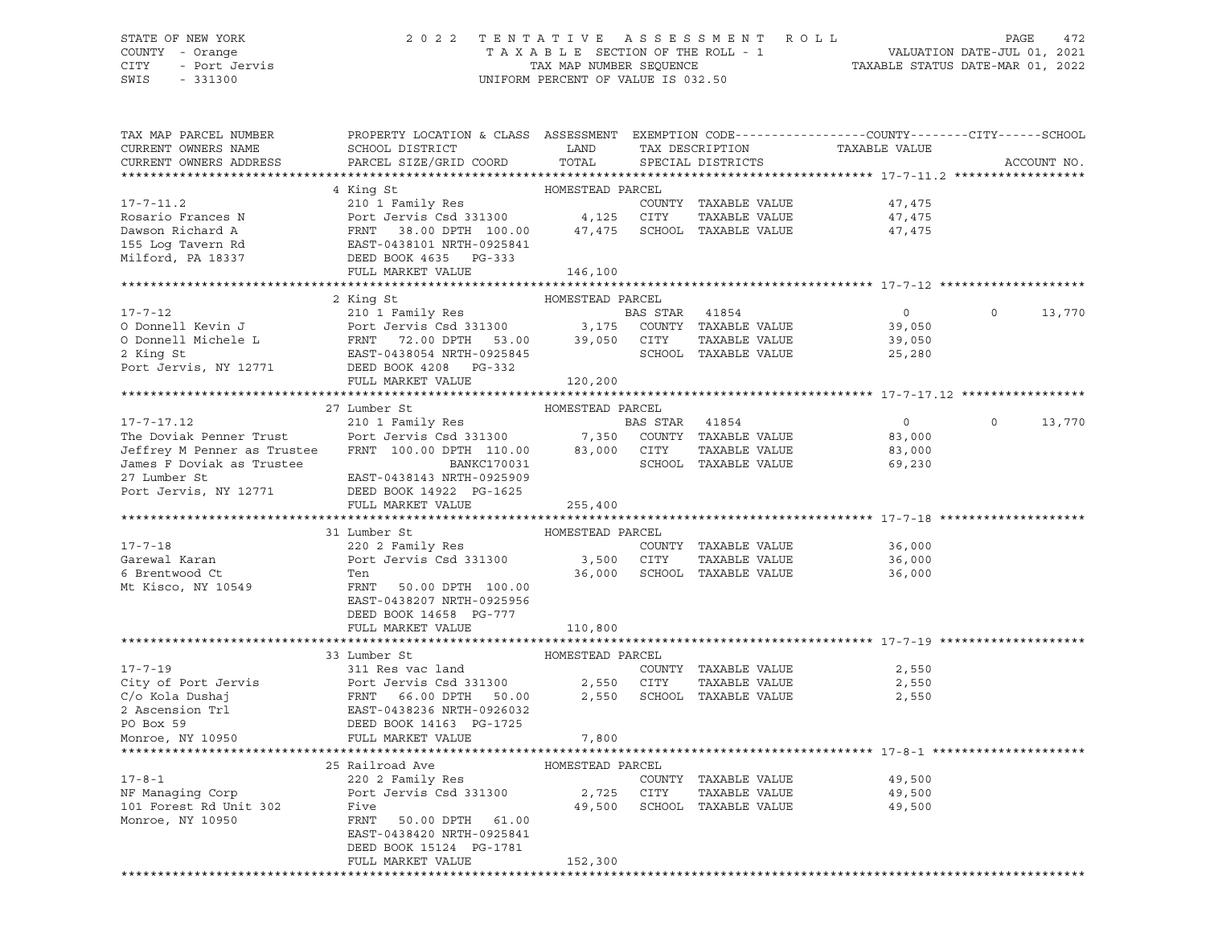#### STATE OF NEW YORK 2 0 2 2 T E N T A T I V E A S S E S S M E N T R O L L PAGE 472 COUNTY - Orange T A X A B L E SECTION OF THE ROLL - 1 VALUATION DATE-JUL 01, 2021 CITY - Port Jervis TAX MAP NUMBER SEQUENCE TAXABLE STATUS DATE-MAR 01, 2022

| TAX MAP PARCEL NUMBER                                                                                                                                                                                                                            | PROPERTY LOCATION & CLASS ASSESSMENT EXEMPTION CODE----------------COUNTY--------CITY------SCHOOL                                                      |                  |                |                             |                |          |             |
|--------------------------------------------------------------------------------------------------------------------------------------------------------------------------------------------------------------------------------------------------|--------------------------------------------------------------------------------------------------------------------------------------------------------|------------------|----------------|-----------------------------|----------------|----------|-------------|
| CURRENT OWNERS NAME                                                                                                                                                                                                                              | SCHOOL DISTRICT<br>PARCEL SIZE/GRID COORD                                                                                                              | LAND<br>TOTAL    |                | TAX DESCRIPTION             | TAXABLE VALUE  |          | ACCOUNT NO. |
| CURRENT OWNERS ADDRESS<br>*************************                                                                                                                                                                                              |                                                                                                                                                        |                  |                | SPECIAL DISTRICTS           |                |          |             |
|                                                                                                                                                                                                                                                  | 4 King St                                                                                                                                              | HOMESTEAD PARCEL |                |                             |                |          |             |
| $17 - 7 - 11.2$                                                                                                                                                                                                                                  | 210 1 Family Res                                                                                                                                       |                  |                | COUNTY TAXABLE VALUE        | 47,475         |          |             |
| Rosario Frances N<br>Dawson Richard A<br>155 Log Tavern Rd<br>155 Log Tavern Rd<br>167 CHOL ERNT 38.00 DPTH 100.00<br>167 CHOL ERST-0438101 NRTH-0925841<br>2000 Milford, PA 18337<br>2000 Milford, PA 18337<br>2000 Milford, PA 18337<br>2000 M |                                                                                                                                                        |                  |                | TAXABLE VALUE               | 47,475         |          |             |
|                                                                                                                                                                                                                                                  |                                                                                                                                                        |                  |                | 47,475 SCHOOL TAXABLE VALUE | 47,475         |          |             |
|                                                                                                                                                                                                                                                  |                                                                                                                                                        |                  |                |                             |                |          |             |
|                                                                                                                                                                                                                                                  |                                                                                                                                                        |                  |                |                             |                |          |             |
|                                                                                                                                                                                                                                                  | FULL MARKET VALUE                                                                                                                                      | 146,100          |                |                             |                |          |             |
| **********************                                                                                                                                                                                                                           |                                                                                                                                                        |                  |                |                             |                |          |             |
|                                                                                                                                                                                                                                                  | 2 King St                                                                                                                                              | HOMESTEAD PARCEL |                |                             |                |          |             |
| 17-7-12                                                                                                                                                                                                                                          | 210 1 Family Res                                                                                                                                       |                  | BAS STAR 41854 |                             | $\overline{0}$ | $\Omega$ | 13,770      |
| O Donnell Kevin J                                                                                                                                                                                                                                | Port Jervis Csd 331300 3,175 COUNTY TAXABLE VALUE<br>FRNT 72.00 DPTH 53.00 39,050 CITY TAXABLE VALUE<br>EAST-0438054 NRTH-0925845 SCHOOL TAXABLE VALUE |                  |                |                             | 39,050         |          |             |
| O Donnell Michele L                                                                                                                                                                                                                              |                                                                                                                                                        |                  |                |                             | 39,050         |          |             |
| 2 King St                                                                                                                                                                                                                                        |                                                                                                                                                        |                  |                |                             | 25,280         |          |             |
| Port Jervis, NY 12771 DEED BOOK 4208 PG-332                                                                                                                                                                                                      |                                                                                                                                                        |                  |                |                             |                |          |             |
|                                                                                                                                                                                                                                                  | FULL MARKET VALUE                                                                                                                                      | 120,200          |                |                             |                |          |             |
|                                                                                                                                                                                                                                                  |                                                                                                                                                        |                  |                |                             |                |          |             |
|                                                                                                                                                                                                                                                  | 27 Lumber St                                                                                                                                           | HOMESTEAD PARCEL |                |                             |                |          |             |
| $17 - 7 - 17.12$                                                                                                                                                                                                                                 | 210 1 Family Res                                                                                                                                       |                  | BAS STAR 41854 |                             | $\overline{0}$ | $\circ$  | 13,770      |
| The Doviak Penner Trust                                                                                                                                                                                                                          |                                                                                                                                                        |                  |                |                             | 83,000         |          |             |
| Jeffrey M Penner as Trustee                                                                                                                                                                                                                      | Port Jervis Csd 331300 7,350 COUNTY TAXABLE VALUE<br>FRNT 100.00 DPTH 110.00 83,000 CITY TAXABLE VALUE                                                 |                  |                |                             | 83,000         |          |             |
| James F Doviak as Trustee                                                                                                                                                                                                                        | BANKC170031                                                                                                                                            |                  |                | SCHOOL TAXABLE VALUE        | 69,230         |          |             |
| 27 Lumber St                                                                                                                                                                                                                                     | EAST-0438143 NRTH-0925909                                                                                                                              |                  |                |                             |                |          |             |
| Port Jervis, NY 12771                                                                                                                                                                                                                            | DEED BOOK 14922 PG-1625                                                                                                                                |                  |                |                             |                |          |             |
|                                                                                                                                                                                                                                                  | FULL MARKET VALUE                                                                                                                                      | 255,400          |                |                             |                |          |             |
|                                                                                                                                                                                                                                                  |                                                                                                                                                        |                  |                |                             |                |          |             |
|                                                                                                                                                                                                                                                  | 31 Lumber St                                                                                                                                           | HOMESTEAD PARCEL |                |                             |                |          |             |
| $17 - 7 - 18$                                                                                                                                                                                                                                    | 220 2 Family Res                                                                                                                                       |                  |                | COUNTY TAXABLE VALUE        | 36,000         |          |             |
| Garewal Karan                                                                                                                                                                                                                                    | Port Jervis Csd 331300                                                                                                                                 | 3,500 CITY       |                | TAXABLE VALUE               | 36,000         |          |             |
| 6 Brentwood Ct                                                                                                                                                                                                                                   | Ten                                                                                                                                                    |                  |                | 36,000 SCHOOL TAXABLE VALUE | 36,000         |          |             |
| Mt Kisco, NY 10549                                                                                                                                                                                                                               | FRNT 50.00 DPTH 100.00                                                                                                                                 |                  |                |                             |                |          |             |
|                                                                                                                                                                                                                                                  | EAST-0438207 NRTH-0925956                                                                                                                              |                  |                |                             |                |          |             |
|                                                                                                                                                                                                                                                  | DEED BOOK 14658 PG-777                                                                                                                                 |                  |                |                             |                |          |             |
|                                                                                                                                                                                                                                                  | FULL MARKET VALUE                                                                                                                                      | 110,800          |                |                             |                |          |             |
|                                                                                                                                                                                                                                                  |                                                                                                                                                        |                  |                |                             |                |          |             |
|                                                                                                                                                                                                                                                  | 33 Lumber St                                                                                                                                           | HOMESTEAD PARCEL |                |                             |                |          |             |
|                                                                                                                                                                                                                                                  |                                                                                                                                                        |                  |                | COUNTY TAXABLE VALUE        | 2,550          |          |             |
|                                                                                                                                                                                                                                                  |                                                                                                                                                        |                  | 2,550 CITY     | TAXABLE VALUE               | 2,550          |          |             |
|                                                                                                                                                                                                                                                  |                                                                                                                                                        | 2,550            |                | SCHOOL TAXABLE VALUE        | 2,550          |          |             |
|                                                                                                                                                                                                                                                  |                                                                                                                                                        |                  |                |                             |                |          |             |
|                                                                                                                                                                                                                                                  |                                                                                                                                                        |                  |                |                             |                |          |             |
|                                                                                                                                                                                                                                                  |                                                                                                                                                        | 7,800            |                |                             |                |          |             |
|                                                                                                                                                                                                                                                  |                                                                                                                                                        |                  |                |                             |                |          |             |
|                                                                                                                                                                                                                                                  | 25 Railroad Ave                                                                                                                                        | HOMESTEAD PARCEL |                |                             |                |          |             |
| $17 - 8 - 1$                                                                                                                                                                                                                                     | 220 2 Family Res                                                                                                                                       |                  |                | COUNTY TAXABLE VALUE        | 49,500         |          |             |
| NF Managing Corp                                                                                                                                                                                                                                 | Port Jervis Csd 331300                                                                                                                                 | 2,725 CITY       |                | TAXABLE VALUE               | 49,500         |          |             |
| 101 Forest Rd Unit 302                                                                                                                                                                                                                           | Five                                                                                                                                                   |                  |                | 49,500 SCHOOL TAXABLE VALUE | 49,500         |          |             |
| Monroe, NY 10950                                                                                                                                                                                                                                 | FRNT 50.00 DPTH 61.00                                                                                                                                  |                  |                |                             |                |          |             |
|                                                                                                                                                                                                                                                  | EAST-0438420 NRTH-0925841                                                                                                                              |                  |                |                             |                |          |             |
|                                                                                                                                                                                                                                                  | DEED BOOK 15124 PG-1781                                                                                                                                |                  |                |                             |                |          |             |
|                                                                                                                                                                                                                                                  | FULL MARKET VALUE                                                                                                                                      | 152,300          |                |                             |                |          |             |
|                                                                                                                                                                                                                                                  |                                                                                                                                                        |                  |                |                             |                |          |             |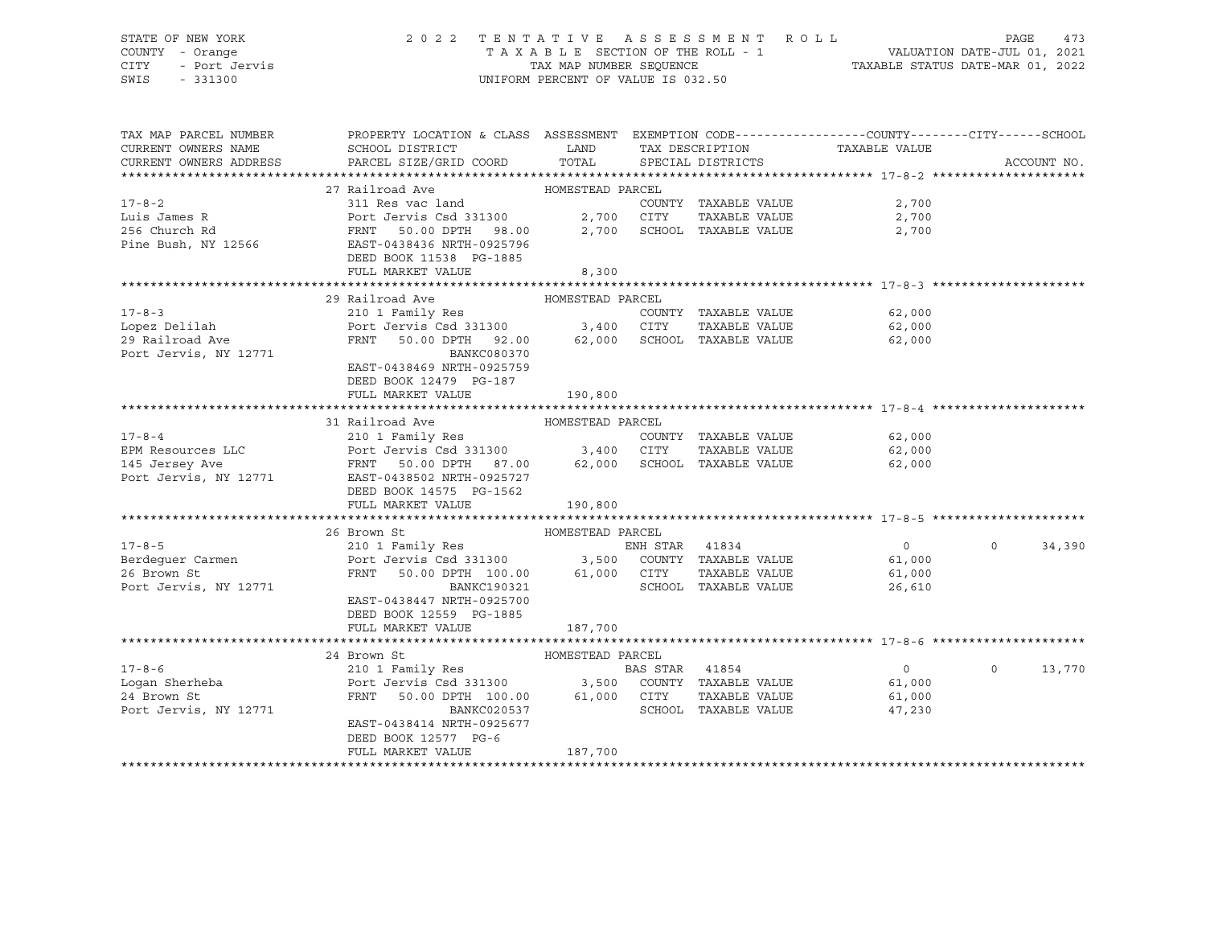#### STATE OF NEW YORK 2 0 2 2 T E N T A T I V E A S S E S S M E N T R O L L PAGE 473 COUNTY - Orange T A X A B L E SECTION OF THE ROLL - 1 VALUATION DATE-JUL 01, 2021 CITY - Port Jervis TAX MAP NUMBER SEQUENCE TAXABLE STATUS DATE-MAR 01, 2022

| TAX MAP PARCEL NUMBER                   | PROPERTY LOCATION & CLASS ASSESSMENT EXEMPTION CODE----------------COUNTY-------CITY------SCHOOL                                                                                                                                                                                                                                               |                  |                |                            |                               |                   |
|-----------------------------------------|------------------------------------------------------------------------------------------------------------------------------------------------------------------------------------------------------------------------------------------------------------------------------------------------------------------------------------------------|------------------|----------------|----------------------------|-------------------------------|-------------------|
| CURRENT OWNERS NAME                     | SCHOOL DISTRICT                                                                                                                                                                                                                                                                                                                                | LAND             |                |                            | TAX DESCRIPTION TAXABLE VALUE |                   |
| CURRENT OWNERS ADDRESS                  | PARCEL SIZE/GRID COORD TOTAL SPECIAL DISTRICTS                                                                                                                                                                                                                                                                                                 |                  |                |                            |                               | ACCOUNT NO.       |
|                                         |                                                                                                                                                                                                                                                                                                                                                |                  |                |                            |                               |                   |
|                                         | 27 Railroad Ave MOMESTEAD PARCEL                                                                                                                                                                                                                                                                                                               |                  |                |                            |                               |                   |
| $17 - 8 - 2$                            | 311 Res vac land                                                                                                                                                                                                                                                                                                                               |                  |                |                            |                               |                   |
|                                         |                                                                                                                                                                                                                                                                                                                                                |                  |                | COUNTY TAXABLE VALUE       | 2,700                         |                   |
| Luis James R                            | Port Jervis Csd 331300 2,700 CITY<br>FRNT 50.00 DPTH 98.00 2,700 SCHOOL                                                                                                                                                                                                                                                                        |                  |                | TAXABLE VALUE              | 2,700                         |                   |
| 256 Church Rd                           |                                                                                                                                                                                                                                                                                                                                                |                  |                | 2,700 SCHOOL TAXABLE VALUE | 2,700                         |                   |
| Pine Bush, NY 12566                     | EAST-0438436 NRTH-0925796                                                                                                                                                                                                                                                                                                                      |                  |                |                            |                               |                   |
|                                         | DEED BOOK 11538 PG-1885                                                                                                                                                                                                                                                                                                                        |                  |                |                            |                               |                   |
|                                         | FULL MARKET VALUE                                                                                                                                                                                                                                                                                                                              | 8,300            |                |                            |                               |                   |
|                                         |                                                                                                                                                                                                                                                                                                                                                |                  |                |                            |                               |                   |
|                                         | 29 Railroad Ave                                                                                                                                                                                                                                                                                                                                | HOMESTEAD PARCEL |                |                            |                               |                   |
| $17 - 8 - 3$                            |                                                                                                                                                                                                                                                                                                                                                |                  |                |                            | 62,000                        |                   |
|                                         |                                                                                                                                                                                                                                                                                                                                                |                  |                |                            |                               |                   |
| Lopez Delilah                           |                                                                                                                                                                                                                                                                                                                                                |                  |                |                            | 62,000                        |                   |
| 29 Railroad Ave                         | FRNT 50.00 DPTH 92.00 62,000 SCHOOL TAXABLE VALUE                                                                                                                                                                                                                                                                                              |                  |                |                            | 62,000                        |                   |
| Port Jervis, NY 12771                   | BANKC080370                                                                                                                                                                                                                                                                                                                                    |                  |                |                            |                               |                   |
|                                         | EAST-0438469 NRTH-0925759                                                                                                                                                                                                                                                                                                                      |                  |                |                            |                               |                   |
|                                         | DEED BOOK 12479 PG-187                                                                                                                                                                                                                                                                                                                         |                  |                |                            |                               |                   |
|                                         | FULL MARKET VALUE                                                                                                                                                                                                                                                                                                                              | 190,800          |                |                            |                               |                   |
|                                         |                                                                                                                                                                                                                                                                                                                                                |                  |                |                            |                               |                   |
|                                         | 31 Railroad Ave MOMESTEAD PARCEL                                                                                                                                                                                                                                                                                                               |                  |                |                            |                               |                   |
|                                         |                                                                                                                                                                                                                                                                                                                                                |                  |                |                            |                               |                   |
|                                         |                                                                                                                                                                                                                                                                                                                                                |                  |                |                            |                               |                   |
|                                         |                                                                                                                                                                                                                                                                                                                                                |                  |                |                            |                               |                   |
|                                         |                                                                                                                                                                                                                                                                                                                                                |                  |                |                            |                               |                   |
| Port Jervis, NY 12771                   | EAST-0438502 NRTH-0925727                                                                                                                                                                                                                                                                                                                      |                  |                |                            |                               |                   |
|                                         | DEED BOOK 14575 PG-1562                                                                                                                                                                                                                                                                                                                        |                  |                |                            |                               |                   |
|                                         | FULL MARKET VALUE                                                                                                                                                                                                                                                                                                                              | 190,800          |                |                            |                               |                   |
|                                         |                                                                                                                                                                                                                                                                                                                                                |                  |                |                            |                               |                   |
|                                         | 26 Brown St                                                                                                                                                                                                                                                                                                                                    |                  |                |                            |                               |                   |
| $17 - 8 - 5$                            |                                                                                                                                                                                                                                                                                                                                                |                  | ENH STAR 41834 |                            | $\overline{0}$                | $\circ$<br>34,390 |
|                                         |                                                                                                                                                                                                                                                                                                                                                |                  |                |                            |                               |                   |
|                                         | $210114 \text{ mm} + 1000 \text{ cm}$ $210114 \text{ mm} + 1000 \text{ cm}$ $210114 \text{ mm} + 1000 \text{ cm}$ $210114 \text{ mm} + 1000 \text{ cm}$ $210114 \text{ mm} + 1000 \text{ cm}$ $210114 \text{ mm} + 1000 \text{ cm}$ $261,000 \text{ mm} + 1000 \text{ cm}$ $261,000 \text{ mm} + 1000 \text{ cm}$ $26,610 \text{ mm} + 1000 \$ |                  |                |                            |                               |                   |
|                                         |                                                                                                                                                                                                                                                                                                                                                |                  |                |                            |                               |                   |
| Port Jervis, NY 12771                   | BANKC190321                                                                                                                                                                                                                                                                                                                                    |                  |                | SCHOOL TAXABLE VALUE       | 26,610                        |                   |
|                                         | EAST-0438447 NRTH-0925700                                                                                                                                                                                                                                                                                                                      |                  |                |                            |                               |                   |
|                                         | DEED BOOK 12559 PG-1885                                                                                                                                                                                                                                                                                                                        |                  |                |                            |                               |                   |
|                                         | FULL MARKET VALUE                                                                                                                                                                                                                                                                                                                              | 187,700          |                |                            |                               |                   |
|                                         |                                                                                                                                                                                                                                                                                                                                                |                  |                |                            |                               |                   |
|                                         | HOMESTEAD PARCEL<br>24 Brown St                                                                                                                                                                                                                                                                                                                |                  |                |                            |                               |                   |
|                                         |                                                                                                                                                                                                                                                                                                                                                |                  |                |                            | $\overline{0}$                | $\circ$<br>13,770 |
|                                         |                                                                                                                                                                                                                                                                                                                                                |                  |                |                            |                               |                   |
| 17-8-6<br>Logan Sherheba<br>^^ Prown St | 24 DICH CONTRACT DESCRIPTION OF THE PASS TAR 41854<br>Port Jervis Csd 331300 3,500 COUNTY TAXABLE VALUE<br>FRNT 50.00 DPTH 100.00 61,000 CITY TAXABLE VALUE                                                                                                                                                                                    |                  |                |                            | 61,000                        |                   |
|                                         |                                                                                                                                                                                                                                                                                                                                                |                  |                |                            | 61,000                        |                   |
| Port Jervis, NY 12771                   | BANKC020537                                                                                                                                                                                                                                                                                                                                    |                  |                | SCHOOL TAXABLE VALUE       | 47,230                        |                   |
|                                         | EAST-0438414 NRTH-0925677                                                                                                                                                                                                                                                                                                                      |                  |                |                            |                               |                   |
|                                         | DEED BOOK 12577 PG-6                                                                                                                                                                                                                                                                                                                           |                  |                |                            |                               |                   |
|                                         | FULL MARKET VALUE                                                                                                                                                                                                                                                                                                                              | 187,700          |                |                            |                               |                   |
|                                         |                                                                                                                                                                                                                                                                                                                                                |                  |                |                            |                               |                   |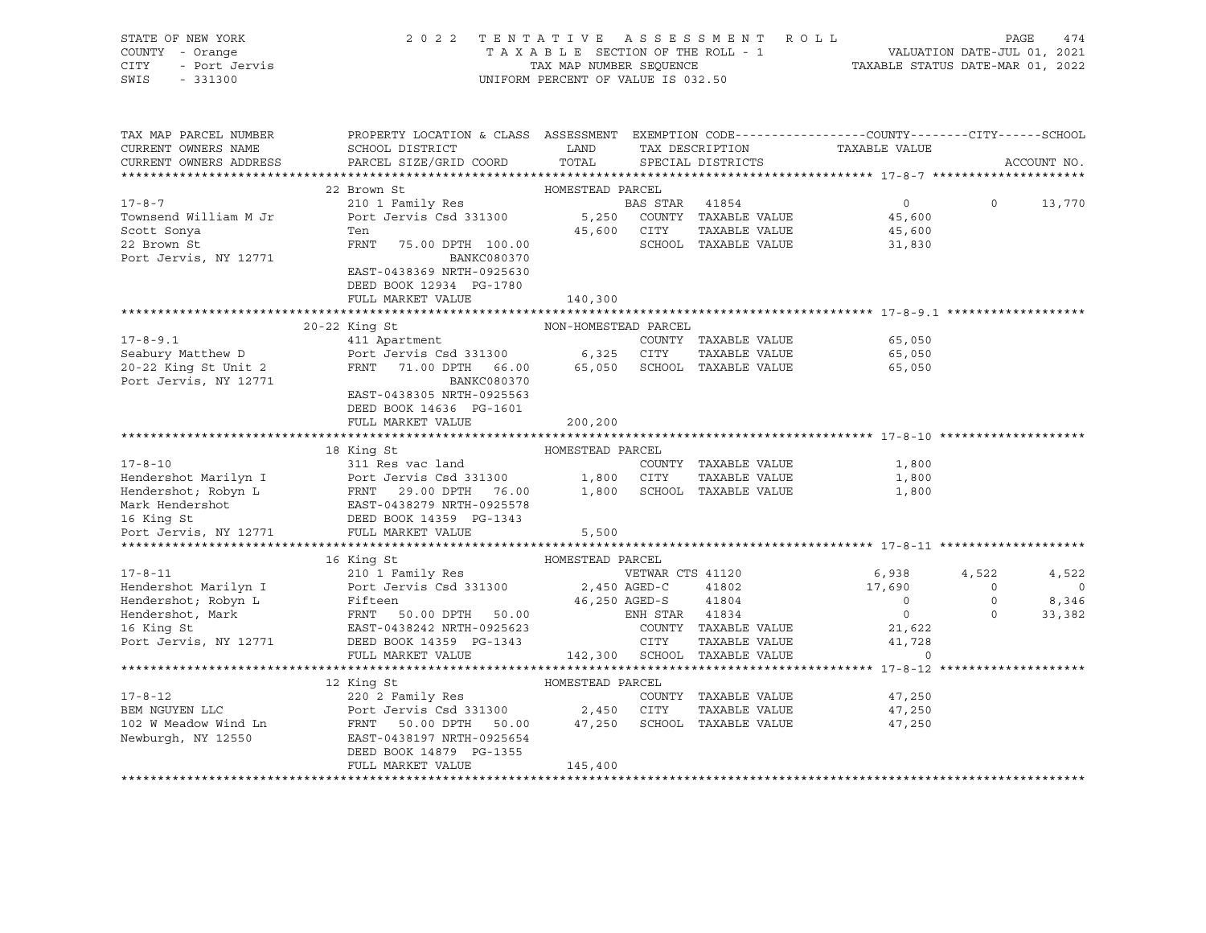| $-331300$<br>UNIFORM PERCENT OF VALUE IS 032.50<br>TAX MAP PARCEL NUMBER<br>PROPERTY LOCATION & CLASS ASSESSMENT EXEMPTION CODE----------------COUNTY-------CITY------SCHOOL<br>TAX DESCRIPTION<br>CURRENT OWNERS NAME<br>SCHOOL DISTRICT<br>LAND<br>TAXABLE VALUE<br>TOTAL<br>CURRENT OWNERS ADDRESS<br>PARCEL SIZE/GRID COORD<br>ACCOUNT NO.<br>SPECIAL DISTRICTS<br>22 Brown St<br>HOMESTEAD PARCEL<br>$0 \qquad \qquad$<br>$\circ$<br>210 1 Family Res<br>BAS STAR 41854<br>13,770<br>Port Jervis Csd 331300<br>5,250 COUNTY TAXABLE VALUE<br>45,600<br>45,600 CITY<br>TAXABLE VALUE<br>Ten<br>45,600<br>FRNT<br>SCHOOL TAXABLE VALUE<br>75.00 DPTH 100.00<br>31,830<br>BANKC080370<br>EAST-0438369 NRTH-0925630<br>DEED BOOK 12934 PG-1780<br>FULL MARKET VALUE<br>140,300<br>$20-22$ King St<br>NON-HOMESTEAD PARCEL<br>411 Apartment<br>$17 - 8 - 9.1$<br>COUNTY TAXABLE VALUE<br>65,050<br>Port Jervis Csd 331300 6,325 CITY<br>Seabury Matthew D<br>20-22 King St Unit 2<br>TAXABLE VALUE<br>65,050<br>FRNT 71.00 DPTH 66.00 65,050 SCHOOL TAXABLE VALUE<br>65,050<br>Port Jervis, NY 12771<br>BANKC080370<br>EAST-0438305 NRTH-0925563<br>DEED BOOK 14636 PG-1601<br>FULL MARKET VALUE<br>200,200<br>18 King St<br>HOMESTEAD PARCEL<br>$17 - 8 - 10$<br>COUNTY TAXABLE VALUE<br>311 Res vac land<br>1,800<br>Fendershot Marilyn I<br>Hendershot, Robyn L<br>Hendershot, Robyn L<br>FRNT 29.00 DPTH 76.00 1,800 CITY TAXABLE VALUE<br>Mark Hendershot EAST-0438279 NRTH-0925578<br>16 King St<br>DEED BOOK 14359 PG-1343<br>POTT JEVIL MARKET VALUE<br>5,500<br>TAXABLE VALUE<br>1,800<br>1,800<br>16 King St<br>HOMESTEAD PARCEL<br>$17 - 8 - 11$<br>210 1 Family Res<br>VETWAR CTS 41120<br>6,938<br>4,522<br>4,522<br>Port Jervis Csd 331300<br>Hendershot Marilyn I<br>2,450 AGED-C<br>41802<br>17,690<br>$\overline{0}$<br>$\overline{0}$<br>Hendershot; Robyn L<br>Fifteen<br>FRNT 50.00 DPTH 50.00<br>46,250 AGED-S<br>41804<br>$\overline{0}$<br>$\circ$<br>8,346<br>Hendershot, Mark<br>16 King St<br>$\overline{0}$<br>$\circ$<br>ENH STAR 41834<br>33,382<br>21,622<br>EAST-0438242 NRTH-0925623<br>COUNTY TAXABLE VALUE<br>CITY<br>Port Jervis, NY 12771<br>41,728<br>DEED BOOK 14359 PG-1343<br>TAXABLE VALUE<br>142,300 SCHOOL TAXABLE VALUE<br>FULL MARKET VALUE<br>$\Omega$<br>12 King St<br>HOMESTEAD PARCEL<br>220 2 Family Res<br>$17 - 8 - 12$<br>COUNTY TAXABLE VALUE<br>47,250<br>$220$ 2 ramily $\kappa = 5$<br>Port Jervis Csd 331300 $2,450$ CITY<br>BEM NGUYEN LLC<br>TAXABLE VALUE<br>47,250<br>FRNT 50.00 DPTH 50.00 47,250 SCHOOL TAXABLE VALUE<br>102 W Meadow Wind Ln<br>47,250 | STATE OF NEW YORK<br>COUNTY - Orange<br>- Port Jervis<br>CITY | 2 0 2 2                 |  | TENTATIVE ASSESSMENT ROLL | PAGE<br>474 |  |  |  |
|-------------------------------------------------------------------------------------------------------------------------------------------------------------------------------------------------------------------------------------------------------------------------------------------------------------------------------------------------------------------------------------------------------------------------------------------------------------------------------------------------------------------------------------------------------------------------------------------------------------------------------------------------------------------------------------------------------------------------------------------------------------------------------------------------------------------------------------------------------------------------------------------------------------------------------------------------------------------------------------------------------------------------------------------------------------------------------------------------------------------------------------------------------------------------------------------------------------------------------------------------------------------------------------------------------------------------------------------------------------------------------------------------------------------------------------------------------------------------------------------------------------------------------------------------------------------------------------------------------------------------------------------------------------------------------------------------------------------------------------------------------------------------------------------------------------------------------------------------------------------------------------------------------------------------------------------------------------------------------------------------------------------------------------------------------------------------------------------------------------------------------------------------------------------------------------------------------------------------------------------------------------------------------------------------------------------------------------------------------------------------------------------------------------------------------------------------------------------------------------------------------------------------------------------------------------------------------------------------------------------------|---------------------------------------------------------------|-------------------------|--|---------------------------|-------------|--|--|--|
|                                                                                                                                                                                                                                                                                                                                                                                                                                                                                                                                                                                                                                                                                                                                                                                                                                                                                                                                                                                                                                                                                                                                                                                                                                                                                                                                                                                                                                                                                                                                                                                                                                                                                                                                                                                                                                                                                                                                                                                                                                                                                                                                                                                                                                                                                                                                                                                                                                                                                                                                                                                                                         | SWIS                                                          |                         |  |                           |             |  |  |  |
|                                                                                                                                                                                                                                                                                                                                                                                                                                                                                                                                                                                                                                                                                                                                                                                                                                                                                                                                                                                                                                                                                                                                                                                                                                                                                                                                                                                                                                                                                                                                                                                                                                                                                                                                                                                                                                                                                                                                                                                                                                                                                                                                                                                                                                                                                                                                                                                                                                                                                                                                                                                                                         |                                                               |                         |  |                           |             |  |  |  |
|                                                                                                                                                                                                                                                                                                                                                                                                                                                                                                                                                                                                                                                                                                                                                                                                                                                                                                                                                                                                                                                                                                                                                                                                                                                                                                                                                                                                                                                                                                                                                                                                                                                                                                                                                                                                                                                                                                                                                                                                                                                                                                                                                                                                                                                                                                                                                                                                                                                                                                                                                                                                                         |                                                               |                         |  |                           |             |  |  |  |
|                                                                                                                                                                                                                                                                                                                                                                                                                                                                                                                                                                                                                                                                                                                                                                                                                                                                                                                                                                                                                                                                                                                                                                                                                                                                                                                                                                                                                                                                                                                                                                                                                                                                                                                                                                                                                                                                                                                                                                                                                                                                                                                                                                                                                                                                                                                                                                                                                                                                                                                                                                                                                         |                                                               |                         |  |                           |             |  |  |  |
|                                                                                                                                                                                                                                                                                                                                                                                                                                                                                                                                                                                                                                                                                                                                                                                                                                                                                                                                                                                                                                                                                                                                                                                                                                                                                                                                                                                                                                                                                                                                                                                                                                                                                                                                                                                                                                                                                                                                                                                                                                                                                                                                                                                                                                                                                                                                                                                                                                                                                                                                                                                                                         |                                                               |                         |  |                           |             |  |  |  |
|                                                                                                                                                                                                                                                                                                                                                                                                                                                                                                                                                                                                                                                                                                                                                                                                                                                                                                                                                                                                                                                                                                                                                                                                                                                                                                                                                                                                                                                                                                                                                                                                                                                                                                                                                                                                                                                                                                                                                                                                                                                                                                                                                                                                                                                                                                                                                                                                                                                                                                                                                                                                                         | $17 - 8 - 7$                                                  |                         |  |                           |             |  |  |  |
|                                                                                                                                                                                                                                                                                                                                                                                                                                                                                                                                                                                                                                                                                                                                                                                                                                                                                                                                                                                                                                                                                                                                                                                                                                                                                                                                                                                                                                                                                                                                                                                                                                                                                                                                                                                                                                                                                                                                                                                                                                                                                                                                                                                                                                                                                                                                                                                                                                                                                                                                                                                                                         | Townsend William M Jr                                         |                         |  |                           |             |  |  |  |
|                                                                                                                                                                                                                                                                                                                                                                                                                                                                                                                                                                                                                                                                                                                                                                                                                                                                                                                                                                                                                                                                                                                                                                                                                                                                                                                                                                                                                                                                                                                                                                                                                                                                                                                                                                                                                                                                                                                                                                                                                                                                                                                                                                                                                                                                                                                                                                                                                                                                                                                                                                                                                         | Scott Sonya                                                   |                         |  |                           |             |  |  |  |
|                                                                                                                                                                                                                                                                                                                                                                                                                                                                                                                                                                                                                                                                                                                                                                                                                                                                                                                                                                                                                                                                                                                                                                                                                                                                                                                                                                                                                                                                                                                                                                                                                                                                                                                                                                                                                                                                                                                                                                                                                                                                                                                                                                                                                                                                                                                                                                                                                                                                                                                                                                                                                         | 22 Brown St                                                   |                         |  |                           |             |  |  |  |
|                                                                                                                                                                                                                                                                                                                                                                                                                                                                                                                                                                                                                                                                                                                                                                                                                                                                                                                                                                                                                                                                                                                                                                                                                                                                                                                                                                                                                                                                                                                                                                                                                                                                                                                                                                                                                                                                                                                                                                                                                                                                                                                                                                                                                                                                                                                                                                                                                                                                                                                                                                                                                         | Port Jervis, NY 12771                                         |                         |  |                           |             |  |  |  |
|                                                                                                                                                                                                                                                                                                                                                                                                                                                                                                                                                                                                                                                                                                                                                                                                                                                                                                                                                                                                                                                                                                                                                                                                                                                                                                                                                                                                                                                                                                                                                                                                                                                                                                                                                                                                                                                                                                                                                                                                                                                                                                                                                                                                                                                                                                                                                                                                                                                                                                                                                                                                                         |                                                               |                         |  |                           |             |  |  |  |
|                                                                                                                                                                                                                                                                                                                                                                                                                                                                                                                                                                                                                                                                                                                                                                                                                                                                                                                                                                                                                                                                                                                                                                                                                                                                                                                                                                                                                                                                                                                                                                                                                                                                                                                                                                                                                                                                                                                                                                                                                                                                                                                                                                                                                                                                                                                                                                                                                                                                                                                                                                                                                         |                                                               |                         |  |                           |             |  |  |  |
|                                                                                                                                                                                                                                                                                                                                                                                                                                                                                                                                                                                                                                                                                                                                                                                                                                                                                                                                                                                                                                                                                                                                                                                                                                                                                                                                                                                                                                                                                                                                                                                                                                                                                                                                                                                                                                                                                                                                                                                                                                                                                                                                                                                                                                                                                                                                                                                                                                                                                                                                                                                                                         |                                                               |                         |  |                           |             |  |  |  |
|                                                                                                                                                                                                                                                                                                                                                                                                                                                                                                                                                                                                                                                                                                                                                                                                                                                                                                                                                                                                                                                                                                                                                                                                                                                                                                                                                                                                                                                                                                                                                                                                                                                                                                                                                                                                                                                                                                                                                                                                                                                                                                                                                                                                                                                                                                                                                                                                                                                                                                                                                                                                                         |                                                               |                         |  |                           |             |  |  |  |
|                                                                                                                                                                                                                                                                                                                                                                                                                                                                                                                                                                                                                                                                                                                                                                                                                                                                                                                                                                                                                                                                                                                                                                                                                                                                                                                                                                                                                                                                                                                                                                                                                                                                                                                                                                                                                                                                                                                                                                                                                                                                                                                                                                                                                                                                                                                                                                                                                                                                                                                                                                                                                         |                                                               |                         |  |                           |             |  |  |  |
|                                                                                                                                                                                                                                                                                                                                                                                                                                                                                                                                                                                                                                                                                                                                                                                                                                                                                                                                                                                                                                                                                                                                                                                                                                                                                                                                                                                                                                                                                                                                                                                                                                                                                                                                                                                                                                                                                                                                                                                                                                                                                                                                                                                                                                                                                                                                                                                                                                                                                                                                                                                                                         |                                                               |                         |  |                           |             |  |  |  |
|                                                                                                                                                                                                                                                                                                                                                                                                                                                                                                                                                                                                                                                                                                                                                                                                                                                                                                                                                                                                                                                                                                                                                                                                                                                                                                                                                                                                                                                                                                                                                                                                                                                                                                                                                                                                                                                                                                                                                                                                                                                                                                                                                                                                                                                                                                                                                                                                                                                                                                                                                                                                                         |                                                               |                         |  |                           |             |  |  |  |
|                                                                                                                                                                                                                                                                                                                                                                                                                                                                                                                                                                                                                                                                                                                                                                                                                                                                                                                                                                                                                                                                                                                                                                                                                                                                                                                                                                                                                                                                                                                                                                                                                                                                                                                                                                                                                                                                                                                                                                                                                                                                                                                                                                                                                                                                                                                                                                                                                                                                                                                                                                                                                         |                                                               |                         |  |                           |             |  |  |  |
|                                                                                                                                                                                                                                                                                                                                                                                                                                                                                                                                                                                                                                                                                                                                                                                                                                                                                                                                                                                                                                                                                                                                                                                                                                                                                                                                                                                                                                                                                                                                                                                                                                                                                                                                                                                                                                                                                                                                                                                                                                                                                                                                                                                                                                                                                                                                                                                                                                                                                                                                                                                                                         |                                                               |                         |  |                           |             |  |  |  |
|                                                                                                                                                                                                                                                                                                                                                                                                                                                                                                                                                                                                                                                                                                                                                                                                                                                                                                                                                                                                                                                                                                                                                                                                                                                                                                                                                                                                                                                                                                                                                                                                                                                                                                                                                                                                                                                                                                                                                                                                                                                                                                                                                                                                                                                                                                                                                                                                                                                                                                                                                                                                                         |                                                               |                         |  |                           |             |  |  |  |
|                                                                                                                                                                                                                                                                                                                                                                                                                                                                                                                                                                                                                                                                                                                                                                                                                                                                                                                                                                                                                                                                                                                                                                                                                                                                                                                                                                                                                                                                                                                                                                                                                                                                                                                                                                                                                                                                                                                                                                                                                                                                                                                                                                                                                                                                                                                                                                                                                                                                                                                                                                                                                         |                                                               |                         |  |                           |             |  |  |  |
|                                                                                                                                                                                                                                                                                                                                                                                                                                                                                                                                                                                                                                                                                                                                                                                                                                                                                                                                                                                                                                                                                                                                                                                                                                                                                                                                                                                                                                                                                                                                                                                                                                                                                                                                                                                                                                                                                                                                                                                                                                                                                                                                                                                                                                                                                                                                                                                                                                                                                                                                                                                                                         |                                                               |                         |  |                           |             |  |  |  |
|                                                                                                                                                                                                                                                                                                                                                                                                                                                                                                                                                                                                                                                                                                                                                                                                                                                                                                                                                                                                                                                                                                                                                                                                                                                                                                                                                                                                                                                                                                                                                                                                                                                                                                                                                                                                                                                                                                                                                                                                                                                                                                                                                                                                                                                                                                                                                                                                                                                                                                                                                                                                                         |                                                               |                         |  |                           |             |  |  |  |
|                                                                                                                                                                                                                                                                                                                                                                                                                                                                                                                                                                                                                                                                                                                                                                                                                                                                                                                                                                                                                                                                                                                                                                                                                                                                                                                                                                                                                                                                                                                                                                                                                                                                                                                                                                                                                                                                                                                                                                                                                                                                                                                                                                                                                                                                                                                                                                                                                                                                                                                                                                                                                         |                                                               |                         |  |                           |             |  |  |  |
|                                                                                                                                                                                                                                                                                                                                                                                                                                                                                                                                                                                                                                                                                                                                                                                                                                                                                                                                                                                                                                                                                                                                                                                                                                                                                                                                                                                                                                                                                                                                                                                                                                                                                                                                                                                                                                                                                                                                                                                                                                                                                                                                                                                                                                                                                                                                                                                                                                                                                                                                                                                                                         |                                                               |                         |  |                           |             |  |  |  |
|                                                                                                                                                                                                                                                                                                                                                                                                                                                                                                                                                                                                                                                                                                                                                                                                                                                                                                                                                                                                                                                                                                                                                                                                                                                                                                                                                                                                                                                                                                                                                                                                                                                                                                                                                                                                                                                                                                                                                                                                                                                                                                                                                                                                                                                                                                                                                                                                                                                                                                                                                                                                                         |                                                               |                         |  |                           |             |  |  |  |
|                                                                                                                                                                                                                                                                                                                                                                                                                                                                                                                                                                                                                                                                                                                                                                                                                                                                                                                                                                                                                                                                                                                                                                                                                                                                                                                                                                                                                                                                                                                                                                                                                                                                                                                                                                                                                                                                                                                                                                                                                                                                                                                                                                                                                                                                                                                                                                                                                                                                                                                                                                                                                         |                                                               |                         |  |                           |             |  |  |  |
|                                                                                                                                                                                                                                                                                                                                                                                                                                                                                                                                                                                                                                                                                                                                                                                                                                                                                                                                                                                                                                                                                                                                                                                                                                                                                                                                                                                                                                                                                                                                                                                                                                                                                                                                                                                                                                                                                                                                                                                                                                                                                                                                                                                                                                                                                                                                                                                                                                                                                                                                                                                                                         |                                                               |                         |  |                           |             |  |  |  |
|                                                                                                                                                                                                                                                                                                                                                                                                                                                                                                                                                                                                                                                                                                                                                                                                                                                                                                                                                                                                                                                                                                                                                                                                                                                                                                                                                                                                                                                                                                                                                                                                                                                                                                                                                                                                                                                                                                                                                                                                                                                                                                                                                                                                                                                                                                                                                                                                                                                                                                                                                                                                                         |                                                               |                         |  |                           |             |  |  |  |
|                                                                                                                                                                                                                                                                                                                                                                                                                                                                                                                                                                                                                                                                                                                                                                                                                                                                                                                                                                                                                                                                                                                                                                                                                                                                                                                                                                                                                                                                                                                                                                                                                                                                                                                                                                                                                                                                                                                                                                                                                                                                                                                                                                                                                                                                                                                                                                                                                                                                                                                                                                                                                         |                                                               |                         |  |                           |             |  |  |  |
|                                                                                                                                                                                                                                                                                                                                                                                                                                                                                                                                                                                                                                                                                                                                                                                                                                                                                                                                                                                                                                                                                                                                                                                                                                                                                                                                                                                                                                                                                                                                                                                                                                                                                                                                                                                                                                                                                                                                                                                                                                                                                                                                                                                                                                                                                                                                                                                                                                                                                                                                                                                                                         |                                                               |                         |  |                           |             |  |  |  |
|                                                                                                                                                                                                                                                                                                                                                                                                                                                                                                                                                                                                                                                                                                                                                                                                                                                                                                                                                                                                                                                                                                                                                                                                                                                                                                                                                                                                                                                                                                                                                                                                                                                                                                                                                                                                                                                                                                                                                                                                                                                                                                                                                                                                                                                                                                                                                                                                                                                                                                                                                                                                                         |                                                               |                         |  |                           |             |  |  |  |
|                                                                                                                                                                                                                                                                                                                                                                                                                                                                                                                                                                                                                                                                                                                                                                                                                                                                                                                                                                                                                                                                                                                                                                                                                                                                                                                                                                                                                                                                                                                                                                                                                                                                                                                                                                                                                                                                                                                                                                                                                                                                                                                                                                                                                                                                                                                                                                                                                                                                                                                                                                                                                         |                                                               |                         |  |                           |             |  |  |  |
|                                                                                                                                                                                                                                                                                                                                                                                                                                                                                                                                                                                                                                                                                                                                                                                                                                                                                                                                                                                                                                                                                                                                                                                                                                                                                                                                                                                                                                                                                                                                                                                                                                                                                                                                                                                                                                                                                                                                                                                                                                                                                                                                                                                                                                                                                                                                                                                                                                                                                                                                                                                                                         |                                                               |                         |  |                           |             |  |  |  |
|                                                                                                                                                                                                                                                                                                                                                                                                                                                                                                                                                                                                                                                                                                                                                                                                                                                                                                                                                                                                                                                                                                                                                                                                                                                                                                                                                                                                                                                                                                                                                                                                                                                                                                                                                                                                                                                                                                                                                                                                                                                                                                                                                                                                                                                                                                                                                                                                                                                                                                                                                                                                                         |                                                               |                         |  |                           |             |  |  |  |
|                                                                                                                                                                                                                                                                                                                                                                                                                                                                                                                                                                                                                                                                                                                                                                                                                                                                                                                                                                                                                                                                                                                                                                                                                                                                                                                                                                                                                                                                                                                                                                                                                                                                                                                                                                                                                                                                                                                                                                                                                                                                                                                                                                                                                                                                                                                                                                                                                                                                                                                                                                                                                         |                                                               |                         |  |                           |             |  |  |  |
|                                                                                                                                                                                                                                                                                                                                                                                                                                                                                                                                                                                                                                                                                                                                                                                                                                                                                                                                                                                                                                                                                                                                                                                                                                                                                                                                                                                                                                                                                                                                                                                                                                                                                                                                                                                                                                                                                                                                                                                                                                                                                                                                                                                                                                                                                                                                                                                                                                                                                                                                                                                                                         |                                                               |                         |  |                           |             |  |  |  |
|                                                                                                                                                                                                                                                                                                                                                                                                                                                                                                                                                                                                                                                                                                                                                                                                                                                                                                                                                                                                                                                                                                                                                                                                                                                                                                                                                                                                                                                                                                                                                                                                                                                                                                                                                                                                                                                                                                                                                                                                                                                                                                                                                                                                                                                                                                                                                                                                                                                                                                                                                                                                                         |                                                               |                         |  |                           |             |  |  |  |
|                                                                                                                                                                                                                                                                                                                                                                                                                                                                                                                                                                                                                                                                                                                                                                                                                                                                                                                                                                                                                                                                                                                                                                                                                                                                                                                                                                                                                                                                                                                                                                                                                                                                                                                                                                                                                                                                                                                                                                                                                                                                                                                                                                                                                                                                                                                                                                                                                                                                                                                                                                                                                         |                                                               |                         |  |                           |             |  |  |  |
|                                                                                                                                                                                                                                                                                                                                                                                                                                                                                                                                                                                                                                                                                                                                                                                                                                                                                                                                                                                                                                                                                                                                                                                                                                                                                                                                                                                                                                                                                                                                                                                                                                                                                                                                                                                                                                                                                                                                                                                                                                                                                                                                                                                                                                                                                                                                                                                                                                                                                                                                                                                                                         |                                                               |                         |  |                           |             |  |  |  |
|                                                                                                                                                                                                                                                                                                                                                                                                                                                                                                                                                                                                                                                                                                                                                                                                                                                                                                                                                                                                                                                                                                                                                                                                                                                                                                                                                                                                                                                                                                                                                                                                                                                                                                                                                                                                                                                                                                                                                                                                                                                                                                                                                                                                                                                                                                                                                                                                                                                                                                                                                                                                                         |                                                               |                         |  |                           |             |  |  |  |
|                                                                                                                                                                                                                                                                                                                                                                                                                                                                                                                                                                                                                                                                                                                                                                                                                                                                                                                                                                                                                                                                                                                                                                                                                                                                                                                                                                                                                                                                                                                                                                                                                                                                                                                                                                                                                                                                                                                                                                                                                                                                                                                                                                                                                                                                                                                                                                                                                                                                                                                                                                                                                         |                                                               |                         |  |                           |             |  |  |  |
| EAST-0438197 NRTH-0925654                                                                                                                                                                                                                                                                                                                                                                                                                                                                                                                                                                                                                                                                                                                                                                                                                                                                                                                                                                                                                                                                                                                                                                                                                                                                                                                                                                                                                                                                                                                                                                                                                                                                                                                                                                                                                                                                                                                                                                                                                                                                                                                                                                                                                                                                                                                                                                                                                                                                                                                                                                                               | Newburgh, NY 12550                                            |                         |  |                           |             |  |  |  |
|                                                                                                                                                                                                                                                                                                                                                                                                                                                                                                                                                                                                                                                                                                                                                                                                                                                                                                                                                                                                                                                                                                                                                                                                                                                                                                                                                                                                                                                                                                                                                                                                                                                                                                                                                                                                                                                                                                                                                                                                                                                                                                                                                                                                                                                                                                                                                                                                                                                                                                                                                                                                                         |                                                               | DEED BOOK 14879 PG-1355 |  |                           |             |  |  |  |
|                                                                                                                                                                                                                                                                                                                                                                                                                                                                                                                                                                                                                                                                                                                                                                                                                                                                                                                                                                                                                                                                                                                                                                                                                                                                                                                                                                                                                                                                                                                                                                                                                                                                                                                                                                                                                                                                                                                                                                                                                                                                                                                                                                                                                                                                                                                                                                                                                                                                                                                                                                                                                         |                                                               |                         |  |                           |             |  |  |  |
|                                                                                                                                                                                                                                                                                                                                                                                                                                                                                                                                                                                                                                                                                                                                                                                                                                                                                                                                                                                                                                                                                                                                                                                                                                                                                                                                                                                                                                                                                                                                                                                                                                                                                                                                                                                                                                                                                                                                                                                                                                                                                                                                                                                                                                                                                                                                                                                                                                                                                                                                                                                                                         |                                                               |                         |  |                           |             |  |  |  |
| FULL MARKET VALUE<br>145,400                                                                                                                                                                                                                                                                                                                                                                                                                                                                                                                                                                                                                                                                                                                                                                                                                                                                                                                                                                                                                                                                                                                                                                                                                                                                                                                                                                                                                                                                                                                                                                                                                                                                                                                                                                                                                                                                                                                                                                                                                                                                                                                                                                                                                                                                                                                                                                                                                                                                                                                                                                                            |                                                               |                         |  |                           |             |  |  |  |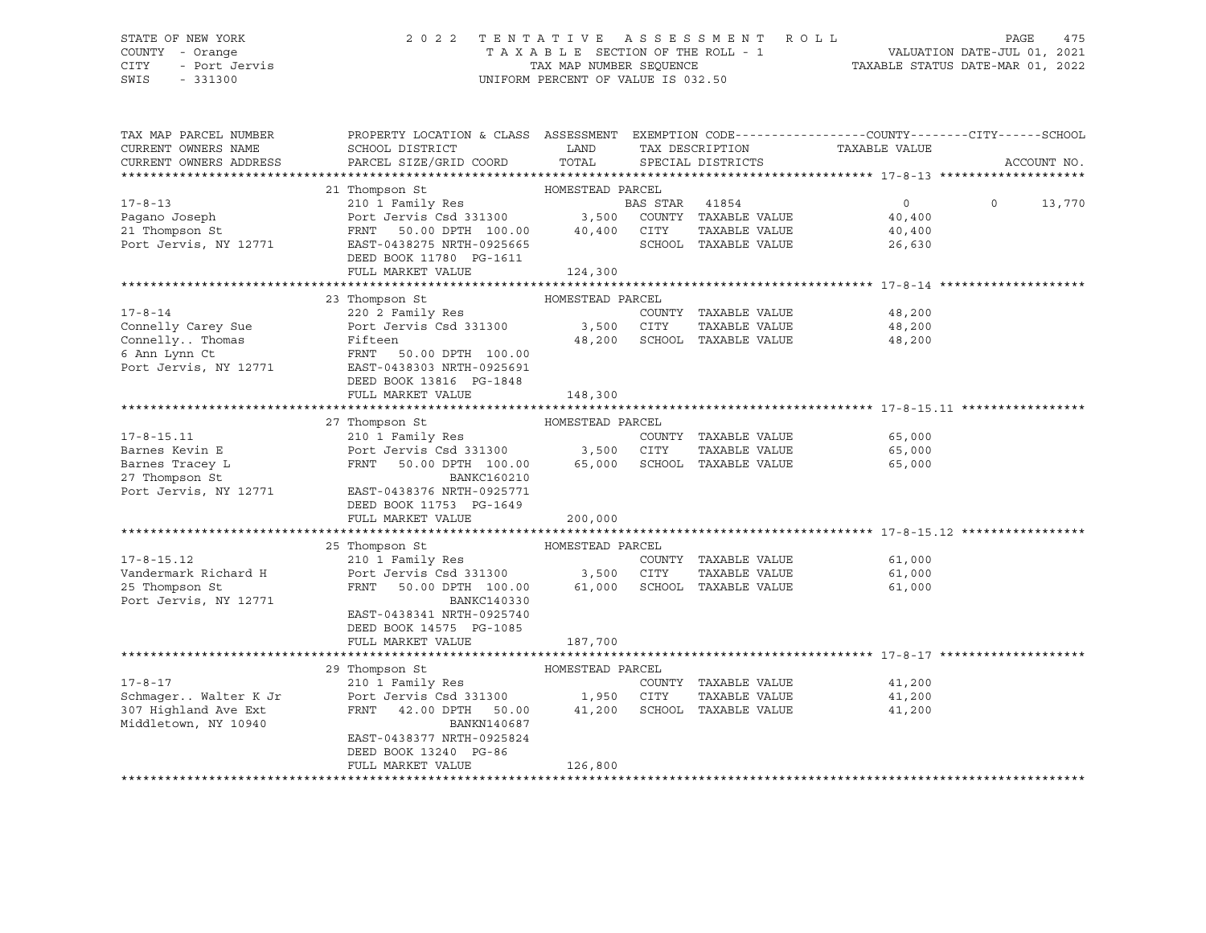### STATE OF NEW YORK 2 0 2 2 T E N T A T I V E A S S E S S M E N T R O L L PAGE 475 COUNTY - Orange T A X A B L E SECTION OF THE ROLL - 1 VALUATION DATE-JUL 01, 2021 CITY - Port Jervis TAX MAP NUMBER SEQUENCE TAXABLE STATUS DATE-MAR 01, 2022

| TAX MAP PARCEL NUMBER  | PROPERTY LOCATION & CLASS ASSESSMENT EXEMPTION CODE----------------COUNTY-------CITY------SCHOOL |                  |                |                      |               |          |             |
|------------------------|--------------------------------------------------------------------------------------------------|------------------|----------------|----------------------|---------------|----------|-------------|
| CURRENT OWNERS NAME    | SCHOOL DISTRICT                                                                                  | LAND             |                | TAX DESCRIPTION      | TAXABLE VALUE |          |             |
| CURRENT OWNERS ADDRESS | PARCEL SIZE/GRID COORD                                                                           | TOTAL            |                | SPECIAL DISTRICTS    |               |          | ACCOUNT NO. |
|                        |                                                                                                  |                  |                |                      |               |          |             |
|                        | 21 Thompson St                                                                                   | HOMESTEAD PARCEL |                |                      |               |          |             |
| $17 - 8 - 13$          | 210 1 Family Res                                                                                 |                  | BAS STAR 41854 |                      | $\Omega$      | $\Omega$ | 13,770      |
| Pagano Joseph          | Port Jervis Csd 331300                                                                           | 3,500            |                | COUNTY TAXABLE VALUE | 40,400        |          |             |
| 21 Thompson St         | FRNT<br>50.00 DPTH 100.00                                                                        | 40,400           | CITY           | TAXABLE VALUE        | 40,400        |          |             |
| Port Jervis, NY 12771  | EAST-0438275 NRTH-0925665                                                                        |                  |                | SCHOOL TAXABLE VALUE | 26,630        |          |             |
|                        | DEED BOOK 11780 PG-1611                                                                          |                  |                |                      |               |          |             |
|                        | FULL MARKET VALUE                                                                                | 124,300          |                |                      |               |          |             |
|                        |                                                                                                  |                  |                |                      |               |          |             |
|                        | 23 Thompson St                                                                                   | HOMESTEAD PARCEL |                |                      |               |          |             |
| $17 - 8 - 14$          | 220 2 Family Res                                                                                 |                  |                | COUNTY TAXABLE VALUE | 48,200        |          |             |
| Connelly Carey Sue     | Port Jervis Csd 331300                                                                           | 3,500            | CITY           | TAXABLE VALUE        | 48,200        |          |             |
| Connelly Thomas        | Fifteen                                                                                          | 48,200           |                | SCHOOL TAXABLE VALUE | 48,200        |          |             |
| 6 Ann Lynn Ct          | FRNT<br>50.00 DPTH 100.00                                                                        |                  |                |                      |               |          |             |
| Port Jervis, NY 12771  | EAST-0438303 NRTH-0925691                                                                        |                  |                |                      |               |          |             |
|                        | DEED BOOK 13816 PG-1848                                                                          |                  |                |                      |               |          |             |
|                        | FULL MARKET VALUE                                                                                | 148,300          |                |                      |               |          |             |
|                        |                                                                                                  |                  |                |                      |               |          |             |
|                        | 27 Thompson St                                                                                   | HOMESTEAD PARCEL |                |                      |               |          |             |
| $17 - 8 - 15.11$       | 210 1 Family Res                                                                                 |                  |                | COUNTY TAXABLE VALUE | 65,000        |          |             |
| Barnes Kevin E         | Port Jervis Csd 331300                                                                           | 3,500            | CITY           | TAXABLE VALUE        | 65,000        |          |             |
| Barnes Tracey L        | FRNT<br>50.00 DPTH 100.00                                                                        | 65,000           |                | SCHOOL TAXABLE VALUE | 65,000        |          |             |
| 27 Thompson St         | BANKC160210                                                                                      |                  |                |                      |               |          |             |
| Port Jervis, NY 12771  | EAST-0438376 NRTH-0925771                                                                        |                  |                |                      |               |          |             |
|                        | DEED BOOK 11753 PG-1649                                                                          |                  |                |                      |               |          |             |
|                        | FULL MARKET VALUE                                                                                | 200,000          |                |                      |               |          |             |
|                        |                                                                                                  |                  |                |                      |               |          |             |
|                        | 25 Thompson St                                                                                   | HOMESTEAD PARCEL |                |                      |               |          |             |
| $17 - 8 - 15.12$       | 210 1 Family Res                                                                                 |                  |                | COUNTY TAXABLE VALUE | 61,000        |          |             |
| Vandermark Richard H   | Port Jervis Csd 331300                                                                           | 3,500            | CITY           | TAXABLE VALUE        | 61,000        |          |             |
| 25 Thompson St         | FRNT<br>50.00 DPTH 100.00                                                                        | 61,000           |                | SCHOOL TAXABLE VALUE | 61,000        |          |             |
| Port Jervis, NY 12771  | BANKC140330                                                                                      |                  |                |                      |               |          |             |
|                        | EAST-0438341 NRTH-0925740                                                                        |                  |                |                      |               |          |             |
|                        | DEED BOOK 14575 PG-1085                                                                          |                  |                |                      |               |          |             |
|                        | FULL MARKET VALUE                                                                                | 187,700          |                |                      |               |          |             |
|                        |                                                                                                  |                  |                |                      |               |          |             |
|                        | 29 Thompson St                                                                                   | HOMESTEAD PARCEL |                |                      |               |          |             |
| $17 - 8 - 17$          | 210 1 Family Res                                                                                 |                  |                | COUNTY TAXABLE VALUE | 41,200        |          |             |
| Schmager Walter K Jr   | Port Jervis Csd 331300                                                                           | 1,950            | CITY           | TAXABLE VALUE        | 41,200        |          |             |
| 307 Highland Ave Ext   | FRNT<br>42.00 DPTH<br>50.00                                                                      | 41,200           |                | SCHOOL TAXABLE VALUE | 41,200        |          |             |
| Middletown, NY 10940   | BANKN140687                                                                                      |                  |                |                      |               |          |             |
|                        | EAST-0438377 NRTH-0925824                                                                        |                  |                |                      |               |          |             |
|                        | DEED BOOK 13240 PG-86                                                                            |                  |                |                      |               |          |             |
|                        | FULL MARKET VALUE                                                                                | 126,800          |                |                      |               |          |             |
|                        |                                                                                                  |                  |                |                      |               |          |             |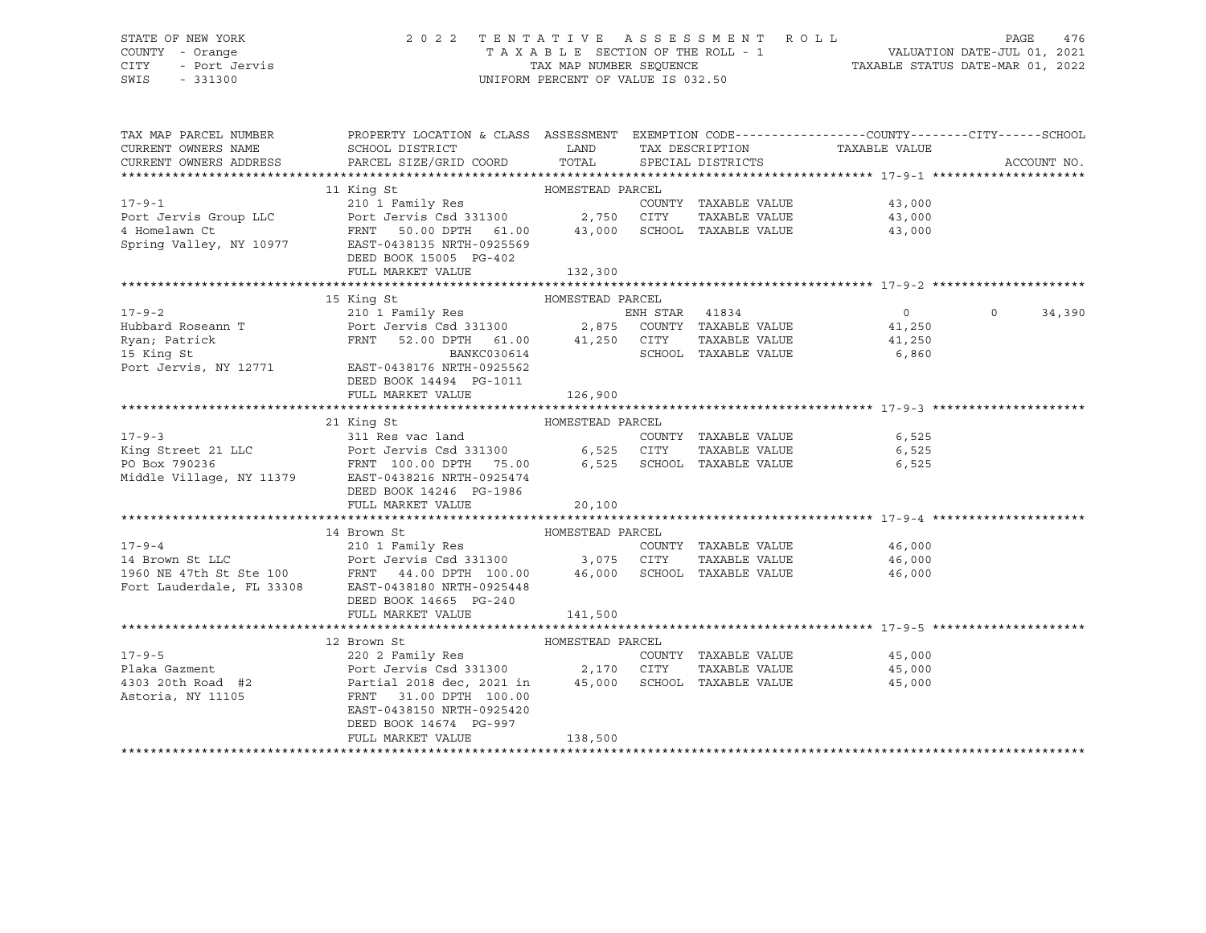## STATE OF NEW YORK 2 0 2 2 T E N T A T I V E A S S E S S M E N T R O L L PAGE 476 COUNTY - Orange T A X A B L E SECTION OF THE ROLL - 1 VALUATION DATE-JUL 01, 2021 CITY - Port Jervis TAX MAP NUMBER SEQUENCE TAXABLE STATUS DATE-MAR 01, 2022

| TAX MAP PARCEL NUMBER<br>CURRENT OWNERS NAME<br>CURRENT OWNERS ADDRESS | PROPERTY LOCATION & CLASS ASSESSMENT EXEMPTION CODE---------------COUNTY-------CITY------SCHOOL                                                                                                                                                                                                                                                                                                                                                            |                  |                             |                  | ACCOUNT NO.       |
|------------------------------------------------------------------------|------------------------------------------------------------------------------------------------------------------------------------------------------------------------------------------------------------------------------------------------------------------------------------------------------------------------------------------------------------------------------------------------------------------------------------------------------------|------------------|-----------------------------|------------------|-------------------|
|                                                                        |                                                                                                                                                                                                                                                                                                                                                                                                                                                            |                  |                             |                  |                   |
|                                                                        |                                                                                                                                                                                                                                                                                                                                                                                                                                                            |                  |                             |                  |                   |
|                                                                        |                                                                                                                                                                                                                                                                                                                                                                                                                                                            |                  | COUNTY TAXABLE VALUE        | 43,000           |                   |
|                                                                        |                                                                                                                                                                                                                                                                                                                                                                                                                                                            |                  |                             | 43,000<br>43,000 |                   |
|                                                                        |                                                                                                                                                                                                                                                                                                                                                                                                                                                            |                  |                             |                  |                   |
|                                                                        | $\begin{tabular}{lcccccc} & & & & 11\; King\; St & & & \text{HOMESTEAD PARCH} \\\hline \end{tabular} \begin{tabular}{lcccccc} & & 11\; King\; St & & & \text{HOMESTEAD PARCH} \\\hline \end{tabular} \begin{tabular}{lcccccc} & & 210\;1\; Family\; Res & & & \text{COUNTY} & TAXABLE\; VALUE \\ & Port\; Jerry & & 50.00\; DPTH & 61.00 & & 43,000 & \text{SCHOOL} & TAXABLE\; VALUE \\ & & & \text{Spring Valley, NY 10977} & & \text{EAST-0438135 NRTH$ |                  |                             |                  |                   |
|                                                                        | DEED BOOK 15005 PG-402                                                                                                                                                                                                                                                                                                                                                                                                                                     |                  |                             |                  |                   |
|                                                                        | FULL MARKET VALUE                                                                                                                                                                                                                                                                                                                                                                                                                                          | 132,300          |                             |                  |                   |
|                                                                        |                                                                                                                                                                                                                                                                                                                                                                                                                                                            |                  |                             |                  |                   |
|                                                                        | 15 King St                                                                                                                                                                                                                                                                                                                                                                                                                                                 | HOMESTEAD PARCEL |                             |                  |                   |
|                                                                        |                                                                                                                                                                                                                                                                                                                                                                                                                                                            |                  |                             | $\overline{0}$   | $\circ$<br>34,390 |
|                                                                        |                                                                                                                                                                                                                                                                                                                                                                                                                                                            |                  |                             |                  |                   |
|                                                                        |                                                                                                                                                                                                                                                                                                                                                                                                                                                            |                  |                             |                  |                   |
|                                                                        | 17-9-2<br>Hubbard Roseann T<br>Hubbard Roseann T<br>Port Jervis Csd 331300<br>FRNT 52.00 DPTH 61.00<br>BANKC030614<br>BANKC030614<br>SCHOOL TAXABLE VALUE<br>SCHOOL TAXABLE VALUE<br>SCHOOL TAXABLE VALUE<br>SCHOOL TAXABLE VALUE<br>6,860                                                                                                                                                                                                                 |                  |                             |                  |                   |
| Port Jervis, NY 12771                                                  | EAST-0438176 NRTH-0925562                                                                                                                                                                                                                                                                                                                                                                                                                                  |                  |                             |                  |                   |
|                                                                        | DEED BOOK 14494 PG-1011                                                                                                                                                                                                                                                                                                                                                                                                                                    |                  |                             |                  |                   |
|                                                                        | FULL MARKET VALUE                                                                                                                                                                                                                                                                                                                                                                                                                                          | 126,900          |                             |                  |                   |
|                                                                        |                                                                                                                                                                                                                                                                                                                                                                                                                                                            |                  |                             |                  |                   |
|                                                                        | 21 King St                                                                                                                                                                                                                                                                                                                                                                                                                                                 |                  |                             |                  |                   |
| $17 - 9 - 3$                                                           |                                                                                                                                                                                                                                                                                                                                                                                                                                                            |                  | COUNTY TAXABLE VALUE        | 6,525            |                   |
|                                                                        |                                                                                                                                                                                                                                                                                                                                                                                                                                                            |                  |                             |                  |                   |
|                                                                        | 17-9-3 311 Res vac land COUNTY TAXABLE VALUE 6,525<br>King Street 21 LLC Port Jervis Csd 331300 6,525 CITY TAXABLE VALUE 6,525<br>PO Box 790236 FRNT 100.00 DPTH 75.00 6,525 SCHOOL TAXABLE VALUE 6,525<br>Middle Village, NY 11379                                                                                                                                                                                                                        |                  |                             |                  |                   |
|                                                                        |                                                                                                                                                                                                                                                                                                                                                                                                                                                            |                  |                             |                  |                   |
|                                                                        | DEED BOOK 14246 PG-1986                                                                                                                                                                                                                                                                                                                                                                                                                                    |                  |                             |                  |                   |
|                                                                        | FULL MARKET VALUE 20,100                                                                                                                                                                                                                                                                                                                                                                                                                                   |                  |                             |                  |                   |
|                                                                        |                                                                                                                                                                                                                                                                                                                                                                                                                                                            |                  |                             |                  |                   |
|                                                                        |                                                                                                                                                                                                                                                                                                                                                                                                                                                            |                  |                             |                  |                   |
|                                                                        |                                                                                                                                                                                                                                                                                                                                                                                                                                                            |                  |                             |                  |                   |
|                                                                        |                                                                                                                                                                                                                                                                                                                                                                                                                                                            |                  |                             |                  |                   |
|                                                                        | 17-9-4<br>14 Brown St<br>210 1 Family Res<br>210 1 Family Res<br>210 1 Family Res<br>210 1 Family Res<br>210 1 Family Res<br>210 1 Family Res<br>210 1 Family Res<br>210 1 Family Res<br>210 1 Family Res<br>210 1 Family Res<br>210 1 Family Res<br>210                                                                                                                                                                                                   |                  |                             |                  |                   |
|                                                                        |                                                                                                                                                                                                                                                                                                                                                                                                                                                            |                  |                             |                  |                   |
|                                                                        | DEED BOOK 14665 PG-240                                                                                                                                                                                                                                                                                                                                                                                                                                     |                  |                             |                  |                   |
|                                                                        | FULL MARKET VALUE                                                                                                                                                                                                                                                                                                                                                                                                                                          | 141,500          |                             |                  |                   |
|                                                                        |                                                                                                                                                                                                                                                                                                                                                                                                                                                            |                  |                             |                  |                   |
|                                                                        | 12 Brown St                                                                                                                                                                                                                                                                                                                                                                                                                                                |                  |                             |                  |                   |
| $17 - 9 - 5$                                                           |                                                                                                                                                                                                                                                                                                                                                                                                                                                            |                  | COUNTY TAXABLE VALUE 45,000 |                  |                   |
|                                                                        |                                                                                                                                                                                                                                                                                                                                                                                                                                                            |                  | TAXABLE VALUE 45,000        |                  |                   |
|                                                                        | 4303 20th Road #2 $Partial$ 2018 dec, 2021 in 45,000 SCHOOL TAXABLE VALUE 45,000 Astoria, NY 11105 $45,000$                                                                                                                                                                                                                                                                                                                                                |                  |                             |                  |                   |
|                                                                        |                                                                                                                                                                                                                                                                                                                                                                                                                                                            |                  |                             |                  |                   |
|                                                                        | EAST-0438150 NRTH-0925420                                                                                                                                                                                                                                                                                                                                                                                                                                  |                  |                             |                  |                   |
|                                                                        | DEED BOOK 14674 PG-997                                                                                                                                                                                                                                                                                                                                                                                                                                     |                  |                             |                  |                   |
|                                                                        | FULL MARKET VALUE                                                                                                                                                                                                                                                                                                                                                                                                                                          | 138,500          |                             |                  |                   |
|                                                                        |                                                                                                                                                                                                                                                                                                                                                                                                                                                            |                  |                             |                  |                   |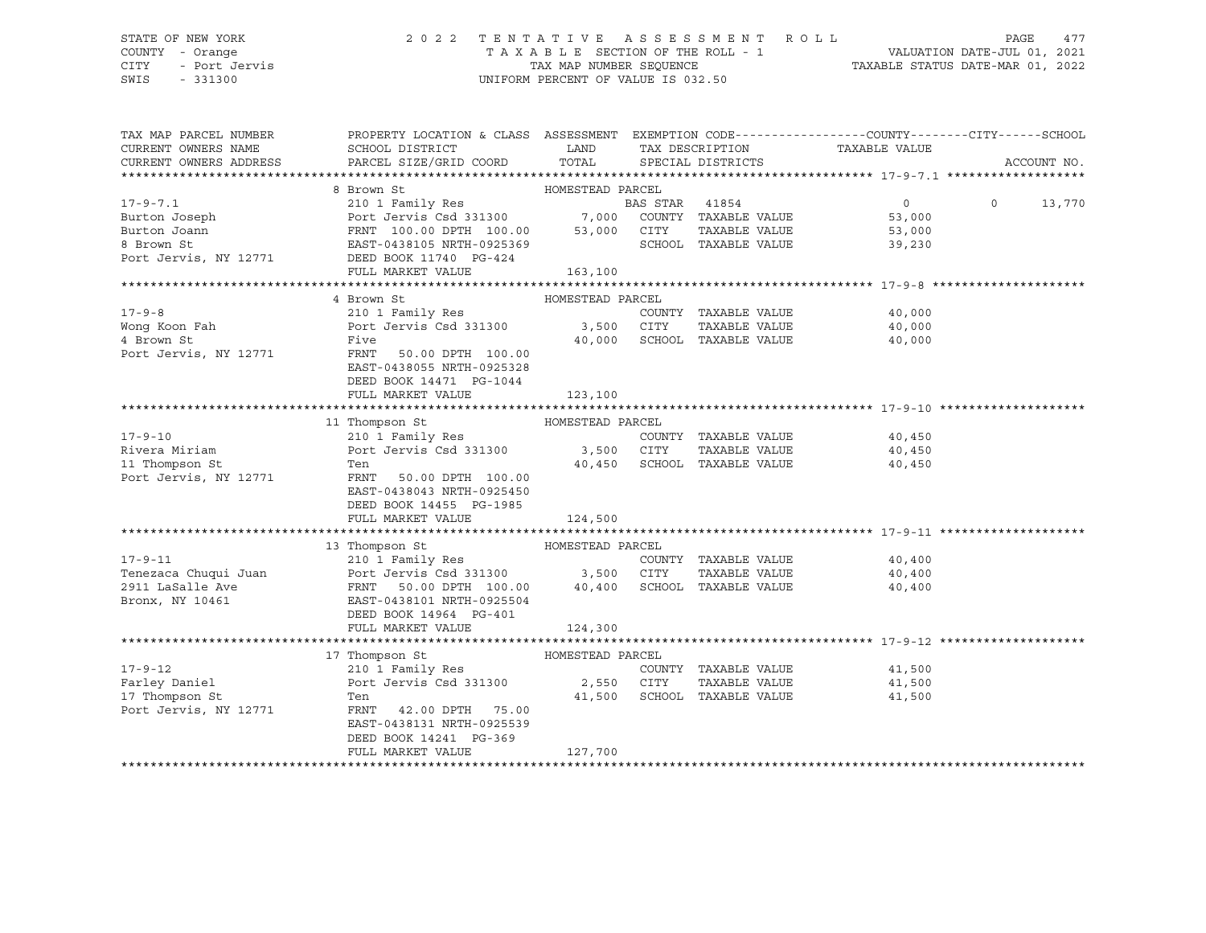# STATE OF NEW YORK 2 0 2 2 T E N T A T I V E A S S E S S M E N T R O L L PAGE 477 COUNTY - Orange T A X A B L E SECTION OF THE ROLL - 1 VALUATION DATE-JUL 01, 2021 CITY - Port Jervis TAX MAP NUMBER SEQUENCE TAXABLE STATUS DATE-MAR 01, 2022

| TAX MAP PARCEL NUMBER<br>CURRENT OWNERS NAME<br>CURRENT OWNERS ADDRESS | PROPERTY LOCATION & CLASS ASSESSMENT EXEMPTION CODE----------------COUNTY-------CITY------SCHOOL<br>SCHOOL DISTRICT<br>PARCEL SIZE/GRID COORD | <b>LAND</b><br>TOTAL | TAX DESCRIPTION<br>SPECIAL DISTRICTS | TAXABLE VALUE               | ACCOUNT NO.        |
|------------------------------------------------------------------------|-----------------------------------------------------------------------------------------------------------------------------------------------|----------------------|--------------------------------------|-----------------------------|--------------------|
|                                                                        |                                                                                                                                               |                      |                                      |                             |                    |
|                                                                        |                                                                                                                                               |                      |                                      |                             |                    |
| $17 - 9 - 7.1$                                                         |                                                                                                                                               |                      |                                      | $\overline{0}$              | $\Omega$<br>13,770 |
| Burton Joseph                                                          |                                                                                                                                               |                      |                                      | 53,000                      |                    |
| Burton Joann                                                           | FRNT 100.00 DPTH 100.00 53,000 CITY<br>EAST-0438105 NRTH-0925369 53,000 SCHOO                                                                 |                      | TAXABLE VALUE                        | 53,000                      |                    |
| 8 Brown St                                                             | EAST-0438105 NRTH-0925369                                                                                                                     |                      | SCHOOL TAXABLE VALUE                 | 39,230                      |                    |
|                                                                        | Port Jervis, NY 12771 DEED BOOK 11740 PG-424                                                                                                  |                      |                                      |                             |                    |
|                                                                        | FULL MARKET VALUE                                                                                                                             | 163, 100             |                                      |                             |                    |
|                                                                        |                                                                                                                                               |                      |                                      |                             |                    |
|                                                                        | 4 Brown St                                                                                                                                    | HOMESTEAD PARCEL     |                                      |                             |                    |
| $17 - 9 - 8$                                                           | 210 1 Family Res                                                                                                                              |                      | COUNTY TAXABLE VALUE                 | 40,000                      |                    |
| Wong Koon Fah                                                          | Port Jervis Csd 331300 3,500 CITY                                                                                                             |                      | TAXABLE VALUE                        | 40,000                      |                    |
| 4 Brown St                                                             | Five                                                                                                                                          |                      | 40,000 SCHOOL TAXABLE VALUE          | 40,000                      |                    |
| Port Jervis, NY 12771                                                  | FRNT<br>50.00 DPTH 100.00                                                                                                                     |                      |                                      |                             |                    |
|                                                                        | EAST-0438055 NRTH-0925328                                                                                                                     |                      |                                      |                             |                    |
|                                                                        | DEED BOOK 14471 PG-1044                                                                                                                       |                      |                                      |                             |                    |
|                                                                        | FULL MARKET VALUE                                                                                                                             | 123,100              |                                      |                             |                    |
|                                                                        |                                                                                                                                               |                      |                                      |                             |                    |
|                                                                        | 11 Thompson St                                                                                                                                | HOMESTEAD PARCEL     |                                      |                             |                    |
| $17 - 9 - 10$                                                          | 210 I Family Res<br>Port Jervis Csd 331300 3,500 CITY                                                                                         |                      | COUNTY TAXABLE VALUE                 | 40,450                      |                    |
| Rivera Miriam                                                          |                                                                                                                                               |                      | TAXABLE VALUE                        | 40,450                      |                    |
| 11 Thompson St                                                         | Ten                                                                                                                                           |                      | 40,450 SCHOOL TAXABLE VALUE          | 40,450                      |                    |
| Port Jervis, NY 12771                                                  | FRNT 50.00 DPTH 100.00                                                                                                                        |                      |                                      |                             |                    |
|                                                                        | EAST-0438043 NRTH-0925450                                                                                                                     |                      |                                      |                             |                    |
|                                                                        | DEED BOOK 14455 PG-1985                                                                                                                       |                      |                                      |                             |                    |
|                                                                        | FULL MARKET VALUE                                                                                                                             | 124,500              |                                      |                             |                    |
|                                                                        |                                                                                                                                               |                      |                                      |                             |                    |
|                                                                        | 13 Thompson St MOMESTEAD PARCEL                                                                                                               |                      |                                      |                             |                    |
| $17 - 9 - 11$                                                          | 210 1 Family Res                                                                                                                              |                      |                                      | COUNTY TAXABLE VALUE 40,400 |                    |
|                                                                        | Port Jervis Csd 331300 3,500 CITY TAXABLE VALUE<br>FRNT 50.00 DPTH 100.00 40,400 SCHOOL TAXABLE VALUE                                         |                      |                                      | 40,400                      |                    |
|                                                                        |                                                                                                                                               |                      |                                      | 40,400                      |                    |
| Bronx, NY 10461                                                        | EAST-0438101 NRTH-0925504                                                                                                                     |                      |                                      |                             |                    |
|                                                                        | DEED BOOK 14964 PG-401                                                                                                                        |                      |                                      |                             |                    |
|                                                                        | FULL MARKET VALUE                                                                                                                             | 124,300              |                                      |                             |                    |
|                                                                        |                                                                                                                                               |                      |                                      |                             |                    |
|                                                                        | 17 Thompson St                                                                                                                                | HOMESTEAD PARCEL     |                                      |                             |                    |
| $17 - 9 - 12$                                                          | 210 1 Family Res                                                                                                                              |                      | COUNTY TAXABLE VALUE                 | 41,500                      |                    |
| Farley Daniel                                                          | Port Jervis Csd 331300 2,550 CITY                                                                                                             |                      | TAXABLE VALUE                        | 41,500                      |                    |
| 17 Thompson St                                                         | Ten                                                                                                                                           |                      | 41,500 SCHOOL TAXABLE VALUE          | 41,500                      |                    |
| Port Jervis, NY 12771                                                  | FRNT 42.00 DPTH 75.00                                                                                                                         |                      |                                      |                             |                    |
|                                                                        | EAST-0438131 NRTH-0925539                                                                                                                     |                      |                                      |                             |                    |
|                                                                        | DEED BOOK 14241 PG-369                                                                                                                        |                      |                                      |                             |                    |
|                                                                        | FULL MARKET VALUE                                                                                                                             | 127,700              |                                      |                             |                    |
|                                                                        |                                                                                                                                               |                      |                                      |                             |                    |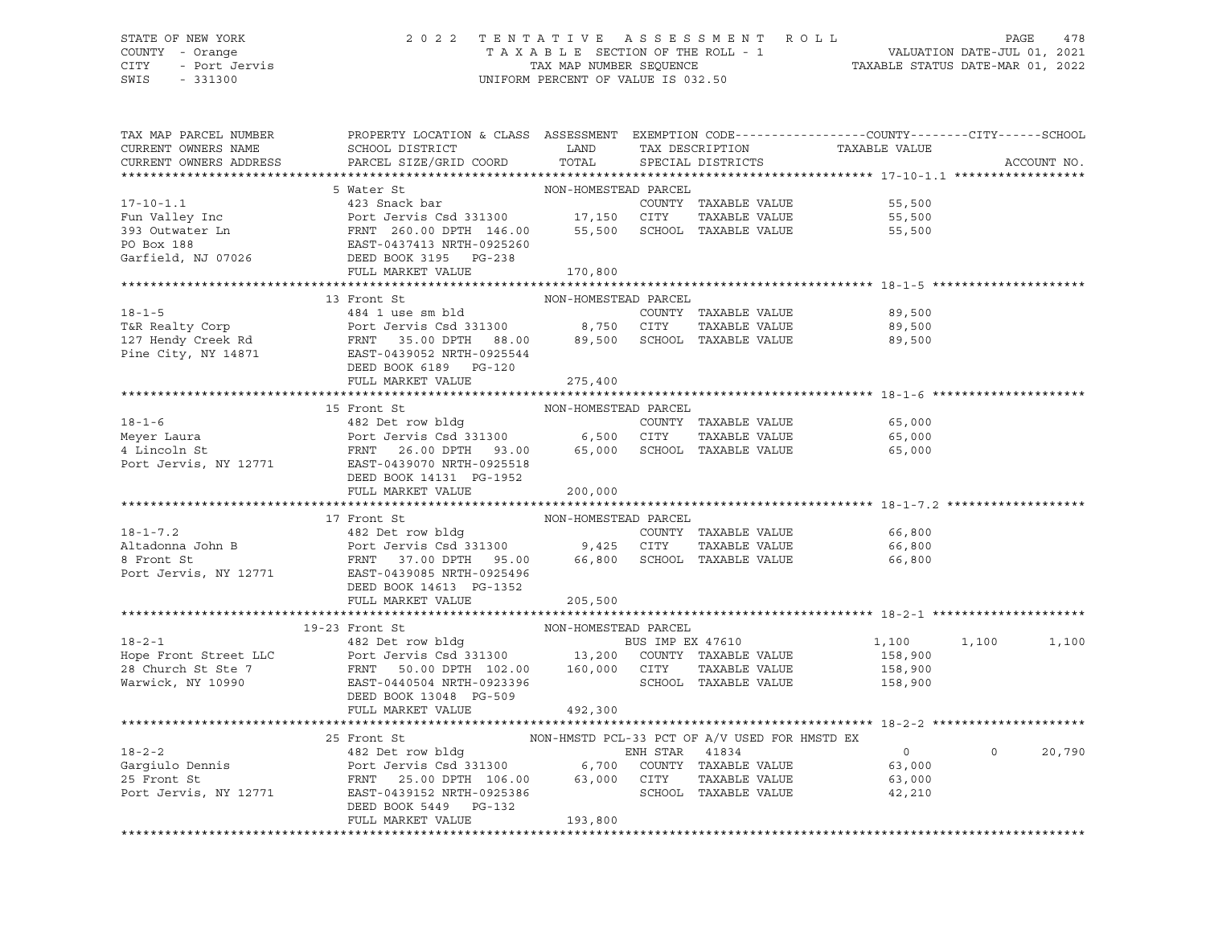#### STATE OF NEW YORK 2 0 2 2 T E N T A T I V E A S S E S S M E N T R O L L PAGE 478 COUNTY - Orange T A X A B L E SECTION OF THE ROLL - 1 VALUATION DATE-JUL 01, 2021 CITY - Port Jervis TAX MAP NUMBER SEQUENCE TAXABLE STATUS DATE-MAR 01, 2022 SWIS - 331300 UNIFORM PERCENT OF VALUE IS 032.50

| TAX MAP PARCEL NUMBER<br>CURRENT OWNERS NAME<br>CURRENT OWNERS ADDRESS                                                                                                                                                                                                                                                                                                            | PROPERTY LOCATION & CLASS ASSESSMENT EXEMPTION CODE----------------COUNTY-------CITY------SCHOOL<br>SCHOOL DISTRICT LAND<br>PARCEL SIZE/GRID COORD | TOTAL                | TAX DESCRIPTION<br>SPECIAL DISTRICTS | TAXABLE VALUE                |         | ACCOUNT NO. |
|-----------------------------------------------------------------------------------------------------------------------------------------------------------------------------------------------------------------------------------------------------------------------------------------------------------------------------------------------------------------------------------|----------------------------------------------------------------------------------------------------------------------------------------------------|----------------------|--------------------------------------|------------------------------|---------|-------------|
|                                                                                                                                                                                                                                                                                                                                                                                   |                                                                                                                                                    |                      |                                      |                              |         |             |
| 17-10-1.1<br>Fun Valley Inc (1/10-1<br>For the State of State of State of State of State of State of State of State of State of State of State of State of State of State of State of State of State of State of State of State of                                                                                                                                                |                                                                                                                                                    |                      |                                      |                              |         |             |
|                                                                                                                                                                                                                                                                                                                                                                                   |                                                                                                                                                    |                      |                                      |                              |         |             |
|                                                                                                                                                                                                                                                                                                                                                                                   |                                                                                                                                                    |                      |                                      |                              |         |             |
|                                                                                                                                                                                                                                                                                                                                                                                   |                                                                                                                                                    |                      |                                      |                              |         |             |
|                                                                                                                                                                                                                                                                                                                                                                                   |                                                                                                                                                    |                      |                                      |                              |         |             |
|                                                                                                                                                                                                                                                                                                                                                                                   |                                                                                                                                                    |                      |                                      |                              |         |             |
|                                                                                                                                                                                                                                                                                                                                                                                   | FULL MARKET VALUE                                                                                                                                  | 170,800              |                                      |                              |         |             |
|                                                                                                                                                                                                                                                                                                                                                                                   |                                                                                                                                                    |                      |                                      |                              |         |             |
|                                                                                                                                                                                                                                                                                                                                                                                   |                                                                                                                                                    |                      |                                      |                              |         |             |
|                                                                                                                                                                                                                                                                                                                                                                                   |                                                                                                                                                    |                      |                                      | 89,500                       |         |             |
|                                                                                                                                                                                                                                                                                                                                                                                   |                                                                                                                                                    |                      | TAXABLE VALUE                        | 89,500                       |         |             |
|                                                                                                                                                                                                                                                                                                                                                                                   |                                                                                                                                                    |                      |                                      | 89,500                       |         |             |
|                                                                                                                                                                                                                                                                                                                                                                                   |                                                                                                                                                    |                      |                                      |                              |         |             |
|                                                                                                                                                                                                                                                                                                                                                                                   | DEED BOOK 6189 PG-120                                                                                                                              |                      |                                      |                              |         |             |
|                                                                                                                                                                                                                                                                                                                                                                                   | FULL MARKET VALUE 275,400                                                                                                                          |                      |                                      |                              |         |             |
|                                                                                                                                                                                                                                                                                                                                                                                   |                                                                                                                                                    |                      |                                      |                              |         |             |
|                                                                                                                                                                                                                                                                                                                                                                                   | 15 Front St                                                                                                                                        | NON-HOMESTEAD PARCEL |                                      |                              |         |             |
|                                                                                                                                                                                                                                                                                                                                                                                   |                                                                                                                                                    |                      |                                      |                              |         |             |
|                                                                                                                                                                                                                                                                                                                                                                                   |                                                                                                                                                    |                      |                                      |                              |         |             |
| 18-1-6<br>Meyer Laura (1992)<br>Meyer Laura (1992)<br>Meyer Laura (1992)<br>Port Jervis Csd 331300<br>FRNT 26.00 DPTH 93.00 (1992)<br>FRNT 26.00 DPTH 93.00 (1992)<br>SCHOOL TAXABLE VALUE (1992)<br>SCHOOL TAXABLE VALUE (1992)<br>TANABLE VALU                                                                                                                                  |                                                                                                                                                    |                      |                                      |                              |         |             |
|                                                                                                                                                                                                                                                                                                                                                                                   |                                                                                                                                                    |                      |                                      |                              |         |             |
|                                                                                                                                                                                                                                                                                                                                                                                   | DEED BOOK 14131 PG-1952                                                                                                                            |                      |                                      |                              |         |             |
|                                                                                                                                                                                                                                                                                                                                                                                   | FULL MARKET VALUE                                                                                                                                  | 200,000              |                                      |                              |         |             |
|                                                                                                                                                                                                                                                                                                                                                                                   |                                                                                                                                                    |                      |                                      |                              |         |             |
|                                                                                                                                                                                                                                                                                                                                                                                   |                                                                                                                                                    |                      |                                      |                              |         |             |
|                                                                                                                                                                                                                                                                                                                                                                                   |                                                                                                                                                    |                      |                                      | 66,800                       |         |             |
|                                                                                                                                                                                                                                                                                                                                                                                   |                                                                                                                                                    |                      | TAXABLE VALUE                        | 66,800<br>66,800             |         |             |
|                                                                                                                                                                                                                                                                                                                                                                                   |                                                                                                                                                    |                      |                                      |                              |         |             |
|                                                                                                                                                                                                                                                                                                                                                                                   |                                                                                                                                                    |                      |                                      |                              |         |             |
|                                                                                                                                                                                                                                                                                                                                                                                   |                                                                                                                                                    |                      |                                      |                              |         |             |
|                                                                                                                                                                                                                                                                                                                                                                                   | FULL MARKET VALUE                                                                                                                                  | 205,500              |                                      |                              |         |             |
|                                                                                                                                                                                                                                                                                                                                                                                   |                                                                                                                                                    |                      |                                      |                              |         |             |
| 19-2-1<br>19-23 Front St<br>28 Det row bldg<br>28 Church Street LLC<br>28 Church St Ste 7<br>28 Church St Ste 7<br>28 Church St Ste 7<br>29 Det Jervis Csd 331300<br>29 Det Jervis Csd 331300<br>29 Det Jervis Csd 331300<br>29 Det Jervis Csd 331                                                                                                                                |                                                                                                                                                    |                      |                                      | 1,100 1,100                  |         | 1,100       |
|                                                                                                                                                                                                                                                                                                                                                                                   |                                                                                                                                                    |                      |                                      | 158,900                      |         |             |
|                                                                                                                                                                                                                                                                                                                                                                                   |                                                                                                                                                    |                      |                                      | 158,900                      |         |             |
|                                                                                                                                                                                                                                                                                                                                                                                   |                                                                                                                                                    |                      |                                      | SCHOOL TAXABLE VALUE 150,900 |         |             |
|                                                                                                                                                                                                                                                                                                                                                                                   | DEED BOOK 13048 PG-509                                                                                                                             |                      |                                      |                              |         |             |
|                                                                                                                                                                                                                                                                                                                                                                                   | FULL MARKET VALUE                                                                                                                                  | 492,300              |                                      |                              |         |             |
|                                                                                                                                                                                                                                                                                                                                                                                   |                                                                                                                                                    |                      |                                      |                              |         |             |
|                                                                                                                                                                                                                                                                                                                                                                                   |                                                                                                                                                    |                      |                                      |                              |         |             |
|                                                                                                                                                                                                                                                                                                                                                                                   |                                                                                                                                                    |                      |                                      | $\overline{0}$               | $\circ$ | 20,790      |
|                                                                                                                                                                                                                                                                                                                                                                                   |                                                                                                                                                    |                      |                                      | 63,000                       |         |             |
|                                                                                                                                                                                                                                                                                                                                                                                   |                                                                                                                                                    |                      |                                      | 63,000                       |         |             |
| $\begin{tabular}{lcccc} 18-2-2 & 25 Front St & 18-2-2 \\ 482 Det row bldg & 25 Front St & 41834 \\ 25 Front St & 25 Front St & 500 DPTH 106.00 & 63,000 CITY TAXABLE VALUE \\ 26 Port Jervis, NY 12771 & EAST-0439152 NRTH-0925386 & 5700 CONTY TAXABLE VALUE \\ 275 Font St & 25.00 DPTH 106.00 & 63,000 CITY TAXABLE VALUE \\ 285 Fcont Jervis, NY 12771 & 25.00 DPTH 106.00 &$ |                                                                                                                                                    |                      |                                      | 42,210                       |         |             |
|                                                                                                                                                                                                                                                                                                                                                                                   | DEED BOOK 5449 PG-132                                                                                                                              |                      |                                      |                              |         |             |
|                                                                                                                                                                                                                                                                                                                                                                                   | FULL MARKET VALUE                                                                                                                                  | 193,800              |                                      |                              |         |             |
|                                                                                                                                                                                                                                                                                                                                                                                   |                                                                                                                                                    |                      |                                      |                              |         |             |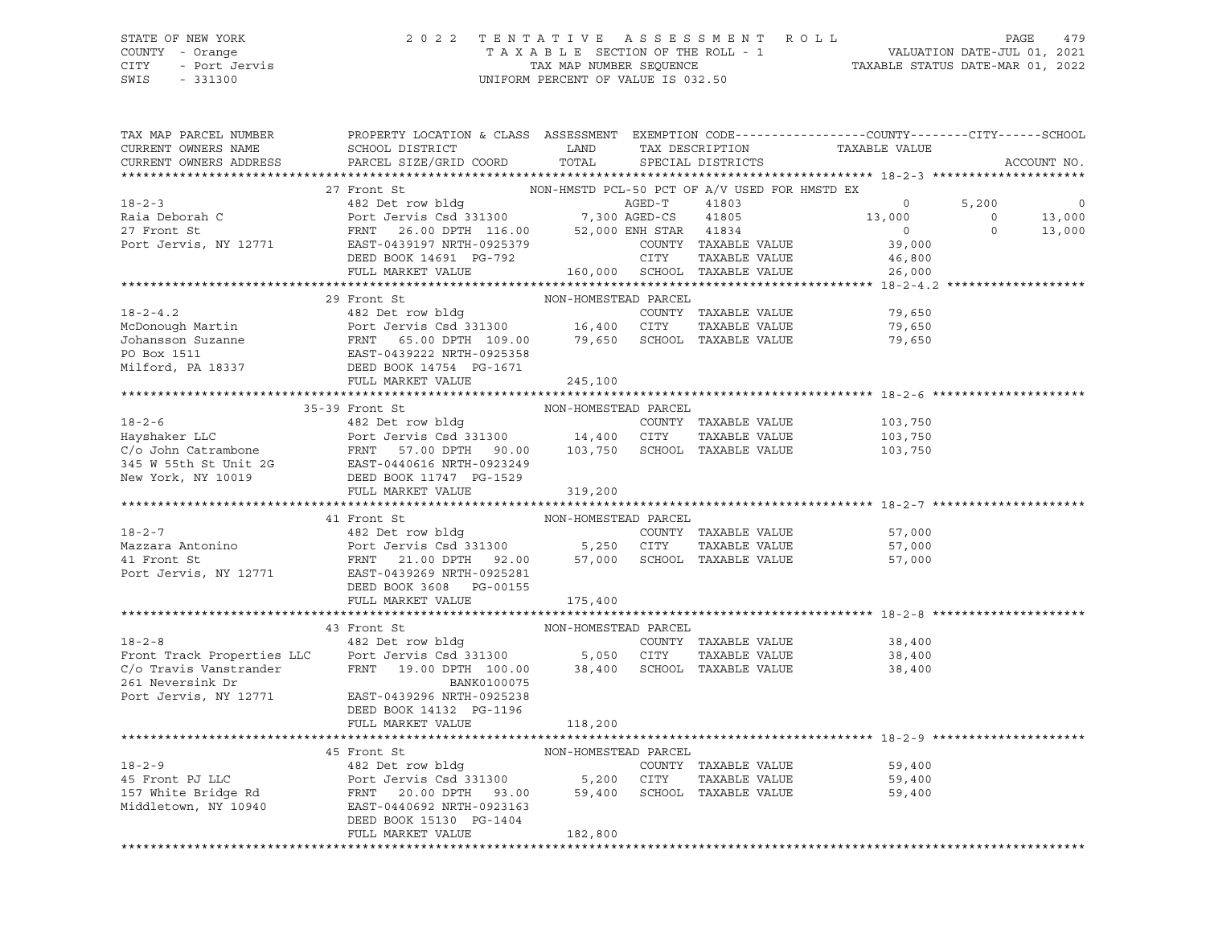#### STATE OF NEW YORK 2 0 2 2 T E N T A T I V E A S S E S S M E N T R O L L PAGE 479 COUNTY - Orange T A X A B L E SECTION OF THE ROLL - 1 VALUATION DATE-JUL 01, 2021 CITY - Port Jervis TAX MAP NUMBER SEQUENCE TAXABLE STATUS DATE-MAR 01, 2022 SWIS - 331300 UNIFORM PERCENT OF VALUE IS 032.50

| NON-HMSTD PCL-50 PCT OF A/V USED FOR HMSTD EX<br>27 Front St<br>18-2-3<br>27 Front St<br>27 Front St<br>27 Front St<br>27 Front St<br>27 Front St<br>27 Front St<br>27 Front St<br>27 Front St<br>27 Front St<br>28.00 DPTH 116.00<br>2925379<br>2925379<br>2925379<br>2925379<br>2925379<br>2925379<br>2925379<br>2925379<br>AGED-T 41803 0<br>AGED-CS 41805 13,000<br>ENH STAR 41834 0<br>COUNTY TAXABLE VALUE 39,000<br>$5,200$ 0<br>0<br>0<br>13,000<br>0<br>13,000<br>COUNTY<br>CITY<br>$\begin{tabular}{lllllllllllll} \texttt{DEED BOOK} & 14691 & PG-792 & & & & \texttt{CITY} & \texttt{TAXABLE VALUE} & & & 46,800 \\ \texttt{FULL MARKET VALUE} & & & 160,000 & \texttt{SCHOOL} & \texttt{TAXABLE VALUE} & & & 26,000 \\ \end{tabular}$<br>NON-HOMESTEAD PARCEL<br>29 Front St<br>$\begin{tabular}{lcccccc} & & 29 & \texttt{front St} & & & \texttt{NON-HOMESTEAD PARCH} \\ 18-2-4.2 & & 482 Det row bldg & & & \texttt{COUNTY TAXABLE VALUE} & & 79,650 \\ 19,650 & & 16,400 & CITY & TAXABLE VALUE & & 79,650 \\ 19,650 & & 16,400 & CITY & TAXABLE VALUE & & 79,650 \\ 19,650 & & 16,400 & CITY & TAXABLE VALUE & & 79,650 \\ 19,650 & & 16,400 & CITY & TAXABLE VALUE & & 79,650 \\$<br>35-39 FOOL SEED BOOK 11747 PG-1529<br>MON-HOMESTEAD PARCEL<br>26 C/o John Catrambone FRNT 57.00 DPTH 90.00 103,750 SCHOOL TAXABLE VALUE<br>26 Port Jervis Csd 331300 14,400 CITY TAXABLE VALUE<br>26 PORT 57.00 DPTH 90.00 103,750 SCH<br>41 Front St<br>NON-HOMESTEAD PARCEL<br>18-2-7<br>Mazzara Antonino<br>Mazzara Antonino<br>18-2-7<br>Mazzara Antonino<br>Port Jervis Csd 331300<br>Port Jervis Csd 331300<br>FRNT 21.00 DPTH 92.00<br>FORT 192.00<br>FRNT 21.00 DPTH 92.00<br>57,000<br>SCHOOL TAXABLE VALUE<br>FRNT 21.00 DPTH<br>DEED BOOK 3608 PG-00155<br>FULL MARKET VALUE 175,400<br>NON-HOMESTEAD PARCEL<br>18-2-8<br>Front Track Properties LLC<br>Front Track Properties LLC<br>Port Jervis Csd 331300<br>C/o Travis Vanstrander<br>PENT<br>19.00 DPTH 100.00<br>BANK0100075<br>261 Newtrander<br>261 Newtrander<br>261 Newtrander<br>261 Newtrander<br>261 Newt<br>COUNTY TAXABLE VALUE 38,400<br>CITY TAXABLE VALUE 38,400<br>38,400<br>Port Jervis, NY 12771 EAST-0439296 NRTH-0925238<br>DEED BOOK 14132 PG-1196<br>FULL MARKET VALUE<br>118,200<br>45 Front St<br>NON-HOMESTEAD PARCEL<br>18-2-9<br>482 Det row bldg<br>482 Det row bldg<br>20.00 DPTH 93.00<br>5,200 CITY TAXABLE VALUE<br>7 White Bridge Rd<br>37 White Bridge Rd<br>37 White Bridge Rd<br>37 White Bridge Rd<br>37 White Bridge Rd<br>38.00 SCHOOL TAXABLE VALUE<br>20.00 D<br>59,400<br>59,400<br>59,400<br>FULL MARKET VALUE<br>182,800 | TAX MAP PARCEL NUMBER<br>CURRENT OWNERS NAME<br>CURRENT OWNERS ADDRESS | PROPERTY LOCATION & CLASS ASSESSMENT EXEMPTION CODE----------------COUNTY-------CITY------SCHOOL<br>SCHOOL DISTRICT LAND<br>PARCEL SIZE/GRID COORD | TOTAL | SPECIAL DISTRICTS | TAX DESCRIPTION TAXABLE VALUE | ACCOUNT NO. |
|--------------------------------------------------------------------------------------------------------------------------------------------------------------------------------------------------------------------------------------------------------------------------------------------------------------------------------------------------------------------------------------------------------------------------------------------------------------------------------------------------------------------------------------------------------------------------------------------------------------------------------------------------------------------------------------------------------------------------------------------------------------------------------------------------------------------------------------------------------------------------------------------------------------------------------------------------------------------------------------------------------------------------------------------------------------------------------------------------------------------------------------------------------------------------------------------------------------------------------------------------------------------------------------------------------------------------------------------------------------------------------------------------------------------------------------------------------------------------------------------------------------------------------------------------------------------------------------------------------------------------------------------------------------------------------------------------------------------------------------------------------------------------------------------------------------------------------------------------------------------------------------------------------------------------------------------------------------------------------------------------------------------------------------------------------------------------------------------------------------------------------------------------------------------------------------------------------------------------------------------------------------------------------------------------------------------------------------------------------------------------------------------------------------------------------------------------------------------------------------------------------------------------------------------------------------------------------------------------------------------------------------------|------------------------------------------------------------------------|----------------------------------------------------------------------------------------------------------------------------------------------------|-------|-------------------|-------------------------------|-------------|
|                                                                                                                                                                                                                                                                                                                                                                                                                                                                                                                                                                                                                                                                                                                                                                                                                                                                                                                                                                                                                                                                                                                                                                                                                                                                                                                                                                                                                                                                                                                                                                                                                                                                                                                                                                                                                                                                                                                                                                                                                                                                                                                                                                                                                                                                                                                                                                                                                                                                                                                                                                                                                                            |                                                                        |                                                                                                                                                    |       |                   |                               |             |
|                                                                                                                                                                                                                                                                                                                                                                                                                                                                                                                                                                                                                                                                                                                                                                                                                                                                                                                                                                                                                                                                                                                                                                                                                                                                                                                                                                                                                                                                                                                                                                                                                                                                                                                                                                                                                                                                                                                                                                                                                                                                                                                                                                                                                                                                                                                                                                                                                                                                                                                                                                                                                                            |                                                                        |                                                                                                                                                    |       |                   |                               |             |
|                                                                                                                                                                                                                                                                                                                                                                                                                                                                                                                                                                                                                                                                                                                                                                                                                                                                                                                                                                                                                                                                                                                                                                                                                                                                                                                                                                                                                                                                                                                                                                                                                                                                                                                                                                                                                                                                                                                                                                                                                                                                                                                                                                                                                                                                                                                                                                                                                                                                                                                                                                                                                                            |                                                                        |                                                                                                                                                    |       |                   |                               |             |
|                                                                                                                                                                                                                                                                                                                                                                                                                                                                                                                                                                                                                                                                                                                                                                                                                                                                                                                                                                                                                                                                                                                                                                                                                                                                                                                                                                                                                                                                                                                                                                                                                                                                                                                                                                                                                                                                                                                                                                                                                                                                                                                                                                                                                                                                                                                                                                                                                                                                                                                                                                                                                                            |                                                                        |                                                                                                                                                    |       |                   |                               |             |
|                                                                                                                                                                                                                                                                                                                                                                                                                                                                                                                                                                                                                                                                                                                                                                                                                                                                                                                                                                                                                                                                                                                                                                                                                                                                                                                                                                                                                                                                                                                                                                                                                                                                                                                                                                                                                                                                                                                                                                                                                                                                                                                                                                                                                                                                                                                                                                                                                                                                                                                                                                                                                                            |                                                                        |                                                                                                                                                    |       |                   |                               |             |
|                                                                                                                                                                                                                                                                                                                                                                                                                                                                                                                                                                                                                                                                                                                                                                                                                                                                                                                                                                                                                                                                                                                                                                                                                                                                                                                                                                                                                                                                                                                                                                                                                                                                                                                                                                                                                                                                                                                                                                                                                                                                                                                                                                                                                                                                                                                                                                                                                                                                                                                                                                                                                                            |                                                                        |                                                                                                                                                    |       |                   |                               |             |
|                                                                                                                                                                                                                                                                                                                                                                                                                                                                                                                                                                                                                                                                                                                                                                                                                                                                                                                                                                                                                                                                                                                                                                                                                                                                                                                                                                                                                                                                                                                                                                                                                                                                                                                                                                                                                                                                                                                                                                                                                                                                                                                                                                                                                                                                                                                                                                                                                                                                                                                                                                                                                                            |                                                                        |                                                                                                                                                    |       |                   |                               |             |
|                                                                                                                                                                                                                                                                                                                                                                                                                                                                                                                                                                                                                                                                                                                                                                                                                                                                                                                                                                                                                                                                                                                                                                                                                                                                                                                                                                                                                                                                                                                                                                                                                                                                                                                                                                                                                                                                                                                                                                                                                                                                                                                                                                                                                                                                                                                                                                                                                                                                                                                                                                                                                                            |                                                                        |                                                                                                                                                    |       |                   |                               |             |
|                                                                                                                                                                                                                                                                                                                                                                                                                                                                                                                                                                                                                                                                                                                                                                                                                                                                                                                                                                                                                                                                                                                                                                                                                                                                                                                                                                                                                                                                                                                                                                                                                                                                                                                                                                                                                                                                                                                                                                                                                                                                                                                                                                                                                                                                                                                                                                                                                                                                                                                                                                                                                                            |                                                                        |                                                                                                                                                    |       |                   |                               |             |
|                                                                                                                                                                                                                                                                                                                                                                                                                                                                                                                                                                                                                                                                                                                                                                                                                                                                                                                                                                                                                                                                                                                                                                                                                                                                                                                                                                                                                                                                                                                                                                                                                                                                                                                                                                                                                                                                                                                                                                                                                                                                                                                                                                                                                                                                                                                                                                                                                                                                                                                                                                                                                                            |                                                                        |                                                                                                                                                    |       |                   |                               |             |
|                                                                                                                                                                                                                                                                                                                                                                                                                                                                                                                                                                                                                                                                                                                                                                                                                                                                                                                                                                                                                                                                                                                                                                                                                                                                                                                                                                                                                                                                                                                                                                                                                                                                                                                                                                                                                                                                                                                                                                                                                                                                                                                                                                                                                                                                                                                                                                                                                                                                                                                                                                                                                                            |                                                                        |                                                                                                                                                    |       |                   |                               |             |
|                                                                                                                                                                                                                                                                                                                                                                                                                                                                                                                                                                                                                                                                                                                                                                                                                                                                                                                                                                                                                                                                                                                                                                                                                                                                                                                                                                                                                                                                                                                                                                                                                                                                                                                                                                                                                                                                                                                                                                                                                                                                                                                                                                                                                                                                                                                                                                                                                                                                                                                                                                                                                                            |                                                                        |                                                                                                                                                    |       |                   |                               |             |
|                                                                                                                                                                                                                                                                                                                                                                                                                                                                                                                                                                                                                                                                                                                                                                                                                                                                                                                                                                                                                                                                                                                                                                                                                                                                                                                                                                                                                                                                                                                                                                                                                                                                                                                                                                                                                                                                                                                                                                                                                                                                                                                                                                                                                                                                                                                                                                                                                                                                                                                                                                                                                                            |                                                                        |                                                                                                                                                    |       |                   |                               |             |
|                                                                                                                                                                                                                                                                                                                                                                                                                                                                                                                                                                                                                                                                                                                                                                                                                                                                                                                                                                                                                                                                                                                                                                                                                                                                                                                                                                                                                                                                                                                                                                                                                                                                                                                                                                                                                                                                                                                                                                                                                                                                                                                                                                                                                                                                                                                                                                                                                                                                                                                                                                                                                                            |                                                                        |                                                                                                                                                    |       |                   |                               |             |
|                                                                                                                                                                                                                                                                                                                                                                                                                                                                                                                                                                                                                                                                                                                                                                                                                                                                                                                                                                                                                                                                                                                                                                                                                                                                                                                                                                                                                                                                                                                                                                                                                                                                                                                                                                                                                                                                                                                                                                                                                                                                                                                                                                                                                                                                                                                                                                                                                                                                                                                                                                                                                                            |                                                                        |                                                                                                                                                    |       |                   |                               |             |
|                                                                                                                                                                                                                                                                                                                                                                                                                                                                                                                                                                                                                                                                                                                                                                                                                                                                                                                                                                                                                                                                                                                                                                                                                                                                                                                                                                                                                                                                                                                                                                                                                                                                                                                                                                                                                                                                                                                                                                                                                                                                                                                                                                                                                                                                                                                                                                                                                                                                                                                                                                                                                                            |                                                                        |                                                                                                                                                    |       |                   |                               |             |
|                                                                                                                                                                                                                                                                                                                                                                                                                                                                                                                                                                                                                                                                                                                                                                                                                                                                                                                                                                                                                                                                                                                                                                                                                                                                                                                                                                                                                                                                                                                                                                                                                                                                                                                                                                                                                                                                                                                                                                                                                                                                                                                                                                                                                                                                                                                                                                                                                                                                                                                                                                                                                                            |                                                                        |                                                                                                                                                    |       |                   |                               |             |
|                                                                                                                                                                                                                                                                                                                                                                                                                                                                                                                                                                                                                                                                                                                                                                                                                                                                                                                                                                                                                                                                                                                                                                                                                                                                                                                                                                                                                                                                                                                                                                                                                                                                                                                                                                                                                                                                                                                                                                                                                                                                                                                                                                                                                                                                                                                                                                                                                                                                                                                                                                                                                                            |                                                                        |                                                                                                                                                    |       |                   |                               |             |
|                                                                                                                                                                                                                                                                                                                                                                                                                                                                                                                                                                                                                                                                                                                                                                                                                                                                                                                                                                                                                                                                                                                                                                                                                                                                                                                                                                                                                                                                                                                                                                                                                                                                                                                                                                                                                                                                                                                                                                                                                                                                                                                                                                                                                                                                                                                                                                                                                                                                                                                                                                                                                                            |                                                                        |                                                                                                                                                    |       |                   |                               |             |
|                                                                                                                                                                                                                                                                                                                                                                                                                                                                                                                                                                                                                                                                                                                                                                                                                                                                                                                                                                                                                                                                                                                                                                                                                                                                                                                                                                                                                                                                                                                                                                                                                                                                                                                                                                                                                                                                                                                                                                                                                                                                                                                                                                                                                                                                                                                                                                                                                                                                                                                                                                                                                                            |                                                                        |                                                                                                                                                    |       |                   |                               |             |
|                                                                                                                                                                                                                                                                                                                                                                                                                                                                                                                                                                                                                                                                                                                                                                                                                                                                                                                                                                                                                                                                                                                                                                                                                                                                                                                                                                                                                                                                                                                                                                                                                                                                                                                                                                                                                                                                                                                                                                                                                                                                                                                                                                                                                                                                                                                                                                                                                                                                                                                                                                                                                                            |                                                                        |                                                                                                                                                    |       |                   |                               |             |
|                                                                                                                                                                                                                                                                                                                                                                                                                                                                                                                                                                                                                                                                                                                                                                                                                                                                                                                                                                                                                                                                                                                                                                                                                                                                                                                                                                                                                                                                                                                                                                                                                                                                                                                                                                                                                                                                                                                                                                                                                                                                                                                                                                                                                                                                                                                                                                                                                                                                                                                                                                                                                                            |                                                                        |                                                                                                                                                    |       |                   |                               |             |
|                                                                                                                                                                                                                                                                                                                                                                                                                                                                                                                                                                                                                                                                                                                                                                                                                                                                                                                                                                                                                                                                                                                                                                                                                                                                                                                                                                                                                                                                                                                                                                                                                                                                                                                                                                                                                                                                                                                                                                                                                                                                                                                                                                                                                                                                                                                                                                                                                                                                                                                                                                                                                                            |                                                                        |                                                                                                                                                    |       |                   |                               |             |
|                                                                                                                                                                                                                                                                                                                                                                                                                                                                                                                                                                                                                                                                                                                                                                                                                                                                                                                                                                                                                                                                                                                                                                                                                                                                                                                                                                                                                                                                                                                                                                                                                                                                                                                                                                                                                                                                                                                                                                                                                                                                                                                                                                                                                                                                                                                                                                                                                                                                                                                                                                                                                                            |                                                                        |                                                                                                                                                    |       |                   |                               |             |
|                                                                                                                                                                                                                                                                                                                                                                                                                                                                                                                                                                                                                                                                                                                                                                                                                                                                                                                                                                                                                                                                                                                                                                                                                                                                                                                                                                                                                                                                                                                                                                                                                                                                                                                                                                                                                                                                                                                                                                                                                                                                                                                                                                                                                                                                                                                                                                                                                                                                                                                                                                                                                                            |                                                                        |                                                                                                                                                    |       |                   |                               |             |
|                                                                                                                                                                                                                                                                                                                                                                                                                                                                                                                                                                                                                                                                                                                                                                                                                                                                                                                                                                                                                                                                                                                                                                                                                                                                                                                                                                                                                                                                                                                                                                                                                                                                                                                                                                                                                                                                                                                                                                                                                                                                                                                                                                                                                                                                                                                                                                                                                                                                                                                                                                                                                                            |                                                                        |                                                                                                                                                    |       |                   |                               |             |
|                                                                                                                                                                                                                                                                                                                                                                                                                                                                                                                                                                                                                                                                                                                                                                                                                                                                                                                                                                                                                                                                                                                                                                                                                                                                                                                                                                                                                                                                                                                                                                                                                                                                                                                                                                                                                                                                                                                                                                                                                                                                                                                                                                                                                                                                                                                                                                                                                                                                                                                                                                                                                                            |                                                                        |                                                                                                                                                    |       |                   |                               |             |
|                                                                                                                                                                                                                                                                                                                                                                                                                                                                                                                                                                                                                                                                                                                                                                                                                                                                                                                                                                                                                                                                                                                                                                                                                                                                                                                                                                                                                                                                                                                                                                                                                                                                                                                                                                                                                                                                                                                                                                                                                                                                                                                                                                                                                                                                                                                                                                                                                                                                                                                                                                                                                                            |                                                                        |                                                                                                                                                    |       |                   |                               |             |
|                                                                                                                                                                                                                                                                                                                                                                                                                                                                                                                                                                                                                                                                                                                                                                                                                                                                                                                                                                                                                                                                                                                                                                                                                                                                                                                                                                                                                                                                                                                                                                                                                                                                                                                                                                                                                                                                                                                                                                                                                                                                                                                                                                                                                                                                                                                                                                                                                                                                                                                                                                                                                                            |                                                                        |                                                                                                                                                    |       |                   |                               |             |
|                                                                                                                                                                                                                                                                                                                                                                                                                                                                                                                                                                                                                                                                                                                                                                                                                                                                                                                                                                                                                                                                                                                                                                                                                                                                                                                                                                                                                                                                                                                                                                                                                                                                                                                                                                                                                                                                                                                                                                                                                                                                                                                                                                                                                                                                                                                                                                                                                                                                                                                                                                                                                                            |                                                                        |                                                                                                                                                    |       |                   |                               |             |
|                                                                                                                                                                                                                                                                                                                                                                                                                                                                                                                                                                                                                                                                                                                                                                                                                                                                                                                                                                                                                                                                                                                                                                                                                                                                                                                                                                                                                                                                                                                                                                                                                                                                                                                                                                                                                                                                                                                                                                                                                                                                                                                                                                                                                                                                                                                                                                                                                                                                                                                                                                                                                                            |                                                                        |                                                                                                                                                    |       |                   |                               |             |
|                                                                                                                                                                                                                                                                                                                                                                                                                                                                                                                                                                                                                                                                                                                                                                                                                                                                                                                                                                                                                                                                                                                                                                                                                                                                                                                                                                                                                                                                                                                                                                                                                                                                                                                                                                                                                                                                                                                                                                                                                                                                                                                                                                                                                                                                                                                                                                                                                                                                                                                                                                                                                                            |                                                                        |                                                                                                                                                    |       |                   |                               |             |
|                                                                                                                                                                                                                                                                                                                                                                                                                                                                                                                                                                                                                                                                                                                                                                                                                                                                                                                                                                                                                                                                                                                                                                                                                                                                                                                                                                                                                                                                                                                                                                                                                                                                                                                                                                                                                                                                                                                                                                                                                                                                                                                                                                                                                                                                                                                                                                                                                                                                                                                                                                                                                                            |                                                                        |                                                                                                                                                    |       |                   |                               |             |
|                                                                                                                                                                                                                                                                                                                                                                                                                                                                                                                                                                                                                                                                                                                                                                                                                                                                                                                                                                                                                                                                                                                                                                                                                                                                                                                                                                                                                                                                                                                                                                                                                                                                                                                                                                                                                                                                                                                                                                                                                                                                                                                                                                                                                                                                                                                                                                                                                                                                                                                                                                                                                                            |                                                                        |                                                                                                                                                    |       |                   |                               |             |
|                                                                                                                                                                                                                                                                                                                                                                                                                                                                                                                                                                                                                                                                                                                                                                                                                                                                                                                                                                                                                                                                                                                                                                                                                                                                                                                                                                                                                                                                                                                                                                                                                                                                                                                                                                                                                                                                                                                                                                                                                                                                                                                                                                                                                                                                                                                                                                                                                                                                                                                                                                                                                                            |                                                                        |                                                                                                                                                    |       |                   |                               |             |
|                                                                                                                                                                                                                                                                                                                                                                                                                                                                                                                                                                                                                                                                                                                                                                                                                                                                                                                                                                                                                                                                                                                                                                                                                                                                                                                                                                                                                                                                                                                                                                                                                                                                                                                                                                                                                                                                                                                                                                                                                                                                                                                                                                                                                                                                                                                                                                                                                                                                                                                                                                                                                                            |                                                                        |                                                                                                                                                    |       |                   |                               |             |
|                                                                                                                                                                                                                                                                                                                                                                                                                                                                                                                                                                                                                                                                                                                                                                                                                                                                                                                                                                                                                                                                                                                                                                                                                                                                                                                                                                                                                                                                                                                                                                                                                                                                                                                                                                                                                                                                                                                                                                                                                                                                                                                                                                                                                                                                                                                                                                                                                                                                                                                                                                                                                                            |                                                                        |                                                                                                                                                    |       |                   |                               |             |
|                                                                                                                                                                                                                                                                                                                                                                                                                                                                                                                                                                                                                                                                                                                                                                                                                                                                                                                                                                                                                                                                                                                                                                                                                                                                                                                                                                                                                                                                                                                                                                                                                                                                                                                                                                                                                                                                                                                                                                                                                                                                                                                                                                                                                                                                                                                                                                                                                                                                                                                                                                                                                                            |                                                                        |                                                                                                                                                    |       |                   |                               |             |
|                                                                                                                                                                                                                                                                                                                                                                                                                                                                                                                                                                                                                                                                                                                                                                                                                                                                                                                                                                                                                                                                                                                                                                                                                                                                                                                                                                                                                                                                                                                                                                                                                                                                                                                                                                                                                                                                                                                                                                                                                                                                                                                                                                                                                                                                                                                                                                                                                                                                                                                                                                                                                                            |                                                                        |                                                                                                                                                    |       |                   |                               |             |
|                                                                                                                                                                                                                                                                                                                                                                                                                                                                                                                                                                                                                                                                                                                                                                                                                                                                                                                                                                                                                                                                                                                                                                                                                                                                                                                                                                                                                                                                                                                                                                                                                                                                                                                                                                                                                                                                                                                                                                                                                                                                                                                                                                                                                                                                                                                                                                                                                                                                                                                                                                                                                                            |                                                                        |                                                                                                                                                    |       |                   |                               |             |
|                                                                                                                                                                                                                                                                                                                                                                                                                                                                                                                                                                                                                                                                                                                                                                                                                                                                                                                                                                                                                                                                                                                                                                                                                                                                                                                                                                                                                                                                                                                                                                                                                                                                                                                                                                                                                                                                                                                                                                                                                                                                                                                                                                                                                                                                                                                                                                                                                                                                                                                                                                                                                                            |                                                                        |                                                                                                                                                    |       |                   |                               |             |
|                                                                                                                                                                                                                                                                                                                                                                                                                                                                                                                                                                                                                                                                                                                                                                                                                                                                                                                                                                                                                                                                                                                                                                                                                                                                                                                                                                                                                                                                                                                                                                                                                                                                                                                                                                                                                                                                                                                                                                                                                                                                                                                                                                                                                                                                                                                                                                                                                                                                                                                                                                                                                                            |                                                                        |                                                                                                                                                    |       |                   |                               |             |
|                                                                                                                                                                                                                                                                                                                                                                                                                                                                                                                                                                                                                                                                                                                                                                                                                                                                                                                                                                                                                                                                                                                                                                                                                                                                                                                                                                                                                                                                                                                                                                                                                                                                                                                                                                                                                                                                                                                                                                                                                                                                                                                                                                                                                                                                                                                                                                                                                                                                                                                                                                                                                                            |                                                                        |                                                                                                                                                    |       |                   |                               |             |
|                                                                                                                                                                                                                                                                                                                                                                                                                                                                                                                                                                                                                                                                                                                                                                                                                                                                                                                                                                                                                                                                                                                                                                                                                                                                                                                                                                                                                                                                                                                                                                                                                                                                                                                                                                                                                                                                                                                                                                                                                                                                                                                                                                                                                                                                                                                                                                                                                                                                                                                                                                                                                                            |                                                                        |                                                                                                                                                    |       |                   |                               |             |
|                                                                                                                                                                                                                                                                                                                                                                                                                                                                                                                                                                                                                                                                                                                                                                                                                                                                                                                                                                                                                                                                                                                                                                                                                                                                                                                                                                                                                                                                                                                                                                                                                                                                                                                                                                                                                                                                                                                                                                                                                                                                                                                                                                                                                                                                                                                                                                                                                                                                                                                                                                                                                                            |                                                                        |                                                                                                                                                    |       |                   |                               |             |
|                                                                                                                                                                                                                                                                                                                                                                                                                                                                                                                                                                                                                                                                                                                                                                                                                                                                                                                                                                                                                                                                                                                                                                                                                                                                                                                                                                                                                                                                                                                                                                                                                                                                                                                                                                                                                                                                                                                                                                                                                                                                                                                                                                                                                                                                                                                                                                                                                                                                                                                                                                                                                                            |                                                                        |                                                                                                                                                    |       |                   |                               |             |
|                                                                                                                                                                                                                                                                                                                                                                                                                                                                                                                                                                                                                                                                                                                                                                                                                                                                                                                                                                                                                                                                                                                                                                                                                                                                                                                                                                                                                                                                                                                                                                                                                                                                                                                                                                                                                                                                                                                                                                                                                                                                                                                                                                                                                                                                                                                                                                                                                                                                                                                                                                                                                                            |                                                                        |                                                                                                                                                    |       |                   |                               |             |
|                                                                                                                                                                                                                                                                                                                                                                                                                                                                                                                                                                                                                                                                                                                                                                                                                                                                                                                                                                                                                                                                                                                                                                                                                                                                                                                                                                                                                                                                                                                                                                                                                                                                                                                                                                                                                                                                                                                                                                                                                                                                                                                                                                                                                                                                                                                                                                                                                                                                                                                                                                                                                                            |                                                                        |                                                                                                                                                    |       |                   |                               |             |
|                                                                                                                                                                                                                                                                                                                                                                                                                                                                                                                                                                                                                                                                                                                                                                                                                                                                                                                                                                                                                                                                                                                                                                                                                                                                                                                                                                                                                                                                                                                                                                                                                                                                                                                                                                                                                                                                                                                                                                                                                                                                                                                                                                                                                                                                                                                                                                                                                                                                                                                                                                                                                                            |                                                                        |                                                                                                                                                    |       |                   |                               |             |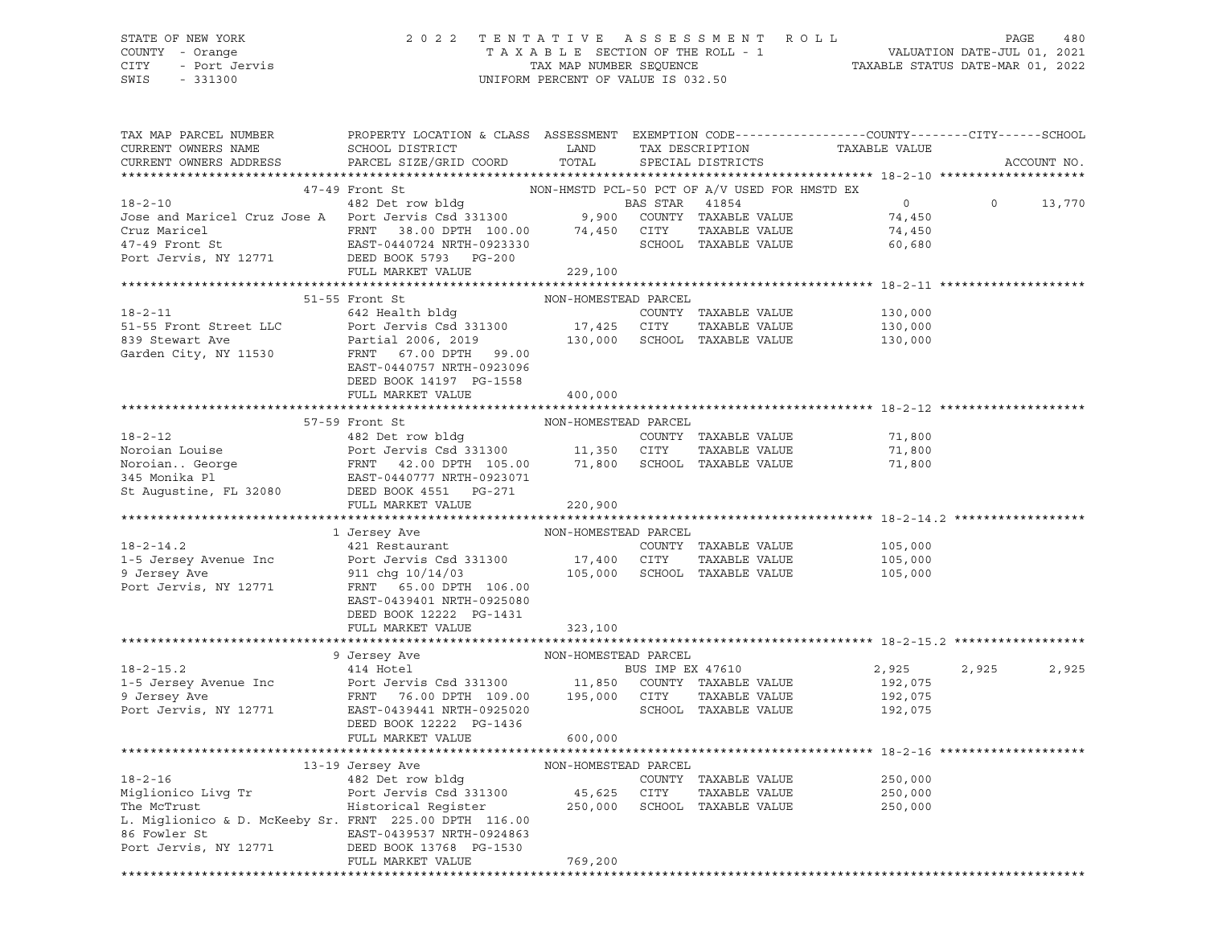STATE OF NEW YORK 2 0 2 2 T E N T A T I V E A S S E S S M E N T R O L L PAGE 480 COUNTY - Orange T A X A B L E SECTION OF THE ROLL - 1 VALUATION DATE-JUL 01, 2021 CITY - Port Jervis TAX MAP NUMBER SEQUENCE TAXABLE STATUS DATE-MAR 01, 2022 SWIS - 331300 UNIFORM PERCENT OF VALUE IS 032.50

| TAX MAP PARCEL NUMBER<br>CURRENT OWNERS NAME                                                                                                                                                                                                                                                                                                                                            | PROPERTY LOCATION & CLASS ASSESSMENT EXEMPTION CODE---------------COUNTY-------CITY------SCHOOL<br>SCHOOL DISTRICT | LAND    | TAX DESCRIPTION   | TAXABLE VALUE |                           |             |
|-----------------------------------------------------------------------------------------------------------------------------------------------------------------------------------------------------------------------------------------------------------------------------------------------------------------------------------------------------------------------------------------|--------------------------------------------------------------------------------------------------------------------|---------|-------------------|---------------|---------------------------|-------------|
| CURRENT OWNERS ADDRESS                                                                                                                                                                                                                                                                                                                                                                  | PARCEL SIZE/GRID COORD                                                                                             | TOTAL   | SPECIAL DISTRICTS |               |                           | ACCOUNT NO. |
|                                                                                                                                                                                                                                                                                                                                                                                         |                                                                                                                    |         |                   |               |                           |             |
|                                                                                                                                                                                                                                                                                                                                                                                         |                                                                                                                    |         |                   |               |                           |             |
|                                                                                                                                                                                                                                                                                                                                                                                         |                                                                                                                    |         |                   |               | $\overline{0}$<br>$\circ$ | 13,770      |
|                                                                                                                                                                                                                                                                                                                                                                                         |                                                                                                                    |         |                   |               |                           |             |
|                                                                                                                                                                                                                                                                                                                                                                                         |                                                                                                                    |         |                   |               |                           |             |
|                                                                                                                                                                                                                                                                                                                                                                                         |                                                                                                                    |         |                   |               |                           |             |
|                                                                                                                                                                                                                                                                                                                                                                                         |                                                                                                                    |         |                   |               |                           |             |
|                                                                                                                                                                                                                                                                                                                                                                                         |                                                                                                                    |         |                   |               |                           |             |
|                                                                                                                                                                                                                                                                                                                                                                                         |                                                                                                                    |         |                   |               |                           |             |
| 51-55 Front St<br>$18-2-11$<br>51-55 Front Street LLC<br>Fort Jervis Csd 331300<br>839 Stewart Ave<br>Feartial 2006, 2019<br>Garden City, NY 11530<br>FRNT 67.00 DPTH 99.00<br>EAST-0440757 NRTH-0923096<br>EAST-0440757 NRTH-0923096                                                                                                                                                   |                                                                                                                    |         |                   |               |                           |             |
|                                                                                                                                                                                                                                                                                                                                                                                         |                                                                                                                    |         |                   |               |                           |             |
|                                                                                                                                                                                                                                                                                                                                                                                         |                                                                                                                    |         |                   |               |                           |             |
|                                                                                                                                                                                                                                                                                                                                                                                         |                                                                                                                    |         |                   |               |                           |             |
|                                                                                                                                                                                                                                                                                                                                                                                         |                                                                                                                    |         |                   |               |                           |             |
|                                                                                                                                                                                                                                                                                                                                                                                         |                                                                                                                    |         |                   |               |                           |             |
|                                                                                                                                                                                                                                                                                                                                                                                         | DEED BOOK 14197 PG-1558                                                                                            |         |                   |               |                           |             |
|                                                                                                                                                                                                                                                                                                                                                                                         | FULL MARKET VALUE 400,000                                                                                          |         |                   |               |                           |             |
|                                                                                                                                                                                                                                                                                                                                                                                         |                                                                                                                    |         |                   |               |                           |             |
|                                                                                                                                                                                                                                                                                                                                                                                         |                                                                                                                    |         |                   |               |                           |             |
|                                                                                                                                                                                                                                                                                                                                                                                         |                                                                                                                    |         |                   |               |                           |             |
|                                                                                                                                                                                                                                                                                                                                                                                         |                                                                                                                    |         |                   |               |                           |             |
|                                                                                                                                                                                                                                                                                                                                                                                         |                                                                                                                    |         |                   |               |                           |             |
|                                                                                                                                                                                                                                                                                                                                                                                         |                                                                                                                    |         |                   |               |                           |             |
|                                                                                                                                                                                                                                                                                                                                                                                         |                                                                                                                    |         |                   |               |                           |             |
|                                                                                                                                                                                                                                                                                                                                                                                         | FULL MARKET VALUE                                                                                                  | 220,900 |                   |               |                           |             |
|                                                                                                                                                                                                                                                                                                                                                                                         |                                                                                                                    |         |                   |               |                           |             |
|                                                                                                                                                                                                                                                                                                                                                                                         |                                                                                                                    |         |                   |               |                           |             |
|                                                                                                                                                                                                                                                                                                                                                                                         |                                                                                                                    |         |                   |               |                           |             |
|                                                                                                                                                                                                                                                                                                                                                                                         |                                                                                                                    |         |                   |               |                           |             |
|                                                                                                                                                                                                                                                                                                                                                                                         |                                                                                                                    |         |                   |               |                           |             |
|                                                                                                                                                                                                                                                                                                                                                                                         |                                                                                                                    |         |                   |               |                           |             |
|                                                                                                                                                                                                                                                                                                                                                                                         | EAST-0439401 NRTH-0925080                                                                                          |         |                   |               |                           |             |
|                                                                                                                                                                                                                                                                                                                                                                                         | DEED BOOK 12222 PG-1431                                                                                            |         |                   |               |                           |             |
|                                                                                                                                                                                                                                                                                                                                                                                         | FULL MARKET VALUE                                                                                                  | 323,100 |                   |               |                           |             |
|                                                                                                                                                                                                                                                                                                                                                                                         |                                                                                                                    |         |                   |               |                           |             |
|                                                                                                                                                                                                                                                                                                                                                                                         |                                                                                                                    |         |                   |               |                           |             |
| $\begin{tabular}{lllllllllllllllllll} \hline 18-2-15.2 & 414& \text{Hotel} & & & \text{BUS IMP EX 47610} & 2,925 \\ 1-5 Jersey Avenue Inc & Port Jervis Csd 331300 & 11,850 & COUNTY TAXABLE VALUE & 192,075 \\ 9 Jersey Ave & FRNT & 76.00 DPTH & 109.00 & 195,000 CITY & TAXABLE VALUE & 192,075 \\ 192,075 & FRNT & 76.00 DPTH & 109.00 & 195,000 CITY & TAXABLE VALUE & 192,075 \\$ |                                                                                                                    |         |                   | 2,925         | 2,925                     | 2,925       |
|                                                                                                                                                                                                                                                                                                                                                                                         |                                                                                                                    |         |                   |               |                           |             |
|                                                                                                                                                                                                                                                                                                                                                                                         |                                                                                                                    |         |                   |               |                           |             |
|                                                                                                                                                                                                                                                                                                                                                                                         |                                                                                                                    |         |                   |               |                           |             |
|                                                                                                                                                                                                                                                                                                                                                                                         |                                                                                                                    |         |                   |               |                           |             |
|                                                                                                                                                                                                                                                                                                                                                                                         |                                                                                                                    |         |                   |               |                           |             |
|                                                                                                                                                                                                                                                                                                                                                                                         |                                                                                                                    |         |                   |               |                           |             |
|                                                                                                                                                                                                                                                                                                                                                                                         |                                                                                                                    |         |                   |               |                           |             |
|                                                                                                                                                                                                                                                                                                                                                                                         |                                                                                                                    |         |                   |               |                           |             |
|                                                                                                                                                                                                                                                                                                                                                                                         |                                                                                                                    |         |                   |               |                           |             |
|                                                                                                                                                                                                                                                                                                                                                                                         |                                                                                                                    |         |                   |               |                           |             |
|                                                                                                                                                                                                                                                                                                                                                                                         |                                                                                                                    |         |                   |               |                           |             |
| L. Miglionico & D. McKeeby Sr. FRNT 225.00 DPTH 116.00                                                                                                                                                                                                                                                                                                                                  |                                                                                                                    |         |                   |               |                           |             |
| 2<br>86 Fowler St<br>Port Jervis, NY 12771 DEED BOOK 13768 PG-1530                                                                                                                                                                                                                                                                                                                      |                                                                                                                    |         |                   |               |                           |             |
|                                                                                                                                                                                                                                                                                                                                                                                         |                                                                                                                    |         |                   |               |                           |             |
|                                                                                                                                                                                                                                                                                                                                                                                         | FULL MARKET VALUE                                                                                                  | 769,200 |                   |               |                           |             |
|                                                                                                                                                                                                                                                                                                                                                                                         |                                                                                                                    |         |                   |               |                           |             |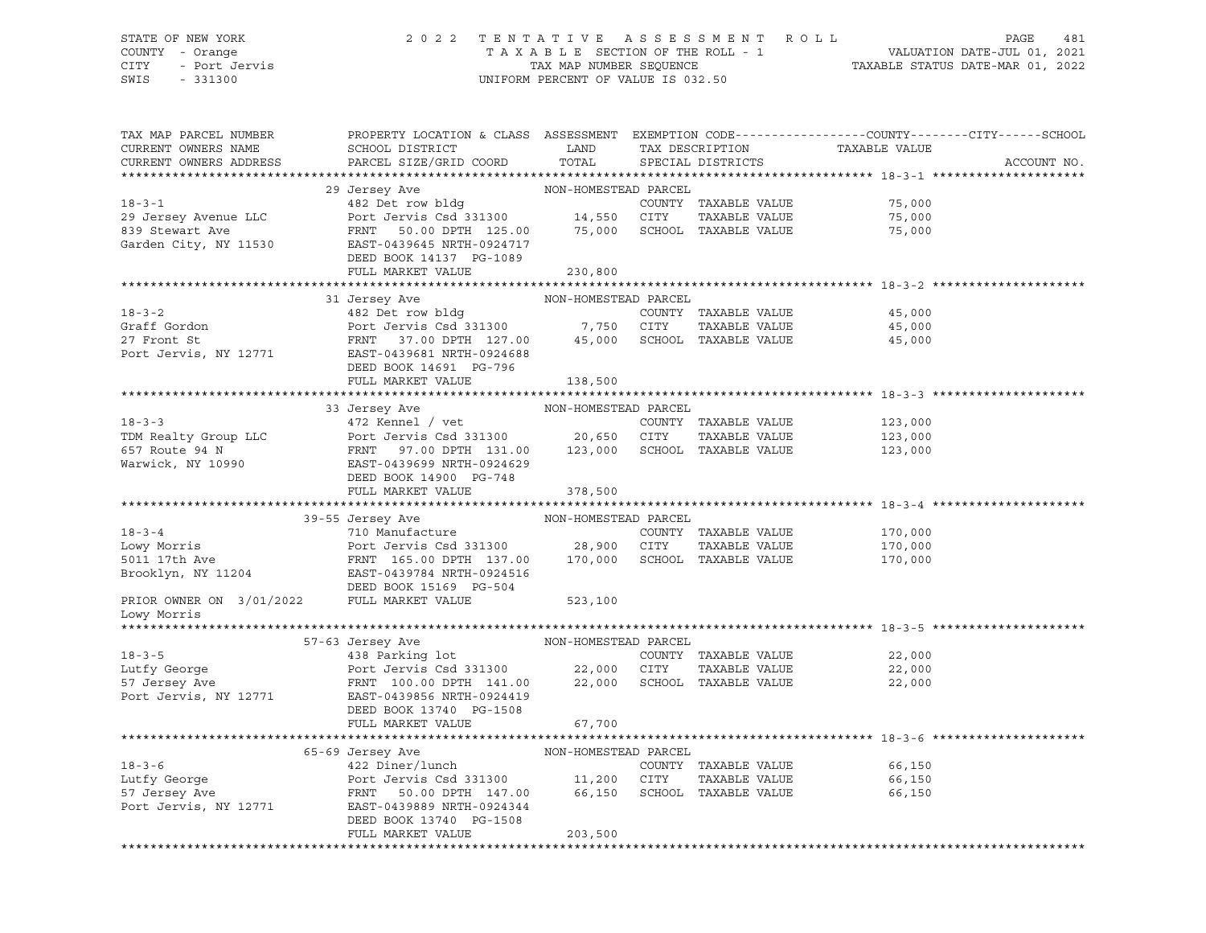#### STATE OF NEW YORK 2 0 2 2 T E N T A T I V E A S S E S S M E N T R O L L PAGE 481 COUNTY - Orange T A X A B L E SECTION OF THE ROLL - 1 VALUATION DATE-JUL 01, 2021 CITY - Port Jervis TAX MAP NUMBER SEQUENCE TAXABLE STATUS DATE-MAR 01, 2022 SWIS - 331300 UNIFORM PERCENT OF VALUE IS 032.50

| TAX MAP PARCEL NUMBER<br>CURRENT OWNERS NAME<br>CURRENT OWNERS ADDRESS | PROPERTY LOCATION & CLASS ASSESSMENT EXEMPTION CODE----------------COUNTY-------CITY------SCHOOL<br>SCHOOL DISTRICT<br>PARCEL SIZE/GRID COORD                                                                                    | <b>LAND</b><br>TOTAL | TAX DESCRIPTION<br>SPECIAL DISTRICTS | TAXABLE VALUE              | ACCOUNT NO. |
|------------------------------------------------------------------------|----------------------------------------------------------------------------------------------------------------------------------------------------------------------------------------------------------------------------------|----------------------|--------------------------------------|----------------------------|-------------|
|                                                                        |                                                                                                                                                                                                                                  |                      |                                      |                            |             |
|                                                                        |                                                                                                                                                                                                                                  |                      | COUNTY TAXABLE VALUE                 | 75,000                     |             |
|                                                                        |                                                                                                                                                                                                                                  |                      |                                      | 75,000                     |             |
|                                                                        |                                                                                                                                                                                                                                  |                      |                                      | 75,000                     |             |
|                                                                        |                                                                                                                                                                                                                                  |                      |                                      |                            |             |
|                                                                        | DEED BOOK 14137 PG-1089                                                                                                                                                                                                          |                      |                                      |                            |             |
|                                                                        | FULL MARKET VALUE                                                                                                                                                                                                                | 230,800              |                                      |                            |             |
|                                                                        |                                                                                                                                                                                                                                  |                      |                                      |                            |             |
|                                                                        | 31 Jersey Ave                                                                                                                                                                                                                    | NON-HOMESTEAD PARCEL |                                      |                            |             |
|                                                                        |                                                                                                                                                                                                                                  |                      |                                      | 45,000                     |             |
|                                                                        |                                                                                                                                                                                                                                  |                      |                                      | 45,000                     |             |
|                                                                        | 18-3-2<br>Graff Gordon<br>Graff Gordon<br>Port Jervis Csd 331300<br>Port Jervis Csd 331300<br>Port Jervis County TAXABLE VALUE<br>Port Jervis, NY 12771<br>EAST-0439681 NRTH-0924688<br>PORT 127.00<br>EAST-0439681 NRTH-0924688 |                      |                                      | 45,000                     |             |
|                                                                        |                                                                                                                                                                                                                                  |                      |                                      |                            |             |
|                                                                        | DEED BOOK 14691 PG-796                                                                                                                                                                                                           |                      |                                      |                            |             |
|                                                                        | FULL MARKET VALUE                                                                                                                                                                                                                | 138,500              |                                      |                            |             |
|                                                                        |                                                                                                                                                                                                                                  |                      |                                      |                            |             |
|                                                                        | $33\,$ Jersey Ave $$\tt{NON-HOMESTEAD}$ PARCEL $472\,$ Kennel $/$ vet $$\tt{COUNTY}$                                                                                                                                             |                      |                                      |                            |             |
| $18 - 3 - 3$                                                           |                                                                                                                                                                                                                                  |                      | COUNTY TAXABLE VALUE                 | 123,000                    |             |
|                                                                        |                                                                                                                                                                                                                                  |                      | TAXABLE VALUE                        | 123,000<br>123,000         |             |
|                                                                        |                                                                                                                                                                                                                                  |                      |                                      |                            |             |
|                                                                        | TDM Realty Group LLC<br>FOR Route 94 N<br>FRIT 97.00 DPTH 131.00<br>Warwick, NY 10990<br>Marwick, NY 10990<br>EAST-0439699 NRTH-0924629<br>DEED BOOK 14900 PG-748                                                                |                      |                                      |                            |             |
|                                                                        |                                                                                                                                                                                                                                  |                      |                                      |                            |             |
|                                                                        | FULL MARKET VALUE                                                                                                                                                                                                                | 378,500              |                                      |                            |             |
|                                                                        |                                                                                                                                                                                                                                  |                      |                                      |                            |             |
|                                                                        | 39-55 Jersey Ave                                                                                                                                                                                                                 | NON-HOMESTEAD PARCEL |                                      |                            |             |
|                                                                        |                                                                                                                                                                                                                                  |                      |                                      | 170,000<br>170,000         |             |
|                                                                        |                                                                                                                                                                                                                                  |                      |                                      |                            |             |
|                                                                        | EAST-0439784 NRTH-0924516                                                                                                                                                                                                        |                      |                                      | 170,000                    |             |
| Brooklyn, NY 11204                                                     |                                                                                                                                                                                                                                  |                      |                                      |                            |             |
|                                                                        | DEED BOOK 15169 PG-504                                                                                                                                                                                                           |                      |                                      |                            |             |
| PRIOR OWNER ON 3/01/2022<br>Lowy Morris                                | FULL MARKET VALUE                                                                                                                                                                                                                | 523,100              |                                      |                            |             |
|                                                                        |                                                                                                                                                                                                                                  |                      |                                      |                            |             |
|                                                                        | 57-63 Jersey Ave                                                                                                                                                                                                                 |                      |                                      |                            |             |
| $18 - 3 - 5$                                                           | NON-HOMESTEAD PARCEL lot COUNTY                                                                                                                                                                                                  |                      |                                      | 22,000                     |             |
|                                                                        | 18-3-5 (OUNTY TAXABLE VALUE Lutfy George 18-31300 (OUNTY TAXABLE VALUE MALUE Lutfy George 18-31300 (17Y MAXABLE VALUE 22,000 (17Y TAXABLE VALUE 18-31300 (17Y MAXABLE VALUE 18-31300 (17Y MAXABLE VALUE 18-18)                   |                      | TAXABLE VALUE                        |                            |             |
|                                                                        |                                                                                                                                                                                                                                  |                      |                                      | 22,000<br>22.000<br>22,000 |             |
| Port Jervis, NY 12771                                                  | EAST-0439856 NRTH-0924419                                                                                                                                                                                                        |                      |                                      |                            |             |
|                                                                        | DEED BOOK 13740 PG-1508                                                                                                                                                                                                          |                      |                                      |                            |             |
|                                                                        | FULL MARKET VALUE                                                                                                                                                                                                                | 67,700               |                                      |                            |             |
|                                                                        |                                                                                                                                                                                                                                  |                      |                                      |                            |             |
|                                                                        | 65-69 Jersey Ave                                                                                                                                                                                                                 | NON-HOMESTEAD PARCEL |                                      |                            |             |
|                                                                        |                                                                                                                                                                                                                                  |                      |                                      | 66,150                     |             |
|                                                                        | 18-3-6<br>18-3-6<br>19-03 Octavis Collect Article COUNTY TAXABLE VALUE<br>2010 COUNTY TAXABLE VALUE<br>2011,200 CITY TAXABLE VALUE<br>57 Jersey Ave FRNT 50.00 DPTH 147.00 66,150 SCHOOL TAXABLE VALUE                           |                      | TAXABLE VALUE                        | 66,150                     |             |
|                                                                        |                                                                                                                                                                                                                                  |                      |                                      | 66,150                     |             |
| Port Jervis, NY 12771                                                  | EAST-0439889 NRTH-0924344                                                                                                                                                                                                        |                      |                                      |                            |             |
|                                                                        | DEED BOOK 13740 PG-1508                                                                                                                                                                                                          |                      |                                      |                            |             |
|                                                                        | FULL MARKET VALUE                                                                                                                                                                                                                | 203,500              |                                      |                            |             |
|                                                                        |                                                                                                                                                                                                                                  |                      |                                      |                            |             |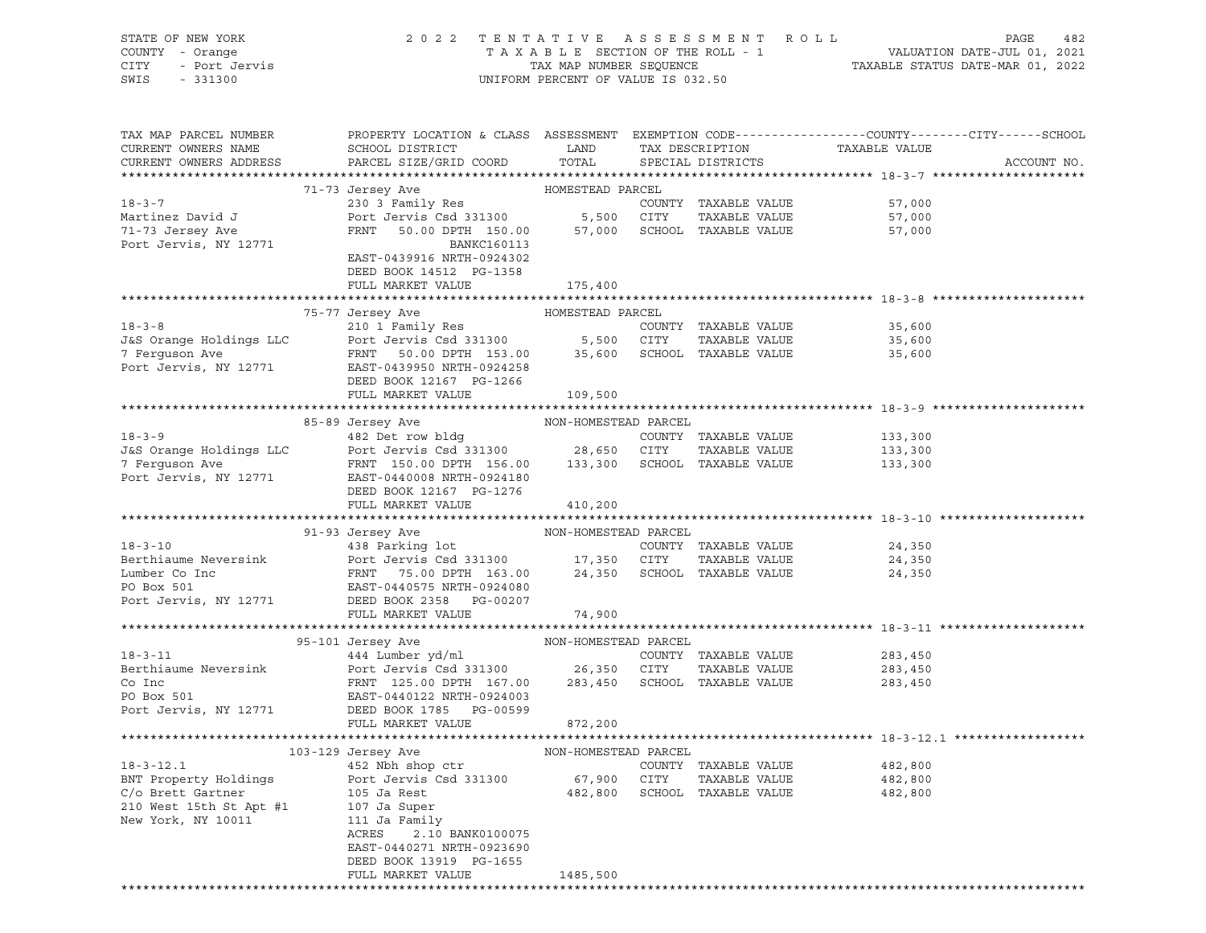| STATE OF NEW YORK<br>COUNTY - Orange<br>CITY<br>- Port Jervis<br>SWIS<br>$-331300$ | 2 0 2 2                                                                                                             | TAXABLE SECTION OF THE ROLL - 1<br>TAX MAP NUMBER SEQUENCE<br>UNIFORM PERCENT OF VALUE IS 032.50 |      | TENTATIVE ASSESSMENT ROLL                    | VALUATION DATE-JUL 01, 2021<br>TAXABLE STATUS DATE-MAR 01, 2022 | PAGE<br>482 |
|------------------------------------------------------------------------------------|---------------------------------------------------------------------------------------------------------------------|--------------------------------------------------------------------------------------------------|------|----------------------------------------------|-----------------------------------------------------------------|-------------|
|                                                                                    |                                                                                                                     |                                                                                                  |      |                                              |                                                                 |             |
| TAX MAP PARCEL NUMBER<br>CURRENT OWNERS NAME                                       | PROPERTY LOCATION & CLASS ASSESSMENT EXEMPTION CODE----------------COUNTY-------CITY------SCHOOL<br>SCHOOL DISTRICT | LAND                                                                                             |      | TAX DESCRIPTION                              | TAXABLE VALUE                                                   |             |
| CURRENT OWNERS ADDRESS                                                             | PARCEL SIZE/GRID COORD                                                                                              | TOTAL                                                                                            |      | SPECIAL DISTRICTS                            |                                                                 | ACCOUNT NO. |
|                                                                                    |                                                                                                                     |                                                                                                  |      |                                              |                                                                 |             |
|                                                                                    | 71-73 Jersey Ave                                                                                                    | HOMESTEAD PARCEL                                                                                 |      |                                              |                                                                 |             |
| $18 - 3 - 7$                                                                       | 230 3 Family Res                                                                                                    |                                                                                                  |      | COUNTY TAXABLE VALUE                         | 57,000                                                          |             |
| Martinez David J<br>71-73 Jersey Ave                                               | Port Jervis Csd 331300 5,500 CITY<br>FRNT 50.00 DPTH 150.00 57,000 SCHOOL                                           |                                                                                                  |      | TAXABLE VALUE<br>57,000 SCHOOL TAXABLE VALUE | 57,000<br>57,000                                                |             |
| Port Jervis, NY 12771                                                              | BANKC160113                                                                                                         |                                                                                                  |      |                                              |                                                                 |             |
|                                                                                    | EAST-0439916 NRTH-0924302<br>DEED BOOK 14512 PG-1358                                                                |                                                                                                  |      |                                              |                                                                 |             |
|                                                                                    | FULL MARKET VALUE                                                                                                   | 175,400                                                                                          |      |                                              |                                                                 |             |
|                                                                                    |                                                                                                                     |                                                                                                  |      |                                              |                                                                 |             |
|                                                                                    | 75-77 Jersey Ave                                                                                                    | HOMESTEAD PARCEL                                                                                 |      |                                              |                                                                 |             |
| $18 - 3 - 8$<br>J&S Orange Holdings LLC                                            | 210 1 Family Res<br>Port Jervis Csd 331300 5,500 CITY                                                               |                                                                                                  |      | COUNTY TAXABLE VALUE<br>TAXABLE VALUE        | 35,600                                                          |             |
|                                                                                    | FRNT 50.00 DPTH 153.00 35,600 SCHOOL TAXABLE VALUE                                                                  |                                                                                                  |      |                                              | 35,600<br>35,600                                                |             |
| 7 Ferguson Ave<br>Port Jervis, NY 12771                                            | EAST-0439950 NRTH-0924258                                                                                           |                                                                                                  |      |                                              |                                                                 |             |
|                                                                                    | DEED BOOK 12167 PG-1266                                                                                             |                                                                                                  |      |                                              |                                                                 |             |
|                                                                                    | FULL MARKET VALUE                                                                                                   | 109,500                                                                                          |      |                                              |                                                                 |             |
|                                                                                    |                                                                                                                     |                                                                                                  |      |                                              |                                                                 |             |
|                                                                                    | 85-89 Jersey Ave NON-HOMESTEAD PARCEL                                                                               |                                                                                                  |      |                                              |                                                                 |             |
| $18 - 3 - 9$                                                                       | 482 Det row bldg                                                                                                    |                                                                                                  |      | COUNTY TAXABLE VALUE                         | 133,300                                                         |             |
|                                                                                    | J&S Orange Holdings LLC Port Jervis Csd 331300 28,650 CITY                                                          |                                                                                                  |      | TAXABLE VALUE                                | 133,300                                                         |             |
|                                                                                    | FRNT 150.00 DPTH 156.00 133,300 SCHOOL TAXABLE VALUE                                                                |                                                                                                  |      |                                              | 133,300                                                         |             |
|                                                                                    | DEED BOOK 12167 PG-1276                                                                                             |                                                                                                  |      |                                              |                                                                 |             |
|                                                                                    | FULL MARKET VALUE                                                                                                   | 410,200                                                                                          |      |                                              |                                                                 |             |
|                                                                                    |                                                                                                                     |                                                                                                  |      |                                              |                                                                 |             |
|                                                                                    | 91-93 Jersey Ave                                                                                                    | NON-HOMESTEAD PARCEL                                                                             |      |                                              |                                                                 |             |
| $18 - 3 - 10$                                                                      | 438 Parking lot                                                                                                     |                                                                                                  |      | COUNTY TAXABLE VALUE                         | 24,350                                                          |             |
| Berthiaume Neversink                                                               | Port Jervis Csd 331300 17,350 CITY                                                                                  |                                                                                                  |      | TAXABLE VALUE                                | 24,350                                                          |             |
| Lumber Co Inc<br>PO Box 501                                                        | FRNT 75.00 DPTH 163.00 24,350 SCHOOL TAXABLE VALUE                                                                  |                                                                                                  |      |                                              | 24,350                                                          |             |
| Port Jervis, NY 12771                                                              | EAST-0440575 NRTH-0924080<br>DEED BOOK 2358 PG-00207                                                                |                                                                                                  |      |                                              |                                                                 |             |
|                                                                                    | FULL MARKET VALUE                                                                                                   | 74,900                                                                                           |      |                                              |                                                                 |             |
|                                                                                    |                                                                                                                     |                                                                                                  |      |                                              |                                                                 |             |
|                                                                                    | 95-101 Jersey Ave                                                                                                   | NON-HOMESTEAD PARCEL                                                                             |      |                                              |                                                                 |             |
| $18 - 3 - 11$                                                                      | 444 Lumber yd/ml                                                                                                    |                                                                                                  |      | COUNTY TAXABLE VALUE                         | 283,450                                                         |             |
| Berthiaume Neversink                                                               | Port Jervis Csd 331300 26,350 CITY                                                                                  |                                                                                                  |      | TAXABLE VALUE                                | 283,450                                                         |             |
| Co Inc                                                                             | FRNT 125.00 DPTH 167.00 283,450 SCHOOL TAXABLE VALUE                                                                |                                                                                                  |      |                                              | 283,450                                                         |             |
| PO Box 501                                                                         | EAST-0440122 NRTH-0924003                                                                                           |                                                                                                  |      |                                              |                                                                 |             |
| Port Jervis, NY 12771                                                              | DEED BOOK 1785<br>PG-00599<br>FULL MARKET VALUE                                                                     | 872,200                                                                                          |      |                                              |                                                                 |             |
|                                                                                    |                                                                                                                     |                                                                                                  |      |                                              |                                                                 |             |
|                                                                                    | 103-129 Jersey Ave                                                                                                  | NON-HOMESTEAD PARCEL                                                                             |      |                                              |                                                                 |             |
| $18 - 3 - 12.1$                                                                    | 452 Nbh shop ctr                                                                                                    |                                                                                                  |      | COUNTY TAXABLE VALUE                         | 482,800                                                         |             |
| BNT Property Holdings                                                              | Port Jervis Csd 331300                                                                                              | 67,900                                                                                           | CITY | TAXABLE VALUE                                | 482,800                                                         |             |
| C/o Brett Gartner                                                                  | 105 Ja Rest                                                                                                         | 482,800                                                                                          |      | SCHOOL TAXABLE VALUE                         | 482,800                                                         |             |
| 210 West 15th St Apt #1                                                            | 107 Ja Super                                                                                                        |                                                                                                  |      |                                              |                                                                 |             |
| New York, NY 10011                                                                 | 111 Ja Family                                                                                                       |                                                                                                  |      |                                              |                                                                 |             |
|                                                                                    | ACRES<br>2.10 BANK0100075                                                                                           |                                                                                                  |      |                                              |                                                                 |             |
|                                                                                    | EAST-0440271 NRTH-0923690<br>DEED BOOK 13919 PG-1655                                                                |                                                                                                  |      |                                              |                                                                 |             |
|                                                                                    | FULL MARKET VALUE                                                                                                   | 1485,500                                                                                         |      |                                              |                                                                 |             |
|                                                                                    |                                                                                                                     |                                                                                                  |      |                                              |                                                                 |             |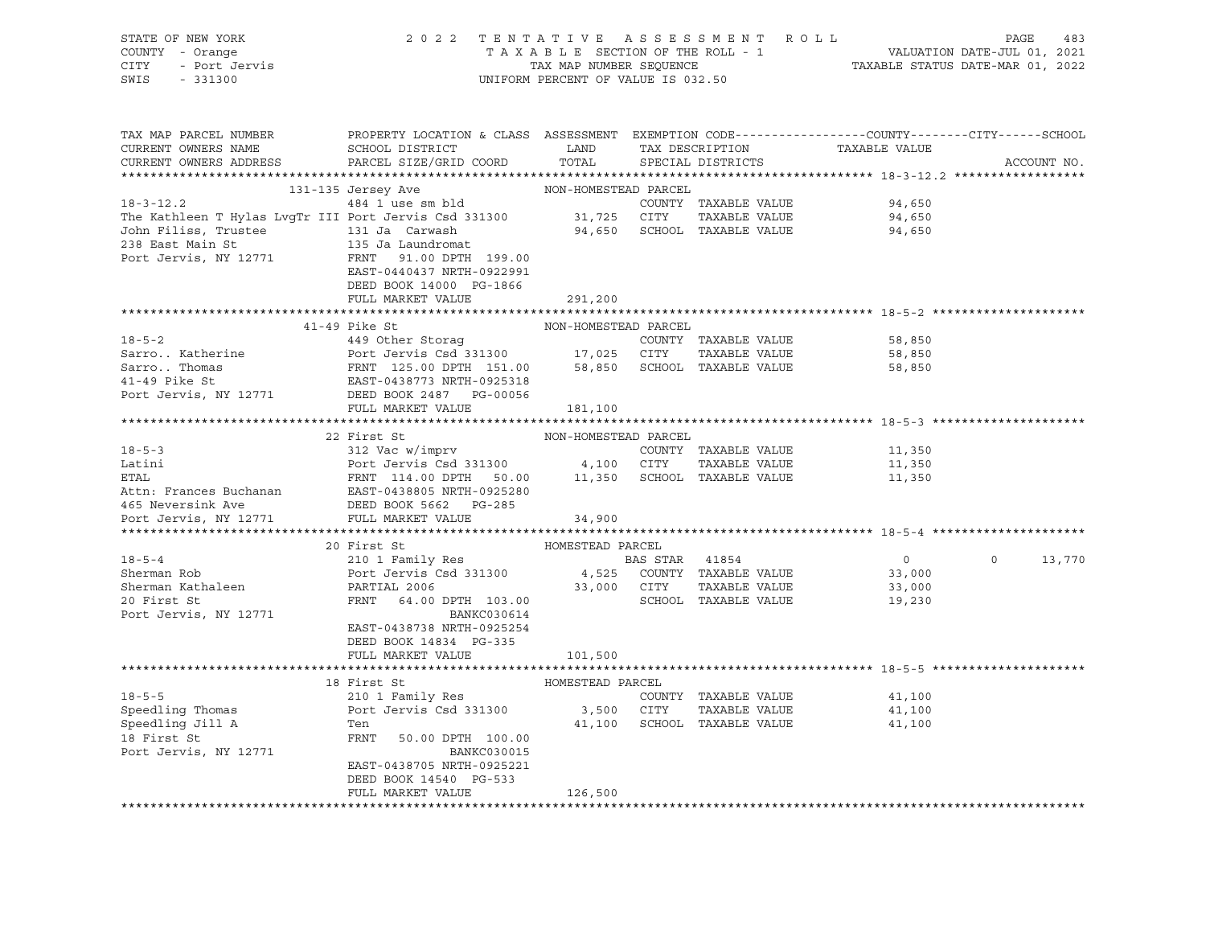| STATE OF NEW YORK<br>Y - Orange<br>- Port Jervis<br>COUNTY - Orange<br>CITY<br>SWIS<br>$-331300$                                               |                                                                                                                                      | UNIFORM PERCENT OF VALUE IS 032.50 |             |                             | 2022 TENTATIVE ASSESSMENT ROLL<br>TAXABLE SECTION OF THE ROLL - 1 VALUATION DATE-JUL 01, 2021<br>TAXABLE STATUS DATE-MAR 01, 2022 |                   |             |  |
|------------------------------------------------------------------------------------------------------------------------------------------------|--------------------------------------------------------------------------------------------------------------------------------------|------------------------------------|-------------|-----------------------------|-----------------------------------------------------------------------------------------------------------------------------------|-------------------|-------------|--|
| TAX MAP PARCEL NUMBER                                                                                                                          | PROPERTY LOCATION & CLASS ASSESSMENT EXEMPTION CODE---------------COUNTY-------CITY------SCHOOL                                      |                                    |             |                             |                                                                                                                                   |                   |             |  |
| CURRENT OWNERS NAME                                                                                                                            | SCHOOL DISTRICT LAND<br>PARCEL SIZE/GRID COORD                                                                                       | TOTAL                              |             | TAX DESCRIPTION             | TAXABLE VALUE                                                                                                                     |                   | ACCOUNT NO. |  |
| CURRENT OWNERS ADDRESS                                                                                                                         |                                                                                                                                      |                                    |             | SPECIAL DISTRICTS           |                                                                                                                                   |                   |             |  |
|                                                                                                                                                |                                                                                                                                      |                                    |             |                             |                                                                                                                                   |                   |             |  |
| 131-135 Jersey Ave MON-HOMESTEAD PARCEL 18-3-12.2<br>484 1 use sm bld COUNTY The Kathleen T Hylas LvgTr III Port Jervis Csd 331300 31,725 CITY |                                                                                                                                      |                                    |             | COUNTY TAXABLE VALUE        | 94,650                                                                                                                            |                   |             |  |
|                                                                                                                                                |                                                                                                                                      |                                    |             | TAXABLE VALUE               | 94,650                                                                                                                            |                   |             |  |
|                                                                                                                                                |                                                                                                                                      |                                    |             | 94,650 SCHOOL TAXABLE VALUE | 94,650                                                                                                                            |                   |             |  |
|                                                                                                                                                |                                                                                                                                      |                                    |             |                             |                                                                                                                                   |                   |             |  |
| Port Jervis, NY 12771                                                                                                                          | FRNT 91.00 DPTH 199.00                                                                                                               |                                    |             |                             |                                                                                                                                   |                   |             |  |
|                                                                                                                                                | EAST-0440437 NRTH-0922991                                                                                                            |                                    |             |                             |                                                                                                                                   |                   |             |  |
|                                                                                                                                                | DEED BOOK 14000 PG-1866                                                                                                              |                                    |             |                             |                                                                                                                                   |                   |             |  |
|                                                                                                                                                | FULL MARKET VALUE                                                                                                                    | 291,200                            |             |                             |                                                                                                                                   |                   |             |  |
|                                                                                                                                                |                                                                                                                                      |                                    |             |                             |                                                                                                                                   |                   |             |  |
|                                                                                                                                                | $41-49$ Pike St                                                                                                                      | NON-HOMESTEAD PARCEL               |             |                             |                                                                                                                                   |                   |             |  |
| $18 - 5 - 2$                                                                                                                                   | 449 Other Storag                                                                                                                     |                                    |             | COUNTY TAXABLE VALUE        | 58,850                                                                                                                            |                   |             |  |
| Sarro Katherine                                                                                                                                |                                                                                                                                      |                                    |             |                             | 58,850                                                                                                                            |                   |             |  |
|                                                                                                                                                |                                                                                                                                      |                                    |             |                             | 58,850                                                                                                                            |                   |             |  |
| Safford Municipality<br>Sarro Thomas<br>41-49 Pike St<br>Port Jervis, NY 12771                                                                 | Port Jervis Csd 331300 17,025 CITY TAXABLE VALUE<br>FRNT 125.00 DPTH 151.00 58,850 SCHOOL TAXABLE VALUE<br>EAST-0438773 NRTH-0925318 |                                    |             |                             |                                                                                                                                   |                   |             |  |
|                                                                                                                                                | DEED BOOK 2487 PG-00056                                                                                                              |                                    |             |                             |                                                                                                                                   |                   |             |  |
|                                                                                                                                                | FULL MARKET VALUE                                                                                                                    | 181,100                            |             |                             |                                                                                                                                   |                   |             |  |
|                                                                                                                                                |                                                                                                                                      |                                    |             |                             |                                                                                                                                   |                   |             |  |
|                                                                                                                                                | 22 First St                                                                                                                          | NON-HOMESTEAD PARCEL               |             |                             |                                                                                                                                   |                   |             |  |
| $18 - 5 - 3$                                                                                                                                   | 312 Vac w/imprv                                                                                                                      |                                    |             | COUNTY TAXABLE VALUE        | 11,350                                                                                                                            |                   |             |  |
| Latini                                                                                                                                         | Port Jervis Csd 331300 4,100 CITY TAXABLE VALUE                                                                                      |                                    |             |                             | 11,350                                                                                                                            |                   |             |  |
| ETAL                                                                                                                                           | FRNT 114.00 DPTH 50.00 11,350 SCHOOL TAXABLE VALUE                                                                                   |                                    |             |                             | 11,350                                                                                                                            |                   |             |  |
|                                                                                                                                                |                                                                                                                                      |                                    |             |                             |                                                                                                                                   |                   |             |  |
|                                                                                                                                                |                                                                                                                                      |                                    |             |                             |                                                                                                                                   |                   |             |  |
| Port Jervis, NY 12771                                                                                                                          | FULL MARKET VALUE                                                                                                                    | 34,900                             |             |                             |                                                                                                                                   |                   |             |  |
|                                                                                                                                                |                                                                                                                                      |                                    |             |                             |                                                                                                                                   |                   |             |  |
|                                                                                                                                                | First St<br>210 1 Family Res<br>20 First St                                                                                          | HOMESTEAD PARCEL                   |             |                             |                                                                                                                                   |                   |             |  |
| $18 - 5 - 4$                                                                                                                                   |                                                                                                                                      | <b>BAS STAR 41854</b>              |             |                             | $\overline{0}$                                                                                                                    | $0 \qquad \qquad$ | 13,770      |  |
| Sherman Rob                                                                                                                                    | Port Jervis Csd 331300                                                                                                               |                                    |             | 4,525 COUNTY TAXABLE VALUE  | 33,000                                                                                                                            |                   |             |  |
| Sherman Kathaleen                                                                                                                              | POTL Jervis CSG 331300 4,525<br>PARTIAL 2006 33,000<br>FRNT 64.00 DPTH 103.00                                                        |                                    | 33,000 CITY | TAXABLE VALUE               | 33,000                                                                                                                            |                   |             |  |
| 20 First St                                                                                                                                    |                                                                                                                                      |                                    |             | SCHOOL TAXABLE VALUE        | 19,230                                                                                                                            |                   |             |  |
| Port Jervis, NY 12771                                                                                                                          | BANKC030614<br>EAST-0438738 NRTH-0925254                                                                                             |                                    |             |                             |                                                                                                                                   |                   |             |  |
|                                                                                                                                                | DEED BOOK 14834 PG-335                                                                                                               |                                    |             |                             |                                                                                                                                   |                   |             |  |
|                                                                                                                                                | FULL MARKET VALUE                                                                                                                    | 101,500                            |             |                             |                                                                                                                                   |                   |             |  |
|                                                                                                                                                |                                                                                                                                      |                                    |             |                             |                                                                                                                                   |                   |             |  |
|                                                                                                                                                | 18 First St                                                                                                                          | HOMESTEAD PARCEL                   |             |                             |                                                                                                                                   |                   |             |  |
| $18 - 5 - 5$                                                                                                                                   | 210 1 Family Res                                                                                                                     |                                    |             | COUNTY TAXABLE VALUE        | 41,100                                                                                                                            |                   |             |  |
|                                                                                                                                                | Port Jervis Csd 331300                                                                                                               |                                    |             | 3,500 CITY TAXABLE VALUE    | 41,100                                                                                                                            |                   |             |  |
| Speedling Thomas<br>Speedling Jill A<br>18 First St                                                                                            | Ten                                                                                                                                  |                                    |             | 41,100 SCHOOL TAXABLE VALUE | 41,100                                                                                                                            |                   |             |  |
|                                                                                                                                                | FRNT<br>50.00 DPTH 100.00                                                                                                            |                                    |             |                             |                                                                                                                                   |                   |             |  |
| Port Jervis, NY 12771                                                                                                                          | BANKC030015                                                                                                                          |                                    |             |                             |                                                                                                                                   |                   |             |  |
|                                                                                                                                                | EAST-0438705 NRTH-0925221                                                                                                            |                                    |             |                             |                                                                                                                                   |                   |             |  |
|                                                                                                                                                | DEED BOOK 14540 PG-533                                                                                                               |                                    |             |                             |                                                                                                                                   |                   |             |  |
|                                                                                                                                                | FULL MARKET VALUE                                                                                                                    | 126,500                            |             |                             |                                                                                                                                   |                   |             |  |
|                                                                                                                                                |                                                                                                                                      |                                    |             |                             |                                                                                                                                   |                   |             |  |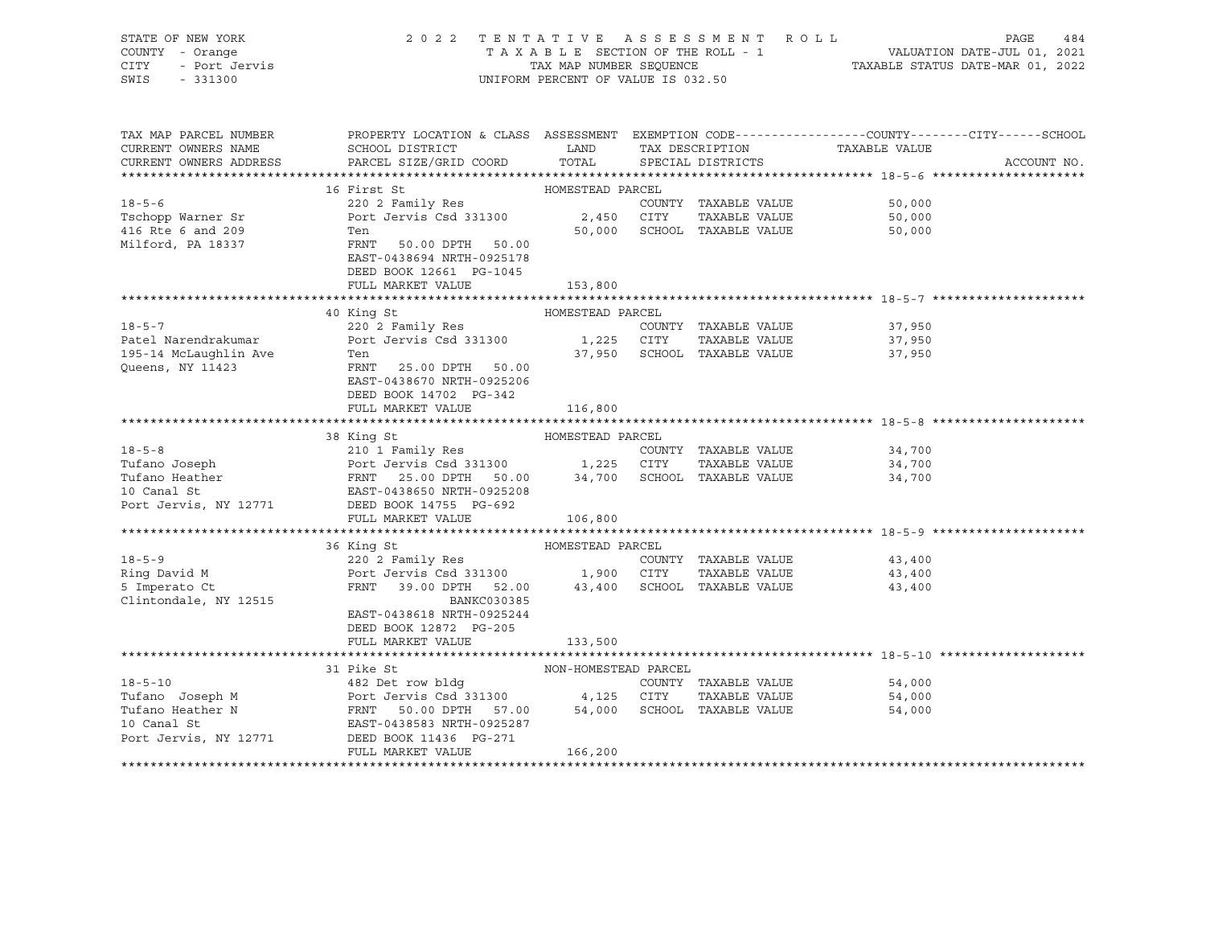| STATE OF NEW YORK<br>COUNTY - Orange<br>CITY - Port Jervis<br>SWIS - 331300<br>SWIS - 331300 | 2022 TENTATIVE ASSESSMENT ROLL                                                                                                                                                                                                                                                                           | UNIFORM PERCENT OF VALUE IS 032.50 |                                                                      | TAXABLE SECTION OF THE ROLL - 1<br>TAXABLE SECTION OF THE ROLL - 1<br>TAXABLE STATUS DATE-JUL 01, 2021<br>TAXABLE STATUS DATE-MAR 01, 2022 | PAGE<br>484 |
|----------------------------------------------------------------------------------------------|----------------------------------------------------------------------------------------------------------------------------------------------------------------------------------------------------------------------------------------------------------------------------------------------------------|------------------------------------|----------------------------------------------------------------------|--------------------------------------------------------------------------------------------------------------------------------------------|-------------|
| TAX MAP PARCEL NUMBER<br>CURRENT OWNERS NAME<br>CURRENT OWNERS ADDRESS                       | PROPERTY LOCATION & CLASS ASSESSMENT EXEMPTION CODE----------------COUNTY-------CITY------SCHOOL                                                                                                                                                                                                         |                                    |                                                                      |                                                                                                                                            | ACCOUNT NO. |
|                                                                                              |                                                                                                                                                                                                                                                                                                          |                                    |                                                                      |                                                                                                                                            |             |
|                                                                                              |                                                                                                                                                                                                                                                                                                          |                                    |                                                                      |                                                                                                                                            |             |
|                                                                                              | 18-5-6<br>18-5-6<br>Tschopp Warner Sr<br>Tschopp Warner Sr<br>Tschopp Warner Sr<br>220 2 Family Res<br>Port Jervis Csd 331300<br>2,450 CITY TAXABLE VALUE<br>2,450 CITY TAXABLE VALUE<br>TAXABLE VALUE<br>Milford, PA 18337<br>Milford, PA 18337<br>PR<br>EAST-0438694 NRTH-0925178                      |                                    |                                                                      | 50,000<br>50,000<br>50,000                                                                                                                 |             |
|                                                                                              | DEED BOOK 12661 PG-1045                                                                                                                                                                                                                                                                                  |                                    |                                                                      |                                                                                                                                            |             |
|                                                                                              | FULL MARKET VALUE                                                                                                                                                                                                                                                                                        | 153,800                            |                                                                      |                                                                                                                                            |             |
|                                                                                              | 40 King St                                                                                                                                                                                                                                                                                               | HOMESTEAD PARCEL                   |                                                                      |                                                                                                                                            |             |
| 195-14 McLaughlin Ave<br>Queens, NY 11423                                                    | 18-5-7 220 2 Family Res COUNTY<br>Patel Narendrakumar Port Jervis Csd 331300 1,225 CITY<br>Ten<br>FRNT 25.00 DPTH 50.00                                                                                                                                                                                  |                                    | COUNTY TAXABLE VALUE<br>TAXABLE VALUE<br>37,950 SCHOOL TAXABLE VALUE | 37,950<br>37,950<br>37,950                                                                                                                 |             |
|                                                                                              | EAST-0438670 NRTH-0925206<br>DEED BOOK 14702 PG-342<br>FULL MARKET VALUE                                                                                                                                                                                                                                 | 116,800                            |                                                                      |                                                                                                                                            |             |
|                                                                                              |                                                                                                                                                                                                                                                                                                          |                                    |                                                                      |                                                                                                                                            |             |
|                                                                                              | 38 King St<br>210 1 Family Res<br>Tufano Joseph PARCEL<br>210 1 Family Res<br>POTT JET SERIE VALUE<br>210 1 Family Res<br>210 1 Family Res<br>210 1 Family Res<br>210 1 Family Res<br>210 2 1,225 CITY TAXABLE VALUE<br>24,700<br>24,700<br>24,700<br>24<br>Port Jervis, NY 12771 DEED BOOK 14755 PG-692 |                                    |                                                                      |                                                                                                                                            |             |
|                                                                                              | FULL MARKET VALUE                                                                                                                                                                                                                                                                                        | 106,800                            |                                                                      |                                                                                                                                            |             |
|                                                                                              |                                                                                                                                                                                                                                                                                                          |                                    |                                                                      |                                                                                                                                            |             |
|                                                                                              |                                                                                                                                                                                                                                                                                                          |                                    |                                                                      |                                                                                                                                            |             |
| Clintondale, NY 12515                                                                        | BANKC030385<br>EAST-0438618 NRTH-0925244<br>DEED BOOK 12872 PG-205                                                                                                                                                                                                                                       |                                    |                                                                      | COUNTY TAXABLE VALUE 43,400<br>43,400<br>43,400                                                                                            |             |
|                                                                                              | FULL MARKET VALUE                                                                                                                                                                                                                                                                                        | 133,500                            |                                                                      |                                                                                                                                            |             |
|                                                                                              |                                                                                                                                                                                                                                                                                                          |                                    |                                                                      |                                                                                                                                            |             |
|                                                                                              | 31 Pike St<br>18-5-10<br>Tufano Joseph M<br>Tufano Heather N<br>Port Jervis Csd 331300<br>Port Jervis Csd 331300<br>FRNT 50.00 DPTH 57.00<br>FRNT 50.00 DPTH 57.00<br>54,000<br>SCHOOL TAXABLE VALUE<br>S4,000<br>SCHOOL TAXABLE VALUE<br>54,000<br>SCHOOL TAXABLE V                                     | NON-HOMESTEAD PARCEL               |                                                                      |                                                                                                                                            |             |
|                                                                                              | FULL MARKET VALUE                                                                                                                                                                                                                                                                                        | 166,200                            |                                                                      |                                                                                                                                            |             |
|                                                                                              |                                                                                                                                                                                                                                                                                                          |                                    |                                                                      |                                                                                                                                            |             |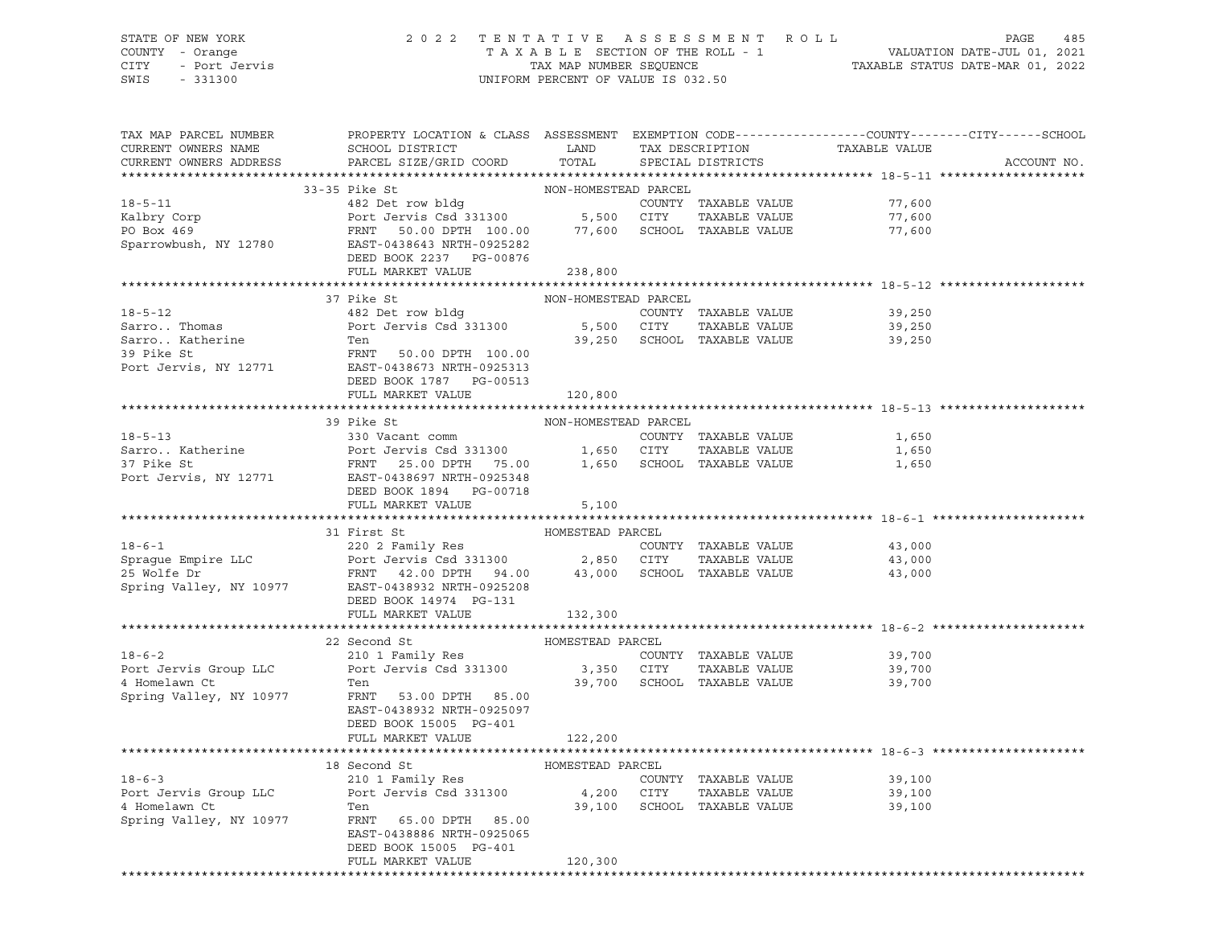#### STATE OF NEW YORK 2 0 2 2 T E N T A T I V E A S S E S S M E N T R O L L PAGE 485 COUNTY - Orange T A X A B L E SECTION OF THE ROLL - 1 VALUATION DATE-JUL 01, 2021 CITY - Port Jervis TAX MAP NUMBER SEQUENCE TAXABLE STATUS DATE-MAR 01, 2022 SWIS - 331300 UNIFORM PERCENT OF VALUE IS 032.50

| TAX MAP PARCEL NUMBER<br>CURRENT OWNERS NAME | PROPERTY LOCATION & CLASS ASSESSMENT EXEMPTION CODE---------------COUNTY-------CITY------SCHOOL<br>SCHOOL DISTRICT LAND                                                                                                                                                                                                                                                       |                      | TAX DESCRIPTION         | TAXABLE VALUE                                |             |
|----------------------------------------------|-------------------------------------------------------------------------------------------------------------------------------------------------------------------------------------------------------------------------------------------------------------------------------------------------------------------------------------------------------------------------------|----------------------|-------------------------|----------------------------------------------|-------------|
| CURRENT OWNERS ADDRESS                       | PARCEL SIZE/GRID COORD                                                                                                                                                                                                                                                                                                                                                        |                      | TOTAL SPECIAL DISTRICTS |                                              | ACCOUNT NO. |
|                                              |                                                                                                                                                                                                                                                                                                                                                                               |                      |                         |                                              |             |
|                                              | 33-35 Pike St                                                                                                                                                                                                                                                                                                                                                                 | NON-HOMESTEAD PARCEL |                         |                                              |             |
|                                              | 18-5-11<br>Example of the country of the country of the country of the country of the country of the country of the country of the country of the country of the country of the country of the country of the country of the cou                                                                                                                                              |                      |                         | 77,600<br>77,600                             |             |
|                                              |                                                                                                                                                                                                                                                                                                                                                                               |                      |                         | 77,600                                       |             |
|                                              |                                                                                                                                                                                                                                                                                                                                                                               |                      |                         |                                              |             |
|                                              | DEED BOOK 2237 PG-00876                                                                                                                                                                                                                                                                                                                                                       |                      |                         |                                              |             |
|                                              | FULL MARKET VALUE                                                                                                                                                                                                                                                                                                                                                             | 238,800              |                         |                                              |             |
|                                              |                                                                                                                                                                                                                                                                                                                                                                               |                      |                         |                                              |             |
|                                              |                                                                                                                                                                                                                                                                                                                                                                               |                      |                         |                                              |             |
|                                              |                                                                                                                                                                                                                                                                                                                                                                               |                      |                         |                                              |             |
|                                              |                                                                                                                                                                                                                                                                                                                                                                               |                      |                         |                                              |             |
|                                              |                                                                                                                                                                                                                                                                                                                                                                               |                      |                         |                                              |             |
|                                              |                                                                                                                                                                                                                                                                                                                                                                               |                      |                         |                                              |             |
|                                              | Port Jervis, NY 12771 EAST-0438673 NRTH-0925313                                                                                                                                                                                                                                                                                                                               |                      |                         |                                              |             |
|                                              | DEED BOOK 1787 PG-00513                                                                                                                                                                                                                                                                                                                                                       |                      |                         |                                              |             |
|                                              | FULL MARKET VALUE 120,800                                                                                                                                                                                                                                                                                                                                                     |                      |                         |                                              |             |
|                                              |                                                                                                                                                                                                                                                                                                                                                                               |                      |                         |                                              |             |
|                                              | 39 Pike St                                                                                                                                                                                                                                                                                                                                                                    | NON-HOMESTEAD PARCEL |                         |                                              |             |
| $18 - 5 - 13$                                | 330 Vacant comm                                                                                                                                                                                                                                                                                                                                                               |                      | COUNTY TAXABLE VALUE    | 1,650                                        |             |
|                                              |                                                                                                                                                                                                                                                                                                                                                                               |                      |                         | 1,650                                        |             |
|                                              |                                                                                                                                                                                                                                                                                                                                                                               |                      |                         | 1,650                                        |             |
|                                              | Sarro Katherine<br>37 Pike St<br>37 Pike St<br>27 Pike St<br>27 Port Jervis (21 PORT 25.00 DPTH 75.00 2009)<br>27 Port Jervis, NY 12771 2257-0438697 NRTH-0925348<br>28 PG-00718                                                                                                                                                                                              |                      |                         |                                              |             |
|                                              |                                                                                                                                                                                                                                                                                                                                                                               |                      |                         |                                              |             |
|                                              | FULL MARKET VALUE                                                                                                                                                                                                                                                                                                                                                             | 5,100                |                         |                                              |             |
|                                              |                                                                                                                                                                                                                                                                                                                                                                               |                      |                         |                                              |             |
|                                              |                                                                                                                                                                                                                                                                                                                                                                               |                      |                         |                                              |             |
|                                              |                                                                                                                                                                                                                                                                                                                                                                               |                      |                         |                                              |             |
|                                              |                                                                                                                                                                                                                                                                                                                                                                               |                      |                         |                                              |             |
|                                              |                                                                                                                                                                                                                                                                                                                                                                               |                      |                         |                                              |             |
|                                              | 31 First 5t<br>31 First 5t<br>220 2 Family Res<br>220 2 Family Res<br>220 2 Family Res<br>220 2 Family Res<br>220 2 Family Res<br>220 2 Family Res<br>230 2 Family Res<br>26 MONESTEAD PARCEL<br>220 2 Family Res<br>26 MONESTEAD PARCEL<br>220 2 Fami                                                                                                                        |                      |                         |                                              |             |
|                                              | DEED BOOK 14974 PG-131                                                                                                                                                                                                                                                                                                                                                        |                      |                         |                                              |             |
|                                              | FULL MARKET VALUE                                                                                                                                                                                                                                                                                                                                                             | 132,300              |                         |                                              |             |
|                                              | $\begin{tabular}{l l l l} \hline 18-6-2 & 210 1 Family Res & 3,350 CITY TAXABLE VALUE \\ 4. Homelawn C't & Ten & Ten. 210 1 & 3,350 CITY TAXABLE VALUE \\ 5. A. 210 1 & 5.331300 & 3,350 CITY TAXABLE VALUE \\ 6. 4. 4. 5.331300 & 3.350 CITY TAXABLE VALUE \\ 7. 5.33200 & 3.350 CITY TAXABLE VALUE \\ 8. 5.33200 & 1.5.33200 & 3.350 CITY TAXABLE VALUE \\ 10. 5.33200 & 1$ |                      |                         |                                              |             |
|                                              |                                                                                                                                                                                                                                                                                                                                                                               |                      |                         |                                              |             |
|                                              |                                                                                                                                                                                                                                                                                                                                                                               |                      |                         | 39,700                                       |             |
|                                              |                                                                                                                                                                                                                                                                                                                                                                               |                      |                         | 39,700<br>39,700 SCHOOL TAXABLE VALUE 39,700 |             |
|                                              | FRNT 53.00 DPTH 85.00                                                                                                                                                                                                                                                                                                                                                         |                      |                         |                                              |             |
| Spring Valley, NY 10977                      | EAST-0438932 NRTH-0925097                                                                                                                                                                                                                                                                                                                                                     |                      |                         |                                              |             |
|                                              | DEED BOOK 15005 PG-401                                                                                                                                                                                                                                                                                                                                                        |                      |                         |                                              |             |
|                                              | FULL MARKET VALUE                                                                                                                                                                                                                                                                                                                                                             | 122,200              |                         |                                              |             |
|                                              |                                                                                                                                                                                                                                                                                                                                                                               |                      |                         |                                              |             |
|                                              |                                                                                                                                                                                                                                                                                                                                                                               |                      |                         |                                              |             |
|                                              |                                                                                                                                                                                                                                                                                                                                                                               |                      |                         |                                              |             |
|                                              |                                                                                                                                                                                                                                                                                                                                                                               |                      |                         |                                              |             |
|                                              | 18 Second St BOMESTEAD PARCEL<br>210 1 Family Res<br>Port Jervis Group LLC Port Jervis Csd 331300 4,200 CITY TAXABLE VALUE<br>4 Homelawn Ct Ten 39,100 39,100 SCHOOL TAXABLE VALUE<br>39,100 SCHOOL TAXABLE VALUE<br>39,100 SCHOOL TAXAB                                                                                                                                      |                      |                         |                                              |             |
|                                              | Spring Valley, NY 10977 FRNT 65.00 DPTH 85.00                                                                                                                                                                                                                                                                                                                                 |                      |                         |                                              |             |
|                                              | EAST-0438886 NRTH-0925065                                                                                                                                                                                                                                                                                                                                                     |                      |                         |                                              |             |
|                                              | DEED BOOK 15005 PG-401                                                                                                                                                                                                                                                                                                                                                        |                      |                         |                                              |             |
|                                              | FULL MARKET VALUE                                                                                                                                                                                                                                                                                                                                                             | 120,300              |                         |                                              |             |
|                                              |                                                                                                                                                                                                                                                                                                                                                                               |                      |                         |                                              |             |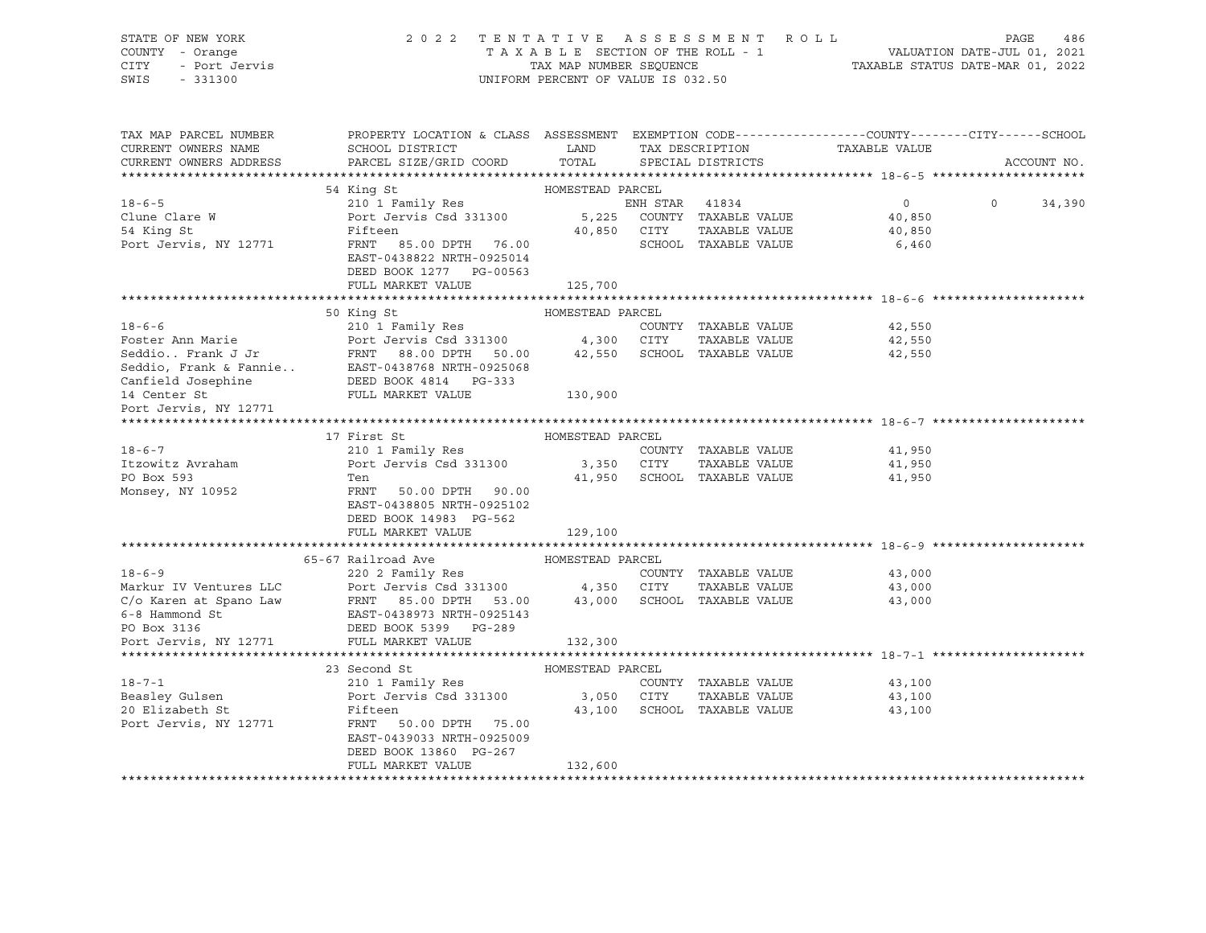| STATE OF NEW YORK<br>COUNTY - Orange<br>- Port Jervis<br>CITY<br>SWIS<br>$-331300$                                                                                                                                                                                                                                                                                                                                                                                                                          | 2022 TENTATIVE ASSESSMENT ROLL                                                                                                              | UNIFORM PERCENT OF VALUE IS 032.50 |                             |                                    | PAGE              | 486         |
|-------------------------------------------------------------------------------------------------------------------------------------------------------------------------------------------------------------------------------------------------------------------------------------------------------------------------------------------------------------------------------------------------------------------------------------------------------------------------------------------------------------|---------------------------------------------------------------------------------------------------------------------------------------------|------------------------------------|-----------------------------|------------------------------------|-------------------|-------------|
| TAX MAP PARCEL NUMBER<br>CURRENT OWNERS NAME<br>CURRENT OWNERS ADDRESS                                                                                                                                                                                                                                                                                                                                                                                                                                      | PROPERTY LOCATION & CLASS ASSESSMENT EXEMPTION CODE---------------COUNTY-------CITY-----SCHOOL<br>SCHOOL DISTRICT<br>PARCEL SIZE/GRID COORD | LAND<br>TOTAL                      | SPECIAL DISTRICTS           | TAX DESCRIPTION TAXABLE VALUE      |                   | ACCOUNT NO. |
|                                                                                                                                                                                                                                                                                                                                                                                                                                                                                                             |                                                                                                                                             |                                    |                             |                                    |                   |             |
|                                                                                                                                                                                                                                                                                                                                                                                                                                                                                                             | 54 King St                                                                                                                                  | HOMESTEAD PARCEL                   |                             |                                    |                   |             |
| $18 - 6 - 5$                                                                                                                                                                                                                                                                                                                                                                                                                                                                                                | 210 1 Family Res                                                                                                                            |                                    | ENH STAR 41834              | $\overline{0}$                     | $0 \qquad \qquad$ | 34,390      |
| $\begin{array}{ll}\n\text{L8--0--}\n\text{Clune Clare W}\n\\ \n\text{C1} & \text{A}^{\text{L}}\n\end{array}$                                                                                                                                                                                                                                                                                                                                                                                                | Port Jervis Csd 331300 5,225 COUNTY TAXABLE VALUE                                                                                           |                                    |                             | 40,850                             |                   |             |
|                                                                                                                                                                                                                                                                                                                                                                                                                                                                                                             | Fifteen                                                                                                                                     |                                    | TAXABLE VALUE               | 40,850                             |                   |             |
| Port Jervis, NY 12771                                                                                                                                                                                                                                                                                                                                                                                                                                                                                       | Fifteen 40,850 CITY<br>FRNT 85.00 DPTH 76.00 40,850 SCHOOL<br>EAST-0438822 NRTH-0925014<br>DEED BOOK 1277 PG-00563<br>FULL MARKET VALUE     | 125,700                            | SCHOOL TAXABLE VALUE        | 6,460                              |                   |             |
|                                                                                                                                                                                                                                                                                                                                                                                                                                                                                                             |                                                                                                                                             |                                    |                             |                                    |                   |             |
| And State and Marie and Marie and Marie and Marie and Marie and Tamily Res<br>Foster Ann Marie Port Jervis Csd 331300 4,300 CITY TAXABLE VALUE<br>Seddio. Frank J Jr FRNT 88.00 DPTH 50.00 42,550 SCHOOL TAXABLE VALUE<br>Seddio, Fr                                                                                                                                                                                                                                                                        |                                                                                                                                             |                                    |                             |                                    |                   |             |
|                                                                                                                                                                                                                                                                                                                                                                                                                                                                                                             |                                                                                                                                             |                                    |                             | 42,550                             |                   |             |
|                                                                                                                                                                                                                                                                                                                                                                                                                                                                                                             |                                                                                                                                             |                                    |                             | 42,550                             |                   |             |
|                                                                                                                                                                                                                                                                                                                                                                                                                                                                                                             |                                                                                                                                             |                                    |                             | 42,550                             |                   |             |
|                                                                                                                                                                                                                                                                                                                                                                                                                                                                                                             |                                                                                                                                             |                                    |                             |                                    |                   |             |
|                                                                                                                                                                                                                                                                                                                                                                                                                                                                                                             |                                                                                                                                             |                                    |                             |                                    |                   |             |
|                                                                                                                                                                                                                                                                                                                                                                                                                                                                                                             |                                                                                                                                             |                                    |                             |                                    |                   |             |
|                                                                                                                                                                                                                                                                                                                                                                                                                                                                                                             |                                                                                                                                             |                                    |                             |                                    |                   |             |
|                                                                                                                                                                                                                                                                                                                                                                                                                                                                                                             |                                                                                                                                             |                                    |                             |                                    |                   |             |
|                                                                                                                                                                                                                                                                                                                                                                                                                                                                                                             | 17 First St                                                                                                                                 | HOMESTEAD PARCEL                   |                             |                                    |                   |             |
| $18 - 6 - 7$                                                                                                                                                                                                                                                                                                                                                                                                                                                                                                | 210 1 Family Res                                                                                                                            |                                    | COUNTY TAXABLE VALUE        | 41,950                             |                   |             |
| Itzowitz Avraham                                                                                                                                                                                                                                                                                                                                                                                                                                                                                            | Port Jervis Csd 331300 3,350 CITY<br>Ten 11 950 SCHOOL                                                                                      |                                    | TAXABLE VALUE               | 41,950                             |                   |             |
| PO Box 593                                                                                                                                                                                                                                                                                                                                                                                                                                                                                                  | Ten                                                                                                                                         |                                    |                             | 41,950 SCHOOL TAXABLE VALUE 41,950 |                   |             |
| Monsey, NY 10952                                                                                                                                                                                                                                                                                                                                                                                                                                                                                            | FRNT 50.00 DPTH 90.00<br>EAST-0438805 NRTH-0925102<br>DEED BOOK 14983 PG-562                                                                |                                    |                             |                                    |                   |             |
|                                                                                                                                                                                                                                                                                                                                                                                                                                                                                                             | FULL MARKET VALUE                                                                                                                           | 129,100                            |                             |                                    |                   |             |
|                                                                                                                                                                                                                                                                                                                                                                                                                                                                                                             |                                                                                                                                             |                                    |                             |                                    |                   |             |
|                                                                                                                                                                                                                                                                                                                                                                                                                                                                                                             | 65-67 Railroad Ave MOMESTEAD PARCEL                                                                                                         |                                    |                             |                                    |                   |             |
|                                                                                                                                                                                                                                                                                                                                                                                                                                                                                                             |                                                                                                                                             |                                    | COUNTY TAXABLE VALUE        | 43,000                             |                   |             |
| $\begin{tabular}{lllllllllllllll} \multicolumn{4}{c }{\begin{tabular}{l} \multicolumn{4}{c}{\begin{tabular}{l} \multicolumn{4}{c}{\begin{tabular}{l} \multicolumn{4}{c}{\begin{tabular}{l} \multicolumn{4}{c}{\begin{tabular}{l} \multicolumn{4}{c}{\begin{tabular}{l} \multicolumn{4}{c}{\begin{tabular}{l} \multicolumn{4}{c}{\begin{tabular}{l} \multicolumn{4}{c}{\begin{tabular}{l} \multicolumn{4}{c}{\begin{tabular}{l} \multicolumn{4}{c}{\begin{tabular}{l} \multicolumn{4}{c}{\begin{tabular}{l}$ |                                                                                                                                             |                                    | TAXABLE VALUE               | 43,000                             |                   |             |
|                                                                                                                                                                                                                                                                                                                                                                                                                                                                                                             |                                                                                                                                             |                                    |                             | 43,000                             |                   |             |
|                                                                                                                                                                                                                                                                                                                                                                                                                                                                                                             |                                                                                                                                             |                                    |                             |                                    |                   |             |
|                                                                                                                                                                                                                                                                                                                                                                                                                                                                                                             |                                                                                                                                             |                                    |                             |                                    |                   |             |
|                                                                                                                                                                                                                                                                                                                                                                                                                                                                                                             |                                                                                                                                             |                                    |                             |                                    |                   |             |
|                                                                                                                                                                                                                                                                                                                                                                                                                                                                                                             | 23 Second St                                                                                                                                | HOMESTEAD PARCEL                   |                             |                                    |                   |             |
| $18 - 7 - 1$                                                                                                                                                                                                                                                                                                                                                                                                                                                                                                | 210 1 Family Res                                                                                                                            |                                    | COUNTY TAXABLE VALUE        | 43,100                             |                   |             |
| Beasley Gulsen                                                                                                                                                                                                                                                                                                                                                                                                                                                                                              | Port Jervis Csd 331300                                                                                                                      | 3,050 CITY                         | TAXABLE VALUE               | 43,100                             |                   |             |
| 20 Elizabeth St                                                                                                                                                                                                                                                                                                                                                                                                                                                                                             | Fifteen                                                                                                                                     |                                    | 43,100 SCHOOL TAXABLE VALUE | 43,100                             |                   |             |
| Port Jervis, NY 12771                                                                                                                                                                                                                                                                                                                                                                                                                                                                                       | FRNT 50.00 DPTH 75.00<br>EAST-0439033 NRTH-0925009<br>DEED BOOK 13860 PG-267                                                                |                                    |                             |                                    |                   |             |
|                                                                                                                                                                                                                                                                                                                                                                                                                                                                                                             | FULL MARKET VALUE                                                                                                                           | 132,600                            |                             |                                    |                   |             |
|                                                                                                                                                                                                                                                                                                                                                                                                                                                                                                             |                                                                                                                                             |                                    |                             |                                    |                   |             |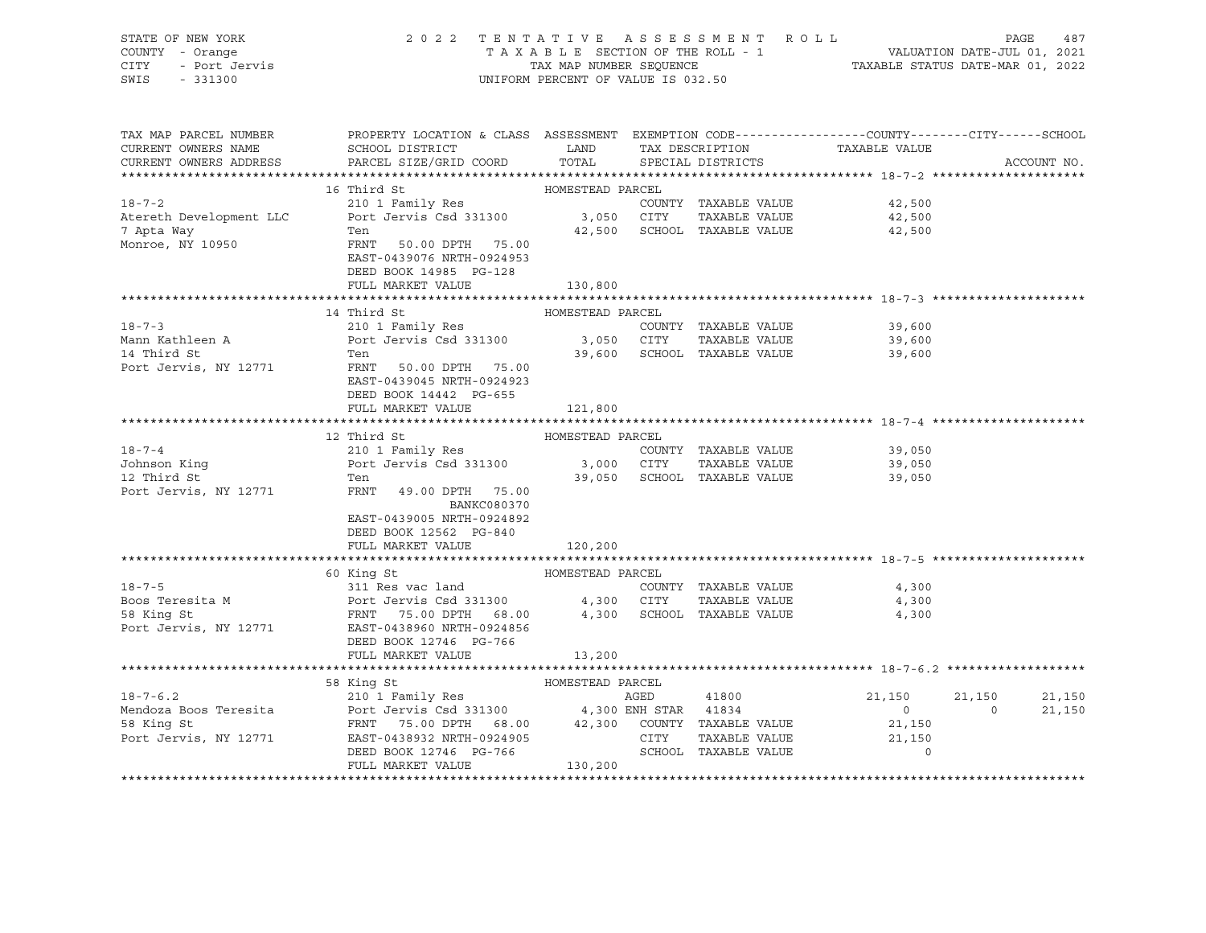|      | STATE OF NEW YORK | 2022 TENTATIVE ASSESSMENT ROLL     | 487<br>PAGE                      |
|------|-------------------|------------------------------------|----------------------------------|
|      | COUNTY - Orange   | TAXABLE SECTION OF THE ROLL - 1    | VALUATION DATE-JUL 01, 2021      |
| CITY | - Port Jervis     | TAX MAP NUMBER SEOUENCE            | TAXABLE STATUS DATE-MAR 01, 2022 |
| SWIS | - 331300          | UNIFORM PERCENT OF VALUE IS 032.50 |                                  |

| TAX MAP PARCEL NUMBER<br>CURRENT OWNERS NAME | PROPERTY LOCATION & CLASS ASSESSMENT EXEMPTION CODE---------------COUNTY-------CITY------SCHOOL<br>SCHOOL DISTRICT LAND                                                                                                                                                                                                                                                                 |                  | TAX DESCRIPTION             | TAXABLE VALUE               |          |             |
|----------------------------------------------|-----------------------------------------------------------------------------------------------------------------------------------------------------------------------------------------------------------------------------------------------------------------------------------------------------------------------------------------------------------------------------------------|------------------|-----------------------------|-----------------------------|----------|-------------|
| CURRENT OWNERS ADDRESS                       | PARCEL SIZE/GRID COORD                                                                                                                                                                                                                                                                                                                                                                  | TOTAL            | SPECIAL DISTRICTS           |                             |          | ACCOUNT NO. |
|                                              |                                                                                                                                                                                                                                                                                                                                                                                         |                  |                             |                             |          |             |
|                                              |                                                                                                                                                                                                                                                                                                                                                                                         |                  |                             | COUNTY TAXABLE VALUE 42,500 |          |             |
|                                              |                                                                                                                                                                                                                                                                                                                                                                                         |                  |                             | TAXABLE VALUE 42,500        |          |             |
|                                              | Ten                                                                                                                                                                                                                                                                                                                                                                                     |                  | 42,500 SCHOOL TAXABLE VALUE | 42,500                      |          |             |
| 7 Apta Way<br>Monroe, NY 10950               | FRNT 50.00 DPTH 75.00<br>EAST-0439076 NRTH-0924953<br>DEED BOOK 14985 PG-128                                                                                                                                                                                                                                                                                                            |                  |                             |                             |          |             |
|                                              | FULL MARKET VALUE                                                                                                                                                                                                                                                                                                                                                                       | 130,800          |                             |                             |          |             |
|                                              | 14 Third St                                                                                                                                                                                                                                                                                                                                                                             | HOMESTEAD PARCEL |                             |                             |          |             |
|                                              |                                                                                                                                                                                                                                                                                                                                                                                         |                  | COUNTY TAXABLE VALUE        | 39,600                      |          |             |
|                                              | 18-7-3 210 1 Family Res COUNT<br>Mann Kathleen A Port Jervis Csd 331300 3,050 CITY                                                                                                                                                                                                                                                                                                      |                  |                             | TAXABLE VALUE 39,600        |          |             |
| 14 Third St                                  | Ten                                                                                                                                                                                                                                                                                                                                                                                     |                  | 39,600 SCHOOL TAXABLE VALUE | 39,600                      |          |             |
| Port Jervis, NY 12771                        | FRNT 50.00 DPTH 75.00<br>EAST-0439045 NRTH-0924923<br>DEED BOOK 14442 PG-655                                                                                                                                                                                                                                                                                                            |                  |                             |                             |          |             |
|                                              | FULL MARKET VALUE                                                                                                                                                                                                                                                                                                                                                                       | 121,800          |                             |                             |          |             |
|                                              |                                                                                                                                                                                                                                                                                                                                                                                         |                  |                             |                             |          |             |
| $18 - 7 - 4$                                 | 12 Third St                                                                                                                                                                                                                                                                                                                                                                             | HOMESTEAD PARCEL | COUNTY TAXABLE VALUE        | 39,050                      |          |             |
| Johnson King                                 |                                                                                                                                                                                                                                                                                                                                                                                         |                  |                             | TAXABLE VALUE 39,050        |          |             |
|                                              | Ten                                                                                                                                                                                                                                                                                                                                                                                     |                  | 39,050 SCHOOL TAXABLE VALUE | 39,050                      |          |             |
| 12 Third St<br>Port Jervis, NY 12771         | FRNT 49.00 DPTH 75.00<br><b>BANKC080370</b><br>EAST-0439005 NRTH-0924892<br>DEED BOOK 12562 PG-840                                                                                                                                                                                                                                                                                      |                  |                             |                             |          |             |
|                                              | FULL MARKET VALUE                                                                                                                                                                                                                                                                                                                                                                       | 120,200          |                             |                             |          |             |
|                                              |                                                                                                                                                                                                                                                                                                                                                                                         |                  |                             |                             |          |             |
|                                              |                                                                                                                                                                                                                                                                                                                                                                                         |                  |                             | COUNTY TAXABLE VALUE 4,300  |          |             |
|                                              |                                                                                                                                                                                                                                                                                                                                                                                         |                  |                             | 4,300                       |          |             |
|                                              | 18-7-5<br>19-7-5<br>20 311 Res vac land<br>2008 Teresita M<br>2008 Teresita M<br>2008 Teresita M<br>2007 Tervis Csd 331300<br>2018 FRNT<br>2019 PORT 68.00<br>2019 PORT 68.00<br>2019 PORT 4,300<br>2019 SCHOOL<br>2019 PORT 75.00 DPTH<br>2024856<br>2021<br>DEED BOOK 12746 PG-766                                                                                                    |                  |                             | 4,300                       |          |             |
|                                              | FULL MARKET VALUE                                                                                                                                                                                                                                                                                                                                                                       | 13,200           |                             |                             |          |             |
|                                              |                                                                                                                                                                                                                                                                                                                                                                                         |                  |                             |                             |          |             |
|                                              | 58 King St                                                                                                                                                                                                                                                                                                                                                                              |                  |                             | 21,150                      | 21,150   | 21,150      |
|                                              |                                                                                                                                                                                                                                                                                                                                                                                         |                  |                             | $\overline{0}$              | $\Omega$ | 21,150      |
|                                              |                                                                                                                                                                                                                                                                                                                                                                                         |                  |                             | 21,150                      |          |             |
|                                              |                                                                                                                                                                                                                                                                                                                                                                                         |                  | TAXABLE VALUE               | 21,150                      |          |             |
|                                              | $\begin{tabular}{lllllllllllllllllllll} \multicolumn{4}{c}{18-7-6.2} & & & & & & & & & & & & & \\ 18-7-6.2 & & & & & & & & & & & & \\ \multicolumn{4}{c}{18-7-6.2} & & & & & & & & & & \\ 18-7-6.2 & & & & & & & & & & & \\ 18-7-6.2 & & & & & & & & & & & \\ 18-7-6.2 & & & & & & & & & & & \\ 18-7-6.2 & & & & & & & & & & & \\ 18-7-7-7 & & & & & & & & & & & \\ 18-7-7-7 & & & & &$ |                  | SCHOOL TAXABLE VALUE        | $\overline{0}$              |          |             |
|                                              |                                                                                                                                                                                                                                                                                                                                                                                         |                  |                             |                             |          |             |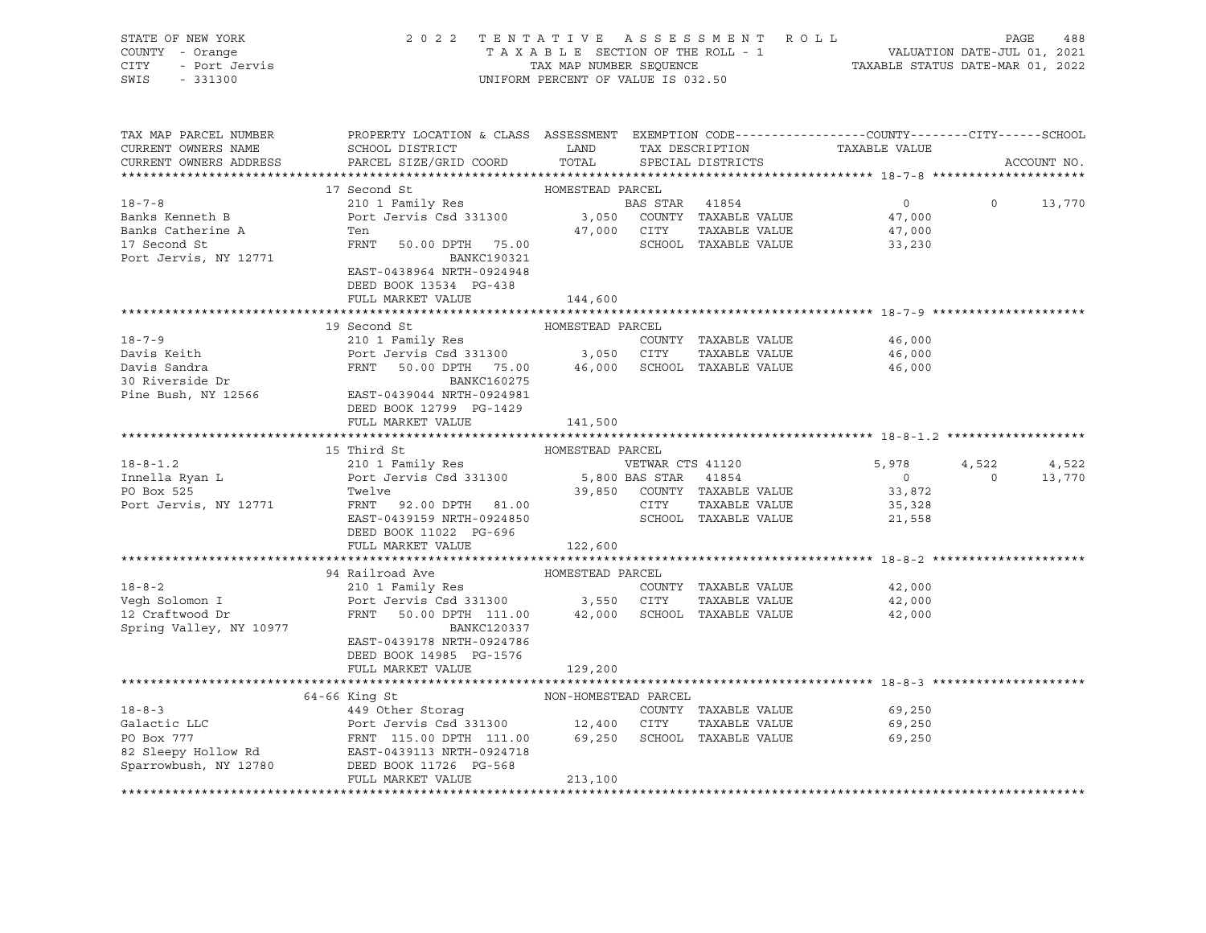| STATE OF NEW YORK<br>COUNTY - Orange                        | 2 0 2 2                                                                                         | TAXABLE SECTION OF THE ROLL - 1    |                  | TENTATIVE ASSESSMENT ROLL   | VALUATION DATE-JUL 01, 2021<br>TAXABLE STATUS DATE-MAR 01, 2022 | PAGE             | 488         |
|-------------------------------------------------------------|-------------------------------------------------------------------------------------------------|------------------------------------|------------------|-----------------------------|-----------------------------------------------------------------|------------------|-------------|
| CITY<br>- Port Jervis                                       |                                                                                                 | TAX MAP NUMBER SEQUENCE            |                  |                             |                                                                 |                  |             |
| SWIS<br>$-331300$                                           |                                                                                                 | UNIFORM PERCENT OF VALUE IS 032.50 |                  |                             |                                                                 |                  |             |
|                                                             |                                                                                                 |                                    |                  |                             |                                                                 |                  |             |
| TAX MAP PARCEL NUMBER                                       | PROPERTY LOCATION & CLASS ASSESSMENT EXEMPTION CODE---------------COUNTY-------CITY------SCHOOL |                                    |                  |                             |                                                                 |                  |             |
| CURRENT OWNERS NAME                                         | SCHOOL DISTRICT                                                                                 | LAND                               |                  | TAX DESCRIPTION             | TAXABLE VALUE                                                   |                  |             |
| CURRENT OWNERS ADDRESS                                      | PARCEL SIZE/GRID COORD                                                                          | TOTAL                              |                  | SPECIAL DISTRICTS           |                                                                 |                  | ACCOUNT NO. |
|                                                             |                                                                                                 |                                    |                  |                             |                                                                 |                  |             |
| $18 - 7 - 8$                                                | 17 Second St                                                                                    | HOMESTEAD PARCEL                   | BAS STAR 41854   |                             | $\overline{0}$                                                  | $\circ$          | 13,770      |
| Banks Kenneth B                                             | 210 1 Family Res<br>Port Jervis Csd 331300                                                      |                                    |                  | 3,050 COUNTY TAXABLE VALUE  | 47,000                                                          |                  |             |
| Banks Catherine A                                           | Ten                                                                                             | 47,000 CITY                        |                  | TAXABLE VALUE               | 47,000                                                          |                  |             |
| 17 Second St                                                | FRNT 50.00 DPTH 75.00                                                                           |                                    |                  | SCHOOL TAXABLE VALUE        | 33,230                                                          |                  |             |
| Port Jervis, NY 12771                                       | BANKC190321                                                                                     |                                    |                  |                             |                                                                 |                  |             |
|                                                             | EAST-0438964 NRTH-0924948                                                                       |                                    |                  |                             |                                                                 |                  |             |
|                                                             | DEED BOOK 13534 PG-438                                                                          |                                    |                  |                             |                                                                 |                  |             |
|                                                             | FULL MARKET VALUE                                                                               | 144,600                            |                  |                             |                                                                 |                  |             |
|                                                             |                                                                                                 |                                    |                  |                             |                                                                 |                  |             |
|                                                             | 19 Second St                                                                                    | HOMESTEAD PARCEL                   |                  |                             |                                                                 |                  |             |
| $18 - 7 - 9$                                                | 210 1 Family Res                                                                                |                                    |                  | COUNTY TAXABLE VALUE        | 46,000                                                          |                  |             |
| Davis Keith                                                 | Port Jervis Csd 331300 3,050 CITY                                                               |                                    |                  | TAXABLE VALUE               | 46,000                                                          |                  |             |
| Davis Sandra                                                | FRNT 50.00 DPTH 75.00                                                                           |                                    |                  | 46,000 SCHOOL TAXABLE VALUE | 46,000                                                          |                  |             |
| 30 Riverside Dr                                             | BANKC160275                                                                                     |                                    |                  |                             |                                                                 |                  |             |
| Pine Bush, NY 12566                                         | EAST-0439044 NRTH-0924981                                                                       |                                    |                  |                             |                                                                 |                  |             |
|                                                             | DEED BOOK 12799 PG-1429                                                                         |                                    |                  |                             |                                                                 |                  |             |
|                                                             | FULL MARKET VALUE                                                                               | 141,500                            |                  |                             |                                                                 |                  |             |
|                                                             |                                                                                                 |                                    |                  |                             |                                                                 |                  |             |
|                                                             | 15 Third St                                                                                     | HOMESTEAD PARCEL                   |                  |                             |                                                                 |                  |             |
| $18 - 8 - 1.2$                                              | 210 1 Family Res                                                                                |                                    | VETWAR CTS 41120 |                             | 5,978<br>$\overline{0}$                                         | 4,522<br>$\circ$ | 4,522       |
| Innella Ryan L<br>PO Box 525                                | Port Jervis Csd 331300<br>Twelve                                                                | 5,800 BAS STAR 41854               |                  | 39,850 COUNTY TAXABLE VALUE | 33,872                                                          |                  | 13,770      |
| Port Jervis, NY 12771                                       | FRNT 92.00 DPTH 81.00                                                                           |                                    | CITY             | TAXABLE VALUE               | 35,328                                                          |                  |             |
|                                                             | EAST-0439159 NRTH-0924850                                                                       |                                    |                  | SCHOOL TAXABLE VALUE        | 21,558                                                          |                  |             |
|                                                             | DEED BOOK 11022 PG-696                                                                          |                                    |                  |                             |                                                                 |                  |             |
|                                                             | FULL MARKET VALUE                                                                               | 122,600                            |                  |                             |                                                                 |                  |             |
|                                                             |                                                                                                 |                                    |                  |                             |                                                                 |                  |             |
|                                                             | 94 Railroad Ave                                                                                 | HOMESTEAD PARCEL                   |                  |                             |                                                                 |                  |             |
| $18 - 8 - 2$                                                | 210 1 Family Res                                                                                |                                    |                  | COUNTY TAXABLE VALUE        | 42,000                                                          |                  |             |
| Vegh Solomon I                                              | Port Jervis Csd 331300                                                                          | 3,550 CITY                         |                  | TAXABLE VALUE               | 42,000                                                          |                  |             |
| 12 Craftwood Dr                                             | FRNT<br>50.00 DPTH 111.00                                                                       |                                    |                  | 42,000 SCHOOL TAXABLE VALUE | 42,000                                                          |                  |             |
| Spring Valley, NY 10977                                     | BANKC120337                                                                                     |                                    |                  |                             |                                                                 |                  |             |
|                                                             | EAST-0439178 NRTH-0924786                                                                       |                                    |                  |                             |                                                                 |                  |             |
|                                                             | DEED BOOK 14985 PG-1576                                                                         |                                    |                  |                             |                                                                 |                  |             |
|                                                             | FULL MARKET VALUE                                                                               | 129,200                            |                  |                             |                                                                 |                  |             |
|                                                             |                                                                                                 |                                    |                  |                             |                                                                 |                  |             |
|                                                             | 64-66 King St                                                                                   | NON-HOMESTEAD PARCEL               |                  |                             |                                                                 |                  |             |
| $18 - 8 - 3$                                                | 449 Other Storaq                                                                                |                                    |                  | COUNTY TAXABLE VALUE        | 69,250                                                          |                  |             |
| Galactic LLC                                                | Port Jervis Csd 331300 12,400 CITY                                                              |                                    |                  | TAXABLE VALUE               | 69,250                                                          |                  |             |
| PO Box 777<br>82 Sleepy Hollow Rd EAST-0439113 NRTH-0924718 | FRNT 115.00 DPTH 111.00                                                                         |                                    |                  | 69,250 SCHOOL TAXABLE VALUE | 69,250                                                          |                  |             |
|                                                             |                                                                                                 |                                    |                  |                             |                                                                 |                  |             |
| Sparrowbush, NY 12780                                       | DEED BOOK 11726 PG-568<br>FULL MARKET VALUE                                                     | 213,100                            |                  |                             |                                                                 |                  |             |
|                                                             |                                                                                                 |                                    |                  |                             |                                                                 |                  |             |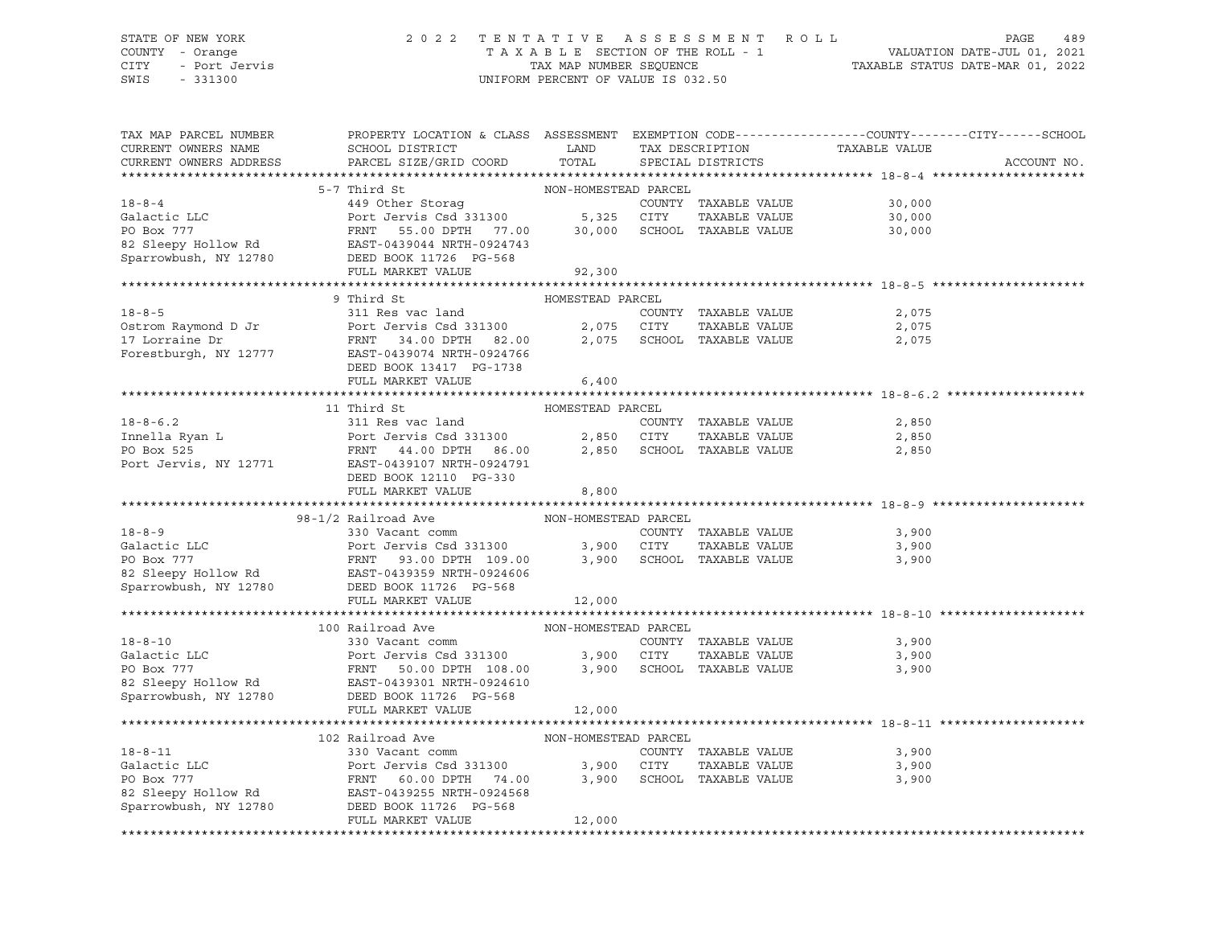#### STATE OF NEW YORK 2 0 2 2 T E N T A T I V E A S S E S S M E N T R O L L PAGE 489 COUNTY - Orange T A X A B L E SECTION OF THE ROLL - 1 VALUATION DATE-JUL 01, 2021 CITY - Port Jervis TAX MAP NUMBER SEQUENCE TAXABLE STATUS DATE-MAR 01, 2022 SWIS - 331300 UNIFORM PERCENT OF VALUE IS 032.50

| TAX MAP PARCEL NUMBER<br>CURRENT OWNERS NAME<br>CURRENT OWNERS ADDRESS | PROPERTY LOCATION & CLASS ASSESSMENT EXEMPTION CODE----------------COUNTY-------CITY------SCHOOL<br>SCHOOL DISTRICT<br>PARCEL SIZE/GRID COORD                                                                                                               | LAND<br>TOTAL        | TAX DESCRIPTION<br>SPECIAL DISTRICTS | TAXABLE VALUE               | ACCOUNT NO. |
|------------------------------------------------------------------------|-------------------------------------------------------------------------------------------------------------------------------------------------------------------------------------------------------------------------------------------------------------|----------------------|--------------------------------------|-----------------------------|-------------|
|                                                                        |                                                                                                                                                                                                                                                             |                      |                                      |                             |             |
|                                                                        | 18-8-4<br>449 Other Storag<br>Galactic LLC<br>PO Box 777<br>FRNT 55.00 DPTH 77.00<br>82 Sleepy Hollow Rd<br>EAST-0439044 NRTH-0924743<br>FRNT 55.00 DPTH 77.00<br>82 Sleepy Hollow Rd<br>EAST-0439044 NRTH-0924743<br>FIII.T, MAPKET VALUE<br>FIII.T        |                      |                                      |                             |             |
|                                                                        |                                                                                                                                                                                                                                                             |                      |                                      | COUNTY TAXABLE VALUE 30,000 |             |
|                                                                        |                                                                                                                                                                                                                                                             |                      |                                      | 30,000                      |             |
|                                                                        |                                                                                                                                                                                                                                                             |                      |                                      | 30,000                      |             |
|                                                                        |                                                                                                                                                                                                                                                             |                      |                                      |                             |             |
|                                                                        |                                                                                                                                                                                                                                                             |                      |                                      |                             |             |
|                                                                        |                                                                                                                                                                                                                                                             |                      |                                      |                             |             |
|                                                                        |                                                                                                                                                                                                                                                             |                      |                                      |                             |             |
|                                                                        | 9 Third St                                                                                                                                                                                                                                                  | HOMESTEAD PARCEL     |                                      |                             |             |
| $18 - 8 - 5$                                                           | 311 Res vac land                                                                                                                                                                                                                                            |                      | COUNTY TAXABLE VALUE                 | 2,075                       |             |
|                                                                        |                                                                                                                                                                                                                                                             |                      | TAXABLE VALUE                        | 2,075                       |             |
|                                                                        |                                                                                                                                                                                                                                                             |                      | 2,075 SCHOOL TAXABLE VALUE           | 2,075                       |             |
|                                                                        | Forestburgh, NY 12777 EAST-0439074 NRTH-0924766                                                                                                                                                                                                             |                      |                                      |                             |             |
|                                                                        | DEED BOOK 13417 PG-1738                                                                                                                                                                                                                                     |                      |                                      |                             |             |
|                                                                        | FULL MARKET VALUE                                                                                                                                                                                                                                           | 6,400                |                                      |                             |             |
|                                                                        |                                                                                                                                                                                                                                                             |                      |                                      |                             |             |
|                                                                        | 11 Third St                                                                                                                                                                                                                                                 | HOMESTEAD PARCEL     |                                      |                             |             |
|                                                                        |                                                                                                                                                                                                                                                             |                      |                                      | 2,850                       |             |
|                                                                        |                                                                                                                                                                                                                                                             |                      |                                      | 2,850                       |             |
|                                                                        | 18-8-6.2<br>Innella Ryan L<br>Port Jervis Csd 331300<br>PO Box 525<br>Port Jervis, NY 12771<br>EAST-0439107 NRTH-0924791<br>FRNT 44.00 DPTH 86.00<br>Port Jervis, NY 12771<br>EAST-0439107 NRTH-0924791<br>FRNT 10210<br>PORT 2200                          |                      |                                      | 2,850                       |             |
|                                                                        |                                                                                                                                                                                                                                                             |                      |                                      |                             |             |
|                                                                        | DEED BOOK 12110 PG-330                                                                                                                                                                                                                                      |                      |                                      |                             |             |
|                                                                        | FULL MARKET VALUE                                                                                                                                                                                                                                           | 8,800                |                                      |                             |             |
|                                                                        | 98-1/2 Railroad Ave                                                                                                                                                                                                                                         |                      |                                      |                             |             |
| $18 - 8 - 9$                                                           | 330 Vacant comm                                                                                                                                                                                                                                             | NON-HOMESTEAD PARCEL | COUNTY TAXABLE VALUE                 | 3,900                       |             |
|                                                                        |                                                                                                                                                                                                                                                             |                      | TAXABLE VALUE                        | 3,900                       |             |
|                                                                        |                                                                                                                                                                                                                                                             |                      |                                      | 3,900                       |             |
|                                                                        |                                                                                                                                                                                                                                                             |                      |                                      |                             |             |
|                                                                        |                                                                                                                                                                                                                                                             |                      |                                      |                             |             |
|                                                                        | FULL MARKET VALUE                                                                                                                                                                                                                                           | 12,000               |                                      |                             |             |
|                                                                        |                                                                                                                                                                                                                                                             |                      |                                      |                             |             |
|                                                                        | 100 Railroad Ave MON-HOMESTEAD PARCEL                                                                                                                                                                                                                       |                      |                                      |                             |             |
|                                                                        |                                                                                                                                                                                                                                                             |                      |                                      |                             |             |
|                                                                        |                                                                                                                                                                                                                                                             |                      |                                      |                             |             |
|                                                                        |                                                                                                                                                                                                                                                             |                      |                                      |                             |             |
|                                                                        |                                                                                                                                                                                                                                                             |                      |                                      |                             |             |
|                                                                        |                                                                                                                                                                                                                                                             |                      |                                      |                             |             |
|                                                                        |                                                                                                                                                                                                                                                             |                      |                                      |                             |             |
| Sparrowbush, NY 12780                                                  | DEED BOOK 11726 PG-568                                                                                                                                                                                                                                      |                      |                                      |                             |             |
|                                                                        | FULL MARKET VALUE                                                                                                                                                                                                                                           | 12,000               |                                      |                             |             |
|                                                                        | 102 Railroad Ave                                                                                                                                                                                                                                            | NON-HOMESTEAD PARCEL |                                      |                             |             |
|                                                                        |                                                                                                                                                                                                                                                             |                      | COUNTY TAXABLE VALUE                 | 3,900                       |             |
|                                                                        |                                                                                                                                                                                                                                                             |                      |                                      | 3,900                       |             |
|                                                                        |                                                                                                                                                                                                                                                             |                      | TAXABLE VALUE                        | 3,900                       |             |
|                                                                        |                                                                                                                                                                                                                                                             |                      |                                      |                             |             |
|                                                                        |                                                                                                                                                                                                                                                             |                      |                                      |                             |             |
|                                                                        | 18-8-11 330 Vacant comm COUNTY TAXABLE VALUE<br>Galactic LLC Port Jervis Csd 331300 3,900 CITY TAXABLE VALUE<br>PO Box 777 FRNT 60.00 DPTH 74.00 3,900 SCHOOL TAXABLE VALUE<br>82 Sleepy Hollow Rd EAST-0439255 NRTH-0924568<br>Sparro<br>FULL MARKET VALUE | 12,000               |                                      |                             |             |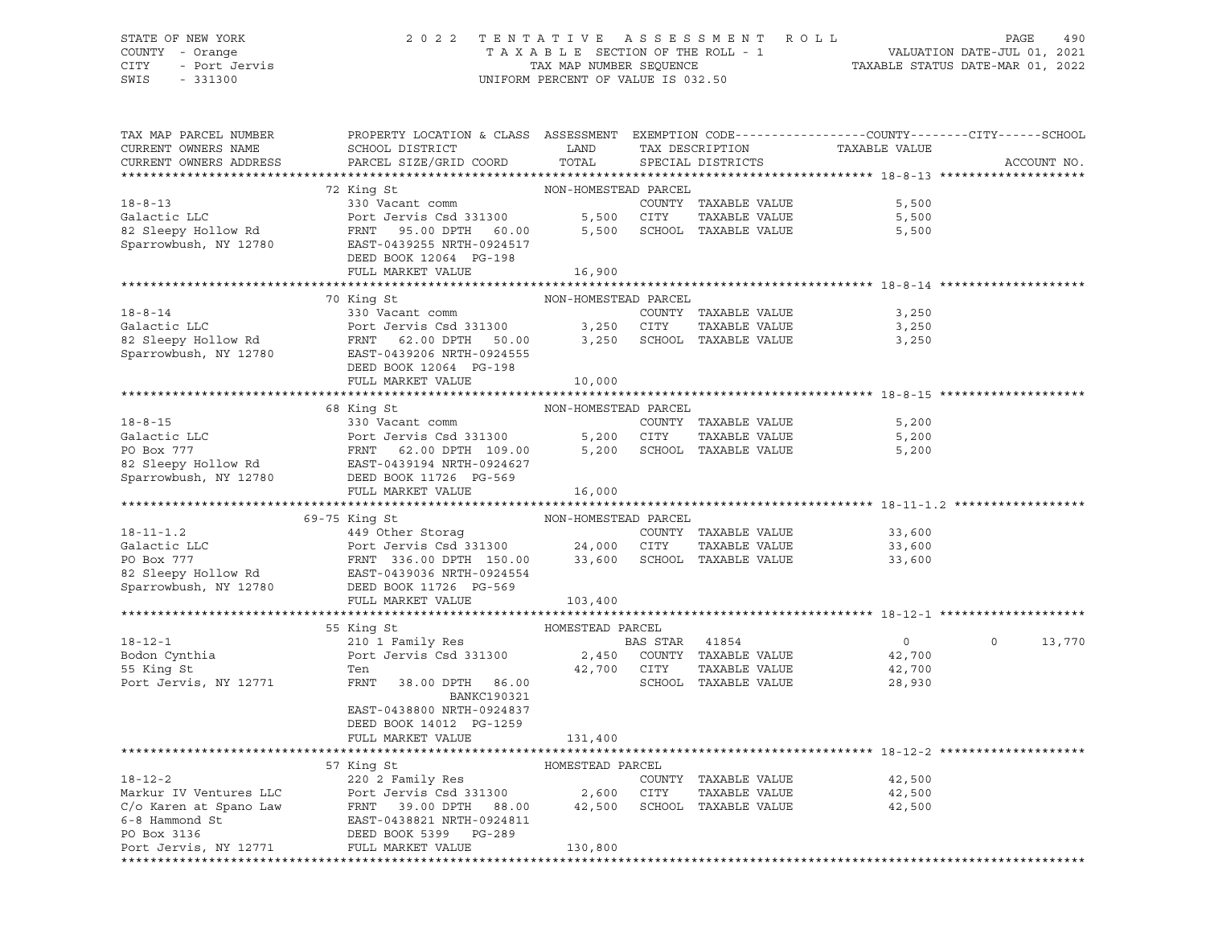# STATE OF NEW YORK 2 0 2 2 T E N T A T I V E A S S E S S M E N T R O L L PAGE 490 COUNTY - Orange T A X A B L E SECTION OF THE ROLL - 1 VALUATION DATE-JUL 01, 2021 CITY - Port Jervis TAX MAP NUMBER SEQUENCE TAXABLE STATUS DATE-MAR 01, 2022

| TAX MAP PARCEL NUMBER<br>CURRENT OWNERS NAME<br>CURRENT OWNERS ADDRESS | PROPERTY LOCATION & CLASS ASSESSMENT EXEMPTION CODE----------------COUNTY-------CITY------SCHOOL<br>SCHOOL DISTRICT<br><b>EXAMPLE STATE</b><br>PARCEL SIZE/GRID COORD                                                                                                                                                                                                                                                                                      | TOTAL                | TAX DESCRIPTION<br>SPECIAL DISTRICTS                                | TAXABLE VALUE                                       | ACCOUNT NO.       |
|------------------------------------------------------------------------|------------------------------------------------------------------------------------------------------------------------------------------------------------------------------------------------------------------------------------------------------------------------------------------------------------------------------------------------------------------------------------------------------------------------------------------------------------|----------------------|---------------------------------------------------------------------|-----------------------------------------------------|-------------------|
|                                                                        |                                                                                                                                                                                                                                                                                                                                                                                                                                                            |                      |                                                                     |                                                     |                   |
| $18 - 8 - 13$<br>Galactic LLC<br>82 Sleepy Hollow Rd                   | 72 King St<br>330 Vacant comm<br>Port Jervis Csd 331300 5,500 CITY<br>Port Jervis Csd 331300 5,500 CITY<br>FRNT 95.00 DPTH 60.00 5,500 SCHOOL<br>Sparrowbush, NY 12780 EAST-0439255 NRTH-0924517                                                                                                                                                                                                                                                           | NON-HOMESTEAD PARCEL | COUNTY TAXABLE VALUE<br>TAXABLE VALUE<br>5,500 SCHOOL TAXABLE VALUE | 5,500<br>5,500<br>5,500                             |                   |
|                                                                        | DEED BOOK 12064 PG-198                                                                                                                                                                                                                                                                                                                                                                                                                                     |                      |                                                                     |                                                     |                   |
|                                                                        | FULL MARKET VALUE                                                                                                                                                                                                                                                                                                                                                                                                                                          | 16,900               |                                                                     |                                                     |                   |
|                                                                        | 70 King St                                                                                                                                                                                                                                                                                                                                                                                                                                                 | NON-HOMESTEAD PARCEL |                                                                     |                                                     |                   |
| $18 - 8 - 14$                                                          | 330 Vacant comm<br>COONTI TAXABLE VALUE<br>Galactic LLC<br>82 Sleepy Hollow Rd<br>Sparrowbush, NY 12780<br>EAST-0439206 NRTH-0924555<br>EAST-0439206 NRTH-0924555<br>DEED BOOK 12064 PG-198                                                                                                                                                                                                                                                                |                      | COUNTY TAXABLE VALUE                                                | 3,250<br>3,250<br>3,250                             |                   |
|                                                                        | FULL MARKET VALUE                                                                                                                                                                                                                                                                                                                                                                                                                                          | 10,000               |                                                                     |                                                     |                   |
|                                                                        |                                                                                                                                                                                                                                                                                                                                                                                                                                                            |                      |                                                                     |                                                     |                   |
|                                                                        | 68 King St                                                                                                                                                                                                                                                                                                                                                                                                                                                 | NON-HOMESTEAD PARCEL |                                                                     |                                                     |                   |
|                                                                        |                                                                                                                                                                                                                                                                                                                                                                                                                                                            |                      |                                                                     | 5,200                                               |                   |
|                                                                        |                                                                                                                                                                                                                                                                                                                                                                                                                                                            |                      |                                                                     | 5,200                                               |                   |
|                                                                        | 18-8-15<br>Galactic LLC<br>Port Jervis Csd 331300<br>Port Jervis Csd 331300<br>Port Jervis Csd 331300<br>5,200 CITY TAXABLE VALUE<br>FRNT 62.00 DPTH 109.00<br>5,200 SCHOOL TAXABLE VALUE<br>82 Sleepy Hollow Rd<br>EAST-0439194 NRTH-0924627<br>S                                                                                                                                                                                                         |                      |                                                                     | 5,200                                               |                   |
|                                                                        | FULL MARKET VALUE                                                                                                                                                                                                                                                                                                                                                                                                                                          | 16,000               |                                                                     |                                                     |                   |
|                                                                        |                                                                                                                                                                                                                                                                                                                                                                                                                                                            |                      |                                                                     |                                                     |                   |
|                                                                        | 69-75 King St                                                                                                                                                                                                                                                                                                                                                                                                                                              | NON-HOMESTEAD PARCEL |                                                                     |                                                     |                   |
|                                                                        | 18-11-1.2<br>Galactic LLC<br>PO Box 777<br>FRNT 336.00 DPTH 150.00<br>SCHOOL TAXABLE VALUE<br>PO Box 777<br>FRNT 336.00 DPTH 150.00<br>SCHOOL TAXABLE VALUE<br>Sparrowbush, NY 12780<br>DEED BOOK 171<br>DEED BOOK 1740<br>DEED BOOK 1740<br>DEED BOOK                                                                                                                                                                                                     |                      |                                                                     | 33,600<br>33,600                                    |                   |
|                                                                        |                                                                                                                                                                                                                                                                                                                                                                                                                                                            |                      |                                                                     | 33,600                                              |                   |
|                                                                        |                                                                                                                                                                                                                                                                                                                                                                                                                                                            |                      |                                                                     |                                                     |                   |
|                                                                        |                                                                                                                                                                                                                                                                                                                                                                                                                                                            |                      |                                                                     |                                                     |                   |
|                                                                        | FULL MARKET VALUE                                                                                                                                                                                                                                                                                                                                                                                                                                          | 103,400              |                                                                     |                                                     |                   |
|                                                                        |                                                                                                                                                                                                                                                                                                                                                                                                                                                            |                      |                                                                     |                                                     |                   |
|                                                                        | 55 King St                                                                                                                                                                                                                                                                                                                                                                                                                                                 | HOMESTEAD PARCEL     |                                                                     |                                                     |                   |
| $18 - 12 - 1$                                                          | 210 1 Family Res<br>Port Jervis Csd 331300 2,450 COUNTY TAXABLE VALUE                                                                                                                                                                                                                                                                                                                                                                                      |                      |                                                                     | $\overline{0}$                                      | $\circ$<br>13,770 |
| Bodon Cynthia<br>55 King St                                            |                                                                                                                                                                                                                                                                                                                                                                                                                                                            |                      |                                                                     | 42,700                                              |                   |
| 55 King St<br>Port Jervis, NY 12771                                    | Ten<br>FRNT<br>38.00 DPTH 86.00<br><b>BANKC190321</b><br>EAST-0438800 NRTH-0924837<br>DEED BOOK 14012 PG-1259                                                                                                                                                                                                                                                                                                                                              | 42,700 CITY          | TAXABLE VALUE<br>SCHOOL TAXABLE VALUE                               | 42,700<br>28,930                                    |                   |
|                                                                        | FULL MARKET VALUE                                                                                                                                                                                                                                                                                                                                                                                                                                          | 131,400              |                                                                     |                                                     |                   |
|                                                                        |                                                                                                                                                                                                                                                                                                                                                                                                                                                            |                      |                                                                     | *********************************** 18-12-2 ******* |                   |
|                                                                        | 57 King St                                                                                                                                                                                                                                                                                                                                                                                                                                                 | HOMESTEAD PARCEL     |                                                                     |                                                     |                   |
|                                                                        |                                                                                                                                                                                                                                                                                                                                                                                                                                                            |                      | COUNTY TAXABLE VALUE                                                | 42,500                                              |                   |
|                                                                        | $\begin{tabular}{lllllllllllllllllll} 18-12-2 & 220&2 Family Res & \multicolumn{3}{c }{\textbf{Camily Res}} & \multicolumn{3}{c }{\textbf{C} \textbf{O} \textbf{N} \textbf{TPY}} & \textbf{TAXABLE VALUE} \\ \textbf{Markur IV Ventures LLC} & \textbf{Port Jervis Csd 331300} & 2,600 & \multicolumn{3}{c }{\textbf{C} \textbf{TPY}} & \textbf{TAXABLE VALUE} \\ \textbf{C/o Karen at Spano Law} & \textbf{FRNT} & 39.00 DPTH & 88.00 & 42,500 & \textbf$ |                      | TAXABLE VALUE                                                       | 42,500                                              |                   |
|                                                                        |                                                                                                                                                                                                                                                                                                                                                                                                                                                            |                      |                                                                     | 42,500                                              |                   |
|                                                                        |                                                                                                                                                                                                                                                                                                                                                                                                                                                            |                      |                                                                     |                                                     |                   |
|                                                                        |                                                                                                                                                                                                                                                                                                                                                                                                                                                            |                      |                                                                     |                                                     |                   |
| Port Jervis, NY 12771                                                  | FULL MARKET VALUE                                                                                                                                                                                                                                                                                                                                                                                                                                          | 130,800              |                                                                     |                                                     |                   |
|                                                                        |                                                                                                                                                                                                                                                                                                                                                                                                                                                            |                      |                                                                     |                                                     |                   |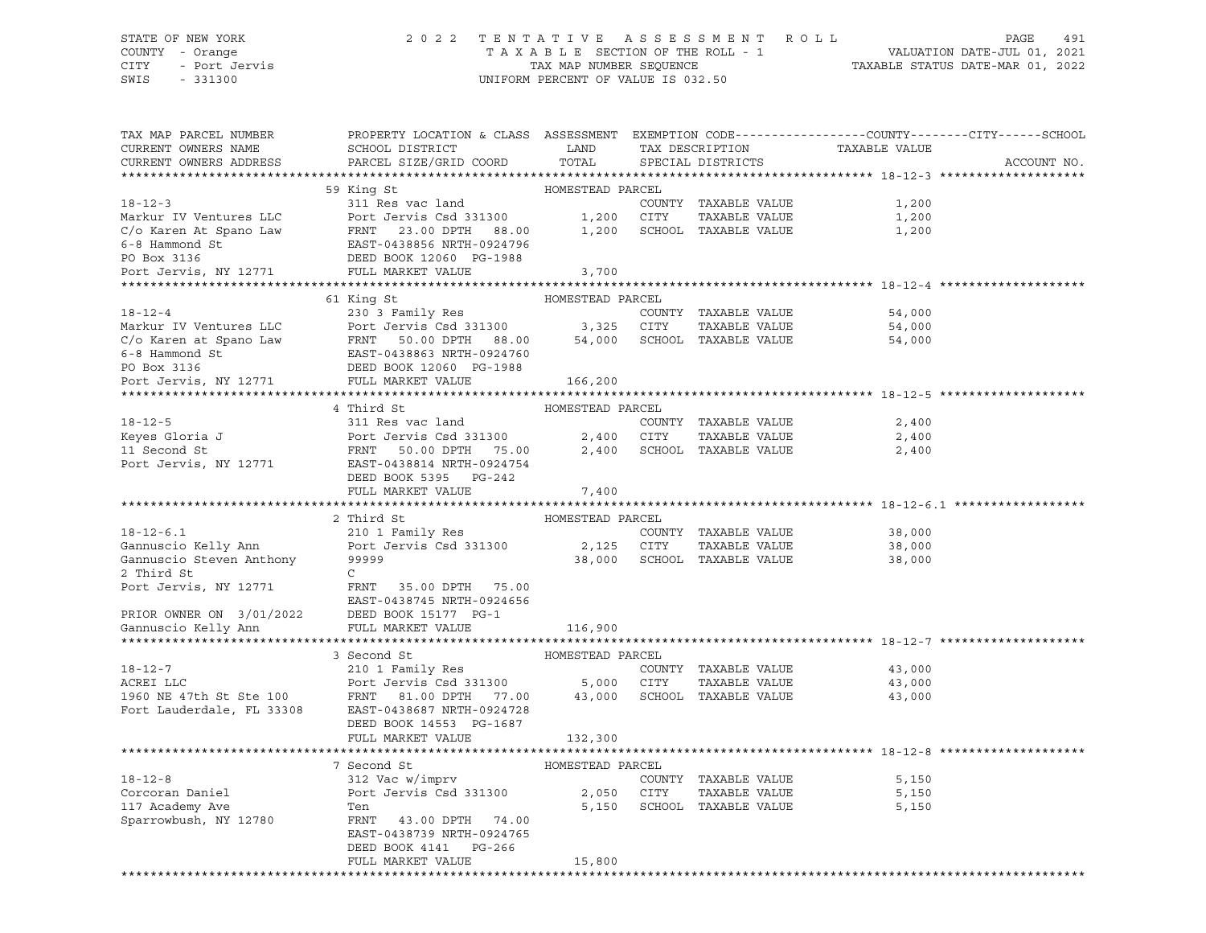#### STATE OF NEW YORK 2 0 2 2 T E N T A T I V E A S S E S S M E N T R O L L PAGE 491 COUNTY - Orange T A X A B L E SECTION OF THE ROLL - 1 VALUATION DATE-JUL 01, 2021 CITY - Port Jervis TAX MAP NUMBER SEQUENCE TAXABLE STATUS DATE-MAR 01, 2022

| TAX MAP PARCEL NUMBER<br>CURRENT OWNERS NAME  | PROPERTY LOCATION & CLASS ASSESSMENT EXEMPTION CODE---------------COUNTY-------CITY------SCHOOL<br>SCHOOL DISTRICT                                                                                                          | LAND             |            | TAX DESCRIPTION             | TAXABLE VALUE                                       |             |
|-----------------------------------------------|-----------------------------------------------------------------------------------------------------------------------------------------------------------------------------------------------------------------------------|------------------|------------|-----------------------------|-----------------------------------------------------|-------------|
| CURRENT OWNERS ADDRESS                        | PARCEL SIZE/GRID COORD                                                                                                                                                                                                      | TOTAL            |            | SPECIAL DISTRICTS           |                                                     | ACCOUNT NO. |
|                                               |                                                                                                                                                                                                                             |                  |            |                             |                                                     |             |
|                                               | 59 King St                                                                                                                                                                                                                  | HOMESTEAD PARCEL |            |                             |                                                     |             |
| $18 - 12 - 3$                                 | 311 Res vac land                                                                                                                                                                                                            |                  |            | COUNTY TAXABLE VALUE        | 1,200                                               |             |
| Markur IV Ventures LLC                        |                                                                                                                                                                                                                             |                  | 1,200 CITY | TAXABLE VALUE               | 1,200                                               |             |
| C/o Karen At Spano Law                        |                                                                                                                                                                                                                             | 1,200            |            | SCHOOL TAXABLE VALUE        | 1,200                                               |             |
| 6-8 Hammond St                                |                                                                                                                                                                                                                             |                  |            |                             |                                                     |             |
| PO Box 3136                                   | Port Jervis Csd 331300<br>FRNT 23.00 DPTH 88.00<br>EAST-0438856 NRTH-0924796<br>DEED BOOK 12060 PG-1988                                                                                                                     |                  |            |                             |                                                     |             |
| Port Jervis, NY 12771                         | FULL MARKET VALUE                                                                                                                                                                                                           | 3,700            |            |                             |                                                     |             |
|                                               |                                                                                                                                                                                                                             |                  |            |                             |                                                     |             |
|                                               | 61 King St                                                                                                                                                                                                                  | HOMESTEAD PARCEL |            |                             |                                                     |             |
| $18 - 12 - 4$                                 | 230 3 Family Res                                                                                                                                                                                                            |                  |            | COUNTY TAXABLE VALUE        | 54,000                                              |             |
|                                               | Port Jervis Csd 331300                                                                                                                                                                                                      | 3,325 CITY       |            | TAXABLE VALUE               | 54,000                                              |             |
|                                               |                                                                                                                                                                                                                             |                  |            | 54,000 SCHOOL TAXABLE VALUE | 54,000                                              |             |
|                                               |                                                                                                                                                                                                                             |                  |            |                             |                                                     |             |
|                                               |                                                                                                                                                                                                                             |                  |            |                             |                                                     |             |
|                                               | Markur IV Ventures LLC Port Jervis Csd 331300<br>C/o Karen at Spano Law FRNT 50.00 DPTH 88.00<br>6-8 Hammond St EAST-0438863 NRTH-0924760<br>PO Box 3136 DEED BOOK 12060 PG-1988<br>Port Jervis, NY 12771 FULL MARKET VALUE | 166,200          |            |                             |                                                     |             |
|                                               |                                                                                                                                                                                                                             |                  |            |                             |                                                     |             |
|                                               | 4 Third St                                                                                                                                                                                                                  | HOMESTEAD PARCEL |            |                             |                                                     |             |
| $18 - 12 - 5$                                 | 311 Res vac land                                                                                                                                                                                                            |                  |            | COUNTY TAXABLE VALUE        | 2,400                                               |             |
| Keyes Gloria J<br>11 Second St                | Port Jervis Csd 331300<br>FRNT 50.00 DPTH 75.00                                                                                                                                                                             |                  | 2,400 CITY | TAXABLE VALUE               | 2,400                                               |             |
|                                               |                                                                                                                                                                                                                             |                  |            | 2,400 SCHOOL TAXABLE VALUE  | 2,400                                               |             |
| Port Jervis, NY 12771                         | EAST-0438814 NRTH-0924754                                                                                                                                                                                                   |                  |            |                             |                                                     |             |
|                                               | DEED BOOK 5395 PG-242                                                                                                                                                                                                       |                  |            |                             |                                                     |             |
|                                               | FULL MARKET VALUE                                                                                                                                                                                                           | 7,400            |            |                             |                                                     |             |
|                                               |                                                                                                                                                                                                                             |                  |            |                             |                                                     |             |
|                                               | 2 Third St                                                                                                                                                                                                                  |                  |            |                             |                                                     |             |
|                                               |                                                                                                                                                                                                                             | HOMESTEAD PARCEL |            |                             |                                                     |             |
| $18 - 12 - 6.1$                               |                                                                                                                                                                                                                             |                  |            | COUNTY TAXABLE VALUE        | 38,000                                              |             |
| Gannuscio Kelly Ann                           | 210 1 Family Res<br>Port Jervis Csd 331300                                                                                                                                                                                  |                  | 2,125 CITY | TAXABLE VALUE               | 38,000                                              |             |
| Gannuscio Steven Anthony                      | 99999                                                                                                                                                                                                                       |                  |            | 38,000 SCHOOL TAXABLE VALUE | 38,000                                              |             |
| 2 Third St                                    | $\mathsf{C}$                                                                                                                                                                                                                |                  |            |                             |                                                     |             |
| Port Jervis, NY 12771                         | FRNT 35.00 DPTH 75.00                                                                                                                                                                                                       |                  |            |                             |                                                     |             |
|                                               | EAST-0438745 NRTH-0924656                                                                                                                                                                                                   |                  |            |                             |                                                     |             |
| PRIOR OWNER ON 3/01/2022 DEED BOOK 15177 PG-1 |                                                                                                                                                                                                                             |                  |            |                             |                                                     |             |
| Gannuscio Kelly Ann                           | FULL MARKET VALUE                                                                                                                                                                                                           | 116,900          |            |                             |                                                     |             |
|                                               |                                                                                                                                                                                                                             |                  |            |                             | *********************************** 18-12-7 ******* |             |
|                                               | 3 Second St                                                                                                                                                                                                                 | HOMESTEAD PARCEL |            |                             |                                                     |             |
| $18 - 12 - 7$                                 | 210 1 Family Res                                                                                                                                                                                                            |                  |            | COUNTY TAXABLE VALUE        | 43,000                                              |             |
| ACREI LLC                                     |                                                                                                                                                                                                                             |                  |            | TAXABLE VALUE               | 43,000                                              |             |
| 1960 NE 47th St Ste 100                       | Port Jervis Csd 331300 5,000 CITY<br>FRNT 81.00 DPTH 77.00                                                                                                                                                                  |                  |            | 43,000 SCHOOL TAXABLE VALUE | 43,000                                              |             |
| Fort Lauderdale, FL 33308                     | EAST-0438687 NRTH-0924728                                                                                                                                                                                                   |                  |            |                             |                                                     |             |
|                                               | DEED BOOK 14553 PG-1687                                                                                                                                                                                                     |                  |            |                             |                                                     |             |
|                                               | FULL MARKET VALUE                                                                                                                                                                                                           | 132,300          |            |                             |                                                     |             |
|                                               |                                                                                                                                                                                                                             |                  |            |                             |                                                     |             |
|                                               | 7 Second St                                                                                                                                                                                                                 | HOMESTEAD PARCEL |            |                             |                                                     |             |
| $18 - 12 - 8$                                 | 312 Vac w/imprv                                                                                                                                                                                                             |                  |            | COUNTY TAXABLE VALUE        | 5,150                                               |             |
| Corcoran Daniel                               | Port Jervis Csd 331300                                                                                                                                                                                                      | 2,050 CITY       |            | TAXABLE VALUE               | 5,150                                               |             |
| 117 Academy Ave                               | Ten                                                                                                                                                                                                                         |                  |            | 5,150 SCHOOL TAXABLE VALUE  | 5,150                                               |             |
| Sparrowbush, NY 12780                         | FRNT 43.00 DPTH 74.00                                                                                                                                                                                                       |                  |            |                             |                                                     |             |
|                                               | EAST-0438739 NRTH-0924765                                                                                                                                                                                                   |                  |            |                             |                                                     |             |
|                                               | DEED BOOK 4141 PG-266                                                                                                                                                                                                       |                  |            |                             |                                                     |             |
|                                               | FULL MARKET VALUE                                                                                                                                                                                                           | 15,800           |            |                             |                                                     |             |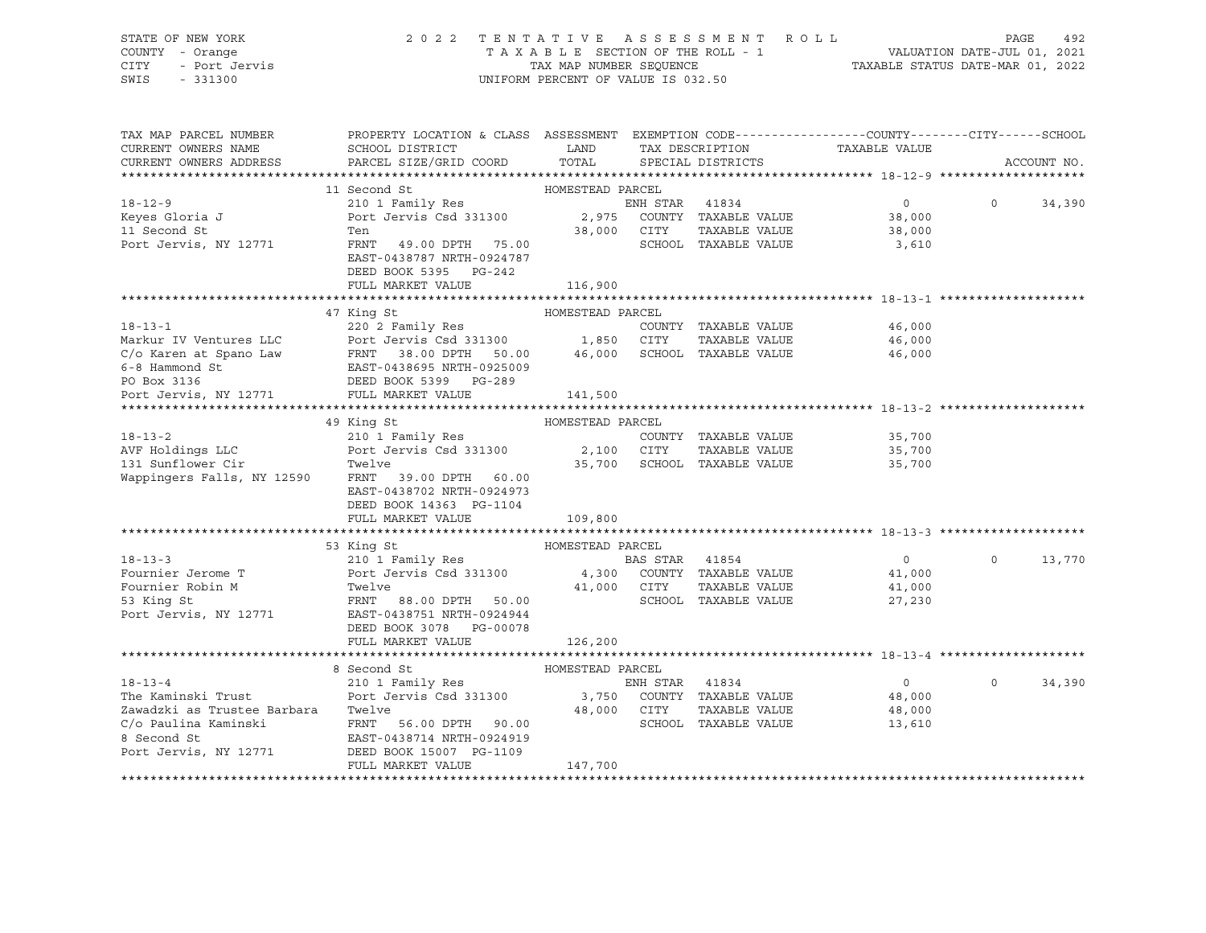| STATE OF NEW YORK<br>COUNTY - Orange<br><b>CITY</b><br>- Port Jervis<br>SWIS<br>$-331300$ | TENTATIVE ASSESSMENT ROLL<br>2 0 2 2<br>TAXABLE SECTION OF THE ROLL - 1<br>TAX MAP NUMBER SEOUENCE<br>UNIFORM PERCENT OF VALUE IS 032.50 | PAGE<br>492<br>VALUATION DATE-JUL 01, 2021<br>TAXABLE STATUS DATE-MAR 01, 2022 |                |                                       |                               |          |             |
|-------------------------------------------------------------------------------------------|------------------------------------------------------------------------------------------------------------------------------------------|--------------------------------------------------------------------------------|----------------|---------------------------------------|-------------------------------|----------|-------------|
|                                                                                           |                                                                                                                                          |                                                                                |                |                                       |                               |          |             |
| TAX MAP PARCEL NUMBER                                                                     | PROPERTY LOCATION & CLASS ASSESSMENT EXEMPTION CODE----------------COUNTY-------CITY-----SCHOOL                                          |                                                                                |                |                                       |                               |          |             |
| CURRENT OWNERS NAME                                                                       | SCHOOL DISTRICT                                                                                                                          | LAND                                                                           |                |                                       | TAX DESCRIPTION TAXABLE VALUE |          |             |
| CURRENT OWNERS ADDRESS                                                                    | PARCEL SIZE/GRID COORD                                                                                                                   | TOTAL                                                                          |                | SPECIAL DISTRICTS                     |                               |          | ACCOUNT NO. |
|                                                                                           | 11 Second St                                                                                                                             | HOMESTEAD PARCEL                                                               |                |                                       |                               |          |             |
| $18 - 12 - 9$                                                                             | 210 1 Family Res                                                                                                                         |                                                                                | ENH STAR 41834 |                                       | $\overline{0}$                | $\Omega$ | 34,390      |
| Keyes Gloria J                                                                            | Port Jervis Csd 331300                                                                                                                   |                                                                                |                | 2,975 COUNTY TAXABLE VALUE            | 38,000                        |          |             |
| 11 Second St                                                                              | Ten                                                                                                                                      |                                                                                | 38,000 CITY    | TAXABLE VALUE                         | 38,000                        |          |             |
| Port Jervis, NY 12771                                                                     | FRNT 49.00 DPTH 75.00                                                                                                                    |                                                                                |                | SCHOOL TAXABLE VALUE                  | 3,610                         |          |             |
|                                                                                           | EAST-0438787 NRTH-0924787                                                                                                                |                                                                                |                |                                       |                               |          |             |
|                                                                                           | DEED BOOK 5395 PG-242                                                                                                                    |                                                                                |                |                                       |                               |          |             |
|                                                                                           | FULL MARKET VALUE                                                                                                                        | 116,900                                                                        |                |                                       |                               |          |             |
|                                                                                           |                                                                                                                                          |                                                                                |                |                                       |                               |          |             |
| $18 - 13 - 1$                                                                             | 47 King St                                                                                                                               | HOMESTEAD PARCEL                                                               |                |                                       |                               |          |             |
|                                                                                           | 220 2 Family Res<br>Port Jervis Csd 331300                                                                                               | 1,850                                                                          | CITY           | COUNTY TAXABLE VALUE<br>TAXABLE VALUE | 46,000<br>46,000              |          |             |
|                                                                                           |                                                                                                                                          | 46,000                                                                         |                | SCHOOL TAXABLE VALUE                  | 46,000                        |          |             |
|                                                                                           |                                                                                                                                          |                                                                                |                |                                       |                               |          |             |
| PO Box 3136                                                                               | DEED BOOK 5399 PG-289                                                                                                                    |                                                                                |                |                                       |                               |          |             |
| Port Jervis, NY 12771                                                                     | FULL MARKET VALUE                                                                                                                        | 141,500                                                                        |                |                                       |                               |          |             |
|                                                                                           |                                                                                                                                          |                                                                                |                |                                       |                               |          |             |
|                                                                                           | 49 King St                                                                                                                               | HOMESTEAD PARCEL                                                               |                |                                       |                               |          |             |
| $18 - 13 - 2$                                                                             | 210 1 Family Res                                                                                                                         |                                                                                |                | COUNTY TAXABLE VALUE                  | 35,700                        |          |             |
| AVF Holdings LLC<br>131 Sunflower Cir                                                     | Port Jervis Csd 331300                                                                                                                   | 2,100 CITY                                                                     |                | TAXABLE VALUE                         | 35,700                        |          |             |
| 131 Sunflower Cir                                                                         | Twelve                                                                                                                                   |                                                                                |                | 35,700 SCHOOL TAXABLE VALUE           | 35,700                        |          |             |
| Wappingers Falls, NY 12590                                                                | FRNT 39.00 DPTH 60.00<br>EAST-0438702 NRTH-0924973                                                                                       |                                                                                |                |                                       |                               |          |             |
|                                                                                           | DEED BOOK 14363 PG-1104                                                                                                                  |                                                                                |                |                                       |                               |          |             |
|                                                                                           | FULL MARKET VALUE                                                                                                                        | 109,800                                                                        |                |                                       |                               |          |             |
|                                                                                           |                                                                                                                                          |                                                                                |                |                                       |                               |          |             |
|                                                                                           | 53 King St                                                                                                                               | HOMESTEAD PARCEL                                                               |                |                                       |                               |          |             |
| $18 - 13 - 3$                                                                             | 210 1 Family Res                                                                                                                         |                                                                                | BAS STAR 41854 |                                       | $\overline{0}$                | $\circ$  | 13,770      |
| Fournier Jerome T                                                                         | 210 1 ramily<br>Port Jervis Csd 331300                                                                                                   |                                                                                |                | 4,300 COUNTY TAXABLE VALUE            | 41,000                        |          |             |
| Fournier Robin M                                                                          | Twelve                                                                                                                                   |                                                                                | 41,000 CITY    | TAXABLE VALUE                         | 41,000                        |          |             |
| 53 King St                                                                                | FRNT 88.00 DPTH 50.00                                                                                                                    |                                                                                |                | SCHOOL TAXABLE VALUE                  | 27,230                        |          |             |
| Port Jervis, NY 12771                                                                     | EAST-0438751 NRTH-0924944                                                                                                                |                                                                                |                |                                       |                               |          |             |
|                                                                                           | DEED BOOK 3078 PG-00078                                                                                                                  |                                                                                |                |                                       |                               |          |             |
|                                                                                           | FULL MARKET VALUE                                                                                                                        | 126,200                                                                        |                |                                       |                               |          |             |
|                                                                                           |                                                                                                                                          |                                                                                |                |                                       |                               |          |             |
| $18 - 13 - 4$                                                                             | 8 Second St                                                                                                                              | HOMESTEAD PARCEL                                                               | ENH STAR 41834 |                                       | $\circ$                       | $\Omega$ | 34,390      |
| The Kaminski Trust                                                                        | 210 1 Family Res<br>Port Jervis Csd 331300                                                                                               | 3,750                                                                          |                | COUNTY TAXABLE VALUE                  | 48,000                        |          |             |
| Zawadzki as Trustee Barbara                                                               | Twelve                                                                                                                                   | 48,000 CITY                                                                    |                | TAXABLE VALUE                         | 48,000                        |          |             |
| C/o Paulina Kaminski                                                                      | FRNT 56.00 DPTH 90.00                                                                                                                    |                                                                                |                | SCHOOL TAXABLE VALUE                  | 13,610                        |          |             |
| 8 Second St                                                                               | EAST-0438714 NRTH-0924919                                                                                                                |                                                                                |                |                                       |                               |          |             |
| Port Jervis, NY 12771                                                                     | DEED BOOK 15007 PG-1109                                                                                                                  |                                                                                |                |                                       |                               |          |             |
|                                                                                           | FULL MARKET VALUE                                                                                                                        | 147,700                                                                        |                |                                       |                               |          |             |

\*\*\*\*\*\*\*\*\*\*\*\*\*\*\*\*\*\*\*\*\*\*\*\*\*\*\*\*\*\*\*\*\*\*\*\*\*\*\*\*\*\*\*\*\*\*\*\*\*\*\*\*\*\*\*\*\*\*\*\*\*\*\*\*\*\*\*\*\*\*\*\*\*\*\*\*\*\*\*\*\*\*\*\*\*\*\*\*\*\*\*\*\*\*\*\*\*\*\*\*\*\*\*\*\*\*\*\*\*\*\*\*\*\*\*\*\*\*\*\*\*\*\*\*\*\*\*\*\*\*\*\*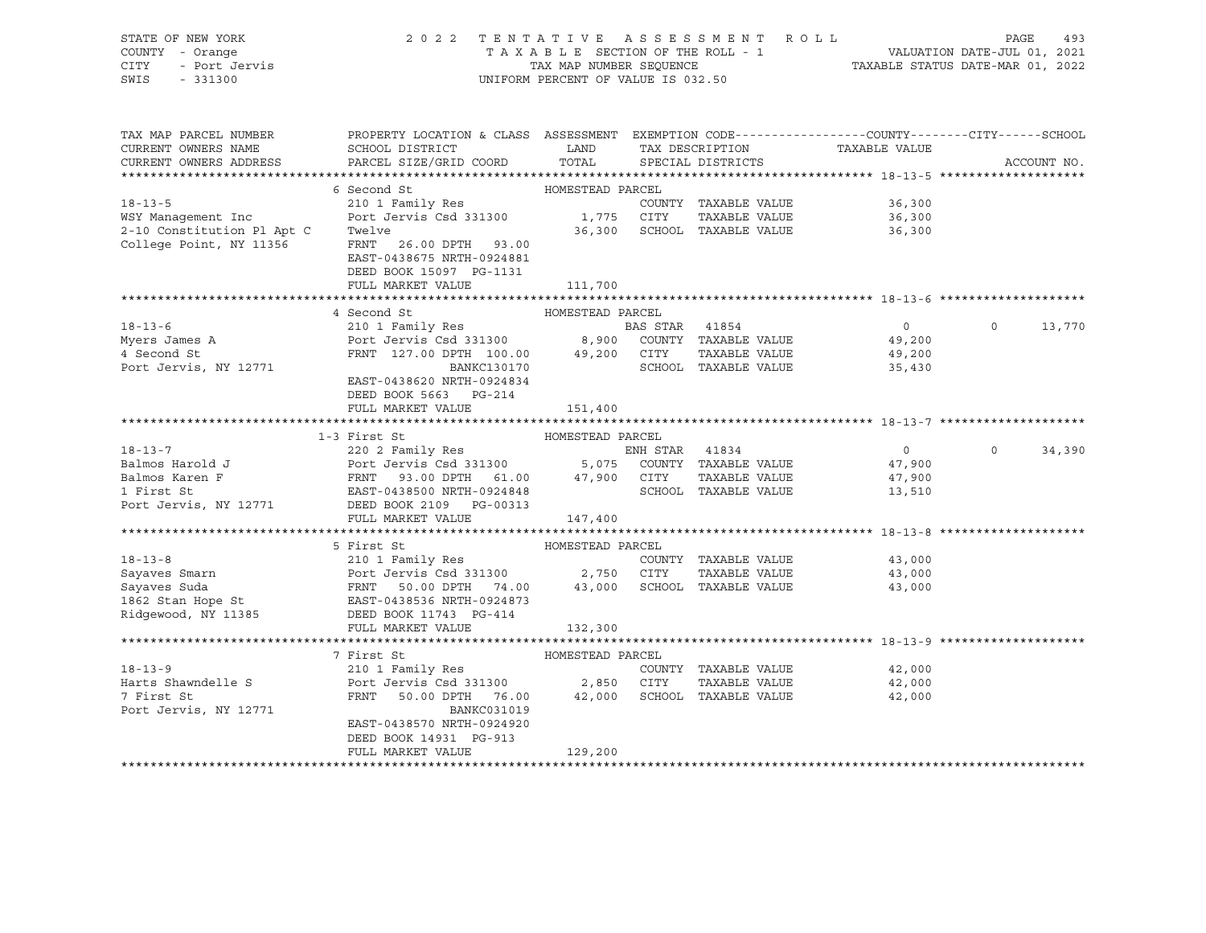| STATE OF NEW YORK<br>Y - Orange<br>- Port Jervis<br>- 331300<br>COUNTY - Orange<br>CITY<br>SWIS - 331300 | 2022 TENTATIVE ASSESSMENT ROLL                                                                                                                                                                                                                         | UNIFORM PERCENT OF VALUE IS 032.50 |                      |                                              | PAGE<br>493        |
|----------------------------------------------------------------------------------------------------------|--------------------------------------------------------------------------------------------------------------------------------------------------------------------------------------------------------------------------------------------------------|------------------------------------|----------------------|----------------------------------------------|--------------------|
| TAX MAP PARCEL NUMBER<br>CURRENT OWNERS NAME<br>CURRENT OWNERS ADDRESS                                   | PROPERTY LOCATION & CLASS ASSESSMENT EXEMPTION CODE----------------COUNTY-------CITY------SCHOOL                                                                                                                                                       |                                    |                      |                                              | ACCOUNT NO.        |
|                                                                                                          |                                                                                                                                                                                                                                                        |                                    |                      |                                              |                    |
|                                                                                                          | 6 Second St<br>Second St<br>210 1 Family Res                                                                                                                                                                                                           | HOMESTEAD PARCEL                   |                      |                                              |                    |
| $18 - 13 - 5$<br>WSY Management Inc<br>2-10 Constitution Pl Apt C<br>College Point, NY 11356             | Port Jervis Csd 331300 1,775 CITY TAXABLE VALUE<br>Twelve 36,300 36,300 SCHOOL TAXABLE VALUE<br>Twelve<br>FRNT 26.00 DPTH 93.00<br>EAST-0438675 NRTH-0924881<br>DEED BOOK 15097 PG-1131                                                                |                                    | COUNTY TAXABLE VALUE | 36,300<br>36,300<br>36,300                   |                    |
|                                                                                                          | FULL MARKET VALUE                                                                                                                                                                                                                                      | 111,700                            |                      |                                              |                    |
|                                                                                                          |                                                                                                                                                                                                                                                        |                                    |                      |                                              |                    |
|                                                                                                          | 4 Second St                                                                                                                                                                                                                                            | HOMESTEAD PARCEL                   |                      |                                              |                    |
| $18 - 13 - 6$<br>Myers James A<br>4 Second St<br>4 Second St<br>Port Jervis, NY 12771                    | 210 1 Family Res<br>Port Jervis Csd 331300 8,900 COUNTY TAXABLE VALUE<br>FRNT 127.00 DPTH 100.00 49,200 CITY TAXABLE VALUE<br>BANKC130170 SCHOOL TAXABLE VALUE<br>PAST 0438630 NPTH 033434<br>EAST-0438620 NRTH-0924834                                |                                    |                      | $\overline{0}$<br>49,200<br>49,200<br>35,430 | $\Omega$<br>13,770 |
|                                                                                                          | DEED BOOK 5663 PG-214<br>FULL MARKET VALUE                                                                                                                                                                                                             | 151,400                            |                      |                                              |                    |
|                                                                                                          | 1-3 First St                                                                                                                                                                                                                                           | HOMESTEAD PARCEL                   |                      |                                              |                    |
| $18 - 13 - 7$                                                                                            | 220 2 Family Res                                                                                                                                                                                                                                       |                                    | ENH STAR 41834       |                                              | 0 0 34,390         |
|                                                                                                          | Port Jervis, NY 12771 DEED BOOK 2109 PG-00313                                                                                                                                                                                                          |                                    | TAXABLE VALUE        | 47,900<br>47,900<br>13,510                   |                    |
|                                                                                                          | FULL MARKET VALUE                                                                                                                                                                                                                                      | 147,400                            |                      |                                              |                    |
|                                                                                                          |                                                                                                                                                                                                                                                        |                                    |                      |                                              |                    |
|                                                                                                          |                                                                                                                                                                                                                                                        |                                    |                      |                                              |                    |
|                                                                                                          | 18-13-8<br>Sayaves Smarn<br>Sayaves Smarn<br>Sayaves Smarn<br>Sayaves Smarn<br>Sayaves Suda<br>FRNT 50.00 DPTH 74.00<br>1862 Stan Hope St<br>Ridgewood, NY 11385<br>Ridgewood, NY 11385<br>FRNT 50.00 DPTH 74.00<br>EAST-0438536 NRTH-0924873<br>Ridge |                                    | COUNTY TAXABLE VALUE | 43,000<br>43,000<br>43,000                   |                    |
|                                                                                                          |                                                                                                                                                                                                                                                        | 132,300                            |                      |                                              |                    |
|                                                                                                          |                                                                                                                                                                                                                                                        |                                    |                      |                                              |                    |
| $18 - 13 - 9$<br>Harts Shawndelle S<br>7 First St<br>Port Jervis, NY 12771                               | 7 First St<br>210 1 Family Res<br>Port Jervis Csd 331300 2,850 CITY TAXABLE VALUE<br>FRNT 50.00 DPTH 76.00 42,000 SCHOOL TAXABLE VALUE<br>BANKC031019<br>EAST-0438570 NRTH-0924920<br>DEED BOOK 14931 PG-913<br>FULL MARKET VALUE                      | HOMESTEAD PARCEL<br>129,200        | COUNTY TAXABLE VALUE | 42,000<br>42,000<br>42,000                   |                    |
|                                                                                                          |                                                                                                                                                                                                                                                        |                                    |                      |                                              |                    |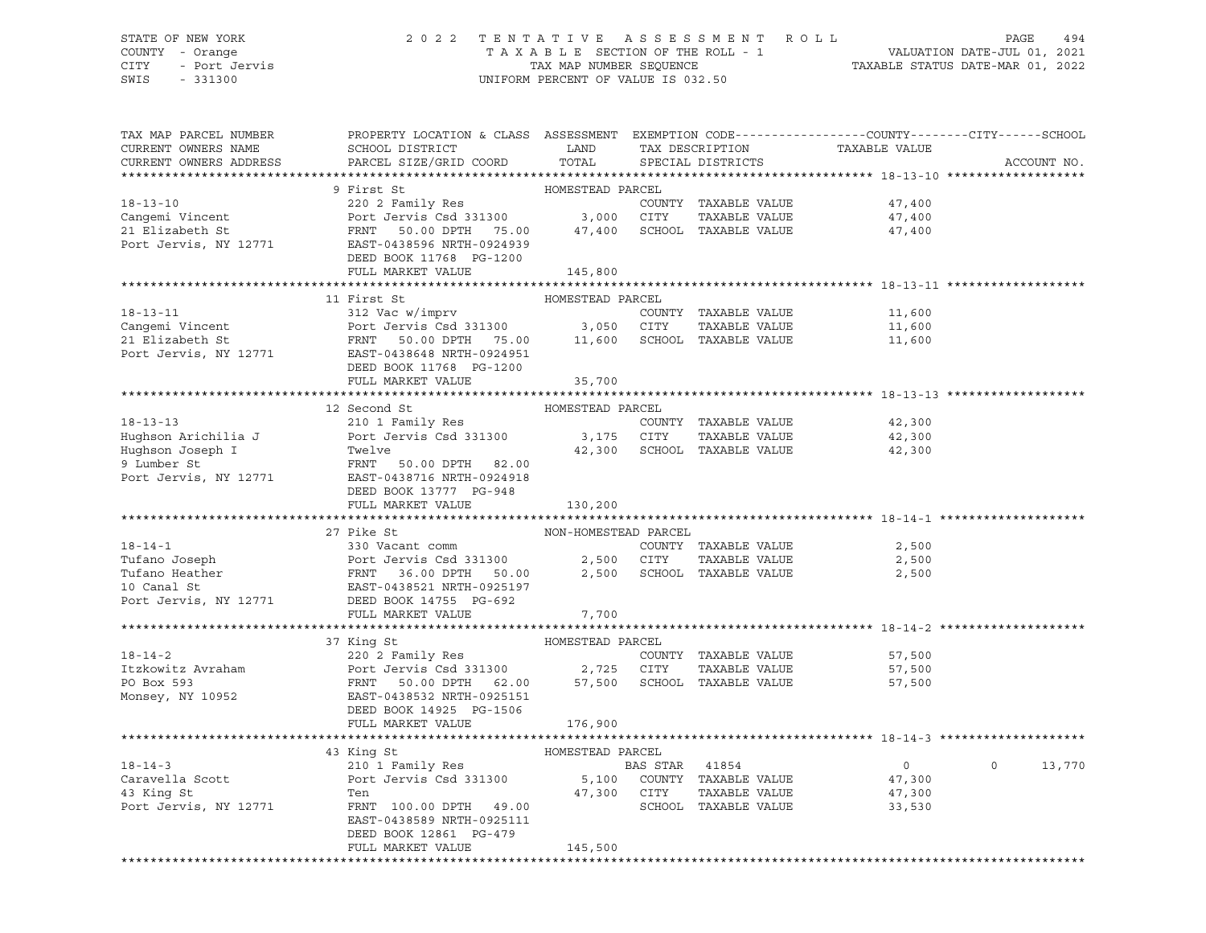#### STATE OF NEW YORK 2 0 2 2 T E N T A T I V E A S S E S S M E N T R O L L PAGE 494 COUNTY - Orange T A X A B L E SECTION OF THE ROLL - 1 VALUATION DATE-JUL 01, 2021 CITY - Port Jervis TAX MAP NUMBER SEQUENCE TAXABLE STATUS DATE-MAR 01, 2022 SWIS - 331300 UNIFORM PERCENT OF VALUE IS 032.50

| TAX MAP PARCEL NUMBER<br>CURRENT OWNERS NAME<br>CURRENT OWNERS ADDRESS                                                                       | PROPERTY LOCATION & CLASS ASSESSMENT EXEMPTION CODE----------------COUNTY-------CITY------SCHOOL<br>SCHOOL DISTRICT<br>PARCEL SIZE/GRID COORD                                                                                                                                                                                                                                                                                                                                                                                                | LAND<br>TOTAL               |            | TAX DESCRIPTION<br>SPECIAL DISTRICTS                                 | TAXABLE VALUE                                | ACCOUNT NO.       |
|----------------------------------------------------------------------------------------------------------------------------------------------|----------------------------------------------------------------------------------------------------------------------------------------------------------------------------------------------------------------------------------------------------------------------------------------------------------------------------------------------------------------------------------------------------------------------------------------------------------------------------------------------------------------------------------------------|-----------------------------|------------|----------------------------------------------------------------------|----------------------------------------------|-------------------|
| **************************                                                                                                                   |                                                                                                                                                                                                                                                                                                                                                                                                                                                                                                                                              |                             |            |                                                                      |                                              |                   |
| $18 - 13 - 10$<br>Cangemi Vincent<br>21 Elizabeth St<br>Port Jervis, NY 12771                                                                | 9 First St<br>220 2 Family Res<br>Port Jervis Csd 331300 3,000 CITY<br>FRNT 50.00 DPTH 75.00<br>EAST-0438596 NRTH-0924939<br>DEED BOOK 11768 PG-1200                                                                                                                                                                                                                                                                                                                                                                                         | HOMESTEAD PARCEL            |            | COUNTY TAXABLE VALUE<br>TAXABLE VALUE<br>47,400 SCHOOL TAXABLE VALUE | 47,400<br>47,400<br>47,400                   |                   |
|                                                                                                                                              | FULL MARKET VALUE                                                                                                                                                                                                                                                                                                                                                                                                                                                                                                                            | 145,800                     |            |                                                                      |                                              |                   |
|                                                                                                                                              |                                                                                                                                                                                                                                                                                                                                                                                                                                                                                                                                              |                             |            |                                                                      |                                              |                   |
|                                                                                                                                              | 11 First St                                                                                                                                                                                                                                                                                                                                                                                                                                                                                                                                  | HOMESTEAD PARCEL            |            |                                                                      |                                              |                   |
| $18 - 13 - 11$<br>Cangemi Vincent<br>21 Elizabeth St                                                                                         | 312 Vac w/imprv<br>Port Jervis Csd 331300 3,050 CITY TAXABLE VALUE<br>FRNT 50.00 DPTH 75.00 11,600 SCHOOL TAXABLE VALUE<br>Port Jervis, NY 12771 EAST-0438648 NRTH-0924951<br>DEED BOOK 11768 PG-1200                                                                                                                                                                                                                                                                                                                                        |                             |            | COUNTY TAXABLE VALUE<br>TAXABLE VALUE                                | 11,600<br>11,600<br>11,600                   |                   |
|                                                                                                                                              | FULL MARKET VALUE                                                                                                                                                                                                                                                                                                                                                                                                                                                                                                                            | 35,700                      |            |                                                                      |                                              |                   |
|                                                                                                                                              |                                                                                                                                                                                                                                                                                                                                                                                                                                                                                                                                              |                             |            |                                                                      |                                              |                   |
|                                                                                                                                              | 12 Second St                                                                                                                                                                                                                                                                                                                                                                                                                                                                                                                                 | HOMESTEAD PARCEL            |            |                                                                      |                                              |                   |
| $18 - 13 - 13$<br>Hughson Arichilia J<br>Hughson Joseph I<br>$\mathbf{r}$ is the set of $\mathbf{r}$<br>9 Lumber St<br>Port Jervis, NY 12771 | 210 1 Family Res<br>Port Jervis Csd 331300 3,175 CITY<br>Twelve<br>FRNT 50.00 DPTH 82.00<br>-------- NRTH-0924918<br>DEED BOOK 13777 PG-948                                                                                                                                                                                                                                                                                                                                                                                                  |                             |            | COUNTY TAXABLE VALUE<br>TAXABLE VALUE<br>42,300 SCHOOL TAXABLE VALUE | 42,300<br>42,300<br>42,300                   |                   |
|                                                                                                                                              | FULL MARKET VALUE                                                                                                                                                                                                                                                                                                                                                                                                                                                                                                                            | 130,200                     |            |                                                                      |                                              |                   |
|                                                                                                                                              | 27 Pike St                                                                                                                                                                                                                                                                                                                                                                                                                                                                                                                                   | NON-HOMESTEAD PARCEL        |            |                                                                      |                                              |                   |
| $18 - 14 - 1$                                                                                                                                | 330 Vacant comm<br>Port Jervis, NY 12771 DEED BOOK 14755 PG-692                                                                                                                                                                                                                                                                                                                                                                                                                                                                              |                             | 2,500 CITY | COUNTY TAXABLE VALUE<br>TAXABLE VALUE<br>2,500 SCHOOL TAXABLE VALUE  | 2,500<br>2,500<br>2,500                      |                   |
|                                                                                                                                              | FULL MARKET VALUE                                                                                                                                                                                                                                                                                                                                                                                                                                                                                                                            | 7,700                       |            |                                                                      |                                              |                   |
| $18 - 14 - 2$<br>Itzkowitz Avraham<br>PO Box 593<br>Monsey, NY 10952                                                                         | 37 King St<br>37 King St<br>220 2 Family Res<br>Port Jervis Csd 331300<br>FRNT 50.00 DPTH 62.00<br>EAST-0438532 NRTH-0925151<br>DEED BOOK 14925 PG-1506                                                                                                                                                                                                                                                                                                                                                                                      | HOMESTEAD PARCEL            | 2,725 CITY | COUNTY TAXABLE VALUE<br>TAXABLE VALUE<br>57,500 SCHOOL TAXABLE VALUE | 57,500<br>57,500<br>57,500                   |                   |
|                                                                                                                                              | FULL MARKET VALUE                                                                                                                                                                                                                                                                                                                                                                                                                                                                                                                            | 176,900                     |            |                                                                      |                                              |                   |
|                                                                                                                                              |                                                                                                                                                                                                                                                                                                                                                                                                                                                                                                                                              |                             |            |                                                                      |                                              |                   |
| $18 - 14 - 3$<br>Caravella Scott<br>43 King St<br>Port Jervis, NY 12771                                                                      | 43 King St<br>$\begin{tabular}{lllllllll} & & \multicolumn{3}{l}{{\footnotesize \texttt{EAD}}}\qquad \qquad & \multicolumn{3}{l}{\footnotesize \texttt{BAS STAR}} & 41854 \vspace{0.00000} \\ \multicolumn{3}{l}{\footnotesize \texttt{Ien}} & 5,100 & \multicolumn{3}{l}{\footnotesize \texttt{CONTY}} & \texttt{TAXABLE VALUE} \\ \multicolumn{3}{l}{\footnotesize \texttt{FRNT}} & 100.00 & \texttt{DPTH} & 49.00 & \texttt{CTTY} \\ \multicolumn{3}{l}{\footnotesize \texttt{FRNT}} & 10$<br>DEED BOOK 12861 PG-479<br>FULL MARKET VALUE | HOMESTEAD PARCEL<br>145,500 |            | TAXABLE VALUE                                                        | $\overline{0}$<br>47,300<br>47,300<br>33,530 | $\circ$<br>13,770 |
|                                                                                                                                              |                                                                                                                                                                                                                                                                                                                                                                                                                                                                                                                                              |                             |            |                                                                      |                                              |                   |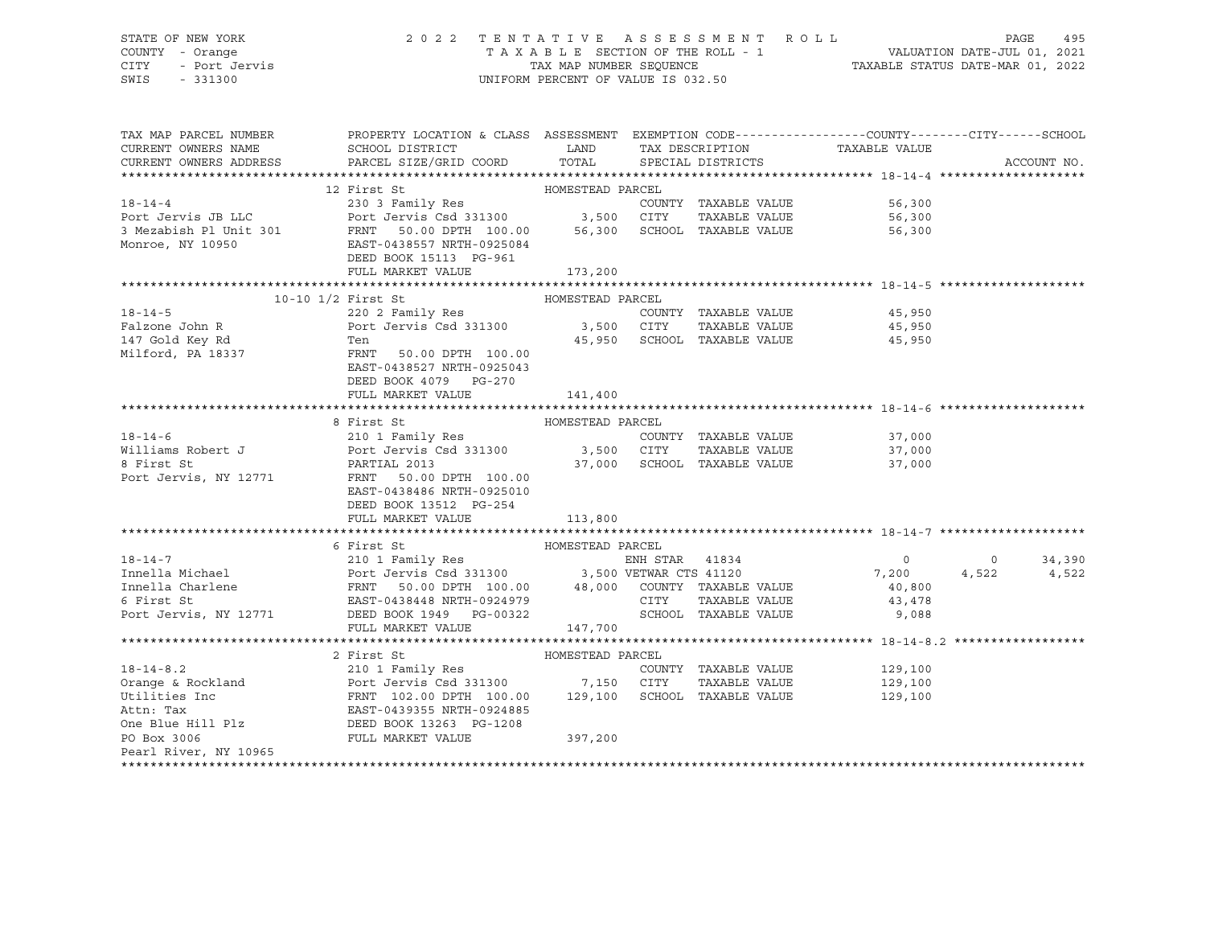# STATE OF NEW YORK 2 0 2 2 T E N T A T I V E A S S E S S M E N T R O L L PAGE 495 COUNTY - Orange T A X A B L E SECTION OF THE ROLL - 1 VALUATION DATE-JUL 01, 2021 CITY - Port Jervis TAX MAP NUMBER SEQUENCE TAXABLE STATUS DATE-MAR 01, 2022

| TAX MAP PARCEL NUMBER  | PROPERTY LOCATION & CLASS ASSESSMENT EXEMPTION CODE---------------COUNTY-------CITY------SCHOOL                                                                                                                                                                                                                                                                                                                                |                  |                             |                                |                |             |
|------------------------|--------------------------------------------------------------------------------------------------------------------------------------------------------------------------------------------------------------------------------------------------------------------------------------------------------------------------------------------------------------------------------------------------------------------------------|------------------|-----------------------------|--------------------------------|----------------|-------------|
| CURRENT OWNERS NAME    | SCHOOL DISTRICT LAND TAX DESCRIPTION                                                                                                                                                                                                                                                                                                                                                                                           |                  |                             | TAXABLE VALUE                  |                |             |
| CURRENT OWNERS ADDRESS | PARCEL SIZE/GRID COORD TOTAL                                                                                                                                                                                                                                                                                                                                                                                                   |                  | SPECIAL DISTRICTS           |                                |                | ACCOUNT NO. |
|                        |                                                                                                                                                                                                                                                                                                                                                                                                                                |                  |                             |                                |                |             |
|                        |                                                                                                                                                                                                                                                                                                                                                                                                                                |                  |                             |                                |                |             |
|                        |                                                                                                                                                                                                                                                                                                                                                                                                                                |                  |                             |                                |                |             |
|                        |                                                                                                                                                                                                                                                                                                                                                                                                                                |                  |                             |                                |                |             |
|                        | 3 Mezabish P1 Unit 301<br>SMEZabish P1 Unit 301<br>Monroe, NY 10950<br>EAST-0438557 NRTH-0925084<br>EAST-0438557 NRTH-0925084                                                                                                                                                                                                                                                                                                  |                  |                             | 56,300                         |                |             |
|                        |                                                                                                                                                                                                                                                                                                                                                                                                                                |                  |                             |                                |                |             |
|                        | DEED BOOK 15113 PG-961                                                                                                                                                                                                                                                                                                                                                                                                         |                  |                             |                                |                |             |
|                        | FULL MARKET VALUE 173,200                                                                                                                                                                                                                                                                                                                                                                                                      |                  |                             |                                |                |             |
|                        |                                                                                                                                                                                                                                                                                                                                                                                                                                |                  |                             |                                |                |             |
|                        |                                                                                                                                                                                                                                                                                                                                                                                                                                |                  | COUNTY TAXABLE VALUE        | 45,950                         |                |             |
|                        |                                                                                                                                                                                                                                                                                                                                                                                                                                |                  |                             |                                |                |             |
|                        |                                                                                                                                                                                                                                                                                                                                                                                                                                |                  | 45,950 SCHOOL TAXABLE VALUE | TAXABLE VALUE 45,950<br>45,950 |                |             |
|                        |                                                                                                                                                                                                                                                                                                                                                                                                                                |                  |                             |                                |                |             |
|                        |                                                                                                                                                                                                                                                                                                                                                                                                                                |                  |                             |                                |                |             |
|                        |                                                                                                                                                                                                                                                                                                                                                                                                                                |                  |                             |                                |                |             |
|                        | FULL MARKET VALUE                                                                                                                                                                                                                                                                                                                                                                                                              | 141,400          |                             |                                |                |             |
|                        |                                                                                                                                                                                                                                                                                                                                                                                                                                |                  |                             |                                |                |             |
|                        | 8 First St                                                                                                                                                                                                                                                                                                                                                                                                                     | HOMESTEAD PARCEL |                             |                                |                |             |
|                        |                                                                                                                                                                                                                                                                                                                                                                                                                                |                  |                             |                                |                |             |
|                        |                                                                                                                                                                                                                                                                                                                                                                                                                                |                  |                             |                                |                |             |
|                        |                                                                                                                                                                                                                                                                                                                                                                                                                                |                  |                             |                                |                |             |
|                        | 18-14-6<br>Williams Robert J<br>Williams Robert J<br>Port Jervis Csd 331300<br>8 First St<br>PARTIAL 2013<br>PORTIAL 2013<br>PORTIAL 2013<br>PORTIAL 2013<br>PORTIAL 2013<br>PORTIAL 2013<br>PORTIAL 2013<br>PORTIAL 2013<br>PORTIAL 2013<br>PORTIAL 2013<br>                                                                                                                                                                  |                  |                             |                                |                |             |
|                        | EAST-0438486 NRTH-0925010                                                                                                                                                                                                                                                                                                                                                                                                      |                  |                             |                                |                |             |
|                        | DEED BOOK 13512 PG-254                                                                                                                                                                                                                                                                                                                                                                                                         |                  |                             |                                |                |             |
|                        | FULL MARKET VALUE                                                                                                                                                                                                                                                                                                                                                                                                              | 113,800          |                             |                                |                |             |
|                        |                                                                                                                                                                                                                                                                                                                                                                                                                                |                  |                             |                                |                |             |
|                        | 6 First St                                                                                                                                                                                                                                                                                                                                                                                                                     | HOMESTEAD PARCEL |                             |                                |                |             |
|                        |                                                                                                                                                                                                                                                                                                                                                                                                                                |                  |                             |                                | $\overline{0}$ | 34,390      |
|                        |                                                                                                                                                                                                                                                                                                                                                                                                                                |                  |                             |                                |                | 4,522 4,522 |
|                        |                                                                                                                                                                                                                                                                                                                                                                                                                                |                  |                             |                                |                |             |
|                        |                                                                                                                                                                                                                                                                                                                                                                                                                                |                  |                             |                                |                |             |
|                        |                                                                                                                                                                                                                                                                                                                                                                                                                                |                  |                             |                                |                |             |
|                        | FULL MARKET VALUE                                                                                                                                                                                                                                                                                                                                                                                                              | 147,700          |                             |                                |                |             |
|                        |                                                                                                                                                                                                                                                                                                                                                                                                                                |                  |                             |                                |                |             |
|                        |                                                                                                                                                                                                                                                                                                                                                                                                                                |                  |                             |                                |                |             |
|                        |                                                                                                                                                                                                                                                                                                                                                                                                                                |                  |                             |                                |                |             |
|                        |                                                                                                                                                                                                                                                                                                                                                                                                                                |                  |                             |                                |                |             |
|                        | $\begin{tabular}{lllllllllllllllllllll} \textbf{18-14-8.2} & \textbf{2 First St} & \textbf{HOMESTEAD PARCEL} & \textbf{210 1 Family Res} & \textbf{COMESTEAD PARCEL} & \textbf{229,100} \\ & & \textbf{210 1 Family Res} & \textbf{COMESTEAD PARCEL} & \textbf{229,100} \\ & & \textbf{Port Jervis Csd 331300} & \textbf{7,150 CITY TAXABLE VALUE} & \textbf{129,100} \\ \textbf{Ietti: Ex} & \textbf{FRNT 102.00 DPTH 100.00$ |                  |                             |                                |                |             |
|                        |                                                                                                                                                                                                                                                                                                                                                                                                                                |                  |                             |                                |                |             |
|                        |                                                                                                                                                                                                                                                                                                                                                                                                                                |                  |                             |                                |                |             |
| PO Box 3006            | FULL MARKET VALUE                                                                                                                                                                                                                                                                                                                                                                                                              | 397,200          |                             |                                |                |             |
| Pearl River, NY 10965  |                                                                                                                                                                                                                                                                                                                                                                                                                                |                  |                             |                                |                |             |
|                        |                                                                                                                                                                                                                                                                                                                                                                                                                                |                  |                             |                                |                |             |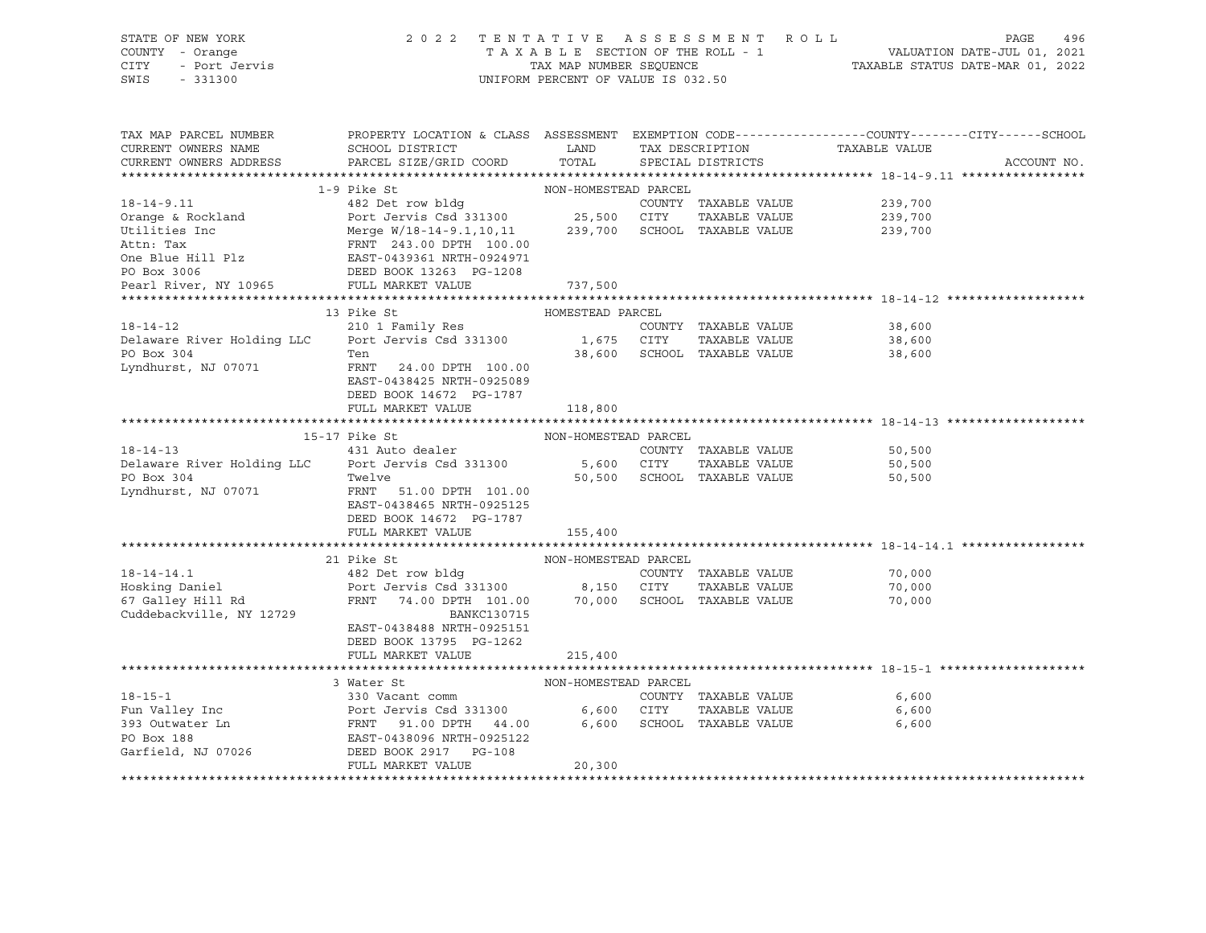| STATE OF NEW YORK                                                                                                                                                                                                                       | 2022 TENTATIVE ASSESSMENT ROLL                                                                                       |                                    |  |                             | PAGE                                                                                             | 496         |  |  |
|-----------------------------------------------------------------------------------------------------------------------------------------------------------------------------------------------------------------------------------------|----------------------------------------------------------------------------------------------------------------------|------------------------------------|--|-----------------------------|--------------------------------------------------------------------------------------------------|-------------|--|--|
| COUNTY - Orange                                                                                                                                                                                                                         |                                                                                                                      |                                    |  |                             |                                                                                                  |             |  |  |
| - Port Jervis<br>CITY                                                                                                                                                                                                                   |                                                                                                                      |                                    |  |                             |                                                                                                  |             |  |  |
| SWIS<br>$-331300$                                                                                                                                                                                                                       |                                                                                                                      | UNIFORM PERCENT OF VALUE IS 032.50 |  |                             |                                                                                                  |             |  |  |
|                                                                                                                                                                                                                                         |                                                                                                                      |                                    |  |                             |                                                                                                  |             |  |  |
|                                                                                                                                                                                                                                         |                                                                                                                      |                                    |  |                             |                                                                                                  |             |  |  |
| TAX MAP PARCEL NUMBER                                                                                                                                                                                                                   |                                                                                                                      |                                    |  |                             | PROPERTY LOCATION & CLASS ASSESSMENT EXEMPTION CODE----------------COUNTY-------CITY------SCHOOL |             |  |  |
| CURRENT OWNERS NAME                                                                                                                                                                                                                     | SCHOOL DISTRICT                                                                                                      | LAND                               |  |                             | TAX DESCRIPTION TAXABLE VALUE                                                                    |             |  |  |
| CURRENT OWNERS ADDRESS                                                                                                                                                                                                                  | PARCEL SIZE/GRID COORD                                                                                               | TOTAL                              |  | SPECIAL DISTRICTS           |                                                                                                  | ACCOUNT NO. |  |  |
|                                                                                                                                                                                                                                         |                                                                                                                      |                                    |  |                             |                                                                                                  |             |  |  |
|                                                                                                                                                                                                                                         | 1-9 Pike St                                                                                                          | NON-HOMESTEAD PARCEL               |  |                             |                                                                                                  |             |  |  |
| $18 - 14 - 9.11$                                                                                                                                                                                                                        | 482 Det row bldg                                                                                                     |                                    |  | COUNTY TAXABLE VALUE        | 239,700                                                                                          |             |  |  |
|                                                                                                                                                                                                                                         |                                                                                                                      |                                    |  |                             | 239,700                                                                                          |             |  |  |
|                                                                                                                                                                                                                                         |                                                                                                                      |                                    |  |                             | 239,700                                                                                          |             |  |  |
| 0range & Rockland<br>Utilities Inc Merge W/18-14-9.1,10,11 239,700 SCHOOL TAXABLE VALUE<br>Attn: Tax FRNT 243.00 DPTH 100.00<br>One Blue Hill Plz EAST-0439361 NRTH-0924971<br>PO BOX 3006 13261 DEED BOOK 13263 PG-1208<br>Paxal Piyce |                                                                                                                      |                                    |  |                             |                                                                                                  |             |  |  |
|                                                                                                                                                                                                                                         |                                                                                                                      |                                    |  |                             |                                                                                                  |             |  |  |
|                                                                                                                                                                                                                                         |                                                                                                                      |                                    |  |                             |                                                                                                  |             |  |  |
| Pearl River, NY 10965 FULL MARKET VALUE                                                                                                                                                                                                 |                                                                                                                      | 737,500                            |  |                             |                                                                                                  |             |  |  |
|                                                                                                                                                                                                                                         |                                                                                                                      |                                    |  |                             |                                                                                                  |             |  |  |
|                                                                                                                                                                                                                                         | 13 Pike St                                                                                                           | HOMESTEAD PARCEL                   |  |                             |                                                                                                  |             |  |  |
| $18 - 14 - 12$                                                                                                                                                                                                                          | 210 1 Family Res                                                                                                     |                                    |  | COUNTY TAXABLE VALUE        | 38,600                                                                                           |             |  |  |
| Delaware River Holding LLC                                                                                                                                                                                                              | Port Jervis Csd 331300                                                                                               | 1,675 CITY                         |  | TAXABLE VALUE               | 38,600                                                                                           |             |  |  |
| PO Box 304                                                                                                                                                                                                                              | Ten                                                                                                                  |                                    |  | 38,600 SCHOOL TAXABLE VALUE | 38,600                                                                                           |             |  |  |
| Lyndhurst, NJ 07071                                                                                                                                                                                                                     | FRNT 24.00 DPTH 100.00                                                                                               |                                    |  |                             |                                                                                                  |             |  |  |
|                                                                                                                                                                                                                                         | EAST-0438425 NRTH-0925089                                                                                            |                                    |  |                             |                                                                                                  |             |  |  |
|                                                                                                                                                                                                                                         | DEED BOOK 14672 PG-1787                                                                                              |                                    |  |                             |                                                                                                  |             |  |  |
|                                                                                                                                                                                                                                         | FULL MARKET VALUE                                                                                                    | 118,800                            |  |                             |                                                                                                  |             |  |  |
|                                                                                                                                                                                                                                         |                                                                                                                      |                                    |  |                             |                                                                                                  |             |  |  |
|                                                                                                                                                                                                                                         | 15-17 Pike St                                                                                                        | NON-HOMESTEAD PARCEL               |  |                             |                                                                                                  |             |  |  |
| $18 - 14 - 13$                                                                                                                                                                                                                          | 431 Auto dealer                                                                                                      |                                    |  | COUNTY TAXABLE VALUE        | 50,500                                                                                           |             |  |  |
| Delaware River Holding LLC Port Jervis Csd 331300                                                                                                                                                                                       |                                                                                                                      |                                    |  | 5,600 CITY TAXABLE VALUE    | 50,500                                                                                           |             |  |  |
| PO Box 304                                                                                                                                                                                                                              | Twelve                                                                                                               |                                    |  |                             |                                                                                                  |             |  |  |
|                                                                                                                                                                                                                                         |                                                                                                                      |                                    |  | 50,500 SCHOOL TAXABLE VALUE | 50,500                                                                                           |             |  |  |
|                                                                                                                                                                                                                                         | FRNT 51.00 DPTH 101.00                                                                                               |                                    |  |                             |                                                                                                  |             |  |  |
| Lyndhurst, NJ 07071                                                                                                                                                                                                                     | EAST-0438465 NRTH-0925125                                                                                            |                                    |  |                             |                                                                                                  |             |  |  |
|                                                                                                                                                                                                                                         | DEED BOOK 14672 PG-1787                                                                                              |                                    |  |                             |                                                                                                  |             |  |  |
|                                                                                                                                                                                                                                         | FULL MARKET VALUE                                                                                                    | 155,400                            |  |                             |                                                                                                  |             |  |  |
|                                                                                                                                                                                                                                         |                                                                                                                      |                                    |  |                             |                                                                                                  |             |  |  |
|                                                                                                                                                                                                                                         | 21 Pike St                                                                                                           | NON-HOMESTEAD PARCEL               |  |                             |                                                                                                  |             |  |  |
| $18 - 14 - 14.1$                                                                                                                                                                                                                        | 482 Det row bldg                                                                                                     |                                    |  | COUNTY TAXABLE VALUE        | 70,000                                                                                           |             |  |  |
| Hosking Daniel                                                                                                                                                                                                                          |                                                                                                                      |                                    |  |                             | 70,000                                                                                           |             |  |  |
|                                                                                                                                                                                                                                         |                                                                                                                      |                                    |  |                             | 70,000                                                                                           |             |  |  |
| 67 Galley Hill Rd                                                                                                                                                                                                                       | Port Jervis Csd 331300 8,150 CITY TAXABLE VALUE<br>FRNT 74.00 DPTH 101.00 70,000 SCHOOL TAXABLE VALUE<br>BANKC130715 |                                    |  |                             |                                                                                                  |             |  |  |
| Cuddebackville, NY 12729                                                                                                                                                                                                                |                                                                                                                      |                                    |  |                             |                                                                                                  |             |  |  |
|                                                                                                                                                                                                                                         | EAST-0438488 NRTH-0925151                                                                                            |                                    |  |                             |                                                                                                  |             |  |  |
|                                                                                                                                                                                                                                         | DEED BOOK 13795 PG-1262                                                                                              |                                    |  |                             |                                                                                                  |             |  |  |
|                                                                                                                                                                                                                                         | FULL MARKET VALUE                                                                                                    | 215,400                            |  |                             |                                                                                                  |             |  |  |
|                                                                                                                                                                                                                                         | 3 Water St                                                                                                           | NON-HOMESTEAD PARCEL               |  |                             |                                                                                                  |             |  |  |
|                                                                                                                                                                                                                                         |                                                                                                                      |                                    |  |                             |                                                                                                  |             |  |  |
|                                                                                                                                                                                                                                         |                                                                                                                      |                                    |  | COUNTY TAXABLE VALUE        | 6,600                                                                                            |             |  |  |
|                                                                                                                                                                                                                                         |                                                                                                                      |                                    |  | TAXABLE VALUE               | 6,600                                                                                            |             |  |  |
|                                                                                                                                                                                                                                         |                                                                                                                      |                                    |  | 6,600 SCHOOL TAXABLE VALUE  | 6,600                                                                                            |             |  |  |
|                                                                                                                                                                                                                                         |                                                                                                                      |                                    |  |                             |                                                                                                  |             |  |  |
| 18-15-1<br>Fun Valley Inc 330 Vacant comm country<br>Port Jervis Csd 331300 6,600 CITY<br>393 Outwater Ln FRNT 91.00 DPTH 44.00 6,600 SCHOOL<br>PO Box 188 EAST-0438096 NRTH-0925122<br>Garfield, NJ 07026 DEED BOOK 2917 PG-108        | FULL MARKET VALUE                                                                                                    | 20,300                             |  |                             |                                                                                                  |             |  |  |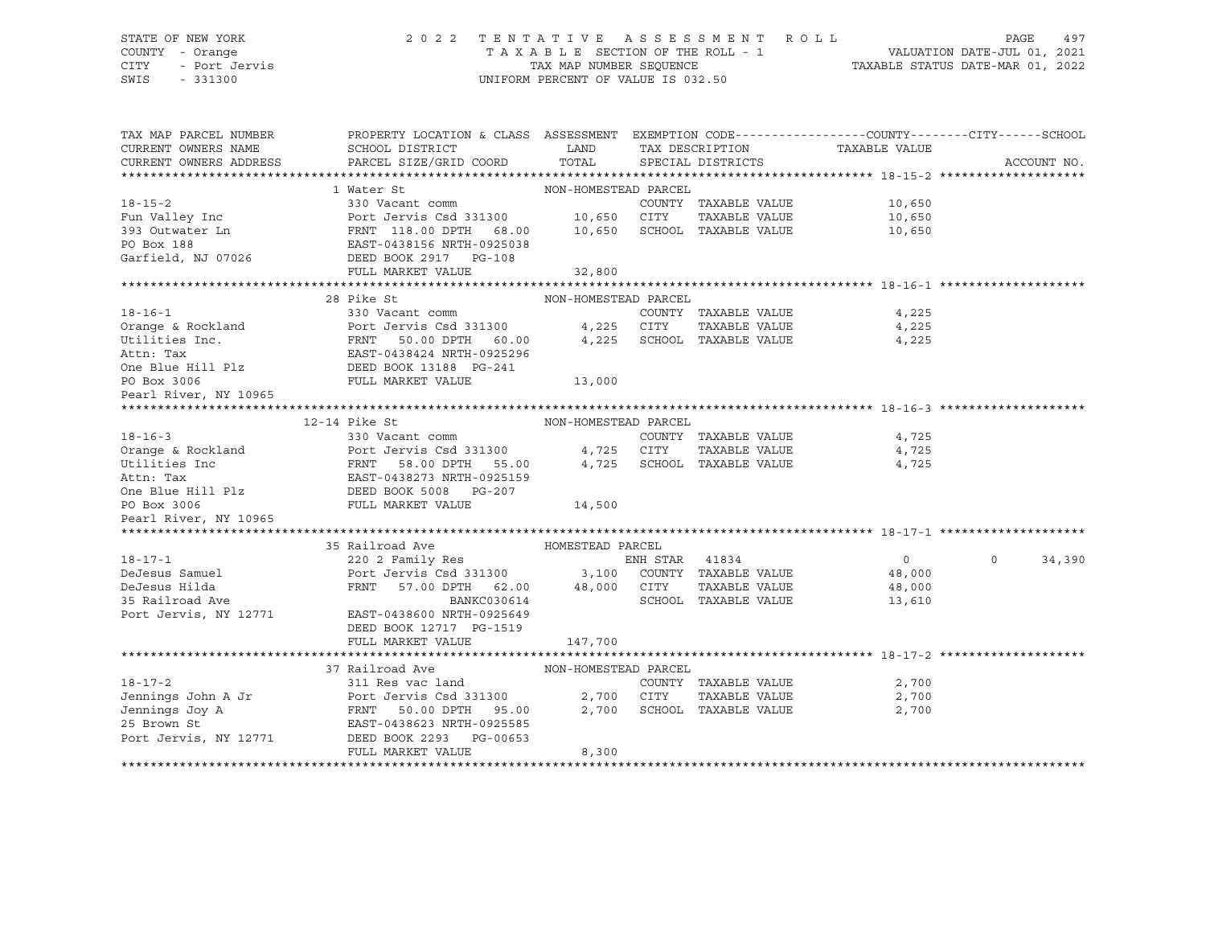#### STATE OF NEW YORK 2 0 2 2 T E N T A T I V E A S S E S S M E N T R O L L PAGE 497 COUNTY - Orange T A X A B L E SECTION OF THE ROLL - 1 VALUATION DATE-JUL 01, 2021 CITY - Port Jervis TAX MAP NUMBER SEQUENCE TAXABLE STATUS DATE-MAR 01, 2022 SWIS - 331300 UNIFORM PERCENT OF VALUE IS 032.50

| TAX MAP PARCEL NUMBER                         | PROPERTY LOCATION & CLASS ASSESSMENT EXEMPTION CODE----------------COUNTY-------CITY------SCHOOL     |                      |                |                                      |                |                    |
|-----------------------------------------------|------------------------------------------------------------------------------------------------------|----------------------|----------------|--------------------------------------|----------------|--------------------|
| CURRENT OWNERS NAME<br>CURRENT OWNERS ADDRESS | SCHOOL DISTRICT<br>PARCEL SIZE/GRID COORD                                                            | LAND<br>TOTAL        |                | TAX DESCRIPTION<br>SPECIAL DISTRICTS | TAXABLE VALUE  | ACCOUNT NO.        |
|                                               |                                                                                                      |                      |                |                                      |                |                    |
|                                               | 1 Water St                                                                                           | NON-HOMESTEAD PARCEL |                |                                      |                |                    |
| $18 - 15 - 2$                                 | 330 Vacant comm                                                                                      |                      |                | COUNTY TAXABLE VALUE                 | 10,650         |                    |
| Fun Valley Inc                                | Port Jervis Csd 331300 10,650 CITY                                                                   |                      |                | TAXABLE VALUE                        | 10,650         |                    |
| 393 Outwater Ln                               |                                                                                                      |                      |                | 10,650 SCHOOL TAXABLE VALUE          | 10,650         |                    |
| PO Box 188                                    | FRNT 118.00 DPTH 68.00<br>EAST-0438156 NRTH-0925038                                                  |                      |                |                                      |                |                    |
| Garfield, NJ 07026<br>DEED BOOK 2917 PG-108   |                                                                                                      |                      |                |                                      |                |                    |
|                                               | FULL MARKET VALUE                                                                                    | 32,800               |                |                                      |                |                    |
|                                               |                                                                                                      |                      |                |                                      |                |                    |
|                                               | 28 Pike St                                                                                           | NON-HOMESTEAD PARCEL |                |                                      |                |                    |
| $18 - 16 - 1$                                 | 330 Vacant comm                                                                                      |                      |                | COUNTY TAXABLE VALUE                 | 4,225          |                    |
| Orange & Rockland                             | Port Jervis Csd 331300                                                                               | 4,225                | CITY           | TAXABLE VALUE                        | 4,225          |                    |
| Utilities Inc.                                |                                                                                                      | 4,225                |                | SCHOOL TAXABLE VALUE                 | 4,225          |                    |
| Attn: Tax                                     | FRNT 50.00 DPTH 60.00<br>EAST-0438424 NRTH-0925296                                                   |                      |                |                                      |                |                    |
| One Blue Hill Plz<br>DEED BOOK 13188 PG-241   |                                                                                                      |                      |                |                                      |                |                    |
|                                               | FULL MARKET VALUE                                                                                    | 13,000               |                |                                      |                |                    |
| PO Box 3006<br>Pearl River, NY 10965          |                                                                                                      |                      |                |                                      |                |                    |
|                                               |                                                                                                      |                      |                |                                      |                |                    |
|                                               | 12-14 Pike St                                                                                        | NON-HOMESTEAD PARCEL |                |                                      |                |                    |
| $18 - 16 - 3$                                 | 330 Vacant comm                                                                                      |                      |                | COUNTY TAXABLE VALUE                 | 4,725          |                    |
| Orange & Rockland                             | Port Jervis Csd 331300                                                                               |                      | 4,725 CITY     | TAXABLE VALUE                        | 4,725          |                    |
| Utilities Inc                                 | FRNT<br>58.00 DPTH 55.00                                                                             |                      |                | 4,725 SCHOOL TAXABLE VALUE           | 4,725          |                    |
| Attn: Tax                                     | EAST-0438273 NRTH-0925159                                                                            |                      |                |                                      |                |                    |
| One Blue Hill Plz DEED BOOK 5008 PG-207       |                                                                                                      |                      |                |                                      |                |                    |
| PO Box 3006                                   | FULL MARKET VALUE                                                                                    | 14,500               |                |                                      |                |                    |
| Pearl River, NY 10965                         |                                                                                                      |                      |                |                                      |                |                    |
|                                               |                                                                                                      |                      |                |                                      |                |                    |
|                                               | 35 Railroad Ave                                                                                      | HOMESTEAD PARCEL     |                |                                      |                |                    |
| $18 - 17 - 1$                                 | 220 2 Family Res                                                                                     |                      | ENH STAR 41834 |                                      | $\overline{0}$ | $\Omega$<br>34,390 |
| DeJesus Samuel                                |                                                                                                      |                      |                |                                      | 48,000         |                    |
| DeJesus Hilda                                 | Port Jervis Csd 331300 3,100 COUNTY TAXABLE VALUE<br>FRNT 57.00 DPTH 62.00 48,000 CITY TAXABLE VALUE |                      |                |                                      | 48,000         |                    |
| 35 Railroad Ave                               | BANKC030614                                                                                          |                      |                | SCHOOL TAXABLE VALUE                 | 13,610         |                    |
| Port Jervis, NY 12771                         | EAST-0438600 NRTH-0925649                                                                            |                      |                |                                      |                |                    |
|                                               | DEED BOOK 12717 PG-1519                                                                              |                      |                |                                      |                |                    |
|                                               | FULL MARKET VALUE                                                                                    | 147,700              |                |                                      |                |                    |
|                                               |                                                                                                      |                      |                |                                      |                |                    |
|                                               | 37 Railroad Ave                                                                                      | NON-HOMESTEAD PARCEL |                |                                      |                |                    |
| $18 - 17 - 2$                                 | 311 Res vac land                                                                                     |                      |                | COUNTY TAXABLE VALUE                 | 2,700          |                    |
| Jennings John A Jr                            | Port Jervis Csd 331300                                                                               | 2,700 CITY           |                | TAXABLE VALUE                        | 2,700          |                    |
| Jennings Joy A                                | FRNT 50.00 DPTH 95.00                                                                                |                      |                | 2,700 SCHOOL TAXABLE VALUE           | 2,700          |                    |
| 25 Brown St                                   | EAST-0438623 NRTH-0925585                                                                            |                      |                |                                      |                |                    |
| Port Jervis, NY 12771                         | DEED BOOK 2293 PG-00653                                                                              |                      |                |                                      |                |                    |
|                                               | FULL MARKET VALUE                                                                                    | 8,300                |                |                                      |                |                    |
|                                               |                                                                                                      |                      |                |                                      |                |                    |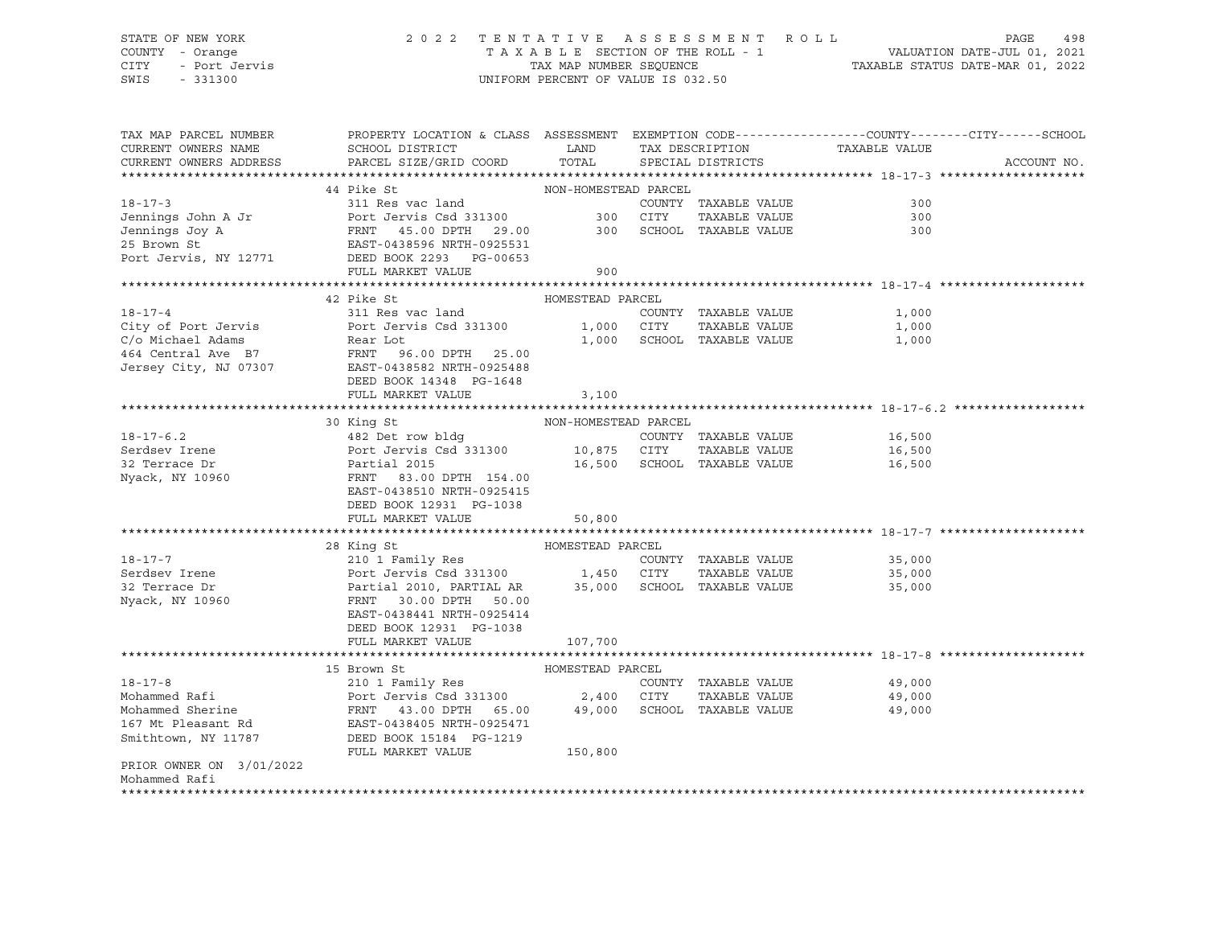# STATE OF NEW YORK 2 0 2 2 T E N T A T I V E A S S E S S M E N T R O L L PAGE 498 COUNTY - Orange T A X A B L E SECTION OF THE ROLL - 1 VALUATION DATE-JUL 01, 2021 CITY - Port Jervis TAX MAP NUMBER SEQUENCE TAXABLE STATUS DATE-MAR 01, 2022

| TAX MAP PARCEL NUMBER<br>CURRENT OWNERS NAME<br>CURRENT OWNERS ADDRESS | PROPERTY LOCATION & CLASS ASSESSMENT EXEMPTION CODE----------------COUNTY-------CITY------SCHOOL<br>SCHOOL DISTRICT<br>PARCEL SIZE/GRID COORD | <b>EXAMPLE SERVICE SERVICE SERVICE SERVICE SERVICE SERVICE SERVICE SERVICE SERVICE SERVICE SERVICE SERVICE SERVICE</b><br>TOTAL | TAX DESCRIPTION<br>SPECIAL DISTRICTS | TAXABLE VALUE               | ACCOUNT NO. |
|------------------------------------------------------------------------|-----------------------------------------------------------------------------------------------------------------------------------------------|---------------------------------------------------------------------------------------------------------------------------------|--------------------------------------|-----------------------------|-------------|
|                                                                        | 44 Pike St                                                                                                                                    |                                                                                                                                 |                                      |                             |             |
| $18 - 17 - 3$                                                          | 311 Res vac land                                                                                                                              | NON-HOMESTEAD PARCEL                                                                                                            | COUNTY TAXABLE VALUE                 | 300                         |             |
|                                                                        | Port Jervis Csd 331300 300 CITY                                                                                                               |                                                                                                                                 | TAXABLE VALUE                        | 300                         |             |
| Jennings John A Jr<br>Jennings Joy A                                   |                                                                                                                                               |                                                                                                                                 | 300 SCHOOL TAXABLE VALUE             | 300                         |             |
| 25 Brown St                                                            | FRNT 45.00 DPTH 29.00<br>EAST-0438596 NRTH-0925531                                                                                            |                                                                                                                                 |                                      |                             |             |
| Port Jervis, NY 12771                                                  | DEED BOOK 2293 PG-00653                                                                                                                       |                                                                                                                                 |                                      |                             |             |
|                                                                        | FULL MARKET VALUE                                                                                                                             | 900                                                                                                                             |                                      |                             |             |
|                                                                        |                                                                                                                                               |                                                                                                                                 |                                      |                             |             |
|                                                                        | 42 Pike St                                                                                                                                    | HOMESTEAD PARCEL                                                                                                                |                                      |                             |             |
| $18 - 17 - 4$                                                          | 311 Res vac land                                                                                                                              |                                                                                                                                 | COUNTY TAXABLE VALUE                 | 1,000                       |             |
| City of Port Jervis                                                    | Port Jervis Csd 331300 1,000 CITY                                                                                                             |                                                                                                                                 | TAXABLE VALUE                        | 1,000                       |             |
|                                                                        |                                                                                                                                               |                                                                                                                                 | 1,000 SCHOOL TAXABLE VALUE           | 1,000                       |             |
|                                                                        |                                                                                                                                               |                                                                                                                                 |                                      |                             |             |
| Jersey City, NJ 07307                                                  | EAST-0438582 NRTH-0925488                                                                                                                     |                                                                                                                                 |                                      |                             |             |
|                                                                        | DEED BOOK 14348 PG-1648                                                                                                                       |                                                                                                                                 |                                      |                             |             |
|                                                                        | FULL MARKET VALUE                                                                                                                             | 3,100                                                                                                                           |                                      |                             |             |
|                                                                        |                                                                                                                                               |                                                                                                                                 |                                      |                             |             |
|                                                                        | 30 King St                                                                                                                                    | NON-HOMESTEAD PARCEL                                                                                                            |                                      |                             |             |
| $18 - 17 - 6.2$                                                        | 482 Det row bldg                                                                                                                              |                                                                                                                                 | COUNTY TAXABLE VALUE                 | 16,500                      |             |
| Serdsev Irene                                                          |                                                                                                                                               |                                                                                                                                 | TAXABLE VALUE                        | 16,500                      |             |
| 32 Terrace Dr                                                          |                                                                                                                                               |                                                                                                                                 | 16,500 SCHOOL TAXABLE VALUE          | 16,500                      |             |
| Nyack, NY 10960                                                        | FRNT 83.00 DPTH 154.00                                                                                                                        |                                                                                                                                 |                                      |                             |             |
|                                                                        | EAST-0438510 NRTH-0925415                                                                                                                     |                                                                                                                                 |                                      |                             |             |
|                                                                        | DEED BOOK 12931 PG-1038                                                                                                                       |                                                                                                                                 |                                      |                             |             |
|                                                                        | FULL MARKET VALUE                                                                                                                             | 50,800                                                                                                                          |                                      |                             |             |
|                                                                        |                                                                                                                                               |                                                                                                                                 |                                      |                             |             |
|                                                                        | 28 King St                                                                                                                                    | HOMESTEAD PARCEL                                                                                                                |                                      |                             |             |
| $18 - 17 - 7$                                                          | 210 1 Family Res                                                                                                                              |                                                                                                                                 |                                      | COUNTY TAXABLE VALUE 35,000 |             |
| Serdsev Irene                                                          |                                                                                                                                               |                                                                                                                                 | TAXABLE VALUE                        | 35,000                      |             |
| 32 Terrace Dr                                                          |                                                                                                                                               |                                                                                                                                 |                                      | 35,000                      |             |
| Nyack, NY 10960                                                        | FRNT 30.00 DPTH 50.00                                                                                                                         |                                                                                                                                 |                                      |                             |             |
|                                                                        | EAST-0438441 NRTH-0925414                                                                                                                     |                                                                                                                                 |                                      |                             |             |
|                                                                        | DEED BOOK 12931 PG-1038                                                                                                                       |                                                                                                                                 |                                      |                             |             |
|                                                                        | FULL MARKET VALUE                                                                                                                             | 107,700                                                                                                                         |                                      |                             |             |
|                                                                        |                                                                                                                                               |                                                                                                                                 |                                      |                             |             |
|                                                                        | 15 Brown St                                                                                                                                   | HOMESTEAD PARCEL                                                                                                                |                                      |                             |             |
| $18 - 17 - 8$                                                          |                                                                                                                                               |                                                                                                                                 | COUNTY TAXABLE VALUE                 | 49,000                      |             |
| Mohammed Rafi                                                          |                                                                                                                                               |                                                                                                                                 | TAXABLE VALUE                        | 49,000                      |             |
| Mohammed Sherine                                                       | FRNT    43.00 DPTH    65.00        49,000<br>EAST-0438405 NRTH-0925471                                                                        |                                                                                                                                 | SCHOOL TAXABLE VALUE                 | 49,000                      |             |
| 167 Mt Pleasant Rd                                                     |                                                                                                                                               |                                                                                                                                 |                                      |                             |             |
| Smithtown, NY 11787                                                    | DEED BOOK 15184 PG-1219                                                                                                                       |                                                                                                                                 |                                      |                             |             |
|                                                                        | FULL MARKET VALUE                                                                                                                             | 150,800                                                                                                                         |                                      |                             |             |
| PRIOR OWNER ON 3/01/2022                                               |                                                                                                                                               |                                                                                                                                 |                                      |                             |             |
| Mohammed Rafi                                                          |                                                                                                                                               |                                                                                                                                 |                                      |                             |             |
|                                                                        |                                                                                                                                               |                                                                                                                                 |                                      |                             |             |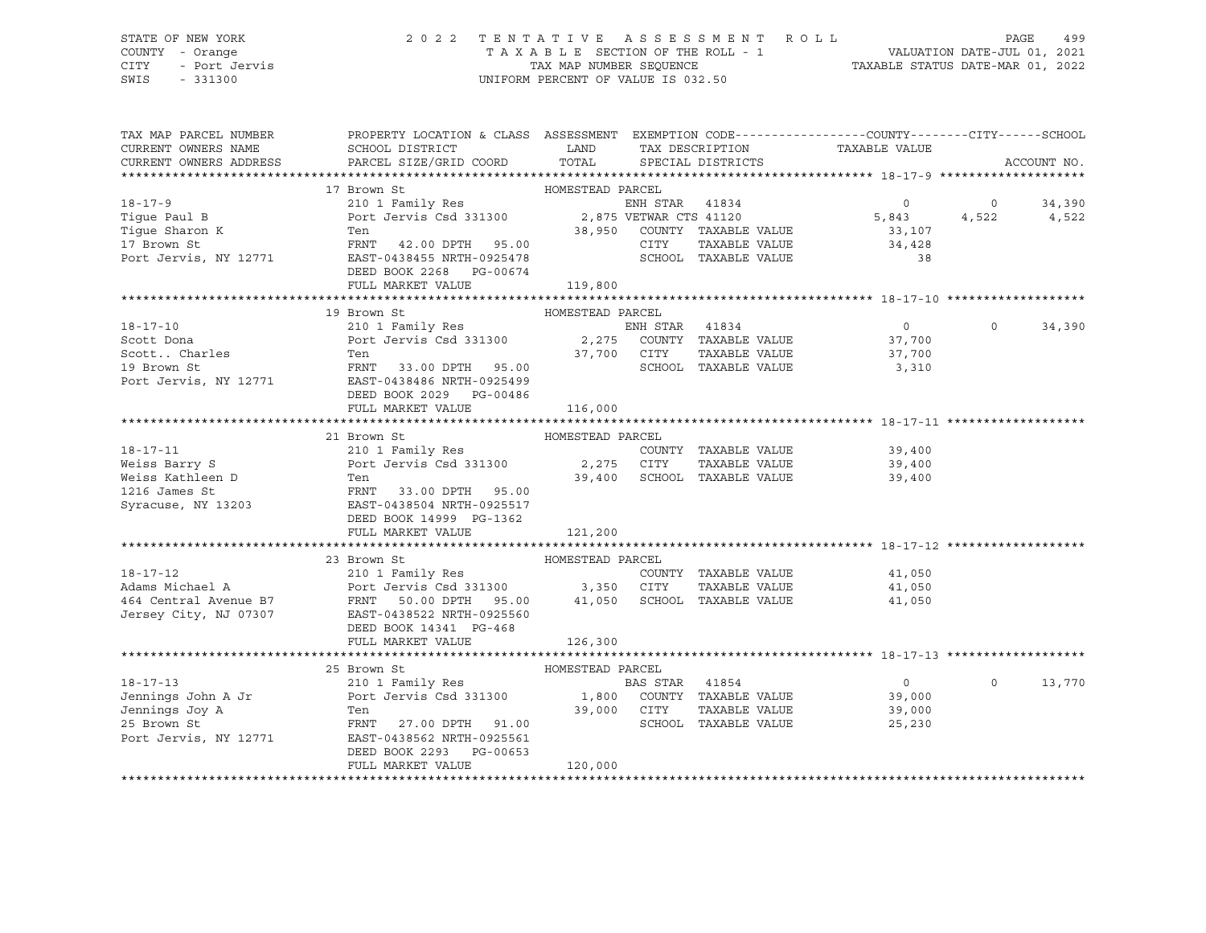CITY - Port Jervis TAX MAP NUMBER SEQUENCE TAXABLE STATUS DATE-MAR 01, 2022 SWIS - 331300 UNIFORM PERCENT OF VALUE IS 032.50

# STATE OF NEW YORK 2 0 2 2 T E N T A T I V E A S S E S S M E N T R O L L PAGE 499 COUNTY - Orange T A X A B L E SECTION OF THE ROLL - 1 VALUATION DATE-JUL 01, 2021

| TAX MAP PARCEL NUMBER                        | PROPERTY LOCATION & CLASS ASSESSMENT EXEMPTION CODE---------------COUNTY-------CITY------SCHOOL |                  |                |                             |                  |          |             |
|----------------------------------------------|-------------------------------------------------------------------------------------------------|------------------|----------------|-----------------------------|------------------|----------|-------------|
| CURRENT OWNERS NAME                          | SCHOOL DISTRICT                                                                                 | LAND             |                | TAX DESCRIPTION             | TAXABLE VALUE    |          |             |
| CURRENT OWNERS ADDRESS                       | PARCEL SIZE/GRID COORD                                                                          | TOTAL            |                | SPECIAL DISTRICTS           |                  |          | ACCOUNT NO. |
|                                              |                                                                                                 |                  |                |                             |                  |          |             |
|                                              | 17 Brown St                                                                                     | HOMESTEAD PARCEL |                |                             |                  |          |             |
| $18 - 17 - 9$                                | 210 1 Family Res                                                                                |                  | ENH STAR 41834 |                             | $\Omega$         | $\circ$  | 34,390      |
| Tique Paul B<br>Tigue rau.<br>Tigue Sharon K | Port Jervis Csd 331300 2,875 VETWAR CTS 41120                                                   |                  |                |                             | 5,843            | 4,522    | 4,522       |
|                                              | Ten                                                                                             |                  |                | 38,950 COUNTY TAXABLE VALUE | 33,107           |          |             |
|                                              | FRNT 42.00 DPTH 95.00                                                                           |                  | CITY           | TAXABLE VALUE               | 34,428           |          |             |
| Port Jervis, NY 12771                        | EAST-0438455 NRTH-0925478                                                                       |                  |                | SCHOOL TAXABLE VALUE        | 38               |          |             |
|                                              | DEED BOOK 2268 PG-00674                                                                         |                  |                |                             |                  |          |             |
|                                              | FULL MARKET VALUE                                                                               | 119,800          |                |                             |                  |          |             |
|                                              |                                                                                                 |                  |                |                             |                  |          |             |
|                                              | 19 Brown St                                                                                     | HOMESTEAD PARCEL |                |                             |                  |          |             |
| $18 - 17 - 10$                               | 210 1 Family Res                                                                                |                  | ENH STAR 41834 |                             | $\overline{0}$   | $\Omega$ | 34,390      |
| Scott Dona                                   | Port Jervis Csd 331300 2,275 COUNTY TAXABLE VALUE                                               |                  |                |                             | 37,700           |          |             |
| Scott Charles                                | Ten                                                                                             | 37,700 CITY      |                | TAXABLE VALUE               | 37,700           |          |             |
| 19 Brown St                                  | FRNT 33.00 DPTH 95.00                                                                           |                  |                | SCHOOL TAXABLE VALUE        | 3,310            |          |             |
| Port Jervis, NY 12771                        | EAST-0438486 NRTH-0925499                                                                       |                  |                |                             |                  |          |             |
|                                              | DEED BOOK 2029 PG-00486                                                                         |                  |                |                             |                  |          |             |
|                                              | FULL MARKET VALUE                                                                               | 116,000          |                |                             |                  |          |             |
|                                              |                                                                                                 |                  |                |                             |                  |          |             |
|                                              | 21 Brown St                                                                                     | HOMESTEAD PARCEL |                |                             |                  |          |             |
| $18 - 17 - 11$                               | 210 1 Family Res                                                                                |                  |                | COUNTY TAXABLE VALUE        | 39,400           |          |             |
| Weiss Barry S                                | Port Jervis Csd 331300 2,275 CITY                                                               |                  |                | TAXABLE VALUE               | 39,400           |          |             |
| Weiss Kathleen D                             | Ten                                                                                             |                  |                | 39,400 SCHOOL TAXABLE VALUE | 39,400           |          |             |
| 1216 James St                                | FRNT 33.00 DPTH 95.00                                                                           |                  |                |                             |                  |          |             |
| Syracuse, NY 13203                           | EAST-0438504 NRTH-0925517                                                                       |                  |                |                             |                  |          |             |
|                                              | DEED BOOK 14999 PG-1362                                                                         |                  |                |                             |                  |          |             |
|                                              | FULL MARKET VALUE                                                                               | 121,200          |                |                             |                  |          |             |
|                                              |                                                                                                 |                  |                |                             |                  |          |             |
|                                              | 23 Brown St                                                                                     | HOMESTEAD PARCEL |                |                             |                  |          |             |
| $18 - 17 - 12$                               | 210 1 Family Res<br>210 1 Family ACD<br>Port Jervis Csd 331300 3,350 CITY                       |                  |                | COUNTY TAXABLE VALUE        | 41,050<br>41 N50 |          |             |
| Adams Michael A                              |                                                                                                 |                  |                | TAXABLE VALUE               | 41,050           |          |             |
| 464 Central Avenue B7                        | FRNT<br>50.00 DPTH 95.00 41,050 SCHOOL TAXABLE VALUE                                            |                  |                |                             | 41,050           |          |             |
| Jersey City, NJ 07307                        | EAST-0438522 NRTH-0925560                                                                       |                  |                |                             |                  |          |             |
|                                              | DEED BOOK 14341 PG-468<br>FULL MARKET VALUE                                                     |                  |                |                             |                  |          |             |
|                                              |                                                                                                 | 126,300          |                |                             |                  |          |             |
|                                              | 25 Brown St                                                                                     | HOMESTEAD PARCEL |                |                             |                  |          |             |
| $18 - 17 - 13$                               | 210 1 Family Res                                                                                |                  | BAS STAR 41854 |                             | $\overline{0}$   | $\Omega$ | 13,770      |
| Jennings John A Jr                           |                                                                                                 |                  |                |                             | 39,000           |          |             |
| Jennings Joy A                               | Ten                                                                                             | 39,000 CITY      |                | TAXABLE VALUE               | 39,000           |          |             |
| 25 Brown St                                  | FRNT 27.00 DPTH 91.00                                                                           |                  |                | SCHOOL TAXABLE VALUE        | 25,230           |          |             |
| Port Jervis, NY 12771                        | EAST-0438562 NRTH-0925561                                                                       |                  |                |                             |                  |          |             |
|                                              | DEED BOOK 2293 PG-00653                                                                         |                  |                |                             |                  |          |             |
|                                              | FULL MARKET VALUE                                                                               | 120,000          |                |                             |                  |          |             |
|                                              |                                                                                                 |                  |                |                             |                  |          |             |
|                                              |                                                                                                 |                  |                |                             |                  |          |             |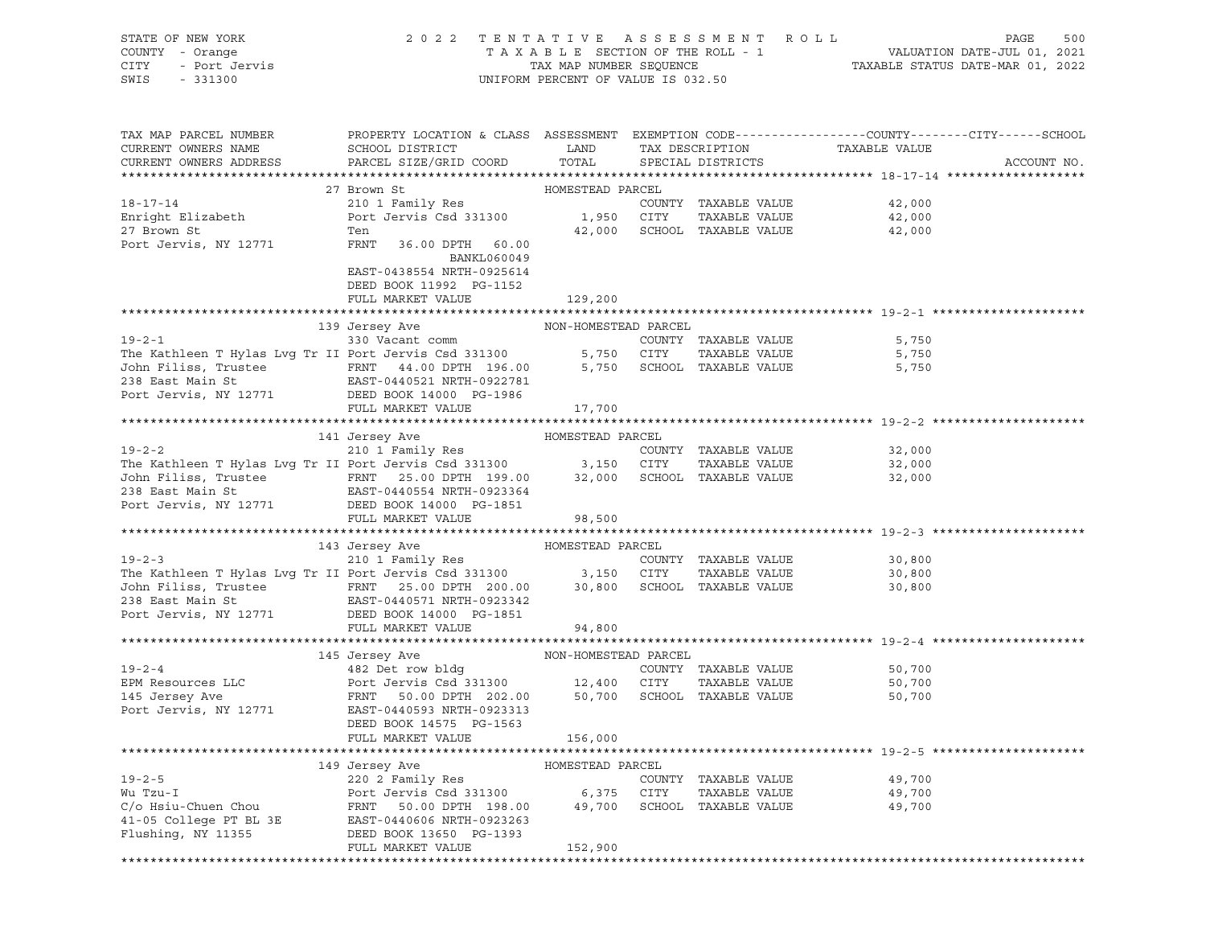| STATE OF NEW YORK                                                                                                                                                                                                            | 2 0 2 2                                                                                         | TENTATIVE ASSESSMENT               |            | R O L L                     |                                                                 | PAGE<br>500 |
|------------------------------------------------------------------------------------------------------------------------------------------------------------------------------------------------------------------------------|-------------------------------------------------------------------------------------------------|------------------------------------|------------|-----------------------------|-----------------------------------------------------------------|-------------|
| COUNTY - Orange                                                                                                                                                                                                              |                                                                                                 | TAXABLE SECTION OF THE ROLL - 1    |            |                             |                                                                 |             |
| <b>CITY</b><br>- Port Jervis                                                                                                                                                                                                 |                                                                                                 | TAX MAP NUMBER SEQUENCE            |            |                             | VALUATION DATE-JUL 01, 2021<br>TAXABLE STATUS DATE-MAR 01, 2022 |             |
| SWIS<br>$-331300$                                                                                                                                                                                                            |                                                                                                 | UNIFORM PERCENT OF VALUE IS 032.50 |            |                             |                                                                 |             |
|                                                                                                                                                                                                                              |                                                                                                 |                                    |            |                             |                                                                 |             |
|                                                                                                                                                                                                                              |                                                                                                 |                                    |            |                             |                                                                 |             |
|                                                                                                                                                                                                                              |                                                                                                 |                                    |            |                             |                                                                 |             |
|                                                                                                                                                                                                                              |                                                                                                 |                                    |            |                             |                                                                 |             |
| TAX MAP PARCEL NUMBER                                                                                                                                                                                                        | PROPERTY LOCATION & CLASS ASSESSMENT EXEMPTION CODE---------------COUNTY-------CITY------SCHOOL |                                    |            |                             |                                                                 |             |
| CURRENT OWNERS NAME                                                                                                                                                                                                          | SCHOOL DISTRICT                                                                                 | LAND                               |            | TAX DESCRIPTION             | TAXABLE VALUE                                                   |             |
| CURRENT OWNERS ADDRESS                                                                                                                                                                                                       | PARCEL SIZE/GRID COORD                                                                          | TOTAL                              |            | SPECIAL DISTRICTS           |                                                                 | ACCOUNT NO. |
|                                                                                                                                                                                                                              |                                                                                                 |                                    |            |                             |                                                                 |             |
|                                                                                                                                                                                                                              | 27 Brown St                                                                                     | HOMESTEAD PARCEL                   |            |                             |                                                                 |             |
| 18-17-14                                                                                                                                                                                                                     | 210 1 Family Res                                                                                |                                    |            | COUNTY TAXABLE VALUE        | 42,000                                                          |             |
| Enright Elizabeth                                                                                                                                                                                                            | Port Jervis Csd 331300 1,950 CITY                                                               |                                    |            | TAXABLE VALUE               | 42,000                                                          |             |
| 27 Brown St                                                                                                                                                                                                                  | Ten                                                                                             |                                    |            | 42,000 SCHOOL TAXABLE VALUE | 42,000                                                          |             |
| Port Jervis, NY 12771                                                                                                                                                                                                        | FRNT<br>36.00 DPTH 60.00                                                                        |                                    |            |                             |                                                                 |             |
|                                                                                                                                                                                                                              |                                                                                                 |                                    |            |                             |                                                                 |             |
|                                                                                                                                                                                                                              | BANKL060049                                                                                     |                                    |            |                             |                                                                 |             |
|                                                                                                                                                                                                                              | EAST-0438554 NRTH-0925614                                                                       |                                    |            |                             |                                                                 |             |
|                                                                                                                                                                                                                              | DEED BOOK 11992 PG-1152                                                                         |                                    |            |                             |                                                                 |             |
|                                                                                                                                                                                                                              | FULL MARKET VALUE                                                                               | 129,200                            |            |                             |                                                                 |             |
|                                                                                                                                                                                                                              |                                                                                                 |                                    |            |                             |                                                                 |             |
|                                                                                                                                                                                                                              | 139 Jersey Ave                                                                                  | NON-HOMESTEAD PARCEL               |            |                             |                                                                 |             |
| $19 - 2 - 1$                                                                                                                                                                                                                 | 330 Vacant comm                                                                                 |                                    |            | COUNTY TAXABLE VALUE        | 5,750                                                           |             |
| The Kathleen T Hylas Lvg Tr II Port Jervis Csd 331300<br>John Filiss, Trustee FRNT 44.00 DPTH 196.00<br>238 East Main St EAST-0440521 NRTH-0922781                                                                           |                                                                                                 |                                    | 5,750 CITY | TAXABLE VALUE               | 5,750                                                           |             |
|                                                                                                                                                                                                                              |                                                                                                 |                                    |            | 5,750 SCHOOL TAXABLE VALUE  | 5,750                                                           |             |
|                                                                                                                                                                                                                              |                                                                                                 |                                    |            |                             |                                                                 |             |
|                                                                                                                                                                                                                              |                                                                                                 |                                    |            |                             |                                                                 |             |
| Port Jervis, NY 12771                                                                                                                                                                                                        | DEED BOOK 14000 PG-1986                                                                         |                                    |            |                             |                                                                 |             |
|                                                                                                                                                                                                                              | FULL MARKET VALUE                                                                               | 17,700                             |            |                             |                                                                 |             |
|                                                                                                                                                                                                                              |                                                                                                 |                                    |            |                             |                                                                 |             |
|                                                                                                                                                                                                                              | 141 Jersey Ave                                                                                  | HOMESTEAD PARCEL                   |            |                             |                                                                 |             |
| $19 - 2 - 2$                                                                                                                                                                                                                 | Jersey Ave<br>210 1 Family Res                                                                  |                                    |            | COUNTY TAXABLE VALUE        | 32,000                                                          |             |
| The Kathleen T Hylas Lvg Tr II Port Jervis Csd 331300<br>John Filiss, Trustee FRNT 25.00 DPTH 199.00 32,000 SCHOOL TAXABLE VALUE<br>238 East Main St EAST 0440554 NRTH-0923364<br>238 East Main St EAST 0440554 NRTH-0923364 |                                                                                                 |                                    |            | TAXABLE VALUE               | 32,000                                                          |             |
|                                                                                                                                                                                                                              |                                                                                                 |                                    |            |                             | 32,000                                                          |             |
|                                                                                                                                                                                                                              |                                                                                                 |                                    |            |                             |                                                                 |             |
| Port Jervis, NY 12771                                                                                                                                                                                                        | DEED BOOK 14000 PG-1851                                                                         |                                    |            |                             |                                                                 |             |
|                                                                                                                                                                                                                              | FULL MARKET VALUE                                                                               | 98,500                             |            |                             |                                                                 |             |
|                                                                                                                                                                                                                              |                                                                                                 |                                    |            |                             |                                                                 |             |
|                                                                                                                                                                                                                              |                                                                                                 |                                    |            |                             |                                                                 |             |
|                                                                                                                                                                                                                              | 143 Jersey Ave<br>Jersey Ave<br>210 1 Family Res                                                | HOMESTEAD PARCEL                   |            |                             |                                                                 |             |
| $19 - 2 - 3$                                                                                                                                                                                                                 |                                                                                                 |                                    |            | COUNTY TAXABLE VALUE        | 30,800                                                          |             |
|                                                                                                                                                                                                                              |                                                                                                 |                                    | CITY       | TAXABLE VALUE               | 30,800                                                          |             |
| The Kathleen T Hylas Lvg Tr II Port Jervis Csd 331300 3,150<br>John Filiss, Trustee FRNT 25.00 DPTH 200.00 30,800<br>238 East Main St EAST-0440571 NRTH-0923342<br>EAST 0440571 NRTH-0923342                                 |                                                                                                 |                                    |            | 30,800 SCHOOL TAXABLE VALUE | 30,800                                                          |             |
|                                                                                                                                                                                                                              |                                                                                                 |                                    |            |                             |                                                                 |             |
| Port Jervis, NY 12771                                                                                                                                                                                                        | DEED BOOK 14000 PG-1851                                                                         |                                    |            |                             |                                                                 |             |
|                                                                                                                                                                                                                              | FULL MARKET VALUE                                                                               | 94,800                             |            |                             |                                                                 |             |
|                                                                                                                                                                                                                              |                                                                                                 |                                    |            |                             |                                                                 |             |
|                                                                                                                                                                                                                              | 145 Jersey Ave                                                                                  | NON-HOMESTEAD PARCEL               |            |                             |                                                                 |             |
| $19 - 2 - 4$                                                                                                                                                                                                                 |                                                                                                 |                                    |            | COUNTY TAXABLE VALUE        | 50,700                                                          |             |
|                                                                                                                                                                                                                              | 482 Det row bldg                                                                                |                                    |            |                             |                                                                 |             |
| EPM Resources LLC                                                                                                                                                                                                            | Port Jervis Csd 331300 12,400                                                                   |                                    | CITY       | TAXABLE VALUE               | 50,700                                                          |             |
| 145 Jersey Ave                                                                                                                                                                                                               | FRNT 50.00 DPTH 202.00                                                                          | 50,700                             |            | SCHOOL TAXABLE VALUE        | 50,700                                                          |             |
| Port Jervis, NY 12771                                                                                                                                                                                                        | EAST-0440593 NRTH-0923313                                                                       |                                    |            |                             |                                                                 |             |
|                                                                                                                                                                                                                              | DEED BOOK 14575 PG-1563                                                                         |                                    |            |                             |                                                                 |             |
|                                                                                                                                                                                                                              | FULL MARKET VALUE                                                                               | 156,000                            |            |                             |                                                                 |             |
| ******************************                                                                                                                                                                                               |                                                                                                 |                                    |            |                             |                                                                 |             |
|                                                                                                                                                                                                                              | 149 Jersey Ave                                                                                  | HOMESTEAD PARCEL                   |            |                             |                                                                 |             |
| $19 - 2 - 5$                                                                                                                                                                                                                 | 220 2 Family Res                                                                                |                                    |            | COUNTY TAXABLE VALUE        | 49,700                                                          |             |
| Wu Tzu-I                                                                                                                                                                                                                     | Port Jervis Csd 331300                                                                          |                                    |            |                             |                                                                 |             |
|                                                                                                                                                                                                                              |                                                                                                 | 6,375                              | CITY       | TAXABLE VALUE               | 49,700                                                          |             |
| C/o Hsiu-Chuen Chou                                                                                                                                                                                                          | 50.00 DPTH 198.00<br>FRNT                                                                       | 49,700                             |            | SCHOOL TAXABLE VALUE        | 49,700                                                          |             |
| 41-05 College PT BL 3E                                                                                                                                                                                                       | EAST-0440606 NRTH-0923263                                                                       |                                    |            |                             |                                                                 |             |
| Flushing, NY 11355                                                                                                                                                                                                           | DEED BOOK 13650 PG-1393                                                                         |                                    |            |                             |                                                                 |             |
|                                                                                                                                                                                                                              | FULL MARKET VALUE                                                                               | 152,900                            |            |                             |                                                                 |             |
|                                                                                                                                                                                                                              |                                                                                                 |                                    |            |                             |                                                                 |             |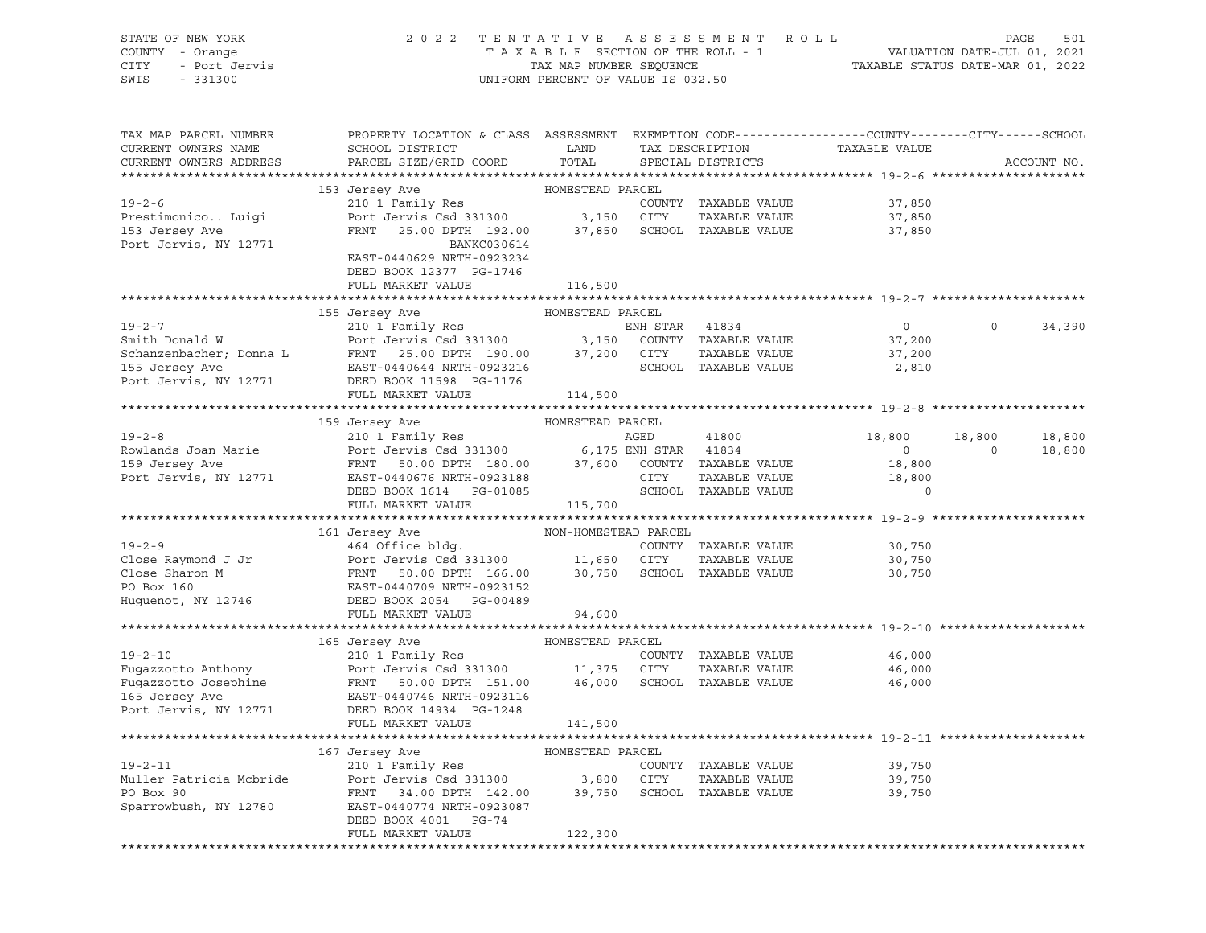| STATE OF NEW YORK<br>COUNTY - Orange<br>CITY<br>- Port Jervis<br>SWIS<br>$-331300$ | 2 0 2 2                                                                                         | TENTATIVE<br>TAXABLE SECTION OF THE ROLL - 1<br>TAX MAP NUMBER SEQUENCE<br>UNIFORM PERCENT OF VALUE IS 032.50 |          | A S S E S S M E N T<br>R O L L       | TAXABLE STATUS DATE-MAR 01, 2022 | VALUATION DATE-JUL 01, 2021 | 501<br>PAGE |
|------------------------------------------------------------------------------------|-------------------------------------------------------------------------------------------------|---------------------------------------------------------------------------------------------------------------|----------|--------------------------------------|----------------------------------|-----------------------------|-------------|
|                                                                                    |                                                                                                 |                                                                                                               |          |                                      |                                  |                             |             |
| TAX MAP PARCEL NUMBER                                                              | PROPERTY LOCATION & CLASS ASSESSMENT EXEMPTION CODE----------------CUNTY-------CITY------SCHOOL |                                                                                                               |          |                                      |                                  |                             |             |
| CURRENT OWNERS NAME<br>CURRENT OWNERS ADDRESS                                      | SCHOOL DISTRICT<br>PARCEL SIZE/GRID COORD                                                       | LAND<br>TOTAL                                                                                                 |          | TAX DESCRIPTION<br>SPECIAL DISTRICTS | TAXABLE VALUE                    |                             | ACCOUNT NO. |
|                                                                                    |                                                                                                 |                                                                                                               |          |                                      |                                  |                             |             |
|                                                                                    | 153 Jersey Ave                                                                                  | HOMESTEAD PARCEL                                                                                              |          |                                      |                                  |                             |             |
| $19 - 2 - 6$                                                                       | 210 1 Family Res                                                                                |                                                                                                               |          | COUNTY TAXABLE VALUE                 | 37,850                           |                             |             |
| Prestimonico Luigi                                                                 | Port Jervis Csd 331300 3,150 CITY                                                               |                                                                                                               |          | TAXABLE VALUE                        | 37,850                           |                             |             |
| 153 Jersey Ave                                                                     | 25.00 DPTH 192.00 37,850 SCHOOL TAXABLE VALUE<br>FRNT                                           |                                                                                                               |          |                                      | 37,850                           |                             |             |
| Port Jervis, NY 12771                                                              | BANKC030614                                                                                     |                                                                                                               |          |                                      |                                  |                             |             |
|                                                                                    | EAST-0440629 NRTH-0923234                                                                       |                                                                                                               |          |                                      |                                  |                             |             |
|                                                                                    | DEED BOOK 12377 PG-1746                                                                         |                                                                                                               |          |                                      |                                  |                             |             |
|                                                                                    | FULL MARKET VALUE                                                                               | 116,500                                                                                                       |          |                                      |                                  |                             |             |
|                                                                                    | 155 Jersey Ave                                                                                  | HOMESTEAD PARCEL                                                                                              |          |                                      |                                  |                             |             |
| $19 - 2 - 7$                                                                       | 210 1 Family Res                                                                                |                                                                                                               | ENH STAR | 41834                                | $\overline{0}$                   | $\circ$                     | 34,390      |
| Smith Donald W                                                                     | Port Jervis Csd 331300 3,150 COUNTY TAXABLE VALUE                                               |                                                                                                               |          |                                      | 37,200                           |                             |             |
| Schanzenbacher; Donna L                                                            | FRNT 25.00 DPTH 190.00 37,200 CITY                                                              |                                                                                                               |          | TAXABLE VALUE                        | 37,200                           |                             |             |
| 155 Jersey Ave                                                                     | EAST-0440644 NRTH-0923216                                                                       |                                                                                                               |          | SCHOOL TAXABLE VALUE                 | 2,810                            |                             |             |
| Port Jervis, NY 12771                                                              | DEED BOOK 11598 PG-1176                                                                         |                                                                                                               |          |                                      |                                  |                             |             |
|                                                                                    | FULL MARKET VALUE                                                                               | 114,500                                                                                                       |          |                                      |                                  |                             |             |
|                                                                                    |                                                                                                 |                                                                                                               |          |                                      |                                  |                             |             |
|                                                                                    | 159 Jersey Ave                                                                                  | HOMESTEAD PARCEL                                                                                              |          |                                      |                                  |                             |             |
| $19 - 2 - 8$                                                                       | 210 1 Family Res                                                                                |                                                                                                               | AGED     | 41800                                | 18,800                           | 18,800                      | 18,800      |
| Rowlands Joan Marie                                                                | Port Jervis Csd 331300 6,175 ENH STAR 41834                                                     |                                                                                                               |          |                                      | $\circ$                          | $\mathbf 0$                 | 18,800      |
| 159 Jersey Ave                                                                     | FRNT 50.00 DPTH 180.00 37,600 COUNTY TAXABLE VALUE<br>EAST-0440676 NRTH-0923188                 |                                                                                                               | CITY     | TAXABLE VALUE                        | 18,800                           |                             |             |
| Port Jervis, NY 12771                                                              | DEED BOOK 1614 PG-01085                                                                         |                                                                                                               |          | SCHOOL TAXABLE VALUE                 | 18,800<br>$\Omega$               |                             |             |
|                                                                                    | FULL MARKET VALUE                                                                               | 115,700                                                                                                       |          |                                      |                                  |                             |             |
|                                                                                    |                                                                                                 |                                                                                                               |          |                                      |                                  |                             |             |
|                                                                                    | 161 Jersey Ave                                                                                  | NON-HOMESTEAD PARCEL                                                                                          |          |                                      |                                  |                             |             |
| $19 - 2 - 9$                                                                       | 464 Office bldg.                                                                                |                                                                                                               |          | COUNTY TAXABLE VALUE                 | 30,750                           |                             |             |
|                                                                                    | Port Jervis Csd 331300 11,650 CITY                                                              |                                                                                                               |          | TAXABLE VALUE                        | 30,750                           |                             |             |
|                                                                                    | 50.00 DPTH 166.00<br>FRNT                                                                       |                                                                                                               |          | 30,750 SCHOOL TAXABLE VALUE          | 30,750                           |                             |             |
| PO Box 160                                                                         | EAST-0440709 NRTH-0923152                                                                       |                                                                                                               |          |                                      |                                  |                             |             |
| Huguenot, NY 12746                                                                 | DEED BOOK 2054 PG-00489                                                                         |                                                                                                               |          |                                      |                                  |                             |             |
|                                                                                    | FULL MARKET VALUE                                                                               | 94,600                                                                                                        |          |                                      |                                  |                             |             |
|                                                                                    |                                                                                                 |                                                                                                               |          |                                      |                                  |                             |             |
| $19 - 2 - 10$                                                                      | 165 Jersey Ave<br>210 1 Family Res                                                              | HOMESTEAD PARCEL                                                                                              |          | COUNTY TAXABLE VALUE                 | 46,000                           |                             |             |
| Fugazzotto Anthony                                                                 | Port Jervis Csd 331300 11,375 CITY                                                              |                                                                                                               |          | TAXABLE VALUE                        | 46,000                           |                             |             |
| Fugazzotto Josephine                                                               | FRNT<br>50.00 DPTH 151.00                                                                       | 46,000                                                                                                        |          | SCHOOL TAXABLE VALUE                 | 46,000                           |                             |             |
| 165 Jersey Ave                                                                     | EAST-0440746 NRTH-0923116                                                                       |                                                                                                               |          |                                      |                                  |                             |             |
| Port Jervis, NY 12771                                                              | DEED BOOK 14934 PG-1248                                                                         |                                                                                                               |          |                                      |                                  |                             |             |
|                                                                                    | FULL MARKET VALUE                                                                               | 141,500                                                                                                       |          |                                      |                                  |                             |             |
| ******************************                                                     |                                                                                                 |                                                                                                               |          |                                      |                                  |                             |             |
|                                                                                    | 167 Jersey Ave                                                                                  | HOMESTEAD PARCEL                                                                                              |          |                                      |                                  |                             |             |
| $19 - 2 - 11$                                                                      | 210 1 Family Res                                                                                |                                                                                                               |          | COUNTY TAXABLE VALUE                 | 39,750                           |                             |             |
| Muller Patricia Mcbride                                                            | Port Jervis Csd 331300                                                                          | 3,800                                                                                                         | CITY     | TAXABLE VALUE                        | 39,750                           |                             |             |
| PO Box 90                                                                          | 34.00 DPTH 142.00<br>FRNT                                                                       | 39,750                                                                                                        |          | SCHOOL TAXABLE VALUE                 | 39,750                           |                             |             |
| Sparrowbush, NY 12780                                                              | EAST-0440774 NRTH-0923087<br>PG-74                                                              |                                                                                                               |          |                                      |                                  |                             |             |
|                                                                                    | DEED BOOK 4001<br>FULL MARKET VALUE                                                             | 122,300                                                                                                       |          |                                      |                                  |                             |             |
|                                                                                    |                                                                                                 |                                                                                                               |          |                                      |                                  |                             |             |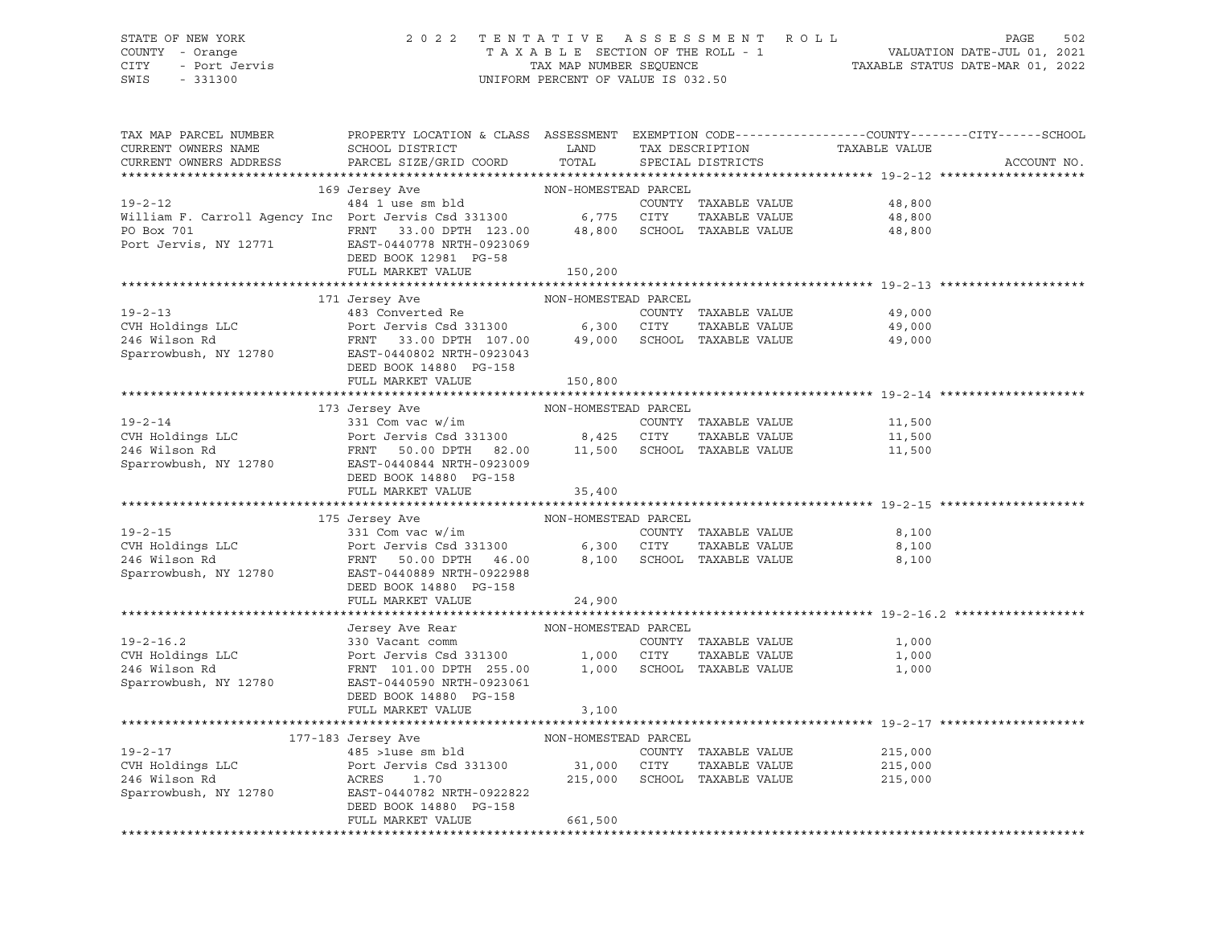## STATE OF NEW YORK 2 0 2 2 T E N T A T I V E A S S E S S M E N T R O L L PAGE 502 COUNTY - Orange T A X A B L E SECTION OF THE ROLL - 1 VALUATION DATE-JUL 01, 2021 CITY - Port Jervis TAX MAP NUMBER SEQUENCE TAXABLE STATUS DATE-MAR 01, 2022

| TAX MAP PARCEL NUMBER<br>CURRENT OWNERS NAME<br>CURRENT OWNERS ADDRESS                                                                                                                                                                   | PROPERTY LOCATION & CLASS ASSESSMENT EXEMPTION CODE---------------COUNTY-------CITY------SCHOOL<br><b>Example 12</b> LAND<br>SCHOOL DISTRICT<br>PARCEL SIZE/GRID COORD | TOTAL                | TAX DESCRIPTION<br>SPECIAL DISTRICTS | TAXABLE VALUE               | ACCOUNT NO. |
|------------------------------------------------------------------------------------------------------------------------------------------------------------------------------------------------------------------------------------------|------------------------------------------------------------------------------------------------------------------------------------------------------------------------|----------------------|--------------------------------------|-----------------------------|-------------|
|                                                                                                                                                                                                                                          |                                                                                                                                                                        |                      |                                      |                             |             |
|                                                                                                                                                                                                                                          |                                                                                                                                                                        |                      |                                      |                             |             |
| 169 Jersey Ave MON-HOMESTEAD PARCEL 19-2-12<br>484 1 use sm bld COUNTY William F. Carroll Agency Inc Port Jervis Csd 331300 6,775 CITY                                                                                                   |                                                                                                                                                                        |                      |                                      | COUNTY TAXABLE VALUE 48,800 |             |
|                                                                                                                                                                                                                                          |                                                                                                                                                                        |                      | TAXABLE VALUE                        | 48,800                      |             |
| PO Box 701                                                                                                                                                                                                                               | FRNT 33.00 DPTH 123.00 48,800 SCHOOL TAXABLE VALUE<br>EAST-0440778 NRTH-0923069 48,800 SCHOOL TAXABLE VALUE                                                            |                      |                                      | 48,800                      |             |
| Port Jervis, NY 12771                                                                                                                                                                                                                    |                                                                                                                                                                        |                      |                                      |                             |             |
|                                                                                                                                                                                                                                          | DEED BOOK 12981 PG-58                                                                                                                                                  |                      |                                      |                             |             |
|                                                                                                                                                                                                                                          | FULL MARKET VALUE                                                                                                                                                      | 150,200              |                                      |                             |             |
|                                                                                                                                                                                                                                          |                                                                                                                                                                        |                      |                                      |                             |             |
|                                                                                                                                                                                                                                          | 171 Jersey Ave                                                                                                                                                         | NON-HOMESTEAD PARCEL |                                      |                             |             |
|                                                                                                                                                                                                                                          |                                                                                                                                                                        |                      |                                      | 49,000                      |             |
|                                                                                                                                                                                                                                          |                                                                                                                                                                        |                      |                                      | 49,000                      |             |
|                                                                                                                                                                                                                                          |                                                                                                                                                                        |                      |                                      | 49,000                      |             |
|                                                                                                                                                                                                                                          |                                                                                                                                                                        |                      |                                      |                             |             |
|                                                                                                                                                                                                                                          | DEED BOOK 14880 PG-158                                                                                                                                                 |                      |                                      |                             |             |
|                                                                                                                                                                                                                                          | FULL MARKET VALUE                                                                                                                                                      | 150,800              |                                      |                             |             |
|                                                                                                                                                                                                                                          |                                                                                                                                                                        |                      |                                      |                             |             |
|                                                                                                                                                                                                                                          | 173 Jersey Ave                                                                                                                                                         | NON-HOMESTEAD PARCEL |                                      |                             |             |
|                                                                                                                                                                                                                                          |                                                                                                                                                                        |                      |                                      | 11,500                      |             |
|                                                                                                                                                                                                                                          |                                                                                                                                                                        |                      |                                      | 11,500                      |             |
|                                                                                                                                                                                                                                          |                                                                                                                                                                        |                      |                                      | 11,500                      |             |
| 19-2-14<br>19-2-14<br>COUNTY TAXABLE VALUE<br>COUNTY TAXABLE VALUE<br>246 Wilson Rd<br>Sparrowbush, NY 12780<br>247.000 EANT 2000 DPTH 82.00<br>246 Wilson Rd<br>2780<br>246 Wilson Rd<br>2780<br>28.00 EANT 2780<br>28.000 EANT-0923009 |                                                                                                                                                                        |                      |                                      |                             |             |
|                                                                                                                                                                                                                                          | DEED BOOK 14880 PG-158                                                                                                                                                 |                      |                                      |                             |             |
|                                                                                                                                                                                                                                          | FULL MARKET VALUE                                                                                                                                                      | 35,400               |                                      |                             |             |
|                                                                                                                                                                                                                                          |                                                                                                                                                                        |                      |                                      |                             |             |
|                                                                                                                                                                                                                                          | 175 Jersey Ave NON-HOMESTEAD PARCEL                                                                                                                                    |                      |                                      |                             |             |
| $19 - 2 - 15$                                                                                                                                                                                                                            | 331 Com vac w/im                                                                                                                                                       |                      | COUNTY TAXABLE VALUE                 | 8,100                       |             |
| CVH Holdings LLC                                                                                                                                                                                                                         | Port Jervis Csd 331300 6,300 CITY<br>Port Jervis Csd 331300 6,300 CITY<br>FRNT 50.00 DPTH 46.00 8,100 SCHOO                                                            |                      | TAXABLE VALUE                        | 8,100                       |             |
| 246 Wilson Rd                                                                                                                                                                                                                            |                                                                                                                                                                        |                      | 8,100 SCHOOL TAXABLE VALUE           | 8,100                       |             |
| Sparrowbush, NY 12780 EAST-0440889 NRTH-0922988                                                                                                                                                                                          |                                                                                                                                                                        |                      |                                      |                             |             |
|                                                                                                                                                                                                                                          | DEED BOOK 14880 PG-158                                                                                                                                                 |                      |                                      |                             |             |
|                                                                                                                                                                                                                                          | FULL MARKET VALUE                                                                                                                                                      | 24,900               |                                      |                             |             |
|                                                                                                                                                                                                                                          |                                                                                                                                                                        |                      |                                      |                             |             |
|                                                                                                                                                                                                                                          |                                                                                                                                                                        |                      |                                      |                             |             |
| $19 - 2 - 16.2$                                                                                                                                                                                                                          |                                                                                                                                                                        |                      |                                      | COUNTY TAXABLE VALUE 1,000  |             |
| CVH Holdings LLC                                                                                                                                                                                                                         |                                                                                                                                                                        |                      |                                      | 1,000                       |             |
| 246 Wilson Rd                                                                                                                                                                                                                            |                                                                                                                                                                        |                      |                                      | 1,000                       |             |
| Sparrowbush, NY 12780                                                                                                                                                                                                                    | EAST-0440590 NRTH-0923061                                                                                                                                              |                      |                                      |                             |             |
|                                                                                                                                                                                                                                          | DEED BOOK 14880 PG-158<br>FULL MARKET VALUE                                                                                                                            |                      |                                      |                             |             |
|                                                                                                                                                                                                                                          |                                                                                                                                                                        | 3,100                |                                      |                             |             |
|                                                                                                                                                                                                                                          | 177-183 Jersey Ave                                                                                                                                                     | NON-HOMESTEAD PARCEL |                                      |                             |             |
| $19 - 2 - 17$                                                                                                                                                                                                                            |                                                                                                                                                                        |                      | COUNTY TAXABLE VALUE                 | 215,000                     |             |
| CVH Holdings LLC                                                                                                                                                                                                                         |                                                                                                                                                                        |                      | TAXABLE VALUE                        | 215,000                     |             |
| 246 Wilson Rd                                                                                                                                                                                                                            |                                                                                                                                                                        |                      | 215,000 SCHOOL TAXABLE VALUE         | 215,000                     |             |
| Sparrowbush, NY 12780                                                                                                                                                                                                                    | 485 > 1use sm bld<br>Port Jervis Csd 331300 31,000 CITY<br>ACRES 1.70 215,000 SCHOOL<br>EAST-0440782 NRTH-0922822                                                      |                      |                                      |                             |             |
|                                                                                                                                                                                                                                          | DEED BOOK 14880 PG-158                                                                                                                                                 |                      |                                      |                             |             |
|                                                                                                                                                                                                                                          | FULL MARKET VALUE                                                                                                                                                      | 661,500              |                                      |                             |             |
|                                                                                                                                                                                                                                          |                                                                                                                                                                        |                      |                                      |                             |             |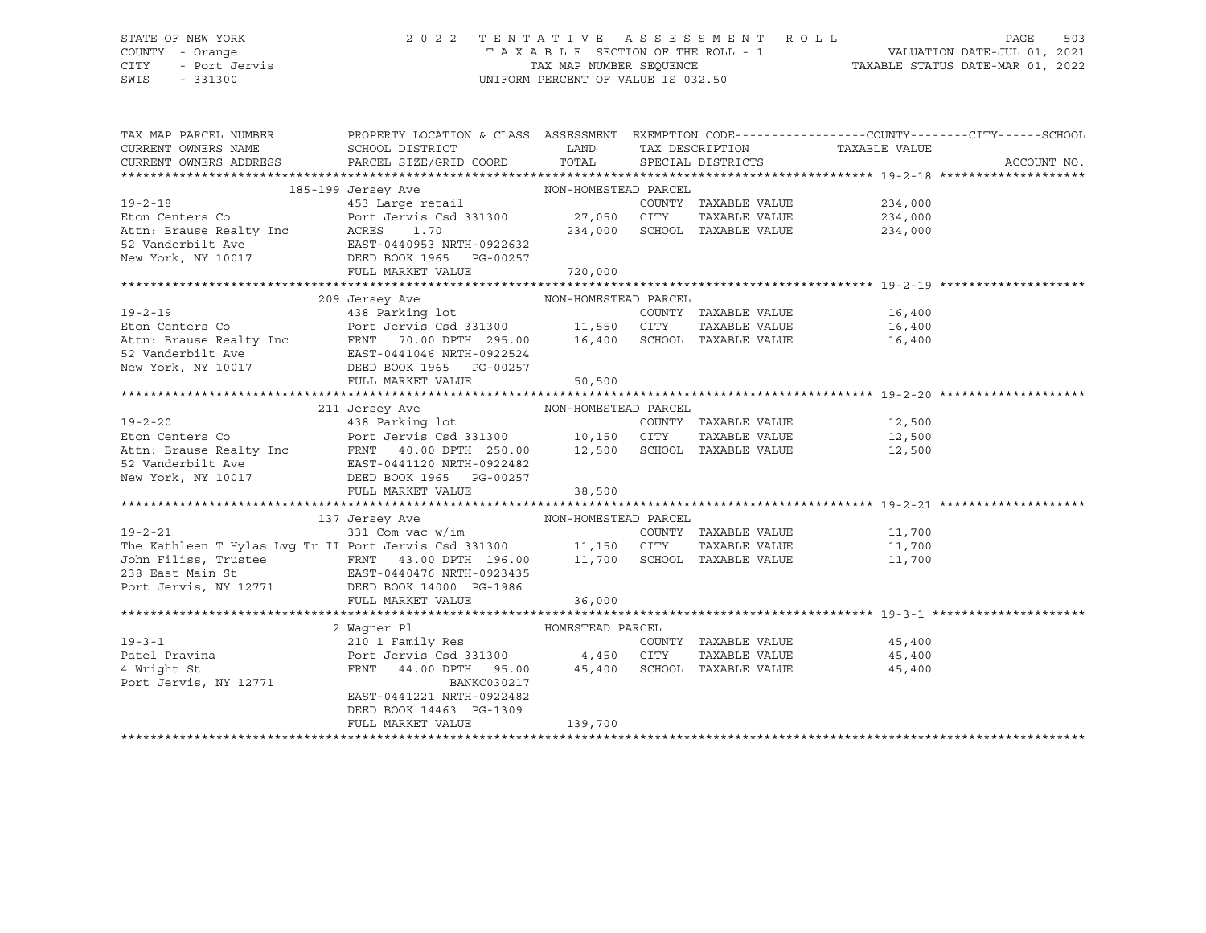## STATE OF NEW YORK 2 0 2 2 T E N T A T I V E A S S E S S M E N T R O L L PAGE 503 COUNTY - Orange T A X A B L E SECTION OF THE ROLL - 1 VALUATION DATE-JUL 01, 2021 CITY - Port Jervis TAX MAP NUMBER SEQUENCE TAXABLE STATUS DATE-MAR 01, 2022

| TAX MAP PARCEL NUMBER                                                                                                                                                                                                                                                                                                                                                                                                                                                            | PROPERTY LOCATION & CLASS ASSESSMENT EXEMPTION CODE---------------COUNTY-------CITY------SCHOOL |                  |                      |                                      |                  |             |
|----------------------------------------------------------------------------------------------------------------------------------------------------------------------------------------------------------------------------------------------------------------------------------------------------------------------------------------------------------------------------------------------------------------------------------------------------------------------------------|-------------------------------------------------------------------------------------------------|------------------|----------------------|--------------------------------------|------------------|-------------|
|                                                                                                                                                                                                                                                                                                                                                                                                                                                                                  |                                                                                                 |                  |                      | TAX DESCRIPTION TAXABLE VALUE        |                  |             |
|                                                                                                                                                                                                                                                                                                                                                                                                                                                                                  |                                                                                                 |                  |                      |                                      |                  | ACCOUNT NO. |
|                                                                                                                                                                                                                                                                                                                                                                                                                                                                                  |                                                                                                 |                  |                      |                                      |                  |             |
|                                                                                                                                                                                                                                                                                                                                                                                                                                                                                  |                                                                                                 |                  |                      |                                      |                  |             |
| $19 - 2 - 18$                                                                                                                                                                                                                                                                                                                                                                                                                                                                    |                                                                                                 |                  | COUNTY TAXABLE VALUE |                                      | 234,000          |             |
| Eton Centers Co                                                                                                                                                                                                                                                                                                                                                                                                                                                                  |                                                                                                 |                  |                      | TAXABLE VALUE 234,000                |                  |             |
|                                                                                                                                                                                                                                                                                                                                                                                                                                                                                  |                                                                                                 |                  |                      | 234,000 SCHOOL TAXABLE VALUE 234,000 |                  |             |
|                                                                                                                                                                                                                                                                                                                                                                                                                                                                                  |                                                                                                 |                  |                      |                                      |                  |             |
|                                                                                                                                                                                                                                                                                                                                                                                                                                                                                  |                                                                                                 |                  |                      |                                      |                  |             |
|                                                                                                                                                                                                                                                                                                                                                                                                                                                                                  | FULL MARKET VALUE                                                                               |                  |                      |                                      |                  |             |
|                                                                                                                                                                                                                                                                                                                                                                                                                                                                                  |                                                                                                 | 720,000          |                      |                                      |                  |             |
| $\begin{tabular}{lllllllllllll} \multicolumn{3}{c }{19-2-19} & 209 Jersey Ave & 19-2-19 & 438 Parking lot & 200NTY TAXABLE VALUE & 16,400 \\ & 438 Parking lot & 200NTY TAXABLE VALUE & 16,400 \\ & 438 Parking lot & 295.00 & 11,550 CITY TAXABLE VALUE & 16,400 \\ & 438 Parking lot & 295.00 & 16,400 SCHOOL TAXABLE VALUE & 16,400 \\ & 52 Vanderbill Ave & EAST-0441046 NRTH-0922524 & 16,400$                                                                              |                                                                                                 |                  |                      |                                      |                  |             |
|                                                                                                                                                                                                                                                                                                                                                                                                                                                                                  |                                                                                                 |                  |                      |                                      |                  |             |
|                                                                                                                                                                                                                                                                                                                                                                                                                                                                                  |                                                                                                 |                  |                      |                                      |                  |             |
|                                                                                                                                                                                                                                                                                                                                                                                                                                                                                  |                                                                                                 |                  |                      |                                      |                  |             |
|                                                                                                                                                                                                                                                                                                                                                                                                                                                                                  |                                                                                                 |                  |                      |                                      |                  |             |
|                                                                                                                                                                                                                                                                                                                                                                                                                                                                                  |                                                                                                 |                  |                      |                                      |                  |             |
|                                                                                                                                                                                                                                                                                                                                                                                                                                                                                  |                                                                                                 |                  |                      |                                      |                  |             |
|                                                                                                                                                                                                                                                                                                                                                                                                                                                                                  | FULL MARKET VALUE                                                                               | 50, 500          |                      |                                      |                  |             |
|                                                                                                                                                                                                                                                                                                                                                                                                                                                                                  |                                                                                                 |                  |                      |                                      |                  |             |
| $\begin{tabular}{lllllllllllll} \multicolumn{3}{l}{} & \multicolumn{3}{l}{} & \multicolumn{3}{l}{} & \multicolumn{3}{l}{} & \multicolumn{3}{l}{} & \multicolumn{3}{l}{} & \multicolumn{3}{l}{} & \multicolumn{3}{l}{} & \multicolumn{3}{l}{} & \multicolumn{3}{l}{} & \multicolumn{3}{l}{} & \multicolumn{3}{l}{} & \multicolumn{3}{l}{} & \multicolumn{3}{l}{} & \multicolumn{3}{l}{} & \multicolumn{3}{l}{} & \multicolumn{3}{l}{} & \multicolumn{3}{l}{} & \multicolumn{3}{l$ |                                                                                                 |                  |                      |                                      |                  |             |
|                                                                                                                                                                                                                                                                                                                                                                                                                                                                                  |                                                                                                 |                  |                      |                                      |                  |             |
|                                                                                                                                                                                                                                                                                                                                                                                                                                                                                  |                                                                                                 |                  |                      |                                      |                  |             |
|                                                                                                                                                                                                                                                                                                                                                                                                                                                                                  |                                                                                                 |                  |                      |                                      |                  |             |
|                                                                                                                                                                                                                                                                                                                                                                                                                                                                                  |                                                                                                 |                  |                      |                                      |                  |             |
|                                                                                                                                                                                                                                                                                                                                                                                                                                                                                  |                                                                                                 |                  |                      |                                      |                  |             |
|                                                                                                                                                                                                                                                                                                                                                                                                                                                                                  |                                                                                                 |                  |                      |                                      |                  |             |
|                                                                                                                                                                                                                                                                                                                                                                                                                                                                                  |                                                                                                 |                  |                      |                                      |                  |             |
|                                                                                                                                                                                                                                                                                                                                                                                                                                                                                  |                                                                                                 |                  |                      |                                      |                  |             |
|                                                                                                                                                                                                                                                                                                                                                                                                                                                                                  |                                                                                                 |                  |                      | COUNTY TAXABLE VALUE 11,700          |                  |             |
|                                                                                                                                                                                                                                                                                                                                                                                                                                                                                  |                                                                                                 |                  |                      | TAXABLE VALUE                        |                  |             |
|                                                                                                                                                                                                                                                                                                                                                                                                                                                                                  |                                                                                                 |                  |                      |                                      | 11,700<br>11,700 |             |
|                                                                                                                                                                                                                                                                                                                                                                                                                                                                                  |                                                                                                 |                  |                      |                                      |                  |             |
|                                                                                                                                                                                                                                                                                                                                                                                                                                                                                  |                                                                                                 |                  |                      |                                      |                  |             |
| Port Jervis, NY 12771 DEED BOOK 14000 PG-1986                                                                                                                                                                                                                                                                                                                                                                                                                                    | FULL MARKET VALUE                                                                               | 36,000           |                      |                                      |                  |             |
|                                                                                                                                                                                                                                                                                                                                                                                                                                                                                  |                                                                                                 |                  |                      |                                      |                  |             |
|                                                                                                                                                                                                                                                                                                                                                                                                                                                                                  |                                                                                                 | HOMESTEAD PARCEL |                      |                                      |                  |             |
| $19 - 3 - 1$                                                                                                                                                                                                                                                                                                                                                                                                                                                                     | 2 Wagner Pl                          HOMESTEAD<br>210 1 Family Res                              |                  |                      | COUNTY TAXABLE VALUE 45,400          |                  |             |
|                                                                                                                                                                                                                                                                                                                                                                                                                                                                                  |                                                                                                 |                  |                      |                                      |                  |             |
|                                                                                                                                                                                                                                                                                                                                                                                                                                                                                  |                                                                                                 |                  |                      | TAXABLE VALUE 45,400                 |                  |             |
|                                                                                                                                                                                                                                                                                                                                                                                                                                                                                  |                                                                                                 |                  |                      |                                      | 45,400           |             |
| Port Jervis, NY 12771                                                                                                                                                                                                                                                                                                                                                                                                                                                            | BANKC030217                                                                                     |                  |                      |                                      |                  |             |
|                                                                                                                                                                                                                                                                                                                                                                                                                                                                                  | EAST-0441221 NRTH-0922482                                                                       |                  |                      |                                      |                  |             |
|                                                                                                                                                                                                                                                                                                                                                                                                                                                                                  | DEED BOOK 14463 PG-1309                                                                         |                  |                      |                                      |                  |             |
|                                                                                                                                                                                                                                                                                                                                                                                                                                                                                  | FULL MARKET VALUE                                                                               | 139,700          |                      |                                      |                  |             |
|                                                                                                                                                                                                                                                                                                                                                                                                                                                                                  |                                                                                                 |                  |                      |                                      |                  |             |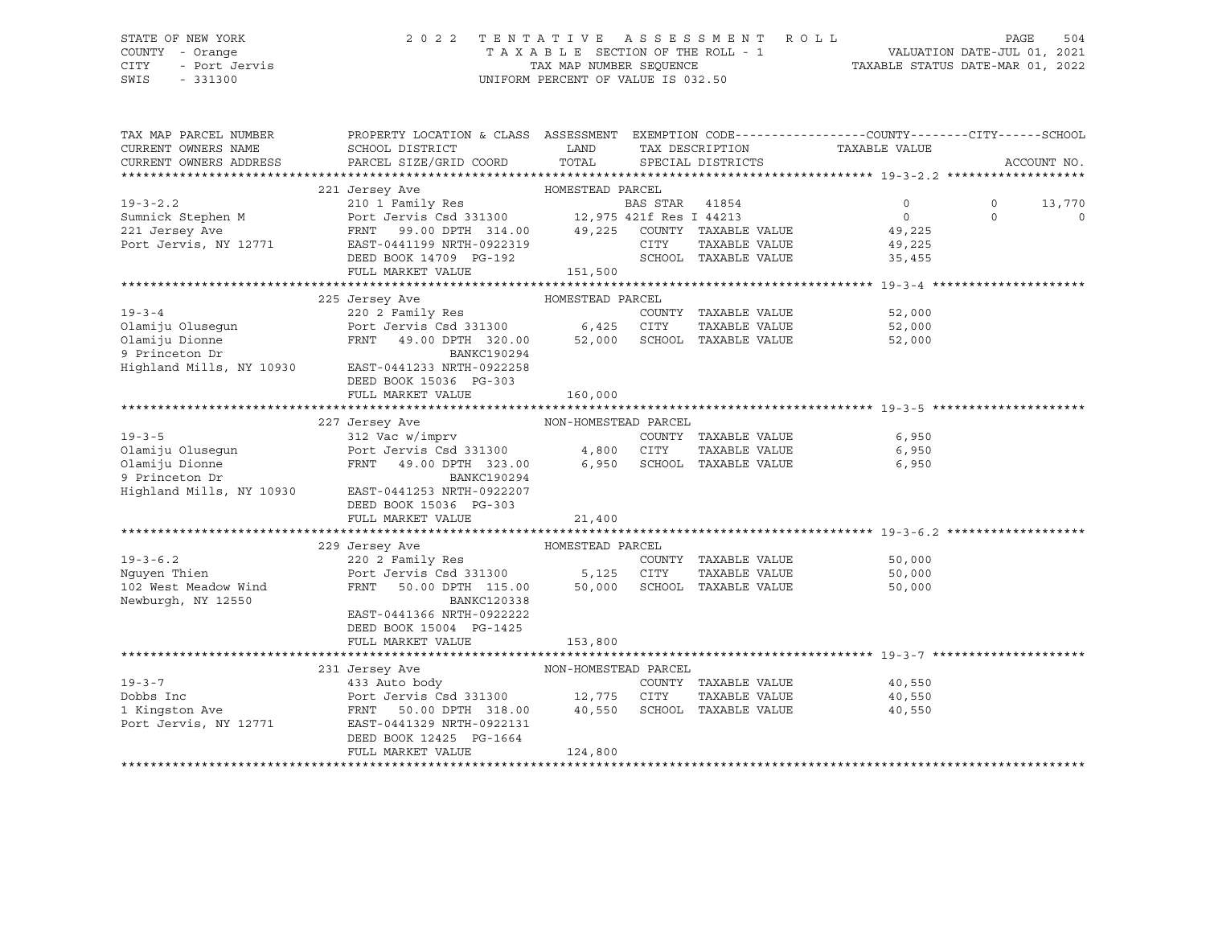#### STATE OF NEW YORK 2 0 2 2 T E N T A T I V E A S S E S S M E N T R O L L PAGE 504 COUNTY - Orange T A X A B L E SECTION OF THE ROLL - 1 VALUATION DATE-JUL 01, 2021 CITY - Port Jervis TAX MAP NUMBER SEQUENCE TAXABLE STATUS DATE-MAR 01, 2022

| TAX MAP PARCEL NUMBER<br>CURRENT OWNERS NAME         | SCHOOL DISTRICT                                                                                      | LAND                       | PROPERTY LOCATION & CLASS ASSESSMENT EXEMPTION CODE----------------COUNTY-------CITY------SCHOOL<br>TAX DESCRIPTION TAXABLE VALUE |                             |          |             |         |  |
|------------------------------------------------------|------------------------------------------------------------------------------------------------------|----------------------------|-----------------------------------------------------------------------------------------------------------------------------------|-----------------------------|----------|-------------|---------|--|
| CURRENT OWNERS ADDRESS                               | PARCEL SIZE/GRID COORD                                                                               | TOTAL<br>SPECIAL DISTRICTS |                                                                                                                                   |                             |          | ACCOUNT NO. |         |  |
|                                                      |                                                                                                      |                            |                                                                                                                                   |                             |          |             |         |  |
|                                                      | 221 Jersey Ave<br>HOMESTEAD PARCEL                                                                   |                            |                                                                                                                                   |                             |          |             |         |  |
| $19 - 3 - 2.2$                                       | 210 1 Family Res                                                                                     |                            | BAS STAR 41854                                                                                                                    |                             | $\Omega$ | $\Omega$    | 13,770  |  |
| Sumnick Stephen M<br>221 Jersev Ave                  | Port Jervis Csd 331300 12,975 421f Res I 44213<br>FRNT 99.00 DPTH 314.00 49,225 COUNTY TAXABLE VALUE |                            |                                                                                                                                   |                             | $\circ$  | $\Omega$    | $\circ$ |  |
| 221 Jersey Ave                                       |                                                                                                      |                            |                                                                                                                                   |                             | 49,225   |             |         |  |
| Port Jervis, NY 12771                                | EAST-0441199 NRTH-0922319                                                                            |                            | CITY                                                                                                                              | TAXABLE VALUE               | 49,225   |             |         |  |
|                                                      | DEED BOOK 14709 PG-192                                                                               |                            |                                                                                                                                   | SCHOOL TAXABLE VALUE        | 35,455   |             |         |  |
|                                                      | FULL MARKET VALUE                                                                                    | 151,500                    |                                                                                                                                   |                             |          |             |         |  |
| HOMESTEAD PARCEL                                     |                                                                                                      |                            |                                                                                                                                   |                             |          |             |         |  |
| $19 - 3 - 4$                                         | 225 Jersey Ave                                                                                       |                            |                                                                                                                                   |                             |          |             |         |  |
|                                                      | 220 2 Family Res<br>220 2 Family Res COUNT<br>Port Jervis Csd 331300 6,425 CITY                      |                            |                                                                                                                                   | COUNTY TAXABLE VALUE        | 52,000   |             |         |  |
|                                                      | FRNT 49.00 DPTH 320.00 52,000 SCHOOL TAXABLE VALUE                                                   |                            |                                                                                                                                   | TAXABLE VALUE               | 52,000   |             |         |  |
| Olamiju Olusegun<br>Olamiju Dionne<br>9 Princeton Dr | BANKC190294                                                                                          |                            |                                                                                                                                   |                             | 52,000   |             |         |  |
| Highland Mills, NY 10930                             | EAST-0441233 NRTH-0922258                                                                            |                            |                                                                                                                                   |                             |          |             |         |  |
|                                                      | DEED BOOK 15036 PG-303                                                                               |                            |                                                                                                                                   |                             |          |             |         |  |
|                                                      | FULL MARKET VALUE                                                                                    | 160,000                    |                                                                                                                                   |                             |          |             |         |  |
|                                                      |                                                                                                      |                            |                                                                                                                                   |                             |          |             |         |  |
| NON-HOMESTEAD PARCEL<br>227 Jersey Ave               |                                                                                                      |                            |                                                                                                                                   |                             |          |             |         |  |
| $19 - 3 - 5$                                         | 312 Vac w/imprv                                                                                      |                            |                                                                                                                                   | COUNTY TAXABLE VALUE        | 6,950    |             |         |  |
|                                                      | Port Jervis Csd 331300 4,800 CITY                                                                    |                            |                                                                                                                                   | TAXABLE VALUE               | 6,950    |             |         |  |
| Olamiju Olusegun<br>Olamiju Dionne                   | FRNT 49.00 DPTH 323.00                                                                               |                            |                                                                                                                                   | 6,950 SCHOOL TAXABLE VALUE  | 6,950    |             |         |  |
| 9 Princeton Dr                                       | BANKC190294                                                                                          |                            |                                                                                                                                   |                             |          |             |         |  |
| Highland Mills, NY 10930                             | EAST-0441253 NRTH-0922207                                                                            |                            |                                                                                                                                   |                             |          |             |         |  |
|                                                      | DEED BOOK 15036 PG-303                                                                               |                            |                                                                                                                                   |                             |          |             |         |  |
|                                                      | FULL MARKET VALUE                                                                                    | 21,400                     |                                                                                                                                   |                             |          |             |         |  |
|                                                      |                                                                                                      |                            |                                                                                                                                   |                             |          |             |         |  |
|                                                      | 229 Jersey Ave<br>HOMESTEAD PARCEL                                                                   |                            |                                                                                                                                   |                             |          |             |         |  |
| $19 - 3 - 6.2$                                       | 220 2 Family Res                                                                                     |                            |                                                                                                                                   | COUNTY TAXABLE VALUE        | 50,000   |             |         |  |
| Nquyen Thien                                         |                                                                                                      |                            |                                                                                                                                   |                             | 50,000   |             |         |  |
| 102 West Meadow Wind                                 | Port Jervis Csd 331300 5,125 CITY TAXABLE VALUE FRNT 50.00 DPTH 115.00 50,000 SCHOOL TAXABLE VALUE   |                            |                                                                                                                                   |                             | 50,000   |             |         |  |
| Newburgh, NY 12550                                   | <b>BANKC120338</b>                                                                                   |                            |                                                                                                                                   |                             |          |             |         |  |
|                                                      | EAST-0441366 NRTH-0922222                                                                            |                            |                                                                                                                                   |                             |          |             |         |  |
|                                                      | DEED BOOK 15004 PG-1425                                                                              |                            |                                                                                                                                   |                             |          |             |         |  |
|                                                      | FULL MARKET VALUE                                                                                    | 153,800                    |                                                                                                                                   |                             |          |             |         |  |
|                                                      |                                                                                                      |                            |                                                                                                                                   |                             |          |             |         |  |
|                                                      | 231 Jersey Ave<br>NON-HOMESTEAD PARCEL<br>$-2$ ave<br>433 Auto body<br>Port <sup>-</sup>             |                            |                                                                                                                                   |                             |          |             |         |  |
| $19 - 3 - 7$                                         |                                                                                                      |                            |                                                                                                                                   | COUNTY TAXABLE VALUE        | 40,550   |             |         |  |
| Dobbs Inc                                            | Port Jervis Csd 331300 12,775 CITY                                                                   |                            |                                                                                                                                   | TAXABLE VALUE               | 40,550   |             |         |  |
| 1 Kingston Ave                                       | FRNT 50.00 DPTH 318.00                                                                               |                            |                                                                                                                                   | 40,550 SCHOOL TAXABLE VALUE | 40,550   |             |         |  |
| Port Jervis, NY 12771                                | EAST-0441329 NRTH-0922131                                                                            |                            |                                                                                                                                   |                             |          |             |         |  |
|                                                      | DEED BOOK 12425 PG-1664                                                                              |                            |                                                                                                                                   |                             |          |             |         |  |
|                                                      | FULL MARKET VALUE                                                                                    | 124,800                    |                                                                                                                                   |                             |          |             |         |  |
|                                                      |                                                                                                      |                            |                                                                                                                                   |                             |          |             |         |  |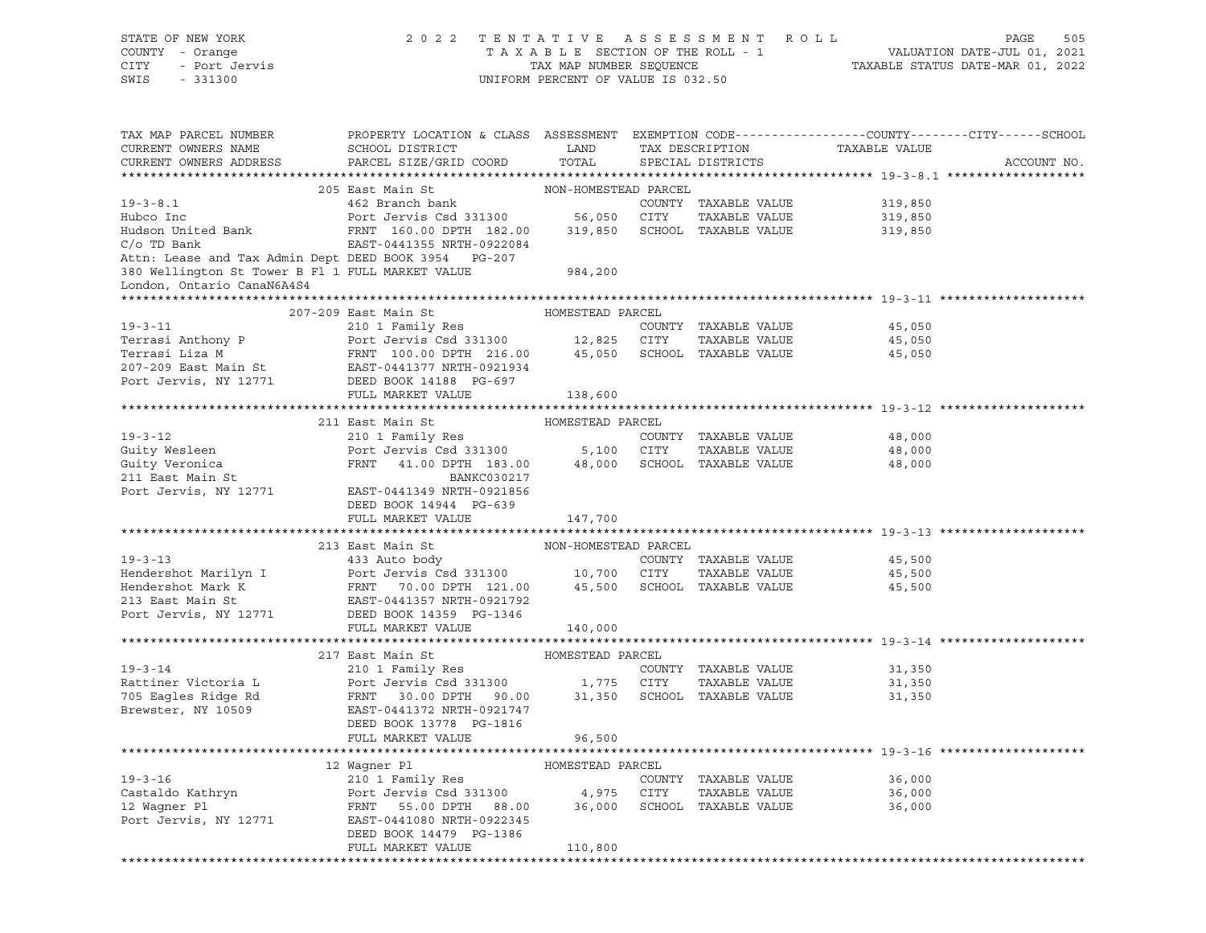| STATE OF NEW YORK<br>OF NEW YORK<br>Y - Orange<br>- Port Jervis<br>201300<br>COUNTY - Orange<br>CITY<br>SWIS                                                                                                                                                                                                                                                                                                                                                                                                     |                                                                                                                                                                                                   | UNIFORM PERCENT OF VALUE IS 032.50 |             |                      | 2022 TENTATIVE ASSESSMENT ROLL PAGE 505<br>TAXABLE SECTION OF THE ROLL - 1<br>TAXABLE SECTION OF THE ROLL - 1<br>TAXABLE STATUS DATE-MAR 01, 2022 |             |
|------------------------------------------------------------------------------------------------------------------------------------------------------------------------------------------------------------------------------------------------------------------------------------------------------------------------------------------------------------------------------------------------------------------------------------------------------------------------------------------------------------------|---------------------------------------------------------------------------------------------------------------------------------------------------------------------------------------------------|------------------------------------|-------------|----------------------|---------------------------------------------------------------------------------------------------------------------------------------------------|-------------|
|                                                                                                                                                                                                                                                                                                                                                                                                                                                                                                                  |                                                                                                                                                                                                   |                                    |             |                      |                                                                                                                                                   |             |
| TAX MAP PARCEL NUMBER PROPERTY LOCATION & CLASS ASSESSMENT EXEMPTION CODE---------------COUNTY-------CITY------SCHOOL                                                                                                                                                                                                                                                                                                                                                                                            |                                                                                                                                                                                                   |                                    |             |                      |                                                                                                                                                   |             |
|                                                                                                                                                                                                                                                                                                                                                                                                                                                                                                                  |                                                                                                                                                                                                   |                                    |             |                      |                                                                                                                                                   |             |
| $\begin{tabular}{lllllllll} \multicolumn{3}{l}{{\small\textbf{C}}{\small\textbf{C}}{\small\textbf{C}}{\small\textbf{C}}{\small\textbf{C}}{\small\textbf{C}}{\small\textbf{C}}{\small\textbf{C}}{\small\textbf{C}}{\small\textbf{C}}{\small\textbf{C}}{\small\textbf{C}}{\small\textbf{C}}{\small\textbf{C}}{\small\textbf{C}}{\small\textbf{C}}{\small\textbf{C}}{\small\textbf{C}}{\small\textbf{C}}{\small\textbf{C}}{\small\textbf{C}}{\small\textbf{C}}{\small\textbf{C}}{\small\textbf{C}}{\small\textbf{C$ |                                                                                                                                                                                                   |                                    |             |                      |                                                                                                                                                   | ACCOUNT NO. |
|                                                                                                                                                                                                                                                                                                                                                                                                                                                                                                                  |                                                                                                                                                                                                   |                                    |             |                      |                                                                                                                                                   |             |
| $19 - 3 - 8.1$                                                                                                                                                                                                                                                                                                                                                                                                                                                                                                   |                                                                                                                                                                                                   |                                    |             |                      | COUNTY TAXABLE VALUE 319,850                                                                                                                      |             |
|                                                                                                                                                                                                                                                                                                                                                                                                                                                                                                                  |                                                                                                                                                                                                   |                                    |             |                      |                                                                                                                                                   |             |
| 1.0.1 Tubes Inc and the Marine Sead 331300 56,050 CITY TAXABLE VALUE 11,000 319,850<br>Hudson United Bank FRNT 160.00 DPTH 182.00 319,850 SCHOOL TAXABLE VALUE 319,850<br>C/o TD Bank EAST-0441355 NRTH-0922084                                                                                                                                                                                                                                                                                                  |                                                                                                                                                                                                   |                                    |             |                      |                                                                                                                                                   |             |
|                                                                                                                                                                                                                                                                                                                                                                                                                                                                                                                  |                                                                                                                                                                                                   |                                    |             |                      |                                                                                                                                                   |             |
| Attn: Lease and Tax Admin Dept DEED BOOK 3954 PG-207                                                                                                                                                                                                                                                                                                                                                                                                                                                             |                                                                                                                                                                                                   |                                    |             |                      |                                                                                                                                                   |             |
| 380 Wellington St Tower B Fl 1 FULL MARKET VALUE 984,200                                                                                                                                                                                                                                                                                                                                                                                                                                                         |                                                                                                                                                                                                   |                                    |             |                      |                                                                                                                                                   |             |
| London, Ontario CanaN6A4S4                                                                                                                                                                                                                                                                                                                                                                                                                                                                                       |                                                                                                                                                                                                   |                                    |             |                      |                                                                                                                                                   |             |
|                                                                                                                                                                                                                                                                                                                                                                                                                                                                                                                  |                                                                                                                                                                                                   |                                    |             |                      |                                                                                                                                                   |             |
|                                                                                                                                                                                                                                                                                                                                                                                                                                                                                                                  | 207-209 East Main St Manuel HOMESTEAD PARCEL                                                                                                                                                      |                                    |             |                      |                                                                                                                                                   |             |
| 19-3-11<br>210 1 Family Res<br>Terrasi Anthony P Port Jervis Csd 331300<br>Terrasi Liza M FRNT 100.00 DPTH 216.00<br>207-209 East Main St EAST-0441377 NRTH-0921934<br>Port Jervis, NY 12771 DEED MATHEMARY WARE SON TAXABLE VALUE<br>207-                                                                                                                                                                                                                                                                       |                                                                                                                                                                                                   |                                    |             |                      |                                                                                                                                                   |             |
|                                                                                                                                                                                                                                                                                                                                                                                                                                                                                                                  |                                                                                                                                                                                                   |                                    |             |                      |                                                                                                                                                   |             |
|                                                                                                                                                                                                                                                                                                                                                                                                                                                                                                                  |                                                                                                                                                                                                   |                                    |             |                      |                                                                                                                                                   |             |
|                                                                                                                                                                                                                                                                                                                                                                                                                                                                                                                  |                                                                                                                                                                                                   |                                    |             |                      |                                                                                                                                                   |             |
|                                                                                                                                                                                                                                                                                                                                                                                                                                                                                                                  |                                                                                                                                                                                                   |                                    |             |                      |                                                                                                                                                   |             |
|                                                                                                                                                                                                                                                                                                                                                                                                                                                                                                                  | FULL MARKET VALUE                                                                                                                                                                                 | 138,600                            |             |                      |                                                                                                                                                   |             |
|                                                                                                                                                                                                                                                                                                                                                                                                                                                                                                                  | 211 East Main St Manager HOMESTEAD PARCEL                                                                                                                                                         |                                    |             |                      |                                                                                                                                                   |             |
|                                                                                                                                                                                                                                                                                                                                                                                                                                                                                                                  |                                                                                                                                                                                                   |                                    |             |                      |                                                                                                                                                   |             |
|                                                                                                                                                                                                                                                                                                                                                                                                                                                                                                                  |                                                                                                                                                                                                   |                                    |             |                      |                                                                                                                                                   |             |
|                                                                                                                                                                                                                                                                                                                                                                                                                                                                                                                  |                                                                                                                                                                                                   |                                    |             |                      |                                                                                                                                                   |             |
|                                                                                                                                                                                                                                                                                                                                                                                                                                                                                                                  |                                                                                                                                                                                                   |                                    |             |                      |                                                                                                                                                   |             |
| 19-3-12<br>COUNTY TAXABLE VALUE<br>Guity Wesleen Port Jervis Csd 331300 5,100 CITY TAXABLE VALUE<br>Guity Veronica FRNT 41.00 DPTH 183.00 48,000 SCHOOL TAXABLE VALUE 48,000<br>211 East Main St BANKC030217<br>Port Jervis, NY 12771 EA                                                                                                                                                                                                                                                                         |                                                                                                                                                                                                   |                                    |             |                      |                                                                                                                                                   |             |
|                                                                                                                                                                                                                                                                                                                                                                                                                                                                                                                  | DEED BOOK 14944 PG-639                                                                                                                                                                            |                                    |             |                      |                                                                                                                                                   |             |
|                                                                                                                                                                                                                                                                                                                                                                                                                                                                                                                  | FULL MARKET VALUE                                                                                                                                                                                 | 147,700                            |             |                      |                                                                                                                                                   |             |
|                                                                                                                                                                                                                                                                                                                                                                                                                                                                                                                  |                                                                                                                                                                                                   |                                    |             |                      |                                                                                                                                                   |             |
|                                                                                                                                                                                                                                                                                                                                                                                                                                                                                                                  |                                                                                                                                                                                                   |                                    |             |                      |                                                                                                                                                   |             |
|                                                                                                                                                                                                                                                                                                                                                                                                                                                                                                                  |                                                                                                                                                                                                   |                                    |             |                      | 45,500                                                                                                                                            |             |
|                                                                                                                                                                                                                                                                                                                                                                                                                                                                                                                  |                                                                                                                                                                                                   |                                    |             |                      | TAXABLE VALUE 45,500                                                                                                                              |             |
|                                                                                                                                                                                                                                                                                                                                                                                                                                                                                                                  |                                                                                                                                                                                                   |                                    |             |                      | 45,500                                                                                                                                            |             |
| 213 East Main St MON-HOMESTEAD PARCEL<br>433 Auto body<br>Eendershot Marilyn I Port Jervis Csd 331300 10,700 CITY TAXABLE VALUE<br>Hendershot Mark K FRNT 70.00 DPTH 121.00 45,500 SCHOOL TAXABLE VALUE<br>213 East Main St EAST-04413                                                                                                                                                                                                                                                                           |                                                                                                                                                                                                   |                                    |             |                      |                                                                                                                                                   |             |
|                                                                                                                                                                                                                                                                                                                                                                                                                                                                                                                  | FULL MARKET VALUE                                                                                                                                                                                 | 140,000                            |             |                      |                                                                                                                                                   |             |
|                                                                                                                                                                                                                                                                                                                                                                                                                                                                                                                  |                                                                                                                                                                                                   |                                    |             |                      |                                                                                                                                                   |             |
|                                                                                                                                                                                                                                                                                                                                                                                                                                                                                                                  |                                                                                                                                                                                                   |                                    |             |                      |                                                                                                                                                   |             |
| $19 - 3 - 14$                                                                                                                                                                                                                                                                                                                                                                                                                                                                                                    |                                                                                                                                                                                                   |                                    |             |                      | 31,350                                                                                                                                            |             |
| Rattiner Victoria L                                                                                                                                                                                                                                                                                                                                                                                                                                                                                              |                                                                                                                                                                                                   |                                    |             | TAXABLE VALUE        | 31,350                                                                                                                                            |             |
| 705 Eagles Ridge Rd                                                                                                                                                                                                                                                                                                                                                                                                                                                                                              |                                                                                                                                                                                                   |                                    |             |                      | 31,350                                                                                                                                            |             |
| Brewster, NY 10509                                                                                                                                                                                                                                                                                                                                                                                                                                                                                               | 217 East Main St<br>210 1 Family Res<br>Port Jervis Csd 331300 COMYY TAXABLE VALUE<br>FRNT 30.00 DPTH 90.00 31,350 SCHOOL TAXABLE VALUE<br>EAST-0441372 NRTH-0921747<br>EAST-0441372 NRTH-0921747 |                                    |             |                      |                                                                                                                                                   |             |
|                                                                                                                                                                                                                                                                                                                                                                                                                                                                                                                  | DEED BOOK 13778 PG-1816                                                                                                                                                                           |                                    |             |                      |                                                                                                                                                   |             |
|                                                                                                                                                                                                                                                                                                                                                                                                                                                                                                                  | FULL MARKET VALUE                                                                                                                                                                                 | 96,500                             |             |                      |                                                                                                                                                   |             |
|                                                                                                                                                                                                                                                                                                                                                                                                                                                                                                                  |                                                                                                                                                                                                   |                                    |             |                      |                                                                                                                                                   |             |
|                                                                                                                                                                                                                                                                                                                                                                                                                                                                                                                  | 12 Waqner Pl                                                                                                                                                                                      | HOMESTEAD PARCEL                   |             |                      |                                                                                                                                                   |             |
| $19 - 3 - 16$                                                                                                                                                                                                                                                                                                                                                                                                                                                                                                    | 210 1 Family Res                                                                                                                                                                                  |                                    |             | COUNTY TAXABLE VALUE | 36,000                                                                                                                                            |             |
| Castaldo Kathryn                                                                                                                                                                                                                                                                                                                                                                                                                                                                                                 | Port Jervis Csd 331300                                                                                                                                                                            | 4,975                              | <b>CITY</b> | TAXABLE VALUE        | 36,000                                                                                                                                            |             |
| 12 Waqner Pl                                                                                                                                                                                                                                                                                                                                                                                                                                                                                                     | 55.00 DPTH<br>88.00<br>FRNT                                                                                                                                                                       | 36,000                             |             | SCHOOL TAXABLE VALUE | 36,000                                                                                                                                            |             |
| Port Jervis, NY 12771                                                                                                                                                                                                                                                                                                                                                                                                                                                                                            | EAST-0441080 NRTH-0922345<br>DEED BOOK 14479 PG-1386                                                                                                                                              |                                    |             |                      |                                                                                                                                                   |             |
|                                                                                                                                                                                                                                                                                                                                                                                                                                                                                                                  | FULL MARKET VALUE                                                                                                                                                                                 | 110,800                            |             |                      |                                                                                                                                                   |             |
|                                                                                                                                                                                                                                                                                                                                                                                                                                                                                                                  |                                                                                                                                                                                                   |                                    |             |                      |                                                                                                                                                   |             |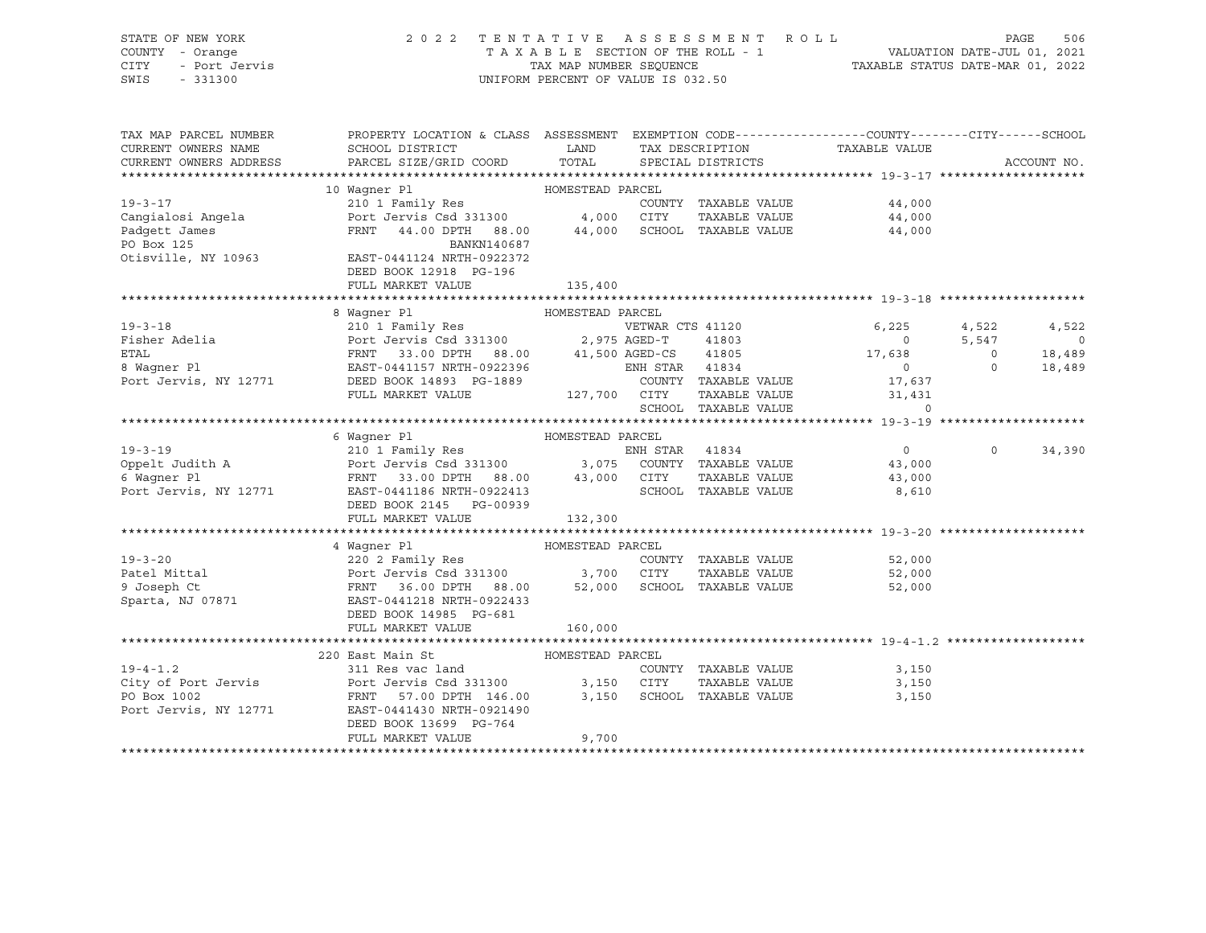## STATE OF NEW YORK 2 0 2 2 T E N T A T I V E A S S E S S M E N T R O L L PAGE 506 COUNTY - Orange T A X A B L E SECTION OF THE ROLL - 1 VALUATION DATE-JUL 01, 2021 CITY - Port Jervis TAX MAP NUMBER SEQUENCE TAXABLE STATUS DATE-MAR 01, 2022

| TAX MAP PARCEL NUMBER<br>CURRENT OWNERS NAME<br>CURRENT OWNERS ADDRESS | PROPERTY LOCATION & CLASS ASSESSMENT EXEMPTION CODE----------------COUNTY-------CITY------SCHOOL<br>SCHOOL DISTRICT<br>PARCEL SIZE/GRID COORD TOTAL SPECIAL DISTRICTS                                                                                                                    |         |  |                      | LAND TAX DESCRIPTION TAXABLE VALUE COORD TOTAL SPECIAL DISTRICTS                                                                                                                                                                                                                                                                                                                                                                                                                                |                   | ACCOUNT NO. |
|------------------------------------------------------------------------|------------------------------------------------------------------------------------------------------------------------------------------------------------------------------------------------------------------------------------------------------------------------------------------|---------|--|----------------------|-------------------------------------------------------------------------------------------------------------------------------------------------------------------------------------------------------------------------------------------------------------------------------------------------------------------------------------------------------------------------------------------------------------------------------------------------------------------------------------------------|-------------------|-------------|
|                                                                        |                                                                                                                                                                                                                                                                                          |         |  |                      |                                                                                                                                                                                                                                                                                                                                                                                                                                                                                                 |                   |             |
|                                                                        |                                                                                                                                                                                                                                                                                          |         |  |                      |                                                                                                                                                                                                                                                                                                                                                                                                                                                                                                 |                   |             |
|                                                                        |                                                                                                                                                                                                                                                                                          |         |  |                      |                                                                                                                                                                                                                                                                                                                                                                                                                                                                                                 |                   |             |
|                                                                        |                                                                                                                                                                                                                                                                                          |         |  |                      |                                                                                                                                                                                                                                                                                                                                                                                                                                                                                                 |                   |             |
|                                                                        |                                                                                                                                                                                                                                                                                          |         |  |                      |                                                                                                                                                                                                                                                                                                                                                                                                                                                                                                 |                   |             |
|                                                                        |                                                                                                                                                                                                                                                                                          |         |  |                      |                                                                                                                                                                                                                                                                                                                                                                                                                                                                                                 |                   |             |
|                                                                        | 19-3-17<br>19-3-17<br>210 1 Family Res<br>Cangialosi Angela<br>Port Jervis Csd 331300<br>Port Jervis Csd 331300<br>210 1 Family Res<br>210 1 Family Res<br>210 1 Family Res<br>210 1 Family Res<br>210 21 Family Res<br>210 21 Family Res<br>210 21 Fa                                   |         |  |                      |                                                                                                                                                                                                                                                                                                                                                                                                                                                                                                 |                   |             |
|                                                                        | DEED BOOK 12918 PG-196                                                                                                                                                                                                                                                                   |         |  |                      |                                                                                                                                                                                                                                                                                                                                                                                                                                                                                                 |                   |             |
|                                                                        | FULL MARKET VALUE 135,400                                                                                                                                                                                                                                                                |         |  |                      |                                                                                                                                                                                                                                                                                                                                                                                                                                                                                                 |                   |             |
|                                                                        |                                                                                                                                                                                                                                                                                          |         |  |                      |                                                                                                                                                                                                                                                                                                                                                                                                                                                                                                 |                   |             |
|                                                                        | 8 Waqner Pl<br>HOMESTEAD PARCEL                                                                                                                                                                                                                                                          |         |  |                      |                                                                                                                                                                                                                                                                                                                                                                                                                                                                                                 |                   |             |
|                                                                        |                                                                                                                                                                                                                                                                                          |         |  |                      |                                                                                                                                                                                                                                                                                                                                                                                                                                                                                                 |                   | 4,522       |
|                                                                        |                                                                                                                                                                                                                                                                                          |         |  |                      |                                                                                                                                                                                                                                                                                                                                                                                                                                                                                                 |                   | $\sim$ 0    |
|                                                                        | 19-3-18<br>Fisher Adelia<br>Fisher Adelia<br>ETAL<br>ETAL<br>ETAL<br>ETAL<br>ETAL<br>ETAL<br>ETAL<br>ETAL<br>ETAL<br>ETAL<br>ETAL<br>ETAL<br>ETAL<br>ETAL<br>ETAL<br>ETAL<br>ETAL<br>ETAL<br>ETAL<br>ETAL<br>ETAL<br>ETAL<br>ETAL<br>ETAL<br>ETAL<br>ETAST-0441157 NRTH-0922396<br>ETAST |         |  |                      |                                                                                                                                                                                                                                                                                                                                                                                                                                                                                                 |                   | 18,489      |
|                                                                        |                                                                                                                                                                                                                                                                                          |         |  |                      |                                                                                                                                                                                                                                                                                                                                                                                                                                                                                                 |                   | 18,489      |
|                                                                        |                                                                                                                                                                                                                                                                                          |         |  |                      |                                                                                                                                                                                                                                                                                                                                                                                                                                                                                                 |                   |             |
|                                                                        |                                                                                                                                                                                                                                                                                          |         |  |                      |                                                                                                                                                                                                                                                                                                                                                                                                                                                                                                 |                   |             |
|                                                                        |                                                                                                                                                                                                                                                                                          |         |  |                      | $\begin{tabular}{lllllllll} \multicolumn{2}{c}{\text{CTTY}} & \multicolumn{2}{c}{\text{TAXABLE VALUE}} & \multicolumn{2}{c}{\text{YALUE}} & \multicolumn{2}{c}{\text{31,431}} \\ \multicolumn{2}{c}{\text{SCHOOL}} & \multicolumn{2}{c}{\text{TAXABLE VALUE}} & \multicolumn{2}{c}{\text{0}} \\ \multicolumn{2}{c}{\text{SCHOOL}} & \multicolumn{2}{c}{\text{TAXABLE VALUE}} & \multicolumn{2}{c}{\text{0}} \\ \multicolumn{2}{c}{\text{0}} & \multicolumn{2}{c}{\text{0}} & \multicolumn{2}{c$ |                   |             |
|                                                                        |                                                                                                                                                                                                                                                                                          |         |  |                      |                                                                                                                                                                                                                                                                                                                                                                                                                                                                                                 |                   |             |
|                                                                        |                                                                                                                                                                                                                                                                                          |         |  |                      |                                                                                                                                                                                                                                                                                                                                                                                                                                                                                                 |                   |             |
|                                                                        |                                                                                                                                                                                                                                                                                          |         |  |                      |                                                                                                                                                                                                                                                                                                                                                                                                                                                                                                 | $0 \qquad \qquad$ | 34,390      |
|                                                                        |                                                                                                                                                                                                                                                                                          |         |  |                      |                                                                                                                                                                                                                                                                                                                                                                                                                                                                                                 |                   |             |
|                                                                        |                                                                                                                                                                                                                                                                                          |         |  |                      |                                                                                                                                                                                                                                                                                                                                                                                                                                                                                                 |                   |             |
|                                                                        |                                                                                                                                                                                                                                                                                          |         |  |                      |                                                                                                                                                                                                                                                                                                                                                                                                                                                                                                 |                   |             |
|                                                                        | 19-3-19<br>6 Wagner P1<br>210 1 Family Res<br>6 Wagner P1<br>ENH STAR 41834<br>210 1 Family Res<br>FRNT 33.00 DPTH 88.00<br>FRNT 33.00 DPTH 88.00<br>210 Family Res<br>210 1 Family Res<br>210 1 Family Res<br>210 1 Family Res<br>210 1 Family Res<br>2                                 |         |  |                      |                                                                                                                                                                                                                                                                                                                                                                                                                                                                                                 |                   |             |
|                                                                        |                                                                                                                                                                                                                                                                                          |         |  |                      |                                                                                                                                                                                                                                                                                                                                                                                                                                                                                                 |                   |             |
|                                                                        |                                                                                                                                                                                                                                                                                          |         |  |                      |                                                                                                                                                                                                                                                                                                                                                                                                                                                                                                 |                   |             |
|                                                                        |                                                                                                                                                                                                                                                                                          |         |  |                      |                                                                                                                                                                                                                                                                                                                                                                                                                                                                                                 |                   |             |
|                                                                        |                                                                                                                                                                                                                                                                                          |         |  |                      |                                                                                                                                                                                                                                                                                                                                                                                                                                                                                                 |                   |             |
|                                                                        |                                                                                                                                                                                                                                                                                          |         |  | COUNTY TAXABLE VALUE | 52,000                                                                                                                                                                                                                                                                                                                                                                                                                                                                                          |                   |             |
|                                                                        |                                                                                                                                                                                                                                                                                          |         |  |                      | TAXABLE VALUE 52,000<br>TAXABLE VALUE 52,000                                                                                                                                                                                                                                                                                                                                                                                                                                                    |                   |             |
|                                                                        | 4 Wagner P1<br>220 2 Family Res<br>220 2 Family Res<br>220 2 Family Res<br>220 2 Family Res<br>220 2 Family Res<br>220 2 Family Res<br>220 2 Family Res<br>220 3,700 CITY TAXABLE VALUE<br>3,700 CITY TAXABLE VALUE<br>23,000 SCHOOL TAXABLE VALUE                                       |         |  |                      | 52,000                                                                                                                                                                                                                                                                                                                                                                                                                                                                                          |                   |             |
|                                                                        |                                                                                                                                                                                                                                                                                          |         |  |                      |                                                                                                                                                                                                                                                                                                                                                                                                                                                                                                 |                   |             |
|                                                                        | DEED BOOK 14985 PG-681                                                                                                                                                                                                                                                                   |         |  |                      |                                                                                                                                                                                                                                                                                                                                                                                                                                                                                                 |                   |             |
|                                                                        | FULL MARKET VALUE                                                                                                                                                                                                                                                                        | 160,000 |  |                      |                                                                                                                                                                                                                                                                                                                                                                                                                                                                                                 |                   |             |
|                                                                        |                                                                                                                                                                                                                                                                                          |         |  |                      |                                                                                                                                                                                                                                                                                                                                                                                                                                                                                                 |                   |             |
|                                                                        |                                                                                                                                                                                                                                                                                          |         |  |                      |                                                                                                                                                                                                                                                                                                                                                                                                                                                                                                 |                   |             |
| $19 - 4 - 1.2$                                                         |                                                                                                                                                                                                                                                                                          |         |  |                      | COUNTY TAXABLE VALUE 3,150                                                                                                                                                                                                                                                                                                                                                                                                                                                                      |                   |             |
|                                                                        |                                                                                                                                                                                                                                                                                          |         |  |                      | TAXABLE VALUE 3,150                                                                                                                                                                                                                                                                                                                                                                                                                                                                             |                   |             |
|                                                                        |                                                                                                                                                                                                                                                                                          |         |  |                      | 3,150                                                                                                                                                                                                                                                                                                                                                                                                                                                                                           |                   |             |
|                                                                        |                                                                                                                                                                                                                                                                                          |         |  |                      |                                                                                                                                                                                                                                                                                                                                                                                                                                                                                                 |                   |             |
|                                                                        | DEED BOOK 13699 PG-764                                                                                                                                                                                                                                                                   |         |  |                      |                                                                                                                                                                                                                                                                                                                                                                                                                                                                                                 |                   |             |
|                                                                        | FULL MARKET VALUE                                                                                                                                                                                                                                                                        | 9,700   |  |                      |                                                                                                                                                                                                                                                                                                                                                                                                                                                                                                 |                   |             |
|                                                                        |                                                                                                                                                                                                                                                                                          |         |  |                      |                                                                                                                                                                                                                                                                                                                                                                                                                                                                                                 |                   |             |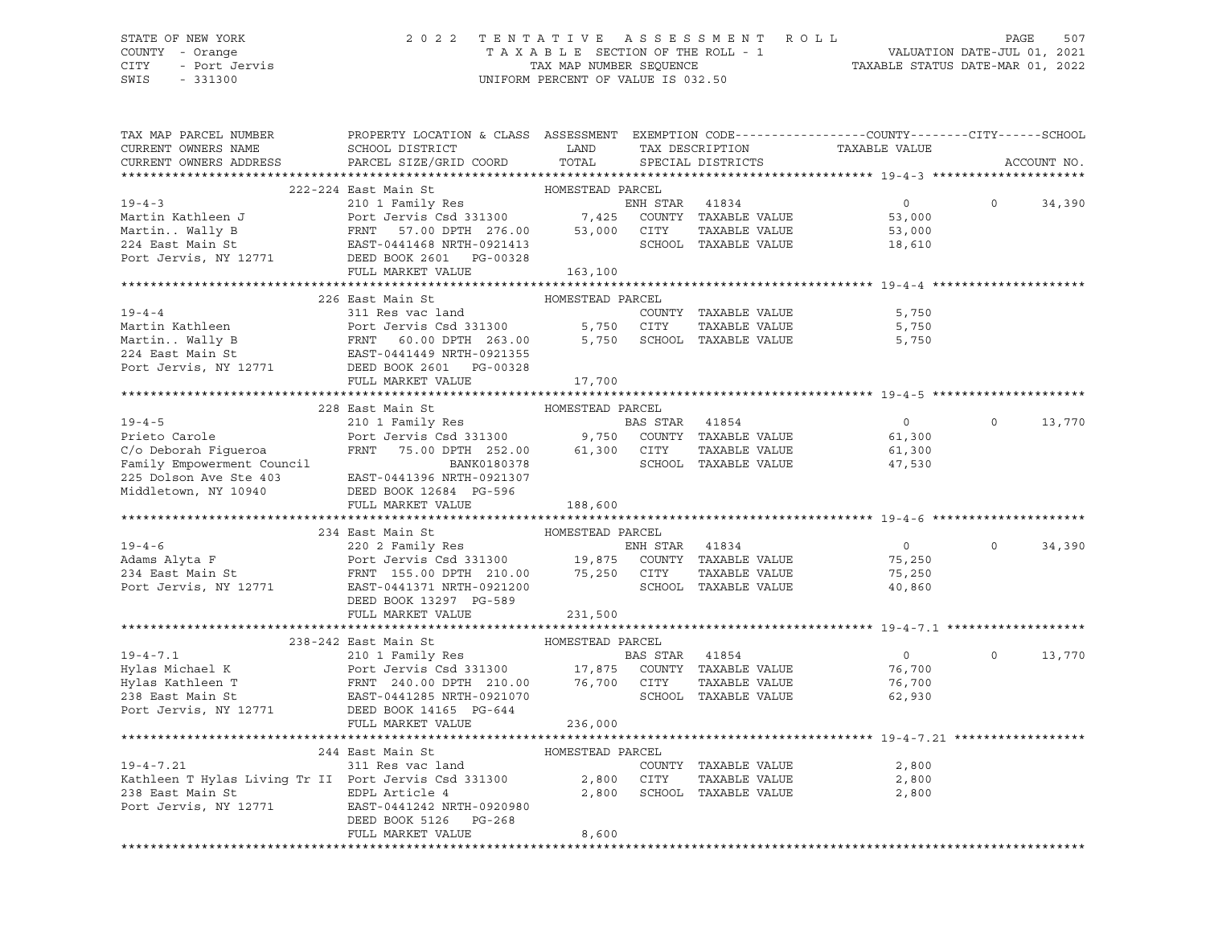### STATE OF NEW YORK 2 0 2 2 T E N T A T I V E A S S E S S M E N T R O L L PAGE 507 COUNTY - Orange T A X A B L E SECTION OF THE ROLL - 1 VALUATION DATE-JUL 01, 2021 CITY - Port Jervis TAX MAP NUMBER SEQUENCE TAXABLE STATUS DATE-MAR 01, 2022

SWIS - 331300 UNIFORM PERCENT OF VALUE IS 032.50

| TAX MAP PARCEL NUMBER<br>CURRENT OWNERS NAME                                                                                                                                                                                                         | PROPERTY LOCATION & CLASS ASSESSMENT EXEMPTION CODE----------------COUNTY-------CITY------SCHOOL<br><b>LAND</b><br>SCHOOL DISTRICT |                  |                |                            | TAX DESCRIPTION TAXABLE VALUE |          |             |
|------------------------------------------------------------------------------------------------------------------------------------------------------------------------------------------------------------------------------------------------------|------------------------------------------------------------------------------------------------------------------------------------|------------------|----------------|----------------------------|-------------------------------|----------|-------------|
| CURRENT OWNERS ADDRESS                                                                                                                                                                                                                               | PARCEL SIZE/GRID COORD                                                                                                             |                  |                | TOTAL SPECIAL DISTRICTS    |                               |          | ACCOUNT NO. |
|                                                                                                                                                                                                                                                      |                                                                                                                                    |                  |                |                            |                               |          |             |
|                                                                                                                                                                                                                                                      | 222-224 East Main St Management HOMESTEAD PARCEL                                                                                   |                  |                |                            |                               |          |             |
| 19-4-3<br>Martin Kathleen J<br>Martin. Wally B<br>210 1 Family Res<br>Port Jervis Csd 331300<br>FRNT 57.00 DPTH 276.00<br>53,000 CITY TAXABLE VALUE<br>224 East Main St<br>224 East Main St<br>224 East Main St<br>224 East Main St<br>224 East Main |                                                                                                                                    |                  |                |                            | $\overline{0}$                | $\Omega$ | 34,390      |
|                                                                                                                                                                                                                                                      |                                                                                                                                    |                  |                |                            | 53,000                        |          |             |
|                                                                                                                                                                                                                                                      |                                                                                                                                    |                  |                |                            | 53,000                        |          |             |
|                                                                                                                                                                                                                                                      |                                                                                                                                    |                  |                |                            | 18,610                        |          |             |
|                                                                                                                                                                                                                                                      |                                                                                                                                    |                  |                |                            |                               |          |             |
|                                                                                                                                                                                                                                                      | FULL MARKET VALUE 163,100                                                                                                          |                  |                |                            |                               |          |             |
|                                                                                                                                                                                                                                                      |                                                                                                                                    |                  |                |                            |                               |          |             |
|                                                                                                                                                                                                                                                      | 226 East Main St                                                                                                                   | HOMESTEAD PARCEL |                |                            |                               |          |             |
|                                                                                                                                                                                                                                                      |                                                                                                                                    |                  |                |                            | 5,750                         |          |             |
|                                                                                                                                                                                                                                                      |                                                                                                                                    |                  |                | TAXABLE VALUE              | 5,750                         |          |             |
|                                                                                                                                                                                                                                                      |                                                                                                                                    |                  |                |                            | 5,750                         |          |             |
|                                                                                                                                                                                                                                                      |                                                                                                                                    |                  |                |                            |                               |          |             |
|                                                                                                                                                                                                                                                      |                                                                                                                                    |                  |                |                            |                               |          |             |
|                                                                                                                                                                                                                                                      |                                                                                                                                    |                  |                |                            |                               |          |             |
|                                                                                                                                                                                                                                                      |                                                                                                                                    |                  |                |                            |                               |          |             |
|                                                                                                                                                                                                                                                      | 228 East Main St                                                                                                                   |                  |                |                            |                               |          |             |
| $19 - 4 - 5$                                                                                                                                                                                                                                         | East Main St<br>210 1 Family Res<br>Port Jewis Cad 2000000                                                                         |                  | BAS STAR 41854 |                            | $\overline{0}$                | $\circ$  | 13,770      |
|                                                                                                                                                                                                                                                      |                                                                                                                                    |                  |                |                            | 61,300                        |          |             |
|                                                                                                                                                                                                                                                      |                                                                                                                                    |                  |                | TAXABLE VALUE              |                               |          |             |
|                                                                                                                                                                                                                                                      |                                                                                                                                    |                  |                |                            | 61,300                        |          |             |
|                                                                                                                                                                                                                                                      |                                                                                                                                    |                  |                |                            | 47,530                        |          |             |
| Prieto Carole<br>Port Jervis Csd 331300 9,750 COUNTY TAXABLE VALUE<br>C/o Deborah Figueroa FRNT 75.00 DPTH 252.00 61,300 CITY TAXABLE VALUE<br>Family Empowerment Council BANK0180378 SCHOOL TAXABLE VALUE<br>225 Dolson Ave Ste 403 E               |                                                                                                                                    |                  |                |                            |                               |          |             |
|                                                                                                                                                                                                                                                      | FULL MARKET VALUE                                                                                                                  |                  |                |                            |                               |          |             |
|                                                                                                                                                                                                                                                      |                                                                                                                                    | 188,600          |                |                            |                               |          |             |
|                                                                                                                                                                                                                                                      | HOMESTEAD PARCEL<br>234 East Main St                                                                                               |                  |                |                            |                               |          |             |
|                                                                                                                                                                                                                                                      |                                                                                                                                    |                  |                |                            | $\overline{0}$                | $\Omega$ | 34,390      |
|                                                                                                                                                                                                                                                      |                                                                                                                                    |                  |                |                            |                               |          |             |
|                                                                                                                                                                                                                                                      |                                                                                                                                    |                  |                |                            | 75,250                        |          |             |
|                                                                                                                                                                                                                                                      |                                                                                                                                    |                  |                |                            | 75,250                        |          |             |
|                                                                                                                                                                                                                                                      |                                                                                                                                    |                  |                |                            | 40,860                        |          |             |
|                                                                                                                                                                                                                                                      | DEED BOOK 13297 PG-589                                                                                                             | 231,500          |                |                            |                               |          |             |
|                                                                                                                                                                                                                                                      | FULL MARKET VALUE                                                                                                                  |                  |                |                            |                               |          |             |
|                                                                                                                                                                                                                                                      |                                                                                                                                    |                  |                |                            |                               |          |             |
|                                                                                                                                                                                                                                                      | 238-242 East Main St                                                                                                               |                  |                |                            |                               |          |             |
|                                                                                                                                                                                                                                                      |                                                                                                                                    |                  |                |                            | $\overline{0}$                | $\circ$  | 13,770      |
|                                                                                                                                                                                                                                                      |                                                                                                                                    |                  |                |                            | 76,700                        |          |             |
|                                                                                                                                                                                                                                                      |                                                                                                                                    |                  |                | TAXABLE VALUE              | 76,700                        |          |             |
|                                                                                                                                                                                                                                                      |                                                                                                                                    |                  |                |                            | 62,930                        |          |             |
| 19-4-7.1 210 1 Family Res BAS STAR 41854<br>Hylas Michael K Port Jervis Csd 331300 17,875 COUNTY TAXABLE VALUE<br>Hylas Kathleen T FRNT 240.00 DPTH 210.00 76,700 CITY TAXABLE VALUE<br>238 East Main St EAST-0441285 NRTH-0921070 S                 |                                                                                                                                    |                  |                |                            |                               |          |             |
|                                                                                                                                                                                                                                                      | FULL MARKET VALUE                                                                                                                  | 236,000          |                |                            |                               |          |             |
|                                                                                                                                                                                                                                                      |                                                                                                                                    |                  |                |                            |                               |          |             |
|                                                                                                                                                                                                                                                      | 244 East Main St                                                                                                                   | HOMESTEAD PARCEL |                |                            |                               |          |             |
| EXAMPLE FOR THE STATE THE STATE OF THE SAMPLE TO THE SOUNT:<br>238 East Main St<br>2,800 CITY<br>Port Jervis. NY 19771 TERRY COMPRESSED PORT OF THE SAMPLE PORT OF THE PORT OF THE STATE OF THE STATE OF THE STATE THE STATE OF THE                  |                                                                                                                                    |                  |                | COUNTY TAXABLE VALUE       | 2,800                         |          |             |
|                                                                                                                                                                                                                                                      |                                                                                                                                    |                  |                | TAXABLE VALUE              | 2,800                         |          |             |
|                                                                                                                                                                                                                                                      |                                                                                                                                    |                  |                | 2,800 SCHOOL TAXABLE VALUE | 2,800                         |          |             |
| 238 East Main St<br>Port Jervis, NY 12771 EAST-0441242 NRTH-0920980                                                                                                                                                                                  |                                                                                                                                    |                  |                |                            |                               |          |             |
|                                                                                                                                                                                                                                                      | DEED BOOK 5126 PG-268                                                                                                              |                  |                |                            |                               |          |             |
|                                                                                                                                                                                                                                                      | FULL MARKET VALUE                                                                                                                  | 8,600            |                |                            |                               |          |             |
|                                                                                                                                                                                                                                                      |                                                                                                                                    |                  |                |                            |                               |          |             |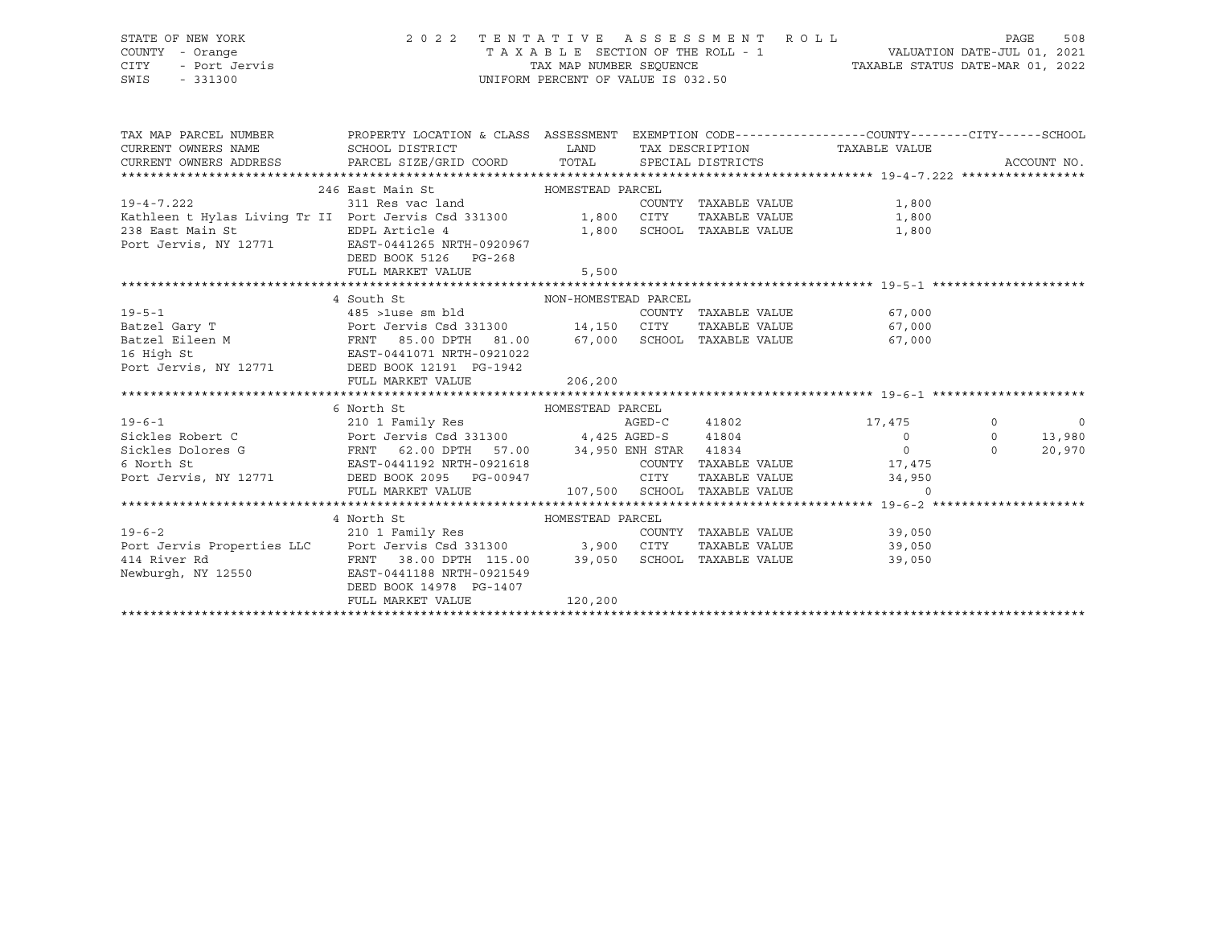## STATE OF NEW YORK 2 0 2 2 T E N T A T I V E A S S E S S M E N T R O L L PAGE 508 COUNTY - Orange T A X A B L E SECTION OF THE ROLL - 1 VALUATION DATE-JUL 01, 2021

SWIS - 331300 UNIFORM PERCENT OF VALUE IS 032.50

CITY - Port Jervis TAX MAP NUMBER SEQUENCE TAXABLE STATUS DATE-MAR 01, 2022

|                                                                                                                                                                                                                                                           | TAX MAP PARCEL NUMBER THE PROPERTY LOCATION & CLASS ASSESSMENT EXEMPTION CODE--------------COUNTY-------CITY------SCHOOL |         |  |  |                |
|-----------------------------------------------------------------------------------------------------------------------------------------------------------------------------------------------------------------------------------------------------------|--------------------------------------------------------------------------------------------------------------------------|---------|--|--|----------------|
|                                                                                                                                                                                                                                                           |                                                                                                                          |         |  |  |                |
| 246 East Main St<br>246 East Main St<br>311 Res vac land<br>21,800<br>21,800<br>21,800<br>21,800<br>21,800<br>21,800<br>2011 East Of Taxable VALUE<br>21,800<br>2011 Port Jervis Csd 331300<br>2011 2011 2021<br>2011 2022                                |                                                                                                                          |         |  |  |                |
|                                                                                                                                                                                                                                                           |                                                                                                                          |         |  |  |                |
|                                                                                                                                                                                                                                                           | DEED BOOK 5126 PG-268                                                                                                    |         |  |  |                |
|                                                                                                                                                                                                                                                           | FULL MARKET VALUE 5,500                                                                                                  |         |  |  |                |
|                                                                                                                                                                                                                                                           |                                                                                                                          |         |  |  |                |
|                                                                                                                                                                                                                                                           | 4 South St NON-HOMESTEAD PARCEL                                                                                          |         |  |  |                |
|                                                                                                                                                                                                                                                           |                                                                                                                          |         |  |  |                |
|                                                                                                                                                                                                                                                           |                                                                                                                          |         |  |  |                |
|                                                                                                                                                                                                                                                           |                                                                                                                          |         |  |  |                |
|                                                                                                                                                                                                                                                           |                                                                                                                          |         |  |  |                |
|                                                                                                                                                                                                                                                           |                                                                                                                          |         |  |  |                |
|                                                                                                                                                                                                                                                           |                                                                                                                          |         |  |  |                |
| 4 SOULD SL AND HANGE COUNTY TAXABLE VALUE<br>2018 19-5-1 (2018) 19-5-1 (2018) 2018 14:150 CUNTY TAXABLE VALUE<br>2018 14:150 CITY TAXABLE VALUE (2019) 2018<br>2018 16 High St EAST-0441071 NRTH-0921022<br>206,200 2018 206,200 EXABL                    |                                                                                                                          |         |  |  |                |
| 6 North St<br>210 1 Family Res<br>Sickles Robert C<br>Sickles Dolores G<br>6 North St<br>6 North St<br>EAST-0441192 NRTH-0921618<br>Port Jervis, NY 12771<br>DEED BOOK 2095 PG-00947<br>FULL MARKET VALUE<br>210 1 Family Res<br>4,425 AGED-S<br>4,425    |                                                                                                                          |         |  |  |                |
|                                                                                                                                                                                                                                                           |                                                                                                                          |         |  |  | $\overline{0}$ |
|                                                                                                                                                                                                                                                           |                                                                                                                          |         |  |  | 13,980         |
|                                                                                                                                                                                                                                                           |                                                                                                                          |         |  |  | 20,970         |
|                                                                                                                                                                                                                                                           |                                                                                                                          |         |  |  |                |
|                                                                                                                                                                                                                                                           |                                                                                                                          |         |  |  |                |
|                                                                                                                                                                                                                                                           |                                                                                                                          |         |  |  |                |
|                                                                                                                                                                                                                                                           |                                                                                                                          |         |  |  |                |
|                                                                                                                                                                                                                                                           |                                                                                                                          |         |  |  |                |
|                                                                                                                                                                                                                                                           |                                                                                                                          |         |  |  |                |
|                                                                                                                                                                                                                                                           |                                                                                                                          |         |  |  |                |
| 4 North St<br>210 1 Family Res<br>210 1 Family Res<br>210 1 Family Res<br>210 1 Family Res<br>210 1 Family Res<br>210 1 Family Res<br>210 1 Family Res<br>210 1 Family Res<br>210 1 Family Res<br>210 216 11 COUNTY TAXABLE VALUE<br>39,050<br>39,050<br> |                                                                                                                          |         |  |  |                |
|                                                                                                                                                                                                                                                           |                                                                                                                          |         |  |  |                |
|                                                                                                                                                                                                                                                           | DEED BOOK 14978 PG-1407                                                                                                  |         |  |  |                |
|                                                                                                                                                                                                                                                           | FULL MARKET VALUE                                                                                                        | 120,200 |  |  |                |
|                                                                                                                                                                                                                                                           |                                                                                                                          |         |  |  |                |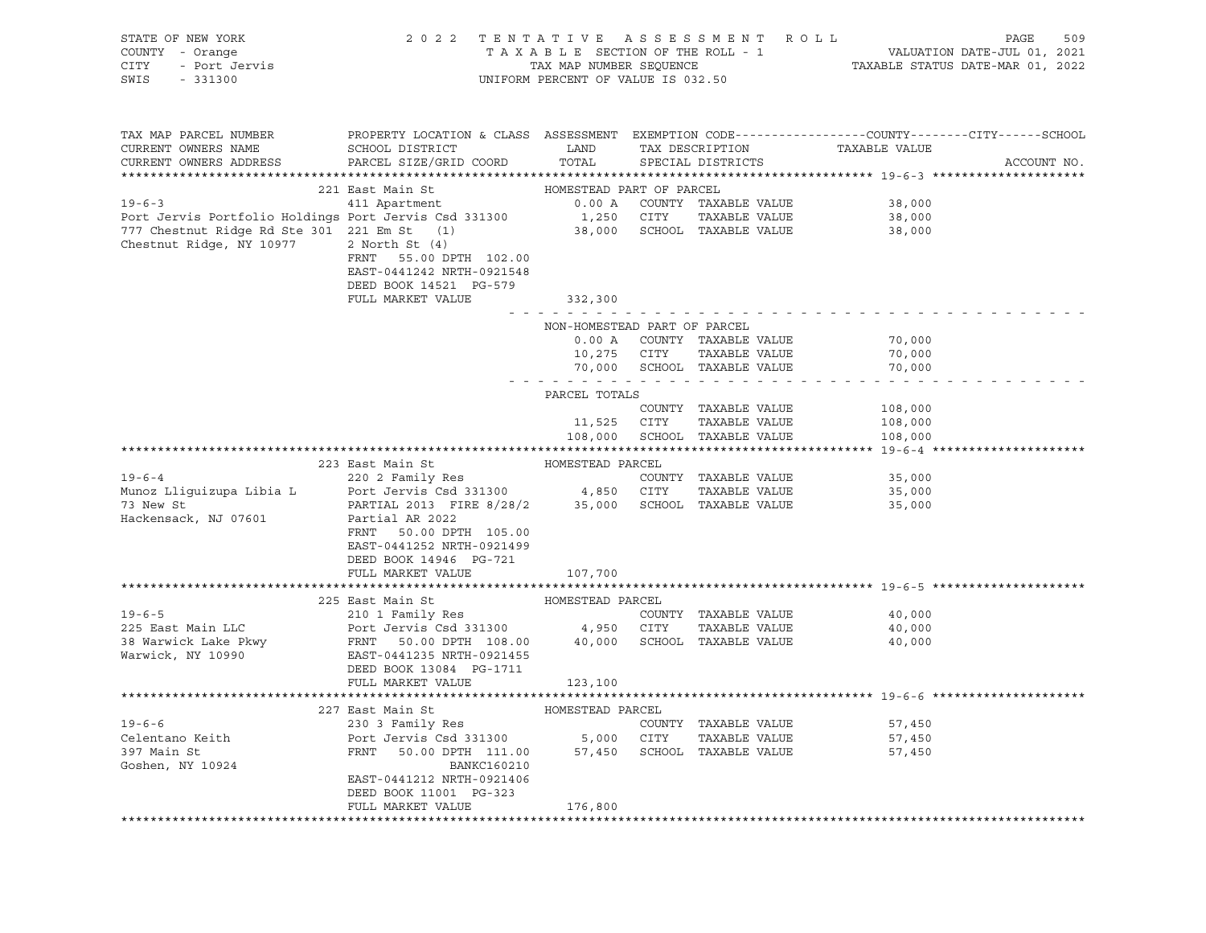| STATE OF NEW YORK<br>COUNTY - Orange<br>CITY<br>SWIS<br>$-331300$                                                                                                                                                                                                                                                                                          | OF NEW YORK 2022 TENTATIVE ASSESSMENT ROLL<br>Y - Orange TAXABLE SECTION OF THE ROLL - 1<br>- Port Jervis<br>2022 TENTATIVE ASSESSMENT ROLL - 1<br>TAX MAP NUMBER SEQUENCE<br>TAX MAP NUMBER SEQUENCE<br>UNIFORM PERCENT OF VALUE IS 032.50 | FENTATIVE ASSESSMENT ROLL PAGE 509<br>TAXABLE SECTION OF THE ROLL - 1 VALUATION DATE-JUL 01, 2021<br>TAX MAP NUMBER SEQUENCE TAXABLE STATUS DATE-MAR 01, 2022 |             |                                            |                                                             |             |
|------------------------------------------------------------------------------------------------------------------------------------------------------------------------------------------------------------------------------------------------------------------------------------------------------------------------------------------------------------|---------------------------------------------------------------------------------------------------------------------------------------------------------------------------------------------------------------------------------------------|---------------------------------------------------------------------------------------------------------------------------------------------------------------|-------------|--------------------------------------------|-------------------------------------------------------------|-------------|
| TAX MAP PARCEL NUMBER<br>CURRENT OWNERS NAME<br>CURRENT OWNERS ADDRESS                                                                                                                                                                                                                                                                                     | PROPERTY LOCATION & CLASS ASSESSMENT EXEMPTION CODE----------------COUNTY-------CITY------SCHOOL<br>SCHOOL DISTRICT LAND<br>PARCEL SIZE/GRID COORD                                                                                          | TOTAL                                                                                                                                                         |             |                                            | HAN DESCRIPTION TAXABLE VALUE TAX DESCRIPTION TAXABLE VALUE | ACCOUNT NO. |
|                                                                                                                                                                                                                                                                                                                                                            | 221 East Main St                                                                                                                                                                                                                            | HOMESTEAD PART OF PARCEL                                                                                                                                      |             |                                            |                                                             |             |
|                                                                                                                                                                                                                                                                                                                                                            |                                                                                                                                                                                                                                             |                                                                                                                                                               |             |                                            | 38,000                                                      |             |
|                                                                                                                                                                                                                                                                                                                                                            |                                                                                                                                                                                                                                             |                                                                                                                                                               |             |                                            | 38,000                                                      |             |
| 221 Bast Main Dr. (19-6-3<br>221 Bastmant 11 Apartment 0.00 A COUNTY TAXABLE VALUE<br>Port Jervis Portfolio Holdings Port Jervis Csd 331300 1,250 CITY TAXABLE VALUE<br>777 Chestnut Ridge Rd Ste 301 221 Em St (1) 38,000 SCHOOL TA<br>777 Chestnut Ridge Rd Ste 301 221 Em St (1)<br>Chestnut Ridge, NY 10977 2 North St (4)<br>Chestnut Ridge, NY 10977 | 2 North St (4)<br>FRNT<br>55.00 DPTH 102.00<br>EAST-0441242 NRTH-0921548<br>DEED BOOK 14521 PG-579<br>FULL MARKET VALUE                                                                                                                     |                                                                                                                                                               |             |                                            | 38,000                                                      |             |
|                                                                                                                                                                                                                                                                                                                                                            |                                                                                                                                                                                                                                             | 332,300<br>.                                                                                                                                                  |             |                                            |                                                             |             |
|                                                                                                                                                                                                                                                                                                                                                            |                                                                                                                                                                                                                                             | NON-HOMESTEAD PART OF PARCEL<br>0.00 A<br>10,275                                                                                                              |             | COUNTY TAXABLE VALUE<br>CITY TAXABLE VALUE | 70,000<br>70,000                                            |             |
|                                                                                                                                                                                                                                                                                                                                                            |                                                                                                                                                                                                                                             | .                                                                                                                                                             |             | 70,000 SCHOOL TAXABLE VALUE                | 70,000                                                      |             |
|                                                                                                                                                                                                                                                                                                                                                            |                                                                                                                                                                                                                                             | PARCEL TOTALS                                                                                                                                                 |             |                                            |                                                             |             |
|                                                                                                                                                                                                                                                                                                                                                            |                                                                                                                                                                                                                                             |                                                                                                                                                               |             | COUNTY TAXABLE VALUE                       | 108,000                                                     |             |
|                                                                                                                                                                                                                                                                                                                                                            |                                                                                                                                                                                                                                             |                                                                                                                                                               | 11,525 CITY | TAXABLE VALUE                              | 108,000                                                     |             |
|                                                                                                                                                                                                                                                                                                                                                            |                                                                                                                                                                                                                                             |                                                                                                                                                               |             | 108,000 SCHOOL TAXABLE VALUE               | 108,000                                                     |             |
|                                                                                                                                                                                                                                                                                                                                                            |                                                                                                                                                                                                                                             |                                                                                                                                                               |             |                                            |                                                             |             |
|                                                                                                                                                                                                                                                                                                                                                            | 223 East Main St                                                                                                                                                                                                                            | HOMESTEAD PARCEL                                                                                                                                              |             |                                            |                                                             |             |
|                                                                                                                                                                                                                                                                                                                                                            |                                                                                                                                                                                                                                             |                                                                                                                                                               |             | COUNTY TAXABLE VALUE                       | 35,000                                                      |             |
|                                                                                                                                                                                                                                                                                                                                                            |                                                                                                                                                                                                                                             |                                                                                                                                                               |             |                                            | 35,000<br>35,000                                            |             |
| 19-6-4<br>Munoz Lliguizupa Libia L<br>Munoz Lliguizupa Libia L<br>Port Jervis Csd 331300 (171 TAXABLE VALUE<br>PARTIAL 2013 FIRE 8/28/2 35,000 SCHOOL TAXABLE VALUE<br>Hackensack, NJ 07601 Partial AR 2022<br>PARTIAL 2013 FIRE 8/28/2 35                                                                                                                 | FRNT 50.00 DPTH 105.00<br>EAST-0441252 NRTH-0921499<br>DEED BOOK 14946 PG-721                                                                                                                                                               |                                                                                                                                                               |             |                                            |                                                             |             |
|                                                                                                                                                                                                                                                                                                                                                            | FULL MARKET VALUE                                                                                                                                                                                                                           | 107,700                                                                                                                                                       |             |                                            |                                                             |             |
|                                                                                                                                                                                                                                                                                                                                                            |                                                                                                                                                                                                                                             | HOMESTEAD PARCEL                                                                                                                                              |             |                                            |                                                             |             |
| $19 - 6 - 5$                                                                                                                                                                                                                                                                                                                                               | 225 East Main St<br>210 1 Family Res                                                                                                                                                                                                        |                                                                                                                                                               |             | COUNTY TAXABLE VALUE                       | 40,000                                                      |             |
|                                                                                                                                                                                                                                                                                                                                                            |                                                                                                                                                                                                                                             |                                                                                                                                                               |             |                                            | 40,000                                                      |             |
| 225 East Main LLC<br>25 East Main LLC<br>38 Warwick Lake Pkwy FRNT 50.00 PTH 108.00 4,950 CITY TAXABLE VALUE<br>38 Warwick, NY 10990 EAST-0441235 NRTH-0921455<br>2000 BCHOOL TAXABLE VALUE<br>2004 13094 PT 1711                                                                                                                                          | DEED BOOK 13084 PG-1711                                                                                                                                                                                                                     |                                                                                                                                                               |             |                                            | 40,000                                                      |             |
|                                                                                                                                                                                                                                                                                                                                                            | FULL MARKET VALUE                                                                                                                                                                                                                           | 123,100                                                                                                                                                       |             |                                            |                                                             |             |
|                                                                                                                                                                                                                                                                                                                                                            |                                                                                                                                                                                                                                             |                                                                                                                                                               |             |                                            |                                                             |             |
| $19 - 6 - 6$                                                                                                                                                                                                                                                                                                                                               | 227 East Main St                                                                                                                                                                                                                            | HOMESTEAD PARCEL                                                                                                                                              |             | COUNTY TAXABLE VALUE                       | 57,450                                                      |             |
| Celentano Keith                                                                                                                                                                                                                                                                                                                                            |                                                                                                                                                                                                                                             |                                                                                                                                                               |             |                                            | 57,450                                                      |             |
| 397 Main St                                                                                                                                                                                                                                                                                                                                                | 230 3 Family Res<br>Port Jervis Csd 331300 5,000 CITY TAXABLE VALUE<br>FRNT 50.00 DTH 111.00 57,450 SCHOOL TAXABLE VALUE                                                                                                                    |                                                                                                                                                               |             |                                            | 57,450                                                      |             |
| Goshen, NY 10924                                                                                                                                                                                                                                                                                                                                           | BANKC160210<br>EAST-0441212 NRTH-0921406<br>DEED BOOK 11001 PG-323                                                                                                                                                                          |                                                                                                                                                               |             |                                            |                                                             |             |
|                                                                                                                                                                                                                                                                                                                                                            | FULL MARKET VALUE                                                                                                                                                                                                                           | 176,800                                                                                                                                                       |             |                                            |                                                             |             |
|                                                                                                                                                                                                                                                                                                                                                            |                                                                                                                                                                                                                                             |                                                                                                                                                               |             |                                            |                                                             |             |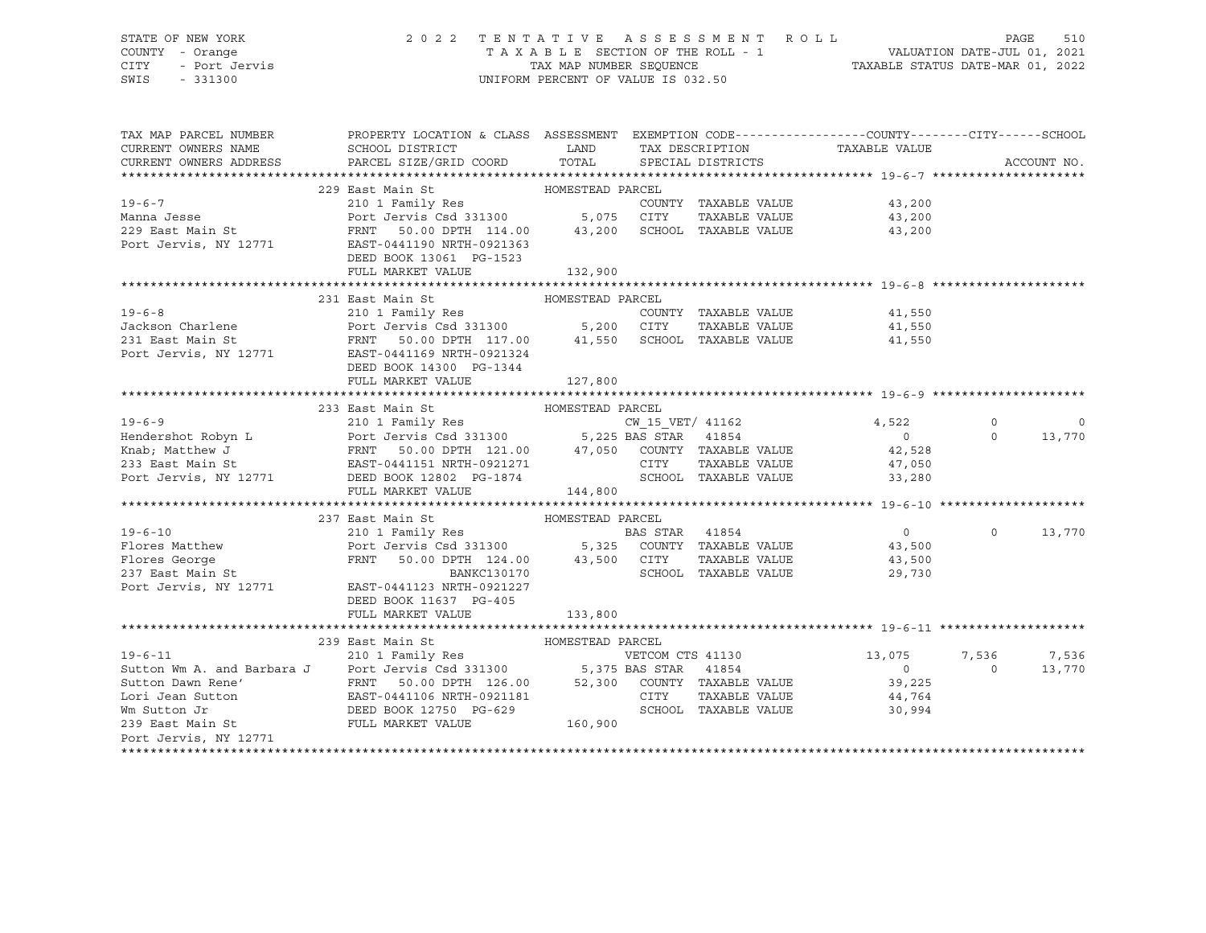### STATE OF NEW YORK 2 0 2 2 T E N T A T I V E A S S E S S M E N T R O L L PAGE 510 COUNTY - Orange T A X A B L E SECTION OF THE ROLL - 1 VALUATION DATE-JUL 01, 2021 CITY - Port Jervis TAX MAP NUMBER SEQUENCE TAXABLE STATUS DATE-MAR 01, 2022

| TAX MAP PARCEL NUMBER                                                  | PROPERTY LOCATION & CLASS ASSESSMENT EXEMPTION CODE----------------COUNTY-------CITY------SCHOOL                                                                                                                               |                  |                  |                      |                                |                |             |
|------------------------------------------------------------------------|--------------------------------------------------------------------------------------------------------------------------------------------------------------------------------------------------------------------------------|------------------|------------------|----------------------|--------------------------------|----------------|-------------|
| CURRENT OWNERS NAME                                                    | SCHOOL DISTRICT                                                                                                                                                                                                                | <b>LAND</b>      |                  |                      | TAX DESCRIPTION TAXABLE VALUE  |                |             |
| CURRENT OWNERS ADDRESS PARCEL SIZE/GRID COORD TOTAL SPECIAL DISTRICTS  |                                                                                                                                                                                                                                |                  |                  |                      |                                |                | ACCOUNT NO. |
|                                                                        |                                                                                                                                                                                                                                |                  |                  |                      |                                |                |             |
|                                                                        | 229 East Main St<br>HOMESTEAD PARCEL                                                                                                                                                                                           |                  |                  |                      |                                |                |             |
| $19 - 6 - 7$                                                           |                                                                                                                                                                                                                                |                  |                  | COUNTY TAXABLE VALUE | 43,200                         |                |             |
| Manna Jesse                                                            |                                                                                                                                                                                                                                |                  |                  | TAXABLE VALUE        | 43,200                         |                |             |
| 229 East Main St                                                       | FRNT 50.00 DPTH 114.00 43,200 SCHOOL TAXABLE VALUE                                                                                                                                                                             |                  |                  |                      | 43,200                         |                |             |
| Port Jervis, NY 12771                                                  | EAST-0441190 NRTH-0921363                                                                                                                                                                                                      |                  |                  |                      |                                |                |             |
|                                                                        | DEED BOOK 13061 PG-1523                                                                                                                                                                                                        |                  |                  |                      |                                |                |             |
|                                                                        | FULL MARKET VALUE                                                                                                                                                                                                              | 132,900          |                  |                      |                                |                |             |
|                                                                        |                                                                                                                                                                                                                                |                  |                  |                      |                                |                |             |
| $19 - 6 - 8$                                                           | 231 East Main St                                                                                                                                                                                                               | HOMESTEAD PARCEL |                  |                      |                                |                |             |
| Jackson Charlene <b>Fort Jervis</b> Csd 331300 5,200 CITY              | 210 1 Family Res                                                                                                                                                                                                               |                  |                  | COUNTY TAXABLE VALUE | 41,550<br>TAXABLE VALUE 41,550 |                |             |
|                                                                        |                                                                                                                                                                                                                                |                  |                  |                      | 41,550                         |                |             |
|                                                                        |                                                                                                                                                                                                                                |                  |                  |                      |                                |                |             |
|                                                                        | DEED BOOK 14300 PG-1344                                                                                                                                                                                                        |                  |                  |                      |                                |                |             |
|                                                                        | FULL MARKET VALUE                                                                                                                                                                                                              | 127,800          |                  |                      |                                |                |             |
|                                                                        |                                                                                                                                                                                                                                |                  |                  |                      |                                |                |             |
|                                                                        | 233 East Main St<br>210 1 Family Res<br>210 1 Family Res<br>Port Jervis Csd 331300<br>FRNT 50.00 DPTH 121.00 47,050 COUNTY TAXABLE VALUE<br>21.0711 EAST-0441151 NRTH-0921271 CITY TAXABLE VALUE<br>21.0711 CITY TAXABLE VALUE |                  |                  |                      |                                |                |             |
| $19 - 6 - 9$                                                           |                                                                                                                                                                                                                                |                  |                  |                      | 4,522                          | $\circ$        | 0           |
| Hendershot Robyn L                                                     |                                                                                                                                                                                                                                |                  |                  |                      | $\overline{0}$                 | $\Omega$       | 13,770      |
| Knab; Matthew J                                                        |                                                                                                                                                                                                                                |                  |                  |                      | 42,528                         |                |             |
| 233 East Main St                                                       |                                                                                                                                                                                                                                |                  |                  |                      | 47,050                         |                |             |
| Port Jervis, NY 12771 DEED BOOK 12802 PG-1874                          |                                                                                                                                                                                                                                |                  |                  | SCHOOL TAXABLE VALUE | 33,280                         |                |             |
|                                                                        | FULL MARKET VALUE                                                                                                                                                                                                              | 144,800          |                  |                      |                                |                |             |
|                                                                        |                                                                                                                                                                                                                                |                  |                  |                      |                                |                |             |
|                                                                        | 237 East Main St Management HOMESTEAD PARCEL                                                                                                                                                                                   |                  |                  |                      |                                |                |             |
| $19 - 6 - 10$                                                          | 210 1 Family Res                                                                                                                                                                                                               |                  | BAS STAR 41854   |                      | $\overline{0}$                 | $\Omega$       | 13,770      |
|                                                                        |                                                                                                                                                                                                                                |                  |                  |                      | $43,500$<br>$43,500$           |                |             |
| Flores Matthew<br>Flores George<br>237 East Main St                    | Port Jervis Csd 331300 5,325 COUNTY TAXABLE VALUE<br>FRNT 50.00 DPTH 124.00 43,500 CITY TAXABLE VALUE<br>BANKC130170 SCHOOL TAXABLE VALUE                                                                                      |                  |                  |                      |                                |                |             |
|                                                                        |                                                                                                                                                                                                                                |                  |                  |                      | 29,730                         |                |             |
| Port Jervis, NY 12771                                                  | EAST-0441123 NRTH-0921227                                                                                                                                                                                                      |                  |                  |                      |                                |                |             |
|                                                                        | DEED BOOK 11637 PG-405<br>FULL MARKET VALUE                                                                                                                                                                                    | 133,800          |                  |                      |                                |                |             |
|                                                                        |                                                                                                                                                                                                                                |                  |                  |                      |                                |                |             |
|                                                                        | 239 East Main St<br>HOMESTEAD PARCEL                                                                                                                                                                                           |                  |                  |                      |                                |                |             |
| $19 - 6 - 11$                                                          | 210 1 Family Res                                                                                                                                                                                                               |                  | VETCOM CTS 41130 |                      | 13,075                         | 7,536          | 7,536       |
| Sutton Wm A. and Barbara J Port Jervis Csd 331300 5,375 BAS STAR 41854 |                                                                                                                                                                                                                                |                  |                  |                      | $\circ$                        | $\overline{0}$ | 13,770      |
|                                                                        |                                                                                                                                                                                                                                |                  |                  |                      | 39,225                         |                |             |
|                                                                        |                                                                                                                                                                                                                                |                  |                  |                      | 44,764                         |                |             |
|                                                                        |                                                                                                                                                                                                                                |                  |                  |                      | 30,994                         |                |             |
| 239 East Main St                                                       | FULL MARKET VALUE                                                                                                                                                                                                              | 160,900          |                  |                      |                                |                |             |
| Port Jervis, NY 12771                                                  |                                                                                                                                                                                                                                |                  |                  |                      |                                |                |             |
|                                                                        |                                                                                                                                                                                                                                |                  |                  |                      |                                |                |             |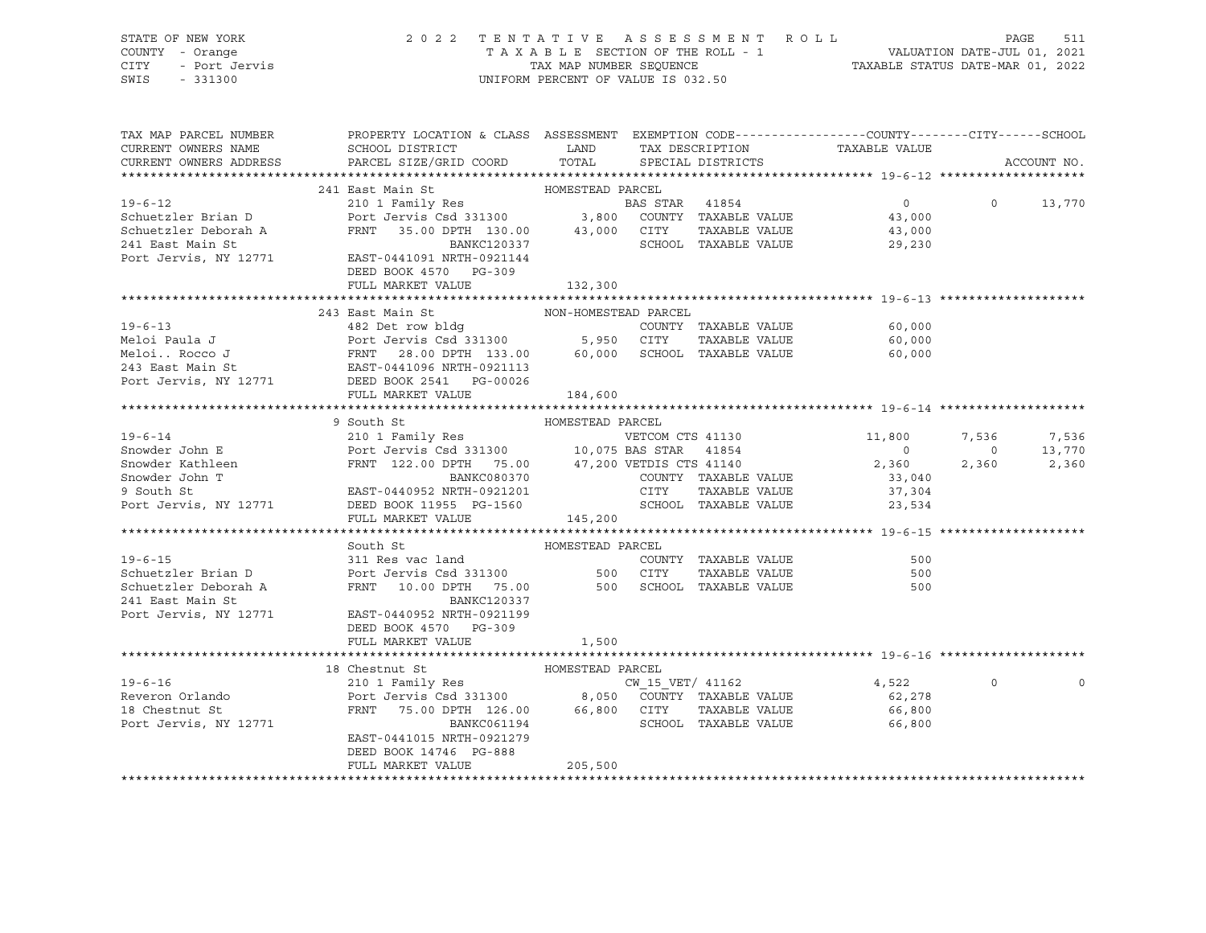| STATE OF NEW YORK<br>OF NEW YORK<br>- Orange<br>- Port Jervis<br>- 201200<br>COUNTY - Orange<br>CITY<br>SWIS                                                                                                                                           |                                                                                                                                                    | UNIFORM PERCENT OF VALUE IS 032.50 |             |                                      |                          |                |                       |
|--------------------------------------------------------------------------------------------------------------------------------------------------------------------------------------------------------------------------------------------------------|----------------------------------------------------------------------------------------------------------------------------------------------------|------------------------------------|-------------|--------------------------------------|--------------------------|----------------|-----------------------|
| TAX MAP PARCEL NUMBER<br>CURRENT OWNERS NAME<br>CURRENT OWNERS ADDRESS                                                                                                                                                                                 | PROPERTY LOCATION & CLASS ASSESSMENT EXEMPTION CODE----------------COUNTY-------CITY------SCHOOL<br>SCHOOL DISTRICT LAND<br>PARCEL SIZE/GRID COORD | TOTAL                              |             | TAX DESCRIPTION<br>SPECIAL DISTRICTS | TAXABLE VALUE            |                | ACCOUNT NO.           |
|                                                                                                                                                                                                                                                        |                                                                                                                                                    |                                    |             |                                      |                          |                |                       |
| Schuetzler Brian D<br>Schuetzler Brian D<br>Schuetzler Deborah A<br>Port Jervis Csd 331300<br>FRNT 35.00 DPTH 130.00<br>241 East Main St<br>241 East Main St                                                                                           | 241 East Main St                                                                                                                                   | HOMESTEAD PARCEL                   |             |                                      |                          |                |                       |
|                                                                                                                                                                                                                                                        |                                                                                                                                                    |                                    |             |                                      | $\overline{0}$           | $\circ$        | 13,770                |
|                                                                                                                                                                                                                                                        |                                                                                                                                                    |                                    |             |                                      | 43,000                   |                |                       |
|                                                                                                                                                                                                                                                        | FRNT 35.00 DPTH 130.00 43,000 CITY TAXABLE VALUE<br>BANKC120337 SCHOOL TAXABLE VALUE                                                               |                                    |             |                                      | 43,000                   |                |                       |
| Port Jervis, NY 12771                                                                                                                                                                                                                                  | EAST-0441091 NRTH-0921144<br>DEED BOOK 4570 PG-309                                                                                                 |                                    |             |                                      | 29,230                   |                |                       |
|                                                                                                                                                                                                                                                        | FULL MARKET VALUE                                                                                                                                  | 132,300                            |             |                                      |                          |                |                       |
|                                                                                                                                                                                                                                                        |                                                                                                                                                    |                                    |             |                                      |                          |                |                       |
|                                                                                                                                                                                                                                                        | 243 East Main St                                                                                                                                   | NON-HOMESTEAD PARCEL               |             |                                      |                          |                |                       |
|                                                                                                                                                                                                                                                        |                                                                                                                                                    |                                    |             | COUNTY TAXABLE VALUE                 | 60,000                   |                |                       |
|                                                                                                                                                                                                                                                        |                                                                                                                                                    |                                    |             | TAXABLE VALUE                        | 60,000                   |                |                       |
|                                                                                                                                                                                                                                                        |                                                                                                                                                    |                                    |             | 60,000 SCHOOL TAXABLE VALUE          | 60,000                   |                |                       |
|                                                                                                                                                                                                                                                        |                                                                                                                                                    |                                    |             |                                      |                          |                |                       |
| 19-6-13<br>Meloi Paula J<br>Meloi Paula J<br>Meloi Rocco J<br>Meloi Rocco J<br>Port Jervis Cad 331300<br>Port Jervis Cad 331300<br>Port Jervis Cad 331300<br>FRNT 28.00 DPTH 133.00<br>60,000 SCHOOL<br>SCHOOL<br>Port Jervis, NY 12771<br>DEED BOOK 2 |                                                                                                                                                    |                                    |             |                                      |                          |                |                       |
|                                                                                                                                                                                                                                                        | FULL MARKET VALUE                                                                                                                                  | 184,600                            |             |                                      |                          |                |                       |
|                                                                                                                                                                                                                                                        |                                                                                                                                                    |                                    |             |                                      |                          |                |                       |
| $19 - 6 - 14$                                                                                                                                                                                                                                          | 9 South St                                                                                                                                         | HOMESTEAD PARCEL                   |             |                                      |                          |                |                       |
| Snowder John E                                                                                                                                                                                                                                         | 210 1 Family Res<br>Port Jervis Csd 331300 10,075 BAS STAR 41854                                                                                   |                                    |             | VETCOM CTS 41130                     | 11,800<br>$\overline{0}$ | $\overline{0}$ | 7,536 7,536<br>13,770 |
|                                                                                                                                                                                                                                                        |                                                                                                                                                    |                                    |             |                                      | 2,360                    | 2,360          | 2,360                 |
| Showder Kathleen<br>Showder John T<br>Showder John T<br>Showder John T<br>Showder Showder The State of the COUNTY TAXABLE VALUE<br>Showder John T<br>COUNTY TAXABLE VALUE                                                                              |                                                                                                                                                    |                                    |             |                                      | 33,040                   |                |                       |
| 9 South St                                                                                                                                                                                                                                             | EAST-0440952 NRTH-0921201                                                                                                                          |                                    | <b>CITY</b> | TAXABLE VALUE                        | 37,304                   |                |                       |
| Port Jervis, NY 12771                                                                                                                                                                                                                                  | DEED BOOK 11955 PG-1560                                                                                                                            |                                    |             | SCHOOL TAXABLE VALUE                 | 23,534                   |                |                       |
|                                                                                                                                                                                                                                                        | FULL MARKET VALUE                                                                                                                                  | 145,200                            |             |                                      |                          |                |                       |
|                                                                                                                                                                                                                                                        |                                                                                                                                                    |                                    |             |                                      |                          |                |                       |
|                                                                                                                                                                                                                                                        | South St                                                                                                                                           | HOMESTEAD PARCEL                   |             |                                      |                          |                |                       |
| $19 - 6 - 15$                                                                                                                                                                                                                                          |                                                                                                                                                    |                                    |             | COUNTY TAXABLE VALUE                 | 500                      |                |                       |
|                                                                                                                                                                                                                                                        |                                                                                                                                                    |                                    |             | TAXABLE VALUE                        | 500                      |                |                       |
|                                                                                                                                                                                                                                                        |                                                                                                                                                    |                                    |             |                                      | 500                      |                |                       |
| 241 East Main St                                                                                                                                                                                                                                       | BANKC120337                                                                                                                                        |                                    |             |                                      |                          |                |                       |
| Port Jervis, NY 12771                                                                                                                                                                                                                                  | EAST-0440952 NRTH-0921199                                                                                                                          |                                    |             |                                      |                          |                |                       |
|                                                                                                                                                                                                                                                        | DEED BOOK 4570 PG-309                                                                                                                              |                                    |             |                                      |                          |                |                       |
|                                                                                                                                                                                                                                                        | FULL MARKET VALUE                                                                                                                                  | 1,500                              |             |                                      |                          |                |                       |
|                                                                                                                                                                                                                                                        | 18 Chestnut St                                                                                                                                     | HOMESTEAD PARCEL                   |             |                                      |                          |                |                       |
|                                                                                                                                                                                                                                                        |                                                                                                                                                    |                                    |             |                                      | 4,522                    | $\circ$        |                       |
|                                                                                                                                                                                                                                                        |                                                                                                                                                    |                                    |             |                                      | 62,278                   |                |                       |
|                                                                                                                                                                                                                                                        |                                                                                                                                                    |                                    |             |                                      | 66,800                   |                |                       |
| 19-6-16<br>Reveron Orlando<br>210 1 Family Res<br>Port Jervis Csd 331300<br>210 1 Family Res<br>Port Jervis Csd 331300<br>216 08,050 COUNTY TAXABLE VALUE<br>210 1 Family Res<br>Port Jervis Csd 331300<br>26,050 COUNTY TAXABLE VALUE<br>26,000 C     |                                                                                                                                                    |                                    |             | SCHOOL TAXABLE VALUE                 | 66,800                   |                |                       |
|                                                                                                                                                                                                                                                        | EAST-0441015 NRTH-0921279                                                                                                                          |                                    |             |                                      |                          |                |                       |
|                                                                                                                                                                                                                                                        | DEED BOOK 14746 PG-888                                                                                                                             |                                    |             |                                      |                          |                |                       |
|                                                                                                                                                                                                                                                        | FULL MARKET VALUE                                                                                                                                  | 205,500                            |             |                                      |                          |                |                       |
|                                                                                                                                                                                                                                                        |                                                                                                                                                    |                                    |             |                                      |                          |                |                       |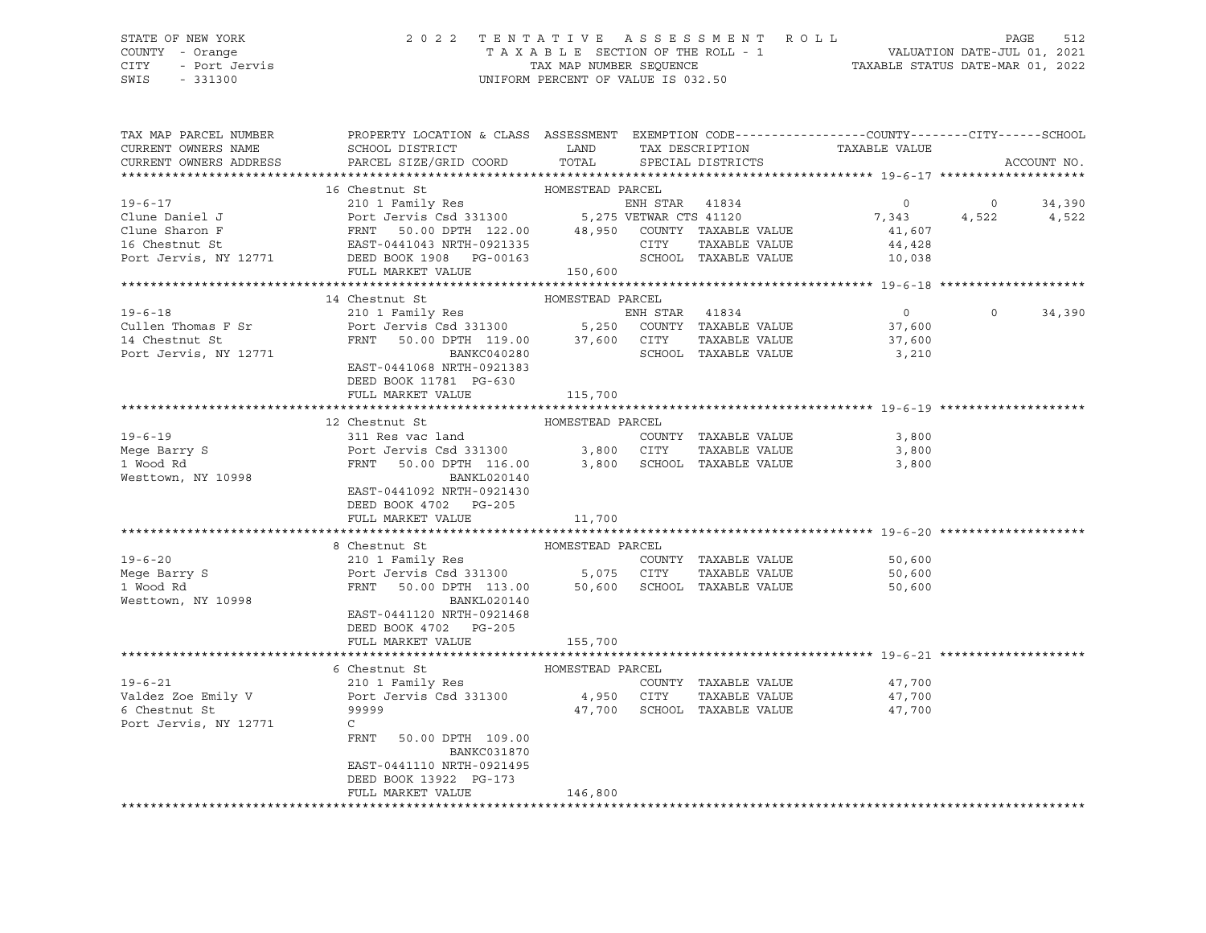### STATE OF NEW YORK 2 0 2 2 T E N T A T I V E A S S E S S M E N T R O L L PAGE 512 COUNTY - Orange T A X A B L E SECTION OF THE ROLL - 1 VALUATION DATE-JUL 01, 2021 CITY - Port Jervis TAX MAP NUMBER SEQUENCE TAXABLE STATUS DATE-MAR 01, 2022

SWIS - 331300 UNIFORM PERCENT OF VALUE IS 032.50

| TAX MAP PARCEL NUMBER<br>CURRENT OWNERS NAME | PROPERTY LOCATION & CLASS ASSESSMENT EXEMPTION CODE----------------COUNTY-------CITY------SCHOOL<br>SCHOOL DISTRICT<br><b>EXAMPLE STATE STATE</b> |                  |                | TAX DESCRIPTION             | TAXABLE VALUE  |          |             |
|----------------------------------------------|---------------------------------------------------------------------------------------------------------------------------------------------------|------------------|----------------|-----------------------------|----------------|----------|-------------|
| CURRENT OWNERS ADDRESS                       | PARCEL SIZE/GRID COORD                                                                                                                            | TOTAL            |                | SPECIAL DISTRICTS           |                |          | ACCOUNT NO. |
|                                              | 16 Chestnut St                                                                                                                                    | HOMESTEAD PARCEL |                |                             |                |          |             |
| $19 - 6 - 17$                                | 210 1 Family Res                                                                                                                                  |                  |                | ENH STAR 41834              | $\overline{0}$ |          | 0 $34,390$  |
| Clune Daniel J                               |                                                                                                                                                   |                  |                |                             | 7,343          |          | 4,522 4,522 |
| Clune Sharon F                               | Port Jervis Csd 331300 5,275 VETWAR CTS 41120<br>FRNT 50.00 DPTH 122.00 48,950 COUNTY TAXABLE VALUE<br>Port Je<br>FRNT<br>EAST-04<br>DEED BO      |                  |                |                             | 41,607         |          |             |
| 16 Chestnut St                               | EAST-0441043 NRTH-0921335                                                                                                                         |                  | CITY           | TAXABLE VALUE               | 44,428         |          |             |
| Port Jervis, NY 12771                        | DEED BOOK 1908  PG-00163                                                                                                                          |                  |                | SCHOOL TAXABLE VALUE        | 10,038         |          |             |
|                                              | FULL MARKET VALUE                                                                                                                                 | 150,600          |                |                             |                |          |             |
|                                              |                                                                                                                                                   |                  |                |                             |                |          |             |
|                                              | 14 Chestnut St                                                                                                                                    | HOMESTEAD PARCEL |                |                             |                |          |             |
| $19 - 6 - 18$                                | 210 1 Family Res                                                                                                                                  |                  | ENH STAR 41834 |                             | $\overline{0}$ | $\Omega$ | 34,390      |
| Cullen Thomas F Sr                           |                                                                                                                                                   |                  |                |                             | 37,600         |          |             |
| 14 Chestnut St                               | Port Jervis Csd 331300 5,250 COUNTY TAXABLE VALUE<br>FRNT 50.00 DPTH 119.00 37,600 CITY TAXABLE VALUE                                             |                  |                |                             | 37,600         |          |             |
| Port Jervis, NY 12771                        | BANKC040280                                                                                                                                       |                  |                | SCHOOL TAXABLE VALUE        | 3,210          |          |             |
|                                              | EAST-0441068 NRTH-0921383                                                                                                                         |                  |                |                             |                |          |             |
|                                              | DEED BOOK 11781 PG-630                                                                                                                            |                  |                |                             |                |          |             |
|                                              | FULL MARKET VALUE                                                                                                                                 | 115,700          |                |                             |                |          |             |
|                                              |                                                                                                                                                   |                  |                |                             |                |          |             |
|                                              | 12 Chestnut St                                                                                                                                    | HOMESTEAD PARCEL |                |                             |                |          |             |
| $19 - 6 - 19$                                | 311 Res vac land                                                                                                                                  |                  |                | COUNTY TAXABLE VALUE        | 3,800          |          |             |
| Mege Barry S                                 | Port Jervis Csd 331300 3,800 CITY                                                                                                                 |                  |                | TAXABLE VALUE               | 3,800          |          |             |
| 1 Wood Rd                                    | 50.00 DPTH 116.00 3,800 SCHOOL TAXABLE VALUE<br>FRNT                                                                                              |                  |                |                             | 3,800          |          |             |
| Westtown, NY 10998                           | BANKL020140                                                                                                                                       |                  |                |                             |                |          |             |
|                                              | EAST-0441092 NRTH-0921430                                                                                                                         |                  |                |                             |                |          |             |
|                                              | DEED BOOK 4702 PG-205<br>FULL MARKET VALUE                                                                                                        | 11,700           |                |                             |                |          |             |
|                                              |                                                                                                                                                   |                  |                |                             |                |          |             |
|                                              | 8 Chestnut St                                                                                                                                     | HOMESTEAD PARCEL |                |                             |                |          |             |
| $19 - 6 - 20$                                |                                                                                                                                                   |                  |                | COUNTY TAXABLE VALUE        | 50,600         |          |             |
| Mege Barry S                                 | 210 1 Family Res COUNT<br>COUNT Port Jervis Csd 331300 5,075 CITY                                                                                 |                  |                | TAXABLE VALUE               | 50,600         |          |             |
| 1 Wood Rd                                    | FRNT 50.00 DPTH 113.00 50,600 SCHOOL TAXABLE VALUE                                                                                                |                  |                |                             | 50,600         |          |             |
| Westtown, NY 10998                           | BANKL020140                                                                                                                                       |                  |                |                             |                |          |             |
|                                              | EAST-0441120 NRTH-0921468                                                                                                                         |                  |                |                             |                |          |             |
|                                              | DEED BOOK 4702 PG-205                                                                                                                             |                  |                |                             |                |          |             |
|                                              | FULL MARKET VALUE                                                                                                                                 | 155,700          |                |                             |                |          |             |
|                                              |                                                                                                                                                   |                  |                |                             |                |          |             |
|                                              | 6 Chestnut St                                                                                                                                     | HOMESTEAD PARCEL |                |                             |                |          |             |
| $19 - 6 - 21$                                | 210 1 Family Res                                                                                                                                  |                  |                | COUNTY TAXABLE VALUE        | 47,700         |          |             |
| Valdez Zoe Emily V                           | Port Jervis Csd 331300 4,950 CITY                                                                                                                 |                  |                | TAXABLE VALUE               | 47,700         |          |             |
| 6 Chestnut St                                | 99999                                                                                                                                             |                  |                | 47,700 SCHOOL TAXABLE VALUE | 47,700         |          |             |
| Port Jervis, NY 12771                        | $\mathsf{C}$                                                                                                                                      |                  |                |                             |                |          |             |
|                                              | FRNT<br>50.00 DPTH 109.00<br><b>BANKC031870</b>                                                                                                   |                  |                |                             |                |          |             |
|                                              | EAST-0441110 NRTH-0921495                                                                                                                         |                  |                |                             |                |          |             |
|                                              | DEED BOOK 13922 PG-173                                                                                                                            |                  |                |                             |                |          |             |
|                                              | FULL MARKET VALUE                                                                                                                                 | 146,800          |                |                             |                |          |             |
|                                              |                                                                                                                                                   |                  |                |                             |                |          |             |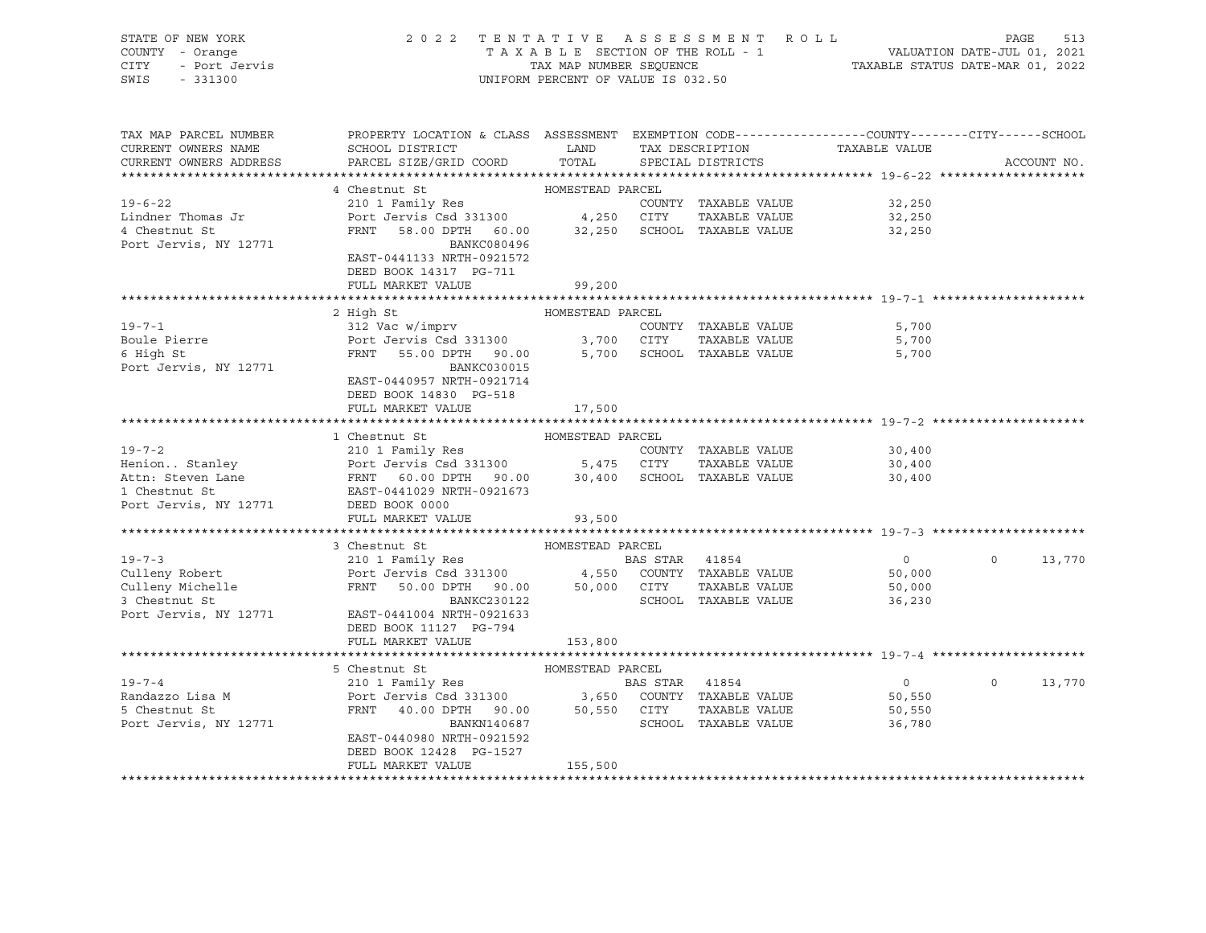| STATE OF NEW YORK<br>COUNTY - Orange<br>- Port Jervis<br>CITY<br>SWIS<br>$-331300$ | 2022 TENTATIVE ASSESSMENT ROLL                                                                                                               | UNIFORM PERCENT OF VALUE IS 032.50 |                |                                                                     | TAXABLE SECTION OF THE ROLL - 1<br>TAXABLE SECTION OF THE ROLL - 1<br>TAXABLE STATUS DATE-MAR 01, 2022 | PAGE     | 513         |
|------------------------------------------------------------------------------------|----------------------------------------------------------------------------------------------------------------------------------------------|------------------------------------|----------------|---------------------------------------------------------------------|--------------------------------------------------------------------------------------------------------|----------|-------------|
| TAX MAP PARCEL NUMBER<br>CURRENT OWNERS NAME<br>CURRENT OWNERS ADDRESS             | PROPERTY LOCATION & CLASS ASSESSMENT EXEMPTION CODE---------------COUNTY-------CITY------SCHOOL<br>SCHOOL DISTRICT<br>PARCEL SIZE/GRID COORD | LAND<br>TOTAL                      |                | TAX DESCRIPTION<br>SPECIAL DISTRICTS                                | TAXABLE VALUE                                                                                          |          | ACCOUNT NO. |
|                                                                                    | 4 Chestnut St                                                                                                                                | HOMESTEAD PARCEL                   |                |                                                                     |                                                                                                        |          |             |
| $19 - 6 - 22$<br>Lindner Thomas Jr<br>4 Chestnut St                                | 210 1 Family Res<br>Port Jervis Csd 331300 4,250 CITY<br>FRNT 58.00 DPTH 60.00 32,250 SCHOOL TAXABLE VALUE                                   |                                    |                | COUNTY TAXABLE VALUE<br>TAXABLE VALUE                               | 32,250<br>32,250<br>32,250                                                                             |          |             |
| Port Jervis, NY 12771                                                              | BANKC080496<br>EAST-0441133 NRTH-0921572<br>DEED BOOK 14317 PG-711<br>FULL MARKET VALUE                                                      | 99,200                             |                |                                                                     |                                                                                                        |          |             |
|                                                                                    |                                                                                                                                              |                                    |                |                                                                     |                                                                                                        |          |             |
|                                                                                    | 2 High St                                                                                                                                    | HOMESTEAD PARCEL                   |                |                                                                     |                                                                                                        |          |             |
| $19 - 7 - 1$<br>Boule Pierre<br>6 High St<br>Port Jervis, NY 12771                 | 312 Vac w/imprv<br>Port Jervis Csd 331300 3,700 CITY<br>FRNT 55.00 DPTH 90.00<br>BANKC030015<br>EAST-0440957 NRTH-0921714                    |                                    |                | COUNTY TAXABLE VALUE<br>TAXABLE VALUE<br>5,700 SCHOOL TAXABLE VALUE | 5,700<br>5,700<br>5,700                                                                                |          |             |
|                                                                                    | DEED BOOK 14830 PG-518                                                                                                                       |                                    |                |                                                                     |                                                                                                        |          |             |
|                                                                                    | FULL MARKET VALUE                                                                                                                            | 17,500                             |                |                                                                     |                                                                                                        |          |             |
|                                                                                    |                                                                                                                                              |                                    |                |                                                                     |                                                                                                        |          |             |
|                                                                                    | 1 Chestnut St                                                                                                                                | HOMESTEAD PARCEL                   |                |                                                                     |                                                                                                        |          |             |
| $19 - 7 - 2$                                                                       | 210 1 Family Res                                                                                                                             |                                    |                | COUNTY TAXABLE VALUE                                                | 30,400<br>30,400                                                                                       |          |             |
|                                                                                    |                                                                                                                                              |                                    |                |                                                                     | 30,400                                                                                                 |          |             |
| 1 Chestnut St                                                                      | EAST-0441029 NRTH-0921673                                                                                                                    |                                    |                |                                                                     |                                                                                                        |          |             |
| Port Jervis, NY 12771 DEED BOOK 0000                                               |                                                                                                                                              |                                    |                |                                                                     |                                                                                                        |          |             |
|                                                                                    | FULL MARKET VALUE                                                                                                                            | 93,500                             |                |                                                                     |                                                                                                        |          |             |
|                                                                                    |                                                                                                                                              |                                    |                |                                                                     |                                                                                                        |          |             |
|                                                                                    | 3 Chestnut St                                                                                                                                | HOMESTEAD PARCEL                   |                |                                                                     |                                                                                                        |          |             |
| $19 - 7 - 3$                                                                       | 210 1 Family Res<br>Port Jervis Csd 331300 4,550 COUNTY TAXABLE VALUE                                                                        |                                    | BAS STAR 41854 |                                                                     | $\overline{0}$<br>50,000                                                                               | $\circ$  | 13,770      |
| Culleny Robert<br>Culleny Michelle                                                 | FRNT 50.00 DPTH 90.00 50,000 CITY                                                                                                            |                                    |                | TAXABLE VALUE                                                       | 50,000                                                                                                 |          |             |
| 3 Chestnut St                                                                      | BANKC230122                                                                                                                                  |                                    |                | SCHOOL TAXABLE VALUE                                                | 36,230                                                                                                 |          |             |
| Port Jervis, NY 12771                                                              | EAST-0441004 NRTH-0921633                                                                                                                    |                                    |                |                                                                     |                                                                                                        |          |             |
|                                                                                    | DEED BOOK 11127 PG-794                                                                                                                       |                                    |                |                                                                     |                                                                                                        |          |             |
|                                                                                    | FULL MARKET VALUE                                                                                                                            | 153,800                            |                |                                                                     |                                                                                                        |          |             |
|                                                                                    |                                                                                                                                              |                                    |                |                                                                     |                                                                                                        |          |             |
|                                                                                    | 5 Chestnut St                                                                                                                                | HOMESTEAD PARCEL                   |                |                                                                     |                                                                                                        |          |             |
| $19 - 7 - 4$<br>Randazzo Lisa M                                                    | 210 1 Family Res                                                                                                                             |                                    | BAS STAR 41854 |                                                                     | $\overline{0}$<br>50,550                                                                               | $\Omega$ | 13,770      |
| 5 Chestnut St                                                                      | Port Jervis Csd 331300 3,650 COUNTY TAXABLE VALUE<br>FRNT 40.00 DPTH 90.00 50,550 CITY TAXABLE VALUE                                         |                                    |                |                                                                     | 50,550                                                                                                 |          |             |
| Port Jervis, NY 12771                                                              | BANKN140687                                                                                                                                  |                                    |                | SCHOOL TAXABLE VALUE                                                | 36,780                                                                                                 |          |             |
|                                                                                    | EAST-0440980 NRTH-0921592                                                                                                                    |                                    |                |                                                                     |                                                                                                        |          |             |
|                                                                                    | DEED BOOK 12428 PG-1527                                                                                                                      |                                    |                |                                                                     |                                                                                                        |          |             |
|                                                                                    | FULL MARKET VALUE                                                                                                                            | 155,500                            |                |                                                                     |                                                                                                        |          |             |
|                                                                                    |                                                                                                                                              |                                    |                |                                                                     |                                                                                                        |          |             |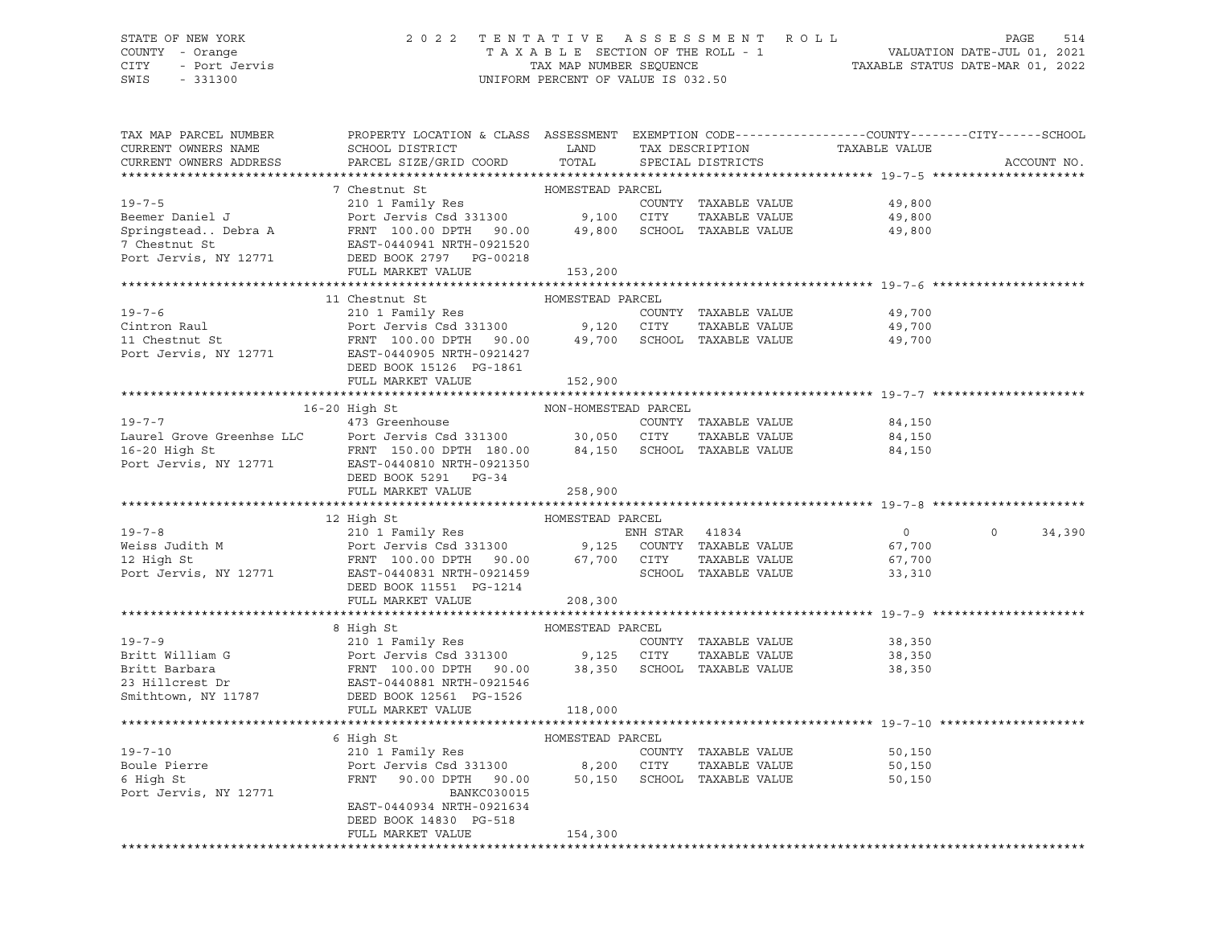## STATE OF NEW YORK 2 0 2 2 T E N T A T I V E A S S E S S M E N T R O L L PAGE 514 COUNTY - Orange T A X A B L E SECTION OF THE ROLL - 1 VALUATION DATE-JUL 01, 2021 CITY - Port Jervis TAX MAP NUMBER SEQUENCE TAXABLE STATUS DATE-MAR 01, 2022

| TAX MAP PARCEL NUMBER<br>CURRENT OWNERS NAME<br>CURRENT OWNERS ADDRESS | PROPERTY LOCATION & CLASS ASSESSMENT EXEMPTION CODE----------------COUNTY-------CITY------SCHOOL<br>SCHOOL DISTRICT LAND<br>PARCEL SIZE/GRID COORD                                                                                                               | TOTAL            | TAX DESCRIPTION | SPECIAL DISTRICTS    | TAXABLE VALUE    | ACCOUNT NO.       |
|------------------------------------------------------------------------|------------------------------------------------------------------------------------------------------------------------------------------------------------------------------------------------------------------------------------------------------------------|------------------|-----------------|----------------------|------------------|-------------------|
|                                                                        |                                                                                                                                                                                                                                                                  |                  |                 |                      |                  |                   |
|                                                                        | 7 Chestnut St                                                                                                                                                                                                                                                    | HOMESTEAD PARCEL |                 |                      |                  |                   |
| $19 - 7 - 5$                                                           | 210 1 Family Res<br>Port Jervis Csd 331300 9,100 CITY                                                                                                                                                                                                            |                  |                 | COUNTY TAXABLE VALUE | 49,800<br>49,800 |                   |
| Beemer Daniel J                                                        |                                                                                                                                                                                                                                                                  |                  |                 | TAXABLE VALUE        |                  |                   |
|                                                                        |                                                                                                                                                                                                                                                                  |                  |                 |                      |                  |                   |
|                                                                        |                                                                                                                                                                                                                                                                  |                  |                 |                      |                  |                   |
|                                                                        | Springstead. Debra A<br>TRNT 100.00 DPTH 90.00 49,800 SCHOOL TAXABLE VALUE<br>7 Chestnut St<br>EAST-0440941 NRTH-0921520<br>Port Jervis, NY 12771 DEED BOOK 2797 PG-00218<br>FULL MARKET VALUE<br>PULL MARKET VALUE<br>153.200                                   |                  |                 |                      |                  |                   |
|                                                                        | FULL MARKET VALUE                                                                                                                                                                                                                                                | 153,200          |                 |                      |                  |                   |
|                                                                        |                                                                                                                                                                                                                                                                  |                  |                 |                      |                  |                   |
|                                                                        | 11 Chestnut St<br>19-7-6<br>COUNTY TAXABLE VALUE<br>COUNTY TAXABLE VALUE<br>COUNTY TAXABLE VALUE<br>POTT Jensile COUNTY Of CITY TAXABLE VALUE<br>POTT JENSILE FRNT 100.00 DPTH 90.00<br>POTT 49,700<br>SCHOOL TAXABLE VALUE<br>POTT JENSILE PORT -0440905 NRTH-0 | HOMESTEAD PARCEL |                 |                      |                  |                   |
|                                                                        |                                                                                                                                                                                                                                                                  |                  |                 |                      | 49,700           |                   |
|                                                                        |                                                                                                                                                                                                                                                                  |                  |                 |                      | 49,700           |                   |
|                                                                        |                                                                                                                                                                                                                                                                  |                  |                 |                      | 49,700           |                   |
|                                                                        |                                                                                                                                                                                                                                                                  |                  |                 |                      |                  |                   |
|                                                                        | DEED BOOK 15126 PG-1861                                                                                                                                                                                                                                          |                  |                 |                      |                  |                   |
|                                                                        | FULL MARKET VALUE                                                                                                                                                                                                                                                | 152,900          |                 |                      |                  |                   |
|                                                                        |                                                                                                                                                                                                                                                                  |                  |                 |                      |                  |                   |
|                                                                        |                                                                                                                                                                                                                                                                  |                  |                 |                      | 84,150           |                   |
|                                                                        |                                                                                                                                                                                                                                                                  |                  |                 | TAXABLE VALUE        | 84,150           |                   |
|                                                                        |                                                                                                                                                                                                                                                                  |                  |                 |                      | 84,150           |                   |
|                                                                        |                                                                                                                                                                                                                                                                  |                  |                 |                      |                  |                   |
|                                                                        | DEED BOOK 5291 PG-34                                                                                                                                                                                                                                             |                  |                 |                      |                  |                   |
|                                                                        | FULL MARKET VALUE                                                                                                                                                                                                                                                | 258,900          |                 |                      |                  |                   |
|                                                                        |                                                                                                                                                                                                                                                                  |                  |                 |                      |                  |                   |
|                                                                        | 12 High St                                                                                                                                                                                                                                                       | HOMESTEAD PARCEL |                 |                      |                  |                   |
|                                                                        |                                                                                                                                                                                                                                                                  |                  |                 |                      | $\overline{0}$   | $\circ$<br>34,390 |
|                                                                        |                                                                                                                                                                                                                                                                  |                  |                 |                      | 67,700           |                   |
|                                                                        |                                                                                                                                                                                                                                                                  |                  |                 |                      | 67,700           |                   |
|                                                                        | 19-7-8<br>Weiss Judith M<br>210 1 Family Res<br>Port Jervis Csd 331300<br>PORT 100.00 DPTH 90.00<br>PORT 90.00<br>FRNT 100.00 DPTH 90.00<br>67,700 CITY TAXABLE VALUE<br>SCHOOL TAXABLE VALUE<br>SCHOOL TAXABLE VALUE<br>PORT PORT PORT 1001453<br>P             |                  |                 |                      | 33,310           |                   |
|                                                                        | DEED BOOK 11551 PG-1214                                                                                                                                                                                                                                          |                  |                 |                      |                  |                   |
|                                                                        | FULL MARKET VALUE 208,300                                                                                                                                                                                                                                        |                  |                 |                      |                  |                   |
|                                                                        |                                                                                                                                                                                                                                                                  |                  |                 |                      |                  |                   |
|                                                                        | 19-7-9<br>210 1 Family Res<br>210 1 Family Res<br>210 1 Family Res<br>210 1 Family Res<br>210 1 Family Res<br>210 1 Family Res<br>23 Filliam G<br>23 Filliam G<br>23 Hillcrest Dr<br>23 Hillcrest Dr<br>23 Hillcrest Dr<br>23 Hillcrest Dr<br>23 Hillcre         |                  |                 |                      |                  |                   |
|                                                                        |                                                                                                                                                                                                                                                                  |                  |                 | COUNTY TAXABLE VALUE | 38,350           |                   |
|                                                                        |                                                                                                                                                                                                                                                                  |                  |                 |                      | 38,350           |                   |
|                                                                        |                                                                                                                                                                                                                                                                  |                  |                 |                      | 38,350           |                   |
|                                                                        |                                                                                                                                                                                                                                                                  |                  |                 |                      |                  |                   |
|                                                                        |                                                                                                                                                                                                                                                                  |                  |                 |                      |                  |                   |
|                                                                        |                                                                                                                                                                                                                                                                  |                  |                 |                      |                  |                   |
|                                                                        |                                                                                                                                                                                                                                                                  |                  |                 |                      |                  |                   |
|                                                                        | 6 High St                                                                                                                                                                                                                                                        | HOMESTEAD PARCEL |                 |                      |                  |                   |
| $19 - 7 - 10$                                                          | 210 1 Family Res                                                                                                                                                                                                                                                 |                  |                 | COUNTY TAXABLE VALUE | 50,150           |                   |
| Boule Pierre                                                           |                                                                                                                                                                                                                                                                  |                  |                 |                      | 50,150           |                   |
| 6 High St                                                              |                                                                                                                                                                                                                                                                  |                  |                 |                      | 50,150           |                   |
| Port Jervis, NY 12771                                                  | BANKC030015                                                                                                                                                                                                                                                      |                  |                 |                      |                  |                   |
|                                                                        | EAST-0440934 NRTH-0921634                                                                                                                                                                                                                                        |                  |                 |                      |                  |                   |
|                                                                        | DEED BOOK 14830 PG-518<br>FULL MARKET VALUE                                                                                                                                                                                                                      | 154,300          |                 |                      |                  |                   |
|                                                                        |                                                                                                                                                                                                                                                                  |                  |                 |                      |                  |                   |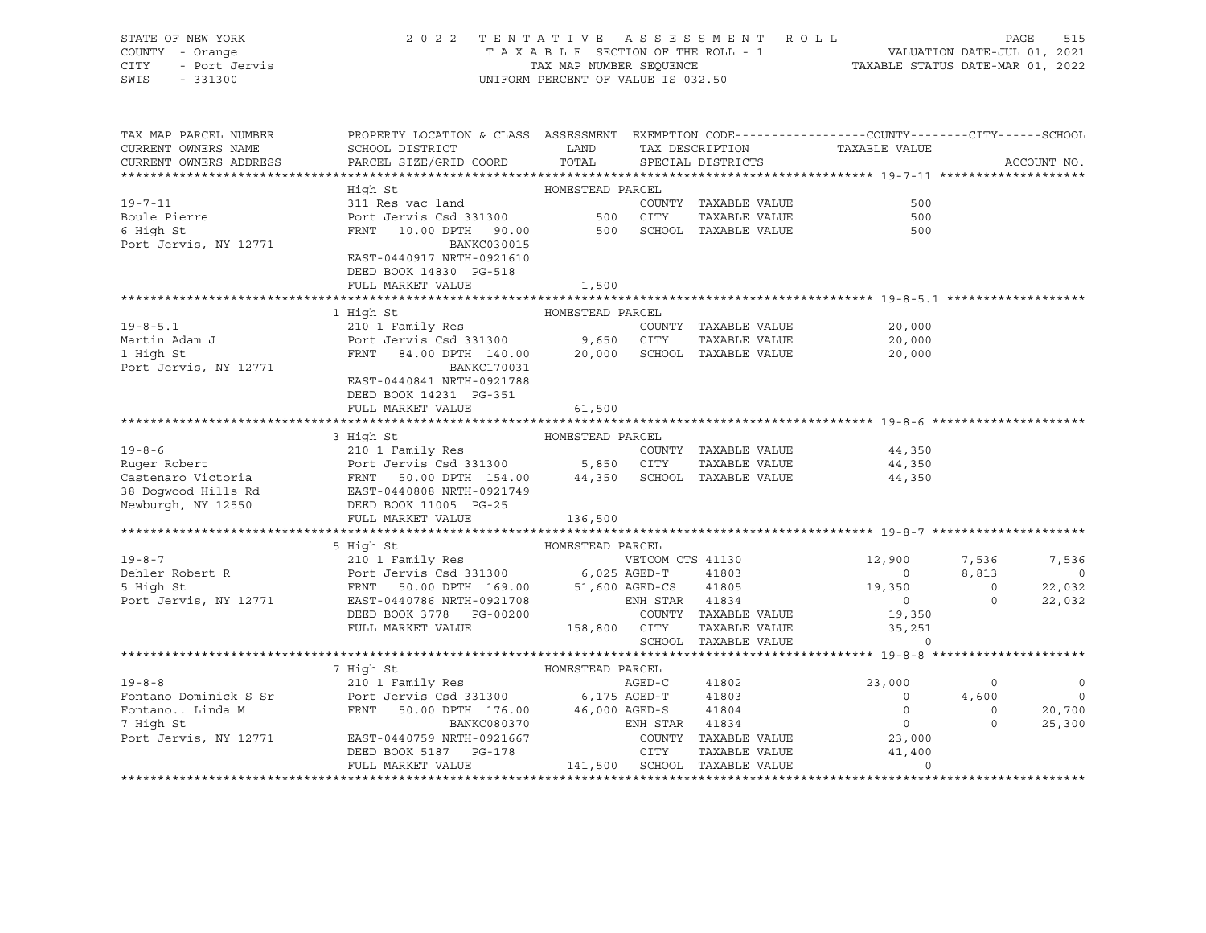| STATE OF NEW YORK                                                                                                                                                                                                                                    | 2022 TENTATIVE ASSESSMENT ROLL PAGE 515<br>TAXABLE SECTION OF THE ROLL - 1 VALUATION DATE-JUL 01, 2021<br>TAX MAP NUMBER SEQUENCE TAXABLE STATUS DATE-MAR 01, 2022<br>UNIFORM PERCENT OF VALUE IS 032.50                                                                                                  |                         |  |                                                             |             |
|------------------------------------------------------------------------------------------------------------------------------------------------------------------------------------------------------------------------------------------------------|-----------------------------------------------------------------------------------------------------------------------------------------------------------------------------------------------------------------------------------------------------------------------------------------------------------|-------------------------|--|-------------------------------------------------------------|-------------|
| TAX MAP PARCEL NUMBER<br>CURRENT OWNERS NAME<br>CURRENT OWNERS ADDRESS                                                                                                                                                                               | PROPERTY LOCATION & CLASS ASSESSMENT EXEMPTION CODE---------------COUNTY-------CITY------SCHOOL<br>${\tt SCHOOL\ DISTRICT} \hspace{2.0cm} {\tt LAND} \hspace{2.0cm} {\tt TAX\ DESCRIPTION} \hspace{2.0cm} {\tt TAXABLE\ VALUE}$<br>SCHOOL DISIRICI<br>PARCEL SIZE/GRID COORD<br>COOL COOL SIZE/GRID COORD | TOTAL SPECIAL DISTRICTS |  |                                                             | ACCOUNT NO. |
|                                                                                                                                                                                                                                                      |                                                                                                                                                                                                                                                                                                           |                         |  |                                                             |             |
|                                                                                                                                                                                                                                                      | High St                                                                                                                                                                                                                                                                                                   | HOMESTEAD PARCEL        |  |                                                             |             |
|                                                                                                                                                                                                                                                      |                                                                                                                                                                                                                                                                                                           |                         |  | 500                                                         |             |
|                                                                                                                                                                                                                                                      |                                                                                                                                                                                                                                                                                                           |                         |  | 500                                                         |             |
| Port Jervis, NY 12771                                                                                                                                                                                                                                | BANKC030015<br>EAST-0440917 NRTH-0921610<br>DEED BOOK 14830 PG-518                                                                                                                                                                                                                                        |                         |  | 500                                                         |             |
|                                                                                                                                                                                                                                                      | FULL MARKET VALUE 1,500                                                                                                                                                                                                                                                                                   |                         |  |                                                             |             |
|                                                                                                                                                                                                                                                      |                                                                                                                                                                                                                                                                                                           | HOMESTEAD PARCEL        |  |                                                             |             |
| 1 Algo by the Martin Adam J<br>19-8-5.1 210 1 Family Res<br>Port Jervis Csd 331300 9,650 CITY TAXABLE VALUE<br>1 High St FRNT 84.00 DPTH 140.00 20,000 SCHOOL TAXABLE VALUE                                                                          | 1 High St                                                                                                                                                                                                                                                                                                 |                         |  |                                                             |             |
|                                                                                                                                                                                                                                                      |                                                                                                                                                                                                                                                                                                           |                         |  | COUNTY TAXABLE VALUE 20,000<br>CITY TAXABLE VALUE 20,000    |             |
|                                                                                                                                                                                                                                                      |                                                                                                                                                                                                                                                                                                           |                         |  | 20,000                                                      |             |
| Port Jervis, NY 12771                                                                                                                                                                                                                                | BANKC170031<br>EAST-0440841 NRTH-0921788<br>DEED BOOK 14231 PG-351<br>FULL MARKET VALUE                                                                                                                                                                                                                   | 61,500                  |  |                                                             |             |
|                                                                                                                                                                                                                                                      |                                                                                                                                                                                                                                                                                                           |                         |  |                                                             |             |
|                                                                                                                                                                                                                                                      |                                                                                                                                                                                                                                                                                                           |                         |  |                                                             |             |
|                                                                                                                                                                                                                                                      |                                                                                                                                                                                                                                                                                                           |                         |  |                                                             |             |
|                                                                                                                                                                                                                                                      |                                                                                                                                                                                                                                                                                                           |                         |  |                                                             |             |
| 3 High St HOMESTEAD PARCEL<br>Ruger Robert 210 1 Family Res COUNTY TAXABLE VALUE<br>Port Jervis Csd 331300 5,850 CITY TAXABLE VALUE 44,350<br>Castenaro Victoria FRNT 50.00 DPTH 154.00 44,350 SCHOOL TAXABLE VALUE 44,350<br>38 Dogwo               |                                                                                                                                                                                                                                                                                                           |                         |  |                                                             |             |
|                                                                                                                                                                                                                                                      |                                                                                                                                                                                                                                                                                                           |                         |  |                                                             |             |
|                                                                                                                                                                                                                                                      |                                                                                                                                                                                                                                                                                                           |                         |  |                                                             |             |
|                                                                                                                                                                                                                                                      |                                                                                                                                                                                                                                                                                                           |                         |  |                                                             |             |
|                                                                                                                                                                                                                                                      |                                                                                                                                                                                                                                                                                                           |                         |  |                                                             |             |
|                                                                                                                                                                                                                                                      |                                                                                                                                                                                                                                                                                                           |                         |  |                                                             |             |
|                                                                                                                                                                                                                                                      |                                                                                                                                                                                                                                                                                                           |                         |  |                                                             |             |
|                                                                                                                                                                                                                                                      |                                                                                                                                                                                                                                                                                                           |                         |  |                                                             |             |
|                                                                                                                                                                                                                                                      |                                                                                                                                                                                                                                                                                                           |                         |  |                                                             |             |
|                                                                                                                                                                                                                                                      |                                                                                                                                                                                                                                                                                                           |                         |  |                                                             |             |
| 3 Figh Strategy Market Market Market (1916)<br>FRIM SHIGHT (1916) Homes PROCEL<br>210 1 Family Res<br>210 1 Family Res<br>210 1 Family Res<br>210 1 Family Res<br>210 1 Family Res<br>210 1 Family Res<br>210 1 Family Res<br>22,032<br>22,032<br>22 |                                                                                                                                                                                                                                                                                                           |                         |  |                                                             |             |
|                                                                                                                                                                                                                                                      |                                                                                                                                                                                                                                                                                                           |                         |  | 158,800 CITY TAXABLE VALUE 35,251<br>SCHOOL TAXABLE VALUE 0 |             |
|                                                                                                                                                                                                                                                      |                                                                                                                                                                                                                                                                                                           |                         |  |                                                             |             |
|                                                                                                                                                                                                                                                      |                                                                                                                                                                                                                                                                                                           |                         |  |                                                             |             |
| $19 - 8 - 8$                                                                                                                                                                                                                                         |                                                                                                                                                                                                                                                                                                           |                         |  |                                                             |             |
|                                                                                                                                                                                                                                                      |                                                                                                                                                                                                                                                                                                           |                         |  |                                                             |             |
|                                                                                                                                                                                                                                                      |                                                                                                                                                                                                                                                                                                           |                         |  |                                                             |             |
|                                                                                                                                                                                                                                                      |                                                                                                                                                                                                                                                                                                           |                         |  |                                                             |             |
|                                                                                                                                                                                                                                                      |                                                                                                                                                                                                                                                                                                           |                         |  |                                                             |             |
|                                                                                                                                                                                                                                                      |                                                                                                                                                                                                                                                                                                           |                         |  |                                                             |             |
|                                                                                                                                                                                                                                                      |                                                                                                                                                                                                                                                                                                           |                         |  |                                                             |             |
|                                                                                                                                                                                                                                                      |                                                                                                                                                                                                                                                                                                           |                         |  |                                                             |             |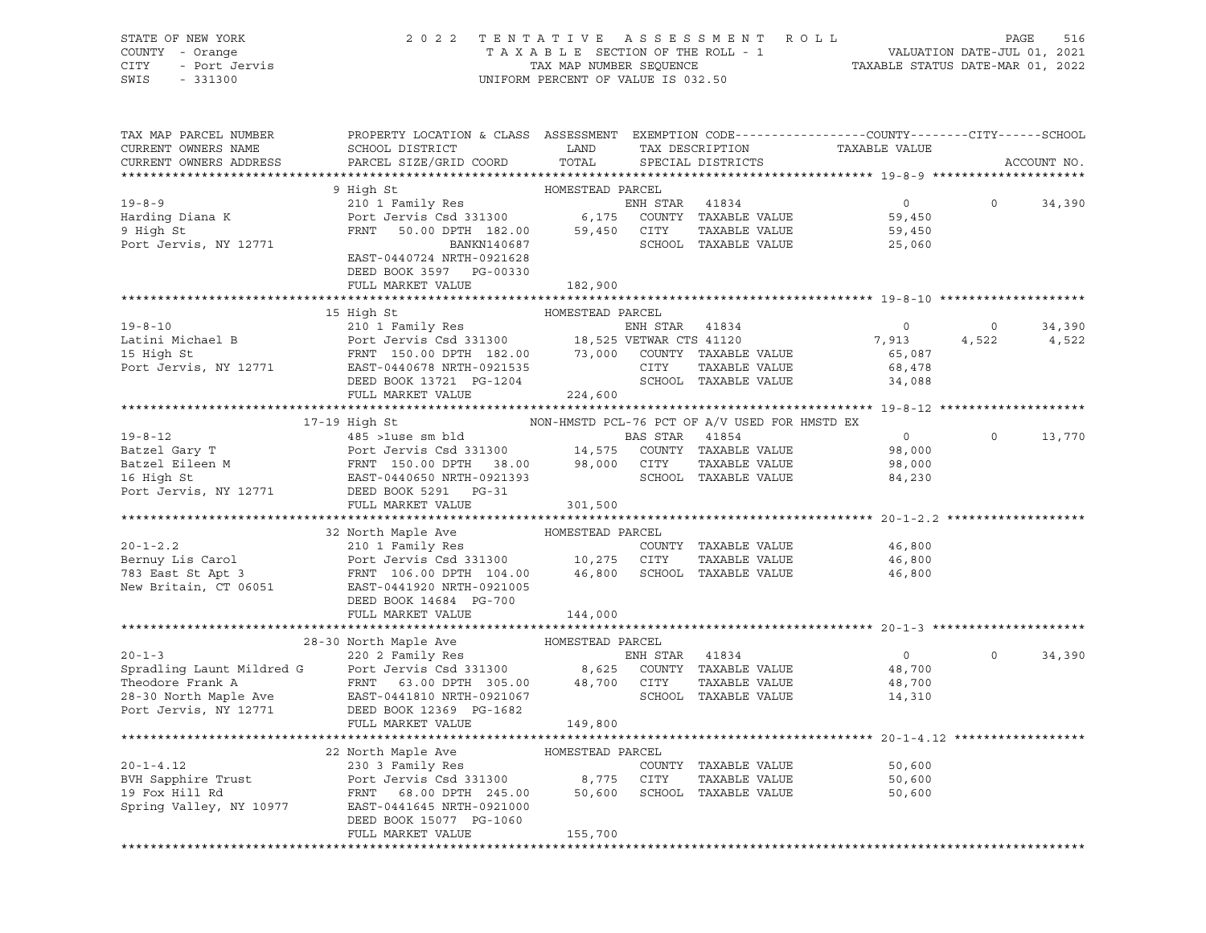STATE OF NEW YORK 2 0 2 2 T E N T A T I V E A S S E S S M E N T R O L L PAGE 516 SWIS - 331300 UNIFORM PERCENT OF VALUE IS 032.50

# COUNTY - Orange T A X A B L E SECTION OF THE ROLL - 1 VALUATION DATE-JUL 01, 2021 CITY - Port Jervis TAX MAP NUMBER SEQUENCE TAXABLE STATUS DATE-MAR 01, 2022

| TAX MAP PARCEL NUMBER<br>CURRENT OWNERS NAME<br>CURRENT OWNERS ADDRESS | PROPERTY LOCATION & CLASS ASSESSMENT EXEMPTION CODE----------------COUNTY-------CITY------SCHOOL<br>SCHOOL DISTRICT<br>PARCEL SIZE/GRID COORD                                                                                                             | LAND<br>TOTAL    | TAX DESCRIPTION<br>SPECIAL DISTRICTS          |                                                               | TAXABLE VALUE                                |                  | ACCOUNT NO.     |
|------------------------------------------------------------------------|-----------------------------------------------------------------------------------------------------------------------------------------------------------------------------------------------------------------------------------------------------------|------------------|-----------------------------------------------|---------------------------------------------------------------|----------------------------------------------|------------------|-----------------|
|                                                                        |                                                                                                                                                                                                                                                           |                  |                                               |                                                               |                                              |                  |                 |
| $19 - 8 - 9$<br>Harding Diana K<br>9 High St<br>Port Jervis, NY 12771  | 9 High St<br>210 1 Family Res<br>Port Jervis Csd 331300 6,175<br>FRNT 50.00 DPTH 182.00 59,450<br>BANKN140687                                                                                                                                             | HOMESTEAD PARCEL | ENH STAR 41834<br>CITY                        | COUNTY TAXABLE VALUE<br>TAXABLE VALUE<br>SCHOOL TAXABLE VALUE | $\overline{0}$<br>59,450<br>59,450<br>25,060 | $\mathsf{O}$     | 34,390          |
|                                                                        | EAST-0440724 NRTH-0921628<br>DEED BOOK 3597 PG-00330<br>FULL MARKET VALUE                                                                                                                                                                                 | 182,900          |                                               |                                                               |                                              |                  |                 |
|                                                                        |                                                                                                                                                                                                                                                           |                  |                                               |                                                               |                                              |                  |                 |
|                                                                        | 15 High St                                                                                                                                                                                                                                                |                  |                                               |                                                               |                                              |                  |                 |
| $19 - 8 - 10$                                                          |                                                                                                                                                                                                                                                           |                  | ENH STAR 41834                                |                                                               | $\overline{0}$                               | $\circ$<br>4,522 | 34,390<br>4,522 |
|                                                                        |                                                                                                                                                                                                                                                           |                  |                                               |                                                               | 7,913<br>65,087                              |                  |                 |
|                                                                        | Latini Michael B<br>18 High St<br>18 High St<br>18 High St<br>18 High St<br>18 FRNT 150.00 DPTH 182.00<br>18,525 VETWAR CTS 41120<br>210 TAXABLE VALUE<br>210 TAXABLE VALUE<br>210 TAXABLE VALUE<br>210 COUNTY TAXABLE VALUE<br>211 TAXABLE VALUE<br>2    |                  |                                               |                                                               | 68,478                                       |                  |                 |
|                                                                        | 1001-0440078 NKTH-0921535<br>DEED BOOK 13721 PG-1204<br>FULL MARIUS 100                                                                                                                                                                                   |                  |                                               | SCHOOL TAXABLE VALUE                                          | 34,088                                       |                  |                 |
|                                                                        | FULL MARKET VALUE                                                                                                                                                                                                                                         | 224,600          |                                               |                                                               |                                              |                  |                 |
|                                                                        |                                                                                                                                                                                                                                                           |                  |                                               |                                                               |                                              |                  |                 |
|                                                                        | 17-19 High St                                                                                                                                                                                                                                             |                  | NON-HMSTD PCL-76 PCT OF A/V USED FOR HMSTD EX |                                                               |                                              |                  |                 |
|                                                                        |                                                                                                                                                                                                                                                           |                  |                                               | 41854                                                         | $\overline{0}$                               | $\Omega$         | 13,770          |
|                                                                        |                                                                                                                                                                                                                                                           |                  |                                               | COUNTY TAXABLE VALUE                                          | 98,000                                       |                  |                 |
|                                                                        |                                                                                                                                                                                                                                                           |                  |                                               | TAXABLE VALUE                                                 | 98,000                                       |                  |                 |
|                                                                        |                                                                                                                                                                                                                                                           |                  |                                               | SCHOOL TAXABLE VALUE                                          | 84,230                                       |                  |                 |
|                                                                        | 19-8-12<br>Batzel Gary T<br>Batzel Eileen M<br>Batzel Eileen M<br>FRNT 150.00 DPTH 38.00<br>Port Jervis Csd 331300<br>98,000 CITY<br>16 High St<br>Port Jervis, NY 12771<br>DEED BOOK 5291<br>PORT-0921393<br>Port Jervis, NY 12771<br>DEED BOOK 5291<br> |                  |                                               |                                                               |                                              |                  |                 |
|                                                                        | FULL MARKET VALUE                                                                                                                                                                                                                                         | 301,500          |                                               |                                                               |                                              |                  |                 |
|                                                                        |                                                                                                                                                                                                                                                           |                  |                                               |                                                               |                                              |                  |                 |
|                                                                        |                                                                                                                                                                                                                                                           |                  |                                               |                                                               |                                              |                  |                 |
|                                                                        |                                                                                                                                                                                                                                                           |                  |                                               | COUNTY TAXABLE VALUE                                          | 46,800                                       |                  |                 |
|                                                                        |                                                                                                                                                                                                                                                           |                  |                                               | TAXABLE VALUE                                                 | 46,800                                       |                  |                 |
|                                                                        | DEED BOOK 14684 PG-700                                                                                                                                                                                                                                    |                  |                                               |                                                               | 46,800                                       |                  |                 |
|                                                                        | FULL MARKET VALUE                                                                                                                                                                                                                                         | 144,000          |                                               |                                                               |                                              |                  |                 |
|                                                                        |                                                                                                                                                                                                                                                           |                  |                                               |                                                               |                                              |                  |                 |
|                                                                        |                                                                                                                                                                                                                                                           |                  |                                               |                                                               |                                              |                  |                 |
|                                                                        |                                                                                                                                                                                                                                                           |                  | ENH STAR 41834                                |                                                               | $\overline{0}$                               | $\Omega$         | 34,390          |
|                                                                        | 20-1-3<br>Spradling Launt Mildred G<br>Theodore Frank A<br>Theodore Frank A<br>28-30 North Maple Ave<br>PEAST-0441810 NRTH-0921067<br>POT Jervis, NY 12771<br>DEED BOOK 12369<br>PC-1682<br>PEAST-0441810 NRTH-0921067<br>POT Jervis, NY 12771<br>DE      |                  |                                               | COUNTY TAXABLE VALUE                                          | 48,700                                       |                  |                 |
|                                                                        | FRNT 63.00 DPTH 305.00 48,700 CITY                                                                                                                                                                                                                        |                  |                                               | TAXABLE VALUE                                                 | 48,700                                       |                  |                 |
|                                                                        |                                                                                                                                                                                                                                                           |                  |                                               | SCHOOL TAXABLE VALUE                                          | 14,310                                       |                  |                 |
|                                                                        | FULL MARKET VALUE                                                                                                                                                                                                                                         |                  |                                               |                                                               |                                              |                  |                 |
|                                                                        |                                                                                                                                                                                                                                                           | 149,800          |                                               |                                                               |                                              |                  |                 |
|                                                                        | 22 North Maple Ave                                                                                                                                                                                                                                        | HOMESTEAD PARCEL |                                               |                                                               |                                              |                  |                 |
| $20 - 1 - 4.12$                                                        | 230 3 Family Res                                                                                                                                                                                                                                          |                  |                                               | COUNTY TAXABLE VALUE                                          | 50,600                                       |                  |                 |
| BVH Sapphire Trust                                                     | Port Jervis Csd 331300 8,775                                                                                                                                                                                                                              |                  | CITY                                          | TAXABLE VALUE                                                 | 50,600                                       |                  |                 |
| 19 Fox Hill Rd                                                         | FRNT 68.00 DPTH 245.00                                                                                                                                                                                                                                    | 50,600           |                                               | SCHOOL TAXABLE VALUE                                          | 50,600                                       |                  |                 |
| Spring Valley, NY 10977                                                | EAST-0441645 NRTH-0921000<br>DEED BOOK 15077 PG-1060                                                                                                                                                                                                      |                  |                                               |                                                               |                                              |                  |                 |
|                                                                        | FULL MARKET VALUE                                                                                                                                                                                                                                         | 155,700          |                                               |                                                               |                                              |                  |                 |
|                                                                        |                                                                                                                                                                                                                                                           |                  |                                               |                                                               |                                              |                  |                 |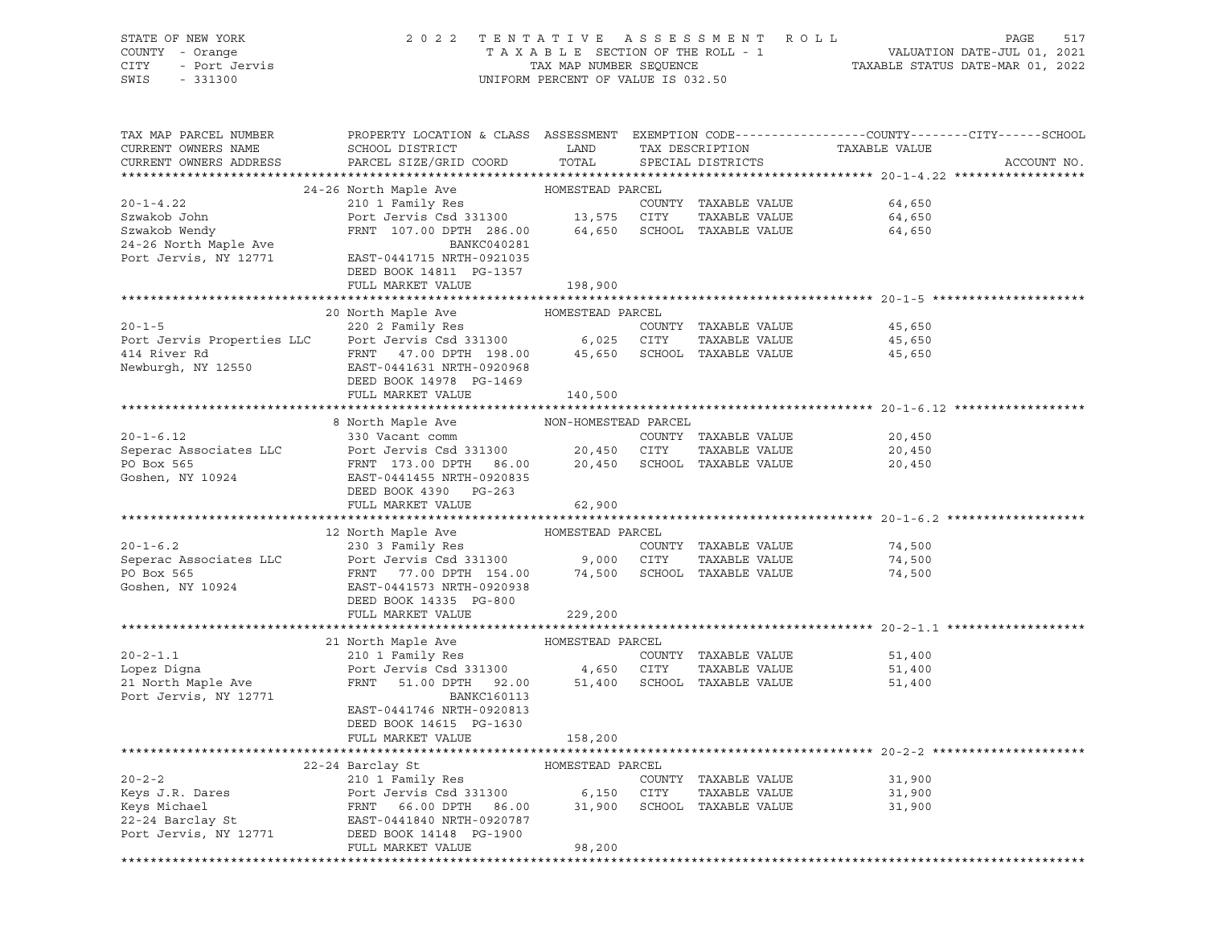| STATE OF NEW YORK<br>COUNTY - Orange<br>CITY<br>- Port Jervis<br>SWIS<br>$-331300$ | 2 0 2 2                                                                                          | TAXABLE SECTION OF THE ROLL - 1<br>TAX MAP NUMBER SEQUENCE<br>UNIFORM PERCENT OF VALUE IS 032.50 |             | TENTATIVE ASSESSMENT ROLL             | VALUATION DATE-JUL 01, 2021<br>TAXABLE STATUS DATE-MAR 01, 2022 | PAGE<br>517 |
|------------------------------------------------------------------------------------|--------------------------------------------------------------------------------------------------|--------------------------------------------------------------------------------------------------|-------------|---------------------------------------|-----------------------------------------------------------------|-------------|
| TAX MAP PARCEL NUMBER                                                              | PROPERTY LOCATION & CLASS ASSESSMENT EXEMPTION CODE----------------COUNTY-------CITY------SCHOOL |                                                                                                  |             |                                       |                                                                 |             |
| CURRENT OWNERS NAME<br>CURRENT OWNERS ADDRESS                                      | SCHOOL DISTRICT<br>PARCEL SIZE/GRID COORD                                                        | LAND<br>TOTAL                                                                                    |             | TAX DESCRIPTION<br>SPECIAL DISTRICTS  | TAXABLE VALUE                                                   | ACCOUNT NO. |
|                                                                                    |                                                                                                  |                                                                                                  |             |                                       |                                                                 |             |
|                                                                                    | 24-26 North Maple Ave                                                                            | HOMESTEAD PARCEL                                                                                 |             |                                       |                                                                 |             |
| $20 - 1 - 4.22$                                                                    | 210 1 Family Res                                                                                 |                                                                                                  |             | COUNTY TAXABLE VALUE                  | 64,650                                                          |             |
| Szwakob John                                                                       | Port Jervis Csd 331300                                                                           | 13,575 CITY                                                                                      |             | TAXABLE VALUE                         | 64,650                                                          |             |
| Szwakob Wendy                                                                      | FRNT 107.00 DPTH 286.00                                                                          |                                                                                                  |             | 64,650 SCHOOL TAXABLE VALUE           | 64,650                                                          |             |
| 24-26 North Maple Ave                                                              | BANKC040281                                                                                      |                                                                                                  |             |                                       |                                                                 |             |
| Port Jervis, NY 12771                                                              | EAST-0441715 NRTH-0921035                                                                        |                                                                                                  |             |                                       |                                                                 |             |
|                                                                                    | DEED BOOK 14811 PG-1357<br>FULL MARKET VALUE                                                     | 198,900                                                                                          |             |                                       |                                                                 |             |
|                                                                                    |                                                                                                  |                                                                                                  |             |                                       |                                                                 |             |
|                                                                                    | 20 North Maple Ave                                                                               | HOMESTEAD PARCEL                                                                                 |             |                                       |                                                                 |             |
| $20 - 1 - 5$                                                                       | 220 2 Family Res                                                                                 |                                                                                                  |             | COUNTY TAXABLE VALUE                  | 45,650                                                          |             |
| Port Jervis Properties LLC                                                         | Port Jervis Csd 331300                                                                           |                                                                                                  | 6,025 CITY  | TAXABLE VALUE                         | 45,650                                                          |             |
| 414 River Rd                                                                       | FRNT<br>47.00 DPTH 198.00                                                                        |                                                                                                  |             | 45,650 SCHOOL TAXABLE VALUE           | 45,650                                                          |             |
| Newburgh, NY 12550                                                                 | EAST-0441631 NRTH-0920968                                                                        |                                                                                                  |             |                                       |                                                                 |             |
|                                                                                    | DEED BOOK 14978 PG-1469                                                                          |                                                                                                  |             |                                       |                                                                 |             |
|                                                                                    | FULL MARKET VALUE                                                                                | 140,500                                                                                          |             |                                       |                                                                 |             |
|                                                                                    | 8 North Maple Ave                                                                                | NON-HOMESTEAD PARCEL                                                                             |             |                                       |                                                                 |             |
| $20 - 1 - 6.12$                                                                    | 330 Vacant comm                                                                                  |                                                                                                  |             | COUNTY TAXABLE VALUE                  | 20,450                                                          |             |
| Seperac Associates LLC                                                             | Port Jervis Csd 331300                                                                           |                                                                                                  | 20,450 CITY | TAXABLE VALUE                         | 20,450                                                          |             |
| PO Box 565                                                                         | FRNT 173.00 DPTH 86.00                                                                           |                                                                                                  |             | 20,450 SCHOOL TAXABLE VALUE           | 20,450                                                          |             |
| Goshen, NY 10924                                                                   | EAST-0441455 NRTH-0920835                                                                        |                                                                                                  |             |                                       |                                                                 |             |
|                                                                                    | DEED BOOK 4390 PG-263                                                                            |                                                                                                  |             |                                       |                                                                 |             |
|                                                                                    | FULL MARKET VALUE                                                                                | 62,900                                                                                           |             |                                       |                                                                 |             |
|                                                                                    |                                                                                                  |                                                                                                  |             |                                       |                                                                 |             |
| $20 - 1 - 6.2$                                                                     | 12 North Maple Ave<br>230 3 Family Res                                                           | HOMESTEAD PARCEL                                                                                 |             | COUNTY TAXABLE VALUE                  | 74,500                                                          |             |
| Seperac Associates LLC                                                             | Port Jervis Csd 331300                                                                           | 9,000 CITY                                                                                       |             | TAXABLE VALUE                         | 74,500                                                          |             |
| PO Box 565                                                                         | FRNT<br>77.00 DPTH 154.00                                                                        |                                                                                                  |             | 74,500 SCHOOL TAXABLE VALUE           | 74,500                                                          |             |
| Goshen, NY 10924                                                                   | EAST-0441573 NRTH-0920938                                                                        |                                                                                                  |             |                                       |                                                                 |             |
|                                                                                    | DEED BOOK 14335 PG-800                                                                           |                                                                                                  |             |                                       |                                                                 |             |
|                                                                                    | FULL MARKET VALUE                                                                                | 229,200                                                                                          |             |                                       |                                                                 |             |
|                                                                                    |                                                                                                  |                                                                                                  |             |                                       |                                                                 |             |
|                                                                                    | 21 North Maple Ave                                                                               | HOMESTEAD PARCEL                                                                                 |             |                                       |                                                                 |             |
| $20 - 2 - 1.1$                                                                     | 210 1 Family Res                                                                                 |                                                                                                  |             | COUNTY TAXABLE VALUE                  | 51,400                                                          |             |
| Lopez Digna<br>21 North Maple Ave                                                  | Port Jervis Csd 331300<br>FRNT<br>51.00 DPTH 92.00                                               | 4,650 CITY<br>51,400                                                                             |             | TAXABLE VALUE<br>SCHOOL TAXABLE VALUE | 51,400<br>51,400                                                |             |
| Port Jervis, NY 12771                                                              | <b>BANKC160113</b>                                                                               |                                                                                                  |             |                                       |                                                                 |             |
|                                                                                    | EAST-0441746 NRTH-0920813                                                                        |                                                                                                  |             |                                       |                                                                 |             |
|                                                                                    | DEED BOOK 14615 PG-1630                                                                          |                                                                                                  |             |                                       |                                                                 |             |
|                                                                                    | FULL MARKET VALUE                                                                                | 158,200                                                                                          |             |                                       |                                                                 |             |
| ***********************                                                            |                                                                                                  |                                                                                                  |             |                                       |                                                                 |             |
|                                                                                    | 22-24 Barclay St                                                                                 | HOMESTEAD PARCEL                                                                                 |             |                                       |                                                                 |             |
| $20 - 2 - 2$                                                                       | 210 1 Family Res                                                                                 |                                                                                                  |             | COUNTY TAXABLE VALUE                  | 31,900                                                          |             |
| Keys J.R. Dares                                                                    | Port Jervis Csd 331300                                                                           | 6,150                                                                                            | CITY        | TAXABLE VALUE                         | 31,900                                                          |             |
| Keys Michael<br>22-24 Barclay St                                                   | 66.00 DPTH<br>FRNT<br>86.00<br>EAST-0441840 NRTH-0920787                                         | 31,900                                                                                           |             | SCHOOL TAXABLE VALUE                  | 31,900                                                          |             |
| Port Jervis, NY 12771                                                              | DEED BOOK 14148 PG-1900                                                                          |                                                                                                  |             |                                       |                                                                 |             |
|                                                                                    | FULL MARKET VALUE                                                                                | 98,200                                                                                           |             |                                       |                                                                 |             |
|                                                                                    |                                                                                                  |                                                                                                  |             |                                       |                                                                 |             |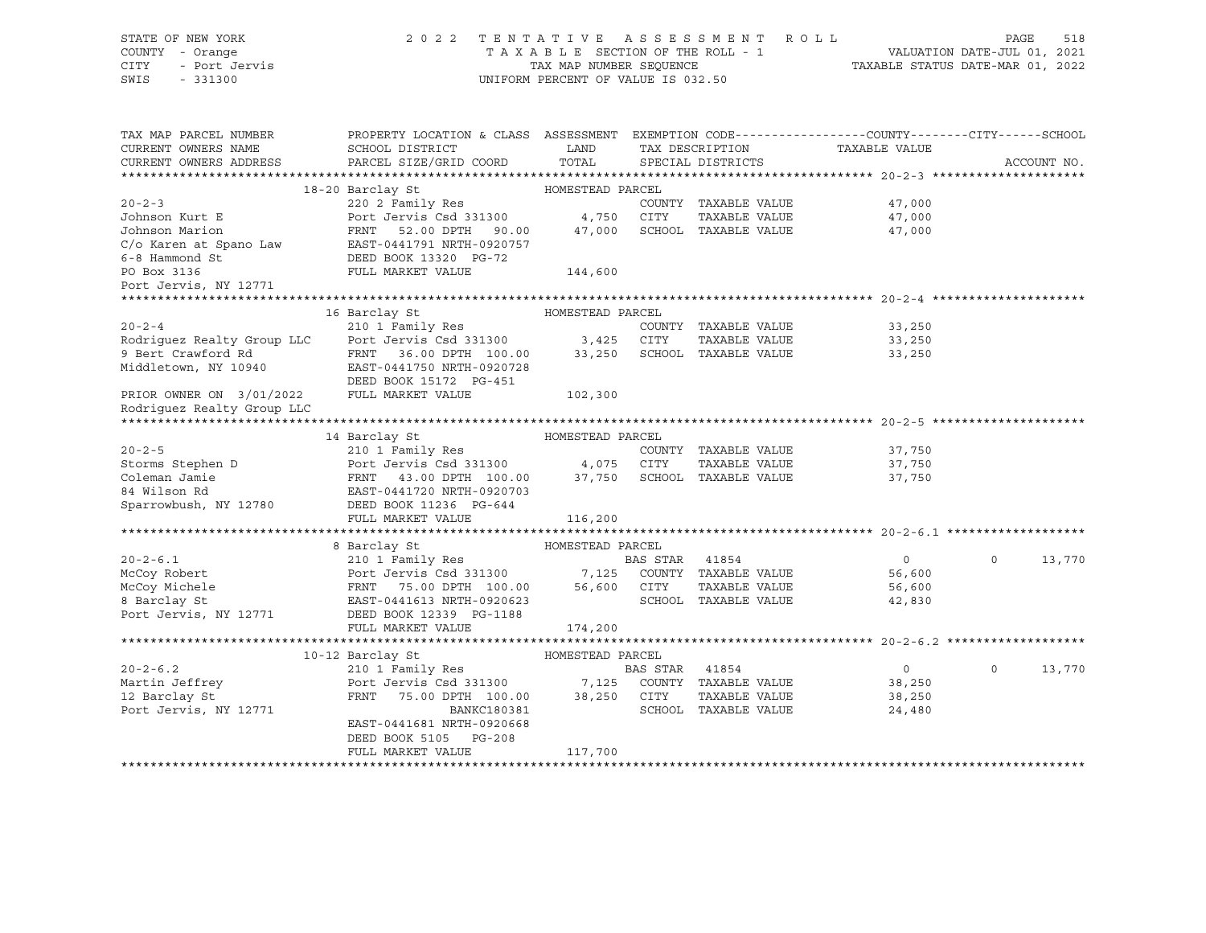| STATE OF NEW YORK<br>COUNTY - Orange<br>CITY<br>- Port Jervis<br>SWIS<br>$-331300$ | 2 0 2 2                                                                                                                                                        | TAX MAP NUMBER SEQUENCE<br>UNIFORM PERCENT OF VALUE IS 032.50 |                | TENTATIVE ASSESSMENT ROLL<br>TAXABLE SECTION OF THE ROLL - 1 | 1 VALUATION DATE-JUL 01, 2021<br>TAXABLE STATUS DATE-MAR 01, 2022 | PAGE     | 518         |
|------------------------------------------------------------------------------------|----------------------------------------------------------------------------------------------------------------------------------------------------------------|---------------------------------------------------------------|----------------|--------------------------------------------------------------|-------------------------------------------------------------------|----------|-------------|
| TAX MAP PARCEL NUMBER<br>CURRENT OWNERS NAME<br>CURRENT OWNERS ADDRESS             | PROPERTY LOCATION & CLASS ASSESSMENT EXEMPTION CODE---------------COUNTY-------CITY------SCHOOL<br>SCHOOL DISTRICT<br>PARCEL SIZE/GRID COORD                   | <b>LAND</b><br>TOTAL                                          |                | TAX DESCRIPTION<br>SPECIAL DISTRICTS                         | TAXABLE VALUE                                                     |          | ACCOUNT NO. |
|                                                                                    |                                                                                                                                                                |                                                               |                |                                                              |                                                                   |          |             |
|                                                                                    | 18-20 Barclay St                                                                                                                                               | HOMESTEAD PARCEL                                              |                |                                                              |                                                                   |          |             |
| $20 - 2 - 3$                                                                       | 220 2 Family Res                                                                                                                                               |                                                               |                | COUNTY TAXABLE VALUE                                         | 47,000                                                            |          |             |
| Johnson Kurt E                                                                     | Port Jervis Csd 331300                                                                                                                                         | 4,750 CITY                                                    |                | TAXABLE VALUE                                                | 47,000                                                            |          |             |
|                                                                                    | FRNT 52.00 DPTH 90.00                                                                                                                                          | 47,000                                                        |                | SCHOOL TAXABLE VALUE                                         | 47,000                                                            |          |             |
|                                                                                    |                                                                                                                                                                |                                                               |                |                                                              |                                                                   |          |             |
|                                                                                    | Johnson Marion<br>C/o Karen at Spano Law EAST-0441791 NRTH-0920757<br>C <sup>1</sup> <sup>1</sup> <sup>1</sup> <sup>1</sup> <sup>1</sup> DEED BOOK 13320 PG-72 |                                                               |                |                                                              |                                                                   |          |             |
| PO Box 3136                                                                        | FULL MARKET VALUE                                                                                                                                              | 144,600                                                       |                |                                                              |                                                                   |          |             |
| Port Jervis, NY 12771                                                              |                                                                                                                                                                |                                                               |                |                                                              |                                                                   |          |             |
|                                                                                    |                                                                                                                                                                |                                                               |                |                                                              |                                                                   |          |             |
|                                                                                    | 16 Barclay St                                                                                                                                                  | HOMESTEAD PARCEL                                              |                |                                                              |                                                                   |          |             |
| $20 - 2 - 4$                                                                       | 210 1 Family Res                                                                                                                                               |                                                               |                | COUNTY TAXABLE VALUE                                         | 33,250                                                            |          |             |
| Rodriguez Realty Group LLC                                                         | Port Jervis Csd 331300 3,425                                                                                                                                   |                                                               | CITY           | TAXABLE VALUE                                                | 33,250                                                            |          |             |
| 9 Bert Crawford Rd                                                                 | FRNT 36.00 DPTH 100.00                                                                                                                                         | 33,250                                                        |                | SCHOOL TAXABLE VALUE                                         | 33,250                                                            |          |             |
| Middletown, NY 10940                                                               | EAST-0441750 NRTH-0920728                                                                                                                                      |                                                               |                |                                                              |                                                                   |          |             |
|                                                                                    | DEED BOOK 15172 PG-451                                                                                                                                         |                                                               |                |                                                              |                                                                   |          |             |
| PRIOR OWNER ON 3/01/2022                                                           | FULL MARKET VALUE                                                                                                                                              | 102,300                                                       |                |                                                              |                                                                   |          |             |
| Rodriguez Realty Group LLC                                                         |                                                                                                                                                                |                                                               |                |                                                              |                                                                   |          |             |
|                                                                                    |                                                                                                                                                                |                                                               |                |                                                              |                                                                   |          |             |
|                                                                                    | 14 Barclay St                                                                                                                                                  | HOMESTEAD PARCEL                                              |                |                                                              |                                                                   |          |             |
| $20 - 2 - 5$                                                                       | 210 1 Family Res                                                                                                                                               |                                                               |                | COUNTY TAXABLE VALUE                                         | 37,750                                                            |          |             |
| Storms Stephen D<br>Coleman Jamie<br>84 Wilson Rd                                  |                                                                                                                                                                |                                                               |                | TAXABLE VALUE                                                | 37,750                                                            |          |             |
|                                                                                    |                                                                                                                                                                |                                                               |                | SCHOOL TAXABLE VALUE                                         | 37,750                                                            |          |             |
|                                                                                    | Port Jervis Csd 331300 4,075 CITY<br>FRNT 43.00 DPTH 100.00 37,750 SCHOC<br>EAST-0441720 NRTH-0920703                                                          |                                                               |                |                                                              |                                                                   |          |             |
| Sparrowbush, NY 12780                                                              | DEED BOOK 11236 PG-644                                                                                                                                         |                                                               |                |                                                              |                                                                   |          |             |
|                                                                                    | FULL MARKET VALUE                                                                                                                                              | 116,200                                                       |                |                                                              |                                                                   |          |             |
|                                                                                    |                                                                                                                                                                |                                                               |                |                                                              |                                                                   |          |             |
|                                                                                    | 8 Barclay St                                                                                                                                                   | HOMESTEAD PARCEL                                              |                |                                                              |                                                                   |          |             |
| $20 - 2 - 6.1$                                                                     |                                                                                                                                                                |                                                               | BAS STAR 41854 |                                                              | $\overline{0}$                                                    | $\Omega$ | 13,770      |
| McCoy Robert                                                                       | HOME<br>210 1 Family Res<br>Port Jervis Csd 331300<br>FRNT 75.00 DPTH 100.00<br>EAST-0441613 NRTH-0920623                                                      |                                                               |                | 7,125 COUNTY TAXABLE VALUE                                   | 56,600                                                            |          |             |
| McCoy Michele                                                                      |                                                                                                                                                                |                                                               | 56,600 CITY    | TAXABLE VALUE                                                | 56,600                                                            |          |             |
| 8 Barclay St                                                                       |                                                                                                                                                                |                                                               |                | SCHOOL TAXABLE VALUE                                         | 42,830                                                            |          |             |
| Port Jervis, NY 12771                                                              | DEED BOOK 12339 PG-1188                                                                                                                                        |                                                               |                |                                                              |                                                                   |          |             |
|                                                                                    | FULL MARKET VALUE                                                                                                                                              | 174,200                                                       |                |                                                              |                                                                   |          |             |
|                                                                                    |                                                                                                                                                                |                                                               |                |                                                              |                                                                   |          |             |
|                                                                                    | 10-12 Barclay St                                                                                                                                               | HOMESTEAD PARCEL                                              |                |                                                              |                                                                   |          |             |
| $20 - 2 - 6.2$                                                                     | 210 1 Family Res                                                                                                                                               |                                                               | BAS STAR 41854 |                                                              | $\overline{0}$                                                    | $\circ$  | 13,770      |
| Martin Jeffrey                                                                     | Port Jervis Csd 331300<br>FRNT 75.00 DPTH 100.00                                                                                                               |                                                               |                | 7,125 COUNTY TAXABLE VALUE                                   | 38,250                                                            |          |             |
| 12 Barclay St                                                                      |                                                                                                                                                                | 38,250 CITY                                                   |                | TAXABLE VALUE                                                | 38,250                                                            |          |             |
| Port Jervis, NY 12771                                                              | BANKC180381                                                                                                                                                    |                                                               |                | SCHOOL TAXABLE VALUE                                         | 24,480                                                            |          |             |
|                                                                                    | EAST-0441681 NRTH-0920668                                                                                                                                      |                                                               |                |                                                              |                                                                   |          |             |
|                                                                                    | DEED BOOK 5105 PG-208                                                                                                                                          |                                                               |                |                                                              |                                                                   |          |             |
|                                                                                    | FULL MARKET VALUE                                                                                                                                              | 117,700                                                       |                |                                                              |                                                                   |          |             |
|                                                                                    |                                                                                                                                                                |                                                               |                |                                                              |                                                                   |          |             |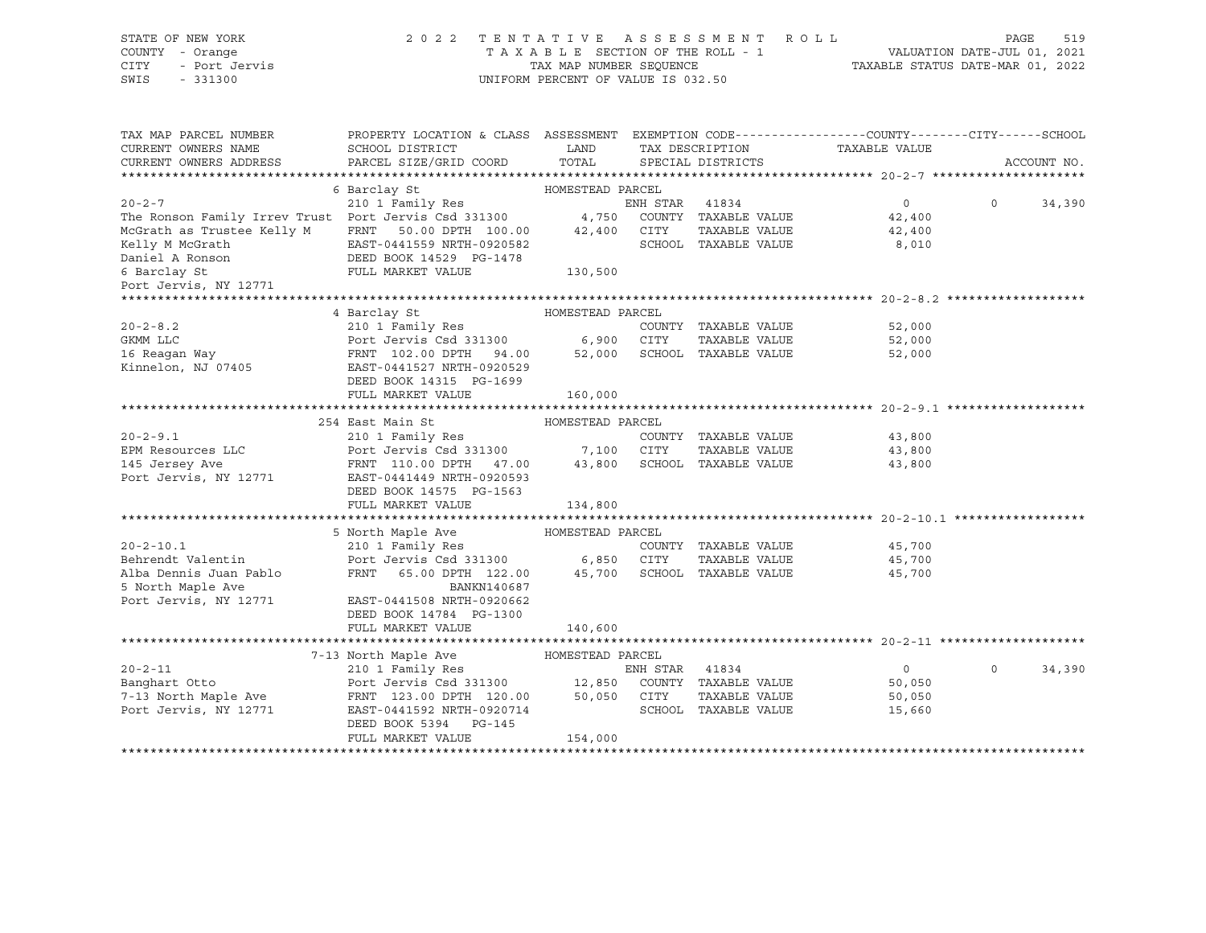| STATE OF NEW YORK<br>COUNTY - Orange<br>CITY<br>- Port Jervis<br>SWIS<br>$-331300$ | 2022 TENTATIVE ASSESSMENT ROLL                                                                                                                                                | $\begin{tabular}{lllllllll} T\ & A\ & X\ & B\ & L\ & E\ & SECTION OF THE ROLL & - & 1\\ & & TAX\ & MAP\ & NUMBER\ & SEQUENCE & & & TAXA\\ \end{tabular}$<br>UNIFORM PERCENT OF VALUE IS 032.50 |                |                             | VALUATION DATE-JUL 01, 2021<br>TAXABLE STATUS DATE-MAR 01, 2022 | PAGE     | 519         |
|------------------------------------------------------------------------------------|-------------------------------------------------------------------------------------------------------------------------------------------------------------------------------|------------------------------------------------------------------------------------------------------------------------------------------------------------------------------------------------|----------------|-----------------------------|-----------------------------------------------------------------|----------|-------------|
| TAX MAP PARCEL NUMBER<br>CURRENT OWNERS NAME                                       | PROPERTY LOCATION & CLASS ASSESSMENT EXEMPTION CODE---------------COUNTY-------CITY------SCHOOL<br>SCHOOL DISTRICT                                                            | <b>EXAMPLE DESCRIPTION OF STREET AND STREET AND STREET AND STREET AND STREET AND STREET AND STREET AND STREET AND</b>                                                                          |                | TAX DESCRIPTION             | TAXABLE VALUE                                                   |          |             |
| CURRENT OWNERS ADDRESS                                                             | PARCEL SIZE/GRID COORD                                                                                                                                                        | TOTAL                                                                                                                                                                                          |                | SPECIAL DISTRICTS           |                                                                 |          | ACCOUNT NO. |
|                                                                                    |                                                                                                                                                                               |                                                                                                                                                                                                |                |                             |                                                                 |          |             |
| $20 - 2 - 7$                                                                       | 6 Barclay St                                                                                                                                                                  | HOMESTEAD PARCEL                                                                                                                                                                               |                |                             | $\circ$                                                         | $\Omega$ |             |
| The Ronson Family Irrev Trust Port Jervis Csd 331300 4,750 COUNTY TAXABLE VALUE    | 210 1 Family Res                                                                                                                                                              |                                                                                                                                                                                                | ENH STAR 41834 |                             | 42,400                                                          |          | 34,390      |
| McGrath as Trustee Kelly M                                                         | FRNT 50.00 DPTH 100.00                                                                                                                                                        | 42,400 CITY                                                                                                                                                                                    |                | TAXABLE VALUE               | 42,400                                                          |          |             |
|                                                                                    | EAST-0441559 NRTH-0920582                                                                                                                                                     |                                                                                                                                                                                                |                | SCHOOL TAXABLE VALUE        | 8,010                                                           |          |             |
|                                                                                    |                                                                                                                                                                               |                                                                                                                                                                                                |                |                             |                                                                 |          |             |
| 6 Barclay St                                                                       | FULL MARKET VALUE                                                                                                                                                             | 130,500                                                                                                                                                                                        |                |                             |                                                                 |          |             |
| Port Jervis, NY 12771                                                              |                                                                                                                                                                               |                                                                                                                                                                                                |                |                             |                                                                 |          |             |
|                                                                                    |                                                                                                                                                                               |                                                                                                                                                                                                |                |                             |                                                                 |          |             |
|                                                                                    | 4 Barclay St                                                                                                                                                                  | HOMESTEAD PARCEL                                                                                                                                                                               |                |                             |                                                                 |          |             |
| $20 - 2 - 8.2$                                                                     | 210 1 Family Res                                                                                                                                                              |                                                                                                                                                                                                |                | COUNTY TAXABLE VALUE        | 52,000                                                          |          |             |
| GKMM LLC                                                                           | Port Jervis Csd 331300<br>FRNT 102.00 DPTH 94.00                                                                                                                              | 6,900 CITY TAXABLE VALUE<br>52,000 SCHOOL TAXABLE VALUE                                                                                                                                        |                | TAXABLE VALUE               | 52,000                                                          |          |             |
| 16 Reagan Way                                                                      |                                                                                                                                                                               |                                                                                                                                                                                                |                |                             | 52,000                                                          |          |             |
| Kinnelon, NJ 07405                                                                 | EAST-0441527 NRTH-0920529<br>DEED BOOK 14315 PG-1699                                                                                                                          |                                                                                                                                                                                                |                |                             |                                                                 |          |             |
|                                                                                    | FULL MARKET VALUE                                                                                                                                                             | 160,000                                                                                                                                                                                        |                |                             |                                                                 |          |             |
|                                                                                    |                                                                                                                                                                               |                                                                                                                                                                                                |                |                             | ****************************** 20-2-9.1 ******                  |          |             |
|                                                                                    | 254 East Main St                                                                                                                                                              | HOMESTEAD PARCEL                                                                                                                                                                               |                |                             |                                                                 |          |             |
| $20 - 2 - 9.1$                                                                     | 210 1 Family Res                                                                                                                                                              |                                                                                                                                                                                                |                | COUNTY TAXABLE VALUE        | 43,800                                                          |          |             |
| EPM Resources LLC                                                                  | Port Jervis Csd 331300 7,100 CITY                                                                                                                                             |                                                                                                                                                                                                |                | TAXABLE VALUE               | 43,800                                                          |          |             |
| 145 Jersey Ave<br>Port Jervis, NY 12771                                            | FRNT 110.00 DPTH 47.00 43,800<br>EAST-0441449 NRTH-0920593                                                                                                                    |                                                                                                                                                                                                |                | SCHOOL TAXABLE VALUE        | 43,800                                                          |          |             |
|                                                                                    | DEED BOOK 14575 PG-1563                                                                                                                                                       |                                                                                                                                                                                                |                |                             |                                                                 |          |             |
|                                                                                    | FULL MARKET VALUE                                                                                                                                                             | 134,800                                                                                                                                                                                        |                |                             |                                                                 |          |             |
|                                                                                    |                                                                                                                                                                               |                                                                                                                                                                                                |                |                             |                                                                 |          |             |
|                                                                                    | 5 North Maple Ave                                                                                                                                                             | HOMESTEAD PARCEL                                                                                                                                                                               |                |                             |                                                                 |          |             |
| $20 - 2 - 10.1$                                                                    | 210 1 Family Res                                                                                                                                                              |                                                                                                                                                                                                |                | COUNTY TAXABLE VALUE        | 45,700                                                          |          |             |
| Behrendt Valentin                                                                  | Port Jervis Csd 331300                                                                                                                                                        | 6,850 CITY                                                                                                                                                                                     |                | TAXABLE VALUE               | 45,700                                                          |          |             |
| Alba Dennis Juan Pablo                                                             | FRNT 65.00 DPTH 122.00                                                                                                                                                        |                                                                                                                                                                                                |                | 45,700 SCHOOL TAXABLE VALUE | 45,700                                                          |          |             |
| 5 North Maple Ave                                                                  | BANKN140687                                                                                                                                                                   |                                                                                                                                                                                                |                |                             |                                                                 |          |             |
| Port Jervis, NY 12771                                                              | EAST-0441508 NRTH-0920662                                                                                                                                                     |                                                                                                                                                                                                |                |                             |                                                                 |          |             |
|                                                                                    | DEED BOOK 14784 PG-1300                                                                                                                                                       |                                                                                                                                                                                                |                |                             |                                                                 |          |             |
|                                                                                    | FULL MARKET VALUE                                                                                                                                                             | 140,600                                                                                                                                                                                        |                |                             |                                                                 |          |             |
|                                                                                    |                                                                                                                                                                               |                                                                                                                                                                                                |                |                             |                                                                 |          |             |
|                                                                                    | 7-13 North Maple Ave<br>210 1 Family Res                                                                                                                                      | HOMESTEAD PARCEL                                                                                                                                                                               |                |                             |                                                                 |          |             |
| $20 - 2 - 11$<br>Banghart Otto                                                     | 210 1 Family Res<br>Port Jervis Csd 331300 12,850 COUNTY TAXABLE VALUE<br>FRNT 123.00 DPTH 120.00 50,050 CITY TAXABLE VALUE<br>PACT-0441592 NRTH-0920714 SCHOOL TAXABLE VALUE |                                                                                                                                                                                                |                |                             | $\overline{0}$<br>50,050                                        | $\circ$  | 34,390      |
| 7-13 North Maple Ave                                                               |                                                                                                                                                                               |                                                                                                                                                                                                |                |                             | 50,050                                                          |          |             |
| Port Jervis, NY 12771                                                              |                                                                                                                                                                               |                                                                                                                                                                                                |                |                             | 15,660                                                          |          |             |
|                                                                                    | DEED BOOK 5394 PG-145                                                                                                                                                         |                                                                                                                                                                                                |                |                             |                                                                 |          |             |
|                                                                                    | FULL MARKET VALUE                                                                                                                                                             | 154,000                                                                                                                                                                                        |                |                             |                                                                 |          |             |
|                                                                                    |                                                                                                                                                                               |                                                                                                                                                                                                |                |                             |                                                                 |          |             |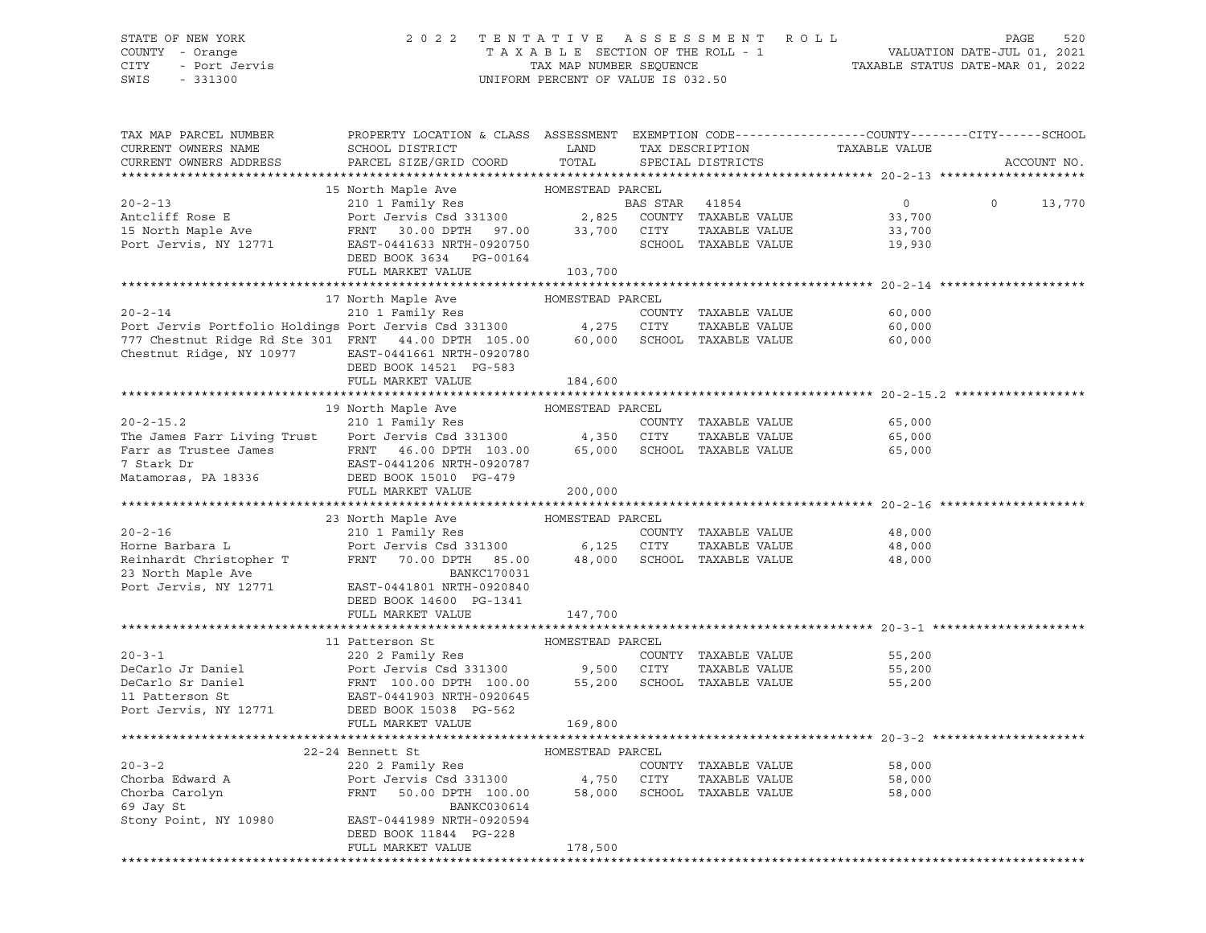## STATE OF NEW YORK 2 0 2 2 T E N T A T I V E A S S E S S M E N T R O L L PAGE 520 COUNTY - Orange T A X A B L E SECTION OF THE ROLL - 1 VALUATION DATE-JUL 01, 2021 CITY - Port Jervis TAX MAP NUMBER SEQUENCE TAXABLE STATUS DATE-MAR 01, 2022

| TAX MAP PARCEL NUMBER<br>CURRENT OWNERS NAME                                                                                                                                                                                                                                                                                                                                                                                                                      | PROPERTY LOCATION & CLASS ASSESSMENT EXEMPTION CODE---------------COUNTY-------CITY------SCHOOL<br>SCHOOL DISTRICT | LAND    | TAX DESCRIPTION      | TAXABLE VALUE  |                   |
|-------------------------------------------------------------------------------------------------------------------------------------------------------------------------------------------------------------------------------------------------------------------------------------------------------------------------------------------------------------------------------------------------------------------------------------------------------------------|--------------------------------------------------------------------------------------------------------------------|---------|----------------------|----------------|-------------------|
| CURRENT OWNERS ADDRESS                                                                                                                                                                                                                                                                                                                                                                                                                                            | PARCEL SIZE/GRID COORD                                                                                             | TOTAL   | SPECIAL DISTRICTS    |                | ACCOUNT NO.       |
| 15 North Maple Ave HOMESTEAD PARCEL<br>20-2-13 210 1 Family Res<br>20-2-13 210 1 Family Res<br>20-2-13 210 2,825 COUNTY TAXABLE VALUE<br>20-2-13 201 1 Family Res<br>20-2-13 201 2,825 COUNTY TAXABLE VALUE<br>20-2-13 201 2,825 COUNTY TA                                                                                                                                                                                                                        |                                                                                                                    |         |                      |                |                   |
|                                                                                                                                                                                                                                                                                                                                                                                                                                                                   |                                                                                                                    |         |                      | $\overline{0}$ | $\circ$<br>13,770 |
|                                                                                                                                                                                                                                                                                                                                                                                                                                                                   |                                                                                                                    |         |                      | 33,700         |                   |
|                                                                                                                                                                                                                                                                                                                                                                                                                                                                   |                                                                                                                    |         |                      | 33,700         |                   |
|                                                                                                                                                                                                                                                                                                                                                                                                                                                                   |                                                                                                                    |         |                      | 19,930         |                   |
|                                                                                                                                                                                                                                                                                                                                                                                                                                                                   | DEED BOOK 3634 PG-00164                                                                                            |         |                      |                |                   |
|                                                                                                                                                                                                                                                                                                                                                                                                                                                                   | FULL MARKET VALUE 103,700                                                                                          |         |                      |                |                   |
|                                                                                                                                                                                                                                                                                                                                                                                                                                                                   |                                                                                                                    |         |                      |                |                   |
|                                                                                                                                                                                                                                                                                                                                                                                                                                                                   | 17 North Maple Ave MOMESTEAD PARCEL                                                                                |         |                      |                |                   |
|                                                                                                                                                                                                                                                                                                                                                                                                                                                                   |                                                                                                                    |         |                      | 60,000         |                   |
|                                                                                                                                                                                                                                                                                                                                                                                                                                                                   |                                                                                                                    |         |                      | 60,000         |                   |
| 20-2-14 210 1 Family Res<br>Port Jervis Portfolio Holdings Port Jervis Csd 331300 4,275 CITY TAXABLE VALUE<br>777 Chestnut Ridge Rd Ste 301 FRNT 44.00 DPTH 105.00 60,000 SCHOOL TAXABLE VALUE                                                                                                                                                                                                                                                                    |                                                                                                                    |         |                      | 60,000         |                   |
| Chestnut Ridge, NY 10977 EAST-0441661 NRTH-0920780                                                                                                                                                                                                                                                                                                                                                                                                                |                                                                                                                    |         |                      |                |                   |
|                                                                                                                                                                                                                                                                                                                                                                                                                                                                   | DEED BOOK 14521 PG-583                                                                                             |         |                      |                |                   |
|                                                                                                                                                                                                                                                                                                                                                                                                                                                                   | FULL MARKET VALUE                                                                                                  | 184,600 |                      |                |                   |
|                                                                                                                                                                                                                                                                                                                                                                                                                                                                   |                                                                                                                    |         |                      |                |                   |
|                                                                                                                                                                                                                                                                                                                                                                                                                                                                   |                                                                                                                    |         |                      |                |                   |
|                                                                                                                                                                                                                                                                                                                                                                                                                                                                   |                                                                                                                    |         | COUNTY TAXABLE VALUE | 65,000         |                   |
|                                                                                                                                                                                                                                                                                                                                                                                                                                                                   |                                                                                                                    |         | TAXABLE VALUE        | 65,000         |                   |
| Farr as Trustee James<br>Tark Dr. (1997) FRNT 103.00 65,000 SCHOOL TAXABLE VALUE<br>7 Stark Dr. (1992) EAST-0441206 NRTH-0920787<br>Matamoras, PA 18336 DEED BOOK 15010 PG-479                                                                                                                                                                                                                                                                                    |                                                                                                                    |         |                      | 65,000         |                   |
|                                                                                                                                                                                                                                                                                                                                                                                                                                                                   |                                                                                                                    |         |                      |                |                   |
|                                                                                                                                                                                                                                                                                                                                                                                                                                                                   |                                                                                                                    |         |                      |                |                   |
|                                                                                                                                                                                                                                                                                                                                                                                                                                                                   | FULL MARKET VALUE                                                                                                  | 200,000 |                      |                |                   |
| $\begin{tabular}{lllllllllll} $\text{\tt 2U$-2$-16}$ & $\text{\tt 2U$-1$-6}$ & $210$1 Family Res & $\text{\tt Family Res}$ & $\text{\tt COMESTEAD PARCEL}$ \\ & $210$1 Family Res & $\text{\tt CONESTEAD PARCEL}$ & $\text{\tt COUNTY T AXABLE VALUE}} \\ & $210$1 Family Res & $\text{\tt 2U1 T} & $\text{\tt FRMT}$ & $70.00 {\tt DPTH}$ & $85.00$ & $6,125$ CITY & $TAXABLE VALUE \\ & $85.00$ & $48,000$ & $8\text{\tt 2UCD} & $7\text{\tt AXABLE VALUE}} \\$ |                                                                                                                    |         |                      |                |                   |
|                                                                                                                                                                                                                                                                                                                                                                                                                                                                   |                                                                                                                    |         |                      | 48,000         |                   |
|                                                                                                                                                                                                                                                                                                                                                                                                                                                                   |                                                                                                                    |         |                      | 48,000         |                   |
|                                                                                                                                                                                                                                                                                                                                                                                                                                                                   |                                                                                                                    |         |                      | 48,000         |                   |
|                                                                                                                                                                                                                                                                                                                                                                                                                                                                   |                                                                                                                    |         |                      |                |                   |
|                                                                                                                                                                                                                                                                                                                                                                                                                                                                   |                                                                                                                    |         |                      |                |                   |
|                                                                                                                                                                                                                                                                                                                                                                                                                                                                   | DEED BOOK 14600 PG-1341                                                                                            |         |                      |                |                   |
|                                                                                                                                                                                                                                                                                                                                                                                                                                                                   | FULL MARKET VALUE                                                                                                  | 147,700 |                      |                |                   |
|                                                                                                                                                                                                                                                                                                                                                                                                                                                                   |                                                                                                                    |         |                      |                |                   |
| 11 Patterson St<br>20-3-1<br>220 2 Family Res<br>DeCarlo Jr Daniel<br>Port Jervis Csd 331300<br>PeCarlo Sr Daniel<br>FRNT 100.00 DPTH 100.00<br>55,200 SCHOOL TAXABLE VALUE<br>FRNT 100.00 DPTH 100.00<br>55,200 SCHOOL TAXABLE VALUE<br>Port Jerv                                                                                                                                                                                                                |                                                                                                                    |         |                      |                |                   |
|                                                                                                                                                                                                                                                                                                                                                                                                                                                                   |                                                                                                                    |         |                      | 55,200         |                   |
|                                                                                                                                                                                                                                                                                                                                                                                                                                                                   |                                                                                                                    |         |                      | 55,200         |                   |
|                                                                                                                                                                                                                                                                                                                                                                                                                                                                   |                                                                                                                    |         |                      | 55,200         |                   |
|                                                                                                                                                                                                                                                                                                                                                                                                                                                                   |                                                                                                                    |         |                      |                |                   |
|                                                                                                                                                                                                                                                                                                                                                                                                                                                                   |                                                                                                                    |         |                      |                |                   |
|                                                                                                                                                                                                                                                                                                                                                                                                                                                                   | FULL MARKET VALUE                                                                                                  | 169,800 |                      |                |                   |
|                                                                                                                                                                                                                                                                                                                                                                                                                                                                   |                                                                                                                    |         |                      |                |                   |
|                                                                                                                                                                                                                                                                                                                                                                                                                                                                   |                                                                                                                    |         |                      |                |                   |
|                                                                                                                                                                                                                                                                                                                                                                                                                                                                   |                                                                                                                    |         |                      | 58,000         |                   |
|                                                                                                                                                                                                                                                                                                                                                                                                                                                                   |                                                                                                                    |         |                      | 58,000         |                   |
| 20-3-2<br>22-24 Bennett St<br>220 2 Family Res<br>Chorba Edward A<br>Port Jervis Csd 331300<br>FRNT 50.00 DPTH 100.00<br>58,000 SCHOOL TAXABLE VALUE<br>Country TAXABLE VALUE<br>CHORE CALLUME<br>FRNT 50.00 DPTH 100.00<br>FRNT 50.00 PTH 100.00<br>                                                                                                                                                                                                             |                                                                                                                    |         |                      | 58,000         |                   |
| 69 Jay St                                                                                                                                                                                                                                                                                                                                                                                                                                                         | BANKC030614                                                                                                        |         |                      |                |                   |
| Stony Point, NY 10980 EAST-0441989 NRTH-0920594                                                                                                                                                                                                                                                                                                                                                                                                                   |                                                                                                                    |         |                      |                |                   |
|                                                                                                                                                                                                                                                                                                                                                                                                                                                                   | DEED BOOK 11844 PG-228<br>FULL MARKET VALUE                                                                        | 178,500 |                      |                |                   |
|                                                                                                                                                                                                                                                                                                                                                                                                                                                                   |                                                                                                                    |         |                      |                |                   |
|                                                                                                                                                                                                                                                                                                                                                                                                                                                                   |                                                                                                                    |         |                      |                |                   |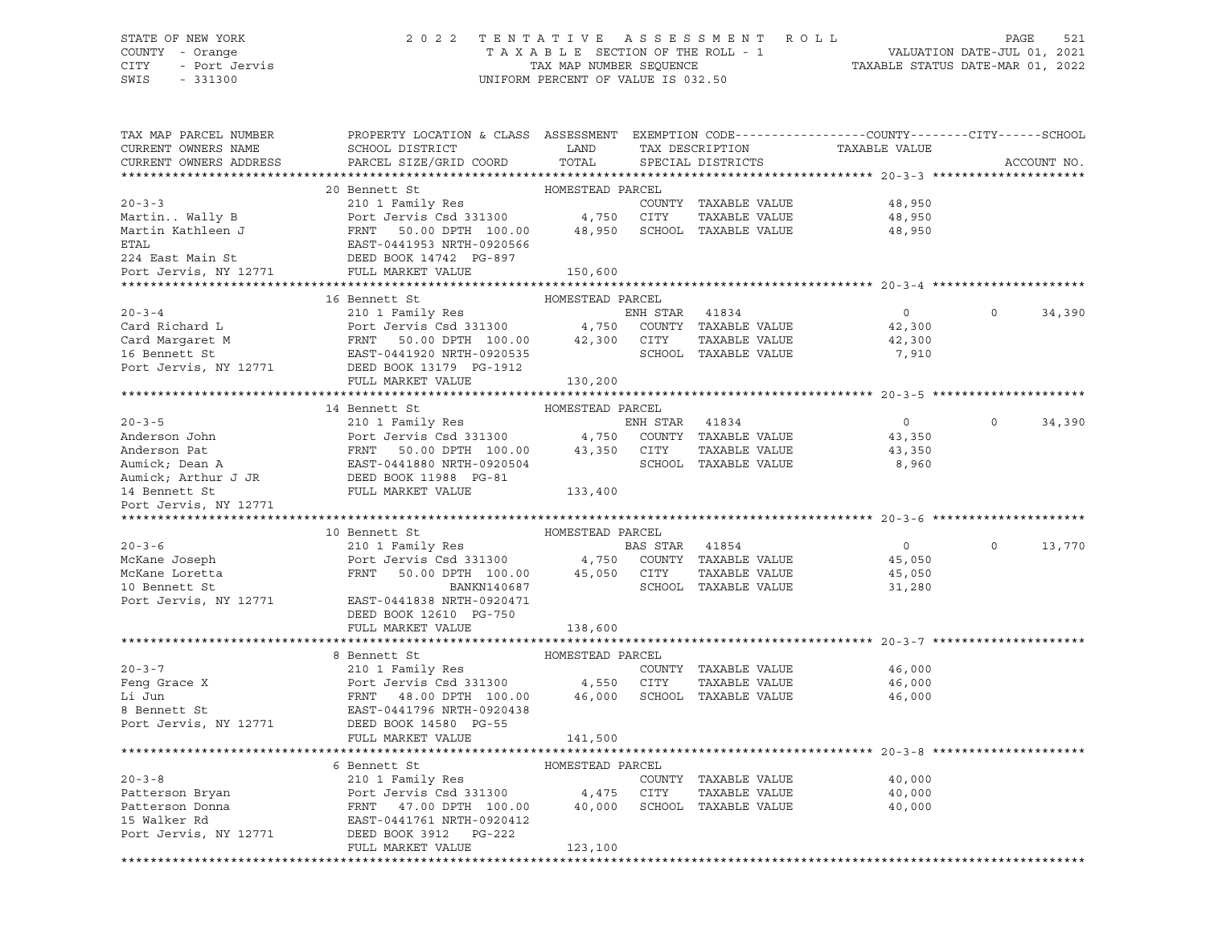### STATE OF NEW YORK 2 0 2 2 T E N T A T I V E A S S E S S M E N T R O L L PAGE 521 COUNTY - Orange T A X A B L E SECTION OF THE ROLL - 1 VALUATION DATE-JUL 01, 2021 CITY - Port Jervis TAX MAP NUMBER SEQUENCE TAXABLE STATUS DATE-MAR 01, 2022

| TAX MAP PARCEL NUMBER    | PROPERTY LOCATION & CLASS ASSESSMENT EXEMPTION CODE---------------COUNTY-------CITY------SCHOOL                                                                                                                                                               |                  |                |                             |                                                 |                |             |
|--------------------------|---------------------------------------------------------------------------------------------------------------------------------------------------------------------------------------------------------------------------------------------------------------|------------------|----------------|-----------------------------|-------------------------------------------------|----------------|-------------|
| CURRENT OWNERS NAME      | SCHOOL DISTRICT LAND                                                                                                                                                                                                                                          |                  |                |                             | TAX DESCRIPTION TAXABLE VALUE SPECIAL DISTRICTS |                |             |
| CURRENT OWNERS ADDRESS   | PARCEL SIZE/GRID COORD TOTAL                                                                                                                                                                                                                                  |                  |                |                             |                                                 |                | ACCOUNT NO. |
|                          |                                                                                                                                                                                                                                                               |                  |                |                             |                                                 |                |             |
|                          |                                                                                                                                                                                                                                                               |                  |                |                             |                                                 |                |             |
|                          |                                                                                                                                                                                                                                                               |                  |                |                             |                                                 |                |             |
|                          |                                                                                                                                                                                                                                                               |                  |                |                             |                                                 |                |             |
|                          |                                                                                                                                                                                                                                                               |                  |                |                             |                                                 |                |             |
|                          |                                                                                                                                                                                                                                                               |                  |                |                             |                                                 |                |             |
|                          |                                                                                                                                                                                                                                                               |                  |                |                             |                                                 |                |             |
|                          |                                                                                                                                                                                                                                                               |                  |                |                             |                                                 |                |             |
|                          |                                                                                                                                                                                                                                                               |                  |                |                             |                                                 |                |             |
|                          | 16 Bennett St<br>Card Richard L<br>Card Richard L<br>Card Margaret M<br>Card Margaret M<br>FRNT 50.00 DPTH 100.00 42,300 CITY TAXABLE VALUE<br>Card Margaret M<br>FRNT 50.00 DPTH 100.00 42,300 CITY TAXABLE VALUE<br>Port Jervis, NY 12771 DEED BOOK 13179 P | HOMESTEAD PARCEL |                |                             |                                                 |                |             |
|                          |                                                                                                                                                                                                                                                               |                  |                |                             | $\overline{0}$                                  | $\Omega$       | 34,390      |
|                          |                                                                                                                                                                                                                                                               |                  |                |                             | 42,300                                          |                |             |
|                          |                                                                                                                                                                                                                                                               |                  |                |                             | 42,300                                          |                |             |
|                          |                                                                                                                                                                                                                                                               |                  |                |                             | 7,910                                           |                |             |
|                          |                                                                                                                                                                                                                                                               |                  |                |                             |                                                 |                |             |
|                          |                                                                                                                                                                                                                                                               | 130,200          |                |                             |                                                 |                |             |
|                          |                                                                                                                                                                                                                                                               |                  |                |                             |                                                 |                |             |
|                          |                                                                                                                                                                                                                                                               |                  |                |                             |                                                 |                |             |
|                          |                                                                                                                                                                                                                                                               |                  |                |                             | $\overline{0}$                                  | $\Omega$       | 34,390      |
|                          |                                                                                                                                                                                                                                                               |                  |                |                             | 43,350                                          |                |             |
|                          |                                                                                                                                                                                                                                                               |                  |                |                             | 43,350                                          |                |             |
|                          |                                                                                                                                                                                                                                                               |                  |                |                             | 8,960                                           |                |             |
|                          |                                                                                                                                                                                                                                                               |                  |                |                             |                                                 |                |             |
|                          |                                                                                                                                                                                                                                                               |                  |                |                             |                                                 |                |             |
|                          |                                                                                                                                                                                                                                                               |                  |                |                             |                                                 |                |             |
|                          |                                                                                                                                                                                                                                                               |                  |                |                             |                                                 |                |             |
|                          | 10 Bennett St MOMESTEAD PARCEL                                                                                                                                                                                                                                |                  |                |                             |                                                 |                |             |
| $20 - 3 - 6$             | 210 1 Family Res                                                                                                                                                                                                                                              |                  | BAS STAR 41854 |                             | $\overline{0}$                                  | $\overline{0}$ | 13,770      |
|                          |                                                                                                                                                                                                                                                               |                  |                |                             | 45,050                                          |                |             |
|                          |                                                                                                                                                                                                                                                               |                  |                |                             | 45,050                                          |                |             |
|                          |                                                                                                                                                                                                                                                               |                  |                |                             | 31,280                                          |                |             |
|                          | Port Jervis, NY 12771 EAST-0441838 NRTH-0920471                                                                                                                                                                                                               |                  |                |                             |                                                 |                |             |
|                          | DEED BOOK 12610 PG-750                                                                                                                                                                                                                                        |                  |                |                             |                                                 |                |             |
|                          | FULL MARKET VALUE                                                                                                                                                                                                                                             | 138,600          |                |                             |                                                 |                |             |
|                          |                                                                                                                                                                                                                                                               |                  |                |                             |                                                 |                |             |
|                          | 8 Bennett St                                                                                                                                                                                                                                                  | HOMESTEAD PARCEL |                |                             |                                                 |                |             |
|                          |                                                                                                                                                                                                                                                               |                  |                | COUNTY TAXABLE VALUE        | 46,000                                          |                |             |
|                          |                                                                                                                                                                                                                                                               |                  |                | TAXABLE VALUE               | 46,000                                          |                |             |
| $20-3-7$<br>Feng Grace X | 210 1 Family Res<br>Port Jervis Csd 331300 4,550 CITY<br>FRNT 48.00 DPTH 100.00 46,000 SCHOO<br>EAST-0441796 NRTH-0920438                                                                                                                                     |                  |                | 46,000 SCHOOL TAXABLE VALUE | 46,000                                          |                |             |
|                          |                                                                                                                                                                                                                                                               |                  |                |                             |                                                 |                |             |
|                          |                                                                                                                                                                                                                                                               |                  |                |                             |                                                 |                |             |
|                          | FULL MARKET VALUE                                                                                                                                                                                                                                             | 141,500          |                |                             |                                                 |                |             |
|                          |                                                                                                                                                                                                                                                               |                  |                |                             |                                                 |                |             |
|                          | 6 Bennett St                                                                                                                                                                                                                                                  | HOMESTEAD PARCEL |                |                             |                                                 |                |             |
|                          |                                                                                                                                                                                                                                                               |                  |                | COUNTY TAXABLE VALUE        | 40,000                                          |                |             |
|                          | 20-3-8<br>Patterson Bryan<br>Patterson Donna<br>Patterson Donna<br>Patterson Donna<br>Patterson Donna<br>FRNT 47.00 DPTH 100.00<br>EAST 40,000<br>SCHOOL TAXABLE VALUE<br>SWARE VALUE<br>TAXABLE VALUE<br>TAXABLE VALUE<br>TAXABLE VALUE<br>TAXABLE VALU      |                  |                |                             | 40,000                                          |                |             |
|                          |                                                                                                                                                                                                                                                               |                  |                |                             | 40,000                                          |                |             |
|                          |                                                                                                                                                                                                                                                               |                  |                |                             |                                                 |                |             |
|                          |                                                                                                                                                                                                                                                               |                  |                |                             |                                                 |                |             |
|                          | FULL MARKET VALUE                                                                                                                                                                                                                                             | 123,100          |                |                             |                                                 |                |             |
|                          |                                                                                                                                                                                                                                                               |                  |                |                             |                                                 |                |             |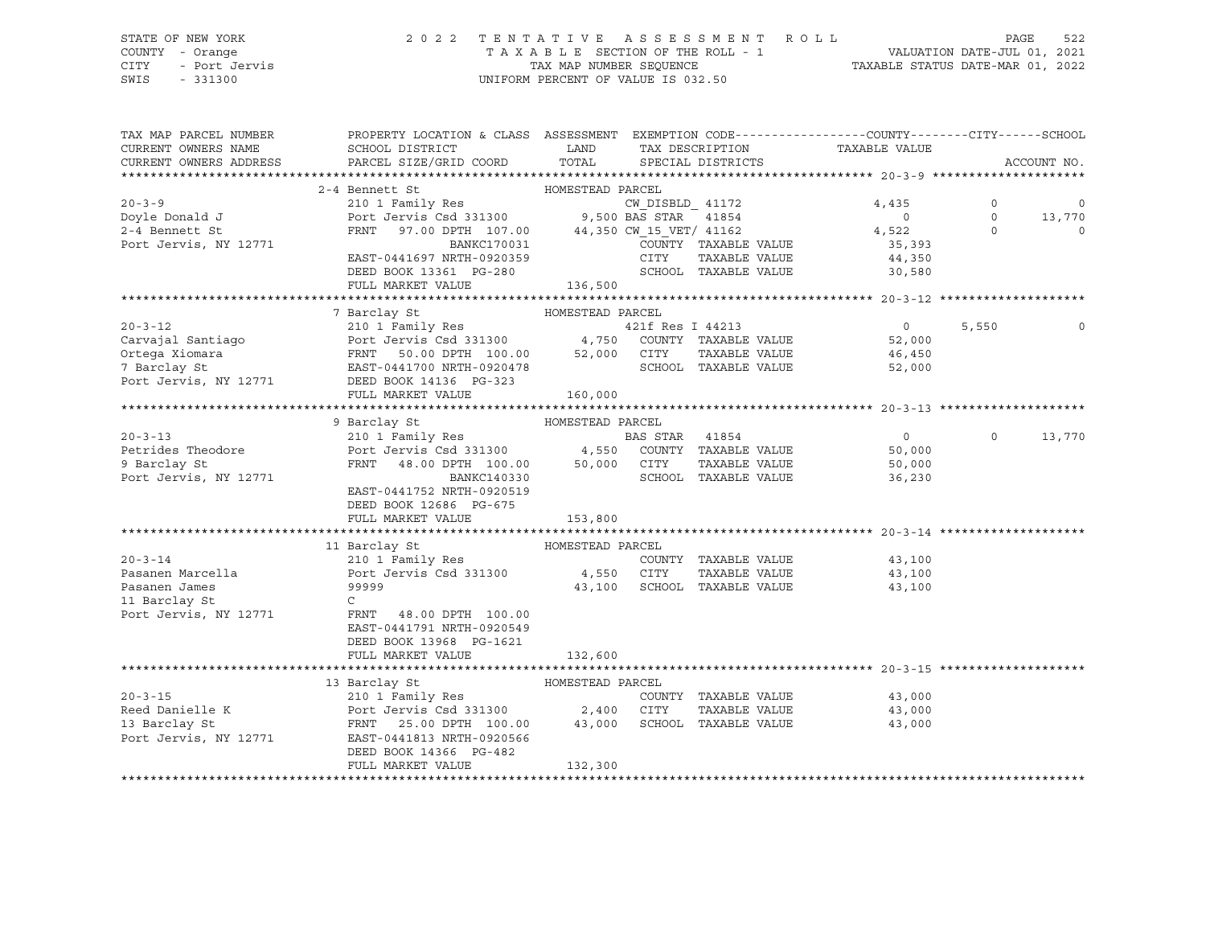## STATE OF NEW YORK 2 0 2 2 T E N T A T I V E A S S E S S M E N T R O L L PAGE 522 COUNTY - Orange T A X A B L E SECTION OF THE ROLL - 1 VALUATION DATE-JUL 01, 2021 CITY - Port Jervis TAX MAP NUMBER SEQUENCE TAXABLE STATUS DATE-MAR 01, 2022

| TAX MAP PARCEL NUMBER<br>CURRENT OWNERS NAME<br>CURRENT OWNERS ADDRESS                                                                                                                                                                  | PROPERTY LOCATION & CLASS ASSESSMENT EXEMPTION CODE---------------COUNTY-------CITY------SCHOOL<br>SCHOOL DISTRICT<br>PARCEL SIZE/GRID COORD                                         | <b>LAND</b><br>TOTAL |                  | TAX DESCRIPTION<br>SPECIAL DISTRICTS         | TAXABLE VALUE                                |          | ACCOUNT NO. |
|-----------------------------------------------------------------------------------------------------------------------------------------------------------------------------------------------------------------------------------------|--------------------------------------------------------------------------------------------------------------------------------------------------------------------------------------|----------------------|------------------|----------------------------------------------|----------------------------------------------|----------|-------------|
|                                                                                                                                                                                                                                         |                                                                                                                                                                                      |                      |                  |                                              |                                              |          |             |
|                                                                                                                                                                                                                                         | Bennett St<br>210 1 Family Res<br>Port Jervis Csd 331300 9,500 BAS STAR 41854<br>FRNT 97.00 DPTH 107.00 44,350 CW_15_VET/41162<br>BANKC170031 COUNTY TAXABLE VALUE<br>2-4 Bennett St |                      |                  |                                              |                                              |          |             |
| $20 - 3 - 9$                                                                                                                                                                                                                            |                                                                                                                                                                                      |                      |                  |                                              | 4,435                                        | $\circ$  | $\circ$     |
| Doyle Donald J                                                                                                                                                                                                                          |                                                                                                                                                                                      |                      |                  |                                              |                                              | $\Omega$ | 13,770      |
| 2-4 Bennett St                                                                                                                                                                                                                          |                                                                                                                                                                                      |                      |                  |                                              | $\begin{array}{c}0\\4,522\end{array}$        | $\circ$  | $\circ$     |
| Port Jervis, NY 12771                                                                                                                                                                                                                   |                                                                                                                                                                                      |                      |                  |                                              | 35,393                                       |          |             |
|                                                                                                                                                                                                                                         | EAST-0441697 NRTH-0920359                                                                                                                                                            |                      | CITY             |                                              | TAXABLE VALUE 44,350                         |          |             |
|                                                                                                                                                                                                                                         | DEED BOOK 13361 PG-280                                                                                                                                                               |                      |                  | SCHOOL TAXABLE VALUE                         | 30,580                                       |          |             |
|                                                                                                                                                                                                                                         | FULL MARKET VALUE                                                                                                                                                                    | 136,500              |                  |                                              |                                              |          |             |
|                                                                                                                                                                                                                                         |                                                                                                                                                                                      |                      |                  |                                              |                                              |          |             |
|                                                                                                                                                                                                                                         | 7 Barclay St<br>HOMESTEAD PARCEL                                                                                                                                                     |                      |                  |                                              |                                              |          |             |
| $20 - 3 - 12$                                                                                                                                                                                                                           | 210 1 Family Res                                                                                                                                                                     |                      | 421f Res I 44213 |                                              | $\overline{0}$                               | 5,550    | 0           |
|                                                                                                                                                                                                                                         |                                                                                                                                                                                      |                      |                  |                                              | 52,000                                       |          |             |
|                                                                                                                                                                                                                                         |                                                                                                                                                                                      |                      |                  |                                              | TAXABLE VALUE 46,450<br>TAXABLE VALUE 52,000 |          |             |
| 210 1 ramily Res (2008) 2008 1211 Nes 1 11215<br>Carvajal Santiago (210 1 Port Jervis Csd 331300 1,750 COUNTY TAXABLE VALUE<br>Ortega Xiomara (210 1 PRNT 50.00 DPTH 100.00 52,000 CITY TAXABLE VALUE<br>7 Barclay St (210 1 RAST-04417 |                                                                                                                                                                                      |                      |                  |                                              | 52,000                                       |          |             |
| Port Jervis, NY 12771 DEED BOOK 14136 PG-323                                                                                                                                                                                            |                                                                                                                                                                                      |                      |                  |                                              |                                              |          |             |
|                                                                                                                                                                                                                                         | FULL MARKET VALUE                                                                                                                                                                    | 160,000              |                  |                                              |                                              |          |             |
|                                                                                                                                                                                                                                         |                                                                                                                                                                                      |                      |                  |                                              |                                              |          |             |
|                                                                                                                                                                                                                                         | HOMESTEAD PARCEL<br>9 Barclay St                                                                                                                                                     |                      |                  |                                              |                                              |          |             |
| $20 - 3 - 13$                                                                                                                                                                                                                           |                                                                                                                                                                                      |                      |                  |                                              | $\overline{0}$                               | $\Omega$ | 13,770      |
| Petrides Theodore                                                                                                                                                                                                                       |                                                                                                                                                                                      |                      |                  |                                              | 50,000                                       |          |             |
| 9 Barclay St                                                                                                                                                                                                                            | 210 1 Family Res<br>Port Jervis Csd 331300 4,550 COUNTY TAXABLE VALUE<br>FRNT 48.00 DPTH 100.00 50,000 CITY TAXABLE VALUE                                                            |                      |                  | TAXABLE VALUE                                | 50,000                                       |          |             |
| Port Jervis, NY 12771                                                                                                                                                                                                                   | BANKC140330                                                                                                                                                                          |                      |                  | SCHOOL TAXABLE VALUE                         | 36,230                                       |          |             |
|                                                                                                                                                                                                                                         | EAST-0441752 NRTH-0920519                                                                                                                                                            |                      |                  |                                              |                                              |          |             |
|                                                                                                                                                                                                                                         | DEED BOOK 12686 PG-675                                                                                                                                                               |                      |                  |                                              |                                              |          |             |
|                                                                                                                                                                                                                                         | FULL MARKET VALUE                                                                                                                                                                    | 153,800              |                  |                                              |                                              |          |             |
|                                                                                                                                                                                                                                         | 11 Barclay St<br>210 1 Family Res<br>PARCEL<br>210 1 Family Res<br>Port Jervis Csd 331300<br>24,550 CITY<br>299999                                                                   |                      |                  |                                              |                                              |          |             |
|                                                                                                                                                                                                                                         |                                                                                                                                                                                      |                      |                  |                                              |                                              |          |             |
| $20 - 3 - 14$                                                                                                                                                                                                                           |                                                                                                                                                                                      |                      |                  | COUNTY TAXABLE VALUE                         | 43,100                                       |          |             |
| Pasanen Marcella<br>Pasanen James                                                                                                                                                                                                       |                                                                                                                                                                                      |                      |                  | TAXABLE VALUE<br>43,100 SCHOOL TAXABLE VALUE | 43,100                                       |          |             |
|                                                                                                                                                                                                                                         |                                                                                                                                                                                      |                      |                  |                                              | 43,100                                       |          |             |
| 11 Barclay St                                                                                                                                                                                                                           | $\mathsf{C}$                                                                                                                                                                         |                      |                  |                                              |                                              |          |             |
| Port Jervis, NY 12771                                                                                                                                                                                                                   | FRNT<br>48.00 DPTH 100.00<br>EAST-0441791 NRTH-0920549                                                                                                                               |                      |                  |                                              |                                              |          |             |
|                                                                                                                                                                                                                                         |                                                                                                                                                                                      |                      |                  |                                              |                                              |          |             |
|                                                                                                                                                                                                                                         | DEED BOOK 13968 PG-1621<br>FULL MARKET VALUE                                                                                                                                         | 132,600              |                  |                                              |                                              |          |             |
|                                                                                                                                                                                                                                         |                                                                                                                                                                                      |                      |                  |                                              |                                              |          |             |
|                                                                                                                                                                                                                                         | 13 Barclay St<br>HOMESTEAD PARCEL                                                                                                                                                    |                      |                  |                                              |                                              |          |             |
| $20 - 3 - 15$                                                                                                                                                                                                                           | 210 1 Family Res                                                                                                                                                                     |                      |                  | COUNTY TAXABLE VALUE                         | 43,000                                       |          |             |
| Reed Danielle K                                                                                                                                                                                                                         |                                                                                                                                                                                      |                      |                  |                                              | TAXABLE VALUE 43,000                         |          |             |
|                                                                                                                                                                                                                                         |                                                                                                                                                                                      |                      |                  |                                              | 43,000                                       |          |             |
| 13 Barclay St<br>Port Jervis, NY 12771                                                                                                                                                                                                  | 210 1 ramin Res 20131300<br>POIT JERNE 25.00 DPTH 100.00 2,400 CITY TAXABLE VALUE<br>ERST-0441813 NRTH-0920566 43,000 SCHOOL TAXABLE VALUE<br>EAST-0441813 NRTH-0920566              |                      |                  |                                              |                                              |          |             |
|                                                                                                                                                                                                                                         | DEED BOOK 14366 PG-482                                                                                                                                                               |                      |                  |                                              |                                              |          |             |
|                                                                                                                                                                                                                                         | FULL MARKET VALUE                                                                                                                                                                    | 132,300              |                  |                                              |                                              |          |             |
|                                                                                                                                                                                                                                         |                                                                                                                                                                                      |                      |                  |                                              |                                              |          |             |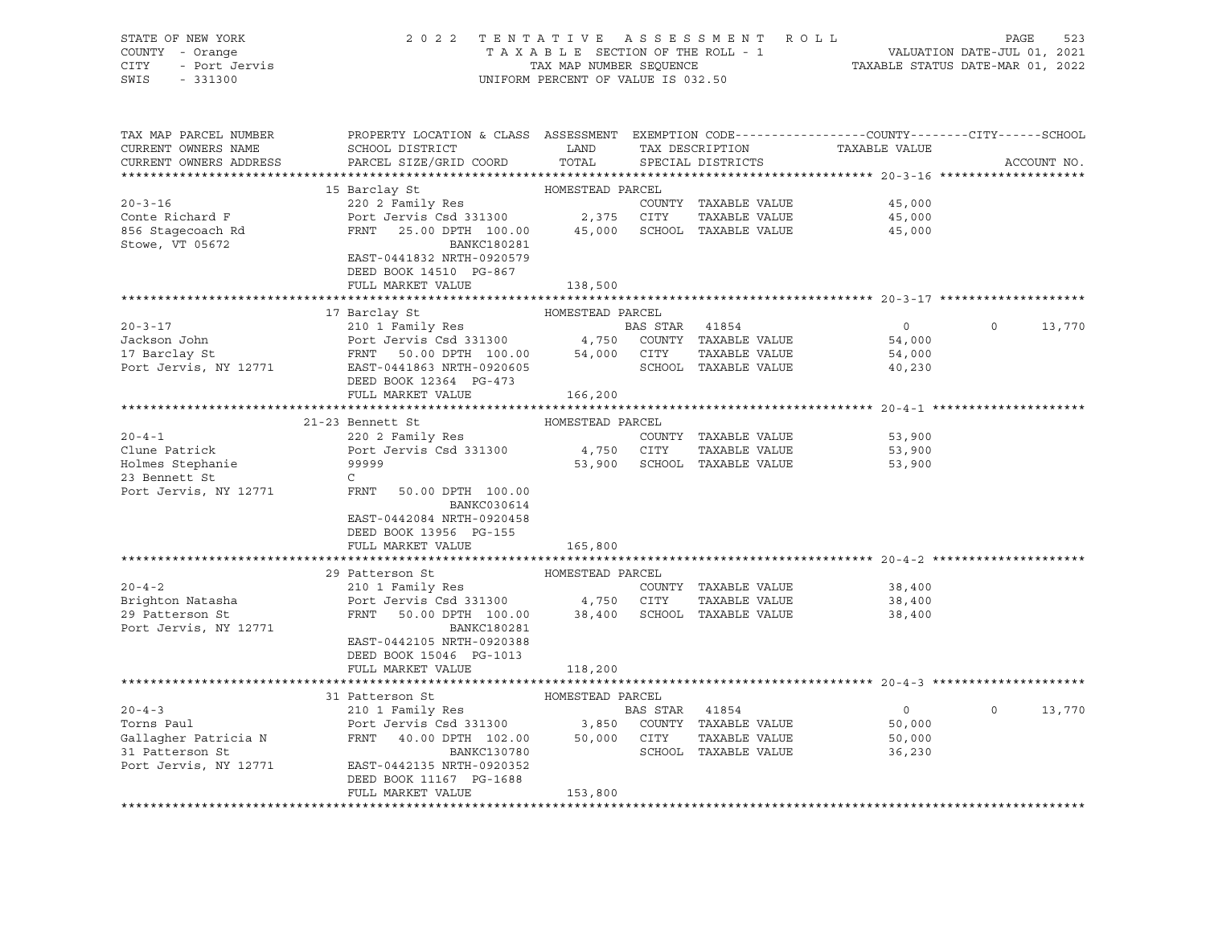| STATE OF NEW YORK<br>COUNTY - Orange<br>- Port Jervis<br>CITY | 2 0 2 2                                                                                                                                                     | TENTATIVE<br>TAXABLE SECTION OF THE ROLL - 1<br>TAX MAP NUMBER SEQUENCE |                | ASSESSMENT ROLL                      | 523<br>PAGE<br>VALUATION DATE-JUL 01, 2021<br>TAXABLE STATUS DATE-MAR 01, 2022 |                    |  |
|---------------------------------------------------------------|-------------------------------------------------------------------------------------------------------------------------------------------------------------|-------------------------------------------------------------------------|----------------|--------------------------------------|--------------------------------------------------------------------------------|--------------------|--|
| SWIS<br>$-331300$                                             |                                                                                                                                                             | UNIFORM PERCENT OF VALUE IS 032.50                                      |                |                                      |                                                                                |                    |  |
| TAX MAP PARCEL NUMBER                                         | PROPERTY LOCATION & CLASS ASSESSMENT EXEMPTION CODE----------------COUNTY-------CITY------SCHOOL                                                            |                                                                         |                |                                      |                                                                                |                    |  |
| CURRENT OWNERS NAME<br>CURRENT OWNERS ADDRESS                 | SCHOOL DISTRICT<br>PARCEL SIZE/GRID COORD                                                                                                                   | LAND<br>TOTAL                                                           |                | TAX DESCRIPTION<br>SPECIAL DISTRICTS | TAXABLE VALUE                                                                  | ACCOUNT NO.        |  |
|                                                               |                                                                                                                                                             |                                                                         |                |                                      |                                                                                |                    |  |
|                                                               | 15 Barclay St                                                                                                                                               | HOMESTEAD PARCEL                                                        |                |                                      |                                                                                |                    |  |
| $20 - 3 - 16$                                                 | 220 2 Family Res                                                                                                                                            |                                                                         |                | COUNTY TAXABLE VALUE                 | 45,000                                                                         |                    |  |
| Conte Richard F                                               | Port Jervis Csd 331300 2,375 CITY                                                                                                                           |                                                                         |                | TAXABLE VALUE                        | 45,000                                                                         |                    |  |
| 856 Stagecoach Rd                                             | FRNT 25.00 DPTH 100.00                                                                                                                                      |                                                                         |                | 45,000 SCHOOL TAXABLE VALUE          | 45,000                                                                         |                    |  |
| Stowe, VT 05672                                               | BANKC180281                                                                                                                                                 |                                                                         |                |                                      |                                                                                |                    |  |
|                                                               | EAST-0441832 NRTH-0920579                                                                                                                                   |                                                                         |                |                                      |                                                                                |                    |  |
|                                                               | DEED BOOK 14510 PG-867                                                                                                                                      |                                                                         |                |                                      |                                                                                |                    |  |
|                                                               | FULL MARKET VALUE                                                                                                                                           | 138,500                                                                 |                |                                      |                                                                                |                    |  |
|                                                               |                                                                                                                                                             |                                                                         |                |                                      |                                                                                |                    |  |
|                                                               | 17 Barclay St                                                                                                                                               | HOMESTEAD PARCEL                                                        |                |                                      |                                                                                |                    |  |
| $20 - 3 - 17$                                                 | 210 1 Family Res                                                                                                                                            |                                                                         | BAS STAR 41854 |                                      | $\overline{0}$                                                                 | $\Omega$<br>13,770 |  |
| Jackson John                                                  | Port Jervis Csd 331300 4,750 COUNTY TAXABLE VALUE                                                                                                           |                                                                         |                |                                      | 54,000                                                                         |                    |  |
| 17 Barclay St                                                 |                                                                                                                                                             |                                                                         |                | TAXABLE VALUE                        | 54,000                                                                         |                    |  |
| Port Jervis, NY 12771                                         | DEED BOOK 12364 PG-473                                                                                                                                      |                                                                         |                | SCHOOL TAXABLE VALUE                 | 40,230                                                                         |                    |  |
|                                                               | FULL MARKET VALUE                                                                                                                                           | 166,200                                                                 |                |                                      |                                                                                |                    |  |
|                                                               |                                                                                                                                                             |                                                                         |                |                                      |                                                                                |                    |  |
|                                                               | 21-23 Bennett St                                                                                                                                            | HOMESTEAD PARCEL                                                        |                |                                      |                                                                                |                    |  |
| $20 - 4 - 1$                                                  | 220 2 Family Res                                                                                                                                            |                                                                         |                | COUNTY TAXABLE VALUE                 | 53,900                                                                         |                    |  |
| Clune Patrick                                                 | Port Jervis Csd 331300                                                                                                                                      |                                                                         | 4,750 CITY     | TAXABLE VALUE                        | 53,900                                                                         |                    |  |
| Holmes Stephanie                                              | 99999                                                                                                                                                       |                                                                         |                | 53,900 SCHOOL TAXABLE VALUE          | 53,900                                                                         |                    |  |
| 23 Bennett St                                                 | $\mathbb{C}$                                                                                                                                                |                                                                         |                |                                      |                                                                                |                    |  |
| Port Jervis, NY 12771                                         | FRNT<br>50.00 DPTH 100.00<br>BANKC030614                                                                                                                    |                                                                         |                |                                      |                                                                                |                    |  |
|                                                               | EAST-0442084 NRTH-0920458                                                                                                                                   |                                                                         |                |                                      |                                                                                |                    |  |
|                                                               | DEED BOOK 13956 PG-155                                                                                                                                      |                                                                         |                |                                      |                                                                                |                    |  |
|                                                               | FULL MARKET VALUE                                                                                                                                           | 165,800                                                                 |                |                                      |                                                                                |                    |  |
|                                                               |                                                                                                                                                             |                                                                         |                |                                      |                                                                                |                    |  |
|                                                               | 29 Patterson St                                                                                                                                             | HOMESTEAD PARCEL                                                        |                |                                      |                                                                                |                    |  |
| $20 - 4 - 2$                                                  | 210 1 Family Res                                                                                                                                            |                                                                         |                | COUNTY TAXABLE VALUE                 | 38,400                                                                         |                    |  |
| Brighton Natasha                                              | Port Jervis Csd 331300 4,750 CITY                                                                                                                           |                                                                         |                | TAXABLE VALUE                        | 38,400                                                                         |                    |  |
| 29 Patterson St<br>Port Jervis, NY 12771                      | FRNT<br>50.00 DPTH 100.00<br>BANKC180281                                                                                                                    |                                                                         |                | 38,400 SCHOOL TAXABLE VALUE          | 38,400                                                                         |                    |  |
|                                                               | EAST-0442105 NRTH-0920388<br>DEED BOOK 15046 PG-1013                                                                                                        |                                                                         |                |                                      |                                                                                |                    |  |
|                                                               | FULL MARKET VALUE                                                                                                                                           | 118,200                                                                 |                |                                      |                                                                                |                    |  |
|                                                               |                                                                                                                                                             |                                                                         |                |                                      |                                                                                |                    |  |
|                                                               | 31 Patterson St                                                                                                                                             | HOMESTEAD PARCEL                                                        |                |                                      |                                                                                |                    |  |
| $20 - 4 - 3$                                                  | 210 1 Family Res                                                                                                                                            |                                                                         | BAS STAR 41854 |                                      | $\overline{0}$                                                                 | $\circ$<br>13,770  |  |
| Torns Paul                                                    | BAS STAR 41854<br>Port Jervis Csd 331300 3,850 COUNTY TAXABLE VALUE<br>FRNT 40.00 DPTH 102.00 50,000 CITY TAXABLE VALUE<br>BANKC130780 SCHOOL TAXABLE VALUE |                                                                         |                |                                      | 50,000                                                                         |                    |  |
| Gallagher Patricia N                                          |                                                                                                                                                             |                                                                         |                |                                      | 50,000                                                                         |                    |  |
| 31 Patterson St                                               |                                                                                                                                                             |                                                                         |                |                                      | 36,230                                                                         |                    |  |
| Port Jervis, NY 12771                                         | EAST-0442135 NRTH-0920352                                                                                                                                   |                                                                         |                |                                      |                                                                                |                    |  |
|                                                               | DEED BOOK 11167 PG-1688                                                                                                                                     |                                                                         |                |                                      |                                                                                |                    |  |
|                                                               | FULL MARKET VALUE                                                                                                                                           | 153,800                                                                 |                |                                      |                                                                                |                    |  |
|                                                               |                                                                                                                                                             |                                                                         |                |                                      |                                                                                |                    |  |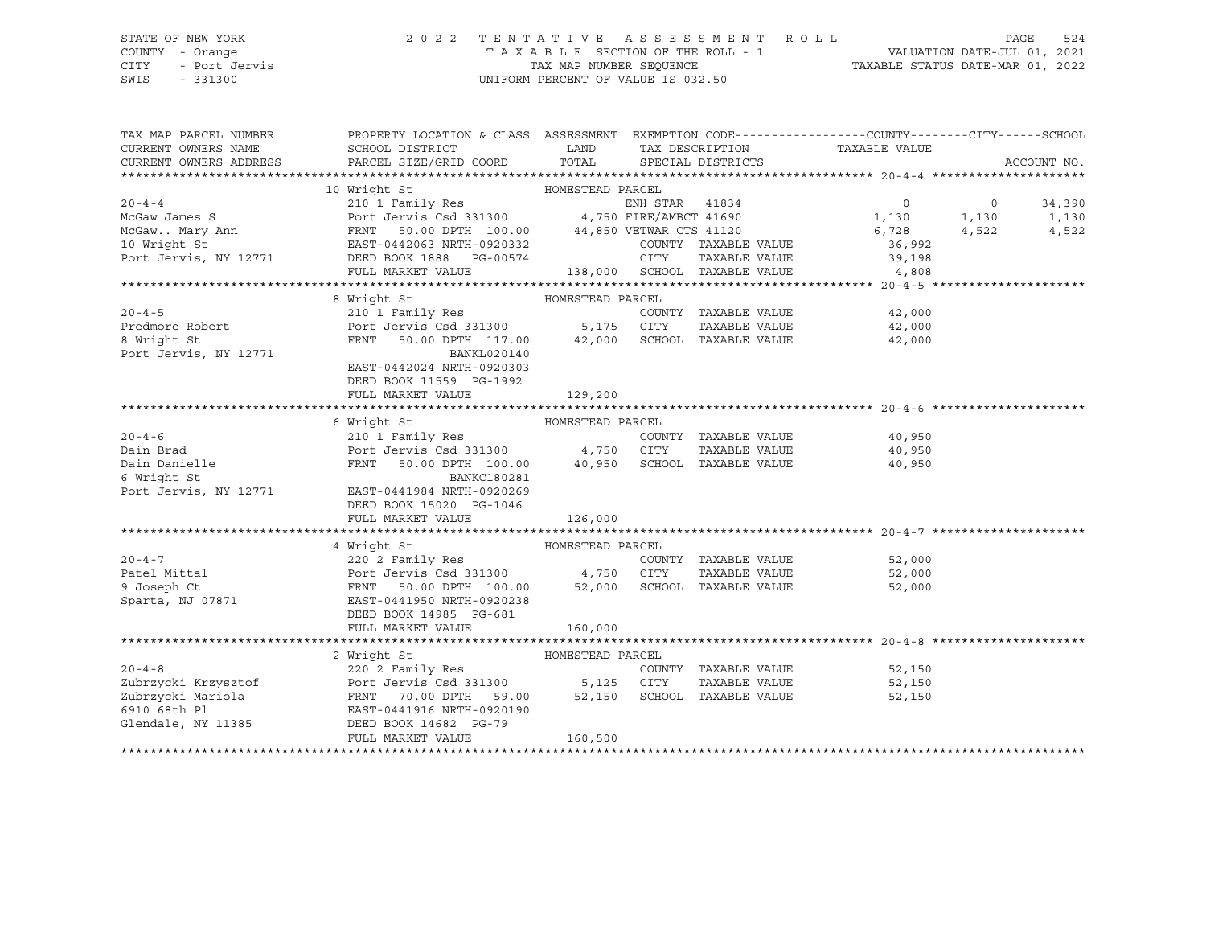## STATE OF NEW YORK 2 0 2 2 T E N T A T I V E A S S E S S M E N T R O L L PAGE 524 COUNTY - Orange T A X A B L E SECTION OF THE ROLL - 1 VALUATION DATE-JUL 01, 2021 CITY - Port Jervis TAX MAP NUMBER SEQUENCE TAXABLE STATUS DATE-MAR 01, 2022

| TAX MAP PARCEL NUMBER<br>CURRENT OWNERS NAME<br>CURRENT OWNERS ADDRESS                                                                                                                                                                                                 | PROPERTY LOCATION & CLASS ASSESSMENT EXEMPTION CODE----------------COUNTY-------CITY------SCHOOL<br>SCHOOL DISTRICT | LAND             |                      | TAX DESCRIPTION TAXABLE VALUE SPECIAL DISTRICTS                           | ACCOUNT NO. |
|------------------------------------------------------------------------------------------------------------------------------------------------------------------------------------------------------------------------------------------------------------------------|---------------------------------------------------------------------------------------------------------------------|------------------|----------------------|---------------------------------------------------------------------------|-------------|
|                                                                                                                                                                                                                                                                        |                                                                                                                     |                  |                      |                                                                           |             |
| 10 Wright St<br>20-4-4<br>210 1 Family Res<br>20-4-4<br>210 1 Family Res<br>20-1 Family Res<br>20-70 20031300<br>210 FENT 50.00 DPTH 100.00<br>210 Wright St<br>2000 2003132<br>26,728<br>26,728<br>26,992<br>29 2<br>29 2<br>29 2<br>29 2<br>29 2<br>29 2<br>29 2<br> |                                                                                                                     |                  |                      |                                                                           |             |
|                                                                                                                                                                                                                                                                        |                                                                                                                     |                  |                      |                                                                           |             |
|                                                                                                                                                                                                                                                                        |                                                                                                                     |                  |                      |                                                                           |             |
|                                                                                                                                                                                                                                                                        |                                                                                                                     |                  |                      |                                                                           |             |
|                                                                                                                                                                                                                                                                        |                                                                                                                     |                  |                      |                                                                           |             |
| Port Jervis, NY 12771 DEED BOOK 1888 PG-00574                                                                                                                                                                                                                          |                                                                                                                     |                  |                      | $-0.0574$ CITY TAXABLE VALUE 39,198<br>138,000 SCHOOL TAXABLE VALUE 4,808 |             |
|                                                                                                                                                                                                                                                                        | FULL MARKET VALUE                                                                                                   |                  |                      |                                                                           |             |
|                                                                                                                                                                                                                                                                        |                                                                                                                     |                  |                      |                                                                           |             |
|                                                                                                                                                                                                                                                                        | 8 Wright St                                                                                                         | HOMESTEAD PARCEL |                      |                                                                           |             |
| $20 - 4 - 5$                                                                                                                                                                                                                                                           | 210 1 Family Res                                                                                                    |                  |                      | COUNTY TAXABLE VALUE 42,000                                               |             |
|                                                                                                                                                                                                                                                                        |                                                                                                                     |                  | TAXABLE VALUE        | 42,000                                                                    |             |
|                                                                                                                                                                                                                                                                        |                                                                                                                     |                  |                      | 42,000                                                                    |             |
| Predmore Robert<br>8 Wright St<br>2771 FRNT 50.00 DPTH 117.00 42,000 SCHOOL TAXABLE VALUE<br>27001 SCHOOL TAXABLE VALUE<br>271 BANKL020140                                                                                                                             |                                                                                                                     |                  |                      |                                                                           |             |
|                                                                                                                                                                                                                                                                        | EAST-0442024 NRTH-0920303                                                                                           |                  |                      |                                                                           |             |
|                                                                                                                                                                                                                                                                        | DEED BOOK 11559 PG-1992                                                                                             |                  |                      |                                                                           |             |
|                                                                                                                                                                                                                                                                        | FULL MARKET VALUE                                                                                                   | 129,200          |                      |                                                                           |             |
|                                                                                                                                                                                                                                                                        |                                                                                                                     |                  |                      |                                                                           |             |
|                                                                                                                                                                                                                                                                        |                                                                                                                     |                  |                      |                                                                           |             |
| $20 - 4 - 6$                                                                                                                                                                                                                                                           |                                                                                                                     |                  | COUNTY TAXABLE VALUE | 40,950                                                                    |             |
| -----<br>Dain Brad                                                                                                                                                                                                                                                     | HOMESTEAD PARCEL<br>210 1 Family Res<br>Port Jervis Csd 331300 4,750 CITY<br>FRNT 50.00 DPTH 100.00 40.00           |                  | TAXABLE VALUE        | 40,950                                                                    |             |
| Dain Danielle                                                                                                                                                                                                                                                          | FRNT 50.00 DPTH 100.00 40,950 SCHOOL TAXABLE VALUE 40,950                                                           |                  |                      |                                                                           |             |
|                                                                                                                                                                                                                                                                        | BANKC180281                                                                                                         |                  |                      |                                                                           |             |
| 6 Wright St<br>Port Jervis, NY 12771 EAST-0441                                                                                                                                                                                                                         | EAST-0441984 NRTH-0920269                                                                                           |                  |                      |                                                                           |             |
|                                                                                                                                                                                                                                                                        | DEED BOOK 15020 PG-1046                                                                                             |                  |                      |                                                                           |             |
|                                                                                                                                                                                                                                                                        | FULL MARKET VALUE                                                                                                   | 126,000          |                      |                                                                           |             |
|                                                                                                                                                                                                                                                                        |                                                                                                                     |                  |                      |                                                                           |             |
|                                                                                                                                                                                                                                                                        |                                                                                                                     |                  |                      |                                                                           |             |
|                                                                                                                                                                                                                                                                        |                                                                                                                     |                  |                      |                                                                           |             |
|                                                                                                                                                                                                                                                                        |                                                                                                                     |                  | COUNTY TAXABLE VALUE | 52,000                                                                    |             |
|                                                                                                                                                                                                                                                                        |                                                                                                                     |                  |                      | TAXABLE VALUE 52,000                                                      |             |
| 4 Wright St<br>20-4-7<br>220 2 Family Res<br>Patel Mittal Port Jervis Csd 331300<br>9 Joseph Ct<br>Sparta, NJ 07871<br>220 2 Family Res<br>220 2 Family Res<br>220 2 Family Res<br>220 2 Family Res<br>220 2 Family Res<br>220 2 Family Res<br>220 2 F                 |                                                                                                                     |                  |                      | 52,000                                                                    |             |
|                                                                                                                                                                                                                                                                        |                                                                                                                     |                  |                      |                                                                           |             |
|                                                                                                                                                                                                                                                                        | DEED BOOK 14985 PG-681                                                                                              |                  |                      |                                                                           |             |
|                                                                                                                                                                                                                                                                        | FULL MARKET VALUE                                                                                                   | 160,000          |                      |                                                                           |             |
|                                                                                                                                                                                                                                                                        |                                                                                                                     |                  |                      |                                                                           |             |
|                                                                                                                                                                                                                                                                        | 2 Wright St                                                                                                         | HOMESTEAD PARCEL |                      |                                                                           |             |
| $20 - 4 - 8$                                                                                                                                                                                                                                                           | 220 <sup>2</sup> Family Res                                                                                         |                  |                      | COUNTY TAXABLE VALUE 52,150                                               |             |
|                                                                                                                                                                                                                                                                        |                                                                                                                     |                  |                      | TAXABLE VALUE 52,150                                                      |             |
|                                                                                                                                                                                                                                                                        |                                                                                                                     |                  |                      | 52,150                                                                    |             |
|                                                                                                                                                                                                                                                                        |                                                                                                                     |                  |                      |                                                                           |             |
|                                                                                                                                                                                                                                                                        |                                                                                                                     |                  |                      |                                                                           |             |
|                                                                                                                                                                                                                                                                        | FULL MARKET VALUE                                                                                                   | 160,500          |                      |                                                                           |             |
|                                                                                                                                                                                                                                                                        |                                                                                                                     |                  |                      |                                                                           |             |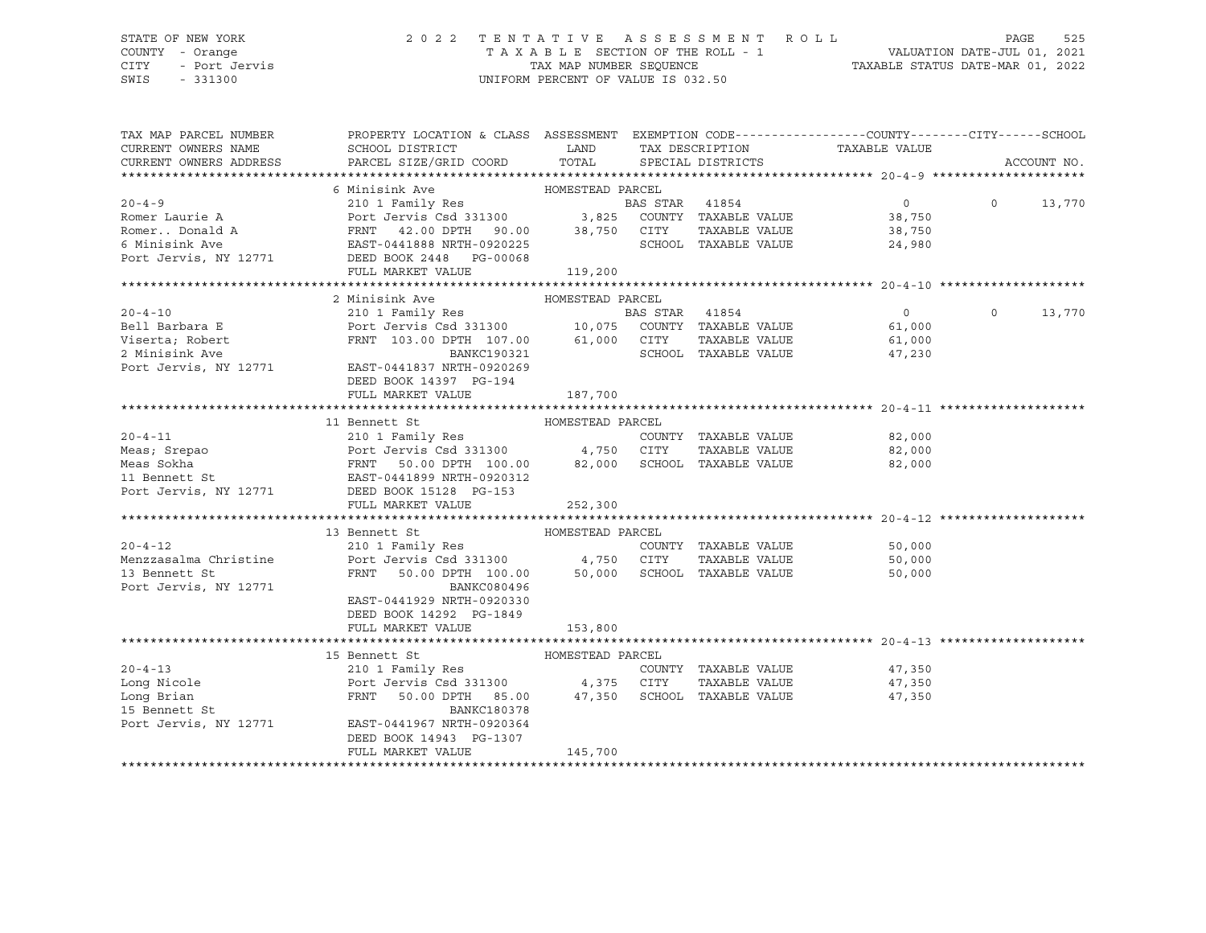## STATE OF NEW YORK 2 0 2 2 T E N T A T I V E A S S E S S M E N T R O L L PAGE 525 COUNTY - Orange T A X A B L E SECTION OF THE ROLL - 1 VALUATION DATE-JUL 01, 2021 CITY - Port Jervis TAX MAP NUMBER SEQUENCE TAXABLE STATUS DATE-MAR 01, 2022

| TAX MAP PARCEL NUMBER                                                                                         | PROPERTY LOCATION & CLASS ASSESSMENT EXEMPTION CODE----------------COUNTY-------CITY------SCHOOL                                         |                  |                |                      |                |          |             |
|---------------------------------------------------------------------------------------------------------------|------------------------------------------------------------------------------------------------------------------------------------------|------------------|----------------|----------------------|----------------|----------|-------------|
| CURRENT OWNERS NAME                                                                                           | SCHOOL DISTRICT<br><b>EXAMPLE DESCRIPTION OF STREET AND STREET AND STREET AND STREET AND STREET AND STREET AND STREET AND STREET AND</b> |                  |                | TAX DESCRIPTION      | TAXABLE VALUE  |          |             |
| CURRENT OWNERS ADDRESS                                                                                        | PARCEL SIZE/GRID COORD                                                                                                                   | TOTAL            |                | SPECIAL DISTRICTS    |                |          | ACCOUNT NO. |
|                                                                                                               |                                                                                                                                          |                  |                |                      |                |          |             |
|                                                                                                               | 6 Minisink Ave                                                                                                                           | HOMESTEAD PARCEL |                |                      |                |          |             |
| $20 - 4 - 9$                                                                                                  | 210 1 Family Res                                                                                                                         |                  | BAS STAR 41854 |                      | $\overline{0}$ | $\Omega$ | 13,770      |
| Romer Laurie A                                                                                                | Port Jervis Csd 331300 3,825 COUNTY TAXABLE VALUE                                                                                        |                  |                |                      | 38,750         |          |             |
| Romer Donald A                                                                                                | FRNT 42.00 DPTH 90.00 38,750 CITY<br>EAST-0441888 NRTH-0920225 SCHOOI                                                                    |                  |                | TAXABLE VALUE        | 38,750         |          |             |
| 6 Minisink Ave                                                                                                |                                                                                                                                          |                  |                | SCHOOL TAXABLE VALUE | 24,980         |          |             |
| Port Jervis, NY 12771 DEED BOOK 2448 PG-00068                                                                 |                                                                                                                                          |                  |                |                      |                |          |             |
|                                                                                                               | FULL MARKET VALUE                                                                                                                        | 119,200          |                |                      |                |          |             |
|                                                                                                               |                                                                                                                                          |                  |                |                      |                |          |             |
|                                                                                                               | 2 Minisink Ave                                                                                                                           | HOMESTEAD PARCEL |                |                      |                |          |             |
| $20 - 4 - 10$                                                                                                 | 210 1 Family Res                                                                                                                         |                  | BAS STAR 41854 |                      | $\overline{0}$ | $\Omega$ | 13,770      |
| Bell Barbara E                 Port Jervis Csd 331300        10,075 COUNTY TAXABLE VALUE               61,000 |                                                                                                                                          |                  |                |                      |                |          |             |
| Viserta; Robert<br>? Minisink Ave                                                                             | FRNT 103.00 DPTH 107.00 61,000 CITY<br>BANKC190321 SCHOOL                                                                                |                  |                | TAXABLE VALUE        | 61,000         |          |             |
|                                                                                                               |                                                                                                                                          |                  |                | SCHOOL TAXABLE VALUE | 47,230         |          |             |
| Port Jervis, NY 12771 EAST-0441837 NRTH-0920269                                                               |                                                                                                                                          |                  |                |                      |                |          |             |
|                                                                                                               | DEED BOOK 14397 PG-194                                                                                                                   |                  |                |                      |                |          |             |
|                                                                                                               | FULL MARKET VALUE                                                                                                                        | 187,700          |                |                      |                |          |             |
|                                                                                                               |                                                                                                                                          |                  |                |                      |                |          |             |
|                                                                                                               | 11 Bennett St                                                                                                                            | HOMESTEAD PARCEL |                |                      |                |          |             |
|                                                                                                               |                                                                                                                                          |                  |                |                      | 82,000         |          |             |
|                                                                                                               |                                                                                                                                          |                  |                | TAXABLE VALUE        | 82,000         |          |             |
|                                                                                                               |                                                                                                                                          |                  |                |                      | 82,000         |          |             |
|                                                                                                               |                                                                                                                                          |                  |                |                      |                |          |             |
| Port Jervis, NY 12771                                                                                         | DEED BOOK 15128 PG-153                                                                                                                   |                  |                |                      |                |          |             |
|                                                                                                               | FULL MARKET VALUE                                                                                                                        | 252,300          |                |                      |                |          |             |
|                                                                                                               |                                                                                                                                          |                  |                |                      |                |          |             |
|                                                                                                               | 13 Bennett St                                                                                                                            | HOMESTEAD PARCEL |                |                      |                |          |             |
| $20 - 4 - 12$                                                                                                 | 210 1 Family Res                                                                                                                         |                  |                | COUNTY TAXABLE VALUE | 50,000         |          |             |
| Menzzasalma Christine                                                                                         | Port Jervis Csd 331300 4,750 CITY                                                                                                        |                  |                | TAXABLE VALUE        | 50,000         |          |             |
| 13 Bennett St                                                                                                 | FRNT 50.00 DPTH 100.00 50,000 SCHOOL TAXABLE VALUE                                                                                       |                  |                |                      | 50,000         |          |             |
| Port Jervis, NY 12771                                                                                         | BANKC080496                                                                                                                              |                  |                |                      |                |          |             |
|                                                                                                               | EAST-0441929 NRTH-0920330                                                                                                                |                  |                |                      |                |          |             |
|                                                                                                               | DEED BOOK 14292 PG-1849                                                                                                                  |                  |                |                      |                |          |             |
|                                                                                                               | FULL MARKET VALUE                                                                                                                        | 153,800          |                |                      |                |          |             |
|                                                                                                               |                                                                                                                                          |                  |                |                      |                |          |             |
|                                                                                                               | 15 Bennett St                                                                                                                            | HOMESTEAD PARCEL |                |                      |                |          |             |
| $20 - 4 - 13$                                                                                                 | 210 1 Family Res                                                                                                                         |                  |                | COUNTY TAXABLE VALUE | 47,350         |          |             |
| Long Nicole                                                                                                   | Port Jervis Csd 331300 4,375 CITY                                                                                                        |                  |                | TAXABLE VALUE        | 47,350         |          |             |
|                                                                                                               |                                                                                                                                          |                  |                |                      |                |          |             |
| Long Brian                                                                                                    | FRNT 50.00 DPTH 85.00 47,350 SCHOOL TAXABLE VALUE                                                                                        |                  |                |                      | 47,350         |          |             |
| 15 Bennett St                                                                                                 | <b>BANKC180378</b>                                                                                                                       |                  |                |                      |                |          |             |
| Port Jervis, NY 12771                                                                                         | EAST-0441967 NRTH-0920364                                                                                                                |                  |                |                      |                |          |             |
|                                                                                                               | DEED BOOK 14943 PG-1307                                                                                                                  |                  |                |                      |                |          |             |
|                                                                                                               | FULL MARKET VALUE                                                                                                                        | 145,700          |                |                      |                |          |             |
|                                                                                                               |                                                                                                                                          |                  |                |                      |                |          |             |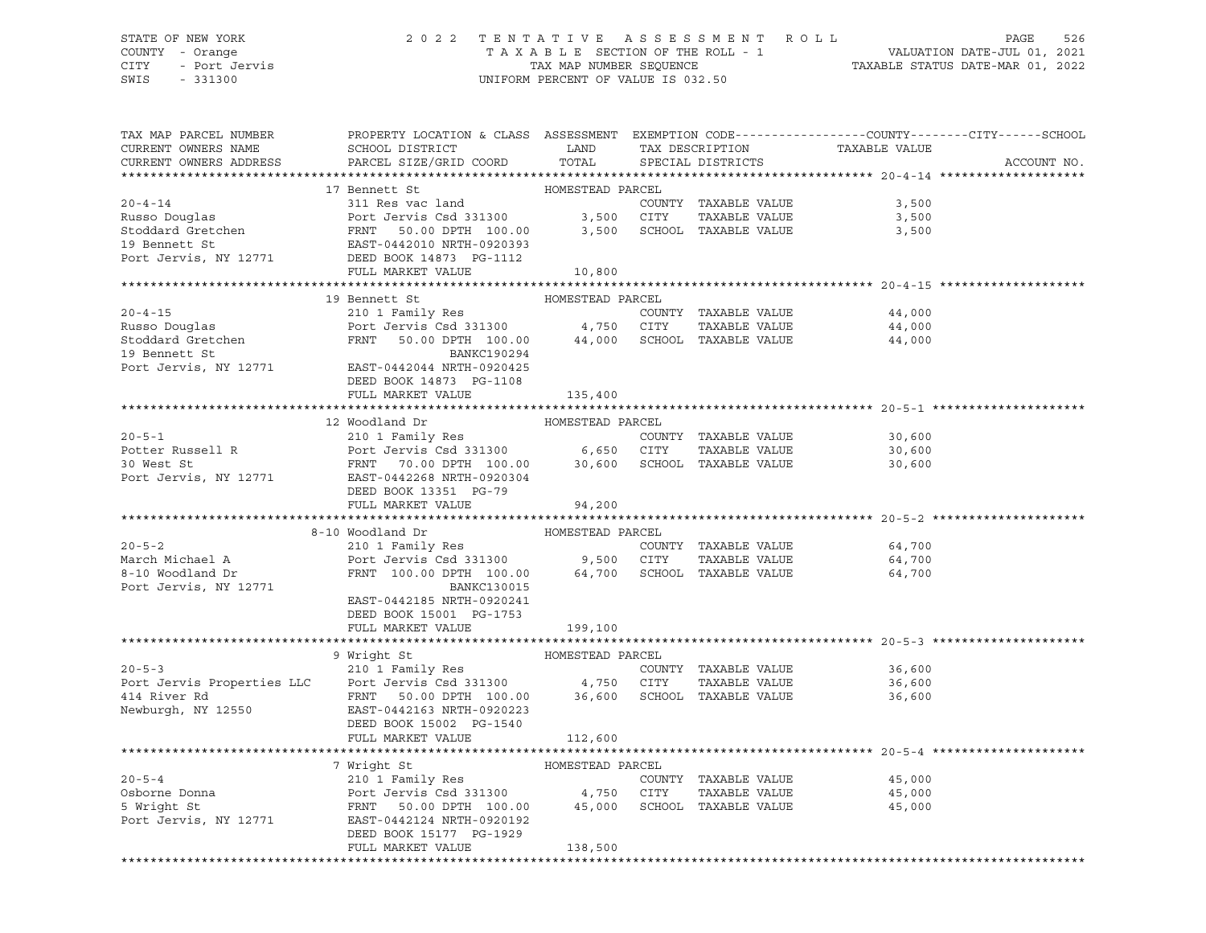## STATE OF NEW YORK 2 0 2 2 T E N T A T I V E A S S E S S M E N T R O L L PAGE 526 COUNTY - Orange T A X A B L E SECTION OF THE ROLL - 1 VALUATION DATE-JUL 01, 2021 CITY - Port Jervis TAX MAP NUMBER SEQUENCE TAXABLE STATUS DATE-MAR 01, 2022

| TAX MAP PARCEL NUMBER<br>CURRENT OWNERS NAME<br>CURRENT OWNERS ADDRESS | PROPERTY LOCATION & CLASS ASSESSMENT EXEMPTION CODE----------------COUNTY-------CITY------SCHOOL<br>SCHOOL DISTRICT LAND<br>PARCEL SIZE/GRID COORD TOTAL                                                                                               |                  | TAX DESCRIPTION<br>SPECIAL DISTRICTS | TAXABLE VALUE               | ACCOUNT NO. |
|------------------------------------------------------------------------|--------------------------------------------------------------------------------------------------------------------------------------------------------------------------------------------------------------------------------------------------------|------------------|--------------------------------------|-----------------------------|-------------|
|                                                                        |                                                                                                                                                                                                                                                        |                  |                                      |                             |             |
|                                                                        | 17 Bennett St                                                                                                                                                                                                                                          | HOMESTEAD PARCEL |                                      |                             |             |
|                                                                        | 20-4-14<br>Russo Douglas<br>Russo Douglas<br>Stoddard Gretchen<br>Stoddard Gretchen<br>ERNT 50.00 DPTH 100.00<br>SCHOOL TAXABLE VALUE<br>PORT TRIT 50.00 DPTH 100.00<br>3,500 SCHOOL TAXABLE VALUE<br>PORT JP Bennett St<br>PORT JP BENSIS PORT 12     |                  |                                      | 3,500                       |             |
|                                                                        |                                                                                                                                                                                                                                                        |                  | TAXABLE VALUE                        | 3,500                       |             |
|                                                                        |                                                                                                                                                                                                                                                        |                  |                                      | 3,500                       |             |
|                                                                        |                                                                                                                                                                                                                                                        |                  |                                      |                             |             |
|                                                                        |                                                                                                                                                                                                                                                        |                  |                                      |                             |             |
|                                                                        | FULL MARKET VALUE                                                                                                                                                                                                                                      | 10,800           |                                      |                             |             |
|                                                                        | 19 Bennett St                                                                                                                                                                                                                                          | HOMESTEAD PARCEL |                                      |                             |             |
|                                                                        | 20-4-15<br>Russo Douglas<br>Stoddard Gretchen<br>Stoddard Gretchen<br>210 1 Family Res<br>Port Jervis Csd 331300<br>210 1 Family Res<br>Port Jervis Csd 331300<br>44,000 SCHOOL TAXABLE VALUE<br>210 2042042<br>210 1 Family Res<br>210 1 Family Res   |                  |                                      | 44,000                      |             |
|                                                                        |                                                                                                                                                                                                                                                        |                  |                                      | TAXABLE VALUE 44,000        |             |
|                                                                        |                                                                                                                                                                                                                                                        |                  |                                      | 44,000                      |             |
|                                                                        |                                                                                                                                                                                                                                                        |                  |                                      |                             |             |
|                                                                        |                                                                                                                                                                                                                                                        |                  |                                      |                             |             |
|                                                                        | DEED BOOK 14873 PG-1108                                                                                                                                                                                                                                |                  |                                      |                             |             |
|                                                                        | FULL MARKET VALUE                                                                                                                                                                                                                                      | 135,400          |                                      |                             |             |
|                                                                        |                                                                                                                                                                                                                                                        |                  |                                      |                             |             |
|                                                                        | 12 Woodland Dr                                                                                                                                                                                                                                         | HOMESTEAD PARCEL |                                      |                             |             |
|                                                                        |                                                                                                                                                                                                                                                        |                  |                                      | COUNTY TAXABLE VALUE 30,600 |             |
|                                                                        |                                                                                                                                                                                                                                                        |                  |                                      | 30,600                      |             |
|                                                                        |                                                                                                                                                                                                                                                        |                  |                                      | 30,600                      |             |
|                                                                        | 20-5-1<br>Potter Russell R<br>210 1 Family Res<br>Pott Jervis Csd 331300<br>30 West St<br>Port Jervis, NY 12771<br>Example 2268 NRTH-0920304<br>Port Jervis, NY 12771<br>EXABLE VALUE<br>Port Jervis, NY 12771<br>EXABLE VALUE<br>Port Jervis, NY 12   |                  |                                      |                             |             |
|                                                                        | DEED BOOK 13351 PG-79                                                                                                                                                                                                                                  |                  |                                      |                             |             |
|                                                                        | FULL MARKET VALUE                                                                                                                                                                                                                                      | 94,200           |                                      |                             |             |
|                                                                        |                                                                                                                                                                                                                                                        |                  |                                      |                             |             |
|                                                                        | 8-10 Woodland Dr                                                                                                                                                                                                                                       |                  |                                      |                             |             |
| $20 - 5 - 2$                                                           |                                                                                                                                                                                                                                                        |                  |                                      |                             |             |
|                                                                        |                                                                                                                                                                                                                                                        |                  |                                      |                             |             |
| March Michael A<br>8-10 Woodland Dr                                    |                                                                                                                                                                                                                                                        |                  |                                      |                             |             |
| Port Jervis, NY 12771                                                  | <b>BANKC130015</b>                                                                                                                                                                                                                                     |                  |                                      |                             |             |
|                                                                        | EAST-0442185 NRTH-0920241                                                                                                                                                                                                                              |                  |                                      |                             |             |
|                                                                        | DEED BOOK 15001 PG-1753                                                                                                                                                                                                                                |                  |                                      |                             |             |
|                                                                        | FULL MARKET VALUE                                                                                                                                                                                                                                      | 199,100          |                                      |                             |             |
|                                                                        | 9 Wright St<br>20-5-3<br>210 1 Family Res<br>210 1 Family Res<br>210 1 Family Res<br>210 1 Family Res<br>210 1 Family Res<br>210 1 Family Res<br>210 4,750 CITY TAXABLE VALUE<br>4,750 CITY TAXABLE VALUE<br>214 River Rd<br>214 River Rd<br>214 River |                  |                                      |                             |             |
|                                                                        |                                                                                                                                                                                                                                                        |                  |                                      |                             |             |
|                                                                        |                                                                                                                                                                                                                                                        |                  |                                      | 36,600                      |             |
|                                                                        |                                                                                                                                                                                                                                                        |                  |                                      | TAXABLE VALUE 36,600        |             |
|                                                                        |                                                                                                                                                                                                                                                        |                  |                                      | 36,600                      |             |
|                                                                        |                                                                                                                                                                                                                                                        |                  |                                      |                             |             |
|                                                                        | FULL MARKET VALUE                                                                                                                                                                                                                                      |                  |                                      |                             |             |
|                                                                        |                                                                                                                                                                                                                                                        | 112,600          |                                      |                             |             |
|                                                                        | 7 Wright St                                                                                                                                                                                                                                            | HOMESTEAD PARCEL |                                      |                             |             |
|                                                                        |                                                                                                                                                                                                                                                        |                  |                                      | 45,000                      |             |
|                                                                        | 20-5-4<br>210 1 Family Res<br>210 1 Family Res<br>210 1 Family Res<br>210 1 Family Res<br>210 1 Family Res<br>210 1 Family Res<br>210 200 300 4,750 CITY<br>45,000 SCHOOL TAXABLE VALUE<br>200 45,000 SCHOOL TAXABLE VALUE                             |                  |                                      | TAXABLE VALUE 45,000        |             |
|                                                                        |                                                                                                                                                                                                                                                        |                  |                                      | 45,000                      |             |
|                                                                        | Port Jervis, NY 12771 EAST-0442124 NRTH-0920192                                                                                                                                                                                                        |                  |                                      |                             |             |
|                                                                        | DEED BOOK 15177 PG-1929                                                                                                                                                                                                                                |                  |                                      |                             |             |
|                                                                        | FULL MARKET VALUE                                                                                                                                                                                                                                      | 138,500          |                                      |                             |             |
|                                                                        |                                                                                                                                                                                                                                                        |                  |                                      |                             |             |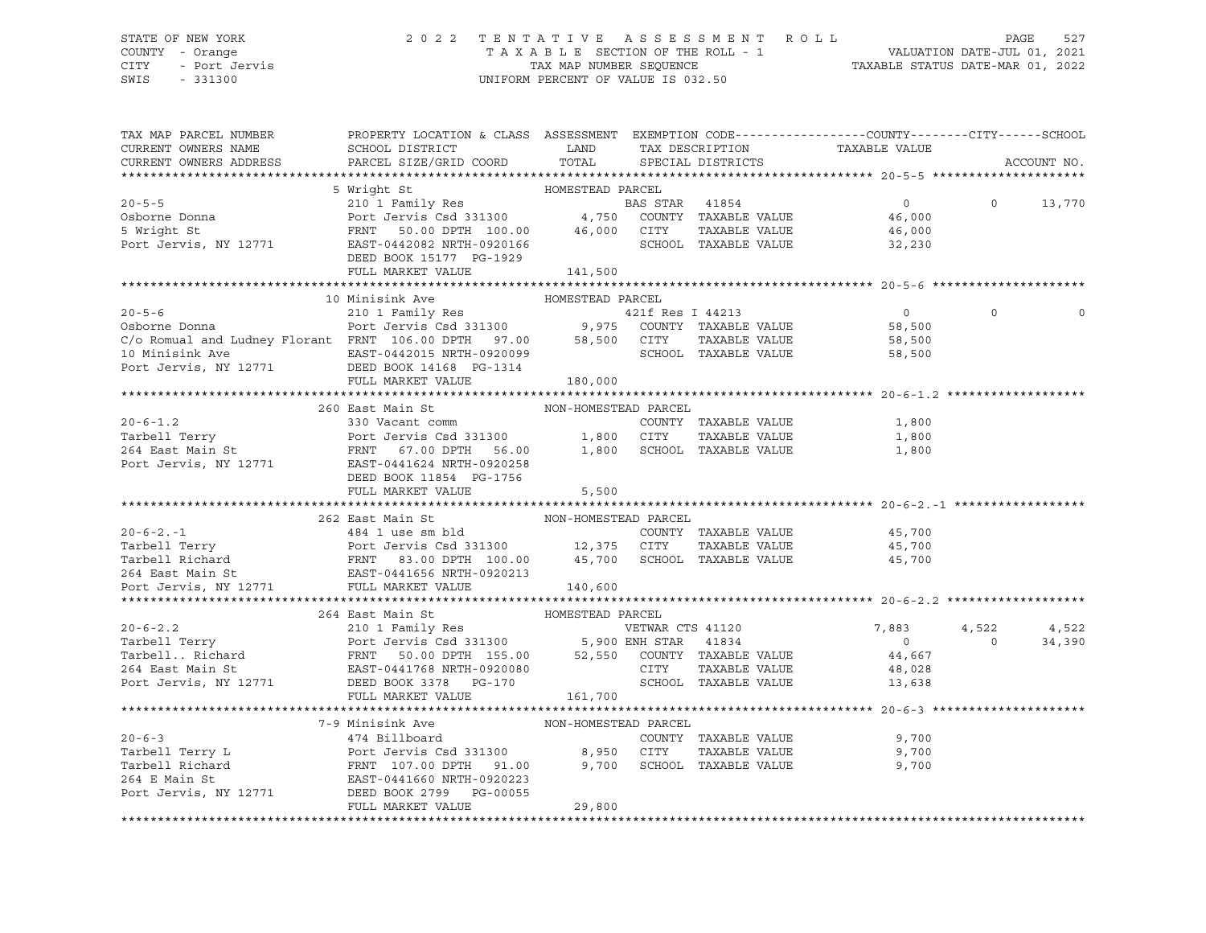## STATE OF NEW YORK 2 0 2 2 T E N T A T I V E A S S E S S M E N T R O L L PAGE 527 COUNTY - Orange T A X A B L E SECTION OF THE ROLL - 1 VALUATION DATE-JUL 01, 2021 CITY - Port Jervis TAX MAP NUMBER SEQUENCE TAXABLE STATUS DATE-MAR 01, 2022

| TAX MAP PARCEL NUMBER<br>CURRENT OWNERS NAME<br>CURRENT OWNERS ADDRESS                                                                                                                                                                                 | PROPERTY LOCATION & CLASS ASSESSMENT EXEMPTION CODE----------------COUNTY-------CITY------SCHOOL |                    |  |                            |          | ACCOUNT NO. |
|--------------------------------------------------------------------------------------------------------------------------------------------------------------------------------------------------------------------------------------------------------|--------------------------------------------------------------------------------------------------|--------------------|--|----------------------------|----------|-------------|
|                                                                                                                                                                                                                                                        |                                                                                                  |                    |  |                            |          |             |
|                                                                                                                                                                                                                                                        |                                                                                                  |                    |  |                            |          |             |
|                                                                                                                                                                                                                                                        |                                                                                                  |                    |  |                            |          |             |
|                                                                                                                                                                                                                                                        |                                                                                                  |                    |  |                            |          |             |
|                                                                                                                                                                                                                                                        |                                                                                                  |                    |  |                            |          |             |
|                                                                                                                                                                                                                                                        |                                                                                                  |                    |  |                            |          |             |
|                                                                                                                                                                                                                                                        |                                                                                                  |                    |  |                            |          |             |
|                                                                                                                                                                                                                                                        | FULL MARKET VALUE                                                                                | 141,500            |  |                            |          |             |
|                                                                                                                                                                                                                                                        |                                                                                                  |                    |  |                            |          |             |
|                                                                                                                                                                                                                                                        |                                                                                                  |                    |  |                            |          |             |
|                                                                                                                                                                                                                                                        |                                                                                                  |                    |  |                            | $\Omega$ |             |
|                                                                                                                                                                                                                                                        |                                                                                                  |                    |  |                            |          |             |
|                                                                                                                                                                                                                                                        |                                                                                                  |                    |  |                            |          |             |
|                                                                                                                                                                                                                                                        |                                                                                                  |                    |  |                            |          |             |
|                                                                                                                                                                                                                                                        |                                                                                                  |                    |  |                            |          |             |
|                                                                                                                                                                                                                                                        |                                                                                                  | 180,000            |  |                            |          |             |
|                                                                                                                                                                                                                                                        |                                                                                                  |                    |  |                            |          |             |
|                                                                                                                                                                                                                                                        | 260 East Main St MoN-HOMESTEAD PARCEL                                                            |                    |  |                            |          |             |
|                                                                                                                                                                                                                                                        |                                                                                                  |                    |  |                            |          |             |
|                                                                                                                                                                                                                                                        |                                                                                                  |                    |  |                            |          |             |
|                                                                                                                                                                                                                                                        |                                                                                                  |                    |  |                            |          |             |
| 1,800 7 1.12 1.800 7 1.900 7 1.800 7 1.800 7 1.800 7 1.800 7 1.800 7 1.800 7 1.800 7 1.800 7 1.800 7 1.800 7 1.800 7 1.800 7 1.800 7 1.800 7 1.800 7 1.800 7 1.800 7 1.800 7 1.800 7 1.800 7 1.800 7 1.800 7 1.800 7 1.800 7 1                         |                                                                                                  |                    |  |                            |          |             |
|                                                                                                                                                                                                                                                        | DEED BOOK 11854 PG-1756                                                                          |                    |  |                            |          |             |
|                                                                                                                                                                                                                                                        | FULL MARKET VALUE                                                                                | 5,500              |  |                            |          |             |
|                                                                                                                                                                                                                                                        |                                                                                                  |                    |  |                            |          |             |
|                                                                                                                                                                                                                                                        |                                                                                                  |                    |  |                            |          |             |
|                                                                                                                                                                                                                                                        |                                                                                                  |                    |  |                            |          |             |
|                                                                                                                                                                                                                                                        |                                                                                                  |                    |  |                            |          |             |
|                                                                                                                                                                                                                                                        |                                                                                                  |                    |  |                            |          |             |
|                                                                                                                                                                                                                                                        |                                                                                                  |                    |  |                            |          |             |
|                                                                                                                                                                                                                                                        |                                                                                                  |                    |  |                            |          |             |
| 20-6-2.2<br>20-6-2.2<br>210 1 Family Res<br>Tarbell Terry Port Jervis Csd 331300<br>264 East Main St<br>264 East Main St<br>264 East Main St<br>264 East Main St<br>264 East Main St<br>264 East Main St<br>264 East Main St<br>264 East Main St<br>26 |                                                                                                  |                    |  |                            |          |             |
|                                                                                                                                                                                                                                                        |                                                                                                  |                    |  |                            |          |             |
|                                                                                                                                                                                                                                                        |                                                                                                  |                    |  |                            |          |             |
|                                                                                                                                                                                                                                                        |                                                                                                  |                    |  |                            |          |             |
|                                                                                                                                                                                                                                                        |                                                                                                  |                    |  |                            |          |             |
|                                                                                                                                                                                                                                                        |                                                                                                  |                    |  |                            |          |             |
|                                                                                                                                                                                                                                                        | FULL MARKET VALUE 161,700                                                                        |                    |  |                            |          |             |
|                                                                                                                                                                                                                                                        |                                                                                                  |                    |  |                            |          |             |
|                                                                                                                                                                                                                                                        |                                                                                                  |                    |  |                            |          |             |
|                                                                                                                                                                                                                                                        |                                                                                                  |                    |  | COUNTY TAXABLE VALUE 9,700 |          |             |
|                                                                                                                                                                                                                                                        |                                                                                                  |                    |  | 9,700                      |          |             |
|                                                                                                                                                                                                                                                        |                                                                                                  |                    |  | 9,700                      |          |             |
|                                                                                                                                                                                                                                                        |                                                                                                  |                    |  |                            |          |             |
|                                                                                                                                                                                                                                                        |                                                                                                  |                    |  |                            |          |             |
|                                                                                                                                                                                                                                                        | FULL MARKET VALUE                                                                                | $-0000$ - $29,800$ |  |                            |          |             |
|                                                                                                                                                                                                                                                        |                                                                                                  |                    |  |                            |          |             |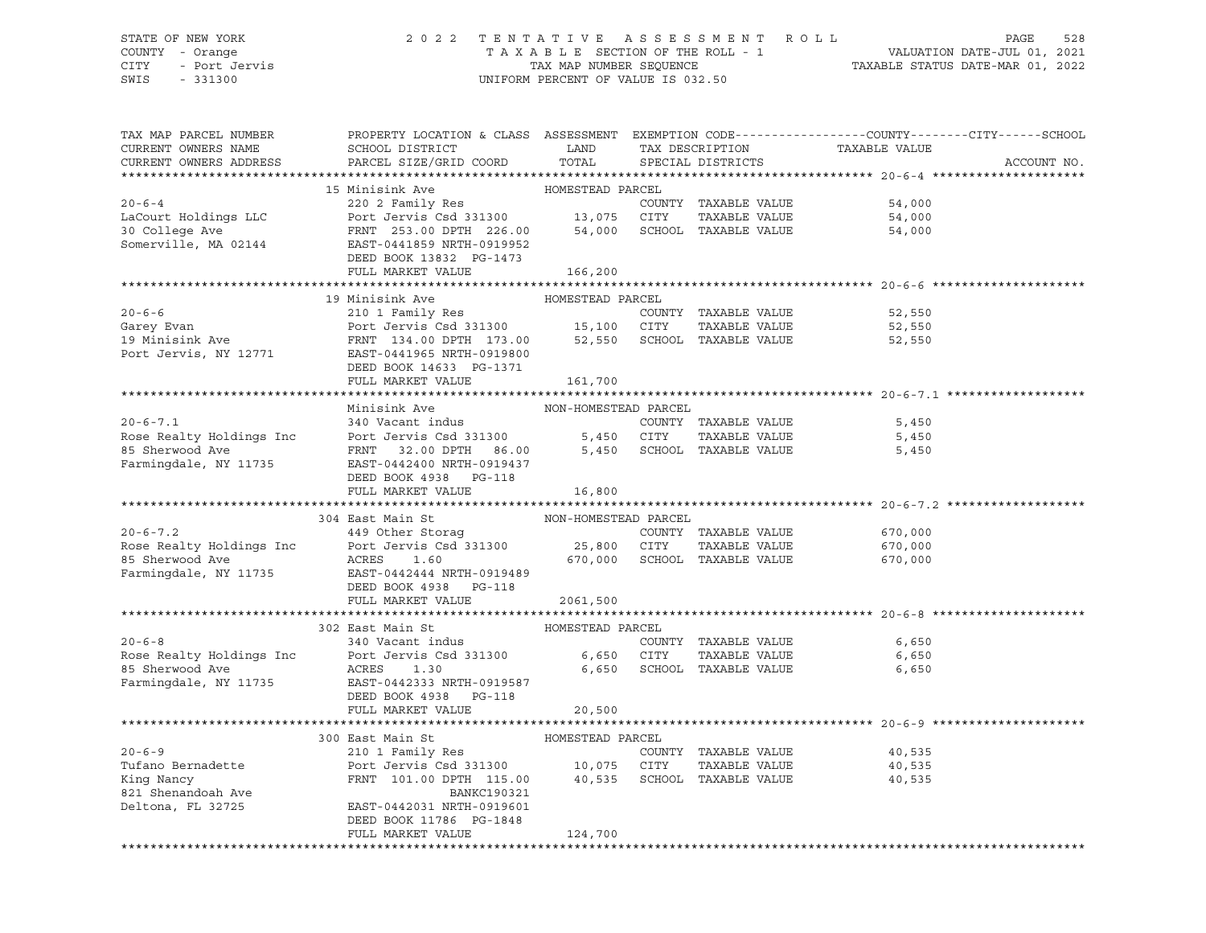## STATE OF NEW YORK 2 0 2 2 T E N T A T I V E A S S E S S M E N T R O L L PAGE 528 COUNTY - Orange T A X A B L E SECTION OF THE ROLL - 1 VALUATION DATE-JUL 01, 2021 CITY - Port Jervis TAX MAP NUMBER SEQUENCE TAXABLE STATUS DATE-MAR 01, 2022

| TAX MAP PARCEL NUMBER<br>CURRENT OWNERS NAME<br>CURRENT OWNERS ADDRESS | PROPERTY LOCATION & CLASS ASSESSMENT EXEMPTION CODE----------------COUNTY-------CITY------SCHOOL<br>SCHOOL DISTRICT<br>PARCEL SIZE/GRID COORD | LAND<br>TOTAL        | TAX DESCRIPTION<br>SPECIAL DISTRICTS | TAXABLE VALUE | ACCOUNT NO. |
|------------------------------------------------------------------------|-----------------------------------------------------------------------------------------------------------------------------------------------|----------------------|--------------------------------------|---------------|-------------|
|                                                                        |                                                                                                                                               |                      |                                      |               |             |
|                                                                        | 15 Minisink Ave                                                                                                                               | HOMESTEAD PARCEL     |                                      |               |             |
| $20 - 6 - 4$                                                           | 220 2 Family Res                                                                                                                              |                      | COUNTY TAXABLE VALUE                 | 54,000        |             |
| LaCourt Holdings LLC                                                   | Port Jervis Csd 331300 13,075 CITY                                                                                                            |                      | TAXABLE VALUE                        | 54,000        |             |
| 30 College Ave                                                         | FRNT 253.00 DPTH 226.00 54,000 SCHOOL TAXABLE VALUE                                                                                           |                      |                                      | 54,000        |             |
| Somerville, MA 02144                                                   | EAST-0441859 NRTH-0919952                                                                                                                     |                      |                                      |               |             |
|                                                                        | DEED BOOK 13832 PG-1473                                                                                                                       |                      |                                      |               |             |
|                                                                        | FULL MARKET VALUE                                                                                                                             | 166,200              |                                      |               |             |
|                                                                        | 19 Minisink Ave                                                                                                                               | HOMESTEAD PARCEL     |                                      |               |             |
| $20 - 6 - 6$                                                           | 210 1 Family Res                                                                                                                              |                      | COUNTY TAXABLE VALUE                 | 52,550        |             |
| Garey Evan                                                             | Port Jervis Csd 331300 15,100 CITY                                                                                                            |                      | TAXABLE VALUE                        | 52,550        |             |
| 19 Minisink Ave                                                        | FRNT 134.00 DPTH 173.00                                                                                                                       |                      | 52,550 SCHOOL TAXABLE VALUE          | 52,550        |             |
| Port Jervis, NY 12771                                                  | EAST-0441965 NRTH-0919800                                                                                                                     |                      |                                      |               |             |
|                                                                        | DEED BOOK 14633 PG-1371                                                                                                                       |                      |                                      |               |             |
|                                                                        | FULL MARKET VALUE                                                                                                                             | 161,700              |                                      |               |             |
|                                                                        |                                                                                                                                               |                      |                                      |               |             |
|                                                                        | Minisink Ave                                                                                                                                  | NON-HOMESTEAD PARCEL |                                      |               |             |
| $20 - 6 - 7.1$                                                         | 340 Vacant indus                                                                                                                              |                      | COUNTY TAXABLE VALUE                 | 5,450         |             |
| Rose Realty Holdings Inc                                               |                                                                                                                                               |                      |                                      | 5,450         |             |
| 85 Sherwood Ave                                                        | Port Jervis Csd 331300 5,450 CITY TAXABLE VALUE<br>FRNT 32.00 DPTH 86.00 5,450 SCHOOL TAXABLE VALUE                                           |                      |                                      | 5,450         |             |
| Farmingdale, NY 11735                                                  | EAST-0442400 NRTH-0919437                                                                                                                     |                      |                                      |               |             |
|                                                                        | DEED BOOK 4938 PG-118                                                                                                                         |                      |                                      |               |             |
|                                                                        | FULL MARKET VALUE                                                                                                                             | 16,800               |                                      |               |             |
|                                                                        |                                                                                                                                               |                      |                                      |               |             |
|                                                                        | 304 East Main St                                                                                                                              | NON-HOMESTEAD PARCEL |                                      |               |             |
| $20 - 6 - 7.2$                                                         | 449 Other Storag                                                                                                                              |                      | COUNTY TAXABLE VALUE                 | 670,000       |             |
| Rose Realty Holdings Inc                                               | Port Jervis Csd 331300 25,800 CITY                                                                                                            |                      | TAXABLE VALUE                        | 670,000       |             |
| 85 Sherwood Ave                                                        | ACRES<br>1.60                                                                                                                                 |                      | 670,000 SCHOOL TAXABLE VALUE         | 670,000       |             |
| Farmingdale, NY 11735                                                  | EAST-0442444 NRTH-0919489                                                                                                                     |                      |                                      |               |             |
|                                                                        | DEED BOOK 4938 PG-118                                                                                                                         |                      |                                      |               |             |
|                                                                        | FULL MARKET VALUE                                                                                                                             | 2061,500             |                                      |               |             |
|                                                                        | 302 East Main St                                                                                                                              | HOMESTEAD PARCEL     |                                      |               |             |
| $20 - 6 - 8$                                                           | 340 Vacant indus                                                                                                                              |                      | COUNTY TAXABLE VALUE                 | 6,650         |             |
|                                                                        | Port Jervis Csd 331300                                                                                                                        | 6,650 CITY           | TAXABLE VALUE                        | 6,650         |             |
| Rose Realty Holdings Inc<br>85 Sherwood Ave<br>85 Sherwood Ave         | ACRES<br>1.30                                                                                                                                 |                      | 6,650 SCHOOL TAXABLE VALUE           | 6,650         |             |
| Farmingdale, NY 11735                                                  | EAST-0442333 NRTH-0919587                                                                                                                     |                      |                                      |               |             |
|                                                                        | DEED BOOK 4938 PG-118                                                                                                                         |                      |                                      |               |             |
|                                                                        | FULL MARKET VALUE                                                                                                                             | 20,500               |                                      |               |             |
|                                                                        |                                                                                                                                               |                      |                                      |               |             |
|                                                                        | 300 East Main St                                                                                                                              | HOMESTEAD PARCEL     |                                      |               |             |
| $20 - 6 - 9$                                                           | 210 1 Family Res                                                                                                                              |                      | COUNTY TAXABLE VALUE                 | 40,535        |             |
| Tufano Bernadette                                                      | Port Jervis Csd 331300 10,075 CITY                                                                                                            |                      | TAXABLE VALUE                        | 40,535        |             |
| King Nancy                                                             | FRNT 101.00 DPTH 115.00 40,535 SCHOOL TAXABLE VALUE                                                                                           |                      |                                      | 40,535        |             |
| 821 Shenandoah Ave                                                     | <b>BANKC190321</b>                                                                                                                            |                      |                                      |               |             |
| Deltona, FL 32725                                                      | EAST-0442031 NRTH-0919601                                                                                                                     |                      |                                      |               |             |
|                                                                        | DEED BOOK 11786 PG-1848                                                                                                                       |                      |                                      |               |             |
|                                                                        | FULL MARKET VALUE                                                                                                                             | 124,700              |                                      |               |             |
|                                                                        |                                                                                                                                               |                      |                                      |               |             |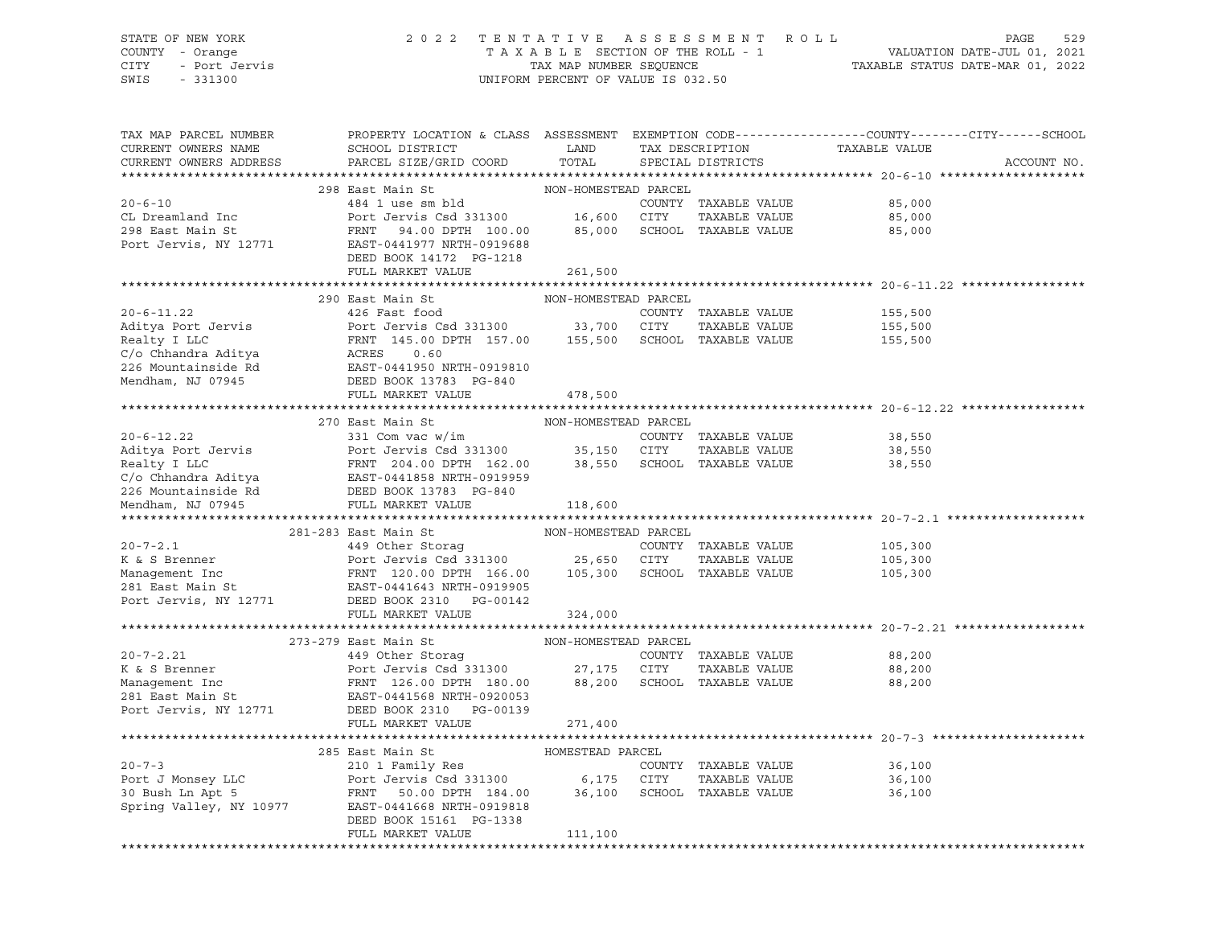## STATE OF NEW YORK 2 0 2 2 T E N T A T I V E A S S E S S M E N T R O L L PAGE 529 COUNTY - Orange T A X A B L E SECTION OF THE ROLL - 1 VALUATION DATE-JUL 01, 2021 CITY - Port Jervis TAX MAP NUMBER SEQUENCE TAXABLE STATUS DATE-MAR 01, 2022

| TAX MAP PARCEL NUMBER<br>CURRENT OWNERS NAME | PROPERTY LOCATION & CLASS ASSESSMENT EXEMPTION CODE----------------COUNTY-------CITY------SCHOOL<br>SCHOOL DISTRICT                                                                                                                                                                                                                                                                                                                         | LAND                 | TAX DESCRIPTION |                             | TAXABLE VALUE |             |
|----------------------------------------------|---------------------------------------------------------------------------------------------------------------------------------------------------------------------------------------------------------------------------------------------------------------------------------------------------------------------------------------------------------------------------------------------------------------------------------------------|----------------------|-----------------|-----------------------------|---------------|-------------|
| CURRENT OWNERS ADDRESS                       | PARCEL SIZE/GRID COORD                                                                                                                                                                                                                                                                                                                                                                                                                      | TOTAL                |                 | SPECIAL DISTRICTS           |               | ACCOUNT NO. |
|                                              |                                                                                                                                                                                                                                                                                                                                                                                                                                             |                      |                 |                             |               |             |
|                                              | 298 East Main St<br>484 1 use sm bld                                                                                                                                                                                                                                                                                                                                                                                                        | NON-HOMESTEAD PARCEL |                 |                             |               |             |
| $20 - 6 - 10$                                | Port Jervis Csd 331300 16,600 CITY                                                                                                                                                                                                                                                                                                                                                                                                          |                      |                 | COUNTY TAXABLE VALUE        | 85,000        |             |
| CL Dreamland Inc                             |                                                                                                                                                                                                                                                                                                                                                                                                                                             |                      |                 | TAXABLE VALUE               | 85,000        |             |
| 298 East Main St<br>Port Jervis, NY 12771    | FRNT 94.00 DPTH 100.00 85,000 SCHOOL TAXABLE VALUE<br>---<br>EAST-0441977 NRTH-0919688                                                                                                                                                                                                                                                                                                                                                      |                      |                 |                             | 85,000        |             |
|                                              | DEED BOOK 14172 PG-1218                                                                                                                                                                                                                                                                                                                                                                                                                     |                      |                 |                             |               |             |
|                                              | FULL MARKET VALUE                                                                                                                                                                                                                                                                                                                                                                                                                           | 261,500              |                 |                             |               |             |
|                                              |                                                                                                                                                                                                                                                                                                                                                                                                                                             |                      |                 |                             |               |             |
|                                              | 290 East Main St                                                                                                                                                                                                                                                                                                                                                                                                                            | NON-HOMESTEAD PARCEL |                 |                             |               |             |
| $20 - 6 - 11.22$                             | 426 Fast food                                                                                                                                                                                                                                                                                                                                                                                                                               |                      |                 | COUNTY TAXABLE VALUE        | 155,500       |             |
| Aditya Port Jervis<br>Realty I LLC           | Aditya Port Jervis Nort Jervis Csd 331300 33,700 CITY TAXABLE VALUE<br>Realty I LLC FRNT 145.00 DPTH 157.00 155,500 SCHOOL TAXABLE VALUE<br>C/o Chhandra Aditya ACRES 0.60<br>226 Mountainside Rd EAST-0441950 NRTH-0919810<br>Mendham                                                                                                                                                                                                      |                      |                 | TAXABLE VALUE               | 155,500       |             |
|                                              |                                                                                                                                                                                                                                                                                                                                                                                                                                             |                      |                 |                             | 155,500       |             |
|                                              |                                                                                                                                                                                                                                                                                                                                                                                                                                             |                      |                 |                             |               |             |
|                                              |                                                                                                                                                                                                                                                                                                                                                                                                                                             |                      |                 |                             |               |             |
|                                              |                                                                                                                                                                                                                                                                                                                                                                                                                                             |                      |                 |                             |               |             |
|                                              | FULL MARKET VALUE                                                                                                                                                                                                                                                                                                                                                                                                                           | 478,500              |                 |                             |               |             |
|                                              |                                                                                                                                                                                                                                                                                                                                                                                                                                             |                      |                 |                             |               |             |
|                                              | 270 East Main St                                                                                                                                                                                                                                                                                                                                                                                                                            | NON-HOMESTEAD PARCEL |                 |                             |               |             |
|                                              | 331 Com vac w/im                                                                                                                                                                                                                                                                                                                                                                                                                            |                      |                 | COUNTY TAXABLE VALUE        | 38,550        |             |
|                                              |                                                                                                                                                                                                                                                                                                                                                                                                                                             |                      |                 | TAXABLE VALUE               | 38,550        |             |
|                                              |                                                                                                                                                                                                                                                                                                                                                                                                                                             |                      |                 |                             | 38,550        |             |
|                                              |                                                                                                                                                                                                                                                                                                                                                                                                                                             |                      |                 |                             |               |             |
|                                              |                                                                                                                                                                                                                                                                                                                                                                                                                                             |                      |                 |                             |               |             |
|                                              | $\begin{tabular}{lllllllllllllllllllllll} \hline 20-6-12.22 & 331\;Com\;vac\;w/im & \mbox{\sc covint1& known}\\ \hline \hline \text{Aditya Port Jervis} & \mbox{\sc Port Jervis} & \mbox{\sc Total U} & 35,150\; & \mbox{\sc CITY}& \mbox{\sc TAXABLE VALUE}\\ \text{Realty I LLC} & \mbox{\sc FNNT}& 204.00\; \mbox{\sc DPTH}& 162.00 & 38,550\; & \mbox{\sc SCHOOL}& \mbox{\sc TAXABLE VALUE}\\ \text{C/o Chhandra Aditya} & \mbox{\sc E$ |                      |                 |                             |               |             |
|                                              |                                                                                                                                                                                                                                                                                                                                                                                                                                             |                      |                 |                             |               |             |
|                                              | 281-283 East Main St                                                                                                                                                                                                                                                                                                                                                                                                                        | NON-HOMESTEAD PARCEL |                 |                             |               |             |
| $20 - 7 - 2.1$                               |                                                                                                                                                                                                                                                                                                                                                                                                                                             |                      |                 | COUNTY TAXABLE VALUE        | 105,300       |             |
| K & S Brenner                                |                                                                                                                                                                                                                                                                                                                                                                                                                                             |                      |                 | TAXABLE VALUE               | 105,300       |             |
|                                              | 449 Other Storag COUNTY TAXABLE VALUE<br>Port Jervis Csd 331300 25,650 CITY TAXABLE VALUE<br>FRNT 120.00 DPTH 166.00 105,300 SCHOOL TAXABLE VALUE<br>EAST-0441643 NRTH-0919905                                                                                                                                                                                                                                                              |                      |                 |                             | 105,300       |             |
|                                              |                                                                                                                                                                                                                                                                                                                                                                                                                                             |                      |                 |                             |               |             |
|                                              | Management Inc FRNT 120.00 DPTH 166.00<br>281 East Main St EAST-0441643 NRTH-0919905<br>Port Jervis, NY 12771 DEED BOOK 2310 PG-00142                                                                                                                                                                                                                                                                                                       |                      |                 |                             |               |             |
|                                              | FULL MARKET VALUE                                                                                                                                                                                                                                                                                                                                                                                                                           | 324,000              |                 |                             |               |             |
|                                              |                                                                                                                                                                                                                                                                                                                                                                                                                                             |                      |                 |                             |               |             |
| $20 - 7 - 2.21$                              | 273-279 East Main St<br>449 Other Storaq                                                                                                                                                                                                                                                                                                                                                                                                    | NON-HOMESTEAD PARCEL |                 | COUNTY TAXABLE VALUE        | 88,200        |             |
| K & S Brenner                                |                                                                                                                                                                                                                                                                                                                                                                                                                                             |                      |                 | TAXABLE VALUE               | 88,200        |             |
|                                              | Port Jervis Csd <sup>-</sup> 331300 27,175 CITY<br>FRNT 126.00 DPTH 180.00 88,200 SCHOO                                                                                                                                                                                                                                                                                                                                                     |                      |                 | 88,200 SCHOOL TAXABLE VALUE | 88,200        |             |
|                                              |                                                                                                                                                                                                                                                                                                                                                                                                                                             |                      |                 |                             |               |             |
|                                              |                                                                                                                                                                                                                                                                                                                                                                                                                                             |                      |                 |                             |               |             |
|                                              | FULL MARKET VALUE                                                                                                                                                                                                                                                                                                                                                                                                                           | 271,400              |                 |                             |               |             |
|                                              |                                                                                                                                                                                                                                                                                                                                                                                                                                             |                      |                 |                             |               |             |
|                                              | 285 East Main St                                                                                                                                                                                                                                                                                                                                                                                                                            | HOMESTEAD PARCEL     |                 |                             |               |             |
|                                              | 210 1 Family Res                                                                                                                                                                                                                                                                                                                                                                                                                            |                      |                 | COUNTY TAXABLE VALUE        | 36,100        |             |
|                                              |                                                                                                                                                                                                                                                                                                                                                                                                                                             |                      |                 | TAXABLE VALUE               | 36,100        |             |
|                                              |                                                                                                                                                                                                                                                                                                                                                                                                                                             |                      |                 |                             | 36,100        |             |
|                                              | Spring Valley, NY 10977 EAST-0441668 NRTH-0919818                                                                                                                                                                                                                                                                                                                                                                                           |                      |                 |                             |               |             |
|                                              | DEED BOOK 15161 PG-1338                                                                                                                                                                                                                                                                                                                                                                                                                     |                      |                 |                             |               |             |
|                                              | FULL MARKET VALUE                                                                                                                                                                                                                                                                                                                                                                                                                           | 111,100              |                 |                             |               |             |
|                                              |                                                                                                                                                                                                                                                                                                                                                                                                                                             |                      |                 |                             |               |             |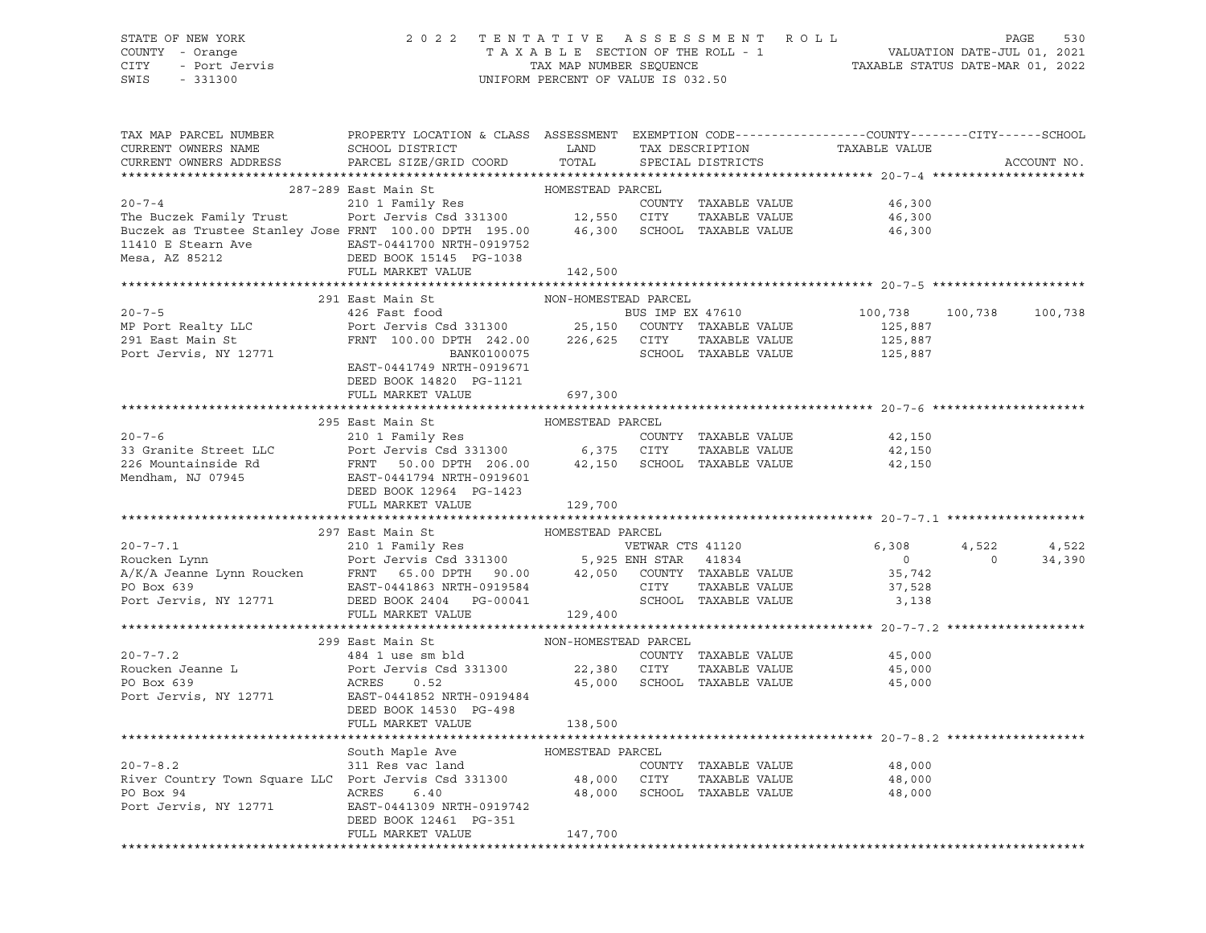STATE OF NEW YORK 2 0 2 2 T E N T A T I V E A S S E S S M E N T R O L L PAGE 530 COUNTY - Orange T A X A B L E SECTION OF THE ROLL - 1 VALUATION DATE-JUL 01, 2021 CITY - Port Jervis TAX MAP NUMBER SEQUENCE TAXABLE STATUS DATE-MAR 01, 2022 SWIS - 331300 UNIFORM PERCENT OF VALUE IS 032.50

| TAX MAP PARCEL NUMBER PROPERTY LOCATION & CLASS ASSESSMENT EXEMPTION CODE--------------COUNTY-------CITY------SCHOOL                                                                                                                                            |                                   |                      |  |                                                        |              |             |
|-----------------------------------------------------------------------------------------------------------------------------------------------------------------------------------------------------------------------------------------------------------------|-----------------------------------|----------------------|--|--------------------------------------------------------|--------------|-------------|
|                                                                                                                                                                                                                                                                 |                                   |                      |  |                                                        |              |             |
|                                                                                                                                                                                                                                                                 |                                   |                      |  |                                                        |              | ACCOUNT NO. |
|                                                                                                                                                                                                                                                                 |                                   |                      |  |                                                        |              |             |
| 20-7-4<br>287-289 East Main St<br>210 1 Family Res<br>210 1 Family Res<br>210 1 Family Res<br>210 1 Family Res<br>210 1 Family Res<br>210 210 1 Family Res<br>210 210 210 200 200 2011 27 28 200 2011<br>26,300 2012 29 2013<br>26,300 2012 29 2013<br>26,300 2 |                                   |                      |  |                                                        |              |             |
|                                                                                                                                                                                                                                                                 |                                   |                      |  |                                                        |              |             |
|                                                                                                                                                                                                                                                                 |                                   |                      |  |                                                        |              |             |
|                                                                                                                                                                                                                                                                 |                                   |                      |  |                                                        |              |             |
|                                                                                                                                                                                                                                                                 |                                   |                      |  |                                                        |              |             |
| 11410 E Stearn Ave EAST-0441700 NRTH-0919752<br>Mesa, AZ 85212 DEED BOOK 15145 PG-1038<br>FULL MARKET VALUE                                                                                                                                                     |                                   |                      |  |                                                        |              |             |
|                                                                                                                                                                                                                                                                 | FULL MARKET VALUE 142,500         |                      |  |                                                        |              |             |
|                                                                                                                                                                                                                                                                 |                                   |                      |  |                                                        |              |             |
|                                                                                                                                                                                                                                                                 | 291 East Main St                  | NON-HOMESTEAD PARCEL |  |                                                        |              |             |
|                                                                                                                                                                                                                                                                 |                                   |                      |  | 100,738 100,738 100,738<br>125,887                     |              |             |
|                                                                                                                                                                                                                                                                 |                                   |                      |  |                                                        |              |             |
| 20-7-5<br>MP Port Realty LLC<br>291 East Main St<br>291 East Main St<br>291 East Main St<br>291 East Main St<br>291 East Main St<br>291 East Main St<br>291 East Main St<br>291 East Main St<br>291 East Main St<br>291 East Main St<br>291 East Main           |                                   |                      |  |                                                        |              |             |
|                                                                                                                                                                                                                                                                 |                                   |                      |  |                                                        |              |             |
|                                                                                                                                                                                                                                                                 | EAST-0441749 NRTH-0919671         |                      |  |                                                        |              |             |
|                                                                                                                                                                                                                                                                 | DEED BOOK 14820 PG-1121           |                      |  |                                                        |              |             |
|                                                                                                                                                                                                                                                                 | FULL MARKET VALUE                 | 697,300              |  |                                                        |              |             |
|                                                                                                                                                                                                                                                                 |                                   |                      |  |                                                        |              |             |
|                                                                                                                                                                                                                                                                 | 295 East Main St MoMESTEAD PARCEL |                      |  |                                                        |              |             |
|                                                                                                                                                                                                                                                                 |                                   |                      |  | 42,150                                                 |              |             |
|                                                                                                                                                                                                                                                                 |                                   |                      |  | TAXABLE VALUE 42,150                                   |              |             |
| 200-7-6<br>200-7-6<br>210 1 Family Res<br>226 Mountainside Rd<br>226 Mountainside Rd<br>226 Mountainside Rd<br>226 Mountainside Rd<br>226 Mountainside Rd<br>226 Mountainside Rd<br>226 Mountainside Rd<br>226 Mountainside Rd<br>226 Mountainside R            |                                   |                      |  | 42,150                                                 |              |             |
|                                                                                                                                                                                                                                                                 |                                   |                      |  |                                                        |              |             |
|                                                                                                                                                                                                                                                                 | FULL MARKET VALUE 129,700         |                      |  |                                                        |              |             |
|                                                                                                                                                                                                                                                                 |                                   |                      |  |                                                        |              |             |
|                                                                                                                                                                                                                                                                 |                                   |                      |  |                                                        |              |             |
|                                                                                                                                                                                                                                                                 |                                   |                      |  |                                                        |              | 4,522       |
|                                                                                                                                                                                                                                                                 |                                   |                      |  |                                                        | $4,522$<br>0 | 34,390      |
|                                                                                                                                                                                                                                                                 |                                   |                      |  |                                                        |              |             |
|                                                                                                                                                                                                                                                                 |                                   |                      |  |                                                        |              |             |
|                                                                                                                                                                                                                                                                 |                                   |                      |  |                                                        |              |             |
|                                                                                                                                                                                                                                                                 |                                   |                      |  |                                                        |              |             |
|                                                                                                                                                                                                                                                                 |                                   |                      |  |                                                        |              |             |
|                                                                                                                                                                                                                                                                 |                                   |                      |  |                                                        |              |             |
|                                                                                                                                                                                                                                                                 |                                   |                      |  |                                                        |              |             |
|                                                                                                                                                                                                                                                                 |                                   |                      |  |                                                        |              |             |
|                                                                                                                                                                                                                                                                 |                                   |                      |  |                                                        |              |             |
|                                                                                                                                                                                                                                                                 |                                   |                      |  |                                                        |              |             |
|                                                                                                                                                                                                                                                                 |                                   |                      |  |                                                        |              |             |
|                                                                                                                                                                                                                                                                 |                                   |                      |  |                                                        |              |             |
|                                                                                                                                                                                                                                                                 |                                   |                      |  |                                                        |              |             |
|                                                                                                                                                                                                                                                                 |                                   |                      |  |                                                        |              |             |
|                                                                                                                                                                                                                                                                 |                                   |                      |  | 48,000                                                 |              |             |
| South Maple Ave HOMESTEAD PARCEL<br>311 Res vac land COUNTY TAXABLE VALUE<br>River Country Town Square LLC Port Jervis Csd 331300 48,000 CITY TAXABLE VALUE<br>PO Box 94 ACRES 6.40 48,000 SCHOOL TAXABLE VALUE                                                 |                                   |                      |  |                                                        |              |             |
|                                                                                                                                                                                                                                                                 |                                   |                      |  | TAXABLE VALUE 48,000<br>TAXABLE VALUE 48,000<br>48,000 |              |             |
| PO Box 94<br>PO Box 94<br>Port Jervis, NY 12771<br>EAST-0441309 NRTH-0919742<br>FOOK 13461 PO-251                                                                                                                                                               |                                   |                      |  |                                                        |              |             |
|                                                                                                                                                                                                                                                                 | DEED BOOK 12461 PG-351            |                      |  |                                                        |              |             |
|                                                                                                                                                                                                                                                                 | FULL MARKET VALUE                 | 147,700              |  |                                                        |              |             |
|                                                                                                                                                                                                                                                                 |                                   |                      |  |                                                        |              |             |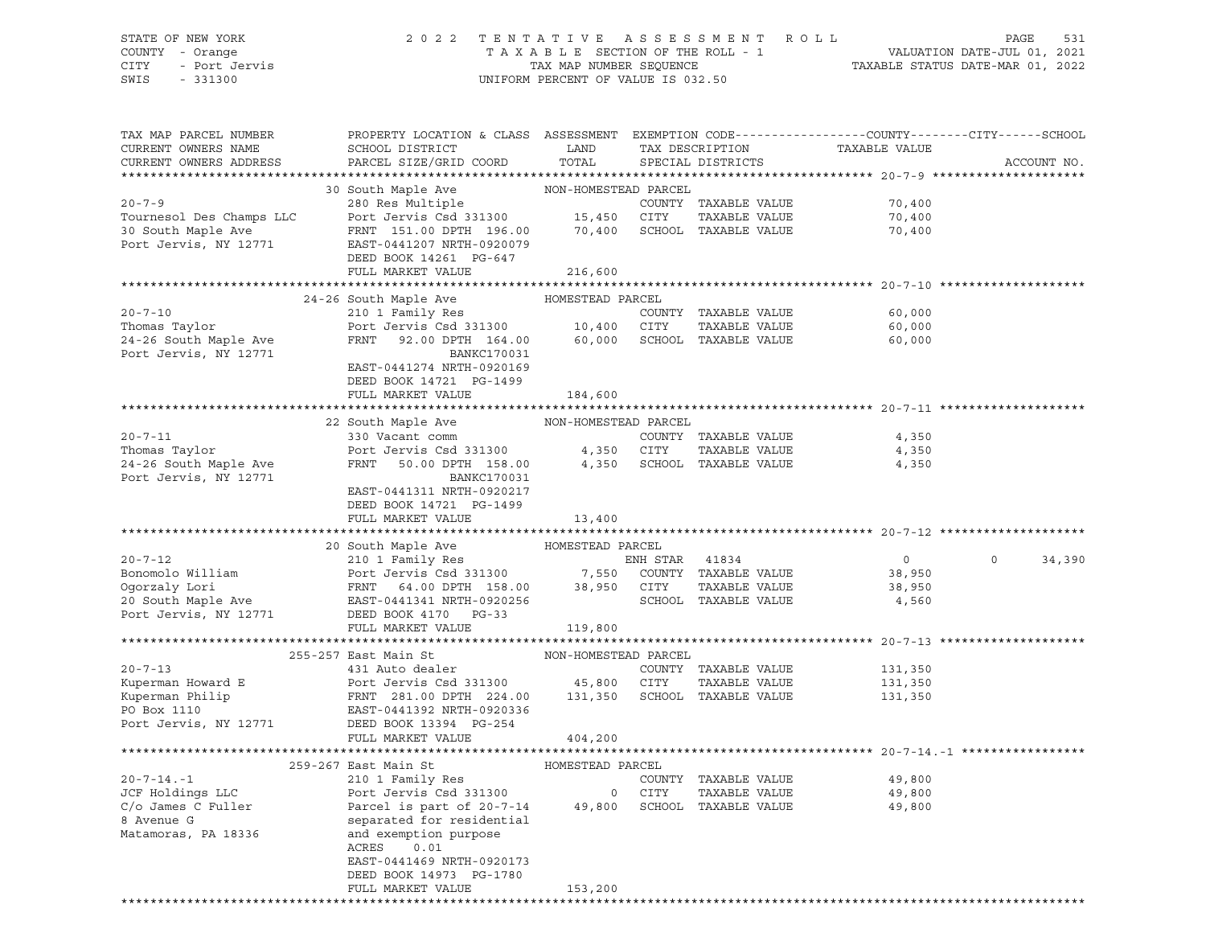## STATE OF NEW YORK 2 0 2 2 T E N T A T I V E A S S E S S M E N T R O L L PAGE 531 COUNTY - Orange T A X A B L E SECTION OF THE ROLL - 1 VALUATION DATE-JUL 01, 2021 CITY - Port Jervis TAX MAP NUMBER SEQUENCE TAXABLE STATUS DATE-MAR 01, 2022

| TAX MAP PARCEL NUMBER<br>CURRENT OWNERS NAME<br>CURRENT OWNERS ADDRESS | PROPERTY LOCATION & CLASS ASSESSMENT EXEMPTION CODE----------------COUNTY-------CITY------SCHOOL<br>SCHOOL DISTRICT<br>PARCEL SIZE/GRID COORD                                                                                                                                                                                                                                                                                                              | LAND<br>TOTAL        | TAX DESCRIPTION<br>SPECIAL DISTRICTS | TAXABLE VALUE  | ACCOUNT NO.       |
|------------------------------------------------------------------------|------------------------------------------------------------------------------------------------------------------------------------------------------------------------------------------------------------------------------------------------------------------------------------------------------------------------------------------------------------------------------------------------------------------------------------------------------------|----------------------|--------------------------------------|----------------|-------------------|
|                                                                        |                                                                                                                                                                                                                                                                                                                                                                                                                                                            |                      |                                      |                |                   |
|                                                                        |                                                                                                                                                                                                                                                                                                                                                                                                                                                            |                      | COUNTY TAXABLE VALUE                 | 70,400         |                   |
|                                                                        |                                                                                                                                                                                                                                                                                                                                                                                                                                                            |                      |                                      | 70,400         |                   |
|                                                                        |                                                                                                                                                                                                                                                                                                                                                                                                                                                            |                      |                                      | 70,400         |                   |
|                                                                        |                                                                                                                                                                                                                                                                                                                                                                                                                                                            |                      |                                      |                |                   |
|                                                                        | DEED BOOK 14261 PG-647                                                                                                                                                                                                                                                                                                                                                                                                                                     |                      |                                      |                |                   |
|                                                                        | FULL MARKET VALUE                                                                                                                                                                                                                                                                                                                                                                                                                                          | 216,600              |                                      |                |                   |
|                                                                        |                                                                                                                                                                                                                                                                                                                                                                                                                                                            |                      |                                      |                |                   |
|                                                                        | 24-26 South Maple Ave                                                                                                                                                                                                                                                                                                                                                                                                                                      | HOMESTEAD PARCEL     |                                      |                |                   |
| $20 - 7 - 10$                                                          | 210 1 Family Res<br>Port Jervis Csd 331300 10,400 CITY TAXABLE VALUE<br>FRNT 92.00 DPTH 164.00 60,000 SCHOOL TAXABLE VALUE                                                                                                                                                                                                                                                                                                                                 |                      | COUNTY TAXABLE VALUE                 | 60,000         |                   |
| Thomas Taylor                                                          |                                                                                                                                                                                                                                                                                                                                                                                                                                                            |                      | TAXABLE VALUE                        | 60,000         |                   |
| 24-26 South Maple Ave                                                  |                                                                                                                                                                                                                                                                                                                                                                                                                                                            |                      |                                      | 60,000         |                   |
| Port Jervis, NY 12771                                                  | BANKC170031                                                                                                                                                                                                                                                                                                                                                                                                                                                |                      |                                      |                |                   |
|                                                                        | EAST-0441274 NRTH-0920169                                                                                                                                                                                                                                                                                                                                                                                                                                  |                      |                                      |                |                   |
|                                                                        | DEED BOOK 14721 PG-1499                                                                                                                                                                                                                                                                                                                                                                                                                                    |                      |                                      |                |                   |
|                                                                        | FULL MARKET VALUE                                                                                                                                                                                                                                                                                                                                                                                                                                          | 184,600              |                                      |                |                   |
|                                                                        |                                                                                                                                                                                                                                                                                                                                                                                                                                                            |                      |                                      |                |                   |
|                                                                        | 22 South Maple Ave                                                                                                                                                                                                                                                                                                                                                                                                                                         | NON-HOMESTEAD PARCEL |                                      |                |                   |
| $20 - 7 - 11$                                                          | 330 Vacant comm                                                                                                                                                                                                                                                                                                                                                                                                                                            |                      | COUNTY TAXABLE VALUE                 | 4,350          |                   |
|                                                                        |                                                                                                                                                                                                                                                                                                                                                                                                                                                            |                      |                                      | 4,350          |                   |
|                                                                        |                                                                                                                                                                                                                                                                                                                                                                                                                                                            |                      |                                      | 4,350          |                   |
| Port Jervis, NY 12771                                                  | BANKC170031                                                                                                                                                                                                                                                                                                                                                                                                                                                |                      |                                      |                |                   |
|                                                                        | EAST-0441311 NRTH-0920217                                                                                                                                                                                                                                                                                                                                                                                                                                  |                      |                                      |                |                   |
|                                                                        | DEED BOOK 14721 PG-1499                                                                                                                                                                                                                                                                                                                                                                                                                                    |                      |                                      |                |                   |
|                                                                        | FULL MARKET VALUE                                                                                                                                                                                                                                                                                                                                                                                                                                          | 13,400               |                                      |                |                   |
|                                                                        |                                                                                                                                                                                                                                                                                                                                                                                                                                                            |                      |                                      |                |                   |
|                                                                        |                                                                                                                                                                                                                                                                                                                                                                                                                                                            |                      |                                      |                |                   |
|                                                                        |                                                                                                                                                                                                                                                                                                                                                                                                                                                            |                      |                                      | $\overline{0}$ | 34,390<br>$\circ$ |
|                                                                        |                                                                                                                                                                                                                                                                                                                                                                                                                                                            |                      |                                      | 38,950         |                   |
|                                                                        |                                                                                                                                                                                                                                                                                                                                                                                                                                                            |                      |                                      | 38,950         |                   |
|                                                                        |                                                                                                                                                                                                                                                                                                                                                                                                                                                            |                      |                                      | 4,560          |                   |
| Port Jervis, NY 12771                                                  | DEED BOOK 4170 PG-33                                                                                                                                                                                                                                                                                                                                                                                                                                       |                      |                                      |                |                   |
|                                                                        | FULL MARKET VALUE                                                                                                                                                                                                                                                                                                                                                                                                                                          | 119,800              |                                      |                |                   |
|                                                                        |                                                                                                                                                                                                                                                                                                                                                                                                                                                            |                      |                                      |                |                   |
|                                                                        | 255-257 East Main St                                                                                                                                                                                                                                                                                                                                                                                                                                       | NON-HOMESTEAD PARCEL |                                      |                |                   |
| $20 - 7 - 13$                                                          | 431 Auto dealer                                                                                                                                                                                                                                                                                                                                                                                                                                            |                      | COUNTY TAXABLE VALUE                 | 131,350        |                   |
|                                                                        |                                                                                                                                                                                                                                                                                                                                                                                                                                                            |                      | TAXABLE VALUE                        | 131,350        |                   |
|                                                                        | Experiment Howard E Port Jervis Csd 331300 45,800 CITY TAXABLE VALUE<br>Kuperman Philip FRNT 281.00 DPTH 224.00 131,350 SCHOOL TAXABLE VALUE<br>PO Box 1110 EAST-0441392 NRTH-0920336<br>Experman Philip<br>ERNT 281.00 DPTH 224.0<br>PO Box 1110<br>PO Box 1110<br>PO Box 12771<br>DEED BOOK 13394<br>PG-254<br>PO BOOK 13394<br>PG-254                                                                                                                   |                      |                                      | 131,350        |                   |
|                                                                        |                                                                                                                                                                                                                                                                                                                                                                                                                                                            |                      |                                      |                |                   |
|                                                                        |                                                                                                                                                                                                                                                                                                                                                                                                                                                            |                      |                                      |                |                   |
|                                                                        | FULL MARKET VALUE                                                                                                                                                                                                                                                                                                                                                                                                                                          | 404,200              |                                      |                |                   |
|                                                                        |                                                                                                                                                                                                                                                                                                                                                                                                                                                            |                      |                                      |                |                   |
|                                                                        |                                                                                                                                                                                                                                                                                                                                                                                                                                                            |                      |                                      |                |                   |
|                                                                        |                                                                                                                                                                                                                                                                                                                                                                                                                                                            |                      |                                      | 49,800         |                   |
|                                                                        |                                                                                                                                                                                                                                                                                                                                                                                                                                                            |                      |                                      | 49,800         |                   |
|                                                                        |                                                                                                                                                                                                                                                                                                                                                                                                                                                            |                      |                                      | 49,800         |                   |
|                                                                        | $\begin{tabular}{lllllllllll} \multicolumn{3}{l}{{\small 2097-267\text{ East Main St}}&\multicolumn{3}{l}{{\small 2097-267\text{ East Main St}}&\multicolumn{3}{l}{{\small 2097-267\text{ East Main St}}&\multicolumn{3}{l}{{\small 2097-267\text{ East Main St}}&\multicolumn{3}{l}{{\small 2097-267\text{ East Main St}}&\multicolumn{3}{l}{{\small 2097-267\text{ East Main St}}&\multicolumn{3}{l}{{\small 2097-267\text{ East Main St}}&\multicolumn$ |                      |                                      |                |                   |
|                                                                        |                                                                                                                                                                                                                                                                                                                                                                                                                                                            |                      |                                      |                |                   |
|                                                                        |                                                                                                                                                                                                                                                                                                                                                                                                                                                            |                      |                                      |                |                   |
|                                                                        | EAST-0441469 NRTH-0920173                                                                                                                                                                                                                                                                                                                                                                                                                                  |                      |                                      |                |                   |
|                                                                        | DEED BOOK 14973 PG-1780                                                                                                                                                                                                                                                                                                                                                                                                                                    |                      |                                      |                |                   |
|                                                                        | FULL MARKET VALUE                                                                                                                                                                                                                                                                                                                                                                                                                                          | 153,200              |                                      |                |                   |
|                                                                        |                                                                                                                                                                                                                                                                                                                                                                                                                                                            |                      |                                      |                |                   |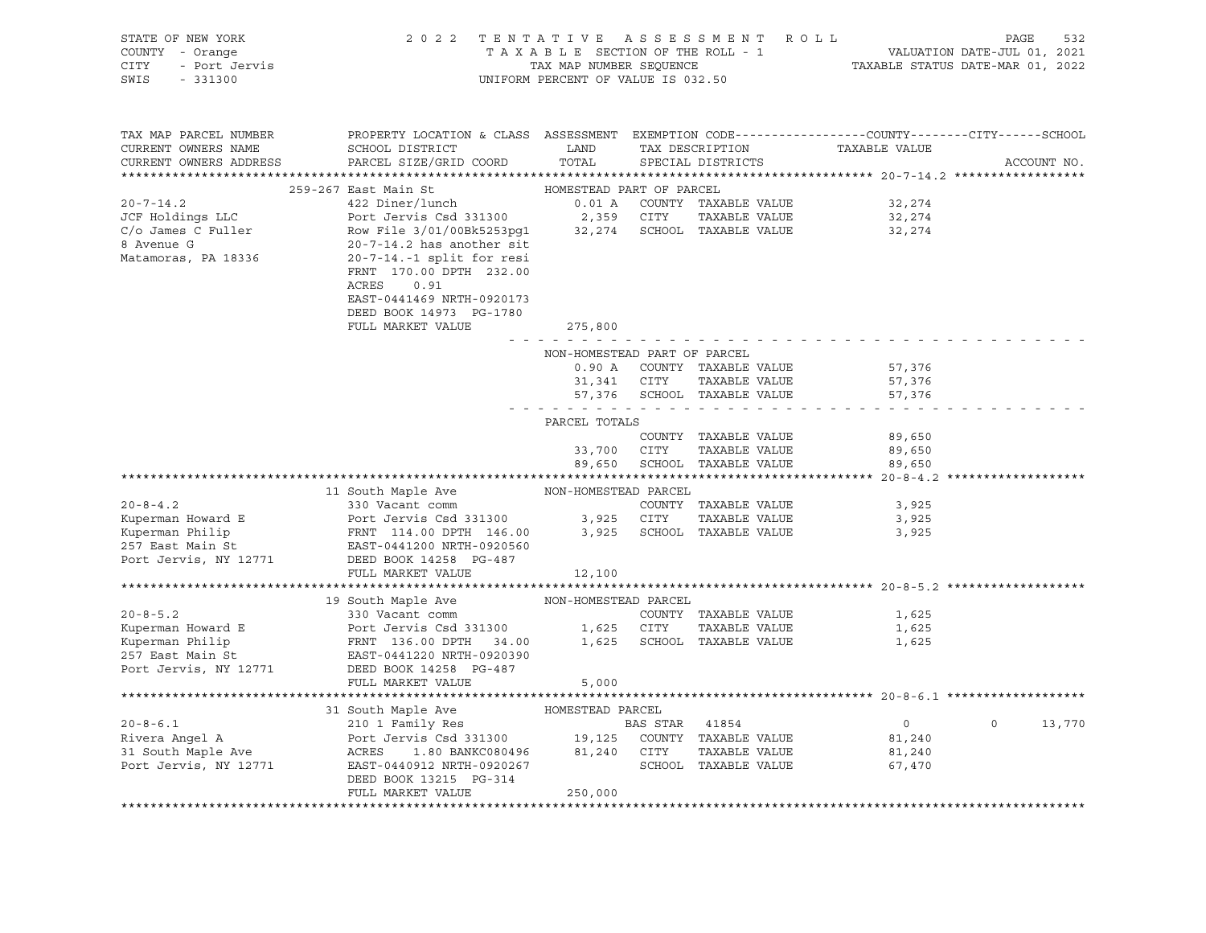| STATE OF NEW YORK<br>COUNTY - Orange<br>- Orange<br>- Port Jervis<br>- 221200<br>CITY<br>SWIS<br>$-331300$ | 2 0 2 2<br>TENTATIVE<br>TAXABLE SECTION OF THE ROLL - 1<br>TAX MAP NUMBER SEQUENCE<br>UNIFORM PERCENT OF VALUE IS 032.50                                                                                                                                                                | ROLL<br>PAGE<br>532<br>VALUATION DATE-JUL 01, 2021<br>TAXABLE STATUS DATE-MAR 01, 2022 |             |                                                                             |                                                                              |                |             |
|------------------------------------------------------------------------------------------------------------|-----------------------------------------------------------------------------------------------------------------------------------------------------------------------------------------------------------------------------------------------------------------------------------------|----------------------------------------------------------------------------------------|-------------|-----------------------------------------------------------------------------|------------------------------------------------------------------------------|----------------|-------------|
| TAX MAP PARCEL NUMBER<br>CURRENT OWNERS NAME<br>CURRENT OWNERS ADDRESS                                     | PROPERTY LOCATION & CLASS ASSESSMENT EXEMPTION CODE---------------COUNTY-------CITY------SCHOOL<br>SCHOOL DISTRICT<br>PARCEL SIZE/GRID COORD                                                                                                                                            | LAND<br>TOTAL                                                                          |             | TAX DESCRIPTION<br>SPECIAL DISTRICTS                                        | TAXABLE VALUE                                                                |                | ACCOUNT NO. |
|                                                                                                            | 259-267 East Main St                                                                                                                                                                                                                                                                    | HOMESTEAD PART OF PARCEL                                                               |             |                                                                             |                                                                              |                |             |
| $20 - 7 - 14.2$<br>JCF Holdings LLC<br>C/o James C Fuller<br>8 Avenue G<br>Matamoras, PA 18336             | 422 Diner/lunch<br>Port Jervis Csd 331300<br>Row File 3/01/00Bk5253pg1 32,274 SCHOOL TAXABLE VALUE<br>20-7-14.2 has another sit<br>$20-7-14.-1$ split for resi<br>FRNT 170.00 DPTH 232.00<br>ACRES<br>0.91<br>EAST-0441469 NRTH-0920173<br>DEED BOOK 14973 PG-1780<br>FULL MARKET VALUE | 2,359 CITY<br>275,800                                                                  |             | 0.01 A COUNTY TAXABLE VALUE<br>TAXABLE VALUE                                | 32,274<br>32,274<br>32,274                                                   |                |             |
|                                                                                                            |                                                                                                                                                                                                                                                                                         | والمناصر مناصر مناصرها                                                                 |             |                                                                             |                                                                              |                |             |
|                                                                                                            |                                                                                                                                                                                                                                                                                         | NON-HOMESTEAD PART OF PARCEL<br>. <i>.</i> .                                           | 31,341 CITY | 0.90 A COUNTY TAXABLE VALUE<br>TAXABLE VALUE<br>57,376 SCHOOL TAXABLE VALUE | 57,376<br>57,376<br>57,376                                                   |                |             |
|                                                                                                            |                                                                                                                                                                                                                                                                                         | PARCEL TOTALS                                                                          |             |                                                                             |                                                                              |                |             |
|                                                                                                            |                                                                                                                                                                                                                                                                                         | 33,700<br>89,650                                                                       | CITY        | COUNTY TAXABLE VALUE<br>TAXABLE VALUE<br>SCHOOL TAXABLE VALUE               | 89,650<br>89,650<br>89,650                                                   |                |             |
|                                                                                                            |                                                                                                                                                                                                                                                                                         |                                                                                        |             |                                                                             |                                                                              |                |             |
| $20 - 8 - 4.2$<br>Kuperman Howard E<br>Kuperman Philip<br>257 East Main St<br>Port Jervis, NY 12771        | 11 South Maple Ave<br>330 Vacant comm<br>Port Jervis Csd 331300<br>FRNT 114.00 DPTH 146.00<br>EAST-0441200 NRTH-0920560<br>DEED BOOK 14258 PG-487<br>FULL MARKET VALUE                                                                                                                  | NON-HOMESTEAD PARCEL<br>12,100                                                         | 3,925 CITY  | COUNTY TAXABLE VALUE<br>TAXABLE VALUE<br>3,925 SCHOOL TAXABLE VALUE         | 3,925<br>3,925<br>3,925<br>********************************* 20-8-5.2 ****** |                |             |
|                                                                                                            | 19 South Maple Ave                                                                                                                                                                                                                                                                      | NON-HOMESTEAD PARCEL                                                                   |             |                                                                             |                                                                              |                |             |
| $20 - 8 - 5.2$<br>Kuperman Howard E<br>Kuperman Philip<br>257 East Main St<br>Port Jervis, NY 12771        | 330 Vacant comm<br>Port Jervis Csd 331300<br>FRNT 136.00 DPTH 34.00<br>EAST-0441220 NRTH-0920390<br>DEED BOOK 14258 PG-487<br>FULL MARKET VALUE                                                                                                                                         | 5,000                                                                                  | 1,625 CITY  | COUNTY TAXABLE VALUE<br>TAXABLE VALUE<br>1,625 SCHOOL TAXABLE VALUE         | 1,625<br>1,625<br>1,625                                                      |                |             |
|                                                                                                            |                                                                                                                                                                                                                                                                                         |                                                                                        |             |                                                                             |                                                                              |                |             |
| $20 - 8 - 6.1$<br>Rivera Angel A<br>31 South Maple Ave<br>Port Jervis, NY 12771                            | 31 South Maple Ave<br>210 1 Family Res<br>Port Jervis Csd 331300 19,125 COUNTY TAXABLE VALUE<br>ACRES 1.80 BANKC080496 21 240 25 COUNTY TAXABLE VALUE<br>ACRES 1.80 BANKC080496 81,240 CITY<br>EAST-0440912 NRTH-0920267 SCHOOL<br>DEED BOOK 13215 PG-314<br>FULL MARKET VALUE          | HOMESTEAD PARCEL<br>250,000                                                            |             | SCHOOL TAXABLE VALUE                                                        | $\overline{0}$<br>81,240<br>81,240<br>67,470                                 | $\overline{0}$ | 13,770      |
|                                                                                                            |                                                                                                                                                                                                                                                                                         |                                                                                        |             |                                                                             |                                                                              |                |             |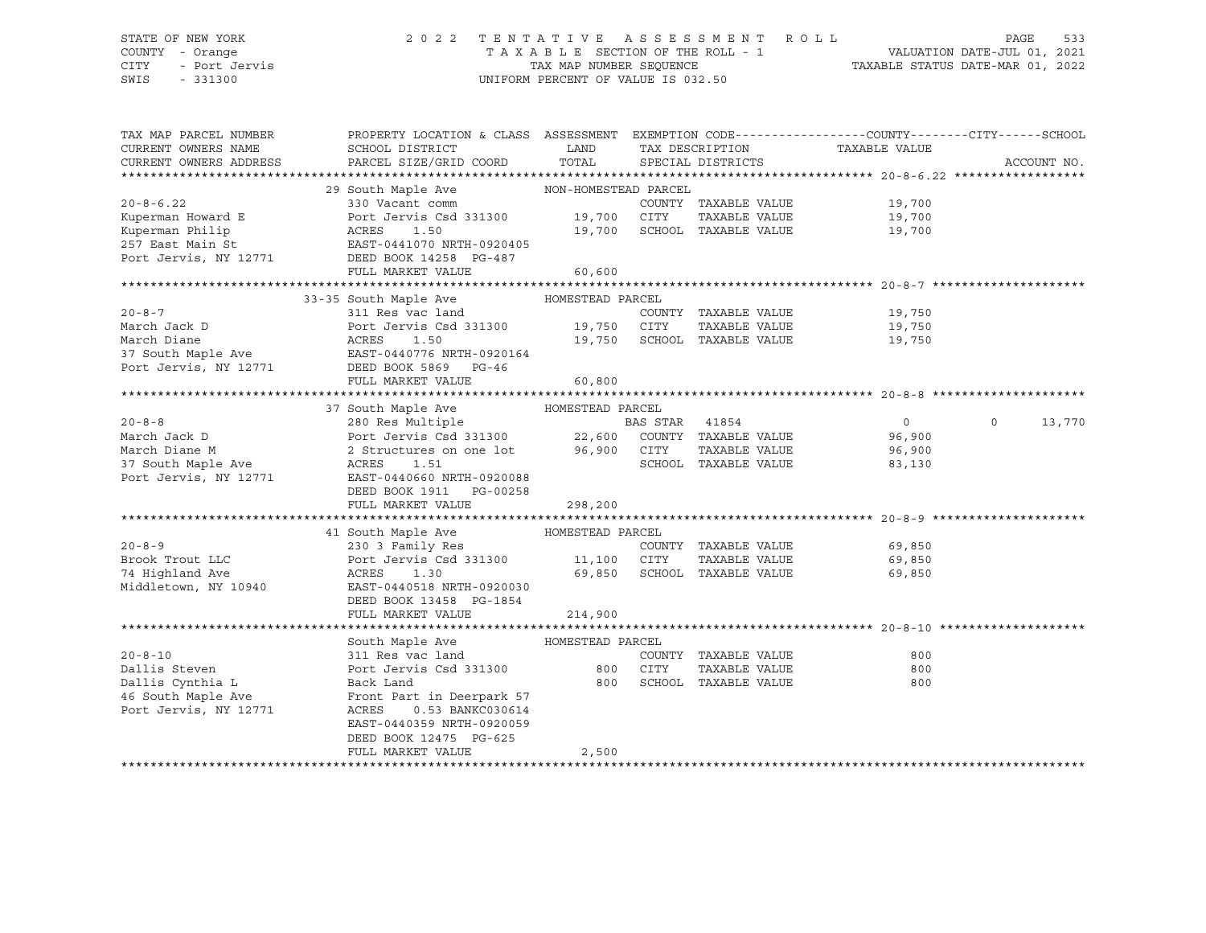### STATE OF NEW YORK 2 0 2 2 T E N T A T I V E A S S E S S M E N T R O L L PAGE 533 COUNTY - Orange T A X A B L E SECTION OF THE ROLL - 1 VALUATION DATE-JUL 01, 2021 CITY - Port Jervis TAX MAP NUMBER SEQUENCE TAXABLE STATUS DATE-MAR 01, 2022

| TAX MAP PARCEL NUMBER                                                                                                                                                                                                                                  | PROPERTY LOCATION & CLASS ASSESSMENT EXEMPTION CODE----------------COUNTY-------CITY------SCHOOL |         |      |                             |                                    |                             |
|--------------------------------------------------------------------------------------------------------------------------------------------------------------------------------------------------------------------------------------------------------|--------------------------------------------------------------------------------------------------|---------|------|-----------------------------|------------------------------------|-----------------------------|
| CURRENT OWNERS NAME                                                                                                                                                                                                                                    |                                                                                                  |         |      |                             | TAX DESCRIPTION TAXABLE VALUE      |                             |
| CURRENT OWNERS ADDRESS                                                                                                                                                                                                                                 |                                                                                                  |         |      |                             |                                    | ACCOUNT NO.                 |
|                                                                                                                                                                                                                                                        |                                                                                                  |         |      |                             |                                    |                             |
|                                                                                                                                                                                                                                                        | 29 South Maple Ave MON-HOMESTEAD PARCEL                                                          |         |      |                             |                                    |                             |
| $20 - 8 - 6.22$                                                                                                                                                                                                                                        | 330 Vacant comm                                                                                  |         |      |                             | 19,700                             |                             |
| Kuperman Howard E<br>Kuperman Philip                                                                                                                                                                                                                   |                                                                                                  |         |      | TAXABLE VALUE               | 19,700                             |                             |
| Kuperman Philip                                                                                                                                                                                                                                        |                                                                                                  |         |      |                             | 19,700                             |                             |
|                                                                                                                                                                                                                                                        |                                                                                                  |         |      |                             |                                    |                             |
|                                                                                                                                                                                                                                                        |                                                                                                  |         |      |                             |                                    |                             |
|                                                                                                                                                                                                                                                        | FULL MARKET VALUE                                                                                | 60,600  |      |                             |                                    |                             |
|                                                                                                                                                                                                                                                        |                                                                                                  |         |      |                             |                                    |                             |
|                                                                                                                                                                                                                                                        | 33-35 South Maple Ave MOMESTEAD PARCEL                                                           |         |      |                             |                                    |                             |
|                                                                                                                                                                                                                                                        |                                                                                                  |         |      | COUNTY TAXABLE VALUE        | 19,750                             |                             |
|                                                                                                                                                                                                                                                        |                                                                                                  |         |      | TAXABLE VALUE               | 19,750                             |                             |
| 20-8-7<br>March Jack D<br>March Diane<br>March Diane<br>27 South Maple Ave<br>27 South Maple Ave<br>27 South Maple Ave<br>27 South Maple Ave<br>27 South Maple Ave<br>27 South Maple Ave<br>27 South Maple Ave<br>27 South Maple Ave<br>28 BAST-044077 |                                                                                                  |         |      |                             | 19,750 SCHOOL TAXABLE VALUE 19,750 |                             |
|                                                                                                                                                                                                                                                        |                                                                                                  |         |      |                             |                                    |                             |
|                                                                                                                                                                                                                                                        |                                                                                                  |         |      |                             |                                    |                             |
|                                                                                                                                                                                                                                                        | FULL MARKET VALUE                                                                                | 60,800  |      |                             |                                    |                             |
|                                                                                                                                                                                                                                                        |                                                                                                  |         |      |                             |                                    |                             |
|                                                                                                                                                                                                                                                        |                                                                                                  |         |      |                             |                                    |                             |
|                                                                                                                                                                                                                                                        |                                                                                                  |         |      |                             |                                    | $0 \qquad \qquad$<br>13,770 |
|                                                                                                                                                                                                                                                        |                                                                                                  |         |      |                             |                                    |                             |
|                                                                                                                                                                                                                                                        |                                                                                                  |         |      |                             |                                    |                             |
|                                                                                                                                                                                                                                                        |                                                                                                  |         |      |                             |                                    |                             |
| Port Jervis, NY 12771 EAST-0440660 NRTH-0920088                                                                                                                                                                                                        |                                                                                                  |         |      |                             |                                    |                             |
|                                                                                                                                                                                                                                                        | DEED BOOK 1911 PG-00258                                                                          |         |      |                             |                                    |                             |
|                                                                                                                                                                                                                                                        | FULL MARKET VALUE                                                                                | 298,200 |      |                             |                                    |                             |
|                                                                                                                                                                                                                                                        |                                                                                                  |         |      |                             |                                    |                             |
|                                                                                                                                                                                                                                                        | 41 South Maple Ave           HOMESTEAD PARCEL                                                    |         |      |                             |                                    |                             |
| $20 - 8 - 9$                                                                                                                                                                                                                                           | 230 3 Family Res                                                                                 |         |      | COUNTY TAXABLE VALUE        | 69,850                             |                             |
| Brook Trout LLC                                                                                                                                                                                                                                        | Port Jervis Csd 331300 11,100 CITY                                                               |         |      |                             | TAXABLE VALUE 69,850               |                             |
| 74 Highland Ave                                                                                                                                                                                                                                        | ACRES<br>1.30                                                                                    |         |      | 69,850 SCHOOL TAXABLE VALUE | 69,850                             |                             |
| Middletown, NY 10940                                                                                                                                                                                                                                   | EAST-0440518 NRTH-0920030                                                                        |         |      |                             |                                    |                             |
|                                                                                                                                                                                                                                                        | DEED BOOK 13458 PG-1854                                                                          |         |      |                             |                                    |                             |
|                                                                                                                                                                                                                                                        | FULL MARKET VALUE                                                                                | 214,900 |      |                             |                                    |                             |
|                                                                                                                                                                                                                                                        |                                                                                                  |         |      |                             |                                    |                             |
|                                                                                                                                                                                                                                                        |                                                                                                  |         |      |                             |                                    |                             |
| $20 - 8 - 10$                                                                                                                                                                                                                                          | South Maple Ave MOMESTEAD PARCEL                                                                 |         |      | COUNTY TAXABLE VALUE        | 800                                |                             |
| Dallis Steven                                                                                                                                                                                                                                          | 311 Res vac land<br>Port Jervis Csd 331300 800                                                   |         | CITY | TAXABLE VALUE               | 800                                |                             |
| Dallis Cynthia L                                                                                                                                                                                                                                       | Back Land                                                                                        | 800     |      | SCHOOL TAXABLE VALUE        | 800                                |                             |
| 46 South Maple Ave                                                                                                                                                                                                                                     | Front Part in Deerpark 57                                                                        |         |      |                             |                                    |                             |
| Port Jervis, NY 12771                                                                                                                                                                                                                                  | ACRES<br>0.53 BANKC030614                                                                        |         |      |                             |                                    |                             |
|                                                                                                                                                                                                                                                        | EAST-0440359 NRTH-0920059                                                                        |         |      |                             |                                    |                             |
|                                                                                                                                                                                                                                                        |                                                                                                  |         |      |                             |                                    |                             |
|                                                                                                                                                                                                                                                        | DEED BOOK 12475 PG-625<br>FULL MARKET VALUE                                                      |         |      |                             |                                    |                             |
|                                                                                                                                                                                                                                                        |                                                                                                  | 2,500   |      |                             |                                    |                             |
|                                                                                                                                                                                                                                                        |                                                                                                  |         |      |                             |                                    |                             |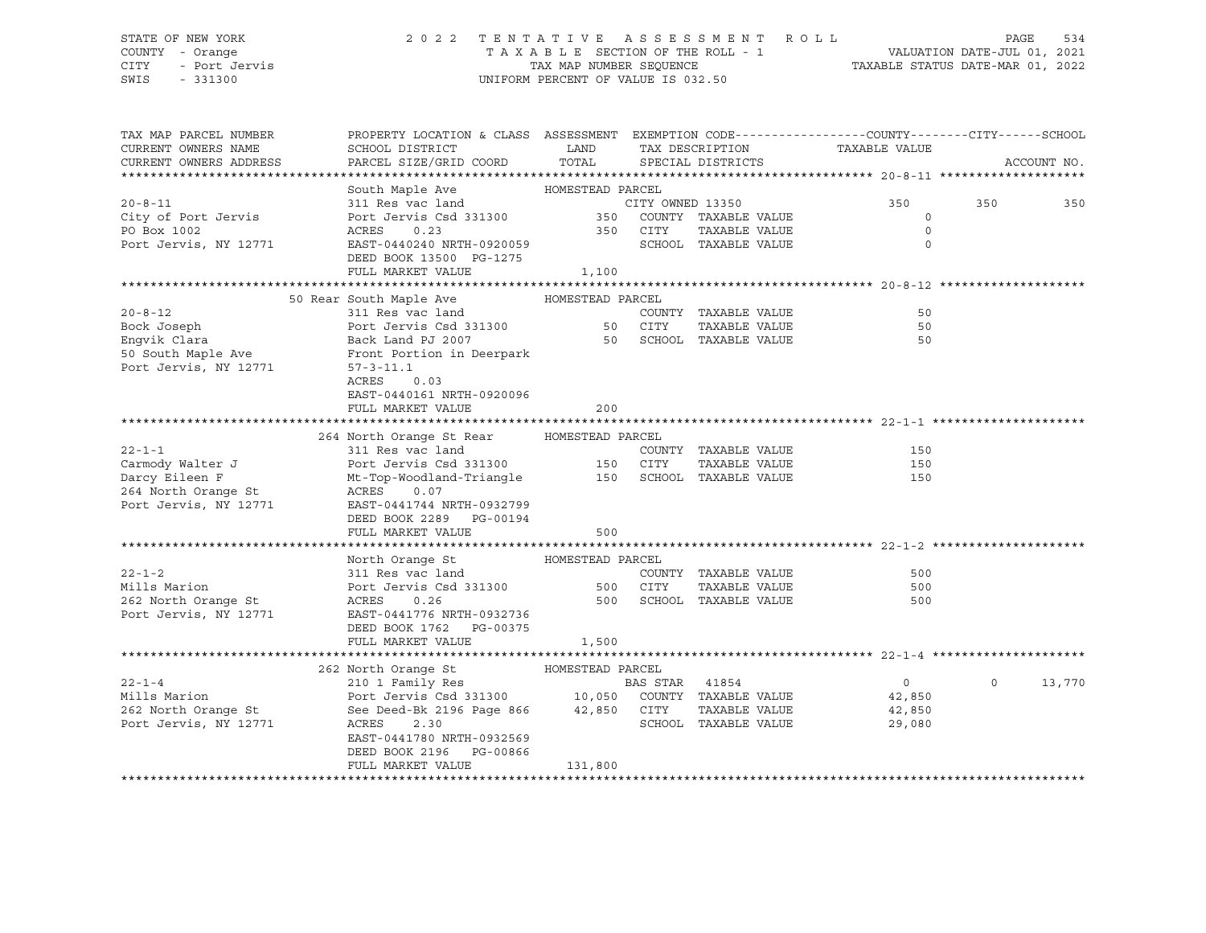### STATE OF NEW YORK 2 0 2 2 T E N T A T I V E A S S E S S M E N T R O L L PAGE 534 COUNTY - Orange T A X A B L E SECTION OF THE ROLL - 1 VALUATION DATE-JUL 01, 2021 CITY - Port Jervis TAX MAP NUMBER SEQUENCE TAXABLE STATUS DATE-MAR 01, 2022

| TAX MAP PARCEL NUMBER  | PROPERTY LOCATION & CLASS ASSESSMENT EXEMPTION CODE----------------COUNTY-------CITY------SCHOOL                                                                            |         |                         |                               |             |             |
|------------------------|-----------------------------------------------------------------------------------------------------------------------------------------------------------------------------|---------|-------------------------|-------------------------------|-------------|-------------|
| CURRENT OWNERS NAME    | SCHOOL DISTRICT                                                                                                                                                             | LAND    |                         | TAX DESCRIPTION TAXABLE VALUE |             |             |
| CURRENT OWNERS ADDRESS | PARCEL SIZE/GRID COORD TOTAL                                                                                                                                                |         | SPECIAL DISTRICTS       |                               |             | ACCOUNT NO. |
|                        |                                                                                                                                                                             |         |                         |                               |             |             |
|                        | South Maple Ave MOMESTEAD PARCEL                                                                                                                                            |         |                         |                               |             |             |
| $20 - 8 - 11$          | 311 Res vac land CITY OWNED 13350<br>Port Jervis Csd 331300 350 COUNTY TAXABLE VALUE<br>ACRES 0.23 350 CITY TAXABLE VALUE<br>EAST-0440240 NRTH-0920059 SCHOOL TAXABLE VALUE |         |                         | 350                           | 350         | 350         |
| City of Port Jervis    |                                                                                                                                                                             |         |                         |                               | $\mathbf 0$ |             |
| PO Box 1002            |                                                                                                                                                                             |         |                         |                               | $\Omega$    |             |
| Port Jervis, NY 12771  |                                                                                                                                                                             |         |                         |                               | $\Omega$    |             |
|                        | DEED BOOK 13500 PG-1275                                                                                                                                                     |         |                         |                               |             |             |
|                        | FULL MARKET VALUE                                                                                                                                                           | 1,100   |                         |                               |             |             |
|                        |                                                                                                                                                                             |         |                         |                               |             |             |
|                        |                                                                                                                                                                             |         |                         |                               |             |             |
| $20 - 8 - 12$          | Port Jervis Csd 331300<br>Port Jervis Csd 331300<br>Back Land PJ 2007<br>Front Portic 1                                                                                     |         | COUNTY TAXABLE VALUE    |                               | 50          |             |
| Bock Joseph            |                                                                                                                                                                             |         | TAXABLE VALUE           |                               | 50          |             |
| Engvik Clara           |                                                                                                                                                                             |         | 50 SCHOOL TAXABLE VALUE |                               | 50          |             |
| 50 South Maple Ave     | Front Portion in Deerpark                                                                                                                                                   |         |                         |                               |             |             |
| Port Jervis, NY 12771  | $57 - 3 - 11.1$                                                                                                                                                             |         |                         |                               |             |             |
|                        | ACRES<br>0.03                                                                                                                                                               |         |                         |                               |             |             |
|                        | EAST-0440161 NRTH-0920096                                                                                                                                                   |         |                         |                               |             |             |
|                        | FULL MARKET VALUE                                                                                                                                                           | 200     |                         |                               |             |             |
|                        |                                                                                                                                                                             |         |                         |                               |             |             |
|                        | 264 North Orange St Rear HOMESTEAD PARCEL                                                                                                                                   |         |                         |                               |             |             |
| $22 - 1 - 1$           | 311 Res vac land                                                                                                                                                            |         | COUNTY TAXABLE VALUE    |                               | 150         |             |
| Carmody Walter J       | Port Jervis Csd 331300 150 CITY                                                                                                                                             |         | TAXABLE VALUE           |                               | 150         |             |
| Darcy Eileen F         |                                                                                                                                                                             |         |                         |                               | 150         |             |
| 264 North Orange St    | ACRES 0.07                                                                                                                                                                  |         |                         |                               |             |             |
| Port Jervis, NY 12771  | EAST-0441744 NRTH-0932799                                                                                                                                                   |         |                         |                               |             |             |
|                        | DEED BOOK 2289 PG-00194                                                                                                                                                     |         |                         |                               |             |             |
|                        | FULL MARKET VALUE                                                                                                                                                           | 500     |                         |                               |             |             |
|                        |                                                                                                                                                                             |         |                         |                               |             |             |
|                        | North Orange St MOMESTEAD PARCEL                                                                                                                                            |         |                         |                               |             |             |
| $22 - 1 - 2$           | 311 Res vac land                                                                                                                                                            |         | COUNTY TAXABLE VALUE    |                               | 500         |             |
| Mills Marion           | Port Jervis Csd 331300 500 CITY                                                                                                                                             |         | TAXABLE VALUE           |                               | 500         |             |
|                        |                                                                                                                                                                             |         |                         |                               |             |             |
| 262 North Orange St    | ACRES<br>0.26                                                                                                                                                               |         |                         | 500 SCHOOL TAXABLE VALUE      | 500         |             |
| Port Jervis, NY 12771  | EAST-0441776 NRTH-0932736                                                                                                                                                   |         |                         |                               |             |             |
|                        | DEED BOOK 1762 PG-00375                                                                                                                                                     |         |                         |                               |             |             |
|                        | FULL MARKET VALUE                                                                                                                                                           | 1,500   |                         |                               |             |             |
|                        |                                                                                                                                                                             |         |                         |                               |             |             |
|                        | 262 North Orange St MOMESTEAD PARCEL                                                                                                                                        |         |                         |                               |             |             |
| $22 - 1 - 4$           | 210 1 Family Res<br>Port Jervis Csd 331300 10,050 COUNTY TAXABLE VALUE<br>See Deed-Bk 2196 Page 866 42,850 CITY TAXABLE VALUE<br>NCEES 220                                  |         |                         | $\overline{0}$                | $\circ$     | 13,770      |
| Mills Marion           |                                                                                                                                                                             |         |                         | 42,850                        |             |             |
| 262 North Orange St    |                                                                                                                                                                             |         |                         | 42,850                        |             |             |
| Port Jervis, NY 12771  | ACRES<br>2.30                                                                                                                                                               |         | SCHOOL TAXABLE VALUE    | 29,080                        |             |             |
|                        | EAST-0441780 NRTH-0932569                                                                                                                                                   |         |                         |                               |             |             |
|                        | DEED BOOK 2196 PG-00866                                                                                                                                                     |         |                         |                               |             |             |
|                        | FULL MARKET VALUE                                                                                                                                                           | 131,800 |                         |                               |             |             |
|                        |                                                                                                                                                                             |         |                         |                               |             |             |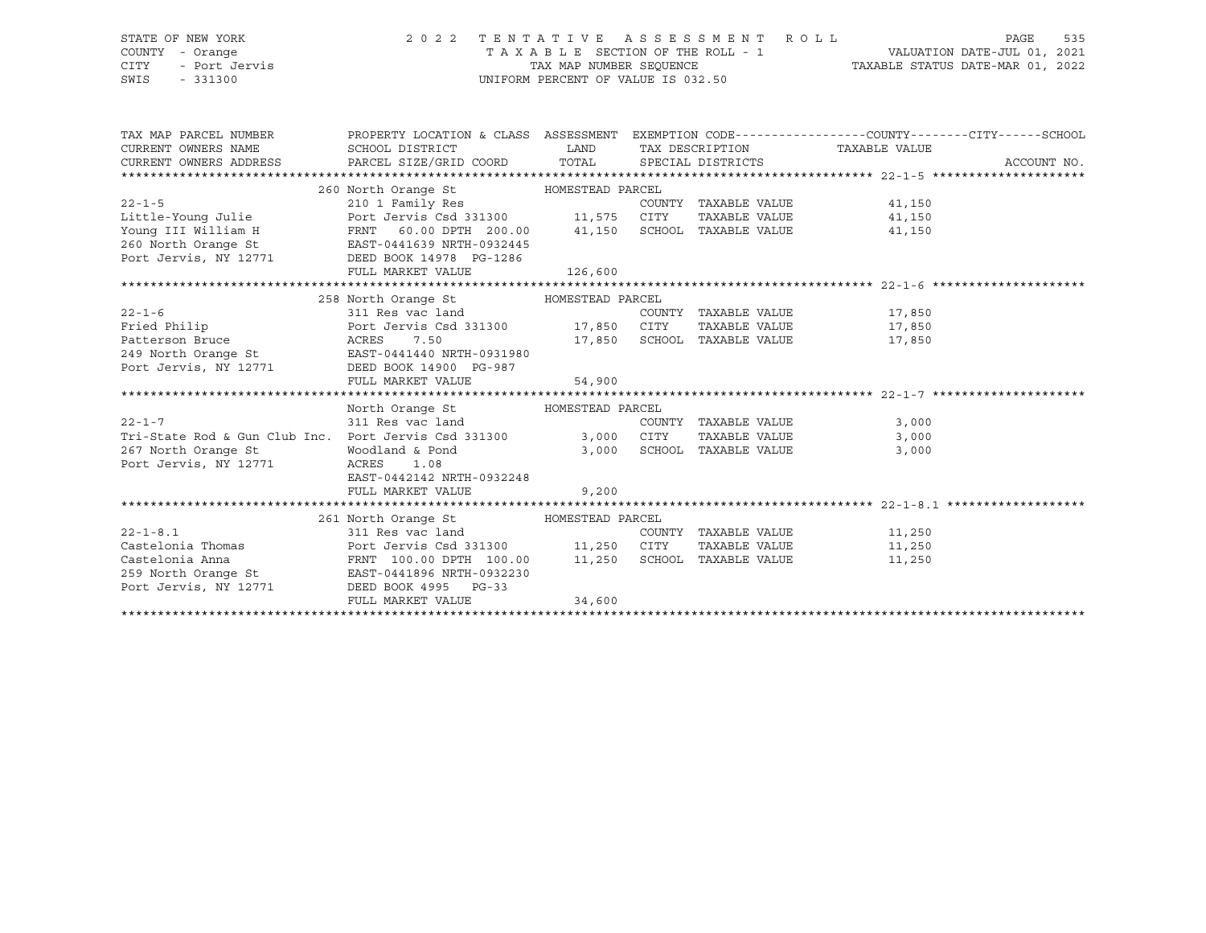| STATE OF NEW YORK<br>COUNTY<br>- Orange<br>- Port Jervis<br>CITY<br>SWIS<br>$-331300$ | 2 0 2 2                                                                                                                           |                    | TENTATIVE ASSESSMENT ROLL<br>T A X A B L E SECTION OF THE ROLL - 1<br>TAX MAP NUMBER SEQUENCE<br>UNIFORM PERCENT OF VALUE IS 032.50 | 535<br>PAGE<br>VALUATION DATE-JUL 01, 2021<br>TAXABLE STATUS DATE-MAR 01, 2022                |
|---------------------------------------------------------------------------------------|-----------------------------------------------------------------------------------------------------------------------------------|--------------------|-------------------------------------------------------------------------------------------------------------------------------------|-----------------------------------------------------------------------------------------------|
| TAX MAP PARCEL NUMBER<br>CURRENT OWNERS NAME                                          | PROPERTY LOCATION & CLASS<br>SCHOOL DISTRICT<br>CURRENT OWNERS ADDRESS     PARCEL SIZE/GRID COORD     TOTAL     SPECIAL DISTRICTS | ASSESSMENT<br>LAND | TAX DESCRIPTION                                                                                                                     | EXEMPTION CODE-----------------COUNTY--------CITY------SCHOOL<br>TAXABLE VALUE<br>ACCOUNT NO. |
|                                                                                       |                                                                                                                                   |                    |                                                                                                                                     |                                                                                               |
|                                                                                       | 260 North Orange St MOMESTEAD PARCEL                                                                                              |                    |                                                                                                                                     |                                                                                               |
| $22 - 1 - 5$                                                                          | 210 1 Family Res                                                                                                                  |                    | COUNTY<br>TAXABLE VALUE                                                                                                             | 41,150                                                                                        |
| Little-Young Julie                                                                    | Port Jervis Csd 331300 11,575                                                                                                     |                    | CITY<br>TAXABLE VALUE                                                                                                               | 41,150                                                                                        |
| Young III William H                                                                   | FRNT 60.00 DPTH 200.00                                                                                                            | 41,150             | SCHOOL<br>TAXABLE VALUE                                                                                                             | 41,150                                                                                        |
| 260 North Orange St                                                                   | EAST-0441639 NRTH-0932445                                                                                                         |                    |                                                                                                                                     |                                                                                               |
| Port Jervis, NY 12771                                                                 | DEED BOOK 14978 PG-1286                                                                                                           |                    |                                                                                                                                     |                                                                                               |

| CORRENI OWNERS ADDRESS FARCEL SIZE/GRID COORD TOTAL SPECIAL DISIRICIS                                                                                                                                                               |                                                |         |                            | ACCOUNT NO.                 |
|-------------------------------------------------------------------------------------------------------------------------------------------------------------------------------------------------------------------------------------|------------------------------------------------|---------|----------------------------|-----------------------------|
|                                                                                                                                                                                                                                     |                                                |         |                            |                             |
|                                                                                                                                                                                                                                     | 260 North Orange St MOMESTEAD PARCEL           |         |                            |                             |
|                                                                                                                                                                                                                                     |                                                |         | COUNTY TAXABLE VALUE       | 41,150                      |
|                                                                                                                                                                                                                                     |                                                |         | TAXABLE VALUE              | 41,150                      |
|                                                                                                                                                                                                                                     |                                                |         |                            |                             |
| 260 North Orange St 60 EAST-0441639 NRTH-0932445                                                                                                                                                                                    |                                                |         |                            |                             |
| Port Jervis, NY 12771 DEED BOOK 14978 PG-1286                                                                                                                                                                                       |                                                |         |                            |                             |
|                                                                                                                                                                                                                                     | FULL MARKET VALUE                              | 126,600 |                            |                             |
|                                                                                                                                                                                                                                     |                                                |         |                            |                             |
|                                                                                                                                                                                                                                     | 258 North Orange St MOMESTEAD PARCEL           |         |                            |                             |
| $22 - 1 - 6$                                                                                                                                                                                                                        | 311 Res vac land                               |         |                            | COUNTY TAXABLE VALUE 17,850 |
| 21 - Tried Philip (1992)<br>Parterson Bruce (1993) - The Port Jervis Csd 331300 (1994) - TAXABLE VALUE (1995) - TAXABLE VALUE (1995)<br>249 North Orange St (1995) - EAST-0441440 NRTH-0931980 (1996) - SCHOOL TAXABLE VALUE (1996) |                                                |         |                            |                             |
|                                                                                                                                                                                                                                     |                                                |         |                            |                             |
|                                                                                                                                                                                                                                     |                                                |         |                            |                             |
| Port Jervis, NY 12771 DEED BOOK 14900 PG-987                                                                                                                                                                                        |                                                |         |                            |                             |
|                                                                                                                                                                                                                                     | FULL MARKET VALUE                              | 54,900  |                            |                             |
|                                                                                                                                                                                                                                     |                                                |         |                            |                             |
|                                                                                                                                                                                                                                     | North Orange St MOMESTEAD PARCEL               |         |                            |                             |
| $22 - 1 - 7$                                                                                                                                                                                                                        | 311 Res vac land                               |         | COUNTY TAXABLE VALUE       | 3,000                       |
| Tri-State Rod & Gun Club Inc. Port Jervis Csd 331300 3,000 CITY TAXABLE VALUE                                                                                                                                                       |                                                |         |                            | 3,000                       |
| 267 North Orange St Moodland & Pond                                                                                                                                                                                                 |                                                |         | 3,000 SCHOOL TAXABLE VALUE | 3,000                       |
| Port Jervis, NY 12771 ACRES 1.08                                                                                                                                                                                                    |                                                |         |                            |                             |
|                                                                                                                                                                                                                                     | EAST-0442142 NRTH-0932248<br>FULL MARKET VALUE | 9,200   |                            |                             |
|                                                                                                                                                                                                                                     |                                                |         |                            |                             |
|                                                                                                                                                                                                                                     | 261 North Orange St MOMESTEAD PARCEL           |         |                            |                             |
| $22 - 1 - 8.1$ 311 Res vac land                                                                                                                                                                                                     |                                                |         |                            | COUNTY TAXABLE VALUE 11,250 |
|                                                                                                                                                                                                                                     |                                                |         |                            | 11,250                      |
|                                                                                                                                                                                                                                     |                                                |         |                            | 11,250                      |
| 259 North Orange St EAST-0441896 NRTH-0932230                                                                                                                                                                                       |                                                |         |                            |                             |
| Port Jervis, NY 12771 DEED BOOK 4995 PG-33                                                                                                                                                                                          |                                                |         |                            |                             |
|                                                                                                                                                                                                                                     | FULL MARKET VALUE                              | 34,600  |                            |                             |
|                                                                                                                                                                                                                                     |                                                |         |                            |                             |
|                                                                                                                                                                                                                                     |                                                |         |                            |                             |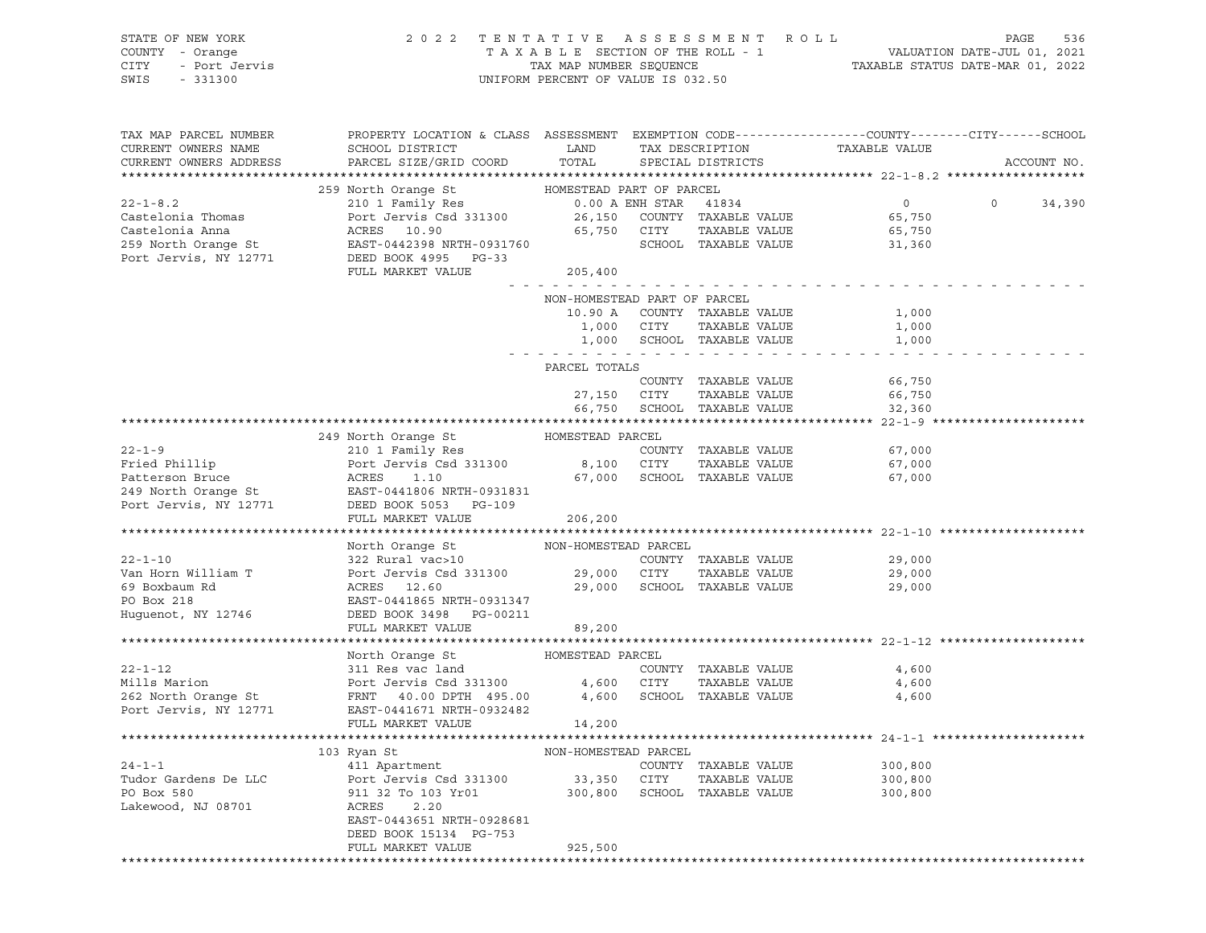| STATE OF NEW YORK<br>OF NEW YORK<br>1 - Orange<br>- Port Jervis<br>10100<br>COUNTY - Orange<br>CITY<br>SWIS                                                                                                                                        | 2022 TENTATIVE ASSESSMENT ROLL<br>UNIFORM PERCENT OF VALUE IS 032.50                                                                                      | PAGE<br>536<br>TAXABLE SECTION OF THE ROLL - 1 VALUATION DATE-JUL 01, 2021<br>TAXABLE STATUS DATE-MAR 01, 2022<br>NIFORM DEDGENTE OF UNIES SEQUENCE |                |                                             |                                   |              |  |
|----------------------------------------------------------------------------------------------------------------------------------------------------------------------------------------------------------------------------------------------------|-----------------------------------------------------------------------------------------------------------------------------------------------------------|-----------------------------------------------------------------------------------------------------------------------------------------------------|----------------|---------------------------------------------|-----------------------------------|--------------|--|
| TAX MAP PARCEL NUMBER<br>CURRENT OWNERS NAME                                                                                                                                                                                                       | PROPERTY LOCATION & CLASS ASSESSMENT EXEMPTION CODE----------------COUNTY-------CITY------SCHOOL<br><b>EXAMPLE STATE SERVICE STATE</b><br>SCHOOL DISTRICT |                                                                                                                                                     |                | TAX DESCRIPTION TAXABI<br>SPECIAL DISTRICTS | TAXABLE VALUE                     |              |  |
| CURRENT OWNERS ADDRESS                                                                                                                                                                                                                             | PARCEL SIZE/GRID COORD                                                                                                                                    | TOTAL                                                                                                                                               |                |                                             |                                   | ACCOUNT NO.  |  |
|                                                                                                                                                                                                                                                    |                                                                                                                                                           |                                                                                                                                                     |                |                                             |                                   |              |  |
| $22 - 1 - 8.2$                                                                                                                                                                                                                                     | 259 North Orange St MOMESTEAD PART OF PARCEL<br>210 1 Family Res 6.00 A ENH STAR 41834                                                                    |                                                                                                                                                     |                |                                             | $\overline{0}$                    | $0 \t34,390$ |  |
|                                                                                                                                                                                                                                                    | Port Jervis Csd 331300 26,150 COUNTY TAXABLE VALUE                                                                                                        |                                                                                                                                                     |                |                                             | 65,750                            |              |  |
|                                                                                                                                                                                                                                                    |                                                                                                                                                           |                                                                                                                                                     |                |                                             | 65,750                            |              |  |
|                                                                                                                                                                                                                                                    |                                                                                                                                                           | 65,750 CITY TAXABLE VALUE<br>SCHOOL TAXABLE VALUE                                                                                                   |                |                                             | 31,360                            |              |  |
| Port Jervis, NY 12771                                                                                                                                                                                                                              | DEED BOOK 4995 PG-33<br>FULL MARKET VALUE                                                                                                                 | 205,400                                                                                                                                             |                |                                             |                                   |              |  |
|                                                                                                                                                                                                                                                    |                                                                                                                                                           |                                                                                                                                                     |                |                                             |                                   |              |  |
|                                                                                                                                                                                                                                                    |                                                                                                                                                           | NON-HOMESTEAD PART OF PARCEL<br>10.90 A                                                                                                             |                | COUNTY TAXABLE VALUE                        | 1,000                             |              |  |
|                                                                                                                                                                                                                                                    |                                                                                                                                                           | 1,000                                                                                                                                               | CITY           |                                             | TAXABLE VALUE<br>1,000            |              |  |
|                                                                                                                                                                                                                                                    |                                                                                                                                                           |                                                                                                                                                     |                | 1,000 SCHOOL TAXABLE VALUE                  | 1,000                             |              |  |
|                                                                                                                                                                                                                                                    |                                                                                                                                                           |                                                                                                                                                     |                |                                             |                                   |              |  |
|                                                                                                                                                                                                                                                    |                                                                                                                                                           | PARCEL TOTALS                                                                                                                                       |                |                                             |                                   |              |  |
|                                                                                                                                                                                                                                                    |                                                                                                                                                           |                                                                                                                                                     |                | COUNTY TAXABLE VALUE                        | 66,750                            |              |  |
|                                                                                                                                                                                                                                                    |                                                                                                                                                           |                                                                                                                                                     | 27,150 CITY    | TAXABLE VALUE                               | 66,750                            |              |  |
|                                                                                                                                                                                                                                                    |                                                                                                                                                           |                                                                                                                                                     |                | 66,750 SCHOOL TAXABLE VALUE                 | 32,360                            |              |  |
|                                                                                                                                                                                                                                                    |                                                                                                                                                           |                                                                                                                                                     |                |                                             |                                   |              |  |
|                                                                                                                                                                                                                                                    | 249 North Orange St MOMESTEAD PARCEL                                                                                                                      |                                                                                                                                                     |                |                                             |                                   |              |  |
|                                                                                                                                                                                                                                                    |                                                                                                                                                           |                                                                                                                                                     |                |                                             | 67,000                            |              |  |
|                                                                                                                                                                                                                                                    |                                                                                                                                                           |                                                                                                                                                     |                | 67,000 SCHOOL TAXABLE VALUE                 | TAXABLE VALUE<br>67,000<br>67,000 |              |  |
| 22-1-9<br>Fried Phillip<br>Port Jervis Csd 331300<br>Port Jervis Csd 331300<br>Port Jervis Csd 331300<br>8,100 CITY TAXABLE VALUE<br>COUNTY TAXABLE VALUE<br>Port Jervis Csd 331300<br>8,100 CITY TAXABLE VALUE<br>249 North Orange St<br>EAST-044 |                                                                                                                                                           |                                                                                                                                                     |                |                                             |                                   |              |  |
| Port Jervis, NY 12771                                                                                                                                                                                                                              | DEED BOOK 5053 PG-109                                                                                                                                     |                                                                                                                                                     |                |                                             |                                   |              |  |
|                                                                                                                                                                                                                                                    | FULL MARKET VALUE                                                                                                                                         | 206,200                                                                                                                                             |                |                                             |                                   |              |  |
|                                                                                                                                                                                                                                                    |                                                                                                                                                           |                                                                                                                                                     |                |                                             |                                   |              |  |
|                                                                                                                                                                                                                                                    | North Orange St NON-HOMESTEAD PARCEL                                                                                                                      |                                                                                                                                                     |                |                                             |                                   |              |  |
|                                                                                                                                                                                                                                                    | 322 Rural vac>10 and the COUNTY TAXABLE VALUE                                                                                                             |                                                                                                                                                     |                |                                             | 29,000                            |              |  |
|                                                                                                                                                                                                                                                    |                                                                                                                                                           |                                                                                                                                                     |                |                                             | TAXABLE VALUE<br>29,000           |              |  |
|                                                                                                                                                                                                                                                    |                                                                                                                                                           |                                                                                                                                                     |                | 29,000 SCHOOL TAXABLE VALUE                 | 29,000                            |              |  |
|                                                                                                                                                                                                                                                    |                                                                                                                                                           |                                                                                                                                                     |                |                                             |                                   |              |  |
| Huguenot, NY 12746                                                                                                                                                                                                                                 | DEED BOOK 3498 PG-00211<br>FULL MARKET VALUE                                                                                                              | 89,200                                                                                                                                              |                |                                             |                                   |              |  |
|                                                                                                                                                                                                                                                    |                                                                                                                                                           |                                                                                                                                                     |                |                                             |                                   |              |  |
|                                                                                                                                                                                                                                                    | North Orange St                                                                                                                                           | HOMESTEAD PARCEL                                                                                                                                    |                |                                             |                                   |              |  |
| $22 - 1 - 12$                                                                                                                                                                                                                                      | 311 Res vac land<br>Port Jervis Csd 331300 4,600 CITY<br>FRNT 40.00 DPTH 495.00 4,600 SCHOO                                                               |                                                                                                                                                     |                | COUNTY TAXABLE VALUE                        | 4,600                             |              |  |
| Mills Marion                                                                                                                                                                                                                                       |                                                                                                                                                           |                                                                                                                                                     |                |                                             | TAXABLE VALUE<br>4,600            |              |  |
| 262 North Orange St                                                                                                                                                                                                                                |                                                                                                                                                           |                                                                                                                                                     |                | SCHOOL TAXABLE VALUE                        | 4,600                             |              |  |
| Port Jervis, NY 12771                                                                                                                                                                                                                              | EAST-0441671 NRTH-0932482                                                                                                                                 |                                                                                                                                                     |                |                                             |                                   |              |  |
|                                                                                                                                                                                                                                                    | FULL MARKET VALUE                                                                                                                                         | 14,200                                                                                                                                              |                |                                             |                                   |              |  |
|                                                                                                                                                                                                                                                    |                                                                                                                                                           |                                                                                                                                                     |                |                                             |                                   |              |  |
|                                                                                                                                                                                                                                                    | 103 Ryan St                                                                                                                                               | NON-HOMESTEAD PARCEL                                                                                                                                |                |                                             |                                   |              |  |
| $24 - 1 - 1$                                                                                                                                                                                                                                       | 411 Apartment                                                                                                                                             |                                                                                                                                                     |                | COUNTY TAXABLE VALUE                        | 300,800                           |              |  |
| Tudor Gardens De LLC<br>PO Box 580                                                                                                                                                                                                                 | Port Jervis Csd 331300<br>911 32 To 103 Yr01                                                                                                              | 33,350                                                                                                                                              | CITY<br>SCHOOL | TAXABLE VALUE                               | 300,800                           |              |  |
| Lakewood, NJ 08701                                                                                                                                                                                                                                 | 2.20<br>ACRES                                                                                                                                             | 300,800                                                                                                                                             |                | TAXABLE VALUE                               | 300,800                           |              |  |
|                                                                                                                                                                                                                                                    | EAST-0443651 NRTH-0928681                                                                                                                                 |                                                                                                                                                     |                |                                             |                                   |              |  |
|                                                                                                                                                                                                                                                    | DEED BOOK 15134 PG-753                                                                                                                                    |                                                                                                                                                     |                |                                             |                                   |              |  |
|                                                                                                                                                                                                                                                    | FULL MARKET VALUE                                                                                                                                         | 925,500                                                                                                                                             |                |                                             |                                   |              |  |
|                                                                                                                                                                                                                                                    |                                                                                                                                                           |                                                                                                                                                     |                |                                             |                                   |              |  |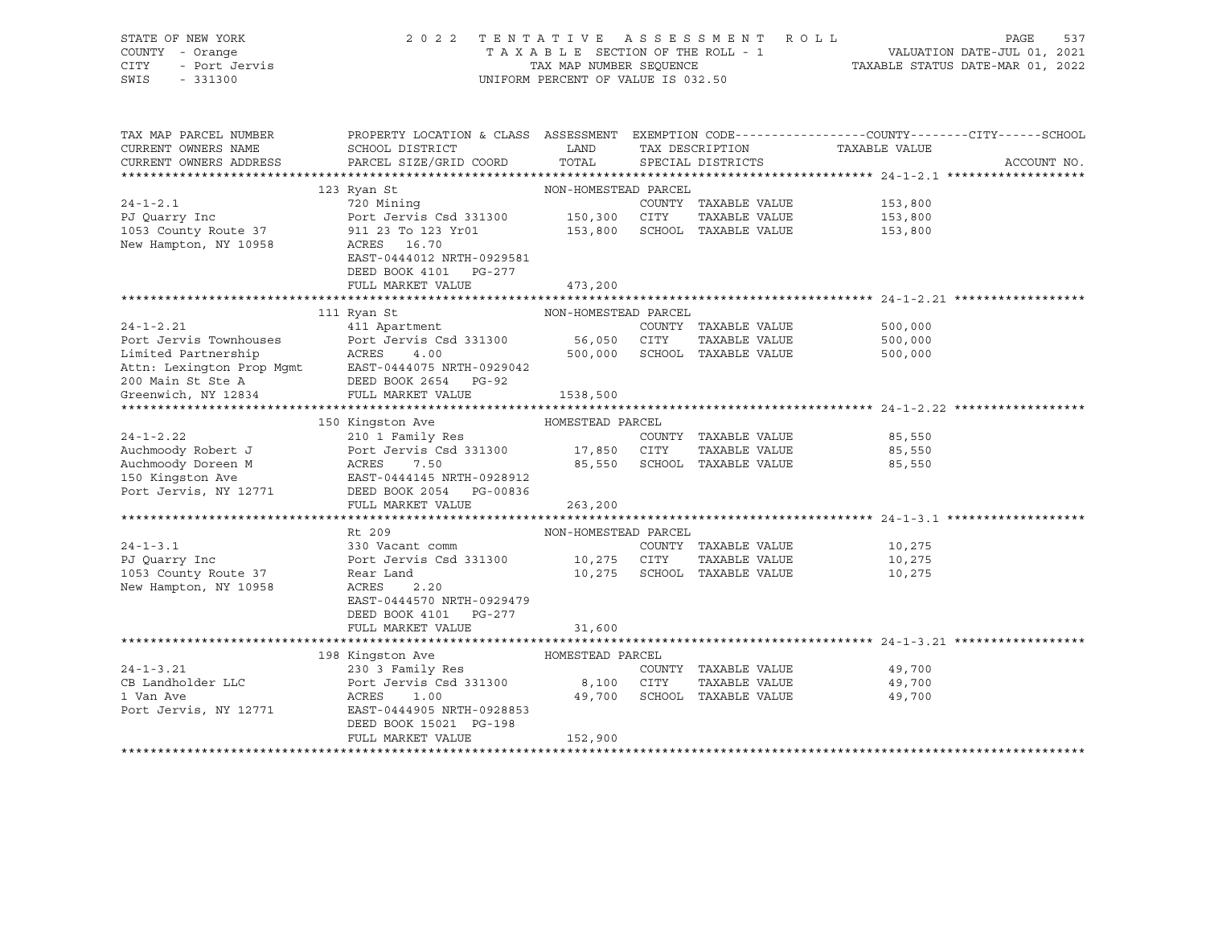| STATE OF NEW YORK<br>COUNTY - Orange<br>- Port Jervis<br><b>CITY</b><br>SWIS<br>$-331300$ | 2022 TENTATIVE ASSESSMENT ROLL<br>TAXABLE SECTION OF THE ROLL - 1<br>TAX MAP NUMBER SEQUENCE<br>UNIFORM PERCENT OF VALUE IS 032.50                                                                                                                   | ROLL - 1 VALUATION DATE-JUL 01, 2021<br>TAXABLE STATUS DATE-MAR 01, 2022 | 537<br>PAGE                  |               |             |
|-------------------------------------------------------------------------------------------|------------------------------------------------------------------------------------------------------------------------------------------------------------------------------------------------------------------------------------------------------|--------------------------------------------------------------------------|------------------------------|---------------|-------------|
| TAX MAP PARCEL NUMBER<br>CURRENT OWNERS NAME                                              | PROPERTY LOCATION & CLASS ASSESSMENT EXEMPTION CODE----------------COUNTY-------CITY------SCHOOL<br>SCHOOL DISTRICT                                                                                                                                  | LAND TAX DESCRIPTION                                                     |                              | TAXABLE VALUE |             |
| CURRENT OWNERS ADDRESS                                                                    | PARCEL SIZE/GRID COORD                                                                                                                                                                                                                               |                                                                          | TOTAL SPECIAL DISTRICTS      |               | ACCOUNT NO. |
|                                                                                           |                                                                                                                                                                                                                                                      |                                                                          |                              |               |             |
| $24 - 1 - 2.1$                                                                            | 123 Ryan St<br>720 Mining                                                                                                                                                                                                                            | NON-HOMESTEAD PARCEL                                                     | COUNTY TAXABLE VALUE         | 153,800       |             |
|                                                                                           |                                                                                                                                                                                                                                                      |                                                                          | TAXABLE VALUE                | 153,800       |             |
|                                                                                           |                                                                                                                                                                                                                                                      |                                                                          |                              | 153,800       |             |
| New Hampton, NY 10958                                                                     | ACRES 16.70                                                                                                                                                                                                                                          |                                                                          |                              |               |             |
|                                                                                           | EAST-0444012 NRTH-0929581                                                                                                                                                                                                                            |                                                                          |                              |               |             |
|                                                                                           | DEED BOOK 4101 PG-277                                                                                                                                                                                                                                |                                                                          |                              |               |             |
|                                                                                           | FULL MARKET VALUE                                                                                                                                                                                                                                    | 473,200                                                                  |                              |               |             |
|                                                                                           |                                                                                                                                                                                                                                                      |                                                                          |                              |               |             |
|                                                                                           | 111 Ryan St                                                                                                                                                                                                                                          | NON-HOMESTEAD PARCEL                                                     |                              |               |             |
| $24 - 1 - 2.21$                                                                           | 411 Apartment                                                                                                                                                                                                                                        |                                                                          | COUNTY TAXABLE VALUE         | 500,000       |             |
| Port Jervis Townhouses                                                                    | Port Jervis Csd 331300                                                                                                                                                                                                                               | 56,050 CITY                                                              | TAXABLE VALUE                | 500,000       |             |
|                                                                                           | Limited Partnership<br>ACRES 4.00<br>Attn: Lexington Prop Mgmt<br>200 Main St Ste A<br>200 Main St Ste A<br>200 Main St Ste A<br>200 Main St Ste A<br>200 Main St Ste A<br>200 Main St Ste A<br>200 Main St Ste A<br>200 Main St Ste A<br>200 Main S |                                                                          | 500,000 SCHOOL TAXABLE VALUE | 500,000       |             |
|                                                                                           |                                                                                                                                                                                                                                                      |                                                                          |                              |               |             |
|                                                                                           |                                                                                                                                                                                                                                                      |                                                                          |                              |               |             |
|                                                                                           |                                                                                                                                                                                                                                                      | 1538,500                                                                 |                              |               |             |
|                                                                                           | 150 Kingston Ave                                                                                                                                                                                                                                     | HOMESTEAD PARCEL                                                         |                              |               |             |
| $24 - 1 - 2.22$                                                                           | 210 1 Family Res                                                                                                                                                                                                                                     |                                                                          | COUNTY TAXABLE VALUE         | 85,550        |             |
|                                                                                           |                                                                                                                                                                                                                                                      |                                                                          |                              | 85,550        |             |
|                                                                                           | Auchmoody Robert J<br>Auchmoody Doreen M<br>ACRES 7.50 331300 17,850 CITY TAXABLE VALUE<br>150 Kingston Ave EAST-0444145 NRTH-0928912                                                                                                                |                                                                          |                              | 85,550        |             |
| 150 Kingston Ave                                                                          | EAST-0444145 NRTH-0928912                                                                                                                                                                                                                            |                                                                          |                              |               |             |
|                                                                                           | Port Jervis, NY 12771 DEED BOOK 2054 PG-00836                                                                                                                                                                                                        |                                                                          |                              |               |             |
|                                                                                           | FULL MARKET VALUE                                                                                                                                                                                                                                    | 263,200                                                                  |                              |               |             |
|                                                                                           |                                                                                                                                                                                                                                                      |                                                                          |                              |               |             |
|                                                                                           | Rt 209                                                                                                                                                                                                                                               | NON-HOMESTEAD PARCEL                                                     |                              |               |             |
| $24 - 1 - 3.1$                                                                            | 330 Vacant comm                                                                                                                                                                                                                                      |                                                                          | COUNTY TAXABLE VALUE         | 10,275        |             |
|                                                                                           |                                                                                                                                                                                                                                                      |                                                                          | TAXABLE VALUE                | 10,275        |             |
| 1053 County Route 37                                                                      | Rear Land                                                                                                                                                                                                                                            |                                                                          | 10,275 SCHOOL TAXABLE VALUE  | 10,275        |             |
| New Hampton, NY 10958                                                                     | ACRES<br>2.20                                                                                                                                                                                                                                        |                                                                          |                              |               |             |
|                                                                                           | EAST-0444570 NRTH-0929479                                                                                                                                                                                                                            |                                                                          |                              |               |             |
|                                                                                           | DEED BOOK 4101 PG-277                                                                                                                                                                                                                                |                                                                          |                              |               |             |
|                                                                                           | FULL MARKET VALUE                                                                                                                                                                                                                                    | 31,600                                                                   |                              |               |             |
|                                                                                           |                                                                                                                                                                                                                                                      | HOMESTEAD PARCEL                                                         |                              |               |             |
| $24 - 1 - 3.21$                                                                           | 198 Kingston Ave                                                                                                                                                                                                                                     |                                                                          | COUNTY TAXABLE VALUE         | 49,700        |             |
| CB Landholder LLC                                                                         |                                                                                                                                                                                                                                                      |                                                                          | TAXABLE VALUE                | 49,700        |             |
| 1 Van Ave                                                                                 |                                                                                                                                                                                                                                                      |                                                                          | 49,700 SCHOOL TAXABLE VALUE  | 49,700        |             |
| Port Jervis, NY 12771                                                                     | PARCEL<br>Port Jervis Csd 331300 8,100 CITY<br>ACRES 1.00 49.700 CITY<br>EAST-0444005 The COUNTY<br>EAST-0444905 NRTH-0928853                                                                                                                        |                                                                          |                              |               |             |
|                                                                                           | DEED BOOK 15021 PG-198                                                                                                                                                                                                                               |                                                                          |                              |               |             |
|                                                                                           | FULL MARKET VALUE                                                                                                                                                                                                                                    | 152,900                                                                  |                              |               |             |
|                                                                                           |                                                                                                                                                                                                                                                      |                                                                          |                              |               |             |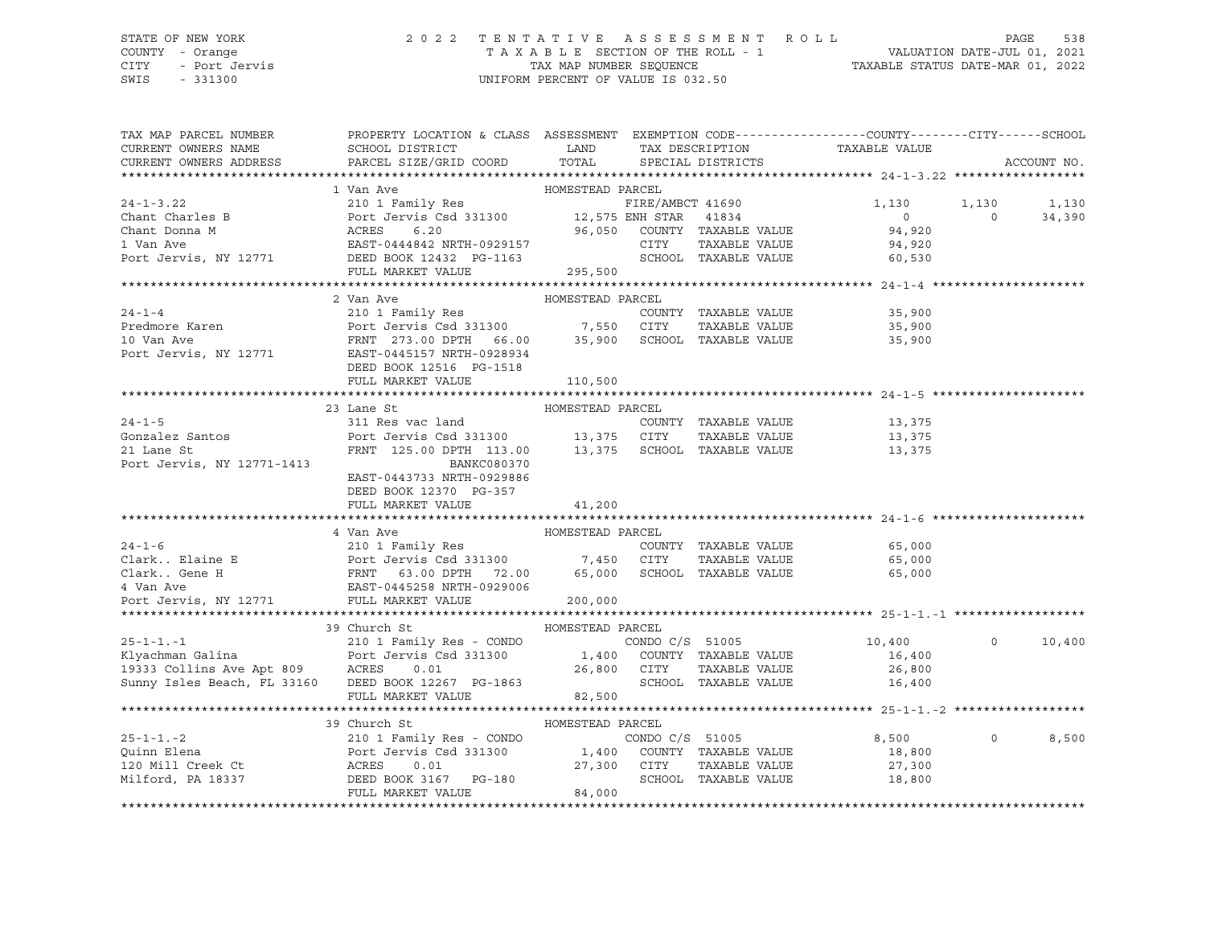### STATE OF NEW YORK 2 0 2 2 T E N T A T I V E A S S E S S M E N T R O L L PAGE 538 COUNTY - Orange T A X A B L E SECTION OF THE ROLL - 1 VALUATION DATE-JUL 01, 2021 CITY - Port Jervis TAX MAP NUMBER SEQUENCE TAXABLE STATUS DATE-MAR 01, 2022

| TAX MAP PARCEL NUMBER                                                                                                                                                                                                                                                  | PROPERTY LOCATION & CLASS ASSESSMENT EXEMPTION CODE----------------COUNTY-------CITY------SCHOOL |                  |                 |                      |                                                 |          |             |
|------------------------------------------------------------------------------------------------------------------------------------------------------------------------------------------------------------------------------------------------------------------------|--------------------------------------------------------------------------------------------------|------------------|-----------------|----------------------|-------------------------------------------------|----------|-------------|
| CURRENT OWNERS NAME                                                                                                                                                                                                                                                    | SCHOOL DISTRICT LAND                                                                             |                  |                 |                      | TAX DESCRIPTION TAXABLE VALUE SPECIAL DISTRICTS |          |             |
| CURRENT OWNERS ADDRESS                                                                                                                                                                                                                                                 | PARCEL SIZE/GRID COORD TOTAL                                                                     |                  |                 |                      |                                                 |          | ACCOUNT NO. |
|                                                                                                                                                                                                                                                                        |                                                                                                  |                  |                 |                      |                                                 |          |             |
| 1 Van Ave HOMESTEAD PARCEL<br>210 1 Family Res FIRE/AMBCT 41690<br>Chant Charles B Port Jervis Csd 331300<br>210 1 Family Res FIRE/AMBCT 41690<br>Port Jervis God 331300<br>21 2,575 ENH STAR 41834<br>26,050 COUNTY TAXABLE VALUE<br>21 Van                           |                                                                                                  |                  |                 |                      |                                                 |          |             |
|                                                                                                                                                                                                                                                                        |                                                                                                  |                  |                 |                      | 1,130                                           | 1,130    | 1,130       |
|                                                                                                                                                                                                                                                                        |                                                                                                  |                  |                 | 41834                | $\Omega$                                        | $\Omega$ | 34,390      |
|                                                                                                                                                                                                                                                                        |                                                                                                  |                  |                 |                      | 94,920                                          |          |             |
|                                                                                                                                                                                                                                                                        |                                                                                                  |                  |                 |                      | 94,920                                          |          |             |
|                                                                                                                                                                                                                                                                        |                                                                                                  |                  |                 |                      | 60,530                                          |          |             |
|                                                                                                                                                                                                                                                                        | FULL MARKET VALUE                                                                                | 295,500          |                 |                      |                                                 |          |             |
|                                                                                                                                                                                                                                                                        |                                                                                                  |                  |                 |                      |                                                 |          |             |
|                                                                                                                                                                                                                                                                        | 2 Van Ave                                                                                        | HOMESTEAD PARCEL |                 |                      |                                                 |          |             |
| $24 - 1 - 4$                                                                                                                                                                                                                                                           | 210 1 Family Res                                                                                 |                  |                 | COUNTY TAXABLE VALUE | 35,900                                          |          |             |
|                                                                                                                                                                                                                                                                        |                                                                                                  |                  |                 |                      | TAXABLE VALUE 35,900                            |          |             |
|                                                                                                                                                                                                                                                                        |                                                                                                  |                  |                 |                      | 35,900                                          |          |             |
|                                                                                                                                                                                                                                                                        |                                                                                                  |                  |                 |                      |                                                 |          |             |
|                                                                                                                                                                                                                                                                        | DEED BOOK 12516 PG-1518                                                                          |                  |                 |                      |                                                 |          |             |
|                                                                                                                                                                                                                                                                        | FULL MARKET VALUE                                                                                | 110,500          |                 |                      |                                                 |          |             |
|                                                                                                                                                                                                                                                                        |                                                                                                  |                  |                 |                      |                                                 |          |             |
|                                                                                                                                                                                                                                                                        |                                                                                                  |                  |                 |                      |                                                 |          |             |
|                                                                                                                                                                                                                                                                        | 23 Lane St                                                                                       | HOMESTEAD PARCEL |                 |                      |                                                 |          |             |
| $24 - 1 - 5$                                                                                                                                                                                                                                                           | 311 Res vac land                                                                                 |                  |                 | COUNTY TAXABLE VALUE | 13,375                                          |          |             |
| Gonzalez Santos<br>21 Lane St<br>21 Lane St<br>21 Lane St<br>21 Lane St<br>21 Lane St<br>21 Lane St<br>21 Lane St<br>21 Lane St<br>21 Lane St<br>22 PRNT<br>225.00 DPTH 113.00<br>23,375<br>23,375<br>23,375<br>23,375<br>23,275<br>23,275<br>23,275<br>23,275<br>23,2 |                                                                                                  |                  |                 | TAXABLE VALUE        | 13,375<br>13,375                                |          |             |
|                                                                                                                                                                                                                                                                        |                                                                                                  |                  |                 |                      |                                                 |          |             |
|                                                                                                                                                                                                                                                                        |                                                                                                  |                  |                 |                      |                                                 |          |             |
|                                                                                                                                                                                                                                                                        | EAST-0443733 NRTH-0929886                                                                        |                  |                 |                      |                                                 |          |             |
|                                                                                                                                                                                                                                                                        | DEED BOOK 12370 PG-357                                                                           |                  |                 |                      |                                                 |          |             |
|                                                                                                                                                                                                                                                                        | FULL MARKET VALUE                                                                                | 41,200           |                 |                      |                                                 |          |             |
|                                                                                                                                                                                                                                                                        |                                                                                                  |                  |                 |                      |                                                 |          |             |
|                                                                                                                                                                                                                                                                        | 4 Van Ave                                                                                        | HOMESTEAD PARCEL |                 |                      |                                                 |          |             |
|                                                                                                                                                                                                                                                                        |                                                                                                  |                  |                 | COUNTY TAXABLE VALUE | 65,000                                          |          |             |
|                                                                                                                                                                                                                                                                        |                                                                                                  |                  |                 | TAXABLE VALUE        | 65,000                                          |          |             |
|                                                                                                                                                                                                                                                                        |                                                                                                  |                  |                 |                      | 65,000                                          |          |             |
|                                                                                                                                                                                                                                                                        |                                                                                                  |                  |                 |                      |                                                 |          |             |
| Port Jervis, NY 12771                                                                                                                                                                                                                                                  | FULL MARKET VALUE                                                                                | 200,000          |                 |                      |                                                 |          |             |
|                                                                                                                                                                                                                                                                        |                                                                                                  |                  |                 |                      |                                                 |          |             |
|                                                                                                                                                                                                                                                                        | 39 Church St                                                                                     | HOMESTEAD PARCEL |                 |                      |                                                 |          |             |
| $25 - 1 - 1 - 1$                                                                                                                                                                                                                                                       | 210 1 Family Res - CONDO                                                                         |                  |                 |                      | CONDO C/S 51005 10,400                          | $\Omega$ | 10,400      |
| 25-1-1.-1 210 1 Family Res - CONDO (S 51005<br>210 1 Family Res - CONDO (S 51005<br>26,800 CITY TAXABLE VALUE<br>26,800 CITY TAXABLE VALUE                                                                                                                             |                                                                                                  |                  |                 |                      | 16,400                                          |          |             |
|                                                                                                                                                                                                                                                                        |                                                                                                  |                  |                 | TAXABLE VALUE        | 26,800                                          |          |             |
| Sunny Isles Beach, FL 33160 DEED BOOK 12267 PG-1863                                                                                                                                                                                                                    |                                                                                                  |                  |                 | SCHOOL TAXABLE VALUE | 16,400                                          |          |             |
|                                                                                                                                                                                                                                                                        | FULL MARKET VALUE                                                                                | 82,500           |                 |                      |                                                 |          |             |
|                                                                                                                                                                                                                                                                        |                                                                                                  |                  |                 |                      |                                                 |          |             |
|                                                                                                                                                                                                                                                                        |                                                                                                  |                  |                 |                      |                                                 |          |             |
|                                                                                                                                                                                                                                                                        | 39 Church St                                                                                     | HOMESTEAD PARCEL |                 |                      |                                                 | $\Omega$ |             |
| $25 - 1 - 1 - 2$                                                                                                                                                                                                                                                       | 210 1 Family Res - CONDO                                                                         |                  | CONDO C/S 51005 |                      | 8,500                                           |          | 8,500       |
|                                                                                                                                                                                                                                                                        |                                                                                                  |                  |                 |                      | 18,800                                          |          |             |
|                                                                                                                                                                                                                                                                        |                                                                                                  |                  |                 |                      | 27,300                                          |          |             |
| 25-1-1.-2<br>210 1 Family Res - CONDO C/S 51005<br>210 1 Family Res - CONDO CONDO C/S 51005<br>27,300 CUNTY TAXABLE VALUE<br>27,300 CITY TAXABLE VALUE<br>27,300 CITY TAXABLE VALUE<br>27,300 CITY TAXABLE VALUE<br>27,300 CITY TAXABLE VALU                           |                                                                                                  | 84,000           |                 |                      | 18,800                                          |          |             |
|                                                                                                                                                                                                                                                                        | FULL MARKET VALUE                                                                                |                  |                 |                      |                                                 |          |             |
|                                                                                                                                                                                                                                                                        |                                                                                                  |                  |                 |                      |                                                 |          |             |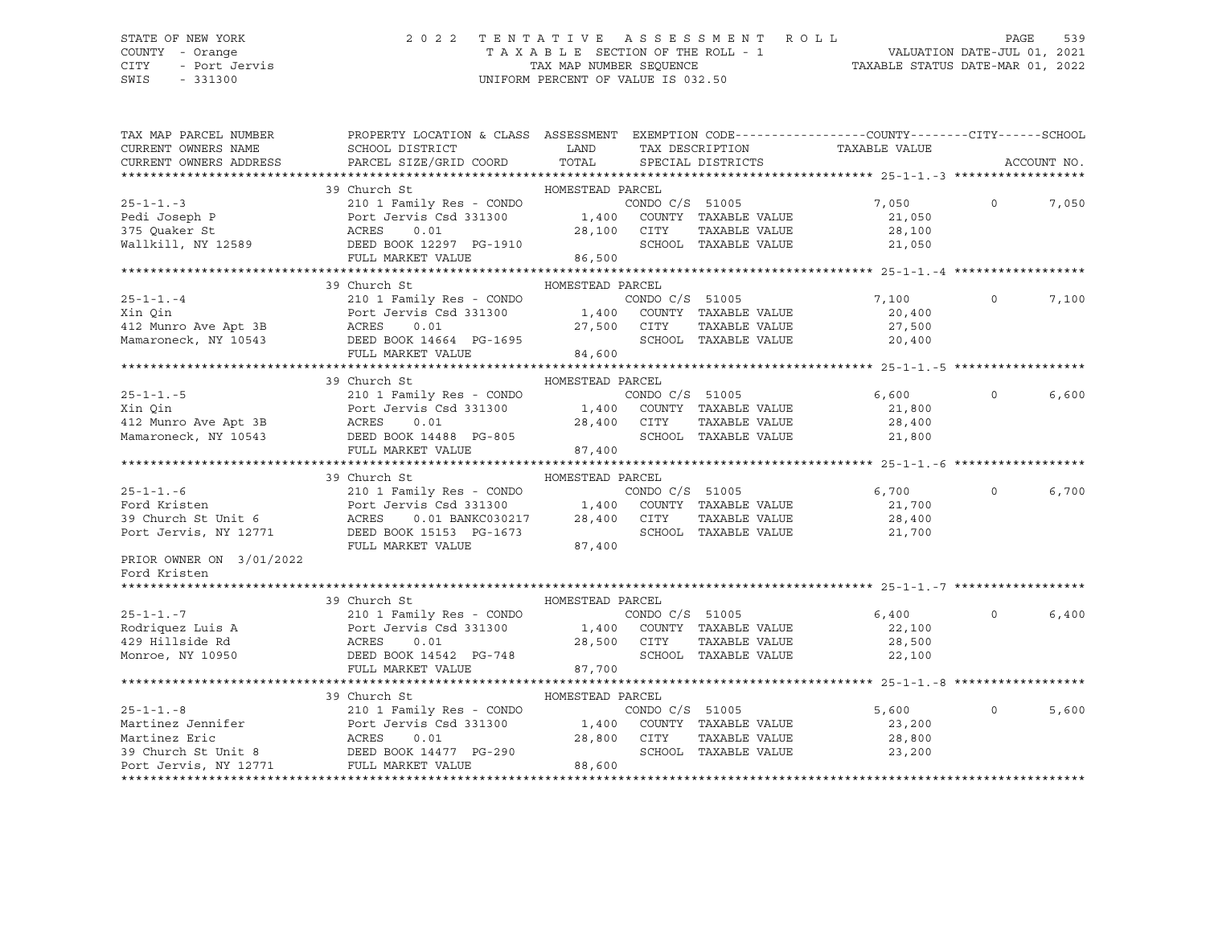CITY - Port Jervis TAX MAP NUMBER SEQUENCE TAXABLE STATUS DATE-MAR 01, 2022 SWIS - 331300 UNIFORM PERCENT OF VALUE IS 032.50

### STATE OF NEW YORK 2 0 2 2 T E N T A T I V E A S S E S S M E N T R O L L PAGE 539 COUNTY - Orange T A X A B L E SECTION OF THE ROLL - 1 VALUATION DATE-JUL 01, 2021

| TAX MAP PARCEL NUMBER    | PROPERTY LOCATION & CLASS ASSESSMENT EXEMPTION CODE----------------COUNTY-------CITY------SCHOOL<br>FRUEBRIT =                                                                                                                                        |                  |                 |                                                         |                                       |          |             |
|--------------------------|-------------------------------------------------------------------------------------------------------------------------------------------------------------------------------------------------------------------------------------------------------|------------------|-----------------|---------------------------------------------------------|---------------------------------------|----------|-------------|
| CURRENT OWNERS NAME      | CURRENT OWNERS ADDRESS PARCEL SIZE/GRID COORD TOTAL SPECIAL DISTRICTS                                                                                                                                                                                 |                  |                 |                                                         | LAND TAX DESCRIPTION TAXABLE VALUE    |          |             |
|                          |                                                                                                                                                                                                                                                       |                  |                 |                                                         |                                       |          | ACCOUNT NO. |
|                          |                                                                                                                                                                                                                                                       |                  |                 |                                                         |                                       |          |             |
| $25 - 1 - 1 - 3$         | 39 Church St                                                                                                                                                                                                                                          | HOMESTEAD PARCEL |                 |                                                         |                                       | $\circ$  |             |
|                          | 210 1 Family Res - CONDO<br>Pedi Joseph P<br>Port Jervis Csd 331300<br>28,100 COUNTY TAXABLE VALUE<br>28,100 CITY TAXABLE VALUE<br>28,100 CITY TAXABLE VALUE<br>28,100 CITY TAXABLE VALUE<br>28,100 CITY TAXABLE VALUE<br>28,500 SCHOOL TAXABLE VALUE |                  |                 | CONDO $C/S$ 51005                                       | 7,050                                 |          | 7,050       |
|                          |                                                                                                                                                                                                                                                       |                  |                 |                                                         | 21,050                                |          |             |
|                          |                                                                                                                                                                                                                                                       |                  |                 |                                                         | 28,100<br>SCHOOL TAXABLE VALUE 21,050 |          |             |
|                          |                                                                                                                                                                                                                                                       |                  |                 |                                                         |                                       |          |             |
|                          |                                                                                                                                                                                                                                                       |                  |                 |                                                         |                                       |          |             |
|                          | 39 Church St                                                                                                                                                                                                                                          | HOMESTEAD PARCEL |                 |                                                         |                                       |          |             |
|                          |                                                                                                                                                                                                                                                       |                  |                 |                                                         | CONDO C/S 51005 7,100                 | $\circ$  | 7,100       |
|                          |                                                                                                                                                                                                                                                       |                  |                 |                                                         |                                       |          |             |
|                          |                                                                                                                                                                                                                                                       |                  |                 |                                                         | 20,400<br>27,500                      |          |             |
|                          |                                                                                                                                                                                                                                                       |                  |                 |                                                         | SCHOOL TAXABLE VALUE 20,400           |          |             |
|                          | 25-1-1.-4<br>210 1 Family Res - CONDO CONDO C/S 51005<br>210 1 Family Res - CONDO 1,400 CONDO C/S 51005<br>212 Munro Ave Apt 3B<br>27,500 CITY TAXABLE VALUE<br>Mamaroneck, NY 10543<br>27,500 CITY TAXABLE VALUE<br>27,500 CITY TAXABLE VAL          |                  |                 |                                                         |                                       |          |             |
|                          |                                                                                                                                                                                                                                                       |                  |                 |                                                         |                                       |          |             |
|                          | 39 Church St                                                                                                                                                                                                                                          | HOMESTEAD PARCEL |                 |                                                         |                                       |          |             |
|                          |                                                                                                                                                                                                                                                       |                  |                 |                                                         | 6,600                                 | $\circ$  | 6,600       |
|                          |                                                                                                                                                                                                                                                       |                  |                 |                                                         |                                       |          |             |
|                          |                                                                                                                                                                                                                                                       |                  |                 |                                                         |                                       |          |             |
|                          |                                                                                                                                                                                                                                                       |                  |                 |                                                         |                                       |          |             |
|                          | 25-1-1.-5<br>210 1 Family Res - CONDO CONDO C/S 51005<br>210 1 Family Res - CONDO 1,400 COUNTY TAXABLE VALUE<br>21,800<br>28,400 CITY TAXABLE VALUE<br>28,400 CITY TAXABLE VALUE<br>28,400 CITY TAXABLE VALUE<br>28,400 CITY TAXABLE VALUE<br>        |                  |                 |                                                         |                                       |          |             |
|                          |                                                                                                                                                                                                                                                       |                  |                 |                                                         |                                       |          |             |
|                          | 39 Church St                                                                                                                                                                                                                                          | HOMESTEAD PARCEL |                 |                                                         |                                       |          |             |
|                          |                                                                                                                                                                                                                                                       |                  |                 |                                                         | 6,700                                 | $\circ$  | 6,700       |
|                          |                                                                                                                                                                                                                                                       |                  |                 |                                                         | 21,700                                |          |             |
|                          |                                                                                                                                                                                                                                                       |                  |                 | TAXABLE VALUE<br>TAXABLE VALUE<br>TAYARLE VALUE         |                                       |          |             |
|                          | 25-1-1.-6<br>Ford Kristen<br>39 Church St Unit 6<br>Port Jervis Csd 331300<br>28,400 CUNTY TAXABLE VALUE<br>28,400 CITY TAXABLE VALUE<br>Port Jervis, NY 12771<br>DEED BOOK 15153 PG-1673<br>28,400 CITY TAXABLE VALUE<br>SCHOOL TAXABLE VALUE        |                  |                 |                                                         | 28,400<br>21,700                      |          |             |
|                          | FULL MARKET VALUE                                                                                                                                                                                                                                     | 87,400           |                 |                                                         |                                       |          |             |
| PRIOR OWNER ON 3/01/2022 |                                                                                                                                                                                                                                                       |                  |                 |                                                         |                                       |          |             |
| Ford Kristen             |                                                                                                                                                                                                                                                       |                  |                 |                                                         |                                       |          |             |
| *******************      |                                                                                                                                                                                                                                                       |                  |                 |                                                         |                                       |          |             |
|                          | 39 Church St                                                                                                                                                                                                                                          | HOMESTEAD PARCEL |                 |                                                         |                                       |          |             |
|                          |                                                                                                                                                                                                                                                       |                  |                 |                                                         | 6,400                                 | $\circ$  | 6,400       |
|                          |                                                                                                                                                                                                                                                       |                  |                 |                                                         | 22,100                                |          |             |
|                          |                                                                                                                                                                                                                                                       |                  |                 |                                                         | 28,500                                |          |             |
|                          |                                                                                                                                                                                                                                                       |                  |                 | SCHOOL TAXABLE VALUE                                    | 22,100                                |          |             |
|                          | FULL MARKET VALUE                                                                                                                                                                                                                                     | 87,700           |                 |                                                         |                                       |          |             |
|                          |                                                                                                                                                                                                                                                       |                  |                 |                                                         |                                       |          |             |
|                          | 39 Church St                                                                                                                                                                                                                                          | HOMESTEAD PARCEL |                 |                                                         |                                       |          |             |
| $25 - 1 - 1 - 8$         | 210 1 Family Res - CONDO                                                                                                                                                                                                                              |                  | CONDO C/S 51005 |                                                         | 5,600                                 | $\Omega$ | 5,600       |
|                          |                                                                                                                                                                                                                                                       |                  |                 |                                                         | 23,200<br>28,800                      |          |             |
|                          |                                                                                                                                                                                                                                                       |                  |                 | 1,400 COUNTY TAXABLE VALUE<br>28,800 CITY TAXABLE VALUE |                                       |          |             |
|                          | Martinez Jennifer<br>Martinez Eric ACRES 0.01<br>39 Church St Unit 8 DEED BOOK 14477 PG-290<br>Port Jervis, NY 12771 FULL MARKET VALUE                                                                                                                |                  |                 | SCHOOL TAXABLE VALUE                                    | 23,200                                |          |             |
|                          |                                                                                                                                                                                                                                                       | 88,600           |                 |                                                         |                                       |          |             |
|                          |                                                                                                                                                                                                                                                       |                  |                 |                                                         |                                       |          |             |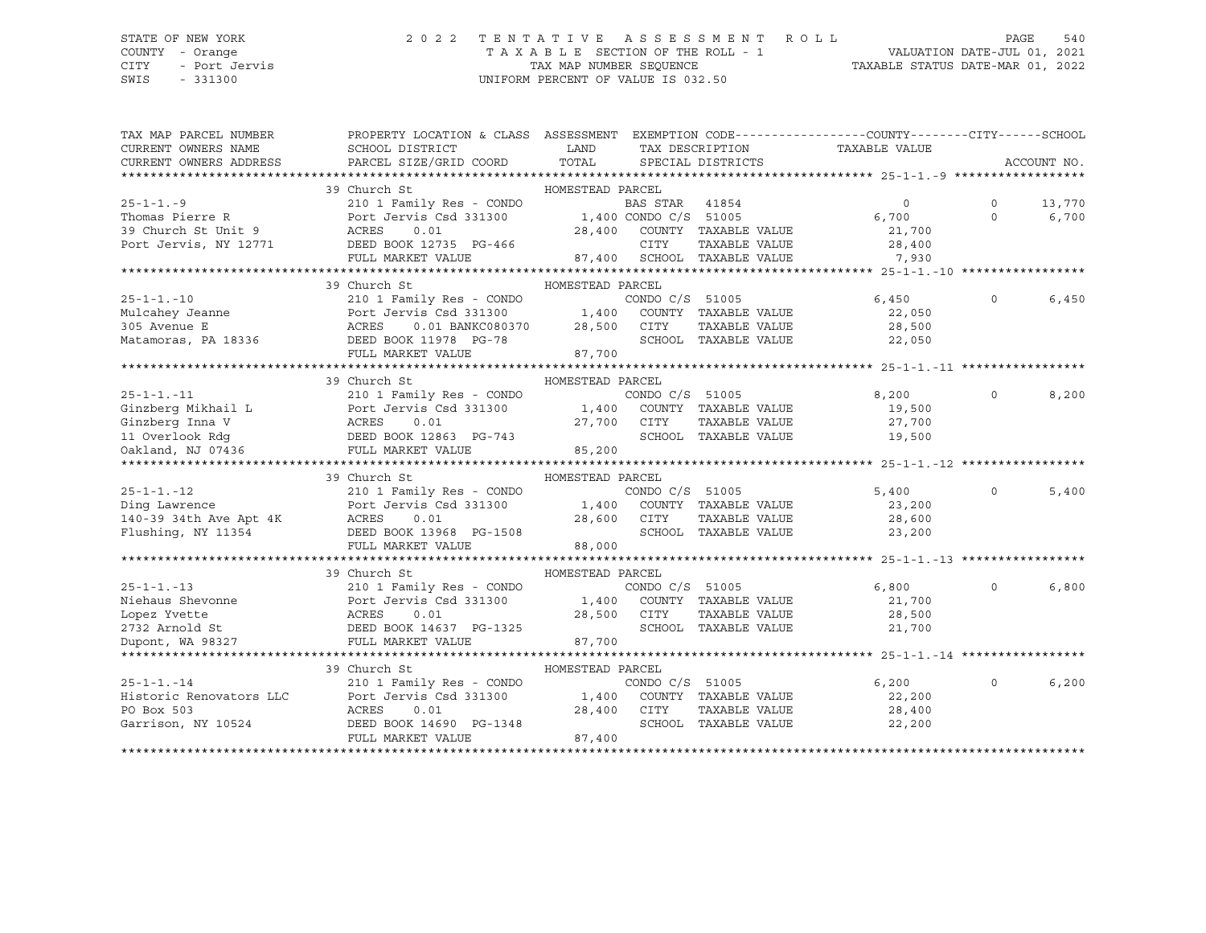## STATE OF NEW YORK 2 0 2 2 T E N T A T I V E A S S E S S M E N T R O L L PAGE 540 COUNTY - Orange T A X A B L E SECTION OF THE ROLL - 1 VALUATION DATE-JUL 01, 2021

SWIS - 331300 UNIFORM PERCENT OF VALUE IS 032.50

CITY - Port Jervis TAX MAP NUMBER SEQUENCE TAXABLE STATUS DATE-MAR 01, 2022

| TAX MAP PARCEL NUMBER  | PROPERTY LOCATION & CLASS ASSESSMENT EXEMPTION CODE---------------COUNTY-------CITY------SCHOOL                                                                                                                                                                                                                                                                                                                              |                                   |                 |                             |                |          |             |
|------------------------|------------------------------------------------------------------------------------------------------------------------------------------------------------------------------------------------------------------------------------------------------------------------------------------------------------------------------------------------------------------------------------------------------------------------------|-----------------------------------|-----------------|-----------------------------|----------------|----------|-------------|
| CURRENT OWNERS NAME    | SCHOOL DISTRICT                                                                                                                                                                                                                                                                                                                                                                                                              | <b>EXAMPLE THE STATE OF STATE</b> |                 | TAX DESCRIPTION             | TAXABLE VALUE  |          |             |
| CURRENT OWNERS ADDRESS | PARCEL SIZE/GRID COORD                                                                                                                                                                                                                                                                                                                                                                                                       | TOTAL                             |                 | SPECIAL DISTRICTS           |                |          | ACCOUNT NO. |
|                        |                                                                                                                                                                                                                                                                                                                                                                                                                              |                                   |                 |                             |                |          |             |
|                        | 39 Church St                                                                                                                                                                                                                                                                                                                                                                                                                 | HOMESTEAD PARCEL                  |                 |                             |                |          |             |
| $25 - 1 - 1 - 9$       | 210 1 Family Res - CONDO BAS STAR 41854<br>Port Jervis Csd 331300 1,400 CONDO C/S 51005                                                                                                                                                                                                                                                                                                                                      |                                   |                 |                             | $\overline{0}$ | $\Omega$ | 13,770      |
| Thomas Pierre R        |                                                                                                                                                                                                                                                                                                                                                                                                                              |                                   |                 |                             | 6,700          | $\Omega$ | 6,700       |
|                        | 39 Church St Unit 9<br>Port Jervis, NY 12771 DEED BOOK 12735 PG-466<br>DEED BOOK 12771 DEED BOOK 12735 PG-466                                                                                                                                                                                                                                                                                                                |                                   |                 | 28,400 COUNTY TAXABLE VALUE | 21,700         |          |             |
|                        |                                                                                                                                                                                                                                                                                                                                                                                                                              |                                   | CITY            | TAXABLE VALUE               | 28,400         |          |             |
|                        | FULL MARKET VALUE                                                                                                                                                                                                                                                                                                                                                                                                            |                                   |                 | 87,400 SCHOOL TAXABLE VALUE | 7,930          |          |             |
|                        |                                                                                                                                                                                                                                                                                                                                                                                                                              |                                   |                 |                             |                |          |             |
|                        | 39 Church St                                                                                                                                                                                                                                                                                                                                                                                                                 | HOMESTEAD PARCEL                  |                 |                             |                |          |             |
| $25 - 1 - 1. - 10$     | 210 1 Family Res - CONDO                                                                                                                                                                                                                                                                                                                                                                                                     |                                   | CONDO C/S 51005 |                             | 6,450          | $\Omega$ | 6,450       |
|                        |                                                                                                                                                                                                                                                                                                                                                                                                                              |                                   |                 |                             | 22,050         |          |             |
|                        |                                                                                                                                                                                                                                                                                                                                                                                                                              |                                   |                 |                             | 28,500         |          |             |
|                        |                                                                                                                                                                                                                                                                                                                                                                                                                              |                                   |                 | SCHOOL TAXABLE VALUE        | 22,050         |          |             |
|                        | FULL MARKET VALUE 87,700                                                                                                                                                                                                                                                                                                                                                                                                     |                                   |                 |                             |                |          |             |
|                        |                                                                                                                                                                                                                                                                                                                                                                                                                              |                                   |                 |                             |                |          |             |
|                        | 39 Church St                                                                                                                                                                                                                                                                                                                                                                                                                 | HOMESTEAD PARCEL                  |                 |                             |                |          |             |
| $25 - 1 - 1. -11$      | 210 1 Family Res - CONDO                                                                                                                                                                                                                                                                                                                                                                                                     |                                   | CONDO C/S 51005 |                             | 8,200          | $\Omega$ | 8,200       |
|                        |                                                                                                                                                                                                                                                                                                                                                                                                                              |                                   |                 |                             | 19,500         |          |             |
|                        |                                                                                                                                                                                                                                                                                                                                                                                                                              |                                   |                 | TAXABLE VALUE               | 27,700         |          |             |
|                        |                                                                                                                                                                                                                                                                                                                                                                                                                              | 27,700 CITY<br>SCHOC 37,700 SCHOC |                 | SCHOOL TAXABLE VALUE        | 19,500         |          |             |
|                        | Ginzberg Inna V<br>11 Overlook Rdg<br>20 Oakland, NJ 07436<br>20 Oakland, NJ 07436<br>20 Oakland, NJ 07436<br>20 Oakland, NJ 07436<br>20 Oakland, NJ 07436<br>20 Oakland, NJ 07436<br>20 Oakland, NJ 07436                                                                                                                                                                                                                   | 85,200                            |                 |                             |                |          |             |
|                        |                                                                                                                                                                                                                                                                                                                                                                                                                              |                                   |                 |                             |                |          |             |
|                        | 39 Church St                                                                                                                                                                                                                                                                                                                                                                                                                 | HOMESTEAD PARCEL                  |                 |                             |                |          |             |
|                        |                                                                                                                                                                                                                                                                                                                                                                                                                              |                                   |                 |                             | 5,400          | $\Omega$ | 5,400       |
|                        |                                                                                                                                                                                                                                                                                                                                                                                                                              |                                   |                 |                             | 23,200         |          |             |
|                        |                                                                                                                                                                                                                                                                                                                                                                                                                              |                                   |                 | TAXABLE VALUE               | 28,600         |          |             |
|                        | 25-1-1.-12<br>Ding Lawrence<br>210 1 Family Res - CONDO C/S 51005<br>28,600 CITY TAXABLE VALUE<br>28,600 CITY TAXABLE VALUE<br>PULSNing, NY 11354<br>28,600 CITY TAXABLE VALUE<br>28,600 CITY TAXABLE VALUE<br>28,600 CITY TAXABLE VALUE<br>28,6                                                                                                                                                                             |                                   |                 |                             | 23,200         |          |             |
|                        | FULL MARKET VALUE                                                                                                                                                                                                                                                                                                                                                                                                            | 88,000                            |                 |                             |                |          |             |
|                        |                                                                                                                                                                                                                                                                                                                                                                                                                              |                                   |                 |                             |                |          |             |
|                        | 39 Church St                                                                                                                                                                                                                                                                                                                                                                                                                 | HOMESTEAD PARCEL                  |                 |                             |                |          |             |
| $25 - 1 - 1 - 13$      | 210 1 Family Res - CONDO                                                                                                                                                                                                                                                                                                                                                                                                     |                                   | CONDO C/S 51005 |                             | 6,800          | $\Omega$ | 6,800       |
|                        | Port Jervis Csd 331300                                                                                                                                                                                                                                                                                                                                                                                                       |                                   |                 | 1,400 COUNTY TAXABLE VALUE  | 21,700         |          |             |
|                        |                                                                                                                                                                                                                                                                                                                                                                                                                              |                                   |                 | TAXABLE VALUE               | 28,500         |          |             |
|                        |                                                                                                                                                                                                                                                                                                                                                                                                                              | 28,500 CITY<br>PG-1325 SCHOOL     |                 | SCHOOL TAXABLE VALUE        | 21,700         |          |             |
|                        | Niehaus Shevonne<br>Lopez Yvette (1997)<br>2732 Arnold St (1993)<br>2732 Arnold St (1993)<br>2732 Arnold St (1993)<br>2732 PULL MARKET VALUE                                                                                                                                                                                                                                                                                 | 87,700                            |                 |                             |                |          |             |
|                        |                                                                                                                                                                                                                                                                                                                                                                                                                              |                                   |                 |                             |                |          |             |
|                        | 39 Church St                                                                                                                                                                                                                                                                                                                                                                                                                 | HOMESTEAD PARCEL                  |                 |                             |                |          |             |
|                        |                                                                                                                                                                                                                                                                                                                                                                                                                              |                                   |                 |                             | 6,200          | $\Omega$ | 6,200       |
|                        |                                                                                                                                                                                                                                                                                                                                                                                                                              |                                   |                 |                             | 22,200         |          |             |
|                        |                                                                                                                                                                                                                                                                                                                                                                                                                              |                                   |                 | TAXABLE VALUE               | 28,400         |          |             |
|                        | $\begin{tabular}{lllllllllllll} \multicolumn{3}{c l}{} 25-1-1.-14 & 210 1 Family Res - CONDO & CONDO C/S & 51005 \\ \multicolumn{3}{c l}{} & 210 1 Family Res - CONDO & CONDO C/S & 51005 \\ \multicolumn{3}{c l}{} & 210 1 Family Res - CONDO & 20000 C/S & 51005 \\ \multicolumn{3}{c l}{} & 210 1 Family Res - CONDO & 20000 C/S & 51005 \\ \multicolumn{3}{c l}{} & 210 1 Family Res - CONDO & 28,400 & CONTY & TAXABLE$ |                                   |                 |                             | 22,200         |          |             |
|                        | FULL MARKET VALUE                                                                                                                                                                                                                                                                                                                                                                                                            | 87,400                            |                 |                             |                |          |             |
|                        |                                                                                                                                                                                                                                                                                                                                                                                                                              |                                   |                 |                             |                |          |             |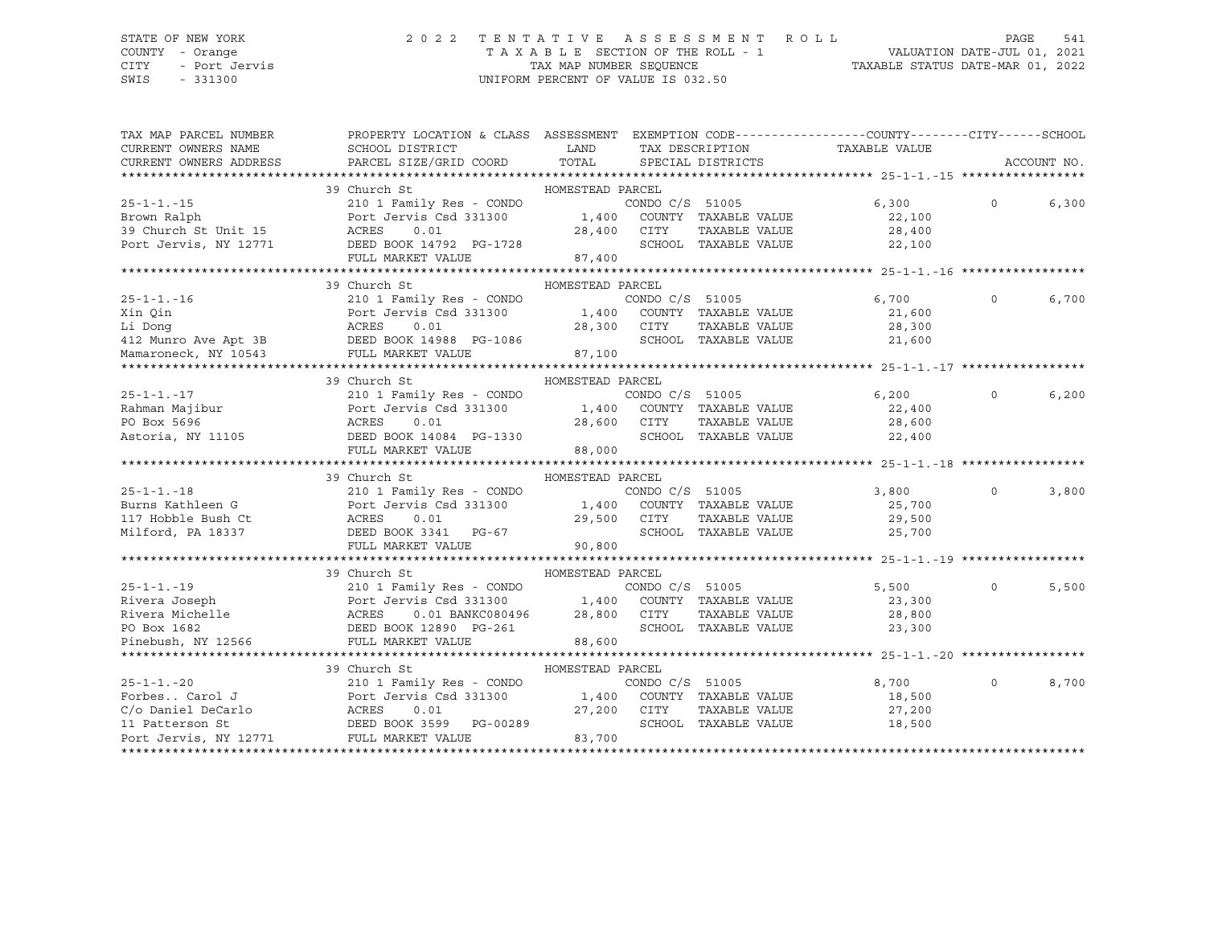## STATE OF NEW YORK 2 0 2 2 T E N T A T I V E A S S E S S M E N T R O L L PAGE 541 COUNTY - Orange T A X A B L E SECTION OF THE ROLL - 1 VALUATION DATE-JUL 01, 2021

| TAX MAP PARCEL NUMBER                                                  | PROPERTY LOCATION & CLASS ASSESSMENT EXEMPTION CODE----------------COUNTY-------CITY------SCHOOL                                                                                                                                     |                  |                 |                                               |                             |          |             |
|------------------------------------------------------------------------|--------------------------------------------------------------------------------------------------------------------------------------------------------------------------------------------------------------------------------------|------------------|-----------------|-----------------------------------------------|-----------------------------|----------|-------------|
| CURRENT OWNERS NAME                                                    | SCHOOL DISTRICT                                                                                                                                                                                                                      | LAND             |                 | TAX DESCRIPTION                               | TAXABLE VALUE               |          |             |
| CURRENT OWNERS ADDRESS                                                 | PARCEL SIZE/GRID COORD                                                                                                                                                                                                               | TOTAL            |                 | SPECIAL DISTRICTS                             |                             |          | ACCOUNT NO. |
|                                                                        |                                                                                                                                                                                                                                      |                  |                 |                                               |                             |          |             |
|                                                                        | 39 Church St                                                                                                                                                                                                                         | HOMESTEAD PARCEL |                 |                                               |                             |          |             |
| $25 - 1 - 1. - 15$                                                     | 210 1 Family Res - CONDO<br>Port Jervis Csd 331300 1,400 COUNTY TAXABLE VALUE                                                                                                                                                        |                  |                 | CONDO C/S 51005                               | 6,300                       | $\Omega$ | 6,300       |
| Brown Ralph<br>39 Church St Unit $15$<br>Port Issued in $\overline{ }$ |                                                                                                                                                                                                                                      |                  |                 |                                               | 22,100<br>28,400            |          |             |
|                                                                        | ACRES<br>0.01                                                                                                                                                                                                                        |                  | 28,400 CITY     | TAXABLE VALUE                                 |                             |          |             |
|                                                                        | Port Jervis, NY 12771 DEED BOOK 14792 PG-1728                                                                                                                                                                                        |                  |                 |                                               | SCHOOL TAXABLE VALUE 22,100 |          |             |
|                                                                        | FULL MARKET VALUE                                                                                                                                                                                                                    | 87,400           |                 |                                               |                             |          |             |
|                                                                        | 39 Church St                                                                                                                                                                                                                         |                  |                 |                                               |                             |          |             |
|                                                                        |                                                                                                                                                                                                                                      | HOMESTEAD PARCEL | CONDO C/S 51005 |                                               |                             | $\Omega$ |             |
| $25 - 1 - 1 - 16$                                                      | 210 1 Family Res - CONDO                                                                                                                                                                                                             |                  |                 |                                               | 6,700                       |          | 6,700       |
| Xin Oin                                                                | Port Jervis Cs<br>ACRES     0.01<br>Port Jervis Csd 331300 1,400 COUNTY TAXABLE VALUE                                                                                                                                                |                  |                 |                                               | 21,600                      |          |             |
| Li Donq                                                                |                                                                                                                                                                                                                                      |                  | 28,300 CITY     | TAXABLE VALUE                                 | 28,300                      |          |             |
|                                                                        | 412 Munro Ave Apt 3B DEED BOOK 14988 PG-1086                                                                                                                                                                                         |                  |                 | SCHOOL TAXABLE VALUE                          | 21,600                      |          |             |
| Mamaroneck, NY 10543                                                   | FULL MARKET VALUE                                                                                                                                                                                                                    | 87,100           |                 |                                               |                             |          |             |
|                                                                        |                                                                                                                                                                                                                                      |                  |                 |                                               |                             |          |             |
|                                                                        | 39 Church St                                                                                                                                                                                                                         | HOMESTEAD PARCEL |                 |                                               |                             | $\Omega$ |             |
| $25 - 1 - 1 - 17$                                                      | 210 1 Family Res - CONDO                                                                                                                                                                                                             |                  |                 | CONDO C/S 51005                               | 6,200                       |          | 6,200       |
|                                                                        |                                                                                                                                                                                                                                      |                  |                 |                                               | 22,400                      |          |             |
|                                                                        |                                                                                                                                                                                                                                      |                  |                 | SCHOOL TAXABLE VALUE                          | 28,600                      |          |             |
|                                                                        |                                                                                                                                                                                                                                      |                  |                 |                                               | 22,400                      |          |             |
|                                                                        | FULL MARKET VALUE                                                                                                                                                                                                                    | 88,000           |                 |                                               |                             |          |             |
|                                                                        | 39 Church St                                                                                                                                                                                                                         | HOMESTEAD PARCEL |                 |                                               |                             |          |             |
| $25 - 1 - 1 - 18$                                                      | 210 1 Family Res - CONDO                                                                                                                                                                                                             |                  |                 | CONDO $C/S$ 51005                             | 3,800                       | $\Omega$ | 3,800       |
| Burns Kathleen G                                                       |                                                                                                                                                                                                                                      |                  |                 |                                               | 25,700                      |          |             |
|                                                                        |                                                                                                                                                                                                                                      | 29,500           | CITY            |                                               |                             |          |             |
|                                                                        |                                                                                                                                                                                                                                      |                  |                 | TAXABLE VALUE<br>SCHOOL TAXABLE VALUE         | 29,500<br>25,700            |          |             |
|                                                                        | FULL MARKET VALUE                                                                                                                                                                                                                    | 90,800           |                 |                                               |                             |          |             |
|                                                                        |                                                                                                                                                                                                                                      |                  |                 |                                               |                             |          |             |
|                                                                        | 39 Church St                                                                                                                                                                                                                         | HOMESTEAD PARCEL |                 |                                               |                             |          |             |
|                                                                        |                                                                                                                                                                                                                                      |                  |                 |                                               | 5,500                       | $\Omega$ | 5,500       |
|                                                                        |                                                                                                                                                                                                                                      |                  |                 |                                               | 23,300                      |          |             |
|                                                                        | 25-1-1.-19 210 1 Family Res - CONDO CONDO C/S 51005<br>Rivera Joseph Port Jervis Csd 331300 1,400 COUNTY TAXABLE VALUE<br>Rivera Michelle ACRES 0.01 BANKC080496 28,800 CITY TAXABLE VALUE<br>PO Box 1682 DEED BOOK 12890 PG-261 SCH |                  |                 |                                               | 28,800                      |          |             |
|                                                                        |                                                                                                                                                                                                                                      |                  |                 |                                               | 23,300                      |          |             |
| PO Box 1682<br>Pinebush, NY 12566                                      | FULL MARKET VALUE                                                                                                                                                                                                                    | 88,600           |                 |                                               |                             |          |             |
|                                                                        |                                                                                                                                                                                                                                      |                  |                 |                                               |                             |          |             |
|                                                                        | 39 Church St                                                                                                                                                                                                                         | HOMESTEAD PARCEL |                 |                                               |                             |          |             |
|                                                                        |                                                                                                                                                                                                                                      |                  |                 |                                               | 8,700                       | $\Omega$ | 8,700       |
|                                                                        |                                                                                                                                                                                                                                      |                  |                 | CONDO C/S 51005<br>1,400 COUNTY TAXABLE VALUE | 18,500                      |          |             |
|                                                                        |                                                                                                                                                                                                                                      | 27,200 CITY      |                 | TAXABLE VALUE                                 | 27,200                      |          |             |
|                                                                        |                                                                                                                                                                                                                                      |                  |                 | SCHOOL TAXABLE VALUE                          | 18,500                      |          |             |
|                                                                        | 25-1-1.-20<br>Forbes Carol J<br>Forbes Carol J<br>C/o Daniel DeCarlo<br>11 Patterson St<br>Port Jervis, NY 12771<br>PULL MARKET VALUE<br>PORT JERED BOOK 3599<br>PG-00289<br>PG-00289                                                | 83,700           |                 |                                               |                             |          |             |
|                                                                        |                                                                                                                                                                                                                                      |                  |                 |                                               |                             |          |             |
|                                                                        |                                                                                                                                                                                                                                      |                  |                 |                                               |                             |          |             |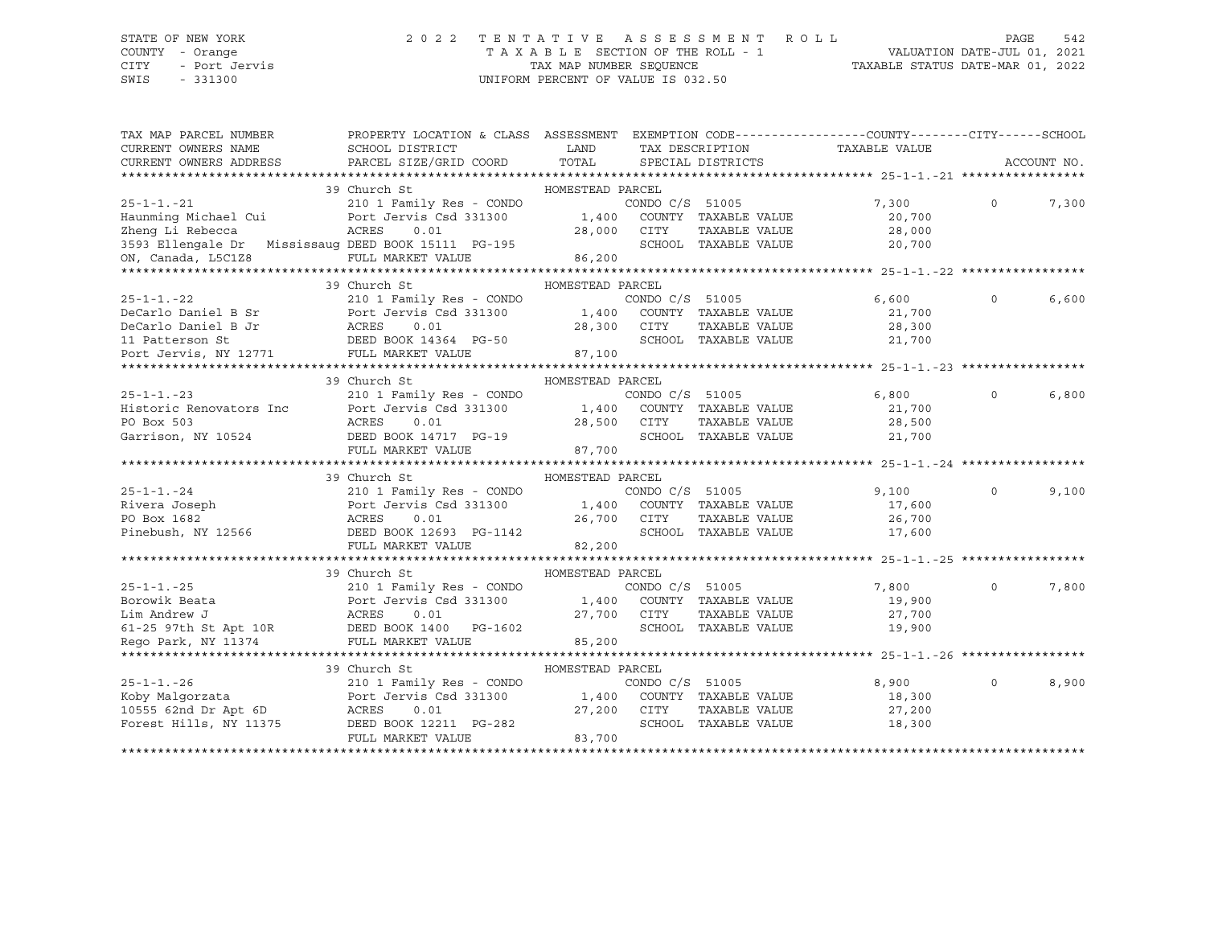# STATE OF NEW YORK 2 0 2 2 T E N T A T I V E A S S E S S M E N T R O L L PAGE 542 COUNTY - Orange T A X A B L E SECTION OF THE ROLL - 1 VALUATION DATE-JUL 01, 2021

| TAX MAP PARCEL NUMBER<br>CURRENT OWNERS NAME<br>CURRENT OWNERS ADDRESS                                                                                                                                                                                     | PROPERTY LOCATION & CLASS ASSESSMENT EXEMPTION CODE----------------COUNTY-------CITY------SCHOOL<br>SCHOOL DISTRICT<br>PARCEL SIZE/GRID COORD TOTAL | LAND                            |                      | SPECIAL DISTRICTS                     |                      | TAX DESCRIPTION TAXABLE VALUE |          | ACCOUNT NO. |
|------------------------------------------------------------------------------------------------------------------------------------------------------------------------------------------------------------------------------------------------------------|-----------------------------------------------------------------------------------------------------------------------------------------------------|---------------------------------|----------------------|---------------------------------------|----------------------|-------------------------------|----------|-------------|
|                                                                                                                                                                                                                                                            | 39 Church St                                                                                                                                        | HOMESTEAD PARCEL                |                      |                                       |                      |                               |          |             |
| $25 - 1 - 1 - 21$                                                                                                                                                                                                                                          | 210 1 Family Res - CONDO                                                                                                                            |                                 | CONDO C/S 51005      |                                       |                      | 7,300                         | $\Omega$ | 7,300       |
| Haunming Michael Cui Port Jervis Csd 331300 1,400                                                                                                                                                                                                          | ACRES                                                                                                                                               |                                 | COUNTY TAXABLE VALUE |                                       |                      | 20,700                        |          |             |
| Zheng Li Rebecca                                                                                                                                                                                                                                           | 0.01                                                                                                                                                | 28,000                          | CITY                 | TAXABLE VALUE<br>SCHOOL TAXABLE VALUE |                      | 28,000<br>20,700              |          |             |
| 3593 Ellengale Dr Mississaug DEED BOOK 15111 PG-195<br>ON, Canada, L5C1Z8                                                                                                                                                                                  | DEED BOOK 15111 PG-195<br>FULL MARKET VALUE 86,200                                                                                                  |                                 |                      |                                       |                      |                               |          |             |
|                                                                                                                                                                                                                                                            |                                                                                                                                                     |                                 |                      |                                       |                      |                               |          |             |
|                                                                                                                                                                                                                                                            | 39 Church St                                                                                                                                        | HOMESTEAD PARCEL                |                      |                                       |                      |                               |          |             |
|                                                                                                                                                                                                                                                            |                                                                                                                                                     |                                 |                      |                                       |                      | 6,600                         | $\Omega$ | 6,600       |
|                                                                                                                                                                                                                                                            |                                                                                                                                                     |                                 |                      |                                       |                      | 21,700                        |          |             |
|                                                                                                                                                                                                                                                            |                                                                                                                                                     | $28,300$ CITY                   |                      |                                       |                      | TAXABLE VALUE 28,300          |          |             |
|                                                                                                                                                                                                                                                            |                                                                                                                                                     |                                 |                      |                                       | SCHOOL TAXABLE VALUE | 21,700                        |          |             |
| DeCarlo Daniel B Jr<br>11 Patterson St<br>2011 Patterson St<br>2011 Patterson St<br>2012 POOK 14364 PG-50<br>2011 Patterson St<br>2012 POOK 14364 PG-50<br>2011 Patterson St<br>2012 PULL MARKET VALUE                                                     |                                                                                                                                                     | $50$ 87,100                     |                      |                                       |                      |                               |          |             |
|                                                                                                                                                                                                                                                            |                                                                                                                                                     |                                 |                      |                                       |                      |                               |          |             |
|                                                                                                                                                                                                                                                            | 39 Church St                                                                                                                                        | HOMESTEAD PARCEL                |                      |                                       |                      |                               |          |             |
| 25-1-1.-23<br>210 1 Family Res - CONDO C/S 51005<br>Historic Renovators Inc Port Jervis Csd 331300 1,400 COUNTY TAXABLE VALUE<br>28,500 CITY TAXABLE VALUE<br>28,500 CITY TAXABLE VALUE                                                                    |                                                                                                                                                     |                                 | CONDO C/S 51005      |                                       |                      | 6,800                         | $\circ$  | 6,800       |
|                                                                                                                                                                                                                                                            |                                                                                                                                                     |                                 |                      |                                       |                      | 21,700                        |          |             |
|                                                                                                                                                                                                                                                            |                                                                                                                                                     |                                 |                      |                                       |                      | TAXABLE VALUE 28,500          |          |             |
| Garrison, NY 10524 DEED BOOK 14717 PG-19                                                                                                                                                                                                                   |                                                                                                                                                     |                                 |                      |                                       |                      | SCHOOL TAXABLE VALUE 21,700   |          |             |
|                                                                                                                                                                                                                                                            | FULL MARKET VALUE                                                                                                                                   | 28,500 CITY<br>SCHOO:<br>87,700 |                      |                                       |                      |                               |          |             |
|                                                                                                                                                                                                                                                            |                                                                                                                                                     |                                 |                      |                                       |                      |                               |          |             |
|                                                                                                                                                                                                                                                            | 39 Church St                                                                                                                                        | HOMESTEAD PARCEL                |                      |                                       |                      |                               |          |             |
| $25 - 1 - 1 - 24$                                                                                                                                                                                                                                          | 210 1 Family Res - CONDO                                                                                                                            |                                 | CONDO C/S 51005      |                                       |                      | 9,100                         | $\Omega$ | 9,100       |
|                                                                                                                                                                                                                                                            |                                                                                                                                                     | 1,400 COUNTY TAXABLE VALUE      |                      |                                       |                      | 17,600                        |          |             |
| Example 210 1 1 and 1 y Rivera Joseph<br>Port Jervis Csd 331300<br>PO Box 1682<br>Pinebush, NY 12566<br>DEED BOOK 12693 PG-1142                                                                                                                            |                                                                                                                                                     | 26,700 CITY<br>SCHOO            |                      | TAXABLE VALUE<br>SCHOOL TAXABLE VALUE |                      | 26,700                        |          |             |
|                                                                                                                                                                                                                                                            | FULL MARKET VALUE                                                                                                                                   | 82,200                          |                      |                                       |                      | 17,600                        |          |             |
|                                                                                                                                                                                                                                                            |                                                                                                                                                     |                                 |                      |                                       |                      |                               |          |             |
|                                                                                                                                                                                                                                                            | 39 Church St                                                                                                                                        | HOMESTEAD PARCEL                |                      |                                       |                      |                               |          |             |
| $25 - 1 - 1 - 25$                                                                                                                                                                                                                                          | 210 1 Family Res - CONDO                                                                                                                            |                                 | CONDO C/S 51005      |                                       |                      | 7,800                         | $\Omega$ | 7,800       |
|                                                                                                                                                                                                                                                            |                                                                                                                                                     |                                 |                      |                                       |                      | 19,900                        |          |             |
|                                                                                                                                                                                                                                                            |                                                                                                                                                     |                                 |                      |                                       | TAXABLE VALUE        | 27,700                        |          |             |
|                                                                                                                                                                                                                                                            |                                                                                                                                                     |                                 |                      |                                       |                      | 19,900                        |          |             |
| Borowik Beata<br>Borowik Beata<br>Lim Andrew J<br>CONDUCTS 3100<br>Lim Andrew J<br>CONDUCTS 3100<br>Lim Andrew J<br>ACRES<br>CONDUCTS 3100<br>27,700<br>COUNTY TAXABLE VALUE<br>27,700<br>CITY TAXABLE VALUE<br>SCHOOL TAXABLE VALUE<br>Rego Park, NY 1137 |                                                                                                                                                     |                                 |                      |                                       |                      |                               |          |             |
|                                                                                                                                                                                                                                                            |                                                                                                                                                     |                                 |                      |                                       |                      |                               |          |             |
|                                                                                                                                                                                                                                                            | 39 Church St                                                                                                                                        | HOMESTEAD PARCEL                |                      |                                       |                      |                               |          |             |
| $25 - 1 - 1 - 26$                                                                                                                                                                                                                                          |                                                                                                                                                     |                                 |                      |                                       |                      | 8,900                         | $\circ$  | 8,900       |
| Koby Malqorzata                                                                                                                                                                                                                                            |                                                                                                                                                     |                                 |                      |                                       |                      | 18,300                        |          |             |
| 10555 62nd Dr Apt 6D ACRES                                                                                                                                                                                                                                 | 0.01                                                                                                                                                | 27,200 CITY                     |                      |                                       | TAXABLE VALUE        | 27,200                        |          |             |
| Forest Hills, NY 11375                                                                                                                                                                                                                                     | DEED BOOK 12211 PG-282                                                                                                                              |                                 |                      | SCHOOL TAXABLE VALUE                  |                      | 18,300                        |          |             |
|                                                                                                                                                                                                                                                            | FULL MARKET VALUE                                                                                                                                   | 83,700                          |                      |                                       |                      |                               |          |             |
|                                                                                                                                                                                                                                                            |                                                                                                                                                     |                                 |                      |                                       |                      |                               |          |             |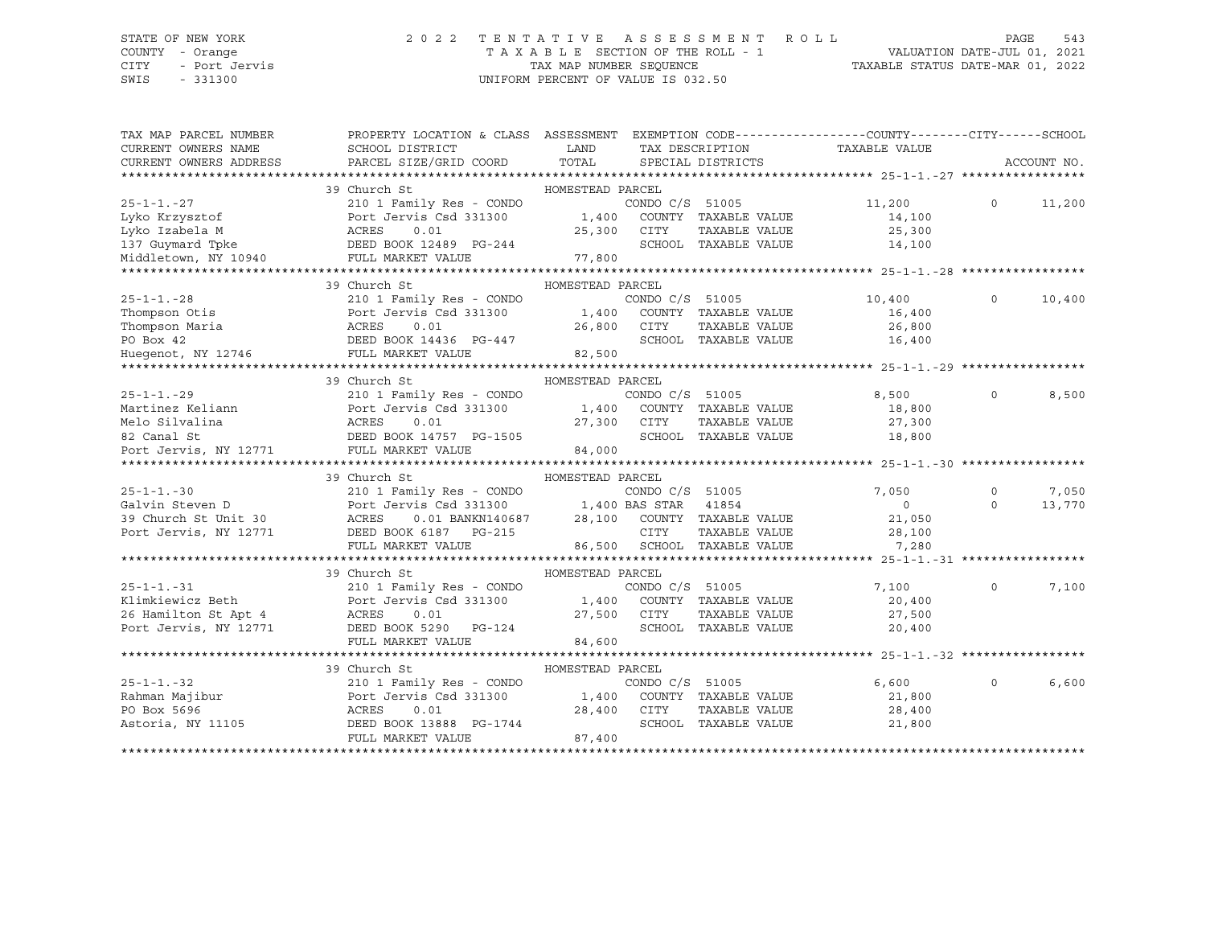## STATE OF NEW YORK 2 0 2 2 T E N T A T I V E A S S E S S M E N T R O L L PAGE 543 COUNTY - Orange T A X A B L E SECTION OF THE ROLL - 1 VALUATION DATE-JUL 01, 2021

CITY - Port Jervis TAX MAP NUMBER SEQUENCE TAXABLE STATUS DATE-MAR 01, 2022

| TAX MAP PARCEL NUMBER<br>CURRENT OWNERS NAME<br>CURRENT OWNERS ADDRESS | PROPERTY LOCATION & CLASS ASSESSMENT<br>SCHOOL DISTRICT<br>PARCEL SIZE/GRID COORD | LAND<br>TOTAL    |                 | TAX DESCRIPTION<br>SPECIAL DISTRICTS | EXEMPTION CODE-----------------COUNTY-------CITY------SCHOOL<br>TAXABLE VALUE |          | ACCOUNT NO. |
|------------------------------------------------------------------------|-----------------------------------------------------------------------------------|------------------|-----------------|--------------------------------------|-------------------------------------------------------------------------------|----------|-------------|
|                                                                        |                                                                                   |                  |                 |                                      |                                                                               |          |             |
|                                                                        | 39 Church St                                                                      | HOMESTEAD PARCEL |                 |                                      |                                                                               |          |             |
| $25 - 1 - 1 - 27$                                                      | 210 1 Family Res - CONDO                                                          |                  | CONDO C/S 51005 |                                      | 11,200                                                                        | $\Omega$ | 11,200      |
| Lyko Krzysztof                                                         | Port Jervis Csd 331300                                                            | 1,400            |                 | COUNTY TAXABLE VALUE                 | 14,100                                                                        |          |             |
| Lyko Izabela M                                                         | Port J<br>ACRES<br>0.01                                                           | 25,300           | CITY            | TAXABLE VALUE                        | 25,300                                                                        |          |             |
| 137 Guymard Tpke                                                       | DEED BOOK 12489 PG-244                                                            |                  |                 | SCHOOL TAXABLE VALUE                 | 14,100                                                                        |          |             |
| Middletown, NY 10940                                                   | FULL MARKET VALUE                                                                 | 77,800           |                 |                                      |                                                                               |          |             |
|                                                                        |                                                                                   |                  |                 |                                      |                                                                               |          |             |
|                                                                        | 39 Church St                                                                      | HOMESTEAD PARCEL |                 |                                      |                                                                               |          |             |
| $25 - 1 - 1 - 28$                                                      | 210 1 Family Res - CONDO                                                          |                  | CONDO C/S 51005 |                                      | 10,400                                                                        | $\Omega$ | 10,400      |
| Thompson Otis                                                          | Port Jervis Csd 331300                                                            | 1,400            |                 | COUNTY TAXABLE VALUE                 | 16,400                                                                        |          |             |
|                                                                        |                                                                                   | 26,800 CITY      |                 | TAXABLE VALUE                        | 26,800                                                                        |          |             |
|                                                                        | DEED BOOK 14436 PG-447                                                            |                  |                 | SCHOOL TAXABLE VALUE                 | 16,400                                                                        |          |             |
|                                                                        |                                                                                   | 82,500           |                 |                                      |                                                                               |          |             |
|                                                                        |                                                                                   |                  |                 |                                      |                                                                               |          |             |
|                                                                        | 39 Church St                                                                      | HOMESTEAD PARCEL |                 |                                      |                                                                               |          |             |
| $25 - 1 - 1 - 29$                                                      | 210 1 Family Res - CONDO                                                          |                  | CONDO C/S 51005 |                                      | 8,500                                                                         | $\circ$  | 8,500       |
| Martinez Keliann                                                       | Port Jervis Csd 331300                                                            |                  |                 | 1,400 COUNTY TAXABLE VALUE           | 18,800                                                                        |          |             |
| Melo Silvalina                                                         | 0.01                                                                              | 27,300           | CITY            | TAXABLE VALUE                        | 27,300                                                                        |          |             |
| ACRES<br>DEED E<br>82 Canal St                                         | DEED BOOK 14757 PG-1505                                                           |                  |                 | SCHOOL TAXABLE VALUE                 | 18,800                                                                        |          |             |
| Port Jervis, NY 12771                                                  | FULL MARKET VALUE                                                                 | 84,000           |                 |                                      |                                                                               |          |             |
|                                                                        |                                                                                   |                  |                 |                                      |                                                                               |          |             |
|                                                                        | 39 Church St                                                                      | HOMESTEAD PARCEL |                 |                                      |                                                                               |          |             |
| $25 - 1 - 1 - 30$                                                      | 210 1 Family Res - CONDO                                                          |                  | CONDO C/S 51005 |                                      | 7,050                                                                         | $\Omega$ | 7,050       |
| Galvin Steven D                                                        | Port Jervis Csd 331300                                                            |                  |                 |                                      | $\overline{0}$                                                                | $\Omega$ | 13,770      |
| 39 Church St Unit 30                                                   | Port J<br>ACRES                                                                   |                  |                 |                                      | 21,050                                                                        |          |             |
| Port Jervis, NY 12771                                                  | DEED BOOK 6187 PG-215                                                             |                  | CITY            | TAXABLE VALUE                        | 28,100                                                                        |          |             |
|                                                                        | FULL MARKET VALUE                                                                 |                  |                 | 86,500 SCHOOL TAXABLE VALUE          | 7,280                                                                         |          |             |
|                                                                        |                                                                                   |                  |                 |                                      |                                                                               |          |             |
|                                                                        | 39 Church St                                                                      | HOMESTEAD PARCEL |                 |                                      |                                                                               |          |             |
| $25 - 1 - 1 - 31$                                                      | 210 1 Family Res - CONDO                                                          |                  | CONDO C/S 51005 |                                      | 7,100                                                                         | $\Omega$ | 7,100       |
| Klimkiewicz Beth                                                       | Port Jervis Csd 331300                                                            | 1,400            |                 | COUNTY TAXABLE VALUE                 | 20,400                                                                        |          |             |
| 26 Hamilton St Apt 4                                                   |                                                                                   | 27,500 CITY      |                 | TAXABLE VALUE                        | 27,500                                                                        |          |             |
| Port Jervis, NY 12771                                                  | ACKES U.U.<br>DEED BOOK 5290 PG-124                                               |                  |                 | SCHOOL TAXABLE VALUE                 | 20,400                                                                        |          |             |
|                                                                        | FULL MARKET VALUE                                                                 | 84,600           |                 |                                      |                                                                               |          |             |
|                                                                        |                                                                                   |                  |                 |                                      |                                                                               |          |             |
|                                                                        | 39 Church St                                                                      | HOMESTEAD PARCEL |                 |                                      |                                                                               |          |             |
|                                                                        | 210 1 Family Res - CONDO                                                          |                  | CONDO C/S 51005 |                                      | 6,600                                                                         | $\Omega$ | 6,600       |
| 25-1-1.-32<br>Rahman Majibur<br>Free                                   | Port Jervis Csd 331300                                                            |                  |                 | 1,400 COUNTY TAXABLE VALUE           | 21,800                                                                        |          |             |
|                                                                        | ACRES<br>0.01                                                                     | 28,400           | CITY            | TAXABLE VALUE                        | 28,400                                                                        |          |             |
| Astoria, NY 11105                                                      | DEED BOOK 13888 PG-1744                                                           |                  |                 | SCHOOL TAXABLE VALUE                 | 21,800                                                                        |          |             |
|                                                                        | FULL MARKET VALUE                                                                 | 87,400           |                 |                                      |                                                                               |          |             |
|                                                                        |                                                                                   |                  |                 |                                      |                                                                               |          |             |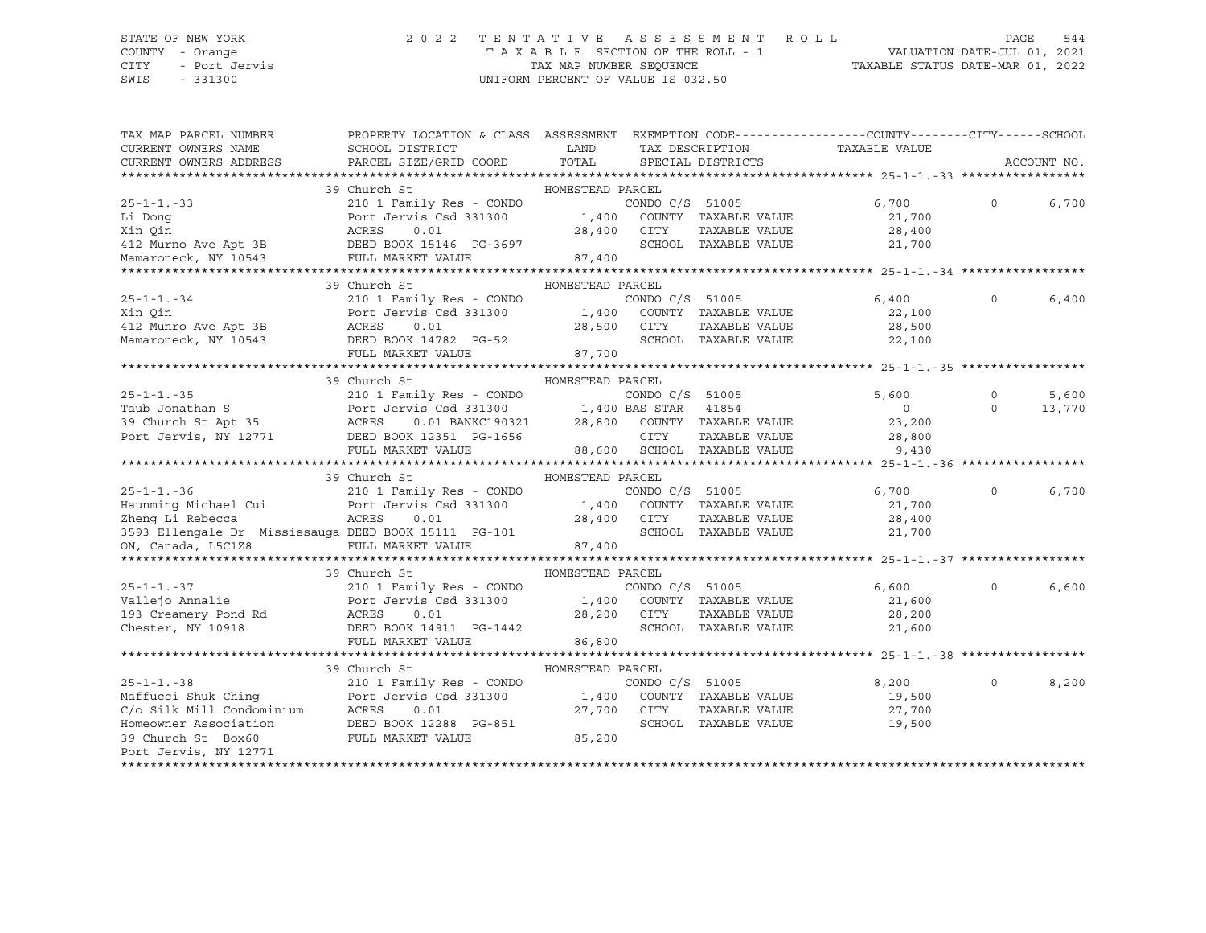## STATE OF NEW YORK 2 0 2 2 T E N T A T I V E A S S E S S M E N T R O L L PAGE 544 COUNTY - Orange T A X A B L E SECTION OF THE ROLL - 1 VALUATION DATE-JUL 01, 2021

| TAX MAP PARCEL NUMBER<br>CURRENT OWNERS NAME<br>CURRENT OWNERS ADDRESS                                                                                                                                           | PROPERTY LOCATION & CLASS ASSESSMENT EXEMPTION CODE---------------COUNTY-------CITY------SCHOOL<br>SCHOOL DISTRICT<br>PARCEL SIZE/GRID COORD TOTAL           | <b>EXAMPLE TO A LAND</b>   |                             | SPECIAL DISTRICTS    | TAX DESCRIPTION             | TAXABLE VALUE    |              | ACCOUNT NO. |
|------------------------------------------------------------------------------------------------------------------------------------------------------------------------------------------------------------------|--------------------------------------------------------------------------------------------------------------------------------------------------------------|----------------------------|-----------------------------|----------------------|-----------------------------|------------------|--------------|-------------|
|                                                                                                                                                                                                                  | 39 Church St                                                                                                                                                 | HOMESTEAD PARCEL           |                             |                      |                             |                  |              |             |
| $25 - 1 - 1 - 33$                                                                                                                                                                                                | 210 1 Family Res - CONDO                                                                                                                                     |                            | CONDO C/S 51005             |                      |                             | 6,700            | $\mathsf{O}$ | 6,700       |
| Li Dong                                                                                                                                                                                                          | Port Jervis Csd 331300                                                                                                                                       | 1,400 COUNTY TAXABLE VALUE |                             |                      |                             | 21,700           |              |             |
| Xin Qin                                                                                                                                                                                                          | ACRES<br>0.01                                                                                                                                                | 28,400                     | CITY                        | TAXABLE VALUE        |                             | 28,400           |              |             |
| 412 Murno Ave Apt 3B DEED BOOK 15146 PG-3697                                                                                                                                                                     |                                                                                                                                                              |                            |                             | SCHOOL TAXABLE VALUE |                             | 21,700           |              |             |
| Mamaroneck, NY 10543                                                                                                                                                                                             | FULL MARKET VALUE                                                                                                                                            | 87,400                     |                             |                      |                             |                  |              |             |
|                                                                                                                                                                                                                  |                                                                                                                                                              |                            |                             |                      |                             |                  |              |             |
|                                                                                                                                                                                                                  | 39 Church St                                                                                                                                                 | HOMESTEAD PARCEL           |                             |                      |                             |                  |              |             |
| $25 - 1 - 1 - 34$                                                                                                                                                                                                | 210 1 Family Res - CONDO                                                                                                                                     |                            | CONDO C/S 51005             |                      |                             | 6,400            | $\Omega$     | 6,400       |
| Xin Oin                                                                                                                                                                                                          | Port Jervis Csd 331300                                                                                                                                       | 1,400 COUNTY TAXABLE VALUE |                             |                      |                             | 22,100           |              |             |
| 412 Munro Ave Apt 3B                                                                                                                                                                                             | ACRES<br>0.01                                                                                                                                                | 28,500 CITY                |                             | TAXABLE VALUE        |                             | 28,500           |              |             |
| Mamaroneck, NY 10543                                                                                                                                                                                             | DEED BOOK 14782 PG-52                                                                                                                                        |                            |                             |                      | SCHOOL TAXABLE VALUE 22,100 |                  |              |             |
|                                                                                                                                                                                                                  | FULL MARKET VALUE                                                                                                                                            | $-52$ 87,700               |                             |                      |                             |                  |              |             |
|                                                                                                                                                                                                                  |                                                                                                                                                              |                            |                             |                      |                             |                  |              |             |
|                                                                                                                                                                                                                  | 39 Church St                                                                                                                                                 | HOMESTEAD PARCEL           |                             |                      |                             |                  |              |             |
| $25 - 1 - 1 - 35$                                                                                                                                                                                                | 210 1 Family Res - CONDO                                                                                                                                     |                            | CONDO C/S 51005             |                      |                             | 5,600            | $\Omega$     | 5,600       |
|                                                                                                                                                                                                                  |                                                                                                                                                              |                            |                             |                      |                             | $\overline{0}$   | $\Omega$     | 13,770      |
|                                                                                                                                                                                                                  | $\begin{tabular}{lllllllllll} \hline 0.01 BANKC190321 & 28,800 & COUNTY TAXABLE VALUE \\ OOK 12351 & PG-1656 & CITY & TAXABLE VALUE \\ \hline \end{tabular}$ |                            |                             |                      |                             | 23,200           |              |             |
| Taub Jonathan S<br>Taub Jonathan S<br>28,800 County TAXABLE<br>Port Jervis Recruit Carvis Cad 331300 1,400 BAS STAR 41854<br>28,800 COUNTY TAXABLE<br>Port Jervis, NY 12771 DEED BOOK 12351 PG-1656 CITY TAXABLE |                                                                                                                                                              |                            |                             |                      | TAXABLE VALUE 28,800        |                  |              |             |
|                                                                                                                                                                                                                  | FULL MARKET VALUE                                                                                                                                            |                            | 88,600 SCHOOL TAXABLE VALUE |                      |                             | 9,430            |              |             |
|                                                                                                                                                                                                                  |                                                                                                                                                              |                            |                             |                      |                             |                  |              |             |
|                                                                                                                                                                                                                  | 39 Church St                                                                                                                                                 | HOMESTEAD PARCEL           |                             |                      |                             |                  |              |             |
| $25 - 1 - 1 - 36$                                                                                                                                                                                                | 210 1 Family Res - CONDO                                                                                                                                     |                            | CONDO C/S 51005             |                      |                             | 6,700            | $\circ$      | 6,700       |
| Haunming Michael Cui Port Jervis Csd 331300 1,400 COUNTY TAXABLE VALUE                                                                                                                                           |                                                                                                                                                              |                            |                             |                      |                             | 21,700           |              |             |
| Zheng Li Rebecca                                                                                                                                                                                                 | ACRES 0.01                                                                                                                                                   | 28,400 CITY<br>SCHOO       |                             | TAXABLE VALUE        |                             | 28,400           |              |             |
| 3593 Ellengale Dr Mississauga DEED BOOK 15111 PG-101                                                                                                                                                             |                                                                                                                                                              |                            |                             |                      | SCHOOL TAXABLE VALUE        | 21,700           |              |             |
| ON, Canada, L5C1Z8                                                                                                                                                                                               | FULL MARKET VALUE 87,400                                                                                                                                     |                            |                             |                      |                             |                  |              |             |
|                                                                                                                                                                                                                  |                                                                                                                                                              |                            |                             |                      |                             |                  |              |             |
|                                                                                                                                                                                                                  | 39 Church St                                                                                                                                                 | HOMESTEAD PARCEL           |                             |                      |                             |                  |              |             |
| $25 - 1 - 1 - 37$                                                                                                                                                                                                | 210 1 Family Res - CONDO                                                                                                                                     |                            | CONDO C/S 51005             |                      |                             | 6,600            | $\Omega$     | 6,600       |
| Vallejo Annalie                                                                                                                                                                                                  | Port Jervis Csd 331300 1,400 COUNTY TAXABLE VALUE                                                                                                            |                            |                             |                      |                             | 21,600           |              |             |
| 193 Creamery Pond Rd<br>Chester, NY 10918                                                                                                                                                                        | ACRES<br>0.01                                                                                                                                                | 28,200                     | CITY                        | TAXABLE VALUE        |                             | 28,200           |              |             |
|                                                                                                                                                                                                                  | DEED BOOK 14911 PG-1442                                                                                                                                      |                            |                             | SCHOOL TAXABLE VALUE |                             | 21,600           |              |             |
|                                                                                                                                                                                                                  | FULL MARKET VALUE                                                                                                                                            | 86,800                     |                             |                      |                             |                  |              |             |
|                                                                                                                                                                                                                  |                                                                                                                                                              |                            |                             |                      |                             |                  |              |             |
| $25 - 1 - 1 - 38$                                                                                                                                                                                                | 39 Church St<br>210 1 Family Res - CONDO                                                                                                                     | HOMESTEAD PARCEL           |                             |                      |                             | 8,200            | $\Omega$     | 8,200       |
|                                                                                                                                                                                                                  |                                                                                                                                                              |                            | CONDO C/S 51005             |                      | COUNTY TAXABLE VALUE        |                  |              |             |
|                                                                                                                                                                                                                  |                                                                                                                                                              |                            | CITY                        |                      |                             | 19,500           |              |             |
| Maffucci Shuk Ching<br>C/o Silk Mill Condominium<br>Hort Jervis Csd 331300 1,400<br>C/o Silk Mill Condominium<br>Homeowner Association DEED BOOK 12288 PG-851                                                    |                                                                                                                                                              |                            |                             | TAXABLE VALUE        |                             | 27,700<br>19,500 |              |             |
| 39 Church St Box60                                                                                                                                                                                               |                                                                                                                                                              | $G-851$ 85,200             |                             | SCHOOL TAXABLE VALUE |                             |                  |              |             |
| Port Jervis, NY 12771                                                                                                                                                                                            | FULL MARKET VALUE                                                                                                                                            |                            |                             |                      |                             |                  |              |             |
|                                                                                                                                                                                                                  |                                                                                                                                                              |                            |                             |                      |                             |                  |              |             |
|                                                                                                                                                                                                                  |                                                                                                                                                              |                            |                             |                      |                             |                  |              |             |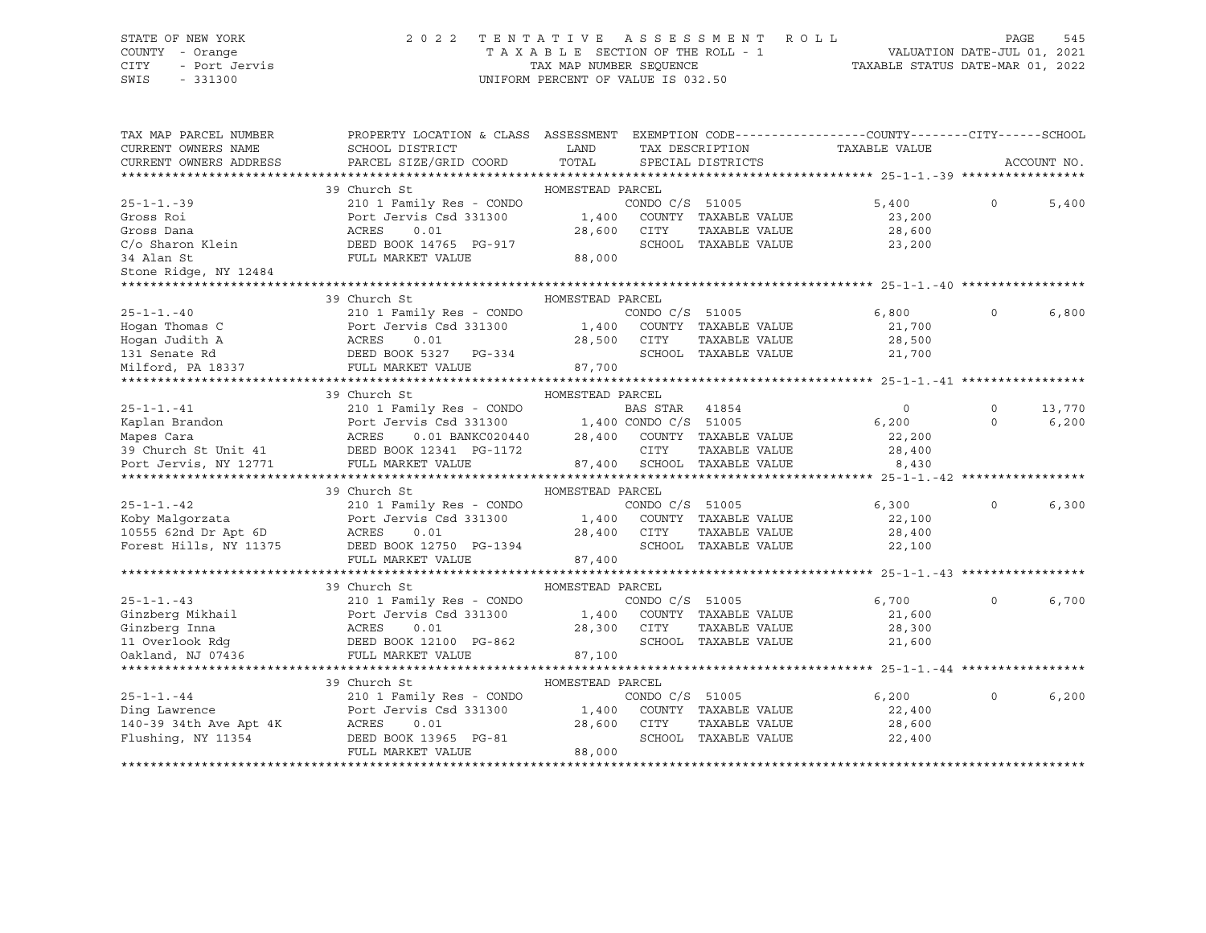## STATE OF NEW YORK 2 0 2 2 T E N T A T I V E A S S E S S M E N T R O L L PAGE 545 COUNTY - Orange T A X A B L E SECTION OF THE ROLL - 1 VALUATION DATE-JUL 01, 2021

| TAX MAP PARCEL NUMBER<br>CURRENT OWNERS NAME<br>CURRENT OWNERS ADDRESS | PROPERTY LOCATION & CLASS ASSESSMENT EXEMPTION CODE---------------COUNTY-------CITY------SCHOOL<br>SCHOOL DISTRICT<br>PARCEL SIZE/GRID COORD | LAND<br>TOTAL              |                 | SPECIAL DISTRICTS                                       | TAX DESCRIPTION TAXABLE VALUE |          | ACCOUNT NO. |
|------------------------------------------------------------------------|----------------------------------------------------------------------------------------------------------------------------------------------|----------------------------|-----------------|---------------------------------------------------------|-------------------------------|----------|-------------|
|                                                                        |                                                                                                                                              |                            |                 |                                                         |                               |          |             |
|                                                                        | 39 Church St                                                                                                                                 | HOMESTEAD PARCEL           |                 |                                                         |                               |          |             |
| $25 - 1 - 1 - 39$                                                      | 210 1 Family Res - CONDO                                                                                                                     |                            | CONDO C/S 51005 |                                                         | 5,400                         | $\Omega$ | 5,400       |
| Gross Roi                                                              | Port Jervis Csd 331300                                                                                                                       | 1,400 COUNTY TAXABLE VALUE |                 |                                                         | 23,200                        |          |             |
| Gross Dana                                                             | ACRES<br>0.01<br>DEED BOOK 14765 PG-917                                                                                                      | 28,600                     | CITY            | TAXABLE VALUE                                           | 28,600                        |          |             |
| C/o Sharon Klein                                                       |                                                                                                                                              |                            |                 | SCHOOL TAXABLE VALUE                                    | 23,200                        |          |             |
| 34 Alan St                                                             | FULL MARKET VALUE                                                                                                                            | 88,000                     |                 |                                                         |                               |          |             |
| Stone Ridge, NY 12484                                                  |                                                                                                                                              |                            |                 |                                                         |                               |          |             |
|                                                                        |                                                                                                                                              |                            |                 |                                                         |                               |          |             |
|                                                                        | 39 Church St                                                                                                                                 | HOMESTEAD PARCEL           |                 |                                                         |                               |          |             |
| $25 - 1 - 1 - 40$                                                      | 210 1 Family Res - CONDO                                                                                                                     |                            | CONDO C/S 51005 |                                                         | 6,800                         | $\circ$  | 6,800       |
| Hogan Thomas C                                                         | Port Jervis Csd 331300                                                                                                                       |                            |                 | 1,400 COUNTY TAXABLE VALUE                              | 21,700                        |          |             |
| Hogan Judith A                                                         | ACRES<br>0.01                                                                                                                                | 28,500                     | CITY            | TAXABLE VALUE                                           | 28,500                        |          |             |
| 131 Senate Rd                                                          | DEED BOOK 5327 PG-334                                                                                                                        | 87,700                     |                 | SCHOOL TAXABLE VALUE                                    | 21,700                        |          |             |
| Milford, PA 18337                                                      | FULL MARKET VALUE                                                                                                                            |                            |                 |                                                         |                               |          |             |
| ********************                                                   |                                                                                                                                              |                            |                 |                                                         |                               |          |             |
|                                                                        | 39 Church St                                                                                                                                 | HOMESTEAD PARCEL           |                 |                                                         |                               |          |             |
| $25 - 1 - 1 - 41$                                                      | 210 1 Family Res - CONDO                                                                                                                     |                            | BAS STAR        | 41854                                                   | $\Omega$                      | $\Omega$ | 13,770      |
| Kaplan Brandon                                                         | Port Jervis Csd 331300<br>vis Csd 331300 1,400 CONDO C/S 51005<br>0.01 BANKC020440 28,400 COUNTY TAXABLE VALUE<br>Port<br>ACRES              |                            |                 |                                                         | 6,200                         | $\Omega$ | 6, 200      |
| Mapes Cara                                                             |                                                                                                                                              |                            |                 |                                                         | 22,200                        |          |             |
|                                                                        | 39 Church St Unit 41 DEED BOOK 12341 PG-1172                                                                                                 |                            | CITY            | TAXABLE VALUE                                           | 28,400                        |          |             |
| Port Jervis, NY 12771                                                  | FULL MARKET VALUE                                                                                                                            |                            |                 | 87,400 SCHOOL TAXABLE VALUE                             | 8,430                         |          |             |
|                                                                        |                                                                                                                                              |                            |                 |                                                         |                               |          |             |
|                                                                        | 39 Church St                                                                                                                                 | HOMESTEAD PARCEL           |                 |                                                         |                               |          |             |
| $25 - 1 - 1 - 42$                                                      | 210 1 Family Res - CONDO                                                                                                                     |                            | CONDO C/S 51005 |                                                         | 6,300                         | $\Omega$ | 6,300       |
| Koby Malqorzata                                                        | Port Jervis Csd 331300                                                                                                                       |                            |                 | 1,400 COUNTY TAXABLE VALUE<br>28,400 CITY TAXABLE VALUE | 22,100                        |          |             |
| $10555$ 62nd Dr Apt 6D                                                 | ACRES<br>0.01                                                                                                                                |                            |                 |                                                         | 28,400                        |          |             |
| Forest Hills, NY 11375                                                 | DEED BOOK 12750 PG-1394                                                                                                                      |                            |                 | SCHOOL TAXABLE VALUE                                    | 22,100                        |          |             |
|                                                                        | FULL MARKET VALUE                                                                                                                            | 87,400                     |                 |                                                         |                               |          |             |
|                                                                        |                                                                                                                                              |                            |                 |                                                         |                               |          |             |
|                                                                        | 39 Church St                                                                                                                                 | HOMESTEAD PARCEL           |                 |                                                         |                               |          |             |
| $25 - 1 - 1 - 43$                                                      | 210 1 Family Res - CONDO                                                                                                                     |                            | CONDO C/S 51005 |                                                         | 6,700                         | $\Omega$ | 6,700       |
| Ginzberg Mikhail<br>Ginzberg Inna                                      | 210 1 Family Res - COND<br>Port Jervis Csd 331300<br>ACRES     0.01                                                                          |                            |                 | 1,400 COUNTY TAXABLE VALUE                              | 21,600                        |          |             |
| Ginzberg Inna                                                          |                                                                                                                                              | 28,300                     | CITY            | TAXABLE VALUE                                           | 28,300                        |          |             |
|                                                                        |                                                                                                                                              |                            |                 | SCHOOL TAXABLE VALUE                                    | 21,600                        |          |             |
| Oakland, NJ 07436                                                      | FULL MARKET VALUE                                                                                                                            | 87,100                     |                 |                                                         |                               |          |             |
| *******************                                                    |                                                                                                                                              |                            |                 |                                                         |                               |          |             |
|                                                                        | 39 Church St                                                                                                                                 | HOMESTEAD PARCEL           |                 |                                                         |                               |          |             |
| $25 - 1 - 1 - 44$                                                      | 210 1 Family Res - CONDO                                                                                                                     |                            | CONDO C/S 51005 |                                                         | 6,200                         | $\Omega$ | 6, 200      |
| Ding Lawrence                                                          | Port Jervis Csd 331300                                                                                                                       |                            |                 | 1,400 COUNTY TAXABLE VALUE                              | 22,400                        |          |             |
| 140-39 34th Ave Apt 4K                                                 | ACRES<br>0.01                                                                                                                                | 28,600                     | CITY            | TAXABLE VALUE                                           | 28,600                        |          |             |
| Flushing, NY 11354                                                     | DEED BOOK 13965 PG-81                                                                                                                        |                            |                 | SCHOOL TAXABLE VALUE                                    | 22,400                        |          |             |
|                                                                        | FULL MARKET VALUE                                                                                                                            | 88,000                     |                 |                                                         |                               |          |             |
|                                                                        |                                                                                                                                              |                            |                 |                                                         |                               |          |             |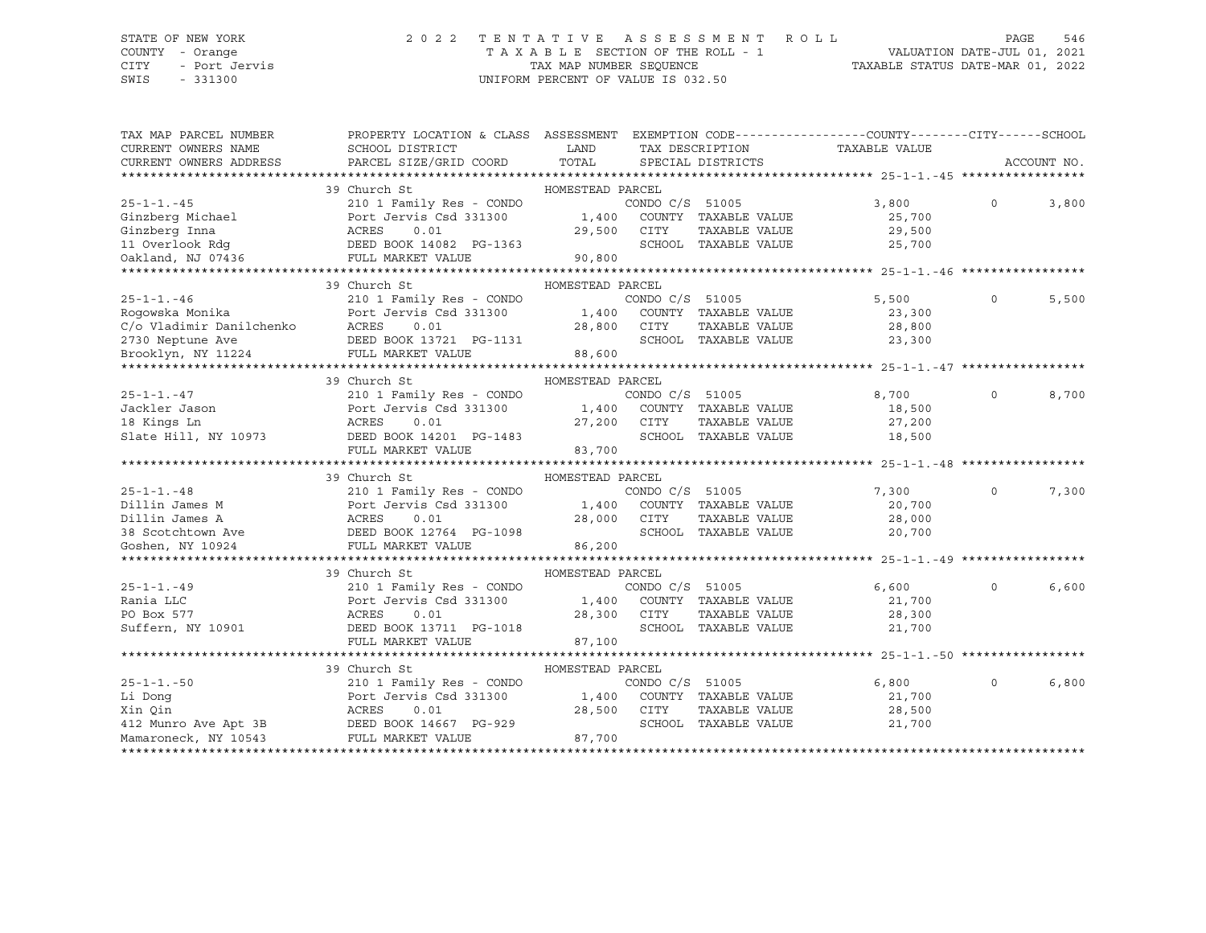## STATE OF NEW YORK 2 0 2 2 T E N T A T I V E A S S E S S M E N T R O L L PAGE 546 COUNTY - Orange T A X A B L E SECTION OF THE ROLL - 1 VALUATION DATE-JUL 01, 2021

| TAX MAP PARCEL NUMBER                                     | PROPERTY LOCATION & CLASS ASSESSMENT EXEMPTION CODE----------------COUNTY-------CITY------SCHOOL |                  |                 |                                                                                                               |               |          |             |
|-----------------------------------------------------------|--------------------------------------------------------------------------------------------------|------------------|-----------------|---------------------------------------------------------------------------------------------------------------|---------------|----------|-------------|
| CURRENT OWNERS NAME                                       | SCHOOL DISTRICT                                                                                  | LAND             | TAX DESCRIPTION |                                                                                                               | TAXABLE VALUE |          |             |
| CURRENT OWNERS ADDRESS                                    | PARCEL SIZE/GRID COORD                                                                           | TOTAL            |                 | SPECIAL DISTRICTS                                                                                             |               |          | ACCOUNT NO. |
|                                                           |                                                                                                  |                  |                 |                                                                                                               |               |          |             |
|                                                           | 39 Church St                                                                                     | HOMESTEAD PARCEL |                 |                                                                                                               |               |          |             |
| $25 - 1 - 1 - 45$                                         | 210 1 Family Res - CONDO                                                                         |                  | CONDO C/S 51005 |                                                                                                               | 3,800         | $\Omega$ | 3,800       |
| Ginzberg Michael                                          | Port Jervis Csd 331300                                                                           |                  |                 | 1,400 COUNTY TAXABLE VALUE                                                                                    | 25,700        |          |             |
| Ginzberg Inna<br>11 Overlook Rdg                          | ACRES<br>0.01                                                                                    | 29,500           | CITY            | TAXABLE VALUE<br>SCHOOL TAXABLE VALUE                                                                         | 29,500        |          |             |
|                                                           | DEED BOOK 14082 PG-1363                                                                          |                  |                 |                                                                                                               | 25,700        |          |             |
| Oakland, NJ 07436                                         | FULL MARKET VALUE                                                                                | 90,800           |                 |                                                                                                               |               |          |             |
|                                                           | 39 Church St                                                                                     | HOMESTEAD PARCEL |                 |                                                                                                               |               |          |             |
| $25 - 1 - 1 - 46$                                         | 210 1 Family Res - CONDO                                                                         |                  | CONDO C/S 51005 |                                                                                                               | 5,500         | $\circ$  | 5,500       |
| Roqowska Monika                                           | Port Jervis Csd 331300                                                                           | 1,400            |                 | COUNTY TAXABLE VALUE                                                                                          | 23,300        |          |             |
| C/o Vladimir Danilchenko                                  | ACRES<br>0.01                                                                                    | 28,800           | CITY            | TAXABLE VALUE                                                                                                 | 28,800        |          |             |
| 2730 Neptune Ave                                          | DEED BOOK 13721 PG-1131                                                                          |                  |                 | SCHOOL TAXABLE VALUE                                                                                          | 23,300        |          |             |
| Brooklyn, NY 11224                                        | FULL MARKET VALUE                                                                                | 88,600           |                 |                                                                                                               |               |          |             |
|                                                           |                                                                                                  |                  |                 |                                                                                                               |               |          |             |
|                                                           | 39 Church St                                                                                     | HOMESTEAD PARCEL |                 |                                                                                                               |               |          |             |
| $25 - 1 - 1. - 47$                                        | 210 1 Family Res - CONDO                                                                         |                  | CONDO C/S 51005 |                                                                                                               | 8,700         | $\Omega$ | 8,700       |
| Jackler Jason                                             | Port Jervis Csd 331300                                                                           |                  |                 | 1,400 COUNTY TAXABLE VALUE                                                                                    | 18,500        |          |             |
| 18 Kings Ln                                               | ACRES<br>0.01                                                                                    |                  | 27,200 CITY     | TAXABLE VALUE                                                                                                 | 27,200        |          |             |
| Slate Hill, NY 10973                                      | DEED BOOK 14201 PG-1483                                                                          |                  |                 | SCHOOL TAXABLE VALUE                                                                                          | 18,500        |          |             |
|                                                           | FULL MARKET VALUE                                                                                | 83,700           |                 |                                                                                                               |               |          |             |
|                                                           |                                                                                                  |                  |                 |                                                                                                               |               |          |             |
|                                                           | 39 Church St                                                                                     | HOMESTEAD PARCEL |                 |                                                                                                               |               |          |             |
| $25 - 1 - 1 - 48$                                         | 210 1 Family Res - CONDO                                                                         |                  |                 |                                                                                                               | 7,300         | 0        | 7,300       |
| Dillin James M                                            | Port Jervis Csd 331300                                                                           |                  |                 | $\begin{array}{cccc}\n\text{COND C/S} & 51005 \\ 1,400 & \text{COUNTY} & \text{TAXABLE VALUE} \\ \end{array}$ | 20,700        |          |             |
| Dillin James A                                            | ACRES<br>0.01                                                                                    | 28,000           | CITY            | TAXABLE VALUE                                                                                                 | 28,000        |          |             |
|                                                           | DEED BOOK 12764 PG-1098                                                                          |                  |                 | SCHOOL TAXABLE VALUE                                                                                          | 20,700        |          |             |
| 38 Scotchtown Ave<br>Goshen, NY 10924<br>Goshen, NY 10924 | FULL MARKET VALUE                                                                                | 86,200           |                 |                                                                                                               |               |          |             |
|                                                           |                                                                                                  |                  |                 |                                                                                                               |               |          |             |
|                                                           | 39 Church St                                                                                     | HOMESTEAD PARCEL |                 |                                                                                                               |               |          |             |
| $25 - 1 - 1. - 49$                                        | 210 1 Family Res - CONDO                                                                         |                  | CONDO C/S 51005 |                                                                                                               | 6,600         | $\Omega$ | 6,600       |
| Rania LLC                                                 | Port Jervis Csd 331300                                                                           |                  |                 | 1,400 COUNTY TAXABLE VALUE                                                                                    | 21,700        |          |             |
| PO Box 577                                                | ACRES<br>0.01                                                                                    | 28,300           | CITY            | TAXABLE VALUE                                                                                                 | 28,300        |          |             |
| Suffern, NY 10901                                         | DEED BOOK 13711 PG-1018                                                                          |                  |                 | SCHOOL TAXABLE VALUE                                                                                          | 21,700        |          |             |
|                                                           | FULL MARKET VALUE                                                                                | 87,100           |                 |                                                                                                               |               |          |             |
|                                                           |                                                                                                  |                  |                 |                                                                                                               |               |          |             |
|                                                           | 39 Church St                                                                                     | HOMESTEAD PARCEL |                 |                                                                                                               |               |          |             |
| $25 - 1 - 1. - 50$                                        | 210 1 Family Res - CONDO                                                                         |                  | CONDO C/S 51005 |                                                                                                               | 6,800         | $\Omega$ | 6,800       |
| Li Dong                                                   | Port Jervis Csd 331300                                                                           |                  |                 | 1,400 COUNTY TAXABLE VALUE                                                                                    | 21,700        |          |             |
| Xin Qin                                                   | ACRES<br>0.01                                                                                    | 28,500           | CITY            | TAXABLE VALUE                                                                                                 | 28,500        |          |             |
|                                                           | 412 Munro Ave Apt 3B DEED BOOK 14667 PG-929                                                      |                  |                 | SCHOOL TAXABLE VALUE                                                                                          | 21,700        |          |             |
| Mamaroneck, NY 10543                                      | FULL MARKET VALUE                                                                                | 87,700           |                 |                                                                                                               |               |          |             |
|                                                           |                                                                                                  |                  |                 |                                                                                                               |               |          |             |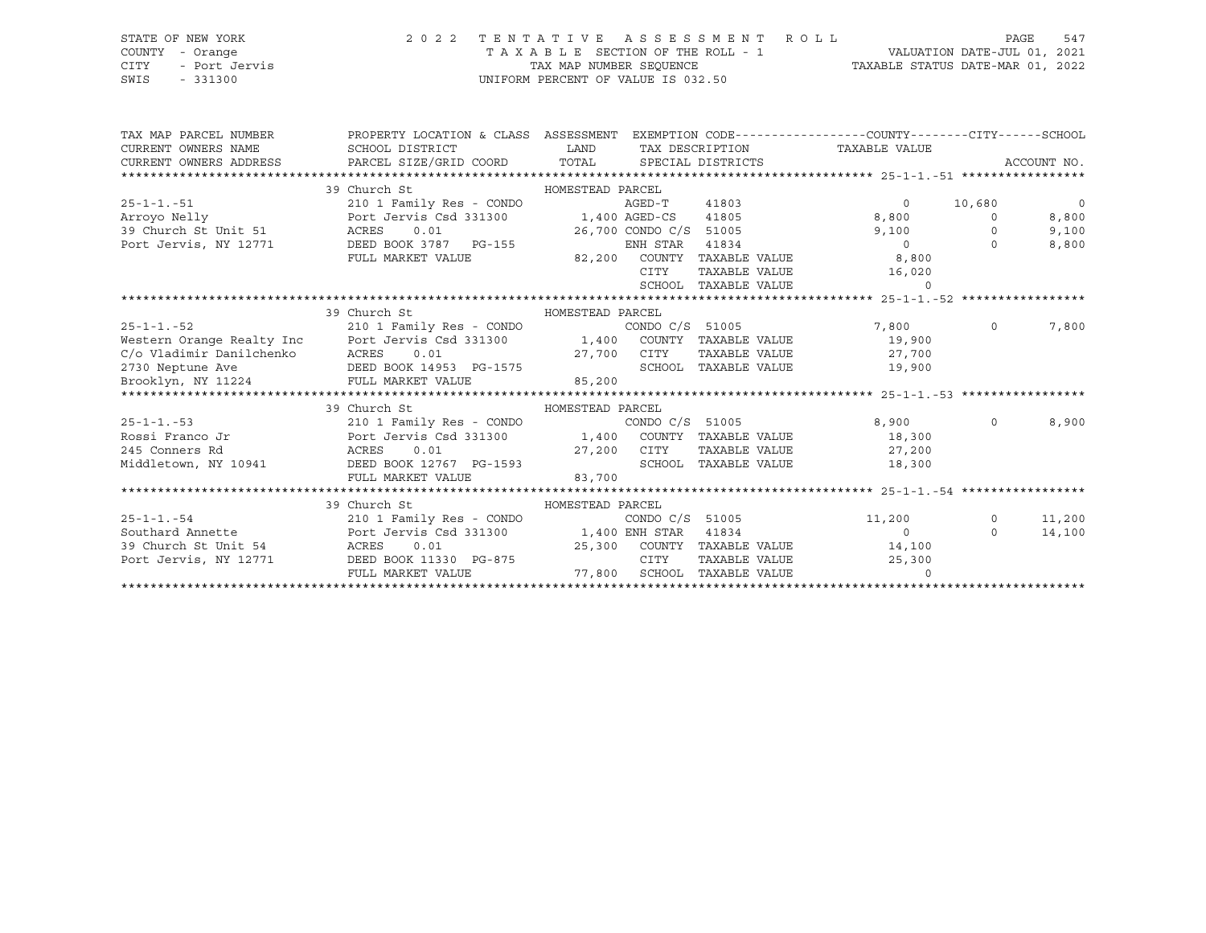## STATE OF NEW YORK 2 0 2 2 T E N T A T I V E A S S E S S M E N T R O L L PAGE 547 COUNTY - Orange T A X A B L E SECTION OF THE ROLL - 1 VALUATION DATE-JUL 01, 2021 CITY - Port Jervis TAX MAP NUMBER SEQUENCE TAXABLE STATUS DATE-MAR 01, 2022

| TAX MAP PARCEL NUMBER<br>CURRENT OWNERS NAME | PROPERTY LOCATION & CLASS ASSESSMENT EXEMPTION CODE---------------COUNTY-------CITY------SCHOOL<br>SCHOOL DISTRICT<br>CURRENT OWNERS ADDRESS FARCEL SIZE/GRID COORD TOTAL SPECIAL DISTRICTS | <b>LAND</b>                 |                 |                      | TAX DESCRIPTION TAXABLE VALUE      |          | ACCOUNT NO.    |
|----------------------------------------------|---------------------------------------------------------------------------------------------------------------------------------------------------------------------------------------------|-----------------------------|-----------------|----------------------|------------------------------------|----------|----------------|
|                                              |                                                                                                                                                                                             |                             |                 |                      |                                    |          |                |
|                                              | 39 Church St                                                                                                                                                                                | HOMESTEAD PARCEL            |                 |                      |                                    |          |                |
| $25 - 1 - 1. -51$                            | 210 1 Family Res - CONDO                                                                                                                                                                    |                             | AGED-T          | 41803                | $\overline{0}$                     | 10,680   | $\overline{0}$ |
| Arroyo Nelly                                 | Port Jervis Csd 331300                                                                                                                                                                      | 1,400 AGED-CS               |                 | 41805                | 8,800                              | $\Omega$ | 8,800          |
| 39 Church St Unit 51                         | 0.01<br>ACRES                                                                                                                                                                               | 26,700 CONDO C/S 51005      |                 |                      | 9,100                              | $\Omega$ | 9,100          |
| Port Jervis, NY 12771                        | DEED BOOK 3787 PG-155                                                                                                                                                                       |                             | ENH STAR 41834  |                      | $\overline{0}$                     | $\Omega$ | 8,800          |
|                                              | FULL MARKET VALUE                                                                                                                                                                           | 82,200 COUNTY TAXABLE VALUE |                 |                      | 8,800                              |          |                |
|                                              |                                                                                                                                                                                             |                             | CITY            | TAXABLE VALUE        | 16,020                             |          |                |
|                                              |                                                                                                                                                                                             |                             |                 | SCHOOL TAXABLE VALUE | $\Omega$                           |          |                |
|                                              |                                                                                                                                                                                             |                             |                 |                      |                                    |          |                |
|                                              | 39 Church St                                                                                                                                                                                | HOMESTEAD PARCEL            |                 |                      |                                    |          |                |
| $25 - 1 - 1 - 52$                            | 210 1 Family Res - CONDO CONDO C/S 51005                                                                                                                                                    |                             |                 |                      | 7,800 0                            |          | 7,800          |
|                                              |                                                                                                                                                                                             |                             |                 |                      | 19,900                             |          |                |
|                                              | Western Orange Realty Inc Correct Devis Consort Consort Consort Consort Consort Consort Consort Consort Consor<br>C/o Vladimir Danilchenko ACRES 0.01 27,700 CITY TAXABLE VALUE             |                             |                 |                      | TAXABLE VALUE 27,700               |          |                |
| 2730 Neptune Ave                             | DEED BOOK 14953 PG-1575                                                                                                                                                                     |                             |                 | SCHOOL TAXABLE VALUE | 19,900                             |          |                |
| Brooklyn, NY 11224 FULL MARKET VALUE         |                                                                                                                                                                                             | 85,200                      |                 |                      |                                    |          |                |
|                                              |                                                                                                                                                                                             |                             |                 |                      |                                    |          |                |
|                                              | 39 Church St<br>HOMESTEAD PARCEL                                                                                                                                                            |                             |                 |                      |                                    |          |                |
| $25 - 1 - 1 - 53$                            | 210 1 Family Res - CONDO $\sim$ CONDO C/S 51005<br>210 1 Family Res - CONDO (S 51005 CONDO C/S 51005 Port Jervis Csd 331300 1,400 COUNTY TAXABLE VALUE                                      |                             |                 |                      | 8,900                              | $\circ$  | 8,900          |
| Rossi Franco Jr                              |                                                                                                                                                                                             |                             |                 |                      | 18,300                             |          |                |
| 245 Conners Rd<br><b>ACRES</b>               | 0.01                                                                                                                                                                                        | 27,200 CITY                 |                 |                      | TAXABLE VALUE 27,200               |          |                |
|                                              | Middletown, NY 10941 DEED BOOK 12767 PG-1593                                                                                                                                                |                             |                 | SCHOOL TAXABLE VALUE | 18,300                             |          |                |
|                                              | FULL MARKET VALUE                                                                                                                                                                           | 83,700                      |                 |                      |                                    |          |                |
|                                              |                                                                                                                                                                                             |                             |                 |                      |                                    |          |                |
|                                              | 39 Church St                                                                                                                                                                                | HOMESTEAD PARCEL            |                 |                      |                                    |          |                |
| $25 - 1 - 1 - 54$                            | 210 1 Family Res - CONDO                                                                                                                                                                    |                             | CONDO C/S 51005 |                      | 11,200                             | $\circ$  | 11,200         |
| Southard Annette                             | Port Jervis Csd 331300 1,400 ENH STAR                                                                                                                                                       |                             |                 | 41834                | $\sim$ 0                           | $\Omega$ | 14,100         |
| 39 Church St Unit 54                         | 0.01<br>ACRES                                                                                                                                                                               |                             |                 |                      | 25,300 COUNTY TAXABLE VALUE 14,100 |          |                |
| Port Jervis, NY 12771                        | DEED BOOK 11330 PG-875                                                                                                                                                                      |                             | CITY            | TAXABLE VALUE        | 25,300                             |          |                |
|                                              | FULL MARKET VALUE                                                                                                                                                                           | 77,800 SCHOOL TAXABLE VALUE |                 |                      |                                    |          |                |
|                                              |                                                                                                                                                                                             |                             |                 |                      |                                    |          |                |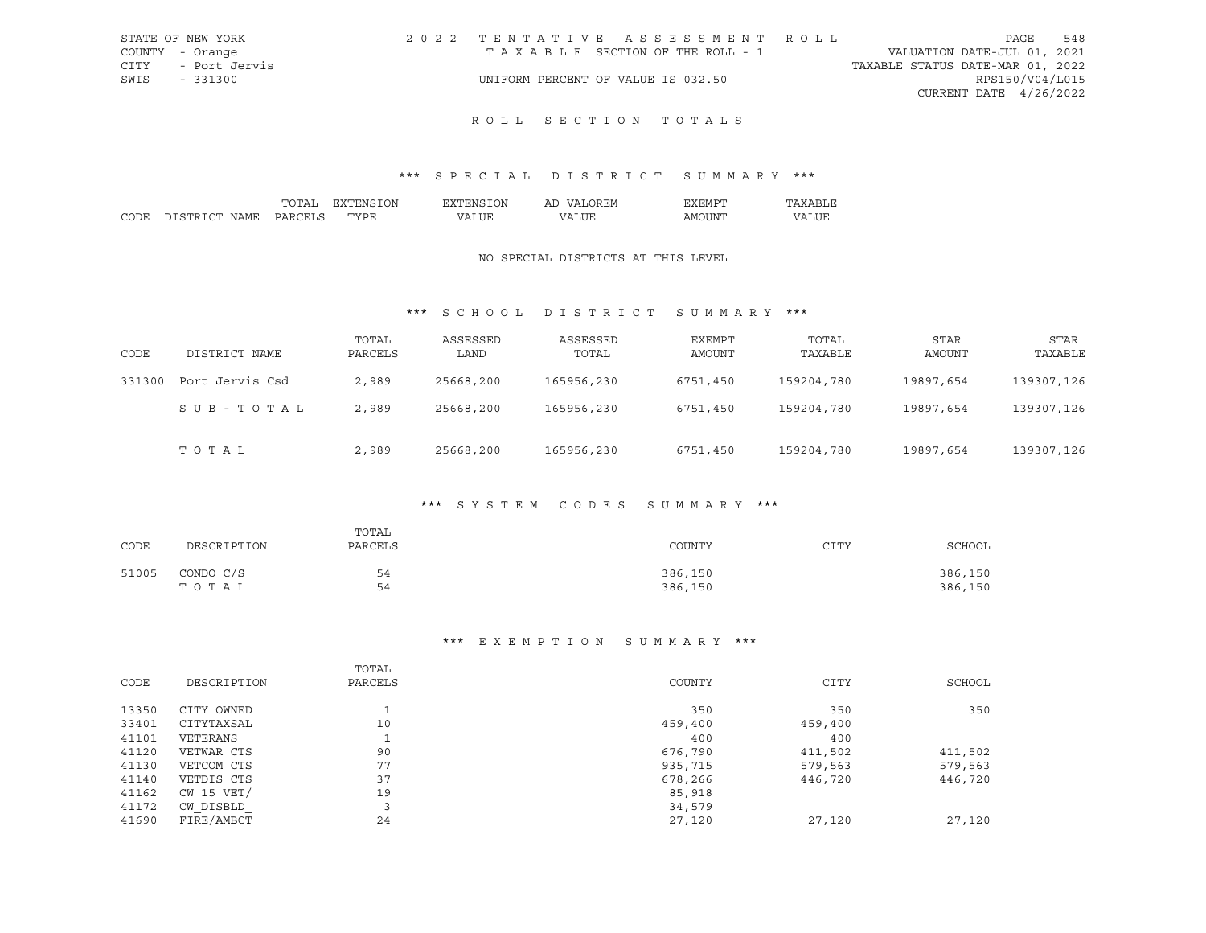|      | STATE OF NEW YORK | 2022 TENTATIVE ASSESSMENT ROLL     |  |                                  | PAGE                     | 548 |
|------|-------------------|------------------------------------|--|----------------------------------|--------------------------|-----|
|      | COUNTY - Orange   | TAXABLE SECTION OF THE ROLL - 1    |  | VALUATION DATE-JUL 01, 2021      |                          |     |
| CITY | - Port Jervis     |                                    |  | TAXABLE STATUS DATE-MAR 01, 2022 |                          |     |
| SWIS | - 331300          | UNIFORM PERCENT OF VALUE IS 032.50 |  |                                  | RPS150/V04/L015          |     |
|      |                   |                                    |  |                                  | CURRENT DATE $4/26/2022$ |     |

## \*\*\* S P E C I A L D I S T R I C T S U M M A R Y \*\*\*

|        |                  | ``              | ЭN | ')N | <b>HIV</b><br>$\sqrt{ }$<br>ΑL |     |    |
|--------|------------------|-----------------|----|-----|--------------------------------|-----|----|
| $\sim$ | י החי<br>∖IA M i | $\cup$ $\wedge$ |    |     | , n                            | -IN | תי |

### NO SPECIAL DISTRICTS AT THIS LEVEL

## \*\*\* S C H O O L D I S T R I C T S U M M A R Y \*\*\*

| CODE   | DISTRICT NAME   | TOTAL<br>PARCELS | ASSESSED<br>LAND | ASSESSED<br>TOTAL | EXEMPT<br>AMOUNT | TOTAL<br>TAXABLE | STAR<br>AMOUNT | <b>STAR</b><br>TAXABLE |
|--------|-----------------|------------------|------------------|-------------------|------------------|------------------|----------------|------------------------|
| 331300 | Port Jervis Csd | 2,989            | 25668,200        | 165956,230        | 6751,450         | 159204,780       | 19897,654      | 139307,126             |
|        | SUB-TOTAL       | 2,989            | 25668,200        | 165956,230        | 6751,450         | 159204,780       | 19897,654      | 139307,126             |
|        | TOTAL           | 2,989            | 25668,200        | 165956,230        | 6751,450         | 159204,780       | 19897,654      | 139307,126             |

### \*\*\* S Y S T E M C O D E S S U M M A R Y \*\*\*

| CODE  | DESCRIPTION        | TOTAL<br>PARCELS | COUNTY             | CITY | SCHOOL             |
|-------|--------------------|------------------|--------------------|------|--------------------|
| 51005 | CONDO C/S<br>тотаь | 54<br>54         | 386,150<br>386,150 |      | 386,150<br>386,150 |

## \*\*\* E X E M P T I O N S U M M A R Y \*\*\*

|       |                | TOTAL   |         |             |         |
|-------|----------------|---------|---------|-------------|---------|
| CODE  | DESCRIPTION    | PARCELS | COUNTY  | <b>CITY</b> | SCHOOL  |
| 13350 | CITY OWNED     |         | 350     | 350         | 350     |
| 33401 | CITYTAXSAL     | 10      | 459,400 | 459,400     |         |
| 41101 | VETERANS       |         | 400     | 400         |         |
| 41120 | VETWAR CTS     | 90      | 676,790 | 411,502     | 411,502 |
| 41130 | VETCOM CTS     | 77      | 935,715 | 579,563     | 579,563 |
| 41140 | VETDIS CTS     | 37      | 678,266 | 446,720     | 446,720 |
| 41162 | $CW$ 15 $VET/$ | 19      | 85,918  |             |         |
| 41172 | CW DISBLD      |         | 34,579  |             |         |
| 41690 | FIRE/AMBCT     | 24      | 27,120  | 27,120      | 27,120  |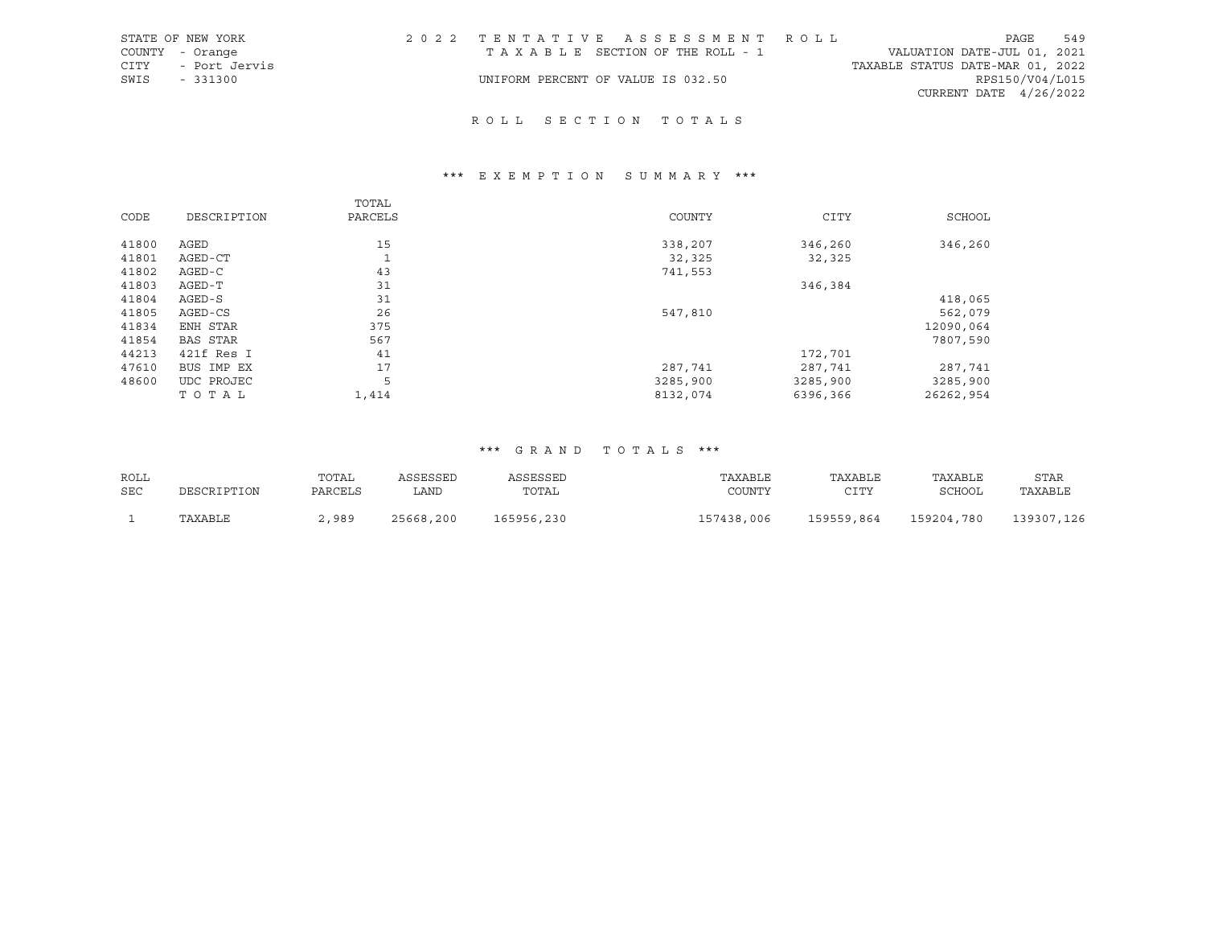|      | STATE OF NEW YORK  | 2022 TENTATIVE ASSESSMENT ROLL     |  |  |                                  | PAGE                     | 549 |
|------|--------------------|------------------------------------|--|--|----------------------------------|--------------------------|-----|
|      | COUNTY - Orange    | TAXABLE SECTION OF THE ROLL - 1    |  |  | VALUATION DATE-JUL 01, 2021      |                          |     |
|      | CITY - Port Jervis |                                    |  |  | TAXABLE STATUS DATE-MAR 01, 2022 |                          |     |
| SWIS | $-331300$          | UNIFORM PERCENT OF VALUE IS 032.50 |  |  |                                  | RPS150/V04/L015          |     |
|      |                    |                                    |  |  |                                  | CURRENT DATE $4/26/2022$ |     |

# R O L L S E C T I O N T O T A L S

# \*\*\* E X E M P T I O N S U M M A R Y \*\*\*

|       |                 | TOTAL             |          |             |           |
|-------|-----------------|-------------------|----------|-------------|-----------|
| CODE  | DESCRIPTION     | PARCELS           | COUNTY   | <b>CITY</b> | SCHOOL    |
|       |                 |                   |          |             |           |
| 41800 | AGED            | 15                | 338,207  | 346,260     | 346,260   |
| 41801 | AGED-CT         | $\mathbf{a}$<br>ᆚ | 32,325   | 32,325      |           |
| 41802 | AGED-C          | 43                | 741,553  |             |           |
| 41803 | AGED-T          | 31                |          | 346,384     |           |
| 41804 | $AGED-S$        | 31                |          |             | 418,065   |
| 41805 | AGED-CS         | 26                | 547,810  |             | 562,079   |
| 41834 | ENH STAR        | 375               |          |             | 12090,064 |
| 41854 | <b>BAS STAR</b> | 567               |          |             | 7807,590  |
| 44213 | 421f Res I      | 41                |          | 172,701     |           |
| 47610 | BUS IMP EX      | 17                | 287,741  | 287,741     | 287,741   |
| 48600 | UDC PROJEC      | 5                 | 3285,900 | 3285,900    | 3285,900  |
|       | TOTAL           | 1,414             | 8132,074 | 6396,366    | 26262,954 |

| ROLL       |             | TOTAL   | ASSESSED  | ASSESSED   | TAXABLE    | TAXABLE    | TAXABLE    | <b>STAR</b> |
|------------|-------------|---------|-----------|------------|------------|------------|------------|-------------|
| <b>SEC</b> | DESCRIPTION | PARCELS | LAND      | TOTAL      | COUNTY     | CITY       | SCHOOL     | TAXABLE     |
|            | TAXABLE     | .,989   | 25668,200 | 165956,230 | 157438,006 | 159559,864 | 159204,780 | 139307,126  |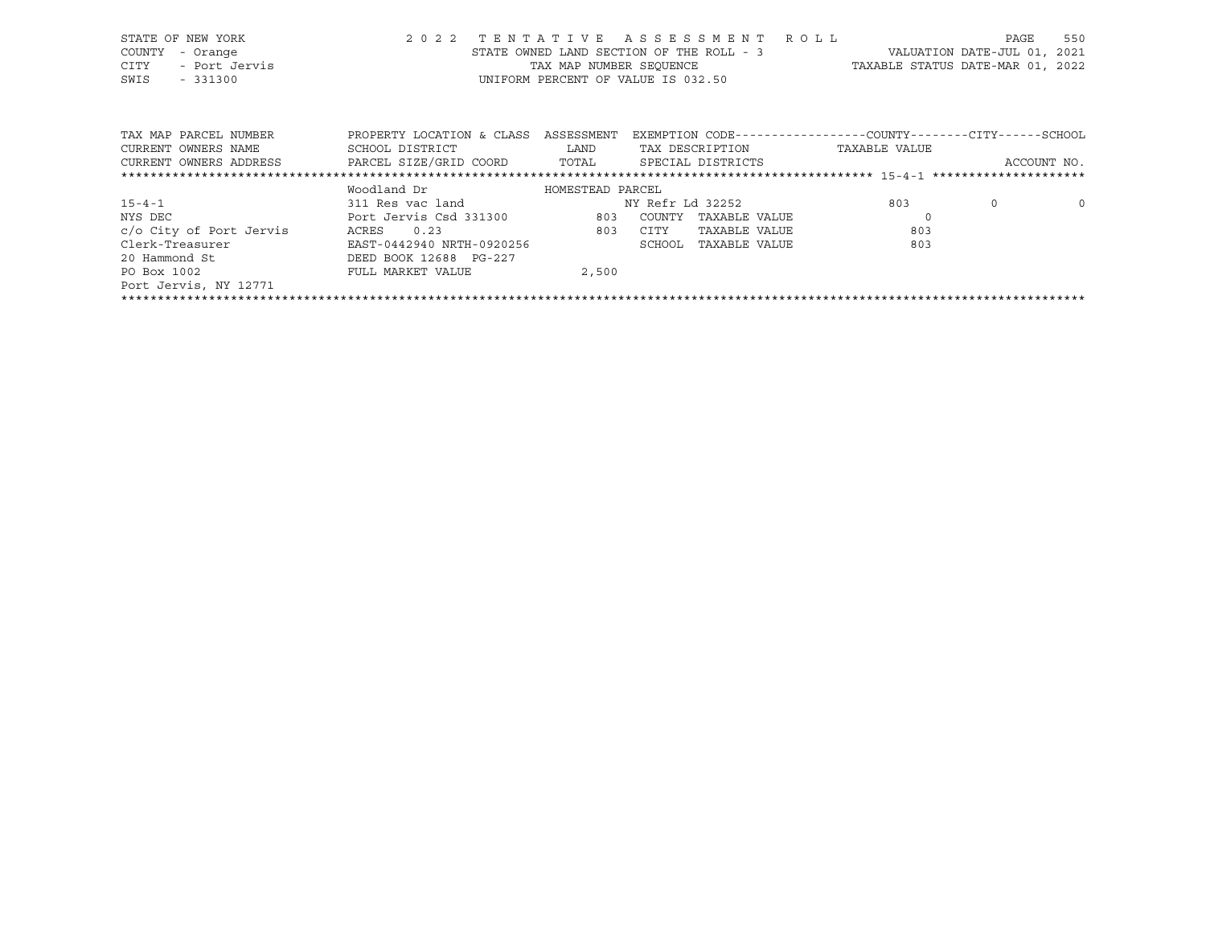| STATE OF NEW YORK                                                           |                                                                                                     |       | 2022 TENTATIVE ASSESSMENT ROLL                                |     | PAGE                        | 550     |
|-----------------------------------------------------------------------------|-----------------------------------------------------------------------------------------------------|-------|---------------------------------------------------------------|-----|-----------------------------|---------|
| COUNTY<br>- Orange                                                          |                                                                                                     |       | STATE OWNED LAND SECTION OF THE ROLL - 3                      |     | VALUATION DATE-JUL 01, 2021 |         |
| CITY<br>- Port Jervis                                                       |                                                                                                     |       | TAX MAP NUMBER SEQUENCE TAXABLE STATUS DATE-MAR 01, 2022      |     |                             |         |
| SWIS<br>$-331300$                                                           |                                                                                                     |       | UNIFORM PERCENT OF VALUE IS 032.50                            |     |                             |         |
|                                                                             |                                                                                                     |       |                                                               |     |                             |         |
|                                                                             |                                                                                                     |       |                                                               |     |                             |         |
| TAX MAP PARCEL NUMBER                                                       | PROPERTY LOCATION & CLASS ASSESSMENT                                                                |       | EXEMPTION CODE-----------------COUNTY--------CITY------SCHOOL |     |                             |         |
| CURRENT OWNERS NAME                                                         | SCHOOL DISTRICT                       LAND         TAX DESCRIPTION                    TAXABLE VALUE |       |                                                               |     |                             |         |
| CURRENT OWNERS ADDRESS 6 PARCEL SIZE/GRID COORD 6 TOTAL 6 SPECIAL DISTRICTS |                                                                                                     |       |                                                               |     | ACCOUNT NO.                 |         |
|                                                                             |                                                                                                     |       |                                                               |     |                             |         |
|                                                                             | Woodland Dr               HOMESTEAD PARCEL                                                          |       |                                                               |     |                             |         |
| $15 - 4 - 1$                                                                | 311 Res vac land NY Refr Ld 32252                                                                   |       |                                                               | 803 | $\circ$                     | $\circ$ |
| NYS DEC                                                                     | Port Jervis Csd 331300 603 COUNTY TAXABLE VALUE                                                     |       |                                                               |     |                             |         |
| c/o City of Port Jervis                                                     | 803<br>ACRES 0.23                                                                                   |       | CITY<br>TAXABLE VALUE                                         | 803 |                             |         |
| Clerk-Treasurer                                                             | EAST-0442940 NRTH-0920256                                                                           |       | SCHOOL<br>TAXABLE VALUE                                       | 803 |                             |         |
| 20 Hammond St                                                               | DEED BOOK 12688 PG-227                                                                              |       |                                                               |     |                             |         |
| PO Box 1002                                                                 | FULL MARKET VALUE                                                                                   | 2,500 |                                                               |     |                             |         |
| Port Jervis, NY 12771                                                       |                                                                                                     |       |                                                               |     |                             |         |

\*\*\*\*\*\*\*\*\*\*\*\*\*\*\*\*\*\*\*\*\*\*\*\*\*\*\*\*\*\*\*\*\*\*\*\*\*\*\*\*\*\*\*\*\*\*\*\*\*\*\*\*\*\*\*\*\*\*\*\*\*\*\*\*\*\*\*\*\*\*\*\*\*\*\*\*\*\*\*\*\*\*\*\*\*\*\*\*\*\*\*\*\*\*\*\*\*\*\*\*\*\*\*\*\*\*\*\*\*\*\*\*\*\*\*\*\*\*\*\*\*\*\*\*\*\*\*\*\*\*\*\*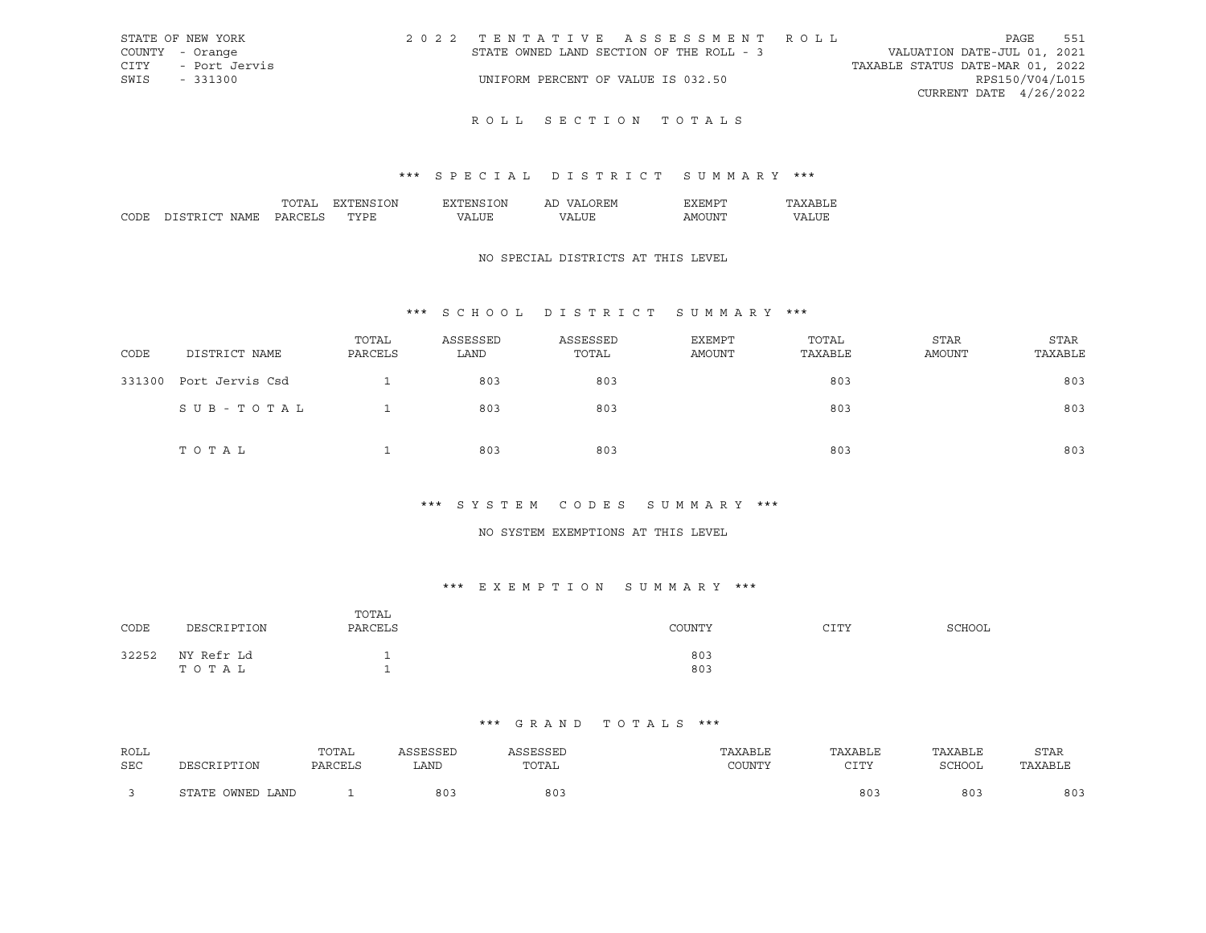| STATE OF NEW YORK  | 2022 TENTATIVE ASSESSMENT ROLL           | PAGE                             | 551 |
|--------------------|------------------------------------------|----------------------------------|-----|
| COUNTY - Orange    | STATE OWNED LAND SECTION OF THE ROLL - 3 | VALUATION DATE-JUL 01, 2021      |     |
| CITY - Port Jervis |                                          | TAXABLE STATUS DATE-MAR 01, 2022 |     |
| SWIS<br>- 331300   | UNIFORM PERCENT OF VALUE IS 032.50       | RPS150/V04/L015                  |     |
|                    |                                          | CURRENT DATE 4/26/2022           |     |
|                    |                                          |                                  |     |

## \*\*\* S P E C I A L D I S T R I C T S U M M A R Y \*\*\*

|      |                                  | ')N<br>'NL        | `)Nı | <b>HIVI</b><br>ы |    |   |
|------|----------------------------------|-------------------|------|------------------|----|---|
| CODE | $\cap$ mr<br><b>CIT</b><br>4 M F | $m \times m$<br>∼ |      | ת י              | ιn | T |

## NO SPECIAL DISTRICTS AT THIS LEVEL

## \*\*\* S C H O O L D I S T R I C T S U M M A R Y \*\*\*

| CODE   | DISTRICT NAME   | TOTAL<br>PARCELS | ASSESSED<br>LAND | ASSESSED<br>TOTAL | <b>EXEMPT</b><br>AMOUNT | TOTAL<br>TAXABLE | <b>STAR</b><br><b>AMOUNT</b> | <b>STAR</b><br>TAXABLE |
|--------|-----------------|------------------|------------------|-------------------|-------------------------|------------------|------------------------------|------------------------|
| 331300 | Port Jervis Csd |                  | 803              | 803               |                         | 803              |                              | 803                    |
|        | SUB-TOTAL       |                  | 803              | 803               |                         | 803              |                              | 803                    |
|        | TOTAL           |                  | 803              | 803               |                         | 803              |                              | 803                    |

### \*\*\* S Y S T E M C O D E S S U M M A R Y \*\*\*

## NO SYSTEM EXEMPTIONS AT THIS LEVEL

## \*\*\* E X E M P T I O N S U M M A R Y \*\*\*

| CODE  | DESCRIPTION         | TOTAL<br>PARCELS | COUNTY     | CTTV | <b>SCHOOL</b> |
|-------|---------------------|------------------|------------|------|---------------|
| 32252 | NY Refr Ld<br>TOTAL |                  | 803<br>803 |      |               |

| ROLL       |                  | TOTAL   | ASSESSED | ASSESSED        | TAXABLE | TAXABLE     | TAXABLE | <b>STAR</b> |
|------------|------------------|---------|----------|-----------------|---------|-------------|---------|-------------|
| <b>SEC</b> | DESCRIPTION      | PARCELS | LAND     | TOTAL           | COUNTY  | otra<br>ᇰᆂᆂ | SCHOOL  | TAXABLE     |
|            | STATE OWNED LAND |         | 80.      | 80 <sup>°</sup> |         | 80.         | 803     | 803         |
|            |                  |         |          |                 |         |             |         |             |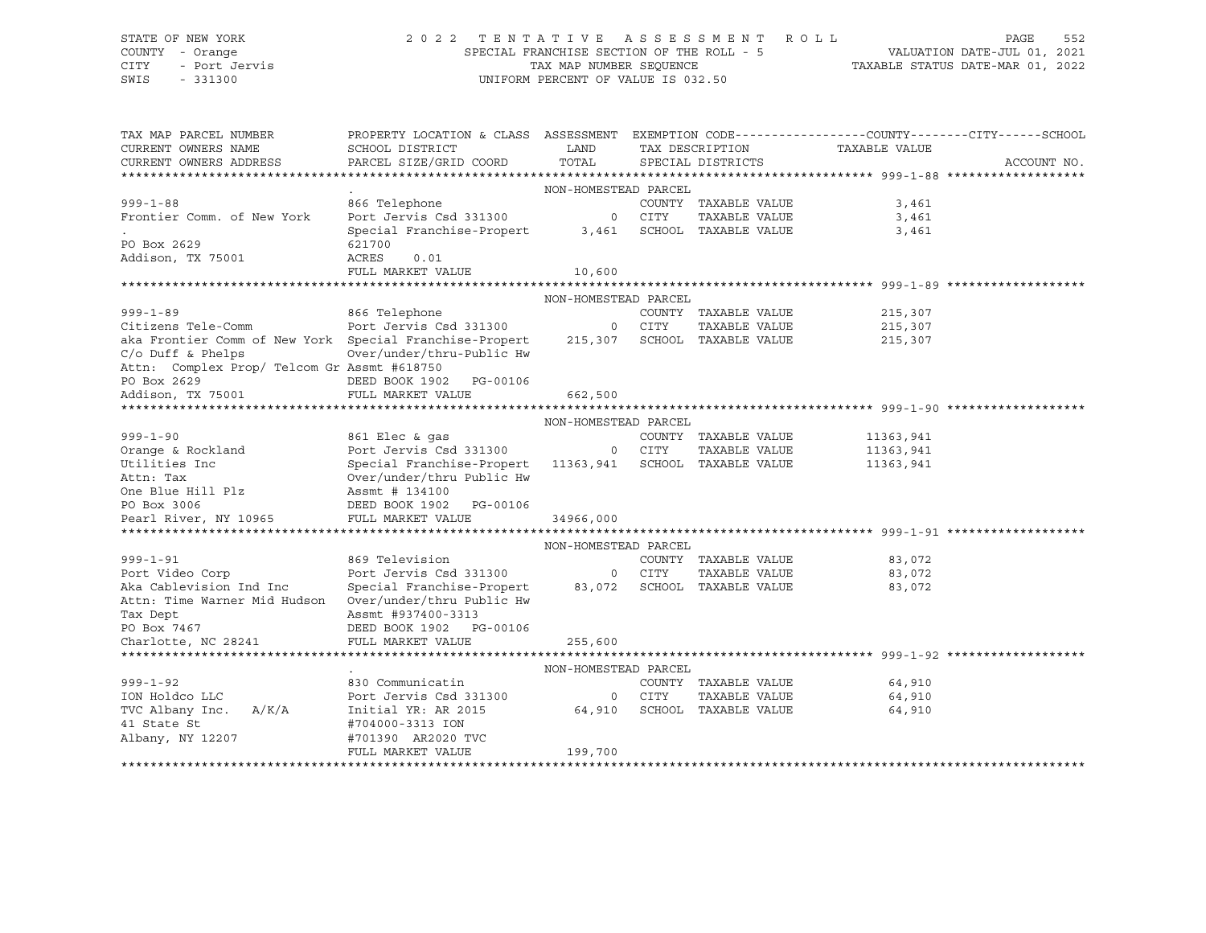# STATE OF NEW YORK 2 0 2 2 T E N T A T I V E A S S E S S M E N T R O L L PAGE 552 COUNTY - Orange SPECIAL FRANCHISE SECTION OF THE ROLL - 5 VALUATION DATE-JUL 01, 2021 CITY - Port Jervis TAX MAP NUMBER SEQUENCE TAXABLE STATUS DATE-MAR 01, 2022

| TAX MAP PARCEL NUMBER                                   | PROPERTY LOCATION & CLASS ASSESSMENT EXEMPTION CODE----------------COUNTY-------CITY------SCHOOL |                      |        |                      |               |             |
|---------------------------------------------------------|--------------------------------------------------------------------------------------------------|----------------------|--------|----------------------|---------------|-------------|
| CURRENT OWNERS NAME                                     | SCHOOL DISTRICT                                                                                  | LAND                 |        | TAX DESCRIPTION      | TAXABLE VALUE |             |
| CURRENT OWNERS ADDRESS                                  | PARCEL SIZE/GRID COORD                                                                           | TOTAL                |        | SPECIAL DISTRICTS    |               | ACCOUNT NO. |
|                                                         |                                                                                                  |                      |        |                      |               |             |
|                                                         |                                                                                                  | NON-HOMESTEAD PARCEL |        |                      |               |             |
| $999 - 1 - 88$                                          | 866 Telephone                                                                                    |                      |        | COUNTY TAXABLE VALUE | 3,461         |             |
| Frontier Comm. of New York                              | Port Jervis Csd 331300                                                                           |                      | 0 CITY | TAXABLE VALUE        | 3,461         |             |
|                                                         | Special Franchise-Propert                                                                        | 3,461                |        | SCHOOL TAXABLE VALUE | 3,461         |             |
| PO Box 2629                                             | 621700                                                                                           |                      |        |                      |               |             |
| Addison, TX 75001                                       | ACRES<br>0.01                                                                                    |                      |        |                      |               |             |
|                                                         | FULL MARKET VALUE                                                                                | 10,600               |        |                      |               |             |
|                                                         |                                                                                                  |                      |        |                      |               |             |
|                                                         |                                                                                                  | NON-HOMESTEAD PARCEL |        |                      |               |             |
| $999 - 1 - 89$                                          | 866 Telephone                                                                                    |                      |        | COUNTY TAXABLE VALUE | 215,307       |             |
| Citizens Tele-Comm                                      | Port Jervis Csd 331300                                                                           | $\circ$              | CITY   | TAXABLE VALUE        | 215,307       |             |
| aka Frontier Comm of New York Special Franchise-Propert |                                                                                                  | 215,307              |        | SCHOOL TAXABLE VALUE | 215,307       |             |
| $C/O$ Duff & Phelps                                     | Over/under/thru-Public Hw                                                                        |                      |        |                      |               |             |
| Attn: Complex Prop/ Telcom Gr Assmt #618750             |                                                                                                  |                      |        |                      |               |             |
| PO Box 2629                                             | DEED BOOK 1902 PG-00106                                                                          |                      |        |                      |               |             |
| Addison, TX 75001                                       | FULL MARKET VALUE                                                                                | 662,500              |        |                      |               |             |
|                                                         |                                                                                                  |                      |        |                      |               |             |
|                                                         |                                                                                                  | NON-HOMESTEAD PARCEL |        |                      |               |             |
| $999 - 1 - 90$                                          | 861 Elec & qas                                                                                   |                      |        | COUNTY TAXABLE VALUE | 11363,941     |             |
| Orange & Rockland                                       | Port Jervis Csd 331300                                                                           |                      | 0 CITY | TAXABLE VALUE        | 11363,941     |             |
| Utilities Inc                                           | Special Franchise-Propert                                                                        | 11363,941            |        | SCHOOL TAXABLE VALUE | 11363,941     |             |
| Attn: Tax                                               | Over/under/thru Public Hw                                                                        |                      |        |                      |               |             |
| One Blue Hill Plz                                       | Assmt # 134100                                                                                   |                      |        |                      |               |             |
| PO Box 3006                                             | DEED BOOK 1902 PG-00106                                                                          |                      |        |                      |               |             |
| Pearl River, NY 10965                                   | FULL MARKET VALUE                                                                                | 34966,000            |        |                      |               |             |
|                                                         |                                                                                                  |                      |        |                      |               |             |
|                                                         |                                                                                                  | NON-HOMESTEAD PARCEL |        |                      |               |             |
| $999 - 1 - 91$                                          | 869 Television                                                                                   |                      |        | COUNTY TAXABLE VALUE | 83,072        |             |
| Port Video Corp                                         | Port Jervis Csd 331300                                                                           |                      | 0 CITY | TAXABLE VALUE        | 83,072        |             |
| Aka Cablevision Ind Inc                                 | Special Franchise-Propert                                                                        | 83,072               |        | SCHOOL TAXABLE VALUE | 83,072        |             |
| Attn: Time Warner Mid Hudson                            | Over/under/thru Public Hw                                                                        |                      |        |                      |               |             |
| Tax Dept                                                | Assmt #937400-3313                                                                               |                      |        |                      |               |             |
| PO Box 7467                                             | DEED BOOK 1902 PG-00106                                                                          |                      |        |                      |               |             |
| Charlotte, NC 28241                                     | FULL MARKET VALUE                                                                                | 255,600              |        |                      |               |             |
|                                                         |                                                                                                  |                      |        |                      |               |             |
|                                                         |                                                                                                  | NON-HOMESTEAD PARCEL |        |                      |               |             |
| $999 - 1 - 92$                                          | 830 Communicatin                                                                                 |                      |        | COUNTY TAXABLE VALUE | 64,910        |             |
| ION Holdco LLC                                          | Port Jervis Csd 331300                                                                           | $\overline{0}$       | CITY   | TAXABLE VALUE        | 64,910        |             |
| TVC Albany Inc. A/K/A                                   | Initial YR: AR 2015                                                                              | 64,910               |        | SCHOOL TAXABLE VALUE | 64,910        |             |
| 41 State St                                             | #704000-3313 ION                                                                                 |                      |        |                      |               |             |
| Albany, NY 12207                                        | #701390 AR2020 TVC                                                                               |                      |        |                      |               |             |
|                                                         | FULL MARKET VALUE                                                                                | 199,700              |        |                      |               |             |
|                                                         |                                                                                                  |                      |        |                      |               |             |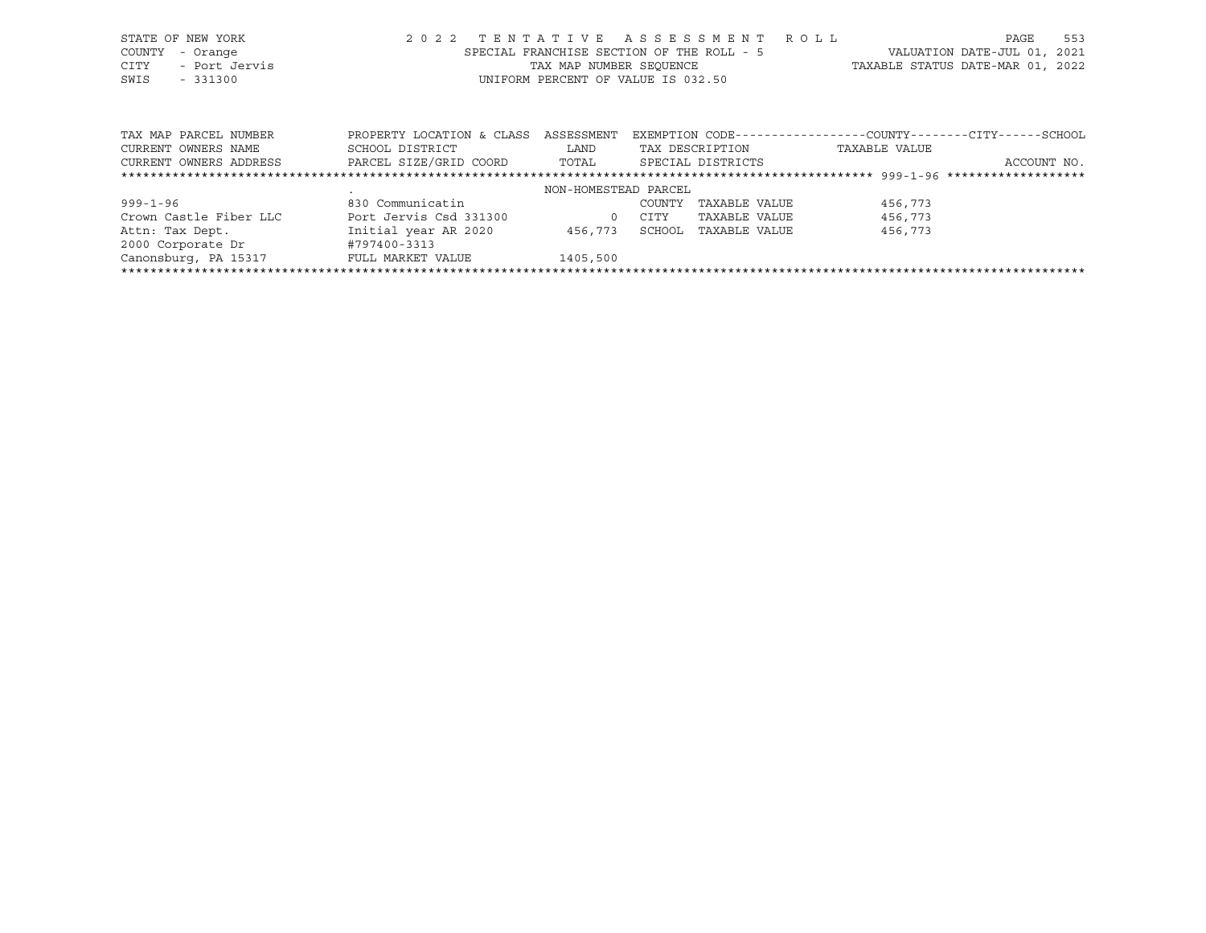| STATE OF NEW YORK |               |  |                                           |  |  | 2022 TENTATIVE ASSESSMENT ROLL |                                  | PAGE | 553 |
|-------------------|---------------|--|-------------------------------------------|--|--|--------------------------------|----------------------------------|------|-----|
| COUNTY - Orange   |               |  | SPECIAL FRANCHISE SECTION OF THE ROLL - 5 |  |  |                                | VALUATION DATE-JUL 01, 2021      |      |     |
| CITY              | - Port Jervis |  | TAX MAP NUMBER SEOUENCE                   |  |  |                                | TAXABLE STATUS DATE-MAR 01, 2022 |      |     |
| SWIS              | $-331300$     |  | UNIFORM PERCENT OF VALUE IS 032.50        |  |  |                                |                                  |      |     |

| TAX MAP PARCEL NUMBER  | PROPERTY LOCATION & CLASS | ASSESSMENT           |        |                   |               | EXEMPTION CODE-----------------COUNTY-------CITY------SCHOOL |
|------------------------|---------------------------|----------------------|--------|-------------------|---------------|--------------------------------------------------------------|
| CURRENT OWNERS NAME    | SCHOOL DISTRICT           | LAND                 |        | TAX DESCRIPTION   | TAXABLE VALUE |                                                              |
| CURRENT OWNERS ADDRESS | PARCEL SIZE/GRID COORD    | TOTAL                |        | SPECIAL DISTRICTS |               | ACCOUNT NO.                                                  |
|                        |                           |                      |        |                   |               |                                                              |
|                        |                           | NON-HOMESTEAD PARCEL |        |                   |               |                                                              |
| $999 - 1 - 96$         | 830 Communicatin          |                      | COUNTY | TAXABLE VALUE     | 456,773       |                                                              |
| Crown Castle Fiber LLC | Port Jervis Csd 331300    | $\Omega$             | CITY   | TAXABLE VALUE     | 456,773       |                                                              |
| Attn: Tax Dept.        | Initial year AR 2020      | 456,773              | SCHOOL | TAXABLE VALUE     | 456,773       |                                                              |
| 2000 Corporate Dr      | #797400-3313              |                      |        |                   |               |                                                              |
| Canonsburg, PA 15317   | FULL MARKET VALUE         | 1405,500             |        |                   |               |                                                              |
|                        |                           |                      |        |                   |               |                                                              |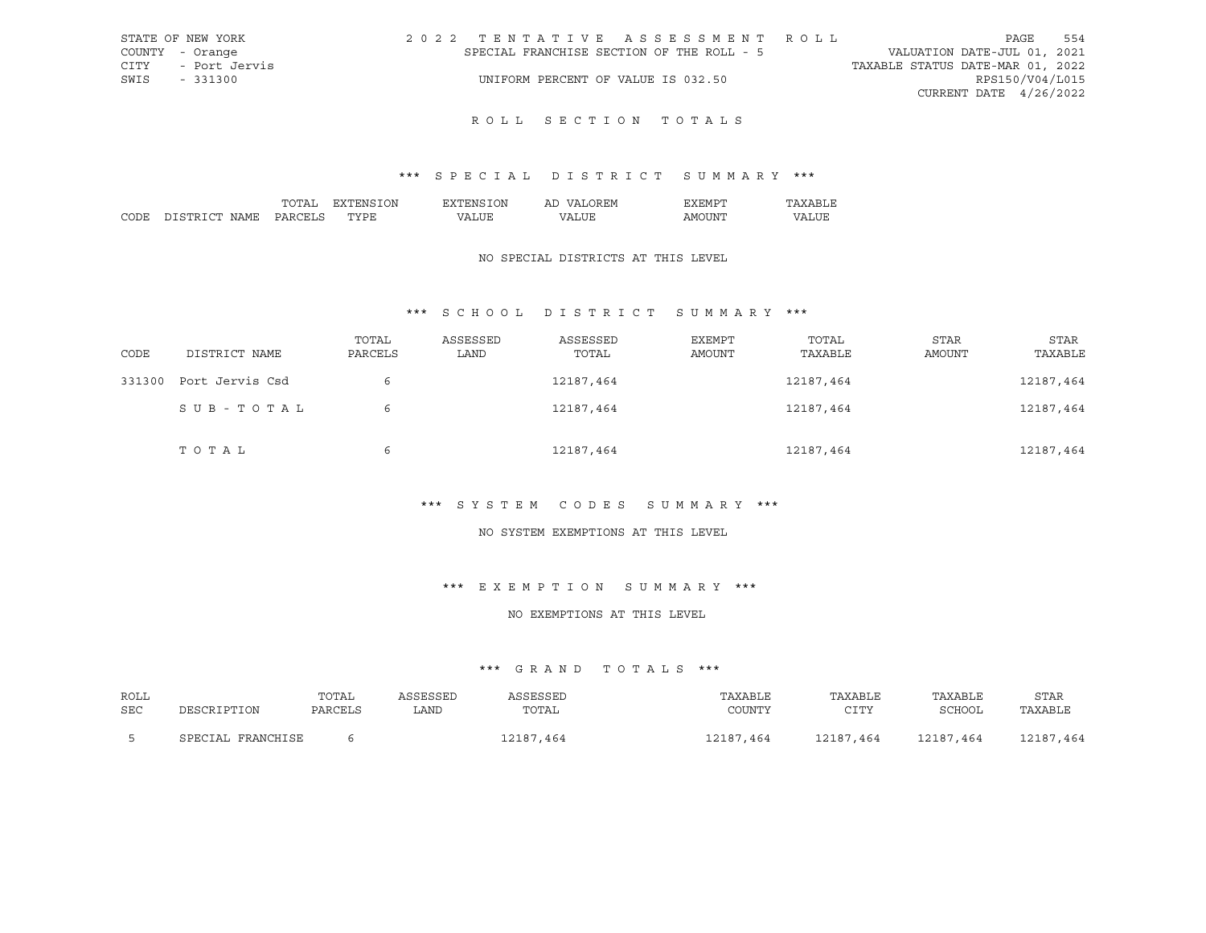| STATE OF NEW YORK  | 2022 TENTATIVE ASSESSMENT ROLL            | 554<br>PAGE                      |
|--------------------|-------------------------------------------|----------------------------------|
| COUNTY - Orange    | SPECIAL FRANCHISE SECTION OF THE ROLL - 5 | VALUATION DATE-JUL 01, 2021      |
| CITY - Port Jervis |                                           | TAXABLE STATUS DATE-MAR 01, 2022 |
| SWIS - 331300      | UNIFORM PERCENT OF VALUE IS 032.50        | RPS150/V04/L015                  |
|                    |                                           | CURRENT DATE $4/26/2022$         |
|                    |                                           |                                  |

## \*\*\* S P E C I A L D I S T R I C T S U M M A R Y \*\*\*

|        |                  | ``              | ЭN | ')N | <b>HIV</b><br>$\sqrt{ }$<br>ΑL |     |    |
|--------|------------------|-----------------|----|-----|--------------------------------|-----|----|
| $\sim$ | י החי<br>∖IA M i | $\cup$ $\wedge$ |    |     | , n                            | -IN | תי |

## NO SPECIAL DISTRICTS AT THIS LEVEL

## \*\*\* S C H O O L D I S T R I C T S U M M A R Y \*\*\*

| CODE   | DISTRICT NAME   | TOTAL<br>PARCELS | ASSESSED<br>LAND | ASSESSED<br>TOTAL | EXEMPT<br>AMOUNT | TOTAL<br>TAXABLE | <b>STAR</b><br>AMOUNT | STAR<br>TAXABLE |
|--------|-----------------|------------------|------------------|-------------------|------------------|------------------|-----------------------|-----------------|
| 331300 | Port Jervis Csd | 6                |                  | 12187,464         |                  | 12187,464        |                       | 12187,464       |
|        | SUB-TOTAL       | 6                |                  | 12187,464         |                  | 12187,464        |                       | 12187,464       |
|        | TOTAL           | 6                |                  | 12187,464         |                  | 12187,464        |                       | 12187,464       |

### \*\*\* S Y S T E M C O D E S S U M M A R Y \*\*\*

#### NO SYSTEM EXEMPTIONS AT THIS LEVEL

#### \*\*\* E X E M P T I O N S U M M A R Y \*\*\*

### NO EXEMPTIONS AT THIS LEVEL

| ROLL<br>SEC | DESCRIPTION       | TOTAL<br>PARCELS | ASSESSED<br>LAND | ASSESSED<br>TOTAL | TAXABLE<br>COUNTY | TAXABLE<br>CTTY<br>ᅩᅩᅩ | TAXABLE<br>SCHOOL | STAR<br>TAXABLE |
|-------------|-------------------|------------------|------------------|-------------------|-------------------|------------------------|-------------------|-----------------|
|             | SPECIAL FRANCHISE |                  |                  | 12187,464         | 12187,464         | 12187,464              | 12187.464         | 12187.464       |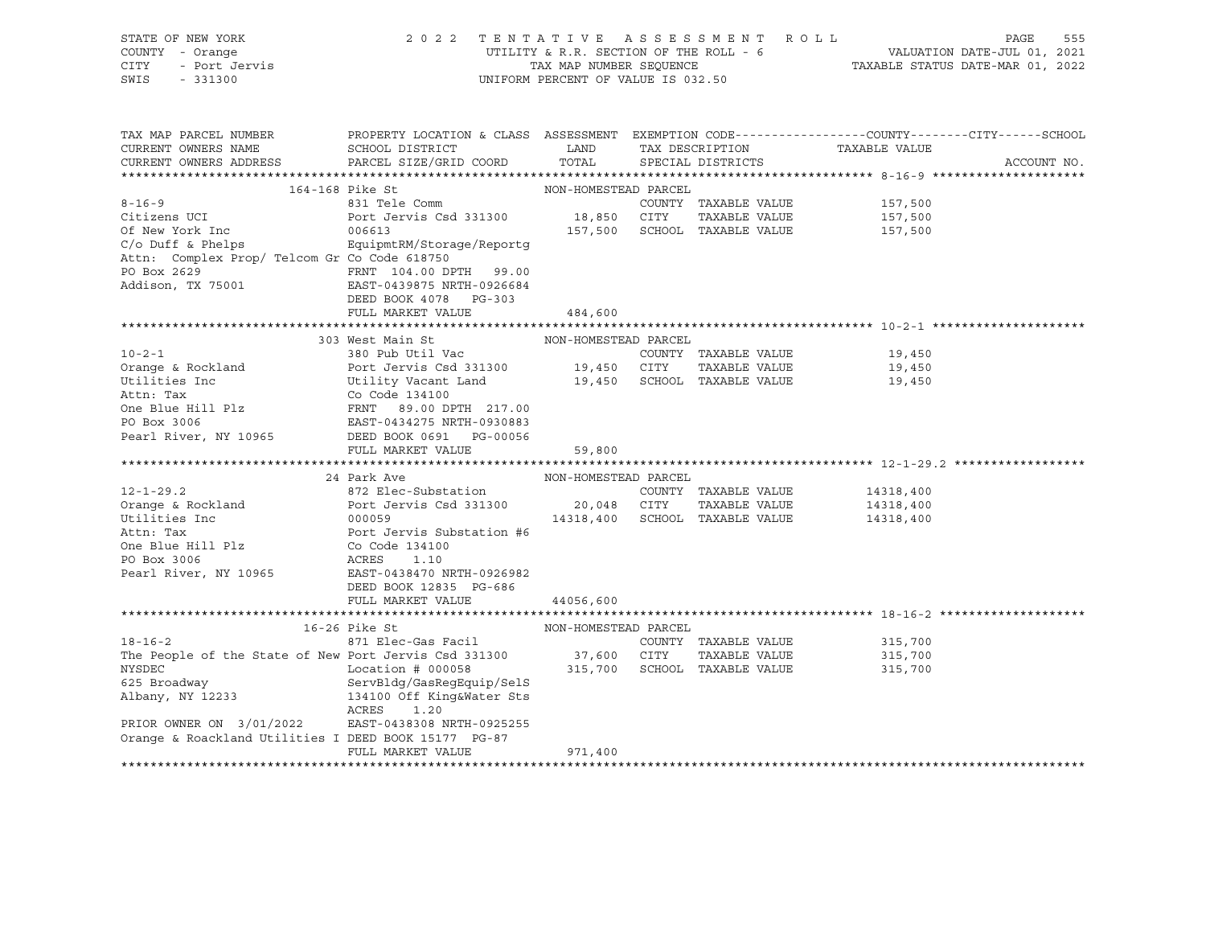| STATE OF NEW YORK                                                                                                                                                                                                                                            | 2022 TENTATIVE ASSESSMENT ROLL                                                                                                                               |                                    |                                |                                                                                                                                                      | PAGE        | 555 |
|--------------------------------------------------------------------------------------------------------------------------------------------------------------------------------------------------------------------------------------------------------------|--------------------------------------------------------------------------------------------------------------------------------------------------------------|------------------------------------|--------------------------------|------------------------------------------------------------------------------------------------------------------------------------------------------|-------------|-----|
| COUNTY - Orange                                                                                                                                                                                                                                              |                                                                                                                                                              |                                    |                                |                                                                                                                                                      |             |     |
| 1 - Ulanye<br>- Port Jervis<br>CITY                                                                                                                                                                                                                          |                                                                                                                                                              |                                    |                                | UTILITY & R.R. SECTION OF THE ROLL - $6$ $$\tt VALUATION\ DATE-JUL\ 01,\ 2021$$ TAX MAP NUMBER SEQUENCE $$\tt TXXABLE\ STATUS\ DATE-MAR\ 01,\ 2022$$ |             |     |
| SWIS<br>$-331300$                                                                                                                                                                                                                                            |                                                                                                                                                              | UNIFORM PERCENT OF VALUE IS 032.50 |                                |                                                                                                                                                      |             |     |
|                                                                                                                                                                                                                                                              |                                                                                                                                                              |                                    |                                |                                                                                                                                                      |             |     |
|                                                                                                                                                                                                                                                              |                                                                                                                                                              |                                    |                                |                                                                                                                                                      |             |     |
|                                                                                                                                                                                                                                                              |                                                                                                                                                              |                                    |                                |                                                                                                                                                      |             |     |
| TAX MAP PARCEL NUMBER                                                                                                                                                                                                                                        | PROPERTY LOCATION & CLASS ASSESSMENT EXEMPTION CODE----------------COUNTY-------CITY------SCHOOL                                                             |                                    |                                |                                                                                                                                                      |             |     |
| CURRENT OWNERS NAME                                                                                                                                                                                                                                          | ${\tt SCHOOD\,\, \, {\tt DISTRTCT}} {\small\quad \, {\tt LAND}} {\small\quad \, {\tt TAX\,\, \, {\tt DESCRIPTION}} {\small\quad \, {\tt TAXABLE\,\, VALUE}}$ |                                    |                                |                                                                                                                                                      |             |     |
| CURRENT OWNERS ADDRESS PARCEL SIZE/GRID COORD                                                                                                                                                                                                                |                                                                                                                                                              |                                    | TOTAL SPECIAL DISTRICTS        |                                                                                                                                                      | ACCOUNT NO. |     |
|                                                                                                                                                                                                                                                              |                                                                                                                                                              |                                    |                                |                                                                                                                                                      |             |     |
|                                                                                                                                                                                                                                                              |                                                                                                                                                              | NON-HOMESTEAD PARCEL               |                                |                                                                                                                                                      |             |     |
| $8 - 16 - 9$                                                                                                                                                                                                                                                 | 164-168 Pike St                                                                                                                                              |                                    |                                |                                                                                                                                                      |             |     |
|                                                                                                                                                                                                                                                              | 831 Tele Comm<br>Port Jervis Csd 331300 18,850 CITY                                                                                                          |                                    | COUNTY TAXABLE VALUE           | 157,500                                                                                                                                              |             |     |
| Citizens UCI                                                                                                                                                                                                                                                 |                                                                                                                                                              |                                    | TAXABLE VALUE                  | 157,500                                                                                                                                              |             |     |
| Of New York Inc                                                                                                                                                                                                                                              | 006613                                                                                                                                                       |                                    | 157,500 SCHOOL TAXABLE VALUE   | 157,500                                                                                                                                              |             |     |
| $C/O$ Duff & Phelps                                                                                                                                                                                                                                          | EquipmtRM/Storage/Reportg                                                                                                                                    |                                    |                                |                                                                                                                                                      |             |     |
| Attn: Complex Prop/ Telcom Gr Co Code 618750                                                                                                                                                                                                                 |                                                                                                                                                              |                                    |                                |                                                                                                                                                      |             |     |
| PO Box $2629$<br>Addison, TX 75001<br>RAST-0439875 NRTH-0926684                                                                                                                                                                                              |                                                                                                                                                              |                                    |                                |                                                                                                                                                      |             |     |
|                                                                                                                                                                                                                                                              |                                                                                                                                                              |                                    |                                |                                                                                                                                                      |             |     |
|                                                                                                                                                                                                                                                              | DEED BOOK 4078 PG-303                                                                                                                                        |                                    |                                |                                                                                                                                                      |             |     |
|                                                                                                                                                                                                                                                              | FULL MARKET VALUE                                                                                                                                            | 484,600                            |                                |                                                                                                                                                      |             |     |
|                                                                                                                                                                                                                                                              |                                                                                                                                                              |                                    |                                |                                                                                                                                                      |             |     |
|                                                                                                                                                                                                                                                              | 303 West Main St                                                                                                                                             | NON-HOMESTEAD PARCEL               |                                |                                                                                                                                                      |             |     |
| $10 - 2 - 1$                                                                                                                                                                                                                                                 | 380 Pub Util Vac<br>Port Josef L                                                                                                                             |                                    |                                | COUNTY TAXABLE VALUE 19,450                                                                                                                          |             |     |
| For the conduct of the Mility Vacant Land<br>Utilities Inc Utility Vacant Land<br>20 Orange & Rockland<br>219,450<br>Utility Vacant Land<br>219,450<br>219,450<br>219,450<br>219,450<br>219,450<br>219,450<br>219,450<br>219,450<br>219,450<br>219,450<br>21 |                                                                                                                                                              |                                    |                                |                                                                                                                                                      |             |     |
|                                                                                                                                                                                                                                                              |                                                                                                                                                              |                                    |                                |                                                                                                                                                      |             |     |
|                                                                                                                                                                                                                                                              |                                                                                                                                                              |                                    |                                |                                                                                                                                                      |             |     |
|                                                                                                                                                                                                                                                              |                                                                                                                                                              |                                    |                                |                                                                                                                                                      |             |     |
|                                                                                                                                                                                                                                                              |                                                                                                                                                              |                                    |                                |                                                                                                                                                      |             |     |
|                                                                                                                                                                                                                                                              |                                                                                                                                                              |                                    |                                |                                                                                                                                                      |             |     |
| Pearl River, NY 10965 DEED BOOK 0691 PG-00056                                                                                                                                                                                                                |                                                                                                                                                              |                                    |                                |                                                                                                                                                      |             |     |
|                                                                                                                                                                                                                                                              | FULL MARKET VALUE                                                                                                                                            | 59,800                             |                                |                                                                                                                                                      |             |     |
|                                                                                                                                                                                                                                                              |                                                                                                                                                              |                                    |                                |                                                                                                                                                      |             |     |
|                                                                                                                                                                                                                                                              | 24 Park Ave                                                                                                                                                  | NON-HOMESTEAD PARCEL               |                                |                                                                                                                                                      |             |     |
| $12 - 1 - 29.2$                                                                                                                                                                                                                                              | Park Ave Research Manuscript Park Ave North Manuscript Park Ave North Manuscript Park Ave North Manuscript Park Ave<br>872 Elec-Substation                   |                                    |                                | COUNTY TAXABLE VALUE 14318,400                                                                                                                       |             |     |
|                                                                                                                                                                                                                                                              |                                                                                                                                                              |                                    | 20,048 CITY TAXABLE VALUE      | 14318,400                                                                                                                                            |             |     |
|                                                                                                                                                                                                                                                              |                                                                                                                                                              |                                    | 14318,400 SCHOOL TAXABLE VALUE | 14318,400                                                                                                                                            |             |     |
|                                                                                                                                                                                                                                                              |                                                                                                                                                              |                                    |                                |                                                                                                                                                      |             |     |
|                                                                                                                                                                                                                                                              |                                                                                                                                                              |                                    |                                |                                                                                                                                                      |             |     |
| 12 12 2<br>Orange & Rockland<br>Utilities Inc 000059<br>Attn: Tax Port Jervis Substation #6<br>One Blue Hill Plz Co Code 134100<br>PO Box 3006<br>ACRES 1.10<br>20 2006                                                                                      |                                                                                                                                                              |                                    |                                |                                                                                                                                                      |             |     |
| Pearl River, NY 10965                                                                                                                                                                                                                                        | EAST-0438470 NRTH-0926982                                                                                                                                    |                                    |                                |                                                                                                                                                      |             |     |
|                                                                                                                                                                                                                                                              | DEED BOOK 12835 PG-686                                                                                                                                       |                                    |                                |                                                                                                                                                      |             |     |
|                                                                                                                                                                                                                                                              | FULL MARKET VALUE                                                                                                                                            | 44056,600                          |                                |                                                                                                                                                      |             |     |
|                                                                                                                                                                                                                                                              |                                                                                                                                                              |                                    |                                |                                                                                                                                                      |             |     |
|                                                                                                                                                                                                                                                              | 16-26 Pike St                                                                                                                                                | NON-HOMESTEAD PARCEL               |                                |                                                                                                                                                      |             |     |
| $18 - 16 - 2$                                                                                                                                                                                                                                                |                                                                                                                                                              |                                    |                                | 315,700                                                                                                                                              |             |     |
|                                                                                                                                                                                                                                                              |                                                                                                                                                              |                                    |                                |                                                                                                                                                      |             |     |
|                                                                                                                                                                                                                                                              |                                                                                                                                                              |                                    |                                | 315,700                                                                                                                                              |             |     |
| The People of the State of New Port Jervis Csd 331300 37,600 CITY TAXABLE VALUE<br>NYSDEC Location # 000058 315,700 SCHOOL TAXABLE VALUE<br>625 Broadway ServBldg/GasRegEquip/SelS<br>Albany, NY 12233 134100 Off King&Water Sts                             |                                                                                                                                                              |                                    |                                | 315,700                                                                                                                                              |             |     |
|                                                                                                                                                                                                                                                              |                                                                                                                                                              |                                    |                                |                                                                                                                                                      |             |     |
| Albany, NY 12233                                                                                                                                                                                                                                             |                                                                                                                                                              |                                    |                                |                                                                                                                                                      |             |     |
|                                                                                                                                                                                                                                                              | ACRES<br>1.20                                                                                                                                                |                                    |                                |                                                                                                                                                      |             |     |
| PRIOR OWNER ON 3/01/2022                                                                                                                                                                                                                                     | EAST-0438308 NRTH-0925255                                                                                                                                    |                                    |                                |                                                                                                                                                      |             |     |
| Orange & Roackland Utilities I DEED BOOK 15177 PG-87                                                                                                                                                                                                         |                                                                                                                                                              |                                    |                                |                                                                                                                                                      |             |     |
|                                                                                                                                                                                                                                                              | FULL MARKET VALUE                                                                                                                                            | 971,400                            |                                |                                                                                                                                                      |             |     |
|                                                                                                                                                                                                                                                              |                                                                                                                                                              |                                    |                                |                                                                                                                                                      |             |     |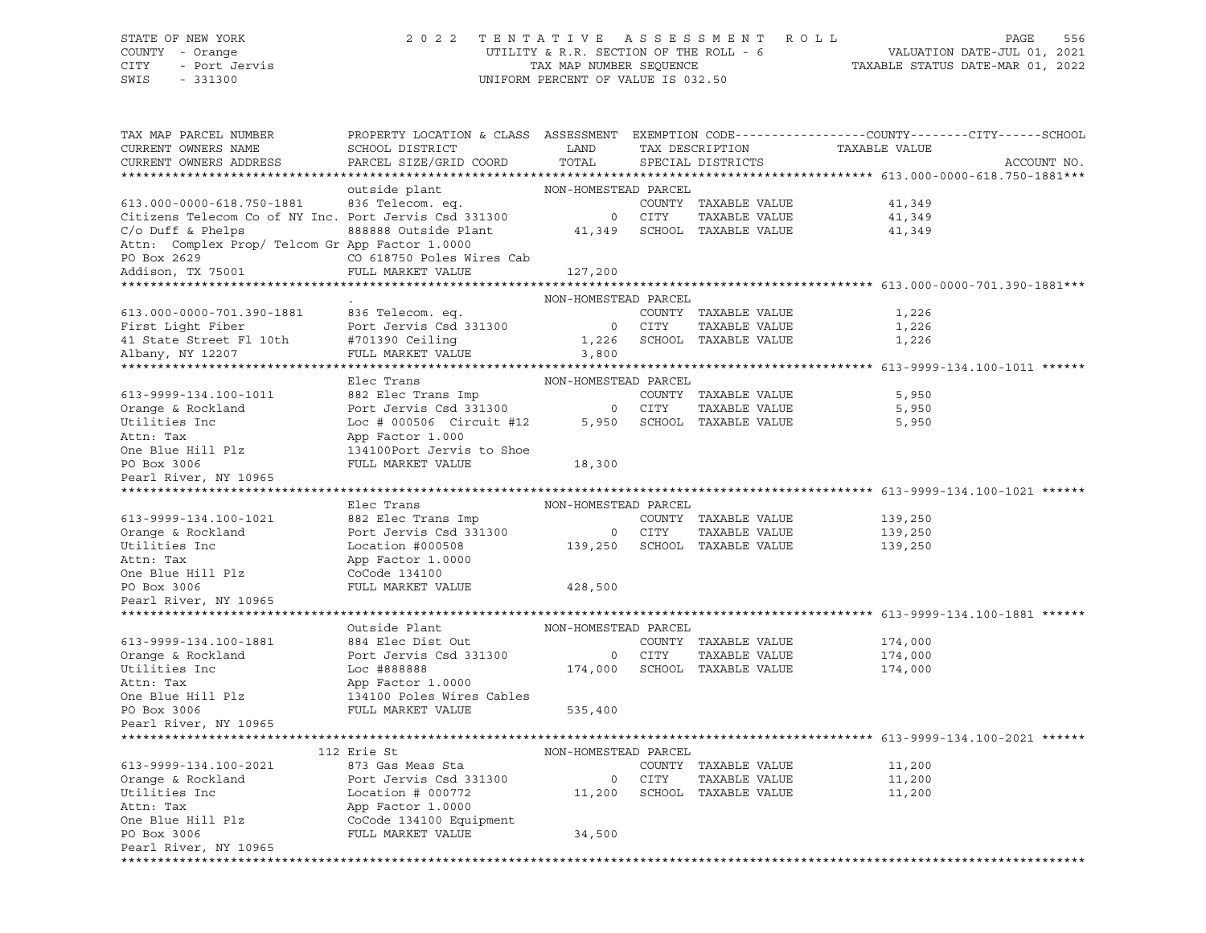STATE OF NEW YORK 2 0 2 2 T E N T A T I V E A S S E S S M E N T R O L L PAGE 556 COUNTY - Orange UTILITY & R.R. SECTION OF THE ROLL - 6 VALUATION DATE-JUL 01, 2021 CITY - Port Jervis TAX MAP NUMBER SEQUENCE TAXABLE STATUS DATE-MAR 01, 2022 UNIFORM PERCENT OF VALUE IS 032.50 TAX MAP PARCEL NUMBER PROPERTY LOCATION & CLASS ASSESSMENT EXEMPTION CODE----------------COUNTY-------CITY------SCHOOL CURRENT OWNERS NAME SCHOOL DISTRICT LAND TAX DESCRIPTION TAXABLE VALUE CURRENT OWNERS ADDRESS PARCEL SIZE/GRID COORD TOTAL SPECIAL DISTRICTS ACCOUNT NO. \*\*\*\*\*\*\*\*\*\*\*\*\*\*\*\*\*\*\*\*\*\*\*\*\*\*\*\*\*\*\*\*\*\*\*\*\*\*\*\*\*\*\*\*\*\*\*\*\*\*\*\*\*\*\*\*\*\*\*\*\*\*\*\*\*\*\*\*\*\*\*\*\*\*\*\*\*\*\*\*\*\*\*\*\*\*\*\*\*\*\*\*\*\*\*\*\*\*\*\*\*\*\* 613.000-0000-618.750-1881\*\*\* NON-HOMESTEAD PARCEL<br>COUNTY TAXABLE VALUE 613.000-0000-618.750-1881 836 Telecom. eq. COUNTY TAXABLE VALUE 41,349 Citizens Telecom Co of NY Inc. Port Jervis Csd 331300 0 CITY TAXABLE VALUE 41,349 C/o Duff & Phelps 888888 Outside Plant 41,349 SCHOOL TAXABLE VALUE 41,349 Attn: Complex Prop/ Telcom Gr App Factor 1.0000 PO Box 2629 CO 618750 Poles Wires Cab Addison, TX 75001 FULL MARKET VALUE 127,200 \*\*\*\*\*\*\*\*\*\*\*\*\*\*\*\*\*\*\*\*\*\*\*\*\*\*\*\*\*\*\*\*\*\*\*\*\*\*\*\*\*\*\*\*\*\*\*\*\*\*\*\*\*\*\*\*\*\*\*\*\*\*\*\*\*\*\*\*\*\*\*\*\*\*\*\*\*\*\*\*\*\*\*\*\*\*\*\*\*\*\*\*\*\*\*\*\*\*\*\*\*\*\* 613.000-0000-701.390-1881\*\*\* . NON-HOMESTEAD PARCEL 613.000-0000-701.390-1881 836 Telecom. eq. COUNTY TAXABLE VALUE 1,226 First Light Fiber **Port Jervis Csd 331300** 0 CITY TAXABLE VALUE 1,226 41 State Street Fl 10th #701390 Ceiling 1,226 SCHOOL TAXABLE VALUE 1,226 Albany, NY 12207 FULL MARKET VALUE 3,800 \*\*\*\*\*\*\*\*\*\*\*\*\*\*\*\*\*\*\*\*\*\*\*\*\*\*\*\*\*\*\*\*\*\*\*\*\*\*\*\*\*\*\*\*\*\*\*\*\*\*\*\*\*\*\*\*\*\*\*\*\*\*\*\*\*\*\*\*\*\*\*\*\*\*\*\*\*\*\*\*\*\*\*\*\*\*\*\*\*\*\*\*\*\*\*\*\*\*\*\*\*\*\* 613-9999-134.100-1011 \*\*\*\*\*\* Elec Trans NON-HOMESTEAD PARCEL 613-9999-134.100-1011 882 Elec Trans Imp COUNTY TAXABLE VALUE 5,950 Orange & Rockland Port Jervis Csd 331300 0 CITY TAXABLE VALUE 5,950 Utilities Inc Loc # 000506 Circuit #12 5,950 SCHOOL TAXABLE VALUE 5,950 Attn: Tax App Factor 1.000 One Blue Hill Plz 134100Port Jervis to Shoe PO Box 3006 FULL MARKET VALUE 18,300 Pearl River, NY 10965 \*\*\*\*\*\*\*\*\*\*\*\*\*\*\*\*\*\*\*\*\*\*\*\*\*\*\*\*\*\*\*\*\*\*\*\*\*\*\*\*\*\*\*\*\*\*\*\*\*\*\*\*\*\*\*\*\*\*\*\*\*\*\*\*\*\*\*\*\*\*\*\*\*\*\*\*\*\*\*\*\*\*\*\*\*\*\*\*\*\*\*\*\*\*\*\*\*\*\*\*\*\*\* 613-9999-134.100-1021 \*\*\*\*\*\* Elec Trans NON-HOMESTEAD PARCEL 613-9999-134.100-1021 882 Elec Trans Imp COUNTY TAXABLE VALUE 139,250 Orange & Rockland Port Jervis Csd 331300 0 CITY TAXABLE VALUE 139,250 Utilities Inc Location #000508 139,250 SCHOOL TAXABLE VALUE 139,250 Attn: Tax App Factor 1.0000 One Blue Hill Plz CoCode 134100 PO Box 3006 FULL MARKET VALUE 428,500 Pearl River, NY 10965 \*\*\*\*\*\*\*\*\*\*\*\*\*\*\*\*\*\*\*\*\*\*\*\*\*\*\*\*\*\*\*\*\*\*\*\*\*\*\*\*\*\*\*\*\*\*\*\*\*\*\*\*\*\*\*\*\*\*\*\*\*\*\*\*\*\*\*\*\*\*\*\*\*\*\*\*\*\*\*\*\*\*\*\*\*\*\*\*\*\*\*\*\*\*\*\*\*\*\*\*\*\*\* 613-9999-134.100-1881 \*\*\*\*\*\* Outside Plant NON-HOMESTEAD PARCEL 613-9999-134.100-1881 884 Elec Dist Out COUNTY TAXABLE VALUE 174,000 Orange & Rockland **Port Jervis Csd 331300** 0 CITY TAXABLE VALUE 174,000 Utilities Inc Loc #888888 174,000 SCHOOL TAXABLE VALUE 174,000 Attn: Tax App Factor 1.0000 One Blue Hill Plz 134100 Poles Wires Cables PO Box 3006 FULL MARKET VALUE 535,400 Pearl River, NY 10965 \*\*\*\*\*\*\*\*\*\*\*\*\*\*\*\*\*\*\*\*\*\*\*\*\*\*\*\*\*\*\*\*\*\*\*\*\*\*\*\*\*\*\*\*\*\*\*\*\*\*\*\*\*\*\*\*\*\*\*\*\*\*\*\*\*\*\*\*\*\*\*\*\*\*\*\*\*\*\*\*\*\*\*\*\*\*\*\*\*\*\*\*\*\*\*\*\*\*\*\*\*\*\* 613-9999-134.100-2021 \*\*\*\*\*\* 112 Erie St NON-HOMESTEAD PARCEL 613-9999-134.100-2021 873 Gas Meas Sta COUNTY TAXABLE VALUE 11,200 Orange & Rockland **Port Jervis Csd 331300** 0 CITY TAXABLE VALUE 11,200 Utilities Inc Location # 000772 11,200 SCHOOL TAXABLE VALUE 11,200 Attn: Tax App Factor 1.0000 One Blue Hill Plz CoCode 134100 Equipment PO Box 3006 FULL MARKET VALUE 34,500 Pearl River, NY 10965

\*\*\*\*\*\*\*\*\*\*\*\*\*\*\*\*\*\*\*\*\*\*\*\*\*\*\*\*\*\*\*\*\*\*\*\*\*\*\*\*\*\*\*\*\*\*\*\*\*\*\*\*\*\*\*\*\*\*\*\*\*\*\*\*\*\*\*\*\*\*\*\*\*\*\*\*\*\*\*\*\*\*\*\*\*\*\*\*\*\*\*\*\*\*\*\*\*\*\*\*\*\*\*\*\*\*\*\*\*\*\*\*\*\*\*\*\*\*\*\*\*\*\*\*\*\*\*\*\*\*\*\*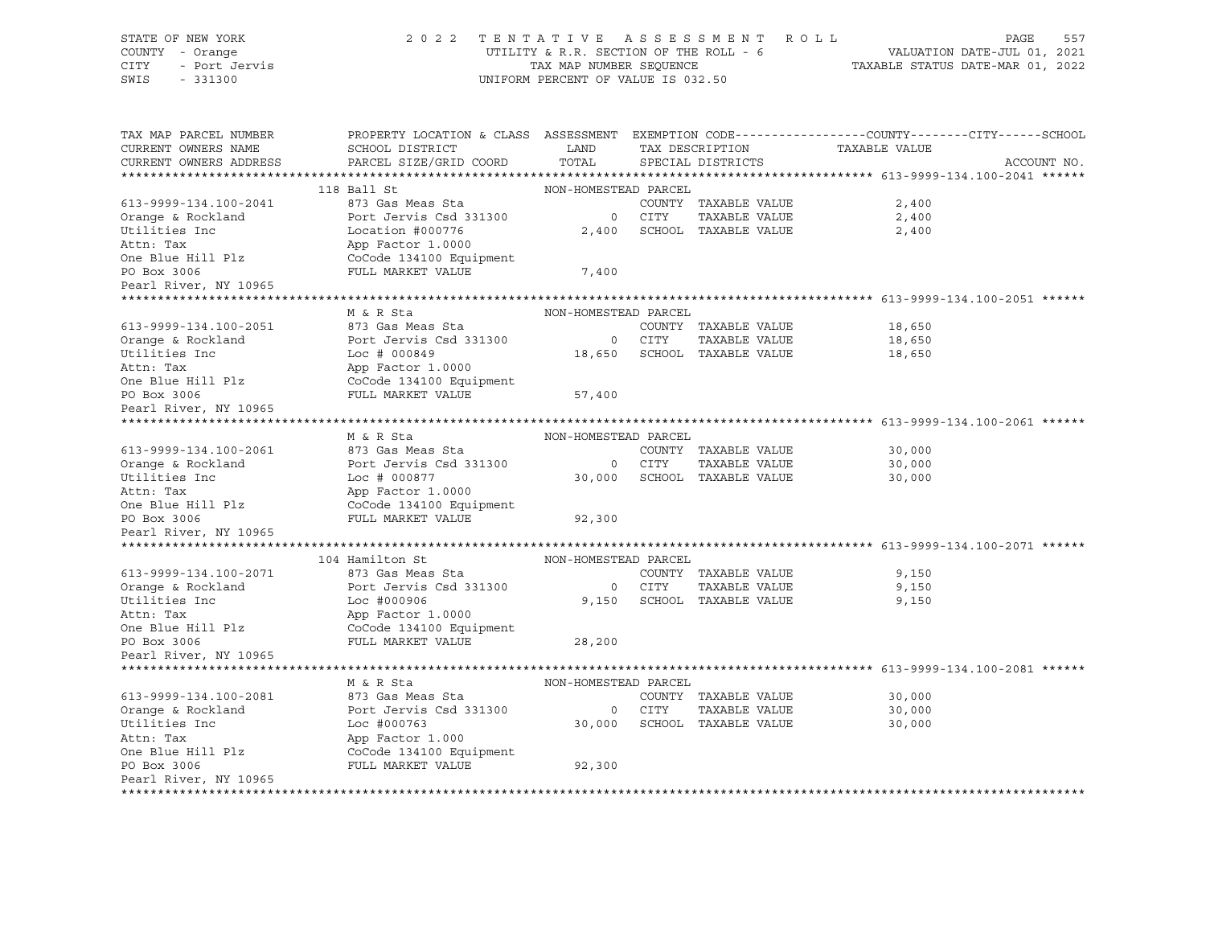| STATE OF NEW YORK<br>COUNTY - Orange<br>CITY<br>- Port Jervis<br>SWIS<br>$-331300$ | 2 0 2 2                                      | TAX MAP NUMBER SEQUENCE<br>UNIFORM PERCENT OF VALUE IS 032.50 | TENTATIVE ASSESSMENT ROLL   | PAGE<br>557<br>UTILITY & R.R. SECTION OF THE ROLL - 6 WALUATION DATE-JUL 01, 2021<br>TAXABLE STATUS DATE-MAR 01, 2022 |
|------------------------------------------------------------------------------------|----------------------------------------------|---------------------------------------------------------------|-----------------------------|-----------------------------------------------------------------------------------------------------------------------|
| TAX MAP PARCEL NUMBER<br>CURRENT OWNERS NAME                                       | SCHOOL DISTRICT                              | LAND                                                          | TAX DESCRIPTION             | PROPERTY LOCATION & CLASS ASSESSMENT EXEMPTION CODE----------------COUNTY-------CITY------SCHOOL<br>TAXABLE VALUE     |
| CURRENT OWNERS ADDRESS                                                             | PARCEL SIZE/GRID COORD                       | TOTAL                                                         | SPECIAL DISTRICTS           | ACCOUNT NO.                                                                                                           |
|                                                                                    |                                              |                                                               |                             |                                                                                                                       |
|                                                                                    | 118 Ball St                                  | NON-HOMESTEAD PARCEL                                          |                             |                                                                                                                       |
| 613-9999-134.100-2041                                                              | 873 Gas Meas Sta                             |                                                               | COUNTY TAXABLE VALUE        | 2,400                                                                                                                 |
| Orange & Rockland                                                                  | Port Jervis Csd 331300                       | 0 CITY                                                        | TAXABLE VALUE               | 2,400                                                                                                                 |
| Utilities Inc<br>Attn: Tax                                                         | Location #000776                             |                                                               | 2,400 SCHOOL TAXABLE VALUE  | 2,400                                                                                                                 |
| One Blue Hill Plz                                                                  | App Factor 1.0000<br>CoCode 134100 Equipment |                                                               |                             |                                                                                                                       |
| PO Box 3006                                                                        | FULL MARKET VALUE                            | 7,400                                                         |                             |                                                                                                                       |
| Pearl River, NY 10965                                                              |                                              |                                                               |                             |                                                                                                                       |
|                                                                                    |                                              |                                                               |                             |                                                                                                                       |
|                                                                                    | M & R Sta                                    | NON-HOMESTEAD PARCEL                                          |                             |                                                                                                                       |
| 613-9999-134.100-2051                                                              | 873 Gas Meas Sta                             |                                                               | COUNTY TAXABLE VALUE        | 18,650                                                                                                                |
| Orange & Rockland                                                                  | Port Jervis Csd 331300                       | 0 CITY                                                        | TAXABLE VALUE               | 18,650                                                                                                                |
| Utilities Inc                                                                      | $Loc$ # 000849                               |                                                               | 18,650 SCHOOL TAXABLE VALUE | 18,650                                                                                                                |
| Attn: Tax                                                                          | App Factor 1.0000                            |                                                               |                             |                                                                                                                       |
| One Blue Hill Plz<br>PO Box 3006                                                   | CoCode 134100 Equipment<br>FULL MARKET VALUE | 57,400                                                        |                             |                                                                                                                       |
| Pearl River, NY 10965                                                              |                                              |                                                               |                             |                                                                                                                       |
|                                                                                    |                                              |                                                               |                             |                                                                                                                       |
|                                                                                    | M & R Sta                                    | NON-HOMESTEAD PARCEL                                          |                             |                                                                                                                       |
| 613-9999-134.100-2061                                                              | 873 Gas Meas Sta                             |                                                               | COUNTY TAXABLE VALUE        | 30,000                                                                                                                |
| Orange & Rockland                                                                  | Port Jervis Csd 331300                       | 0 CITY                                                        | TAXABLE VALUE               | 30,000                                                                                                                |
| Utilities Inc                                                                      | Loc # 000877                                 |                                                               | 30,000 SCHOOL TAXABLE VALUE | 30,000                                                                                                                |
| Attn: Tax                                                                          | App Factor 1.0000                            |                                                               |                             |                                                                                                                       |
| One Blue Hill Plz                                                                  | CoCode 134100 Equipment                      |                                                               |                             |                                                                                                                       |
| PO Box 3006<br>Pearl River, NY 10965                                               | FULL MARKET VALUE                            | 92,300                                                        |                             |                                                                                                                       |
|                                                                                    |                                              |                                                               |                             |                                                                                                                       |
|                                                                                    | 104 Hamilton St                              | NON-HOMESTEAD PARCEL                                          |                             |                                                                                                                       |
| 613-9999-134.100-2071                                                              | 873 Gas Meas Sta                             |                                                               | COUNTY TAXABLE VALUE        | 9,150                                                                                                                 |
| Orange & Rockland                                                                  | Port Jervis Csd 331300                       | 0 CITY                                                        | TAXABLE VALUE               | 9,150                                                                                                                 |
| Utilities Inc                                                                      | Loc #000906                                  |                                                               | 9,150 SCHOOL TAXABLE VALUE  | 9,150                                                                                                                 |
| Attn: Tax                                                                          | App Factor 1.0000                            |                                                               |                             |                                                                                                                       |
| One Blue Hill Plz                                                                  | CoCode 134100 Equipment                      |                                                               |                             |                                                                                                                       |
| PO Box 3006                                                                        | FULL MARKET VALUE                            | 28,200                                                        |                             |                                                                                                                       |
| Pearl River, NY 10965                                                              |                                              |                                                               |                             |                                                                                                                       |
|                                                                                    | M & R Sta                                    | NON-HOMESTEAD PARCEL                                          |                             |                                                                                                                       |
| 613-9999-134.100-2081                                                              | 873 Gas Meas Sta                             |                                                               | COUNTY TAXABLE VALUE        | 30,000                                                                                                                |
| Orange & Rockland                                                                  | Port Jervis Csd 331300                       | 0 CITY                                                        | TAXABLE VALUE               | 30,000                                                                                                                |
| Utilities Inc                                                                      | Loc #000763                                  |                                                               | 30,000 SCHOOL TAXABLE VALUE | 30,000                                                                                                                |
| Attn: Tax                                                                          | App Factor 1.000                             |                                                               |                             |                                                                                                                       |
| One Blue Hill Plz                                                                  | CoCode 134100 Equipment                      |                                                               |                             |                                                                                                                       |
| PO Box 3006                                                                        | FULL MARKET VALUE                            | 92,300                                                        |                             |                                                                                                                       |
| Pearl River, NY 10965                                                              |                                              |                                                               |                             |                                                                                                                       |
|                                                                                    |                                              |                                                               |                             |                                                                                                                       |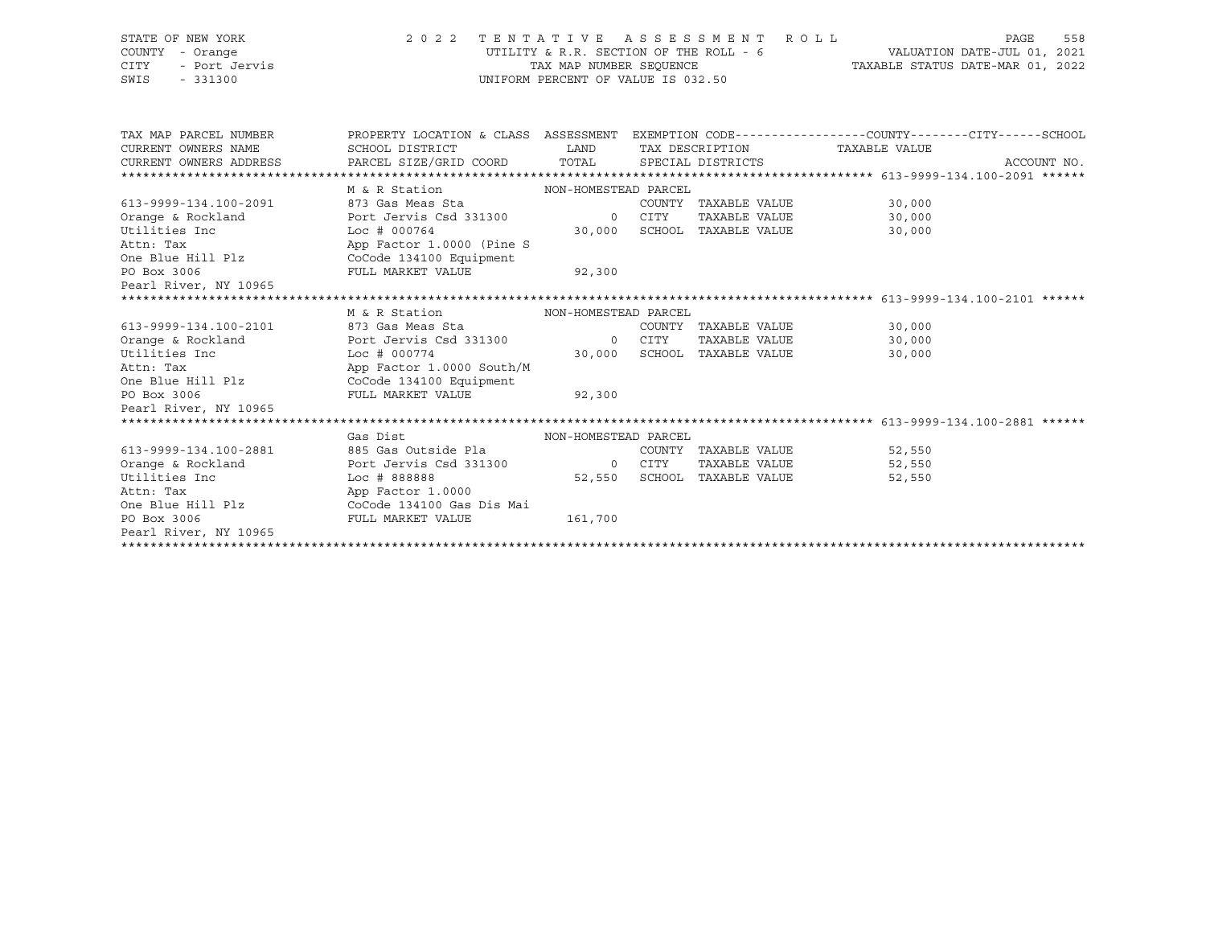| STATE OF NEW YORK<br>COUNTY - Orange<br><b>CITY</b><br>- Port Jervis<br>SWIS<br>$-331300$ | 2 0 2 2                                                                                         | UTILITY & R.R. SECTION OF THE ROLL - 6<br>TAX MAP NUMBER SEOUENCE<br>UNIFORM PERCENT OF VALUE IS 032.50 | TENTATIVE ASSESSMENT ROLL                    |                      | 558<br>PAGE |
|-------------------------------------------------------------------------------------------|-------------------------------------------------------------------------------------------------|---------------------------------------------------------------------------------------------------------|----------------------------------------------|----------------------|-------------|
| TAX MAP PARCEL NUMBER                                                                     | PROPERTY LOCATION & CLASS ASSESSMENT EXEMPTION CODE---------------COUNTY-------CITY------SCHOOL |                                                                                                         |                                              |                      |             |
| CURRENT OWNERS NAME                                                                       | SCHOOL DISTRICT                                                                                 | <b>EXAMPLE TO A LAND</b>                                                                                | TAX DESCRIPTION TAXABLE VALUE                |                      |             |
| CURRENT OWNERS ADDRESS                                                                    | PARCEL SIZE/GRID COORD TOTAL SPECIAL DISTRICTS                                                  |                                                                                                         |                                              |                      | ACCOUNT NO. |
|                                                                                           |                                                                                                 |                                                                                                         |                                              |                      |             |
|                                                                                           | M & R Station MON-HOMESTEAD PARCEL                                                              |                                                                                                         |                                              |                      |             |
| 613-9999-134.100-2091                                                                     | 873 Gas Meas Sta<br>Port Jervis Csd 331300                                                      | 0 CITY                                                                                                  | COUNTY TAXABLE VALUE                         | 30,000               |             |
| Orange & Rockland<br>Utilities Inc                                                        | $Loc$ # 000764                                                                                  |                                                                                                         | TAXABLE VALUE<br>30,000 SCHOOL TAXABLE VALUE | 30,000               |             |
| Attn: Tax                                                                                 | App Factor 1.0000 (Pine S                                                                       |                                                                                                         |                                              | 30,000               |             |
| One Blue Hill Plz CoCode 134100 Equipment                                                 |                                                                                                 |                                                                                                         |                                              |                      |             |
| PO Box 3006                                                                               | FULL MARKET VALUE                                                                               | 92,300                                                                                                  |                                              |                      |             |
| Pearl River, NY 10965                                                                     |                                                                                                 |                                                                                                         |                                              |                      |             |
|                                                                                           |                                                                                                 |                                                                                                         |                                              |                      |             |
|                                                                                           | M & R Station                                                                                   | NON-HOMESTEAD PARCEL                                                                                    |                                              |                      |             |
| 613-9999-134.100-2101                                                                     | 873 Gas Meas Sta                                                                                |                                                                                                         | COUNTY TAXABLE VALUE                         | 30,000               |             |
| Orange & Rockland                                                                         | Port Jervis Csd 331300 0 CITY                                                                   |                                                                                                         | TAXABLE VALUE                                | 30,000               |             |
| Utilities Inc                                                                             | Loc#000774                                                                                      |                                                                                                         | 30,000 SCHOOL TAXABLE VALUE                  | 30,000               |             |
| Attn: Tax                                                                                 | App Factor 1.0000 South/M                                                                       |                                                                                                         |                                              |                      |             |
| One Blue Hill Plz CoCode 134100 Equipment                                                 |                                                                                                 |                                                                                                         |                                              |                      |             |
| PO Box 3006                                                                               | FULL MARKET VALUE 92,300                                                                        |                                                                                                         |                                              |                      |             |
| Pearl River, NY 10965                                                                     |                                                                                                 |                                                                                                         |                                              |                      |             |
|                                                                                           |                                                                                                 |                                                                                                         |                                              |                      |             |
|                                                                                           | Gas Dist                                                                                        | NON-HOMESTEAD PARCEL                                                                                    |                                              |                      |             |
| 613-9999-134.100-2881                                                                     | 885 Gas Outside Pla                                                                             |                                                                                                         | COUNTY TAXABLE VALUE                         | 52,550               |             |
| Orange & Rockland                                                                         | Port Jervis Csd 331300 0 CITY                                                                   |                                                                                                         |                                              | TAXABLE VALUE 52,550 |             |
| Utilities Inc                                                                             | Loc # 888888                                                                                    |                                                                                                         | 52,550 SCHOOL TAXABLE VALUE                  | 52,550               |             |
| Attn: Tax                                                                                 | App Factor 1.0000                                                                               |                                                                                                         |                                              |                      |             |
|                                                                                           |                                                                                                 |                                                                                                         |                                              |                      |             |
| PO Box 3006                                                                               | FULL MARKET VALUE                                                                               | 161,700                                                                                                 |                                              |                      |             |
| Pearl River, NY 10965                                                                     |                                                                                                 |                                                                                                         |                                              |                      |             |
|                                                                                           |                                                                                                 |                                                                                                         |                                              |                      |             |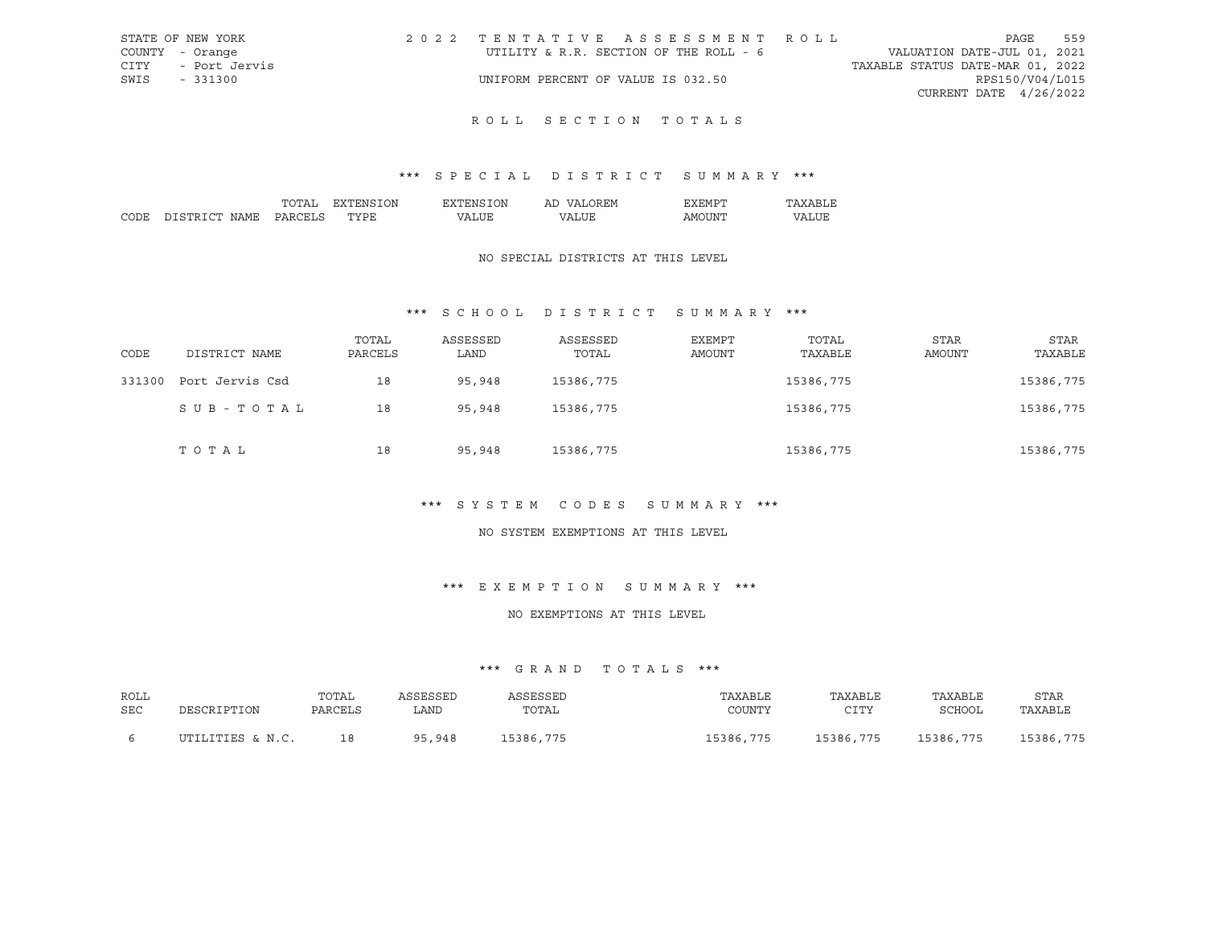| STATE OF NEW YORK     |                                    | 2022 TENTATIVE ASSESSMENT ROLL         |                                  |                          | PAGE | 559 |
|-----------------------|------------------------------------|----------------------------------------|----------------------------------|--------------------------|------|-----|
| COUNTY - Orange       |                                    | UTILITY & R.R. SECTION OF THE ROLL - 6 | VALUATION DATE-JUL 01, 2021      |                          |      |     |
| CITY<br>- Port Jervis |                                    |                                        | TAXABLE STATUS DATE-MAR 01, 2022 |                          |      |     |
| SWIS<br>- 331300      | UNIFORM PERCENT OF VALUE IS 032.50 |                                        |                                  | RPS150/V04/L015          |      |     |
|                       |                                    |                                        |                                  | CURRENT DATE $4/26/2022$ |      |     |
|                       |                                    |                                        |                                  |                          |      |     |

## \*\*\* S P E C I A L D I S T R I C T S U M M A R Y \*\*\*

|      |                     | ᠇ <i>᠆</i> | ΩN     | λN<br>'NH    | Αl             |                                                                                                                                                                                                                                                                                                                                                                                                                                                                                              |    |
|------|---------------------|------------|--------|--------------|----------------|----------------------------------------------------------------------------------------------------------------------------------------------------------------------------------------------------------------------------------------------------------------------------------------------------------------------------------------------------------------------------------------------------------------------------------------------------------------------------------------------|----|
| וחרי | $\cap$ mr<br>$\cap$ | י הדר      | .<br>້ | $\mathbf{v}$ | $\prime\prime$ | ∡ INP<br>ישו ב<br>$\frac{1}{2} \left( \frac{1}{2} \right) \left( \frac{1}{2} \right) \left( \frac{1}{2} \right) \left( \frac{1}{2} \right) \left( \frac{1}{2} \right) \left( \frac{1}{2} \right) \left( \frac{1}{2} \right) \left( \frac{1}{2} \right) \left( \frac{1}{2} \right) \left( \frac{1}{2} \right) \left( \frac{1}{2} \right) \left( \frac{1}{2} \right) \left( \frac{1}{2} \right) \left( \frac{1}{2} \right) \left( \frac{1}{2} \right) \left( \frac{1}{2} \right) \left( \frac$ | חי |

#### NO SPECIAL DISTRICTS AT THIS LEVEL

## \*\*\* S C H O O L D I S T R I C T S U M M A R Y \*\*\*

| CODE   | DISTRICT NAME   | TOTAL<br>PARCELS | ASSESSED<br>LAND | ASSESSED<br>TOTAL | <b>EXEMPT</b><br>AMOUNT | TOTAL<br>TAXABLE | <b>STAR</b><br>AMOUNT | STAR<br>TAXABLE |
|--------|-----------------|------------------|------------------|-------------------|-------------------------|------------------|-----------------------|-----------------|
| 331300 | Port Jervis Csd | 18               | 95,948           | 15386,775         |                         | 15386,775        |                       | 15386,775       |
|        | SUB-TOTAL       | 18               | 95,948           | 15386,775         | 15386,775               |                  |                       | 15386,775       |
|        | TOTAL           | 18               | 95,948           | 15386,775         |                         | 15386,775        |                       | 15386,775       |

### \*\*\* S Y S T E M C O D E S S U M M A R Y \*\*\*

### NO SYSTEM EXEMPTIONS AT THIS LEVEL

### \*\*\* E X E M P T I O N S U M M A R Y \*\*\*

### NO EXEMPTIONS AT THIS LEVEL

| ROLL<br>SEC | DESCRIPTION      | TOTAL<br>PARCELS | ASSESSED<br>LAND | ASSESSED<br>TOTAL | TAXABLE<br>COUNTY | TAXABLE<br>CTTV<br>ᅩᅩᅩ | TAXABLE<br>SCHOOL | STAR<br>TAXABLE |
|-------------|------------------|------------------|------------------|-------------------|-------------------|------------------------|-------------------|-----------------|
|             | UTILITIES & N.C. | 18               | 95,948           | 15386,775         | 15386,775         | 15386,775              | 15386,775         | 15386,775       |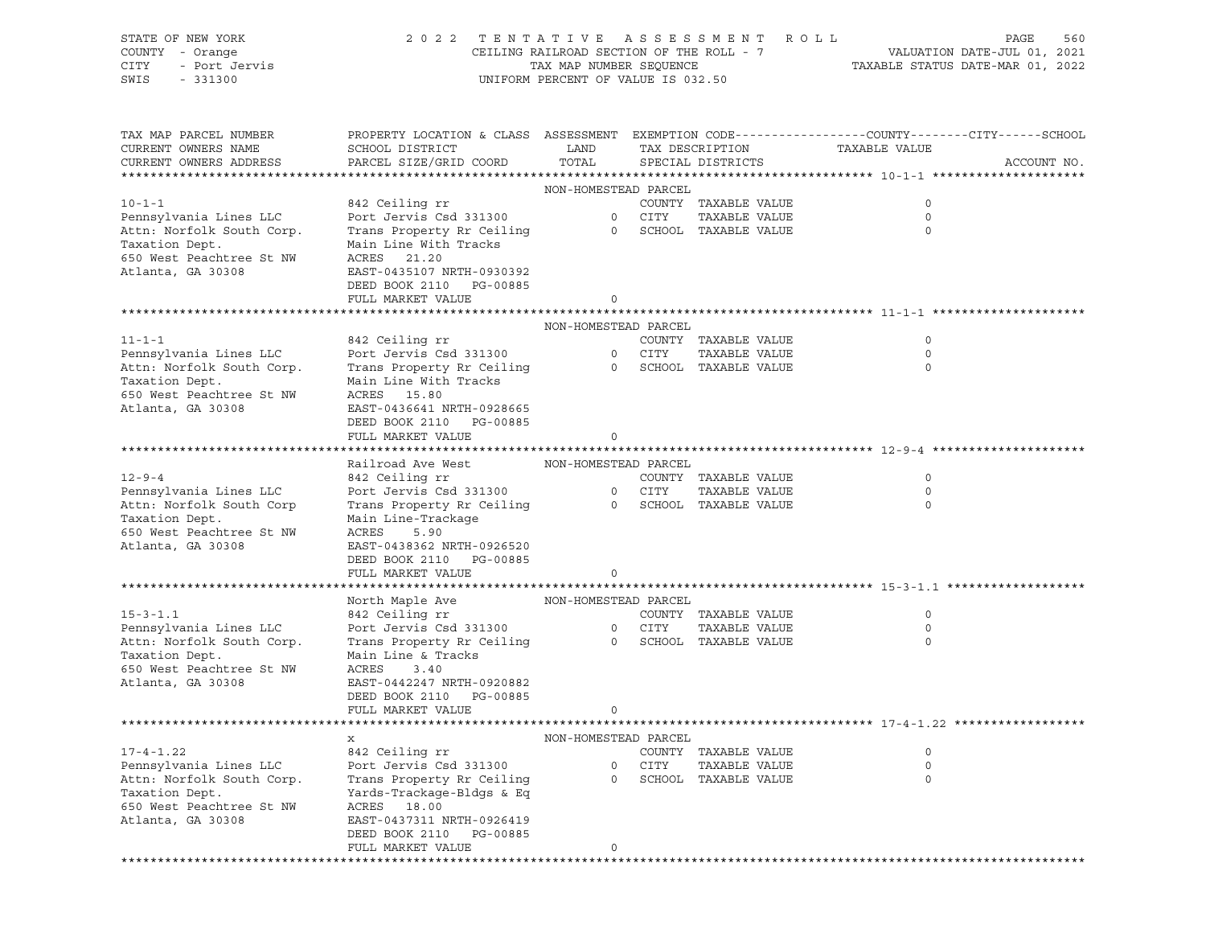| STATE OF NEW YORK<br>COUNTY - Orange<br>CITY<br>- Port Jervis<br>SWIS<br>$-331300$ | 2 0 2 2                                                                                                                                       | CEILING RAILROAD SECTION OF THE ROLL - 7<br>TAX MAP NUMBER SEQUENCE<br>UNIFORM PERCENT OF VALUE IS 032.50 |        | TENTATIVE ASSESSMENT ROLL               |               | PAGE<br>560<br>VALUATION DATE-JUL 01, 2021<br>TAXABLE STATUS DATE-MAR 01, 2022 |
|------------------------------------------------------------------------------------|-----------------------------------------------------------------------------------------------------------------------------------------------|-----------------------------------------------------------------------------------------------------------|--------|-----------------------------------------|---------------|--------------------------------------------------------------------------------|
| TAX MAP PARCEL NUMBER<br>CURRENT OWNERS NAME<br>CURRENT OWNERS ADDRESS             | PROPERTY LOCATION & CLASS ASSESSMENT EXEMPTION CODE----------------COUNTY-------CITY------SCHOOL<br>SCHOOL DISTRICT<br>PARCEL SIZE/GRID COORD | LAND<br>TOTAL                                                                                             |        | TAX DESCRIPTION<br>SPECIAL DISTRICTS    | TAXABLE VALUE | ACCOUNT NO.                                                                    |
|                                                                                    |                                                                                                                                               | NON-HOMESTEAD PARCEL                                                                                      |        |                                         |               |                                                                                |
| $10 - 1 - 1$                                                                       | 842 Ceiling rr                                                                                                                                |                                                                                                           |        | COUNTY TAXABLE VALUE                    | 0             |                                                                                |
| Pennsylvania Lines LLC                                                             | Port Jervis Csd 331300                                                                                                                        |                                                                                                           | 0 CITY | TAXABLE VALUE                           | $\mathbf 0$   |                                                                                |
| Attn: Norfolk South Corp.                                                          | Trans Property Rr Ceiling                                                                                                                     |                                                                                                           |        | 0 SCHOOL TAXABLE VALUE                  | 0             |                                                                                |
| Taxation Dept.<br>650 West Peachtree St NW                                         | Main Line With Tracks<br>ACRES 21.20                                                                                                          |                                                                                                           |        |                                         |               |                                                                                |
| Atlanta, GA 30308                                                                  | EAST-0435107 NRTH-0930392                                                                                                                     |                                                                                                           |        |                                         |               |                                                                                |
|                                                                                    | DEED BOOK 2110 PG-00885                                                                                                                       |                                                                                                           |        |                                         |               |                                                                                |
|                                                                                    | FULL MARKET VALUE                                                                                                                             | 0                                                                                                         |        |                                         |               |                                                                                |
|                                                                                    |                                                                                                                                               |                                                                                                           |        |                                         |               |                                                                                |
|                                                                                    |                                                                                                                                               | NON-HOMESTEAD PARCEL                                                                                      |        |                                         |               |                                                                                |
| $11 - 1 - 1$                                                                       | 842 Ceiling rr                                                                                                                                |                                                                                                           |        | COUNTY TAXABLE VALUE                    | 0             |                                                                                |
| Pennsylvania Lines LLC<br>Attn: Norfolk South Corp.                                | Port Jervis Csd 331300                                                                                                                        |                                                                                                           | 0 CITY | TAXABLE VALUE<br>0 SCHOOL TAXABLE VALUE | $\circ$<br>0  |                                                                                |
| Taxation Dept.                                                                     | Trans Property Rr Ceiling<br>Main Line With Tracks                                                                                            |                                                                                                           |        |                                         |               |                                                                                |
| 650 West Peachtree St NW                                                           | ACRES 15.80                                                                                                                                   |                                                                                                           |        |                                         |               |                                                                                |
| Atlanta, GA 30308                                                                  | EAST-0436641 NRTH-0928665                                                                                                                     |                                                                                                           |        |                                         |               |                                                                                |
|                                                                                    | DEED BOOK 2110 PG-00885                                                                                                                       |                                                                                                           |        |                                         |               |                                                                                |
|                                                                                    | FULL MARKET VALUE                                                                                                                             | 0                                                                                                         |        |                                         |               |                                                                                |
|                                                                                    |                                                                                                                                               |                                                                                                           |        |                                         |               |                                                                                |
| $12 - 9 - 4$                                                                       | Railroad Ave West<br>842 Ceiling rr                                                                                                           | NON-HOMESTEAD PARCEL                                                                                      |        | COUNTY TAXABLE VALUE                    | 0             |                                                                                |
| Pennsylvania Lines LLC                                                             | Port Jervis Csd 331300                                                                                                                        |                                                                                                           | 0 CITY | TAXABLE VALUE                           | $\mathbf 0$   |                                                                                |
| Attn: Norfolk South Corp                                                           | Trans Property Rr Ceiling                                                                                                                     |                                                                                                           |        | 0 SCHOOL TAXABLE VALUE                  | 0             |                                                                                |
| Taxation Dept.                                                                     | Main Line-Trackage                                                                                                                            |                                                                                                           |        |                                         |               |                                                                                |
| 650 West Peachtree St NW                                                           | ACRES<br>5.90                                                                                                                                 |                                                                                                           |        |                                         |               |                                                                                |
| Atlanta, GA 30308                                                                  | EAST-0438362 NRTH-0926520                                                                                                                     |                                                                                                           |        |                                         |               |                                                                                |
|                                                                                    | DEED BOOK 2110 PG-00885                                                                                                                       |                                                                                                           |        |                                         |               |                                                                                |
|                                                                                    | FULL MARKET VALUE                                                                                                                             | 0                                                                                                         |        |                                         |               |                                                                                |
|                                                                                    | North Maple Ave                                                                                                                               | NON-HOMESTEAD PARCEL                                                                                      |        |                                         |               |                                                                                |
| $15 - 3 - 1.1$                                                                     | 842 Ceiling rr                                                                                                                                |                                                                                                           |        | COUNTY TAXABLE VALUE                    | 0             |                                                                                |
| Pennsylvania Lines LLC                                                             | Port Jervis Csd 331300                                                                                                                        |                                                                                                           | 0 CITY | TAXABLE VALUE                           | $\circ$       |                                                                                |
| Attn: Norfolk South Corp.                                                          | Trans Property Rr Ceiling                                                                                                                     |                                                                                                           |        | 0 SCHOOL TAXABLE VALUE                  | $\circ$       |                                                                                |
| Taxation Dept.                                                                     | Main Line & Tracks                                                                                                                            |                                                                                                           |        |                                         |               |                                                                                |
| 650 West Peachtree St NW                                                           | ACRES<br>3.40                                                                                                                                 |                                                                                                           |        |                                         |               |                                                                                |
| Atlanta, GA 30308                                                                  | EAST-0442247 NRTH-0920882<br>DEED BOOK 2110<br>PG-00885                                                                                       |                                                                                                           |        |                                         |               |                                                                                |
|                                                                                    | FULL MARKET VALUE                                                                                                                             | $\circ$                                                                                                   |        |                                         |               |                                                                                |
|                                                                                    |                                                                                                                                               |                                                                                                           |        |                                         |               |                                                                                |
|                                                                                    | х                                                                                                                                             | NON-HOMESTEAD PARCEL                                                                                      |        |                                         |               |                                                                                |
| $17 - 4 - 1.22$                                                                    | 842 Ceiling rr                                                                                                                                |                                                                                                           |        | COUNTY TAXABLE VALUE                    | 0             |                                                                                |
| Pennsylvania Lines LLC                                                             | Port Jervis Csd 331300                                                                                                                        |                                                                                                           | 0 CITY | TAXABLE VALUE                           | $\circ$       |                                                                                |
| Attn: Norfolk South Corp.                                                          | Trans Property Rr Ceiling                                                                                                                     | $\circ$                                                                                                   |        | SCHOOL TAXABLE VALUE                    | 0             |                                                                                |
| Taxation Dept.<br>650 West Peachtree St NW                                         | Yards-Trackage-Bldgs & Eq                                                                                                                     |                                                                                                           |        |                                         |               |                                                                                |
| Atlanta, GA 30308                                                                  | ACRES 18.00<br>EAST-0437311 NRTH-0926419                                                                                                      |                                                                                                           |        |                                         |               |                                                                                |
|                                                                                    | DEED BOOK 2110<br>PG-00885                                                                                                                    |                                                                                                           |        |                                         |               |                                                                                |
|                                                                                    | FULL MARKET VALUE                                                                                                                             | 0                                                                                                         |        |                                         |               |                                                                                |
|                                                                                    |                                                                                                                                               |                                                                                                           |        |                                         |               |                                                                                |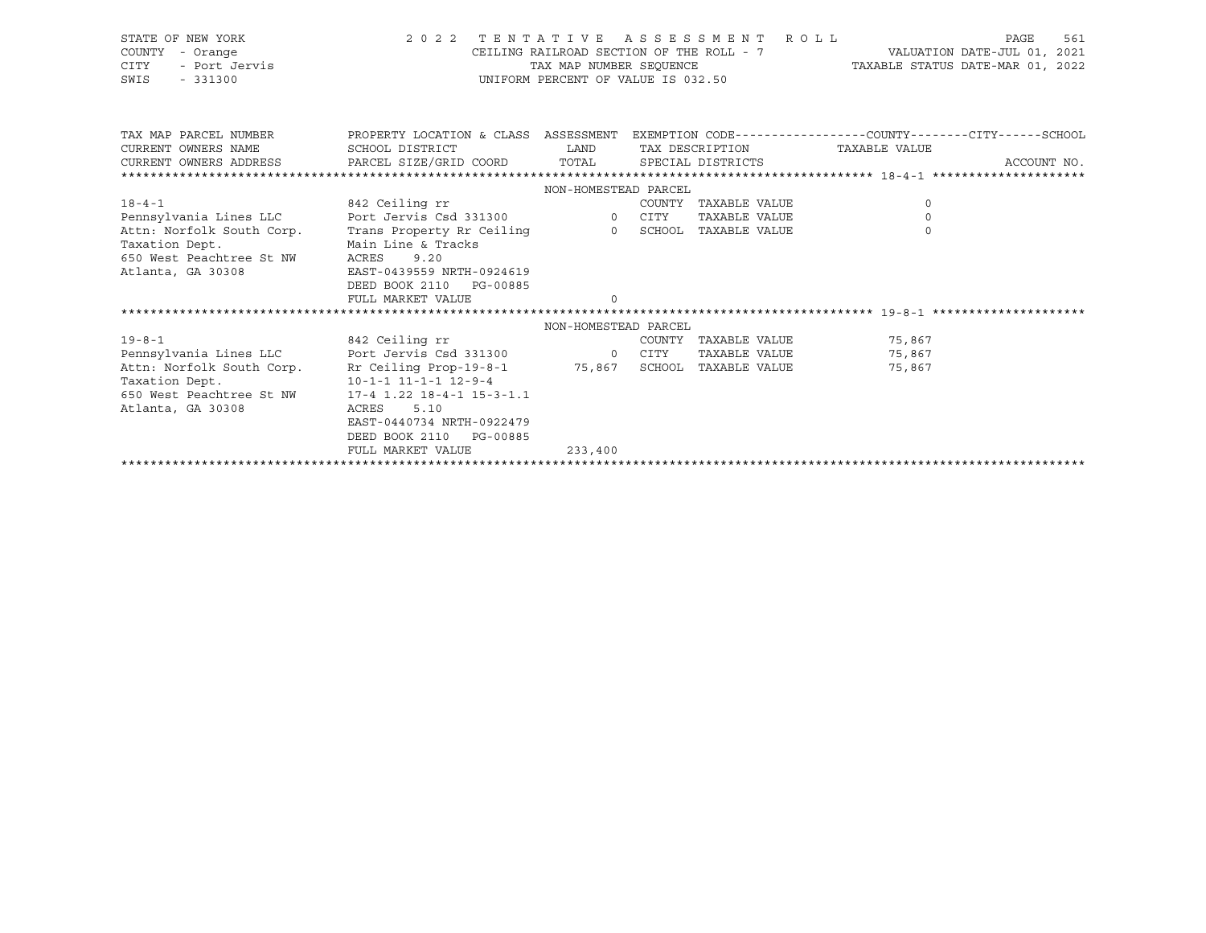| STATE OF NEW YORK<br>COUNTY - Orange<br>- Port Jervis<br>CITY<br>SWIS<br>$-331300$ | 2022 TENTATIVE ASSESSMENT ROLL                                                                   | CEILING RAILROAD SECTION OF THE ROLL - 7<br>TAX MAP NUMBER SEOUENCE<br>UNIFORM PERCENT OF VALUE IS 032.50 |                        | TAXABLE STATUS DATE-MAR 01, 2022 | PAGE<br>561<br>VALUATION DATE-JUL 01, 2021 |
|------------------------------------------------------------------------------------|--------------------------------------------------------------------------------------------------|-----------------------------------------------------------------------------------------------------------|------------------------|----------------------------------|--------------------------------------------|
| TAX MAP PARCEL NUMBER                                                              | PROPERTY LOCATION & CLASS ASSESSMENT EXEMPTION CODE----------------COUNTY-------CITY------SCHOOL |                                                                                                           |                        |                                  |                                            |
| CURRENT OWNERS NAME                                                                | SCHOOL DISTRICT                                                                                  | LAND                                                                                                      | TAX DESCRIPTION        | TAXABLE VALUE                    |                                            |
| CURRENT OWNERS ADDRESS                                                             | PARCEL SIZE/GRID COORD TOTAL                                                                     |                                                                                                           | SPECIAL DISTRICTS      |                                  | ACCOUNT NO.                                |
|                                                                                    |                                                                                                  |                                                                                                           |                        |                                  |                                            |
|                                                                                    |                                                                                                  | NON-HOMESTEAD PARCEL                                                                                      |                        |                                  |                                            |
| $18 - 4 - 1$                                                                       | 842 Ceiling rr                                                                                   |                                                                                                           | COUNTY TAXABLE VALUE   | $\circ$                          |                                            |
| Pennsylvania Lines LLC                                                             | Port Jervis Csd 331300                                                                           | 0 CITY                                                                                                    | TAXABLE VALUE          | $\Omega$                         |                                            |
| Attn: Norfolk South Corp.                                                          | Trans Property Rr Ceiling                                                                        |                                                                                                           | 0 SCHOOL TAXABLE VALUE | $\Omega$                         |                                            |
| Taxation Dept.                                                                     | Main Line & Tracks                                                                               |                                                                                                           |                        |                                  |                                            |
| 650 West Peachtree St NW                                                           | ACRES<br>9.20                                                                                    |                                                                                                           |                        |                                  |                                            |
| Atlanta, GA 30308                                                                  | EAST-0439559 NRTH-0924619                                                                        |                                                                                                           |                        |                                  |                                            |
|                                                                                    | DEED BOOK 2110 PG-00885                                                                          |                                                                                                           |                        |                                  |                                            |
|                                                                                    | FULL MARKET VALUE                                                                                |                                                                                                           |                        |                                  |                                            |
|                                                                                    |                                                                                                  |                                                                                                           |                        |                                  |                                            |
|                                                                                    |                                                                                                  | NON-HOMESTEAD PARCEL                                                                                      |                        |                                  |                                            |
| $19 - 8 - 1$                                                                       | 842 Ceiling rr<br>Port Jervis Csd 331300 0 CITY                                                  |                                                                                                           |                        | COUNTY TAXABLE VALUE 75,867      |                                            |
| Pennsylvania Lines LLC<br>Attn: Norfolk South Corp.                                | Rr Ceiling Prop-19-8-1 75,867 SCHOOL TAXABLE VALUE                                               |                                                                                                           |                        | TAXABLE VALUE 75,867<br>75,867   |                                            |
| Taxation Dept.                                                                     | $10 - 1 - 1$ $11 - 1 - 1$ $12 - 9 - 4$                                                           |                                                                                                           |                        |                                  |                                            |
| 650 West Peachtree St NW                                                           | $17-4$ 1.22 18-4-1 15-3-1.1                                                                      |                                                                                                           |                        |                                  |                                            |
| Atlanta, GA 30308                                                                  | ACRES<br>5.10                                                                                    |                                                                                                           |                        |                                  |                                            |
|                                                                                    | EAST-0440734 NRTH-0922479                                                                        |                                                                                                           |                        |                                  |                                            |
|                                                                                    | DEED BOOK 2110 PG-00885                                                                          |                                                                                                           |                        |                                  |                                            |
|                                                                                    | FULL MARKET VALUE                                                                                | 233,400                                                                                                   |                        |                                  |                                            |
|                                                                                    |                                                                                                  |                                                                                                           |                        |                                  |                                            |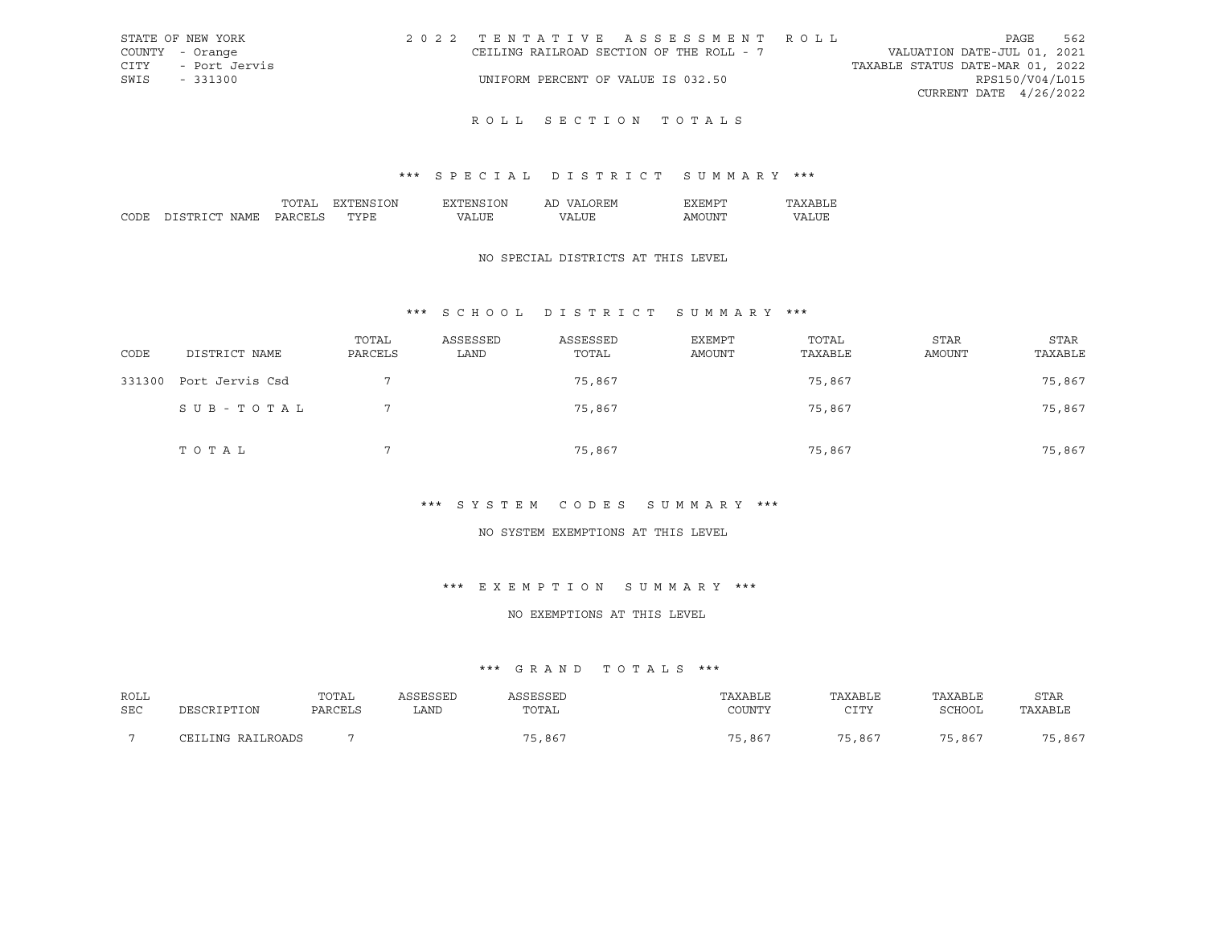| STATE OF NEW YORK     |                                    | 2022 TENTATIVE ASSESSMENT ROLL           |                                  | PAGE                     | 562 |
|-----------------------|------------------------------------|------------------------------------------|----------------------------------|--------------------------|-----|
| COUNTY - Orange       |                                    | CEILING RAILROAD SECTION OF THE ROLL - 7 | VALUATION DATE-JUL 01, 2021      |                          |     |
| CITY<br>- Port Jervis |                                    |                                          | TAXABLE STATUS DATE-MAR 01, 2022 |                          |     |
| SWIS<br>$-331300$     | UNIFORM PERCENT OF VALUE IS 032.50 |                                          |                                  | RPS150/V04/L015          |     |
|                       |                                    |                                          |                                  | CURRENT DATE $4/26/2022$ |     |
|                       |                                    |                                          |                                  |                          |     |

## \*\*\* S P E C I A L D I S T R I C T S U M M A R Y \*\*\*

|      |                     | ᠇ <i>᠆</i> | ΩN     | λN<br>' IN I | Αl             |                                                                                                                                                                                                                                                                                                                                                                                                                                                                                              |    |
|------|---------------------|------------|--------|--------------|----------------|----------------------------------------------------------------------------------------------------------------------------------------------------------------------------------------------------------------------------------------------------------------------------------------------------------------------------------------------------------------------------------------------------------------------------------------------------------------------------------------------|----|
| וחרי | $\cap$ mr<br>$\cap$ | י הדר      | .<br>້ | $\mathbf{v}$ | $\prime\prime$ | ∡ INP<br>ישו ב<br>$\frac{1}{2} \left( \frac{1}{2} \right) \left( \frac{1}{2} \right) \left( \frac{1}{2} \right) \left( \frac{1}{2} \right) \left( \frac{1}{2} \right) \left( \frac{1}{2} \right) \left( \frac{1}{2} \right) \left( \frac{1}{2} \right) \left( \frac{1}{2} \right) \left( \frac{1}{2} \right) \left( \frac{1}{2} \right) \left( \frac{1}{2} \right) \left( \frac{1}{2} \right) \left( \frac{1}{2} \right) \left( \frac{1}{2} \right) \left( \frac{1}{2} \right) \left( \frac$ | חי |

### NO SPECIAL DISTRICTS AT THIS LEVEL

## \*\*\* S C H O O L D I S T R I C T S U M M A R Y \*\*\*

| CODE   | DISTRICT NAME   | TOTAL<br>PARCELS | ASSESSED<br>LAND | ASSESSED<br>TOTAL | <b>EXEMPT</b><br>AMOUNT | TOTAL<br>TAXABLE | <b>STAR</b><br>AMOUNT | STAR<br>TAXABLE |
|--------|-----------------|------------------|------------------|-------------------|-------------------------|------------------|-----------------------|-----------------|
| 331300 | Port Jervis Csd |                  |                  | 75,867            |                         | 75,867           |                       | 75,867          |
|        | SUB-TOTAL       |                  |                  | 75,867            |                         | 75,867           |                       | 75,867          |
|        | TOTAL           | $\mathcal{L}$    |                  | 75,867            |                         | 75,867           |                       | 75,867          |

### \*\*\* S Y S T E M C O D E S S U M M A R Y \*\*\*

## NO SYSTEM EXEMPTIONS AT THIS LEVEL

## \*\*\* E X E M P T I O N S U M M A R Y \*\*\*

### NO EXEMPTIONS AT THIS LEVEL

| ROLL       |                   | TOTAL   | ASSESSED | ASSESSED | TAXABLE | TAXABLE | TAXABLE | <b>STAR</b> |
|------------|-------------------|---------|----------|----------|---------|---------|---------|-------------|
| <b>SEC</b> | DESCRIPTION       | PARCELS | LAND     | TOTAL    | COUNTY  | CTTY    | SCHOOL  | TAXABLE     |
|            | CEILING RAILROADS |         |          | 75,867   | 75,867  | 75,867  | 75,867  | 75,867      |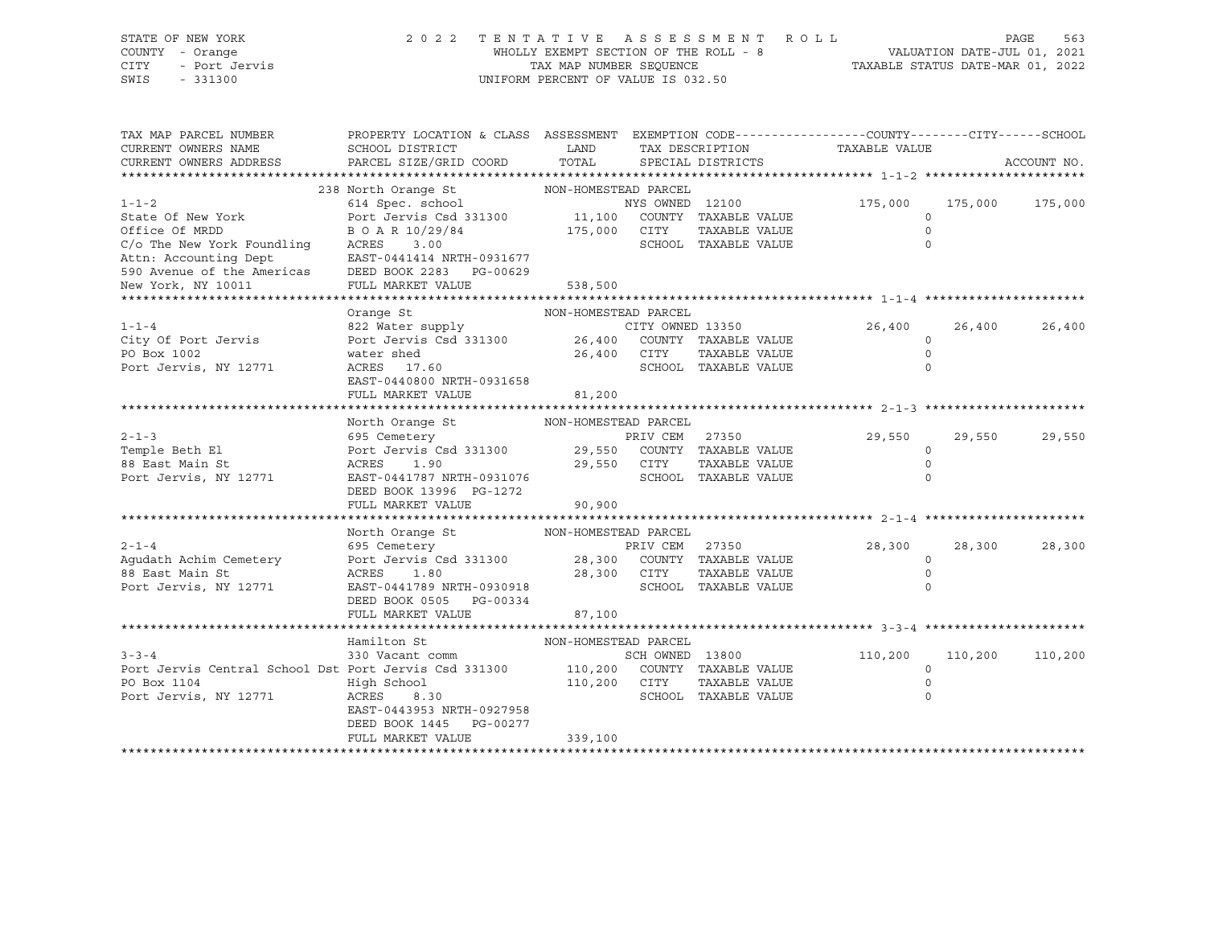# STATE OF NEW YORK 2 0 2 2 T E N T A T I V E A S S E S S M E N T R O L L PAGE 563 COUNTY - Orange WHOLLY EXEMPT SECTION OF THE ROLL - 8 VALUATION DATE-JUL 01, 2021 CITY - Port Jervis TAX MAP NUMBER SEQUENCE TAXABLE STATUS DATE-MAR 01, 2022

| TAX MAP PARCEL NUMBER<br>CURRENT OWNERS NAME<br>CURRENT OWNERS ADDRESS                                                                             | PROPERTY LOCATION & CLASS ASSESSMENT EXEMPTION CODE----------------COUNTY-------CITY------SCHOOL<br>SCHOOL DISTRICT<br>PARCEL SIZE/GRID COORD     | LAND<br>TOTAL                       |                 | TAX DESCRIPTION<br>SPECIAL DISTRICTS  | TAXABLE VALUE                            |         | ACCOUNT NO. |
|----------------------------------------------------------------------------------------------------------------------------------------------------|---------------------------------------------------------------------------------------------------------------------------------------------------|-------------------------------------|-----------------|---------------------------------------|------------------------------------------|---------|-------------|
|                                                                                                                                                    |                                                                                                                                                   |                                     |                 |                                       |                                          |         |             |
| $1 - 1 - 2$<br>State Of New York<br>Office Of MRDD                                                                                                 | 238 North Orange St<br>614 Spec. school<br>Port Jervis Csd 331300 11,100 COUNTY TAXABLE VALUE<br>B O A R 10/29/84 175,000 CITY TAXABLE VALUE      | NON-HOMESTEAD PARCEL                | NYS OWNED 12100 |                                       | 175,000<br>$\circ$<br>$\Omega$           | 175,000 | 175,000     |
| C/o The New York Foundling<br>Attn: Accounting Dept<br>590 Avenue of the Americas DEED BOOK 2283 PG-00629<br>New York, NY 10011<br>*************** | ACRES<br>3.00<br>EAST-0441414 NRTH-0931677<br>FULL MARKET VALUE                                                                                   | 538,500                             |                 | SCHOOL TAXABLE VALUE                  | $\Omega$                                 |         |             |
|                                                                                                                                                    | Orange St                                                                                                                                         | NON-HOMESTEAD PARCEL                |                 |                                       |                                          |         |             |
| $1 - 1 - 4$<br>City Of Port Jervis<br>PO Box 1002<br>Port Jervis, NY 12771                                                                         | 822 Water supply CITY OWNED 13350<br>Port Jervis Csd 331300 26,400 COUNTY TAXABLE VALUE<br>water shed<br>ACRES 17.60<br>EAST-0440800 NRTH-0931658 | $26,400$ CITY                       |                 | TAXABLE VALUE<br>SCHOOL TAXABLE VALUE | 26,400<br>$\circ$<br>$\circ$<br>$\Omega$ | 26,400  | 26,400      |
|                                                                                                                                                    | FULL MARKET VALUE                                                                                                                                 | 81,200                              |                 |                                       |                                          |         |             |
|                                                                                                                                                    |                                                                                                                                                   |                                     |                 |                                       |                                          |         |             |
| $2 - 1 - 3$<br>Temple Beth El<br>88 East Main St<br>Port Jervis, NY 12771                                                                          | North Orange St<br>695 Cemetery<br>Port Jervis Csd 331300 29,550 COUNTY TAXABLE VALUE<br>ACRES<br>1.90<br>EAST-0441787 NRTH-0931076               | NON-HOMESTEAD PARCEL<br>29,550 CITY | PRIV CEM 27350  | TAXABLE VALUE<br>SCHOOL TAXABLE VALUE | 29,550<br>$\circ$<br>$\circ$<br>$\Omega$ | 29,550  | 29,550      |
|                                                                                                                                                    | DEED BOOK 13996 PG-1272                                                                                                                           |                                     |                 |                                       |                                          |         |             |
|                                                                                                                                                    | FULL MARKET VALUE                                                                                                                                 | 90, 900                             |                 |                                       |                                          |         |             |
|                                                                                                                                                    |                                                                                                                                                   |                                     |                 |                                       |                                          |         |             |
| $2 - 1 - 4$                                                                                                                                        | North Orange St                                                                                                                                   | NON-HOMESTEAD PARCEL                |                 |                                       | 28,300                                   | 28,300  | 28,300      |
| Aqudath Achim Cemetery                                                                                                                             |                                                                                                                                                   |                                     |                 |                                       | $\circ$                                  |         |             |
| 88 East Main St<br>Port Jervis, NY 12771                                                                                                           | ACRES<br>1.80<br>EAST-0441789 NRTH-0930918<br>DEED BOOK 0505 PG-00334<br>FULL MARKET VALUE                                                        | 28,300 CITY<br>SCHOO<br>87,100      |                 | TAXABLE VALUE<br>SCHOOL TAXABLE VALUE | $\circ$<br>$\Omega$                      |         |             |
|                                                                                                                                                    |                                                                                                                                                   |                                     |                 |                                       |                                          |         |             |
|                                                                                                                                                    | Hamilton St                                                                                                                                       | NON-HOMESTEAD PARCEL                |                 |                                       |                                          |         |             |
| $3 - 3 - 4$<br>Port Jervis Central School Dst Port Jervis Csd 331300 110,200 COUNTY TAXABLE VALUE                                                  | 330 Vacant comm                                                                                                                                   |                                     | SCH OWNED 13800 |                                       | 110,200<br>$\circ$                       | 110,200 | 110,200     |
| PO Box 1104                                                                                                                                        | High School                                                                                                                                       | 110,200 CITY                        |                 | TAXABLE VALUE                         | $\mathbf 0$                              |         |             |
| Port Jervis, NY 12771                                                                                                                              | ACRES<br>8.30<br>EAST-0443953 NRTH-0927958<br>DEED BOOK 1445 PG-00277<br>FULL MARKET VALUE                                                        | 339,100                             |                 | SCHOOL TAXABLE VALUE                  | $\circ$                                  |         |             |
|                                                                                                                                                    |                                                                                                                                                   |                                     |                 |                                       |                                          |         |             |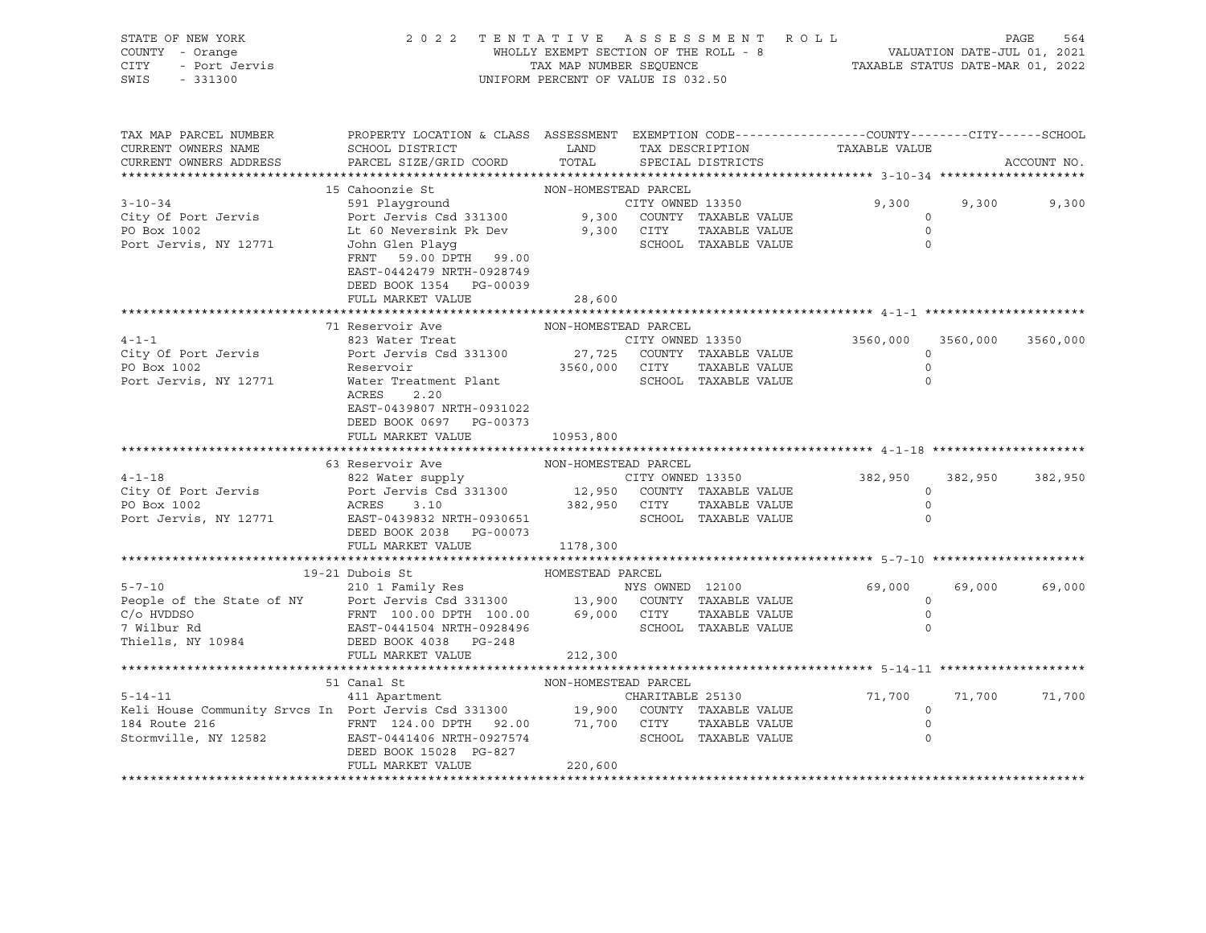| STATE OF NEW YORK<br>COUNTY - Orange<br>- Didinger<br>- Port Jervis<br>CITY<br>SWIS<br>$-331300$                                                                                                                                  | 2022 TENTATIVE ASSESSMENT ROLL<br>WHOLLY EXEMPT SECTION OF THE ROLL - 8<br>TAX MAP NUMBER SEQUENCE<br>TAX MAP NUMBER SEQUENCE<br>TAXABLE STATUS DATE-MAR 01, 2022<br>UNIFORM PERCENT OF VALUE IS 032.50 |                      |            |                             |                                    |                   | 564<br>PAGE |
|-----------------------------------------------------------------------------------------------------------------------------------------------------------------------------------------------------------------------------------|---------------------------------------------------------------------------------------------------------------------------------------------------------------------------------------------------------|----------------------|------------|-----------------------------|------------------------------------|-------------------|-------------|
| TAX MAP PARCEL NUMBER<br>CURRENT OWNERS NAME<br>CURRENT OWNERS ADDRESS                                                                                                                                                            | PROPERTY LOCATION & CLASS ASSESSMENT EXEMPTION CODE----------------COUNTY-------CITY------SCHOOL<br>SCHOOL DISTRICT<br>PARCEL SIZE/GRID COORD                                                           | TOTAL                |            | SPECIAL DISTRICTS           | LAND TAX DESCRIPTION TAXABLE VALUE |                   | ACCOUNT NO. |
|                                                                                                                                                                                                                                   |                                                                                                                                                                                                         |                      |            |                             |                                    |                   |             |
|                                                                                                                                                                                                                                   | 15 Cahoonzie St                                                                                                                                                                                         | NON-HOMESTEAD PARCEL |            |                             |                                    |                   |             |
| $3 - 10 - 34$                                                                                                                                                                                                                     | 591 Playqround<br>Port Jervis Csd 331300 9,300 COUNTY TAXABLE VALUE                                                                                                                                     |                      |            | CITY OWNED 13350            | 9,300<br>$\circ$                   | 9,300             | 9,300       |
| City Of Port Jervis<br>PO Box 1002                                                                                                                                                                                                |                                                                                                                                                                                                         |                      | 9,300 CITY | TAXABLE VALUE               | $\circ$                            |                   |             |
| Port Jervis, NY 12771                                                                                                                                                                                                             | Lt 60 Neversink Pk Dev<br>John Glen Playg<br>FRNT 59.00 DPTH 99.00<br>EAST-0442479 NRTH-0928749<br>DEED BOOK 1354 PG-00039                                                                              |                      |            | SCHOOL TAXABLE VALUE        | $\Omega$                           |                   |             |
|                                                                                                                                                                                                                                   | FULL MARKET VALUE                                                                                                                                                                                       | 28,600               |            |                             |                                    |                   |             |
|                                                                                                                                                                                                                                   | 71 Reservoir Ave                                                                                                                                                                                        | NON-HOMESTEAD PARCEL |            |                             |                                    |                   |             |
| $4 - 1 - 1$                                                                                                                                                                                                                       | 823 Water Treat                                                                                                                                                                                         |                      |            | CITY OWNED 13350            | 3560,000                           | 3560,000 3560,000 |             |
| City Of Port Jervis                                                                                                                                                                                                               | Port Jervis Csd 331300                                                                                                                                                                                  |                      |            | 27,725 COUNTY TAXABLE VALUE | $\circ$                            |                   |             |
| PO Box 1002                                                                                                                                                                                                                       | Reservoir                                                                                                                                                                                               |                      |            | TAXABLE VALUE               | $\circ$                            |                   |             |
| Port Jervis, NY 12771                                                                                                                                                                                                             | S CSU 331300<br>3560,000 CITY TAXABLE VALUE<br>SCHOOL TAXABLE VALUE<br>Water Treatment Plant<br>ACRES<br>2.20<br>EAST-0439807 NRTH-0931022<br>DEED BOOK 0697 PG-00373<br>FULL MARKET VALUE              | 10953,800            |            |                             | $\Omega$                           |                   |             |
|                                                                                                                                                                                                                                   |                                                                                                                                                                                                         |                      |            |                             |                                    |                   |             |
|                                                                                                                                                                                                                                   | 63 Reservoir Ave                                                                                                                                                                                        | NON-HOMESTEAD PARCEL |            |                             |                                    |                   |             |
| $4 - 1 - 18$                                                                                                                                                                                                                      |                                                                                                                                                                                                         |                      |            |                             | 382,950                            | 382,950           | 382,950     |
| City Of Port Jervis                                                                                                                                                                                                               | 822 Water supply<br>Port Jervis Csd 331300 12,950 COUNTY TAXABLE VALUE                                                                                                                                  |                      |            |                             | $\circ$                            |                   |             |
| PO Box 1002                                                                                                                                                                                                                       | ACRES 3.10 382,950 CITY                                                                                                                                                                                 |                      |            | TAXABLE VALUE               | $\mathbb O$                        |                   |             |
| PO BOA 1002<br>Port Jervis, NY 12771 EAST-0439832 NRTH-0930651                                                                                                                                                                    | DEED BOOK 2038 PG-00073                                                                                                                                                                                 |                      |            | SCHOOL TAXABLE VALUE        | $\Omega$                           |                   |             |
|                                                                                                                                                                                                                                   | FULL MARKET VALUE                                                                                                                                                                                       | 1178,300             |            |                             |                                    |                   |             |
|                                                                                                                                                                                                                                   | 19-21 Dubois St                                                                                                                                                                                         | HOMESTEAD PARCEL     |            |                             |                                    |                   |             |
|                                                                                                                                                                                                                                   |                                                                                                                                                                                                         |                      |            |                             | 69,000                             | 69,000            | 69,000      |
|                                                                                                                                                                                                                                   |                                                                                                                                                                                                         |                      |            |                             | $\circ$                            |                   |             |
|                                                                                                                                                                                                                                   |                                                                                                                                                                                                         |                      |            |                             | $\Omega$                           |                   |             |
| and a strong for the state of the state of the state of the state of the state of the state of the state of the<br>The state of the state of the state of the state of the state of the state of the state of the state of the st |                                                                                                                                                                                                         |                      |            |                             | $\Omega$                           |                   |             |
| Thiells, NY 10984                                                                                                                                                                                                                 | DEED BOOK 4038 PG-248                                                                                                                                                                                   |                      |            |                             |                                    |                   |             |
|                                                                                                                                                                                                                                   | FULL MARKET VALUE                                                                                                                                                                                       | 212,300              |            |                             |                                    |                   |             |
|                                                                                                                                                                                                                                   |                                                                                                                                                                                                         |                      |            |                             |                                    |                   |             |
|                                                                                                                                                                                                                                   | 51 Canal St<br>411 Apartment                                                                                                                                                                            | NON-HOMESTEAD PARCEL |            |                             |                                    |                   |             |
| $5 - 14 - 11$                                                                                                                                                                                                                     |                                                                                                                                                                                                         |                      |            | CHARITABLE 25130            | 71,700<br>$\circ$                  | 71,700            | 71,700      |
|                                                                                                                                                                                                                                   |                                                                                                                                                                                                         |                      |            |                             | $\mathbb O$                        |                   |             |
| 9-14-11 411 Apartment<br>211 Apartment 126 5-14-11 6000 60000 71,700 60000 71,700 717 7AXABLE<br>216 FRNT 124.00 DPTH 92.00 71,700 CITY TAXABLE VALUE<br>316 EAST-0441406 NRTH-0927574 5CHOOL TAXABLE VALUE                       | DEED BOOK 15028 PG-827                                                                                                                                                                                  |                      |            |                             | $\circ$                            |                   |             |
|                                                                                                                                                                                                                                   | FULL MARKET VALUE                                                                                                                                                                                       | 220,600              |            |                             |                                    |                   |             |
|                                                                                                                                                                                                                                   |                                                                                                                                                                                                         |                      |            |                             |                                    |                   |             |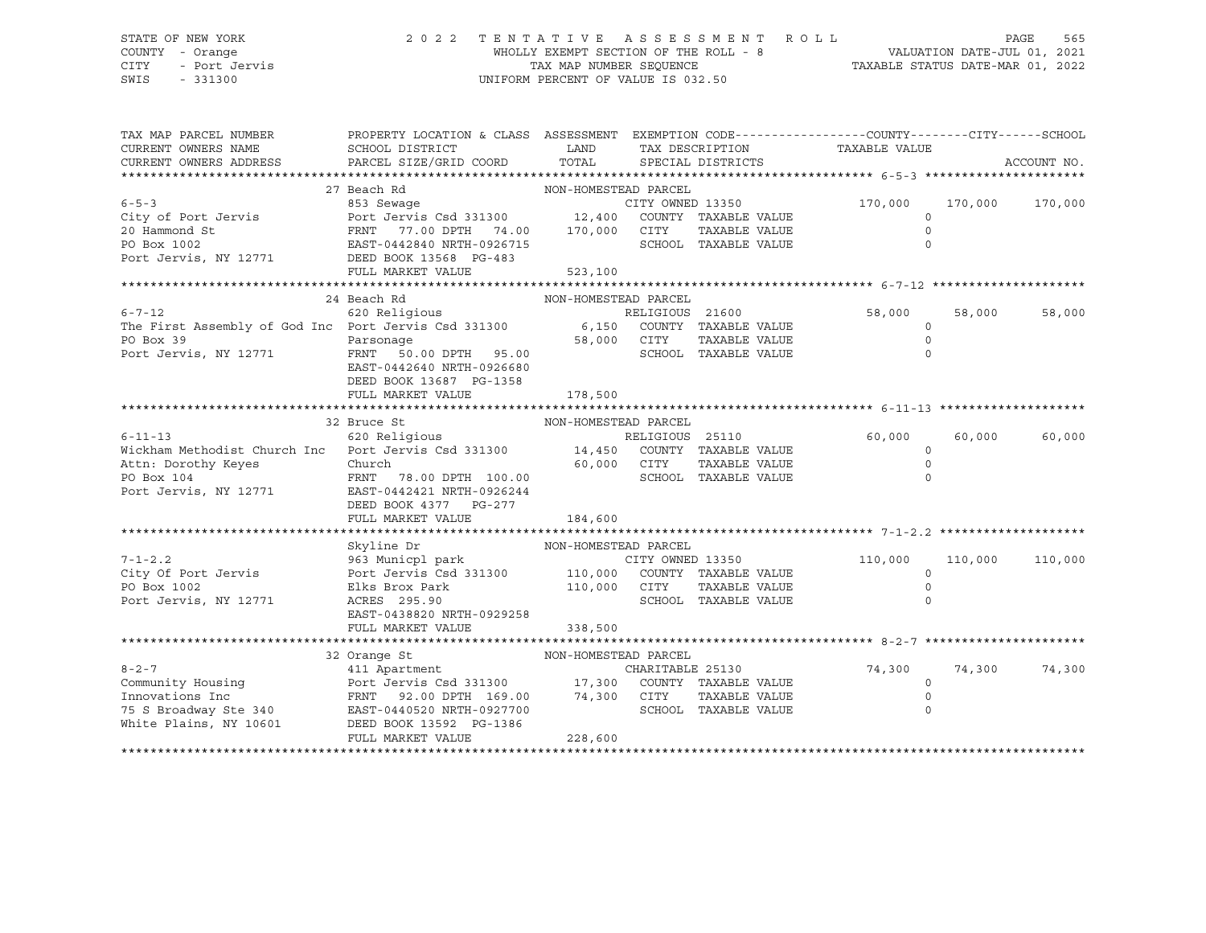## STATE OF NEW YORK 2 0 2 2 T E N T A T I V E A S S E S S M E N T R O L L PAGE 565 COUNTY - Orange WHOLLY EXEMPT SECTION OF THE ROLL - 8 VALUATION DATE-JUL 01, 2021 CITY - Port Jervis TAX MAP NUMBER SEQUENCE TAXABLE STATUS DATE-MAR 01, 2022 SWIS - 331300 UNIFORM PERCENT OF VALUE IS 032.50

| TAX MAP PARCEL NUMBER<br>CURRENT OWNERS NAME<br>CURRENT OWNERS ADDRESS                                                                     | PROPERTY LOCATION & CLASS ASSESSMENT EXEMPTION CODE---------------COUNTY-------CITY------SCHOOL<br>SCHOOL DISTRICT<br>PARCEL SIZE/GRID COORD | LAND<br>TOTAL         |                  | SPECIAL DISTRICTS    | TAX DESCRIPTION TAXABLE VALUE |         | ACCOUNT NO. |
|--------------------------------------------------------------------------------------------------------------------------------------------|----------------------------------------------------------------------------------------------------------------------------------------------|-----------------------|------------------|----------------------|-------------------------------|---------|-------------|
|                                                                                                                                            | 27 Beach Rd                                                                                                                                  |                       |                  |                      |                               |         |             |
| $6 - 5 - 3$                                                                                                                                | NON-HOMESTEAD PARCEL<br>853 Sewaqe                                                                                                           |                       | CITY OWNED 13350 |                      | 170,000                       | 170,000 | 170,000     |
| City of Port Jervis                                                                                                                        |                                                                                                                                              |                       |                  | COUNTY TAXABLE VALUE | $\circ$                       |         |             |
| 20 Hammond St                                                                                                                              | Port Jervis Csd 331300 12,400 COUNT<br>FRNT 77.00 DPTH 74.00 170,000 CITY                                                                    |                       |                  | TAXABLE VALUE        | $\circ$                       |         |             |
| PO Box 1002                                                                                                                                | EAST-0442840 NRTH-0926715                                                                                                                    |                       |                  | SCHOOL TAXABLE VALUE | $\Omega$                      |         |             |
|                                                                                                                                            |                                                                                                                                              |                       |                  |                      |                               |         |             |
| Port Jervis, NY 12771 DEED BOOK 13568 PG-483                                                                                               | FULL MARKET VALUE                                                                                                                            |                       |                  |                      |                               |         |             |
|                                                                                                                                            |                                                                                                                                              | 523,100               |                  |                      |                               |         |             |
|                                                                                                                                            |                                                                                                                                              |                       |                  |                      |                               |         |             |
|                                                                                                                                            | 24 Beach Rd                                                                                                                                  | NON-HOMESTEAD PARCEL  |                  |                      |                               |         |             |
| 6-7-12<br>First Assembly of God Inc Port Jervis Csd 331300<br>The First Assembly of God Inc Port Jervis Csd 331300<br>COUNTY TAXABLE VALUE |                                                                                                                                              |                       |                  |                      | RELIGIOUS 21600 58,000        | 58,000  | 58,000      |
|                                                                                                                                            |                                                                                                                                              |                       |                  |                      | $\circ$                       |         |             |
| PO Box 39                                                                                                                                  | Parsonage                                                                                                                                    | 58,000 CITY<br>SCHOO  |                  | TAXABLE VALUE        | $\circ$                       |         |             |
| Port Jervis, NY 12771                                                                                                                      | FRNT 50.00 DPTH 95.00                                                                                                                        |                       |                  | SCHOOL TAXABLE VALUE | $\Omega$                      |         |             |
|                                                                                                                                            | EAST-0442640 NRTH-0926680                                                                                                                    |                       |                  |                      |                               |         |             |
|                                                                                                                                            | DEED BOOK 13687 PG-1358                                                                                                                      |                       |                  |                      |                               |         |             |
|                                                                                                                                            | FULL MARKET VALUE                                                                                                                            | 178,500               |                  |                      |                               |         |             |
|                                                                                                                                            |                                                                                                                                              |                       |                  |                      |                               |         |             |
|                                                                                                                                            | 32 Bruce St                                                                                                                                  | NON-HOMESTEAD PARCEL  |                  |                      |                               |         |             |
| $6 - 11 - 13$                                                                                                                              | 620 Religious                                                                                                                                |                       | RELIGIOUS 25110  |                      | 60,000                        | 60,000  | 60,000      |
| Wickham Methodist Church Inc Port Jervis Csd 331300 14,450 COUNTY TAXABLE VALUE                                                            |                                                                                                                                              |                       |                  |                      | $\circ$                       |         |             |
| Attn: Dorothy Keyes                                                                                                                        | 60,000 CITY<br>Church                                                                                                                        |                       |                  | TAXABLE VALUE        | $\mathbf 0$                   |         |             |
| PO Box 104                                                                                                                                 | FRNT<br>78.00 DPTH 100.00                                                                                                                    |                       |                  | SCHOOL TAXABLE VALUE | $\Omega$                      |         |             |
| Port Jervis, NY 12771                                                                                                                      | EAST-0442421 NRTH-0926244                                                                                                                    |                       |                  |                      |                               |         |             |
|                                                                                                                                            | DEED BOOK 4377 PG-277                                                                                                                        |                       |                  |                      |                               |         |             |
|                                                                                                                                            | FULL MARKET VALUE                                                                                                                            | 184,600               |                  |                      |                               |         |             |
|                                                                                                                                            |                                                                                                                                              |                       |                  |                      |                               |         |             |
|                                                                                                                                            | Skyline Dr                                                                                                                                   | NON-HOMESTEAD PARCEL  |                  |                      |                               |         |             |
| $7 - 1 - 2.2$                                                                                                                              |                                                                                                                                              |                       |                  |                      | 110,000                       | 110,000 | 110,000     |
| City Of Port Jervis                                                                                                                        | 963 Municpl park<br>Port Jervis Csd 331300 110,000 COUNTY TAXABLE VALUE                                                                      |                       |                  |                      | $\circ$                       |         |             |
| PO Box 1002                                                                                                                                | Elks Brox Park                                                                                                                               |                       |                  | TAXABLE VALUE        | $\circ$                       |         |             |
| Port Jervis, NY 12771                                                                                                                      | ACRES 295.90                                                                                                                                 | 110,000 CITY<br>SCHOC |                  | SCHOOL TAXABLE VALUE | $\Omega$                      |         |             |
|                                                                                                                                            | EAST-0438820 NRTH-0929258                                                                                                                    |                       |                  |                      |                               |         |             |
|                                                                                                                                            | FULL MARKET VALUE                                                                                                                            | 338,500               |                  |                      |                               |         |             |
|                                                                                                                                            |                                                                                                                                              |                       |                  |                      |                               |         |             |
|                                                                                                                                            | 32 Orange St                                                                                                                                 | NON-HOMESTEAD PARCEL  |                  |                      |                               |         |             |
| $8 - 2 - 7$                                                                                                                                |                                                                                                                                              |                       | CHARITABLE 25130 |                      | 74,300                        | 74,300  | 74,300      |
|                                                                                                                                            |                                                                                                                                              |                       |                  |                      | $\circ$                       |         |             |
|                                                                                                                                            |                                                                                                                                              |                       |                  |                      | $\circ$                       |         |             |
| 75 S Broadway Ste 340 EAST-0440520 NRTH-0927700                                                                                            |                                                                                                                                              |                       |                  | SCHOOL TAXABLE VALUE | $\Omega$                      |         |             |
| White Plains, NY 10601                                                                                                                     | DEED BOOK 13592 PG-1386                                                                                                                      |                       |                  |                      |                               |         |             |
|                                                                                                                                            | FULL MARKET VALUE                                                                                                                            | 228,600               |                  |                      |                               |         |             |
|                                                                                                                                            |                                                                                                                                              |                       |                  |                      |                               |         |             |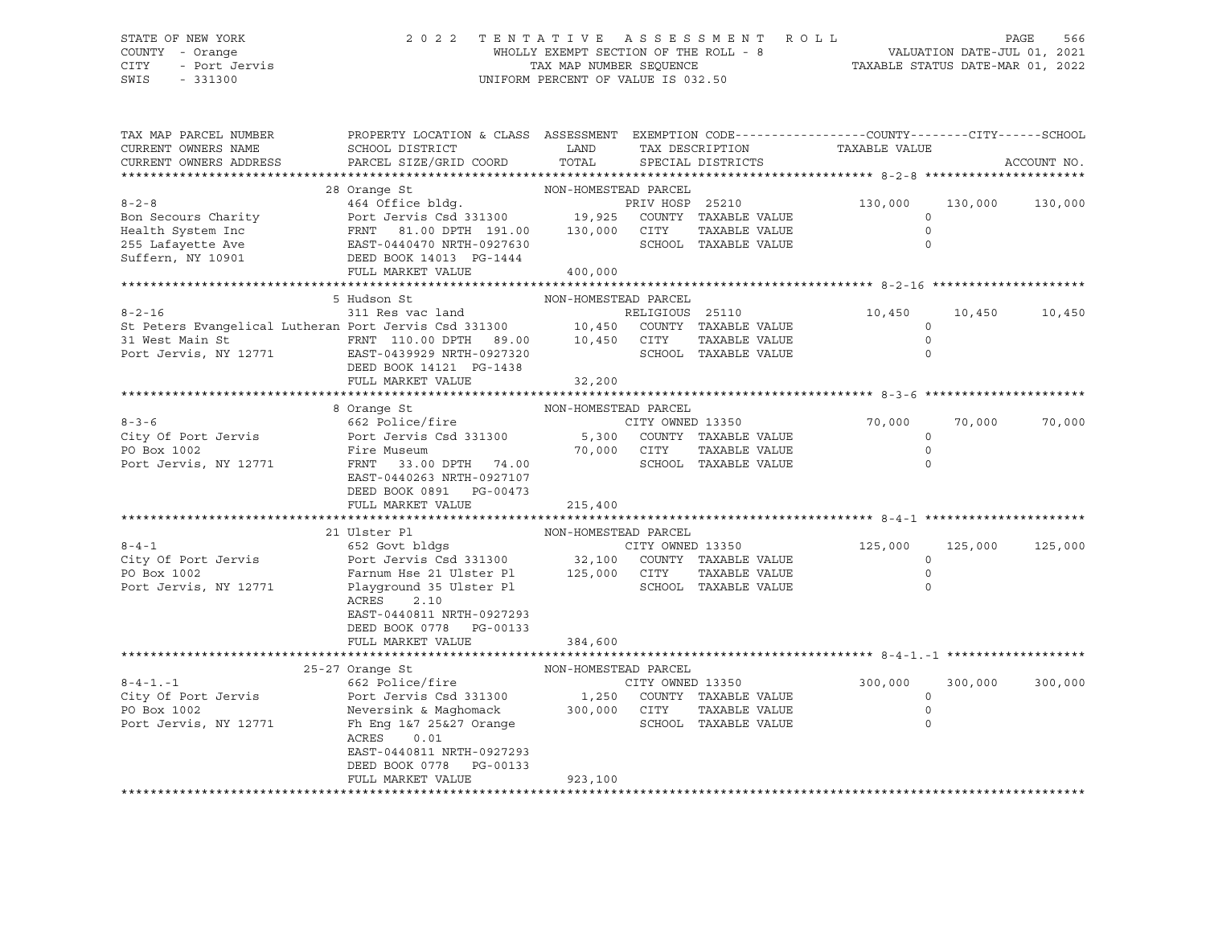## STATE OF NEW YORK 2 0 2 2 T E N T A T I V E A S S E S S M E N T R O L L PAGE 566 COUNTY - Orange WHOLLY EXEMPT SECTION OF THE ROLL - 8 VALUATION DATE-JUL 01, 2021 CITY - Port Jervis TAX MAP NUMBER SEQUENCE TAXABLE STATUS DATE-MAR 01, 2022 SWIS - 331300 UNIFORM PERCENT OF VALUE IS 032.50

| TAX MAP PARCEL NUMBER                                                                                                                                 | PROPERTY LOCATION & CLASS ASSESSMENT EXEMPTION CODE---------------COUNTY-------CITY------SCHOOL          |                      |                  |                      |                    |         |             |
|-------------------------------------------------------------------------------------------------------------------------------------------------------|----------------------------------------------------------------------------------------------------------|----------------------|------------------|----------------------|--------------------|---------|-------------|
| CURRENT OWNERS NAME                                                                                                                                   | SCHOOL DISTRICT                                                                                          | LAND                 | TAX DESCRIPTION  |                      | TAXABLE VALUE      |         |             |
| CURRENT OWNERS ADDRESS                                                                                                                                | PARCEL SIZE/GRID COORD                                                                                   | TOTAL                |                  | SPECIAL DISTRICTS    |                    |         | ACCOUNT NO. |
|                                                                                                                                                       |                                                                                                          |                      |                  |                      |                    |         |             |
| $8 - 2 - 8$                                                                                                                                           | 28 Orange St                                                                                             | NON-HOMESTEAD PARCEL |                  |                      |                    |         |             |
|                                                                                                                                                       | 464 Office bldg.                                                                                         |                      |                  | PRIV HOSP 25210      | 130,000<br>$\circ$ | 130,000 | 130,000     |
| Bon Secours Charity<br>Health System Inc                                                                                                              | Port Jervis Csd 331300 19,925 COUNTY TAXABLE VALUE<br>FRNT 81.00 DPTH 191.00 130,000 CITY TAXABLE VALUE  |                      |                  |                      | $\Omega$           |         |             |
|                                                                                                                                                       |                                                                                                          |                      |                  | SCHOOL TAXABLE VALUE | $\Omega$           |         |             |
| 255 Lafayette Ave<br>255 Lafayette Ave<br>315 Suffern, NY 10901 CDEED BOOK 14013 PG-1444                                                              |                                                                                                          |                      |                  |                      |                    |         |             |
|                                                                                                                                                       | FULL MARKET VALUE                                                                                        | 400,000              |                  |                      |                    |         |             |
|                                                                                                                                                       |                                                                                                          |                      |                  |                      |                    |         |             |
|                                                                                                                                                       | 5 Hudson St                                                                                              | NON-HOMESTEAD PARCEL |                  |                      |                    |         |             |
| $8 - 2 - 16$                                                                                                                                          | 311 Res vac land                                                                                         |                      | RELIGIOUS 25110  |                      | 10,450             | 10,450  | 10,450      |
| St Peters Evangelical Lutheran Port Jervis Csd 331300 10,450 COUNTY TAXABLE VALUE<br>31 West Main St FRNT 110.00 DPTH 89.00 10,450 CITY TAXABLE VALUE |                                                                                                          |                      |                  |                      | $\mathbf 0$        |         |             |
|                                                                                                                                                       |                                                                                                          |                      |                  |                      | $\circ$            |         |             |
| Port Jervis, NY 12771 EAST-0439929 NRTH-0927320                                                                                                       |                                                                                                          |                      |                  | SCHOOL TAXABLE VALUE | $\Omega$           |         |             |
|                                                                                                                                                       | DEED BOOK 14121 PG-1438                                                                                  |                      |                  |                      |                    |         |             |
|                                                                                                                                                       | FULL MARKET VALUE                                                                                        | 32,200               |                  |                      |                    |         |             |
|                                                                                                                                                       |                                                                                                          |                      |                  |                      |                    |         |             |
|                                                                                                                                                       | 8 Orange St                                                                                              | NON-HOMESTEAD PARCEL |                  |                      |                    |         |             |
| $8 - 3 - 6$                                                                                                                                           | 662 Police/fire                                                                                          |                      | CITY OWNED 13350 |                      | 70,000             | 70,000  | 70,000      |
| City Of Port Jervis                                                                                                                                   | Port Jervis Csd 331300 5,300 COUNTY TAXABLE VALUE                                                        |                      |                  |                      | $\circ$            |         |             |
| PO Box 1002                                                                                                                                           | Fire Museum                                                                                              | 70,000 CITY          |                  | TAXABLE VALUE        | $\mathbf 0$        |         |             |
| Port Jervis, NY 12771                                                                                                                                 | FRNT 33.00 DPTH 74.00                                                                                    |                      |                  | SCHOOL TAXABLE VALUE | $\Omega$           |         |             |
|                                                                                                                                                       | EAST-0440263 NRTH-0927107                                                                                |                      |                  |                      |                    |         |             |
|                                                                                                                                                       | DEED BOOK 0891 PG-00473                                                                                  |                      |                  |                      |                    |         |             |
|                                                                                                                                                       | FULL MARKET VALUE                                                                                        | 215,400              |                  |                      |                    |         |             |
|                                                                                                                                                       |                                                                                                          |                      |                  |                      |                    |         |             |
|                                                                                                                                                       | 21 Ulster Pl                                                                                             | NON-HOMESTEAD PARCEL |                  |                      |                    |         |             |
| $8 - 4 - 1$                                                                                                                                           | 652 Govt bldgs                                                                                           |                      | CITY OWNED 13350 |                      | 125,000            | 125,000 | 125,000     |
| City Of Port Jervis                                                                                                                                   | Port Jervis Csd 331300 32,100 COUNTY TAXABLE VALUE<br>Farnum Hse 21 Ulster Pl 125,000 CITY TAXABLE VALUE |                      |                  |                      | $\circ$            |         |             |
| PO Box 1002                                                                                                                                           |                                                                                                          |                      |                  |                      | $\Omega$           |         |             |
| Port Jervis, NY 12771                                                                                                                                 | Playground 35 Ulster Pl                                                                                  |                      |                  | SCHOOL TAXABLE VALUE | $\Omega$           |         |             |
|                                                                                                                                                       | ACRES<br>2.10                                                                                            |                      |                  |                      |                    |         |             |
|                                                                                                                                                       | EAST-0440811 NRTH-0927293                                                                                |                      |                  |                      |                    |         |             |
|                                                                                                                                                       | DEED BOOK 0778 PG-00133                                                                                  |                      |                  |                      |                    |         |             |
|                                                                                                                                                       | FULL MARKET VALUE                                                                                        | 384,600              |                  |                      |                    |         |             |
|                                                                                                                                                       | 25-27 Orange St                                                                                          | NON-HOMESTEAD PARCEL |                  |                      |                    |         |             |
| $8 - 4 - 1 - 1$                                                                                                                                       | 662 Police/fire                                                                                          |                      | CITY OWNED 13350 |                      | 300,000            | 300,000 | 300,000     |
| City Of Port Jervis                                                                                                                                   | Port Jervis Csd 331300 1,250                                                                             |                      |                  | COUNTY TAXABLE VALUE | $\mathbf 0$        |         |             |
| PO Box 1002                                                                                                                                           | Neversink & Maghomack 300,000 CITY                                                                       |                      |                  | TAXABLE VALUE        | $\circ$            |         |             |
| Port Jervis, NY 12771                                                                                                                                 | Fh Eng 1&7 25&27 Orange                                                                                  |                      |                  | SCHOOL TAXABLE VALUE | $\Omega$           |         |             |
|                                                                                                                                                       | ACRES<br>0.01                                                                                            |                      |                  |                      |                    |         |             |
|                                                                                                                                                       | EAST-0440811 NRTH-0927293                                                                                |                      |                  |                      |                    |         |             |
|                                                                                                                                                       | DEED BOOK 0778 PG-00133                                                                                  |                      |                  |                      |                    |         |             |
|                                                                                                                                                       | FULL MARKET VALUE                                                                                        | 923,100              |                  |                      |                    |         |             |
|                                                                                                                                                       |                                                                                                          |                      |                  |                      |                    |         |             |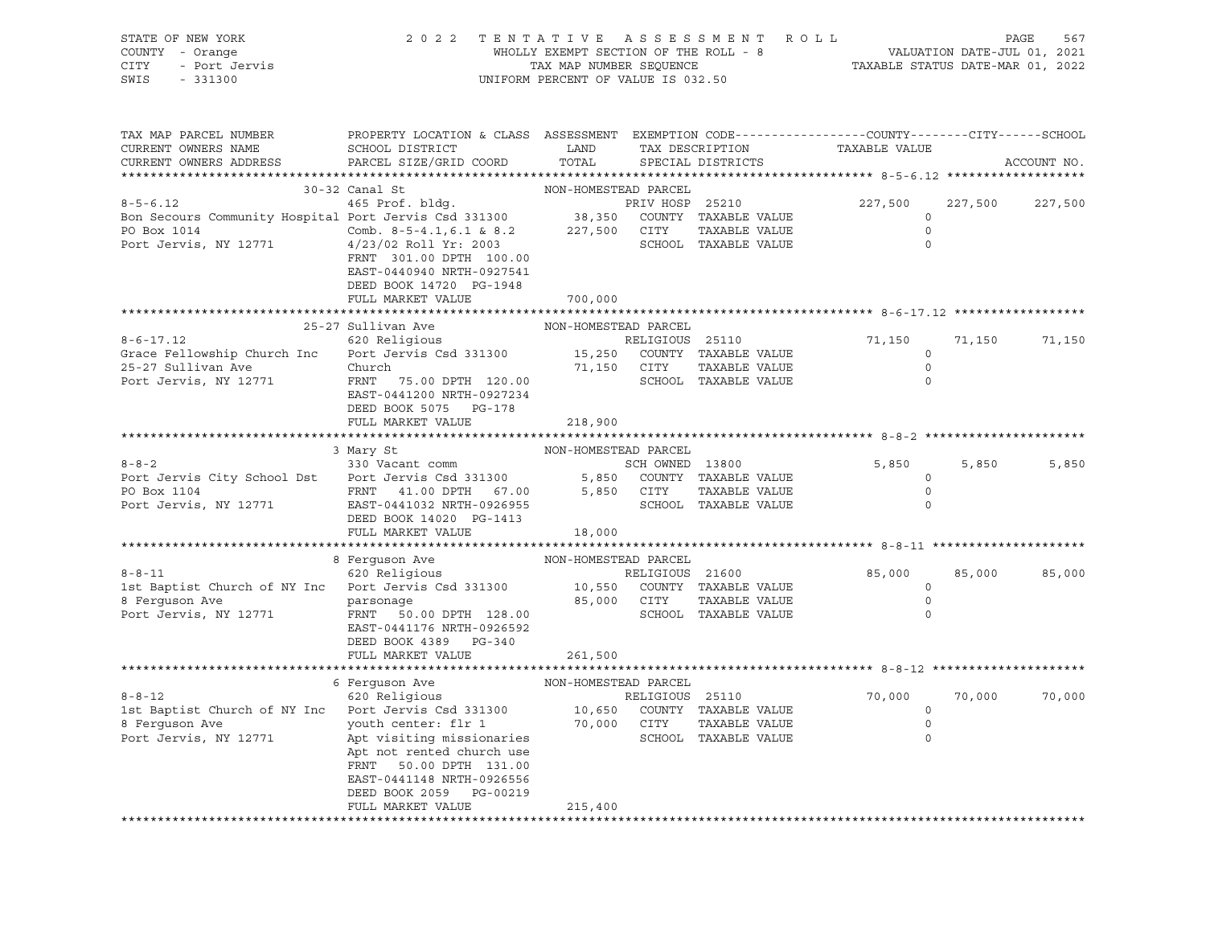| STATE OF NEW YORK<br>COUNTY - Orange<br><b>CITY</b><br>- Port Jervis<br>SWIS<br>$-331300$                       | 2 0 2 2<br>TENTATIVE ASSESSMENT<br>WHOLLY EXEMPT SECTION OF THE ROLL - 8<br>TAX MAP NUMBER SEQUENCE<br>UNIFORM PERCENT OF VALUE IS 032.50                                                                                               | ROLL<br>PAGE<br>567<br>VALUATION DATE-JUL 01, 2021<br>TAXABLE STATUS DATE-MAR 01, 2022 |                                 |                                                                      |                                                 |         |             |
|-----------------------------------------------------------------------------------------------------------------|-----------------------------------------------------------------------------------------------------------------------------------------------------------------------------------------------------------------------------------------|----------------------------------------------------------------------------------------|---------------------------------|----------------------------------------------------------------------|-------------------------------------------------|---------|-------------|
| TAX MAP PARCEL NUMBER<br>CURRENT OWNERS NAME<br>CURRENT OWNERS ADDRESS                                          | PROPERTY LOCATION & CLASS ASSESSMENT EXEMPTION CODE---------------COUNTY-------CITY------SCHOOL<br>SCHOOL DISTRICT<br>PARCEL SIZE/GRID COORD                                                                                            | LAND<br>TOTAL                                                                          |                                 | TAX DESCRIPTION<br>SPECIAL DISTRICTS                                 | TAXABLE VALUE                                   |         | ACCOUNT NO. |
|                                                                                                                 | 30-32 Canal St                                                                                                                                                                                                                          | NON-HOMESTEAD PARCEL                                                                   |                                 |                                                                      |                                                 |         |             |
| $8 - 5 - 6.12$<br>Bon Secours Community Hospital Port Jervis Csd 331300<br>PO Box 1014<br>Port Jervis, NY 12771 | 465 Prof. bldg.<br>Comb. 8-5-4.1,6.1 & 8.2<br>4/23/02 Roll Yr: 2003<br>FRNT 301.00 DPTH 100.00<br>EAST-0440940 NRTH-0927541<br>DEED BOOK 14720 PG-1948<br>FULL MARKET VALUE                                                             | 700,000                                                                                | PRIV HOSP 25210<br>227,500 CITY | 38,350 COUNTY TAXABLE VALUE<br>TAXABLE VALUE<br>SCHOOL TAXABLE VALUE | 227,500<br>$\circ$<br>$\circ$<br>$\mathbf 0$    | 227,500 | 227,500     |
|                                                                                                                 | ***************************                                                                                                                                                                                                             |                                                                                        |                                 |                                                                      |                                                 |         |             |
| $8 - 6 - 17.12$<br>Grace Fellowship Church Inc<br>25-27 Sullivan Ave<br>Port Jervis, NY 12771                   | 25-27 Sullivan Ave<br>620 Religious<br>Port Jervis Csd 331300<br>Church<br>FRNT 75.00 DPTH 120.00<br>EAST-0441200 NRTH-0927234<br>DEED BOOK 5075 PG-178                                                                                 | NON-HOMESTEAD PARCEL<br>15,250<br>71,150 CITY                                          | RELIGIOUS 25110                 | COUNTY TAXABLE VALUE<br>TAXABLE VALUE<br>SCHOOL TAXABLE VALUE        | 71,150<br>$\circ$<br>$\circ$<br>$\Omega$        | 71,150  | 71,150      |
|                                                                                                                 | FULL MARKET VALUE                                                                                                                                                                                                                       | 218,900                                                                                |                                 |                                                                      |                                                 |         |             |
|                                                                                                                 |                                                                                                                                                                                                                                         |                                                                                        |                                 |                                                                      |                                                 |         |             |
| $8 - 8 - 2$<br>Port Jervis City School Dst Port Jervis Csd 331300<br>PO Box 1104<br>Port Jervis, NY 12771       | 3 Mary St<br>330 Vacant comm<br>FRNT 41.00 DPTH 67.00<br>EAST-0441032 NRTH-0926955<br>DEED BOOK 14020 PG-1413<br>FULL MARKET VALUE                                                                                                      | NON-HOMESTEAD PARCEL<br>5,850<br>18,000                                                | SCH OWNED 13800<br>5,850 CITY   | COUNTY TAXABLE VALUE<br>TAXABLE VALUE<br>SCHOOL TAXABLE VALUE        | 5,850<br>$\circ$<br>$\mathbb O$<br>$\Omega$     | 5,850   | 5,850       |
|                                                                                                                 |                                                                                                                                                                                                                                         |                                                                                        |                                 |                                                                      |                                                 |         |             |
| $8 - 8 - 11$<br>1st Baptist Church of NY Inc Port Jervis Csd 331300<br>8 Ferguson Ave<br>Port Jervis, NY 12771  | 8 Ferguson Ave<br>620 Religious<br>parsonage<br>FRNT 50.00 DPTH 128.00<br>EAST-0441176 NRTH-0926592<br>DEED BOOK 4389 PG-340                                                                                                            | NON-HOMESTEAD PARCEL                                                                   | RELIGIOUS 21600<br>85,000 CITY  | 10,550 COUNTY TAXABLE VALUE<br>TAXABLE VALUE<br>SCHOOL TAXABLE VALUE | 85,000<br>$\circ$<br>$\mathbf 0$<br>$\mathbf 0$ | 85,000  | 85,000      |
|                                                                                                                 | FULL MARKET VALUE                                                                                                                                                                                                                       | 261,500                                                                                |                                 |                                                                      |                                                 |         |             |
|                                                                                                                 | 6 Ferquson Ave                                                                                                                                                                                                                          | NON-HOMESTEAD PARCEL                                                                   |                                 |                                                                      |                                                 |         |             |
| $8 - 8 - 12$<br>1st Baptist Church of NY Inc Port Jervis Csd 331300<br>8 Ferquson Ave<br>Port Jervis, NY 12771  | 620 Religious<br>Port Jervis Csu 331300<br>youth center: flr 1 70,00<br>continuous contractionaries<br>Apt not rented church use<br>FRNT 50.00 DPTH 131.00<br>EAST-0441148 NRTH-0926556<br>DEED BOOK 2059 PG-00219<br>FULL MARKET VALUE | 10,650<br>70,000<br>215,400                                                            | RELIGIOUS 25110<br>CITY         | COUNTY TAXABLE VALUE<br>TAXABLE VALUE<br>SCHOOL TAXABLE VALUE        | 70,000<br>$\circ$<br>$\circ$<br>$\mathbf 0$     | 70,000  | 70,000      |
|                                                                                                                 |                                                                                                                                                                                                                                         |                                                                                        |                                 |                                                                      |                                                 |         |             |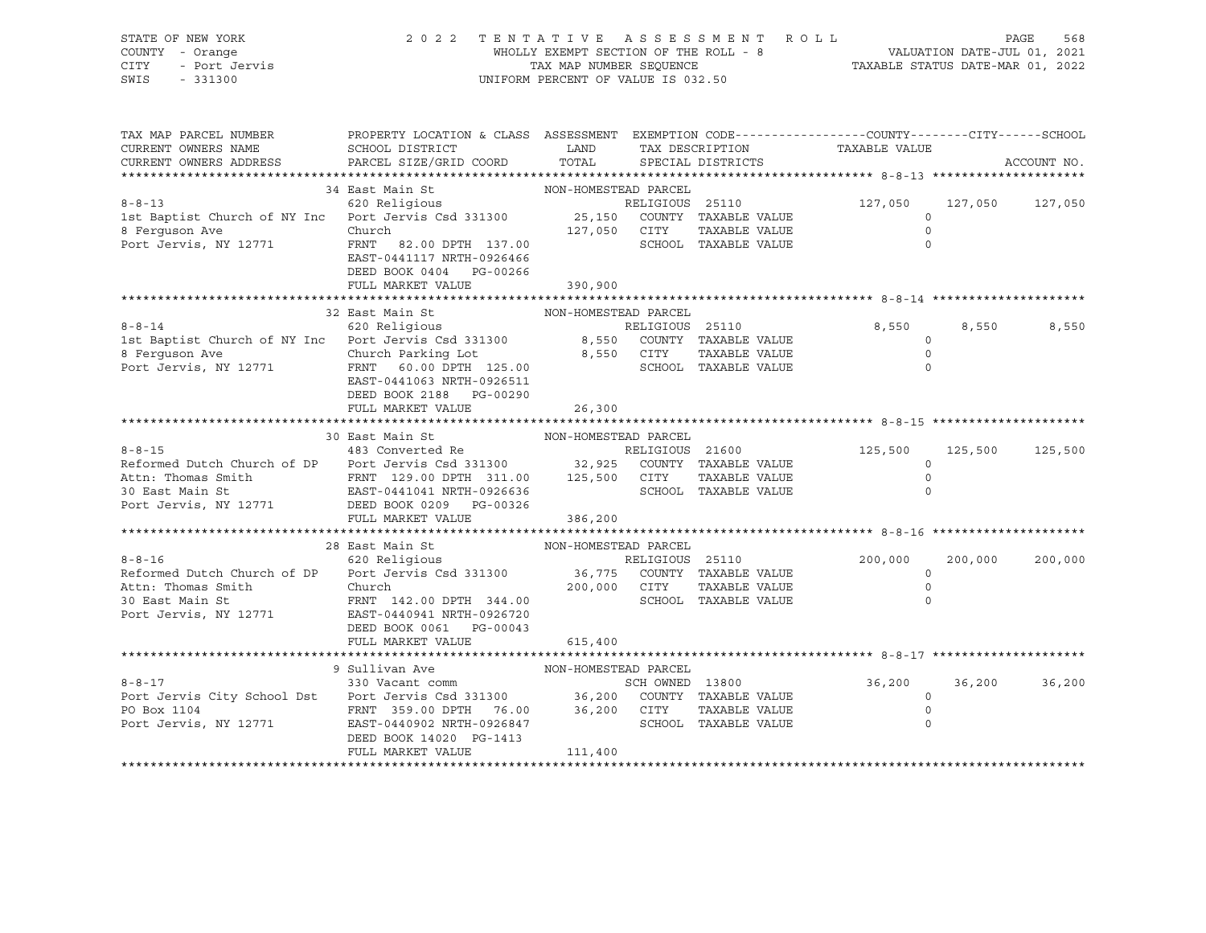|      | STATE OF NEW YORK | 2022 TENTATIVE ASSESSMENT ROLL        |                                  | PAGE | 568 |
|------|-------------------|---------------------------------------|----------------------------------|------|-----|
|      | COUNTY - Orange   | WHOLLY EXEMPT SECTION OF THE ROLL - 8 | VALUATION DATE-JUL 01, 2021      |      |     |
| CITY | - Port Jervis     | TAX MAP NUMBER SEOUENCE               | TAXABLE STATUS DATE-MAR 01, 2022 |      |     |
| SWIS | $-331300$         | UNIFORM PERCENT OF VALUE IS 032.50    |                                  |      |     |

| TAX MAP PARCEL NUMBER<br>CURRENT OWNERS NAME<br>CURRENT OWNERS ADDRESS                                                                                                                                                 | PROPERTY LOCATION & CLASS ASSESSMENT<br>SCHOOL DISTRICT<br>PARCEL SIZE/GRID COORD                                                                                                                                                | LAND<br>TOTAL                        |                 | TAX DESCRIPTION<br>SPECIAL DISTRICTS                                 | EXEMPTION CODE-----------------COUNTY-------CITY------SCHOOL<br>TAXABLE VALUE |         | ACCOUNT NO.     |
|------------------------------------------------------------------------------------------------------------------------------------------------------------------------------------------------------------------------|----------------------------------------------------------------------------------------------------------------------------------------------------------------------------------------------------------------------------------|--------------------------------------|-----------------|----------------------------------------------------------------------|-------------------------------------------------------------------------------|---------|-----------------|
|                                                                                                                                                                                                                        |                                                                                                                                                                                                                                  |                                      |                 |                                                                      |                                                                               |         |                 |
| $8 - 8 - 13$<br>1st Baptist Church of NY Inc Port Jervis Csd 331300<br>8 Ferquson Ave<br>Port Jervis, NY 12771                                                                                                         | 34 East Main St<br>620 Religious<br>Church<br>FRNT 82.00 DPTH 137.00<br>EAST-0441117 NRTH-0926466<br>DEED BOOK 0404 PG-00266                                                                                                     | NON-HOMESTEAD PARCEL<br>127,050 CITY | RELIGIOUS 25110 | 25,150 COUNTY TAXABLE VALUE<br>TAXABLE VALUE<br>SCHOOL TAXABLE VALUE | 127,050<br>$\mathbf 0$<br>$\Omega$                                            |         | 127,050 127,050 |
|                                                                                                                                                                                                                        | FULL MARKET VALUE                                                                                                                                                                                                                | 390,900                              |                 |                                                                      |                                                                               |         |                 |
|                                                                                                                                                                                                                        |                                                                                                                                                                                                                                  |                                      |                 |                                                                      |                                                                               |         |                 |
| $8 - 8 - 14$<br>1st Baptist Church of NY Inc Port Jervis Csd 331300 8,550 COUNTY TAXABLE VALUE 8 Ferguson Ave Church Parking Lot 8,550 CITY TAXABLE VALUE<br>Port Jervis, NY 12771                                     | 32 East Main St<br>620 Religious<br>FRNT 60.00 DPTH 125.00<br>EAST-0441063 NRTH-0926511<br>DEED BOOK 2188 PG-00290                                                                                                               | NON-HOMESTEAD PARCEL                 | RELIGIOUS 25110 | SCHOOL TAXABLE VALUE                                                 | 8,550<br>$\circ$<br>$\circ$<br>$\Omega$                                       | 8,550   | 8,550           |
|                                                                                                                                                                                                                        | FULL MARKET VALUE                                                                                                                                                                                                                | 26,300                               |                 |                                                                      |                                                                               |         |                 |
|                                                                                                                                                                                                                        |                                                                                                                                                                                                                                  |                                      |                 |                                                                      |                                                                               |         |                 |
|                                                                                                                                                                                                                        | 30 East Main St                                                                                                                                                                                                                  | NON-HOMESTEAD PARCEL                 |                 |                                                                      |                                                                               |         |                 |
| $8 - 8 - 15$<br>Reformed Dutch Church of DP Port Jervis Csd 331300 32,925 COUNTY TAXABLE VALUE<br>Attn: Thomas Smith<br>30 East Main St<br>Port Jervis, NY 12771 DEED BOOK 0209 PG-00326                               | 483 Converted Re                                                                                                                                                                                                                 |                                      | RELIGIOUS 21600 | TAXABLE VALUE<br>SCHOOL TAXABLE VALUE                                | 125,500<br>$\Omega$<br>$\circ$<br>$\Omega$                                    | 125,500 | 125,500         |
|                                                                                                                                                                                                                        | FULL MARKET VALUE                                                                                                                                                                                                                | 386,200                              |                 |                                                                      |                                                                               |         |                 |
|                                                                                                                                                                                                                        |                                                                                                                                                                                                                                  |                                      |                 |                                                                      |                                                                               |         |                 |
| $8 - 8 - 16$<br>Reformed Dutch Church of DP<br>Attn: Thomas Smith<br>30 East Main St<br>Port Jervis, NY 12771                                                                                                          | 28 East Main St<br>620 Religious<br>Port Jervis Csd 331300 36,775 COUNTY TAXABLE VALUE Church 200,000 CITY TAXABLE VALUE<br>FRNT 142.00 DPTH 344.00<br>EAST-0440941 NRTH-0926720<br>DEED BOOK 0061 PG-00043<br>FULL MARKET VALUE | NON-HOMESTEAD PARCEL<br>615,400      | RELIGIOUS 25110 | SCHOOL TAXABLE VALUE                                                 | 200,000<br>$\circ$<br>$\Omega$                                                | 200,000 | 200,000         |
|                                                                                                                                                                                                                        |                                                                                                                                                                                                                                  |                                      |                 |                                                                      |                                                                               |         |                 |
| $8 - 8 - 17$<br>Port Jervis City School Dst<br>Port Jervis Csd 331300 36,200 COUNTY TAXABLE VALUE<br>PO Box 1104 FRNT 359.00 DPTH 76.00 36,200 CITY TAXABLE VALUE<br>Port Jerusal Party 19571<br>Port Jervis, NY 12771 | 9 Sullivan Ave<br>330 Vacant comm<br>EAST-0440902 NRTH-0926847<br>DEED BOOK 14020 PG-1413<br>FULL MARKET VALUE                                                                                                                   | NON-HOMESTEAD PARCEL<br>111,400      | SCH OWNED 13800 | SCHOOL TAXABLE VALUE                                                 | 36,200<br>$\circ$                                                             | 36,200  | 36,200          |
|                                                                                                                                                                                                                        |                                                                                                                                                                                                                                  |                                      |                 |                                                                      |                                                                               |         |                 |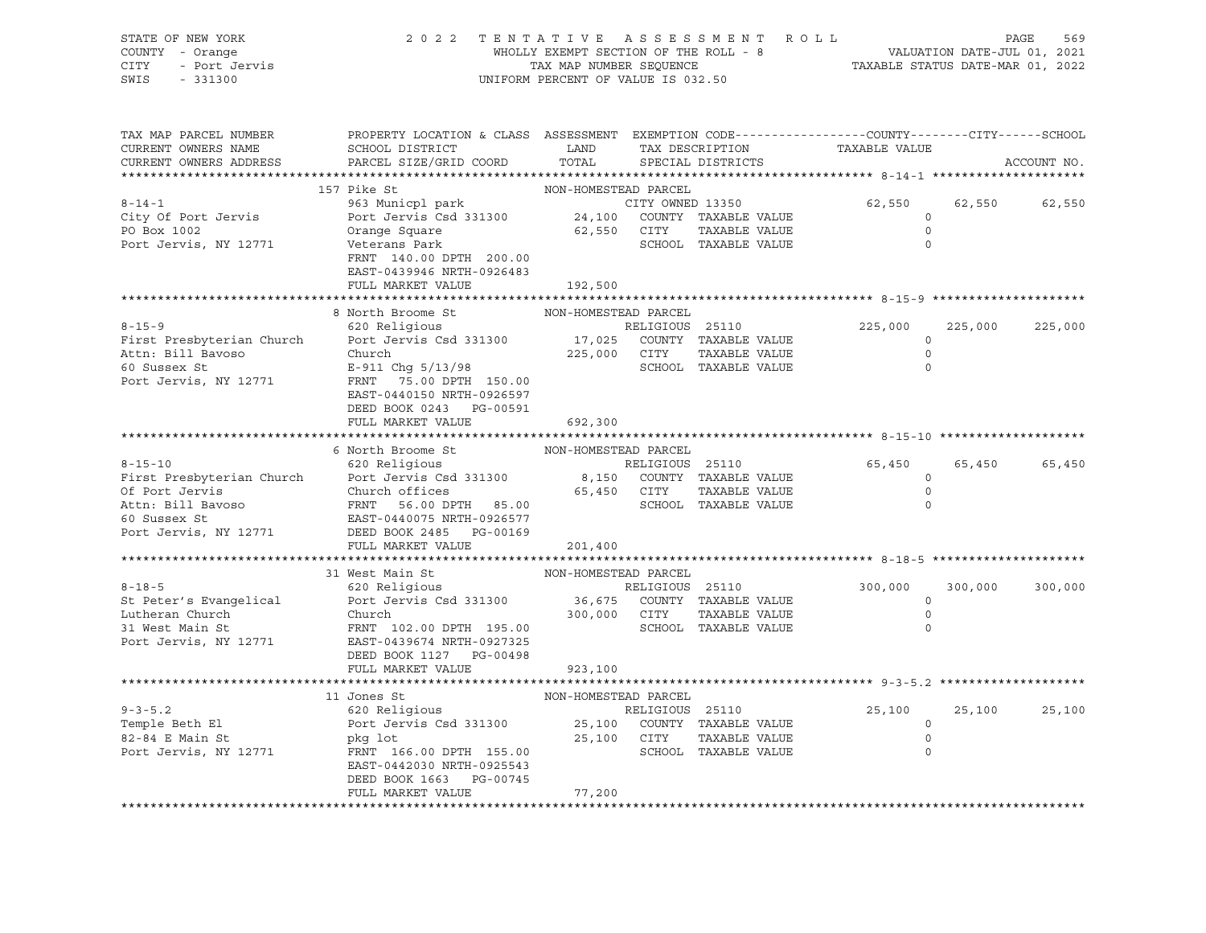| STATE OF NEW YORK<br>COUNTY - Orange<br>- Port Jervis<br>CITY<br>SWIS<br>$-331300$                         | 2022 TENTATIVE ASSESSMENT ROLL                                                                                                               | UNIFORM PERCENT OF VALUE IS 032.50 |                 |                                                                   | WHOLLY EXEMPT SECTION OF THE ROLL - 8<br>TAX MAP NUMBER SEQUENCE THE ROLL - 8<br>TAX MAP NUMBER SEQUENCE TAXABLE STATUS DATE-MAR 01, 2022 |         | PAGE<br>569 |
|------------------------------------------------------------------------------------------------------------|----------------------------------------------------------------------------------------------------------------------------------------------|------------------------------------|-----------------|-------------------------------------------------------------------|-------------------------------------------------------------------------------------------------------------------------------------------|---------|-------------|
| TAX MAP PARCEL NUMBER<br>CURRENT OWNERS NAME<br>CURRENT OWNERS ADDRESS                                     | PROPERTY LOCATION & CLASS ASSESSMENT EXEMPTION CODE---------------COUNTY-------CITY------SCHOOL<br>SCHOOL DISTRICT<br>PARCEL SIZE/GRID COORD | LAND<br>TOTAL                      |                 | TAX DESCRIPTION<br>SPECIAL DISTRICTS                              | TAXABLE VALUE                                                                                                                             |         | ACCOUNT NO. |
|                                                                                                            |                                                                                                                                              |                                    |                 |                                                                   |                                                                                                                                           |         |             |
|                                                                                                            | 157 Pike St                                                                                                                                  | NON-HOMESTEAD PARCEL               |                 |                                                                   |                                                                                                                                           |         |             |
| $8 - 14 - 1$                                                                                               | 963 Municpl park CITY OWNED 13350                                                                                                            |                                    |                 |                                                                   | 62,550                                                                                                                                    | 62,550  | 62,550      |
| City Of Port Jervis                                                                                        | Post number paint<br>Port Jervis Csd 331300 24,100 COUNTY TAXABLE VALUE<br>Orange Square 62,550 CITY TAXABLE VALUE                           |                                    |                 |                                                                   | $\circ$                                                                                                                                   |         |             |
| PO Box 1002<br>Port Jervis, NY 12771                                                                       | Orange Square<br>Veterans Park                                                                                                               |                                    |                 | SCHOOL TAXABLE VALUE                                              | $\circ$<br>$\circ$                                                                                                                        |         |             |
|                                                                                                            | FRNT 140.00 DPTH 200.00                                                                                                                      |                                    |                 |                                                                   |                                                                                                                                           |         |             |
|                                                                                                            | EAST-0439946 NRTH-0926483                                                                                                                    |                                    |                 |                                                                   |                                                                                                                                           |         |             |
|                                                                                                            | FULL MARKET VALUE                                                                                                                            | 192,500                            |                 |                                                                   |                                                                                                                                           |         |             |
|                                                                                                            |                                                                                                                                              |                                    |                 |                                                                   |                                                                                                                                           |         |             |
|                                                                                                            | 8 North Broome St                                                                                                                            | NON-HOMESTEAD PARCEL               |                 |                                                                   |                                                                                                                                           |         |             |
| $8 - 15 - 9$                                                                                               | 620 Religious                                                                                                                                |                                    |                 | RELIGIOUS 25110<br>RELIGIOUS 25110<br>17,025 COUNTY TAXABLE VALUE | 225,000                                                                                                                                   | 225,000 | 225,000     |
| First Presbyterian Church                                                                                  | Port Jervis Csd 331300                                                                                                                       |                                    |                 |                                                                   | $\circ$                                                                                                                                   |         |             |
| Attn: Bill Bavoso                                                                                          | Church 225,00<br>E-911 Chg 5/13/98 225,00                                                                                                    |                                    | 225,000 CITY    | TAXABLE VALUE                                                     | $\circ$                                                                                                                                   |         |             |
| 60 Sussex St                                                                                               |                                                                                                                                              |                                    |                 | SCHOOL TAXABLE VALUE                                              | $\Omega$                                                                                                                                  |         |             |
| Port Jervis, NY 12771                                                                                      | FRNT 75.00 DPTH 150.00                                                                                                                       |                                    |                 |                                                                   |                                                                                                                                           |         |             |
|                                                                                                            | EAST-0440150 NRTH-0926597                                                                                                                    |                                    |                 |                                                                   |                                                                                                                                           |         |             |
|                                                                                                            | DEED BOOK 0243 PG-00591                                                                                                                      |                                    |                 |                                                                   |                                                                                                                                           |         |             |
|                                                                                                            | FULL MARKET VALUE                                                                                                                            | 692,300                            |                 |                                                                   |                                                                                                                                           |         |             |
|                                                                                                            | 6 North Broome St                                                                                                                            | NON-HOMESTEAD PARCEL               |                 |                                                                   |                                                                                                                                           |         |             |
| $8 - 15 - 10$                                                                                              | 620 Religious                                                                                                                                | RELIGIOUS 25110                    |                 |                                                                   | 65,450                                                                                                                                    | 65,450  | 65,450      |
|                                                                                                            |                                                                                                                                              |                                    |                 | 8,150 COUNTY TAXABLE VALUE                                        | $\circ$                                                                                                                                   |         |             |
| First Presbyterian Church Port Jervis Csd 331300 8,150 COUNTY<br>Of Port Jervis Church offices 65,450 CITY |                                                                                                                                              |                                    |                 | TAXABLE VALUE                                                     | $\circ$                                                                                                                                   |         |             |
|                                                                                                            |                                                                                                                                              |                                    |                 | SCHOOL TAXABLE VALUE                                              | $\mathbf 0$                                                                                                                               |         |             |
|                                                                                                            |                                                                                                                                              |                                    |                 |                                                                   |                                                                                                                                           |         |             |
| Port Jervis, NY 12771 DEED BOOK 2485 PG-00169                                                              |                                                                                                                                              |                                    |                 |                                                                   |                                                                                                                                           |         |             |
|                                                                                                            | FULL MARKET VALUE                                                                                                                            | 201,400                            |                 |                                                                   |                                                                                                                                           |         |             |
|                                                                                                            |                                                                                                                                              |                                    |                 |                                                                   |                                                                                                                                           |         |             |
|                                                                                                            | 31 West Main St                                                                                                                              | NON-HOMESTEAD PARCEL               |                 |                                                                   |                                                                                                                                           |         |             |
| $8 - 18 - 5$                                                                                               | 620 Religious                                                                                                                                |                                    | RELIGIOUS 25110 |                                                                   | 300,000                                                                                                                                   | 300,000 | 300,000     |
| St Peter's Evangelical                                                                                     | Port Jervis Csd 331300                                                                                                                       |                                    |                 | 36,675 COUNTY TAXABLE VALUE                                       | $\circ$                                                                                                                                   |         |             |
| Lutheran Church                                                                                            | Church                                                                                                                                       |                                    | 300,000 CITY    | TAXABLE VALUE                                                     | $\circ$                                                                                                                                   |         |             |
| 31 West Main St                                                                                            | ${\tt FRNT} \quad 102.00 \text{ DPTH} \quad 195.00 \qquad \qquad {\tt SCHOOL} \quad {\tt TAXABLE \text{ VALUE}}$                             |                                    |                 |                                                                   | $\Omega$                                                                                                                                  |         |             |
| Port Jervis, NY 12771                                                                                      | EAST-0439674 NRTH-0927325                                                                                                                    |                                    |                 |                                                                   |                                                                                                                                           |         |             |
|                                                                                                            | DEED BOOK 1127 PG-00498                                                                                                                      |                                    |                 |                                                                   |                                                                                                                                           |         |             |
|                                                                                                            | FULL MARKET VALUE                                                                                                                            | 923,100                            |                 |                                                                   |                                                                                                                                           |         |             |
|                                                                                                            | 11 Jones St                                                                                                                                  | NON-HOMESTEAD PARCEL               |                 |                                                                   |                                                                                                                                           |         |             |
| $9 - 3 - 5.2$                                                                                              | 620 Religious                                                                                                                                |                                    | RELIGIOUS 25110 |                                                                   | 25,100                                                                                                                                    | 25,100  | 25,100      |
| Temple Beth El                                                                                             |                                                                                                                                              |                                    |                 |                                                                   | $\circ$                                                                                                                                   |         |             |
| 82-84 E Main St                                                                                            |                                                                                                                                              |                                    |                 |                                                                   | $\circ$                                                                                                                                   |         |             |
| Port Jervis, NY 12771                                                                                      | FRNT 166.00 DPTH 155.00 SCHOOL TAXABLE VALUE                                                                                                 |                                    |                 |                                                                   | $\mathbf 0$                                                                                                                               |         |             |
|                                                                                                            | EAST-0442030 NRTH-0925543                                                                                                                    |                                    |                 |                                                                   |                                                                                                                                           |         |             |
|                                                                                                            | DEED BOOK 1663 PG-00745                                                                                                                      |                                    |                 |                                                                   |                                                                                                                                           |         |             |
|                                                                                                            | FULL MARKET VALUE                                                                                                                            | 77,200                             |                 |                                                                   |                                                                                                                                           |         |             |
|                                                                                                            |                                                                                                                                              |                                    |                 |                                                                   |                                                                                                                                           |         |             |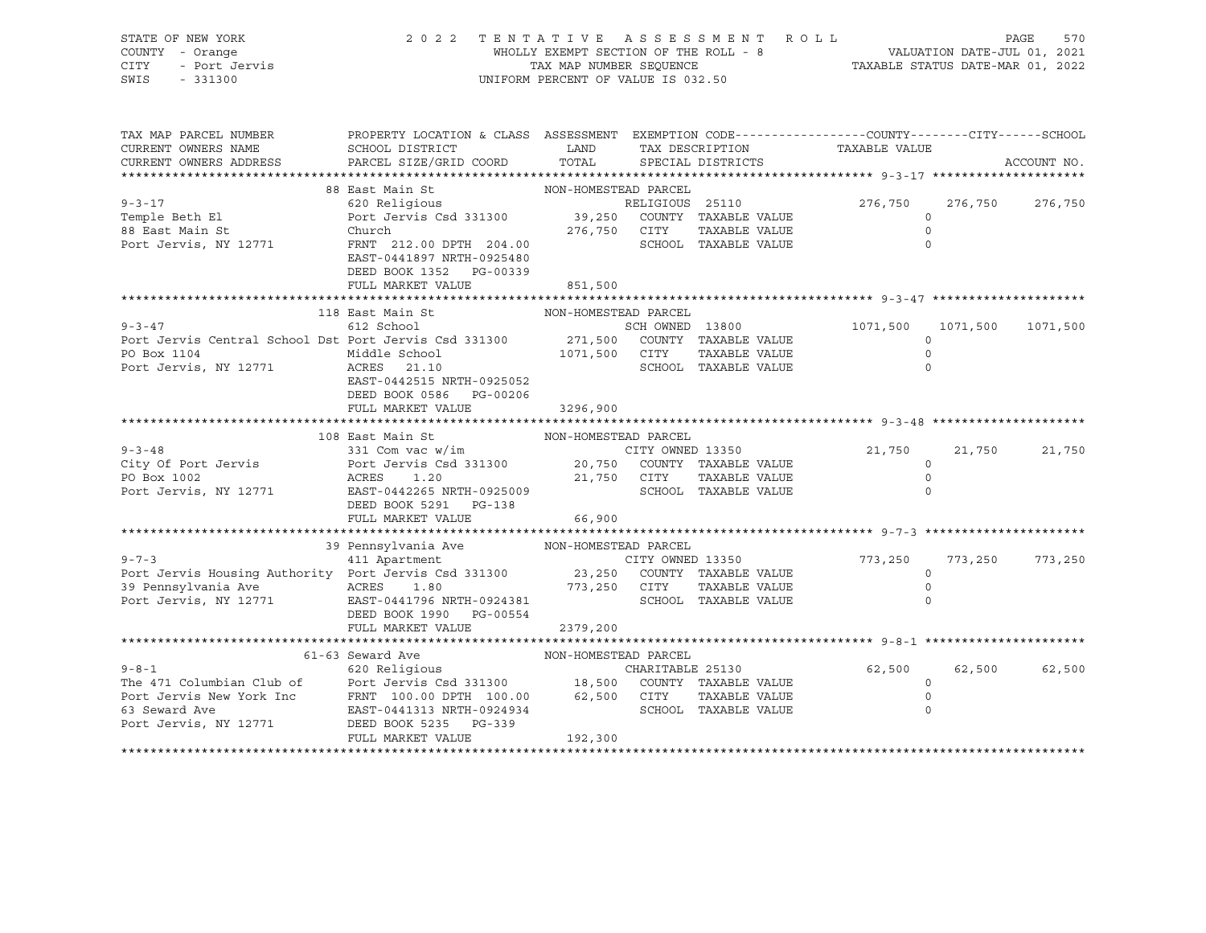| STATE OF NEW YORK<br>COUNTY - Orange<br>- Port Jervis<br>- Port Jervis<br>- 331300<br>CITY<br>SWIS - 331300                                                                                                                                  | 2022 TENTATIVE ASSESSMENT ROLL                                                                                                                                                                    | UNIFORM PERCENT OF VALUE IS 032.50 | $\begin{minipage}{.45\textwidth} \begin{tabular}{lcccccc} \textbf{WHOLLY EXEMPT SECTION OF THE ROLL - 8} & & & & & \textbf{VALUATION DATE-JUL 01, 2021} \\ \textbf{TAX MAP NUMBER SEQUENCE} & & & & & \textbf{TAXABLE STATUS DATE-MAR 01, 2022} \end{tabular} \end{minipage}$                             |                      |         | 570<br>PAGE   |
|----------------------------------------------------------------------------------------------------------------------------------------------------------------------------------------------------------------------------------------------|---------------------------------------------------------------------------------------------------------------------------------------------------------------------------------------------------|------------------------------------|-----------------------------------------------------------------------------------------------------------------------------------------------------------------------------------------------------------------------------------------------------------------------------------------------------------|----------------------|---------|---------------|
| TAX MAP PARCEL NUMBER<br>CURRENT OWNERS NAME                                                                                                                                                                                                 | PROPERTY LOCATION & CLASS ASSESSMENT EXEMPTION CODE----------------COUNTY-------CITY------SCHOOL<br>SCHOOL DISTRICT                     LAND        TAX DESCRIPTION                 TAXABLE VALUE |                                    |                                                                                                                                                                                                                                                                                                           |                      |         |               |
| CURRENT OWNERS ADDRESS                                                                                                                                                                                                                       | PARCEL SIZE/GRID COORD TOTAL SPECIAL DISTRICTS                                                                                                                                                    |                                    |                                                                                                                                                                                                                                                                                                           |                      |         | ACCOUNT NO.   |
|                                                                                                                                                                                                                                              |                                                                                                                                                                                                   |                                    |                                                                                                                                                                                                                                                                                                           |                      |         |               |
|                                                                                                                                                                                                                                              |                                                                                                                                                                                                   |                                    |                                                                                                                                                                                                                                                                                                           |                      |         |               |
| $9 - 3 - 17$                                                                                                                                                                                                                                 |                                                                                                                                                                                                   |                                    | $\frac{1}{100}$ $\frac{1}{100}$ $\frac{1}{100}$ $\frac{1}{100}$ $\frac{1}{100}$ $\frac{1}{100}$ $\frac{1}{100}$ $\frac{1}{100}$ $\frac{1}{100}$ $\frac{1}{100}$ $\frac{1}{100}$ $\frac{1}{100}$ $\frac{1}{100}$ $\frac{1}{100}$ $\frac{1}{100}$ $\frac{1}{100}$ $\frac{1}{100}$ $\frac{1}{100}$ $\frac{1$ |                      | 276,750 | 276,750       |
| Temple Beth El<br>1emple Bech Bi<br>88 East Main St                                                                                                                                                                                          | Port Jervis Csd 331300 39,250 COUNTY TAXABLE VALUE<br>Church 276,750 CITY TAXABLE VALUE                                                                                                           |                                    |                                                                                                                                                                                                                                                                                                           | $\circ$              |         |               |
| Port Jervis, NY 12771                                                                                                                                                                                                                        |                                                                                                                                                                                                   |                                    |                                                                                                                                                                                                                                                                                                           | $\Omega$<br>$\Omega$ |         |               |
|                                                                                                                                                                                                                                              | FRNT 212.00 DPTH 204.00<br>EAST-0441897 NRTH-0925480<br>DEED BOOK 1352 PG-00339                                                                                                                   |                                    | SCHOOL TAXABLE VALUE                                                                                                                                                                                                                                                                                      |                      |         |               |
|                                                                                                                                                                                                                                              | FULL MARKET VALUE                                                                                                                                                                                 | 851,500                            |                                                                                                                                                                                                                                                                                                           |                      |         |               |
|                                                                                                                                                                                                                                              |                                                                                                                                                                                                   |                                    |                                                                                                                                                                                                                                                                                                           |                      |         |               |
|                                                                                                                                                                                                                                              |                                                                                                                                                                                                   |                                    |                                                                                                                                                                                                                                                                                                           |                      |         |               |
|                                                                                                                                                                                                                                              |                                                                                                                                                                                                   |                                    | SCH OWNED 13800 1071,500 1071,500 1071,500                                                                                                                                                                                                                                                                |                      |         |               |
|                                                                                                                                                                                                                                              |                                                                                                                                                                                                   |                                    |                                                                                                                                                                                                                                                                                                           | $\Omega$             |         |               |
| PO Box 1104                                                                                                                                                                                                                                  |                                                                                                                                                                                                   |                                    |                                                                                                                                                                                                                                                                                                           | $\circ$              |         |               |
| Port Jervis, NY 12771                                                                                                                                                                                                                        |                                                                                                                                                                                                   |                                    |                                                                                                                                                                                                                                                                                                           | $\circ$              |         |               |
|                                                                                                                                                                                                                                              | EAST-0442515 NRTH-0925052                                                                                                                                                                         |                                    |                                                                                                                                                                                                                                                                                                           |                      |         |               |
|                                                                                                                                                                                                                                              | DEED BOOK 0586    PG-00206                                                                                                                                                                        |                                    |                                                                                                                                                                                                                                                                                                           |                      |         |               |
|                                                                                                                                                                                                                                              | FULL MARKET VALUE 3296,900                                                                                                                                                                        |                                    |                                                                                                                                                                                                                                                                                                           |                      |         |               |
|                                                                                                                                                                                                                                              | 108 East Main St                                                                                                                                                                                  | NON-HOMESTEAD PARCEL               |                                                                                                                                                                                                                                                                                                           |                      |         |               |
|                                                                                                                                                                                                                                              |                                                                                                                                                                                                   |                                    |                                                                                                                                                                                                                                                                                                           | 21,750               | 21,750  | 21,750        |
|                                                                                                                                                                                                                                              |                                                                                                                                                                                                   |                                    |                                                                                                                                                                                                                                                                                                           | $\circ$              |         |               |
|                                                                                                                                                                                                                                              |                                                                                                                                                                                                   |                                    |                                                                                                                                                                                                                                                                                                           | $\overline{0}$       |         |               |
| 9-3-48<br>City Of Port Jervis 331 Com vac w/im<br>Port Jervis Csd 331300 20,750 COUNTY TAXABLE VALUE<br>PO Box 1002<br>Port Jervis, NY 12771 EAST-04422650NRTH-0925009<br>PORT CITY TAXABLE VALUE<br>PORT CITY TAXABLE VALUE<br>SCHOOL TAXAB | DEED BOOK 5291 PG-138                                                                                                                                                                             |                                    |                                                                                                                                                                                                                                                                                                           |                      |         |               |
|                                                                                                                                                                                                                                              | FULL MARKET VALUE                                                                                                                                                                                 | 66,900                             |                                                                                                                                                                                                                                                                                                           |                      |         |               |
|                                                                                                                                                                                                                                              |                                                                                                                                                                                                   |                                    |                                                                                                                                                                                                                                                                                                           |                      |         |               |
|                                                                                                                                                                                                                                              |                                                                                                                                                                                                   |                                    |                                                                                                                                                                                                                                                                                                           |                      |         |               |
| $9 - 7 - 3$                                                                                                                                                                                                                                  |                                                                                                                                                                                                   |                                    | CITY OWNED 13350                                                                                                                                                                                                                                                                                          | 773,250              | 773,250 | 773,250       |
|                                                                                                                                                                                                                                              |                                                                                                                                                                                                   |                                    |                                                                                                                                                                                                                                                                                                           | $\overline{0}$       |         |               |
|                                                                                                                                                                                                                                              |                                                                                                                                                                                                   |                                    |                                                                                                                                                                                                                                                                                                           | $\overline{0}$       |         |               |
|                                                                                                                                                                                                                                              | DEED BOOK 1990 PG-00554                                                                                                                                                                           |                                    |                                                                                                                                                                                                                                                                                                           |                      |         |               |
|                                                                                                                                                                                                                                              | FULL MARKET VALUE                                                                                                                                                                                 | 2379,200                           |                                                                                                                                                                                                                                                                                                           |                      |         |               |
|                                                                                                                                                                                                                                              |                                                                                                                                                                                                   |                                    |                                                                                                                                                                                                                                                                                                           |                      |         |               |
|                                                                                                                                                                                                                                              |                                                                                                                                                                                                   |                                    |                                                                                                                                                                                                                                                                                                           |                      |         |               |
|                                                                                                                                                                                                                                              |                                                                                                                                                                                                   |                                    |                                                                                                                                                                                                                                                                                                           | 62,500               |         | 62,500 62,500 |
|                                                                                                                                                                                                                                              |                                                                                                                                                                                                   |                                    |                                                                                                                                                                                                                                                                                                           | $\overline{0}$       |         |               |
|                                                                                                                                                                                                                                              |                                                                                                                                                                                                   |                                    |                                                                                                                                                                                                                                                                                                           | $\overline{0}$       |         |               |
|                                                                                                                                                                                                                                              |                                                                                                                                                                                                   |                                    |                                                                                                                                                                                                                                                                                                           | $\mathbf 0$          |         |               |
|                                                                                                                                                                                                                                              |                                                                                                                                                                                                   |                                    |                                                                                                                                                                                                                                                                                                           |                      |         |               |
|                                                                                                                                                                                                                                              | FULL MARKET VALUE                                                                                                                                                                                 | 192,300                            |                                                                                                                                                                                                                                                                                                           |                      |         |               |
|                                                                                                                                                                                                                                              |                                                                                                                                                                                                   |                                    |                                                                                                                                                                                                                                                                                                           |                      |         |               |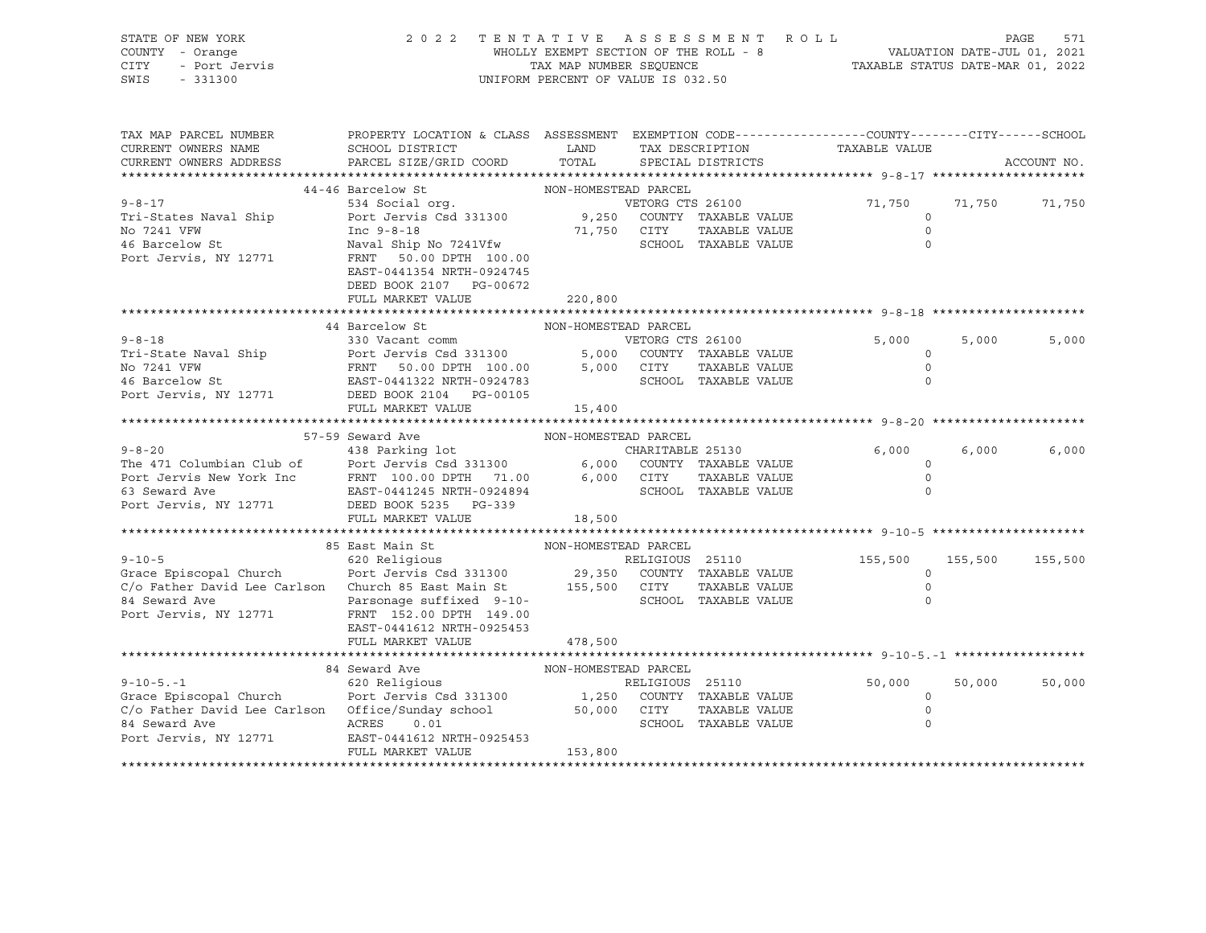| STATE OF NEW YORK<br>COUNTY - Orange<br>CITY<br>- Port Jervis<br>SWIS<br>$-331300$                                                                                                                                                     | 2 0 2 2                                                                                                                                   | WHOLLY EXEMPT SECTION OF THE ROLL - 8<br>TAX MAP NUMBER SEQUENCE<br>UNIFORM PERCENT OF VALUE IS 032.50 |                  | TENTATIVE ASSESSMENT ROLL | ROLL - 8<br>TAXABLE STATUS DATE-MAR 01, 2021<br>TAXABLE STATUS DATE-MAR 01, 2022 |         | PAGE<br>571 |
|----------------------------------------------------------------------------------------------------------------------------------------------------------------------------------------------------------------------------------------|-------------------------------------------------------------------------------------------------------------------------------------------|--------------------------------------------------------------------------------------------------------|------------------|---------------------------|----------------------------------------------------------------------------------|---------|-------------|
| TAX MAP PARCEL NUMBER<br>CURRENT OWNERS NAME                                                                                                                                                                                           | PROPERTY LOCATION & CLASS ASSESSMENT EXEMPTION CODE----------------COUNTY-------CITY------SCHOOL<br>SCHOOL DISTRICT                       |                                                                                                        |                  |                           | LAND TAX DESCRIPTION TAXABLE VALUE                                               |         |             |
| CURRENT OWNERS ADDRESS                                                                                                                                                                                                                 | PARCEL SIZE/GRID COORD TOTAL                                                                                                              |                                                                                                        |                  | SPECIAL DISTRICTS         |                                                                                  |         | ACCOUNT NO. |
|                                                                                                                                                                                                                                        |                                                                                                                                           |                                                                                                        |                  |                           |                                                                                  |         |             |
|                                                                                                                                                                                                                                        | 44-46 Barcelow St                                                                                                                         | NON-HOMESTEAD PARCEL                                                                                   |                  |                           |                                                                                  |         |             |
| $9 - 8 - 17$                                                                                                                                                                                                                           | 19<br>534 Social org.<br>Port Jervis Csd 331300<br>Port Jervis Csd 331300<br>2010 - 2021 - 2021 - 2021 - 2021 - 2021 - 2021 - 2022 - 2023 |                                                                                                        |                  |                           | 71,750                                                                           | 71,750  | 71,750      |
| Tri-States Naval Ship                                                                                                                                                                                                                  |                                                                                                                                           |                                                                                                        |                  |                           | $\circ$                                                                          |         |             |
| No 7241 VFW                                                                                                                                                                                                                            | The 9-8-18<br>Naval Ship No 7241Vfw 71,750 CITY TAXABLE VALUE<br>SCHOOL TAXABLE VALUE                                                     |                                                                                                        |                  |                           | $\overline{0}$                                                                   |         |             |
| 46 Barcelow St                                                                                                                                                                                                                         |                                                                                                                                           |                                                                                                        |                  |                           | $\bigcap$                                                                        |         |             |
| Port Jervis, NY 12771                                                                                                                                                                                                                  | FRNT 50.00 DPTH 100.00                                                                                                                    |                                                                                                        |                  |                           |                                                                                  |         |             |
|                                                                                                                                                                                                                                        | EAST-0441354 NRTH-0924745                                                                                                                 |                                                                                                        |                  |                           |                                                                                  |         |             |
|                                                                                                                                                                                                                                        | DEED BOOK 2107 PG-00672<br>FULL MARKET VALUE                                                                                              |                                                                                                        |                  |                           |                                                                                  |         |             |
|                                                                                                                                                                                                                                        |                                                                                                                                           | 220,800                                                                                                |                  |                           |                                                                                  |         |             |
|                                                                                                                                                                                                                                        | 44 Barcelow St                                                                                                                            | NON-HOMESTEAD PARCEL                                                                                   |                  |                           |                                                                                  |         |             |
| $9 - 8 - 18$                                                                                                                                                                                                                           | 330 Vacant comm                                                                                                                           |                                                                                                        | VETORG CTS 26100 |                           | 5,000                                                                            | 5,000   | 5,000       |
|                                                                                                                                                                                                                                        |                                                                                                                                           |                                                                                                        |                  |                           | $\circ$                                                                          |         |             |
|                                                                                                                                                                                                                                        |                                                                                                                                           |                                                                                                        |                  |                           | $\circ$                                                                          |         |             |
| Tri-State Naval Ship<br>No 7241 VFW FRNT 50.00 DPTH 100.00 5,000 COUNTY TAXABLE VALUE<br>FRNT 50.00 DPTH 100.00 5,000 CITY TAXABLE VALUE<br>EAST-0441322 NRTH-0924783 SCHOOL TAXABLE VALUE<br>EAST-0441322 NRTH-0924783 SCHOOL TAXABLE |                                                                                                                                           |                                                                                                        |                  |                           |                                                                                  |         |             |
| Port Jervis, NY 12771                                                                                                                                                                                                                  | DEED BOOK 2104    PG-00105                                                                                                                |                                                                                                        |                  |                           |                                                                                  |         |             |
|                                                                                                                                                                                                                                        | FULL MARKET VALUE                                                                                                                         | 15,400                                                                                                 |                  |                           |                                                                                  |         |             |
|                                                                                                                                                                                                                                        |                                                                                                                                           |                                                                                                        |                  |                           |                                                                                  |         |             |
|                                                                                                                                                                                                                                        | 57-59 Seward Ave                                                                                                                          | NON-HOMESTEAD PARCEL                                                                                   |                  |                           |                                                                                  |         |             |
| 9-8-20<br>The 471 Columbian Club of Port Jervis Csd 331300 (CHARITABLE 25130<br>Port Jervis New York Inc FRNT 100.00 DPTH 71.00 6,000 COUNTY TAXABLE VALUE<br>EAST-0441245 NRTH-0924894 SCHOOL TAXABLE VALUE                           |                                                                                                                                           |                                                                                                        |                  | CHARITABLE 25130          | 6,000                                                                            | 6,000   | 6,000       |
|                                                                                                                                                                                                                                        |                                                                                                                                           |                                                                                                        |                  |                           | $\circ$                                                                          |         |             |
|                                                                                                                                                                                                                                        |                                                                                                                                           |                                                                                                        |                  |                           | $\circ$                                                                          |         |             |
|                                                                                                                                                                                                                                        |                                                                                                                                           |                                                                                                        |                  |                           | $\Omega$                                                                         |         |             |
| Port Jervis, NY 12771 DEED BOOK 5235 PG-339                                                                                                                                                                                            |                                                                                                                                           |                                                                                                        |                  |                           |                                                                                  |         |             |
|                                                                                                                                                                                                                                        | FULL MARKET VALUE                                                                                                                         | 18,500                                                                                                 |                  |                           |                                                                                  |         |             |
|                                                                                                                                                                                                                                        | 85 East Main St                                                                                                                           | NON-HOMESTEAD PARCEL                                                                                   |                  |                           |                                                                                  |         |             |
|                                                                                                                                                                                                                                        |                                                                                                                                           |                                                                                                        |                  |                           | 155,500                                                                          | 155,500 | 155,500     |
|                                                                                                                                                                                                                                        |                                                                                                                                           |                                                                                                        |                  |                           | $\Omega$                                                                         |         |             |
| 85 East Main St MON-HOMESTEAD PARCEL<br>620 Religious RELIGIOUS 25110<br>Grace Episcopal Church Port Jervis Csd 331300 29,350 COUNTY TAXABLE VALUE<br>C/o Father David Lee Carlson Church 85 East Main St 155,500 CITY TAXABLE VALUE   |                                                                                                                                           |                                                                                                        |                  |                           | $\overline{0}$                                                                   |         |             |
| 84 Seward Ave                                                                                                                                                                                                                          | Parsonage suffixed 9-10-                                                                                                                  |                                                                                                        |                  | SCHOOL TAXABLE VALUE      | 0                                                                                |         |             |
| Port Jervis, NY 12771                                                                                                                                                                                                                  | FRNT 152.00 DPTH 149.00                                                                                                                   |                                                                                                        |                  |                           |                                                                                  |         |             |
|                                                                                                                                                                                                                                        | EAST-0441612 NRTH-0925453                                                                                                                 |                                                                                                        |                  |                           |                                                                                  |         |             |
|                                                                                                                                                                                                                                        | FULL MARKET VALUE                                                                                                                         | 478,500                                                                                                |                  |                           |                                                                                  |         |             |
|                                                                                                                                                                                                                                        |                                                                                                                                           |                                                                                                        |                  |                           |                                                                                  |         |             |
|                                                                                                                                                                                                                                        | 84 Seward Ave                                                                                                                             | NON-HOMESTEAD PARCEL                                                                                   |                  |                           |                                                                                  |         |             |
| $9 - 10 - 5 - 1$                                                                                                                                                                                                                       | 620 Religious Religious                                                                                                                   |                                                                                                        |                  | RELIGIOUS 25110           | 50,000                                                                           | 50,000  | 50,000      |
| Grace Episcopal Church Correspondent Carterials of the 1,250 COUNTY TAXABLE VALUE                                                                                                                                                      |                                                                                                                                           |                                                                                                        |                  |                           | $\circ$                                                                          |         |             |
|                                                                                                                                                                                                                                        |                                                                                                                                           |                                                                                                        |                  | TAXABLE VALUE             | $\circ$                                                                          |         |             |
|                                                                                                                                                                                                                                        |                                                                                                                                           |                                                                                                        |                  | SCHOOL TAXABLE VALUE      | 0                                                                                |         |             |
|                                                                                                                                                                                                                                        |                                                                                                                                           |                                                                                                        |                  |                           |                                                                                  |         |             |
|                                                                                                                                                                                                                                        | FULL MARKET VALUE                                                                                                                         | 153,800                                                                                                |                  |                           |                                                                                  |         |             |
|                                                                                                                                                                                                                                        |                                                                                                                                           |                                                                                                        |                  |                           |                                                                                  |         |             |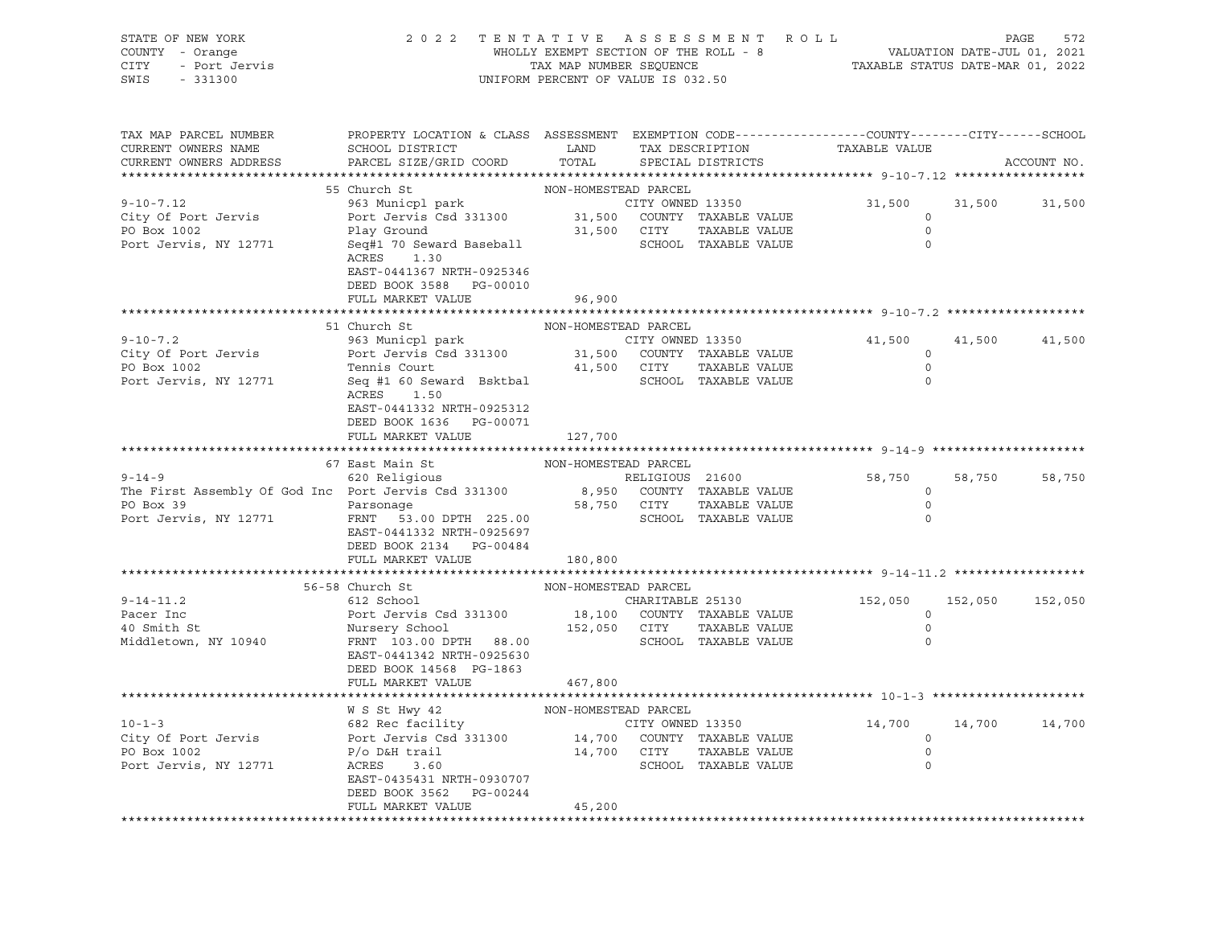| STATE OF NEW YORK<br>COUNTY - Orange<br>CITY<br>- Port Jervis<br>SWIS<br>$-331300$                                                                                                                                                           | 2022 TENTATIVE ASSESSMENT ROLL                                                                                                                                                                                  | UNIFORM PERCENT OF VALUE IS 032.50 |             | WHOLLY EXEMPT SECTION OF THE ROLL - 8<br>TAX MAP NUMBER SEQUENCE TAX TAXABLE STATUS DATE-MAR 01, 2022 |                                |         | PAGE<br>572   |
|----------------------------------------------------------------------------------------------------------------------------------------------------------------------------------------------------------------------------------------------|-----------------------------------------------------------------------------------------------------------------------------------------------------------------------------------------------------------------|------------------------------------|-------------|-------------------------------------------------------------------------------------------------------|--------------------------------|---------|---------------|
| TAX MAP PARCEL NUMBER<br>CURRENT OWNERS NAME<br>CURRENT OWNERS ADDRESS                                                                                                                                                                       | PROPERTY LOCATION & CLASS ASSESSMENT EXEMPTION CODE---------------COUNTY-------CITY------SCHOOL<br>SCHOOL DISTRICT LAND<br>PARCEL SIZE/GRID COORD                                                               | TOTAL                              |             | TAX DESCRIPTION<br>SPECIAL DISTRICTS                                                                  | TAXABLE VALUE                  |         | ACCOUNT NO.   |
|                                                                                                                                                                                                                                              | 55 Church St                                                                                                                                                                                                    | NON-HOMESTEAD PARCEL               |             |                                                                                                       |                                |         |               |
| $9 - 10 - 7.12$                                                                                                                                                                                                                              | 963 Municpl park                                                                                                                                                                                                |                                    |             |                                                                                                       | 31,500                         |         | 31,500 31,500 |
| City Of Port Jervis                                                                                                                                                                                                                          | 963 Municpl park<br>Port Jervis Csd 331300 31,500 COUNTY TAXABLE VALUE                                                                                                                                          |                                    |             |                                                                                                       | $\circ$                        |         |               |
| PO Box 1002                                                                                                                                                                                                                                  | Play Ground                                                                                                                                                                                                     |                                    | 31,500 CITY | TAXABLE VALUE                                                                                         | $\circ$                        |         |               |
| Port Jervis, NY 12771                                                                                                                                                                                                                        | Seq#1 70 Seward Baseball<br>ACRES<br>1.30<br>EAST-0441367 NRTH-0925346                                                                                                                                          |                                    |             | SCHOOL TAXABLE VALUE                                                                                  | $\overline{0}$                 |         |               |
|                                                                                                                                                                                                                                              | DEED BOOK 3588 PG-00010                                                                                                                                                                                         |                                    |             |                                                                                                       |                                |         |               |
|                                                                                                                                                                                                                                              | FULL MARKET VALUE                                                                                                                                                                                               | 96,900                             |             |                                                                                                       |                                |         |               |
|                                                                                                                                                                                                                                              |                                                                                                                                                                                                                 |                                    |             |                                                                                                       |                                |         |               |
|                                                                                                                                                                                                                                              | 51 Church St<br>963 Municpl park<br>Port Jervis Csd 331300<br>Tamis Court<br>Port Court<br>21,500 COUNTY TAXABLE VALUE<br>21,500 CITY<br>21,500 CITY<br>2017 TAXABLE VALUE<br>2010 SCHOOL<br>2010 TAXABLE VALUE | NON-HOMESTEAD PARCEL               |             |                                                                                                       |                                |         |               |
| $9 - 10 - 7.2$                                                                                                                                                                                                                               |                                                                                                                                                                                                                 |                                    |             |                                                                                                       | 41,500<br>$\circ$              | 41,500  | 41,500        |
| City Of Port Jervis<br>PO Box 1002                                                                                                                                                                                                           |                                                                                                                                                                                                                 |                                    |             |                                                                                                       | $\circ$                        |         |               |
| Port Jervis, NY 12771                                                                                                                                                                                                                        |                                                                                                                                                                                                                 |                                    |             |                                                                                                       | $\Omega$                       |         |               |
|                                                                                                                                                                                                                                              | ACRES<br>1.50<br>EAST-0441332 NRTH-0925312<br>DEED BOOK 1636 PG-00071<br>FULL MARKET VALUE                                                                                                                      | 127,700                            |             |                                                                                                       |                                |         |               |
|                                                                                                                                                                                                                                              |                                                                                                                                                                                                                 |                                    |             |                                                                                                       |                                |         |               |
| 9-14-9<br>67 East Main St<br>620 Religious<br>The First Assembly Of God Inc Port Jervis Csd 331300<br>Port Collect Capace 331300<br>For The Collect Capace 21600<br>The Pirst Assembly Of God Inc Port Jervis Csd 331300<br>Port Collect Cap |                                                                                                                                                                                                                 |                                    |             |                                                                                                       |                                |         |               |
|                                                                                                                                                                                                                                              |                                                                                                                                                                                                                 |                                    |             | RELIGIOUS 21600                                                                                       | 58,750                         | 58,750  | 58,750        |
|                                                                                                                                                                                                                                              |                                                                                                                                                                                                                 |                                    |             |                                                                                                       | $\overline{0}$                 |         |               |
| PO Box 39<br><b>Example 2</b> Parsonage                                                                                                                                                                                                      |                                                                                                                                                                                                                 |                                    |             | 58,750 CITY TAXABLE VALUE                                                                             | $\overline{0}$                 |         |               |
| Port Jervis, NY 12771                                                                                                                                                                                                                        | FRNT 53.00 DPTH 225.00<br>EAST-0441332 NRTH-0925697<br>DEED BOOK 2134 PG-00484                                                                                                                                  |                                    |             | SCHOOL TAXABLE VALUE                                                                                  | 0                              |         |               |
|                                                                                                                                                                                                                                              | FULL MARKET VALUE                                                                                                                                                                                               | 180,800                            |             |                                                                                                       |                                |         |               |
|                                                                                                                                                                                                                                              | 56-58 Church St                                                                                                                                                                                                 | NON-HOMESTEAD PARCEL               |             |                                                                                                       |                                |         |               |
| $9 - 14 - 11.2$                                                                                                                                                                                                                              | 612 School                                                                                                                                                                                                      |                                    |             | CHARITABLE 25130                                                                                      | 152,050                        | 152,050 | 152,050       |
| Pacer Inc                                                                                                                                                                                                                                    |                                                                                                                                                                                                                 |                                    |             |                                                                                                       | $\circ$                        |         |               |
| 40 Smith St                                                                                                                                                                                                                                  | Port Jervis Csd 331300 18,100 COUNTY TAXABLE VALUE<br>Nursery School 152,050 CITY TAXABLE VALUE                                                                                                                 |                                    |             |                                                                                                       | $\overline{0}$                 |         |               |
| Middletown, NY 10940                                                                                                                                                                                                                         | FRNT 103.00 DPTH 88.00                                                                                                                                                                                          |                                    |             | SCHOOL TAXABLE VALUE                                                                                  | $\mathbf{0}$                   |         |               |
|                                                                                                                                                                                                                                              | EAST-0441342 NRTH-0925630                                                                                                                                                                                       |                                    |             |                                                                                                       |                                |         |               |
|                                                                                                                                                                                                                                              | DEED BOOK 14568 PG-1863                                                                                                                                                                                         |                                    |             |                                                                                                       |                                |         |               |
|                                                                                                                                                                                                                                              | FULL MARKET VALUE                                                                                                                                                                                               | 467,800                            |             |                                                                                                       |                                |         |               |
|                                                                                                                                                                                                                                              |                                                                                                                                                                                                                 |                                    |             |                                                                                                       |                                |         |               |
|                                                                                                                                                                                                                                              | W S St Hwy 42                                                                                                                                                                                                   | NON-HOMESTEAD PARCEL               |             |                                                                                                       |                                |         |               |
| $10 - 1 - 3$                                                                                                                                                                                                                                 | 682 Rec facility<br>Fort Jervis Csd 331300<br>Port Jervis Csd 331300<br>P/o D&H trail 14,700 COUNTY TAXABLE VALUE<br>ACRES 3.60<br>ACRES 3.60                                                                   |                                    |             |                                                                                                       | 14,700                         | 14,700  | 14,700        |
| City Of Port Jervis                                                                                                                                                                                                                          |                                                                                                                                                                                                                 |                                    |             |                                                                                                       | $\circ$                        |         |               |
| PO Box 1002                                                                                                                                                                                                                                  |                                                                                                                                                                                                                 |                                    |             |                                                                                                       | $\overline{0}$<br>$\mathbf{0}$ |         |               |
| Port Jervis, NY 12771                                                                                                                                                                                                                        | EAST-0435431 NRTH-0930707                                                                                                                                                                                       |                                    |             |                                                                                                       |                                |         |               |
|                                                                                                                                                                                                                                              | DEED BOOK 3562 PG-00244                                                                                                                                                                                         |                                    |             |                                                                                                       |                                |         |               |
|                                                                                                                                                                                                                                              | FULL MARKET VALUE                                                                                                                                                                                               | 45,200                             |             |                                                                                                       |                                |         |               |
|                                                                                                                                                                                                                                              |                                                                                                                                                                                                                 |                                    |             |                                                                                                       |                                |         |               |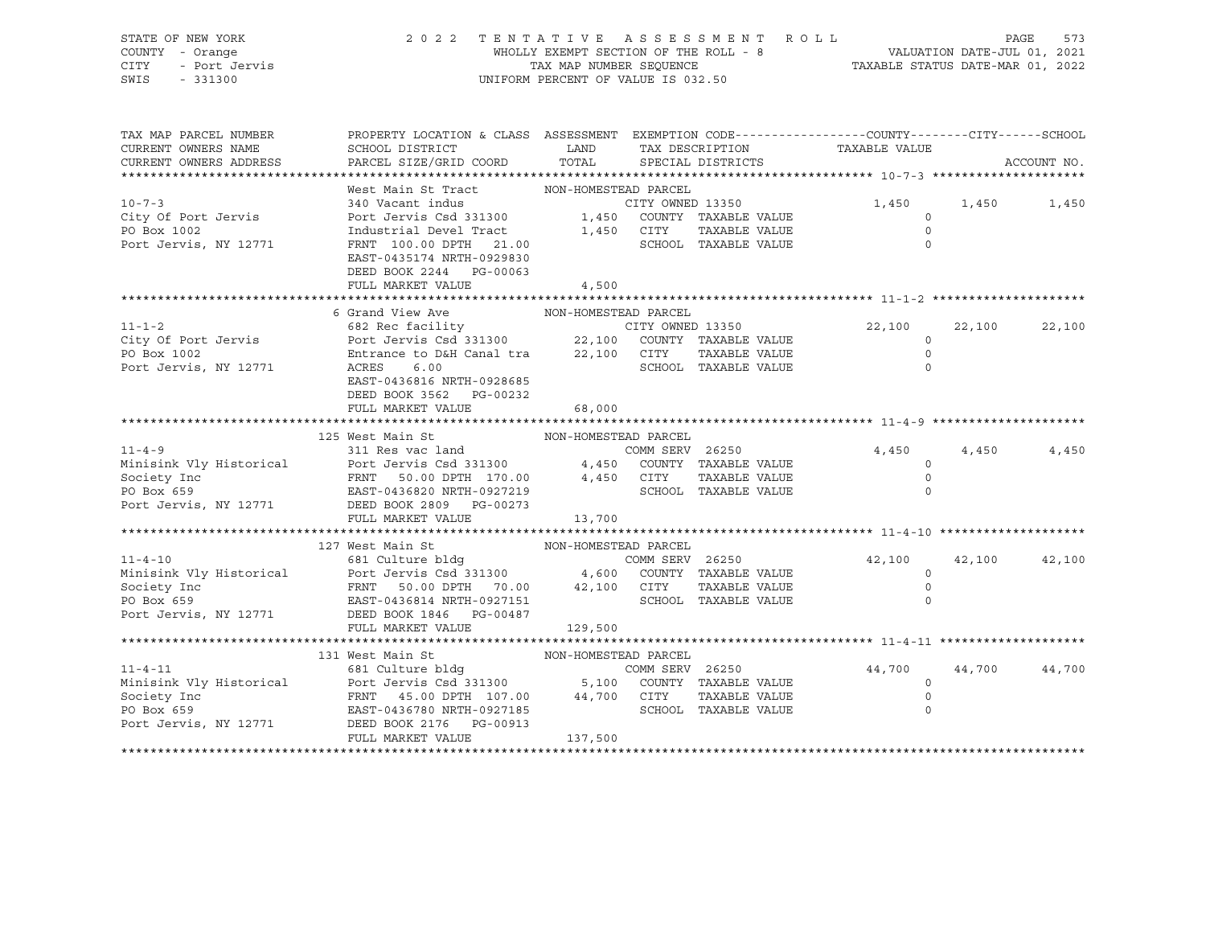| STATE OF NEW YORK<br>COUNTY - Orange<br>- Port Jervis<br>- 331300<br>CITY<br>SWIS                                                                                                                                                    | 2022 TENTATIVE ASSESSMENT ROLL                                                                                                   | UNIFORM PERCENT OF VALUE IS 032.50 |                 |                      | WHOLLY EXEMPT SECTION OF THE ROLL - 8<br>TAXABLE STATUS DATE-JUL 01, 2021<br>TAX MAP NUMBER SEQUENCE TAXABLE STATUS DATE-MAR 01, 2022 |        | PAGE<br>573 |
|--------------------------------------------------------------------------------------------------------------------------------------------------------------------------------------------------------------------------------------|----------------------------------------------------------------------------------------------------------------------------------|------------------------------------|-----------------|----------------------|---------------------------------------------------------------------------------------------------------------------------------------|--------|-------------|
| TAX MAP PARCEL NUMBER<br>CURRENT OWNERS NAME<br>CURRENT OWNERS ADDRESS                                                                                                                                                               | PROPERTY LOCATION & CLASS ASSESSMENT EXEMPTION CODE---------------COUNTY-------CITY------SCHOOL                                  |                                    | TAX DESCRIPTION | SPECIAL DISTRICTS    | TAXABLE VALUE                                                                                                                         |        | ACCOUNT NO. |
|                                                                                                                                                                                                                                      |                                                                                                                                  |                                    |                 |                      |                                                                                                                                       |        |             |
|                                                                                                                                                                                                                                      | West Main St Tract MON-HOMESTEAD PARCEL                                                                                          |                                    |                 |                      |                                                                                                                                       |        |             |
| $10 - 7 - 3$                                                                                                                                                                                                                         | 340 Vacant indus The CITY OWNED 13350                                                                                            |                                    |                 |                      | 1,450<br>$\circ$                                                                                                                      | 1,450  | 1,450       |
| City Of Port Jervis<br>PO Box 1002                                                                                                                                                                                                   | Port Jervis Csd 331300 1,450 COUNTY TAXABLE VALUE<br>Industrial Devel Tract                                                      |                                    | 1,450 CITY      | TAXABLE VALUE        | $\circ$                                                                                                                               |        |             |
| Port Jervis, NY 12771                                                                                                                                                                                                                | FRNT 100.00 DPTH 21.00                                                                                                           |                                    |                 | SCHOOL TAXABLE VALUE | $\circ$                                                                                                                               |        |             |
|                                                                                                                                                                                                                                      | EAST-0435174 NRTH-0929830                                                                                                        |                                    |                 |                      |                                                                                                                                       |        |             |
|                                                                                                                                                                                                                                      | DEED BOOK 2244 PG-00063                                                                                                          |                                    |                 |                      |                                                                                                                                       |        |             |
|                                                                                                                                                                                                                                      | FULL MARKET VALUE                                                                                                                | 4,500                              |                 |                      |                                                                                                                                       |        |             |
|                                                                                                                                                                                                                                      |                                                                                                                                  |                                    |                 |                      |                                                                                                                                       |        |             |
|                                                                                                                                                                                                                                      | 6 Grand View Ave MON-HOMESTEAD PARCEL<br>682 Rec facility CITY OWNED 13350<br>Port Jervis Csd 331300 22,100 COUNTY TAXABLE VALUE |                                    |                 |                      |                                                                                                                                       |        |             |
| $11 - 1 - 2$                                                                                                                                                                                                                         |                                                                                                                                  |                                    |                 | CITY OWNED 13350     | 22,100                                                                                                                                | 22,100 | 22,100      |
| City Of Port Jervis<br>PO Box 1002                                                                                                                                                                                                   | Entrance to D&H Canal tra 22,100 CITY                                                                                            |                                    |                 | TAXABLE VALUE        | $\Omega$<br>$\circ$                                                                                                                   |        |             |
| Port Jervis, NY 12771                                                                                                                                                                                                                | ACRES 6.00                                                                                                                       |                                    |                 | SCHOOL TAXABLE VALUE | $\Omega$                                                                                                                              |        |             |
|                                                                                                                                                                                                                                      | EAST-0436816 NRTH-0928685                                                                                                        |                                    |                 |                      |                                                                                                                                       |        |             |
|                                                                                                                                                                                                                                      | DEED BOOK 3562 PG-00232                                                                                                          |                                    |                 |                      |                                                                                                                                       |        |             |
|                                                                                                                                                                                                                                      | FULL MARKET VALUE                                                                                                                | 68,000                             |                 |                      |                                                                                                                                       |        |             |
|                                                                                                                                                                                                                                      |                                                                                                                                  |                                    |                 |                      |                                                                                                                                       |        |             |
|                                                                                                                                                                                                                                      | 125 West Main St                                                                                                                 | NON-HOMESTEAD PARCEL               |                 |                      |                                                                                                                                       |        |             |
|                                                                                                                                                                                                                                      | 311 Res vac land                                                                                                                 |                                    | COMM SERV 26250 |                      | 4,450                                                                                                                                 | 4,450  | 4,450       |
|                                                                                                                                                                                                                                      |                                                                                                                                  |                                    |                 |                      | $\Omega$                                                                                                                              |        |             |
| Minisink Vly Historical Minisink Vly Historical Port Jervis Csd 331300 4,450 COUNTY TAXABLE VALUE<br>Society Inc FRNT 50.00 DPTH 170.00 4,450 CTTY TAXABLE VALUE<br>PO Box 659 EAST-0436820 NRTH-0927219 SCHOOL TAXABLE VALUE<br>Por |                                                                                                                                  |                                    |                 |                      | $\circ$                                                                                                                               |        |             |
|                                                                                                                                                                                                                                      |                                                                                                                                  |                                    |                 |                      | $\Omega$                                                                                                                              |        |             |
| Port Jervis, NY 12771                                                                                                                                                                                                                | DEED BOOK 2809 PG-00273<br>FULL MARKET VALUE                                                                                     | 13,700                             |                 |                      |                                                                                                                                       |        |             |
|                                                                                                                                                                                                                                      |                                                                                                                                  |                                    |                 |                      |                                                                                                                                       |        |             |
|                                                                                                                                                                                                                                      | 127 West Main St                                                                                                                 | NON-HOMESTEAD PARCEL               |                 |                      |                                                                                                                                       |        |             |
| $11 - 4 - 10$                                                                                                                                                                                                                        | 681 Culture bldg<br>Paris -                                                                                                      |                                    |                 | COMM SERV 26250      | 42,100                                                                                                                                | 42,100 | 42,100      |
| Minisink Vly Historical                                                                                                                                                                                                              | Port Jervis Csd 331300 4,600 COUNTY TAXABLE VALUE                                                                                |                                    |                 |                      | $\circ$                                                                                                                               |        |             |
| Society Inc                                                                                                                                                                                                                          | FRNT 50.00 DPTH 70.00 42,100 CITY                                                                                                |                                    |                 | TAXABLE VALUE        | $\circ$                                                                                                                               |        |             |
| PO Box 659                                                                                                                                                                                                                           | EAST-0436814 NRTH-0927151                                                                                                        |                                    |                 | SCHOOL TAXABLE VALUE | $\mathbf 0$                                                                                                                           |        |             |
| Port Jervis, NY 12771 DEED BOOK 1846 PG-00487                                                                                                                                                                                        |                                                                                                                                  |                                    |                 |                      |                                                                                                                                       |        |             |
|                                                                                                                                                                                                                                      | FULL MARKET VALUE                                                                                                                | 129,500                            |                 |                      |                                                                                                                                       |        |             |
|                                                                                                                                                                                                                                      | 131 West Main St                                                                                                                 |                                    |                 |                      |                                                                                                                                       |        |             |
| $11 - 4 - 11$                                                                                                                                                                                                                        | 681 Culture bldg COMM SERV 26250                                                                                                 | NON-HOMESTEAD PARCEL               |                 |                      | 44,700                                                                                                                                | 44,700 | 44,700      |
| Minisink Vly Historical                                                                                                                                                                                                              | Port Jervis Csd 331300<br>FRNT 45.00 DPTH 107.00 44,700 CITY TAXABLE VALUE<br>EAST 0436780 NRTH-0927185 SCHOOL TAXABLE VALUE     |                                    |                 |                      | $\overline{0}$                                                                                                                        |        |             |
| Society Inc                                                                                                                                                                                                                          |                                                                                                                                  |                                    |                 |                      | $\circ$                                                                                                                               |        |             |
| PO Box 659                                                                                                                                                                                                                           |                                                                                                                                  |                                    |                 |                      | $\mathbf 0$                                                                                                                           |        |             |
| Port Jervis, NY 12771                                                                                                                                                                                                                | DEED BOOK 2176 PG-00913                                                                                                          |                                    |                 |                      |                                                                                                                                       |        |             |
|                                                                                                                                                                                                                                      | FULL MARKET VALUE                                                                                                                | 137,500                            |                 |                      |                                                                                                                                       |        |             |
|                                                                                                                                                                                                                                      |                                                                                                                                  |                                    |                 |                      |                                                                                                                                       |        |             |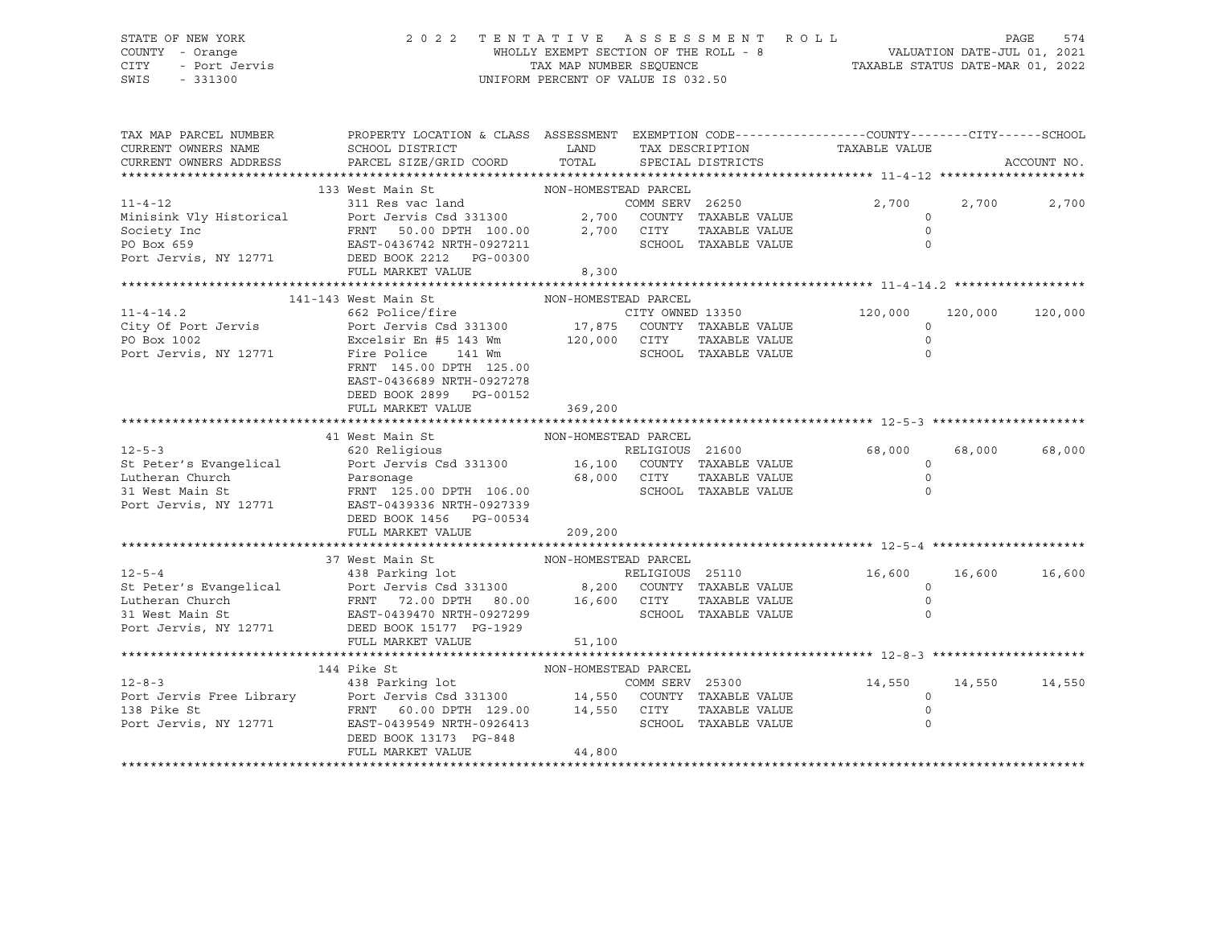# STATE OF NEW YORK 2 0 2 2 T E N T A T I V E A S S E S S M E N T R O L L PAGE 574 COUNTY - Orange WHOLLY EXEMPT SECTION OF THE ROLL - 8 VALUATION DATE-JUL 01, 2021 CITY - Port Jervis TAX MAP NUMBER SEQUENCE TAXABLE STATUS DATE-MAR 01, 2022

| NON-HOMESTEAD PARCEL<br>133 West Main St<br>311 Res vac land<br>$11 - 4 - 12$<br>COMM SERV 26250<br>2,700 2,700<br>2,700<br>Port Jervis Csd 331300 2,700 COUNTY TAXABLE VALUE<br>Minisink Vly Historical<br>$\circ$<br>FRNT 50.00 DPTH 100.00 2,700 CITY<br>Society Inc<br>TAXABLE VALUE<br>$\Omega$<br>SCHOOL TAXABLE VALUE<br>$\Omega$<br>FULL MARKET VALUE<br>8,300<br>141-143 West Main St<br>NON-HOMESTEAD PARCEL<br>120,000<br>120,000<br>120,000<br>$\Omega$<br>PO Box 1002<br>Port Jervis, NY 12771<br>Fire Police 141 Wm<br>SCHOO<br>TAXABLE VALUE<br>$\mathbb O$<br>SCHOOL TAXABLE VALUE<br>$\Omega$<br>FRNT 145.00 DPTH 125.00<br>EAST-0436689 NRTH-0927278<br>DEED BOOK 2899 PG-00152<br>FULL MARKET VALUE 369,200<br>NON-HOMESTEAD PARCEL<br>41 West Main St<br>$12 - 5 - 3$<br>RELIGIOUS 21600<br>620 Religious<br>68,000<br>68,000<br>68,000<br>Examplical and the part of the control of the control of the control of the control of the control of the control of the control of the control of the control of the control of the control of the control of the control of<br>$\circ$<br>$\circ$<br>$\Omega$<br>DEED BOOK 1456 PG-00534<br>209,200<br>FULL MARKET VALUE<br>NON-HOMESTEAD PARCEL<br>37 West Main St<br>12-5-4<br>St Peter's Evangelical and the strategy of the strategy of the strategy of the strategy of the strategy of the strategy of the strategy of the strategy of the strategy of the strategy of the strategy of the strateg<br>16,600<br>16,600<br>16,600<br>$\Omega$<br>$\circ$<br>$\Omega$<br>FULL MARKET VALUE<br>51,100<br>144 Pike St<br>14,550 14,550 14,550<br>COMM SERV 25300<br>$12 - 8 - 3$<br>Port Jervis Free Library Port Jervis Csd 331300 14,550 COUNTY TAXABLE VALUE<br>138 Pike St FRNT 60.00 DPTH 129.00 14,550 CITY TAXABLE VALUE<br>Port Jervis, NY 12771 EAST-0439549 NRTH-0926413 SCHOOL TAXABLE VALUE<br>$\overline{0}$<br>$\circ$<br>$\Omega$<br>DEED BOOK 13173 PG-848<br>44,800<br>FULL MARKET VALUE | TAX MAP PARCEL NUMBER<br>CURRENT OWNERS NAME<br>CURRENT OWNERS ADDRESS | PROPERTY LOCATION & CLASS ASSESSMENT EXEMPTION CODE----------------COUNTY-------CITY------SCHOOL<br>SCHOOL DISTRICT<br>PARCEL SIZE/GRID COORD | <b>LAND</b><br>TOTAL | SPECIAL DISTRICTS | TAX DESCRIPTION TAXABLE VALUE | ACCOUNT NO. |
|-----------------------------------------------------------------------------------------------------------------------------------------------------------------------------------------------------------------------------------------------------------------------------------------------------------------------------------------------------------------------------------------------------------------------------------------------------------------------------------------------------------------------------------------------------------------------------------------------------------------------------------------------------------------------------------------------------------------------------------------------------------------------------------------------------------------------------------------------------------------------------------------------------------------------------------------------------------------------------------------------------------------------------------------------------------------------------------------------------------------------------------------------------------------------------------------------------------------------------------------------------------------------------------------------------------------------------------------------------------------------------------------------------------------------------------------------------------------------------------------------------------------------------------------------------------------------------------------------------------------------------------------------------------------------------------------------------------------------------------------------------------------------------------------------------------------------------------------------------------------------------------------------------------------------------------------------------------------------------|------------------------------------------------------------------------|-----------------------------------------------------------------------------------------------------------------------------------------------|----------------------|-------------------|-------------------------------|-------------|
|                                                                                                                                                                                                                                                                                                                                                                                                                                                                                                                                                                                                                                                                                                                                                                                                                                                                                                                                                                                                                                                                                                                                                                                                                                                                                                                                                                                                                                                                                                                                                                                                                                                                                                                                                                                                                                                                                                                                                                             |                                                                        |                                                                                                                                               |                      |                   |                               |             |
|                                                                                                                                                                                                                                                                                                                                                                                                                                                                                                                                                                                                                                                                                                                                                                                                                                                                                                                                                                                                                                                                                                                                                                                                                                                                                                                                                                                                                                                                                                                                                                                                                                                                                                                                                                                                                                                                                                                                                                             |                                                                        |                                                                                                                                               |                      |                   |                               |             |
|                                                                                                                                                                                                                                                                                                                                                                                                                                                                                                                                                                                                                                                                                                                                                                                                                                                                                                                                                                                                                                                                                                                                                                                                                                                                                                                                                                                                                                                                                                                                                                                                                                                                                                                                                                                                                                                                                                                                                                             |                                                                        |                                                                                                                                               |                      |                   |                               |             |
|                                                                                                                                                                                                                                                                                                                                                                                                                                                                                                                                                                                                                                                                                                                                                                                                                                                                                                                                                                                                                                                                                                                                                                                                                                                                                                                                                                                                                                                                                                                                                                                                                                                                                                                                                                                                                                                                                                                                                                             |                                                                        |                                                                                                                                               |                      |                   |                               |             |
|                                                                                                                                                                                                                                                                                                                                                                                                                                                                                                                                                                                                                                                                                                                                                                                                                                                                                                                                                                                                                                                                                                                                                                                                                                                                                                                                                                                                                                                                                                                                                                                                                                                                                                                                                                                                                                                                                                                                                                             |                                                                        |                                                                                                                                               |                      |                   |                               |             |
|                                                                                                                                                                                                                                                                                                                                                                                                                                                                                                                                                                                                                                                                                                                                                                                                                                                                                                                                                                                                                                                                                                                                                                                                                                                                                                                                                                                                                                                                                                                                                                                                                                                                                                                                                                                                                                                                                                                                                                             |                                                                        |                                                                                                                                               |                      |                   |                               |             |
|                                                                                                                                                                                                                                                                                                                                                                                                                                                                                                                                                                                                                                                                                                                                                                                                                                                                                                                                                                                                                                                                                                                                                                                                                                                                                                                                                                                                                                                                                                                                                                                                                                                                                                                                                                                                                                                                                                                                                                             |                                                                        |                                                                                                                                               |                      |                   |                               |             |
|                                                                                                                                                                                                                                                                                                                                                                                                                                                                                                                                                                                                                                                                                                                                                                                                                                                                                                                                                                                                                                                                                                                                                                                                                                                                                                                                                                                                                                                                                                                                                                                                                                                                                                                                                                                                                                                                                                                                                                             |                                                                        |                                                                                                                                               |                      |                   |                               |             |
|                                                                                                                                                                                                                                                                                                                                                                                                                                                                                                                                                                                                                                                                                                                                                                                                                                                                                                                                                                                                                                                                                                                                                                                                                                                                                                                                                                                                                                                                                                                                                                                                                                                                                                                                                                                                                                                                                                                                                                             |                                                                        |                                                                                                                                               |                      |                   |                               |             |
|                                                                                                                                                                                                                                                                                                                                                                                                                                                                                                                                                                                                                                                                                                                                                                                                                                                                                                                                                                                                                                                                                                                                                                                                                                                                                                                                                                                                                                                                                                                                                                                                                                                                                                                                                                                                                                                                                                                                                                             |                                                                        |                                                                                                                                               |                      |                   |                               |             |
|                                                                                                                                                                                                                                                                                                                                                                                                                                                                                                                                                                                                                                                                                                                                                                                                                                                                                                                                                                                                                                                                                                                                                                                                                                                                                                                                                                                                                                                                                                                                                                                                                                                                                                                                                                                                                                                                                                                                                                             |                                                                        |                                                                                                                                               |                      |                   |                               |             |
|                                                                                                                                                                                                                                                                                                                                                                                                                                                                                                                                                                                                                                                                                                                                                                                                                                                                                                                                                                                                                                                                                                                                                                                                                                                                                                                                                                                                                                                                                                                                                                                                                                                                                                                                                                                                                                                                                                                                                                             |                                                                        |                                                                                                                                               |                      |                   |                               |             |
|                                                                                                                                                                                                                                                                                                                                                                                                                                                                                                                                                                                                                                                                                                                                                                                                                                                                                                                                                                                                                                                                                                                                                                                                                                                                                                                                                                                                                                                                                                                                                                                                                                                                                                                                                                                                                                                                                                                                                                             |                                                                        |                                                                                                                                               |                      |                   |                               |             |
|                                                                                                                                                                                                                                                                                                                                                                                                                                                                                                                                                                                                                                                                                                                                                                                                                                                                                                                                                                                                                                                                                                                                                                                                                                                                                                                                                                                                                                                                                                                                                                                                                                                                                                                                                                                                                                                                                                                                                                             |                                                                        |                                                                                                                                               |                      |                   |                               |             |
|                                                                                                                                                                                                                                                                                                                                                                                                                                                                                                                                                                                                                                                                                                                                                                                                                                                                                                                                                                                                                                                                                                                                                                                                                                                                                                                                                                                                                                                                                                                                                                                                                                                                                                                                                                                                                                                                                                                                                                             |                                                                        |                                                                                                                                               |                      |                   |                               |             |
|                                                                                                                                                                                                                                                                                                                                                                                                                                                                                                                                                                                                                                                                                                                                                                                                                                                                                                                                                                                                                                                                                                                                                                                                                                                                                                                                                                                                                                                                                                                                                                                                                                                                                                                                                                                                                                                                                                                                                                             |                                                                        |                                                                                                                                               |                      |                   |                               |             |
|                                                                                                                                                                                                                                                                                                                                                                                                                                                                                                                                                                                                                                                                                                                                                                                                                                                                                                                                                                                                                                                                                                                                                                                                                                                                                                                                                                                                                                                                                                                                                                                                                                                                                                                                                                                                                                                                                                                                                                             |                                                                        |                                                                                                                                               |                      |                   |                               |             |
|                                                                                                                                                                                                                                                                                                                                                                                                                                                                                                                                                                                                                                                                                                                                                                                                                                                                                                                                                                                                                                                                                                                                                                                                                                                                                                                                                                                                                                                                                                                                                                                                                                                                                                                                                                                                                                                                                                                                                                             |                                                                        |                                                                                                                                               |                      |                   |                               |             |
|                                                                                                                                                                                                                                                                                                                                                                                                                                                                                                                                                                                                                                                                                                                                                                                                                                                                                                                                                                                                                                                                                                                                                                                                                                                                                                                                                                                                                                                                                                                                                                                                                                                                                                                                                                                                                                                                                                                                                                             |                                                                        |                                                                                                                                               |                      |                   |                               |             |
|                                                                                                                                                                                                                                                                                                                                                                                                                                                                                                                                                                                                                                                                                                                                                                                                                                                                                                                                                                                                                                                                                                                                                                                                                                                                                                                                                                                                                                                                                                                                                                                                                                                                                                                                                                                                                                                                                                                                                                             |                                                                        |                                                                                                                                               |                      |                   |                               |             |
|                                                                                                                                                                                                                                                                                                                                                                                                                                                                                                                                                                                                                                                                                                                                                                                                                                                                                                                                                                                                                                                                                                                                                                                                                                                                                                                                                                                                                                                                                                                                                                                                                                                                                                                                                                                                                                                                                                                                                                             |                                                                        |                                                                                                                                               |                      |                   |                               |             |
|                                                                                                                                                                                                                                                                                                                                                                                                                                                                                                                                                                                                                                                                                                                                                                                                                                                                                                                                                                                                                                                                                                                                                                                                                                                                                                                                                                                                                                                                                                                                                                                                                                                                                                                                                                                                                                                                                                                                                                             |                                                                        |                                                                                                                                               |                      |                   |                               |             |
|                                                                                                                                                                                                                                                                                                                                                                                                                                                                                                                                                                                                                                                                                                                                                                                                                                                                                                                                                                                                                                                                                                                                                                                                                                                                                                                                                                                                                                                                                                                                                                                                                                                                                                                                                                                                                                                                                                                                                                             |                                                                        |                                                                                                                                               |                      |                   |                               |             |
|                                                                                                                                                                                                                                                                                                                                                                                                                                                                                                                                                                                                                                                                                                                                                                                                                                                                                                                                                                                                                                                                                                                                                                                                                                                                                                                                                                                                                                                                                                                                                                                                                                                                                                                                                                                                                                                                                                                                                                             |                                                                        |                                                                                                                                               |                      |                   |                               |             |
|                                                                                                                                                                                                                                                                                                                                                                                                                                                                                                                                                                                                                                                                                                                                                                                                                                                                                                                                                                                                                                                                                                                                                                                                                                                                                                                                                                                                                                                                                                                                                                                                                                                                                                                                                                                                                                                                                                                                                                             |                                                                        |                                                                                                                                               |                      |                   |                               |             |
|                                                                                                                                                                                                                                                                                                                                                                                                                                                                                                                                                                                                                                                                                                                                                                                                                                                                                                                                                                                                                                                                                                                                                                                                                                                                                                                                                                                                                                                                                                                                                                                                                                                                                                                                                                                                                                                                                                                                                                             |                                                                        |                                                                                                                                               |                      |                   |                               |             |
|                                                                                                                                                                                                                                                                                                                                                                                                                                                                                                                                                                                                                                                                                                                                                                                                                                                                                                                                                                                                                                                                                                                                                                                                                                                                                                                                                                                                                                                                                                                                                                                                                                                                                                                                                                                                                                                                                                                                                                             |                                                                        |                                                                                                                                               |                      |                   |                               |             |
|                                                                                                                                                                                                                                                                                                                                                                                                                                                                                                                                                                                                                                                                                                                                                                                                                                                                                                                                                                                                                                                                                                                                                                                                                                                                                                                                                                                                                                                                                                                                                                                                                                                                                                                                                                                                                                                                                                                                                                             |                                                                        |                                                                                                                                               |                      |                   |                               |             |
|                                                                                                                                                                                                                                                                                                                                                                                                                                                                                                                                                                                                                                                                                                                                                                                                                                                                                                                                                                                                                                                                                                                                                                                                                                                                                                                                                                                                                                                                                                                                                                                                                                                                                                                                                                                                                                                                                                                                                                             |                                                                        |                                                                                                                                               |                      |                   |                               |             |
|                                                                                                                                                                                                                                                                                                                                                                                                                                                                                                                                                                                                                                                                                                                                                                                                                                                                                                                                                                                                                                                                                                                                                                                                                                                                                                                                                                                                                                                                                                                                                                                                                                                                                                                                                                                                                                                                                                                                                                             |                                                                        |                                                                                                                                               |                      |                   |                               |             |
|                                                                                                                                                                                                                                                                                                                                                                                                                                                                                                                                                                                                                                                                                                                                                                                                                                                                                                                                                                                                                                                                                                                                                                                                                                                                                                                                                                                                                                                                                                                                                                                                                                                                                                                                                                                                                                                                                                                                                                             |                                                                        |                                                                                                                                               |                      |                   |                               |             |
|                                                                                                                                                                                                                                                                                                                                                                                                                                                                                                                                                                                                                                                                                                                                                                                                                                                                                                                                                                                                                                                                                                                                                                                                                                                                                                                                                                                                                                                                                                                                                                                                                                                                                                                                                                                                                                                                                                                                                                             |                                                                        |                                                                                                                                               |                      |                   |                               |             |
|                                                                                                                                                                                                                                                                                                                                                                                                                                                                                                                                                                                                                                                                                                                                                                                                                                                                                                                                                                                                                                                                                                                                                                                                                                                                                                                                                                                                                                                                                                                                                                                                                                                                                                                                                                                                                                                                                                                                                                             |                                                                        |                                                                                                                                               |                      |                   |                               |             |
|                                                                                                                                                                                                                                                                                                                                                                                                                                                                                                                                                                                                                                                                                                                                                                                                                                                                                                                                                                                                                                                                                                                                                                                                                                                                                                                                                                                                                                                                                                                                                                                                                                                                                                                                                                                                                                                                                                                                                                             |                                                                        |                                                                                                                                               |                      |                   |                               |             |
|                                                                                                                                                                                                                                                                                                                                                                                                                                                                                                                                                                                                                                                                                                                                                                                                                                                                                                                                                                                                                                                                                                                                                                                                                                                                                                                                                                                                                                                                                                                                                                                                                                                                                                                                                                                                                                                                                                                                                                             |                                                                        |                                                                                                                                               |                      |                   |                               |             |
|                                                                                                                                                                                                                                                                                                                                                                                                                                                                                                                                                                                                                                                                                                                                                                                                                                                                                                                                                                                                                                                                                                                                                                                                                                                                                                                                                                                                                                                                                                                                                                                                                                                                                                                                                                                                                                                                                                                                                                             |                                                                        |                                                                                                                                               |                      |                   |                               |             |
|                                                                                                                                                                                                                                                                                                                                                                                                                                                                                                                                                                                                                                                                                                                                                                                                                                                                                                                                                                                                                                                                                                                                                                                                                                                                                                                                                                                                                                                                                                                                                                                                                                                                                                                                                                                                                                                                                                                                                                             |                                                                        |                                                                                                                                               |                      |                   |                               |             |
|                                                                                                                                                                                                                                                                                                                                                                                                                                                                                                                                                                                                                                                                                                                                                                                                                                                                                                                                                                                                                                                                                                                                                                                                                                                                                                                                                                                                                                                                                                                                                                                                                                                                                                                                                                                                                                                                                                                                                                             |                                                                        |                                                                                                                                               |                      |                   |                               |             |
|                                                                                                                                                                                                                                                                                                                                                                                                                                                                                                                                                                                                                                                                                                                                                                                                                                                                                                                                                                                                                                                                                                                                                                                                                                                                                                                                                                                                                                                                                                                                                                                                                                                                                                                                                                                                                                                                                                                                                                             |                                                                        |                                                                                                                                               |                      |                   |                               |             |
|                                                                                                                                                                                                                                                                                                                                                                                                                                                                                                                                                                                                                                                                                                                                                                                                                                                                                                                                                                                                                                                                                                                                                                                                                                                                                                                                                                                                                                                                                                                                                                                                                                                                                                                                                                                                                                                                                                                                                                             |                                                                        |                                                                                                                                               |                      |                   |                               |             |
|                                                                                                                                                                                                                                                                                                                                                                                                                                                                                                                                                                                                                                                                                                                                                                                                                                                                                                                                                                                                                                                                                                                                                                                                                                                                                                                                                                                                                                                                                                                                                                                                                                                                                                                                                                                                                                                                                                                                                                             |                                                                        |                                                                                                                                               |                      |                   |                               |             |
|                                                                                                                                                                                                                                                                                                                                                                                                                                                                                                                                                                                                                                                                                                                                                                                                                                                                                                                                                                                                                                                                                                                                                                                                                                                                                                                                                                                                                                                                                                                                                                                                                                                                                                                                                                                                                                                                                                                                                                             |                                                                        |                                                                                                                                               |                      |                   |                               |             |
|                                                                                                                                                                                                                                                                                                                                                                                                                                                                                                                                                                                                                                                                                                                                                                                                                                                                                                                                                                                                                                                                                                                                                                                                                                                                                                                                                                                                                                                                                                                                                                                                                                                                                                                                                                                                                                                                                                                                                                             |                                                                        |                                                                                                                                               |                      |                   |                               |             |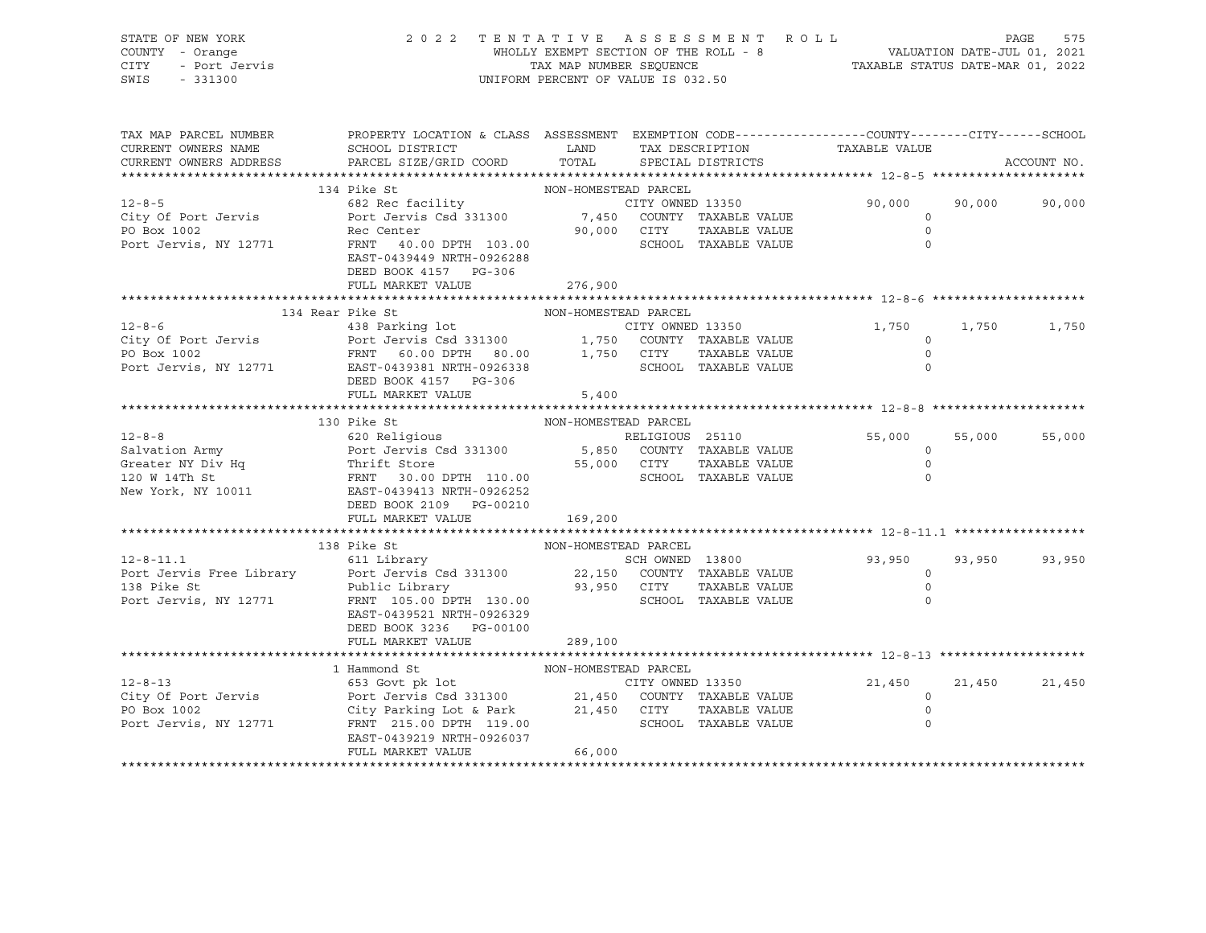| STATE OF NEW YORK<br>COUNTY - Orange<br>V <sub>r</sub><br>- Dorange<br>- Port Jervis<br>- Portagan<br>CITY<br>SWIS | 2 0 2 2                                                                                                                                                                                                                                                                | UNIFORM PERCENT OF VALUE IS 032.50 | TENTATIVE ASSESSMENT ROLL                          | WHOLLY EXEMPT SECTION OF THE ROLL - 8 VALUATION DATE-JUL 01, 2021<br>TAX MAP NUMBER SEQUENCE TAILS TAXABLE STATUS DATE-MAR 01, 2022 |        | PAGE<br>575 |
|--------------------------------------------------------------------------------------------------------------------|------------------------------------------------------------------------------------------------------------------------------------------------------------------------------------------------------------------------------------------------------------------------|------------------------------------|----------------------------------------------------|-------------------------------------------------------------------------------------------------------------------------------------|--------|-------------|
| TAX MAP PARCEL NUMBER<br>CURRENT OWNERS NAME<br>CURRENT OWNERS ADDRESS                                             | PROPERTY LOCATION & CLASS ASSESSMENT EXEMPTION CODE----------------COUNTY-------CITY------SCHOOL<br>SCHOOL DISTRICT<br>PARCEL SIZE/GRID COORD TOTAL                                                                                                                    | <b>LAND</b>                        | TAX DESCRIPTION TAXABLE VALUE<br>SPECIAL DISTRICTS |                                                                                                                                     |        | ACCOUNT NO. |
|                                                                                                                    | 134 Pike St                                                                                                                                                                                                                                                            | NON-HOMESTEAD PARCEL               |                                                    |                                                                                                                                     |        |             |
| $12 - 8 - 5$                                                                                                       |                                                                                                                                                                                                                                                                        |                                    |                                                    | 90,000                                                                                                                              | 90,000 | 90,000      |
| City Of Port Jervis<br>PO Box 1002<br>Port Jervis, NY 12771                                                        |                                                                                                                                                                                                                                                                        |                                    | TAXABLE VALUE                                      | $\circ$<br>$\circ$                                                                                                                  |        |             |
|                                                                                                                    | EAST-0439449 NRTH-0926288<br>DEED BOOK 4157 PG-306                                                                                                                                                                                                                     |                                    | SCHOOL TAXABLE VALUE                               | $\circ$                                                                                                                             |        |             |
|                                                                                                                    | FULL MARKET VALUE 276,900                                                                                                                                                                                                                                              |                                    |                                                    |                                                                                                                                     |        |             |
|                                                                                                                    |                                                                                                                                                                                                                                                                        |                                    |                                                    |                                                                                                                                     |        |             |
|                                                                                                                    | 134 Rear Pike St<br>134 Kear Fire 5th<br>438 Parking lot<br>238 Parking lot<br>238 Parking lot<br>238 Parking lot<br>238 Parking lot<br>238 Parking lot<br>238 2000 1,750 COUNTY TAXABLE VALUE<br>26 2023 PRNT 60.00 DPTH 80.00<br>26338 PARTH-0926338<br>2791 EAST-04 | NON-HOMESTEAD PARCEL               |                                                    | 1,750                                                                                                                               | 1,750  | 1,750       |
|                                                                                                                    |                                                                                                                                                                                                                                                                        |                                    |                                                    | $\circ$                                                                                                                             |        |             |
|                                                                                                                    |                                                                                                                                                                                                                                                                        |                                    | TAXABLE VALUE                                      | $\circ$                                                                                                                             |        |             |
|                                                                                                                    |                                                                                                                                                                                                                                                                        |                                    |                                                    | $\Omega$                                                                                                                            |        |             |
|                                                                                                                    | DEED BOOK 4157 PG-306                                                                                                                                                                                                                                                  |                                    |                                                    |                                                                                                                                     |        |             |
|                                                                                                                    | FULL MARKET VALUE                                                                                                                                                                                                                                                      | 5,400                              |                                                    |                                                                                                                                     |        |             |
|                                                                                                                    |                                                                                                                                                                                                                                                                        |                                    |                                                    |                                                                                                                                     |        |             |
|                                                                                                                    | 130 Pike St                                                                                                                                                                                                                                                            | NON-HOMESTEAD PARCEL               |                                                    |                                                                                                                                     |        |             |
|                                                                                                                    |                                                                                                                                                                                                                                                                        |                                    |                                                    | 55,000                                                                                                                              | 55,000 | 55,000      |
|                                                                                                                    |                                                                                                                                                                                                                                                                        |                                    |                                                    | $\circ$                                                                                                                             |        |             |
|                                                                                                                    |                                                                                                                                                                                                                                                                        |                                    |                                                    | $\circ$                                                                                                                             |        |             |
|                                                                                                                    |                                                                                                                                                                                                                                                                        |                                    |                                                    | $\Omega$                                                                                                                            |        |             |
|                                                                                                                    | 12-8-8<br>Salvation Army Rort Jervis Csd 331300<br>Greater NY Div Hq<br>Thrift Store 55,000 CITY TAXABLE VALUE<br>120 W 14Th St<br>New York, NY 10011 EAST-0439413 NRTH-0926252<br>DEED BOOK 2109 PG-00210<br>New York, NY 10011 EAST-04394                            |                                    |                                                    |                                                                                                                                     |        |             |
|                                                                                                                    |                                                                                                                                                                                                                                                                        |                                    |                                                    |                                                                                                                                     |        |             |
|                                                                                                                    | FULL MARKET VALUE                                                                                                                                                                                                                                                      | 169,200                            |                                                    |                                                                                                                                     |        |             |
|                                                                                                                    |                                                                                                                                                                                                                                                                        |                                    |                                                    |                                                                                                                                     |        |             |
|                                                                                                                    | 138 Pike St MON-HOMESTEAD PARCEL<br>611 Library SCH OWNED 13800<br>Port Jervis Free Library Port Jervis Csd 331300<br>138 Pike St Public Library 93,950 CITY TAXABLE VALUE<br>Port Jervis, NY 12771 FRNT 105.00 DPTH 130.00<br>FRNT 105.                               |                                    |                                                    | SCH OWNED 13800 93,950                                                                                                              | 93,950 | 93,950      |
|                                                                                                                    |                                                                                                                                                                                                                                                                        |                                    |                                                    | $\circ$                                                                                                                             |        |             |
|                                                                                                                    |                                                                                                                                                                                                                                                                        |                                    | TAXABLE VALUE                                      | $\circ$                                                                                                                             |        |             |
|                                                                                                                    |                                                                                                                                                                                                                                                                        |                                    |                                                    | $\circ$                                                                                                                             |        |             |
|                                                                                                                    | EAST-0439521 NRTH-0926329                                                                                                                                                                                                                                              |                                    |                                                    |                                                                                                                                     |        |             |
|                                                                                                                    | DEED BOOK 3236 PG-00100                                                                                                                                                                                                                                                |                                    |                                                    |                                                                                                                                     |        |             |
|                                                                                                                    | FULL MARKET VALUE                                                                                                                                                                                                                                                      | 289,100                            |                                                    |                                                                                                                                     |        |             |
|                                                                                                                    |                                                                                                                                                                                                                                                                        |                                    |                                                    |                                                                                                                                     |        |             |
|                                                                                                                    |                                                                                                                                                                                                                                                                        |                                    |                                                    |                                                                                                                                     |        |             |
| $12 - 8 - 13$                                                                                                      |                                                                                                                                                                                                                                                                        |                                    |                                                    | 21,450                                                                                                                              | 21,450 | 21,450      |
| City Of Port Jervis                                                                                                |                                                                                                                                                                                                                                                                        |                                    |                                                    | $\circ$                                                                                                                             |        |             |
| PO Box 1002                                                                                                        |                                                                                                                                                                                                                                                                        |                                    |                                                    | $\circ$                                                                                                                             |        |             |
| Port Jervis, NY 12771                                                                                              | FRNT 215.00 DPTH 119.00                                                                                                                                                                                                                                                |                                    | SCHOOL TAXABLE VALUE                               | $\Omega$                                                                                                                            |        |             |

\*\*\*\*\*\*\*\*\*\*\*\*\*\*\*\*\*\*\*\*\*\*\*\*\*\*\*\*\*\*\*\*\*\*\*\*\*\*\*\*\*\*\*\*\*\*\*\*\*\*\*\*\*\*\*\*\*\*\*\*\*\*\*\*\*\*\*\*\*\*\*\*\*\*\*\*\*\*\*\*\*\*\*\*\*\*\*\*\*\*\*\*\*\*\*\*\*\*\*\*\*\*\*\*\*\*\*\*\*\*\*\*\*\*\*\*\*\*\*\*\*\*\*\*\*\*\*\*\*\*\*\*

EAST-0439219 NRTH-0926037

FULL MARKET VALUE 66,000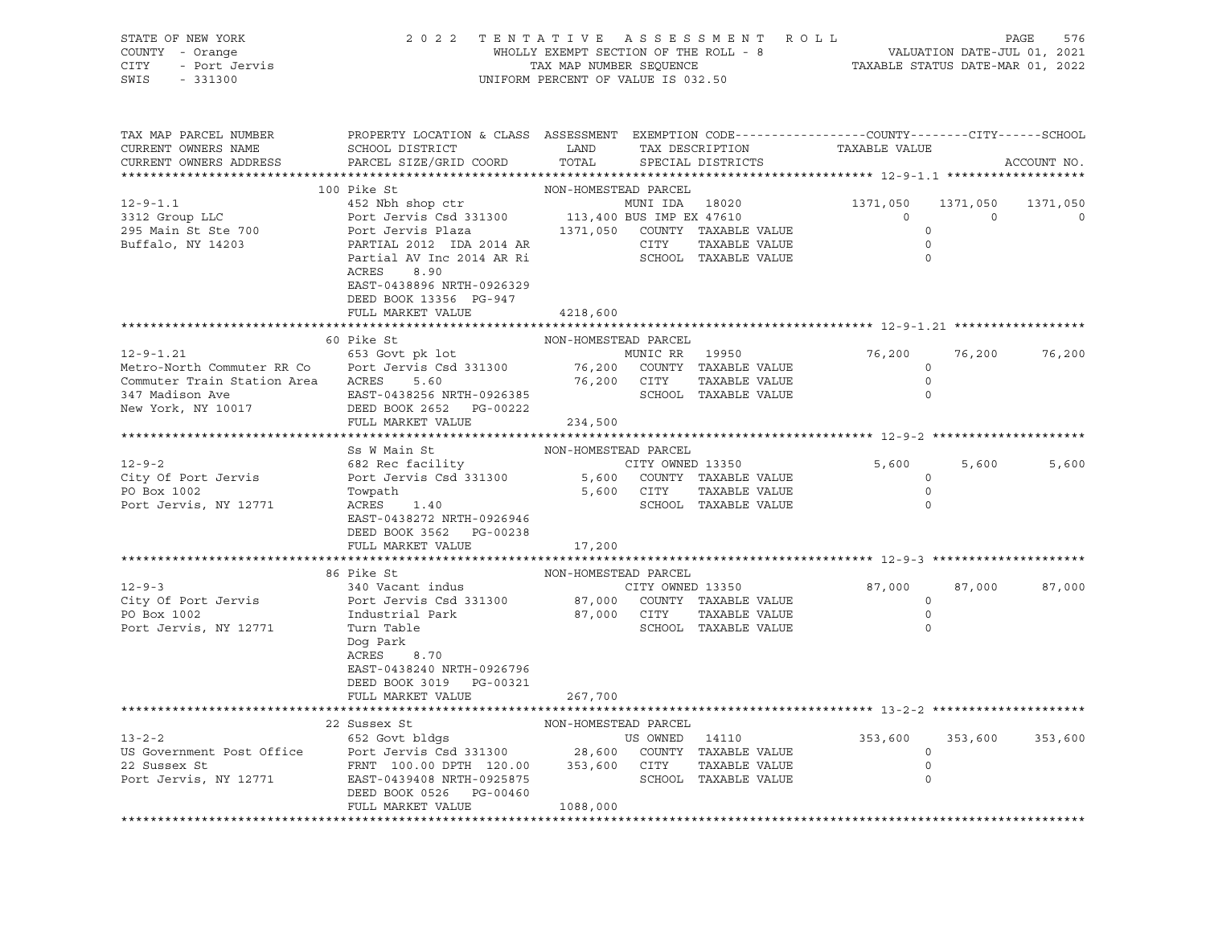| STATE OF NEW YORK     | 2022 TENTATIVE ASSESSMENT ROLL        | PAGE                             | 576 |
|-----------------------|---------------------------------------|----------------------------------|-----|
| COUNTY - Orange       | WHOLLY EXEMPT SECTION OF THE ROLL - 8 | VALUATION DATE-JUL 01, 2021      |     |
| - Port Jervis<br>CITY | TAX MAP NUMBER SEOUENCE               | TAXABLE STATUS DATE-MAR 01, 2022 |     |
| SWIS<br>$-331300$     | UNIFORM PERCENT OF VALUE IS 032.50    |                                  |     |
|                       |                                       |                                  |     |

| TAX MAP PARCEL NUMBER<br>CURRENT OWNERS NAME<br>CURRENT OWNERS ADDRESS                                                | PROPERTY LOCATION & CLASS ASSESSMENT<br>SCHOOL DISTRICT<br>PARCEL SIZE/GRID COORD                                                                                                                                                    | LAND<br>TOTAL                                                            |                                                | TAX DESCRIPTION<br>SPECIAL DISTRICTS                          | EXEMPTION CODE-----------------COUNTY-------CITY------SCHOOL<br>TAXABLE VALUE |                                              | ACCOUNT NO.   |
|-----------------------------------------------------------------------------------------------------------------------|--------------------------------------------------------------------------------------------------------------------------------------------------------------------------------------------------------------------------------------|--------------------------------------------------------------------------|------------------------------------------------|---------------------------------------------------------------|-------------------------------------------------------------------------------|----------------------------------------------|---------------|
|                                                                                                                       |                                                                                                                                                                                                                                      |                                                                          |                                                |                                                               |                                                                               |                                              |               |
| $12 - 9 - 1.1$<br>3312 Group LLC<br>295 Main St Ste 700<br>Buffalo, NY 14203                                          | 100 Pike St<br>452 Nbh shop ctr<br>Port Jervis Csd 331300<br>Port Jervis Plaza<br>PARTIAL 2012 IDA 2014 AR<br>Partial AV Inc 2014 AR Ri<br>ACRES<br>8.90<br>EAST-0438896 NRTH-0926329<br>DEED BOOK 13356 PG-947<br>FULL MARKET VALUE | NON-HOMESTEAD PARCEL<br>113,400 BUS IMP EX 47610<br>1371,050<br>4218,600 | MUNI IDA 18020<br>COUNTY TAXABLE VALUE<br>CITY | TAXABLE VALUE<br>SCHOOL TAXABLE VALUE                         | 1371,050<br>$\Omega$                                                          | 1371,050<br>$\Omega$<br>$\Omega$<br>$\Omega$ | 1371,050<br>0 |
|                                                                                                                       | *****************                                                                                                                                                                                                                    |                                                                          |                                                |                                                               |                                                                               |                                              |               |
| $12 - 9 - 1.21$<br>Metro-North Commuter RR Co<br>Commuter Train Station Area<br>347 Madison Ave<br>New York, NY 10017 | 60 Pike St<br>653 Govt pk lot<br>Port Jervis Csd 331300<br>5.60<br>ACRES<br>EAST-0438256 NRTH-0926385<br>DEED BOOK 2652<br>PG-00222<br>FULL MARKET VALUE                                                                             | NON-HOMESTEAD PARCEL<br>76,200<br>76,200<br>234,500                      | MUNIC RR 19950<br>CITY                         | COUNTY TAXABLE VALUE<br>TAXABLE VALUE<br>SCHOOL TAXABLE VALUE | 76,200                                                                        | 76,200<br>$\circ$<br>$\mathbf 0$<br>$\Omega$ | 76,200        |
|                                                                                                                       |                                                                                                                                                                                                                                      |                                                                          |                                                |                                                               |                                                                               |                                              |               |
| $12 - 9 - 2$<br>City Of Port Jervis<br>PO Box 1002<br>Port Jervis, NY 12771                                           | Ss W Main St<br>682 Rec facility<br>Port Jervis Csd 331300<br>Towpath<br>ACRES<br>1.40<br>EAST-0438272 NRTH-0926946<br>DEED BOOK 3562 PG-00238<br>FULL MARKET VALUE                                                                  | NON-HOMESTEAD PARCEL<br>5,600<br>5,600<br>17,200                         | CITY OWNED 13350<br>CITY                       | COUNTY TAXABLE VALUE<br>TAXABLE VALUE<br>SCHOOL TAXABLE VALUE | 5,600                                                                         | 5,600<br>$\Omega$<br>$\circ$<br>$\circ$      | 5,600         |
|                                                                                                                       |                                                                                                                                                                                                                                      |                                                                          |                                                |                                                               |                                                                               |                                              |               |
| $12 - 9 - 3$<br>City Of Port Jervis<br>PO Box 1002<br>Port Jervis, NY 12771                                           | 86 Pike St<br>340 Vacant indus<br>Port Jervis Csd 331300<br>Industrial Park<br>Turn Table<br>Dog Park<br>ACRES<br>8.70<br>EAST-0438240 NRTH-0926796<br>DEED BOOK 3019 PG-00321                                                       | NON-HOMESTEAD PARCEL<br>87,000<br>87,000 CITY                            | CITY OWNED 13350                               | COUNTY TAXABLE VALUE<br>TAXABLE VALUE<br>SCHOOL TAXABLE VALUE | 87,000                                                                        | 87,000<br>$\circ$<br>$\circ$<br>$\Omega$     | 87,000        |
|                                                                                                                       | FULL MARKET VALUE                                                                                                                                                                                                                    | 267,700                                                                  |                                                |                                                               |                                                                               |                                              |               |
|                                                                                                                       | 22 Sussex St                                                                                                                                                                                                                         | NON-HOMESTEAD PARCEL                                                     |                                                |                                                               |                                                                               |                                              |               |
| $13 - 2 - 2$<br>US Government Post Office<br>22 Sussex St<br>Port Jervis, NY 12771                                    | 652 Govt bldgs<br>Port Jervis Csd 331300<br>FRNT 100.00 DPTH 120.00<br>EAST-0439408 NRTH-0925875<br>DEED BOOK 0526<br>PG-00460<br>FULL MARKET VALUE                                                                                  | 28,600<br>353,600<br>1088,000                                            | US OWNED 14110<br>CITY                         | COUNTY TAXABLE VALUE<br>TAXABLE VALUE<br>SCHOOL TAXABLE VALUE | 353,600                                                                       | 353,600<br>$\circ$<br>$\circ$                | 353,600       |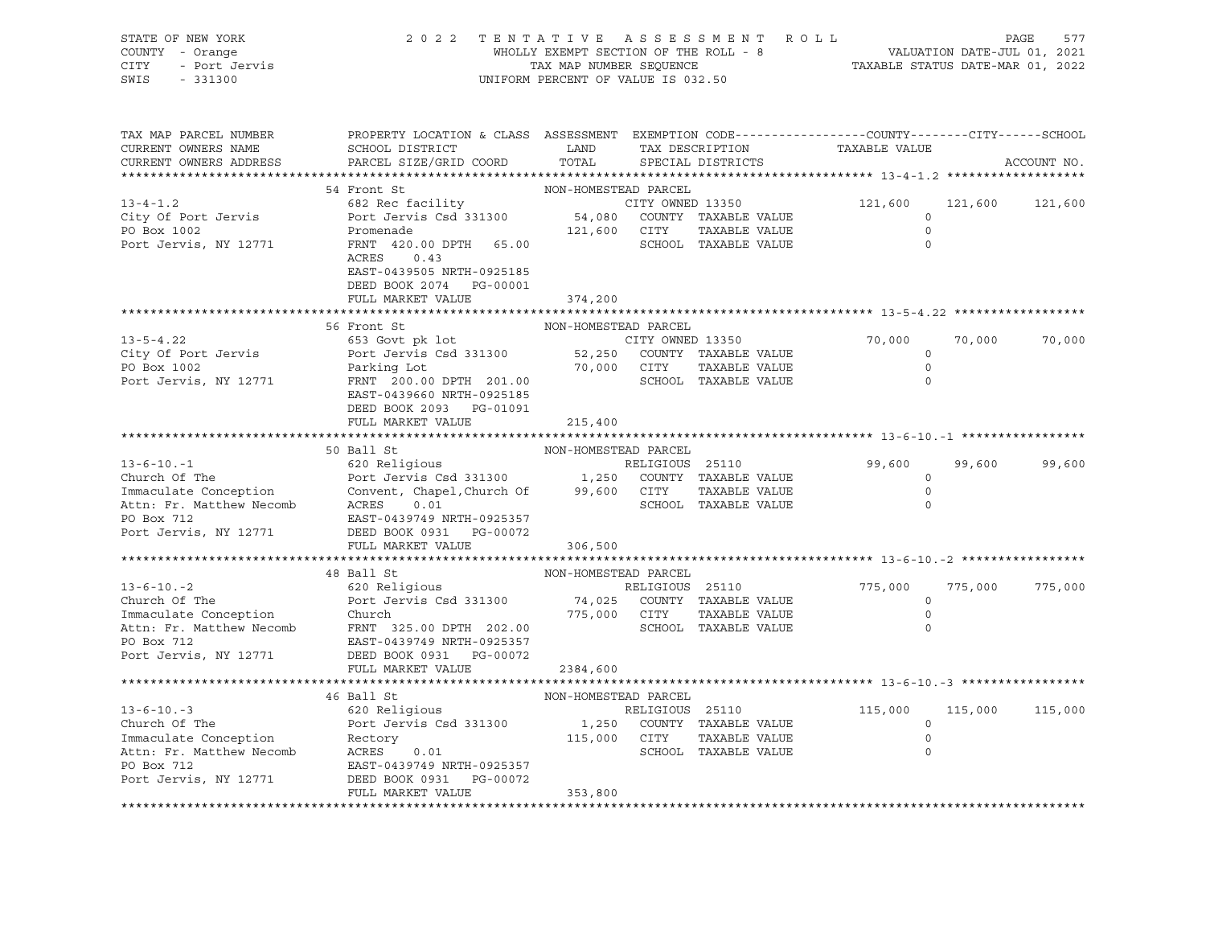| STATE OF NEW YORK<br>COUNTY - Orange<br>- Port Jervis<br>CITY<br>SWIS<br>$-331300$ | 2 0 2 2<br>TENTATIVE ASSESSMENT ROLL<br>WHOLLY EXEMPT SECTION OF THE ROLL - 8<br>TAX MAP NUMBER SEQUENCE<br>UNIFORM PERCENT OF VALUE IS 032.50                                     | 577<br>PAGE<br>VALUATION DATE-JUL 01, 2021<br>TAXABLE STATUS DATE-MAR 01, 2022 |                  |                                                       |                    |         |             |
|------------------------------------------------------------------------------------|------------------------------------------------------------------------------------------------------------------------------------------------------------------------------------|--------------------------------------------------------------------------------|------------------|-------------------------------------------------------|--------------------|---------|-------------|
| TAX MAP PARCEL NUMBER<br>CURRENT OWNERS NAME<br>CURRENT OWNERS ADDRESS             | PROPERTY LOCATION & CLASS ASSESSMENT EXEMPTION CODE----------------COUNTY-------CITY------SCHOOL<br>SCHOOL DISTRICT<br>PARCEL SIZE/GRID COORD                                      | LAND<br>TOTAL                                                                  |                  | TAX DESCRIPTION<br>SPECIAL DISTRICTS                  | TAXABLE VALUE      |         | ACCOUNT NO. |
|                                                                                    | 54 Front St                                                                                                                                                                        | NON-HOMESTEAD PARCEL                                                           |                  |                                                       |                    |         |             |
| $13 - 4 - 1.2$                                                                     | 682 Rec facility                                                                                                                                                                   |                                                                                |                  | CITY OWNED 13350                                      | 121,600            | 121,600 | 121,600     |
| City Of Port Jervis                                                                | Port Jervis Csd 331300                                                                                                                                                             |                                                                                |                  | CITY OWNED 13350<br>54,080    COUNTY   TAXABLE  VALUE | $\circ$            |         |             |
| PO Box 1002                                                                        | Promenade                                                                                                                                                                          | 121,600 CITY                                                                   |                  | TAXABLE VALUE                                         | $\circ$            |         |             |
| Port Jervis, NY 12771                                                              | FRNT 420.00 DPTH 65.00<br>ACRES<br>0.43<br>EAST-0439505 NRTH-0925185                                                                                                               |                                                                                |                  | SCHOOL TAXABLE VALUE                                  | $\circ$            |         |             |
|                                                                                    | DEED BOOK 2074 PG-00001                                                                                                                                                            |                                                                                |                  |                                                       |                    |         |             |
|                                                                                    | FULL MARKET VALUE                                                                                                                                                                  | 374,200                                                                        |                  |                                                       |                    |         |             |
|                                                                                    |                                                                                                                                                                                    |                                                                                |                  |                                                       |                    |         |             |
|                                                                                    | 56 Front St                                                                                                                                                                        | NON-HOMESTEAD PARCEL                                                           |                  |                                                       |                    |         |             |
| $13 - 5 - 4.22$                                                                    | 653 Govt pk lot                                                                                                                                                                    |                                                                                | CITY OWNED 13350 |                                                       | 70,000             | 70,000  | 70,000      |
| City Of Port Jervis                                                                |                                                                                                                                                                                    |                                                                                |                  |                                                       | $\circ$            |         |             |
| PO Box 1002                                                                        | Port Jervis Csd 331300 52,250 COUNTY TAXABLE VALUE<br>Parking Lot 10,000 CITY TAXABLE VALUE<br>FRNT 200.00 DPTH 201.00 70,000 SCHOOL TAXABLE VALUE                                 |                                                                                |                  |                                                       | $\overline{0}$     |         |             |
| Port Jervis, NY 12771                                                              | EAST-0439660 NRTH-0925185<br>DEED BOOK 2093 PG-01091                                                                                                                               |                                                                                |                  |                                                       | $\Omega$           |         |             |
|                                                                                    | FULL MARKET VALUE                                                                                                                                                                  | 215,400                                                                        |                  |                                                       |                    |         |             |
|                                                                                    |                                                                                                                                                                                    |                                                                                |                  |                                                       |                    |         |             |
|                                                                                    | 50 Ball St                                                                                                                                                                         | NON-HOMESTEAD PARCEL                                                           |                  |                                                       |                    |         |             |
|                                                                                    |                                                                                                                                                                                    |                                                                                |                  |                                                       | 99,600             | 99,600  | 99,600      |
|                                                                                    |                                                                                                                                                                                    |                                                                                |                  |                                                       | $\circ$<br>$\circ$ |         |             |
|                                                                                    | Church Of The<br>The ELIGIOUS 25110<br>The Port Jervis Csd 331300<br>The Convent, Chapel, Church Of 99,600 CITY TAXABLE VALUE<br>Attn: Fr. Matthew Necomb ACRES 0.01<br>PO Box 712 |                                                                                |                  |                                                       | $\Omega$           |         |             |
| PO Box 712                                                                         | EAST-0439749 NRTH-0925357                                                                                                                                                          |                                                                                |                  |                                                       |                    |         |             |
| Port Jervis, NY 12771                                                              | DEED BOOK 0931 PG-00072                                                                                                                                                            |                                                                                |                  |                                                       |                    |         |             |
|                                                                                    | FULL MARKET VALUE                                                                                                                                                                  | 306,500                                                                        |                  |                                                       |                    |         |             |
|                                                                                    |                                                                                                                                                                                    |                                                                                |                  |                                                       |                    |         |             |
|                                                                                    | 48 Ball St                                                                                                                                                                         | NON-HOMESTEAD PARCEL                                                           |                  |                                                       |                    |         |             |
| $13 - 6 - 10 - 2$                                                                  | 620 Religious                                                                                                                                                                      |                                                                                | RELIGIOUS 25110  |                                                       | 775,000            | 775,000 | 775,000     |
| Church Of The                                                                      | Port Jervis Csd 331300 74,025 COUNTY TAXABLE VALUE                                                                                                                                 |                                                                                |                  |                                                       | 0                  |         |             |
| Immaculate Conception                                                              | Church                                                                                                                                                                             | 775,000 CITY                                                                   |                  | TAXABLE VALUE                                         | $\circ$            |         |             |
| Attn: Fr. Matthew Necomb                                                           | FRNT 325.00 DPTH 202.00                                                                                                                                                            |                                                                                |                  | SCHOOL TAXABLE VALUE                                  | $\Omega$           |         |             |
| PO Box 712                                                                         | EAST-0439749 NRTH-0925357                                                                                                                                                          |                                                                                |                  |                                                       |                    |         |             |
| Port Jervis, NY 12771                                                              | DEED BOOK 0931 PG-00072                                                                                                                                                            |                                                                                |                  |                                                       |                    |         |             |
|                                                                                    | FULL MARKET VALUE                                                                                                                                                                  | 2384,600                                                                       |                  |                                                       |                    |         |             |
|                                                                                    |                                                                                                                                                                                    |                                                                                |                  |                                                       |                    |         |             |
|                                                                                    | 46 Ball St                                                                                                                                                                         | NON-HOMESTEAD PARCEL                                                           |                  |                                                       |                    |         |             |
| $13 - 6 - 10 - 3$                                                                  | 620 Religious                                                                                                                                                                      |                                                                                | RELIGIOUS 25110  |                                                       | 115,000            | 115,000 | 115,000     |
| Church Of The                                                                      | Port Jervis Csd 331300 1,250 COUNTY TAXABLE VALUE                                                                                                                                  |                                                                                |                  |                                                       | $\circ$            |         |             |
| Immaculate Conception Rectory<br>Attn: Fr. Matthew Necomb ACRES                    |                                                                                                                                                                                    | 115,000 CITY                                                                   |                  | TAXABLE VALUE                                         | $\mathbf 0$        |         |             |
|                                                                                    | 0.01                                                                                                                                                                               |                                                                                |                  | SCHOOL TAXABLE VALUE                                  | $\Omega$           |         |             |
| PO Box 712                                                                         | EAST-0439749 NRTH-0925357                                                                                                                                                          |                                                                                |                  |                                                       |                    |         |             |
| Port Jervis, NY 12771                                                              | DEED BOOK 0931 PG-00072                                                                                                                                                            |                                                                                |                  |                                                       |                    |         |             |
|                                                                                    | FULL MARKET VALUE                                                                                                                                                                  | 353,800                                                                        |                  |                                                       |                    |         |             |
|                                                                                    |                                                                                                                                                                                    |                                                                                |                  |                                                       |                    |         |             |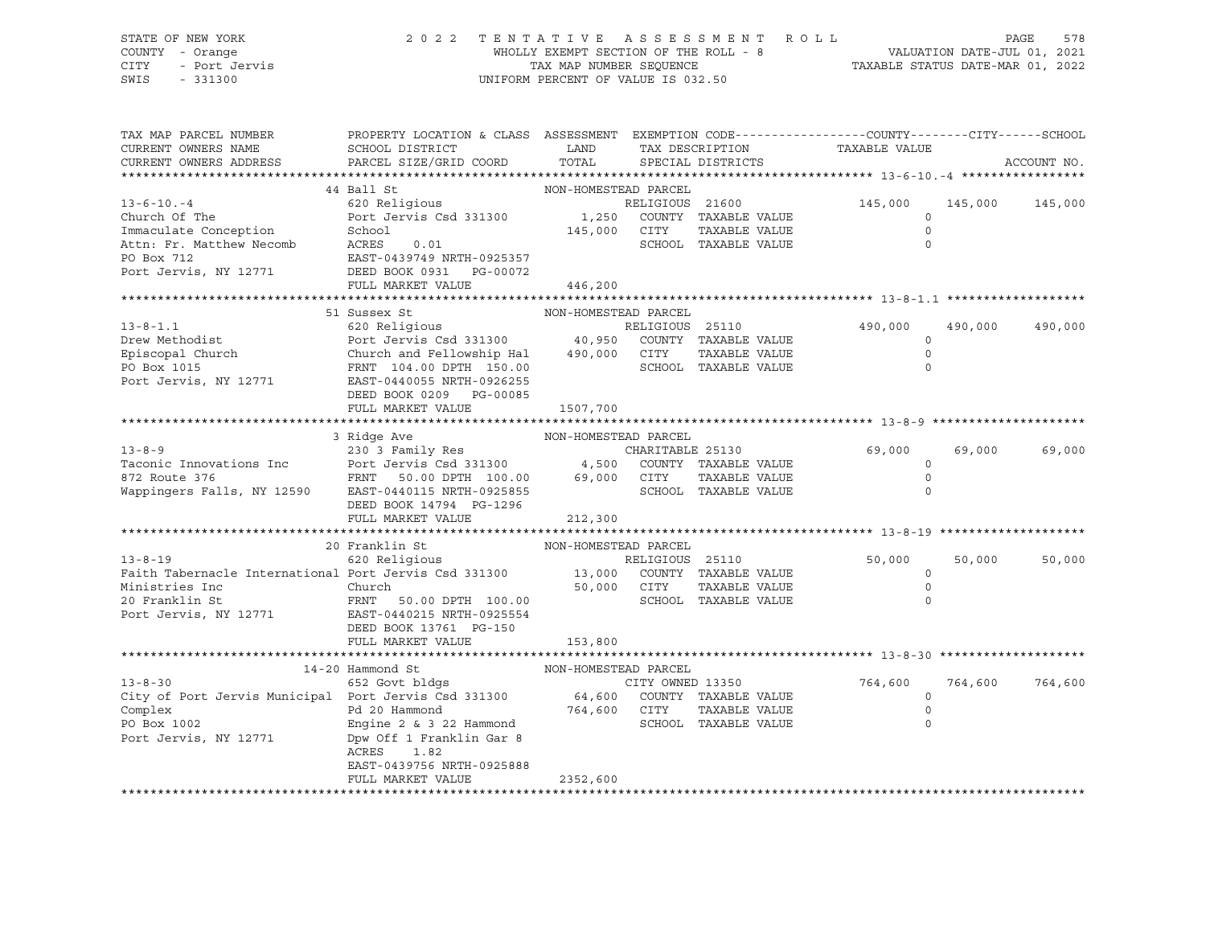SWIS - 331300 UNIFORM PERCENT OF VALUE IS 032.50

# STATE OF NEW YORK 2 0 2 2 T E N T A T I V E A S S E S S M E N T R O L L PAGE 578 COUNTY - Orange WHOLLY EXEMPT SECTION OF THE ROLL - 8 VALUATION DATE-JUL 01, 2021 CITY - Port Jervis TAX MAP NUMBER SEQUENCE TAXABLE STATUS DATE-MAR 01, 2022

| TAX MAP PARCEL NUMBER<br>CURRENT OWNERS NAME                                                                                             | PROPERTY LOCATION & CLASS ASSESSMENT EXEMPTION CODE----------------COUNTY-------CITY------SCHOOL<br>SCHOOL DISTRICT | LAND                  | TAX DESCRIPTION                               | TAXABLE VALUE |         |             |
|------------------------------------------------------------------------------------------------------------------------------------------|---------------------------------------------------------------------------------------------------------------------|-----------------------|-----------------------------------------------|---------------|---------|-------------|
| CURRENT OWNERS ADDRESS                                                                                                                   | PARCEL SIZE/GRID COORD                                                                                              | TOTAL                 | SPECIAL DISTRICTS                             |               |         | ACCOUNT NO. |
|                                                                                                                                          |                                                                                                                     |                       |                                               |               |         |             |
|                                                                                                                                          | 44 Ball St                                                                                                          | NON-HOMESTEAD PARCEL  |                                               |               |         |             |
| $13 - 6 - 10 - 4$                                                                                                                        | 620 Religious                                                                                                       |                       | RELIGIOUS 21600<br>1,250 COUNTY TAXABLE VALUE | 145,000       | 145,000 | 145,000     |
| Church Of The                                                                                                                            | Port Jervis Csd 331300                                                                                              |                       |                                               | $\circ$       |         |             |
| Immaculate Conception                                                                                                                    | School                                                                                                              | 145,000 CITY          | TAXABLE VALUE                                 | $\Omega$      |         |             |
| Attn: Fr. Matthew Necomb                                                                                                                 | ACRES<br>0.01                                                                                                       |                       | SCHOOL TAXABLE VALUE                          | $\Omega$      |         |             |
| PO Box 712                                                                                                                               | EAST-0439749 NRTH-0925357                                                                                           |                       |                                               |               |         |             |
| Port Jervis, NY 12771                                                                                                                    | DEED BOOK 0931 PG-00072                                                                                             |                       |                                               |               |         |             |
|                                                                                                                                          | FULL MARKET VALUE                                                                                                   | 446,200               |                                               |               |         |             |
|                                                                                                                                          | 51 Sussex St                                                                                                        | NON-HOMESTEAD PARCEL  |                                               |               |         |             |
| $13 - 8 - 1.1$                                                                                                                           |                                                                                                                     |                       |                                               | 490,000       | 490,000 | 490,000     |
|                                                                                                                                          |                                                                                                                     |                       |                                               | $\Omega$      |         |             |
|                                                                                                                                          | Church and Fellowship Hal 490,000 CITY                                                                              |                       | TAXABLE VALUE                                 | $\mathbf 0$   |         |             |
| Drew Methodist<br>Episcopal Church                                                                                                       | FRNT 104.00 DPTH 150.00                                                                                             |                       | SCHOOL TAXABLE VALUE                          | $\Omega$      |         |             |
| Port Jervis, NY 12771                                                                                                                    | EAST-0440055 NRTH-0926255                                                                                           |                       |                                               |               |         |             |
|                                                                                                                                          | DEED BOOK 0209 PG-00085                                                                                             |                       |                                               |               |         |             |
|                                                                                                                                          | FULL MARKET VALUE                                                                                                   | 1507,700              |                                               |               |         |             |
|                                                                                                                                          |                                                                                                                     |                       |                                               |               |         |             |
|                                                                                                                                          | 3 Ridge Ave                                                                                                         | NON-HOMESTEAD PARCEL  |                                               |               |         |             |
| $13 - 8 - 9$                                                                                                                             |                                                                                                                     |                       |                                               | 69,000        | 69,000  | 69,000      |
| Taconic Innovations Inc                                                                                                                  |                                                                                                                     |                       |                                               | $\circ$       |         |             |
| 872 Route 376                                                                                                                            |                                                                                                                     | 69,000 CITY           | TAXABLE VALUE                                 | $\circ$       |         |             |
| Wappingers Falls, NY 12590 EAST-0440115 NRTH-0925855                                                                                     | Port Jervis Csu 331300<br>FRNT 50.00 DPTH 100.00 69,00                                                              |                       | SCHOOL TAXABLE VALUE                          | $\Omega$      |         |             |
|                                                                                                                                          | DEED BOOK 14794 PG-1296                                                                                             |                       |                                               |               |         |             |
|                                                                                                                                          | FULL MARKET VALUE                                                                                                   | 212,300               |                                               |               |         |             |
|                                                                                                                                          |                                                                                                                     |                       |                                               |               |         |             |
|                                                                                                                                          | 20 Franklin St                                                                                                      | NON-HOMESTEAD PARCEL  |                                               |               |         |             |
| 13-8-19 620 Religious 620 Religious RELIGIOUS 25110<br>Faith Tabernacle International Port Jervis Csd 331300 13,000 COUNTY TAXABLE VALUE | 620 Religious                                                                                                       |                       |                                               | 50,000        | 50,000  | 50,000      |
|                                                                                                                                          |                                                                                                                     |                       |                                               | $\circ$       |         |             |
| Ministries Inc                                                                                                                           | Church 50.00 DPTH 100.00 50,000 CITY<br>FRNT 50.00 DPTH 100.00 SCHOO                                                |                       | TAXABLE VALUE                                 | $\circ$       |         |             |
| 20 Franklin St                                                                                                                           |                                                                                                                     |                       | SCHOOL TAXABLE VALUE                          | $\Omega$      |         |             |
| Port Jervis, NY 12771                                                                                                                    | EAST-0440215 NRTH-0925554                                                                                           |                       |                                               |               |         |             |
|                                                                                                                                          | DEED BOOK 13761 PG-150                                                                                              |                       |                                               |               |         |             |
|                                                                                                                                          | FULL MARKET VALUE                                                                                                   | 153,800               |                                               |               |         |             |
|                                                                                                                                          | 14-20 Hammond St                                                                                                    | NON-HOMESTEAD PARCEL  |                                               |               |         |             |
|                                                                                                                                          |                                                                                                                     |                       |                                               | 764,600       | 764,600 | 764,600     |
| 13-8-30 652 Govt bldgs CITY OWNED 13350<br>City of Port Jervis Municipal Port Jervis Csd 331300 64,600 COUNTY TAXABLE VALUE              |                                                                                                                     |                       |                                               | $\circ$       |         |             |
| Complex                                                                                                                                  | Pd 20 Hammond                                                                                                       |                       | TAXABLE VALUE                                 | 0             |         |             |
| PO Box 1002                                                                                                                              | Engine 2 & 3 22 Hammond                                                                                             | 764,600 CITY<br>SCHOC | SCHOOL TAXABLE VALUE                          | $\Omega$      |         |             |
| Port Jervis, NY 12771                                                                                                                    | Dpw Off 1 Franklin Gar 8                                                                                            |                       |                                               |               |         |             |
|                                                                                                                                          | ACRES 1.82                                                                                                          |                       |                                               |               |         |             |
|                                                                                                                                          | EAST-0439756 NRTH-0925888                                                                                           |                       |                                               |               |         |             |
|                                                                                                                                          | FULL MARKET VALUE                                                                                                   | 2352,600              |                                               |               |         |             |
|                                                                                                                                          |                                                                                                                     |                       |                                               |               |         |             |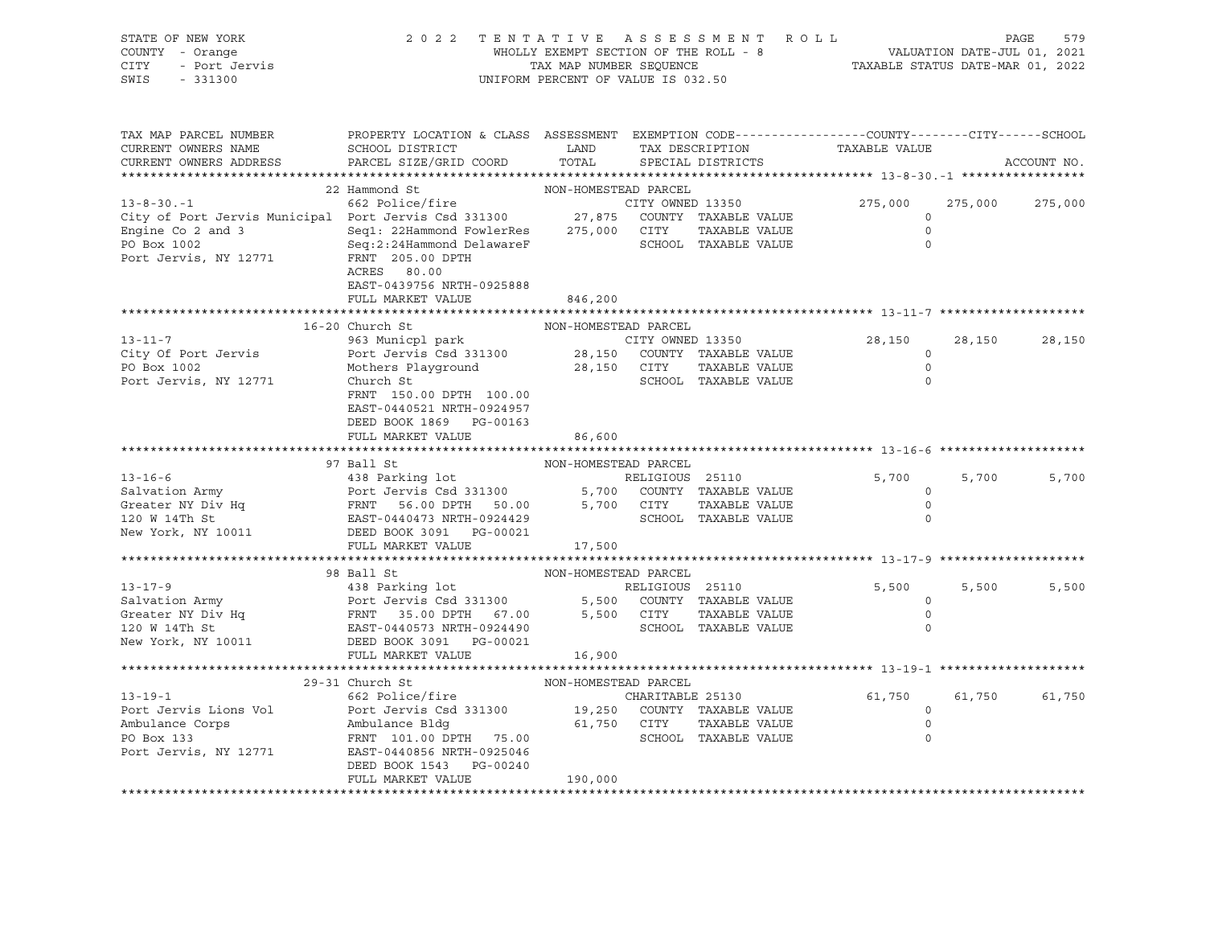| STATE OF NEW YORK<br>COUNTY - Orange<br>CITY - Port Jervis<br>SWIS - 331300                                                                                                                                                                                                                                                                                                                                                             | 2022 TENTATIVE ASSESSMENT ROLL<br>WHOLLY EXEMPT SECTION OF THE ROLL - 8<br>TAX MAP NUMBER SEQUENCE TAN ARE STATUS DATE-JUL 01, 2021<br>TAXABLE STATUS DATE-MAR 01, 2022                   | UNIFORM PERCENT OF VALUE IS 032.50 |                         |                              |        |                 |
|-----------------------------------------------------------------------------------------------------------------------------------------------------------------------------------------------------------------------------------------------------------------------------------------------------------------------------------------------------------------------------------------------------------------------------------------|-------------------------------------------------------------------------------------------------------------------------------------------------------------------------------------------|------------------------------------|-------------------------|------------------------------|--------|-----------------|
| TAX MAP PARCEL NUMBER<br>CURRENT OWNERS NAME<br>CURRENT OWNERS ADDRESS                                                                                                                                                                                                                                                                                                                                                                  | PROPERTY LOCATION & CLASS ASSESSMENT EXEMPTION CODE----------------COUNTY-------CITY------SCHOOL<br>SCHOOL DISTRICT COMMUNICATION TAX DESCRIPTION TAXABLE VALUE<br>PARCEL SIZE/GRID COORD |                                    | TOTAL SPECIAL DISTRICTS |                              |        | ACCOUNT NO.     |
|                                                                                                                                                                                                                                                                                                                                                                                                                                         |                                                                                                                                                                                           |                                    |                         |                              |        |                 |
|                                                                                                                                                                                                                                                                                                                                                                                                                                         |                                                                                                                                                                                           |                                    |                         | 275,000                      |        | 275,000 275,000 |
|                                                                                                                                                                                                                                                                                                                                                                                                                                         |                                                                                                                                                                                           |                                    |                         | $\overline{a}$               |        |                 |
| 13-8-30.-1<br>22 Hammond St<br>22 Hammond St<br>662 Police/fire<br>City of Port Jervis Municipal Port Jervis Csd 331300<br>27,875 COUNTY TAXABLE VALUE<br>Engine Co 2 and 3<br>291: 22Hammond FowlerRes<br>275,000 CITY TAXABLE VALUE<br>PO Box                                                                                                                                                                                         | ACRES 80.00                                                                                                                                                                               |                                    |                         | $\overline{0}$<br>$\bigcirc$ |        |                 |
|                                                                                                                                                                                                                                                                                                                                                                                                                                         | EAST-0439756 NRTH-0925888<br>FULL MARKET VALUE                                                                                                                                            | 846,200                            |                         |                              |        |                 |
|                                                                                                                                                                                                                                                                                                                                                                                                                                         |                                                                                                                                                                                           |                                    |                         |                              |        |                 |
|                                                                                                                                                                                                                                                                                                                                                                                                                                         |                                                                                                                                                                                           |                                    |                         |                              |        |                 |
|                                                                                                                                                                                                                                                                                                                                                                                                                                         |                                                                                                                                                                                           |                                    |                         | 28,150                       | 28,150 | 28,150          |
|                                                                                                                                                                                                                                                                                                                                                                                                                                         |                                                                                                                                                                                           |                                    |                         | $\overline{0}$               |        |                 |
|                                                                                                                                                                                                                                                                                                                                                                                                                                         |                                                                                                                                                                                           |                                    |                         | $\overline{0}$               |        |                 |
| $\begin{tabular}{lllllllllll} \multicolumn{3}{c }{\mbox{13--11--7}} & & & & & & & & & & & \multicolumn{3}{c }{\mbox{13--11--7}} & & & & & & & & \multicolumn{3}{c }{\mbox{13--11--7}} & & & & & & & \multicolumn{3}{c }{\mbox{13--11--7}} & & & & & & & \multicolumn{3}{c }{\mbox{13--11--7}} & & & & & & & \multicolumn{3}{c }{\mbox{13--11--7}} & & & & & & & \multicolumn{3}{c }{\mbox{13--11--7}} & & & & & &$                      | DEED BOOK 1869 PG-00163                                                                                                                                                                   |                                    |                         | $\circ$                      |        |                 |
|                                                                                                                                                                                                                                                                                                                                                                                                                                         | FULL MARKET VALUE                                                                                                                                                                         | 86,600                             |                         |                              |        |                 |
| 13-16-6<br>13-16-6<br>97 Ball St MON-HOMESTEAD PARCEL<br>438 Parking lot RELIGIOUS 25110<br>FRNT 56.00 DPTH 50.00<br>120 W 14Th St EAST-0440473 NRTH-0924429<br>New York, NY 10011<br>DEED PARCEL<br>5,700<br>COUNTY TAXABLE VALUE<br>25 DOK 301 P                                                                                                                                                                                      |                                                                                                                                                                                           |                                    |                         |                              |        |                 |
|                                                                                                                                                                                                                                                                                                                                                                                                                                         |                                                                                                                                                                                           |                                    |                         |                              |        |                 |
|                                                                                                                                                                                                                                                                                                                                                                                                                                         |                                                                                                                                                                                           |                                    |                         |                              | 5,700  | 5,700           |
|                                                                                                                                                                                                                                                                                                                                                                                                                                         |                                                                                                                                                                                           |                                    |                         |                              |        |                 |
|                                                                                                                                                                                                                                                                                                                                                                                                                                         |                                                                                                                                                                                           |                                    |                         |                              |        |                 |
|                                                                                                                                                                                                                                                                                                                                                                                                                                         |                                                                                                                                                                                           |                                    |                         |                              |        |                 |
|                                                                                                                                                                                                                                                                                                                                                                                                                                         | FULL MARKET VALUE 17,500                                                                                                                                                                  |                                    |                         |                              |        |                 |
|                                                                                                                                                                                                                                                                                                                                                                                                                                         |                                                                                                                                                                                           |                                    |                         |                              |        |                 |
| $\begin{tabular}{l c c c c c} \multicolumn{1}{c}{\textbf{3}-17-9}} & 98 \text{ Ball St} & \multicolumn{1}{c}{\textbf{20 N 147h St}} & 98 \text{ Ball St} & \multicolumn{1}{c}{\textbf{210 N 147h St}} & 98 \text{ Ball St} & \multicolumn{1}{c}{\textbf{220 N 147h St}} & 98 \text{ Ball St} & \multicolumn{1}{c}{\textbf{23 N 1300}} & 5,500 \text{ COUNTY TAXABLE VALUE} \\ & 98 \text{ Parking lot} & \multicolumn{1}{c}{\textbf{24$ |                                                                                                                                                                                           |                                    |                         |                              |        |                 |
|                                                                                                                                                                                                                                                                                                                                                                                                                                         |                                                                                                                                                                                           |                                    |                         | $5,500$ $5,500$              |        | 5,500           |
|                                                                                                                                                                                                                                                                                                                                                                                                                                         |                                                                                                                                                                                           |                                    |                         | $\overline{0}$               |        |                 |
|                                                                                                                                                                                                                                                                                                                                                                                                                                         |                                                                                                                                                                                           |                                    |                         | $\circ$                      |        |                 |
|                                                                                                                                                                                                                                                                                                                                                                                                                                         |                                                                                                                                                                                           |                                    |                         |                              |        |                 |
|                                                                                                                                                                                                                                                                                                                                                                                                                                         | FULL MARKET VALUE 16,900                                                                                                                                                                  |                                    |                         |                              |        |                 |
|                                                                                                                                                                                                                                                                                                                                                                                                                                         |                                                                                                                                                                                           |                                    |                         |                              |        |                 |
|                                                                                                                                                                                                                                                                                                                                                                                                                                         | 29-31 Church St NON-HOMESTEAD PARCEL                                                                                                                                                      |                                    |                         |                              |        |                 |
|                                                                                                                                                                                                                                                                                                                                                                                                                                         |                                                                                                                                                                                           |                                    |                         | 61,750                       |        | 61,750 61,750   |
|                                                                                                                                                                                                                                                                                                                                                                                                                                         |                                                                                                                                                                                           |                                    |                         |                              |        |                 |
|                                                                                                                                                                                                                                                                                                                                                                                                                                         |                                                                                                                                                                                           |                                    |                         |                              |        |                 |
| 13-19-1<br>Port Jervis Lions Vol<br>Port Jervis CHOI Port Jervis Cad 331300<br>Ambulance Corps<br>Po Box 133<br>Port Jervis, NY 12771<br>Po Box 133<br>Port Jervis, NY 12771<br>Port Jervis CHOI PO BOX 131<br>Port Jervis, NY 12771<br>Port Jervi                                                                                                                                                                                      |                                                                                                                                                                                           |                                    |                         |                              |        |                 |
|                                                                                                                                                                                                                                                                                                                                                                                                                                         | DEED BOOK 1543 PG-00240                                                                                                                                                                   |                                    |                         |                              |        |                 |
|                                                                                                                                                                                                                                                                                                                                                                                                                                         | FULL MARKET VALUE                                                                                                                                                                         | 190,000                            |                         |                              |        |                 |
|                                                                                                                                                                                                                                                                                                                                                                                                                                         |                                                                                                                                                                                           |                                    |                         |                              |        |                 |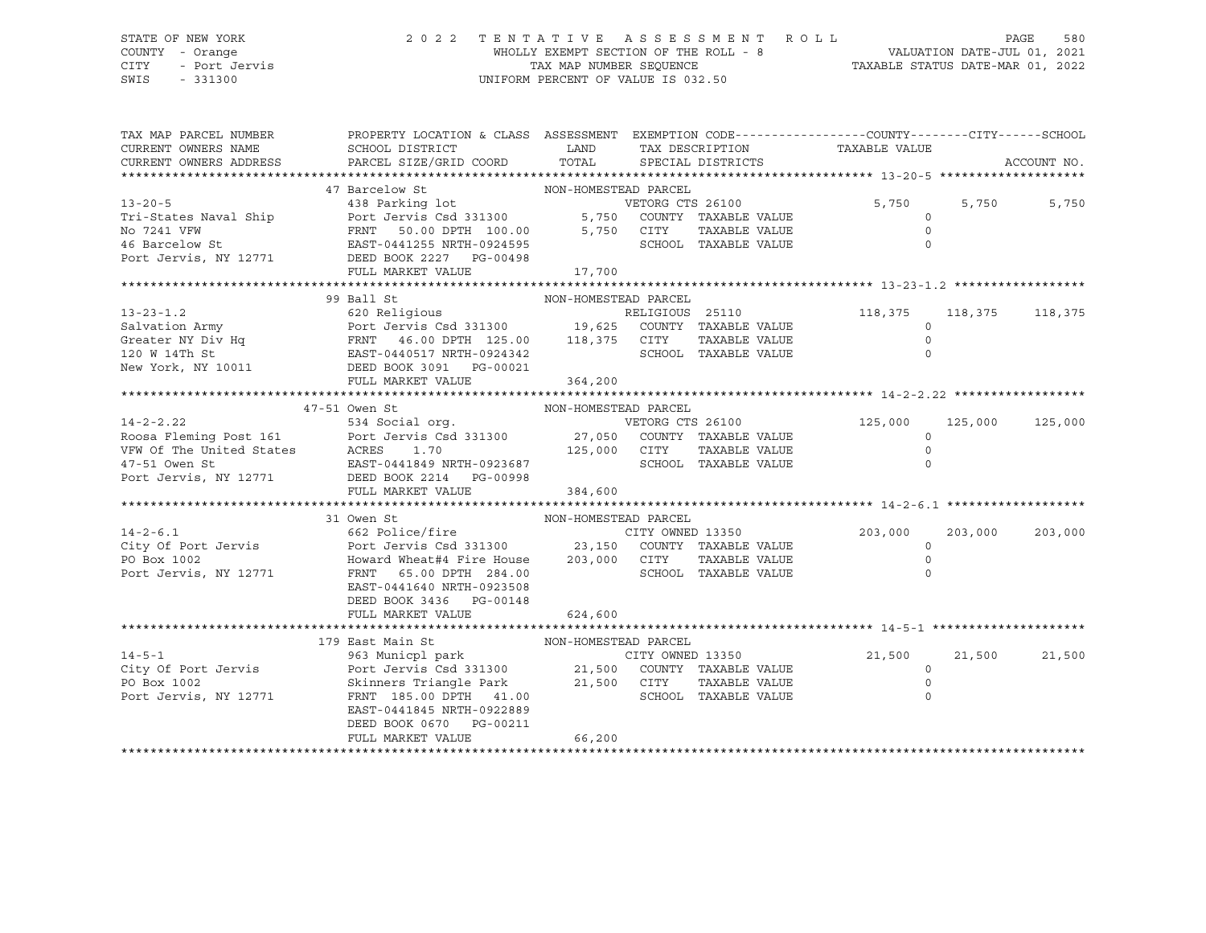SWIS - 331300 UNIFORM PERCENT OF VALUE IS 032.50

# STATE OF NEW YORK 2 0 2 2 T E N T A T I V E A S S E S S M E N T R O L L PAGE 580 COUNTY - Orange WHOLLY EXEMPT SECTION OF THE ROLL - 8 VALUATION DATE-JUL 01, 2021 CITY - Port Jervis TAX MAP NUMBER SEQUENCE TAXABLE STATUS DATE-MAR 01, 2022

| TAX MAP PARCEL NUMBER<br>CURRENT OWNERS NAME<br>CURRENT OWNERS ADDRESS<br>13-20-5<br>13-20-5<br>13-20-5<br>13-20-5<br>138 Parking lot<br>138 Parking lot<br>138 Parking lot<br>138 Parking lot<br>138 Parking lot<br>1271<br>1271 PERNT 50.00 DPTH 100.00<br>5,750 COUNTY TAXABLE VALUE<br>138 Parking lot<br>1271 PERNT 50.00 DPT | PROPERTY LOCATION & CLASS ASSESSMENT EXEMPTION CODE---------------COUNTY-------CITY------SCHOOL<br>SCHOOL DISTRICT<br>PARCEL SIZE/GRID COORD | <b>LAND</b>          | TAX DESCRIPTION<br>TOTAL SPECIAL DISTRICTS | TAXABLE VALUE |                    | ACCOUNT NO.     |
|------------------------------------------------------------------------------------------------------------------------------------------------------------------------------------------------------------------------------------------------------------------------------------------------------------------------------------|----------------------------------------------------------------------------------------------------------------------------------------------|----------------------|--------------------------------------------|---------------|--------------------|-----------------|
|                                                                                                                                                                                                                                                                                                                                    |                                                                                                                                              |                      |                                            |               |                    |                 |
|                                                                                                                                                                                                                                                                                                                                    |                                                                                                                                              |                      |                                            |               |                    |                 |
|                                                                                                                                                                                                                                                                                                                                    |                                                                                                                                              |                      |                                            | 5,750         |                    | 5,750<br>5,750  |
|                                                                                                                                                                                                                                                                                                                                    |                                                                                                                                              |                      |                                            | TAXABLE VALUE | $\circ$<br>$\circ$ |                 |
|                                                                                                                                                                                                                                                                                                                                    |                                                                                                                                              |                      |                                            |               | $\Omega$           |                 |
|                                                                                                                                                                                                                                                                                                                                    |                                                                                                                                              |                      |                                            |               |                    |                 |
|                                                                                                                                                                                                                                                                                                                                    |                                                                                                                                              |                      |                                            |               |                    |                 |
|                                                                                                                                                                                                                                                                                                                                    |                                                                                                                                              |                      |                                            |               |                    |                 |
|                                                                                                                                                                                                                                                                                                                                    | 99 Ball St                                                                                                                                   | NON-HOMESTEAD PARCEL |                                            |               |                    |                 |
|                                                                                                                                                                                                                                                                                                                                    |                                                                                                                                              |                      |                                            |               |                    |                 |
|                                                                                                                                                                                                                                                                                                                                    |                                                                                                                                              |                      |                                            |               |                    |                 |
|                                                                                                                                                                                                                                                                                                                                    |                                                                                                                                              |                      |                                            |               |                    |                 |
|                                                                                                                                                                                                                                                                                                                                    |                                                                                                                                              |                      |                                            |               |                    |                 |
|                                                                                                                                                                                                                                                                                                                                    |                                                                                                                                              |                      |                                            |               |                    |                 |
|                                                                                                                                                                                                                                                                                                                                    |                                                                                                                                              |                      |                                            |               |                    |                 |
|                                                                                                                                                                                                                                                                                                                                    |                                                                                                                                              |                      |                                            |               |                    |                 |
|                                                                                                                                                                                                                                                                                                                                    |                                                                                                                                              |                      |                                            |               |                    |                 |
|                                                                                                                                                                                                                                                                                                                                    |                                                                                                                                              |                      |                                            |               |                    | 125,000 125,000 |
|                                                                                                                                                                                                                                                                                                                                    |                                                                                                                                              |                      |                                            |               |                    |                 |
|                                                                                                                                                                                                                                                                                                                                    |                                                                                                                                              |                      |                                            |               |                    |                 |
|                                                                                                                                                                                                                                                                                                                                    |                                                                                                                                              |                      |                                            |               |                    |                 |
|                                                                                                                                                                                                                                                                                                                                    |                                                                                                                                              |                      |                                            |               |                    |                 |
|                                                                                                                                                                                                                                                                                                                                    |                                                                                                                                              |                      |                                            |               |                    |                 |
|                                                                                                                                                                                                                                                                                                                                    |                                                                                                                                              |                      |                                            |               |                    |                 |
| 31 Owen St<br>31 Owen St<br>662 Police/fire<br>City Of Port Jervis (562 Police/fire<br>Port Jervis Port Jervis Csd 331300<br>203,000<br>203,000<br>203,000<br>203,000<br>203,000<br>203,000<br>203,000<br>203,000<br>203,000<br>203,000<br>203,000<br>203,000<br>                                                                  |                                                                                                                                              |                      |                                            |               |                    |                 |
|                                                                                                                                                                                                                                                                                                                                    |                                                                                                                                              |                      |                                            |               |                    | 203,000         |
|                                                                                                                                                                                                                                                                                                                                    |                                                                                                                                              |                      |                                            |               |                    |                 |
|                                                                                                                                                                                                                                                                                                                                    |                                                                                                                                              |                      |                                            |               |                    |                 |
|                                                                                                                                                                                                                                                                                                                                    |                                                                                                                                              |                      |                                            |               |                    |                 |
|                                                                                                                                                                                                                                                                                                                                    | EAST-0441640 NRTH-0923508                                                                                                                    |                      |                                            |               |                    |                 |
|                                                                                                                                                                                                                                                                                                                                    | DEED BOOK 3436 PG-00148                                                                                                                      |                      |                                            |               |                    |                 |
|                                                                                                                                                                                                                                                                                                                                    | FULL MARKET VALUE                                                                                                                            | 624,600              |                                            |               |                    |                 |
|                                                                                                                                                                                                                                                                                                                                    | 179 East Main St                                                                                                                             |                      |                                            |               |                    |                 |
| $14 - 5 - 1$                                                                                                                                                                                                                                                                                                                       |                                                                                                                                              |                      |                                            |               |                    | 21,500          |
|                                                                                                                                                                                                                                                                                                                                    |                                                                                                                                              |                      |                                            |               | $\circ$            |                 |
|                                                                                                                                                                                                                                                                                                                                    |                                                                                                                                              |                      |                                            |               | $\circ$            |                 |
| The City of Port Jervis Port Jervis Csd 331300 21,500 COUNTY TAXABLE VALUE<br>PO Box 1002 Skinners Triangle Park 21,500 CITY TAXABLE VALUE<br>Port Jervis, NY 12771 FRNT 185.00 DPTH 41.00 SCHOOL TAXABLE VALUE                                                                                                                    |                                                                                                                                              |                      |                                            |               | $\mathbf 0$        |                 |
|                                                                                                                                                                                                                                                                                                                                    | EAST-0441845 NRTH-0922889                                                                                                                    |                      |                                            |               |                    |                 |
|                                                                                                                                                                                                                                                                                                                                    | DEED BOOK 0670 PG-00211                                                                                                                      |                      |                                            |               |                    |                 |
|                                                                                                                                                                                                                                                                                                                                    | FULL MARKET VALUE                                                                                                                            | 66,200               |                                            |               |                    |                 |
|                                                                                                                                                                                                                                                                                                                                    |                                                                                                                                              |                      |                                            |               |                    |                 |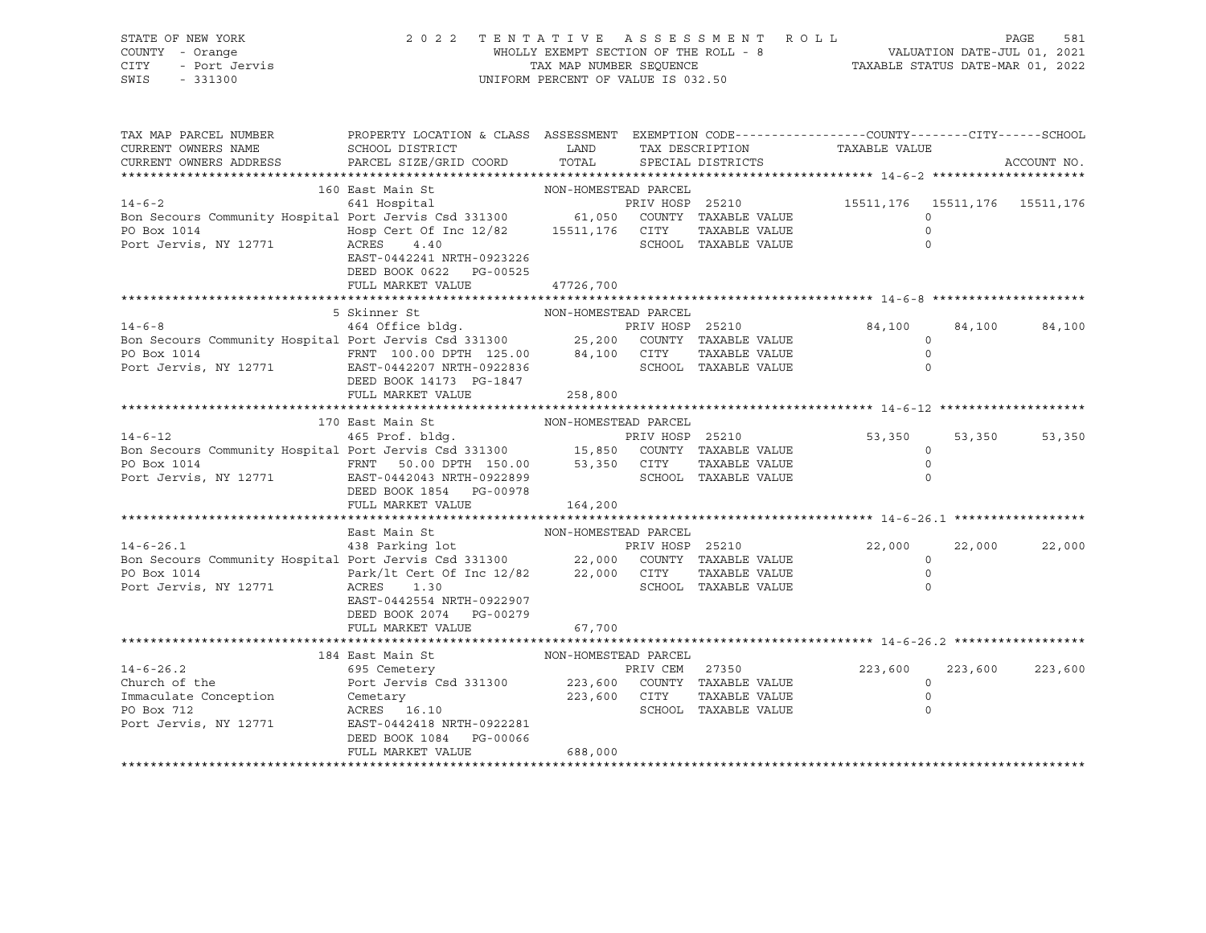| STATE OF NEW YORK<br>OF NEW YORK<br>1 - Orange<br>- Port Jervis<br>11000<br>COUNTY - Orange<br>CITY<br>SWIS - 331300                                                                                                                                        | 2022 TENTATIVE ASSESSMENT ROLL                                                                                                        | UNIFORM PERCENT OF VALUE IS 032.50 |                 |                                       | WHOLLY EXEMPT SECTION OF THE ROLL - 8<br>TAXABLE STATUS DATE-JUL 01, 2021<br>TAX MAP NUMBER SEQUENCE TAXABLE STATUS DATE-MAR 01, 2022 |                                                  | PAGE<br>581 |
|-------------------------------------------------------------------------------------------------------------------------------------------------------------------------------------------------------------------------------------------------------------|---------------------------------------------------------------------------------------------------------------------------------------|------------------------------------|-----------------|---------------------------------------|---------------------------------------------------------------------------------------------------------------------------------------|--------------------------------------------------|-------------|
| TAX MAP PARCEL NUMBER<br>CURRENT OWNERS NAME<br>CURRENT OWNERS ADDRESS PARCEL SIZE/GRID COORD                                                                                                                                                               | PROPERTY LOCATION & CLASS ASSESSMENT EXEMPTION CODE-----------------COUNTY--------CITY------SCHOOL<br>SCHOOL DISTRICT                 | <b>LAND</b><br>TOTAL               | TAX DESCRIPTION | SPECIAL DISTRICTS                     | TAXABLE VALUE                                                                                                                         |                                                  | ACCOUNT NO. |
|                                                                                                                                                                                                                                                             | 160 East Main St                                                                                                                      | NON-HOMESTEAD PARCEL               |                 |                                       |                                                                                                                                       |                                                  |             |
| $14 - 6 - 2$                                                                                                                                                                                                                                                | 641 Hospital                                                                                                                          |                                    |                 |                                       | PRIV HOSP 25210 15511,176 15511,176 15511,176                                                                                         |                                                  |             |
| Bon Secours Community Hospital Port Jervis Csd 331300 61,050 COUNTY TAXABLE VALUE<br>PO Box 1014 Hosp Cert Of Inc 12/82 15511,176 CITY TAXABLE VALUE<br>Port Jervis, NY 12771 ACRES 4.40 SCHOOL TAXABLE VALUE                                               | EAST-0442241 NRTH-0923226<br>DEED BOOK 0622 PG-00525                                                                                  |                                    |                 |                                       |                                                                                                                                       | $\Omega$<br>$\Omega$<br>$\Omega$                 |             |
|                                                                                                                                                                                                                                                             | FULL MARKET VALUE                                                                                                                     | 47726,700                          |                 |                                       |                                                                                                                                       |                                                  |             |
|                                                                                                                                                                                                                                                             |                                                                                                                                       |                                    |                 |                                       |                                                                                                                                       |                                                  |             |
| 14-6-8<br>Bon Secours Community Hospital Port Jervis Csd 331300<br>PRIV HOSP 25210<br>PO Box 1014<br>PO Box 1014<br>PO Box 1014<br>PO Box 1014<br>PO Box 1014<br>PO Box 1014<br>PO Box 1014<br>PO Box 1014<br>PO Box 1014<br>PO Box 1014<br>PO Box 1014<br> | 5 Skinner St<br>DEED BOOK 14173 PG-1847                                                                                               | NON-HOMESTEAD PARCEL               |                 |                                       | 84,100                                                                                                                                | 84,100<br>$\circ$<br>$\circ$<br>$\circ$          | 84,100      |
|                                                                                                                                                                                                                                                             | FULL MARKET VALUE                                                                                                                     | 258,800                            |                 |                                       |                                                                                                                                       |                                                  |             |
|                                                                                                                                                                                                                                                             |                                                                                                                                       |                                    |                 |                                       |                                                                                                                                       |                                                  |             |
|                                                                                                                                                                                                                                                             | 170 East Main St                                                                                                                      | NON-HOMESTEAD PARCEL               |                 |                                       |                                                                                                                                       |                                                  |             |
| 14-6-12<br>Bon Secours Community Hospital Port Jervis Csd 331300<br>PO Box 1014<br>PO Box 1014<br>PO Box 1014<br>PO Box 1014<br>PO Box 1014<br>PO Box 1014<br>PO Box 1014<br>PO Box 1014<br>PO Box 1014<br>PO Box 1014<br>BO BOX 1014<br>EAST-0442043 NR    | DEED BOOK 1854 PG-00978<br>FULL MARKET VALUE                                                                                          | 164,200                            |                 |                                       | 53,350                                                                                                                                | 53,350<br>$\circ$<br>$\circ$<br>$\Omega$         | 53,350      |
|                                                                                                                                                                                                                                                             |                                                                                                                                       |                                    |                 |                                       |                                                                                                                                       |                                                  |             |
|                                                                                                                                                                                                                                                             | East Main St                                                                                                                          | NON-HOMESTEAD PARCEL               |                 |                                       |                                                                                                                                       |                                                  |             |
| 14-6-26.1<br>438 Parking lot<br>Bon Secours Community Hospital Port Jervis Csd 331300<br>22,000 COUNTY TAXABLE VALUE<br>PO Box 1014<br>Port Jervis, NY 12771                                                                                                | Park/1t Cert Of Inc $12/82$ 22,000 CITY<br>ACRES<br>1.30<br>EAST-0442554 NRTH-0922907<br>DEED BOOK 2074 PG-00279<br>FULL MARKET VALUE | 67,700                             |                 | TAXABLE VALUE<br>SCHOOL TAXABLE VALUE | 22,000                                                                                                                                | 22,000<br>$\circ$<br>$\circ$<br>$\circ$          | 22,000      |
|                                                                                                                                                                                                                                                             |                                                                                                                                       |                                    |                 |                                       |                                                                                                                                       |                                                  |             |
| $14 - 6 - 26.2$<br>Church of the Port Jervis Csd 331300 223,600 COUNTY TAXABLE VALUE<br>Immaculate Conception Cemetary 223,600 CITY TAXABLE VALUE<br>PO Box 712 ACRES 16.10 SCHOOL TAXABLE VALUE<br>Port Jervis, NY 12771 EAST-0442418 NRTH-0922281         | 184 East Main St<br>695 Cemetery<br>DEED BOOK 1084 PG-00066<br>FULL MARKET VALUE                                                      | NON-HOMESTEAD PARCEL<br>688,000    |                 | PRIV CEM 27350                        | 223,600                                                                                                                               | 223,600<br>$\Omega$<br>$\overline{0}$<br>$\circ$ | 223,600     |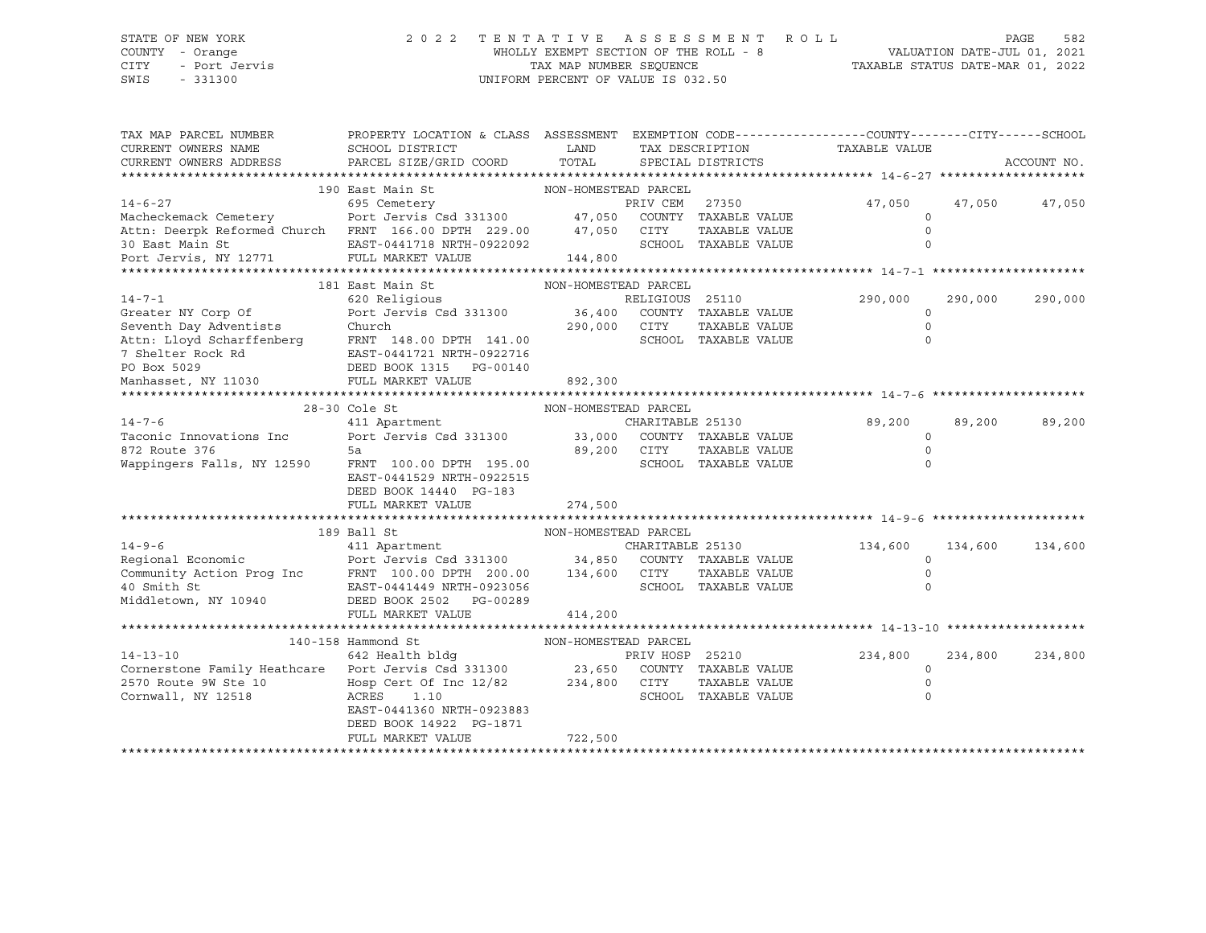#### STATE OF NEW YORK 2 0 2 2 T E N T A T I V E A S S E S S M E N T R O L L PAGE 582 COUNTY - Orange WHOLLY EXEMPT SECTION OF THE ROLL - 8 VALUATION DATE-JUL 01, 2021 CITY - Port Jervis TAX MAP NUMBER SEQUENCE TAXABLE STATUS DATE-MAR 01, 2022 SWIS - 331300 UNIFORM PERCENT OF VALUE IS 032.50

| TAX MAP PARCEL NUMBER<br>CURRENT OWNERS NAME<br>CURRENT OWNERS ADDRESS   | PROPERTY LOCATION & CLASS ASSESSMENT EXEMPTION CODE---------------COUNTY-------CITY------SCHOOL<br>SCHOOL DISTRICT<br>PARCEL SIZE/GRID COORD | LAND<br>TOTAL        | TAX DESCRIPTION  | SPECIAL DISTRICTS    | TAXABLE VALUE |         | ACCOUNT NO. |
|--------------------------------------------------------------------------|----------------------------------------------------------------------------------------------------------------------------------------------|----------------------|------------------|----------------------|---------------|---------|-------------|
|                                                                          |                                                                                                                                              |                      |                  |                      |               |         |             |
|                                                                          | 190 East Main St                                                                                                                             | NON-HOMESTEAD PARCEL |                  |                      |               |         |             |
| $14 - 6 - 27$                                                            | 695 Cemetery                                                                                                                                 |                      | PRIV CEM         | 27350                | 47,050        | 47,050  | 47,050      |
| Macheckemack Cemetery Port Jervis Csd 331300 47,050 COUNTY TAXABLE VALUE |                                                                                                                                              |                      |                  |                      | 0             |         |             |
| Attn: Deerpk Reformed Church FRNT 166.00 DPTH 229.00                     |                                                                                                                                              | 47,050               | CITY             | TAXABLE VALUE        | $\Omega$      |         |             |
|                                                                          | EAST-0441718 NRTH-0922092                                                                                                                    |                      |                  | SCHOOL TAXABLE VALUE | $\circ$       |         |             |
| 30 East Main St<br>Port Jervis, NY 12771                                 | FULL MARKET VALUE                                                                                                                            | 144,800              |                  |                      |               |         |             |
|                                                                          |                                                                                                                                              |                      |                  |                      |               |         |             |
|                                                                          | 181 East Main St                                                                                                                             | NON-HOMESTEAD PARCEL |                  |                      |               |         |             |
| $14 - 7 - 1$                                                             | 620 Religious                                                                                                                                |                      | RELIGIOUS 25110  |                      | 290,000       | 290,000 | 290,000     |
| Greater NY Corp Of                                                       | Port Jervis Csd 331300 36,400                                                                                                                |                      |                  | COUNTY TAXABLE VALUE | $\mathbf 0$   |         |             |
| Seventh Day Adventists                                                   | Church                                                                                                                                       | 290,000 CITY         |                  | TAXABLE VALUE        | $\circ$       |         |             |
| Attn: Lloyd Scharffenberg                                                | FRNT 148.00 DPTH 141.00                                                                                                                      |                      |                  | SCHOOL TAXABLE VALUE | $\Omega$      |         |             |
| 7 Shelter Rock Rd                                                        | EAST-0441721 NRTH-0922716                                                                                                                    |                      |                  |                      |               |         |             |
| PO Box 5029                                                              | EAST-0441721 NEXT-0441721<br>DEED BOOK 1315<br>PG-00140                                                                                      |                      |                  |                      |               |         |             |
| Manhasset, NY 11030                                                      | FULL MARKET VALUE                                                                                                                            | 892,300              |                  |                      |               |         |             |
|                                                                          |                                                                                                                                              |                      |                  |                      |               |         |             |
|                                                                          | 28-30 Cole St                                                                                                                                | NON-HOMESTEAD PARCEL |                  |                      |               |         |             |
| $14 - 7 - 6$                                                             | 411 Apartment                                                                                                                                |                      | CHARITABLE 25130 |                      | 89,200        | 89,200  | 89,200      |
| Taconic Innovations Inc                                                  | Port Jervis Csd 331300 33,000 COUNTY TAXABLE VALUE                                                                                           |                      |                  |                      | $\circ$       |         |             |
| 872 Route 376                                                            | 5a                                                                                                                                           | 89,200               | CITY             | TAXABLE VALUE        | $\Omega$      |         |             |
| Wappingers Falls, NY 12590                                               | FRNT 100.00 DPTH 195.00                                                                                                                      |                      |                  | SCHOOL TAXABLE VALUE | $\Omega$      |         |             |
|                                                                          | EAST-0441529 NRTH-0922515                                                                                                                    |                      |                  |                      |               |         |             |
|                                                                          | DEED BOOK 14440 PG-183                                                                                                                       |                      |                  |                      |               |         |             |
|                                                                          | FULL MARKET VALUE                                                                                                                            | 274,500              |                  |                      |               |         |             |
|                                                                          | 189 Ball St                                                                                                                                  | NON-HOMESTEAD PARCEL |                  |                      |               |         |             |
| $14 - 9 - 6$                                                             | 411 Apartment                                                                                                                                |                      | CHARITABLE 25130 |                      | 134,600       | 134,600 | 134,600     |
| Regional Economic                                                        | Port Jervis Csd 331300 34,850                                                                                                                |                      |                  | COUNTY TAXABLE VALUE | $\Omega$      |         |             |
|                                                                          |                                                                                                                                              | 134,600              | CITY             | TAXABLE VALUE        | $\circ$       |         |             |
| Community Action Prog Inc FRNT 100.00 DPTH 200.00<br>40 Smith St         | EAST-0441449 NRTH-0923056                                                                                                                    |                      |                  | SCHOOL TAXABLE VALUE | $\Omega$      |         |             |
| Middletown, NY 10940                                                     | DEED BOOK 2502<br>PG-00289                                                                                                                   |                      |                  |                      |               |         |             |
|                                                                          | FULL MARKET VALUE                                                                                                                            | 414,200              |                  |                      |               |         |             |
|                                                                          |                                                                                                                                              |                      |                  |                      |               |         |             |
|                                                                          | 140-158 Hammond St                                                                                                                           | NON-HOMESTEAD PARCEL |                  |                      |               |         |             |
| $14 - 13 - 10$                                                           | 642 Health bldg                                                                                                                              |                      | PRIV HOSP 25210  |                      | 234,800       | 234,800 | 234,800     |
| Cornerstone Family Heathcare Port Jervis Csd 331300 23,650               |                                                                                                                                              |                      |                  | COUNTY TAXABLE VALUE | $\mathbf 0$   |         |             |
| 2570 Route 9W Ste 10                                                     | Hosp Cert Of Inc 12/82 234,800 CITY                                                                                                          |                      |                  | TAXABLE VALUE        | $\mathbf 0$   |         |             |
| Cornwall, NY 12518                                                       | ACRES<br>1.10                                                                                                                                |                      |                  | SCHOOL TAXABLE VALUE | $\circ$       |         |             |
|                                                                          | EAST-0441360 NRTH-0923883                                                                                                                    |                      |                  |                      |               |         |             |
|                                                                          | DEED BOOK 14922 PG-1871                                                                                                                      |                      |                  |                      |               |         |             |
|                                                                          | FULL MARKET VALUE                                                                                                                            | 722,500              |                  |                      |               |         |             |
|                                                                          |                                                                                                                                              |                      |                  |                      |               |         |             |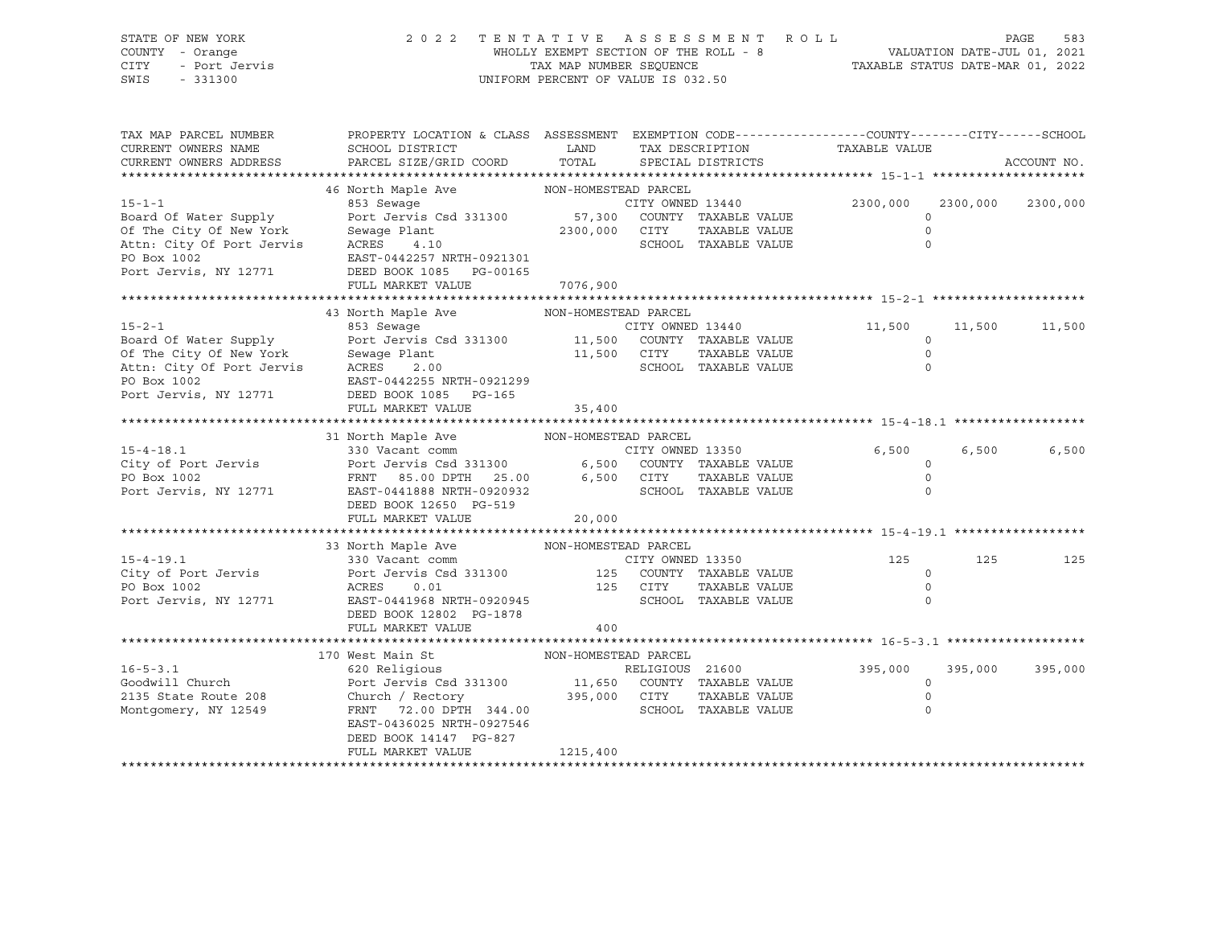SWIS - 331300 UNIFORM PERCENT OF VALUE IS 032.50

# STATE OF NEW YORK 2 0 2 2 T E N T A T I V E A S S E S S M E N T R O L L PAGE 583 COUNTY - Orange WHOLLY EXEMPT SECTION OF THE ROLL - 8 VALUATION DATE-JUL 01, 2021 CITY - Port Jervis TAX MAP NUMBER SEQUENCE TAXABLE STATUS DATE-MAR 01, 2022

| PARCEL SIZE/GRID COORD<br>TOTAL<br>CURRENT OWNERS ADDRESS<br>SPECIAL DISTRICTS<br>46 North Maple Ave MON-HOMESTEAD PARCEL<br>$15 - 1 - 1$<br>853 Sewage<br>CITY OWNED 13440<br>2300,000<br>2300,000<br>Port Jervis Csd 331300 57,300 COUNTY TAXABLE VALUE<br>Board Of Water Supply<br>$\Omega$<br>2300,000 CITY<br>Of The City Of New York Sewage Plant<br>Attn: City Of Port Jervis ACRES 4.10<br>PO Box 1002 BOS 2021<br>TAXABLE VALUE<br>$\mathbf 0$<br>$\circ$<br>SCHOOL TAXABLE VALUE<br>DEED BOOK 1085 PG-00165<br>Port Jervis, NY 12771<br>7076,900<br>FULL MARKET VALUE<br>43 North Maple Ave MON-HOMESTEAD PARCEL<br>CITY OWNED 13440<br>11,500<br>11,500<br>Port Jervis Csd 331300 11,500 COUNTY TAXABLE VALUE Sewage Plant 11,500 CITY TAXABLE VALUE<br>15-2-1<br>Board Of Water Supply<br>Of The City Of New York<br>Attn: City Of Port Jervis<br>ACRES 2.00<br>EAST-0442255 NRTH-0921299<br>The Case of Port Jervis<br>CRES 2.00<br>CAST-0442255 NRTH-0921299<br>The CAST-0442255 NRTH-0921299<br>$\circ$<br>TAXABLE VALUE<br>$\circ$<br>SCHOOL TAXABLE VALUE<br>$\circ$<br>Port Jervis, NY 12771 DEED BOOK 1085 PG-165<br>FULL MARKET VALUE<br>35,400<br>31 North Maple Ave NON-HOMESTEAD PARCEL<br>$15 - 4 - 18.1$<br>CITY OWNED 13350<br>6,500<br>6,500<br>330 Vacant comm<br>City of Port Jervis and Port Jervis Csd 331300 6,500 COUNTY TAXABLE VALUE<br>PO Box 1002 FRNT 85.00 DPTH 25.00 6,500 CITY TAXABLE VALUE<br>POTT JERST-0441888 NRTH-0920932 SCHOOL TAXABLE VALUE<br>$\circ$<br>$\circ$<br>$\Omega$<br>DEED BOOK 12650 PG-519<br>FULL MARKET VALUE<br>20,000<br>33 North Maple Ave NON-HOMESTEAD PARCEL<br>125<br>125<br>$\circ$<br>$\circ$<br>SCHOOL TAXABLE VALUE<br>Port Jervis, NY 12771 EAST-0441968 NRTH-0920945<br>$\Omega$<br>DEED BOOK 12802 PG-1878<br>FULL MARKET VALUE<br>400<br>NON-HOMESTEAD PARCEL<br>170 West Main St<br>$16 - 5 - 3.1$<br>620 Religious<br>395,000<br>395,000<br>RELIGIOUS 21600<br>Port Jervis Csd 331300 11,650 COUNTY TAXABLE VALUE<br>Goodwill Church<br>$\circ$<br>Church / Rectory 395,000 CITY<br>2135 State Route 208<br>TAXABLE VALUE<br>$\circ$<br>FRNT 72.00 DPTH 344.00<br>SCHOOL TAXABLE VALUE<br>Montgomery, NY 12549<br>$\circ$<br>EAST-0436025 NRTH-0927546<br>DEED BOOK 14147 PG-827 | TAX MAP PARCEL NUMBER<br>CURRENT OWNERS NAME | PROPERTY LOCATION & CLASS ASSESSMENT EXEMPTION CODE----------------COUNTY-------CITY------SCHOOL<br>SCHOOL DISTRICT | LAND     | TAX DESCRIPTION | TAXABLE VALUE |             |
|--------------------------------------------------------------------------------------------------------------------------------------------------------------------------------------------------------------------------------------------------------------------------------------------------------------------------------------------------------------------------------------------------------------------------------------------------------------------------------------------------------------------------------------------------------------------------------------------------------------------------------------------------------------------------------------------------------------------------------------------------------------------------------------------------------------------------------------------------------------------------------------------------------------------------------------------------------------------------------------------------------------------------------------------------------------------------------------------------------------------------------------------------------------------------------------------------------------------------------------------------------------------------------------------------------------------------------------------------------------------------------------------------------------------------------------------------------------------------------------------------------------------------------------------------------------------------------------------------------------------------------------------------------------------------------------------------------------------------------------------------------------------------------------------------------------------------------------------------------------------------------------------------------------------------------------------------------------------------------------------------------------------------------------------------------------------------------------------------------------------------------------------------------------------------------------------------------------------------------------------------------------------|----------------------------------------------|---------------------------------------------------------------------------------------------------------------------|----------|-----------------|---------------|-------------|
|                                                                                                                                                                                                                                                                                                                                                                                                                                                                                                                                                                                                                                                                                                                                                                                                                                                                                                                                                                                                                                                                                                                                                                                                                                                                                                                                                                                                                                                                                                                                                                                                                                                                                                                                                                                                                                                                                                                                                                                                                                                                                                                                                                                                                                                                    |                                              |                                                                                                                     |          |                 |               | ACCOUNT NO. |
|                                                                                                                                                                                                                                                                                                                                                                                                                                                                                                                                                                                                                                                                                                                                                                                                                                                                                                                                                                                                                                                                                                                                                                                                                                                                                                                                                                                                                                                                                                                                                                                                                                                                                                                                                                                                                                                                                                                                                                                                                                                                                                                                                                                                                                                                    |                                              |                                                                                                                     |          |                 |               |             |
|                                                                                                                                                                                                                                                                                                                                                                                                                                                                                                                                                                                                                                                                                                                                                                                                                                                                                                                                                                                                                                                                                                                                                                                                                                                                                                                                                                                                                                                                                                                                                                                                                                                                                                                                                                                                                                                                                                                                                                                                                                                                                                                                                                                                                                                                    |                                              |                                                                                                                     |          |                 |               | 2300,000    |
|                                                                                                                                                                                                                                                                                                                                                                                                                                                                                                                                                                                                                                                                                                                                                                                                                                                                                                                                                                                                                                                                                                                                                                                                                                                                                                                                                                                                                                                                                                                                                                                                                                                                                                                                                                                                                                                                                                                                                                                                                                                                                                                                                                                                                                                                    |                                              |                                                                                                                     |          |                 |               |             |
|                                                                                                                                                                                                                                                                                                                                                                                                                                                                                                                                                                                                                                                                                                                                                                                                                                                                                                                                                                                                                                                                                                                                                                                                                                                                                                                                                                                                                                                                                                                                                                                                                                                                                                                                                                                                                                                                                                                                                                                                                                                                                                                                                                                                                                                                    |                                              |                                                                                                                     |          |                 |               |             |
|                                                                                                                                                                                                                                                                                                                                                                                                                                                                                                                                                                                                                                                                                                                                                                                                                                                                                                                                                                                                                                                                                                                                                                                                                                                                                                                                                                                                                                                                                                                                                                                                                                                                                                                                                                                                                                                                                                                                                                                                                                                                                                                                                                                                                                                                    |                                              |                                                                                                                     |          |                 |               | 11,500      |
|                                                                                                                                                                                                                                                                                                                                                                                                                                                                                                                                                                                                                                                                                                                                                                                                                                                                                                                                                                                                                                                                                                                                                                                                                                                                                                                                                                                                                                                                                                                                                                                                                                                                                                                                                                                                                                                                                                                                                                                                                                                                                                                                                                                                                                                                    |                                              |                                                                                                                     |          |                 |               |             |
|                                                                                                                                                                                                                                                                                                                                                                                                                                                                                                                                                                                                                                                                                                                                                                                                                                                                                                                                                                                                                                                                                                                                                                                                                                                                                                                                                                                                                                                                                                                                                                                                                                                                                                                                                                                                                                                                                                                                                                                                                                                                                                                                                                                                                                                                    |                                              |                                                                                                                     |          |                 |               |             |
|                                                                                                                                                                                                                                                                                                                                                                                                                                                                                                                                                                                                                                                                                                                                                                                                                                                                                                                                                                                                                                                                                                                                                                                                                                                                                                                                                                                                                                                                                                                                                                                                                                                                                                                                                                                                                                                                                                                                                                                                                                                                                                                                                                                                                                                                    |                                              |                                                                                                                     |          |                 |               | 6,500       |
|                                                                                                                                                                                                                                                                                                                                                                                                                                                                                                                                                                                                                                                                                                                                                                                                                                                                                                                                                                                                                                                                                                                                                                                                                                                                                                                                                                                                                                                                                                                                                                                                                                                                                                                                                                                                                                                                                                                                                                                                                                                                                                                                                                                                                                                                    |                                              |                                                                                                                     |          |                 |               |             |
|                                                                                                                                                                                                                                                                                                                                                                                                                                                                                                                                                                                                                                                                                                                                                                                                                                                                                                                                                                                                                                                                                                                                                                                                                                                                                                                                                                                                                                                                                                                                                                                                                                                                                                                                                                                                                                                                                                                                                                                                                                                                                                                                                                                                                                                                    |                                              |                                                                                                                     |          |                 |               |             |
|                                                                                                                                                                                                                                                                                                                                                                                                                                                                                                                                                                                                                                                                                                                                                                                                                                                                                                                                                                                                                                                                                                                                                                                                                                                                                                                                                                                                                                                                                                                                                                                                                                                                                                                                                                                                                                                                                                                                                                                                                                                                                                                                                                                                                                                                    |                                              |                                                                                                                     |          |                 |               | 125         |
|                                                                                                                                                                                                                                                                                                                                                                                                                                                                                                                                                                                                                                                                                                                                                                                                                                                                                                                                                                                                                                                                                                                                                                                                                                                                                                                                                                                                                                                                                                                                                                                                                                                                                                                                                                                                                                                                                                                                                                                                                                                                                                                                                                                                                                                                    |                                              |                                                                                                                     |          |                 |               |             |
|                                                                                                                                                                                                                                                                                                                                                                                                                                                                                                                                                                                                                                                                                                                                                                                                                                                                                                                                                                                                                                                                                                                                                                                                                                                                                                                                                                                                                                                                                                                                                                                                                                                                                                                                                                                                                                                                                                                                                                                                                                                                                                                                                                                                                                                                    |                                              | FULL MARKET VALUE                                                                                                   | 1215,400 |                 |               | 395,000     |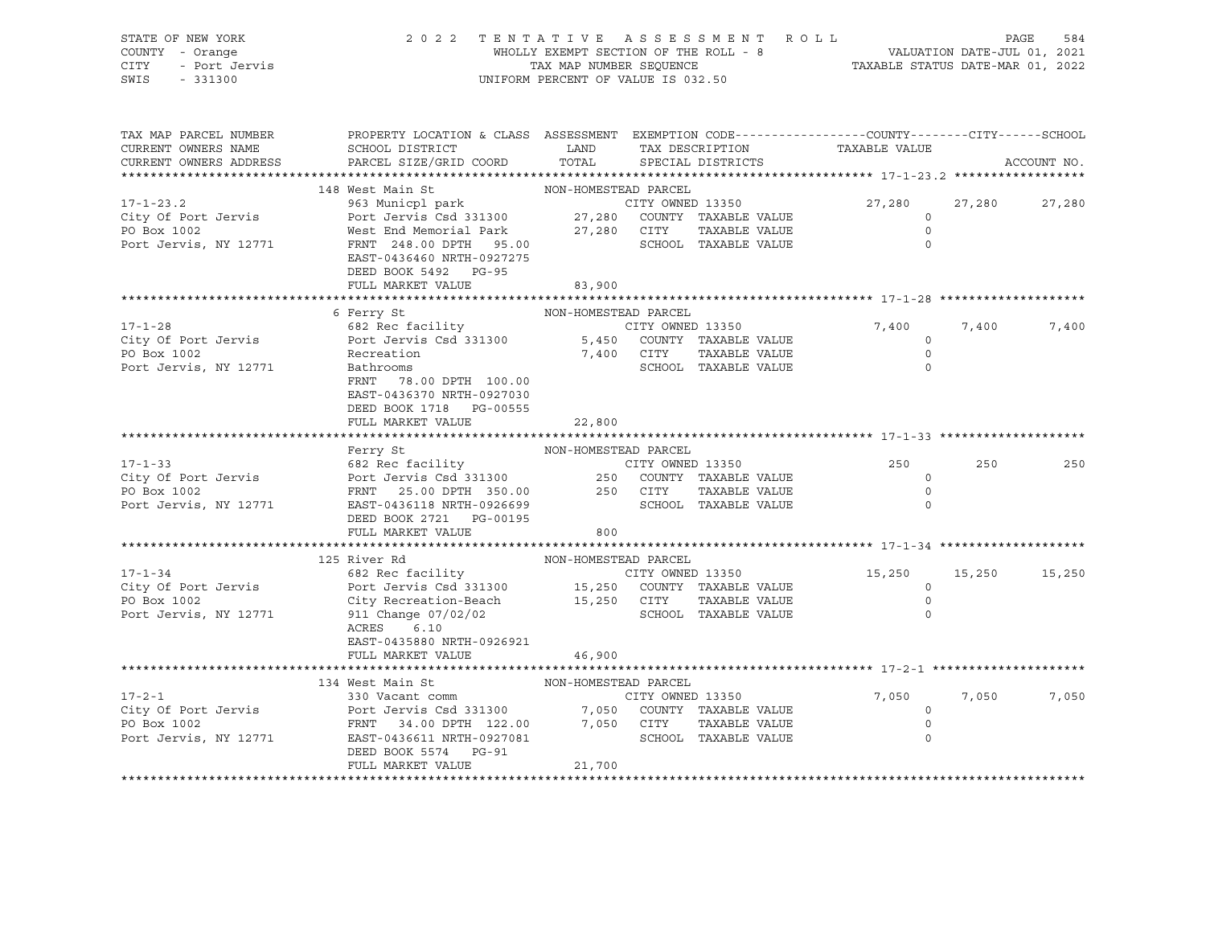| STATE OF NEW YORK<br>STATE OF NEW IONA       |                                                                                                                                                                                                                                                                                                                              |                      | 2 0 2 2 TENTATIVE ASSESSMENT ROLL PAGE 584<br>WHOLLY EXEMPT SECTION OF THE ROLL - 8 VALUATION DATE-JUL 01, 2021<br>TAX MAP NUMBER SEQUENCE TAXABLE STATUS DATE-MAR 01, 2022<br>UNIFORM PERCENT OF VALUE IS 032.50 |                                                       |       |             |
|----------------------------------------------|------------------------------------------------------------------------------------------------------------------------------------------------------------------------------------------------------------------------------------------------------------------------------------------------------------------------------|----------------------|-------------------------------------------------------------------------------------------------------------------------------------------------------------------------------------------------------------------|-------------------------------------------------------|-------|-------------|
| TAX MAP PARCEL NUMBER<br>CURRENT OWNERS NAME | PROPERTY LOCATION & CLASS ASSESSMENT EXEMPTION CODE---------------COUNTY-------CITY------SCHOOL<br>SCHOOL DISTRICT                          LAND         TAX DESCRIPTION                    TAXABLE VALUE<br>CURRENT OWNERS ADDRESS PARCEL SIZE/GRID COORD TOTAL SPECIAL DISTRICTS                                           |                      |                                                                                                                                                                                                                   |                                                       |       | ACCOUNT NO. |
|                                              |                                                                                                                                                                                                                                                                                                                              |                      |                                                                                                                                                                                                                   |                                                       |       |             |
|                                              | 148 West Main St                                                                                                                                                                                                                                                                                                             | NON-HOMESTEAD PARCEL |                                                                                                                                                                                                                   |                                                       |       |             |
|                                              | 17-1-23.2<br>City Of Port Jervis 963 Municpl park<br>Port Jervis Gsd 331300 27,280 COUNTY TAXABLE VALUE<br>PO Box 1002 West End Memorial Park<br>Port Jervis, NY 12771 FRNT 248.00 DPTH 95.00 SCHOOL TAXABLE VALUE<br>FOR TAXABLE VALUE<br><br>EAST-0436460 NRTH-0927275<br>DEED BOOK 5492 PG-95<br>FULL MARKET VALUE 83,900 |                      |                                                                                                                                                                                                                   | 27,280 27,280 27,280<br>$\circ$<br>$\circ$<br>$\circ$ |       |             |
|                                              |                                                                                                                                                                                                                                                                                                                              |                      |                                                                                                                                                                                                                   |                                                       |       |             |
|                                              |                                                                                                                                                                                                                                                                                                                              |                      |                                                                                                                                                                                                                   |                                                       |       |             |
|                                              |                                                                                                                                                                                                                                                                                                                              |                      |                                                                                                                                                                                                                   |                                                       | 7,400 | 7,400       |
|                                              |                                                                                                                                                                                                                                                                                                                              |                      |                                                                                                                                                                                                                   |                                                       |       |             |
|                                              | FRNT 78.00 DPTH 100.00<br>EAST-0436370 NRTH-0927030<br>DEED BOOK 1718 PG-00555                                                                                                                                                                                                                                               |                      |                                                                                                                                                                                                                   |                                                       |       |             |
|                                              | FULL MARKET VALUE 22,800                                                                                                                                                                                                                                                                                                     |                      |                                                                                                                                                                                                                   |                                                       |       |             |
|                                              |                                                                                                                                                                                                                                                                                                                              |                      |                                                                                                                                                                                                                   |                                                       |       |             |
|                                              | Ferry St                                                                                                                                                                                                                                                                                                                     | NON-HOMESTEAD PARCEL |                                                                                                                                                                                                                   |                                                       |       |             |
|                                              |                                                                                                                                                                                                                                                                                                                              |                      |                                                                                                                                                                                                                   | 250                                                   | 250   | 250         |
|                                              |                                                                                                                                                                                                                                                                                                                              |                      |                                                                                                                                                                                                                   | $\overline{0}$                                        |       |             |
|                                              |                                                                                                                                                                                                                                                                                                                              |                      |                                                                                                                                                                                                                   | $\overline{0}$<br>$\circ$                             |       |             |
|                                              | 17-1-33<br>City Of Port Jervis<br>City Of Port Jervis<br>Port Jervis<br>Port Jervis<br>Port Jervis, NY 12771<br>Port Jervis, NY 12771<br>Port Jervis<br>Port Jervis, NY 12771<br>Port Jervis<br>Port Jervis, NY 12771<br>Port Port Port Port Port Po<br>FULL MARKET VALUE                                                    | 800                  |                                                                                                                                                                                                                   |                                                       |       |             |
|                                              |                                                                                                                                                                                                                                                                                                                              |                      |                                                                                                                                                                                                                   |                                                       |       |             |
|                                              |                                                                                                                                                                                                                                                                                                                              | NON-HOMESTEAD PARCEL |                                                                                                                                                                                                                   |                                                       |       |             |
|                                              |                                                                                                                                                                                                                                                                                                                              |                      |                                                                                                                                                                                                                   | 15,250 15,250 15,250                                  |       |             |
|                                              |                                                                                                                                                                                                                                                                                                                              |                      |                                                                                                                                                                                                                   | $\overline{a}$                                        |       |             |
|                                              |                                                                                                                                                                                                                                                                                                                              |                      |                                                                                                                                                                                                                   | $\overline{0}$                                        |       |             |
|                                              | 17-1-34<br>City Of Port Jervis 682 Rec facility<br>City Of Port Jervis 682 Rec facility<br>PO Box 1002<br>Port Jervis, NY 12771<br>211 Change 07/02/02<br>212 Change 07/02/02<br>22 Recreation-Beach<br>211 Change 07/02/02<br>22 Gity Recreatio<br>EAST-0435880 NRTH-0926921<br>FULL MARKET VALUE                           | 46,900               |                                                                                                                                                                                                                   | $\circ$                                               |       |             |
|                                              |                                                                                                                                                                                                                                                                                                                              |                      |                                                                                                                                                                                                                   |                                                       |       |             |
|                                              | 134 West Main St                                                                                                                                                                                                                                                                                                             | NON-HOMESTEAD PARCEL |                                                                                                                                                                                                                   |                                                       |       |             |
|                                              |                                                                                                                                                                                                                                                                                                                              |                      |                                                                                                                                                                                                                   |                                                       |       |             |
|                                              |                                                                                                                                                                                                                                                                                                                              |                      |                                                                                                                                                                                                                   | 7,050 7,050 7,050<br>0                                |       |             |
|                                              |                                                                                                                                                                                                                                                                                                                              |                      |                                                                                                                                                                                                                   | $\circ$                                               |       |             |
|                                              | 17-2-1<br>City Of Port Jervis 330 Vacant comm<br>Port Jervis Box 1002<br>Port Jervis 34.00 DPTH 122.00 7,050 COUNTY TAXABLE VALUE<br>Port Jervis, NY 12771 EAST-0436611 NRTH-0927081<br>Port Jervis, NY 12771 EAST-0436611 NRTH-0927081<br><br>DEED BOOK 5574 PG-91                                                          |                      |                                                                                                                                                                                                                   | $\circ$                                               |       |             |
|                                              | FULL MARKET VALUE                                                                                                                                                                                                                                                                                                            | 21,700               |                                                                                                                                                                                                                   |                                                       |       |             |
|                                              |                                                                                                                                                                                                                                                                                                                              |                      |                                                                                                                                                                                                                   |                                                       |       |             |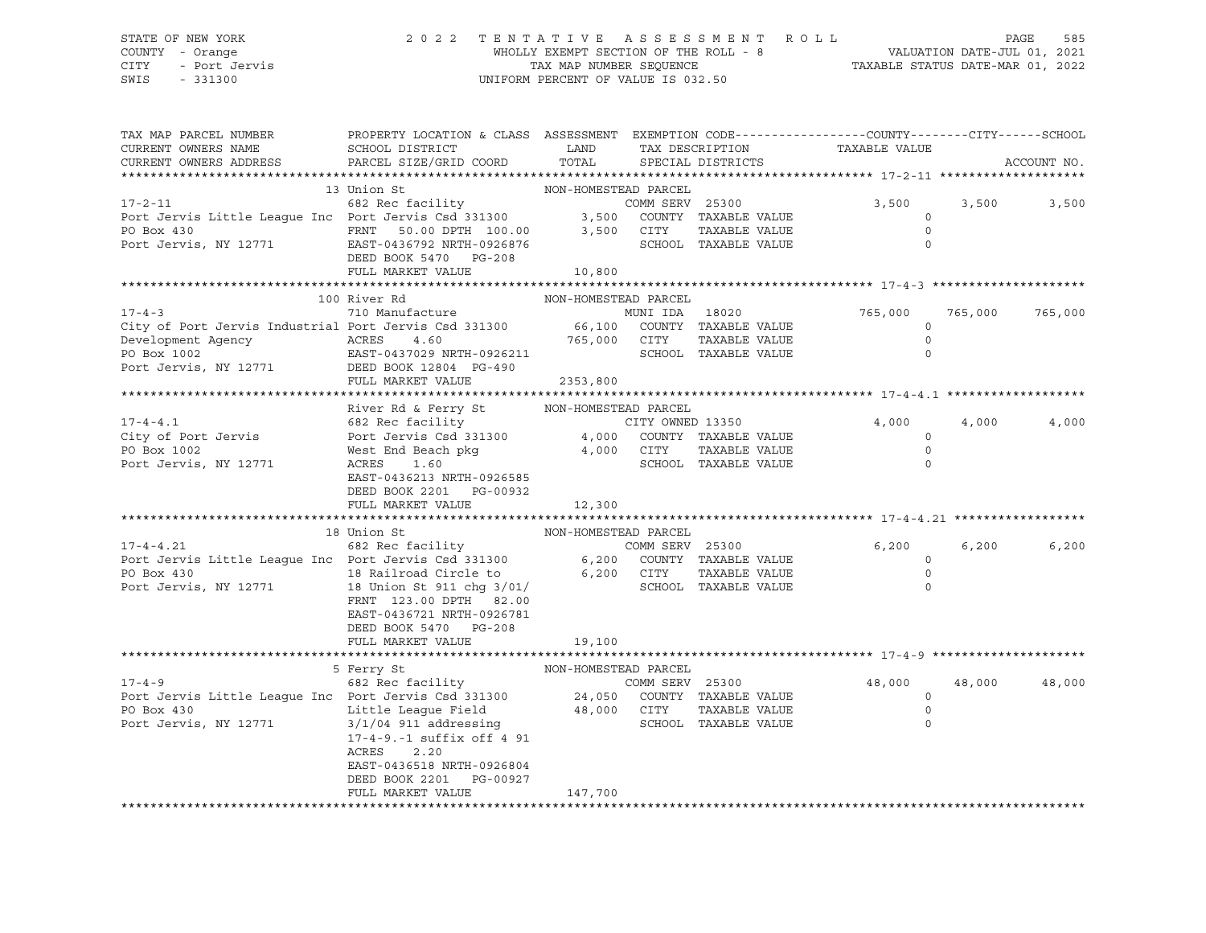#### STATE OF NEW YORK 2 0 2 2 T E N T A T I V E A S S E S S M E N T R O L L PAGE 585 COUNTY - Orange WHOLLY EXEMPT SECTION OF THE ROLL - 8 VALUATION DATE-JUL 01, 2021 CITY - Port Jervis TAX MAP NUMBER SEQUENCE TAXABLE STATUS DATE-MAR 01, 2022 SWIS - 331300 UNIFORM PERCENT OF VALUE IS 032.50

| TAX MAP PARCEL NUMBER<br>CURRENT OWNERS NAME                                                                                                                                         | PROPERTY LOCATION & CLASS ASSESSMENT EXEMPTION CODE----------------COUNTY-------CITY------SCHOOL<br>SCHOOL DISTRICT                                                      | LAND                               | TAX DESCRIPTION                                                                   |               | TAXABLE VALUE                                   |         |             |
|--------------------------------------------------------------------------------------------------------------------------------------------------------------------------------------|--------------------------------------------------------------------------------------------------------------------------------------------------------------------------|------------------------------------|-----------------------------------------------------------------------------------|---------------|-------------------------------------------------|---------|-------------|
| CURRENT OWNERS ADDRESS                                                                                                                                                               | PARCEL SIZE/GRID COORD                                                                                                                                                   | TOTAL                              | SPECIAL DISTRICTS                                                                 |               |                                                 |         | ACCOUNT NO. |
|                                                                                                                                                                                      | 13 Union St                                                                                                                                                              | NON-HOMESTEAD PARCEL               |                                                                                   |               |                                                 |         |             |
| $17 - 2 - 11$<br>Port Jervis Little League Inc Port Jervis Csd 331300 3,500 COUNTY TAXABLE VALUE PO Box 430 FRNT 50.00 DPTH 100.00 3,500 CITY TAXABLE VALUE<br>Port Jervis, NY 12771 | 682 Rec facility<br>EAST-0436792 NRTH-0926876<br>DEED BOOK 5470 PG-208<br>FULL MARKET VALUE                                                                              | 10,800                             | COMM SERV 25300<br>SCHOOL TAXABLE VALUE                                           | TAXABLE VALUE | 3,500<br>$\circ$<br>$\Omega$<br>$\circ$         | 3,500   | 3,500       |
|                                                                                                                                                                                      |                                                                                                                                                                          |                                    |                                                                                   |               |                                                 |         |             |
| $17 - 4 - 3$                                                                                                                                                                         | 100 River Rd<br>710 Manufacture                                                                                                                                          | NON-HOMESTEAD PARCEL               | MUNI IDA 18020                                                                    |               | 765,000                                         | 765,000 | 765,000     |
| City of Port Jervis Industrial Port Jervis Csd 331300<br>Development Agency<br>ACRES<br>PO Box 1002<br>Port Jervis, NY 12771 DEED BOOK 12804 PG-490                                  | 4.60<br>EAST-0437029 NRTH-0926211                                                                                                                                        |                                    | 66,100 COUNTY TAXABLE VALUE<br>765,000 CITY TAXABLE VALUE<br>SCHOOL TAXABLE VALUE |               | $\circ$<br>$\Omega$<br>$\Omega$                 |         |             |
|                                                                                                                                                                                      | FULL MARKET VALUE                                                                                                                                                        | 2353,800                           |                                                                                   |               |                                                 |         |             |
|                                                                                                                                                                                      |                                                                                                                                                                          |                                    |                                                                                   |               |                                                 |         |             |
| $17 - 4 - 4.1$<br>City of Port Jervis<br>PO Box 1002<br>Port Jervis, NY 12771                                                                                                        | River Rd & Ferry St<br>682 Rec facility<br>Port Jervis Csd 331300 4,000 COUNTY TAXABLE VALUE<br>West End Beach pkg<br>ACRES<br>1.60<br>EAST-0436213 NRTH-0926585         | NON-HOMESTEAD PARCEL<br>4,000 CITY | CITY OWNED 13350<br>SCHOOL TAXABLE VALUE                                          | TAXABLE VALUE | 4,000<br>$\mathbf 0$<br>$\Omega$<br>$\Omega$    | 4,000   | 4,000       |
|                                                                                                                                                                                      | DEED BOOK 2201 PG-00932<br>FULL MARKET VALUE                                                                                                                             | 12,300                             |                                                                                   |               |                                                 |         |             |
|                                                                                                                                                                                      |                                                                                                                                                                          |                                    |                                                                                   |               |                                                 |         |             |
|                                                                                                                                                                                      | 18 Union St                                                                                                                                                              | NON-HOMESTEAD PARCEL               |                                                                                   |               |                                                 |         |             |
| $17 - 4 - 4.21$<br>Port Jervis Little League Inc Port Jervis Csd 331300 6,200 COUNTY TAXABLE VALUE<br>PO Box 430<br>Port Jervis, NY 12771                                            | 682 Rec facility<br>18 Railroad Circle to<br>18 Union St 911 chg 3/01/<br>FRNT 123.00 DPTH 82.00<br>EAST-0436721 NRTH-0926781<br>DEED BOOK 5470 PG-208                   | 6,200                              | COMM SERV 25300<br>CITY<br>SCHOOL TAXABLE VALUE                                   | TAXABLE VALUE | 6,200<br>$\Omega$<br>$\Omega$<br>$\Omega$       | 6,200   | 6,200       |
|                                                                                                                                                                                      | FULL MARKET VALUE                                                                                                                                                        | 19,100                             |                                                                                   |               |                                                 |         |             |
|                                                                                                                                                                                      | 5 Ferry St                                                                                                                                                               | NON-HOMESTEAD PARCEL               |                                                                                   |               |                                                 |         |             |
| $17 - 4 - 9$<br>Port Jervis Little League Inc Port Jervis Csd 331300 24,050 COUNTY TAXABLE VALUE<br>PO Box 430<br>Port Jervis, NY 12771                                              | 682 Rec facility<br>Little League Field<br>$3/1/04$ 911 addressing<br>17-4-9.-1 suffix off 4 91<br>ACRES<br>2.20<br>EAST-0436518 NRTH-0926804<br>DEED BOOK 2201 PG-00927 | 48,000 CITY                        | COMM SERV 25300<br>SCHOOL TAXABLE VALUE                                           | TAXABLE VALUE | 48,000<br>$\circ$<br>$\mathbf 0$<br>$\mathbf 0$ | 48,000  | 48,000      |
|                                                                                                                                                                                      | FULL MARKET VALUE                                                                                                                                                        | 147,700                            |                                                                                   |               |                                                 |         |             |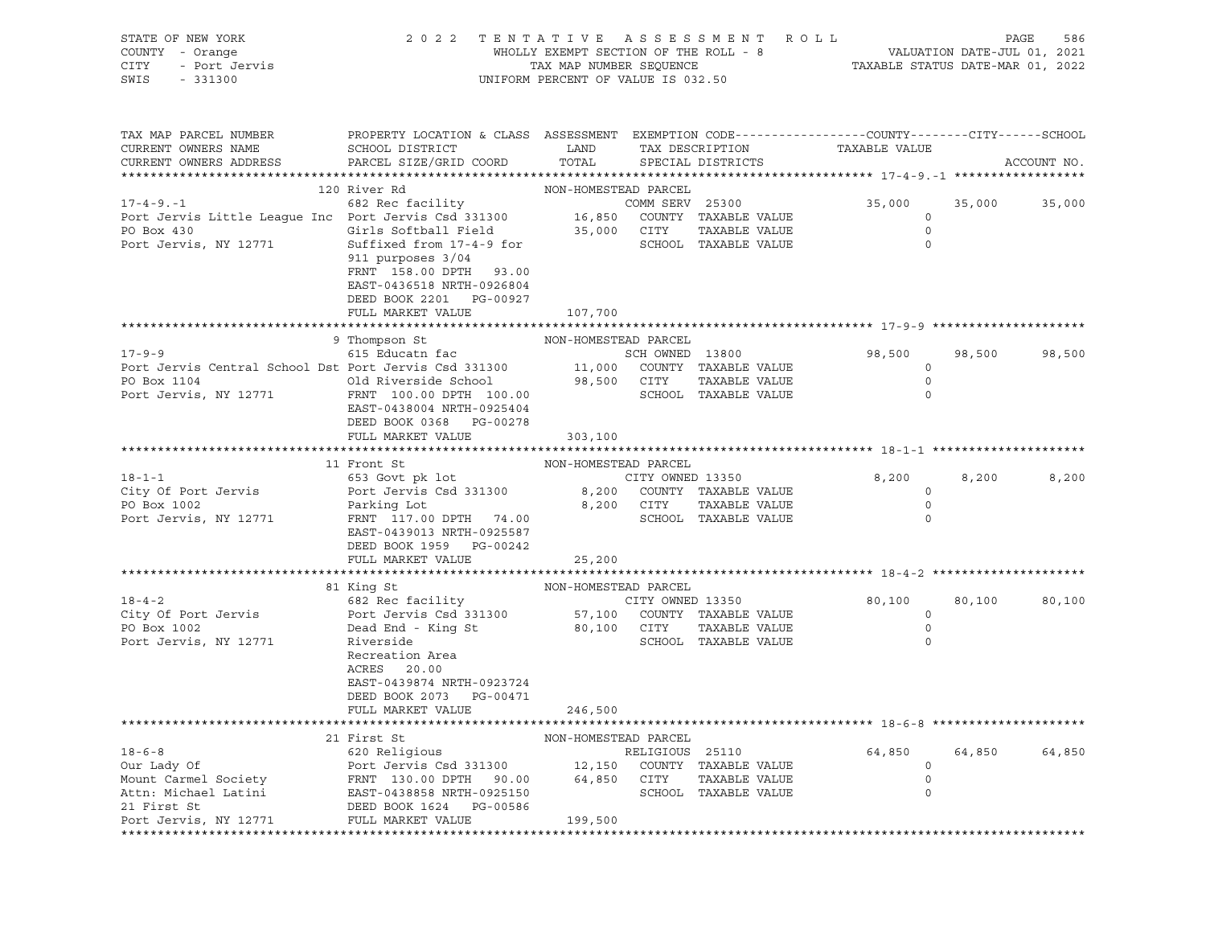| STATE OF NEW YORK<br>COUNTY - Orange<br>Y - Orange<br>- Port Jervis<br>CITY<br>SWIS - 331300                                                                              | 2 0 2 2                                                                                                                                                                      | UNIFORM PERCENT OF VALUE IS 032.50 |                 | TENTATIVE ASSESSMENT ROLL                       |                              |        | PAGE<br>586   |
|---------------------------------------------------------------------------------------------------------------------------------------------------------------------------|------------------------------------------------------------------------------------------------------------------------------------------------------------------------------|------------------------------------|-----------------|-------------------------------------------------|------------------------------|--------|---------------|
| TAX MAP PARCEL NUMBER THE PROPERTY LOCATION & CLASS ASSESSMENT EXEMPTION CODE--------------COUNTY-------CUTY------SCHOOL<br>CURRENT OWNERS NAME<br>CURRENT OWNERS ADDRESS | SCHOOL DISTRICT<br>PARCEL SIZE/GRID COORD TOTAL SPECIAL DISTRICTS                                                                                                            |                                    |                 | LAND TAX DESCRIPTION TAXABLE VALUE              |                              |        | ACCOUNT NO.   |
|                                                                                                                                                                           | 120 River Rd                                                                                                                                                                 | NON-HOMESTEAD PARCEL               |                 |                                                 |                              |        |               |
| 17-4-9.-1 682 Rec facility COMM SERV 25300<br>Port Jervis Little League Inc Port Jervis Csd 331300 16,850 COUNTY TAXABLE VALUE                                            |                                                                                                                                                                              |                                    |                 | COMM SERV 25300                                 | 35,000<br>$\circ$<br>$\circ$ |        | 35,000 35,000 |
| PO Box 430<br>Port Jervis, NY 12771 Suffixed from 17-4-9 for SCHOOL TAXABLE VALUE<br>911 purposes 3/04                                                                    | FRNT 158.00 DPTH 93.00<br>EAST-0436518 NRTH-0926804<br>DEED BOOK 2201 PG-00927<br>FULL MARKET VALUE                                                                          | 107,700                            |                 |                                                 | $\mathbf 0$                  |        |               |
|                                                                                                                                                                           |                                                                                                                                                                              |                                    |                 |                                                 |                              |        |               |
|                                                                                                                                                                           | 9 Thompson St<br>NON-HOMESTEAD PARCEL                                                                                                                                        |                                    |                 |                                                 |                              |        |               |
| $17 - 9 - 9$                                                                                                                                                              | 615 Educatn fac SCH OWNED 13800                                                                                                                                              |                                    |                 |                                                 | 98,500                       |        | 98,500 98,500 |
| Port Jervis Central School Dst Port Jervis Csd 331300 11,000 COUNTY TAXABLE VALUE                                                                                         |                                                                                                                                                                              |                                    |                 |                                                 | $\overline{0}$               |        |               |
|                                                                                                                                                                           |                                                                                                                                                                              |                                    |                 | TAXABLE VALUE                                   | $\overline{0}$               |        |               |
| PO Box 1104<br>PO Box 1104<br>Port Jervis, NY 12771 FRNT 100.00 DPTH 100.00<br>FRNT 100.00 DPTH 100.00                                                                    |                                                                                                                                                                              |                                    |                 | SCHOOL TAXABLE VALUE                            | $\circ$                      |        |               |
|                                                                                                                                                                           | EAST-0438004 NRTH-0925404                                                                                                                                                    |                                    |                 |                                                 |                              |        |               |
|                                                                                                                                                                           | DEED BOOK 0368 PG-00278                                                                                                                                                      |                                    |                 |                                                 |                              |        |               |
|                                                                                                                                                                           | FULL MARKET VALUE 303,100                                                                                                                                                    |                                    |                 |                                                 |                              |        |               |
|                                                                                                                                                                           |                                                                                                                                                                              |                                    |                 |                                                 |                              |        |               |
|                                                                                                                                                                           | 11 Front St                                                                                                                                                                  | NON-HOMESTEAD PARCEL               |                 |                                                 |                              |        |               |
| $18 - 1 - 1$                                                                                                                                                              |                                                                                                                                                                              |                                    |                 |                                                 | 8,200<br>$\circ$             | 8,200  | 8,200         |
| City Of Port Jervis<br>PO Box 1002                                                                                                                                        |                                                                                                                                                                              |                                    |                 |                                                 | $\circ$                      |        |               |
| Port Jervis, NY 12771                                                                                                                                                     | 653 Govt pk lot CITY OWNED 13350<br>Port Jervis Csd 331300 8,200 COUNTY TAXABLE VALUE<br>Parking Lot 8,200 CITY TAXABLE VALUE<br>FRNT 117.00 DPTH 74.00 SCHOOL TAXABLE VALUE |                                    |                 |                                                 | 0                            |        |               |
|                                                                                                                                                                           | EAST-0439013 NRTH-0925587                                                                                                                                                    |                                    |                 |                                                 |                              |        |               |
|                                                                                                                                                                           | DEED BOOK 1959 PG-00242                                                                                                                                                      |                                    |                 |                                                 |                              |        |               |
|                                                                                                                                                                           | FULL MARKET VALUE                                                                                                                                                            | 25, 200                            |                 |                                                 |                              |        |               |
|                                                                                                                                                                           |                                                                                                                                                                              |                                    |                 |                                                 |                              |        |               |
|                                                                                                                                                                           | 81 King St                                                                                                                                                                   |                                    |                 | NON-HOMESTEAD PARCEL<br>cility CITY OWNED 13350 |                              |        |               |
| $18 - 4 - 2$                                                                                                                                                              | 682 Rec facility                                                                                                                                                             |                                    |                 |                                                 | 80,100                       | 80,100 | 80,100        |
|                                                                                                                                                                           |                                                                                                                                                                              |                                    |                 |                                                 | $\overline{0}$               |        |               |
|                                                                                                                                                                           | Dead End - King St<br>Riverside                                                                                                                                              |                                    |                 |                                                 | $\overline{0}$               |        |               |
| Port Jervis, NY 12771                                                                                                                                                     | Riverside                                                                                                                                                                    |                                    |                 | SCHOOL TAXABLE VALUE                            | $\circ$                      |        |               |
|                                                                                                                                                                           | Recreation Area                                                                                                                                                              |                                    |                 |                                                 |                              |        |               |
|                                                                                                                                                                           | ACRES 20.00                                                                                                                                                                  |                                    |                 |                                                 |                              |        |               |
|                                                                                                                                                                           | EAST-0439874 NRTH-0923724                                                                                                                                                    |                                    |                 |                                                 |                              |        |               |
|                                                                                                                                                                           | DEED BOOK 2073 PG-00471                                                                                                                                                      |                                    |                 |                                                 |                              |        |               |
|                                                                                                                                                                           | FULL MARKET VALUE 246,500                                                                                                                                                    |                                    |                 |                                                 |                              |        |               |
|                                                                                                                                                                           | 21 First St                                                                                                                                                                  | NON-HOMESTEAD PARCEL               |                 |                                                 |                              |        |               |
| $18 - 6 - 8$                                                                                                                                                              | 620 Religious                                                                                                                                                                |                                    | RELIGIOUS 25110 |                                                 | 64,850                       | 64,850 | 64,850        |
| Our Lady Of                                                                                                                                                               | Port Jervis Csd 331300                                                                                                                                                       | 12,150                             |                 | COUNTY TAXABLE VALUE                            | $\circ$                      |        |               |
| Mount Carmel Society                                                                                                                                                      | FRNT 130.00 DPTH 90.00                                                                                                                                                       | 64,850                             | CITY            | TAXABLE VALUE                                   | 0                            |        |               |
| Attn: Michael Latini                                                                                                                                                      | EAST-0438858 NRTH-0925150                                                                                                                                                    |                                    |                 | SCHOOL TAXABLE VALUE                            | 0                            |        |               |
| 21 First St                                                                                                                                                               | DEED BOOK 1624 PG-00586                                                                                                                                                      |                                    |                 |                                                 |                              |        |               |
| Port Jervis, NY 12771                                                                                                                                                     | FULL MARKET VALUE                                                                                                                                                            | 199,500                            |                 |                                                 |                              |        |               |
|                                                                                                                                                                           |                                                                                                                                                                              |                                    |                 |                                                 |                              |        |               |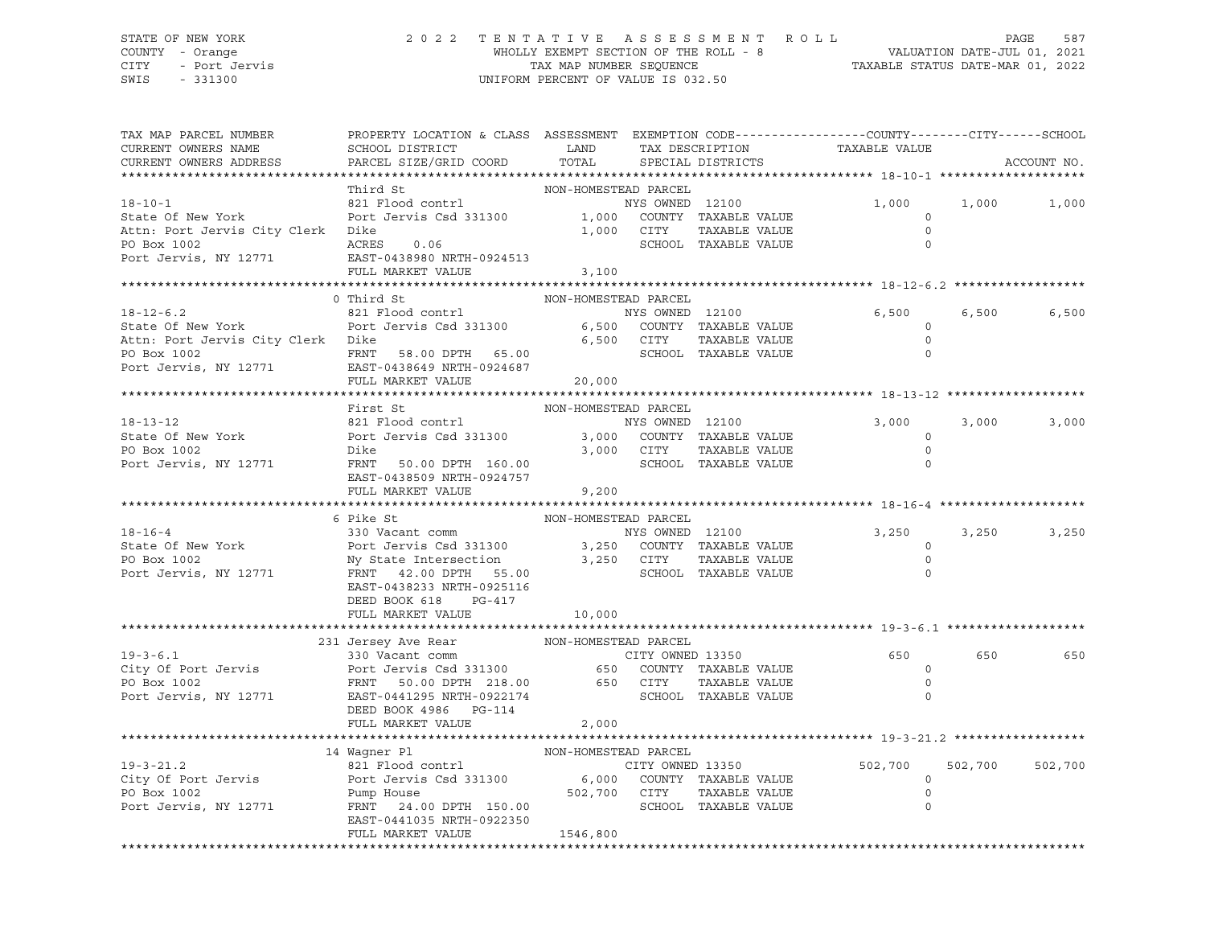#### STATE OF NEW YORK 2 0 2 2 T E N T A T I V E A S S E S S M E N T R O L L PAGE 587 COUNTY - Orange WHOLLY EXEMPT SECTION OF THE ROLL - 8 VALUATION DATE-JUL 01, 2021 CITY - Port Jervis TAX MAP NUMBER SEQUENCE TAXABLE STATUS DATE-MAR 01, 2022 SWIS - 331300 UNIFORM PERCENT OF VALUE IS 032.50

| TAX MAP PARCEL NUMBER<br>CURRENT OWNERS NAME<br>CURRENT OWNERS ADDRESS                                                                                                                                                                                             | PROPERTY LOCATION & CLASS ASSESSMENT EXEMPTION CODE----------------COUNTY-------CITY------SCHOOL<br>SCHOOL DISTRICT LAND<br>PARCEL SIZE/GRID COORD | TOTAL                |            | SPECIAL DISTRICTS    | TAX DESCRIPTION TAXABLE VALUE |       | ACCOUNT NO. |
|--------------------------------------------------------------------------------------------------------------------------------------------------------------------------------------------------------------------------------------------------------------------|----------------------------------------------------------------------------------------------------------------------------------------------------|----------------------|------------|----------------------|-------------------------------|-------|-------------|
|                                                                                                                                                                                                                                                                    |                                                                                                                                                    |                      |            |                      |                               |       |             |
|                                                                                                                                                                                                                                                                    | Third St                                                                                                                                           | NON-HOMESTEAD PARCEL |            |                      |                               |       |             |
| $18 - 10 - 1$                                                                                                                                                                                                                                                      | 821 Flood contrl MYS OWNED 12100<br>Port Jervis Csd 331300 1,000 COUNTY TAXABLE VALUE                                                              |                      |            |                      | 1,000                         | 1,000 | 1,000       |
| State Of New York                                                                                                                                                                                                                                                  |                                                                                                                                                    |                      |            |                      | $\circ$                       |       |             |
| Attn: Port Jervis City Clerk Dike                                                                                                                                                                                                                                  |                                                                                                                                                    |                      | 1,000 CITY | TAXABLE VALUE        | $\Omega$                      |       |             |
|                                                                                                                                                                                                                                                                    |                                                                                                                                                    |                      |            | SCHOOL TAXABLE VALUE | $\circ$                       |       |             |
|                                                                                                                                                                                                                                                                    |                                                                                                                                                    |                      |            |                      |                               |       |             |
|                                                                                                                                                                                                                                                                    | FULL MARKET VALUE 3,100                                                                                                                            |                      |            |                      |                               |       |             |
|                                                                                                                                                                                                                                                                    |                                                                                                                                                    |                      |            |                      |                               |       |             |
|                                                                                                                                                                                                                                                                    | 0 Third St                                                                                                                                         | NON-HOMESTEAD PARCEL |            |                      |                               |       |             |
|                                                                                                                                                                                                                                                                    |                                                                                                                                                    |                      |            |                      | 6,500                         |       | 6,500 6,500 |
|                                                                                                                                                                                                                                                                    |                                                                                                                                                    |                      |            |                      | $\circ$                       |       |             |
|                                                                                                                                                                                                                                                                    |                                                                                                                                                    |                      |            |                      | $\circ$                       |       |             |
|                                                                                                                                                                                                                                                                    |                                                                                                                                                    |                      |            |                      | $\circ$                       |       |             |
| 18-12-6.2<br>State Of New York<br>Attn: Port Jervis City Clerk<br>Port Jervis Cad 331300<br>Port Jervis City Clerk<br>Port Jervis City Clerk<br>Port Jervis City Clerk<br>Port Jervis, NY 12771<br>EAST-0438649 NRTH-0924687<br>Port Jervis, NY                    |                                                                                                                                                    |                      |            |                      |                               |       |             |
|                                                                                                                                                                                                                                                                    | FULL MARKET VALUE                                                                                                                                  | 20,000               |            |                      |                               |       |             |
|                                                                                                                                                                                                                                                                    |                                                                                                                                                    |                      |            |                      |                               |       |             |
| $18 - 13 - 12$                                                                                                                                                                                                                                                     | First St                                                                                                                                           | NON-HOMESTEAD PARCEL |            |                      |                               |       |             |
|                                                                                                                                                                                                                                                                    | 821 Flood contrl                                                                                                                                   |                      |            | NYS OWNED 12100      | 3,000                         | 3,000 | 3,000       |
|                                                                                                                                                                                                                                                                    |                                                                                                                                                    |                      |            |                      | $\circ$                       |       |             |
|                                                                                                                                                                                                                                                                    |                                                                                                                                                    |                      |            |                      | $\circ$                       |       |             |
|                                                                                                                                                                                                                                                                    |                                                                                                                                                    |                      |            |                      |                               |       |             |
| 18-13-12<br>State Of New York<br>Port Jervis Csd 331300<br>Port Jervis Csd 331300<br>Dike<br>Port Jervis, NY 12771<br>FRNT 50.00 DPTH 160.00<br>EAST-0438509 NRTH-0924757<br>FRNT 50.00 DPTH 160.00<br>CHOOL TAXABLE VALUE<br>CONCL TAXABLE VALUE                  |                                                                                                                                                    |                      |            |                      |                               |       |             |
|                                                                                                                                                                                                                                                                    | FULL MARKET VALUE                                                                                                                                  | 9,200                |            |                      |                               |       |             |
|                                                                                                                                                                                                                                                                    | 6 Pike St                                                                                                                                          |                      |            |                      |                               |       |             |
|                                                                                                                                                                                                                                                                    |                                                                                                                                                    | NON-HOMESTEAD PARCEL |            |                      |                               |       |             |
|                                                                                                                                                                                                                                                                    |                                                                                                                                                    |                      |            |                      | 3,250<br>$\circ$              | 3,250 | 3,250       |
|                                                                                                                                                                                                                                                                    |                                                                                                                                                    |                      |            |                      | $\circ$                       |       |             |
| 18-16-4<br>State Of New York and State Of New York and State Of New York and Port Jervis Csd 331300<br>20 Box 1002<br>20 Box 1002<br>20 DPTH 55.00<br>20 DPTH 55.00<br>20 SCHOOL TAXABLE VALUE<br>20 DPTH 55.00<br>20 SCHOOL TAXABLE VALUE                         |                                                                                                                                                    |                      |            |                      | $\circ$                       |       |             |
|                                                                                                                                                                                                                                                                    | EAST-0438233 NRTH-0925116                                                                                                                          |                      |            |                      |                               |       |             |
|                                                                                                                                                                                                                                                                    | DEED BOOK 618 PG-417                                                                                                                               |                      |            |                      |                               |       |             |
|                                                                                                                                                                                                                                                                    | FULL MARKET VALUE                                                                                                                                  | 10,000               |            |                      |                               |       |             |
|                                                                                                                                                                                                                                                                    |                                                                                                                                                    |                      |            |                      |                               |       |             |
|                                                                                                                                                                                                                                                                    |                                                                                                                                                    |                      |            |                      |                               |       |             |
| $19 - 3 - 6.1$                                                                                                                                                                                                                                                     | 231 Jersey Ave Rear NON-HOMESTEAD PARCEL<br>330 Vacant comm CITY OWNEL                                                                             |                      |            | CITY OWNED 13350     | 650                           | 650   | 650         |
|                                                                                                                                                                                                                                                                    |                                                                                                                                                    |                      |            |                      | $\circ$                       |       |             |
|                                                                                                                                                                                                                                                                    |                                                                                                                                                    |                      |            | TAXABLE VALUE        | $\circ$                       |       |             |
| PO BOA 1002<br>Port Jervis, NY 12771 BAST-0441295 NRTH-0922174<br>DEED BOOK 4986 PG-114                                                                                                                                                                            |                                                                                                                                                    |                      |            | SCHOOL TAXABLE VALUE | $\Omega$                      |       |             |
|                                                                                                                                                                                                                                                                    |                                                                                                                                                    |                      |            |                      |                               |       |             |
|                                                                                                                                                                                                                                                                    | FULL MARKET VALUE                                                                                                                                  | 2,000                |            |                      |                               |       |             |
|                                                                                                                                                                                                                                                                    |                                                                                                                                                    |                      |            |                      |                               |       |             |
|                                                                                                                                                                                                                                                                    |                                                                                                                                                    |                      |            |                      |                               |       |             |
|                                                                                                                                                                                                                                                                    |                                                                                                                                                    |                      |            |                      |                               |       | 502,700     |
|                                                                                                                                                                                                                                                                    |                                                                                                                                                    |                      |            |                      |                               |       |             |
|                                                                                                                                                                                                                                                                    |                                                                                                                                                    |                      |            |                      |                               |       |             |
| 19-3-21.2<br>19-3-21.2<br>21 Flood contrl<br>21 Flood contrl<br>221 Flood contrl<br>221 Flood contrl<br>231 Flood contrl<br>24.00 DPTH 150.00<br>202,700<br>202,700<br>202,700<br>202,700<br>202,700<br>202,700<br>202,700<br>202,700<br>202,700<br>202,700<br>202 |                                                                                                                                                    |                      |            |                      |                               |       |             |
|                                                                                                                                                                                                                                                                    | EAST-0441035 NRTH-0922350                                                                                                                          |                      |            |                      |                               |       |             |
|                                                                                                                                                                                                                                                                    | FULL MARKET VALUE                                                                                                                                  | 1546,800             |            |                      |                               |       |             |
|                                                                                                                                                                                                                                                                    |                                                                                                                                                    |                      |            |                      |                               |       |             |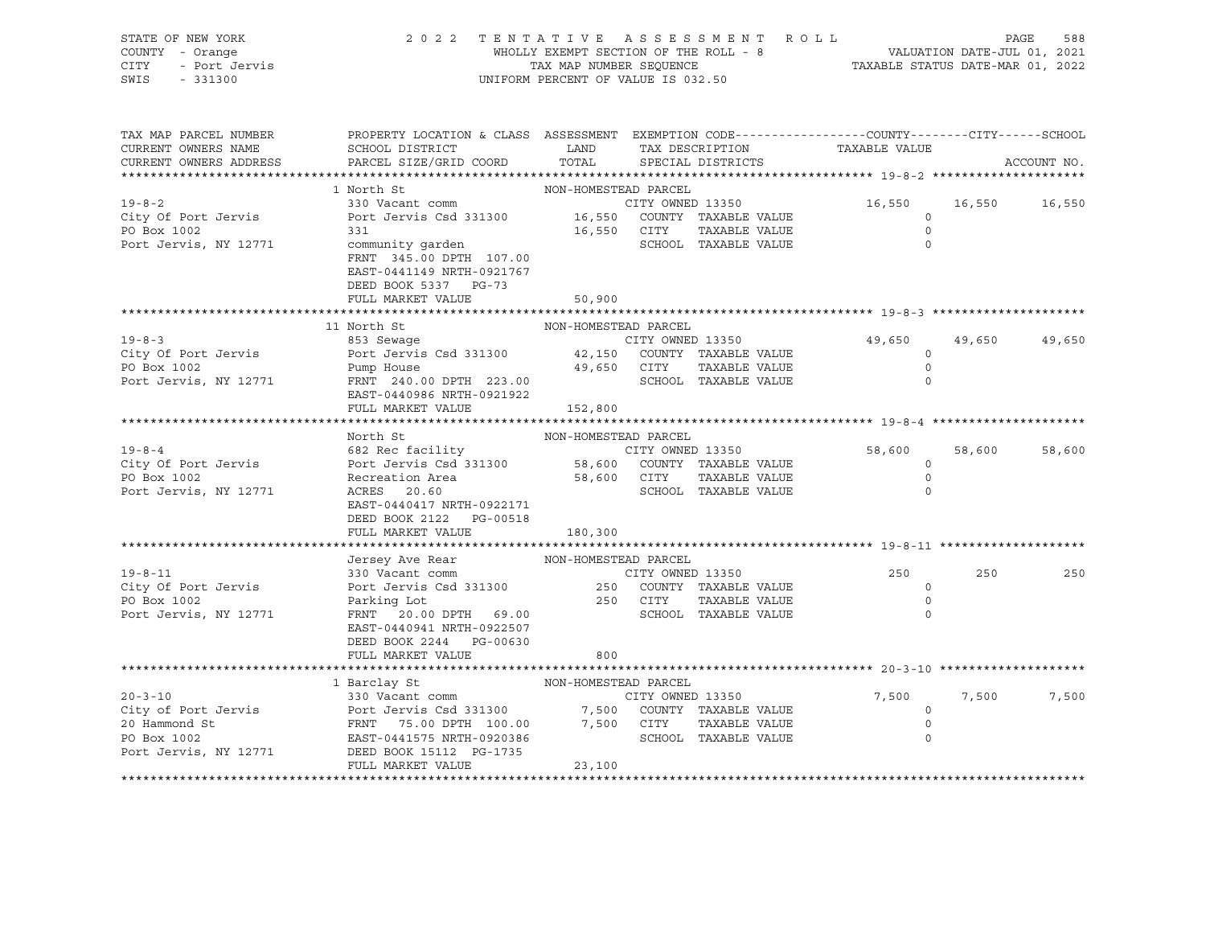| STATE OF NEW YORK<br>COUNTY - Orange<br>CITY<br>- Port Jervis<br>SWIS<br>$-331300$ | 2 0 2 2                                                                                                            | TAX MAP NUMBER SEQUENCE | TENTATIVE ASSESSMENT ROLL<br>WHOLLY EXEMPT SECTION OF THE ROLL - 8<br>UNIFORM PERCENT OF VALUE IS 032.50 | VALUATION DATE-JUL 01, 2021<br>TAXABLE STATUS DATE-MAR 01, 2022 |        | PAGE<br>588 |
|------------------------------------------------------------------------------------|--------------------------------------------------------------------------------------------------------------------|-------------------------|----------------------------------------------------------------------------------------------------------|-----------------------------------------------------------------|--------|-------------|
| TAX MAP PARCEL NUMBER<br>CURRENT OWNERS NAME                                       | PROPERTY LOCATION & CLASS ASSESSMENT EXEMPTION CODE---------------COUNTY-------CITY------SCHOOL<br>SCHOOL DISTRICT | LAND                    | TAX DESCRIPTION                                                                                          | TAXABLE VALUE                                                   |        |             |
| CURRENT OWNERS ADDRESS                                                             | PARCEL SIZE/GRID COORD                                                                                             | TOTAL                   | SPECIAL DISTRICTS                                                                                        |                                                                 |        | ACCOUNT NO. |
|                                                                                    |                                                                                                                    |                         |                                                                                                          |                                                                 |        |             |
|                                                                                    | 1 North St                                                                                                         | NON-HOMESTEAD PARCEL    |                                                                                                          |                                                                 |        |             |
| $19 - 8 - 2$                                                                       | 330 Vacant comm                                                                                                    |                         | CITY OWNED 13350                                                                                         | 16,550                                                          | 16,550 | 16,550      |
| City Of Port Jervis                                                                | Port Jervis Csd 331300 16,550 COUNTY TAXABLE VALUE                                                                 |                         |                                                                                                          | $\circ$                                                         |        |             |
| PO Box 1002                                                                        | 331                                                                                                                |                         | 16,550 CITY<br>TAXABLE VALUE                                                                             | $\circ$                                                         |        |             |
| Port Jervis, NY 12771                                                              | community garden<br>FRNT 345.00 DPTH 107.00<br>EAST-0441149 NRTH-0921767<br>DEED BOOK 5337 PG-73                   |                         | SCHOOL TAXABLE VALUE                                                                                     | $\Omega$                                                        |        |             |
|                                                                                    | FULL MARKET VALUE                                                                                                  | 50,900                  |                                                                                                          |                                                                 |        |             |
|                                                                                    |                                                                                                                    |                         |                                                                                                          |                                                                 |        |             |
| $19 - 8 - 3$                                                                       | 11 North St                                                                                                        | NON-HOMESTEAD PARCEL    |                                                                                                          |                                                                 |        |             |
| City Of Port Jervis                                                                | 853 Sewaqe<br>Port Jervis Csd 331300                                                                               |                         | CITY OWNED 13350<br>42,150 COUNTY TAXABLE VALUE                                                          | 49,650<br>$\circ$                                               | 49,650 | 49,650      |
| PO Box 1002                                                                        | Pump House                                                                                                         | 49,650 CITY             | TAXABLE VALUE                                                                                            | $\Omega$                                                        |        |             |
| Port Jervis, NY 12771                                                              | FRNT 240.00 DPTH 223.00                                                                                            |                         | SCHOOL TAXABLE VALUE                                                                                     | $\Omega$                                                        |        |             |
|                                                                                    | EAST-0440986 NRTH-0921922                                                                                          |                         |                                                                                                          |                                                                 |        |             |
|                                                                                    | FULL MARKET VALUE                                                                                                  | 152,800                 |                                                                                                          |                                                                 |        |             |
|                                                                                    |                                                                                                                    |                         |                                                                                                          |                                                                 |        |             |
|                                                                                    | North St                                                                                                           | NON-HOMESTEAD PARCEL    |                                                                                                          |                                                                 |        |             |
| $19 - 8 - 4$                                                                       | 682 Rec facility                                                                                                   |                         | CITY OWNED 13350<br>58,600 COUNTY TAXABLE VALUE<br>CITY OWNED 13350                                      | 58,600                                                          | 58,600 | 58,600      |
| City Of Port Jervis<br>PO Box 1002                                                 | Port Jervis Csd 331300                                                                                             | 58,600 CITY             | TAXABLE VALUE                                                                                            | $\circ$<br>$\circ$                                              |        |             |
| Port Jervis, NY 12771                                                              | Recreation Area<br>ACRES - 20 60<br>ACRES 20.60                                                                    |                         | SCHOOL TAXABLE VALUE                                                                                     | $\Omega$                                                        |        |             |
|                                                                                    | EAST-0440417 NRTH-0922171                                                                                          |                         |                                                                                                          |                                                                 |        |             |
|                                                                                    | DEED BOOK 2122 PG-00518                                                                                            |                         |                                                                                                          |                                                                 |        |             |
|                                                                                    | FULL MARKET VALUE                                                                                                  | 180,300                 |                                                                                                          |                                                                 |        |             |
|                                                                                    |                                                                                                                    |                         |                                                                                                          |                                                                 |        |             |
|                                                                                    | Jersey Ave Rear                                                                                                    | NON-HOMESTEAD PARCEL    |                                                                                                          |                                                                 |        |             |
| $19 - 8 - 11$                                                                      | 330 Vacant comm                                                                                                    |                         | CITY OWNED 13350                                                                                         | 250                                                             | 250    | 250         |
| City Of Port Jervis                                                                | Port Jervis Csd 331300                                                                                             |                         | 250 COUNTY TAXABLE VALUE                                                                                 | $\circ$                                                         |        |             |
| PO Box 1002                                                                        | Parking Lot                                                                                                        |                         | 250 CITY<br>TAXABLE VALUE                                                                                | $\circ$                                                         |        |             |
| Port Jervis, NY 12771                                                              | FRNT 20.00 DPTH 69.00                                                                                              |                         | SCHOOL TAXABLE VALUE                                                                                     | $\Omega$                                                        |        |             |
|                                                                                    | EAST-0440941 NRTH-0922507                                                                                          |                         |                                                                                                          |                                                                 |        |             |
|                                                                                    | DEED BOOK 2244 PG-00630<br>FULL MARKET VALUE                                                                       | 800                     |                                                                                                          |                                                                 |        |             |
|                                                                                    |                                                                                                                    |                         |                                                                                                          |                                                                 |        |             |
|                                                                                    | 1 Barclay St                                                                                                       | NON-HOMESTEAD PARCEL    |                                                                                                          |                                                                 |        |             |
| $20 - 3 - 10$                                                                      | 330 Vacant comm                                                                                                    |                         | CITY OWNED 13350                                                                                         | 7,500                                                           | 7,500  | 7,500       |
| City of Port Jervis                                                                | Port Jervis Csd 331300                                                                                             |                         | 7,500 COUNTY TAXABLE VALUE                                                                               | $\circ$                                                         |        |             |
| 20 Hammond St                                                                      | FRNT 75.00 DPTH 100.00                                                                                             |                         | 7,500 CITY<br>TAXABLE VALUE                                                                              | $\circ$                                                         |        |             |
| PO Box 1002                                                                        | EAST-0441575 NRTH-0920386                                                                                          |                         | SCHOOL TAXABLE VALUE                                                                                     | $\circ$                                                         |        |             |
| Port Jervis, NY 12771                                                              | DEED BOOK 15112 PG-1735                                                                                            |                         |                                                                                                          |                                                                 |        |             |
|                                                                                    | FULL MARKET VALUE                                                                                                  | 23,100                  |                                                                                                          |                                                                 |        |             |

\*\*\*\*\*\*\*\*\*\*\*\*\*\*\*\*\*\*\*\*\*\*\*\*\*\*\*\*\*\*\*\*\*\*\*\*\*\*\*\*\*\*\*\*\*\*\*\*\*\*\*\*\*\*\*\*\*\*\*\*\*\*\*\*\*\*\*\*\*\*\*\*\*\*\*\*\*\*\*\*\*\*\*\*\*\*\*\*\*\*\*\*\*\*\*\*\*\*\*\*\*\*\*\*\*\*\*\*\*\*\*\*\*\*\*\*\*\*\*\*\*\*\*\*\*\*\*\*\*\*\*\*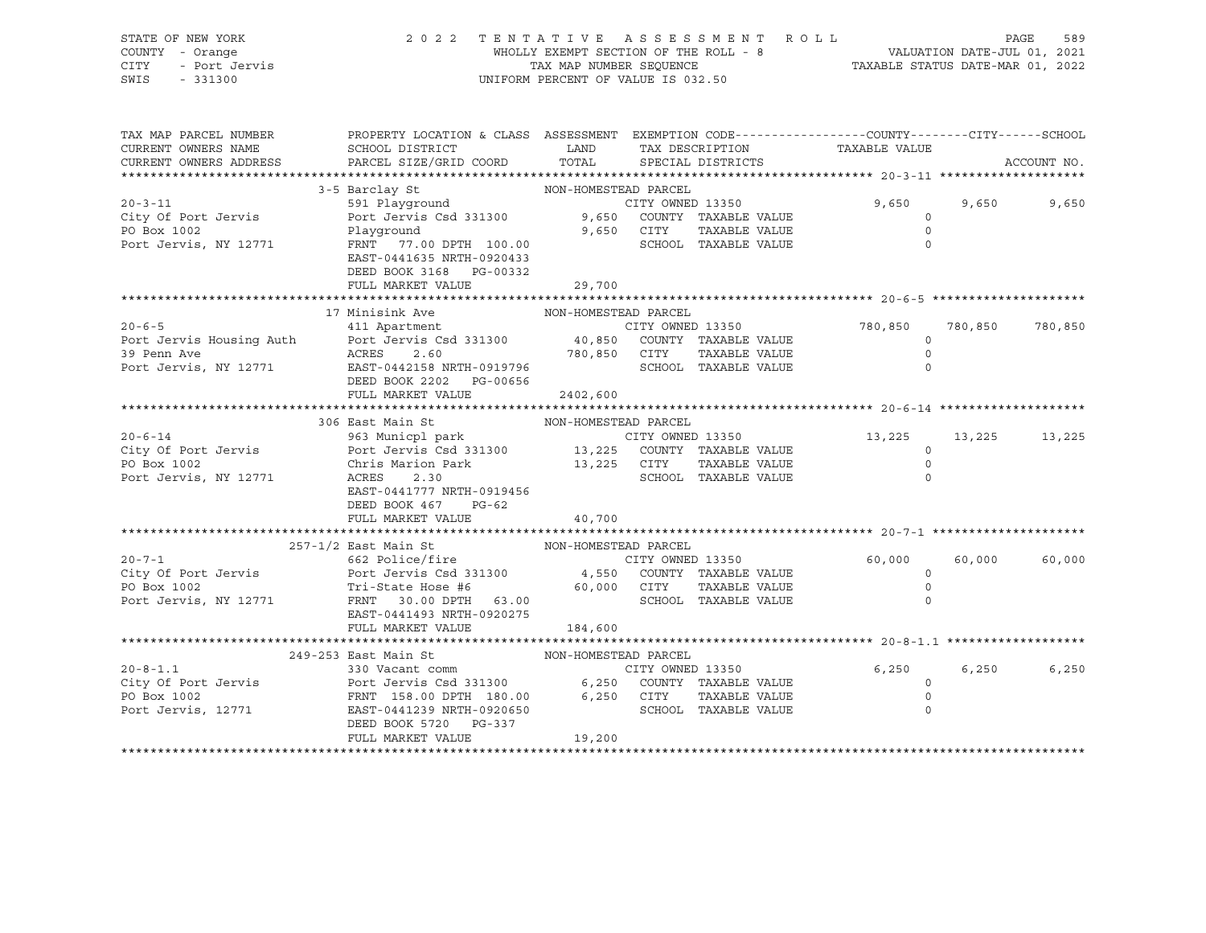| STATE OF NEW YORK  | 2022 TENTATIVE ASSESSMENT ROLL        |                                  | PAGE                        | 589 |
|--------------------|---------------------------------------|----------------------------------|-----------------------------|-----|
| COUNTY - Orange    | WHOLLY EXEMPT SECTION OF THE ROLL - 8 |                                  | VALUATION DATE-JUL 01, 2021 |     |
| CITY - Port Jervis | TAX MAP NUMBER SEOUENCE               | TAXABLE STATUS DATE-MAR 01, 2022 |                             |     |
| SWIS - 331300      | UNIFORM PERCENT OF VALUE IS 032.50    |                                  |                             |     |

| TAX MAP PARCEL NUMBER<br>CURRENT OWNERS NAME<br>CURRENT OWNERS ADDRESS | PROPERTY LOCATION & CLASS ASSESSMENT EXEMPTION CODE----------------COUNTY-------CITY------SCHOOL<br>SCHOOL DISTRICT<br>PARCEL SIZE/GRID COORD | LAND<br>TOTAL        | TAX DESCRIPTION<br>SPECIAL DISTRICTS                | TAXABLE VALUE                      |         | ACCOUNT NO. |
|------------------------------------------------------------------------|-----------------------------------------------------------------------------------------------------------------------------------------------|----------------------|-----------------------------------------------------|------------------------------------|---------|-------------|
|                                                                        |                                                                                                                                               |                      |                                                     |                                    |         |             |
| $20 - 3 - 11$                                                          | 3-5 Barclay St<br>591 Playground                                                                                                              | NON-HOMESTEAD PARCEL | CITY OWNED 13350                                    | 9,650                              | 9,650   | 9,650       |
| City Of Port Jervis<br>PO Box 1002<br>Port Jervis, NY 12771            | Port Jervis Csd 331300 9,650 COUNTY TAXABLE VALUE<br>Playground<br>FRNT 77.00 DPTH 100.00<br>EAST-0441635 NRTH-0920433                        |                      | 9,650 CITY<br>TAXABLE VALUE<br>SCHOOL TAXABLE VALUE | $\circ$<br>$\Omega$<br>$\mathbf 0$ |         |             |
|                                                                        | DEED BOOK 3168 PG-00332<br>FULL MARKET VALUE                                                                                                  | 29,700               |                                                     |                                    |         |             |
|                                                                        |                                                                                                                                               |                      |                                                     |                                    |         |             |
| $20 - 6 - 5$                                                           | 17 Minisink Ave<br>411 Apartment                                                                                                              | NON-HOMESTEAD PARCEL | CITY OWNED 13350                                    | 780,850                            | 780,850 | 780,850     |
| 39 Penn Ave                                                            | Port Jervis Housing Auth Port Jervis Csd 331300 40,850 COUNTY TAXABLE VALUE<br>ACRES<br>2.60                                                  |                      | CITY<br>TAXABLE VALUE                               | $\circ$<br>$\circ$                 |         |             |
| Port Jervis, NY 12771                                                  | EAST-0442158 NRTH-0919796<br>DEED BOOK 2202 PG-00656<br>FULL MARKET VALUE                                                                     | 780,850<br>2402,600  | SCHOOL TAXABLE VALUE                                | 0                                  |         |             |
|                                                                        |                                                                                                                                               |                      |                                                     |                                    |         |             |
|                                                                        | 306 East Main St                                                                                                                              | NON-HOMESTEAD PARCEL |                                                     |                                    |         |             |
| $20 - 6 - 14$                                                          | 963 Municpl park                                                                                                                              |                      | CITY OWNED 13350                                    | 13,225 13,225                      |         | 13,225      |
| City Of Port Jervis                                                    | Port Jervis Csd 331300 13,225 COUNTY TAXABLE VALUE                                                                                            |                      |                                                     | $\circ$                            |         |             |
| PO Box 1002                                                            | Chris Marion Park                                                                                                                             | 13,225 CITY          | TAXABLE VALUE                                       | $\circ$                            |         |             |
| Port Jervis, NY 12771                                                  | ACRES<br>2.30                                                                                                                                 |                      | SCHOOL TAXABLE VALUE                                | $\circ$                            |         |             |
|                                                                        | EAST-0441777 NRTH-0919456<br>DEED BOOK 467 PG-62                                                                                              |                      |                                                     |                                    |         |             |
|                                                                        | FULL MARKET VALUE                                                                                                                             | 40,700               |                                                     |                                    |         |             |
|                                                                        |                                                                                                                                               |                      |                                                     |                                    |         |             |
|                                                                        | 257-1/2 East Main St NON-HOMESTEAD PARCEL                                                                                                     |                      |                                                     |                                    |         |             |
| $20 - 7 - 1$                                                           | 662 Police/fire                                                                                                                               |                      | CITY OWNED 13350                                    | 60,000                             | 60,000  | 60,000      |
| City Of Port Jervis                                                    | Port Jervis Csd 331300 4,550 COUNTY TAXABLE VALUE                                                                                             |                      |                                                     | $\circ$                            |         |             |
| PO Box 1002                                                            | Tri-State Hose #6                                                                                                                             | 60,000 CITY          | TAXABLE VALUE                                       | $\circ$                            |         |             |
| Port Jervis, NY 12771                                                  | FRNT 30.00 DPTH 63.00<br>EAST-0441493 NRTH-0920275<br>FULL MARKET VALUE                                                                       | 184,600              | SCHOOL TAXABLE VALUE                                |                                    |         |             |
|                                                                        |                                                                                                                                               |                      |                                                     |                                    |         |             |
|                                                                        | 249-253 East Main St                                                                                                                          | NON-HOMESTEAD PARCEL |                                                     |                                    |         |             |
| $20 - 8 - 1.1$                                                         | 330 Vacant comm                                                                                                                               |                      | CITY OWNED 13350                                    | 6,250                              | 6,250   | 6,250       |
| City Of Port Jervis                                                    |                                                                                                                                               |                      |                                                     | $\overline{0}$                     |         |             |
| PO Box 1002                                                            | Port Jervis Csd 331300 6,250 COUNTY TAXABLE VALUE<br>FRNT 158.00 DPTH 180.00 6,250 CITY TAXABLE VALUE                                         |                      |                                                     | $\mathbf 0$                        |         |             |
| Port Jervis, 12771                                                     | EAST-0441239 NRTH-0920650<br>DEED BOOK 5720 PG-337                                                                                            |                      | SCHOOL TAXABLE VALUE                                |                                    |         |             |
|                                                                        | FULL MARKET VALUE                                                                                                                             | 19,200               |                                                     |                                    |         |             |
|                                                                        |                                                                                                                                               |                      |                                                     |                                    |         |             |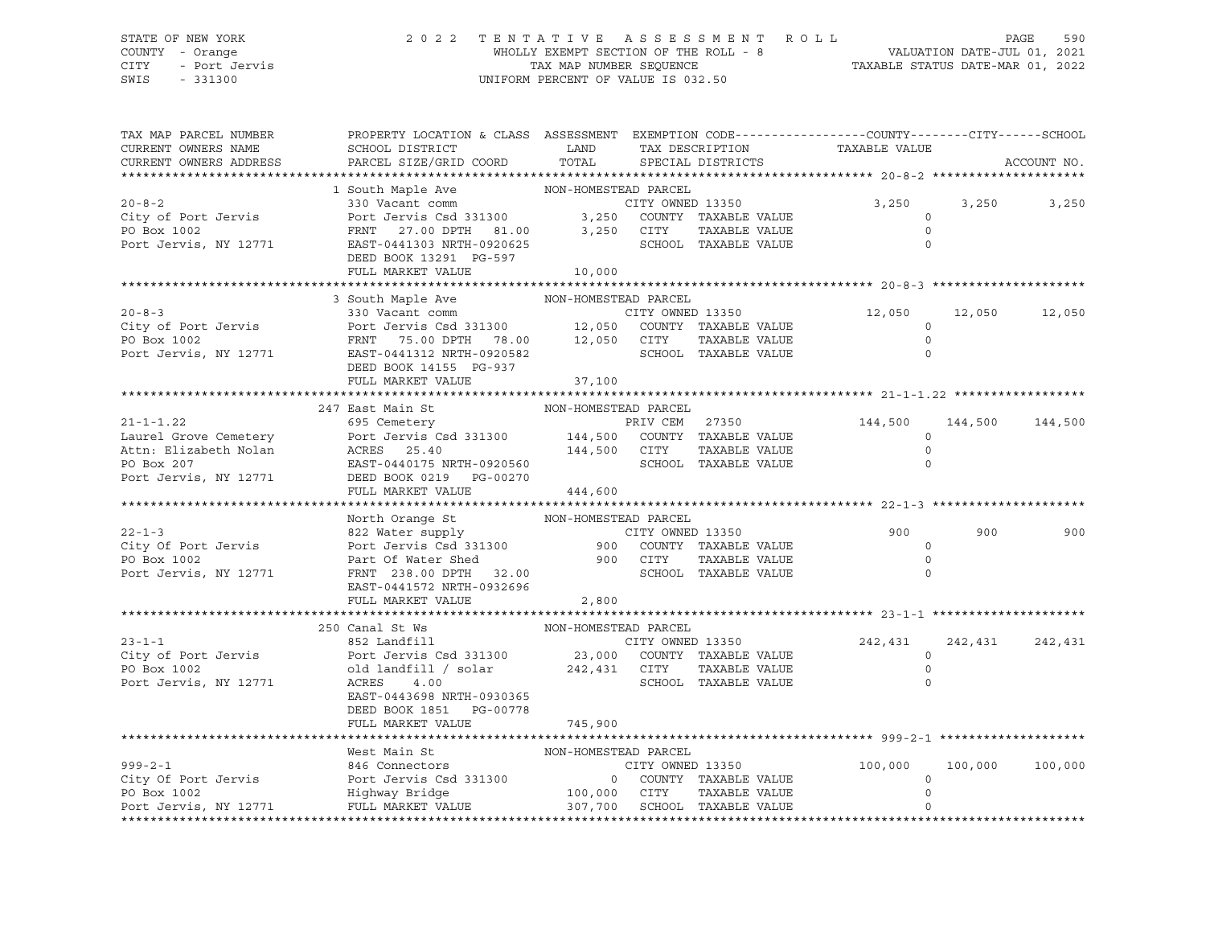#### STATE OF NEW YORK 2 0 2 2 T E N T A T I V E A S S E S S M E N T R O L L PAGE 590 COUNTY - Orange WHOLLY EXEMPT SECTION OF THE ROLL - 8 VALUATION DATE-JUL 01, 2021 CITY - Port Jervis TAX MAP NUMBER SEQUENCE TAXABLE STATUS DATE-MAR 01, 2022 SWIS - 331300 UNIFORM PERCENT OF VALUE IS 032.50

| TAX MAP PARCEL NUMBER<br>CURRENT OWNERS NAME<br>CURRENT OWNERS ADDRESS | PROPERTY LOCATION & CLASS ASSESSMENT EXEMPTION CODE----------------CUNTY-------CITY------SCHOOL<br>${\tt SCHOOL\,\, DISTRTCT} \qquad \qquad {\tt LAND} \qquad \qquad {\tt TAX\,\, DESCRIPTION} \qquad \qquad {\tt TAXABLE\,\, VALUE}$<br>PARCEL SIZE/GRID COORD TOTAL SPECIAL DISTRICTS |                      |                      |                      |       | ACCOUNT NO.       |
|------------------------------------------------------------------------|-----------------------------------------------------------------------------------------------------------------------------------------------------------------------------------------------------------------------------------------------------------------------------------------|----------------------|----------------------|----------------------|-------|-------------------|
|                                                                        |                                                                                                                                                                                                                                                                                         |                      |                      |                      |       |                   |
|                                                                        | 1 South Maple Ave NON-HOMESTEAD PARCEL                                                                                                                                                                                                                                                  |                      |                      |                      |       |                   |
|                                                                        |                                                                                                                                                                                                                                                                                         |                      |                      |                      | 3,250 | 3,250             |
|                                                                        |                                                                                                                                                                                                                                                                                         |                      |                      |                      |       |                   |
|                                                                        |                                                                                                                                                                                                                                                                                         |                      |                      |                      |       |                   |
|                                                                        | 20-8-2<br>City of Port Jervis 330 Vacant comm (1990)<br>PO Box 1002<br>PO Box 1002<br>PO Box 1002<br>PO Box 1002<br>PO Box 1002<br>PO Box 1002<br>POT Jervis CHOOL<br>POT JERST 0<br>POT CITY OWNED 13350<br>PORT TAXABLE VALUE<br>O SCHOOL TAXABLE VA                                  |                      |                      |                      |       |                   |
|                                                                        | DEED BOOK 13291 PG-597                                                                                                                                                                                                                                                                  |                      |                      |                      |       |                   |
|                                                                        | FULL MARKET VALUE                                                                                                                                                                                                                                                                       | 10,000               |                      |                      |       |                   |
|                                                                        | 3 South Maple Ave NON-HOMESTEAD PARCEL                                                                                                                                                                                                                                                  |                      |                      |                      |       |                   |
|                                                                        |                                                                                                                                                                                                                                                                                         |                      |                      | 12,050 12,050 12,050 |       |                   |
|                                                                        |                                                                                                                                                                                                                                                                                         |                      |                      | $\Omega$             |       |                   |
|                                                                        |                                                                                                                                                                                                                                                                                         |                      |                      | $\circ$              |       |                   |
|                                                                        | 20-8-3<br>City of Port Jervis 330 Vacant comm<br>Port Jervis Csd 331300 12,050 COUNTY TAXABLE VALUE<br>PO Box 1002<br>Port Jervis, NY 12771 EAST-0441312 NRTH-0920582<br>Port Jervis, NY 12771 EAST-0441312 NRTH-0920582<br>Port Jervis, N                                              |                      | SCHOOL TAXABLE VALUE | $\Omega$             |       |                   |
|                                                                        | DEED BOOK 14155 PG-937                                                                                                                                                                                                                                                                  |                      |                      |                      |       |                   |
|                                                                        | FULL MARKET VALUE                                                                                                                                                                                                                                                                       | 37,100               |                      |                      |       |                   |
|                                                                        |                                                                                                                                                                                                                                                                                         |                      |                      |                      |       |                   |
|                                                                        | 247 East Main St<br>NON-HOMESTEAD PARCEL                                                                                                                                                                                                                                                |                      |                      |                      |       |                   |
|                                                                        |                                                                                                                                                                                                                                                                                         |                      |                      |                      |       |                   |
|                                                                        |                                                                                                                                                                                                                                                                                         |                      |                      |                      |       |                   |
|                                                                        |                                                                                                                                                                                                                                                                                         |                      |                      |                      |       |                   |
|                                                                        | 21-1-1.22<br>Laurel Grove Cemetery<br>271 aurel Grove Cemetery<br>271 aurel Grove Cemetery<br>271 aurel Grove Cemetery<br>271 aurel Grove Cemetery<br>271 aurel Grove Cemetery<br>271 bett Jervis Csd 331300 144,500 COUNTY TAXABLE VALUE<br>2                                          |                      |                      |                      |       |                   |
|                                                                        | FULL MARKET VALUE 444,600                                                                                                                                                                                                                                                               |                      |                      |                      |       |                   |
|                                                                        |                                                                                                                                                                                                                                                                                         |                      |                      |                      |       |                   |
|                                                                        |                                                                                                                                                                                                                                                                                         |                      |                      |                      |       |                   |
|                                                                        |                                                                                                                                                                                                                                                                                         |                      |                      | 900                  | 900   | 900               |
|                                                                        |                                                                                                                                                                                                                                                                                         |                      |                      | $\circ$              |       |                   |
|                                                                        |                                                                                                                                                                                                                                                                                         |                      |                      | $\Omega$             |       |                   |
|                                                                        |                                                                                                                                                                                                                                                                                         |                      |                      | $\Omega$             |       |                   |
|                                                                        |                                                                                                                                                                                                                                                                                         |                      |                      |                      |       |                   |
|                                                                        | FULL MARKET VALUE 2,800                                                                                                                                                                                                                                                                 |                      |                      |                      |       |                   |
|                                                                        |                                                                                                                                                                                                                                                                                         |                      |                      |                      |       |                   |
|                                                                        | 250 Canal St Ws<br>852 Landfill<br>City of Port Jervis (232 Bandfill)<br>Port Jervis Csd 331300 23,000 COUNTY TAXABLE VALUE<br>Port Jervis, NY 12771 ACRES 4.00<br>Port Jervis, NY 12771 ACRES 4.00<br>ACRES 4.00                                                                       | NON-HOMESTEAD PARCEL |                      | 242,431              |       | 242, 431 242, 431 |
|                                                                        |                                                                                                                                                                                                                                                                                         |                      |                      | $\circ$              |       |                   |
|                                                                        |                                                                                                                                                                                                                                                                                         |                      |                      | $\overline{0}$       |       |                   |
|                                                                        |                                                                                                                                                                                                                                                                                         |                      |                      | $\Omega$             |       |                   |
|                                                                        | EAST-0443698 NRTH-0930365                                                                                                                                                                                                                                                               |                      |                      |                      |       |                   |
|                                                                        | DEED BOOK 1851 PG-00778                                                                                                                                                                                                                                                                 |                      |                      |                      |       |                   |
|                                                                        | FULL MARKET VALUE                                                                                                                                                                                                                                                                       | 745,900              |                      |                      |       |                   |
|                                                                        |                                                                                                                                                                                                                                                                                         |                      |                      |                      |       |                   |
|                                                                        | West Main St NON-HOMESTEAD PARCEL<br>999-2-1 846 Connectors CITY OWNED 13350 100,000<br>PO Box 1002 Highway Bridge 100,000 CITY TAXABLE VALUE 0<br>PO Box 1002 Highway Bridge 100,000 CITY TAXABLE VALUE 0<br>POT JEVIS, NY 12771 MULL                                                  |                      |                      |                      |       |                   |
|                                                                        |                                                                                                                                                                                                                                                                                         |                      |                      |                      |       | 100,000 100,000   |
|                                                                        |                                                                                                                                                                                                                                                                                         |                      |                      |                      |       |                   |
|                                                                        |                                                                                                                                                                                                                                                                                         |                      |                      |                      |       |                   |
|                                                                        |                                                                                                                                                                                                                                                                                         |                      |                      |                      |       |                   |
|                                                                        |                                                                                                                                                                                                                                                                                         |                      |                      |                      |       |                   |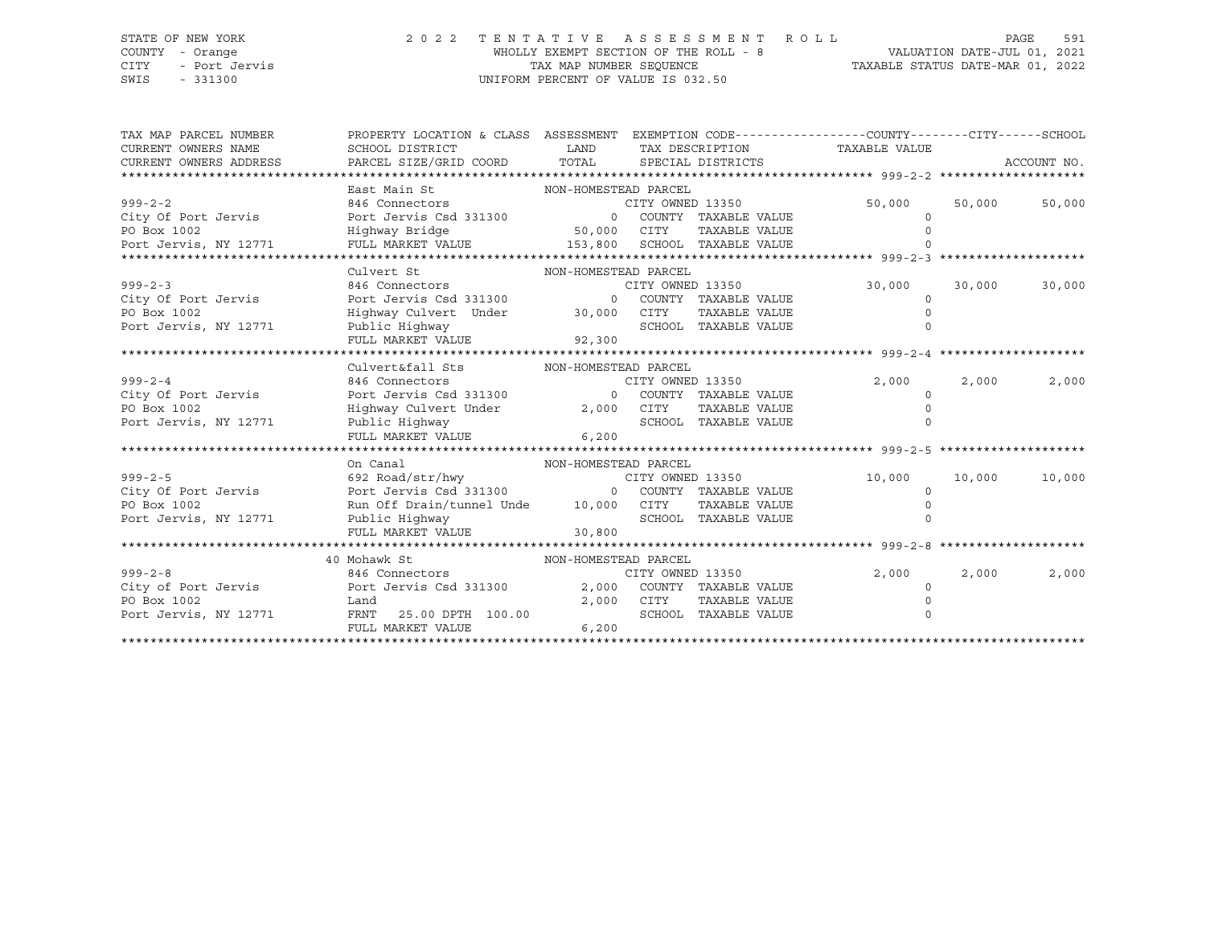#### STATE OF NEW YORK 2 0 2 2 T E N T A T I V E A S S E S S M E N T R O L L PAGE 591 COUNTY - Orange WHOLLY EXEMPT SECTION OF THE ROLL - 8 VALUATION DATE-JUL 01, 2021 CITY - Port Jervis TAX MAP NUMBER SEQUENCE TAXABLE STATUS DATE-MAR 01, 2022 SWIS - 331300 UNIFORM PERCENT OF VALUE IS 032.50

| TAX MAP PARCEL NUMBER<br>CURRENT OWNERS NAME<br>CURRENT OWNERS ADDRESS | PROPERTY LOCATION & CLASS ASSESSMENT EXEMPTION CODE----------------COUNTY-------CITY------SCHOOL<br>SCHOOL DISTRICT<br>PARCEL SIZE/GRID COORD TOTAL | <b>EXAMPLE TO A LAND</b>            |                  | TAX DESCRIPTION<br>SPECIAL DISTRICTS | TAXABLE VALUE |          |        | ACCOUNT NO. |
|------------------------------------------------------------------------|-----------------------------------------------------------------------------------------------------------------------------------------------------|-------------------------------------|------------------|--------------------------------------|---------------|----------|--------|-------------|
|                                                                        |                                                                                                                                                     |                                     |                  |                                      |               |          |        |             |
| $999 - 2 - 2$<br>City Of Port Jervis<br>PO Box 1002                    | East Main St<br>% 846 Connectors CITY OWNED 13350<br>Port Jervis Csd 331300 0 COUNTY TAXABLE VALUE<br>Highway Bridge                                | NON-HOMESTEAD PARCEL<br>50,000 CITY |                  | TAXABLE VALUE                        | 50,000        | $\Omega$ | 50,000 | 50,000      |
| Port Jervis, NY 12771                                                  | FULL MARKET VALUE $153,800$ SCHOOL TAXABLE VALUE                                                                                                    |                                     |                  |                                      |               |          |        |             |
|                                                                        |                                                                                                                                                     |                                     |                  |                                      |               |          |        |             |
|                                                                        | Culvert St                                                                                                                                          | NON-HOMESTEAD PARCEL                |                  |                                      |               |          |        |             |
| $999 - 2 - 3$                                                          | % 846 Connectors CITY OWNED 13350<br>Port Jervis Csd 331300 0 COUNTY TAXABLE VALUE                                                                  |                                     |                  |                                      | 30,000        |          | 30,000 | 30,000      |
| City Of Port Jervis                                                    |                                                                                                                                                     |                                     |                  |                                      |               | $\Omega$ |        |             |
| PO Box 1002                                                            | Highway Culvert Under 30,000 CITY                                                                                                                   |                                     |                  | TAXABLE VALUE                        |               | $\Omega$ |        |             |
| Port Jervis, NY 12771                                                  | Public Highway                                                                                                                                      |                                     |                  | SCHOOL TAXABLE VALUE                 |               | $\Omega$ |        |             |
|                                                                        | FULL MARKET VALUE 92,300                                                                                                                            |                                     |                  |                                      |               |          |        |             |
|                                                                        |                                                                                                                                                     |                                     |                  |                                      |               |          |        |             |
|                                                                        | Culvert&fall Sts                                                                                                                                    | NON-HOMESTEAD PARCEL                |                  |                                      |               |          |        |             |
| $999 - 2 - 4$                                                          | 846 Connectors<br>Port Jervis Csd 331300 0 COUNTY TAXABLE VALUE                                                                                     |                                     | CITY OWNED 13350 |                                      | 2,000         |          | 2,000  | 2,000       |
| City Of Port Jervis<br>PO Box 1002                                     |                                                                                                                                                     |                                     |                  | TAXABLE VALUE                        |               | $\Omega$ |        |             |
| Port Jervis, NY 12771                                                  | Highway Culvert Under 2,000 CITY<br>Public Highway 3CHOO.                                                                                           |                                     |                  | SCHOOL TAXABLE VALUE                 |               |          |        |             |
|                                                                        | FULL MARKET VALUE                                                                                                                                   | 6,200                               |                  |                                      |               |          |        |             |
|                                                                        |                                                                                                                                                     |                                     |                  |                                      |               |          |        |             |
|                                                                        | On Canal                                                                                                                                            | NON-HOMESTEAD PARCEL                |                  |                                      |               |          |        |             |
| $999 - 2 - 5$                                                          | 692 Road/str/hwy CITY OWNED 13350                                                                                                                   |                                     |                  |                                      | 10,000        |          | 10,000 | 10,000      |
| City Of Port Jervis                                                    | Port Jervis Csd 331300 0 COUNTY TAXABLE VALUE                                                                                                       |                                     |                  |                                      |               | $\Omega$ |        |             |
| PO Box 1002                                                            | Run Off Drain/tunnel Unde 10,000 CITY                                                                                                               |                                     |                  | TAXABLE VALUE                        |               |          |        |             |
| Port Jervis, NY 12771                                                  | Public Highway                                                                                                                                      |                                     |                  | SCHOOL TAXABLE VALUE                 |               |          |        |             |
|                                                                        | FULL MARKET VALUE 30,800                                                                                                                            |                                     |                  |                                      |               |          |        |             |
|                                                                        |                                                                                                                                                     |                                     |                  |                                      |               |          |        |             |
|                                                                        | 40 Mohawk St                                                                                                                                        | NON-HOMESTEAD PARCEL                |                  |                                      |               |          |        |             |
| $999 - 2 - 8$                                                          | 846 Connectors and the contractors                                                                                                                  |                                     | CITY OWNED 13350 |                                      | 2,000         |          | 2,000  | 2,000       |
|                                                                        |                                                                                                                                                     |                                     |                  | 2,000 COUNTY TAXABLE VALUE           |               | $\Omega$ |        |             |
| PO Box 1002                                                            | Land                                                                                                                                                |                                     | 2,000 CITY       | TAXABLE VALUE                        |               |          |        |             |
| Port Jervis, NY 12771                                                  | FRNT 25.00 DPTH 100.00                                                                                                                              |                                     |                  | SCHOOL TAXABLE VALUE                 |               | $\Omega$ |        |             |
|                                                                        | FULL MARKET VALUE                                                                                                                                   | 6,200                               |                  |                                      |               |          |        |             |
|                                                                        |                                                                                                                                                     |                                     |                  |                                      |               |          |        |             |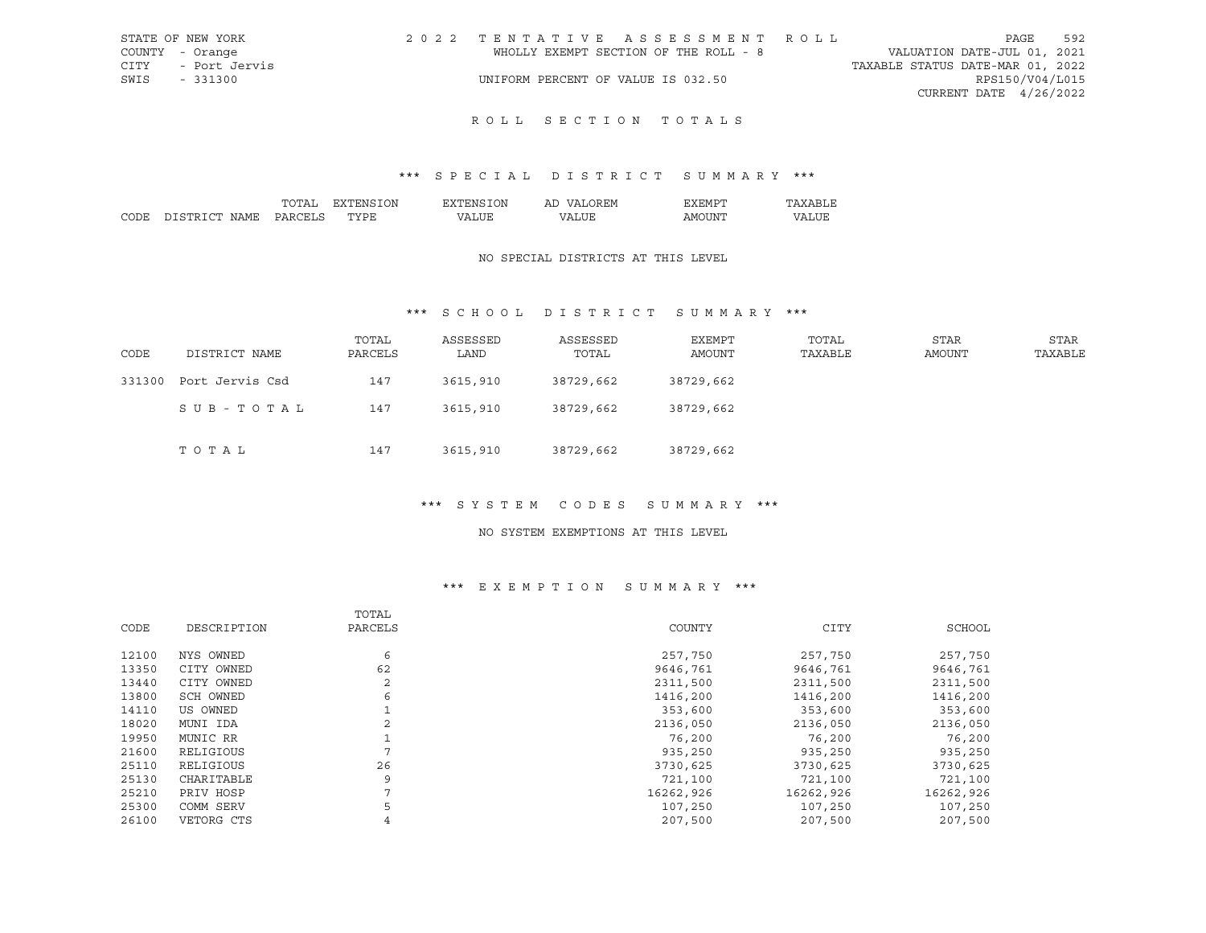| STATE OF NEW YORK  | 2022 TENTATIVE ASSESSMENT ROLL        |                                  | PAGE            | 592 |
|--------------------|---------------------------------------|----------------------------------|-----------------|-----|
| COUNTY - Orange    | WHOLLY EXEMPT SECTION OF THE ROLL - 8 | VALUATION DATE-JUL 01, 2021      |                 |     |
| CITY - Port Jervis |                                       | TAXABLE STATUS DATE-MAR 01, 2022 |                 |     |
| SWIS - 331300      | UNIFORM PERCENT OF VALUE IS 032.50    |                                  | RPS150/V04/L015 |     |
|                    |                                       | CURRENT DATE 4/26/2022           |                 |     |
|                    |                                       |                                  |                 |     |

# ROLL SECTION TOTALS

## \*\*\* S P E C I A L D I S T R I C T S U M M A R Y \*\*\*

|      |                                    | ')N<br>'NL        | `)Nı | <b>HIVI</b><br>ы |    |   |
|------|------------------------------------|-------------------|------|------------------|----|---|
| CODE | $\alpha$ mr<br><b>CIT</b><br>4 M F | $m \times m$<br>∼ |      | ת י              | ιn | T |

#### NO SPECIAL DISTRICTS AT THIS LEVEL

## \*\*\* S C H O O L D I S T R I C T S U M M A R Y \*\*\*

| CODE   | DISTRICT NAME   | TOTAL<br>PARCELS | ASSESSED<br>LAND | ASSESSED<br>TOTAL | EXEMPT<br>AMOUNT | TOTAL<br>TAXABLE | <b>STAR</b><br>AMOUNT | STAR<br>TAXABLE |
|--------|-----------------|------------------|------------------|-------------------|------------------|------------------|-----------------------|-----------------|
| 331300 | Port Jervis Csd | 147              | 3615,910         | 38729,662         | 38729,662        |                  |                       |                 |
|        | SUB-TOTAL       | 147              | 3615,910         | 38729,662         | 38729,662        |                  |                       |                 |
|        | T O T A L       | 147              | 3615,910         | 38729,662         | 38729,662        |                  |                       |                 |

#### \*\*\* S Y S T E M C O D E S S U M M A R Y \*\*\*

#### NO SYSTEM EXEMPTIONS AT THIS LEVEL

#### \*\*\* E X E M P T I O N S U M M A R Y \*\*\*

|             | TOTAL     |           |             |           |
|-------------|-----------|-----------|-------------|-----------|
| DESCRIPTION | PARCELS   | COUNTY    | <b>CITY</b> | SCHOOL    |
|             |           |           |             | 257,750   |
| CITY OWNED  | 62        | 9646,761  | 9646,761    | 9646,761  |
| CITY OWNED  | 2         | 2311,500  | 2311,500    | 2311,500  |
| SCH OWNED   | 6         | 1416,200  | 1416,200    | 1416,200  |
| US OWNED    |           | 353,600   | 353,600     | 353,600   |
| MUNI IDA    | 2         | 2136,050  | 2136,050    | 2136,050  |
| MUNIC RR    |           | 76,200    | 76,200      | 76,200    |
| RELIGIOUS   |           | 935,250   | 935,250     | 935,250   |
| RELIGIOUS   | 26        | 3730,625  | 3730,625    | 3730,625  |
| CHARITABLE  | 9         | 721,100   | 721,100     | 721,100   |
| PRIV HOSP   | 7         | 16262,926 | 16262,926   | 16262,926 |
| COMM SERV   | 5         | 107,250   | 107,250     | 107,250   |
| VETORG CTS  | 4         | 207,500   | 207,500     | 207,500   |
|             | NYS OWNED | 6         | 257,750     | 257,750   |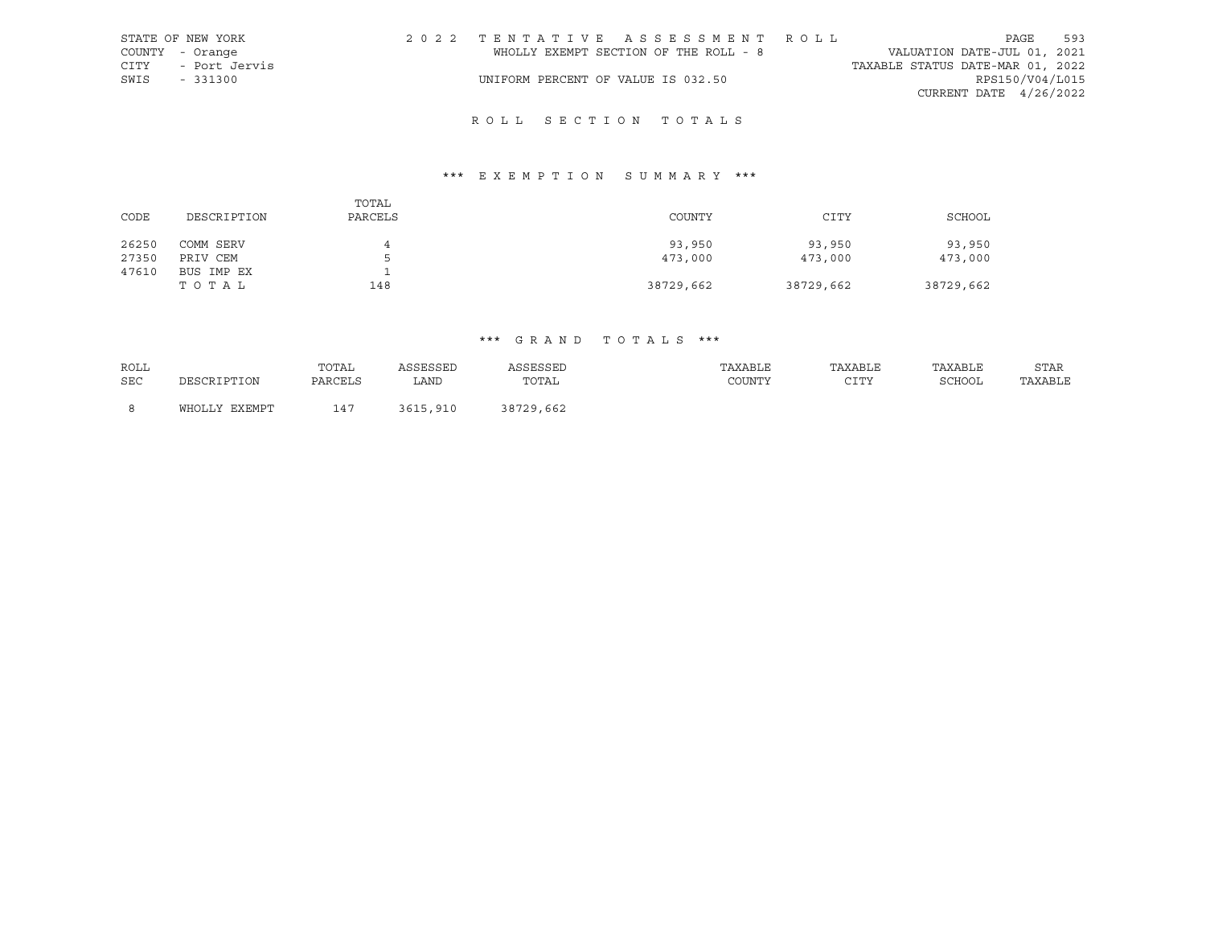| STATE OF NEW YORK  | 2022 TENTATIVE ASSESSMENT ROLL        | PAGE                             | 593 |
|--------------------|---------------------------------------|----------------------------------|-----|
| COUNTY - Orange    | WHOLLY EXEMPT SECTION OF THE ROLL - 8 | VALUATION DATE-JUL 01, 2021      |     |
| CITY - Port Jervis |                                       | TAXABLE STATUS DATE-MAR 01, 2022 |     |
| SWIS - 331300      | UNIFORM PERCENT OF VALUE IS 032.50    | RPS150/V04/L015                  |     |
|                    |                                       | CURRENT DATE 4/26/2022           |     |

# R O L L S E C T I O N T O T A L S

# \*\*\* E X E M P T I O N S U M M A R Y \*\*\*

| CODE  | DESCRIPTION | TOTAL<br>PARCELS | COUNTY    | CITY      | SCHOOL    |
|-------|-------------|------------------|-----------|-----------|-----------|
| 26250 | COMM SERV   | 4                | 93,950    | 93,950    | 93,950    |
| 27350 | PRIV CEM    | ь.               | 473,000   | 473,000   | 473,000   |
| 47610 | BUS IMP EX  |                  |           |           |           |
|       | тотаь       | 148              | 38729,662 | 38729,662 | 38729,662 |

# \*\*\* G R A N D T O T A L S \*\*\*

| ROLL |               | TOTAL   | ASSESSED | ASSESSED  | TAXABLE | TAXABLE | TAXABLE | STAR    |
|------|---------------|---------|----------|-----------|---------|---------|---------|---------|
| SEC  | DESCRIPTION   | PARCELS | LAND     | TOTAL     | COUNTY  | CTTV    | SCHOOL  | TAXABLE |
|      |               | 147     |          |           |         |         |         |         |
|      | WHOLLY EXEMPT |         | 3615,910 | 38729,662 |         |         |         |         |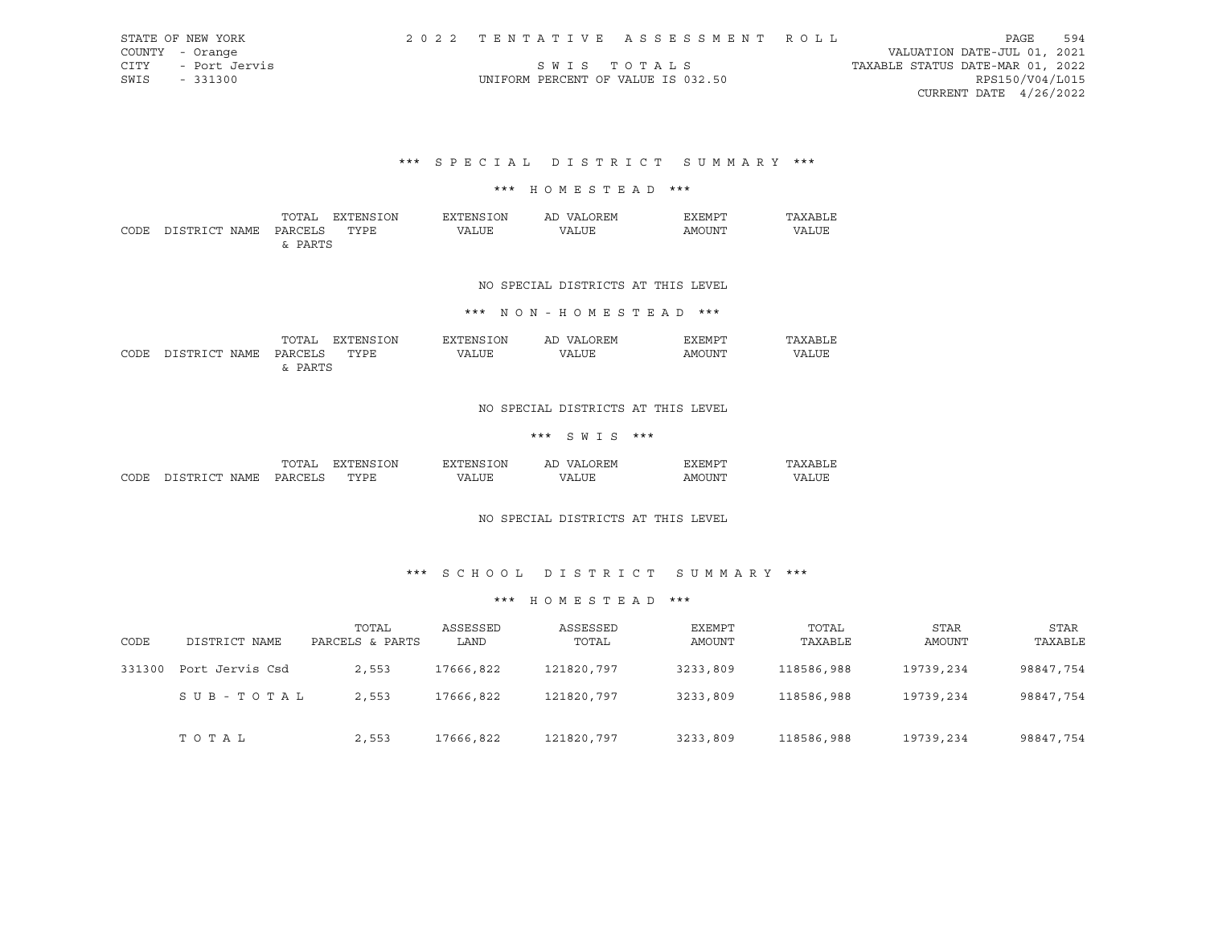| STATE OF NEW YORK     |                                    | 2022 TENTATIVE ASSESSMENT ROLL |                                  | PAGE                        | 594 |
|-----------------------|------------------------------------|--------------------------------|----------------------------------|-----------------------------|-----|
| COUNTY - Orange       |                                    |                                |                                  | VALUATION DATE-JUL 01, 2021 |     |
| - Port Jervis<br>CITY |                                    | SWIS TOTALS                    | TAXABLE STATUS DATE-MAR 01, 2022 |                             |     |
| SWIS<br>- 331300      | UNIFORM PERCENT OF VALUE IS 032.50 |                                |                                  | RPS150/V04/L015             |     |
|                       |                                    |                                |                                  | CURRENT DATE $4/26/2022$    |     |
|                       |                                    |                                |                                  |                             |     |

\*\*\* S P E C I A L D I S T R I C T S U M M A R Y \*\*\*

#### \*\*\* H O M E S T E A D \*\*\*

|      |                    | TOTAL   | ION<br>≅"ENS.<br>______ | ON.<br>FYT<br>∠∸ L'NI⊆ | AP<br>$\sqrt{1}$ | דים אים צי<br>----                                                                                                                                                                                                                                                                                                                                                                                                                                                                   |       |
|------|--------------------|---------|-------------------------|------------------------|------------------|--------------------------------------------------------------------------------------------------------------------------------------------------------------------------------------------------------------------------------------------------------------------------------------------------------------------------------------------------------------------------------------------------------------------------------------------------------------------------------------|-------|
| CODE | ירי הרסידי<br>NAMF | DARCELS | TYPR.                   | ''ALUE                 | VALUE            | AMOUNT<br>$\frac{1}{2} \left( \frac{1}{2} \right) \left( \frac{1}{2} \right) \left( \frac{1}{2} \right) \left( \frac{1}{2} \right) \left( \frac{1}{2} \right) \left( \frac{1}{2} \right) \left( \frac{1}{2} \right) \left( \frac{1}{2} \right) \left( \frac{1}{2} \right) \left( \frac{1}{2} \right) \left( \frac{1}{2} \right) \left( \frac{1}{2} \right) \left( \frac{1}{2} \right) \left( \frac{1}{2} \right) \left( \frac{1}{2} \right) \left( \frac{1}{2} \right) \left( \frac$ | VALUE |
|      |                    | PARTS   |                         |                        |                  |                                                                                                                                                                                                                                                                                                                                                                                                                                                                                      |       |

## NO SPECIAL DISTRICTS AT THIS LEVEL

## \*\*\* N O N - H O M E S T E A D \*\*\*

|      |               | TOTAL                    | "ON<br>ימתקישצ | ⊤∩ங   | OREM.<br>AD.<br>NΔ! | 'FMDT<br>FY.  |       |
|------|---------------|--------------------------|----------------|-------|---------------------|---------------|-------|
| CODE | DISTRICT NAME | DARCELS<br>$\sim$ $\sim$ | <b>TYPE</b>    | VALUE | VALUE               | <b>AMOINT</b> | VALUE |
|      |               | <b>DADTC</b>             |                |       |                     |               |       |

## NO SPECIAL DISTRICTS AT THIS LEVEL

#### \*\*\* S W I S \*\*\*

|      |                    | $nm -$<br>n,<br>۰д     | ΟN<br>교사<br>ı: х | .)N<br>.             | AL.<br>I. IVI<br>$\cdots$ | $-$ mn $\cdot$<br>. нит |   |
|------|--------------------|------------------------|------------------|----------------------|---------------------------|-------------------------|---|
| CODE | NAME<br>- 14 14 15 | $\cap$ $\Box$<br>∘µ ∆ت | mynn"<br>∍⊔ ⊔    | '.TTF<br>$^{\prime}$ | $\cdots$                  | IN.                     | . |

#### NO SPECIAL DISTRICTS AT THIS LEVEL

## \*\*\* S C H O O L D I S T R I C T S U M M A R Y \*\*\*

#### \*\*\* H O M E S T E A D \*\*\*

| CODE   | DISTRICT NAME   | TOTAL<br>PARCELS & PARTS | ASSESSED<br>LAND | ASSESSED<br>TOTAL | EXEMPT<br>AMOUNT | TOTAL<br>TAXABLE | STAR<br>AMOUNT | STAR<br>TAXABLE |
|--------|-----------------|--------------------------|------------------|-------------------|------------------|------------------|----------------|-----------------|
| 331300 | Port Jervis Csd | 2,553                    | 17666,822        | 121820,797        | 3233,809         | 118586,988       | 19739,234      | 98847,754       |
|        | SUB-TOTAL       | 2,553                    | 17666,822        | 121820,797        | 3233,809         | 118586,988       | 19739,234      | 98847,754       |
|        | тотаь           | 2,553                    | 17666,822        | 121820,797        | 3233,809         | 118586,988       | 19739,234      | 98847,754       |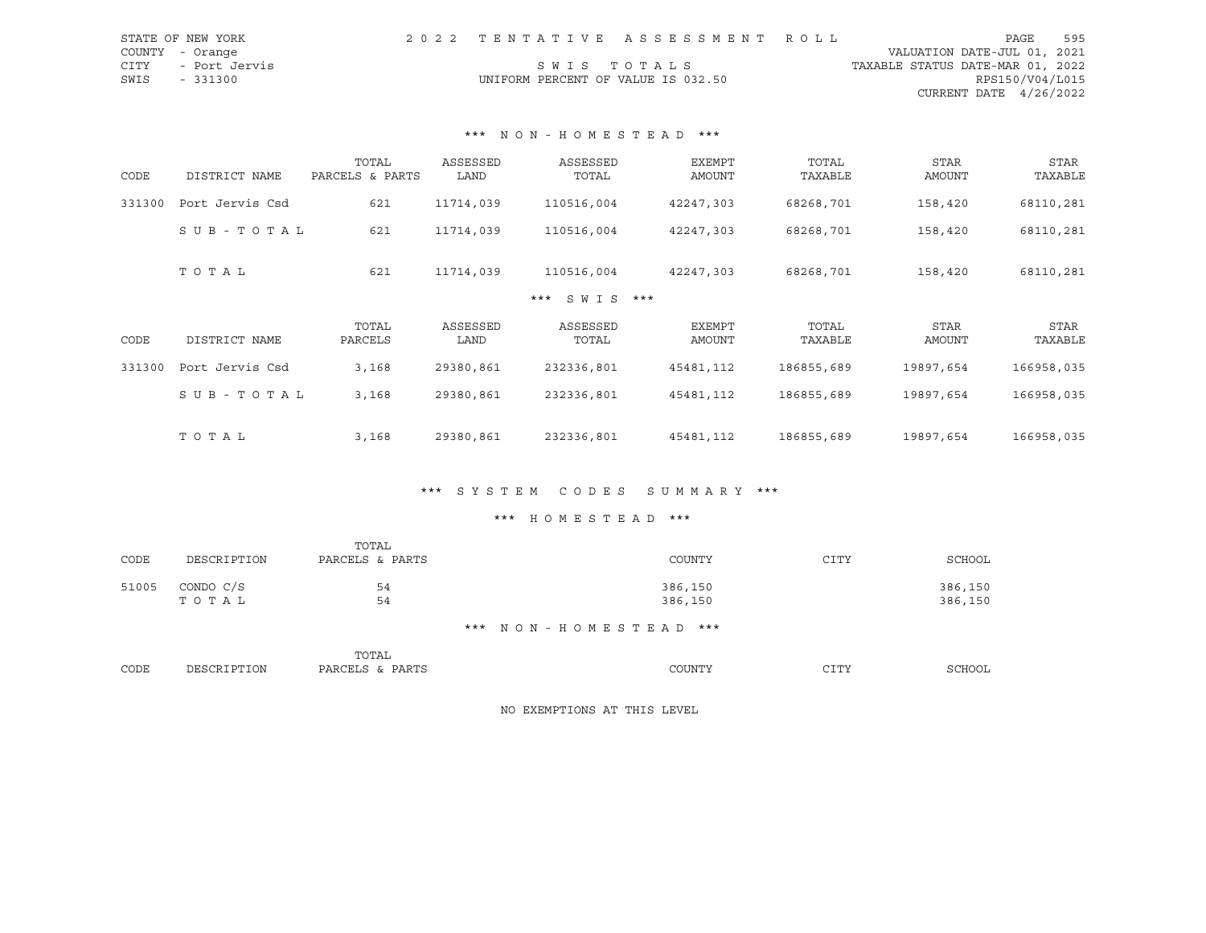| STATE OF NEW YORK  |                                    | 2022 TENTATIVE ASSESSMENT ROLL |                                  | PAGE                   | 595 |
|--------------------|------------------------------------|--------------------------------|----------------------------------|------------------------|-----|
| COUNTY - Orange    |                                    |                                | VALUATION DATE-JUL 01, 2021      |                        |     |
| CITY - Port Jervis |                                    | SWIS TOTALS                    | TAXABLE STATUS DATE-MAR 01, 2022 |                        |     |
| SWIS - 331300      | UNIFORM PERCENT OF VALUE IS 032.50 |                                |                                  | RPS150/V04/L015        |     |
|                    |                                    |                                |                                  | CURRENT DATE 4/26/2022 |     |

## \*\*\* N O N - H O M E S T E A D \*\*\*

| CODE   | DISTRICT NAME   | TOTAL<br>PARCELS & PARTS | ASSESSED<br>LAND | ASSESSED<br>TOTAL   | <b>EXEMPT</b><br>AMOUNT | TOTAL<br>TAXABLE | <b>STAR</b><br>AMOUNT | STAR<br>TAXABLE |
|--------|-----------------|--------------------------|------------------|---------------------|-------------------------|------------------|-----------------------|-----------------|
| 331300 | Port Jervis Csd | 621                      | 11714,039        | 110516,004          | 42247,303               | 68268,701        | 158,420               | 68110,281       |
|        | SUB-TOTAL       | 621                      | 11714,039        | 110516,004          | 42247,303               | 68268,701        | 158,420               | 68110,281       |
|        | TOTAL           | 621                      | 11714,039        | 110516,004          | 42247,303               | 68268,701        | 158,420               | 68110,281       |
|        |                 |                          |                  | $SWIS$ ***<br>$***$ |                         |                  |                       |                 |
| CODE   | DISTRICT NAME   | TOTAL<br>PARCELS         | ASSESSED<br>LAND | ASSESSED<br>TOTAL   | EXEMPT<br>AMOUNT        | TOTAL<br>TAXABLE | <b>STAR</b><br>AMOUNT | STAR<br>TAXABLE |
| 331300 | Port Jervis Csd | 3,168                    | 29380,861        | 232336,801          | 45481,112               | 186855,689       | 19897,654             | 166958,035      |
|        | SUB-TOTAL       | 3,168                    | 29380,861        | 232336,801          | 45481,112               | 186855,689       | 19897,654             | 166958,035      |
|        | TOTAL           | 3,168                    | 29380,861        | 232336,801          | 45481,112               | 186855,689       | 19897,654             | 166958,035      |

## \*\*\* S Y S T E M C O D E S S U M M A R Y \*\*\*

## \*\*\* H O M E S T E A D \*\*\*

|       |             | TOTAL           |                       |      |         |
|-------|-------------|-----------------|-----------------------|------|---------|
| CODE  | DESCRIPTION | PARCELS & PARTS | COUNTY                | CITY | SCHOOL  |
| 51005 | CONDO C/S   | 54              | 386,150               |      | 386,150 |
|       | TOTAL       | 54              | 386,150               |      | 386,150 |
|       |             |                 | *** NON-HOMESTEAD *** |      |         |
|       |             | TOTAL           |                       |      |         |
| CODE  | DESCRIPTION | PARCELS & PARTS | COUNTY                | CITY | SCHOOL  |

NO EXEMPTIONS AT THIS LEVEL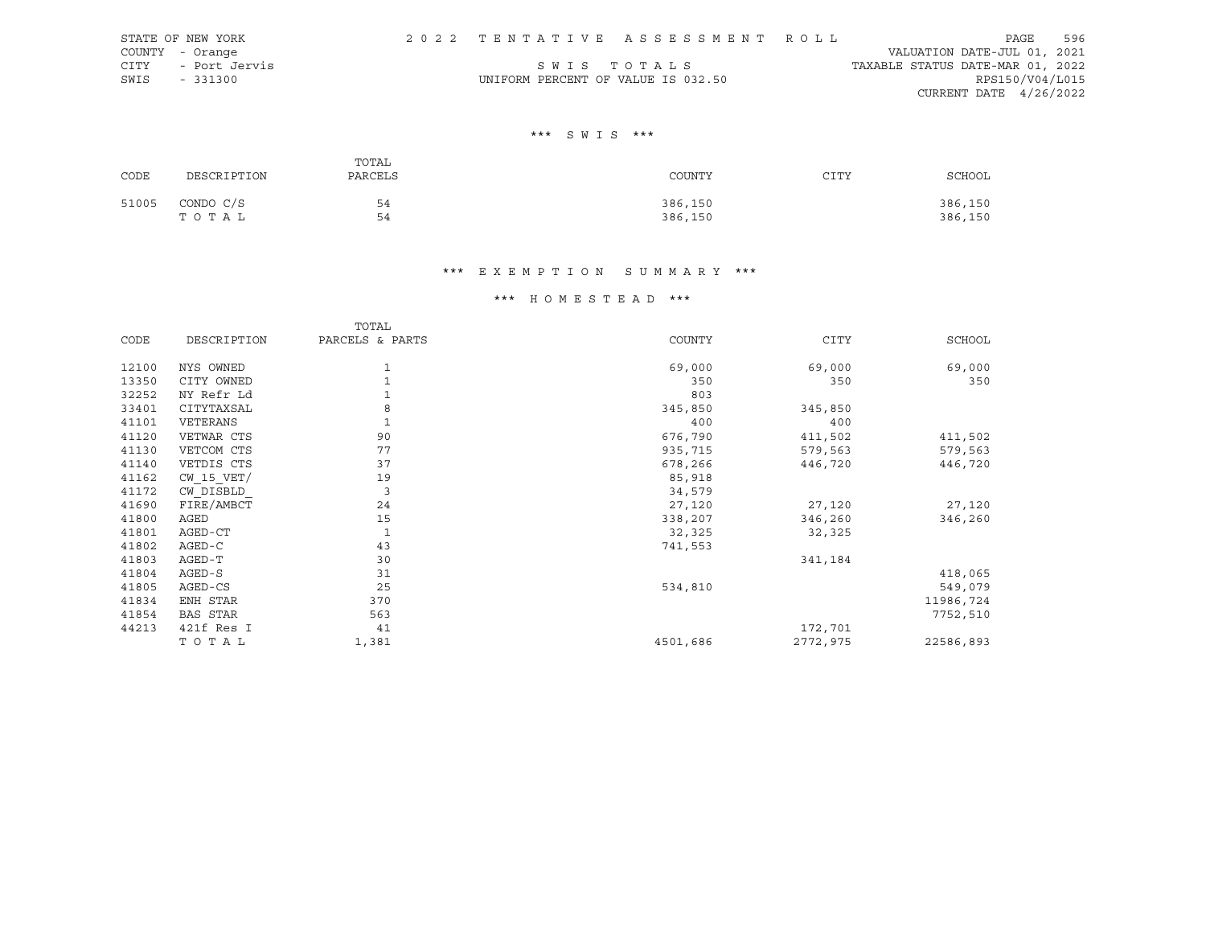|      | STATE OF NEW YORK  |                                    | 2022 TENTATIVE ASSESSMENT ROLL |                                  | PAGE            | 596 |
|------|--------------------|------------------------------------|--------------------------------|----------------------------------|-----------------|-----|
|      | COUNTY - Orange    |                                    |                                | VALUATION DATE-JUL 01, 2021      |                 |     |
|      | CITY - Port Jervis |                                    | SWIS TOTALS                    | TAXABLE STATUS DATE-MAR 01, 2022 |                 |     |
| SWIS | $-331300$          | UNIFORM PERCENT OF VALUE IS 032.50 |                                |                                  | RPS150/V04/L015 |     |
|      |                    |                                    |                                | CURRENT DATE $4/26/2022$         |                 |     |

## \*\*\* S W I S \*\*\*

| CODE  | DESCRIPTION        | TOTAL<br>PARCELS | COUNTY             | CITY | SCHOOL             |
|-------|--------------------|------------------|--------------------|------|--------------------|
| 51005 | CONDO C/S<br>TOTAL | 54<br>54         | 386,150<br>386,150 |      | 386,150<br>386,150 |

# \*\*\* E X E M P T I O N S U M M A R Y \*\*\*

## \*\*\* H O M E S T E A D \*\*\*

|       |                 | TOTAL           |          |             |           |
|-------|-----------------|-----------------|----------|-------------|-----------|
| CODE  | DESCRIPTION     | PARCELS & PARTS | COUNTY   | <b>CITY</b> | SCHOOL    |
| 12100 | NYS OWNED       | 1               | 69,000   | 69,000      | 69,000    |
| 13350 | CITY OWNED      |                 | 350      | 350         | 350       |
| 32252 | NY Refr Ld      | $\mathbf{1}$    | 803      |             |           |
| 33401 | CITYTAXSAL      | 8               | 345,850  | 345,850     |           |
| 41101 | VETERANS        | $1\,$           | 400      | 400         |           |
| 41120 | VETWAR CTS      | 90              | 676,790  | 411,502     | 411,502   |
| 41130 | VETCOM CTS      | 77              | 935,715  | 579,563     | 579,563   |
| 41140 | VETDIS CTS      | 37              | 678,266  | 446,720     | 446,720   |
| 41162 | $CW$ 15 $VET/$  | 19              | 85,918   |             |           |
| 41172 | CW DISBLD       | $\overline{3}$  | 34,579   |             |           |
| 41690 | FIRE/AMBCT      | 24              | 27,120   | 27,120      | 27,120    |
| 41800 | AGED            | 15              | 338,207  | 346,260     | 346,260   |
| 41801 | AGED-CT         | $\mathbf{1}$    | 32,325   | 32,325      |           |
| 41802 | AGED-C          | 43              | 741,553  |             |           |
| 41803 | AGED-T          | 30              |          | 341,184     |           |
| 41804 | AGED-S          | 31              |          |             | 418,065   |
| 41805 | AGED-CS         | 25              | 534,810  |             | 549,079   |
| 41834 | ENH STAR        | 370             |          |             | 11986,724 |
| 41854 | <b>BAS STAR</b> | 563             |          |             | 7752,510  |
| 44213 | 421f Res I      | 41              |          | 172,701     |           |
|       | TOTAL           | 1,381           | 4501,686 | 2772,975    | 22586,893 |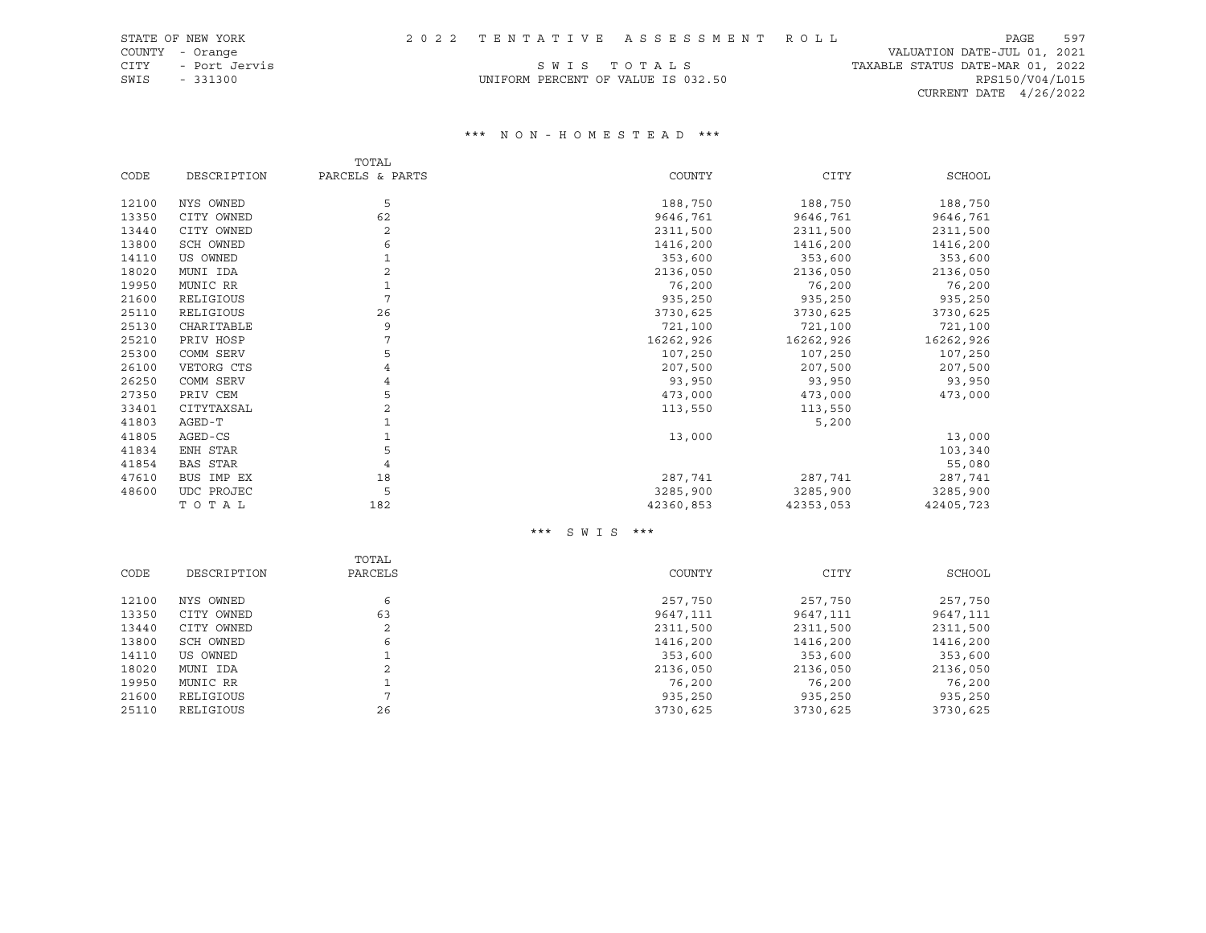COUNTY - Orange VALUATION DATE-JUL 01, 2021 CITY - Port Jervis S W I S T O T A L S TAXABLE STATUS DATE-MAR 01, 2022 CURRENT DATE 4/26/2022

# SWIS - 331300 UNIFORM PERCENT OF VALUE IS 032.50 RPS150/V04/L015

#### \*\*\* N O N - H O M E S T E A D \*\*\*

|                 | TOTAL                                              |                   |                                             |                                             |
|-----------------|----------------------------------------------------|-------------------|---------------------------------------------|---------------------------------------------|
| DESCRIPTION     | PARCELS & PARTS                                    | COUNTY            | <b>CITY</b>                                 | SCHOOL                                      |
|                 |                                                    |                   |                                             | 188,750                                     |
|                 |                                                    |                   |                                             |                                             |
|                 |                                                    |                   |                                             | 9646,761                                    |
|                 |                                                    |                   |                                             | 2311,500                                    |
|                 |                                                    |                   |                                             | 1416,200                                    |
| US OWNED        |                                                    | 353,600           | 353,600                                     | 353,600                                     |
| MUNI IDA        | 2                                                  | 2136,050          | 2136,050                                    | 2136,050                                    |
| MUNIC RR        |                                                    | 76,200            | 76,200                                      | 76,200                                      |
| RELIGIOUS       | 7                                                  | 935,250           | 935,250                                     | 935,250                                     |
| RELIGIOUS       | 26                                                 | 3730,625          | 3730,625                                    | 3730,625                                    |
| CHARITABLE      | 9                                                  | 721,100           | 721,100                                     | 721,100                                     |
| PRIV HOSP       | 7                                                  | 16262,926         | 16262,926                                   | 16262,926                                   |
| COMM SERV       | 5                                                  | 107,250           | 107,250                                     | 107,250                                     |
| VETORG CTS      |                                                    | 207,500           | 207,500                                     | 207,500                                     |
| COMM SERV       | 4                                                  | 93,950            | 93,950                                      | 93,950                                      |
| PRIV CEM        | 5                                                  | 473,000           | 473,000                                     | 473,000                                     |
| CITYTAXSAL      | $\overline{2}$                                     | 113,550           | 113,550                                     |                                             |
| AGED-T          |                                                    |                   | 5,200                                       |                                             |
| AGED-CS         |                                                    | 13,000            |                                             | 13,000                                      |
| ENH STAR        | 5                                                  |                   |                                             | 103,340                                     |
| <b>BAS STAR</b> | $\overline{4}$                                     |                   |                                             | 55,080                                      |
| BUS IMP EX      | 18                                                 | 287,741           | 287,741                                     | 287,741                                     |
| UDC PROJEC      | 5                                                  | 3285,900          | 3285,900                                    | 3285,900                                    |
| TOTAL           | 182                                                | 42360,853         | 42353,053                                   | 42405,723                                   |
|                 | NYS OWNED<br>CITY OWNED<br>CITY OWNED<br>SCH OWNED | 5<br>62<br>2<br>6 | 188,750<br>9646,761<br>2311,500<br>1416,200 | 188,750<br>9646,761<br>2311,500<br>1416,200 |

#### \*\*\* S W I S \*\*\*

|       |             | TOTAL          |          |          |          |
|-------|-------------|----------------|----------|----------|----------|
| CODE  | DESCRIPTION | PARCELS        | COUNTY   | CITY     | SCHOOL   |
|       |             |                |          |          |          |
| 12100 | NYS OWNED   | 6              | 257,750  | 257,750  | 257,750  |
| 13350 | CITY OWNED  | 63             | 9647,111 | 9647,111 | 9647,111 |
| 13440 | CITY OWNED  | 2              | 2311,500 | 2311,500 | 2311,500 |
| 13800 | SCH OWNED   | 6              | 1416,200 | 1416,200 | 1416,200 |
| 14110 | US OWNED    |                | 353,600  | 353,600  | 353,600  |
| 18020 | MUNI IDA    | 2              | 2136,050 | 2136,050 | 2136,050 |
| 19950 | MUNIC RR    |                | 76,200   | 76,200   | 76,200   |
| 21600 | RELIGIOUS   | $\overline{ }$ | 935,250  | 935,250  | 935,250  |
| 25110 | RELIGIOUS   | 26             | 3730,625 | 3730,625 | 3730,625 |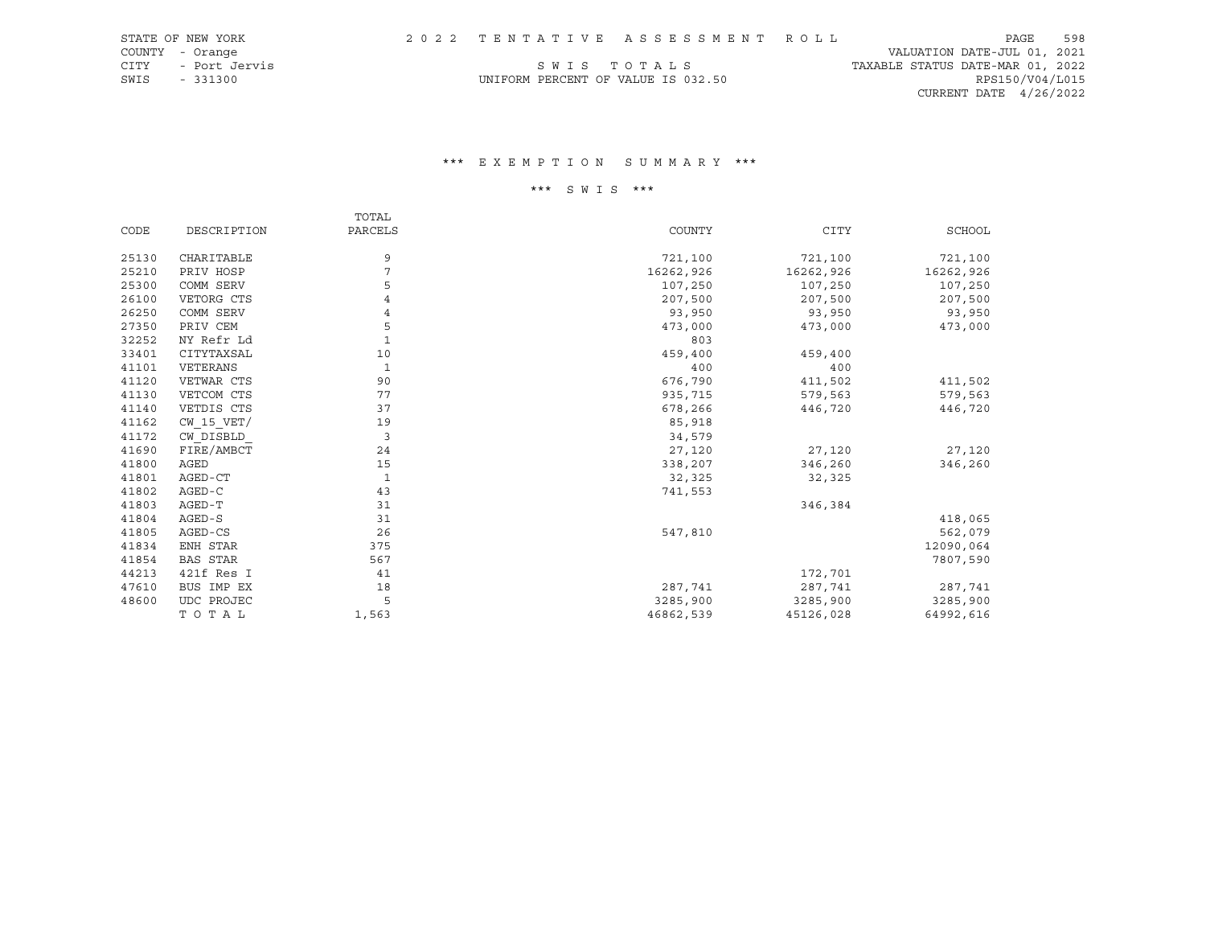| STATE OF NEW YORK     |  | 2022 TENTATIVE ASSESSMENT ROLL     | 598<br>PAGE                      |
|-----------------------|--|------------------------------------|----------------------------------|
| COUNTY - Orange       |  |                                    | VALUATION DATE-JUL 01, 2021      |
| CITY<br>- Port Jervis |  | SWIS TOTALS                        | TAXABLE STATUS DATE-MAR 01, 2022 |
| SWIS<br>$-331300$     |  | UNIFORM PERCENT OF VALUE IS 032.50 | RPS150/V04/L015                  |
|                       |  |                                    | CURRENT DATE $4/26/2022$         |
|                       |  |                                    |                                  |

## \*\*\* E X E M P T I O N S U M M A R Y \*\*\*

# \*\*\* S W I S \*\*\*

|       |                 | TOTAL        |           |             |           |
|-------|-----------------|--------------|-----------|-------------|-----------|
| CODE  | DESCRIPTION     | PARCELS      | COUNTY    | <b>CITY</b> | SCHOOL    |
| 25130 | CHARITABLE      | 9            | 721,100   | 721,100     | 721,100   |
| 25210 | PRIV HOSP       | 7            | 16262,926 | 16262,926   | 16262,926 |
| 25300 | COMM SERV       | 5            | 107,250   | 107,250     | 107,250   |
| 26100 | VETORG CTS      | 4            | 207,500   | 207,500     | 207,500   |
| 26250 | COMM SERV       | 4            | 93,950    | 93,950      | 93,950    |
| 27350 | PRIV CEM        | 5            | 473,000   | 473,000     | 473,000   |
| 32252 | NY Refr Ld      | $\mathbf{1}$ | 803       |             |           |
| 33401 | CITYTAXSAL      | 10           | 459,400   | 459,400     |           |
| 41101 | VETERANS        | $\mathbf{1}$ | 400       | 400         |           |
| 41120 | VETWAR CTS      | 90           | 676,790   | 411,502     | 411,502   |
| 41130 | VETCOM CTS      | 77           | 935,715   | 579,563     | 579,563   |
| 41140 | VETDIS CTS      | 37           | 678,266   | 446,720     | 446,720   |
| 41162 | $CW$ 15 $VET/$  | 19           | 85,918    |             |           |
| 41172 | CW DISBLD       | 3            | 34,579    |             |           |
| 41690 | FIRE/AMBCT      | 24           | 27,120    | 27,120      | 27,120    |
| 41800 | AGED            | 15           | 338,207   | 346,260     | 346,260   |
| 41801 | AGED-CT         | 1            | 32,325    | 32,325      |           |
| 41802 | AGED-C          | 43           | 741,553   |             |           |
| 41803 | AGED-T          | 31           |           | 346,384     |           |
| 41804 | AGED-S          | 31           |           |             | 418,065   |
| 41805 | AGED-CS         | 26           | 547,810   |             | 562,079   |
| 41834 | ENH STAR        | 375          |           |             | 12090,064 |
| 41854 | <b>BAS STAR</b> | 567          |           |             | 7807,590  |
| 44213 | 421f Res I      | 41           |           | 172,701     |           |
| 47610 | BUS IMP EX      | 18           | 287,741   | 287,741     | 287,741   |
| 48600 | UDC PROJEC      | 5            | 3285,900  | 3285,900    | 3285,900  |
|       | TOTAL           | 1,563        | 46862,539 | 45126,028   | 64992,616 |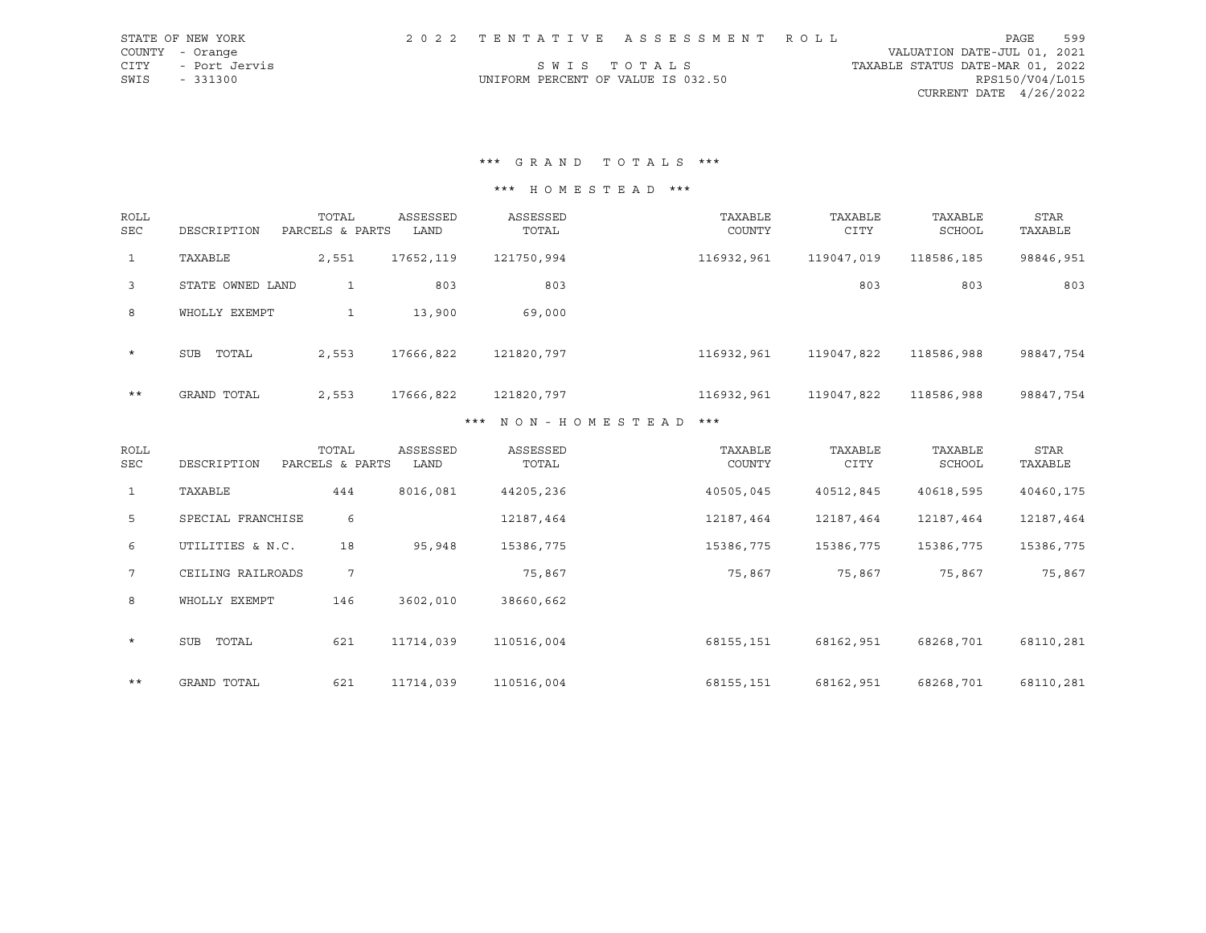| STATE OF NEW YORK  |                                    | 2022 TENTATIVE ASSESSMENT ROLL |                                  | PAGE            | 599 |
|--------------------|------------------------------------|--------------------------------|----------------------------------|-----------------|-----|
| COUNTY - Orange    |                                    |                                | VALUATION DATE-JUL 01, 2021      |                 |     |
| CITY - Port Jervis |                                    | SWIS TOTALS                    | TAXABLE STATUS DATE-MAR 01, 2022 |                 |     |
| SWIS - 331300      | UNIFORM PERCENT OF VALUE IS 032.50 |                                |                                  | RPS150/V04/L015 |     |
|                    |                                    |                                | CURRENT DATE 4/26/2022           |                 |     |

\*\*\* G R A N D T O T A L S \*\*\*

\*\*\* H O M E S T E A D \*\*\*

| <b>ROLL</b><br><b>SEC</b> | DESCRIPTION      | TOTAL<br>PARCELS & PARTS | ASSESSED<br>LAND | ASSESSED<br>TOTAL | TAXABLE<br>COUNTY | TAXABLE<br><b>CITY</b> | TAXABLE<br>SCHOOL | STAR<br>TAXABLE |
|---------------------------|------------------|--------------------------|------------------|-------------------|-------------------|------------------------|-------------------|-----------------|
| $\mathbf{1}$              | TAXABLE          | 2,551                    | 17652,119        | 121750,994        | 116932,961        | 119047,019             | 118586,185        | 98846,951       |
| $\overline{3}$            | STATE OWNED LAND | 1                        | 803              | 803               |                   | 803                    | 803               | 803             |
| 8                         | WHOLLY EXEMPT    | 1                        | 13,900           | 69,000            |                   |                        |                   |                 |
| $\star$                   | SUB<br>TOTAL     | 2,553                    | 17666,822        | 121820,797        | 116932,961        | 119047,822             | 118586,988        | 98847,754       |
| $***$                     | GRAND TOTAL      | 2,553                    | 17666,822        | 121820,797        | 116932,961        | 119047,822             | 118586,988        | 98847,754       |
|                           |                  |                          | ***              | MON - HOMESTEAD   | ***               |                        |                   |                 |

#### \* N O N - H O M E S T E A D

| ROLL<br>SEC  | DESCRIPTION         | TOTAL<br>PARCELS & PARTS | ASSESSED<br>LAND | ASSESSED<br>TOTAL | TAXABLE<br>COUNTY | TAXABLE<br><b>CITY</b> | TAXABLE<br>SCHOOL | <b>STAR</b><br>TAXABLE |
|--------------|---------------------|--------------------------|------------------|-------------------|-------------------|------------------------|-------------------|------------------------|
| $\mathbf{1}$ | TAXABLE             | 444                      | 8016,081         | 44205,236         | 40505,045         | 40512,845              | 40618,595         | 40460,175              |
| 5            | SPECIAL FRANCHISE   | 6                        |                  | 12187,464         | 12187,464         | 12187,464              | 12187,464         | 12187,464              |
| 6            | UTILITIES & N.C.    | 18                       | 95,948           | 15386,775         | 15386,775         | 15386,775              | 15386,775         | 15386,775              |
| $7^{\circ}$  | CEILING RAILROADS   | $7\overline{ }$          |                  | 75,867            | 75,867            | 75,867                 | 75,867            | 75,867                 |
| 8            | WHOLLY EXEMPT       | 146                      | 3602,010         | 38660,662         |                   |                        |                   |                        |
| $\star$      | <b>SUB</b><br>TOTAL | 621                      | 11714,039        | 110516,004        | 68155,151         | 68162,951              | 68268,701         | 68110,281              |
| $***$        | GRAND TOTAL         | 621                      | 11714,039        | 110516,004        | 68155,151         | 68162,951              | 68268,701         | 68110,281              |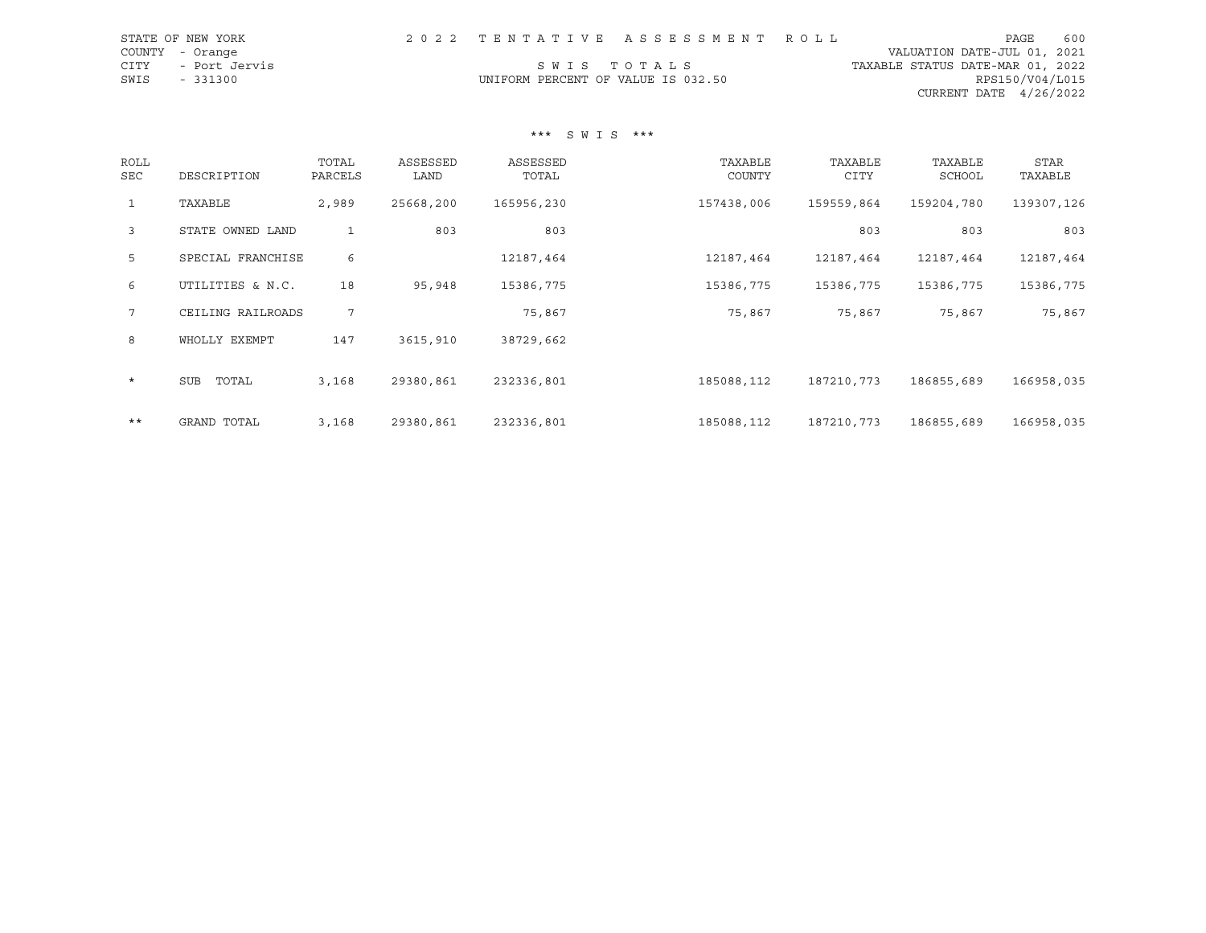| STATE OF NEW YORK  |                                    | 2022 TENTATIVE ASSESSMENT ROLL |                                  | PAGE                     | 600 |
|--------------------|------------------------------------|--------------------------------|----------------------------------|--------------------------|-----|
| COUNTY - Orange    |                                    |                                | VALUATION DATE-JUL 01, 2021      |                          |     |
| CITY - Port Jervis |                                    | SWIS TOTALS                    | TAXABLE STATUS DATE-MAR 01, 2022 |                          |     |
| SWIS<br>$-331300$  | UNIFORM PERCENT OF VALUE IS 032.50 |                                |                                  | RPS150/V04/L015          |     |
|                    |                                    |                                |                                  | CURRENT DATE $4/26/2022$ |     |
|                    |                                    |                                |                                  |                          |     |

## \*\*\* S W I S \*\*\*

| <b>ROLL</b><br>SEC | DESCRIPTION         | TOTAL<br>PARCELS | ASSESSED<br>LAND | ASSESSED<br>TOTAL | TAXABLE<br>COUNTY | TAXABLE<br>CITY | TAXABLE<br><b>SCHOOL</b> | STAR<br>TAXABLE |  |
|--------------------|---------------------|------------------|------------------|-------------------|-------------------|-----------------|--------------------------|-----------------|--|
| $\mathbf{1}$       | TAXABLE             | 2,989            | 25668,200        | 165956,230        | 157438,006        | 159559,864      | 159204,780               | 139307,126      |  |
| $\mathbf{3}$       | STATE OWNED LAND    | $\mathbf{1}$     | 803              | 803               |                   | 803             | 803                      | 803             |  |
| 5                  | SPECIAL FRANCHISE   | 6                |                  | 12187,464         | 12187,464         | 12187,464       | 12187,464                | 12187,464       |  |
| 6                  | UTILITIES & N.C.    | 18               | 95,948           | 15386,775         | 15386,775         | 15386,775       | 15386,775                | 15386,775       |  |
| $7\overline{ }$    | CEILING RAILROADS   | 7                |                  | 75,867            | 75,867            | 75,867          | 75,867                   | 75,867          |  |
| 8                  | WHOLLY EXEMPT       | 147              | 3615,910         | 38729,662         |                   |                 |                          |                 |  |
| $\star$            | TOTAL<br><b>SUB</b> | 3,168            | 29380,861        | 232336,801        | 185088,112        | 187210,773      | 186855,689               | 166958,035      |  |
| $***$              | GRAND TOTAL         | 3,168            | 29380,861        | 232336,801        | 185088,112        | 187210,773      | 186855,689               | 166958,035      |  |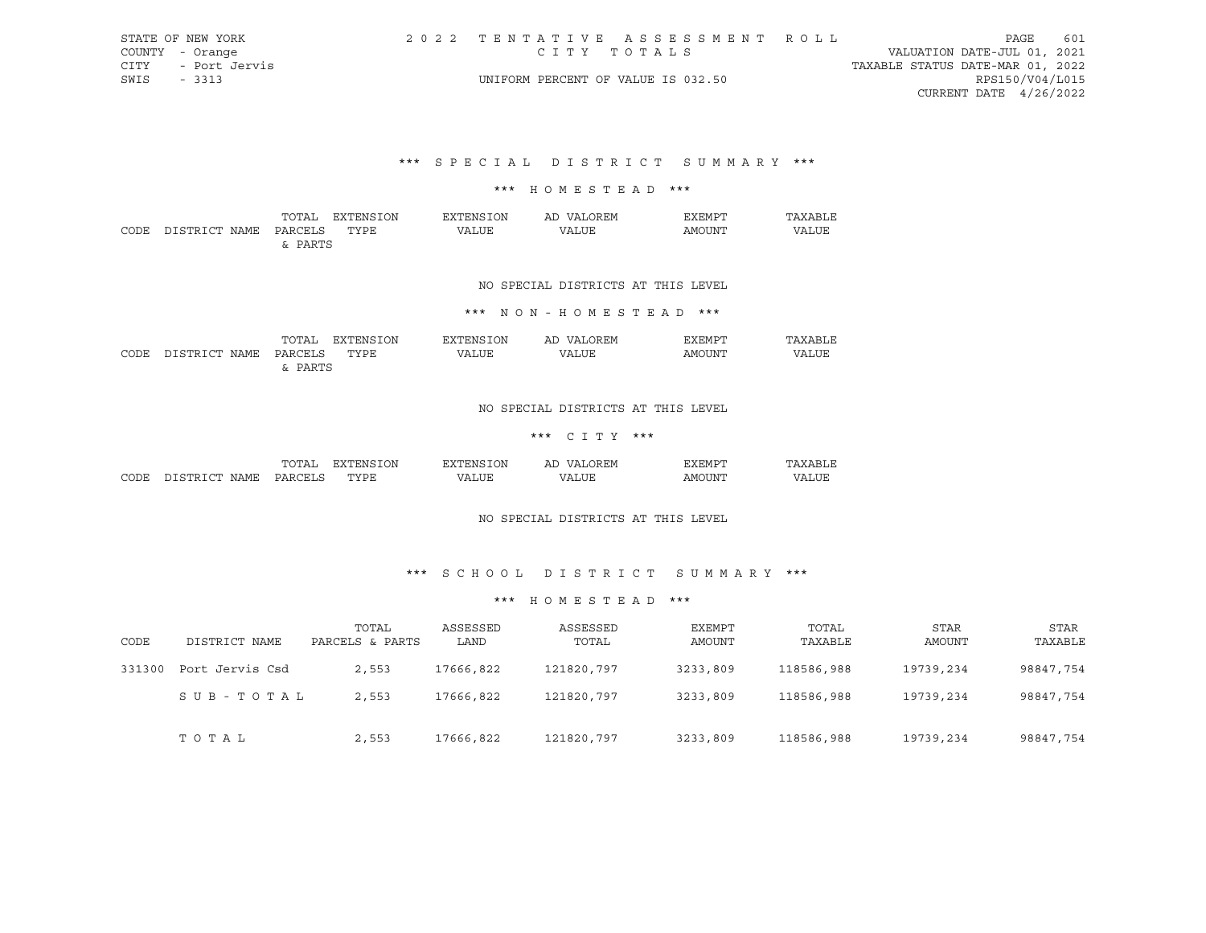| STATE OF NEW YORK  | 2022 TENTATIVE ASSESSMENT ROLL     |                                  | PAGE                        | 601 |
|--------------------|------------------------------------|----------------------------------|-----------------------------|-----|
| COUNTY - Orange    | CITY TOTALS                        |                                  | VALUATION DATE-JUL 01, 2021 |     |
| CITY - Port Jervis |                                    | TAXABLE STATUS DATE-MAR 01, 2022 |                             |     |
| SWIS - 3313        | UNIFORM PERCENT OF VALUE IS 032.50 |                                  | RPS150/V04/L015             |     |
|                    |                                    |                                  | CURRENT DATE 4/26/2022      |     |
|                    |                                    |                                  |                             |     |

\*\*\* S P E C I A L D I S T R I C T S U M M A R Y \*\*\*

#### \*\*\* H O M E S T E A D \*\*\*

|      |                    | TOTAL   | :ON<br>EXTEN' | .ON<br>את היציי   | ∩REM<br>AΓ<br>$\sqrt{\Delta}$ | דים אידי | $\mathsf{I} \cdot \mathsf{V} \cdot \mathsf{V}$ |
|------|--------------------|---------|---------------|-------------------|-------------------------------|----------|------------------------------------------------|
| CODE | חי חים דרו<br>NAME | DARCELS | <b>TYPE</b>   | <b>LUF</b><br>7A. | 7A 1                          | AMOUNT   | VALUE                                          |
|      |                    | PARTS   |               |                   |                               |          |                                                |

## NO SPECIAL DISTRICTS AT THIS LEVEL

## \*\*\* N O N - H O M E S T E A D \*\*\*

|      |                     | TOTAL     | ON<br>FYTFNG             | 고▽.<br>∩N<br>ш              | ∩R FM<br>АI<br>$\frac{1}{2}$ | EXEMPT |       |
|------|---------------------|-----------|--------------------------|-----------------------------|------------------------------|--------|-------|
| CODE | חי חים דרי<br>NAME. | DARCELS   | <b>TYPE</b><br>- - - - - | T.TTF<br><u> 7 Д</u><br>∟טו | <b>TTT.</b>                  | AMOUNT | VALUE |
|      |                     | סידים הכו |                          |                             |                              |        |       |

## NO SPECIAL DISTRICTS AT THIS LEVEL

# \*\*\* C I T Y \*\*\*

|      |                    | $nm -$<br>n,<br>۰д     | ΟN<br>교사<br>ı: х | .)N<br>.             | AL.<br>I. IVI<br>$\cdots$ | $-$ mn $\cdot$<br>. нит |   |
|------|--------------------|------------------------|------------------|----------------------|---------------------------|-------------------------|---|
| CODE | NAME<br>- 14 14 15 | $\cap$ $\Box$<br>∘µ ∆ت | mynn"<br>∍⊔ ⊔    | '.TTF<br>$^{\prime}$ | $\cdots$                  | IN.                     | . |

#### NO SPECIAL DISTRICTS AT THIS LEVEL

## \*\*\* S C H O O L D I S T R I C T S U M M A R Y \*\*\*

#### \*\*\* H O M E S T E A D \*\*\*

| CODE   | DISTRICT NAME   | TOTAL<br>PARCELS & PARTS | ASSESSED<br>LAND | ASSESSED<br>TOTAL | EXEMPT<br>AMOUNT | TOTAL<br>TAXABLE | STAR<br>AMOUNT | STAR<br>TAXABLE |
|--------|-----------------|--------------------------|------------------|-------------------|------------------|------------------|----------------|-----------------|
| 331300 | Port Jervis Csd | 2,553                    | 17666,822        | 121820,797        | 3233,809         | 118586,988       | 19739,234      | 98847,754       |
|        | SUB-TOTAL       | 2,553                    | 17666,822        | 121820,797        | 3233,809         | 118586,988       | 19739,234      | 98847,754       |
|        | тотаь           | 2,553                    | 17666,822        | 121820,797        | 3233,809         | 118586,988       | 19739,234      | 98847,754       |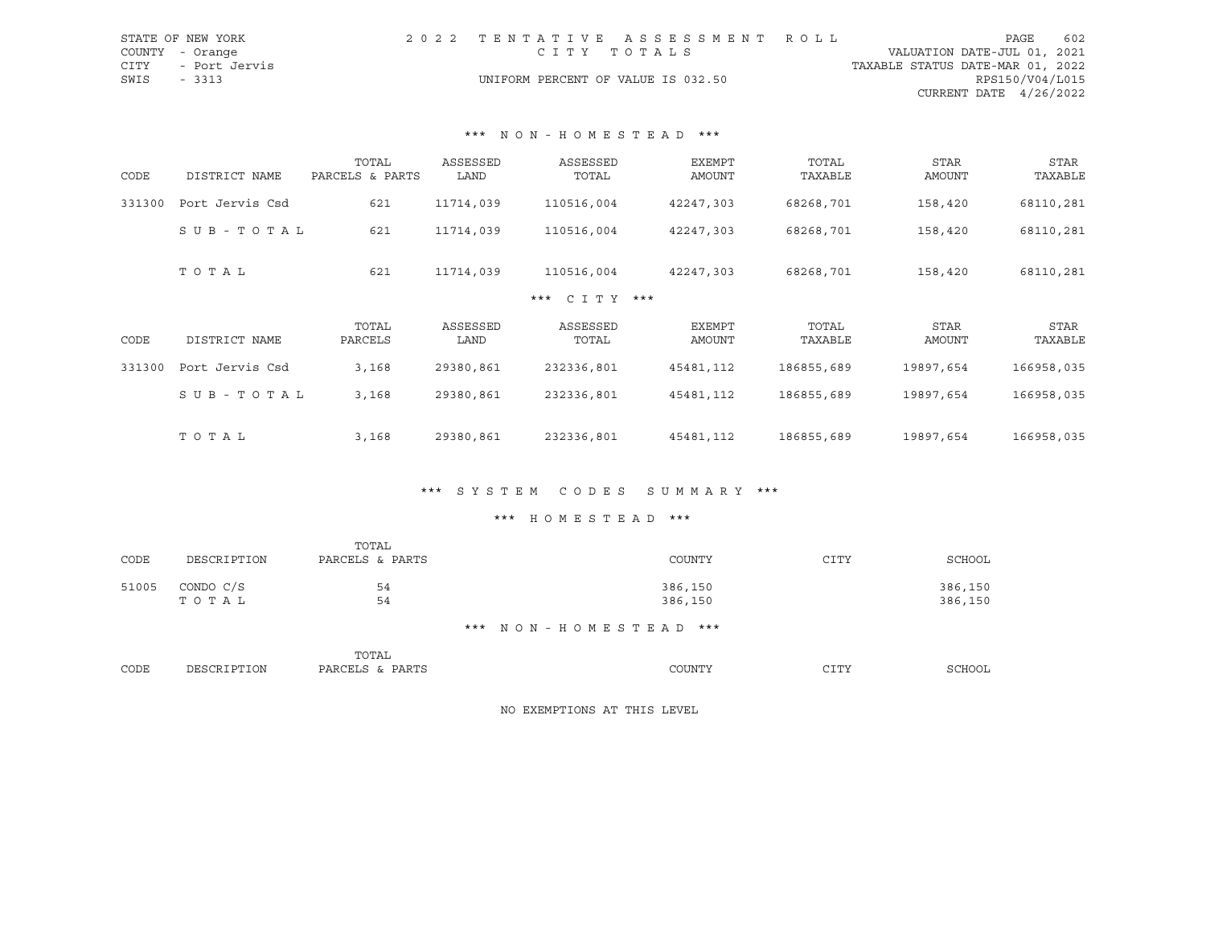| STATE OF NEW YORK  |  |                                    | 2022 TENTATIVE ASSESSMENT ROLL |                                  | PAGE                   | 602 |
|--------------------|--|------------------------------------|--------------------------------|----------------------------------|------------------------|-----|
| COUNTY - Orange    |  | CITY TOTALS                        |                                | VALUATION DATE-JUL 01, 2021      |                        |     |
| CITY - Port Jervis |  |                                    |                                | TAXABLE STATUS DATE-MAR 01, 2022 |                        |     |
| SWIS<br>$-3313$    |  | UNIFORM PERCENT OF VALUE IS 032.50 |                                |                                  | RPS150/V04/L015        |     |
|                    |  |                                    |                                |                                  | CURRENT DATE 4/26/2022 |     |

#### \*\*\* N O N - H O M E S T E A D \*\*\*

| CODE   | DISTRICT NAME   | TOTAL<br>PARCELS & PARTS | ASSESSED<br>LAND | ASSESSED<br>TOTAL      | <b>EXEMPT</b><br>AMOUNT | TOTAL<br>TAXABLE | <b>STAR</b><br>AMOUNT | STAR<br>TAXABLE |
|--------|-----------------|--------------------------|------------------|------------------------|-------------------------|------------------|-----------------------|-----------------|
| 331300 | Port Jervis Csd | 621                      | 11714,039        | 110516,004             | 42247,303               | 68268,701        | 158,420               | 68110,281       |
|        | SUB-TOTAL       | 621                      | 11714,039        | 110516,004             | 42247,303               | 68268,701        | 158,420               | 68110,281       |
|        | TOTAL           | 621                      | 11714,039        | 110516,004             | 42247,303               | 68268,701        | 158,420               | 68110,281       |
|        |                 |                          |                  | $C I T Y$ ***<br>$***$ |                         |                  |                       |                 |
| CODE   | DISTRICT NAME   | TOTAL<br>PARCELS         | ASSESSED<br>LAND | ASSESSED<br>TOTAL      | EXEMPT<br>AMOUNT        | TOTAL<br>TAXABLE | <b>STAR</b><br>AMOUNT | STAR<br>TAXABLE |
| 331300 | Port Jervis Csd | 3,168                    | 29380,861        | 232336,801             | 45481,112               | 186855,689       | 19897,654             | 166958,035      |
|        | SUB-TOTAL       | 3,168                    | 29380,861        | 232336,801             | 45481,112               | 186855,689       | 19897,654             | 166958,035      |
|        | TOTAL           | 3,168                    | 29380,861        | 232336,801             | 45481,112               | 186855,689       | 19897,654             | 166958,035      |

## \*\*\* S Y S T E M C O D E S S U M M A R Y \*\*\*

## \*\*\* H O M E S T E A D \*\*\*

|       |             | TOTAL           |                       |      |         |
|-------|-------------|-----------------|-----------------------|------|---------|
| CODE  | DESCRIPTION | PARCELS & PARTS | COUNTY                | CITY | SCHOOL  |
| 51005 | CONDO C/S   | 54              | 386,150               |      | 386,150 |
|       | TOTAL       | 54              | 386,150               |      | 386,150 |
|       |             |                 | *** NON-HOMESTEAD *** |      |         |
|       |             | TOTAL           |                       |      |         |
| CODE  | DESCRIPTION | PARCELS & PARTS | COUNTY                | CITY | SCHOOL  |

NO EXEMPTIONS AT THIS LEVEL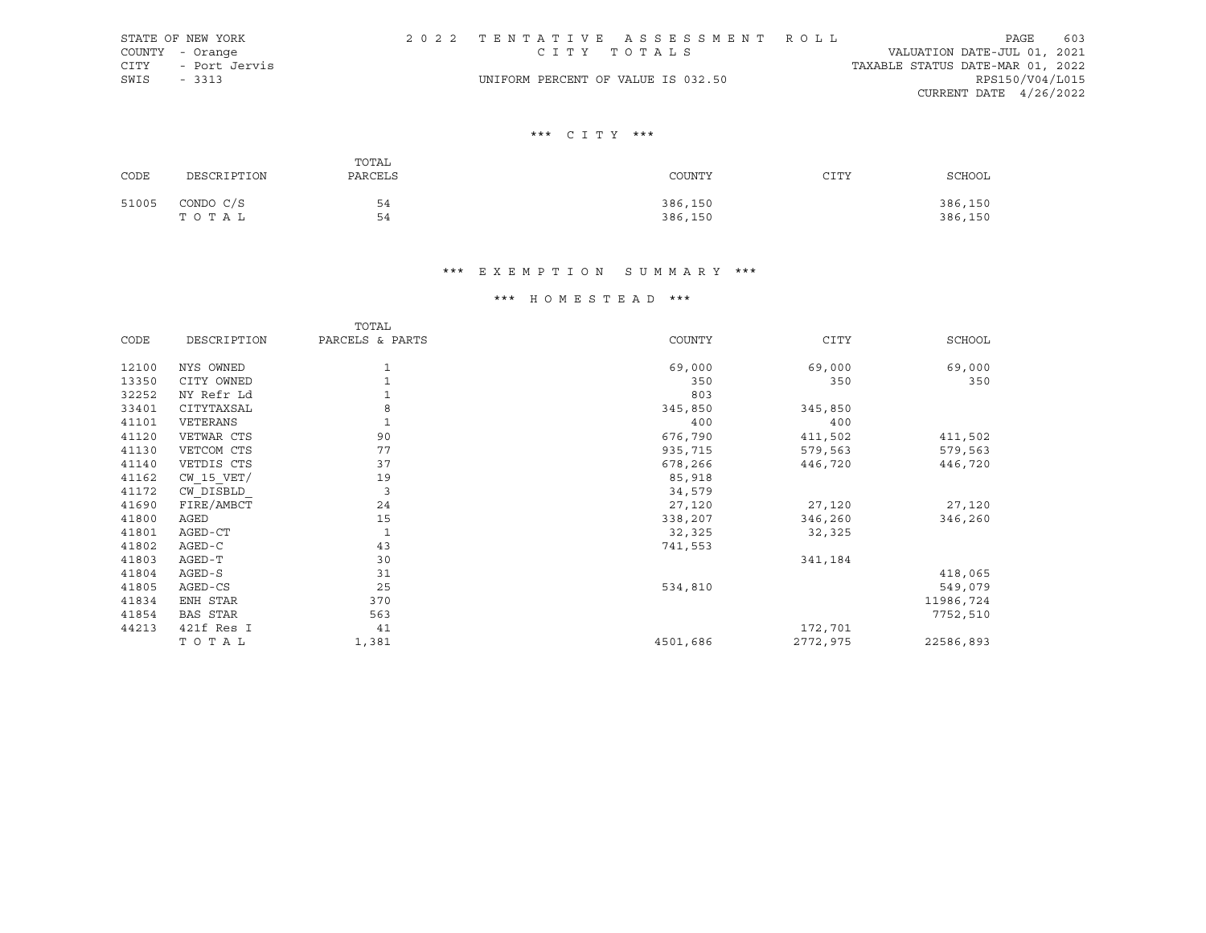|             | STATE OF NEW YORK  |                                    | 2022 TENTATIVE ASSESSMENT ROLL |                                  | PAGE                     | 603 |
|-------------|--------------------|------------------------------------|--------------------------------|----------------------------------|--------------------------|-----|
|             | COUNTY - Orange    | CITY TOTALS                        |                                | VALUATION DATE-JUL 01, 2021      |                          |     |
|             | CITY - Port Jervis |                                    |                                | TAXABLE STATUS DATE-MAR 01, 2022 |                          |     |
| SWIS - 3313 |                    | UNIFORM PERCENT OF VALUE IS 032.50 |                                |                                  | RPS150/V04/L015          |     |
|             |                    |                                    |                                |                                  | CURRENT DATE $4/26/2022$ |     |

## \*\*\* C I T Y \*\*\*

| CODE  | DESCRIPTION        | TOTAL<br>PARCELS | COUNTY             | CITY | SCHOOL             |
|-------|--------------------|------------------|--------------------|------|--------------------|
| 51005 | CONDO C/S<br>TOTAL | 54<br>54         | 386,150<br>386,150 |      | 386,150<br>386,150 |

# \*\*\* E X E M P T I O N S U M M A R Y \*\*\*

# \*\*\* H O M E S T E A D \*\*\*

|       |                 | TOTAL           |          |             |           |
|-------|-----------------|-----------------|----------|-------------|-----------|
| CODE  | DESCRIPTION     | PARCELS & PARTS | COUNTY   | <b>CITY</b> | SCHOOL    |
| 12100 | NYS OWNED       |                 |          |             |           |
|       |                 | 1               | 69,000   | 69,000      | 69,000    |
| 13350 | CITY OWNED      |                 | 350      | 350         | 350       |
| 32252 | NY Refr Ld      |                 | 803      |             |           |
| 33401 | CITYTAXSAL      | 8               | 345,850  | 345,850     |           |
| 41101 | VETERANS        |                 | 400      | 400         |           |
| 41120 | VETWAR CTS      | 90              | 676,790  | 411,502     | 411,502   |
| 41130 | VETCOM CTS      | 77              | 935,715  | 579,563     | 579,563   |
| 41140 | VETDIS CTS      | 37              | 678,266  | 446,720     | 446,720   |
| 41162 | $CW$ 15 $VET/$  | 19              | 85,918   |             |           |
| 41172 | CW DISBLD       | 3               | 34,579   |             |           |
| 41690 | FIRE/AMBCT      | 24              | 27,120   | 27,120      | 27,120    |
| 41800 | AGED            | 15              | 338,207  | 346,260     | 346,260   |
| 41801 | AGED-CT         | 1               | 32,325   | 32,325      |           |
| 41802 | AGED-C          | 43              | 741,553  |             |           |
| 41803 | AGED-T          | 30              |          | 341,184     |           |
| 41804 | AGED-S          | 31              |          |             | 418,065   |
| 41805 | AGED-CS         | 25              | 534,810  |             | 549,079   |
| 41834 | ENH STAR        | 370             |          |             | 11986,724 |
| 41854 | <b>BAS STAR</b> | 563             |          |             | 7752,510  |
| 44213 | 421f Res I      | 41              |          | 172,701     |           |
|       | TOTAL           | 1,381           | 4501,686 | 2772,975    | 22586,893 |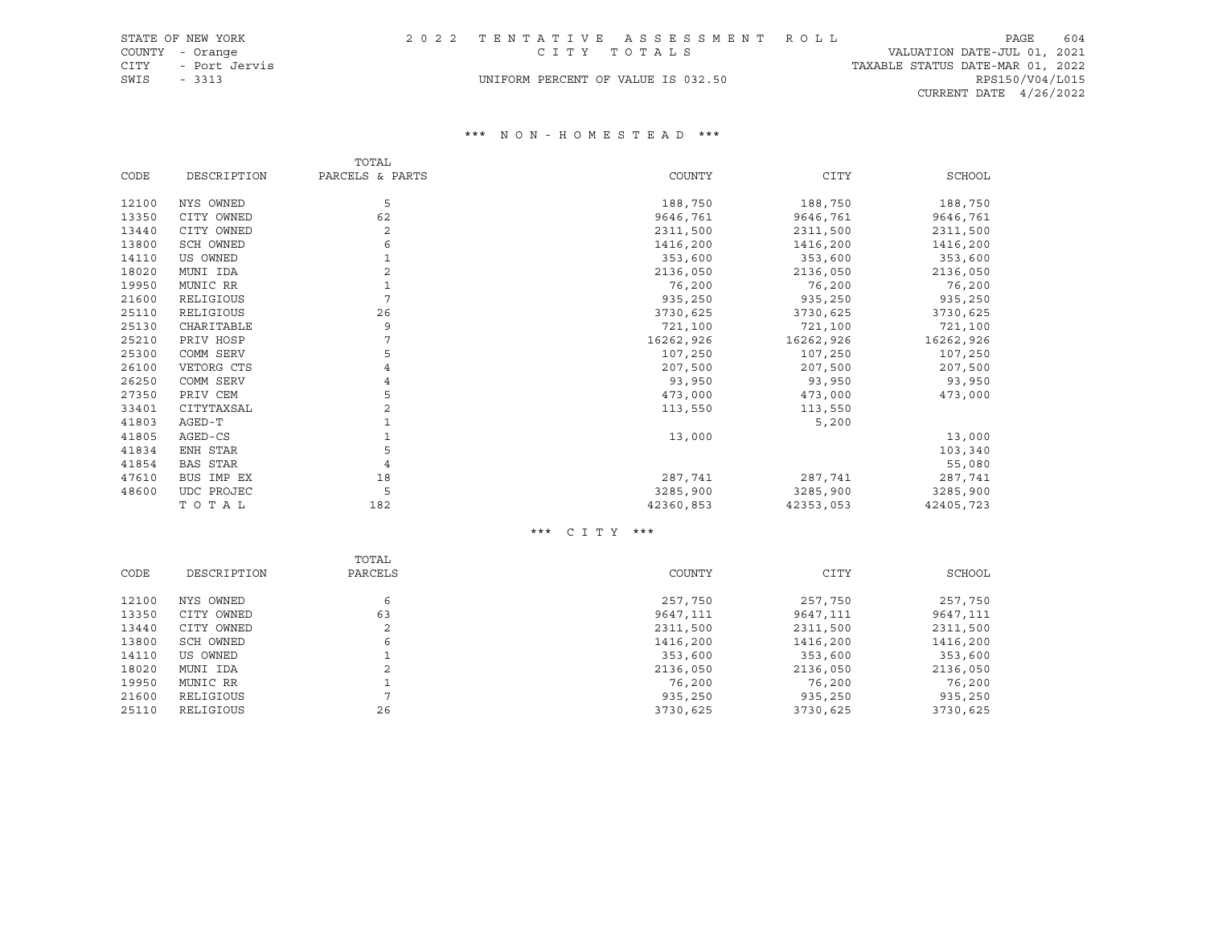UNIFORM PERCENT OF VALUE IS 032.50

CITY - Port Jervis<br>GWIS - 3313 - SWIS - 3313 TAXABLE STATUS DATE-MAR 01, 2022<br>CWIFORM PERCENT OF VALUE IS 032.50 CURRENT DATE 4/26/2022

#### \*\*\* N O N - H O M E S T E A D \*\*\*

|       |             | TOTAL           |           |             |           |
|-------|-------------|-----------------|-----------|-------------|-----------|
| CODE  | DESCRIPTION | PARCELS & PARTS | COUNTY    | <b>CITY</b> | SCHOOL    |
| 12100 | NYS OWNED   | 5               | 188,750   | 188,750     | 188,750   |
| 13350 | CITY OWNED  | 62              | 9646,761  | 9646,761    | 9646,761  |
| 13440 | CITY OWNED  | 2               | 2311,500  | 2311,500    |           |
|       |             |                 |           |             | 2311,500  |
| 13800 | SCH OWNED   | 6               | 1416,200  | 1416,200    | 1416,200  |
| 14110 | US OWNED    |                 | 353,600   | 353,600     | 353,600   |
| 18020 | MUNI IDA    | 2               | 2136,050  | 2136,050    | 2136,050  |
| 19950 | MUNIC RR    |                 | 76,200    | 76,200      | 76,200    |
| 21600 | RELIGIOUS   |                 | 935,250   | 935,250     | 935,250   |
| 25110 | RELIGIOUS   | 26              | 3730,625  | 3730,625    | 3730,625  |
| 25130 | CHARITABLE  | 9               | 721,100   | 721,100     | 721,100   |
| 25210 | PRIV HOSP   |                 | 16262,926 | 16262,926   | 16262,926 |
| 25300 | COMM SERV   | 5               | 107,250   | 107,250     | 107,250   |
| 26100 | VETORG CTS  |                 | 207,500   | 207,500     | 207,500   |
| 26250 | COMM SERV   | 4               | 93,950    | 93,950      | 93,950    |
| 27350 | PRIV CEM    | 5               | 473,000   | 473,000     | 473,000   |
| 33401 | CITYTAXSAL  | 2               | 113,550   | 113,550     |           |
| 41803 | AGED-T      |                 |           | 5,200       |           |
| 41805 | AGED-CS     |                 | 13,000    |             | 13,000    |
| 41834 | ENH STAR    | 5               |           |             | 103,340   |
| 41854 | BAS STAR    |                 |           |             | 55,080    |
| 47610 | BUS IMP EX  | 18              | 287,741   | 287,741     | 287,741   |
| 48600 | UDC PROJEC  | 5               | 3285,900  | 3285,900    | 3285,900  |
|       | TOTAL       | 182             | 42360,853 | 42353,053   | 42405,723 |

\*\*\* C I T Y \*\*\*

|       |             | TOTAL   |          |          |          |
|-------|-------------|---------|----------|----------|----------|
| CODE  | DESCRIPTION | PARCELS | COUNTY   | CITY     | SCHOOL   |
| 12100 | NYS OWNED   | 6       | 257,750  | 257,750  | 257,750  |
| 13350 | CITY OWNED  | 63      | 9647,111 | 9647,111 | 9647,111 |
| 13440 | CITY OWNED  | 2       | 2311,500 | 2311,500 | 2311,500 |
| 13800 | SCH OWNED   | 6       | 1416,200 | 1416,200 | 1416,200 |
| 14110 | US OWNED    |         | 353,600  | 353,600  | 353,600  |
| 18020 | MUNI IDA    |         | 2136,050 | 2136,050 | 2136,050 |
| 19950 | MUNIC RR    |         | 76,200   | 76,200   | 76,200   |
| 21600 | RELIGIOUS   |         | 935,250  | 935,250  | 935,250  |
| 25110 | RELIGIOUS   | 26      | 3730,625 | 3730,625 | 3730,625 |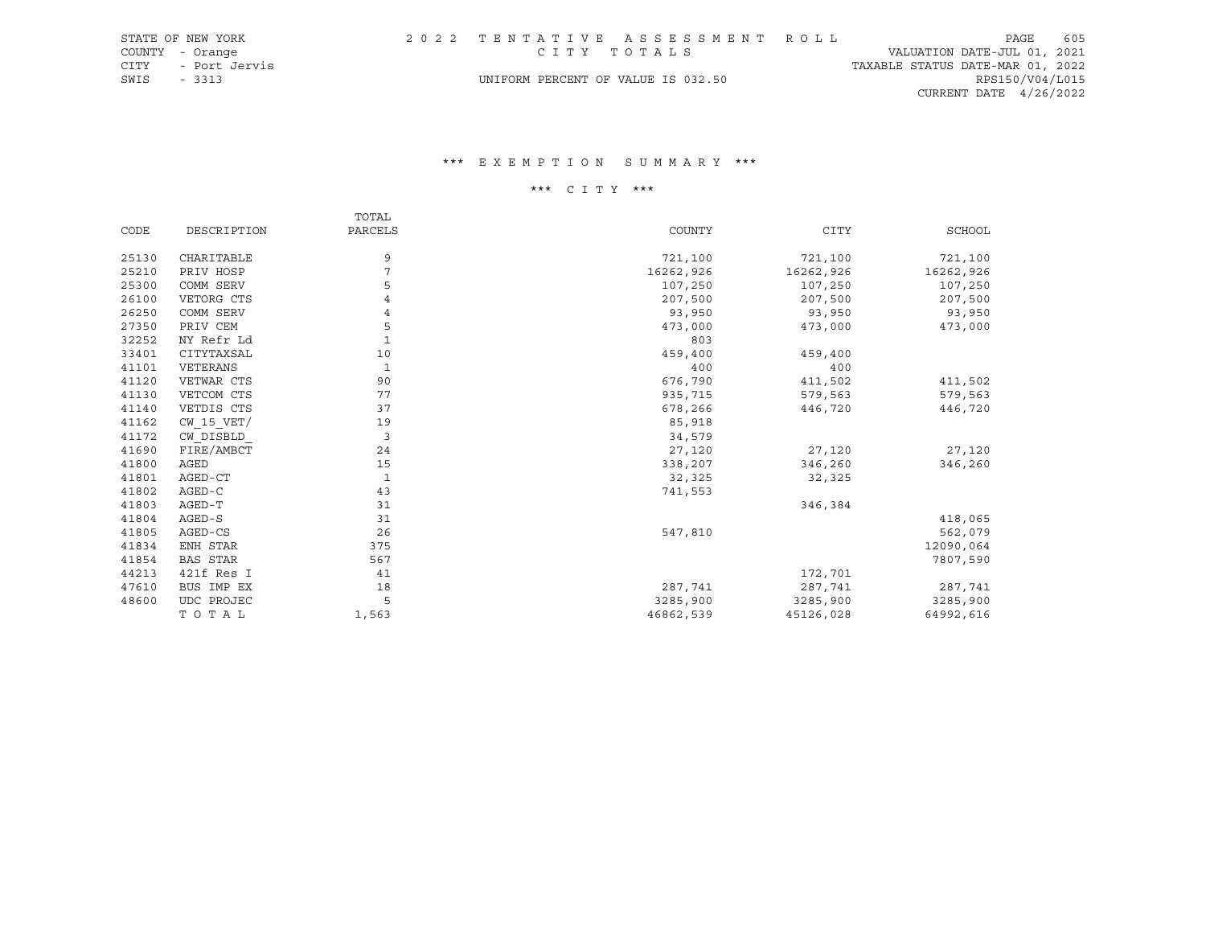|      | STATE OF NEW YORK  |                                    | 2022 TENTATIVE ASSESSMENT ROLL |                                  | PAGE            | 605 |
|------|--------------------|------------------------------------|--------------------------------|----------------------------------|-----------------|-----|
|      | COUNTY - Orange    |                                    | CITY TOTALS                    | VALUATION DATE-JUL 01, 2021      |                 |     |
|      | CITY - Port Jervis |                                    |                                | TAXABLE STATUS DATE-MAR 01, 2022 |                 |     |
| SWIS | - 3313             | UNIFORM PERCENT OF VALUE IS 032.50 |                                |                                  | RPS150/V04/L015 |     |
|      |                    |                                    |                                | CURRENT DATE $4/26/2022$         |                 |     |

## \*\*\* E X E M P T I O N S U M M A R Y \*\*\*

# \*\*\* C I T Y \*\*\*

|       |                 | TOTAL        |           |             |               |
|-------|-----------------|--------------|-----------|-------------|---------------|
| CODE  | DESCRIPTION     | PARCELS      | COUNTY    | <b>CITY</b> | <b>SCHOOL</b> |
| 25130 | CHARITABLE      | 9            | 721,100   | 721,100     | 721,100       |
| 25210 | PRIV HOSP       | 7            | 16262,926 | 16262,926   | 16262,926     |
| 25300 | COMM SERV       | 5            | 107,250   | 107,250     | 107,250       |
| 26100 | VETORG CTS      | 4            | 207,500   | 207,500     | 207,500       |
| 26250 | COMM SERV       | 4            | 93,950    | 93,950      | 93,950        |
| 27350 | PRIV CEM        | 5            | 473,000   | 473,000     | 473,000       |
| 32252 | NY Refr Ld      | $\mathbf{1}$ | 803       |             |               |
| 33401 | CITYTAXSAL      | 10           | 459,400   | 459,400     |               |
| 41101 | VETERANS        | 1            | 400       | 400         |               |
| 41120 | VETWAR CTS      | 90           | 676,790   | 411,502     | 411,502       |
| 41130 | VETCOM CTS      | 77           | 935,715   | 579,563     | 579,563       |
| 41140 | VETDIS CTS      | 37           | 678,266   | 446,720     | 446,720       |
| 41162 | $CW$ 15 $VET/$  | 19           | 85,918    |             |               |
| 41172 | CW DISBLD       | 3            | 34,579    |             |               |
| 41690 | FIRE/AMBCT      | 24           | 27,120    | 27,120      | 27,120        |
| 41800 | AGED            | 15           | 338,207   | 346,260     | 346,260       |
| 41801 | AGED-CT         | 1            | 32,325    | 32,325      |               |
| 41802 | AGED-C          | 43           | 741,553   |             |               |
| 41803 | AGED-T          | 31           |           | 346,384     |               |
| 41804 | AGED-S          | 31           |           |             | 418,065       |
| 41805 | AGED-CS         | 26           | 547,810   |             | 562,079       |
| 41834 | ENH STAR        | 375          |           |             | 12090,064     |
| 41854 | <b>BAS STAR</b> | 567          |           |             | 7807,590      |
| 44213 | 421f Res I      | 41           |           | 172,701     |               |
| 47610 | BUS IMP EX      | 18           | 287,741   | 287,741     | 287,741       |
| 48600 | UDC PROJEC      | 5            | 3285,900  | 3285,900    | 3285,900      |
|       | TOTAL           | 1,563        | 46862,539 | 45126,028   | 64992,616     |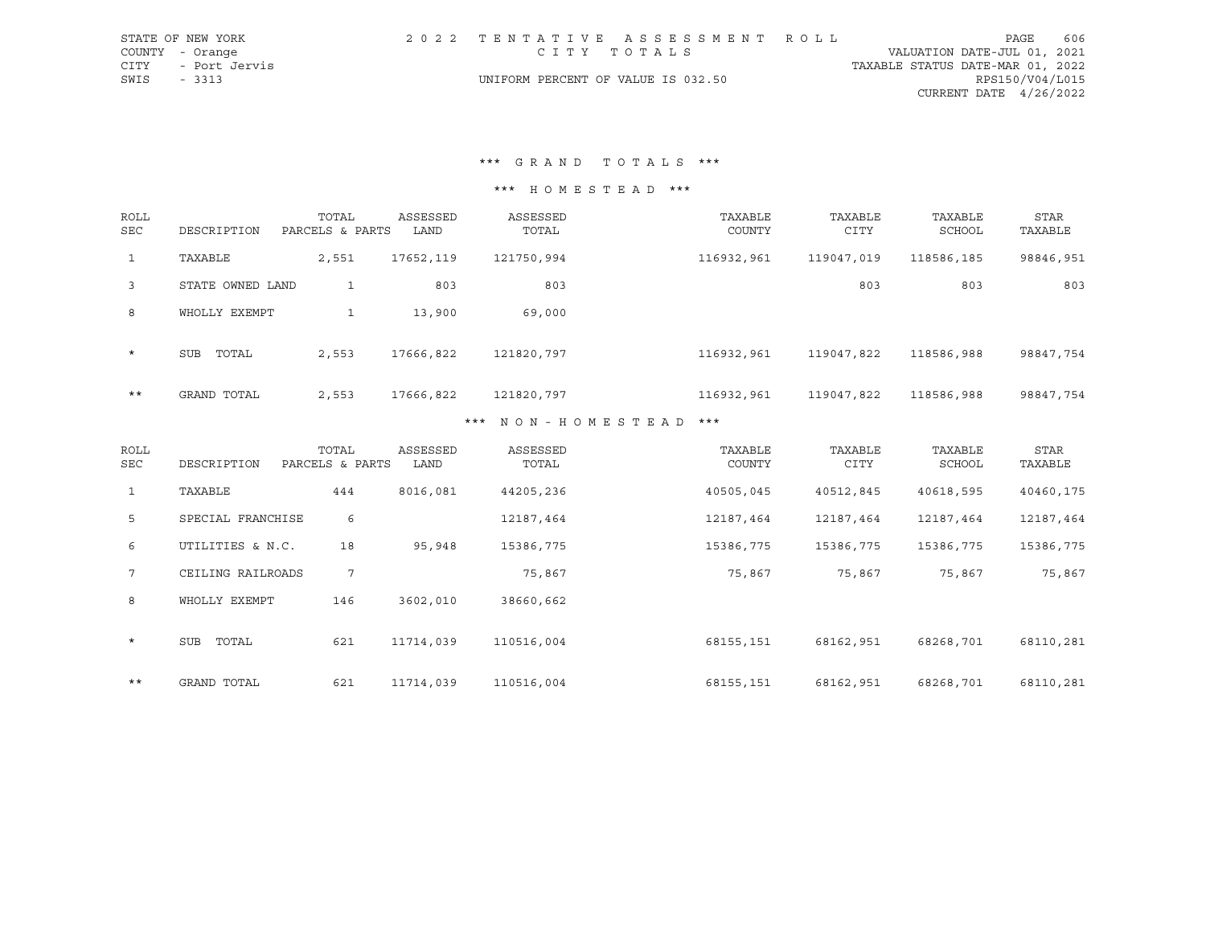|             | STATE OF NEW YORK  |                                    | 2022 TENTATIVE ASSESSMENT ROLL |                                  | PAGE            | 606 |
|-------------|--------------------|------------------------------------|--------------------------------|----------------------------------|-----------------|-----|
|             | COUNTY - Orange    | СІТУ ТОТАЬЅ                        |                                | VALUATION DATE-JUL 01, 2021      |                 |     |
|             | CITY - Port Jervis |                                    |                                | TAXABLE STATUS DATE-MAR 01, 2022 |                 |     |
| SWIS - 3313 |                    | UNIFORM PERCENT OF VALUE IS 032.50 |                                |                                  | RPS150/V04/L015 |     |
|             |                    |                                    |                                | CURRENT DATE $4/26/2022$         |                 |     |

\*\*\* G R A N D T O T A L S \*\*\*

\*\*\* H O M E S T E A D \*\*\*

| <b>ROLL</b><br><b>SEC</b> | DESCRIPTION      | TOTAL<br>PARCELS & PARTS | ASSESSED<br>LAND | ASSESSED<br>TOTAL     | TAXABLE<br>COUNTY | TAXABLE<br><b>CITY</b> | TAXABLE<br>SCHOOL | STAR<br>TAXABLE |
|---------------------------|------------------|--------------------------|------------------|-----------------------|-------------------|------------------------|-------------------|-----------------|
| $\mathbf{1}$              | TAXABLE          | 2,551                    | 17652,119        | 121750,994            | 116932,961        | 119047,019             | 118586,185        | 98846,951       |
| $\overline{3}$            | STATE OWNED LAND | 1                        | 803              | 803                   |                   | 803                    | 803               | 803             |
| 8                         | WHOLLY EXEMPT    | $\mathbf{1}$             | 13,900           | 69,000                |                   |                        |                   |                 |
| $\star$                   | SUB<br>TOTAL     | 2,553                    | 17666,822        | 121820,797            | 116932,961        | 119047,822             | 118586,988        | 98847,754       |
| $***$                     | GRAND TOTAL      | 2,553                    | 17666,822        | 121820,797            | 116932,961        | 119047,822             | 118586,988        | 98847,754       |
|                           |                  |                          |                  | *** NON-HOMECTEAD *** |                   |                        |                   |                 |

#### \* N O N - H O M E S T E A D

| ROLL<br>SEC  | DESCRIPTION         | TOTAL<br>PARCELS & PARTS | ASSESSED<br>LAND | ASSESSED<br>TOTAL | TAXABLE<br>COUNTY | TAXABLE<br><b>CITY</b> | TAXABLE<br>SCHOOL | <b>STAR</b><br>TAXABLE |
|--------------|---------------------|--------------------------|------------------|-------------------|-------------------|------------------------|-------------------|------------------------|
| $\mathbf{1}$ | TAXABLE             | 444                      | 8016,081         | 44205,236         | 40505,045         | 40512,845              | 40618,595         | 40460,175              |
| 5            | SPECIAL FRANCHISE   | 6                        |                  | 12187,464         | 12187,464         | 12187,464              | 12187,464         | 12187,464              |
| 6            | UTILITIES & N.C.    | 18                       | 95,948           | 15386,775         | 15386,775         | 15386,775              | 15386,775         | 15386,775              |
| 7            | CEILING RAILROADS   | $7\overline{ }$          |                  | 75,867            | 75,867            | 75,867                 | 75,867            | 75,867                 |
| 8            | WHOLLY EXEMPT       | 146                      | 3602,010         | 38660,662         |                   |                        |                   |                        |
| $\star$      | <b>SUB</b><br>TOTAL | 621                      | 11714,039        | 110516,004        | 68155,151         | 68162,951              | 68268,701         | 68110,281              |
| $***$        | GRAND TOTAL         | 621                      | 11714,039        | 110516,004        | 68155,151         | 68162,951              | 68268,701         | 68110,281              |